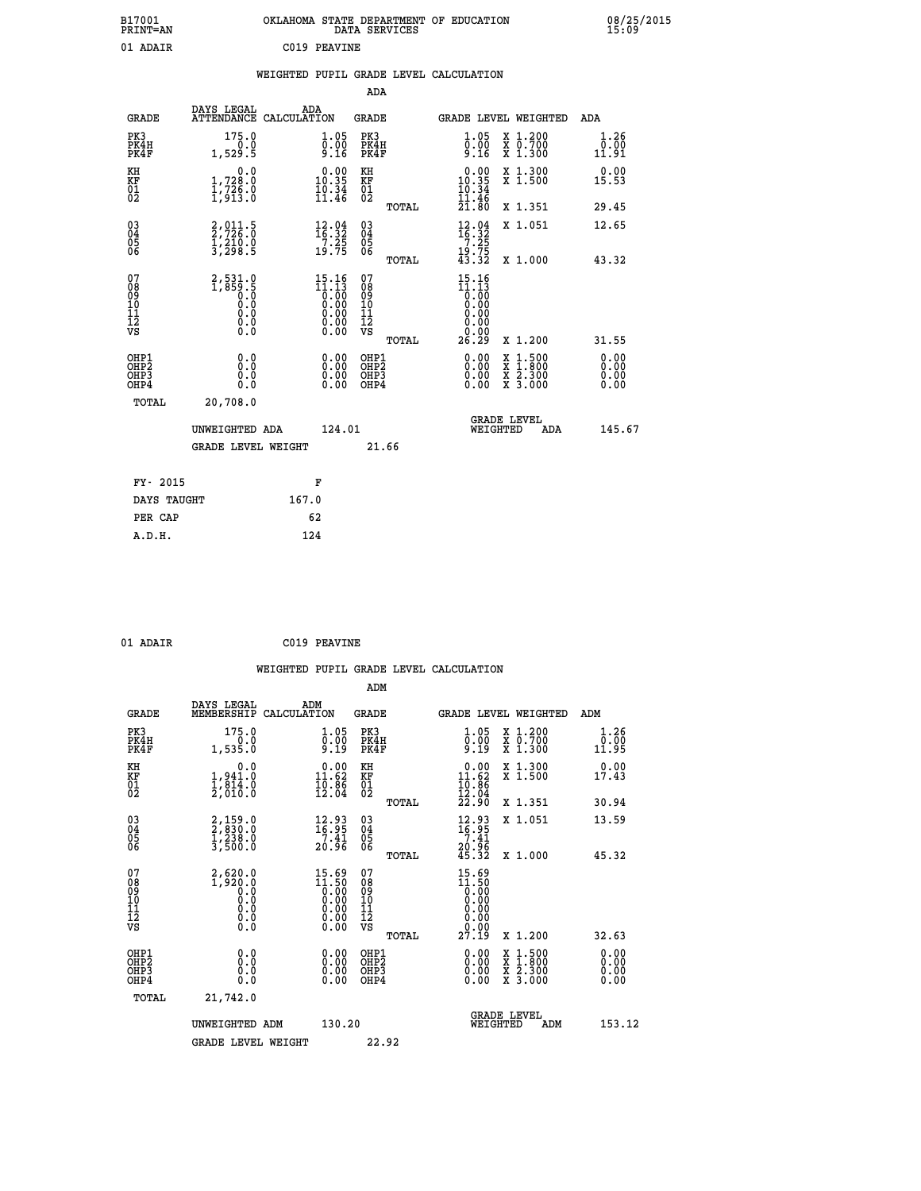| B17001<br>PRINT=AN | OKLAHOMA STATE DEPARTMENT OF EDUCATION<br>DATA SERVICES | 08/25/2015<br>15:09 |
|--------------------|---------------------------------------------------------|---------------------|
| 01 ADAIR           | C019 PEAVINE                                            |                     |

|                                                      |                                                                                                         | WEIGHTED PUPIL GRADE LEVEL CALCULATION |                                                                                                                                                                                                                                                                                                                                                |                                                    |       |                                                                                                       |                                |                                                                 |                       |
|------------------------------------------------------|---------------------------------------------------------------------------------------------------------|----------------------------------------|------------------------------------------------------------------------------------------------------------------------------------------------------------------------------------------------------------------------------------------------------------------------------------------------------------------------------------------------|----------------------------------------------------|-------|-------------------------------------------------------------------------------------------------------|--------------------------------|-----------------------------------------------------------------|-----------------------|
|                                                      |                                                                                                         |                                        |                                                                                                                                                                                                                                                                                                                                                | ADA                                                |       |                                                                                                       |                                |                                                                 |                       |
| <b>GRADE</b>                                         | DAYS LEGAL<br>ATTENDANCE CALCULATION                                                                    | ADA                                    |                                                                                                                                                                                                                                                                                                                                                | GRADE                                              |       |                                                                                                       |                                | GRADE LEVEL WEIGHTED                                            | ADA                   |
| PK3<br>PK4H<br>PK4F                                  | $175.0$<br>0.0<br>1,529.5                                                                               |                                        | 1.05<br>0.00<br>9.16                                                                                                                                                                                                                                                                                                                           | PK3<br>PK4H<br>PK4F                                |       | $\begin{smallmatrix} 1.05\ 0.00\ 9.16 \end{smallmatrix}$                                              | X<br>X<br>X                    | $\begin{smallmatrix} 1.200 \\ 0.700 \\ 1.300 \end{smallmatrix}$ | 1.26<br>0.00<br>11.91 |
| KH<br>KF<br>01<br>02                                 | 0.0<br>1,728:0<br>1,726:0<br>1,913:0                                                                    |                                        | $0.00$<br>10.35<br>$\frac{10.34}{11.46}$                                                                                                                                                                                                                                                                                                       | KH<br><b>KF</b><br>01<br>02                        |       | $\begin{smallmatrix} 0.00\\ 10.35\\ 10.34\\ 11.46 \end{smallmatrix}$                                  |                                | X 1.300<br>X 1.500                                              | 0.00<br>15.53         |
|                                                      |                                                                                                         |                                        |                                                                                                                                                                                                                                                                                                                                                |                                                    | TOTAL | 2ī                                                                                                    | .80                            | X 1.351                                                         | 29.45                 |
| $\begin{matrix} 03 \\ 04 \\ 05 \\ 06 \end{matrix}$   | 2,011.5<br>2,726.0<br>1,210.0<br>3,298.5                                                                |                                        | $\begin{array}{c} 12\cdot 04\\16\cdot 32\\7\cdot 25\\19\cdot 75 \end{array}$                                                                                                                                                                                                                                                                   | $\begin{matrix} 03 \\ 04 \\ 05 \\ 06 \end{matrix}$ |       | $\begin{array}{c} 12\cdot 94 \\ 16\cdot 32 \\ 7\cdot 25 \\ 19\cdot 75 \\ 43\cdot 32 \end{array}$      |                                | X 1.051                                                         | 12.65                 |
|                                                      |                                                                                                         |                                        |                                                                                                                                                                                                                                                                                                                                                |                                                    | TOTAL |                                                                                                       |                                | X 1.000                                                         | 43.32                 |
| 07<br>08<br>09<br>10<br>11<br>12<br>VS               | 2,531.0<br>1,859.5<br>0.0<br>0.0<br>$\begin{smallmatrix} 0.0 & 0 \ 0.0 & 0 \ 0.0 & 0 \end{smallmatrix}$ |                                        | $\begin{smallmatrix} 15 & 16 \\ 11 & 13 \\ 0 & 00 \\ 0 & 00 \\ 0 & 00 \\ 0 & 00 \\ 0 & 00 \\ 0 & 00 \\ 0 & 00 \\ 0 & 00 \\ 0 & 00 \\ 0 & 00 \\ 0 & 0 \\ 0 & 0 \\ 0 & 0 \\ 0 & 0 \\ 0 & 0 \\ 0 & 0 \\ 0 & 0 \\ 0 & 0 \\ 0 & 0 \\ 0 & 0 \\ 0 & 0 \\ 0 & 0 \\ 0 & 0 \\ 0 & 0 \\ 0 & 0 \\ 0 & 0 \\ 0 & 0 \\ 0 & 0 \\ 0 & 0 \\ 0 & 0 \\ 0 & 0 \\ 0$ | 07<br>08<br>09<br>001<br>11<br>11<br>12<br>VS      | TOTAL | 15.16<br>$\begin{smallmatrix} 11.13\ 0.00 \ 0.00 \end{smallmatrix}$<br>0.00<br>0.00<br>≬ةٍ:≬<br>28.29 |                                | X 1.200                                                         | 31.55                 |
| OHP1<br>OHP <sub>2</sub><br>OH <sub>P3</sub><br>OHP4 | 0.0<br>0.0<br>0.0                                                                                       |                                        | 0.00<br>0.00<br>0.00                                                                                                                                                                                                                                                                                                                           | OHP1<br>OHP2<br>OHP3<br>OHP4                       |       | 0.00<br>Ŏ.ŎŎ<br>O.OO                                                                                  |                                | X 1:500<br>X 1:800<br>X 2:300<br>X 3:000                        | 0.00<br>0.00<br>0.00  |
| TOTAL                                                | 20,708.0                                                                                                |                                        |                                                                                                                                                                                                                                                                                                                                                |                                                    |       |                                                                                                       |                                |                                                                 |                       |
|                                                      | UNWEIGHTED ADA                                                                                          |                                        | 124.01                                                                                                                                                                                                                                                                                                                                         |                                                    |       |                                                                                                       | <b>GRADE LEVEL</b><br>WEIGHTED | ADA                                                             | 145.67                |
|                                                      | <b>GRADE LEVEL WEIGHT</b>                                                                               |                                        |                                                                                                                                                                                                                                                                                                                                                | 21.66                                              |       |                                                                                                       |                                |                                                                 |                       |
| FY- 2015                                             |                                                                                                         |                                        | F                                                                                                                                                                                                                                                                                                                                              |                                                    |       |                                                                                                       |                                |                                                                 |                       |
| DAYS TAUGHT                                          |                                                                                                         | 167.0                                  |                                                                                                                                                                                                                                                                                                                                                |                                                    |       |                                                                                                       |                                |                                                                 |                       |

| ADAI |  |
|------|--|
|      |  |

**PER CAP 62 A.D.H. 124**

**01 ADAIR C019 PEAVINE**

**WEIGHTED PUPIL GRADE LEVEL CALCULATION ADM DAYS LEGAL ADM GRADE MEMBERSHIP CALCULATION GRADE GRADE LEVEL WEIGHTED ADM**

| ם שמא                                                | MEMDERSHIP<br>CALCOLATION                                                                                        |                                                                      | ם שמע                                              | GRADE<br>UBVBU WEIGHTED                                                                                                                                                                                                                                                                                                                          | שעת                              |
|------------------------------------------------------|------------------------------------------------------------------------------------------------------------------|----------------------------------------------------------------------|----------------------------------------------------|--------------------------------------------------------------------------------------------------------------------------------------------------------------------------------------------------------------------------------------------------------------------------------------------------------------------------------------------------|----------------------------------|
| PK3<br>PK4H<br>PK4F                                  | $175.0$<br>0.0<br>1,535.0                                                                                        | $\begin{smallmatrix} 1.05\ 0.00\ 9.19 \end{smallmatrix}$             | PK3<br>PK4H<br>PK4F                                | $\begin{smallmatrix} 1.200 \\ 0.700 \\ 1.300 \end{smallmatrix}$<br>$\frac{1}{0.05}$<br>X<br>X<br>X<br>قآ.ۋ                                                                                                                                                                                                                                       | 1.26<br>0.00<br>11.95            |
| KH<br>KF<br>01<br>02                                 | $\begin{smallmatrix} & & 0.0\ 1.941.0\ 1.814.0\ 2.010.0 \end{smallmatrix}$                                       | $\begin{smallmatrix} 0.00\\ 11.62\\ 10.86\\ 12.04 \end{smallmatrix}$ | KH<br>KF<br>01<br>02                               | X 1.300<br>X 1.500<br>$\begin{smallmatrix} &0.00\\ 11.62\\ 10.86\\ 12.04\\ 22.90 \end{smallmatrix}$                                                                                                                                                                                                                                              | 0.00<br>17.43                    |
|                                                      |                                                                                                                  |                                                                      | TOTAL                                              | X 1.351                                                                                                                                                                                                                                                                                                                                          | 30.94                            |
| $\begin{matrix} 03 \\ 04 \\ 05 \\ 06 \end{matrix}$   | 2,159.0<br>2,830.0<br>1,238.0<br>3,500.0                                                                         | 12.93<br>16.95<br>7.41                                               | $\begin{matrix} 03 \\ 04 \\ 05 \\ 06 \end{matrix}$ | 12.93<br>X 1.051<br>$16.95$<br>$7.41$<br>$20.96$<br>$45.32$                                                                                                                                                                                                                                                                                      | 13.59                            |
|                                                      |                                                                                                                  | 20.96                                                                | TOTAL                                              | X 1.000                                                                                                                                                                                                                                                                                                                                          | 45.32                            |
| 07<br>08<br>09<br>10<br>11<br>12<br>12<br>VS         | $\left.\begin{smallmatrix} 2,620.0\\ 1,920.0\\ 0.0\\ 0.0\\ 0.0\\ 0.0\\ 0.0\\ 0.0\\ 0.0 \end{smallmatrix}\right.$ | $15.69$<br>$0.00$<br>$0.00$<br>$0.00$<br>$0.00$<br>0.00<br>0.00      | νs                                                 | 15.69<br>$\begin{smallmatrix} 11.50 \\[-4pt] 0.00 \\[-4pt] 0.00 \\[-4pt] 0.00 \\[-4pt] 0.00 \\[-4pt] 0.00 \\[-4pt] 0.00 \\[-4pt] 0.00 \\[-4pt] 0.00 \\[-4pt] 0.00 \\[-4pt] 0.00 \\[-4pt] 0.00 \\[-4pt] 0.00 \\[-4pt] 0.00 \\[-4pt] 0.00 \\[-4pt] 0.00 \\[-4pt] 0.00 \\[-4pt] 0.00 \\[-4pt] 0.00 \\[-4pt] 0.00 \\[-4pt] 0.00 \\[-4pt] 0.$<br>0.00 |                                  |
|                                                      |                                                                                                                  |                                                                      | TOTAL                                              | 27.19<br>X 1.200                                                                                                                                                                                                                                                                                                                                 | 32.63                            |
| OHP1<br>OH <sub>P2</sub><br>OH <sub>P3</sub><br>OHP4 | $0.0 \\ 0.0 \\ 0.0 \\ 0.0$                                                                                       | $\begin{smallmatrix} 0.00\\ 0.00\\ 0.00\\ 0.00 \end{smallmatrix}$    | OHP1<br>OHP <sub>2</sub><br>OHP3<br>OHP4           | $0.00$<br>$0.00$<br>$0.00$<br>$\begin{smallmatrix} 1.500\ 1.800\ 2.300\ 3.000 \end{smallmatrix}$<br>X<br>X<br>X<br>X<br>0.00                                                                                                                                                                                                                     | 0.00<br>$0.00$<br>$0.00$<br>0.00 |
| TOTAL                                                | 21,742.0                                                                                                         |                                                                      |                                                    |                                                                                                                                                                                                                                                                                                                                                  |                                  |
|                                                      | UNWEIGHTED ADM                                                                                                   | 130.20                                                               |                                                    | GRADE LEVEL<br>WEIGHTED<br>ADM                                                                                                                                                                                                                                                                                                                   | 153.12                           |
|                                                      | <b>GRADE LEVEL WEIGHT</b>                                                                                        |                                                                      | 22.92                                              |                                                                                                                                                                                                                                                                                                                                                  |                                  |
|                                                      |                                                                                                                  |                                                                      |                                                    |                                                                                                                                                                                                                                                                                                                                                  |                                  |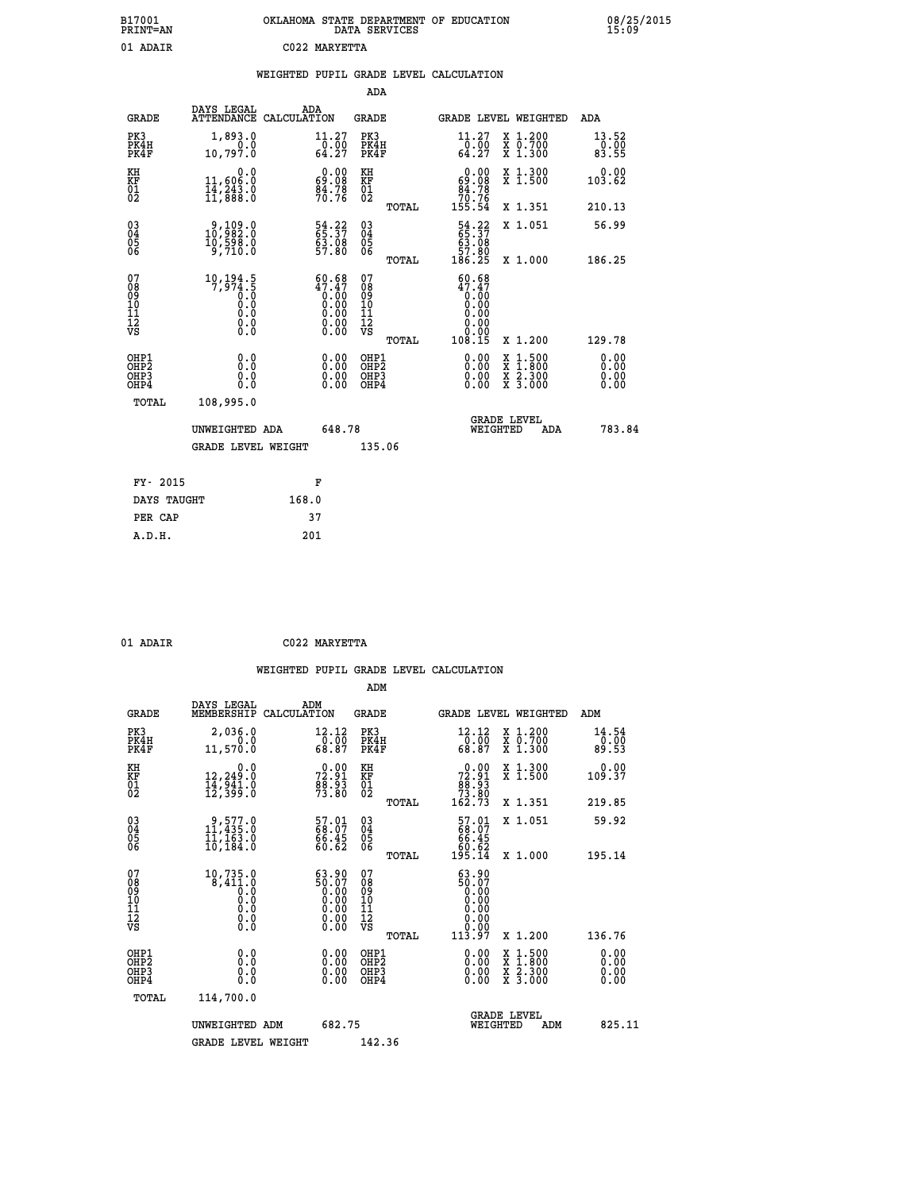| B17001<br>PRINT=AN | OKLAHOMA STATE DEPARTMENT OF EDUCATION<br>DATA SERVICES | 08/25/2015 |
|--------------------|---------------------------------------------------------|------------|
| 01<br>ADAIR        | C022 MARYETTA                                           |            |

| 08/25/2015<br>15:09 |  |
|---------------------|--|
|---------------------|--|

| 01 ADAIR                                             |                                                                                   |       | C022 MARYETTA                                                                |                                                    |       |                                                                                                                                                                                                                                                                                |                                                                                                                                              |                              |
|------------------------------------------------------|-----------------------------------------------------------------------------------|-------|------------------------------------------------------------------------------|----------------------------------------------------|-------|--------------------------------------------------------------------------------------------------------------------------------------------------------------------------------------------------------------------------------------------------------------------------------|----------------------------------------------------------------------------------------------------------------------------------------------|------------------------------|
|                                                      |                                                                                   |       |                                                                              |                                                    |       | WEIGHTED PUPIL GRADE LEVEL CALCULATION                                                                                                                                                                                                                                         |                                                                                                                                              |                              |
|                                                      |                                                                                   |       |                                                                              | <b>ADA</b>                                         |       |                                                                                                                                                                                                                                                                                |                                                                                                                                              |                              |
| <b>GRADE</b>                                         | DAYS LEGAL<br>ATTENDANCE CALCULATION                                              |       | ADA                                                                          | <b>GRADE</b>                                       |       |                                                                                                                                                                                                                                                                                | GRADE LEVEL WEIGHTED                                                                                                                         | <b>ADA</b>                   |
| PK3<br>PK4H<br>PK4F                                  | 1,893.0<br>0.0<br>10,797.0                                                        |       | 11.27<br>$\begin{array}{r} -\overline{0}:\overline{0}0 \\ 64.27 \end{array}$ | PK3<br>PK4H<br>PK4F                                |       | $\substack{11.27 \\ 0.00 \\ 64.27}$                                                                                                                                                                                                                                            | X 1.200<br>X 0.700<br>X 1.300                                                                                                                | 13.52<br>0.00<br>83.55       |
| KH<br>KF<br>01<br>02                                 | 0.0<br>11,606:0<br>14,243:0<br>11,888:0                                           |       | $\begin{smallmatrix} 0.00\\ 69.08\\ 84.78\\ 70.76 \end{smallmatrix}$         | KH<br>KF<br>01<br>02                               |       | $0.00\n69.08\n84.78\n70.76\n155.54$                                                                                                                                                                                                                                            | X 1.300<br>X 1.500                                                                                                                           | 0.00<br>103.62               |
|                                                      |                                                                                   |       |                                                                              |                                                    | TOTAL |                                                                                                                                                                                                                                                                                | X 1.351                                                                                                                                      | 210.13                       |
| 03040405<br>06                                       | $\begin{smallmatrix} 9,109.0\\ 10,982.0\\ 10,598.0\\ 9,710.0 \end{smallmatrix}$   |       | 54.22<br>65.37<br>63.08<br>57.80                                             | $\begin{matrix} 03 \\ 04 \\ 05 \\ 06 \end{matrix}$ |       | 54.22<br>65.37<br>63.08<br>57.80<br>57.80<br>186.25                                                                                                                                                                                                                            | X 1.051                                                                                                                                      | 56.99                        |
|                                                      |                                                                                   |       |                                                                              |                                                    | TOTAL |                                                                                                                                                                                                                                                                                | X 1.000                                                                                                                                      | 186.25                       |
| 07<br>08<br>09<br>11<br>11<br>12<br>VS               | $\begin{smallmatrix} 10,194.5\\7,974.5\\0.0\\0.0\\0.0\\0.0\\0.0\end{smallmatrix}$ |       | $60.68\n47.47\n0.00\n0.00\n0.00\n0.00\n0.00\n0.00$                           | 07<br>08<br>09<br>11<br>11<br>12<br>VS             | TOTAL | $60.68$<br>$47.47$<br>$0.00$<br>0.00<br>0.00<br>ŏ.ŏŏ<br>Ŏ.ŎŌ<br>108.15                                                                                                                                                                                                         | X 1.200                                                                                                                                      | 129.78                       |
| OHP1<br>OHP <sub>2</sub><br>OH <sub>P3</sub><br>OHP4 | 0.0<br>Ō.Ō<br>0.0<br>0.0                                                          |       | $0.00$<br>$0.00$<br>0.00                                                     | OHP1<br>OHP2<br>OHP3<br>OHP4                       |       | $\begin{smallmatrix} 0.00 & 0.00 & 0.00 & 0.00 & 0.00 & 0.00 & 0.00 & 0.00 & 0.00 & 0.00 & 0.00 & 0.00 & 0.00 & 0.00 & 0.00 & 0.00 & 0.00 & 0.00 & 0.00 & 0.00 & 0.00 & 0.00 & 0.00 & 0.00 & 0.00 & 0.00 & 0.00 & 0.00 & 0.00 & 0.00 & 0.00 & 0.00 & 0.00 & 0.00 & 0.00 & 0.0$ | $\begin{smallmatrix} \mathtt{X} & 1\cdot500 \\ \mathtt{X} & 1\cdot800 \\ \mathtt{X} & 2\cdot300 \\ \mathtt{X} & 3\cdot000 \end{smallmatrix}$ | 0.00<br>0.00<br>0.00<br>0.00 |
| TOTAL                                                | 108,995.0                                                                         |       |                                                                              |                                                    |       |                                                                                                                                                                                                                                                                                |                                                                                                                                              |                              |
|                                                      | UNWEIGHTED ADA                                                                    |       | 648.78                                                                       |                                                    |       |                                                                                                                                                                                                                                                                                | <b>GRADE LEVEL</b><br>WEIGHTED<br>ADA                                                                                                        | 783.84                       |
|                                                      | <b>GRADE LEVEL WEIGHT</b>                                                         |       |                                                                              | 135.06                                             |       |                                                                                                                                                                                                                                                                                |                                                                                                                                              |                              |
| FY- 2015                                             |                                                                                   |       | F                                                                            |                                                    |       |                                                                                                                                                                                                                                                                                |                                                                                                                                              |                              |
| DAYS TAUGHT                                          |                                                                                   | 168.0 |                                                                              |                                                    |       |                                                                                                                                                                                                                                                                                |                                                                                                                                              |                              |
| PER CAP                                              |                                                                                   |       | 37                                                                           |                                                    |       |                                                                                                                                                                                                                                                                                |                                                                                                                                              |                              |
| A.D.H.                                               |                                                                                   |       | 201                                                                          |                                                    |       |                                                                                                                                                                                                                                                                                |                                                                                                                                              |                              |

| 01 ADAIR | C022 MARYETTA |
|----------|---------------|

|                                          |                                                                                               |                                                  | ADM                                                 |       |                                                                             |          |                                          |                               |        |
|------------------------------------------|-----------------------------------------------------------------------------------------------|--------------------------------------------------|-----------------------------------------------------|-------|-----------------------------------------------------------------------------|----------|------------------------------------------|-------------------------------|--------|
| <b>GRADE</b>                             | DAYS LEGAL<br>MEMBERSHIP                                                                      | ADM<br>CALCULATION                               | <b>GRADE</b>                                        |       |                                                                             |          | GRADE LEVEL WEIGHTED                     | ADM                           |        |
| PK3<br>PK4H<br>PK4F                      | 2,036.0<br>0.0<br>11,570.0                                                                    | 12.12<br>$\frac{5}{68}$ .00<br>68.87             | PK3<br>PK4H<br>PK4F                                 |       | 12.12<br>$\frac{1}{68}$ .00<br>68.87                                        |          | X 1.200<br>X 0.700<br>X 1.300            | 14.54<br>$\frac{0.00}{89.53}$ |        |
| KH<br>KF<br>01<br>02                     | 0.0<br>12,249:0<br>14,941:0<br>12,399:0                                                       | $72.91$<br>$72.91$<br>$88.93$<br>$73.80$         | KH<br>KF<br>01<br>02                                |       | $\begin{smallmatrix} &0.00\ 72.91\ 88.93\ 73.80\ 162.73\ \end{smallmatrix}$ |          | X 1.300<br>X 1.500                       | 0.00<br>109.37                |        |
|                                          |                                                                                               |                                                  |                                                     | TOTAL |                                                                             |          | X 1.351                                  | 219.85                        |        |
| 03<br>04<br>05<br>06                     | 9,577.0<br>11,435.0<br>11,163.0<br>10, 184.0                                                  | 57.01<br>68.07<br>66.45<br>60.62                 | $\begin{array}{c} 03 \\ 04 \\ 05 \\ 06 \end{array}$ |       | $\begin{smallmatrix} 57.01\ 68.07\ 66.45\ 60.62\ 195.14\ \end{smallmatrix}$ |          | X 1.051                                  | 59.92                         |        |
|                                          |                                                                                               |                                                  |                                                     | TOTAL |                                                                             |          | X 1.000                                  | 195.14                        |        |
| 07<br>08<br>09<br>101<br>112<br>VS       | $\begin{smallmatrix} 10,735.0\\ 8,411.0\\ 0.0\\ 0.0\\ 0.0\\ 0.0\\ \end{smallmatrix}$<br>$\S.$ | 63.90<br>$50.07$<br>0.00<br>0.00<br>0.00<br>0.00 | 07<br>08<br>09<br>101<br>11<br>12<br>VS             | TOTAL | 63.90<br>66:07<br>0.00<br>0.00<br>0.00<br>0.00<br>113.97                    |          | X 1.200                                  | 136.76                        |        |
| OHP1<br>OHP2<br>OH <sub>P3</sub><br>OHP4 | 0.0<br>0.000                                                                                  | $0.00$<br>$0.00$<br>0.00                         | OHP1<br>OHP2<br>OHP <sub>3</sub>                    |       | $0.00$<br>$0.00$<br>0.00                                                    |          | X 1:500<br>X 1:800<br>X 2:300<br>X 3:000 | 0.00<br>0.00<br>0.00<br>0.00  |        |
| TOTAL                                    | 114,700.0                                                                                     |                                                  |                                                     |       |                                                                             |          |                                          |                               |        |
|                                          | UNWEIGHTED ADM                                                                                | 682.75                                           |                                                     |       |                                                                             | WEIGHTED | <b>GRADE LEVEL</b><br>ADM                |                               | 825.11 |
|                                          | <b>GRADE LEVEL WEIGHT</b>                                                                     |                                                  | 142.36                                              |       |                                                                             |          |                                          |                               |        |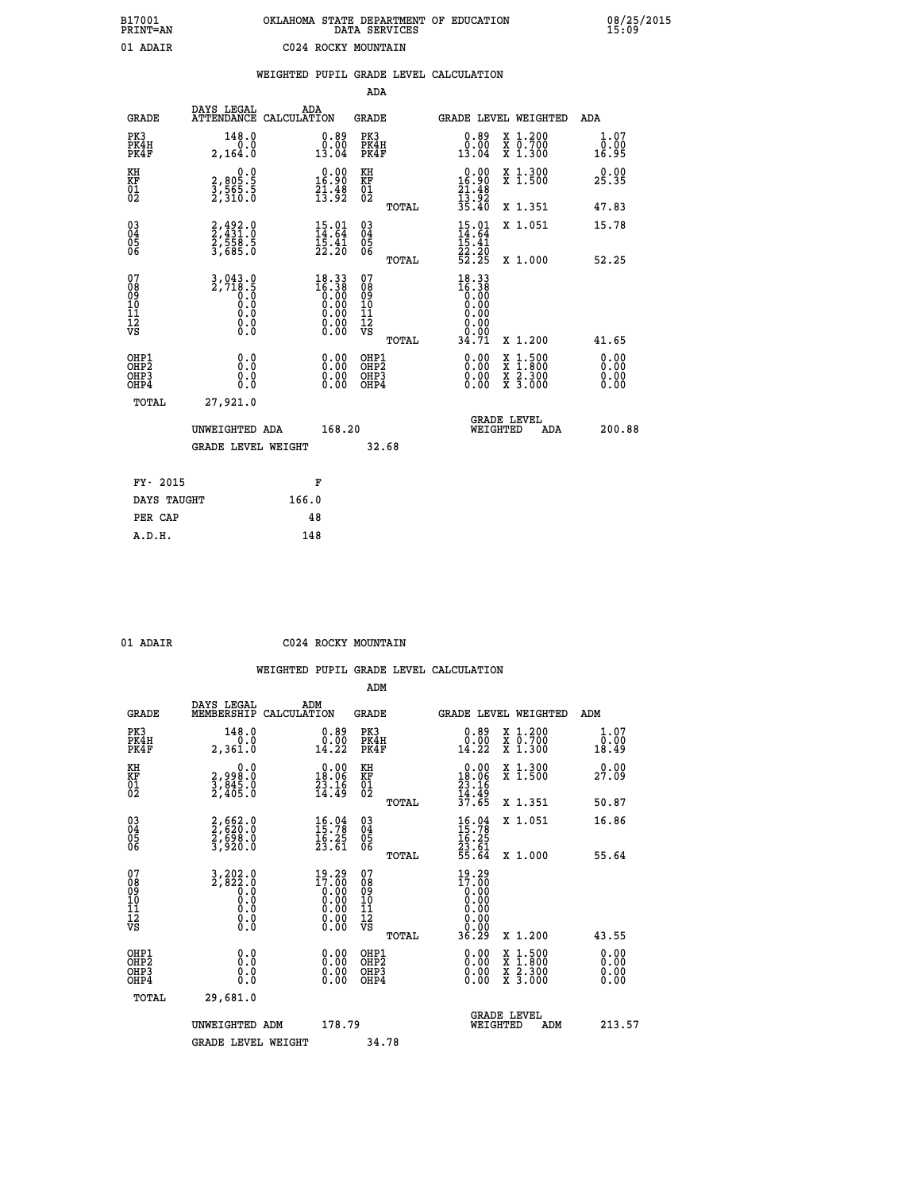| B17001<br><b>PRINT=AN</b> | OKLAHOMA STATE DEPARTMENT OF EDUCATION<br>DATA SERVICES | 08/25/2015<br>15:09 |
|---------------------------|---------------------------------------------------------|---------------------|
| 01 ADAIR                  | C024 ROCKY MOUNTAIN                                     |                     |

|                                                     |                                                                                                          | WEIGHTED PUPIL GRADE LEVEL CALCULATION                             |                                                    |       |                                                                                                                                                                                                                                                                                |                                                                                                                                              |                              |
|-----------------------------------------------------|----------------------------------------------------------------------------------------------------------|--------------------------------------------------------------------|----------------------------------------------------|-------|--------------------------------------------------------------------------------------------------------------------------------------------------------------------------------------------------------------------------------------------------------------------------------|----------------------------------------------------------------------------------------------------------------------------------------------|------------------------------|
|                                                     |                                                                                                          |                                                                    | <b>ADA</b>                                         |       |                                                                                                                                                                                                                                                                                |                                                                                                                                              |                              |
| <b>GRADE</b>                                        | DAYS LEGAL                                                                                               | ADA<br>ATTENDANCE CALCULATION                                      | GRADE                                              |       |                                                                                                                                                                                                                                                                                | GRADE LEVEL WEIGHTED                                                                                                                         | ADA                          |
| PK3<br>PK4H<br>PK4F                                 | 148.0<br>2,164.0                                                                                         | $\begin{smallmatrix} 0.89\\ 0.00\\ 13.04 \end{smallmatrix}$        | PK3<br>PK4H<br>PK4F                                |       | $\begin{smallmatrix} 0.89\\ 0.00\\ 13.04 \end{smallmatrix}$                                                                                                                                                                                                                    | X 1.200<br>X 0.700<br>X 1.300                                                                                                                | 1.07<br>0.00<br>16.95        |
| KH<br>KF<br>01<br>02                                | $\begin{smallmatrix} 0.0\\2,805.5\\3,565.5\\2,310.0 \end{smallmatrix}$                                   | $\begin{smallmatrix} 0.00\\16.90\\21.48\\13.92 \end{smallmatrix}$  | KH<br>KF<br>01<br>02                               |       | $\begin{array}{c} 0.00 \\ 16.90 \\ 21.48 \\ 13.92 \\ 35.40 \end{array}$                                                                                                                                                                                                        | X 1.300<br>X 1.500                                                                                                                           | 0.00<br>25.35                |
|                                                     |                                                                                                          |                                                                    |                                                    | TOTAL |                                                                                                                                                                                                                                                                                | X 1.351                                                                                                                                      | 47.83                        |
| 03040405<br>06                                      | 2,492.0<br>2,431.0<br>2,558.5<br>3,685.0                                                                 | $\begin{smallmatrix} 15.01\ 14.64\ 15.41\ 22.20 \end{smallmatrix}$ | $\begin{matrix} 03 \\ 04 \\ 05 \\ 06 \end{matrix}$ |       | $\frac{15.01}{14.64}$<br>$\frac{15.41}{15.41}$                                                                                                                                                                                                                                 | X 1.051                                                                                                                                      | 15.78                        |
|                                                     |                                                                                                          |                                                                    |                                                    | TOTAL | 22:20<br>52:25                                                                                                                                                                                                                                                                 | X 1.000                                                                                                                                      | 52.25                        |
| 07<br>08<br>09<br>11<br>11<br>12<br>VS              | $\frac{3}{2}, \frac{043}{718}$ . 5<br>$\begin{smallmatrix} 0.5 & 0 \ 0.0 & 0 \end{smallmatrix}$<br>0.000 | 18.33<br>16.38<br>$0.00$<br>0.00<br>Ŏ.ŎŎ<br>O.OO                   | 07<br>08<br>09<br>11<br>11<br>12<br>VS             |       | $18.33\n16.38\n0.00\n0.00\n0.00$<br>0.00                                                                                                                                                                                                                                       |                                                                                                                                              |                              |
|                                                     |                                                                                                          |                                                                    |                                                    | TOTAL | 34.71                                                                                                                                                                                                                                                                          | X 1.200                                                                                                                                      | 41.65                        |
| OHP1<br>OH <sub>P</sub><br>OH <sub>P3</sub><br>OHP4 | 0.0<br>Ō.Ō<br>0.0<br>Ō.Ō                                                                                 | $0.00$<br>$0.00$<br>0.00                                           | OHP1<br>OHP <sub>2</sub><br>OHP3<br>OHP4           |       | $\begin{smallmatrix} 0.00 & 0.00 & 0.00 & 0.00 & 0.00 & 0.00 & 0.00 & 0.00 & 0.00 & 0.00 & 0.00 & 0.00 & 0.00 & 0.00 & 0.00 & 0.00 & 0.00 & 0.00 & 0.00 & 0.00 & 0.00 & 0.00 & 0.00 & 0.00 & 0.00 & 0.00 & 0.00 & 0.00 & 0.00 & 0.00 & 0.00 & 0.00 & 0.00 & 0.00 & 0.00 & 0.0$ | $\begin{smallmatrix} \mathtt{X} & 1\cdot500 \\ \mathtt{X} & 1\cdot800 \\ \mathtt{X} & 2\cdot300 \\ \mathtt{X} & 3\cdot000 \end{smallmatrix}$ | 0.00<br>0.00<br>0.00<br>0.00 |
| TOTAL                                               | 27,921.0                                                                                                 |                                                                    |                                                    |       |                                                                                                                                                                                                                                                                                |                                                                                                                                              |                              |
|                                                     | UNWEIGHTED ADA                                                                                           | 168.20                                                             |                                                    |       | WEIGHTED                                                                                                                                                                                                                                                                       | <b>GRADE LEVEL</b><br><b>ADA</b>                                                                                                             | 200.88                       |
|                                                     | <b>GRADE LEVEL WEIGHT</b>                                                                                |                                                                    |                                                    | 32.68 |                                                                                                                                                                                                                                                                                |                                                                                                                                              |                              |
| FY- 2015                                            |                                                                                                          | F                                                                  |                                                    |       |                                                                                                                                                                                                                                                                                |                                                                                                                                              |                              |
| DAYS TAUGHT                                         |                                                                                                          | 166.0                                                              |                                                    |       |                                                                                                                                                                                                                                                                                |                                                                                                                                              |                              |
| PER CAP                                             |                                                                                                          | 48                                                                 |                                                    |       |                                                                                                                                                                                                                                                                                |                                                                                                                                              |                              |
| A.D.H.                                              |                                                                                                          | 148                                                                |                                                    |       |                                                                                                                                                                                                                                                                                |                                                                                                                                              |                              |

 **ADM**

 **01 ADAIR C024 ROCKY MOUNTAIN**

| <b>GRADE</b>                                       | DAYS LEGAL<br>MEMBERSHIP                                                                                                                                             | ADM<br>CALCULATION                                                                      | <b>GRADE</b>                           |       | GRADE LEVEL WEIGHTED                                                                                                                                                                                                                                                           |                                                                           |     | ADM   |                       |
|----------------------------------------------------|----------------------------------------------------------------------------------------------------------------------------------------------------------------------|-----------------------------------------------------------------------------------------|----------------------------------------|-------|--------------------------------------------------------------------------------------------------------------------------------------------------------------------------------------------------------------------------------------------------------------------------------|---------------------------------------------------------------------------|-----|-------|-----------------------|
| PK3<br>PK4H<br>PK4F                                | 148.0<br>0.0<br>2,361.0                                                                                                                                              | $0.89$<br>$0.00$<br>14.22                                                               | PK3<br>PK4H<br>PK4F                    |       | $0.89$<br>$0.00$<br>14.22                                                                                                                                                                                                                                                      | $\begin{smallmatrix} x & 1.200 \\ x & 0.700 \end{smallmatrix}$<br>X 1.300 |     |       | 1.07<br>0.00<br>18.49 |
| KH<br>KF<br>01<br>02                               | 0.0<br>2,998:0<br>3,845:0<br>2,405:0                                                                                                                                 | $\begin{smallmatrix} 0.00\\18.06\\23.16\\14.49 \end{smallmatrix}$                       | KH<br>KF<br>01<br>02                   |       | $0.00\n18.06\n23.16\n14.49\n37.65$                                                                                                                                                                                                                                             | X 1.300<br>X 1.500                                                        |     | 27.09 | 0.00                  |
|                                                    |                                                                                                                                                                      |                                                                                         |                                        | TOTAL |                                                                                                                                                                                                                                                                                | X 1.351                                                                   |     | 50.87 |                       |
| $\begin{matrix} 03 \\ 04 \\ 05 \\ 06 \end{matrix}$ | 2,662.0<br>2,620.0<br>2,698.0<br>3,920.0                                                                                                                             | $16.04$<br>$15.78$<br>$16.25$<br>$23.61$                                                | 03<br>04<br>05<br>06                   |       | $16.78$<br>$15.78$<br>$16.25$<br>$23.61$<br>$55.64$                                                                                                                                                                                                                            | X 1.051                                                                   |     | 16.86 |                       |
|                                                    |                                                                                                                                                                      |                                                                                         |                                        | TOTAL |                                                                                                                                                                                                                                                                                | X 1.000                                                                   |     |       | 55.64                 |
| 07<br>08<br>09<br>101<br>11<br>12<br>VS            | $\begin{smallmatrix} 3\, ,\, 2\, 0\, 2\, .\, 0\\ 2\, ,\, 8\, 2\, 2\, .\, 0\\ 0\, .\, 0\\ 0\, .\, 0\\ 0\, .\, 0\\ 0\, .\, 0\\ 0\, .\, 0\\ 0\, .\, 0\end{smallmatrix}$ | $\begin{smallmatrix} 19.29\\17.00\\0.00\\0.00\\0.00\\0.00\\0.00\\0.00\end{smallmatrix}$ | 07<br>08<br>09<br>11<br>11<br>12<br>VS | TOTAL | 19.29<br>$\begin{smallmatrix} 17.60 \\[-4pt] 0.00 \\[-4pt] 0.00 \\[-4pt] 0.00 \\[-4pt] 0.00 \\[-4pt] 0.00 \\[-4pt] 0.00 \end{smallmatrix}$<br>36.29                                                                                                                            | X 1.200                                                                   |     | 43.55 |                       |
| OHP1<br>OHP2<br>OH <sub>P3</sub><br>OHP4           | 0.0<br>0.000                                                                                                                                                         | $0.00$<br>$0.00$<br>0.00                                                                | OHP1<br>OHP2<br>OHP3<br>OHP4           |       | $\begin{smallmatrix} 0.00 & 0.00 & 0.00 & 0.00 & 0.00 & 0.00 & 0.00 & 0.00 & 0.00 & 0.00 & 0.00 & 0.00 & 0.00 & 0.00 & 0.00 & 0.00 & 0.00 & 0.00 & 0.00 & 0.00 & 0.00 & 0.00 & 0.00 & 0.00 & 0.00 & 0.00 & 0.00 & 0.00 & 0.00 & 0.00 & 0.00 & 0.00 & 0.00 & 0.00 & 0.00 & 0.0$ | X 1:500<br>X 1:800<br>X 2:300<br>X 3:000                                  |     |       | 0.00<br>0.00<br>0.00  |
| TOTAL                                              | 29,681.0                                                                                                                                                             |                                                                                         |                                        |       |                                                                                                                                                                                                                                                                                |                                                                           |     |       |                       |
|                                                    | UNWEIGHTED                                                                                                                                                           | 178.79<br>ADM                                                                           |                                        |       | WEIGHTED                                                                                                                                                                                                                                                                       | <b>GRADE LEVEL</b>                                                        | ADM |       | 213.57                |
|                                                    | <b>GRADE LEVEL WEIGHT</b>                                                                                                                                            |                                                                                         | 34.78                                  |       |                                                                                                                                                                                                                                                                                |                                                                           |     |       |                       |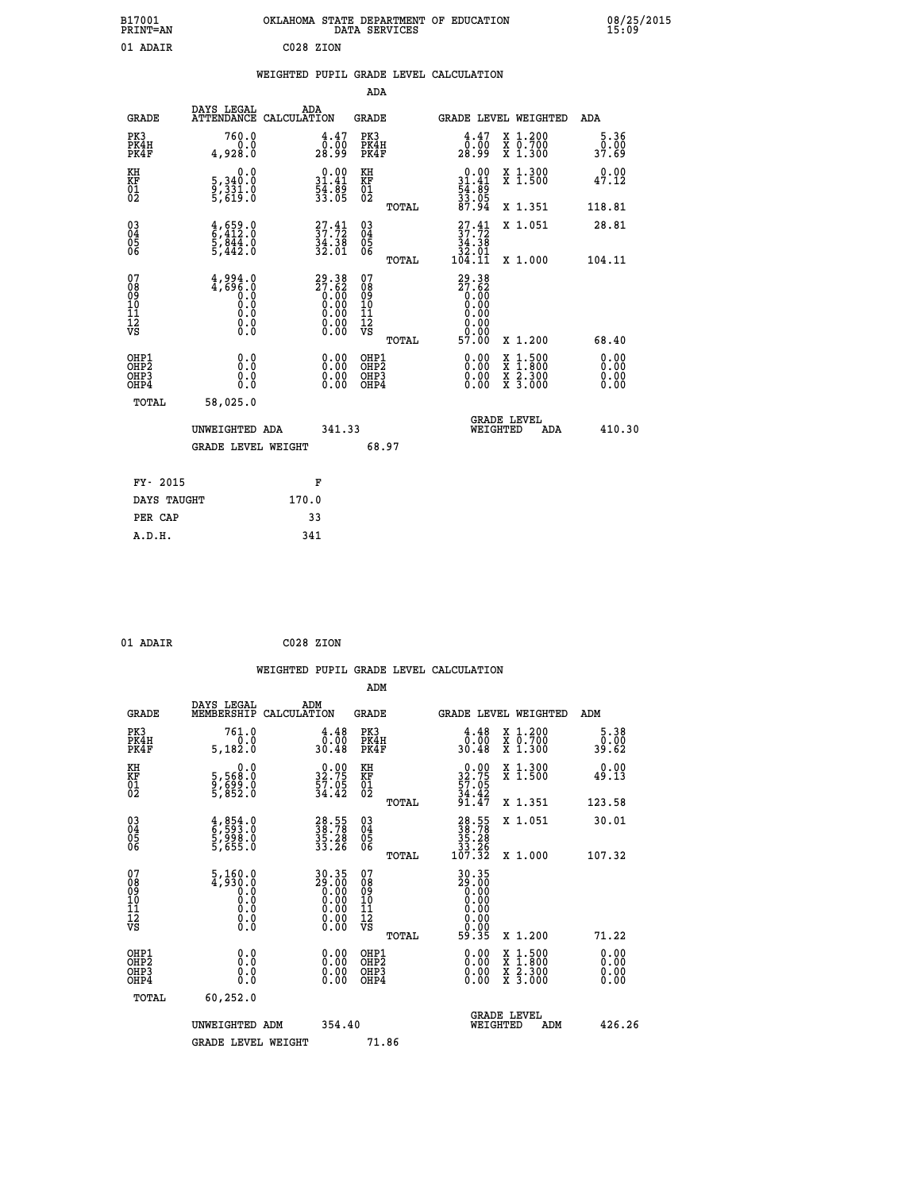| OKLAHOMA STATE DEPARTMENT OF EDUCATION<br>DATA SERVICES |  |
|---------------------------------------------------------|--|
| C028 ZION                                               |  |

|  |  | WEIGHTED PUPIL GRADE LEVEL CALCULATION |
|--|--|----------------------------------------|
|  |  |                                        |

|                                                    |                                                                                                       |                                                                       | ADA                                    |       |                                                                                                                            |   |                                                           |                              |
|----------------------------------------------------|-------------------------------------------------------------------------------------------------------|-----------------------------------------------------------------------|----------------------------------------|-------|----------------------------------------------------------------------------------------------------------------------------|---|-----------------------------------------------------------|------------------------------|
| <b>GRADE</b>                                       | DAYS LEGAL<br><b>ATTENDANCE</b>                                                                       | ADA<br>CALCULATION                                                    | GRADE                                  |       | GRADE LEVEL WEIGHTED                                                                                                       |   |                                                           | <b>ADA</b>                   |
| PK3<br>PK4H<br>PK4F                                | 760.0<br>0.0<br>4,928.0                                                                               | 4.47<br>0.00<br>18.99                                                 | PK3<br>PK4H<br>PK4F                    |       | 4.47<br>0.00<br>28.99                                                                                                      |   | X 1.200<br>X 0.700<br>X 1.300                             | $\frac{5.36}{0.00}$<br>37.69 |
| KH<br><b>KF</b><br>01<br>02                        | 0.0<br>5,340.0<br>9,331.0<br>5,619.0                                                                  | $0.00$<br>$31.41$<br>$54.89$<br>$33.05$                               | KH<br>KF<br>01<br>02                   |       | $0.00$<br>$31.41$<br>$54.89$<br>$33.05$<br>$87.94$                                                                         |   | X 1.300<br>X 1.500                                        | 0.00<br>47.12                |
|                                                    |                                                                                                       |                                                                       |                                        | TOTAL |                                                                                                                            |   | X 1.351                                                   | 118.81                       |
| $\begin{matrix} 03 \\ 04 \\ 05 \\ 06 \end{matrix}$ | $\begin{smallmatrix} 4\,,\,659\,.0\\ 6\,,\,412\,.0\\ 5\,,\,844\,.0\\ 5\,,\,442\,.0 \end{smallmatrix}$ | $\begin{smallmatrix} 27.41\\ 37.72\\ 34.38\\ 32.01 \end{smallmatrix}$ | 03<br>04<br>05<br>06                   |       | $\frac{27.41}{37.72}$<br>$\frac{34.38}{32.01}$<br>104.11                                                                   |   | X 1.051                                                   | 28.81                        |
|                                                    |                                                                                                       |                                                                       |                                        | TOTAL |                                                                                                                            |   | X 1.000                                                   | 104.11                       |
| 07<br>08<br>09<br>101<br>11<br>12<br>VS            | $4,994.0$<br>$0.0$<br>$0.0$<br>$0.0$<br>$0.0$<br>$\S.$                                                | $29.38\n27.62\n0.00\n0.00\n0.00\n0.00\n0.00$                          | 07<br>08<br>09<br>11<br>11<br>12<br>VS | TOTAL | 29.38<br>$\begin{smallmatrix} 27.62 \\ 0.00 \\ 0.00 \\ 0.00 \\ 0.00 \\ 0.00 \\ 0.00 \\ 0.00 \\ \end{smallmatrix}$<br>57.00 |   | X 1.200                                                   | 68.40                        |
| OHP1<br>OHP2<br>OHP3<br>OH <sub>P4</sub>           | 0.0<br>0.0<br>0.0                                                                                     | 0.00<br>$0.00$<br>0.00                                                | OHP1<br>OHP2<br>OHP3<br>OHP4           |       | $0.00$<br>$0.00$<br>0.00                                                                                                   | X | $1.500$<br>$1.800$<br>$\frac{x}{x}$ $\frac{5.300}{3.000}$ | 0.00<br>0.00<br>0.00<br>0.00 |
| TOTAL                                              | 58,025.0                                                                                              |                                                                       |                                        |       | <b>GRADE LEVEL</b>                                                                                                         |   |                                                           |                              |
|                                                    | UNWEIGHTED ADA<br><b>GRADE LEVEL WEIGHT</b>                                                           | 341.33                                                                |                                        | 68.97 | WEIGHTED                                                                                                                   |   | ADA                                                       | 410.30                       |
| FY- 2015                                           |                                                                                                       | F                                                                     |                                        |       |                                                                                                                            |   |                                                           |                              |
| DAYS TAUGHT                                        |                                                                                                       | 170.0                                                                 |                                        |       |                                                                                                                            |   |                                                           |                              |

| 01 ADAIR | C028 ZION |  |
|----------|-----------|--|

 **PER CAP 33 A.D.H. 341**

 **B17001<br>PRINT=AN<br>01 ADAIR** 

|                                                    |                                                  | WEIGHTED PUPIL GRADE LEVEL CALCULATION                                                                       |                                                     |                                                                                        |                                          |                       |
|----------------------------------------------------|--------------------------------------------------|--------------------------------------------------------------------------------------------------------------|-----------------------------------------------------|----------------------------------------------------------------------------------------|------------------------------------------|-----------------------|
|                                                    |                                                  |                                                                                                              | ADM                                                 |                                                                                        |                                          |                       |
| <b>GRADE</b>                                       | DAYS LEGAL<br>MEMBERSHIP                         | ADM<br>CALCULATION                                                                                           | <b>GRADE</b>                                        | <b>GRADE LEVEL WEIGHTED</b>                                                            |                                          | ADM                   |
| PK3<br>PK4H<br>PK4F                                | 761.0<br>0.0<br>5,182.0                          | $\begin{smallmatrix} 4.48\ 0.00\\ 30.48 \end{smallmatrix}$                                                   | PK3<br>PK4H<br>PK4F                                 | $\begin{smallmatrix} 4.48\ 0.00\\ 0.00\\ 30.48 \end{smallmatrix}$                      | X 1.200<br>X 0.700<br>X 1.300            | 5.38<br>0.00<br>39.62 |
| KH<br>KF<br>01<br>02                               | 0.0<br>5,568.0<br>9,699.0<br>5,852.0             | $\begin{smallmatrix} 0.00\\ 32.75\\ 57.05\\ 34.42 \end{smallmatrix}$                                         | KH<br>KF<br>01<br>02                                | $32.75$<br>$57.05$<br>$34.42$<br>$91.47$                                               | X 1.300<br>X 1.500                       | 0.00<br>49.13         |
|                                                    |                                                  |                                                                                                              | TOTAL                                               |                                                                                        | X 1.351                                  | 123.58                |
| $\begin{matrix} 03 \\ 04 \\ 05 \\ 06 \end{matrix}$ | 4,854.0<br>6,593.0<br>5,998.0<br>5,655.0         | 28.55<br>38.78<br>35.28<br>33.26                                                                             | $\begin{array}{c} 03 \\ 04 \\ 05 \\ 06 \end{array}$ | $\begin{smallmatrix} 28.55\\ 38.78\\ 35.28\\ 35.28\\ 33.26\\ 107.32 \end{smallmatrix}$ | X 1.051                                  | 30.01                 |
|                                                    |                                                  |                                                                                                              | TOTAL                                               |                                                                                        | X 1.000                                  | 107.32                |
| 07<br>0890112<br>1112<br>VS                        | 5,160.0<br>4,930.0<br>0.0<br>0.0<br>Ō.Ō<br>$\S.$ | 30.35<br>29.00<br>0.00<br>0.00<br>0.00<br>$\begin{smallmatrix} 0.00 & 0.00 \\ 0.00 & 0.00 \end{smallmatrix}$ | 07<br>08901112<br>1112<br>VS<br>TOTAL               | 30.35<br>29.00<br>0.00<br>0.00<br>0.00<br>0.00<br>59.35                                | X 1.200                                  | 71.22                 |
|                                                    |                                                  |                                                                                                              |                                                     |                                                                                        |                                          |                       |
| OHP1<br>OHP <sub>2</sub><br>OHP3<br>OHP4           | 0.0<br>0.000                                     | $0.00$<br>$0.00$<br>0.00                                                                                     | OHP1<br>OHP <sub>2</sub><br>OHP <sub>3</sub>        | 0.00<br>0.00<br>0.00                                                                   | X 1:500<br>X 1:800<br>X 2:300<br>X 3:000 | 0.00<br>0.00<br>0.00  |
| TOTAL                                              | 60,252.0                                         |                                                                                                              |                                                     |                                                                                        |                                          |                       |
|                                                    | UNWEIGHTED ADM                                   | 354.40                                                                                                       |                                                     | <b>GRADE LEVEL</b><br>WEIGHTED                                                         | ADM                                      | 426.26                |
|                                                    | <b>GRADE LEVEL WEIGHT</b>                        |                                                                                                              | 71.86                                               |                                                                                        |                                          |                       |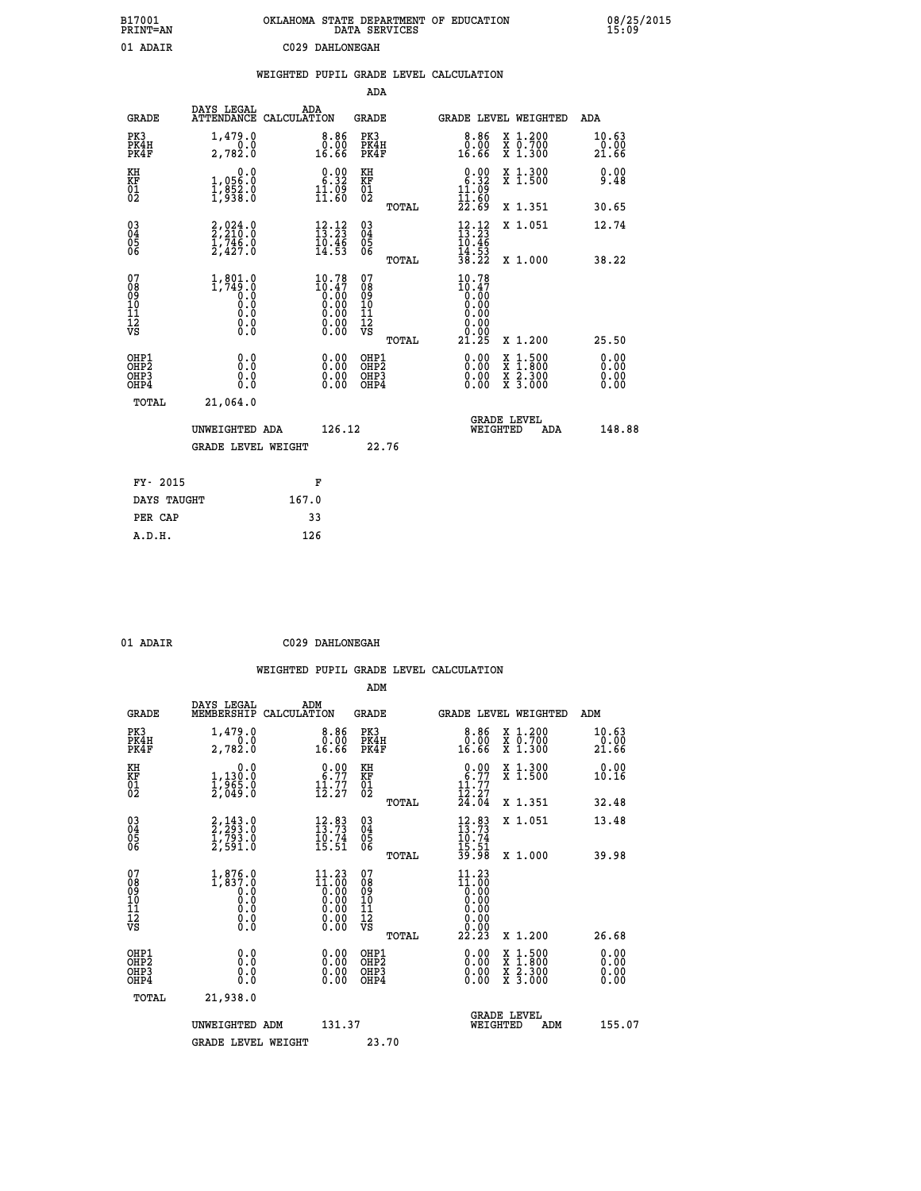| B17001<br>PRINT=AN                                |                                                    | OKLAHOMA STATE DEPARTMENT OF EDUCATION                                                                   | DATA SERVICES                                      |                                                                           |                                                                                          | 08/25/2015<br>15:09    |
|---------------------------------------------------|----------------------------------------------------|----------------------------------------------------------------------------------------------------------|----------------------------------------------------|---------------------------------------------------------------------------|------------------------------------------------------------------------------------------|------------------------|
| 01 ADAIR                                          |                                                    | C029 DAHLONEGAH                                                                                          |                                                    |                                                                           |                                                                                          |                        |
|                                                   |                                                    | WEIGHTED PUPIL GRADE LEVEL CALCULATION                                                                   |                                                    |                                                                           |                                                                                          |                        |
|                                                   |                                                    |                                                                                                          | <b>ADA</b>                                         |                                                                           |                                                                                          |                        |
| <b>GRADE</b>                                      | DAYS LEGAL                                         | ADA<br>ATTENDANCE CALCULATION                                                                            | <b>GRADE</b>                                       |                                                                           | GRADE LEVEL WEIGHTED                                                                     | ADA                    |
| PK3<br>PK4H<br>PK4F                               | 1,479.0<br>0.0<br>2,782.0                          | $8.86$<br>$0.00$<br>16.66                                                                                | PK3<br>PK4H<br>PK4F                                | $8.86$<br>$0.00$<br>16.66                                                 | X 1.200<br>X 0.700<br>X 1.300                                                            | 10.63<br>0.00<br>21.66 |
| KH<br>KF<br>$\begin{matrix} 01 \ 02 \end{matrix}$ | 0.0<br>1,056.0<br>$\frac{1}{2}, \frac{852}{938}.0$ | $\begin{smallmatrix} 0.00\\ 6.32\\ 11.09\\ 11.60 \end{smallmatrix}$                                      | KH<br>KF<br>$\overline{01}$                        | $\begin{smallmatrix} 0.00\\ 6.32\\ 11.02 \end{smallmatrix}$               | X 1.300<br>X 1.500                                                                       | 0.00<br>9.48           |
|                                                   |                                                    |                                                                                                          | TOTAL                                              | II.ĕŌ<br>22.69                                                            | X 1.351                                                                                  | 30.65                  |
| 03<br>04<br>05<br>06                              | $2,210.0$<br>$2,210.0$<br>$1,746.0$<br>$2,427.0$   | $\begin{smallmatrix} 12\cdot 12\\ 13\cdot 23\\ 10\cdot 46\\ 14\cdot 53 \end{smallmatrix}$                | $\begin{matrix} 03 \\ 04 \\ 05 \\ 06 \end{matrix}$ | $\frac{12}{13}$ : $\frac{12}{23}$<br>10.46<br>$\frac{14}{38}.53$<br>38.22 | X 1.051                                                                                  | 12.74                  |
|                                                   |                                                    |                                                                                                          | TOTAL                                              |                                                                           | X 1.000                                                                                  | 38.22                  |
| 07<br>Ŏġ<br>09<br>10<br>11<br>12<br>VS            | $1,801.0$<br>1,749.0<br>0.0<br>0.0<br>$\S.$ $\S$   | $10.78$<br>$10.47$<br>$0.00$<br>$0.00$<br>$0.00$<br>$\begin{smallmatrix} 0.00 \\ 0.00 \end{smallmatrix}$ | 07<br>ŏġ<br>09<br>ίÒ<br>īi<br>ĪŽ<br>VŠ             | 10.78<br>$\frac{10.47}{0.00}$<br>0.00<br>0.00<br>0.00<br>Ŏ.ŎŎ             |                                                                                          |                        |
| OHP1                                              | 0.0                                                |                                                                                                          | <b>TOTAL</b><br>OHP1                               | 21.25                                                                     | X 1.200                                                                                  | 25.50                  |
| OHP <sub>2</sub><br>OH <sub>P3</sub><br>OHP4      | Ŏ.Ŏ<br>0.0<br>0.0                                  | 0.00<br>$\begin{smallmatrix} 0.00 \ 0.00 \end{smallmatrix}$                                              | OHP <sub>2</sub><br>OHP3<br>OHP4                   | 0.00<br>0.00<br>0.00                                                      | $\begin{smallmatrix} x & 1.500 \\ x & 1.800 \\ x & 2.300 \\ x & 3.000 \end{smallmatrix}$ | 0.00<br>0.00<br>0.00   |
| <b>TOTAL</b>                                      | 21,064.0                                           |                                                                                                          |                                                    |                                                                           |                                                                                          |                        |
|                                                   | UNWEIGHTED ADA                                     | 126.12                                                                                                   |                                                    | WEIGHTED                                                                  | <b>GRADE LEVEL</b><br>ADA                                                                | 148.88                 |
|                                                   | <b>GRADE LEVEL WEIGHT</b>                          |                                                                                                          | 22.76                                              |                                                                           |                                                                                          |                        |
| FY- 2015                                          |                                                    | F                                                                                                        |                                                    |                                                                           |                                                                                          |                        |
| DAYS TAUGHT                                       |                                                    | 167.0                                                                                                    |                                                    |                                                                           |                                                                                          |                        |
| PER CAP                                           |                                                    | 33                                                                                                       |                                                    |                                                                           |                                                                                          |                        |
| A.D.H.                                            |                                                    | 126                                                                                                      |                                                    |                                                                           |                                                                                          |                        |

| 01 ADAIR | C029 DAHLONEGAH |
|----------|-----------------|
|          |                 |

|                                                      |                                                        |                                                                                                                                 | ADM                                                 |       |                                                                                                                                                                                                                                                                                                                                           |                                          |                              |
|------------------------------------------------------|--------------------------------------------------------|---------------------------------------------------------------------------------------------------------------------------------|-----------------------------------------------------|-------|-------------------------------------------------------------------------------------------------------------------------------------------------------------------------------------------------------------------------------------------------------------------------------------------------------------------------------------------|------------------------------------------|------------------------------|
| <b>GRADE</b>                                         | DAYS LEGAL<br>MEMBERSHIP                               | ADM<br>CALCULATION                                                                                                              | <b>GRADE</b>                                        |       |                                                                                                                                                                                                                                                                                                                                           | GRADE LEVEL WEIGHTED                     | ADM                          |
| PK3<br>PK4H<br>PK4F                                  | 1,479.0<br>2,782.0                                     | 0.86<br>16.66                                                                                                                   | PK3<br>PK4H<br>PK4F                                 |       | $\begin{smallmatrix} 8.86 \\ 0.00 \\ 16.66 \end{smallmatrix}$                                                                                                                                                                                                                                                                             | X 1.200<br>X 0.700<br>X 1.300            | 10.63<br>-ŏ:ŏŏ<br>21.66      |
| KH<br>KF<br>01<br>02                                 | 0.0<br>1,130:0<br>1,965:0<br>2,049:0                   | $\begin{smallmatrix} 0.00\\ 6.77\\ 11.77\\ 12.27 \end{smallmatrix}$                                                             | KH<br>KF<br>01<br>02                                |       | $0.00\n6.77\n11.77\n12.27\n24.04$                                                                                                                                                                                                                                                                                                         | X 1.300<br>X 1.500                       | 0.00<br>10.16                |
|                                                      |                                                        |                                                                                                                                 |                                                     | TOTAL |                                                                                                                                                                                                                                                                                                                                           | X 1.351                                  | 32.48                        |
| 03<br>04<br>05<br>06                                 | $2, 293.0$<br>$1, 793.0$<br>$1, 793.0$<br>$2, 591.0$   | $\frac{12.83}{13.73}$<br>$\frac{10.74}{15.51}$                                                                                  | $\begin{array}{c} 03 \\ 04 \\ 05 \\ 06 \end{array}$ |       | $12.83$<br>$13.73$<br>$10.74$<br>$15.51$<br>$39.98$                                                                                                                                                                                                                                                                                       | X 1.051                                  | 13.48                        |
|                                                      |                                                        |                                                                                                                                 |                                                     | TOTAL |                                                                                                                                                                                                                                                                                                                                           | X 1.000                                  | 39.98                        |
| 07<br>08<br>09<br>101<br>112<br>VS                   | $1,876.0$<br>$0.837.0$<br>$0.0$<br>0.0<br>0.0<br>$\S.$ | 11.23<br>$\begin{smallmatrix} 11.600 \\[-4pt] 0.000 \\[-4pt] 0.000 \\[-4pt] 0.00 \\[-4pt] 0.00 \\[-4pt] 0.00 \end{smallmatrix}$ | 07<br>08<br>09<br>11<br>11<br>12<br>VS              | TOTAL | 11.23<br>$\begin{smallmatrix} 11.600 \\[-4pt] 0.000 \\[-4pt] 0.000 \\[-4pt] 0.000 \\[-4pt] 0.000 \\[-4pt] 0.000 \\[-4pt] 0.000 \\[-4pt] 0.000 \\[-4pt] 0.000 \\[-4pt] 0.000 \\[-4pt] 0.000 \\[-4pt] 0.000 \\[-4pt] 0.000 \\[-4pt] 0.000 \\[-4pt] 0.000 \\[-4pt] 0.000 \\[-4pt] 0.000 \\[-4pt] 0.000 \\[-4pt] 0.000 \\[-4pt] 0.0$<br>22.23 | X 1.200                                  | 26.68                        |
|                                                      |                                                        |                                                                                                                                 |                                                     |       |                                                                                                                                                                                                                                                                                                                                           |                                          |                              |
| OHP1<br>OHP2<br>OH <sub>P3</sub><br>OH <sub>P4</sub> | 0.0<br>0.000                                           | $0.00$<br>$0.00$<br>0.00                                                                                                        | OHP1<br>OHP2<br>OHP <sub>3</sub>                    |       | $0.00$<br>$0.00$<br>0.00                                                                                                                                                                                                                                                                                                                  | X 1:500<br>X 1:800<br>X 2:300<br>X 3:000 | 0.00<br>0.00<br>0.00<br>0.00 |
| TOTAL                                                | 21,938.0                                               |                                                                                                                                 |                                                     |       |                                                                                                                                                                                                                                                                                                                                           |                                          |                              |
|                                                      | UNWEIGHTED ADM                                         | 131.37                                                                                                                          |                                                     |       |                                                                                                                                                                                                                                                                                                                                           | <b>GRADE LEVEL</b><br>WEIGHTED<br>ADM    | 155.07                       |
|                                                      | <b>GRADE LEVEL WEIGHT</b>                              |                                                                                                                                 | 23.70                                               |       |                                                                                                                                                                                                                                                                                                                                           |                                          |                              |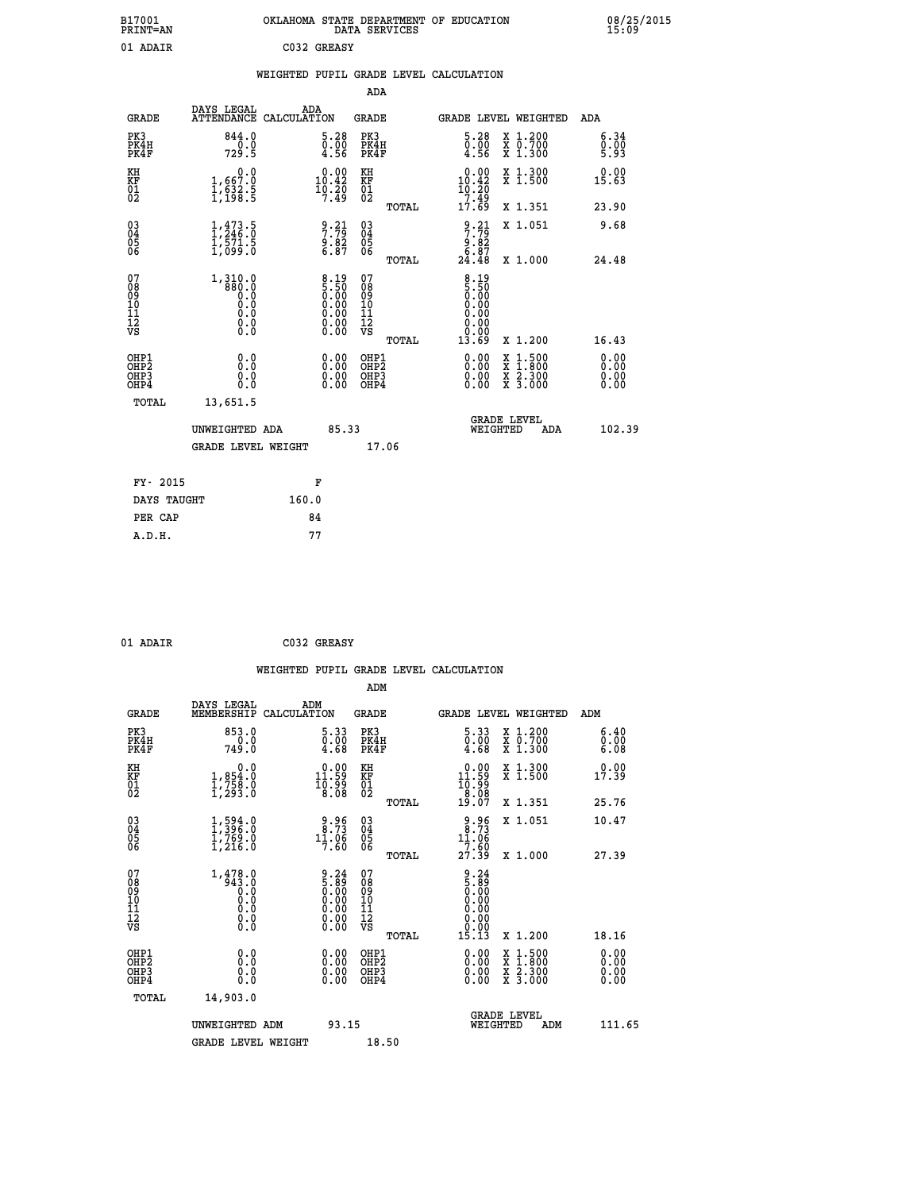| B17001<br>PRINT=AN | OKLAHOMA STATE DEPARTMENT OF EDUCATION<br>DATA SERVICES | 08/25/2015<br>15:09 |
|--------------------|---------------------------------------------------------|---------------------|
| 01 ADAIR           | C032 GREASY                                             |                     |

|  |  | WEIGHTED PUPIL GRADE LEVEL CALCULATION |
|--|--|----------------------------------------|
|  |  |                                        |

|                                                                              |                                                      |                                                                                               | ADA                                                |       |                                                                              |                                                                                                                                           |                              |
|------------------------------------------------------------------------------|------------------------------------------------------|-----------------------------------------------------------------------------------------------|----------------------------------------------------|-------|------------------------------------------------------------------------------|-------------------------------------------------------------------------------------------------------------------------------------------|------------------------------|
| <b>GRADE</b>                                                                 | DAYS LEGAL                                           | ADA<br>ATTENDANCE CALCULATION                                                                 | GRADE                                              |       | GRADE LEVEL WEIGHTED                                                         |                                                                                                                                           | ADA                          |
| PK3<br>PK4H<br>PK4F                                                          | 844.0<br>0.0<br>729.5                                | 5.28<br>$\begin{smallmatrix} \v{0} \ \v{0} \ \v{4} \ \v{5} \ \v{6} \end{smallmatrix}$         | PK3<br>PK4H<br>PK4F                                |       | 5.28<br>$\begin{smallmatrix} \texttt{0.00}\ \texttt{0.56} \end{smallmatrix}$ | X 1.200<br>X 0.700<br>X 1.300                                                                                                             | 6.34<br>0.00<br>5.93         |
| KH<br>KF<br>01<br>02                                                         | 0.0<br>1,667:0<br>1,632:5<br>1,198:5                 | $\begin{smallmatrix} 0.00\\ 10.42\\ 10.20\\ 19.20\\ 7.49 \end{smallmatrix}$                   | KH<br>KF<br>01<br>02                               |       | $\begin{smallmatrix} 0.00\\ 10.42\\ 10.20\\ 7.49 \end{smallmatrix}$          | X 1.300<br>X 1.500                                                                                                                        | 0.00<br>15.63                |
|                                                                              |                                                      |                                                                                               |                                                    | TOTAL | 17.69                                                                        | X 1.351                                                                                                                                   | 23.90                        |
| $^{03}_{04}$<br>Ŏ5<br>06                                                     | $1, 473.5$<br>$1, 246.0$<br>$1, 571.5$<br>$1, 099.0$ | $\frac{9 \cdot 21}{7 \cdot 79}$<br>9.82<br>6.87                                               | $\begin{matrix} 03 \\ 04 \\ 05 \\ 06 \end{matrix}$ |       | $\begin{array}{c} 9.21 \\ 7.79 \\ 9.82 \\ 6.87 \\ 24.48 \end{array}$         | X 1.051                                                                                                                                   | 9.68                         |
| 07                                                                           | $1,310.0$<br>$880.0$<br>$0.0$                        |                                                                                               | 07                                                 | TOTAL | $\frac{8.19}{5.50}$                                                          | X 1.000                                                                                                                                   | 24.48                        |
| 08<br>09<br>11<br>11<br>12<br>VS                                             | 0.000<br>$\S.$                                       | $\begin{smallmatrix} 8.19\ 5.50\ 0.00\ 0.00\ 0.00\ 0.00\ 0.00\ 0.00\ 0.00\ \end{smallmatrix}$ | 08<br>09<br>11<br>11<br>12<br>VS                   | TOTAL | 0.00<br>0.00<br>0.00<br>13.69                                                | X 1.200                                                                                                                                   | 16.43                        |
| OHP1<br>OH <sub>P</sub> <sub>2</sub><br>OH <sub>P3</sub><br>OH <sub>P4</sub> | 0.0<br>0.0<br>0.0                                    | 0.00<br>0.00<br>0.00                                                                          | OHP1<br>OHP <sub>2</sub><br>OHP3<br>OHP4           |       | 0.00<br>0.00<br>0.00                                                         | $\begin{smallmatrix} \mathtt{X} & 1\cdot500\\ \mathtt{X} & 1\cdot800\\ \mathtt{X} & 2\cdot300\\ \mathtt{X} & 3\cdot000 \end{smallmatrix}$ | 0.00<br>0.00<br>0.00<br>0.00 |
| TOTAL                                                                        | 13,651.5                                             |                                                                                               |                                                    |       |                                                                              |                                                                                                                                           |                              |
|                                                                              | UNWEIGHTED ADA                                       | 85.33                                                                                         |                                                    |       | WEIGHTED                                                                     | <b>GRADE LEVEL</b><br>ADA                                                                                                                 | 102.39                       |
|                                                                              | <b>GRADE LEVEL WEIGHT</b>                            |                                                                                               |                                                    | 17.06 |                                                                              |                                                                                                                                           |                              |
| FY- 2015                                                                     |                                                      | F                                                                                             |                                                    |       |                                                                              |                                                                                                                                           |                              |
| DAYS TAUGHT                                                                  |                                                      | 160.0                                                                                         |                                                    |       |                                                                              |                                                                                                                                           |                              |
| PER CAP                                                                      |                                                      | 84                                                                                            |                                                    |       |                                                                              |                                                                                                                                           |                              |
| A.D.H.                                                                       |                                                      | 77                                                                                            |                                                    |       |                                                                              |                                                                                                                                           |                              |

C032 GREASY

| <b>GRADE</b>                                         | DAYS LEGAL<br>MEMBERSHIP                                                      | ADM<br>CALCULATION                                                                            | <b>GRADE</b>                                        |       |                                                                                           |                                | GRADE LEVEL WEIGHTED                     | ADM                  |
|------------------------------------------------------|-------------------------------------------------------------------------------|-----------------------------------------------------------------------------------------------|-----------------------------------------------------|-------|-------------------------------------------------------------------------------------------|--------------------------------|------------------------------------------|----------------------|
| PK3<br>PK4H<br>PK4F                                  | 853.0<br>749.0                                                                | $\begin{smallmatrix} 5.33\ 0.00\ 4.68 \end{smallmatrix}$                                      | PK3<br>PK4H<br>PK4F                                 |       | $\begin{smallmatrix} 5.33\ 0.00\ 4.68 \end{smallmatrix}$                                  |                                | X 1.200<br>X 0.700<br>X 1.300            | 6.40<br>0.00<br>6.08 |
| KH<br>KF<br>01<br>02                                 | 0.0<br>$1,854.0$<br>$1,758.0$<br>$1,293.0$                                    | $\begin{smallmatrix} 0.00\\ 11.59\\ 10.99\\ 8.08 \end{smallmatrix}$                           | KH<br>KF<br>01<br>02                                |       | $\begin{smallmatrix} 0.00\\ 11.59\\ 10.99\\ 8.08\\ 19.07 \end{smallmatrix}$               |                                | X 1.300<br>X 1.500                       | 0.00<br>17.39        |
|                                                      |                                                                               |                                                                                               |                                                     | TOTAL |                                                                                           |                                | X 1.351                                  | 25.76                |
| $\begin{matrix} 03 \\ 04 \\ 05 \\ 06 \end{matrix}$   | $\begin{smallmatrix} 1,594.0\\ 1,396.0\\ 1,769.0\\ 1,216.0 \end{smallmatrix}$ | $\begin{smallmatrix} 9.96\\ 8.73\\ 11.06\\ 7.60 \end{smallmatrix}$                            | $\begin{array}{c} 03 \\ 04 \\ 05 \\ 06 \end{array}$ |       | $\begin{array}{r} 9.96 \\ 8.73 \\ 11.06 \\ 7.60 \\ 27.39 \end{array}$                     |                                | X 1.051                                  | 10.47                |
|                                                      |                                                                               |                                                                                               |                                                     | TOTAL |                                                                                           |                                | X 1.000                                  | 27.39                |
| 07<br>08<br>09<br>11<br>11<br>12<br>VS               |                                                                               | $\begin{smallmatrix} 9.24\ 5.89\ 0.00\ 0.00\ 0.00\ 0.00\ 0.00\ 0.00\ 0.00\ \end{smallmatrix}$ | 07<br>08<br>09<br>11<br>11<br>12<br>VS              | TOTAL | $\begin{array}{c} 9.24\ 5.89\ 0.000\ 0.000\ 0.000\ 0.000\ 0.000\ 0.01\ 15.13 \end{array}$ |                                | X 1.200                                  | 18.16                |
| OHP1<br>OHP <sub>2</sub><br>OH <sub>P3</sub><br>OHP4 | 0.0<br>0.0<br>Ŏ.Ŏ                                                             |                                                                                               | OHP1<br>OHP <sub>2</sub><br>OHP3<br>OHP4            |       |                                                                                           |                                | X 1:500<br>X 1:800<br>X 2:300<br>X 3:000 | 0.00<br>0.00<br>0.00 |
| TOTAL                                                | 14,903.0                                                                      |                                                                                               |                                                     |       |                                                                                           |                                |                                          |                      |
|                                                      | UNWEIGHTED ADM                                                                | 93.15                                                                                         |                                                     |       |                                                                                           | <b>GRADE LEVEL</b><br>WEIGHTED | ADM                                      | 111.65               |
|                                                      | <b>GRADE LEVEL WEIGHT</b>                                                     |                                                                                               | 18.50                                               |       |                                                                                           |                                |                                          |                      |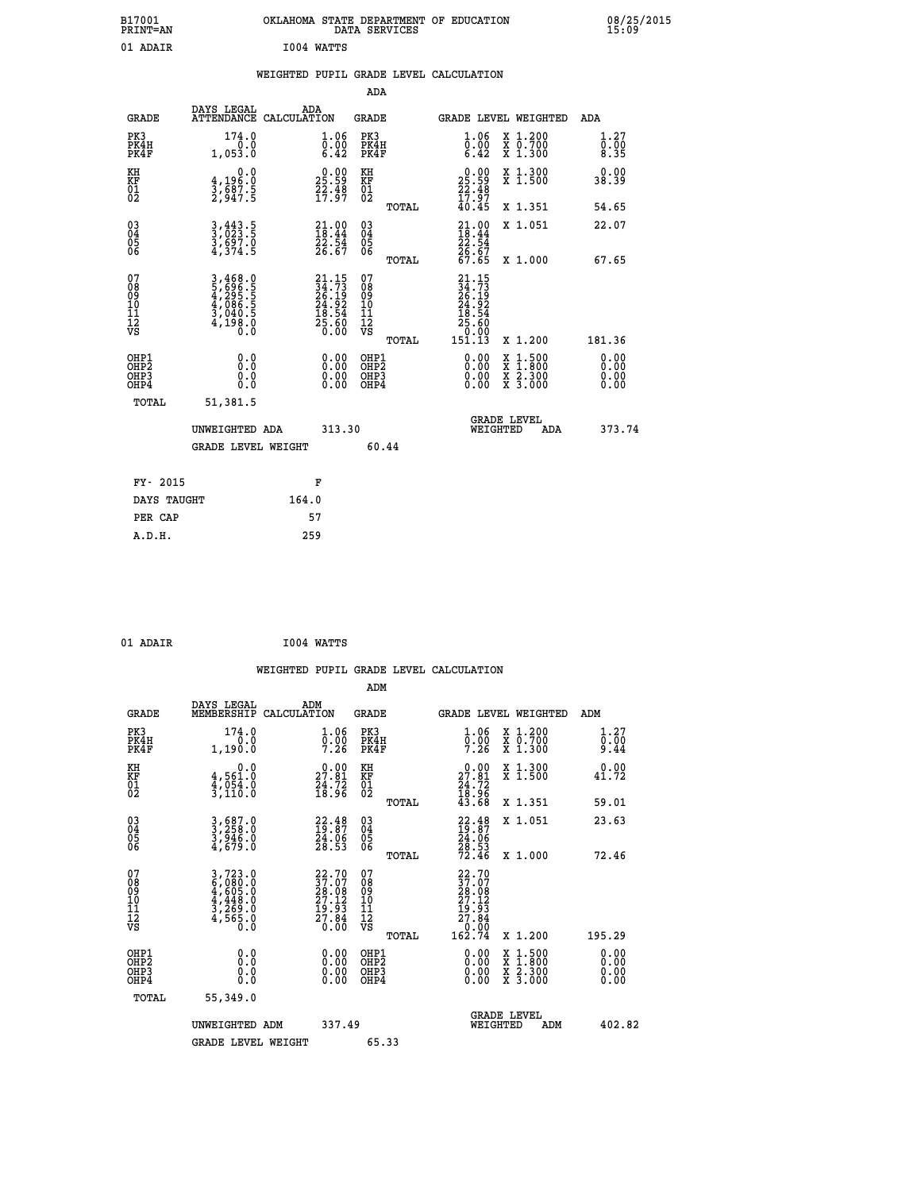| B17001<br><b>PRINT=AN</b> | OKLAHOMA STATE DEPARTMENT OF EDUCATION<br>DATA SERVICES | 08/25/2015<br>15:09 |
|---------------------------|---------------------------------------------------------|---------------------|
| 01<br>ADAIR               | 1004 WATTS                                              |                     |

## **WEIGHTED PUPIL GRADE LEVEL CALCULATION**

|                                                                    |                                                                |                                                                          | ADA                                    |       |                                                                                                                                                        |                                          |                             |
|--------------------------------------------------------------------|----------------------------------------------------------------|--------------------------------------------------------------------------|----------------------------------------|-------|--------------------------------------------------------------------------------------------------------------------------------------------------------|------------------------------------------|-----------------------------|
| <b>GRADE</b>                                                       | DAYS LEGAL<br>ATTENDANCE CALCULATION                           | ADA                                                                      | <b>GRADE</b>                           |       |                                                                                                                                                        | GRADE LEVEL WEIGHTED                     | ADA                         |
| PK3<br>PK4H<br>PK4F                                                | 174.0<br>0.0<br>1,053.0                                        | 1.06<br>$\bar{0}.\tilde{0}\tilde{0}\phantom{0}\overline{0}$<br>6.42      | PK3<br>PK4H<br>PK4F                    |       | 1.06<br>$\bar{0}$ .00<br>6.42                                                                                                                          | X 1.200<br>X 0.700<br>X 1.300            | 1.27<br>$\frac{0.00}{8.35}$ |
| KH<br>KF<br>01<br>02                                               | 0.0<br>4,196:0<br>3,687:5<br>2,947:5                           | $25.59$<br>$25.59$<br>$22.48$<br>$17.97$                                 | KH<br>KF<br>01<br>02                   |       | $25.59$<br>$22.48$<br>$17.97$<br>$40.45$                                                                                                               | X 1.300<br>X 1.500                       | 0.00<br>38.39               |
|                                                                    |                                                                |                                                                          |                                        | TOTAL |                                                                                                                                                        | X 1.351                                  | 54.65                       |
| $\begin{smallmatrix} 03 \\[-4pt] 04 \end{smallmatrix}$<br>Ŏ5<br>06 | 3, 443.5<br>3, 023.5<br>3, 697.0<br>4, 374.5                   | $\begin{smallmatrix} 21.00\\ 18.44\\ 22.54\\ 26.67 \end{smallmatrix}$    | 03<br>04<br>05<br>06                   |       | $21.0018.4422.5426.6767.65$                                                                                                                            | X 1.051                                  | 22.07                       |
|                                                                    |                                                                |                                                                          |                                        | TOTAL |                                                                                                                                                        | X 1.000                                  | 67.65                       |
| 07<br>08<br>09<br>01<br>11<br>11<br>12<br>VS                       | 3,468.0<br>5,696.5<br>4,295.5<br>4,086.5<br>3,040.5<br>4,198.0 | $21.15$<br>$24.73$<br>$26.19$<br>$24.92$<br>$18.54$<br>$25.60$<br>$0.00$ | 07<br>08<br>09<br>11<br>11<br>12<br>VS |       | $\begin{smallmatrix} 21\cdot 15\\ 34\cdot 7\\ 26\cdot 19\\ 24\cdot 9\\ 24\cdot 9\\ 18\cdot 54\\ 25\cdot 60\\ 0\cdot 00\\ 151\cdot 13\end{smallmatrix}$ |                                          |                             |
|                                                                    |                                                                |                                                                          |                                        | TOTAL |                                                                                                                                                        | X 1.200                                  | 181.36                      |
| OHP1<br>OHP2<br>OH <sub>P3</sub><br>OHP4                           | 0.0<br>0.0<br>0.0                                              | $0.00$<br>$0.00$<br>0.00                                                 | OHP1<br>OHP2<br>OHP3<br>OHP4           |       |                                                                                                                                                        | X 1:500<br>X 1:800<br>X 2:300<br>X 3:000 | 0.00<br>0.00<br>0.00        |
| TOTAL                                                              | 51,381.5                                                       |                                                                          |                                        |       |                                                                                                                                                        |                                          |                             |
|                                                                    | UNWEIGHTED ADA                                                 | 313.30                                                                   |                                        |       |                                                                                                                                                        | <b>GRADE LEVEL</b><br>WEIGHTED<br>ADA    | 373.74                      |
|                                                                    | <b>GRADE LEVEL WEIGHT</b>                                      |                                                                          |                                        | 60.44 |                                                                                                                                                        |                                          |                             |
| FY- 2015                                                           |                                                                | F                                                                        |                                        |       |                                                                                                                                                        |                                          |                             |
| DAYS TAUGHT                                                        |                                                                | 164.0                                                                    |                                        |       |                                                                                                                                                        |                                          |                             |
| PER CAP                                                            |                                                                | 57                                                                       |                                        |       |                                                                                                                                                        |                                          |                             |

| 01 ADAIR | I004 WATTS |
|----------|------------|
|          |            |

 **A.D.H. 259**

 **WEIGHTED PUPIL GRADE LEVEL CALCULATION ADM DAYS LEGAL ADM GRADE MEMBERSHIP CALCULATION GRADE GRADE LEVEL WEIGHTED ADM PK3 174.0 1.06 PK3 1.06 X 1.200 1.27 PK4H 0.0 0.00 PK4H 0.00 X 0.700 0.00 PK4F 1,190.0 7.26 PK4F 7.26 X 1.300 9.44 KH 0.0 0.00 KH 0.00 X 1.300 0.00 KF 4,561.0 27.81 KF 27.81 X 1.500 41.72**  $\begin{array}{cccc} \text{KH} & \text{0.0} & \text{0.00} & \text{KH} \\ \text{KF} & \text{4,561.0} & \text{27.81} & \text{KF} \\ \text{02} & \text{3,110.0} & \text{18.96} & \text{02} \end{array}$ 02 3,110.0 18.96 02 <sub>noman</sub> 18.96  **TOTAL 43.68 X 1.351 59.01 03 3,687.0 22.48 03 22.48 X 1.051 23.63 04 3,258.0 19.87 04 19.87 05 3,946.0 24.06 05 24.06**  $06 \qquad 4,679.0 \qquad 28.53 \quad 06 \qquad 28.53$  **TOTAL 72.46 X 1.000 72.46**  $\begin{array}{cccc} 07 & 3\, , 723\, .0 & 22\, .70 & 07 & 22\, .70\, 08 & 6\, , 605\, .0 & 37\, .07 & 08 & 37\, .07\, 09 & 4\, , 605\, .0 & 28\, .08 & 09 & 28\, .08\, 09 & 27\, .12\, 10 & 4\, , 44\, 8\, .0 & 27\, .12\, 10 & 27\, .12\, 11 & 3\, , 269\, .0 & 19\, .93\, 11$  **TOTAL 162.74 X 1.200 195.29 OHP1 0.0 0.00 OHP1 0.00 X 1.500 0.00 OHP2 0.0 0.00 OHP2 0.00 X 1.800 0.00 OHP3 0.0 0.00 OHP3 0.00 X 2.300 0.00 OHP4 0.0 0.00 OHP4 0.00 X 3.000 0.00 TOTAL 55,349.0 GRADE LEVEL UNWEIGHTED ADM 337.49 WEIGHTED ADM 402.82**

GRADE LEVEL WEIGHT 65.33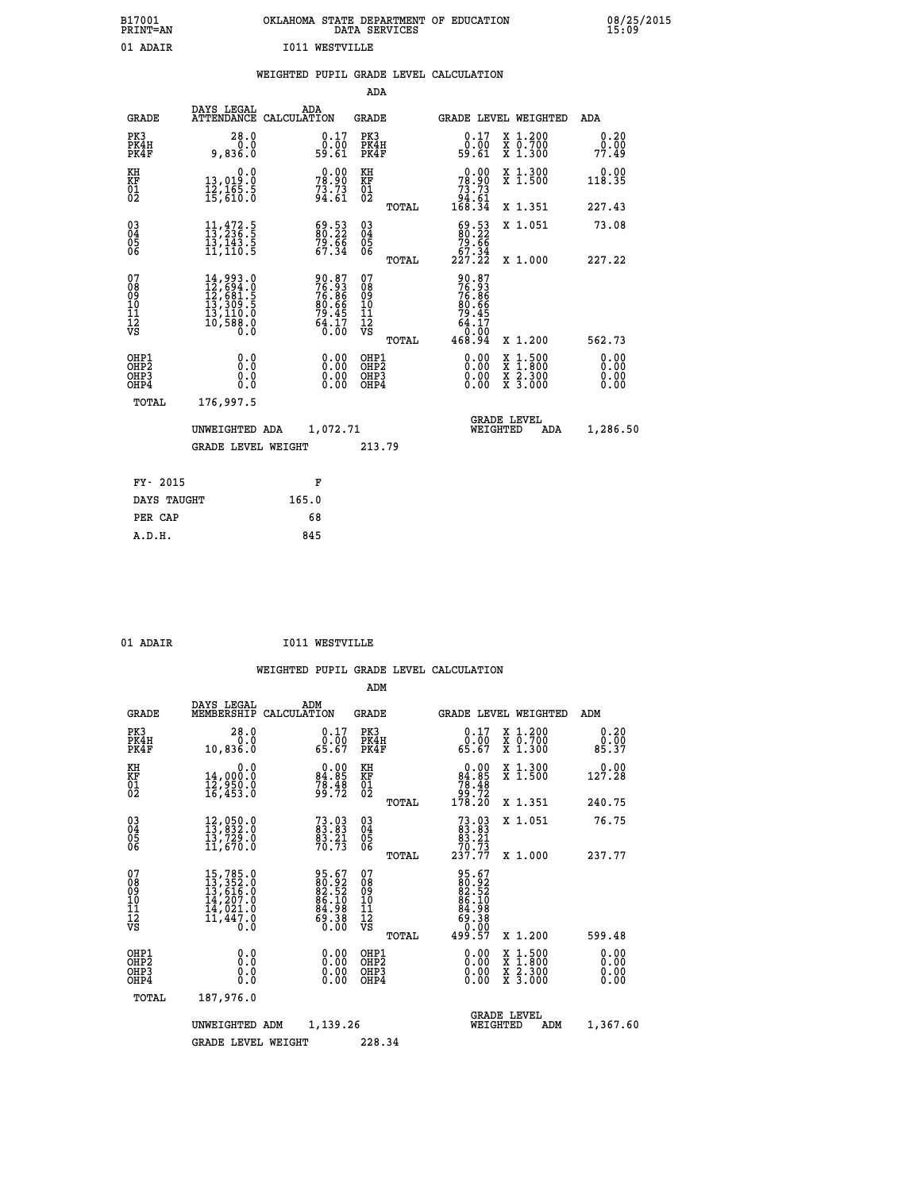| B17001<br>PRINT=AN | OKLAHOMA STATE DEPARTMENT OF EDUCATION<br>DATA SERVICES | 08/25/2015<br>15:09 |
|--------------------|---------------------------------------------------------|---------------------|
| 01 ADAIR           | T011<br>WESTVILLE                                       |                     |

|  |  | WEIGHTED PUPIL GRADE LEVEL CALCULATION |
|--|--|----------------------------------------|
|  |  |                                        |

|                                                                  |                                                                                                                                                                                          |                                                                    | ADA                                                |       |                                                                           |                                                                                                                                           |                              |
|------------------------------------------------------------------|------------------------------------------------------------------------------------------------------------------------------------------------------------------------------------------|--------------------------------------------------------------------|----------------------------------------------------|-------|---------------------------------------------------------------------------|-------------------------------------------------------------------------------------------------------------------------------------------|------------------------------|
| <b>GRADE</b>                                                     | DAYS LEGAL                                                                                                                                                                               | ADA<br>ATTENDANCE CALCULATION                                      | GRADE                                              |       | GRADE LEVEL WEIGHTED                                                      |                                                                                                                                           | ADA                          |
| PK3<br>PK4H<br>PK4F                                              | 28.0<br>0.0<br>9,836.0                                                                                                                                                                   | $0.17$<br>$0.00$<br>59.61                                          | PK3<br>PK4H<br>PK4F                                |       | 0.17<br>0.00<br>59.61                                                     | X 1.200<br>X 0.700<br>X 1.300                                                                                                             | 0.20<br>0.00<br>77.49        |
| KH<br>KF<br>01<br>02                                             | 0.0<br>13,019:0<br>12,165:5<br>15,610:0                                                                                                                                                  | $78.90$<br>$73.73$<br>$94.61$                                      | KH<br>KF<br>01<br>02                               |       | $\begin{smallmatrix} &0.00\ 78.90\ 73.73\ 94.61\ 168.34\end{smallmatrix}$ | X 1.300<br>X 1.500                                                                                                                        | 0.00<br>118.35               |
|                                                                  |                                                                                                                                                                                          |                                                                    |                                                    | TOTAL |                                                                           | X 1.351                                                                                                                                   | 227.43                       |
| $^{03}_{04}$<br>Ŏ5<br>06                                         | $11,472.5$<br>$13,236.5$<br>īš,īši.<br>11,110.5                                                                                                                                          | $\begin{smallmatrix} 69.53\ 80.22\ 79.66\ 67.34 \end{smallmatrix}$ | $\begin{matrix} 03 \\ 04 \\ 05 \\ 06 \end{matrix}$ |       | $\begin{array}{c} 69.53 \\ 80.22 \\ 79.66 \\ 67.34 \end{array}$           | X 1.051                                                                                                                                   | 73.08                        |
|                                                                  |                                                                                                                                                                                          |                                                                    |                                                    | TOTAL | 227.22                                                                    | X 1.000                                                                                                                                   | 227.22                       |
| 07<br>08<br>09<br>11<br>11<br>12<br>VS                           | $\begin{smallmatrix} 14\,, & 993\,. & 0\\ 12\,, & 694\,. & 0\\ 12\,, & 681\,. & 5\\ 13\,, & 309\,. & 5\\ 13\,, & 110\,. & 0\\ 10\,, & 588\,. & 0\\ 0\,. & 0\,. & 0\,. \end{smallmatrix}$ | 90.87<br>76.86<br>76.86<br>80.66<br>80.45<br>79.45<br>64.170       | 07<br>08<br>09<br>11<br>11<br>12<br>VS             | TOTAL | 90.87<br>76.866<br>76.866<br>80.665<br>79.457<br>64.170<br>468.94         | X 1.200                                                                                                                                   | 562.73                       |
| OHP1<br>OHP <sub>2</sub><br>OH <sub>P3</sub><br>OH <sub>P4</sub> | 0.0<br>Ō.Ō<br>0.0<br>0.0                                                                                                                                                                 | 0.00<br>0.00<br>0.00                                               | OHP1<br>OHP2<br>OHP3<br>OHP4                       |       | 0.00<br>0.00<br>0.00                                                      | $\begin{smallmatrix} \mathtt{X} & 1\cdot500\\ \mathtt{X} & 1\cdot800\\ \mathtt{X} & 2\cdot300\\ \mathtt{X} & 3\cdot000 \end{smallmatrix}$ | 0.00<br>0.00<br>0.00<br>0.00 |
| TOTAL                                                            | 176,997.5                                                                                                                                                                                |                                                                    |                                                    |       |                                                                           |                                                                                                                                           |                              |
|                                                                  | UNWEIGHTED ADA                                                                                                                                                                           | 1,072.71                                                           |                                                    |       | WEIGHTED                                                                  | <b>GRADE LEVEL</b><br>ADA                                                                                                                 | 1,286.50                     |
|                                                                  | <b>GRADE LEVEL WEIGHT</b>                                                                                                                                                                |                                                                    | 213.79                                             |       |                                                                           |                                                                                                                                           |                              |
|                                                                  |                                                                                                                                                                                          |                                                                    |                                                    |       |                                                                           |                                                                                                                                           |                              |
| FY- 2015                                                         |                                                                                                                                                                                          | F                                                                  |                                                    |       |                                                                           |                                                                                                                                           |                              |
| DAYS TAUGHT                                                      |                                                                                                                                                                                          | 165.0                                                              |                                                    |       |                                                                           |                                                                                                                                           |                              |
| PER CAP                                                          |                                                                                                                                                                                          | 68                                                                 |                                                    |       |                                                                           |                                                                                                                                           |                              |
| A.D.H.                                                           |                                                                                                                                                                                          | 845                                                                |                                                    |       |                                                                           |                                                                                                                                           |                              |

| $^{\circ}$ | <b>BDBFD</b> |  |
|------------|--------------|--|

01 ADAIR **I011 WESTVILLE** 

|                                    |                                          |                                                                             |                    |                                                                   | ADM                                                |       |                                                             |                                |                                          |                              |
|------------------------------------|------------------------------------------|-----------------------------------------------------------------------------|--------------------|-------------------------------------------------------------------|----------------------------------------------------|-------|-------------------------------------------------------------|--------------------------------|------------------------------------------|------------------------------|
|                                    | <b>GRADE</b>                             | DAYS LEGAL<br>MEMBERSHIP                                                    | ADM<br>CALCULATION |                                                                   | <b>GRADE</b>                                       |       |                                                             |                                | GRADE LEVEL WEIGHTED                     | ADM                          |
|                                    | PK3<br>PK4H<br>PK4F                      | 28.0<br>0.0<br>10,836.0                                                     |                    | $\begin{smallmatrix} 0.17\\ 0.00\\ 65.67 \end{smallmatrix}$       | PK3<br>PK4H<br>PK4F                                |       | $\begin{smallmatrix} 0.17\\ 0.00\\ 65.67 \end{smallmatrix}$ |                                | X 1.200<br>X 0.700<br>X 1.300            | 0.20<br>0.00<br>85.37        |
| KH<br>KF<br>01<br>02               |                                          | 0.0<br>14,000:0<br>12,950:0<br>16,453:0                                     |                    | $\begin{smallmatrix} 0.00\\84.85\\78.48\\99.72 \end{smallmatrix}$ | KH<br>KF<br>01<br>02                               |       | $0.00\n84.85\n78.48\n99.72\n178.20$                         |                                | X 1.300<br>X 1.500                       | 127.28                       |
|                                    |                                          |                                                                             |                    |                                                                   |                                                    | TOTAL |                                                             |                                | X 1.351                                  | 240.75                       |
| 03<br>04<br>05<br>06               |                                          | 12,050.0<br>13,832.0<br>13,729.0<br>11,670.0                                |                    | $73.03$<br>$83.83$<br>$83.21$<br>$70.73$                          | $\begin{matrix} 03 \\ 04 \\ 05 \\ 06 \end{matrix}$ |       | $73.0383.8383.2170.73237.77$                                |                                | X 1.051                                  | 76.75                        |
|                                    |                                          |                                                                             |                    |                                                                   |                                                    | TOTAL |                                                             |                                | X 1.000                                  | 237.77                       |
| 07<br>08<br>09<br>101<br>112<br>VS |                                          | 15,785.0<br>13,352.0<br>13,616.0<br>14,207.0<br>14,021.0<br>11,447.0<br>O.Ŏ |                    | 95.67<br>80.92<br>82.52<br>84.10<br>84.988<br>0.00                | 07<br>08<br>09<br>101<br>11<br>12<br>VS            | TOTAL | 95.67<br>802.52<br>802.52<br>86.1988<br>60.38800<br>499.57  |                                | X 1.200                                  | 599.48                       |
|                                    | OHP1<br>OHP2<br>OH <sub>P3</sub><br>OHP4 | 0.0<br>0.000                                                                |                    | $0.00$<br>$0.00$<br>0.00                                          | OHP1<br>OHP2<br>OHP <sub>3</sub>                   |       | $0.00$<br>$0.00$<br>0.00                                    |                                | X 1:500<br>X 1:800<br>X 2:300<br>X 3:000 | 0.00<br>0.00<br>0.00<br>0.00 |
|                                    | TOTAL                                    | 187,976.0                                                                   |                    |                                                                   |                                                    |       |                                                             |                                |                                          |                              |
|                                    |                                          | UNWEIGHTED                                                                  | ADM                | 1,139.26                                                          |                                                    |       |                                                             | <b>GRADE LEVEL</b><br>WEIGHTED | ADM                                      | 1,367.60                     |
|                                    |                                          | <b>GRADE LEVEL WEIGHT</b>                                                   |                    |                                                                   | 228.34                                             |       |                                                             |                                |                                          |                              |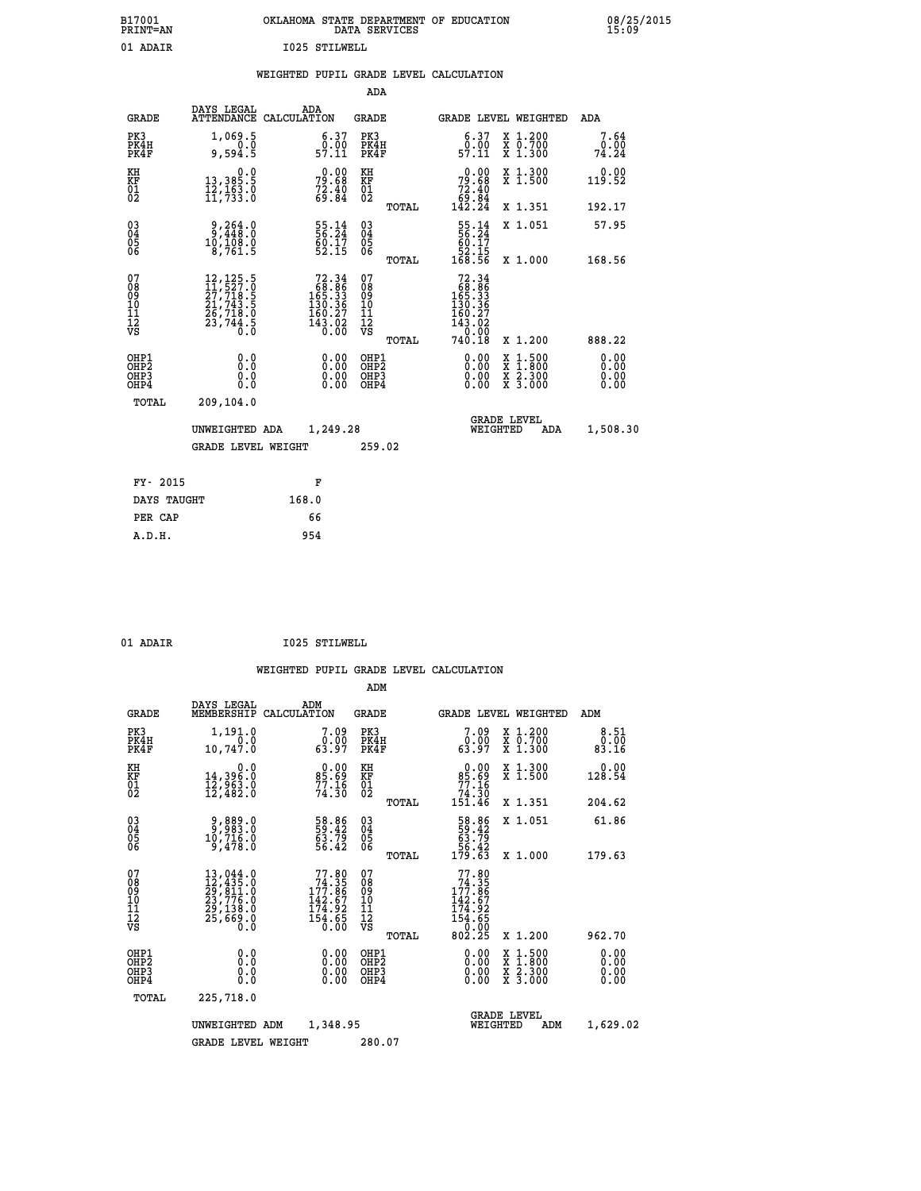| B17001<br><b>PRINT=AN</b> | OKLAHOMA STATE DEPARTMENT OF EDUCATION<br>DATA SERVICES | 08/25/2015<br>15:09 |
|---------------------------|---------------------------------------------------------|---------------------|
| 01 ADAIR                  | 1025 STILWELL                                           |                     |

|  |  | WEIGHTED PUPIL GRADE LEVEL CALCULATION |
|--|--|----------------------------------------|
|  |  |                                        |

|                                                       |                                                                                                                                                     |                                                                                                  | ADA                                      |       |                                                                                                                |                                          |                              |
|-------------------------------------------------------|-----------------------------------------------------------------------------------------------------------------------------------------------------|--------------------------------------------------------------------------------------------------|------------------------------------------|-------|----------------------------------------------------------------------------------------------------------------|------------------------------------------|------------------------------|
| <b>GRADE</b>                                          | DAYS LEGAL                                                                                                                                          | ADA<br>ATTENDANCE CALCULATION                                                                    | <b>GRADE</b>                             |       | GRADE LEVEL WEIGHTED                                                                                           |                                          | ADA                          |
| PK3<br>PK4H<br>PK4F                                   | 1,069.5<br>0.0<br>9,594.5                                                                                                                           | $\begin{smallmatrix} 6.37\ 0.00\ 57.11\ \end{smallmatrix}$                                       | PK3<br>PK4H<br>PK4F                      |       | $\begin{smallmatrix} 6.37\ 0.00\ 57.11 \end{smallmatrix}$                                                      | X 1.200<br>X 0.700<br>X 1.300            | 7.64<br>0.00<br>74.24        |
| KH<br>KF<br>01<br>02                                  | 0.0<br>13,385:5<br>12,163:0<br>11,733:0                                                                                                             | $79.68$<br>$79.68$<br>$72.40$<br>$69.84$                                                         | KH<br>KF<br>01<br>02                     |       | $79.68$<br>$72.40$<br>$69.84$<br>$142.24$                                                                      | X 1.300<br>X 1.500                       | 0.00<br>119.52               |
|                                                       |                                                                                                                                                     |                                                                                                  |                                          | TOTAL |                                                                                                                | X 1.351                                  | 192.17                       |
| 03<br>04<br>05<br>06                                  | $\frac{9}{2}, \frac{264}{49}$ : 0<br>10,108.0<br>8,761.5                                                                                            | 55.14<br>56.24<br>60.17<br>52.15                                                                 | 03<br>04<br>05<br>06                     |       | $\begin{array}{r} 55.14 \\ 56.24 \\ 60.17 \\ 52.15 \\ 168.56 \end{array}$                                      | X 1.051                                  | 57.95                        |
|                                                       |                                                                                                                                                     |                                                                                                  |                                          | TOTAL |                                                                                                                | X 1.000                                  | 168.56                       |
| 07<br>08<br>09<br>11<br>11<br>12<br>VS                | $\begin{smallmatrix} 12\,,\,125\,.5\\ 11\,,\,527\,.0\\ 27\,,\,718\,.5\\ 21\,,\,743\,.5\\ 26\,,\,718\,.0\\ 23\,,\,744\,.5\\ 0\,.0 \end{smallmatrix}$ | $\begin{smallmatrix}72.34\\68.86\\165.33\\150.36\\130.36\\160.27\\143.02\\0.00\end{smallmatrix}$ | 07<br>08<br>09<br>11<br>11<br>12<br>VS   | TOTAL | $\begin{smallmatrix}72.34\\768.86\\165.33\\150.36\\130.36\\160.27\\143.02\\0.00\\7\end{smallmatrix}$<br>740.18 | X 1.200                                  | 888.22                       |
| OHP1<br>OH <sub>P</sub> 2<br>OH <sub>P3</sub><br>OHP4 | 0.0<br>0.0<br>0.0                                                                                                                                   | 0.00<br>$\begin{smallmatrix} 0.00 \ 0.00 \end{smallmatrix}$                                      | OHP1<br>OHP <sub>2</sub><br>OHP3<br>OHP4 |       | 0.00<br>0.00<br>0.00                                                                                           | X 1:500<br>X 1:800<br>X 2:300<br>X 3:000 | 0.00<br>0.00<br>0.00<br>0.00 |
| TOTAL                                                 | 209,104.0                                                                                                                                           |                                                                                                  |                                          |       |                                                                                                                |                                          |                              |
|                                                       | UNWEIGHTED ADA                                                                                                                                      | 1,249.28                                                                                         |                                          |       | WEIGHTED                                                                                                       | <b>GRADE LEVEL</b><br>ADA                | 1,508.30                     |
|                                                       | <b>GRADE LEVEL WEIGHT</b>                                                                                                                           |                                                                                                  | 259.02                                   |       |                                                                                                                |                                          |                              |
| FY- 2015                                              |                                                                                                                                                     | F                                                                                                |                                          |       |                                                                                                                |                                          |                              |
| DAYS TAUGHT                                           |                                                                                                                                                     | 168.0                                                                                            |                                          |       |                                                                                                                |                                          |                              |
| PER CAP                                               |                                                                                                                                                     | 66                                                                                               |                                          |       |                                                                                                                |                                          |                              |
| A.D.H.                                                |                                                                                                                                                     | 954                                                                                              |                                          |       |                                                                                                                |                                          |                              |
|                                                       |                                                                                                                                                     |                                                                                                  |                                          |       |                                                                                                                |                                          |                              |

01 ADAIR 1025 STILWELL

|                                          |                                                                                                                                                                                          |                    |                                                                                                   | ADM                                                 |       |                                                                                              |          |                                          |                              |
|------------------------------------------|------------------------------------------------------------------------------------------------------------------------------------------------------------------------------------------|--------------------|---------------------------------------------------------------------------------------------------|-----------------------------------------------------|-------|----------------------------------------------------------------------------------------------|----------|------------------------------------------|------------------------------|
| <b>GRADE</b>                             | DAYS LEGAL<br>MEMBERSHIP                                                                                                                                                                 | ADM<br>CALCULATION |                                                                                                   | <b>GRADE</b>                                        |       |                                                                                              |          | GRADE LEVEL WEIGHTED                     | ADM                          |
| PK3<br>PK4H<br>PK4F                      | 1,191.0<br>$\overline{0}$ .0<br>10,747.0                                                                                                                                                 |                    | 7.09<br>$\begin{smallmatrix} 0.00 \\ 63.97 \end{smallmatrix}$                                     | PK3<br>PK4H<br>PK4F                                 |       | $7.09\n0.00\n63.97$                                                                          |          | X 1.200<br>X 0.700<br>X 1.300            | 8.51<br>0.00<br>83.16        |
| KH<br>KF<br>01<br>02                     | 0.0<br>14,396.0<br>12,963.0<br>12,482.0                                                                                                                                                  |                    | $85.69$<br>$77.16$<br>$74.30$                                                                     | KH<br>KF<br>01<br>02                                |       | $0.00\n85.69\n77.16\n74.30\n151.46$                                                          |          | X 1.300<br>X 1.500                       | 0.00<br>128.54               |
|                                          |                                                                                                                                                                                          |                    |                                                                                                   |                                                     | TOTAL |                                                                                              |          | X 1.351                                  | 204.62                       |
| 03<br>04<br>05<br>06                     | 0.889,0<br>0.889,0<br>0.716.0<br>9,478.0                                                                                                                                                 |                    | 58.86<br>59.42<br>63.79<br>56.42                                                                  | $\begin{array}{c} 03 \\ 04 \\ 05 \\ 06 \end{array}$ |       | $\begin{array}{r} 58.86 \\ 59.42 \\ 63.79 \\ 56.42 \\ 179.63 \end{array}$                    |          | X 1.051                                  | 61.86                        |
|                                          |                                                                                                                                                                                          |                    |                                                                                                   |                                                     | TOTAL |                                                                                              |          | X 1.000                                  | 179.63                       |
| 07<br>08<br>09<br>101<br>112<br>VS       | $\begin{smallmatrix} 13\,, & 044\,. & 0\\ 12\,, & 435\,. & 0\\ 29\,, & 811\,. & 0\\ 23\,, & 776\,. & 0\\ 29\,, & 138\,. & 0\\ 25\,, & 669\,. & 0\\ 0\,. & 0\,. & 0\,. \end{smallmatrix}$ |                    | $77.80$<br>$74.35$<br>$177.86$<br>$\begin{array}{c} 142.67 \\ 174.92 \\ 154.65 \\ 65 \end{array}$ | 07<br>08<br>09<br>11<br>11<br>12<br>VS              | TOTAL | $77.80$<br>$74.35$<br>$177.86$<br>$\frac{142.67}{174.92}$<br>$\frac{154.65}{0.02}$<br>802.25 |          | X 1.200                                  | 962.70                       |
| OHP1<br>OHP2<br>OH <sub>P3</sub><br>OHP4 | 0.0<br>0.000                                                                                                                                                                             |                    | $0.00$<br>$0.00$<br>0.00                                                                          | OHP1<br>OHP2<br>OHP <sub>3</sub>                    |       | $0.00$<br>$0.00$<br>0.00                                                                     |          | X 1:500<br>X 1:800<br>X 2:300<br>X 3:000 | 0.00<br>0.00<br>0.00<br>0.00 |
| TOTAL                                    | 225,718.0                                                                                                                                                                                |                    |                                                                                                   |                                                     |       |                                                                                              |          |                                          |                              |
|                                          | UNWEIGHTED                                                                                                                                                                               | ADM                | 1,348.95                                                                                          |                                                     |       |                                                                                              | WEIGHTED | <b>GRADE LEVEL</b><br>ADM                | 1,629.02                     |
|                                          | <b>GRADE LEVEL WEIGHT</b>                                                                                                                                                                |                    |                                                                                                   | 280.07                                              |       |                                                                                              |          |                                          |                              |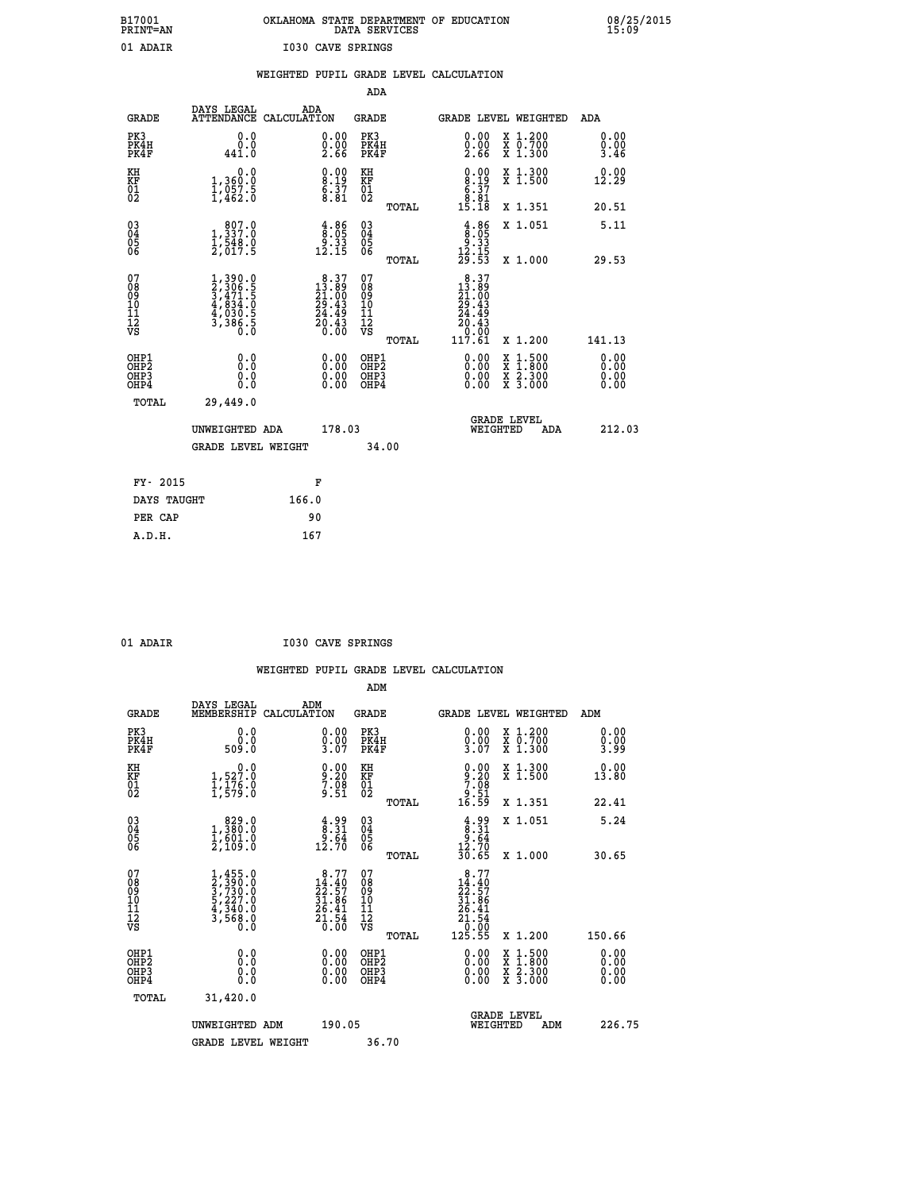## **B17001 OKLAHOMA STATE DEPARTMENT OF EDUCATION 08/25/2015 PRINT=AN DATA SERVICES 15:09** 01 ADAIR **I030 CAVE SPRINGS**

|                                                                    |                                                                                     | WEIGHTED PUPIL GRADE LEVEL CALCULATION                            |                                                     |                                                                                                        |                                  |
|--------------------------------------------------------------------|-------------------------------------------------------------------------------------|-------------------------------------------------------------------|-----------------------------------------------------|--------------------------------------------------------------------------------------------------------|----------------------------------|
|                                                                    |                                                                                     |                                                                   | <b>ADA</b>                                          |                                                                                                        |                                  |
| <b>GRADE</b>                                                       | DAYS LEGAL                                                                          | ADA<br>ATTENDANCE CALCULATION                                     | GRADE                                               | GRADE LEVEL WEIGHTED                                                                                   | ADA                              |
| PK3<br>PK4H<br>PK4F                                                | 0.0<br>0.0<br>441.0                                                                 | $\substack{0.00\\0.00\\2.66}$                                     | PK3<br>PK4H<br>PK4F                                 | $\begin{smallmatrix} 0.00\\ 0.00\\ 2.66 \end{smallmatrix}$<br>X 1.200<br>X 0.700<br>X 1.300            | 0.00<br>0.00<br>3.46             |
| KH<br>KF<br>01<br>02                                               | 0.0<br>1,360:0<br>1,057.5<br>1,462:0                                                | $\begin{smallmatrix} 0.00\ 8.19\ 6.37\ 8.81 \end{smallmatrix}$    | KH<br>KF<br>01<br>02                                | $0.00$<br>$8.19$<br>$6.37$<br>$8.91$<br>X 1.300<br>X 1.500                                             | 0.00<br>12.29                    |
|                                                                    |                                                                                     |                                                                   | TOTAL                                               | 15.18<br>X 1.351                                                                                       | 20.51                            |
| $\begin{smallmatrix} 03 \\[-4pt] 04 \end{smallmatrix}$<br>Ŏ5<br>06 | $\begin{smallmatrix} & 807.0\\ 1,337.0\\ 1,548.0\\ 2,017.5 \end{smallmatrix}$       | $\begin{array}{c} 4.86 \\ 8.05 \\ 9.33 \\ 12.15 \end{array}$      | $\begin{array}{c} 03 \\ 04 \\ 05 \\ 06 \end{array}$ | $\begin{array}{c} 4.86 \\ 8.05 \\ 9.33 \\ 12.15 \\ 29.53 \end{array}$<br>X 1.051                       | 5.11                             |
|                                                                    |                                                                                     |                                                                   | TOTAL                                               | X 1.000                                                                                                | 29.53                            |
| 07<br>08<br>09<br>001<br>11<br>11<br>12<br>VS                      | $1,390.0$<br>$2,306.5$<br>$3,471.5$<br>$4,834.0$<br>$4,030.5$<br>$3,386.5$<br>$0.0$ | $8.37$<br>$21.00$<br>$29.43$<br>$24.49$<br>$20.43$<br>$0.00$      | 07<br>08<br>09<br>11<br>11<br>12<br>VS<br>TOTAL     | $\begin{smallmatrix}8.37\\13.89\\21.00\\29.43\\24.49\\20.43\\0.00\\117.61\end{smallmatrix}$<br>X 1.200 | 141.13                           |
| OHP1<br>OHP2<br>OH <sub>P3</sub><br>OH <sub>P4</sub>               | 0.0<br>0.0<br>$0.\overline{0}$                                                      | $\begin{smallmatrix} 0.00 \ 0.00 \ 0.00 \ 0.00 \end{smallmatrix}$ | OHP1<br>OHP2<br>OHP <sub>3</sub>                    | X 1:500<br>X 1:800<br>X 2:300<br>X 3:000                                                               | 0.00<br>0.00<br>$0.00$<br>$0.00$ |
| TOTAL                                                              | 29,449.0                                                                            |                                                                   |                                                     |                                                                                                        |                                  |
|                                                                    | UNWEIGHTED ADA                                                                      | 178.03                                                            |                                                     | <b>GRADE LEVEL</b><br>WEIGHTED<br>ADA                                                                  | 212.03                           |
|                                                                    | <b>GRADE LEVEL WEIGHT</b>                                                           |                                                                   | 34.00                                               |                                                                                                        |                                  |
| FY- 2015                                                           |                                                                                     | F                                                                 |                                                     |                                                                                                        |                                  |
|                                                                    | DAYS TAUGHT                                                                         | 166.0                                                             |                                                     |                                                                                                        |                                  |
| PER CAP                                                            |                                                                                     | 90                                                                |                                                     |                                                                                                        |                                  |

| - DA |  |
|------|--|

 **A.D.H. 167**

 **01 ADAIR I030 CAVE SPRINGS**

|                                          |                                                                                     |                                                                       | ADM                                                 |       |                                                                                                                                               |                                          |                                   |
|------------------------------------------|-------------------------------------------------------------------------------------|-----------------------------------------------------------------------|-----------------------------------------------------|-------|-----------------------------------------------------------------------------------------------------------------------------------------------|------------------------------------------|-----------------------------------|
| <b>GRADE</b>                             | DAYS LEGAL<br>MEMBERSHIP                                                            | ADM<br>CALCULATION                                                    | <b>GRADE</b>                                        |       |                                                                                                                                               | GRADE LEVEL WEIGHTED                     | ADM                               |
| PK3<br>PK4H<br>PK4F                      | 0.0<br>ŏ:ŏ<br>509:0                                                                 | $0.00$<br>$0.00$<br>$3.07$                                            | PK3<br>PK4H<br>PK4F                                 |       | $0.00$<br>$0.00$<br>$3.07$                                                                                                                    | X 1.200<br>X 0.700<br>X 1.300            | 0.00<br>$\frac{0}{3}$ .00<br>3.99 |
| KH<br>KF<br>01<br>02                     | $\begin{smallmatrix}&&&0.0\\1,527.0\\1,176.0\\1,579.0\end{smallmatrix}$             | $\begin{smallmatrix} 0.00\\ 9.20\\ 7.08\\ 9.51 \end{smallmatrix}$     | KH<br>KF<br>01<br>02                                |       | $9.20$<br>$7.08$<br>$9.51$<br>$16.59$                                                                                                         | X 1.300<br>X 1.500                       | 0.00<br>13.80                     |
|                                          |                                                                                     |                                                                       |                                                     | TOTAL |                                                                                                                                               | X 1.351                                  | 22.41                             |
| 03<br>04<br>05<br>06                     | $\begin{smallmatrix} & 829.0\\ 1,380.0\\ 1,601.0\\ 2,109.0 \end{smallmatrix}$       | $\begin{smallmatrix} 4.99\ 8.31\ 9.64\ 12.70 \end{smallmatrix}$       | $\begin{array}{c} 03 \\ 04 \\ 05 \\ 06 \end{array}$ |       | $\begin{array}{c} 4.99 \\ 8.31 \\ 9.64 \\ 12.70 \\ 30.65 \end{array}$                                                                         | X 1.051                                  | 5.24                              |
|                                          |                                                                                     |                                                                       |                                                     | TOTAL |                                                                                                                                               | X 1.000                                  | 30.65                             |
| 07<br>08<br>09<br>101<br>11<br>12<br>VS  | $1,455.0$<br>$2,390.0$<br>$3,730.0$<br>$5,227.0$<br>$4,340.0$<br>$3,568.0$<br>$0.0$ | 8.77<br>$14.40$<br>$22.57$<br>$31.86$<br>$26.41$<br>$21.54$<br>$0.00$ | 07<br>08<br>09<br>11<br>11<br>12<br>VS              | TOTAL | $\begin{array}{r} 8.77 \\[-4pt] 22.57 \\[-4pt] 22.57 \\[-4pt] 31.86 \\[-4pt] 26.41 \\[-4pt] 21.54 \\[-4pt] 21.54 \\[-4pt] 125.55 \end{array}$ | X 1.200                                  | 150.66                            |
|                                          |                                                                                     |                                                                       |                                                     |       |                                                                                                                                               |                                          |                                   |
| OHP1<br>OHP2<br>OH <sub>P3</sub><br>OHP4 | 0.0<br>$\begin{smallmatrix} 0.16 \ 0.0 \end{smallmatrix}$                           |                                                                       | OHP1<br>OHP2<br>OHP <sub>3</sub>                    |       | $0.00$<br>$0.00$<br>0.00                                                                                                                      | X 1:500<br>X 1:800<br>X 2:300<br>X 3:000 | 0.00<br>0.00<br>0.00              |
| TOTAL                                    | 31,420.0                                                                            |                                                                       |                                                     |       |                                                                                                                                               |                                          |                                   |
|                                          | UNWEIGHTED ADM                                                                      | 190.05                                                                |                                                     |       |                                                                                                                                               | GRADE LEVEL<br>WEIGHTED<br>ADM           | 226.75                            |
|                                          | <b>GRADE LEVEL WEIGHT</b>                                                           |                                                                       | 36.70                                               |       |                                                                                                                                               |                                          |                                   |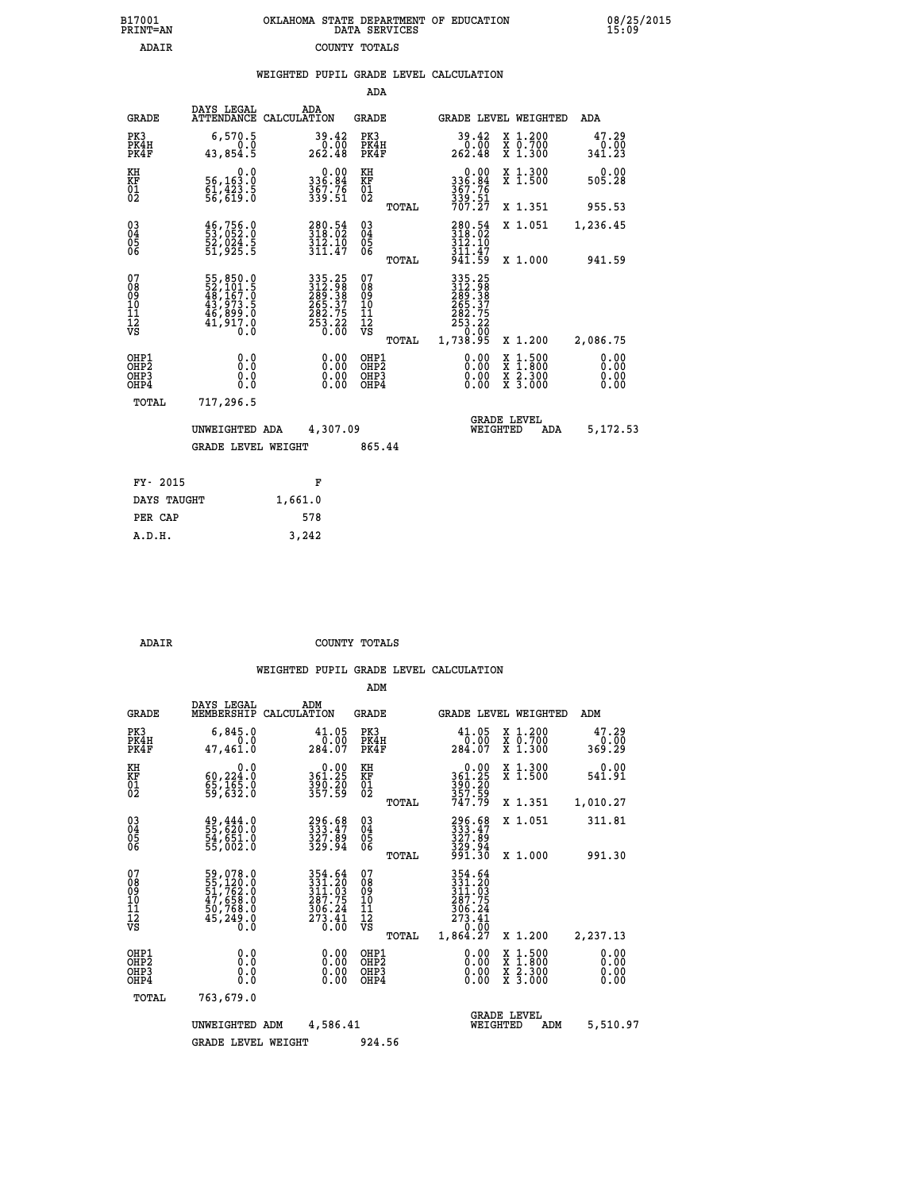| OKLAHOMA STATE DEPARTMENT OF EDUCATION<br>DATA SERVICES |  |
|---------------------------------------------------------|--|
| COUNTY TOTALS                                           |  |

 **B17001 OKLAHOMA STATE DEPARTMENT OF EDUCATION 08/25/2015**

|                                                                    |                                                                             |                                                                             | ADA                                      |       |                                                                              |                                          |                              |
|--------------------------------------------------------------------|-----------------------------------------------------------------------------|-----------------------------------------------------------------------------|------------------------------------------|-------|------------------------------------------------------------------------------|------------------------------------------|------------------------------|
| <b>GRADE</b>                                                       | DAYS LEGAL                                                                  | ADA<br>ATTENDANCE CALCULATION                                               | <b>GRADE</b>                             |       |                                                                              | GRADE LEVEL WEIGHTED                     | <b>ADA</b>                   |
| PK3<br>PK4H<br>PK4F                                                | 6,570.5<br>0.0<br>43,854.5                                                  | 39.42<br>0.00<br>262.48                                                     | PK3<br>PK4H<br>PK4F                      |       | 39.42<br>$\frac{0}{262.48}$                                                  | X 1.200<br>X 0.700<br>X 1.300            | 47.29<br>0.00<br>341.23      |
| KH<br>KF<br>01<br>02                                               | 0.0<br>56,163.0<br>61,423.5<br>56,619.0                                     | $336.84$<br>$367.76$<br>$359.51$                                            | KH<br>KF<br>01<br>02                     |       | 0.00<br>336:84<br>367:76<br>339:51<br>707:27                                 | X 1.300<br>X 1.500                       | 0.00<br>505.28               |
|                                                                    |                                                                             |                                                                             |                                          | TOTAL |                                                                              | X 1.351                                  | 955.53                       |
| $\begin{smallmatrix} 03 \\[-4pt] 04 \end{smallmatrix}$<br>Ŏ5<br>06 | 46,756.0<br>53,052.0<br>52,024.5<br>51,925.5                                | 280.54<br>318.02<br>$\frac{3\bar{1}\tilde{2}\cdot\tilde{1}\bar{0}}{311.47}$ | $\substack{03 \\ 04}$<br>Ŏ5<br>06        |       | $280.54$<br>$318.02$<br>$312.10$                                             | X 1.051                                  | 1,236.45                     |
|                                                                    |                                                                             |                                                                             |                                          | TOTAL | $\frac{3}{9}\overline{1}\overline{1}\cdot\overline{4}\overline{7}$<br>941.59 | X 1.000                                  | 941.59                       |
| 07<br>08<br>09<br>101<br>11<br>12<br>VS                            | 55,850.0<br>52,101.5<br>48,167.0<br>43,973.5<br>46,899.0<br>41,917.0<br>0.0 | 335.25<br>312.988<br>3289.387<br>265.37<br>282.75<br>283.22<br>0.00         | 07<br>08<br>09<br>11<br>11<br>12<br>VS   |       | 335.25<br>312.988<br>289.38<br>265.37<br>282.75<br>283.22<br>0.00            |                                          |                              |
|                                                                    |                                                                             |                                                                             |                                          | TOTAL | 1,738.95                                                                     | X 1.200                                  | 2,086.75                     |
| OHP1<br>OHP <sub>2</sub><br>OH <sub>P3</sub><br>OHP4               | 0.0<br>0.0<br>$0.\overline{0}$                                              | 0.00<br>$\begin{smallmatrix} 0.00 \ 0.00 \end{smallmatrix}$                 | OHP1<br>OHP <sub>2</sub><br>OHP3<br>OHP4 |       | 0.00<br>0.00                                                                 | X 1:500<br>X 1:800<br>X 2:300<br>X 3:000 | 0.00<br>0.00<br>0.00<br>0.00 |
| TOTAL                                                              | 717,296.5                                                                   |                                                                             |                                          |       |                                                                              |                                          |                              |
|                                                                    | UNWEIGHTED ADA                                                              | 4,307.09                                                                    |                                          |       |                                                                              | <b>GRADE LEVEL</b><br>WEIGHTED<br>ADA    | 5,172.53                     |
|                                                                    | <b>GRADE LEVEL WEIGHT</b>                                                   |                                                                             | 865.44                                   |       |                                                                              |                                          |                              |
| FY- 2015                                                           |                                                                             | F                                                                           |                                          |       |                                                                              |                                          |                              |
| DAYS TAUGHT                                                        |                                                                             | 1,661.0                                                                     |                                          |       |                                                                              |                                          |                              |
| PER CAP                                                            |                                                                             | 578                                                                         |                                          |       |                                                                              |                                          |                              |

 **A.D.H. 3,242**

B17001<br>PRINT=AN<br>ADAIR

COUNTY TOTALS

|                                    |                                          |                                                                                  |                                                                                                                                | ADM                                                 |       |                                                                                     |                                |                                                                                                  |                              |  |
|------------------------------------|------------------------------------------|----------------------------------------------------------------------------------|--------------------------------------------------------------------------------------------------------------------------------|-----------------------------------------------------|-------|-------------------------------------------------------------------------------------|--------------------------------|--------------------------------------------------------------------------------------------------|------------------------------|--|
|                                    | <b>GRADE</b>                             | DAYS LEGAL<br>MEMBERSHIP                                                         | ADM<br>CALCULATION                                                                                                             | <b>GRADE</b>                                        |       |                                                                                     |                                | GRADE LEVEL WEIGHTED                                                                             | ADM                          |  |
|                                    | PK3<br>PK4H<br>PK4F                      | 6,845.0<br>0.0<br>47,461.0                                                       | 41.05<br>$0.\overline{00}$<br>284.07                                                                                           | PK3<br>PK4H<br>PK4F                                 |       | 41.05<br>0.00<br>284.07                                                             |                                | X 1.200<br>X 0.700<br>X 1.300                                                                    | 47.29<br>0.00<br>369.29      |  |
| KH<br>KF<br>01<br>02               |                                          | 0.0<br>60,224.0<br>$\frac{65}{59}, \frac{165}{632}.0$                            | $\begin{smallmatrix} 0.00\\ 361.25\\ 390.20\\ 357.59 \end{smallmatrix}$                                                        | KH<br>KF<br>01<br>02                                |       | $0.00361.25390.20357.59747.79$                                                      |                                | X 1.300<br>X 1.500                                                                               | 0.00<br>541.91               |  |
|                                    |                                          |                                                                                  |                                                                                                                                |                                                     | TOTAL |                                                                                     |                                | X 1.351                                                                                          | 1,010.27                     |  |
| 03<br>04<br>05<br>06               |                                          | 49,444.0<br>55,620.0<br>54,651.0<br>55,002.0                                     | 296.68<br>333:47<br>327:89<br>329:94                                                                                           | $\begin{array}{c} 03 \\ 04 \\ 05 \\ 06 \end{array}$ |       | 296.68<br>333.47<br>327.89                                                          |                                | X 1.051                                                                                          | 311.81                       |  |
|                                    |                                          |                                                                                  |                                                                                                                                |                                                     | TOTAL | 329.94<br>991.30                                                                    |                                | X 1.000                                                                                          | 991.30                       |  |
| 07<br>08<br>09<br>101<br>112<br>VS |                                          | 59,078.0<br>55,120.0<br>51,762.0<br>47,658.0<br>50,768.0<br>50,768.0<br>45,249.0 | $\begin{array}{r} 354\cdot 64\\ 331\cdot 20\\ 311\cdot 03\\ 287\cdot 75\\ 306\cdot 24\\ 273\cdot 41\\ 0\cdot 00\\ \end{array}$ | 07<br>08<br>09<br>11<br>11<br>12<br>VS              | TOTAL | 354.64<br>331.20<br>311.03<br>287.75<br>$\frac{306.24}{273.41}$<br>0.00<br>1,864.27 |                                | X 1.200                                                                                          | 2,237.13                     |  |
|                                    | OHP1<br>OHP2<br>OH <sub>P3</sub><br>OHP4 | 0.0<br>0.000                                                                     | $0.00$<br>$0.00$<br>0.00                                                                                                       | OHP1<br>OHP2<br>OHP3<br>OHP4                        |       | $0.00$<br>$0.00$<br>0.00                                                            |                                | $\begin{smallmatrix} x & 1 & 500 \\ x & 1 & 800 \\ x & 2 & 300 \\ x & 3 & 000 \end{smallmatrix}$ | 0.00<br>0.00<br>0.00<br>0.00 |  |
|                                    | TOTAL                                    | 763,679.0                                                                        |                                                                                                                                |                                                     |       |                                                                                     |                                |                                                                                                  |                              |  |
|                                    |                                          | UNWEIGHTED ADM                                                                   | 4,586.41                                                                                                                       |                                                     |       |                                                                                     | <b>GRADE LEVEL</b><br>WEIGHTED | ADM                                                                                              | 5,510.97                     |  |
|                                    |                                          | <b>GRADE LEVEL WEIGHT</b>                                                        |                                                                                                                                | 924.56                                              |       |                                                                                     |                                |                                                                                                  |                              |  |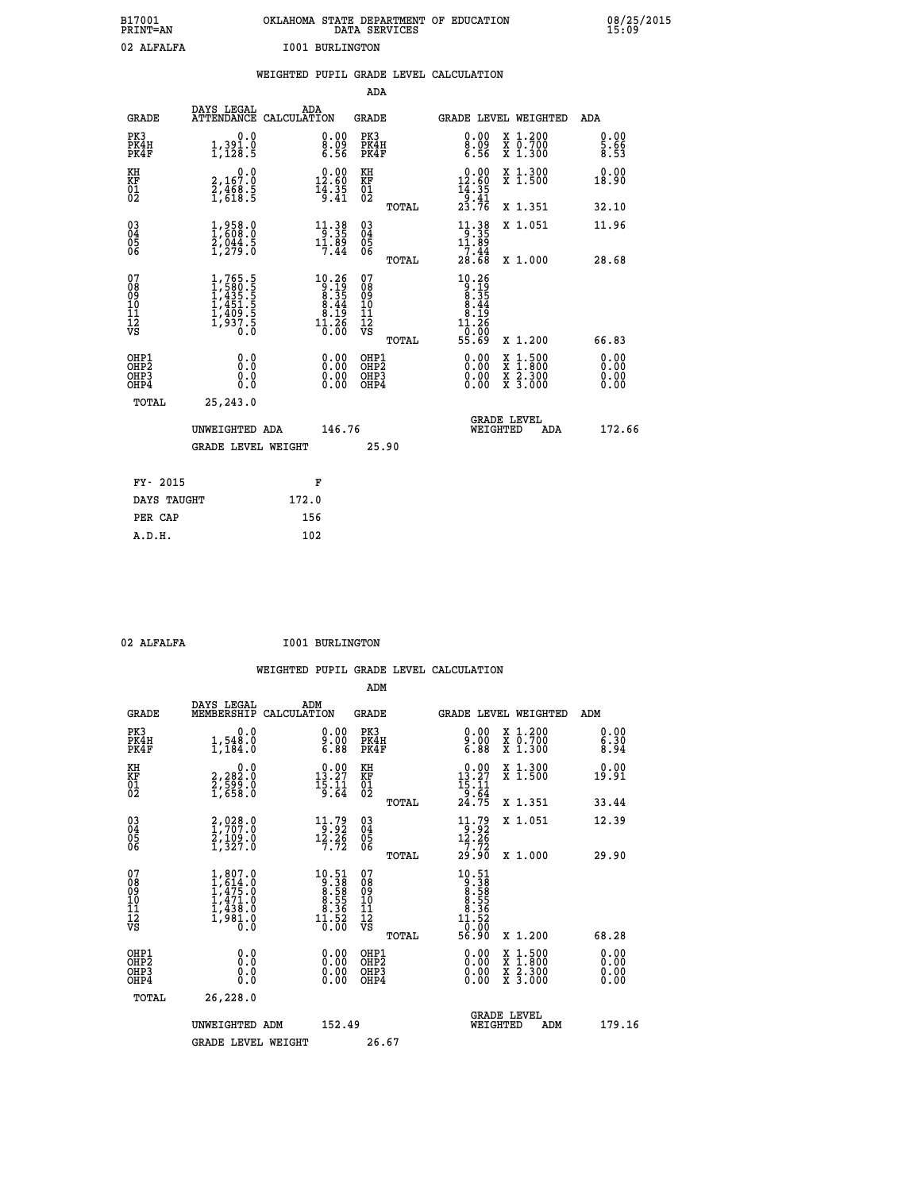| B17001<br>PRINT=AN | OKLAHOMA STATE DEPARTMENT OF EDUCATION<br>DATA SERVICES | 08/25/2015<br>15:09 |
|--------------------|---------------------------------------------------------|---------------------|
| 02 ALFALFA         | 1001 BURLINGTON                                         |                     |

|                                        |                                                                                     | WEIGHTED PUPIL GRADE LEVEL CALCULATION                                                                |                                        |                                                                                                                                                                                                                                                                                                                                                                                                                                             |                              |
|----------------------------------------|-------------------------------------------------------------------------------------|-------------------------------------------------------------------------------------------------------|----------------------------------------|---------------------------------------------------------------------------------------------------------------------------------------------------------------------------------------------------------------------------------------------------------------------------------------------------------------------------------------------------------------------------------------------------------------------------------------------|------------------------------|
|                                        |                                                                                     |                                                                                                       | <b>ADA</b>                             |                                                                                                                                                                                                                                                                                                                                                                                                                                             |                              |
| <b>GRADE</b>                           | DAYS LEGAL                                                                          | ADA<br>ATTENDANCE CALCULATION                                                                         | <b>GRADE</b>                           | GRADE LEVEL WEIGHTED                                                                                                                                                                                                                                                                                                                                                                                                                        | ADA                          |
| PK3<br>PK4H<br>PK4F                    | 0.0<br>$1,391.0$<br>$1,128.5$                                                       | 0.00<br>ě.ŏ<br>6.56                                                                                   | PK3<br>PK4H<br>PK4F                    | 0.00<br>X 1.200<br>X 0.700<br>X 1.300<br>$_{6.56}^{\tilde{8}\, \tilde{0}\, \tilde{9}}$                                                                                                                                                                                                                                                                                                                                                      | 0.00<br>5.66<br>8.53         |
| KH<br><b>KF</b><br>01<br>02            | 0.0<br>2,167:0<br>2,468:5<br>1,618:5                                                | $\begin{smallmatrix} 0.00\\ 12.60\\ 14.35\\ 15.41 \end{smallmatrix}$                                  | KH<br>KF<br>01<br>02                   | X 1.300<br>X 1.500<br>$\begin{array}{r} 0.00 \\[-4pt] 12.60 \\[-4pt] 14.35 \\[-4pt] 9.41 \\[-4pt] 23.76 \end{array}$                                                                                                                                                                                                                                                                                                                        | 0.00<br>18.90                |
|                                        |                                                                                     |                                                                                                       | TOTAL                                  | X 1.351                                                                                                                                                                                                                                                                                                                                                                                                                                     | 32.10                        |
| $^{03}_{04}$<br>Ŏ5                     | 1,858.0<br>$\frac{2}{1}$ , $\frac{044}{279}$ . $\frac{5}{0}$                        | $11.38$<br>9:35<br>$1\overline{1}\cdot 8\overline{9}$<br>7.44                                         | $\substack{03 \\ 04}$<br>Ŏ5            | $\begin{array}{r} 11 \cdot 38 \\ -35 \\ 11 \cdot 89 \\ 7 \cdot 44 \\ 28 \cdot 68 \end{array}$<br>X 1.051                                                                                                                                                                                                                                                                                                                                    | 11.96                        |
| ŌĞ                                     |                                                                                     |                                                                                                       | ŎĞ<br>TOTAL                            | X 1.000                                                                                                                                                                                                                                                                                                                                                                                                                                     | 28.68                        |
| 07<br>08<br>09<br>10<br>11<br>12<br>VS | $1,765.5$<br>$1,435.5$<br>$1,435.5$<br>$1,451.5$<br>$1,409.5$<br>$1,937.5$<br>$0.0$ | $\begin{smallmatrix} 10.26 \\ 9.19 \\ 8.35 \\ 8.44 \\ 8.19 \\ 1.26 \\ 1.36 \\ 0.00 \end{smallmatrix}$ | 07<br>089<br>101<br>111<br>VS<br>TOTAL | $\begin{array}{@{}c@{\hspace{1em}}c@{\hspace{1em}}c@{\hspace{1em}}c@{\hspace{1em}}c@{\hspace{1em}}c@{\hspace{1em}}c@{\hspace{1em}}c@{\hspace{1em}}c@{\hspace{1em}}c@{\hspace{1em}}c@{\hspace{1em}}c@{\hspace{1em}}c@{\hspace{1em}}c@{\hspace{1em}}c@{\hspace{1em}}c@{\hspace{1em}}c@{\hspace{1em}}c@{\hspace{1em}}c@{\hspace{1em}}c@{\hspace{1em}}c@{\hspace{1em}}c@{\hspace{1em}}c@{\hspace{1em}}c@{\hspace{$<br>ŏ5:ŏŏ<br>55.69<br>X 1.200 | 66.83                        |
| OHP1<br>OHP2<br>OHP3<br>OHP4           | 0.0<br>Ō.Ō<br>0.0<br>0.0                                                            | $\begin{smallmatrix} 0.00 \ 0.00 \ 0.00 \ 0.00 \end{smallmatrix}$                                     | OHP1<br>OHP2<br>OHP3<br>OHP4           | 0.00<br>$\begin{smallmatrix} x & 1 & 500 \\ x & 1 & 800 \\ x & 2 & 300 \\ x & 3 & 000 \end{smallmatrix}$<br>0.00                                                                                                                                                                                                                                                                                                                            | 0.00<br>0.00<br>0.00<br>0.00 |
| TOTAL                                  | 25,243.0                                                                            |                                                                                                       |                                        |                                                                                                                                                                                                                                                                                                                                                                                                                                             |                              |
|                                        | UNWEIGHTED ADA                                                                      | 146.76                                                                                                |                                        | <b>GRADE LEVEL</b><br>WEIGHTED<br>ADA                                                                                                                                                                                                                                                                                                                                                                                                       | 172.66                       |
|                                        | <b>GRADE LEVEL WEIGHT</b>                                                           |                                                                                                       | 25.90                                  |                                                                                                                                                                                                                                                                                                                                                                                                                                             |                              |
| FY- 2015                               |                                                                                     | F                                                                                                     |                                        |                                                                                                                                                                                                                                                                                                                                                                                                                                             |                              |
| DAYS TAUGHT                            |                                                                                     | 172.0                                                                                                 |                                        |                                                                                                                                                                                                                                                                                                                                                                                                                                             |                              |
| PER CAP                                |                                                                                     | 156                                                                                                   |                                        |                                                                                                                                                                                                                                                                                                                                                                                                                                             |                              |

| 02 ALFALFA |
|------------|

02 ALFALFA **I001 BURLINGTON** 

|  |     | WEIGHTED PUPIL GRADE LEVEL CALCULATION |
|--|-----|----------------------------------------|
|  | ADM |                                        |

| <b>GRADE</b>                                       | DAYS LEGAL<br>MEMBERSHIP                                                            | ADM<br>CALCULATION                                                                                            | <b>GRADE</b>                                       |       | GRADE LEVEL WEIGHTED                                                                                                                                                                                                                                                           |                                          | ADM                         |  |
|----------------------------------------------------|-------------------------------------------------------------------------------------|---------------------------------------------------------------------------------------------------------------|----------------------------------------------------|-------|--------------------------------------------------------------------------------------------------------------------------------------------------------------------------------------------------------------------------------------------------------------------------------|------------------------------------------|-----------------------------|--|
| PK3<br>PK4H<br>PK4F                                | $\begin{smallmatrix}&&&0.0\\1,548.0\\1,184.0\end{smallmatrix}$                      | $\begin{smallmatrix} 0.00\\ 9.00\\ 6.88 \end{smallmatrix}$                                                    | PK3<br>PK4H<br>PK4F                                |       | $9.00$<br>$6.88$                                                                                                                                                                                                                                                               | X 1.200<br>X 0.700<br>X 1.300            | 0.00<br>$\frac{6.30}{8.94}$ |  |
| KH<br>KF<br>01<br>02                               | $\begin{smallmatrix} 0.0\\2,282.0\\2,599.0\\1,658.0 \end{smallmatrix}$              | $\begin{smallmatrix} 0.00\\ 13.27\\ 15.11\\ 9.64 \end{smallmatrix}$                                           | KH<br>KF<br>01<br>02                               |       | $\begin{array}{r} 0.00 \\[-4pt] 13.27 \\[-4pt] 15.11 \\[-4pt] 9.64 \\[-4pt] 24.75 \end{array}$                                                                                                                                                                                 | X 1.300<br>X 1.500                       | 0.00<br>19.91               |  |
|                                                    |                                                                                     |                                                                                                               |                                                    | TOTAL |                                                                                                                                                                                                                                                                                | X 1.351                                  | 33.44                       |  |
| $\begin{matrix} 03 \\ 04 \\ 05 \\ 06 \end{matrix}$ | 2,028.0<br>1,707.0<br>2,109.0<br>1,327.0                                            | $\begin{array}{c} 11.79 \\[-4pt] 9.92 \\[-4pt] 12.26 \\[-4pt] 7.72 \end{array}$                               | $\begin{matrix} 03 \\ 04 \\ 05 \\ 06 \end{matrix}$ |       | $\begin{array}{c} 11.79 \\[-4pt] 12.26 \\[-4pt] 7.72 \\[-4pt] 29.90 \end{array}$                                                                                                                                                                                               | X 1.051                                  | 12.39                       |  |
|                                                    |                                                                                     |                                                                                                               |                                                    | TOTAL |                                                                                                                                                                                                                                                                                | X 1.000                                  | 29.90                       |  |
| 07<br>089<br>090<br>1112<br>VS                     | $1,807.0$<br>$1,614.0$<br>$1,475.0$<br>$1,431.0$<br>$1,438.0$<br>$1,981.0$<br>$0.0$ | $\begin{smallmatrix} 10.51 \\ 9.38 \\ 8.58 \\ 8.55 \\ 8.55 \\ 1.36 \\ 1.36 \\ 1.52 \\ 0.00 \end{smallmatrix}$ | 07<br>08<br>09<br>01<br>11<br>11<br>12<br>VS       | TOTAL | $\begin{smallmatrix} 10.51\ 9.38\\ 9.38\\ 8.58\\ 8.555\\ 8.355\\ 11.52\\ 0.00\\ 56.90 \end{smallmatrix}$                                                                                                                                                                       | X 1.200                                  | 68.28                       |  |
| OHP1<br>OHP2<br>OH <sub>P3</sub><br>OHP4           | $\begin{smallmatrix} 0.0 \ 0.0 \ 0.0 \end{smallmatrix}$                             | $\begin{smallmatrix} 0.00 \ 0.00 \ 0.00 \ 0.00 \end{smallmatrix}$                                             | OHP1<br>OHP2<br>OHP3<br>OHP4                       |       | $\begin{smallmatrix} 0.00 & 0.00 & 0.00 & 0.00 & 0.00 & 0.00 & 0.00 & 0.00 & 0.00 & 0.00 & 0.00 & 0.00 & 0.00 & 0.00 & 0.00 & 0.00 & 0.00 & 0.00 & 0.00 & 0.00 & 0.00 & 0.00 & 0.00 & 0.00 & 0.00 & 0.00 & 0.00 & 0.00 & 0.00 & 0.00 & 0.00 & 0.00 & 0.00 & 0.00 & 0.00 & 0.0$ | X 1:500<br>X 1:800<br>X 2:300<br>X 3:000 | 0.00<br>0.00<br>0.00        |  |
| TOTAL                                              | 26,228.0                                                                            |                                                                                                               |                                                    |       |                                                                                                                                                                                                                                                                                |                                          |                             |  |
|                                                    | UNWEIGHTED<br>ADM                                                                   | 152.49                                                                                                        |                                                    |       | WEIGHTED                                                                                                                                                                                                                                                                       | <b>GRADE LEVEL</b><br>ADM                | 179.16                      |  |
|                                                    | <b>GRADE LEVEL WEIGHT</b>                                                           |                                                                                                               | 26.67                                              |       |                                                                                                                                                                                                                                                                                |                                          |                             |  |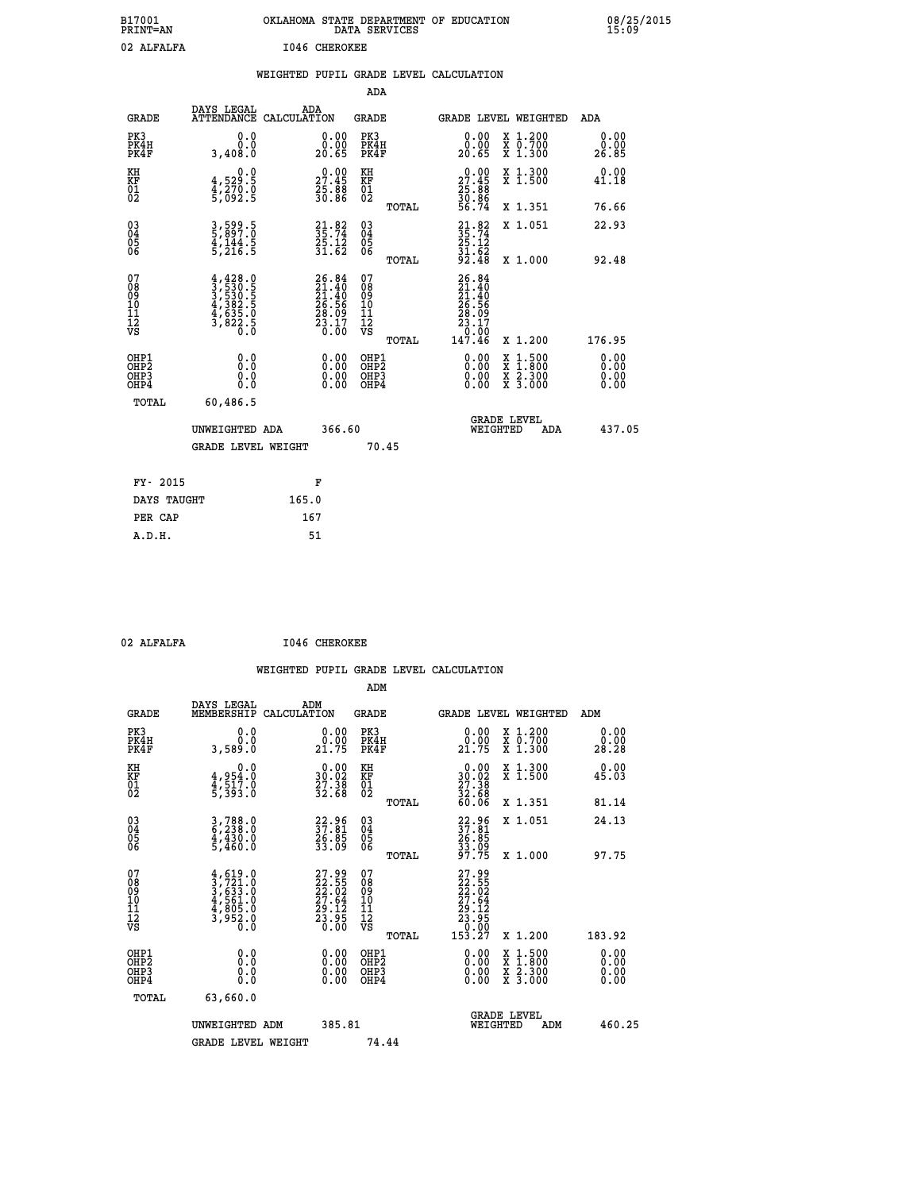| B17001<br><b>PRINT=AN</b> | OKLAHOMA STATE DEPARTMENT OF EDUCATION<br>DATA SERVICES | 08/25/2015<br>15:09 |
|---------------------------|---------------------------------------------------------|---------------------|
| 02 ALFALFA                | 1046 CHEROKEE                                           |                     |

|                                                       |              |                                                                                                                                                                                    |       |                                                                          |                                                     |       | WEIGHTED PUPIL GRADE LEVEL CALCULATION                                                                                                                                                                                                                                         |                                          |            |                       |        |
|-------------------------------------------------------|--------------|------------------------------------------------------------------------------------------------------------------------------------------------------------------------------------|-------|--------------------------------------------------------------------------|-----------------------------------------------------|-------|--------------------------------------------------------------------------------------------------------------------------------------------------------------------------------------------------------------------------------------------------------------------------------|------------------------------------------|------------|-----------------------|--------|
|                                                       |              |                                                                                                                                                                                    |       |                                                                          | ADA                                                 |       |                                                                                                                                                                                                                                                                                |                                          |            |                       |        |
|                                                       | <b>GRADE</b> | DAYS LEGAL<br>ATTENDANCE CALCULATION                                                                                                                                               | ADA   |                                                                          | <b>GRADE</b>                                        |       | GRADE LEVEL WEIGHTED                                                                                                                                                                                                                                                           |                                          |            | ADA                   |        |
| PK3<br>PK4H<br>PK4F                                   |              | 0.0<br>0.0<br>3,408.0                                                                                                                                                              |       | $\begin{smallmatrix} 0.00\\ 0.00\\ 20.65 \end{smallmatrix}$              | PK3<br>PK4H<br>PK4F                                 |       | $\begin{smallmatrix} 0.00\\ 0.00\\ 20.65 \end{smallmatrix}$                                                                                                                                                                                                                    | X 1.200<br>X 0.700<br>X 1.300            |            | 0.00<br>0.00<br>26.85 |        |
| KH<br>KF<br>01<br>02                                  |              | 0.0<br>4,529:5<br>4,270:0<br>5,092:5                                                                                                                                               |       | 27.45<br>$\frac{25.88}{30.86}$                                           | KH<br>KF<br>01<br>02                                |       | $29.00$<br>27.45<br>$\frac{25}{30}$ : $\frac{88}{36}$<br>56.74                                                                                                                                                                                                                 | X 1.300<br>X 1.500                       |            | 0.00<br>41.18         |        |
|                                                       |              |                                                                                                                                                                                    |       |                                                                          |                                                     | TOTAL |                                                                                                                                                                                                                                                                                | X 1.351                                  |            | 76.66                 |        |
| 03<br>04<br>05<br>06                                  |              | 3,599.5<br>5,897.0<br>4,144.5<br>5,216.5                                                                                                                                           |       | $21.82$<br>$35.74$<br>$25.12$<br>$31.62$                                 | $\begin{array}{c} 03 \\ 04 \\ 05 \\ 06 \end{array}$ |       | $21.82$<br>$35.74$<br>$25.12$<br>$31.62$<br>$92.48$                                                                                                                                                                                                                            | X 1.051                                  |            | 22.93                 |        |
|                                                       |              |                                                                                                                                                                                    |       |                                                                          |                                                     | TOTAL |                                                                                                                                                                                                                                                                                | X 1.000                                  |            | 92.48                 |        |
| 07<br>08<br>09<br>01<br>11<br>11<br>12<br>VS          |              | $\begin{smallmatrix} 4\,, & 428\,, & 0\\ 3\,, & 530\,, & 5\\ 3\,, & 530\,, & 5\\ 4\,, & 382\,, & 5\\ 4\,, & 635\,, & 0\\ 3\,, & 822\,, & 5\\ 0\,, & 0\,, & 0\,, \end{smallmatrix}$ |       | $26.84$<br>$21.40$<br>$21.40$<br>$26.56$<br>$28.09$<br>$23.17$<br>$0.00$ | 07<br>08<br>09<br>101<br>11<br>12<br>VS             | TOTAL | 26.84<br>$\begin{smallmatrix} 201.40 \ 21.40 \ 26.56 \ 28.09 \ 23.17 \ 0.00 \ 147.46 \end{smallmatrix}$                                                                                                                                                                        | X 1.200                                  |            | 176.95                |        |
| OHP1<br>OH <sub>P</sub> 2<br>OH <sub>P3</sub><br>OHP4 |              | 0.0<br>0.000                                                                                                                                                                       |       | $\begin{smallmatrix} 0.00 \ 0.00 \ 0.00 \ 0.00 \end{smallmatrix}$        | OHP1<br>OHP <sub>2</sub><br>OHP <sub>3</sub>        |       | $\begin{smallmatrix} 0.00 & 0.00 & 0.00 & 0.00 & 0.00 & 0.00 & 0.00 & 0.00 & 0.00 & 0.00 & 0.00 & 0.00 & 0.00 & 0.00 & 0.00 & 0.00 & 0.00 & 0.00 & 0.00 & 0.00 & 0.00 & 0.00 & 0.00 & 0.00 & 0.00 & 0.00 & 0.00 & 0.00 & 0.00 & 0.00 & 0.00 & 0.00 & 0.00 & 0.00 & 0.00 & 0.0$ | X 1:500<br>X 1:800<br>X 2:300<br>X 3:000 |            | 0.00<br>0.00<br>0.00  |        |
|                                                       | TOTAL        | 60,486.5                                                                                                                                                                           |       |                                                                          |                                                     |       |                                                                                                                                                                                                                                                                                |                                          |            |                       |        |
|                                                       |              | UNWEIGHTED ADA                                                                                                                                                                     |       | 366.60                                                                   |                                                     |       | <b>GRADE LEVEL</b><br>WEIGHTED                                                                                                                                                                                                                                                 |                                          | <b>ADA</b> |                       | 437.05 |
|                                                       |              | <b>GRADE LEVEL WEIGHT</b>                                                                                                                                                          |       |                                                                          |                                                     | 70.45 |                                                                                                                                                                                                                                                                                |                                          |            |                       |        |
|                                                       | FY- 2015     |                                                                                                                                                                                    |       | F                                                                        |                                                     |       |                                                                                                                                                                                                                                                                                |                                          |            |                       |        |
|                                                       | DAYS TAUGHT  |                                                                                                                                                                                    | 165.0 |                                                                          |                                                     |       |                                                                                                                                                                                                                                                                                |                                          |            |                       |        |
|                                                       | PER CAP      |                                                                                                                                                                                    | 167   |                                                                          |                                                     |       |                                                                                                                                                                                                                                                                                |                                          |            |                       |        |

| 02 | ALFALFA |
|----|---------|
|    |         |

 **02 ALFALFA I046 CHEROKEE**

 **WEIGHTED PUPIL GRADE LEVEL CALCULATION ADM DAYS LEGAL ADM GRADE MEMBERSHIP CALCULATION GRADE GRADE LEVEL WEIGHTED ADM PK3 0.0 0.00 PK3 0.00 X 1.200 0.00 PK4H 0.0 0.00 PK4H 0.00 X 0.700 0.00 PK4F 3,589.0 21.75 PK4F 21.75 X 1.300 28.28 KH 0.0 0.00 KH 0.00 X 1.300 0.00 KF 4,954.0 30.02 KF 30.02 X 1.500 45.03 01 4,517.0 27.38 01 27.38 02 5,393.0 32.68 02 32.68 TOTAL 60.06 X 1.351 81.14**

| 03<br>04<br>05<br>06                                 | $\begin{smallmatrix} 3 & 788 & 0 \\ 6 & 238 & 0 \\ 4 & 430 & 0 \\ 5 & 460 & 0 \end{smallmatrix}$ | 22.96<br>37.81<br>26.85<br>33.09                           | $\begin{matrix} 03 \\ 04 \\ 05 \\ 06 \end{matrix}$<br>TOTAL | 22.96<br>37.81<br>26.85<br>33.09<br>37.75                                                                     | X 1.051<br>X 1.000                       | 24.13<br>97.75                                                                                                                                                                                                                                                                 |
|------------------------------------------------------|--------------------------------------------------------------------------------------------------|------------------------------------------------------------|-------------------------------------------------------------|---------------------------------------------------------------------------------------------------------------|------------------------------------------|--------------------------------------------------------------------------------------------------------------------------------------------------------------------------------------------------------------------------------------------------------------------------------|
| 07<br>08<br>09<br>101<br>11<br>12<br>VS              | $4, 619.0$<br>$3, 721.0$<br>$3, 633.0$<br>$4, 561.0$<br>$4, 805.0$<br>$3, 952.0$<br>$0.0$        | 27.99<br>22.55<br>22.02<br>27.64<br>29.12<br>23.95<br>0.00 | 07<br>08<br>09<br>101<br>11<br>12<br>VS<br>TOTAL            | $\begin{smallmatrix} 27.99\\ 22.55\\ 22.52\\ 27.64\\ 29.12\\ 23.95\\ 23.95\\ 0.00\\ 153.27 \end{smallmatrix}$ | X 1.200                                  | 183.92                                                                                                                                                                                                                                                                         |
| OHP1<br>OHP <sub>2</sub><br>OH <sub>P3</sub><br>OHP4 | 0.0<br>0.0<br>0.0                                                                                | $0.00$<br>$0.00$<br>0.00                                   | OHP1<br>OHP <sub>2</sub><br>OHP3<br>OHP4                    |                                                                                                               | x 1:500<br>x 1:800<br>x 2:300<br>X 3.000 | $\begin{smallmatrix} 0.00 & 0.00 & 0.00 & 0.00 & 0.00 & 0.00 & 0.00 & 0.00 & 0.00 & 0.00 & 0.00 & 0.00 & 0.00 & 0.00 & 0.00 & 0.00 & 0.00 & 0.00 & 0.00 & 0.00 & 0.00 & 0.00 & 0.00 & 0.00 & 0.00 & 0.00 & 0.00 & 0.00 & 0.00 & 0.00 & 0.00 & 0.00 & 0.00 & 0.00 & 0.00 & 0.0$ |
| TOTAL                                                | 63,660.0<br>UNWEIGHTED<br>ADM<br><b>GRADE LEVEL WEIGHT</b>                                       | 385.81                                                     | 74.44                                                       | WEIGHTED                                                                                                      | <b>GRADE LEVEL</b><br>ADM                | 460.25                                                                                                                                                                                                                                                                         |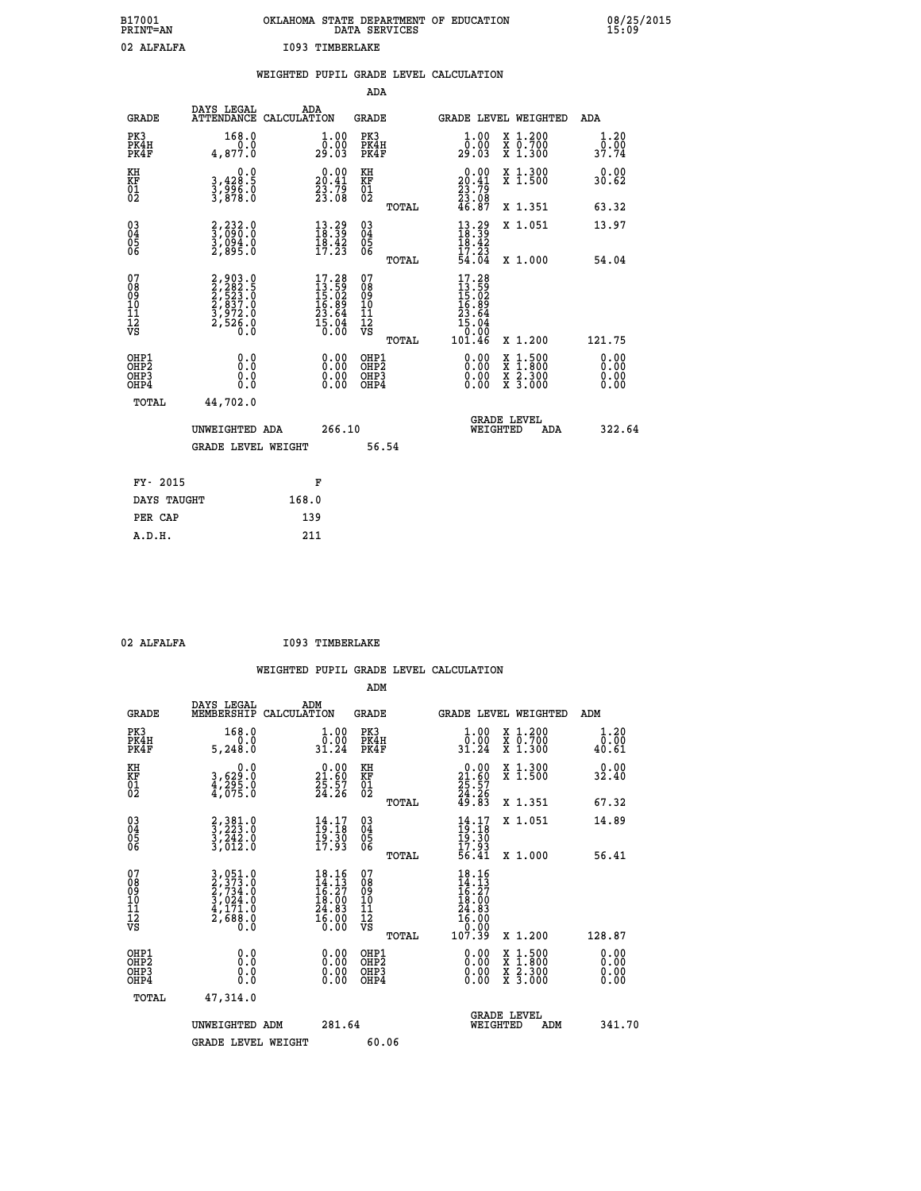| B17001<br>PRINT=AN | OKLAHOMA STATE DEPARTMENT OF EDUCATION<br>DATA SERVICES | 08/25/2015<br>15:09 |
|--------------------|---------------------------------------------------------|---------------------|
| 02 ALFALFA         | 1093 TIMBERLAKE                                         |                     |

|                                                                    |                                                                           | WEIGHTED PUPIL GRADE LEVEL CALCULATION                                                                            |                                                     |       |                                                                                                                                                                           |                                          |                               |
|--------------------------------------------------------------------|---------------------------------------------------------------------------|-------------------------------------------------------------------------------------------------------------------|-----------------------------------------------------|-------|---------------------------------------------------------------------------------------------------------------------------------------------------------------------------|------------------------------------------|-------------------------------|
|                                                                    |                                                                           |                                                                                                                   | <b>ADA</b>                                          |       |                                                                                                                                                                           |                                          |                               |
| <b>GRADE</b>                                                       | DAYS LEGAL<br>ATTENDANCE CALCULATION                                      | ADA                                                                                                               | <b>GRADE</b>                                        |       |                                                                                                                                                                           | GRADE LEVEL WEIGHTED                     | <b>ADA</b>                    |
| PK3<br>PK4H<br>PK4F                                                | 168.0<br>4,877.0                                                          | $\begin{smallmatrix} 1.00\\[-1mm] 0.00\\[-1mm] 29.03\end{smallmatrix}$                                            | PK3<br>PK4H<br>PK4F                                 |       | 1.00<br>ō:ŏŏ<br>29:03                                                                                                                                                     | X 1.200<br>X 0.700<br>X 1.300            | 1.20                          |
| KH<br>KF<br>01<br>02                                               | 0.0<br>3,428:5<br>3,996:0<br>3,878:0                                      | $20.00$<br>20.41<br>$\frac{53}{23}\cdot\frac{75}{08}$                                                             | KH<br>KF<br>01<br>02                                |       | $\begin{smallmatrix} 0.00\\20.41\\23.79\\23.08\\46.87 \end{smallmatrix}$                                                                                                  | X 1.300<br>X 1.500                       | 0.00<br>30.62                 |
|                                                                    |                                                                           |                                                                                                                   |                                                     | TOTAL |                                                                                                                                                                           | X 1.351                                  | 63.32                         |
| $\begin{smallmatrix} 03 \\[-4pt] 04 \end{smallmatrix}$<br>Ŏ5<br>06 | 2,232.0<br>3,090.0<br>3,094.0<br>2,895.0                                  | $\begin{array}{l} 13\cdot 29\\18\cdot 39\\18\cdot 42\\17\cdot 23 \end{array}$                                     | $\begin{array}{c} 03 \\ 04 \\ 05 \\ 06 \end{array}$ |       | $\begin{smallmatrix} 13\cdot 29\\18\cdot 39\\18\cdot 42\\17\cdot 23\\54\cdot 04\end{smallmatrix}$                                                                         | X 1.051                                  | 13.97                         |
|                                                                    |                                                                           |                                                                                                                   |                                                     | TOTAL |                                                                                                                                                                           | X 1.000                                  | 54.04                         |
| 07<br>0890112<br>1112<br>VS                                        | 2,903.0<br>2,282.5<br>2,523.0<br>2,837.0<br>3,972.0<br>3,972.0<br>2,526.0 | $\begin{smallmatrix} 17\cdot28\\13\cdot59\\15\cdot02\\16\cdot89\\23\cdot64\\25\cdot04\\5\cdot00\end{smallmatrix}$ | 07<br>08901112<br>1112<br>VS                        | TOTAL | 17.28<br>$\begin{smallmatrix} 1 & 2 & 5 & 9 \\ 13 & 5 & 0 & 2 \\ 15 & 0 & 2 & 9 \\ 23 & 6 & 4 & 1 \\ 15 & 0 & 0 & 0 \\ 0 & 0 & 0 & 0 \\ 10 & 1 & 4 & 6 \end{smallmatrix}$ | X 1.200                                  | 121.75                        |
| OHP1<br>OHP2<br>OH <sub>P3</sub><br>OHP4                           | 0.0<br>0.0<br>0.0                                                         | $\begin{smallmatrix} 0.00 \ 0.00 \ 0.00 \ 0.00 \end{smallmatrix}$                                                 | OHP1<br>OHP2<br>OHP3<br>OHP4                        |       | 0.00<br>0.00<br>0.00                                                                                                                                                      | X 1:500<br>X 1:800<br>X 2:300<br>X 3:000 | 0.00<br>Ō. ŌŌ<br>0.00<br>0.00 |
| <b>TOTAL</b>                                                       | 44,702.0                                                                  |                                                                                                                   |                                                     |       |                                                                                                                                                                           |                                          |                               |
|                                                                    | UNWEIGHTED ADA                                                            | 266.10                                                                                                            |                                                     |       | WEIGHTED                                                                                                                                                                  | <b>GRADE LEVEL</b><br>ADA                | 322.64                        |
|                                                                    | <b>GRADE LEVEL WEIGHT</b>                                                 |                                                                                                                   |                                                     | 56.54 |                                                                                                                                                                           |                                          |                               |
| FY- 2015                                                           |                                                                           | F                                                                                                                 |                                                     |       |                                                                                                                                                                           |                                          |                               |
| DAYS TAUGHT                                                        |                                                                           | 168.0                                                                                                             |                                                     |       |                                                                                                                                                                           |                                          |                               |
| PER CAP                                                            |                                                                           | 139                                                                                                               |                                                     |       |                                                                                                                                                                           |                                          |                               |

| 02 ALFALFA |
|------------|

 **ADM**

**I093 TIMBERLAKE** 

| <b>GRADE</b>                                       | DAYS LEGAL<br>MEMBERSHIP CALCULATION                                                                                                                        | ADM                                                                        | <b>GRADE</b>                                  |       |                                                                                                     | GRADE LEVEL WEIGHTED                                                                                                | ADM                   |
|----------------------------------------------------|-------------------------------------------------------------------------------------------------------------------------------------------------------------|----------------------------------------------------------------------------|-----------------------------------------------|-------|-----------------------------------------------------------------------------------------------------|---------------------------------------------------------------------------------------------------------------------|-----------------------|
| PK3<br>PK4H<br>PK4F                                | 168.0<br>0.0<br>5,248.0                                                                                                                                     | $\begin{smallmatrix} 1.00\\[-1.2mm] 0.00\\[-1.2mm] 31.24\end{smallmatrix}$ | PK3<br>PK4H<br>PK4F                           |       | 1.00<br>$\frac{0.00}{31.24}$                                                                        | X 1.200<br>X 0.700<br>X 1.300                                                                                       | 1.20<br>0.00<br>40.61 |
| KH<br>KF<br>01<br>02                               | 0.0<br>3,629:0<br>4,295:0<br>4,075:0                                                                                                                        | $\begin{smallmatrix} 0.00\\ 21.60\\ 25.57\\ 24.26 \end{smallmatrix}$       | KH<br><b>KF</b><br>01<br>02                   |       | $\begin{smallmatrix} 0.00\\21.60\\25.57\\24.26\\49.83 \end{smallmatrix}$                            | X 1.300<br>X 1.500                                                                                                  | 0.00<br>32.40         |
|                                                    |                                                                                                                                                             |                                                                            |                                               | TOTAL |                                                                                                     | X 1.351                                                                                                             | 67.32                 |
| $\begin{matrix} 03 \\ 04 \\ 05 \\ 06 \end{matrix}$ | $\begin{smallmatrix} 2,381.0\\ 3,223.0\\ 3,242.0\\ 3,012.0 \end{smallmatrix}$                                                                               | $\frac{14}{19}:18$<br>$\frac{15.30}{17.93}$                                | $\substack{03 \\ 04}$<br>05<br>06             |       | $14.17$<br>$19.18$<br>$19.30$<br>$17.93$<br>$56.41$                                                 | X 1.051                                                                                                             | 14.89                 |
|                                                    |                                                                                                                                                             |                                                                            |                                               | TOTAL |                                                                                                     | X 1.000                                                                                                             | 56.41                 |
| 07<br>08<br>09<br>101<br>11<br>12<br>VS            | $\begin{smallmatrix} 3\,,\,051\,.\,0\\ 2\,,\,373\,.\,0\\ 2\,,\,734\,.\,0\\ 3\,,\,024\,.\,0\\ 4\,,\,171\,.\,0\\ 2\,,\,688\,.\,0\\ 0\,.\,0 \end{smallmatrix}$ | 18.16<br>$14.13$<br>$16.27$<br>$18.00$<br>$24.83$<br>$16.00$<br>$0.00$     | 07<br>08<br>09<br>001<br>11<br>11<br>12<br>VS | TOTAL | $\begin{array}{r} 18.16 \\ 14.13 \\ 16.27 \\ 18.00 \\ 24.83 \\ 16.00 \\ 0.00 \\ 107.39 \end{array}$ | X 1.200                                                                                                             | 128.87                |
| OHP1                                               |                                                                                                                                                             |                                                                            | OHP1                                          |       |                                                                                                     |                                                                                                                     |                       |
| OHP <sub>2</sub><br>OH <sub>P3</sub><br>OHP4       | 0.0<br>0.000                                                                                                                                                |                                                                            | OHP2<br>OHP3<br>OHP4                          |       | 0.00<br>0.00                                                                                        | $\begin{array}{l} \mathtt{X} & 1.500 \\ \mathtt{X} & 1.800 \\ \mathtt{X} & 2.300 \\ \mathtt{X} & 3.000 \end{array}$ | 0.00<br>0.00<br>0.00  |
| TOTAL                                              | 47,314.0                                                                                                                                                    |                                                                            |                                               |       |                                                                                                     |                                                                                                                     |                       |
|                                                    | UNWEIGHTED<br>ADM                                                                                                                                           | 281.64                                                                     |                                               |       | WEIGHTED                                                                                            | <b>GRADE LEVEL</b><br>ADM                                                                                           | 341.70                |
|                                                    | <b>GRADE LEVEL WEIGHT</b>                                                                                                                                   |                                                                            | 60.06                                         |       |                                                                                                     |                                                                                                                     |                       |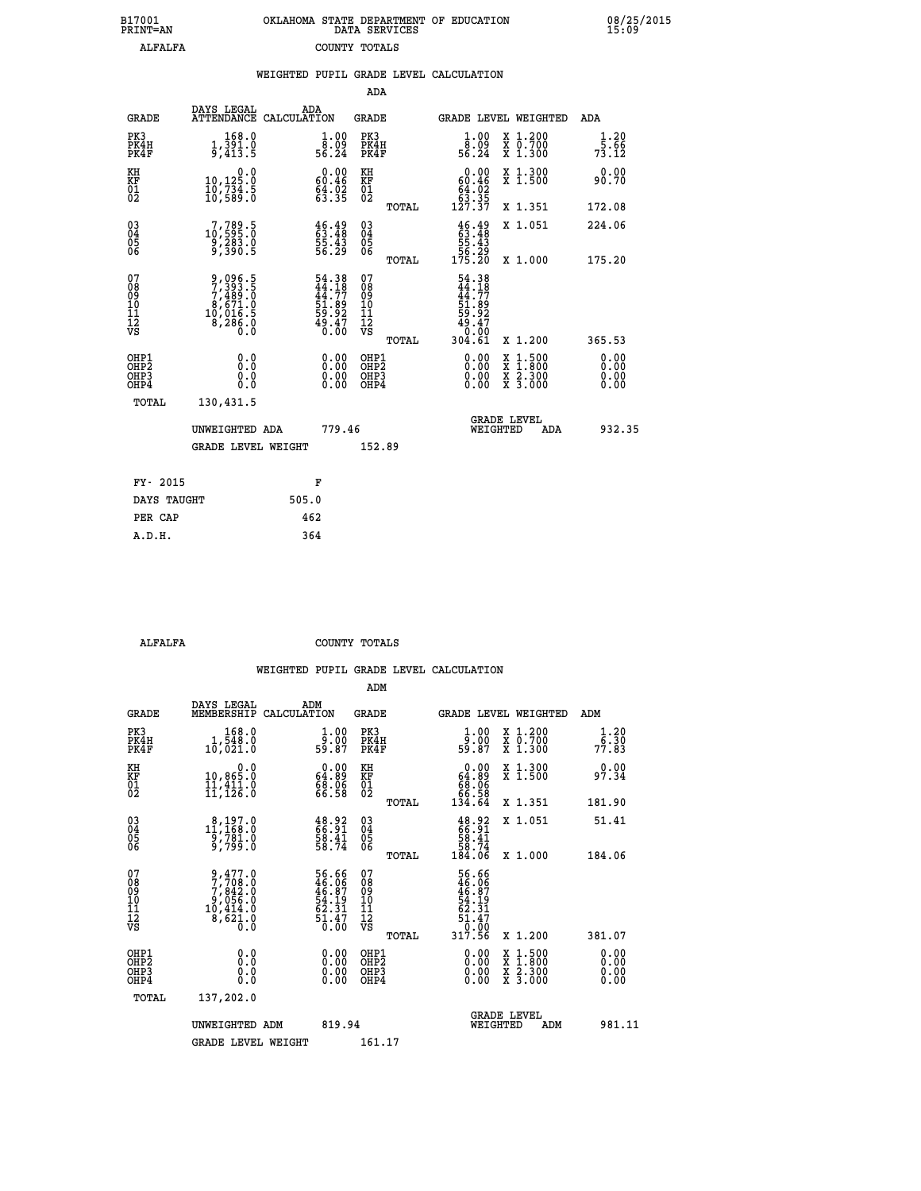| 7001<br>INT=AN |  | OKLAHOMA STATE DEPARTMENT OF EDUCATION<br>DATA SERVICES |  |  |
|----------------|--|---------------------------------------------------------|--|--|
| ALFALFA        |  | COUNTY TOTALS                                           |  |  |

 **B17001 OKLAHOMA STATE DEPARTMENT OF EDUCATION 08/25/2015**

|                                                       |                                                                            | WEIGHTED PUPIL GRADE LEVEL CALCULATION                            |                                                    |       |                                                                                                                                                                                                                                                                                |                                                                                                                                           |                                                                            |
|-------------------------------------------------------|----------------------------------------------------------------------------|-------------------------------------------------------------------|----------------------------------------------------|-------|--------------------------------------------------------------------------------------------------------------------------------------------------------------------------------------------------------------------------------------------------------------------------------|-------------------------------------------------------------------------------------------------------------------------------------------|----------------------------------------------------------------------------|
|                                                       |                                                                            |                                                                   | <b>ADA</b>                                         |       |                                                                                                                                                                                                                                                                                |                                                                                                                                           |                                                                            |
| <b>GRADE</b>                                          | DAYS LEGAL                                                                 | ADA<br>ATTENDANCE CALCULATION                                     | <b>GRADE</b>                                       |       |                                                                                                                                                                                                                                                                                | GRADE LEVEL WEIGHTED                                                                                                                      | ADA                                                                        |
| PK3<br>PK4H<br>PK4F                                   | 168.0<br>$1,391.0$<br>9,413.5                                              | $\begin{smallmatrix} 1.00\\ 8.09\\ 56.24 \end{smallmatrix}$       | PK3<br>PK4H<br>PK4F                                |       | $\begin{smallmatrix} 1.00\\ 8.09\\ 56.24 \end{smallmatrix}$                                                                                                                                                                                                                    | X 1.200<br>X 0.700<br>X 1.300                                                                                                             | 1.20<br>$7\overline{3}\cdot\overline{5}\cdot\overline{6}\cdot\overline{6}$ |
| KH<br>KF<br>01<br>02                                  | $\begin{smallmatrix}&&&0.0\\10,125.0\\10,734.5\\10,589.0\end{smallmatrix}$ | $0.00$<br>9.46<br>$64.02$<br>$63.35$                              | KH<br>KF<br>01<br>02                               |       | $\begin{smallmatrix} &0.00\\ 60.46\\ 64.02\\ 63.35\\ 127.37\end{smallmatrix}$                                                                                                                                                                                                  | X 1.300<br>X 1.500                                                                                                                        | 0.00<br>90.70                                                              |
|                                                       |                                                                            |                                                                   |                                                    | TOTAL |                                                                                                                                                                                                                                                                                | X 1.351                                                                                                                                   | 172.08                                                                     |
| $^{03}_{04}$<br>05<br>06                              | $\substack{7,789.5\\10,595.0\\9,283.0\\9,390.5}$                           | $\frac{46}{63}.$ $\frac{49}{48}$<br>55.43<br>56.29                | $\begin{matrix} 03 \\ 04 \\ 05 \\ 06 \end{matrix}$ |       | $46.49$<br>$53.48$<br>$55.43$<br>$56.29$<br>$175.20$                                                                                                                                                                                                                           | X 1.051                                                                                                                                   | 224.06                                                                     |
|                                                       |                                                                            |                                                                   |                                                    | TOTAL |                                                                                                                                                                                                                                                                                | X 1.000                                                                                                                                   | 175.20                                                                     |
| 07<br>08<br>09<br>01<br>11<br>11<br>12<br>VS          | 9,096.5<br>7,393.5<br>7,489.0<br>8,671.0<br>8,286.0<br>8,286.0             | 54.38<br>44.18<br>44.77<br>51.89<br>59.92<br>59.47<br>49.47       | 078<br>089<br>0011<br>11<br>11<br>12<br>VS         | TOTAL | $54.38$<br>$44.77$<br>$51.89$<br>$59.92$<br>$49.47$<br>$0.00$<br>$304.61$                                                                                                                                                                                                      | X 1.200                                                                                                                                   | 365.53                                                                     |
| OHP1<br>OHP2<br>OH <sub>P</sub> 3<br>OH <sub>P4</sub> | 0.0<br>0.0<br>Ŏ.Ŏ                                                          | $\begin{smallmatrix} 0.00 \ 0.00 \ 0.00 \ 0.00 \end{smallmatrix}$ | OHP1<br>OHP2<br>OHP3<br>OHP4                       |       | $\begin{smallmatrix} 0.00 & 0.00 & 0.00 & 0.00 & 0.00 & 0.00 & 0.00 & 0.00 & 0.00 & 0.00 & 0.00 & 0.00 & 0.00 & 0.00 & 0.00 & 0.00 & 0.00 & 0.00 & 0.00 & 0.00 & 0.00 & 0.00 & 0.00 & 0.00 & 0.00 & 0.00 & 0.00 & 0.00 & 0.00 & 0.00 & 0.00 & 0.00 & 0.00 & 0.00 & 0.00 & 0.0$ | $\begin{smallmatrix} \mathtt{X} & 1\cdot500\\ \mathtt{X} & 1\cdot800\\ \mathtt{X} & 2\cdot300\\ \mathtt{X} & 3\cdot000 \end{smallmatrix}$ | 0.00<br>0.00<br>0.00                                                       |
| TOTAL                                                 | 130,431.5                                                                  |                                                                   |                                                    |       |                                                                                                                                                                                                                                                                                |                                                                                                                                           |                                                                            |
|                                                       | UNWEIGHTED ADA                                                             | 779.46                                                            |                                                    |       | WEIGHTED                                                                                                                                                                                                                                                                       | <b>GRADE LEVEL</b><br>ADA                                                                                                                 | 932.35                                                                     |
|                                                       | <b>GRADE LEVEL WEIGHT</b>                                                  |                                                                   | 152.89                                             |       |                                                                                                                                                                                                                                                                                |                                                                                                                                           |                                                                            |
| FY- 2015                                              |                                                                            | F                                                                 |                                                    |       |                                                                                                                                                                                                                                                                                |                                                                                                                                           |                                                                            |
| DAYS TAUGHT                                           |                                                                            | 505.0                                                             |                                                    |       |                                                                                                                                                                                                                                                                                |                                                                                                                                           |                                                                            |
| PER CAP                                               |                                                                            | 462                                                               |                                                    |       |                                                                                                                                                                                                                                                                                |                                                                                                                                           |                                                                            |

 **A.D.H. 364**

 **B17001<br>PRINT=AN** 

 **ALFALFA COUNTY TOTALS**

|                                          |                                                                                                   |                                                                      | ADM                                                 |                                                                            |                                |                                          |                              |  |
|------------------------------------------|---------------------------------------------------------------------------------------------------|----------------------------------------------------------------------|-----------------------------------------------------|----------------------------------------------------------------------------|--------------------------------|------------------------------------------|------------------------------|--|
| <b>GRADE</b>                             | DAYS LEGAL<br>MEMBERSHIP                                                                          | ADM<br>CALCULATION                                                   | <b>GRADE</b>                                        |                                                                            |                                | GRADE LEVEL WEIGHTED                     | ADM                          |  |
| PK3<br>PK4H<br>PK4F                      | 168.0<br>1,548.0<br>10,021.0                                                                      | $\frac{1}{9}$ :00<br>59.87                                           | PK3<br>PK4H<br>PK4F                                 | $\frac{1}{9}$ :00<br>59.87                                                 |                                | X 1.200<br>X 0.700<br>X 1.300            | $\frac{1}{6}$ : 30<br>77.83  |  |
| KH<br>KF<br>01<br>02                     | 0.0<br>10,865.0<br>ĪĬ,411.0<br>11,126.0                                                           | $\begin{smallmatrix} 0.00\\ 64.89\\ 68.96\\ 66.58 \end{smallmatrix}$ | KH<br>KF<br>01<br>02                                | $0.00\n64.89\n68.06\n66.58\n134.64$                                        |                                | X 1.300<br>X 1.500                       | 0.00<br>97.34                |  |
|                                          |                                                                                                   |                                                                      | TOTAL                                               |                                                                            |                                | X 1.351                                  | 181.90                       |  |
| 03<br>04<br>05<br>06                     | $\substack{ \substack{8,197.0 \\ 11,168.0 \\ 9,781.0 \\ 799.0}}$                                  | $\begin{smallmatrix} 48.92\ 66.91\ 58.41\ 58.74 \end{smallmatrix}$   | $\begin{array}{c} 03 \\ 04 \\ 05 \\ 06 \end{array}$ | $\begin{smallmatrix} 48.92\ 66.91\ 58.41\ 58.74\ 184.06 \end{smallmatrix}$ |                                | X 1.051                                  | 51.41                        |  |
|                                          |                                                                                                   |                                                                      | TOTAL                                               |                                                                            |                                | X 1.000                                  | 184.06                       |  |
| 07<br>08<br>09<br>101<br>112<br>VS       | $\begin{smallmatrix} 9,477.0\\7,708.0\\7,842.0\\9,056.0\\10,414.0\\8,621.0\\0.0\end{smallmatrix}$ | 56.66<br>46.06<br>46.87<br>54.19<br>52.31<br>51.47<br>51.47          | 07<br>08<br>09<br>11<br>11<br>12<br>VS<br>TOTAL     | 56.66<br>46.87<br>46.87<br>54.191<br>51.47<br>51.47<br>317.56              |                                | X 1.200                                  | 381.07                       |  |
| OHP1<br>OHP2<br>OH <sub>P3</sub><br>OHP4 | 0.0<br>0.000                                                                                      | $0.00$<br>$0.00$<br>0.00                                             | OHP1<br>OHP2<br>OHP <sub>3</sub>                    | $0.00$<br>$0.00$<br>0.00                                                   |                                | X 1:500<br>X 1:800<br>X 2:300<br>X 3:000 | 0.00<br>0.00<br>0.00<br>0.00 |  |
| TOTAL                                    | 137,202.0                                                                                         |                                                                      |                                                     |                                                                            |                                |                                          |                              |  |
|                                          | UNWEIGHTED ADM                                                                                    | 819.94                                                               |                                                     |                                                                            | <b>GRADE LEVEL</b><br>WEIGHTED | ADM                                      | 981.11                       |  |
|                                          | <b>GRADE LEVEL WEIGHT</b>                                                                         |                                                                      | 161.17                                              |                                                                            |                                |                                          |                              |  |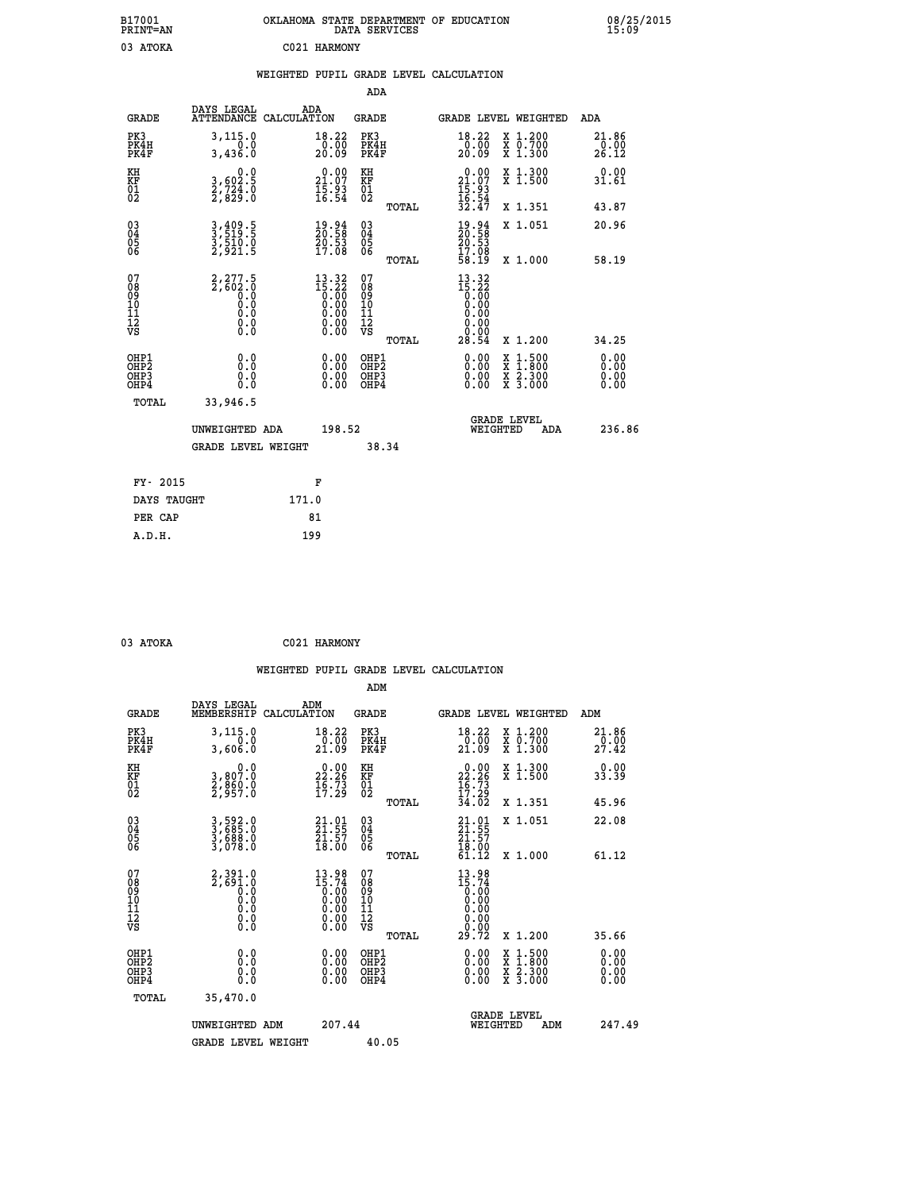| B17001<br>PRINT=AN                     |                                                    |              |                                                                                                                                                                                                                                                                                                                                                 |                                                              | DATA SERVICES | OKLAHOMA STATE DEPARTMENT OF EDUCATION                                  |                                                                                          |     |                        | 08/25/2015 |
|----------------------------------------|----------------------------------------------------|--------------|-------------------------------------------------------------------------------------------------------------------------------------------------------------------------------------------------------------------------------------------------------------------------------------------------------------------------------------------------|--------------------------------------------------------------|---------------|-------------------------------------------------------------------------|------------------------------------------------------------------------------------------|-----|------------------------|------------|
| 03 ATOKA                               |                                                    | C021 HARMONY |                                                                                                                                                                                                                                                                                                                                                 |                                                              |               |                                                                         |                                                                                          |     |                        |            |
|                                        |                                                    |              |                                                                                                                                                                                                                                                                                                                                                 |                                                              |               | WEIGHTED PUPIL GRADE LEVEL CALCULATION                                  |                                                                                          |     |                        |            |
|                                        |                                                    |              |                                                                                                                                                                                                                                                                                                                                                 | ADA                                                          |               |                                                                         |                                                                                          |     |                        |            |
| <b>GRADE</b>                           | DAYS LEGAL<br>ATTENDANCE CALCULATION               | ADA          |                                                                                                                                                                                                                                                                                                                                                 | GRADE                                                        |               | GRADE LEVEL WEIGHTED                                                    |                                                                                          |     | ADA                    |            |
| PK3<br>PK4H<br>PK4F                    | 3, 115.0<br>0.0<br>3,436.0                         |              | 18.22<br>$\frac{0.00}{20.09}$                                                                                                                                                                                                                                                                                                                   | PK3<br>PK4H<br>PK4F                                          |               | 18.22<br>$\frac{50}{20}$ .00                                            | X 1.200<br>X 0.700<br>X 1.300                                                            |     | 21.86<br>0.00<br>26.12 |            |
| KH<br>KF<br>01<br>02                   | 0.0<br>3,602.5<br>2,724.0<br>2,829.0               |              | $21.00$<br>21.07<br>$\frac{15.93}{16.54}$                                                                                                                                                                                                                                                                                                       | KH<br><b>KF</b><br>01<br>02                                  |               | $21.00$<br>21.07<br>$\frac{15:93}{16:54}$                               | X 1.300<br>X 1.500                                                                       |     | 0.00<br>31.61          |            |
|                                        |                                                    |              |                                                                                                                                                                                                                                                                                                                                                 |                                                              | TOTAL         | 32.47                                                                   | X 1.351                                                                                  |     | 43.87                  |            |
| $\substack{03 \ 04}$<br>Ŏ5<br>06       | 3,409.5<br>3,519.5<br>3,510.0<br>2,921.5           |              | $\frac{19.94}{20.58}$<br>$\frac{50.53}{17.08}$                                                                                                                                                                                                                                                                                                  | $03\overline{4}$<br>$\begin{matrix} 0.5 \\ 0.6 \end{matrix}$ |               | 19.94<br>20.58<br>20.53<br>17.08                                        | X 1.051                                                                                  |     | 20.96                  |            |
|                                        |                                                    |              |                                                                                                                                                                                                                                                                                                                                                 |                                                              | TOTAL         | 58.19                                                                   | X 1.000                                                                                  |     | 58.19                  |            |
| 07<br>08<br>09<br>10<br>11<br>12<br>VS | $2,277.5$<br>$2,602.0$<br>0.0<br>0.0<br>$\S.$ $\S$ |              | $\begin{smallmatrix} 13 & 32 \\ 15 & 22 \\ 0 & 00 \\ 0 & 00 \\ 0 & 00 \\ 0 & 00 \\ 0 & 00 \\ 0 & 00 \\ 0 & 00 \\ 0 & 00 \\ 0 & 00 \\ 0 & 0 \\ 0 & 0 \\ 0 & 0 \\ 0 & 0 \\ 0 & 0 \\ 0 & 0 \\ 0 & 0 \\ 0 & 0 \\ 0 & 0 \\ 0 & 0 \\ 0 & 0 \\ 0 & 0 \\ 0 & 0 \\ 0 & 0 \\ 0 & 0 \\ 0 & 0 \\ 0 & 0 \\ 0 & 0 \\ 0 & 0 \\ 0 & 0 \\ 0 & 0 \\ 0 & 0 \\ 0 &$ | 07<br>08<br>09<br>10<br>īĭ<br>12<br>VS                       | TOTAL         | $13.32$<br>$15.22$<br>$0.00$<br>$0.00$<br>0.00<br>0.00<br>0.00<br>28.54 | X 1.200                                                                                  |     | 34.25                  |            |
| OHP1                                   |                                                    |              |                                                                                                                                                                                                                                                                                                                                                 | OHP1                                                         |               |                                                                         |                                                                                          |     | 0.00                   |            |
| OH <sub>P</sub> 2<br>OHP3<br>OHP4      | 0.0<br>0.0<br>0.0                                  |              | 0.00<br>$\begin{smallmatrix} 0.00 \ 0.00 \end{smallmatrix}$                                                                                                                                                                                                                                                                                     | OH <sub>P</sub> 2<br>OHP3<br>OHP4                            |               | 0.00<br>0.00<br>0.00                                                    | $\begin{smallmatrix} x & 1.500 \\ x & 1.800 \\ x & 2.300 \\ x & 3.000 \end{smallmatrix}$ |     | 0.00<br>0.00<br>0.00   |            |
| TOTAL                                  | 33,946.5                                           |              |                                                                                                                                                                                                                                                                                                                                                 |                                                              |               |                                                                         |                                                                                          |     |                        |            |
|                                        | UNWEIGHTED ADA                                     |              | 198.52                                                                                                                                                                                                                                                                                                                                          |                                                              |               |                                                                         | <b>GRADE LEVEL</b><br>WEIGHTED                                                           | ADA | 236.86                 |            |
|                                        | <b>GRADE LEVEL WEIGHT</b>                          |              |                                                                                                                                                                                                                                                                                                                                                 |                                                              | 38.34         |                                                                         |                                                                                          |     |                        |            |
| FY- 2015                               |                                                    | F            |                                                                                                                                                                                                                                                                                                                                                 |                                                              |               |                                                                         |                                                                                          |     |                        |            |
| DAYS TAUGHT                            |                                                    | 171.0        |                                                                                                                                                                                                                                                                                                                                                 |                                                              |               |                                                                         |                                                                                          |     |                        |            |
| PER CAP                                |                                                    | 81           |                                                                                                                                                                                                                                                                                                                                                 |                                                              |               |                                                                         |                                                                                          |     |                        |            |

| 03 ATOKA | C021 HARMONY |
|----------|--------------|
|          |              |

 **WEIGHTED PUPIL GRADE LEVEL CALCULATION ADM DAYS LEGAL ADM GRADE MEMBERSHIP CALCULATION GRADE GRADE LEVEL WEIGHTED ADM PK3 3,115.0 18.22 PK3 18.22 X 1.200 21.86 PK4H 0.0 0.00 PK4H 0.00 X 0.700 0.00 PK4F 3,606.0 21.09 PK4F 21.09 X 1.300 27.42 KH 0.0 0.00 KH 0.00 X 1.300 0.00 KF 3,807.0 22.26 KF 22.26 X 1.500 33.39 01 2,860.0 16.73 01 16.73 02 2,957.0 17.29 02 17.29 TOTAL 34.02 X 1.351 45.96 03 3,592.0 21.01 03 21.01 X 1.051 22.08 04 3,685.0 21.55 04 21.55 05 3,688.0 21.57 05 21.57** 06 3,078.0 18.00 06 <sub>momas</sub> 18.00  **TOTAL 61.12 X 1.000 61.12** 07 2,391.0 13.98 07 13.98<br>
08 2,691.0 15.74 08 15.74<br>
10 0.0 0.00 10 0.00<br>
11 0.0 0.00 11 0.00<br>
12 0.0 0.00 12 0.00<br>
VS 0.0 0.00 VS 0.00  **TOTAL 29.72 X 1.200 35.66 OHP1 0.0 0.00 OHP1 0.00 X 1.500 0.00 OHP2 0.0 0.00 OHP2 0.00 X 1.800 0.00 OHP3 0.0 0.00 OHP3 0.00 X 2.300 0.00 OHP4 0.0 0.00 OHP4 0.00 X 3.000 0.00 TOTAL 35,470.0 GRADE LEVEL UNWEIGHTED ADM 207.44 WEIGHTED ADM 247.49** GRADE LEVEL WEIGHT 40.05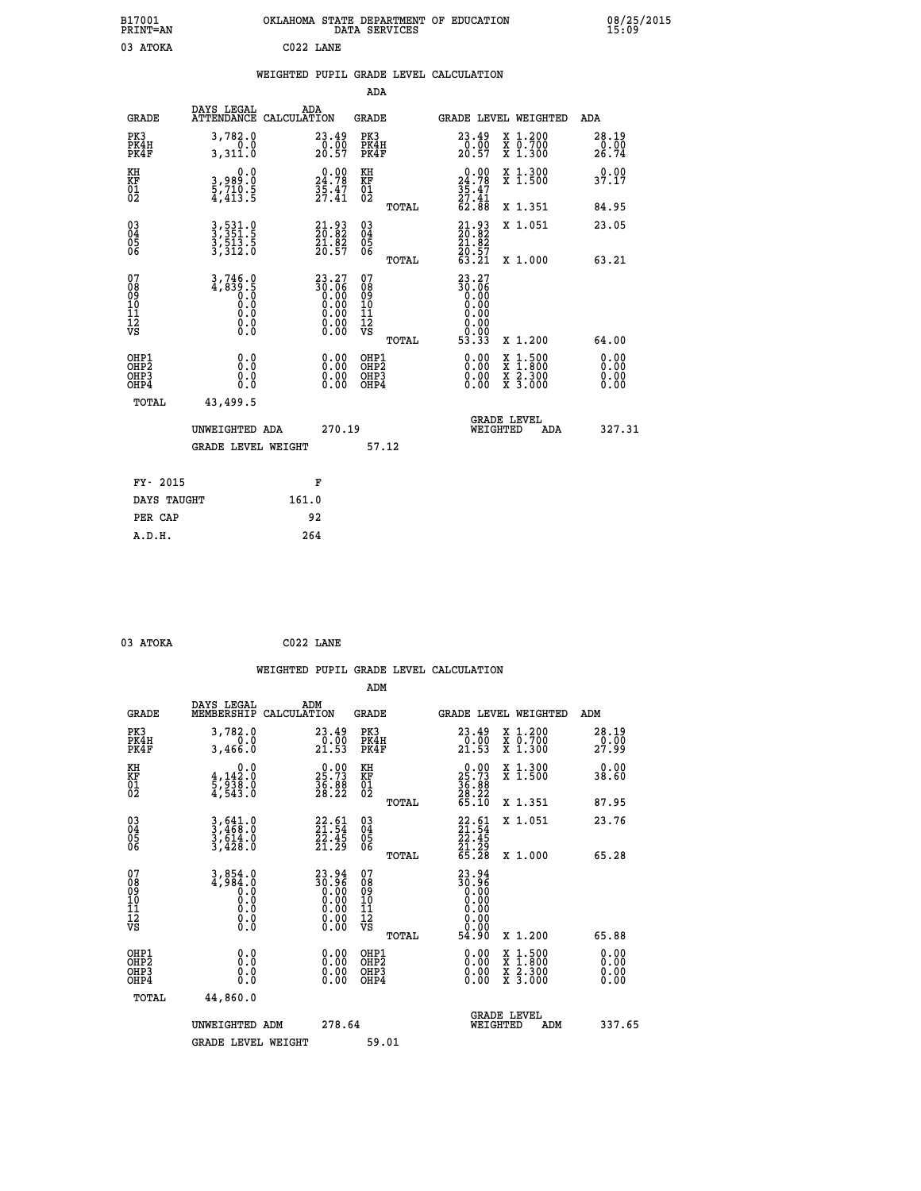| B17001<br>PRINT=AN                           |                                                       |                                                                      | DATA SERVICES                                              | OKLAHOMA STATE DEPARTMENT OF EDUCATION                          |                                                                                          | 08/25/2015             |  |
|----------------------------------------------|-------------------------------------------------------|----------------------------------------------------------------------|------------------------------------------------------------|-----------------------------------------------------------------|------------------------------------------------------------------------------------------|------------------------|--|
| 03 ATOKA                                     |                                                       | C022 LANE                                                            |                                                            |                                                                 |                                                                                          |                        |  |
|                                              |                                                       | WEIGHTED PUPIL GRADE LEVEL CALCULATION                               | ADA                                                        |                                                                 |                                                                                          |                        |  |
|                                              | DAYS LEGAL                                            | ADA                                                                  |                                                            |                                                                 |                                                                                          |                        |  |
| <b>GRADE</b>                                 |                                                       | ATTENDANCE CALCULATION                                               | <b>GRADE</b>                                               | GRADE LEVEL WEIGHTED                                            |                                                                                          | ADA                    |  |
| PK3<br>PK4H<br>PK4F                          | 3,782.0<br>0.0<br>3,311.0                             | 23.49<br>0.00<br>20.57                                               | PK3<br>PK4H<br>PK4F                                        | 23.49<br>$\frac{0.00}{20.57}$                                   | X 1.200<br>X 0.700<br>X 1.300                                                            | 28.19<br>0.00<br>26.74 |  |
| KH<br>KF<br>01<br>02                         | 0.0<br>3,989:0<br>5,710:5<br>4,413:5                  | $\begin{smallmatrix} 0.00\\ 24.78\\ 35.47\\ 27.41 \end{smallmatrix}$ | KH<br>KF<br>01<br>02                                       | 24.78<br>$\frac{35.47}{27.41}$                                  | X 1.300<br>X 1.500                                                                       | 0.00<br>37.17          |  |
|                                              |                                                       |                                                                      | TOTAL                                                      | 62.88                                                           | X 1.351                                                                                  | 84.95                  |  |
| $03\overline{4}$<br>Ŏ5                       | 3,531.0<br>3,351.5<br>3,513.5<br>3,312.0              | $21.93$<br>$20.82$<br>$\frac{21.82}{20.57}$                          | 03<br>04<br>05                                             | 21.93<br>20.82<br>21.82                                         | X 1.051                                                                                  | 23.05                  |  |
| ŎĞ                                           |                                                       |                                                                      | ŌĞ<br>TOTAL                                                | 20.57<br>63.21                                                  | X 1.000                                                                                  | 63.21                  |  |
| 07<br>08<br>09<br>10<br>11<br>12<br>VS       | 3,746.0<br>4,839.5<br>0.0<br>0.0<br>0.0<br>$\S.$ $\S$ | 23.27<br>30.06<br>0.00<br>0.00<br>0.00<br>0.00                       | 07<br>08<br>09<br>10<br>$\frac{11}{12}$<br>$\frac{12}{18}$ | 23.27<br>30.06<br>0.00<br>0.00<br>0.00<br>0.00<br>0.00<br>53.33 | X 1.200                                                                                  |                        |  |
| OHP1                                         | 0.0                                                   |                                                                      | TOTAL                                                      |                                                                 |                                                                                          | 64.00                  |  |
| OHP <sub>2</sub><br>OH <sub>P3</sub><br>OHP4 | Ō.Ō<br>0.0<br>0.0                                     | $\begin{smallmatrix} 0.00\\ 0.00\\ 0.00\\ 0.00 \end{smallmatrix}$    | OHP1<br>OHP2<br>OHP3<br>OHP4                               | $0.00$<br>$0.00$<br>0.00                                        | $\begin{smallmatrix} x & 1.500 \\ x & 1.800 \\ x & 2.300 \\ x & 3.000 \end{smallmatrix}$ | 0.00<br>0.00<br>0.00   |  |
| TOTAL                                        | 43,499.5                                              |                                                                      |                                                            |                                                                 |                                                                                          |                        |  |
|                                              | UNWEIGHTED ADA                                        | 270.19                                                               |                                                            | <b>GRADE LEVEL</b><br>WEIGHTED                                  | ADA                                                                                      | 327.31                 |  |
|                                              | <b>GRADE LEVEL WEIGHT</b>                             |                                                                      | 57.12                                                      |                                                                 |                                                                                          |                        |  |
| FY- 2015                                     |                                                       | F                                                                    |                                                            |                                                                 |                                                                                          |                        |  |
| DAYS TAUGHT                                  |                                                       | 161.0                                                                |                                                            |                                                                 |                                                                                          |                        |  |
| PER CAP                                      |                                                       | 92                                                                   |                                                            |                                                                 |                                                                                          |                        |  |

 **WEIGHTED PUPIL GRADE LEVEL CALCULATION ADM DAYS LEGAL ADM GRADE MEMBERSHIP CALCULATION GRADE GRADE LEVEL WEIGHTED ADM PK3 3,782.0 23.49 PK3 23.49 X 1.200 28.19 PK4H 0.0 0.00 PK4H 0.00 X 0.700 0.00 PK4F 3,466.0 21.53 PK4F 21.53 X 1.300 27.99 KH 0.0 0.00 KH 0.00 X 1.300 0.00 KF 4,142.0 25.73 KF 25.73 X 1.500 38.60 01 5,938.0 36.88 01 36.88 02 4,543.0 28.22 02 28.22 TOTAL 65.10 X 1.351 87.95 03 3,641.0 22.61 03 22.61 X 1.051 23.76 04 3,468.0 21.54 04 21.54 05 3,614.0 22.45 05 22.45 06 3,428.0 21.29 06 21.29 TOTAL 65.28 X 1.000 65.28** 07 3,854.0 23.94 07<br>
08 4,984.0 30.00 08 30.96<br>
09 0.00 0.00 09 0.00<br>
10 0.0 0.00 10 0.00<br>
11 0.0 0.00 11 0.00<br>
12 0.00<br>
VS 0.0 0.00 VS 0.00  **TOTAL 54.90 X 1.200 65.88 OHP1 0.0 0.00 OHP1 0.00 X 1.500 0.00 OHP2 0.0 0.00 OHP2 0.00 X 1.800 0.00 OHP3 0.0 0.00 OHP3 0.00 X 2.300 0.00 OHP4 0.0 0.00 OHP4 0.00 X 3.000 0.00 TOTAL 44,860.0 GRADE LEVEL UNWEIGHTED ADM 278.64 WEIGHTED ADM 337.65** GRADE LEVEL WEIGHT 59.01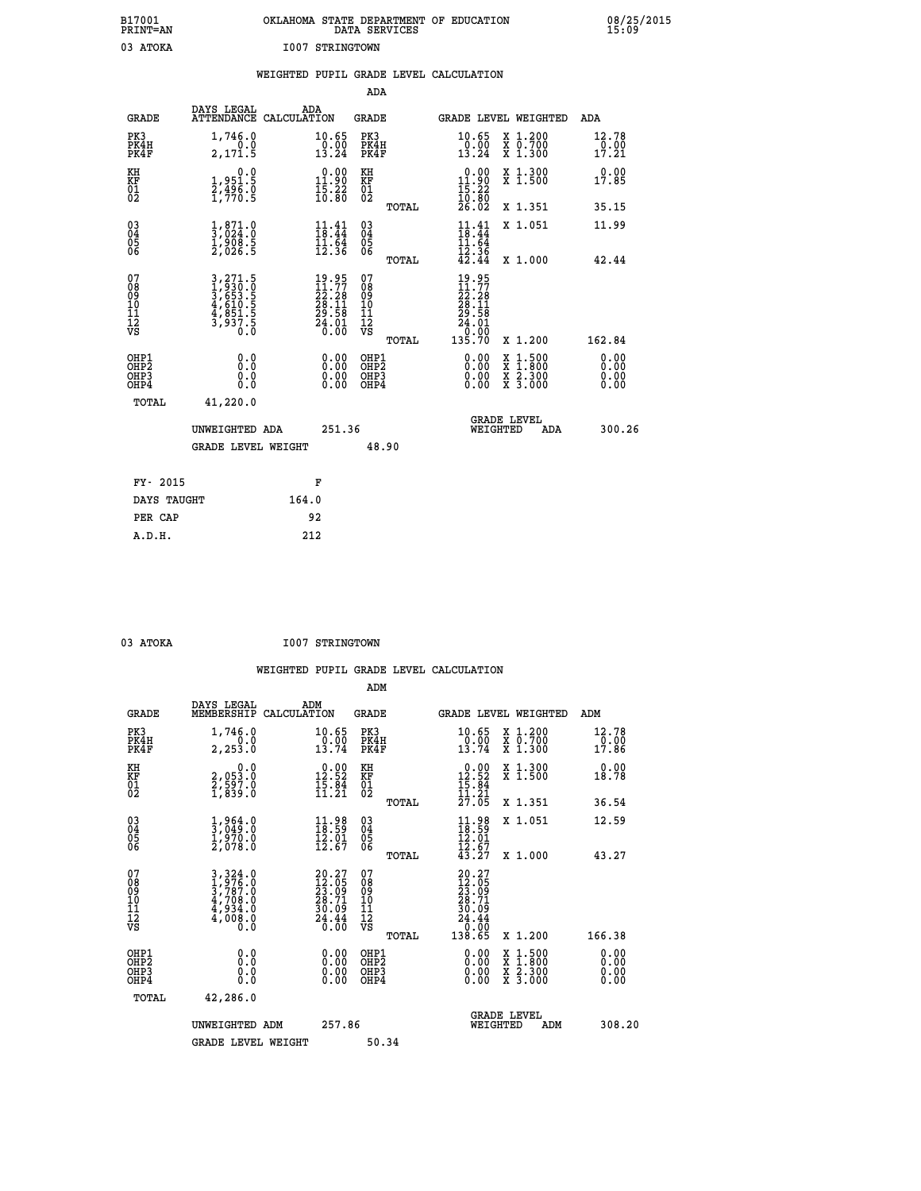|                 | OKLAHOMA STATE DEPARTMENT OF EDUCATION<br>DATA SERVICES |  |
|-----------------|---------------------------------------------------------|--|
| I007 STRINGTOWN |                                                         |  |

 **B17001 OKLAHOMA STATE DEPARTMENT OF EDUCATION 08/25/2015**

|                                                                    |                                                                                 | WEIGHTED PUPIL GRADE LEVEL CALCULATION                         |                                                     |                                                                                                                                                                                                                                                                                |                                                                                                                                           |                        |
|--------------------------------------------------------------------|---------------------------------------------------------------------------------|----------------------------------------------------------------|-----------------------------------------------------|--------------------------------------------------------------------------------------------------------------------------------------------------------------------------------------------------------------------------------------------------------------------------------|-------------------------------------------------------------------------------------------------------------------------------------------|------------------------|
|                                                                    |                                                                                 |                                                                | <b>ADA</b>                                          |                                                                                                                                                                                                                                                                                |                                                                                                                                           |                        |
| <b>GRADE</b>                                                       | DAYS LEGAL                                                                      | ADA<br>ATTENDANCE CALCULATION                                  | <b>GRADE</b>                                        | GRADE LEVEL WEIGHTED                                                                                                                                                                                                                                                           |                                                                                                                                           | ADA                    |
| PK3<br>PK4H<br>PK4F                                                | 1,746.0<br>0.0<br>2,171.5                                                       | 10.65<br>$\frac{10.00}{13.24}$                                 | PK3<br>PK4H<br>PK4F                                 | 10.65<br>$\frac{0.00}{13.24}$                                                                                                                                                                                                                                                  | X 1.200<br>X 0.700<br>X 1.300                                                                                                             | 12.78<br>0.00<br>17.21 |
| KH<br>KF<br>01<br>02                                               | 0.0<br>1,951.5<br>$\frac{2}{1}, \frac{496}{70}$ : 5                             | $0.00$<br>11.90<br>$\frac{15.22}{10.80}$                       | KH<br>KF<br>01<br>02                                | $\begin{smallmatrix} 0.00\\ 11.90\\ 15.22\\ 10.80\\ 26.02 \end{smallmatrix}$                                                                                                                                                                                                   | X 1.300<br>X 1.500                                                                                                                        | 0.00<br>17.85          |
|                                                                    |                                                                                 |                                                                | TOTAL                                               |                                                                                                                                                                                                                                                                                | X 1.351                                                                                                                                   | 35.15                  |
| $\begin{smallmatrix} 03 \\[-4pt] 04 \end{smallmatrix}$<br>05<br>06 | $\frac{1}{3}, \begin{matrix} 871.0 \\ 024.0 \\ 1,908.5 \\ 2,026.5 \end{matrix}$ | $11.41$<br>$18.44$<br>$11.64$<br>$12.36$                       | $\begin{matrix} 03 \\ 04 \\ 05 \\ 06 \end{matrix}$  | $\frac{11}{18}$<br>: 41.4<br>11.64                                                                                                                                                                                                                                             | X 1.051                                                                                                                                   | 11.99                  |
|                                                                    |                                                                                 |                                                                | TOTAL                                               | $\frac{1}{42}$ $\frac{3}{44}$                                                                                                                                                                                                                                                  | X 1.000                                                                                                                                   | 42.44                  |
| 07<br>08<br>09<br>001<br>11<br>11<br>12<br>VS                      | 3,271.5<br>1,930.0<br>3,653.5<br>3,653.5<br>4,851.5<br>3,937.5<br>0.0           | $19.95$<br>$22.28$<br>$28.11$<br>$29.58$<br>$24.01$<br>$24.00$ | 078<br>089<br>0011<br>11<br>11<br>12<br>VS<br>TOTAL | 19.95<br>11.77<br>$\begin{smallmatrix} 22.28\ 28.11\ 29.58\ 24.01\ 0.00\ 135.70 \end{smallmatrix}$                                                                                                                                                                             | X 1.200                                                                                                                                   | 162.84                 |
| OHP1<br>OHP2<br>OH <sub>P</sub> 3<br>OH <sub>P4</sub>              | 0.0<br>0.0<br>0.0                                                               | 0.00<br>$\begin{smallmatrix} 0.00 \ 0.00 \end{smallmatrix}$    | OHP1<br>OHP2<br>OHP3<br>OHP4                        | $\begin{smallmatrix} 0.00 & 0.00 & 0.00 & 0.00 & 0.00 & 0.00 & 0.00 & 0.00 & 0.00 & 0.00 & 0.00 & 0.00 & 0.00 & 0.00 & 0.00 & 0.00 & 0.00 & 0.00 & 0.00 & 0.00 & 0.00 & 0.00 & 0.00 & 0.00 & 0.00 & 0.00 & 0.00 & 0.00 & 0.00 & 0.00 & 0.00 & 0.00 & 0.00 & 0.00 & 0.00 & 0.0$ | $\begin{smallmatrix} \mathtt{X} & 1\cdot500\\ \mathtt{X} & 1\cdot800\\ \mathtt{X} & 2\cdot300\\ \mathtt{X} & 3\cdot000 \end{smallmatrix}$ | 0.00<br>0.00<br>0.00   |
| TOTAL                                                              | 41,220.0                                                                        |                                                                |                                                     |                                                                                                                                                                                                                                                                                |                                                                                                                                           |                        |
|                                                                    | UNWEIGHTED ADA                                                                  | 251.36                                                         |                                                     | <b>GRADE LEVEL</b><br>WEIGHTED                                                                                                                                                                                                                                                 | ADA                                                                                                                                       | 300.26                 |
|                                                                    | <b>GRADE LEVEL WEIGHT</b>                                                       |                                                                | 48.90                                               |                                                                                                                                                                                                                                                                                |                                                                                                                                           |                        |
| FY- 2015                                                           |                                                                                 | F                                                              |                                                     |                                                                                                                                                                                                                                                                                |                                                                                                                                           |                        |
| DAYS TAUGHT                                                        |                                                                                 | 164.0                                                          |                                                     |                                                                                                                                                                                                                                                                                |                                                                                                                                           |                        |
| PER CAP                                                            |                                                                                 | 92                                                             |                                                     |                                                                                                                                                                                                                                                                                |                                                                                                                                           |                        |

| 03 | ATOKA |  |
|----|-------|--|
|    |       |  |

 **A.D.H. 212**

 **B17001<br>PRINT=AN<br>03 ATOKA** 

03 ATOKA 1007 STRINGTOWN

|                                                      |                                                                                                                                                                                          |                                                                                               | ADM                                                 |                                                                                    |                                          |                                                          |
|------------------------------------------------------|------------------------------------------------------------------------------------------------------------------------------------------------------------------------------------------|-----------------------------------------------------------------------------------------------|-----------------------------------------------------|------------------------------------------------------------------------------------|------------------------------------------|----------------------------------------------------------|
| <b>GRADE</b>                                         | DAYS LEGAL<br>MEMBERSHIP                                                                                                                                                                 | ADM<br>CALCULATION                                                                            | <b>GRADE</b>                                        | GRADE LEVEL WEIGHTED                                                               |                                          | ADM                                                      |
| PK3<br>PK4H<br>PK4F                                  | 1,746.0<br>2,253.0                                                                                                                                                                       | 10.65<br>$\frac{0.00}{13.74}$                                                                 | PK3<br>PK4H<br>PK4F                                 | $\frac{10.65}{0.00}$<br>13.74                                                      | X 1.200<br>X 0.700<br>X 1.300            | $\begin{smallmatrix} 12.78\ 0.0017.86 \end{smallmatrix}$ |
| KH<br>KF<br>01<br>02                                 | 0.0<br>2,053:0<br>2,597:0<br>1,839:0                                                                                                                                                     | $\begin{smallmatrix} 0.00\\ 12.52\\ 15.84\\ 11.21 \end{smallmatrix}$                          | KH<br>KF<br>01<br>02                                | $\begin{array}{r} 0.00 \\ 12.52 \\ 15.84 \\ 11.21 \\ 27.05 \end{array}$            | X 1.300<br>X 1.500                       | 0.00<br>18.78                                            |
|                                                      |                                                                                                                                                                                          |                                                                                               | TOTAL                                               |                                                                                    | X 1.351                                  | 36.54                                                    |
| 03<br>04<br>05<br>06                                 | $\frac{1}{3}, \frac{964}{049}.0 \ \frac{1}{2}, \frac{970}{078}.0 \ \frac{2}{2}, 078.0$                                                                                                   | $\frac{11.98}{18.59}$<br>$\frac{12.01}{12.67}$                                                | $\begin{array}{c} 03 \\ 04 \\ 05 \\ 06 \end{array}$ | $11.98$<br>$12.01$<br>$12.67$<br>$13.27$                                           | X 1.051                                  | 12.59                                                    |
|                                                      |                                                                                                                                                                                          |                                                                                               | TOTAL                                               |                                                                                    | X 1.000                                  | 43.27                                                    |
| 07<br>08<br>09<br>101<br>112<br>VS                   | $\begin{smallmatrix} 3\,,\,3\,2\,4\,.\,0\\ 1\,,\,9\,7\,6\,. \,0\\ 3\,,\,7\,8\,7\,. \,0\\ 4\,,\,7\,0\,8\,. \,0\\ 4\,,\,9\,3\,4\,. \,0\\ 4\,,\,0\,0\,8\,. \,0\\ 0\,. \,0\end{smallmatrix}$ | $\begin{smallmatrix} 20.27\\ 12.05\\ 23.09\\ 28.71\\ 30.09\\ 24.44\\ 26.00 \end{smallmatrix}$ | 07<br>08<br>09<br>11<br>11<br>12<br>VS<br>TOTAL     | $20.27$<br>$23.05$<br>$23.09$<br>$28.71$<br>$30.09$<br>$24.44$<br>$0.00$<br>138.65 | X 1.200                                  | 166.38                                                   |
| OHP1<br>OHP2<br>OH <sub>P3</sub><br>OH <sub>P4</sub> | 0.0<br>0.000                                                                                                                                                                             | $0.00$<br>$0.00$<br>0.00                                                                      | OHP1<br>OHP2<br>OHP <sub>3</sub>                    | $0.00$<br>$0.00$<br>0.00                                                           | X 1:500<br>X 1:800<br>X 2:300<br>X 3:000 | 0.00<br>0.00<br>0.00<br>0.00                             |
| TOTAL                                                | 42,286.0                                                                                                                                                                                 |                                                                                               |                                                     |                                                                                    |                                          |                                                          |
|                                                      | UNWEIGHTED ADM                                                                                                                                                                           | 257.86                                                                                        |                                                     | WEIGHTED                                                                           | <b>GRADE LEVEL</b><br>ADM                | 308.20                                                   |
|                                                      | <b>GRADE LEVEL WEIGHT</b>                                                                                                                                                                |                                                                                               | 50.34                                               |                                                                                    |                                          |                                                          |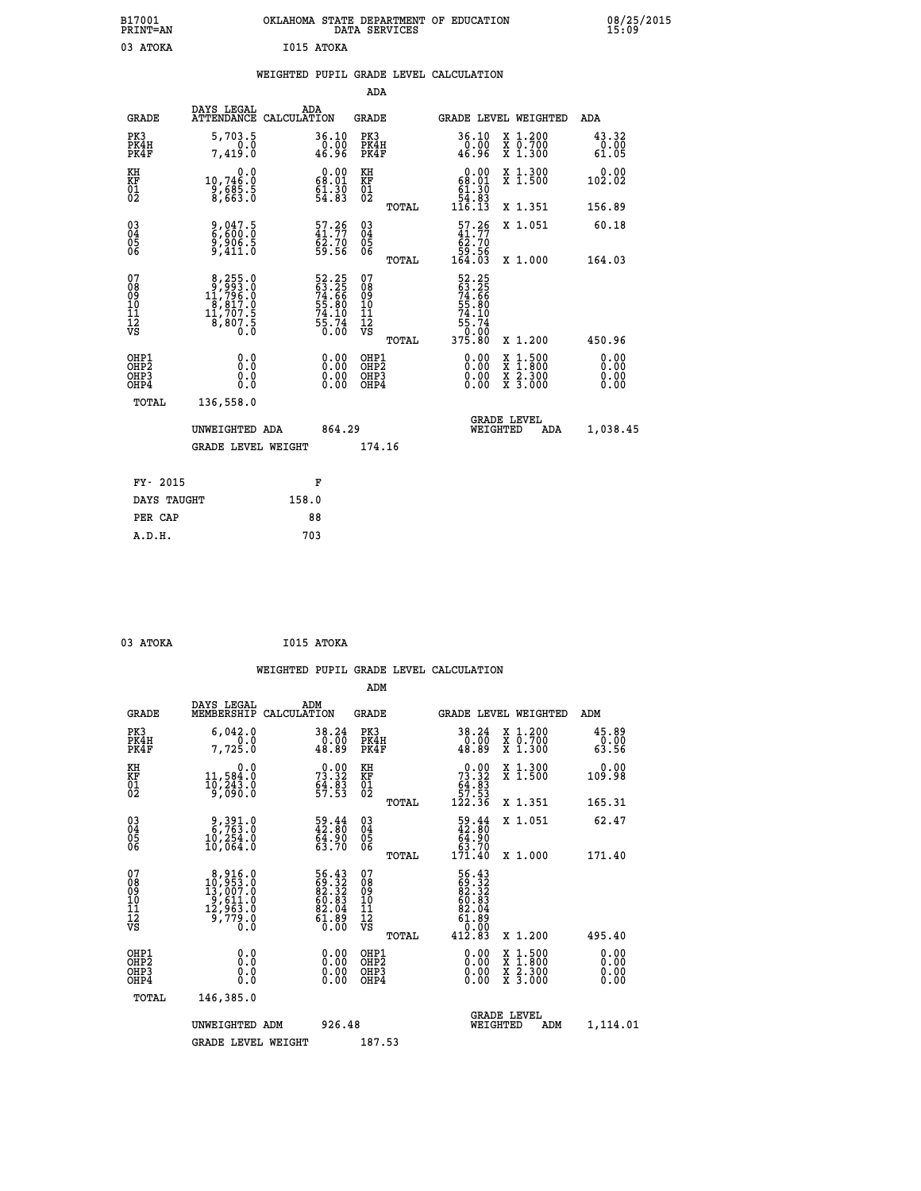| B17001<br><b>PRINT=AN</b> | OKLAHOMA STATE DEPARTMENT OF EDUCATION<br>DATA SERVICES | 08/25/2015<br>15:09 |
|---------------------------|---------------------------------------------------------|---------------------|
| 03<br>ATOKA               | I015 ATOKA                                              |                     |

|  |  | WEIGHTED PUPIL GRADE LEVEL CALCULATION |
|--|--|----------------------------------------|
|  |  |                                        |

|                                                                    |                                                                                                   |                                                                       | ADA                                            |       |                                                                                    |                                                                                          |                        |
|--------------------------------------------------------------------|---------------------------------------------------------------------------------------------------|-----------------------------------------------------------------------|------------------------------------------------|-------|------------------------------------------------------------------------------------|------------------------------------------------------------------------------------------|------------------------|
| <b>GRADE</b>                                                       | DAYS LEGAL<br>ATTENDANCE CALCULATION                                                              | ADA                                                                   | <b>GRADE</b>                                   |       |                                                                                    | GRADE LEVEL WEIGHTED                                                                     | ADA                    |
| PK3<br>PK4H<br>PK4F                                                | 5,703.5<br>0.0<br>7.419.0                                                                         | 36.10<br>0.00<br>46.96                                                | PK3<br>PK4H<br>PK4F                            |       | 36.10<br>$\frac{0}{46.96}$                                                         | X 1.200<br>X 0.700<br>X 1.300                                                            | 43.32<br>0.00<br>61.05 |
| KH<br>KF<br>01<br>02                                               | 0.0<br>10,746:0<br>9,685:5<br>8,663:0                                                             | 0.00<br>$\begin{smallmatrix} 68.01 \ 61.30 \ 54.83 \end{smallmatrix}$ | KH<br>KF<br>$\overline{01}$                    |       | 0.00<br>$\begin{smallmatrix} 68.01\ 61.30\ 54.83\ 116.13 \end{smallmatrix}$        | X 1.300<br>X 1.500                                                                       | 0.00<br>102.02         |
|                                                                    |                                                                                                   |                                                                       |                                                | TOTAL |                                                                                    | X 1.351                                                                                  | 156.89                 |
| $\begin{smallmatrix} 03 \\[-4pt] 04 \end{smallmatrix}$<br>Ŏ5<br>06 | 9,047.5<br>6,600.0<br>9,906.5<br>9,411.0                                                          | $\frac{57.26}{41.77}$<br>62.70<br>59.56                               | $\substack{03 \\ 04}$<br>$\substack{05 \\ 06}$ |       | $\begin{smallmatrix} 57.26 \\ 41.77 \\ 62.70 \\ 59.56 \\ 164.03 \end{smallmatrix}$ | X 1.051                                                                                  | 60.18                  |
|                                                                    |                                                                                                   |                                                                       |                                                | TOTAL |                                                                                    | X 1.000                                                                                  | 164.03                 |
| 07<br>08<br>09<br>11<br>11<br>12<br>VS                             | $\begin{smallmatrix}8,255.0\\9,993.0\\11,796.0\\8,817.0\\11,707.5\\8,807.5\\0.0\end{smallmatrix}$ | 52.25<br>63.25<br>74.66<br>74.80<br>55.74<br>55.74<br>6.00            | 07<br>08<br>09<br>11<br>11<br>12<br>VS         |       | 52.25<br>63.25<br>63.66<br>74.66<br>55.80<br>75.74<br>55.74<br>0.00<br>375.80      |                                                                                          |                        |
|                                                                    |                                                                                                   |                                                                       |                                                | TOTAL |                                                                                    | X 1.200                                                                                  | 450.96                 |
| OHP1<br>OHP2<br>OH <sub>P3</sub><br>OHP4                           | 0.0<br>0.0<br>0.0                                                                                 | 0.00<br>0.00<br>0.00                                                  | OHP1<br>OHP2<br>OHP3<br>OHP4                   |       | 0.00<br>$0.00$<br>0.00                                                             | $\begin{smallmatrix} x & 1.500 \\ x & 1.800 \\ x & 2.300 \\ x & 3.000 \end{smallmatrix}$ | 0.00<br>0.00<br>0.00   |
| TOTAL                                                              | 136,558.0                                                                                         |                                                                       |                                                |       |                                                                                    |                                                                                          |                        |
|                                                                    | UNWEIGHTED ADA                                                                                    | 864.29                                                                |                                                |       |                                                                                    | <b>GRADE LEVEL</b><br>WEIGHTED<br>ADA                                                    | 1,038.45               |
|                                                                    | <b>GRADE LEVEL WEIGHT</b>                                                                         |                                                                       | 174.16                                         |       |                                                                                    |                                                                                          |                        |
| FY- 2015                                                           |                                                                                                   | F                                                                     |                                                |       |                                                                                    |                                                                                          |                        |
| DAYS TAUGHT                                                        |                                                                                                   | 158.0                                                                 |                                                |       |                                                                                    |                                                                                          |                        |
| PER CAP                                                            |                                                                                                   | 88                                                                    |                                                |       |                                                                                    |                                                                                          |                        |

| 3 ATOKA | I015 |
|---------|------|
|         |      |

 **03 ATOKA I015 ATOKA WEIGHTED PUPIL GRADE LEVEL CALCULATION ADM DAYS LEGAL ADM GRADE MEMBERSHIP CALCULATION GRADE GRADE LEVEL WEIGHTED ADM PK3 6,042.0 38.24 PK3 38.24 X 1.200 45.89 PK4H 0.0 0.00 PK4H 0.00 X 0.700 0.00 PK4F 7,725.0 48.89 PK4F 48.89 X 1.300 63.56 KH 0.0 0.00 KH 0.00 X 1.300 0.00 KF 11,584.0 73.32 KF 73.32 X 1.500 109.98 01 10,243.0 64.83 01 64.83 02 9,090.0 57.53 02 57.53 TOTAL 122.36 X 1.351 165.31 03 9,391.0 59.44 03 59.44 X 1.051 62.47 04 6,763.0 42.80 04 42.80 05 10,254.0 64.90 05 64.90 06 10,064.0 63.70 06 63.70 TOTAL 171.40 X 1.000 171.40 07 8,916.0 56.43 07 56.43 08 10,953.0 69.32 08 69.32 09 13,007.0 82.32 09 82.32 10 9,611.0 60.83 10 60.83 11 12,963.0 82.04 11 82.04 12 9,779.0 61.89 12 61.89 VS** 0.0 0.00 VS 0.00 0.00 0.00  **TOTAL 412.83 X 1.200 495.40 OHP1 0.0 0.00 OHP1 0.00 X 1.500 0.00 OHP2 0.0 0.00 OHP2 0.00 X 1.800 0.00 OHP3 0.0 0.00 OHP3 0.00 X 2.300 0.00 OHP4 0.0 0.00 OHP4 0.00 X 3.000 0.00 TOTAL 146,385.0 GRADE LEVEL UNWEIGHTED ADM 926.48 WEIGHTED ADM 1,114.01** GRADE LEVEL WEIGHT 187.53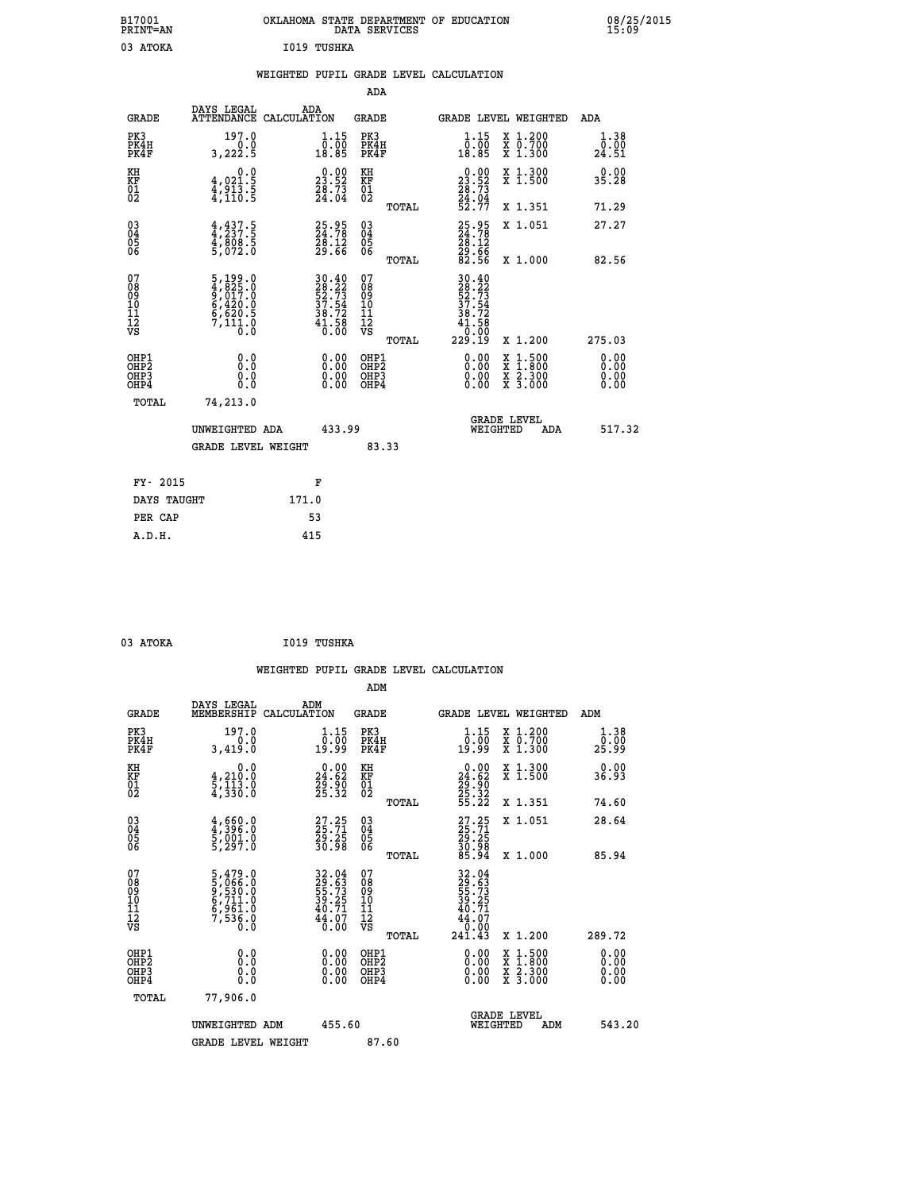| B17001<br>PRINT=AN | OKLAHOMA STATE DEPARTMENT OF EDUCATION<br>DATA SERVICES | 08/25/2015<br>15:09 |
|--------------------|---------------------------------------------------------|---------------------|
| 03<br>АТОКА        | 1019 TUSHKA                                             |                     |

|  |  | WEIGHTED PUPIL GRADE LEVEL CALCULATION |
|--|--|----------------------------------------|
|  |  |                                        |

|                                                       |                                                                                      |                                                                          | ADA                                      |       |                                                                                    |                                                                                                                                      |                              |
|-------------------------------------------------------|--------------------------------------------------------------------------------------|--------------------------------------------------------------------------|------------------------------------------|-------|------------------------------------------------------------------------------------|--------------------------------------------------------------------------------------------------------------------------------------|------------------------------|
| <b>GRADE</b>                                          | DAYS LEGAL                                                                           | ADA<br>ATTENDANCE CALCULATION                                            | GRADE                                    |       | GRADE LEVEL WEIGHTED                                                               |                                                                                                                                      | ADA                          |
| PK3<br>PK4H<br>PK4F                                   | 197.0<br>3,222.5                                                                     | $\begin{smallmatrix} 1.15 \\ 0.00 \\ 18.85 \end{smallmatrix}$            | PK3<br>PK4H<br>PK4F                      |       | $1.15$<br>$0.00$<br>18.85                                                          | X 1.200<br>X 0.700<br>X 1.300                                                                                                        | 1.38<br>0.00<br>24.51        |
| KH<br>KF<br>01<br>02                                  | 0.0<br>$\frac{4}{4}, \frac{0}{913}$<br>$\frac{1}{4}, \frac{1}{110}$<br>$\frac{5}{5}$ | $\begin{smallmatrix} 0.00\\ 23.52\\ 28.73\\ 24.04 \end{smallmatrix}$     | KH<br>KF<br>01<br>02                     |       | $\begin{smallmatrix} 0.00\\ 23.52\\ 28.73\\ 24.04\\ 52.77 \end{smallmatrix}$       | X 1.300<br>X 1.500                                                                                                                   | 0.00<br>35.28                |
|                                                       |                                                                                      |                                                                          |                                          | TOTAL |                                                                                    | X 1.351                                                                                                                              | 71.29                        |
| 03<br>04<br>05<br>06                                  | $4,437.5$<br>$4,808.5$<br>$4,808.5$<br>$5,072.0$                                     | 25.95<br>24.78<br>28.12<br>29.66                                         | 03<br>04<br>05<br>06                     |       | 25.95<br>24.78<br>28.12<br>29.66<br>82.56                                          | X 1.051                                                                                                                              | 27.27                        |
|                                                       |                                                                                      |                                                                          |                                          | TOTAL |                                                                                    | X 1.000                                                                                                                              | 82.56                        |
| 07<br>08<br>09<br>11<br>11<br>12<br>VS                | $5,199.0$<br>$4,825.0$<br>$9,017.0$<br>$6,420.0$<br>$6,620.5$<br>$7,111.0$<br>$0.0$  | $30.40$<br>$28.22$<br>$52.73$<br>$37.54$<br>$38.72$<br>$41.58$<br>$0.00$ | 07<br>08<br>09<br>11<br>11<br>12<br>VS   | TOTAL | $\begin{smallmatrix} 30.40\28.22\252.73\37.54\11.58\0.100\229.19\end{smallmatrix}$ | X 1.200                                                                                                                              | 275.03                       |
| OHP1<br>OH <sub>P</sub> 2<br>OH <sub>P3</sub><br>OHP4 | 0.0<br>0.0<br>0.0                                                                    | 0.00<br>$\begin{smallmatrix} 0.00 \ 0.00 \end{smallmatrix}$              | OHP1<br>OHP <sub>2</sub><br>OHP3<br>OHP4 |       | 0.00<br>0.00<br>0.00                                                               | $\begin{smallmatrix} \mathtt{X} & 1 & 500 \\ \mathtt{X} & 1 & 800 \\ \mathtt{X} & 2 & 300 \\ \mathtt{X} & 3 & 000 \end{smallmatrix}$ | 0.00<br>0.00<br>0.00<br>0.00 |
| TOTAL                                                 | 74,213.0                                                                             |                                                                          |                                          |       |                                                                                    |                                                                                                                                      |                              |
|                                                       | UNWEIGHTED ADA<br>GRADE LEVEL WEIGHT                                                 | 433.99                                                                   | 83.33                                    |       |                                                                                    | <b>GRADE LEVEL</b><br>WEIGHTED                                                                                                       | 517.32<br>ADA                |
|                                                       |                                                                                      |                                                                          |                                          |       |                                                                                    |                                                                                                                                      |                              |
| FY- 2015                                              |                                                                                      | F                                                                        |                                          |       |                                                                                    |                                                                                                                                      |                              |
| DAYS TAUGHT                                           |                                                                                      | 171.0                                                                    |                                          |       |                                                                                    |                                                                                                                                      |                              |
| PER CAP                                               |                                                                                      | 53                                                                       |                                          |       |                                                                                    |                                                                                                                                      |                              |
| A.D.H.                                                |                                                                                      | 415                                                                      |                                          |       |                                                                                    |                                                                                                                                      |                              |

| 3 ATOKA |  |
|---------|--|
|         |  |

| 03 ATOKA                                             |                                                                       |                    | I019 TUSHKA                                                       |                                                    |       |                                                                             |                                                                                                           |                        |        |
|------------------------------------------------------|-----------------------------------------------------------------------|--------------------|-------------------------------------------------------------------|----------------------------------------------------|-------|-----------------------------------------------------------------------------|-----------------------------------------------------------------------------------------------------------|------------------------|--------|
|                                                      |                                                                       |                    |                                                                   | ADM                                                |       | WEIGHTED PUPIL GRADE LEVEL CALCULATION                                      |                                                                                                           |                        |        |
| <b>GRADE</b>                                         | DAYS LEGAL<br>MEMBERSHIP                                              | ADM<br>CALCULATION |                                                                   | <b>GRADE</b>                                       |       |                                                                             | GRADE LEVEL WEIGHTED                                                                                      | ADM                    |        |
| PK3<br>PK4H<br>PK4F                                  | 197.0<br>3,419.0                                                      |                    | $\begin{smallmatrix} 1.15 \\ 0.00 \\ 19.99 \end{smallmatrix}$     | PK3<br>PK4H<br>PK4F                                |       | 1.15<br>0.00<br>19.99                                                       | X 1.200<br>X 0.700<br>X 1.300                                                                             | 1.38<br>0.00<br>25.99  |        |
| KH<br>KF<br>01<br>02                                 | 0.0<br>$\frac{4}{5}, \frac{210}{13}$ $\frac{3}{10}$<br>4,330.0        |                    | $\begin{smallmatrix} 0.00\\24.62\\29.90\\25.32 \end{smallmatrix}$ | KH<br>KF<br>01<br>02                               |       | $\begin{smallmatrix} 0.00\\24.62\\29.90\\25.32\\55.22\end{smallmatrix}$     | X 1.300<br>X 1.500                                                                                        | 0.00<br>36.93          |        |
|                                                      |                                                                       |                    |                                                                   |                                                    | TOTAL |                                                                             | X 1.351                                                                                                   | 74.60                  |        |
| $^{03}_{04}$<br>Ŏ5<br>06                             | $\frac{4}{4}, \frac{660}{396}$ .0<br>5,001.0<br>5,297.0               |                    | 27.25<br>25.71<br>29.25<br>30.98                                  | $\begin{matrix} 03 \\ 04 \\ 05 \\ 06 \end{matrix}$ |       | 27.25<br>25.71<br>29.25<br>30.98<br>30.94                                   | X 1.051                                                                                                   | 28.64                  |        |
|                                                      |                                                                       |                    |                                                                   |                                                    | TOTAL |                                                                             | X 1.000                                                                                                   | 85.94                  |        |
| 07<br>08<br>09<br>10<br>11<br>11<br>12<br>VS         | 5,479.0<br>5,066.0<br>9,530.0<br>6,711.0<br>6,961.0<br>7,536.0<br>0.0 |                    | 32.04<br>29.63<br>55.73<br>39.25<br>39.71<br>40.77<br>44.070      | 07<br>08<br>09<br>11<br>11<br>12<br>VS             | TOTAL | 32.04<br>29.63<br>55.73<br>55.25<br>39.25<br>$\frac{44.07}{0.00}$<br>241.43 | X 1.200                                                                                                   | 289.72                 |        |
| OHP1<br>OHP2<br>OH <sub>P3</sub><br>OH <sub>P4</sub> | 0.0<br>Ō.Ō<br>0.0                                                     |                    | 0.0000<br>$\begin{smallmatrix} 0.00 \ 0.00 \end{smallmatrix}$     | OHP1<br>OHP2<br>OHP3<br>OHP4                       |       | 0.00<br>0.00<br>0.00                                                        | 1:500<br>$\begin{smallmatrix} x & 1 & 500 \\ x & 1 & 800 \\ x & 2 & 300 \\ x & 3 & 000 \end{smallmatrix}$ | 0.0000<br>0.00<br>0.00 |        |
| <b>TOTAL</b>                                         | 77,906.0                                                              |                    |                                                                   |                                                    |       |                                                                             |                                                                                                           |                        |        |
|                                                      | UNWEIGHTED ADM<br><b>GRADE LEVEL WEIGHT</b>                           |                    | 455.60                                                            | 87.60                                              |       | WEIGHTED                                                                    | <b>GRADE LEVEL</b><br>ADM                                                                                 |                        | 543.20 |
|                                                      |                                                                       |                    |                                                                   |                                                    |       |                                                                             |                                                                                                           |                        |        |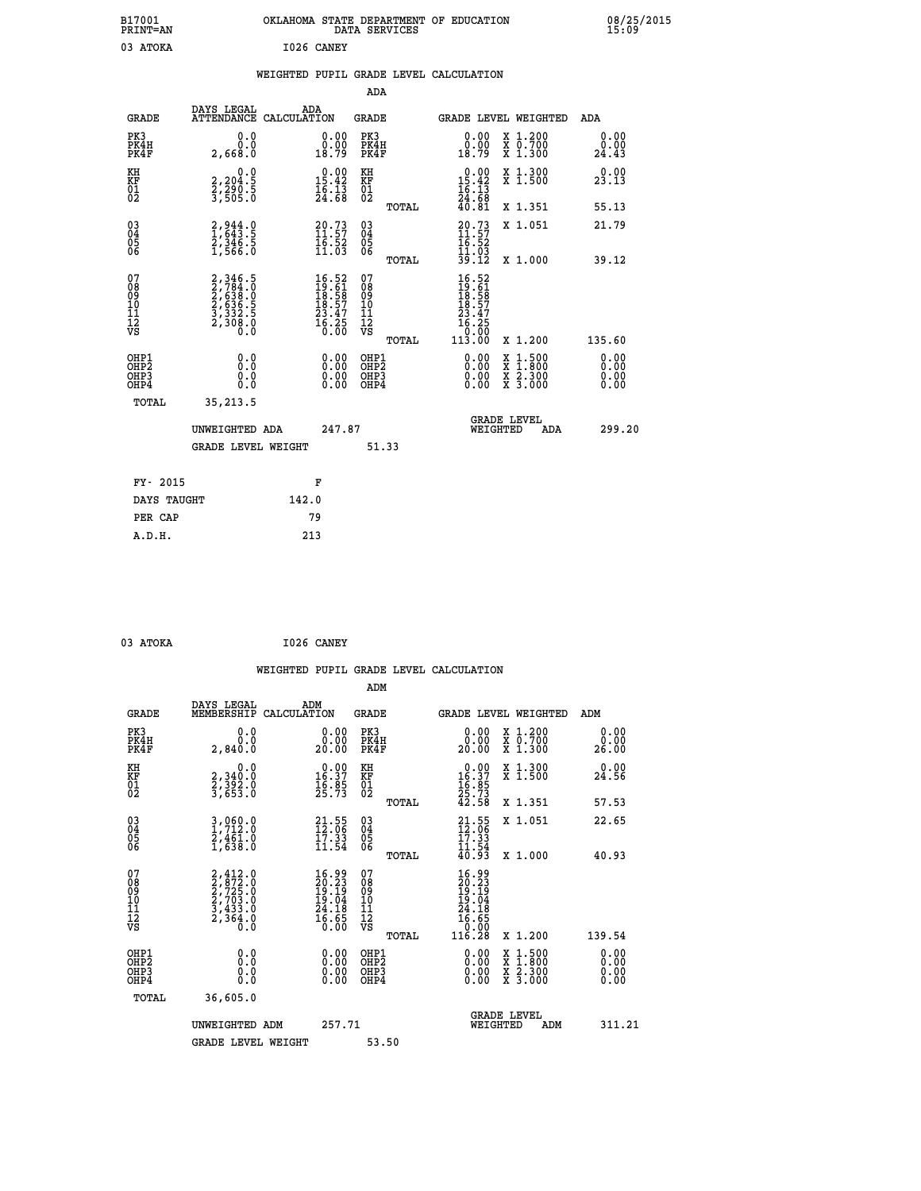| B17001<br>PRINT=AN                                               |                                                                           |            |                                                                                                        |                                           | DATA SERVICES | OKLAHOMA STATE DEPARTMENT OF EDUCATION                                                 |                                                                                          | 08/25/2015<br>15:09          |
|------------------------------------------------------------------|---------------------------------------------------------------------------|------------|--------------------------------------------------------------------------------------------------------|-------------------------------------------|---------------|----------------------------------------------------------------------------------------|------------------------------------------------------------------------------------------|------------------------------|
| 03 ATOKA                                                         |                                                                           | I026 CANEY |                                                                                                        |                                           |               |                                                                                        |                                                                                          |                              |
|                                                                  |                                                                           |            |                                                                                                        |                                           |               | WEIGHTED PUPIL GRADE LEVEL CALCULATION                                                 |                                                                                          |                              |
|                                                                  |                                                                           |            |                                                                                                        | ADA                                       |               |                                                                                        |                                                                                          |                              |
| GRADE                                                            | DAYS LEGAL<br>ATTENDANCE CALCULATION                                      | ADA        |                                                                                                        | GRADE                                     |               |                                                                                        | <b>GRADE LEVEL WEIGHTED</b>                                                              | ADA                          |
| PK3<br>PK4H<br>PK4F                                              | 0.0<br>0.0<br>2,668.0                                                     |            | 0.00<br>0.00<br>18.79                                                                                  | PK3<br>PK4H<br>PK4F                       |               | 0.00<br>0.00<br>18.79                                                                  | X 1.200<br>X 0.700<br>X 1.300                                                            | 0.00<br>0.00<br>24.43        |
| KH<br>KF<br>$\overline{01}$                                      | 0.0<br>2,204:5<br>2,290:5<br>3,505:0                                      |            | $\begin{smallmatrix} 0.00\\ 15.42\\ 16.13\\ 24.68 \end{smallmatrix}$                                   | KH<br>KF<br>01<br>02                      |               | $\begin{smallmatrix} 0.00\\15.42\\16.13\\24.68\\40.81 \end{smallmatrix}$               | X 1.300<br>X 1.500                                                                       | 0.00<br>23.13                |
|                                                                  |                                                                           |            |                                                                                                        |                                           | TOTAL         |                                                                                        | X 1.351                                                                                  | 55.13                        |
| $^{03}_{04}$<br>Ŏ5<br>ŎĞ                                         | $2,944.0$<br>$1,643.5$<br>$2,346.5$<br>$1,566.0$                          |            | $\begin{smallmatrix} 20.73\ 11.57\ 16.52\ 11.03 \end{smallmatrix}$                                     | 030404<br>ŎĞ                              |               | $20.73$<br>$11.57$<br>$16.52$<br>$\frac{11.03}{39.12}$                                 | X 1.051                                                                                  | 21.79                        |
|                                                                  |                                                                           |            |                                                                                                        |                                           | TOTAL         |                                                                                        | X 1.000                                                                                  | 39.12                        |
| 07<br>08<br>09<br>10<br>11<br>12<br>VS                           | 2,346.5<br>2,784.0<br>2,638.0<br>2,636.5<br>3,332.5<br>3,332.5<br>2,308.0 |            | $\begin{smallmatrix} 16.52 \\ 19.61 \\ 18.58 \\ 18.57 \\ 23.47 \\ 23.47 \\ 16.25 \\ \end{smallmatrix}$ | 07<br>08<br>09<br>10<br>11<br>12<br>VS    | TOTAL         | $16.52$<br>$19.61$<br>$\frac{18.58}{18.57}$<br>23.47<br>$\frac{16.25}{0.00}$<br>113.00 | X 1.200                                                                                  | 135.60                       |
| OHP1<br>OHP <sub>2</sub><br>OH <sub>P3</sub><br>OH <sub>P4</sub> | 0.000<br>0.0<br>0.0                                                       |            | 0.00<br>0.00<br>0.00                                                                                   | OHP1<br>OH <sub>P</sub> 2<br>OHP3<br>OHP4 |               | 0.00<br>0.00<br>0.00                                                                   | $\begin{smallmatrix} x & 1.500 \\ x & 1.800 \\ x & 2.300 \\ x & 3.000 \end{smallmatrix}$ | 0.00<br>0.00<br>0.00<br>0.00 |
| TOTAL                                                            | 35,213.5                                                                  |            |                                                                                                        |                                           |               |                                                                                        |                                                                                          |                              |
|                                                                  | UNWEIGHTED ADA                                                            |            | 247.87                                                                                                 |                                           |               |                                                                                        | <b>GRADE LEVEL</b><br>WEIGHTED<br>ADA                                                    | 299.20                       |
|                                                                  | <b>GRADE LEVEL WEIGHT</b>                                                 |            |                                                                                                        |                                           | 51.33         |                                                                                        |                                                                                          |                              |
| FY- 2015                                                         |                                                                           |            | F                                                                                                      |                                           |               |                                                                                        |                                                                                          |                              |
| DAYS TAUGHT                                                      |                                                                           | 142.0      |                                                                                                        |                                           |               |                                                                                        |                                                                                          |                              |
| PER CAP                                                          |                                                                           | 79         |                                                                                                        |                                           |               |                                                                                        |                                                                                          |                              |

| 03 ATOKA |  | I026 CANEY |
|----------|--|------------|
|          |  |            |

 **WEIGHTED PUPIL GRADE LEVEL CALCULATION ADM DAYS LEGAL ADM GRADE MEMBERSHIP CALCULATION GRADE GRADE LEVEL WEIGHTED ADM PK3 0.0 0.00 PK3 0.00 X 1.200 0.00 PK4H 0.0 0.00 PK4H 0.00 X 0.700 0.00 PK4F 2,840.0 20.00 PK4F 20.00 X 1.300 26.00 KH 0.0 0.00 KH 0.00 X 1.300 0.00 KF 2,340.0 16.37 KF 16.37 X 1.500 24.56 01 2,392.0 16.85 01 16.85 02 3,653.0 25.73 02 25.73 TOTAL 42.58 X 1.351 57.53 03 3,060.0 21.55 03 21.55 X 1.051 22.65 04 1,712.0 12.06 04 12.06 05 2,461.0 17.33 05 17.33** 06 1,638.0 11.54 06 <sub>memax</sub> 11.54  **TOTAL 40.93 X 1.000 40.93**  $\begin{array}{cccc} 07 & 2,412.0 & 16.99 & 07 & 16.99 \ 08 & 2,722.0 & 20.23 & 08 & 20.23 \ 09 & 2,723.0 & 19.19 & 09 & 19.19 \ 10 & 2,703.0 & 19.04 & 10 & 19.04 \ 11 & 3,433.0 & 24.18 & 11 & 24.18 \ \hline \textrm{vs} & 2,364.0 & 16.65 & 12 & 6.65 \ 0.0 & 0.00 & \textrm{vs} & 0$  $\begin{array}{cccc} 16.99 & 07 & 16.99 \ 20.23 & 08 & 20.23 \ 19.04 & 10 & 19.04 \ 24.18 & 11 & 24.18 \ 25.65 & 12 & 16.55 \ 0.00 & 081 \ 0.00 & 081 \ 0.00 & 081 \ 0.00 & 081 \ 0.00 & 081 \ 0.00 & 081 \ 0.00 & 081 \ 0.00 & 081 \ 0.00 & 081 \ 0.00 & 0.00 & 0.00 \end{array}$  **OHP1 0.0 0.00 OHP1 0.00 X 1.500 0.00 OHP2 0.0 0.00 OHP2 0.00 X 1.800 0.00 OHP3 0.0 0.00 OHP3 0.00 X 2.300 0.00 OHP4 0.0 0.00 OHP4 0.00 X 3.000 0.00 TOTAL 36,605.0 GRADE LEVEL UNWEIGHTED ADM 257.71 WEIGHTED ADM 311.21** GRADE LEVEL WEIGHT 53.50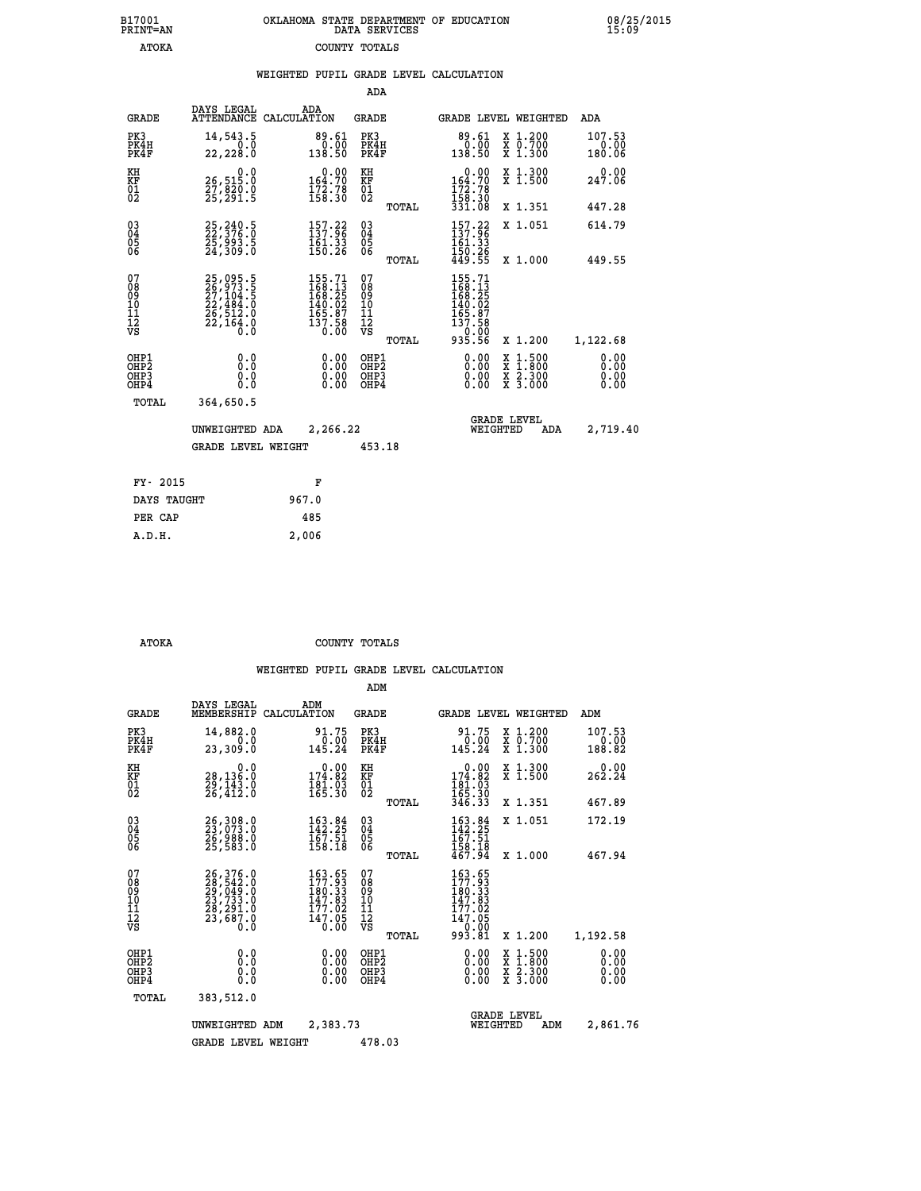| 7001<br>INT=AN | OKLAHOMA STATE DEPARTMENT OF EDUCATION<br>DATA SERVICES |  |  |
|----------------|---------------------------------------------------------|--|--|
| ATOKA          | COUNTY TOTALS                                           |  |  |

 **B17001 OKLAHOMA STATE DEPARTMENT OF EDUCATION 08/25/2015**

|                                                              |                                                                      | WEIGHTED PUPIL GRADE LEVEL CALCULATION                                                                                           |                                                  |                                                                                                                                     |                                                                                                                                           |                              |
|--------------------------------------------------------------|----------------------------------------------------------------------|----------------------------------------------------------------------------------------------------------------------------------|--------------------------------------------------|-------------------------------------------------------------------------------------------------------------------------------------|-------------------------------------------------------------------------------------------------------------------------------------------|------------------------------|
|                                                              |                                                                      |                                                                                                                                  | <b>ADA</b>                                       |                                                                                                                                     |                                                                                                                                           |                              |
| <b>GRADE</b>                                                 | DAYS LEGAL                                                           | ADA<br>ATTENDANCE CALCULATION                                                                                                    | <b>GRADE</b>                                     | GRADE LEVEL WEIGHTED                                                                                                                |                                                                                                                                           | <b>ADA</b>                   |
| PK3<br>PK4H<br>PK4F                                          | 14,543.5<br>0.0<br>22,228.0                                          | 89.61<br>0.00<br>138.50                                                                                                          | PK3<br>PK4H<br>PK4F                              | $89.61\n0.00\n138.50$                                                                                                               | X 1.200<br>X 0.700<br>X 1.300                                                                                                             | 107.53<br>0.00<br>180.06     |
| KH<br>ΚF<br>$\overline{01}$                                  | 26,515.0<br>ŽŽ, 820.0<br>25, 291.5                                   | $0.00$<br>164.70<br>$\frac{172.78}{158.30}$                                                                                      | KH<br>KF<br>$\overline{01}$                      | $0.00$<br>164.70<br>$\frac{172.78}{158.30}$<br>331.08                                                                               | X 1.300<br>X 1.500                                                                                                                        | 0.00<br>247.06               |
|                                                              |                                                                      |                                                                                                                                  | TOTAL                                            |                                                                                                                                     | X 1.351                                                                                                                                   | 447.28                       |
| $\begin{smallmatrix} 03 \\[-4pt] 04 \end{smallmatrix}$<br>05 | 25, 240.5<br>22, 376.0<br>25,993.5<br>24,309.0                       | $\begin{array}{l} 157\cdot 22\\ 137\cdot 96\\ 161\cdot 33\\ 150\cdot 26 \end{array}$                                             | $^{03}_{04}$<br>05                               | $\frac{157.22}{137.96}$                                                                                                             | X 1.051                                                                                                                                   | 614.79                       |
| 06                                                           |                                                                      |                                                                                                                                  | 06<br>TOTAL                                      | $\frac{150.26}{449.55}$                                                                                                             | X 1.000                                                                                                                                   | 449.55                       |
| 07<br>08<br>09<br>10<br>īĭ<br>12<br>νs                       | 25,095.5<br>26,973.5<br>27,104.5<br>22,484.0<br>26,512.0<br>22,164.0 | $\begin{smallmatrix} 155\cdot71\\ 168\cdot13\\ 168\cdot25\\ 140\cdot02\\ 165\cdot87\\ 137\cdot58\\ 0\cdot00\\ \end{smallmatrix}$ | 07<br>08<br>09<br>101<br>11<br>12<br>VS<br>TOTAL | $\begin{smallmatrix} 155\cdot71\\168\cdot13\\168\cdot25\\140\cdot02\\165\cdot87\\137\cdot58\\0\cdot00\\935\cdot56\end{smallmatrix}$ | X 1.200                                                                                                                                   | 1,122.68                     |
| OHP1<br>OHP2<br>OHP3<br>OHP4                                 | 0.0<br>0.0<br>0.0                                                    | $\begin{smallmatrix} 0.00 \ 0.00 \ 0.00 \ 0.00 \end{smallmatrix}$                                                                | OHP1<br>OHP2<br>OHP3<br>OHP4                     |                                                                                                                                     | $\begin{smallmatrix} \mathtt{X} & 1\cdot500\\ \mathtt{X} & 1\cdot800\\ \mathtt{X} & 2\cdot300\\ \mathtt{X} & 3\cdot000 \end{smallmatrix}$ | 0.00<br>0.00<br>0.00<br>0.00 |
| TOTAL                                                        | 364,650.5                                                            |                                                                                                                                  |                                                  |                                                                                                                                     |                                                                                                                                           |                              |
|                                                              | UNWEIGHTED ADA                                                       | 2,266.22                                                                                                                         |                                                  | <b>GRADE LEVEL</b><br>WEIGHTED                                                                                                      | ADA                                                                                                                                       | 2,719.40                     |
|                                                              | <b>GRADE LEVEL WEIGHT</b>                                            |                                                                                                                                  | 453.18                                           |                                                                                                                                     |                                                                                                                                           |                              |
| FY- 2015                                                     |                                                                      | F                                                                                                                                |                                                  |                                                                                                                                     |                                                                                                                                           |                              |
| DAYS TAUGHT                                                  |                                                                      | 967.0                                                                                                                            |                                                  |                                                                                                                                     |                                                                                                                                           |                              |
| PER CAP                                                      |                                                                      | 485                                                                                                                              |                                                  |                                                                                                                                     |                                                                                                                                           |                              |

 **A.D.H. 2,006**

 **B17001<br>PRINT=AN** 

 **ATOKA COUNTY TOTALS**

|                                                       |                                                                                                                                                                                          |                                                                                      | ADM                                                |       |                                                                                    |                                                                                                  |                              |
|-------------------------------------------------------|------------------------------------------------------------------------------------------------------------------------------------------------------------------------------------------|--------------------------------------------------------------------------------------|----------------------------------------------------|-------|------------------------------------------------------------------------------------|--------------------------------------------------------------------------------------------------|------------------------------|
| <b>GRADE</b>                                          | DAYS LEGAL<br>MEMBERSHIP                                                                                                                                                                 | ADM<br>CALCULATION                                                                   | <b>GRADE</b>                                       |       |                                                                                    | GRADE LEVEL WEIGHTED                                                                             | ADM                          |
| PK3<br>PK4H<br>PK4F                                   | 14,882.0<br>0.0<br>23,309.0                                                                                                                                                              | 91.75<br>0.00<br>145.24                                                              | PK3<br>PK4H<br>PK4F                                |       | 91.75<br>0.00<br>145.24                                                            | $\begin{array}{c} x & 1.200 \\ x & 0.700 \end{array}$<br>$X$ 1.300                               | 107.53<br>0.00<br>188.82     |
| KH<br>KF<br>01<br>02                                  | 0.0<br>28,136.0<br>29,143.0<br>26,412.0                                                                                                                                                  | $0.00$<br>174.82<br>$\frac{181.03}{165.30}$                                          | KH<br>KF<br>01<br>02                               |       | $\begin{smallmatrix} &0.00\\ 174.82\\ 181.03\\ 165.30\\ 346.33 \end{smallmatrix}$  | X 1.300<br>X 1.500                                                                               | 0.00<br>262.24               |
|                                                       |                                                                                                                                                                                          |                                                                                      |                                                    | TOTAL |                                                                                    | X 1.351                                                                                          | 467.89                       |
| 03<br>04<br>05<br>06                                  | 26,308.0<br>23,073.0<br>26,988.0<br>25,583.0                                                                                                                                             | $\begin{array}{l} 163\cdot 84\\ 142\cdot 25\\ 167\cdot 51\\ 158\cdot 18 \end{array}$ | $\begin{matrix} 03 \\ 04 \\ 05 \\ 06 \end{matrix}$ |       | $\frac{163.84}{142.25}$<br>$\frac{167.51}{167.51}$                                 | X 1.051                                                                                          | 172.19                       |
|                                                       |                                                                                                                                                                                          |                                                                                      |                                                    | TOTAL | 158.18<br>467.94                                                                   | X 1.000                                                                                          | 467.94                       |
| 07<br>08<br>09<br>101<br>112<br>VS                    | $\begin{smallmatrix} 26\,, & 376\,, & 0\\ 28\,, & 542\,, & 0\\ 29\,, & 049\,, & 0\\ 23\,, & 733\,, & 0\\ 28\,, & 291\,, & 0\\ 23\,, & 687\,, & 0\\ 0\,. & 0\,. & 0\,. \end{smallmatrix}$ | 163.65<br>177.93<br>180.33<br>147.83<br>177.02<br>147.05<br>0.00                     | 07<br>08<br>09<br>101<br>11<br>12<br>VS            | TOTAL | $163.65$<br>$177.93$<br>$180.33$<br>$147.83$<br>177.02<br>147.05<br>0.00<br>993.81 | X 1.200                                                                                          | 1,192.58                     |
| OHP1<br>OH <sub>P</sub> 2<br>OH <sub>P3</sub><br>OHP4 | 0.0<br>0.000                                                                                                                                                                             | $0.00$<br>$0.00$<br>0.00                                                             | OHP1<br>OHP2<br>OHP3<br>OHP4                       |       | $0.00$<br>$0.00$<br>0.00                                                           | $\begin{smallmatrix} x & 1 & 500 \\ x & 1 & 800 \\ x & 2 & 300 \\ x & 3 & 000 \end{smallmatrix}$ | 0.00<br>0.00<br>0.00<br>0.00 |
| TOTAL                                                 | 383,512.0                                                                                                                                                                                |                                                                                      |                                                    |       |                                                                                    |                                                                                                  |                              |
|                                                       | UNWEIGHTED                                                                                                                                                                               | 2,383.73<br>ADM                                                                      |                                                    |       | WEIGHTED                                                                           | <b>GRADE LEVEL</b><br>ADM                                                                        | 2,861.76                     |
|                                                       | <b>GRADE LEVEL WEIGHT</b>                                                                                                                                                                |                                                                                      | 478.03                                             |       |                                                                                    |                                                                                                  |                              |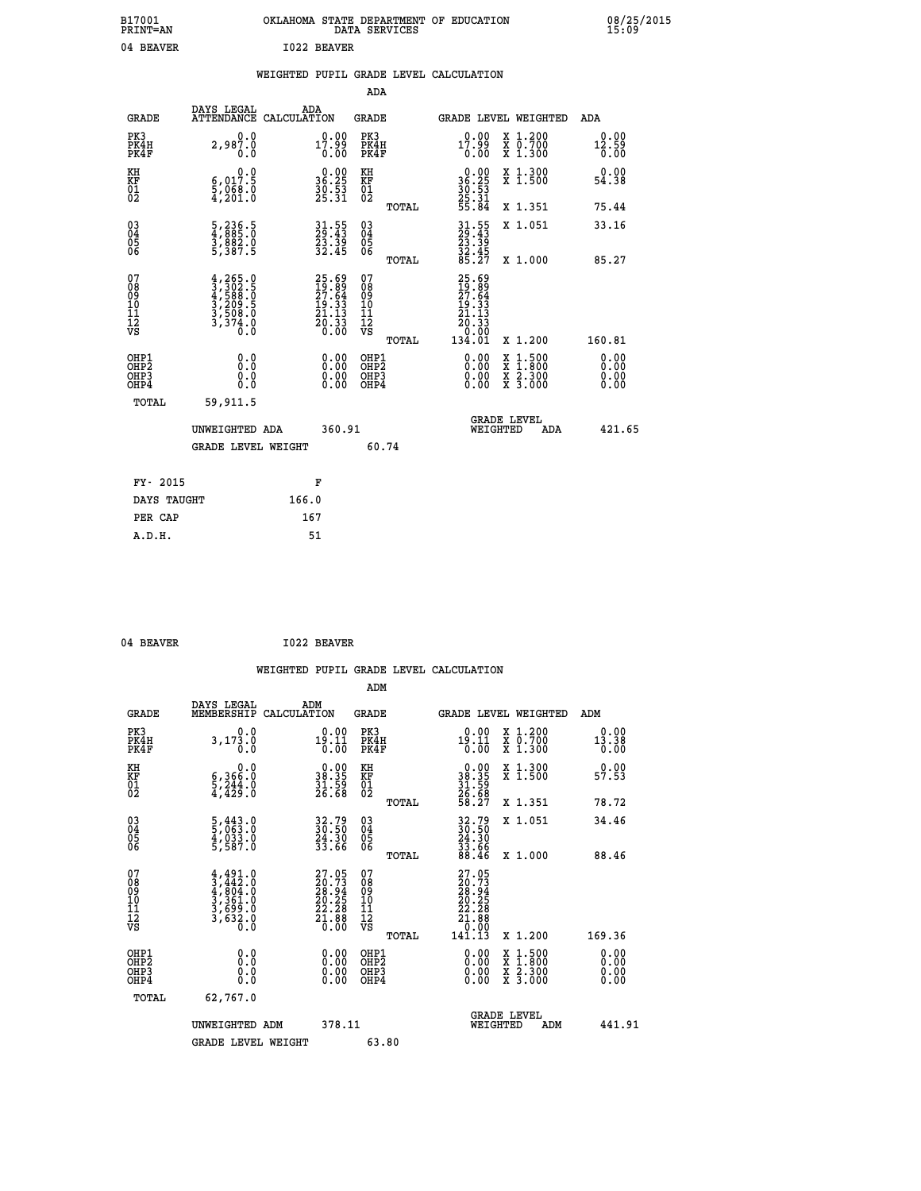| B17001<br><b>PRINT=AN</b> |           |             | OKLAHOMA STATE DEPARTMENT OF EDUCATION<br>DATA SERVICES |  |
|---------------------------|-----------|-------------|---------------------------------------------------------|--|
|                           | 04 BEAVER | 1022 BEAVER |                                                         |  |

## **WEIGHTED PUPIL GRADE LEVEL CALCULATION**

|                                                    |                                                                                           |                                                                          | ADA                                                 |       |                                                                                                          |   |                                                         |                              |
|----------------------------------------------------|-------------------------------------------------------------------------------------------|--------------------------------------------------------------------------|-----------------------------------------------------|-------|----------------------------------------------------------------------------------------------------------|---|---------------------------------------------------------|------------------------------|
| <b>GRADE</b>                                       | DAYS LEGAL<br><b>ATTENDANCE</b>                                                           | ADA<br>CALCULATION                                                       | <b>GRADE</b>                                        |       | GRADE LEVEL WEIGHTED                                                                                     |   |                                                         | <b>ADA</b>                   |
| PK3<br>PK4H<br>PK4F                                | 0.0<br>2,987.0<br>0.0                                                                     | $17.99$<br>0.00                                                          | PK3<br>PK4H<br>PK4F                                 |       | $17.99$<br>0.00                                                                                          |   | X 1.200<br>X 0.700<br>X 1.300                           | 0.00<br>$\frac{12.59}{0.00}$ |
| KH<br>KF<br>01<br>02                               | 0.0<br>$\frac{6}{3}, \frac{017}{968}$ .0<br>4,201.0                                       | $\begin{smallmatrix} 0.00\\ 36.25\\ 30.53\\ 25.31 \end{smallmatrix}$     | KH<br>KF<br>01<br>02                                |       | $36.25$<br>$36.25$<br>$30.53$<br>$25.31$<br>$55.84$                                                      |   | X 1.300<br>X 1.500                                      | 0.00<br>54.38                |
|                                                    |                                                                                           |                                                                          |                                                     | TOTAL |                                                                                                          |   | X 1.351                                                 | 75.44                        |
| $\begin{matrix} 03 \\ 04 \\ 05 \\ 06 \end{matrix}$ | 5,236.5<br>4,8885.0<br>3,882.0<br>5,387.5                                                 | 31.55<br>29.43<br>23.39<br>32.45                                         | $\begin{array}{c} 03 \\ 04 \\ 05 \\ 06 \end{array}$ |       | 31.55<br>29.43<br>23.39<br>32.45<br>35.27                                                                |   | X 1.051                                                 | 33.16                        |
| 07                                                 |                                                                                           |                                                                          | 07                                                  | TOTAL |                                                                                                          |   | X 1.000                                                 | 85.27                        |
| 08<br>09<br>11<br>11<br>12<br>VS                   | $4, 265.0$<br>$3, 302.5$<br>$4, 588.0$<br>$3, 209.5$<br>$3, 508.0$<br>$3, 374.0$<br>$0.0$ | $25.69$<br>$19.89$<br>$27.64$<br>$19.33$<br>$21.13$<br>$20.33$<br>$0.00$ | 08<br>09<br>11<br>11<br>12<br>VS                    |       | $\begin{smallmatrix} 25.69\ 19.89\ 27.64\ 27.53\ 19.33\ 21.133\ 20.33\ 0.001\ 134.01\ \end{smallmatrix}$ |   |                                                         |                              |
|                                                    |                                                                                           |                                                                          |                                                     | TOTAL |                                                                                                          |   | X 1.200                                                 | 160.81                       |
| OHP1<br>OHP <sub>2</sub><br>OHP3<br>OHP4           | 0.0<br>0.0<br>0.0                                                                         | 0.00<br>$\begin{smallmatrix} 0.00 \ 0.00 \end{smallmatrix}$              | OHP1<br>OH <sub>P</sub> 2<br>OHP3<br>OHP4           |       | $0.00$<br>$0.00$<br>0.00                                                                                 | X | $1:500$<br>1:800<br>$\frac{x}{x}$ $\frac{5:300}{3:000}$ | 0.00<br>0.00<br>0.00<br>0.00 |
| TOTAL                                              | 59,911.5                                                                                  |                                                                          |                                                     |       |                                                                                                          |   |                                                         |                              |
|                                                    | UNWEIGHTED ADA                                                                            | 360.91                                                                   |                                                     |       | <b>GRADE LEVEL</b><br>WEIGHTED                                                                           |   | ADA                                                     | 421.65                       |
|                                                    | <b>GRADE LEVEL WEIGHT</b>                                                                 |                                                                          | 60.74                                               |       |                                                                                                          |   |                                                         |                              |
| FY- 2015                                           |                                                                                           | F                                                                        |                                                     |       |                                                                                                          |   |                                                         |                              |
| DAYS TAUGHT                                        |                                                                                           | 166.0                                                                    |                                                     |       |                                                                                                          |   |                                                         |                              |
| PER CAP                                            |                                                                                           | 167                                                                      |                                                     |       |                                                                                                          |   |                                                         |                              |
|                                                    |                                                                                           |                                                                          |                                                     |       |                                                                                                          |   |                                                         |                              |

| 04 BEAVER | <b>I022 BEAVER</b> |
|-----------|--------------------|
|           |                    |

 **A.D.H. 51**

|                                                    |                                                                                     |                                                                                              | ADM                                                   |                                                                                                                                                                                                                                                                                |                                          |                                                                                     |
|----------------------------------------------------|-------------------------------------------------------------------------------------|----------------------------------------------------------------------------------------------|-------------------------------------------------------|--------------------------------------------------------------------------------------------------------------------------------------------------------------------------------------------------------------------------------------------------------------------------------|------------------------------------------|-------------------------------------------------------------------------------------|
| <b>GRADE</b>                                       | DAYS LEGAL<br>MEMBERSHIP                                                            | ADM<br>CALCULATION                                                                           | <b>GRADE</b>                                          | GRADE LEVEL WEIGHTED                                                                                                                                                                                                                                                           |                                          | ADM                                                                                 |
| PK3<br>PK4H<br>PK4F                                | 3, 173.0<br>0.0                                                                     | $19.00\n19.11\n0.00$                                                                         | PK3<br>PK4H<br>PK4F                                   | $19.00$<br>$19.11$<br>$0.00$                                                                                                                                                                                                                                                   | X 1.200<br>X 0.700<br>X 1.300            | 0.00<br>$\begin{smallmatrix} 1\bar{3} & 3 & \bar{8} \\ 0 & 0 & 0 \end{smallmatrix}$ |
| KH<br>KF<br>01<br>02                               | $6,366.0$<br>$5,244.0$<br>$4,429.0$                                                 | $\begin{smallmatrix} 0.00\\ 38.35\\ 31.59\\ 26.68 \end{smallmatrix}$                         | KH<br>KF<br>01<br>02                                  | $\begin{smallmatrix} 0.00\\ 38.35\\ 31.59\\ 26.68\\ 58.27 \end{smallmatrix}$                                                                                                                                                                                                   | X 1.300<br>X 1.500                       | 0.00<br>57.53                                                                       |
|                                                    |                                                                                     |                                                                                              | TOTAL                                                 |                                                                                                                                                                                                                                                                                | X 1.351                                  | 78.72                                                                               |
| $\begin{matrix} 03 \\ 04 \\ 05 \\ 06 \end{matrix}$ | 5,443.0<br>5,063.0<br>4,033.0<br>5,587.0                                            | 32.79<br>30.50<br>24.30<br>33.66                                                             | $\begin{array}{c} 03 \\ 04 \\ 05 \\ 06 \end{array}$   | $32.79$<br>$30.50$<br>$24.30$<br>$33.66$<br>$88.46$                                                                                                                                                                                                                            | X 1.051                                  | 34.46                                                                               |
|                                                    |                                                                                     |                                                                                              | TOTAL                                                 |                                                                                                                                                                                                                                                                                | X 1.000                                  | 88.46                                                                               |
| 07<br>08<br>09<br>101<br>11<br>12<br>VS            | $4,491.0$<br>$3,442.0$<br>$4,804.0$<br>$3,361.0$<br>$3,699.0$<br>$3,632.0$<br>$0.0$ | $\begin{smallmatrix} 27.05\\ 20.73\\ 28.94\\ 20.25\\ 22.28\\ 21.88\\ 0.00 \end{smallmatrix}$ | 07<br>08<br>09<br>01<br>11<br>11<br>12<br>VS<br>TOTAL | $\begin{smallmatrix} 27.05\\ 20.73\\ 28.94\\ 28.24\\ 20.25\\ 21.88\\ 0.000\\ 141.13 \end{smallmatrix}$                                                                                                                                                                         | X 1.200                                  | 169.36                                                                              |
| OHP1<br>OHP2<br>OH <sub>P3</sub><br>OHP4           |                                                                                     | $\begin{smallmatrix} 0.00 \ 0.00 \ 0.00 \ 0.00 \end{smallmatrix}$                            | OHP1<br>OHP2<br>OHP3<br>OHP4                          | $\begin{smallmatrix} 0.00 & 0.00 & 0.00 & 0.00 & 0.00 & 0.00 & 0.00 & 0.00 & 0.00 & 0.00 & 0.00 & 0.00 & 0.00 & 0.00 & 0.00 & 0.00 & 0.00 & 0.00 & 0.00 & 0.00 & 0.00 & 0.00 & 0.00 & 0.00 & 0.00 & 0.00 & 0.00 & 0.00 & 0.00 & 0.00 & 0.00 & 0.00 & 0.00 & 0.00 & 0.00 & 0.0$ | X 1:500<br>X 1:800<br>X 2:300<br>X 3:000 | 0.00<br>0.00<br>0.00                                                                |
| TOTAL                                              | 62,767.0                                                                            |                                                                                              |                                                       |                                                                                                                                                                                                                                                                                |                                          |                                                                                     |
|                                                    | UNWEIGHTED<br>ADM<br><b>GRADE LEVEL WEIGHT</b>                                      | 378.11                                                                                       |                                                       | WEIGHTED                                                                                                                                                                                                                                                                       | <b>GRADE LEVEL</b><br>ADM                | 441.91                                                                              |
|                                                    |                                                                                     |                                                                                              | 63.80                                                 |                                                                                                                                                                                                                                                                                |                                          |                                                                                     |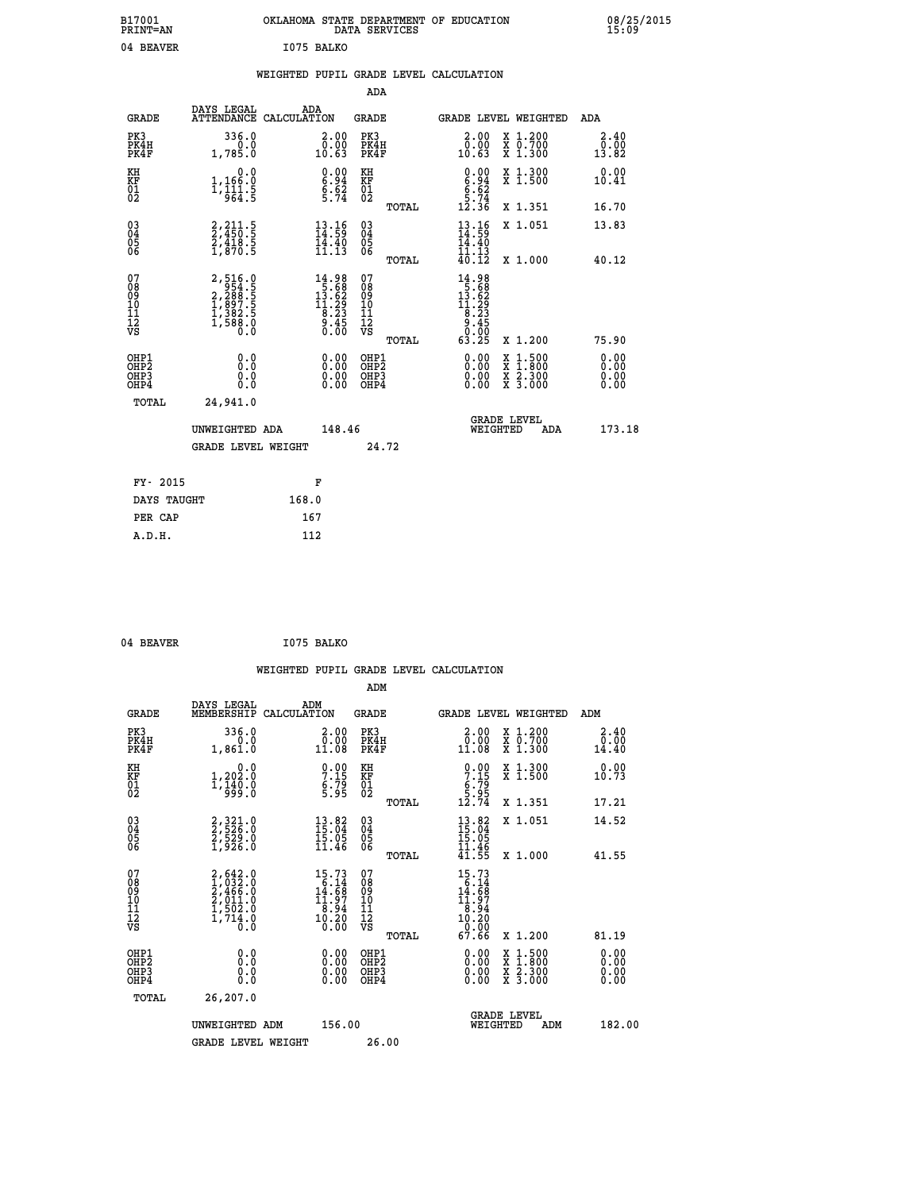| B17001<br><b>PRINT=AN</b> | OKLAHOMA STATE DEPARTMENT OF EDUCATION<br>DATA SERVICES | 08/25/2015<br>15:09 |
|---------------------------|---------------------------------------------------------|---------------------|
| 04 BEAVER                 | I075 BALKO                                              |                     |

|  |  | WEIGHTED PUPIL GRADE LEVEL CALCULATION |
|--|--|----------------------------------------|
|  |  |                                        |

|                                                                    |                                                                                                                                                        |                                                                                                                                          | ADA                                          |       |                                                                                                                                                                                                                                                                                                                                   |                                          |                               |
|--------------------------------------------------------------------|--------------------------------------------------------------------------------------------------------------------------------------------------------|------------------------------------------------------------------------------------------------------------------------------------------|----------------------------------------------|-------|-----------------------------------------------------------------------------------------------------------------------------------------------------------------------------------------------------------------------------------------------------------------------------------------------------------------------------------|------------------------------------------|-------------------------------|
| <b>GRADE</b>                                                       | DAYS LEGAL<br>ATTENDANCE CALCULATION                                                                                                                   | ADA                                                                                                                                      | <b>GRADE</b>                                 |       |                                                                                                                                                                                                                                                                                                                                   | GRADE LEVEL WEIGHTED                     | ADA                           |
| PK3<br>PK4H<br>PK4F                                                | 336.0<br>0.0<br>1,785.0                                                                                                                                | 2.00<br>0.00<br>10.63                                                                                                                    | PK3<br>PK4H<br>PK4F                          |       | 2.00<br>ŏŏ.ō<br>10.63                                                                                                                                                                                                                                                                                                             | X 1.200<br>X 0.700<br>X 1.300            | 2.40<br>0.00<br>13.82         |
| KH<br>KF<br>01<br>02                                               | 0.0<br>1,166:0<br>1,111.5<br>964:5                                                                                                                     | $\begin{smallmatrix} 0.00\\ 6.94\\ 6.62\\ 5.74 \end{smallmatrix}$                                                                        | KH<br>KF<br>01<br>02                         |       | $0.00$<br>$6.94$<br>$6.62$<br>$5.74$<br>$12.36$                                                                                                                                                                                                                                                                                   | X 1.300<br>X 1.500                       | 0.00<br>10.41                 |
|                                                                    |                                                                                                                                                        |                                                                                                                                          |                                              | TOTAL |                                                                                                                                                                                                                                                                                                                                   | X 1.351                                  | 16.70                         |
| $\begin{smallmatrix} 03 \\[-4pt] 04 \end{smallmatrix}$<br>Ŏ5<br>06 | 2,211.5<br>2,450.5<br>2,418.5<br>1,870.5                                                                                                               | $\begin{smallmatrix} 13.16 \\ 14.59 \\ 14.40 \\ 11.13 \end{smallmatrix}$                                                                 | $\substack{03 \\ 04}$<br>Ŏ5<br>06            |       | $\frac{13}{14}$ : 59<br>14.40<br>11.13<br>40.12                                                                                                                                                                                                                                                                                   | X 1.051                                  | 13.83                         |
|                                                                    |                                                                                                                                                        |                                                                                                                                          | 07                                           | TOTAL |                                                                                                                                                                                                                                                                                                                                   | X 1.000                                  | 40.12                         |
| 07<br>08<br>09<br>01<br>11<br>11<br>12<br>VS                       | $\begin{smallmatrix} 2\,,\,516\,,\,0\\ 9\,54\,,\,1\\ 2\,,\,288\,,\,1\\ 2\,,\,288\,,\,1\\ 1\,,\,897\,,\,5\\ 1\,,\,588\,,\,0\\ 0\,,\,0\end{smallmatrix}$ | $\begin{smallmatrix} 14.98\\[-1.2mm] 5.68\\[-1.2mm] 13.62\\[-1.2mm] 11.29\\[-1.2mm] 8.23\\[-1.2mm] 9.45\\[-1.2mm] 0.00\end{smallmatrix}$ | 08<br>09<br>11<br>11<br>12<br>VS             |       | $\begin{array}{r} 14.98 \\[-2pt] 5.68 \\[-2pt] 13.62 \\[-2pt] 14.29 \\[-2pt] 8.23 \\[-2pt] 9.45 \\[-2pt] 9.45 \\[-2pt] 0.0 \\[-2pt] 0.0 \\[-2pt] 0.0 \\[-2pt] 0.0 \\[-2pt] 0.0 \\[-2pt] 0.0 \\[-2pt] 0.0 \\[-2pt] 0.0 \\[-2pt] 0.0 \\[-2pt] 0.0 \\[-2pt] 0.0 \\[-2pt] 0.0 \\[-2pt] 0.0 \\[-2pt] 0.0 \\[-2pt] 0.0 \\[-2pt] 0.0 \\$ |                                          |                               |
|                                                                    |                                                                                                                                                        |                                                                                                                                          |                                              | TOTAL | 63.25                                                                                                                                                                                                                                                                                                                             | X 1.200                                  | 75.90                         |
| OHP1<br>OHP <sub>2</sub><br>OH <sub>P3</sub><br>OHP4               | 0.0<br>0.0<br>0.0                                                                                                                                      | 0.00<br>$\begin{smallmatrix} 0.00 \ 0.00 \end{smallmatrix}$                                                                              | OHP1<br>OHP <sub>2</sub><br>OHP <sub>3</sub> |       | 0.00<br>0.00                                                                                                                                                                                                                                                                                                                      | X 1:500<br>X 1:800<br>X 2:300<br>X 3:000 | 0.00<br>Ō. ŌŌ<br>0.00<br>0.00 |
| TOTAL                                                              | 24,941.0                                                                                                                                               |                                                                                                                                          |                                              |       |                                                                                                                                                                                                                                                                                                                                   |                                          |                               |
|                                                                    | UNWEIGHTED ADA                                                                                                                                         | 148.46                                                                                                                                   |                                              |       |                                                                                                                                                                                                                                                                                                                                   | <b>GRADE LEVEL</b><br>WEIGHTED<br>ADA    | 173.18                        |
|                                                                    | <b>GRADE LEVEL WEIGHT</b>                                                                                                                              |                                                                                                                                          |                                              | 24.72 |                                                                                                                                                                                                                                                                                                                                   |                                          |                               |
| FY- 2015                                                           |                                                                                                                                                        | F                                                                                                                                        |                                              |       |                                                                                                                                                                                                                                                                                                                                   |                                          |                               |
| DAYS TAUGHT                                                        |                                                                                                                                                        | 168.0                                                                                                                                    |                                              |       |                                                                                                                                                                                                                                                                                                                                   |                                          |                               |
| PER CAP                                                            |                                                                                                                                                        | 167                                                                                                                                      |                                              |       |                                                                                                                                                                                                                                                                                                                                   |                                          |                               |

| 04 BEAVER | I075 BALKO |
|-----------|------------|
|           |            |

 **WEIGHTED PUPIL GRADE LEVEL CALCULATION ADM DAYS LEGAL ADM GRADE MEMBERSHIP CALCULATION GRADE GRADE LEVEL WEIGHTED ADM PK3 336.0 2.00 PK3 2.00 X 1.200 2.40 PK4H 0.0 0.00 PK4H 0.00 X 0.700 0.00 PK4F 1,861.0 11.08 PK4F 11.08 X 1.300 14.40 KH 0.0 0.00 KH 0.00 X 1.300 0.00 KF 1,202.0 7.15 KF 7.15 X 1.500 10.73 EXH**<br> **EXE FOR THE SUBAL CONSUMER**<br>  $0.0$  **0.00**<br> **EXE FOR THE SUBAL CONSUMER**<br>  $0.00$  **5.95**<br> **EXE FOR SUBAL CONSUMER**<br> **EXE FOR SUBAL CONSUMER**<br> **EXE FOR SUBAL CONSUMER 02 999.0 5.95 02 5.95 TOTAL 12.74 X 1.351 17.21 03 2,321.0 13.82 03 13.82 X 1.051 14.52 04 2,526.0 15.04 04 15.04 05 2,529.0 15.05 05 15.05** 06 1,926.0 11.46 06 <sub>memas</sub> 11.46  **TOTAL 41.55 X 1.000 41.55**  $\begin{array}{cccc} 07 & 2,642.0 & 15.73 & 07 & 15.73 \ 08 & 1,022 & 642.0 & 6.14 & 08 & 6.14 \ 09 & 2,466.0 & 14.68 & 09 & 14.68 \ 10 & 2,011.0 & 11.97 & 10 & 11.97 \ 12 & 1,502.0 & 8.94 & 11 & 8.94 \ \hline \textrm{vs} & 1,714 & 0 & 10.20 & 0.20 & 0.20 \ 0.30 & 0.0 & 0.0 &$  **TOTAL 67.66 X 1.200 81.19 OHP1 0.0 0.00 OHP1 0.00 X 1.500 0.00 OHP2 0.0 0.00 OHP2 0.00 X 1.800 0.00 OHP3 0.0 0.00 OHP3 0.00 X 2.300 0.00 OHP4 0.0 0.00 OHP4 0.00 X 3.000 0.00 TOTAL 26,207.0 GRADE LEVEL UNWEIGHTED ADM 156.00 WEIGHTED ADM 182.00** GRADE LEVEL WEIGHT 26.00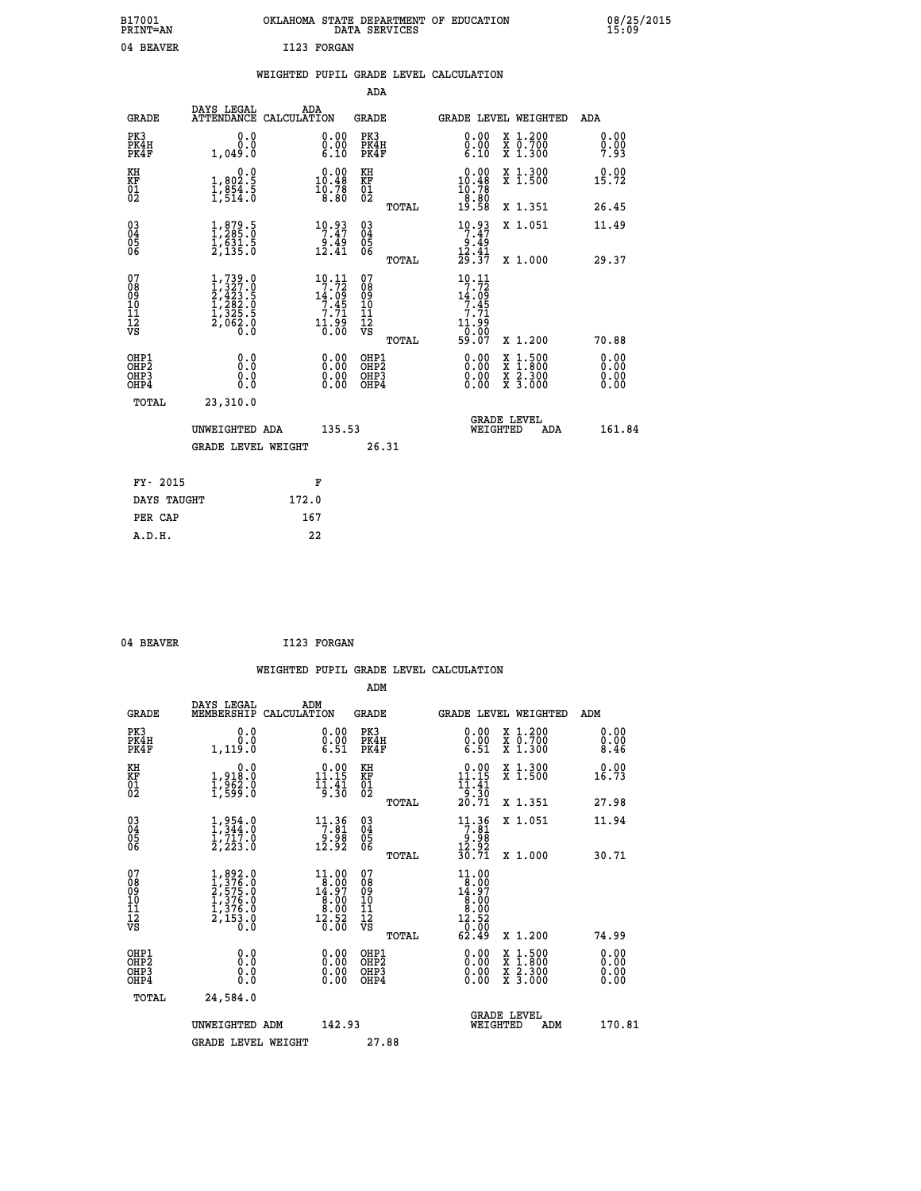| B17001<br><b>PRINT=AN</b> | OKLAHOMA STATE DEPARTMENT OF EDUCATION<br>DATA SERVICES | 08/25/2015<br>15:09 |
|---------------------------|---------------------------------------------------------|---------------------|
| 04 BEAVER                 | I123 FORGAN                                             |                     |

|  |  | WEIGHTED PUPIL GRADE LEVEL CALCULATION |
|--|--|----------------------------------------|
|  |  |                                        |

|                                                                    |                                                                                     |                                                                                        | ADA                                          |       |                                                                                                      |                                          |                              |
|--------------------------------------------------------------------|-------------------------------------------------------------------------------------|----------------------------------------------------------------------------------------|----------------------------------------------|-------|------------------------------------------------------------------------------------------------------|------------------------------------------|------------------------------|
| <b>GRADE</b>                                                       | DAYS LEGAL                                                                          | ADA<br>ATTENDANCE CALCULATION                                                          | <b>GRADE</b>                                 |       |                                                                                                      | GRADE LEVEL WEIGHTED                     | ADA                          |
| PK3<br>PK4H<br>PK4F                                                | 0.0<br>0.0<br>1,049.0                                                               | 0.00<br>$\substack{0.00\\ 6.10}$                                                       | PK3<br>PK4H<br>PK4F                          |       | 0.00<br>$\substack{0.00\\ 6.10}$                                                                     | X 1.200<br>X 0.700<br>X 1.300            | 0.00<br>0.00<br>7.93         |
| KH<br>KF<br>01<br>02                                               | 0.0<br>$1,802.5$<br>$1,854.5$<br>$1,514.0$                                          | $\begin{smallmatrix} 0.00\\ 10.48\\ 10.78\\ 8.80 \end{smallmatrix}$                    | KH<br>KF<br>01<br>02                         |       | $\begin{smallmatrix} 0.00\\ 10.48\\ 10.78\\ 19.58\\ 19.58 \end{smallmatrix}$                         | X 1.300<br>X 1.500                       | 0.00<br>15.72                |
|                                                                    |                                                                                     |                                                                                        |                                              | TOTAL |                                                                                                      | X 1.351                                  | 26.45                        |
| $\begin{smallmatrix} 03 \\[-4pt] 04 \end{smallmatrix}$<br>Ŏ5<br>06 | $\frac{1}{1}, \frac{879}{285}.0 \ \frac{1}{631}.5 \ \frac{2}{2}, \frac{135}{135}.0$ | $\begin{array}{c} 10.93 \\ 7.47 \\ 9.49 \\ 12.41 \end{array}$                          | $\substack{03 \\ 04}$<br>Ŏ5<br>06            |       | $\begin{array}{r} 10 \cdot 93 \\ 7 \cdot 47 \\ 9 \cdot 49 \\ 12 \cdot 41 \\ 29 \cdot 37 \end{array}$ | X 1.051                                  | 11.49                        |
|                                                                    |                                                                                     |                                                                                        |                                              | TOTAL |                                                                                                      | X 1.000                                  | 29.37                        |
| 07<br>08<br>09<br>101<br>11<br>12<br>VS                            | $1,739.0$<br>$2,423.5$<br>$2,423.5$<br>$1,282.5$<br>$1,325.5$<br>$2,062.0$<br>$0.0$ | $\begin{array}{r} 10.11 \\ 7.72 \\ 14.09 \\ 7.45 \\ 7.71 \end{array}$<br>11.90<br>0.00 | 07<br>08<br>09<br>11<br>11<br>12<br>VS       |       | 10.11<br>$19.72$<br>14.09<br>7.45<br>7.71<br>11.99<br>0.00                                           |                                          |                              |
|                                                                    |                                                                                     |                                                                                        |                                              | TOTAL | 59.07                                                                                                | X 1.200                                  | 70.88                        |
| OHP1<br>OHP <sub>2</sub><br>OH <sub>P3</sub><br>OHP4               | 0.0<br>0.0<br>0.0                                                                   | 0.00<br>$\begin{smallmatrix} 0.00 \ 0.00 \end{smallmatrix}$                            | OHP1<br>OHP <sub>2</sub><br>OHP <sub>3</sub> |       | 0.00<br>0.00                                                                                         | X 1:500<br>X 1:800<br>X 2:300<br>X 3:000 | 0.00<br>0.00<br>0.00<br>0.00 |
| TOTAL                                                              | 23,310.0                                                                            |                                                                                        |                                              |       |                                                                                                      |                                          |                              |
|                                                                    | UNWEIGHTED ADA                                                                      | 135.53                                                                                 |                                              |       |                                                                                                      | <b>GRADE LEVEL</b><br>WEIGHTED<br>ADA    | 161.84                       |
|                                                                    | <b>GRADE LEVEL WEIGHT</b>                                                           |                                                                                        |                                              | 26.31 |                                                                                                      |                                          |                              |
| FY- 2015                                                           |                                                                                     | F                                                                                      |                                              |       |                                                                                                      |                                          |                              |
| DAYS TAUGHT                                                        |                                                                                     | 172.0                                                                                  |                                              |       |                                                                                                      |                                          |                              |
| PER CAP                                                            |                                                                                     | 167                                                                                    |                                              |       |                                                                                                      |                                          |                              |

04 BEAVER 1123 FORGAN

 **A.D.H. 22**

 **WEIGHTED PUPIL GRADE LEVEL CALCULATION ADM DAYS LEGAL ADM GRADE MEMBERSHIP CALCULATION GRADE GRADE LEVEL WEIGHTED ADM PK3 0.0 0.00 PK3 0.00 X 1.200 0.00 PK4H 0.0 0.00 PK4H 0.00 X 0.700 0.00 PK4F 1,119.0 6.51 PK4F 6.51 X 1.300 8.46 KH 0.0 0.00 KH 0.00 X 1.300 0.00 KF 1,918.0 11.15 KF 11.15 X 1.500 16.73 01 1,962.0 11.41 01 11.41 02 1,599.0 9.30 02 9.30 TOTAL 20.71 X 1.351 27.98 03 1,954.0 11.36 03 11.36 X 1.051 11.94 04 1,344.0 7.81 04 7.81 05 1,717.0 9.98 05 9.98 06 2,223.0 12.92 06 12.92 TOTAL 30.71 X 1.000 30.71**  $\begin{array}{cccc} 07 & 1,892.0 & 11.00 & 07 & 11.00 \cr 08 & 1,276.0 & 8.00 & 8.00 \cr 10 & 1,376.0 & 8.00 & 10 & 8.00 \cr 11 & 1,376.0 & 8.00 & 10 & 8.00 \cr 12 & 1,376.0 & 8.00 & 11 & 8.00 \cr 13 & 1,376.0 & 8.00 & 11 & 8.00 \cr 12 & 2,153.0 & 12,52 & 12 & 12,52 \cr \nab$  **TOTAL 62.49 X 1.200 74.99 OHP1 0.0 0.00 OHP1 0.00 X 1.500 0.00 OHP2 0.0 0.00 OHP2 0.00 X 1.800 0.00 OHP3 0.0 0.00 OHP3 0.00 X 2.300 0.00 OHP4 0.0 0.00 OHP4 0.00 X 3.000 0.00 TOTAL 24,584.0 GRADE LEVEL UNWEIGHTED ADM 142.93 WEIGHTED ADM 170.81** GRADE LEVEL WEIGHT 27.88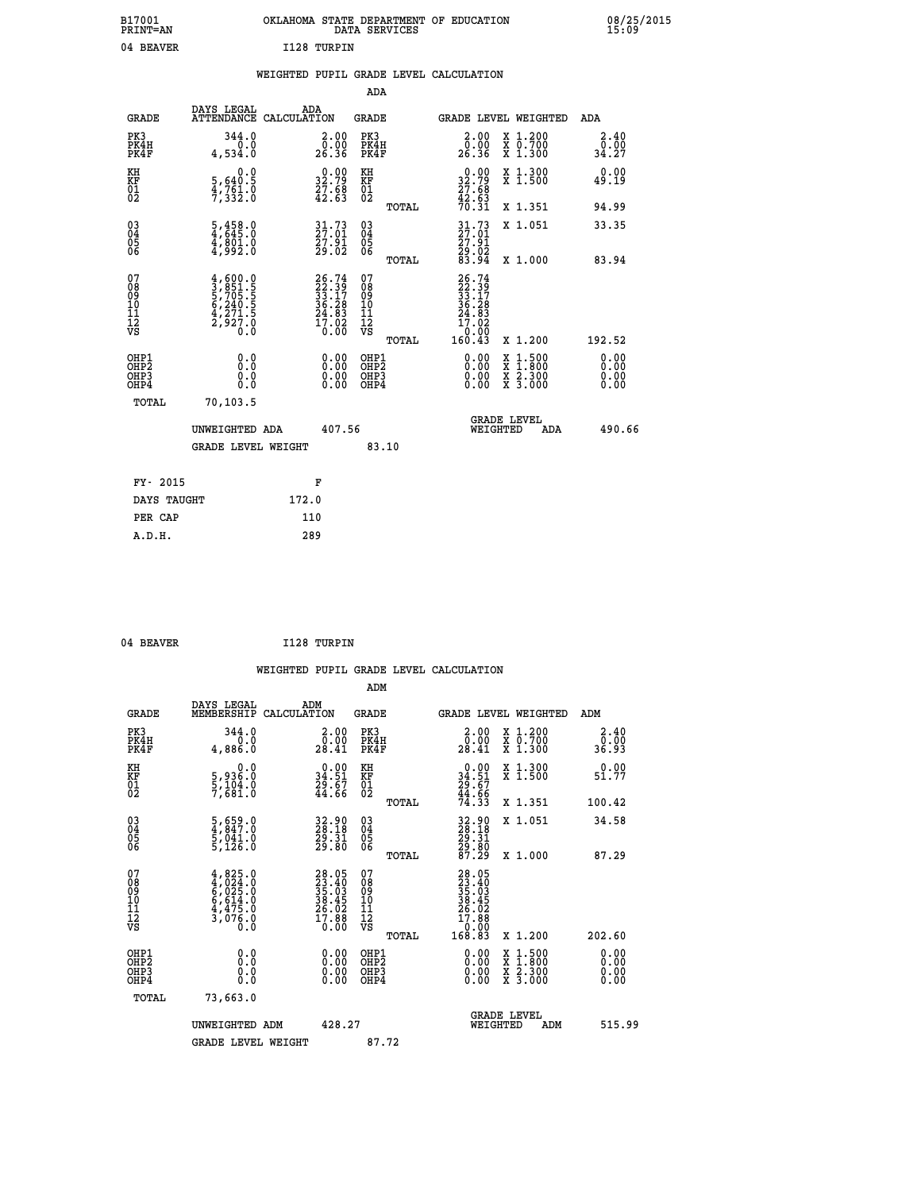| B17001<br><b>PRINT=AN</b> | OKLAHOMA STATE DEPARTMENT OF EDUCATION<br>DATA SERVICES |  |
|---------------------------|---------------------------------------------------------|--|
| 04 BEAVER                 | I128 TURPIN                                             |  |

 **B17001 OKLAHOMA STATE DEPARTMENT OF EDUCATION 08/25/2015**

|  |  | WEIGHTED PUPIL GRADE LEVEL CALCULATION |
|--|--|----------------------------------------|
|  |  |                                        |

|                                                                              |                                                                                                                                                          |                                                                          | ADA                                                |       |                                                                                                                 |                                                                                                                                              |                              |
|------------------------------------------------------------------------------|----------------------------------------------------------------------------------------------------------------------------------------------------------|--------------------------------------------------------------------------|----------------------------------------------------|-------|-----------------------------------------------------------------------------------------------------------------|----------------------------------------------------------------------------------------------------------------------------------------------|------------------------------|
| <b>GRADE</b>                                                                 | DAYS LEGAL                                                                                                                                               | ADA<br>ATTENDANCE CALCULATION                                            | GRADE                                              |       | GRADE LEVEL WEIGHTED                                                                                            |                                                                                                                                              | ADA                          |
| PK3<br>PK4H<br>PK4F                                                          | 344.0<br>0.0<br>4,534.0                                                                                                                                  | $\begin{smallmatrix} 2.00\\ 0.00\\ 26.36 \end{smallmatrix}$              | PK3<br>PK4H<br>PK4F                                |       | 2.00<br>ŏ:ŏŏ<br>26:36                                                                                           | X 1.200<br>X 0.700<br>X 1.300                                                                                                                | 2.40<br>0.00<br>34.27        |
| KH<br>KF<br>01<br>02                                                         | 0.0<br>5,640:5<br>4,761:0<br>7,332:0                                                                                                                     | $\begin{smallmatrix} 0.00\\ 32.79\\ 27.68\\ 42.63\\ \end{smallmatrix}$   | KH<br>KF<br>01<br>02                               |       | $32.79$<br>$27.68$<br>$42.63$<br>$70.31$                                                                        | X 1.300<br>X 1.500                                                                                                                           | 0.00<br>49.19                |
|                                                                              |                                                                                                                                                          |                                                                          |                                                    | TOTAL |                                                                                                                 | X 1.351                                                                                                                                      | 94.99                        |
| $^{03}_{04}$<br>Ŏ5<br>06                                                     | $\frac{5}{4}$ , $\frac{458}{645}$ .0<br>4,801.0<br>4,992.0                                                                                               | $\begin{smallmatrix} 31.73\ 27.01\ 27.91\ 29.02 \end{smallmatrix}$       | $\begin{matrix} 03 \\ 04 \\ 05 \\ 06 \end{matrix}$ | TOTAL | 31.73<br>27.01<br>27.91<br>29.02<br>83.94                                                                       | X 1.051<br>X 1.000                                                                                                                           | 33.35<br>83.94               |
|                                                                              |                                                                                                                                                          |                                                                          |                                                    |       |                                                                                                                 |                                                                                                                                              |                              |
| 07<br>08<br>09<br>11<br>11<br>12<br>VS                                       | $\begin{smallmatrix} 4\,,\,600\,,\,0\\ 3\,,\,851\,,\,5\\ 5\,,\,705\,,\,5\\ 6\,,\,240\,,\,5\\ 4\,,\,271\,,\,5\\ 2\,,\,927\,,\,0\\ 0\,. \end{smallmatrix}$ | $26.74$<br>$22.39$<br>$33.17$<br>$36.28$<br>$24.83$<br>$17.02$<br>$0.00$ | 07<br>08<br>09<br>11<br>11<br>12<br>VS             | TOTAL | $26.74$<br>$22.39$<br>$33.17$<br>$36.28$<br>$24.83$<br>$17.02$<br>$\begin{array}{c} 0.00 \\ 160.43 \end{array}$ | X 1.200                                                                                                                                      | 192.52                       |
| OHP1<br>OH <sub>P</sub> <sub>2</sub><br>OH <sub>P3</sub><br>OH <sub>P4</sub> | 0.0<br>Ō.Ō<br>0.0<br>0.0                                                                                                                                 | 0.00<br>0.00<br>0.00                                                     | OHP1<br>OHP2<br>OHP3<br>OHP4                       |       | 0.00<br>0.00<br>0.00                                                                                            | $\begin{smallmatrix} \mathtt{X} & 1\cdot500 \\ \mathtt{X} & 1\cdot800 \\ \mathtt{X} & 2\cdot300 \\ \mathtt{X} & 3\cdot000 \end{smallmatrix}$ | 0.00<br>0.00<br>0.00<br>0.00 |
| TOTAL                                                                        | 70,103.5                                                                                                                                                 |                                                                          |                                                    |       |                                                                                                                 |                                                                                                                                              |                              |
|                                                                              | UNWEIGHTED ADA                                                                                                                                           | 407.56                                                                   |                                                    |       | WEIGHTED                                                                                                        | <b>GRADE LEVEL</b><br>ADA                                                                                                                    | 490.66                       |
|                                                                              | <b>GRADE LEVEL WEIGHT</b>                                                                                                                                |                                                                          |                                                    | 83.10 |                                                                                                                 |                                                                                                                                              |                              |
| FY- 2015                                                                     |                                                                                                                                                          | F                                                                        |                                                    |       |                                                                                                                 |                                                                                                                                              |                              |
| DAYS TAUGHT                                                                  |                                                                                                                                                          | 172.0                                                                    |                                                    |       |                                                                                                                 |                                                                                                                                              |                              |
| PER CAP                                                                      |                                                                                                                                                          | 110                                                                      |                                                    |       |                                                                                                                 |                                                                                                                                              |                              |
| A.D.H.                                                                       |                                                                                                                                                          | 289                                                                      |                                                    |       |                                                                                                                 |                                                                                                                                              |                              |

04 BEAVER **I128 TURPIN** 

 **ADM**

 **A.D.H. 289**

 **B17001<br>PRINT=AN** 

| <b>GRADE</b>                                         | DAYS LEGAL<br>MEMBERSHIP                                                          | ADM<br>CALCULATION                                                   | <b>GRADE</b>                                        |       | GRADE LEVEL WEIGHTED                                                                     |                                          | ADM                                                              |  |
|------------------------------------------------------|-----------------------------------------------------------------------------------|----------------------------------------------------------------------|-----------------------------------------------------|-------|------------------------------------------------------------------------------------------|------------------------------------------|------------------------------------------------------------------|--|
| PK3<br>PK4H<br>PK4F                                  | 344.0<br>0.0<br>4,886.0                                                           | $\begin{smallmatrix} 2.00\\ 0.00\\ 28.41 \end{smallmatrix}$          | PK3<br>PK4H<br>PK4F                                 |       | $\begin{smallmatrix} 2.00\\ 0.00\\ 28.41 \end{smallmatrix}$                              | X 1.200<br>X 0.700<br>X 1.300            | $\begin{smallmatrix} 2.40\0.00\\ 0.00\\ 36.93 \end{smallmatrix}$ |  |
| KH<br>KF<br>01<br>02                                 | 0.0<br>5,936.0<br>5,104.0<br>7,681.0                                              | $\begin{smallmatrix} 0.00\\ 34.51\\ 29.67\\ 44.66 \end{smallmatrix}$ | KH<br>KF<br>01<br>02                                |       | $0.00$<br>$34.51$<br>$29.67$<br>$44.66$<br>$74.33$                                       | X 1.300<br>X 1.500                       | 0.00<br>51.77                                                    |  |
|                                                      |                                                                                   |                                                                      |                                                     | TOTAL |                                                                                          | X 1.351                                  | 100.42                                                           |  |
| 03<br>04<br>05<br>06                                 | $\frac{5}{4}, \frac{659}{847}.0$<br>$\frac{5}{5}, \frac{041}{126}.0$              | 32.90<br>28.18<br>29.31<br>29.80                                     | $\begin{array}{c} 03 \\ 04 \\ 05 \\ 06 \end{array}$ |       | 32.90<br>28.18<br>29.31<br>29.80<br>87.29                                                | X 1.051                                  | 34.58                                                            |  |
|                                                      |                                                                                   |                                                                      |                                                     | TOTAL |                                                                                          | X 1.000                                  | 87.29                                                            |  |
| 07<br>08<br>09<br>101<br>11<br>12<br>VS              | $4,825.0$<br>$4,024.0$<br>$6,025.0$<br>$6,614.0$<br>$4,475.0$<br>$3,076.0$<br>0.0 | $28.0523.4035.0338.4526.0227.8817.880.00$                            | 07<br>08<br>09<br>01<br>11<br>11<br>12<br>VS        | TOTAL | $\begin{smallmatrix} 28.05\ 23.40\ 35.03\ 38.45\ 26.02\ 17.88\ 18.83\ \end{smallmatrix}$ | X 1.200                                  | 202.60                                                           |  |
| OHP1<br>OHP2<br>OH <sub>P3</sub><br>OH <sub>P4</sub> | 0.0<br>0.000                                                                      |                                                                      | OHP1<br>OHP2<br>OHP3<br>OHP4                        |       | 0.00<br>$0.00$<br>0.00                                                                   | X 1:500<br>X 1:800<br>X 2:300<br>X 3:000 | 0.00<br>0.00<br>0.00                                             |  |
| TOTAL                                                | 73,663.0                                                                          |                                                                      |                                                     |       |                                                                                          |                                          |                                                                  |  |
|                                                      | UNWEIGHTED<br>ADM                                                                 | 428.27                                                               |                                                     |       | WEIGHTED                                                                                 | <b>GRADE LEVEL</b><br>ADM                | 515.99                                                           |  |
|                                                      | <b>GRADE LEVEL WEIGHT</b>                                                         |                                                                      | 87.72                                               |       |                                                                                          |                                          |                                                                  |  |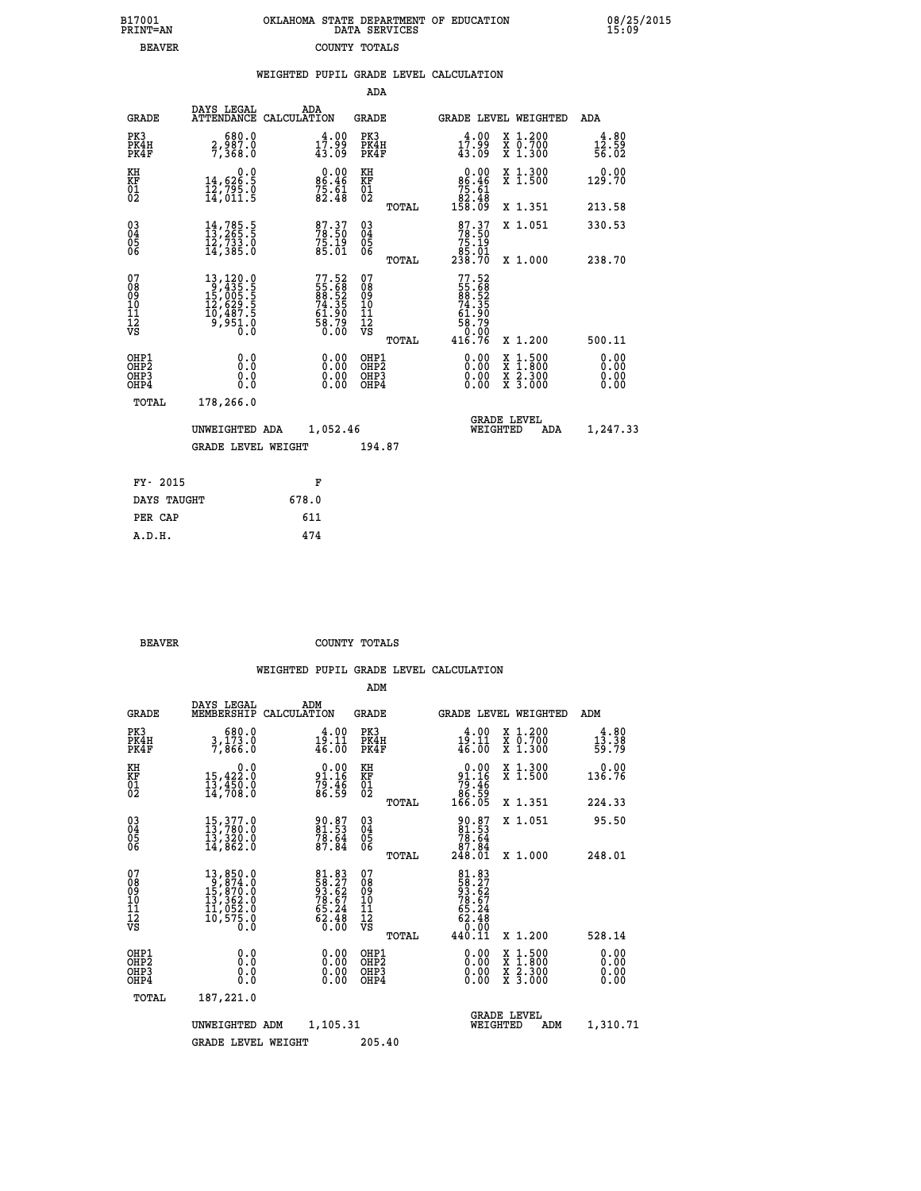| 7001<br>INT=AN | OKLAHOMA STATE DEPARTMENT OF EDUCATION<br>DATA SERVICES |  |
|----------------|---------------------------------------------------------|--|
| <b>BEAVER</b>  | COUNTY TOTALS                                           |  |

 **B17001<br>PRINT=AN** 

 **B17001 OKLAHOMA STATE DEPARTMENT OF EDUCATION 08/25/2015**

|                                                                    |                                                                                                                                                                     |       |                                                                      |                                      |       | WEIGHTED PUPIL GRADE LEVEL CALCULATION                                                                                                                                                                                                                                         |                                                                                                                                              |                        |
|--------------------------------------------------------------------|---------------------------------------------------------------------------------------------------------------------------------------------------------------------|-------|----------------------------------------------------------------------|--------------------------------------|-------|--------------------------------------------------------------------------------------------------------------------------------------------------------------------------------------------------------------------------------------------------------------------------------|----------------------------------------------------------------------------------------------------------------------------------------------|------------------------|
|                                                                    |                                                                                                                                                                     |       |                                                                      | ADA                                  |       |                                                                                                                                                                                                                                                                                |                                                                                                                                              |                        |
| <b>GRADE</b>                                                       | DAYS LEGAL<br>ATTENDANCE CALCULATION                                                                                                                                | ADA   |                                                                      | <b>GRADE</b>                         |       | GRADE LEVEL WEIGHTED                                                                                                                                                                                                                                                           |                                                                                                                                              | ADA                    |
| PK3<br>PK4H<br>PK4F                                                | 0.080<br>0.588,6<br>0.885,7                                                                                                                                         |       | $17.99$<br>$43.09$                                                   | PK3<br>PK4H<br>PK4F                  |       | $17.99$<br>$43.09$                                                                                                                                                                                                                                                             | X 1.200<br>X 0.700<br>X 1.300                                                                                                                | 4.80<br>12.59<br>56.02 |
| KH<br>KF<br>01<br>02                                               | 0.0<br>14,626.5<br>12,795.0<br>14,011.5                                                                                                                             |       | $0.00$<br>86.46<br>$75.61$<br>82.48                                  | KH<br>KF<br>01<br>02                 |       | $\begin{smallmatrix}&&0&.00\\86&.46\\75&.61\\82&.48\\158&.09\end{smallmatrix}$                                                                                                                                                                                                 | X 1.300<br>X 1.500                                                                                                                           | 0.00<br>129.70         |
|                                                                    |                                                                                                                                                                     |       |                                                                      |                                      | TOTAL |                                                                                                                                                                                                                                                                                | X 1.351                                                                                                                                      | 213.58                 |
| $\begin{smallmatrix} 03 \\[-4pt] 04 \end{smallmatrix}$<br>05<br>06 | 14,785.5<br>13,265.5<br>12,733.0<br>14,385.0                                                                                                                        |       | 87.37<br>78.50<br>75.19<br>85.01                                     | $^{03}_{04}$<br>0500                 |       | 87.37<br>78.50<br>75.19                                                                                                                                                                                                                                                        | X 1.051                                                                                                                                      | 330.53                 |
|                                                                    |                                                                                                                                                                     |       |                                                                      |                                      | TOTAL | 85.01<br>238.70                                                                                                                                                                                                                                                                | X 1.000                                                                                                                                      | 238.70                 |
| 07<br>08<br>09<br>10<br>11<br>11<br>12<br>VS                       | $\begin{smallmatrix} 13\,,\,120\cdot 0\\ 9\,,\,435\cdot 5\\ 15\,,\,005\cdot 5\\ 12\,,\,629\cdot 5\\ 10\,,\,487\cdot 5\\ 9\,,\,951\cdot 0\\ 0\,\,0\end{smallmatrix}$ |       | 77.52<br>55.68<br>88.52<br>88.52<br>74.35<br>61.90<br>58.79<br>58.79 | 078<br>089<br>0011<br>11<br>12<br>VS | TOTAL | 77.52<br>55.68<br>88.52<br>74.35<br>74.90<br>$58.79$<br>0.00<br>416.76                                                                                                                                                                                                         | X 1.200                                                                                                                                      | 500.11                 |
| OHP1<br>OHP2<br>OH <sub>P</sub> 3<br>OHP4                          | 0.0<br>0.0<br>0.0                                                                                                                                                   |       | $\begin{smallmatrix} 0.00 \ 0.00 \ 0.00 \ 0.00 \end{smallmatrix}$    | OHP1<br>OHP2<br>OHP3<br>OHP4         |       | $\begin{smallmatrix} 0.00 & 0.00 & 0.00 & 0.00 & 0.00 & 0.00 & 0.00 & 0.00 & 0.00 & 0.00 & 0.00 & 0.00 & 0.00 & 0.00 & 0.00 & 0.00 & 0.00 & 0.00 & 0.00 & 0.00 & 0.00 & 0.00 & 0.00 & 0.00 & 0.00 & 0.00 & 0.00 & 0.00 & 0.00 & 0.00 & 0.00 & 0.00 & 0.00 & 0.00 & 0.00 & 0.0$ | $\begin{smallmatrix} \mathtt{X} & 1\cdot500 \\ \mathtt{X} & 1\cdot800 \\ \mathtt{X} & 2\cdot300 \\ \mathtt{X} & 3\cdot000 \end{smallmatrix}$ | 0.00<br>0.00<br>0.00   |
| TOTAL                                                              | 178,266.0                                                                                                                                                           |       |                                                                      |                                      |       |                                                                                                                                                                                                                                                                                |                                                                                                                                              |                        |
|                                                                    | UNWEIGHTED ADA                                                                                                                                                      |       | 1,052.46                                                             |                                      |       | WEIGHTED                                                                                                                                                                                                                                                                       | <b>GRADE LEVEL</b><br>ADA                                                                                                                    | 1,247.33               |
|                                                                    | <b>GRADE LEVEL WEIGHT</b>                                                                                                                                           |       |                                                                      | 194.87                               |       |                                                                                                                                                                                                                                                                                |                                                                                                                                              |                        |
| FY- 2015                                                           |                                                                                                                                                                     |       | F                                                                    |                                      |       |                                                                                                                                                                                                                                                                                |                                                                                                                                              |                        |
| DAYS TAUGHT                                                        |                                                                                                                                                                     | 678.0 |                                                                      |                                      |       |                                                                                                                                                                                                                                                                                |                                                                                                                                              |                        |
| PER CAP                                                            |                                                                                                                                                                     | 611   |                                                                      |                                      |       |                                                                                                                                                                                                                                                                                |                                                                                                                                              |                        |

**BEAVER** COUNTY TOTALS

 **A.D.H. 474**

|                                          |                                                                                                                                                                                         |                                                                                           | ADM                                                 |                                                                             |                                          |                                               |
|------------------------------------------|-----------------------------------------------------------------------------------------------------------------------------------------------------------------------------------------|-------------------------------------------------------------------------------------------|-----------------------------------------------------|-----------------------------------------------------------------------------|------------------------------------------|-----------------------------------------------|
| <b>GRADE</b>                             | DAYS LEGAL<br>MEMBERSHIP                                                                                                                                                                | ADM<br>CALCULATION                                                                        | <b>GRADE</b>                                        |                                                                             | GRADE LEVEL WEIGHTED                     | ADM                                           |
| PK3<br>PK4H<br>PK4F                      | 680.0<br>3,173.0<br>7,866.0                                                                                                                                                             | 4.00<br>19.11<br>46.00                                                                    | PK3<br>PK4H<br>PK4F                                 | 4.00<br>19.11<br>46.00                                                      | X 1.200<br>X 0.700<br>X 1.300            | 4.80<br>$\frac{1\bar{3}\cdot\bar{3}8}{59.79}$ |
| KH<br>KF<br>01<br>02                     | 0.0<br>15,422:0<br>13,450:0<br>14,708:0                                                                                                                                                 | $91.16$<br>$79.46$<br>$79.46$<br>$86.59$                                                  | KH<br>KF<br>01<br>02                                | $0.00$<br>$91.16$<br>$79.46$<br>$86.59$<br>$166.05$                         | X 1.300<br>X 1.500                       | 0.00<br>136.76                                |
|                                          |                                                                                                                                                                                         |                                                                                           | TOTAL                                               |                                                                             | X 1.351                                  | 224.33                                        |
| 03<br>04<br>05<br>06                     | $\begin{smallmatrix} 15,377.0\\ 13,780.0\\ 13,320.0\\ 14,862.0 \end{smallmatrix}$                                                                                                       | 90.87<br>81.53<br>78.64<br>87.84                                                          | $\begin{array}{c} 03 \\ 04 \\ 05 \\ 06 \end{array}$ | $\begin{smallmatrix} 90.87\ 81.53\ 78.64\ 87.84\ 248.01\ \end{smallmatrix}$ | X 1.051                                  | 95.50                                         |
|                                          |                                                                                                                                                                                         |                                                                                           | TOTAL                                               |                                                                             | X 1.000                                  | 248.01                                        |
| 07<br>08<br>09<br>101<br>112<br>VS       | $\begin{smallmatrix} 13\,, & 850\,. & 0\\ 9\,, & 874\,. & 0\\ 15\,, & 870\,. & 0\\ 13\,, & 362\,. & 0\\ 11\,, & 052\,. & 0\\ 10\,, & 575\,. & 0\\ 0\,. & 0\,. & 0\,. \end{smallmatrix}$ | $\begin{array}{l} 81.83 \\ 58.27 \\ 93.62 \\ 78.67 \\ 65.24 \\ 62.48 \\ 0.00 \end{array}$ | 07<br>08<br>09<br>11<br>11<br>12<br>VS<br>TOTAL     | 81.83<br>58.27<br>58.62<br>78.67<br>65.24<br>62.48<br>62.48<br>440.11       | X 1.200                                  | 528.14                                        |
|                                          |                                                                                                                                                                                         |                                                                                           |                                                     |                                                                             |                                          |                                               |
| OHP1<br>OHP2<br>OH <sub>P3</sub><br>OHP4 | 0.0<br>0.000                                                                                                                                                                            | $0.00$<br>$0.00$<br>0.00                                                                  | OHP1<br>OHP2<br>OHP <sub>3</sub>                    | $0.00$<br>$0.00$<br>0.00                                                    | X 1:500<br>X 1:800<br>X 2:300<br>X 3:000 | 0.00<br>0.00<br>0.00<br>0.00                  |
| TOTAL                                    | 187,221.0                                                                                                                                                                               |                                                                                           |                                                     |                                                                             |                                          |                                               |
|                                          | UNWEIGHTED ADM                                                                                                                                                                          | 1,105.31                                                                                  |                                                     |                                                                             | <b>GRADE LEVEL</b><br>WEIGHTED<br>ADM    | 1,310.71                                      |
|                                          | <b>GRADE LEVEL WEIGHT</b>                                                                                                                                                               |                                                                                           | 205.40                                              |                                                                             |                                          |                                               |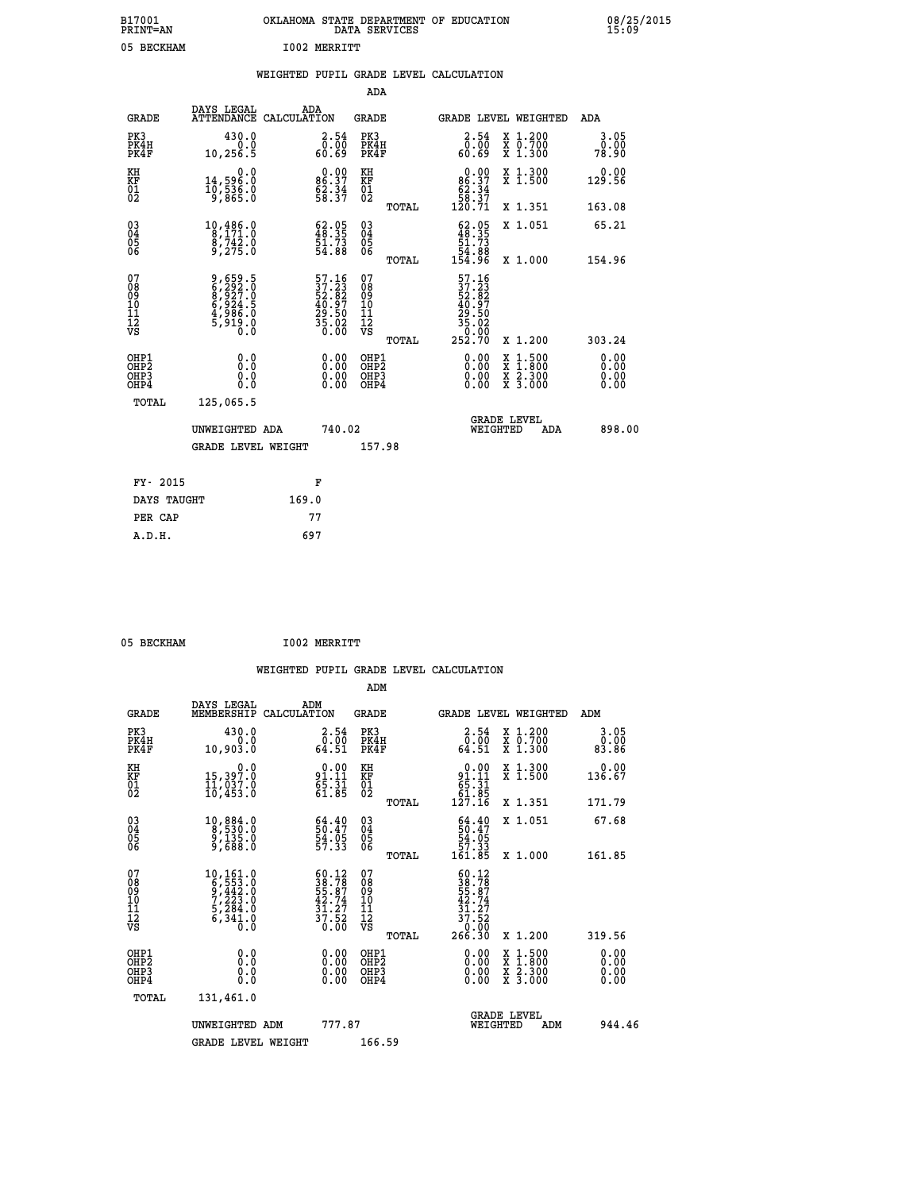| B17001<br><b>PRINT=AN</b> | OKLAHOMA<br>. STATE DEPARTMENT OF EDUCATION<br>DATA SERVICES | 08/25/2015<br>15:09 |
|---------------------------|--------------------------------------------------------------|---------------------|
| 05<br><b>BECKHAM</b>      | <b>I002 MERRITT</b>                                          |                     |

|  |  | WEIGHTED PUPIL GRADE LEVEL CALCULATION |
|--|--|----------------------------------------|
|  |  |                                        |

|                                                                    |                                                                 |                                                                                                    | ADA                                                 |       |                                                                                                                                                                                        |        |                                          |                              |
|--------------------------------------------------------------------|-----------------------------------------------------------------|----------------------------------------------------------------------------------------------------|-----------------------------------------------------|-------|----------------------------------------------------------------------------------------------------------------------------------------------------------------------------------------|--------|------------------------------------------|------------------------------|
| <b>GRADE</b>                                                       | DAYS LEGAL<br>ATTENDANCE CALCULATION                            | ADA                                                                                                | <b>GRADE</b>                                        |       | GRADE LEVEL WEIGHTED                                                                                                                                                                   |        |                                          | <b>ADA</b>                   |
| PK3<br>PK4H<br>PK4F                                                | 430.0<br>0.0<br>10,256.5                                        | $\begin{smallmatrix} 2.54\0.00\\ 60.69 \end{smallmatrix}$                                          | PK3<br>PK4H<br>PK4F                                 |       | $\begin{smallmatrix} 2.54\0.00\\0.00\\60.69\end{smallmatrix}$                                                                                                                          |        | X 1.200<br>X 0.700<br>X 1.300            | 3.05<br>0.00<br>78.90        |
| KH<br>KF<br>01<br>02                                               | 0.0<br>14,596.0<br>10,536.0<br>9,865.0                          | $86.37$<br>$62.34$<br>$58.37$                                                                      | KH<br>KF<br>01<br>02                                |       | $\begin{smallmatrix}&&0.00\\86.37\\62.34\\58.37\\120.71\end{smallmatrix}$                                                                                                              |        | X 1.300<br>X 1.500                       | 0.00<br>129.56               |
|                                                                    |                                                                 |                                                                                                    |                                                     | TOTAL |                                                                                                                                                                                        |        | X 1.351                                  | 163.08                       |
| $\begin{smallmatrix} 03 \\[-4pt] 04 \end{smallmatrix}$<br>Ŏ5<br>06 | 10,486.0<br>8,171.0<br>$\frac{8}{9}$ , $\frac{742}{275}$ .0     | $\begin{smallmatrix} 62.05\\ 48.35\\ 51.73\\ 54.88 \end{smallmatrix}$                              | $\begin{array}{c} 03 \\ 04 \\ 05 \\ 06 \end{array}$ |       | $\begin{smallmatrix} 62.05\\ 48.35\\ 51.73\\ 54.88\\ 154.96 \end{smallmatrix}$                                                                                                         |        | X 1.051                                  | 65.21                        |
|                                                                    |                                                                 |                                                                                                    |                                                     | TOTAL |                                                                                                                                                                                        |        | X 1.000                                  | 154.96                       |
| 07<br>08<br>09<br>11<br>11<br>12<br>VS                             | 9,659.5<br>6,2927.0<br>8,927.0<br>6,924.5<br>4,986.0<br>5,919.0 | $\begin{smallmatrix} 57.16 \\ 37.23 \\ 52.82 \\ 40.97 \\ 29.50 \\ 35.02 \\ 0.00 \end{smallmatrix}$ | 07<br>08<br>09<br>11<br>11<br>12<br>VS              |       | 57.16<br>$\begin{smallmatrix} 1 & 1 & 1 & 2 \\ 3 & 7 & 2 & 3 \\ 5 & 2 & 3 & 2 \\ 4 & 0 & 9 & 7 \\ 2 & 9 & 5 & 0 \\ 3 & 5 & 0 & 0 \\ 3 & 5 & 0 & 0 \\ 2 & 5 & 2 & 70 \end{smallmatrix}$ |        |                                          |                              |
|                                                                    |                                                                 |                                                                                                    |                                                     | TOTAL |                                                                                                                                                                                        |        | X 1.200                                  | 303.24                       |
| OHP1<br>OHP <sub>2</sub><br>OHP3<br>OHP4                           | 0.0<br>Ō.Ō<br>0.0<br>Ŏ.Ŏ                                        | 0.00<br>$\begin{smallmatrix} 0.00 \ 0.00 \end{smallmatrix}$                                        | OHP1<br>OH <sub>P</sub> 2<br>OHP3<br>OHP4           |       | 0.00<br>0.00<br>0.00                                                                                                                                                                   | X<br>X | $1:500$<br>$1:800$<br>X 2.300<br>X 3.000 | 0.00<br>0.00<br>0.00<br>0.00 |
| TOTAL                                                              | 125,065.5                                                       |                                                                                                    |                                                     |       |                                                                                                                                                                                        |        |                                          |                              |
|                                                                    | UNWEIGHTED ADA                                                  | 740.02                                                                                             |                                                     |       | WEIGHTED                                                                                                                                                                               |        | <b>GRADE LEVEL</b><br>ADA                | 898.00                       |
|                                                                    | <b>GRADE LEVEL WEIGHT</b>                                       |                                                                                                    | 157.98                                              |       |                                                                                                                                                                                        |        |                                          |                              |
| FY- 2015                                                           |                                                                 | F                                                                                                  |                                                     |       |                                                                                                                                                                                        |        |                                          |                              |
| DAYS TAUGHT                                                        |                                                                 | 169.0                                                                                              |                                                     |       |                                                                                                                                                                                        |        |                                          |                              |
| PER CAP                                                            |                                                                 | 77                                                                                                 |                                                     |       |                                                                                                                                                                                        |        |                                          |                              |
|                                                                    |                                                                 |                                                                                                    |                                                     |       |                                                                                                                                                                                        |        |                                          |                              |

05 BECKHAM **I002 MERRITT** 

|                                          |                                                                                                          |                                                                                                                                             | ADM                                                 |       |                                                                           |                                          |                              |  |
|------------------------------------------|----------------------------------------------------------------------------------------------------------|---------------------------------------------------------------------------------------------------------------------------------------------|-----------------------------------------------------|-------|---------------------------------------------------------------------------|------------------------------------------|------------------------------|--|
| <b>GRADE</b>                             | DAYS LEGAL<br>MEMBERSHIP                                                                                 | ADM<br>CALCULATION                                                                                                                          | <b>GRADE</b>                                        |       | GRADE LEVEL WEIGHTED                                                      |                                          | ADM                          |  |
| PK3<br>PK4H<br>PK4F                      | 430.0<br>0.0<br>10,903.0                                                                                 | 2.54<br>$\begin{smallmatrix} \textcolor{red}{\textbf{0}}\textcolor{black}{\textbf{.00}}\ \textcolor{red}{\textbf{64.51}} \end{smallmatrix}$ | PK3<br>PK4H<br>PK4F                                 |       | $\begin{smallmatrix} 2.54\0.00\\64.51\end{smallmatrix}$                   | X 1.200<br>X 0.700<br>X 1.300            | 3.05<br>0.00<br>83.86        |  |
| KH<br>KF<br>01<br>02                     | 0.0<br>15,397.0<br>11,037.0<br>10,453.0                                                                  | $91.11$<br>$65.31$<br>$61.85$                                                                                                               | KH<br>KF<br>01<br>02                                |       | $\begin{smallmatrix}&&0.00\\91.11\\65.31\\61.85\\127.16\end{smallmatrix}$ | X 1.300<br>X 1.500                       | 0.00<br>136.67               |  |
|                                          |                                                                                                          |                                                                                                                                             |                                                     | TOTAL |                                                                           | X 1.351                                  | 171.79                       |  |
| 03<br>04<br>05<br>06                     | $\begin{smallmatrix}10, 884 & 0\\8, 530 & 0\\9, 135 & 0\\9, 688 & 0\end{smallmatrix}$                    | $\begin{smallmatrix} 64.40\\ 50.47\\ 54.05\\ 57.33 \end{smallmatrix}$                                                                       | $\begin{array}{c} 03 \\ 04 \\ 05 \\ 06 \end{array}$ |       | $64.4050.4754.0557.33161.85$                                              | X 1.051                                  | 67.68                        |  |
|                                          |                                                                                                          |                                                                                                                                             |                                                     | TOTAL |                                                                           | X 1.000                                  | 161.85                       |  |
| 07<br>08<br>09<br>101<br>112<br>VS       | $\begin{smallmatrix} 10,161.0\\ 6,553.0\\ 9,442.0\\ 7,223.0\\ 5,284.0\\ 6,341.0\\ 0.0 \end{smallmatrix}$ | $\begin{smallmatrix} 60.12\\ 38.78\\ 55.87\\ 42.74\\ 31.27\\ 37.52\\ 0.00 \end{smallmatrix}$                                                | 07<br>08<br>09<br>11<br>11<br>12<br>VS              |       | $50.12$<br>$38.78$<br>$55.87$<br>$42.74$<br>$31.27$<br>$37.52$<br>$9.98$  |                                          |                              |  |
|                                          |                                                                                                          |                                                                                                                                             |                                                     | TOTAL | 266.30                                                                    | X 1.200                                  | 319.56                       |  |
| OHP1<br>OHP2<br>OH <sub>P3</sub><br>OHP4 | 0.0<br>0.000                                                                                             | $0.00$<br>$0.00$<br>0.00                                                                                                                    | OHP1<br>OHP2<br>OHP <sub>3</sub>                    |       | $0.00$<br>$0.00$<br>0.00                                                  | X 1:500<br>X 1:800<br>X 2:300<br>X 3:000 | 0.00<br>0.00<br>0.00<br>0.00 |  |
| TOTAL                                    | 131,461.0                                                                                                |                                                                                                                                             |                                                     |       |                                                                           |                                          |                              |  |
|                                          | UNWEIGHTED ADM                                                                                           | 777.87                                                                                                                                      |                                                     |       | <b>GRADE LEVEL</b><br>WEIGHTED                                            | ADM                                      | 944.46                       |  |
|                                          | <b>GRADE LEVEL WEIGHT</b>                                                                                |                                                                                                                                             | 166.59                                              |       |                                                                           |                                          |                              |  |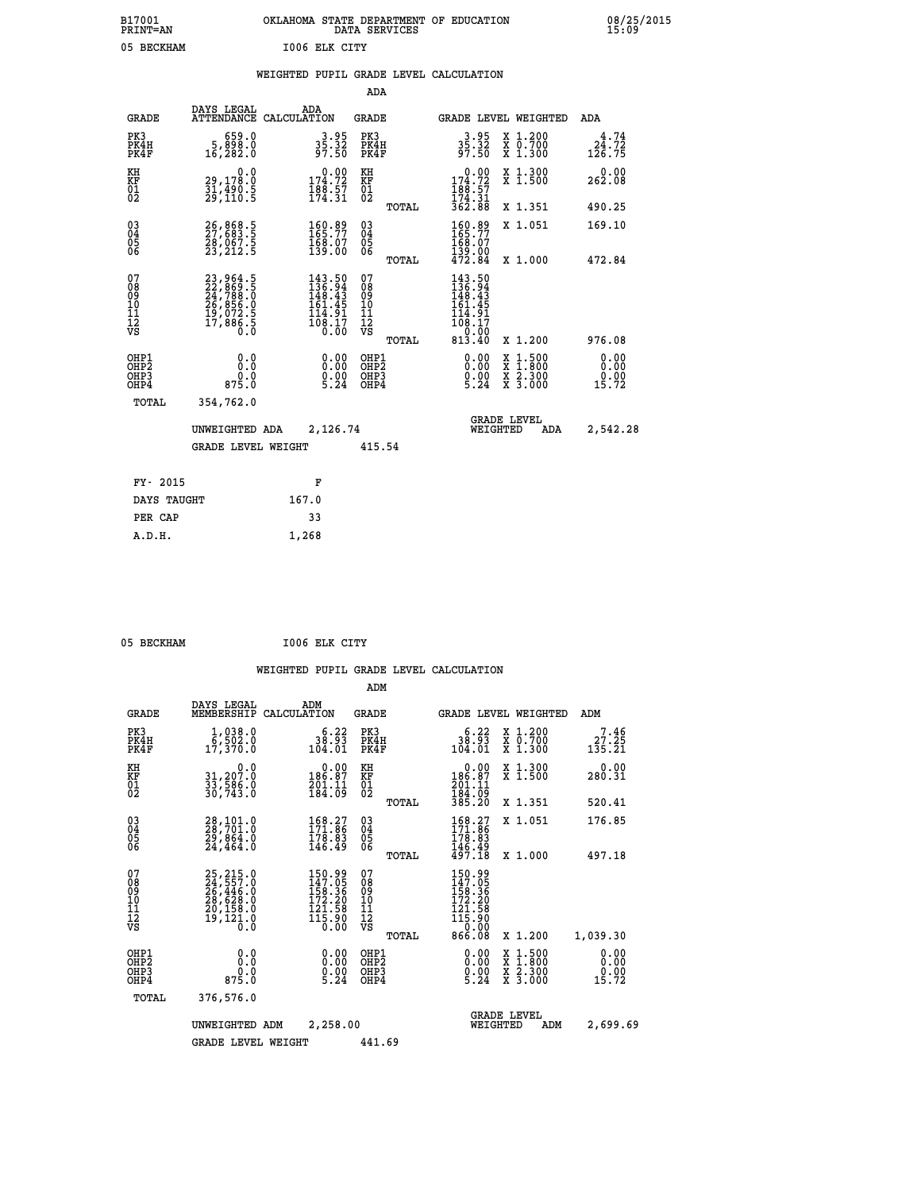| OKLAHOMA STATE DEPARTMENT OF EDUCATION<br>DATA SERVICES |  |
|---------------------------------------------------------|--|
| 1006 ELK CITY                                           |  |

|  |  | WEIGHTED PUPIL GRADE LEVEL CALCULATION |
|--|--|----------------------------------------|
|  |  |                                        |

|                                                                    |                                                                                  |                                                                         | ADA                                       |       |                                                                                                                         |                                                                     |                                 |
|--------------------------------------------------------------------|----------------------------------------------------------------------------------|-------------------------------------------------------------------------|-------------------------------------------|-------|-------------------------------------------------------------------------------------------------------------------------|---------------------------------------------------------------------|---------------------------------|
| <b>GRADE</b>                                                       | DAYS LEGAL                                                                       | ADA<br>ATTENDANCE CALCULATION                                           | <b>GRADE</b>                              |       |                                                                                                                         | GRADE LEVEL WEIGHTED                                                | ADA                             |
| PK3<br>PK4H<br>PK4F                                                | 659.0<br>5,898.0<br>16,282.0                                                     | $3.95$<br>$35.32$<br>$97.50$                                            | PK3<br>PK4H<br>PK4F                       |       | $35.32$<br>$97.50$                                                                                                      | X 1.200<br>X 0.700<br>X 1.300                                       | $24.72$<br>$124.72$<br>$126.75$ |
| KH<br>KF<br>01<br>02                                               | 0.0<br>29,178.0<br>31,490.5<br>29,110.5                                          | $0.00$<br>174.72<br>$\frac{188.57}{174.31}$                             | KH<br>KF<br>$\overline{01}$               |       | $\begin{smallmatrix} &0.00\\ 174.72\\ 188.57\\ 174.31\\ 362.88 \end{smallmatrix}$                                       | X 1.300<br>X 1.500                                                  | 0.00<br>262.08                  |
|                                                                    |                                                                                  |                                                                         |                                           | TOTAL |                                                                                                                         | X 1.351                                                             | 490.25                          |
| $\begin{smallmatrix} 03 \\[-4pt] 04 \end{smallmatrix}$<br>05<br>06 | 26,868.5<br>27,683.5<br>28,067.5<br>23,212.5                                     | 160.89<br>165.77<br>$\frac{168}{139}$ .00                               | $\substack{03 \\ 04}$<br>$\frac{05}{06}$  | TOTAL | 160.89<br>168:07<br>139:00<br>472.84                                                                                    | X 1.051<br>X 1.000                                                  | 169.10                          |
| 07<br>08<br>09<br>11<br>11<br>12<br>VS                             | $23,964.5$<br>$22,869.5$<br>$24,788.0$<br>$26,856.0$<br>$19,072.5$<br>$17,886.5$ | $143.50$<br>$136.94$<br>$148.43$<br>$161.45$<br>$\frac{114.91}{108.17}$ | 07<br>08<br>09<br>11<br>11<br>12<br>VS    |       | $\begin{smallmatrix} 143.50\ 136.94\ 149.43 \end{smallmatrix}$<br>161.45<br>$\frac{1}{100}$ $\frac{1}{2}$ $\frac{1}{2}$ |                                                                     | 472.84                          |
|                                                                    |                                                                                  |                                                                         |                                           | TOTAL | $\begin{array}{c} 0.00 \\ 813.40 \end{array}$                                                                           | X 1.200                                                             | 976.08                          |
| OHP1<br>OH <sub>P</sub> 2<br>OHP3<br>OHP4                          | 0.0<br>Ō.Ō<br>0.0<br>875.0                                                       | 0.00<br>$0.00$<br>5.24                                                  | OHP1<br>OH <sub>P</sub> 2<br>OHP3<br>OHP4 |       | 0.00<br>$0.00$<br>5.24                                                                                                  | $1:500$<br>$1:800$<br>X<br>X<br>$\frac{x}{x}$ $\frac{5.300}{3.000}$ | 0.00<br>0.00<br>0.00<br>15.72   |
| TOTAL                                                              | 354,762.0                                                                        |                                                                         |                                           |       |                                                                                                                         |                                                                     |                                 |
|                                                                    | UNWEIGHTED ADA                                                                   | 2,126.74                                                                |                                           |       |                                                                                                                         | <b>GRADE LEVEL</b><br>WEIGHTED<br>ADA                               | 2,542.28                        |
|                                                                    | <b>GRADE LEVEL WEIGHT</b>                                                        |                                                                         | 415.54                                    |       |                                                                                                                         |                                                                     |                                 |
| FY- 2015                                                           |                                                                                  | F                                                                       |                                           |       |                                                                                                                         |                                                                     |                                 |
| DAYS TAUGHT                                                        |                                                                                  | 167.0                                                                   |                                           |       |                                                                                                                         |                                                                     |                                 |
| PER CAP                                                            |                                                                                  | 33                                                                      |                                           |       |                                                                                                                         |                                                                     |                                 |
|                                                                    |                                                                                  |                                                                         |                                           |       |                                                                                                                         |                                                                     |                                 |

05 BECKHAM **I006 ELK CITY** 

 **A.D.H. 1,268**

B17001<br>PRINT=AN<br>05 BECKHAM

|                                                       |                                                                                  |                                                                         | ADM                                                 |                                                                           |                                |                                                                  |                                 |
|-------------------------------------------------------|----------------------------------------------------------------------------------|-------------------------------------------------------------------------|-----------------------------------------------------|---------------------------------------------------------------------------|--------------------------------|------------------------------------------------------------------|---------------------------------|
| <b>GRADE</b>                                          | DAYS LEGAL<br>MEMBERSHIP                                                         | ADM<br>CALCULATION                                                      | <b>GRADE</b>                                        |                                                                           |                                | GRADE LEVEL WEIGHTED                                             | ADM                             |
| PK3<br>PK4H<br>PK4F                                   | $1,038.0$<br>6,502.0<br>17,370.0                                                 | 6.22<br>38.93<br>104.01                                                 | PK3<br>PK4H<br>PK4F                                 | 6.22<br>38.93<br>104.01                                                   |                                | $\begin{array}{c} x & 1.200 \\ x & 0.700 \end{array}$<br>X 1.300 | 7.46<br>27.25<br>135.21         |
| KH<br>KF<br>01<br>02                                  | 0.0<br>31,207.0<br>33,586.0<br>30,743.0                                          | $\begin{smallmatrix} &0.00\\ 186.87\\ 201.11\\ 184.09\end{smallmatrix}$ | KH<br>KF<br>01<br>02                                | 0.00<br>186:87<br>201:11<br>184:09<br>385:20                              |                                | X 1.300<br>X 1.500                                               | 0.00<br>280.31                  |
|                                                       |                                                                                  |                                                                         | TOTAL                                               |                                                                           |                                | X 1.351                                                          | 520.41                          |
| 03<br>04<br>05<br>06                                  | 28,101.0<br>28,701.0<br>29,864.0<br>24,464.0                                     | $\begin{smallmatrix} 168.27\ 171.86\ 178.83\ 146.49 \end{smallmatrix}$  | $\begin{array}{c} 03 \\ 04 \\ 05 \\ 06 \end{array}$ | $168.27$<br>$171.86$<br>$178.83$<br>$146.49$<br>$497.18$                  |                                | X 1.051                                                          | 176.85                          |
|                                                       |                                                                                  |                                                                         | TOTAL                                               |                                                                           |                                | X 1.000                                                          | 497.18                          |
| 07<br>08<br>09<br>101<br>112<br>VS                    | 25,215.0<br>24,557.0<br>26,446.0<br>28,628.0<br>20,158.0<br>20,158.0<br>19,121.0 | 150.99<br>147.05<br>158.36<br>172.20<br>121.58<br>115.90<br>0.00        | 07<br>08<br>09<br>101<br>11<br>12<br>VS<br>TOTAL    | 150.99<br>147.05<br>158.36<br>172.20<br>$\frac{121.58}{115.90}$<br>866.08 |                                | X 1.200                                                          | 1,039.30                        |
| OHP1<br>OH <sub>P</sub> 2<br>OH <sub>P3</sub><br>OHP4 | 0.0<br>$0.0$<br>875.0                                                            | $0.00$<br>$0.00$<br>5.24                                                | OHP1<br>OHP2<br>OHP3<br>OHP4                        | $\begin{smallmatrix} 0.00\\ 0.00\\ 0.00\\ 5.24 \end{smallmatrix}$         |                                | X 1:500<br>X 1:800<br>X 2:300<br>X 3:000                         | 0.00<br>0.00<br>$0.00$<br>15.72 |
| TOTAL                                                 | 376,576.0                                                                        |                                                                         |                                                     |                                                                           |                                |                                                                  |                                 |
|                                                       | UNWEIGHTED                                                                       | 2,258.00<br>ADM                                                         |                                                     |                                                                           | <b>GRADE LEVEL</b><br>WEIGHTED | ADM                                                              | 2,699.69                        |
|                                                       | <b>GRADE LEVEL WEIGHT</b>                                                        |                                                                         | 441.69                                              |                                                                           |                                |                                                                  |                                 |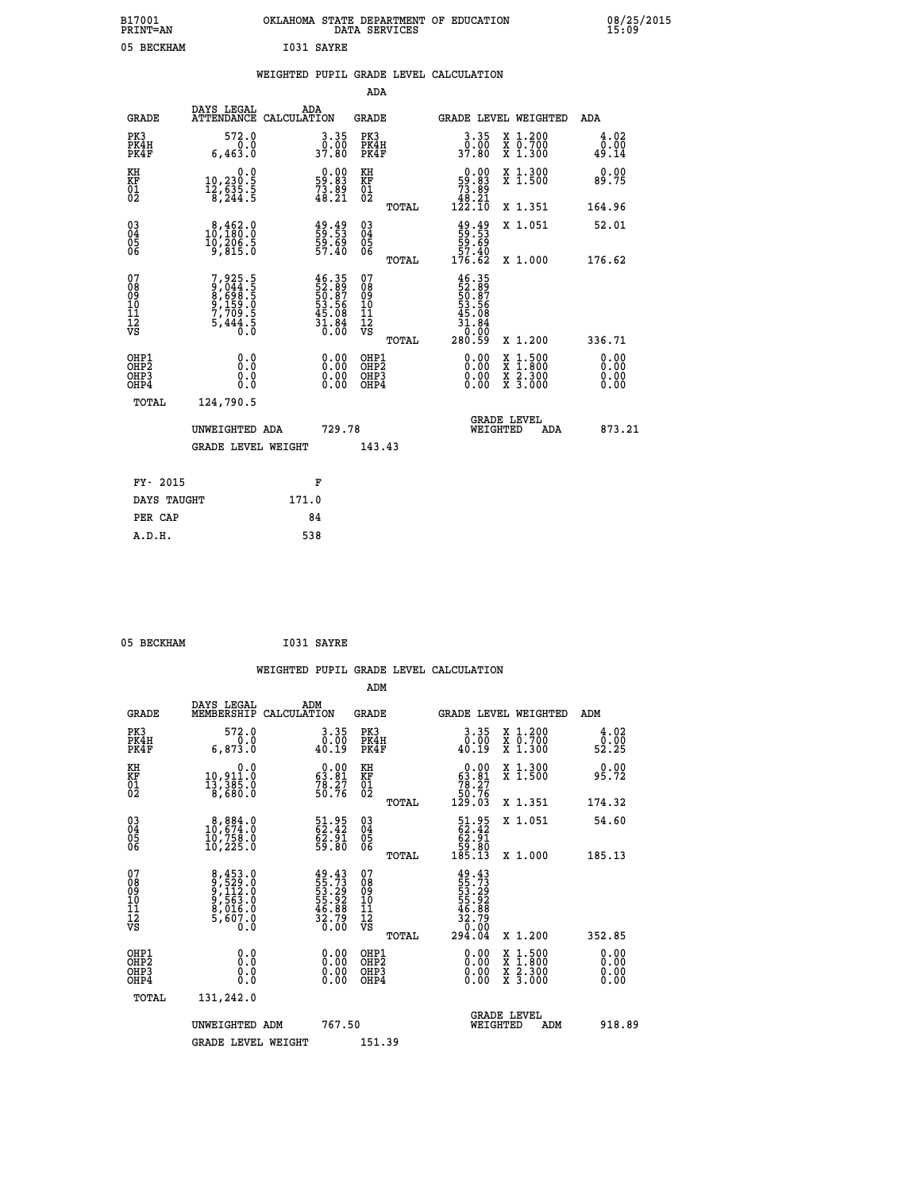| B17001<br><b>PRINT=AN</b> | OKLAHOMA STATE DEPARTMENT OF EDUCATION<br>DATA SERVICES | 08/25/2015<br>15:09 |  |
|---------------------------|---------------------------------------------------------|---------------------|--|
| 05<br>BECKHAM             | I031 SAYRE                                              |                     |  |

|  |  | WEIGHTED PUPIL GRADE LEVEL CALCULATION |
|--|--|----------------------------------------|
|  |  |                                        |

|                                                                    |                                                                            |                                                                       | ADA                                                  |       |                                                                                |                                                                                          |                       |
|--------------------------------------------------------------------|----------------------------------------------------------------------------|-----------------------------------------------------------------------|------------------------------------------------------|-------|--------------------------------------------------------------------------------|------------------------------------------------------------------------------------------|-----------------------|
| <b>GRADE</b>                                                       | DAYS LEGAL<br>ATTENDANCE CALCULATION                                       | ADA                                                                   | <b>GRADE</b>                                         |       |                                                                                | GRADE LEVEL WEIGHTED                                                                     | ADA                   |
| PK3<br>PK4H<br>PK4F                                                | 572.0<br>0.0<br>6,463.0                                                    | 3.35<br>37.80                                                         | PK3<br>PK4H<br>PK4F                                  |       | 3.35<br>0.00<br>37.80                                                          | X 1.200<br>X 0.700<br>X 1.300                                                            | 4.02<br>0.00<br>49.14 |
| KH<br>KF<br>01<br>02                                               | 0.0<br>$10, 230.5$<br>$12, 635.5$<br>$8, 244.5$                            | $\begin{smallmatrix} 0.00\\59.83\\73.89\\48.21 \end{smallmatrix}$     | KH<br>KF<br>01<br>02                                 |       | $\begin{smallmatrix}&&0.00\\59.83\\73.89\\48.21\\122.10\end{smallmatrix}$      | X 1.300<br>X 1.500                                                                       | 0.00<br>89.75         |
|                                                                    |                                                                            |                                                                       |                                                      | TOTAL |                                                                                | X 1.351                                                                                  | 164.96                |
| $\begin{smallmatrix} 03 \\[-4pt] 04 \end{smallmatrix}$<br>Ŏ5<br>06 | $\begin{smallmatrix}8,462.0\\10,180.0\\10,206.5\\9,815.0\end{smallmatrix}$ | 49.49<br>59.53<br>59.69<br>57.40                                      | 03<br>04<br>05<br>06                                 |       | $\begin{smallmatrix} 49.49\\ 59.53\\ 59.69\\ 57.40\\ 176.62 \end{smallmatrix}$ | X 1.051                                                                                  | 52.01                 |
|                                                                    |                                                                            |                                                                       |                                                      | TOTAL |                                                                                | X 1.000                                                                                  | 176.62                |
| 07<br>08<br>09<br>01<br>11<br>11<br>12<br>VS                       | 7,925.5<br>9,044.5<br>8,698.5<br>8,598.5<br>9,159.0<br>7,709.5<br>5,444.5  | $46.35$<br>52.89<br>53.56<br>53.56<br>53.08<br>45.08<br>31.84<br>0.00 | 07<br>08<br>09<br>11<br>11<br>12<br>VS               |       | $46.3552.89750.8753.56645.08431.840.000280.59$                                 |                                                                                          |                       |
|                                                                    |                                                                            |                                                                       |                                                      | TOTAL |                                                                                | X 1.200                                                                                  | 336.71                |
| OHP1<br>OHP2<br>OH <sub>P3</sub><br>OHP4                           | 0.0<br>0.0<br>0.0                                                          | $0.00$<br>$0.00$<br>0.00                                              | OHP1<br>OHP2<br>OHP <sub>3</sub><br>OHP <sub>4</sub> |       |                                                                                | $\begin{smallmatrix} x & 1.500 \\ x & 1.800 \\ x & 2.300 \\ x & 3.000 \end{smallmatrix}$ | 0.00<br>0.00<br>0.00  |
| TOTAL                                                              | 124,790.5                                                                  |                                                                       |                                                      |       |                                                                                |                                                                                          |                       |
|                                                                    | UNWEIGHTED ADA                                                             | 729.78                                                                |                                                      |       |                                                                                | <b>GRADE LEVEL</b><br>WEIGHTED<br>ADA                                                    | 873.21                |
|                                                                    | <b>GRADE LEVEL WEIGHT</b>                                                  |                                                                       | 143.43                                               |       |                                                                                |                                                                                          |                       |
| FY- 2015                                                           |                                                                            | F                                                                     |                                                      |       |                                                                                |                                                                                          |                       |
| DAYS TAUGHT                                                        |                                                                            | 171.0                                                                 |                                                      |       |                                                                                |                                                                                          |                       |
| PER CAP                                                            |                                                                            | 84                                                                    |                                                      |       |                                                                                |                                                                                          |                       |

| 05 BECKHAM<br>I031 SAYRE |  |  |  |  |
|--------------------------|--|--|--|--|
|--------------------------|--|--|--|--|

 **WEIGHTED PUPIL GRADE LEVEL CALCULATION ADM DAYS LEGAL ADM GRADE MEMBERSHIP CALCULATION GRADE GRADE LEVEL WEIGHTED ADM PK3 572.0 3.35 PK3 3.35 X 1.200 4.02 PK4H 0.0 0.00 PK4H 0.00 X 0.700 0.00 PK4F 6,873.0 40.19 PK4F 40.19 X 1.300 52.25 KH 0.0 0.00 KH 0.00 X 1.300 0.00 KF 10,911.0 63.81 KF 63.81 X 1.500 95.72 01 13,385.0 78.27 01 78.27 02 8,680.0 50.76 02 50.76 TOTAL 129.03 X 1.351 174.32 03 8,884.0 51.95 03 51.95 X 1.051 54.60 04 10,674.0 62.42 04 62.42 05 10,758.0 62.91 05 62.91 06 10,225.0 59.80 06 59.80 TOTAL 185.13 X 1.000 185.13**  $\begin{array}{cccc} 07 & 8\,,453\cdot 0 & 49\cdot 43 & 07 & 49\cdot 43\, 0 \\ 08 & 9\,,523\cdot 0 & 55\cdot 73 & 08 & 55\cdot 73\, 0 \\ 09 & 9\,,563\cdot 0 & 55\cdot 29 & 0 \\ 10 & 9\,,563\cdot 0 & 55\cdot 92 & 10 & 55\cdot 92\, 0 \\ 11 & 8\,,016\cdot 0 & 46\cdot 88 & 11 & 46\cdot 88\, 0 \\ 12 & 5\,,607\cdot 0 &$  $\begin{array}{cccc} 49.43 & 07 & 49.43 \ 55.723 & 08 & 55.72 \ 55.22 & 10 & 55.22 \ 55.22 & 10 & 55.22 \ 35.22 & 11 & 46.88 \ 36.88 & 11 & 46.88 \ 30.00 & 08 & 70.01 \ 32.79 & 12 & 32.70 \ 30.00 & 08 & 21.500 & 352.85 \ 0.00 & 08 & 21.500 & 0.00 \ 0.00 & 08 & 2 & 1.5$  **OHP1 0.0 0.00 OHP1 0.00 X 1.500 0.00 OHP2 0.0 0.00 OHP2 0.00 X 1.800 0.00 OHP3 0.0 0.00 OHP3 0.00 X 2.300 0.00 OHP4 0.0 0.00 OHP4 0.00 X 3.000 0.00 TOTAL 131,242.0 GRADE LEVEL UNWEIGHTED ADM 767.50 WEIGHTED ADM 918.89** GRADE LEVEL WEIGHT 151.39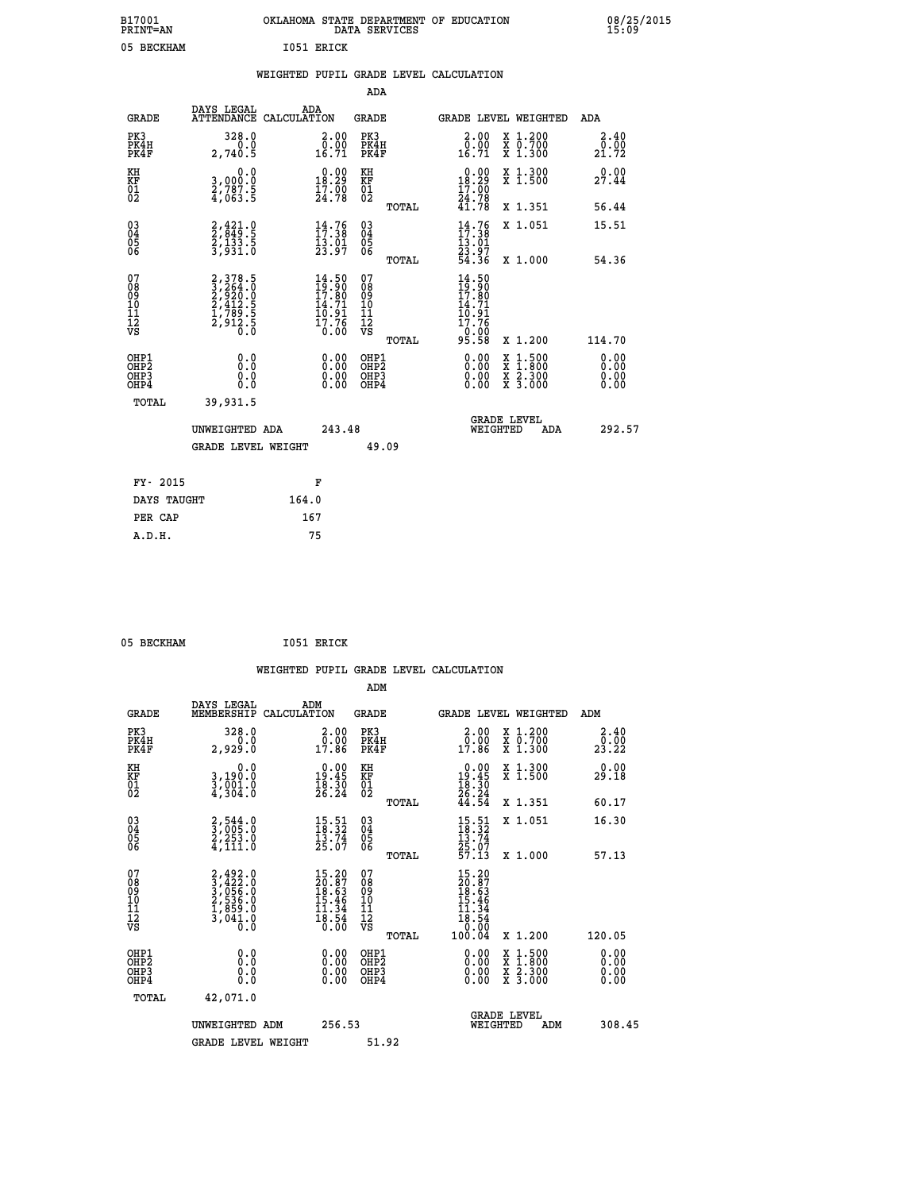| B17001<br><b>PRINT=AN</b> | OKLAHOMA STATE DEPARTMENT OF EDUCATION<br>DATA SERVICES | 08/25/2015<br>15:09 |
|---------------------------|---------------------------------------------------------|---------------------|
| 05<br>BECKHAM             | 1051 ERICK                                              |                     |

|                                                              |                                                                       | WEIGHTED PUPIL GRADE LEVEL CALCULATION                                                |                                                    |                                                                                                                                                                                                                                                                                                                                                                                                                             |                       |
|--------------------------------------------------------------|-----------------------------------------------------------------------|---------------------------------------------------------------------------------------|----------------------------------------------------|-----------------------------------------------------------------------------------------------------------------------------------------------------------------------------------------------------------------------------------------------------------------------------------------------------------------------------------------------------------------------------------------------------------------------------|-----------------------|
|                                                              |                                                                       |                                                                                       | <b>ADA</b>                                         |                                                                                                                                                                                                                                                                                                                                                                                                                             |                       |
| <b>GRADE</b>                                                 | DAYS LEGAL                                                            | ADA<br>ATTENDANCE CALCULATION                                                         | <b>GRADE</b>                                       | GRADE LEVEL WEIGHTED                                                                                                                                                                                                                                                                                                                                                                                                        | ADA                   |
| PK3<br>PK4H<br>PK4F                                          | 328.0<br>0.0<br>2,740.5                                               | $\begin{smallmatrix} 2.00\\ 0.00\\ 16.71 \end{smallmatrix}$                           | PK3<br>PK4H<br>PK4F                                | $\begin{smallmatrix} 2.00\\ 0.00\\ 16.71 \end{smallmatrix}$<br>X 1.200<br>X 0.700<br>X 1.300                                                                                                                                                                                                                                                                                                                                | 2.40<br>0.00<br>21.72 |
| KH<br>KF<br>01<br>02                                         | 0.0<br>3,000.0<br>$\frac{5}{4}$ , $\frac{83}{63}$ . 5                 | 18.29<br>$\frac{17.00}{24.78}$                                                        | KH<br>KF<br>01<br>02                               | 18.29<br>X 1.300<br>X 1.500<br>$\frac{17.00}{24.78}$                                                                                                                                                                                                                                                                                                                                                                        | 0.00<br>27.44         |
|                                                              |                                                                       |                                                                                       | TOTAL                                              | X 1.351                                                                                                                                                                                                                                                                                                                                                                                                                     | 56.44                 |
| $\begin{smallmatrix} 03 \\[-4pt] 04 \end{smallmatrix}$<br>05 | 2, 421.0<br>2, 849.5<br>2, 133.5<br>3, 931.0                          | $14.76$<br>$17.38$<br>$\frac{13.01}{23.97}$                                           | $\begin{matrix} 03 \\ 04 \\ 05 \\ 06 \end{matrix}$ | $\frac{14}{17}$ : 38<br>13.01<br>X 1.051                                                                                                                                                                                                                                                                                                                                                                                    | 15.51                 |
| 06                                                           |                                                                       |                                                                                       | TOTAL                                              | 23.97<br>54.36<br>X 1.000                                                                                                                                                                                                                                                                                                                                                                                                   | 54.36                 |
| 07<br>08<br>09<br>01<br>11<br>11<br>12<br>VS                 | 2,378.5<br>3,264.0<br>2,920.0<br>2,412.5<br>2,412.5<br>2,912.5<br>0.0 | $\begin{smallmatrix} 14.50\\19.90\\17.80\\14.71\\10.91\\17.76\\0.00\end{smallmatrix}$ | 07<br>08<br>09<br>101<br>11<br>12<br>VS<br>TOTAL   | $14.50$<br>$19.90$<br>$17.80$<br>$14.71$<br>$10.91$<br>$17.76$<br>0.00<br>95.58<br>X 1.200                                                                                                                                                                                                                                                                                                                                  | 114.70                |
| OHP1<br>OHP2<br>OHP3<br>OHP4                                 | 0.0<br>0.0<br>0.0                                                     | $\begin{smallmatrix} 0.00 \ 0.00 \ 0.00 \ 0.00 \end{smallmatrix}$                     | OHP1<br>OHP2<br>OHP3<br>OHP4                       | $\begin{smallmatrix} 0.00 & 0.00 & 0.00 & 0.00 & 0.00 & 0.00 & 0.00 & 0.00 & 0.00 & 0.00 & 0.00 & 0.00 & 0.00 & 0.00 & 0.00 & 0.00 & 0.00 & 0.00 & 0.00 & 0.00 & 0.00 & 0.00 & 0.00 & 0.00 & 0.00 & 0.00 & 0.00 & 0.00 & 0.00 & 0.00 & 0.00 & 0.00 & 0.00 & 0.00 & 0.00 & 0.0$<br>$\begin{smallmatrix} \mathtt{X} & 1\cdot500\\ \mathtt{X} & 1\cdot800\\ \mathtt{X} & 2\cdot300\\ \mathtt{X} & 3\cdot000 \end{smallmatrix}$ | 0.00<br>0.00<br>0.00  |
| TOTAL                                                        | 39,931.5                                                              |                                                                                       |                                                    |                                                                                                                                                                                                                                                                                                                                                                                                                             |                       |
|                                                              | UNWEIGHTED ADA                                                        | 243.48                                                                                |                                                    | <b>GRADE LEVEL</b><br>WEIGHTED<br>ADA                                                                                                                                                                                                                                                                                                                                                                                       | 292.57                |
|                                                              | <b>GRADE LEVEL WEIGHT</b>                                             |                                                                                       | 49.09                                              |                                                                                                                                                                                                                                                                                                                                                                                                                             |                       |
| FY- 2015                                                     |                                                                       | F                                                                                     |                                                    |                                                                                                                                                                                                                                                                                                                                                                                                                             |                       |
| DAYS TAUGHT                                                  |                                                                       | 164.0                                                                                 |                                                    |                                                                                                                                                                                                                                                                                                                                                                                                                             |                       |
| PER CAP                                                      |                                                                       | 167                                                                                   |                                                    |                                                                                                                                                                                                                                                                                                                                                                                                                             |                       |

05 BECKHAM 1051 ERICK

 **A.D.H. 75**

 **WEIGHTED PUPIL GRADE LEVEL CALCULATION ADM DAYS LEGAL ADM GRADE MEMBERSHIP CALCULATION GRADE GRADE LEVEL WEIGHTED ADM PK3 328.0 2.00 PK3 2.00 X 1.200 2.40 PK4H 0.0 0.00 PK4H 0.00 X 0.700 0.00 PK4F 2,929.0 17.86 PK4F 17.86 X 1.300 23.22 KH 0.0 0.00 KH 0.00 X 1.300 0.00 KF 3,190.0 19.45 KF 19.45 X 1.500 29.18 01 3,001.0 18.30 01 18.30 02 4,304.0 26.24 02 26.24 TOTAL 44.54 X 1.351 60.17 03 2,544.0 15.51 03 15.51 X 1.051 16.30 04 3,005.0 18.32 04 18.32 05 2,253.0 13.74 05 13.74 06 4,111.0 25.07 06 25.07 TOTAL 57.13 X 1.000 57.13**  $\begin{array}{cccc} 07 & 2,492.0 & 15.20 & 07 & 15.20 \ 08 & 3,422.0 & 20.87 & 08 & 20.87 \ 09 & 2,536.0 & 18.63 & 09 & 18.63 \ 10 & 2,536.0 & 15.46 & 10 & 15.46 \ 11 & 1,389.0 & 11.34 & 11 & 34.54 \ 12 & 3,041.0 & 18.54 & 12 & 11.34 \ 13 & 0.0 & 0.0 & 0.0 & 0.0 & 0.$  $\begin{array}{cccc} 15.20 & 07 & 15.20 & 12.11 & 16.62 \ 18.64 & 09 & 18.646 & 10.87 \ 15.46 & 10 & 15.466 & 10.134 & 11.34 \ 11.34 & 11.34 & 11.354 & 12.136 \ 18.54 & 12 & 10.060 & 120.05 \ 0.00 & 0.00 & 0.00 & 0.00 & 0.00 & 0.00 \ 0.00 & 0.00 & 0.00 & 0.00 & 0.0$  **OHP1 0.0 0.00 OHP1 0.00 X 1.500 0.00 OHP2 0.0 0.00 OHP2 0.00 X 1.800 0.00 OHP3 0.0 0.00 OHP3 0.00 X 2.300 0.00 OHP4 0.0 0.00 OHP4 0.00 X 3.000 0.00 TOTAL 42,071.0 GRADE LEVEL UNWEIGHTED ADM 256.53 WEIGHTED ADM 308.45** GRADE LEVEL WEIGHT 51.92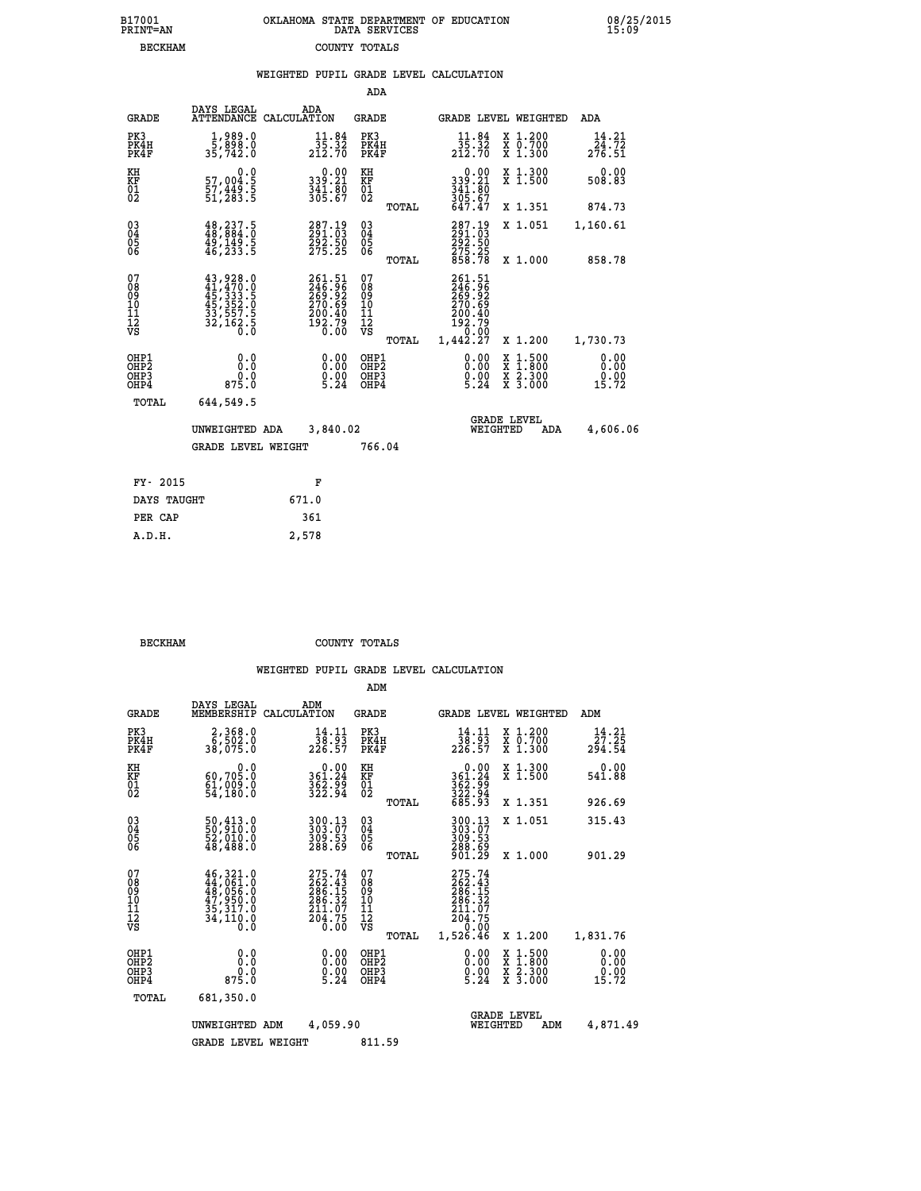| 7001<br>INT=AN | OKLAHOMA STATE DEPARTMENT OF EDUCATION<br>DATA SERVICES |  |
|----------------|---------------------------------------------------------|--|
| <b>BECKHAM</b> | COUNTY TOTALS                                           |  |

 **B17001<br>PRINT=AN** 

 **B17001 OKLAHOMA STATE DEPARTMENT OF EDUCATION 08/25/2015**

|                                                                    |                                                                                                                                                                               | WEIGHTED PUPIL GRADE LEVEL CALCULATION                                     |                                        |       |                                                                              |                                                                                                                                      |                                               |
|--------------------------------------------------------------------|-------------------------------------------------------------------------------------------------------------------------------------------------------------------------------|----------------------------------------------------------------------------|----------------------------------------|-------|------------------------------------------------------------------------------|--------------------------------------------------------------------------------------------------------------------------------------|-----------------------------------------------|
|                                                                    |                                                                                                                                                                               |                                                                            | ADA                                    |       |                                                                              |                                                                                                                                      |                                               |
| <b>GRADE</b>                                                       | DAYS LEGAL                                                                                                                                                                    | ADA<br>ATTENDANCE CALCULATION                                              | <b>GRADE</b>                           |       |                                                                              | GRADE LEVEL WEIGHTED                                                                                                                 | ADA                                           |
| PK3<br>PK4H<br>PK4F                                                | 1,989.0<br>5,898.0<br>35,742.0                                                                                                                                                | $\frac{11.84}{35.32}$<br>212.70                                            | PK3<br>PK4H<br>PK4F                    |       | $\frac{11.84}{35.32}$<br>212.70                                              | X 1.200<br>X 0.700<br>X 1.300                                                                                                        | 14.21<br>$2\bar{7}\bar{6}\cdot\bar{5}\bar{1}$ |
| KH<br><b>KF</b><br>01<br>02                                        | 0.0<br>57,004:5<br>57,449:5<br>51,283:5                                                                                                                                       | $339.21$<br>$341.80$<br>$365.67$                                           | KH<br>KF<br>01<br>02                   |       | $339.21$<br>$341.80$<br>$305.67$                                             | X 1.300<br>X 1.500                                                                                                                   | 0.00<br>508.83                                |
|                                                                    |                                                                                                                                                                               |                                                                            |                                        | TOTAL | 647.47                                                                       | X 1.351                                                                                                                              | 874.73                                        |
| $\begin{smallmatrix} 03 \\[-4pt] 04 \end{smallmatrix}$<br>05<br>06 | 48, 237.5<br>48, 884.0<br>49,149.5<br>46,233.5                                                                                                                                | 287.19<br>291.03<br>292.50<br>275.25                                       | $\substack{03 \\ 04}$<br>0500          |       | 287.19<br>291.03<br>292.50<br>275.25<br>858.78                               | X 1.051                                                                                                                              | 1,160.61                                      |
|                                                                    |                                                                                                                                                                               |                                                                            |                                        | TOTAL |                                                                              | X 1.000                                                                                                                              | 858.78                                        |
| 07<br>08<br>09<br>11<br>11<br>12<br>VS                             | $\begin{smallmatrix} 43\,, & 928\,. & 0\\ 41\,, & 470\,. & 0\\ 45\,, & 333\,. & 5\\ 45\,, & 352\,. & 0\\ 33\,, & 557\,. & 5\\ 32\,, & 162\,. & 5\\ 0\,. & 0\end{smallmatrix}$ | 261.51<br>246.96<br>269.92<br>270.69<br>200.40<br>200.40<br>192.79<br>0.00 | 07<br>08<br>09<br>11<br>11<br>12<br>VS |       | 261.51<br>246.96<br>269.92<br>270.69<br>200.40<br>192.79<br>0.00<br>1,442.27 |                                                                                                                                      |                                               |
|                                                                    |                                                                                                                                                                               |                                                                            |                                        | TOTAL |                                                                              | X 1.200                                                                                                                              | 1,730.73                                      |
| OHP1<br>OHP <sub>2</sub><br>OHP3<br>OHP4                           | 0.0<br>0.0<br>0.0<br>875.0                                                                                                                                                    | 0.00<br>$\frac{0}{5}$ . 00<br>5.24                                         | OHP1<br>OHP2<br>OHP3<br>OHP4           |       | 0.00<br>$0.00$<br>5.24                                                       | $\begin{smallmatrix} \mathtt{X} & 1 & 500 \\ \mathtt{X} & 1 & 800 \\ \mathtt{X} & 2 & 300 \\ \mathtt{X} & 3 & 000 \end{smallmatrix}$ | 0.00<br>0.00<br>0.00<br>15.72                 |
| TOTAL                                                              | 644,549.5                                                                                                                                                                     |                                                                            |                                        |       |                                                                              |                                                                                                                                      |                                               |
|                                                                    | UNWEIGHTED ADA                                                                                                                                                                | 3,840.02                                                                   |                                        |       |                                                                              | <b>GRADE LEVEL</b><br>WEIGHTED<br>ADA                                                                                                | 4,606.06                                      |
|                                                                    | <b>GRADE LEVEL WEIGHT</b>                                                                                                                                                     |                                                                            | 766.04                                 |       |                                                                              |                                                                                                                                      |                                               |
| FY- 2015                                                           |                                                                                                                                                                               | F                                                                          |                                        |       |                                                                              |                                                                                                                                      |                                               |
| DAYS TAUGHT                                                        |                                                                                                                                                                               | 671.0                                                                      |                                        |       |                                                                              |                                                                                                                                      |                                               |
| PER CAP                                                            |                                                                                                                                                                               | 361                                                                        |                                        |       |                                                                              |                                                                                                                                      |                                               |
| A.D.H.                                                             |                                                                                                                                                                               | 2,578                                                                      |                                        |       |                                                                              |                                                                                                                                      |                                               |

| <b>BECKHAM</b> | COUNTY TOTALS |  |
|----------------|---------------|--|

|                                                       |                                                                                                                                                                                          |                                                                         | ADM                                                 |       |                                                                              |                                          |                                 |
|-------------------------------------------------------|------------------------------------------------------------------------------------------------------------------------------------------------------------------------------------------|-------------------------------------------------------------------------|-----------------------------------------------------|-------|------------------------------------------------------------------------------|------------------------------------------|---------------------------------|
| <b>GRADE</b>                                          | DAYS LEGAL<br>MEMBERSHIP                                                                                                                                                                 | ADM<br>CALCULATION                                                      | <b>GRADE</b>                                        |       |                                                                              | GRADE LEVEL WEIGHTED                     | ADM                             |
| PK3<br>PK4H<br>PK4F                                   | 2,368.0<br>6,502.0<br>38,075.0                                                                                                                                                           | 14.11<br>38.93<br>226.57                                                | PK3<br>PK4H<br>PK4F                                 |       | 14.11<br>38.93<br>226.57                                                     | X 1.200<br>X 0.700<br>X 1.300            | 14.21<br>27.25<br>294.54        |
| KH<br>KF<br>01<br>02                                  | 0.0<br>60,705.0<br>ěi, 009.0<br>54,180.0                                                                                                                                                 | $\begin{smallmatrix} &0.00\\ 361.24\\ 362.99\\ 322.94\end{smallmatrix}$ | KH<br>KF<br>01<br>02                                |       | 0.00<br>361:24<br>362:94<br>322:94<br>685:93                                 | X 1.300<br>X 1.500                       | 0.00<br>541.88                  |
|                                                       |                                                                                                                                                                                          |                                                                         |                                                     | TOTAL |                                                                              | X 1.351                                  | 926.69                          |
| 03<br>04<br>05<br>06                                  | 50,413.0<br>52,010.0<br>48,488.0                                                                                                                                                         | 300.13<br>303.07<br>309.53<br>288.69                                    | $\begin{array}{c} 03 \\ 04 \\ 05 \\ 06 \end{array}$ |       | $300.13303.07309.53288.69901.29$                                             | X 1.051                                  | 315.43                          |
|                                                       |                                                                                                                                                                                          |                                                                         |                                                     | TOTAL |                                                                              | X 1.000                                  | 901.29                          |
| 07<br>08<br>09<br>101<br>112<br>VS                    | $\begin{smallmatrix} 46\,, & 321\,. & 0\\ 44\,, & 061\,. & 0\\ 48\,, & 056\,. & 0\\ 47\,, & 950\,. & 0\\ 35\,, & 317\,. & 0\\ 34\,, & 110\,. & 0\\ 0\,. & 0\,. & 0\,. \end{smallmatrix}$ | 275.74<br>262.43<br>286.15<br>286.32<br>$\frac{211.07}{204.75}$         | 07<br>08<br>09<br>11<br>11<br>12<br>VS              | TOTAL | 275.74<br>262.43<br>286.15<br>286.32<br>211.07<br>204.75<br>0.00<br>1,526.46 | X 1.200                                  | 1,831.76                        |
| OHP1<br>OH <sub>P</sub> 2<br>OH <sub>P3</sub><br>OHP4 | 0.0<br>$0.0$<br>875.0                                                                                                                                                                    | $0.00$<br>$0.00$<br>5.24                                                | OHP1<br>OHP2<br>OHP3<br>OHP4                        |       | $\begin{smallmatrix} 0.00\\ 0.00\\ 0.00\\ 5.24 \end{smallmatrix}$            | X 1:500<br>X 1:800<br>X 2:300<br>X 3:000 | 0.00<br>0.00<br>$0.00$<br>15.72 |
| TOTAL                                                 | 681,350.0                                                                                                                                                                                |                                                                         |                                                     |       |                                                                              |                                          |                                 |
|                                                       | UNWEIGHTED                                                                                                                                                                               | 4,059.90<br>ADM                                                         |                                                     |       | WEIGHTED                                                                     | <b>GRADE LEVEL</b><br>ADM                | 4,871.49                        |
|                                                       | <b>GRADE LEVEL WEIGHT</b>                                                                                                                                                                |                                                                         | 811.59                                              |       |                                                                              |                                          |                                 |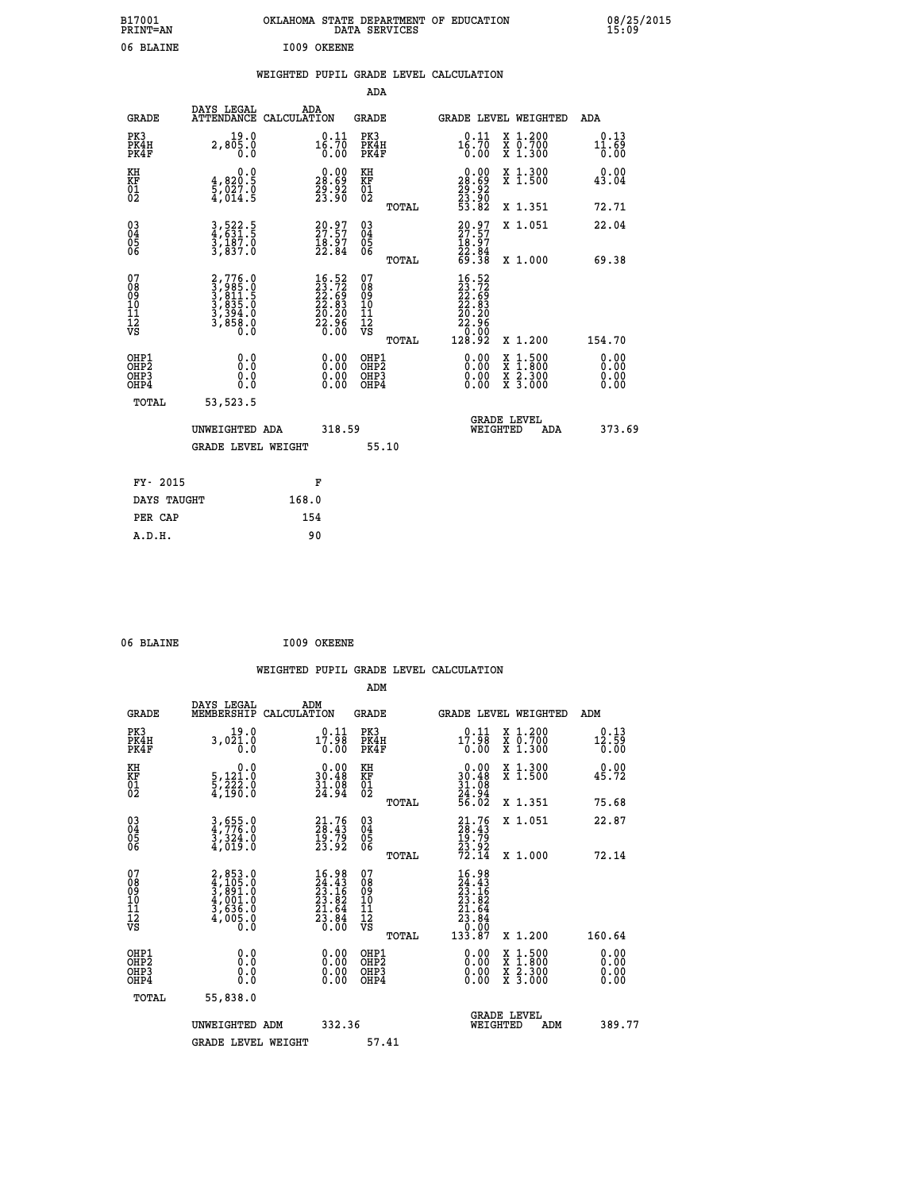| B17001<br><b>PRINT=AN</b> | OKLAHOMA STATE DEPARTMENT OF EDUCATION<br>DATA SERVICES | 08/25/2015<br>15:09 |
|---------------------------|---------------------------------------------------------|---------------------|
| 06 BLAINE                 | I009<br>OKEENE                                          |                     |

## **WEIGHTED PUPIL GRADE LEVEL CALCULATION**

|                                                                    |                                                                                     |       |                                                                          | ADA                                    |       |                                                                              |                                                                                          |                       |
|--------------------------------------------------------------------|-------------------------------------------------------------------------------------|-------|--------------------------------------------------------------------------|----------------------------------------|-------|------------------------------------------------------------------------------|------------------------------------------------------------------------------------------|-----------------------|
| <b>GRADE</b>                                                       | DAYS LEGAL<br>ATTENDANCE CALCULATION                                                | ADA   |                                                                          | <b>GRADE</b>                           |       |                                                                              | GRADE LEVEL WEIGHTED                                                                     | ADA                   |
| PK3<br>PK4H<br>PK4F                                                | 19.0<br>2,805.0<br>0.0                                                              |       | $16.11$<br>16.70<br>0.00                                                 | PK3<br>PK4H<br>PK4F                    |       | 0.11<br>16.70<br>0.00                                                        | X 1.200<br>X 0.700<br>X 1.300                                                            | 0.13<br>11.69<br>0.00 |
| KH<br>KF<br>01<br>02                                               | 0.0<br>$\frac{4}{5}, \frac{820}{027}$ .0<br>4,014.5                                 |       | $\begin{smallmatrix} 0.00\\ 28.69\\ 29.92\\ 23.90 \end{smallmatrix}$     | KH<br>KF<br>01<br>02                   |       | $\begin{smallmatrix} 0.00\\ 28.69\\ 29.92\\ 23.90\\ 53.82 \end{smallmatrix}$ | X 1.300<br>X 1.500                                                                       | 0.00<br>43.04         |
|                                                                    |                                                                                     |       |                                                                          |                                        | TOTAL |                                                                              | X 1.351                                                                                  | 72.71                 |
| $\begin{smallmatrix} 03 \\[-4pt] 04 \end{smallmatrix}$<br>Ŏ5<br>06 | 3,522.5<br>4,631.5<br>3,187.0<br>3,837.0                                            |       | $20.97$<br>$27.57$<br>$18.97$<br>$22.84$                                 | 03<br>04<br>05<br>06                   |       | $20.97$<br>$18.97$<br>$18.97$<br>$22.84$<br>$69.38$                          | X 1.051                                                                                  | 22.04                 |
|                                                                    |                                                                                     |       |                                                                          |                                        | TOTAL |                                                                              | X 1.000                                                                                  | 69.38                 |
| 07<br>08<br>09<br>01<br>11<br>11<br>12<br>VS                       | $2,776.0$<br>$3,985.0$<br>$3,811.5$<br>$3,835.0$<br>$3,394.0$<br>$3,858.0$<br>$0.0$ |       | $16.52$<br>$23.72$<br>$22.69$<br>$22.83$<br>$20.20$<br>$22.96$<br>$0.00$ | 07<br>08<br>09<br>11<br>11<br>12<br>VS |       | $16.52$<br>$23.72$<br>$22.69$<br>$22.83$<br>$20.20$<br>$22.96$<br>$20.90$    |                                                                                          |                       |
|                                                                    |                                                                                     |       |                                                                          |                                        | TOTAL | 128.92                                                                       | X 1.200                                                                                  | 154.70                |
| OHP1<br><b>OHP2</b><br>OH <sub>P3</sub><br>OHP4                    | 0.0<br>0.0<br>0.0                                                                   |       | 0.00<br>0.00<br>0.00                                                     | OHP1<br>OHP2<br>OHP3<br>OHP4           |       | 0.00<br>0.00                                                                 | $\begin{smallmatrix} x & 1.500 \\ x & 1.800 \\ x & 2.300 \\ x & 3.000 \end{smallmatrix}$ | 0.00<br>0.00<br>0.00  |
| TOTAL                                                              | 53,523.5                                                                            |       |                                                                          |                                        |       |                                                                              |                                                                                          |                       |
|                                                                    | UNWEIGHTED ADA                                                                      |       | 318.59                                                                   |                                        |       | WEIGHTED                                                                     | <b>GRADE LEVEL</b><br>ADA                                                                | 373.69                |
|                                                                    | <b>GRADE LEVEL WEIGHT</b>                                                           |       |                                                                          | 55.10                                  |       |                                                                              |                                                                                          |                       |
| FY- 2015                                                           |                                                                                     | F     |                                                                          |                                        |       |                                                                              |                                                                                          |                       |
| DAYS TAUGHT                                                        |                                                                                     | 168.0 |                                                                          |                                        |       |                                                                              |                                                                                          |                       |
| PER CAP                                                            |                                                                                     | 154   |                                                                          |                                        |       |                                                                              |                                                                                          |                       |

| 06 BLAINE | I009 OKEENE |
|-----------|-------------|

 **A.D.H. 90**

 **WEIGHTED PUPIL GRADE LEVEL CALCULATION ADM DAYS LEGAL ADM GRADE MEMBERSHIP CALCULATION GRADE GRADE LEVEL WEIGHTED ADM PK3 19.0 0.11 PK3 0.11 X 1.200 0.13 PK4H 3,021.0 17.98 PK4H 17.98 X 0.700 12.59 PK4F 0.0 0.00 PK4F 0.00 X 1.300 0.00 KH 0.0 0.00 KH 0.00 X 1.300 0.00 KF 5,121.0 30.48 KF 30.48 X 1.500 45.72 01 5,222.0 31.08 01 31.08 02 4,190.0 24.94 02 24.94 TOTAL 56.02 X 1.351 75.68 03 3,655.0 21.76 03 21.76 X 1.051 22.87 04 4,776.0 28.43 04 28.43 05 3,324.0 19.79 05 19.79 06 4,019.0 23.92 06 23.92 TOTAL 72.14 X 1.000 72.14**  $\begin{array}{cccc} 07 & 2,853.0 & 16.98 & 07 & 16.98 \ 08 & 4,105.0 & 24.43 & 08 & 24.43 \ 09 & 3,891.0 & 23.16 & 09 & 23.16 \ 10 & 4,001.0 & 23.82 & 10 & 23.82 \ 11 & 3,636.0 & 21.64 & 11 & 21.64 \ 12 & 4,005.0 & 23.84 & 12 & 21.64 \ \hline\end{array}$  **TOTAL 133.87 X 1.200 160.64 OHP1 0.0 0.00 OHP1 0.00 X 1.500 0.00 OHP2 0.0 0.00 OHP2 0.00 X 1.800 0.00 OHP3 0.0 0.00 OHP3 0.00 X 2.300 0.00 OHP4 0.0 0.00 OHP4 0.00 X 3.000 0.00 TOTAL 55,838.0** UNWEIGHTED ADM 332.36  **UNWEIGHTED ADM 332.36 WEIGHTED ADM 389.77** GRADE LEVEL WEIGHT 57.41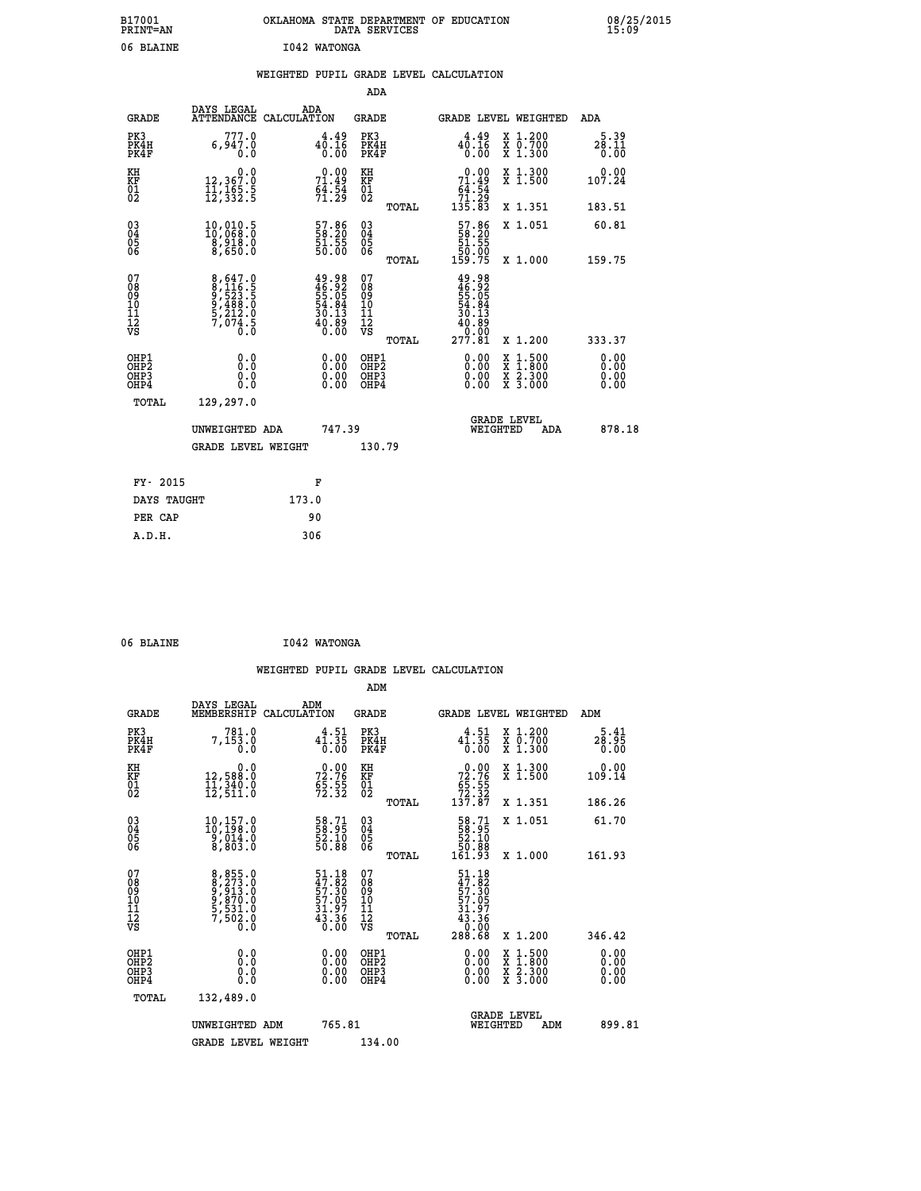| B17001<br><b>PRINT=AN</b> | OKLAHOMA STATE DEPARTMENT OF EDUCATION<br>DATA SERVICES | 08/25/2015<br>15:09 |
|---------------------------|---------------------------------------------------------|---------------------|
| 06 BLAINE                 | 1042 WATONGA                                            |                     |

|  |  | WEIGHTED PUPIL GRADE LEVEL CALCULATION |
|--|--|----------------------------------------|
|  |  |                                        |

|                                                    |                                                                                 |                                                                          | ADA                                       |       |                                                                                |        |                                          |                              |
|----------------------------------------------------|---------------------------------------------------------------------------------|--------------------------------------------------------------------------|-------------------------------------------|-------|--------------------------------------------------------------------------------|--------|------------------------------------------|------------------------------|
| <b>GRADE</b>                                       | DAYS LEGAL<br><b>ATTENDANCE</b>                                                 | ADA<br>CALCULATION                                                       | <b>GRADE</b>                              |       | GRADE LEVEL WEIGHTED                                                           |        |                                          | <b>ADA</b>                   |
| PK3<br>PK4H<br>PK4F                                | 777.0<br>6,947.0<br>0.0                                                         | $4^{4.49}_{0.16}$<br>0.00                                                | PK3<br>PK4H<br>PK4F                       |       | $40.16$<br>$0.00$                                                              |        | X 1.200<br>X 0.700<br>X 1.300            | 5.39<br>28.11<br>0.00        |
| KH<br>KF<br>01<br>02                               | 0.0<br>12,367:0<br>11,165:5<br>12,332:5                                         | 71.49<br>$6\overline{4}\cdot\overline{5}\overline{4}$<br>71.29           | KH<br>KF<br>01<br>02                      |       | $\begin{array}{c} 0.00 \\ 71.49 \\ 64.54 \\ 71.29 \\ 135.83 \end{array}$       |        | X 1.300<br>X 1.500                       | 0.00<br>107.24               |
|                                                    |                                                                                 |                                                                          |                                           | TOTAL |                                                                                |        | X 1.351                                  | 183.51                       |
| $\begin{matrix} 03 \\ 04 \\ 05 \\ 06 \end{matrix}$ | $\begin{smallmatrix} 10,010.5\\ 10,068.0\\ 8,918.0\\ 8,650.0 \end{smallmatrix}$ | 57.86<br>58.20<br>51.55<br>50.00                                         | 03<br>04<br>05<br>06                      |       | $\begin{smallmatrix} 57.86\\ 58.20\\ 51.55\\ 50.00\\ 159.75 \end{smallmatrix}$ |        | X 1.051                                  | 60.81                        |
| 07                                                 |                                                                                 |                                                                          | 07                                        | TOTAL |                                                                                |        | X 1.000                                  | 159.75                       |
| 08<br>09<br>11<br>11<br>12<br>VS                   | 8,647.0<br>8,116.5<br>9,523.5<br>9,488.0<br>5,212.0<br>5,212.0<br>7,074.5       | $49.98$<br>$46.92$<br>$55.05$<br>$54.84$<br>$30.13$<br>$40.89$<br>$0.00$ | 08<br>09<br>11<br>11<br>12<br>VS          |       | $49.98$<br>$46.92$<br>$55.05$<br>$54.84$<br>$30.13$<br>$40.89$<br>$277.81$     |        |                                          |                              |
|                                                    |                                                                                 |                                                                          |                                           | TOTAL |                                                                                |        | X 1.200                                  | 333.37                       |
| OHP1<br>OHP <sub>2</sub><br>OHP3<br>OHP4           | 0.0<br>0.0<br>0.0                                                               | 0.00<br>$\begin{smallmatrix} 0.00 \ 0.00 \end{smallmatrix}$              | OHP1<br>OH <sub>P</sub> 2<br>OHP3<br>OHP4 |       | 0.00<br>0.00<br>0.00                                                           | X<br>X | $1:500$<br>$1:800$<br>X 2.300<br>X 3.000 | 0.00<br>0.00<br>0.00<br>0.00 |
| TOTAL                                              | 129,297.0                                                                       |                                                                          |                                           |       |                                                                                |        |                                          |                              |
|                                                    | UNWEIGHTED ADA                                                                  | 747.39                                                                   |                                           |       | WEIGHTED                                                                       |        | <b>GRADE LEVEL</b><br>ADA                | 878.18                       |
|                                                    | <b>GRADE LEVEL WEIGHT</b>                                                       |                                                                          | 130.79                                    |       |                                                                                |        |                                          |                              |
| FY- 2015                                           |                                                                                 | F                                                                        |                                           |       |                                                                                |        |                                          |                              |
| DAYS TAUGHT                                        |                                                                                 | 173.0                                                                    |                                           |       |                                                                                |        |                                          |                              |
| PER CAP                                            |                                                                                 | 90                                                                       |                                           |       |                                                                                |        |                                          |                              |
|                                                    |                                                                                 |                                                                          |                                           |       |                                                                                |        |                                          |                              |

| 06 BLAINE | I042 WATONGA |
|-----------|--------------|

| <b>GRADE</b>                                         | DAYS LEGAL<br>MEMBERSHIP                                                        | ADM<br>CALCULATION                                                  | <b>GRADE</b>                                        |       |                                                                                                       |                                | GRADE LEVEL WEIGHTED                     | ADM                  |  |
|------------------------------------------------------|---------------------------------------------------------------------------------|---------------------------------------------------------------------|-----------------------------------------------------|-------|-------------------------------------------------------------------------------------------------------|--------------------------------|------------------------------------------|----------------------|--|
| PK3<br>PK4H<br>PK4F                                  | 781.0<br>7,153.0<br>0.0                                                         | $4^4 \cdot 5^1 \over 0 \cdot 35$<br>0.00                            | PK3<br>PK4H<br>PK4F                                 |       | $4^4 \cdot 5^1 \over 0 \cdot 3^5$<br>0.00                                                             |                                | X 1.200<br>X 0.700<br>X 1.300            | 28.95<br>0.00        |  |
| KH<br>KF<br>01<br>02                                 | 0.0<br>12,588.0<br>11,340.0<br>12,511.0                                         | $72.76$<br>$55.55$<br>$72.32$                                       | KH<br>KF<br>01<br>02                                |       | $\begin{smallmatrix} &0.00\\72.76\phantom{0}5.55\\65.55\\72.32\\137.87\end{smallmatrix}$              |                                | X 1.300<br>X 1.500                       | 0.00<br>109.14       |  |
|                                                      |                                                                                 |                                                                     |                                                     | TOTAL |                                                                                                       |                                | X 1.351                                  | 186.26               |  |
| $\begin{matrix} 03 \\ 04 \\ 05 \\ 06 \end{matrix}$   | $\begin{smallmatrix} 10,157.0\\ 10,198.0\\ 9,014.0\\ 8,803.0 \end{smallmatrix}$ | 58.71<br>58.95<br>52.10<br>50.88                                    | $\begin{array}{c} 03 \\ 04 \\ 05 \\ 06 \end{array}$ |       | $\begin{smallmatrix} 58.71\ 58.95\ 52.10\ 50.88\ 161.93 \end{smallmatrix}$                            |                                | X 1.051                                  | 61.70                |  |
|                                                      |                                                                                 |                                                                     |                                                     | TOTAL |                                                                                                       |                                | X 1.000                                  | 161.93               |  |
| 07<br>08<br>09<br>11<br>11<br>12<br>VS               | 8,855.0<br>8,273.0<br>9,813.0<br>9,870.0<br>5,531.0<br>7,502.0<br>0.0           | 51.18<br>47.82<br>57.30<br>57.05<br>57.05<br>31.97<br>43.36<br>0.00 | 07<br>08<br>09<br>11<br>11<br>12<br>VS              | TOTAL | $\begin{smallmatrix} 51.18\\ 47.82\\ 57.30\\ 57.05\\ 31.97\\ 43.36\\ 0.00\\ 288.68 \end{smallmatrix}$ |                                | X 1.200                                  | 346.42               |  |
| OHP1<br>OHP <sub>2</sub><br>OH <sub>P3</sub><br>OHP4 | 0.0<br>0.000                                                                    |                                                                     | OHP1<br>OHP <sub>2</sub><br>OHP3<br>OHP4            |       |                                                                                                       |                                | X 1:500<br>X 1:800<br>X 2:300<br>X 3:000 | 0.00<br>0.00<br>0.00 |  |
| TOTAL                                                | 132,489.0                                                                       |                                                                     |                                                     |       |                                                                                                       |                                |                                          |                      |  |
|                                                      | UNWEIGHTED ADM                                                                  | 765.81                                                              |                                                     |       |                                                                                                       | <b>GRADE LEVEL</b><br>WEIGHTED | ADM                                      | 899.81               |  |
|                                                      | <b>GRADE LEVEL WEIGHT</b>                                                       |                                                                     | 134.00                                              |       |                                                                                                       |                                |                                          |                      |  |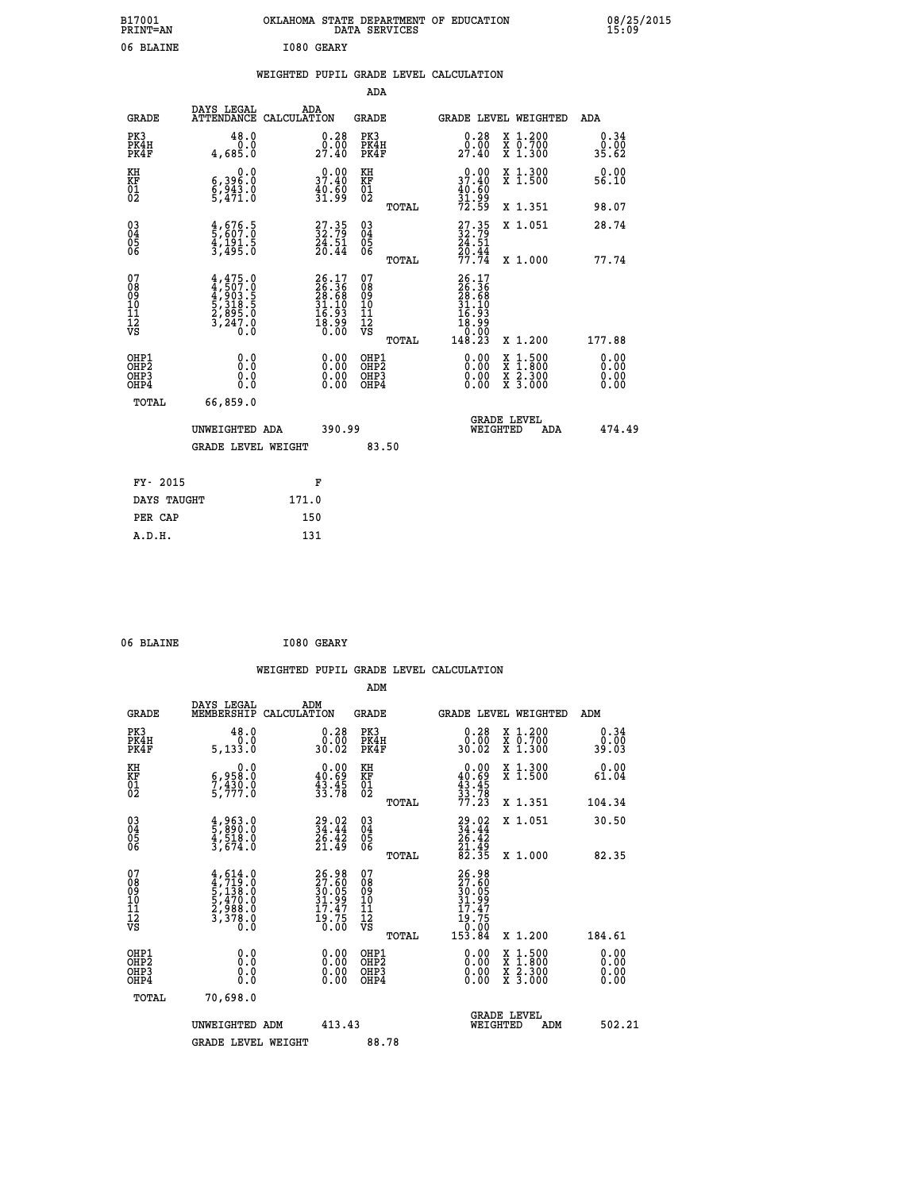| B17001<br>PRINT=AN                                 |                                                                                          | OKLAHOMA STATE DEPARTMENT OF EDUCATION                                   | DATA SERVICES                                   |                                                                      |                                                                             | 08/25/2015<br>15:09          |  |
|----------------------------------------------------|------------------------------------------------------------------------------------------|--------------------------------------------------------------------------|-------------------------------------------------|----------------------------------------------------------------------|-----------------------------------------------------------------------------|------------------------------|--|
| 06 BLAINE                                          |                                                                                          | I080 GEARY                                                               |                                                 |                                                                      |                                                                             |                              |  |
|                                                    |                                                                                          | WEIGHTED PUPIL GRADE LEVEL CALCULATION                                   |                                                 |                                                                      |                                                                             |                              |  |
|                                                    |                                                                                          |                                                                          | ADA                                             |                                                                      |                                                                             |                              |  |
| <b>GRADE</b>                                       | DAYS LEGAL                                                                               | ADA<br>ATTENDANCE CALCULATION                                            | GRADE                                           | <b>GRADE LEVEL WEIGHTED</b>                                          |                                                                             | ADA                          |  |
| PK3<br>PK4H<br>PK4F                                | 48.0<br>0.0<br>4,685.0                                                                   | $\substack{0.28 \\ 0.00 \\ 27.40}$                                       | PK3<br>PK4H<br>PK4F                             | $\substack{0.28 \\ 0.00 \\ 27.40}$                                   | X 1.200<br>X 0.700<br>X 1.300                                               | 0.34<br>0.00<br>35.62        |  |
| KH<br>KF<br>01<br>02                               | 0.0<br>6,396:0<br>6,943:0<br>5,471:0                                                     | 0.00<br>37.40<br>40.60<br>31.99                                          | KH<br>KF<br>01<br>02                            | 0.00<br>37.40<br>$\frac{40.60}{31.99}$<br>72.59                      | X 1.300<br>X 1.500                                                          | 0.00<br>56.10                |  |
|                                                    |                                                                                          |                                                                          | TOTAL                                           |                                                                      | X 1.351                                                                     | 98.07                        |  |
| $\begin{matrix} 03 \\ 04 \\ 05 \\ 06 \end{matrix}$ | $\frac{4}{5}$ , 676.5<br>5, 607.0<br>4, 191.5<br>3, 495.0                                | $\begin{smallmatrix} 27.35\\ 32.79\\ 24.51\\ 20.44 \end{smallmatrix}$    | 030404<br>ŌĞ                                    | $\frac{27.35}{24.51}$<br>$\frac{20.44}{77.74}$                       | X 1.051                                                                     | 28.74                        |  |
|                                                    |                                                                                          |                                                                          | TOTAL                                           |                                                                      | X 1.000                                                                     | 77.74                        |  |
| 07<br>08<br>09<br>10<br>11<br>12<br>VS             | 4,475.0<br>4,507.0<br>4,903.5<br>5,318.5<br>5,318.0<br>2,895.0<br>3,247.0<br>$0.\bar{0}$ | $26.17$<br>$26.36$<br>$28.68$<br>$31.10$<br>$16.93$<br>$18.99$<br>$0.00$ | 07<br>08<br>09<br>10<br>11<br>12<br>VS<br>TOTAL | 26.17<br>26.36<br>28.68<br>31.10<br>16.93<br>18.99<br>0.00<br>148.23 | X 1.200                                                                     | 177.88                       |  |
| OHP1<br>OHP2<br>OHP3<br>OHP4                       | 0.0<br>Ō.Ō<br>0.0<br>0.0                                                                 | $0.00$<br>$0.00$<br>0.00                                                 | OHP1<br>OHP <sub>2</sub><br>OHP3<br>OHP4        | 0.00<br>0.00<br>0.00                                                 | $\begin{array}{l} x\,+\,500\\ x\,+\,300\\ x\,+\,2\\ x\,+\,3000 \end{array}$ | 0.00<br>0.00<br>0.00<br>0.00 |  |
| TOTAL                                              | 66,859.0                                                                                 |                                                                          |                                                 |                                                                      |                                                                             |                              |  |
|                                                    | UNWEIGHTED ADA                                                                           | 390.99                                                                   |                                                 | <b>GRADE LEVEL</b><br>WEIGHTED                                       | ADA                                                                         | 474.49                       |  |
|                                                    | <b>GRADE LEVEL WEIGHT</b>                                                                |                                                                          | 83.50                                           |                                                                      |                                                                             |                              |  |
| FY- 2015                                           |                                                                                          | F                                                                        |                                                 |                                                                      |                                                                             |                              |  |
| DAYS TAUGHT                                        |                                                                                          | 171.0                                                                    |                                                 |                                                                      |                                                                             |                              |  |
| PER CAP                                            |                                                                                          | 150                                                                      |                                                 |                                                                      |                                                                             |                              |  |

| 06 BLAINE | I080 GEARY |
|-----------|------------|

|                                                    |                                                                                  |                    |                                                                      |                                              |       | WEIGHTED PUPIL GRADE LEVEL CALCULATION                                                                                                                                                                                                                                         |                                                                                                  |                       |        |
|----------------------------------------------------|----------------------------------------------------------------------------------|--------------------|----------------------------------------------------------------------|----------------------------------------------|-------|--------------------------------------------------------------------------------------------------------------------------------------------------------------------------------------------------------------------------------------------------------------------------------|--------------------------------------------------------------------------------------------------|-----------------------|--------|
|                                                    |                                                                                  |                    |                                                                      | ADM                                          |       |                                                                                                                                                                                                                                                                                |                                                                                                  |                       |        |
| <b>GRADE</b>                                       | DAYS LEGAL<br>MEMBERSHIP                                                         | ADM<br>CALCULATION |                                                                      | <b>GRADE</b>                                 |       |                                                                                                                                                                                                                                                                                | GRADE LEVEL WEIGHTED                                                                             | ADM                   |        |
| PK3<br>PK4H<br>PK4F                                | 48.0<br>0.0<br>5,133.0                                                           |                    | $\begin{smallmatrix} 0.28\ 0.00\\ 30.02 \end{smallmatrix}$           | PK3<br>PK4H<br>PK4F                          |       | $\begin{smallmatrix} 0.28\ 0.00\\ 30.02 \end{smallmatrix}$                                                                                                                                                                                                                     | X 1.200<br>X 0.700<br>X 1.300                                                                    | 0.34<br>0.00<br>39.03 |        |
| KH<br>KF<br>01<br>02                               | $\begin{smallmatrix} & & 0.0\ 6,958.0\ 7,430.0\ 5,777.0 \end{smallmatrix}$       |                    | $\begin{smallmatrix} 0.00\\ 40.69\\ 43.45\\ 33.78 \end{smallmatrix}$ | KH<br>KF<br>01<br>02                         |       | $\begin{smallmatrix}&&0.00\\40.69\\43.45\\33.78\\77.23\end{smallmatrix}$                                                                                                                                                                                                       | X 1.300<br>X 1.500                                                                               | 0.00<br>61.04         |        |
|                                                    |                                                                                  |                    |                                                                      |                                              | TOTAL |                                                                                                                                                                                                                                                                                | X 1.351                                                                                          | 104.34                |        |
| $\begin{matrix} 03 \\ 04 \\ 05 \\ 06 \end{matrix}$ | $\frac{4}{5}$ , $\frac{963}{890}$ .0<br>$\frac{4}{3}$ , $\frac{518}{674}$ .0     |                    | $29.02$<br>$34.44$<br>$26.42$<br>$21.49$                             | 03<br>04<br>05<br>06                         |       | $29.02$<br>$34.44$<br>$26.42$<br>$21.49$<br>$82.35$                                                                                                                                                                                                                            | X 1.051                                                                                          | 30.50                 |        |
|                                                    |                                                                                  |                    |                                                                      |                                              | TOTAL |                                                                                                                                                                                                                                                                                | X 1.000                                                                                          | 82.35                 |        |
| 07<br>0890112<br>1112<br>VS                        | $4, 614.0$<br>$4, 719.0$<br>$5, 138.0$<br>$5, 470.0$<br>$2, 988.0$<br>$3, 378.0$ |                    | 26.98<br>27.60<br>30.05<br>31.99<br>17.47<br>19.75<br>0.00           | 07<br>08<br>09<br>09<br>10<br>11<br>12<br>VS | TOTAL | 26.98<br>27.605<br>30.059<br>31.997<br>17.47<br>19.75<br>0.000<br>153.84                                                                                                                                                                                                       | $X_1.200$                                                                                        | 184.61                |        |
| OHP1<br>OHP2<br>OHP <sub>3</sub><br>OHP4           | 0.0<br>0.000                                                                     |                    | $\begin{smallmatrix} 0.00 \ 0.00 \ 0.00 \ 0.00 \end{smallmatrix}$    | OHP1<br>OHP2<br>OHP <sub>3</sub>             |       | $\begin{smallmatrix} 0.00 & 0.00 & 0.00 & 0.00 & 0.00 & 0.00 & 0.00 & 0.00 & 0.00 & 0.00 & 0.00 & 0.00 & 0.00 & 0.00 & 0.00 & 0.00 & 0.00 & 0.00 & 0.00 & 0.00 & 0.00 & 0.00 & 0.00 & 0.00 & 0.00 & 0.00 & 0.00 & 0.00 & 0.00 & 0.00 & 0.00 & 0.00 & 0.00 & 0.00 & 0.00 & 0.0$ | $\begin{smallmatrix} x & 1 & 500 \\ x & 1 & 800 \\ x & 2 & 300 \\ x & 3 & 000 \end{smallmatrix}$ | 0.00<br>0.00<br>0.00  |        |
| TOTAL                                              | 70,698.0                                                                         |                    |                                                                      |                                              |       |                                                                                                                                                                                                                                                                                |                                                                                                  |                       |        |
|                                                    | UNWEIGHTED ADM                                                                   |                    | 413.43                                                               |                                              |       | WEIGHTED                                                                                                                                                                                                                                                                       | <b>GRADE LEVEL</b><br>ADM                                                                        |                       | 502.21 |
|                                                    | <b>GRADE LEVEL WEIGHT</b>                                                        |                    |                                                                      | 88.78                                        |       |                                                                                                                                                                                                                                                                                |                                                                                                  |                       |        |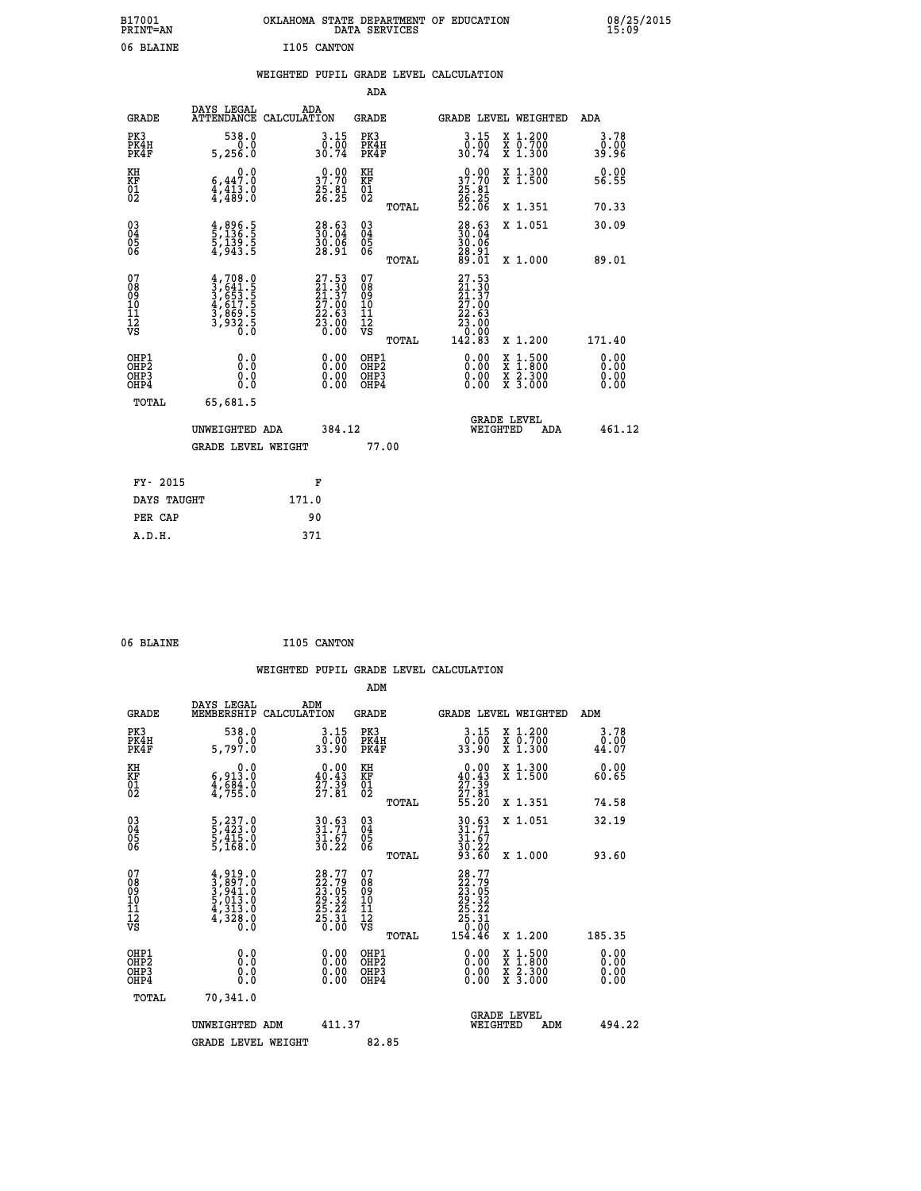| B17001<br><b>PRINT=AN</b> | OKLAHOMA STATE DEPARTMENT OF EDUCATION<br>DATA SERVICES | 08/25/2015<br>15:09 |
|---------------------------|---------------------------------------------------------|---------------------|
| 06 BLAINE                 | I105<br>CANTON                                          |                     |

|  |  | WEIGHTED PUPIL GRADE LEVEL CALCULATION |
|--|--|----------------------------------------|
|  |  |                                        |

|                                                                    |                                                                                                                   |                                                                                        | ADA                                    |       |                                                                                                    |                                                                                          |                       |
|--------------------------------------------------------------------|-------------------------------------------------------------------------------------------------------------------|----------------------------------------------------------------------------------------|----------------------------------------|-------|----------------------------------------------------------------------------------------------------|------------------------------------------------------------------------------------------|-----------------------|
| <b>GRADE</b>                                                       | DAYS LEGAL<br>ATTENDANCE CALCULATION                                                                              | ADA                                                                                    | <b>GRADE</b>                           |       |                                                                                                    | GRADE LEVEL WEIGHTED                                                                     | ADA                   |
| PK3<br>PK4H<br>PK4F                                                | 538.0<br>0.0<br>5,256.0                                                                                           | $3 \cdot 15 \over 0 \cdot 00 \over 30 \cdot 74$                                        | PK3<br>PK4H<br>PK4F                    |       | 3.15<br>$\frac{0.00}{30.74}$                                                                       | X 1.200<br>X 0.700<br>X 1.300                                                            | 3.78<br>0.00<br>39.96 |
| KH<br>KF<br>01<br>02                                               | 0.0<br>$\begin{smallmatrix} 6,44\overline{7}.0\ 4,413.0\ 4,489.0 \end{smallmatrix}$                               | 37.70<br>$\frac{25.81}{26.25}$                                                         | KH<br>KF<br>01<br>02                   |       | 37.70<br>$\frac{25}{26}$ : $\frac{81}{52}$<br>52.06                                                | X 1.300<br>X 1.500                                                                       | 0.00<br>56.55         |
|                                                                    |                                                                                                                   |                                                                                        |                                        | TOTAL |                                                                                                    | X 1.351                                                                                  | 70.33                 |
| $\begin{smallmatrix} 03 \\[-4pt] 04 \end{smallmatrix}$<br>Ŏ5<br>06 | 4,896.5<br>5,136.5<br>5,139.5<br>4,943.5                                                                          | $\begin{smallmatrix} 28.63\ 30.04\ 30.06\ 39.91\end{smallmatrix}$                      | 03<br>04<br>05<br>06                   |       | $\begin{smallmatrix} 28.63\ 30.04\ 30.06\ 28.91\ 89.01 \end{smallmatrix}$                          | X 1.051                                                                                  | 30.09                 |
|                                                                    |                                                                                                                   |                                                                                        |                                        | TOTAL |                                                                                                    | X 1.000                                                                                  | 89.01                 |
| 07<br>08<br>09<br>01<br>11<br>11<br>12<br>VS                       | $\begin{smallmatrix} 4,708.0\\ 3,641.5\\ 3,653.5\\ 4,617.5\\ 4,617.5\\ 3,869.5\\ 3,932.5\\ 0.0 \end{smallmatrix}$ | $\begin{smallmatrix} 27.53\ 21.30\ 21.37\ 27.00\ 22.63\ 23.00\ 0.00 \end{smallmatrix}$ | 07<br>08<br>09<br>11<br>11<br>12<br>VS |       | 27.53<br>$\begin{smallmatrix} 21.130\ 21.37\ 27.00\ 22.63\ 23.00\ 24.83\ 142.83 \end{smallmatrix}$ |                                                                                          |                       |
|                                                                    |                                                                                                                   |                                                                                        |                                        | TOTAL |                                                                                                    | X 1.200                                                                                  | 171.40                |
| OHP1<br><b>OHP2</b><br>OH <sub>P3</sub><br>OHP4                    | 0.0<br>0.0<br>0.0                                                                                                 | 0.00<br>0.00<br>0.00                                                                   | OHP1<br>OHP2<br>OHP3<br>OHP4           |       | 0.00<br>$\begin{smallmatrix} 0.00 \\ 0.00 \end{smallmatrix}$                                       | $\begin{smallmatrix} x & 1.500 \\ x & 1.800 \\ x & 2.300 \\ x & 3.000 \end{smallmatrix}$ | 0.00<br>0.00<br>0.00  |
| TOTAL                                                              | 65,681.5                                                                                                          |                                                                                        |                                        |       |                                                                                                    |                                                                                          |                       |
|                                                                    | UNWEIGHTED ADA                                                                                                    | 384.12                                                                                 |                                        |       |                                                                                                    | <b>GRADE LEVEL</b><br>WEIGHTED<br>ADA                                                    | 461.12                |
|                                                                    | <b>GRADE LEVEL WEIGHT</b>                                                                                         |                                                                                        | 77.00                                  |       |                                                                                                    |                                                                                          |                       |
| FY- 2015                                                           |                                                                                                                   | F                                                                                      |                                        |       |                                                                                                    |                                                                                          |                       |
| DAYS TAUGHT                                                        |                                                                                                                   | 171.0                                                                                  |                                        |       |                                                                                                    |                                                                                          |                       |
| PER CAP                                                            |                                                                                                                   | 90                                                                                     |                                        |       |                                                                                                    |                                                                                          |                       |

| I105 CANTON |  | 06 BLAINE |  |  |
|-------------|--|-----------|--|--|
|-------------|--|-----------|--|--|

 **WEIGHTED PUPIL GRADE LEVEL CALCULATION ADM DAYS LEGAL ADM GRADE MEMBERSHIP CALCULATION GRADE GRADE LEVEL WEIGHTED ADM PK3 538.0 3.15 PK3 3.15 X 1.200 3.78 PK4H 0.0 0.00 PK4H 0.00 X 0.700 0.00 PK4F 5,797.0 33.90 PK4F 33.90 X 1.300 44.07 KH 0.0 0.00 KH 0.00 X 1.300 0.00 KF 6,913.0 40.43 KF 40.43 X 1.500 60.65 01 4,684.0 27.39 01 27.39 02 4,755.0 27.81 02 27.81 TOTAL 55.20 X 1.351 74.58 03 5,237.0 30.63 03 30.63 X 1.051 32.19 04 5,423.0 31.71 04 31.71 05 5,415.0 31.67 05 31.67**  $06$  5,168.0 30.22 06  $\frac{22}{100}$  **TOTAL 93.60 X 1.000 93.60**  $\begin{array}{cccc} 07 & 4,919.0 & 28.77 & 07 & 28.77 \ 08 & 3,897.0 & 23.79 & 08 & 22.79 \ 09 & 5,941.0 & 23.05 & 09 & 23.05 \ 10 & 5,013.0 & 29.32 & 10 & 29.32 \ 11 & 4,313.0 & 25.21 & 12 & 25.23 \ 12 & 65 & 0.0 & 0 & 0 & 0 \ \end{array}$  **TOTAL 154.46 X 1.200 185.35 OHP1 0.0 0.00 OHP1 0.00 X 1.500 0.00 OHP2 0.0 0.00 OHP2 0.00 X 1.800 0.00 OHP3 0.0 0.00 OHP3 0.00 X 2.300 0.00 OHP4 0.0 0.00 OHP4 0.00 X 3.000 0.00 TOTAL 70,341.0 GRADE LEVEL UNWEIGHTED ADM 411.37 WEIGHTED ADM 494.22** GRADE LEVEL WEIGHT 82.85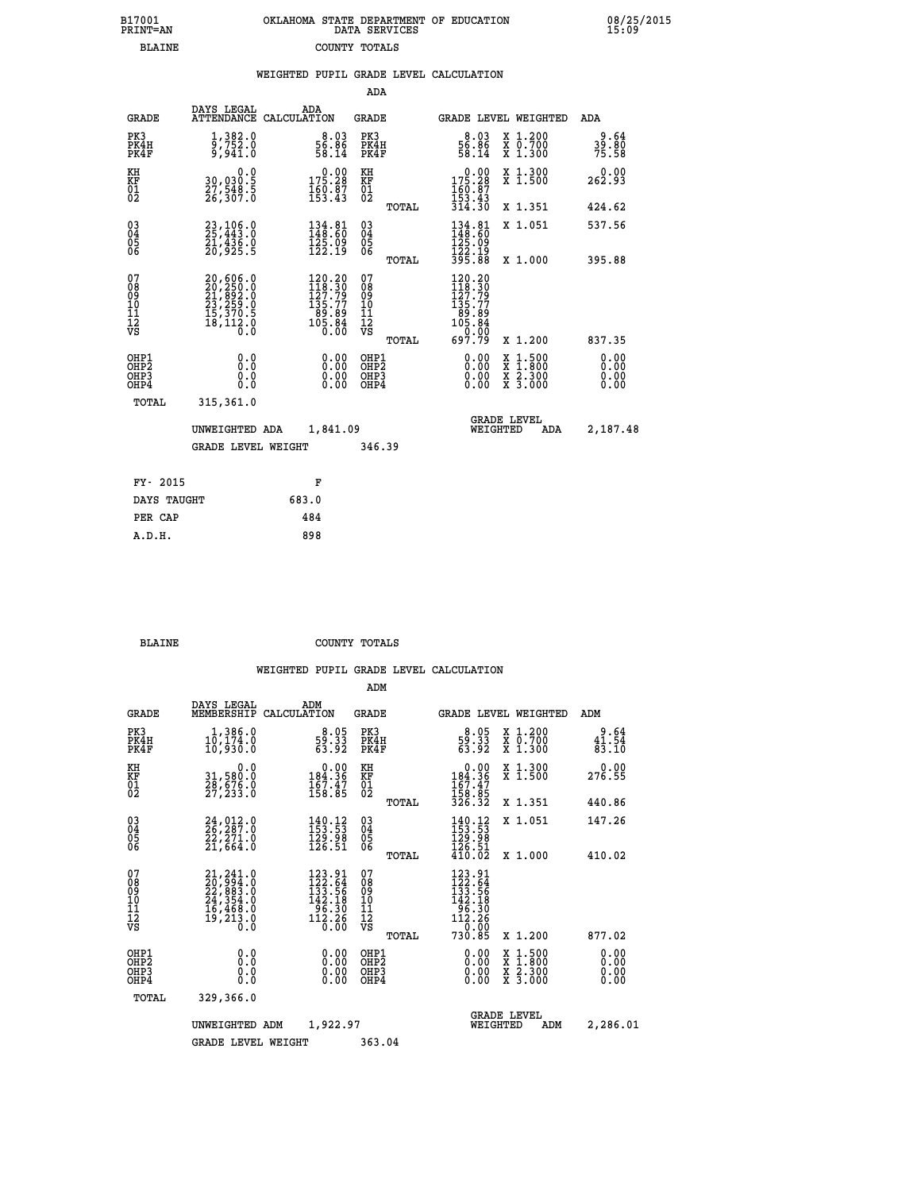| 7001<br>INT=AN | OKLAHOMA STATE DEPARTMENT OF EDUCATION<br>DATA SERVICES |  |
|----------------|---------------------------------------------------------|--|
| BLAINE         | COUNTY TOTALS                                           |  |

|                                                                    |                                                                                                                                          |                                                                                            |                                                     | WEIGHTED PUPIL GRADE LEVEL CALCULATION                                                                   |                                                                                                                                              |                           |
|--------------------------------------------------------------------|------------------------------------------------------------------------------------------------------------------------------------------|--------------------------------------------------------------------------------------------|-----------------------------------------------------|----------------------------------------------------------------------------------------------------------|----------------------------------------------------------------------------------------------------------------------------------------------|---------------------------|
|                                                                    |                                                                                                                                          |                                                                                            | ADA                                                 |                                                                                                          |                                                                                                                                              |                           |
| <b>GRADE</b>                                                       | DAYS LEGAL                                                                                                                               | ADA<br>ATTENDANCE CALCULATION                                                              | <b>GRADE</b>                                        |                                                                                                          | <b>GRADE LEVEL WEIGHTED</b>                                                                                                                  | ADA                       |
| PK3<br>PK4H<br>PK4F                                                | 1,382.0<br>9,752.0<br>9,941.0                                                                                                            | $\frac{8.03}{56.86}$<br>58.14                                                              | PK3<br>PK4H<br>PK4F                                 | $\frac{8.03}{56.86}$<br>58.14                                                                            | X 1.200<br>X 0.700<br>X 1.300                                                                                                                | $39.64$<br>39.80<br>75.58 |
| KH<br>KF<br>01<br>02                                               | 0.0<br>30,030:5<br>27,548:5<br>26,307:0                                                                                                  | $0.00$<br>175.28<br>$\frac{160.87}{153.43}$                                                | KH<br>KF<br>01<br>02                                | $\begin{smallmatrix} &0.00\\ 175.28\\ 160.87\\ 153.43\\ 314.30\end{smallmatrix}$                         | X 1.300<br>X 1.500                                                                                                                           | 0.00<br>262.93            |
|                                                                    |                                                                                                                                          |                                                                                            | TOTAL                                               |                                                                                                          | X 1.351                                                                                                                                      | 424.62                    |
| $\begin{smallmatrix} 03 \\[-4pt] 04 \end{smallmatrix}$<br>05<br>06 | 23,106.0<br>25,443.0<br>21,436.0<br>20,925.5                                                                                             | 134.81<br>148.60<br>125.09<br>122.19                                                       | $\substack{03 \\ 04}$<br>0500                       | 134.81<br>148.60<br>125.09                                                                               | X 1.051                                                                                                                                      | 537.56                    |
|                                                                    |                                                                                                                                          |                                                                                            | TOTAL                                               | 122.19<br>395.88                                                                                         | X 1.000                                                                                                                                      | 395.88                    |
| 07<br>08<br>09<br>10<br>11<br>11<br>12<br>VS                       | $\begin{smallmatrix} 20,606\cdot0\\ 20,259\cdot0\\ 21,892\cdot0\\ 23,259\cdot0\\ 15,370\cdot5\\ 18,112\cdot0\\ 0\cdot0\end{smallmatrix}$ | $\begin{smallmatrix} 120.20\\118.30\\127.79\\135.77\\89.89\\105.84\\0.00\end{smallmatrix}$ | 078<br>089<br>0011<br>11<br>11<br>12<br>VS<br>TOTAL | $\begin{array}{r} 120.20 \\ 118.30 \\ 127.79 \\ 135.77 \\ 89.89 \\ 105.84 \\ 0.00 \\ 697.79 \end{array}$ | X 1.200                                                                                                                                      | 837.35                    |
| OHP1<br>OHP2<br>OHP3<br>OH <sub>P4</sub>                           | 0.0<br>0.0<br>0.0                                                                                                                        | 0.00<br>$\begin{smallmatrix} 0.00 \ 0.00 \end{smallmatrix}$                                | OHP1<br>OHP2<br>OHP3<br>OHP4                        | 0.00<br>0.00                                                                                             | $\begin{smallmatrix} \mathtt{X} & 1\cdot500 \\ \mathtt{X} & 1\cdot800 \\ \mathtt{X} & 2\cdot300 \\ \mathtt{X} & 3\cdot000 \end{smallmatrix}$ | 0.00<br>0.00<br>0.00      |
| TOTAL                                                              | 315,361.0                                                                                                                                |                                                                                            |                                                     |                                                                                                          |                                                                                                                                              |                           |
|                                                                    | UNWEIGHTED ADA                                                                                                                           | 1,841.09                                                                                   |                                                     |                                                                                                          | <b>GRADE LEVEL</b><br>WEIGHTED<br>ADA                                                                                                        | 2,187.48                  |
|                                                                    | <b>GRADE LEVEL WEIGHT</b>                                                                                                                |                                                                                            | 346.39                                              |                                                                                                          |                                                                                                                                              |                           |
| FY- 2015                                                           |                                                                                                                                          | F                                                                                          |                                                     |                                                                                                          |                                                                                                                                              |                           |
| DAYS TAUGHT                                                        |                                                                                                                                          | 683.0                                                                                      |                                                     |                                                                                                          |                                                                                                                                              |                           |
| PER CAP                                                            |                                                                                                                                          | 484                                                                                        |                                                     |                                                                                                          |                                                                                                                                              |                           |

 **BLAINE COUNTY TOTALS**

 **A.D.H. 898**

 **B17001<br>PRINT=AN** 

|                                                       |                                                                                   |                                                                                     | ADM                                     |                                                                                                                                       |                                                                                                  |                                                   |
|-------------------------------------------------------|-----------------------------------------------------------------------------------|-------------------------------------------------------------------------------------|-----------------------------------------|---------------------------------------------------------------------------------------------------------------------------------------|--------------------------------------------------------------------------------------------------|---------------------------------------------------|
| <b>GRADE</b>                                          | DAYS LEGAL<br>MEMBERSHIP                                                          | ADM<br>CALCULATION                                                                  | <b>GRADE</b>                            | GRADE LEVEL WEIGHTED                                                                                                                  |                                                                                                  | ADM                                               |
| PK3<br>PK4H<br>PK4F                                   | 1,386.0<br>10,174.0<br>10,930.0                                                   | $\begin{smallmatrix}8.05\\59.33\\63.92\end{smallmatrix}$                            | PK3<br>PK4H<br>PK4F                     | $\begin{smallmatrix}8.05\\59.33\\63.92\end{smallmatrix}$                                                                              | $\begin{array}{c} x & 1.200 \\ x & 0.700 \end{array}$<br>$X$ 1.300                               | 9.64<br>$\frac{4\bar{1}\cdot5\bar{4}}{83\cdot10}$ |
| KH<br>KF<br>01<br>02                                  | 0.0<br>31,580.0<br>28,676.0<br>27,233.0                                           | $\begin{smallmatrix}&&0.00\\184.36\\167.47\\158.85\end{smallmatrix}$                | KH<br>KF<br>01<br>02                    | $\begin{array}{c} 0.00 \\ 184.36 \\ 167.47 \\ 158.85 \\ 326.32 \end{array}$                                                           | X 1.300<br>X 1.500                                                                               | 0.00<br>276.55                                    |
|                                                       |                                                                                   |                                                                                     | TOTAL                                   |                                                                                                                                       | X 1.351                                                                                          | 440.86                                            |
| 03<br>04<br>05<br>06                                  | $24,012.0$<br>$26,287.0$<br>$\frac{22}{21}$ , $\frac{71}{64}$ .0                  | $140.12$<br>$153.53$<br>$129.98$<br>126.51                                          | $^{03}_{04}$<br>0500                    | $\begin{array}{c} 140\cdot 12\\ 153\cdot 53\\ 129\cdot 98\\ 126\cdot 51\\ 410\cdot 02 \end{array}$                                    | X 1.051                                                                                          | 147.26                                            |
|                                                       |                                                                                   |                                                                                     | TOTAL                                   |                                                                                                                                       | X 1.000                                                                                          | 410.02                                            |
| 07<br>08<br>09<br>101<br>112<br>VS                    | 21, 241.0<br>22, 994.0<br>22, 883.0<br>24, 354.0<br>16, 468.0<br>19, 213.0<br>Ŏ.Ŏ | $123.91$<br>$122.64$<br>$133.56$<br>$142.18$<br>$\frac{1}{12}.30$<br>112.26<br>0.00 | 07<br>08<br>09<br>101<br>11<br>12<br>VS | $123.91$<br>$122.64$<br>$133.56$<br>$142.18$<br>$\begin{array}{r} 1\overline{96} \cdot 30 \\ 112 \cdot 26 \\ -9 \cdot 00 \end{array}$ |                                                                                                  |                                                   |
|                                                       |                                                                                   |                                                                                     | TOTAL                                   | 730.85                                                                                                                                | X 1.200                                                                                          | 877.02                                            |
| OHP1<br>OH <sub>P</sub> 2<br>OH <sub>P3</sub><br>OHP4 | 0.0<br>0.000                                                                      | $0.00$<br>$0.00$<br>0.00                                                            | OHP1<br>OHP2<br>OHP3<br>OHP4            | $0.00$<br>$0.00$<br>0.00                                                                                                              | $\begin{smallmatrix} x & 1 & 500 \\ x & 1 & 800 \\ x & 2 & 300 \\ x & 3 & 000 \end{smallmatrix}$ | 0.00<br>0.00<br>0.00<br>0.00                      |
| TOTAL                                                 | 329,366.0                                                                         |                                                                                     |                                         |                                                                                                                                       |                                                                                                  |                                                   |
|                                                       | UNWEIGHTED ADM                                                                    | 1,922.97                                                                            |                                         | <b>GRADE LEVEL</b><br>WEIGHTED                                                                                                        | ADM                                                                                              | 2,286.01                                          |
|                                                       | <b>GRADE LEVEL WEIGHT</b>                                                         |                                                                                     | 363.04                                  |                                                                                                                                       |                                                                                                  |                                                   |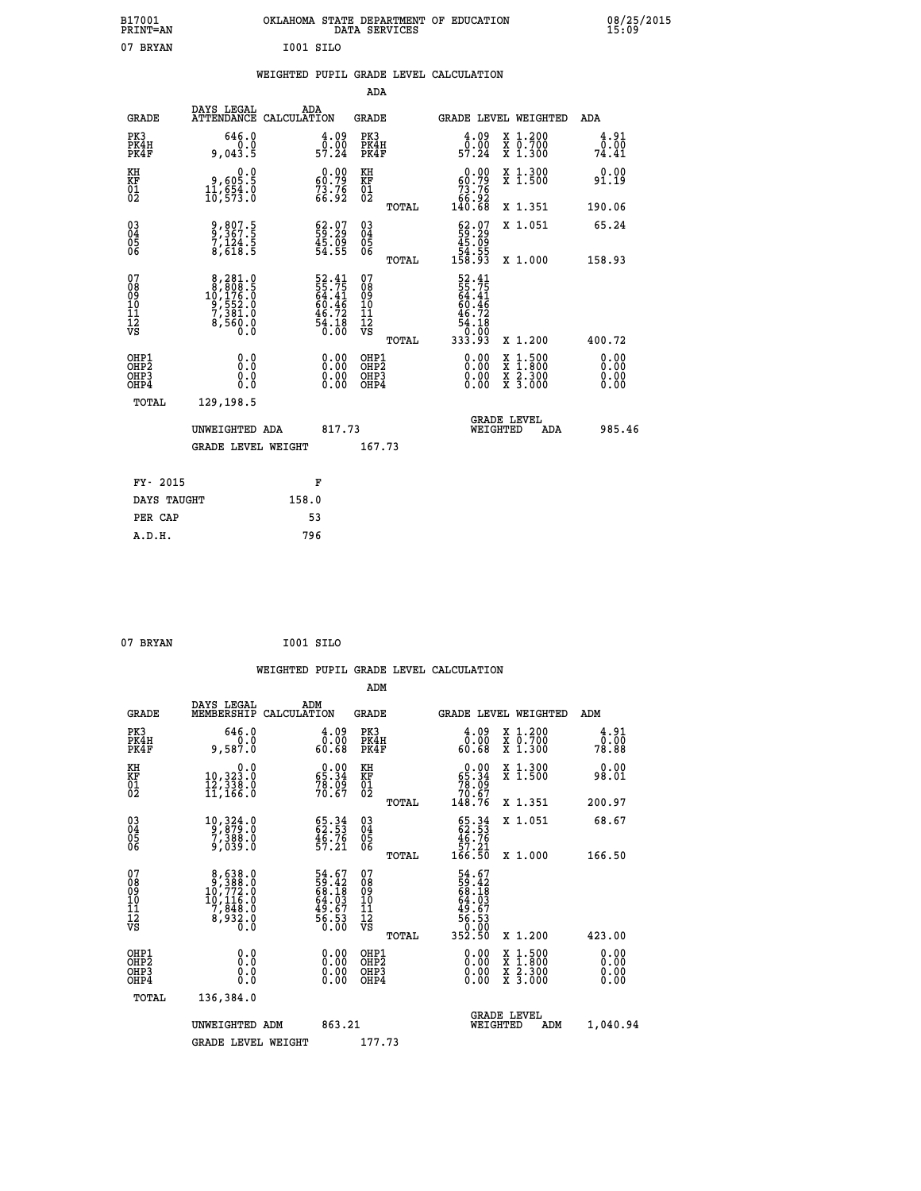|           | OKLAHOMA STATE DEPARTMENT OF EDUCATION<br>DATA SERVICES |  |
|-----------|---------------------------------------------------------|--|
| I001 SILO |                                                         |  |

|  |  | WEIGHTED PUPIL GRADE LEVEL CALCULATION |
|--|--|----------------------------------------|
|  |  |                                        |

|                                                                   |                                                                                                  |                                                                       | ADA                                                 |       |                                                                                |                                          |                              |
|-------------------------------------------------------------------|--------------------------------------------------------------------------------------------------|-----------------------------------------------------------------------|-----------------------------------------------------|-------|--------------------------------------------------------------------------------|------------------------------------------|------------------------------|
| <b>GRADE</b>                                                      | DAYS LEGAL<br><b>ATTENDANCE</b>                                                                  | ADA<br>CALCULATION                                                    | <b>GRADE</b>                                        |       |                                                                                | GRADE LEVEL WEIGHTED                     | ADA                          |
| PK3<br>PK4H<br>PK4F                                               | 646.0<br>0.0<br>9,043.5                                                                          | $\begin{smallmatrix} 4.09\ 0.00$<br>57.24                             | PK3<br>PK4H<br>PK4F                                 |       | $\begin{smallmatrix} 4.09\ 0.00$<br>57.24                                      | X 1.200<br>X 0.700<br>X 1.300            | 4.91<br>0.00<br>74.41        |
| KH<br><b>KF</b><br>01<br>02                                       | 0.0<br>9,605.5<br>11,654.0<br>10,573.0                                                           | $\begin{smallmatrix} 0.00\\ 60.79\\ 73.76\\ 66.92 \end{smallmatrix}$  | KH<br>KF<br>01<br>02                                |       | 0.00<br>$\begin{smallmatrix} 60.79\\73.76\\66.92\\140.68 \end{smallmatrix}$    | X 1.300<br>X 1.500                       | 0.00<br>91.19                |
|                                                                   |                                                                                                  |                                                                       |                                                     | TOTAL |                                                                                | X 1.351                                  | 190.06                       |
| $^{03}_{04}$<br>Ŏ5<br>06                                          | 9,807.5<br>9,367.5<br>7,124.5<br>8,618.5                                                         | $\begin{smallmatrix} 62.07\\ 59.29\\ 45.09\\ 54.55 \end{smallmatrix}$ | $\begin{array}{c} 03 \\ 04 \\ 05 \\ 06 \end{array}$ |       | $\begin{smallmatrix} 62.07\\ 59.29\\ 45.09\\ 54.55\\ 158.93 \end{smallmatrix}$ | X 1.051                                  | 65.24                        |
|                                                                   |                                                                                                  |                                                                       |                                                     | TOTAL |                                                                                | X 1.000                                  | 158.93                       |
| 07<br>08901112<br>1112<br>VS                                      | $\begin{smallmatrix}8,281.0\\8,808.5\\10,176.0\\9,552.0\\7,381.0\\8,560.0\\0.0\end{smallmatrix}$ | 52.41<br>55.75<br>64.41<br>60.46<br>46.72<br>46.72<br>54.18           | 07<br>08901112<br>1112<br>VS                        |       | 52.41<br>55.75<br>64.41<br>60.46<br>$\frac{46.72}{54.18}$                      |                                          |                              |
|                                                                   |                                                                                                  |                                                                       |                                                     | TOTAL | 333.93                                                                         | X 1.200                                  | 400.72                       |
| OHP1<br>OH <sub>P</sub> 2<br>OH <sub>P3</sub><br>OH <sub>P4</sub> | 0.0<br>0.0<br>0.0                                                                                | $\begin{smallmatrix} 0.00 \ 0.00 \ 0.00 \ 0.00 \end{smallmatrix}$     | OHP1<br>OH <sub>P</sub> 2<br>OHP3<br>OHP4           |       | 0.00<br>0.00<br>0.00                                                           | X 1:500<br>X 1:800<br>X 2:300<br>X 3:000 | 0.00<br>0.00<br>0.00<br>0.00 |
| TOTAL                                                             | 129,198.5                                                                                        |                                                                       |                                                     |       |                                                                                |                                          |                              |
|                                                                   | UNWEIGHTED ADA                                                                                   | 817.73                                                                |                                                     |       |                                                                                | GRADE LEVEL<br>WEIGHTED<br>ADA           | 985.46                       |
|                                                                   | <b>GRADE LEVEL WEIGHT</b>                                                                        |                                                                       | 167.73                                              |       |                                                                                |                                          |                              |
| FY- 2015                                                          |                                                                                                  | F                                                                     |                                                     |       |                                                                                |                                          |                              |
| DAYS TAUGHT                                                       |                                                                                                  | 158.0                                                                 |                                                     |       |                                                                                |                                          |                              |
| PER CAP                                                           |                                                                                                  | 53                                                                    |                                                     |       |                                                                                |                                          |                              |
|                                                                   |                                                                                                  |                                                                       |                                                     |       |                                                                                |                                          |                              |

| 07 BRYAN | I001 SILO |  |
|----------|-----------|--|
|          |           |  |

 **B17001<br>PRINT=AN<br>07 BRYAN** 

|                                                    |              |                                                                                                        |                    |                                                                      |                                               |       | WEIGHTED PUPIL GRADE LEVEL CALCULATION                                                                                                                                                                                                                                         |          |                                          |        |                       |
|----------------------------------------------------|--------------|--------------------------------------------------------------------------------------------------------|--------------------|----------------------------------------------------------------------|-----------------------------------------------|-------|--------------------------------------------------------------------------------------------------------------------------------------------------------------------------------------------------------------------------------------------------------------------------------|----------|------------------------------------------|--------|-----------------------|
|                                                    |              |                                                                                                        |                    |                                                                      | ADM                                           |       |                                                                                                                                                                                                                                                                                |          |                                          |        |                       |
|                                                    | <b>GRADE</b> | DAYS LEGAL<br>MEMBERSHIP                                                                               | ADM<br>CALCULATION |                                                                      | <b>GRADE</b>                                  |       |                                                                                                                                                                                                                                                                                |          | GRADE LEVEL WEIGHTED                     | ADM    |                       |
| PK3<br>PK4F                                        | PK4H         | 646.0<br>0.0<br>9,587.0                                                                                |                    | 0.09<br>60.68                                                        | PK3<br>PK4H<br>PK4F                           |       | $\begin{smallmatrix} 4.09\ 0.00\ 60.68 \end{smallmatrix}$                                                                                                                                                                                                                      |          | X 1.200<br>X 0.700<br>X 1.300            |        | 4.91<br>ō:ōō<br>78.88 |
| KH<br>KF<br>01<br>02                               |              | 0.0<br>10,323.0<br>12,338.0<br>11,166.0                                                                |                    | $\begin{smallmatrix} 0.00\\ 65.34\\ 78.09\\ 70.67 \end{smallmatrix}$ | KH<br>KF<br>01<br>02                          |       | $\begin{smallmatrix} &0.00\ 65.34\ 78.09\ 70.67\ 148.76\ \end{smallmatrix}$                                                                                                                                                                                                    |          | X 1.300<br>X 1.500                       |        | 0.00<br>98.01         |
|                                                    |              |                                                                                                        |                    |                                                                      |                                               | TOTAL |                                                                                                                                                                                                                                                                                |          | X 1.351                                  | 200.97 |                       |
| $\begin{matrix} 03 \\ 04 \\ 05 \\ 06 \end{matrix}$ |              | $\begin{smallmatrix} 10, 324\cdot 0\\ 9, 879\cdot 0\\ 7, 388\cdot 0\\ 9, 039\cdot 0 \end{smallmatrix}$ |                    | $65.34$<br>$62.53$<br>$46.76$<br>$57.21$                             | 03<br>04<br>05<br>06                          |       | $\begin{smallmatrix} 65.34\\ 62.53\\ 46.76\\ 57.21\\ 166.50 \end{smallmatrix}$                                                                                                                                                                                                 |          | X 1.051                                  |        | 68.67                 |
|                                                    |              |                                                                                                        |                    |                                                                      |                                               | TOTAL |                                                                                                                                                                                                                                                                                |          | X 1.000                                  | 166.50 |                       |
| 07<br>0890112<br>1112<br>VS                        |              | $\begin{smallmatrix}8,638.0\\9,388.0\\10,772.0\\10,116.0\\7,848.0\\8,932.0\\0.0\end{smallmatrix}$      |                    | 54.67<br>59.42<br>68.18<br>64.03<br>49.67<br>56.53<br>56.53          | 07<br>08<br>09<br>001<br>11<br>11<br>12<br>VS |       | 54.67<br>59.42<br>58.183<br>64.03<br>649.67<br>56.53<br>56.53<br>50.000<br>352.50                                                                                                                                                                                              |          |                                          |        |                       |
|                                                    |              |                                                                                                        |                    |                                                                      |                                               | TOTAL |                                                                                                                                                                                                                                                                                |          | X 1.200                                  | 423.00 |                       |
| OHP1<br>OHP2<br>OH <sub>P3</sub><br>OHP4           |              | 0.0<br>0.000                                                                                           |                    | $0.00$<br>$0.00$<br>0.00                                             | OHP1<br>OHP2<br>OHP <sub>3</sub><br>OHP4      |       | $\begin{smallmatrix} 0.00 & 0.00 & 0.00 & 0.00 & 0.00 & 0.00 & 0.00 & 0.00 & 0.00 & 0.00 & 0.00 & 0.00 & 0.00 & 0.00 & 0.00 & 0.00 & 0.00 & 0.00 & 0.00 & 0.00 & 0.00 & 0.00 & 0.00 & 0.00 & 0.00 & 0.00 & 0.00 & 0.00 & 0.00 & 0.00 & 0.00 & 0.00 & 0.00 & 0.00 & 0.00 & 0.0$ |          | X 1:500<br>X 1:800<br>X 2:300<br>X 3:000 |        | 0.00<br>0.00<br>0.00  |
|                                                    | TOTAL        | 136,384.0                                                                                              |                    |                                                                      |                                               |       |                                                                                                                                                                                                                                                                                |          |                                          |        |                       |
|                                                    |              | UNWEIGHTED ADM                                                                                         |                    | 863.21                                                               |                                               |       |                                                                                                                                                                                                                                                                                | WEIGHTED | <b>GRADE LEVEL</b><br>ADM                |        | 1,040.94              |
|                                                    |              | <b>GRADE LEVEL WEIGHT</b>                                                                              |                    |                                                                      | 177.73                                        |       |                                                                                                                                                                                                                                                                                |          |                                          |        |                       |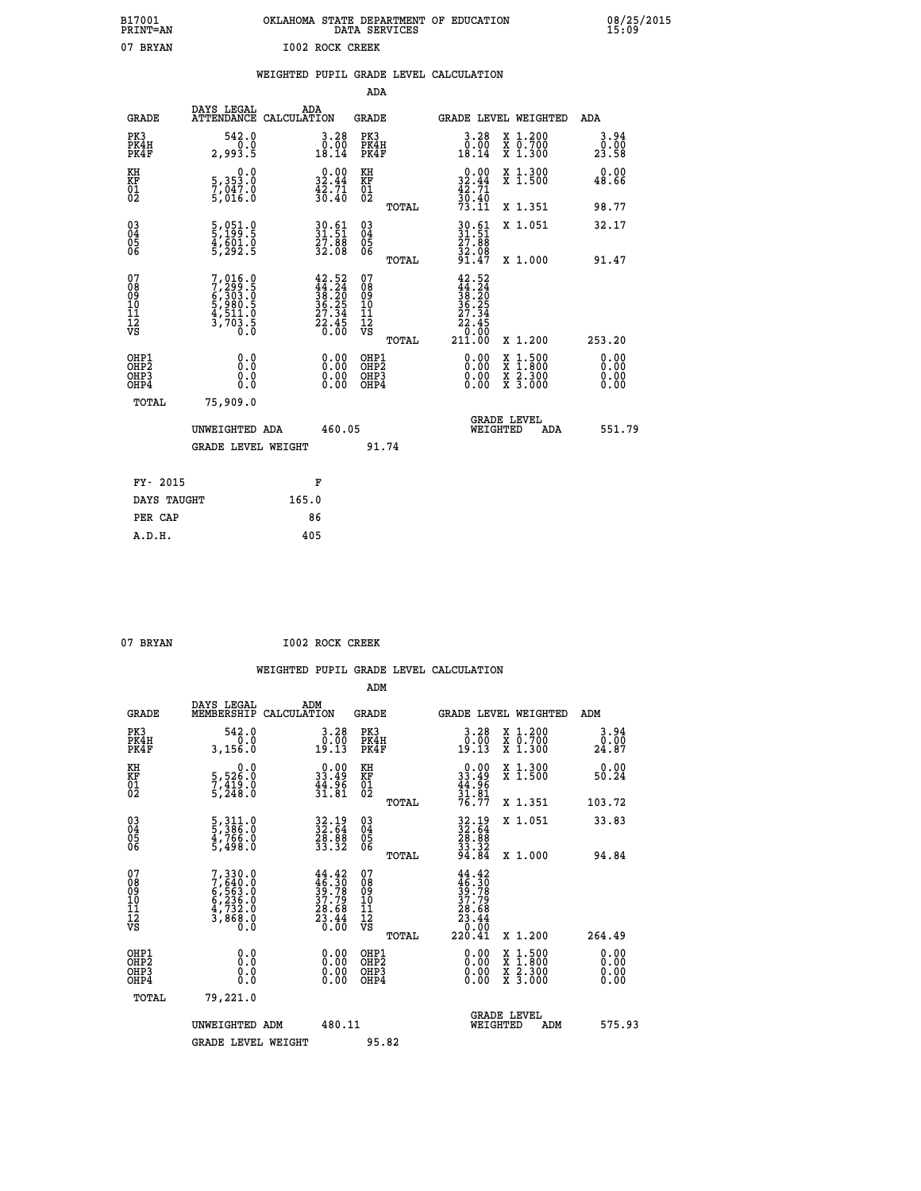| B17001<br>PRINT=AN | OKLAHOMA STATE DEPARTMENT OF EDUCATION<br>DATA SERVICES | 08/25/2015<br>15:09 |
|--------------------|---------------------------------------------------------|---------------------|
| 07<br>BRYAN        | 1002 ROCK CREEK                                         |                     |

|                                                                    |                                                                                           |                                                                                              | ADA                                       |       |                                                                                                         |        |                                          |                              |
|--------------------------------------------------------------------|-------------------------------------------------------------------------------------------|----------------------------------------------------------------------------------------------|-------------------------------------------|-------|---------------------------------------------------------------------------------------------------------|--------|------------------------------------------|------------------------------|
| <b>GRADE</b>                                                       | DAYS LEGAL<br>ATTENDANCE CALCULATION                                                      | ADA                                                                                          | <b>GRADE</b>                              |       | GRADE LEVEL WEIGHTED                                                                                    |        |                                          | <b>ADA</b>                   |
| PK3<br>PK4H<br>PK4F                                                | 542.0<br>0.0<br>2,993.5                                                                   | $\begin{smallmatrix} 3.28\ 0.00\\ 18.14 \end{smallmatrix}$                                   | PK3<br>PK4H<br>PK4F                       |       | $\begin{smallmatrix} 3.28\ 0.00\ 18.14 \end{smallmatrix}$                                               |        | X 1.200<br>X 0.700<br>X 1.300            | 3.94<br>0.00<br>23.58        |
| KH<br>KF<br>01<br>02                                               | 0.0<br>5,353.0<br>7,047.0<br>5,016.0                                                      | $\begin{smallmatrix} 0.00\\ 32.44\\ 42.71\\ 30.40 \end{smallmatrix}$                         | KH<br>KF<br>$\overline{01}$               |       | $\begin{smallmatrix} 0.00\\ 32.44\\ 42.71\\ 30.40\\ 73.11 \end{smallmatrix}$                            |        | X 1.300<br>X 1.500                       | 0.00<br>48.66                |
|                                                                    |                                                                                           |                                                                                              |                                           | TOTAL |                                                                                                         |        | X 1.351                                  | 98.77                        |
| $\begin{smallmatrix} 03 \\[-4pt] 04 \end{smallmatrix}$<br>Ŏ5<br>06 | 5,051.0<br>5,199.5<br>4,601.0<br>5,292.5                                                  | $30.61$<br>$31.51$<br>$\frac{27.88}{32.08}$                                                  | 03<br>04<br>05<br>06                      | TOTAL | $30.61$<br>$31.51$<br>27.88<br>32.08<br>91.47                                                           |        | X 1.051<br>X 1.000                       | 32.17<br>91.47               |
| 07<br>08<br>09<br>11<br>11<br>12<br>VS                             | $7, 299.5$<br>$7, 299.5$<br>$6, 303.5$<br>$5, 980.5$<br>$4, 511.0$<br>$3, 703.5$<br>$0.0$ | $\begin{smallmatrix} 42.52\\ 44.24\\ 38.20\\ 36.25\\ 27.34\\ 22.45\\ 0.00 \end{smallmatrix}$ | 07<br>08<br>09<br>11<br>11<br>12<br>VS    |       | 42.52<br>$\begin{smallmatrix} 44.324\ 44.240\ 38.205\ 36.254\ 27.345\ 22.450\ 211.00 \end{smallmatrix}$ |        |                                          |                              |
|                                                                    |                                                                                           |                                                                                              |                                           | TOTAL |                                                                                                         |        | X 1.200                                  | 253.20                       |
| OHP1<br>OHP <sub>2</sub><br>OHP3<br>OHP4                           | 0.0<br>Ō.Ō<br>0.0<br>$0.\overline{0}$                                                     | 0.00<br>$\begin{smallmatrix} 0.00 \ 0.00 \end{smallmatrix}$                                  | OHP1<br>OH <sub>P</sub> 2<br>OHP3<br>OHP4 |       | 0.00<br>0.00<br>0.00                                                                                    | X<br>X | $1:500$<br>$1:800$<br>X 2.300<br>X 3.000 | 0.00<br>0.00<br>0.00<br>0.00 |
| TOTAL                                                              | 75,909.0                                                                                  |                                                                                              |                                           |       |                                                                                                         |        |                                          |                              |
|                                                                    | UNWEIGHTED ADA                                                                            | 460.05                                                                                       |                                           |       | WEIGHTED                                                                                                |        | <b>GRADE LEVEL</b><br>ADA                | 551.79                       |
|                                                                    | <b>GRADE LEVEL WEIGHT</b>                                                                 |                                                                                              | 91.74                                     |       |                                                                                                         |        |                                          |                              |
| FY- 2015                                                           |                                                                                           | F                                                                                            |                                           |       |                                                                                                         |        |                                          |                              |
| DAYS TAUGHT                                                        |                                                                                           | 165.0                                                                                        |                                           |       |                                                                                                         |        |                                          |                              |
|                                                                    |                                                                                           | 86                                                                                           |                                           |       |                                                                                                         |        |                                          |                              |
| PER CAP                                                            |                                                                                           |                                                                                              |                                           |       |                                                                                                         |        |                                          |                              |

| <b>RRYAN</b> |  |
|--------------|--|

 **ADM**

07 BRYAN **I002 ROCK CREEK** 

| <b>GRADE</b>                                         | DAYS LEGAL<br>MEMBERSHIP                                                            | ADM<br>CALCULATION                                                                           | <b>GRADE</b>                                        |       | GRADE LEVEL WEIGHTED                                                                 |                                                                                                                     | ADM                   |        |
|------------------------------------------------------|-------------------------------------------------------------------------------------|----------------------------------------------------------------------------------------------|-----------------------------------------------------|-------|--------------------------------------------------------------------------------------|---------------------------------------------------------------------------------------------------------------------|-----------------------|--------|
| PK3<br>PK4H<br>PK4F                                  | 542.0<br>0.0<br>3,156.0                                                             | $\begin{smallmatrix} 3.28\ 0.00\\ 19.13 \end{smallmatrix}$                                   | PK3<br>PK4H<br>PK4F                                 |       | $\begin{smallmatrix} 3.28\ 0.00\\ 19.13 \end{smallmatrix}$                           | X 1.200<br>X 0.700<br>X 1.300                                                                                       | 3.94<br>0:00<br>24.87 |        |
| KH<br>KF<br>01<br>02                                 | $\begin{smallmatrix}&&&0.0\\5,526.0\\7,419.0\\5,248.0\end{smallmatrix}$             | $\begin{smallmatrix} 0.00\\ 33.49\\ 44.96\\ 31.81 \end{smallmatrix}$                         | KH<br>KF<br>01<br>02                                |       | $0.00$<br>$33.49$<br>$44.96$<br>$31.81$<br>$76.77$                                   | X 1.300<br>X 1.500                                                                                                  | 0.00<br>50.24         |        |
|                                                      |                                                                                     |                                                                                              |                                                     | TOTAL |                                                                                      | X 1.351                                                                                                             | 103.72                |        |
| 03<br>04<br>05<br>06                                 | 5, 311.0<br>5, 386.0<br>4, 766.0<br>5, 498.0                                        | 32.19<br>32.64<br>28.88<br>33.32                                                             | $\begin{array}{c} 03 \\ 04 \\ 05 \\ 06 \end{array}$ |       | $32.19$<br>$32.64$<br>$28.88$<br>$33.32$<br>$94.84$                                  | X 1.051                                                                                                             | 33.83                 |        |
|                                                      |                                                                                     |                                                                                              |                                                     | TOTAL |                                                                                      | X 1.000                                                                                                             | 94.84                 |        |
| 07<br>08<br>09<br>11<br>11<br>12<br>VS               | $7,330.0$<br>$7,640.0$<br>$6,563.0$<br>$6,236.0$<br>$4,732.0$<br>$3,868.0$<br>$0.0$ | $\begin{smallmatrix} 44.42\\ 46.30\\ 39.78\\ 37.79\\ 28.68\\ 23.44\\ 0.00 \end{smallmatrix}$ | 07<br>08<br>09<br>11<br>11<br>12<br>VS              | TOTAL | $44.42$<br>$39.78$<br>$37.79$<br>$37.79$<br>$28.68$<br>$23.44$<br>$0.00$<br>$220.41$ | X 1.200                                                                                                             | 264.49                |        |
| OHP1<br>OHP <sub>2</sub><br>OH <sub>P3</sub><br>OHP4 | 0.0<br>0.000                                                                        |                                                                                              | OHP1<br>OHP <sub>2</sub><br>OHP <sub>3</sub>        |       |                                                                                      | $\begin{array}{l} \mathtt{X} & 1.500 \\ \mathtt{X} & 1.800 \\ \mathtt{X} & 2.300 \\ \mathtt{X} & 3.000 \end{array}$ | 0.00<br>0.00<br>0.00  |        |
| TOTAL                                                | 79,221.0                                                                            |                                                                                              |                                                     |       |                                                                                      |                                                                                                                     |                       |        |
|                                                      | UNWEIGHTED ADM                                                                      | 480.11                                                                                       |                                                     |       | WEIGHTED                                                                             | <b>GRADE LEVEL</b><br>ADM                                                                                           |                       | 575.93 |
|                                                      | <b>GRADE LEVEL WEIGHT</b>                                                           |                                                                                              | 95.82                                               |       |                                                                                      |                                                                                                                     |                       |        |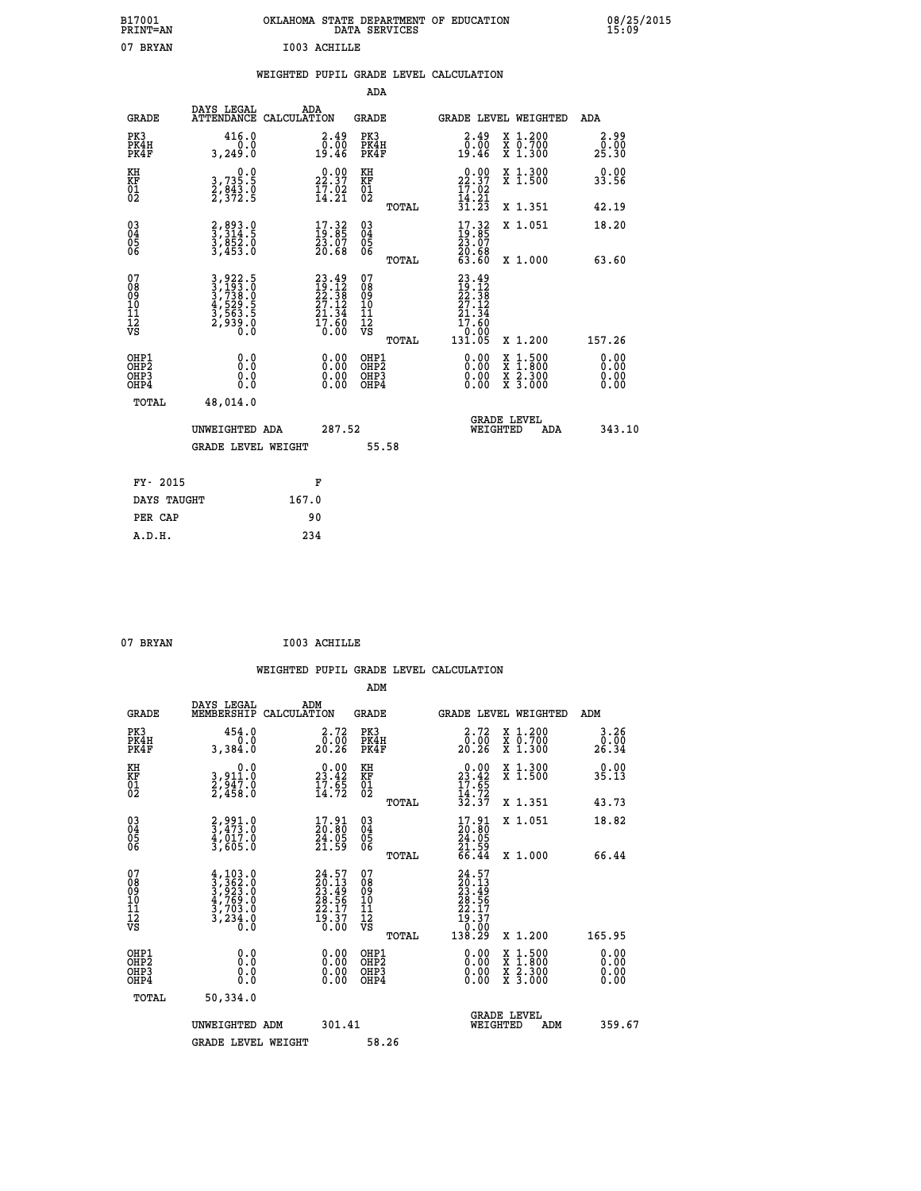| B17001<br><b>PRINT=AN</b> | OKLAHOMA<br>. STATE DEPARTMENT OF EDUCATION<br>DATA SERVICES | 08/25/2015<br>15:09 |
|---------------------------|--------------------------------------------------------------|---------------------|
| 07<br>BRYAN               | I003 ACHILLE                                                 |                     |

|  |  | WEIGHTED PUPIL GRADE LEVEL CALCULATION |
|--|--|----------------------------------------|
|  |  |                                        |

|                                                                |                                                                         |                                                                          | ADA                                             |                                                                                                    |                              |
|----------------------------------------------------------------|-------------------------------------------------------------------------|--------------------------------------------------------------------------|-------------------------------------------------|----------------------------------------------------------------------------------------------------|------------------------------|
| <b>GRADE</b>                                                   | DAYS LEGAL                                                              | ADA<br>ATTENDANCE CALCULATION                                            | GRADE                                           | <b>GRADE LEVEL WEIGHTED</b>                                                                        | ADA                          |
| PK3<br>PK4H<br>PK4F                                            | 416.0<br>3,249.0                                                        | $\begin{smallmatrix} 2.49\0.00\\0.00\\19.46\end{smallmatrix}$            | PK3<br>PK4H<br>PK4F                             | X 1.200<br>X 0.700<br>X 1.300<br>$2.49$<br>$0.00$<br>19.46                                         | 2.99<br>0.00<br>25.30        |
| KH<br>KF<br>01<br>02                                           | $\begin{smallmatrix}&&&0.0\\3.735.5\\2.843.0\\2.372.5\end{smallmatrix}$ | $22.37$<br>$17.02$<br>$14.21$                                            | KH<br>KF<br>01<br>02                            | X 1.300<br>X 1.500<br>$\begin{smallmatrix} 0.00\\ 22.37\\ 17.02\\ 14.21\\ 31.23 \end{smallmatrix}$ | 0.00<br>33.56                |
|                                                                |                                                                         |                                                                          | TOTAL                                           | X 1.351                                                                                            | 42.19                        |
| 03<br>04<br>05<br>06                                           | 2,893.0<br>3,314.5<br>3,852.0<br>3,453.0                                | $\begin{smallmatrix} 17.32\ 19.85\ 23.07\ 20.68 \end{smallmatrix}$       | 03<br>04<br>05<br>06<br>TOTAL                   | $\begin{smallmatrix} 17.32\ 19.85\ 23.07\ 20.68\ 63.60 \end{smallmatrix}$<br>X 1.051<br>X 1.000    | 18.20<br>63.60               |
| 07<br>08<br>09<br>11<br>11<br>12<br>VS                         | 3,922.5<br>3,193.0<br>3,738.0<br>3,529.5<br>3,563.5<br>2,939.0          | $23.49$<br>$12.38$<br>$22.38$<br>$27.12$<br>$21.34$<br>$17.60$<br>$0.00$ | 07<br>08<br>09<br>11<br>11<br>12<br>VS<br>TOTAL | $23.49$<br>$12.12$<br>$22.38$<br>$27.12$<br>$21.34$<br>17.60<br>0.00<br>131.05<br>X 1.200          | 157.26                       |
| OHP1<br>OH <sub>P</sub> 2<br>OH <sub>P3</sub><br>OHP4<br>TOTAL | 0.0<br>0.0<br>0.0<br>48,014.0                                           | 0.00<br>$\begin{smallmatrix} 0.00 \ 0.00 \end{smallmatrix}$              | OHP1<br>OHP <sub>2</sub><br>OHP3<br>OHP4        | 0.00<br>X 1:500<br>X 1:800<br>X 2:300<br>X 3:000<br>0.00<br>0.00                                   | 0.00<br>0.00<br>0.00<br>0.00 |
|                                                                | UNWEIGHTED ADA<br><b>GRADE LEVEL WEIGHT</b>                             | 287.52                                                                   | 55.58                                           | <b>GRADE LEVEL</b><br>WEIGHTED<br>ADA                                                              | 343.10                       |
| FY- 2015                                                       |                                                                         | F                                                                        |                                                 |                                                                                                    |                              |
| DAYS TAUGHT                                                    |                                                                         | 167.0                                                                    |                                                 |                                                                                                    |                              |
| PER CAP                                                        |                                                                         | 90                                                                       |                                                 |                                                                                                    |                              |
| A.D.H.                                                         |                                                                         | 234                                                                      |                                                 |                                                                                                    |                              |

| 07 BRYAN | I003 ACHILLE |
|----------|--------------|
|          |              |

| <b>GRADE</b>                                       | DAYS LEGAL<br>MEMBERSHIP                                                                                                                                          | ADM<br>CALCULATION                                                       | <b>GRADE</b>                           |       | GRADE LEVEL WEIGHTED                                                                                                                                                                                                                                                           |                                          | ADM                          |        |
|----------------------------------------------------|-------------------------------------------------------------------------------------------------------------------------------------------------------------------|--------------------------------------------------------------------------|----------------------------------------|-------|--------------------------------------------------------------------------------------------------------------------------------------------------------------------------------------------------------------------------------------------------------------------------------|------------------------------------------|------------------------------|--------|
| PK3<br>PK4H<br>PK4F                                | 454.0<br>3,384.0                                                                                                                                                  | 2.72<br>$\frac{\bar{0} \cdot \bar{0} \bar{0}}{20.26}$                    | PK3<br>PK4H<br>PK4F                    |       | 2.72<br>$\frac{\bar{0} \cdot \dot{0} \bar{0}}{20 \cdot 26}$                                                                                                                                                                                                                    | X 1.200<br>X 0.700<br>X 1.300            | 3.26<br>$\frac{0.00}{26.34}$ |        |
| KH<br>KF<br>01<br>02                               | 0.0<br>3,911:0<br>2,947:0<br>2,458:0                                                                                                                              | $\begin{smallmatrix} 0.00\\ 23.42\\ 17.65\\ 14.72 \end{smallmatrix}$     | KH<br>KF<br>01<br>02                   |       | $0.00$<br>$23.42$<br>$17.65$<br>$14.72$<br>$32.37$                                                                                                                                                                                                                             | X 1.300<br>X 1.500                       | 0.00<br>35.13                |        |
|                                                    |                                                                                                                                                                   |                                                                          |                                        | TOTAL |                                                                                                                                                                                                                                                                                | X 1.351                                  | 43.73                        |        |
| $\begin{matrix} 03 \\ 04 \\ 05 \\ 06 \end{matrix}$ | 2,991.0<br>3,473.0<br>4,017.0<br>3,605.0                                                                                                                          | $\begin{smallmatrix} 17.91\ 20.80\ 24.05\ 21.59 \end{smallmatrix}$       | 03<br>04<br>05<br>06                   |       | $\begin{smallmatrix} 17.91\ 20.80\ 24.05\ 21.59\ 66.44 \end{smallmatrix}$                                                                                                                                                                                                      | X 1.051                                  | 18.82                        |        |
|                                                    |                                                                                                                                                                   |                                                                          |                                        | TOTAL |                                                                                                                                                                                                                                                                                | X 1.000                                  | 66.44                        |        |
| 07<br>08<br>09<br>101<br>112<br>VS                 | $\begin{smallmatrix} 4\,,\,103\,. \,0\\ 3\,,\,362\,. \,0\\ 3\,,\,923\,. \,0\\ 4\,,\,769\,. \,0\\ 3\,,\,703\,. \,0\\ 3\,,\,234\,. \,0\\ 0\,. \,0\end{smallmatrix}$ | $24.57$<br>$20.13$<br>$23.49$<br>$28.56$<br>$22.17$<br>$19.37$<br>$0.00$ | 07<br>08<br>09<br>11<br>11<br>12<br>VS | TOTAL | $24.57$<br>$23.49$<br>$23.49$<br>$28.56$<br>$22.17$<br>$19.37$<br>$0.009$<br>$138.29$                                                                                                                                                                                          | X 1.200                                  | 165.95                       |        |
| OHP1<br>OHP2<br>OHP3<br>OHP4                       | 0.0<br>Ō.Ō<br>Ŏ.Ŏ                                                                                                                                                 |                                                                          | OHP1<br>OHP2<br>OHP3<br>OHP4           |       | $\begin{smallmatrix} 0.00 & 0.00 & 0.00 & 0.00 & 0.00 & 0.00 & 0.00 & 0.00 & 0.00 & 0.00 & 0.00 & 0.00 & 0.00 & 0.00 & 0.00 & 0.00 & 0.00 & 0.00 & 0.00 & 0.00 & 0.00 & 0.00 & 0.00 & 0.00 & 0.00 & 0.00 & 0.00 & 0.00 & 0.00 & 0.00 & 0.00 & 0.00 & 0.00 & 0.00 & 0.00 & 0.0$ | X 1:500<br>X 1:800<br>X 2:300<br>X 3:000 | 0.00<br>0.00<br>0.00         |        |
| TOTAL                                              | 50,334.0                                                                                                                                                          |                                                                          |                                        |       |                                                                                                                                                                                                                                                                                |                                          |                              |        |
|                                                    | UNWEIGHTED ADM                                                                                                                                                    | 301.41                                                                   |                                        |       | <b>GRADE LEVEL</b><br>WEIGHTED                                                                                                                                                                                                                                                 | ADM                                      |                              | 359.67 |
|                                                    | <b>GRADE LEVEL WEIGHT</b>                                                                                                                                         |                                                                          | 58.26                                  |       |                                                                                                                                                                                                                                                                                |                                          |                              |        |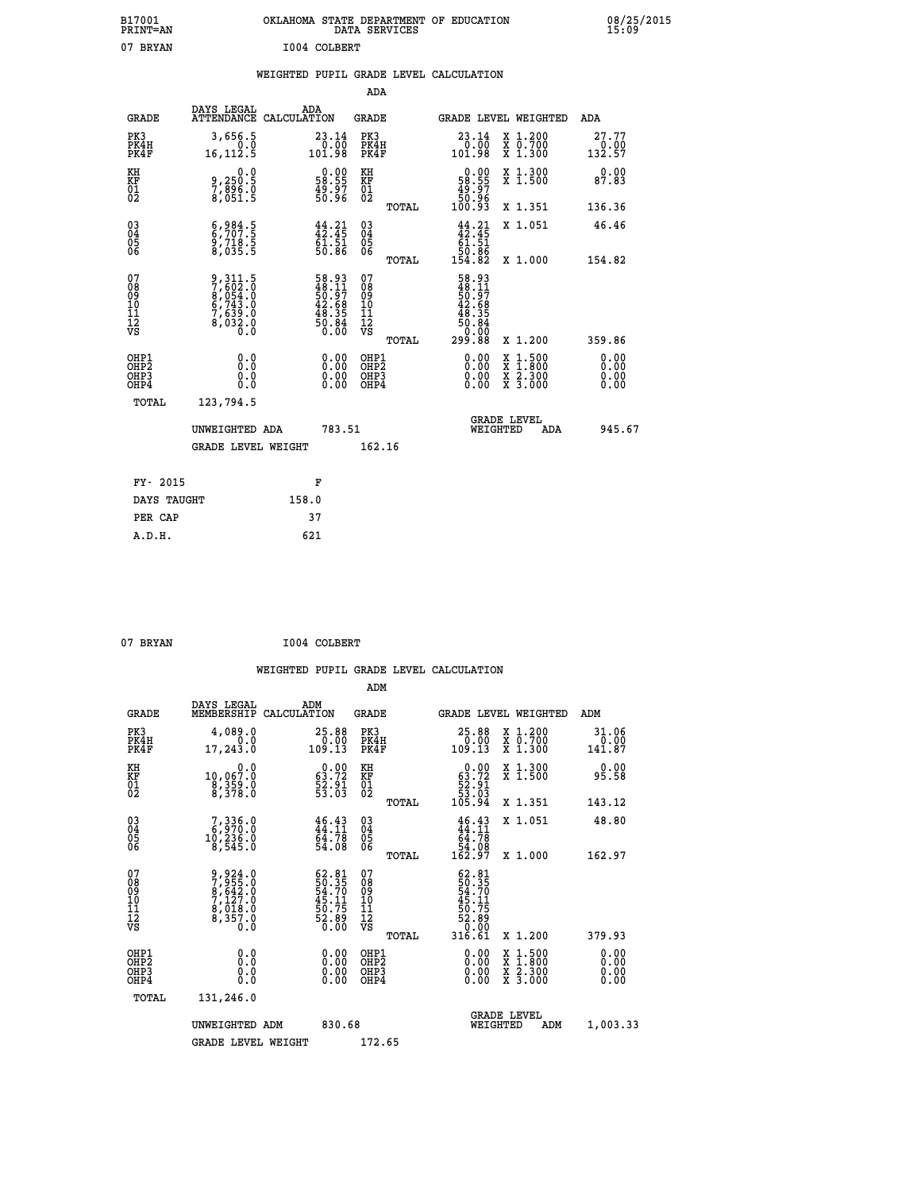| B17001<br><b>PRINT=AN</b> | OKLAHOMA STATE DEPARTMENT OF EDUCATION<br>DATA SERVICES | 08/25/2015<br>15:09 |
|---------------------------|---------------------------------------------------------|---------------------|
| 07<br>BRYAN               | I004 COLBERT                                            |                     |

#### **WEIGHTED PUPIL GRADE LEVEL CALCULATION**

|                                                       |                                                                                                     |                                                                          | ADA                                       |       |                                                                                                     |                                          |                                                        |
|-------------------------------------------------------|-----------------------------------------------------------------------------------------------------|--------------------------------------------------------------------------|-------------------------------------------|-------|-----------------------------------------------------------------------------------------------------|------------------------------------------|--------------------------------------------------------|
| <b>GRADE</b>                                          | DAYS LEGAL                                                                                          | ADA<br>ATTENDANCE CALCULATION                                            | <b>GRADE</b>                              |       |                                                                                                     | GRADE LEVEL WEIGHTED                     | ADA                                                    |
| PK3<br>PK4H<br>PK4F                                   | 3,656.5<br>16, 112.5                                                                                | $\begin{smallmatrix} 23.14\ 0.00 \ 101.98 \end{smallmatrix}$             | PK3<br>PK4H<br>PK4F                       |       | $\begin{smallmatrix} 23.14\ 0.00 \ 101.98 \end{smallmatrix}$                                        | X 1.200<br>X 0.700<br>X 1.300            | 27.77<br>$\begin{array}{r} 0.00 \\ 132.57 \end{array}$ |
| KH<br>KF<br>01<br>02                                  | 0.0<br>9,250:5<br>7,896.0<br>8,051:5                                                                | $\begin{smallmatrix} 0.00\\ 58.55\\ 49.97\\ 50.96 \end{smallmatrix}$     | KH<br>KF<br>01<br>02                      |       | $\begin{smallmatrix} &0.00\ 58.55\ 49.97\ 50.96\ 100.93\ \end{smallmatrix}$                         | X 1.300<br>X 1.500                       | 0.00<br>87.83                                          |
|                                                       |                                                                                                     |                                                                          |                                           | TOTAL |                                                                                                     | X 1.351                                  | 136.36                                                 |
| $\begin{matrix} 03 \\ 04 \\ 05 \\ 06 \end{matrix}$    | $\begin{smallmatrix} 6 & 9 & 84 & 5 \\ 6 & 707 & 5 \\ 9 & 718 & 5 \\ 8 & 035 & 5 \end{smallmatrix}$ | $44.21$<br>$42.45$<br>$61.51$<br>$50.86$                                 | 03<br>04<br>05<br>06                      | TOTAL | $44.21$<br>$42.45$<br>$61.51$<br>$50.86$<br>$154.82$                                                | X 1.051<br>X 1.000                       | 46.46<br>154.82                                        |
| 07                                                    |                                                                                                     |                                                                          | 07                                        |       |                                                                                                     |                                          |                                                        |
| 08<br>09<br>11<br>11<br>12<br>VS                      | 9,311.5<br>7,602.0<br>8,054.0<br>6,743.0<br>7,639.0<br>8,032.0<br>0.0                               | $58.93$<br>$48.11$<br>$50.97$<br>$42.68$<br>$48.35$<br>$50.84$<br>$0.00$ | 08<br>09<br>11<br>11<br>12<br>VS          |       | 58.93<br>48.11<br>$\begin{array}{r} 50.57 \\ 42.68 \\ 48.35 \\ 50.84 \\ 0.00 \\ 299.88 \end{array}$ |                                          |                                                        |
|                                                       |                                                                                                     |                                                                          |                                           | TOTAL |                                                                                                     | X 1.200                                  | 359.86                                                 |
| OHP1<br>OH <sub>P</sub> 2<br>OH <sub>P3</sub><br>OHP4 | 0.0<br>Ō.Ō<br>0.0<br>0.0                                                                            | $0.00$<br>$0.00$<br>0.00                                                 | OHP1<br>OH <sub>P</sub> 2<br>OHP3<br>OHP4 |       | 0.00<br>0.00<br>0.00                                                                                | X 1:500<br>X 1:800<br>X 2:300<br>X 3:000 | 0.00<br>0.00<br>0.00<br>0.00                           |
| TOTAL                                                 | 123,794.5                                                                                           |                                                                          |                                           |       |                                                                                                     |                                          |                                                        |
|                                                       | UNWEIGHTED ADA                                                                                      | 783.51                                                                   |                                           |       |                                                                                                     | <b>GRADE LEVEL</b><br>WEIGHTED<br>ADA    | 945.67                                                 |
|                                                       | GRADE LEVEL WEIGHT                                                                                  |                                                                          | 162.16                                    |       |                                                                                                     |                                          |                                                        |
| FY- 2015                                              |                                                                                                     | F                                                                        |                                           |       |                                                                                                     |                                          |                                                        |
| DAYS TAUGHT                                           |                                                                                                     | 158.0                                                                    |                                           |       |                                                                                                     |                                          |                                                        |
| PER CAP                                               |                                                                                                     | 37                                                                       |                                           |       |                                                                                                     |                                          |                                                        |
|                                                       |                                                                                                     |                                                                          |                                           |       |                                                                                                     |                                          |                                                        |

| 07 BRYAN | I004 COLBERT |
|----------|--------------|
|          |              |

 **A.D.H. 621**

|                                         |                                                      |                                                                       |                                                                                                 | ADM                                                 |       |                                                                           |                                          |                                |
|-----------------------------------------|------------------------------------------------------|-----------------------------------------------------------------------|-------------------------------------------------------------------------------------------------|-----------------------------------------------------|-------|---------------------------------------------------------------------------|------------------------------------------|--------------------------------|
|                                         | <b>GRADE</b>                                         | DAYS LEGAL<br>MEMBERSHIP                                              | ADM<br>CALCULATION                                                                              | <b>GRADE</b>                                        |       |                                                                           | GRADE LEVEL WEIGHTED                     | ADM                            |
|                                         | PK3<br>PK4H<br>PK4F                                  | 4,089.0<br>0.0<br>17, 243.0                                           | 25.88<br>$\begin{smallmatrix} & 0 & 0 & 0 \\ 0 & 0 & 0 & 0 \\ 1 & 0 & 9 & 13 \end{smallmatrix}$ | PK3<br>PK4H<br>PK4F                                 |       | $25.88\n0.00\n109.13$                                                     | X 1.200<br>X 0.700<br>X 1.300            | 31.06<br>$\frac{0.00}{141.87}$ |
| KH<br>KF<br>01<br>02                    |                                                      | 0.0<br>10,067:0<br>8,359:0<br>8,378:0                                 | $\begin{smallmatrix} 0.00\\ 63.72\\ 52.91\\ 53.03\\ \end{smallmatrix}$                          | KH<br>KF<br>01<br>02                                |       | $\begin{smallmatrix} &0.00\ 63.72\ 52.91\ 53.03\ 105.94\end{smallmatrix}$ | X 1.300<br>X 1.500                       | 0.00<br>95.58                  |
|                                         |                                                      |                                                                       |                                                                                                 |                                                     | TOTAL |                                                                           | X 1.351                                  | 143.12                         |
| 03<br>04<br>05<br>06                    |                                                      | $7,336.0$<br>6,970.0<br>10,236.0<br>8,545.0                           | 46.43<br>44.11<br>64.78<br>54.08                                                                | $\begin{array}{c} 03 \\ 04 \\ 05 \\ 06 \end{array}$ |       | $46.43\n44.11\n64.78\n54.08\n162.97$                                      | X 1.051                                  | 48.80                          |
|                                         |                                                      |                                                                       |                                                                                                 |                                                     | TOTAL |                                                                           | X 1.000                                  | 162.97                         |
| 07<br>08<br>09<br>101<br>11<br>12<br>VS |                                                      | 9,924.0<br>7,955.0<br>8,642.0<br>7,127.0<br>8,018.0<br>8,357.0<br>0.0 | $62.81$<br>50.35<br>54.70<br>54.71<br>45.11<br>50.75<br>52.890                                  | 07<br>08<br>09<br>11<br>11<br>12<br>VS              | TOTAL | 62.81<br>50.35<br>54.70<br>54.11<br>45.75<br>52.890<br>316.61             | X 1.200                                  | 379.93                         |
|                                         | OHP1<br>OHP2<br>OHP <sub>3</sub><br>OH <sub>P4</sub> |                                                                       |                                                                                                 | OHP1<br>OHP2<br>OHP <sub>3</sub>                    |       | $0.00$<br>$0.00$<br>0.00                                                  | X 1:500<br>X 1:800<br>X 2:300<br>X 3:000 | 0.00<br>0.00<br>0.00           |
|                                         | TOTAL                                                | 131,246.0                                                             |                                                                                                 |                                                     |       |                                                                           |                                          |                                |
|                                         |                                                      | UNWEIGHTED<br>ADM                                                     | 830.68                                                                                          |                                                     |       | WEIGHTED                                                                  | <b>GRADE LEVEL</b><br>ADM                | 1,003.33                       |
|                                         |                                                      | <b>GRADE LEVEL WEIGHT</b>                                             |                                                                                                 | 172.65                                              |       |                                                                           |                                          |                                |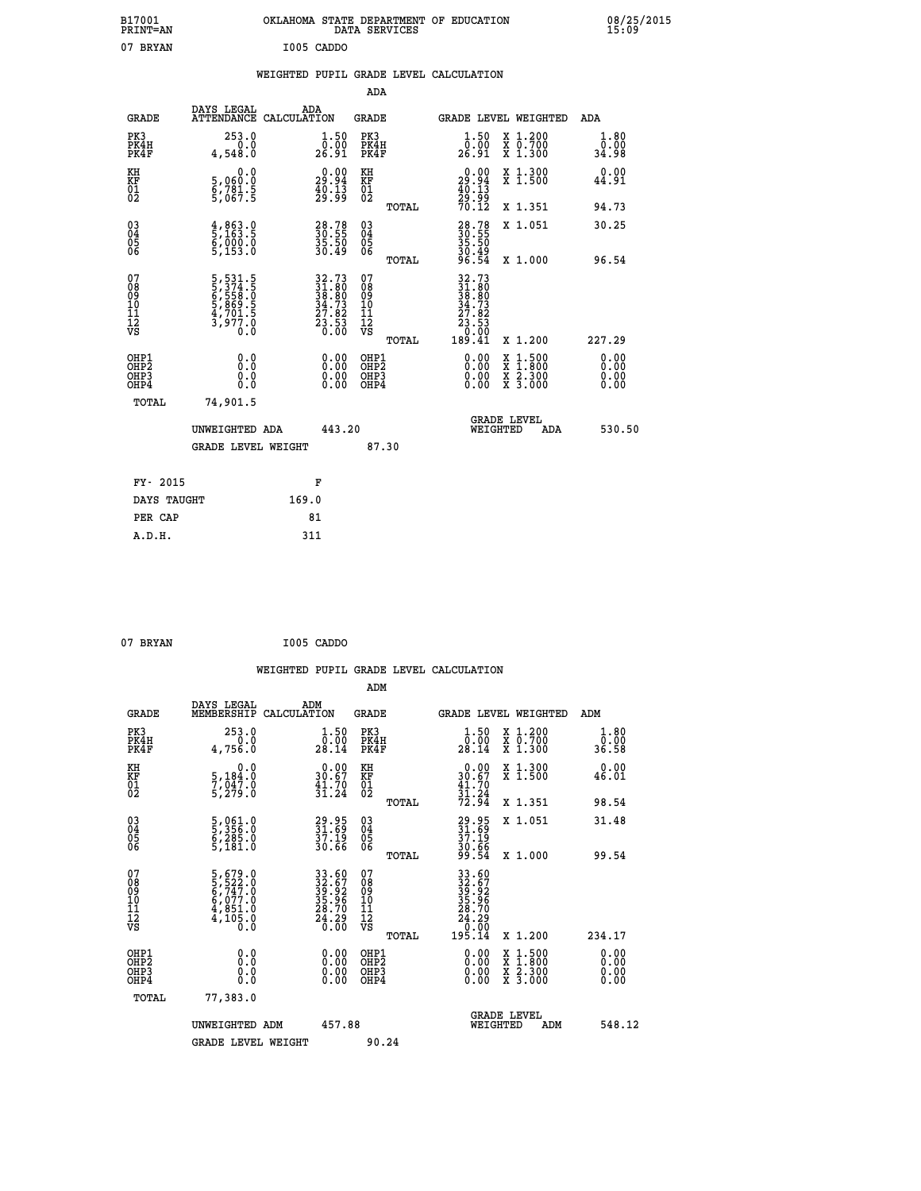| B17001<br><b>PRINT=AN</b>                                        |                                                                            | OKLAHOMA STATE DEPARTMENT OF EDUCATION                               | DATA SERVICES                                      |                                                                                  |                                                                                          | 08/25/2015<br>15:09          |  |
|------------------------------------------------------------------|----------------------------------------------------------------------------|----------------------------------------------------------------------|----------------------------------------------------|----------------------------------------------------------------------------------|------------------------------------------------------------------------------------------|------------------------------|--|
| 07 BRYAN                                                         |                                                                            | I005 CADDO                                                           |                                                    |                                                                                  |                                                                                          |                              |  |
|                                                                  |                                                                            | WEIGHTED PUPIL GRADE LEVEL CALCULATION                               |                                                    |                                                                                  |                                                                                          |                              |  |
|                                                                  |                                                                            |                                                                      | ADA                                                |                                                                                  |                                                                                          |                              |  |
| <b>GRADE</b>                                                     | DAYS LEGAL                                                                 | ADA<br>ATTENDANCE CALCULATION                                        | GRADE                                              | <b>GRADE LEVEL WEIGHTED</b>                                                      |                                                                                          | ADA                          |  |
| PK3<br>PK4H<br>PK4F                                              | 253.0<br>0.0<br>4,548.0                                                    | $\begin{smallmatrix} 1.50\ 0.00\ 26.91 \end{smallmatrix}$            | PK3<br>PK4H<br>PK4F                                | $\begin{smallmatrix} 1.50\ 0.00\ 26.91 \end{smallmatrix}$                        | X 1.200<br>X 0.700<br>X 1.300                                                            | 1.80<br>0.00<br>34.98        |  |
| KH<br>KF<br>$^{01}_{02}$                                         | 0.0<br>5,060.0<br>6,781.5<br>5,067.5                                       | $\begin{smallmatrix} 0.00\\ 29.94\\ 40.13\\ 29.99 \end{smallmatrix}$ | KH<br>KF<br>01<br>02                               | $\begin{smallmatrix} 0.00\\29.94\\40.13\\29.99\\70.12\end{smallmatrix}$          | X 1.300<br>X 1.500                                                                       | 0.00<br>44.91                |  |
|                                                                  |                                                                            |                                                                      | TOTAL                                              |                                                                                  | X 1.351                                                                                  | 94.73                        |  |
| $\substack{03 \\ 04}$<br>$\frac{05}{06}$                         | $\frac{4}{5}$ , $\frac{863}{163}$ . 5<br>$\frac{5}{5}, \frac{000}{153}$ .0 | 28.78<br>30.55<br>35.50<br>30.49                                     | $\begin{matrix} 03 \\ 04 \\ 05 \\ 06 \end{matrix}$ | 28.78<br>30.55<br>35.50                                                          | X 1.051                                                                                  | 30.25                        |  |
|                                                                  |                                                                            |                                                                      | TOTAL                                              | 30.49<br>96.54                                                                   | X 1.000                                                                                  | 96.54                        |  |
| 07<br>08<br>09<br>11<br>11<br>12<br>VS                           | 5,531.5<br>5,374.5<br>6,5558.0<br>6,558.0<br>5,869.5<br>4,701.5<br>3,977.0 | $32.7331.8038.8034.7327.8223.530.00$                                 | 07<br>08<br>09<br>11<br>11<br>VS<br><b>TOTAL</b>   | 32.73<br>31.80<br>38.80<br>34.73<br>27.82<br>žз<br>$\frac{3.53}{0.00}$<br>189.41 | X 1.200                                                                                  | 227.29                       |  |
| OHP1<br>OH <sub>P</sub> <sub>2</sub><br>OH <sub>P3</sub><br>OHP4 | 0.0<br>0.0<br>0.0<br>0.0                                                   | $0.00$<br>$0.00$<br>0.00                                             | OHP1<br>OH <sub>P</sub> 2<br>OHP3<br>OHP4          | 0.00<br>0.00<br>0.00                                                             | $\begin{smallmatrix} x & 1.500 \\ x & 1.800 \\ x & 2.300 \\ x & 3.000 \end{smallmatrix}$ | 0.00<br>0.00<br>0.00<br>0.00 |  |
| TOTAL                                                            | 74,901.5                                                                   |                                                                      |                                                    |                                                                                  |                                                                                          |                              |  |
|                                                                  | UNWEIGHTED ADA                                                             | 443.20                                                               |                                                    | <b>GRADE LEVEL</b><br>WEIGHTED                                                   | ADA                                                                                      | 530.50                       |  |
|                                                                  | <b>GRADE LEVEL WEIGHT</b>                                                  |                                                                      | 87.30                                              |                                                                                  |                                                                                          |                              |  |
| FY- 2015                                                         |                                                                            | F                                                                    |                                                    |                                                                                  |                                                                                          |                              |  |
| DAYS TAUGHT                                                      |                                                                            | 169.0                                                                |                                                    |                                                                                  |                                                                                          |                              |  |
| PER CAP                                                          |                                                                            | 81                                                                   |                                                    |                                                                                  |                                                                                          |                              |  |

| 07 BRYAN | I005 CADDO |
|----------|------------|
|          |            |

|                                                    |                                                                                                 |                    |                                                                      |                                              |       | WEIGHTED PUPIL GRADE LEVEL CALCULATION                                                                                                                                                                                                                                         |                                                                                                  |                       |        |
|----------------------------------------------------|-------------------------------------------------------------------------------------------------|--------------------|----------------------------------------------------------------------|----------------------------------------------|-------|--------------------------------------------------------------------------------------------------------------------------------------------------------------------------------------------------------------------------------------------------------------------------------|--------------------------------------------------------------------------------------------------|-----------------------|--------|
|                                                    |                                                                                                 |                    |                                                                      | ADM                                          |       |                                                                                                                                                                                                                                                                                |                                                                                                  |                       |        |
| <b>GRADE</b>                                       | DAYS LEGAL<br>MEMBERSHIP                                                                        | ADM<br>CALCULATION |                                                                      | <b>GRADE</b>                                 |       | GRADE LEVEL WEIGHTED                                                                                                                                                                                                                                                           |                                                                                                  | ADM                   |        |
| PK3<br>PK4H<br>PK4F                                | 253.0<br>0.0<br>4,756.0                                                                         |                    | $\frac{1}{0}$ : 50<br>28.14                                          | PK3<br>PK4H<br>PK4F                          |       | $\frac{1}{0}$ : 50<br>28:14                                                                                                                                                                                                                                                    | X 1.200<br>X 0.700<br>X 1.300                                                                    | 1.80<br>0.00<br>36.58 |        |
| KH<br>KF<br>01<br>02                               | 0.0<br>5,184:0<br>7,047:0<br>5,279:0                                                            |                    | $\begin{smallmatrix} 0.00\\ 30.67\\ 41.70\\ 31.24 \end{smallmatrix}$ | KH<br>KF<br>01<br>02                         |       | $0.00$<br>$30.67$<br>$41.70$<br>$31.24$<br>$72.94$                                                                                                                                                                                                                             | X 1.300<br>X 1.500                                                                               | 0.00<br>46.01         |        |
|                                                    |                                                                                                 |                    |                                                                      |                                              | TOTAL |                                                                                                                                                                                                                                                                                | X 1.351                                                                                          | 98.54                 |        |
| $\begin{matrix} 03 \\ 04 \\ 05 \\ 06 \end{matrix}$ | 5,061.0<br>5,356.0<br>6,285.0<br>5,181.0                                                        |                    | 29.95<br>31.69<br>37.19<br>30.66                                     | 03<br>04<br>05<br>06                         |       | 29.95<br>31.69<br>37.19<br>30.66<br>99.54                                                                                                                                                                                                                                      | X 1.051                                                                                          | 31.48                 |        |
| 07                                                 |                                                                                                 |                    |                                                                      |                                              | TOTAL |                                                                                                                                                                                                                                                                                | X 1.000                                                                                          | 99.54                 |        |
| 0890112<br>1112<br>VS                              | $\begin{smallmatrix}5,679.0\\5,522.0\\6,747.0\\6,077.0\\4,851.0\\4,105.0\\0.0\end{smallmatrix}$ |                    | 33.60<br>32.67<br>39.92<br>35.96<br>35.70<br>28.70<br>24.29          | 07<br>08<br>09<br>09<br>10<br>11<br>12<br>VS |       | 33.607<br>339.672<br>39.926<br>35.706<br>24.29<br>24.29<br>0.000<br>195.14                                                                                                                                                                                                     |                                                                                                  |                       |        |
|                                                    |                                                                                                 |                    |                                                                      |                                              | TOTAL |                                                                                                                                                                                                                                                                                | $X_1.200$                                                                                        | 234.17                |        |
| OHP1<br>OHP2<br>OH <sub>P3</sub><br>OHP4           | 0.0<br>0.000                                                                                    |                    | $\begin{smallmatrix} 0.00 \ 0.00 \ 0.00 \ 0.00 \end{smallmatrix}$    | OHP1<br>OHP2<br>OHP <sub>3</sub>             |       | $\begin{smallmatrix} 0.00 & 0.00 & 0.00 & 0.00 & 0.00 & 0.00 & 0.00 & 0.00 & 0.00 & 0.00 & 0.00 & 0.00 & 0.00 & 0.00 & 0.00 & 0.00 & 0.00 & 0.00 & 0.00 & 0.00 & 0.00 & 0.00 & 0.00 & 0.00 & 0.00 & 0.00 & 0.00 & 0.00 & 0.00 & 0.00 & 0.00 & 0.00 & 0.00 & 0.00 & 0.00 & 0.0$ | $\begin{smallmatrix} x & 1 & 500 \\ x & 1 & 800 \\ x & 2 & 300 \\ x & 3 & 000 \end{smallmatrix}$ | 0.00<br>0.00<br>0.00  |        |
| TOTAL                                              | 77,383.0                                                                                        |                    |                                                                      |                                              |       |                                                                                                                                                                                                                                                                                |                                                                                                  |                       |        |
|                                                    | UNWEIGHTED ADM                                                                                  |                    | 457.88                                                               |                                              |       | WEIGHTED                                                                                                                                                                                                                                                                       | <b>GRADE LEVEL</b><br>ADM                                                                        |                       | 548.12 |
|                                                    | <b>GRADE LEVEL WEIGHT</b>                                                                       |                    |                                                                      | 90.24                                        |       |                                                                                                                                                                                                                                                                                |                                                                                                  |                       |        |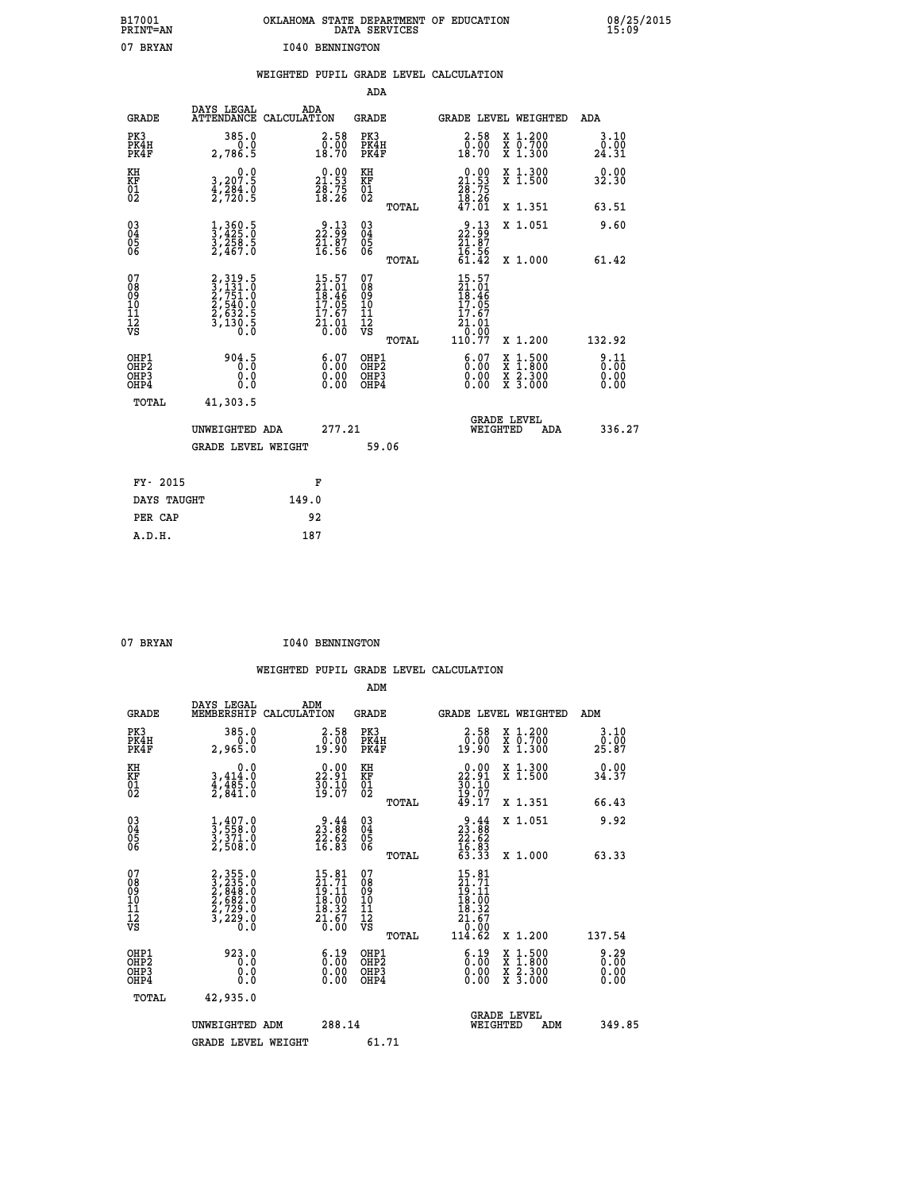| B17001<br>PRINT=AN                                   |                                                                                              | OKLAHOMA STATE DEPARTMENT OF EDUCATION                               |                                                    | DATA SERVICES |                                                                                            |                                                                                          | 08/25/2015<br>15:09          |
|------------------------------------------------------|----------------------------------------------------------------------------------------------|----------------------------------------------------------------------|----------------------------------------------------|---------------|--------------------------------------------------------------------------------------------|------------------------------------------------------------------------------------------|------------------------------|
| 07 BRYAN                                             |                                                                                              | <b>I040 BENNINGTON</b>                                               |                                                    |               |                                                                                            |                                                                                          |                              |
|                                                      |                                                                                              | WEIGHTED PUPIL GRADE LEVEL CALCULATION                               |                                                    |               |                                                                                            |                                                                                          |                              |
|                                                      |                                                                                              |                                                                      | <b>ADA</b>                                         |               |                                                                                            |                                                                                          |                              |
| <b>GRADE</b>                                         | DAYS LEGAL                                                                                   | ADA<br>ATTENDANCE CALCULATION                                        | <b>GRADE</b>                                       |               |                                                                                            | GRADE LEVEL WEIGHTED ADA                                                                 |                              |
| PK3<br>PK4H<br>PK4F                                  | 385.0<br>0.0<br>2,786.5                                                                      | $\begin{smallmatrix} 2.58\0.00\\18.70 \end{smallmatrix}$             | PK3<br>PK4H<br>PK4F                                |               | $\begin{smallmatrix} 2.58\0.00\\0.00\\18.70 \end{smallmatrix}$                             | X 1.200<br>X 0.700<br>X 1.300                                                            | 3.10<br>0.00<br>24.31        |
| KH<br>KF<br>$\frac{01}{02}$                          | $\begin{smallmatrix}&&&0.0\\3,207.5\\4,284.0\\2,720.5\end{smallmatrix}$                      | $\begin{smallmatrix} 0.00\\ 21.53\\ 28.75\\ 18.26 \end{smallmatrix}$ | KH<br>KF<br>$\overline{01}$                        |               | $\begin{smallmatrix} 0.00\\21.53\\28.75\\18.26\\47.01 \end{smallmatrix}$                   | X 1.300<br>X 1.500                                                                       | 0.00<br>32.30                |
|                                                      |                                                                                              |                                                                      |                                                    | TOTAL         |                                                                                            | X 1.351                                                                                  | 63.51                        |
| 03<br>04<br>05<br>06                                 | $\frac{1}{3}, \frac{360}{425} . \frac{5}{2}$<br>$\frac{3}{2}, \frac{258}{467} . \frac{5}{0}$ | $\begin{smallmatrix} 9.13\ 22.99\ 21.87\ 16.56 \end{smallmatrix}$    | $\begin{matrix} 03 \\ 04 \\ 05 \\ 06 \end{matrix}$ |               | $\frac{9.13}{21.87}$<br>16.56                                                              | X 1.051                                                                                  | 9.60                         |
|                                                      |                                                                                              |                                                                      |                                                    | TOTAL         | 61.42                                                                                      | X 1.000                                                                                  | 61.42                        |
| 07<br>Ŏġ<br>09<br>10<br>11<br>12<br>VS               | 2, 319.5<br>3, 131.0<br>2, 751.0<br>2, 540.0<br>2, 632.5<br>3, 130.5<br>0.0                  | 15.57<br>21.01<br>18.46<br>17.05<br>17.67<br>$\frac{21.01}{0.00}$    | 07<br>ŏġ<br>09<br>ίÒ<br>īi<br>ĪŽ<br>VŠ             | <b>TOTAL</b>  | 15.57<br>21.01<br>18.46<br>17.05<br>17.67<br>21<br>$\frac{1}{0}$ : $\frac{0}{0}$<br>110.77 | X 1.200                                                                                  | 132.92                       |
| OHP1<br>OHP <sub>2</sub><br>OH <sub>P3</sub><br>OHP4 | 904.5<br>0.0<br>0.0                                                                          | 6.07<br>$\begin{smallmatrix} 0.00 \ 0.00 \end{smallmatrix}$          | OHP1<br>OHP <sub>2</sub><br>OHP3<br>OHP4           |               | 6.07<br>0.00<br>0.00                                                                       | $\begin{smallmatrix} x & 1.500 \\ x & 1.800 \\ x & 2.300 \\ x & 3.000 \end{smallmatrix}$ | 9.11<br>Ō.ŌŌ<br>0.00<br>0.00 |
| <b>TOTAL</b>                                         | 41,303.5                                                                                     |                                                                      |                                                    |               |                                                                                            |                                                                                          |                              |
|                                                      | UNWEIGHTED ADA                                                                               | 277.21                                                               |                                                    |               |                                                                                            | <b>GRADE LEVEL</b><br>WEIGHTED<br>ADA                                                    | 336.27                       |
|                                                      | <b>GRADE LEVEL WEIGHT</b>                                                                    |                                                                      |                                                    | 59.06         |                                                                                            |                                                                                          |                              |
| FY- 2015                                             |                                                                                              | F                                                                    |                                                    |               |                                                                                            |                                                                                          |                              |
| DAYS TAUGHT                                          |                                                                                              | 149.0                                                                |                                                    |               |                                                                                            |                                                                                          |                              |
| PER CAP                                              |                                                                                              | 92                                                                   |                                                    |               |                                                                                            |                                                                                          |                              |
| A.D.H.                                               |                                                                                              | 187                                                                  |                                                    |               |                                                                                            |                                                                                          |                              |

07 BRYAN **I040 BENNINGTON** 

|                                                      |                                                                                                         |                    |                                                                                                    |                                              |       | WEIGHTED PUPIL GRADE LEVEL CALCULATION                                                                                                              |                                          |                                            |        |
|------------------------------------------------------|---------------------------------------------------------------------------------------------------------|--------------------|----------------------------------------------------------------------------------------------------|----------------------------------------------|-------|-----------------------------------------------------------------------------------------------------------------------------------------------------|------------------------------------------|--------------------------------------------|--------|
|                                                      |                                                                                                         |                    |                                                                                                    | ADM                                          |       |                                                                                                                                                     |                                          |                                            |        |
| <b>GRADE</b>                                         | DAYS LEGAL<br>MEMBERSHIP                                                                                | ADM<br>CALCULATION |                                                                                                    | <b>GRADE</b>                                 |       | GRADE LEVEL WEIGHTED                                                                                                                                |                                          | ADM                                        |        |
| PK3<br>PK4H<br>PK4F                                  | 385.0<br>0.0<br>2,965.0                                                                                 |                    | $\begin{smallmatrix} 2.58\0.00\\0.00\\19.90\end{smallmatrix}$                                      | PK3<br>PK4H<br>PK4F                          |       | $\begin{smallmatrix} 2.58\0.00\\0.00\\19.90\end{smallmatrix}$                                                                                       | X 1.200<br>X 0.700<br>X 1.300            | 3.10<br>$2\overline{5}\cdot 8\overline{7}$ |        |
| KH<br>KF<br>01<br>02                                 | 0.0<br>$3,414.0$<br>$4,485.0$<br>$2,841.0$                                                              |                    | 22.91<br>$\frac{3}{2}$ $\frac{5}{9}$ $\cdot$ $\frac{1}{0}$ $\frac{5}{7}$                           | KH<br>KF<br>01<br>02                         |       | $22.91$<br>$30.10$<br>$30.10$<br>$19.07$<br>$49.17$                                                                                                 | X 1.300<br>X 1.500                       | 0.00<br>34.37                              |        |
|                                                      |                                                                                                         |                    |                                                                                                    |                                              | TOTAL |                                                                                                                                                     | X 1.351                                  | 66.43                                      |        |
| $\begin{matrix} 03 \\ 04 \\ 05 \\ 06 \end{matrix}$   | $\frac{1}{3}, \frac{407}{558}.0$<br>$\frac{3}{3}, \frac{371}{30}$<br>$2, 508.0$                         |                    | $23.88$<br>$22.62$<br>$16.83$                                                                      | 03<br>04<br>05<br>06                         | TOTAL | $23.88$<br>$22.62$<br>$16.83$<br>$53.33$                                                                                                            | X 1.051<br>X 1.000                       | 9.92<br>63.33                              |        |
| 07<br>0890112<br>1112<br>VS                          | $\begin{smallmatrix} 2,355.0\\ 3,235.0\\ 2,848.0\\ 2,682.0\\ 2,729.0\\ 3,229.0\\ 0.0 \end{smallmatrix}$ |                    | $\begin{smallmatrix} 15.81 \\ 21.71 \\ 19.11 \\ 18.00 \\ 18.32 \\ 21.67 \\ 0.00 \end{smallmatrix}$ | 07<br>08<br>09<br>01<br>11<br>11<br>12<br>VS | TOTAL | $\begin{array}{r} 15 \cdot 81 \\ 21 \cdot 71 \\ 19 \cdot 11 \\ 18 \cdot 02 \\ 18 \cdot 32 \\ 21 \cdot 67 \\ 0 \cdot 00 \\ 114 \cdot 62 \end{array}$ | X 1.200                                  | 137.54                                     |        |
| OHP1<br>OHP <sub>2</sub><br>OH <sub>P3</sub><br>OHP4 | 923.0<br>0.0<br>0.000                                                                                   |                    | $\begin{smallmatrix} 6.19\ 0.00\ 0.00 \end{smallmatrix}$<br>0.00                                   | OHP1<br>OHP2<br>OHP <sub>3</sub>             |       | 6:19<br>0.00<br>0.00                                                                                                                                | X 1:500<br>X 1:800<br>X 2:300<br>X 3:000 | 0.29<br>0.00<br>0.00                       |        |
| TOTAL                                                | 42,935.0<br>UNWEIGHTED ADM<br><b>GRADE LEVEL WEIGHT</b>                                                 |                    | 288.14                                                                                             | 61.71                                        |       | WEIGHTED                                                                                                                                            | <b>GRADE LEVEL</b><br>ADM                |                                            | 349.85 |
|                                                      |                                                                                                         |                    |                                                                                                    |                                              |       |                                                                                                                                                     |                                          |                                            |        |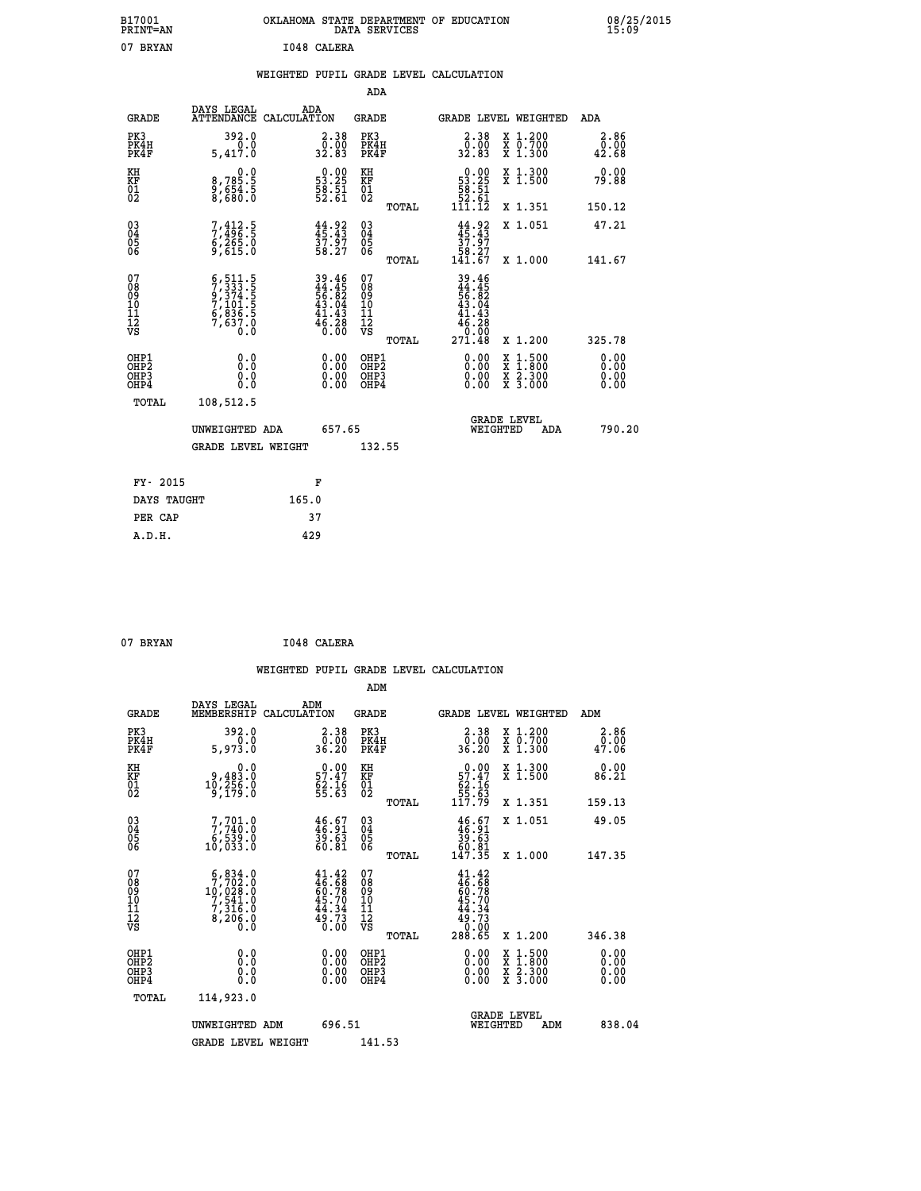| B17001<br><b>PRINT=AN</b> | OKLAHOMA STATE DEPARTMENT OF EDUCATION<br>DATA SERVICES | 08/25/2015<br>15:09 |
|---------------------------|---------------------------------------------------------|---------------------|
| 07<br><b>BRYAN</b>        | 1048 CALERA                                             |                     |

|  |  | WEIGHTED PUPIL GRADE LEVEL CALCULATION |
|--|--|----------------------------------------|
|  |  |                                        |

|                                                    |                                                                                           |                                                                                           | ADA                                       |       |                                                                                                                                             |        |                                                           |                               |
|----------------------------------------------------|-------------------------------------------------------------------------------------------|-------------------------------------------------------------------------------------------|-------------------------------------------|-------|---------------------------------------------------------------------------------------------------------------------------------------------|--------|-----------------------------------------------------------|-------------------------------|
| <b>GRADE</b>                                       | DAYS LEGAL<br><b>ATTENDANCE</b>                                                           | ADA<br>CALCULATION                                                                        | <b>GRADE</b>                              |       | GRADE LEVEL WEIGHTED                                                                                                                        |        |                                                           | <b>ADA</b>                    |
| PK3<br>PK4H<br>PK4F                                | 392.0<br>0.0<br>5,417.0                                                                   | $\begin{smallmatrix} 2.38\0.00\\32.83 \end{smallmatrix}$                                  | PK3<br>PK4H<br>PK4F                       |       | 2.38<br>00:00<br>32.83                                                                                                                      |        | X 1.200<br>X 0.700<br>X 1.300                             | 2.86<br>$\bar{0.00}$<br>42.68 |
| KH<br>KF<br>01<br>02                               | 0.0<br>8,785:5<br>9,654:5<br>8,680:0                                                      | $\begin{smallmatrix} 0.00\\ 53.25\\ 58.51\\ 52.61 \end{smallmatrix}$                      | KH<br>KF<br>01<br>02                      |       | $\begin{smallmatrix}&&0.00\\53.25\\58.51\\52.61\\111.12\end{smallmatrix}$                                                                   |        | X 1.300<br>X 1.500                                        | 0.00<br>79.88                 |
|                                                    |                                                                                           |                                                                                           |                                           | TOTAL |                                                                                                                                             |        | X 1.351                                                   | 150.12                        |
| $\begin{matrix} 03 \\ 04 \\ 05 \\ 06 \end{matrix}$ | 7,412.5<br>7,496.5<br>6,265.0<br>9,615.0                                                  | 44.92<br>37.97<br>58.27                                                                   | 03<br>04<br>05<br>06                      |       | $44.92$<br>$37.97$<br>$58.27$<br>$141.67$                                                                                                   |        | X 1.051                                                   | 47.21                         |
|                                                    |                                                                                           |                                                                                           |                                           | TOTAL |                                                                                                                                             |        | X 1.000                                                   | 141.67                        |
| 07<br>08<br>09<br>11<br>11<br>12<br>VS             | $5, 511.5$<br>$7, 333.5$<br>$9, 374.5$<br>$7, 101.5$<br>$6, 836.5$<br>$7, 637.0$<br>$0.0$ | $\begin{array}{r} 39.46 \\ 44.45 \\ 56.82 \\ 43.04 \\ 41.43 \\ 46.28 \\ 0.00 \end{array}$ | 07<br>08<br>09<br>11<br>11<br>12<br>VS    |       | $\begin{array}{r} 39\cdot 46 \\ 44\cdot 45 \\ 56\cdot 82 \\ 43\cdot 04 \\ 41\cdot 43 \\ 46\cdot 28 \\ 0\cdot 00 \\ 271\cdot 48 \end{array}$ |        |                                                           |                               |
|                                                    |                                                                                           |                                                                                           |                                           | TOTAL |                                                                                                                                             |        | X 1.200                                                   | 325.78                        |
| OHP1<br>OHP <sub>2</sub><br>OHP3<br>OHP4           | 0.0<br>0.0<br>Ŏ.Ŏ                                                                         | 0.00<br>$\begin{smallmatrix} 0.00 \ 0.00 \end{smallmatrix}$                               | OHP1<br>OH <sub>P</sub> 2<br>OHP3<br>OHP4 |       | 0.00<br>0.00<br>0.00                                                                                                                        | X<br>X | $1:500$<br>$1:800$<br>$\frac{x}{x}$ $\frac{5:300}{3:000}$ | 0.00<br>0.00<br>0.00<br>0.00  |
| TOTAL                                              | 108,512.5                                                                                 |                                                                                           |                                           |       |                                                                                                                                             |        |                                                           |                               |
|                                                    | UNWEIGHTED ADA                                                                            | 657.65                                                                                    |                                           |       | WEIGHTED                                                                                                                                    |        | <b>GRADE LEVEL</b><br>ADA                                 | 790.20                        |
|                                                    | <b>GRADE LEVEL WEIGHT</b>                                                                 |                                                                                           | 132.55                                    |       |                                                                                                                                             |        |                                                           |                               |
| FY- 2015                                           |                                                                                           | F                                                                                         |                                           |       |                                                                                                                                             |        |                                                           |                               |
| DAYS TAUGHT                                        |                                                                                           | 165.0                                                                                     |                                           |       |                                                                                                                                             |        |                                                           |                               |
| PER CAP                                            |                                                                                           | 37                                                                                        |                                           |       |                                                                                                                                             |        |                                                           |                               |
|                                                    |                                                                                           |                                                                                           |                                           |       |                                                                                                                                             |        |                                                           |                               |

| 07 BRYAN | I048 CALERA |
|----------|-------------|
|          |             |

|                                                      |                                                                                      |                                                                          | ADM                                           |       |                                                           |                                          |                              |
|------------------------------------------------------|--------------------------------------------------------------------------------------|--------------------------------------------------------------------------|-----------------------------------------------|-------|-----------------------------------------------------------|------------------------------------------|------------------------------|
| <b>GRADE</b>                                         | DAYS LEGAL<br>MEMBERSHIP                                                             | ADM<br>CALCULATION                                                       | GRADE                                         |       |                                                           | GRADE LEVEL WEIGHTED                     | ADM                          |
| PK3<br>PK4H<br>PK4F                                  | 392.0<br>5,973.0                                                                     | $\begin{smallmatrix} 2.38\0.00\\0.00\\36.20\end{smallmatrix}$            | PK3<br>PK4H<br>PK4F                           |       | 2.38<br>ŏ.ŏŏ<br>36.20                                     | X 1.200<br>X 0.700<br>X 1.300            | 2.86<br>0.00<br>47.06        |
| KH<br>KF<br>01<br>02                                 | 0.0<br>$\begin{smallmatrix} 9,483.0\\ 10,256.0\\ 9,179.0 \end{smallmatrix}$          | $\begin{array}{c} 0.00 \\ 57.47 \\ 62.16 \\ 55.63 \end{array}$           | KH<br>KF<br>01<br>02                          |       | $0.00\n57.47\n62.16\n55.63\n117.79$                       | X 1.300<br>X 1.500                       | 0.00<br>86.21                |
|                                                      |                                                                                      |                                                                          |                                               | TOTAL |                                                           | X 1.351                                  | 159.13                       |
| $\begin{matrix} 03 \\ 04 \\ 05 \\ 06 \end{matrix}$   | $7,701.0$<br>$7,740.0$<br>$6,539.0$<br>$10,033.0$                                    | $\frac{46.67}{46.91}$<br>$\frac{39.63}{60.81}$                           | 03<br>04<br>05<br>06                          |       | $46.67$<br>$39.63$<br>$50.81$<br>$60.81$<br>$147.35$      | X 1.051                                  | 49.05                        |
|                                                      |                                                                                      |                                                                          |                                               | TOTAL |                                                           | $X_1.000$                                | 147.35                       |
| 07<br>08<br>09<br>10<br>11<br>11<br>12<br>VS         | $\frac{6}{7}$ , $\frac{834}{792}$ . 0<br>$10,628.0$<br>7,541.0<br>7,316.0<br>8,206.0 | $41.42$<br>$46.68$<br>$60.78$<br>$45.70$<br>$44.34$<br>$49.73$<br>$0.00$ | 07<br>08<br>09<br>001<br>11<br>11<br>12<br>VS |       | $41.42\n46.68\n60.78\n45.70\n44.34\n49.73\n0.005\n288.65$ |                                          |                              |
|                                                      |                                                                                      |                                                                          |                                               | TOTAL |                                                           | X 1.200                                  | 346.38                       |
| OHP1<br>OH <sub>P</sub> <sub>2</sub><br>OHP3<br>OHP4 |                                                                                      |                                                                          | OHP1<br>OHP2<br>OHP3<br>OHP4                  |       | 0.00<br>0.00                                              | X 1:500<br>X 1:800<br>X 2:300<br>X 3:000 | 0.00<br>0.00<br>0.00<br>0.00 |
| TOTAL                                                | 114,923.0                                                                            |                                                                          |                                               |       |                                                           |                                          |                              |
|                                                      | UNWEIGHTED                                                                           | 696.51<br>ADM                                                            |                                               |       | WEIGHTED                                                  | <b>GRADE LEVEL</b><br>ADM                | 838.04                       |
|                                                      | <b>GRADE LEVEL WEIGHT</b>                                                            |                                                                          | 141.53                                        |       |                                                           |                                          |                              |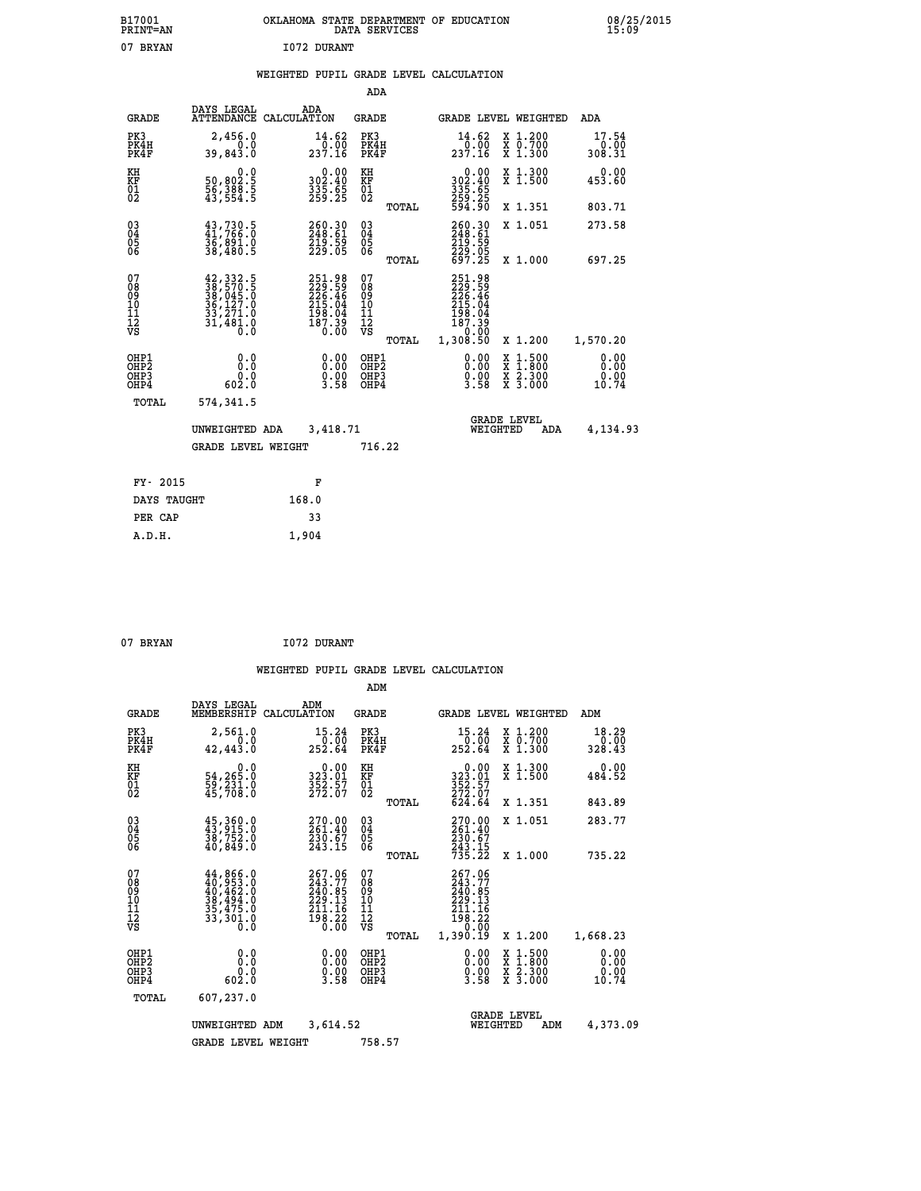| B17001<br><b>PRINT=AN</b> | OKLAHOMA STATE DEPARTMENT OF EDUCATION<br>DATA SERVICES | 08/25/2015<br>15:09 |
|---------------------------|---------------------------------------------------------|---------------------|
| 07<br><b>BRYAN</b>        | 1072 DURANT                                             |                     |

#### **WEIGHTED PUPIL GRADE LEVEL CALCULATION**

|                                                                  |                                                                                                               |                                                                            | ADA                                      |       |                                                                      |                                          |                               |
|------------------------------------------------------------------|---------------------------------------------------------------------------------------------------------------|----------------------------------------------------------------------------|------------------------------------------|-------|----------------------------------------------------------------------|------------------------------------------|-------------------------------|
| <b>GRADE</b>                                                     | DAYS LEGAL                                                                                                    | ADA<br>ATTENDANCE CALCULATION                                              | <b>GRADE</b>                             |       |                                                                      | GRADE LEVEL WEIGHTED                     | ADA                           |
| PK3<br>PK4H<br>PK4F                                              | 2,456.0<br>0.0<br>39,843.0                                                                                    | $\frac{14.62}{0.00}$<br>237.16                                             | PK3<br>PK4H<br>PK4F                      |       | 14.62<br>$\frac{0.00}{237.16}$                                       | X 1.200<br>X 0.700<br>X 1.300            | 17.54<br>0.00<br>308.31       |
| KH<br>KF<br>01<br>02                                             | 0.0<br>50,802.5<br>56,388.5<br>43,554.5                                                                       | $\begin{smallmatrix} 0.00\\ 302.40\\ 335.65\\ 259.25 \end{smallmatrix}$    | KH<br>KF<br>01<br>02                     |       | 0.00<br>302:40<br>335:65<br>259:25<br>594:90                         | X 1.300<br>X 1.500                       | 0.00<br>453.60                |
|                                                                  |                                                                                                               |                                                                            |                                          | TOTAL |                                                                      | X 1.351                                  | 803.71                        |
| $\begin{matrix} 03 \\ 04 \\ 05 \\ 06 \end{matrix}$               | $43,730.5$<br>$41,766.0$<br>36,891.0<br>38,480.5                                                              | 260.30<br>248.61<br>219.59<br>229.05                                       | $\substack{03 \\ 04}$<br>Ŏ5<br>06        |       | 260.30<br>248.61<br>$\frac{219.59}{229.05}$<br>697.25                | X 1.051                                  | 273.58                        |
|                                                                  |                                                                                                               |                                                                            |                                          | TOTAL |                                                                      | X 1.000                                  | 697.25                        |
| 07<br>08<br>09<br>10<br>11<br>12<br>VS                           | $\begin{smallmatrix} 42,332.5\\ 38,570.5\\ 38,045.0\\ 36,127.0\\ 33,271.0\\ 31,481.0\\ 0.0 \end{smallmatrix}$ | 251.98<br>229.59<br>226.46<br>215.04<br>215.04<br>198.04<br>187.39<br>0.00 | 07<br>08<br>09<br>11<br>11<br>12<br>VS   |       | 251.98<br>229.596<br>226.464<br>215.044<br>198.04<br>187.39<br>20.00 |                                          |                               |
|                                                                  |                                                                                                               |                                                                            |                                          | TOTAL | 1,308.50                                                             | X 1.200                                  | 1,570.20                      |
| OHP1<br>OH <sub>P</sub> <sub>2</sub><br>OH <sub>P3</sub><br>OHP4 | 0.0<br>0.0<br>0.0<br>602.0                                                                                    | $\begin{smallmatrix} 0.00\\ 0.00\\ 0.00\\ 3.58 \end{smallmatrix}$          | OHP1<br>OHP <sub>2</sub><br>OHP3<br>OHP4 |       | $\begin{smallmatrix} 0.00\\ 0.00\\ 0.00\\ 3.58 \end{smallmatrix}$    | X 1:500<br>X 1:800<br>X 2:300<br>X 3:000 | 0.00<br>0.00<br>0.00<br>10.74 |
| <b>TOTAL</b>                                                     | 574,341.5                                                                                                     |                                                                            |                                          |       |                                                                      |                                          |                               |
|                                                                  |                                                                                                               | 3,418.71<br>UNWEIGHTED ADA                                                 |                                          |       |                                                                      | <b>GRADE LEVEL</b><br>WEIGHTED<br>ADA    | 4,134.93                      |
|                                                                  | <b>GRADE LEVEL WEIGHT</b>                                                                                     |                                                                            | 716.22                                   |       |                                                                      |                                          |                               |
|                                                                  |                                                                                                               |                                                                            |                                          |       |                                                                      |                                          |                               |
| FY- 2015                                                         |                                                                                                               | F                                                                          |                                          |       |                                                                      |                                          |                               |
| DAYS TAUGHT                                                      |                                                                                                               | 168.0                                                                      |                                          |       |                                                                      |                                          |                               |
| PER CAP                                                          |                                                                                                               | 33                                                                         |                                          |       |                                                                      |                                          |                               |

07 BRYAN 1072 DURANT

 **A.D.H. 1,904**

|                                               |                                                                                                                                                                                          |                    |                                                                         | ADM                                    |       |                                                                              |                                |                                          |                         |  |
|-----------------------------------------------|------------------------------------------------------------------------------------------------------------------------------------------------------------------------------------------|--------------------|-------------------------------------------------------------------------|----------------------------------------|-------|------------------------------------------------------------------------------|--------------------------------|------------------------------------------|-------------------------|--|
| <b>GRADE</b>                                  | DAYS LEGAL<br>MEMBERSHIP                                                                                                                                                                 | ADM<br>CALCULATION |                                                                         | <b>GRADE</b>                           |       |                                                                              |                                | GRADE LEVEL WEIGHTED                     | ADM                     |  |
| PK3<br>PK4H<br>PK4F                           | 2,561.0<br>0.0<br>42,443.0                                                                                                                                                               |                    | 15.24<br>$\frac{0.00}{252.64}$                                          | PK3<br>PK4H<br>PK4F                    |       | 15.24<br>ة: 0ْ<br>252.64                                                     |                                | X 1.200<br>X 0.700<br>X 1.300            | 18.29<br>0.00<br>328.43 |  |
| KH<br>KF<br>01<br>02                          | 0.0<br>54,265.0<br>59,231.0<br>45,708.0                                                                                                                                                  |                    | $\begin{smallmatrix} 0.00\\ 323.01\\ 352.57\\ 272.07 \end{smallmatrix}$ | KH<br>KF<br>01<br>02                   |       | 0.00<br>323:01<br>352:57<br>272:07<br>624:64                                 |                                | X 1.300<br>X 1.500                       | 0.00<br>484.52          |  |
|                                               |                                                                                                                                                                                          |                    |                                                                         |                                        | TOTAL |                                                                              |                                | X 1.351                                  | 843.89                  |  |
| 03<br>04<br>05<br>06                          | 45, 360.0<br>43, 915.0<br>38,752.0<br>40,849.0                                                                                                                                           |                    | 270.00<br>261.40<br>$\frac{230.67}{243.15}$                             | $^{03}_{04}$<br>0500                   |       | 270.00<br>261.40<br>230.67                                                   |                                | X 1.051                                  | 283.77                  |  |
|                                               |                                                                                                                                                                                          |                    |                                                                         |                                        | TOTAL | 243.15<br>735.22                                                             |                                | X 1.000                                  | 735.22                  |  |
| 07<br>08<br>09<br>101<br>112<br>VS            | $\begin{smallmatrix} 44\,, & 866\,, & 0\\ 40\,, & 953\,, & 0\\ 40\,, & 462\,, & 0\\ 38\,, & 494\,, & 0\\ 35\,, & 475\,, & 0\\ 33\,, & 301\,, & 0\\ 0\,, & 0\,, & 0\,, \end{smallmatrix}$ |                    | 267.06<br>243.77<br>240.85<br>229.13<br>211.16<br>$\frac{198.22}{0.00}$ | 07<br>08<br>09<br>11<br>11<br>12<br>VS | TOTAL | 267.06<br>243.77<br>240.85<br>229.13<br>211.16<br>198.22<br>0.00<br>1,390.19 |                                | X 1.200                                  | 1,668.23                |  |
| OHP1                                          |                                                                                                                                                                                          |                    |                                                                         |                                        |       |                                                                              |                                |                                          | 0.00                    |  |
| OH <sub>P</sub> 2<br>OH <sub>P3</sub><br>OHP4 | 0.0<br>0.0<br>602.0                                                                                                                                                                      |                    | $0.00$<br>$0.00$<br>3.58                                                | OHP1<br>OHP2<br>OHP3<br>OHP4           |       | $\begin{smallmatrix} 0.00\\ 0.00\\ 0.00\\ 3.58 \end{smallmatrix}$            |                                | X 1:500<br>X 1:800<br>X 2:300<br>X 3:000 | 0.00<br>0.00<br>10.74   |  |
| TOTAL                                         | 607,237.0                                                                                                                                                                                |                    |                                                                         |                                        |       |                                                                              |                                |                                          |                         |  |
|                                               | 3,614.52<br>UNWEIGHTED<br>ADM                                                                                                                                                            |                    |                                                                         |                                        |       |                                                                              | <b>GRADE LEVEL</b><br>WEIGHTED | ADM                                      | 4,373.09                |  |
|                                               | <b>GRADE LEVEL WEIGHT</b>                                                                                                                                                                |                    |                                                                         | 758.57                                 |       |                                                                              |                                |                                          |                         |  |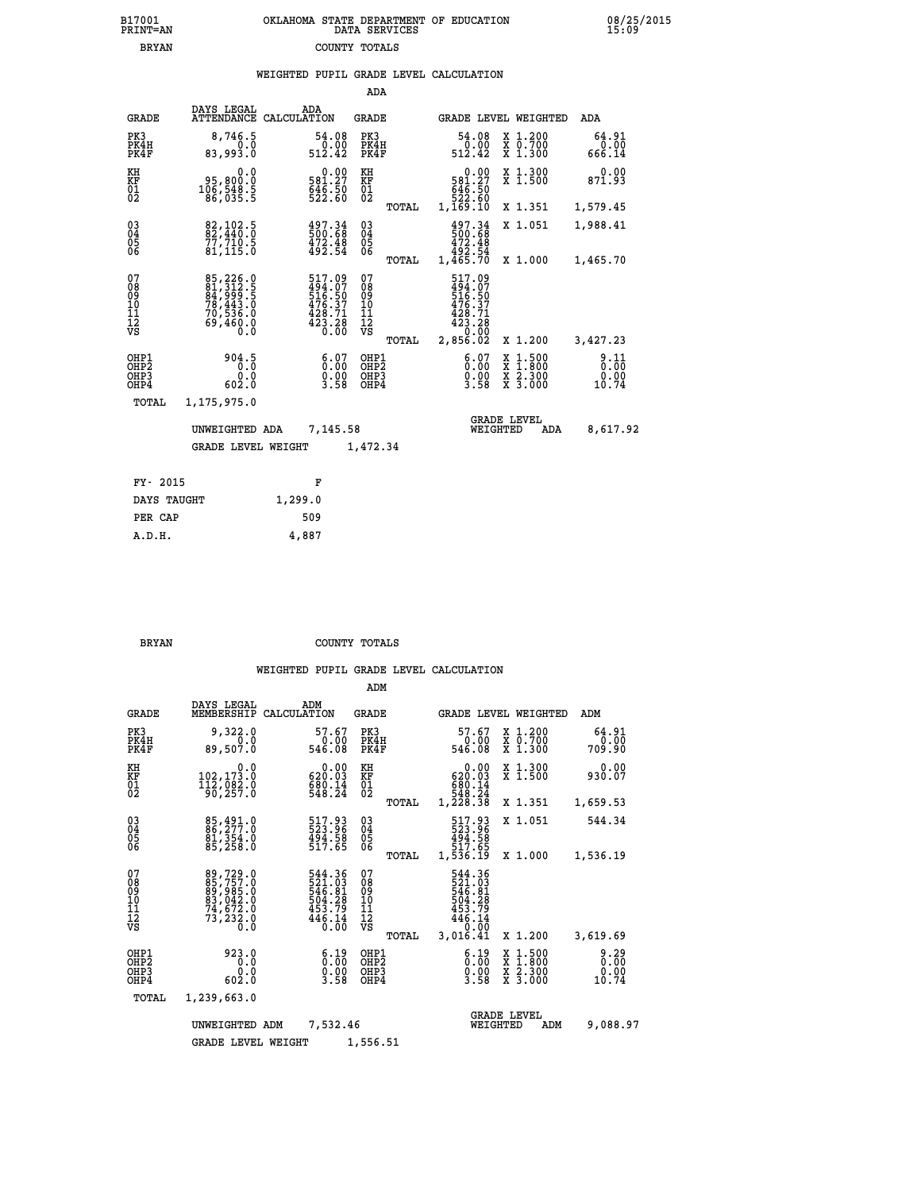| 7001<br>INT=AN | OKLAHOMA STATE DEPARTMENT OF EDUCATION<br>DATA SERVICES |  |
|----------------|---------------------------------------------------------|--|
| <b>BRYAN</b>   | COUNTY TOTALS                                           |  |

|  |  | WEIGHTED PUPIL GRADE LEVEL CALCULATION |
|--|--|----------------------------------------|
|  |  |                                        |

|                                                                    |                                                                                                |         |                                                                        | ADA                                      |       |                                                                         |                                |                                                                                                  |                               |
|--------------------------------------------------------------------|------------------------------------------------------------------------------------------------|---------|------------------------------------------------------------------------|------------------------------------------|-------|-------------------------------------------------------------------------|--------------------------------|--------------------------------------------------------------------------------------------------|-------------------------------|
| <b>GRADE</b>                                                       | DAYS LEGAL<br>ATTENDANCE CALCULATION                                                           | ADA     |                                                                        | GRADE                                    |       |                                                                         |                                | GRADE LEVEL WEIGHTED                                                                             | ADA                           |
| PK3<br>PK4H<br>PK4F                                                | 8,746.5<br>0.0<br>83,993.0                                                                     |         | 54.08<br>0.00<br>512.42                                                | PK3<br>PK4H<br>PK4F                      |       | 54.08<br>512.42                                                         | 0.00                           | X 1.200<br>X 0.700<br>X 1.300                                                                    | 64.91<br>0.00<br>666.14       |
| KH<br>KF<br>01<br>02                                               | 0.0<br>95,800.0<br>106,548.5<br>86,035.5                                                       |         | 0.00<br>581:27<br>646:50<br>522:60                                     | KH<br>KF<br>$^{01}_{02}$                 |       | 581.27<br>646.50<br>522.60<br>1,169.10                                  | 0.00                           | X 1.300<br>X 1.500                                                                               | 0.00<br>871.93                |
|                                                                    |                                                                                                |         |                                                                        |                                          | TOTAL |                                                                         |                                | X 1.351                                                                                          | 1,579.45                      |
| $\begin{smallmatrix} 03 \\[-4pt] 04 \end{smallmatrix}$<br>Ŏ5<br>06 | 82,102.5<br>82,440.0<br>77,710.5<br>81,115.0                                                   |         | $\begin{smallmatrix} 497.34\ 500.68\ 472.48\ 492.54 \end{smallmatrix}$ | $\substack{03 \\ 04}$<br>$\frac{05}{06}$ |       | 497.34<br>500.68<br>472.48                                              |                                | X 1.051                                                                                          | 1,988.41                      |
|                                                                    |                                                                                                |         |                                                                        |                                          | TOTAL | 492.54<br>1,465.70                                                      |                                | X 1.000                                                                                          | 1,465.70                      |
| 07<br>08<br>09<br>11<br>11<br>12<br>VS                             | 85, 226.0<br>81, 312.5<br>84, 999.5<br>78, 443.0<br>70, 536.0<br>69, 460.0<br>$0.\overline{0}$ |         | 517.09<br>494.07<br>516.50<br>516.37<br>428.71<br>423.28<br>0.00       | 07<br>08<br>09<br>11<br>11<br>12<br>VS   |       | 517.09<br>494.07<br>$\frac{1316.50}{476.37}$<br>$\frac{428.71}{423.28}$ | 0.00                           |                                                                                                  |                               |
|                                                                    |                                                                                                |         |                                                                        |                                          | TOTAL | 2,856.02                                                                |                                | X 1.200                                                                                          | 3,427.23                      |
| OHP1<br>OHP <sub>2</sub><br>OH <sub>P3</sub><br>OHP4               | 904.5<br>0.0<br>602.0                                                                          |         | 6:07<br>0.00<br>3.58                                                   | OHP1<br>OHP <sub>2</sub><br>OHP3<br>OHP4 |       |                                                                         | 6:07<br>0.00<br>3.58           | $\begin{smallmatrix} x & 1 & 500 \\ x & 1 & 800 \\ x & 2 & 300 \\ x & 3 & 000 \end{smallmatrix}$ | 9.11<br>0.00<br>0.00<br>10.74 |
| <b>TOTAL</b>                                                       | 1,175,975.0                                                                                    |         |                                                                        |                                          |       |                                                                         |                                |                                                                                                  |                               |
|                                                                    | UNWEIGHTED ADA                                                                                 |         | 7,145.58                                                               |                                          |       |                                                                         | <b>GRADE LEVEL</b><br>WEIGHTED | ADA                                                                                              | 8,617.92                      |
|                                                                    | <b>GRADE LEVEL WEIGHT</b>                                                                      |         |                                                                        | 1,472.34                                 |       |                                                                         |                                |                                                                                                  |                               |
| FY- 2015                                                           |                                                                                                | F       |                                                                        |                                          |       |                                                                         |                                |                                                                                                  |                               |
| DAYS TAUGHT                                                        |                                                                                                | 1.299.0 |                                                                        |                                          |       |                                                                         |                                |                                                                                                  |                               |
|                                                                    |                                                                                                |         |                                                                        |                                          |       |                                                                         |                                |                                                                                                  |                               |

| FY- 2015    | ĸ       |
|-------------|---------|
| DAYS TAUGHT | 1,299.0 |
| PER CAP     | 509     |
| A.D.H.      | 4,887   |
|             |         |

 **B17001<br>PRINT=AN** 

 **BRYAN COUNTY TOTALS**

|                                                       |                                                                      |                                                                                                   | ADM                                              |                                                                                        |                                                                  |                         |
|-------------------------------------------------------|----------------------------------------------------------------------|---------------------------------------------------------------------------------------------------|--------------------------------------------------|----------------------------------------------------------------------------------------|------------------------------------------------------------------|-------------------------|
| <b>GRADE</b>                                          | DAYS LEGAL<br>MEMBERSHIP                                             | ADM<br>CALCULATION                                                                                | <b>GRADE</b>                                     | GRADE LEVEL WEIGHTED                                                                   |                                                                  | ADM                     |
| PK3<br>PK4H<br>PK4F                                   | 9,322.0<br>0.0<br>89,507.0                                           | 57.67<br>0.00<br>546.08                                                                           | PK3<br>PK4H<br>PK4F                              | 57.67<br>0.00<br>546.08                                                                | $\begin{array}{c} x & 1.200 \\ x & 0.700 \end{array}$<br>X 1.300 | 64.91<br>0.00<br>709.90 |
| KH<br>KF<br>01<br>02                                  | 0.0<br>102,173.0<br>112,082.0<br>90,257.0                            | $0.00$<br>620.03<br>$\frac{600.14}{548.24}$                                                       | KH<br>KF<br>01<br>02                             | 0.00<br>620.03<br>680.14<br>548.24<br>1,228.38                                         | X 1.300<br>X 1.500                                               | 0.00<br>930.07          |
|                                                       |                                                                      |                                                                                                   | TOTAL                                            |                                                                                        | X 1.351                                                          | 1,659.53                |
| 03<br>04<br>05<br>06                                  | 85,491.0<br>86,277.0<br>81,354.0<br>85,258.0                         | 517.93<br>523.96<br>494.58<br>517.65                                                              | $^{03}_{04}$<br>05<br>06                         | 517.93<br>523.96<br>494.58                                                             | X 1.051                                                          | 544.34                  |
|                                                       |                                                                      |                                                                                                   | TOTAL                                            | 517.65<br>1,536.19                                                                     | X 1.000                                                          | 1,536.19                |
| 07<br>08<br>09<br>11<br>11<br>12<br>VS                | 89,729.0<br>85,757.0<br>89,985.0<br>83,042.0<br>74,672.0<br>73,232.0 | 544.36<br>$\frac{521}{546}$ . $\frac{03}{504}$ . $\frac{29}{508}$<br>453.79<br>$446.14$<br>$0.00$ | 07<br>08<br>09<br>101<br>11<br>12<br>VS<br>TOTAL | 544.36<br>$\frac{521}{546}$ . $\frac{03}{504}$<br>453.79<br>446.14<br>0.00<br>3,016.41 | X 1.200                                                          | 3,619.69                |
| OHP1<br>OH <sub>P</sub> 2<br>OH <sub>P3</sub><br>OHP4 | 923.0<br>0.0<br>0.0<br>602.0                                         | $\begin{smallmatrix} 6.19\ 0.00 \ 0.00 \end{smallmatrix}$<br>3.58                                 | OHP1<br>OHP2<br>OHP3<br>OHP4                     | $\begin{smallmatrix} 6.19\ 0.00\ 0.00\ 3.58 \end{smallmatrix}$                         | X 1:500<br>X 1:800<br>X 2:300<br>X 3:000                         | 0.29<br>0.00<br>10.74   |
| TOTAL                                                 | 1,239,663.0                                                          |                                                                                                   |                                                  |                                                                                        |                                                                  |                         |
|                                                       | UNWEIGHTED ADM                                                       | 7,532.46                                                                                          |                                                  | WEIGHTED                                                                               | <b>GRADE LEVEL</b><br>ADM                                        | 9,088.97                |
|                                                       | <b>GRADE LEVEL WEIGHT</b>                                            |                                                                                                   | 1,556.51                                         |                                                                                        |                                                                  |                         |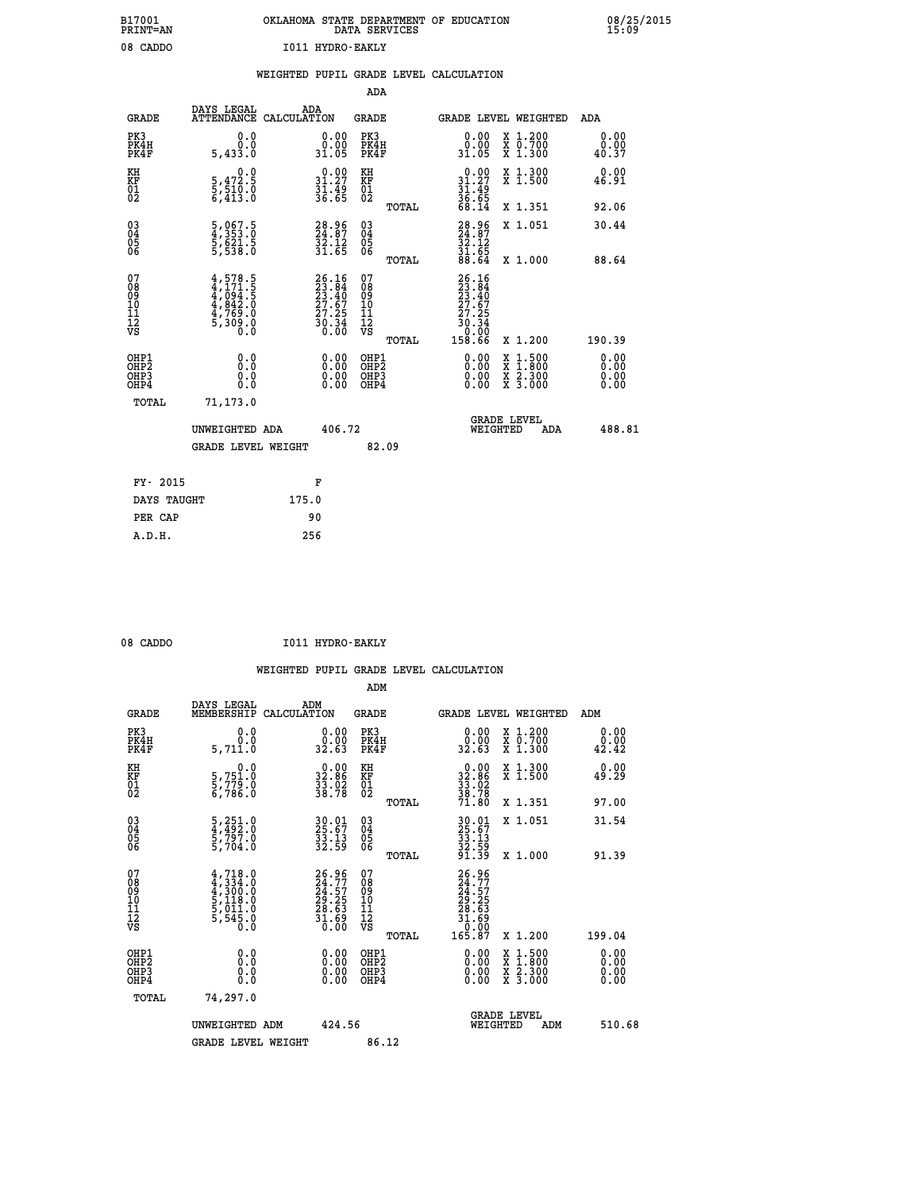| B17001          | OKLAHOMA STATE DEPARTMENT OF EDUCATION |
|-----------------|----------------------------------------|
| <b>PRINT=AN</b> | DATA SERVICES                          |
| 08 CADDO        | I011 HYDRO-EAKLY                       |

|                                                                    |                                                                                                                                                          | WEIGHTED PUPIL GRADE LEVEL CALCULATION                                   |        |                                         |       |                                                                |                                                                                                  |                              |
|--------------------------------------------------------------------|----------------------------------------------------------------------------------------------------------------------------------------------------------|--------------------------------------------------------------------------|--------|-----------------------------------------|-------|----------------------------------------------------------------|--------------------------------------------------------------------------------------------------|------------------------------|
|                                                                    |                                                                                                                                                          |                                                                          |        | ADA                                     |       |                                                                |                                                                                                  |                              |
| <b>GRADE</b>                                                       | DAYS LEGAL                                                                                                                                               | ADA<br>ATTENDANCE CALCULATION                                            |        | <b>GRADE</b>                            |       | GRADE LEVEL WEIGHTED                                           |                                                                                                  | <b>ADA</b>                   |
| PK3<br>PK4H<br>PK4F                                                | 0.0<br>Ō.Ō<br>5,433.0                                                                                                                                    | 0.00<br>0.00<br>31.05                                                    |        | PK3<br>PK4H<br>PK4F                     |       | 0.00<br>0.00<br>31.05                                          | X 1.200<br>X 0.700<br>X 1.300                                                                    | 0.00<br>0.00<br>40.37        |
| KH<br>KF<br>01<br>02                                               | 0.0<br>$\frac{5}{6}, \frac{4}{5} \frac{72}{10} \cdot \frac{5}{0}$<br>6,413:0                                                                             | $\begin{smallmatrix} 0.00\\ 31.27\\ 31.49\\ 36.65 \end{smallmatrix}$     |        | KH<br>KF<br>01<br>02                    |       | $0.00$<br>31.27<br>$\frac{31.49}{36.65}$<br>68.14              | X 1.300<br>X 1.500                                                                               | 0.00<br>46.91                |
|                                                                    |                                                                                                                                                          |                                                                          |        |                                         | TOTAL |                                                                | X 1.351                                                                                          | 92.06                        |
| $\begin{smallmatrix} 03 \\[-4pt] 04 \end{smallmatrix}$<br>Ŏ5<br>06 | 5,067.5<br>4,353.0<br>5,621.5<br>5,538.0                                                                                                                 | 28.96<br>24.87<br>32.12<br>31.65                                         |        | $\substack{03 \\ 04}$<br>Ŏ5<br>06       |       | $28.96$<br>$24.87$<br>$32.12$<br>$31.65$                       | X 1.051                                                                                          | 30.44                        |
|                                                                    |                                                                                                                                                          |                                                                          |        |                                         | TOTAL | 88.64                                                          | X 1.000                                                                                          | 88.64                        |
| 07<br>08<br>09<br>11<br>11<br>12<br>VS                             | $\begin{smallmatrix} 4\,,\,578\,,\,5\\ 4\,,\,171\,,\,5\\ 4\,,\,094\,,\,5\\ 4\,,\,842\,,\,0\\ 4\,,\,769\,,\,0\\ 5\,,\,309\,,\,0\\ 0\,. \end{smallmatrix}$ | $26.16$<br>$23.84$<br>$23.40$<br>$27.67$<br>$27.25$<br>$30.34$<br>$0.00$ |        | 07<br>08<br>09<br>101<br>11<br>12<br>VS |       | $26.16$<br>$23.84$<br>$23.40$<br>$27.67$<br>$27.25$<br>$30.34$ |                                                                                                  |                              |
|                                                                    |                                                                                                                                                          |                                                                          |        |                                         | TOTAL | 0.00<br>158.66                                                 | X 1.200                                                                                          | 190.39                       |
| OHP1<br>OH <sub>P</sub> 2<br>OHP3<br>OH <sub>P4</sub>              | 0.0<br>Ō.Ō<br>0.0<br>0.0                                                                                                                                 | $0.00$<br>$0.00$<br>0.00                                                 |        | OHP1<br>OHP2<br>OHP3<br>OHP4            |       | $0.00$<br>$0.00$<br>0.00                                       | $\begin{smallmatrix} x & 1 & 500 \\ x & 1 & 800 \\ x & 2 & 300 \\ x & 3 & 000 \end{smallmatrix}$ | 0.00<br>0.00<br>0.00<br>0.00 |
| TOTAL                                                              | 71,173.0                                                                                                                                                 |                                                                          |        |                                         |       |                                                                |                                                                                                  |                              |
|                                                                    | UNWEIGHTED ADA                                                                                                                                           |                                                                          | 406.72 |                                         |       | WEIGHTED                                                       | <b>GRADE LEVEL</b><br>ADA                                                                        | 488.81                       |
|                                                                    | GRADE LEVEL WEIGHT                                                                                                                                       |                                                                          |        | 82.09                                   |       |                                                                |                                                                                                  |                              |
| FY- 2015                                                           |                                                                                                                                                          | F                                                                        |        |                                         |       |                                                                |                                                                                                  |                              |
| DAYS TAUGHT                                                        |                                                                                                                                                          | 175.0                                                                    |        |                                         |       |                                                                |                                                                                                  |                              |
| PER CAP                                                            |                                                                                                                                                          | 90                                                                       |        |                                         |       |                                                                |                                                                                                  |                              |
| A.D.H.                                                             |                                                                                                                                                          | 256                                                                      |        |                                         |       |                                                                |                                                                                                  |                              |

08 CADDO **I011 HYDRO-EAKLY** 

 **ADM**

 **B17001<br>PRINT=AN** 

| <b>GRADE</b>                                       | DAYS LEGAL<br>MEMBERSHIP                                                            | ADM<br>CALCULATION                                                   | <b>GRADE</b>                                           |                                                                                                                                                                                                                                                                                | GRADE LEVEL WEIGHTED                     | ADM                                   |
|----------------------------------------------------|-------------------------------------------------------------------------------------|----------------------------------------------------------------------|--------------------------------------------------------|--------------------------------------------------------------------------------------------------------------------------------------------------------------------------------------------------------------------------------------------------------------------------------|------------------------------------------|---------------------------------------|
| PK3<br>PK4H<br>PK4F                                | 0.0<br>0.0<br>5,711.0                                                               | 0.00<br>32.63                                                        | PK3<br>PK4H<br>PK4F                                    | $\begin{smallmatrix} 0.00\\ 0.00\\ 32.63 \end{smallmatrix}$                                                                                                                                                                                                                    | X 1.200<br>X 0.700<br>X 1.300            | 0.00<br>$\overset{0.00}{\  \, 42.42}$ |
| KH<br>KF<br>01<br>02                               | 0.0<br>5,751.0<br>5,779.0<br>6,786.0                                                | $\begin{smallmatrix} 0.00\\ 32.86\\ 33.92\\ 38.78 \end{smallmatrix}$ | KH<br>KF<br>01<br>02                                   | $32.86$<br>$33.02$<br>$33.78$<br>$38.78$<br>$71.80$                                                                                                                                                                                                                            | X 1.300<br>X 1.500                       | 0.00<br>49.29                         |
|                                                    |                                                                                     |                                                                      | TOTAL                                                  |                                                                                                                                                                                                                                                                                | X 1.351                                  | 97.00                                 |
| $\begin{matrix} 03 \\ 04 \\ 05 \\ 06 \end{matrix}$ | 5,251.0<br>4,492.0<br>5,797.0<br>5,704.0                                            | 30.01<br>25.67<br>33.13<br>32.59                                     | $\begin{matrix} 03 \\ 04 \\ 05 \\ 06 \end{matrix}$     | 30.01<br>25.67<br>33.13<br>32.59<br>31.39                                                                                                                                                                                                                                      | X 1.051                                  | 31.54                                 |
|                                                    |                                                                                     |                                                                      | TOTAL                                                  |                                                                                                                                                                                                                                                                                | X 1.000                                  | 91.39                                 |
| 07<br>08<br>09<br>101<br>11<br>12<br>VS            | $4,718.0$<br>$4,334.0$<br>$4,300.0$<br>$5,118.0$<br>$5,011.0$<br>$5,545.0$<br>$0.0$ | 26.96<br>24.77<br>24.57<br>29.25<br>28.63<br>31.69<br>31.690         | 07<br>08<br>09<br>001<br>11<br>11<br>12<br>VS<br>TOTAL | 26.96<br>24.77<br>24.57<br>29.25<br>28.63<br>31.69<br>31.69<br>165.87                                                                                                                                                                                                          | X 1.200                                  | 199.04                                |
| OHP1<br>OHP2<br>OH <sub>P3</sub><br>OHP4           |                                                                                     | $\begin{smallmatrix} 0.00 \ 0.00 \ 0.00 \ 0.00 \end{smallmatrix}$    | OHP1<br>OHP2<br>OHP3<br>OHP4                           | $\begin{smallmatrix} 0.00 & 0.00 & 0.00 & 0.00 & 0.00 & 0.00 & 0.00 & 0.00 & 0.00 & 0.00 & 0.00 & 0.00 & 0.00 & 0.00 & 0.00 & 0.00 & 0.00 & 0.00 & 0.00 & 0.00 & 0.00 & 0.00 & 0.00 & 0.00 & 0.00 & 0.00 & 0.00 & 0.00 & 0.00 & 0.00 & 0.00 & 0.00 & 0.00 & 0.00 & 0.00 & 0.0$ | X 1:500<br>X 1:800<br>X 2:300<br>X 3:000 | 0.00<br>0.00<br>0.00                  |
| TOTAL                                              | 74,297.0                                                                            |                                                                      |                                                        |                                                                                                                                                                                                                                                                                |                                          |                                       |
|                                                    | UNWEIGHTED                                                                          | 424.56<br>ADM                                                        |                                                        | WEIGHTED                                                                                                                                                                                                                                                                       | <b>GRADE LEVEL</b><br>ADM                | 510.68                                |
|                                                    | <b>GRADE LEVEL WEIGHT</b>                                                           |                                                                      | 86.12                                                  |                                                                                                                                                                                                                                                                                |                                          |                                       |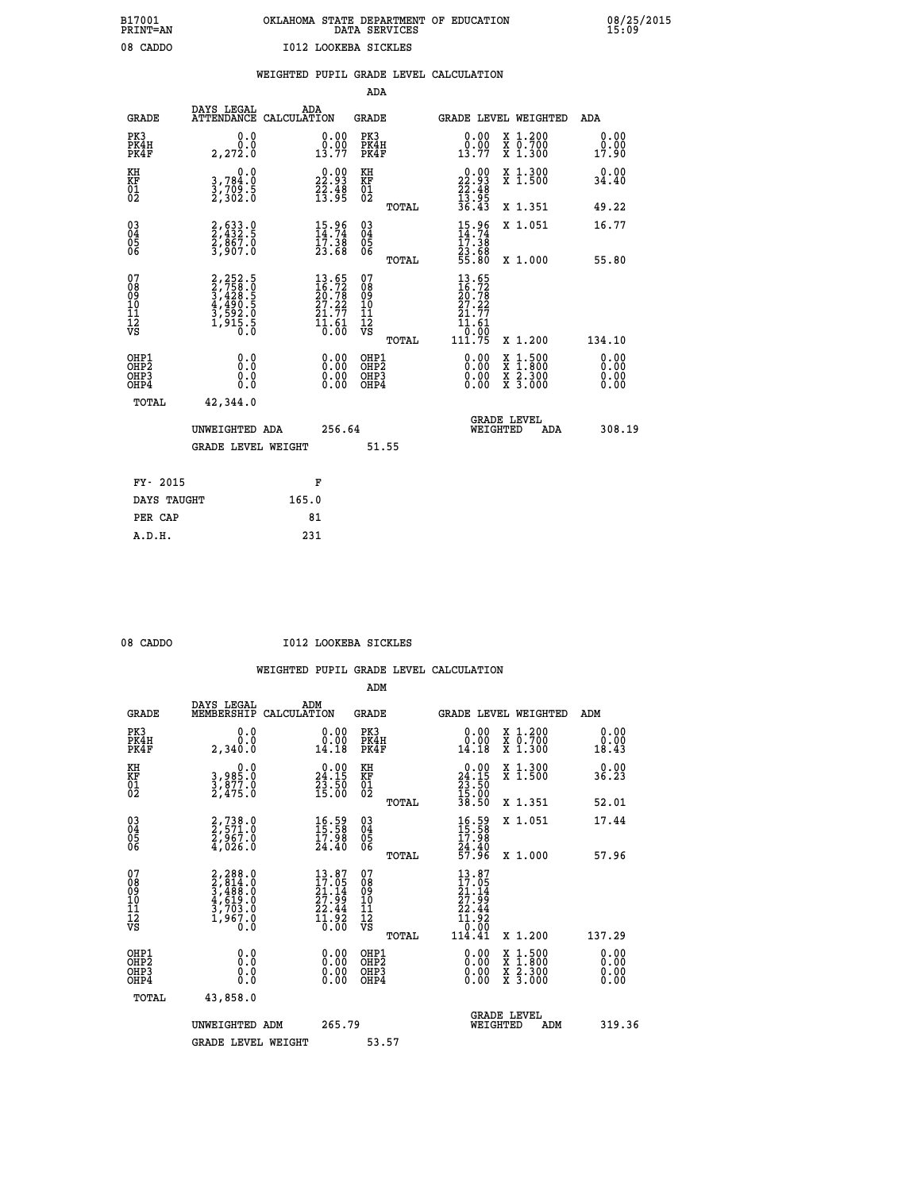## **B17001 OKLAHOMA STATE DEPARTMENT OF EDUCATION 08/25/2015 PRINT=AN DATA SERVICES 15:09 08 CADDO I012 LOOKEBA SICKLES**

|  |  | WEIGHTED PUPIL GRADE LEVEL CALCULATION |
|--|--|----------------------------------------|
|  |  |                                        |

|                                                                    |                                                                                                                   |                                                                                                  |                                                             | ADA                                      |       |                                                                              |                                          |                              |
|--------------------------------------------------------------------|-------------------------------------------------------------------------------------------------------------------|--------------------------------------------------------------------------------------------------|-------------------------------------------------------------|------------------------------------------|-------|------------------------------------------------------------------------------|------------------------------------------|------------------------------|
| <b>GRADE</b>                                                       | DAYS LEGAL<br>ATTENDANCE CALCULATION                                                                              | ADA                                                                                              |                                                             | <b>GRADE</b>                             |       |                                                                              | GRADE LEVEL WEIGHTED                     | ADA                          |
| PK3<br>PK4H<br>PK4F                                                | 0.0<br>0.0<br>2, 272.0                                                                                            | $\begin{smallmatrix} 0.00\\ 0.00\\ 13.77 \end{smallmatrix}$                                      |                                                             | PK3<br>PK4H<br>PK4F                      |       | $\begin{smallmatrix} 0.00\\ 0.00\\ 13.77 \end{smallmatrix}$                  | X 1.200<br>X 0.700<br>X 1.300            | 0.00<br>0.00<br>17.90        |
| KH<br><b>KF</b><br>01<br>02                                        | 0.0<br>3,784:0<br>3,709:5<br>2,302:0                                                                              | $\begin{smallmatrix} 0.00\\ 22.93\\ 22.48\\ 13.95 \end{smallmatrix}$                             |                                                             | KH<br>KF<br>01<br>02                     |       | $\begin{smallmatrix} 0.00\\ 22.93\\ 22.48\\ 13.95\\ 36.43 \end{smallmatrix}$ | X 1.300<br>X 1.500                       | 0.00<br>34.40                |
|                                                                    |                                                                                                                   |                                                                                                  |                                                             |                                          | TOTAL |                                                                              | X 1.351                                  | 49.22                        |
| $\begin{smallmatrix} 03 \\[-4pt] 04 \end{smallmatrix}$<br>Ŏ5<br>06 | 2,633.0<br>2,432.5<br>2,867.0<br>3,907.0                                                                          | $15.96$<br>$14.74$<br>$17.38$<br>$23.68$                                                         |                                                             | $\substack{03 \\ 04}$<br>Ŏ5<br>06        | TOTAL | $15.96$<br>$14.74$<br>$17.38$<br>$23.68$<br>$55.80$                          | X 1.051<br>X 1.000                       | 16.77<br>55.80               |
| 07                                                                 |                                                                                                                   |                                                                                                  |                                                             | 07                                       |       |                                                                              |                                          |                              |
| 08901112<br>1112<br>VS                                             | $\begin{smallmatrix} 2,252.5\\ 2,758.0\\ 3,428.5\\ 4,490.5\\ 4,490.5\\ 3,592.0\\ 1,915.5\\ 0.0 \end{smallmatrix}$ | $13.65$<br>$16.72$<br>$20.78$<br>$27.22$<br>$21.77$<br>$\frac{1}{0}$ $\frac{1}{0}$ $\frac{6}{0}$ |                                                             | 08<br>09<br>11<br>11<br>12<br>VS         |       | $13.65$<br>$16.72$<br>$20.78$<br>$27.22$<br>$21.77$<br>$11.61$<br>0.00       |                                          |                              |
|                                                                    |                                                                                                                   |                                                                                                  |                                                             |                                          | TOTAL | 111.75                                                                       | X 1.200                                  | 134.10                       |
| OHP1<br>OH <sub>P</sub> 2<br>OH <sub>P3</sub><br>OH <sub>P4</sub>  | 0.0<br>0.0<br>0.0                                                                                                 |                                                                                                  | 0.00<br>$\begin{smallmatrix} 0.00 \ 0.00 \end{smallmatrix}$ | OHP1<br>OHP <sub>2</sub><br>OHP3<br>OHP4 |       | 0.00<br>0.00<br>0.00                                                         | X 1:500<br>X 1:800<br>X 2:300<br>X 3:000 | 0.00<br>0.00<br>0.00<br>0.00 |
| TOTAL                                                              | 42,344.0                                                                                                          |                                                                                                  |                                                             |                                          |       |                                                                              |                                          |                              |
|                                                                    | UNWEIGHTED ADA                                                                                                    |                                                                                                  | 256.64                                                      |                                          |       |                                                                              | GRADE LEVEL<br>WEIGHTED<br>ADA           | 308.19                       |
|                                                                    | <b>GRADE LEVEL WEIGHT</b>                                                                                         |                                                                                                  |                                                             | 51.55                                    |       |                                                                              |                                          |                              |
| FY- 2015                                                           |                                                                                                                   | F                                                                                                |                                                             |                                          |       |                                                                              |                                          |                              |
| DAYS TAUGHT                                                        |                                                                                                                   | 165.0                                                                                            |                                                             |                                          |       |                                                                              |                                          |                              |
| PER CAP                                                            |                                                                                                                   | 81                                                                                               |                                                             |                                          |       |                                                                              |                                          |                              |

 **A.D.H. 231**

08 CADDO **I012 LOOKEBA SICKLES** 

|                                           |                                                                                           |                                                                    | ADM                                                 |                                                                          |                                          |                       |
|-------------------------------------------|-------------------------------------------------------------------------------------------|--------------------------------------------------------------------|-----------------------------------------------------|--------------------------------------------------------------------------|------------------------------------------|-----------------------|
| <b>GRADE</b>                              | DAYS LEGAL<br>MEMBERSHIP                                                                  | ADM<br>CALCULATION                                                 | <b>GRADE</b>                                        |                                                                          | GRADE LEVEL WEIGHTED                     | ADM                   |
| PK3<br>PK4H<br>PK4F                       | 0.0<br>0.0<br>2,340.0                                                                     | $\begin{smallmatrix} 0.00\\ 0.00\\ 14.18 \end{smallmatrix}$        | PK3<br>PK4H<br>PK4F                                 | $\begin{smallmatrix} 0.00\\ 0.00\\ 14.18 \end{smallmatrix}$              | X 1.200<br>X 0.700<br>X 1.300            | 0.00<br>0.00<br>18.43 |
| KH<br>KF<br>01<br>02                      | 0.0<br>3,985.0<br>3,877.0<br>2,475.0                                                      | $\begin{smallmatrix} 0.00\\24.15\\23.50\\15.00 \end{smallmatrix}$  | KH<br>KF<br>01<br>02                                | $\begin{smallmatrix} 0.00\\24.15\\23.50\\15.00\\38.50 \end{smallmatrix}$ | X 1.300<br>X 1.500                       | 0.00<br>36.23         |
|                                           |                                                                                           |                                                                    | TOTAL                                               |                                                                          | X 1.351                                  | 52.01                 |
| 03<br>04<br>05<br>06                      | 2,738.0<br>2,571.0<br>2,967.0<br>4,026.0                                                  | $\begin{smallmatrix} 16.59\ 15.58\ 17.98\ 24.40 \end{smallmatrix}$ | $\begin{array}{c} 03 \\ 04 \\ 05 \\ 06 \end{array}$ | $16.58$<br>$15.58$<br>$17.98$<br>$24.40$<br>$57.96$                      | X 1.051                                  | 17.44                 |
|                                           |                                                                                           |                                                                    | TOTAL                                               |                                                                          | X 1.000                                  | 57.96                 |
| 07<br>08<br>09<br>101<br>11<br>12<br>VS   | $2, 288.0$<br>$2, 814.0$<br>$3, 488.0$<br>$4, 619.0$<br>$3, 703.0$<br>$1, 967.0$<br>$0.0$ | $13.87$<br>$21.14$<br>$27.99$<br>$22.44$<br>$11.92$<br>$0.00$      | 07<br>08<br>09<br>11<br>11<br>12<br>VS              | $13.87$<br>$21.14$<br>$27.99$<br>$22.44$<br>$11.92$<br>$10.90$           |                                          |                       |
|                                           |                                                                                           |                                                                    | TOTAL                                               | 114.41                                                                   | X 1.200                                  | 137.29                |
| OHP1<br>OHP2<br>OH <sub>P</sub> 3<br>OHP4 |                                                                                           |                                                                    | OHP1<br>OHP2<br>OHP <sub>3</sub>                    | $0.00$<br>$0.00$<br>0.00                                                 | X 1:500<br>X 1:800<br>X 2:300<br>X 3:000 | 0.00<br>0.00<br>0.00  |
| TOTAL                                     | 43,858.0                                                                                  |                                                                    |                                                     |                                                                          |                                          |                       |
|                                           | UNWEIGHTED ADM                                                                            | 265.79                                                             |                                                     |                                                                          | GRADE LEVEL<br>WEIGHTED<br>ADM           | 319.36                |
|                                           | <b>GRADE LEVEL WEIGHT</b>                                                                 |                                                                    | 53.57                                               |                                                                          |                                          |                       |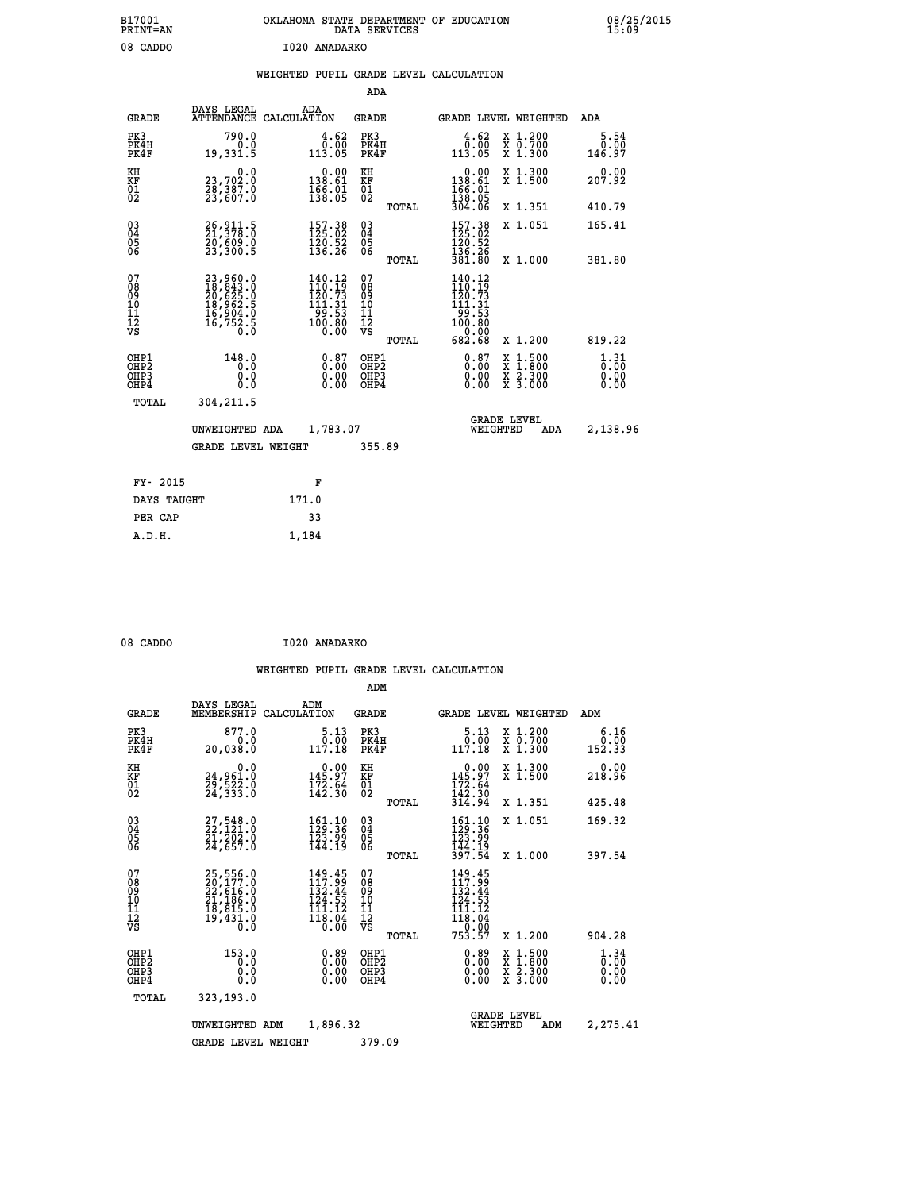| B17001<br>PRINT=AN                       | OKLAHOMA STATE DEPARTMENT OF EDUCATION                                                    |                                                                                            | 08/25/2015                                 |                                                                                                                   |                                                                                          |                                                 |
|------------------------------------------|-------------------------------------------------------------------------------------------|--------------------------------------------------------------------------------------------|--------------------------------------------|-------------------------------------------------------------------------------------------------------------------|------------------------------------------------------------------------------------------|-------------------------------------------------|
| 08 CADDO                                 |                                                                                           | 1020 ANADARKO                                                                              |                                            | WEIGHTED PUPIL GRADE LEVEL CALCULATION                                                                            |                                                                                          |                                                 |
|                                          |                                                                                           |                                                                                            | ADA                                        |                                                                                                                   |                                                                                          |                                                 |
| <b>GRADE</b>                             | DAYS LEGAL<br>ATTENDANCE CALCULATION                                                      | <b>ADA</b>                                                                                 | <b>GRADE</b>                               | GRADE LEVEL WEIGHTED                                                                                              |                                                                                          | ADA                                             |
| PK3<br>PK4H<br>PK4F                      | 790.0<br>0.0<br>19,331.5                                                                  | 4.62<br>0.00<br>113.05                                                                     | PK3<br>PK4H<br>PK4F                        | 4.62<br>0.00<br>113.05                                                                                            | X 1.200<br>X 0.700<br>X 1.300                                                            | 5.54<br>0.00<br>146.97                          |
| KH<br>KF<br>$\overline{01}$              | 0.0<br>23,702.0<br>28,387.0<br>23,607.0                                                   | 0.00<br>138.61<br>$\frac{166}{138}\cdot\frac{01}{05}$                                      | КH<br>KF<br>$\overline{01}$                | $\begin{array}{c} 0.00 \\ 138.61 \\ 166.01 \\ 138.05 \end{array}$                                                 | X 1.300<br>X 1.500                                                                       | 0.00<br>207.92                                  |
|                                          |                                                                                           |                                                                                            | TOTAL                                      | 304.06                                                                                                            | X 1.351                                                                                  | 410.79                                          |
| $\substack{03 \\ 04}$<br>$\frac{05}{06}$ | 26, 911.5<br>21, 378.0<br>20,609.0<br>23,300.5                                            | 157.38<br>125.02<br>$\frac{120.52}{136.26}$                                                | $\substack{03 \\ 04}$<br>Ŏ5<br>ŎĞ          | 157.38<br>120.52<br>136.26                                                                                        | X 1.051                                                                                  | 165.41                                          |
|                                          |                                                                                           |                                                                                            | TOTAL                                      | 381.80                                                                                                            | X 1.000                                                                                  | 381.80                                          |
| 07<br>08<br>09<br>11<br>11<br>12<br>VS   | $23,960.0$<br>$18,843.0$<br>$20,625.0$<br>$18,962.5$<br>$16,904.0$<br>$16,752.5$<br>$0.0$ | $\begin{smallmatrix} 140.12\\110.19\\120.73\\111.31\\99.53\\100.80\\0.00\end{smallmatrix}$ | 07<br>080<br>ίŌ<br>īī<br>Ī2<br>VS<br>TOTAL | 140.12<br>$\begin{smallmatrix} 110.16 \\ 120.73 \\ 121.31 \\ 99.53 \\ 100.80 \\ 0.00 \end{smallmatrix}$<br>682.68 | X 1.200                                                                                  | 819.22                                          |
|                                          | 148.0                                                                                     |                                                                                            |                                            |                                                                                                                   |                                                                                          |                                                 |
| OHP1<br>OHP2<br>OHP3<br>OHP4             | 0.0<br>Ŏ.Ŏ<br>0.0                                                                         | 0.87<br>0.00<br>0.00                                                                       | OHP1<br>OHP2<br>OHP3<br>OHP4               | 0.87<br>0.00<br>0.00                                                                                              | $\begin{smallmatrix} x & 1.500 \\ x & 1.800 \\ x & 2.300 \\ x & 3.000 \end{smallmatrix}$ | $\frac{1}{0}$ : $\frac{31}{00}$<br>0.00<br>0.00 |
| TOTAL                                    | 304,211.5                                                                                 |                                                                                            |                                            |                                                                                                                   |                                                                                          |                                                 |
|                                          | UNWEIGHTED ADA                                                                            | 1,783.07                                                                                   |                                            | WEIGHTED                                                                                                          | <b>GRADE LEVEL</b><br>ADA                                                                | 2,138.96                                        |
|                                          | <b>GRADE LEVEL WEIGHT</b>                                                                 |                                                                                            | 355.89                                     |                                                                                                                   |                                                                                          |                                                 |
| FY- 2015                                 |                                                                                           | F                                                                                          |                                            |                                                                                                                   |                                                                                          |                                                 |
| DAYS TAUGHT                              |                                                                                           | 171.0                                                                                      |                                            |                                                                                                                   |                                                                                          |                                                 |
| PER CAP                                  |                                                                                           | 33                                                                                         |                                            |                                                                                                                   |                                                                                          |                                                 |

| 08 CADDO | I020 ANADARKO |
|----------|---------------|
|          |               |

 **A.D.H. 1,184**

|                                                       |                                                                             |                                                                         | ADM                                     |       |                                                                                                                                                             |                                          |                              |
|-------------------------------------------------------|-----------------------------------------------------------------------------|-------------------------------------------------------------------------|-----------------------------------------|-------|-------------------------------------------------------------------------------------------------------------------------------------------------------------|------------------------------------------|------------------------------|
| <b>GRADE</b>                                          | DAYS LEGAL<br>MEMBERSHIP                                                    | ADM<br>CALCULATION                                                      | <b>GRADE</b>                            |       |                                                                                                                                                             | GRADE LEVEL WEIGHTED                     | ADM                          |
| PK3<br>PK4H<br>PK4F                                   | 877.0<br>0.0<br>20,038.0                                                    | 5.13<br>0.00<br>117.18                                                  | PK3<br>PK4H<br>PK4F                     |       | 5.13<br>$\begin{smallmatrix} \textcolor{red}{0} \textcolor{black}{\ddots} \textcolor{red}{\textcolor{red}{0}} \\ \textcolor{red}{117.18} \end{smallmatrix}$ | X 1.200<br>X 0.700<br>X 1.300            | 6.16<br>0.00<br>152.33       |
| KH<br>KF<br>01<br>02                                  | 0.0<br>24,961.0<br>29,522.0<br>24,333.0                                     | $\begin{smallmatrix} &0.00\\ 145.97\\ 172.64\\ 142.30\end{smallmatrix}$ | KH<br>KF<br>01<br>02                    |       | $0.00$<br>$145.97$<br>$172.64$<br>$142.30$<br>$314.94$                                                                                                      | X 1.300<br>X 1.500                       | 0.00<br>218.96               |
|                                                       |                                                                             |                                                                         |                                         | TOTAL |                                                                                                                                                             | X 1.351                                  | 425.48                       |
| 03<br>04<br>05<br>06                                  | $27,548.0$<br>$22,121.0$<br>$21,202.0$<br>$24,657.0$                        | $\frac{161.10}{129.36}$<br>123.99<br>144.19                             | $^{03}_{04}$<br>0500                    |       | $\begin{smallmatrix} 161.10\\ 129.36\\ 123.99\\ 144.19\\ 397.54 \end{smallmatrix}$                                                                          | X 1.051                                  | 169.32                       |
|                                                       |                                                                             |                                                                         |                                         | TOTAL |                                                                                                                                                             | X 1.000                                  | 397.54                       |
| 07<br>08<br>09<br>101<br>112<br>VS                    | 25,556.0<br>20,177.0<br>22,616.0<br>21,186.0<br>18,815.0<br>18,431.0<br>ō.ŏ | 149.45<br>117.99<br>132.44<br>.53<br>124<br>111.12<br>118.04<br>ŏ:ŏō    | 07<br>08<br>09<br>101<br>11<br>12<br>VS |       | 149.45<br>117.99<br>132.44<br>124.53<br>111.12<br>110.04<br>0.00                                                                                            |                                          |                              |
|                                                       |                                                                             |                                                                         |                                         | TOTAL | 753.57                                                                                                                                                      | X 1.200                                  | 904.28                       |
| OHP1<br>OH <sub>P</sub> 2<br>OH <sub>P3</sub><br>OHP4 | 153.0<br>0.0<br>0.000                                                       | $0.89\n0.00\n0.00$<br>0.00                                              | OHP1<br>OHP2<br>OHP3<br>OHP4            |       | $0.89$<br>$0.00$<br>$0.00$<br>0.00                                                                                                                          | X 1:500<br>X 1:800<br>X 2:300<br>X 3:000 | 1.34<br>0.00<br>0.00<br>0.00 |
| TOTAL                                                 | 323,193.0                                                                   |                                                                         |                                         |       |                                                                                                                                                             |                                          |                              |
|                                                       | UNWEIGHTED ADM                                                              | 1,896.32                                                                |                                         |       | WEIGHTED                                                                                                                                                    | <b>GRADE LEVEL</b><br>ADM                | 2,275.41                     |
|                                                       | <b>GRADE LEVEL WEIGHT</b>                                                   |                                                                         | 379.09                                  |       |                                                                                                                                                             |                                          |                              |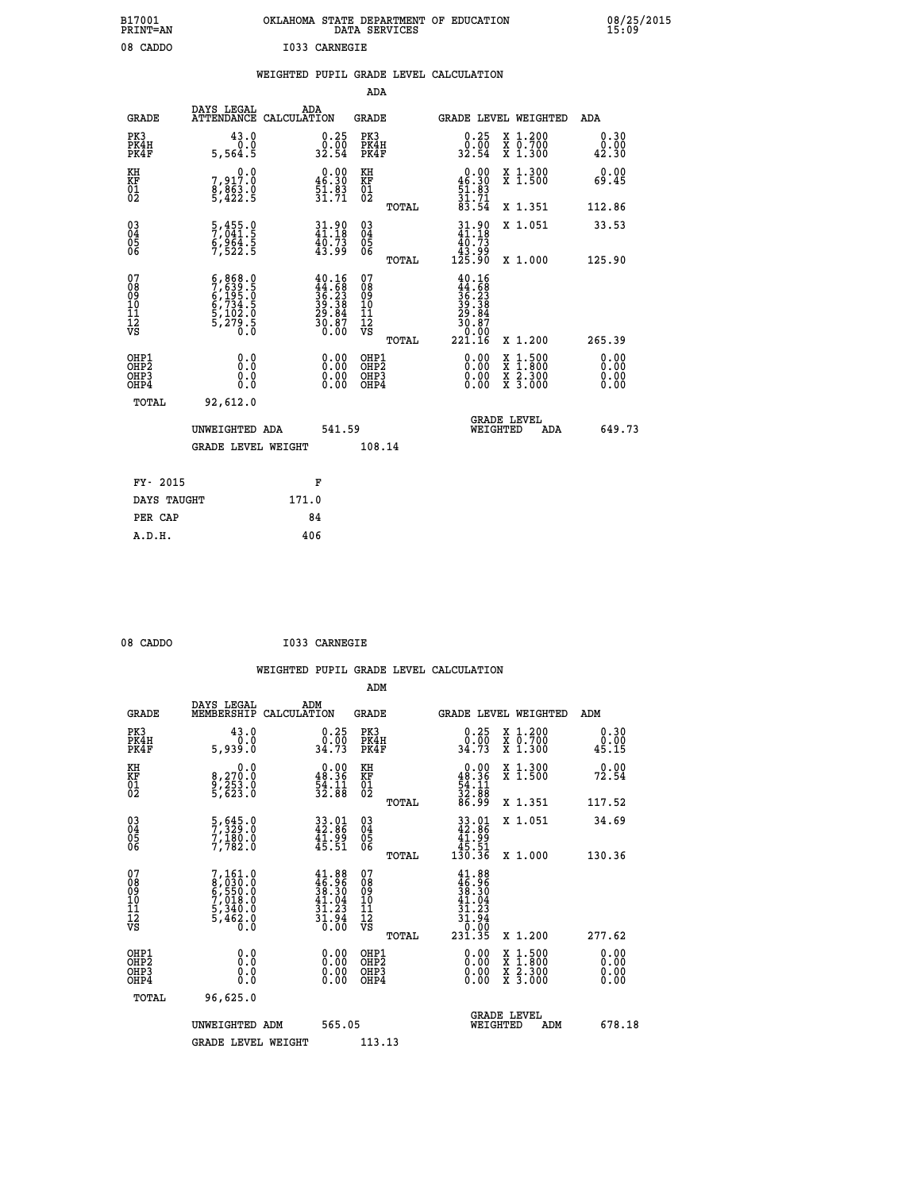| B17001<br>PRINT=AN                                    |                                                                                                                                                                                    |                                                                                              |                                            | OKLAHOMA STATE DEPARTMENT OF EDUCATION<br>DATA SERVICES                                                                                                      | 08/25/2015            |
|-------------------------------------------------------|------------------------------------------------------------------------------------------------------------------------------------------------------------------------------------|----------------------------------------------------------------------------------------------|--------------------------------------------|--------------------------------------------------------------------------------------------------------------------------------------------------------------|-----------------------|
| 08 CADDO                                              |                                                                                                                                                                                    | I033 CARNEGIE                                                                                |                                            |                                                                                                                                                              |                       |
|                                                       |                                                                                                                                                                                    |                                                                                              | WEIGHTED PUPIL GRADE LEVEL CALCULATION     |                                                                                                                                                              |                       |
|                                                       |                                                                                                                                                                                    |                                                                                              | ADA                                        |                                                                                                                                                              |                       |
| <b>GRADE</b>                                          | DAYS LEGAL<br>ATTENDANCE CALCULATION                                                                                                                                               | ADA                                                                                          | GRADE                                      | <b>GRADE LEVEL WEIGHTED</b>                                                                                                                                  | ADA                   |
| PK3<br>PK4H<br>PK4F                                   | 43.0<br>0.0<br>5,564.5                                                                                                                                                             | $\begin{smallmatrix} 0.25\ 0.00\ 32.54 \end{smallmatrix}$                                    | PK3<br>PK4H<br>PK4F                        | 0.25<br>X 1.200<br>$\overline{x}$ $\overline{0}.700$<br>$\frac{0.00}{32.54}$<br>$\overline{x}$ 1.300                                                         | 0.30<br>0.00<br>42.30 |
| KH<br>KF<br>01<br>02                                  | 0.0<br>7,917.0<br>8,863.0<br>5,422.5                                                                                                                                               | $\begin{smallmatrix} 0.00\\ 46.30\\ 51.83\\ 31.71 \end{smallmatrix}$                         | KH<br>KF<br>01<br>02                       | $0.00\n46.30\n51.83\n31.71\n83.54$<br>X 1.300<br>X 1.500                                                                                                     | 0.00<br>69.45         |
|                                                       |                                                                                                                                                                                    |                                                                                              | TOTAL                                      | X 1.351                                                                                                                                                      | 112.86                |
| $\begin{matrix} 03 \\ 04 \\ 05 \\ 06 \end{matrix}$    | 5,455.0<br>7,041.5<br>6,964.5<br>7,522.5                                                                                                                                           | $31.90$<br>$41.18$<br>$40.73$<br>$43.99$                                                     | 03<br>04<br>05<br>06<br>TOTAL              | 31.90<br>X 1.051<br>40.73<br>ۆۋ:ۆ1<br>125.90<br>X 1.000                                                                                                      | 33.53<br>125.90       |
| 078901112<br>00010112<br>VS                           | $\begin{smallmatrix} 6\,, & 868\,, & 0\\ 7\,, & 639\,, & 5\\ 6\,, & 195\,, & 0\\ 6\,, & 734\,, & 5\\ 5\,, & 102\,, & 0\\ 5\,, & 279\,, & 0\\ 0\,, & 0\,, & 0\,, \end{smallmatrix}$ | $\begin{smallmatrix} 40.16\\ 44.58\\ 36.23\\ 39.38\\ 29.84\\ 30.87\\ 0.00 \end{smallmatrix}$ | 07890112<br>00901112<br>VS<br><b>TOTAL</b> | $40.16$<br>$36.23$<br>$39.38$<br>$29.84$<br>$29.84$<br>$30.87$<br>0.00<br>221.16<br>X 1.200                                                                  | 265.39                |
| OHP1<br>OH <sub>P</sub> 2<br>OH <sub>P3</sub><br>OHP4 | 0.0<br>0.0<br>0.0                                                                                                                                                                  | $0.00$<br>$0.00$<br>0.00                                                                     | OHP1<br>OH <sub>P</sub> 2<br>OHP3<br>OHP4  | 0.00<br>$\begin{smallmatrix} \mathtt{X} & 1 & 500 \\ \mathtt{X} & 1 & 800 \\ \mathtt{X} & 2 & 300 \\ \mathtt{X} & 3 & 000 \end{smallmatrix}$<br>0.00<br>0.00 | 0.00<br>0.00<br>0.00  |
| TOTAL                                                 | 92,612.0                                                                                                                                                                           |                                                                                              |                                            |                                                                                                                                                              |                       |
|                                                       | UNWEIGHTED ADA                                                                                                                                                                     | 541.59                                                                                       |                                            | <b>GRADE LEVEL</b><br>WEIGHTED                                                                                                                               | 649.73<br>ADA         |
|                                                       | <b>GRADE LEVEL WEIGHT</b>                                                                                                                                                          |                                                                                              | 108.14                                     |                                                                                                                                                              |                       |
| $FY - 2015$                                           |                                                                                                                                                                                    | F                                                                                            |                                            |                                                                                                                                                              |                       |

| FY- 2015    | F     |
|-------------|-------|
| DAYS TAUGHT | 171.0 |
| PER CAP     | 84    |
| A.D.H.      | 406   |
|             |       |

| 08 CADDO |  | I033 CARNEGIE |
|----------|--|---------------|
|----------|--|---------------|

 **WEIGHTED PUPIL GRADE LEVEL CALCULATION ADM DAYS LEGAL ADM GRADE MEMBERSHIP CALCULATION GRADE GRADE LEVEL WEIGHTED ADM PK3 43.0 0.25 PK3 0.25 X 1.200 0.30 PK4H 0.0 0.00 PK4H 0.00 X 0.700 0.00 PK4F 5,939.0 34.73 PK4F 34.73 X 1.300 45.15 KH 0.0 0.00 KH 0.00 X 1.300 0.00 KF 8,270.0 48.36 KF 48.36 X 1.500 72.54**  $\begin{array}{cccc} \text{KH} & \text{0.0} & \text{0.00} & \text{KH} \\ \text{KF} & \text{8,270.0} & \text{48.36} & \text{KF} \\ \text{02} & \text{5,623.0} & \text{32.88} & \text{02} \end{array}$  $02$  5,623.0  $32.88$   $02$   $2.88$   $32.88$  **TOTAL 86.99 X 1.351 117.52 03 5,645.0 33.01 03 33.01 X 1.051 34.69 04 7,329.0 42.86 04 42.86 05 7,180.0 41.99 05 41.99 06 7,782.0 45.51 06 45.51 TOTAL 130.36 X 1.000 130.36**  $\begin{array}{cccc} 07 & 7,161.0 & 41.88 & 07 & 41.88 \ 08 & 8,030.0 & 46.96 & 08 & 46.96 \ 09 & 6,550.0 & 38.30 & 09 & 48.36 \ 10 & 7,018.0 & 41.04 & 10 & 41.04 \ 11 & 5,3462.0 & 31.23 & 11 & 31.23 \ \hline\hline\hline\hline\end{array}$  **TOTAL 231.35 X 1.200 277.62 OHP1 0.0 0.00 OHP1 0.00 X 1.500 0.00 OHP2 0.0 0.00 OHP2 0.00 X 1.800 0.00 OHP3 0.0 0.00 OHP3 0.00 X 2.300 0.00 OHP4 0.0 0.00 OHP4 0.00 X 3.000 0.00 TOTAL 96,625.0 GRADE LEVEL UNWEIGHTED ADM 565.05 WEIGHTED ADM 678.18** GRADE LEVEL WEIGHT 113.13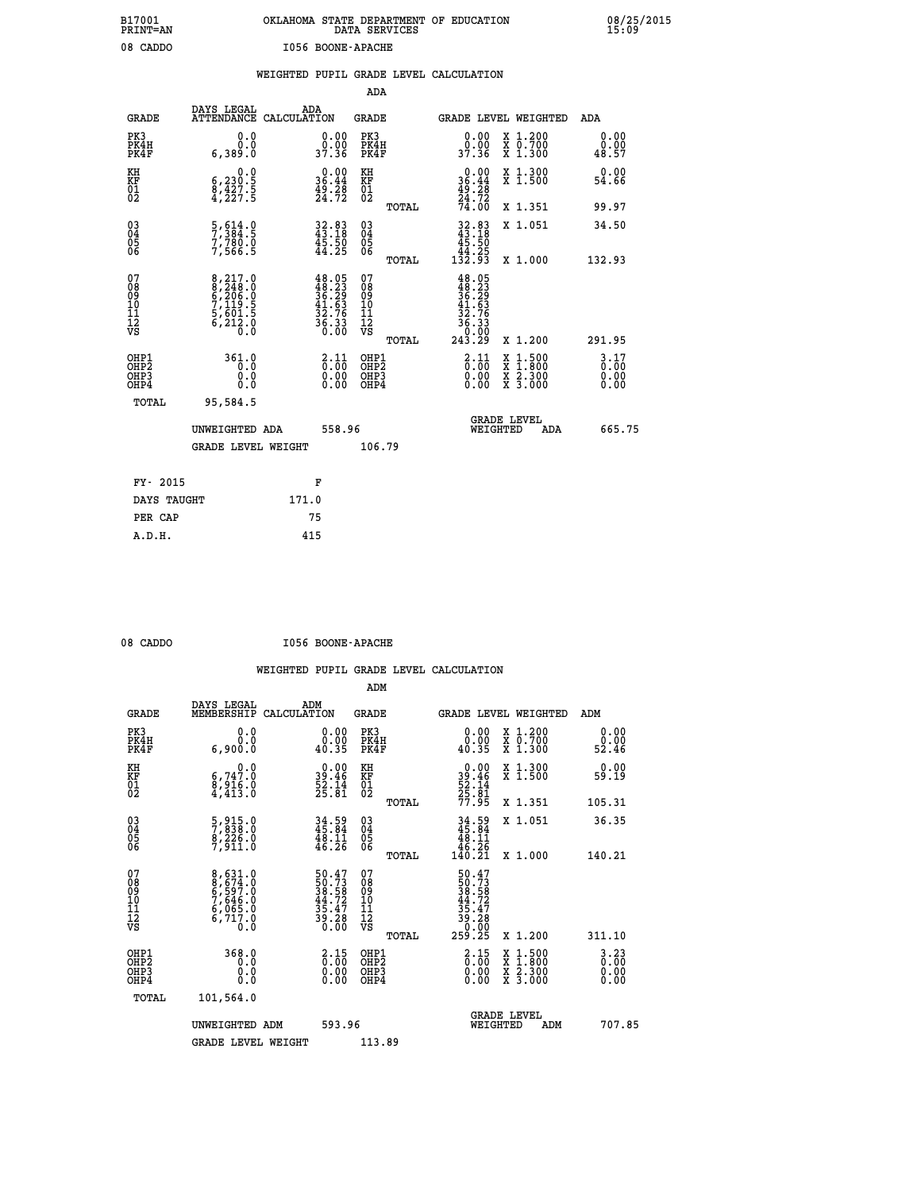| OKLAHOMA STATE DEPARTMENT OF EDUCATION<br>DATA SERVICES |  |
|---------------------------------------------------------|--|
| I056 BOONE-APACHE                                       |  |

|                                                                              |                                                                             |                                                                                           | ADA                                       |       |                                                                                                              |                                          |                                  |
|------------------------------------------------------------------------------|-----------------------------------------------------------------------------|-------------------------------------------------------------------------------------------|-------------------------------------------|-------|--------------------------------------------------------------------------------------------------------------|------------------------------------------|----------------------------------|
| <b>GRADE</b>                                                                 | DAYS LEGAL<br>ATTENDANCE CALCULATION                                        | ADA                                                                                       | <b>GRADE</b>                              |       | GRADE LEVEL WEIGHTED                                                                                         |                                          | ADA                              |
| PK3<br>PK4H<br>PK4F                                                          | 0.0<br>0.0<br>6,389.0                                                       | $\begin{smallmatrix} 0.00\\ 0.00\\ 37.36 \end{smallmatrix}$                               | PK3<br>PK4H<br>PK4F                       |       | 0.00<br>ŏ:ŏŏ<br>37.36                                                                                        | X 1.200<br>X 0.700<br>X 1.300            | 0.00<br>0.00<br>48.57            |
| KH<br><b>KF</b><br>01<br>02                                                  | 0.0<br>$\begin{smallmatrix} 6,230.5\\ 8,427.5\\ 4,227.5 \end{smallmatrix}$  | $\begin{smallmatrix} 0.00\\ 36.44\\ 49.28\\ 24.72 \end{smallmatrix}$                      | KH<br>KF<br>01<br>02                      |       | $0.00$<br>$36.44$<br>$49.28$<br>$24.72$<br>$74.00$                                                           | X 1.300<br>X 1.500                       | 0.00<br>54.66                    |
|                                                                              |                                                                             |                                                                                           |                                           | TOTAL |                                                                                                              | X 1.351                                  | 99.97                            |
| $\begin{smallmatrix} 03 \\[-4pt] 04 \end{smallmatrix}$<br>Ŏ5<br>06           | $\frac{5}{7}$ , $\frac{614}{384}$ : $\frac{6}{5}$<br>$7,780.0$<br>$7,566.5$ | 32.83<br>43.18<br>45.50<br>44.25                                                          | $\substack{03 \\ 04}$<br>Ŏ5<br>06         |       | $32.83\n43.18\n45.50\n44.25\n132.93$                                                                         | X 1.051                                  | 34.50                            |
| 07                                                                           |                                                                             |                                                                                           | 07                                        | TOTAL |                                                                                                              | X 1.000                                  | 132.93                           |
| 08901112<br>1112<br>VS                                                       | 8,217.0<br>8,248.0<br>6,206.0<br>5,119.5<br>5,601.5<br>6,212.0<br>0.0       | $\begin{array}{l} 48.05 \\ 48.23 \\ 36.29 \\ 41.63 \\ 32.76 \\ 36.33 \\ 6.00 \end{array}$ | 08<br>09<br>11<br>11<br>12<br>VS          |       | $\begin{array}{r} 48.05 \\ 48.23 \\ 36.23 \\ 36.29 \\ 41.63 \\ 32.76 \\ 36.33 \\ 0.00 \\ 243.29 \end{array}$ |                                          |                                  |
|                                                                              |                                                                             |                                                                                           |                                           | TOTAL |                                                                                                              | X 1.200                                  | 291.95                           |
| OHP1<br>OH <sub>P</sub> <sub>2</sub><br>OH <sub>P3</sub><br>OH <sub>P4</sub> | 361.0<br>0.0<br>0.0<br>0.0                                                  | $\begin{smallmatrix} 2\cdot\,11\0\cdot\,00\0\cdot\,00\0\cdot\,00\end{smallmatrix}$        | OHP1<br>OH <sub>P</sub> 2<br>OHP3<br>OHP4 |       | $\begin{smallmatrix} 2.11\0.00\0.00 \end{smallmatrix}$<br>0.00                                               | X 1:500<br>X 1:800<br>X 2:300<br>X 3:000 | $3.17$<br>$0.00$<br>0.00<br>0.00 |
| TOTAL                                                                        | 95,584.5                                                                    |                                                                                           |                                           |       |                                                                                                              |                                          |                                  |
|                                                                              | UNWEIGHTED ADA                                                              | 558.96                                                                                    |                                           |       |                                                                                                              | GRADE LEVEL<br>WEIGHTED<br>ADA           | 665.75                           |
|                                                                              | <b>GRADE LEVEL WEIGHT</b>                                                   |                                                                                           | 106.79                                    |       |                                                                                                              |                                          |                                  |
| FY- 2015                                                                     |                                                                             | F                                                                                         |                                           |       |                                                                                                              |                                          |                                  |
| DAYS TAUGHT                                                                  |                                                                             | 171.0                                                                                     |                                           |       |                                                                                                              |                                          |                                  |
| PER CAP                                                                      |                                                                             | 75                                                                                        |                                           |       |                                                                                                              |                                          |                                  |

 **A.D.H. 415**

 **B17001<br>PRINT=AN<br>08 CADDO** 

08 CADDO **I056 BOONE-APACHE** 

|                                          |                                                                               |                                                                          | ADM                                                 |       |                                                                               |                                          |                              |
|------------------------------------------|-------------------------------------------------------------------------------|--------------------------------------------------------------------------|-----------------------------------------------------|-------|-------------------------------------------------------------------------------|------------------------------------------|------------------------------|
| <b>GRADE</b>                             | DAYS LEGAL<br>MEMBERSHIP                                                      | ADM<br>CALCULATION                                                       | <b>GRADE</b>                                        |       |                                                                               | GRADE LEVEL WEIGHTED                     | ADM                          |
| PK3<br>PK4H<br>PK4F                      | 0.0<br>0.0<br>6,900.0                                                         | $\begin{smallmatrix} 0.00\\ 0.00\\ 40.35 \end{smallmatrix}$              | PK3<br>PK4H<br>PK4F                                 |       | $\begin{smallmatrix} 0.00\\ 0.00\\ 40.35 \end{smallmatrix}$                   | X 1.200<br>X 0.700<br>X 1.300            | 0.00<br>ŏ:ŏŏ<br>52:46        |
| KH<br>KF<br>01<br>02                     | 0.0<br>$\begin{smallmatrix} 6, 747.0 \ 8, 916.0 \ 4, 413.0 \end{smallmatrix}$ | $\begin{smallmatrix} 0.00\\ 39.46\\ 52.14\\ 25.81 \end{smallmatrix}$     | KH<br>KF<br>01<br>02                                |       | $0.00$<br>$39.46$<br>$52.14$<br>$25.81$<br>$77.95$                            | X 1.300<br>X 1.500                       | 0.00<br>59.19                |
|                                          |                                                                               |                                                                          |                                                     | TOTAL |                                                                               | X 1.351                                  | 105.31                       |
| 03<br>04<br>05<br>06                     | 5,915.0<br>7,838.0<br>8,226.0<br>7,911.0                                      | $34.59$<br>$45.84$<br>$48.11$<br>$46.26$                                 | $\begin{array}{c} 03 \\ 04 \\ 05 \\ 06 \end{array}$ |       | $34.59$<br>$45.84$<br>$48.11$<br>$46.26$<br>$140.21$                          | X 1.051                                  | 36.35                        |
|                                          |                                                                               |                                                                          |                                                     | TOTAL |                                                                               | X 1.000                                  | 140.21                       |
| 07<br>08<br>09<br>101<br>11<br>12<br>VS  | 8,631.0<br>8,674.0<br>6,597.0<br>7,646.0<br>6,065.0<br>6,717.0<br>0.0         | $50.47$<br>$50.73$<br>$38.58$<br>$44.72$<br>$35.47$<br>$39.28$<br>$0.00$ | 07<br>08<br>09<br>11<br>11<br>12<br>VS              |       | $50.47$<br>$50.73$<br>$38.582$<br>$44.727$<br>$35.47$<br>$30.280$<br>$259.25$ |                                          |                              |
|                                          |                                                                               |                                                                          |                                                     | TOTAL |                                                                               | X 1.200                                  | 311.10                       |
| OHP1<br>OHP2<br>OH <sub>P3</sub><br>OHP4 | 368.0<br>0.0<br>0.000                                                         | $\begin{smallmatrix} 2.15\0.00\0.00 \end{smallmatrix}$                   | OHP1<br>OHP2<br>OHP <sub>3</sub>                    |       | $\begin{smallmatrix} 2.15\0.00 \ 0.00 \end{smallmatrix}$<br>0.00              | X 1:500<br>X 1:800<br>X 2:300<br>X 3:000 | 3.23<br>0.00<br>0.00<br>0.00 |
| TOTAL                                    | 101,564.0                                                                     |                                                                          |                                                     |       |                                                                               |                                          |                              |
|                                          | UNWEIGHTED ADM                                                                | 593.96                                                                   |                                                     |       |                                                                               | GRADE LEVEL<br>WEIGHTED<br>ADM           | 707.85                       |
|                                          | <b>GRADE LEVEL WEIGHT</b>                                                     |                                                                          | 113.89                                              |       |                                                                               |                                          |                              |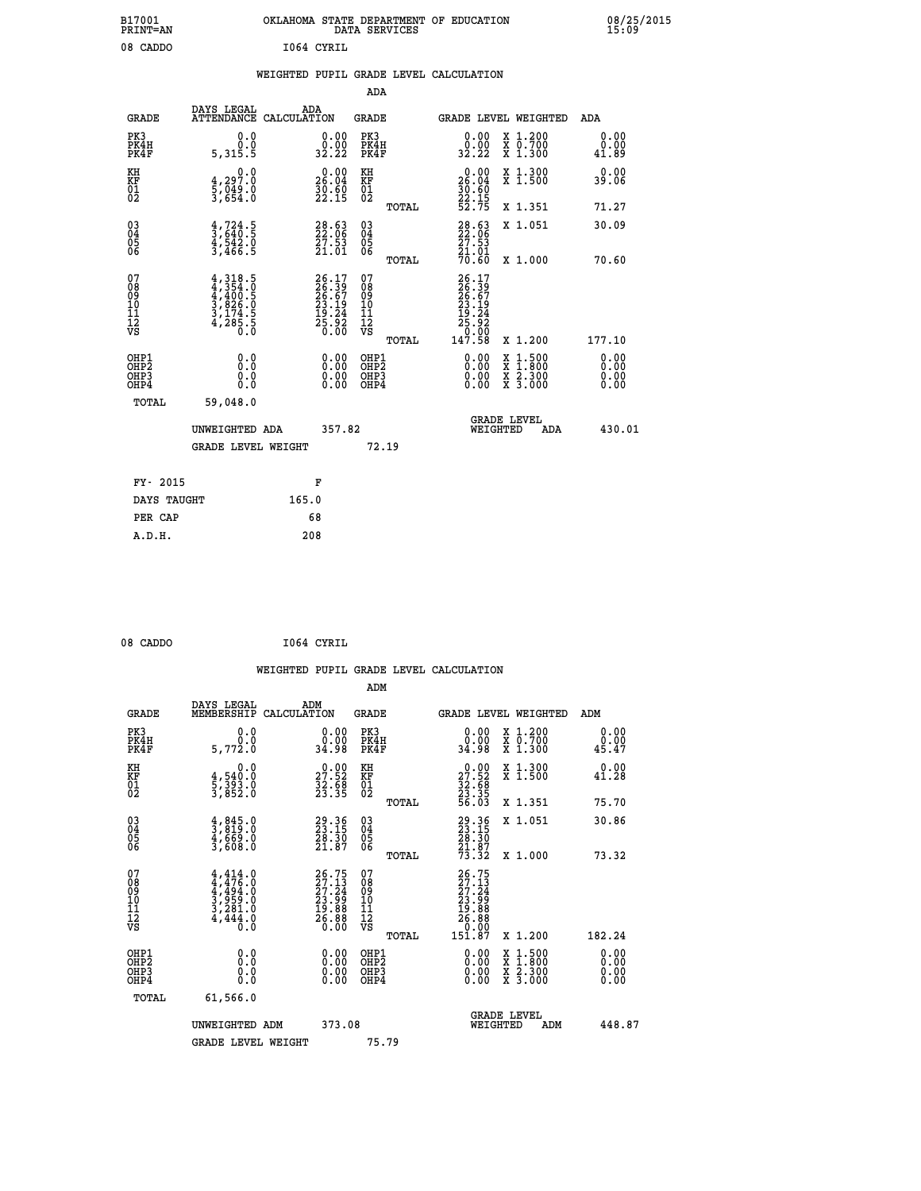| B17001<br><b>PRINT=AN</b> | OKLAHOMA STATE DEPARTMENT OF EDUCATION<br>DATA SERVICES | 08/25/2015<br>15:09 |
|---------------------------|---------------------------------------------------------|---------------------|
| 08 CADDO                  | 1064 CYRIL                                              |                     |

|  |  | WEIGHTED PUPIL GRADE LEVEL CALCULATION |
|--|--|----------------------------------------|
|  |  |                                        |

|                                                                    |                                                                                     |                                                                          | ADA                                                 |       |                                                                           |                                          |                              |
|--------------------------------------------------------------------|-------------------------------------------------------------------------------------|--------------------------------------------------------------------------|-----------------------------------------------------|-------|---------------------------------------------------------------------------|------------------------------------------|------------------------------|
| <b>GRADE</b>                                                       | DAYS LEGAL<br>ATTENDANCE CALCULATION                                                | ADA                                                                      | <b>GRADE</b>                                        |       |                                                                           | GRADE LEVEL WEIGHTED                     | ADA                          |
| PK3<br>PK4H<br>PK4F                                                | 0.0<br>0.0<br>5,315.5                                                               | $\begin{smallmatrix} 0.00\\ 0.00\\ 32.22 \end{smallmatrix}$              | PK3<br>PK4H<br>PK4F                                 |       | $\begin{smallmatrix} 0.00\\ 0.00\\ 32.22 \end{smallmatrix}$               | X 1.200<br>X 0.700<br>X 1.300            | 0.00<br>0.00<br>41.89        |
| KH<br>KF<br>01<br>02                                               | 0.0<br>$\frac{4}{5}, \frac{297.0}{049.0}$<br>3,654.0                                | $26.00$<br>26.04<br>$\frac{50.60}{22.15}$                                | KH<br>KF<br>01<br>02                                |       | 0.00<br>26:04<br>30:60<br>22:15<br>52:75                                  | X 1.300<br>X 1.500                       | 0.00<br>39.06                |
|                                                                    |                                                                                     |                                                                          |                                                     | TOTAL |                                                                           | X 1.351                                  | 71.27                        |
| $\begin{smallmatrix} 03 \\[-4pt] 04 \end{smallmatrix}$<br>Ŏ5<br>06 | $\frac{4}{3}, \frac{724}{640}$ .<br>4, 542.0<br>3, 466.5                            | 28.63<br>22.06<br>27.53<br>21.01                                         | $\begin{array}{c} 03 \\ 04 \\ 05 \\ 06 \end{array}$ |       | $\begin{smallmatrix} 28.63\ 22.06\ 27.53\ 21.01\ 70.60 \end{smallmatrix}$ | X 1.051                                  | 30.09                        |
|                                                                    |                                                                                     |                                                                          |                                                     | TOTAL |                                                                           | X 1.000                                  | 70.60                        |
| 07<br>08<br>09<br>101<br>11<br>12<br>VS                            | $4,318.5$<br>$4,354.0$<br>$4,400.5$<br>$3,826.0$<br>$3,174.5$<br>$4,285.5$<br>$0.0$ | $26.17$<br>$26.39$<br>$26.67$<br>$23.19$<br>$19.24$<br>$25.92$<br>$0.00$ | 07<br>08<br>09<br>11<br>11<br>12<br>VS              |       | 26.17<br>26.39<br>26.67<br>23.19<br>19.24<br>19.92<br>25.920              |                                          |                              |
|                                                                    |                                                                                     |                                                                          |                                                     | TOTAL | 147.58                                                                    | X 1.200                                  | 177.10                       |
| OHP1<br>OHP <sub>2</sub><br>OH <sub>P3</sub><br>OHP4               | 0.0<br>0.000                                                                        | 0.00<br>$\begin{smallmatrix} 0.00 \ 0.00 \end{smallmatrix}$              | OHP1<br>OHP2<br>OHP <sub>3</sub>                    |       | 0.00<br>0.00                                                              | X 1:500<br>X 1:800<br>X 2:300<br>X 3:000 | 0.00<br>0.00<br>0.00<br>0.00 |
| TOTAL                                                              | 59,048.0                                                                            |                                                                          |                                                     |       |                                                                           |                                          |                              |
|                                                                    | UNWEIGHTED ADA                                                                      | 357.82                                                                   |                                                     |       |                                                                           | <b>GRADE LEVEL</b><br>WEIGHTED<br>ADA    | 430.01                       |
|                                                                    | <b>GRADE LEVEL WEIGHT</b>                                                           |                                                                          |                                                     | 72.19 |                                                                           |                                          |                              |
| FY- 2015                                                           |                                                                                     | F                                                                        |                                                     |       |                                                                           |                                          |                              |
| DAYS TAUGHT                                                        |                                                                                     | 165.0                                                                    |                                                     |       |                                                                           |                                          |                              |
| PER CAP                                                            |                                                                                     | 68                                                                       |                                                     |       |                                                                           |                                          |                              |

| חתה בי |  |  |
|--------|--|--|
|        |  |  |
|        |  |  |

08 CADDO **I064 CYRIL WEIGHTED PUPIL GRADE LEVEL CALCULATION ADM DAYS LEGAL ADM GRADE MEMBERSHIP CALCULATION GRADE GRADE LEVEL WEIGHTED ADM PK3 0.0 0.00 PK3 0.00 X 1.200 0.00 PK4H 0.0 0.00 PK4H 0.00 X 0.700 0.00 PK4F 5,772.0 34.98 PK4F 34.98 X 1.300 45.47 KH 0.0 0.00 KH 0.00 X 1.300 0.00 KF 4,540.0 27.52 KF 27.52 X 1.500 41.28 KH**  $\begin{array}{cccc} 0.0 & 0.00 & \text{KH} \\ \text{KF} & 4,540.0 & 27.52 & \text{KF} \\ 01 & 5,393.0 & 23.68 & 0 \\ 02 & 3,852.0 & 32.35 & 02 \end{array}$  $02$  3,852.0 23.35 02 <sub>nomas</sub> 23.35  **TOTAL 56.03 X 1.351 75.70 03 4,845.0 29.36 03 29.36 X 1.051 30.86 04 3,819.0 23.15 04 23.15 05 4,669.0 28.30 05 28.30**  $06$  3,608.0 21.87 06  $21.87$   $21.87$  **TOTAL 73.32 X 1.000 73.32**  $\begin{array}{cccc} 07 & 4,414.0 & 26.75 & 07 & 26.75 \ 08 & 4,476.0 & 27.13 & 08 & 27.13 \ 09 & 4,494.0 & 27.24 & 09 & 27.14 \ 10 & 3,959.0 & 23.99 & 10 & 23.99 \ 11 & 3,484.0 & 19.88 & 11 & 19.88 \ \hline \textrm{vs} & 4,444.0 & 26.88 & 12 & 26.88 \ \hline \textrm{vs} & 4,444.0 &$  **TOTAL 151.87 X 1.200 182.24 OHP1 0.0 0.00 OHP1 0.00 X 1.500 0.00 OHP2 0.0 0.00 OHP2 0.00 X 1.800 0.00 OHP3 0.0 0.00 OHP3 0.00 X 2.300 0.00 OHP4 0.0 0.00 OHP4 0.00 X 3.000 0.00 TOTAL 61,566.0**

 **GRADE LEVEL UNWEIGHTED ADM 373.08 WEIGHTED ADM 448.87** GRADE LEVEL WEIGHT 75.79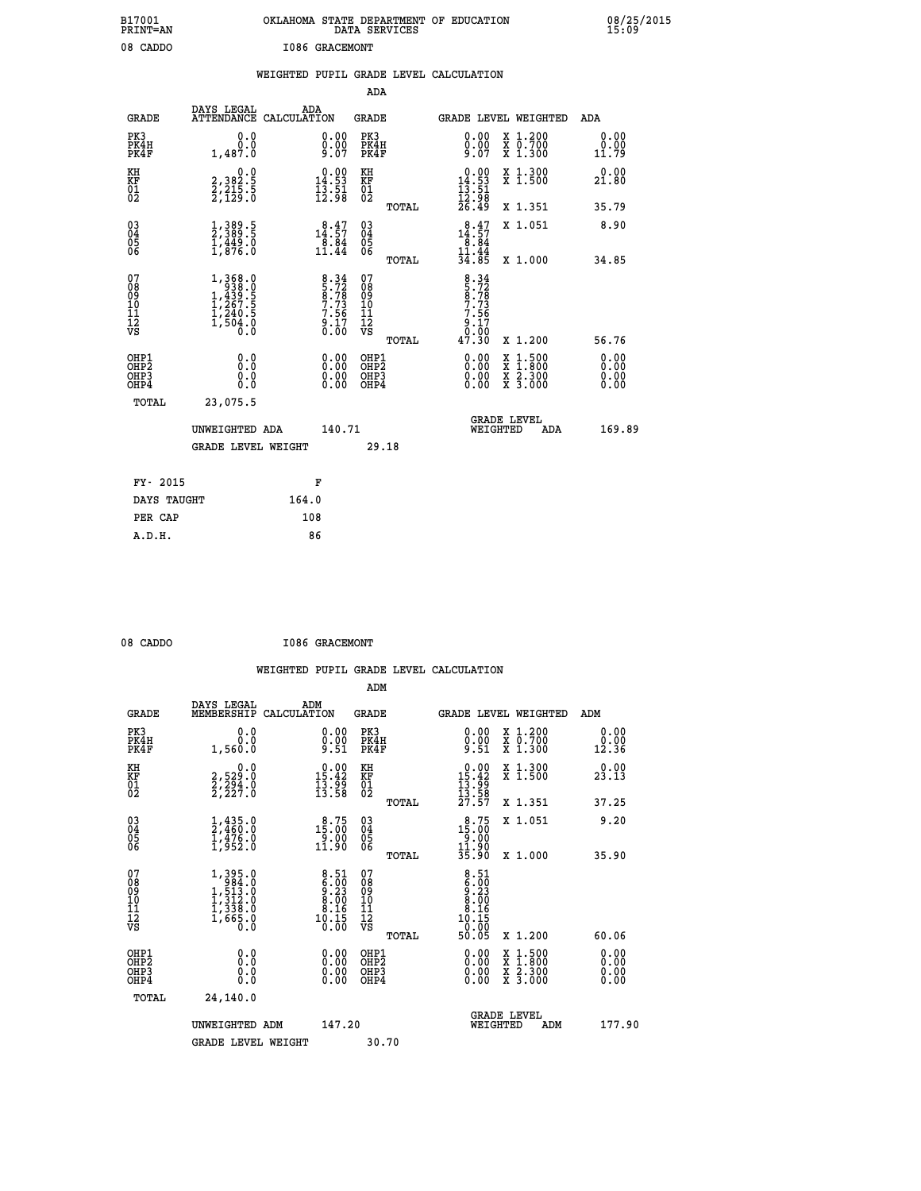| B17001<br>PRINT=AN                           |                                                                                                       | OKLAHOMA STATE DEPARTMENT OF EDUCATION                                                | DATA SERVICES                                                       |                                                                           |                                                                                          | 08/25/2015            |
|----------------------------------------------|-------------------------------------------------------------------------------------------------------|---------------------------------------------------------------------------------------|---------------------------------------------------------------------|---------------------------------------------------------------------------|------------------------------------------------------------------------------------------|-----------------------|
| 08 CADDO                                     |                                                                                                       | <b>I086 GRACEMONT</b>                                                                 |                                                                     |                                                                           |                                                                                          |                       |
|                                              |                                                                                                       | WEIGHTED PUPIL GRADE LEVEL CALCULATION                                                |                                                                     |                                                                           |                                                                                          |                       |
|                                              |                                                                                                       |                                                                                       | ADA                                                                 |                                                                           |                                                                                          |                       |
| <b>GRADE</b>                                 | DAYS LEGAL                                                                                            | ADA<br>ATTENDANCE CALCULATION                                                         | <b>GRADE</b>                                                        |                                                                           | GRADE LEVEL WEIGHTED                                                                     | ADA                   |
| PK3<br>PK4H<br>PK4F                          | 0.0<br>0.0<br>1,487.0                                                                                 | 0.00<br>0.00<br>9.07                                                                  | PK3<br>PK4H<br>PK4F                                                 | 0.00<br>$0.00$<br>9.07                                                    | X 1.200<br>X 0.700<br>X 1.300                                                            | 0.00<br>0.00<br>11.79 |
| KH<br>KF<br>01<br>02                         | 0.0<br>2,382.5<br>2,215.5<br>2,129.0                                                                  | $\begin{smallmatrix} 0.00\\14.53\\13.51\\12.98 \end{smallmatrix}$                     | KH<br><b>KF</b><br>01<br>02                                         | $\begin{array}{r} 0.00 \\ 14.53 \\ 13.51 \\ 12.98 \\ 26.49 \end{array}$   | X 1.300<br>X 1.500                                                                       | 0.00<br>21.80         |
|                                              |                                                                                                       |                                                                                       | TOTAL                                                               |                                                                           | X 1.351                                                                                  | 35.79                 |
| 03<br>04<br>05<br>06                         | 1,389.5<br>2,389.5<br>1,449.0<br>1,876.0                                                              | $\begin{smallmatrix} 8\cdot 47\ 14\cdot 57\ 8\cdot 84\ 11\cdot 44\ \end{smallmatrix}$ | $\begin{matrix} 03 \\ 04 \\ 05 \\ 06 \end{matrix}$                  | $\begin{smallmatrix} 8.47\\14.57\\8.84\\11.44\\34.85 \end{smallmatrix}$   | X 1.051                                                                                  | 8.90                  |
|                                              |                                                                                                       |                                                                                       | TOTAL                                                               |                                                                           | X 1.000                                                                                  | 34.85                 |
| 07<br>08<br>09<br>11<br>11<br>12<br>VS       | $\begin{smallmatrix} 1,368.0\\ 938.0\\ 1,439.5\\ 1,267.5\\ 1,240.5\\ 1,504.0\\ 0.0 \end{smallmatrix}$ | $8.34$<br>$5.72$<br>$8.78$<br>$7.73$<br>$7.56$<br>$9.17$<br>$0.00$                    | 07<br>08<br>09<br>10<br>$\frac{11}{12}$<br>$\frac{12}{18}$<br>TOTAL | $8.34$<br>$5.72$<br>$8.78$<br>$7.73$<br>$7.56$<br>$9.17$<br>0.00<br>47.30 | X 1.200                                                                                  | 56.76                 |
| OHP1                                         | 0.0                                                                                                   |                                                                                       | OHP1                                                                |                                                                           |                                                                                          |                       |
| OH <sub>P</sub> <sub>2</sub><br>OHP3<br>OHP4 | Ō.Ō<br>0.0<br>0.0                                                                                     | 0.00<br>$\begin{smallmatrix} 0.00 \ 0.00 \end{smallmatrix}$                           | OHP <sub>2</sub><br>OHP3<br>OHP4                                    | 0.00<br>0.00                                                              | $\begin{smallmatrix} x & 1.500 \\ x & 1.800 \\ x & 2.300 \\ x & 3.000 \end{smallmatrix}$ | 0.00<br>0.00<br>0.00  |
| TOTAL                                        | 23,075.5                                                                                              |                                                                                       |                                                                     |                                                                           |                                                                                          |                       |
|                                              | UNWEIGHTED ADA                                                                                        | 140.71                                                                                |                                                                     | WEIGHTED                                                                  | <b>GRADE LEVEL</b><br>ADA                                                                | 169.89                |
|                                              | <b>GRADE LEVEL WEIGHT</b>                                                                             |                                                                                       | 29.18                                                               |                                                                           |                                                                                          |                       |
| FY- 2015                                     |                                                                                                       | F                                                                                     |                                                                     |                                                                           |                                                                                          |                       |
| DAYS TAUGHT                                  |                                                                                                       | 164.0                                                                                 |                                                                     |                                                                           |                                                                                          |                       |
| PER CAP                                      |                                                                                                       | 108                                                                                   |                                                                     |                                                                           |                                                                                          |                       |

| 08 CADDO | I086 GRACEMONT |
|----------|----------------|
|          |                |

 **WEIGHTED PUPIL GRADE LEVEL CALCULATION ADM DAYS LEGAL ADM GRADE MEMBERSHIP CALCULATION GRADE GRADE LEVEL WEIGHTED ADM PK3 0.0 0.00 PK3 0.00 X 1.200 0.00 PK4H 0.0 0.00 PK4H 0.00 X 0.700 0.00 PK4F 1,560.0 9.51 PK4F 9.51 X 1.300 12.36 KH 0.0 0.00 KH 0.00 X 1.300 0.00 KF 2,529.0 15.42 KF 15.42 X 1.500 23.13 01 2,294.0 13.99 01 13.99 02 2,227.0 13.58 02 13.58 TOTAL 27.57 X 1.351 37.25 03 1,435.0 8.75 03 8.75 X 1.051 9.20 04 2,460.0 15.00 04 15.00 05 1,476.0 9.00 05 9.00** 06 1,952.0 11.90 06 <sub>memax</sub> 11.90  **TOTAL 35.90 X 1.000 35.90** 07 1,395.0 8.51 07<br>
08 1,513.0 6.00 08 6.00<br>
10 1,312.0 8.00 10 8.00<br>
11 1,338.0 8.00 10 8.00<br>
12 1,388.0 10.15 12 8.16<br>
VS 1,665.0 10.15<br>
20.00  **TOTAL 50.05 X 1.200 60.06 OHP1 0.0 0.00 OHP1 0.00 X 1.500 0.00 OHP2 0.0 0.00 OHP2 0.00 X 1.800 0.00 OHP3 0.0 0.00 OHP3 0.00 X 2.300 0.00 OHP4 0.0 0.00 OHP4 0.00 X 3.000 0.00 TOTAL 24,140.0 GRADE LEVEL UNWEIGHTED ADM 147.20 WEIGHTED ADM 177.90** GRADE LEVEL WEIGHT 30.70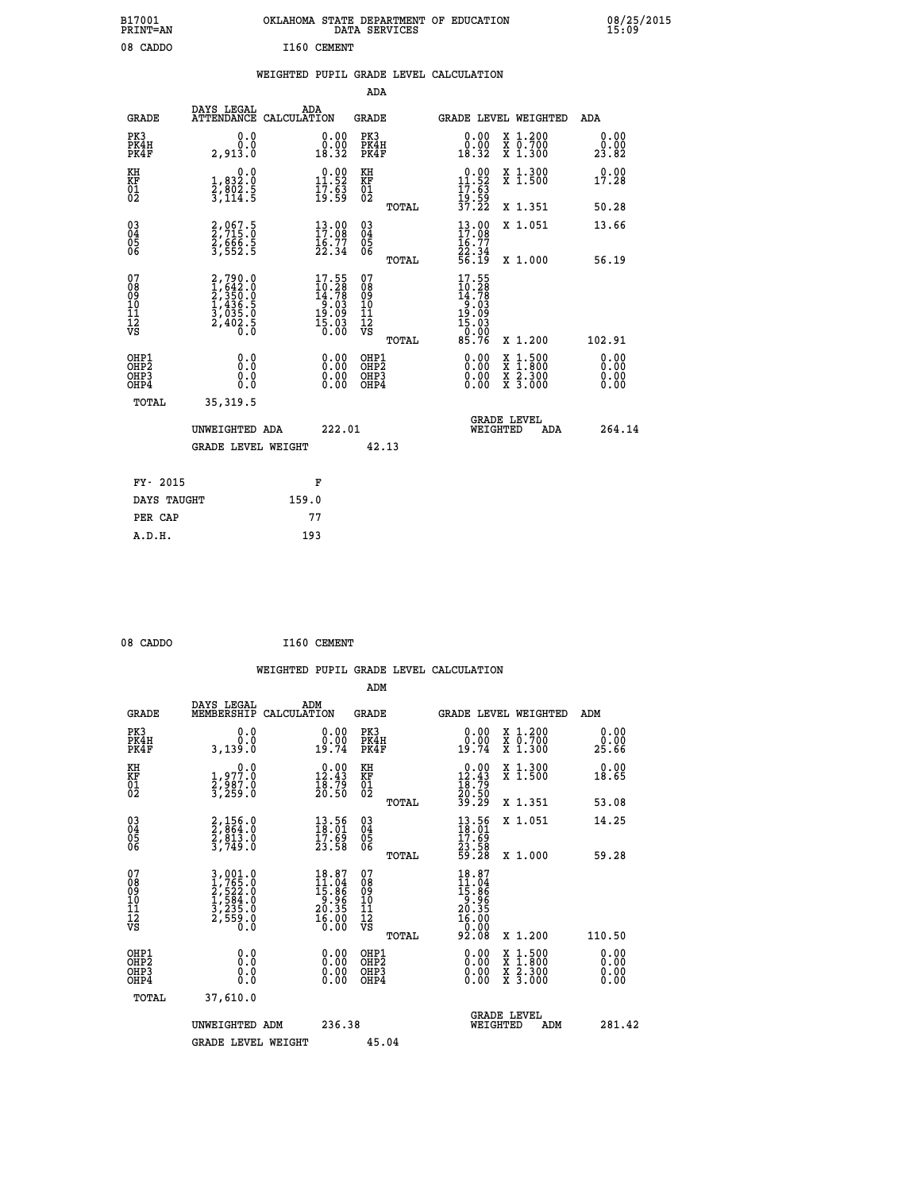| B17001<br>PRINT=AN                                |                                                                                                                                                                                                                                                                                                                                                   | OKLAHOMA STATE DEPARTMENT OF EDUCATION                                  | DATA SERVICES                                              |                                                                                    |                                          | 08/25/2015            |
|---------------------------------------------------|---------------------------------------------------------------------------------------------------------------------------------------------------------------------------------------------------------------------------------------------------------------------------------------------------------------------------------------------------|-------------------------------------------------------------------------|------------------------------------------------------------|------------------------------------------------------------------------------------|------------------------------------------|-----------------------|
| 08 CADDO                                          |                                                                                                                                                                                                                                                                                                                                                   | I160 CEMENT                                                             |                                                            |                                                                                    |                                          |                       |
|                                                   |                                                                                                                                                                                                                                                                                                                                                   | WEIGHTED PUPIL GRADE LEVEL CALCULATION                                  |                                                            |                                                                                    |                                          |                       |
|                                                   |                                                                                                                                                                                                                                                                                                                                                   |                                                                         | ADA                                                        |                                                                                    |                                          |                       |
| <b>GRADE</b>                                      | DAYS LEGAL                                                                                                                                                                                                                                                                                                                                        | ADA<br>ATTENDANCE CALCULATION                                           | GRADE                                                      |                                                                                    | <b>GRADE LEVEL WEIGHTED</b>              | ADA                   |
| PK3<br>PK4H<br>PK4F                               | 0.0<br>0.0<br>2,913.0                                                                                                                                                                                                                                                                                                                             | 0.00<br>0.00<br>18.32                                                   | PK3<br>PK4H<br>PK4F                                        | 0.00<br>0.00<br>18.32                                                              | X 1.200<br>X 0.700<br>X 1.300            | 0.00<br>0.00<br>23.82 |
| KH<br>KF<br>$\begin{matrix} 01 \ 02 \end{matrix}$ | 0.0<br>1,832:0<br>2,802:5<br>3,114:5                                                                                                                                                                                                                                                                                                              | $\begin{smallmatrix} 0.00\\ 11.52\\ 17.53\\ 19.59 \end{smallmatrix}$    | KH<br>KF<br>$\overline{01}$                                | $\begin{array}{r} 0.00 \\ 11.52 \\ 17.63 \\ 19.59 \\ 37.22 \end{array}$            | X 1.300<br>X 1.500                       | 0.00<br>17.28         |
|                                                   |                                                                                                                                                                                                                                                                                                                                                   |                                                                         | TOTAL                                                      |                                                                                    | X 1.351                                  | 50.28                 |
| $^{03}_{04}$<br>Ŏ5<br>ŎĞ                          | 2,067.5<br>2,715.0<br>$\frac{2}{3}, \frac{6}{5}$ $\frac{6}{5}$ $\frac{6}{5}$ $\frac{6}{5}$ $\frac{6}{5}$ $\frac{6}{5}$ $\frac{6}{5}$ $\frac{6}{5}$ $\frac{6}{5}$ $\frac{6}{5}$ $\frac{6}{5}$ $\frac{6}{5}$ $\frac{6}{5}$ $\frac{6}{5}$ $\frac{6}{5}$ $\frac{6}{5}$ $\frac{6}{5}$ $\frac{6}{5}$ $\frac{6}{5}$ $\frac{6}{5}$ $\frac{6}{5}$ $\frac{$ | $\begin{smallmatrix} 13.00\\ 17.08\\ 16.77\\ 22.34 \end{smallmatrix}$   | $\begin{matrix} 03 \\ 04 \\ 05 \\ 06 \end{matrix}$         | $13.00$<br>$17.08$<br>$\frac{16.77}{22.34}$<br>56.19                               | X 1.051                                  | 13.66                 |
|                                                   |                                                                                                                                                                                                                                                                                                                                                   |                                                                         | TOTAL                                                      |                                                                                    | X 1.000                                  | 56.19                 |
| 07<br>08<br>09<br>10<br>11<br>12<br>VS            | 2,790.0<br>1,642.0<br>2,350.0<br>2,350.0<br>1,436.5<br>3,035.0<br>2,402.5                                                                                                                                                                                                                                                                         | $17.55$<br>$10.28$<br>$14.78$<br>$9.03$<br>$15.09$<br>$15.03$<br>$0.00$ | 07<br>08<br>09<br>10<br>$\frac{11}{12}$<br>$\frac{12}{18}$ | $17.55$<br>$10.28$<br>$14.78$<br>$9.03$<br>$19.09$<br>$15.03$<br>$0.00$<br>$85.76$ |                                          |                       |
| OHP1                                              | 0.0                                                                                                                                                                                                                                                                                                                                               |                                                                         | TOTAL<br>OHP1                                              |                                                                                    | X 1.200                                  | 102.91<br>0.00        |
| OHP <sub>2</sub><br>OHP3<br>OHP4                  | Ŏ.Ŏ<br>0.0<br>0.0                                                                                                                                                                                                                                                                                                                                 | 0.00<br>0.00                                                            | OHP <sub>2</sub><br>OHP3<br>OHP4                           | 0.00<br>0.00<br>0.00                                                               | X 1:500<br>X 1:800<br>X 2:300<br>X 3:000 | 0.00<br>0.00<br>0.00  |
| TOTAL                                             | 35, 319.5                                                                                                                                                                                                                                                                                                                                         |                                                                         |                                                            |                                                                                    |                                          |                       |
|                                                   | UNWEIGHTED ADA                                                                                                                                                                                                                                                                                                                                    | 222.01                                                                  |                                                            | WEIGHTED                                                                           | <b>GRADE LEVEL</b><br>ADA                | 264.14                |
|                                                   | <b>GRADE LEVEL WEIGHT</b>                                                                                                                                                                                                                                                                                                                         |                                                                         | 42.13                                                      |                                                                                    |                                          |                       |
| FY- 2015                                          |                                                                                                                                                                                                                                                                                                                                                   | F                                                                       |                                                            |                                                                                    |                                          |                       |
| DAYS TAUGHT                                       |                                                                                                                                                                                                                                                                                                                                                   | 159.0                                                                   |                                                            |                                                                                    |                                          |                       |
| PER CAP                                           |                                                                                                                                                                                                                                                                                                                                                   | 77                                                                      |                                                            |                                                                                    |                                          |                       |

| 08 CADDO | I160 CEMENT |
|----------|-------------|
|          |             |

 **WEIGHTED PUPIL GRADE LEVEL CALCULATION ADM DAYS LEGAL ADM GRADE MEMBERSHIP CALCULATION GRADE GRADE LEVEL WEIGHTED ADM PK3 0.0 0.00 PK3 0.00 X 1.200 0.00 PK4H 0.0 0.00 PK4H 0.00 X 0.700 0.00 PK4F 3,139.0 19.74 PK4F 19.74 X 1.300 25.66 KH 0.0 0.00 KH 0.00 X 1.300 0.00 KF 1,977.0 12.43 KF 12.43 X 1.500 18.65 EXH**<br> **EXE FOR 1977.0** 12.43 <br>
02 3,289.0 12.43 <br>
3,289.0 20.50 02  **02 3,259.0 20.50 02 20.50 TOTAL 39.29 X 1.351 53.08 03 2,156.0 13.56 03 13.56 X 1.051 14.25 04 2,864.0 18.01 04 18.01 05 2,813.0 17.69 05 17.69** 06 3,749.0 23.58 06 <sub>momas</sub> 23.58  **TOTAL 59.28 X 1.000 59.28**  $\begin{array}{cccc} 07 & 3\,, 001.0 & 18.87 & 07 & 18.87 \ 08 & 1\,, 7/52.0 & 15.86 & 09 & 15.86 \ 10 & 1\,, 584.0 & 9.96 & 10 & 9.96 \ 11 & 3\,, 532.0 & 20.35 & 11 & 2 \ 12 & 3\,, 555.0 & 20.35 & 12 & 20.35 \ \hline \textrm{vs} & 2\,, 559.0 & 16.00 & \textrm{vs} & 20.00 \end{array}$  **TOTAL 92.08 X 1.200 110.50 OHP1 0.0 0.00 OHP1 0.00 X 1.500 0.00 OHP2 0.0 0.00 OHP2 0.00 X 1.800 0.00 OHP3 0.0 0.00 OHP3 0.00 X 2.300 0.00 OHP4 0.0 0.00 OHP4 0.00 X 3.000 0.00 TOTAL 37,610.0** UNWEIGHTED ADM 236.38  **UNWEIGHTED ADM 236.38 WEIGHTED ADM 281.42** GRADE LEVEL WEIGHT 45.04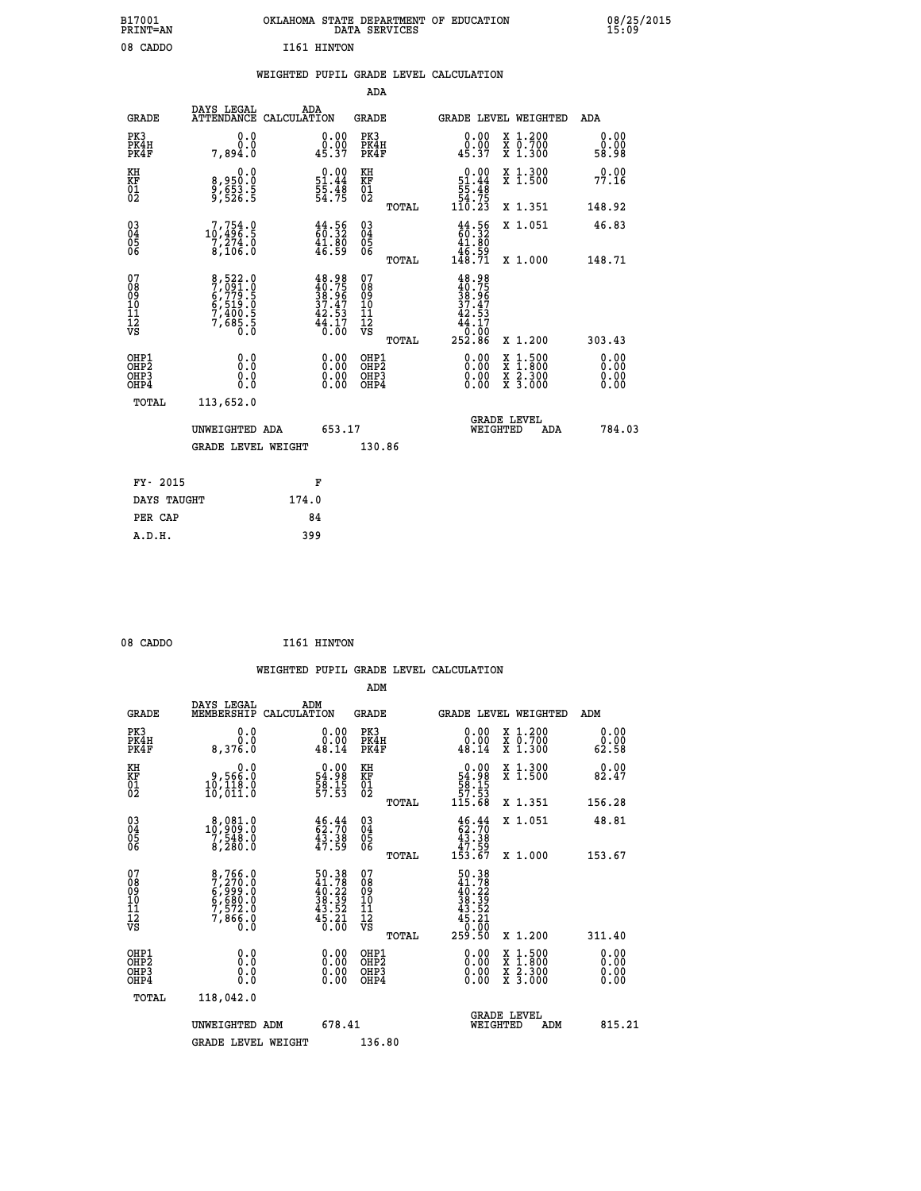| B17001<br><b>PRINT=AN</b> | OKLAHOMA STATE DEPARTMENT OF EDUCATION<br>DATA SERVICES | 08/25/2015<br>15:09 |
|---------------------------|---------------------------------------------------------|---------------------|
| 08 CADDO                  | I161 HINTON                                             |                     |

|  |  | WEIGHTED PUPIL GRADE LEVEL CALCULATION |
|--|--|----------------------------------------|
|  |  |                                        |

|                                                                    |                                                                       |                                                                          | ADA                                            |       |                                                                                       |                                          |                       |
|--------------------------------------------------------------------|-----------------------------------------------------------------------|--------------------------------------------------------------------------|------------------------------------------------|-------|---------------------------------------------------------------------------------------|------------------------------------------|-----------------------|
| <b>GRADE</b>                                                       | DAYS LEGAL<br>ATTENDANCE CALCULATION                                  | ADA                                                                      | <b>GRADE</b>                                   |       |                                                                                       | GRADE LEVEL WEIGHTED                     | ADA                   |
| PK3<br>PK4H<br>PK4F                                                | 0.0<br>0.0<br>7.894.0                                                 | $\begin{smallmatrix} 0.00\\ 0.00\\ 45.37 \end{smallmatrix}$              | PK3<br>PK4H<br>PK4F                            |       | 0.00<br>45.37                                                                         | X 1.200<br>X 0.700<br>X 1.300            | 0.00<br>0.00<br>58.98 |
| KH<br>KF<br>01<br>02                                               | 0.0<br>8,950:0<br>9,653.5<br>9,526:5                                  | $\begin{array}{c} 0.00 \\ 51.44 \\ 55.48 \\ 54.75 \end{array}$           | KH<br>KF<br>01<br>02                           |       | $\begin{array}{r} 0.00 \\ 51.44 \\ 55.48 \\ 54.75 \\ 110.23 \end{array}$              | X 1.300<br>X 1.500                       | 0.00<br>77.16         |
|                                                                    |                                                                       |                                                                          |                                                | TOTAL |                                                                                       | X 1.351                                  | 148.92                |
| $\begin{smallmatrix} 03 \\[-4pt] 04 \end{smallmatrix}$<br>Ŏ5<br>06 | $10, 754.0$<br>$7, 274.0$<br>$8, 106.0$                               | $\begin{smallmatrix} 44.56\,60.32\,41.80\,46.59 \end{smallmatrix}$       | $\substack{03 \\ 04}$<br>$\substack{05 \\ 06}$ |       | $44.56$<br>$60.32$<br>$41.80$<br>$46.59$<br>$148.71$                                  | X 1.051                                  | 46.83                 |
|                                                                    |                                                                       |                                                                          |                                                | TOTAL |                                                                                       | X 1.000                                  | 148.71                |
| 07<br>08<br>09<br>11<br>11<br>12<br>VS                             | 8,522.0<br>7,091.0<br>6,779.5<br>6,519.0<br>7,400.5<br>7,685.5<br>0.0 | $48.98$<br>$40.75$<br>$38.96$<br>$37.47$<br>$42.53$<br>$44.17$<br>$0.00$ | 07<br>089<br>101<br>111<br>VS                  |       | 48.98<br>$40.756$<br>$38.967$<br>$37.473$<br>$42.53$<br>$44.17$<br>$0.00$<br>$252.86$ |                                          |                       |
|                                                                    |                                                                       |                                                                          |                                                | TOTAL |                                                                                       | X 1.200                                  | 303.43                |
| OHP1<br><b>OHP2</b><br>OH <sub>P3</sub><br>OHP4                    | 0.0<br>0.0<br>0.0                                                     | 0.00<br>0.00<br>0.00                                                     | OHP1<br>OHP2<br>OHP3<br>OHP4                   |       | 0.00<br>0.00                                                                          | X 1:500<br>X 1:800<br>X 2:300<br>X 3:000 | 0.00<br>0.00<br>0.00  |
| TOTAL                                                              | 113,652.0                                                             |                                                                          |                                                |       |                                                                                       |                                          |                       |
|                                                                    | UNWEIGHTED ADA                                                        | 653.17                                                                   |                                                |       |                                                                                       | <b>GRADE LEVEL</b><br>WEIGHTED<br>ADA    | 784.03                |
|                                                                    | <b>GRADE LEVEL WEIGHT</b>                                             |                                                                          | 130.86                                         |       |                                                                                       |                                          |                       |
| FY- 2015                                                           |                                                                       | F                                                                        |                                                |       |                                                                                       |                                          |                       |
| DAYS TAUGHT                                                        |                                                                       | 174.0                                                                    |                                                |       |                                                                                       |                                          |                       |
| PER CAP                                                            |                                                                       | 84                                                                       |                                                |       |                                                                                       |                                          |                       |

| 08 CADDO |  | I161 HINTON |
|----------|--|-------------|
|----------|--|-------------|

 **WEIGHTED PUPIL GRADE LEVEL CALCULATION ADM DAYS LEGAL ADM GRADE MEMBERSHIP CALCULATION GRADE GRADE LEVEL WEIGHTED ADM PK3 0.0 0.00 PK3 0.00 X 1.200 0.00 PK4H 0.0 0.00 PK4H 0.00 X 0.700 0.00 PK4F 8,376.0 48.14 PK4F 48.14 X 1.300 62.58** 0.00 KH 0.00 RH 0.00 X 1.300<br>RF 9,566.0 54.98 KF 54.98 X 1.500 82.47  **01 10,118.0 58.15 01 58.15 02 10,011.0 57.53 02 57.53 TOTAL 115.68 X 1.351 156.28 03 8,081.0 46.44 03 46.44 X 1.051 48.81 04 10,909.0 62.70 04 62.70 05 7,548.0 43.38 05 43.38 06 8,280.0 47.59 06 47.59 TOTAL 153.67 X 1.000 153.67 07 8,766.0 50.38 07 50.38 08 7,270.0 41.78 08 41.78 09 6,999.0 40.22 09 40.22 10 6,680.0 38.39 10 38.39 11 7,572.0 43.52 11 43.52 12 7,866.0 45.21 12 45.21 VS 0.0 0.00 VS 0.00 TOTAL 259.50 X 1.200 311.40 OHP1 0.0 0.00 OHP1 0.00 X 1.500 0.00 OHP2 0.0 0.00 OHP2 0.00 X 1.800 0.00 OHP3 0.0 0.00 OHP3 0.00 X 2.300 0.00 OHP4 0.0 0.00 OHP4 0.00 X 3.000 0.00 TOTAL 118,042.0 GRADE LEVEL UNWEIGHTED ADM 678.41 WEIGHTED ADM 815.21** GRADE LEVEL WEIGHT 136.80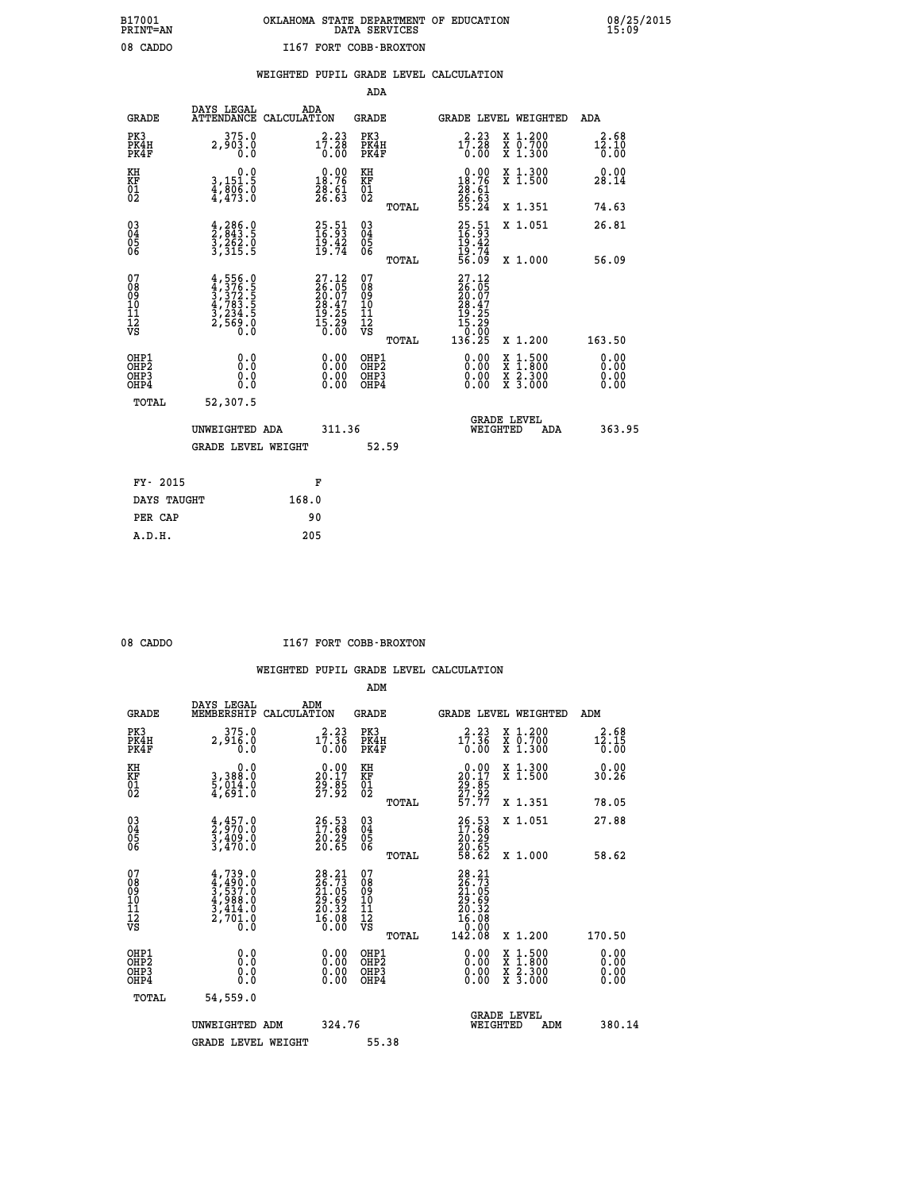### **B17001 OKLAHOMA STATE DEPARTMENT OF EDUCATION 08/25/2015 PRINT=AN DATA SERVICES 15:09 08 CADDO I167 FORT COBB-BROXTON**

|  |  | WEIGHTED PUPIL GRADE LEVEL CALCULATION |
|--|--|----------------------------------------|
|  |  |                                        |

|                                                                    |                                                                                         |                                                                                                    | ADA                                                 |       |                                                                          |                                          |                                                           |
|--------------------------------------------------------------------|-----------------------------------------------------------------------------------------|----------------------------------------------------------------------------------------------------|-----------------------------------------------------|-------|--------------------------------------------------------------------------|------------------------------------------|-----------------------------------------------------------|
| <b>GRADE</b>                                                       | DAYS LEGAL                                                                              | ADA<br>ATTENDANCE CALCULATION                                                                      | <b>GRADE</b>                                        |       |                                                                          | <b>GRADE LEVEL WEIGHTED</b>              | <b>ADA</b>                                                |
| PK3<br>PK4H<br>PK4F                                                | 375.0<br>2,903.0<br>0.0                                                                 | 17.23<br>0.00                                                                                      | PK3<br>PK4H<br>PK4F                                 |       | 17:28<br>0.00                                                            | X 1.200<br>X 0.700<br>X 1.300            | 2.68<br>$1\overline{2}\,.\,1\,\overline{0}\,$<br>$0.\,00$ |
| KH<br>KF<br>01<br>02                                               | 0.0<br>3,151:5<br>4,806:0<br>4,473:0                                                    | $\begin{smallmatrix} 0.00\\18.76\\28.61\\26.63\\ \end{smallmatrix}$                                | KH<br>KF<br>01<br>02                                |       | 0.00<br>$\frac{18.76}{28.61}$<br>$\frac{26}{55.24}$                      | X 1.300<br>X 1.500                       | 0.00<br>28.14                                             |
|                                                                    |                                                                                         |                                                                                                    |                                                     | TOTAL |                                                                          | X 1.351                                  | 74.63                                                     |
| $\begin{smallmatrix} 03 \\[-4pt] 04 \end{smallmatrix}$<br>Ŏ5<br>06 | $\frac{4}{2}, \frac{286}{843}$ . 5<br>3, 262. 0<br>3, 315. 5                            | 25.51<br>16.93<br>19.42<br>19.74                                                                   | $\begin{array}{c} 03 \\ 04 \\ 05 \\ 06 \end{array}$ |       | $25.51$<br>$16.93$<br>$19.42$<br>$19.74$<br>$56.09$                      | X 1.051                                  | 26.81                                                     |
|                                                                    |                                                                                         |                                                                                                    |                                                     | TOTAL |                                                                          | X 1.000                                  | 56.09                                                     |
| 07<br>08<br>09<br>101<br>11<br>12<br>VS                            | $4,556.0$<br>$3,376.5$<br>$3,372.5$<br>$4,783.5$<br>$4,783.5$<br>$3,234.5$<br>$2,569.0$ | $\begin{smallmatrix} 27.12 \\ 26.05 \\ 20.07 \\ 28.47 \\ 19.25 \\ 15.29 \\ 0.00 \end{smallmatrix}$ | 07<br>08<br>09<br>11<br>11<br>12<br>VS              |       | $27.12$<br>$26.05$<br>$20.07$<br>$28.47$<br>$19.25$<br>$15.29$<br>$0.00$ |                                          |                                                           |
|                                                                    |                                                                                         |                                                                                                    |                                                     | TOTAL | 136.25                                                                   | X 1.200                                  | 163.50                                                    |
| OHP1<br>OHP <sub>2</sub><br>OH <sub>P3</sub><br>OHP4               | 0.0<br>0.000                                                                            | 0.00<br>$\begin{smallmatrix} 0.00 \ 0.00 \end{smallmatrix}$                                        | OHP1<br>OHP2<br>OHP <sub>3</sub>                    |       | 0.00<br>0.00                                                             | X 1:500<br>X 1:800<br>X 2:300<br>X 3:000 | 0.00<br>Ō. ŌŌ<br>0.00<br>0.00                             |
| TOTAL                                                              | 52,307.5                                                                                |                                                                                                    |                                                     |       |                                                                          |                                          |                                                           |
|                                                                    | UNWEIGHTED ADA                                                                          | 311.36                                                                                             |                                                     |       |                                                                          | <b>GRADE LEVEL</b><br>WEIGHTED<br>ADA    | 363.95                                                    |
|                                                                    | <b>GRADE LEVEL WEIGHT</b>                                                               |                                                                                                    |                                                     | 52.59 |                                                                          |                                          |                                                           |
| FY- 2015                                                           |                                                                                         | F                                                                                                  |                                                     |       |                                                                          |                                          |                                                           |
| DAYS TAUGHT                                                        |                                                                                         | 168.0                                                                                              |                                                     |       |                                                                          |                                          |                                                           |
| PER CAP                                                            |                                                                                         | 90                                                                                                 |                                                     |       |                                                                          |                                          |                                                           |

 **A.D.H. 205**

08 CADDO **I167 FORT COBB-BROXTON** 

|                                                      |                                                                        |                                                                                                        | ADM                                                 |                                                                              |                                          |                       |
|------------------------------------------------------|------------------------------------------------------------------------|--------------------------------------------------------------------------------------------------------|-----------------------------------------------------|------------------------------------------------------------------------------|------------------------------------------|-----------------------|
| <b>GRADE</b>                                         | DAYS LEGAL<br>MEMBERSHIP                                               | ADM<br>CALCULATION                                                                                     | <b>GRADE</b>                                        |                                                                              | GRADE LEVEL WEIGHTED                     | ADM                   |
| PK3<br>PK4H<br>PK4F                                  | 375.0<br>2,916.0<br>0.0                                                | 2.23<br>17.36<br>0.00                                                                                  | PK3<br>PK4H<br>PK4F                                 | 17.36<br>0.00                                                                | X 1.200<br>X 0.700<br>X 1.300            | 2.68<br>12.15<br>0.00 |
| KH<br>KF<br>01<br>02                                 | 0.0<br>3,388:0<br>5,014.0<br>4,691:0                                   | $\begin{smallmatrix} 0.00\\ 20.17\\ 29.85\\ 27.92 \end{smallmatrix}$                                   | KH<br>KF<br>01<br>02                                | $\begin{smallmatrix} 0.00\\ 20.17\\ 29.85\\ 27.92\\ 57.77 \end{smallmatrix}$ | X 1.300<br>X 1.500                       | 0.00<br>30.26         |
|                                                      |                                                                        |                                                                                                        | TOTAL                                               |                                                                              | X 1.351                                  | 78.05                 |
| 03<br>04<br>05<br>06                                 | $\frac{4}{2}, \frac{457}{970}.0$<br>3, 409.0<br>3, 470.0               | $26.53$<br>17.68<br>20.29<br>20.65                                                                     | $\begin{array}{c} 03 \\ 04 \\ 05 \\ 06 \end{array}$ | $26.5317.6820.2920.6558.62$                                                  | X 1.051                                  | 27.88                 |
|                                                      |                                                                        |                                                                                                        | TOTAL                                               |                                                                              | X 1.000                                  | 58.62                 |
| 07<br>08<br>09<br>101<br>11<br>12<br>VS              | $4,739.0$<br>$3,537.0$<br>$4,988.0$<br>$3,414.0$<br>$2,701.0$<br>$0.0$ | $\begin{smallmatrix} 28.21 \\ 26.73 \\ 21.05 \\ 29.69 \\ 20.32 \\ 16.08 \\ 16.08 \\ \end{smallmatrix}$ | 07<br>08<br>09<br>11<br>11<br>12<br>VS<br>TOTAL     | 28.21<br>26.73<br>21.05<br>29.69<br>20.32<br>20.32<br>16.080<br>142.08       | X 1.200                                  | 170.50                |
|                                                      |                                                                        |                                                                                                        |                                                     |                                                                              |                                          |                       |
| OHP1<br>OHP2<br>OHP <sub>3</sub><br>OH <sub>P4</sub> | 0.0<br>$\begin{smallmatrix} 0.0 & 0 \ 0.0 & 0 \end{smallmatrix}$       |                                                                                                        | OHP1<br>OHP2<br>OHP <sub>3</sub>                    | $0.00$<br>$0.00$<br>0.00                                                     | X 1:500<br>X 1:800<br>X 2:300<br>X 3:000 | 0.00<br>0.00<br>0.00  |
| TOTAL                                                | 54,559.0                                                               |                                                                                                        |                                                     |                                                                              |                                          |                       |
|                                                      | UNWEIGHTED<br>ADM                                                      | 324.76                                                                                                 |                                                     |                                                                              | GRADE LEVEL<br>WEIGHTED<br>ADM           | 380.14                |
|                                                      | <b>GRADE LEVEL WEIGHT</b>                                              |                                                                                                        | 55.38                                               |                                                                              |                                          |                       |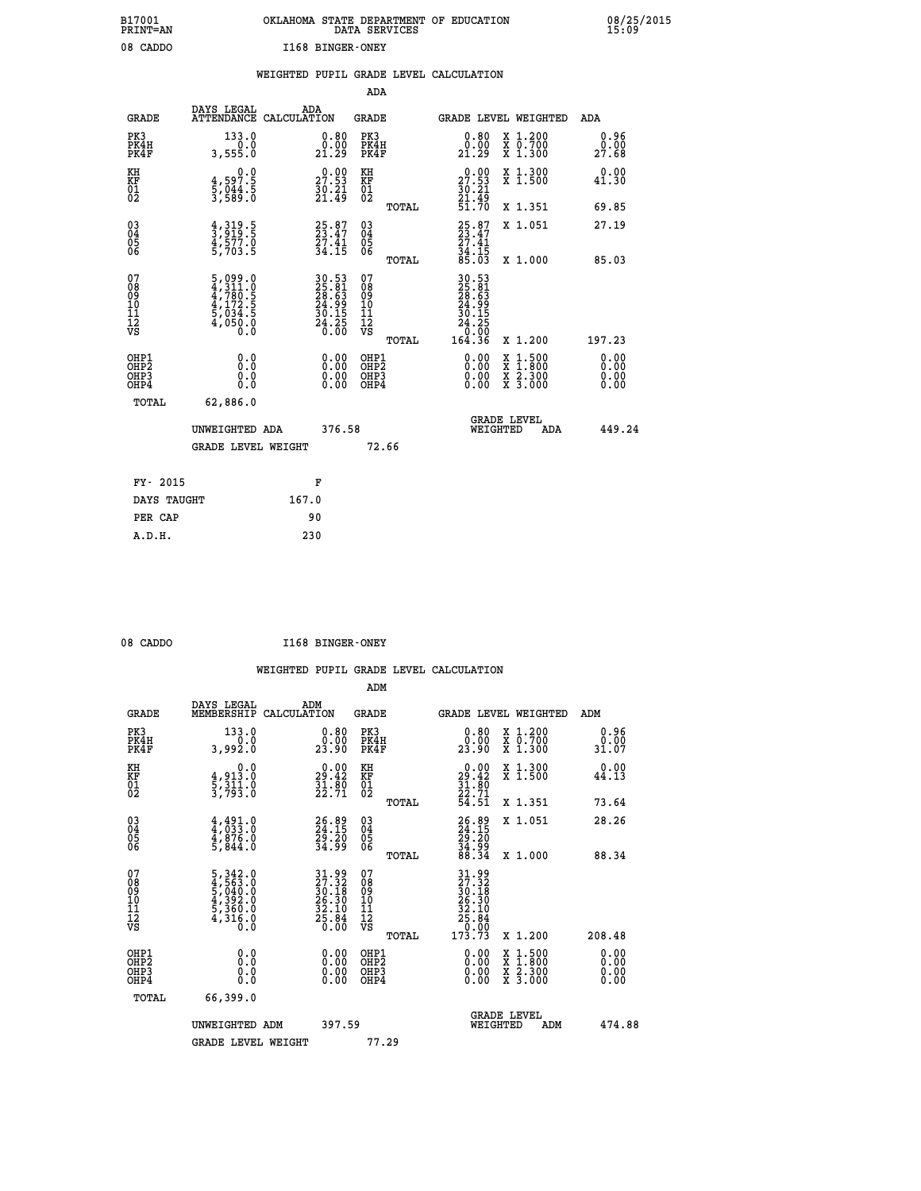|                  | OKLAHOMA STATE DEPARTMENT OF EDUCATION<br>DATA SERVICES |  |
|------------------|---------------------------------------------------------|--|
| I168 BINGER-ONEY |                                                         |  |

|                     |                                      |                                              | WEIGHTED PUPIL GRADE LEVEL CALCULATION |                                  |                        |
|---------------------|--------------------------------------|----------------------------------------------|----------------------------------------|----------------------------------|------------------------|
|                     |                                      | ADA                                          |                                        |                                  |                        |
| GRADE               | DAYS LEGAL<br>ATTENDANCE CALCULATION | ADA<br>GRADE                                 |                                        | <b>GRADE LEVEL WEIGHTED</b>      | ADA                    |
| PK3<br>PK4H<br>PK4F | 133.0<br>3,555.0                     | 0.80<br>PK3<br>0.00<br>PK4H<br>21.29<br>PK4F | 0.80<br>.00<br>.29<br>21               | X 1.200<br>X 0.700<br>1.300<br>X | 0.96<br>00.00<br>27.68 |

| KH<br>KF<br>01<br>02                               | $\begin{smallmatrix} 0.0\\4.597.5\\5.044.5\\3.589.0 \end{smallmatrix}$                                                                                    | $\begin{smallmatrix} 0.00\ 27.53\ 30.21\ 21.49 \end{smallmatrix}$ | KH<br>KF<br>01<br>02                                | TOTAL | $\begin{smallmatrix} 0.00\\ 27.53\\ 30.21\\ 21.49\\ 51.70 \end{smallmatrix}$                                 | X 1.300<br>X 1.500<br>X 1.351            | $0.00$<br>41.30<br>69.85     |
|----------------------------------------------------|-----------------------------------------------------------------------------------------------------------------------------------------------------------|-------------------------------------------------------------------|-----------------------------------------------------|-------|--------------------------------------------------------------------------------------------------------------|------------------------------------------|------------------------------|
| $\begin{matrix} 03 \\ 04 \\ 05 \\ 06 \end{matrix}$ | $\frac{4}{3}, \frac{319}{919}$ .<br>4, 577.0<br>5, 703.5                                                                                                  | 25.87<br>23.47<br>27.41<br>34.15                                  | $\begin{array}{c} 03 \\ 04 \\ 05 \\ 06 \end{array}$ |       | $25.87$<br>$23.47$<br>$27.41$<br>$34.15$<br>$85.03$                                                          | X 1.051                                  | 27.19                        |
| 07                                                 |                                                                                                                                                           |                                                                   | 07                                                  | TOTAL |                                                                                                              | X 1.000                                  | 85.03                        |
| 08<br>09<br>11<br>11<br>12<br>VS                   | $\begin{smallmatrix}5\,,\,099\,.\,0\\4\,,\,311\,. \,0\\4\,,\,780\,. \,5\\4\,,\,172\,. \,5\\5\,,\,034\,. \,5\\4\,,\,050\,. \,0\\0\,. \,0\end{smallmatrix}$ | 30.53<br>25.81<br>28.63<br>24.99<br>30.15<br>30.24.250            | 08<br>09<br>11<br>11<br>12<br>VS                    | TOTAL | $\begin{smallmatrix} 30.53\\ 25.81\\ 28.63\\ 24.99\\ 24.19\\ 30.15\\ 24.25\\ 0.00\\ 64.36 \end{smallmatrix}$ | X 1.200                                  | 197.23                       |
| OHP1<br>OHP2<br>OH <sub>P3</sub><br>OHP4           |                                                                                                                                                           | $\begin{smallmatrix} 0.00 \ 0.00 \ 0.00 \ 0.00 \end{smallmatrix}$ | OHP1<br>OHP2<br>OHP3<br>OHP4                        |       |                                                                                                              | X 1:500<br>X 1:800<br>X 2:300<br>X 3:000 | 0.00<br>Ŏ.ŎŎ<br>O.OO<br>O.OO |
| TOTAL                                              | 62,886.0<br>UNWEIGHTED ADA<br><b>GRADE LEVEL WEIGHT</b>                                                                                                   | 376.58                                                            |                                                     | 72.66 | WEIGHTED                                                                                                     | <b>GRADE LEVEL</b><br>ADA                | 449.24                       |
| FY- 2015                                           |                                                                                                                                                           | F                                                                 |                                                     |       |                                                                                                              |                                          |                              |
| <b>DATA MATIONE</b>                                | 1070                                                                                                                                                      |                                                                   |                                                     |       |                                                                                                              |                                          |                              |

| FY- 2015    | к,    |
|-------------|-------|
| DAYS TAUGHT | 167.0 |
| PER CAP     | 90    |
| A.D.H.      | 230   |
|             |       |

 **B17001<br>PRINT=AN<br>08 CADDO** 

| 08 CADDO | I168 BINGER-ONEY |
|----------|------------------|
|          |                  |

|                                          |                                                                                                                                                                         |                                                                   | ADM                                                 |                                                                                                       |                                          |                              |
|------------------------------------------|-------------------------------------------------------------------------------------------------------------------------------------------------------------------------|-------------------------------------------------------------------|-----------------------------------------------------|-------------------------------------------------------------------------------------------------------|------------------------------------------|------------------------------|
| <b>GRADE</b>                             | DAYS LEGAL<br>MEMBERSHIP                                                                                                                                                | ADM<br>CALCULATION                                                | <b>GRADE</b>                                        |                                                                                                       | <b>GRADE LEVEL WEIGHTED</b>              | ADM                          |
| PK3<br>PK4H<br>PK4F                      | 133.0<br>0.0<br>3,992.0                                                                                                                                                 | 0.80<br>23.90                                                     | PK3<br>PK4H<br>PK4F                                 | $0.80$<br>$0.00$<br>23.90                                                                             | X 1.200<br>X 0.700<br>X 1.300            | 0.96<br>0.00<br>31.07        |
| KH<br>KF<br>01<br>02                     | 0.0<br>$\frac{4}{5}, \frac{913}{311}$ .0<br>3,793.0                                                                                                                     | $\begin{smallmatrix} 0.00\\29.42\\31.80\\22.71 \end{smallmatrix}$ | KH<br>KF<br>01<br>02                                | $0.00$<br>$29.42$<br>$31.80$<br>$22.71$<br>$54.51$                                                    | X 1.300<br>X 1.500                       | 0.00<br>44.13                |
|                                          |                                                                                                                                                                         |                                                                   | TOTAL                                               |                                                                                                       | X 1.351                                  | 73.64                        |
| 03<br>04<br>05<br>06                     | $4,491.0$<br>$4,833.0$<br>$4,876.0$<br>$5,844.0$                                                                                                                        | 26.89<br>24.15<br>29.20<br>34.99                                  | $\begin{array}{c} 03 \\ 04 \\ 05 \\ 06 \end{array}$ | 26.89<br>24.15<br>29.20<br>34.99<br>88.34                                                             | X 1.051                                  | 28.26                        |
|                                          |                                                                                                                                                                         |                                                                   | TOTAL                                               |                                                                                                       | X 1.000                                  | 88.34                        |
| 07<br>08901112<br>1112<br>VS             | $\begin{smallmatrix}5\,, & 342\ . & 0\\4\,, & 563\ . & 0\\5\,, & 040\ . & 0\\4\,, & 392\ . & 0\\5\,, & 360\ . & 0\\4\,, & 316\ . & 0\\0\,. & 0\,. & 0\end{smallmatrix}$ | $31.9927.3230.1826.3025.3032.1025.840.00$                         | 07<br>08<br>09<br>01<br>11<br>11<br>12<br>VS        | $\begin{smallmatrix} 31.99\\27.32\\30.18\\26.30\\27.30\\27.80\\25.84\\27.0\\173.73 \end{smallmatrix}$ |                                          |                              |
|                                          |                                                                                                                                                                         |                                                                   | TOTAL                                               |                                                                                                       | X 1.200                                  | 208.48                       |
| OHP1<br>OHP2<br>OH <sub>P3</sub><br>OHP4 |                                                                                                                                                                         |                                                                   | OHP1<br>OHP2<br>OHP <sub>3</sub>                    | $0.00$<br>$0.00$<br>0.00                                                                              | X 1:500<br>X 1:800<br>X 2:300<br>X 3:000 | 0.00<br>Ŏ.ŎŎ<br>Q.QQ<br>0.00 |
| TOTAL                                    | 66,399.0                                                                                                                                                                |                                                                   |                                                     |                                                                                                       |                                          |                              |
|                                          | UNWEIGHTED ADM                                                                                                                                                          | 397.59                                                            |                                                     |                                                                                                       | GRADE LEVEL<br>WEIGHTED<br>ADM           | 474.88                       |
|                                          | <b>GRADE LEVEL WEIGHT</b>                                                                                                                                               |                                                                   | 77.29                                               |                                                                                                       |                                          |                              |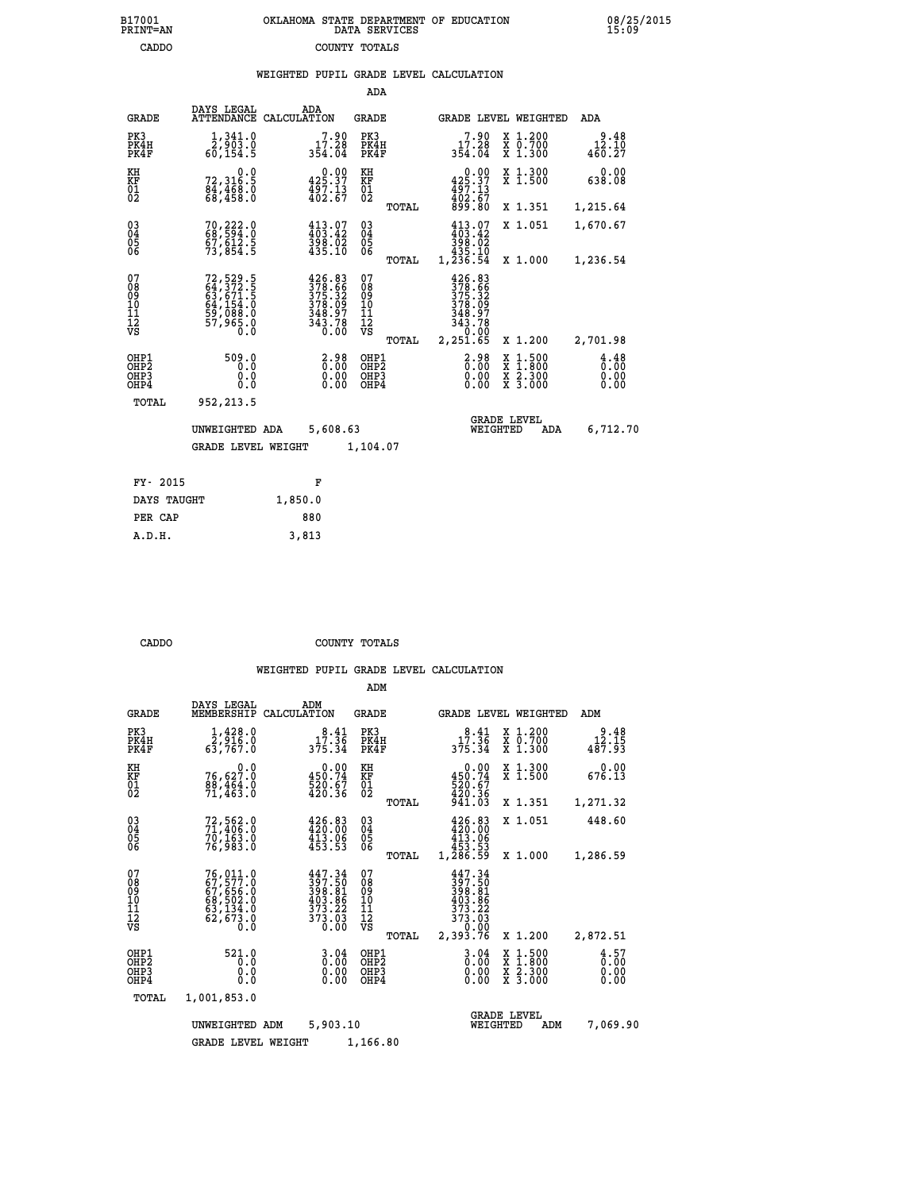| 7001<br>INT=AN | OKLAHOMA STATE DEPARTMENT OF EDUCATION<br>DATA SERVICES |  |
|----------------|---------------------------------------------------------|--|
| CADDO          | COUNTY TOTALS                                           |  |

|                                          |                                                                                  |         |                                                                                                             | ADA                                                |       |                                                                                                                         |                                                                         |                                                                                                                                      |                                     |
|------------------------------------------|----------------------------------------------------------------------------------|---------|-------------------------------------------------------------------------------------------------------------|----------------------------------------------------|-------|-------------------------------------------------------------------------------------------------------------------------|-------------------------------------------------------------------------|--------------------------------------------------------------------------------------------------------------------------------------|-------------------------------------|
| <b>GRADE</b>                             | DAYS LEGAL<br>ATTENDANCE CALCULATION                                             |         | ADA                                                                                                         | GRADE                                              |       |                                                                                                                         |                                                                         | GRADE LEVEL WEIGHTED                                                                                                                 | ADA                                 |
| PK3<br>PK4H<br>PK4F                      | 1,341.0<br>2,903.0<br>60,154.5                                                   |         | 7.90<br>17.28<br>354.04                                                                                     | PK3<br>PK4H<br>PK4F                                |       | 17.28<br>354.04                                                                                                         | 7.90                                                                    | X 1.200<br>X 0.700<br>X 1.300                                                                                                        | $2.48$<br>12.10<br>460.27           |
| KH<br>KF<br>01<br>02                     | 0.0<br>72,316:5<br>84,468:0<br>68,458:0                                          |         | $0.00$<br>425.37<br>$\frac{1}{4}$ $\frac{5}{2}$ $\frac{7}{6}$ $\frac{13}{7}$                                | KH<br>KF<br>$^{01}_{02}$                           |       | $425.37$<br>$497.13$<br>$402.67$<br>$899.80$                                                                            | 0.00                                                                    | X 1.300<br>X 1.500                                                                                                                   | 0.00<br>638.08                      |
|                                          |                                                                                  |         |                                                                                                             |                                                    | TOTAL |                                                                                                                         |                                                                         | X 1.351                                                                                                                              | 1,215.64                            |
| 03<br>04<br>05<br>06                     | 70,222.0<br>68,594.0<br>67,612.5<br>73,854.5                                     |         | $413.07$<br>$403.42$<br>$398.02$<br>$435.10$                                                                | $\begin{matrix} 03 \\ 04 \\ 05 \\ 06 \end{matrix}$ |       | $413.07$<br>$398.02$<br>$398.02$<br>$435.10$                                                                            |                                                                         | X 1.051                                                                                                                              | 1,670.67                            |
|                                          |                                                                                  |         |                                                                                                             |                                                    | TOTAL | 1,236.54                                                                                                                |                                                                         | X 1.000                                                                                                                              | 1,236.54                            |
| 07<br>08<br>09<br>11<br>11<br>12<br>VS   | 72, 529. 5<br>64, 372. 5<br>63, 671. 5<br>64, 154. 0<br>59, 088. 0<br>57, 965. 0 |         | $\begin{smallmatrix} 426.83\\ 378.66\\ 375.32\\ 375.32\\ 378.09\\ 348.97\\ 343.78\\ 0.00 \end{smallmatrix}$ | 07<br>08<br>09<br>11<br>11<br>12<br>VS             |       | $426.83$<br>$378.66$<br>$\begin{smallmatrix} 375.32\ 378.32\ 378.09\ 348.97\ 343.78\ 0.00\ 2.251.65\ \end{smallmatrix}$ |                                                                         |                                                                                                                                      |                                     |
|                                          |                                                                                  |         |                                                                                                             |                                                    | TOTAL |                                                                                                                         |                                                                         | X 1.200                                                                                                                              | 2,701.98                            |
| OHP1<br>OHP2<br>OH <sub>P3</sub><br>OHP4 | 509.0<br>0.0<br>0.0<br>0.0                                                       |         | $2.98$<br>$0.00$<br>ŏ.ŏŏ<br>0.00                                                                            | OHP1<br>OHP <sub>2</sub><br>OHP3<br>OHP4           |       |                                                                                                                         | $2.98$<br>$0.00$<br>$\begin{smallmatrix} 0.00 \ 0.00 \end{smallmatrix}$ | $\begin{smallmatrix} \texttt{X} & 1 & 500 \\ \texttt{X} & 1 & 800 \\ \texttt{X} & 2 & 300 \\ \texttt{X} & 3 & 000 \end{smallmatrix}$ | $\frac{4.48}{0.00}$<br>0.00<br>0.00 |
| TOTAL                                    | 952,213.5                                                                        |         |                                                                                                             |                                                    |       |                                                                                                                         |                                                                         |                                                                                                                                      |                                     |
|                                          | UNWEIGHTED ADA                                                                   |         | 5,608.63                                                                                                    |                                                    |       |                                                                                                                         | <b>GRADE LEVEL</b><br>WEIGHTED                                          | ADA                                                                                                                                  | 6,712.70                            |
|                                          | <b>GRADE LEVEL WEIGHT</b>                                                        |         |                                                                                                             | 1,104.07                                           |       |                                                                                                                         |                                                                         |                                                                                                                                      |                                     |
|                                          |                                                                                  |         |                                                                                                             |                                                    |       |                                                                                                                         |                                                                         |                                                                                                                                      |                                     |
| FY- 2015                                 |                                                                                  |         | F                                                                                                           |                                                    |       |                                                                                                                         |                                                                         |                                                                                                                                      |                                     |
| DAYS TAUGHT                              |                                                                                  | 1,850.0 |                                                                                                             |                                                    |       |                                                                                                                         |                                                                         |                                                                                                                                      |                                     |

| --------    |         |
|-------------|---------|
| DAYS TAUGHT | 1,850.0 |
| PER CAP     | 880     |
| A.D.H.      | 3,813   |
|             |         |

 **B17001<br>PRINT=AN** 

 **CADDO COUNTY TOTALS**

|                                                      |                                                                             |                                                                                                                                                                                    | ADM                                                 |                                                                                                                                                                                                                |                                          |                              |
|------------------------------------------------------|-----------------------------------------------------------------------------|------------------------------------------------------------------------------------------------------------------------------------------------------------------------------------|-----------------------------------------------------|----------------------------------------------------------------------------------------------------------------------------------------------------------------------------------------------------------------|------------------------------------------|------------------------------|
| <b>GRADE</b>                                         | DAYS LEGAL<br>MEMBERSHIP                                                    | ADM<br>CALCULATION                                                                                                                                                                 | <b>GRADE</b>                                        | <b>GRADE LEVEL WEIGHTED</b>                                                                                                                                                                                    |                                          | ADM                          |
| PK3<br>PK4H<br>PK4F                                  | $\frac{1}{2}$ , $\frac{428}{916}$ , 0<br>63,767.0                           | 17.36<br>375.34                                                                                                                                                                    | PK3<br>PK4H<br>PK4F                                 | 17.36<br>375.34                                                                                                                                                                                                | X 1.200<br>X 0.700<br>X 1.300            | 9.48<br>12.15<br>487.93      |
| KH<br>KF<br>01<br>02                                 | 0.0<br>76,627.0<br>$\frac{88}{71}$ , $\frac{464}{463}$ .0                   | 0.00<br>450.74<br>520.67<br>420.36                                                                                                                                                 | KH<br><b>KF</b><br>01<br>02                         | 0.00<br>450.74<br>520.67<br>420.36                                                                                                                                                                             | X 1.300<br>X 1.500                       | 0.00<br>676.13               |
|                                                      |                                                                             |                                                                                                                                                                                    | TOTAL                                               | 941.03                                                                                                                                                                                                         | X 1.351                                  | 1,271.32                     |
| $\begin{matrix} 03 \\ 04 \\ 05 \\ 06 \end{matrix}$   | 72,562.0<br>71,406.0<br>70,163.0                                            | 426.83<br>420.00<br>$4\bar{1}\bar{3}\cdot\bar{0}\bar{6}$<br>$453.53$                                                                                                               | $\begin{array}{c} 03 \\ 04 \\ 05 \\ 06 \end{array}$ | 426.83<br>420.00                                                                                                                                                                                               | X 1.051                                  | 448.60                       |
|                                                      | 76,983.0                                                                    |                                                                                                                                                                                    | TOTAL                                               | 413:06<br>453.53<br>1,286.59                                                                                                                                                                                   | X 1.000                                  | 1,286.59                     |
| 07<br>08<br>09<br>101<br>11<br>12<br>VS              | 76,011.0<br>67,577.0<br>67,656.0<br>68,502.0<br>63,133.0<br>62,673.0<br>0.0 | 447.34<br>$\begin{smallmatrix} 11 & 1 & 1 \\ 3 & 7 & 1 & 5 \\ 3 & 8 & 8 & 1 \\ 4 & 0 & 3 & 8 & 6 \\ 3 & 7 & 3 & 2 & 2 \\ 3 & 7 & 3 & 2 & 0 \\ 0 & 0 & 0 & 0 & 0 \end{smallmatrix}$ | 07<br>08<br>09<br>11<br>11<br>12<br>VS<br>TOTAL     | 447.34<br>$\begin{smallmatrix} 1 & 1 & 1 & 1 \\ 3 & 9 & 8 & 1 \\ 3 & 9 & 8 & 1 \\ 4 & 0 & 3 & 8 & 6 \\ 4 & 0 & 3 & 8 & 6 \\ 3 & 7 & 3 & 2 & 2 \\ 3 & 7 & 3 & 0 & 3 \\ 2 & 3 & 9 & 3 & 7 & 6 \end{smallmatrix}$ | X 1.200                                  | 2,872.51                     |
| OHP1<br>OHP <sub>2</sub><br>OH <sub>P3</sub><br>OHP4 | 521.0<br>0.0<br>0.0<br>0.0                                                  | $\begin{smallmatrix} 3.04\0.00\0.00 \end{smallmatrix}$                                                                                                                             | OHP1<br>OHP2<br>OHP3<br>OHP4                        | 3.04<br>$0.00$<br>0.00                                                                                                                                                                                         | X 1:500<br>X 1:800<br>X 2:300<br>X 3:000 | 4.57<br>0.00<br>0.00<br>0.00 |
| TOTAL                                                | 1,001,853.0                                                                 |                                                                                                                                                                                    |                                                     |                                                                                                                                                                                                                |                                          |                              |
|                                                      | UNWEIGHTED<br><b>GRADE LEVEL WEIGHT</b>                                     | 5,903.10<br>ADM                                                                                                                                                                    | 1,166.80                                            | <b>GRADE LEVEL</b><br>WEIGHTED                                                                                                                                                                                 | ADM                                      | 7,069.90                     |
|                                                      |                                                                             |                                                                                                                                                                                    |                                                     |                                                                                                                                                                                                                |                                          |                              |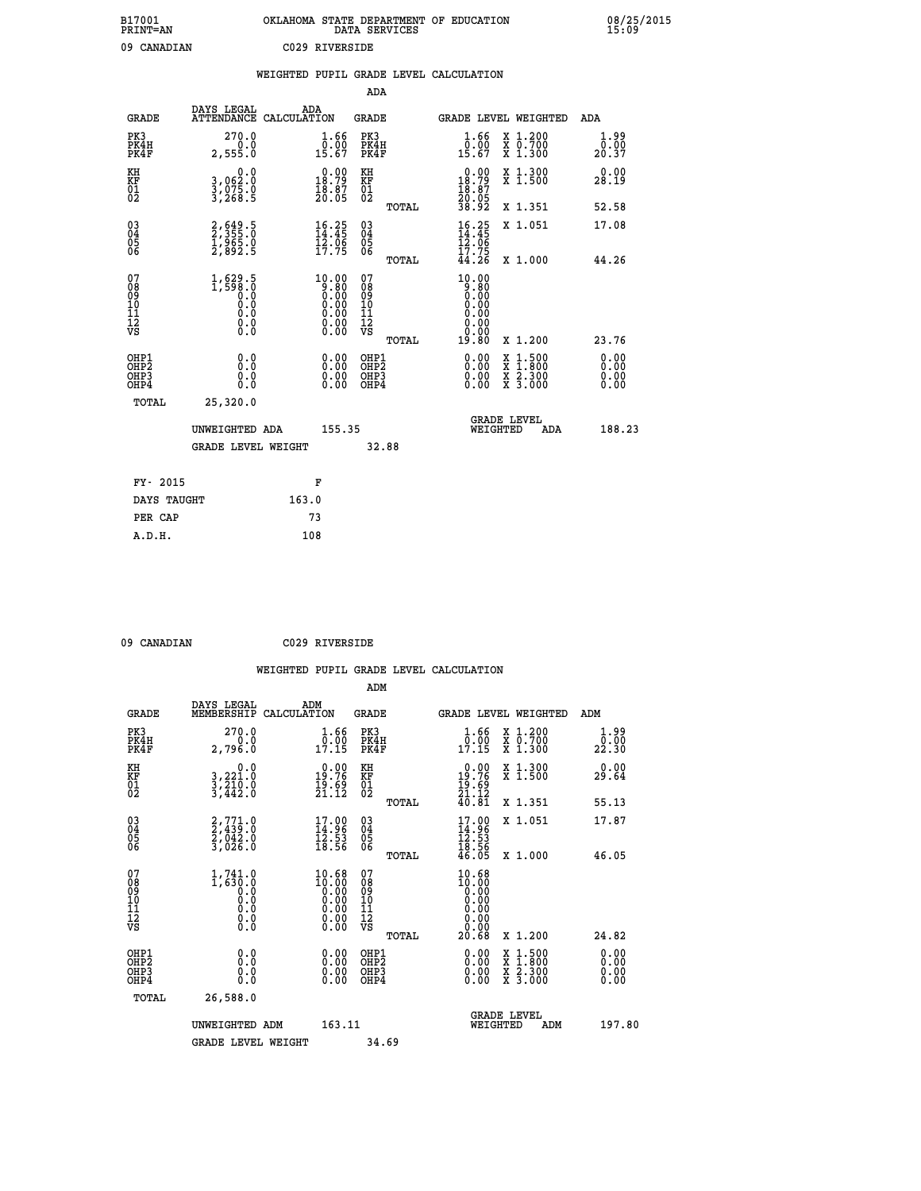| B17001<br><b>PRINT=AN</b> | OKLAHOMA STATE DEPARTMENT OF EDUCATION<br>DATA SERVICES | 08/25/2015<br>15:09 |
|---------------------------|---------------------------------------------------------|---------------------|
| 09<br>CANADIAN            | C029 RIVERSIDE                                          |                     |

|                                                                    |                                                                                                         | WEIGHTED PUPIL GRADE LEVEL CALCULATION                                                          |                                                     |       |                                                                          |                                          |                              |
|--------------------------------------------------------------------|---------------------------------------------------------------------------------------------------------|-------------------------------------------------------------------------------------------------|-----------------------------------------------------|-------|--------------------------------------------------------------------------|------------------------------------------|------------------------------|
|                                                                    |                                                                                                         |                                                                                                 | <b>ADA</b>                                          |       |                                                                          |                                          |                              |
| <b>GRADE</b>                                                       | DAYS LEGAL                                                                                              | ADA<br>ATTENDANCE CALCULATION                                                                   | <b>GRADE</b>                                        |       | GRADE LEVEL WEIGHTED                                                     |                                          | ADA                          |
| PK3<br>PK4H<br>PK4F                                                | 270.0<br>2,555.0                                                                                        | 1.66<br>$\frac{0.00}{15.67}$                                                                    | PK3<br>PK4H<br>PK4F                                 |       | 1.66<br>0.00<br>15.67                                                    | X 1.200<br>X 0.700<br>X 1.300            | 1.99<br>0.00<br>20.37        |
| KH<br>KF<br>01<br>02                                               | 0.0<br>3,062:0<br>3,075:0<br>3,268:5                                                                    | $\begin{smallmatrix} 0.00\\ 18.79\\ 18.37\\ 18.87\\ 20.05 \end{smallmatrix}$                    | KH<br>KF<br>01<br>02                                |       | $\begin{smallmatrix} 0.00\\18.79\\18.87\\20.05\\38.92 \end{smallmatrix}$ | X 1.300<br>X 1.500                       | 0.00<br>28.19                |
|                                                                    |                                                                                                         |                                                                                                 |                                                     | TOTAL |                                                                          | X 1.351                                  | 52.58                        |
| $\begin{smallmatrix} 03 \\[-4pt] 04 \end{smallmatrix}$<br>05<br>06 | 2,649.5<br>2,355.0<br>1,965.0<br>2,892.5                                                                | $16.25$<br>$14.45$<br>$12.06$<br>$17.75$                                                        | $\begin{array}{c} 03 \\ 04 \\ 05 \\ 06 \end{array}$ |       | $16.25$<br>$14.45$<br>$12.06$<br>$17.75$                                 | X 1.051                                  | 17.08                        |
|                                                                    |                                                                                                         |                                                                                                 |                                                     | TOTAL | 44.26                                                                    | X 1.000                                  | 44.26                        |
| 07<br>08<br>09<br>11<br>11<br>12<br>VS                             | 1,629.5<br>1,590.0<br>$\begin{smallmatrix} 0.0 & 0 \ 0.0 & 0 \ 0.0 & 0 \end{smallmatrix}$<br>$\S.$ $\S$ | $\begin{smallmatrix} 10.00\\ -9.80\\ 0.00\\ 0.00\\ 0.00\\ 0.00\\ 0.00\\ 0.00 \end{smallmatrix}$ | 07<br>08<br>09<br>11<br>11<br>12<br>VS              | TOTAL | $10.00$<br>$0.80$<br>$0.00$<br>0.00<br>0.00<br>0.00<br>19.80             | X 1.200                                  | 23.76                        |
| OHP1<br>OHP2<br>OH <sub>P3</sub><br>OHP4                           | 0.0<br>0.0<br>0.0                                                                                       | $\begin{smallmatrix} 0.00 \ 0.00 \ 0.00 \ 0.00 \end{smallmatrix}$                               | OHP1<br>OHP2<br>OHP3<br>OHP4                        |       | 0.00<br>0.00<br>0.00                                                     | X 1:500<br>X 1:800<br>X 2:300<br>X 3:000 | 0.00<br>0.00<br>0.00<br>0.00 |
| TOTAL                                                              | 25,320.0                                                                                                |                                                                                                 |                                                     |       |                                                                          |                                          |                              |
|                                                                    | UNWEIGHTED ADA                                                                                          | 155.35                                                                                          |                                                     |       | WEIGHTED                                                                 | <b>GRADE LEVEL</b><br>ADA                | 188.23                       |
|                                                                    | <b>GRADE LEVEL WEIGHT</b>                                                                               |                                                                                                 | 32.88                                               |       |                                                                          |                                          |                              |
| FY- 2015                                                           |                                                                                                         | F                                                                                               |                                                     |       |                                                                          |                                          |                              |
| DAYS TAUGHT                                                        |                                                                                                         | 163.0                                                                                           |                                                     |       |                                                                          |                                          |                              |
| PER CAP                                                            |                                                                                                         | 73                                                                                              |                                                     |       |                                                                          |                                          |                              |

 **09 CANADIAN C029 RIVERSIDE**

| <b>GRADE</b>                                         | DAYS LEGAL<br>MEMBERSHIP                                | ADM<br>CALCULATION                                                                              | <b>GRADE</b>                                       |       | <b>GRADE LEVEL WEIGHTED</b>                                                                                                        |                                                                                                                     |     | ADM                          |  |
|------------------------------------------------------|---------------------------------------------------------|-------------------------------------------------------------------------------------------------|----------------------------------------------------|-------|------------------------------------------------------------------------------------------------------------------------------------|---------------------------------------------------------------------------------------------------------------------|-----|------------------------------|--|
| PK3<br>PK4H<br>PK4F                                  | 270.0<br>2,796.0                                        | 1.66<br>$\frac{0.00}{17.15}$                                                                    | PK3<br>PK4H<br>PK4F                                |       | $\frac{1}{0}$ : $\frac{66}{17}$<br>17.15                                                                                           | X 1.200<br>x 0.700<br>x 1.300                                                                                       |     | 1.99<br>0.00<br>22.30        |  |
| KH<br>KF<br>01<br>02                                 | 0.0<br>3,221.0<br>3,210.0<br>3,442.0                    | $\begin{smallmatrix} 0.00\\19.76\\19.69\\21.12 \end{smallmatrix}$                               | KH<br>KF<br>01<br>02                               |       | $\begin{smallmatrix} 0.00\\19.76\\19.69\\21.12\\40.81 \end{smallmatrix}$                                                           | X 1.300<br>X 1.500                                                                                                  |     | 0.00<br>29.64                |  |
|                                                      |                                                         |                                                                                                 |                                                    | TOTAL |                                                                                                                                    | X 1.351                                                                                                             |     | 55.13                        |  |
| 03<br>04<br>05<br>06                                 | $2, 771.0$<br>$2, 439.0$<br>$2, 042.0$<br>$3, 026.0$    | $\begin{smallmatrix} 17.00\\ 14.96\\ 12.53\\ 18.56 \end{smallmatrix}$                           | $\begin{matrix} 03 \\ 04 \\ 05 \\ 06 \end{matrix}$ |       | $17.96$<br>$14.96$<br>$12.53$<br>$18.56$<br>$46.05$                                                                                | X 1.051                                                                                                             |     | 17.87                        |  |
|                                                      |                                                         |                                                                                                 |                                                    | TOTAL |                                                                                                                                    | X 1.000                                                                                                             |     | 46.05                        |  |
| 07<br>08<br>09<br>11<br>11<br>12<br>VS               | 1,741.0<br>$1,630.0$<br>0.0<br>0.0<br>0.0<br>0.0<br>0.0 | $\begin{smallmatrix} 10.68\\ 10.00\\ 0.00\\ 0.00\\ 0.00\\ 0.00\\ 0.00\\ 0.00 \end{smallmatrix}$ | 07<br>08<br>09<br>11<br>11<br>12<br>VS             | TOTAL | $\begin{smallmatrix} 10.68 \\ 10.00 \\ 0.00 \\ 0.00 \\ 0.00 \\ 0.00 \\ 0.00 \\ 0.00 \\ 0.00 \\ 0.00 \\ \end{smallmatrix}$<br>20.68 | X 1.200                                                                                                             |     | 24.82                        |  |
| OHP1<br>OH <sub>P</sub> <sub>2</sub><br>OHP3<br>OHP4 | 0.0<br>0.0<br>0.0                                       | $0.00$<br>$0.00$<br>0.00                                                                        | OHP1<br>OHP <sub>2</sub><br>OHP3<br>OHP4           |       |                                                                                                                                    | $\begin{array}{l} \mathtt{X} & 1.500 \\ \mathtt{X} & 1.800 \\ \mathtt{X} & 2.300 \\ \mathtt{X} & 3.000 \end{array}$ |     | 0.00<br>0.00<br>0.00<br>0.00 |  |
| TOTAL                                                | 26,588.0                                                |                                                                                                 |                                                    |       |                                                                                                                                    |                                                                                                                     |     |                              |  |
|                                                      | UNWEIGHTED ADM                                          | 163.11                                                                                          |                                                    |       | WEIGHTED                                                                                                                           | <b>GRADE LEVEL</b>                                                                                                  | ADM | 197.80                       |  |
|                                                      | <b>GRADE LEVEL WEIGHT</b>                               |                                                                                                 | 34.69                                              |       |                                                                                                                                    |                                                                                                                     |     |                              |  |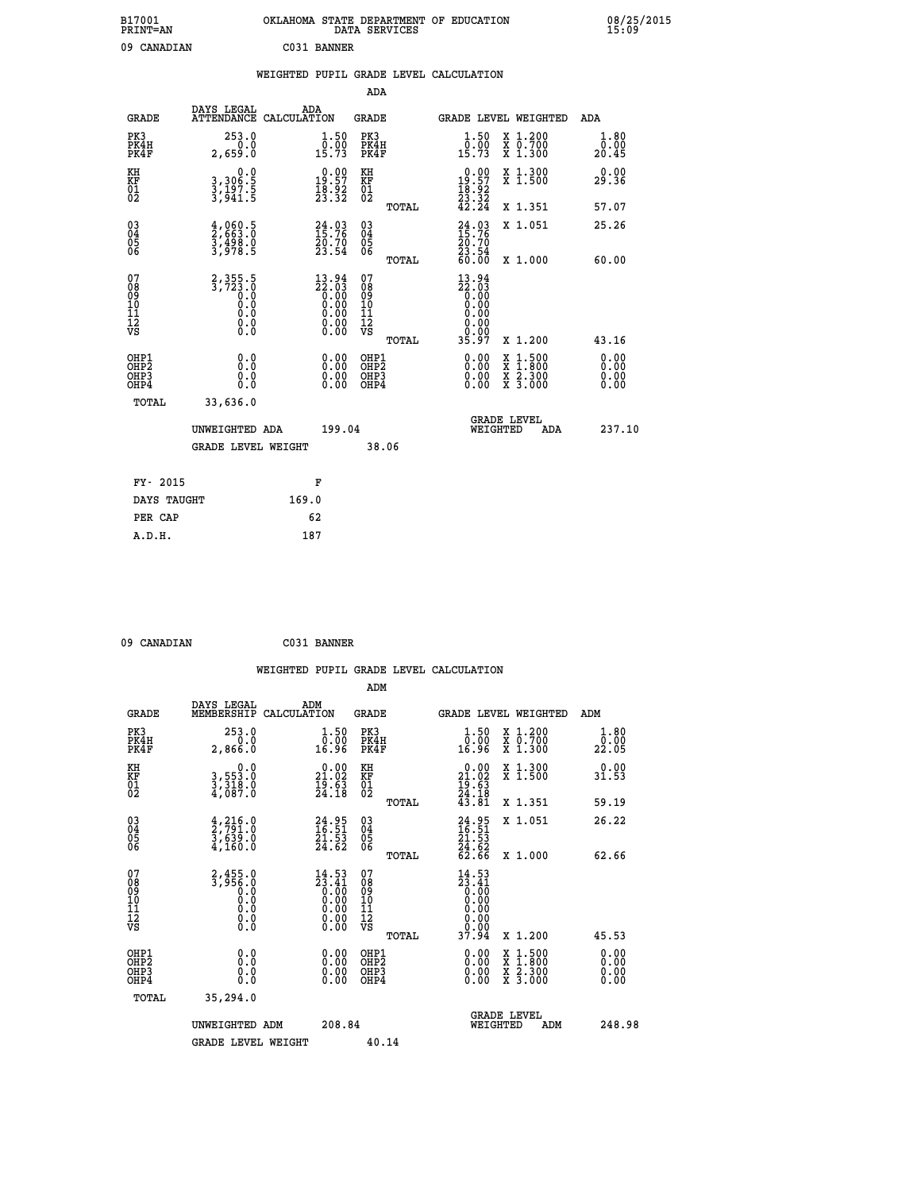| B17001<br><b>PRINT=AN</b> | OKLAHOMA STATE DEPARTMENT OF EDUCATION<br>DATA SERVICES | 08/25/2015<br>15:09 |
|---------------------------|---------------------------------------------------------|---------------------|
| 09<br>CANADIAN            | C031 BANNER                                             |                     |

|                                                                    |                                                                  | WEIGHTED PUPIL GRADE LEVEL CALCULATION |                                                                                                        |                                          |       |                                                                          |                                          |                       |
|--------------------------------------------------------------------|------------------------------------------------------------------|----------------------------------------|--------------------------------------------------------------------------------------------------------|------------------------------------------|-------|--------------------------------------------------------------------------|------------------------------------------|-----------------------|
|                                                                    |                                                                  |                                        |                                                                                                        | <b>ADA</b>                               |       |                                                                          |                                          |                       |
| <b>GRADE</b>                                                       | DAYS LEGAL                                                       | ADA<br>ATTENDANCE CALCULATION          |                                                                                                        | GRADE                                    |       |                                                                          | GRADE LEVEL WEIGHTED                     | ADA                   |
| PK3<br>PK4H<br>PK4F                                                | 253.0<br>0.0<br>2,659.0                                          |                                        | $\frac{1}{0}$ : 50<br>15.73                                                                            | PK3<br>PK4H<br>PK4F                      |       | $\frac{1}{0}$ : 50<br>15:73                                              | X 1.200<br>X 0.700<br>X 1.300            | 1.80<br>0.00<br>20.45 |
| KH<br>ΚF<br>$\frac{01}{02}$                                        | 0.0<br>3,306:5<br>3,197:5<br>3,941:5                             |                                        | $\begin{smallmatrix} 0.00\\19.57\\18.92\\23.32 \end{smallmatrix}$                                      | KH<br>KF<br>01<br>02                     |       | $\begin{smallmatrix} 0.00\\19.57\\18.92\\23.32\\42.24 \end{smallmatrix}$ | X 1.300<br>X 1.500                       | 0.00<br>29.36         |
|                                                                    |                                                                  |                                        |                                                                                                        |                                          | TOTAL |                                                                          | X 1.351                                  | 57.07                 |
| $\begin{smallmatrix} 03 \\[-4pt] 04 \end{smallmatrix}$<br>Ŏ5<br>06 | $\frac{4}{2}, \frac{060}{63}. \frac{5}{3}$<br>3,498.0<br>3,978.5 |                                        | $24.03$<br>$15.76$<br>20.70<br>23.54                                                                   | $\substack{03 \\ 04}$<br>$\frac{05}{06}$ |       | $24.03$<br>$15.76$<br>$\frac{20.70}{23.54}$<br>60.00                     | X 1.051                                  | 25.26                 |
|                                                                    |                                                                  |                                        |                                                                                                        |                                          | TOTAL |                                                                          | X 1.000                                  | 60.00                 |
| 07<br>08<br>09<br>101<br>11<br>12<br>VS                            | 2, 355.5<br>3, 723.0<br>0.0<br>0.0<br>0.0<br>0.0                 |                                        | $\begin{smallmatrix} 13.94 \\ 22.03 \\ 0.00 \\ 0.00 \\ 0.00 \\ 0.00 \\ 0.00 \\ 0.00 \end{smallmatrix}$ | 07<br>08<br>09<br>11<br>11<br>12<br>VS   |       | 13.94<br>22.03<br>0.00<br>0.00<br>0.00<br>0.00                           |                                          |                       |
|                                                                    |                                                                  |                                        |                                                                                                        |                                          | TOTAL | 35.97                                                                    | X 1.200                                  | 43.16                 |
| OHP1<br>OH <sub>P</sub> 2<br>OH <sub>P3</sub><br>OHP4              | 0.0<br>0.0<br>0.0                                                |                                        | 0.00<br>0.00<br>0.00                                                                                   | OHP1<br>OHP <sub>2</sub><br>OHP3<br>OHP4 |       | 0.00<br>0.00<br>0.00                                                     | X 1:500<br>X 1:800<br>X 2:300<br>X 3:000 | 0.00<br>0.00<br>0.00  |
| TOTAL                                                              | 33,636.0                                                         |                                        |                                                                                                        |                                          |       |                                                                          |                                          |                       |
|                                                                    | UNWEIGHTED ADA                                                   |                                        | 199.04                                                                                                 |                                          |       | WEIGHTED                                                                 | <b>GRADE LEVEL</b><br>ADA                | 237.10                |
|                                                                    | GRADE LEVEL WEIGHT                                               |                                        |                                                                                                        | 38.06                                    |       |                                                                          |                                          |                       |
| FY- 2015                                                           |                                                                  | F                                      |                                                                                                        |                                          |       |                                                                          |                                          |                       |
| DAYS TAUGHT                                                        |                                                                  | 169.0                                  |                                                                                                        |                                          |       |                                                                          |                                          |                       |
| PER CAP                                                            |                                                                  | 62                                     |                                                                                                        |                                          |       |                                                                          |                                          |                       |
| A.D.H.                                                             |                                                                  | 187                                    |                                                                                                        |                                          |       |                                                                          |                                          |                       |

 **09 CANADIAN C031 BANNER**

|                                                    |                                                                     |                                                                                                 | WEIGHTED PUPIL GRADE LEVEL CALCULATION                 |                                                                                                                                                                                                                                                                                                                                                                                    |                              |
|----------------------------------------------------|---------------------------------------------------------------------|-------------------------------------------------------------------------------------------------|--------------------------------------------------------|------------------------------------------------------------------------------------------------------------------------------------------------------------------------------------------------------------------------------------------------------------------------------------------------------------------------------------------------------------------------------------|------------------------------|
|                                                    |                                                                     |                                                                                                 | ADM                                                    |                                                                                                                                                                                                                                                                                                                                                                                    |                              |
| <b>GRADE</b>                                       | DAYS LEGAL<br>MEMBERSHIP<br>CALCULATION                             | ADM                                                                                             | <b>GRADE</b>                                           | <b>GRADE LEVEL WEIGHTED</b>                                                                                                                                                                                                                                                                                                                                                        | ADM                          |
| PK3<br>PK4H<br>PK4F                                | 253.0<br>0.0<br>2,866.0                                             | $\begin{smallmatrix} 1.50\ 0.00\ 16.96 \end{smallmatrix}$                                       | PK3<br>PK4H<br>PK4F                                    | $1.50$<br>$0.00$<br>X 1.200<br>X 0.700<br>X 1.300<br>16.96                                                                                                                                                                                                                                                                                                                         | 1.80<br>_0.00<br>22.05       |
| KH<br>KF<br>01<br>02                               | 0.0<br>3,553.0<br>3,318.0<br>4,087.0                                | $\begin{smallmatrix} 0.00\\ 21.02\\ 19.63\\ 24.18 \end{smallmatrix}$                            | KH<br>KF<br>01<br>02                                   | 0.00<br>X 1.300<br>X 1.500<br>$21.02$<br>$19.63$<br>$24.18$<br>$43.81$                                                                                                                                                                                                                                                                                                             | 0.00<br>31.53                |
|                                                    |                                                                     |                                                                                                 | TOTAL                                                  | X 1.351                                                                                                                                                                                                                                                                                                                                                                            | 59.19                        |
| $\begin{matrix} 03 \\ 04 \\ 05 \\ 06 \end{matrix}$ | $\frac{4}{2}, \frac{216}{791}.0$<br>3,639.0<br>4,160.0              | $24.95$<br>$16.51$<br>$21.53$<br>$24.62$                                                        | $\begin{array}{c} 03 \\ 04 \\ 05 \\ 06 \end{array}$    | $24.95$<br>$16.51$<br>$21.53$<br>$24.62$<br>$62.66$<br>X 1.051                                                                                                                                                                                                                                                                                                                     | 26.22                        |
|                                                    |                                                                     |                                                                                                 | TOTAL                                                  | X 1.000                                                                                                                                                                                                                                                                                                                                                                            | 62.66                        |
| 07<br>08<br>09<br>101<br>11<br>12<br>VS            | $2,455.0$<br>$3,956.0$<br>$0.0$<br>$0.0$<br>$0.0$<br>$0.0$<br>$0.0$ | $\begin{smallmatrix} 14.53\ 23.41\ 0.00\ 0.00\ 0.00\ 0.00\ 0.00\ 0.00\ 0.00\ \end{smallmatrix}$ | 07<br>08<br>09<br>001<br>11<br>11<br>12<br>VS<br>TOTAL | 14.53<br>$\begin{smallmatrix} 11.31 \\ 23.41 \\ 0.00 \\ 0.00 \\ 0.00 \\ 0.00 \\ 0.00 \\ 0.00 \\ 0.00 \\ 37.94 \end{smallmatrix}$<br>X 1.200                                                                                                                                                                                                                                        | 45.53                        |
|                                                    |                                                                     |                                                                                                 |                                                        |                                                                                                                                                                                                                                                                                                                                                                                    |                              |
| OHP1<br>OHP2<br>OHP3<br>OHP4                       | 0.0<br>0.000                                                        | $\begin{smallmatrix} 0.00 \ 0.00 \ 0.00 \ 0.00 \end{smallmatrix}$                               | OHP1<br>OHP2<br>OHP3<br>OHP4                           | $\begin{smallmatrix} 0.00 & 0.00 & 0.00 & 0.00 & 0.00 & 0.00 & 0.00 & 0.00 & 0.00 & 0.00 & 0.00 & 0.00 & 0.00 & 0.00 & 0.00 & 0.00 & 0.00 & 0.00 & 0.00 & 0.00 & 0.00 & 0.00 & 0.00 & 0.00 & 0.00 & 0.00 & 0.00 & 0.00 & 0.00 & 0.00 & 0.00 & 0.00 & 0.00 & 0.00 & 0.00 & 0.0$<br>$\begin{smallmatrix} x & 1 & 500 \\ x & 1 & 800 \\ x & 2 & 300 \\ x & 3 & 000 \end{smallmatrix}$ | 0.00<br>Ŏ.ŎŎ<br>Q.QQ<br>0.00 |
| TOTAL                                              | 35,294.0                                                            |                                                                                                 |                                                        |                                                                                                                                                                                                                                                                                                                                                                                    |                              |
|                                                    | UNWEIGHTED ADM                                                      | 208.84                                                                                          |                                                        | <b>GRADE LEVEL</b><br>WEIGHTED                                                                                                                                                                                                                                                                                                                                                     | 248.98<br>ADM                |
|                                                    | <b>GRADE LEVEL WEIGHT</b>                                           |                                                                                                 | 40.14                                                  |                                                                                                                                                                                                                                                                                                                                                                                    |                              |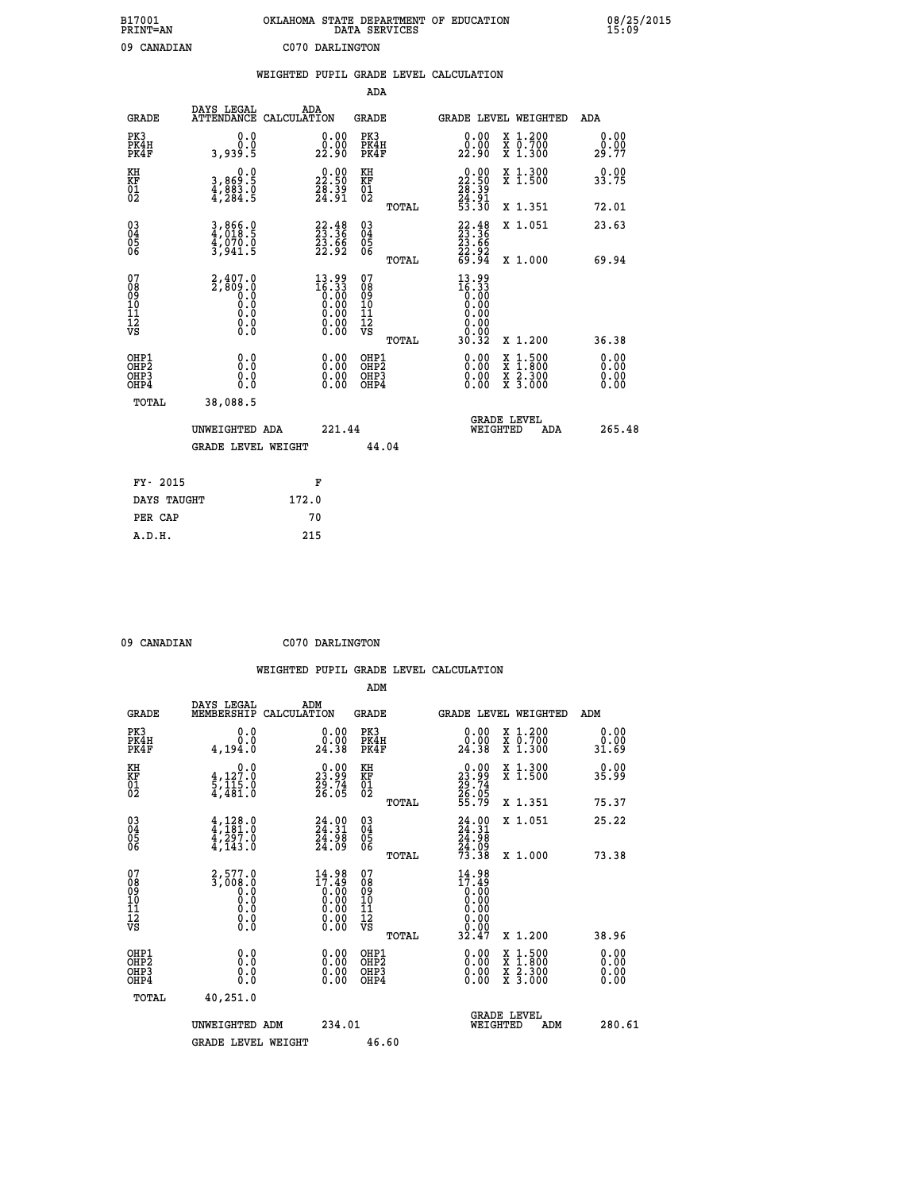| B17001<br>PRINT=AN | OKLAHOMA STATE DEPARTMENT OF EDUCATION<br>DATA SERVICES | 08/25/2015<br>15:09 |
|--------------------|---------------------------------------------------------|---------------------|
| 09<br>CANADIAN     | C070 DARLINGTON                                         |                     |

|                                                                    |                                                                                                               |       |                                                                      |                                                     |       | WEIGHTED PUPIL GRADE LEVEL CALCULATION                                                                                                                                                                                                                                         |                                          |     |                                  |
|--------------------------------------------------------------------|---------------------------------------------------------------------------------------------------------------|-------|----------------------------------------------------------------------|-----------------------------------------------------|-------|--------------------------------------------------------------------------------------------------------------------------------------------------------------------------------------------------------------------------------------------------------------------------------|------------------------------------------|-----|----------------------------------|
|                                                                    |                                                                                                               |       |                                                                      | <b>ADA</b>                                          |       |                                                                                                                                                                                                                                                                                |                                          |     |                                  |
| <b>GRADE</b>                                                       | DAYS LEGAL<br>ATTENDANCE CALCULATION                                                                          | ADA   |                                                                      | GRADE                                               |       | GRADE LEVEL WEIGHTED                                                                                                                                                                                                                                                           |                                          |     | ADA                              |
| PK3<br>PK4H<br>PK4F                                                | 0.0<br>0.0<br>3,939.5                                                                                         |       | $\begin{smallmatrix} 0.00\\ 0.00\\ 22.90 \end{smallmatrix}$          | PK3<br>PK4H<br>PK4F                                 |       | $\begin{smallmatrix} 0.00\\ 0.00\\ 22.90 \end{smallmatrix}$                                                                                                                                                                                                                    | X 1.200<br>X 0.700<br>X 1.300            |     | 0.00<br>0.00<br>29.77            |
| KH<br>KF<br>01<br>02                                               | 0.0<br>3,869:5<br>4,883:0<br>4,284:5                                                                          |       | $\begin{smallmatrix} 0.00\\ 22.50\\ 28.39\\ 24.91 \end{smallmatrix}$ | KH<br>KF<br>01<br>02                                |       | $\begin{smallmatrix} 0.00\\ 22.50\\ 28.39\\ 24.91\\ 53.30 \end{smallmatrix}$                                                                                                                                                                                                   | X 1.300<br>X 1.500                       |     | 0.00<br>33.75                    |
|                                                                    |                                                                                                               |       |                                                                      |                                                     | TOTAL |                                                                                                                                                                                                                                                                                | X 1.351                                  |     | 72.01                            |
| $\begin{smallmatrix} 03 \\[-4pt] 04 \end{smallmatrix}$<br>Ŏ5<br>06 | 3,866.0<br>4,018.5<br>4,070.0<br>3,941.5                                                                      |       | 22.48<br>23.36<br>23.66<br>22.92                                     | $\begin{array}{c} 03 \\ 04 \\ 05 \\ 06 \end{array}$ |       | $22.48$<br>$23.36$<br>$23.66$<br>$22.92$<br>$69.94$                                                                                                                                                                                                                            | X 1.051                                  |     | 23.63                            |
|                                                                    |                                                                                                               |       |                                                                      |                                                     | TOTAL |                                                                                                                                                                                                                                                                                | X 1.000                                  |     | 69.94                            |
| 07<br>08<br>09<br>01<br>11<br>11<br>12<br>VS                       | $2,407.0$<br>$2,809.0$<br>$0.0$<br>0.0<br>$\begin{smallmatrix} 0.0 & 0 \ 0.0 & 0 \ 0.0 & 0 \end{smallmatrix}$ |       | $13.99$<br>$16.33$<br>$0.00$<br>$0.00$<br>$0.00$<br>$0.00$<br>0.00   | 07<br>08<br>09<br>11<br>11<br>12<br>VS              | TOTAL | $13.99$<br>$16.33$<br>$0.00$<br>$0.00$<br>0.00<br>0.00<br>30.32                                                                                                                                                                                                                | X 1.200                                  |     | 36.38                            |
| OHP1<br>OHP2<br>OHP3<br>OHP4                                       | 0.0<br>0.0<br>$0.\overline{0}$                                                                                |       | $\begin{smallmatrix} 0.00 \ 0.00 \ 0.00 \ 0.00 \end{smallmatrix}$    | OHP1<br>OHP2<br>OHP3<br>OHP4                        |       | $\begin{smallmatrix} 0.00 & 0.00 & 0.00 & 0.00 & 0.00 & 0.00 & 0.00 & 0.00 & 0.00 & 0.00 & 0.00 & 0.00 & 0.00 & 0.00 & 0.00 & 0.00 & 0.00 & 0.00 & 0.00 & 0.00 & 0.00 & 0.00 & 0.00 & 0.00 & 0.00 & 0.00 & 0.00 & 0.00 & 0.00 & 0.00 & 0.00 & 0.00 & 0.00 & 0.00 & 0.00 & 0.0$ | X 1:500<br>X 1:800<br>X 2:300<br>X 3:000 |     | 0.00<br>0.00<br>$0.00$<br>$0.00$ |
| TOTAL                                                              | 38,088.5                                                                                                      |       |                                                                      |                                                     |       |                                                                                                                                                                                                                                                                                |                                          |     |                                  |
|                                                                    | UNWEIGHTED ADA                                                                                                |       | 221.44                                                               |                                                     |       | WEIGHTED                                                                                                                                                                                                                                                                       | <b>GRADE LEVEL</b>                       | ADA | 265.48                           |
|                                                                    | <b>GRADE LEVEL WEIGHT</b>                                                                                     |       |                                                                      |                                                     | 44.04 |                                                                                                                                                                                                                                                                                |                                          |     |                                  |
| FY- 2015                                                           |                                                                                                               |       | F                                                                    |                                                     |       |                                                                                                                                                                                                                                                                                |                                          |     |                                  |
| DAYS TAUGHT                                                        |                                                                                                               | 172.0 |                                                                      |                                                     |       |                                                                                                                                                                                                                                                                                |                                          |     |                                  |
| PER CAP                                                            |                                                                                                               |       | 70                                                                   |                                                     |       |                                                                                                                                                                                                                                                                                |                                          |     |                                  |

 **ADM**

 **09 CANADIAN C070 DARLINGTON**

| <b>GRADE</b>                                       | DAYS LEGAL<br>MEMBERSHIP                                                         | ADM<br>CALCULATION                                                                                                                         | <b>GRADE</b>                                       |       |                                                                                                                                                                                                                                                                                | <b>GRADE LEVEL WEIGHTED</b>              | ADM                   |  |
|----------------------------------------------------|----------------------------------------------------------------------------------|--------------------------------------------------------------------------------------------------------------------------------------------|----------------------------------------------------|-------|--------------------------------------------------------------------------------------------------------------------------------------------------------------------------------------------------------------------------------------------------------------------------------|------------------------------------------|-----------------------|--|
| PK3<br>PK4H<br>PK4F                                | 0.0<br>0.0<br>4,194.0                                                            | $\begin{smallmatrix} 0.00\\ 0.00\\ 24.38 \end{smallmatrix}$                                                                                | PK3<br>PK4H<br>PK4F                                |       | $\begin{smallmatrix} 0.00\\ 0.00\\ 24.38 \end{smallmatrix}$                                                                                                                                                                                                                    | X 1.200<br>X 0.700<br>X 1.300            | 0.00<br>0.00<br>31.69 |  |
| KH<br>KF<br>01<br>02                               | 0.0<br>4,127.0<br>$\frac{5}{4}, \frac{1}{481}$ : $\frac{5}{8}$                   | $\begin{smallmatrix} 0.00\\ 23.99\\ 29.74\\ 26.05 \end{smallmatrix}$                                                                       | KH<br>KF<br>01<br>02                               |       | $\begin{smallmatrix} 0.00\\ 23.99\\ 29.74\\ 26.05\\ 55.79 \end{smallmatrix}$                                                                                                                                                                                                   | X 1.300<br>X 1.500                       | 0.00<br>35.99         |  |
|                                                    |                                                                                  |                                                                                                                                            |                                                    | TOTAL |                                                                                                                                                                                                                                                                                | X 1.351                                  | 75.37                 |  |
| $\begin{matrix} 03 \\ 04 \\ 05 \\ 06 \end{matrix}$ | $4,128.0$<br>$4,297.0$<br>$4,297.0$<br>$4,143.0$                                 | $24.31$<br>$24.31$<br>$24.98$<br>$24.09$                                                                                                   | $\begin{matrix} 03 \\ 04 \\ 05 \\ 06 \end{matrix}$ |       | $24.31$<br>$24.31$<br>$24.98$<br>$24.09$<br>$73.38$                                                                                                                                                                                                                            | X 1.051                                  | 25.22                 |  |
|                                                    |                                                                                  |                                                                                                                                            |                                                    | TOTAL |                                                                                                                                                                                                                                                                                | X 1.000                                  | 73.38                 |  |
| 07<br>089<br>090<br>1112<br>VS                     | $2,577.0$<br>3,008.0<br>$\begin{smallmatrix} 0.10 \ 0.0 \ 0.0 \end{smallmatrix}$ | 14.98<br>$\begin{smallmatrix} 17.49 \\[-4pt] 7.49 \\[-4pt] 0.00 \\[-4pt] 0.00 \\[-4pt] 0.00 \\[-4pt] 0.00 \\[-4pt] 0.00 \end{smallmatrix}$ | 07<br>08901112<br>1112<br>VS                       |       | 14.98<br>$17.49$<br>0.00<br>0.00<br>0.00<br>0.00<br>0.00<br>32.47                                                                                                                                                                                                              |                                          |                       |  |
|                                                    |                                                                                  |                                                                                                                                            |                                                    | TOTAL |                                                                                                                                                                                                                                                                                | X 1.200                                  | 38.96                 |  |
| OHP1<br>OHP2<br>OH <sub>P3</sub><br>OHP4           | 0.0<br>0.000                                                                     |                                                                                                                                            | OHP1<br>OHP2<br>OHP3<br>OHP4                       |       | $\begin{smallmatrix} 0.00 & 0.00 & 0.00 & 0.00 & 0.00 & 0.00 & 0.00 & 0.00 & 0.00 & 0.00 & 0.00 & 0.00 & 0.00 & 0.00 & 0.00 & 0.00 & 0.00 & 0.00 & 0.00 & 0.00 & 0.00 & 0.00 & 0.00 & 0.00 & 0.00 & 0.00 & 0.00 & 0.00 & 0.00 & 0.00 & 0.00 & 0.00 & 0.00 & 0.00 & 0.00 & 0.0$ | X 1:500<br>X 1:800<br>X 2:300<br>X 3:000 | 0.00<br>0.00<br>0.00  |  |
| TOTAL                                              | 40,251.0                                                                         |                                                                                                                                            |                                                    |       |                                                                                                                                                                                                                                                                                |                                          |                       |  |
|                                                    | UNWEIGHTED<br>ADM                                                                | 234.01                                                                                                                                     |                                                    |       | WEIGHTED                                                                                                                                                                                                                                                                       | <b>GRADE LEVEL</b><br>ADM                | 280.61                |  |
|                                                    | <b>GRADE LEVEL WEIGHT</b>                                                        |                                                                                                                                            | 46.60                                              |       |                                                                                                                                                                                                                                                                                |                                          |                       |  |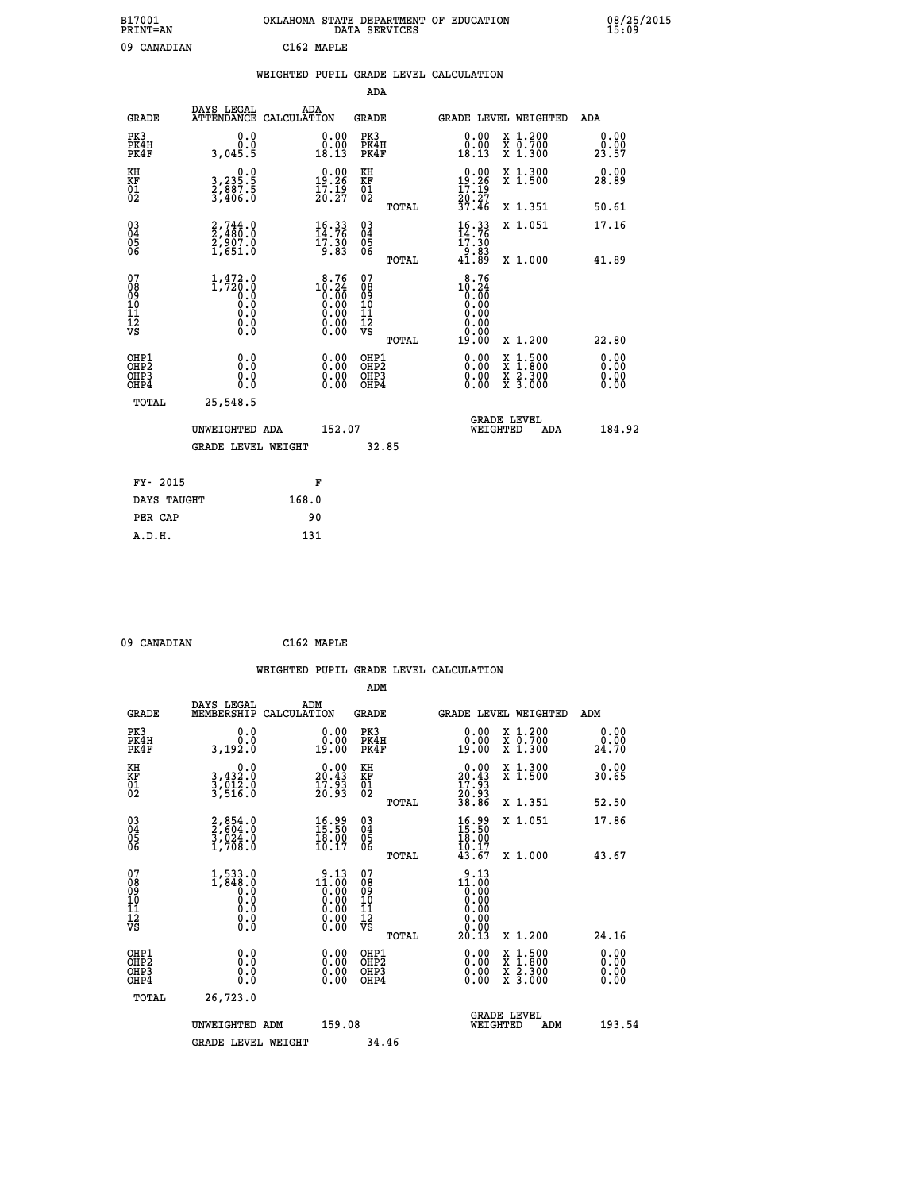| B17001<br><b>PRINT=AN</b> | OKLAHOMA STATE DEPARTMENT OF EDUCATION<br>DATA SERVICES |  |
|---------------------------|---------------------------------------------------------|--|
| 09 CANADIAN               | C162 MAPLE                                              |  |

|                                          |                                                                         |       |                                                                            |                                                     |       | WEIGHTED PUPIL GRADE LEVEL CALCULATION                   |                                          |                              |
|------------------------------------------|-------------------------------------------------------------------------|-------|----------------------------------------------------------------------------|-----------------------------------------------------|-------|----------------------------------------------------------|------------------------------------------|------------------------------|
|                                          |                                                                         |       |                                                                            | ADA                                                 |       |                                                          |                                          |                              |
| <b>GRADE</b>                             | DAYS LEGAL<br>ATTENDANCE CALCULATION                                    |       | ADA                                                                        | <b>GRADE</b>                                        |       | GRADE LEVEL WEIGHTED                                     |                                          | ADA                          |
| PK3<br>PK4H<br>PK4F                      | 0.0<br>0.0<br>3,045.5                                                   |       | 0.00<br>18.13                                                              | PK3<br>PK4H<br>PK4F                                 |       | 0.00<br>0.00<br>18.13                                    | X 1.200<br>X 0.700<br>X 1.300            | 0.00<br>0.00<br>23.57        |
| KH<br>KF<br>01<br>02                     | $\begin{smallmatrix}&&&0.0\\3,235.5\\2,887.5\\3,406.0\end{smallmatrix}$ |       | $0.00$<br>19:26<br>$\frac{1}{2}$ $\frac{7}{2}$ $\frac{1}{2}$ $\frac{3}{7}$ | KH<br>KF<br>01<br>02                                |       | $19.26$<br>$19.26$<br>$17.19$<br>$20.27$                 | X 1.300<br>X 1.500                       | 0.00<br>28.89                |
|                                          |                                                                         |       |                                                                            |                                                     | TOTAL | 37.46                                                    | X 1.351                                  | 50.61                        |
| 03<br>04<br>05<br>06                     | $2,744.0$<br>$2,907.0$<br>$2,907.0$<br>$1,651.0$                        |       | $\frac{16}{14}$ : 76<br>$\frac{17}{17}$ : 30                               | $\begin{array}{c} 03 \\ 04 \\ 05 \\ 06 \end{array}$ |       | $\frac{16}{14}$ : 76<br>$\frac{17}{17}$ : 30             | X 1.051                                  | 17.16                        |
|                                          |                                                                         |       | 9.83                                                                       |                                                     | TOTAL | 83.éT<br>41.89                                           | X 1.000                                  | 41.89                        |
| 07<br>08<br>09<br>11<br>11<br>12<br>VS   | $1, 472.0$<br>1,720.0<br>0.0<br>0.0<br>0.0<br>Ŏ.Ŏ                       |       | 8.76<br>$10.24$<br>0.00<br>0.00<br>0.00<br>0.00<br>0.00                    | 07<br>08<br>09<br>11<br>11<br>12<br>VS              | TOTAL | 8.76<br>$10.24$<br>0.00<br>0.00<br>0.00<br>0.00<br>19.00 | X 1.200                                  | 22.80                        |
| OHP1<br>OHP <sub>2</sub><br>OHP3<br>OHP4 | 0.0<br>Ō.Ō<br>0.0<br>0.0                                                |       | $\begin{smallmatrix} 0.00 \ 0.00 \ 0.00 \ 0.00 \end{smallmatrix}$          | OHP1<br>OHP <sub>2</sub><br>OHP3<br>OHP4            |       | 0.00<br>$0.00$<br>0.00                                   | X 1:500<br>X 1:800<br>X 2:300<br>X 3:000 | 0.00<br>0.00<br>0.00<br>0.00 |
| TOTAL                                    | 25,548.5                                                                |       |                                                                            |                                                     |       |                                                          |                                          |                              |
|                                          | UNWEIGHTED ADA                                                          |       | 152.07                                                                     |                                                     |       | WEIGHTED                                                 | <b>GRADE LEVEL</b><br>ADA                | 184.92                       |
|                                          | <b>GRADE LEVEL WEIGHT</b>                                               |       |                                                                            |                                                     | 32.85 |                                                          |                                          |                              |
| FY- 2015                                 |                                                                         |       | F                                                                          |                                                     |       |                                                          |                                          |                              |
| DAYS TAUGHT                              |                                                                         | 168.0 |                                                                            |                                                     |       |                                                          |                                          |                              |
| PER CAP                                  |                                                                         |       | 90                                                                         |                                                     |       |                                                          |                                          |                              |

 **A.D.H. 131**

 **09 CANADIAN C162 MAPLE**

|                                                    |                                                                 |                    |                                                                                                                                                                                                                                                                                                                                                 |                                              |       | WEIGHTED PUPIL GRADE LEVEL CALCULATION                                                                                                                                                                                                                                         |                                          |     |                              |
|----------------------------------------------------|-----------------------------------------------------------------|--------------------|-------------------------------------------------------------------------------------------------------------------------------------------------------------------------------------------------------------------------------------------------------------------------------------------------------------------------------------------------|----------------------------------------------|-------|--------------------------------------------------------------------------------------------------------------------------------------------------------------------------------------------------------------------------------------------------------------------------------|------------------------------------------|-----|------------------------------|
|                                                    |                                                                 |                    |                                                                                                                                                                                                                                                                                                                                                 | ADM                                          |       |                                                                                                                                                                                                                                                                                |                                          |     |                              |
| <b>GRADE</b>                                       | DAYS LEGAL<br>MEMBERSHIP                                        | ADM<br>CALCULATION |                                                                                                                                                                                                                                                                                                                                                 | <b>GRADE</b>                                 |       | <b>GRADE LEVEL WEIGHTED</b>                                                                                                                                                                                                                                                    |                                          | ADM |                              |
| PK3<br>PK4H<br>PK4F                                | 0.0<br>0.0<br>3,192.0                                           |                    | $\begin{smallmatrix} 0.00\\ 0.00\\ 19.00 \end{smallmatrix}$                                                                                                                                                                                                                                                                                     | PK3<br>PK4H<br>PK4F                          |       | 0.0000<br>19.00                                                                                                                                                                                                                                                                | X 1.200<br>X 0.700<br>X 1.300            |     | 0.00<br>0.00<br>24.70        |
| KH<br>KF<br>01<br>02                               | 0.0<br>3,432:0<br>3,012:0<br>3,516:0                            |                    | $\begin{smallmatrix} 0.00\\ 20.43\\ 17.93\\ 20.93 \end{smallmatrix}$                                                                                                                                                                                                                                                                            | KH<br>KF<br>01<br>02                         |       | $\begin{smallmatrix} 0.00\\ 20.43\\ 17.93\\ 20.93\\ 38.86 \end{smallmatrix}$                                                                                                                                                                                                   | X 1.300<br>X 1.500                       |     | 0.00<br>30.65                |
|                                                    |                                                                 |                    |                                                                                                                                                                                                                                                                                                                                                 |                                              | TOTAL |                                                                                                                                                                                                                                                                                | X 1.351                                  |     | 52.50                        |
| $\begin{matrix} 03 \\ 04 \\ 05 \\ 06 \end{matrix}$ | $2,854.0$<br>$2,604.0$<br>$3,024.0$<br>$1,708.0$                |                    | $\begin{smallmatrix} 16.99\\ 15.50\\ 18.00\\ 10.17 \end{smallmatrix}$                                                                                                                                                                                                                                                                           | 03<br>04<br>05<br>06                         |       | 16.99<br>15:50<br>18.00<br>1ŏ:ĭ7<br>43:67                                                                                                                                                                                                                                      | X 1.051                                  |     | 17.86                        |
|                                                    |                                                                 |                    |                                                                                                                                                                                                                                                                                                                                                 |                                              | TOTAL |                                                                                                                                                                                                                                                                                | X 1.000                                  |     | 43.67                        |
| 07<br>089<br>090<br>1112<br>VS                     | $1, 533.0$<br>$1, 848.0$<br>$0.0$<br>$0.0$<br>0.0<br>$\S.$ $\S$ |                    | $\begin{smallmatrix} 9 & 13 \\ 11 & 00 \\ 0 & 00 \\ 0 & 00 \\ 0 & 00 \\ 0 & 00 \\ 0 & 00 \\ 0 & 00 \\ 0 & 00 \\ 0 & 00 \\ 0 & 00 \\ 0 & 00 \\ 0 & 0 \\ 0 & 0 \\ 0 & 0 \\ 0 & 0 \\ 0 & 0 \\ 0 & 0 \\ 0 & 0 \\ 0 & 0 \\ 0 & 0 \\ 0 & 0 \\ 0 & 0 \\ 0 & 0 \\ 0 & 0 \\ 0 & 0 \\ 0 & 0 \\ 0 & 0 \\ 0 & 0 \\ 0 & 0 \\ 0 & 0 \\ 0 & 0 \\ 0 & 0 \\ 0 &$ | 07<br>08<br>09<br>11<br>11<br>12<br>VS       | TOTAL | $\begin{smallmatrix} 9 & 13 \\ 11 & 00 \\ 0 & 00 \\ 0 & 00 \\ 0 & 00 \\ 0 & 00 \\ 0 & 00 \\ 20 & 13 \end{smallmatrix}$                                                                                                                                                         | X 1.200                                  |     | 24.16                        |
|                                                    |                                                                 |                    |                                                                                                                                                                                                                                                                                                                                                 |                                              |       |                                                                                                                                                                                                                                                                                |                                          |     |                              |
| OHP1<br>OHP <sub>2</sub><br>OHP3<br>OHP4           | 0.0<br>0.000                                                    |                    | $\begin{smallmatrix} 0.00 \ 0.00 \ 0.00 \ 0.00 \end{smallmatrix}$                                                                                                                                                                                                                                                                               | OHP1<br>OHP <sub>2</sub><br>OHP <sub>3</sub> |       | $\begin{smallmatrix} 0.00 & 0.00 & 0.00 & 0.00 & 0.00 & 0.00 & 0.00 & 0.00 & 0.00 & 0.00 & 0.00 & 0.00 & 0.00 & 0.00 & 0.00 & 0.00 & 0.00 & 0.00 & 0.00 & 0.00 & 0.00 & 0.00 & 0.00 & 0.00 & 0.00 & 0.00 & 0.00 & 0.00 & 0.00 & 0.00 & 0.00 & 0.00 & 0.00 & 0.00 & 0.00 & 0.0$ | X 1:500<br>X 1:800<br>X 2:300<br>X 3:000 |     | 0.00<br>0.00<br>0.00<br>0.00 |
| TOTAL                                              | 26,723.0                                                        |                    |                                                                                                                                                                                                                                                                                                                                                 |                                              |       |                                                                                                                                                                                                                                                                                |                                          |     |                              |
|                                                    | UNWEIGHTED ADM<br><b>GRADE LEVEL WEIGHT</b>                     |                    | 159.08                                                                                                                                                                                                                                                                                                                                          | 34.46                                        |       | WEIGHTED                                                                                                                                                                                                                                                                       | <b>GRADE LEVEL</b><br>ADM                |     | 193.54                       |
|                                                    |                                                                 |                    |                                                                                                                                                                                                                                                                                                                                                 |                                              |       |                                                                                                                                                                                                                                                                                |                                          |     |                              |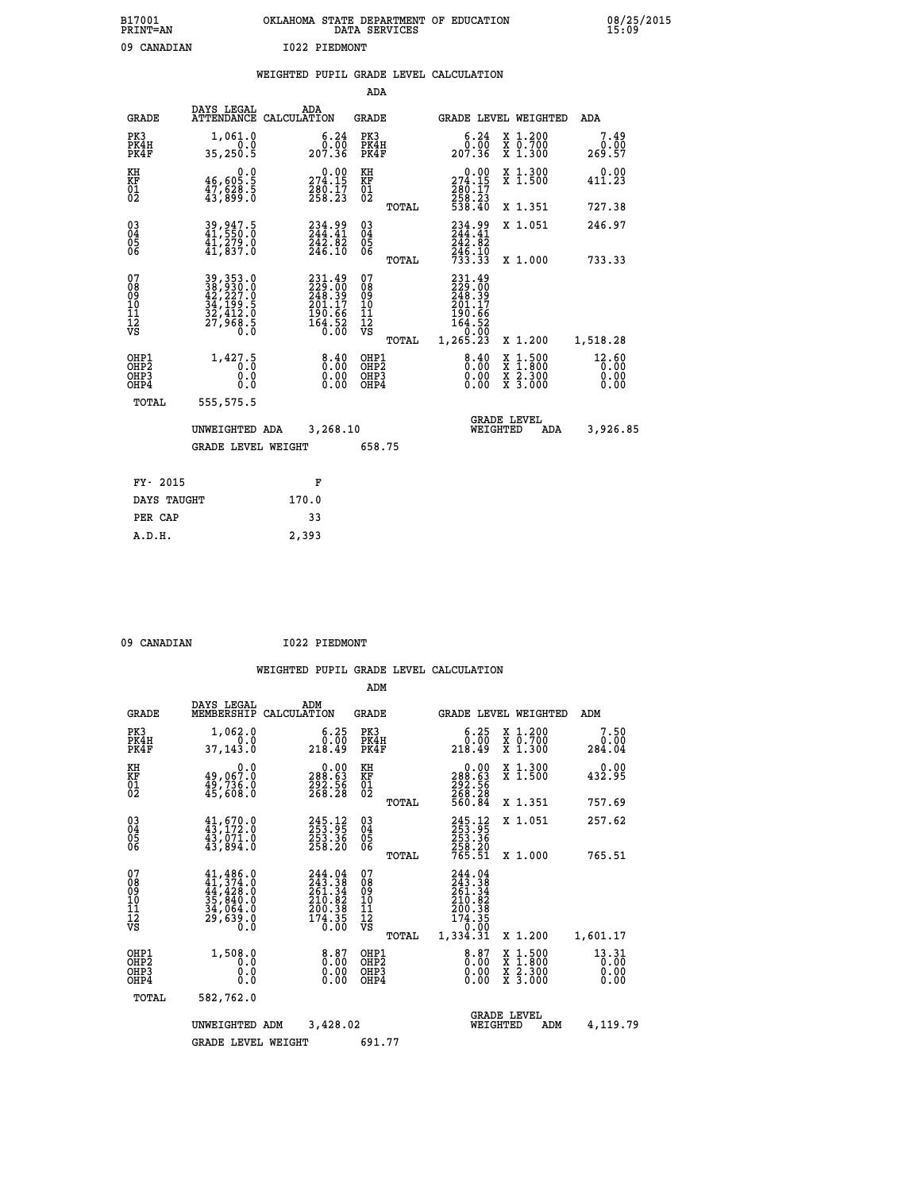| B17001<br>PRINT=AN | OKLAHOMA STATE DEPARTMENT OF EDUCATION<br>DATA SERVICES | 08/25/2015<br>15:09 |
|--------------------|---------------------------------------------------------|---------------------|
| 09<br>CANADIAN     | 1022 PIEDMONT                                           |                     |

|  |  | WEIGHTED PUPIL GRADE LEVEL CALCULATION |
|--|--|----------------------------------------|
|  |  |                                        |

|                                                                  |                                                                            |                                                                            | ADA                                      |       |                                                                                                           |                                                                                                  |                               |
|------------------------------------------------------------------|----------------------------------------------------------------------------|----------------------------------------------------------------------------|------------------------------------------|-------|-----------------------------------------------------------------------------------------------------------|--------------------------------------------------------------------------------------------------|-------------------------------|
| <b>GRADE</b>                                                     | DAYS LEGAL                                                                 | ADA<br>ATTENDANCE CALCULATION                                              | <b>GRADE</b>                             |       |                                                                                                           | GRADE LEVEL WEIGHTED                                                                             | ADA                           |
| PK3<br>PK4H<br>PK4F                                              | 1,061.0<br>0.0<br>35,250.5                                                 | $\begin{array}{c} 6.24 \\ 0.00 \\ 207.36 \end{array}$                      | PK3<br>PK4H<br>PK4F                      |       | 6.24<br>0.00<br>207.36                                                                                    | X 1.200<br>X 0.700<br>X 1.300                                                                    | 7.49<br>0.00<br>269.57        |
| KH<br>KF<br>01<br>02                                             | 0.0<br>46,605:5<br>47,628:5<br>43,899:0                                    | $\substack{ \textcolor{red}{274.15} \\ 274.15 \\ 280.17 \\ 258.23 }$       | KH<br>KF<br>01<br>02                     |       | $\begin{smallmatrix} &0.00\\ 274.15\\ 280.17\\ 258.23\\ 538.40 \end{smallmatrix}$                         | X 1.300<br>X 1.500                                                                               | 0.00<br>411.23                |
|                                                                  |                                                                            |                                                                            |                                          | TOTAL |                                                                                                           | X 1.351                                                                                          | 727.38                        |
| $\begin{matrix} 03 \\ 04 \\ 05 \\ 06 \end{matrix}$               | 39, 947.5<br>41, 550:0<br>$\frac{4\bar{1}}{41}, \frac{\bar{2}}{837}.0$     | 234.99<br>244.41<br>242.02<br>246.10                                       | $\substack{03 \\ 04}$<br>05              |       | 234.99<br>$242.82$<br>$246.10$<br>$733.33$                                                                | X 1.051                                                                                          | 246.97                        |
|                                                                  |                                                                            |                                                                            |                                          | TOTAL |                                                                                                           | X 1.000                                                                                          | 733.33                        |
| 07<br>08<br>09<br>10<br>11<br>12<br>VS                           | 39, 353.0<br>38, 930.0<br>42, 227.0<br>34, 199.5<br>32, 412.0<br>27, 968.5 | 231.49<br>229.00<br>248.39<br>201.17<br>201.66<br>190.66<br>164.52<br>0.00 | 07<br>08<br>09<br>11<br>11<br>12<br>VS   |       | 231.49<br>$\frac{229}{248}$ . $\frac{30}{39}$<br>$\frac{201}{201}$ . 17<br>$190.66$<br>$164.52$<br>$0.00$ |                                                                                                  |                               |
|                                                                  |                                                                            |                                                                            |                                          | TOTAL | 1, 265.23                                                                                                 | X 1.200                                                                                          | 1,518.28                      |
| OHP1<br>OH <sub>P</sub> <sub>2</sub><br>OH <sub>P3</sub><br>OHP4 | 1,427.5<br>0.0<br>0.0                                                      | 0.40<br>0.00<br>0.00                                                       | OHP1<br>OHP <sub>2</sub><br>OHP3<br>OHP4 |       | $0.00$<br>$0.00$<br>0.00                                                                                  | $\begin{smallmatrix} x & 1 & 500 \\ x & 1 & 800 \\ x & 2 & 300 \\ x & 3 & 000 \end{smallmatrix}$ | 12.60<br>0.00<br>0.00<br>0.00 |
| <b>TOTAL</b>                                                     | 555,575.5                                                                  |                                                                            |                                          |       |                                                                                                           |                                                                                                  |                               |
|                                                                  | UNWEIGHTED ADA                                                             | 3,268.10                                                                   |                                          |       | WEIGHTED                                                                                                  | <b>GRADE LEVEL</b><br>ADA                                                                        | 3,926.85                      |
|                                                                  | <b>GRADE LEVEL WEIGHT</b>                                                  |                                                                            | 658.75                                   |       |                                                                                                           |                                                                                                  |                               |
|                                                                  |                                                                            |                                                                            |                                          |       |                                                                                                           |                                                                                                  |                               |
| FY- 2015                                                         |                                                                            | F                                                                          |                                          |       |                                                                                                           |                                                                                                  |                               |
| DAYS TAUGHT                                                      |                                                                            | 170.0                                                                      |                                          |       |                                                                                                           |                                                                                                  |                               |
| PER CAP                                                          |                                                                            | 33                                                                         |                                          |       |                                                                                                           |                                                                                                  |                               |

| 09 CANADIAN |  |
|-------------|--|
|             |  |

 **A.D.H. 2,393**

 **09 CANADIAN I022 PIEDMONT**

|                                                       |                                                                                                                                                 |                                                                                | ADM                                                 |       |                                                                                     |          |                                                                                                  |                               |  |
|-------------------------------------------------------|-------------------------------------------------------------------------------------------------------------------------------------------------|--------------------------------------------------------------------------------|-----------------------------------------------------|-------|-------------------------------------------------------------------------------------|----------|--------------------------------------------------------------------------------------------------|-------------------------------|--|
| <b>GRADE</b>                                          | DAYS LEGAL<br>MEMBERSHIP                                                                                                                        | ADM<br>CALCULATION                                                             | <b>GRADE</b>                                        |       |                                                                                     |          | <b>GRADE LEVEL WEIGHTED</b>                                                                      | ADM                           |  |
| PK3<br>PK4H<br>PK4F                                   | 1,062.0<br>0.0<br>37,143.0                                                                                                                      | 6.25<br>0.00<br>218.49                                                         | PK3<br>PK4H<br>PK4F                                 |       | 6.25<br>0.00<br>218.49                                                              |          | X 1.200<br>X 0.700<br>X 1.300                                                                    | 7.50<br>0.00<br>284.04        |  |
| KH<br>KF<br>01<br>02                                  | 0.0<br>49,067.0<br>49,736.0<br>45,608.0                                                                                                         | $\begin{smallmatrix} &0.00\ 288.63\ 292.56\ 268.28 \end{smallmatrix}$          | KH<br>KF<br>01<br>02                                |       | $\begin{smallmatrix} &0.00\\ 288.63\\ 292.56\\ 268.28\\ 560.84\end{smallmatrix}$    |          | X 1.300<br>X 1.500                                                                               | 0.00<br>432.95                |  |
|                                                       |                                                                                                                                                 |                                                                                |                                                     | TOTAL |                                                                                     |          | X 1.351                                                                                          | 757.69                        |  |
| 03<br>04<br>05<br>06                                  | $43, 670.0$<br>$43, 172.0$<br>$43, 071.0$<br>$43, 894.0$                                                                                        | $245.12$<br>$253.95$<br>$253.36$<br>$258.20$                                   | $\begin{array}{c} 03 \\ 04 \\ 05 \\ 06 \end{array}$ |       | 245.12<br>253.95<br>253.36<br>258.20<br>765.51                                      |          | X 1.051                                                                                          | 257.62                        |  |
|                                                       |                                                                                                                                                 |                                                                                |                                                     | TOTAL |                                                                                     |          | X 1.000                                                                                          | 765.51                        |  |
| 07<br>08<br>09<br>101<br>112<br>VS                    | $\begin{smallmatrix} 41,486\cdot 0\\ 41,374\cdot 0\\ 44,428\cdot 0\\ 35,840\cdot 0\\ 34,064\cdot 0\\ 29,639\cdot 0\\ 0\cdot 0\end{smallmatrix}$ | $244.04$<br>$243.38$<br>$261.34$<br>$210.82$<br>$200.38$<br>$174.35$<br>$0.00$ | 07<br>08<br>09<br>11<br>11<br>12<br>VS              | TOTAL | $244.04$<br>$243.38$<br>$261.34$<br>$210.82$<br>$\frac{200.38}{174.35}$<br>1,334.31 |          | X 1.200                                                                                          | 1,601.17                      |  |
| OHP1<br>OH <sub>P</sub> 2<br>OH <sub>P3</sub><br>OHP4 | 1,508.0<br>0.0<br>0.000                                                                                                                         | $\begin{smallmatrix} 8.87\ 0.00\ 0.00 \end{smallmatrix}$<br>0.00               | OHP1<br>OHP2<br>OHP3<br>OHP4                        |       | $\begin{smallmatrix} 8.87\ 0.00\ 0.00 \end{smallmatrix}$<br>0.00                    |          | $\begin{smallmatrix} x & 1 & 500 \\ x & 1 & 800 \\ x & 2 & 300 \\ x & 3 & 000 \end{smallmatrix}$ | 13.31<br>0.00<br>0.00<br>0.00 |  |
| TOTAL                                                 | 582,762.0                                                                                                                                       |                                                                                |                                                     |       |                                                                                     |          |                                                                                                  |                               |  |
|                                                       | UNWEIGHTED ADM                                                                                                                                  | 3,428.02                                                                       |                                                     |       |                                                                                     | WEIGHTED | <b>GRADE LEVEL</b><br>ADM                                                                        | 4,119.79                      |  |
|                                                       | <b>GRADE LEVEL WEIGHT</b>                                                                                                                       |                                                                                | 691.77                                              |       |                                                                                     |          |                                                                                                  |                               |  |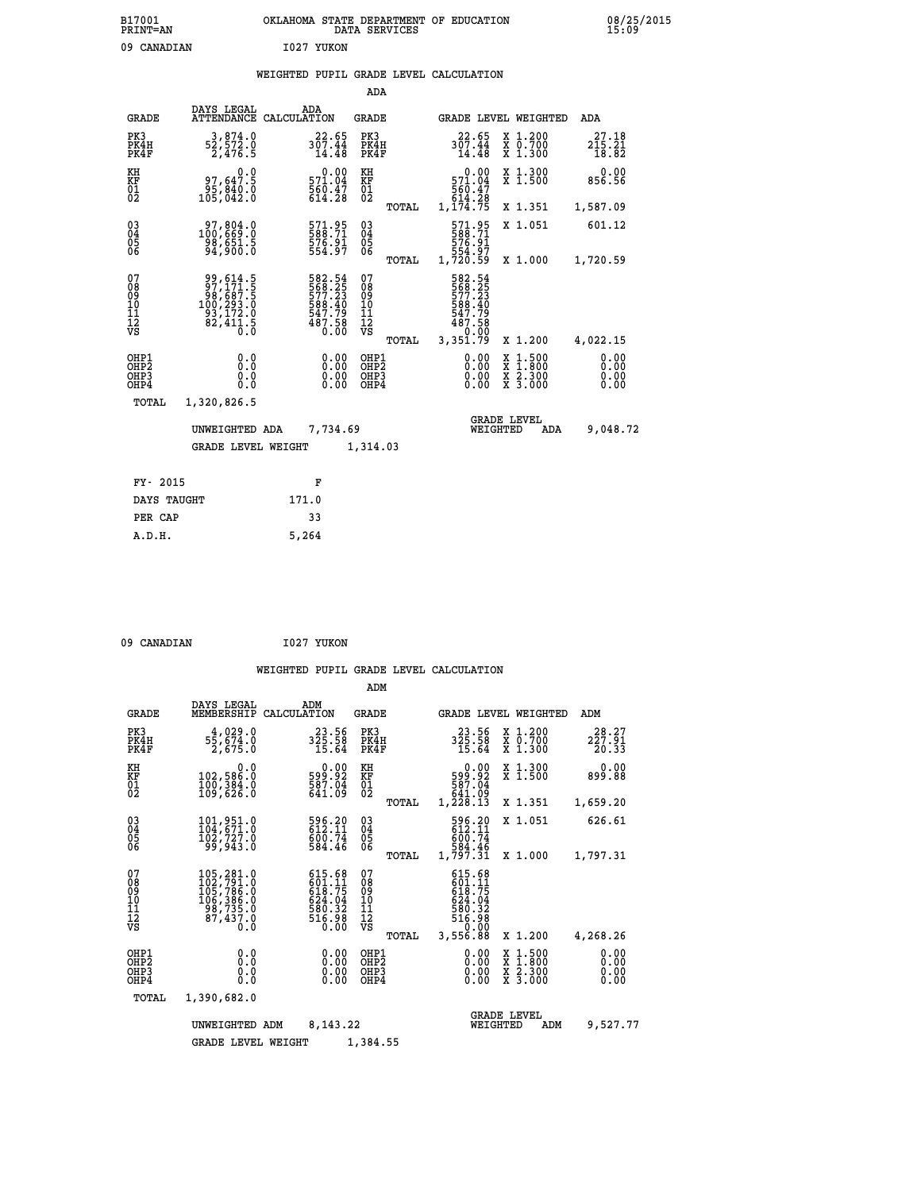|  |  | WEIGHTED PUPIL GRADE LEVEL CALCULATION |
|--|--|----------------------------------------|
|  |  |                                        |

|                                        |                                                                                                             |                                                                  | ADA                                      |       |                                                                              |                                |                                          |                              |
|----------------------------------------|-------------------------------------------------------------------------------------------------------------|------------------------------------------------------------------|------------------------------------------|-------|------------------------------------------------------------------------------|--------------------------------|------------------------------------------|------------------------------|
| <b>GRADE</b>                           | DAYS LEGAL<br><b>ATTENDANCE</b>                                                                             | ADA<br>CALCULATION                                               | GRADE                                    |       |                                                                              |                                | GRADE LEVEL WEIGHTED                     | <b>ADA</b>                   |
| PK3<br>PK4H<br>PK4F                    | 3,874.0<br>52,572.0<br>2,476.5                                                                              | 22.65<br>$3\overline{0}\overline{7}\cdot 4\overline{4}$<br>14.48 | PK3<br>PK4H<br>PK4F                      |       | 22.65<br>307.44<br>14.48                                                     |                                | X 1.200<br>X 0.700<br>X 1.300            | 27.18<br>215.21<br>18.82     |
| KH<br><b>KF</b><br>01<br>02            | 0.0<br>97,647.5<br>$\frac{95}{105}$ , $\frac{840}{942}$ .0                                                  | 0.00<br>571.04<br>$\frac{560.47}{614.28}$                        | KH<br>KF<br>$\overline{01}$              |       | 0.00<br>571.04<br>560.47<br>560.47<br>614.28<br>1,174.75                     |                                | X 1.300<br>$\overline{x}$ 1.500          | 0.00<br>856.56               |
|                                        |                                                                                                             |                                                                  |                                          | TOTAL |                                                                              |                                | X 1.351                                  | 1,587.09                     |
| $^{03}_{04}$<br>05<br>06               | 100,669.0<br>98,651.5<br>94,900.0                                                                           | 571.95<br>588.71<br>576.91<br>554.97                             | $\substack{03 \\ 04}$<br>$\frac{05}{06}$ |       | 571.95<br>588.71<br>576.91<br>554.97<br>1,720.59                             |                                | X 1.051                                  | 601.12                       |
|                                        |                                                                                                             |                                                                  |                                          | TOTAL |                                                                              |                                | X 1.000                                  | 1,720.59                     |
| 07<br>08<br>09<br>11<br>11<br>12<br>VS | $\begin{array}{c} 99,614.5 \\ 97,171.5 \\ 98,687.5 \\ 100,293.0 \\ 93,172.0 \\ 82,411.5 \\ 0.0 \end{array}$ | 582.54<br>568.25<br>577.23<br>588.40<br>547.79<br>487.58<br>Ó.ŎŎ | 07<br>08<br>09<br>101<br>11<br>12<br>VS  | TOTAL | 582.54<br>568.25<br>577.23<br>588.40<br>547.79<br>487.58<br>0:00<br>3,351.79 |                                | X 1.200                                  | 4,022.15                     |
| OHP1<br>OHP2<br>OHP3<br>OHP4           | 0.0<br>0.0<br>0.0                                                                                           | 0.00<br>$0.00$<br>0.00                                           | OHP1<br>OHP2<br>OHP3<br>OHP4             |       | 0.00<br>0.00<br>0.00                                                         | X<br>X                         | $1.500$<br>$1.800$<br>X 2.300<br>X 3.000 | 0.00<br>0.00<br>0.00<br>0.00 |
| TOTAL                                  | 1,320,826.5                                                                                                 |                                                                  |                                          |       |                                                                              |                                |                                          |                              |
|                                        | UNWEIGHTED ADA                                                                                              | 7,734.69                                                         |                                          |       |                                                                              | <b>GRADE LEVEL</b><br>WEIGHTED | ADA                                      | 9,048.72                     |
|                                        | <b>GRADE LEVEL WEIGHT</b>                                                                                   |                                                                  | 1,314.03                                 |       |                                                                              |                                |                                          |                              |
| FY- 2015                               |                                                                                                             | F                                                                |                                          |       |                                                                              |                                |                                          |                              |
| DAYS TAUGHT                            |                                                                                                             | 171.0                                                            |                                          |       |                                                                              |                                |                                          |                              |
|                                        |                                                                                                             |                                                                  |                                          |       |                                                                              |                                |                                          |                              |

 **PER CAP 33 A.D.H. 5,264**

09 CANADIAN 1027 YUKON

|                                                       |                                                                                                                          |                                                                        | ADM                                              |                                                                                    |                                                                                                  |                              |
|-------------------------------------------------------|--------------------------------------------------------------------------------------------------------------------------|------------------------------------------------------------------------|--------------------------------------------------|------------------------------------------------------------------------------------|--------------------------------------------------------------------------------------------------|------------------------------|
| <b>GRADE</b>                                          | DAYS LEGAL<br>MEMBERSHIP                                                                                                 | ADM<br>CALCULATION                                                     | <b>GRADE</b>                                     | GRADE LEVEL WEIGHTED                                                               |                                                                                                  | ADM                          |
| PK3<br>PK4H<br>PK4F                                   | 4,029.0<br>55,ĕ74.ŏ<br>2,675.O                                                                                           | 23.56<br>$3\bar{2}\bar{5}\cdot\bar{5}\bar{8}\ 15.64$                   | PK3<br>PK4H<br>PK4F                              | 23.56<br>325.58<br>15.64                                                           | X 1.200<br>X 0.700<br>X 1.300                                                                    | 28.27<br>227.91<br>20.33     |
| KH<br>KF<br>01<br>02                                  | 0.0<br>102,586.0<br>100,304.0<br>109,626.0                                                                               | $\begin{smallmatrix} 0.00\\599.92\\587.04\\641.09\end{smallmatrix}$    | KH<br>KF<br>01<br>02                             | 0.00<br>$599.92$<br>587.04<br>541.09<br>1,228.13                                   | X 1.300<br>X 1.500                                                                               | 0.00<br>899.88               |
|                                                       |                                                                                                                          |                                                                        | TOTAL                                            |                                                                                    | X 1.351                                                                                          | 1,659.20                     |
| 03<br>04<br>05<br>06                                  | 101,951.0<br>104,671.0<br>102,727.0<br>99,943.0                                                                          | 596.20<br>612.11<br>600.74<br>584.46                                   | $\substack{03 \\ 04}$<br>05                      | 596.20<br>612.11<br>600.74<br>584.46                                               | X 1.051                                                                                          | 626.61                       |
|                                                       |                                                                                                                          |                                                                        | TOTAL                                            | 1,797.31                                                                           | X 1.000                                                                                          | 1,797.31                     |
| 07<br>08<br>09<br>11<br>11<br>12<br>VS                | $\begin{smallmatrix} 105, 281.0\\ 102, 791.0\\ 105, 786.0\\ 106, 386.0\\ 98, 735.0\\ 87, 437.0 \end{smallmatrix}$<br>0.0 | $615.68$<br>$601.11$<br>$618.75$<br>624.04<br>580.32<br>516.98<br>0.00 | 07<br>08<br>09<br>101<br>11<br>12<br>VS<br>TOTAL | $615.68$<br>$601.11$<br>$618.75$<br>624.04<br>580.32<br>516.98<br>0.00<br>3,556.88 | X 1.200                                                                                          | 4,268.26                     |
| OHP1<br>OH <sub>P</sub> 2<br>OH <sub>P3</sub><br>OHP4 | 0.0<br>0.000                                                                                                             | 0.00<br>0.00<br>0.00                                                   | OHP1<br>OHP2<br>OHP3<br>OHP4                     | $0.00$<br>$0.00$<br>0.00                                                           | $\begin{smallmatrix} x & 1 & 500 \\ x & 1 & 800 \\ x & 2 & 300 \\ x & 3 & 000 \end{smallmatrix}$ | 0.00<br>0.00<br>0.00<br>0.00 |
| TOTAL                                                 | 1,390,682.0                                                                                                              |                                                                        |                                                  |                                                                                    |                                                                                                  |                              |
|                                                       | UNWEIGHTED ADM                                                                                                           | 8, 143, 22                                                             |                                                  | WEIGHTED                                                                           | <b>GRADE LEVEL</b><br>ADM                                                                        | 9,527.77                     |
|                                                       | <b>GRADE LEVEL WEIGHT</b>                                                                                                |                                                                        | 1,384.55                                         |                                                                                    |                                                                                                  |                              |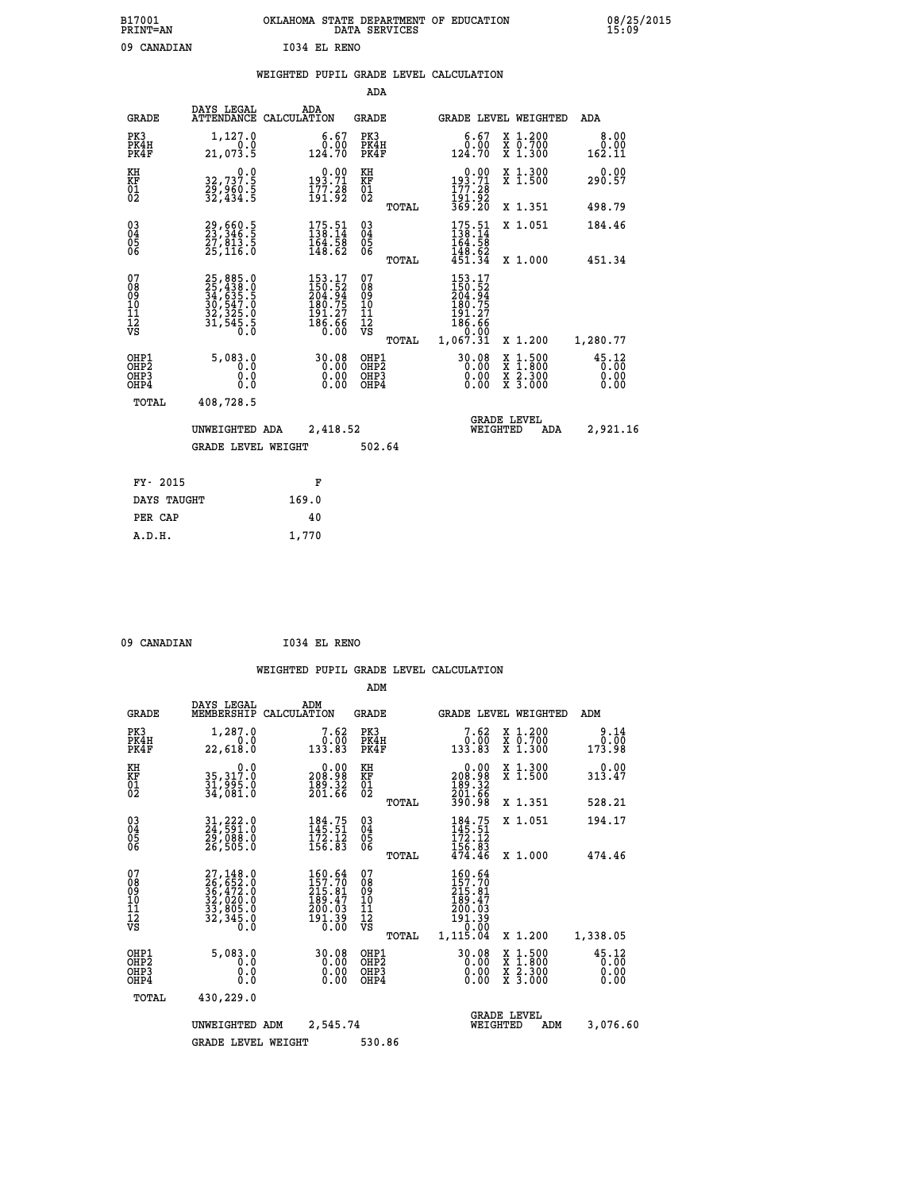| B17001<br><b>PRINT=AN</b> |              | OKLAHOMA STATE DEPARTMENT OF EDUCATION<br>DATA SERVICES |  |
|---------------------------|--------------|---------------------------------------------------------|--|
| 09 CANADIAN               | 1034 EL RENO |                                                         |  |

**CON** 08/25/2015

|  |  | WEIGHTED PUPIL GRADE LEVEL CALCULATION |
|--|--|----------------------------------------|
|  |  |                                        |

|                                                                    |                                                                      |                                                                                                                                | ADA                                            |       |                                                                                                 |                                                                          |                               |
|--------------------------------------------------------------------|----------------------------------------------------------------------|--------------------------------------------------------------------------------------------------------------------------------|------------------------------------------------|-------|-------------------------------------------------------------------------------------------------|--------------------------------------------------------------------------|-------------------------------|
| <b>GRADE</b>                                                       | DAYS LEGAL                                                           | ADA<br>ATTENDANCE CALCULATION                                                                                                  | <b>GRADE</b>                                   |       |                                                                                                 | GRADE LEVEL WEIGHTED                                                     | <b>ADA</b>                    |
| PK3<br>PK4H<br>PK4F                                                | 1,127.0<br>0.0<br>21,073.5                                           | $\begin{smallmatrix} 6.67\ 0.00\ 124.70 \end{smallmatrix}$                                                                     | PK3<br>PK4H<br>PK4F                            |       | 6.67<br>ةُ:ة<br>124.70                                                                          | X 1.200<br>X 0.700<br>X 1.300                                            | 8.00<br>0.00<br>162.11        |
| KH<br>KF<br>01<br>02                                               | 32,737.9<br>29,960.5<br>32,434.5                                     | $0.00$<br>193.71<br>$\frac{177.28}{191.92}$                                                                                    | KH<br>KF<br>$\overline{01}$                    |       | $\begin{smallmatrix} &0.00\\ 193.71\\ 177.28\\ 191.92\\ 369.20 \end{smallmatrix}$               | X 1.300<br>X 1.500                                                       | 0.00<br>290.57                |
|                                                                    |                                                                      |                                                                                                                                |                                                | TOTAL |                                                                                                 | X 1.351                                                                  | 498.79                        |
| $\begin{smallmatrix} 03 \\[-4pt] 04 \end{smallmatrix}$<br>05<br>ŌĞ | 29,660.5<br>23,346.5<br>27,013.5<br>25,116.0                         | $175.51$<br>$138.14$<br>$\frac{164}{148}$ $\frac{55}{62}$                                                                      | $\substack{03 \\ 04}$<br>$\substack{05 \\ 06}$ |       | $175.51$<br>$138.14$<br>$\frac{164.58}{148.62}$<br>$\frac{451.34}{151.34}$                      | X 1.051                                                                  | 184.46                        |
|                                                                    |                                                                      |                                                                                                                                |                                                | TOTAL |                                                                                                 | X 1.000                                                                  | 451.34                        |
| 07<br>08<br>09<br>11<br>11<br>12<br>VS                             | 25,885.0<br>25,438.0<br>34,635.5<br>30,547.0<br>32,325.0<br>31,545.5 | $\begin{smallmatrix} 153\cdot 17\\150\cdot 52\\204\cdot 94\\180\cdot 75\\191\cdot 27\\186\cdot 66\\0\cdot 00\end{smallmatrix}$ | 07<br>08<br>09<br>11<br>11<br>12<br>VS         |       | 153.17<br>$\begin{array}{r} 150.52 \\ 204.94 \\ 180.75 \\ 191.27 \\ 186.66 \end{array}$<br>0.00 |                                                                          |                               |
|                                                                    |                                                                      |                                                                                                                                |                                                | TOTAL | 1,067.31                                                                                        | X 1.200                                                                  | 1,280.77                      |
| OHP1<br>OH <sub>P</sub> 2<br>OHP3<br>OHP4                          | 5,083.0<br>0.0<br>0.0<br>0.0                                         | 30.08<br>0.00                                                                                                                  | OHP1<br>OHP <sub>2</sub><br>OHP3<br>OHP4       |       | 30.08<br>0.00<br>0.00                                                                           | $1:500$<br>1:800<br>X<br>X<br>$\frac{\ddot{x}}{x}$ $\frac{2.300}{3.000}$ | 45.12<br>0.00<br>0.00<br>0.00 |
| TOTAL                                                              | 408,728.5                                                            |                                                                                                                                |                                                |       |                                                                                                 |                                                                          |                               |
|                                                                    | UNWEIGHTED ADA                                                       | 2,418.52                                                                                                                       |                                                |       |                                                                                                 | <b>GRADE LEVEL</b><br>WEIGHTED<br>ADA                                    | 2,921.16                      |
|                                                                    | <b>GRADE LEVEL WEIGHT</b>                                            |                                                                                                                                | 502.64                                         |       |                                                                                                 |                                                                          |                               |
| FY- 2015                                                           |                                                                      | F                                                                                                                              |                                                |       |                                                                                                 |                                                                          |                               |
| DAYS TAUGHT                                                        |                                                                      | 169.0                                                                                                                          |                                                |       |                                                                                                 |                                                                          |                               |
| PER CAP                                                            |                                                                      | 40                                                                                                                             |                                                |       |                                                                                                 |                                                                          |                               |

 **09 CANADIAN I034 EL RENO**

 **A.D.H. 1,770**

|                                                       |                                                                                           |                                                                                                          | ADM                                              |                                                                              |                                          |                               |
|-------------------------------------------------------|-------------------------------------------------------------------------------------------|----------------------------------------------------------------------------------------------------------|--------------------------------------------------|------------------------------------------------------------------------------|------------------------------------------|-------------------------------|
| <b>GRADE</b>                                          | DAYS LEGAL<br>MEMBERSHIP                                                                  | ADM<br>CALCULATION                                                                                       | <b>GRADE</b>                                     | <b>GRADE LEVEL WEIGHTED</b>                                                  |                                          | ADM                           |
| PK3<br>PK4H<br>PK4F                                   | 1,287.0<br>0.0<br>22,618.0                                                                | 7.62<br>0.00<br>133.83                                                                                   | PK3<br>PK4H<br>PK4F                              | 7.62<br>0:00<br>133.83                                                       | X 1.200<br>X 0.700<br>X 1.300            | 9.14<br>0.00<br>173.98        |
| KH<br>KF<br>01<br>02                                  | 0.0<br>35,317.0<br>31,996.0<br>34,081.0                                                   | 208.98<br>$\frac{189.52}{201.66}$                                                                        | KH<br>KF<br>01<br>02                             | 0.00<br>208:98<br>189:32<br>201:66<br>390:98                                 | X 1.300<br>X 1.500                       | 0.00<br>313.47                |
|                                                       |                                                                                           |                                                                                                          | TOTAL                                            |                                                                              | X 1.351                                  | 528.21                        |
| 03<br>04<br>05<br>06                                  | 31,222.0<br>24,591.0<br>29,088.0<br>26,505.0                                              | $184.75$<br>$145.51$<br>$\frac{172.12}{156.83}$                                                          | $\substack{03 \\ 04}$<br>0500                    | $184.75$<br>$145.51$<br>$\frac{172.12}{156.83}$<br>$\frac{474.46}{$          | X 1.051                                  | 194.17                        |
|                                                       |                                                                                           |                                                                                                          | TOTAL                                            |                                                                              | X 1.000                                  | 474.46                        |
| 07<br>08<br>09<br>101<br>112<br>VS                    | $27,148.0$<br>$26,652.0$<br>$36,472.0$<br>$32,020.0$<br>$33,805.0$<br>$32,345.0$<br>$0.0$ | 160.64<br>157.70<br>215.81<br>189.47<br>200.03<br>$\frac{1}{9}\begin{array}{c} 1.39 \\ 0.00 \end{array}$ | 07<br>08<br>09<br>101<br>11<br>12<br>VS<br>TOTAL | 160.64<br>157.70<br>215.81<br>189.47<br>200.03<br>191.39<br>0.00<br>1,115.04 | X 1.200                                  | 1,338.05                      |
| OHP1<br>OH <sub>P</sub> 2<br>OH <sub>P3</sub><br>OHP4 | 5,083.0<br>0.0<br>0.000                                                                   | 30.08<br>0.00<br>0.00<br>0.00                                                                            | OHP1<br>OHP2<br>OHP3<br>OHP4                     | 30.08<br>0.00<br>0.00                                                        | X 1:500<br>X 1:800<br>X 2:300<br>X 3:000 | 45.12<br>0.00<br>0.00<br>0.00 |
|                                                       | 430,229.0<br>TOTAL                                                                        |                                                                                                          |                                                  |                                                                              |                                          |                               |
|                                                       | UNWEIGHTED                                                                                | 2,545.74<br>ADM                                                                                          |                                                  | <b>GRADE LEVEL</b><br>WEIGHTED                                               | ADM                                      | 3,076.60                      |
|                                                       | <b>GRADE LEVEL WEIGHT</b>                                                                 |                                                                                                          | 530.86                                           |                                                                              |                                          |                               |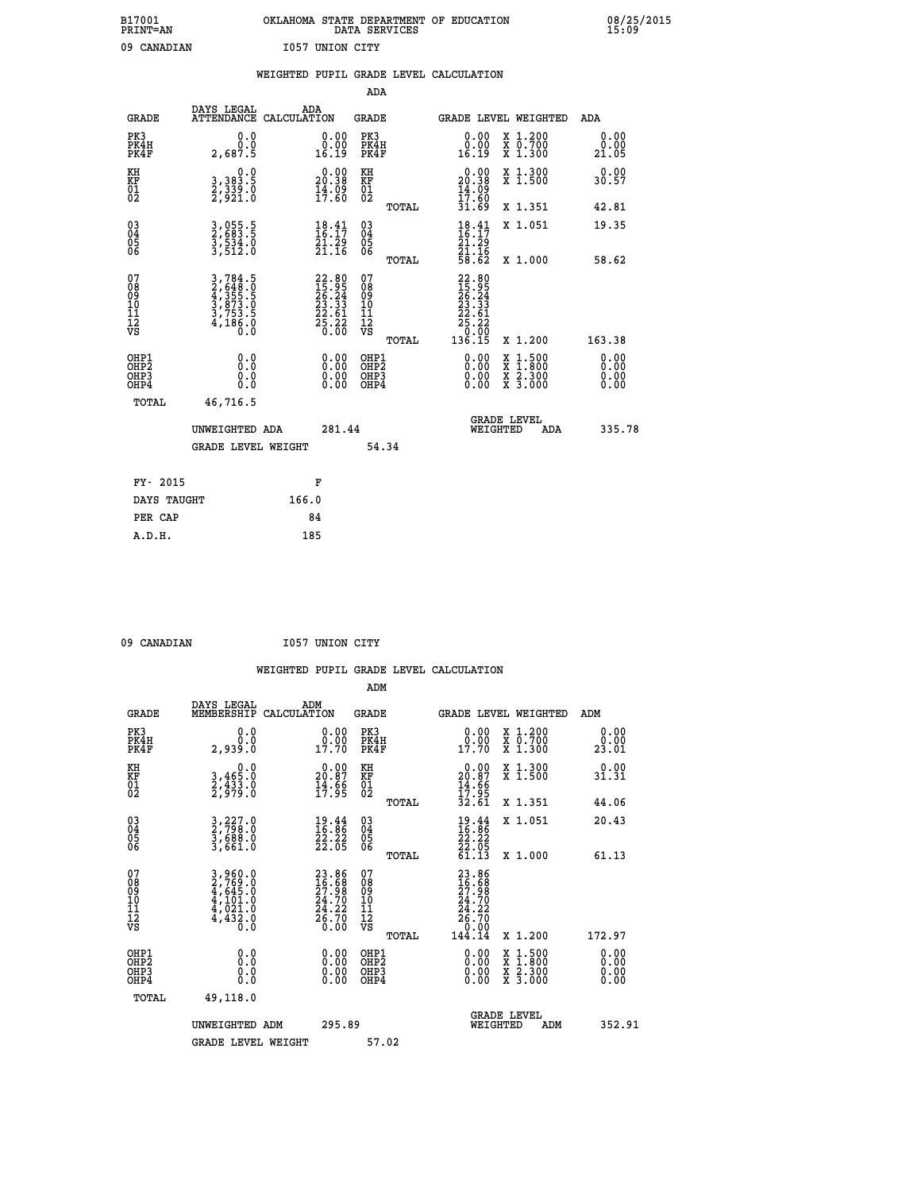| B17001          | OKLAHOMA STATE DEPARTMENT OF EDUCATION |
|-----------------|----------------------------------------|
| <b>PRINT=AN</b> | DATA SERVICES                          |
| 09 CANADIAN     | 1057 UNION CITY                        |

|                                                                    |                                                                                                                                               | WEIGHTED PUPIL GRADE LEVEL CALCULATION                               |                                        |       |                                                                                                                                                                                                                                                                                |                                                                                                                                              |                              |
|--------------------------------------------------------------------|-----------------------------------------------------------------------------------------------------------------------------------------------|----------------------------------------------------------------------|----------------------------------------|-------|--------------------------------------------------------------------------------------------------------------------------------------------------------------------------------------------------------------------------------------------------------------------------------|----------------------------------------------------------------------------------------------------------------------------------------------|------------------------------|
|                                                                    |                                                                                                                                               |                                                                      | <b>ADA</b>                             |       |                                                                                                                                                                                                                                                                                |                                                                                                                                              |                              |
| <b>GRADE</b>                                                       | DAYS LEGAL<br>ATTENDANCE CALCULATION                                                                                                          | ADA                                                                  | <b>GRADE</b>                           |       |                                                                                                                                                                                                                                                                                | GRADE LEVEL WEIGHTED                                                                                                                         | <b>ADA</b>                   |
| PK3<br>PK4H<br>PK4F                                                | 0.0<br>ة:ة<br>2,687.5                                                                                                                         | $\begin{smallmatrix} 0.00\\ 0.00\\ 16.19 \end{smallmatrix}$          | PK3<br>PK4H<br>PK4F                    |       | 0.00<br>ة.ة.<br>16.19                                                                                                                                                                                                                                                          | X 1.200<br>X 0.700<br>X 1.300                                                                                                                | 0.00<br>0.00<br>21.05        |
| KH<br>KF<br>01<br>02                                               | $\begin{smallmatrix}&&&0.0\\3,383.5\\2,339.0\\2,921.0\end{smallmatrix}$                                                                       | $\begin{smallmatrix} 0.00\\ 20.38\\ 14.09\\ 17.60 \end{smallmatrix}$ | KH<br>KF<br>01<br>02                   |       | $20.00$<br>20.38<br>$\frac{14}{17}$ : $\frac{09}{60}$<br>31.69                                                                                                                                                                                                                 | X 1.300<br>X 1.500                                                                                                                           | 0.00<br>30.57                |
|                                                                    |                                                                                                                                               |                                                                      |                                        | TOTAL |                                                                                                                                                                                                                                                                                | X 1.351                                                                                                                                      | 42.81                        |
| $\begin{smallmatrix} 03 \\[-4pt] 04 \end{smallmatrix}$<br>Ŏ5<br>06 | 3,055.5<br>2,683.5<br>3,534.0<br>3,512.0                                                                                                      | $\begin{smallmatrix} 18.41\ 16.17\ 21.29\ 21.16 \end{smallmatrix}$   | 03<br>04<br>05<br>06                   |       | $\begin{array}{c} 18.41 \\ 16.17 \\ 21.29 \\ 21.16 \\ 58.62 \end{array}$                                                                                                                                                                                                       | X 1.051                                                                                                                                      | 19.35                        |
|                                                                    |                                                                                                                                               |                                                                      |                                        | TOTAL |                                                                                                                                                                                                                                                                                | X 1.000                                                                                                                                      | 58.62                        |
| 07<br>08<br>09<br>11<br>11<br>12<br>VS                             | $\begin{smallmatrix} 3\,,\,784\,.5\\ 2\,,\,648\,.0\\ 4\,,\,355\,.5\\ 3\,,\,873\,.0\\ 3\,,\,753\,.5\\ 4\,,\,186\,.0\\ 0\,.0 \end{smallmatrix}$ | $22.8015.9526.2423.3322.6125.2620.00$                                | 07<br>08<br>09<br>11<br>11<br>12<br>VS | TOTAL | $\begin{smallmatrix} 22.80\\ 15.95\\ 26.24\\ 23.34\\ 22.51\\ 22.61\\ 25.22\\ 0.00\\ 136.15 \end{smallmatrix}$                                                                                                                                                                  | X 1.200                                                                                                                                      | 163.38                       |
| OHP1<br>OHP2<br>OH <sub>P3</sub><br>OH <sub>P4</sub>               | 0.0<br>Ō.Ō<br>0.0<br>0.0                                                                                                                      | 0.00<br>$\begin{smallmatrix} 0.00 \ 0.00 \end{smallmatrix}$          | OHP1<br>OHP2<br>OHP3<br>OHP4           |       | $\begin{smallmatrix} 0.00 & 0.00 & 0.00 & 0.00 & 0.00 & 0.00 & 0.00 & 0.00 & 0.00 & 0.00 & 0.00 & 0.00 & 0.00 & 0.00 & 0.00 & 0.00 & 0.00 & 0.00 & 0.00 & 0.00 & 0.00 & 0.00 & 0.00 & 0.00 & 0.00 & 0.00 & 0.00 & 0.00 & 0.00 & 0.00 & 0.00 & 0.00 & 0.00 & 0.00 & 0.00 & 0.0$ | $\begin{smallmatrix} \mathtt{X} & 1\cdot500 \\ \mathtt{X} & 1\cdot800 \\ \mathtt{X} & 2\cdot300 \\ \mathtt{X} & 3\cdot000 \end{smallmatrix}$ | 0.00<br>0.00<br>0.00<br>0.00 |
| TOTAL                                                              | 46,716.5                                                                                                                                      |                                                                      |                                        |       |                                                                                                                                                                                                                                                                                |                                                                                                                                              |                              |
|                                                                    | UNWEIGHTED ADA                                                                                                                                | 281.44                                                               |                                        |       | WEIGHTED                                                                                                                                                                                                                                                                       | <b>GRADE LEVEL</b><br>ADA                                                                                                                    | 335.78                       |
|                                                                    | GRADE LEVEL WEIGHT                                                                                                                            |                                                                      |                                        | 54.34 |                                                                                                                                                                                                                                                                                |                                                                                                                                              |                              |
| FY- 2015                                                           |                                                                                                                                               | F                                                                    |                                        |       |                                                                                                                                                                                                                                                                                |                                                                                                                                              |                              |
| DAYS TAUGHT                                                        |                                                                                                                                               | 166.0                                                                |                                        |       |                                                                                                                                                                                                                                                                                |                                                                                                                                              |                              |
| PER CAP                                                            |                                                                                                                                               | 84                                                                   |                                        |       |                                                                                                                                                                                                                                                                                |                                                                                                                                              |                              |

 **A.D.H. 185**

09 CANADIAN 1057 UNION CITY

|                                                    |                                                                                                                                                                                                 | WEIGHTED PUPIL GRADE LEVEL CALCULATION                               |                                        |       |                                                                                                                                                                                                                                                                                |                                                                                                  |                                                                   |
|----------------------------------------------------|-------------------------------------------------------------------------------------------------------------------------------------------------------------------------------------------------|----------------------------------------------------------------------|----------------------------------------|-------|--------------------------------------------------------------------------------------------------------------------------------------------------------------------------------------------------------------------------------------------------------------------------------|--------------------------------------------------------------------------------------------------|-------------------------------------------------------------------|
|                                                    |                                                                                                                                                                                                 |                                                                      | ADM                                    |       |                                                                                                                                                                                                                                                                                |                                                                                                  |                                                                   |
| <b>GRADE</b>                                       | DAYS LEGAL<br>MEMBERSHIP                                                                                                                                                                        | ADM<br>CALCULATION                                                   | <b>GRADE</b>                           |       |                                                                                                                                                                                                                                                                                | <b>GRADE LEVEL WEIGHTED</b>                                                                      | ADM                                                               |
| PK3<br>PK4H<br>PK4F                                | 0.0<br>2,939.0                                                                                                                                                                                  | $\begin{smallmatrix} 0.00\\ 0.00\\ 17.70 \end{smallmatrix}$          | PK3<br>PK4H<br>PK4F                    |       | $\begin{smallmatrix} 0.00\\ 0.00\\ 17.70 \end{smallmatrix}$                                                                                                                                                                                                                    | X 1.200<br>X 0.700<br>X 1.300                                                                    | 0.00<br>ŏ:ŏŏ<br>23.01                                             |
| KH<br>KF<br>01<br>02                               | $\begin{smallmatrix}&&&0.0\\3,465.0\\2,433.0\\2,979.0\end{smallmatrix}$                                                                                                                         | $\begin{smallmatrix} 0.00\\ 20.87\\ 14.56\\ 17.95 \end{smallmatrix}$ | KH<br>KF<br>$\overline{01}$            |       | $\begin{smallmatrix} 0.00\\ 20.87\\ 14.66\\ 17.95\\ 32.61 \end{smallmatrix}$                                                                                                                                                                                                   | X 1.300<br>X 1.500                                                                               | $0.00$<br>31.31                                                   |
|                                                    |                                                                                                                                                                                                 |                                                                      |                                        | TOTAL |                                                                                                                                                                                                                                                                                | X 1.351                                                                                          | 44.06                                                             |
| $\begin{matrix} 03 \\ 04 \\ 05 \\ 06 \end{matrix}$ | 3,227.0<br>2,798.0<br>3,688.0<br>3,661.0                                                                                                                                                        | $\frac{19.44}{16.86}$<br>$\frac{22.22}{22.05}$                       | $03\overline{4}$<br>Ŏ5<br>ŌĞ           |       | $\begin{smallmatrix} 19.44\ 16.86\ 22.22\ 22.05\ 61.13 \end{smallmatrix}$                                                                                                                                                                                                      | X 1.051                                                                                          | 20.43                                                             |
|                                                    |                                                                                                                                                                                                 |                                                                      |                                        | TOTAL |                                                                                                                                                                                                                                                                                | X 1.000                                                                                          | 61.13                                                             |
| 07<br>08<br>09<br>101<br>11<br>12<br>VS            | $\begin{smallmatrix} 3\,, & 9\,6\,0\,. & 0\\ 2\,, & 7\,6\,9\,. & 0\\ 4\,, & 6\,4\,5\,. & 0\\ 4\,, & 1\,0\,1\,. & 0\\ 4\,, & 0\,2\,1\,. & 0\\ 4\,, & 4\,3\,2\,. & 0\\ 0\,. & 0\end{smallmatrix}$ | 23.86<br>16.688<br>27.98<br>24.70<br>24.22<br>26.70<br>0.00          | 07<br>08<br>09<br>11<br>11<br>12<br>VS | TOTAL | 23.86<br>16.68<br>27.98<br>24.70<br>24.22<br>26.70<br>26.99<br>144.14                                                                                                                                                                                                          | X 1.200                                                                                          | 172.97                                                            |
| OHP1<br>OHP2<br>OH <sub>P3</sub><br>OHP4           | $\begin{smallmatrix} 0.0 \ 0.0 \ 0.0 \ 0.0 \end{smallmatrix}$                                                                                                                                   | $0.00$<br>$0.00$<br>0.00                                             | OHP1<br>OHP2<br>OHP3<br>OHP4           |       | $\begin{smallmatrix} 0.00 & 0.00 & 0.00 & 0.00 & 0.00 & 0.00 & 0.00 & 0.00 & 0.00 & 0.00 & 0.00 & 0.00 & 0.00 & 0.00 & 0.00 & 0.00 & 0.00 & 0.00 & 0.00 & 0.00 & 0.00 & 0.00 & 0.00 & 0.00 & 0.00 & 0.00 & 0.00 & 0.00 & 0.00 & 0.00 & 0.00 & 0.00 & 0.00 & 0.00 & 0.00 & 0.0$ | $\begin{smallmatrix} x & 1 & 500 \\ x & 1 & 800 \\ x & 2 & 300 \\ x & 3 & 000 \end{smallmatrix}$ | $\begin{smallmatrix} 0.00 \ 0.00 \ 0.00 \ 0.00 \end{smallmatrix}$ |
| TOTAL                                              | 49,118.0                                                                                                                                                                                        |                                                                      |                                        |       |                                                                                                                                                                                                                                                                                |                                                                                                  |                                                                   |

| UNWEIGHTED ADM     | 295.89 | <b>GRADE LEVEL</b><br>WEIGHTED<br>ADM | 352.91 |
|--------------------|--------|---------------------------------------|--------|
| GRADE LEVEL WEIGHT | 57.02  |                                       |        |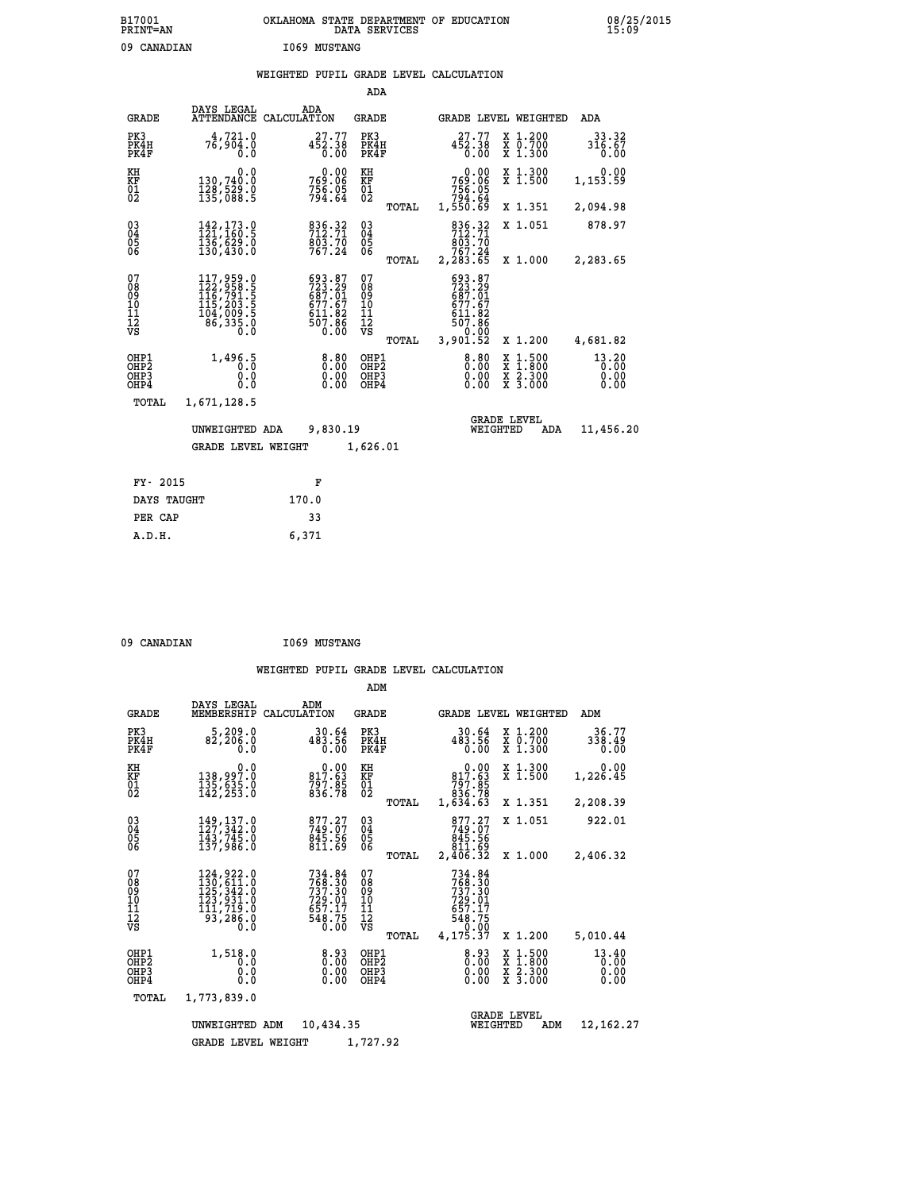# **B17001 OKLAHOMA STATE DEPARTMENT OF EDUCATION 08/25/2015 PRINT=AN DATA SERVICES 15:09** 09 CANADIAN **I069 MUSTANG**

|  |  | WEIGHTED PUPIL GRADE LEVEL CALCULATION |
|--|--|----------------------------------------|
|  |  |                                        |

|                                                    |                                                                                                                                                                                                  |                                                                              | ADA                                    |       |                                                                                                         |                                |                                          |                         |
|----------------------------------------------------|--------------------------------------------------------------------------------------------------------------------------------------------------------------------------------------------------|------------------------------------------------------------------------------|----------------------------------------|-------|---------------------------------------------------------------------------------------------------------|--------------------------------|------------------------------------------|-------------------------|
| <b>GRADE</b>                                       | DAYS LEGAL                                                                                                                                                                                       | ADA<br>ATTENDANCE CALCULATION                                                | GRADE                                  |       |                                                                                                         |                                | GRADE LEVEL WEIGHTED                     | <b>ADA</b>              |
| PK3<br>PK4H<br>PK4F                                | 4,721.0<br>76,904.0<br>0.0                                                                                                                                                                       | 27.77<br>452.38<br>$\overline{0}$ .00                                        | PK3<br>PK4H<br>PK4F                    |       | 27.77<br>452.38<br>0.00                                                                                 |                                | X 1.200<br>X 0.700<br>X 1.300            | 33.32<br>316.67<br>0.00 |
| KH<br><b>KF</b><br>01<br>02                        | 0.0<br>130,740.0<br>$\frac{128}{135}$ , 529.0                                                                                                                                                    | 0.00<br>769.06<br>$7\bar{5}\bar{6}\cdot\tilde{0}\bar{5}\ 794\cdot\tilde{6}4$ | KH<br>KF<br>$\overline{01}$            |       | 0.00<br>269.06<br>756.05<br>794.64<br>1,550.69                                                          |                                | X 1.300<br>$\overline{x}$ 1.500          | 0.00<br>1,153.59        |
|                                                    |                                                                                                                                                                                                  |                                                                              |                                        | TOTAL |                                                                                                         |                                | X 1.351                                  | 2,094.98                |
| $\begin{matrix} 03 \\ 04 \\ 05 \\ 06 \end{matrix}$ | 142, 173.0<br>121, 160.5<br>136,629.0<br>130,430.0                                                                                                                                               | 836.32<br>$\frac{6}{767.24}$                                                 | 03<br>04<br>05<br>06                   |       | 836.32<br>$\frac{6}{7}$ $\frac{6}{7}$ $\frac{3}{7}$ $\frac{7}{7}$ $\frac{6}{4}$                         |                                | X 1.051                                  | 878.97                  |
|                                                    |                                                                                                                                                                                                  |                                                                              |                                        | TOTAL | 2,283.65                                                                                                |                                | X 1.000                                  | 2,283.65                |
| 07<br>08<br>09<br>101<br>11<br>12<br>VS            | $\begin{smallmatrix} 117 \,, & 959 \,. & 0 \\ 122 \,, & 958 \,. & 5 \\ 116 \,, & 791 \,. & 5 \\ 115 \,, & 203 \,. & 5 \\ 104 \,, & 009 \,. & 5 \\ 86 \,, & 335 \,. & 0 \end{smallmatrix}$<br>Ō.Ŏ | 693.87<br>723.29<br>687.01<br>677.67<br>611.82<br>507.86<br>0.00             | 07<br>08<br>09<br>11<br>11<br>12<br>VS | TOTAL | 693.87<br>$723.29$<br>$687.01$<br>677.67<br>$\begin{array}{c} 611.82 \\ 507.86 \\ 3,901.52 \end{array}$ |                                | X 1.200                                  | 4,681.82                |
| OHP1                                               |                                                                                                                                                                                                  |                                                                              | OHP1                                   |       |                                                                                                         |                                |                                          | 13.20                   |
| OH <sub>P</sub> <sub>2</sub><br>OHP3<br>OHP4       | 1,496.5<br>0.0<br>0.0                                                                                                                                                                            | $0.00$<br>$0.00$<br>0.00                                                     | OHP <sub>2</sub><br>OHP3<br>OHP4       |       | $0.00$<br>$0.00$<br>0.00                                                                                |                                | X 1:500<br>X 1:800<br>X 2:300<br>X 3:000 | 0.00<br>0.00<br>0.00    |
| TOTAL                                              | 1,671,128.5                                                                                                                                                                                      |                                                                              |                                        |       |                                                                                                         |                                |                                          |                         |
|                                                    | UNWEIGHTED ADA                                                                                                                                                                                   | 9,830.19                                                                     |                                        |       |                                                                                                         | <b>GRADE LEVEL</b><br>WEIGHTED | ADA                                      | 11,456.20               |
|                                                    | <b>GRADE LEVEL WEIGHT</b>                                                                                                                                                                        |                                                                              | 1,626.01                               |       |                                                                                                         |                                |                                          |                         |
| FY- 2015                                           |                                                                                                                                                                                                  | F                                                                            |                                        |       |                                                                                                         |                                |                                          |                         |
| DAYS TAUGHT                                        |                                                                                                                                                                                                  | 170.0                                                                        |                                        |       |                                                                                                         |                                |                                          |                         |
|                                                    |                                                                                                                                                                                                  |                                                                              |                                        |       |                                                                                                         |                                |                                          |                         |

| 09 CANADIAN | <b>I069 MUSTANG</b> |
|-------------|---------------------|
|             |                     |

 **PER CAP 33 A.D.H. 6,371**

|                                                       |                                                                                           |                                                                       | ADM                                              |                                                                                                  |                                                                                                  |                               |
|-------------------------------------------------------|-------------------------------------------------------------------------------------------|-----------------------------------------------------------------------|--------------------------------------------------|--------------------------------------------------------------------------------------------------|--------------------------------------------------------------------------------------------------|-------------------------------|
| <b>GRADE</b>                                          | DAYS LEGAL<br>MEMBERSHIP                                                                  | ADM<br>CALCULATION                                                    | <b>GRADE</b>                                     | GRADE LEVEL WEIGHTED                                                                             |                                                                                                  | ADM                           |
| PK3<br>PK4H<br>PK4F                                   | 5,209.0<br>82,206.0<br>0.0                                                                | 30.64<br>483.56<br>0.00                                               | PK3<br>PK4H<br>PK4F                              | 30.64<br>483.56<br>0.00                                                                          | X 1.200<br>X 0.700<br>X 1.300                                                                    | 36.77<br>338.49<br>0.00       |
| KH<br>KF<br>01<br>02                                  | 0.0<br>138,997.0<br>$\frac{135}{142}$ , $\frac{535}{253}$ .0                              | $\begin{smallmatrix} &0.00\ 817.63\ 797.85\ 836.78 \end{smallmatrix}$ | KH<br>KF<br>01<br>02                             | $0.00$<br>817.63<br>797.85<br>836.78<br>1,634.63                                                 | X 1.300<br>X 1.500                                                                               | 0.00<br>1,226.45              |
|                                                       |                                                                                           |                                                                       | TOTAL                                            |                                                                                                  | X 1.351                                                                                          | 2,208.39                      |
| 03<br>04<br>05<br>06                                  | 149, 137.0<br>127, 342.0<br>143, 745.0<br>137,986.0                                       | 877.27<br>749.07<br>845.56<br>811.69                                  | $\substack{03 \\ 04}$<br>05                      | 877.27<br>749.07<br>845.56<br>811.69                                                             | X 1.051                                                                                          | 922.01                        |
|                                                       |                                                                                           |                                                                       | TOTAL                                            | 2,406.32                                                                                         | X 1.000                                                                                          | 2,406.32                      |
| 07<br>08<br>09<br>11<br>11<br>12<br>VS                | 124, 922.0<br>130, 611.0<br>125, 342.0<br>123, 931.0<br>111, 719.0<br>$\frac{53}{286}$ .0 | 734.84<br>768.30<br>737.30<br>729.01<br>657.17<br>548.75<br>0.00      | 07<br>08<br>09<br>101<br>11<br>12<br>VS<br>TOTAL | 734.84<br>$7\bar{6}\bar{8}\cdot\bar{3}\bar{0}$<br>729.01<br>657.17<br>548.75<br>0.00<br>4,175.37 | X 1.200                                                                                          | 5,010.44                      |
| OHP1<br>OH <sub>P</sub> 2<br>OH <sub>P3</sub><br>OHP4 | 1,518.0<br>0.0<br>0.0<br>Ŏ.Ŏ                                                              | 0.93<br>0.00<br>0.00                                                  | OHP1<br>OHP2<br>OHP3<br>OHP4                     | $\begin{smallmatrix} 8.93\ 0.00 \ 0.00 \end{smallmatrix}$<br>0.00                                | $\begin{smallmatrix} x & 1 & 500 \\ x & 1 & 800 \\ x & 2 & 300 \\ x & 3 & 000 \end{smallmatrix}$ | 13.40<br>0.00<br>0.00<br>0.00 |
| TOTAL                                                 | 1,773,839.0                                                                               |                                                                       |                                                  |                                                                                                  |                                                                                                  |                               |
|                                                       | UNWEIGHTED ADM                                                                            | 10,434.35                                                             |                                                  | WEIGHTED                                                                                         | <b>GRADE LEVEL</b><br>ADM                                                                        | 12,162.27                     |
|                                                       | <b>GRADE LEVEL WEIGHT</b>                                                                 |                                                                       | 1,727.92                                         |                                                                                                  |                                                                                                  |                               |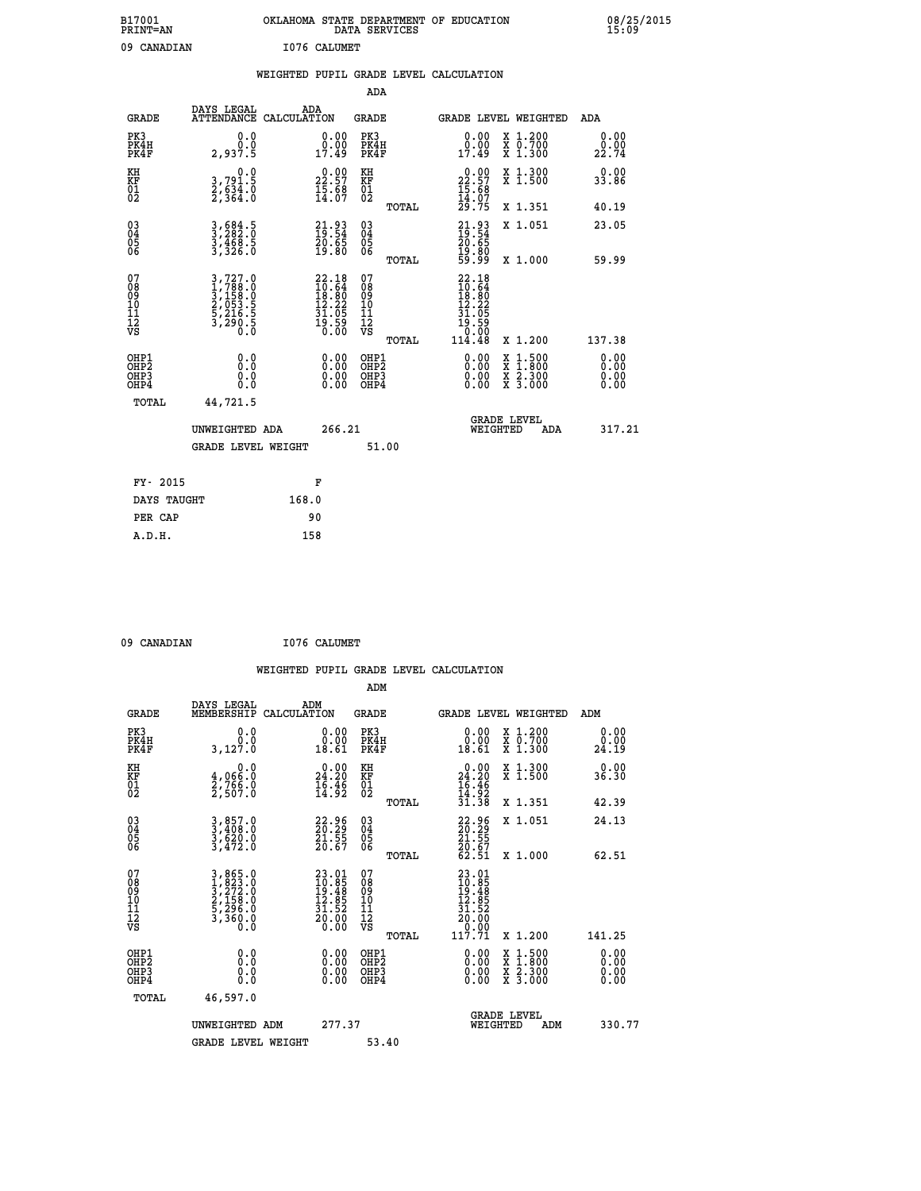| B17001<br><b>PRINT=AN</b> | OKLAHOMA STATE DEPARTMENT OF EDUCATION<br>DATA SERVICES | 08/25/2015<br>15:09 |
|---------------------------|---------------------------------------------------------|---------------------|
| 09<br>CANADIAN            | I076 CALUMET                                            |                     |

| 08/25/2015<br>15:09 |  |
|---------------------|--|
|---------------------|--|

|                                                                              |                                                                           |                                                                                       | ADA                                                |                                                                                                                                                                      |                              |
|------------------------------------------------------------------------------|---------------------------------------------------------------------------|---------------------------------------------------------------------------------------|----------------------------------------------------|----------------------------------------------------------------------------------------------------------------------------------------------------------------------|------------------------------|
|                                                                              | DAYS LEGAL<br><b>GRADE</b>                                                | ADA<br>ATTENDANCE CALCULATION                                                         | GRADE                                              | <b>GRADE LEVEL WEIGHTED</b>                                                                                                                                          | ADA                          |
| PK3<br>PK4H<br>PK4F                                                          | 0.0<br>Ō.Ō<br>2,937.5                                                     | $\begin{smallmatrix} 0.00\\ 0.00\\ 17.49 \end{smallmatrix}$                           | PK3<br>PK4H<br>PK4F                                | X 1.200<br>X 0.700<br>X 1.300<br>0.00<br>0.00<br>17.49                                                                                                               | 0.00<br>0.00<br>22.74        |
| KH<br>KF<br>01<br>02                                                         | 0.0<br>3,791.5<br>2,634.0<br>2,364.0                                      | $22.57$<br>$15.68$<br>$14.07$                                                         | KH<br>KF<br>01<br>02                               | $\begin{smallmatrix} 0.00\\ 22.57\\ 15.68\\ 14.07\\ 29.75 \end{smallmatrix}$<br>X 1.300<br>X 1.500                                                                   | 0.00<br>33.86                |
|                                                                              |                                                                           |                                                                                       | TOTAL                                              | X 1.351                                                                                                                                                              | 40.19                        |
| $\begin{matrix} 03 \\ 04 \\ 05 \\ 06 \end{matrix}$                           | 3,684.5<br>3,282.0<br>3,468.5<br>3,326.0                                  | 21.93<br>19.54<br>20.65<br>19.80                                                      | $\begin{matrix} 03 \\ 04 \\ 05 \\ 06 \end{matrix}$ | $21.9319.5420.6519.8059.99$<br>X 1.051                                                                                                                               | 23.05                        |
|                                                                              |                                                                           |                                                                                       | TOTAL                                              | X 1.000                                                                                                                                                              | 59.99                        |
| 07<br>08<br>09<br>11<br>11<br>12<br>VS                                       | 3,727.0<br>1,788.0<br>3,158.0<br>3,155.5<br>2,053.5<br>5,216.5<br>3,290.5 | $\begin{smallmatrix} 22.18\\10.64\\18.80\\12.22\\31.05\\19.59\\0.00\end{smallmatrix}$ | 07<br>08<br>09<br>11<br>11<br>12<br>VS<br>TOTAL    | $\begin{smallmatrix} 22.18\\10.64\\18.80\\12.22\\31.05\\9\end{smallmatrix}$<br>12.245<br>19.590<br>10.000<br>114.48<br>X 1.200                                       | 137.38                       |
| OHP1<br>OH <sub>P</sub> <sub>2</sub><br>OH <sub>P3</sub><br>OH <sub>P4</sub> | 0.0<br>Ō.Ō<br>0.0<br>0.0                                                  | 0.00<br>$\begin{smallmatrix} 0.00 \ 0.00 \end{smallmatrix}$                           | OHP1<br>OHP2<br>OHP3<br>OHP4                       | 0.00<br>$\begin{smallmatrix} \mathtt{X} & 1\cdot500 \\ \mathtt{X} & 1\cdot800 \\ \mathtt{X} & 2\cdot300 \\ \mathtt{X} & 3\cdot000 \end{smallmatrix}$<br>0.00<br>0.00 | 0.00<br>0.00<br>0.00<br>0.00 |
|                                                                              | TOTAL<br>44,721.5                                                         |                                                                                       |                                                    |                                                                                                                                                                      |                              |
|                                                                              | UNWEIGHTED ADA                                                            | 266.21                                                                                |                                                    | <b>GRADE LEVEL</b><br>WEIGHTED<br>ADA                                                                                                                                | 317.21                       |
|                                                                              | <b>GRADE LEVEL WEIGHT</b>                                                 |                                                                                       | 51.00                                              |                                                                                                                                                                      |                              |
|                                                                              | FY- 2015                                                                  | F                                                                                     |                                                    |                                                                                                                                                                      |                              |
|                                                                              | DAYS TAUGHT                                                               | 168.0                                                                                 |                                                    |                                                                                                                                                                      |                              |
|                                                                              | PER CAP                                                                   | 90                                                                                    |                                                    |                                                                                                                                                                      |                              |
|                                                                              | A.D.H.                                                                    | 158                                                                                   |                                                    |                                                                                                                                                                      |                              |

| 09 CANADIAN | I076 CALUMET |
|-------------|--------------|
|             |              |

 **ADM DAYS LEGAL ADM GRADE MEMBERSHIP CALCULATION GRADE GRADE LEVEL WEIGHTED ADM PK3 0.0 0.00 PK3 0.00 X 1.200 0.00 PK4H 0.0 0.00 PK4H 0.00 X 0.700 0.00 PK4F 3,127.0 18.61 PK4F 18.61 X 1.300 24.19**

| ΚH<br>KF<br>01<br>02                               | $\begin{smallmatrix} & & 0.0 \ 4.066.0 \ 2.766.0 \ 2.507.0 \end{smallmatrix}$                                                                 | $\begin{smallmatrix} 0.00\\24.20\\16.46\\14.92 \end{smallmatrix}$        | KH<br>KF<br>01<br>02                               |       | $\begin{array}{r} 0.00 \\ 24.20 \\ 16.46 \\ 14.92 \\ 31.38 \end{array}$                                                                                                                                                                                                        | X 1.300<br>X 1.500                       | $0.00$<br>36.30                                                                                                                                                                                                                                                                |
|----------------------------------------------------|-----------------------------------------------------------------------------------------------------------------------------------------------|--------------------------------------------------------------------------|----------------------------------------------------|-------|--------------------------------------------------------------------------------------------------------------------------------------------------------------------------------------------------------------------------------------------------------------------------------|------------------------------------------|--------------------------------------------------------------------------------------------------------------------------------------------------------------------------------------------------------------------------------------------------------------------------------|
|                                                    |                                                                                                                                               |                                                                          |                                                    | TOTAL |                                                                                                                                                                                                                                                                                | X 1.351                                  | 42.39                                                                                                                                                                                                                                                                          |
| $\begin{matrix} 03 \\ 04 \\ 05 \\ 06 \end{matrix}$ | 3,857.0<br>3,408.0<br>3,620.0<br>3,472.0                                                                                                      | $\begin{smallmatrix} 22.96 \\ 20.29 \\ 21.55 \\ 20.67 \end{smallmatrix}$ | $\begin{matrix} 03 \\ 04 \\ 05 \\ 06 \end{matrix}$ | TOTAL | 22.96<br>20.29<br>21.55<br>20.67<br>62.51                                                                                                                                                                                                                                      | X 1.051<br>X 1.000                       | 24.13<br>62.51                                                                                                                                                                                                                                                                 |
| 07<br>08<br>09<br>101<br>11<br>12<br>VS            | $\begin{smallmatrix} 3\,,\,865\,.0\\ 1\,,\,823\,.0\\ 3\,,\,272\,.0\\ 2\,,\,158\,.0\\ 5\,,\,296\,.0\\ 3\,,\,360\,.0\\ 0\,.0 \end{smallmatrix}$ | 23.01<br>10.85<br>19.48<br>12.85<br>31.52<br>31.52<br>20.00<br>0.00      | 07<br>08<br>09<br>001<br>11<br>11<br>17<br>VS      | TOTAL | $\begin{smallmatrix} 23.01\ 10.85\ 19.48\ 12.85\ 11.52\ 31.52\ 0.00\ 0.001\ 117.71\ \end{smallmatrix}$                                                                                                                                                                         | X 1.200                                  | 141.25                                                                                                                                                                                                                                                                         |
| OHP1<br>OHP <sub>2</sub><br>OHP3<br>OHP4           |                                                                                                                                               |                                                                          | OHP1<br>OHP <sub>2</sub><br>OHP3<br>OHP4           |       | $\begin{smallmatrix} 0.00 & 0.00 & 0.00 & 0.00 & 0.00 & 0.00 & 0.00 & 0.00 & 0.00 & 0.00 & 0.00 & 0.00 & 0.00 & 0.00 & 0.00 & 0.00 & 0.00 & 0.00 & 0.00 & 0.00 & 0.00 & 0.00 & 0.00 & 0.00 & 0.00 & 0.00 & 0.00 & 0.00 & 0.00 & 0.00 & 0.00 & 0.00 & 0.00 & 0.00 & 0.00 & 0.0$ | X 1:500<br>X 1:800<br>X 2:300<br>X 3:000 | $\begin{smallmatrix} 0.00 & 0.00 & 0.00 & 0.00 & 0.00 & 0.00 & 0.00 & 0.00 & 0.00 & 0.00 & 0.00 & 0.00 & 0.00 & 0.00 & 0.00 & 0.00 & 0.00 & 0.00 & 0.00 & 0.00 & 0.00 & 0.00 & 0.00 & 0.00 & 0.00 & 0.00 & 0.00 & 0.00 & 0.00 & 0.00 & 0.00 & 0.00 & 0.00 & 0.00 & 0.00 & 0.0$ |
| TOTAL                                              | 46,597.0<br>UNWEIGHTED<br>ADM                                                                                                                 | 277.37                                                                   |                                                    |       | WEIGHTED                                                                                                                                                                                                                                                                       | <b>GRADE LEVEL</b><br>ADM                | 330.77                                                                                                                                                                                                                                                                         |
|                                                    | <b>GRADE LEVEL WEIGHT</b>                                                                                                                     |                                                                          |                                                    | 53.40 |                                                                                                                                                                                                                                                                                |                                          |                                                                                                                                                                                                                                                                                |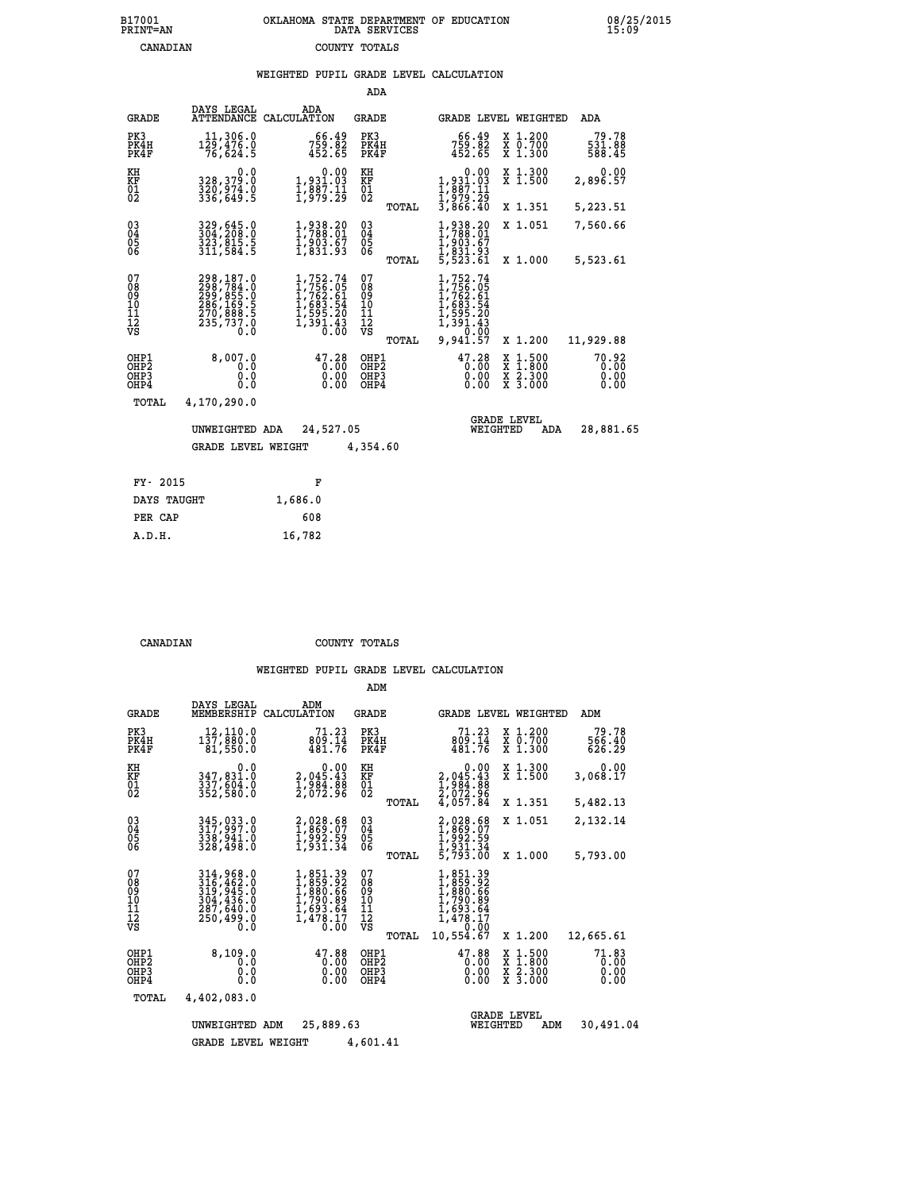### **B17001 OKLAHOMA STATE DEPARTMENT OF EDUCATION 08/25/2015 PRINT=AN DATA SERVICES 15:09 CANADIAN COUNTY TOTALS**

|  |  | WEIGHTED PUPIL GRADE LEVEL CALCULATION |
|--|--|----------------------------------------|
|  |  |                                        |

|                                        |                                                                                             |                                                                                                                                           | ADA                                      |       |                                                                                                        |                                |                                          |                               |
|----------------------------------------|---------------------------------------------------------------------------------------------|-------------------------------------------------------------------------------------------------------------------------------------------|------------------------------------------|-------|--------------------------------------------------------------------------------------------------------|--------------------------------|------------------------------------------|-------------------------------|
| <b>GRADE</b>                           | DAYS LEGAL<br><b>ATTENDANCE</b>                                                             | ADA<br>CALCULATION                                                                                                                        | GRADE                                    |       |                                                                                                        |                                | GRADE LEVEL WEIGHTED                     | ADA                           |
| PK3<br>PK4H<br>PK4F                    | 11,306.0<br>129,476.0<br>76,624.5                                                           | 66.49<br>759.82<br>452.65                                                                                                                 | PK3<br>PK4H<br>PK4F                      |       | 66.49<br>759.82<br>452.65                                                                              |                                | X 1.200<br>X 0.700<br>X 1.300            | 79.78<br>531.88<br>588.45     |
| KH<br><b>KF</b><br>01<br>02            | 0.0<br>328,379.0<br>$3\bar{2}\bar{0}, \bar{9}\bar{7}\bar{4}\bar{.}\bar{0}$<br>$336, 649.5$  | 0.00<br>1,931.03<br>1,887.11<br>1,979.29                                                                                                  | KH<br>KF<br>$\overline{01}$              |       | 1,931.03<br>1,887.11<br>1,979.29<br>3,866.40                                                           | 0.00                           | X 1.300<br>$\overline{x}$ 1.500          | 0.00<br>2,896.57              |
|                                        |                                                                                             |                                                                                                                                           |                                          | TOTAL |                                                                                                        |                                | X 1.351                                  | 5,223.51                      |
| $^{03}_{04}$<br>05<br>06               | 329,645.0<br>304,208.0<br>323,815.5<br>311,584.5                                            | $1,938.20$<br>$1,788.01$<br>$1,903.67$<br>$1,831.93$                                                                                      | $\substack{03 \\ 04}$<br>$\frac{05}{06}$ |       | $1,938.20$<br>$1,788.01$<br>$1,903.67$<br>$1,831.93$<br>$5,523.61$                                     |                                | X 1.051                                  | 7,560.66                      |
|                                        |                                                                                             |                                                                                                                                           |                                          | TOTAL |                                                                                                        |                                | X 1.000                                  | 5,523.61                      |
| 07<br>08<br>09<br>11<br>11<br>12<br>VS | 298,187.0<br>$298,784.0$<br>$299,855.0$<br>$286,169.5$<br>$270,888.5$<br>$235,737.0$<br>0.0 | $\begin{smallmatrix} 1,752\cdot74\\ 1,756\cdot05\\ 1,762\cdot61\\ 1,683\cdot54\\ 1,595\cdot20\\ 1,391\cdot43\\ 0\cdot00\end{smallmatrix}$ | 07<br>08<br>09<br>11<br>11<br>12<br>VS   | TOTAL | 1,752.74<br>$1,756.05$<br>$1,762.61$<br>$1,683.54$<br>$1,595.20$<br>$1,391.43$<br>$0,0.00$<br>9,941.57 |                                | X 1.200                                  | 11,929.88                     |
|                                        |                                                                                             |                                                                                                                                           |                                          |       |                                                                                                        |                                |                                          |                               |
| OHP1<br>OHP2<br>OHP3<br>OHP4           | 8,007.0<br>0.0<br>0.0<br>0.0                                                                | $47.28$<br>$0.00$<br>$0.00$<br>$0.00$                                                                                                     | OHP1<br>OHP <sub>2</sub><br>OHP3<br>OHP4 |       | $47.28$<br>$0.00$                                                                                      | X<br>X<br>0.00<br>0.00         | $1.500$<br>$1.800$<br>X 2.300<br>X 3.000 | 70.92<br>0.00<br>0.00<br>0.00 |
| TOTAL                                  | 4,170,290.0                                                                                 |                                                                                                                                           |                                          |       |                                                                                                        |                                |                                          |                               |
|                                        | UNWEIGHTED ADA                                                                              | 24,527.05                                                                                                                                 |                                          |       |                                                                                                        | <b>GRADE LEVEL</b><br>WEIGHTED | ADA                                      | 28,881.65                     |
|                                        | <b>GRADE LEVEL WEIGHT</b>                                                                   |                                                                                                                                           | 4,354.60                                 |       |                                                                                                        |                                |                                          |                               |
|                                        |                                                                                             |                                                                                                                                           |                                          |       |                                                                                                        |                                |                                          |                               |
| FY- 2015                               |                                                                                             | F                                                                                                                                         |                                          |       |                                                                                                        |                                |                                          |                               |
| DAYS TAUGHT                            |                                                                                             | 1,686.0                                                                                                                                   |                                          |       |                                                                                                        |                                |                                          |                               |

| A.D.H. | 16,782 |
|--------|--------|
|        |        |
|        |        |

 **PER CAP 608**

 **CANADIAN COUNTY TOTALS**

|                                                    |                                                                                   |                                                                              | ADM                                             |                                                                                           |                                                                                            |                               |
|----------------------------------------------------|-----------------------------------------------------------------------------------|------------------------------------------------------------------------------|-------------------------------------------------|-------------------------------------------------------------------------------------------|--------------------------------------------------------------------------------------------|-------------------------------|
| <b>GRADE</b>                                       | DAYS LEGAL<br>MEMBERSHIP                                                          | ADM<br>CALCULATION                                                           | <b>GRADE</b>                                    | <b>GRADE LEVEL WEIGHTED</b>                                                               |                                                                                            | ADM                           |
| PK3<br>PK4H<br>PK4F                                | 12,110.0<br>137,880.0<br>81,550.0                                                 | 71.23<br>809.14<br>481.76                                                    | PK3<br>PK4H<br>PK4F                             | 71.23<br>809.14<br>481.76                                                                 | X 1.200<br>X 0.700<br>X 1.300                                                              | 79.78<br>566.40<br>626.29     |
| KH<br>KF<br>01<br>02                               | 0.0<br>347,831.0<br>337,604.0<br>352,580.0                                        | 0.00<br>2,045.43<br>1,984.88<br>2,072.96                                     | KH<br>KF<br>01<br>02                            | 0.00<br>2,045.43<br>1,984.88<br>2,072.96<br>4,057.84                                      | X 1.300<br>X 1.500                                                                         | 0.00<br>3,068.17              |
|                                                    |                                                                                   |                                                                              | TOTAL                                           |                                                                                           | X 1.351                                                                                    | 5,482.13                      |
| $\begin{matrix} 03 \\ 04 \\ 05 \\ 06 \end{matrix}$ | 345,033.0<br>317,997.0<br>338,941.0                                               | 2,028.68<br>1,869.07<br>1,992.59<br>1,931.34                                 | $^{03}_{04}$<br>$\frac{05}{06}$                 | 2,028.68<br>1,869.07<br>1,992.59<br>1,931.34<br>5,793.00                                  | X 1.051                                                                                    | 2,132.14                      |
|                                                    | 328,498.0                                                                         |                                                                              | TOTAL                                           |                                                                                           | X 1.000                                                                                    | 5,793.00                      |
| 07<br>08<br>09<br>101<br>11<br>12<br>VS            | 314,968.0<br>316,462.0<br>319,945.0<br>304,436.0<br>287,640.0<br>250,499.0<br>0.0 | 1,851.39<br>1,859.92<br>1,880.66<br>1,790.89<br>1,693.64<br>1,478.17<br>0.00 | 07<br>08<br>09<br>11<br>11<br>12<br>VS<br>TOTAL | 1,851.39<br>1,859.92<br>1,880.66<br>1,790.89<br>1,693.64<br>1,478.17<br>0.00<br>10,554.67 | X 1.200                                                                                    | 12,665.61                     |
| OHP1<br>OHP2<br>OHP3<br>OHP4                       | 8,109.0<br>0.0<br>0.0<br>0.0                                                      | 47.88<br>0.00<br>0.00<br>0.00                                                | OHP1<br>OHP2<br>OHP3<br>OHP4                    | 47.88<br>0.00<br>0.00<br>0.00                                                             | $\begin{array}{c} x & 1.500 \\ x & 1.800 \\ x & 2.300 \end{array}$<br>$\overline{x}$ 3.000 | 71.83<br>0.00<br>0.00<br>0.00 |
| TOTAL                                              | 4,402,083.0                                                                       |                                                                              |                                                 |                                                                                           |                                                                                            |                               |
|                                                    | UNWEIGHTED                                                                        | 25,889.63<br>ADM                                                             |                                                 | WEIGHTED                                                                                  | <b>GRADE LEVEL</b><br>ADM                                                                  | 30,491.04                     |
|                                                    | <b>GRADE LEVEL WEIGHT</b>                                                         |                                                                              | 4,601.41                                        |                                                                                           |                                                                                            |                               |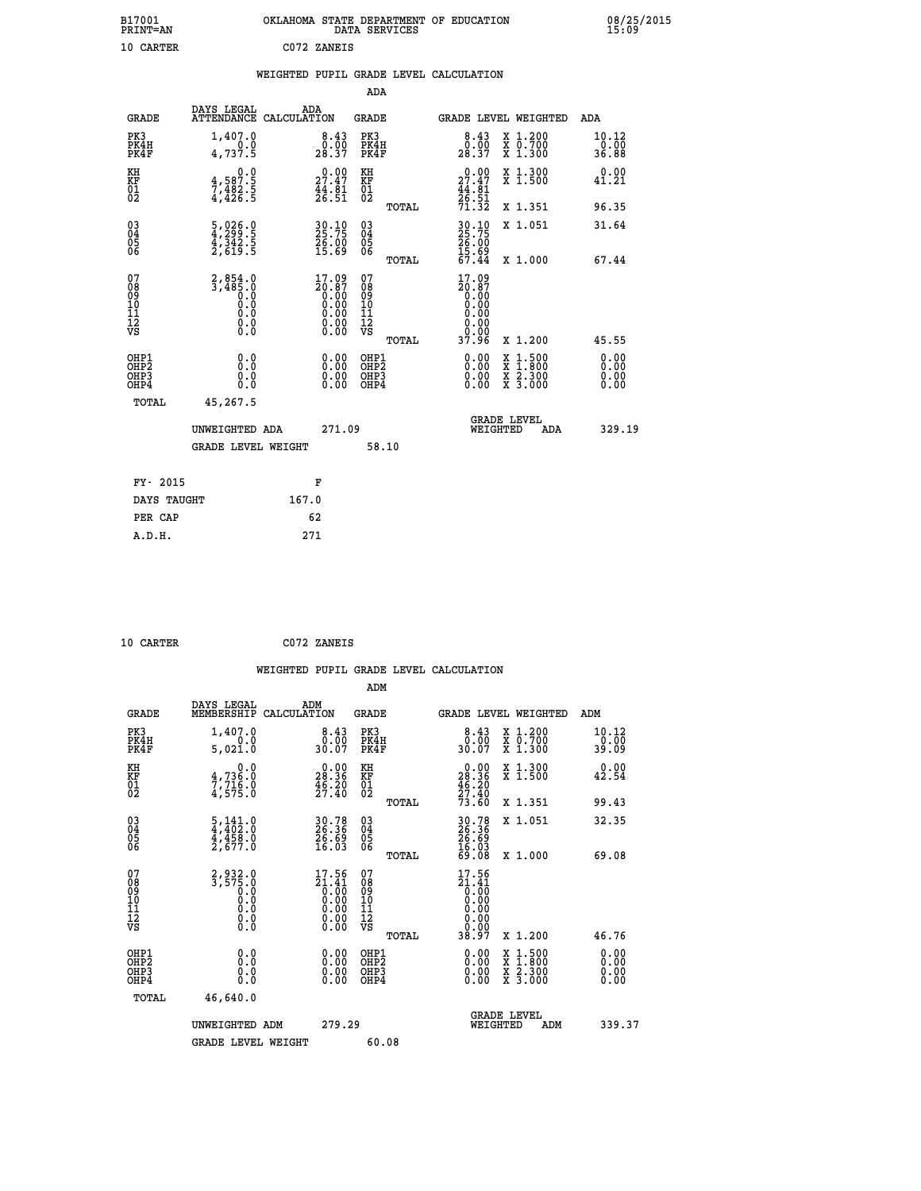| B17001<br><b>PRINT=AN</b> | OKLAHOMA STATE DEPARTMENT OF EDUCATION<br>DATA SERVICES | 08/25/2015<br>15:09 |
|---------------------------|---------------------------------------------------------|---------------------|
| 10 CARTER                 | C072 ZANEIS                                             |                     |

|                                                                              |                                                                                                |                                                                      | ADA                                                 |                                                                              |                                                                                                                                              |                              |
|------------------------------------------------------------------------------|------------------------------------------------------------------------------------------------|----------------------------------------------------------------------|-----------------------------------------------------|------------------------------------------------------------------------------|----------------------------------------------------------------------------------------------------------------------------------------------|------------------------------|
| <b>GRADE</b>                                                                 | DAYS LEGAL                                                                                     | ADA<br>ATTENDANCE CALCULATION                                        | GRADE                                               |                                                                              | <b>GRADE LEVEL WEIGHTED</b>                                                                                                                  | ADA                          |
| PK3<br>PK4H<br>PK4F                                                          | 1,407.0<br>4,737.5                                                                             | 8.43<br>$28.90$<br>$28.37$                                           | PK3<br>PK4H<br>PK4F                                 | $8.43$<br>$0.00$<br>28.37                                                    | X 1.200<br>X 0.700<br>X 1.300                                                                                                                | 10.12<br>0.00<br>36.88       |
| KH<br>KF<br>01<br>02                                                         | 0.0<br>$\frac{4}{7}, \frac{587}{482}$ .<br>4,482.5                                             | $\begin{smallmatrix} 0.00\\ 27.47\\ 44.81\\ 26.51 \end{smallmatrix}$ | KH<br>KF<br>01<br>02                                | $\begin{smallmatrix} 0.00\\ 27.47\\ 44.81\\ 26.51\\ 71.32 \end{smallmatrix}$ | X 1.300<br>X 1.500                                                                                                                           | 0.00<br>41.21                |
|                                                                              |                                                                                                |                                                                      | TOTAL                                               |                                                                              | X 1.351                                                                                                                                      | 96.35                        |
| $\begin{matrix} 03 \\ 04 \\ 05 \\ 06 \end{matrix}$                           | $\frac{5}{4}, \frac{026}{299}$ :<br>$\frac{4}{342}$ :<br>$\frac{5}{2}, \frac{342}{619}$ :<br>5 | 30.10<br>25.75<br>26.00<br>15.69                                     | $\begin{array}{c} 03 \\ 04 \\ 05 \\ 06 \end{array}$ | 30.10<br>25.75<br>26.00<br>15.69                                             | X 1.051                                                                                                                                      | 31.64                        |
|                                                                              |                                                                                                |                                                                      | TOTAL                                               | 67.44                                                                        | X 1.000                                                                                                                                      | 67.44                        |
| 07<br>08<br>09<br>11<br>11<br>12<br>VS                                       | $2,854.0$<br>3,485.0<br>Ō.O<br>0.000<br>$\S.$                                                  | 17.09<br>20:87<br>0:00                                               | 07<br>08<br>09<br>11<br>11<br>12<br>VS<br>TOTAL     | 17.09<br>20:07<br>0.00<br>0.00<br>0.00<br>0.00<br>37.96                      | X 1.200                                                                                                                                      | 45.55                        |
| OHP1<br>OH <sub>P</sub> <sub>2</sub><br>OH <sub>P3</sub><br>OH <sub>P4</sub> | 0.0<br>0.0<br>0.0                                                                              | 0.00<br>0.00<br>0.00                                                 | OHP1<br>OHP <sub>2</sub><br>OHP3<br>OHP4            | 0.00<br>0.00<br>0.00                                                         | $\begin{smallmatrix} \mathtt{X} & 1\cdot500 \\ \mathtt{X} & 1\cdot800 \\ \mathtt{X} & 2\cdot300 \\ \mathtt{X} & 3\cdot000 \end{smallmatrix}$ | 0.00<br>0.00<br>0.00<br>0.00 |
| TOTAL                                                                        | 45,267.5                                                                                       |                                                                      |                                                     |                                                                              |                                                                                                                                              |                              |
|                                                                              | UNWEIGHTED ADA                                                                                 | 271.09                                                               |                                                     | WEIGHTED                                                                     | <b>GRADE LEVEL</b><br>ADA                                                                                                                    | 329.19                       |
|                                                                              | <b>GRADE LEVEL WEIGHT</b>                                                                      |                                                                      | 58.10                                               |                                                                              |                                                                                                                                              |                              |
| FY- 2015                                                                     |                                                                                                | F                                                                    |                                                     |                                                                              |                                                                                                                                              |                              |
| DAYS TAUGHT                                                                  |                                                                                                | 167.0                                                                |                                                     |                                                                              |                                                                                                                                              |                              |
| PER CAP                                                                      |                                                                                                | 62                                                                   |                                                     |                                                                              |                                                                                                                                              |                              |
| A.D.H.                                                                       |                                                                                                | 271                                                                  |                                                     |                                                                              |                                                                                                                                              |                              |

| 10 CARTER |  |
|-----------|--|
|           |  |
|           |  |

 **10 CARTER C072 ZANEIS**

| <b>GRADE</b>                                                     | DAYS LEGAL<br>MEMBERSHIP                                                             | ADM<br>CALCULATION                                                                      | <b>GRADE</b>                                        | <b>GRADE LEVEL WEIGHTED</b>                                                                               |                                          | ADM                          |
|------------------------------------------------------------------|--------------------------------------------------------------------------------------|-----------------------------------------------------------------------------------------|-----------------------------------------------------|-----------------------------------------------------------------------------------------------------------|------------------------------------------|------------------------------|
| PK3<br>PK4H<br>PK4F                                              | 1,407.0<br>5,021.0                                                                   | $\begin{smallmatrix}8.43\0.00\\30.07\end{smallmatrix}$                                  | PK3<br>PK4H<br>PK4F                                 | 8.43<br>0.00<br>30.07                                                                                     | X 1.200<br>X 0.700<br>X 1.300            | 10.12<br>$0.00$<br>39.09     |
| KH<br>KF<br>01<br>02                                             | 0.0<br>$\frac{4}{7}, \frac{736}{75}$<br>$\frac{6}{4}, \frac{716}{575}$ .0            | $\begin{smallmatrix} 0.00\\ 28.36\\ 46.20\\ 27.40 \end{smallmatrix}$                    | KH<br>KF<br>01<br>02                                | $\begin{smallmatrix} &0.00\\ \text{28.36}\\ \text{46.20}\\ \text{27.40}\\ \text{73.60} \end{smallmatrix}$ | X 1.300<br>X 1.500                       | 0.00<br>42.54                |
|                                                                  |                                                                                      |                                                                                         | TOTAL                                               |                                                                                                           | X 1.351                                  | 99.43                        |
| $\begin{matrix} 03 \\ 04 \\ 05 \\ 06 \end{matrix}$               | $\frac{5}{4}, \frac{141}{402}$ : 0<br>$\frac{4}{4}, \frac{458}{458}$ : 0<br>2,677: 0 | 30.78<br>26.36<br>26.69<br>16.03                                                        | $\begin{array}{c} 03 \\ 04 \\ 05 \\ 06 \end{array}$ | 30.78<br>26.36<br>26.69<br>16.03<br>59.08                                                                 | X 1.051                                  | 32.35                        |
|                                                                  |                                                                                      |                                                                                         | TOTAL                                               |                                                                                                           | X 1.000                                  | 69.08                        |
| 07<br>08<br>09<br>101<br>112<br>VS                               | $2,932.0$<br>$3,575.0$<br>$0.0$<br>$0.0$<br>$0.0$<br>$0.0$<br>$0.0$                  | $\begin{smallmatrix} 17.56\\21.41\\0.00\\0.00\\0.00\\0.00\\0.00\\0.00\end{smallmatrix}$ | 07<br>08<br>09<br>11<br>11<br>12<br>VS<br>TOTAL     | $\begin{smallmatrix} 17.56\\21.41\\0.00\\0.00\\0.00\\0.00\\0.00\\0.00\\38.97 \end{smallmatrix}$           | X 1.200                                  | 46.76                        |
| OHP1<br>OH <sub>P</sub> <sub>2</sub><br>OH <sub>P3</sub><br>OHP4 | 0.0<br>0.0<br>Ŏ.Ŏ                                                                    | $0.00$<br>$0.00$<br>0.00                                                                | OHP1<br>OHP <sub>2</sub><br>OHP3<br>OHP4            |                                                                                                           | X 1:500<br>X 1:800<br>X 2:300<br>X 3:000 | 0.00<br>0.00<br>0.00<br>0.00 |
| TOTAL                                                            | 46,640.0                                                                             |                                                                                         |                                                     |                                                                                                           |                                          |                              |
|                                                                  | UNWEIGHTED ADM                                                                       | 279.29                                                                                  |                                                     | WEIGHTED                                                                                                  | <b>GRADE LEVEL</b><br>ADM                | 339.37                       |
|                                                                  | <b>GRADE LEVEL WEIGHT</b>                                                            |                                                                                         | 60.08                                               |                                                                                                           |                                          |                              |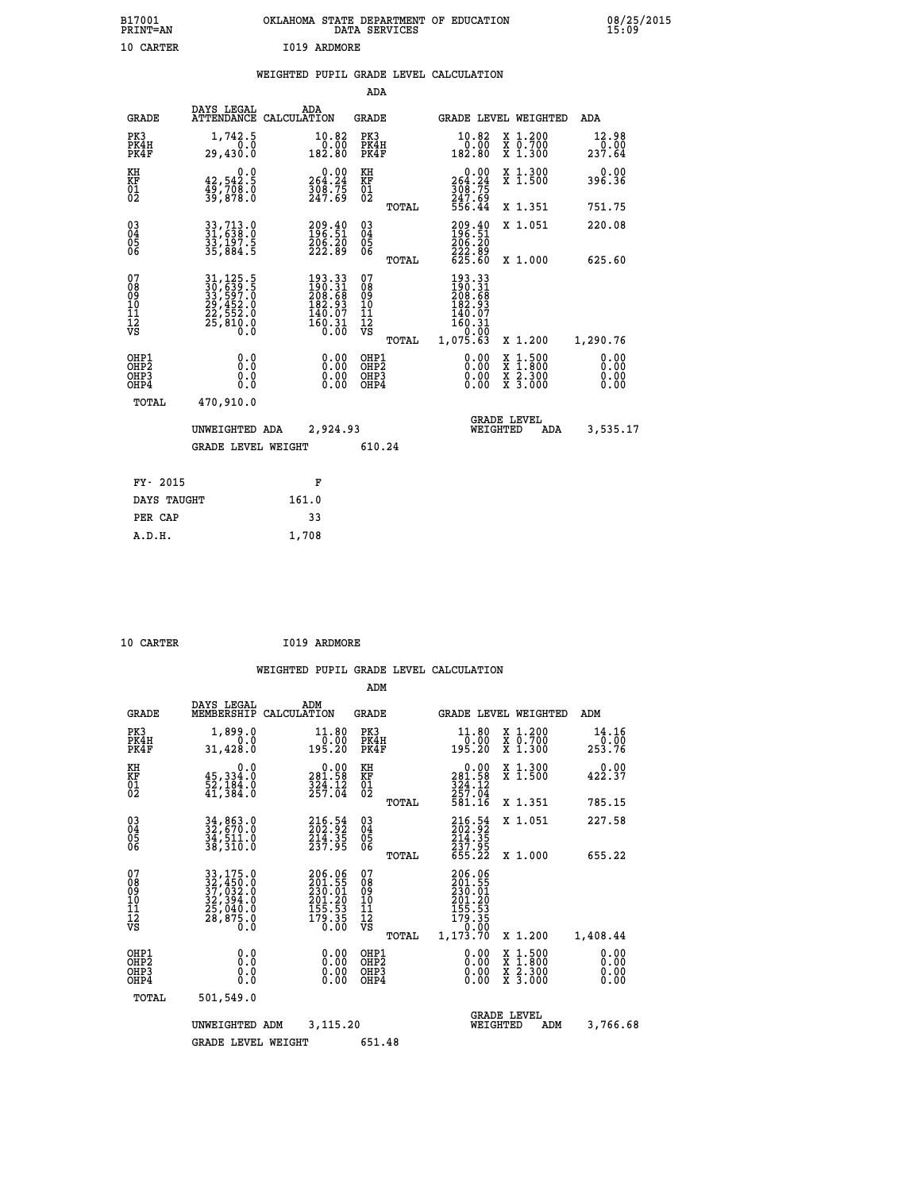| B17001<br>PRINT=AN | OKLAHOMA STATE DEPARTMENT OF EDUCATION<br>DATA SERVICES | 08/25/2015<br>15:09 |
|--------------------|---------------------------------------------------------|---------------------|
| 10 CARTER          | 1019 ARDMORE                                            |                     |

|  |  | WEIGHTED PUPIL GRADE LEVEL CALCULATION |
|--|--|----------------------------------------|
|  |  |                                        |

|                                                                  |                                                                                  |                                                                                                                                | ADA                                      |       |                                                                                             |                                                                                                  |                              |
|------------------------------------------------------------------|----------------------------------------------------------------------------------|--------------------------------------------------------------------------------------------------------------------------------|------------------------------------------|-------|---------------------------------------------------------------------------------------------|--------------------------------------------------------------------------------------------------|------------------------------|
| <b>GRADE</b>                                                     | DAYS LEGAL                                                                       | ADA<br>ATTENDANCE CALCULATION                                                                                                  | <b>GRADE</b>                             |       |                                                                                             | GRADE LEVEL WEIGHTED                                                                             | ADA                          |
| PK3<br>PK4H<br>PK4F                                              | 1,742.5<br>0.0<br>29,430.0                                                       | $10.82$<br>$0.00$<br>182.80                                                                                                    | PK3<br>PK4H<br>PK4F                      |       | 10.82<br>00.07<br>182.80                                                                    | X 1.200<br>X 0.700<br>X 1.300                                                                    | 12.98<br>0.00<br>237.64      |
| KH<br>KF<br>01<br>02                                             | 0.0<br>42,542.5<br>49,708.0<br>39,878.0                                          | $0.00$<br>264.24<br>$\frac{508}{247.69}$                                                                                       | KH<br>KF<br>01<br>02                     |       | 0.00<br>264:24<br>308:75<br>247:69<br>556.44                                                | X 1.300<br>X 1.500                                                                               | 0.00<br>396.36               |
|                                                                  |                                                                                  |                                                                                                                                |                                          | TOTAL |                                                                                             | X 1.351                                                                                          | 751.75                       |
| $\begin{matrix} 03 \\ 04 \\ 05 \\ 06 \end{matrix}$               | 33,713.0<br>31,638.0<br>33,197.5<br>35,884.5                                     | 209.40<br>196.51<br>206.20<br>222.89                                                                                           | $\substack{03 \\ 04}$<br>05<br>06        |       | 209.40<br>196:51<br>206:20<br>222.89<br>625.60                                              | X 1.051                                                                                          | 220.08                       |
|                                                                  |                                                                                  |                                                                                                                                |                                          | TOTAL |                                                                                             | X 1.000                                                                                          | 625.60                       |
| 07<br>08<br>09<br>10<br>11<br>12<br>VS                           | 31, 125. 5<br>30, 639. 5<br>33, 597. 0<br>29, 452. 0<br>22, 552. 0<br>25, 810. 0 | $\begin{smallmatrix} 193\cdot 33\\190\cdot 31\\208\cdot 68\\182\cdot 93\\140\cdot 07\\160\cdot 31\\0\cdot 00\end{smallmatrix}$ | 07<br>08<br>09<br>101<br>112<br>VS       |       | 193.33<br>$\frac{190}{208}$ $\frac{31}{68}$<br>$\frac{182}{93}$<br>140.07<br>160.31<br>0.00 |                                                                                                  |                              |
|                                                                  |                                                                                  |                                                                                                                                |                                          | TOTAL | 1,075.63                                                                                    | X 1.200                                                                                          | 1,290.76                     |
| OHP1<br>OH <sub>P</sub> <sub>2</sub><br>OH <sub>P3</sub><br>OHP4 | 0.0<br>0.0<br>0.0                                                                | $0.00$<br>$0.00$<br>0.00                                                                                                       | OHP1<br>OHP <sub>2</sub><br>OHP3<br>OHP4 |       | $0.00$<br>$0.00$<br>0.00                                                                    | $\begin{smallmatrix} x & 1 & 500 \\ x & 1 & 800 \\ x & 2 & 300 \\ x & 3 & 000 \end{smallmatrix}$ | 0.00<br>0.00<br>0.00<br>0.00 |
| <b>TOTAL</b>                                                     | 470,910.0                                                                        |                                                                                                                                |                                          |       |                                                                                             |                                                                                                  |                              |
|                                                                  | UNWEIGHTED ADA                                                                   | 2,924.93                                                                                                                       |                                          |       |                                                                                             | <b>GRADE LEVEL</b><br>WEIGHTED<br>ADA                                                            | 3,535.17                     |
|                                                                  | <b>GRADE LEVEL WEIGHT</b>                                                        |                                                                                                                                | 610.24                                   |       |                                                                                             |                                                                                                  |                              |
|                                                                  |                                                                                  |                                                                                                                                |                                          |       |                                                                                             |                                                                                                  |                              |
| FY- 2015                                                         |                                                                                  | F                                                                                                                              |                                          |       |                                                                                             |                                                                                                  |                              |
| DAYS TAUGHT                                                      |                                                                                  | 161.0                                                                                                                          |                                          |       |                                                                                             |                                                                                                  |                              |
| PER CAP                                                          |                                                                                  | 33                                                                                                                             |                                          |       |                                                                                             |                                                                                                  |                              |

| 10 CARTER |  | I019 ARDMORE |
|-----------|--|--------------|

 **A.D.H. 1,708**

|                                                      |                                                                                                                                                                                               |                                                                               | ADM                                                |       |                                                                 |                                          |                              |
|------------------------------------------------------|-----------------------------------------------------------------------------------------------------------------------------------------------------------------------------------------------|-------------------------------------------------------------------------------|----------------------------------------------------|-------|-----------------------------------------------------------------|------------------------------------------|------------------------------|
| <b>GRADE</b>                                         | DAYS LEGAL<br>MEMBERSHIP                                                                                                                                                                      | ADM<br>CALCULATION                                                            | <b>GRADE</b>                                       |       |                                                                 | GRADE LEVEL WEIGHTED                     | ADM                          |
| PK3<br>PK4H<br>PK4F                                  | 1,899.0<br>0.0<br>31,428.0                                                                                                                                                                    | 11.80<br>0.00<br>195.20                                                       | PK3<br>PK4H<br>PK4F                                |       | 11.80<br>0.00<br>195.20                                         | X 1.200<br>X 0.700<br>X 1.300            | 14.16<br>0.00<br>253.76      |
| KH<br>KF<br>01<br>02                                 | 0.0<br>$\frac{45}{52}, \frac{334}{184}$ .0<br>41,384.0                                                                                                                                        | $\begin{smallmatrix} &0.00\\ 281.58\\ 324.12\\ 257.04\end{smallmatrix}$       | KH<br>KF<br>01<br>02                               |       | $281.58$<br>$324.12$<br>$257.04$                                | X 1.300<br>X 1.500                       | 0.00<br>422.37               |
|                                                      |                                                                                                                                                                                               |                                                                               |                                                    | TOTAL | 581.16                                                          | X 1.351                                  | 785.15                       |
| 03<br>04<br>05<br>06                                 | 34,863.0<br>32,670.0<br>34,511.0<br>38,310.0                                                                                                                                                  | $\begin{smallmatrix} 216.54\ 202.92\ 214.35\ 237.95 \end{smallmatrix}$        | $\begin{matrix} 03 \\ 04 \\ 05 \\ 06 \end{matrix}$ |       | 216.54<br>202.92<br>214.35<br>237.95<br>655.22                  | X 1.051                                  | 227.58                       |
|                                                      |                                                                                                                                                                                               |                                                                               |                                                    | TOTAL |                                                                 | X 1.000                                  | 655.22                       |
| 07<br>08901112<br>1112<br>VS                         | $\begin{smallmatrix} 33\, ,\, 175\, .\, 0\\ 32\, ,\, 450\, .\, 0\\ 37\, ,\, 032\, .\, 0\\ 32\, ,\, 394\, .\, 0\\ 25\, ,\, 040\, .\, 0\\ 28\, ,\, 875\, .\, 0\\ 0\, .\, 0\, \end{smallmatrix}$ | 206.06<br>201.55<br>230.01<br>$\frac{201.20}{155.53}$<br>$\frac{155}{179.35}$ | 07<br>08<br>09<br>01<br>11<br>11<br>12<br>VS       |       | 206.06<br>201.55<br>230.01<br>201.20<br>$\frac{155.53}{179.35}$ |                                          |                              |
|                                                      |                                                                                                                                                                                               |                                                                               |                                                    | TOTAL | 1,173.70                                                        | X 1.200                                  | 1,408.44                     |
| OHP1<br>OHP <sub>2</sub><br>OHP3<br>OH <sub>P4</sub> | 0.0<br>0.000                                                                                                                                                                                  |                                                                               | OHP1<br>OHP2<br>OHP3<br>OHP4                       |       | $0.00$<br>$0.00$<br>0.00                                        | X 1:500<br>X 1:800<br>X 2:300<br>X 3:000 | 0.00<br>0.00<br>0.00<br>0.00 |
| TOTAL                                                | 501,549.0                                                                                                                                                                                     |                                                                               |                                                    |       |                                                                 |                                          |                              |
|                                                      | UNWEIGHTED                                                                                                                                                                                    | 3,115.20<br>ADM                                                               |                                                    |       | WEIGHTED                                                        | <b>GRADE LEVEL</b><br>ADM                | 3,766.68                     |
|                                                      | <b>GRADE LEVEL WEIGHT</b>                                                                                                                                                                     |                                                                               | 651.48                                             |       |                                                                 |                                          |                              |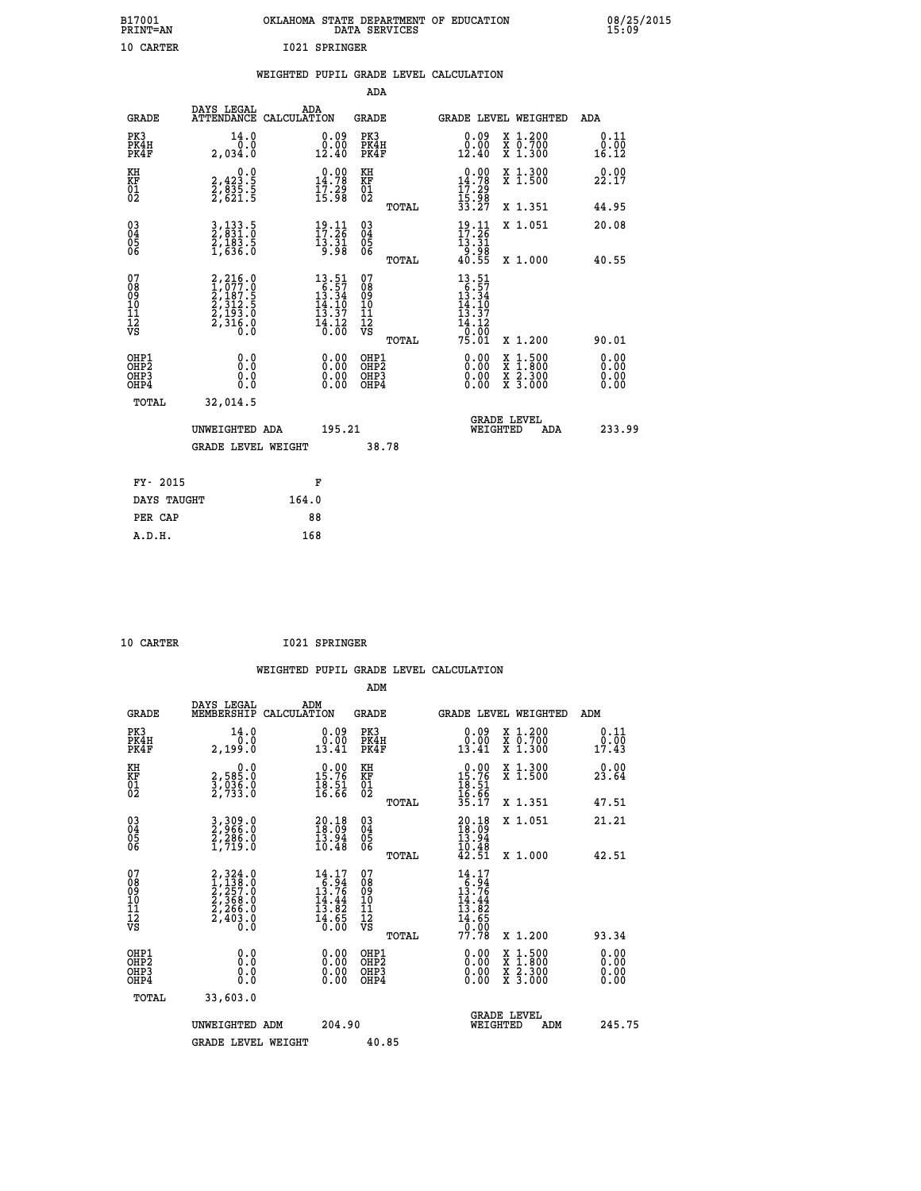| B17001<br>PRINT=AN | OKLAHOMA STATE DEPARTMENT OF EDUCATION<br>DATA SERVICES | 08/25/2015<br>15:09 |
|--------------------|---------------------------------------------------------|---------------------|
| 10 CARTER          | 1021 SPRINGER                                           |                     |

|                                                    |                                                                                                                              | WEIGHTED PUPIL GRADE LEVEL CALCULATION                                      |                                        |       |                                                                                |                                                              |                              |
|----------------------------------------------------|------------------------------------------------------------------------------------------------------------------------------|-----------------------------------------------------------------------------|----------------------------------------|-------|--------------------------------------------------------------------------------|--------------------------------------------------------------|------------------------------|
|                                                    |                                                                                                                              |                                                                             | <b>ADA</b>                             |       |                                                                                |                                                              |                              |
| <b>GRADE</b>                                       | DAYS LEGAL<br><b>ATTENDANCE</b>                                                                                              | ADA<br>CALCULATION                                                          | <b>GRADE</b>                           |       |                                                                                | GRADE LEVEL WEIGHTED                                         | ADA                          |
| PK3<br>PK4H<br>PK4F                                | 14.0<br>0.0<br>2,034.0                                                                                                       | $\substack{0.09 \\ 0.00 \\ 12.40}$                                          | PK3<br>PK4H<br>PK4F                    |       | $0.09$<br>$0.00$<br>12.40                                                      | X 1.200<br>X 0.700<br>X 1.300                                | 0.11<br>0.00<br>16.12        |
| KH<br>KF<br>01<br>02                               | $2,423.5$<br>$2,835.5$<br>$2,621.5$                                                                                          | $\begin{smallmatrix} 0.00\\14.78\\17.29\\15.98 \end{smallmatrix}$           | KH<br>KF<br>01<br>02                   |       | $\begin{array}{r} 0.00 \\ 14.78 \\ 17.29 \\ 15.98 \\ 33.27 \end{array}$        | X 1.300<br>X 1.500                                           | 0.00<br>22.17                |
|                                                    |                                                                                                                              |                                                                             |                                        | TOTAL |                                                                                | X 1.351                                                      | 44.95                        |
| $\begin{matrix} 03 \\ 04 \\ 05 \\ 06 \end{matrix}$ | 3, 133.5<br>2, 831.0<br>2, 183.5<br>1, 636.0                                                                                 | $\frac{19}{17}:\frac{11}{26}$<br>$\frac{13.51}{9.98}$                       | 03<br>04<br>05<br>06                   |       | $19.11$<br>$17.26$<br>$\frac{13.31}{9.98}$<br>40.55                            | X 1.051                                                      | 20.08                        |
|                                                    |                                                                                                                              |                                                                             |                                        | TOTAL |                                                                                | X 1.000                                                      | 40.55                        |
| 07<br>08901112<br>1112<br>VS                       | $\begin{smallmatrix} 2,216\,, 0\\ 1,077\,. 0\\ 2,187\,. 5\\ 2,312\,. 5\\ 2,193\,. 0\\ 2,316\,. 0\\ 0\,. 0 \end{smallmatrix}$ | $13.51$<br>$16.57$<br>$13.34$<br>$14.10$<br>$13.37$<br>$\frac{14.12}{0.00}$ | 07<br>08<br>09<br>11<br>11<br>12<br>VS | TOTAL | $13.51$<br>$16.57$<br>$13.34$<br>$14.10$<br>$13.37$<br>14.12<br>-0:00<br>75.01 | X 1.200                                                      | 90.01                        |
| OHP1<br>OHP2<br>OH <sub>P3</sub><br>OHP4           | 0.0<br>Ō.Ō<br>Ō.Ō                                                                                                            | 0.0000<br>$\begin{smallmatrix} 0.00 \ 0.00 \end{smallmatrix}$               | OHP1<br>OHP2<br>OHP3<br>OHP4           |       | 0.00<br>0.00<br>0.00                                                           | $1:500$<br>1:800<br>X 1:500<br>X 1:800<br>X 2:300<br>X 3:000 | 0.00<br>0.00<br>0.00<br>0.00 |
| <b>TOTAL</b>                                       | 32,014.5                                                                                                                     |                                                                             |                                        |       |                                                                                |                                                              |                              |
|                                                    | UNWEIGHTED ADA                                                                                                               | 195.21                                                                      |                                        |       | WEIGHTED                                                                       | <b>GRADE LEVEL</b><br>ADA                                    | 233.99                       |
|                                                    | <b>GRADE LEVEL WEIGHT</b>                                                                                                    |                                                                             | 38.78                                  |       |                                                                                |                                                              |                              |
| FY- 2015                                           |                                                                                                                              | F                                                                           |                                        |       |                                                                                |                                                              |                              |
| DAYS TAUGHT                                        |                                                                                                                              | 164.0                                                                       |                                        |       |                                                                                |                                                              |                              |
| PER CAP                                            |                                                                                                                              | 88                                                                          |                                        |       |                                                                                |                                                              |                              |

| CARTER |
|--------|

 **ADM**

 **10 CARTER I021 SPRINGER**

| <b>GRADE</b>                             | DAYS LEGAL<br>MEMBERSHIP                                                            | ADM<br>CALCULATION                                                                                                                           | <b>GRADE</b>                                       |       |                                                                                                    | <b>GRADE LEVEL WEIGHTED</b>              | ADM                   |  |
|------------------------------------------|-------------------------------------------------------------------------------------|----------------------------------------------------------------------------------------------------------------------------------------------|----------------------------------------------------|-------|----------------------------------------------------------------------------------------------------|------------------------------------------|-----------------------|--|
| PK3<br>PK4H<br>PK4F                      | 14.0<br>2,199.0                                                                     | 0.09<br>13.41                                                                                                                                | PK3<br>PK4H<br>PK4F                                |       | $\begin{smallmatrix} 0.09\\ 0.00\\ 13.41 \end{smallmatrix}$                                        | X 1.200<br>X 0.700<br>X 1.300            | 0.11<br>0.00<br>17.43 |  |
| KH<br>KF<br>01<br>02                     | $\begin{smallmatrix}&&&0.0\2,585.0\3,036.0\2,733.0\end{smallmatrix}$                | $\begin{array}{r} 0.00 \\ 15.76 \\ 18.51 \\ 16.66 \end{array}$                                                                               | KH<br>KF<br>01<br>02                               |       | $0.00$<br>$15.76$<br>$18.51$<br>$16.66$<br>$35.17$                                                 | X 1.300<br>X 1.500                       | 0.00<br>23.64         |  |
|                                          |                                                                                     |                                                                                                                                              |                                                    | TOTAL |                                                                                                    | X 1.351                                  | 47.51                 |  |
| 03<br>04<br>05<br>06                     | 3,309.0<br>2,966.0<br>2,286.0<br>1,719.0                                            | $\begin{smallmatrix} 20.18\\18.09\\13.94\\10.48 \end{smallmatrix}$                                                                           | $\begin{matrix} 03 \\ 04 \\ 05 \\ 06 \end{matrix}$ |       | $20.1818.0913.9410.4842.51$                                                                        | X 1.051                                  | 21.21                 |  |
|                                          |                                                                                     |                                                                                                                                              |                                                    | TOTAL |                                                                                                    | X 1.000                                  | 42.51                 |  |
| 07<br>089<br>090<br>1112<br>VS           | $2,324.0$<br>$1,138.0$<br>$2,257.0$<br>$2,368.0$<br>$2,266.0$<br>$2,403.0$<br>$0.0$ | $\begin{array}{r} 14.17 \\[-4pt] 13.76 \\[-4pt] 13.76 \\[-4pt] 14.44 \\[-4pt] 13.82 \\[-4pt] 14.65 \\[-4pt] 14.65 \\[-4pt] 0.00 \end{array}$ | 07<br>08901112<br>1112<br>VS                       | TOTAL | $\begin{array}{c} 14.17 \\ 16.94 \\ 13.76 \\ 14.44 \\ 13.82 \\ 14.65 \\ 0.00 \\ 77.78 \end{array}$ | X 1.200                                  | 93.34                 |  |
| OHP1<br>OHP2<br>OH <sub>P3</sub><br>OHP4 | 0.0<br>0.000                                                                        |                                                                                                                                              | OHP1<br>OHP2<br>OHP3<br>OHP4                       |       | 0.00<br>$0.00$<br>0.00                                                                             | X 1:500<br>X 1:800<br>X 2:300<br>X 3:000 | 0.00<br>0.00<br>0.00  |  |
| TOTAL                                    | 33,603.0                                                                            |                                                                                                                                              |                                                    |       |                                                                                                    |                                          |                       |  |
|                                          | UNWEIGHTED<br>ADM                                                                   | 204.90                                                                                                                                       |                                                    |       | WEIGHTED                                                                                           | <b>GRADE LEVEL</b><br>ADM                | 245.75                |  |
|                                          | <b>GRADE LEVEL WEIGHT</b>                                                           |                                                                                                                                              | 40.85                                              |       |                                                                                                    |                                          |                       |  |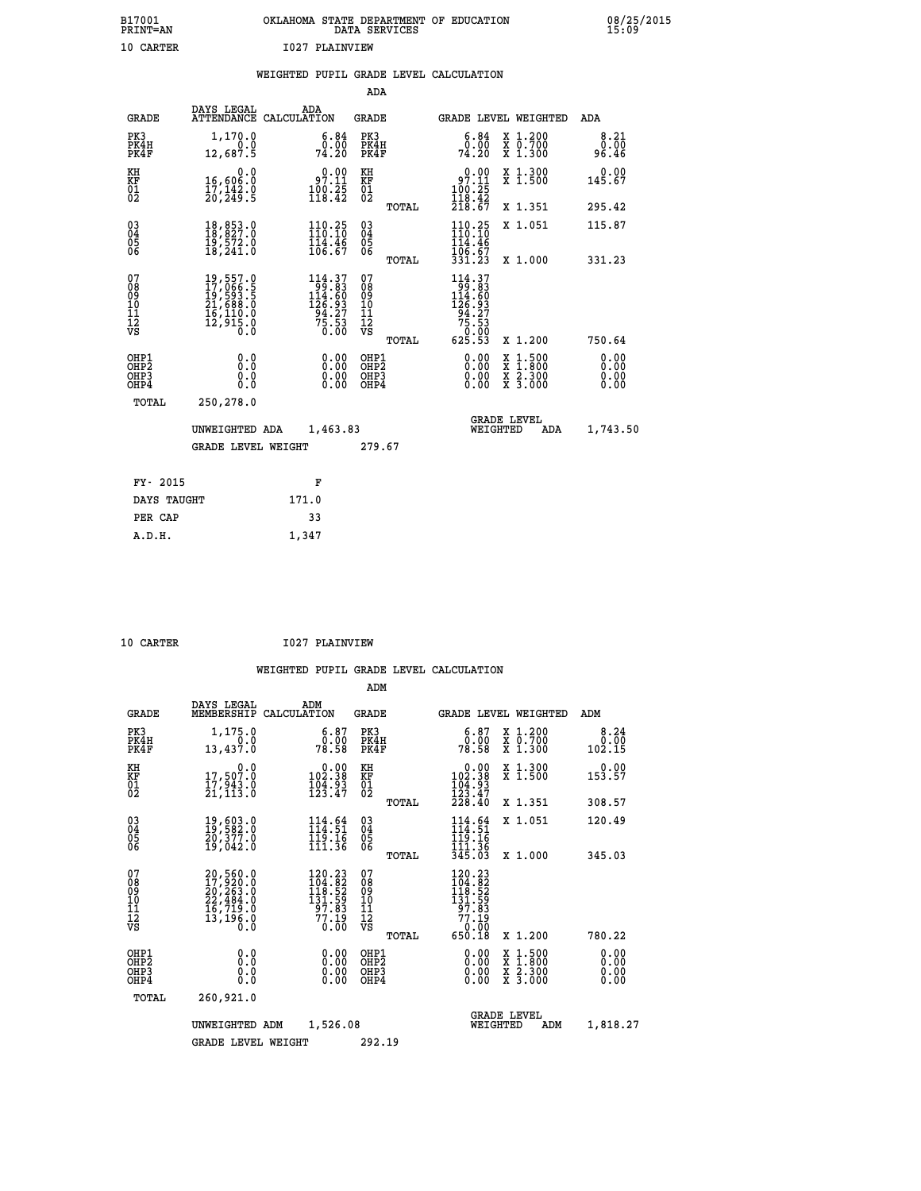| B17001<br><b>PRINT=AN</b> | OKLAHOMA STATE DEPARTMENT OF EDUCATION<br>DATA SERVICES | 08/25/2015<br>15:09 |
|---------------------------|---------------------------------------------------------|---------------------|
| 10 CARTER                 | 1027 PLAINVIEW                                          |                     |

|                                                                    |                                                                                                                     | WEIGHTED PUPIL GRADE LEVEL CALCULATION                                                    |                                        |       |                                                                                                                          |                               |                              |
|--------------------------------------------------------------------|---------------------------------------------------------------------------------------------------------------------|-------------------------------------------------------------------------------------------|----------------------------------------|-------|--------------------------------------------------------------------------------------------------------------------------|-------------------------------|------------------------------|
|                                                                    |                                                                                                                     |                                                                                           | ADA                                    |       |                                                                                                                          |                               |                              |
| <b>GRADE</b>                                                       | DAYS LEGAL                                                                                                          | ADA<br>ATTENDANCE CALCULATION                                                             | <b>GRADE</b>                           |       |                                                                                                                          | GRADE LEVEL WEIGHTED          | ADA                          |
| PK3<br>PK4H<br>PK4F                                                | 1,170.0<br>0.0<br>12,687.5                                                                                          | 6.84<br>$\frac{0.00}{74.20}$                                                              | PK3<br>PK4H<br>PK4F                    |       | 6.84<br>0.00<br>74.20                                                                                                    | X 1.200<br>X 0.700<br>X 1.300 | 8.21<br>0.00<br>96.46        |
| KH<br>KF<br>01<br>02                                               | $\begin{smallmatrix}&&&0.0\\16,606.0\\17,142.0\\20,249.5\end{smallmatrix}$                                          | $\begin{smallmatrix} &0.00\\ 97.11\\ 100.25\\ 118.42\end{smallmatrix}$                    | KH<br>KF<br>01<br>02                   |       | 97.10<br>$\frac{100}{118}$ $\frac{25}{42}$<br>$\frac{118}{218}$ $\frac{42}{67}$                                          | X 1.300<br>X 1.500            | 0.00<br>145.67               |
|                                                                    |                                                                                                                     |                                                                                           |                                        | TOTAL |                                                                                                                          | X 1.351                       | 295.42                       |
| $\begin{smallmatrix} 03 \\[-4pt] 04 \end{smallmatrix}$<br>Ŏ5<br>ŎĞ | 18,853.0<br>19,572.0<br>18,241.0                                                                                    | $110.25$<br>$110.10$<br>$\frac{114.46}{106.67}$                                           | $\substack{03 \\ 04}$<br>05<br>06      |       | 110.25<br>$\frac{114.46}{106.67}$                                                                                        | X 1.051                       | 115.87                       |
|                                                                    |                                                                                                                     |                                                                                           |                                        | TOTAL | 331.23                                                                                                                   | X 1.000                       | 331.23                       |
| 07<br>08<br>09<br>101<br>112<br>VS                                 | $\begin{smallmatrix} 19, 557.0\\ 17, 066.5\\ 19, 593.5\\ 21, 688.0\\ 16, 110.0\\ 12, 915.0\\ 0.0 \end{smallmatrix}$ | $\begin{smallmatrix} 114.37\\199.83\\114.60\\126.93\\94.27\\75.53\\0.00\end{smallmatrix}$ | 07<br>08<br>09<br>11<br>11<br>12<br>VS | TOTAL | $\begin{array}{c} 114\cdot 37\\199\cdot 83\\114\cdot 60\\126\cdot 93\\94\cdot 27\\75\cdot 53\\0\\625\cdot 53\end{array}$ | X 1.200                       | 750.64                       |
| OHP1<br>OHP2<br>OHP3<br>OHP4                                       | 0.0<br>0.0<br>Ō.O                                                                                                   | 0.00<br>$\begin{smallmatrix} 0.00 \ 0.00 \end{smallmatrix}$                               | OHP1<br>OHP2<br>OHP3<br>OHP4           |       | 0.00<br>0.00<br>0.00                                                                                                     | X 1:500<br>X 2.300<br>X 3.000 | 0.00<br>Ō.ŎŎ<br>0.00<br>0.00 |
| <b>TOTAL</b>                                                       | 250,278.0                                                                                                           |                                                                                           |                                        |       |                                                                                                                          |                               |                              |
|                                                                    | UNWEIGHTED ADA                                                                                                      | 1,463.83                                                                                  |                                        |       | WEIGHTED                                                                                                                 | <b>GRADE LEVEL</b><br>ADA     | 1,743.50                     |
|                                                                    | <b>GRADE LEVEL WEIGHT</b>                                                                                           |                                                                                           | 279.67                                 |       |                                                                                                                          |                               |                              |
| FY- 2015                                                           |                                                                                                                     | F                                                                                         |                                        |       |                                                                                                                          |                               |                              |
| DAYS TAUGHT                                                        |                                                                                                                     | 171.0                                                                                     |                                        |       |                                                                                                                          |                               |                              |
| PER CAP                                                            |                                                                                                                     | 33                                                                                        |                                        |       |                                                                                                                          |                               |                              |

 **10 CARTER I027 PLAINVIEW**

 **ADM**

 **A.D.H. 1,347**

|  |  | WEIGHTED PUPIL GRADE LEVEL CALCULATION |
|--|--|----------------------------------------|
|  |  |                                        |

| <b>GRADE</b>                       | DAYS LEGAL<br>MEMBERSHIP CALCULATION                                                      | ADM                                                                      | <b>GRADE</b>                                  |       | <b>GRADE LEVEL WEIGHTED</b>                                                                        |                                          | ADM                    |
|------------------------------------|-------------------------------------------------------------------------------------------|--------------------------------------------------------------------------|-----------------------------------------------|-------|----------------------------------------------------------------------------------------------------|------------------------------------------|------------------------|
| PK3<br>PK4H<br>PK4F                | 1,175.0<br>0.0<br>13,437.0                                                                | $\begin{smallmatrix} 6.87\ 0.00\ 78.58 \end{smallmatrix}$                | PK3<br>PK4H<br>PK4F                           |       | 6.87<br>0.00.<br>78.58                                                                             | X 1.200<br>X 0.700<br>X 1.300            | 8.24<br>0.00<br>102.15 |
| KH<br>KF<br>$\overline{01}$        | 0.0<br>17,507.0<br>$\frac{17}{21}$ , $\frac{543}{13}$ .0                                  | $0.00$<br>38.391<br>$\frac{104.93}{123.47}$                              | KH<br>KF<br>$^{01}_{02}$                      |       | $\begin{smallmatrix} &0.00\ 102.38\end{smallmatrix}$<br>$\frac{104.93}{123.47}$                    | X 1.300<br>X 1.500                       | $0.00$<br>153.57       |
|                                    |                                                                                           |                                                                          |                                               | TOTAL | 228.40                                                                                             | X 1.351                                  | 308.57                 |
| $\substack{03 \\ 04}$<br>Ŏ5        | 19,603.0<br>19,582.0<br>20,377.0                                                          | $114.64$<br>$114.51$<br>$119.16$<br>$111.36$                             | $\substack{03 \\ 04}$<br>05                   |       | $\begin{array}{c} 114\cdot 64\\ 114\cdot 51\\ 119\cdot 16\\ 111\cdot 36\\ 345\cdot 03 \end{array}$ | X 1.051                                  | 120.49                 |
| 06                                 | 19,042.0                                                                                  |                                                                          | 06                                            | TOTAL |                                                                                                    | X 1.000                                  | 345.03                 |
| 07<br>08<br>09<br>101<br>112<br>VS | $20,560.0$<br>$17,920.0$<br>$20,263.0$<br>$22,484.0$<br>$16,719.0$<br>$13,196.0$<br>$0.0$ | 120.23<br>$104.82$<br>$118.52$<br>$131.59$<br>$97.83$<br>$77.19$<br>0.00 | 07<br>08<br>09<br>001<br>11<br>11<br>12<br>VS | TOTAL | $\begin{smallmatrix} 120.23\\104.82\\118.52\\131.59\\37.83\\77.19\\650.18\end{smallmatrix}$        | X 1.200                                  | 780.22                 |
| OHP1<br>OHP <sub>2</sub><br>OHP3   | 0.0<br>0.0                                                                                | $0.00$<br>$0.00$                                                         | OHP1<br>OHP <sub>2</sub><br>OHP3              |       | 0.00<br>0.00                                                                                       | X 1:500<br>X 1:800<br>X 2:300<br>X 3:000 | 0.00<br>0.00           |
| OHP4                               | Ō.Ō                                                                                       | 0.00                                                                     | OHP4                                          |       | 0.00                                                                                               |                                          | 0.00                   |
| TOTAL                              | 260,921.0                                                                                 |                                                                          |                                               |       |                                                                                                    |                                          |                        |
|                                    | UNWEIGHTED                                                                                | 1,526.08<br>ADM                                                          |                                               |       | WEIGHTED                                                                                           | <b>GRADE LEVEL</b><br>ADM                | 1,818.27               |
|                                    | <b>GRADE LEVEL WEIGHT</b>                                                                 |                                                                          | 292.19                                        |       |                                                                                                    |                                          |                        |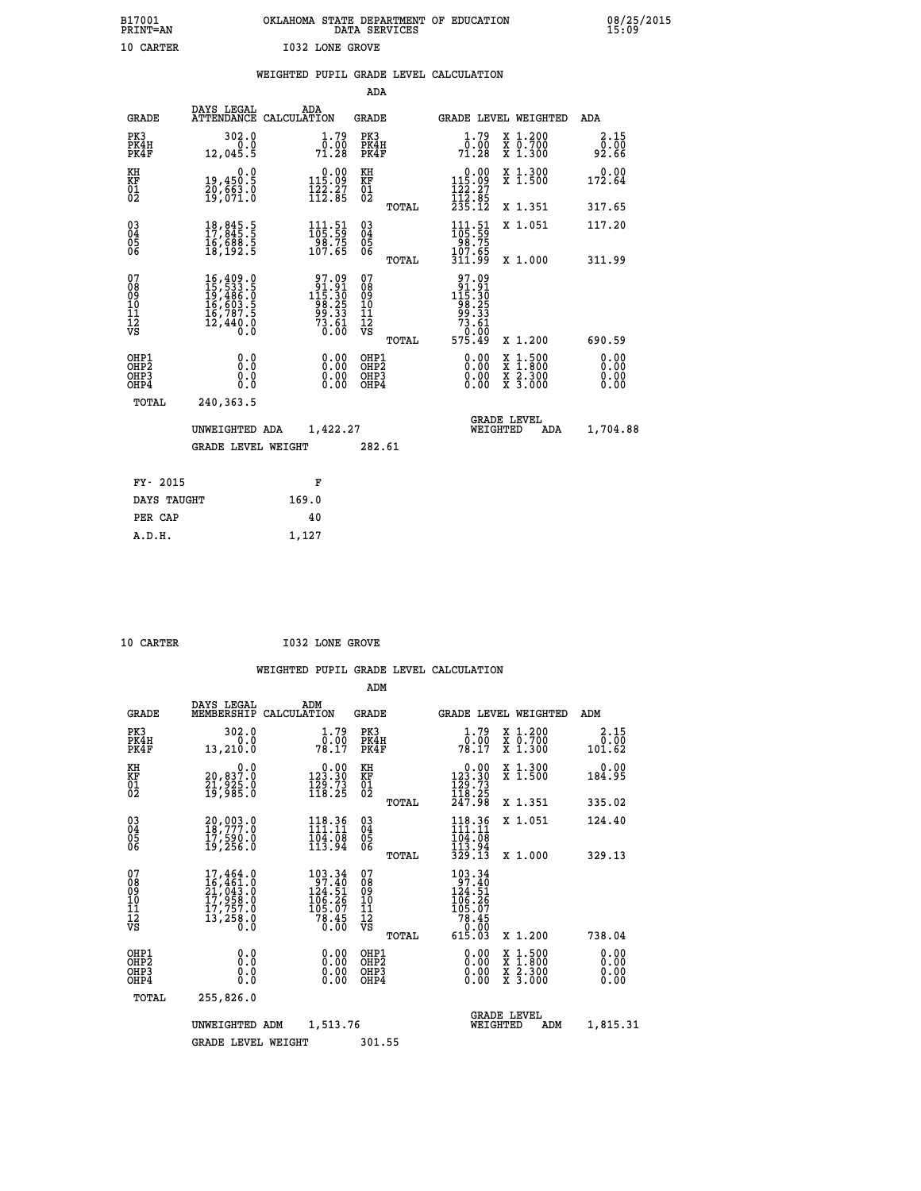| OKLAHOMA STATE DEPARTMENT OF EDUCATION<br>DATA SERVICES |  |
|---------------------------------------------------------|--|
| <b>I032 LONE GROVE</b>                                  |  |

|                                                                    |                                                                                                                                                                                          |                                                                                            | ADA                                                 |       |                                                                               |                                          |                               |
|--------------------------------------------------------------------|------------------------------------------------------------------------------------------------------------------------------------------------------------------------------------------|--------------------------------------------------------------------------------------------|-----------------------------------------------------|-------|-------------------------------------------------------------------------------|------------------------------------------|-------------------------------|
| <b>GRADE</b>                                                       | DAYS LEGAL                                                                                                                                                                               | ADA<br>ATTENDANCE CALCULATION                                                              | <b>GRADE</b>                                        |       |                                                                               | <b>GRADE LEVEL WEIGHTED</b>              | ADA                           |
| PK3<br>PK4H<br>PK4F                                                | 302.0<br>0.0<br>12,045.5                                                                                                                                                                 | $\frac{1}{0}$ : $\frac{79}{00}$<br>71.28                                                   | PK3<br>PK4H<br>PK4F                                 |       | $\frac{1}{0}$ : $\frac{79}{00}$<br>71.28                                      | X 1.200<br>X 0.700<br>X 1.300            | 2.15<br>0.00<br>92.66         |
| KH<br>KF<br>01<br>02                                               | 0.0<br>19,450:5<br>20,663:0<br>19,071:0                                                                                                                                                  | $0.00$<br>115.09<br>$\frac{1}{2}\frac{2}{2}\cdot\frac{2}{8}\cdot\frac{7}{8}$               | KH<br>KF<br>01<br>02                                |       | $\begin{array}{c} 0.00 \\ 115.09 \\ 122.27 \\ 112.85 \\ 235.12 \end{array}$   | X 1.300<br>X 1.500                       | 0.00<br>172.64                |
|                                                                    |                                                                                                                                                                                          |                                                                                            |                                                     | TOTAL |                                                                               | X 1.351                                  | 317.65                        |
| $\begin{smallmatrix} 03 \\[-4pt] 04 \end{smallmatrix}$<br>Ŏ5<br>06 | $\begin{smallmatrix} 18 \ , \ 845 \ . \ 11 \ 17 \ , \ 845 \ . \ 5 \ 16 \ , \ 688 \ . \ 5 \ 18 \ , \ 192 \ . \ 5 \end{smallmatrix}$                                                       | $\begin{array}{c} 111.51 \\ 105.59 \\ 98.75 \\ 107.65 \end{array}$                         | $\begin{array}{c} 03 \\ 04 \\ 05 \\ 06 \end{array}$ |       | $\begin{smallmatrix} 111.51\ 105.59\ 98.75\ 107.65\ 311.99 \end{smallmatrix}$ | X 1.051                                  | 117.20                        |
|                                                                    |                                                                                                                                                                                          |                                                                                            |                                                     | TOTAL |                                                                               | X 1.000                                  | 311.99                        |
| 07<br>08<br>09<br>101<br>11<br>12<br>VS                            | $\begin{smallmatrix} 16\,, & 409\,, & 0\\ 15\,, & 533\,, & 5\\ 19\,, & 486\,, & 0\\ 16\,, & 603\,, & 5\\ 16\,, & 787\,, & 5\\ 12\,, & 440\,, & 0\\ 0\,, & 0\,, & 0\,, \end{smallmatrix}$ | $\begin{array}{r} 97.09 \\ 91.91 \\ 115.30 \\ 98.25 \\ 99.33 \\ 73.61 \\ 0.00 \end{array}$ | 07<br>08<br>09<br>001<br>11<br>11<br>12<br>VS       |       | 97.09<br>- 91.910<br>115.305<br>98.253<br>99.331<br>73.61<br>75.49<br>575.49  |                                          |                               |
|                                                                    |                                                                                                                                                                                          |                                                                                            |                                                     | TOTAL |                                                                               | X 1.200                                  | 690.59                        |
| OHP1<br>OHP2<br>OH <sub>P3</sub><br>OHP4                           | 0.0<br>0.000                                                                                                                                                                             | 0.00<br>$\begin{smallmatrix} 0.00 \ 0.00 \end{smallmatrix}$                                | OHP1<br>OHP2<br>OHP <sub>3</sub>                    |       | 0.00<br>0.00                                                                  | X 1:500<br>X 1:800<br>X 2:300<br>X 3:000 | 0.00<br>Ō. ŌŌ<br>0.00<br>0.00 |
| TOTAL                                                              | 240,363.5                                                                                                                                                                                |                                                                                            |                                                     |       |                                                                               |                                          |                               |
|                                                                    | UNWEIGHTED ADA                                                                                                                                                                           | 1,422.27                                                                                   |                                                     |       |                                                                               | <b>GRADE LEVEL</b><br>WEIGHTED<br>ADA    | 1,704.88                      |
|                                                                    | <b>GRADE LEVEL WEIGHT</b>                                                                                                                                                                |                                                                                            | 282.61                                              |       |                                                                               |                                          |                               |
| FY- 2015                                                           |                                                                                                                                                                                          | F                                                                                          |                                                     |       |                                                                               |                                          |                               |
| DAYS TAUGHT                                                        |                                                                                                                                                                                          | 169.0                                                                                      |                                                     |       |                                                                               |                                          |                               |
| PER CAP                                                            |                                                                                                                                                                                          | 40                                                                                         |                                                     |       |                                                                               |                                          |                               |

| CARTER |  |  |
|--------|--|--|
|        |  |  |
|        |  |  |

 **A.D.H. 1,127**

B17001<br>PRINT=AN<br>10 CARTER

**10 CARTER 1032 LONE GROVE** 

|                                                       |                                                                                                       |                                                                               | ADM                                                |        |                                                                                      |                                          |                              |
|-------------------------------------------------------|-------------------------------------------------------------------------------------------------------|-------------------------------------------------------------------------------|----------------------------------------------------|--------|--------------------------------------------------------------------------------------|------------------------------------------|------------------------------|
| <b>GRADE</b>                                          | DAYS LEGAL<br>MEMBERSHIP                                                                              | ADM<br>CALCULATION                                                            | <b>GRADE</b>                                       |        |                                                                                      | <b>GRADE LEVEL WEIGHTED</b>              | ADM                          |
| PK3<br>PK4H<br>PK4F                                   | 302.0<br>0.0<br>13,210.0                                                                              | 1.79<br>70:00<br>78:17                                                        | PK3<br>PK4H<br>PK4F                                |        | $\frac{1}{0}$ : 79<br>78.17                                                          | X 1.200<br>X 0.700<br>X 1.300            | 2.15<br>0.00<br>101.62       |
| KH<br>KF<br>01<br>02                                  | 0.0<br>20,837.0<br>21,925.0<br>19,985.0                                                               | $\begin{smallmatrix} &0.00\\ 123.30\\ 129.73\\ 118.25\end{smallmatrix}$       | KH<br>KF<br>01<br>02                               |        | $\begin{smallmatrix}&&0.00\\123.30\\129.73\\118.25\\247.98\end{smallmatrix}$         | X 1.300<br>X 1.500                       | 0.00<br>184.95               |
|                                                       |                                                                                                       |                                                                               |                                                    | TOTAL  |                                                                                      | X 1.351                                  | 335.02                       |
| 03<br>04<br>05<br>06                                  | 20,003.0<br>18,777.0<br>17,590.0<br>19,256.0                                                          | 118.36<br>111.11<br>$\frac{104.08}{113.94}$                                   | $\begin{matrix} 03 \\ 04 \\ 05 \\ 06 \end{matrix}$ |        | 118.36<br>111.11<br>104.08<br>113.94                                                 | X 1.051                                  | 124.40                       |
|                                                       |                                                                                                       |                                                                               |                                                    | TOTAL  | 329.13                                                                               | X 1.000                                  | 329.13                       |
| 07<br>08<br>09<br>101<br>112<br>VS                    | $\begin{smallmatrix}17,464.0\\16,461.0\\21,043.0\\17,958.0\\17,757.0\\13,258.0\\0.0\end{smallmatrix}$ | 103.34<br>$\frac{187.40}{124.51}$<br>106.26<br>105.07<br>$\frac{78.45}{0.00}$ | 07<br>08<br>09<br>101<br>11<br>12<br>VS            | TOTAL  | 103.34<br>97.40<br>$124.51$<br>$106.26$<br>$105.07$<br>$78.45$<br>$0.00$<br>$615.03$ | X 1.200                                  | 738.04                       |
|                                                       |                                                                                                       |                                                                               |                                                    |        |                                                                                      |                                          |                              |
| OHP1<br>OH <sub>P</sub> 2<br>OH <sub>P3</sub><br>OHP4 | 0.0<br>0.000                                                                                          | $0.00$<br>$0.00$<br>0.00                                                      | OHP1<br>OHP2<br>OHP3<br>OHP4                       |        | $0.00$<br>$0.00$<br>0.00                                                             | X 1:500<br>X 1:800<br>X 2:300<br>X 3:000 | 0.00<br>0.00<br>0.00<br>0.00 |
| TOTAL                                                 | 255,826.0                                                                                             |                                                                               |                                                    |        |                                                                                      |                                          |                              |
|                                                       | UNWEIGHTED ADM                                                                                        | 1,513.76                                                                      |                                                    |        | WEIGHTED                                                                             | <b>GRADE LEVEL</b><br>ADM                | 1,815.31                     |
|                                                       | <b>GRADE LEVEL WEIGHT</b>                                                                             |                                                                               |                                                    | 301.55 |                                                                                      |                                          |                              |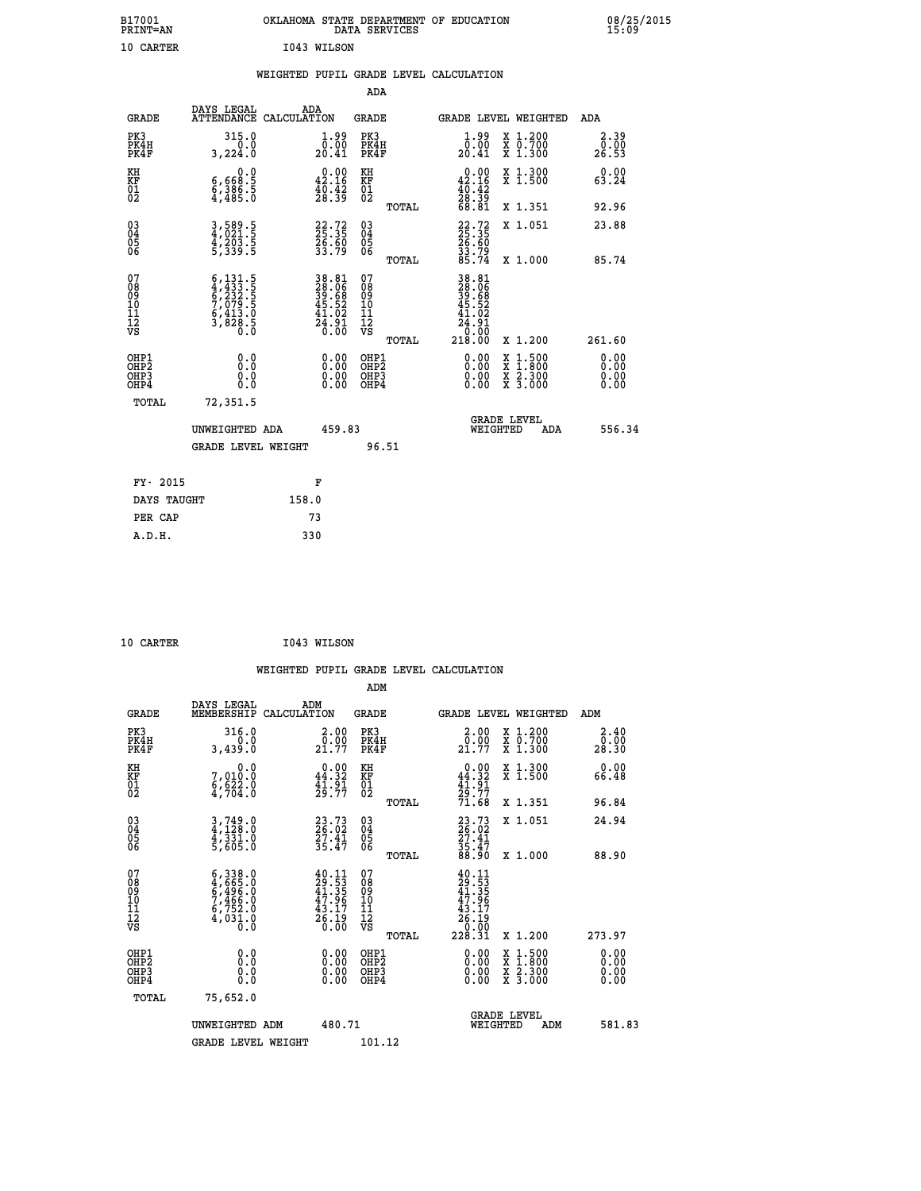| B17001<br>PRINT=AN                     |                                                                                           | OKLAHOMA STATE DEPARTMENT OF EDUCATION                               | DATA SERVICES                                      |                                                                                            |                                                                                                  | 08/25/2015            |  |
|----------------------------------------|-------------------------------------------------------------------------------------------|----------------------------------------------------------------------|----------------------------------------------------|--------------------------------------------------------------------------------------------|--------------------------------------------------------------------------------------------------|-----------------------|--|
| 10 CARTER                              |                                                                                           | I043 WILSON                                                          |                                                    |                                                                                            |                                                                                                  |                       |  |
|                                        |                                                                                           | WEIGHTED PUPIL GRADE LEVEL CALCULATION                               |                                                    |                                                                                            |                                                                                                  |                       |  |
|                                        |                                                                                           |                                                                      | ADA                                                |                                                                                            |                                                                                                  |                       |  |
| <b>GRADE</b>                           | DAYS LEGAL                                                                                | ADA<br>ATTENDANCE CALCULATION                                        | GRADE                                              | GRADE LEVEL WEIGHTED                                                                       |                                                                                                  | ADA                   |  |
| PK3<br>PK4H<br>PK4F                    | 315.0<br>0.0<br>3,224.0                                                                   | $1.99$<br>$0.00$<br>20.41                                            | PK3<br>PK4H<br>PK4F                                | $1.99$<br>0.00<br>20.41                                                                    | X 1.200<br>X 0.700<br>X 1.300                                                                    | 2.39<br>0.00<br>26.53 |  |
| KH<br>KF<br>01<br>02                   | 0.0<br>$\frac{6}{9}, \frac{668}{386}.\frac{5}{5}$                                         | $\begin{smallmatrix} 0.00\\ 42.16\\ 40.42\\ 28.39 \end{smallmatrix}$ | KH<br>KF<br>01<br>02                               | $\begin{smallmatrix} &0.00\\ 42.16\\ 40.42\\ 40.39\\ 28.39\\ 68.81 \end{smallmatrix}$      | X 1.300<br>X 1.500                                                                               | 0.00<br>63.24         |  |
|                                        |                                                                                           |                                                                      | TOTAL                                              |                                                                                            | X 1.351                                                                                          | 92.96                 |  |
| $03\overline{4}$<br>0500               | 3,589.5<br>4,021.5<br>4,203.5<br>5,339.5                                                  | 22.72<br>25.35<br>26.60<br>33.79                                     | $\begin{matrix} 03 \\ 04 \\ 05 \\ 06 \end{matrix}$ | 22:35<br>25:35<br>26:60<br>33:79<br>85:74                                                  | X 1.051                                                                                          | 23.88                 |  |
|                                        |                                                                                           |                                                                      | TOTAL                                              |                                                                                            | X 1.000                                                                                          | 85.74                 |  |
| 07<br>08<br>09<br>11<br>11<br>12<br>VS | $6, 131.5$<br>$6, 232.5$<br>$6, 232.5$<br>$7, 079.5$<br>$6, 413.0$<br>$3, 828.5$<br>$0.0$ | 38.81<br>28.06<br>39.68<br>39.68<br>45.52<br>45.92<br>24.91          | 07<br>08<br>09<br>11<br>11<br>12<br>VS<br>TOTAL    | 38.81<br>28.06<br>39.68<br>45.52<br>41.02<br>24<br>$\frac{1}{9}$ . $\frac{3}{0}$<br>218.00 | X 1.200                                                                                          | 261.60                |  |
| OHP1<br>OHP2<br>OHP3<br>OHP4           | 0.0<br>0.0<br>0.0                                                                         | 0.00<br>0.00                                                         | OHP1<br>OHP2<br>OHP3<br>OHP4                       | 0.00<br>0.00<br>0.00                                                                       | $\begin{smallmatrix} x & 1 & 500 \\ x & 1 & 800 \\ x & 2 & 300 \\ x & 3 & 000 \end{smallmatrix}$ | 0.00<br>0.0000        |  |
| TOTAL                                  | 72,351.5                                                                                  |                                                                      |                                                    |                                                                                            |                                                                                                  |                       |  |
|                                        | UNWEIGHTED ADA                                                                            | 459.83                                                               |                                                    | <b>GRADE LEVEL</b><br>WEIGHTED                                                             | ADA                                                                                              | 556.34                |  |
|                                        | <b>GRADE LEVEL WEIGHT</b>                                                                 |                                                                      | 96.51                                              |                                                                                            |                                                                                                  |                       |  |
| FY- 2015                               |                                                                                           | F                                                                    |                                                    |                                                                                            |                                                                                                  |                       |  |
| DAYS TAUGHT                            |                                                                                           | 158.0                                                                |                                                    |                                                                                            |                                                                                                  |                       |  |
| PER CAP                                |                                                                                           | 73                                                                   |                                                    |                                                                                            |                                                                                                  |                       |  |
| A.D.H.                                 |                                                                                           | 330                                                                  |                                                    |                                                                                            |                                                                                                  |                       |  |

| 10 CARTER |  |  | I043 WILSON |
|-----------|--|--|-------------|

|                                                      |                                                                                                                                                                                        |                                                                                                                                                             |                                                                | WEIGHTED PUPIL GRADE LEVEL CALCULATION                                                   |                                          |                       |
|------------------------------------------------------|----------------------------------------------------------------------------------------------------------------------------------------------------------------------------------------|-------------------------------------------------------------------------------------------------------------------------------------------------------------|----------------------------------------------------------------|------------------------------------------------------------------------------------------|------------------------------------------|-----------------------|
|                                                      |                                                                                                                                                                                        |                                                                                                                                                             | ADM                                                            |                                                                                          |                                          |                       |
| <b>GRADE</b>                                         | DAYS LEGAL<br>MEMBERSHIP                                                                                                                                                               | ADM<br>CALCULATION                                                                                                                                          | <b>GRADE</b>                                                   | <b>GRADE LEVEL WEIGHTED</b>                                                              |                                          | ADM                   |
| PK3<br>PK4H<br>PK4F                                  | 316.0<br>0.0<br>3,439.0                                                                                                                                                                | $\begin{smallmatrix} 2.00\\0.00\\21.77 \end{smallmatrix}$                                                                                                   | PK3<br>PK4H<br>PK4F                                            | $\begin{smallmatrix} 2.00\\ 0.00\\ 21.77 \end{smallmatrix}$                              | X 1.200<br>X 0.700<br>X 1.300            | 2.40<br>0.00<br>28.30 |
| KH<br>KF<br>01<br>02                                 | 0.0<br>7,010:0<br>6,622:0<br>4,704:0                                                                                                                                                   | $0.00$<br>44.32<br>$\frac{1}{2}\overline{1}\cdot\overline{9}\overline{1}\overline{7}$                                                                       | KH<br>KF<br>01<br>02                                           | $0.00$<br>44.32<br>$\frac{41.91}{29.77}$<br>71.68                                        | X 1.300<br>X 1.500                       | 0.00<br>66.48         |
|                                                      |                                                                                                                                                                                        |                                                                                                                                                             | TOTAL                                                          |                                                                                          | X 1.351                                  | 96.84                 |
| $\begin{matrix} 03 \\ 04 \\ 05 \\ 06 \end{matrix}$   | $3,749.0$<br>$4,128.0$<br>$4,331.0$<br>$5,605.0$                                                                                                                                       | 23.73<br>26.02<br>27.41<br>35.47                                                                                                                            | $\begin{array}{c} 03 \\ 04 \\ 05 \\ 06 \end{array}$            | 23.73<br>26.02<br>27.41<br>35.47<br>88.90                                                | X 1.051                                  | 24.94                 |
| 07<br>0890112<br>1112<br>VS                          | $\begin{smallmatrix} 6\,,\,3\,3\,8\,. \ 0\\ 4\,,\,6\,6\,5\,. \ 0\\ 6\,,\,4\,9\,6\,. \ 0\\ 7\,,\,4\,6\,6\,. \ 0\\ 6\,,\,7\,5\,2\,. \ 0\\ 4\,,\,0\,3\,1\,. \ 0\\ 0\,. \end{smallmatrix}$ | $\begin{smallmatrix} 4 & 0 & 1 & 1 \\ 2 & 9 & 5 & 3 \\ 4 & 1 & 3 & 5 \\ 4 & 7 & 9 & 6 \\ 4 & 3 & 1 & 7 \\ 2 & 6 & 1 & 9 \\ 0 & 0 & 0 & 0 \end{smallmatrix}$ | TOTAL<br>07<br>08<br>09<br>01<br>11<br>11<br>12<br>VS<br>TOTAL | $\begin{smallmatrix} 40.11\\29.53\\41.35\\47.96\\43.17\\26.19\\228.31 \end{smallmatrix}$ | X 1.000<br>X 1.200                       | 88.90<br>273.97       |
| OHP1<br>OHP <sub>2</sub><br>OH <sub>P3</sub><br>OHP4 | 0.0<br>0.000                                                                                                                                                                           | $0.00$<br>$0.00$<br>0.00                                                                                                                                    | OHP1<br>OHP2<br>OHP <sub>3</sub>                               | 0.00<br>0.00<br>0.00                                                                     | X 1:500<br>X 1:800<br>X 2:300<br>X 3:000 | 0.00<br>0.00<br>0.00  |
| TOTAL                                                | 75,652.0<br>UNWEIGHTED ADM<br><b>GRADE LEVEL WEIGHT</b>                                                                                                                                | 480.71                                                                                                                                                      | 101.12                                                         | <b>GRADE LEVEL</b><br>WEIGHTED                                                           | ADM                                      | 581.83                |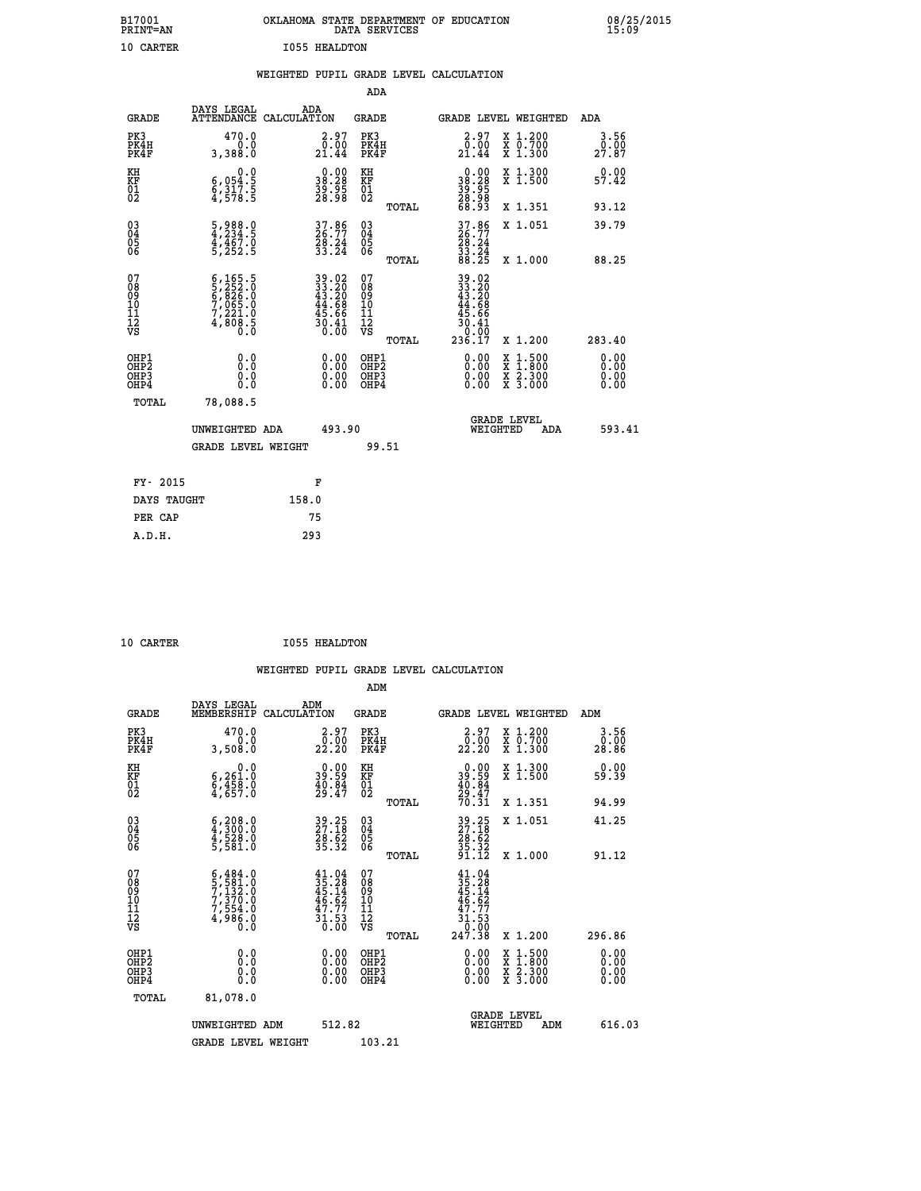| B17001<br>PRINT=AN                     |                                                                                                            |                      |                                                                          |                                                            | DATA SERVICES | OKLAHOMA STATE DEPARTMENT OF EDUCATION                    |                                          |                       | 08/25/2015 |
|----------------------------------------|------------------------------------------------------------------------------------------------------------|----------------------|--------------------------------------------------------------------------|------------------------------------------------------------|---------------|-----------------------------------------------------------|------------------------------------------|-----------------------|------------|
| 10 CARTER                              |                                                                                                            | <b>I055 HEALDTON</b> |                                                                          |                                                            |               |                                                           |                                          |                       |            |
|                                        |                                                                                                            |                      |                                                                          |                                                            |               | WEIGHTED PUPIL GRADE LEVEL CALCULATION                    |                                          |                       |            |
|                                        |                                                                                                            |                      |                                                                          | ADA                                                        |               |                                                           |                                          |                       |            |
| <b>GRADE</b>                           | DAYS LEGAL<br>ATTENDANCE CALCULATION                                                                       | ADA                  |                                                                          | <b>GRADE</b>                                               |               |                                                           | GRADE LEVEL WEIGHTED                     | ADA                   |            |
| PK3<br>PK4H<br>PK4F                    | 470.0<br>0.0<br>3,388.0                                                                                    |                      | $\begin{smallmatrix} 2.97\0.00\\21.44\end{smallmatrix}$                  | PK3<br>PK4H<br>PK4F                                        |               | $\begin{smallmatrix} 2.97\0.00\\21.44\end{smallmatrix}$   | X 1.200<br>X 0.700<br>X 1.300            | 3.56<br>0.00<br>27.87 |            |
| KH<br>KF<br>01<br>02                   | 0.0<br>$\begin{smallmatrix} 6 & 0 & 5 & 1 & 5 \\ 6 & 3 & 1 & 7 & 5 \\ 4 & 5 & 7 & 8 & 5 \end{smallmatrix}$ |                      | $\begin{smallmatrix} 0.00\\ 38.28\\ 39.35\\ 28.98 \end{smallmatrix}$     | KH<br>KF<br>01<br>02                                       |               | 38.28<br>$\frac{39}{28}$ $\frac{55}{68}$<br>68.93         | X 1.300<br>X 1.500                       | 0.00<br>57.42         |            |
|                                        |                                                                                                            |                      |                                                                          |                                                            | TOTAL         |                                                           | X 1.351                                  | 93.12                 |            |
| 03<br>04<br>05<br>06                   | 5,988.0<br>4,234.5<br>4,467.0<br>5,252.5                                                                   |                      | 37.86<br>26.77<br>28.24<br>33.24                                         | $^{03}_{04}$<br>$\frac{05}{06}$                            |               | $37.86$<br>$26.77$<br>$28.24$<br>$33.24$<br>$88.25$       | X 1.051                                  | 39.79                 |            |
|                                        |                                                                                                            |                      |                                                                          |                                                            | TOTAL         |                                                           | X 1.000                                  | 88.25                 |            |
| 07<br>08<br>09<br>11<br>11<br>12<br>VS | $6,165.5$<br>$5,252.0$<br>$6,826.0$<br>$7,065.0$<br>$7,221.0$<br>$4,808.5$<br>$0.0$                        |                      | $39.02$<br>$33.20$<br>$43.20$<br>$44.68$<br>$45.66$<br>$30.41$<br>$0.00$ | 07<br>08<br>09<br>10<br>$\frac{11}{12}$<br>$\frac{12}{18}$ |               | 39.02<br>33.20<br>43.20<br>44.68<br>$\frac{45.66}{30.41}$ |                                          |                       |            |
|                                        |                                                                                                            |                      |                                                                          |                                                            | TOTAL         | 236.17                                                    | X 1.200                                  | 283.40                |            |
| OHP1<br>OHP2<br>OHP3<br>OHP4           | 0.0<br>0.0<br>0.0                                                                                          |                      | $0.00$<br>$0.00$<br>0.00                                                 | OHP1<br>OHP2<br>OHP3<br>OHP4                               |               | $0.00$<br>$0.00$<br>0.00                                  | X 1:500<br>X 1:800<br>X 2:300<br>X 3:000 | 0.00<br>0.00<br>0.00  |            |
| TOTAL                                  | 78,088.5                                                                                                   |                      |                                                                          |                                                            |               |                                                           |                                          |                       |            |
|                                        | UNWEIGHTED ADA                                                                                             |                      | 493.90                                                                   |                                                            |               | WEIGHTED                                                  | <b>GRADE LEVEL</b><br>ADA                | 593.41                |            |
|                                        | <b>GRADE LEVEL WEIGHT</b>                                                                                  |                      |                                                                          |                                                            | 99.51         |                                                           |                                          |                       |            |
| FY- 2015                               |                                                                                                            |                      | F                                                                        |                                                            |               |                                                           |                                          |                       |            |
| DAYS TAUGHT                            |                                                                                                            | 158.0                |                                                                          |                                                            |               |                                                           |                                          |                       |            |
| PER CAP                                |                                                                                                            | 75                   |                                                                          |                                                            |               |                                                           |                                          |                       |            |

| 10 CARTER | <b>I055 HEALDTON</b> |
|-----------|----------------------|
|           |                      |

 **WEIGHTED PUPIL GRADE LEVEL CALCULATION ADM DAYS LEGAL** ... ADM

| <b>GRADE</b>                                       | MEMBERSHIP                                                                                       | CALCULATION                                                                                  | <b>GRADE</b>                                       |       | <b>GRADE LEVEL WEIGHTED</b>                                                                           |                                                                                                                                           | ADM           |        |
|----------------------------------------------------|--------------------------------------------------------------------------------------------------|----------------------------------------------------------------------------------------------|----------------------------------------------------|-------|-------------------------------------------------------------------------------------------------------|-------------------------------------------------------------------------------------------------------------------------------------------|---------------|--------|
| PK3<br>PK4H<br>PK4F                                | 470.0<br>0.0<br>3,508.0                                                                          | $\begin{smallmatrix} 2.97\0.00\\22.20 \end{smallmatrix}$                                     | PK3<br>PK4H<br>PK4F                                |       | $\begin{smallmatrix} 2.97\0.00\\22.20 \end{smallmatrix}$                                              | X 1.200<br>X 0.700<br>X 1.300                                                                                                             | 0.00<br>28.86 | 3.56   |
| KH<br>KF<br>01<br>02                               | 0.0<br>$\begin{smallmatrix} 6,261.0 \ 6,458.0 \ 4,657.0 \end{smallmatrix}$                       | $\begin{smallmatrix} 0.00\\ 39.59\\ 40.84\\ 29.47 \end{smallmatrix}$                         | KH<br>KF<br>01<br>02                               |       | $39.59$<br>$39.59$<br>$40.84$<br>$29.47$<br>$70.31$                                                   | X 1.300<br>X 1.500                                                                                                                        | 59.39         | 0.00   |
|                                                    |                                                                                                  |                                                                                              |                                                    | TOTAL |                                                                                                       | X 1.351                                                                                                                                   | 94.99         |        |
| $\begin{matrix} 03 \\ 04 \\ 05 \\ 06 \end{matrix}$ | $\begin{smallmatrix} 6 & 208 & 0 \\ 4 & 300 & 0 \\ 4 & 528 & 0 \\ 5 & 581 & 0 \end{smallmatrix}$ | 39.25<br>27.18<br>28.62<br>35.32                                                             | $\begin{matrix} 03 \\ 04 \\ 05 \\ 06 \end{matrix}$ |       | 39.25<br>27.18<br>28.62<br>35.32<br>35.12                                                             | X 1.051                                                                                                                                   | 41.25         |        |
|                                                    |                                                                                                  |                                                                                              |                                                    | TOTAL |                                                                                                       | X 1.000                                                                                                                                   | 91.12         |        |
| 07<br>08<br>09<br>001<br>11<br>11<br>12<br>VS      | $5,484.0$<br>$7,132.0$<br>$7,370.0$<br>$7,554.0$<br>$4,986.0$<br>0.0                             | $\begin{smallmatrix} 41.04\\ 35.28\\ 45.14\\ 46.62\\ 47.77\\ 31.53\\ 0.00 \end{smallmatrix}$ | 07<br>08<br>09<br>11<br>11<br>12<br>VS             |       | $\begin{smallmatrix} 41.04\\ 35.28\\ 45.14\\ 46.62\\ 47.77\\ 31.53\\ 0.00\\ 247.38 \end{smallmatrix}$ |                                                                                                                                           |               |        |
|                                                    |                                                                                                  |                                                                                              |                                                    | TOTAL |                                                                                                       | X 1.200                                                                                                                                   | 296.86        |        |
| OHP1<br>OHP2<br>OH <sub>P3</sub><br>OHP4           | $\begin{smallmatrix} 0.0 \ 0.0 \ 0.0 \end{smallmatrix}$                                          |                                                                                              | OHP1<br>OHP2<br>OHP3<br>OHP4                       |       |                                                                                                       | $\begin{smallmatrix} \mathtt{X} & 1\cdot500\\ \mathtt{X} & 1\cdot800\\ \mathtt{X} & 2\cdot300\\ \mathtt{X} & 3\cdot000 \end{smallmatrix}$ |               | 0.00   |
| TOTAL                                              | 81,078.0                                                                                         |                                                                                              |                                                    |       |                                                                                                       |                                                                                                                                           |               |        |
|                                                    | UNWEIGHTED ADM                                                                                   | 512.82                                                                                       |                                                    |       | WEIGHTED                                                                                              | <b>GRADE LEVEL</b><br>ADM                                                                                                                 |               | 616.03 |
|                                                    | <b>GRADE LEVEL WEIGHT</b>                                                                        |                                                                                              | 103.21                                             |       |                                                                                                       |                                                                                                                                           |               |        |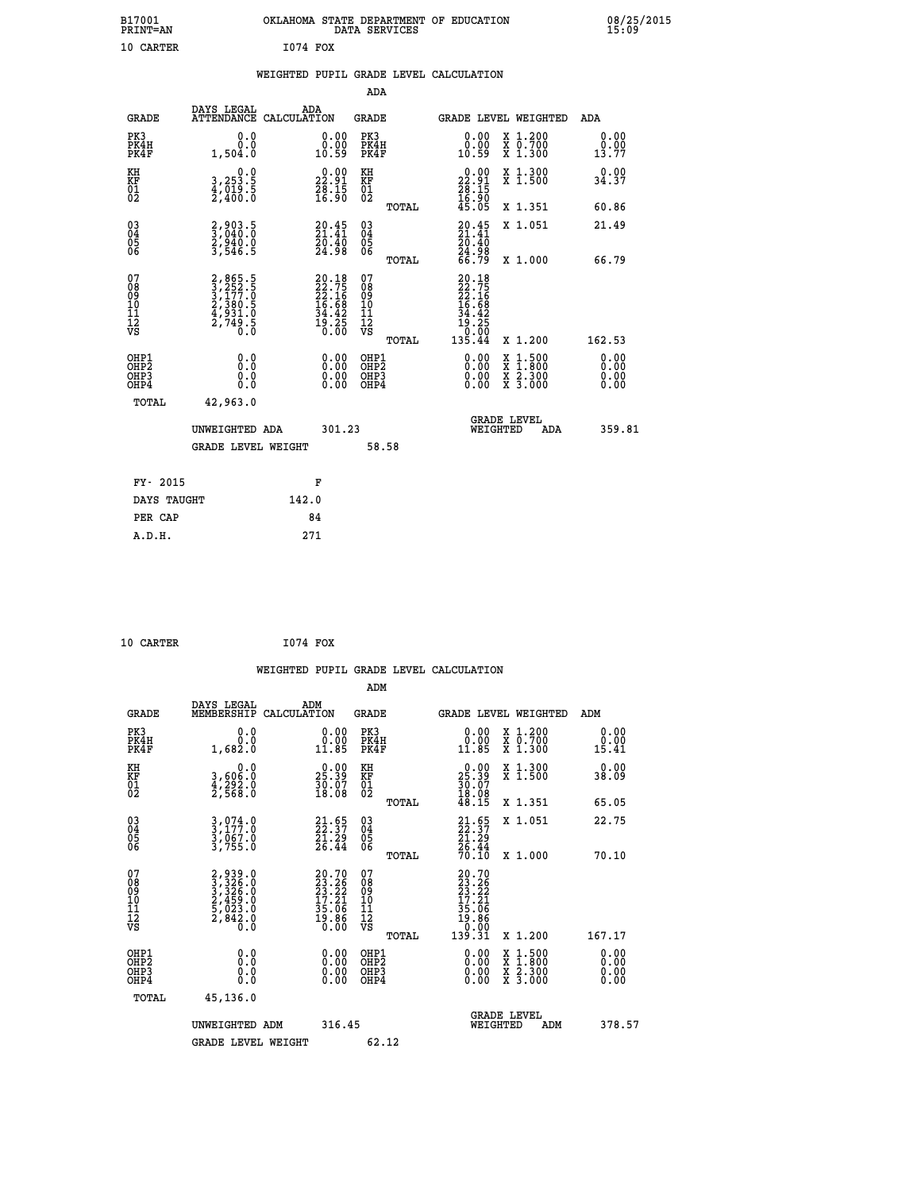| B17001          | OKLAHOMA STATE DEPARTMENT OF EDUCATION |
|-----------------|----------------------------------------|
| <b>PRINT=AN</b> | DATA SERVICES                          |
| 10 CARTER       | I074 FOX                               |

|  |  | WEIGHTED PUPIL GRADE LEVEL CALCULATION |
|--|--|----------------------------------------|
|  |  |                                        |

|                                                                              |                                                                      |                                                                       | ADA                                             |                                                                                        |                                                                                                                                              |                              |
|------------------------------------------------------------------------------|----------------------------------------------------------------------|-----------------------------------------------------------------------|-------------------------------------------------|----------------------------------------------------------------------------------------|----------------------------------------------------------------------------------------------------------------------------------------------|------------------------------|
| <b>GRADE</b>                                                                 | DAYS LEGAL                                                           | ADA<br>ATTENDANCE CALCULATION                                         | GRADE                                           |                                                                                        | <b>GRADE LEVEL WEIGHTED</b>                                                                                                                  | ADA                          |
| PK3<br>PK4H<br>PK4F                                                          | 0.0<br>0.0<br>1,504.0                                                | $\begin{smallmatrix} 0.00\\ 0.00\\ 10.59 \end{smallmatrix}$           | PK3<br>PK4H<br>PK4F                             | 0.00<br>0.00<br>10.59                                                                  | X 1.200<br>X 0.700<br>X 1.300                                                                                                                | 0.00<br>0.00<br>13.77        |
| KH<br>KF<br>01<br>02                                                         | 0.0<br>3,253.5<br>4,019.5<br>2,400.0                                 | $\begin{smallmatrix} 0.00\\ 22.91\\ 28.15\\ 16.90 \end{smallmatrix}$  | KH<br>KF<br>01<br>02                            | $\begin{smallmatrix} 0.00\\ 22.91\\ 28.15\\ 16.90\\ 45.05 \end{smallmatrix}$           | X 1.300<br>X 1.500                                                                                                                           | 0.00<br>34.37                |
|                                                                              |                                                                      |                                                                       | TOTAL                                           |                                                                                        | X 1.351                                                                                                                                      | 60.86                        |
| $\begin{matrix} 03 \\ 04 \\ 05 \\ 06 \end{matrix}$                           | 2,903.5<br>3,040.0<br>2,940.0<br>3,546.5                             | $\begin{smallmatrix} 20.45\\ 21.41\\ 20.40\\ 24.98 \end{smallmatrix}$ | 03<br>04<br>05<br>06<br>TOTAL                   | $20.45$<br>$21.41$<br>$20.40$<br>24.98<br>66.79                                        | X 1.051<br>X 1.000                                                                                                                           | 21.49<br>66.79               |
| 07<br>08<br>09<br>11<br>11<br>12<br>VS                                       | 2, 865.5<br>3, 252.5<br>3, 177.0<br>2, 380.5<br>4, 931.0<br>2, 749.5 | 20.18<br>22.75<br>22.16<br>24.68<br>16.68<br>34.42<br>34.25<br>19.250 | 07<br>08<br>09<br>11<br>11<br>12<br>VS<br>TOTAL | $20.18$<br>$22.75$<br>$22.16$<br>$16.68$<br>$16.68$<br>$19.25$<br>$10.000$<br>$135.44$ | X 1.200                                                                                                                                      | 162.53                       |
| OHP1<br>OH <sub>P</sub> <sub>2</sub><br>OH <sub>P3</sub><br>OH <sub>P4</sub> | 0.0<br>Ō.Ō<br>0.0<br>0.0                                             | 0.00<br>0.00<br>0.00                                                  | OHP1<br>OHP2<br>OHP3<br>OHP4                    | 0.00<br>0.00<br>0.00                                                                   | $\begin{smallmatrix} \mathtt{X} & 1\cdot500 \\ \mathtt{X} & 1\cdot800 \\ \mathtt{X} & 2\cdot300 \\ \mathtt{X} & 3\cdot000 \end{smallmatrix}$ | 0.00<br>0.00<br>0.00<br>0.00 |
| TOTAL                                                                        | 42,963.0<br>UNWEIGHTED ADA<br><b>GRADE LEVEL WEIGHT</b>              | 301.23                                                                | 58.58                                           | WEIGHTED                                                                               | <b>GRADE LEVEL</b><br>ADA                                                                                                                    | 359.81                       |
| FY- 2015                                                                     |                                                                      | F                                                                     |                                                 |                                                                                        |                                                                                                                                              |                              |
| DAYS TAUGHT                                                                  |                                                                      | 142.0                                                                 |                                                 |                                                                                        |                                                                                                                                              |                              |
| PER CAP                                                                      |                                                                      | 84                                                                    |                                                 |                                                                                        |                                                                                                                                              |                              |
| A.D.H.                                                                       |                                                                      | 271                                                                   |                                                 |                                                                                        |                                                                                                                                              |                              |

| 10 CARTER | 1074 FOX |  |
|-----------|----------|--|
|           |          |  |

 **B17001<br>PRINT=AN** 

|                                                      |                                                                  | WEIGHTED PUPIL GRADE LEVEL CALCULATION                                                       |                                              |       |                                                                                              |                                                                     |     |                              |  |
|------------------------------------------------------|------------------------------------------------------------------|----------------------------------------------------------------------------------------------|----------------------------------------------|-------|----------------------------------------------------------------------------------------------|---------------------------------------------------------------------|-----|------------------------------|--|
|                                                      |                                                                  |                                                                                              | ADM                                          |       |                                                                                              |                                                                     |     |                              |  |
| <b>GRADE</b>                                         | DAYS LEGAL<br>MEMBERSHIP                                         | ADM<br>CALCULATION                                                                           | <b>GRADE</b>                                 |       | <b>GRADE LEVEL WEIGHTED</b>                                                                  |                                                                     |     | ADM                          |  |
| PK3<br>PK4H<br>PK4F                                  | 0.0<br>0.0<br>1,682.0                                            | $\begin{smallmatrix} 0.00\\ 0.00\\ 11.85 \end{smallmatrix}$                                  | PK3<br>PK4H<br>PK4F                          |       | 0.00<br>11.85                                                                                | X 1.200<br>X 0.700<br>X 1.300                                       |     | 0.00<br>0.00<br>15.41        |  |
| KH<br>KF<br>01<br>02                                 | 0.0<br>0.063,6<br>0.292.9<br>0.568.0                             | $\begin{smallmatrix} 0.00\\ 25.39\\ 30.07\\ 18.08 \end{smallmatrix}$                         | KH<br>KF<br>01<br>02                         |       | $25.39$<br>$30.07$<br>$18.08$<br>$48.15$                                                     | X 1.300<br>X 1.500                                                  |     | 0.00<br>38.09                |  |
|                                                      |                                                                  |                                                                                              |                                              | TOTAL |                                                                                              | X 1.351                                                             |     | 65.05                        |  |
| $\begin{matrix} 03 \\ 04 \\ 05 \\ 06 \end{matrix}$   | 3,074.0<br>3,177.0<br>3,067.0<br>3,755.0                         | $21.55$<br>$22.37$<br>$21.29$<br>$26.44$                                                     | 03<br>04<br>05<br>06                         |       | $21.55$<br>$21.29$<br>$26.44$                                                                | X 1.051                                                             |     | 22.75                        |  |
|                                                      |                                                                  |                                                                                              |                                              | TOTAL | 70.IO                                                                                        | X 1.000                                                             |     | 70.10                        |  |
| 07<br>08<br>09<br>01<br>11<br>11<br>12<br>VS         | 2,939.0<br>3,326.0<br>3,326.0<br>2,459.0<br>2,842.0<br>2,842.0   | $\begin{smallmatrix} 20.70\\ 23.26\\ 23.22\\ 17.21\\ 35.06\\ 19.86\\ 0.00 \end{smallmatrix}$ | 07<br>08<br>09<br>01<br>11<br>11<br>12<br>VS |       | 20.70<br>$23.262$<br>$23.221$<br>$17.21$<br>$35.06$<br>$19.86$<br>$\overline{0.00}$<br>31.39 |                                                                     |     |                              |  |
|                                                      |                                                                  |                                                                                              |                                              | TOTAL |                                                                                              | X 1.200                                                             |     | 167.17                       |  |
| OHP1<br>OHP2<br>OH <sub>P3</sub><br>OH <sub>P4</sub> | 0.0<br>$\begin{smallmatrix} 0.0 & 0 \ 0.0 & 0 \end{smallmatrix}$ | 0.00<br>$\begin{smallmatrix} 0.00 \ 0.00 \end{smallmatrix}$                                  | OHP1<br>OHP2<br>OHP3<br>OHP4                 |       | $0.00$<br>$0.00$<br>0.00                                                                     | $1.500$<br>$1.800$<br>X<br>X<br>$\frac{x}{x}$ $\frac{5:300}{3:000}$ |     | 0.00<br>0.00<br>0.00<br>0.00 |  |
| TOTAL                                                | 45,136.0                                                         |                                                                                              |                                              |       |                                                                                              |                                                                     |     |                              |  |
|                                                      | UNWEIGHTED                                                       | 316.45<br>ADM                                                                                |                                              |       | WEIGHTED                                                                                     | <b>GRADE LEVEL</b>                                                  | ADM | 378.57                       |  |
|                                                      | <b>GRADE LEVEL WEIGHT</b>                                        |                                                                                              | 62.12                                        |       |                                                                                              |                                                                     |     |                              |  |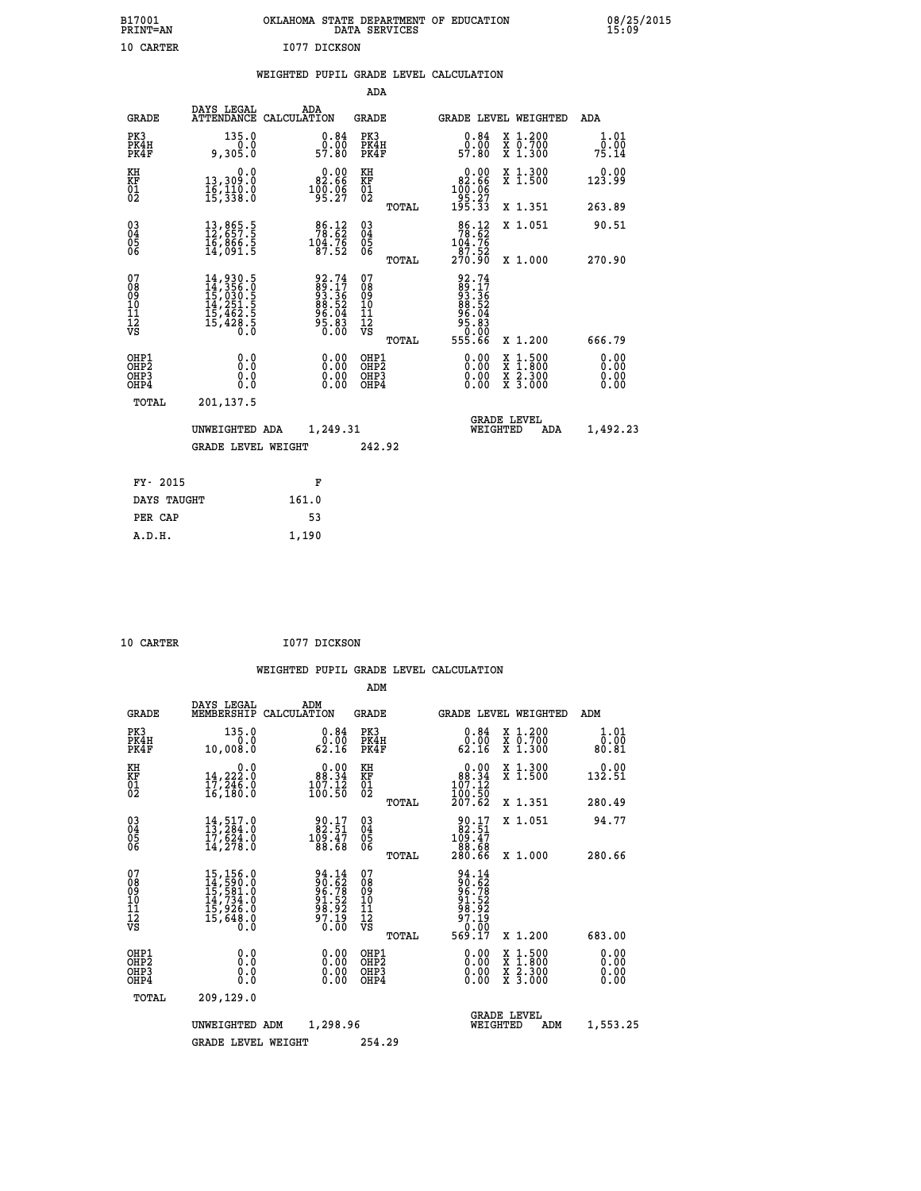| B17001<br><b>PRINT=AN</b> | OKLAHOMA STATE DEPARTMENT OF EDUCATION<br>DATA SERVICES | 08/25/2015<br>15:09 |
|---------------------------|---------------------------------------------------------|---------------------|
| 10 CARTER                 | 1077 DICKSON                                            |                     |

|  |  | WEIGHTED PUPIL GRADE LEVEL CALCULATION |
|--|--|----------------------------------------|
|  |  |                                        |

|                                                      |                                                                                                                                                                               |                                                                       | ADA                                      |       |                                                                  |                                                                                                                                      |                              |
|------------------------------------------------------|-------------------------------------------------------------------------------------------------------------------------------------------------------------------------------|-----------------------------------------------------------------------|------------------------------------------|-------|------------------------------------------------------------------|--------------------------------------------------------------------------------------------------------------------------------------|------------------------------|
| <b>GRADE</b>                                         | DAYS LEGAL                                                                                                                                                                    | ADA<br>ATTENDANCE CALCULATION                                         | <b>GRADE</b>                             |       | <b>GRADE LEVEL WEIGHTED</b>                                      |                                                                                                                                      | ADA                          |
| PK3<br>PK4H<br>PK4F                                  | 135.0<br>0:0<br>0:205,e                                                                                                                                                       | $\substack{0.84 \\ 0.00 \\ 57.80}$                                    | PK3<br>PK4H<br>PK4F                      |       | 0.84<br>ō:ŏō<br>57:80                                            | X 1.200<br>X 0.700<br>X 1.300                                                                                                        | 1.01<br>0.00<br>75.14        |
| KH<br>KF<br>01<br>02                                 | 0.0<br>13,309.0<br>16,110.0<br>15,338.0                                                                                                                                       | $\begin{smallmatrix} &0.00\\ 82.66\\ 100.06\\ 95.27\end{smallmatrix}$ | KH<br>KF<br>01<br>02                     |       | $0.00\n82.66\n100.06\n95.27\n195.33$                             | X 1.300<br>X 1.500                                                                                                                   | 0.00<br>123.99               |
|                                                      |                                                                                                                                                                               |                                                                       |                                          | TOTAL |                                                                  | X 1.351                                                                                                                              | 263.89                       |
| 03<br>04<br>05<br>06                                 | 13,865.5<br>12,657.5<br>16,866.5<br>14,091.5                                                                                                                                  | $\begin{array}{c} 86.12 \\ 78.62 \\ 104.76 \\ 87.52 \end{array}$      | 03<br>04<br>05<br>06                     |       | $78.12$<br>$78.62$<br>$104.76$<br>87.52                          | X 1.051                                                                                                                              | 90.51                        |
|                                                      |                                                                                                                                                                               |                                                                       |                                          | TOTAL | 270.90                                                           | X 1.000                                                                                                                              | 270.90                       |
| 07<br>08<br>09<br>11<br>11<br>12<br>VS               | $\begin{smallmatrix} 14\,, & 930\,, & 5\\ 14\,, & 356\,, & 0\\ 15\,, & 030\,, & 5\\ 14\,, & 251\,, & 5\\ 15\,, & 462\,, & 5\\ 15\,, & 428\,, & 5\\ 0\,, & 0\end{smallmatrix}$ | 92.74<br>89.17<br>93.36<br>88.52<br>86.04<br>95.83<br>95.83           | 07<br>08<br>09<br>11<br>11<br>12<br>VS   | TOTAL | 92.74<br>89.176<br>93.362<br>88.524<br>96.683<br>95.66<br>555.66 | X 1.200                                                                                                                              | 666.79                       |
| OHP1<br>OHP <sub>2</sub><br>OH <sub>P3</sub><br>OHP4 | 0.0<br>0.0<br>0.0                                                                                                                                                             | 0.00<br>$\begin{smallmatrix} 0.00 \ 0.00 \end{smallmatrix}$           | OHP1<br>OHP <sub>2</sub><br>OHP3<br>OHP4 |       | 0.00<br>0.00<br>0.00                                             | $\begin{smallmatrix} \mathtt{X} & 1 & 500 \\ \mathtt{X} & 1 & 800 \\ \mathtt{X} & 2 & 300 \\ \mathtt{X} & 3 & 000 \end{smallmatrix}$ | 0.00<br>0.00<br>0.00<br>0.00 |
| TOTAL                                                | 201,137.5                                                                                                                                                                     |                                                                       |                                          |       |                                                                  |                                                                                                                                      |                              |
|                                                      | UNWEIGHTED ADA                                                                                                                                                                | 1,249.31                                                              |                                          |       | WEIGHTED                                                         | <b>GRADE LEVEL</b><br>ADA                                                                                                            | 1,492.23                     |
|                                                      | <b>GRADE LEVEL WEIGHT</b>                                                                                                                                                     |                                                                       | 242.92                                   |       |                                                                  |                                                                                                                                      |                              |
|                                                      |                                                                                                                                                                               |                                                                       |                                          |       |                                                                  |                                                                                                                                      |                              |
| FY- 2015                                             |                                                                                                                                                                               | F                                                                     |                                          |       |                                                                  |                                                                                                                                      |                              |
| DAYS TAUGHT                                          |                                                                                                                                                                               | 161.0                                                                 |                                          |       |                                                                  |                                                                                                                                      |                              |
| PER CAP                                              |                                                                                                                                                                               | 53                                                                    |                                          |       |                                                                  |                                                                                                                                      |                              |
| A.D.H.                                               |                                                                                                                                                                               | 1,190                                                                 |                                          |       |                                                                  |                                                                                                                                      |                              |

| 10 CARTER | I077 DICKSON |
|-----------|--------------|

| <b>GRADE</b>                                       | DAYS LEGAL<br>MEMBERSHIP                                                                                                                        | ADM<br>CALCULATION                                                      | <b>GRADE</b>                                        |       | GRADE LEVEL WEIGHTED                                                            |                                                                                                                                           | ADM                          |
|----------------------------------------------------|-------------------------------------------------------------------------------------------------------------------------------------------------|-------------------------------------------------------------------------|-----------------------------------------------------|-------|---------------------------------------------------------------------------------|-------------------------------------------------------------------------------------------------------------------------------------------|------------------------------|
| PK3<br>PK4H<br>PK4F                                | 135.0<br>0.0<br>10,008.0                                                                                                                        | 0.84<br>0.00<br>62.16                                                   | PK3<br>PK4H<br>PK4F                                 |       | 0.84<br>0.00<br>62.16                                                           | X 1.200<br>X 0.700<br>X 1.300                                                                                                             | 1.01<br>0.00<br>80.81        |
| KH<br>KF<br>01<br>02                               | 0.0<br>$\frac{14}{17}, \frac{222}{246}$ .0<br>16,180.0                                                                                          | $\begin{smallmatrix} &0.00\\ &88.34\\ 107.12\\ 100.50\end{smallmatrix}$ | KH<br>KF<br>01<br>02                                |       | $\begin{smallmatrix} &0.00\\ 88.34\\ 107.12\\ 100.50\\ 207.62\end{smallmatrix}$ | X 1.300<br>X 1.500                                                                                                                        | 0.00<br>132.51               |
|                                                    |                                                                                                                                                 |                                                                         |                                                     | TOTAL |                                                                                 | X 1.351                                                                                                                                   | 280.49                       |
| $\begin{matrix} 03 \\ 04 \\ 05 \\ 06 \end{matrix}$ | $14,517.0$<br>$13,284.0$<br>$17,624.0$<br>$14,278.0$                                                                                            | $\frac{90.17}{82.51}$<br>109.47<br>88.68                                | $\begin{array}{c} 03 \\ 04 \\ 05 \\ 06 \end{array}$ |       | $\begin{smallmatrix} 90.17\\ 82.51\\ 109.47\\ 88.68\\ 280.66 \end{smallmatrix}$ | X 1.051                                                                                                                                   | 94.77                        |
|                                                    |                                                                                                                                                 |                                                                         |                                                     | TOTAL |                                                                                 | X 1.000                                                                                                                                   | 280.66                       |
| 07<br>08<br>09<br>101<br>112<br>VS                 | $\begin{smallmatrix} 15,156\cdot 0\\ 14,590\cdot 0\\ 15,581\cdot 0\\ 14,734\cdot 0\\ 15,926\cdot 0\\ 15,648\cdot 0\\ 0\cdot 0\end{smallmatrix}$ | 94.14<br>90.62<br>96.78<br>91.52<br>91.92<br>97.19<br>0.00              | 07<br>08<br>09<br>10<br>11<br>12<br>VS              |       | 94.14<br>90.62<br>96.78<br>97.52<br>97.19<br>97.19<br>0.00.7<br>569.17          |                                                                                                                                           |                              |
|                                                    |                                                                                                                                                 |                                                                         |                                                     | TOTAL |                                                                                 | X 1.200                                                                                                                                   | 683.00                       |
| OHP1<br>OHP2<br>OH <sub>P3</sub><br>OHP4           | 0.0<br>0.0<br>Ŏ.Ŏ                                                                                                                               | 0.00                                                                    | OHP1<br>OHP2<br>OHP3<br>OHP4                        |       | $0.00$<br>$0.00$<br>0.00                                                        | $\begin{smallmatrix} \mathtt{X} & 1\cdot500\\ \mathtt{X} & 1\cdot800\\ \mathtt{X} & 2\cdot300\\ \mathtt{X} & 3\cdot000 \end{smallmatrix}$ | 0.00<br>0.00<br>0.00<br>0.00 |
| TOTAL                                              | 209,129.0                                                                                                                                       |                                                                         |                                                     |       |                                                                                 |                                                                                                                                           |                              |
|                                                    | UNWEIGHTED ADM                                                                                                                                  | 1,298.96                                                                |                                                     |       | WEIGHTED                                                                        | <b>GRADE LEVEL</b><br>ADM                                                                                                                 | 1,553.25                     |
|                                                    | <b>GRADE LEVEL WEIGHT</b>                                                                                                                       |                                                                         | 254.29                                              |       |                                                                                 |                                                                                                                                           |                              |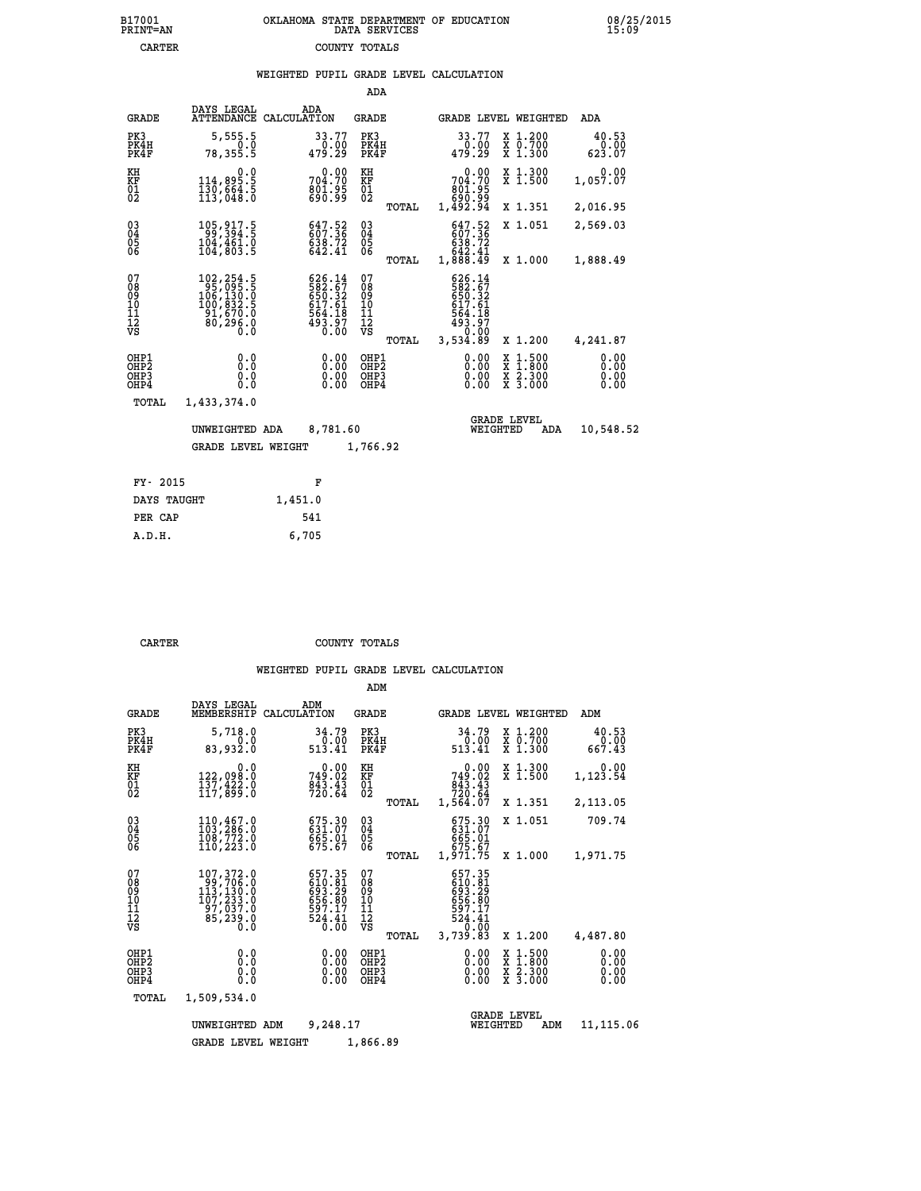|                                                                    |                                                                                                                                                    |             |                                                                                | ADA                                       |       |                                                                             |                                |                                                                                                  |                              |
|--------------------------------------------------------------------|----------------------------------------------------------------------------------------------------------------------------------------------------|-------------|--------------------------------------------------------------------------------|-------------------------------------------|-------|-----------------------------------------------------------------------------|--------------------------------|--------------------------------------------------------------------------------------------------|------------------------------|
| <b>GRADE</b>                                                       | DAYS LEGAL<br><b>ATTENDANCE</b>                                                                                                                    | CALCULATION | ADA                                                                            | <b>GRADE</b>                              |       |                                                                             |                                | GRADE LEVEL WEIGHTED                                                                             | <b>ADA</b>                   |
| PK3<br>PK4H<br>PK4F                                                | 5,555.5<br>0.0<br>78,355.5                                                                                                                         |             | 33.77<br>0.00<br>479.29                                                        | PK3<br>PK4H<br>PK4F                       |       | 33.77<br>479.29                                                             | 0.00                           | X 1.200<br>X 0.700<br>X 1.300                                                                    | 40.53<br>0.00<br>623.07      |
| KH<br><b>KF</b><br>01<br>02                                        | 0.0<br>5.§§§,411<br>130,664.5<br>113,048.0                                                                                                         |             | 0.00<br>704.70<br>801.95<br>690.99                                             | KH<br>KF<br>$\overline{01}$               |       | 704.70<br>801.95<br>88.098<br>98.994,1                                      | 0.00                           | X 1.300<br>X 1.500                                                                               | 0.00<br>1,057.07             |
|                                                                    |                                                                                                                                                    |             |                                                                                |                                           | TOTAL |                                                                             |                                | X 1.351                                                                                          | 2,016.95                     |
| $\begin{smallmatrix} 03 \\[-4pt] 04 \end{smallmatrix}$<br>Ŏ5<br>06 | 105, 917.5<br>99, 394.5<br>104, 461.0<br>104,803.5                                                                                                 |             | 647.52<br>607.36<br>638.72<br>642.41                                           | $^{03}_{04}$<br>Ŏ5<br>06                  |       | 647.52<br>638.72<br>642.41<br>1,888.49                                      |                                | X 1.051                                                                                          | 2,569.03                     |
|                                                                    |                                                                                                                                                    |             |                                                                                |                                           | TOTAL |                                                                             |                                | X 1.000                                                                                          | 1,888.49                     |
| 07<br>08<br>09<br>10<br>11<br>12<br>VS                             | $\begin{smallmatrix} 102,254\cdot 5\\ 95,095\cdot 5\\ 106,130\cdot 0\\ 100,832\cdot 5\\ 91,670\cdot 0\\ 80,296\cdot 0\\ 0\cdot 0\end{smallmatrix}$ |             | $626.14$<br>$582.67$<br>$650.32$<br>$617.61$<br>$564.18$<br>$493.97$<br>$0.00$ | 07<br>08<br>09<br>11<br>11<br>12<br>VS    | TOTAL | 626.14<br>582:57<br>650:32<br>617.61<br>$\frac{564.18}{493.97}$<br>3,534.89 |                                | X 1.200                                                                                          | 4,241.87                     |
| OHP1<br>OHP2<br>OHP3<br>OHP4                                       | 0.0<br>Ō.Ō<br>0.0<br>$0.\overline{0}$                                                                                                              |             | 0.00<br>0.00<br>0.00                                                           | OHP1<br>OH <sub>P</sub> 2<br>OHP3<br>OHP4 |       |                                                                             | 0.00<br>0.00<br>0.00           | $\begin{smallmatrix} x & 1 & 500 \\ x & 1 & 800 \\ x & 2 & 300 \\ x & 3 & 000 \end{smallmatrix}$ | 0.00<br>0.00<br>0.00<br>0.00 |
| <b>TOTAL</b>                                                       | 1,433,374.0                                                                                                                                        |             |                                                                                |                                           |       |                                                                             |                                |                                                                                                  |                              |
|                                                                    | UNWEIGHTED ADA                                                                                                                                     |             | 8,781.60                                                                       |                                           |       |                                                                             | <b>GRADE LEVEL</b><br>WEIGHTED | ADA                                                                                              | 10,548.52                    |
|                                                                    | <b>GRADE LEVEL WEIGHT</b>                                                                                                                          |             |                                                                                | 1,766.92                                  |       |                                                                             |                                |                                                                                                  |                              |
|                                                                    |                                                                                                                                                    |             |                                                                                |                                           |       |                                                                             |                                |                                                                                                  |                              |
| FY- 2015                                                           |                                                                                                                                                    |             | F                                                                              |                                           |       |                                                                             |                                |                                                                                                  |                              |
| DAYS TAUGHT                                                        |                                                                                                                                                    | 1,451.0     |                                                                                |                                           |       |                                                                             |                                |                                                                                                  |                              |

 **PER CAP 541 A.D.H. 6,705**

 **CARTER COUNTY TOTALS**

|                                                    |                                                                                                                                                    |                                                                                                           | ADM                                                |                                                                              |                                                                                                  |                              |
|----------------------------------------------------|----------------------------------------------------------------------------------------------------------------------------------------------------|-----------------------------------------------------------------------------------------------------------|----------------------------------------------------|------------------------------------------------------------------------------|--------------------------------------------------------------------------------------------------|------------------------------|
| <b>GRADE</b>                                       | DAYS LEGAL<br>MEMBERSHIP                                                                                                                           | ADM<br>CALCULATION                                                                                        | GRADE                                              | GRADE LEVEL WEIGHTED                                                         |                                                                                                  | ADM                          |
| PK3<br>PK4H<br>PK4F                                | 5,718.0<br>0.0<br>83,932.0                                                                                                                         | 34.79<br>$\begin{array}{c} \textcolor{red}{\textbf{0.00}} \ \textcolor{red}{\textbf{513.41}} \end{array}$ | PK3<br>PK4H<br>PK4F                                | 34.79<br>0.00<br>513.41                                                      | X 1.200<br>X 0.700<br>X 1.300                                                                    | 40.53<br>0.00<br>667.43      |
| KH<br>KF<br>01<br>02                               | 0.0<br>122,098.0<br>137,422.0<br>117,899.0                                                                                                         | 0.00<br>749.02<br>$\frac{6\bar{4}3.4\bar{3}}{720.64}$                                                     | KH<br>KF<br>01<br>02                               | 0.00<br>749.02<br>$\frac{6\bar{4}3.45}{720.64}$                              | X 1.300<br>X 1.500                                                                               | 0.00<br>1,123.54             |
|                                                    |                                                                                                                                                    |                                                                                                           | TOTAL                                              | 1,564.07                                                                     | X 1.351                                                                                          | 2,113.05                     |
| $\begin{matrix} 03 \\ 04 \\ 05 \\ 06 \end{matrix}$ | 110,467.0<br>103,286.0<br>108,772.0<br>110, 223.0                                                                                                  | 675.30<br>631.07<br>665.01<br>675.67                                                                      | $\begin{matrix} 03 \\ 04 \\ 05 \\ 06 \end{matrix}$ | 675.30<br>631.07<br>665.01<br>675.67                                         | X 1.051                                                                                          | 709.74                       |
|                                                    |                                                                                                                                                    |                                                                                                           | TOTAL                                              | 1,971.75                                                                     | X 1.000                                                                                          | 1,971.75                     |
| 07<br>08<br>09<br>101<br>11<br>12<br>VS            | $\begin{smallmatrix} 107,372\cdot 0\\ 99,706\cdot 0\\ 113,130\cdot 0\\ 107,233\cdot 0\\ 97,037\cdot 0\\ 85,239\cdot 0\\ 0\cdot 0\end{smallmatrix}$ | 657.35<br>610:81<br>693:29<br>656:80<br>$\frac{597.17}{524.41}$<br>0.00                                   | 07<br>08<br>09<br>11<br>11<br>12<br>VS<br>TOTAL    | 657.35<br>610.01<br>693.29<br>656.80<br>597.17<br>524.41<br>0.00<br>3,739.83 | X 1.200                                                                                          | 4,487.80                     |
| OHP1<br>OHP2<br>OH <sub>P3</sub><br>OHP4           | 0.0<br>0.000                                                                                                                                       | $0.00$<br>$0.00$<br>0.00                                                                                  | OHP1<br>OHP2<br>OHP3<br>OHP4                       | $0.00$<br>$0.00$<br>0.00                                                     | $\begin{smallmatrix} x & 1 & 500 \\ x & 1 & 800 \\ x & 2 & 300 \\ x & 3 & 000 \end{smallmatrix}$ | 0.00<br>0.00<br>0.00<br>0.00 |
| TOTAL                                              | 1,509,534.0                                                                                                                                        |                                                                                                           |                                                    |                                                                              |                                                                                                  |                              |
|                                                    | UNWEIGHTED ADM                                                                                                                                     | 9,248.17                                                                                                  |                                                    | WEIGHTED                                                                     | <b>GRADE LEVEL</b><br>ADM                                                                        | 11,115.06                    |
|                                                    | <b>GRADE LEVEL WEIGHT</b>                                                                                                                          |                                                                                                           | 1,866.89                                           |                                                                              |                                                                                                  |                              |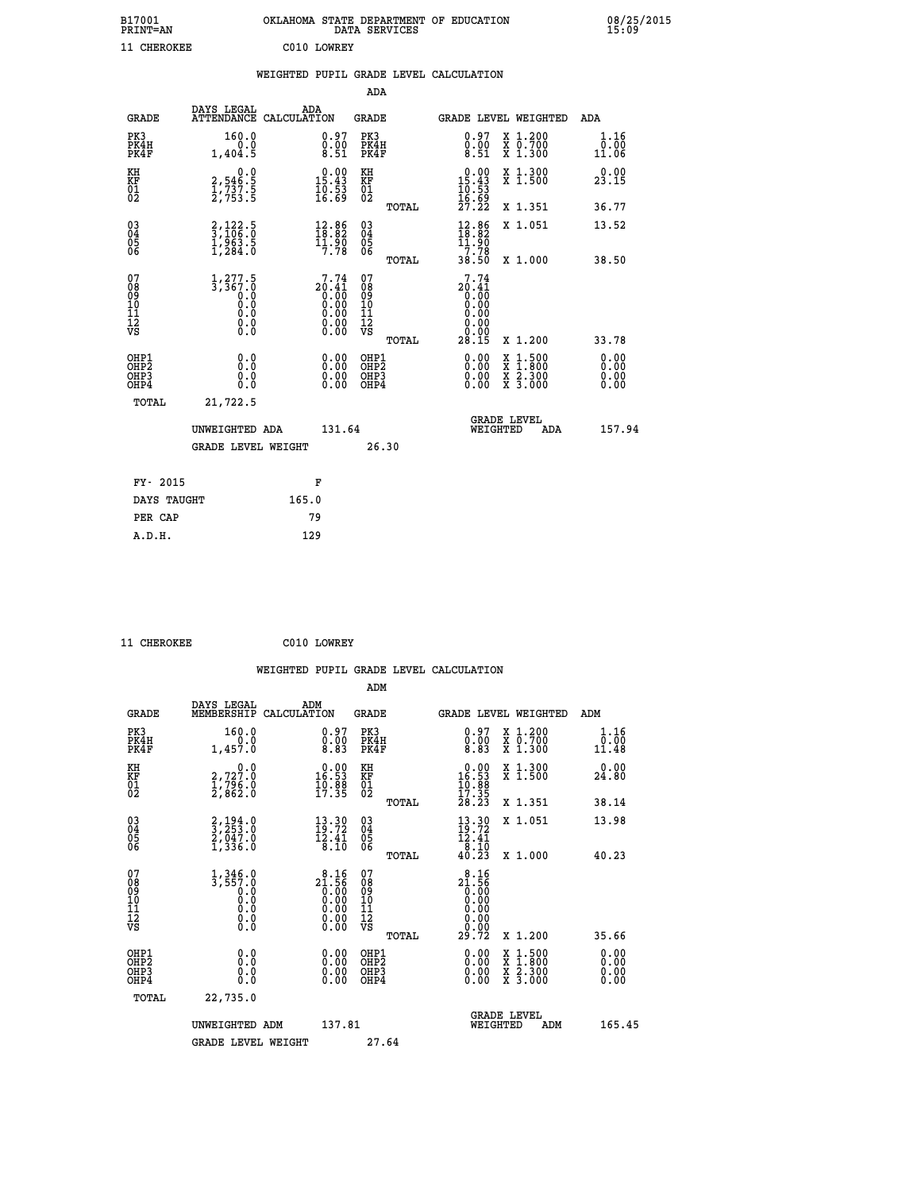|                                                                    |                                                                                                                   |                                                                      |                                                             |                                                    |       | WEIGHTED PUPIL GRADE LEVEL CALCULATION                                                                                                                                                                                                                                         |                                                                                                                                              |                       |
|--------------------------------------------------------------------|-------------------------------------------------------------------------------------------------------------------|----------------------------------------------------------------------|-------------------------------------------------------------|----------------------------------------------------|-------|--------------------------------------------------------------------------------------------------------------------------------------------------------------------------------------------------------------------------------------------------------------------------------|----------------------------------------------------------------------------------------------------------------------------------------------|-----------------------|
|                                                                    |                                                                                                                   |                                                                      |                                                             | <b>ADA</b>                                         |       |                                                                                                                                                                                                                                                                                |                                                                                                                                              |                       |
| <b>GRADE</b>                                                       | DAYS LEGAL<br>ATTENDANCE CALCULATION                                                                              | ADA                                                                  |                                                             | <b>GRADE</b>                                       |       | GRADE LEVEL WEIGHTED                                                                                                                                                                                                                                                           |                                                                                                                                              | ADA                   |
| PK3<br>PK4H<br>PK4F                                                | 160.0<br>0.0<br>1,404.5                                                                                           |                                                                      | $\begin{smallmatrix} 0.97\ 0.00\ 8.51 \end{smallmatrix}$    | PK3<br>PK4H<br>PK4F                                |       | $\begin{smallmatrix} 0.97\ 0.00\ 8.51 \end{smallmatrix}$                                                                                                                                                                                                                       | X 1.200<br>X 0.700<br>X 1.300                                                                                                                | 1.16<br>0.00<br>11.06 |
| KH<br>KF<br>01<br>02                                               | $\begin{smallmatrix} 0.0\\2,546.5\\1,737.5\\2,753.5\end{smallmatrix}$                                             | $\begin{smallmatrix} 0.00\\ 15.43\\ 10.53\\ 16.59 \end{smallmatrix}$ |                                                             | KH<br>KF<br>01<br>02                               |       | $\begin{smallmatrix} 0.00\\15.43\\10.53\\16.59\\27.22 \end{smallmatrix}$                                                                                                                                                                                                       | X 1.300<br>X 1.500                                                                                                                           | 0.00<br>23.15         |
|                                                                    |                                                                                                                   |                                                                      |                                                             |                                                    | TOTAL |                                                                                                                                                                                                                                                                                | X 1.351                                                                                                                                      | 36.77                 |
| $\begin{smallmatrix} 03 \\[-4pt] 04 \end{smallmatrix}$<br>Ŏ5<br>06 | $\frac{2}{3}, \frac{122}{106}.\frac{5}{0} \ \frac{1}{293}.\frac{5}{5} \ \frac{1}{1}, \frac{963}{284}.\frac{5}{0}$ | $\begin{array}{c} 12.86 \\ 18.82 \\ 11.90 \\ 7.78 \end{array}$       |                                                             | $\begin{matrix} 03 \\ 04 \\ 05 \\ 06 \end{matrix}$ |       | $\begin{array}{c} 12.86 \\[-4pt] 18.82 \\[-4pt] 11.90 \\[-4pt] 7.78 \\[-4pt] 38.50 \end{array}$                                                                                                                                                                                | X 1.051                                                                                                                                      | 13.52                 |
|                                                                    |                                                                                                                   |                                                                      |                                                             |                                                    | TOTAL |                                                                                                                                                                                                                                                                                | X 1.000                                                                                                                                      | 38.50                 |
| 07<br>08<br>09<br>11<br>11<br>12<br>VS                             | $1, 277.5$<br>$3, 367.0$<br>$0.0$<br>0.0<br>0.0<br>$\S.$ $\S$                                                     | $20.41$<br>0.00<br>0.00<br>0.00<br>0.90                              | 7.74<br>ŏ:ŏŏ                                                | 07<br>08<br>09<br>11<br>11<br>12<br>VS             | TOTAL | 7.74<br>$20.41$<br>0.00<br>0.00<br>0.00<br>0.00<br>0.00<br>28.15                                                                                                                                                                                                               | X 1.200                                                                                                                                      | 33.78                 |
| OHP1<br>OHP2<br>OH <sub>P3</sub><br>OHP4                           | 0.0<br>0.0<br>Ŏ.Ŏ                                                                                                 |                                                                      | 0.00<br>$\begin{smallmatrix} 0.00 \ 0.00 \end{smallmatrix}$ | OHP1<br>OHP2<br>OHP3<br>OHP4                       |       | $\begin{smallmatrix} 0.00 & 0.00 & 0.00 & 0.00 & 0.00 & 0.00 & 0.00 & 0.00 & 0.00 & 0.00 & 0.00 & 0.00 & 0.00 & 0.00 & 0.00 & 0.00 & 0.00 & 0.00 & 0.00 & 0.00 & 0.00 & 0.00 & 0.00 & 0.00 & 0.00 & 0.00 & 0.00 & 0.00 & 0.00 & 0.00 & 0.00 & 0.00 & 0.00 & 0.00 & 0.00 & 0.0$ | $\begin{smallmatrix} \mathtt{X} & 1\cdot500 \\ \mathtt{X} & 1\cdot800 \\ \mathtt{X} & 2\cdot300 \\ \mathtt{X} & 3\cdot000 \end{smallmatrix}$ | 0.00<br>0.00<br>0.00  |
| TOTAL                                                              | 21,722.5                                                                                                          |                                                                      |                                                             |                                                    |       |                                                                                                                                                                                                                                                                                |                                                                                                                                              |                       |
|                                                                    | UNWEIGHTED ADA                                                                                                    |                                                                      | 131.64                                                      |                                                    |       | WEIGHTED                                                                                                                                                                                                                                                                       | <b>GRADE LEVEL</b><br>ADA                                                                                                                    | 157.94                |
|                                                                    | <b>GRADE LEVEL WEIGHT</b>                                                                                         |                                                                      |                                                             | 26.30                                              |       |                                                                                                                                                                                                                                                                                |                                                                                                                                              |                       |
| FY- 2015                                                           |                                                                                                                   | F                                                                    |                                                             |                                                    |       |                                                                                                                                                                                                                                                                                |                                                                                                                                              |                       |
| DAYS TAUGHT                                                        |                                                                                                                   | 165.0                                                                |                                                             |                                                    |       |                                                                                                                                                                                                                                                                                |                                                                                                                                              |                       |
| PER CAP                                                            |                                                                                                                   | 79                                                                   |                                                             |                                                    |       |                                                                                                                                                                                                                                                                                |                                                                                                                                              |                       |

 **11 CHEROKEE C010 LOWREY**

 **WEIGHTED PUPIL GRADE LEVEL CALCULATION ADM DAYS LEGAL ADM GRADE MEMBERSHIP CALCULATION GRADE GRADE LEVEL WEIGHTED ADM PK3 160.0 0.97 PK3 0.97 X 1.200 1.16 PK4H 0.0 0.00 PK4H 0.00 X 0.700 0.00 PK4F 1,457.0 8.83 PK4F 8.83 X 1.300 11.48 KH 0.0 0.00 KH 0.00 X 1.300 0.00 KF 2,727.0 16.53 KF 16.53 X 1.500 24.80 01 1,796.0 10.88 01 10.88 02 2,862.0 17.35 02 17.35 TOTAL 28.23 X 1.351 38.14 03 2,194.0 13.30 03 13.30 X 1.051 13.98 04 3,253.0 19.72 04 19.72 05 2,047.0 12.41 05 12.41 06** 1,336.0 8.10 06 **8.10** 8.10  **TOTAL 40.23 X 1.000 40.23** 07 1,346.0 8.16 07 8.16<br>
08 3,557.0 21.56 08 21.56<br>
10 0.0 0.00 10 0.00<br>
11 0.0 0.00 11 0.00<br>
12 0.0 0.00 12 0.00<br>
VS 0.0 0.00 VS 0.00 **8.16** 07<br> **21.56** 08<br>
0.00 09<br>
0.00 10<br>
0.00 11<br>
0.00 12<br>
0.00 12<br>
0.00<br>
0.00 TOTAL<br> **29.72 x 1.200**<br>
35.66  **OHP1 0.0 0.00 OHP1 0.00 X 1.500 0.00 OHP2 0.0 0.00 OHP2 0.00 X 1.800 0.00 OHP3 0.0 0.00 OHP3 0.00 X 2.300 0.00 OHP4 0.0 0.00 OHP4 0.00 X 3.000 0.00 TOTAL 22,735.0** UNWEIGHTED ADM 137.81  **UNWEIGHTED ADM 137.81 WEIGHTED ADM 165.45** GRADE LEVEL WEIGHT 27.64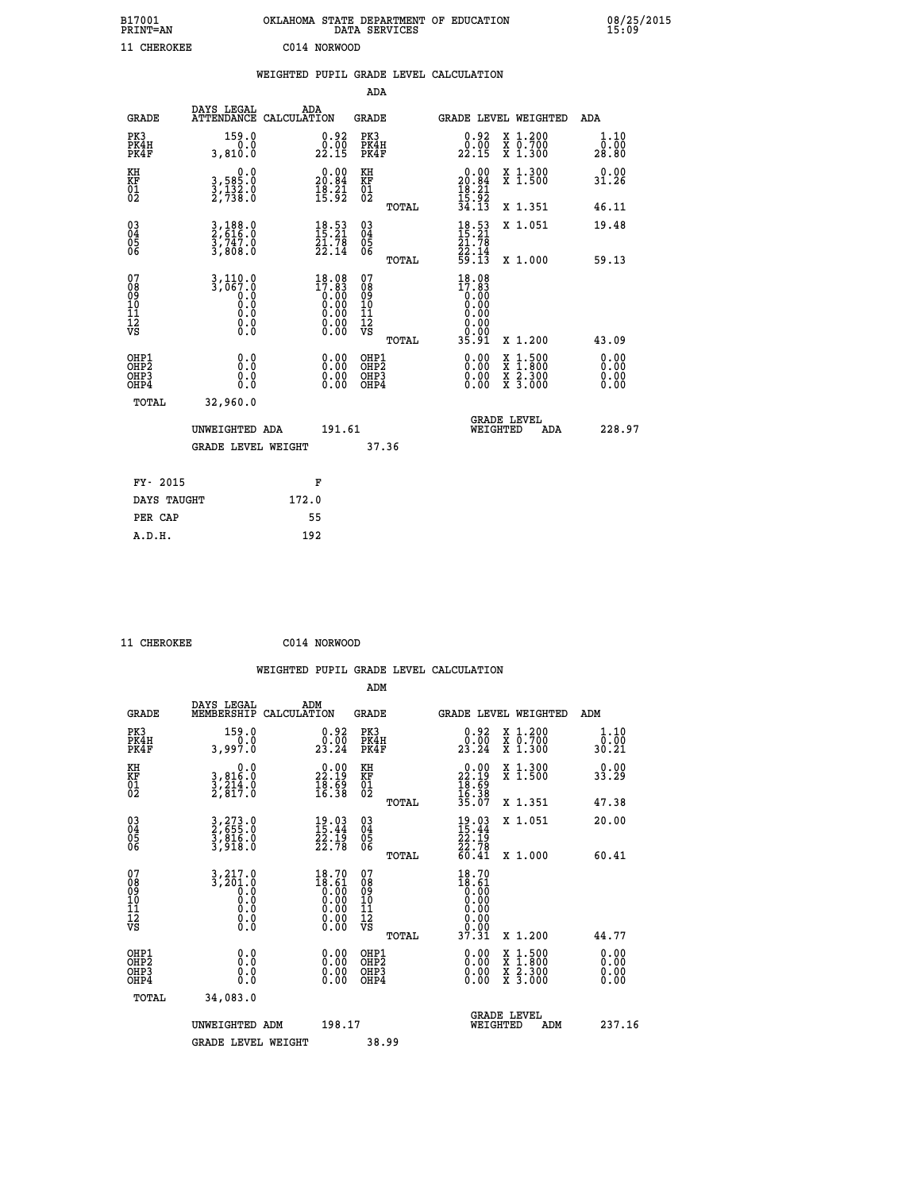| B17001<br><b>PRINT=AN</b> |              | OKLAHOMA STATE DEPARTMENT OF EDUCATION<br>DATA SERVICES |  |
|---------------------------|--------------|---------------------------------------------------------|--|
| 11 CHEROKEE               | C014 NORWOOD |                                                         |  |

|                                                                    |                                                                                                             | WEIGHTED PUPIL GRADE LEVEL CALCULATION                               |                                                    |       |                                                                              |                                                                                                                                           |                              |
|--------------------------------------------------------------------|-------------------------------------------------------------------------------------------------------------|----------------------------------------------------------------------|----------------------------------------------------|-------|------------------------------------------------------------------------------|-------------------------------------------------------------------------------------------------------------------------------------------|------------------------------|
|                                                                    |                                                                                                             |                                                                      | <b>ADA</b>                                         |       |                                                                              |                                                                                                                                           |                              |
| <b>GRADE</b>                                                       | DAYS LEGAL                                                                                                  | ADA<br>ATTENDANCE CALCULATION                                        | <b>GRADE</b>                                       |       |                                                                              | GRADE LEVEL WEIGHTED                                                                                                                      | ADA                          |
| PK3<br>PK4H<br>PK4F                                                | 159.0<br>3,810.0                                                                                            | 0.92<br>22.15                                                        | PK3<br>PK4H<br>PK4F                                |       | 0.92<br>22.15                                                                | X 1.200<br>X 0.700<br>X 1.300                                                                                                             | 1.10<br>0.00<br>28.80        |
| KH<br>KF<br>01<br>02                                               | $\begin{smallmatrix}&&&0.0\\3,585.0\\3,132.0\\2,738.0\end{smallmatrix}$                                     | $\begin{smallmatrix} 0.00\\ 20.84\\ 18.21\\ 15.92 \end{smallmatrix}$ | KH<br>KF<br>01<br>02                               |       | $\begin{smallmatrix} 0.00\\ 20.84\\ 18.21\\ 15.92\\ 34.13 \end{smallmatrix}$ | X 1.300<br>X 1.500                                                                                                                        | 0.00<br>31.26                |
|                                                                    |                                                                                                             |                                                                      |                                                    | TOTAL |                                                                              | X 1.351                                                                                                                                   | 46.11                        |
| $\begin{smallmatrix} 03 \\[-4pt] 04 \end{smallmatrix}$<br>05<br>06 | 3,188.0<br>2,616.0<br>3,747.0<br>3,808.0                                                                    | $\begin{smallmatrix} 18.53\ 15.21\ 21.78\ 22.14 \end{smallmatrix}$   | $\begin{matrix} 03 \\ 04 \\ 05 \\ 06 \end{matrix}$ |       | $18.53$<br>$15.21$<br>$21.78$<br>$22.14$<br>$59.13$                          | X 1.051                                                                                                                                   | 19.48                        |
|                                                                    |                                                                                                             |                                                                      |                                                    | TOTAL |                                                                              | X 1.000                                                                                                                                   | 59.13                        |
| 07<br>08<br>09<br>11<br>11<br>12<br>VS                             | $3,110.0$<br>$3,067.0$<br>$\begin{smallmatrix} 0.0 & 0 \ 0.0 & 0 \ 0.0 & 0 \end{smallmatrix}$<br>$\S.$ $\S$ | 18.08<br>17.83                                                       | 07<br>08<br>09<br>11<br>11<br>12<br>VS             | TOTAL | $18.08$<br>$17.83$<br>0.00<br>0.00<br>0.00<br>35.91                          | X 1.200                                                                                                                                   | 43.09                        |
| OHP1<br>OHP2<br>OH <sub>P3</sub><br>OHP4                           | 0.0<br>0.0<br>0.0                                                                                           | $\begin{smallmatrix} 0.00 \ 0.00 \ 0.00 \ 0.00 \end{smallmatrix}$    | OHP1<br>OHP2<br>OHP3<br>OHP4                       |       | 0.00<br>0.00<br>0.00                                                         | $\begin{smallmatrix} \mathtt{X} & 1\cdot500\\ \mathtt{X} & 1\cdot800\\ \mathtt{X} & 2\cdot300\\ \mathtt{X} & 3\cdot000 \end{smallmatrix}$ | 0.00<br>0.00<br>0.00<br>0.00 |
| TOTAL                                                              | 32,960.0                                                                                                    |                                                                      |                                                    |       |                                                                              |                                                                                                                                           |                              |
|                                                                    | UNWEIGHTED ADA                                                                                              | 191.61                                                               |                                                    |       | WEIGHTED                                                                     | <b>GRADE LEVEL</b><br>ADA                                                                                                                 | 228.97                       |
|                                                                    | <b>GRADE LEVEL WEIGHT</b>                                                                                   |                                                                      | 37.36                                              |       |                                                                              |                                                                                                                                           |                              |
| FY- 2015                                                           |                                                                                                             | F                                                                    |                                                    |       |                                                                              |                                                                                                                                           |                              |
| DAYS TAUGHT                                                        |                                                                                                             | 172.0                                                                |                                                    |       |                                                                              |                                                                                                                                           |                              |
| PER CAP                                                            |                                                                                                             | 55                                                                   |                                                    |       |                                                                              |                                                                                                                                           |                              |

 **ADM**

 **11 CHEROKEE C014 NORWOOD**

| <b>GRADE</b>                                         | DAYS LEGAL<br>MEMBERSHIP                                                                                                                  | ADM<br>CALCULATION                                                                                     | <b>GRADE</b>                                       |       |                                                                                                 |          | <b>GRADE LEVEL WEIGHTED</b>              | ADM                   |  |
|------------------------------------------------------|-------------------------------------------------------------------------------------------------------------------------------------------|--------------------------------------------------------------------------------------------------------|----------------------------------------------------|-------|-------------------------------------------------------------------------------------------------|----------|------------------------------------------|-----------------------|--|
| PK3<br>PK4H<br>PK4F                                  | 159.0<br>3,997.0                                                                                                                          | $\begin{smallmatrix} 0.92\ 0.00\ 23.24 \end{smallmatrix}$                                              | PK3<br>PK4H<br>PK4F                                |       | $\begin{smallmatrix} 0.92\ 0.00\ 23.24 \end{smallmatrix}$                                       |          | X 1.200<br>X 0.700<br>X 1.300            | 1.10<br>0.00<br>30.21 |  |
| KH<br>KF<br>01<br>02                                 | 0.0<br>3,816:0<br>3,214:0<br>2,817:0                                                                                                      | $\begin{smallmatrix} 0.00\\ 22.19\\ 18.59\\ 16.38 \end{smallmatrix}$                                   | KH<br>KF<br>01<br>02                               |       | $\begin{smallmatrix} 0.00\\ 22.19\\ 18.69\\ 16.38\\ 35.07 \end{smallmatrix}$                    |          | X 1.300<br>X 1.500                       | 0.00<br>33.29         |  |
|                                                      |                                                                                                                                           |                                                                                                        |                                                    | TOTAL |                                                                                                 |          | X 1.351                                  | 47.38                 |  |
| 03<br>04<br>05<br>06                                 | 3,273.0<br>2,655.0<br>3,816.0<br>3,918.0                                                                                                  | $19.03$<br>$15.44$<br>$22.19$<br>$22.78$                                                               | $\begin{matrix} 03 \\ 04 \\ 05 \\ 06 \end{matrix}$ |       | $19.03$<br>$15.44$<br>$22.19$<br>$22.78$<br>$60.41$                                             |          | X 1.051                                  | 20.00                 |  |
|                                                      |                                                                                                                                           |                                                                                                        |                                                    | TOTAL |                                                                                                 |          | X 1.000                                  | 60.41                 |  |
| 07<br>08<br>09<br>101<br>11<br>12<br>VS              | $\begin{smallmatrix} 3\,,\,2\,1\,7\,. \,0\\ 3\,,\,2\,0\,1\,. \,0\\ 0\,. \,0\\ 0\,. \,0\\ 0\,. \,0\\ 0\,. \,0\\ 0\,. \,0\end{smallmatrix}$ | $\begin{smallmatrix} 18.70 \\ 18.61 \\ 0.00 \\ 0.00 \\ 0.00 \\ 0.00 \\ 0.00 \\ 0.00 \end{smallmatrix}$ | 07<br>08<br>09<br>001<br>11<br>11<br>12<br>VS      |       | $\begin{smallmatrix} 18.70\\18.61\\0.00\\0.00\\0.00\\0.00\\0.00\\0.91\\37.31 \end{smallmatrix}$ |          |                                          |                       |  |
|                                                      |                                                                                                                                           |                                                                                                        |                                                    | TOTAL |                                                                                                 |          | X 1.200                                  | 44.77                 |  |
| OHP1<br>OHP <sub>2</sub><br>OH <sub>P3</sub><br>OHP4 | 0.0<br>0.000                                                                                                                              | $\begin{smallmatrix} 0.00 \ 0.00 \ 0.00 \ 0.00 \end{smallmatrix}$                                      | OHP1<br>OHP2<br>OHP3<br>OHP4                       |       | 0.00<br>$0.00$<br>0.00                                                                          |          | X 1:500<br>X 1:800<br>X 2:300<br>X 3:000 | 0.00<br>0.00<br>0.00  |  |
| TOTAL                                                | 34,083.0                                                                                                                                  |                                                                                                        |                                                    |       |                                                                                                 |          |                                          |                       |  |
|                                                      | UNWEIGHTED                                                                                                                                | 198.17<br>ADM                                                                                          |                                                    |       |                                                                                                 | WEIGHTED | <b>GRADE LEVEL</b><br>ADM                | 237.16                |  |
|                                                      | <b>GRADE LEVEL WEIGHT</b>                                                                                                                 |                                                                                                        | 38.99                                              |       |                                                                                                 |          |                                          |                       |  |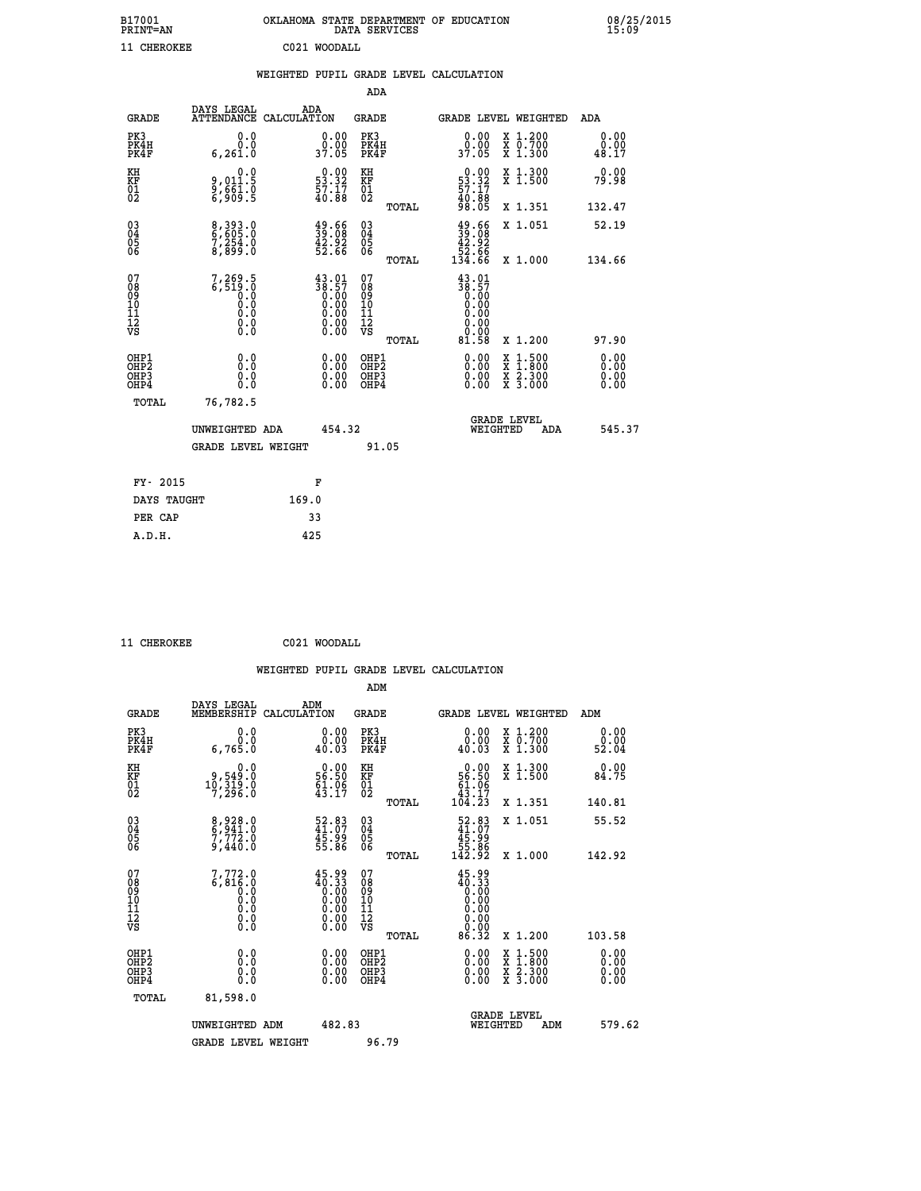| B17001<br><b>PRINT=AN</b> | OKLAHOMA STATE DEPARTMENT OF EDUCATION<br>DATA SERVICES | 08/25/2015<br>15:09 |
|---------------------------|---------------------------------------------------------|---------------------|
| 11 CHEROKEE               | C021 WOODALL                                            |                     |

|                                                                    |                                                          |                                                                                                        | ADA                                                 |       |                                                                                                                                                                                                                                                                                |                                                                                                                                           |                               |
|--------------------------------------------------------------------|----------------------------------------------------------|--------------------------------------------------------------------------------------------------------|-----------------------------------------------------|-------|--------------------------------------------------------------------------------------------------------------------------------------------------------------------------------------------------------------------------------------------------------------------------------|-------------------------------------------------------------------------------------------------------------------------------------------|-------------------------------|
| <b>GRADE</b>                                                       | DAYS LEGAL                                               | ADA<br>ATTENDANCE CALCULATION                                                                          | <b>GRADE</b>                                        |       |                                                                                                                                                                                                                                                                                | <b>GRADE LEVEL WEIGHTED</b>                                                                                                               | ADA                           |
| PK3<br>PK4H<br>PK4F                                                | 0.0<br>0.0<br>6, 261.0                                   | $\begin{smallmatrix} 0.00\\ 0.00\\ 37.05 \end{smallmatrix}$                                            | PK3<br>PK4H<br>PK4F                                 |       | 0.00<br>ŏ:ŏŏ<br>37:05                                                                                                                                                                                                                                                          | X 1.200<br>X 0.700<br>X 1.300                                                                                                             | 0.00<br>0.00<br>48.17         |
| KH<br>KF<br>01<br>02                                               | 0.0<br>9,011:5<br>9,661:0<br>6,909:5                     | $\begin{smallmatrix} 0.00\\ 53.32\\ 57.17\\ 40.88 \end{smallmatrix}$                                   | KH<br>KF<br>01<br>02                                |       | $\begin{smallmatrix} 0.00\\53.32\\57.17\\40.88\\98.05 \end{smallmatrix}$                                                                                                                                                                                                       | X 1.300<br>X 1.500                                                                                                                        | 0.00<br>79.98                 |
|                                                                    |                                                          |                                                                                                        |                                                     | TOTAL |                                                                                                                                                                                                                                                                                | X 1.351                                                                                                                                   | 132.47                        |
| $\begin{smallmatrix} 03 \\[-4pt] 04 \end{smallmatrix}$<br>Ŏ5<br>06 | 8,393.0<br>6,605.0<br>7,254.0<br>8,899.0                 | $\frac{49.66}{39.08}$<br>$\frac{42.92}{52.66}$                                                         | $\begin{array}{c} 03 \\ 04 \\ 05 \\ 06 \end{array}$ |       | $39.6639.0842.9252.66134.66$                                                                                                                                                                                                                                                   | X 1.051                                                                                                                                   | 52.19                         |
|                                                                    |                                                          |                                                                                                        |                                                     | TOTAL |                                                                                                                                                                                                                                                                                | X 1.000                                                                                                                                   | 134.66                        |
| 07<br>08<br>09<br>01<br>11<br>11<br>12<br>VS                       | $7, 269.5$<br>6,519.0<br>0.0<br>0.0<br>0.0<br>0.0<br>0.0 | $\begin{smallmatrix} 43.01\\ 38.57\\ 0.00\\ 0.00\\ 0.00\\ 0.00\\ 0.00\\ 0.00\\ 0.00 \end{smallmatrix}$ | 07<br>08<br>09<br>11<br>11<br>12<br>VS              |       | $38.57$<br>$0.00$<br>$0.00$<br>$0.00$<br>$0.00$<br>$0.00$<br>$0.00$                                                                                                                                                                                                            |                                                                                                                                           |                               |
|                                                                    |                                                          |                                                                                                        |                                                     | TOTAL | 81.58                                                                                                                                                                                                                                                                          | X 1.200                                                                                                                                   | 97.90                         |
| OHP1<br>OHP <sub>2</sub><br>OH <sub>P3</sub><br>OHP4               | 0.0<br>0.000                                             | 0.00<br>$\begin{smallmatrix} 0.00 \ 0.00 \end{smallmatrix}$                                            | OHP1<br>OHP2<br>OHP <sub>3</sub>                    |       | $\begin{smallmatrix} 0.00 & 0.00 & 0.00 & 0.00 & 0.00 & 0.00 & 0.00 & 0.00 & 0.00 & 0.00 & 0.00 & 0.00 & 0.00 & 0.00 & 0.00 & 0.00 & 0.00 & 0.00 & 0.00 & 0.00 & 0.00 & 0.00 & 0.00 & 0.00 & 0.00 & 0.00 & 0.00 & 0.00 & 0.00 & 0.00 & 0.00 & 0.00 & 0.00 & 0.00 & 0.00 & 0.0$ | $\begin{smallmatrix} \mathtt{X} & 1\cdot500\\ \mathtt{X} & 1\cdot800\\ \mathtt{X} & 2\cdot300\\ \mathtt{X} & 3\cdot000 \end{smallmatrix}$ | 0.00<br>Ō. ŌŌ<br>0.00<br>0.00 |
| TOTAL                                                              | 76,782.5                                                 |                                                                                                        |                                                     |       |                                                                                                                                                                                                                                                                                |                                                                                                                                           |                               |
|                                                                    | UNWEIGHTED ADA                                           | 454.32                                                                                                 |                                                     |       |                                                                                                                                                                                                                                                                                | <b>GRADE LEVEL</b><br>WEIGHTED<br>ADA                                                                                                     | 545.37                        |
|                                                                    | <b>GRADE LEVEL WEIGHT</b>                                |                                                                                                        |                                                     | 91.05 |                                                                                                                                                                                                                                                                                |                                                                                                                                           |                               |
| FY- 2015                                                           |                                                          | F                                                                                                      |                                                     |       |                                                                                                                                                                                                                                                                                |                                                                                                                                           |                               |
| DAYS TAUGHT                                                        |                                                          | 169.0                                                                                                  |                                                     |       |                                                                                                                                                                                                                                                                                |                                                                                                                                           |                               |
| PER CAP                                                            |                                                          | 33                                                                                                     |                                                     |       |                                                                                                                                                                                                                                                                                |                                                                                                                                           |                               |

| 11 |  |  | CHEPOKEE |
|----|--|--|----------|

 **11 CHEROKEE C021 WOODALL WEIGHTED PUPIL GRADE LEVEL CALCULATION ADM DAYS LEGAL ADM GRADE MEMBERSHIP CALCULATION GRADE GRADE LEVEL WEIGHTED ADM PK3 0.0 0.00 PK3 0.00 X 1.200 0.00 PK4H 0.0 0.00 PK4H 0.00 X 0.700 0.00 PK4F 6,765.0 40.03 PK4F 40.03 X 1.300 52.04** 0.00 KH 0.00 0.00 KH 0.00 X 1.300<br>RF 9,549.0 56.50 KF 56.50 X 1.500 84.75  **01 10,319.0 61.06 01 61.06 02 7,296.0 43.17 02 43.17 TOTAL 104.23 X 1.351 140.81 03 8,928.0 52.83 03 52.83 X 1.051 55.52 04 6,941.0 41.07 04 41.07 05 7,772.0 45.99 05 45.99 06 9,440.0 55.86 06 55.86 TOTAL 142.92 X 1.000 142.92** 07 7,772.0 45.99 07 45.99<br>
08 6,816.0 40.33 08 40.33<br>
10 0.0 0.00 10 0.00<br>
11 0.0 0.00 11 0.00<br>
12 0.0 0.00 12<br>
VS 0.0 0.00 VS 0.00  **TOTAL 86.32 X 1.200 103.58 OHP1 0.0 0.00 OHP1 0.00 X 1.500 0.00 OHP2 0.0 0.00 OHP2 0.00 X 1.800 0.00 OHP3 0.0 0.00 OHP3 0.00 X 2.300 0.00 OHP4 0.0 0.00 OHP4 0.00 X 3.000 0.00 TOTAL 81,598.0**

| UNWEIGHTED ADM     | 482.83 | <b>GRADE LEVEL</b><br>WEIGHTED<br>ADM | 579.62 |
|--------------------|--------|---------------------------------------|--------|
| GRADE LEVEL WEIGHT | 96.79  |                                       |        |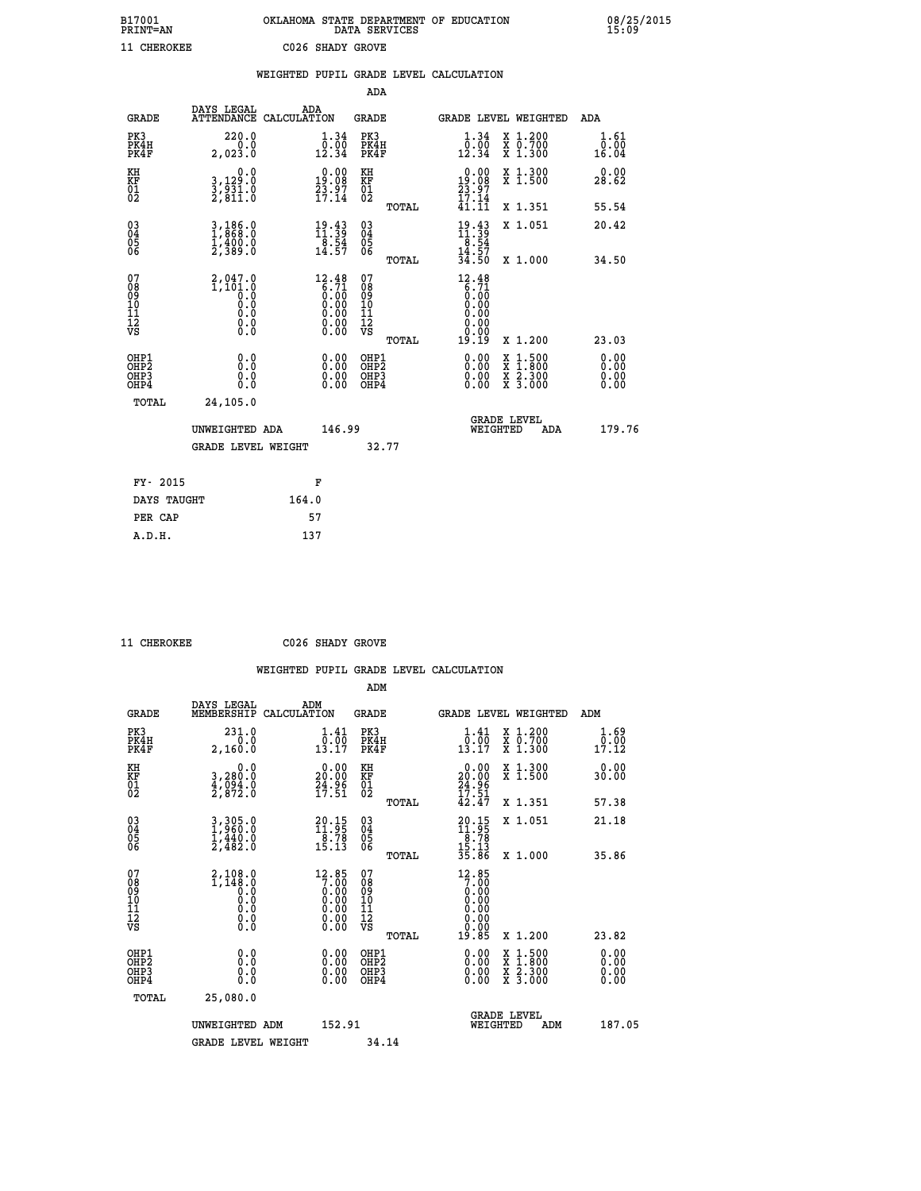| B17001          | OKLAHOMA STATE DEPARTMENT OF EDUCATION |
|-----------------|----------------------------------------|
| <b>PRINT=AN</b> | DATA SERVICES                          |
| 11 CHEROKEE     | C026 SHADY GROVE                       |

08/25/2015<br>15:09

|                                                    |                                                  | WEIGHTED PUPIL GRADE LEVEL CALCULATION                                                           |                                          |       |                                                                   |                                                                                                                                      |                       |
|----------------------------------------------------|--------------------------------------------------|--------------------------------------------------------------------------------------------------|------------------------------------------|-------|-------------------------------------------------------------------|--------------------------------------------------------------------------------------------------------------------------------------|-----------------------|
|                                                    |                                                  |                                                                                                  | ADA                                      |       |                                                                   |                                                                                                                                      |                       |
| <b>GRADE</b>                                       | DAYS LEGAL                                       | ADA<br>ATTENDANCE CALCULATION                                                                    | <b>GRADE</b>                             |       |                                                                   | GRADE LEVEL WEIGHTED                                                                                                                 | ADA                   |
| PK3<br>PK4H<br>PK4F                                | 220.0<br>0.0<br>2,023.0                          | 1.34<br>$\frac{0.00}{12.34}$                                                                     | PK3<br>PK4H<br>PK4F                      |       | 1.34<br>$\bar{0}.\bar{0}\bar{0}\overline{1}$<br>12.34             | X 1.200<br>X 0.700<br>X 1.300                                                                                                        | 1.61<br>0.00<br>16.04 |
| KH<br>KF<br>01<br>02                               | 0.0<br>3,129:0<br>3,931:0<br>2,811:0             | $\begin{smallmatrix} 0.00\\19.08\\23.97\\17.14 \end{smallmatrix}$                                | KH<br>KF<br>01<br>02                     |       | $\begin{smallmatrix} 0.00\\19.08\\23.97\\17.14 \end{smallmatrix}$ | X 1.300<br>X 1.500                                                                                                                   | 0.00<br>28.62         |
|                                                    |                                                  |                                                                                                  |                                          | TOTAL | 41.11                                                             | X 1.351                                                                                                                              | 55.54                 |
| $\begin{matrix} 03 \\ 04 \\ 05 \\ 06 \end{matrix}$ | 3,186.0<br>$\frac{1}{2}$ , $\frac{400}{389}$ , 0 | $\frac{19.43}{11.39}$<br>$\frac{18.54}{14.57}$                                                   | $\substack{03 \\ 04}$<br>$\frac{05}{06}$ |       | $19.43$<br>$11.39$<br>$8.54$<br>$14.57$                           | X 1.051                                                                                                                              | 20.42                 |
|                                                    |                                                  |                                                                                                  |                                          | TOTAL | 34.50                                                             | X 1.000                                                                                                                              | 34.50                 |
| 07<br>08<br>09<br>101<br>112<br>VS                 | $2,047.0$<br>1,101.0<br>0.0<br>0.000<br>$\S.$    | $12.48$<br>$6.71$<br>$\begin{smallmatrix} 0.160 0.000 0.000 0.000 0.000 0.000 \end{smallmatrix}$ | 07<br>08<br>09<br>11<br>11<br>12<br>VS   | TOTAL | $12.48$<br>$6.71$<br>$0.00$<br>$0.00$<br>$0.00$<br>0.00<br>19.19  | X 1.200                                                                                                                              | 23.03                 |
| OHP1<br>OHP2<br>OHP3<br>OHP4                       | 0.0<br>0.0<br>0.0                                | 0.00<br>$0.00$<br>0.00                                                                           | OHP1<br>OHP2<br>OHP3<br>OHP4             |       | 0.00<br>0.00<br>0.00                                              | $\begin{smallmatrix} \mathtt{X} & 1 & 500 \\ \mathtt{X} & 1 & 800 \\ \mathtt{X} & 2 & 300 \\ \mathtt{X} & 3 & 000 \end{smallmatrix}$ | 0.00<br>0.00<br>0.00  |
| <b>TOTAL</b>                                       | 24,105.0                                         |                                                                                                  |                                          |       |                                                                   |                                                                                                                                      |                       |
|                                                    | UNWEIGHTED ADA                                   | 146.99                                                                                           |                                          |       | WEIGHTED                                                          | <b>GRADE LEVEL</b><br>ADA                                                                                                            | 179.76                |
|                                                    | GRADE LEVEL WEIGHT                               |                                                                                                  |                                          | 32.77 |                                                                   |                                                                                                                                      |                       |
| FY- 2015                                           |                                                  | F                                                                                                |                                          |       |                                                                   |                                                                                                                                      |                       |
| DAYS TAUGHT                                        |                                                  | 164.0                                                                                            |                                          |       |                                                                   |                                                                                                                                      |                       |
| PER CAP                                            |                                                  | 57                                                                                               |                                          |       |                                                                   |                                                                                                                                      |                       |

 **A.D.H. 137**

 **11 CHEROKEE C026 SHADY GROVE**

 **WEIGHTED PUPIL GRADE LEVEL CALCULATION ADM DAYS LEGAL ADM GRADE MEMBERSHIP CALCULATION GRADE GRADE LEVEL WEIGHTED ADM**

| PK3<br>PK4H<br>PK4F                                | 231.0<br>2,160.0                                        | $\frac{1}{0}$ : $\frac{41}{00}$<br>13.17                             | PK3<br>PK4H<br>PK4F                                | $\frac{1}{0}$ : $\frac{41}{00}$<br>13.17                                                       | X 1.200<br>X 0.700<br>X 1.300                                                                                       | 1.69<br>$\overline{0}\cdot\overline{00}\overline{0}$<br>17.12 |
|----------------------------------------------------|---------------------------------------------------------|----------------------------------------------------------------------|----------------------------------------------------|------------------------------------------------------------------------------------------------|---------------------------------------------------------------------------------------------------------------------|---------------------------------------------------------------|
| KH<br>KF<br>01<br>02                               | 0.0<br>3,280.0<br>$\frac{4}{2}$ , $\frac{054}{872}$ : 0 | $\begin{smallmatrix} 0.00\\ 20.00\\ 24.96\\ 17.51 \end{smallmatrix}$ | KH<br>KF<br>$\overline{01}$                        | $\begin{smallmatrix} 0.00\\20.00\\24.96\\17.51\\42.47\end{smallmatrix}$                        | X 1.300<br>X 1.500                                                                                                  | 0.00<br>30.00                                                 |
|                                                    |                                                         |                                                                      | TOTAL                                              |                                                                                                | X 1.351                                                                                                             | 57.38                                                         |
| $\begin{matrix} 03 \\ 04 \\ 05 \\ 06 \end{matrix}$ | $3,305.0$<br>$1,960.0$<br>$1,440.0$<br>$2,482.0$        | $\begin{smallmatrix} 20.15\\11.95\\8.78\\15.13 \end{smallmatrix}$    | $\begin{matrix} 03 \\ 04 \\ 05 \\ 06 \end{matrix}$ | $20.15$<br>$11.95$<br>$\begin{array}{r} 18.78 \\ 15.13 \\ 35.86 \end{array}$                   | X 1.051                                                                                                             | 21.18                                                         |
|                                                    |                                                         |                                                                      | TOTAL                                              |                                                                                                | X 1.000                                                                                                             | 35.86                                                         |
| 07<br>08<br>09<br>101<br>11<br>12<br>VS            |                                                         | $12.857.000.000.000.000.000.000.00$                                  | 07<br>08<br>09<br>11<br>11<br>12<br>VS             | $\begin{smallmatrix} 12.85\\7.00\\0.00\\0.00\\0.00\\0.00\\0.00\\0.00\\19.85 \end{smallmatrix}$ |                                                                                                                     |                                                               |
|                                                    |                                                         |                                                                      | TOTAL                                              |                                                                                                | X 1.200                                                                                                             | 23.82                                                         |
| OHP1<br>OHP2<br>OH <sub>P3</sub><br>OHP4           |                                                         | $\begin{smallmatrix} 0.00 \ 0.00 \ 0.00 \ 0.00 \end{smallmatrix}$    | OHP1<br>OHP2<br>OHP3<br>OHP4                       |                                                                                                | $\begin{array}{l} \mathtt{X} & 1.500 \\ \mathtt{X} & 1.800 \\ \mathtt{X} & 2.300 \\ \mathtt{X} & 3.000 \end{array}$ | $0.00$<br>$0.00$<br>0.00                                      |
| TOTAL                                              | 25,080.0                                                |                                                                      |                                                    |                                                                                                |                                                                                                                     |                                                               |
|                                                    | UNWEIGHTED ADM                                          | 152.91                                                               |                                                    |                                                                                                | <b>GRADE LEVEL</b><br>WEIGHTED<br>ADM                                                                               | 187.05                                                        |
|                                                    | <b>GRADE LEVEL WEIGHT</b>                               |                                                                      | 34.14                                              |                                                                                                |                                                                                                                     |                                                               |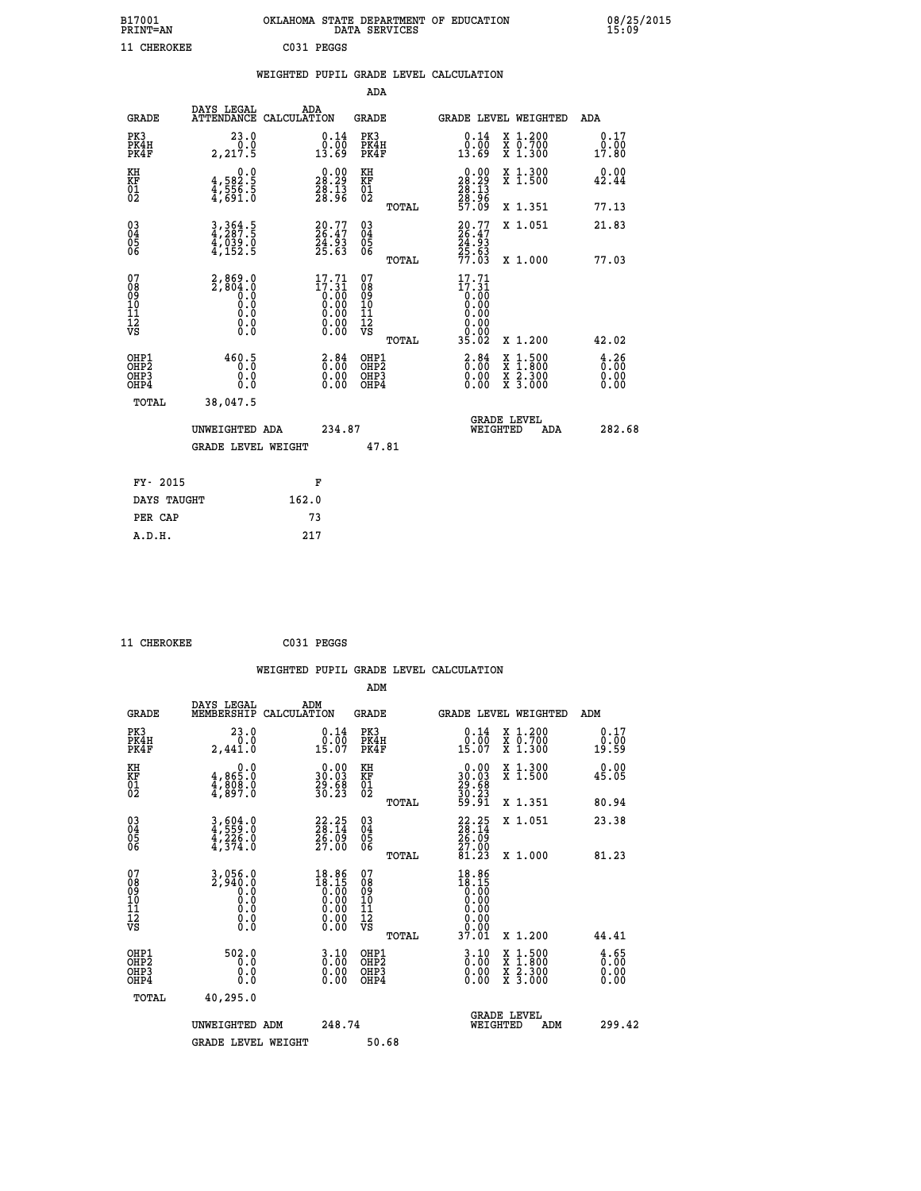| B17001<br><b>PRINT=AN</b> | OKLAHOMA STATE DEPARTMENT OF EDUCATION<br>DATA SERVICES | 08/25/2015<br>15:09 |
|---------------------------|---------------------------------------------------------|---------------------|
| 11 CHEROKEE               | C031 PEGGS                                              |                     |

|                                           |                                                                                                 |                                                                                                 | ADA                                             |                                                                                                                                                                             |                                     |
|-------------------------------------------|-------------------------------------------------------------------------------------------------|-------------------------------------------------------------------------------------------------|-------------------------------------------------|-----------------------------------------------------------------------------------------------------------------------------------------------------------------------------|-------------------------------------|
| <b>GRADE</b>                              | DAYS LEGAL                                                                                      | ADA<br>ATTENDANCE CALCULATION                                                                   | GRADE                                           | <b>GRADE LEVEL WEIGHTED</b>                                                                                                                                                 | ADA                                 |
| PK3<br>PK4H<br>PK4F                       | 23.0<br>2, 217.5                                                                                | $\begin{smallmatrix} 0.14\ 0.00 \ 13.69 \end{smallmatrix}$                                      | PK3<br>PK4H<br>PK4F                             | X 1.200<br>X 0.700<br>X 1.300<br>0.14<br>ōō.ōō<br>13.69                                                                                                                     | 0.17<br>0.00<br>17.80               |
| KH<br>KF<br>01<br>02                      | 0.0<br>4,582:5<br>4,556:5<br>4,691:0                                                            | $\begin{smallmatrix} 0.00\\ 28.29\\ 28.13\\ 28.96 \end{smallmatrix}$                            | KH<br>KF<br>01<br>02                            | X 1.300<br>X 1.500<br>$\begin{smallmatrix} 0.00\\ 28.29\\ 28.13\\ 28.13\\ 28.96\\ 57.09 \end{smallmatrix}$                                                                  | 0.00<br>42.44                       |
|                                           |                                                                                                 |                                                                                                 | TOTAL                                           | X 1.351                                                                                                                                                                     | 77.13                               |
| 03<br>04<br>05<br>06                      | 3,364.5<br>$\frac{1}{4}, \frac{1}{152}$ . 5                                                     | $20.77$<br>$26.47$<br>$24.93$<br>$25.63$                                                        | 03<br>04<br>05<br>06                            | 20.77<br>26.47<br>24.93<br>25.63<br>77.03<br>X 1.051                                                                                                                        | 21.83                               |
|                                           |                                                                                                 |                                                                                                 | TOTAL                                           | X 1.000                                                                                                                                                                     | 77.03                               |
| 07<br>08<br>09<br>11<br>11<br>12<br>VS    | $2,869.0$<br>2,804.0<br>0.0<br>$\begin{smallmatrix} 0.5 & 0 \ 0.0 & 0 \end{smallmatrix}$<br>0.0 | $\begin{smallmatrix} 17\cdot71\\17\cdot31\\0.00\\0.00\\0.00\\0.00\\0.00\\0.00\end{smallmatrix}$ | 07<br>08<br>09<br>11<br>11<br>12<br>VS<br>TOTAL | $17.71$<br>$17.31$<br>$0.00$<br>$0.00$<br>$0.00$<br>ŏ:ŏŏ<br>0.00<br>35.02<br>X 1.200                                                                                        | 42.02                               |
| OHP1<br>OH <sub>P</sub> 2<br>OHP3<br>OHP4 | 460.5<br>0.0<br>$0.\overline{0}$                                                                | 3.84<br>$\begin{smallmatrix} 0.00 \ 0.00 \end{smallmatrix}$                                     | OHP1<br>OH <sub>P</sub> 2<br>OHP3<br>OHP4       | $\frac{2.84}{0.00}$<br>$\begin{smallmatrix} \mathtt{X} & 1 & 500 \\ \mathtt{X} & 1 & 800 \\ \mathtt{X} & 2 & 300 \\ \mathtt{X} & 3 & 000 \end{smallmatrix}$<br>0.00<br>0.00 | $\frac{4.26}{0.00}$<br>0.00<br>0.00 |
| TOTAL                                     | 38,047.5                                                                                        |                                                                                                 |                                                 |                                                                                                                                                                             |                                     |
|                                           | UNWEIGHTED ADA                                                                                  | 234.87                                                                                          |                                                 | <b>GRADE LEVEL</b><br>WEIGHTED<br>ADA                                                                                                                                       | 282.68                              |
|                                           | <b>GRADE LEVEL WEIGHT</b>                                                                       |                                                                                                 | 47.81                                           |                                                                                                                                                                             |                                     |
| FY- 2015                                  |                                                                                                 | F                                                                                               |                                                 |                                                                                                                                                                             |                                     |
| DAYS TAUGHT                               |                                                                                                 | 162.0                                                                                           |                                                 |                                                                                                                                                                             |                                     |
| PER CAP                                   |                                                                                                 | 73                                                                                              |                                                 |                                                                                                                                                                             |                                     |
| A.D.H.                                    |                                                                                                 | 217                                                                                             |                                                 |                                                                                                                                                                             |                                     |

| 11 CHEROKEE | C031 PEGGS |
|-------------|------------|
|             |            |

|                                                    |                                                                         |                    |                                                                                                              |                                              |       | WEIGHTED PUPIL GRADE LEVEL CALCULATION                                                   |                                                                                                  |                                     |  |
|----------------------------------------------------|-------------------------------------------------------------------------|--------------------|--------------------------------------------------------------------------------------------------------------|----------------------------------------------|-------|------------------------------------------------------------------------------------------|--------------------------------------------------------------------------------------------------|-------------------------------------|--|
|                                                    |                                                                         |                    |                                                                                                              | ADM                                          |       |                                                                                          |                                                                                                  |                                     |  |
| <b>GRADE</b>                                       | DAYS LEGAL<br>MEMBERSHIP                                                | ADM<br>CALCULATION |                                                                                                              | <b>GRADE</b>                                 |       | <b>GRADE LEVEL WEIGHTED</b>                                                              |                                                                                                  | ADM                                 |  |
| PK3<br>PK4H<br>PK4F                                | 23.0<br>0.0<br>2,441.0                                                  |                    | $\begin{smallmatrix} 0.14 \\ 0.00 \\ 15.07 \end{smallmatrix}$                                                | PK3<br>PK4H<br>PK4F                          |       | $\begin{smallmatrix} 0.14 \\ 0.00 \\ 15.07 \end{smallmatrix}$                            | X 1.200<br>X 0.700<br>X 1.300                                                                    | 0.17<br>0.00<br>19.59               |  |
| KH<br>KF<br>01<br>02                               | $\begin{smallmatrix}&&&0.0\\4.865.0\\4.808.0\\4.897.0\end{smallmatrix}$ |                    | $\begin{smallmatrix} 0.00\\ 30.03\\ 29.68\\ 30.23 \end{smallmatrix}$                                         | KH<br>KF<br>01<br>02                         |       | $\begin{smallmatrix} 0.00\\ 30.03\\ 29.68\\ 30.23\\ 59.91 \end{smallmatrix}$             | X 1.300<br>X 1.500                                                                               | 0.00<br>45.05                       |  |
|                                                    |                                                                         |                    |                                                                                                              |                                              | TOTAL |                                                                                          | X 1.351                                                                                          | 80.94                               |  |
| $\begin{matrix} 03 \\ 04 \\ 05 \\ 06 \end{matrix}$ | 3,604.0<br>4,559.0<br>4,226.0<br>4,374.0                                |                    | $\begin{smallmatrix} 22.25\\ 28.14\\ 26.09\\ 27.00 \end{smallmatrix}$                                        | 03<br>04<br>05<br>06                         |       | $22.25$<br>$28.14$<br>$26.09$<br>$27.00$                                                 | X 1.051                                                                                          | 23.38                               |  |
|                                                    |                                                                         |                    |                                                                                                              |                                              | TOTAL | 81.23                                                                                    | X 1.000                                                                                          | 81.23                               |  |
| 07<br>0890112<br>1112<br>VS                        | 3,056.0<br>2,940.0<br>0.0<br>0.0<br>0.0<br>$\S.$                        |                    | 18.86<br>18.15<br>≬:00<br>0:00<br>0:00<br>$\begin{smallmatrix} 0.00 & 0.00 \\ 0.00 & 0.00 \end{smallmatrix}$ | 07<br>08<br>09<br>09<br>10<br>11<br>12<br>VS |       | $18.86$<br>$18.15$<br>$0.00$<br>$0.00$<br>0.00<br>0.00                                   |                                                                                                  |                                     |  |
|                                                    |                                                                         |                    |                                                                                                              |                                              | TOTAL | 37.01                                                                                    | $X_1.200$                                                                                        | 44.41                               |  |
| OHP1<br>OHP2<br>OH <sub>P3</sub><br>OHP4           | 502.0<br>$\overline{0}$ .0<br>0.0<br>Ŏ.Ŏ                                |                    | $\begin{smallmatrix} 3 & 10\0 & 00\0 & 00\0 & 0\0end{smallmatrix}$                                           | OHP1<br>OHP2<br>OHP <sub>3</sub>             |       | $\begin{smallmatrix} 3 & 1 & 0 \\ 0 & 0 & 0 \\ 0 & 0 & 0 \\ 0 & 0 & 0 \end{smallmatrix}$ | $\begin{smallmatrix} x & 1 & 500 \\ x & 1 & 800 \\ x & 2 & 300 \\ x & 3 & 000 \end{smallmatrix}$ | $\frac{4.65}{0.00}$<br>0.00<br>0.00 |  |
| TOTAL                                              | 40,295.0                                                                |                    |                                                                                                              |                                              |       |                                                                                          |                                                                                                  |                                     |  |
|                                                    | UNWEIGHTED ADM                                                          |                    | 248.74                                                                                                       |                                              |       | WEIGHTED                                                                                 | <b>GRADE LEVEL</b><br>ADM                                                                        | 299.42                              |  |
|                                                    | <b>GRADE LEVEL WEIGHT</b>                                               |                    |                                                                                                              | 50.68                                        |       |                                                                                          |                                                                                                  |                                     |  |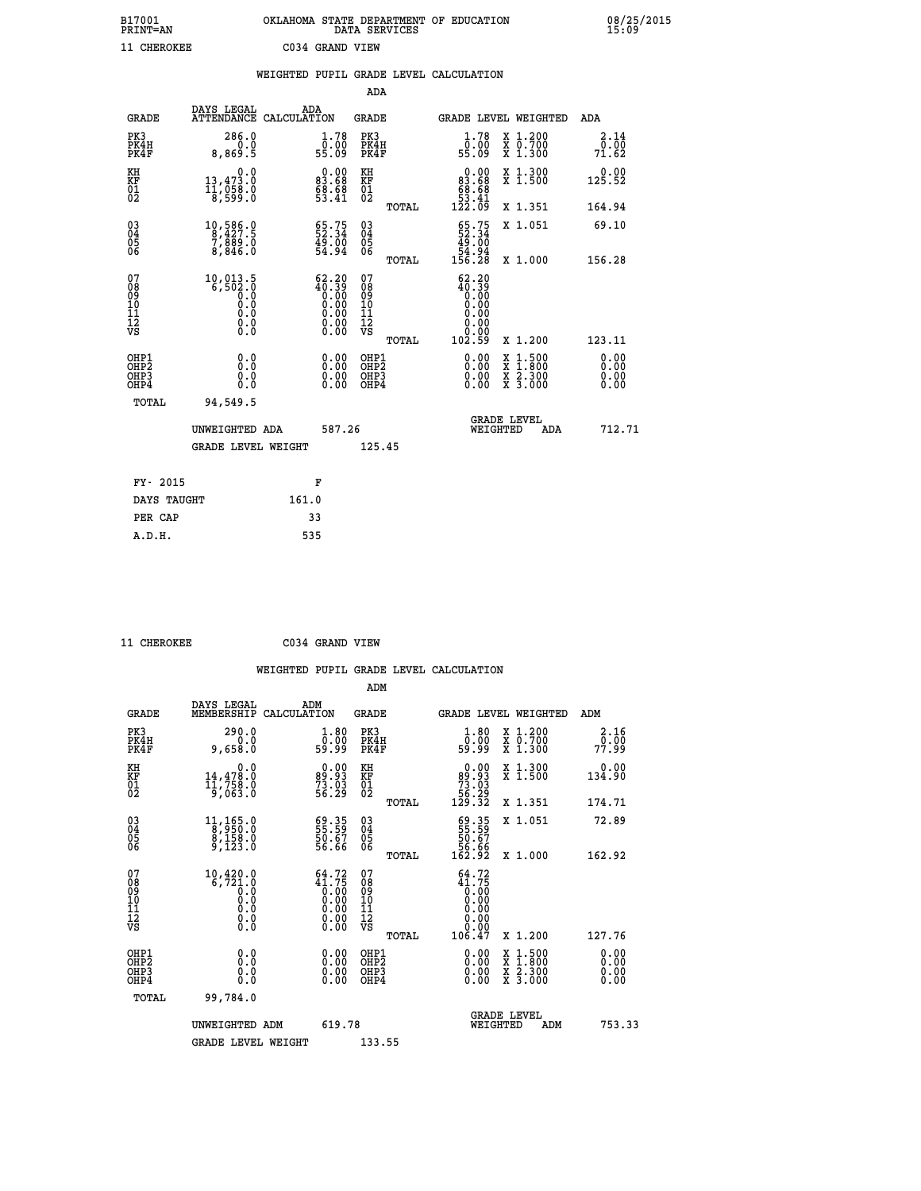| B17001          | OKLAHOMA STATE DEPARTMENT OF EDUCATION |
|-----------------|----------------------------------------|
| <b>PRINT=AN</b> | DATA SERVICES                          |
| 11 CHEROKEE     | C034 GRAND VIEW                        |

|                                                      |                                                                           | WEIGHTED PUPIL GRADE LEVEL CALCULATION                             |                                                    |       |                                                                                                                                                                                                                                                                                |                                                                                                                                           |                       |
|------------------------------------------------------|---------------------------------------------------------------------------|--------------------------------------------------------------------|----------------------------------------------------|-------|--------------------------------------------------------------------------------------------------------------------------------------------------------------------------------------------------------------------------------------------------------------------------------|-------------------------------------------------------------------------------------------------------------------------------------------|-----------------------|
|                                                      |                                                                           |                                                                    | <b>ADA</b>                                         |       |                                                                                                                                                                                                                                                                                |                                                                                                                                           |                       |
| <b>GRADE</b>                                         | DAYS LEGAL                                                                | ADA<br>ATTENDANCE CALCULATION                                      | GRADE                                              |       |                                                                                                                                                                                                                                                                                | <b>GRADE LEVEL WEIGHTED</b>                                                                                                               | ADA                   |
| PK3<br>PK4H<br>PK4F                                  | 286.0<br>0.0<br>8,869.5                                                   | 1.78<br>ŏ:óŏ<br>55:09                                              | PK3<br>PK4H<br>PK4F                                |       | $\begin{smallmatrix} 1.78\ 0.00\\ 55.09 \end{smallmatrix}$                                                                                                                                                                                                                     | X 1.200<br>X 0.700<br>X 1.300                                                                                                             | 2.14<br>0.00<br>71.62 |
| KH<br>KF<br>01<br>02                                 | 0.0<br>13,473.0<br>$\frac{1}{8}, \frac{1}{599}.8$                         | $\begin{smallmatrix} 0.00\\83.68\\68.68\\53.41 \end{smallmatrix}$  | KH<br>KF<br>01<br>02                               |       | $\begin{smallmatrix} &0.00\\83.68\\68.68\\53.41\\122.09\end{smallmatrix}$                                                                                                                                                                                                      | X 1.300<br>X 1.500                                                                                                                        | 0.00<br>125.52        |
|                                                      |                                                                           |                                                                    |                                                    | TOTAL |                                                                                                                                                                                                                                                                                | X 1.351                                                                                                                                   | 164.94                |
| 03<br>04<br>05<br>06                                 | $\begin{smallmatrix}10,586.0\\8,427.5\\7,889.0\\8,846.0\end{smallmatrix}$ | $\begin{smallmatrix} 65.75\ 52.34\ 49.00\ 54.94 \end{smallmatrix}$ | $\begin{matrix} 03 \\ 04 \\ 05 \\ 06 \end{matrix}$ |       | $\frac{65}{22}$ : 34<br>49.00                                                                                                                                                                                                                                                  | X 1.051                                                                                                                                   | 69.10                 |
|                                                      |                                                                           |                                                                    |                                                    | TOTAL | 84.54<br>156.28                                                                                                                                                                                                                                                                | X 1.000                                                                                                                                   | 156.28                |
| 07<br>0890112<br>1112<br>VS                          |                                                                           | $62.20$<br>$40.39$<br>$0.00$<br>$0.00$<br>$0.00$<br>$0.00$<br>ŏ:ŏŏ | 07<br>08<br>09<br>001<br>11<br>11<br>12<br>VS      | TOTAL | 62.20<br>$\begin{smallmatrix} 26.38 \\ 0.00 \\ 0.00 \\ 0.00 \\ 0.00 \end{smallmatrix}$<br>0.00<br>ŏ:ŏŏ<br>102.59                                                                                                                                                               | X 1.200                                                                                                                                   | 123.11                |
| OHP1<br>OHP2<br>OH <sub>P3</sub><br>OH <sub>P4</sub> | 0.0<br>0.0<br>0.0                                                         | 0.0000<br>$\begin{smallmatrix} 0.00 \ 0.00 \end{smallmatrix}$      | OHP1<br>OHP2<br>OHP3<br>OHP4                       |       | $\begin{smallmatrix} 0.00 & 0.00 & 0.00 & 0.00 & 0.00 & 0.00 & 0.00 & 0.00 & 0.00 & 0.00 & 0.00 & 0.00 & 0.00 & 0.00 & 0.00 & 0.00 & 0.00 & 0.00 & 0.00 & 0.00 & 0.00 & 0.00 & 0.00 & 0.00 & 0.00 & 0.00 & 0.00 & 0.00 & 0.00 & 0.00 & 0.00 & 0.00 & 0.00 & 0.00 & 0.00 & 0.0$ | $\begin{smallmatrix} \mathtt{X} & 1\cdot500\\ \mathtt{X} & 1\cdot800\\ \mathtt{X} & 2\cdot300\\ \mathtt{X} & 3\cdot000 \end{smallmatrix}$ | 0.00<br>0.00<br>0.00  |
| TOTAL                                                | 94,549.5                                                                  |                                                                    |                                                    |       |                                                                                                                                                                                                                                                                                |                                                                                                                                           |                       |
|                                                      | UNWEIGHTED ADA                                                            | 587.26                                                             |                                                    |       | WEIGHTED                                                                                                                                                                                                                                                                       | <b>GRADE LEVEL</b><br>ADA                                                                                                                 | 712.71                |
|                                                      | GRADE LEVEL WEIGHT                                                        |                                                                    | 125.45                                             |       |                                                                                                                                                                                                                                                                                |                                                                                                                                           |                       |
| FY- 2015                                             |                                                                           | F                                                                  |                                                    |       |                                                                                                                                                                                                                                                                                |                                                                                                                                           |                       |
| DAYS TAUGHT                                          |                                                                           | 161.0                                                              |                                                    |       |                                                                                                                                                                                                                                                                                |                                                                                                                                           |                       |
| PER CAP                                              |                                                                           | 33                                                                 |                                                    |       |                                                                                                                                                                                                                                                                                |                                                                                                                                           |                       |

 **11 CHEROKEE C034 GRAND VIEW**

|  |     | WEIGHTED PUPIL GRADE LEVEL CALCULATION |
|--|-----|----------------------------------------|
|  | ADM |                                        |

| <b>GRADE</b>                                         | DAYS LEGAL<br>MEMBERSHIP                                                                               | ADM<br>CALCULATION                                                                              | <b>GRADE</b>                                        |       |                                                                                                                    |                                | <b>GRADE LEVEL WEIGHTED</b>              | ADM                    |  |
|------------------------------------------------------|--------------------------------------------------------------------------------------------------------|-------------------------------------------------------------------------------------------------|-----------------------------------------------------|-------|--------------------------------------------------------------------------------------------------------------------|--------------------------------|------------------------------------------|------------------------|--|
| PK3<br>PK4H<br>PK4F                                  | 290.0<br>9,658.0                                                                                       | $\begin{smallmatrix} 1.80\ 0.00 \ 59.99 \end{smallmatrix}$                                      | PK3<br>PK4H<br>PK4F                                 |       | $\begin{smallmatrix} 1.80\ 0.00 \ 59.99 \end{smallmatrix}$                                                         |                                | X 1.200<br>X 0.700<br>X 1.300            | 2.16<br>77.99<br>77.99 |  |
| KH<br>KF<br>01<br>02                                 | 0.0<br>14,478.0<br>11,758.0<br>9,063.0                                                                 | $\begin{smallmatrix} 0.00\\ 99.93\\ 73.03\\ 56.29 \end{smallmatrix}$                            | KH<br>KF<br>01<br>02                                |       | $\begin{smallmatrix} &0.00\ 89.93\ 73.03\ 56.29\ 129.32\end{smallmatrix}$                                          |                                | X 1.300<br>X 1.500                       | 0.00<br>134.90         |  |
|                                                      |                                                                                                        |                                                                                                 |                                                     | TOTAL |                                                                                                                    |                                | X 1.351                                  | 174.71                 |  |
| $\begin{matrix} 03 \\ 04 \\ 05 \\ 06 \end{matrix}$   | $\begin{smallmatrix} 11,165.0\\8,950.0\\8,158.0\\9,123.0 \end{smallmatrix}$                            | $\begin{smallmatrix} 69.35\ 55.59\ 50.67\ 56.66\ \end{smallmatrix}$                             | $\begin{array}{c} 03 \\ 04 \\ 05 \\ 06 \end{array}$ |       | $69.35$<br>55.59<br>50.67<br>56.66<br>56.92                                                                        |                                | X 1.051                                  | 72.89                  |  |
|                                                      |                                                                                                        |                                                                                                 |                                                     | TOTAL |                                                                                                                    |                                | X 1.000                                  | 162.92                 |  |
| 07<br>08<br>09<br>11<br>11<br>12<br>VS               | $\begin{smallmatrix} 10,420.0\\ 6,721.0\\ 0.0\\ 0.0\\ 0.0\\ 0.0\\ 0.0\\ 0.0\\ 0.0\\ \end{smallmatrix}$ | $\begin{smallmatrix} 64.72\\ 41.75\\ 0.00\\ 0.00\\ 0.00\\ 0.00\\ 0.00\\ 0.00 \end{smallmatrix}$ | 07<br>08<br>09<br>11<br>11<br>12<br>VS              | TOTAL | $\begin{smallmatrix} 64.72\ 41.75\ 0.00\ 0.00\ 0.00\ 0.00\ 0.00\ 0.00\ 0.00\ 0.00\ 0.00\ 106.47 \end{smallmatrix}$ |                                | X 1.200                                  | 127.76                 |  |
| OHP1<br>OHP <sub>2</sub><br>OH <sub>P3</sub><br>OHP4 | 0.0<br>0.000                                                                                           |                                                                                                 | OHP1<br>OHP <sub>2</sub><br>OHP3<br>OHP4            |       |                                                                                                                    |                                | X 1:500<br>X 1:800<br>X 2:300<br>X 3:000 | 0.00<br>0.00<br>0.00   |  |
| TOTAL                                                | 99,784.0                                                                                               |                                                                                                 |                                                     |       |                                                                                                                    |                                |                                          |                        |  |
|                                                      | UNWEIGHTED ADM                                                                                         | 619.78                                                                                          |                                                     |       |                                                                                                                    | <b>GRADE LEVEL</b><br>WEIGHTED | ADM                                      | 753.33                 |  |
|                                                      | <b>GRADE LEVEL WEIGHT</b>                                                                              |                                                                                                 | 133.55                                              |       |                                                                                                                    |                                |                                          |                        |  |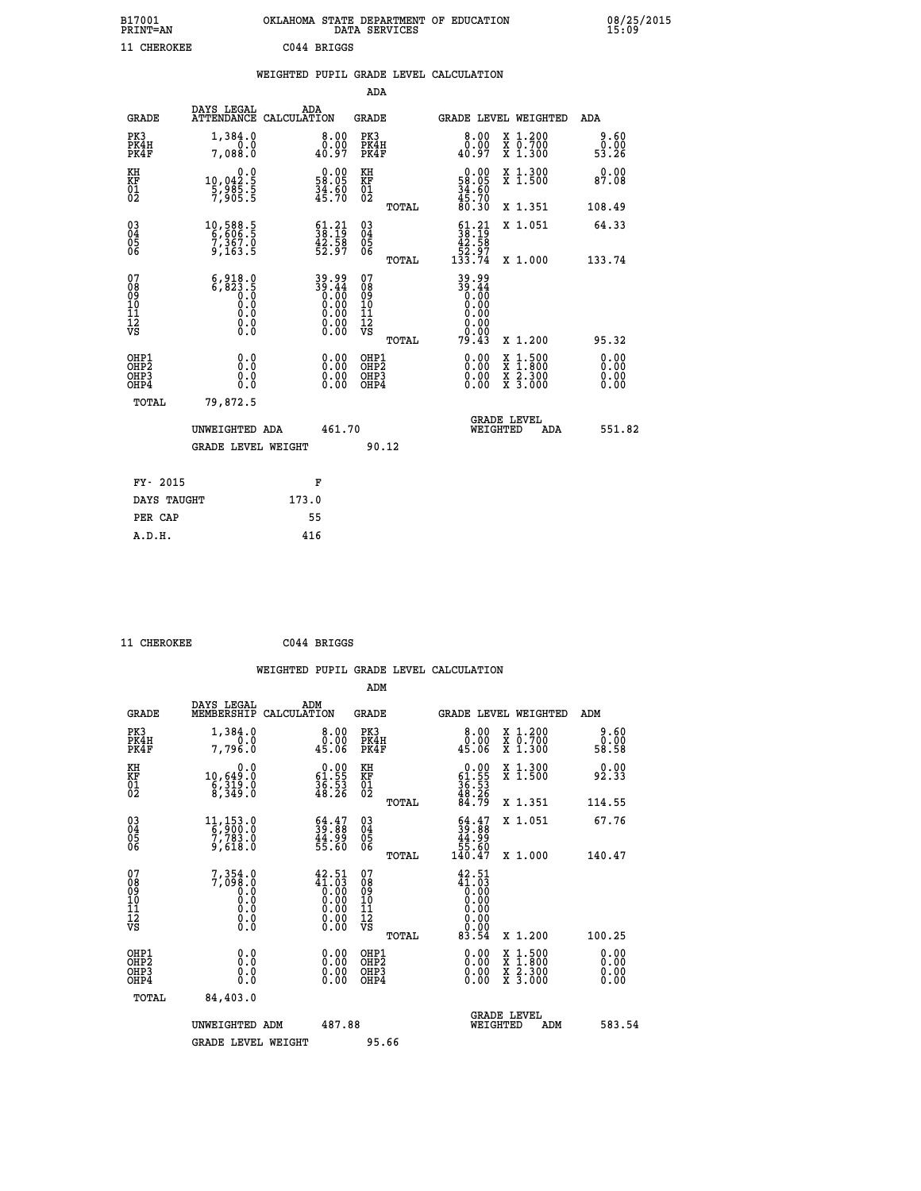| B17001<br><b>PRINT=AN</b> |             | OKLAHOMA STATE DEPARTMENT OF EDUCATION<br>DATA SERVICES |  |
|---------------------------|-------------|---------------------------------------------------------|--|
| 11 CHEROKEE               | C044 BRIGGS |                                                         |  |

|                                                                    |                                                                       |                                                                                                              | ADA                                       |       |                                                                                                    |                                                                                                  |                              |
|--------------------------------------------------------------------|-----------------------------------------------------------------------|--------------------------------------------------------------------------------------------------------------|-------------------------------------------|-------|----------------------------------------------------------------------------------------------------|--------------------------------------------------------------------------------------------------|------------------------------|
| <b>GRADE</b>                                                       | DAYS LEGAL<br>ATTENDANCE CALCULATION                                  | ADA                                                                                                          | <b>GRADE</b>                              |       | GRADE LEVEL WEIGHTED                                                                               |                                                                                                  | <b>ADA</b>                   |
| PK3<br>PK4H<br>PK4F                                                | 1,384.0<br>0.0<br>7,088.0                                             | $\begin{smallmatrix} 8.00\ 0.00\ 40.97 \end{smallmatrix}$                                                    | PK3<br>PK4H<br>PK4F                       |       | 8.00<br>$\begin{smallmatrix} 0.00 \\ 0.97 \end{smallmatrix}$                                       | X 1.200<br>X 0.700<br>X 1.300                                                                    | 9.60<br>0.00<br>53.26        |
| KH<br><b>KF</b><br>01<br>02                                        | 0.0<br>10,042:5<br>5,985:5<br>7,905:5                                 | $\begin{smallmatrix} 0.00\\ 58.05\\ 34.60\\ 45.70 \end{smallmatrix}$                                         | KH<br>KF<br>01<br>02                      |       | 0.00<br>$\frac{58.05}{34.60}$<br>$\frac{45.70}{80.30}$                                             | X 1.300<br>X 1.500                                                                               | 0.00<br>87.08                |
|                                                                    |                                                                       |                                                                                                              |                                           | TOTAL |                                                                                                    | X 1.351                                                                                          | 108.49                       |
| $\begin{smallmatrix} 03 \\[-4pt] 04 \end{smallmatrix}$<br>Ŏ5<br>06 | 10,588.5<br>6,606.5<br>7,367.0<br>9,163.5                             | $\begin{smallmatrix} 61.21\ 38.19\ 42.58\ 52.97 \end{smallmatrix}$                                           | $\substack{03 \\ 04}$<br>Ŏ5<br>06         | TOTAL | $\begin{smallmatrix} 61\cdot21\\ 38\cdot19\\ 42\cdot58\\ 52\cdot97\\ 133\cdot74 \end{smallmatrix}$ | X 1.051<br>X 1.000                                                                               | 64.33<br>133.74              |
| 07<br>08<br>09<br>11<br>11<br>12<br>VS                             | $6, 918.0$<br>$6, 823.5$<br>$0.0$<br>$0.0$<br>$0.0$<br>$0.0$<br>$0.0$ | 89.99<br>39.44<br>0.00<br>0.00<br>0.00<br>$\begin{smallmatrix} 0.00 & 0.00 \\ 0.00 & 0.00 \end{smallmatrix}$ | 07<br>08<br>09<br>11<br>11<br>12<br>VS    |       | 89.99<br>39.44<br>0.00<br>0.00<br>0.00<br>$\begin{array}{c} 0.00 \\ 0.00 \\ 79.43 \end{array}$     |                                                                                                  |                              |
|                                                                    |                                                                       |                                                                                                              |                                           | TOTAL |                                                                                                    | X 1.200                                                                                          | 95.32                        |
| OHP1<br>OH <sub>P2</sub><br>OH <sub>P3</sub><br>OH <sub>P4</sub>   | 0.0<br>0.0<br>0.0                                                     | $\begin{smallmatrix} 0.00 \ 0.00 \ 0.00 \ 0.00 \end{smallmatrix}$                                            | OHP1<br>OH <sub>P</sub> 2<br>OHP3<br>OHP4 |       | 0.00<br>0.00<br>0.00                                                                               | $\begin{smallmatrix} x & 1 & 500 \\ x & 1 & 800 \\ x & 2 & 300 \\ x & 3 & 000 \end{smallmatrix}$ | 0.00<br>0.00<br>0.00<br>0.00 |
| TOTAL                                                              | 79,872.5                                                              |                                                                                                              |                                           |       |                                                                                                    |                                                                                                  |                              |
|                                                                    | UNWEIGHTED ADA                                                        | 461.70                                                                                                       |                                           |       | GRADE LEVEL<br>WEIGHTED                                                                            | ADA                                                                                              | 551.82                       |
|                                                                    | <b>GRADE LEVEL WEIGHT</b>                                             |                                                                                                              | 90.12                                     |       |                                                                                                    |                                                                                                  |                              |
| FY- 2015                                                           |                                                                       | F                                                                                                            |                                           |       |                                                                                                    |                                                                                                  |                              |
| DAYS TAUGHT                                                        |                                                                       | 173.0                                                                                                        |                                           |       |                                                                                                    |                                                                                                  |                              |
| PER CAP                                                            |                                                                       | 55                                                                                                           |                                           |       |                                                                                                    |                                                                                                  |                              |

 **11 CHEROKEE C044 BRIGGS**

 **A.D.H. 416**

 **ADM**

| <b>GRADE</b>                                       | DAYS LEGAL<br>MEMBERSHIP CALCULATION                                       | ADM                                                                                                             | <b>GRADE</b>                                        |       |                                                                                                                     |          | GRADE LEVEL WEIGHTED                     | ADM                   |
|----------------------------------------------------|----------------------------------------------------------------------------|-----------------------------------------------------------------------------------------------------------------|-----------------------------------------------------|-------|---------------------------------------------------------------------------------------------------------------------|----------|------------------------------------------|-----------------------|
| PK3<br>PK4H<br>PK4F                                | 1,384.0<br>0.0<br>7,796.0                                                  |                                                                                                                 | PK3<br>PK4H<br>PK4F                                 |       | 8.00<br>0.00<br>45.06                                                                                               |          | X 1.200<br>X 0.700<br>X 1.300            | 9.60<br>0.00<br>58.58 |
| KH<br>KF<br>01<br>02                               | 0.0<br>10,649.0<br>$\frac{2}{8}, \frac{3}{3}$ $\frac{15}{9}$ $\frac{3}{8}$ | $\begin{smallmatrix} 0.00\\ 61.55\\ 36.53\\ 48.26 \end{smallmatrix}$                                            | KH<br>KF<br>01<br>02                                |       | $\begin{smallmatrix} 0.00\\ 61.55\\ 36.53\\ 48.26\\ 84.79 \end{smallmatrix}$                                        |          | X 1.300<br>X 1.500                       | 0.00<br>92.33         |
|                                                    |                                                                            |                                                                                                                 |                                                     | TOTAL |                                                                                                                     |          | X 1.351                                  | 114.55                |
| $\begin{matrix} 03 \\ 04 \\ 05 \\ 06 \end{matrix}$ | $\begin{smallmatrix}11,153.0\\6,900.0\\7,783.0\\9,618.0\end{smallmatrix}$  | $\begin{smallmatrix} 64.47\ 39.88\ 44.99\ 55.60 \end{smallmatrix}$                                              | $\begin{array}{c} 03 \\ 04 \\ 05 \\ 06 \end{array}$ |       | $54.47$<br>$39.88$<br>$44.99$<br>$55.60$<br>$140.47$                                                                |          | X 1.051                                  | 67.76                 |
|                                                    |                                                                            |                                                                                                                 |                                                     | TOTAL |                                                                                                                     |          | X 1.000                                  | 140.47                |
| 07<br>08<br>09<br>101<br>11<br>12<br>VS            | $7,354.0$<br>$7,098.0$<br>$0.0$<br>0.0<br>0.0<br>$\S.$                     | $\begin{smallmatrix} 42.51\\ 41.03\\ 0.00\\ 0.00\\ 0.00\\ 0.00\\ 0.00\\ 0.00\\ 0.00\\ 0.00\\ \end{smallmatrix}$ | 07<br>08<br>09<br>001<br>11<br>11<br>12<br>VS       |       | $\begin{smallmatrix} 42.51\\ 41.03\\ 0.00\\ 0.00\\ 0.00\\ 0.00\\ 0.00\\ 0.00\\ 0.00\\ 0.00\\ 0.01\end{smallmatrix}$ |          |                                          |                       |
|                                                    |                                                                            |                                                                                                                 |                                                     | TOTAL |                                                                                                                     |          | X 1.200                                  | 100.25                |
| OHP1<br>OHP <sub>2</sub><br>OHP3<br>OHP4           | 0.0<br>0.000                                                               | $\begin{smallmatrix} 0.00 \ 0.00 \ 0.00 \ 0.00 \end{smallmatrix}$                                               | OHP1<br>OHP <sub>2</sub><br>OHP3<br>OHP4            |       | 0.00<br>$0.00$<br>0.00                                                                                              |          | X 1:500<br>X 1:800<br>X 2:300<br>X 3:000 | 0.00<br>0.00<br>0.00  |
| TOTAL                                              | 84,403.0                                                                   |                                                                                                                 |                                                     |       |                                                                                                                     |          |                                          |                       |
|                                                    | UNWEIGHTED                                                                 | 487.88<br>ADM                                                                                                   |                                                     |       |                                                                                                                     | WEIGHTED | <b>GRADE LEVEL</b><br>ADM                | 583.54                |
|                                                    | <b>GRADE LEVEL WEIGHT</b>                                                  |                                                                                                                 | 95.66                                               |       |                                                                                                                     |          |                                          |                       |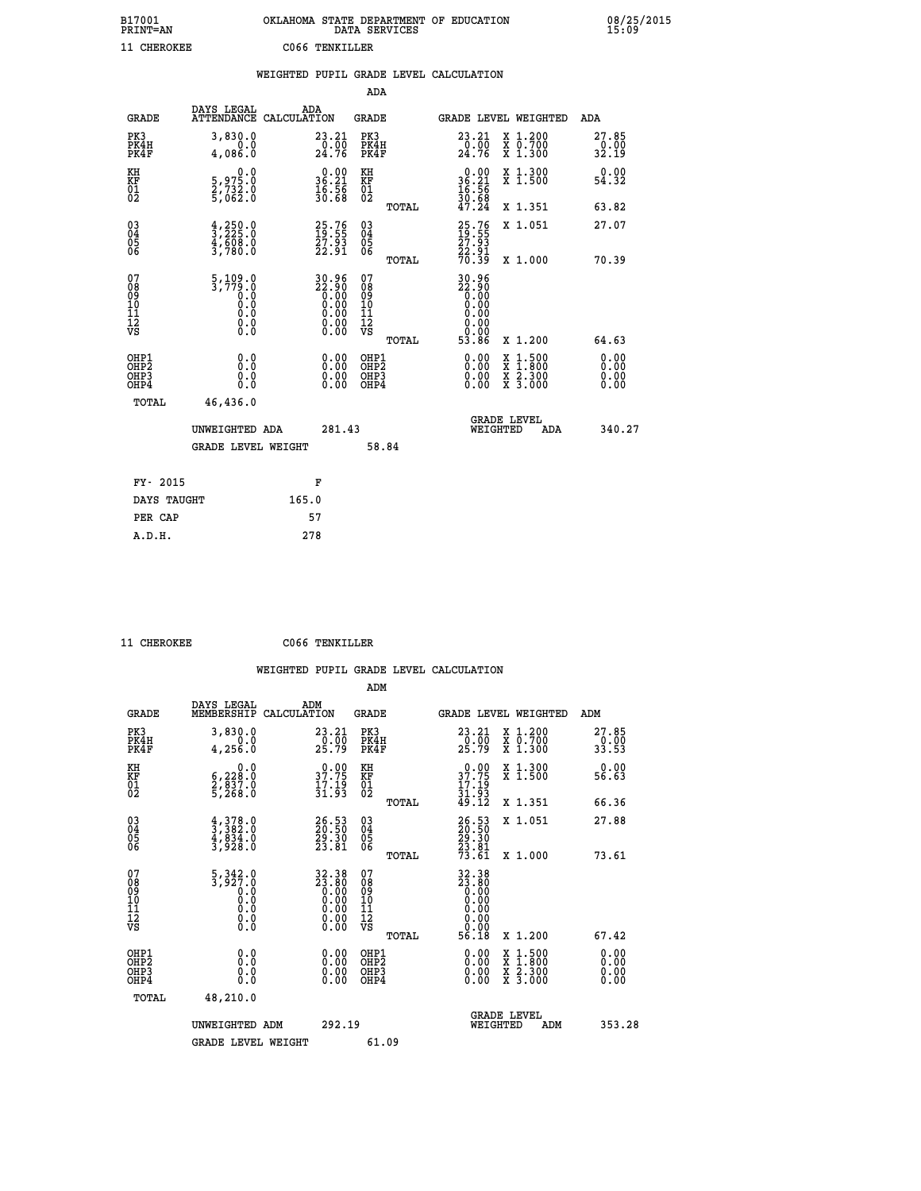| B17001          | OKLAHOMA STATE DEPARTMENT OF EDUCATION |
|-----------------|----------------------------------------|
| <b>PRINT=AN</b> | DATA SERVICES                          |
| 11 CHEROKEE     | CO66 TENKILLER                         |

08/25/2015<br>15:09

|                                                                    |                                                                                           |       |                                                                      |                                        |       | WEIGHTED PUPIL GRADE LEVEL CALCULATION                                                                                                                                                                                                                                         |                                                                                                                                           |                                  |
|--------------------------------------------------------------------|-------------------------------------------------------------------------------------------|-------|----------------------------------------------------------------------|----------------------------------------|-------|--------------------------------------------------------------------------------------------------------------------------------------------------------------------------------------------------------------------------------------------------------------------------------|-------------------------------------------------------------------------------------------------------------------------------------------|----------------------------------|
|                                                                    |                                                                                           |       |                                                                      | <b>ADA</b>                             |       |                                                                                                                                                                                                                                                                                |                                                                                                                                           |                                  |
| <b>GRADE</b>                                                       | DAYS LEGAL<br>ATTENDANCE CALCULATION                                                      | ADA   |                                                                      | GRADE                                  |       |                                                                                                                                                                                                                                                                                | GRADE LEVEL WEIGHTED                                                                                                                      | ADA                              |
| PK3<br>PK4H<br>PK4F                                                | 3,830.0<br>0.0<br>4.086.0                                                                 |       | $\substack{23.21 \\ 0.00 \\ 24.76}$                                  | PK3<br>PK4H<br>PK4F                    |       | $\begin{smallmatrix} 23 & 21 \\ 0 & 00 \\ 24 & 76 \end{smallmatrix}$                                                                                                                                                                                                           | X 1.200<br>X 0.700<br>X 1.300                                                                                                             | 27.85<br>32.19                   |
| KH<br>KF<br>$\overline{01}$                                        | $\begin{smallmatrix}&&&0.0\\5,975.0\\2,732.0\\5,062.0\end{smallmatrix}$                   |       | $\begin{smallmatrix} 0.00\\ 36.21\\ 16.56\\ 30.68 \end{smallmatrix}$ | KH<br>KF<br>01<br>02                   |       | $\begin{array}{r} 0.00 \\ 36.21 \\ 16.56 \\ 30.89 \end{array}$                                                                                                                                                                                                                 | X 1.300<br>X 1.500                                                                                                                        | 0.00<br>54.32                    |
|                                                                    |                                                                                           |       |                                                                      |                                        | TOTAL | 47.24                                                                                                                                                                                                                                                                          | X 1.351                                                                                                                                   | 63.82                            |
| $\begin{smallmatrix} 03 \\[-4pt] 04 \end{smallmatrix}$<br>Ŏ5<br>06 | $\frac{4}{3}, \frac{250}{225}.0$<br>$\frac{4}{3}, \frac{608}{780}.0$<br>$\frac{3}{780}.0$ |       | 25.76<br>19.55<br>27.93<br>22.91                                     | $\substack{03 \\ 04}$<br>Ŏ5<br>06      |       | $\frac{25.76}{27.93}$                                                                                                                                                                                                                                                          | X 1.051                                                                                                                                   | 27.07                            |
|                                                                    |                                                                                           |       |                                                                      |                                        | TOTAL | 22.91<br>70.39                                                                                                                                                                                                                                                                 | X 1.000                                                                                                                                   | 70.39                            |
| 07<br>08<br>09<br>11<br>11<br>12<br>VS                             | $\frac{5,109.0}{3,779.0}$<br>0.0<br>0.0<br>Ō.Ō<br>$\S.$                                   |       | $30.96$<br>$22.90$<br>$0.00$<br>$0.00$<br>$0.00$<br>$0.00$<br>0.00   | 07<br>08<br>09<br>11<br>11<br>12<br>VS | TOTAL | 30.96<br>88:88<br>0.00<br>0.00<br>0.00<br>0.00<br>0.00<br>53.86                                                                                                                                                                                                                | X 1.200                                                                                                                                   | 64.63                            |
| OHP1<br>OHP2<br>OHP3<br>OHP4                                       | 0.0<br>0.0<br>0.0                                                                         |       | $\begin{smallmatrix} 0.00 \ 0.00 \ 0.00 \ 0.00 \end{smallmatrix}$    | OHP1<br>OHP2<br>OHP3<br>OHP4           |       | $\begin{smallmatrix} 0.00 & 0.00 & 0.00 & 0.00 & 0.00 & 0.00 & 0.00 & 0.00 & 0.00 & 0.00 & 0.00 & 0.00 & 0.00 & 0.00 & 0.00 & 0.00 & 0.00 & 0.00 & 0.00 & 0.00 & 0.00 & 0.00 & 0.00 & 0.00 & 0.00 & 0.00 & 0.00 & 0.00 & 0.00 & 0.00 & 0.00 & 0.00 & 0.00 & 0.00 & 0.00 & 0.0$ | $\begin{smallmatrix} \mathtt{X} & 1\cdot500\\ \mathtt{X} & 1\cdot800\\ \mathtt{X} & 2\cdot300\\ \mathtt{X} & 3\cdot000 \end{smallmatrix}$ | 0.00<br>0.00<br>$0.00$<br>$0.00$ |
| TOTAL                                                              | 46,436.0                                                                                  |       |                                                                      |                                        |       |                                                                                                                                                                                                                                                                                |                                                                                                                                           |                                  |
|                                                                    | UNWEIGHTED ADA                                                                            |       | 281.43                                                               |                                        |       | WEIGHTED                                                                                                                                                                                                                                                                       | <b>GRADE LEVEL</b><br>ADA                                                                                                                 | 340.27                           |
|                                                                    | <b>GRADE LEVEL WEIGHT</b>                                                                 |       |                                                                      |                                        | 58.84 |                                                                                                                                                                                                                                                                                |                                                                                                                                           |                                  |
| FY- 2015                                                           |                                                                                           |       | F                                                                    |                                        |       |                                                                                                                                                                                                                                                                                |                                                                                                                                           |                                  |
| DAYS TAUGHT                                                        |                                                                                           | 165.0 |                                                                      |                                        |       |                                                                                                                                                                                                                                                                                |                                                                                                                                           |                                  |
| PER CAP                                                            |                                                                                           |       | 57                                                                   |                                        |       |                                                                                                                                                                                                                                                                                |                                                                                                                                           |                                  |

 **11 CHEROKEE C066 TENKILLER**

 **A.D.H. 278**

 **ADM**

| <b>GRADE</b>                                       | DAYS LEGAL<br>MEMBERSHIP                                                                        | ADM<br>CALCULATION                                                                              | <b>GRADE</b>                                 |       | GRADE LEVEL WEIGHTED                                                                                                                                 |                                                                                                                     | ADM                           |  |
|----------------------------------------------------|-------------------------------------------------------------------------------------------------|-------------------------------------------------------------------------------------------------|----------------------------------------------|-------|------------------------------------------------------------------------------------------------------------------------------------------------------|---------------------------------------------------------------------------------------------------------------------|-------------------------------|--|
| PK3<br>PK4H<br>PK4F                                | 3,830.0<br>0.0<br>4, 256.0                                                                      | $\begin{smallmatrix} 23.21\ 0.00\ 25.79 \end{smallmatrix}$                                      | PK3<br>PK4H<br>PK4F                          |       | 23.21<br>$\frac{10}{25}. \frac{0}{79}$                                                                                                               | X 1.200<br>X 0.700<br>X 1.300                                                                                       | 27.85<br>$\frac{0.00}{33.53}$ |  |
| KH<br>KF<br>01<br>02                               | $\begin{smallmatrix}&&&0.0\\ 6,228.0\\2,837.0\\5,268.0\end{smallmatrix}$                        | 37.75<br>$\frac{17.19}{31.93}$                                                                  | KH<br>KF<br>$\overline{01}$                  |       | $3^{0.00}_{7.75}$<br>$\frac{17.19}{31.93}$<br>49.12                                                                                                  | X 1.300<br>X 1.500                                                                                                  | 0.00<br>56.63                 |  |
|                                                    |                                                                                                 |                                                                                                 |                                              | TOTAL |                                                                                                                                                      | X 1.351                                                                                                             | 66.36                         |  |
| $\begin{matrix} 03 \\ 04 \\ 05 \\ 06 \end{matrix}$ | $\begin{smallmatrix} 4 & 378 & 0\\ 3 & 382 & 0\\ 4 & 834 & 0\\ 3 & 928 & 0\\ \end{smallmatrix}$ | 26.53<br>20.50<br>29.30<br>23.81                                                                | $\substack{03 \\ 04}$<br>Ŏ5<br>06            |       | 26:53<br>29:50<br>29:30<br>23:81<br>73:61                                                                                                            | X 1.051                                                                                                             | 27.88                         |  |
|                                                    |                                                                                                 |                                                                                                 |                                              | TOTAL |                                                                                                                                                      | X 1.000                                                                                                             | 73.61                         |  |
| 07<br>089<br>090<br>1112<br>VS                     | $\begin{smallmatrix}5,342.0\\3,927.0\\0.0\\0.0\\0.0\\0.0\\0.0\end{smallmatrix}$                 | $\begin{smallmatrix} 32.38\\ 23.80\\ 0.00\\ 0.00\\ 0.00\\ 0.00\\ 0.00\\ 0.00 \end{smallmatrix}$ | 07<br>08<br>09<br>01<br>11<br>11<br>12<br>VS | TOTAL | $\begin{smallmatrix} 32\cdot 38\\ 23\cdot 80\\ 0\cdot 00\\ 0\cdot 00\\ 0\cdot 00\\ 0\cdot 00\\ 0\cdot 00\\ 0\cdot 00\\ 56\cdot 18 \end{smallmatrix}$ | X 1.200                                                                                                             | 67.42                         |  |
| OHP1                                               |                                                                                                 |                                                                                                 |                                              |       |                                                                                                                                                      |                                                                                                                     |                               |  |
| OHP <sub>2</sub><br>OH <sub>P3</sub><br>OHP4       | 0.0<br>0.000                                                                                    |                                                                                                 | OHP1<br>OHP2<br>OHP3<br>OHP4                 |       | 0.00<br>$0.00$<br>0.00                                                                                                                               | $\begin{array}{l} \mathtt{X} & 1.500 \\ \mathtt{X} & 1.800 \\ \mathtt{X} & 2.300 \\ \mathtt{X} & 3.000 \end{array}$ | 0.00<br>0.00<br>0.00          |  |
| TOTAL                                              | 48,210.0                                                                                        |                                                                                                 |                                              |       |                                                                                                                                                      |                                                                                                                     |                               |  |
|                                                    | UNWEIGHTED ADM                                                                                  | 292.19                                                                                          |                                              |       | WEIGHTED                                                                                                                                             | <b>GRADE LEVEL</b><br>ADM                                                                                           | 353.28                        |  |
|                                                    | <b>GRADE LEVEL WEIGHT</b>                                                                       |                                                                                                 | 61.09                                        |       |                                                                                                                                                      |                                                                                                                     |                               |  |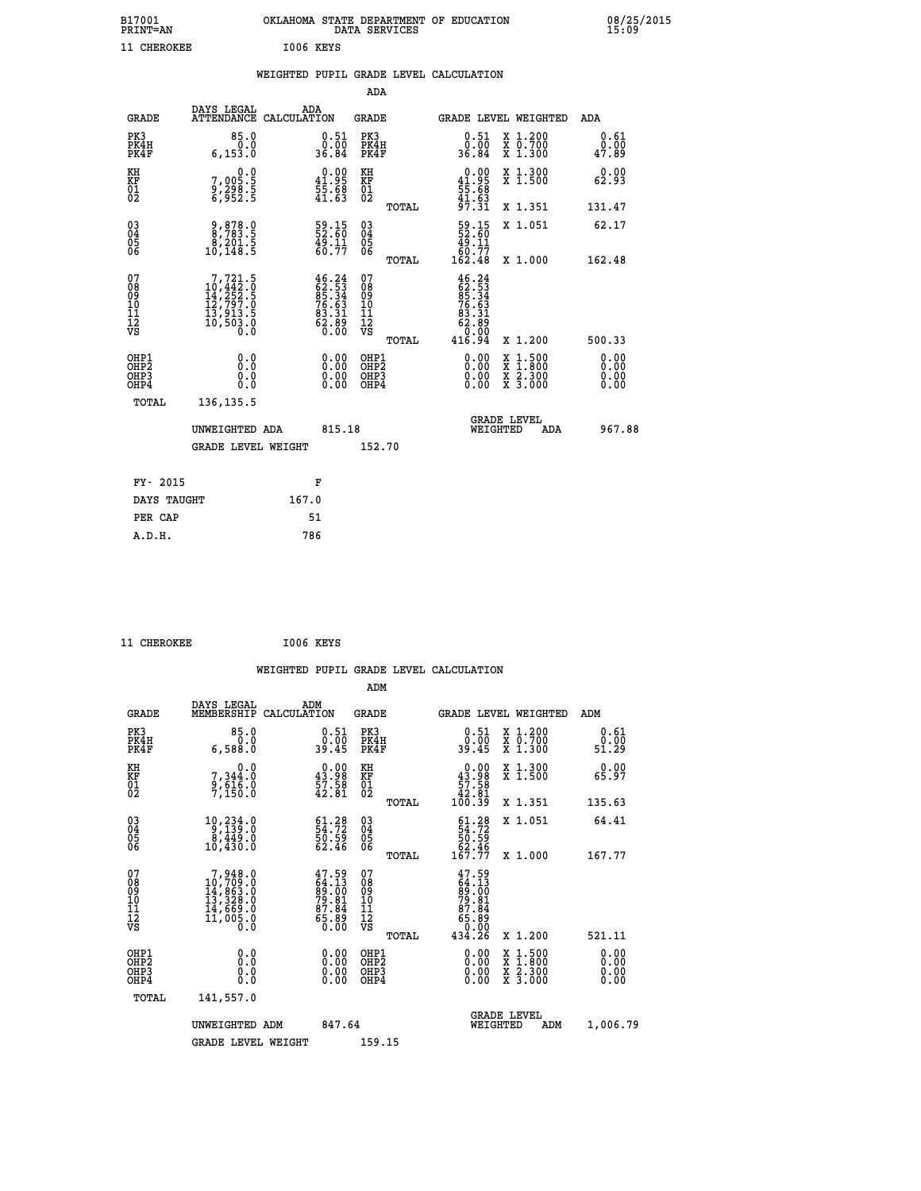| B17001<br><b>PRINT=AN</b> | OKLAHOMA STATE DEPARTMENT OF EDUCATION<br>DATA SERVICES |  |
|---------------------------|---------------------------------------------------------|--|
| 11 CHEROKEE               | 1006 KEYS                                               |  |

|  |  | WEIGHTED PUPIL GRADE LEVEL CALCULATION |
|--|--|----------------------------------------|
|  |  |                                        |

|                                                                    |                                                                                                 |                                                                                                                                                                              | ADA                                                 |        |                                                                                |                                          |                              |
|--------------------------------------------------------------------|-------------------------------------------------------------------------------------------------|------------------------------------------------------------------------------------------------------------------------------------------------------------------------------|-----------------------------------------------------|--------|--------------------------------------------------------------------------------|------------------------------------------|------------------------------|
| <b>GRADE</b>                                                       | DAYS LEGAL<br>ATTENDANCE CALCULATION                                                            | ADA                                                                                                                                                                          | <b>GRADE</b>                                        |        |                                                                                | GRADE LEVEL WEIGHTED                     | ADA                          |
| PK3<br>PK4H<br>PK4F                                                | 85.0<br>0.0<br>6, 153.0                                                                         | $\begin{smallmatrix} 0.51\ 0.00\ 36.84 \end{smallmatrix}$                                                                                                                    | PK3<br>PK4H<br>PK4F                                 |        | $\begin{smallmatrix} 0.51\ 0.00\ 36.84 \end{smallmatrix}$                      | X 1.200<br>X 0.700<br>X 1.300            | 0.61<br>0.00<br>47.89        |
| KH<br><b>KF</b><br>01<br>02                                        | 0.0<br>7,005.5<br>9,298.5<br>6,952.5                                                            | $\begin{smallmatrix} 0.00\\ 41.95\\ 55.68\\ 41.63\\ \end{smallmatrix}$                                                                                                       | KH<br>KF<br>01<br>02                                |        | $0.00$<br>41.95<br>$\frac{55}{41}.68$                                          | X 1.300<br>X 1.500                       | 0.00<br>62.93                |
|                                                                    |                                                                                                 |                                                                                                                                                                              |                                                     | TOTAL  | 97.31                                                                          | X 1.351                                  | 131.47                       |
| $\begin{smallmatrix} 03 \\[-4pt] 04 \end{smallmatrix}$<br>Ŏ5<br>06 | $\begin{smallmatrix} 9, 878.0\\ 8, 783.5\\ 8, 201.5\\ 10, 148.5 \end{smallmatrix}$              | 59.15<br>52.60<br>49.11<br>60.77                                                                                                                                             | $\begin{array}{c} 03 \\ 04 \\ 05 \\ 06 \end{array}$ |        | $\begin{smallmatrix} 59.15\\ 52.60\\ 49.11\\ 60.77\\ 162.48 \end{smallmatrix}$ | X 1.051                                  | 62.17                        |
| 07                                                                 |                                                                                                 |                                                                                                                                                                              | 07                                                  | TOTAL  |                                                                                | X 1.000                                  | 162.48                       |
| 08<br>09<br>11<br>11<br>12<br>VS                                   | $\begin{smallmatrix}7,721.5\\10,442.0\\14,252.5\\12,797.0\\13,913.5\\10,503.0\end{smallmatrix}$ | $\begin{smallmatrix} 4 & 6 & 2 & 4 \\ 6 & 2 & 5 & 3 \\ 8 & 5 & 3 & 4 \\ 8 & 5 & 6 & 3 \\ 7 & 6 & 6 & 3 \\ 8 & 3 & 3 & 1 \\ 6 & 2 & 8 & 8 \\ 6 & 0 & 0 & 0 \end{smallmatrix}$ | 08<br>09<br>11<br>11<br>12<br>VS                    |        | $46.24$<br>$62.53$<br>$85.34$<br>$76.63$<br>$83.31$<br>$62.89$<br>$9.09$       |                                          |                              |
|                                                                    |                                                                                                 |                                                                                                                                                                              |                                                     | TOTAL  | 416.94                                                                         | X 1.200                                  | 500.33                       |
| OHP1<br>OH <sub>P</sub> 2<br>OH <sub>P3</sub><br>OH <sub>P4</sub>  | 0.0<br>0.000                                                                                    | $\begin{smallmatrix} 0.00 \ 0.00 \ 0.00 \ 0.00 \end{smallmatrix}$                                                                                                            | OHP1<br>OH <sub>P</sub> 2<br>OHP3<br>OHP4           |        | 0.00<br>0.00<br>0.00                                                           | X 1:500<br>X 1:800<br>X 2:300<br>X 3:000 | 0.00<br>0.00<br>0.00<br>0.00 |
| TOTAL                                                              | 136, 135.5                                                                                      |                                                                                                                                                                              |                                                     |        |                                                                                |                                          |                              |
|                                                                    | UNWEIGHTED ADA                                                                                  | 815.18                                                                                                                                                                       |                                                     |        |                                                                                | GRADE LEVEL<br>WEIGHTED<br>ADA           | 967.88                       |
|                                                                    | <b>GRADE LEVEL WEIGHT</b>                                                                       |                                                                                                                                                                              |                                                     | 152.70 |                                                                                |                                          |                              |
| FY- 2015                                                           |                                                                                                 | F                                                                                                                                                                            |                                                     |        |                                                                                |                                          |                              |
| DAYS TAUGHT                                                        |                                                                                                 | 167.0                                                                                                                                                                        |                                                     |        |                                                                                |                                          |                              |
| PER CAP                                                            |                                                                                                 | 51                                                                                                                                                                           |                                                     |        |                                                                                |                                          |                              |

11 CHEROKEE 1006 KEYS

 **A.D.H. 786**

|                                                    |                                                                                                      |                    |                                                                           |                                                     |       | WEIGHTED PUPIL GRADE LEVEL CALCULATION                                      |                                          |                       |  |
|----------------------------------------------------|------------------------------------------------------------------------------------------------------|--------------------|---------------------------------------------------------------------------|-----------------------------------------------------|-------|-----------------------------------------------------------------------------|------------------------------------------|-----------------------|--|
|                                                    |                                                                                                      |                    |                                                                           | ADM                                                 |       |                                                                             |                                          |                       |  |
| <b>GRADE</b>                                       | DAYS LEGAL<br>MEMBERSHIP                                                                             | ADM<br>CALCULATION |                                                                           | GRADE                                               |       | <b>GRADE LEVEL WEIGHTED</b>                                                 |                                          | ADM                   |  |
| PK3<br>PK4H<br>PK4F                                | 85.0<br>0.0<br>6,588.0                                                                               |                    | $0.51$<br>$0.00$<br>39.45                                                 | PK3<br>PK4H<br>PK4F                                 |       | $0.51$<br>$0.00$<br>39.45                                                   | X 1.200<br>X 0.700<br>X 1.300            | 0.61<br>0.00<br>51.29 |  |
| KH<br>KF<br>01<br>02                               | 0.0<br>7, 344:0<br>9, 616:0<br>7, 150:0                                                              |                    | $\begin{smallmatrix} 0.00\\ 43.98\\ 57.58\\ 42.81 \end{smallmatrix}$      | KH<br>KF<br>01<br>02                                |       | $\begin{smallmatrix} &0.00\ 43.98\ 57.58\ 42.81\ 100.39\ \end{smallmatrix}$ | X 1.300<br>X 1.500                       | 0.00<br>65.97         |  |
|                                                    |                                                                                                      |                    |                                                                           |                                                     | TOTAL |                                                                             | X 1.351                                  | 135.63                |  |
| $\begin{matrix} 03 \\ 04 \\ 05 \\ 06 \end{matrix}$ | $\begin{smallmatrix} 10 & 234 & 0 \\ 9 & 139 & 0 \\ 8 & 449 & 0 \\ 10 & 430 & 0 \end{smallmatrix}$   |                    | $\begin{smallmatrix} 61.28\\ 54.72\\ 50.59\\ 62.46 \end{smallmatrix}$     | $\begin{array}{c} 03 \\ 04 \\ 05 \\ 06 \end{array}$ |       | $61.2854.7250.5962.46167.77$                                                | X 1.051                                  | 64.41                 |  |
|                                                    |                                                                                                      |                    |                                                                           |                                                     | TOTAL |                                                                             | X 1.000                                  | 167.77                |  |
| 07<br>08<br>09<br>101<br>11<br>12<br>VS            | $\begin{smallmatrix}7,948.0\\10,709.0\\14,863.0\\13,328.0\\14,669.0\\11,005.0\\0.0\end{smallmatrix}$ |                    | $47.59$<br>$64.13$<br>$89.00$<br>$79.81$<br>$87.84$<br>$65.89$<br>$60.00$ | 07<br>08<br>09<br>001<br>11<br>11<br>12<br>VS       |       | $47.59$<br>$89.00$<br>$89.81$<br>$79.81$<br>$87.84$<br>$65.89$<br>$9.00$    |                                          |                       |  |
|                                                    |                                                                                                      |                    |                                                                           |                                                     | TOTAL | 434.26                                                                      | X 1.200                                  | 521.11                |  |
| OHP1<br>OHP2<br>OH <sub>P3</sub><br>OHP4           | 0.0<br>0.000                                                                                         |                    | $\begin{smallmatrix} 0.00 \ 0.00 \ 0.00 \ 0.00 \end{smallmatrix}$         | OHP1<br>OHP2<br>OHP3<br>OHP4                        |       | $0.00$<br>$0.00$<br>0.00                                                    | X 1:500<br>X 1:800<br>X 2:300<br>X 3:000 | 0.00<br>0.00<br>0.00  |  |
| TOTAL                                              | 141,557.0                                                                                            |                    |                                                                           |                                                     |       |                                                                             |                                          |                       |  |
|                                                    | UNWEIGHTED ADM                                                                                       |                    | 847.64                                                                    |                                                     |       | WEIGHTED                                                                    | <b>GRADE LEVEL</b><br>ADM                | 1,006.79              |  |
|                                                    | <b>GRADE LEVEL WEIGHT</b>                                                                            |                    |                                                                           | 159.15                                              |       |                                                                             |                                          |                       |  |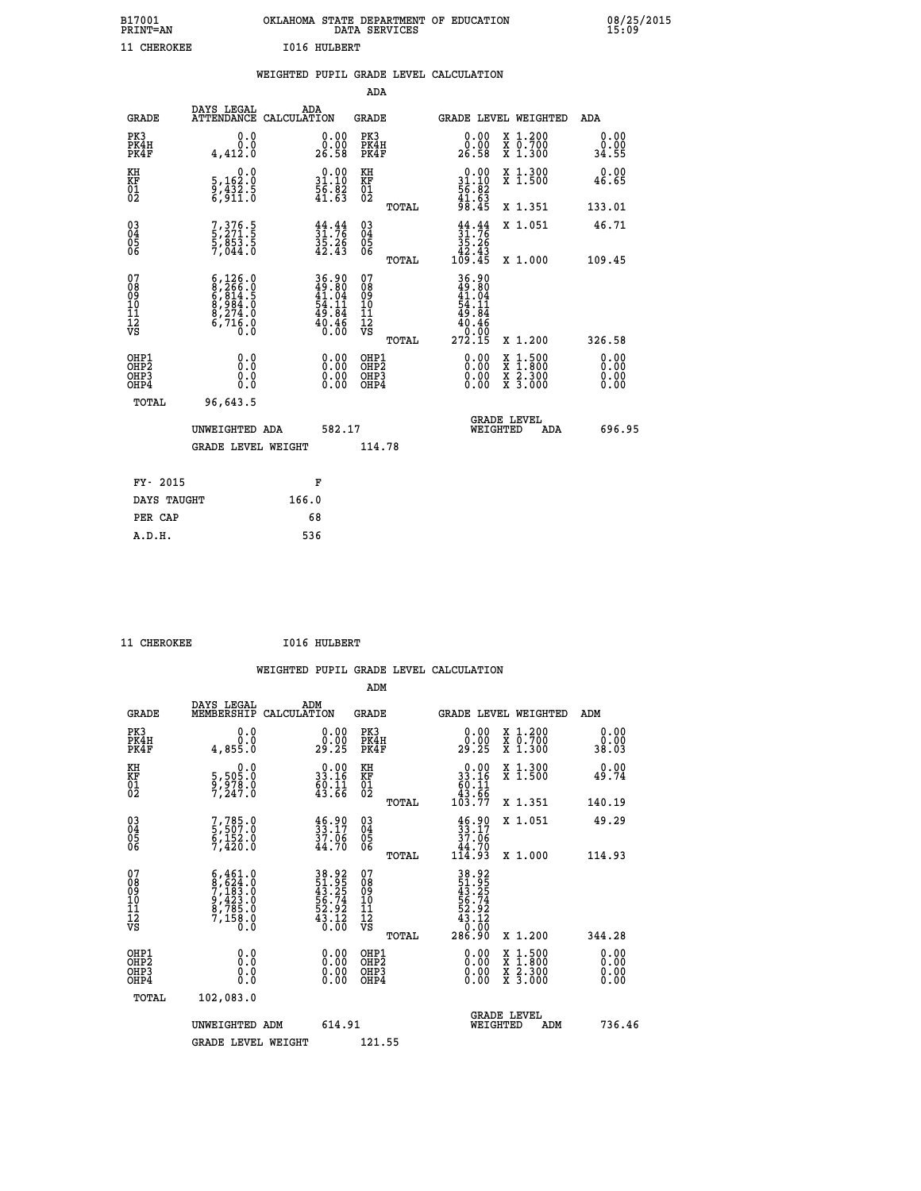| B17001<br><b>PRINT=AN</b> | OKLAHOMA STATE DEPARTMENT OF EDUCATION<br>DATA SERVICES |  |
|---------------------------|---------------------------------------------------------|--|
| 11 CHEROKEE               | 1016 HULBERT                                            |  |

|  |  | WEIGHTED PUPIL GRADE LEVEL CALCULATION |
|--|--|----------------------------------------|
|  |  |                                        |

|                                                                   |                                                                                           |                                                                        | ADA                                       |       |                                                                |                                          |                              |
|-------------------------------------------------------------------|-------------------------------------------------------------------------------------------|------------------------------------------------------------------------|-------------------------------------------|-------|----------------------------------------------------------------|------------------------------------------|------------------------------|
| <b>GRADE</b>                                                      | DAYS LEGAL<br>ATTENDANCE CALCULATION                                                      | ADA                                                                    | <b>GRADE</b>                              |       | GRADE LEVEL WEIGHTED                                           |                                          | ADA                          |
| PK3<br>PK4H<br>PK4F                                               | 0.0<br>0.0<br>4,412.0                                                                     | $\begin{smallmatrix} 0.00\\ 0.00\\ 26.58 \end{smallmatrix}$            | PK3<br>PK4H<br>PK4F                       |       | $\begin{smallmatrix} 0.00\\ 0.00\\ 26.58 \end{smallmatrix}$    | X 1.200<br>X 0.700<br>X 1.300            | 0.00<br>0.00<br>34.55        |
| KH<br><b>KF</b><br>01<br>02                                       | 0.0<br>5,162:0<br>9,432:5<br>6,911:0                                                      | $\begin{smallmatrix} 0.00\\ 31.10\\ 56.82\\ 41.63\\ \end{smallmatrix}$ | KH<br>KF<br>01<br>02                      |       | $0.00$<br>$31.10$<br>$56.82$<br>$41.63$<br>$98.45$             | X 1.300<br>X 1.500                       | 0.00<br>46.65                |
|                                                                   |                                                                                           |                                                                        |                                           | TOTAL |                                                                | X 1.351                                  | 133.01                       |
| $^{03}_{04}$<br>Ŏ5<br>06                                          | 7, 376. 5<br>5, 271. 5<br>5, 853. 5<br>7, 044. 0                                          | $31.76$<br>$35.26$<br>$42.43$                                          | $\substack{03 \\ 04}$<br>Ŏ5<br>06         | TOTAL | $31.76$<br>$35.26$<br>$42.43$<br>$109.45$                      | X 1.051<br>X 1.000                       | 46.71<br>109.45              |
| 07<br>08901112<br>1112<br>VS                                      | $6, 126.0$<br>$8, 266.0$<br>$6, 814.5$<br>$8, 984.0$<br>$8, 274.0$<br>$6, 716.0$<br>$0.0$ | 36.90<br>49.80<br>41.04<br>54.11<br>59.84                              | 07<br>08<br>09<br>11<br>11<br>12<br>VS    |       | $36.90$<br>$49.80$<br>$41.04$<br>$54.11$<br>$49.84$<br>$40.46$ |                                          |                              |
|                                                                   |                                                                                           | $\frac{40.46}{0.00}$                                                   |                                           | TOTAL | 0.00<br>272.15                                                 | X 1.200                                  | 326.58                       |
| OHP1<br>OH <sub>P</sub> 2<br>OH <sub>P3</sub><br>OH <sub>P4</sub> | 0.0<br>0.000                                                                              | $\begin{smallmatrix} 0.00 \ 0.00 \ 0.00 \ 0.00 \end{smallmatrix}$      | OHP1<br>OH <sub>P</sub> 2<br>OHP3<br>OHP4 |       | 0.00<br>0.00<br>0.00                                           | X 1:500<br>X 1:800<br>X 2:300<br>X 3:000 | 0.00<br>0.00<br>0.00<br>0.00 |
| TOTAL                                                             | 96,643.5                                                                                  |                                                                        |                                           |       |                                                                |                                          |                              |
|                                                                   | UNWEIGHTED ADA                                                                            | 582.17                                                                 |                                           |       |                                                                | GRADE LEVEL<br>WEIGHTED<br>ADA           | 696.95                       |
|                                                                   | <b>GRADE LEVEL WEIGHT</b>                                                                 |                                                                        | 114.78                                    |       |                                                                |                                          |                              |
| FY- 2015                                                          |                                                                                           | F                                                                      |                                           |       |                                                                |                                          |                              |
| DAYS TAUGHT                                                       |                                                                                           | 166.0                                                                  |                                           |       |                                                                |                                          |                              |
| PER CAP                                                           |                                                                                           | 68                                                                     |                                           |       |                                                                |                                          |                              |

|  | <b>CHEROKEE</b> |
|--|-----------------|
|  |                 |

 **B17001<br>PRINT=AN** 

**CHEROKEE 1016 HULBERT** 

| <b>GRADE</b>                             | DAYS LEGAL<br>MEMBERSHIP                                                                                                                                                                               | ADM<br>CALCULATION                                                   | <b>GRADE</b>                                       |       |                                                                                                     | <b>GRADE LEVEL WEIGHTED</b>              | ADM                   |  |
|------------------------------------------|--------------------------------------------------------------------------------------------------------------------------------------------------------------------------------------------------------|----------------------------------------------------------------------|----------------------------------------------------|-------|-----------------------------------------------------------------------------------------------------|------------------------------------------|-----------------------|--|
| PK3<br>PK4H<br>PK4F                      | 0.0<br>$0.\overline{0}$<br>0.855 4,4                                                                                                                                                                   | $\begin{smallmatrix} 0.00\\ 0.00\\ 29.25 \end{smallmatrix}$          | PK3<br>PK4H<br>PK4F                                |       | $\begin{smallmatrix} 0.00\\ 0.00\\ 29.25 \end{smallmatrix}$                                         | X 1.200<br>X 0.700<br>X 1.300            | 0.00<br>0.00<br>38.03 |  |
| KH<br>KF<br>01<br>02                     | $\begin{smallmatrix}&&&0\cdot0\\5\,,&505\cdot0\\9\,,&978\cdot0\\7\,,&247\cdot0\end{smallmatrix}$                                                                                                       | $\begin{smallmatrix} 0.00\\ 33.16\\ 60.11\\ 43.66 \end{smallmatrix}$ | KH<br>KF<br>01<br>02                               |       | $\begin{smallmatrix}&&0.00\\13.16\\60.11\\43.66\\103.77\end{smallmatrix}$                           | X 1.300<br>X 1.500                       | 0.00<br>49.74         |  |
|                                          |                                                                                                                                                                                                        |                                                                      |                                                    | TOTAL |                                                                                                     | X 1.351                                  | 140.19                |  |
| 03<br>04<br>05<br>06                     | 7,785.0<br>5,507.0<br>6,152.0<br>7,420.0                                                                                                                                                               | $33.17$<br>$37.06$<br>$44.70$                                        | $\begin{matrix} 03 \\ 04 \\ 05 \\ 06 \end{matrix}$ |       | $\frac{46.90}{33.17}$<br>37.06                                                                      | X 1.051                                  | 49.29                 |  |
|                                          |                                                                                                                                                                                                        |                                                                      |                                                    | TOTAL | 44.70<br>114.93                                                                                     | X 1.000                                  | 114.93                |  |
| 07<br>089<br>090<br>1112<br>VS           | $\begin{smallmatrix} 6\,, & 4\,6\,1\,. & 0\\ 8\,, & 6\,2\,4\,. & 0\\ 7\,, & 1\,8\,3\,. & 0\\ 9\,, & 4\,2\,3\,. & 0\\ 8\,, & 7\,8\,5\,. & 0\\ 7\,, & 1\,5\,8\,. & 0\\ 0\,. & 0\,. & 0\end{smallmatrix}$ | 38.925<br>51.955<br>43.25<br>56.74<br>52.92<br>52.122<br>43.120      | 07<br>08<br>09<br>001<br>11<br>11<br>12<br>VS      | TOTAL | $\begin{array}{r} 38.92 \\ 51.95 \\ 43.25 \\ 56.74 \\ 52.92 \\ 43.12 \\ 0.00 \\ 286.90 \end{array}$ | X 1.200                                  | 344.28                |  |
| OHP1<br>OHP2<br>OH <sub>P3</sub><br>OHP4 | 0.0<br>0.000                                                                                                                                                                                           |                                                                      | OHP1<br>OHP2<br>OHP3<br>OHP4                       |       | 0.00<br>$0.00$<br>0.00                                                                              | X 1:500<br>X 1:800<br>X 2:300<br>X 3:000 | 0.00<br>0.00<br>0.00  |  |
| TOTAL                                    | 102,083.0                                                                                                                                                                                              |                                                                      |                                                    |       |                                                                                                     |                                          |                       |  |
|                                          | UNWEIGHTED                                                                                                                                                                                             | 614.91<br>ADM                                                        |                                                    |       | WEIGHTED                                                                                            | <b>GRADE LEVEL</b><br>ADM                | 736.46                |  |
|                                          | <b>GRADE LEVEL WEIGHT</b>                                                                                                                                                                              |                                                                      | 121.55                                             |       |                                                                                                     |                                          |                       |  |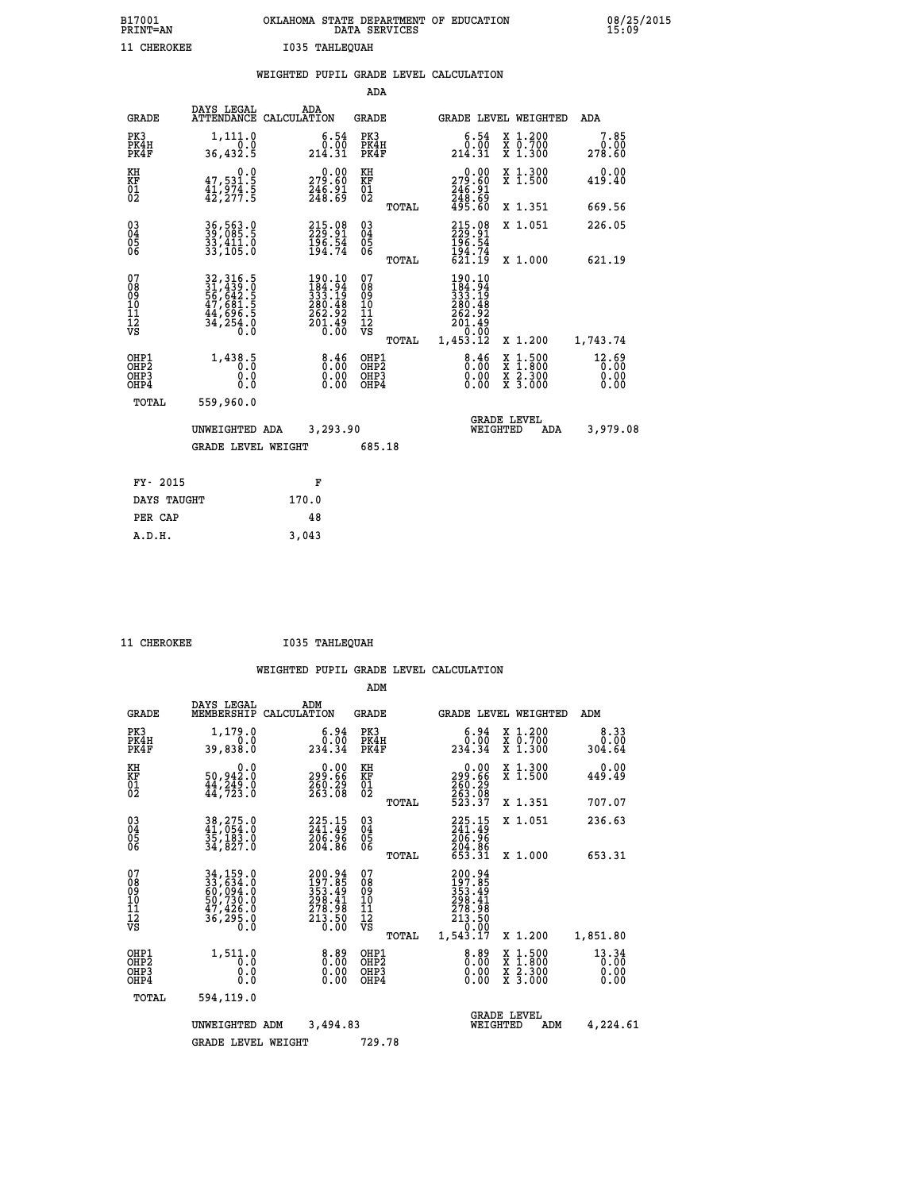| B17001          | OKLAHOMA STATE DEPARTMENT OF EDUCATION |
|-----------------|----------------------------------------|
| <b>PRINT=AN</b> | DATA SERVICES                          |
| 11 CHEROKEE     | I035 TAHLEOUAH                         |

08/25/2015<br>15:09

|                             |                                         | WEIGHTED                                  |                             |       | PUPIL GRADE LEVEL CALCULATION      |                                  |                          |
|-----------------------------|-----------------------------------------|-------------------------------------------|-----------------------------|-------|------------------------------------|----------------------------------|--------------------------|
|                             |                                         |                                           | ADA                         |       |                                    |                                  |                          |
|                             | DAYS LEGAL<br>GRADE                     | ADA<br>ATTENDANCE CALCULATION             | GRADE                       |       |                                    | GRADE LEVEL WEIGHTED             | ADA                      |
| PK3<br>PK4H<br>PK4F         | 1,111.0<br>0.0<br>36,432.5              | 6.54<br>:ŏō<br>214.31                     | PK3<br>PK4H<br>PK4F         |       | 6.54<br>.ÕŌ.<br>214.31             | X 1.200<br>X 0.700<br>1,300<br>X | $7.85$<br>0.00<br>278.60 |
| KH<br><b>KF</b><br>01<br>02 | 0.0<br>47,531.5<br>41,974.5<br>42,277.5 | 0.00<br>279.60<br>$\frac{746.91}{248.69}$ | KH<br><b>KF</b><br>01<br>02 |       | 0.00<br>279.60<br>246.91<br>248.69 | X 1.300<br>X <sub>1.500</sub>    | 0.00<br>419.40           |
|                             |                                         |                                           |                             | TOTAL | 495.60                             | X 1.351                          | 669.56                   |

| $\begin{matrix} 03 \\ 04 \\ 05 \\ 06 \end{matrix}$ | 36, 563.0<br>39, 085.5<br>33, 411.0<br>33, 105.0                                               | 215.08<br>229.91<br>196.54<br>194.74                                           | $\begin{matrix} 03 \\ 04 \\ 05 \\ 06 \end{matrix}$ | TOTAL | 215.08<br>229.91<br>196.54<br>194.74<br>621.19                                                            | X 1.051<br>X 1.000                                  | 226.05<br>621.19             |
|----------------------------------------------------|------------------------------------------------------------------------------------------------|--------------------------------------------------------------------------------|----------------------------------------------------|-------|-----------------------------------------------------------------------------------------------------------|-----------------------------------------------------|------------------------------|
| 07<br>08<br>09<br>101<br>11<br>12<br>VS            | 32, 316.5<br>31, 439.0<br>56, 642.5<br>56, 681.5<br>47, 681.5<br>44, 696.5<br>34, 254.0<br>0.0 | 190.10<br>$\frac{184.94}{333.19}$<br>280.48<br>262.92<br>$\frac{201.49}{0.00}$ | 078901112<br>111112<br>VS                          | TOTAL | $\begin{smallmatrix} 190.10\\184.94\\233.19\\280.48\\262.92\\201.49\\-0.00 \end{smallmatrix}$<br>1,453.12 | X 1.200                                             | 1,743.74                     |
| OHP1<br>OHP2<br>OH <sub>P3</sub><br>OHP4           | 1,438.5<br>0.0<br>0.0                                                                          | $\substack{8.46 \\ 0.00}$<br>0.00                                              | OHP1<br>OHP2<br>OHP3<br>OHP4                       |       | $\substack{8.46 \\ 0.00}$<br>0.00                                                                         | x 1.500<br>x 1.800<br>x 2.300<br>X <sub>3.000</sub> | $\frac{12.69}{0.00}$<br>0.00 |
| TOTAL                                              | 559,960.0<br>UNWEIGHTED ADA<br><b>GRADE LEVEL WEIGHT</b>                                       | 3,293.90                                                                       | 685.18                                             |       | WEIGHTED                                                                                                  | <b>GRADE LEVEL</b><br>ADA                           | 3,979.08                     |

| FY- 2015    | F     |
|-------------|-------|
| DAYS TAUGHT | 170.0 |
| PER CAP     | 48    |
| A.D.H.      | 3,043 |

11 CHEROKEE **1035 TAHLEQUAH** 

|                                                       |                                                                                                                                                     |                                                                  | ADM                                                |       |                                                                                  |                                                                  |                               |
|-------------------------------------------------------|-----------------------------------------------------------------------------------------------------------------------------------------------------|------------------------------------------------------------------|----------------------------------------------------|-------|----------------------------------------------------------------------------------|------------------------------------------------------------------|-------------------------------|
| <b>GRADE</b>                                          | DAYS LEGAL<br>MEMBERSHIP                                                                                                                            | ADM<br>CALCULATION                                               | <b>GRADE</b>                                       |       | <b>GRADE LEVEL WEIGHTED</b>                                                      |                                                                  | ADM                           |
| PK3<br>PK4H<br>PK4F                                   | 1,179.0<br>0.0<br>39,838.0                                                                                                                          | 6.94<br>0.00<br>234.34                                           | PK3<br>PK4H<br>PK4F                                |       | $\begin{smallmatrix}6.94\0.00\\234.34\end{smallmatrix}$                          | $\begin{array}{c} x & 1.200 \\ x & 0.700 \end{array}$<br>X 1.300 | 8.33<br>0.00<br>304.64        |
| KH<br>KF<br>01<br>02                                  | 0.0<br>50,942:0<br>44,249:0<br>44,723:0                                                                                                             | $\substack{299.66\\299.66\\260.29\\263.08}$                      | KH<br>KF<br>01<br>02                               |       | $\begin{smallmatrix} &0.00\\ 299.66\\ 260.29\\ 263.08\\ 523.37\end{smallmatrix}$ | X 1.300<br>X 1.500                                               | 0.00<br>449.49                |
|                                                       |                                                                                                                                                     |                                                                  |                                                    | TOTAL |                                                                                  | X 1.351                                                          | 707.07                        |
| 03<br>04<br>05<br>06                                  | 38, 275.0<br>41, 054.0<br>35, 183.0<br>34,827.0                                                                                                     | 225.15<br>241.49<br>206.96<br>204.86                             | $\begin{matrix} 03 \\ 04 \\ 05 \\ 06 \end{matrix}$ |       | 225.15<br>241.49<br>206.96                                                       | X 1.051                                                          | 236.63                        |
|                                                       |                                                                                                                                                     |                                                                  |                                                    | TOTAL | 204.86<br>653.31                                                                 | X 1.000                                                          | 653.31                        |
| 07<br>08<br>09<br>101<br>112<br>VS                    | $\begin{smallmatrix} 34\,,\,159\,.0\\ 33\,,\,634\,.0\\ 60\,,\,094\,.0\\ 50\,,\,730\,.0\\ 47\,,\,426\,.0\\ 36\,,\,295\,.0\\ 0\,.0 \end{smallmatrix}$ | 200.94<br>197.85<br>353.49<br>298.41<br>278.98<br>213.50<br>0.00 | 07<br>08<br>09<br>101<br>11<br>12<br>VS            | TOTAL | 200.94<br>197.85<br>353.49<br>298.41<br>278.98<br>213.50<br>0.00<br>1,543.17     | X 1.200                                                          | 1,851.80                      |
| OHP1<br>OH <sub>P</sub> 2<br>OH <sub>P3</sub><br>OHP4 | 1,511.0<br>0.0<br>0.000                                                                                                                             | $0.00$<br>$0.00$<br>0.00                                         | OHP1<br>OHP2<br>OHP3<br>OHP4                       |       | $0.00$<br>0.00<br>0.00                                                           | X 1:500<br>X 1:800<br>X 2:300<br>X 3:000                         | 13.34<br>0.00<br>0.00<br>0.00 |
| TOTAL                                                 | 594,119.0                                                                                                                                           |                                                                  |                                                    |       |                                                                                  |                                                                  |                               |
|                                                       | UNWEIGHTED                                                                                                                                          | 3,494.83<br>ADM                                                  |                                                    |       | <b>GRADE LEVEL</b><br>WEIGHTED                                                   | ADM                                                              | 4,224.61                      |
|                                                       | <b>GRADE LEVEL WEIGHT</b>                                                                                                                           |                                                                  | 729.78                                             |       |                                                                                  |                                                                  |                               |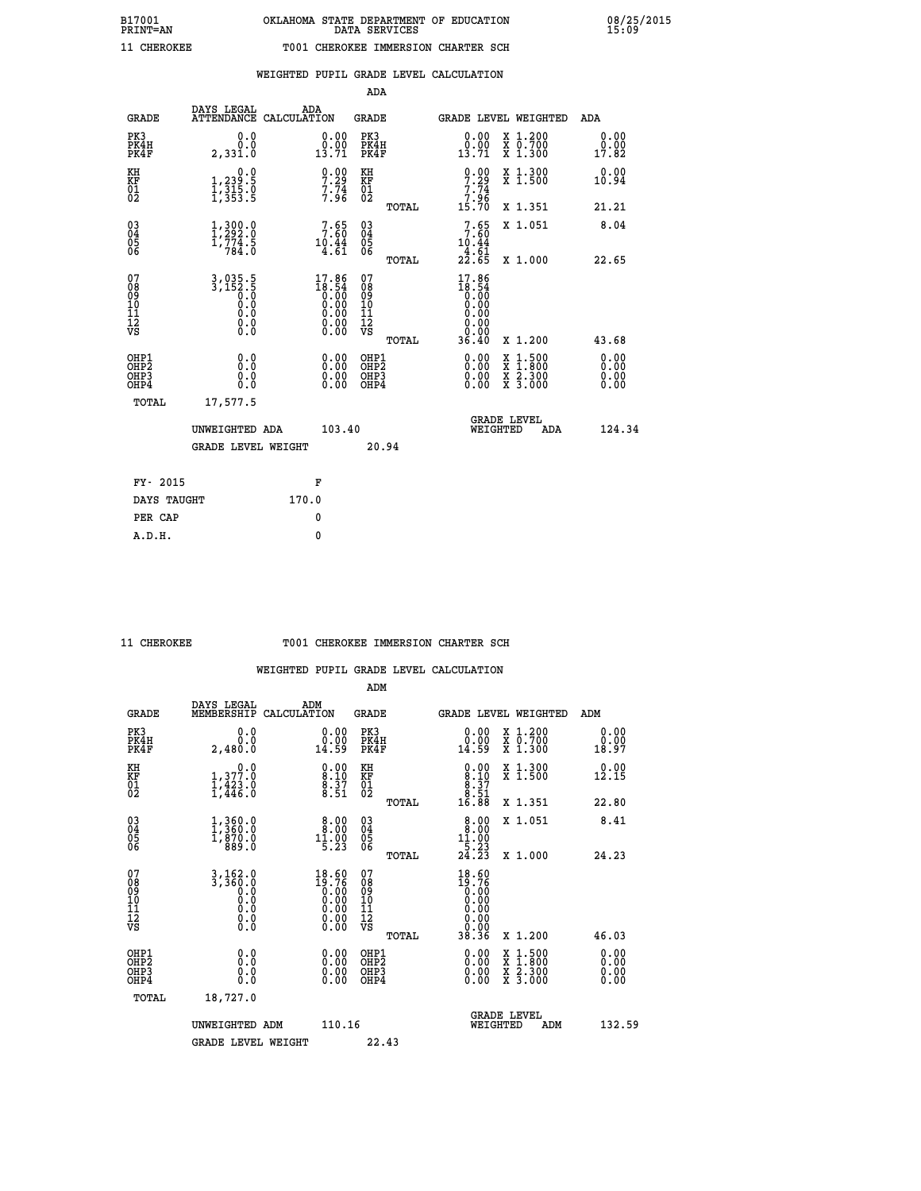## **WEIGHTED PUPIL GRADE LEVEL CALCULATION**

|                                                                    |                                                                             |                                                                                                        | ADA                                          |       |                                                                                                          |                                                                                                                                           |                              |
|--------------------------------------------------------------------|-----------------------------------------------------------------------------|--------------------------------------------------------------------------------------------------------|----------------------------------------------|-------|----------------------------------------------------------------------------------------------------------|-------------------------------------------------------------------------------------------------------------------------------------------|------------------------------|
| <b>GRADE</b>                                                       | DAYS LEGAL<br>ATTENDANCE CALCULATION                                        | ADA                                                                                                    | <b>GRADE</b>                                 |       |                                                                                                          | GRADE LEVEL WEIGHTED                                                                                                                      | ADA                          |
| PK3<br>PK4H<br>PK4F                                                | 0.0<br>0.0<br>2,331.0                                                       | $\begin{smallmatrix} 0.00\\ 0.00\\ 13.71 \end{smallmatrix}$                                            | PK3<br>PK4H<br>PK4F                          |       | $\begin{smallmatrix} 0.00\\ 0.00\\ 13.71 \end{smallmatrix}$                                              | X 1.200<br>X 0.700<br>X 1.300                                                                                                             | 0.00<br>0.00<br>17.82        |
| KH<br>KF<br>01<br>02                                               | 0.0<br>1,239:5<br>1,315:0<br>1,353:5                                        | $9.00$<br>7.29<br>$7.74$<br>$7.96$                                                                     | KH<br>KF<br>01<br>02                         |       | $9.00$<br>7.29<br>$\begin{array}{c} 7.74 \\ 7.96 \\ 15.70 \end{array}$                                   | X 1.300<br>X 1.500                                                                                                                        | 0.00<br>10.94                |
|                                                                    |                                                                             |                                                                                                        |                                              | TOTAL |                                                                                                          | X 1.351                                                                                                                                   | 21.21                        |
| $\begin{smallmatrix} 03 \\[-4pt] 04 \end{smallmatrix}$<br>Ŏ5<br>06 | $\begin{smallmatrix} 1,300.0\\ 1,292.0\\ 1,774.5\\ 784.0 \end{smallmatrix}$ | 7:65<br>$10.44$<br>$4.61$                                                                              | $\substack{03 \\ 04}$<br>Ŏ5<br>06            |       | 7.65<br>10.44<br>$\frac{3}{2}$ $\frac{3}{2}$ $\frac{6}{5}$ $\frac{1}{5}$                                 | X 1.051                                                                                                                                   | 8.04                         |
|                                                                    |                                                                             |                                                                                                        |                                              | TOTAL |                                                                                                          | X 1.000                                                                                                                                   | 22.65                        |
| 07<br>08<br>09<br>101<br>11<br>12<br>VS                            | $3,035.5$<br>$3,152.5$<br>$0.0$<br>$0.0$<br>$0.0$<br>$0.0$<br>$0.0$         | $\begin{smallmatrix} 17.86 \\ 18.54 \\ 0.00 \\ 0.00 \\ 0.00 \\ 0.00 \\ 0.00 \\ 0.00 \end{smallmatrix}$ | 07<br>08<br>09<br>11<br>11<br>12<br>VS       |       | 17.86<br>$\begin{smallmatrix} 16.54\ 18.54\ 0.00\ 0.00\ 0.00\ 0.00\ 0.00\ 0.00\ 0.00\ \end{smallmatrix}$ |                                                                                                                                           |                              |
|                                                                    |                                                                             |                                                                                                        |                                              | TOTAL | 36.40                                                                                                    | X 1.200                                                                                                                                   | 43.68                        |
| OHP1<br>OHP <sub>2</sub><br>OH <sub>P3</sub><br>OHP4               | 0.0<br>0.000                                                                | 0.00<br>$\begin{smallmatrix} 0.00 \ 0.00 \end{smallmatrix}$                                            | OHP1<br>OHP <sub>2</sub><br>OHP <sub>3</sub> |       |                                                                                                          | $\begin{smallmatrix} \mathtt{X} & 1\cdot500\\ \mathtt{X} & 1\cdot800\\ \mathtt{X} & 2\cdot300\\ \mathtt{X} & 3\cdot000 \end{smallmatrix}$ | 0.00<br>0.00<br>0.00<br>0.00 |
| TOTAL                                                              | 17,577.5                                                                    |                                                                                                        |                                              |       |                                                                                                          |                                                                                                                                           |                              |
|                                                                    | UNWEIGHTED ADA                                                              | 103.40                                                                                                 |                                              |       |                                                                                                          | <b>GRADE LEVEL</b><br>WEIGHTED<br>ADA                                                                                                     | 124.34                       |
|                                                                    | <b>GRADE LEVEL WEIGHT</b>                                                   |                                                                                                        |                                              | 20.94 |                                                                                                          |                                                                                                                                           |                              |
| FY- 2015                                                           |                                                                             | F                                                                                                      |                                              |       |                                                                                                          |                                                                                                                                           |                              |
| DAYS TAUGHT                                                        |                                                                             | 170.0                                                                                                  |                                              |       |                                                                                                          |                                                                                                                                           |                              |
| PER CAP                                                            |                                                                             | 0                                                                                                      |                                              |       |                                                                                                          |                                                                                                                                           |                              |

 **A.D.H. 0**

## **11 CHEROKEE T001 CHEROKEE IMMERSION CHARTER SCH**

|                                          |                                                                                                                                                  |                                                                                                        | ADM                                                |       |                                                                                  |                                          |                              |
|------------------------------------------|--------------------------------------------------------------------------------------------------------------------------------------------------|--------------------------------------------------------------------------------------------------------|----------------------------------------------------|-------|----------------------------------------------------------------------------------|------------------------------------------|------------------------------|
| <b>GRADE</b>                             | DAYS LEGAL<br>MEMBERSHIP                                                                                                                         | ADM<br>CALCULATION                                                                                     | <b>GRADE</b>                                       |       |                                                                                  | GRADE LEVEL WEIGHTED                     | ADM                          |
| PK3<br>PK4H<br>PK4F                      | 0.0<br>0.0<br>2,480.0                                                                                                                            | $\begin{smallmatrix} 0.00\\ 0.00\\ 14.59 \end{smallmatrix}$                                            | PK3<br>PK4H<br>PK4F                                |       | $\begin{smallmatrix} 0.00\\ 0.00\\ 14.59 \end{smallmatrix}$                      | X 1.200<br>X 0.700<br>X 1.300            | 0.00<br>0.00<br>18.97        |
| KH<br>KF<br>01<br>02                     | 0.0<br>$1,377.0$<br>$1,423.0$<br>$1,446.0$                                                                                                       | $\begin{smallmatrix} 0.00\ 8.10\ 8.37\ 8.51 \end{smallmatrix}$                                         | KH<br>KF<br>01<br>02                               |       | $\begin{smallmatrix} 0.00\\ 8.10\\ 8.37\\ 8.37\\ 8.51\\ 16.88 \end{smallmatrix}$ | X 1.300<br>X 1.500                       | 0.00<br>12.15                |
|                                          |                                                                                                                                                  |                                                                                                        |                                                    | TOTAL |                                                                                  | X 1.351                                  | 22.80                        |
| 03<br>04<br>05<br>06                     | $\begin{smallmatrix} 1\,, & 3\,6\,0\,. & 0\ 1\,, & 3\,6\,0\,. & 0\ 1\,, & 8\,7\,0\,. & 0\ 8\,8\,9\,. & 0 \end{smallmatrix}$                      | $\begin{smallmatrix} 8.00\\ 8.00\\ 11.00\\ 5.23 \end{smallmatrix}$                                     | $\begin{matrix} 03 \\ 04 \\ 05 \\ 06 \end{matrix}$ |       | 8.00<br>$11.00$<br>$5.23$<br>$24.23$                                             | X 1.051                                  | 8.41                         |
|                                          |                                                                                                                                                  |                                                                                                        |                                                    | TOTAL |                                                                                  | X 1.000                                  | 24.23                        |
| 07<br>08<br>09<br>101<br>112<br>VS       | $\begin{smallmatrix} 3\,,\,162\,.\,0\\ 3\,,\,360\,.\,0\\ 0\,\,.\,0\\ 0\,\,.\,0\\ 0\,\,.\,0\\ 0\,\,.\,0\\ 0\,\,.\,0\\ 0\,\,.\,0\end{smallmatrix}$ | $\begin{smallmatrix} 18.60 \\ 19.76 \\ 0.00 \\ 0.00 \\ 0.00 \\ 0.00 \\ 0.00 \\ 0.00 \end{smallmatrix}$ | 07<br>08<br>09<br>11<br>11<br>12<br>VS             | TOTAL | 18.60<br>$19.76$<br>0.00<br>0.00<br>0.00<br>0.00<br>0.00<br>38.36                | X 1.200                                  | 46.03                        |
| OHP1<br>OHP2<br>OHP <sub>3</sub><br>OHP4 | 0.0<br>0.000                                                                                                                                     |                                                                                                        | OHP1<br>OHP2<br>OHP <sub>3</sub>                   |       | $0.00$<br>$0.00$<br>0.00                                                         | X 1:500<br>X 1:800<br>X 2:300<br>X 3:000 | 0.00<br>Ŏ.ŎŎ<br>Q.QQ<br>0.00 |
| TOTAL                                    | 18,727.0                                                                                                                                         |                                                                                                        |                                                    |       |                                                                                  |                                          |                              |
|                                          | UNWEIGHTED ADM                                                                                                                                   | 110.16                                                                                                 |                                                    |       | WEIGHTED                                                                         | <b>GRADE LEVEL</b><br>ADM                | 132.59                       |
|                                          | <b>GRADE LEVEL WEIGHT</b>                                                                                                                        |                                                                                                        | 22.43                                              |       |                                                                                  |                                          |                              |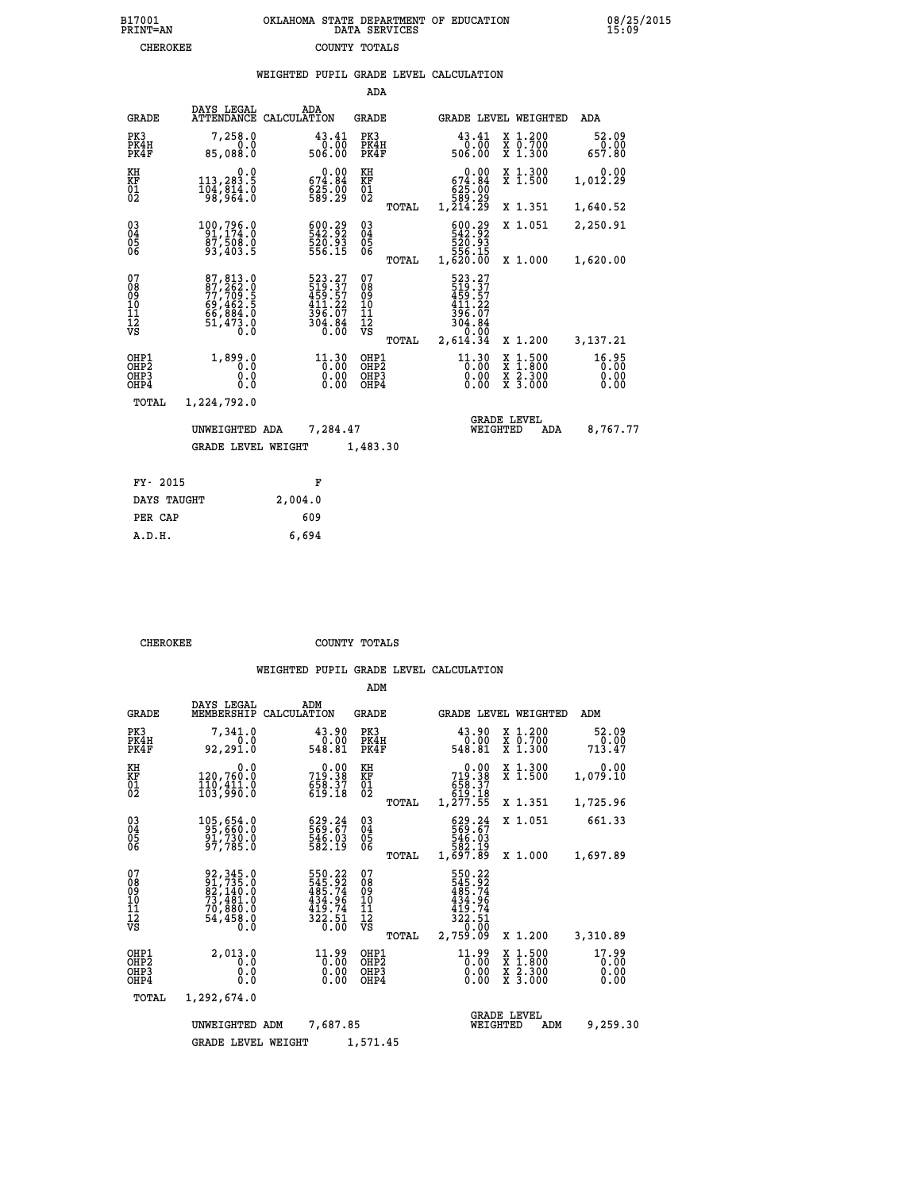|                                                                    |                                                                                   |             |                                                                          | ADA                                                      |       |                                                                              |                                 |                                                                                                  |                               |
|--------------------------------------------------------------------|-----------------------------------------------------------------------------------|-------------|--------------------------------------------------------------------------|----------------------------------------------------------|-------|------------------------------------------------------------------------------|---------------------------------|--------------------------------------------------------------------------------------------------|-------------------------------|
| <b>GRADE</b>                                                       | DAYS LEGAL<br><b>ATTENDANCE</b>                                                   | CALCULATION | ADA                                                                      | <b>GRADE</b>                                             |       |                                                                              |                                 | GRADE LEVEL WEIGHTED                                                                             | ADA                           |
| PK3<br>PK4H<br>PK4F                                                | 7,258.0<br>0.0<br>85,088.0                                                        |             | 43.41<br>0.00<br>506.00                                                  | PK3<br>PK4H<br>PK4F                                      |       | 43.41<br>506.00                                                              | 0.00                            | X 1.200<br>X 0.700<br>X 1.300                                                                    | 52.09<br>0.00<br>657.80       |
| KH<br><b>KF</b><br>01<br>02                                        | 0.0<br>113,283.5<br>104,814.0                                                     |             | $\begin{smallmatrix} &0.00\ 674.84\ 625.00\ 689.29\ \end{smallmatrix}$   | KH<br>KF<br>01<br>02                                     |       | $\begin{smallmatrix} 674.84\ 625.00\ 589.29\ 1,214.29 \end{smallmatrix}$     | 0.00                            | X 1.300<br>X 1.500                                                                               | 0.00<br>1,012.29              |
|                                                                    |                                                                                   |             |                                                                          |                                                          | TOTAL |                                                                              |                                 | X 1.351                                                                                          | 1,640.52                      |
| $\begin{smallmatrix} 03 \\[-4pt] 04 \end{smallmatrix}$<br>Ŏ5<br>06 | 100,796.0<br>91,174.0<br>87,508.0<br>93,403.5                                     |             | $\begin{smallmatrix} 600.29\\ 542.92\\ 520.93\\ 56.15 \end{smallmatrix}$ | $^{03}_{04}$<br>$\begin{matrix} 0.5 \\ 0.6 \end{matrix}$ |       | 600.29<br>542.92<br>520.93<br>556.15<br>1,620.00                             |                                 | X 1.051                                                                                          | 2,250.91                      |
|                                                                    |                                                                                   |             |                                                                          |                                                          | TOTAL |                                                                              |                                 | X 1.000                                                                                          | 1,620.00                      |
| 07<br>08<br>09<br>11<br>11<br>12<br>VS                             | 87, 813.0<br>87, 262.0<br>77, 709.5<br>69, 462.5<br>66, 884.0<br>51, 473.0<br>0.0 |             | 523.27<br>519.37<br>459.57<br>411.22<br>396.07<br>304.84<br>0.00         | 07<br>08<br>09<br>11<br>11<br>12<br>VS                   | TOTAL | 523.27<br>519.37<br>459.57<br>411.22<br>396.07<br>304.84<br>0.00<br>2,614.34 |                                 | X 1.200                                                                                          | 3,137.21                      |
|                                                                    |                                                                                   |             |                                                                          |                                                          |       |                                                                              |                                 |                                                                                                  |                               |
| OHP1<br>OHP2<br>OH <sub>P3</sub><br>OHP4                           | 1,899.0<br>0.0<br>0.0<br>0.0                                                      |             | 11.30<br>0.00<br>0.00                                                    | OHP1<br>OH <sub>P</sub> 2<br>OHP3<br>OHP4                |       |                                                                              | $11.30$<br>0.00<br>0.00<br>0.00 | $\begin{smallmatrix} x & 1 & 500 \\ x & 1 & 800 \\ x & 2 & 300 \\ x & 3 & 000 \end{smallmatrix}$ | 16.95<br>0.00<br>0.00<br>0.00 |
| <b>TOTAL</b>                                                       | 1,224,792.0                                                                       |             |                                                                          |                                                          |       |                                                                              |                                 |                                                                                                  |                               |
|                                                                    | UNWEIGHTED ADA                                                                    |             | 7,284.47                                                                 |                                                          |       |                                                                              | <b>GRADE LEVEL</b><br>WEIGHTED  | ADA                                                                                              | 8,767.77                      |
|                                                                    | <b>GRADE LEVEL WEIGHT</b>                                                         |             |                                                                          | 1,483.30                                                 |       |                                                                              |                                 |                                                                                                  |                               |
|                                                                    |                                                                                   |             |                                                                          |                                                          |       |                                                                              |                                 |                                                                                                  |                               |
| FY- 2015                                                           |                                                                                   |             | F                                                                        |                                                          |       |                                                                              |                                 |                                                                                                  |                               |
| DAYS TAUGHT                                                        |                                                                                   | 2,004.0     |                                                                          |                                                          |       |                                                                              |                                 |                                                                                                  |                               |

PER CAP 609<br>A.D.H. 6,694

 **A.D.H. 6,694**

**CHEROKEE COUNTY TOTALS** 

|                                                    |                                                                                  |                                                                  | ADM                                             |                                                                                                                                                                |                                                                                            |                               |
|----------------------------------------------------|----------------------------------------------------------------------------------|------------------------------------------------------------------|-------------------------------------------------|----------------------------------------------------------------------------------------------------------------------------------------------------------------|--------------------------------------------------------------------------------------------|-------------------------------|
| <b>GRADE</b>                                       | DAYS LEGAL<br>MEMBERSHIP                                                         | ADM<br>CALCULATION                                               | <b>GRADE</b>                                    | GRADE LEVEL WEIGHTED                                                                                                                                           |                                                                                            | ADM                           |
| PK3<br>PK4H<br>PK4F                                | 7,341.0<br>0.0<br>92,291.0                                                       | 43.90<br>0.00<br>548.81                                          | PK3<br>PK4H<br>PK4F                             | 43.90<br>ةة:ة<br>548.81                                                                                                                                        | X 1.200<br>X 0.700<br>X 1.300                                                              | 52.09<br>0.00<br>713.47       |
| KH<br>KF<br>01<br>02                               | 0.0<br>120,760.0<br>$\frac{1}{103}, \frac{1}{90}$ .0                             | 0.00<br>719.38<br>$658.37$<br>619.18                             | KH<br>KF<br>01<br>02                            | 0.00<br>719.38<br>$658.37$<br>$619.18$                                                                                                                         | X 1.300<br>X 1.500                                                                         | 0.00<br>1,079.10              |
|                                                    |                                                                                  |                                                                  | TOTAL                                           | 1,277.55                                                                                                                                                       | X 1.351                                                                                    | 1,725.96                      |
| $\begin{matrix} 03 \\ 04 \\ 05 \\ 06 \end{matrix}$ | 105,654.0<br>95,660.0<br>91,730.0<br>97,785.0                                    | 629.24<br>569.67<br>546.03<br>582.19                             | $\substack{03 \\ 04}$<br>$\frac{05}{06}$        | 629.24<br>546.03<br>546.03<br>582.19                                                                                                                           | X 1.051                                                                                    | 661.33                        |
|                                                    |                                                                                  |                                                                  | TOTAL                                           | 1,697.89                                                                                                                                                       | X 1.000                                                                                    | 1,697.89                      |
| 07<br>08<br>09<br>10<br>11<br>11<br>12<br>VS       | 92, 345.0<br>91, 735.0<br>82, 140.0<br>73, 481.0<br>70, 880.0<br>54,458.0<br>0.0 | 550.22<br>545.92<br>485.74<br>434.96<br>419.74<br>322.51<br>0.00 | 07<br>08<br>09<br>11<br>11<br>12<br>VS<br>TOTAL | 550.22<br>545.92<br>485.74<br>434.96<br>419.74<br>$\begin{array}{r} 3\bar{2}\bar{2}\cdot\bar{5}\bar{1} \\ -\bar{9}\cdot\bar{9}\bar{0} \end{array}$<br>2,759.09 | X 1.200                                                                                    | 3,310.89                      |
| OHP1<br>OHP2<br>OHP3<br>OHP4                       | 2,013.0<br>0.0<br>0.0<br>Ŏ.Ŏ                                                     | $11.99$<br>$0.00$<br>0.00<br>0.00                                | OHP1<br>OHP2<br>OHP3<br>OHP4                    | $11.99$<br>$0.00$<br>$0.00$<br>0.00                                                                                                                            | $\begin{array}{c} x & 1.500 \\ x & 1.800 \\ x & 2.300 \end{array}$<br>$\overline{x}$ 3.000 | 17.99<br>0.00<br>0.00<br>0.00 |
| TOTAL                                              | 1,292,674.0                                                                      |                                                                  |                                                 |                                                                                                                                                                |                                                                                            |                               |
|                                                    | UNWEIGHTED ADM<br><b>GRADE LEVEL WEIGHT</b>                                      | 7,687.85                                                         | 1,571.45                                        | WEIGHTED                                                                                                                                                       | <b>GRADE LEVEL</b><br>ADM                                                                  | 9,259.30                      |
|                                                    |                                                                                  |                                                                  |                                                 |                                                                                                                                                                |                                                                                            |                               |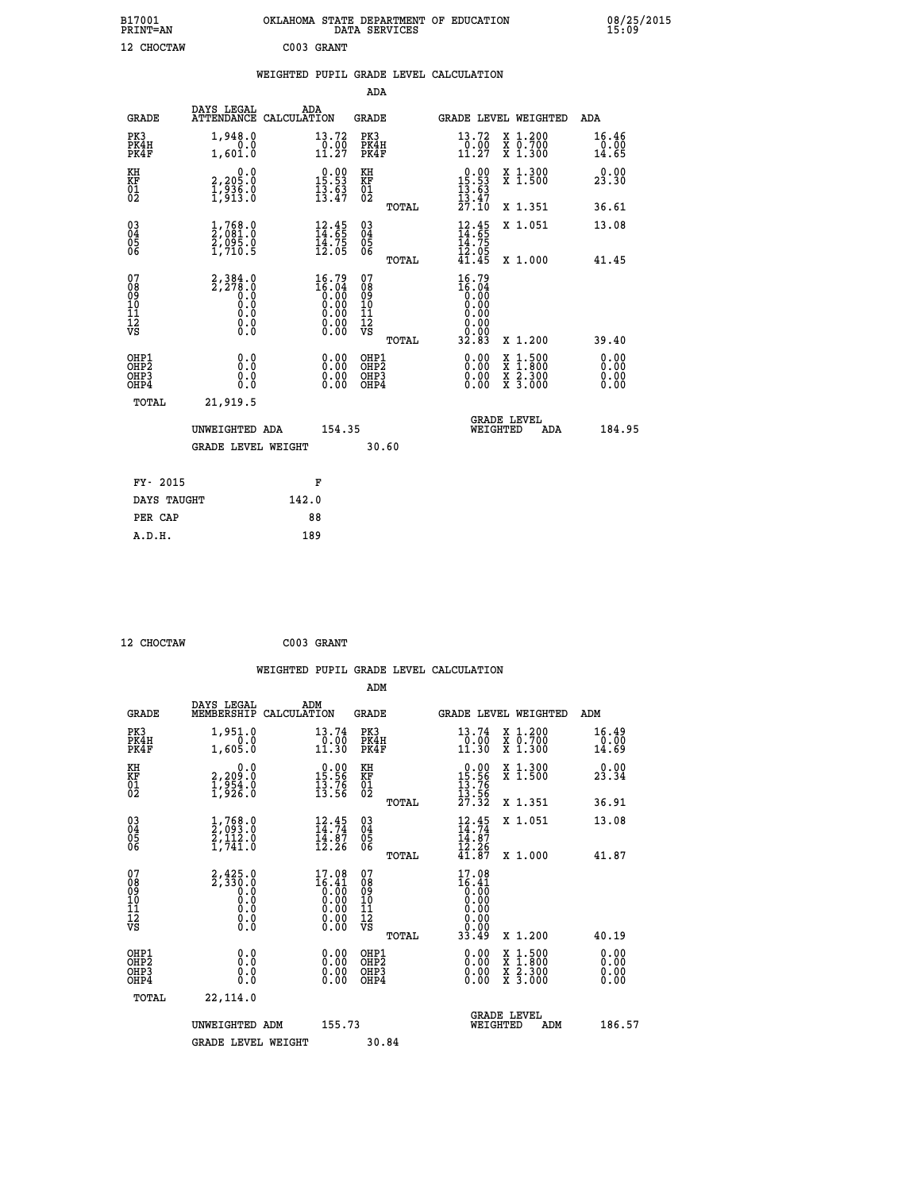| B17001<br>PRINT=AN                     |                                                                                       | OKLAHOMA STATE DEPARTMENT OF EDUCATION                               | DATA SERVICES                                      |                                                                      |                                                                                          | 08/25/2015             |
|----------------------------------------|---------------------------------------------------------------------------------------|----------------------------------------------------------------------|----------------------------------------------------|----------------------------------------------------------------------|------------------------------------------------------------------------------------------|------------------------|
| 12 CHOCTAW                             |                                                                                       | C003 GRANT                                                           |                                                    |                                                                      |                                                                                          |                        |
|                                        |                                                                                       | WEIGHTED PUPIL GRADE LEVEL CALCULATION                               |                                                    |                                                                      |                                                                                          |                        |
|                                        |                                                                                       |                                                                      | ADA                                                |                                                                      |                                                                                          |                        |
| <b>GRADE</b>                           | DAYS LEGAL                                                                            | ADA<br>ATTENDANCE CALCULATION                                        | GRADE                                              | <b>GRADE LEVEL WEIGHTED</b>                                          |                                                                                          | ADA                    |
| PK3<br>PK4H<br>PK4F                    | 1,948.0<br>0.0<br>1,601.0                                                             | 13.72<br>$\frac{0.00}{11.27}$                                        | PK3<br>PK4H<br>PK4F                                | 13.72<br>$\frac{0.00}{11.27}$                                        | X 1.200<br>X 0.700<br>X 1.300                                                            | 16.46<br>0.00<br>14.65 |
| KH<br>KF<br>$\overline{01}$            | 0.0<br>2,205:0<br>1,936:0<br>1,913:0                                                  | $\begin{smallmatrix} 0.00\\ 15.53\\ 13.63\\ 13.47 \end{smallmatrix}$ | KH<br>KF<br>01<br>02                               | $\begin{smallmatrix} 0.00\\ 15.53\\ 13.63\\ 13.47 \end{smallmatrix}$ | X 1.300<br>X 1.500                                                                       | 0.00<br>23.30          |
|                                        |                                                                                       |                                                                      | TOTAL                                              | 27.10                                                                | X 1.351                                                                                  | 36.61                  |
| $03\overline{4}$<br>Õ5<br>ŎĞ           | $\frac{1}{2}, \begin{smallmatrix} 768.0 \ 91.0 \ 2,095.0 \ 1,710.5 \end{smallmatrix}$ | $\begin{array}{c} 12.45 \\ 14.65 \\ 14.75 \\ 12.05 \end{array}$      | $\begin{matrix} 03 \\ 04 \\ 05 \\ 06 \end{matrix}$ | $\frac{12}{14}$ : 45<br>14.75                                        | X 1.051                                                                                  | 13.08                  |
|                                        |                                                                                       |                                                                      | TOTAL                                              | $\bar{1}\bar{2}\cdot\bar{0}\bar{5}\$ 41.45                           | X 1.000                                                                                  | 41.45                  |
| 07<br>08<br>09<br>10<br>11<br>12<br>VS | 2,384.0<br>2,278.0<br>0.0<br>0.0<br>0.0<br>$\S.$ $\S$                                 | $16.79\n16.04\n0.00\n0.00\n0.00\n0.00\n0.00$                         | 07<br>08<br>09<br>10<br>11<br>12<br>VS             | 16.79<br>$\frac{16.04}{0.00}$<br>0.00<br>0.00<br>0.00<br>0.00        |                                                                                          |                        |
| OHP1                                   |                                                                                       |                                                                      | TOTAL<br>OHP1                                      | 32.83                                                                | X 1.200                                                                                  | 39.40<br>0.00          |
| OHP <sub>2</sub><br>OHP3<br>OHP4       | 0.0<br>0.0<br>0.0                                                                     | 0.00<br>$\begin{smallmatrix} 0.00 \ 0.00 \end{smallmatrix}$          | OHP <sub>2</sub><br>OHP3<br>OHP4                   | 0.00<br>0.00<br>0.00                                                 | $\begin{smallmatrix} x & 1.500 \\ x & 1.800 \\ x & 2.300 \\ x & 3.000 \end{smallmatrix}$ | 0.00<br>0.0000         |
| TOTAL                                  | 21,919.5                                                                              |                                                                      |                                                    |                                                                      |                                                                                          |                        |
|                                        | UNWEIGHTED ADA                                                                        | 154.35                                                               |                                                    | <b>GRADE LEVEL</b><br>WEIGHTED                                       | ADA                                                                                      | 184.95                 |
|                                        | <b>GRADE LEVEL WEIGHT</b>                                                             |                                                                      | 30.60                                              |                                                                      |                                                                                          |                        |
|                                        | FY- 2015                                                                              | F                                                                    |                                                    |                                                                      |                                                                                          |                        |
|                                        | DAYS TAUGHT                                                                           | 142.0                                                                |                                                    |                                                                      |                                                                                          |                        |
| PER CAP                                |                                                                                       | 88                                                                   |                                                    |                                                                      |                                                                                          |                        |

| 12 CHOCTAW | C003 GRANT |
|------------|------------|
|            |            |

 **WEIGHTED PUPIL GRADE LEVEL CALCULATION ADM DAYS LEGAL ADM GRADE MEMBERSHIP CALCULATION GRADE GRADE LEVEL WEIGHTED ADM PK3 1,951.0 13.74 PK3 13.74 X 1.200 16.49 PK4H 0.0 0.00 PK4H 0.00 X 0.700 0.00 PK4F 1,605.0 11.30 PK4F 11.30 X 1.300 14.69 KH 0.0 0.00 KH 0.00 X 1.300 0.00 KF 2,209.0 15.56 KF 15.56 X 1.500 23.34 01 1,954.0 13.76 01 13.76 02 1,926.0 13.56 02 13.56 TOTAL 27.32 X 1.351 36.91 03 1,768.0 12.45 03 12.45 X 1.051 13.08 04 2,093.0 14.74 04 14.74 05 2,112.0 14.87 05 14.87 06 1,741.0 12.26 06 12.26 TOTAL 41.87 X 1.000 41.87** 07 2,425.0 17.08 07 17.08<br>
08 2,330.0 16.41 08 16.41<br>
10 0.0 0.00 10 0.00<br>
11 0.0 0.00 11 0.00<br>
12 0.00 11 0.00<br>
VS 0.0 0.00 12<br>
VS 0.0  $\begin{array}{cccc} 15.0 & 17.08 & 07 & 17.08 \ 0.0 & 16.41 & 08 & 16.40 \ 0.0 & 0.00 & 10 & 0.000 \ 0.0 & 0.00 & 11 & 0.000 \ 0.0 & 0.00 & 12 & 0.000 \ 0.0 & 0.00 & 12 & 0.000 \ 0.0 & 0.00 & 0.00 & 12 & 0.00 \ 0.0 & 0.00 & 0.00 & 0.00 \ 0.0 & 0.00 & 0.00 & 0.00 & 0.12$  **OHP1 0.0 0.00 OHP1 0.00 X 1.500 0.00 OHP2 0.0 0.00 OHP2 0.00 X 1.800 0.00 OHP3 0.0 0.00 OHP3 0.00 X 2.300 0.00 OHP4 0.0 0.00 OHP4 0.00 X 3.000 0.00 TOTAL 22,114.0 GRADE LEVEL UNWEIGHTED ADM 155.73 WEIGHTED ADM 186.57** GRADE LEVEL WEIGHT 30.84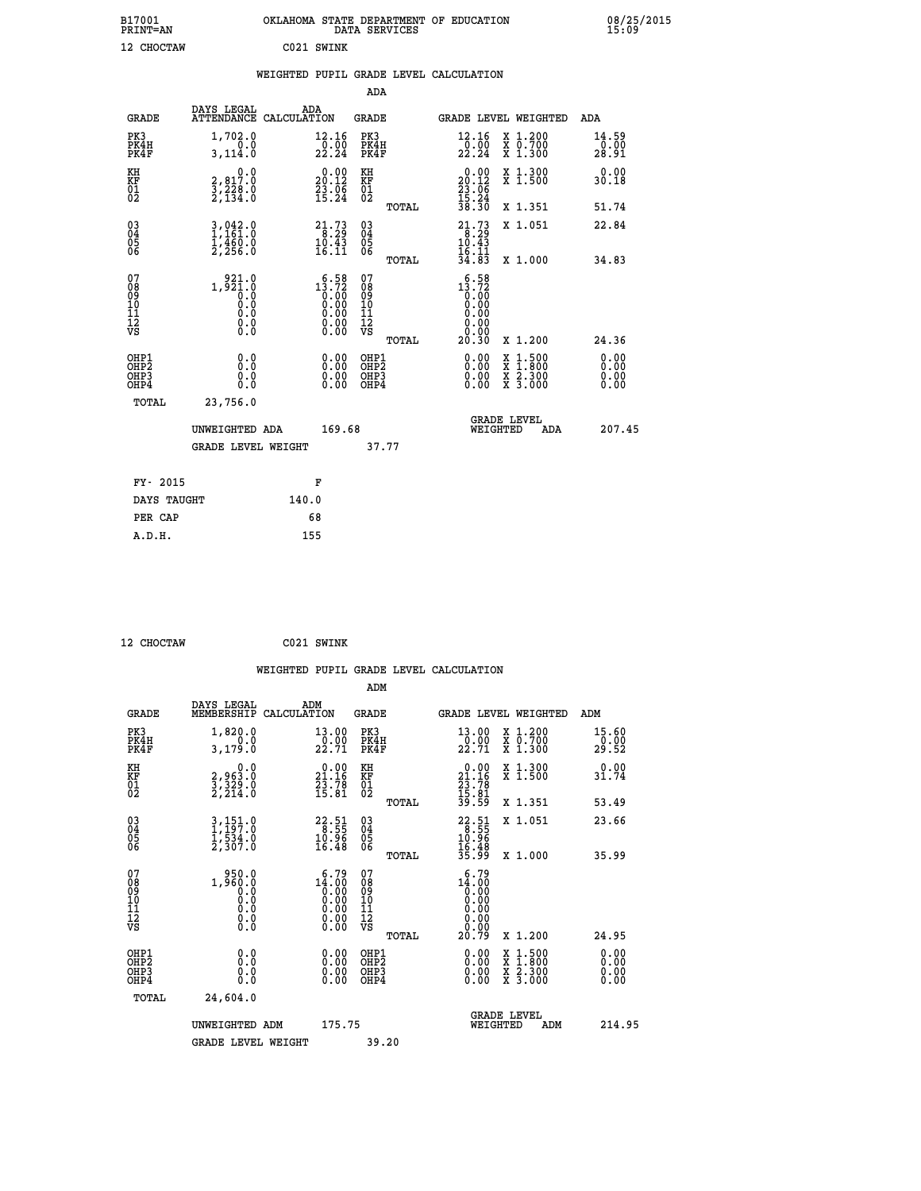| B17001<br>PRINT=AN                                 |                                                                   | OKLAHOMA STATE DEPARTMENT OF EDUCATION                                                                 | DATA SERVICES                                               |                                                                  |                                                                                                  | 08/25/2015<br>15:09          |  |
|----------------------------------------------------|-------------------------------------------------------------------|--------------------------------------------------------------------------------------------------------|-------------------------------------------------------------|------------------------------------------------------------------|--------------------------------------------------------------------------------------------------|------------------------------|--|
| 12 CHOCTAW                                         |                                                                   | C021 SWINK                                                                                             |                                                             |                                                                  |                                                                                                  |                              |  |
|                                                    |                                                                   | WEIGHTED PUPIL GRADE LEVEL CALCULATION                                                                 |                                                             |                                                                  |                                                                                                  |                              |  |
|                                                    |                                                                   |                                                                                                        | ADA                                                         |                                                                  |                                                                                                  |                              |  |
| GRADE                                              | DAYS LEGAL                                                        | <b>ADA</b><br>ATTENDANCE CALCULATION                                                                   | GRADE                                                       | GRADE LEVEL WEIGHTED                                             |                                                                                                  | ADA                          |  |
| PK3<br>PK4H<br>PK4F                                | 1,702.0<br>0.0<br>3,114.0                                         | 12.16<br>$\frac{1}{2}$ $\frac{0}{2}$ $\frac{0}{2}$ $\frac{0}{4}$                                       | PK3<br>PK4H<br>PK4F                                         | 12.16<br>$\frac{1}{2}$ $\frac{0}{2}$ $\frac{0}{2}$ $\frac{0}{4}$ | X 1.200<br>X 0.700<br>X 1.300                                                                    | 14.59<br>0.00<br>28.91       |  |
| KH<br><b>KF</b><br>01<br>02                        | 0.0<br>2,817.0<br>3,228.0<br>2,134.0                              | $20.00$<br>20.12<br>$\frac{23}{15}$ : $\frac{0}{24}$                                                   | KH<br><b>KF</b><br>01<br>02                                 | $20.00$<br>20.12<br>$\frac{23}{15}$ : 06<br>15: 24<br>38: 30     | X 1.300<br>X 1.500                                                                               | 0.00<br>30.18                |  |
|                                                    |                                                                   |                                                                                                        | TOTAL                                                       |                                                                  | X 1.351                                                                                          | 51.74                        |  |
| $\begin{matrix} 03 \\ 04 \\ 05 \\ 06 \end{matrix}$ | $3,042.0$<br>1,161.0<br>$\frac{1}{2}, \frac{4}{256}$ .0           | $21.73\n8.29\n10.43\n16.11$                                                                            | $\begin{matrix} 03 \\ 04 \\ 05 \\ 06 \end{matrix}$          | $21.73$<br>$10.43$<br>16.11                                      | X 1.051                                                                                          | 22.84                        |  |
|                                                    |                                                                   |                                                                                                        | TOTAL                                                       | 34.83                                                            | X 1.000                                                                                          | 34.83                        |  |
| 07<br>08<br>09<br>10<br>11<br>12<br>VS             | 921.0<br>1,921.0<br>$\overline{0}$ .0<br>0.0<br>0.0<br>0.0<br>0.0 | $15.72$<br>$0.72$<br>$0.00$<br>$0.00$<br>$0.00$<br>$\begin{smallmatrix} 0.00 \ 0.00 \end{smallmatrix}$ | 07<br>08<br>09<br>10<br>11<br>$\frac{1}{\sqrt{2}}$<br>TOTAL | 13.72<br>0.00<br>0.00<br>0.00<br>0.00<br>0.00<br>20.30           | X 1.200                                                                                          | 24.36                        |  |
| OHP1<br>OHP2<br>OHP3<br>OHP4                       | 0.0<br>0.0<br>0.0<br>0.0                                          | 0.00<br>0.00<br>0.00                                                                                   | OHP1<br>OHP2<br>OHP3<br>OHP4                                | 0.00<br>0.00<br>0.00                                             | $\begin{smallmatrix} x & 1 & 500 \\ x & 1 & 800 \\ x & 2 & 300 \\ x & 3 & 000 \end{smallmatrix}$ | 0.00<br>0.00<br>0.00<br>0.00 |  |
| TOTAL                                              | 23,756.0                                                          |                                                                                                        |                                                             |                                                                  |                                                                                                  |                              |  |
|                                                    | UNWEIGHTED ADA                                                    | 169.68                                                                                                 |                                                             | <b>GRADE LEVEL</b><br>WEIGHTED                                   | ADA                                                                                              | 207.45                       |  |
|                                                    | <b>GRADE LEVEL WEIGHT</b>                                         |                                                                                                        | 37.77                                                       |                                                                  |                                                                                                  |                              |  |
| FY- 2015                                           |                                                                   | F                                                                                                      |                                                             |                                                                  |                                                                                                  |                              |  |
| DAYS TAUGHT                                        |                                                                   | 140.0                                                                                                  |                                                             |                                                                  |                                                                                                  |                              |  |
| PER CAP                                            |                                                                   | 68                                                                                                     |                                                             |                                                                  |                                                                                                  |                              |  |

| 12 CHOCTAW | C021 SWINK |
|------------|------------|

 **WEIGHTED PUPIL GRADE LEVEL CALCULATION ADM DAYS LEGAL ADM GRADE MEMBERSHIP CALCULATION GRADE GRADE LEVEL WEIGHTED ADM PK3 1,820.0 13.00 PK3 13.00 X 1.200 15.60 PK4H 0.0 0.00 PK4H 0.00 X 0.700 0.00 PK4F 3,179.0 22.71 PK4F 22.71 X 1.300 29.52 KH 0.0 0.00 KH 0.00 X 1.300 0.00 KF 2,963.0 21.16 KF 21.16 X 1.500 31.74** 01 3,329.0 23.78 01 23.78<br>
02 2,214.0 15.81 02 <sub>nomaa</sub> 15.91  **TOTAL 39.59 X 1.351 53.49 03 3,151.0 22.51 03 22.51 X 1.051 23.66 04 1,197.0 8.55 04 8.55 05 1,534.0 10.96 05 10.96** 06 2,307.0 16.48 06 <sub>momas</sub> 16.48  **TOTAL 35.99 X 1.000 35.99 07 1,950.0 1,950.0 1,950.0 1,950.0 1,000**<br> **10 0.0 10 0.00 0.00 10 0.00**<br> **11** 0.0 0.00 10 0.00<br> **11** 0.0 0.00 11 0.00<br> **12** 0.00 0.00 12<br> **VS** 0.0  **TOTAL 20.79 X 1.200 24.95 OHP1 0.0 0.00 OHP1 0.00 X 1.500 0.00 OHP2 0.0 0.00 OHP2 0.00 X 1.800 0.00 OHP3 0.0 0.00 OHP3 0.00 X 2.300 0.00 OHP4 0.0 0.00 OHP4 0.00 X 3.000 0.00 TOTAL 24,604.0 GRADE LEVEL UNWEIGHTED ADM 175.75 WEIGHTED ADM 214.95** GRADE LEVEL WEIGHT 39.20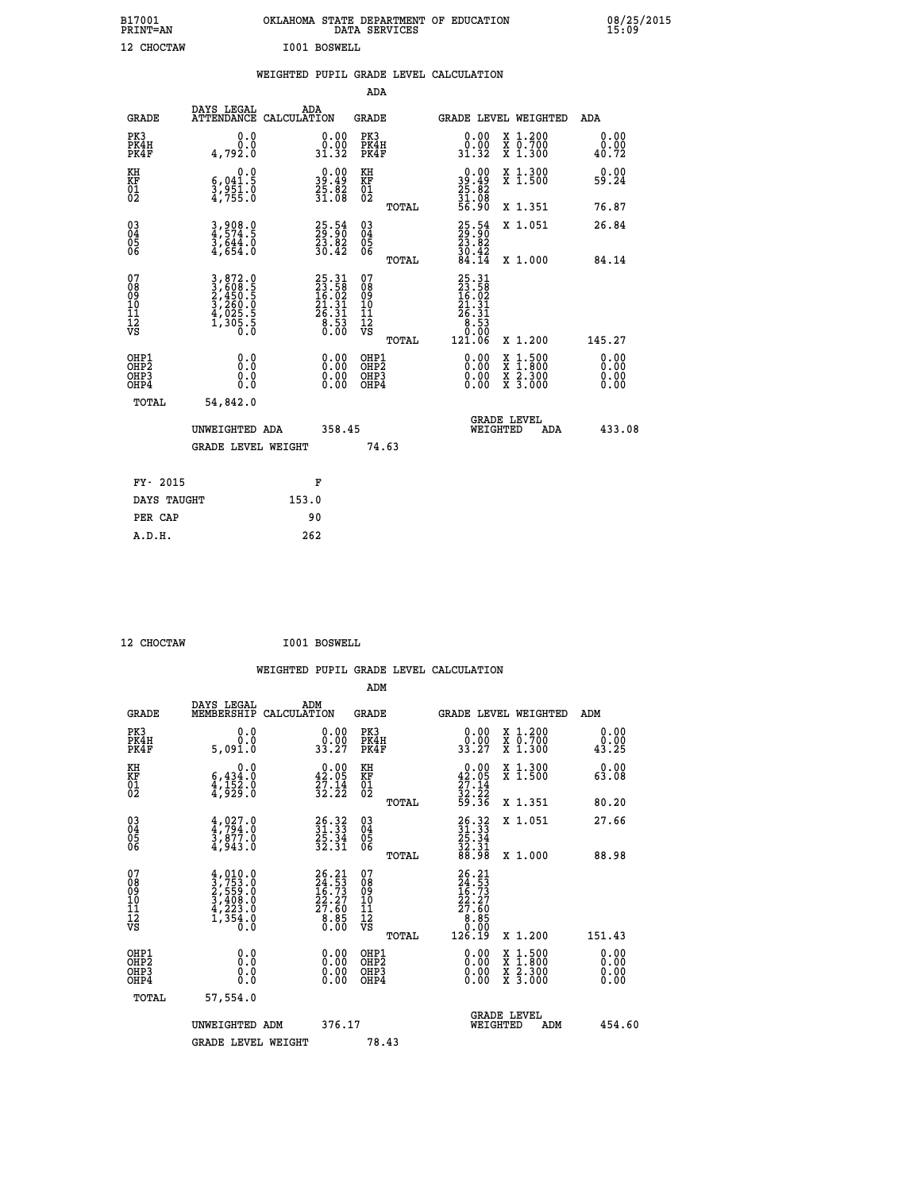| B17001<br>PRINT=AN | OKLAHOMA STATE DEPARTMENT OF EDUCATION<br>DATA SERVICES | 08/25/2015<br>15:09 |
|--------------------|---------------------------------------------------------|---------------------|
| 12 CHOCTAW         | I001 BOSWELL                                            |                     |

|  |  | WEIGHTED PUPIL GRADE LEVEL CALCULATION |
|--|--|----------------------------------------|
|  |  |                                        |

|                                                                    |                                                                           |                                                                         | ADA                                       |       |                                                                                                       |        |                                                           |                              |
|--------------------------------------------------------------------|---------------------------------------------------------------------------|-------------------------------------------------------------------------|-------------------------------------------|-------|-------------------------------------------------------------------------------------------------------|--------|-----------------------------------------------------------|------------------------------|
| <b>GRADE</b>                                                       | DAYS LEGAL<br>ATTENDANCE CALCULATION                                      | ADA                                                                     | <b>GRADE</b>                              |       | GRADE LEVEL WEIGHTED                                                                                  |        |                                                           | <b>ADA</b>                   |
| PK3<br>PK4H<br>PK4F                                                | 0.0<br>0.0<br>4,792.0                                                     | $\begin{smallmatrix} 0.00\\ 0.00\\ 31.32 \end{smallmatrix}$             | PK3<br>PK4H<br>PK4F                       |       | $\begin{smallmatrix} 0.00\\ 0.00\\ 31.32 \end{smallmatrix}$                                           |        | X 1.200<br>X 0.700<br>X 1.300                             | 0.00<br>0.00<br>40.72        |
| KH<br>KF<br>01<br>02                                               | 0.0<br>$\frac{6}{3}, \frac{041}{951}$ .0<br>4,755.0                       | $\begin{smallmatrix} 0.00\\ 39.49\\ 25.82\\ 31.08 \end{smallmatrix}$    | KH<br>KF<br>01<br>02                      |       | $\begin{smallmatrix} 0.00\\ 39.49\\ 25.82\\ 31.08\\ 56.90 \end{smallmatrix}$                          |        | X 1.300<br>X 1.500                                        | 0.00<br>59.24                |
|                                                                    |                                                                           |                                                                         |                                           | TOTAL |                                                                                                       |        | X 1.351                                                   | 76.87                        |
| $\begin{smallmatrix} 03 \\[-4pt] 04 \end{smallmatrix}$<br>Ŏ5<br>06 | $3,908.0$<br>$4,574.5$<br>$3,644.0$<br>$4,654.0$                          | $25.54$<br>$29.90$<br>$\frac{23.82}{30.42}$                             | 03<br>04<br>05<br>06                      | TOTAL | $25.54$<br>$23.82$<br>$30.42$<br>$84.14$                                                              |        | X 1.051<br>X 1.000                                        | 26.84<br>84.14               |
| 07<br>08<br>09<br>11<br>11<br>12<br>VS                             | 3,872.0<br>3,608.5<br>2,450.5<br>2,450.0<br>3,260.0<br>4,025.5<br>1,305.5 | $25.31$<br>$23.58$<br>$16.02$<br>$21.31$<br>$26.31$<br>$8.53$<br>$0.00$ | 07<br>08<br>09<br>11<br>11<br>12<br>VS    |       | $\begin{smallmatrix} 25.31\ 23.58\ 16.02\ 16.31\ 27.31\ 28.31\ 8.53\ 0.00\ 121.06\ \end{smallmatrix}$ |        |                                                           |                              |
|                                                                    |                                                                           |                                                                         |                                           | TOTAL |                                                                                                       |        | X 1.200                                                   | 145.27                       |
| OHP1<br>OHP <sub>2</sub><br>OHP3<br>OHP4                           | 0.0<br>0.0<br>0.0                                                         | 0.00<br>$\begin{smallmatrix} 0.00 \ 0.00 \end{smallmatrix}$             | OHP1<br>OH <sub>P</sub> 2<br>OHP3<br>OHP4 |       | 0.00<br>0.00<br>0.00                                                                                  | X<br>X | $1:500$<br>$1:800$<br>$\frac{x}{x}$ $\frac{5:300}{3:000}$ | 0.00<br>0.00<br>0.00<br>0.00 |
| TOTAL                                                              | 54,842.0                                                                  |                                                                         |                                           |       |                                                                                                       |        |                                                           |                              |
|                                                                    | UNWEIGHTED ADA                                                            | 358.45                                                                  |                                           |       | <b>GRADE LEVEL</b><br>WEIGHTED                                                                        |        | ADA                                                       | 433.08                       |
|                                                                    | <b>GRADE LEVEL WEIGHT</b>                                                 |                                                                         | 74.63                                     |       |                                                                                                       |        |                                                           |                              |
| FY- 2015                                                           |                                                                           | F                                                                       |                                           |       |                                                                                                       |        |                                                           |                              |
| DAYS TAUGHT                                                        |                                                                           | 153.0                                                                   |                                           |       |                                                                                                       |        |                                                           |                              |
| PER CAP                                                            |                                                                           | 90                                                                      |                                           |       |                                                                                                       |        |                                                           |                              |
|                                                                    |                                                                           |                                                                         |                                           |       |                                                                                                       |        |                                                           |                              |

 **12 CHOCTAW I001 BOSWELL**

 **A.D.H. 262**

| <b>GRADE</b>                                         | DAYS LEGAL<br>MEMBERSHIP                                                                                | ADM<br>CALCULATION                                                      | <b>GRADE</b>                                        |       | <b>GRADE LEVEL WEIGHTED</b>                                                               |                                                                                                                                           | ADM                          |        |
|------------------------------------------------------|---------------------------------------------------------------------------------------------------------|-------------------------------------------------------------------------|-----------------------------------------------------|-------|-------------------------------------------------------------------------------------------|-------------------------------------------------------------------------------------------------------------------------------------------|------------------------------|--------|
| PK3<br>PK4H<br>PK4F                                  | 0.0<br>0.0<br>5,091.0                                                                                   | $\begin{smallmatrix} 0.00\\ 0.00\\ 33.27 \end{smallmatrix}$             | PK3<br>PK4H<br>PK4F                                 |       | $\begin{smallmatrix} 0.00\\ 0.00\\ 33.27 \end{smallmatrix}$                               | X 1.200<br>X 0.700<br>X 1.300                                                                                                             | 0.00<br>$\frac{0.00}{43.25}$ |        |
| KH<br>KF<br>01<br>02                                 | 0.0<br>$\frac{6,434.0}{4,152.0}$<br>$\frac{4,525.0}{4,929.0}$                                           | $\begin{smallmatrix} 0.00\\ 42.05\\ 27.14\\ 32.22 \end{smallmatrix}$    | KH<br>KF<br>01<br>02                                |       | $0.00\n42.05\n27.14\n32.22\n59.36$                                                        | X 1.300<br>X 1.500                                                                                                                        | 0.00<br>63.08                |        |
|                                                      |                                                                                                         |                                                                         |                                                     | TOTAL |                                                                                           | X 1.351                                                                                                                                   | 80.20                        |        |
| 03<br>04<br>05<br>06                                 | $\begin{smallmatrix} 4\,,\,027\,. \ 4\,,\,794\,. \ 3\,,\,877\,. \ 4\,,\,943\,. \end{smallmatrix}$       | $26.32$<br>$31.33$<br>$25.34$<br>$32.31$                                | $\begin{array}{c} 03 \\ 04 \\ 05 \\ 06 \end{array}$ |       | $\begin{smallmatrix} 26.32\ 31.33\ 25.34\ 32.31\ 88.98 \end{smallmatrix}$                 | X 1.051                                                                                                                                   | 27.66                        |        |
|                                                      |                                                                                                         |                                                                         |                                                     | TOTAL |                                                                                           | X 1.000                                                                                                                                   | 88.98                        |        |
| 07<br>08<br>09<br>11<br>11<br>12<br>VS               | $\begin{smallmatrix} 4,010.0\\ 3,753.0\\ 2,559.0\\ 3,408.0\\ 4,223.0\\ 1,354.0\\ 0.0 \end{smallmatrix}$ | $26.21$<br>$24.53$<br>$16.73$<br>$22.27$<br>$27.60$<br>$8.85$<br>$0.00$ | 07<br>08<br>09<br>11<br>11<br>12<br>VS              | TOTAL | $\begin{smallmatrix} 26.21\ 24.53\ 16.73\ 22.27\ 27.60\ 8.85\ 0.126.19 \end{smallmatrix}$ | X 1.200                                                                                                                                   | 151.43                       |        |
| OHP1<br>OH <sub>P</sub> <sub>2</sub><br>OHP3<br>OHP4 | 0.0<br>0.0<br>0.0                                                                                       |                                                                         | OHP1<br>OHP <sub>2</sub><br>OHP3<br>OHP4            |       |                                                                                           | $\begin{smallmatrix} \mathtt{X} & 1\cdot500\\ \mathtt{X} & 1\cdot800\\ \mathtt{X} & 2\cdot300\\ \mathtt{X} & 3\cdot000 \end{smallmatrix}$ | 0.00<br>0.00<br>0.00         |        |
| TOTAL                                                | 57,554.0                                                                                                |                                                                         |                                                     |       |                                                                                           |                                                                                                                                           |                              |        |
|                                                      | UNWEIGHTED ADM                                                                                          | 376.17                                                                  |                                                     |       | WEIGHTED                                                                                  | <b>GRADE LEVEL</b><br>ADM                                                                                                                 |                              | 454.60 |
|                                                      | <b>GRADE LEVEL WEIGHT</b>                                                                               |                                                                         | 78.43                                               |       |                                                                                           |                                                                                                                                           |                              |        |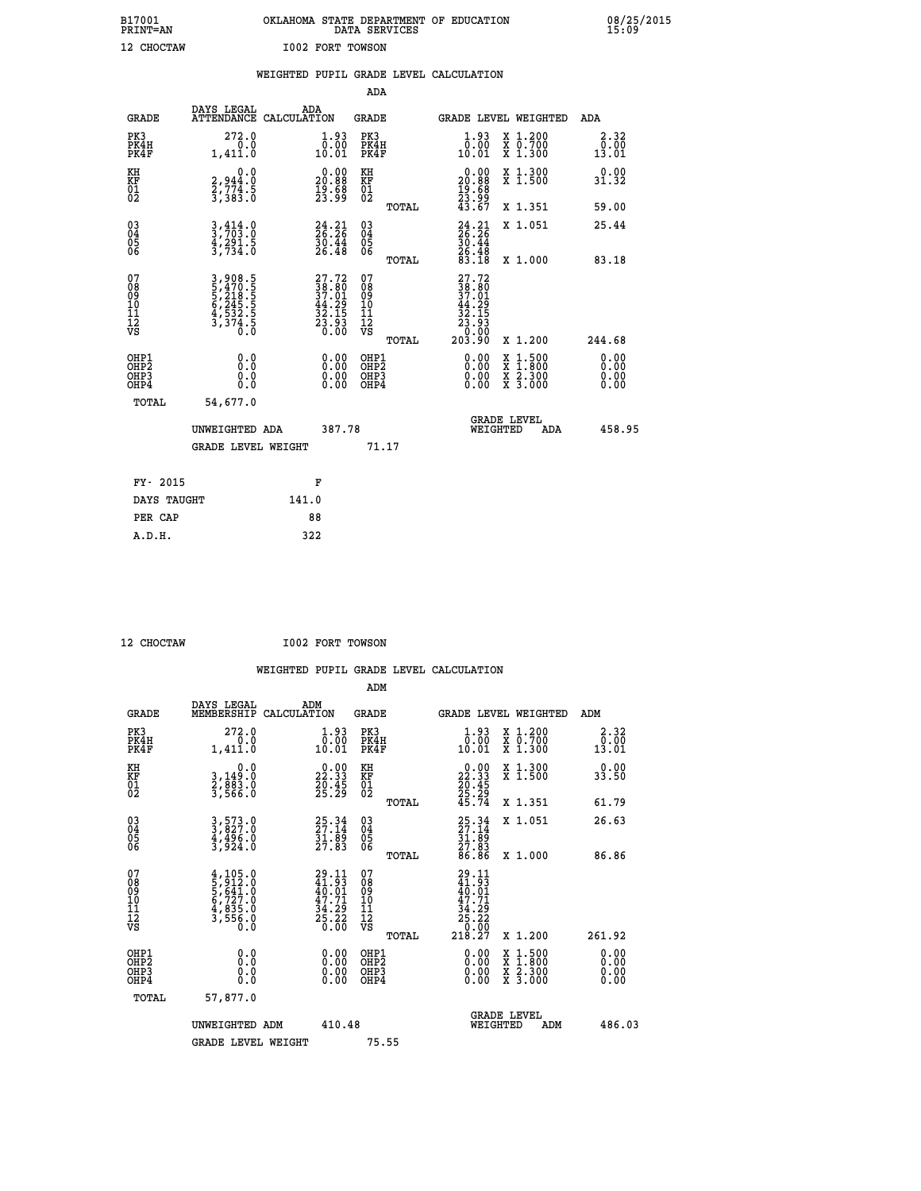| B17001          | OKLAHOMA STATE DEPARTMENT OF EDUCATION |
|-----------------|----------------------------------------|
| <b>PRINT=AN</b> | DATA SERVICES                          |
| 12 CHOCTAW      | <b>I002 FORT TOWSON</b>                |

 **B17001 OKLAHOMA STATE DEPARTMENT OF EDUCATION 08/25/2015**

|                                         |                                                                           | WEIGHTED PUPIL GRADE LEVEL CALCULATION                                                       |                                                  |                                                                                                            |                              |
|-----------------------------------------|---------------------------------------------------------------------------|----------------------------------------------------------------------------------------------|--------------------------------------------------|------------------------------------------------------------------------------------------------------------|------------------------------|
|                                         |                                                                           |                                                                                              | ADA                                              |                                                                                                            |                              |
| <b>GRADE</b>                            | DAYS LEGAL                                                                | ADA<br>ATTENDANCE CALCULATION                                                                | <b>GRADE</b>                                     | GRADE LEVEL WEIGHTED                                                                                       | ADA                          |
| PK3<br>PK4H<br>PK4F                     | 272.0<br>1,411.0                                                          | 1.93<br>$\begin{array}{c} 0.00 \\ -0.01 \end{array}$                                         | PK3<br>PK4H<br>PK4F                              | $1.93$<br>$0.00$<br>X 1.200<br>X 0.700<br>X 1.300<br>10.01                                                 | 2.32<br>0.00<br>13.01        |
| KH<br><b>KF</b><br>01<br>02             | 0.0<br>2,944:0<br>2,774:5<br>3,383:0                                      | $\begin{smallmatrix} 0.00\\ 20.88\\ 19.68\\ 23.99 \end{smallmatrix}$                         | KH<br>KF<br>01<br>02                             | X 1.300<br>X 1.500<br>$\begin{smallmatrix} 0.00\\ 20.88\\ 19.68\\ 23.99\\ 43.67 \end{smallmatrix}$         | 0.00<br>31.32                |
|                                         |                                                                           |                                                                                              | TOTAL                                            | X 1.351                                                                                                    | 59.00                        |
| 03<br>04<br>05<br>06                    | $3,414.0$<br>$3,703.0$<br>$\frac{4}{3}, \frac{291}{734}$ .0               | $24.21$<br>$26.26$<br>$\frac{30.44}{26.48}$                                                  | 03<br>04<br>05<br>06                             | $24.21$<br>$26.26$<br>$30.44$<br>$26.48$<br>$83.18$<br>X 1.051                                             | 25.44                        |
|                                         |                                                                           |                                                                                              | TOTAL                                            | X 1.000                                                                                                    | 83.18                        |
| 07<br>08<br>09<br>101<br>11<br>12<br>VS | 3,908.5<br>5,470.5<br>5,218.5<br>5,245.5<br>6,245.5<br>4,532.5<br>3,374.5 | $\begin{smallmatrix} 27.72\\ 38.80\\ 37.01\\ 44.29\\ 32.15\\ 23.93\\ 0.00 \end{smallmatrix}$ | 07<br>08<br>09<br>101<br>11<br>12<br>VS<br>TOTAL | $\begin{smallmatrix} 27.72\ 38.80\ 37.01\ 41.29\ 52.15\ 23.93\ 0.00\ 203.90\ \end{smallmatrix}$<br>X 1.200 | 244.68                       |
| OHP1<br>OHP2<br>OHP3<br>OHP4            | 0.0<br>0.0<br>Ō.Ō                                                         | 0.00<br>$0.00$<br>0.00                                                                       | OHP1<br>OHP2<br>OHP3<br>OHP4                     | 0.00<br>$1:500$<br>$1:800$<br>X<br>X<br>$\frac{x}{x}$ $\frac{5:300}{3:000}$<br>0.00<br>0.00                | 0.00<br>0.ŎŎ<br>0.00<br>0.00 |
|                                         | <b>TOTAL</b><br>54,677.0                                                  |                                                                                              |                                                  |                                                                                                            |                              |
|                                         | UNWEIGHTED ADA                                                            | 387.78                                                                                       |                                                  | GRADE LEVEL<br>WEIGHTED<br><b>ADA</b>                                                                      | 458.95                       |
|                                         | <b>GRADE LEVEL WEIGHT</b>                                                 |                                                                                              | 71.17                                            |                                                                                                            |                              |
|                                         | FY- 2015                                                                  | F                                                                                            |                                                  |                                                                                                            |                              |
|                                         | DAYS TAUGHT                                                               | 141.0                                                                                        |                                                  |                                                                                                            |                              |
|                                         | PER CAP                                                                   | 88                                                                                           |                                                  |                                                                                                            |                              |

 **A.D.H. 322**

 **12 CHOCTAW I002 FORT TOWSON**

| <b>GRADE</b>                                       | DAYS LEGAL<br>MEMBERSHIP                                                   | ADM<br>CALCULATION                                                       | <b>GRADE</b>                                       |       | GRADE LEVEL WEIGHTED                                                                |                                          | ADM                          |  |
|----------------------------------------------------|----------------------------------------------------------------------------|--------------------------------------------------------------------------|----------------------------------------------------|-------|-------------------------------------------------------------------------------------|------------------------------------------|------------------------------|--|
| PK3<br>PK4H<br>PK4F                                | 272.0<br>1,411.0                                                           | $\begin{smallmatrix} 1.93\ 0.001 \ 10.01 \end{smallmatrix}$              | PK3<br>PK4H<br>PK4F                                |       | $\begin{smallmatrix} 1.93\ 0.001 \ 10.01 \end{smallmatrix}$                         | X 1.200<br>X 0.700<br>X 1.300            | 2.32<br>$\frac{0.00}{13.01}$ |  |
| KH<br>KF<br>01<br>02                               | 0.0<br>3,149:0<br>2,883:0<br>3,566:0                                       | $\begin{smallmatrix} 0.00\\ 22.33\\ 26.45\\ 25.29 \end{smallmatrix}$     | KH<br>KF<br>01<br>02                               |       | $\begin{smallmatrix} 0.00\\ 22.33\\ 20.45\\ 25.29\\ 45.74 \end{smallmatrix}$        | X 1.300<br>X 1.500                       | 0.00<br>33.50                |  |
|                                                    |                                                                            |                                                                          |                                                    | TOTAL |                                                                                     | X 1.351                                  | 61.79                        |  |
| $\begin{matrix} 03 \\ 04 \\ 05 \\ 06 \end{matrix}$ | 3,573.0<br>3,827.0<br>4,496.0<br>3,924.0                                   | $25.34$<br>$27.14$<br>$31.89$<br>$27.83$                                 | $\begin{matrix} 03 \\ 04 \\ 05 \\ 06 \end{matrix}$ |       | $25.34$<br>$27.14$<br>$31.89$<br>$27.83$<br>$86.86$                                 | X 1.051                                  | 26.63                        |  |
|                                                    |                                                                            |                                                                          |                                                    | TOTAL |                                                                                     | X 1.000                                  | 86.86                        |  |
| 07<br>08901112<br>1112<br>VS                       | $4,105.0$<br>$5,641.0$<br>$5,641.0$<br>$6,727.0$<br>$4,835.0$<br>$3,556.0$ | $29.11$<br>$41.93$<br>$40.01$<br>$47.71$<br>$34.29$<br>$25.22$<br>$0.00$ | 07<br>08<br>09<br>11<br>11<br>12<br>VS             | TOTAL | $\begin{smallmatrix} 29.11\41.93\40.01\47.71\34.29\25.220\218.27 \end{smallmatrix}$ | X 1.200                                  | 261.92                       |  |
| OHP1<br>OHP2<br>OHP3<br>OHP4                       | 0.0<br>$\begin{smallmatrix} 0.0 & 0 \ 0.0 & 0 \end{smallmatrix}$           |                                                                          | OHP1<br>OHP2<br>OHP3<br>OHP4                       |       |                                                                                     | X 1:500<br>X 1:800<br>X 2:300<br>X 3:000 | 0.00<br>0.00<br>0.00         |  |
| TOTAL                                              | 57,877.0                                                                   |                                                                          |                                                    |       |                                                                                     |                                          |                              |  |
|                                                    | UNWEIGHTED<br>ADM                                                          | 410.48                                                                   |                                                    |       | WEIGHTED                                                                            | <b>GRADE LEVEL</b><br>ADM                | 486.03                       |  |
|                                                    | <b>GRADE LEVEL WEIGHT</b>                                                  |                                                                          | 75.55                                              |       |                                                                                     |                                          |                              |  |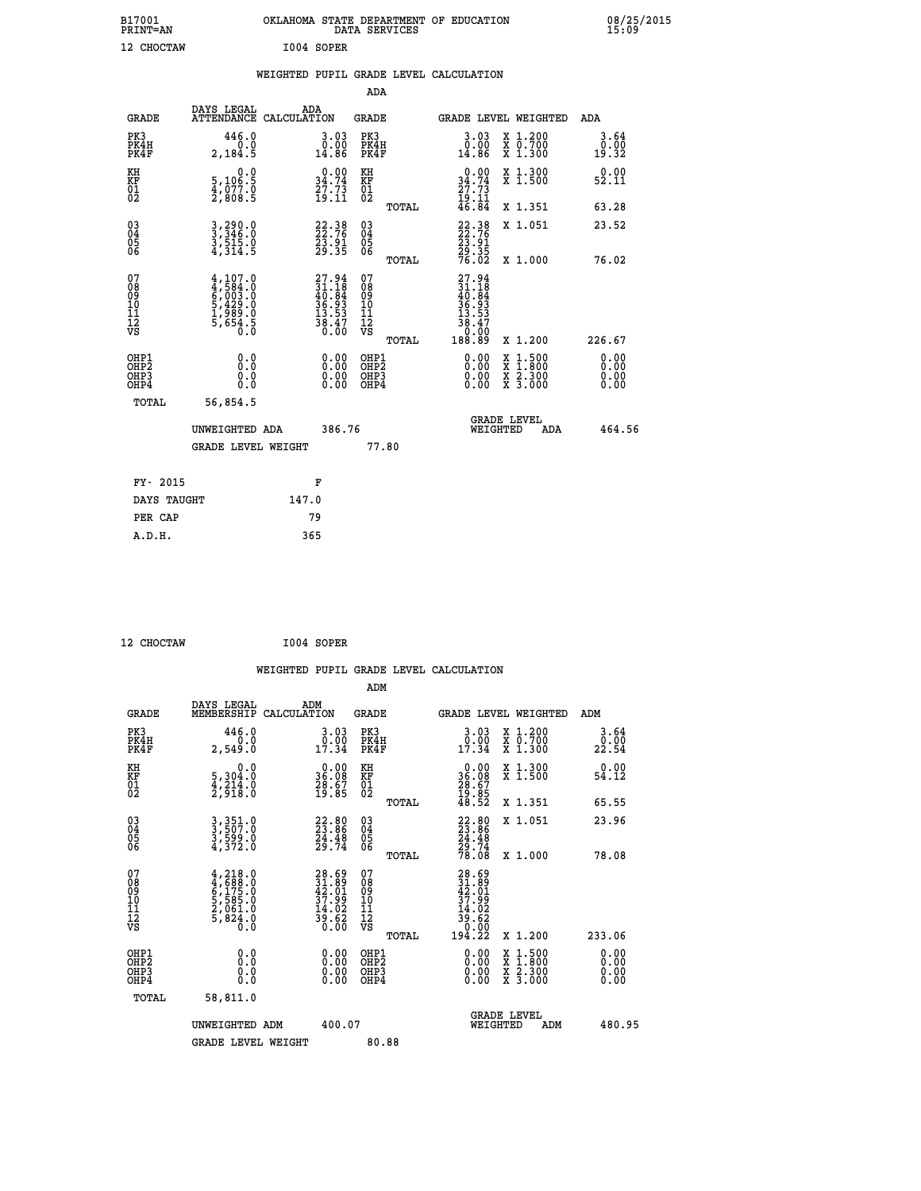| B17001<br>PRINT=AN                                 |                                                                                         | OKLAHOMA STATE DEPARTMENT OF EDUCATION                                   | DATA SERVICES                    |                                                                                |                                                                                          | 08/25/2015            |  |
|----------------------------------------------------|-----------------------------------------------------------------------------------------|--------------------------------------------------------------------------|----------------------------------|--------------------------------------------------------------------------------|------------------------------------------------------------------------------------------|-----------------------|--|
| 12 CHOCTAW                                         |                                                                                         | I004 SOPER                                                               |                                  |                                                                                |                                                                                          |                       |  |
|                                                    |                                                                                         | WEIGHTED PUPIL GRADE LEVEL CALCULATION                                   |                                  |                                                                                |                                                                                          |                       |  |
|                                                    |                                                                                         |                                                                          | ADA                              |                                                                                |                                                                                          |                       |  |
| <b>GRADE</b>                                       | DAYS LEGAL                                                                              | ADA<br>ATTENDANCE CALCULATION                                            | GRADE                            | <b>GRADE LEVEL WEIGHTED</b>                                                    |                                                                                          | ADA                   |  |
| PK3<br>PK4H<br>PK4F                                | 446.0<br>0.0<br>2,184.5                                                                 | 3.03<br>$0.00$<br>14.86                                                  | PK3<br>PK4H<br>PK4F              | $3.03$<br>$0.00$<br>14.86                                                      | X 1.200<br>X 0.700<br>X 1.300                                                            | 3.64<br>0.00<br>19.32 |  |
| KH<br>KF<br>01<br>02                               | 0.0<br>5,106:5<br>4,077:0<br>2,808:5                                                    | $\begin{smallmatrix} 0.00\\ 34.74\\ 27.73\\ 19.11 \end{smallmatrix}$     | KH<br>KF<br>01<br>02             | $0.00$<br>$34.74$<br>$27.73$<br>$19.11$<br>$46.84$                             | X 1.300<br>X 1.500                                                                       | 0.00<br>52.11         |  |
|                                                    |                                                                                         |                                                                          | <b>TOTAL</b>                     |                                                                                | X 1.351                                                                                  | 63.28                 |  |
| $\begin{matrix} 03 \\ 04 \\ 05 \\ 06 \end{matrix}$ | $3,346.0$<br>$3,515.0$<br>$3,515.0$<br>$4,314.5$                                        | 22.38<br>22.76<br>23.91<br>29.35                                         | 03<br>04<br>05<br>06             | 22:38<br>22:76<br>23:91<br>29:35<br>76:02                                      | X 1.051                                                                                  | 23.52                 |  |
| 07                                                 |                                                                                         |                                                                          | TOTAL<br>07                      |                                                                                | X 1.000                                                                                  | 76.02                 |  |
| 08<br>09<br>11<br>11<br>12<br>VS                   | $4,107.0$<br>$4,584.0$<br>$6,003.0$<br>$5,429.0$<br>$1,989.0$<br>$1,969.0$<br>$5,654.5$ | $27.94$<br>$31.18$<br>$40.84$<br>$36.93$<br>$13.53$<br>$38.47$<br>$0.00$ | 08<br>09<br>10<br>11<br>12<br>VS | $27.94$<br>$31.18$<br>$40.84$<br>$36.93$<br>$13.53$<br>38.47<br>Ŏ.ŌÓ<br>188.89 |                                                                                          |                       |  |
|                                                    | 0.0                                                                                     |                                                                          | TOTAL<br>OHP1                    |                                                                                | X 1.200                                                                                  | 226.67<br>0.00        |  |
| OHP1<br>OHP2<br>OHP3<br>OHP4                       | 0.0<br>0.0<br>0.0                                                                       | 0.00<br>0.00                                                             | OHP2<br>OHP3<br>OHP4             | 0.00<br>0.00<br>0.00                                                           | $\begin{smallmatrix} x & 1.500 \\ x & 1.800 \\ x & 2.300 \\ x & 3.000 \end{smallmatrix}$ | 0.00<br>0.00<br>0.00  |  |
| TOTAL                                              | 56,854.5                                                                                |                                                                          |                                  |                                                                                |                                                                                          |                       |  |
|                                                    | UNWEIGHTED ADA                                                                          | 386.76                                                                   |                                  | <b>GRADE LEVEL</b><br>WEIGHTED                                                 | ADA                                                                                      | 464.56                |  |
|                                                    | <b>GRADE LEVEL WEIGHT</b>                                                               |                                                                          | 77.80                            |                                                                                |                                                                                          |                       |  |
| FY- 2015                                           |                                                                                         | F                                                                        |                                  |                                                                                |                                                                                          |                       |  |
| DAYS TAUGHT                                        |                                                                                         | 147.0                                                                    |                                  |                                                                                |                                                                                          |                       |  |
| PER CAP                                            |                                                                                         | 79                                                                       |                                  |                                                                                |                                                                                          |                       |  |

| 12 CHOCTAW | I004 SOPER |
|------------|------------|

 **WEIGHTED PUPIL GRADE LEVEL CALCULATION ADM DAYS LEGAL ADM GRADE MEMBERSHIP CALCULATION GRADE GRADE LEVEL WEIGHTED ADM PK3 446.0 3.03 PK3 3.03 X 1.200 3.64 PK4H 0.0 0.00 PK4H 0.00 X 0.700 0.00 PK4F 2,549.0 17.34 PK4F 17.34 X 1.300 22.54** 0.00 KH 0.00 KH 0.00 KH 0.00 X 1.300<br>RF 5,304.0 36.08 KF 36.08 X 1.500 54.12  **01 4,214.0 28.67 01 28.67 02 2,918.0 19.85 02 19.85 TOTAL 48.52 X 1.351 65.55 03 3,351.0 22.80 03 22.80 X 1.051 23.96 04 3,507.0 23.86 04 23.86 05 3,599.0 24.48 05 24.48 06 4,372.0 29.74 06 29.74 TOTAL 78.08 X 1.000 78.08**  $\begin{array}{cccc} 07 & 4\, , 218\, . \ 09 & 4\, , 698\, . \ 09 & 5\, , 585\, . \ 0 & 5\, , 585\, . \ 0 & 10 & 5\, , 585\, . \ 0 & 11 & 2\, , 624\, . \ 0 & 5\, , 85\, . \ 0 & 12\, . \ 0 & 14\, . \ 0 & 14\, . \ 0 & 14\, . \ 0 & 14\, . \end{array}$  **TOTAL 194.22 X 1.200 233.06 OHP1 0.0 0.00 OHP1 0.00 X 1.500 0.00 OHP2 0.0 0.00 OHP2 0.00 X 1.800 0.00 OHP3 0.0 0.00 OHP3 0.00 X 2.300 0.00 OHP4 0.0 0.00 OHP4 0.00 X 3.000 0.00 TOTAL 58,811.0 GRADE LEVEL UNWEIGHTED ADM 400.07 WEIGHTED ADM 480.95** GRADE LEVEL WEIGHT 80.88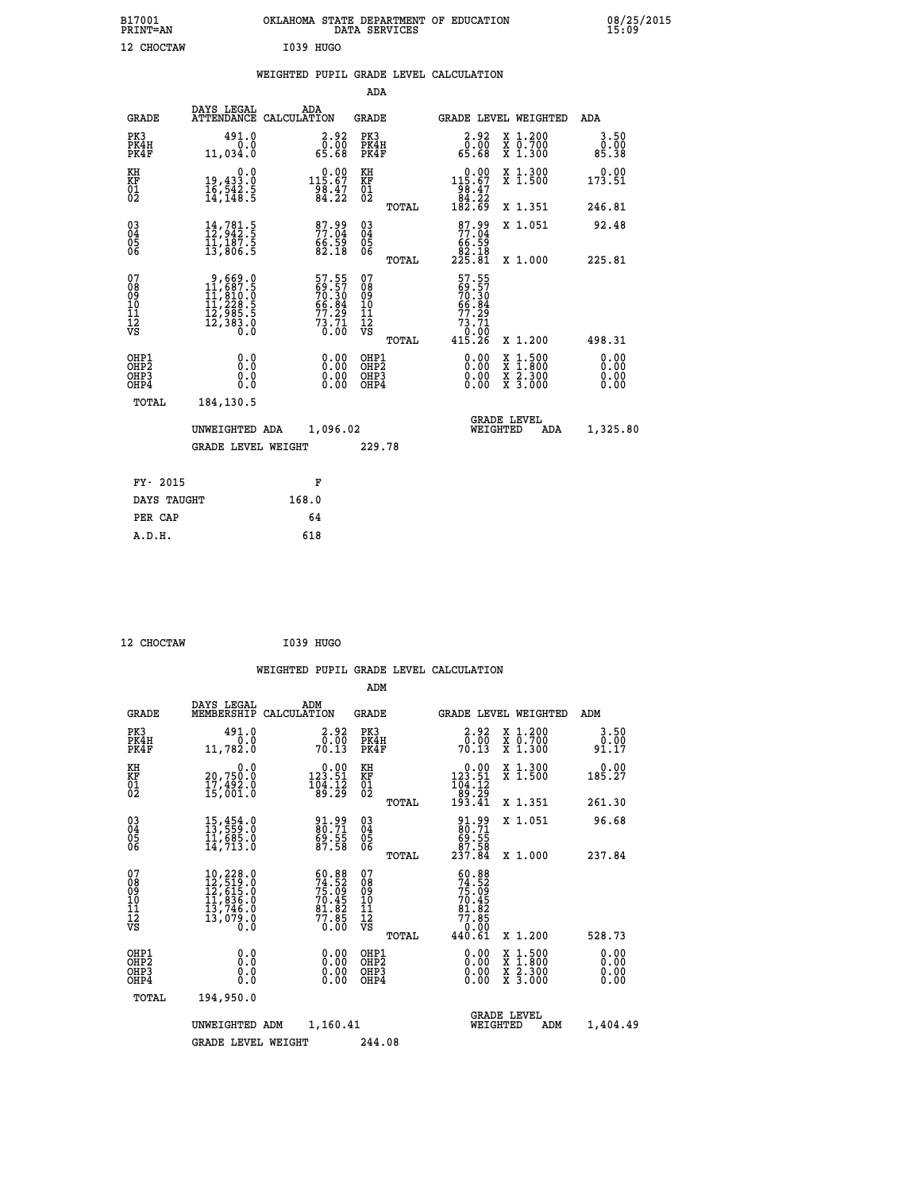| B17001<br>PRINT=AN                     |                                                                                                                                              | OKLAHOMA STATE DEPARTMENT OF EDUCATION                                         | DATA SERVICES                                              |                                                                  |                                                                                          | 08/25/2015                   |
|----------------------------------------|----------------------------------------------------------------------------------------------------------------------------------------------|--------------------------------------------------------------------------------|------------------------------------------------------------|------------------------------------------------------------------|------------------------------------------------------------------------------------------|------------------------------|
| 12 CHOCTAW                             |                                                                                                                                              | I039 HUGO                                                                      |                                                            |                                                                  |                                                                                          |                              |
|                                        |                                                                                                                                              | WEIGHTED PUPIL GRADE LEVEL CALCULATION                                         |                                                            |                                                                  |                                                                                          |                              |
|                                        |                                                                                                                                              |                                                                                | <b>ADA</b>                                                 |                                                                  |                                                                                          |                              |
| GRADE                                  | DAYS LEGAL                                                                                                                                   | ADA<br>ATTENDANCE CALCULATION                                                  | <b>GRADE</b>                                               |                                                                  | GRADE LEVEL WEIGHTED                                                                     | ADA                          |
| PK3<br>PK4H<br>PK4F                    | 491.0<br>0.0<br>11,034.0                                                                                                                     | 2.92<br>0.00<br>65.68                                                          | PK3<br>PK4H<br>PK4F                                        | $2.92$<br>0.00<br>65.68                                          | X 1.200<br>X 0.700<br>X 1.300                                                            | 3.50<br>0.00<br>85.38        |
| KH<br>KF<br>01<br>02                   | 0.0<br>19,433.0<br>16,542.5<br>14,148.5                                                                                                      | $\substack{1~\substack{0~.~0~0\\1~\substack{1~6~.~6~7\\9~8~.~2~1\\8~4~.~2~2}}$ | KH<br><b>KF</b><br>01<br>02                                | $0.00$<br>115.67<br>$\frac{58.47}{84.22}$                        | X 1.300<br>X 1.500                                                                       | 0.00<br>173.51               |
|                                        |                                                                                                                                              |                                                                                | TOTAL                                                      | 182.69                                                           | X 1.351                                                                                  | 246.81                       |
| 03<br>04<br>05<br>06                   | $\begin{smallmatrix} 14 \ , \, 781 \ . \, 5 \\ 12 \ , \, 942 \ . \, 5 \\ 11 \ , \, 187 \ . \, 5 \\ 13 \ , \, 806 \ . \, 5 \end{smallmatrix}$ | 87.99<br>77.04<br>$\frac{66.59}{82.18}$                                        | $\begin{matrix} 03 \\ 04 \\ 05 \\ 06 \end{matrix}$         | 87.99<br>77.04<br>éé: Š9<br>82:18<br>225: 81                     | X 1.051                                                                                  | 92.48                        |
|                                        |                                                                                                                                              |                                                                                | TOTAL                                                      |                                                                  | X 1.000                                                                                  | 225.81                       |
| 07<br>08<br>09<br>11<br>11<br>12<br>VS | $9,669.0$<br>$11,687.5$<br>$11,810.0$<br>$11,228.5$<br>$12,985.5$<br>$12,383.0$<br>$0.0$                                                     | 57.55<br>69.57<br>70.30<br>70.84<br>66.84<br>77.29<br>73.71                    | 07<br>08<br>09<br>10<br>$\frac{11}{12}$<br>$\frac{12}{18}$ | 57.55<br>69.57<br>70.30<br>66.84<br>$77.29$<br>$73.71$<br>$0.00$ |                                                                                          |                              |
|                                        |                                                                                                                                              |                                                                                | TOTAL                                                      | 415.26                                                           | X 1.200                                                                                  | 498.31                       |
| OHP1<br>OHP2<br>OHP3<br>OHP4           | 0.0<br>0.0<br>0.0                                                                                                                            | 0.00<br>$\begin{smallmatrix} 0.00 \ 0.00 \end{smallmatrix}$                    | OHP1<br>OHP <sub>2</sub><br>OHP3<br>OHP4                   | 0.00<br>0.00<br>0.00                                             | $\begin{smallmatrix} x & 1.500 \\ x & 1.800 \\ x & 2.300 \\ x & 3.000 \end{smallmatrix}$ | 0.00<br>0.00<br>0.00<br>0.00 |
| TOTAL                                  | 184,130.5                                                                                                                                    |                                                                                |                                                            |                                                                  |                                                                                          |                              |
|                                        | UNWEIGHTED ADA                                                                                                                               | 1,096.02                                                                       |                                                            | WEIGHTED                                                         | <b>GRADE LEVEL</b><br>ADA                                                                | 1,325.80                     |
|                                        | <b>GRADE LEVEL WEIGHT</b>                                                                                                                    |                                                                                | 229.78                                                     |                                                                  |                                                                                          |                              |
| FY- 2015                               |                                                                                                                                              | F                                                                              |                                                            |                                                                  |                                                                                          |                              |
| DAYS TAUGHT                            |                                                                                                                                              | 168.0                                                                          |                                                            |                                                                  |                                                                                          |                              |
| PER CAP                                |                                                                                                                                              | 64                                                                             |                                                            |                                                                  |                                                                                          |                              |

| <b>CHOCTAW</b> |
|----------------|

 **12 CHOCTAW I039 HUGO**

|                                                    |                                          |                                                                                            |                    |                                                                          |                                               |       | WEIGHTED PUPIL GRADE LEVEL CALCULATION                                               |                                                                                                  |                               |
|----------------------------------------------------|------------------------------------------|--------------------------------------------------------------------------------------------|--------------------|--------------------------------------------------------------------------|-----------------------------------------------|-------|--------------------------------------------------------------------------------------|--------------------------------------------------------------------------------------------------|-------------------------------|
|                                                    |                                          |                                                                                            |                    |                                                                          | ADM                                           |       |                                                                                      |                                                                                                  |                               |
|                                                    | <b>GRADE</b>                             | DAYS LEGAL<br>MEMBERSHIP                                                                   | ADM<br>CALCULATION |                                                                          | <b>GRADE</b>                                  |       |                                                                                      | <b>GRADE LEVEL WEIGHTED</b>                                                                      | ADM                           |
|                                                    | PK3<br>PK4H<br>PK4F                      | 491.0<br>0.0<br>11,782.0                                                                   |                    | 2.92<br>0.00<br>70.13                                                    | PK3<br>PK4H<br>PK4F                           |       | $\begin{smallmatrix} 2.92\ 0.00\\ 70.13 \end{smallmatrix}$                           | X 1.200<br>X 0.700<br>X 1.300                                                                    | 3.50<br>0.00<br>91.17         |
| KH<br>KF<br>01<br>02                               |                                          | 0.0<br>20,750.0<br>17,492.0<br>15,001.0                                                    |                    | $\begin{smallmatrix} &0.00\\ 123.51\\ 104.12\\ 89.29\end{smallmatrix}$   | KH<br>KF<br>01<br>02                          |       | $\begin{smallmatrix} &0.00\\ 123.51\\ 104.12\\ 89.29\\ 193.41\end{smallmatrix}$      | X 1.300<br>X 1.500                                                                               | $0.00$<br>185.27              |
|                                                    |                                          |                                                                                            |                    |                                                                          |                                               | TOTAL |                                                                                      | X 1.351                                                                                          | 261.30                        |
| $\begin{matrix} 03 \\ 04 \\ 05 \\ 06 \end{matrix}$ |                                          | $15,454.0$<br>$13,559.0$<br>$11,685.0$<br>$14,713.0$                                       |                    | 91.99<br>80.71<br>$\frac{69.55}{87.58}$                                  | 03<br>04<br>05<br>06                          |       | 91.99<br>80.71<br>69.55<br>87.58<br>237.84                                           | X 1.051                                                                                          | 96.68                         |
|                                                    |                                          |                                                                                            |                    |                                                                          |                                               | TOTAL |                                                                                      | X 1.000                                                                                          | 237.84                        |
| 07<br>08<br>09<br>11<br>11<br>12<br>VS             |                                          | $10, 228.0$<br>$12, 519.0$<br>$12, 615.0$<br>$11, 836.0$<br>$13, 746.0$<br>13,079.0<br>0.0 |                    | $60.88$<br>$74.52$<br>$75.09$<br>$70.45$<br>$81.82$<br>$77.85$<br>$0.00$ | 07<br>08<br>09<br>001<br>11<br>11<br>12<br>VS |       | $50.88$<br>$74.52$<br>$75.09$<br>$70.45$<br>$81.82$<br>$77.85$<br>$0.00$<br>$440.61$ |                                                                                                  |                               |
|                                                    |                                          |                                                                                            |                    |                                                                          |                                               | TOTAL |                                                                                      | $X_1.200$                                                                                        | 528.73                        |
|                                                    | OHP1<br>OHP2<br>OH <sub>P3</sub><br>OHP4 | 0.0<br>0.000                                                                               |                    | $0.00$<br>$0.00$<br>0.00                                                 | OHP1<br>OHP2<br>OHP <sub>3</sub>              |       | $0.00$<br>$0.00$<br>0.00                                                             | $\begin{smallmatrix} x & 1 & 500 \\ x & 1 & 800 \\ x & 2 & 300 \\ x & 3 & 000 \end{smallmatrix}$ | 0.00<br>Ō. ŌŌ<br>0.00<br>0.00 |
|                                                    | TOTAL                                    | 194,950.0                                                                                  |                    |                                                                          |                                               |       |                                                                                      |                                                                                                  |                               |
|                                                    |                                          | UNWEIGHTED ADM                                                                             |                    | 1,160.41                                                                 |                                               |       |                                                                                      | <b>GRADE LEVEL</b><br>WEIGHTED<br>ADM                                                            | 1,404.49                      |
|                                                    |                                          | <b>GRADE LEVEL WEIGHT</b>                                                                  |                    |                                                                          | 244.08                                        |       |                                                                                      |                                                                                                  |                               |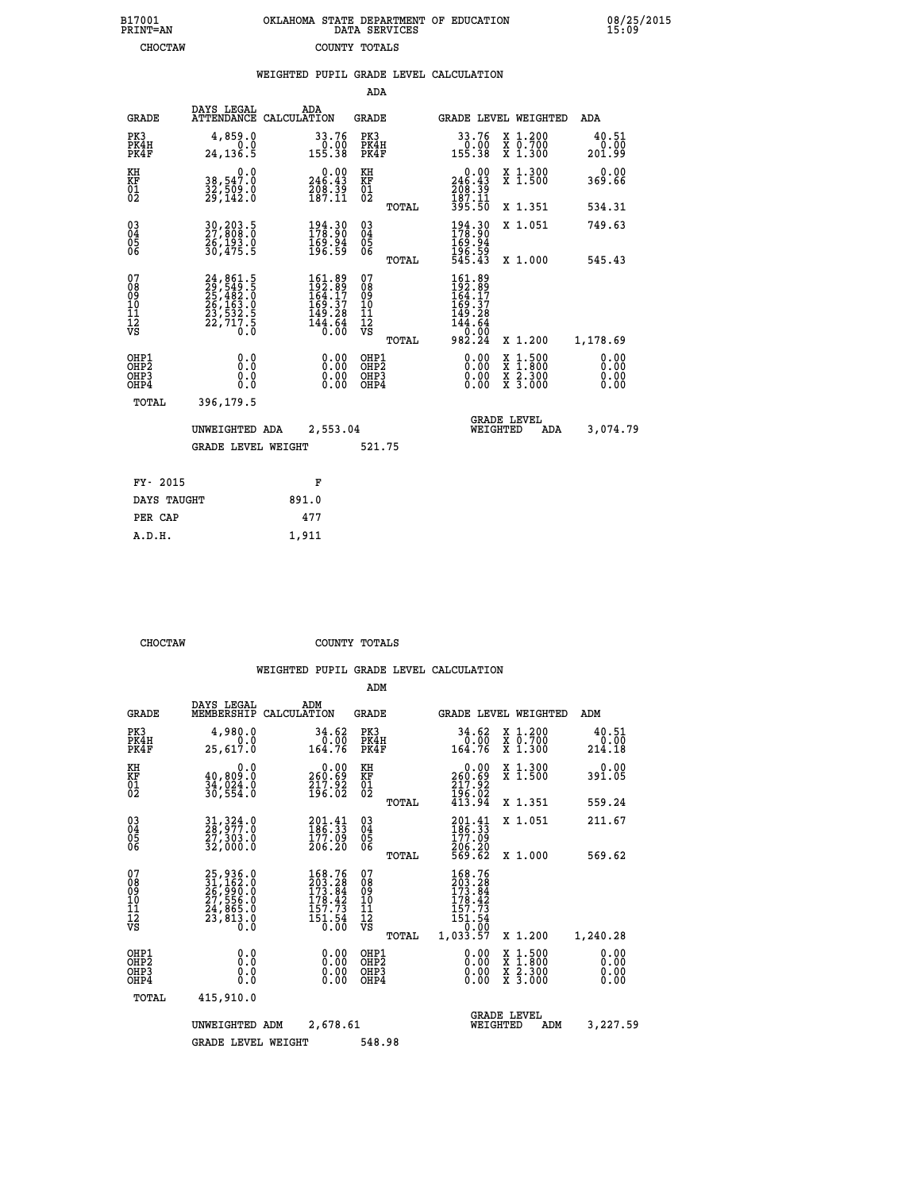| 7001<br>INT=AN | OKLAHOMA STATE DEPARTMENT OF EDUCATION<br>DATA SERVICES |  |
|----------------|---------------------------------------------------------|--|
| CHOCTAW        | COUNTY TOTALS                                           |  |

08/25/2015<br>15:09

|                                                                    |                                                                            |                                                                           |                                               | WEIGHTED PUPIL GRADE LEVEL CALCULATION                                                               |                                                                                                                                           |                         |
|--------------------------------------------------------------------|----------------------------------------------------------------------------|---------------------------------------------------------------------------|-----------------------------------------------|------------------------------------------------------------------------------------------------------|-------------------------------------------------------------------------------------------------------------------------------------------|-------------------------|
|                                                                    |                                                                            |                                                                           | ADA                                           |                                                                                                      |                                                                                                                                           |                         |
| <b>GRADE</b>                                                       | DAYS LEGAL                                                                 | ADA<br>ATTENDANCE CALCULATION                                             | <b>GRADE</b>                                  | <b>GRADE LEVEL WEIGHTED</b>                                                                          |                                                                                                                                           | ADA                     |
| PK3<br>PK4H<br>PK4F                                                | 4,859.0<br>0.0<br>24, 136.5                                                | 33.76<br>$\frac{0.00}{155.38}$                                            | PK3<br>PK4H<br>PK4F                           | 33.76<br>0.00<br>155.38                                                                              | X 1.200<br>X 0.700<br>X 1.300                                                                                                             | 40.51<br>0.00<br>201.99 |
| KH<br>KF<br>01<br>02                                               | 0.0<br>38,547.0<br>32,509:0<br>29,142:0                                    | $0.00$<br>246.43<br>$\frac{7}{187}$ $\frac{8}{11}$                        | KH<br>KF<br>01<br>02                          | $246.00$<br>246.43<br>$\frac{208}{187}$ $\frac{39}{187}$<br>$\frac{11}{395}$                         | X 1.300<br>X 1.500                                                                                                                        | 0.00<br>369.66          |
|                                                                    |                                                                            |                                                                           | TOTAL                                         |                                                                                                      | X 1.351                                                                                                                                   | 534.31                  |
| $\begin{smallmatrix} 03 \\[-4pt] 04 \end{smallmatrix}$<br>05<br>06 | 30,203.5<br>27,808.0<br>26,193.0<br>30,475.5                               | $\begin{smallmatrix} 194.30\\ 178.90\\ 169.94\\ 196.59 \end{smallmatrix}$ | $^{03}_{04}$<br>0500                          | 194.30<br>178.90<br>169.94                                                                           | X 1.051                                                                                                                                   | 749.63                  |
|                                                                    |                                                                            |                                                                           | TOTAL                                         | 196.59<br>545.43                                                                                     | X 1.000                                                                                                                                   | 545.43                  |
| 07<br>08<br>09<br>10<br>11<br>11<br>12<br>VS                       | 24, 861.5<br>29, 549.5<br>25, 482.0<br>26, 163.0<br>23, 532.5<br>22, 717.5 | 161.89<br>192.89<br>164.17<br>169.37<br>149.28<br>$\frac{144.64}{0.00}$   | 078<br>089<br>0011<br>11<br>12<br>VS<br>TOTAL | $\begin{smallmatrix} 161.89\\192.89\\164.17\\169.37\\149.28\\144.64\\0.00\\982.24 \end{smallmatrix}$ | X 1.200                                                                                                                                   | 1,178.69                |
| OHP1<br>OHP2<br>OH <sub>P</sub> 3<br>OH <sub>P4</sub>              | 0.0<br>0.0<br>0.0                                                          | 0.00<br>$\begin{smallmatrix} 0.00 \ 0.00 \end{smallmatrix}$               | OHP1<br>OHP2<br>OHP3<br>OHP4                  | 0.00<br>0.00                                                                                         | $\begin{smallmatrix} \mathtt{X} & 1\cdot500\\ \mathtt{X} & 1\cdot800\\ \mathtt{X} & 2\cdot300\\ \mathtt{X} & 3\cdot000 \end{smallmatrix}$ | 0.00<br>0.00<br>0.00    |
| TOTAL                                                              | 396,179.5                                                                  |                                                                           |                                               |                                                                                                      |                                                                                                                                           |                         |
|                                                                    | UNWEIGHTED ADA                                                             | 2,553.04                                                                  |                                               | <b>GRADE LEVEL</b><br>WEIGHTED                                                                       | ADA                                                                                                                                       | 3,074.79                |
|                                                                    | <b>GRADE LEVEL WEIGHT</b>                                                  |                                                                           | 521.75                                        |                                                                                                      |                                                                                                                                           |                         |
| FY- 2015                                                           |                                                                            | F                                                                         |                                               |                                                                                                      |                                                                                                                                           |                         |
| DAYS TAUGHT                                                        |                                                                            | 891.0                                                                     |                                               |                                                                                                      |                                                                                                                                           |                         |
| PER CAP                                                            |                                                                            | 477                                                                       |                                               |                                                                                                      |                                                                                                                                           |                         |

| CHOCTAW | COUNTY TOTALS |  |
|---------|---------------|--|

 **A.D.H. 1,911**

 **B17001<br>PRINT=AN** 

|                                                       |                                                                      |                                                                                            | ADM                                     |       |                                                                                                        |                                                                                                  |                              |
|-------------------------------------------------------|----------------------------------------------------------------------|--------------------------------------------------------------------------------------------|-----------------------------------------|-------|--------------------------------------------------------------------------------------------------------|--------------------------------------------------------------------------------------------------|------------------------------|
| <b>GRADE</b>                                          | DAYS LEGAL<br>MEMBERSHIP                                             | ADM<br>CALCULATION                                                                         | <b>GRADE</b>                            |       |                                                                                                        | <b>GRADE LEVEL WEIGHTED</b>                                                                      | ADM                          |
| PK3<br>PK4H<br>PK4F                                   | 4,980.0<br>0.0<br>25,617.0                                           | 34.62<br>0.00<br>164.76                                                                    | PK3<br>PK4H<br>PK4F                     |       | 34.62<br>0.00<br>164.76                                                                                | X 1.200<br>X 0.700<br>X 1.300                                                                    | 40.51<br>0.00<br>214.18      |
| KH<br>KF<br>01<br>02                                  | 0.0<br>40,809.0<br>34,024.0<br>30,554.0                              | $\substack{0.00\\260.69\\217.92\\196.02}$                                                  | KH<br>KF<br>01<br>02                    |       | 0.00<br>260:69<br>217:92<br>196:02<br>413:94                                                           | X 1.300<br>X 1.500                                                                               | 0.00<br>391.05               |
|                                                       |                                                                      |                                                                                            |                                         | TOTAL |                                                                                                        | X 1.351                                                                                          | 559.24                       |
| 03<br>04<br>05<br>06                                  | 31, 324.0<br>28, 977.0<br>$\bar{2}\bar{7}$ , 303.0<br>32,000.0       | $\begin{smallmatrix} 201\cdot 41\\186\cdot 33\\177\cdot 09\\206\cdot 20\end{smallmatrix}$  | $^{03}_{04}$<br>0500                    |       | $\frac{201.41}{186.33}$<br>177.09                                                                      | X 1.051                                                                                          | 211.67                       |
|                                                       |                                                                      |                                                                                            |                                         | TOTAL | 206.20<br>569.62                                                                                       | X 1.000                                                                                          | 569.62                       |
| 07<br>08<br>09<br>101<br>112<br>VS                    | 25,936.0<br>31,162.0<br>26,990.0<br>27,556.0<br>24,865.0<br>23,813.0 | 168.76<br>203.28<br>173.84<br>178.42<br>157.73<br>$\overline{151.54}$<br>$\overline{0.00}$ | 07<br>08<br>09<br>101<br>11<br>12<br>VS | TOTAL | 168.76<br>203.28<br>173.84<br>178.42<br>157.73<br>$\overline{151.54}$<br>$\overline{0.00}$<br>1,033.57 | X 1.200                                                                                          | 1,240.28                     |
| OHP1<br>OH <sub>P</sub> 2<br>OH <sub>P3</sub><br>OHP4 | 0.0<br>0.000                                                         | $0.00$<br>$0.00$<br>0.00                                                                   | OHP1<br>OHP2<br>OHP3<br>OHP4            |       | $0.00$<br>$0.00$<br>0.00                                                                               | $\begin{smallmatrix} x & 1 & 500 \\ x & 1 & 800 \\ x & 2 & 300 \\ x & 3 & 000 \end{smallmatrix}$ | 0.00<br>0.00<br>0.00<br>0.00 |
| TOTAL                                                 | 415,910.0                                                            |                                                                                            |                                         |       |                                                                                                        |                                                                                                  |                              |
|                                                       | UNWEIGHTED                                                           | 2,678.61<br>ADM                                                                            |                                         |       | WEIGHTED                                                                                               | <b>GRADE LEVEL</b><br>ADM                                                                        | 3,227.59                     |
|                                                       | <b>GRADE LEVEL WEIGHT</b>                                            |                                                                                            | 548.98                                  |       |                                                                                                        |                                                                                                  |                              |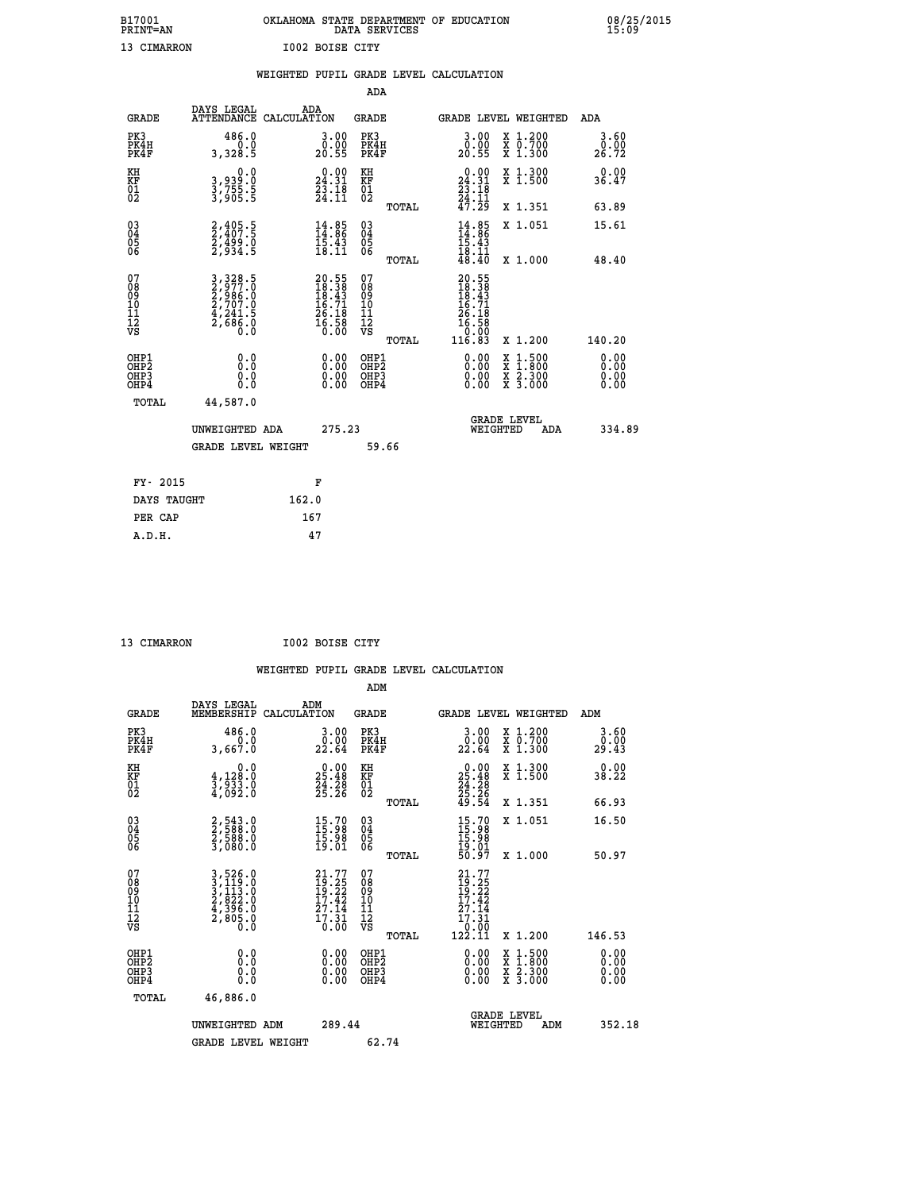| B17001<br><b>PRINT=AN</b> |                 | OKLAHOMA STATE DEPARTMENT OF EDUCATION<br>DATA SERVICES |  |
|---------------------------|-----------------|---------------------------------------------------------|--|
| 13 CIMARRON               | I002 BOISE CITY |                                                         |  |

|                                           |                                                                                                                                                              | WEIGHTED PUPIL GRADE LEVEL CALCULATION                                                       |                                                    |       |                                                                                                     |                                                                   |                              |
|-------------------------------------------|--------------------------------------------------------------------------------------------------------------------------------------------------------------|----------------------------------------------------------------------------------------------|----------------------------------------------------|-------|-----------------------------------------------------------------------------------------------------|-------------------------------------------------------------------|------------------------------|
|                                           |                                                                                                                                                              |                                                                                              | <b>ADA</b>                                         |       |                                                                                                     |                                                                   |                              |
| <b>GRADE</b>                              |                                                                                                                                                              | DAYS LEGAL ADA ATTENDANCE CALCULATION                                                        | <b>GRADE</b>                                       |       |                                                                                                     | GRADE LEVEL WEIGHTED                                              | ADA                          |
| PK3<br>PK4H<br>PK4F                       | 486.0<br>3,328.5                                                                                                                                             | $\begin{smallmatrix} 3.00\ 0.00 \ 20.55 \end{smallmatrix}$                                   | PK3<br>PK4H<br>PK4F                                |       | 3.00<br>0.00<br>20.55                                                                               | X 1.200<br>X 0.700<br>X 1.300                                     | 3.60<br>0.00<br>26.72        |
| KH<br><b>KF</b><br>01<br>02               | 0.0<br>3,939:0<br>3,755:5<br>3,905:5                                                                                                                         | $\begin{smallmatrix} 0.00\\24.31\\23.18\\24.11 \end{smallmatrix}$                            | KH<br>KF<br>01<br>02                               |       | $\begin{smallmatrix} 0.00\\24.31\\23.18\\24.11\\47.29 \end{smallmatrix}$                            | X 1.300<br>X 1.500                                                | 0.00<br>36.47                |
|                                           |                                                                                                                                                              |                                                                                              |                                                    | TOTAL |                                                                                                     | X 1.351                                                           | 63.89                        |
| $^{03}_{04}$<br>05<br>06                  | 2,405.5<br>2,407.5<br>2,499.0<br>2,934.5                                                                                                                     | $14.85$<br>$14.86$<br>$15.43$<br>$18.11$                                                     | $\begin{matrix} 03 \\ 04 \\ 05 \\ 06 \end{matrix}$ |       | $14.85$<br>$14.86$<br>$15.43$<br>$18.11$<br>$48.40$                                                 | X 1.051                                                           | 15.61                        |
|                                           |                                                                                                                                                              |                                                                                              |                                                    | TOTAL |                                                                                                     | X 1.000                                                           | 48.40                        |
| 07<br>08<br>09<br>11<br>11<br>12<br>VS    | $\begin{smallmatrix} 3\,,\,328\,.5\\ 2\,,\,977\,. \,0\\ 2\,,\,986\,. \,0\\ 2\,,\,707\,. \,0\\ 4\,,\,241\,. 5\\ 2\,,\,686\,. \,0\\ 0\,. \,0\end{smallmatrix}$ | $\begin{smallmatrix} 20.55\\ 18.38\\ 18.43\\ 16.71\\ 26.18\\ 26.58\\ 0.00 \end{smallmatrix}$ | 07<br>08<br>09<br>11<br>11<br>12<br>VS             | TOTAL | 20.55<br>18.38<br>18.43<br>16.71<br>26.18<br>$\begin{array}{r} 16.58 \\ 0.08 \\ 116.83 \end{array}$ | X 1.200                                                           | 140.20                       |
| OHP1<br>OH <sub>P</sub> 2<br>OHP3<br>OHP4 | 0.0<br>0.0<br>Ō.Ō                                                                                                                                            | 0.0000<br>$0.00$<br>0.00                                                                     | OHP1<br>OHP2<br>OHP3<br>OHP4                       |       | 0.00<br>0.00<br>0.00                                                                                | $1:500$<br>1:800<br>X<br>X<br>$\frac{x}{x}$ $\frac{5:300}{3:000}$ | 0.00<br>0.00<br>0.00<br>0.00 |
| <b>TOTAL</b>                              | 44,587.0                                                                                                                                                     |                                                                                              |                                                    |       |                                                                                                     |                                                                   |                              |
|                                           | UNWEIGHTED ADA                                                                                                                                               | 275.23                                                                                       |                                                    |       |                                                                                                     | GRADE LEVEL<br>WEIGHTED<br>ADA                                    | 334.89                       |
|                                           | <b>GRADE LEVEL WEIGHT</b>                                                                                                                                    |                                                                                              | 59.66                                              |       |                                                                                                     |                                                                   |                              |
| FY- 2015                                  |                                                                                                                                                              | F                                                                                            |                                                    |       |                                                                                                     |                                                                   |                              |
| DAYS TAUGHT                               |                                                                                                                                                              | 162.0                                                                                        |                                                    |       |                                                                                                     |                                                                   |                              |
| PER CAP                                   |                                                                                                                                                              | 167                                                                                          |                                                    |       |                                                                                                     |                                                                   |                              |

 **ADM**

 **13 CIMARRON I002 BOISE CITY**

| <b>GRADE</b>                                       | DAYS LEGAL<br>MEMBERSHIP CALCULATION                                                                                                    | ADM                                                                      | <b>GRADE</b>                                          | GRADE LEVEL WEIGHTED                                                                     |                                |                                          | ADM                   |
|----------------------------------------------------|-----------------------------------------------------------------------------------------------------------------------------------------|--------------------------------------------------------------------------|-------------------------------------------------------|------------------------------------------------------------------------------------------|--------------------------------|------------------------------------------|-----------------------|
| PK3<br>PK4H<br>PK4F                                | 486.0<br>0.0<br>3,667.0                                                                                                                 | 3.00<br>22.64                                                            | PK3<br>PK4H<br>PK4F                                   | 3.00<br>$22.60$<br>22.64                                                                 |                                | X 1.200<br>X 0.700<br>X 1.300            | 3.60<br>0.00<br>29.43 |
| KH<br>KF<br>01<br>02                               | 0.0<br>$\frac{4}{3}, \frac{128}{933}$ .0<br>4,092.0                                                                                     | $\begin{smallmatrix} 0.00\\ 25.48\\ 24.28\\ 25.26 \end{smallmatrix}$     | KH<br>KF<br>01<br>02                                  | $\begin{smallmatrix} 0.00\\ 25.48\\ 24.28\\ 25.26\\ 49.54 \end{smallmatrix}$             |                                | X 1.300<br>X 1.500                       | 0.00<br>38.22         |
|                                                    |                                                                                                                                         |                                                                          | TOTAL                                                 |                                                                                          |                                | X 1.351                                  | 66.93                 |
| $\begin{matrix} 03 \\ 04 \\ 05 \\ 06 \end{matrix}$ | 2,543.0<br>2,588.0<br>2,588.0<br>3,080.0                                                                                                | $\begin{smallmatrix} 15.70 \\ 15.98 \\ 15.98 \\ 19.01 \end{smallmatrix}$ | $\begin{matrix} 03 \\ 04 \\ 05 \\ 06 \end{matrix}$    | $15.7015.9815.9819.0150.97$                                                              |                                | X 1.051                                  | 16.50                 |
|                                                    |                                                                                                                                         |                                                                          | TOTAL                                                 |                                                                                          |                                | X 1.000                                  | 50.97                 |
| 07<br>08<br>09<br>101<br>11<br>12<br>VS            | $\begin{smallmatrix} 3\,,\,526\,.0\\ 3\,,\,119\,.0\\ 113\,.0\\ 2\,,\,822\,.0\\ 4\,,\,396\,.0\\ 2\,,\,805\,.0\\ 0\,.0 \end{smallmatrix}$ | $21.77$<br>$19.25$<br>$19.22$<br>$17.42$<br>$27.14$<br>$17.31$<br>$0.00$ | 07<br>08<br>09<br>01<br>11<br>11<br>12<br>VS<br>TOTAL | $21.77$<br>$19.25$<br>$19.22$<br>$17.42$<br>$27.14$<br>$17.31$<br>$\frac{0.001}{122.11}$ |                                | X 1.200                                  | 146.53                |
| OHP1<br>OHP2<br>OHP3<br>OHP4                       | 0.0<br>0.0<br>Ŏ.Ŏ                                                                                                                       | $0.00$<br>$0.00$<br>0.00                                                 | OHP1<br>OHP2<br>OHP3<br>OHP4                          | $0.00$<br>$0.00$<br>0.00                                                                 |                                | X 1:500<br>X 1:800<br>X 2:300<br>X 3:000 | 0.00<br>0.00<br>0.00  |
| TOTAL                                              | 46,886.0                                                                                                                                |                                                                          |                                                       |                                                                                          |                                |                                          |                       |
|                                                    | UNWEIGHTED<br>ADM                                                                                                                       | 289.44                                                                   |                                                       |                                                                                          | <b>GRADE LEVEL</b><br>WEIGHTED | ADM                                      | 352.18                |
|                                                    | <b>GRADE LEVEL WEIGHT</b>                                                                                                               |                                                                          | 62.74                                                 |                                                                                          |                                |                                          |                       |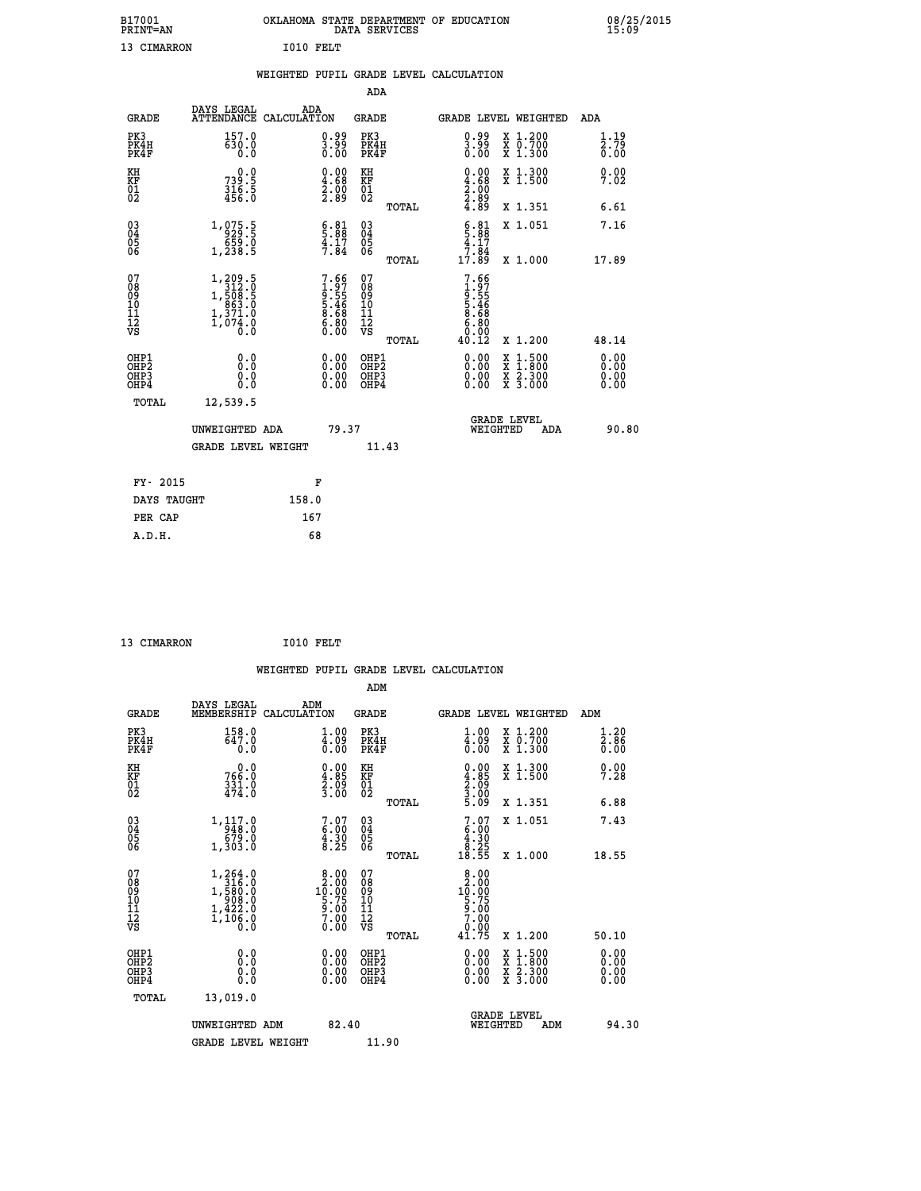|                                          |                                                                                                             |                    |                                                                    |                              |       | WEIGHTED PUPIL GRADE LEVEL CALCULATION                                   |          |                                                                                                                                      |                                          |
|------------------------------------------|-------------------------------------------------------------------------------------------------------------|--------------------|--------------------------------------------------------------------|------------------------------|-------|--------------------------------------------------------------------------|----------|--------------------------------------------------------------------------------------------------------------------------------------|------------------------------------------|
|                                          |                                                                                                             |                    |                                                                    | <b>ADA</b>                   |       |                                                                          |          |                                                                                                                                      |                                          |
| <b>GRADE</b>                             | DAYS LEGAL<br><b>ATTENDANCE</b>                                                                             | ADA<br>CALCULATION |                                                                    | <b>GRADE</b>                 |       |                                                                          |          | GRADE LEVEL WEIGHTED                                                                                                                 | ADA                                      |
| PK3<br>PK4H<br>PK4F                      | 157.0<br>$\bar{6}\bar{3}\bar{0}\bar{.}\bar{0}$                                                              |                    | $\begin{smallmatrix} 0.99\\ 3.99\\ 0.00 \end{smallmatrix}$         | PK3<br>PK4H<br>PK4F          |       | $\begin{smallmatrix} 0.99\\[-1mm] 3.99\\[-1mm] 0.00\end{smallmatrix}$    |          | X 1.200<br>X 0.700<br>X 1.300                                                                                                        | 1.19<br>$\bar{2}.\bar{7}\bar{9}$<br>0.00 |
| KH<br>KF<br>01<br>02                     | 0.0<br>$739.5$<br>$316.5$<br>$456.0$                                                                        |                    | $\begin{smallmatrix} 0.00\ 4.68\ 2.00\ 2.89 \end{smallmatrix}$     | KH<br>KF<br>01<br>02         |       | $\begin{smallmatrix} 0.00\\ 4.68\\ 2.00\\ 2.89\\ 4.89 \end{smallmatrix}$ |          | X 1.300<br>X 1.500                                                                                                                   | 0.00<br>7.02                             |
|                                          |                                                                                                             |                    |                                                                    |                              | TOTAL |                                                                          |          | X 1.351                                                                                                                              | 6.61                                     |
| 03<br>04<br>05<br>06                     | $\begin{array}{r} 1,075.5 \\ 929.5 \\ 659.0 \\ 1,238.5 \end{array}$                                         |                    | $\begin{array}{c} 6.81 \\ 5.88 \\ 4.17 \\ 7.84 \end{array}$        | 03<br>04<br>05<br>06         |       | $5.81$<br>$4.17$<br>$7.84$                                               |          | X 1.051                                                                                                                              | 7.16                                     |
|                                          |                                                                                                             |                    |                                                                    |                              | TOTAL | 17.89                                                                    |          | X 1.000                                                                                                                              | 17.89                                    |
| 07<br>0890112<br>1112<br>VS              | $\begin{smallmatrix} 1,209.5\\ 312.0\\ 1,508.5\\ 663.0\\ 863.0\\ 1,371.0\\ 1,074.0\\ 0.0 \end{smallmatrix}$ |                    | $7.66$<br>$1.97$<br>$9.55$<br>$5.46$<br>$8.68$<br>$6.80$<br>$0.00$ | 07<br>08901112<br>1112<br>VS | TOTAL | $7.66$<br>$1.97$<br>$9.55$<br>$5.468$<br>$8.688$<br>$6.800$<br>$6.012$   |          | X 1.200                                                                                                                              | 48.14                                    |
| OHP1<br>OHP2<br>OH <sub>P3</sub><br>OHP4 | 0.0<br>0.0<br>0.0                                                                                           |                    | $\begin{smallmatrix} 0.00 \ 0.00 \ 0.00 \ 0.00 \end{smallmatrix}$  | OHP1<br>OHP2<br>OHP3<br>OHP4 |       |                                                                          |          | $\begin{smallmatrix} \mathtt{X} & 1 & 500 \\ \mathtt{X} & 1 & 800 \\ \mathtt{X} & 2 & 300 \\ \mathtt{X} & 3 & 000 \end{smallmatrix}$ | 0.00<br>Ō. ŌŌ<br>0.00<br>0.00            |
| <b>TOTAL</b>                             | 12,539.5                                                                                                    |                    |                                                                    |                              |       |                                                                          |          |                                                                                                                                      |                                          |
|                                          | UNWEIGHTED ADA                                                                                              |                    | 79.37                                                              |                              |       |                                                                          | WEIGHTED | <b>GRADE LEVEL</b><br>ADA                                                                                                            | 90.80                                    |
|                                          | <b>GRADE LEVEL WEIGHT</b>                                                                                   |                    |                                                                    | 11.43                        |       |                                                                          |          |                                                                                                                                      |                                          |
| FY- 2015                                 |                                                                                                             |                    | F                                                                  |                              |       |                                                                          |          |                                                                                                                                      |                                          |
| DAYS TAUGHT                              |                                                                                                             | 158.0              |                                                                    |                              |       |                                                                          |          |                                                                                                                                      |                                          |
| PER CAP                                  |                                                                                                             | 167                |                                                                    |                              |       |                                                                          |          |                                                                                                                                      |                                          |

| 13 CIMARRON | I010 FELT |  |
|-------------|-----------|--|

|                                                      |                                                                                                                   |             |                                                                                                                                                  |                                                     |       | WEIGHTED PUPIL GRADE LEVEL CALCULATION                                                        |                                          |     |                                   |  |
|------------------------------------------------------|-------------------------------------------------------------------------------------------------------------------|-------------|--------------------------------------------------------------------------------------------------------------------------------------------------|-----------------------------------------------------|-------|-----------------------------------------------------------------------------------------------|------------------------------------------|-----|-----------------------------------|--|
|                                                      |                                                                                                                   |             |                                                                                                                                                  | ADM                                                 |       |                                                                                               |                                          |     |                                   |  |
| <b>GRADE</b>                                         | DAYS LEGAL<br>MEMBERSHIP                                                                                          | CALCULATION | ADM                                                                                                                                              | <b>GRADE</b>                                        |       | <b>GRADE LEVEL WEIGHTED</b>                                                                   |                                          |     | ADM                               |  |
| PK3<br>PK4H<br>PK4F                                  | 158.0<br>647.0<br>0.0                                                                                             |             | $\begin{smallmatrix} 1.00\\ 4.09\\ 0.00 \end{smallmatrix}$                                                                                       | PK3<br>PK4H<br>PK4F                                 |       | $\begin{smallmatrix} 1.00\\ 4.09\\ 0.00 \end{smallmatrix}$                                    | X 1.200<br>X 0.700<br>X 1.300            |     | 1.20<br>$\overline{2.86}$<br>0.00 |  |
| KH<br>KF<br>01<br>02                                 | $0.0$<br>0.05<br>$\frac{331.0}{474.0}$                                                                            |             | $\begin{smallmatrix} 0.00\\ 4.85\\ 2.09\\ 3.00 \end{smallmatrix}$                                                                                | KH<br>KF<br>01<br>02                                |       | $\begin{smallmatrix} 0.00\ 4.85\ 2.09\ 3.00\ 5.09 \end{smallmatrix}$                          | X 1.300<br>X 1.500                       |     | 0.00<br>7.28                      |  |
|                                                      |                                                                                                                   |             |                                                                                                                                                  |                                                     | TOTAL |                                                                                               | X 1.351                                  |     | 6.88                              |  |
| $\begin{matrix} 03 \\ 04 \\ 05 \\ 06 \end{matrix}$   | $\begin{array}{r} 1,117.0 \\ -948.0 \\ 679.0 \\ 1,303.0 \end{array}$                                              |             | $\begin{smallmatrix}7.07\6.00\\4.30\\8.25\end{smallmatrix}$                                                                                      | $\begin{array}{c} 03 \\ 04 \\ 05 \\ 06 \end{array}$ |       | $7.07$<br>$4.30$<br>$4.30$<br>$8.25$                                                          | X 1.051                                  |     | 7.43                              |  |
|                                                      |                                                                                                                   |             |                                                                                                                                                  |                                                     | TOTAL | 18.55                                                                                         | X 1.000                                  |     | 18.55                             |  |
| 07<br>0890112<br>1112<br>VS                          | $\begin{smallmatrix} 1,264\ .0\\ 316\ .0\\ 1,580\ .0\\ 908\ .0\\ 1,422\ .0\\ 1,106\ .0\\ 0\ .0 \end{smallmatrix}$ |             | $\begin{smallmatrix} 8 & 0 & 0 \\ 2 & 0 & 0 \\ 1 & 0 & 0 \\ 5 & 75 & 0 \\ 9 & 0 & 0 \\ 7 & 0 & 0 \\ 0 & 0 & 0 \\ 0 & 0 & 0 \\ \end{smallmatrix}$ | 07<br>08901112<br>1112<br>VS                        | TOTAL | $\begin{array}{c} 8.00 \\ 2.00 \\ 10.00 \\ 5.75 \\ 9.00 \\ 7.00 \end{array}$<br>0.00<br>41.75 | X 1.200                                  |     | 50.10                             |  |
|                                                      |                                                                                                                   |             |                                                                                                                                                  |                                                     |       |                                                                                               |                                          |     |                                   |  |
| OHP1<br>OHP <sub>2</sub><br>OH <sub>P3</sub><br>OHP4 | 0.0<br>0.000                                                                                                      |             | $0.00$<br>$0.00$<br>0.00                                                                                                                         | OHP1<br>OHP <sub>2</sub><br>OHP <sub>3</sub>        |       | 0.00<br>0.00<br>0.00                                                                          | X 1:500<br>X 1:800<br>X 2:300<br>X 3:000 |     | 0.00<br>Ō. ŌŌ<br>0.00<br>0.00     |  |
| TOTAL                                                | 13,019.0                                                                                                          |             |                                                                                                                                                  |                                                     |       |                                                                                               |                                          |     |                                   |  |
|                                                      | UNWEIGHTED ADM                                                                                                    |             | 82.40                                                                                                                                            |                                                     |       | WEIGHTED                                                                                      | <b>GRADE LEVEL</b>                       | ADM | 94.30                             |  |
|                                                      | <b>GRADE LEVEL WEIGHT</b>                                                                                         |             |                                                                                                                                                  | 11.90                                               |       |                                                                                               |                                          |     |                                   |  |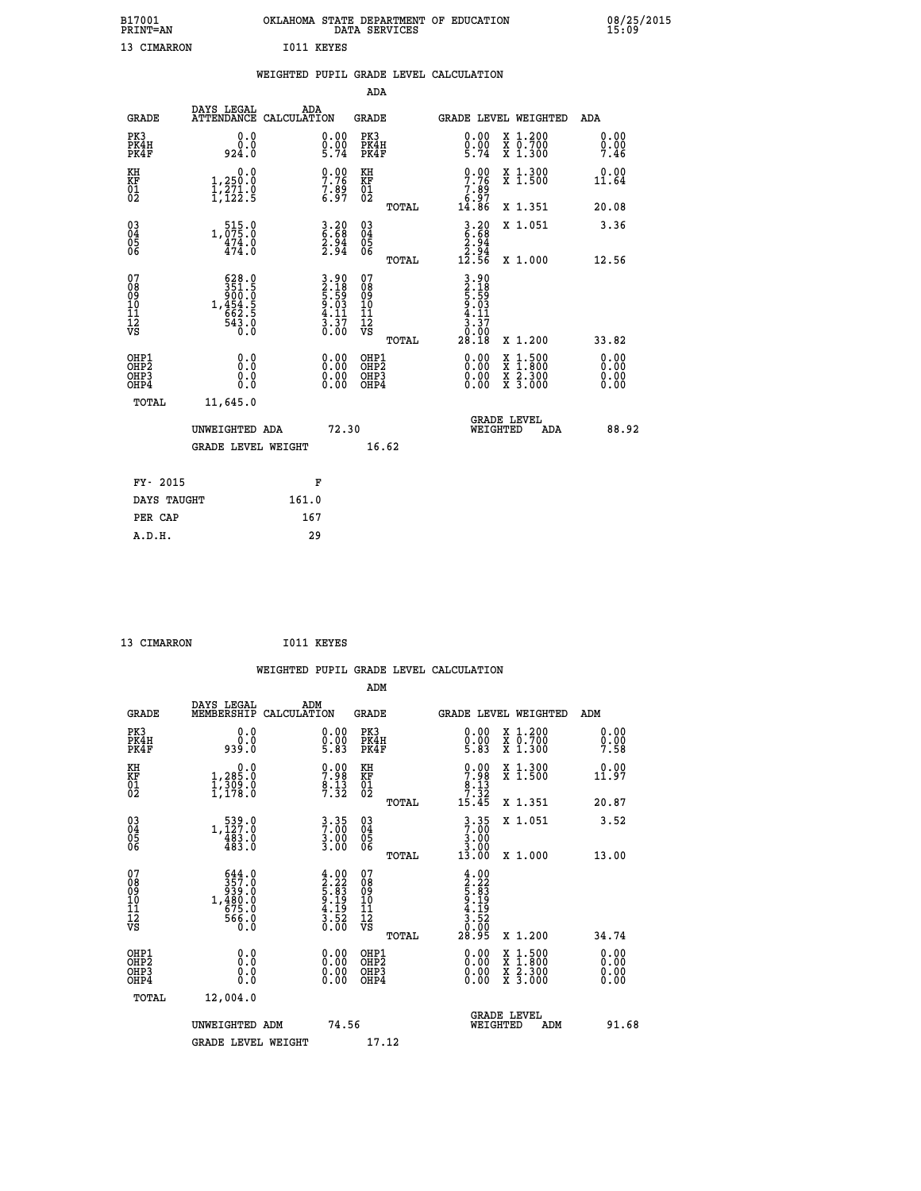| B17001<br><b>PRINT=AN</b> |                   | OKLAHOMA STATE DEPARTMENT OF EDUCATION<br>DATA SERVICES |  |
|---------------------------|-------------------|---------------------------------------------------------|--|
| 13 CIMARRON               | <b>IO11 KEYES</b> |                                                         |  |

|                                                                    |                                                                         |                    |                                                                                                                         |                                                                   |       | WEIGHTED PUPIL GRADE LEVEL CALCULATION                                      |                                                                                                                                      |                              |
|--------------------------------------------------------------------|-------------------------------------------------------------------------|--------------------|-------------------------------------------------------------------------------------------------------------------------|-------------------------------------------------------------------|-------|-----------------------------------------------------------------------------|--------------------------------------------------------------------------------------------------------------------------------------|------------------------------|
|                                                                    |                                                                         |                    |                                                                                                                         | <b>ADA</b>                                                        |       |                                                                             |                                                                                                                                      |                              |
| <b>GRADE</b>                                                       | DAYS LEGAL<br><b>ATTENDANCE</b>                                         | ADA<br>CALCULATION |                                                                                                                         | <b>GRADE</b>                                                      |       |                                                                             | GRADE LEVEL WEIGHTED                                                                                                                 | ADA                          |
| PK3<br>PK4H<br>PK4F                                                | 0.0<br>ة:ة<br>924:0                                                     |                    | $\begin{smallmatrix} 0.00\\ 0.00\\ 5.74 \end{smallmatrix}$                                                              | PK3<br>PK4H<br>PK4F                                               |       | $\begin{smallmatrix} 0.00\\ 0.00\\ 5.74 \end{smallmatrix}$                  | X 1.200<br>X 0.700<br>X 1.300                                                                                                        | 0.00<br>$0.00$<br>7.46       |
| KH<br>KF<br>01<br>02                                               | 0.0<br>1,250.0<br>$\frac{1}{2}, \frac{2}{2}, \frac{3}{2}$               |                    | $\begin{smallmatrix} 0.00\ 7.76\ 7.89\ 6.97 \end{smallmatrix}$                                                          | KH<br>KF<br>01<br>02                                              |       | $\begin{array}{c} 0.00 \\ 7.76 \\ 7.89 \\ 6.97 \\ 14.86 \end{array}$        | X 1.300<br>X 1.500                                                                                                                   | 0.00<br>11.64                |
|                                                                    |                                                                         |                    |                                                                                                                         |                                                                   | TOTAL |                                                                             | X 1.351                                                                                                                              | 20.08                        |
| $\begin{smallmatrix} 03 \\[-4pt] 04 \end{smallmatrix}$<br>Ŏ5<br>06 | $\substack{515.0 \\ 1,075.0 \\ 474.0 \\ 474.0}$                         |                    | $\begin{smallmatrix} 3.20\ 6.68\ 2.94\ 2.94 \end{smallmatrix}$                                                          | $\substack{03 \\ 04}$<br>$\begin{matrix} 0.5 \\ 0.6 \end{matrix}$ |       | $3.20$<br>$6.68$<br>$2.94$<br>$2.94$<br>$12.56$                             | X 1.051                                                                                                                              | 3.36                         |
|                                                                    |                                                                         |                    |                                                                                                                         |                                                                   | TOTAL |                                                                             | X 1.000                                                                                                                              | 12.56                        |
| 07<br>08901112<br>1112<br>VS                                       | 628.0<br>$351.5$<br>$360.5$<br>$1,454.5$<br>$662.5$<br>$543.0$<br>$0.0$ |                    | $\begin{array}{r} 3.90 \\[-2pt] 2.18 \\[-2pt] 5.59 \\[-2pt] 9.03 \\[-2pt] 4.11 \\[-2pt] 3.37 \\[-2pt] 0.00 \end{array}$ | 07<br>08<br>09<br>11<br>11<br>12<br>VS                            | TOTAL | $3.90$<br>$2.18$<br>$5.59$<br>$5.03$<br>$4.11$<br>$3.37$<br>$0.90$<br>28.18 | X 1.200                                                                                                                              | 33.82                        |
| OHP1<br>OHP2<br>OHP3<br>OHP4                                       | 0.0<br>0.0<br>0.0                                                       |                    | 0.0000<br>$\begin{smallmatrix} 0.000 0.00 \ 0.00 \end{smallmatrix}$                                                     | OHP1<br>OHP2<br>OHP3<br>OHP4                                      |       | 0.00<br>0.00                                                                | $\begin{smallmatrix} \mathtt{X} & 1 & 500 \\ \mathtt{X} & 1 & 800 \\ \mathtt{X} & 2 & 300 \\ \mathtt{X} & 3 & 000 \end{smallmatrix}$ | 0.00<br>0.00<br>0.00<br>0.00 |
| <b>TOTAL</b>                                                       | 11,645.0                                                                |                    |                                                                                                                         |                                                                   |       |                                                                             |                                                                                                                                      |                              |
|                                                                    | UNWEIGHTED ADA                                                          |                    | 72.30                                                                                                                   |                                                                   |       | WEIGHTED                                                                    | <b>GRADE LEVEL</b><br>ADA                                                                                                            | 88.92                        |
|                                                                    | <b>GRADE LEVEL WEIGHT</b>                                               |                    |                                                                                                                         | 16.62                                                             |       |                                                                             |                                                                                                                                      |                              |
| FY- 2015                                                           |                                                                         |                    | F                                                                                                                       |                                                                   |       |                                                                             |                                                                                                                                      |                              |
| DAYS TAUGHT                                                        |                                                                         | 161.0              |                                                                                                                         |                                                                   |       |                                                                             |                                                                                                                                      |                              |
| PER CAP                                                            |                                                                         | 167                |                                                                                                                         |                                                                   |       |                                                                             |                                                                                                                                      |                              |

13 CIMARRON 1011 KEYES

 **A.D.H. 29**

 **B17001<br>PRINT=AN** 

|                                                      |                                                                                                                                                                                                                                                                                                                                  |                                                                                                                                                |                                                     | WEIGHTED PUPIL GRADE LEVEL CALCULATION                                                                                                                                                                                                                                         |                                                                                          |                              |
|------------------------------------------------------|----------------------------------------------------------------------------------------------------------------------------------------------------------------------------------------------------------------------------------------------------------------------------------------------------------------------------------|------------------------------------------------------------------------------------------------------------------------------------------------|-----------------------------------------------------|--------------------------------------------------------------------------------------------------------------------------------------------------------------------------------------------------------------------------------------------------------------------------------|------------------------------------------------------------------------------------------|------------------------------|
|                                                      |                                                                                                                                                                                                                                                                                                                                  |                                                                                                                                                | ADM                                                 |                                                                                                                                                                                                                                                                                |                                                                                          |                              |
| <b>GRADE</b>                                         | DAYS LEGAL<br>MEMBERSHIP                                                                                                                                                                                                                                                                                                         | ADM<br>CALCULATION                                                                                                                             | <b>GRADE</b>                                        | <b>GRADE LEVEL WEIGHTED</b>                                                                                                                                                                                                                                                    |                                                                                          | ADM                          |
| PK3<br>PK4H<br>PK4F                                  | 0.0<br>0.0<br>939.0                                                                                                                                                                                                                                                                                                              | $\begin{smallmatrix} 0.00\ 0.00\ 5.83 \end{smallmatrix}$                                                                                       | PK3<br>PK4H<br>PK4F                                 | $\begin{smallmatrix} 0.00\\ 0.00\\ 5.83 \end{smallmatrix}$                                                                                                                                                                                                                     | X 1.200<br>X 0.700<br>X 1.300                                                            | 0.00<br>0.00<br>7.58         |
| KH<br>KF<br>01<br>02                                 | 1,205.0<br>$\frac{1}{1}$ , $\frac{3}{1}$ $\frac{3}{1}$ $\frac{3}{1}$ $\frac{3}{1}$ $\frac{3}{1}$ $\frac{3}{1}$ $\frac{3}{1}$ $\frac{3}{1}$ $\frac{3}{1}$ $\frac{3}{1}$ $\frac{3}{1}$ $\frac{3}{1}$ $\frac{3}{1}$ $\frac{3}{1}$ $\frac{3}{1}$ $\frac{3}{1}$ $\frac{3}{1}$ $\frac{3}{1}$ $\frac{3}{1}$ $\frac{3}{1}$ $\frac{3}{1}$ | $7.98$<br>$8.13$<br>$7.32$                                                                                                                     | KH<br>KF<br>01<br>02                                | $\begin{smallmatrix}0.00\\7.98\\8.13\\7.32\\15.45\end{smallmatrix}$                                                                                                                                                                                                            | X 1.300<br>X 1.500                                                                       | 0.00<br>11.97                |
|                                                      |                                                                                                                                                                                                                                                                                                                                  |                                                                                                                                                | TOTAL                                               |                                                                                                                                                                                                                                                                                | X 1.351                                                                                  | 20.87                        |
| $\begin{matrix} 03 \\ 04 \\ 05 \\ 06 \end{matrix}$   | $\substack{539.0\\1,127.0\\483.0\\483.0$                                                                                                                                                                                                                                                                                         | $3 \cdot 35$<br>$3 \cdot 00$<br>$3 \cdot 00$<br>$3 \cdot 00$                                                                                   | $\begin{array}{c} 03 \\ 04 \\ 05 \\ 06 \end{array}$ | $3.35$<br>$3.00$<br>$3.00$                                                                                                                                                                                                                                                     | X 1.051                                                                                  | 3.52                         |
|                                                      |                                                                                                                                                                                                                                                                                                                                  |                                                                                                                                                | TOTAL                                               | 13.00                                                                                                                                                                                                                                                                          | X 1.000                                                                                  | 13.00                        |
| 07<br>08<br>09<br>101<br>112<br>VS                   | $\begin{smallmatrix}644.0\\357.0\\939.0\\9480.0\\1,480.0\\675.0\\566.0\\0.0\end{smallmatrix}$                                                                                                                                                                                                                                    | $\begin{smallmatrix} 4\cdot 0 & 0\\ 2\cdot 2 & 3\\ 5\cdot 8 & 3\\ 9\cdot 1 & 9\\ 4\cdot 1 & 9\\ 3\cdot 5 & 2\\ 0\cdot 0 & 0 \end{smallmatrix}$ | 07<br>08<br>09<br>11<br>11<br>12<br>VS<br>TOTAL     | $\begin{array}{c} 4\cdot 00 \\ 2\cdot 22 \\ 5\cdot 83 \\ 9\cdot 19 \\ 4\cdot 19 \\ 3\cdot 52 \\ 0.00 \\ 28\cdot 95 \end{array}$                                                                                                                                                | X 1.200                                                                                  | 34.74                        |
| OHP1<br>OHP2<br>OH <sub>P3</sub><br>OH <sub>P4</sub> | 0.0<br>0.000                                                                                                                                                                                                                                                                                                                     | $\begin{smallmatrix} 0.00 \ 0.00 \ 0.00 \ 0.00 \end{smallmatrix}$                                                                              | OHP1<br>OHP2<br>OHP3<br>OHP4                        | $\begin{smallmatrix} 0.00 & 0.00 & 0.00 & 0.00 & 0.00 & 0.00 & 0.00 & 0.00 & 0.00 & 0.00 & 0.00 & 0.00 & 0.00 & 0.00 & 0.00 & 0.00 & 0.00 & 0.00 & 0.00 & 0.00 & 0.00 & 0.00 & 0.00 & 0.00 & 0.00 & 0.00 & 0.00 & 0.00 & 0.00 & 0.00 & 0.00 & 0.00 & 0.00 & 0.00 & 0.00 & 0.0$ | $\begin{smallmatrix} x & 1.500 \\ x & 1.800 \\ x & 2.300 \\ x & 3.000 \end{smallmatrix}$ | 0.00<br>0.00<br>0.00<br>0.00 |
| TOTAL                                                | 12,004.0                                                                                                                                                                                                                                                                                                                         |                                                                                                                                                |                                                     |                                                                                                                                                                                                                                                                                |                                                                                          |                              |
|                                                      | UNWEIGHTED ADM                                                                                                                                                                                                                                                                                                                   | 74.56                                                                                                                                          |                                                     | <b>GRADE LEVEL</b><br>WEIGHTED                                                                                                                                                                                                                                                 | ADM                                                                                      | 91.68                        |
|                                                      | <b>GRADE LEVEL WEIGHT</b>                                                                                                                                                                                                                                                                                                        |                                                                                                                                                | 17.12                                               |                                                                                                                                                                                                                                                                                |                                                                                          |                              |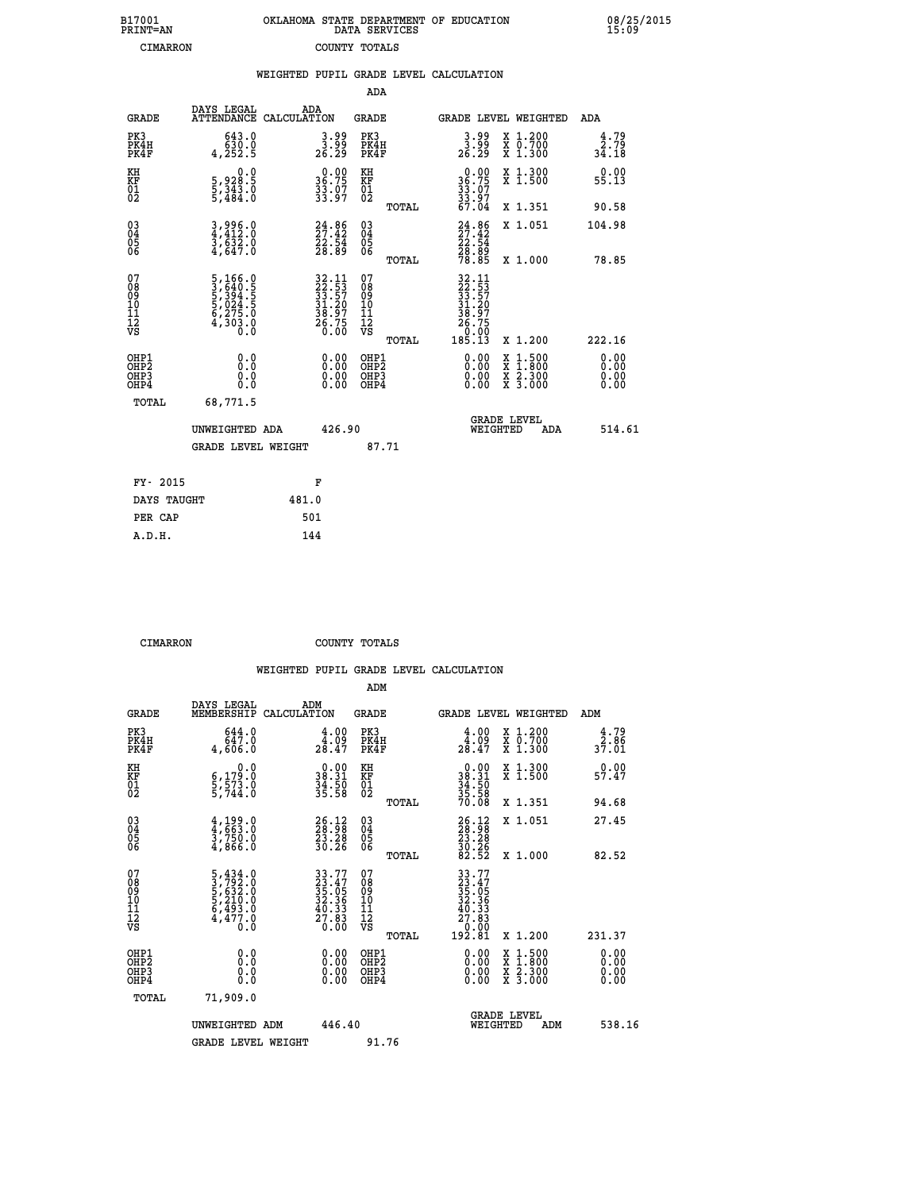| B17001          | OKLAHOMA STATE DEPARTMENT OF EDUCATION |
|-----------------|----------------------------------------|
| <b>PRINT=AN</b> | DATA SERVICES                          |
| CIMARRON        | COUNTY TOTALS                          |

 **B17001 OKLAHOMA STATE DEPARTMENT OF EDUCATION 08/25/2015**

|                                              |                                                                                  | WEIGHTED PUPIL GRADE LEVEL CALCULATION                                   |                                         |       |                                                                                                                                                                                                                                                                                |                                                                                                                                           |                       |
|----------------------------------------------|----------------------------------------------------------------------------------|--------------------------------------------------------------------------|-----------------------------------------|-------|--------------------------------------------------------------------------------------------------------------------------------------------------------------------------------------------------------------------------------------------------------------------------------|-------------------------------------------------------------------------------------------------------------------------------------------|-----------------------|
|                                              |                                                                                  |                                                                          | ADA                                     |       |                                                                                                                                                                                                                                                                                |                                                                                                                                           |                       |
| <b>GRADE</b>                                 | DAYS LEGAL                                                                       | ADA<br>ATTENDANCE CALCULATION                                            | GRADE                                   |       |                                                                                                                                                                                                                                                                                | GRADE LEVEL WEIGHTED                                                                                                                      | ADA                   |
| PK3<br>PK4H<br>PK4F                          | 643.0<br>ة: 630<br>4,252.5                                                       | $\begin{smallmatrix} 3.99\ 3.99\ 26.29 \end{smallmatrix}$                | PK3<br>PK4H<br>PK4F                     |       | $\frac{3.99}{26.29}$                                                                                                                                                                                                                                                           | X 1.200<br>X 0.700<br>X 1.300                                                                                                             | 4.79<br>2.79<br>34.18 |
| KH<br>KF<br>01<br>02                         | $\begin{smallmatrix}&&&0.0\\5\,,&928.5\\5\,,&343.0\\5\,,&484.0\end{smallmatrix}$ | 36.00<br>$\frac{33.07}{33.97}$                                           | KH<br>KF<br>01<br>02                    |       | $36.75$<br>$33.07$<br>$33.97$<br>$33.97$<br>$67.04$                                                                                                                                                                                                                            | X 1.300<br>X 1.500                                                                                                                        | 0.00<br>55.13         |
|                                              |                                                                                  |                                                                          |                                         | TOTAL |                                                                                                                                                                                                                                                                                | X 1.351                                                                                                                                   | 90.58                 |
| $^{03}_{04}$<br>05                           | $3,996.0$<br>$3,632.0$<br>$3,632.0$<br>$4,647.0$                                 | $24.86$<br>$27.42$<br>$22.54$<br>$28.89$                                 | $^{03}_{04}$<br>$\frac{05}{06}$         |       | $24.86$<br>$27.42$<br>$22.54$<br>$28.89$<br>$78.85$                                                                                                                                                                                                                            | X 1.051                                                                                                                                   | 104.98                |
| 06                                           |                                                                                  |                                                                          |                                         | TOTAL |                                                                                                                                                                                                                                                                                | X 1.000                                                                                                                                   | 78.85                 |
| 07<br>08<br>09<br>01<br>11<br>11<br>12<br>VS | 5, 166.0<br>3, 640.5<br>5, 394.5<br>5, 024.5<br>6, 275.0<br>4, 303.0             | $32.11$<br>$22.53$<br>$33.57$<br>$31.20$<br>$38.97$<br>$26.75$<br>$0.00$ | 07<br>08<br>09<br>101<br>11<br>12<br>VS | TOTAL | $\begin{array}{r} 32\cdot 11 \\ 22\cdot 53 \\ 33\cdot 57 \\ 31\cdot 20 \\ 38\cdot 97 \\ 26\cdot 75 \\ 0 \\ 0 \\ 0 \\ 185\cdot 13 \end{array}$                                                                                                                                  | X 1.200                                                                                                                                   | 222.16                |
| OHP1<br>OHP2<br>OHP3<br>OHP4                 | 0.0<br>0.000                                                                     | $\begin{smallmatrix} 0.00 \ 0.00 \ 0.00 \ 0.00 \end{smallmatrix}$        | OHP1<br>OHP2<br>OHP <sub>3</sub>        |       | $\begin{smallmatrix} 0.00 & 0.00 & 0.00 & 0.00 & 0.00 & 0.00 & 0.00 & 0.00 & 0.00 & 0.00 & 0.00 & 0.00 & 0.00 & 0.00 & 0.00 & 0.00 & 0.00 & 0.00 & 0.00 & 0.00 & 0.00 & 0.00 & 0.00 & 0.00 & 0.00 & 0.00 & 0.00 & 0.00 & 0.00 & 0.00 & 0.00 & 0.00 & 0.00 & 0.00 & 0.00 & 0.0$ | $\begin{smallmatrix} \mathtt{X} & 1\cdot500\\ \mathtt{X} & 1\cdot800\\ \mathtt{X} & 2\cdot300\\ \mathtt{X} & 3\cdot000 \end{smallmatrix}$ | 0.00<br>0.00          |
| TOTAL                                        | 68,771.5                                                                         |                                                                          |                                         |       |                                                                                                                                                                                                                                                                                |                                                                                                                                           |                       |
|                                              | UNWEIGHTED ADA                                                                   | 426.90                                                                   |                                         |       | WEIGHTED                                                                                                                                                                                                                                                                       | <b>GRADE LEVEL</b><br>ADA                                                                                                                 | 514.61                |
|                                              | <b>GRADE LEVEL WEIGHT</b>                                                        |                                                                          | 87.71                                   |       |                                                                                                                                                                                                                                                                                |                                                                                                                                           |                       |
| FY- 2015                                     |                                                                                  | F                                                                        |                                         |       |                                                                                                                                                                                                                                                                                |                                                                                                                                           |                       |
| DAYS TAUGHT                                  |                                                                                  | 481.0                                                                    |                                         |       |                                                                                                                                                                                                                                                                                |                                                                                                                                           |                       |
| PER CAP                                      |                                                                                  | 501                                                                      |                                         |       |                                                                                                                                                                                                                                                                                |                                                                                                                                           |                       |

 **CIMARRON COUNTY TOTALS**

 **A.D.H. 144**

|                                          |                                                                                                 |                                                                          | ADM                                                 |                                                                                                                                         |                                          |                              |
|------------------------------------------|-------------------------------------------------------------------------------------------------|--------------------------------------------------------------------------|-----------------------------------------------------|-----------------------------------------------------------------------------------------------------------------------------------------|------------------------------------------|------------------------------|
| <b>GRADE</b>                             | DAYS LEGAL<br>MEMBERSHIP                                                                        | ADM<br>CALCULATION                                                       | <b>GRADE</b>                                        | <b>GRADE LEVEL WEIGHTED</b>                                                                                                             |                                          | ADM                          |
| PK3<br>PK4H<br>PK4F                      | 644.0<br>647.0<br>4,606.0                                                                       | $\begin{smallmatrix} 4.00\\ 4.09\\ 28.47 \end{smallmatrix}$              | PK3<br>PK4H<br>PK4F                                 | $\begin{smallmatrix} 4.00\\ 4.09\\ 28.47 \end{smallmatrix}$                                                                             | X 1.200<br>X 0.700<br>X 1.300            | 4.79<br>$\frac{2.86}{37.01}$ |
| KH<br>KF<br>01<br>02                     | 0.0<br>$\frac{6}{5}, \frac{179}{573}$ .0<br>5,744.0                                             | $\begin{smallmatrix} 0.00\\ 38.31\\ 34.50\\ 35.58 \end{smallmatrix}$     | KH<br>KF<br>01<br>02                                | $\begin{smallmatrix} 0.00\\ 38.31\\ 34.50\\ 35.58\\ 70.08 \end{smallmatrix}$                                                            | X 1.300<br>X 1.500                       | 0.00<br>57.47                |
|                                          |                                                                                                 |                                                                          | TOTAL                                               |                                                                                                                                         | X 1.351                                  | 94.68                        |
| 03<br>04<br>05<br>06                     | $\frac{4}{3}, \frac{199}{663}.0$<br>$\frac{3}{3}, \frac{750}{66}$ .0<br>4,866.0                 | $\begin{smallmatrix} 26.12\ 28.98\ 23.28\ 30.26 \end{smallmatrix}$       | $\begin{array}{c} 03 \\ 04 \\ 05 \\ 06 \end{array}$ | $26.12$<br>$28.28$<br>$23.28$<br>$30.26$<br>$82.52$                                                                                     | X 1.051                                  | 27.45                        |
|                                          |                                                                                                 |                                                                          | TOTAL                                               |                                                                                                                                         | X 1.000                                  | 82.52                        |
| 07<br>08<br>09<br>101<br>112<br>VS       | $\begin{smallmatrix}5,434.0\\3,792.0\\5,632.0\\5,210.0\\6,493.0\\4,477.0\\0.0\end{smallmatrix}$ | $33.77$<br>$33.47$<br>$35.05$<br>$32.36$<br>$40.33$<br>$27.83$<br>$0.00$ | 07<br>08<br>09<br>11<br>11<br>12<br>VS<br>TOTAL     | $\begin{smallmatrix} 33 & .77 \\ 23 & .47 \\ 35 & .05 \\ 32 & .36 \\ 40 & .33 \\ 27 & .83 \\ 0 & .00 \\ 192 & .81 \\ \end{smallmatrix}$ | X 1.200                                  | 231.37                       |
| OHP1<br>OHP2<br>OH <sub>P3</sub><br>OHP4 | 0.0<br>$\begin{smallmatrix} 0.16 \ 0.0 \end{smallmatrix}$                                       |                                                                          | OHP1<br>OHP2<br>OHP <sub>3</sub>                    | $0.00$<br>$0.00$<br>0.00                                                                                                                | X 1:500<br>X 1:800<br>X 2:300<br>X 3:000 | 0.00<br>0.00<br>0.00         |
| TOTAL                                    | 71,909.0                                                                                        |                                                                          |                                                     |                                                                                                                                         |                                          |                              |
|                                          | UNWEIGHTED ADM                                                                                  | 446.40                                                                   |                                                     |                                                                                                                                         | GRADE LEVEL<br>WEIGHTED<br>ADM           | 538.16                       |
|                                          | <b>GRADE LEVEL WEIGHT</b>                                                                       |                                                                          | 91.76                                               |                                                                                                                                         |                                          |                              |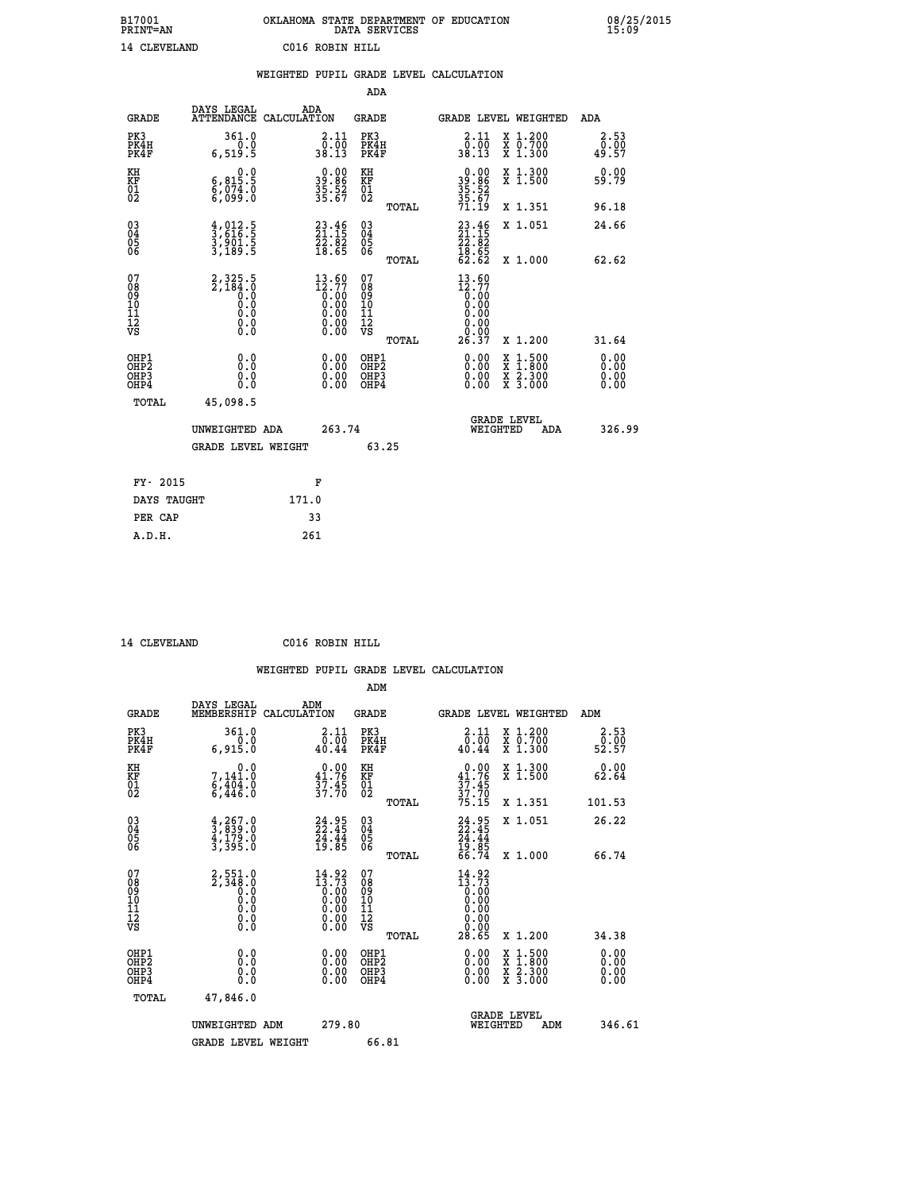| B17001<br><b>PRINT=AN</b> |              |                 | OKLAHOMA STATE DEPARTMENT OF EDUCATION<br>DATA SERVICES |  |
|---------------------------|--------------|-----------------|---------------------------------------------------------|--|
|                           | 14 CLEVELAND | C016 ROBIN HILL |                                                         |  |

|                                                                    |                                                                            |                                                                                                                         |                                                     | WEIGHTED PUPIL GRADE LEVEL CALCULATION                                                            |                                                                                                  |                              |
|--------------------------------------------------------------------|----------------------------------------------------------------------------|-------------------------------------------------------------------------------------------------------------------------|-----------------------------------------------------|---------------------------------------------------------------------------------------------------|--------------------------------------------------------------------------------------------------|------------------------------|
|                                                                    |                                                                            |                                                                                                                         | <b>ADA</b>                                          |                                                                                                   |                                                                                                  |                              |
| <b>GRADE</b>                                                       | DAYS LEGAL<br>ATTENDANCE CALCULATION                                       | ADA                                                                                                                     | <b>GRADE</b>                                        | GRADE LEVEL WEIGHTED                                                                              |                                                                                                  | ADA                          |
| PK3<br>PK4H<br>PK4F                                                | 361.0<br>$0.0$<br>5.919,5                                                  | $\begin{smallmatrix} 2.11\0.00\38.13 \end{smallmatrix}$                                                                 | PK3<br>PK4H<br>PK4F                                 | 2.11<br>_0.00<br>38.13                                                                            | X 1.200<br>X 0.700<br>X 1.300                                                                    | 2.53<br>0.00≨<br>49.57       |
| KH<br>KF<br>01<br>02                                               | $\begin{smallmatrix}&&&0.0\\ 6,815.5\\ 6,074.0\\ 6,099.0\end{smallmatrix}$ | $39.86$<br>$35.52$<br>$35.67$                                                                                           | KH<br>KF<br>01<br>02                                | $39.86$<br>$35.52$<br>$35.67$<br>$71.19$                                                          | X 1.300<br>X 1.500                                                                               | 0.00<br>59.79                |
|                                                                    |                                                                            |                                                                                                                         | TOTAL                                               |                                                                                                   | X 1.351                                                                                          | 96.18                        |
| $\begin{smallmatrix} 03 \\[-4pt] 04 \end{smallmatrix}$<br>Ŏ5<br>06 | $\frac{4}{3}, \frac{012}{616}.\frac{5}{5}$<br>3,901.5<br>3,189.5           | $23.46$<br>$21.15$<br>$22.82$<br>$18.65$                                                                                | $\begin{array}{c} 03 \\ 04 \\ 05 \\ 06 \end{array}$ | $23.46$<br>$21.15$<br>$22.82$<br>$18.65$<br>$62.62$                                               | X 1.051                                                                                          | 24.66                        |
|                                                                    |                                                                            |                                                                                                                         | TOTAL                                               |                                                                                                   | X 1.000                                                                                          | 62.62                        |
| 07<br>08<br>09<br>11<br>11<br>12<br>VS                             | $2,325.5$<br>$2,184.0$<br>$0.0$<br>$0.0$<br>$0.0$<br>$0.0$<br>$0.0$        | $\begin{smallmatrix} 13 & 60\\ 12 & 77\\ 0 & 00\\ 0 & 00\\ 0 & 00\\ 0 & 00\\ 0 & 00\\ 0 & 00\\ 0 & 00\end{smallmatrix}$ | 07<br>08<br>09<br>11<br>11<br>12<br>VS<br>TOTAL     | 13.60<br>$\begin{smallmatrix} 12.77 \ 16.00 \ 0.00 \ 0.00 \end{smallmatrix}$<br>$\S. \S$<br>26.37 | X 1.200                                                                                          | 31.64                        |
| OHP1<br>OHP2<br>OHP3<br>OHP4                                       | 0.0<br>0.0<br>0.0                                                          | $\begin{smallmatrix} 0.00 \ 0.00 \ 0.00 \ 0.00 \end{smallmatrix}$                                                       | OHP1<br>OHP2<br>OHP3<br>OHP4                        | 0.00<br>0.00                                                                                      | $\begin{smallmatrix} x & 1 & 500 \\ x & 1 & 800 \\ x & 2 & 300 \\ x & 3 & 000 \end{smallmatrix}$ | 0.00<br>0.00<br>0.00<br>0.00 |
| TOTAL                                                              | 45,098.5                                                                   |                                                                                                                         |                                                     |                                                                                                   |                                                                                                  |                              |
|                                                                    | UNWEIGHTED ADA                                                             | 263.74                                                                                                                  |                                                     | <b>GRADE LEVEL</b><br>WEIGHTED                                                                    | <b>ADA</b>                                                                                       | 326.99                       |
|                                                                    | <b>GRADE LEVEL WEIGHT</b>                                                  |                                                                                                                         | 63.25                                               |                                                                                                   |                                                                                                  |                              |
| FY- 2015                                                           |                                                                            | F                                                                                                                       |                                                     |                                                                                                   |                                                                                                  |                              |
| DAYS TAUGHT                                                        |                                                                            | 171.0                                                                                                                   |                                                     |                                                                                                   |                                                                                                  |                              |
| PER CAP                                                            |                                                                            | 33                                                                                                                      |                                                     |                                                                                                   |                                                                                                  |                              |

 **14 CLEVELAND C016 ROBIN HILL**

 **A.D.H. 261**

| <b>GRADE</b>                                       | DAYS LEGAL<br>MEMBERSHIP                                             | ADM<br>CALCULATION                                                                                    | <b>GRADE</b>                                        |       |                                                                                                                                             |          | <b>GRADE LEVEL WEIGHTED</b>                                                                                         | ADM                                                                  |  |
|----------------------------------------------------|----------------------------------------------------------------------|-------------------------------------------------------------------------------------------------------|-----------------------------------------------------|-------|---------------------------------------------------------------------------------------------------------------------------------------------|----------|---------------------------------------------------------------------------------------------------------------------|----------------------------------------------------------------------|--|
| PK3<br>PK4H<br>PK4F                                | 361.0<br>6,915.0                                                     | 2.11<br>0.00<br>40.44                                                                                 | PK3<br>PK4H<br>PK4F                                 |       | 2.11<br>0.00<br>40.44                                                                                                                       |          | X 1.200<br>X 0.700<br>X 1.300                                                                                       | 2.53<br>$\frac{\overline{0} \cdot \overline{0} \overline{0}}{52.57}$ |  |
| KH<br>KF<br>01<br>02                               | 0.0<br>$7,141.0$<br>6,404.0<br>6,446.0                               | $\begin{smallmatrix} 0.00\\ 41.76\\ 37.45\\ 37.70 \end{smallmatrix}$                                  | KH<br>KF<br>01<br>02                                |       | $0.00$<br>$41.76$<br>$37.45$<br>$37.70$<br>$75.15$                                                                                          |          | X 1.300<br>X 1.500                                                                                                  | 0.00<br>62.64                                                        |  |
|                                                    |                                                                      |                                                                                                       |                                                     | TOTAL |                                                                                                                                             |          | X 1.351                                                                                                             | 101.53                                                               |  |
| $\begin{matrix} 03 \\ 04 \\ 05 \\ 06 \end{matrix}$ | $\frac{4}{3}, \frac{267}{839}.0$<br>$\frac{4}{3}, \frac{179}{395}.0$ | $24.95$<br>$22.45$<br>$24.44$<br>$19.85$                                                              | $\begin{array}{c} 03 \\ 04 \\ 05 \\ 06 \end{array}$ |       | 24.95<br>22.45<br>24.44<br>19.85<br>56.74                                                                                                   |          | X 1.051                                                                                                             | 26.22                                                                |  |
|                                                    |                                                                      |                                                                                                       |                                                     | TOTAL |                                                                                                                                             |          | X 1.000                                                                                                             | 66.74                                                                |  |
| 07<br>08<br>09<br>11<br>11<br>12<br>VS             | $2,551.0$<br>$2,348.0$<br>$0.0$<br>$0.0$<br>$0.0$<br>$0.0$<br>$0.0$  | $\begin{smallmatrix} 14.92\ 13.73\ 0.00\ 0.00\ 0.00\ 0.00\ 0.00\ 0.00\ 0.00\ 0.00\ \end{smallmatrix}$ | 07<br>08<br>09<br>11<br>11<br>12<br>VS              |       | $\begin{smallmatrix} 14 & 9 & 2\\ 13 & 7 & 3\\ 0 & 0 & 0\\ 0 & 0 & 0\\ 0 & 0 & 0\\ 0 & 0 & 0\\ 0 & 0 & 0\\ 2 & 8 & 0\\ 5 \end{smallmatrix}$ |          |                                                                                                                     |                                                                      |  |
|                                                    |                                                                      |                                                                                                       |                                                     | TOTAL |                                                                                                                                             |          | X 1.200                                                                                                             | 34.38                                                                |  |
| OHP1<br>OH <sub>P</sub> 2<br>OHP3<br>OHP4          | 0.0<br>0.0<br>Ŏ.Ŏ                                                    | $0.00$<br>$0.00$<br>0.00                                                                              | OHP1<br>OHP <sub>2</sub><br>OHP3<br>OHP4            |       |                                                                                                                                             |          | $\begin{array}{l} \mathtt{X} & 1.500 \\ \mathtt{X} & 1.800 \\ \mathtt{X} & 2.300 \\ \mathtt{X} & 3.000 \end{array}$ | 0.00<br>0.00<br>0.00<br>0.00                                         |  |
| TOTAL                                              | 47,846.0                                                             |                                                                                                       |                                                     |       |                                                                                                                                             |          |                                                                                                                     |                                                                      |  |
|                                                    | UNWEIGHTED ADM                                                       | 279.80                                                                                                |                                                     |       |                                                                                                                                             | WEIGHTED | <b>GRADE LEVEL</b><br>ADM                                                                                           | 346.61                                                               |  |
|                                                    | <b>GRADE LEVEL WEIGHT</b>                                            |                                                                                                       | 66.81                                               |       |                                                                                                                                             |          |                                                                                                                     |                                                                      |  |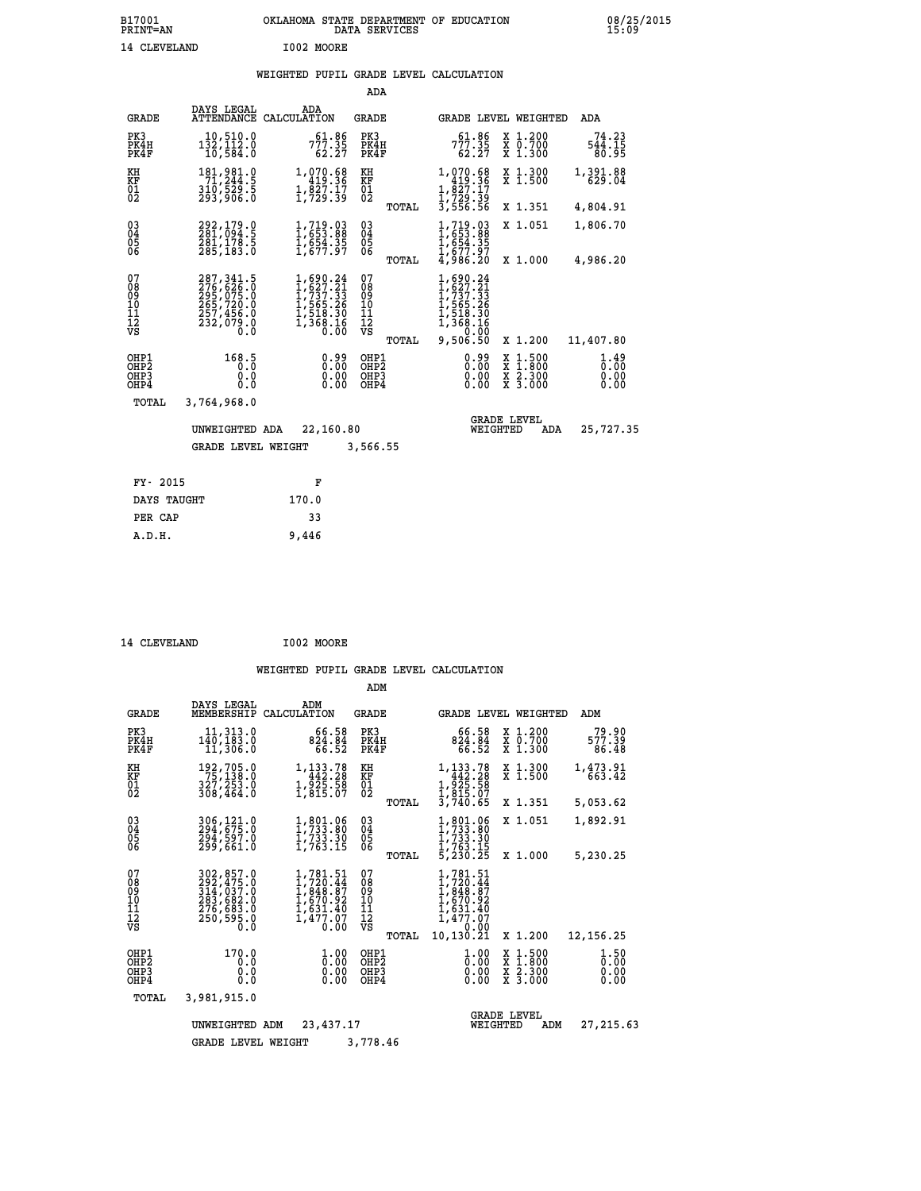## **WEIGHTED PUPIL GRADE LEVEL CALCULATION**

|                                                                    |                                                                                         |                                                                                          | ADA                                      |       |                                                                                                              |                                |                                                           |                              |
|--------------------------------------------------------------------|-----------------------------------------------------------------------------------------|------------------------------------------------------------------------------------------|------------------------------------------|-------|--------------------------------------------------------------------------------------------------------------|--------------------------------|-----------------------------------------------------------|------------------------------|
| <b>GRADE</b>                                                       | DAYS LEGAL<br>ATTENDANCE                                                                | ADA<br>CALCULATION                                                                       | GRADE                                    |       |                                                                                                              |                                | GRADE LEVEL WEIGHTED                                      | ADA                          |
| PK3<br>PK4H<br>PK4F                                                | 10,510.0<br>132,112.0<br>10,584.0                                                       | 61.86<br>777.35<br>62.27                                                                 | PK3<br>PK4H<br>PK4F                      |       | 61.86<br>777.35<br>62.27                                                                                     |                                | X 1.200<br>X 0.700<br>X 1.300                             | 74.23<br>544.15<br>80.95     |
| KH<br>KF<br>$\overline{01}$                                        | 181,981.0<br>71,244.5<br>310,529.5<br>293,906.0                                         | 1,070.68<br>419.36<br>$\frac{1}{1}, \frac{8}{2}, \frac{7}{3}$                            | KH<br>KF<br>$\overline{01}$              |       | 1,070.68<br>419.36<br>1,827.17<br>1,729.39<br>3,556.56                                                       |                                | X 1.300<br>$\overline{x}$ 1.500                           | 1,391.88<br>629.04           |
|                                                                    |                                                                                         |                                                                                          |                                          | TOTAL |                                                                                                              |                                | X 1.351                                                   | 4,804.91                     |
| $\begin{smallmatrix} 03 \\[-4pt] 04 \end{smallmatrix}$<br>05<br>06 | 292,179.0<br>281,094.5<br>281, 178.5<br>285,183.0                                       | $1, 719.03$<br>$1, 653.88$<br>$1, 654.35$<br>$1, 677.97$                                 | $\substack{03 \\ 04}$<br>$\frac{05}{06}$ |       | $1, 719.03$<br>$1, 653.88$<br>$1, 654.35$<br>$1, 677.97$<br>$4, 986.20$                                      |                                | X 1.051                                                   | 1,806.70                     |
|                                                                    |                                                                                         |                                                                                          |                                          | TOTAL |                                                                                                              |                                | X 1.000                                                   | 4,986.20                     |
| 07<br>08<br>09<br>11<br>11<br>12<br>VS                             | 287, 341.5<br>276, 626.0<br>295, 075.0<br>265, 720.0<br>257, 456.0<br>232, 079.0<br>O.Ŏ | $1,690.24$<br>$1,627.21$<br>$1,737.33$<br>$1,565.26$<br>$1,518.30$<br>$1,368.16$<br>0.00 | 07<br>089<br>101<br>111<br>VS            | TOTAL | 1,690.24<br>$1, 627.21$<br>$1, 737.33$<br>$1, 565.26$<br>$1, 518.30$<br>$1, 368.16$<br>$0, 0.00$<br>9,506.50 |                                | X 1.200                                                   | 11,407.80                    |
| OHP1<br>OHP2<br>OHP3<br>OHP4                                       | 168.5<br>0.0<br>0.0                                                                     | 0.99<br>0.00<br>0.00                                                                     | OHP1<br>OHP <sub>2</sub><br>OHP3<br>OHP4 |       | 0.99<br>0.00<br>0.00<br>0.00                                                                                 |                                | $\frac{x}{x}$ $\frac{1.500}{1.800}$<br>X 2.300<br>X 3.000 | 1.49<br>0.00<br>0.00<br>0.00 |
| TOTAL                                                              | 3,764,968.0                                                                             |                                                                                          |                                          |       |                                                                                                              |                                |                                                           |                              |
|                                                                    | UNWEIGHTED ADA                                                                          | 22,160.80                                                                                |                                          |       |                                                                                                              | <b>GRADE LEVEL</b><br>WEIGHTED | ADA                                                       | 25,727.35                    |
|                                                                    | <b>GRADE LEVEL WEIGHT</b>                                                               |                                                                                          | 3,566.55                                 |       |                                                                                                              |                                |                                                           |                              |
|                                                                    |                                                                                         |                                                                                          |                                          |       |                                                                                                              |                                |                                                           |                              |
| FY- 2015                                                           |                                                                                         | F                                                                                        |                                          |       |                                                                                                              |                                |                                                           |                              |
| DAYS TAUGHT                                                        |                                                                                         | 170.0                                                                                    |                                          |       |                                                                                                              |                                |                                                           |                              |

| 14 CLEVELAND | I002 MOORE |
|--------------|------------|
|              |            |

 **PER CAP 33 A.D.H. 9,446**

|                                                      |                                                                                   |                                                                                                     | ADM                                                  |                                                                                                     |                                                                                  |                              |
|------------------------------------------------------|-----------------------------------------------------------------------------------|-----------------------------------------------------------------------------------------------------|------------------------------------------------------|-----------------------------------------------------------------------------------------------------|----------------------------------------------------------------------------------|------------------------------|
| <b>GRADE</b>                                         | DAYS LEGAL<br>MEMBERSHIP                                                          | ADM<br>CALCULATION                                                                                  | <b>GRADE</b>                                         |                                                                                                     | <b>GRADE LEVEL WEIGHTED</b>                                                      | ADM                          |
| PK3<br>PK4H<br>PK4F                                  | 11, 313.0<br>140, 183.0<br>11,306.0                                               | 66.58<br>824.84<br>66.52                                                                            | PK3<br>PK4H<br>PK4F                                  | 66.58<br>824.84<br>66.52                                                                            | X 1.200<br>X 0.700<br>X 1.300                                                    | 79.90<br>577.39<br>86.48     |
| KH<br>KF<br>01<br>02                                 | 192,705.0<br>75,138.0<br>327,253.0                                                | 1,133.78<br>442.28<br>$\frac{1}{2}$ , $\frac{5}{2}$ , $\frac{5}{2}$ , $\frac{5}{2}$ , $\frac{8}{2}$ | KH<br>KF<br>$\overline{01}$                          | 1,133.78<br>442.28                                                                                  | X 1.300<br>X 1.500                                                               | 1,473.91<br>663.42           |
|                                                      | 308,464.0                                                                         |                                                                                                     | TOTAL                                                | 1,925.58<br>1,815.07<br>3,740.65                                                                    | X 1.351                                                                          | 5,053.62                     |
| $\begin{matrix} 03 \\ 04 \\ 05 \\ 06 \end{matrix}$   | 306, 121.0<br>294, 675.0<br>294,597.0                                             | 1,801.06<br>1,733.80<br>1,733.30                                                                    | $\substack{03 \\ 04}$<br>05                          | $1, 801.06$<br>$1, 733.80$<br>$1, 733.30$<br>$1, 763.15$                                            | X 1.051                                                                          | 1,892.91                     |
|                                                      | 299,661.0                                                                         | 1,763.15                                                                                            | TOTAL                                                | 5,230.25                                                                                            | X 1.000                                                                          | 5,230.25                     |
| 07<br>08<br>09<br>101<br>11<br>12<br>VS              | 302,857.0<br>292,475.0<br>314,037.0<br>283,682.0<br>276,683.0<br>250,595.0<br>0.0 | $1,781.51$<br>$1,720.44$<br>$1,848.87$<br>$1,670.92$<br>$1,631.40$<br>$1,477.07$<br>0.00            | 07<br>08<br>09<br>10<br>11<br>$\frac{1}{3}$<br>TOTAL | 1,781.51<br>$1,720.44$<br>$1,848.87$<br>$1,670.92$<br>$1,631.40$<br>$1,477.07$<br>0.00<br>10,130.21 | X 1.200                                                                          | 12, 156.25                   |
| OHP1<br>OH <sub>P</sub> <sub>2</sub><br>OHP3<br>OHP4 | 170.0<br>0.0<br>0.0<br>0.0                                                        | $\frac{1}{0}$ :00<br>0.00<br>0.00                                                                   | OHP1<br>OHP2<br>OHP3<br>OHP4                         | 1.00<br>0.00<br>0.00<br>0.00                                                                        | $\frac{x}{x}$ $\frac{1.500}{1.800}$<br>X <sub>2.300</sub><br>$X\overline{3.000}$ | 1.50<br>0.00<br>0.00<br>0.00 |
| TOTAL                                                | 3,981,915.0                                                                       |                                                                                                     |                                                      |                                                                                                     |                                                                                  |                              |
|                                                      | UNWEIGHTED                                                                        | 23,437.17<br>ADM                                                                                    |                                                      | WEIGHTED                                                                                            | <b>GRADE LEVEL</b><br>ADM                                                        | 27, 215.63                   |
|                                                      | <b>GRADE LEVEL WEIGHT</b>                                                         |                                                                                                     | 3,778.46                                             |                                                                                                     |                                                                                  |                              |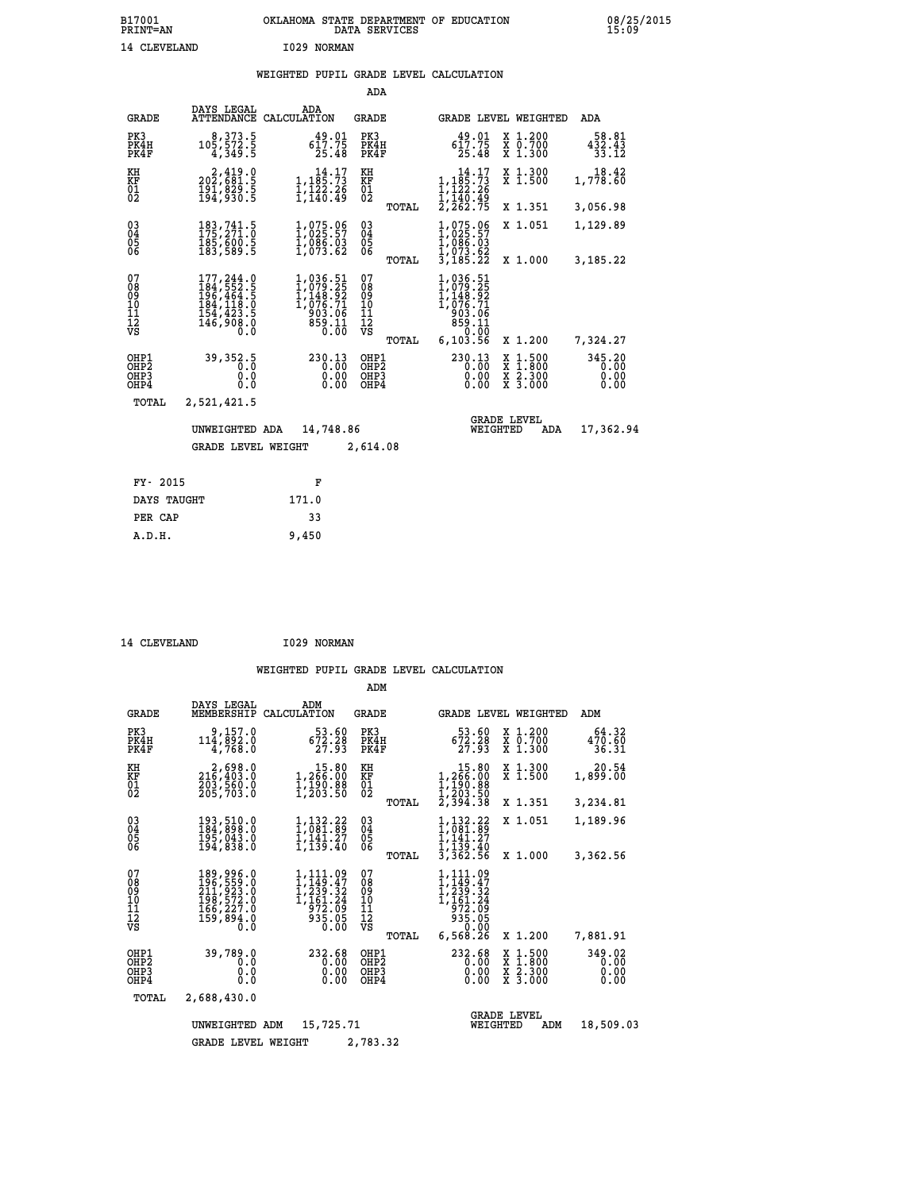## **WEIGHTED PUPIL GRADE LEVEL CALCULATION**

|                                                                    |                                                                                                                                                                          |                                                                                                                  | ADA                                                                         |                                                                                                                                                                                                                                                                                                                                                                                                                                                                           |                                |
|--------------------------------------------------------------------|--------------------------------------------------------------------------------------------------------------------------------------------------------------------------|------------------------------------------------------------------------------------------------------------------|-----------------------------------------------------------------------------|---------------------------------------------------------------------------------------------------------------------------------------------------------------------------------------------------------------------------------------------------------------------------------------------------------------------------------------------------------------------------------------------------------------------------------------------------------------------------|--------------------------------|
| <b>GRADE</b>                                                       | DAYS LEGAL<br><b>ATTENDANCE</b>                                                                                                                                          | ADA<br>CALCULATION                                                                                               | GRADE                                                                       | GRADE LEVEL WEIGHTED                                                                                                                                                                                                                                                                                                                                                                                                                                                      | <b>ADA</b>                     |
| PK3<br>PK4H<br>PK4F                                                | 8, 373.5<br>105, 572.5<br>4,349.5                                                                                                                                        | 49.01<br>617.75<br>25.48                                                                                         | PK3<br>PK4H<br>PK4F                                                         | X 1.200<br>X 0.700<br>X 1.300<br>$49.01$<br>617.75<br>25.48                                                                                                                                                                                                                                                                                                                                                                                                               | 58.81<br>432.43<br>33.12       |
| KH<br>KF<br>$\overline{01}$                                        | 2,419.0<br>202,681.5<br>$\frac{181}{194}$ , $\frac{829}{930}$ . 5                                                                                                        | $\begin{array}{c} 14.17\\1,185.73\\1,122.26\\1,140.49\end{array}$                                                | KH<br>KF<br>$\overline{01}$                                                 | X 1.300<br>X 1.500<br>$14.17$<br>$1,185.73$<br>$1,122.26$<br>$1,140.49$                                                                                                                                                                                                                                                                                                                                                                                                   | 18.42<br>1,778.60              |
|                                                                    |                                                                                                                                                                          |                                                                                                                  | TOTAL                                                                       | $2, \bar{2}6\tilde{2}.75$<br>X 1.351                                                                                                                                                                                                                                                                                                                                                                                                                                      | 3,056.98                       |
| $\begin{smallmatrix} 03 \\[-4pt] 04 \end{smallmatrix}$<br>05<br>06 | 183, 741.5<br>185,600.5<br>183,589.5                                                                                                                                     | 1,075.06<br>1,025.57<br>$\frac{1}{1}$ , $\frac{0}{0}$ , $\frac{0}{0}$ , $\frac{0}{0}$<br>1, 073.62               | $\begin{smallmatrix} 03 \\[-4pt] 04 \end{smallmatrix}$<br>05<br>ŎĞ<br>TOTAL | 1,075.06<br>1,025.57<br>X 1.051<br>$\frac{1}{2}, \frac{0}{0}, \frac{0}{0}, \frac{0}{0}, \frac{0}{0}, \frac{0}{2}, \frac{0}{2}, \frac{0}{2}, \frac{0}{2}, \frac{0}{2}, \frac{0}{2}, \frac{0}{2}, \frac{0}{2}, \frac{0}{2}, \frac{0}{2}, \frac{0}{2}, \frac{0}{2}, \frac{0}{2}, \frac{0}{2}, \frac{0}{2}, \frac{0}{2}, \frac{0}{2}, \frac{0}{2}, \frac{0}{2}, \frac{0}{2}, \frac{0}{2}, \frac{0}{2}, \frac{0}{2}, \frac{0}{2}, \frac{0}{2}, \frac{0}{2}, \frac{$<br>X 1.000 | 1,129.89<br>3,185.22           |
| 07<br>08<br>09<br>11<br>11<br>12<br>VS                             | $\begin{smallmatrix} 177, 244 & 0 \\ 184, 552 & 5 \\ 196, 464 & 5 \\ 184, 118 & 0 \\ 184, 118 & 0 \\ 154, 423 & 5 \\ 146, 908 & 0 \end{smallmatrix}$<br>$0.\overline{0}$ | $\begin{smallmatrix} 1,036.51\\ 1,079.25\\ 1,148.92\\ 1,076.71\\ 903.06\\ 859.11\\ 0.00\\ 0.00\end{smallmatrix}$ | 07<br>08<br>09<br>11<br>11<br>12<br>VS                                      | 1,036.51<br>1,079.25<br>1,148.92<br>1,076.71<br>903.06<br>11.058<br>0.00                                                                                                                                                                                                                                                                                                                                                                                                  |                                |
|                                                                    |                                                                                                                                                                          |                                                                                                                  | TOTAL                                                                       | 6,103.56<br>X 1.200                                                                                                                                                                                                                                                                                                                                                                                                                                                       | 7,324.27                       |
| OHP1<br>OH <sub>P</sub> 2<br>OH <sub>P3</sub><br>OHP4              | 39,352.5<br>0.0<br>0.0<br>0.0                                                                                                                                            | 230.13<br>0.00<br>0.00<br>0.00                                                                                   | OHP1<br>OHP <sub>2</sub><br>OHP3<br>OHP4                                    | 230.13<br>X 1:500<br>0.00<br>$\frac{\ddot{x}}{x}$ $\frac{2.300}{3.000}$<br>0.00<br>0.00                                                                                                                                                                                                                                                                                                                                                                                   | 345.20<br>0.00<br>0.00<br>0.00 |
| TOTAL                                                              | 2,521,421.5                                                                                                                                                              |                                                                                                                  |                                                                             |                                                                                                                                                                                                                                                                                                                                                                                                                                                                           |                                |
|                                                                    | UNWEIGHTED ADA                                                                                                                                                           | 14,748.86                                                                                                        |                                                                             | <b>GRADE LEVEL</b><br>WEIGHTED<br>ADA                                                                                                                                                                                                                                                                                                                                                                                                                                     | 17,362.94                      |
|                                                                    | <b>GRADE LEVEL WEIGHT</b>                                                                                                                                                |                                                                                                                  | 2,614.08                                                                    |                                                                                                                                                                                                                                                                                                                                                                                                                                                                           |                                |
| FY- 2015                                                           |                                                                                                                                                                          | F                                                                                                                |                                                                             |                                                                                                                                                                                                                                                                                                                                                                                                                                                                           |                                |
|                                                                    | DAYS TAUGHT                                                                                                                                                              | 171.0                                                                                                            |                                                                             |                                                                                                                                                                                                                                                                                                                                                                                                                                                                           |                                |
| PER CAP                                                            |                                                                                                                                                                          | 33                                                                                                               |                                                                             |                                                                                                                                                                                                                                                                                                                                                                                                                                                                           |                                |

| 14 CLEVELAND | I029 NORMAN |
|--------------|-------------|
|              |             |

 **A.D.H. 9,450**

|                                           |                                                                                         |                                                                             | ADM                                             |                                                                                                                      |                                                                                                  |                                |
|-------------------------------------------|-----------------------------------------------------------------------------------------|-----------------------------------------------------------------------------|-------------------------------------------------|----------------------------------------------------------------------------------------------------------------------|--------------------------------------------------------------------------------------------------|--------------------------------|
| <b>GRADE</b>                              | DAYS LEGAL<br>MEMBERSHIP                                                                | ADM<br>CALCULATION                                                          | <b>GRADE</b>                                    | <b>GRADE LEVEL WEIGHTED</b>                                                                                          |                                                                                                  | ADM                            |
| PK3<br>PK4H<br>PK4F                       | 9,157.0<br>114,892.0<br>4,768.0                                                         | 53.60<br>$\frac{672.28}{27.93}$                                             | PK3<br>PK4H<br>PK4F                             | 53.60<br>672.28<br>27.93                                                                                             | X 1.200<br>X 0.700<br>X 1.300                                                                    | 64.32<br>470.60<br>36.31       |
| KH<br>KF<br>01<br>02                      | 2,698.0<br>216,403.0<br>203,560.0<br>205,703.0                                          | $\begin{smallmatrix}&&15.80\\1,266.00\\1,190.88\\1,203.50\end{smallmatrix}$ | KH<br>KF<br>$\overline{01}$                     | $\begin{smallmatrix}&&15.80\\1,266.00\\1,190.88\\1,203.50\\2,394.38\end{smallmatrix}$                                | X 1.300<br>X 1.500                                                                               | 20.54<br>1,899.00              |
|                                           |                                                                                         |                                                                             | TOTAL                                           |                                                                                                                      | X 1.351                                                                                          | 3,234.81                       |
| 03<br>04<br>05<br>06                      | 193,510.0<br>184,898.0<br>195,043.0<br>194,838.0                                        | 1,132.22<br>1,081.89<br>ī,14ī.27<br>1,139.40                                | $\substack{03 \\ 04}$<br>05                     | 1,132.22<br>1,081.89<br>$\frac{1}{1}, \frac{1}{139}. \frac{27}{40}$<br>$\frac{1}{3}, \frac{139}{362}. \frac{40}{56}$ | X 1.051                                                                                          | 1,189.96                       |
|                                           |                                                                                         |                                                                             | TOTAL                                           |                                                                                                                      | X 1.000                                                                                          | 3,362.56                       |
| 07<br>08<br>09<br>11<br>11<br>12<br>VS    | 189, 996.0<br>196, 559.0<br>211, 923.0<br>198, 572.0<br>166, 227.0<br>159, 894.0<br>Ō.Ŏ | 1,111.09<br>1,149.47<br>ī, 239.32<br>1,161.24<br>972.09<br>935.05<br>0.00   | 07<br>08<br>09<br>11<br>11<br>12<br>VS<br>TOTAL | $1, 111.09$<br>$1, 149.47$<br>$1, 239.32$<br>$1, 161.24$<br>972.09<br>935.05<br>0.00<br>6,568.26                     | X 1.200                                                                                          | 7,881.91                       |
| OHP1<br>OH <sub>P</sub> 2<br>OHP3<br>OHP4 | 39,789.0<br>0.0<br>0.0<br>0.0                                                           | 232.68<br>0.00<br>0.00<br>0.00                                              | OHP1<br>OH <sub>P</sub> 2<br>OHP3<br>OHP4       | 232.68<br>0.00<br>0.00<br>0.00                                                                                       | $\begin{smallmatrix} x & 1 & 500 \\ x & 1 & 800 \\ x & 2 & 300 \\ x & 3 & 000 \end{smallmatrix}$ | 349.02<br>0.00<br>0.00<br>0.00 |
| TOTAL                                     | 2,688,430.0                                                                             |                                                                             |                                                 |                                                                                                                      |                                                                                                  |                                |
|                                           | UNWEIGHTED                                                                              | 15,725.71<br>ADM                                                            |                                                 | WEIGHTED                                                                                                             | <b>GRADE LEVEL</b><br>ADM                                                                        | 18,509.03                      |
|                                           | <b>GRADE LEVEL WEIGHT</b>                                                               |                                                                             | 2,783.32                                        |                                                                                                                      |                                                                                                  |                                |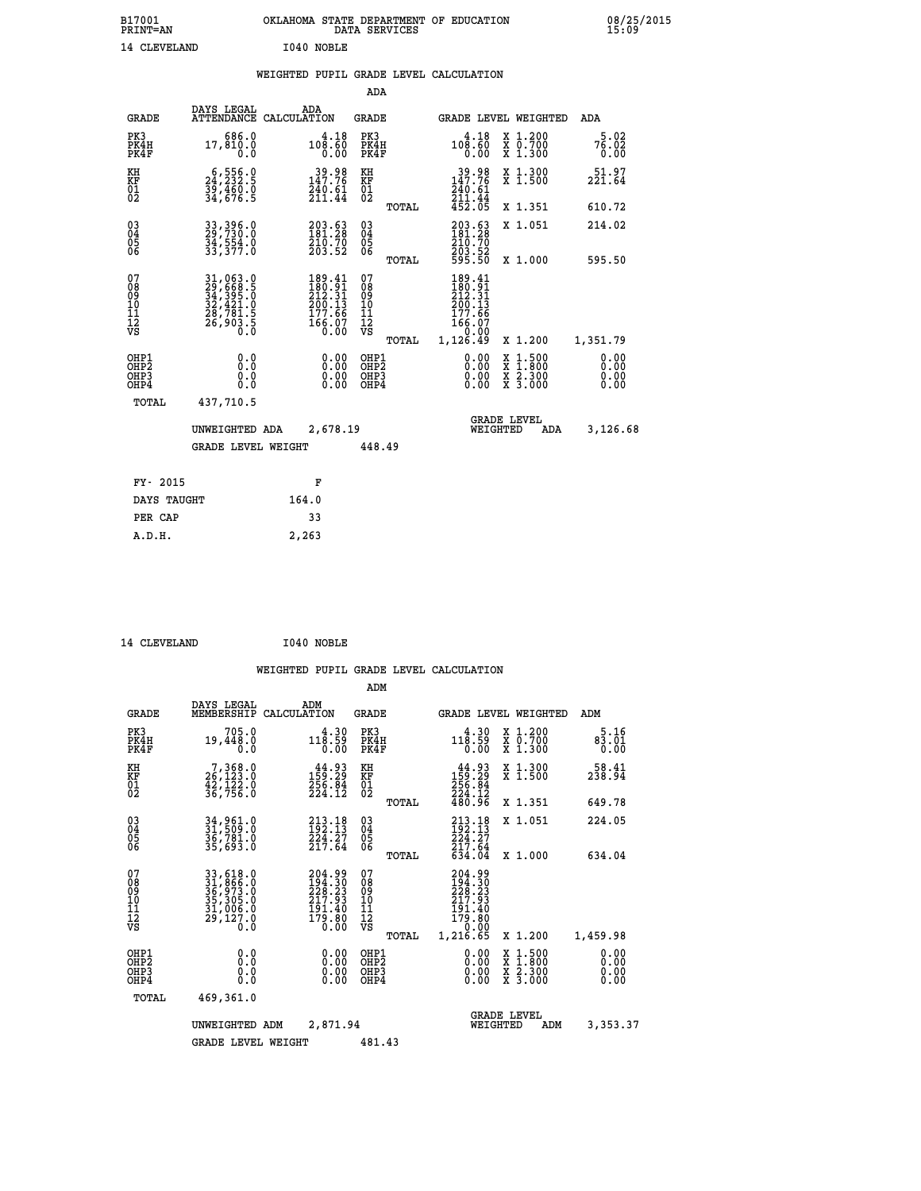| B17001<br><b>PRINT=AN</b> | OKLAHOMA STATE DEPARTMENT OF EDUCATION<br>DATA SERVICES | 08/25/2015<br>15:09 |
|---------------------------|---------------------------------------------------------|---------------------|
| 14 CLEVELAND              | I040 NOBLE                                              |                     |

|  |  | WEIGHTED PUPIL GRADE LEVEL CALCULATION |
|--|--|----------------------------------------|
|  |  |                                        |

|                                                      |                                                                      |                                                                                                                                            | ADA                                      |       |                                                                              |                                                                                                  |                              |
|------------------------------------------------------|----------------------------------------------------------------------|--------------------------------------------------------------------------------------------------------------------------------------------|------------------------------------------|-------|------------------------------------------------------------------------------|--------------------------------------------------------------------------------------------------|------------------------------|
| <b>GRADE</b>                                         | DAYS LEGAL                                                           | ADA<br>ATTENDANCE CALCULATION                                                                                                              | <b>GRADE</b>                             |       |                                                                              | GRADE LEVEL WEIGHTED                                                                             | ADA                          |
| PK3<br>PK4H<br>PK4F                                  | 686.0<br>17,810.0<br>0.0                                             | 4.18<br>108.60<br>0.00                                                                                                                     | PK3<br>PK4H<br>PK4F                      |       | 4.18<br>$10\overline{6}\cdot\overline{6}\overline{0}$<br>0.00                | X 1.200<br>X 0.700<br>X 1.300                                                                    | 5.02<br>76.02<br>0.00        |
| KH<br>KF<br>01<br>02                                 | $6,556.0$<br>$24,232.5$<br>$39,460.0$<br>$34,676.5$                  | 39.98<br>147.76<br>$\frac{240.61}{211.44}$                                                                                                 | KH<br>KF<br>01<br>02                     |       | $\begin{array}{r} 39.98 \\ 147.76 \\ 240.61 \\ 211.44 \\ 452.05 \end{array}$ | X 1.300<br>X 1.500                                                                               | 51.97<br>221.64              |
|                                                      |                                                                      |                                                                                                                                            |                                          | TOTAL |                                                                              | X 1.351                                                                                          | 610.72                       |
| $\begin{matrix} 03 \\ 04 \\ 05 \\ 06 \end{matrix}$   | 33, 396.0<br>29, 730.0<br>34,554.0<br>33,377.0                       | 203.63<br>181.28<br>210.70<br>203.52                                                                                                       | $\substack{03 \\ 04}$<br>05<br>06        |       | 203.63<br>181.28<br>210:70<br>203:52<br>595:50                               | X 1.051                                                                                          | 214.02                       |
|                                                      |                                                                      |                                                                                                                                            |                                          | TOTAL |                                                                              | X 1.000                                                                                          | 595.50                       |
| 07<br>08<br>09<br>11<br>11<br>12<br>VS               | 31,063.0<br>29,668.5<br>34,395.0<br>32,421.0<br>28,781.5<br>26,903.5 | $\begin{smallmatrix} 189 & .41 \\ 180 & .91 \\ 212 & .31 \\ 210 & .13 \\ 200 & .13 \\ 177 & .66 \\ 166 & .07 \\ 0 & .00 \end{smallmatrix}$ | 07<br>08<br>09<br>101<br>112<br>VS       |       | 189.41<br>180:51<br>212:31<br>200:13<br>177:66<br>166:07<br>.0.00            |                                                                                                  |                              |
|                                                      |                                                                      |                                                                                                                                            |                                          | TOTAL | 1,126.49                                                                     | X 1.200                                                                                          | 1,351.79                     |
| OHP1<br>OH <sub>P</sub> <sub>2</sub><br>OHP3<br>OHP4 | 0.0<br>0.0<br>0.0                                                    | $0.00$<br>$0.00$<br>0.00                                                                                                                   | OHP1<br>OHP <sub>2</sub><br>OHP3<br>OHP4 |       | $0.00$<br>$0.00$<br>0.00                                                     | $\begin{smallmatrix} x & 1 & 500 \\ x & 1 & 800 \\ x & 2 & 300 \\ x & 3 & 000 \end{smallmatrix}$ | 0.00<br>0.00<br>0.00<br>0.00 |
| <b>TOTAL</b>                                         | 437,710.5                                                            |                                                                                                                                            |                                          |       |                                                                              |                                                                                                  |                              |
|                                                      | UNWEIGHTED ADA                                                       | 2,678.19                                                                                                                                   |                                          |       |                                                                              | <b>GRADE LEVEL</b><br>WEIGHTED<br>ADA                                                            | 3,126.68                     |
|                                                      | <b>GRADE LEVEL WEIGHT</b>                                            |                                                                                                                                            | 448.49                                   |       |                                                                              |                                                                                                  |                              |
| FY- 2015                                             |                                                                      | F                                                                                                                                          |                                          |       |                                                                              |                                                                                                  |                              |
| DAYS TAUGHT                                          |                                                                      | 164.0                                                                                                                                      |                                          |       |                                                                              |                                                                                                  |                              |
|                                                      |                                                                      | 33                                                                                                                                         |                                          |       |                                                                              |                                                                                                  |                              |
| PER CAP                                              |                                                                      |                                                                                                                                            |                                          |       |                                                                              |                                                                                                  |                              |

| 14 CLEVELAND | I040 NOBLE |
|--------------|------------|
|              |            |

 **A.D.H. 2,263**

|                                                       |                                                                             |                                                                  | ADM                                     |       |                                                                                 |          |                                                                                          |                              |
|-------------------------------------------------------|-----------------------------------------------------------------------------|------------------------------------------------------------------|-----------------------------------------|-------|---------------------------------------------------------------------------------|----------|------------------------------------------------------------------------------------------|------------------------------|
| <b>GRADE</b>                                          | DAYS LEGAL<br>MEMBERSHIP                                                    | ADM<br>CALCULATION                                               | <b>GRADE</b>                            |       |                                                                                 |          | <b>GRADE LEVEL WEIGHTED</b>                                                              | ADM                          |
| PK3<br>PK4H<br>PK4F                                   | 705.0<br>19,448.0<br>0.0                                                    | 4.30<br>118.59<br>0.00                                           | PK3<br>PK4H<br>PK4F                     |       | 4.30<br>118.59<br>0.00                                                          |          | X 1.200<br>X 0.700<br>X 1.300                                                            | 5.16<br>83.01<br>0.00        |
| KH<br>KF<br>01<br>02                                  | $\begin{smallmatrix}7,368.0\\26,123.0\\42,122.0\\36,756.0\end{smallmatrix}$ | $159.29$<br>$256.84$<br>$224.12$                                 | KH<br>KF<br>01<br>02                    |       | $159.29$<br>$256.84$<br>$224.12$                                                |          | X 1.300<br>X 1.500                                                                       | 58.41<br>238.94              |
|                                                       |                                                                             |                                                                  |                                         | TOTAL | 480.96                                                                          |          | X 1.351                                                                                  | 649.78                       |
| 03<br>04<br>05<br>06                                  | 34,961.0<br>31,509.0<br>36,781.0<br>35,693.0                                | 213.18<br>192.13<br>224.27<br>217.64                             | $\substack{03 \\ 04}$<br>0500           |       | $213.18$<br>$192.13$<br>$224.27$                                                |          | X 1.051                                                                                  | 224.05                       |
|                                                       |                                                                             |                                                                  |                                         | TOTAL | 217.64<br>634.04                                                                |          | X 1.000                                                                                  | 634.04                       |
| 07<br>08<br>09<br>101<br>112<br>VS                    | 33,618.0<br>31,866.0<br>36,973.0<br>35,305.0<br>31,006.0<br>29,127.0<br>Ó.Ŏ | 204.99<br>194.30<br>228.23<br>217.93<br>191.40<br>179.80<br>0.00 | 07<br>08<br>09<br>101<br>11<br>12<br>VS | TOTAL | 204.99<br>194.30<br>228.23<br>217.93<br>191:40<br>179:80<br>- 0.00<br>1, 216.65 |          | X 1.200                                                                                  | 1,459.98                     |
| OHP1<br>OH <sub>P</sub> 2<br>OH <sub>P3</sub><br>OHP4 | 0.0<br>0.000                                                                | $0.00$<br>$0.00$<br>0.00                                         | OHP1<br>OHP2<br>OHP3<br>OHP4            |       | $0.00$<br>$0.00$<br>0.00                                                        |          | $\begin{smallmatrix} x & 1.500 \\ x & 1.800 \\ x & 2.300 \\ x & 3.000 \end{smallmatrix}$ | 0.00<br>0.00<br>0.00<br>0.00 |
| TOTAL                                                 | 469,361.0                                                                   |                                                                  |                                         |       |                                                                                 |          |                                                                                          |                              |
|                                                       | UNWEIGHTED                                                                  | 2,871.94<br>ADM                                                  |                                         |       |                                                                                 | WEIGHTED | <b>GRADE LEVEL</b><br>ADM                                                                | 3,353.37                     |
|                                                       | <b>GRADE LEVEL WEIGHT</b>                                                   |                                                                  | 481.43                                  |       |                                                                                 |          |                                                                                          |                              |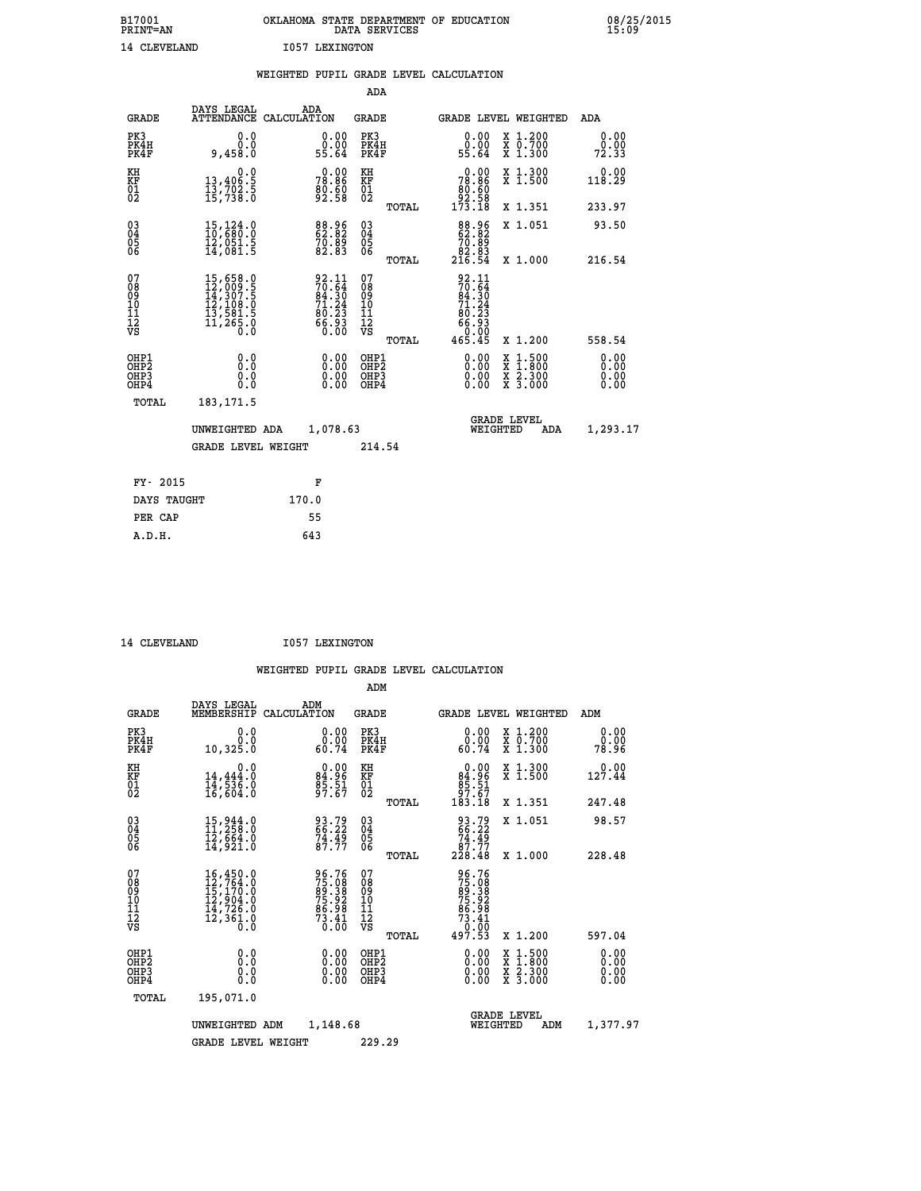| B17001<br><b>PRINT=AN</b> | OKLAHOMA STATE DEPARTMENT OF EDUCATION<br>DATA SERVICES |  |  |  |
|---------------------------|---------------------------------------------------------|--|--|--|
| 14 CLEVELAND              | 1057 LEXINGTON                                          |  |  |  |

 **B17001 OKLAHOMA STATE DEPARTMENT OF EDUCATION 08/25/2015**

|                                                                    |                                                                                                                                                                         | WEIGHTED PUPIL GRADE LEVEL CALCULATION                                                              |                                        |        |                                                                                                                                     |                                                |                              |
|--------------------------------------------------------------------|-------------------------------------------------------------------------------------------------------------------------------------------------------------------------|-----------------------------------------------------------------------------------------------------|----------------------------------------|--------|-------------------------------------------------------------------------------------------------------------------------------------|------------------------------------------------|------------------------------|
|                                                                    |                                                                                                                                                                         |                                                                                                     | ADA                                    |        |                                                                                                                                     |                                                |                              |
| <b>GRADE</b>                                                       | DAYS LEGAL                                                                                                                                                              | ADA<br>ATTENDANCE CALCULATION                                                                       | <b>GRADE</b>                           |        |                                                                                                                                     | GRADE LEVEL WEIGHTED                           | ADA                          |
| PK3<br>PK4H<br>PK4F                                                | 0.0<br>0.0<br>9,458.0                                                                                                                                                   | $\begin{smallmatrix} 0.00\\ 0.00\\ 55.64 \end{smallmatrix}$                                         | PK3<br>PK4H<br>PK4F                    |        | 0.00<br>0.00<br>55.64                                                                                                               | X 1.200<br>X 0.700<br>X 1.300                  | 0.00<br>0.00<br>72.33        |
| KH<br>KF<br>01<br>02                                               | 0.0<br>13,406:5<br>13,702:5<br>15,738:0                                                                                                                                 | 78.86<br>78.86<br>80.60<br>92.58                                                                    | KH<br>KF<br>01<br>02                   |        | $\begin{smallmatrix} &0.00\\ 78.86\\ 80.60\\ 92.58\\ 173.18\end{smallmatrix}$                                                       | X 1.300<br>X 1.500                             | 0.00<br>118.29               |
|                                                                    |                                                                                                                                                                         |                                                                                                     |                                        | TOTAL  |                                                                                                                                     | X 1.351                                        | 233.97                       |
| $\begin{smallmatrix} 03 \\[-4pt] 04 \end{smallmatrix}$<br>Ŏ5<br>ŎĞ | $15,124.0$<br>$10,680.0$<br>īž,ŏšī.š<br>14,081.5                                                                                                                        | 88.96<br>62.82<br>70.89<br>82.83                                                                    | $03\overline{4}$<br>Ŏ5<br>06           |        | 88.96<br>62.82<br>$\begin{array}{r} 76.89 \\ 76.83 \\ 82.83 \\ 216.54 \end{array}$                                                  | X 1.051                                        | 93.50                        |
|                                                                    |                                                                                                                                                                         |                                                                                                     |                                        | TOTAL  |                                                                                                                                     | X 1.000                                        | 216.54                       |
| 07<br>08<br>09<br>101<br>112<br>VS                                 | $\begin{smallmatrix} 15 \,, 658\cdot 0\\ 12 \,, 009\cdot 5\\ 14 \,, 307\cdot 5\\ 12 \,, 108\cdot 0\\ 13 \,, 581\cdot 5\\ 11 \,, 265\cdot 0\\ 0\cdot 0\end{smallmatrix}$ | $\begin{smallmatrix} 92.11 \\ 70.64 \\ 84.30 \\ 71.24 \\ 80.23 \\ 66.93 \\ 60.00 \end{smallmatrix}$ | 07<br>08<br>09<br>11<br>11<br>12<br>VS | TOTAL  | $\begin{array}{c} 92.11 \\ 70.64 \\ 84.30 \\ 71.24 \end{array}$<br>$\begin{array}{r} 60.23 \\ 66.93 \\ 66.00 \\ 465.45 \end{array}$ | X 1.200                                        | 558.54                       |
| OHP1<br>OHP2<br>OHP3<br>OHP4                                       | 0.0<br>0.0<br>0.0                                                                                                                                                       | 0.00<br>$\begin{smallmatrix} 0.00 \ 0.00 \end{smallmatrix}$                                         | OHP1<br>OHP2<br>OHP3<br>OHP4           |        | 0.00<br>0.00<br>0.00                                                                                                                | X 1:500<br>$\frac{x}{x}$ $\frac{5:300}{3:000}$ | 0.00<br>0.00<br>0.00<br>0.00 |
| <b>TOTAL</b>                                                       | 183, 171.5                                                                                                                                                              |                                                                                                     |                                        |        |                                                                                                                                     |                                                |                              |
|                                                                    | UNWEIGHTED ADA                                                                                                                                                          | 1,078.63                                                                                            |                                        |        | WEIGHTED                                                                                                                            | <b>GRADE LEVEL</b><br>ADA                      | 1,293.17                     |
|                                                                    | <b>GRADE LEVEL WEIGHT</b>                                                                                                                                               |                                                                                                     |                                        | 214.54 |                                                                                                                                     |                                                |                              |
| FY- 2015                                                           |                                                                                                                                                                         | F                                                                                                   |                                        |        |                                                                                                                                     |                                                |                              |
| DAYS TAUGHT                                                        |                                                                                                                                                                         | 170.0                                                                                               |                                        |        |                                                                                                                                     |                                                |                              |
| PER CAP                                                            |                                                                                                                                                                         | 55                                                                                                  |                                        |        |                                                                                                                                     |                                                |                              |

14 CLEVELAND **I057 LEXINGTON** 

 **A.D.H. 643**

 **ADM**

| <b>GRADE</b>                                       | DAYS LEGAL                                                                                                                                                                           | ADM<br>MEMBERSHIP CALCULATION                                 | <b>GRADE</b>                         |       | GRADE LEVEL WEIGHTED                                                           |                                                                                                                     | ADM                   |  |
|----------------------------------------------------|--------------------------------------------------------------------------------------------------------------------------------------------------------------------------------------|---------------------------------------------------------------|--------------------------------------|-------|--------------------------------------------------------------------------------|---------------------------------------------------------------------------------------------------------------------|-----------------------|--|
| PK3<br>PK4H<br>PK4F                                | 0.0<br>0.0<br>10,325.0                                                                                                                                                               | $\begin{smallmatrix} 0.00\\ 0.00\\ 60.74 \end{smallmatrix}$   | PK3<br>PK4H<br>PK4F                  |       | 0.00<br>0.00<br>60.74                                                          | X 1.200<br>X 0.700<br>X 1.300                                                                                       | 0.00<br>0.00<br>78.96 |  |
| KH<br>KF<br>01<br>02                               | 0.0<br>14,444:0<br>14,536:0<br>16,604:0                                                                                                                                              | $84.96$<br>$85.51$<br>$97.67$                                 | KH<br><b>KF</b><br>01<br>02          |       | $0.00$<br>94.96<br>$\frac{85.51}{97.67}$<br>183.18                             | X 1.300<br>X 1.500                                                                                                  | 0.00<br>127.44        |  |
|                                                    |                                                                                                                                                                                      |                                                               |                                      | TOTAL |                                                                                | X 1.351                                                                                                             | 247.48                |  |
| $\begin{matrix} 03 \\ 04 \\ 05 \\ 06 \end{matrix}$ | $15,944.0$<br>$11,258.0$<br>$12,664.0$<br>$14,921.0$                                                                                                                                 | 93.79<br>66.22<br>74.49<br>87.77                              | $03\overline{4}$<br>05<br>06         |       | $\begin{smallmatrix} 93.79\\ 66.22\\ 74.49\\ 87.77\\ 228.48 \end{smallmatrix}$ | X 1.051                                                                                                             | 98.57                 |  |
|                                                    |                                                                                                                                                                                      |                                                               |                                      | TOTAL |                                                                                | X 1.000                                                                                                             | 228.48                |  |
| 07<br>08<br>09<br>101<br>11<br>12<br>VS            | $\begin{smallmatrix} 16\,, & 450\,, & 0\\ 12\,, & 764\,, & 0\\ 15\,, & 170\,, & 0\\ 12\,, & 904\,, & 0\\ 14\,, & 726\,, & 0\\ 12\,, & 361\,, & 0\\ 0\,. & 0\,. & 0\end{smallmatrix}$ | 96.76<br>75.088<br>89.38<br>75.92<br>86.98<br>873.41<br>73.41 | 078<br>089<br>0011<br>11<br>12<br>VS | TOTAL | 96.76<br>75.088<br>89.392<br>75.98<br>73.41<br>73.41<br>7.53<br>497.53         | X 1.200                                                                                                             | 597.04                |  |
| OHP1                                               |                                                                                                                                                                                      |                                                               |                                      |       |                                                                                |                                                                                                                     |                       |  |
| OHP2<br>OHP3<br>OHP4                               | 0.0<br>0.0<br>0.0                                                                                                                                                                    |                                                               | OHP1<br>OHP2<br>OHP3<br>OHP4         |       | 0.00<br>$\begin{smallmatrix} 0.00 & 0 \ 0.00 & 0 \end{smallmatrix}$            | $\begin{array}{l} \mathtt{X} & 1.500 \\ \mathtt{X} & 1.800 \\ \mathtt{X} & 2.300 \\ \mathtt{X} & 3.000 \end{array}$ | 0.00<br>0.00<br>0.00  |  |
| TOTAL                                              | 195,071.0                                                                                                                                                                            |                                                               |                                      |       |                                                                                |                                                                                                                     |                       |  |
|                                                    | UNWEIGHTED                                                                                                                                                                           | 1,148.68<br>ADM                                               |                                      |       | WEIGHTED                                                                       | <b>GRADE LEVEL</b><br>ADM                                                                                           | 1,377.97              |  |
|                                                    | <b>GRADE LEVEL WEIGHT</b>                                                                                                                                                            |                                                               | 229.29                               |       |                                                                                |                                                                                                                     |                       |  |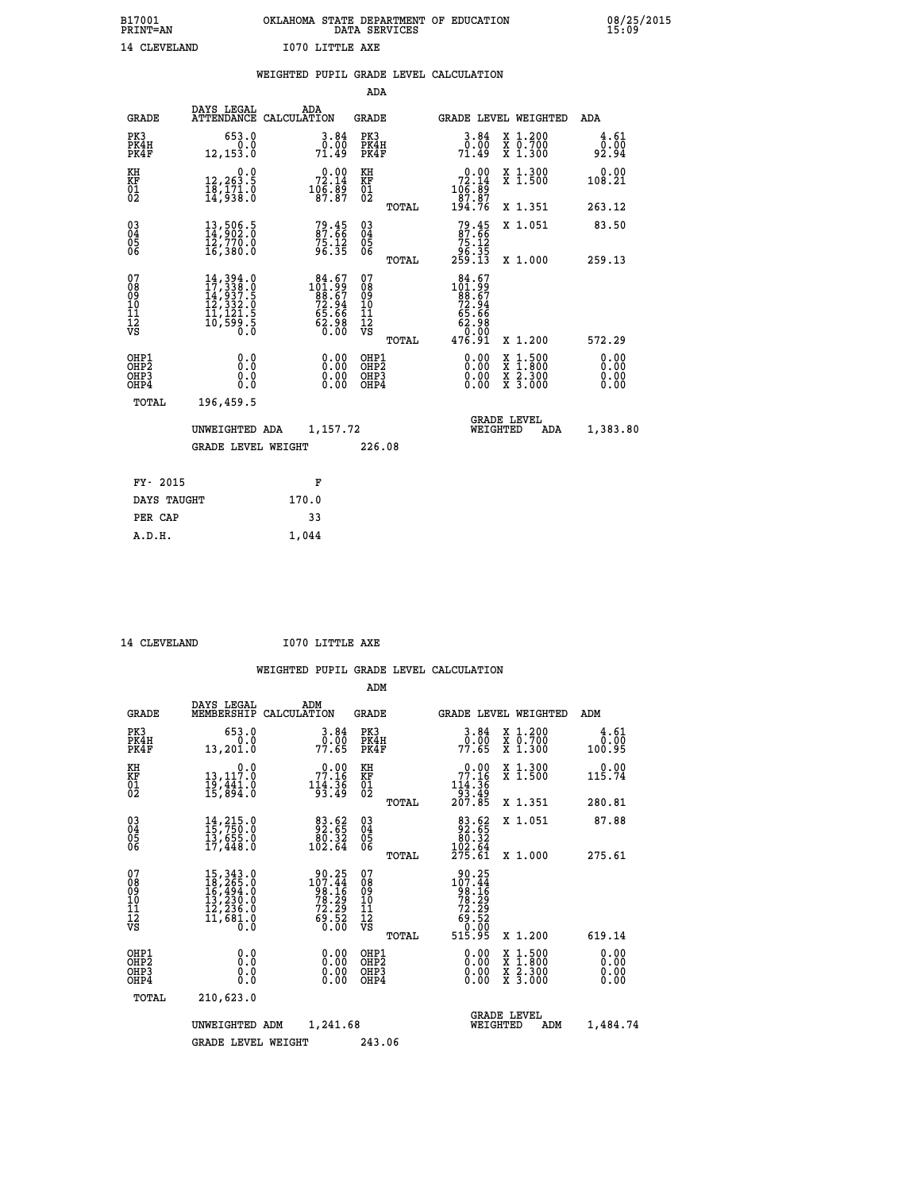| B17001<br><b>PRINT=AN</b> |              | OKLAHOMA STATE DEPARTMENT OF EDUCATION<br>DATA SERVICES |  |
|---------------------------|--------------|---------------------------------------------------------|--|
|                           | 14 CLEVELAND | I070 LITTLE AXE                                         |  |

 **B17001 OKLAHOMA STATE DEPARTMENT OF EDUCATION 08/25/2015**

|                                                                    |                                                                                                                                                     | WEIGHTED PUPIL GRADE LEVEL CALCULATION                                                 |                                                    |                                                                                     |                                                                                                                                                            |                              |
|--------------------------------------------------------------------|-----------------------------------------------------------------------------------------------------------------------------------------------------|----------------------------------------------------------------------------------------|----------------------------------------------------|-------------------------------------------------------------------------------------|------------------------------------------------------------------------------------------------------------------------------------------------------------|------------------------------|
|                                                                    |                                                                                                                                                     |                                                                                        | <b>ADA</b>                                         |                                                                                     |                                                                                                                                                            |                              |
| <b>GRADE</b>                                                       | DAYS LEGAL                                                                                                                                          | ADA<br>ATTENDANCE CALCULATION                                                          | <b>GRADE</b>                                       |                                                                                     | GRADE LEVEL WEIGHTED                                                                                                                                       | ADA                          |
| PK3<br>PK4H<br>PK4F                                                | 653.0<br>$\begin{matrix} 0.0 \\ 12,153.0 \end{matrix}$                                                                                              | 3.84<br>ō:ŏō<br>71:49                                                                  | PK3<br>PK4H<br>PK4F                                | 3.84<br>0.00<br>71.49                                                               | X 1.200<br>X 0.700<br>X 1.300                                                                                                                              | 4.61<br>0.00<br>92.94        |
| KH<br>KF<br>01<br>02                                               | 0.0<br>12,263.5<br>18,171.0<br>14,938.0                                                                                                             | $\begin{smallmatrix} 0.00\\ 72.14\\ 106.89\\ 87.87 \end{smallmatrix}$                  | KH<br>KF<br>01<br>02                               | $\begin{smallmatrix} &0.00\\72.14\\106.89\\87.87\\194.76\end{smallmatrix}$          | X 1.300<br>X 1.500                                                                                                                                         | 0.00<br>108.21               |
|                                                                    |                                                                                                                                                     |                                                                                        | TOTAL                                              |                                                                                     | X 1.351                                                                                                                                                    | 263.12                       |
| $\begin{smallmatrix} 03 \\[-4pt] 04 \end{smallmatrix}$<br>05<br>06 | 13,506.5<br>14,902.0<br>ī2,770.0<br>16,380.0                                                                                                        | $79.45$<br>87.66<br>75.12<br>96.35                                                     | $\begin{matrix} 03 \\ 04 \\ 05 \\ 06 \end{matrix}$ | $79.45$<br>87.66<br>75.12<br>75.35<br>96.35<br>259.13                               | X 1.051                                                                                                                                                    | 83.50                        |
|                                                                    |                                                                                                                                                     |                                                                                        | TOTAL                                              |                                                                                     | X 1.000                                                                                                                                                    | 259.13                       |
| 07<br>08<br>09<br>11<br>11<br>12<br>VS                             | $\begin{smallmatrix} 14\,,\,394\,.0\\ 17\,,\,338\,.0\\ 14\,,\,937\,.5\\ 12\,,\,332\,.0\\ 11\,,\,121\,.5\\ 10\,,\,599\,.5\\ 0\,.0 \end{smallmatrix}$ | $\begin{smallmatrix} 84.67\\101.99\\88.67\\72.94\\65.66\\62.98\\0.00\end{smallmatrix}$ | 07<br>08<br>09<br>11<br>11<br>12<br>VS<br>TOTAL    | $\begin{smallmatrix} 84.67\\101.99\\88.67\\72.94\\65.66\\62.98\\9\end{smallmatrix}$ | X 1.200                                                                                                                                                    | 572.29                       |
| OHP1<br>OHP2<br>OH <sub>P3</sub><br>OHP4                           | 0.0<br>0.0<br>Ō.Ō                                                                                                                                   | 0.00<br>$\begin{smallmatrix} 0.00 \ 0.00 \end{smallmatrix}$                            | OHP1<br>OHP2<br>OHP3<br>OHP4                       | 0.00<br>0.00<br>0.00                                                                | $1:500$<br>$1:800$<br>$\begin{smallmatrix} \mathtt{X} & 1 & 500 \\ \mathtt{X} & 1 & 800 \\ \mathtt{X} & 2 & 300 \\ \mathtt{X} & 3 & 000 \end{smallmatrix}$ | 0.00<br>0.00<br>0.00<br>0.00 |
| TOTAL                                                              | 196,459.5                                                                                                                                           |                                                                                        |                                                    |                                                                                     |                                                                                                                                                            |                              |
|                                                                    | UNWEIGHTED ADA                                                                                                                                      | 1,157.72                                                                               |                                                    |                                                                                     | <b>GRADE LEVEL</b><br>WEIGHTED<br>ADA                                                                                                                      | 1,383.80                     |
|                                                                    | <b>GRADE LEVEL WEIGHT</b>                                                                                                                           |                                                                                        | 226.08                                             |                                                                                     |                                                                                                                                                            |                              |
| FY- 2015                                                           |                                                                                                                                                     | F                                                                                      |                                                    |                                                                                     |                                                                                                                                                            |                              |
| DAYS TAUGHT                                                        |                                                                                                                                                     | 170.0                                                                                  |                                                    |                                                                                     |                                                                                                                                                            |                              |
| PER CAP                                                            |                                                                                                                                                     | 33                                                                                     |                                                    |                                                                                     |                                                                                                                                                            |                              |

 **A.D.H. 1,044**

 **ADM**

 **14 CLEVELAND I070 LITTLE AXE**

| <b>GRADE</b>                                       | DAYS LEGAL<br>MEMBERSHIP                                                                                                                                                             | ADM<br>CALCULATION                                                                       | <b>GRADE</b>                                       | <b>GRADE LEVEL WEIGHTED</b>                                                        |                                                                                                  | ADM                          |
|----------------------------------------------------|--------------------------------------------------------------------------------------------------------------------------------------------------------------------------------------|------------------------------------------------------------------------------------------|----------------------------------------------------|------------------------------------------------------------------------------------|--------------------------------------------------------------------------------------------------|------------------------------|
| PK3<br>PK4H<br>PK4F                                | 653.0<br>0.0<br>13,201.0                                                                                                                                                             | $3.84$<br>$0.00$<br>77.65                                                                | PK3<br>PK4H<br>PK4F                                | $\begin{array}{c} 3.84 \\ 0.00 \\ 77.65 \end{array}$                               | $\begin{smallmatrix} x & 1.200 \\ x & 0.700 \end{smallmatrix}$<br>X 1.300                        | 4.61<br>0.00<br>100.95       |
| KH<br>KF<br>01<br>02                               | 0.0<br>13,117:0<br>19,441:0<br>15,894:0                                                                                                                                              | $\begin{smallmatrix} &0.00\\77.16\\114.36\\93.49\end{smallmatrix}$                       | KH<br>KF<br>01<br>02                               | $0.00$<br>$77.16$<br>$114.36$<br>$93.49$<br>$207.85$                               | X 1.300<br>X 1.500                                                                               | 0.00<br>115.74               |
|                                                    |                                                                                                                                                                                      |                                                                                          | TOTAL                                              |                                                                                    | X 1.351                                                                                          | 280.81                       |
| $\begin{matrix} 03 \\ 04 \\ 05 \\ 06 \end{matrix}$ | $14, 215.0$<br>$15, 750.0$<br>$13, 655.0$<br>$17, 448.0$                                                                                                                             | $\begin{smallmatrix}83.62\\92.65\\80.32\\102.64\end{smallmatrix}$                        | $\begin{matrix} 03 \\ 04 \\ 05 \\ 06 \end{matrix}$ | $\begin{smallmatrix}83.62\\92.65\\80.32\\102.64\\275.61\end{smallmatrix}$          | X 1.051                                                                                          | 87.88                        |
|                                                    |                                                                                                                                                                                      |                                                                                          | TOTAL                                              |                                                                                    | X 1.000                                                                                          | 275.61                       |
| 07<br>08<br>09<br>101<br>11<br>12<br>VS            | $\begin{smallmatrix}15\,, & 343\cdot 0\\18\,, & 265\cdot 0\\16\,, & 494\cdot 0\\13\,, & 230\cdot 0\\12\,, & 236\cdot 0\\11\,, & 681\cdot 0\\0\,\, & 0\,\, & 0\,\, \end{smallmatrix}$ | $\begin{smallmatrix} 90.25\\107.44\\98.16\\78.29\\72.29\\69.52\\ 0.00 \end{smallmatrix}$ | 07<br>08<br>09<br>101<br>11<br>12<br>VS<br>TOTAL   | 90.25<br>107.44<br>$78.16$<br>$78.29$<br>$72.29$<br>$69.52$<br>$60.00$<br>$515.95$ | X 1.200                                                                                          | 619.14                       |
| OHP1<br>OHP2<br>OHP3<br>OHP4                       | 0.0<br>0.0<br>Ō.Ō                                                                                                                                                                    | $0.00$<br>$0.00$<br>0.00                                                                 | OHP1<br>OHP2<br>OHP3<br>OHP4                       |                                                                                    | $\begin{smallmatrix} x & 1 & 500 \\ x & 1 & 800 \\ x & 2 & 300 \\ x & 3 & 000 \end{smallmatrix}$ | 0.00<br>Ŏ.ŎŎ<br>0.00<br>0.00 |
| TOTAL                                              | 210,623.0                                                                                                                                                                            |                                                                                          |                                                    |                                                                                    |                                                                                                  |                              |
|                                                    | UNWEIGHTED                                                                                                                                                                           | 1,241.68<br>ADM                                                                          |                                                    | <b>GRADE LEVEL</b><br>WEIGHTED                                                     | ADM                                                                                              | 1,484.74                     |
|                                                    | <b>GRADE LEVEL WEIGHT</b>                                                                                                                                                            |                                                                                          | 243.06                                             |                                                                                    |                                                                                                  |                              |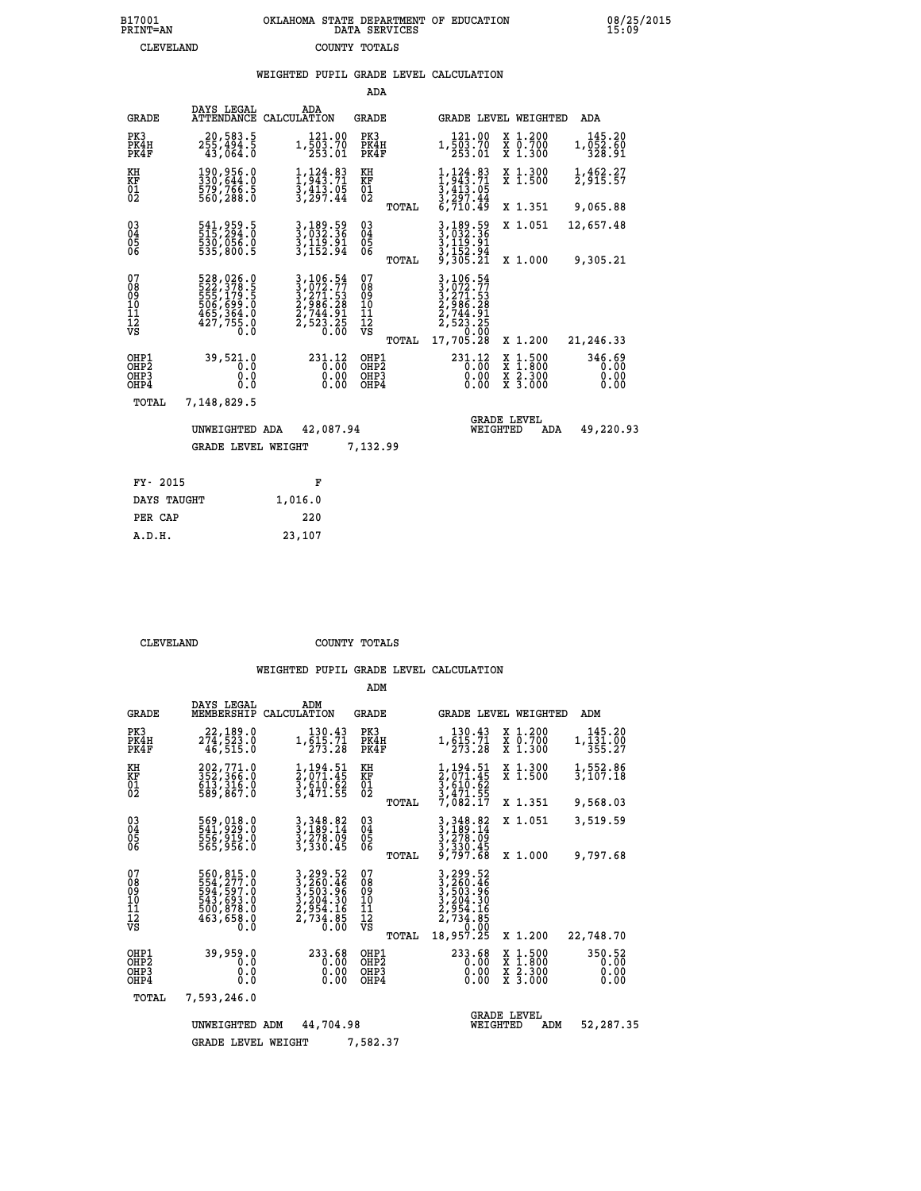## **WEIGHTED PUPIL GRADE LEVEL CALCULATION**

|                                                       |                                                                                   |                                                                                                                                                        | ADA                                                |                                                                                          |                                          |                                |
|-------------------------------------------------------|-----------------------------------------------------------------------------------|--------------------------------------------------------------------------------------------------------------------------------------------------------|----------------------------------------------------|------------------------------------------------------------------------------------------|------------------------------------------|--------------------------------|
| <b>GRADE</b>                                          | DAYS LEGAL<br><b>ATTENDANCE</b>                                                   | ADA<br>CALCULATION                                                                                                                                     | GRADE                                              |                                                                                          | GRADE LEVEL WEIGHTED                     | ADA                            |
| PK3<br>PK4H<br>PK4F                                   | 20,583.5<br>255,494.5<br>43,064.0                                                 | 121.00<br>1,503.70<br>253.01                                                                                                                           | PK3<br>PK4H<br>PK4F                                | 121.00<br>1,503.70<br>253.01                                                             | X 1.200<br>X 0.700<br>X 1.300            | 145.20<br>1,052.60<br>328.91   |
| KH<br><b>KF</b><br>01<br>02                           | 190,956.0<br>330,644.0<br>579,766.5<br>560,288.0                                  | $1, 124.83$<br>$1, 943.71$<br>$3, 413.05$<br>$3, 297.44$                                                                                               | KH<br>KF<br>01<br>02                               | $1,124.83$<br>$1,943.71$<br>$3,413.05$<br>$3,297.44$<br>$6,710.49$                       | X 1.300<br>X 1.500                       | 1,462.27<br>2,915.57           |
|                                                       |                                                                                   |                                                                                                                                                        | TOTAL                                              |                                                                                          | X 1.351                                  | 9,065.88                       |
| $\begin{matrix} 03 \\ 04 \\ 05 \\ 06 \end{matrix}$    | 541,959.5<br>515,294.0<br>530,056.0<br>535,800.5                                  | 3,189.59<br>3,032.36<br>$\frac{3}{1}$ , $\frac{15}{15}$ , $\frac{51}{94}$                                                                              | $\begin{matrix} 03 \\ 04 \\ 05 \\ 06 \end{matrix}$ | 3, 189.59<br>3, 032.36<br>3, 119.91<br>3, 152.94<br>9, 305.21                            | X 1.051                                  | 12,657.48                      |
|                                                       |                                                                                   |                                                                                                                                                        | TOTAL                                              |                                                                                          | X 1.000                                  | 9,305.21                       |
| 07<br>08<br>09<br>101<br>11<br>12<br>VS               | 528,026.0<br>522,378.5<br>555,179.5<br>506,699.0<br>465,364.0<br>427,755.0<br>0.0 | $\begin{smallmatrix} 3\,,\,106\,.54\\ 3\,,\,072\,.77\\ 3\,,\,271\,.53\\ 2\,,\,986\,.28\\ 2\,,\,744\,.91\\ 2\,,\,523\,.25\\ 0\,.00\\ \end{smallmatrix}$ | 07<br>08<br>09<br>101<br>11<br>12<br>VS            | 3, 106.54<br>3, 072.77<br>3, 271.53<br>2, 986.28<br>2, 744.91<br>2, 523.25<br>7, 7, 0.00 |                                          |                                |
|                                                       |                                                                                   |                                                                                                                                                        | TOTAL                                              | 17,705.28                                                                                | X 1.200                                  | 21,246.33                      |
| OHP1<br>OH <sub>P</sub> 2<br>OH <sub>P3</sub><br>OHP4 | 39,521.0<br>0.0<br>0.0<br>0.0                                                     | 231.12<br>0.00<br>0.00<br>0.00                                                                                                                         | OHP1<br>OHP <sub>2</sub><br>OHP3<br>OHP4           | $^{231.12}_{0.00}$<br>0.00<br>0.00                                                       | X 1:500<br>X 1:800<br>X 2:300<br>X 3:000 | 346.69<br>0.00<br>0.00<br>0.00 |
| TOTAL                                                 | 7,148,829.5                                                                       |                                                                                                                                                        |                                                    |                                                                                          |                                          |                                |
|                                                       | UNWEIGHTED ADA                                                                    | 42,087.94                                                                                                                                              |                                                    |                                                                                          | <b>GRADE LEVEL</b><br>WEIGHTED<br>ADA    | 49,220.93                      |
|                                                       | <b>GRADE LEVEL WEIGHT</b>                                                         |                                                                                                                                                        | 7,132.99                                           |                                                                                          |                                          |                                |
| FY- 2015                                              |                                                                                   | F                                                                                                                                                      |                                                    |                                                                                          |                                          |                                |
| DAYS TAUGHT                                           |                                                                                   | 1,016.0                                                                                                                                                |                                                    |                                                                                          |                                          |                                |
|                                                       |                                                                                   |                                                                                                                                                        |                                                    |                                                                                          |                                          |                                |

| CLEVELAND | COUNTY TOTALS |  |
|-----------|---------------|--|

 **ADM**

 **PER CAP 220 A.D.H. 23,107**

| <b>GRADE</b>                                                       | DAYS LEGAL<br>MEMBERSHIP                                                             | ADM<br>CALCULATION                                                                                             | <b>GRADE</b>                                    |                                                                                                                                 | GRADE LEVEL WEIGHTED                                                                       | ADM                            |
|--------------------------------------------------------------------|--------------------------------------------------------------------------------------|----------------------------------------------------------------------------------------------------------------|-------------------------------------------------|---------------------------------------------------------------------------------------------------------------------------------|--------------------------------------------------------------------------------------------|--------------------------------|
| PK3<br>PK4H<br>PK4F                                                | 22,189.0<br>274,523.0<br>46,515.0                                                    | 130.43<br>1,615.71<br>273.28                                                                                   | PK3<br>PK4H<br>PK4F                             | 130.43<br>1,615.71<br>273.28                                                                                                    | X 1.200<br>X 0.700<br>X 1.300                                                              | 145.20<br>1,131.00<br>355.27   |
| KH<br><b>KF</b><br>01<br>02                                        | 202,771.0<br>352,366.0<br>613,316.0<br>589,867.0                                     | 1,194.51<br>2,071.45<br>3,610.62<br>3,471.55                                                                   | KH<br>KF<br>01<br>02                            | 1,194.51<br>2,071.45<br>3,610.62<br>3,471.55<br>7,082.17                                                                        | X 1.300<br>X 1.500                                                                         | 1,552.86<br>3,107.18           |
|                                                                    |                                                                                      |                                                                                                                | TOTAL                                           |                                                                                                                                 | X 1.351                                                                                    | 9,568.03                       |
| $\begin{smallmatrix} 03 \\[-4pt] 04 \end{smallmatrix}$<br>Ŏ5<br>06 | 569,018.0<br>541,929.0<br>556,919.0<br>565,956.0                                     | 3, 348.82<br>3, 189.14<br>3, 278.99<br>3,330.45                                                                | $\substack{03 \\ 04}$<br>$\frac{05}{06}$        | 3,348.82<br>3,189.14<br>3,278.09<br>3,330.45                                                                                    | X 1.051                                                                                    | 3,519.59                       |
|                                                                    |                                                                                      |                                                                                                                | TOTAL                                           | 9,797.68                                                                                                                        | X 1.000                                                                                    | 9,797.68                       |
| 07<br>08<br>09<br>101<br>11<br>12<br>VS                            | 560,815.0<br>554,277.0<br>594,597.0<br>543,693.0<br>500,878.0<br>0. 883, 884<br>0. 0 | $\begin{smallmatrix} 3,299.52\\ 3,260.46\\ 3,503.96\\ 3,204.30\\ 2,954.16\\ 2,734.85\\ 0.00 \end{smallmatrix}$ | 07<br>08<br>09<br>11<br>11<br>12<br>VS<br>TOTAL | 3, 299.52<br>3, 260.46<br>3, 503.96<br>3, 204.30<br>2, 954.16<br>$\frac{5}{7}$ , $\frac{734}{0}$ , $\frac{85}{00}$<br>18,957.25 | X 1.200                                                                                    | 22,748.70                      |
| OHP1<br>OH <sub>P</sub> 2<br>OHP3<br>OHP4                          | 39,959.0<br>0.0<br>$\cdot$ 0<br>0<br>$0.\overline{0}$                                | 233.68<br>0.00<br>0.00<br>0.00                                                                                 | OHP1<br>OHP2<br>OHP3<br>OHP4                    | 233.68<br>0.00<br>0.00<br>0.00                                                                                                  | $\begin{array}{c} x & 1.500 \\ x & 1.800 \\ x & 2.300 \end{array}$<br>$\overline{x}$ 3.000 | 350.52<br>0.00<br>0.00<br>0.00 |
| TOTAL                                                              | 7,593,246.0                                                                          |                                                                                                                |                                                 |                                                                                                                                 |                                                                                            |                                |
|                                                                    | UNWEIGHTED                                                                           | 44,704.98<br>ADM                                                                                               |                                                 | WEIGHTED                                                                                                                        | <b>GRADE LEVEL</b><br>ADM                                                                  | 52,287.35                      |
|                                                                    | <b>GRADE LEVEL WEIGHT</b>                                                            |                                                                                                                | 7,582.37                                        |                                                                                                                                 |                                                                                            |                                |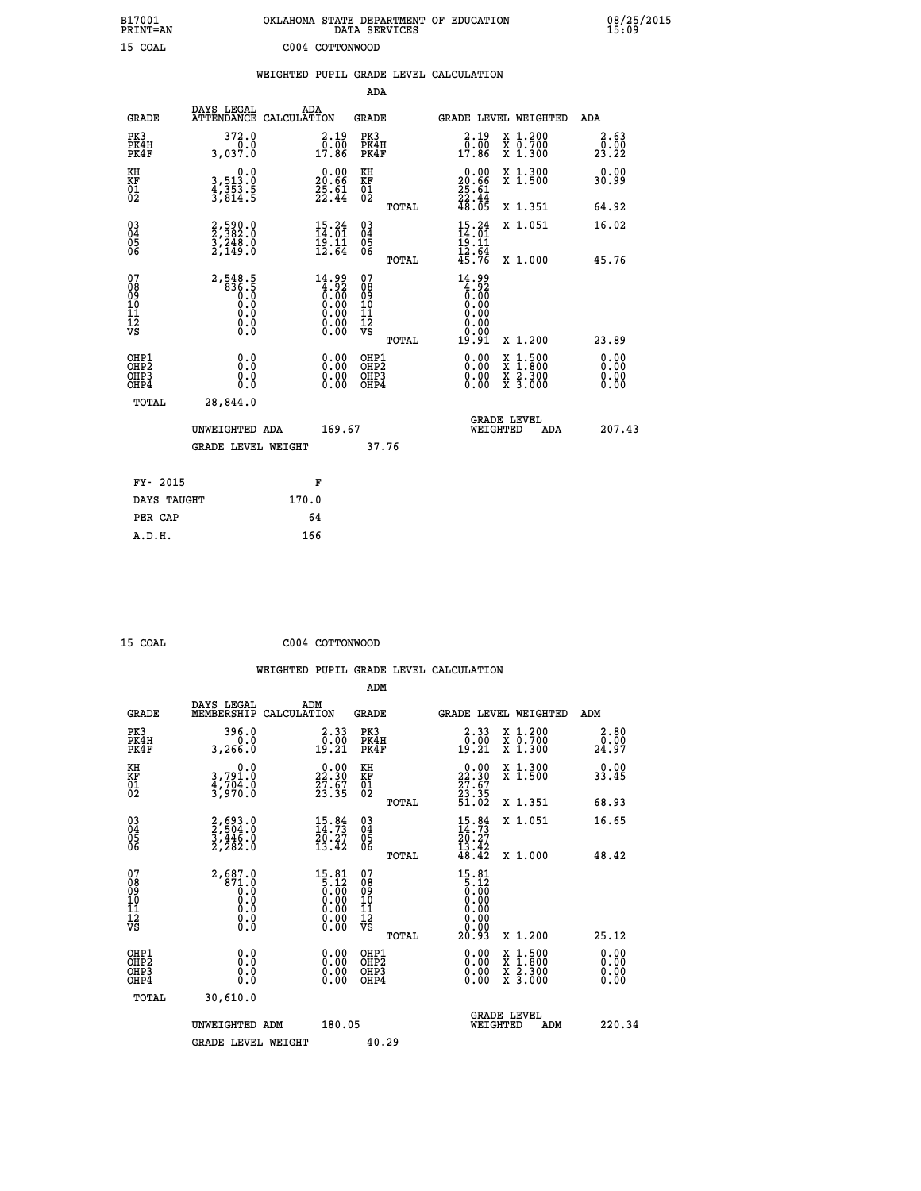| B17001<br>PRINT=AN                           |                                                     | OKLAHOMA STATE DEPARTMENT OF EDUCATION                                | DATA SERVICES                                                       |                                                                           |                                                                                                                                           | 08/25/2015            |
|----------------------------------------------|-----------------------------------------------------|-----------------------------------------------------------------------|---------------------------------------------------------------------|---------------------------------------------------------------------------|-------------------------------------------------------------------------------------------------------------------------------------------|-----------------------|
| 15 COAL                                      |                                                     | C004 COTTONWOOD                                                       |                                                                     |                                                                           |                                                                                                                                           |                       |
|                                              |                                                     | WEIGHTED PUPIL GRADE LEVEL CALCULATION                                |                                                                     |                                                                           |                                                                                                                                           |                       |
|                                              |                                                     |                                                                       | ADA                                                                 |                                                                           |                                                                                                                                           |                       |
| <b>GRADE</b>                                 | DAYS LEGAL                                          | ADA<br>ATTENDANCE CALCULATION                                         | GRADE                                                               |                                                                           | GRADE LEVEL WEIGHTED                                                                                                                      | ADA                   |
| PK3<br>PK4H<br>PK4F                          | 372.0<br>0.0<br>3,037.0                             | $\begin{smallmatrix} 2.19 \\ 0.00 \\ 17.86 \end{smallmatrix}$         | PK3<br>PK4H<br>PK4F                                                 | $\begin{smallmatrix} 2.19 \\ 0.00 \\ 17.86 \end{smallmatrix}$             | X 1.200<br>X 0.700<br>X 1.300                                                                                                             | 2.63<br>0.00<br>23.22 |
| KH<br>KF<br>01<br>02                         | 0.0<br>3,513.0<br>4,353.5<br>3,814.5                | $\begin{smallmatrix} 0.00\\ 20.66\\ 25.61\\ 22.44 \end{smallmatrix}$  | KH<br><b>KF</b><br>01<br>02                                         | $20.00$<br>20.66<br>$\frac{25}{22}$ : 61<br>$\frac{22}{48}$ : 44<br>48.05 | X 1.300<br>X 1.500                                                                                                                        | 0.00<br>30.99         |
|                                              |                                                     |                                                                       | TOTAL                                                               |                                                                           | X 1.351                                                                                                                                   | 64.92                 |
| 03<br>04<br>05<br>06                         | 2,590.0<br>2,382.0<br>3,248.0<br>2,149.0            | $15.24$<br>$14.01$<br>$19.11$<br>$12.64$                              | $\begin{matrix} 03 \\ 04 \\ 05 \\ 06 \end{matrix}$                  | $15.24$<br>$14.01$<br>19.11<br>$\frac{12}{45}.$ $\frac{54}{76}$           | X 1.051                                                                                                                                   | 16.02                 |
|                                              |                                                     |                                                                       | TOTAL                                                               |                                                                           | X 1.000                                                                                                                                   | 45.76                 |
| 07<br>08<br>09<br>10<br>11<br>11<br>17<br>VS | 2,548.5<br>836.5<br>0.0<br>0.0<br>0.0<br>$\S.$ $\S$ | $\begin{smallmatrix} 14.99 \\ 4.92 \\ 0.00 \\ 0.00 \end{smallmatrix}$ | 07<br>08<br>09<br>10<br>$\frac{11}{12}$<br>$\frac{12}{18}$<br>TOTAL | $14.99$<br>$4.92$<br>$0.00$<br>0.00<br>0.00<br>0.00<br>19.91              | X 1.200                                                                                                                                   | 23.89                 |
|                                              |                                                     |                                                                       | OHP1                                                                |                                                                           |                                                                                                                                           | 0.00                  |
| OHP1<br>OHP2<br>OH <sub>P3</sub><br>OHP4     | 0.0<br>0.0<br>0.0                                   | 0.00<br>0.00<br>0.00                                                  | OHP <sub>2</sub><br>OHP3<br>OHP4                                    | 0.00<br>0.00<br>0.00                                                      | $\begin{smallmatrix} \mathtt{X} & 1\cdot500\\ \mathtt{X} & 1\cdot800\\ \mathtt{X} & 2\cdot300\\ \mathtt{X} & 3\cdot000 \end{smallmatrix}$ | 0.00<br>0.00<br>0.00  |
| TOTAL                                        | 28,844.0                                            |                                                                       |                                                                     |                                                                           |                                                                                                                                           |                       |
|                                              | UNWEIGHTED ADA                                      | 169.67                                                                |                                                                     | WEIGHTED                                                                  | <b>GRADE LEVEL</b><br>ADA                                                                                                                 | 207.43                |
|                                              | <b>GRADE LEVEL WEIGHT</b>                           |                                                                       | 37.76                                                               |                                                                           |                                                                                                                                           |                       |
| FY- 2015                                     |                                                     | F                                                                     |                                                                     |                                                                           |                                                                                                                                           |                       |
| DAYS TAUGHT                                  |                                                     | 170.0                                                                 |                                                                     |                                                                           |                                                                                                                                           |                       |
| PER CAP                                      |                                                     | 64                                                                    |                                                                     |                                                                           |                                                                                                                                           |                       |

 **ADM**

15 COAL COO<sub>4</sub> CO<sub>04</sub> COTTONWOOD

| <b>GRADE</b>                                       | DAYS LEGAL<br>MEMBERSHIP CALCULATION                  | ADM                                                                                                                                                                                                                                                                                                                                             | <b>GRADE</b>                                           |                                                                                          |                                | GRADE LEVEL WEIGHTED                     | ADM                   |
|----------------------------------------------------|-------------------------------------------------------|-------------------------------------------------------------------------------------------------------------------------------------------------------------------------------------------------------------------------------------------------------------------------------------------------------------------------------------------------|--------------------------------------------------------|------------------------------------------------------------------------------------------|--------------------------------|------------------------------------------|-----------------------|
| PK3<br>PK4H<br>PK4F                                | 396.0<br>0.0<br>3,266.0                               | 2.33<br>0.00<br>19.21                                                                                                                                                                                                                                                                                                                           | PK3<br>PK4H<br>PK4F                                    | $2.33$<br>$0.00$<br>19.21                                                                |                                | X 1.200<br>X 0.700<br>X 1.300            | 2.80<br>0.00<br>24.97 |
| KH<br>KF<br>01<br>02                               | 0.0<br>3,791.0<br>4,704.0<br>3,970.0                  | $\begin{smallmatrix} 0.00\\ 22.30\\ 27.67\\ 23.35 \end{smallmatrix}$                                                                                                                                                                                                                                                                            | KH<br>KF<br>01<br>02                                   | $\begin{smallmatrix} 0.00\\ 22.30\\ 27.67\\ 23.35\\ 51.02 \end{smallmatrix}$             |                                | X 1.300<br>X 1.500                       | 0.00<br>33.45         |
|                                                    |                                                       |                                                                                                                                                                                                                                                                                                                                                 | TOTAL                                                  |                                                                                          |                                | X 1.351                                  | 68.93                 |
| $\begin{matrix} 03 \\ 04 \\ 05 \\ 06 \end{matrix}$ | 2,693.0<br>2,504.0<br>3,446.0<br>2,282.0              | $\frac{15.84}{14.73}$<br>20.27<br>13.42                                                                                                                                                                                                                                                                                                         | $\begin{matrix} 03 \\ 04 \\ 05 \\ 06 \end{matrix}$     | $15.84$<br>$14.73$<br>$20.27$<br>$13.42$<br>$48.42$                                      |                                | X 1.051                                  | 16.65                 |
|                                                    |                                                       |                                                                                                                                                                                                                                                                                                                                                 | TOTAL                                                  |                                                                                          |                                | X 1.000                                  | 48.42                 |
| 07<br>08<br>09<br>101<br>11<br>12<br>VS            | 2,687.0<br>$871.0$<br>0.0<br>0.0<br>0.0<br>0.0<br>0.0 | $\begin{smallmatrix} 15 & 81 \\ 5 & 12 \\ 0 & 00 \\ 0 & 00 \\ 0 & 00 \\ 0 & 00 \\ 0 & 00 \\ 0 & 00 \\ 0 & 00 \\ 0 & 00 \\ 0 & 00 \\ 0 & 00 \\ 0 & 0 \\ 0 & 0 \\ 0 & 0 \\ 0 & 0 \\ 0 & 0 \\ 0 & 0 \\ 0 & 0 \\ 0 & 0 \\ 0 & 0 \\ 0 & 0 \\ 0 & 0 \\ 0 & 0 \\ 0 & 0 \\ 0 & 0 \\ 0 & 0 \\ 0 & 0 \\ 0 & 0 \\ 0 & 0 \\ 0 & 0 \\ 0 & 0 \\ 0 & 0 \\ 0 &$ | 07<br>08<br>09<br>001<br>11<br>11<br>12<br>VS<br>TOTAL | $\begin{smallmatrix}15.81\\5.12\\0.00\\0.00\\0.00\\0.00\\0.00\end{smallmatrix}$<br>20.93 |                                | X 1.200                                  | 25.12                 |
| OHP1<br>OHP2<br>OHP3                               | 0.0<br>0.000                                          |                                                                                                                                                                                                                                                                                                                                                 | OHP1<br>OHP2<br>OHP3                                   | $0.00$<br>$0.00$                                                                         |                                | X 1:500<br>X 1:800<br>X 2:300<br>X 3:000 | 0.00<br>0.00          |
| OHP4<br>TOTAL                                      | 30,610.0                                              |                                                                                                                                                                                                                                                                                                                                                 | OHP4                                                   | 0.00                                                                                     |                                |                                          | 0.00                  |
|                                                    | UNWEIGHTED                                            | 180.05<br>ADM                                                                                                                                                                                                                                                                                                                                   |                                                        |                                                                                          | <b>GRADE LEVEL</b><br>WEIGHTED | ADM                                      | 220.34                |
|                                                    | <b>GRADE LEVEL WEIGHT</b>                             |                                                                                                                                                                                                                                                                                                                                                 | 40.29                                                  |                                                                                          |                                |                                          |                       |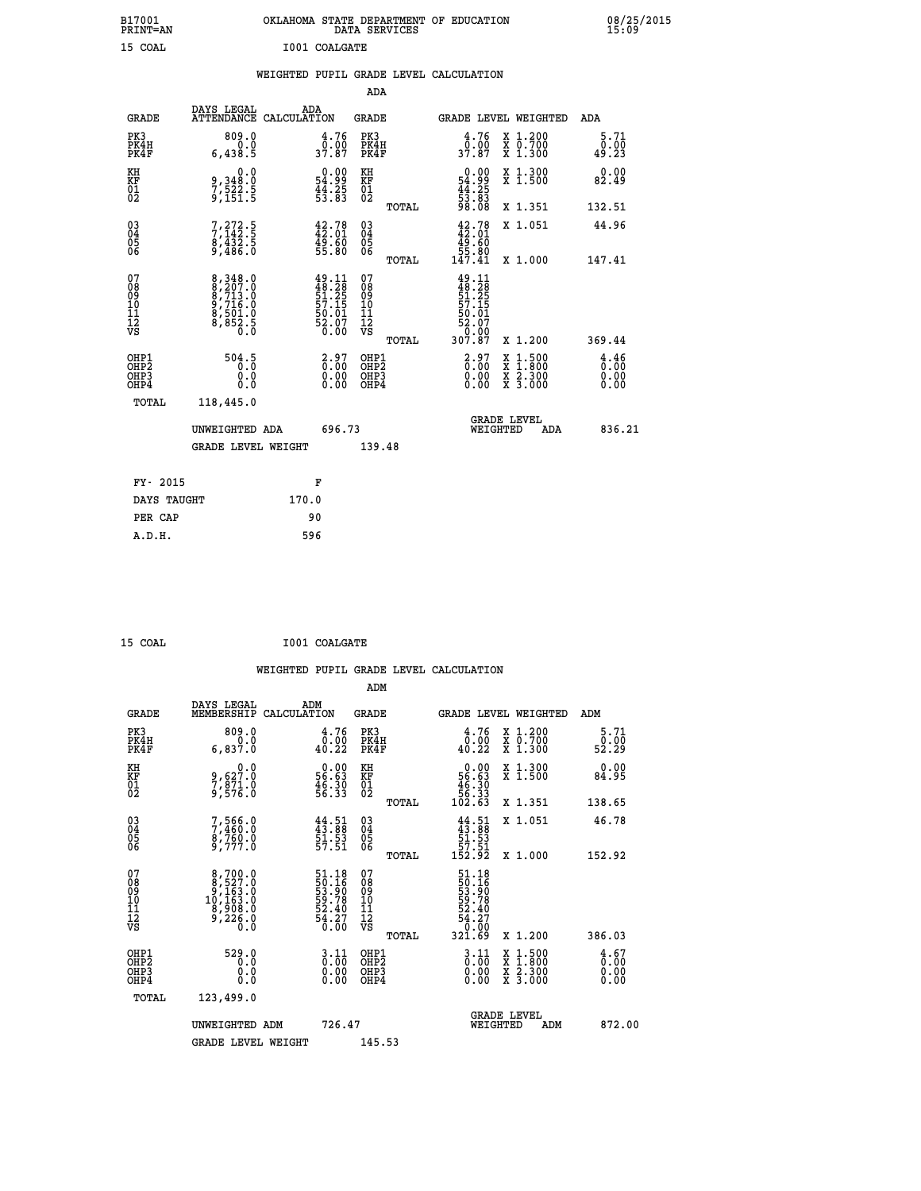| B17001<br>PRINT=AN                     |                                                                                                 | OKLAHOMA STATE DEPARTMENT OF EDUCATION                                   | DATA SERVICES                          |                                                                           |                                          | 08/25/2015                   |
|----------------------------------------|-------------------------------------------------------------------------------------------------|--------------------------------------------------------------------------|----------------------------------------|---------------------------------------------------------------------------|------------------------------------------|------------------------------|
| 15 COAL                                |                                                                                                 | I001 COALGATE                                                            |                                        |                                                                           |                                          |                              |
|                                        |                                                                                                 | WEIGHTED PUPIL GRADE LEVEL CALCULATION                                   |                                        |                                                                           |                                          |                              |
|                                        |                                                                                                 |                                                                          | <b>ADA</b>                             |                                                                           |                                          |                              |
| <b>GRADE</b>                           | DAYS LEGAL                                                                                      | ADA<br>ATTENDANCE CALCULATION                                            | <b>GRADE</b>                           |                                                                           | GRADE LEVEL WEIGHTED                     | ADA                          |
| PK3<br>PK4H<br>PK4F                    | 809.0<br>0.0<br>6,438.5                                                                         | 4.76<br>_ō:óŏ<br>37.87                                                   | PK3<br>PK4H<br>PK4F                    | 4.76<br>0:00<br>37.87                                                     | X 1.200<br>X 0.700<br>X 1.300            | 5.71<br>0.00<br>49.23        |
| KH<br>KF<br>01<br>02                   | 0.0<br>9,348:0<br>7,522:5<br>9,151:5                                                            | $\begin{smallmatrix} 0.00\\ 54.99\\ 44.25\\ 53.83 \end{smallmatrix}$     | KH<br>KF<br>01<br>02                   | $\begin{array}{c} 0.00 \\ 54.99 \\ 44.25 \\ 53.83 \end{array}$            | X 1.300<br>X 1.500                       | 0.00<br>82.49                |
|                                        |                                                                                                 |                                                                          | TOTAL                                  | 98.08                                                                     | X 1.351                                  | 132.51                       |
| 03<br>04<br>05<br>06                   | 7,272.5<br>7,142.5<br>8,432.5<br>9,486.0                                                        | 42.78<br>42.01<br>49.60<br>55.80                                         | $^{03}_{04}$<br>$\frac{05}{06}$        | $42.78$<br>$42.01$<br>49.60<br>55.80                                      | X 1.051                                  | 44.96                        |
|                                        |                                                                                                 |                                                                          | <b>TOTAL</b>                           | 147.41                                                                    | X 1.000                                  | 147.41                       |
| 07<br>08<br>09<br>11<br>11<br>12<br>VS | $\begin{smallmatrix}8,348.0\\8,207.0\\8,713.0\\9,716.0\\9,501.0\\8,852.5\\0.0\end{smallmatrix}$ | $49.11$<br>$48.28$<br>$51.25$<br>$57.15$<br>$50.01$<br>$52.07$<br>$6.00$ | 07<br>08<br>09<br>11<br>11<br>12<br>VS | $49.11$<br>$48.28$<br>$51.25$<br>$57.15$<br>$50.01$<br>$52.07$<br>$54.07$ |                                          |                              |
|                                        |                                                                                                 |                                                                          | TOTAL                                  | 307.87                                                                    | X 1.200                                  | 369.44                       |
| OHP1<br>OHP2<br>OHP3<br>OHP4           | 504.5<br>0.0<br>0.0                                                                             | $\begin{smallmatrix} 2.97\ 0.00\ 0.00 \end{smallmatrix}$<br>0.00         | OHP1<br>OHP2<br>OHP3<br>OHP4           | $\begin{smallmatrix} 2.97\ 0.00\ 0.00 \end{smallmatrix}$<br>0.00          | X 1:500<br>X 1:800<br>X 2:300<br>X 3:000 | 4.46<br>0.00<br>0.00<br>0.00 |
| TOTAL                                  | 118,445.0                                                                                       |                                                                          |                                        |                                                                           |                                          |                              |
|                                        | UNWEIGHTED ADA                                                                                  | 696.73                                                                   |                                        |                                                                           | <b>GRADE LEVEL</b><br>WEIGHTED<br>ADA    | 836.21                       |
|                                        | <b>GRADE LEVEL WEIGHT</b>                                                                       |                                                                          | 139.48                                 |                                                                           |                                          |                              |
| FY- 2015                               |                                                                                                 | F                                                                        |                                        |                                                                           |                                          |                              |
| DAYS TAUGHT                            |                                                                                                 | 170.0                                                                    |                                        |                                                                           |                                          |                              |
| PER CAP                                |                                                                                                 | 90                                                                       |                                        |                                                                           |                                          |                              |

| 15 COAL | I001 COALGATE |
|---------|---------------|
|         |               |

|  |     | WEIGHTED PUPIL GRADE LEVEL CALCULATION |
|--|-----|----------------------------------------|
|  | ADM |                                        |

| <b>GRADE</b>                                       | DAYS LEGAL<br>MEMBERSHIP CALCULATION                                                             | ADM                                                                                             | <b>GRADE</b>                                       |       |                                                                         |          | GRADE LEVEL WEIGHTED                     | ADM                                             |
|----------------------------------------------------|--------------------------------------------------------------------------------------------------|-------------------------------------------------------------------------------------------------|----------------------------------------------------|-------|-------------------------------------------------------------------------|----------|------------------------------------------|-------------------------------------------------|
| PK3<br>PK4H<br>PK4F                                | 809.0<br>0.0<br>6,837.0                                                                          | 4.76<br>$\begin{smallmatrix} \bar{0} \cdot \dot{0} \bar{0} \ 4 \, 0 \cdot 22 \end{smallmatrix}$ | PK3<br>PK4H<br>PK4F                                |       | 4.76<br>$\frac{0.00}{40.22}$                                            |          | X 1.200<br>X 0.700<br>X 1.300            | 5.71<br>$\frac{0.00}{52.29}$                    |
| KH<br>KF<br>01<br>02                               | $9,627.0$<br>$7,871.0$<br>$9,576.0$                                                              | $\begin{smallmatrix} 0.00\\ 56.63\\ 46.30\\ 56.33 \end{smallmatrix}$                            | KH<br><b>KF</b><br>01<br>02                        |       | $0.0056.6346.3056.33102.63$                                             |          | X 1.300<br>X 1.500                       | 0.00<br>84.95                                   |
|                                                    |                                                                                                  |                                                                                                 |                                                    | TOTAL |                                                                         |          | X 1.351                                  | 138.65                                          |
| $\begin{matrix} 03 \\ 04 \\ 05 \\ 06 \end{matrix}$ | 7,566.0<br>7,460.0<br>8,760.0<br>9,777.0                                                         | $44.51$<br>$43.88$<br>$51.53$<br>$57.51$                                                        | $\begin{matrix} 03 \\ 04 \\ 05 \\ 06 \end{matrix}$ |       | $44.51$<br>$43.88$<br>$51.53$<br>$57.51$<br>$152.92$                    |          | X 1.051                                  | 46.78                                           |
|                                                    |                                                                                                  |                                                                                                 |                                                    | TOTAL |                                                                         |          | X 1.000                                  | 152.92                                          |
| 07<br>08<br>09<br>101<br>11<br>12<br>VS            | $\begin{smallmatrix}8,700.0\\8,527.0\\9,163.0\\10,163.0\\8,908.0\\9,226.0\\0.0\end{smallmatrix}$ | 51.18<br>50.16<br>53.90<br>59.78<br>52.40<br>54.27<br>54.27                                     | 07<br>08<br>09<br>001<br>11<br>11<br>12<br>VS      | TOTAL | 51.18<br>50.16<br>53.908<br>53.78<br>52.407<br>54.27<br>54.27<br>321.69 |          | X 1.200                                  | 386.03                                          |
| OHP1<br>OHP2<br>OH <sub>P3</sub><br>OHP4           | 529.0<br>0.0<br>0.000                                                                            | $\begin{smallmatrix} 3 & 11\ 0 & 00\ 0 & 00\ 0 & 00\ \end{smallmatrix}$                         | OHP1<br>OHP2<br>OHP3<br>OHP4                       |       | $\frac{3.11}{0.00}$<br>$0.00$<br>0.00                                   |          | X 1:500<br>X 1:800<br>X 2:300<br>X 3:000 | $\frac{4}{0}$ : $\frac{67}{00}$<br>0.00<br>0.00 |
| TOTAL                                              | 123,499.0                                                                                        |                                                                                                 |                                                    |       |                                                                         |          |                                          |                                                 |
|                                                    | UNWEIGHTED ADM                                                                                   | 726.47                                                                                          |                                                    |       |                                                                         | WEIGHTED | <b>GRADE LEVEL</b><br>ADM                | 872.00                                          |
|                                                    | <b>GRADE LEVEL WEIGHT</b>                                                                        |                                                                                                 | 145.53                                             |       |                                                                         |          |                                          |                                                 |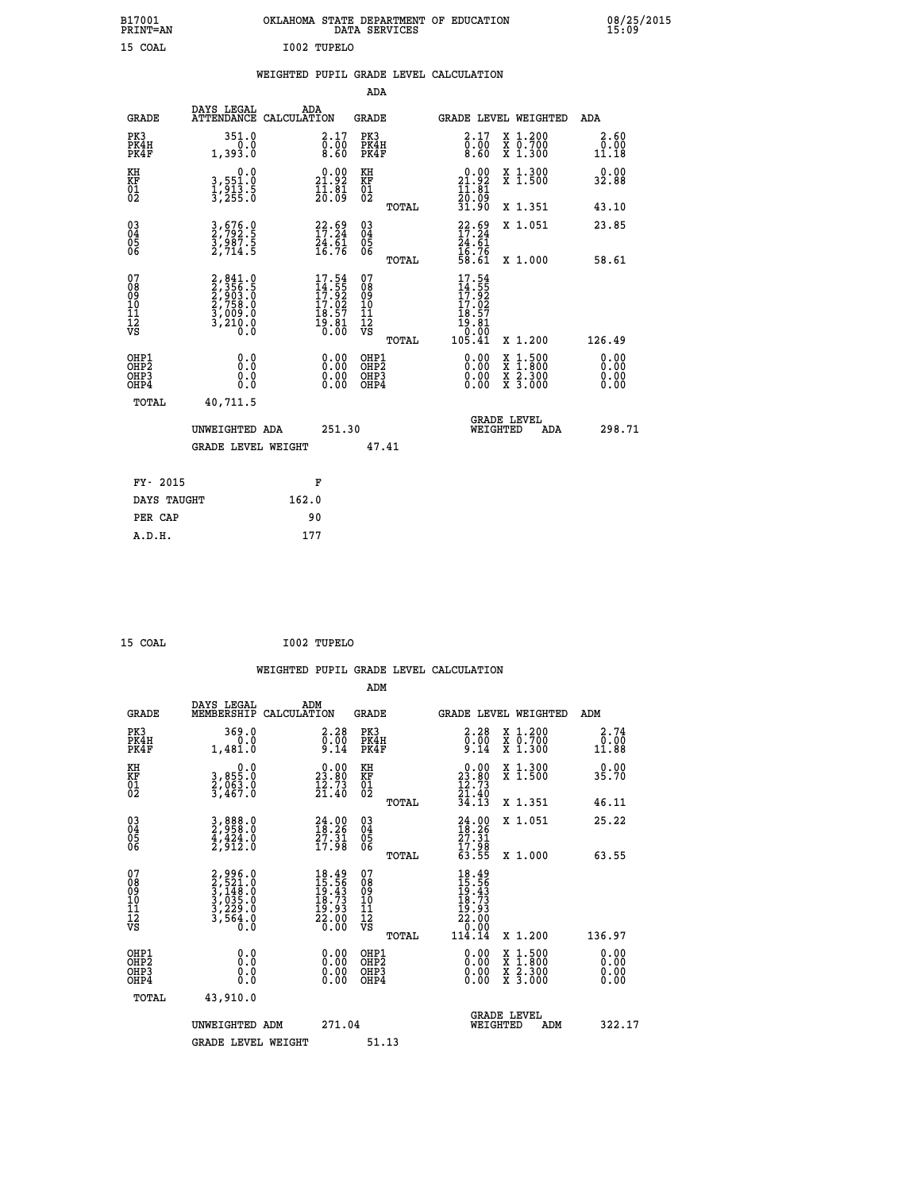| B17001<br>PRINT=AN                                |                                                                                                                          | OKLAHOMA STATE DEPARTMENT OF EDUCATION                                                                                                                                | DATA SERVICES                                                       |                                                                               |                                          | 08/25/2015                   |
|---------------------------------------------------|--------------------------------------------------------------------------------------------------------------------------|-----------------------------------------------------------------------------------------------------------------------------------------------------------------------|---------------------------------------------------------------------|-------------------------------------------------------------------------------|------------------------------------------|------------------------------|
| 15 COAL                                           |                                                                                                                          | I002 TUPELO                                                                                                                                                           |                                                                     |                                                                               |                                          |                              |
|                                                   |                                                                                                                          | WEIGHTED PUPIL GRADE LEVEL CALCULATION                                                                                                                                |                                                                     |                                                                               |                                          |                              |
|                                                   |                                                                                                                          |                                                                                                                                                                       | ADA                                                                 |                                                                               |                                          |                              |
| <b>GRADE</b>                                      | DAYS LEGAL                                                                                                               | ADA<br>ATTENDANCE CALCULATION                                                                                                                                         | GRADE                                                               |                                                                               | <b>GRADE LEVEL WEIGHTED</b>              | ADA                          |
| PK3<br>PK4H<br>PK4F                               | 351.0<br>0.0<br>1,393.0                                                                                                  | 2.17<br>$\begin{smallmatrix} \overline{0} \ \overline{0} \ \overline{0} \ \overline{0} \ \overline{0} \ \overline{0} \ \overline{0} \ \overline{0} \end{smallmatrix}$ | PK3<br>PK4H<br>PK4F                                                 | 2.17<br>$\begin{smallmatrix} 0.00 & 0.00 \\ 0.60 & 0.00 \end{smallmatrix}$    | X 1.200<br>X 0.700<br>X 1.300            | 2.60<br>0.00<br>11.18        |
| KH<br>KF<br>$\begin{matrix} 01 \ 02 \end{matrix}$ | 0.0<br>3,551:0<br>1,913.5<br>3,255:0                                                                                     | 21.92<br>$\frac{1}{20}$ $\frac{1}{09}$                                                                                                                                | KH<br>KF<br>01<br>02                                                | 21.92<br>$\frac{11}{20}$ $\frac{81}{09}$                                      | X 1.300<br>X 1.500                       | 0.00<br>32.88                |
|                                                   |                                                                                                                          |                                                                                                                                                                       | TOTAL                                                               | 31.90                                                                         | X 1.351                                  | 43.10                        |
| $^{03}_{04}$<br>Ŏ5<br>ŎĞ                          | 3,676.0<br>2,792.5<br>3,987.5<br>2,714.5                                                                                 | $22.69$<br>17.24<br>$\frac{74.61}{16.76}$                                                                                                                             | $\begin{matrix} 03 \\ 04 \\ 05 \\ 06 \end{matrix}$                  | $22.69$<br>$17.24$<br>$\frac{24.61}{16.76}$<br>58.61                          | X 1.051                                  | 23.85                        |
|                                                   |                                                                                                                          |                                                                                                                                                                       | TOTAL                                                               |                                                                               | X 1.000                                  | 58.61                        |
| 07<br>08<br>09<br>10<br>11<br>12<br>VS            | $\begin{smallmatrix} 2, 841.0\\ 2, 356.5\\ 2, 356.5\\ 2, 903.0\\ 2, 758.0\\ 3, 009.0\\ 3, 210.0\\ 0.0 \end{smallmatrix}$ | $17.54$<br>$14.55$<br>$17.92$<br>$17.02$<br>$18.57$<br>$19.81$<br>$0.00$                                                                                              | 07<br>08<br>09<br>10<br>$\frac{11}{12}$<br>$\frac{12}{18}$<br>TOTAL | $17.54$<br>$14.55$<br>$17.92$<br>$17.02$<br>18.57<br>īš.ši<br>10:00<br>105.41 | X 1.200                                  | 126.49                       |
| OHP1<br>OHP <sub>2</sub><br>OHP3<br>OHP4          | 0.0<br>0.0<br>0.0                                                                                                        | 0.00<br>0.00                                                                                                                                                          | OHP1<br>OHP <sub>2</sub><br>OHP3<br>OHP4                            | 0.00<br>0.00<br>0.00                                                          | X 1:500<br>X 1:800<br>X 2:300<br>X 3:000 | 0.00<br>0.00<br>0.00<br>0.00 |
| TOTAL                                             | 40,711.5                                                                                                                 |                                                                                                                                                                       |                                                                     |                                                                               |                                          |                              |
|                                                   | UNWEIGHTED ADA<br><b>GRADE LEVEL WEIGHT</b>                                                                              | 251.30                                                                                                                                                                | 47.41                                                               |                                                                               | <b>GRADE LEVEL</b><br>WEIGHTED<br>ADA    | 298.71                       |
|                                                   |                                                                                                                          |                                                                                                                                                                       |                                                                     |                                                                               |                                          |                              |
| FY- 2015                                          |                                                                                                                          | F                                                                                                                                                                     |                                                                     |                                                                               |                                          |                              |
| DAYS TAUGHT                                       |                                                                                                                          | 162.0                                                                                                                                                                 |                                                                     |                                                                               |                                          |                              |
| PER CAP                                           |                                                                                                                          | 90                                                                                                                                                                    |                                                                     |                                                                               |                                          |                              |

| 15 COAL | I002 TUPELO |
|---------|-------------|
| ___     |             |

 **WEIGHTED PUPIL GRADE LEVEL CALCULATION ADM DAYS LEGAL ADM GRADE MEMBERSHIP CALCULATION GRADE GRADE LEVEL WEIGHTED ADM PK3 369.0 2.28 PK3 2.28 X 1.200 2.74 PK4H 0.0 0.00 PK4H 0.00 X 0.700 0.00 PK4F 1,481.0 9.14 PK4F 9.14 X 1.300 11.88 KH 0.0 0.00 KH 0.00 X 1.300 0.00 KF 3,855.0 23.80 KF 23.80 X 1.500 35.70 01 2,063.0 12.73 01 12.73 02 3,467.0 21.40 02 21.40 TOTAL 34.13 X 1.351 46.11 03 3,888.0 24.00 03 24.00 X 1.051 25.22 04 2,958.0 18.26 04 18.26 05 4,424.0 27.31 05 27.31 06 2,912.0 17.98 06 17.98 TOTAL 63.55 X 1.000 63.55 07 2,996.0 18.49 07 18.49 08 2,521.0 15.56 08 15.56 09 3,148.0 19.43 09 19.43 10 3,035.0 18.73 10 18.73 11 3,229.0 19.93 11 19.93 12 3,564.0 22.00 12 22.00 VS 0.0 0.00 VS 0.00 TOTAL 114.14 X 1.200 136.97 OHP1 0.0 0.00 OHP1 0.00 X 1.500 0.00 OHP2 0.0 0.00 OHP2 0.00 X 1.800 0.00 OHP3 0.0 0.00 OHP3 0.00 X 2.300 0.00 OHP4 0.0 0.00 OHP4 0.00 X 3.000 0.00 TOTAL 43,910.0 GRADE LEVEL UNWEIGHTED ADM 271.04 WEIGHTED ADM 322.17** GRADE LEVEL WEIGHT 51.13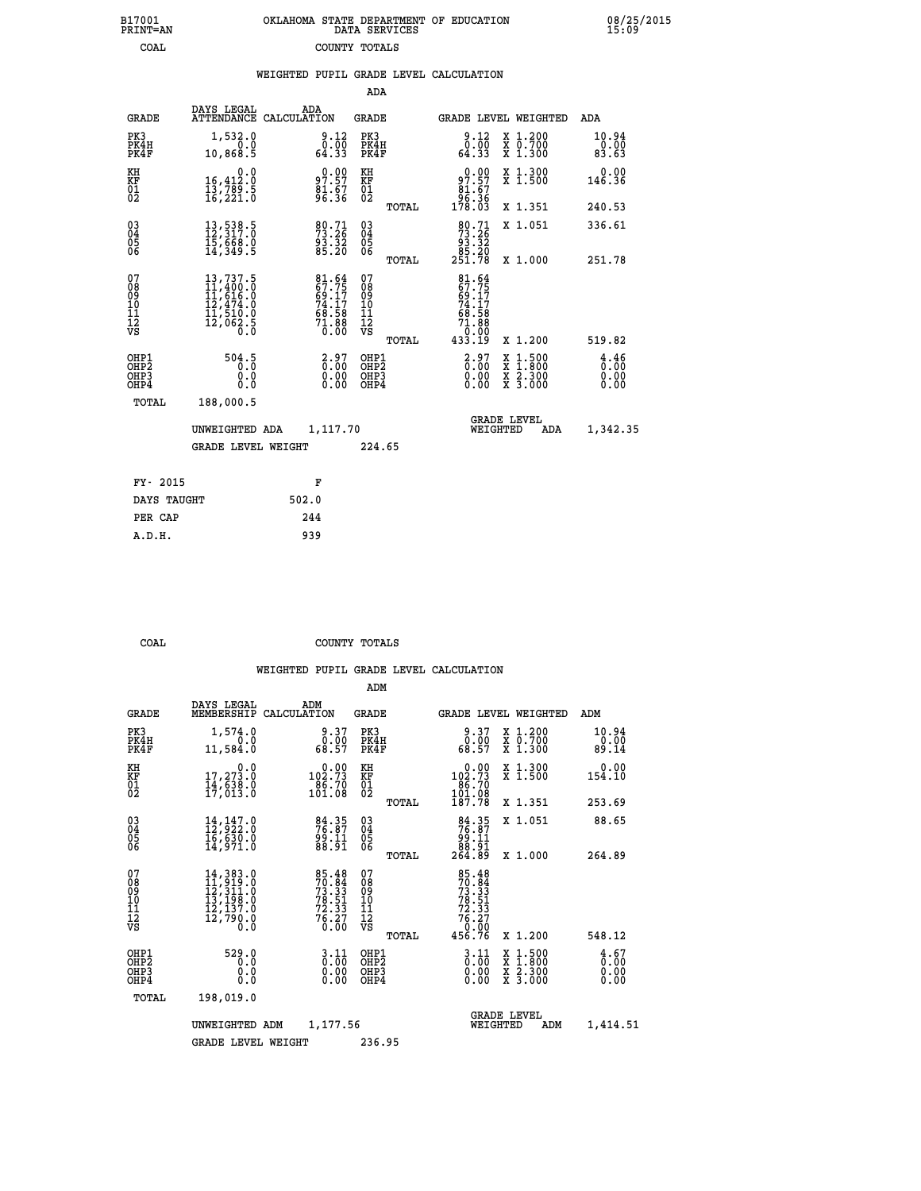| 7001<br>INT=AN | OKLAHOMA STATE DEPARTMENT OF EDUCATION<br>DATA SERVICES |  |
|----------------|---------------------------------------------------------|--|
| COAL           | COUNTY TOTALS                                           |  |

 **B17001 OKLAHOMA STATE DEPARTMENT OF EDUCATION 08/25/2015**

|                                                              |                                                                                                                                           | WEIGHTED PUPIL GRADE LEVEL CALCULATION                      |                                                    |                                                                              |                                          |                              |
|--------------------------------------------------------------|-------------------------------------------------------------------------------------------------------------------------------------------|-------------------------------------------------------------|----------------------------------------------------|------------------------------------------------------------------------------|------------------------------------------|------------------------------|
|                                                              |                                                                                                                                           |                                                             | ADA                                                |                                                                              |                                          |                              |
| <b>GRADE</b>                                                 | DAYS LEGAL                                                                                                                                | ADA<br>ATTENDANCE CALCULATION                               | <b>GRADE</b>                                       | GRADE LEVEL WEIGHTED                                                         |                                          | ADA                          |
| PK3<br>PK4H<br>PK4F                                          | 1,532.0<br>0.0<br>10,868.5                                                                                                                | $\begin{smallmatrix} 9.12\ 0.00\ 64.33 \end{smallmatrix}$   | PK3<br>PK4H<br>PK4F                                | $\begin{smallmatrix} 9.12\ 0.00\ 64.33 \end{smallmatrix}$                    | X 1.200<br>X 0.700<br>X 1.300            | 10.94<br>0.00<br>83.63       |
| KH<br>KF<br>01<br>02                                         | $\begin{smallmatrix}&&&0.0\\16,412.0\\13,789.5\\16,221.0\end{smallmatrix}$                                                                | 97.97<br>81.67<br>96.36                                     | KH<br>KF<br>01<br>02                               | 97.97                                                                        | X 1.300<br>X 1.500                       | 0.00<br>146.36               |
|                                                              |                                                                                                                                           |                                                             | TOTAL                                              | $\begin{array}{c} 81.67 \\[-4pt] 96.36 \\[-4pt] 178.03 \end{array}$          | X 1.351                                  | 240.53                       |
| $\begin{smallmatrix} 03 \\[-4pt] 04 \end{smallmatrix}$<br>05 | $13,538.5$<br>$12,317.0$<br>$15,668.0$<br>$14,349.5$                                                                                      | 80.71<br>73.26<br>$\frac{93.32}{85.20}$                     | $\begin{matrix} 03 \\ 04 \\ 05 \\ 06 \end{matrix}$ | $\begin{smallmatrix}80.71\\73.26\\93.32\\85.20\\251.78\end{smallmatrix}$     | X 1.051                                  | 336.61                       |
| 06                                                           |                                                                                                                                           |                                                             | TOTAL                                              |                                                                              | X 1.000                                  | 251.78                       |
| 07<br>08<br>09<br>01<br>11<br>11<br>12<br>VS                 | $\begin{smallmatrix} 13\,,737\,.5\\ 11\,,400\,.0\\ 11\,,616\,.0\\ 12\,,474\,.0\\ 11\,,510\,.0\\ 12\,,062\,.5\\ 0\,.0\\ \end{smallmatrix}$ | 81.64<br>67.75<br>69.17<br>74.17<br>74.58<br>71.88<br>71.88 | 07<br>08<br>09<br>101<br>11<br>12<br>VS<br>TOTAL   | $81.64$<br>$67.75$<br>$69.17$<br>$74.17$<br>68.58<br>71.88<br>0.00<br>433.19 | X 1.200                                  | 519.82                       |
| OHP1<br>OH <sub>P</sub> 2<br>OH <sub>P3</sub><br>OHP4        | 504.5<br>$\overline{0}$ .0<br>0.0<br>0.0                                                                                                  | $\begin{smallmatrix} 2.97\0.00\0.00\0.00 \end{smallmatrix}$ | OHP1<br>OHP <sub>2</sub><br>OHP3<br>OHP4           | $\begin{smallmatrix} 2.97\ 0.00\ 0.00 \end{smallmatrix}$                     | X 1:500<br>X 1:800<br>X 2:300<br>X 3:000 | 4.46<br>0.00<br>0.00<br>0.00 |
| TOTAL                                                        | 188,000.5                                                                                                                                 |                                                             |                                                    |                                                                              |                                          |                              |
|                                                              | UNWEIGHTED ADA                                                                                                                            | 1,117.70                                                    |                                                    | <b>GRADE LEVEL</b><br>WEIGHTED                                               | ADA                                      | 1,342.35                     |
|                                                              | <b>GRADE LEVEL WEIGHT</b>                                                                                                                 |                                                             | 224.65                                             |                                                                              |                                          |                              |
| FY- 2015                                                     |                                                                                                                                           | F                                                           |                                                    |                                                                              |                                          |                              |
| DAYS TAUGHT                                                  |                                                                                                                                           | 502.0                                                       |                                                    |                                                                              |                                          |                              |
| PER CAP                                                      |                                                                                                                                           | 244                                                         |                                                    |                                                                              |                                          |                              |

 **A.D.H. 939**

 **B17001<br>PRINT=AN** 

 **COAL COUNTY TOTALS**

|                                                       |                                                                                                                                                                                                                 |                                                                                                           | ADM                                                 |       |                                                                               |                                          |                              |
|-------------------------------------------------------|-----------------------------------------------------------------------------------------------------------------------------------------------------------------------------------------------------------------|-----------------------------------------------------------------------------------------------------------|-----------------------------------------------------|-------|-------------------------------------------------------------------------------|------------------------------------------|------------------------------|
| <b>GRADE</b>                                          | DAYS LEGAL<br>MEMBERSHIP                                                                                                                                                                                        | ADM<br>CALCULATION                                                                                        | <b>GRADE</b>                                        |       |                                                                               | GRADE LEVEL WEIGHTED                     | ADM                          |
| PK3<br>PK4H<br>PK4F                                   | 1,574.0<br>0.0<br>11,584.0                                                                                                                                                                                      | 9.37<br>$\begin{smallmatrix} \tilde{0} \ \tilde{1} \ \tilde{8} \ \tilde{8} \ \tilde{9} \end{smallmatrix}$ | PK3<br>PK4H<br>PK4F                                 |       | 9.37<br>$\begin{smallmatrix} 0.00 \ 68.57 \end{smallmatrix}$                  | X 1.200<br>X 0.700<br>X 1.300            | 10.94<br>0.00<br>89.14       |
| KH<br>KF<br>01<br>02                                  | 0.0<br>17,273.0<br>14,638.0<br>17,013.0                                                                                                                                                                         | $\begin{smallmatrix} &0.00\\ 102.73\\ 86.70\\ 101.08\end{smallmatrix}$                                    | KH<br>KF<br>01<br>02                                |       | $0.00$<br>102.73<br>$\begin{array}{r} 186.70 \\ 101.08 \\ 187.78 \end{array}$ | X 1.300<br>X 1.500                       | 0.00<br>154.10               |
|                                                       |                                                                                                                                                                                                                 |                                                                                                           |                                                     | TOTAL |                                                                               | X 1.351                                  | 253.69                       |
| 03<br>04<br>05<br>06                                  | $14, 147.0$<br>$12, 922.0$<br>$16, 630.0$<br>14,971.0                                                                                                                                                           | $76.87$<br>$76.87$<br>$99.11$<br>$88.91$                                                                  | $\begin{array}{c} 03 \\ 04 \\ 05 \\ 06 \end{array}$ |       | $\begin{smallmatrix}84.35\\76.87\\99.11\\88.91\\264.89\end{smallmatrix}$      | X 1.051                                  | 88.65                        |
|                                                       |                                                                                                                                                                                                                 |                                                                                                           |                                                     | TOTAL |                                                                               | X 1.000                                  | 264.89                       |
| 07<br>08<br>09<br>101<br>112<br>VS                    | $\begin{smallmatrix} 14\,, & 383\cdot & 0\\ 11\,, & 919\cdot & 0\\ 12\,, & 311\cdot & 0\\ 13\,, & 198\cdot & 0\\ 12\,, & 137\cdot & 0\\ 12\,, & 790\cdot & 0\\ 0\,\, & 0\,\, & 0\,\, & 0\,\, \end{smallmatrix}$ | 85.48<br>70.84<br>73.33<br>78.51<br>78.33<br>76.27<br>76.20                                               | 07<br>08<br>09<br>101<br>11<br>12<br>VS             |       | 85.48<br>70.84<br>73.33<br>78.51<br>78.33<br>76.27<br>76.20                   |                                          |                              |
|                                                       |                                                                                                                                                                                                                 |                                                                                                           |                                                     | TOTAL | 456.76                                                                        | X 1.200                                  | 548.12                       |
| OHP1<br>OH <sub>P</sub> 2<br>OH <sub>P3</sub><br>OHP4 | 529.0<br>0.0<br>0.000                                                                                                                                                                                           | $\begin{smallmatrix} 3.11\ 0.00 \ 0.00 \end{smallmatrix}$<br>0.00                                         | OHP1<br>OHP2<br>OHP3<br>OHP4                        |       | $\begin{smallmatrix} 3 & 11 \\ 0 & 00 \\ 0 & 00 \end{smallmatrix}$<br>0.00    | X 1:500<br>X 1:800<br>X 2:300<br>X 3:000 | 4.67<br>0.00<br>0.00<br>0.00 |
| TOTAL                                                 | 198,019.0                                                                                                                                                                                                       |                                                                                                           |                                                     |       |                                                                               |                                          |                              |
|                                                       | UNWEIGHTED                                                                                                                                                                                                      | 1,177.56<br>ADM                                                                                           |                                                     |       | WEIGHTED                                                                      | <b>GRADE LEVEL</b><br>ADM                | 1,414.51                     |
|                                                       | <b>GRADE LEVEL WEIGHT</b>                                                                                                                                                                                       |                                                                                                           | 236.95                                              |       |                                                                               |                                          |                              |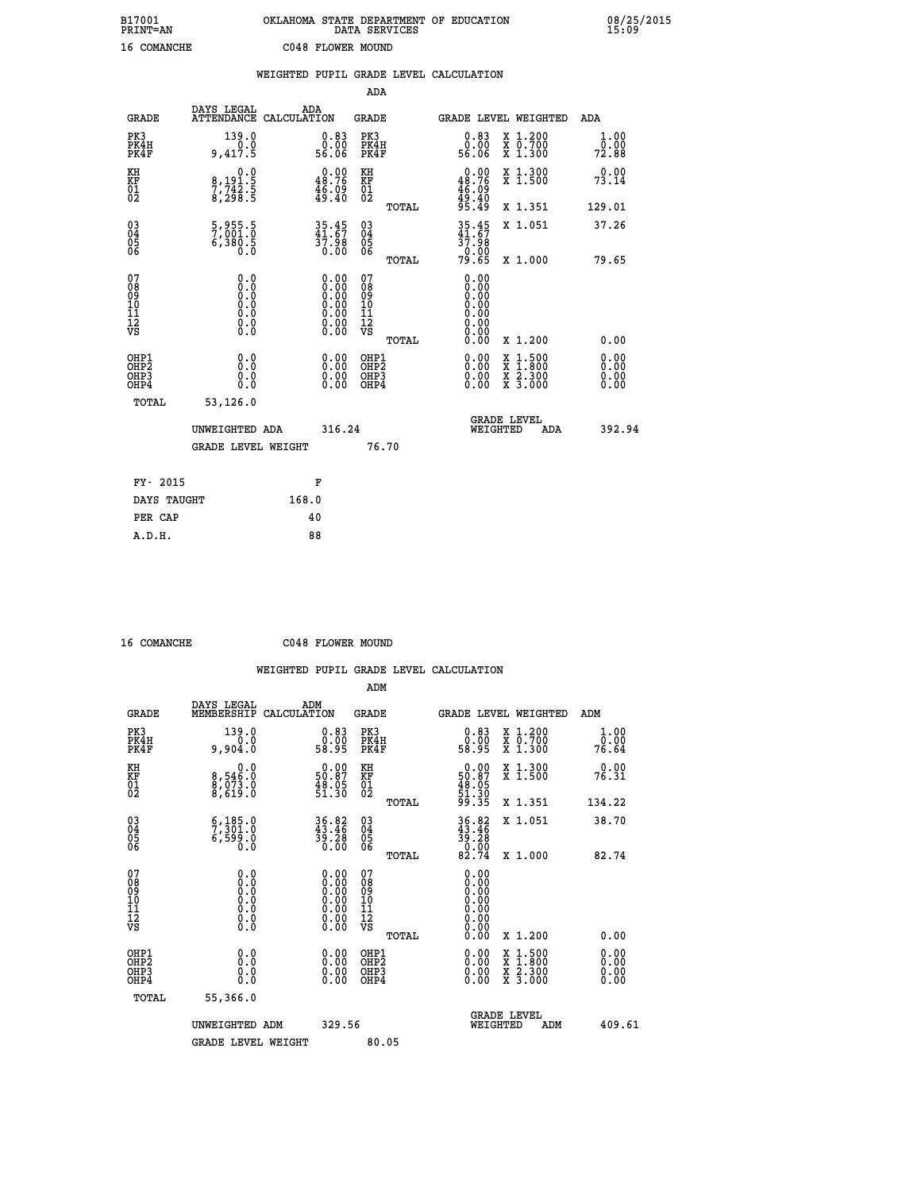| B17001<br>PRINT=AN | OKLAHOMA STATE DEPARTMENT OF EDUCATION<br>DATA SERVICES | 08/25/2015<br>15:09 |
|--------------------|---------------------------------------------------------|---------------------|
| 16 COMANCHE        | C048 FLOWER MOUND                                       |                     |

|                                                    |                                                                                      |                                                                                          |                                                 | WEIGHTED PUPIL GRADE LEVEL CALCULATION               |                                          |                              |
|----------------------------------------------------|--------------------------------------------------------------------------------------|------------------------------------------------------------------------------------------|-------------------------------------------------|------------------------------------------------------|------------------------------------------|------------------------------|
|                                                    |                                                                                      |                                                                                          | ADA                                             |                                                      |                                          |                              |
| <b>GRADE</b>                                       | DAYS LEGAL                                                                           | ADA<br>ATTENDANCE CALCULATION                                                            | <b>GRADE</b>                                    | GRADE LEVEL WEIGHTED                                 |                                          | ADA                          |
| PK3<br>PK4H<br>PK4F                                | 139.0<br>0.0<br>9,417.5                                                              | $\begin{smallmatrix} 0.83\ 0.00\ 56.06 \end{smallmatrix}$                                | PK3<br>PK4H<br>PK4F                             | 0.83<br>0.00<br>56.06                                | X 1.200<br>X 0.700<br>X 1.300            | 1.00<br>0.00<br>72.88        |
| KH<br>KF<br>01<br>02                               | 0.0<br>8,191.5<br>7,742.5<br>8,298.5                                                 | $0.00$<br>48.76<br>$\frac{46.09}{49.40}$                                                 | KH<br>KF<br>01<br>02                            | $0.00\n48.76\n46.09\n49.40\n95.49$                   | X 1.300<br>X 1.500                       | 0.00<br>73.14                |
|                                                    |                                                                                      |                                                                                          | TOTAL                                           |                                                      | X 1.351                                  | 129.01                       |
| $\begin{matrix} 03 \\ 04 \\ 05 \\ 06 \end{matrix}$ | $\frac{5}{7}$ , 001:0<br>6,380.5                                                     | $35.45$<br>$41.67$<br>37.98<br>0.00                                                      | 03<br>04<br>05<br>06                            | $35.45$<br>$41.67$<br>$\frac{37.98}{0.00}$<br>79.65  | X 1.051                                  | 37.26                        |
|                                                    |                                                                                      |                                                                                          | TOTAL                                           |                                                      | X 1.000                                  | 79.65                        |
| 07<br>08<br>09<br>101<br>112<br>VS                 | 0.0<br>$\begin{smallmatrix} 0.0 & 0 \ 0.0 & 0 \ 0.0 & 0 \ 0.0 & 0 \end{smallmatrix}$ | $\begin{smallmatrix} 0.00 \ 0.00 \ 0.00 \ 0.00 \ 0.00 \end{smallmatrix}$<br>Ŏ.ŎŎ<br>O.OO | 07<br>08<br>09<br>11<br>11<br>12<br>VS<br>TOTAL | 0.00<br>0.00<br>Ŏ.ŎŎ<br>0.00<br>0.00<br>0.00<br>0.00 | X 1.200                                  | 0.00                         |
| OHP1<br>OHP2<br>OHP3<br>OHP4                       | 0.0<br>0.0<br>0.0                                                                    | $\begin{smallmatrix} 0.00 \ 0.00 \ 0.00 \ 0.00 \end{smallmatrix}$                        | OHP1<br>OHP2<br>OHP3<br>OHP4                    |                                                      | X 1:500<br>X 1:800<br>X 2:300<br>X 3:000 | 0.00<br>0.00<br>0.00<br>0.00 |
| TOTAL                                              | 53,126.0                                                                             |                                                                                          |                                                 |                                                      |                                          |                              |
|                                                    | UNWEIGHTED ADA                                                                       | 316.24                                                                                   |                                                 | <b>GRADE LEVEL</b><br>WEIGHTED                       | ADA                                      | 392.94                       |
|                                                    | <b>GRADE LEVEL WEIGHT</b>                                                            |                                                                                          | 76.70                                           |                                                      |                                          |                              |
| FY- 2015                                           |                                                                                      | F                                                                                        |                                                 |                                                      |                                          |                              |
|                                                    | DAYS TAUGHT                                                                          | 168.0                                                                                    |                                                 |                                                      |                                          |                              |
| PER CAP                                            |                                                                                      | 40                                                                                       |                                                 |                                                      |                                          |                              |

 **16 COMANCHE C048 FLOWER MOUND**

|                                          |                                                                                                   |                                                                                               | ADM                                                 |       |                                                                   |                                          |                       |        |
|------------------------------------------|---------------------------------------------------------------------------------------------------|-----------------------------------------------------------------------------------------------|-----------------------------------------------------|-------|-------------------------------------------------------------------|------------------------------------------|-----------------------|--------|
| <b>GRADE</b>                             | DAYS LEGAL<br>MEMBERSHIP                                                                          | ADM<br>CALCULATION                                                                            | <b>GRADE</b>                                        |       |                                                                   | GRADE LEVEL WEIGHTED                     | ADM                   |        |
| PK3<br>PK4H<br>PK4F                      | 139.0<br>0.0<br>9,904.0                                                                           | $\begin{smallmatrix} 0.83\ 0.00\ 58.95 \end{smallmatrix}$                                     | PK3<br>PK4H<br>PK4F                                 |       | $\begin{smallmatrix} 0.83\ 0.00\\ 0.90\\ 58.95 \end{smallmatrix}$ | X 1.200<br>X 0.700<br>X 1.300            | 1.00<br>ō:ŏŏ<br>76.64 |        |
| KH<br>KF<br>01<br>02                     | 0.0<br>8,546:0<br>8,073.0<br>8,619:0                                                              | $\begin{smallmatrix} 0.00\\ 50.87\\ 48.05\\ 51.30 \end{smallmatrix}$                          | KH<br>KF<br>01<br>02                                |       | $0.0050.8748.0551.3051.3099.35$                                   | X 1.300<br>X 1.500                       | 0.00<br>76.31         |        |
|                                          |                                                                                                   |                                                                                               |                                                     | TOTAL |                                                                   | X 1.351                                  | 134.22                |        |
| 03<br>04<br>05<br>06                     | $\begin{smallmatrix} 6,185.0\\ 7,301.0\\ 6,599.0 \end{smallmatrix}$<br>0.0                        | 36.82<br>43.46<br>39.28<br>0.00                                                               | $\begin{array}{c} 03 \\ 04 \\ 05 \\ 06 \end{array}$ |       | $36.82$<br>$43.46$<br>$39.28$<br>$0.00$<br>$82.74$                | X 1.051                                  | 38.70                 |        |
|                                          |                                                                                                   |                                                                                               |                                                     | TOTAL |                                                                   | X 1.000                                  | 82.74                 |        |
| 07<br>08<br>09<br>101<br>112<br>VS       | $\begin{smallmatrix} 0.0 & 0 \ 0.0 & 0 \ 0.0 & 0 \ 0.0 & 0 \ 0.0 & 0 \ 0.0 & 0 \end{smallmatrix}$ | $\begin{smallmatrix} 0.00\ 0.00\ 0.00\ 0.00\ 0.00\ 0.00\ 0.00\ 0.00\ 0.00\ \end{smallmatrix}$ | 07<br>08<br>09<br>11<br>11<br>12<br>VS              |       |                                                                   |                                          |                       |        |
|                                          |                                                                                                   |                                                                                               |                                                     | TOTAL | 0.00                                                              | X 1.200                                  | 0.00                  |        |
| OHP1<br>OHP2<br>OHP <sub>3</sub><br>OHP4 | 0.0<br>$\begin{smallmatrix} 0.0 & 0 \ 0.0 & 0 \end{smallmatrix}$                                  |                                                                                               | OHP1<br>OHP2<br>OHP <sub>3</sub>                    |       | $0.00$<br>$0.00$<br>0.00                                          | X 1:500<br>X 1:800<br>X 2:300<br>X 3:000 | 0.00<br>0.00<br>0.00  |        |
| TOTAL                                    | 55,366.0                                                                                          |                                                                                               |                                                     |       |                                                                   |                                          |                       |        |
|                                          | UNWEIGHTED ADM                                                                                    | 329.56                                                                                        |                                                     |       |                                                                   | GRADE LEVEL<br>WEIGHTED<br>ADM           |                       | 409.61 |
|                                          | <b>GRADE LEVEL WEIGHT</b>                                                                         |                                                                                               | 80.05                                               |       |                                                                   |                                          |                       |        |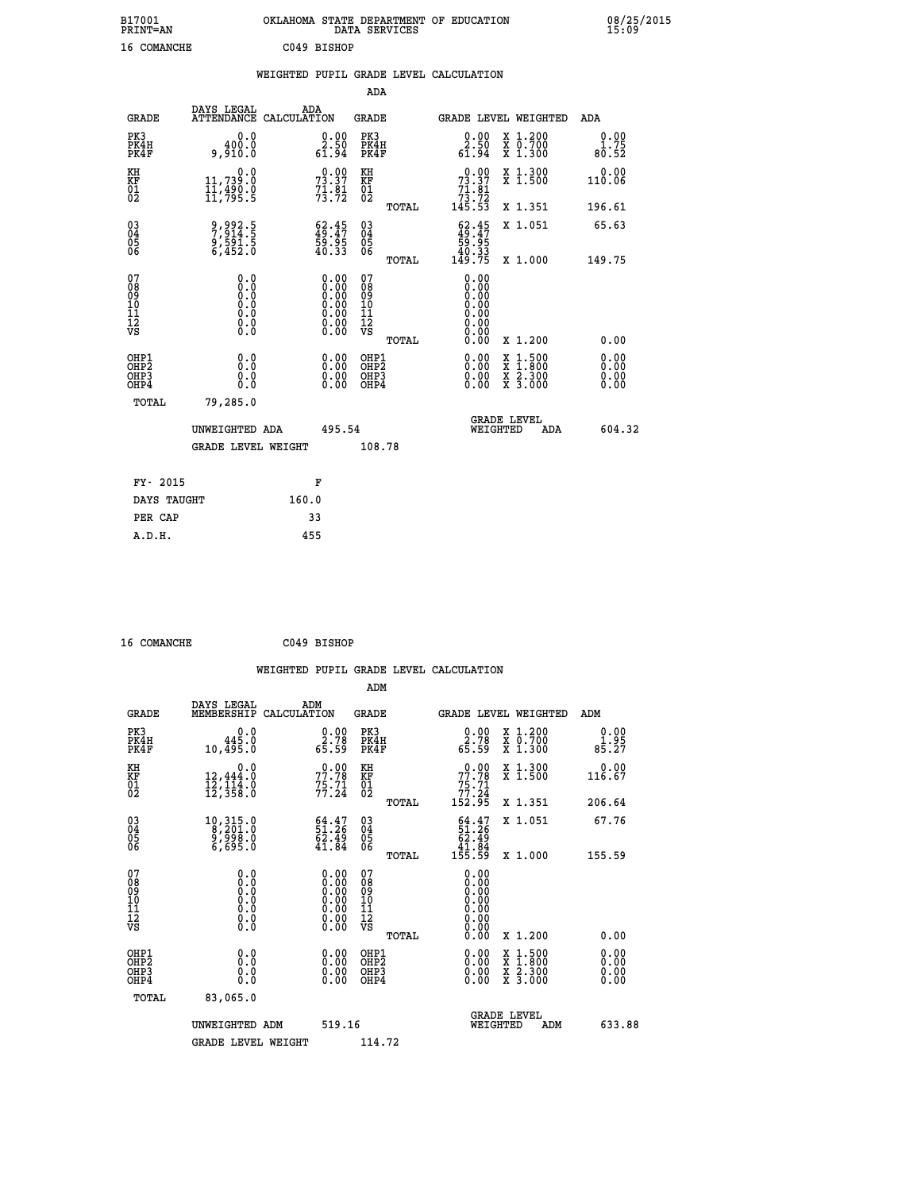| B17001<br><b>PRINT=AN</b> | OKLAHOMA STATE DEPARTMENT OF EDUCATION<br>DATA SERVICES | 08/25/2015<br>15:09 |
|---------------------------|---------------------------------------------------------|---------------------|
| 16 COMANCHE               | C049 BISHOP                                             |                     |

|  |  | WEIGHTED PUPIL GRADE LEVEL CALCULATION |
|--|--|----------------------------------------|
|  |  |                                        |

|                                                                    |                                          |                                                                         |                                                                                               | ADA                                                 |       |                                                                                                                                                                                                                                                                                |                                                                                                                                              |                                  |
|--------------------------------------------------------------------|------------------------------------------|-------------------------------------------------------------------------|-----------------------------------------------------------------------------------------------|-----------------------------------------------------|-------|--------------------------------------------------------------------------------------------------------------------------------------------------------------------------------------------------------------------------------------------------------------------------------|----------------------------------------------------------------------------------------------------------------------------------------------|----------------------------------|
| <b>GRADE</b>                                                       | DAYS LEGAL                               | ADA<br>ATTENDANCE CALCULATION                                           |                                                                                               | <b>GRADE</b>                                        |       | <b>GRADE LEVEL WEIGHTED</b>                                                                                                                                                                                                                                                    |                                                                                                                                              | ADA                              |
| PK3<br>PK4H<br>PK4F                                                | 0.0<br>400.0<br>9,910.0                  | $\begin{smallmatrix} 0.00\\ 2.50\\ 61.94 \end{smallmatrix}$             |                                                                                               | PK3<br>PK4H<br>PK4F                                 |       | $\begin{smallmatrix} 0.00\\ 2.50\\ 61.94 \end{smallmatrix}$                                                                                                                                                                                                                    | X 1.200<br>X 0.700<br>X 1.300                                                                                                                | 0.00<br>1.75<br>80.52            |
| KH<br>KF<br>01<br>02                                               | 0.0<br>11,739:0<br>11,490:0<br>11,795:5  | 73.37<br>$7\overline{1}\cdot\overline{9}\overline{1}\cdot$              |                                                                                               | KH<br>KF<br>01<br>02                                |       | $\begin{smallmatrix}&&0&.00\\73&.37\\71&.81\\73&.72\\145&.53\end{smallmatrix}$                                                                                                                                                                                                 | X 1.300<br>X 1.500                                                                                                                           | 0.00<br>110.06                   |
|                                                                    |                                          |                                                                         |                                                                                               |                                                     | TOTAL |                                                                                                                                                                                                                                                                                | X 1.351                                                                                                                                      | 196.61                           |
| $\begin{smallmatrix} 03 \\[-4pt] 04 \end{smallmatrix}$<br>Ŏ5<br>06 | 9,992.5<br>7,914.5<br>9,591.5<br>6,452.0 | $\begin{smallmatrix} 62.45\\ 49.47\\ 59.95\\ 40.33\\ \end{smallmatrix}$ |                                                                                               | $\begin{array}{c} 03 \\ 04 \\ 05 \\ 06 \end{array}$ |       | $\begin{smallmatrix} 62.45\\ 49.47\\ 59.95\\ 40.33\\ 149.75 \end{smallmatrix}$                                                                                                                                                                                                 | X 1.051                                                                                                                                      | 65.63                            |
|                                                                    |                                          |                                                                         |                                                                                               |                                                     | TOTAL |                                                                                                                                                                                                                                                                                | X 1.000                                                                                                                                      | 149.75                           |
| 07<br>08<br>09<br>01<br>11<br>11<br>12<br>VS                       | 0.0                                      |                                                                         | $\begin{smallmatrix} 0.00\ 0.00\ 0.00\ 0.00\ 0.00\ 0.00\ 0.00\ 0.00\ 0.00\ \end{smallmatrix}$ | 07<br>08<br>09<br>11<br>11<br>12<br>VS              |       | 0.00<br>0.00<br>0.00<br>0.00<br>0.00000000000                                                                                                                                                                                                                                  |                                                                                                                                              |                                  |
|                                                                    |                                          |                                                                         |                                                                                               |                                                     | TOTAL | 0.00                                                                                                                                                                                                                                                                           | X 1.200                                                                                                                                      | 0.00                             |
| OHP1<br>OHP <sub>2</sub><br>OH <sub>P3</sub><br>OHP4               | 0.0<br>0.000                             |                                                                         | 0.00<br>$\begin{smallmatrix} 0.00 \ 0.00 \end{smallmatrix}$                                   | OHP1<br>OHP2<br>OHP <sub>3</sub>                    |       | $\begin{smallmatrix} 0.00 & 0.00 & 0.00 & 0.00 & 0.00 & 0.00 & 0.00 & 0.00 & 0.00 & 0.00 & 0.00 & 0.00 & 0.00 & 0.00 & 0.00 & 0.00 & 0.00 & 0.00 & 0.00 & 0.00 & 0.00 & 0.00 & 0.00 & 0.00 & 0.00 & 0.00 & 0.00 & 0.00 & 0.00 & 0.00 & 0.00 & 0.00 & 0.00 & 0.00 & 0.00 & 0.0$ | $\begin{smallmatrix} \mathtt{X} & 1\cdot500 \\ \mathtt{X} & 1\cdot800 \\ \mathtt{X} & 2\cdot300 \\ \mathtt{X} & 3\cdot000 \end{smallmatrix}$ | 0.00<br>0.00<br>$0.00$<br>$0.00$ |
| TOTAL                                                              | 79,285.0                                 |                                                                         |                                                                                               |                                                     |       |                                                                                                                                                                                                                                                                                |                                                                                                                                              |                                  |
|                                                                    | UNWEIGHTED ADA                           |                                                                         | 495.54                                                                                        |                                                     |       | WEIGHTED                                                                                                                                                                                                                                                                       | <b>GRADE LEVEL</b><br>ADA                                                                                                                    | 604.32                           |
|                                                                    | <b>GRADE LEVEL WEIGHT</b>                |                                                                         |                                                                                               | 108.78                                              |       |                                                                                                                                                                                                                                                                                |                                                                                                                                              |                                  |
| FY- 2015                                                           |                                          | F                                                                       |                                                                                               |                                                     |       |                                                                                                                                                                                                                                                                                |                                                                                                                                              |                                  |
| DAYS TAUGHT                                                        |                                          | 160.0                                                                   |                                                                                               |                                                     |       |                                                                                                                                                                                                                                                                                |                                                                                                                                              |                                  |
| PER CAP                                                            |                                          | 33                                                                      |                                                                                               |                                                     |       |                                                                                                                                                                                                                                                                                |                                                                                                                                              |                                  |

 **16 COMANCHE C049 BISHOP WEIGHTED PUPIL GRADE LEVEL CALCULATION ADM DAYS LEGAL ADM GRADE MEMBERSHIP CALCULATION GRADE GRADE LEVEL WEIGHTED ADM PK3 0.0 0.00 PK3 0.00 X 1.200 0.00 PK4H 445.0 2.78 PK4H 2.78 X 0.700 1.95 PK4F 10,495.0 65.59 PK4F 65.59 X 1.300 85.27 KH 0.0 0.00 KH 0.00 X 1.300 0.00 KF 12,444.0 77.78 KF 77.78 X 1.500 116.67 01 12,114.0 75.71 01 75.71 02 12,358.0 77.24 02 77.24 TOTAL 152.95 X 1.351 206.64 03 10,315.0 64.47 03 64.47 X 1.051 67.76** 04 8,201.0 51.26 04 51.26<br>05 9,998.0 62.49<br>06 6,695.0 41.84 06 <sub>2021</sub>, 41.84  **TOTAL 155.59 X 1.000 155.59 07 0.0 0.00 07 0.00 08 0.0 0.00 08 0.00 03 0.00 0.00 0.000 0.000 10 0.0 0.00 10 0.00 11 0.0 0.00 11 0.00 12 0.0 0.00 12 0.00 VS** 0.0 0.00 VS 0.00 0.00  **TOTAL 0.00 X 1.200 0.00 OHP1 0.0 0.00 OHP1 0.00 X 1.500 0.00 OHP2 0.0 0.00 OHP2 0.00 X 1.800 0.00 OHP3 0.0 0.00 OHP3 0.00 X 2.300 0.00 OHP4 0.0 0.00 OHP4 0.00 X 3.000 0.00 TOTAL 83,065.0 GRADE LEVEL UNWEIGHTED ADM 519.16 WEIGHTED ADM 633.88** GRADE LEVEL WEIGHT 114.72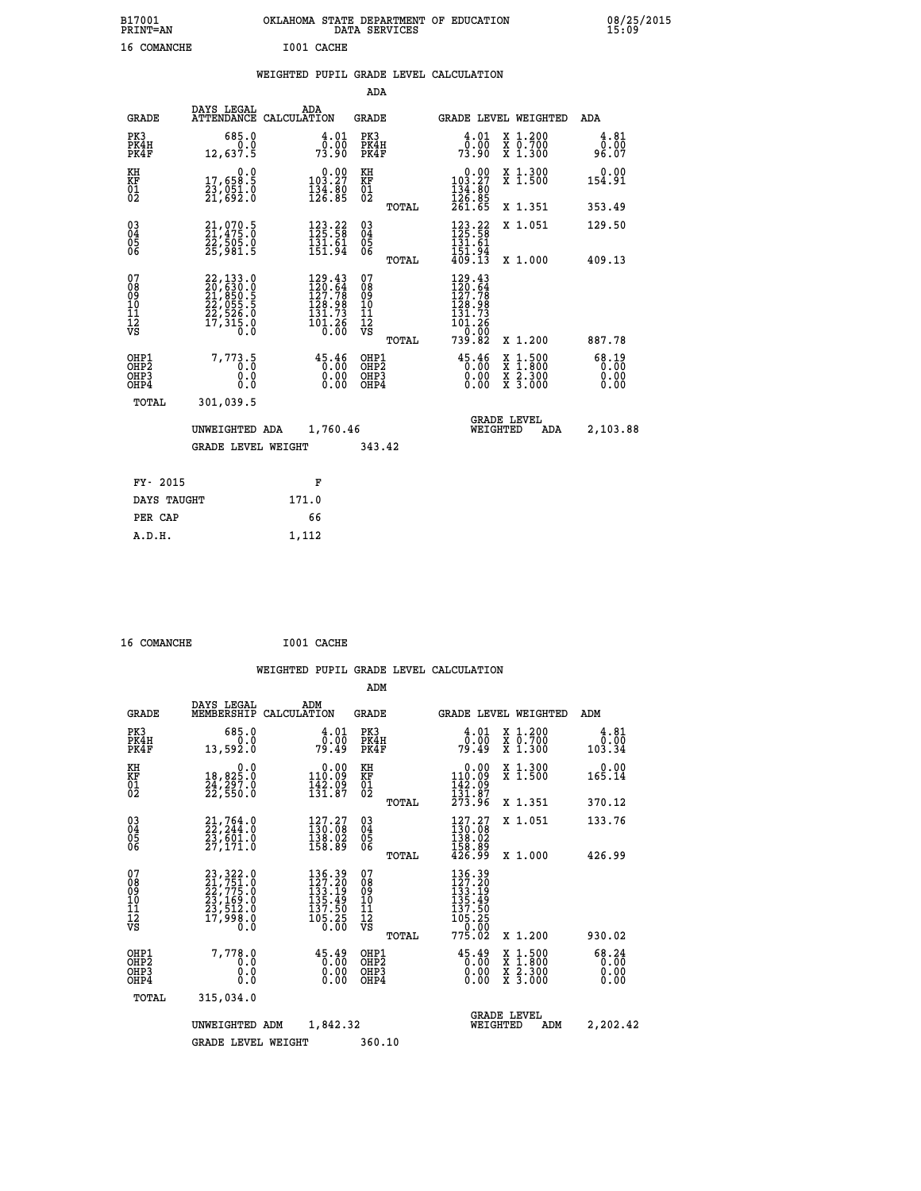| B17001<br><b>PRINT=AN</b> | OKLAHOMA STATE DEPARTMENT OF EDUCATION<br>DATA SERVICES | 08/25/2015<br>15:09 |
|---------------------------|---------------------------------------------------------|---------------------|
| 16<br>COMANCHE            | I001 CACHE                                              |                     |

|  |  | WEIGHTED PUPIL GRADE LEVEL CALCULATION |
|--|--|----------------------------------------|
|  |  |                                        |

|                                                                    |                                                                                                                                                 |                                                                                                                                                  | ADA                                                               |       |                                                                                                   |                                                                                                  |                               |
|--------------------------------------------------------------------|-------------------------------------------------------------------------------------------------------------------------------------------------|--------------------------------------------------------------------------------------------------------------------------------------------------|-------------------------------------------------------------------|-------|---------------------------------------------------------------------------------------------------|--------------------------------------------------------------------------------------------------|-------------------------------|
| <b>GRADE</b>                                                       | DAYS LEGAL                                                                                                                                      | ADA<br>ATTENDANCE CALCULATION                                                                                                                    | <b>GRADE</b>                                                      |       |                                                                                                   | <b>GRADE LEVEL WEIGHTED</b>                                                                      | ADA                           |
| PK3<br>PK4H<br>PK4F                                                | 685.0<br>0.0<br>12,637.5                                                                                                                        | $\begin{smallmatrix} 4.01\0.00\\73.90\end{smallmatrix}$                                                                                          | PK3<br>PK4H<br>PK4F                                               |       | 4.01<br>_ō:ŏō<br>73:90                                                                            | X 1.200<br>X 0.700<br>X 1.300                                                                    | 4.81<br>0.00<br>96.07         |
| KH<br><b>KF</b><br>01<br>02                                        | 0.0<br>17,658.5<br>23,051.0<br>21,692.0                                                                                                         | $\begin{smallmatrix}&&0.00\\103.27\\134.80\\126.85\end{smallmatrix}$                                                                             | KH<br>KF<br>01<br>02                                              |       | $\begin{smallmatrix} &0.00\\ 103.27\\ 134.80\\ 126.85\\ 261.65 \end{smallmatrix}$                 | X 1.300<br>X 1.500                                                                               | 0.00<br>154.91                |
|                                                                    |                                                                                                                                                 |                                                                                                                                                  |                                                                   | TOTAL |                                                                                                   | X 1.351                                                                                          | 353.49                        |
| $\begin{smallmatrix} 03 \\[-4pt] 04 \end{smallmatrix}$<br>05<br>06 | 21,070.5<br>21,475.0<br>22,505.0<br>25,981.5                                                                                                    | $123.22$<br>$125.58$<br>$\overline{1}\overline{3}\overline{1}\cdot\overline{6}\overline{1}\overline{1}\overline{1}\cdot\overline{9}\overline{4}$ | $\substack{03 \\ 04}$<br>$\begin{matrix} 0.5 \\ 0.6 \end{matrix}$ |       | $\begin{array}{r} 123\cdot22 \\ 125\cdot58 \\ 131\cdot61 \\ 151\cdot94 \\ 409\cdot13 \end{array}$ | X 1.051                                                                                          | 129.50                        |
|                                                                    |                                                                                                                                                 |                                                                                                                                                  |                                                                   | TOTAL |                                                                                                   | X 1.000                                                                                          | 409.13                        |
| 07<br>08901112<br>1112<br>VS                                       | $\begin{smallmatrix} 22,133\cdot 0\\ 20,630\cdot 0\\ 21,850\cdot 5\\ 22,055\cdot 5\\ 22,526\cdot 0\\ 17,315\cdot 0\\ 0\cdot 0\end{smallmatrix}$ | $\begin{array}{l} 129.43 \\ 120.64 \\ 127.78 \\ 128.98 \\ 131.73 \end{array}$<br>$\overline{101}.\overline{26}$                                  | 07<br>08<br>09<br>11<br>11<br>12<br>VS                            |       | $\begin{array}{r} 129.43 \\ 120.64 \\ 127.78 \\ 128.98 \\ 131.73 \\ 101.26 \end{array}$<br>0.00   |                                                                                                  |                               |
|                                                                    |                                                                                                                                                 |                                                                                                                                                  |                                                                   | TOTAL | 739.82                                                                                            | X 1.200                                                                                          | 887.78                        |
| OHP1<br>OH <sub>P2</sub><br>OH <sub>P3</sub><br>OH <sub>P4</sub>   | 7,773.5<br>0.0<br>0.0                                                                                                                           | 45.46<br>0.00<br>0.00<br>0.00                                                                                                                    | OHP1<br>OHP <sub>2</sub><br>OHP3<br>OHP4                          |       | 45.46<br>0.00<br>0.00                                                                             | $\begin{smallmatrix} x & 1 & 500 \\ x & 1 & 800 \\ x & 2 & 300 \\ x & 3 & 000 \end{smallmatrix}$ | 68.19<br>0.00<br>0.00<br>0.00 |
| TOTAL                                                              | 301,039.5                                                                                                                                       |                                                                                                                                                  |                                                                   |       |                                                                                                   |                                                                                                  |                               |
|                                                                    | UNWEIGHTED ADA                                                                                                                                  | 1,760.46                                                                                                                                         |                                                                   |       |                                                                                                   | <b>GRADE LEVEL</b><br>WEIGHTED<br>ADA                                                            | 2,103.88                      |
|                                                                    | <b>GRADE LEVEL WEIGHT</b>                                                                                                                       |                                                                                                                                                  | 343.42                                                            |       |                                                                                                   |                                                                                                  |                               |
| FY- 2015                                                           |                                                                                                                                                 | F                                                                                                                                                |                                                                   |       |                                                                                                   |                                                                                                  |                               |
| DAYS TAUGHT                                                        |                                                                                                                                                 | 171.0                                                                                                                                            |                                                                   |       |                                                                                                   |                                                                                                  |                               |
| PER CAP                                                            |                                                                                                                                                 | 66                                                                                                                                               |                                                                   |       |                                                                                                   |                                                                                                  |                               |

|  | 16 COMANCHE |  | I001 CACHE |
|--|-------------|--|------------|
|--|-------------|--|------------|

 **A.D.H. 1,112**

 **WEIGHTED PUPIL GRADE LEVEL CALCULATION ADM DAYS LEGAL ADM GRADE MEMBERSHIP CALCULATION GRADE GRADE LEVEL WEIGHTED ADM PK3 685.0 4.01 PK3 4.01 X 1.200 4.81 PK4H 0.0 0.00 PK4H 0.00 X 0.700 0.00 PK4F 13,592.0 79.49 PK4F 79.49 X 1.300 103.34 KH 0.0 0.00 KH 0.00 X 1.300 0.00 KF 18,825.0 110.09 KF 110.09 X 1.500 165.14** 01 24,297.0 142.09 01 142.09<br>02 22,350.0 131.87 02 <sub>memaa</sub> 131.87  **TOTAL 273.96 X 1.351 370.12 03 21,764.0 127.27 03 127.27 X 1.051 133.76 04 22,244.0 130.08 04 130.08 05 23,601.0 138.02 05 138.02 06 27,171.0 158.89 06 158.89 TOTAL 426.99 X 1.000 426.99**  $\begin{array}{cccc} 07 & 23\, ,\, 322\, . \ 0 & 23\, ,\, 322\, . \ 0 & 22\, ,\, 775\, . \ 0 & 23\, ,\, 169\, . \ 0 & 23\, ,\, 169\, . \ 0 & 137\, . \ 10 & 23\, ,\, 169\, . \ 0 & 135\, . \ 49\, . \ 10 & 23\, ,\, 169\, . \ 0 & 135\, . \ 49\, . \ 10 & 23\, ,\, 169\, . \ 0 & 137\, .$ **23, 322. 0<br>
23, 322. 0<br>
23, 775. 0<br>
23, 775. 0<br>
33, 569. 0<br>
33, 569. 0<br>
33, 569. 0<br>
33, 569. 0<br>
33, 569. 0<br>
33, 569. 0<br>
33, 569. 0<br>
33, 569. 0<br>
33, 569. 0<br>
33, 569. 0<br>
33, 569. 0<br>
33, 569.<br>
33, 569.<br>
33, 569.<br>
33, 569.<br>
3 OHP1 7,778.0 45.49 OHP1 45.49 X 1.500 68.24 OHP2 0.0 0.00 OHP2 0.00 X 1.800 0.00 OHP3 0.0 0.00 OHP3 0.00 X 2.300 0.00 OHP4 0.0 0.00 OHP4 0.00 X 3.000 0.00 TOTAL 315,034.0 GRADE LEVEL UNWEIGHTED ADM 1,842.32 WEIGHTED ADM 2,202.42** GRADE LEVEL WEIGHT 360.10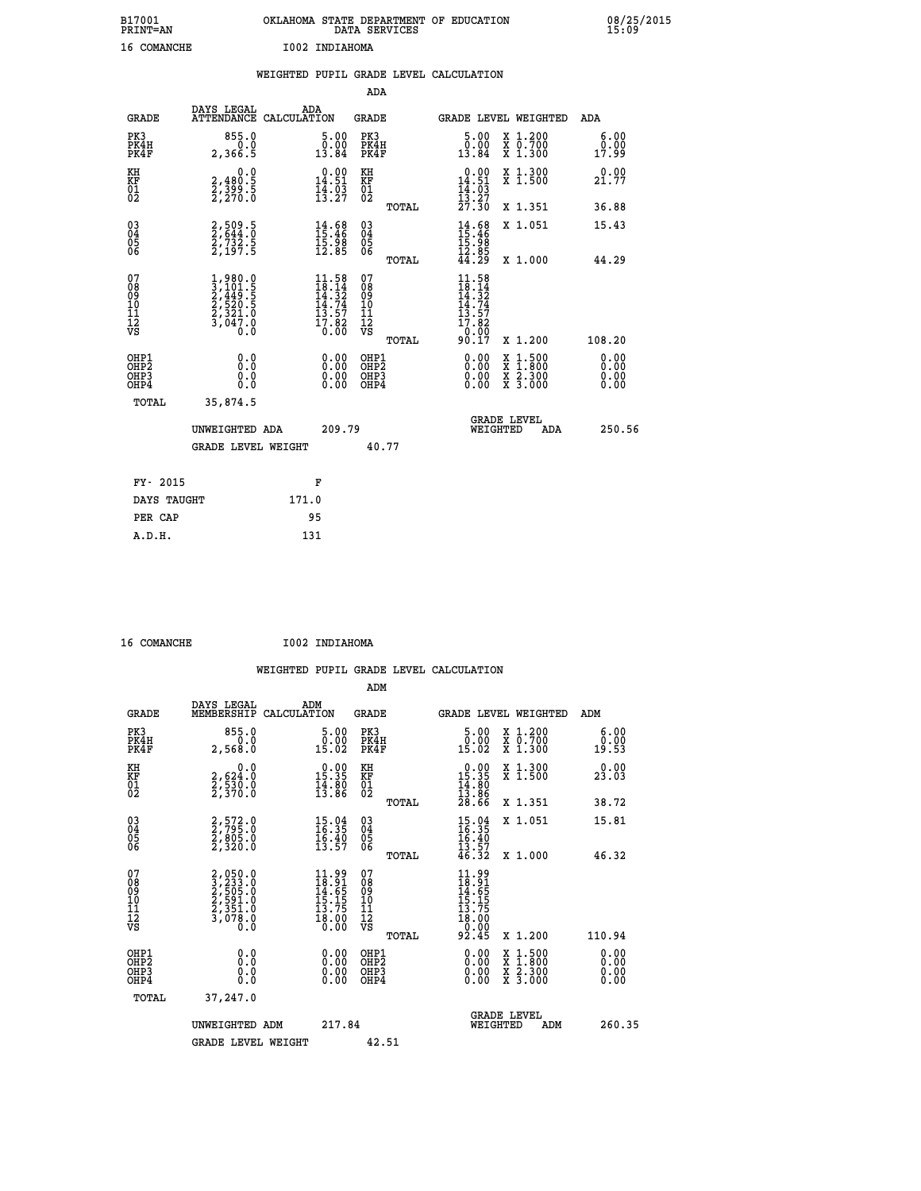| B17001<br><b>PRINT=AN</b> | OKLAHOMA STATE DEPARTMENT OF EDUCATION<br>DATA SERVICES | 08/25/2015<br>15:09 |
|---------------------------|---------------------------------------------------------|---------------------|
| <b>16 COMANCHE</b>        | I002 INDIAHOMA                                          |                     |

|                                                                    |                                                                                                         | WEIGHTED PUPIL GRADE LEVEL CALCULATION                                                                                       |                                                 |                                                                                              |                              |
|--------------------------------------------------------------------|---------------------------------------------------------------------------------------------------------|------------------------------------------------------------------------------------------------------------------------------|-------------------------------------------------|----------------------------------------------------------------------------------------------|------------------------------|
|                                                                    |                                                                                                         |                                                                                                                              | <b>ADA</b>                                      |                                                                                              |                              |
| <b>GRADE</b>                                                       | DAYS LEGAL                                                                                              | ADA<br>ATTENDANCE CALCULATION                                                                                                | GRADE                                           | GRADE LEVEL WEIGHTED                                                                         | ADA                          |
| PK3<br>PK4H<br>PK4F                                                | 855.0<br>0.0<br>2,366.5                                                                                 | $\begin{smallmatrix}5.00\0.00\\13.84\end{smallmatrix}$                                                                       | PK3<br>PK4H<br>PK4F                             | X 1.200<br>X 0.700<br>X 1.300<br>$5.00$<br>$0.00$<br>13.84                                   | 6.00<br>0.00<br>17.99        |
| KH<br>KF<br>01<br>02                                               | 0.0<br>2,480:5<br>2,399:5<br>2,270:0                                                                    | $0.00$<br>14.51<br>$\frac{1}{4}$ $\frac{1}{3}$ $\frac{5}{27}$                                                                | KH<br>KF<br>01<br>02                            | 0.00<br>X 1.300<br>X 1.500<br>$14.51$<br>$14.03$<br>$13.27$                                  | 0.00<br>21.77                |
|                                                                    |                                                                                                         |                                                                                                                              | TOTAL                                           | 27.30<br>X 1.351                                                                             | 36.88                        |
| $\begin{smallmatrix} 03 \\[-4pt] 04 \end{smallmatrix}$<br>Ŏ5<br>06 | 2,509.5<br>2,644.0<br>2,732.5<br>2,197.5                                                                | $14.68$<br>$15.46$<br>$15.98$<br>$12.85$                                                                                     | $\substack{03 \\ 04}$<br>Ŏ5<br>06               | $14.68$<br>$15.46$<br>$15.98$<br>$12.85$<br>$44.29$<br>X 1.051                               | 15.43                        |
|                                                                    |                                                                                                         |                                                                                                                              | TOTAL                                           | X 1.000                                                                                      | 44.29                        |
| 07<br>08<br>09<br>11<br>11<br>12<br>VS                             | $\begin{smallmatrix} 1,980.0\\ 3,101.5\\ 2,449.5\\ 2,520.5\\ 2,321.0\\ 3,047.0\\ 0.0 \end{smallmatrix}$ | $\begin{array}{c} 11\cdot 58 \\ 18\cdot 14 \\ 14\cdot 32 \\ 14\cdot 74 \\ 13\cdot 57 \\ 17\cdot 82 \\ 0\cdot 00 \end{array}$ | 07<br>08<br>09<br>11<br>11<br>12<br>VS<br>TOTAL | 11.58<br>$18.14$<br>$14.32$<br>$14.74$<br>$13.57$<br>$17.820$<br>$0.097$<br>90.17<br>X 1.200 | 108.20                       |
| OHP1<br>OH <sub>P</sub> 2<br>OHP3<br>OH <sub>P4</sub>              | 0.0<br>0.0<br>0.0                                                                                       | $\begin{smallmatrix} 0.00 \ 0.00 \ 0.00 \ 0.00 \end{smallmatrix}$                                                            | OHP1<br>OHP <sub>2</sub><br>OHP3<br>OHP4        | X 1:500<br>X 1:800<br>X 2:300<br>X 3:000                                                     | 0.00<br>0.00<br>0.00<br>0.00 |
| TOTAL                                                              | 35,874.5                                                                                                |                                                                                                                              |                                                 |                                                                                              |                              |
|                                                                    | UNWEIGHTED ADA                                                                                          | 209.79                                                                                                                       |                                                 | <b>GRADE LEVEL</b><br>WEIGHTED<br><b>ADA</b>                                                 | 250.56                       |
|                                                                    | <b>GRADE LEVEL WEIGHT</b>                                                                               |                                                                                                                              | 40.77                                           |                                                                                              |                              |
| FY- 2015                                                           |                                                                                                         | F                                                                                                                            |                                                 |                                                                                              |                              |
|                                                                    | DAYS TAUGHT                                                                                             | 171.0                                                                                                                        |                                                 |                                                                                              |                              |
| PER CAP                                                            |                                                                                                         | 95                                                                                                                           |                                                 |                                                                                              |                              |

 **16 COMANCHE I002 INDIAHOMA**

| <b>GRADE</b>                                       | DAYS LEGAL<br>MEMBERSHIP                                                 | ADM<br>CALCULATION                                                       | <b>GRADE</b>                                       |       | GRADE LEVEL WEIGHTED                                                                                                                                                    |                                          | ADM    |                              |
|----------------------------------------------------|--------------------------------------------------------------------------|--------------------------------------------------------------------------|----------------------------------------------------|-------|-------------------------------------------------------------------------------------------------------------------------------------------------------------------------|------------------------------------------|--------|------------------------------|
| PK3<br>PK4H<br>PK4F                                | 855.0<br>2,568.0                                                         | $\begin{smallmatrix} 5.00\ 0.00\ 15.02 \end{smallmatrix}$                | PK3<br>PK4H<br>PK4F                                |       | 5.00<br>$\begin{smallmatrix} \textcolor{red}{\textbf{0}}\textcolor{black}{\textbf{.00}}\ \textcolor{red}{\textbf{15}}\textcolor{black}{\textbf{.02}} \end{smallmatrix}$ | X 1.200<br>X 0.700<br>X 1.300            |        | 6.00<br>$\frac{0.00}{19.53}$ |
| KH<br>KF<br>01<br>02                               | 0.0<br>$\frac{2}{2}, \frac{6}{5}, \frac{24}{3}, \frac{10}{6}$<br>2,370.0 | $\begin{array}{r} 0.00 \\ 15.35 \\ 14.80 \\ 13.86 \end{array}$           | KH<br>KF<br>01<br>02                               |       | $\begin{array}{r} 0.00 \\ 15.35 \\ 14.80 \\ 13.86 \\ 28.66 \end{array}$                                                                                                 | X 1.300<br>X 1.500                       |        | 0.00<br>23.03                |
|                                                    |                                                                          |                                                                          |                                                    | TOTAL |                                                                                                                                                                         | X 1.351                                  |        | 38.72                        |
| $\begin{matrix} 03 \\ 04 \\ 05 \\ 06 \end{matrix}$ | 2,572.0<br>2,795.0<br>2,805.0<br>2,320.0                                 | $15.94$<br>$16.35$<br>$16.40$<br>$13.57$                                 | $\begin{matrix} 03 \\ 04 \\ 05 \\ 06 \end{matrix}$ |       | $15.94$<br>$16.35$<br>$16.40$<br>$13.57$<br>$46.32$                                                                                                                     | X 1.051                                  |        | 15.81                        |
|                                                    |                                                                          |                                                                          |                                                    | TOTAL |                                                                                                                                                                         | X 1.000                                  |        | 46.32                        |
| 07<br>08<br>09<br>101<br>112<br>VS                 | 2,050.0<br>3,233.0<br>2,505.0<br>2,591.0<br>2,351.0<br>3,078.0           | $11.99$<br>$18.91$<br>$14.65$<br>$15.15$<br>$13.75$<br>$18.00$<br>$0.00$ | 07<br>08<br>09<br>11<br>11<br>12<br>VS             | TOTAL | $11.99$<br>$18.65$<br>$14.65$<br>$15.15$<br>$13.75$<br>$18.000$<br>$92.45$                                                                                              | X 1.200                                  | 110.94 |                              |
| OHP1<br>OHP2<br>OHP3<br>OHP4                       | 0.0<br>Ō.Ō<br>Ŏ.Ŏ                                                        |                                                                          | OHP1<br>OHP2<br>OHP3<br>OHP4                       |       |                                                                                                                                                                         | X 1:500<br>X 1:800<br>X 2:300<br>X 3:000 |        | 0.00<br>0.00<br>0.00         |
| TOTAL                                              | 37,247.0                                                                 |                                                                          |                                                    |       |                                                                                                                                                                         |                                          |        |                              |
|                                                    | UNWEIGHTED ADM                                                           | 217.84                                                                   |                                                    |       | <b>GRADE LEVEL</b><br>WEIGHTED                                                                                                                                          | ADM                                      |        | 260.35                       |
|                                                    | <b>GRADE LEVEL WEIGHT</b>                                                |                                                                          | 42.51                                              |       |                                                                                                                                                                         |                                          |        |                              |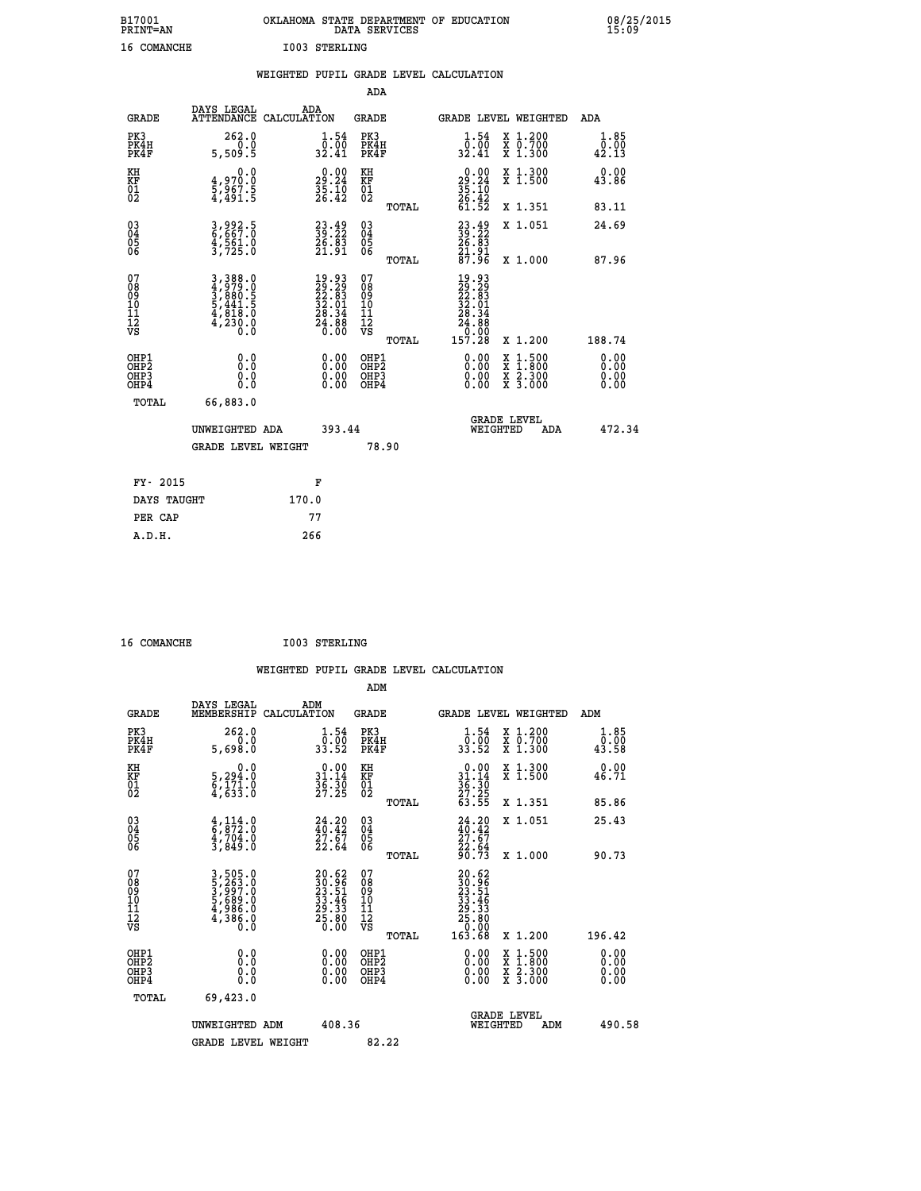| B17001             | OKLAHOMA STATE DEPARTMENT OF EDUCATION |
|--------------------|----------------------------------------|
| <b>PRINT=AN</b>    | DATA SERVICES                          |
| <b>16 COMANCHE</b> | I003 STERLING                          |

 **B17001 OKLAHOMA STATE DEPARTMENT OF EDUCATION 08/25/2015**

|                                |                                                                                                                                                                                                              | WEIGHTED PUPIL GRADE LEVEL CALCULATION                      |                                        |       |                                                                                                         |                                                                            |                              |
|--------------------------------|--------------------------------------------------------------------------------------------------------------------------------------------------------------------------------------------------------------|-------------------------------------------------------------|----------------------------------------|-------|---------------------------------------------------------------------------------------------------------|----------------------------------------------------------------------------|------------------------------|
|                                |                                                                                                                                                                                                              |                                                             | <b>ADA</b>                             |       |                                                                                                         |                                                                            |                              |
| <b>GRADE</b>                   | DAYS LEGAL<br>ATTENDANCE CALCULATION                                                                                                                                                                         | ADA                                                         | <b>GRADE</b>                           |       |                                                                                                         | GRADE LEVEL WEIGHTED                                                       | ADA                          |
| PK3<br>PK4H<br>PK4F            | 262.0<br>0.0<br>5,509.5                                                                                                                                                                                      | $\frac{1}{0}$ : 54<br>32.41                                 | PK3<br>PK4H<br>PK4F                    |       | $\frac{1}{0}$ : 54<br>32.41                                                                             | X 1.200<br>X 0.700<br>X 1.300                                              | 1.85<br>0.00<br>42.13        |
| KH<br>KF<br>01<br>02           | $\begin{smallmatrix} 0.0\\4.970.0\\5.967.5\\4.491.5 \end{smallmatrix}$                                                                                                                                       | $29.24$<br>$35.24$<br>$35.10$<br>$26.42$                    | KH<br>KF<br>01<br>02                   |       | $\begin{smallmatrix} 0.00\\29.24\\35.10\\26.42\\61.52 \end{smallmatrix}$                                | X 1.300<br>X 1.500                                                         | 0.00<br>43.86                |
|                                |                                                                                                                                                                                                              |                                                             |                                        | TOTAL |                                                                                                         | X 1.351                                                                    | 83.11                        |
| $^{03}_{04}$<br>Ŏ5<br>06       | $\frac{3}{6}, \frac{992}{67}$ : 5<br>$\frac{4}{3}, \frac{5}{7}\frac{6}{25}.0$                                                                                                                                | 23.49<br>39.22<br>$\frac{26}{21} \cdot \frac{83}{91}$       | $\substack{03 \\ 04}$<br>Ŏ5<br>06      |       | $\begin{smallmatrix} 23 & 49 \\ 39 & 22 \\ 26 & 83 \\ 21 & 91 \\ 87 & 96 \end{smallmatrix}$             | X 1.051                                                                    | 24.69                        |
|                                |                                                                                                                                                                                                              |                                                             |                                        | TOTAL |                                                                                                         | X 1.000                                                                    | 87.96                        |
| 07<br>089<br>090<br>1112<br>VS | $\begin{smallmatrix} 3\,, & 3 & 8 & 8 & 0 \\ 4\,, & 9 & 7 & 9 & 0 \\ 3\,, & 8 & 8 & 0 & 0 \\ 5\,, & 4 & 4 & 1 & 5 \\ 4\,, & 8 & 1 & 8 & 0 \\ 4\,, & 2 & 3 & 0 & 0 \\ 0\,, & 0 & 0 & 0 & 0 \end{smallmatrix}$ | $19.9329.2922.8332.0128.3424.8826.00$                       | 07<br>08<br>09<br>11<br>11<br>12<br>VS | TOTAL | $\begin{smallmatrix} 19.93\ 22.29\ 22.39\ 32.61\ 32.01\ 28.34\ 24.88\ 21.72\ 157.28\ \end{smallmatrix}$ | X 1.200                                                                    | 188.74                       |
| OHP1<br>OHP2<br>OHP3<br>OHP4   | 0.0<br>0.0<br>Ō.Ō                                                                                                                                                                                            | 0.00<br>$\begin{smallmatrix} 0.00 \ 0.00 \end{smallmatrix}$ | OHP1<br>OHP2<br>OHP3<br>OHP4           |       | 0.00<br>0.00<br>0.00                                                                                    | $1:500$<br>$1:800$<br>X<br>X<br>$\frac{\ddot{x}}{x}$ $\frac{2.300}{3.000}$ | 0.00<br>Ō.ŎŎ<br>0.00<br>0.00 |
| <b>TOTAL</b>                   | 66,883.0                                                                                                                                                                                                     |                                                             |                                        |       |                                                                                                         |                                                                            |                              |
|                                | UNWEIGHTED ADA                                                                                                                                                                                               | 393.44                                                      |                                        |       |                                                                                                         | GRADE LEVEL<br>WEIGHTED<br>ADA                                             | 472.34                       |
|                                | <b>GRADE LEVEL WEIGHT</b>                                                                                                                                                                                    |                                                             | 78.90                                  |       |                                                                                                         |                                                                            |                              |
| FY- 2015                       |                                                                                                                                                                                                              | F                                                           |                                        |       |                                                                                                         |                                                                            |                              |
| DAYS TAUGHT                    |                                                                                                                                                                                                              | 170.0                                                       |                                        |       |                                                                                                         |                                                                            |                              |
| PER CAP                        |                                                                                                                                                                                                              | 77                                                          |                                        |       |                                                                                                         |                                                                            |                              |

 **16 COMANCHE I003 STERLING**

 **A.D.H. 266**

| <b>GRADE</b>                                         | DAYS LEGAL<br>MEMBERSHIP                                              | ADM<br>CALCULATION                                                                     | <b>GRADE</b>                                       |       | <b>GRADE LEVEL WEIGHTED</b>                                                                                                                                                                                                                                                    |                                          | ADM                          |        |
|------------------------------------------------------|-----------------------------------------------------------------------|----------------------------------------------------------------------------------------|----------------------------------------------------|-------|--------------------------------------------------------------------------------------------------------------------------------------------------------------------------------------------------------------------------------------------------------------------------------|------------------------------------------|------------------------------|--------|
| PK3<br>PK4H<br>PK4F                                  | 262.0<br>5,698.0                                                      | $\frac{1}{0}$ : $\frac{54}{00}$<br>33.52                                               | PK3<br>PK4H<br>PK4F                                |       | $\frac{1}{0}$ : $\frac{54}{00}$<br>33.52                                                                                                                                                                                                                                       | X 1.200<br>X 0.700<br>X 1.300            | 1.85<br>$\frac{0.00}{43.58}$ |        |
| KH<br>KF<br>01<br>02                                 | 0.0<br>5,294:0<br>6,171:0<br>4,633:0                                  | $\begin{smallmatrix} 0.00\\ 31.14\\ 36.30\\ 27.25 \end{smallmatrix}$                   | KH<br>KF<br>01<br>02                               |       | $\begin{array}{r} 0.00 \\ 31.14 \\ 36.30 \\ 27.25 \\ 63.55 \end{array}$                                                                                                                                                                                                        | X 1.300<br>X 1.500                       | 0.00<br>46.71                |        |
|                                                      |                                                                       |                                                                                        |                                                    | TOTAL |                                                                                                                                                                                                                                                                                | X 1.351                                  | 85.86                        |        |
| 03<br>04<br>05<br>06                                 |                                                                       | $24.20$<br>$40.42$<br>$27.67$<br>$22.64$                                               | $\begin{matrix} 03 \\ 04 \\ 05 \\ 06 \end{matrix}$ |       | $24.20$<br>$40.42$<br>$27.67$<br>$22.64$<br>$90.73$                                                                                                                                                                                                                            | X 1.051                                  | 25.43                        |        |
|                                                      |                                                                       |                                                                                        |                                                    | TOTAL |                                                                                                                                                                                                                                                                                | X 1.000                                  | 90.73                        |        |
| 07<br>08<br>09<br>11<br>11<br>12<br>VS               | 3,505.0<br>5,263.0<br>5,997.0<br>5,689.0<br>5,688.0<br>4,386.0<br>0.0 | $\begin{smallmatrix} 20.62\ 39.96\ 23.51\ 33.46\ 29.33\ 25.80\ 0.00 \end{smallmatrix}$ | 07<br>08<br>09<br>01<br>11<br>11<br>12<br>VS       | TOTAL | $\begin{smallmatrix} 20.62\ 30.96\ 23.51\ 23.51\ 32.46\ 29.33\ 25.80\ 25.000\ 163.68\ \end{smallmatrix}$                                                                                                                                                                       | X 1.200                                  | 196.42                       |        |
| OHP1<br>OH <sub>P</sub> <sub>2</sub><br>OHP3<br>OHP4 | 0.0<br>0.0<br>Ŏ.Ŏ                                                     |                                                                                        | OHP1<br>OHP <sub>2</sub><br>OHP3<br>OHP4           |       | $\begin{smallmatrix} 0.00 & 0.00 & 0.00 & 0.00 & 0.00 & 0.00 & 0.00 & 0.00 & 0.00 & 0.00 & 0.00 & 0.00 & 0.00 & 0.00 & 0.00 & 0.00 & 0.00 & 0.00 & 0.00 & 0.00 & 0.00 & 0.00 & 0.00 & 0.00 & 0.00 & 0.00 & 0.00 & 0.00 & 0.00 & 0.00 & 0.00 & 0.00 & 0.00 & 0.00 & 0.00 & 0.0$ | X 1:500<br>X 1:800<br>X 2:300<br>X 3:000 | 0.00<br>0.00<br>0.00         |        |
| TOTAL                                                | 69,423.0                                                              |                                                                                        |                                                    |       |                                                                                                                                                                                                                                                                                |                                          |                              |        |
|                                                      | UNWEIGHTED ADM                                                        | 408.36                                                                                 |                                                    |       | <b>GRADE LEVEL</b><br>WEIGHTED                                                                                                                                                                                                                                                 | ADM                                      |                              | 490.58 |
|                                                      | <b>GRADE LEVEL WEIGHT</b>                                             |                                                                                        | 82.22                                              |       |                                                                                                                                                                                                                                                                                |                                          |                              |        |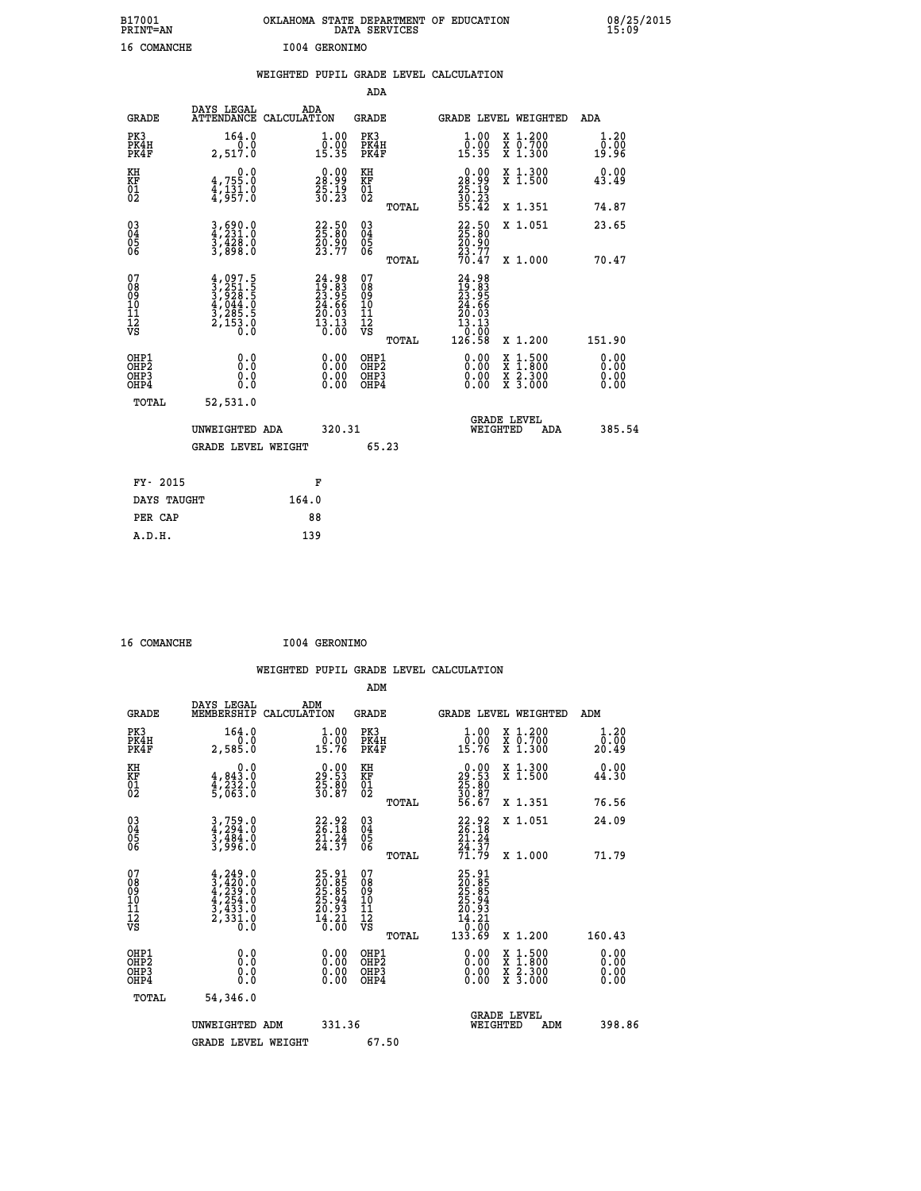| B17001<br><b>PRINT=AN</b> | OKLAHOMA STATE DEPARTMENT OF EDUCATION<br>DATA SERVICES | 08/25/2015<br>15:09 |
|---------------------------|---------------------------------------------------------|---------------------|
| 16<br>COMANCHE            | 1004 GERONIMO                                           |                     |

|                                                                    |                                                                                     | WEIGHTED PUPIL GRADE LEVEL CALCULATION                               |                                        |       |                                                                                    |                                                                            |                              |
|--------------------------------------------------------------------|-------------------------------------------------------------------------------------|----------------------------------------------------------------------|----------------------------------------|-------|------------------------------------------------------------------------------------|----------------------------------------------------------------------------|------------------------------|
|                                                                    |                                                                                     |                                                                      | <b>ADA</b>                             |       |                                                                                    |                                                                            |                              |
| <b>GRADE</b>                                                       | DAYS LEGAL<br>ATTENDANCE CALCULATION                                                | ADA                                                                  | <b>GRADE</b>                           |       |                                                                                    | GRADE LEVEL WEIGHTED                                                       | ADA                          |
| PK3<br>PK4H<br>PK4F                                                | 164.0<br>0.0<br>2,517.0                                                             | $\begin{smallmatrix} 1.00\\ 0.00\\ 15.35 \end{smallmatrix}$          | PK3<br>PK4H<br>PK4F                    |       | 1.00<br>$\bar{0}.\tilde{0}\tilde{0}$<br>15.35                                      | X 1.200<br>X 0.700<br>X 1.300                                              | 1.20<br>0.00<br>19.96        |
| KH<br>KF<br>01<br>02                                               | $4,755.0$<br>$4,131.0$<br>$4,957.0$                                                 | $\begin{smallmatrix} 0.00\\ 28.99\\ 25.19\\ 30.23 \end{smallmatrix}$ | KH<br>KF<br>01<br>02                   |       | $\begin{smallmatrix} 0.00\\ 28.99\\ 25.19\\ 30.23\\ 55.42 \end{smallmatrix}$       | X 1.300<br>X 1.500                                                         | 0.00<br>43.49                |
|                                                                    |                                                                                     |                                                                      |                                        | TOTAL |                                                                                    | X 1.351                                                                    | 74.87                        |
| $\begin{smallmatrix} 03 \\[-4pt] 04 \end{smallmatrix}$<br>Ŏ5<br>06 | 3,690.0<br>$\frac{3}{3}, \frac{4}{8}$ $\frac{3}{8}$ $\frac{3}{8}$ $\frac{3}{8}$     | 22.50<br>$\frac{50.90}{23.77}$                                       | $\substack{03 \\ 04}$<br>05<br>06      |       | 22.50<br>$\frac{20.90}{23.77}$<br>70.47                                            | X 1.051                                                                    | 23.65                        |
|                                                                    |                                                                                     |                                                                      |                                        | TOTAL |                                                                                    | X 1.000                                                                    | 70.47                        |
| 07<br>08<br>09<br>101<br>112<br>VS                                 | $4,097.5$<br>$3,251.5$<br>$3,928.5$<br>$4,044.0$<br>$3,285.5$<br>$2,153.0$<br>$0.0$ | $24.9819.8323.9524.6620.0313.130.00$                                 | 07<br>08<br>09<br>11<br>11<br>12<br>VS | TOTAL | $24.98$<br>$23.95$<br>$24.66$<br>$20.03$<br>$13.13$<br>00.0 <sup>1</sup><br>126.58 | X 1.200                                                                    | 151.90                       |
| OHP1<br>OHP2<br>OHP3<br>OHP4                                       | 0.0<br>0.0<br>Ō.O                                                                   | 0.00<br>$\begin{smallmatrix} 0.00 \ 0.00 \end{smallmatrix}$          | OHP1<br>OHP2<br>OHP3<br>OHP4           |       | 0.00<br>0.00<br>0.00                                                               | $1:500$<br>$1:800$<br>X<br>X<br>$\frac{\ddot{x}}{x}$ $\frac{2.300}{3.000}$ | 0.00<br>0.00<br>0.00<br>0.00 |
| <b>TOTAL</b>                                                       | 52,531.0                                                                            |                                                                      |                                        |       |                                                                                    |                                                                            |                              |
|                                                                    | UNWEIGHTED ADA                                                                      | 320.31                                                               |                                        |       |                                                                                    | GRADE LEVEL<br>WEIGHTED<br>ADA                                             | 385.54                       |
|                                                                    | <b>GRADE LEVEL WEIGHT</b>                                                           |                                                                      | 65.23                                  |       |                                                                                    |                                                                            |                              |
| FY- 2015                                                           |                                                                                     | F                                                                    |                                        |       |                                                                                    |                                                                            |                              |
| DAYS TAUGHT                                                        |                                                                                     | 164.0                                                                |                                        |       |                                                                                    |                                                                            |                              |
| PER CAP                                                            |                                                                                     | 88                                                                   |                                        |       |                                                                                    |                                                                            |                              |

 **16 COMANCHE I004 GERONIMO**

 **A.D.H. 139**

 **WEIGHTED PUPIL GRADE LEVEL CALCULATION ADM DAYS LEGAL ADM GRADE MEMBERSHIP CALCULATION GRADE GRADE LEVEL WEIGHTED ADM PK3 164.0 1.00 PK3 1.00 X 1.200 1.20 PK4H 0.0 0.00 PK4H 0.00 X 0.700 0.00 PK4F 2,585.0 15.76 PK4F 15.76 X 1.300 20.49 KH 0.0 0.00 KH 0.00 X 1.300 0.00 KF 4,843.0 29.53 KF 29.53 X 1.500 44.30 01 4,232.0 25.80 01 25.80 02 5,063.0 30.87 02 30.87 TOTAL 56.67 X 1.351 76.56 03 3,759.0 22.92 03 22.92 X 1.051 24.09 04 4,294.0 26.18 04 26.18 05 3,484.0 21.24 05 21.24** 06 3,996.0 24.37 06  $\frac{24.37}{24.37}$  **TOTAL 71.79 X 1.000 71.79**  $\begin{array}{cccc} 07 & 4,249.0 & 25.91 & 07 & 25.91 \ 08 & 3,429.0 & 25.85 & 08 & 25.85 \ 09 & 4,239.0 & 25.85 & 09 & 25.85 \ 10 & 4,254.0 & 25.94 & 10 & 25.94 \ 11 & 3,433.0 & 20.93 & 11 & 20.93 \ \hline \textrm{vs} & 2,333.0 & 14.21 & 12 & 20.93 \ \hline \textrm{vs} & 2,333.0 &$  $\begin{array}{cccc} 25.91 & 07 & 25.91 & 17.11 & 26.85 & 08 & 20.885 & 08 & 20.885 & 08 & 25.94 & 10 & 25.94 & 25.94 & 11 & 25.94 & 11 & 25.94 & 11 & 25.94 & 11 & 25.94 & 11 & 25.94 & 11 & 25.94 & 11 & 25.94 & 11 & 25.94 & 11 & 25.94 & 11 & 25.94 & 11 & 25.94 & 11 & 25$  **OHP1 0.0 0.00 OHP1 0.00 X 1.500 0.00 OHP2 0.0 0.00 OHP2 0.00 X 1.800 0.00 OHP3 0.0 0.00 OHP3 0.00 X 2.300 0.00 OHP4 0.0 0.00 OHP4 0.00 X 3.000 0.00 TOTAL 54,346.0 GRADE LEVEL UNWEIGHTED ADM 331.36 WEIGHTED ADM 398.86** GRADE LEVEL WEIGHT 67.50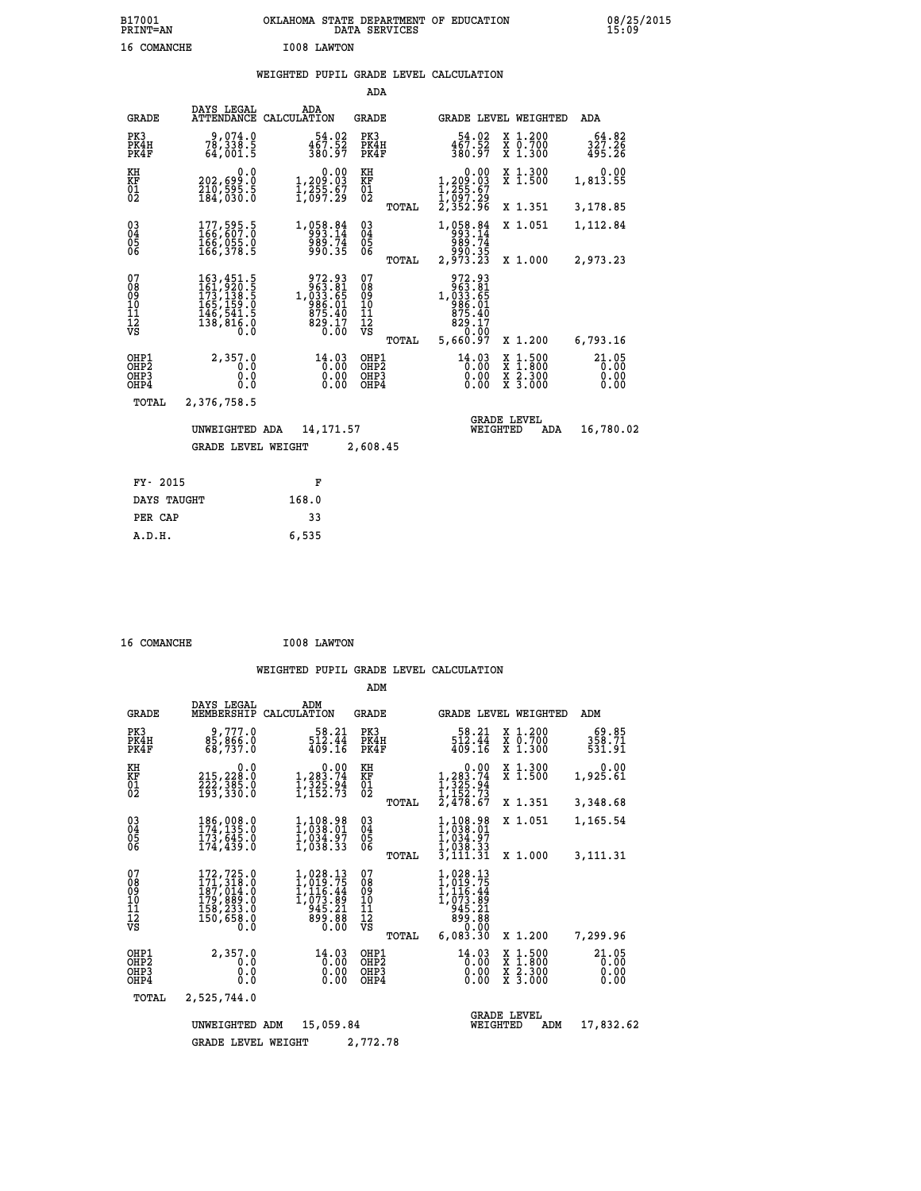## **WEIGHTED PUPIL GRADE LEVEL CALCULATION**

|                                                    |                                                                                                                                                       |                                                                                                   | ADA                                       |       |                                                                                                    |        |                                          |                               |
|----------------------------------------------------|-------------------------------------------------------------------------------------------------------------------------------------------------------|---------------------------------------------------------------------------------------------------|-------------------------------------------|-------|----------------------------------------------------------------------------------------------------|--------|------------------------------------------|-------------------------------|
| <b>GRADE</b>                                       | DAYS LEGAL<br>ATTENDANCE                                                                                                                              | ADA<br>CALCULATION                                                                                | GRADE                                     |       |                                                                                                    |        | GRADE LEVEL WEIGHTED                     | ADA                           |
| PK3<br>PK4H<br>PK4F                                | 9,074.0<br>78,338.5<br>64,001.5                                                                                                                       | 54.02<br>$\frac{467.52}{380.97}$                                                                  | PK3<br>PK4H<br>PK4F                       |       | 54.02<br>467.52<br>380.97                                                                          |        | X 1.200<br>X 0.700<br>X 1.300            | 64.82<br>327.26<br>495.26     |
| KH<br><b>KF</b><br>01<br>02                        | 0.0<br>202,699:0<br>210,595:5<br>184,030:0                                                                                                            | 0.00<br>1,2 <u>09</u> .03<br>$\frac{1}{2}, \frac{255}{097}. \frac{67}{29}$                        | KH<br>KF<br>01<br>02                      |       | 0.00<br>$\begin{smallmatrix} 1,209 \ .03\ 1,255 \ .67\ 1,097 \ .29\ 2,352 \ .96 \end{smallmatrix}$ |        | X 1.300<br>$\overline{x}$ 1.500          | 0.00<br>1,813.55              |
|                                                    |                                                                                                                                                       |                                                                                                   |                                           | TOTAL |                                                                                                    |        | X 1.351                                  | 3,178.85                      |
| $\begin{matrix} 03 \\ 04 \\ 05 \\ 06 \end{matrix}$ | 177,595.5<br>166,607.0<br>166,055.0<br>$\overline{166}$ , 378.5                                                                                       | 1,058.84<br>993.14<br>989.74<br>990.35                                                            | $\substack{03 \\ 04}$<br>$\frac{05}{06}$  |       | 1, 058 . 84<br>989.74                                                                              |        | X 1.051                                  | 1,112.84                      |
|                                                    |                                                                                                                                                       |                                                                                                   |                                           | TOTAL | 35.000<br>2,973.23                                                                                 |        | X 1.000                                  | 2,973.23                      |
| 07<br>08<br>09<br>11<br>11<br>12<br>VS             | $\begin{smallmatrix} 163,451\cdot 5\\ 161,920\cdot 5\\ 173,138\cdot 5\\ 165,159\cdot 0\\ 146,541\cdot 5\\ 138,816\cdot 0\\ 0\cdot 0\end{smallmatrix}$ | $\begin{array}{r} 972.93 \\ 963.81 \\ 1,033.65 \\ 986.01 \\ 875.40 \\ 829.17 \\ 0.00 \end{array}$ | 07<br>08<br>09<br>101<br>11<br>12<br>VS   |       | 972.93<br>963.81<br>1,033.65<br>986.01<br>975.40<br>829.17<br>829.17                               |        |                                          |                               |
|                                                    |                                                                                                                                                       |                                                                                                   |                                           | TOTAL | 5,660.97                                                                                           |        | X 1.200                                  | 6,793.16                      |
| OHP1<br>OHP2<br>OHP3<br>OHP4                       | 2,357.0<br>0.0<br>0.000                                                                                                                               | $14.03$<br>$0.00$<br>$0.00$<br>$0.00$                                                             | OHP1<br>OH <sub>P</sub> 2<br>OHP3<br>OHP4 |       | 14.03<br>0.00<br>0.00<br>0.00                                                                      | X<br>X | $1.500$<br>$1.800$<br>X 2.300<br>X 3.000 | 21.05<br>0.00<br>0.00<br>0.00 |
| TOTAL                                              | 2,376,758.5                                                                                                                                           |                                                                                                   |                                           |       |                                                                                                    |        |                                          |                               |
|                                                    | UNWEIGHTED ADA                                                                                                                                        | 14, 171.57                                                                                        |                                           |       | WEIGHTED                                                                                           |        | <b>GRADE LEVEL</b><br>ADA                | 16,780.02                     |
|                                                    | <b>GRADE LEVEL WEIGHT</b>                                                                                                                             |                                                                                                   | 2,608.45                                  |       |                                                                                                    |        |                                          |                               |
|                                                    |                                                                                                                                                       |                                                                                                   |                                           |       |                                                                                                    |        |                                          |                               |
| FY- 2015                                           |                                                                                                                                                       | F                                                                                                 |                                           |       |                                                                                                    |        |                                          |                               |
| DAYS TAUGHT                                        |                                                                                                                                                       | 168.0                                                                                             |                                           |       |                                                                                                    |        |                                          |                               |

| 16 COMANCHE | I008 LAWTON |
|-------------|-------------|
|             |             |

**PER CAP** 33<br>6.535  **A.D.H. 6,535**

|                                           |                                                                            |                                                                             | ADM                                       |                                                                                      |                                                                                                  |                               |
|-------------------------------------------|----------------------------------------------------------------------------|-----------------------------------------------------------------------------|-------------------------------------------|--------------------------------------------------------------------------------------|--------------------------------------------------------------------------------------------------|-------------------------------|
| <b>GRADE</b>                              | DAYS LEGAL<br>MEMBERSHIP                                                   | ADM<br>CALCULATION                                                          | <b>GRADE</b>                              |                                                                                      | <b>GRADE LEVEL WEIGHTED</b>                                                                      | ADM                           |
| PK3<br>PK4H<br>PK4F                       | 9,777.0<br>85,866.0<br>68,737.0                                            | 58.21<br>512.44<br>409.16                                                   | PK3<br>PK4H<br>PK4F                       | 58.21<br>512.44<br>409.16                                                            | X 1.200<br>X 0.700<br>X 1.300                                                                    | 69.85<br>358.71<br>531.91     |
| KH<br>KF<br>01<br>02                      | 0.0<br>215,228.0<br>222,385.0<br>193,330.0                                 | $\begin{smallmatrix}&&&0.00\\1,283.74\\1,325.94\\1,152.73\end{smallmatrix}$ | KH<br>KF<br>01<br>02                      | 0.00<br>$1, 283.74$<br>$1, 325.94$<br>$1, 152.73$<br>$2, 478.67$                     | X 1.300<br>X 1.500                                                                               | 0.00<br>1,925.61              |
| 03<br>04<br>05<br>06                      | 186,008.0<br>174,135.0<br>173,645.0                                        | 1,108.98<br>1,038.01                                                        | TOTAL<br>$\substack{03 \\ 04}$            | 1,108.98<br>1,038.01<br>1,034.97                                                     | X 1.351<br>X 1.051                                                                               | 3,348.68<br>1,165.54          |
| 07                                        | 174,439.0                                                                  | ī, 034.97<br>1,038.33                                                       | 05<br>TOTAL<br>07                         | 1,038.33<br>3,111.31<br>1,028.13                                                     | X 1.000                                                                                          | 3,111.31                      |
| 08<br>09<br>11<br>11<br>12<br>VS          | 172,725.0<br>171,318.0<br>187,014.0<br>179,889.0<br>158,233.0<br>150,658.0 | 1,028.13<br>1,019.75<br>1,116.44<br>1,073.89<br>945.21<br>899.88<br>0.00    | 08<br>09<br>11<br>11<br>12<br>VS<br>TOTAL | $1,019.75$<br>$1,116.44$<br>$1,073.89$<br>$945.21$<br>$89.08$<br>$60.00$<br>6,083.30 | X 1.200                                                                                          | 7,299.96                      |
| OHP1<br>OH <sub>P</sub> 2<br>OHP3<br>OHP4 | 2,357.0<br>0.0<br>0.0<br>Ŏ.Ŏ                                               | 14.03<br>0.00<br>0.00<br>0.00                                               | OHP1<br>OH <sub>P</sub> 2<br>OHP3<br>OHP4 | 14.03<br>0.00<br>0.00<br>0.00                                                        | $\begin{smallmatrix} x & 1 & 500 \\ x & 1 & 800 \\ x & 2 & 300 \\ x & 3 & 000 \end{smallmatrix}$ | 21.05<br>0.00<br>0.00<br>0.00 |
| TOTAL                                     | 2,525,744.0                                                                |                                                                             |                                           |                                                                                      | <b>GRADE LEVEL</b>                                                                               |                               |
|                                           | UNWEIGHTED<br><b>GRADE LEVEL WEIGHT</b>                                    | 15,059.84<br>ADM                                                            | 2,772.78                                  | WEIGHTED                                                                             | ADM                                                                                              | 17,832.62                     |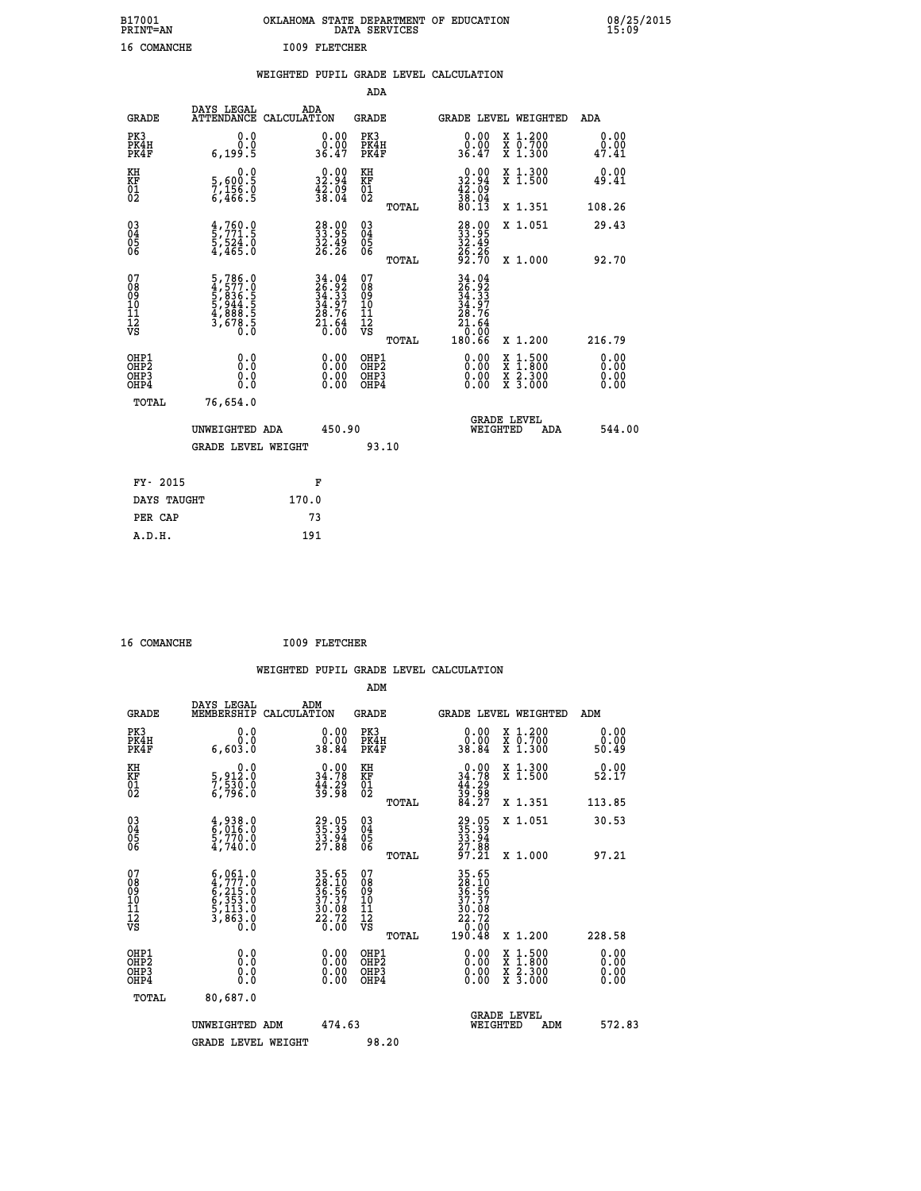| B17001<br><b>PRINT=AN</b> | OKLAHOMA STATE DEPARTMENT OF EDUCATION<br>DATA SERVICES | 08/25/2015<br>15:09 |
|---------------------------|---------------------------------------------------------|---------------------|
| 16<br>COMANCHE            | 1009 FLETCHER                                           |                     |

|  |  | WEIGHTED PUPIL GRADE LEVEL CALCULATION |
|--|--|----------------------------------------|
|  |  |                                        |

|                                                      |                                                                           |                                                                                           | ADA                                                 |       |                                                                                      |                                          |                              |
|------------------------------------------------------|---------------------------------------------------------------------------|-------------------------------------------------------------------------------------------|-----------------------------------------------------|-------|--------------------------------------------------------------------------------------|------------------------------------------|------------------------------|
| <b>GRADE</b>                                         | DAYS LEGAL<br>ATTENDANCE CALCULATION                                      | ADA                                                                                       | <b>GRADE</b>                                        |       | GRADE LEVEL WEIGHTED                                                                 |                                          | ADA                          |
| PK3<br>PK4H<br>PK4F                                  | 0.0<br>0.0<br>6, 199.5                                                    | $\begin{smallmatrix} 0.00\\ 0.00\\ 36.47 \end{smallmatrix}$                               | PK3<br>PK4H<br>PK4F                                 |       | $\begin{smallmatrix} 0.00\\ 0.00\\ 36.47 \end{smallmatrix}$                          | X 1.200<br>X 0.700<br>X 1.300            | 0.00<br>0.00<br>47.41        |
| KH<br>KF<br>01<br>02                                 | 0.0<br>5,600:5<br>7,156.0<br>6,466:5                                      | $\begin{smallmatrix} 0.00\\ 32.94\\ 42.09\\ 38.04 \end{smallmatrix}$                      | KH<br>KF<br>01<br>02                                |       | $\begin{smallmatrix} 0.00\\ 32.94\\ 42.09\\ 38.04\\ 80.13 \end{smallmatrix}$         | X 1.300<br>X 1.500                       | 0.00<br>49.41                |
|                                                      |                                                                           |                                                                                           |                                                     | TOTAL |                                                                                      | X 1.351                                  | 108.26                       |
| $\begin{matrix} 03 \\ 04 \\ 05 \\ 06 \end{matrix}$   | $\frac{4}{5}, \frac{760}{771}$ .5<br>5,524.0<br>4,465.0                   | 38.00<br>$\frac{32.49}{26.26}$                                                            | $\begin{array}{c} 03 \\ 04 \\ 05 \\ 06 \end{array}$ |       | 28.95<br>33.95<br>32.49<br>26.26<br>26.70                                            | X 1.051                                  | 29.43                        |
| 07                                                   |                                                                           |                                                                                           | 07                                                  | TOTAL |                                                                                      | X 1.000                                  | 92.70                        |
| 08<br>09<br>11<br>11<br>12<br>VS                     | 5,786.0<br>4,577.0<br>5,836.5<br>5,944.5<br>5,944.5<br>4,888.5<br>3,678.5 | $\begin{array}{r} 34.04 \\ 26.92 \\ 34.33 \\ 34.97 \\ 28.76 \\ 21.64 \\ 0.00 \end{array}$ | 08<br>09<br>11<br>11<br>12<br>VS                    |       | $34.04$<br>$36.92$<br>$34.33$<br>$34.97$<br>$28.76$<br>$21.64$<br>$0.00$<br>$180.66$ |                                          |                              |
|                                                      |                                                                           |                                                                                           |                                                     | TOTAL |                                                                                      | X 1.200                                  | 216.79                       |
| OHP1<br>OH <sub>P</sub> <sub>2</sub><br>OHP3<br>OHP4 | 0.0<br>0.0<br>0.0                                                         | $\begin{smallmatrix} 0.00 \ 0.00 \ 0.00 \ 0.00 \end{smallmatrix}$                         | OHP1<br>OHP <sub>2</sub><br>OHP3<br>OHP4            |       |                                                                                      | X 1:500<br>X 1:800<br>X 2:300<br>X 3:000 | 0.00<br>0.00<br>0.00<br>0.00 |
| <b>TOTAL</b>                                         | 76,654.0                                                                  |                                                                                           |                                                     |       |                                                                                      |                                          |                              |
|                                                      | UNWEIGHTED ADA                                                            | 450.90                                                                                    |                                                     |       | WEIGHTED                                                                             | <b>GRADE LEVEL</b><br>ADA                | 544.00                       |
|                                                      | <b>GRADE LEVEL WEIGHT</b>                                                 |                                                                                           | 93.10                                               |       |                                                                                      |                                          |                              |
| FY- 2015                                             |                                                                           | F                                                                                         |                                                     |       |                                                                                      |                                          |                              |
| DAYS TAUGHT                                          |                                                                           | 170.0                                                                                     |                                                     |       |                                                                                      |                                          |                              |
| PER CAP                                              |                                                                           | 73                                                                                        |                                                     |       |                                                                                      |                                          |                              |
|                                                      |                                                                           |                                                                                           |                                                     |       |                                                                                      |                                          |                              |

 **16 COMANCHE I009 FLETCHER**

 **A.D.H. 191**

| <b>GRADE</b>                                         | DAYS LEGAL<br>MEMBERSHIP                                                                                                  | ADM<br>CALCULATION                                          | <b>GRADE</b>                                        |       |                                                                                                                                                                                                                                                                                | GRADE LEVEL WEIGHTED                     | ADM                   |
|------------------------------------------------------|---------------------------------------------------------------------------------------------------------------------------|-------------------------------------------------------------|-----------------------------------------------------|-------|--------------------------------------------------------------------------------------------------------------------------------------------------------------------------------------------------------------------------------------------------------------------------------|------------------------------------------|-----------------------|
| PK3<br>PK4H<br>PK4F                                  | 0.0<br>$0.\overline{0}.\overline{0}$                                                                                      | $\begin{smallmatrix} 0.00\\ 0.00\\ 38.84 \end{smallmatrix}$ | PK3<br>PK4H<br>PK4F                                 |       | $\begin{smallmatrix} 0.00\\ 0.00\\ 38.84 \end{smallmatrix}$                                                                                                                                                                                                                    | X 1.200<br>X 0.700<br>X 1.300            | 0.00<br>0.00<br>50.49 |
| KH<br>KF<br>01<br>02                                 | 0.0<br>5,912:0<br>7,530:0<br>6,796:0                                                                                      | $0.00\n34.78\n44.29\n39.98$                                 | KH<br>KF<br>01<br>02                                |       | $0.00\n34.78\n44.29\n39.98\n84.27$                                                                                                                                                                                                                                             | X 1.300<br>X 1.500                       | 0.00<br>52.17         |
|                                                      |                                                                                                                           |                                                             |                                                     | TOTAL |                                                                                                                                                                                                                                                                                | X 1.351                                  | 113.85                |
| 03<br>04<br>05<br>06                                 | $\begin{smallmatrix} 4 \ , \ 938 \ . \ 6 \ , \ 016 \ . \ 0 \ 5 \ , \ 770 \ . \ 0 \ 4 \ , \ 740 \ . \ 0 \end{smallmatrix}$ | 29.05<br>35.39<br>33.94<br>27.88                            | $\begin{array}{c} 03 \\ 04 \\ 05 \\ 06 \end{array}$ |       | 29.05<br>35.39<br>33.94<br>27.88<br>27.21                                                                                                                                                                                                                                      | X 1.051                                  | 30.53                 |
|                                                      |                                                                                                                           |                                                             |                                                     | TOTAL |                                                                                                                                                                                                                                                                                | X 1.000                                  | 97.21                 |
| 07<br>08<br>09<br>11<br>11<br>12<br>VS               | $6,061.0$<br>$6,215.0$<br>$6,353.0$<br>$5,113.0$<br>$3,863.0$<br>$0.0$                                                    | 35.65<br>28.10<br>36.56<br>37.37<br>30.08<br>22.72<br>22.72 | 07<br>08<br>09<br>01<br>11<br>11<br>12<br>VS        | TOTAL | $\begin{array}{r} 35 \cdot 65 \\ 28 \cdot 10 \\ 36 \cdot 55 \\ 37 \cdot 37 \\ 30 \cdot 08 \\ 22 \cdot 72 \\ 0 \cdot 00 \\ 190 \cdot 48 \end{array}$                                                                                                                            | X 1.200                                  | 228.58                |
| OHP1<br>OH <sub>P</sub> <sub>2</sub><br>OHP3<br>OHP4 | 0.0<br>0.0<br>Ŏ.Ŏ                                                                                                         |                                                             | OHP1<br>OHP <sub>2</sub><br>OHP3<br>OHP4            |       | $\begin{smallmatrix} 0.00 & 0.00 & 0.00 & 0.00 & 0.00 & 0.00 & 0.00 & 0.00 & 0.00 & 0.00 & 0.00 & 0.00 & 0.00 & 0.00 & 0.00 & 0.00 & 0.00 & 0.00 & 0.00 & 0.00 & 0.00 & 0.00 & 0.00 & 0.00 & 0.00 & 0.00 & 0.00 & 0.00 & 0.00 & 0.00 & 0.00 & 0.00 & 0.00 & 0.00 & 0.00 & 0.0$ | X 1:500<br>X 1:800<br>X 2:300<br>X 3:000 | 0.00<br>0.00<br>0.00  |
| TOTAL                                                | 80,687.0                                                                                                                  |                                                             |                                                     |       |                                                                                                                                                                                                                                                                                |                                          |                       |
|                                                      | UNWEIGHTED ADM                                                                                                            | 474.63                                                      |                                                     |       | WEIGHTED                                                                                                                                                                                                                                                                       | <b>GRADE LEVEL</b><br>ADM                | 572.83                |
|                                                      | <b>GRADE LEVEL WEIGHT</b>                                                                                                 |                                                             | 98.20                                               |       |                                                                                                                                                                                                                                                                                |                                          |                       |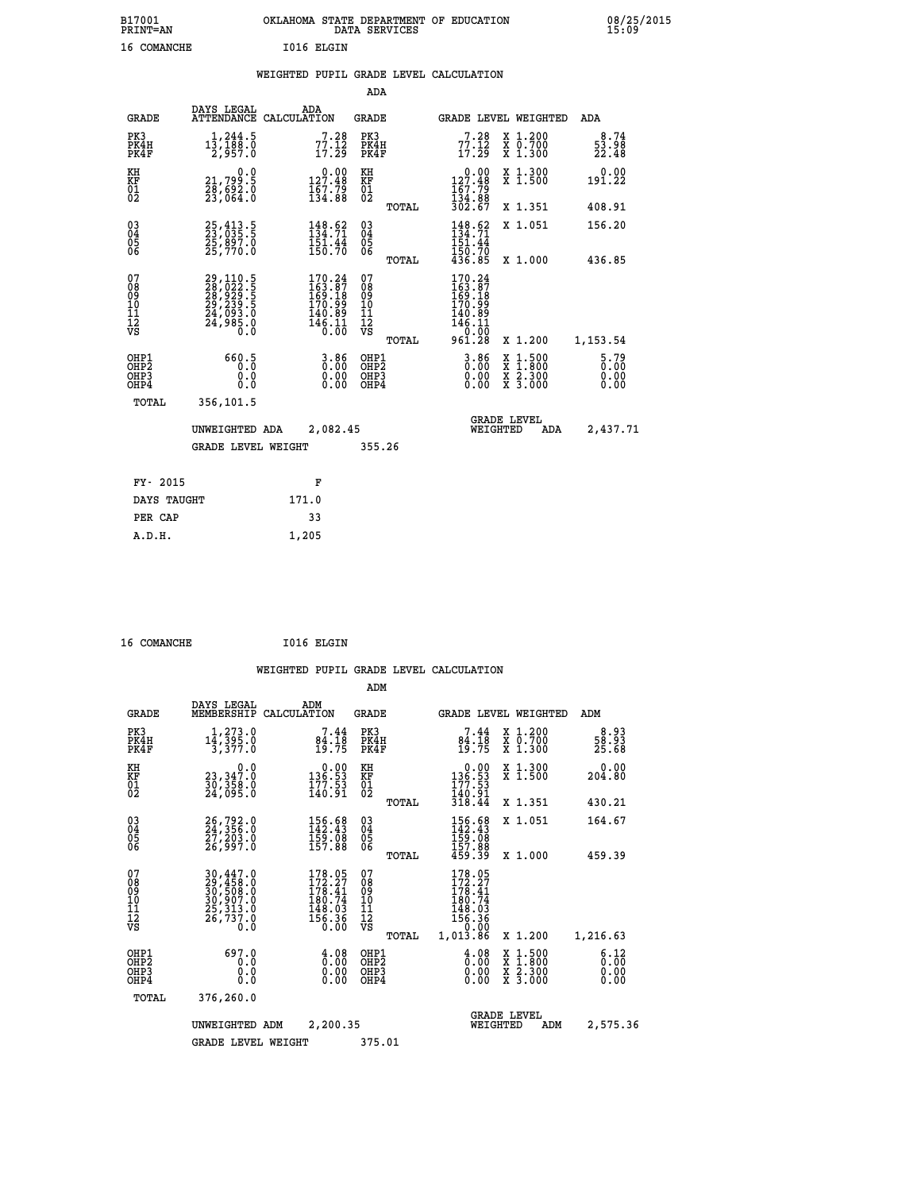|  |  | WEIGHTED PUPIL GRADE LEVEL CALCULATION |
|--|--|----------------------------------------|
|  |  |                                        |

|                                                                    |                                                                      |                                                                                                    | ADA                                      |       |                                                                               |                                                                                                  |                                |
|--------------------------------------------------------------------|----------------------------------------------------------------------|----------------------------------------------------------------------------------------------------|------------------------------------------|-------|-------------------------------------------------------------------------------|--------------------------------------------------------------------------------------------------|--------------------------------|
| <b>GRADE</b>                                                       | DAYS LEGAL                                                           | ADA<br>ATTENDANCE CALCULATION                                                                      | <b>GRADE</b>                             |       |                                                                               | GRADE LEVEL WEIGHTED                                                                             | ADA                            |
| PK3<br>PK4H<br>PK4F                                                | 1,244.5<br>13,188.0<br>2,957.0                                       | $77.28$<br>$17.12$<br>$17.29$                                                                      | PK3<br>PK4H<br>PK4F                      |       | $77.18$<br>$17.12$<br>$17.29$                                                 | X 1.200<br>X 0.700<br>X 1.300                                                                    | 8.74<br>53.98<br>22.48         |
| KH<br><b>KF</b><br>01<br>02                                        | 0.0<br>21,799.5<br>28,692.0<br>23,064.0                              | $0.00$<br>127.48<br>$\frac{1}{134}$ $\frac{7}{38}$                                                 | KH<br>KF<br>01<br>02                     |       | $0.00$<br>127.48<br>$\frac{167.79}{134.88}$<br>302.67                         | X 1.300<br>X 1.500                                                                               | 0.00<br>191.22                 |
|                                                                    |                                                                      |                                                                                                    |                                          | TOTAL |                                                                               | X 1.351                                                                                          | 408.91                         |
| $\begin{smallmatrix} 03 \\[-4pt] 04 \end{smallmatrix}$<br>05<br>06 | 25, 413.5<br>23, 035.5<br>25,897.0<br>25,770.0                       | $\begin{array}{l} 148.62 \\[-4pt] 134.71 \\[-4pt] 151.44 \\[-4pt] 150.70 \end{array}$              | $\substack{03 \\ 04}$<br>05<br>06        |       | $\begin{array}{c} 148.62 \\ 134.71 \\ 151.44 \\ 150.70 \\ 436.85 \end{array}$ | X 1.051                                                                                          | 156.20                         |
|                                                                    |                                                                      |                                                                                                    |                                          | TOTAL |                                                                               | X 1.000                                                                                          | 436.85                         |
| 07<br>08<br>09<br>11<br>11<br>12<br>VS                             | 29,110.5<br>28,022.5<br>28,929.5<br>29,239.5<br>24,093.0<br>24,985.0 | $\begin{smallmatrix} 170.24\\ 163.87\\ 169.18\\ 170.99\\ 140.89\\ 146.11\\ 0.00 \end{smallmatrix}$ | 07<br>08<br>09<br>11<br>11<br>12<br>VS   |       | $170.24$<br>$163.87$<br>$169.18$<br>$170.99$<br>$140.89$<br>$146.11$<br>0.00  |                                                                                                  |                                |
|                                                                    |                                                                      |                                                                                                    |                                          | TOTAL | 961.28                                                                        | X 1.200                                                                                          | 1,153.54                       |
| OHP1<br>OH <sub>P2</sub><br>OH <sub>P3</sub><br>OH <sub>P4</sub>   | 660.5<br>0.0<br>0.0                                                  | 0.86<br>0.00<br>0.00                                                                               | OHP1<br>OHP <sub>2</sub><br>OHP3<br>OHP4 |       | $3.86$<br>$0.00$<br>0.00<br>0.00                                              | $\begin{smallmatrix} x & 1 & 500 \\ x & 1 & 800 \\ x & 2 & 300 \\ x & 3 & 000 \end{smallmatrix}$ | $5.79$<br>0.00<br>0.00<br>0.00 |
| TOTAL                                                              | 356,101.5                                                            |                                                                                                    |                                          |       |                                                                               |                                                                                                  |                                |
|                                                                    | UNWEIGHTED ADA                                                       | 2,082.45                                                                                           |                                          |       |                                                                               | <b>GRADE LEVEL</b><br>WEIGHTED<br>ADA                                                            | 2,437.71                       |
|                                                                    | <b>GRADE LEVEL WEIGHT</b>                                            |                                                                                                    | 355.26                                   |       |                                                                               |                                                                                                  |                                |
| FY- 2015                                                           |                                                                      | F                                                                                                  |                                          |       |                                                                               |                                                                                                  |                                |
| DAYS TAUGHT                                                        |                                                                      | 171.0                                                                                              |                                          |       |                                                                               |                                                                                                  |                                |
| PER CAP                                                            |                                                                      | 33                                                                                                 |                                          |       |                                                                               |                                                                                                  |                                |

 **16 COMANCHE I016 ELGIN**

 **A.D.H. 1,205**

 **ADM**

| <b>GRADE</b>                             | DAYS LEGAL<br>MEMBERSHIP                                                           | ADM<br>CALCULATION                                                         | <b>GRADE</b>                             |       | <b>GRADE LEVEL WEIGHTED</b>                                                        |                                                                                                                     | ADM                           |  |
|------------------------------------------|------------------------------------------------------------------------------------|----------------------------------------------------------------------------|------------------------------------------|-------|------------------------------------------------------------------------------------|---------------------------------------------------------------------------------------------------------------------|-------------------------------|--|
| PK3<br>PK4H<br>PK4F                      | $14, 273.0$<br>$14, 395.0$<br>$3, 377.0$                                           | $7.44$<br>$84.18$<br>$19.75$                                               | PK3<br>PK4H<br>PK4F                      |       | $7.44$<br>$84.18$<br>$19.75$                                                       | X 1.200<br>X 0.700<br>X 1.300                                                                                       | $\frac{8.93}{58.93}$<br>25.68 |  |
| KH<br>ΚF<br>$^{01}_{02}$                 | $\begin{smallmatrix} & & 0.0\ 23,347.0\ 30,358.0\ 24,095.0 \end{smallmatrix}$      | $0.00$<br>53.53<br>$\frac{177.53}{140.91}$                                 | KH<br>KF<br>$^{01}_{02}$                 |       | $\begin{smallmatrix} &0.00\\ 136.53\\ 177.53\\ 140.91\\ 318.44\end{smallmatrix}$   | X 1.300<br>X 1.500                                                                                                  | 0.00<br>204.80                |  |
|                                          |                                                                                    |                                                                            |                                          | TOTAL |                                                                                    | X 1.351                                                                                                             | 430.21                        |  |
| $03\overline{4}$<br>Ŏ5                   | 26,792.0<br>24,356.0<br>27,203.0<br>26,997.0                                       | $\begin{smallmatrix} 156.68\\142.43\\159.08\\157.88 \end{smallmatrix}$     | $\substack{03 \\ 04}$<br>Ŏ5              |       | $\begin{smallmatrix} 156.68\\ 142.43\\ 159.08\\ 157.88\\ 459.39 \end{smallmatrix}$ | X 1.051                                                                                                             | 164.67                        |  |
| 06                                       |                                                                                    |                                                                            | 06                                       | TOTAL |                                                                                    | X 1.000                                                                                                             | 459.39                        |  |
| 07<br>089<br>090<br>1112<br>VS           | 30,447.0<br>29,458.0<br>30,508.0<br>30,907.0<br>25,313.0<br>$\frac{56,737.0}{0.0}$ | 178.05<br>$172.27$<br>$178.41$<br>$180.74$<br>$148.03$<br>$156.36$<br>0.00 | 07<br>08<br>09<br>11<br>11<br>12<br>VS   |       | 178.05<br>$172.27$<br>$178.41$<br>$180.74$<br>$148.03$<br>$156.36$<br>$0.00$       |                                                                                                                     |                               |  |
|                                          |                                                                                    |                                                                            |                                          | TOTAL | 1,013.86                                                                           | X 1.200                                                                                                             | 1,216.63                      |  |
| OHP1<br>OHP <sub>2</sub><br>OHP3<br>OHP4 | 697.0<br>0.0<br>0.0<br>$0.\overline{0}$                                            | $\begin{smallmatrix} 4.08\ 0.00\ 0.00 \end{smallmatrix}$                   | OHP1<br>OHP <sub>2</sub><br>OHP3<br>OHP4 |       | $\frac{4.08}{0.00}$<br>0.00<br>0.00                                                | $\begin{array}{l} \mathtt{X} & 1.500 \\ \mathtt{X} & 1.800 \\ \mathtt{X} & 2.300 \\ \mathtt{X} & 3.000 \end{array}$ | 6.12<br>0.00<br>0.00<br>0.00  |  |
| TOTAL                                    | 376,260.0                                                                          |                                                                            |                                          |       |                                                                                    |                                                                                                                     |                               |  |
|                                          | UNWEIGHTED                                                                         | 2,200.35<br>ADM                                                            |                                          |       | WEIGHTED                                                                           | <b>GRADE LEVEL</b><br>ADM                                                                                           | 2,575.36                      |  |
|                                          | <b>GRADE LEVEL WEIGHT</b>                                                          |                                                                            | 375.01                                   |       |                                                                                    |                                                                                                                     |                               |  |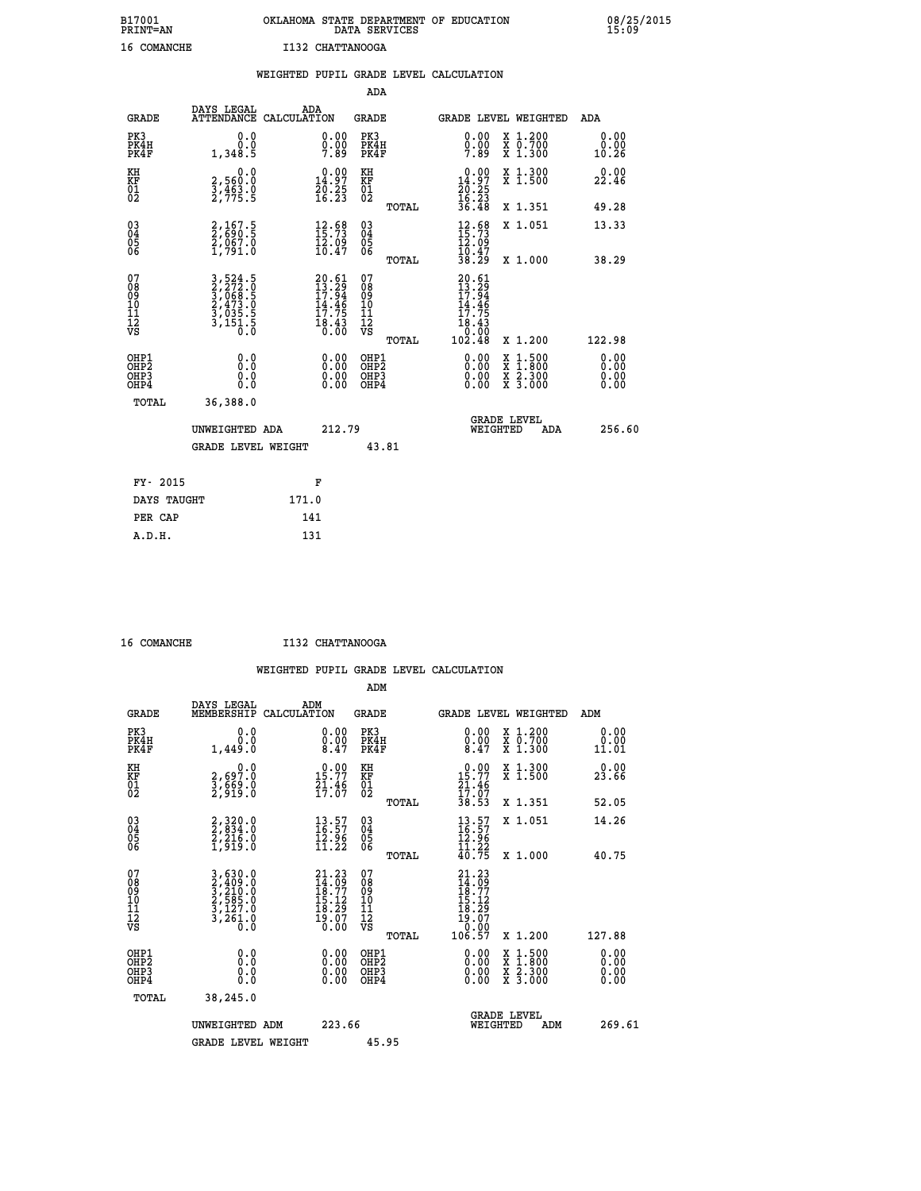# **B17001 OKLAHOMA STATE DEPARTMENT OF EDUCATION 08/25/2015 PRINT=AN DATA SERVICES 15:09 16 COMANCHE I132 CHATTANOOGA**

|                                           |                                                                | WEIGHTED PUPIL GRADE LEVEL CALCULATION                                   |                                                     |                                                                                                 |                              |
|-------------------------------------------|----------------------------------------------------------------|--------------------------------------------------------------------------|-----------------------------------------------------|-------------------------------------------------------------------------------------------------|------------------------------|
|                                           |                                                                |                                                                          | ADA                                                 |                                                                                                 |                              |
| <b>GRADE</b>                              | DAYS LEGAL                                                     | ADA<br>ATTENDANCE CALCULATION                                            | <b>GRADE</b>                                        | GRADE LEVEL WEIGHTED                                                                            | ADA                          |
| PK3<br>PK4H<br>PK4F                       | 0.0<br>0.0<br>1,348.5                                          | 0.00<br>$0.00$<br>7.89                                                   | PK3<br>PK4H<br>PK4F                                 | 0.00<br>X 1.200<br>X 0.700<br>X 1.300<br>$0.00$<br>7.89                                         | 0.00<br>0.00<br>10.26        |
| KH<br><b>KF</b><br>01<br>02               | 0.0<br>2,560:0<br>3,463:0<br>2,775:5                           | $\begin{smallmatrix} 0.00\\14.97\\20.25\\16.23 \end{smallmatrix}$        | KH<br>KF<br>01<br>02                                | X 1.300<br>X 1.500<br>$\begin{smallmatrix} 0.00\\14.97\\20.25\\16.23\\36.48 \end{smallmatrix}$  | 0.00<br>22.46                |
|                                           |                                                                |                                                                          | TOTAL                                               | X 1.351                                                                                         | 49.28                        |
| 03<br>04<br>05<br>06                      | 2,167.5<br>2,690.5<br>2,067.0<br>1,791.0                       | 12.98<br>$\frac{12.09}{10.47}$                                           | $\begin{array}{c} 03 \\ 04 \\ 05 \\ 06 \end{array}$ | $12.68$<br>$15.73$<br>$12.09$<br>$10.47$<br>X 1.051                                             | 13.33                        |
|                                           |                                                                |                                                                          | TOTAL                                               | 38.29<br>X 1.000                                                                                | 38.29                        |
| 07<br>08<br>09<br>101<br>11<br>12<br>VS   | 3,524.5<br>2,272.0<br>3,068.5<br>3,055.5<br>3,035.5<br>3,151.5 | $20.61$<br>$13.29$<br>$17.94$<br>$14.46$<br>$17.75$<br>$18.43$<br>$0.00$ | 07<br>08<br>09<br>101<br>11<br>12<br>VS<br>TOTAL    | $\begin{smallmatrix} 20.61\ 13.29\ 17.94\ 17.75\ 18.43\ 0.002.48\ \end{smallmatrix}$<br>X 1.200 | 122.98                       |
| OHP1<br>OH <sub>P</sub> 2<br>OHP3<br>OHP4 | 0.0<br>0.0<br>0.0                                              | 0.00<br>$0.00$<br>0.00                                                   | OHP1<br>OHP2<br>OHP3<br>OHP4                        | 0.00<br>$1:500$<br>$1:800$<br>X<br>X<br>$\frac{x}{x}$ $\frac{5:300}{3:000}$<br>0.00<br>0.00     | 0.00<br>0.00<br>0.00<br>0.00 |
| <b>TOTAL</b>                              | 36,388.0                                                       |                                                                          |                                                     |                                                                                                 |                              |
|                                           | UNWEIGHTED ADA                                                 | 212.79                                                                   |                                                     | <b>GRADE LEVEL</b><br>WEIGHTED<br>ADA                                                           | 256.60                       |
|                                           | <b>GRADE LEVEL WEIGHT</b>                                      |                                                                          | 43.81                                               |                                                                                                 |                              |
|                                           | FY- 2015                                                       | F                                                                        |                                                     |                                                                                                 |                              |
|                                           | DAYS TAUGHT                                                    | 171.0                                                                    |                                                     |                                                                                                 |                              |
|                                           | PER CAP                                                        | 141                                                                      |                                                     |                                                                                                 |                              |

 **A.D.H. 131**

 **16 COMANCHE I132 CHATTANOOGA**

 **ADM DAYS LEGAL ADM GRADE MEMBERSHIP CALCULATION GRADE GRADE LEVEL WEIGHTED ADM EK3 6.0 0.00 PK3 0.000 PK3** 0.000 PK3 0.00

| PK4H<br>PK4F                                         | 0.001,449.0                                                                                                                                               | $\begin{smallmatrix} 0.00 , 0.01 , 0.01 , 0.01 , 0.01 , 0.01 , 0.01 , 0.01 , 0.01 , 0.01 , 0.01 , 0.01 , 0.01 , 0.01 , 0.01 , 0.01 , 0.01 , 0.01 , 0.01 , 0.01 , 0.01 , 0.01 , 0.01 , 0.01 , 0.01 , 0.01 , 0.01 , 0.01 , 0.01 , 0.01 , 0.01 , 0.01 , 0.01 , 0.01 , 0.01 , 0.0$ | PK4H<br>PK4F                                         | $\begin{smallmatrix} \v{0} \ \v{0} \ \v{0} \ \v{0} \ \v{0} \ \v{0} \ \v{0} \ \v{0} \ \v{0} \ \v{0} \ \v{0} \ \v{0} \ \v{0} \ \v{0} \ \v{0} \ \v{0} \ \v{0} \ \v{0} \ \v{0} \ \v{0} \ \v{0} \ \v{0} \ \v{0} \ \v{0} \ \v{0} \ \v{0} \ \v{0} \ \v{0} \ \v{0} \ \v{0} \ \v{0} \ \v{0} \ \v{0} \ \v{0} \ \v{0} \ \v{0$ | X 0.700<br>X 1.300                                                                                                                   | 0.00<br>11.01                |
|------------------------------------------------------|-----------------------------------------------------------------------------------------------------------------------------------------------------------|--------------------------------------------------------------------------------------------------------------------------------------------------------------------------------------------------------------------------------------------------------------------------------|------------------------------------------------------|--------------------------------------------------------------------------------------------------------------------------------------------------------------------------------------------------------------------------------------------------------------------------------------------------------------------|--------------------------------------------------------------------------------------------------------------------------------------|------------------------------|
| KH<br><b>KF</b><br>01<br>02                          | 0.0<br>2,697:0<br>3,669:0<br>2,919:0                                                                                                                      | $15.77$<br>$21.46$<br>$17.67$                                                                                                                                                                                                                                                  | KH<br>KF<br>01<br>02                                 | $\begin{array}{c} 0.00 \\ 15.77 \\ 21.46 \\ 17.07 \\ 38.53 \end{array}$                                                                                                                                                                                                                                            | X 1.300<br>X 1.500                                                                                                                   | 0.00<br>23.66                |
|                                                      |                                                                                                                                                           |                                                                                                                                                                                                                                                                                | TOTAL                                                |                                                                                                                                                                                                                                                                                                                    | X 1.351                                                                                                                              | 52.05                        |
| $\begin{matrix} 03 \\ 04 \\ 05 \\ 06 \end{matrix}$   | $2,320.0$<br>$2,216.0$<br>$2,216.0$<br>$1,919.0$                                                                                                          | $\begin{smallmatrix} 13.57\ 16.57\ 12.96\ 11.22 \end{smallmatrix}$                                                                                                                                                                                                             | $03\overline{4}$<br>Ŏ5<br>06<br>TOTAL                | $\begin{array}{c} 13\cdot57\\16\cdot57\\12\cdot96\\11\cdot22\\40\cdot75 \end{array}$                                                                                                                                                                                                                               | X 1.051<br>X 1.000                                                                                                                   | 14.26<br>40.75               |
| 07<br>08<br>09<br>11<br>11<br>12<br>VS               | $\begin{smallmatrix} 3\,,\,630\,.\,0\\ 2\,,\,409\,.\,0\\ 3\,,\,210\,.\,0\\ 2\,,\,585\,.\,0\\ 3\,,\,127\,.\,0\\ 3\,,\,261\,.\,0\\ 0\,.0 \end{smallmatrix}$ | 21.23<br>$14.69$<br>$18.77$<br>$15.12$<br>$18.29$<br>$19.07$<br>$0.00$                                                                                                                                                                                                         | 07<br>08<br>09<br>11<br>11<br>12<br>VS<br>TOTAL      | 21.23<br>$\begin{smallmatrix} 24.79\ 18.77\ 18.12\ 15.12\ 18.29\ 19.07\ 10.00\ 106.57 \end{smallmatrix}$                                                                                                                                                                                                           | X 1.200                                                                                                                              | 127.88                       |
| OHP1<br>OHP <sub>2</sub><br>OH <sub>P3</sub><br>OHP4 | 0.0<br>0.0<br>0.0                                                                                                                                         | 0.00<br>0.00<br>0.00                                                                                                                                                                                                                                                           | OHP1<br>OHP <sub>2</sub><br>OHP <sub>3</sub><br>OHP4 | $\begin{smallmatrix} 0.00 \ 0.00 \ 0.00 \ 0.00 \end{smallmatrix}$                                                                                                                                                                                                                                                  | $\begin{smallmatrix} \mathtt{X} & 1 & 500 \\ \mathtt{X} & 1 & 800 \\ \mathtt{X} & 2 & 300 \\ \mathtt{X} & 3 & 000 \end{smallmatrix}$ | 0.00<br>0.00<br>0.00<br>0.00 |
| TOTAL                                                | 38,245.0                                                                                                                                                  |                                                                                                                                                                                                                                                                                |                                                      |                                                                                                                                                                                                                                                                                                                    |                                                                                                                                      |                              |
|                                                      | UNWEIGHTED ADM                                                                                                                                            | 223.66                                                                                                                                                                                                                                                                         |                                                      |                                                                                                                                                                                                                                                                                                                    | <b>GRADE LEVEL</b><br>WEIGHTED<br>ADM                                                                                                | 269.61                       |
|                                                      | <b>GRADE LEVEL WEIGHT</b>                                                                                                                                 |                                                                                                                                                                                                                                                                                | 45.95                                                |                                                                                                                                                                                                                                                                                                                    |                                                                                                                                      |                              |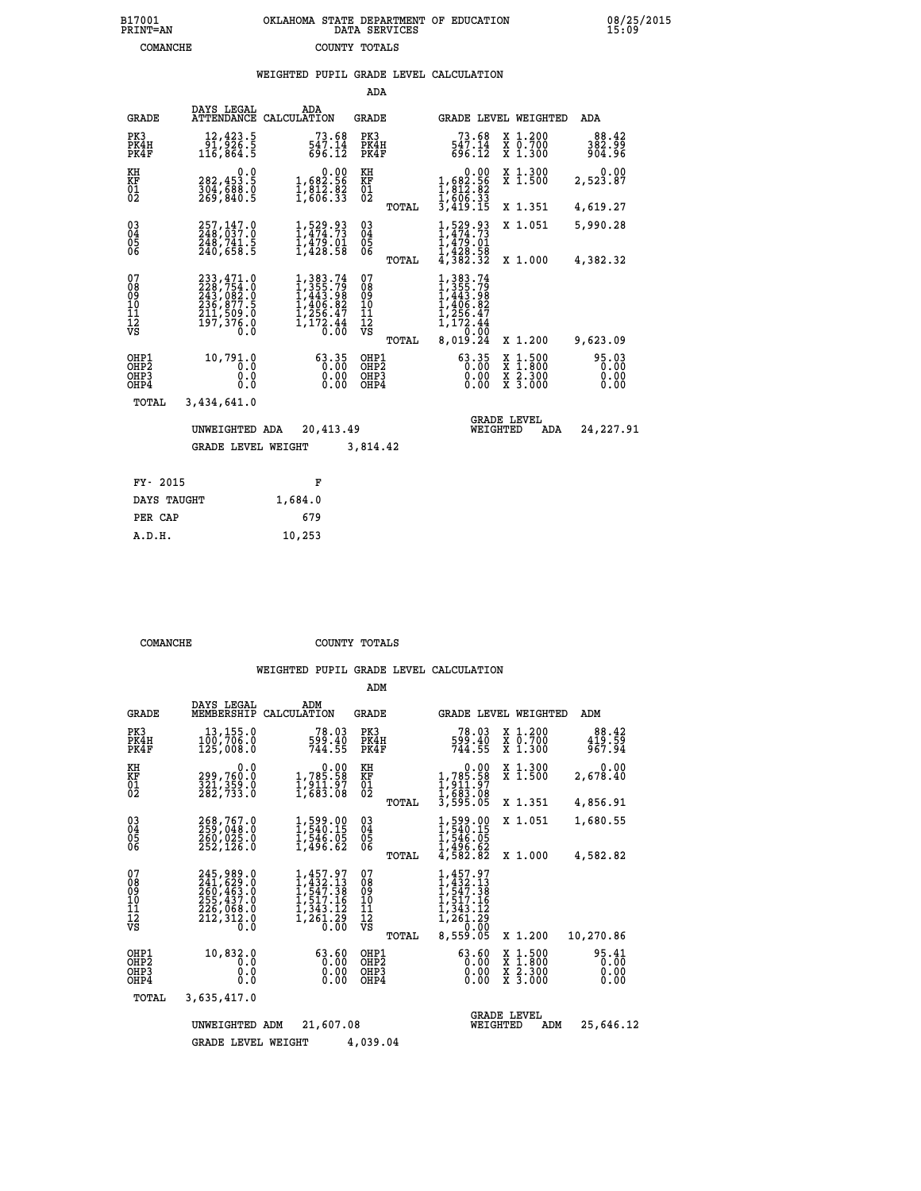## **B17001 OKLAHOMA STATE DEPARTMENT OF EDUCATION 08/25/2015 PRINT=AN DATA SERVICES 15:09 COMANCHE COUNTY TOTALS**

|  |  | WEIGHTED PUPIL GRADE LEVEL CALCULATION |
|--|--|----------------------------------------|
|  |  |                                        |

|                                                                    |                                                                                                                                               |                                                                                                                                           | ADA                                            |       |                                                                                                 |                                                                                                  |                           |
|--------------------------------------------------------------------|-----------------------------------------------------------------------------------------------------------------------------------------------|-------------------------------------------------------------------------------------------------------------------------------------------|------------------------------------------------|-------|-------------------------------------------------------------------------------------------------|--------------------------------------------------------------------------------------------------|---------------------------|
| <b>GRADE</b>                                                       | DAYS LEGAL<br><b>ATTENDANCE</b>                                                                                                               | ADA<br>CALCULATION                                                                                                                        | <b>GRADE</b>                                   |       | GRADE LEVEL WEIGHTED                                                                            |                                                                                                  | <b>ADA</b>                |
| PK3<br>PK4H<br>PK4F                                                | 12,423.5<br>3.382,75<br>116,864                                                                                                               | 73.68<br>547.14<br>696.12                                                                                                                 | PK3<br>PK4H<br>PK4F                            |       | 73.68<br>547.14<br>696.12                                                                       | X 1.200<br>X 0.700<br>X 1.300                                                                    | 88.42<br>382.99<br>904.96 |
| KH<br><b>KF</b><br>01<br>02                                        | 0.0<br>282,453.5<br>304,688.0<br>269,840.5                                                                                                    | $\begin{smallmatrix}&&0.00\\1,682.56\\1,812.82\\1,812.82\\1,606.33\end{smallmatrix}$                                                      | KH<br>KF<br>01<br>02                           |       | $\begin{smallmatrix}&&&0.00\\1,682.56\\1,812.82\\1,812.82\\1,606.33\\3,419.15\end{smallmatrix}$ | X 1.300<br>X 1.500                                                                               | 0.00<br>2,523.87          |
|                                                                    |                                                                                                                                               |                                                                                                                                           |                                                | TOTAL |                                                                                                 | X 1.351                                                                                          | 4,619.27                  |
| $\begin{smallmatrix} 03 \\[-4pt] 04 \end{smallmatrix}$<br>Ŏ5<br>06 | 257,147.0<br>248,037.0<br>248,741.5<br>240,658.5                                                                                              | $1, 529.93$<br>$1, 474.73$<br>$1, 479.01$<br>$1, 428.58$                                                                                  | $\substack{03 \\ 04}$<br>$\substack{05 \\ 06}$ |       | $1, 474.73$<br>$1, 479.01$<br>$1, 428.58$<br>$4, 382.32$                                        | X 1.051                                                                                          | 5,990.28                  |
|                                                                    |                                                                                                                                               |                                                                                                                                           |                                                | TOTAL |                                                                                                 | X 1.000                                                                                          | 4,382.32                  |
| 07<br>08<br>09<br>11<br>11<br>12<br>VS                             | $\begin{smallmatrix} 233\,,471\,.0\\ 228\,,754\,.0\\ 243\,,082\,.0\\ 236\,,877\,.5\\ 211\,,509\,.0\\ 197\,,376\,.0\\ 0\,.0 \end{smallmatrix}$ | $\begin{smallmatrix} 1,383\cdot74\\ 1,355\cdot79\\ 1,443\cdot98\\ 1,406\cdot82\\ 1,256\cdot47\\ 1,172\cdot44\\ 0\cdot00\end{smallmatrix}$ | 07<br>089<br>101<br>111<br>VS                  |       | $1,383.74$<br>$1,355.79$<br>$1,443.98$<br>$1,406.82$<br>$1,256.47$<br>$1,172.44$<br>$0.010.00$  |                                                                                                  |                           |
|                                                                    |                                                                                                                                               |                                                                                                                                           |                                                | TOTAL | 8,019.24                                                                                        | X 1.200                                                                                          | 9,623.09                  |
| OHP1<br>OHP2<br>OHP3<br>OHP4                                       | 10,791.0<br>0.0<br>0.0<br>0.0                                                                                                                 | 63.35<br>0.00<br>0.00                                                                                                                     | OHP1<br>OH <sub>P</sub> 2<br>OHP3<br>OHP4      |       | $63.35$<br>0.00<br>0.00<br>0.00                                                                 | $\begin{smallmatrix} x & 1 & 500 \\ x & 1 & 800 \\ x & 2 & 300 \\ x & 3 & 000 \end{smallmatrix}$ | 95.03<br>0.00<br>0.00     |
| <b>TOTAL</b>                                                       | 3,434,641.0                                                                                                                                   |                                                                                                                                           |                                                |       |                                                                                                 |                                                                                                  |                           |
|                                                                    | UNWEIGHTED ADA                                                                                                                                | 20,413.49                                                                                                                                 |                                                |       | WEIGHTED                                                                                        | <b>GRADE LEVEL</b><br>ADA                                                                        | 24,227.91                 |
|                                                                    | <b>GRADE LEVEL WEIGHT</b>                                                                                                                     |                                                                                                                                           | 3,814.42                                       |       |                                                                                                 |                                                                                                  |                           |
|                                                                    |                                                                                                                                               |                                                                                                                                           |                                                |       |                                                                                                 |                                                                                                  |                           |
| FY- 2015                                                           |                                                                                                                                               | F                                                                                                                                         |                                                |       |                                                                                                 |                                                                                                  |                           |
| DAYS TAUGHT                                                        |                                                                                                                                               | 1,684.0                                                                                                                                   |                                                |       |                                                                                                 |                                                                                                  |                           |

| A.D.H. | 10,253 |
|--------|--------|
|        |        |
|        |        |

 **PER CAP 679**

**COMANCHE COUNTY TOTALS** 

|                                           |                                                               |                                                                             | ADM                                             |                                                                                                                                                                                                                            |                                                                                                  |                               |
|-------------------------------------------|---------------------------------------------------------------|-----------------------------------------------------------------------------|-------------------------------------------------|----------------------------------------------------------------------------------------------------------------------------------------------------------------------------------------------------------------------------|--------------------------------------------------------------------------------------------------|-------------------------------|
| <b>GRADE</b>                              | DAYS LEGAL<br>MEMBERSHIP                                      | ADM<br>CALCULATION                                                          | <b>GRADE</b>                                    | GRADE LEVEL WEIGHTED                                                                                                                                                                                                       |                                                                                                  | ADM                           |
| PK3<br>PK4H<br>PK4F                       | 13,155.0<br>100,706.0<br>125,008.0                            | 78.03<br>599.40<br>744.55                                                   | PK3<br>PK4H<br>PK4F                             | 78.03<br>599.40<br>744.55                                                                                                                                                                                                  | X 1.200<br>X 0.700<br>X 1.300                                                                    | 88.42<br>419.59<br>967.94     |
| KH<br>KF<br>01<br>02                      | 0.0<br>299,760:0<br>321,359:0<br>282,733:0                    | $\begin{smallmatrix}&&&0.00\\1,785.58\\1,911.97\\1,683.08\end{smallmatrix}$ | KH<br>KF<br>01<br>02                            | $\begin{array}{c} 0.00 \\ 1,785.58 \\ 1,911.97 \\ 1,683.08 \\ 3,595.05 \end{array}$                                                                                                                                        | X 1.300<br>X 1.500                                                                               | 0.00<br>2,678.40              |
| 03<br>04<br>05<br>06                      | 268,767.0<br>260,025.0<br>252, 126.0                          | 1,599.00<br>1,540.15<br>1,546.05<br>1,496.62                                | TOTAL<br>$\substack{03 \\ 04}$<br>05<br>06      | 599.00<br>540.15<br>ł,<br>1,546.05                                                                                                                                                                                         | X 1.351<br>X 1.051                                                                               | 4,856.91<br>1,680.55          |
| 07<br>08<br>09<br>11<br>11<br>12<br>VS    | 245,989.0<br>241,629.0<br>260,463.0<br>255,437.0<br>235,058.0 | $1,457.97$<br>$1,432.13$<br>$1,547.38$<br>$1,517.16$                        | TOTAL<br>07<br>08<br>09<br>11<br>11<br>12<br>VS | $\bar{1}, \bar{4}\bar{9}\,\tilde{6}\,\tilde{6}\,\tilde{2}\,\,\\ 4,582.82$<br>1,457.97<br>$\frac{1}{1}, \frac{432}{547}. \frac{13}{38}$<br>$\frac{1}{517}. \frac{517}{16}$<br>$\frac{1}{4}, \frac{343}{243}. \frac{12}{12}$ | X 1.000                                                                                          | 4,582.82                      |
|                                           | 212,312.0<br>0.0                                              | 1,343.12<br>ī, žōī: <u>žā</u><br>0.00                                       | TOTAL                                           | 1,261.29<br>0.00<br>8,559.05                                                                                                                                                                                               | X 1.200                                                                                          | 10,270.86                     |
| OHP1<br>OH <sub>P</sub> 2<br>OHP3<br>OHP4 | 10,832.0<br>0.0<br>0.0<br>0.0                                 | 63.60<br>0.00<br>0.00                                                       | OHP1<br>OH <sub>P</sub> 2<br>OHP3<br>OHP4       | 63.60<br>0.00<br>0.00<br>0.00                                                                                                                                                                                              | $\begin{smallmatrix} x & 1 & 500 \\ x & 1 & 800 \\ x & 2 & 300 \\ x & 3 & 000 \end{smallmatrix}$ | 95.41<br>0.00<br>0.00<br>0.00 |
| TOTAL                                     | 3,635,417.0                                                   |                                                                             |                                                 |                                                                                                                                                                                                                            |                                                                                                  |                               |
|                                           | UNWEIGHTED                                                    | 21,607.08<br>ADM                                                            |                                                 | WEIGHTED                                                                                                                                                                                                                   | <b>GRADE LEVEL</b><br>ADM                                                                        | 25,646.12                     |
|                                           | <b>GRADE LEVEL WEIGHT</b>                                     |                                                                             | 4,039.04                                        |                                                                                                                                                                                                                            |                                                                                                  |                               |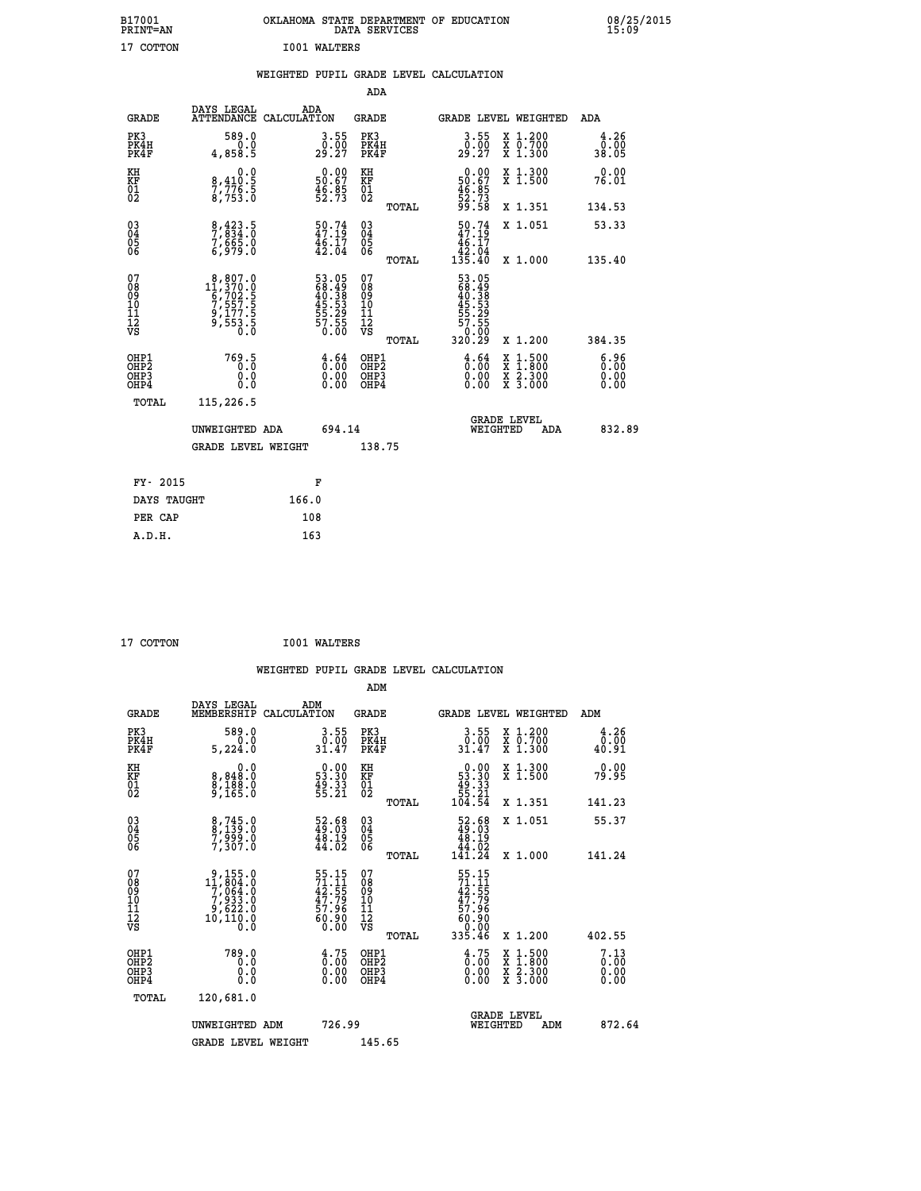| B17001<br>PRINT=AN                                 |                                                                                                          | OKLAHOMA STATE DEPARTMENT OF EDUCATION                                   | DATA SERVICES                                      |                                                                                    |                                                                                                  | 08/25/2015                   |  |
|----------------------------------------------------|----------------------------------------------------------------------------------------------------------|--------------------------------------------------------------------------|----------------------------------------------------|------------------------------------------------------------------------------------|--------------------------------------------------------------------------------------------------|------------------------------|--|
| 17 COTTON                                          |                                                                                                          | I001 WALTERS                                                             |                                                    |                                                                                    |                                                                                                  |                              |  |
|                                                    |                                                                                                          | WEIGHTED PUPIL GRADE LEVEL CALCULATION                                   |                                                    |                                                                                    |                                                                                                  |                              |  |
|                                                    |                                                                                                          |                                                                          | ADA                                                |                                                                                    |                                                                                                  |                              |  |
| <b>GRADE</b>                                       | DAYS LEGAL                                                                                               | ADA<br>ATTENDANCE CALCULATION                                            | <b>GRADE</b>                                       | GRADE LEVEL WEIGHTED                                                               |                                                                                                  | ADA                          |  |
| PK3<br>PK4H<br>PK4F                                | 589.0<br>0.0<br>4,858.5                                                                                  | $\frac{3.55}{0.00}$<br>29.27                                             | PK3<br>PK4H<br>PK4F                                | $\begin{smallmatrix} 3.55\\ 0.00\\ 29.27 \end{smallmatrix}$                        | X 1.200<br>X 0.700<br>X 1.300                                                                    | 4.26<br>0.00<br>38.05        |  |
| KH<br>KF<br>01<br>02                               | 0.0<br>8,410:5<br>7,776:5<br>8,753:0                                                                     | $\begin{smallmatrix} 0.00\\ 50.67\\ 46.85\\ 52.73 \end{smallmatrix}$     | KH<br>KF<br>01<br>02                               | $\begin{smallmatrix} 0.00\\ 50.67\\ 46.85\\ 52.73\\ 99.58 \end{smallmatrix}$       | X 1.300<br>X 1.500                                                                               | 0.00<br>76.01                |  |
|                                                    |                                                                                                          |                                                                          | <b>TOTAL</b>                                       |                                                                                    | X 1.351                                                                                          | 134.53                       |  |
| $\begin{matrix} 03 \\ 04 \\ 05 \\ 06 \end{matrix}$ | 8,423.5<br>7,834.0<br>7,665.0<br>6,979.0                                                                 | $\begin{smallmatrix} 50.74 \\ 47.19 \\ 46.17 \\ 42.04 \end{smallmatrix}$ | $\begin{matrix} 03 \\ 04 \\ 05 \\ 06 \end{matrix}$ | $\frac{50.74}{47.19}$<br>46.17<br>$1\overline{35.40}$<br>135.40                    | X 1.051<br>X 1.000                                                                               | 53.33<br>135.40              |  |
| 07<br>08<br>09<br>11<br>11<br>12<br>VS             | $\begin{smallmatrix} 8,807.0\\ 11,370.0\\ 6,702.5\\ 7,557.5\\ 9,177.5\\ 9,553.5\\ 0.0 \end{smallmatrix}$ | 53.05<br>68.49<br>40.38<br>45.53<br>55.29<br>57.55<br>57.55              | TOTAL<br>07<br>08<br>09<br>11<br>11<br>12<br>VS    | 53.05<br>68.49<br>40.38<br>45.53<br>$\frac{1}{55}$ . $\frac{2}{9}$ . $\frac{5}{9}$ |                                                                                                  |                              |  |
|                                                    |                                                                                                          |                                                                          | TOTAL                                              | 320.29                                                                             | X 1.200                                                                                          | 384.35                       |  |
| OHP1<br>OHP2<br>OH <sub>P3</sub><br>OHP4           | 769.5<br>0.0<br>0.0<br>0.0                                                                               | $\frac{4}{0}$ : $\frac{64}{00}$<br>0.00<br>0.00                          | OHP1<br>OHP <sub>2</sub><br>OHP3<br>OHP4           | $\frac{4}{0}$ : $\frac{64}{00}$<br>0.00<br>0.00                                    | $\begin{smallmatrix} x & 1 & 500 \\ x & 1 & 800 \\ x & 2 & 300 \\ x & 3 & 000 \end{smallmatrix}$ | 6.96<br>0.00<br>0.00<br>0.00 |  |
| TOTAL                                              | 115,226.5                                                                                                |                                                                          |                                                    |                                                                                    |                                                                                                  |                              |  |
|                                                    | UNWEIGHTED ADA                                                                                           | 694.14                                                                   |                                                    | <b>GRADE LEVEL</b><br>WEIGHTED                                                     | ADA                                                                                              | 832.89                       |  |
|                                                    | <b>GRADE LEVEL WEIGHT</b>                                                                                |                                                                          | 138.75                                             |                                                                                    |                                                                                                  |                              |  |
| FY- 2015                                           |                                                                                                          | F                                                                        |                                                    |                                                                                    |                                                                                                  |                              |  |
| DAYS TAUGHT                                        |                                                                                                          | 166.0                                                                    |                                                    |                                                                                    |                                                                                                  |                              |  |
| PER CAP                                            |                                                                                                          | 108                                                                      |                                                    |                                                                                    |                                                                                                  |                              |  |

| 17 COTTON | <b>I001 WALTERS</b> |
|-----------|---------------------|
|           |                     |

 **WEIGHTED PUPIL GRADE LEVEL CALCULATION ADM DAYS LEGAL ADM GRADE MEMBERSHIP CALCULATION GRADE GRADE LEVEL WEIGHTED ADM PK3 589.0 3.55 PK3 3.55 X 1.200 4.26 PK4H 0.0 0.00 PK4H 0.00 X 0.700 0.00 PK4F 5,224.0 31.47 PK4F 31.47 X 1.300 40.91 KH 0.0 0.00 KH 0.00 X 1.300 0.00 KF 8,848.0 53.30 KF 53.30 X 1.500 79.95**  $\begin{array}{cccc} \text{KH} & \text{0.0} & \text{0.00} & \text{KH} \\ \text{RF} & \text{8,948.0} & \text{53.30} & \text{KF} \\ \text{02} & \text{9,165.0} & \text{55.21} & \text{02} \end{array}$  **02 9,165.0 55.21 02 55.21 TOTAL 104.54 X 1.351 141.23 03 8,745.0 52.68 03 52.68 X 1.051 55.37 04 8,139.0 49.03 04 49.03 05 7,999.0 48.19 05 48.19 06 7,307.0 44.02 06 44.02 TOTAL 141.24 X 1.000 141.24**  $\begin{array}{cccc} 07 & 9,155.0 & 55.15 & 07 & 55.15 \ 08 & 17,804.0 & 72.55 & 09 & 7.15 \ 09 & 7,064.0 & 42.55 & 09 & 42.55 \ 10 & 7,933.0 & 47.79 & 10 & 47.79 \ 11 & 9,622.0 & 57.96 & 11 & 57.96 \ 12 & 10,110.0 & 60.90 & 12 & 60.90 \ 13 & 60.90 & 60.00 & 0 & 0 & 0$ **55.15** 07<br> **71.11** 08<br> **47.79** 10<br> **47.79** 10<br> **57.96** 11<br> **57.96** 11<br> **57.96** 11<br> **57.96** 12<br> **57.96** 60.90<br> **60.00**<br> **60.00**<br> **17.79**<br> **57.96<br>
<b>57.96**<br> **57.96**<br> **57.96**<br> **57.96**<br> **57.96**<br> **57.96**<br> **57.96**<br> **57.96**<br> **57.** OHP1 789.0 4.75 OHP1 4.75 AL1.500 7.13<br>OHP2 0.0 0.00 OHP2 0.00 X 1.500 7.13<br>OHP3 0.00 0.00 OHP3 0.000 X 2.300 0.00  **OHP4 0.0 0.00 OHP4 0.00 X 3.000 0.00 TOTAL 120,681.0 GRADE LEVEL UNWEIGHTED ADM 726.99 WEIGHTED ADM 872.64** GRADE LEVEL WEIGHT 145.65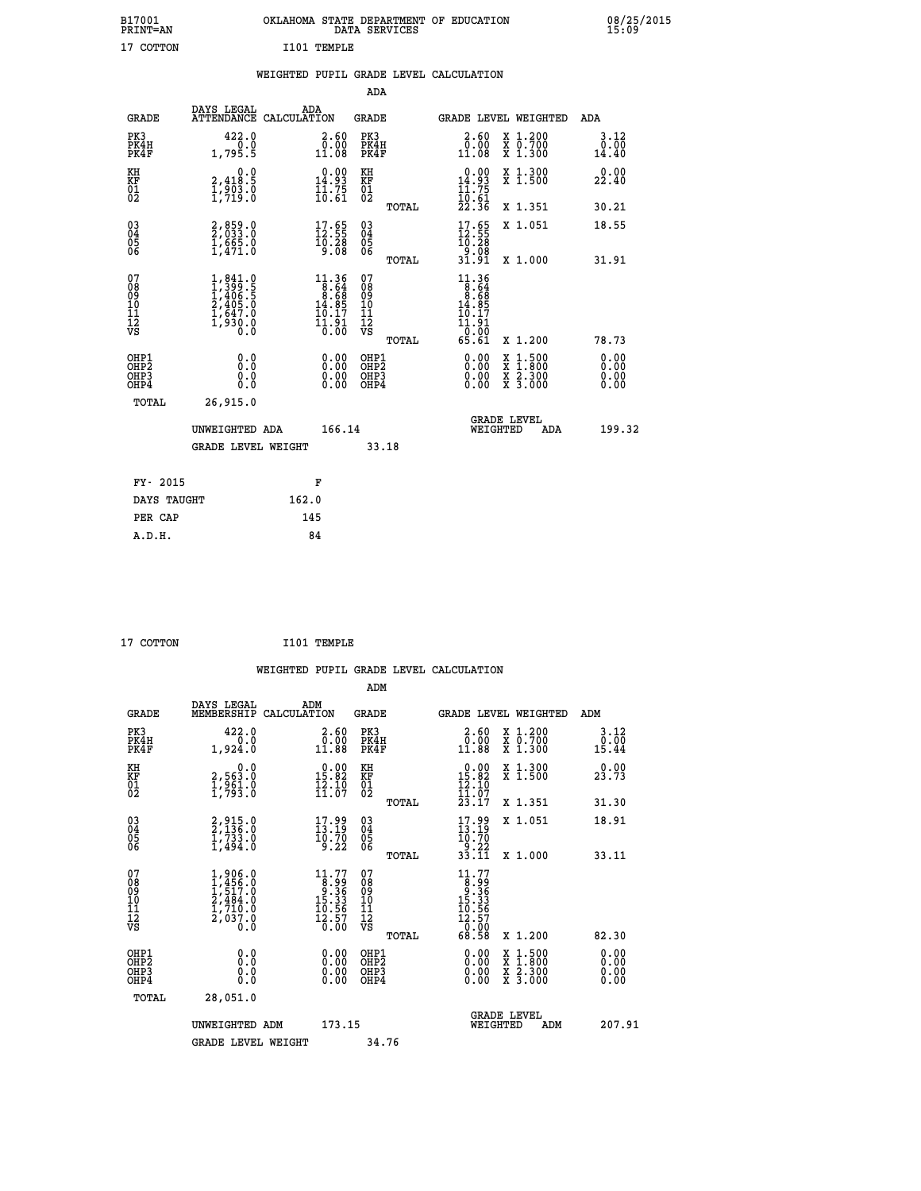| B17001<br>PRINT=AN                                   |                                                                                     | OKLAHOMA STATE DEPARTMENT OF EDUCATION DATA SERVICES                                             |                                              |                                                                                                                                                                                              |                                                                                        | 08/25                 |
|------------------------------------------------------|-------------------------------------------------------------------------------------|--------------------------------------------------------------------------------------------------|----------------------------------------------|----------------------------------------------------------------------------------------------------------------------------------------------------------------------------------------------|----------------------------------------------------------------------------------------|-----------------------|
| 17 COTTON                                            |                                                                                     | I101 TEMPLE                                                                                      |                                              |                                                                                                                                                                                              |                                                                                        |                       |
|                                                      |                                                                                     | WEIGHTED PUPIL GRADE LEVEL CALCULATION                                                           |                                              |                                                                                                                                                                                              |                                                                                        |                       |
|                                                      |                                                                                     |                                                                                                  | <b>ADA</b>                                   |                                                                                                                                                                                              |                                                                                        |                       |
| <b>GRADE</b>                                         | DAYS LEGAL<br><b>ATTENDANCE</b>                                                     | ADA<br>CALCULATION                                                                               | <b>GRADE</b>                                 | <b>GRADE LEVEL WEIGHTED</b>                                                                                                                                                                  |                                                                                        | ADA                   |
| PK3<br>PK4H<br>PK4F                                  | 422.0<br>1,795.5                                                                    | $2.60$<br>$0.00$<br>11.08                                                                        | PK3<br>PK4H<br>PK4F                          | 2.60<br>$\begin{smallmatrix} 0.000 0.011.08 \end{smallmatrix}$                                                                                                                               | $\begin{smallmatrix} x & 1.200 \\ x & 0.700 \end{smallmatrix}$<br>$\overline{x}$ 1.300 | 3.12<br>0.00<br>14.40 |
| KH<br>KF<br>01<br>02                                 | 0.0<br>2,418:5<br>1,903:0<br>1,719:0                                                | $\begin{smallmatrix} 0.00\\14.93\\11.75\\10.61 \end{smallmatrix}$                                | KH<br>KF<br>01<br>02                         | $\begin{smallmatrix} 0.00\\ 14.93\\ 11.75\\ 10.61\\ 22.36 \end{smallmatrix}$                                                                                                                 | X 1.300<br>X 1.500                                                                     | 0.00<br>22.40         |
|                                                      |                                                                                     |                                                                                                  | TOTAL                                        |                                                                                                                                                                                              | X 1.351                                                                                | 30.21                 |
| $\begin{matrix} 03 \\ 04 \\ 05 \\ 06 \end{matrix}$   | 2,859.0<br>2,033.0<br>1,665.0<br>1,471.0                                            | $\begin{smallmatrix} 17.65\\ 12.55\\ 10.28\\ 9.08 \end{smallmatrix}$                             | 03<br>04<br>05<br>06                         | $17.65$<br>$12.55$<br>$10.28$<br>$9.08$<br>$31.91$                                                                                                                                           | X 1.051                                                                                | 18.55                 |
|                                                      |                                                                                     |                                                                                                  | TOTAL                                        |                                                                                                                                                                                              | X 1.000                                                                                | 31.91                 |
| 07<br>08<br>09<br>01<br>11<br>11<br>12<br>VS         | $1,841.0$<br>$1,399.5$<br>$1,406.5$<br>$2,405.0$<br>$1,647.0$<br>$1,930.0$<br>$0.0$ | $\begin{smallmatrix} 11.36 \\ 8.64 \\ 8.68 \\ 14.85 \\ 10.17 \\ 11.91 \\ 0.00 \end{smallmatrix}$ | 07<br>08<br>09<br>01<br>11<br>11<br>12<br>VS | $\begin{smallmatrix} 11\cdot 36\\[-1.2mm] 8\cdot 64\\[-1.2mm] 8\cdot 68\\[-1.2mm] 14\cdot 85\\[-1.2mm] 10\cdot 17\\[-1.2mm] 11\cdot 91\\[-1.2mm] 0.00\\[-1.2mm] 65\cdot 61\end{smallmatrix}$ |                                                                                        |                       |
|                                                      |                                                                                     |                                                                                                  | TOTAL                                        |                                                                                                                                                                                              | X 1.200                                                                                | 78.73                 |
| OHP1<br>OHP <sub>2</sub><br>OH <sub>P3</sub><br>OHP4 |                                                                                     | $\begin{smallmatrix} 0.00 \ 0.00 \ 0.00 \ 0.00 \end{smallmatrix}$                                | OHP1<br>OHP2<br>OHP3<br>OHP4                 | 0.00<br>$0.00$<br>0.00                                                                                                                                                                       | X 1:500<br>X 1:800<br>X 2:300<br>X 3:000                                               | 0.00<br>0.00<br>0.00  |
|                                                      |                                                                                     |                                                                                                  |                                              |                                                                                                                                                                                              |                                                                                        |                       |

| <b>GRADE LEVEL</b><br>166.14<br>UNWEIGHTED ADA<br>WEIGHTED<br>ADA<br>33.18<br><b>GRADE LEVEL WEIGHT</b> |        |
|---------------------------------------------------------------------------------------------------------|--------|
|                                                                                                         | 199.32 |
|                                                                                                         |        |
| FY- 2015<br>F                                                                                           |        |
| 162.0<br>DAYS TAUGHT                                                                                    |        |
| 145<br>PER CAP                                                                                          |        |
| 84<br>A.D.H.                                                                                            |        |

| 7 COTTON |
|----------|
|          |

 **17 COTTON I101 TEMPLE**

 **WEIGHTED PUPIL GRADE LEVEL CALCULATION ADM**

| <b>GRADE</b>                                         | DAYS LEGAL<br>MEMBERSHIP                                                                                | ADM<br>CALCULATION                                                                                                            | <b>GRADE</b>                             |       | GRADE LEVEL WEIGHTED                                                                                               |                                                                                                  | ADM                                                                                                                                                                                                                                                                            |  |
|------------------------------------------------------|---------------------------------------------------------------------------------------------------------|-------------------------------------------------------------------------------------------------------------------------------|------------------------------------------|-------|--------------------------------------------------------------------------------------------------------------------|--------------------------------------------------------------------------------------------------|--------------------------------------------------------------------------------------------------------------------------------------------------------------------------------------------------------------------------------------------------------------------------------|--|
| PK3<br>PK4H<br>PK4F                                  | 422.0<br>1,924.0                                                                                        | $\begin{smallmatrix} 2.60\0.001.88\end{smallmatrix}$                                                                          | PK3<br>PK4H<br>PK4F                      |       | $\begin{smallmatrix} 2.60\\ 0.00\\ 11.88 \end{smallmatrix}$                                                        | X 1.200<br>X 0.700<br>X 1.300                                                                    | 3.12<br>$0.00$<br>15.44                                                                                                                                                                                                                                                        |  |
| KH<br>KF<br>01<br>02                                 | 0.0<br>2,563.0<br>1,961.0<br>1,793.0                                                                    | $\begin{array}{r} 0.00 \\ 15.82 \\ 12.10 \\ 11.07 \end{array}$                                                                | KH<br>KF<br>01<br>02                     |       | $\begin{array}{r} 0.00 \\ 15.82 \\ 12.10 \\ 11.07 \\ 23.17 \end{array}$                                            | X 1.300<br>X 1.500                                                                               | 0.00<br>23.73                                                                                                                                                                                                                                                                  |  |
|                                                      |                                                                                                         |                                                                                                                               |                                          | TOTAL |                                                                                                                    | X 1.351                                                                                          | 31.30                                                                                                                                                                                                                                                                          |  |
| $\begin{matrix} 03 \\ 04 \\ 05 \\ 06 \end{matrix}$   | $2, 915.0$<br>$2, 136.0$<br>$1, 733.0$<br>$1, 494.0$                                                    | $\frac{17.99}{13.19}$<br>9.22                                                                                                 | 03<br>04<br>05<br>06                     |       | $17.99$<br>$13.19$<br>$10.70$<br>$9.22$<br>$33.11$                                                                 | X 1.051                                                                                          | 18.91                                                                                                                                                                                                                                                                          |  |
|                                                      |                                                                                                         |                                                                                                                               |                                          | TOTAL |                                                                                                                    | X 1.000                                                                                          | 33.11                                                                                                                                                                                                                                                                          |  |
| 07<br>08<br>09<br>11<br>11<br>12<br>VS               | $\begin{smallmatrix} 1,906.0\\ 1,456.0\\ 1,517.0\\ 2,484.0\\ 1,710.0\\ 2,037.0\\ 0.0 \end{smallmatrix}$ | $\begin{smallmatrix} 11.77\\[-4pt] 8.99\\[-4pt] 9.36\\[-4pt] 15.33\\[-4pt] 10.56\\[-4pt] 12.57\\[-4pt] 0.00\end{smallmatrix}$ | 07<br>08<br>09<br>11<br>11<br>12<br>VS   | TOTAL | $\begin{smallmatrix} 11.77 \\ 8.99 \\ 9.36 \\ 15.36 \\ 15.36 \\ 10.56 \\ 12.57 \\ 0.00 \\ 68.58 \end{smallmatrix}$ | X 1.200                                                                                          | 82.30                                                                                                                                                                                                                                                                          |  |
| OHP1<br>OHP <sub>2</sub><br>OH <sub>P3</sub><br>OHP4 |                                                                                                         | $0.00$<br>$0.00$<br>0.00                                                                                                      | OHP1<br>OHP <sub>2</sub><br>OHP3<br>OHP4 |       |                                                                                                                    | $\begin{smallmatrix} x & 1 & 500 \\ x & 1 & 800 \\ x & 2 & 300 \\ x & 3 & 000 \end{smallmatrix}$ | $\begin{smallmatrix} 0.00 & 0.00 & 0.00 & 0.00 & 0.00 & 0.00 & 0.00 & 0.00 & 0.00 & 0.00 & 0.00 & 0.00 & 0.00 & 0.00 & 0.00 & 0.00 & 0.00 & 0.00 & 0.00 & 0.00 & 0.00 & 0.00 & 0.00 & 0.00 & 0.00 & 0.00 & 0.00 & 0.00 & 0.00 & 0.00 & 0.00 & 0.00 & 0.00 & 0.00 & 0.00 & 0.0$ |  |
| TOTAL                                                | 28,051.0                                                                                                |                                                                                                                               |                                          |       |                                                                                                                    |                                                                                                  |                                                                                                                                                                                                                                                                                |  |
|                                                      | UNWEIGHTED ADM                                                                                          | 173.15                                                                                                                        |                                          |       |                                                                                                                    | GRADE LEVEL<br>WEIGHTED<br>ADM                                                                   | 207.91                                                                                                                                                                                                                                                                         |  |
|                                                      | <b>GRADE LEVEL WEIGHT</b>                                                                               |                                                                                                                               | 34.76                                    |       |                                                                                                                    |                                                                                                  |                                                                                                                                                                                                                                                                                |  |

08/25/2015<br>15:09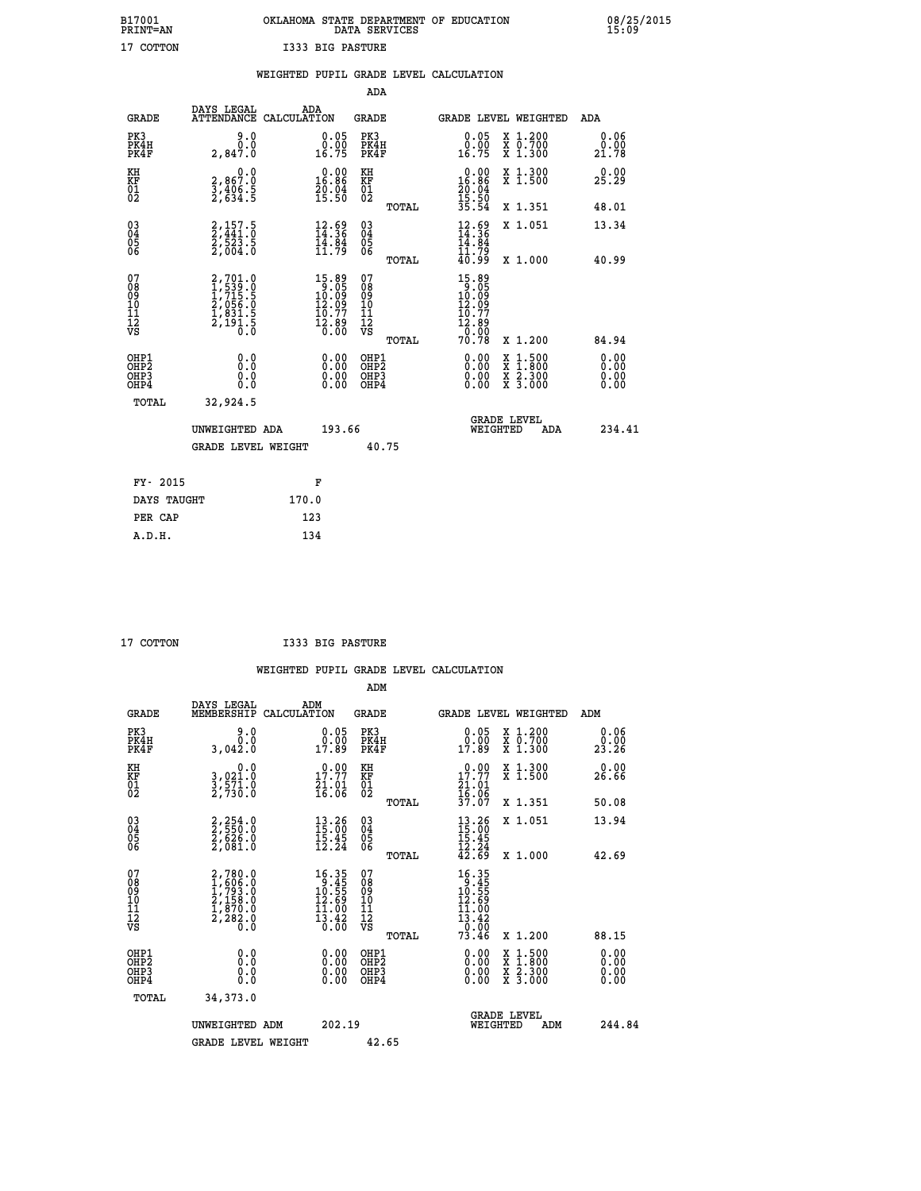# **B17001 OKLAHOMA STATE DEPARTMENT OF EDUCATION 08/25/2015 PRINT=AN DATA SERVICES 15:09 17 COTTON I333 BIG PASTURE**

|                                                                    |                                                                |       |                                                                                     |                                                     |       | WEIGHTED PUPIL GRADE LEVEL CALCULATION                                                                                                                                                                                                                                                                                                                |                                                                                                                                           |                                  |
|--------------------------------------------------------------------|----------------------------------------------------------------|-------|-------------------------------------------------------------------------------------|-----------------------------------------------------|-------|-------------------------------------------------------------------------------------------------------------------------------------------------------------------------------------------------------------------------------------------------------------------------------------------------------------------------------------------------------|-------------------------------------------------------------------------------------------------------------------------------------------|----------------------------------|
|                                                                    |                                                                |       |                                                                                     | <b>ADA</b>                                          |       |                                                                                                                                                                                                                                                                                                                                                       |                                                                                                                                           |                                  |
| <b>GRADE</b>                                                       | DAYS LEGAL<br>ATTENDANCE CALCULATION                           |       | ADA                                                                                 | GRADE                                               |       | GRADE LEVEL WEIGHTED                                                                                                                                                                                                                                                                                                                                  |                                                                                                                                           | ADA                              |
| PK3<br>PK4H<br>PK4F                                                | 9.0<br>0.0<br>2,847.0                                          |       | $\begin{smallmatrix} 0.05\\ 0.00\\ 16.75 \end{smallmatrix}$                         | PK3<br>PK4H<br>PK4F                                 |       | 0.05<br>0.00<br>16.75                                                                                                                                                                                                                                                                                                                                 | X 1.200<br>X 0.700<br>X 1.300                                                                                                             | 0.06<br>0.00<br>21.78            |
| KH<br>KF<br>01<br>02                                               | 0.0<br>2,867:0<br>3,406:5<br>2,634:5                           |       | $0.00$<br>16.86<br>$\frac{20.04}{15.50}$                                            | KH<br>KF<br>01<br>02                                |       | 0.00<br>16.86<br>$\frac{20.04}{15.50}$                                                                                                                                                                                                                                                                                                                | X 1.300<br>X 1.500                                                                                                                        | 0.00<br>25.29                    |
|                                                                    |                                                                |       |                                                                                     |                                                     | TOTAL | 35.54                                                                                                                                                                                                                                                                                                                                                 | X 1.351                                                                                                                                   | 48.01                            |
| $\begin{smallmatrix} 03 \\[-4pt] 04 \end{smallmatrix}$<br>Ŏ5<br>06 | $2,157.5$<br>$2,523.5$<br>$2,504.0$                            |       | $\begin{smallmatrix} 12.69\\ 14.36\\ 14.84\\ 11.79 \end{smallmatrix}$               | $\begin{array}{c} 03 \\ 04 \\ 05 \\ 06 \end{array}$ |       | $\frac{12.69}{14.36}$<br>14.84                                                                                                                                                                                                                                                                                                                        | X 1.051                                                                                                                                   | 13.34                            |
|                                                                    |                                                                |       |                                                                                     |                                                     | TOTAL | 11.79<br>40.99                                                                                                                                                                                                                                                                                                                                        | X 1.000                                                                                                                                   | 40.99                            |
| 07<br>08<br>09<br>01<br>11<br>11<br>12<br>VS                       | 2,701.0<br>1,539.0<br>1,715.5<br>2,056.0<br>2,191.5<br>2,191.5 |       | $\begin{smallmatrix}15.89\\9.05\\10.09\\12.09\\10.77\\12.89\\0.00\end{smallmatrix}$ | 07<br>08<br>09<br>11<br>11<br>12<br>VS              | TOTAL | 15.89<br>$\begin{smallmatrix} 1 & 0 & 0 & 0 \\ 1 & 0 & 0 & 0 \\ 1 & 0 & 0 & 0 \\ 1 & 0 & 0 & 0 \\ 0 & 0 & 0 & 0 \\ 0 & 0 & 0 & 0 \\ 0 & 0 & 0 & 0 \\ 0 & 0 & 0 & 0 \\ 0 & 0 & 0 & 0 \\ 0 & 0 & 0 & 0 \\ 0 & 0 & 0 & 0 \\ 0 & 0 & 0 & 0 \\ 0 & 0 & 0 & 0 \\ 0 & 0 & 0 & 0 \\ 0 & 0 & 0 & 0 \\ 0 & 0 & 0 & 0 \\ 0 & 0 & 0 & 0 \\ 0 & 0 & 0 & $<br>70.78 | X 1.200                                                                                                                                   | 84.94                            |
| OHP1<br>OHP2<br>OHP3<br>OHP4                                       | 0.0<br>0.0<br>0.0                                              |       | $\begin{smallmatrix} 0.00 \ 0.00 \ 0.00 \ 0.00 \end{smallmatrix}$                   | OHP1<br>OHP2<br>OHP3<br>OHP4                        |       | 0.00<br>0.00                                                                                                                                                                                                                                                                                                                                          | $\begin{smallmatrix} \mathtt{X} & 1\cdot500\\ \mathtt{X} & 1\cdot800\\ \mathtt{X} & 2\cdot300\\ \mathtt{X} & 3\cdot000 \end{smallmatrix}$ | 0.00<br>0.00<br>$0.00$<br>$0.00$ |
| TOTAL                                                              | 32,924.5                                                       |       |                                                                                     |                                                     |       |                                                                                                                                                                                                                                                                                                                                                       |                                                                                                                                           |                                  |
|                                                                    | UNWEIGHTED ADA                                                 |       | 193.66                                                                              |                                                     |       | <b>GRADE LEVEL</b><br>WEIGHTED                                                                                                                                                                                                                                                                                                                        | ADA                                                                                                                                       | 234.41                           |
|                                                                    | <b>GRADE LEVEL WEIGHT</b>                                      |       |                                                                                     |                                                     | 40.75 |                                                                                                                                                                                                                                                                                                                                                       |                                                                                                                                           |                                  |
| FY- 2015                                                           |                                                                |       | F                                                                                   |                                                     |       |                                                                                                                                                                                                                                                                                                                                                       |                                                                                                                                           |                                  |
| DAYS TAUGHT                                                        |                                                                | 170.0 |                                                                                     |                                                     |       |                                                                                                                                                                                                                                                                                                                                                       |                                                                                                                                           |                                  |
| PER CAP                                                            |                                                                | 123   |                                                                                     |                                                     |       |                                                                                                                                                                                                                                                                                                                                                       |                                                                                                                                           |                                  |

| COTTON |
|--------|
|        |

 **A.D.H. 134**

 **ADM**

**COTTON 1733 BIG PASTURE** 

| <b>GRADE</b>                                       | DAYS LEGAL<br>MEMBERSHIP                                                            | ADM<br>CALCULATION                                                                        | <b>GRADE</b>                                       | GRADE LEVEL WEIGHTED                                                                                                                                                                                                                                                           |                                |                                          | ADM                          |
|----------------------------------------------------|-------------------------------------------------------------------------------------|-------------------------------------------------------------------------------------------|----------------------------------------------------|--------------------------------------------------------------------------------------------------------------------------------------------------------------------------------------------------------------------------------------------------------------------------------|--------------------------------|------------------------------------------|------------------------------|
| PK3<br>PK4H<br>PK4F                                | 9.0<br>0.0<br>3,042.0                                                               | 0.05<br>17.89                                                                             | PK3<br>PK4H<br>PK4F                                | $0.05$<br>$0.00$<br>17.89                                                                                                                                                                                                                                                      |                                | X 1.200<br>X 0.700<br>$X$ 1.300          | 0.06<br>0.00<br>23.26        |
| KH<br>KF<br>01<br>02                               | 0.0<br>3,021:0<br>3,571:0<br>2,730:0                                                | $17.77$<br>$21.01$<br>$16.06$                                                             | KH<br>KF<br>01<br>02                               | 0.00<br>$17.77$<br>$21.01$<br>$16.06$<br>$37.07$                                                                                                                                                                                                                               |                                | X 1.300<br>X 1.500                       | 0.00<br>26.66                |
|                                                    |                                                                                     |                                                                                           | TOTAL                                              |                                                                                                                                                                                                                                                                                |                                | X 1.351                                  | 50.08                        |
| $\begin{matrix} 03 \\ 04 \\ 05 \\ 06 \end{matrix}$ | 2,254.0<br>2,550.0<br>2,626.0<br>2,081.0                                            | $\begin{smallmatrix} 13\cdot 26\\ 15\cdot 00\\ 15\cdot 45\\ 12\cdot 24 \end{smallmatrix}$ | $\begin{matrix} 03 \\ 04 \\ 05 \\ 06 \end{matrix}$ | $13.26$<br>$15.45$<br>$15.45$<br>$12.24$<br>$42.69$                                                                                                                                                                                                                            |                                | X 1.051                                  | 13.94                        |
|                                                    |                                                                                     |                                                                                           | TOTAL                                              |                                                                                                                                                                                                                                                                                |                                | X 1.000                                  | 42.69                        |
| 07<br>08<br>09<br>101<br>11<br>12<br>VS            | $2,780.0$<br>$1,606.0$<br>$1,793.0$<br>$2,158.0$<br>$1,870.0$<br>$2,282.0$<br>$0.0$ | $\begin{array}{r} 16.35 \\ 9.45 \\ 10.55 \\ 12.69 \\ 11.00 \\ 13.42 \\ 0.00 \end{array}$  | 07<br>08<br>09<br>101<br>11<br>12<br>VS<br>TOTAL   | 16.35<br>10.55<br>10.55<br>12.69<br>11.00<br>13.42<br>70.99<br>73.46                                                                                                                                                                                                           |                                | X 1.200                                  | 88.15                        |
| OHP1<br>OHP2<br>OHP3<br>OHP4                       | 0.0<br>0.000                                                                        | $0.00$<br>$0.00$<br>0.00                                                                  | OHP1<br>OHP2<br>OHP3<br>OHP4                       | $\begin{smallmatrix} 0.00 & 0.00 & 0.00 & 0.00 & 0.00 & 0.00 & 0.00 & 0.00 & 0.00 & 0.00 & 0.00 & 0.00 & 0.00 & 0.00 & 0.00 & 0.00 & 0.00 & 0.00 & 0.00 & 0.00 & 0.00 & 0.00 & 0.00 & 0.00 & 0.00 & 0.00 & 0.00 & 0.00 & 0.00 & 0.00 & 0.00 & 0.00 & 0.00 & 0.00 & 0.00 & 0.0$ |                                | X 1:500<br>X 1:800<br>X 2:300<br>X 3:000 | 0.00<br>Ŏ.ŎŎ<br>0.00<br>0.00 |
| TOTAL                                              | 34, 373.0                                                                           |                                                                                           |                                                    |                                                                                                                                                                                                                                                                                |                                |                                          |                              |
|                                                    | UNWEIGHTED                                                                          | 202.19<br>ADM                                                                             |                                                    |                                                                                                                                                                                                                                                                                | <b>GRADE LEVEL</b><br>WEIGHTED | ADM                                      | 244.84                       |
|                                                    | <b>GRADE LEVEL WEIGHT</b>                                                           |                                                                                           | 42.65                                              |                                                                                                                                                                                                                                                                                |                                |                                          |                              |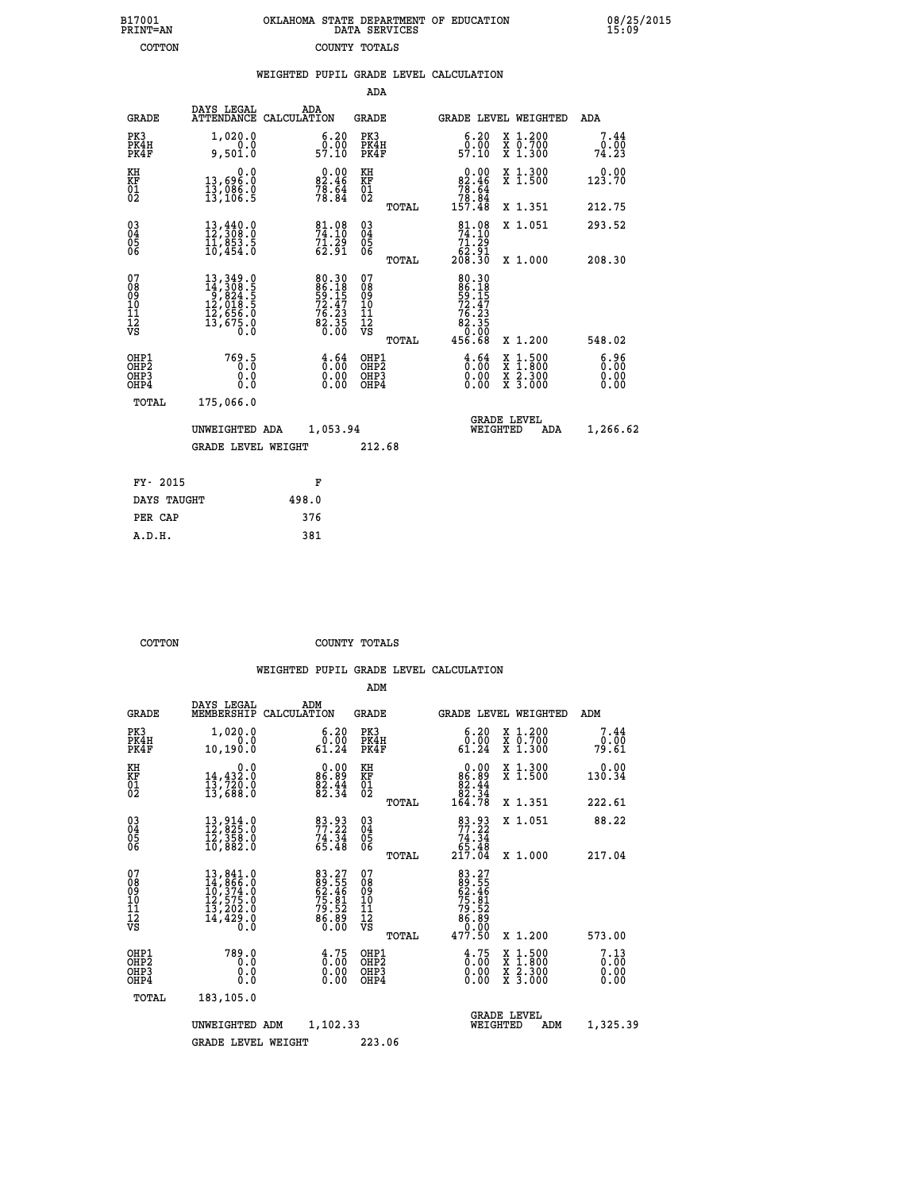| 7001<br>INT=AN | OKLAHOMA STATE DEPARTMENT OF EDUCATION<br>DATA SERVICES |  |
|----------------|---------------------------------------------------------|--|
| COTTON         | COUNTY TOTALS                                           |  |

 **B17001 OKLAHOMA STATE DEPARTMENT OF EDUCATION 08/25/2015**

|                                          |                                                                                                                                                                                         |       |                                                                        |                                          |       | WEIGHTED PUPIL GRADE LEVEL CALCULATION                                                              |                                                                                                  |                              |
|------------------------------------------|-----------------------------------------------------------------------------------------------------------------------------------------------------------------------------------------|-------|------------------------------------------------------------------------|------------------------------------------|-------|-----------------------------------------------------------------------------------------------------|--------------------------------------------------------------------------------------------------|------------------------------|
|                                          |                                                                                                                                                                                         |       |                                                                        | ADA                                      |       |                                                                                                     |                                                                                                  |                              |
| <b>GRADE</b>                             | DAYS LEGAL<br>ATTENDANCE CALCULATION                                                                                                                                                    | ADA   |                                                                        | <b>GRADE</b>                             |       | <b>GRADE LEVEL WEIGHTED</b>                                                                         |                                                                                                  | ADA                          |
| PK3<br>PK4H<br>PK4F                      | 1,020.0<br>0.0<br>9,501.0                                                                                                                                                               |       | $\begin{smallmatrix} 6.20\ 0.00\ 57.10 \end{smallmatrix}$              | PK3<br>PK4H<br>PK4F                      |       | $\begin{smallmatrix} 6.20\ 0.00\ 57.10 \end{smallmatrix}$                                           | X 1.200<br>X 0.700<br>X 1.300                                                                    | 7.44<br>0.00<br>74.23        |
| KH<br>KF<br>01<br>02                     | 0.0<br>13,696.0<br>13,006.0<br>13,106.5                                                                                                                                                 |       | $\begin{smallmatrix} 0.00\\ 82.46\\ 78.64\\ 78.84\\ \end{smallmatrix}$ | KH<br>KF<br>01<br>02                     |       | $\begin{smallmatrix} &0.00\\82.46\\78.64\\78.84\\157.48\end{smallmatrix}$                           | X 1.300<br>X 1.500                                                                               | 0.00<br>123.70               |
|                                          |                                                                                                                                                                                         |       |                                                                        |                                          | TOTAL |                                                                                                     | X 1.351                                                                                          | 212.75                       |
| $^{03}_{04}$<br>Ŏ5<br>06                 | 13,440.0<br>12,308.0<br>11,853.5<br>10,454.0                                                                                                                                            |       | 81.08<br>74.10<br>$\frac{71.29}{62.91}$                                | $\substack{03 \\ 04}$<br>Ŏ5<br>06        |       | 81.08<br>74.10<br>$\begin{array}{c} 7\overline{1}\cdot 29 \\ 62\cdot 91 \\ 208\cdot 30 \end{array}$ | X 1.051                                                                                          | 293.52                       |
|                                          |                                                                                                                                                                                         |       |                                                                        |                                          | TOTAL |                                                                                                     | X 1.000                                                                                          | 208.30                       |
| 07<br>08<br>09<br>11<br>11<br>12<br>VS   | $\begin{smallmatrix} 13\,, & 349\,, & 0\\ 14\,, & 308\,, & 5\\ 9\,, & 824\,, & 5\\ 12\,, & 018\,, & 5\\ 12\,, & 656\,, & 0\\ 13\,, & 675\,, & 0\\ 0\,, & 0\,, & 0\,, \end{smallmatrix}$ |       | 80.30<br>86.18<br>59.15<br>72.47<br>76.23<br>82.35<br>82.35<br>0.00    | 07<br>08<br>09<br>11<br>11<br>12<br>VS   |       | 80.30<br>86.18<br>59.15<br>72.47<br>76.23<br>82.350<br>82.90                                        |                                                                                                  |                              |
|                                          |                                                                                                                                                                                         |       |                                                                        |                                          | TOTAL | 456.68                                                                                              | X 1.200                                                                                          | 548.02                       |
| OHP1<br>OHP <sub>2</sub><br>OHP3<br>OHP4 | 769.5<br>0.0<br>0.0                                                                                                                                                                     |       | $\begin{smallmatrix} 4.64\ 0.00\ 0.00 \end{smallmatrix}$               | OHP1<br>OHP <sub>2</sub><br>OHP3<br>OHP4 |       | $\begin{smallmatrix} 4.64\ 0.00\ 0.00\ 0.00 \end{smallmatrix}$                                      | $\begin{smallmatrix} x & 1 & 500 \\ x & 1 & 800 \\ x & 2 & 300 \\ x & 3 & 000 \end{smallmatrix}$ | 6.96<br>0.00<br>0.00<br>0.00 |
| <b>TOTAL</b>                             | 175,066.0                                                                                                                                                                               |       |                                                                        |                                          |       |                                                                                                     |                                                                                                  |                              |
|                                          | UNWEIGHTED ADA                                                                                                                                                                          |       | 1,053.94                                                               |                                          |       | WEIGHTED                                                                                            | <b>GRADE LEVEL</b><br>ADA                                                                        | 1,266.62                     |
|                                          | <b>GRADE LEVEL WEIGHT</b>                                                                                                                                                               |       |                                                                        | 212.68                                   |       |                                                                                                     |                                                                                                  |                              |
| FY- 2015                                 |                                                                                                                                                                                         |       | F                                                                      |                                          |       |                                                                                                     |                                                                                                  |                              |
| DAYS TAUGHT                              |                                                                                                                                                                                         | 498.0 |                                                                        |                                          |       |                                                                                                     |                                                                                                  |                              |
| DER CAD                                  |                                                                                                                                                                                         | 376   |                                                                        |                                          |       |                                                                                                     |                                                                                                  |                              |

| DAYS TAUGHT | 498.0 |
|-------------|-------|
| PER CAP     | 376   |
| A.D.H.      | 381   |
|             |       |

 **B17001<br>PRINT=AN** 

 **COTTON COUNTY TOTALS**

|                                          |                                                                                                                                                                                          |                                                                      | ADM                                                 |       |                                                                  |                                          |                       |
|------------------------------------------|------------------------------------------------------------------------------------------------------------------------------------------------------------------------------------------|----------------------------------------------------------------------|-----------------------------------------------------|-------|------------------------------------------------------------------|------------------------------------------|-----------------------|
| <b>GRADE</b>                             | DAYS LEGAL<br>MEMBERSHIP                                                                                                                                                                 | ADM<br>CALCULATION                                                   | <b>GRADE</b>                                        |       |                                                                  | GRADE LEVEL WEIGHTED                     | ADM                   |
| PK3<br>PK4H<br>PK4F                      | 1,020.0<br>0.0<br>10, 190.0                                                                                                                                                              | $\begin{smallmatrix} 6.20\ 0.00\ 61.24 \end{smallmatrix}$            | PK3<br>PK4H<br>PK4F                                 |       | $\substack{6.20\\0.00\\61.24}$                                   | X 1.200<br>X 0.700<br>X 1.300            | 7.44<br>0.00<br>79.61 |
| KH<br>KF<br>01<br>02                     | 0.0<br>14,432.0<br>13,720.0<br>13,688.0                                                                                                                                                  | $0.00$<br>0.00<br>$\frac{82.44}{82.34}$                              | KH<br>KF<br>01<br>02                                |       | 0.00<br>$86.89$<br>$82.44$<br>$82.34$<br>$164.78$                | X 1.300<br>X 1.500                       | 0.00<br>130.34        |
|                                          |                                                                                                                                                                                          |                                                                      |                                                     | TOTAL |                                                                  | X 1.351                                  | 222.61                |
| 03<br>04<br>05<br>06                     | $\begin{smallmatrix} 13 \ 12 \ 12 \end{smallmatrix}$ , 825.0<br>12, 358.0<br>10, 882.0                                                                                                   | 83.93<br>$74.34$<br>65.48                                            | $\begin{array}{c} 03 \\ 04 \\ 05 \\ 06 \end{array}$ |       | 83.93<br>$74.34$<br>$65.48$<br>$217.04$                          | X 1.051                                  | 88.22                 |
|                                          |                                                                                                                                                                                          |                                                                      |                                                     | TOTAL |                                                                  | X 1.000                                  | 217.04                |
| 07<br>08<br>09<br>101<br>112<br>VS       | $\begin{smallmatrix} 13\,, & 841\,. & 0\\ 14\,, & 866\,. & 0\\ 10\,, & 374\,. & 0\\ 12\,, & 575\,. & 0\\ 13\,, & 202\,. & 0\\ 14\,, & 429\,. & 0\\ 0\,. & 0\,. & 0\,. \end{smallmatrix}$ | 83.27<br>89.55<br>62.46<br>62.81<br>75.82<br>79.52<br>86.80<br>80.00 | 07<br>08<br>09<br>11<br>11<br>12<br>VS              |       | 83.27<br>62.46<br>62.46<br>75.81<br>79.52<br>86.800              |                                          |                       |
|                                          |                                                                                                                                                                                          |                                                                      |                                                     | TOTAL | 477.50                                                           | X 1.200                                  | 573.00                |
| OHP1<br>OHP2<br>OH <sub>P3</sub><br>OHP4 | 789.0<br>0.0<br>0.000                                                                                                                                                                    | $\begin{smallmatrix} 4.75\ 0.00 \ 0.00 \end{smallmatrix}$<br>0.00    | OHP1<br>OHP2<br>OHP <sub>3</sub>                    |       | $\begin{smallmatrix} 4.75\ 0.00\ 0.00 \end{smallmatrix}$<br>0.00 | X 1:500<br>X 1:800<br>X 2:300<br>X 3:000 | 7.13<br>0.00<br>0.00  |
| TOTAL                                    | 183,105.0                                                                                                                                                                                |                                                                      |                                                     |       |                                                                  |                                          |                       |
|                                          | UNWEIGHTED                                                                                                                                                                               | 1,102.33<br>ADM                                                      |                                                     |       |                                                                  | <b>GRADE LEVEL</b><br>WEIGHTED<br>ADM    | 1,325.39              |
|                                          | <b>GRADE LEVEL WEIGHT</b>                                                                                                                                                                |                                                                      | 223.06                                              |       |                                                                  |                                          |                       |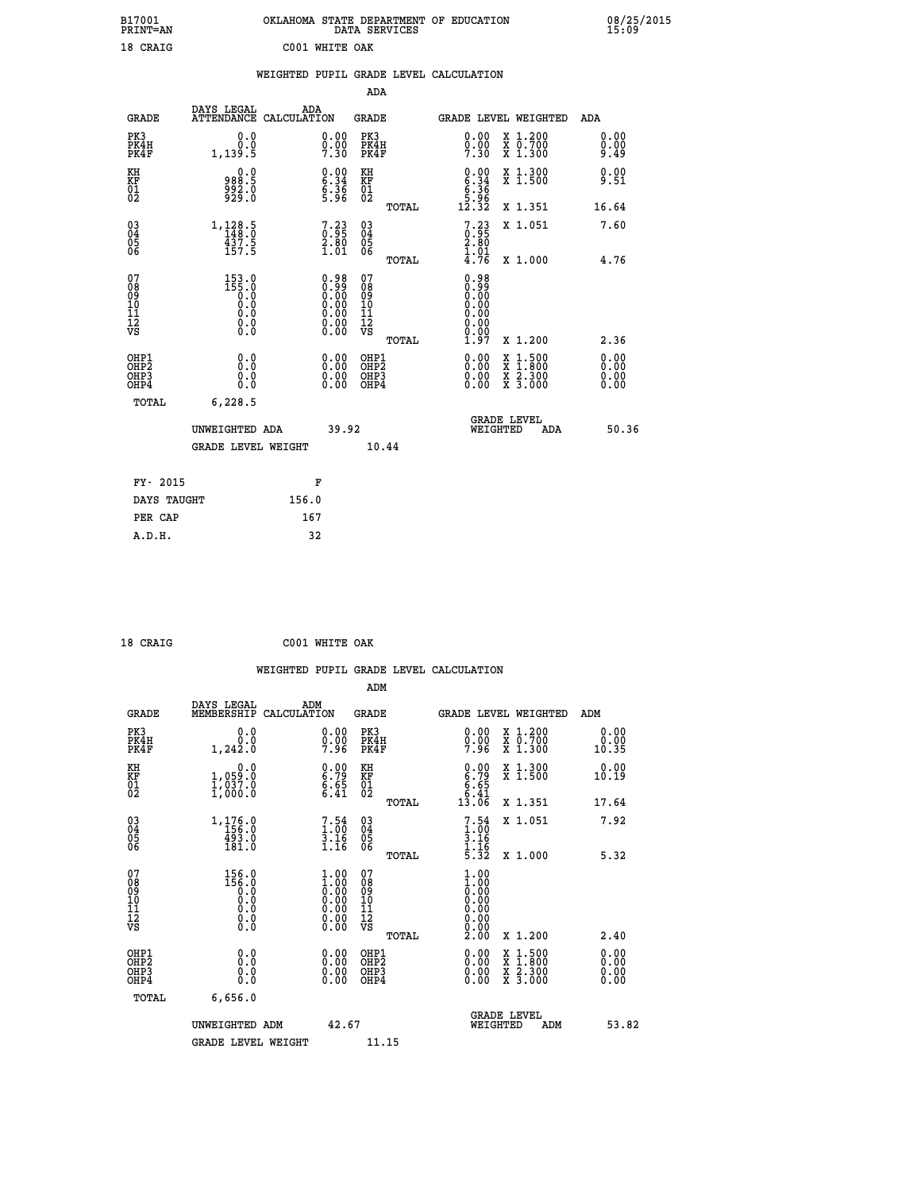| B17001<br>PRINT=AN                                    |                                                    |                                                                                               |                                                    | OKLAHOMA STATE DEPARTMENT OF EDUCATION DATA SERVICES                                                |                                                                       | 08/25/2015<br>15:09          |
|-------------------------------------------------------|----------------------------------------------------|-----------------------------------------------------------------------------------------------|----------------------------------------------------|-----------------------------------------------------------------------------------------------------|-----------------------------------------------------------------------|------------------------------|
| 18 CRAIG                                              |                                                    | C001 WHITE OAK                                                                                |                                                    |                                                                                                     |                                                                       |                              |
|                                                       |                                                    |                                                                                               |                                                    | WEIGHTED PUPIL GRADE LEVEL CALCULATION                                                              |                                                                       |                              |
|                                                       |                                                    |                                                                                               | <b>ADA</b>                                         |                                                                                                     |                                                                       |                              |
| <b>GRADE</b>                                          | DAYS LEGAL                                         | ADA<br>ATTENDANCE CALCULATION                                                                 | GRADE                                              | GRADE LEVEL WEIGHTED                                                                                |                                                                       | ADA                          |
| PK3<br>PK4H<br>PK4F                                   | 0.0<br>0.0<br>1,139.5                              | $\substack{0.00\\0.00\\7.30}$                                                                 | PK3<br>PK4H<br>PK4F                                | 0.00<br>$0.00$<br>7.30                                                                              | X 1.200<br>X 0.700<br>X 1.300                                         | 0.00<br>0.00<br>9.49         |
| KH<br>KF<br>01<br>02                                  | 0.0<br>988.5<br>992.0<br>929.0                     | $\begin{smallmatrix} 0.00\ 6.34\ 6.36\ 9.96 \end{smallmatrix}$                                | KH<br><b>KF</b><br>01<br>02                        | $\begin{array}{c} 0.00 \\ 6.34 \\ 6.36 \\ 5.36 \\ 5.96 \\ 12.32 \end{array}$                        | X 1.300<br>X 1.500                                                    | 0.00<br>9.51                 |
|                                                       |                                                    |                                                                                               | TOTAL                                              |                                                                                                     | X 1.351                                                               | 16.64                        |
| 03<br>04<br>05<br>06                                  | 1,128.5<br>148.0<br>437.5                          | $\begin{smallmatrix}7.23\0.95\2.80\1.01\end{smallmatrix}$                                     | $\begin{matrix} 03 \\ 04 \\ 05 \\ 06 \end{matrix}$ | $\begin{smallmatrix}7.23\0.95\2.80\end{smallmatrix}$                                                | X 1.051                                                               | 7.60                         |
|                                                       | 157.5                                              |                                                                                               | TOTAL                                              | 1.01<br>$\bar{4}.\bar{7}\bar{6}$                                                                    | X 1.000                                                               | 4.76                         |
| 07<br>08<br>09<br>11<br>11<br>12<br>VS                | $153.0$<br>$155.0$<br>$0.0$<br>Ŏ.Ŏ<br>0.0<br>$\S.$ | $\begin{smallmatrix} 0.98\ 0.99\ 0.00\ 0.00\ 0.00\ 0.00\ 0.00\ 0.00\ 0.00\ \end{smallmatrix}$ | 07<br>08<br>09<br>11<br>11<br>12<br>VS<br>TOTAL    | 0.98<br>0:00<br>0:00<br>0:00<br>$\begin{smallmatrix} 0.00 \ 0.00 \end{smallmatrix}$<br>0.00<br>1.97 | X 1.200                                                               | 2.36                         |
| OHP1<br>OH <sub>P</sub> 2<br>OH <sub>P3</sub><br>OHP4 | 0.0<br>0.000                                       | 0.00<br>0.00                                                                                  | OHP1<br>OH <sub>P</sub> 2<br>OHP3<br>OHP4          | 0.00<br>0.00<br>0.00                                                                                | X 1:500<br>X 1:800<br>$\frac{x}{x}$ $\frac{2 \cdot 300}{3 \cdot 000}$ | 0.00<br>0.00<br>0.00<br>0.00 |
| TOTAL                                                 | 6, 228.5                                           |                                                                                               |                                                    |                                                                                                     |                                                                       |                              |
|                                                       | IINWETGHTED ADA                                    | 39.92                                                                                         |                                                    | <b>GRADE LEVEL</b><br><b>WETCHTED</b>                                                               | ADA                                                                   | 50.36                        |

|             | UNWEIGHTED ADA            |       | 39.92 |       | WEIGHTED | ADA | 50.36 |
|-------------|---------------------------|-------|-------|-------|----------|-----|-------|
|             | <b>GRADE LEVEL WEIGHT</b> |       |       | 10.44 |          |     |       |
| FY- 2015    |                           | F     |       |       |          |     |       |
| DAYS TAUGHT |                           | 156.0 |       |       |          |     |       |
| PER CAP     |                           | 167   |       |       |          |     |       |
| A.D.H.      |                           | 32    |       |       |          |     |       |

| 18 CRAIG | C001 WHITE OAK |  |
|----------|----------------|--|

|                                                                  |                                                                                           |                                                                                                     | ADM                                    |       |                                                                                                                                                                                                                                                                                |                                          |                                                                                                                                                                                                                                                                                |
|------------------------------------------------------------------|-------------------------------------------------------------------------------------------|-----------------------------------------------------------------------------------------------------|----------------------------------------|-------|--------------------------------------------------------------------------------------------------------------------------------------------------------------------------------------------------------------------------------------------------------------------------------|------------------------------------------|--------------------------------------------------------------------------------------------------------------------------------------------------------------------------------------------------------------------------------------------------------------------------------|
| <b>GRADE</b>                                                     | DAYS LEGAL<br>MEMBERSHIP                                                                  | ADM<br>CALCULATION                                                                                  | <b>GRADE</b>                           |       |                                                                                                                                                                                                                                                                                | GRADE LEVEL WEIGHTED                     | ADM                                                                                                                                                                                                                                                                            |
| PK3<br>PK4H<br>PK4F                                              | 0.0<br>0.0<br>1,242.0                                                                     | $\begin{smallmatrix} 0.00 \ 0.00 \ 7.96 \end{smallmatrix}$                                          | PK3<br>PK4H<br>PK4F                    |       | 0.00<br>$0.00$<br>7.96                                                                                                                                                                                                                                                         | X 1.200<br>X 0.700<br>X 1.300            | 0.00<br>0.00<br>10.35                                                                                                                                                                                                                                                          |
| KH<br>KF<br>01<br>02                                             | 0.0<br>1,059:0<br>1,037:0<br>1,000:0                                                      | $\begin{array}{c} 0.00 \\ 6.79 \\ 6.65 \\ 6.41 \end{array}$                                         | KH<br>KF<br>01<br>02                   |       | $\begin{array}{c} 0.00 \\ 6.79 \\ 6.65 \\ 6.41 \\ 13.06 \end{array}$                                                                                                                                                                                                           | X 1.300<br>X 1.500                       | 0.00<br>10.19                                                                                                                                                                                                                                                                  |
|                                                                  |                                                                                           |                                                                                                     |                                        | TOTAL |                                                                                                                                                                                                                                                                                | X 1.351                                  | 17.64                                                                                                                                                                                                                                                                          |
| $\begin{matrix} 03 \\ 04 \\ 05 \\ 06 \end{matrix}$               | $1, 176.0$<br>156.0<br>493.0<br>181.0                                                     | $7.54$<br>$3.16$<br>$3.16$<br>$1.16$                                                                | 03<br>04<br>05<br>06                   |       | 7.54<br>$\begin{array}{c} 1.00 \\ 3.16 \\ 1.16 \\ 5.32 \end{array}$                                                                                                                                                                                                            | X 1.051                                  | 7.92                                                                                                                                                                                                                                                                           |
|                                                                  |                                                                                           |                                                                                                     |                                        | TOTAL |                                                                                                                                                                                                                                                                                | X 1.000                                  | 5.32                                                                                                                                                                                                                                                                           |
| 07<br>0890112<br>1112<br>VS                                      | $\begin{smallmatrix} 156.0\\ 156.0\\ 0.0\\ 0.0\\ 0.0\\ 0.0\\ 0.0\\ 0.0 \end{smallmatrix}$ | $\begin{smallmatrix} 1.00\ 1.00\ 0.00\ 0.00\ 0.00\ 0.00\ 0.00\ 0.00\ 0.00\ 0.00\ \end{smallmatrix}$ | 07<br>08<br>09<br>11<br>11<br>12<br>VS |       | $\begin{smallmatrix} 1.00 \ 1.00 \ 0.00 \ 0.00 \ 0.00 \ 0.00 \ 0.00 \ 0.00 \ 0.00 \end{smallmatrix}$                                                                                                                                                                           |                                          |                                                                                                                                                                                                                                                                                |
|                                                                  |                                                                                           |                                                                                                     |                                        | TOTAL | 2.00                                                                                                                                                                                                                                                                           | X 1.200                                  | 2.40                                                                                                                                                                                                                                                                           |
| OHP1<br>OHP <sub>2</sub><br>OH <sub>P3</sub><br>OH <sub>P4</sub> | $\begin{smallmatrix} 0.0 \ 0.0 \ 0.0 \end{smallmatrix}$                                   |                                                                                                     | OHP1<br>OHP2<br>OHP <sub>3</sub>       |       | $\begin{smallmatrix} 0.00 & 0.00 & 0.00 & 0.00 & 0.00 & 0.00 & 0.00 & 0.00 & 0.00 & 0.00 & 0.00 & 0.00 & 0.00 & 0.00 & 0.00 & 0.00 & 0.00 & 0.00 & 0.00 & 0.00 & 0.00 & 0.00 & 0.00 & 0.00 & 0.00 & 0.00 & 0.00 & 0.00 & 0.00 & 0.00 & 0.00 & 0.00 & 0.00 & 0.00 & 0.00 & 0.0$ | X 1:500<br>X 1:800<br>X 2:300<br>X 3:000 | $\begin{smallmatrix} 0.00 & 0.00 & 0.00 & 0.00 & 0.00 & 0.00 & 0.00 & 0.00 & 0.00 & 0.00 & 0.00 & 0.00 & 0.00 & 0.00 & 0.00 & 0.00 & 0.00 & 0.00 & 0.00 & 0.00 & 0.00 & 0.00 & 0.00 & 0.00 & 0.00 & 0.00 & 0.00 & 0.00 & 0.00 & 0.00 & 0.00 & 0.00 & 0.00 & 0.00 & 0.00 & 0.0$ |
| TOTAL                                                            | 6,656.0                                                                                   |                                                                                                     |                                        |       |                                                                                                                                                                                                                                                                                |                                          |                                                                                                                                                                                                                                                                                |
|                                                                  | UNWEIGHTED ADM                                                                            | 42.67                                                                                               |                                        |       |                                                                                                                                                                                                                                                                                | GRADE LEVEL<br>WEIGHTED<br>ADM           | 53.82                                                                                                                                                                                                                                                                          |
|                                                                  | GRADE LEVEL WEIGHT                                                                        |                                                                                                     | 11.15                                  |       |                                                                                                                                                                                                                                                                                |                                          |                                                                                                                                                                                                                                                                                |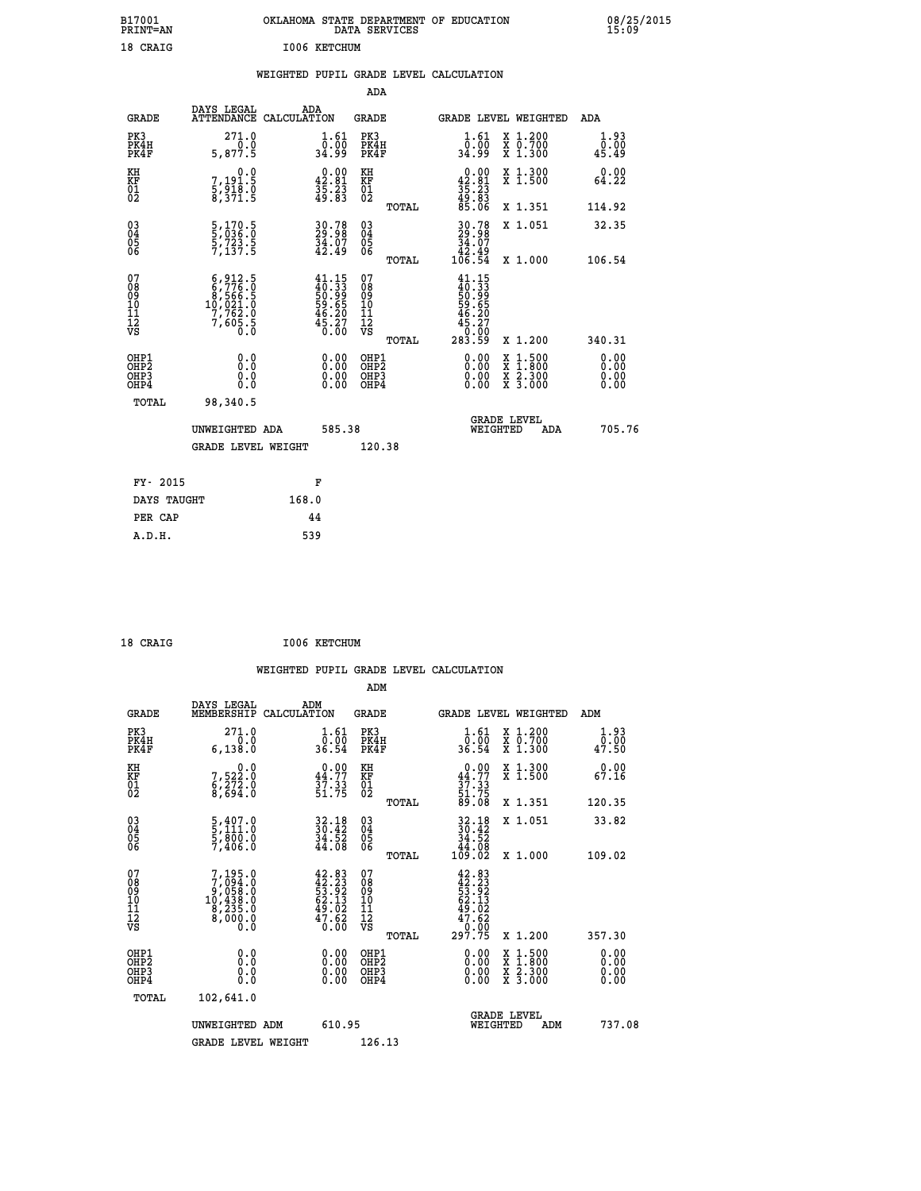| PRINT=AN                |                                                                                                                                                                          |                                                                                                                                                                                                                                                                                 |                                                                                                                                                 |                                                                                                                                                                                        | 08/25/2015<br>15:09                                                                                                                                                                                                                                                                                            |
|-------------------------|--------------------------------------------------------------------------------------------------------------------------------------------------------------------------|---------------------------------------------------------------------------------------------------------------------------------------------------------------------------------------------------------------------------------------------------------------------------------|-------------------------------------------------------------------------------------------------------------------------------------------------|----------------------------------------------------------------------------------------------------------------------------------------------------------------------------------------|----------------------------------------------------------------------------------------------------------------------------------------------------------------------------------------------------------------------------------------------------------------------------------------------------------------|
| 18 CRAIG                |                                                                                                                                                                          |                                                                                                                                                                                                                                                                                 |                                                                                                                                                 |                                                                                                                                                                                        |                                                                                                                                                                                                                                                                                                                |
|                         |                                                                                                                                                                          |                                                                                                                                                                                                                                                                                 |                                                                                                                                                 |                                                                                                                                                                                        |                                                                                                                                                                                                                                                                                                                |
|                         |                                                                                                                                                                          | ADA                                                                                                                                                                                                                                                                             |                                                                                                                                                 |                                                                                                                                                                                        |                                                                                                                                                                                                                                                                                                                |
| DAYS LEGAL              | ADA                                                                                                                                                                      | GRADE                                                                                                                                                                                                                                                                           |                                                                                                                                                 |                                                                                                                                                                                        | ADA                                                                                                                                                                                                                                                                                                            |
| 271.0<br>0.0<br>5,877.5 | 1.61<br>ō:ŏō<br>34:99                                                                                                                                                    | PK3<br>PK4H<br>PK4F                                                                                                                                                                                                                                                             | $\substack{1.61\\0.00\\34.99}$                                                                                                                  |                                                                                                                                                                                        | 1.93<br>0.00<br>45.49                                                                                                                                                                                                                                                                                          |
| 0.0                     |                                                                                                                                                                          | KH                                                                                                                                                                                                                                                                              |                                                                                                                                                 |                                                                                                                                                                                        | 0.00<br>64.22                                                                                                                                                                                                                                                                                                  |
|                         |                                                                                                                                                                          | TOTAL                                                                                                                                                                                                                                                                           |                                                                                                                                                 |                                                                                                                                                                                        | 114.92                                                                                                                                                                                                                                                                                                         |
|                         |                                                                                                                                                                          |                                                                                                                                                                                                                                                                                 | 34.07                                                                                                                                           |                                                                                                                                                                                        | 32.35                                                                                                                                                                                                                                                                                                          |
|                         |                                                                                                                                                                          |                                                                                                                                                                                                                                                                                 |                                                                                                                                                 |                                                                                                                                                                                        | 106.54                                                                                                                                                                                                                                                                                                         |
|                         |                                                                                                                                                                          | 08<br>09<br>10<br>11<br>12<br>VS                                                                                                                                                                                                                                                | 46.20<br>$\frac{45.27}{0.00}$                                                                                                                   |                                                                                                                                                                                        | 340.31                                                                                                                                                                                                                                                                                                         |
| 0.0<br>0.0              | 0.00<br>0.00                                                                                                                                                             | OHP1<br>OHP <sub>2</sub><br>OHP3                                                                                                                                                                                                                                                | 0.00<br>0.00                                                                                                                                    |                                                                                                                                                                                        | 0.00<br>0.00<br>0.00                                                                                                                                                                                                                                                                                           |
| 98,340.5                |                                                                                                                                                                          |                                                                                                                                                                                                                                                                                 |                                                                                                                                                 |                                                                                                                                                                                        |                                                                                                                                                                                                                                                                                                                |
|                         |                                                                                                                                                                          |                                                                                                                                                                                                                                                                                 |                                                                                                                                                 | <b>ADA</b>                                                                                                                                                                             | 705.76                                                                                                                                                                                                                                                                                                         |
|                         |                                                                                                                                                                          |                                                                                                                                                                                                                                                                                 |                                                                                                                                                 |                                                                                                                                                                                        |                                                                                                                                                                                                                                                                                                                |
| FY- 2015                | F                                                                                                                                                                        |                                                                                                                                                                                                                                                                                 |                                                                                                                                                 |                                                                                                                                                                                        |                                                                                                                                                                                                                                                                                                                |
| DAYS TAUGHT             | 168.0                                                                                                                                                                    |                                                                                                                                                                                                                                                                                 |                                                                                                                                                 |                                                                                                                                                                                        |                                                                                                                                                                                                                                                                                                                |
|                         | 7,191.5<br>5,918.0<br>8,371.5<br>5,170.5<br>5,036.0<br>5,723.5<br>7,137.5<br>$6,912.5$<br>$6,776.0$<br>$8,566.5$<br>$10,021.0$<br>$7,762.0$<br>$7,605.5$<br>$0.0$<br>0.0 | ATTENDANCE CALCULATION<br>$\begin{smallmatrix} 0.00\\ 42.81\\ 35.23\\ 49.83 \end{smallmatrix}$<br>30.78<br>29.98<br>34.07<br>42.49<br>$41.15$<br>$40.33$<br>$50.99$<br>$59.65$<br>$59.65$<br>$46.207$<br>$45.27$<br>0.00<br>0.00<br>UNWEIGHTED ADA<br><b>GRADE LEVEL WEIGHT</b> | I006 KETCHUM<br>KF<br>01<br>02<br>$\begin{matrix} 03 \\ 04 \\ 05 \\ 06 \end{matrix}$<br><b>TOTAL</b><br>07<br>TOTAL<br>OHP4<br>585.38<br>120.38 | WEIGHTED PUPIL GRADE LEVEL CALCULATION<br>$0.00\n42.81\n35.23\n49.83\n49.83\n85.06$<br>30.78<br>29:98<br>42.49<br>106.54<br>$41.15$<br>$40.33$<br>$50.99$<br>$59.65$<br>283.59<br>0.00 | OKLAHOMA STATE DEPARTMENT OF EDUCATION DATA SERVICES<br><b>GRADE LEVEL WEIGHTED</b><br>X 1.200<br>X 0.700<br>X 1.300<br>X 1.300<br>X 1.500<br>X 1.351<br>X 1.051<br>X 1.000<br>X 1.200<br>$\frac{x}{x}$ $\frac{1.500}{x}$<br>$\frac{x}{x}$ $\frac{2 \cdot 300}{3 \cdot 000}$<br><b>GRADE LEVEL</b><br>WEIGHTED |

| 18 CRAIG | I006 KETCHUM |
|----------|--------------|

PER CAP 44

 **ADM DAYS LEGAL ADM GRADE MEMBERSHIP CALCULATION GRADE GRADE LEVEL WEIGHTED ADM** PK3 271.0 1.61 PK3 1.61 X 1.200 1.93<br>
PK4H 0.0 0.00 PK4H 0.00 X 0.700 0.00<br>
PK4F 6,138.0 36.54 PK4F 36.54 X 1.300 47.50  **PK4H 0.0 0.00 PK4H 0.00 X 0.700 0.00 01 6,272.0 37.33 01 37.33**  $02 \hspace{1.5cm} 8,694.0 \hspace{1.5cm} 51.75 \hspace{1.5cm} 02 \hspace{1.5cm} 54.75$  **04 5,111.0 30.42 04 30.42 05 5,800.0 34.52 05 34.52 06 7,406.0 44.08 06 44.08 07 7,195.0 42.83 07 42.83 08 7,094.0 42.23 08 42.23 09 9,058.0 53.92 09 53.92**

| PK4H<br>PK4F                                       | 6,138.0                                                                     | 36.90                                                                                        | PK4H<br>PK4F                                                | 36.90                                                                                                          | $\begin{smallmatrix} 1.700 \\ 1.300 \end{smallmatrix}$                                                              | 47.50                    |
|----------------------------------------------------|-----------------------------------------------------------------------------|----------------------------------------------------------------------------------------------|-------------------------------------------------------------|----------------------------------------------------------------------------------------------------------------|---------------------------------------------------------------------------------------------------------------------|--------------------------|
| KH<br>KF<br>01<br>02                               | $\begin{smallmatrix}&&&0.0\\7,522.0\\6,272.0\\8,694.0\end{smallmatrix}$     | $\begin{smallmatrix} 0.00\\ 44.77\\ 37.33\\ 51.75 \end{smallmatrix}$                         | ΚH<br>KF<br>01<br>02                                        | $0.00\n44.77\n37.33\n51.75\n89.08$                                                                             | X 1.300<br>X 1.500                                                                                                  | 0.00<br>67.16            |
|                                                    |                                                                             |                                                                                              | TOTAL                                                       |                                                                                                                | X 1.351                                                                                                             | 120.35                   |
| $\begin{matrix} 03 \\ 04 \\ 05 \\ 06 \end{matrix}$ | $\frac{5}{5}, \frac{407}{111}.0$<br>$\frac{5}{7}, \frac{800}{406}.0$        | 32.18<br>30.42<br>34.52<br>44.08                                                             | $\begin{matrix} 03 \\ 04 \\ 05 \\ 06 \end{matrix}$<br>TOTAL | $32.1830.4234.5244.08109.02$                                                                                   | X 1.051<br>X 1.000                                                                                                  | 33.82<br>109.02          |
| 07<br>08<br>09<br>101<br>11<br>12<br>VS            | $7,195.0$<br>$7,094.0$<br>$9,058.0$<br>$10,438.0$<br>$8,235.0$<br>$8,000.0$ | $\begin{smallmatrix} 42.83\\ 42.23\\ 53.92\\ 62.13\\ 49.02\\ 47.62\\ 0.00 \end{smallmatrix}$ | 078901112<br>0001112<br>VS<br>TOTAL                         | $\begin{smallmatrix} 42.83\\ 42.33\\ 53.92\\ 52.13\\ 62.13\\ 49.02\\ 47.62\\ 0.000\\ 297.75 \end{smallmatrix}$ | X 1.200                                                                                                             | 357.30                   |
| OHP1<br>OHP2<br>OH <sub>P3</sub><br>OHP4           | 0.0<br>0.000                                                                |                                                                                              | OHP1<br>OHP2<br>OHP3<br>OHP4                                | $0.00$<br>$0.00$<br>0.00                                                                                       | $\begin{array}{l} \mathtt{X} & 1.500 \\ \mathtt{X} & 1.800 \\ \mathtt{X} & 2.300 \\ \mathtt{X} & 3.000 \end{array}$ | $0.00$<br>$0.00$<br>0.00 |
| TOTAL                                              | 102,641.0                                                                   |                                                                                              |                                                             |                                                                                                                |                                                                                                                     |                          |
|                                                    | UNWEIGHTED ADM                                                              | 610.95                                                                                       |                                                             | WEIGHTED                                                                                                       | <b>GRADE LEVEL</b><br>ADM                                                                                           | 737.08                   |
|                                                    | <b>GRADE LEVEL WEIGHT</b>                                                   |                                                                                              | 126.13                                                      |                                                                                                                |                                                                                                                     |                          |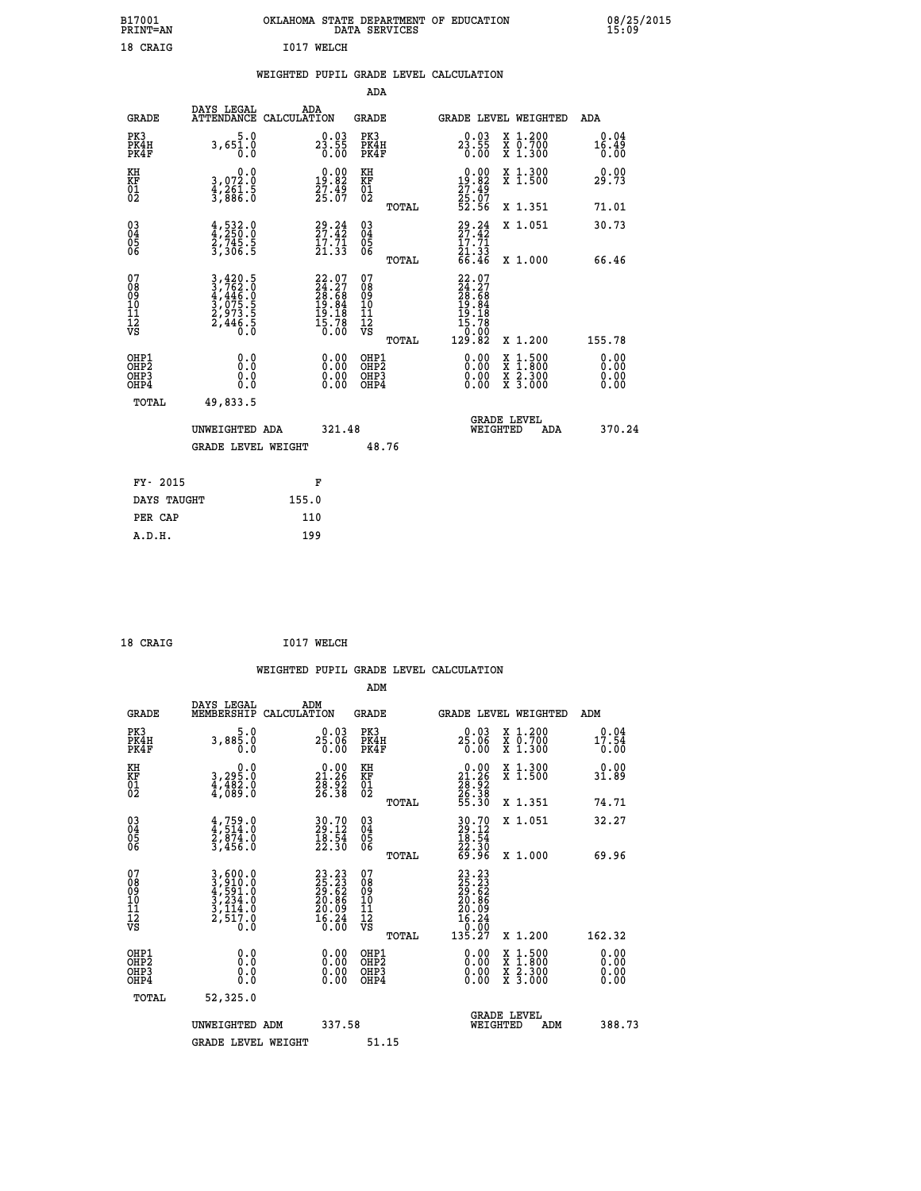| B17001<br><b>PRINT=AN</b> | OKLAHOMA STATE DEPARTMENT OF EDUCATION<br>DATA SERVICES | 08/25/2015<br>15:09 |
|---------------------------|---------------------------------------------------------|---------------------|
| מדגקי 18                  | <b>WELCH</b><br>T01',                                   |                     |

#### **WEIGHTED PUPIL GRADE LEVEL CALCULATION**

|                                                                    |                                                                                                                                                                  |                                                                          | ADA                                    |       |                                                                                                        |                                                                                                                                           |     |                       |
|--------------------------------------------------------------------|------------------------------------------------------------------------------------------------------------------------------------------------------------------|--------------------------------------------------------------------------|----------------------------------------|-------|--------------------------------------------------------------------------------------------------------|-------------------------------------------------------------------------------------------------------------------------------------------|-----|-----------------------|
| <b>GRADE</b>                                                       | DAYS LEGAL<br>ATTENDANCE CALCULATION                                                                                                                             | ADA                                                                      | <b>GRADE</b>                           |       | GRADE LEVEL WEIGHTED                                                                                   |                                                                                                                                           |     | ADA                   |
| PK3<br>PK4H<br>PK4F                                                | 5.0<br>3,651.0<br>0.0                                                                                                                                            | $2\frac{0.03}{23.55}$<br>0.00                                            | PK3<br>PK4H<br>PK4F                    |       | $23.55$<br>0.00                                                                                        | X 1.200<br>X 0.700<br>X 1.300                                                                                                             |     | 0.04<br>16.49<br>0.00 |
| KH<br>KF<br>01<br>02                                               | 0.0<br>3,072:0<br>4,261:5<br>3,886:0                                                                                                                             | $\begin{smallmatrix} 0.00\\19.82\\27.49\\25.07 \end{smallmatrix}$        | KH<br><b>KF</b><br>01<br>02            |       | 0.00<br>19.82<br>$\frac{27.49}{25.07}$<br>52.56                                                        | X 1.300<br>X 1.500                                                                                                                        |     | 0.00<br>29.73         |
|                                                                    |                                                                                                                                                                  |                                                                          |                                        | TOTAL |                                                                                                        | X 1.351                                                                                                                                   |     | 71.01                 |
| $\begin{smallmatrix} 03 \\[-4pt] 04 \end{smallmatrix}$<br>Ŏ5<br>06 | $\frac{4}{4}, \frac{532}{250}$ :0<br>2,745:5<br>3,306:5                                                                                                          | $29.24$<br>$27.42$<br>$17.71$<br>$21.33$                                 | $\substack{03 \\ 04}$<br>Ŏ5<br>06      |       | $29.24$<br>$27.42$<br>$\frac{17.71}{21.33}$<br>66.46                                                   | X 1.051                                                                                                                                   |     | 30.73                 |
|                                                                    |                                                                                                                                                                  |                                                                          |                                        | TOTAL |                                                                                                        | X 1.000                                                                                                                                   |     | 66.46                 |
| 07<br>08<br>09<br>01<br>11<br>11<br>12<br>VS                       | $\begin{smallmatrix} 3\,,\,420\,,\,5\\ 3\,,\,762\,. \,0\\ 4\,,\,446\,. \,0\\ 3\,,\,075\,. \,5\\ 2\,,\,973\,. \,5\\ 2\,,\,446\,. \,5\\ 0\,. \,0\end{smallmatrix}$ | $22.07$<br>$24.27$<br>$28.68$<br>$19.84$<br>$19.18$<br>$15.78$<br>$0.00$ | 07<br>08<br>09<br>11<br>11<br>12<br>VS |       | $\begin{smallmatrix} 22.07\\ 24.27\\ 28.68\\ 19.84\\ 19.18\\ 15.78\\ 0.002\\ 129.82 \end{smallmatrix}$ |                                                                                                                                           |     |                       |
|                                                                    |                                                                                                                                                                  |                                                                          |                                        | TOTAL |                                                                                                        | X 1.200                                                                                                                                   |     | 155.78                |
| OHP1<br><b>OHP2</b><br>OH <sub>P3</sub><br>OHP4                    | 0.0<br>0.0<br>0.0                                                                                                                                                | $0.00$<br>$0.00$<br>0.00                                                 | OHP1<br>OHP2<br>OHP3<br>OHP4           |       |                                                                                                        | $\begin{smallmatrix} \mathtt{X} & 1\cdot500\\ \mathtt{X} & 1\cdot800\\ \mathtt{X} & 2\cdot300\\ \mathtt{X} & 3\cdot000 \end{smallmatrix}$ |     | 0.00<br>0.00<br>0.00  |
| TOTAL                                                              | 49,833.5                                                                                                                                                         |                                                                          |                                        |       |                                                                                                        |                                                                                                                                           |     |                       |
|                                                                    | UNWEIGHTED ADA                                                                                                                                                   | 321.48                                                                   |                                        |       |                                                                                                        | <b>GRADE LEVEL</b><br>WEIGHTED                                                                                                            | ADA | 370.24                |
|                                                                    | <b>GRADE LEVEL WEIGHT</b>                                                                                                                                        |                                                                          |                                        | 48.76 |                                                                                                        |                                                                                                                                           |     |                       |
| FY- 2015                                                           |                                                                                                                                                                  | F                                                                        |                                        |       |                                                                                                        |                                                                                                                                           |     |                       |
| DAYS TAUGHT                                                        |                                                                                                                                                                  | 155.0                                                                    |                                        |       |                                                                                                        |                                                                                                                                           |     |                       |
| PER CAP                                                            |                                                                                                                                                                  | 110                                                                      |                                        |       |                                                                                                        |                                                                                                                                           |     |                       |

| 18 CRAIG | I017 WELCH |
|----------|------------|
|          |            |

 **A.D.H. 199**

18 CRAIG

 **WEIGHTED PUPIL GRADE LEVEL CALCULATION ADM DAYS LEGAL ADM GRADE MEMBERSHIP CALCULATION GRADE GRADE LEVEL WEIGHTED ADM PK3 5.0 0.03 PK3 0.03 X 1.200 0.04 PK4H 3,885.0 25.06 PK4H 25.06 X 0.700 17.54 PK4F 0.0 0.00 PK4F 0.00 X 1.300 0.00 KH 0.0 0.00 KH 0.00 X 1.300 0.00 KF 3,295.0 21.26 KF 21.26 X 1.500 31.89 01 4,482.0 28.92 01 28.92 02 4,089.0 26.38 02 26.38 TOTAL 55.30 X 1.351 74.71 03 4,759.0 30.70 03 30.70 X 1.051 32.27 04 4,514.0 29.12 04 29.12 05 2,874.0 18.54 05 18.54 06 3,456.0 22.30 06 22.30 TOTAL 69.96 X 1.000 69.96**  $\begin{array}{cccc} 07 & 3,600.0 & 23.23 & 07 & 23.23 \ 08 & 3,610.0 & 25.23 & 08 & 25.23 \ 09 & 4,591.0 & 29.62 & 08 & 29.62 \ 10 & 3,234.0 & 20.86 & 10 & 20.86 \ 11 & 3,114.0 & 20.06 & 11 & 20.86 \ 12 & 2,517.0 & 16.24 & 12 & 20.09 \ \nabla \mathbf{S} & 2,517.0 & 16.36 &$  $\begin{array}{cccc} 23.23 & 07 & 23.23 \\ 25.23 & 08 & 25.23 \\ 20.62 & 09 & 29.52 \\ 20.86 & 10 & 20.86 \\ 20.08 & 11 & 20.08 \\ 16.24 & 12 & 16.24 \\ 0.00 & \text{vs} & \text{total} & 135.27 \text{ x } 1.200 \end{array}$  **OHP1 0.0 0.00 OHP1 0.00 X 1.500 0.00 OHP2 0.0 0.00 OHP2 0.00 X 1.800 0.00 OHP3 0.0 0.00 OHP3 0.00 X 2.300 0.00 OHP4 0.0 0.00 OHP4 0.00 X 3.000 0.00 TOTAL 52,325.0 GRADE LEVEL UNWEIGHTED ADM 337.58 WEIGHTED ADM 388.73** GRADE LEVEL WEIGHT 51.15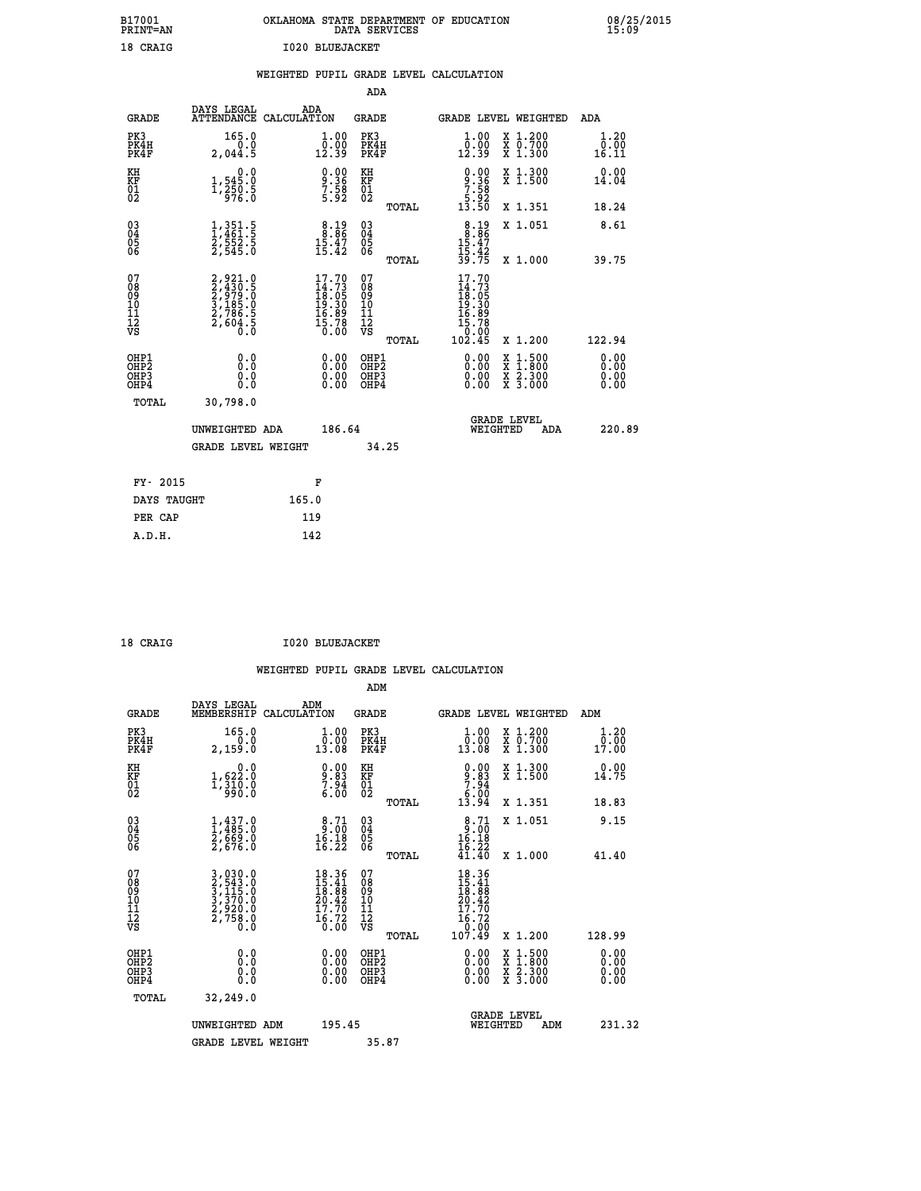| B17001<br><b>PRINT=AN</b> | OKLAHOMA<br>STATE DEPARTMENT OF EDUCATION<br><b>SERVICES</b><br>DATA | 08/25/2015<br>15:09 |
|---------------------------|----------------------------------------------------------------------|---------------------|
| 18 CRATG                  | RLIIR.TACKET<br>т ∩ ? ∩                                              |                     |

| 18 CRAIG                                           |                                                                                                        |                                        | <b>I020 BLUEJACKET</b>                                                                                                                                                                                                                                                         |                                              |       |                                                                                                                       |                                                                                                                                                                                                                                                                                |                                          |                                          |
|----------------------------------------------------|--------------------------------------------------------------------------------------------------------|----------------------------------------|--------------------------------------------------------------------------------------------------------------------------------------------------------------------------------------------------------------------------------------------------------------------------------|----------------------------------------------|-------|-----------------------------------------------------------------------------------------------------------------------|--------------------------------------------------------------------------------------------------------------------------------------------------------------------------------------------------------------------------------------------------------------------------------|------------------------------------------|------------------------------------------|
|                                                    |                                                                                                        | WEIGHTED PUPIL GRADE LEVEL CALCULATION |                                                                                                                                                                                                                                                                                |                                              |       |                                                                                                                       |                                                                                                                                                                                                                                                                                |                                          |                                          |
|                                                    |                                                                                                        |                                        |                                                                                                                                                                                                                                                                                | ADA                                          |       |                                                                                                                       |                                                                                                                                                                                                                                                                                |                                          |                                          |
| <b>GRADE</b>                                       | DAYS LEGAL<br>ATTENDANCE CALCULATION                                                                   | ADA                                    |                                                                                                                                                                                                                                                                                | <b>GRADE</b>                                 |       |                                                                                                                       |                                                                                                                                                                                                                                                                                | <b>GRADE LEVEL WEIGHTED</b>              | ADA                                      |
| PK3<br>PK4H<br>PK4F                                | 165.0<br>2,044.5                                                                                       |                                        | $\begin{smallmatrix} 1.00\\ 0.00\\ 12.39 \end{smallmatrix}$                                                                                                                                                                                                                    | PK3<br>PK4H<br>PK4F                          |       | $\begin{smallmatrix} 1.00\\ 0.00\\ 12.39 \end{smallmatrix}$                                                           |                                                                                                                                                                                                                                                                                | X 1.200<br>X 0.700<br>X 1.300            | $\frac{1}{0}$ : $\frac{20}{00}$<br>16:11 |
| KH<br>KF<br>01<br>02                               | $1,545.0$<br>1,250.5<br>1,250.5                                                                        |                                        | $9.36$<br>$7.58$<br>$5.92$                                                                                                                                                                                                                                                     | KH<br>KF<br>01<br>02                         |       | $9.36$<br>$7.36$<br>$7.58$<br>$5.92$<br>$13.50$                                                                       |                                                                                                                                                                                                                                                                                | X 1.300<br>X 1.500                       | 0.00<br>14.04                            |
|                                                    |                                                                                                        |                                        |                                                                                                                                                                                                                                                                                |                                              | TOTAL |                                                                                                                       |                                                                                                                                                                                                                                                                                | X 1.351                                  | 18.24                                    |
| $\begin{matrix} 03 \\ 04 \\ 05 \\ 06 \end{matrix}$ | $\frac{1}{1}, \frac{3}{461}$<br>$\frac{5}{52}$<br>$\frac{5}{545}$<br>$\frac{2}{545}$<br>$\frac{5}{60}$ |                                        | $8.19\n8.86\n15.47\n15.42$                                                                                                                                                                                                                                                     | 03<br>04<br>05<br>06                         |       | $8.19$<br>$15.47$<br>$15.42$<br>$39.75$                                                                               |                                                                                                                                                                                                                                                                                | X 1.051                                  | 8.61                                     |
|                                                    |                                                                                                        |                                        |                                                                                                                                                                                                                                                                                |                                              | TOTAL |                                                                                                                       |                                                                                                                                                                                                                                                                                | X 1.000                                  | 39.75                                    |
| 07<br>08<br>09<br>10<br>11<br>11<br>12<br>VS       | 2,921.0<br>2,430.5<br>2,979.0<br>2,786.5<br>2,786.5<br>2,604.5                                         |                                        | $17.70$<br>$14.73$<br>$18.05$<br>$19.30$<br>$16.89$<br>$15.78$<br>$0.00$                                                                                                                                                                                                       | 07<br>08<br>09<br>01<br>11<br>11<br>17<br>VS | TOTAL | $\begin{smallmatrix} 17.70 \\ 14.73 \\ 18.05 \\ 19.30 \\ 19.30 \\ 16.89 \\ 15.78 \\ 0.00 \\ 102.45 \end{smallmatrix}$ |                                                                                                                                                                                                                                                                                | X 1.200                                  | 122.94                                   |
| OHP1<br>OHP2<br>OH <sub>P3</sub><br>OHP4           | 0.000000<br>Ŏ.Ŏ                                                                                        |                                        | $\begin{smallmatrix} 0.00 & 0.00 & 0.00 & 0.00 & 0.00 & 0.00 & 0.00 & 0.00 & 0.00 & 0.00 & 0.00 & 0.00 & 0.00 & 0.00 & 0.00 & 0.00 & 0.00 & 0.00 & 0.00 & 0.00 & 0.00 & 0.00 & 0.00 & 0.00 & 0.00 & 0.00 & 0.00 & 0.00 & 0.00 & 0.00 & 0.00 & 0.00 & 0.00 & 0.00 & 0.00 & 0.0$ | OHP1<br>OHP2<br>OHP3<br>OHP4                 |       |                                                                                                                       | $\begin{smallmatrix} 0.00 & 0.00 & 0.00 & 0.00 & 0.00 & 0.00 & 0.00 & 0.00 & 0.00 & 0.00 & 0.00 & 0.00 & 0.00 & 0.00 & 0.00 & 0.00 & 0.00 & 0.00 & 0.00 & 0.00 & 0.00 & 0.00 & 0.00 & 0.00 & 0.00 & 0.00 & 0.00 & 0.00 & 0.00 & 0.00 & 0.00 & 0.00 & 0.00 & 0.00 & 0.00 & 0.0$ | X 1:500<br>X 1:800<br>X 2:300<br>X 3:000 | $0.00$<br>$0.00$<br>0.00                 |

| TOTAL       | 30,798.0           |        |                                       |        |
|-------------|--------------------|--------|---------------------------------------|--------|
|             | UNWEIGHTED ADA     | 186.64 | <b>GRADE LEVEL</b><br>WEIGHTED<br>ADA | 220.89 |
|             | GRADE LEVEL WEIGHT | 34.25  |                                       |        |
| FY- 2015    |                    | F      |                                       |        |
| DAYS TAUGHT | 165.0              |        |                                       |        |
| PER CAP     | 119                |        |                                       |        |
| A.D.H.      | 142                |        |                                       |        |

 **ADM**

 **18 CRAIG I020 BLUEJACKET**

| <b>GRADE</b>                                         | DAYS LEGAL<br>MEMBERSHIP CALCULATION                                  | ADM                                                                                                                           | <b>GRADE</b>                                       |       | GRADE LEVEL WEIGHTED                                                                 |                                          | ADM                                            |  |
|------------------------------------------------------|-----------------------------------------------------------------------|-------------------------------------------------------------------------------------------------------------------------------|----------------------------------------------------|-------|--------------------------------------------------------------------------------------|------------------------------------------|------------------------------------------------|--|
| PK3<br>PK4H<br>PK4F                                  | 165.0<br>0.0<br>2,159.0                                               | $\begin{smallmatrix} 1.00\\ 0.00\\ 13.08 \end{smallmatrix}$                                                                   | PK3<br>PK4H<br>PK4F                                |       | 1.00<br>$\bar{0}.\tilde{0}\tilde{0}$<br>13.08                                        | X 1.200<br>X 0.700<br>X 1.300            | 1.20<br>$\frac{\bar{0}.\bar{0}\bar{0}}{17.00}$ |  |
| KH<br>KF<br>01<br>02                                 | 0.0<br>1,622:0<br>1,310:0<br>990:0                                    | $\begin{smallmatrix} 0.00\\ 9.83\\ 7.94\\ 6.00 \end{smallmatrix}$                                                             | KH<br>KF<br>01<br>02                               |       | $\begin{array}{c} 0.00 \\ 9.83 \\ 7.94 \\ 6.00 \\ 13.94 \end{array}$                 | X 1.300<br>X 1.500                       | 0.00<br>14.75                                  |  |
|                                                      |                                                                       |                                                                                                                               |                                                    | TOTAL |                                                                                      | X 1.351                                  | 18.83                                          |  |
| 03<br>04<br>05<br>06                                 | $1,437.0$<br>$1,485.0$<br>$2,669.0$<br>$2,676.0$                      | $\begin{smallmatrix} 8.71\ 9.00\ 16.18\ 16.22 \end{smallmatrix}$                                                              | $\begin{matrix} 03 \\ 04 \\ 05 \\ 06 \end{matrix}$ |       | $8.71$<br>$16.18$<br>$16.22$<br>$41.40$                                              | X 1.051                                  | 9.15                                           |  |
|                                                      |                                                                       |                                                                                                                               |                                                    | TOTAL |                                                                                      | X 1.000                                  | 41.40                                          |  |
| 07<br>08<br>09<br>101<br>11<br>12<br>VS              | 3,030.0<br>2,543.0<br>3,115.0<br>3,370.0<br>2,920.0<br>2,758.0<br>0.0 | $\begin{array}{r} 18.36 \\[-4pt] 15.41 \\[-4pt] 18.88 \\[-4pt] 20.42 \\[-4pt] 17.70 \\[-4pt] 16.72 \\[-4pt] 0.00 \end{array}$ | 07<br>08<br>09<br>001<br>11<br>11<br>12<br>VS      | TOTAL | $18.36$<br>$15.41$<br>$18.88$<br>$20.42$<br>$17.70$<br>$16.72$<br>$0.00$<br>$107.49$ | X 1.200                                  | 128.99                                         |  |
| OHP1<br>OHP <sub>2</sub><br>OH <sub>P3</sub><br>OHP4 | 0.0<br>0.000                                                          | $\begin{smallmatrix} 0.00 \ 0.00 \ 0.00 \ 0.00 \end{smallmatrix}$                                                             | OHP1<br>OHP <sub>2</sub><br>OHP3<br>OHP4           |       | 0.00<br>$0.00$<br>0.00                                                               | X 1:500<br>X 1:800<br>X 2:300<br>X 3:000 | 0.00<br>0.00<br>0.00                           |  |
| TOTAL                                                | 32,249.0                                                              |                                                                                                                               |                                                    |       |                                                                                      |                                          |                                                |  |
|                                                      | UNWEIGHTED<br>ADM                                                     | 195.45                                                                                                                        |                                                    |       | WEIGHTED                                                                             | <b>GRADE LEVEL</b><br>ADM                | 231.32                                         |  |
|                                                      | <b>GRADE LEVEL WEIGHT</b>                                             |                                                                                                                               | 35.87                                              |       |                                                                                      |                                          |                                                |  |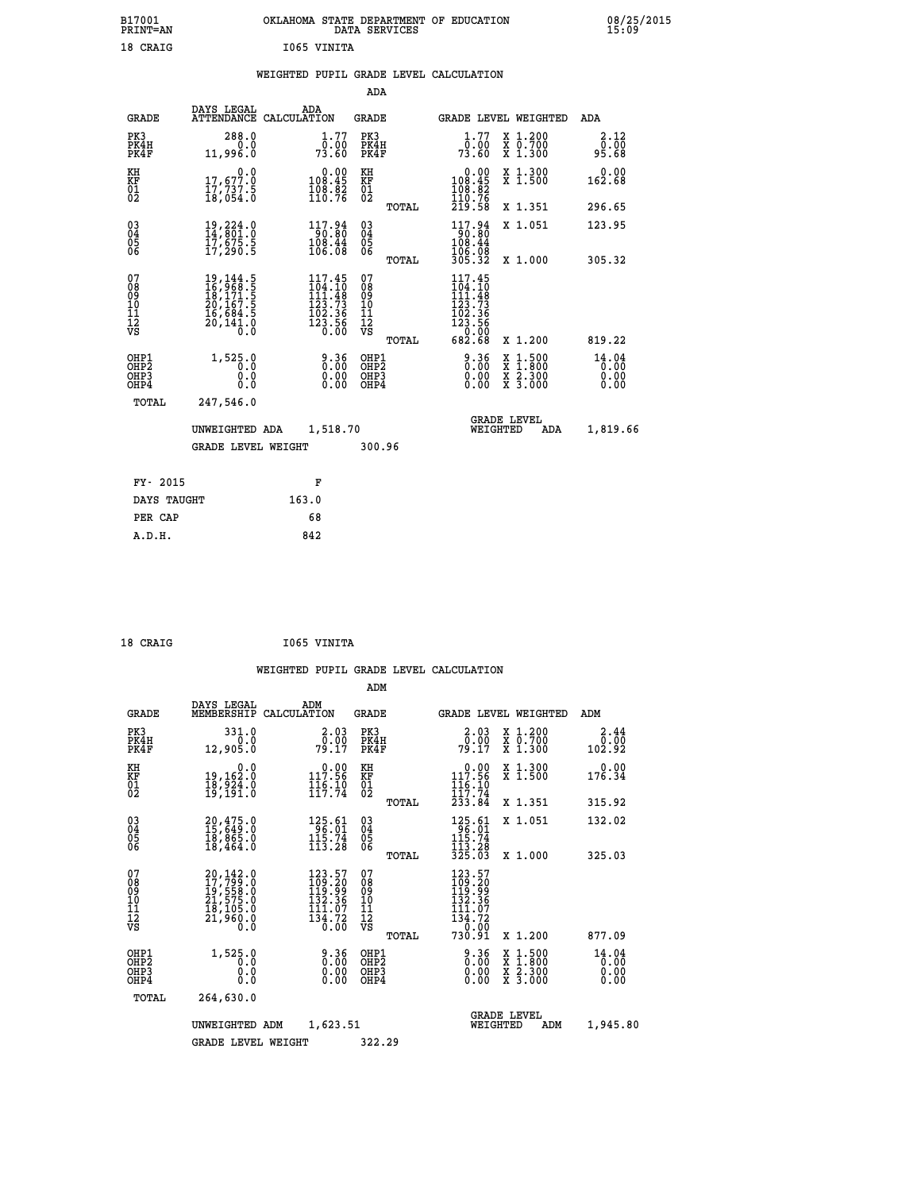| B17001<br>PRINT=AN | OKLAHOMA STATE DEPARTMENT OF EDUCATION<br>DATA SERVICES | 08/25/2015<br>15:09 |
|--------------------|---------------------------------------------------------|---------------------|
| 18 CRAIG           | 1065 VINITA                                             |                     |

|  |  | WEIGHTED PUPIL GRADE LEVEL CALCULATION |
|--|--|----------------------------------------|
|  |  |                                        |

|                                                                              |                                                                                                                                                                                 |                                                                                                                   | ADA                                    |       |                                                                                          |                                                                                                                                              |                               |
|------------------------------------------------------------------------------|---------------------------------------------------------------------------------------------------------------------------------------------------------------------------------|-------------------------------------------------------------------------------------------------------------------|----------------------------------------|-------|------------------------------------------------------------------------------------------|----------------------------------------------------------------------------------------------------------------------------------------------|-------------------------------|
| <b>GRADE</b>                                                                 | DAYS LEGAL                                                                                                                                                                      | ADA<br>ATTENDANCE CALCULATION                                                                                     | GRADE                                  |       | <b>GRADE LEVEL WEIGHTED</b>                                                              |                                                                                                                                              | ADA                           |
| PK3<br>PK4H<br>PK4F                                                          | 288.0<br>0.0<br>11,996.0                                                                                                                                                        | 1.77<br>0.00<br>73.60                                                                                             | PK3<br>PK4H<br>PK4F                    |       | 1.77<br>0.00<br>73.60                                                                    | X 1.200<br>X 0.700<br>X 1.300                                                                                                                | 2.12<br>0.00<br>95.68         |
| KH<br>KF<br>01<br>02                                                         | 0.0<br>17,677.0<br>17,737.5<br>18,054.0                                                                                                                                         | $\begin{smallmatrix} &0.00\\ 108.45\\ 108.82\\ 110.76\end{smallmatrix}$                                           | KH<br><b>KF</b><br>01<br>02            |       | $\begin{smallmatrix} &0.00\\ 108.45\\ 108.82\\ 110.76\\ 219.58 \end{smallmatrix}$        | X 1.300<br>X 1.500                                                                                                                           | 0.00<br>162.68                |
|                                                                              |                                                                                                                                                                                 |                                                                                                                   |                                        | TOTAL |                                                                                          | X 1.351                                                                                                                                      | 296.65                        |
| $^{03}_{04}$<br>Ŏ5<br>06                                                     | 19,224.0<br>14,801.0<br>17,ĕ75.š<br>17,290.5                                                                                                                                    | $\begin{array}{r} 117.94 \\ 90.80 \\ 108.44 \\ 106.08 \end{array}$                                                | $\substack{03 \\ 04}$<br>Ŏ5<br>06      |       | $117.94$<br>$108.80$<br>$108.44$<br>106.08                                               | X 1.051                                                                                                                                      | 123.95                        |
|                                                                              |                                                                                                                                                                                 |                                                                                                                   |                                        | TOTAL | 305.32                                                                                   | X 1.000                                                                                                                                      | 305.32                        |
| 07<br>08<br>09<br>11<br>11<br>12<br>VS                                       | $\begin{smallmatrix} 19\,,\, 144\,.\, 5\\ 16\,,\, 968\,. \, 5\\ 18\,,\, 171\,. \, 5\\ 20\,,\, 167\,. \, 5\\ 16\,,\, 684\,. \, 5\\ 20\,,\, 141\,. \, 0\\ 0\,. \end{smallmatrix}$ | 117.45<br>$\frac{104}{111}.$ $\frac{10}{48}$<br>$\begin{array}{r} 123.73 \\ 102.36 \\ 123.56 \\ 0.00 \end{array}$ | 07<br>08<br>09<br>11<br>11<br>12<br>VS | TOTAL | 117.45<br>$104.10$<br>$111.48$<br>$123.73$<br>$102.36$<br>$123.56$<br>$0.00$<br>$682.68$ | X 1.200                                                                                                                                      | 819.22                        |
| OHP1<br>OH <sub>P</sub> <sub>2</sub><br>OH <sub>P3</sub><br>OH <sub>P4</sub> | 1,525.0<br>0.0<br>0.0<br>0.0                                                                                                                                                    | 0.36<br>0.00<br>0.00                                                                                              | OHP1<br>OHP2<br>OHP3<br>OHP4           |       | 0.36<br>0.00<br>0.00                                                                     | $\begin{smallmatrix} \mathtt{X} & 1\cdot500 \\ \mathtt{X} & 1\cdot800 \\ \mathtt{X} & 2\cdot300 \\ \mathtt{X} & 3\cdot000 \end{smallmatrix}$ | 14.04<br>0.00<br>0.00<br>0.00 |
| TOTAL                                                                        | 247,546.0                                                                                                                                                                       |                                                                                                                   |                                        |       |                                                                                          |                                                                                                                                              |                               |
|                                                                              | UNWEIGHTED ADA                                                                                                                                                                  | 1,518.70                                                                                                          |                                        |       | WEIGHTED                                                                                 | <b>GRADE LEVEL</b><br>ADA                                                                                                                    | 1,819.66                      |
|                                                                              | <b>GRADE LEVEL WEIGHT</b>                                                                                                                                                       |                                                                                                                   | 300.96                                 |       |                                                                                          |                                                                                                                                              |                               |
|                                                                              |                                                                                                                                                                                 |                                                                                                                   |                                        |       |                                                                                          |                                                                                                                                              |                               |
| FY- 2015                                                                     |                                                                                                                                                                                 | F                                                                                                                 |                                        |       |                                                                                          |                                                                                                                                              |                               |
| DAYS TAUGHT                                                                  |                                                                                                                                                                                 | 163.0                                                                                                             |                                        |       |                                                                                          |                                                                                                                                              |                               |
| PER CAP                                                                      |                                                                                                                                                                                 | 68                                                                                                                |                                        |       |                                                                                          |                                                                                                                                              |                               |
| A.D.H.                                                                       |                                                                                                                                                                                 | 842                                                                                                               |                                        |       |                                                                                          |                                                                                                                                              |                               |

| 18 CRAIG | I065 VINITA |
|----------|-------------|
|          |             |

|                                                       |                                                                      |                    |                                                                 | ADM                                     |       |                                                                                                            |          |                                          |                               |
|-------------------------------------------------------|----------------------------------------------------------------------|--------------------|-----------------------------------------------------------------|-----------------------------------------|-------|------------------------------------------------------------------------------------------------------------|----------|------------------------------------------|-------------------------------|
| <b>GRADE</b>                                          | DAYS LEGAL<br>MEMBERSHIP                                             | ADM<br>CALCULATION |                                                                 | <b>GRADE</b>                            |       |                                                                                                            |          | GRADE LEVEL WEIGHTED                     | ADM                           |
| PK3<br>PK4H<br>PK4F                                   | 331.0<br>0.0<br>12,905.0                                             |                    | 2.03<br>_0.00<br>79.17                                          | PK3<br>PK4H<br>PK4F                     |       | $\begin{array}{c} 2.03 \\ 0.00 \\ 79.17 \end{array}$                                                       |          | X 1.200<br>X 0.700<br>X 1.300            | 2.44<br>0.00<br>102.92        |
| KH<br>KF<br>01<br>02                                  | 0.0<br>19,162.0<br>18,924.0<br>19,191.0                              |                    | 117.96<br>$\frac{1}{11}\frac{6}{7}\cdot\frac{10}{74}$           | KH<br>KF<br>01<br>02                    |       | 117.56<br>$\frac{1}{11}\frac{6}{7}\cdot\frac{10}{74}$                                                      |          | X 1.300<br>X 1.500                       | 0.00<br>176.34                |
|                                                       |                                                                      |                    |                                                                 |                                         | TOTAL | 233.84                                                                                                     |          | X 1.351                                  | 315.92                        |
| 03<br>04<br>05<br>06                                  | 20,475.0<br>15,649.0<br>18,865.0<br>18,464.0                         |                    | $125.61$<br>$96.01$<br>$115.74$<br>113.28                       | $^{03}_{04}$<br>05<br>06                |       | $125.61$<br>$196.01$<br>$115.74$<br>113.28<br>325.03                                                       |          | X 1.051                                  | 132.02                        |
|                                                       |                                                                      |                    |                                                                 |                                         | TOTAL |                                                                                                            |          | X 1.000                                  | 325.03                        |
| 07<br>08<br>09<br>101<br>112<br>VS                    | 20,142.0<br>17,799.0<br>19,558.0<br>21,575.0<br>21,960.0<br>21,960.0 |                    | 123.57<br>109.20<br>119.99<br>132.36<br>$\frac{111.07}{134.72}$ | 07<br>08<br>09<br>101<br>11<br>12<br>VS | TOTAL | 123.57<br>109.20<br>119.99<br>132.36<br>$\begin{array}{c} 111.07 \\ 134.72 \\ -9.00 \end{array}$<br>730.91 |          | X 1.200                                  | 877.09                        |
| OHP1<br>OH <sub>P</sub> 2<br>OH <sub>P3</sub><br>OHP4 | 1,525.0<br>0.0<br>0.000                                              |                    | $0.36$<br>$0.00$<br>0.00                                        | OHP1<br>OHP2<br>OHP3<br>OHP4            |       | $0.36$<br>$0.00$<br>0.00                                                                                   |          | X 1:500<br>X 1:800<br>X 2:300<br>X 3:000 | 14.04<br>0.00<br>0.00<br>0.00 |
| TOTAL                                                 | 264,630.0                                                            |                    |                                                                 |                                         |       |                                                                                                            |          |                                          |                               |
|                                                       | UNWEIGHTED                                                           | ADM                | 1,623.51                                                        |                                         |       |                                                                                                            | WEIGHTED | <b>GRADE LEVEL</b><br>ADM                | 1,945.80                      |
|                                                       | <b>GRADE LEVEL WEIGHT</b>                                            |                    |                                                                 | 322.29                                  |       |                                                                                                            |          |                                          |                               |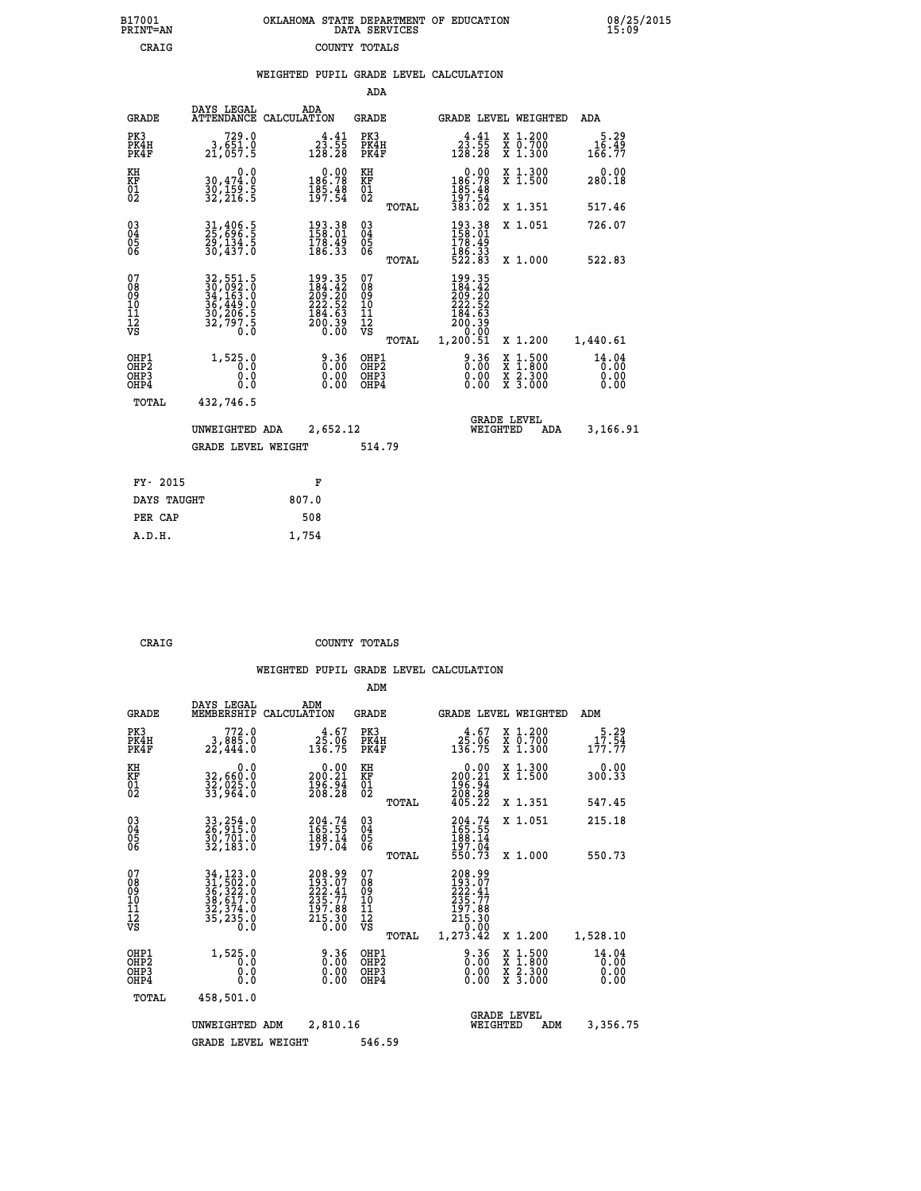| B17001          | OKLAHOMA STATE DEPARTMENT OF EDUCATION |
|-----------------|----------------------------------------|
| <b>PRINT=AN</b> | DATA SERVICES                          |
| CRAIG           | COUNTY TOTALS                          |

 **B17001 OKLAHOMA STATE DEPARTMENT OF EDUCATION 08/25/2015**

|  |  | WEIGHTED PUPIL GRADE LEVEL CALCULATION |
|--|--|----------------------------------------|
|  |  |                                        |

|                                                                    |                                                                            |                                                                                             | ADA                                      |       |                                                                                                    |                                          |                               |
|--------------------------------------------------------------------|----------------------------------------------------------------------------|---------------------------------------------------------------------------------------------|------------------------------------------|-------|----------------------------------------------------------------------------------------------------|------------------------------------------|-------------------------------|
| <b>GRADE</b>                                                       | DAYS LEGAL                                                                 | ADA<br>ATTENDANCE CALCULATION                                                               | <b>GRADE</b>                             |       |                                                                                                    | GRADE LEVEL WEIGHTED                     | ADA                           |
| PK3<br>PK4H<br>PK4F                                                | 729.0<br>3,651.0<br>21,057.5                                               | $2\overline{3}\cdot\overline{5}\overline{5}$<br>128.28                                      | PK3<br>PK4H<br>PK4F                      |       | $23.55$<br>128.28                                                                                  | X 1.200<br>X 0.700<br>X 1.300            | 5.29<br>16.49<br>166.77       |
| KH<br><b>KF</b><br>01<br>02                                        | 0.0<br>30,474.0<br>30,159.5<br>32,216.5                                    | $\begin{smallmatrix} &0.00\\ 186.78\\ 185.48\\ 197.54\end{smallmatrix}$                     | KH<br>KF<br>01<br>02                     |       | 0.00<br>186.78<br>185.48<br>197.54                                                                 | X 1.300<br>X 1.500                       | 0.00<br>280.18                |
|                                                                    |                                                                            |                                                                                             |                                          | TOTAL | 383.02                                                                                             | X 1.351                                  | 517.46                        |
| $\begin{smallmatrix} 03 \\[-4pt] 04 \end{smallmatrix}$<br>05<br>06 | 31,406.5<br>25,696.5<br>29,134.5<br>30,437.0                               | $\begin{array}{l} 193\cdot 38\\158\cdot 01\\178\cdot 49\\186\cdot 33 \end{array}$           | $\substack{03 \\ 04}$<br>05<br>06        |       | $\begin{array}{l} 193\cdot 38\\ 158\cdot 01\\ 178\cdot 49\\ 186\cdot 33\\ 522\cdot 83 \end{array}$ | X 1.051                                  | 726.07                        |
|                                                                    |                                                                            |                                                                                             |                                          | TOTAL |                                                                                                    | X 1.000                                  | 522.83                        |
| 07<br>08<br>09<br>11<br>11<br>12<br>VS                             | 32, 551.5<br>30, 092.0<br>34, 163.0<br>36, 449.0<br>30, 206.5<br>32, 797.5 | $\begin{smallmatrix} 199.35\\184.42\\209.20\\222.52\\184.63\\200.39\\0.00\end{smallmatrix}$ | 07<br>08<br>09<br>11<br>11<br>12<br>VS   |       | 199.35<br>184.42<br>209.20<br>222.52<br>184.63<br>184.63<br>200.39<br>0.00                         |                                          |                               |
|                                                                    |                                                                            |                                                                                             |                                          | TOTAL | 1,200.51                                                                                           | X 1.200                                  | 1,440.61                      |
| OHP1<br>OH <sub>P2</sub><br>OH <sub>P3</sub><br>OH <sub>P4</sub>   | 1,525.0<br>0.0<br>0.0<br>0.0                                               | 0.36<br>0.00<br>0.00                                                                        | OHP1<br>OHP <sub>2</sub><br>OHP3<br>OHP4 |       | 0.36<br>0.00<br>0.00                                                                               | X 1:500<br>X 1:800<br>X 2:300<br>X 3:000 | 14.04<br>0.00<br>0.00<br>0.00 |
| TOTAL                                                              | 432,746.5                                                                  |                                                                                             |                                          |       |                                                                                                    |                                          |                               |
|                                                                    | UNWEIGHTED ADA                                                             | 2,652.12                                                                                    |                                          |       |                                                                                                    | <b>GRADE LEVEL</b><br>WEIGHTED<br>ADA    | 3,166.91                      |
|                                                                    | <b>GRADE LEVEL WEIGHT</b>                                                  |                                                                                             | 514.79                                   |       |                                                                                                    |                                          |                               |
| FY- 2015                                                           |                                                                            | F                                                                                           |                                          |       |                                                                                                    |                                          |                               |
| DAYS TAUGHT                                                        |                                                                            | 807.0                                                                                       |                                          |       |                                                                                                    |                                          |                               |
| PER CAP                                                            |                                                                            | 508                                                                                         |                                          |       |                                                                                                    |                                          |                               |

 **A.D.H. 1,754**

B17001<br>PRINT=AN<br>CRAIG

 **CRAIG COUNTY TOTALS**

|                                                       |              |                                                                                                                                                     |                                                                                                    | ADM                                                 |       |                                                                              |                                                                  |                               |
|-------------------------------------------------------|--------------|-----------------------------------------------------------------------------------------------------------------------------------------------------|----------------------------------------------------------------------------------------------------|-----------------------------------------------------|-------|------------------------------------------------------------------------------|------------------------------------------------------------------|-------------------------------|
|                                                       | <b>GRADE</b> | DAYS LEGAL<br>MEMBERSHIP<br>CALCULATION                                                                                                             | ADM                                                                                                | <b>GRADE</b>                                        |       |                                                                              | GRADE LEVEL WEIGHTED                                             | ADM                           |
| PK3<br>PK4F                                           | PK4H         | 772.0<br>3,885.0<br>22,444.0                                                                                                                        | $3\frac{4.67}{136.75}$                                                                             | PK3<br>PK4H<br>PK4F                                 |       | $3\frac{4.67}{136.75}$                                                       | $\begin{array}{c} x & 1.200 \\ x & 0.700 \end{array}$<br>X 1.300 | 5.29<br>17.54<br>177.77       |
| KH<br>KF<br>01<br>02                                  |              | 0.0<br>32,660:0<br>32,025:0<br>33,964:0                                                                                                             | $0.00$<br>200.21<br>$\frac{196.94}{208.28}$                                                        | KH<br>KF<br>01<br>02                                |       | 0.00<br>200:21<br>196:94<br>208:28<br>405:22                                 | X 1.300<br>X 1.500                                               | 0.00<br>300.33                |
|                                                       |              |                                                                                                                                                     |                                                                                                    |                                                     | TOTAL |                                                                              | X 1.351                                                          | 547.45                        |
| 03<br>04<br>05<br>06                                  |              | 33, 254.0<br>26, 915.0<br>30, 701.0<br>32, 183.0                                                                                                    | 204.74<br>165.55<br>188.14<br>197.04                                                               | $\begin{array}{c} 03 \\ 04 \\ 05 \\ 06 \end{array}$ |       | 204.74<br>165.55<br>188.14<br>197.04<br>550.73                               | X 1.051                                                          | 215.18                        |
|                                                       |              |                                                                                                                                                     |                                                                                                    |                                                     | TOTAL |                                                                              | X 1.000                                                          | 550.73                        |
| 07<br>08<br>09<br>101<br>112<br>VS                    |              | $\begin{smallmatrix} 34\,,\,123\,.0\\ 31\,,\,502\,.0\\ 36\,,\,322\,.0\\ 38\,,\,617\,.0\\ 32\,,\,374\,.0\\ 35\,,\,235\,.0\\ 0\,.0 \end{smallmatrix}$ | 208.99<br>193.07<br>222.41<br>$\begin{smallmatrix} 235.77\\197.88\\215.30\\0.00 \end{smallmatrix}$ | 07<br>08<br>09<br>11<br>11<br>12<br>VS              | TOTAL | 208.99<br>193.07<br>222.41<br>235.77<br>197.88<br>215.30<br>0.00<br>1,273.42 | X 1.200                                                          | 1,528.10                      |
| OHP1<br>OH <sub>P</sub> 2<br>OH <sub>P3</sub><br>OHP4 |              | 1,525.0<br>0.0<br>0.000                                                                                                                             | $0.36$<br>$0.00$<br>0.00                                                                           | OHP1<br>OHP2<br>OHP3<br>OHP4                        |       | $0.36$<br>$0.00$<br>0.00                                                     | X 1:500<br>X 1:800<br>X 2:300<br>X 3:000                         | 14.04<br>0.00<br>0.00<br>0.00 |
|                                                       | TOTAL        | 458,501.0                                                                                                                                           |                                                                                                    |                                                     |       |                                                                              |                                                                  |                               |
|                                                       |              | UNWEIGHTED<br>ADM                                                                                                                                   | 2,810.16                                                                                           |                                                     |       | WEIGHTED                                                                     | <b>GRADE LEVEL</b><br>ADM                                        | 3,356.75                      |
|                                                       |              | <b>GRADE LEVEL WEIGHT</b>                                                                                                                           |                                                                                                    | 546.59                                              |       |                                                                              |                                                                  |                               |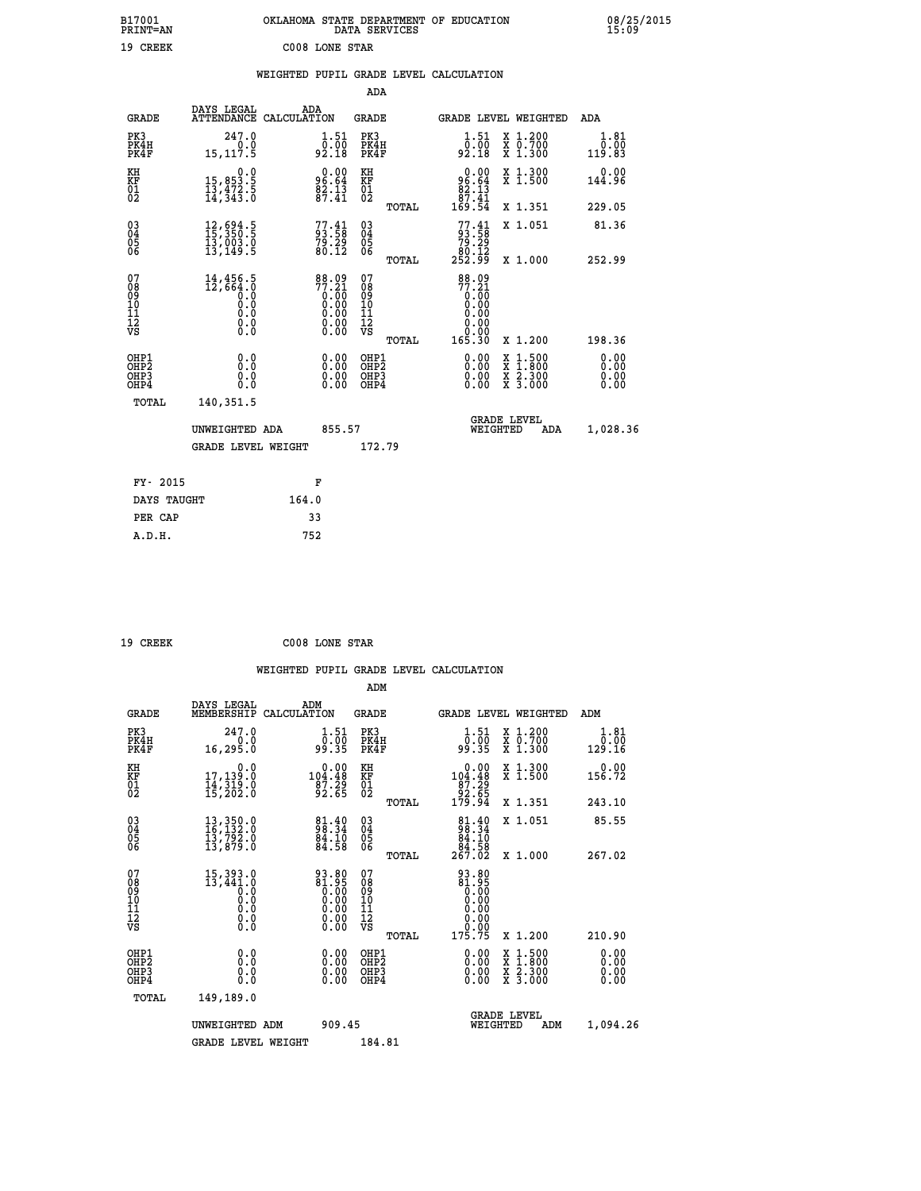| B17001<br>PRINT=AN                                   |                                                                                       | OKLAHOMA STATE DEPARTMENT OF EDUCATION                                                         | DATA SERVICES                                      |                                                                               |                                                                                          | 08/25/2015<br>15:09    |
|------------------------------------------------------|---------------------------------------------------------------------------------------|------------------------------------------------------------------------------------------------|----------------------------------------------------|-------------------------------------------------------------------------------|------------------------------------------------------------------------------------------|------------------------|
| 19 CREEK                                             |                                                                                       | C008 LONE STAR                                                                                 |                                                    |                                                                               |                                                                                          |                        |
|                                                      |                                                                                       | WEIGHTED PUPIL GRADE LEVEL CALCULATION                                                         | <b>ADA</b>                                         |                                                                               |                                                                                          |                        |
|                                                      | DAYS LEGAL                                                                            | ADA                                                                                            |                                                    |                                                                               |                                                                                          |                        |
| <b>GRADE</b>                                         | ATTENDANCE CALCULATION                                                                |                                                                                                | <b>GRADE</b>                                       |                                                                               | GRADE LEVEL WEIGHTED                                                                     | ADA                    |
| PK3<br>PK4H<br>PK4F                                  | 247.0<br>0.0<br>15, 117.5                                                             | $\begin{smallmatrix} 1.51\ 0.00 \ 92.18 \end{smallmatrix}$                                     | PK3<br>PK4H<br>PK4F                                | $\begin{smallmatrix} 1.51\ 0.00\ 92.18 \end{smallmatrix}$                     | X 1.200<br>X 0.700<br>X 1.300                                                            | 1.81<br>0.00<br>119.83 |
| KH<br>KF<br>01<br>02                                 | $\begin{smallmatrix}&&&0.0\\15,853.5\\13,472.5\\14,343.0\end{smallmatrix}$            | $96.64$<br>$82.13$<br>$87.41$                                                                  | KH<br><b>KF</b><br>01<br>02                        | $\begin{smallmatrix} 0.00\\ 96.64\\ 82.13\\ 87.41\\ 169.54 \end{smallmatrix}$ | X 1.300<br>X 1.500                                                                       | 0.00<br>144.96         |
|                                                      |                                                                                       |                                                                                                | TOTAL                                              |                                                                               | X 1.351                                                                                  | 229.05                 |
| 03<br>04<br>05<br>06                                 | $\begin{smallmatrix} 12, 694.5\\ 15, 350.5\\ 13, 003.0\\ 13, 149.5 \end{smallmatrix}$ | $77.41$<br>$79.29$<br>$79.29$<br>80.12                                                         | $\begin{matrix} 03 \\ 04 \\ 05 \\ 06 \end{matrix}$ | $77.41$<br>$79.58$<br>$79.29$                                                 | X 1.051                                                                                  | 81.36                  |
|                                                      |                                                                                       |                                                                                                | TOTAL                                              | 80.12<br>252.99                                                               | X 1.000                                                                                  | 252.99                 |
| 07<br>Ŏġ<br>09<br>10<br>11<br>12<br>VS               | 14,456.5<br>12,664.0<br>Ō.O<br>0.0<br>0.0<br>$\S.$ $\S$                               | 88.09<br>77.21<br>0.00<br>0.00<br>0.00<br>$\begin{smallmatrix} 0.00 \\ 0.00 \end{smallmatrix}$ | 07<br>ŏġ<br>09<br>ίÒ<br>īi<br>ĪŽ<br>VŠ             | 88.09<br>$77.21$<br>$0.00$<br>0.00<br>0.00<br>0.00<br>ŏ.ŏŏ                    |                                                                                          |                        |
|                                                      |                                                                                       |                                                                                                | <b>TOTAL</b>                                       | 165.30                                                                        | X 1.200                                                                                  | 198.36                 |
| OHP1<br>OHP <sub>2</sub><br>OH <sub>P3</sub><br>OHP4 | 0.0<br>Ŏ.Ŏ<br>0.0<br>0.0                                                              | 0.00<br>$\begin{smallmatrix} 0.00 \ 0.00 \end{smallmatrix}$                                    | OHP1<br>OHP <sub>2</sub><br>OHP3<br>OHP4           | 0.00<br>0.00<br>0.00                                                          | $\begin{smallmatrix} x & 1.500 \\ x & 1.800 \\ x & 2.300 \\ x & 3.000 \end{smallmatrix}$ | 0.00<br>0.00<br>0.00   |
| <b>TOTAL</b>                                         | 140,351.5                                                                             |                                                                                                |                                                    |                                                                               |                                                                                          |                        |
|                                                      | UNWEIGHTED ADA                                                                        | 855.57                                                                                         |                                                    | WEIGHTED                                                                      | <b>GRADE LEVEL</b><br>ADA                                                                | 1,028.36               |
|                                                      | <b>GRADE LEVEL WEIGHT</b>                                                             |                                                                                                | 172.79                                             |                                                                               |                                                                                          |                        |
| FY- 2015                                             |                                                                                       | F                                                                                              |                                                    |                                                                               |                                                                                          |                        |
| DAYS TAUGHT                                          |                                                                                       | 164.0                                                                                          |                                                    |                                                                               |                                                                                          |                        |
| PER CAP                                              |                                                                                       | 33                                                                                             |                                                    |                                                                               |                                                                                          |                        |
| A.D.H.                                               |                                                                                       | 752                                                                                            |                                                    |                                                                               |                                                                                          |                        |

| 19 CREEK | C008 LONE STAR |  |
|----------|----------------|--|
|          |                |  |

|                                                    |                                                                                                                           |                    |                                                                    |                                                     |       | WEIGHTED PUPIL GRADE LEVEL CALCULATION                                                                                                                                                                                                                                         |                                          |                              |  |
|----------------------------------------------------|---------------------------------------------------------------------------------------------------------------------------|--------------------|--------------------------------------------------------------------|-----------------------------------------------------|-------|--------------------------------------------------------------------------------------------------------------------------------------------------------------------------------------------------------------------------------------------------------------------------------|------------------------------------------|------------------------------|--|
|                                                    |                                                                                                                           |                    |                                                                    | ADM                                                 |       |                                                                                                                                                                                                                                                                                |                                          |                              |  |
| <b>GRADE</b>                                       | DAYS LEGAL<br>MEMBERSHIP                                                                                                  | ADM<br>CALCULATION |                                                                    | <b>GRADE</b>                                        |       | GRADE LEVEL WEIGHTED                                                                                                                                                                                                                                                           |                                          | ADM                          |  |
| PK3<br>PK4H<br>PK4F                                | 247.0<br>0.0<br>16,295.0                                                                                                  |                    | $\begin{smallmatrix} 1.51\ 0.00 \ 99.35 \end{smallmatrix}$         | PK3<br>PK4H<br>PK4F                                 |       | $1.51$<br>$0.00$<br>99.35                                                                                                                                                                                                                                                      | X 1.200<br>X 0.700<br>X 1.300            | 1.81<br>0.00<br>129.16       |  |
| KH<br>KF<br>01<br>02                               | 0.0<br>17,139:0<br>14,319:0<br>15,202:0                                                                                   |                    | $\begin{smallmatrix}&&0.00\\104.48\\87.29\\92.65\end{smallmatrix}$ | KH<br>KF<br>01<br>02                                |       | 0.00<br>104:48<br>87:29<br>92:65<br>179:94                                                                                                                                                                                                                                     | X 1.300<br>X 1.500                       | 0.00<br>156.72               |  |
|                                                    |                                                                                                                           |                    |                                                                    |                                                     | TOTAL |                                                                                                                                                                                                                                                                                | X 1.351                                  | 243.10                       |  |
| $\begin{matrix} 03 \\ 04 \\ 05 \\ 06 \end{matrix}$ | $\begin{smallmatrix} 13\,, & 350\,. & 0\\ 16\,, & 132\,. & 0\\ 13\,, & 792\,. & 0\\ 13\,, & 879\,. & 0 \end{smallmatrix}$ |                    | $\frac{81.40}{98.34}$<br>$\frac{84.10}{84.58}$                     | $\begin{array}{c} 03 \\ 04 \\ 05 \\ 06 \end{array}$ |       | $\begin{smallmatrix}81\cdot40\\98\cdot34\\84\cdot10\\84\cdot58\\267\cdot02\end{smallmatrix}$                                                                                                                                                                                   | X 1.051                                  | 85.55                        |  |
|                                                    |                                                                                                                           |                    |                                                                    |                                                     | TOTAL |                                                                                                                                                                                                                                                                                | X 1.000                                  | 267.02                       |  |
| 07<br>08<br>09<br>101<br>11<br>17<br>VS            | 15,393.0<br>13,441.0<br>$\begin{smallmatrix} 0.16 \ 0.0 \ 0.0 \ 0.0 \ 0.0 \end{smallmatrix}$                              |                    | $\begin{smallmatrix} 93.80\ 81.95\ 0.00\ 0.00 \end{smallmatrix}$   | 07<br>08<br>09<br>11<br>11<br>12<br>VS              | TOTAL | 93.80<br>81.95<br>0.00<br>0.00<br>0.00<br>ŏ:ŏŏ<br>175.75                                                                                                                                                                                                                       | X 1.200                                  | 210.90                       |  |
| OHP1<br>OHP2<br>OH <sub>P3</sub><br>OHP4           | 0.0<br>0.000                                                                                                              |                    |                                                                    | OHP1<br>OHP2<br>OHP3<br>OHP4                        |       | $\begin{smallmatrix} 0.00 & 0.00 & 0.00 & 0.00 & 0.00 & 0.00 & 0.00 & 0.00 & 0.00 & 0.00 & 0.00 & 0.00 & 0.00 & 0.00 & 0.00 & 0.00 & 0.00 & 0.00 & 0.00 & 0.00 & 0.00 & 0.00 & 0.00 & 0.00 & 0.00 & 0.00 & 0.00 & 0.00 & 0.00 & 0.00 & 0.00 & 0.00 & 0.00 & 0.00 & 0.00 & 0.0$ | X 1:500<br>X 1:800<br>X 2:300<br>X 3:000 | 0.00<br>0.00<br>0.00<br>0.00 |  |
| <b>TOTAL</b>                                       | 149,189.0                                                                                                                 |                    |                                                                    |                                                     |       |                                                                                                                                                                                                                                                                                |                                          |                              |  |
|                                                    | UNWEIGHTED ADM                                                                                                            |                    | 909.45                                                             |                                                     |       | WEIGHTED                                                                                                                                                                                                                                                                       | <b>GRADE LEVEL</b><br>ADM                | 1,094.26                     |  |
|                                                    | <b>GRADE LEVEL WEIGHT</b>                                                                                                 |                    |                                                                    | 184.81                                              |       |                                                                                                                                                                                                                                                                                |                                          |                              |  |
|                                                    |                                                                                                                           |                    |                                                                    |                                                     |       |                                                                                                                                                                                                                                                                                |                                          |                              |  |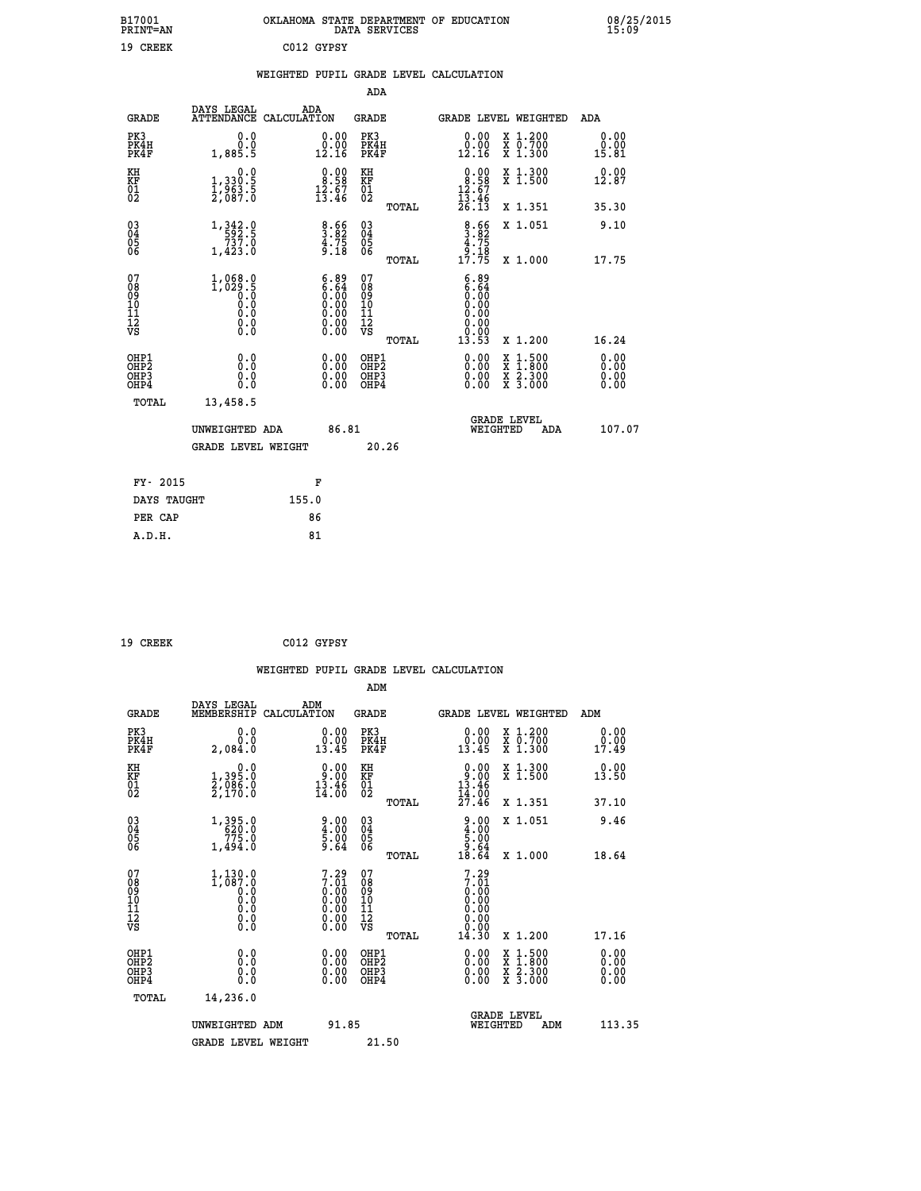| B17001          | OKLAHOMA STATE DEPARTMENT OF EDUCATION |
|-----------------|----------------------------------------|
| <b>PRINT=AN</b> | DATA SERVICES                          |
| 19 CREEK        | C012 GYPSY                             |

|  |  | WEIGHTED PUPIL GRADE LEVEL CALCULATION |
|--|--|----------------------------------------|
|  |  |                                        |

|                                                       |                                                                                                                                 |                                                                                               | ADA                                      |       |                                                                               |                                          |                              |
|-------------------------------------------------------|---------------------------------------------------------------------------------------------------------------------------------|-----------------------------------------------------------------------------------------------|------------------------------------------|-------|-------------------------------------------------------------------------------|------------------------------------------|------------------------------|
| <b>GRADE</b>                                          | DAYS LEGAL                                                                                                                      | ADA<br>ATTENDANCE CALCULATION                                                                 | <b>GRADE</b>                             |       |                                                                               | <b>GRADE LEVEL WEIGHTED</b>              | ADA                          |
| PK3<br>PK4H<br>PK4F                                   | 0.0<br>0.0<br>1,885.5                                                                                                           | $\begin{smallmatrix} 0.00\\ 0.00\\ 12.16 \end{smallmatrix}$                                   | PK3<br>PK4H<br>PK4F                      |       | 0.00<br>0.00<br>12.16                                                         | X 1.200<br>X 0.700<br>X 1.300            | 0.00<br>0.00<br>15.81        |
| KH<br>KF<br>01<br>02                                  | 0.0<br>1,330:5<br>1,963.5<br>2,087:0                                                                                            | $\begin{smallmatrix} 0.00\\ 8.58\\ 12.67\\ 13.46 \end{smallmatrix}$                           | KH<br>KF<br>01<br>02                     |       | $\begin{smallmatrix} 0.00\\ 8.58\\ 12.67\\ 13.46\\ 26.13\\ \end{smallmatrix}$ | X 1.300<br>X 1.500                       | 0.00<br>12.87                |
|                                                       |                                                                                                                                 |                                                                                               |                                          | TOTAL |                                                                               | X 1.351                                  | 35.30                        |
| 03<br>04<br>05<br>06                                  | $\begin{smallmatrix} 1\,, & 342\, \cdot\, 0 \\ -592\, \cdot\, 5 \\ -737\, \cdot\, 0 \\ 1\, , 423\, \cdot\, 0 \end{smallmatrix}$ | $\begin{array}{c} 8.66 \\ 3.75 \\ 4.75 \\ 9.18 \end{array}$                                   | 03<br>04<br>05<br>06                     |       | $\begin{array}{c} 8.66 \\ 3.82 \\ 4.75 \\ 9.18 \\ 17.75 \end{array}$          | X 1.051                                  | 9.10                         |
|                                                       |                                                                                                                                 |                                                                                               |                                          | TOTAL |                                                                               | X 1.000                                  | 17.75                        |
| 07<br>08<br>09<br>11<br>11<br>12<br>VS                | $1,068.0$<br>1,029.5<br>$\begin{smallmatrix} 0.5 & 0 \ 0.0 & 0 \end{smallmatrix}$<br>$\S.$                                      | $\begin{smallmatrix} 6.89\ 6.64\ 0.00\ 0.00\ 0.00\ 0.00\ 0.00\ 0.00\ 0.00\ \end{smallmatrix}$ | 07<br>08<br>09<br>11<br>11<br>12<br>VS   | TOTAL | 6.89<br>6.64<br>0.00<br>0.00<br>0.00<br>0.00<br>13.53                         | X 1.200                                  | 16.24                        |
| OHP1<br>OH <sub>P</sub> 2<br>OH <sub>P3</sub><br>OHP4 | 0.0<br>0.0<br>0.0                                                                                                               | 0.00<br>$\begin{smallmatrix} 0.00 \ 0.00 \end{smallmatrix}$                                   | OHP1<br>OHP <sub>2</sub><br>OHP3<br>OHP4 |       | 0.00<br>0.00<br>0.00                                                          | X 1:500<br>X 1:800<br>X 2:300<br>X 3:000 | 0.00<br>0.00<br>0.00<br>0.00 |
| TOTAL                                                 | 13,458.5                                                                                                                        |                                                                                               |                                          |       |                                                                               |                                          |                              |
|                                                       | UNWEIGHTED ADA<br><b>GRADE LEVEL WEIGHT</b>                                                                                     | 86.81                                                                                         | 20.26                                    |       |                                                                               | <b>GRADE LEVEL</b><br>WEIGHTED<br>ADA    | 107.07                       |
|                                                       |                                                                                                                                 |                                                                                               |                                          |       |                                                                               |                                          |                              |
| FY- 2015                                              |                                                                                                                                 | F                                                                                             |                                          |       |                                                                               |                                          |                              |
| DAYS TAUGHT                                           |                                                                                                                                 | 155.0                                                                                         |                                          |       |                                                                               |                                          |                              |
| PER CAP                                               |                                                                                                                                 | 86                                                                                            |                                          |       |                                                                               |                                          |                              |
| A.D.H.                                                |                                                                                                                                 | 81                                                                                            |                                          |       |                                                                               |                                          |                              |

| 19 CREEK | C012 GYPSY |
|----------|------------|
|          |            |

|                                                    |                                                                        | WEIGHTED PUPIL GRADE LEVEL CALCULATION                              |                                                     |       |                                                                      |                                                                                                                                           |                        |
|----------------------------------------------------|------------------------------------------------------------------------|---------------------------------------------------------------------|-----------------------------------------------------|-------|----------------------------------------------------------------------|-------------------------------------------------------------------------------------------------------------------------------------------|------------------------|
|                                                    |                                                                        |                                                                     | ADM                                                 |       |                                                                      |                                                                                                                                           |                        |
| <b>GRADE</b>                                       | DAYS LEGAL<br>MEMBERSHIP                                               | ADM<br>CALCULATION                                                  | <b>GRADE</b>                                        |       |                                                                      | GRADE LEVEL WEIGHTED                                                                                                                      | ADM                    |
| PK3<br>PK4H<br>PK4F                                | 0.0<br>0.0<br>2,084.0                                                  | $\begin{smallmatrix} 0.00\\ 0.00\\ 13.45 \end{smallmatrix}$         | PK3<br>PK4H<br>PK4F                                 |       | 0.00<br>0.00<br>13.45                                                | X 1.200<br>X 0.700<br>X 1.300                                                                                                             | 0.00<br>0.00<br>17.49  |
| KH<br>KF<br>01<br>02                               | $\begin{smallmatrix} 0.0\\1.395.0\\2.086.0\\2.170.0 \end{smallmatrix}$ | $\begin{smallmatrix} 0.00\\ 9.00\\ 13.46\\ 14.00 \end{smallmatrix}$ | KH<br>KF<br>01<br>02                                |       | $0.00\n13.46\n14.00\n27.46$                                          | X 1.300<br>X 1.500                                                                                                                        | 0.00<br>13.50          |
|                                                    |                                                                        |                                                                     |                                                     | TOTAL |                                                                      | X 1.351                                                                                                                                   | 37.10                  |
| $\begin{matrix} 03 \\ 04 \\ 05 \\ 06 \end{matrix}$ | 1,395.0<br>620.0<br>775.0<br>1,494.0                                   | $\begin{smallmatrix} 9.00\ 4.00\ 5.00\ 9.64 \end{smallmatrix}$      | $\begin{array}{c} 03 \\ 04 \\ 05 \\ 06 \end{array}$ |       | $\begin{array}{c} 9.00 \\ 4.00 \\ 5.00 \\ 9.64 \\ 18.64 \end{array}$ | X 1.051                                                                                                                                   | 9.46                   |
|                                                    |                                                                        |                                                                     |                                                     | TOTAL |                                                                      | X 1.000                                                                                                                                   | 18.64                  |
| 07<br>08<br>09<br>01<br>11<br>11<br>12<br>VS       | $1,130.0$<br>$1,087.0$<br>$0.0$<br>$0.0$<br>$0.0$<br>$0.0$<br>$0.0$    | $7.297.010.000.000.000.000.000.00$                                  | 07<br>08<br>09<br>01<br>11<br>11<br>12<br>VS        |       | $7.29$<br>$7.01$                                                     |                                                                                                                                           |                        |
|                                                    |                                                                        |                                                                     |                                                     | TOTAL | 14.30                                                                | X 1.200                                                                                                                                   | 17.16                  |
| OHP1<br>OHP2<br>OH <sub>P3</sub><br>OHP4           | 0.0<br>$\begin{smallmatrix} 0.0 & 0 \ 0.0 & 0 \end{smallmatrix}$       | $\begin{smallmatrix} 0.00 \ 0.00 \ 0.00 \ 0.00 \end{smallmatrix}$   | OHP1<br>OHP2<br>OHP3<br>OHP4                        |       |                                                                      | $\begin{smallmatrix} \mathtt{X} & 1\cdot500\\ \mathtt{X} & 1\cdot800\\ \mathtt{X} & 2\cdot300\\ \mathtt{X} & 3\cdot000 \end{smallmatrix}$ | 0.00<br>0.00<br>0.0000 |
| TOTAL                                              | 14,236.0                                                               |                                                                     |                                                     |       |                                                                      |                                                                                                                                           |                        |
|                                                    | UNWEIGHTED ADM<br><b>GRADE LEVEL WEIGHT</b>                            | 91.85                                                               | 21.50                                               |       |                                                                      | GRADE LEVEL<br>WEIGHTED<br>ADM                                                                                                            | 113.35                 |
|                                                    |                                                                        |                                                                     |                                                     |       |                                                                      |                                                                                                                                           |                        |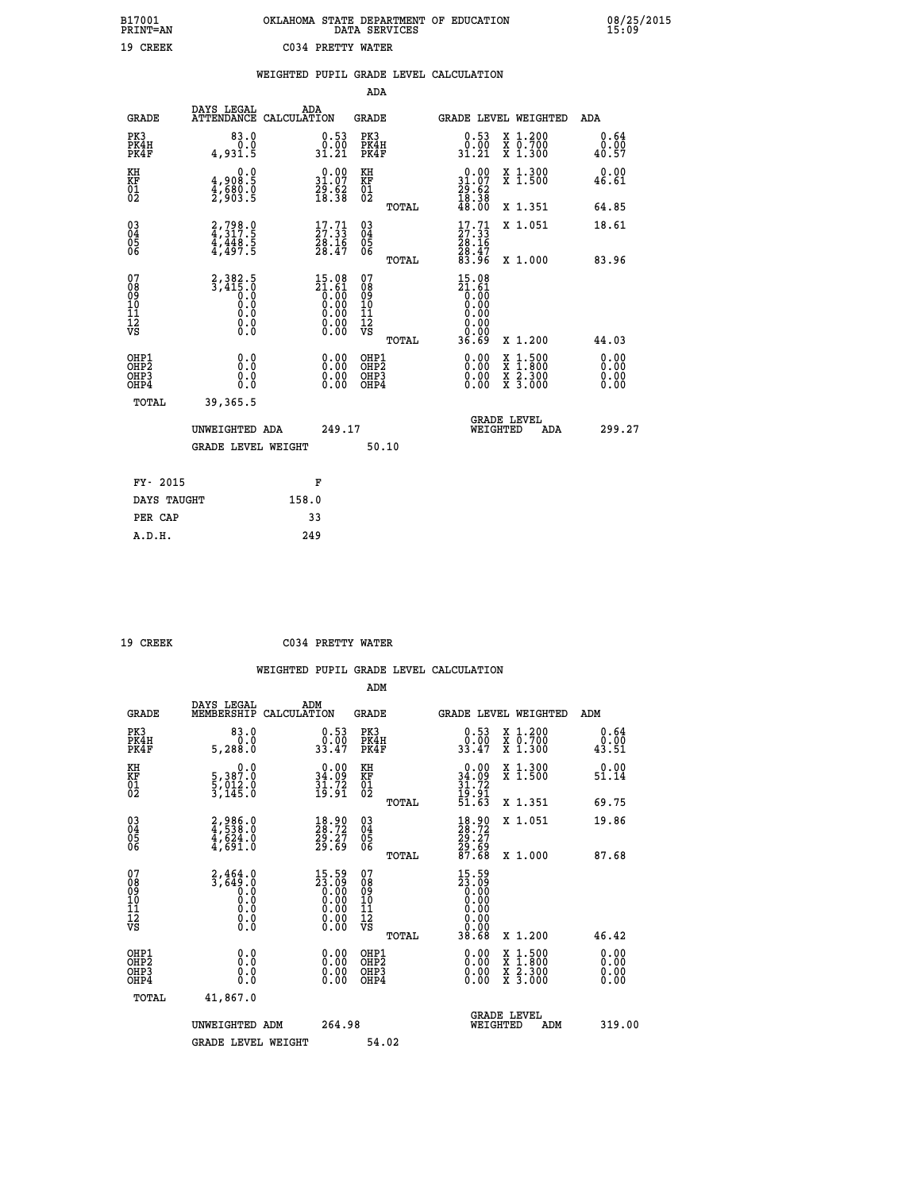|                          | OKLAHOMA STATE DEPARTMENT OF EDUCATION<br>DATA SERVICES |  |
|--------------------------|---------------------------------------------------------|--|
| <b>CO34 PRETTY WATER</b> |                                                         |  |

 **B17001 OKLAHOMA STATE DEPARTMENT OF EDUCATION 08/25/2015**

| 19 CREEK                                                           |                                                                                               |       | C034 PRETTY WATER                                                        |                                        |       |                                                                                   |                                                                                                                              |                       |
|--------------------------------------------------------------------|-----------------------------------------------------------------------------------------------|-------|--------------------------------------------------------------------------|----------------------------------------|-------|-----------------------------------------------------------------------------------|------------------------------------------------------------------------------------------------------------------------------|-----------------------|
|                                                                    |                                                                                               |       |                                                                          |                                        |       | WEIGHTED PUPIL GRADE LEVEL CALCULATION                                            |                                                                                                                              |                       |
|                                                                    |                                                                                               |       |                                                                          | ADA                                    |       |                                                                                   |                                                                                                                              |                       |
| <b>GRADE</b>                                                       | DAYS LEGAL<br>ATTENDANCE CALCULATION                                                          | ADA   |                                                                          | <b>GRADE</b>                           |       |                                                                                   | GRADE LEVEL WEIGHTED                                                                                                         | ADA                   |
| PK3<br>PK4H<br>PK4F                                                | 83.0<br>0.0<br>4,931.5                                                                        |       | $\begin{smallmatrix} 0.53\ 0.00\ 31.21 \end{smallmatrix}$                | PK3<br>PK4H<br>PK4F                    |       | $0.53$<br>$0.00$<br>31.21                                                         | X 1.200<br>X 0.700<br>X 1.300                                                                                                | 0.64<br>0.00<br>40.57 |
| KH<br><b>KF</b><br>01<br>02                                        | 0.0<br>4,908:5<br>4,680:0<br>2,903:5                                                          |       | $\begin{smallmatrix} 0.00\\ 31.07\\ 29.62\\ 18.38 \end{smallmatrix}$     | KH<br>KF<br>01<br>02                   |       | $\begin{smallmatrix} 0.00\\ 31.07\\ 29.62\\ 18.38 \end{smallmatrix}$              | X 1.300<br>X 1.500                                                                                                           | 0.00<br>46.61         |
|                                                                    |                                                                                               |       |                                                                          |                                        | TOTAL | 48.00                                                                             | X 1.351                                                                                                                      | 64.85                 |
| $\begin{smallmatrix} 03 \\[-4pt] 04 \end{smallmatrix}$<br>Ŏ5<br>06 | 2,798.0<br>4,317.5<br>4,448.5<br>4,497.5                                                      |       | $\begin{smallmatrix} 17.71 \\ 27.33 \\ 28.16 \\ 28.47 \end{smallmatrix}$ | $^{03}_{04}$<br>Ŏ5<br>06               |       | $\begin{smallmatrix} 17.71 \\ 27.33 \\ 28.16 \\ 28.47 \\ 83.96 \end{smallmatrix}$ | X 1.051                                                                                                                      | 18.61                 |
|                                                                    |                                                                                               |       |                                                                          |                                        | TOTAL |                                                                                   | X 1.000                                                                                                                      | 83.96                 |
| 07<br>08<br>09<br>01<br>11<br>11<br>12<br>VS                       | 2, 382.5<br>3, 415.0<br>0.0<br>$\begin{smallmatrix} 0.00000&0&0\ 0.000&0&0 \end{smallmatrix}$ |       | $15.08$<br>$21.61$<br>$0.00$<br>$0.00$<br>$0.00$<br>Ŏ.ŎŎ<br>O.OO         | 07<br>08<br>09<br>11<br>11<br>12<br>VS | TOTAL | $15.08$<br>$21.61$<br>$0.00$<br>$0.00$<br>$0.00$<br>0.00<br>36.69                 | X 1.200                                                                                                                      | 44.03                 |
| OHP1<br>OHP2<br>OHP3<br>OHP4                                       | 0.0<br>0.0<br>0.0                                                                             |       | 0.00<br>$0.00$<br>0.00                                                   | OHP1<br>OHP2<br>OHP3<br>OHP4           |       | 0.00<br>0.00                                                                      | 1:500<br>$\begin{array}{l} \mathtt{X} & 1.500 \\ \mathtt{X} & 1.800 \\ \mathtt{X} & 2.300 \\ \mathtt{X} & 3.000 \end{array}$ | 0.00<br>0.00<br>0.00  |
| TOTAL                                                              | 39,365.5                                                                                      |       |                                                                          |                                        |       |                                                                                   |                                                                                                                              |                       |
|                                                                    | UNWEIGHTED ADA<br><b>GRADE LEVEL WEIGHT</b>                                                   |       | 249.17                                                                   |                                        | 50.10 | WEIGHTED                                                                          | <b>GRADE LEVEL</b><br>ADA                                                                                                    | 299.27                |
|                                                                    |                                                                                               |       |                                                                          |                                        |       |                                                                                   |                                                                                                                              |                       |
| FY- 2015                                                           |                                                                                               |       | F                                                                        |                                        |       |                                                                                   |                                                                                                                              |                       |
| DAYS TAUGHT                                                        |                                                                                               | 158.0 |                                                                          |                                        |       |                                                                                   |                                                                                                                              |                       |
| PER CAP                                                            |                                                                                               |       | 33                                                                       |                                        |       |                                                                                   |                                                                                                                              |                       |
| A.D.H.                                                             |                                                                                               | 249   |                                                                          |                                        |       |                                                                                   |                                                                                                                              |                       |

 **B17001<br>PRINT=AN** 

 **19 CREEK C034 PRETTY WATER**

|                                          |                                                        |                                                                                                 | ADM                                                |                                                                               |                                          |                       |
|------------------------------------------|--------------------------------------------------------|-------------------------------------------------------------------------------------------------|----------------------------------------------------|-------------------------------------------------------------------------------|------------------------------------------|-----------------------|
| <b>GRADE</b>                             | DAYS LEGAL<br>MEMBERSHIP                               | ADM<br>CALCULATION                                                                              | <b>GRADE</b>                                       | GRADE LEVEL WEIGHTED                                                          |                                          | ADM                   |
| PK3<br>PK4H<br>PK4F                      | 83.0<br>0.0<br>5,288.0                                 | $\begin{smallmatrix} 0.53\ 0.00\ 33.47 \end{smallmatrix}$                                       | PK3<br>PK4H<br>PK4F                                | $\begin{smallmatrix} 0.53\ 0.00\\ 33.47 \end{smallmatrix}$                    | X 1.200<br>X 0.700<br>X 1.300            | 0.64<br>0.00<br>43.51 |
| KH<br>KF<br>01<br>02                     | 0.0<br>5,387.0<br>5,012.0<br>3,145.0                   | $\begin{smallmatrix} 0.00\\ 34.09\\ 31.72\\ 19.91 \end{smallmatrix}$                            | KH<br>KF<br>01<br>02                               | $0.00$<br>$34.09$<br>$31.72$<br>$19.91$<br>$51.63$                            | X 1.300<br>X 1.500                       | 0.00<br>51.14         |
|                                          |                                                        |                                                                                                 | TOTAL                                              |                                                                               | X 1.351                                  | 69.75                 |
| 03<br>04<br>05<br>06                     | 2,986.0<br>4,538.0<br>4,624.0<br>4,691.0               | 18.90<br>28.72<br>29.27<br>29.69                                                                | $\begin{matrix} 03 \\ 04 \\ 05 \\ 06 \end{matrix}$ | $\frac{18.90}{28.72}$<br>$\frac{29.27}{29.69}$<br>$\frac{87.68}{87.68}$       | X 1.051                                  | 19.86                 |
|                                          |                                                        |                                                                                                 | TOTAL                                              |                                                                               | X 1.000                                  | 87.68                 |
| 07<br>08<br>09<br>101<br>112<br>VS       | $2,464.0$<br>$3,649.0$<br>$0.0$<br>0.0<br>0.0<br>$\S.$ | $\begin{smallmatrix} 15.59\ 23.09\ 0.00\ 0.00\ 0.00\ 0.00\ 0.00\ 0.00\ 0.00\ \end{smallmatrix}$ | 07<br>08<br>09<br>101<br>11<br>12<br>VS<br>TOTAL   | $15.59$<br>$23.09$<br>$0.00$<br>$0.00$<br>$0.00$<br>$0.00$<br>$0.00$<br>38.68 | X 1.200                                  | 46.42                 |
|                                          |                                                        |                                                                                                 |                                                    |                                                                               |                                          | 0.00                  |
| OHP1<br>OHP2<br>OHP <sub>3</sub><br>OHP4 | 0.0<br>0.000                                           | $0.00$<br>$0.00$<br>0.00                                                                        | OHP1<br>OHP2<br>OHP <sub>3</sub>                   | $0.00$<br>$0.00$<br>0.00                                                      | X 1:500<br>X 1:800<br>X 2:300<br>X 3:000 | 0.00<br>0.00          |
| TOTAL                                    | 41,867.0                                               |                                                                                                 |                                                    |                                                                               |                                          |                       |
|                                          | UNWEIGHTED ADM                                         | 264.98                                                                                          |                                                    | GRADE LEVEL<br>WEIGHTED                                                       | ADM                                      | 319.00                |
|                                          | <b>GRADE LEVEL WEIGHT</b>                              |                                                                                                 | 54.02                                              |                                                                               |                                          |                       |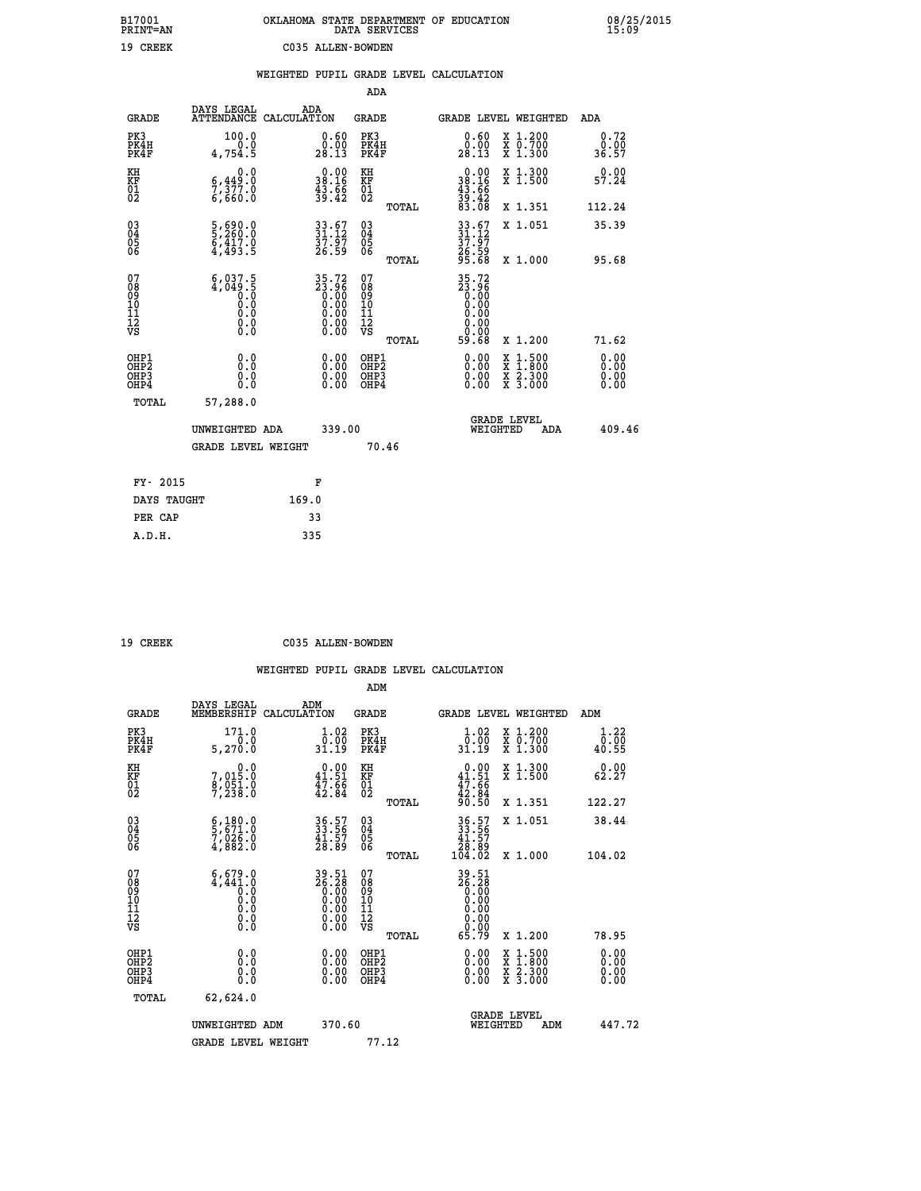| B17001<br><b>PRINT=AN</b> | OKLAHOMA STATE DEPARTMENT OF EDUCATION<br>DATA SERVICES | 08/25/2015<br>15:09 |
|---------------------------|---------------------------------------------------------|---------------------|
| 19 CREEK                  | C035 ALLEN-BOWDEN                                       |                     |

|                                          |                                                                          | WEIGHTED PUPIL GRADE LEVEL CALCULATION                               |                                                 |                                                                                                                                           |                              |
|------------------------------------------|--------------------------------------------------------------------------|----------------------------------------------------------------------|-------------------------------------------------|-------------------------------------------------------------------------------------------------------------------------------------------|------------------------------|
|                                          |                                                                          |                                                                      | ADA                                             |                                                                                                                                           |                              |
| <b>GRADE</b>                             | DAYS LEGAL                                                               | ADA<br>ATTENDANCE CALCULATION                                        | <b>GRADE</b>                                    | GRADE LEVEL WEIGHTED                                                                                                                      | ADA                          |
| PK3<br>PK4H<br>PK4F                      | 100.0<br>0.0<br>4,754.5                                                  | 0.60<br>$\frac{0.00}{28.13}$                                         | PK3<br>PK4H<br>PK4F                             | 0.60<br>X 1.200<br>X 0.700<br>X 1.300<br>0.00<br>28.13                                                                                    | 0.72<br>0.00<br>36.57        |
| KH<br>KF<br>01<br>02                     | 0.0<br>$\frac{6,449.0}{7,377.0}$<br>6,660.0                              | $\begin{smallmatrix} 0.00\\ 38.16\\ 43.66\\ 39.42 \end{smallmatrix}$ | KH<br>KF<br>01<br>02                            | X 1.300<br>X 1.500<br>$0.00$<br>$38.16$<br>$43.66$<br>$39.42$<br>$83.08$                                                                  | 0.00<br>57.24                |
|                                          |                                                                          |                                                                      | TOTAL                                           | X 1.351                                                                                                                                   | 112.24                       |
| $^{03}_{04}$<br>Ŏ5<br>06                 | $\frac{5}{5}$ , $\frac{690}{260}$ .0<br>$\frac{6}{4}, \frac{417}{493}.5$ | $33.67$<br>$31.12$<br>37.97<br>26.59                                 | $^{03}_{04}$<br>05<br>06                        | 33.67<br>31.12<br>37.97<br>26.59<br>26.59<br>X 1.051                                                                                      | 35.39                        |
|                                          |                                                                          |                                                                      | TOTAL                                           |                                                                                                                                           | X 1.000<br>95.68             |
| 07<br>08<br>09<br>101<br>112<br>VS       | $6,037.5$<br>4,049.5<br>0.0<br>0.0<br>0.0<br>$\S.$ $\S$                  | 35.72<br>23.96<br>0.00<br>0.00<br>0.00<br>Ŏ.ŎŎ<br>O.OO               | 07<br>08<br>09<br>11<br>11<br>12<br>VS<br>TOTAL | 35.72<br>23.96<br>0.00<br>0.00<br>0.00<br>0.00<br>59.68<br>X 1.200                                                                        | 71.62                        |
| OHP1<br>OHP2<br>OH <sub>P3</sub><br>OHP4 | 0.0<br>0.0<br>0.0                                                        | $\begin{smallmatrix} 0.00 \ 0.00 \ 0.00 \ 0.00 \end{smallmatrix}$    | OHP1<br>OHP2<br>OHP3<br>OHP4                    | $\begin{smallmatrix} \mathtt{X} & 1\cdot500\\ \mathtt{X} & 1\cdot800\\ \mathtt{X} & 2\cdot300\\ \mathtt{X} & 3\cdot000 \end{smallmatrix}$ | 0.00<br>0.00<br>0.00<br>0.00 |
| TOTAL                                    | 57,288.0                                                                 |                                                                      |                                                 |                                                                                                                                           |                              |
|                                          | UNWEIGHTED ADA                                                           | 339.00                                                               |                                                 | <b>GRADE LEVEL</b><br>WEIGHTED                                                                                                            | 409.46<br>ADA                |
|                                          | <b>GRADE LEVEL WEIGHT</b>                                                |                                                                      | 70.46                                           |                                                                                                                                           |                              |
|                                          | FY- 2015                                                                 | F                                                                    |                                                 |                                                                                                                                           |                              |
|                                          | DAYS TAUGHT                                                              | 169.0                                                                |                                                 |                                                                                                                                           |                              |
|                                          | PER CAP                                                                  | 33                                                                   |                                                 |                                                                                                                                           |                              |

| CREEK |
|-------|

 **19 CREEK C035 ALLEN-BOWDEN**

|                                                    |                                                                                                  |                                                                                | ADM                                                |                                                                                                                                                                                                                                                                                |                                          |                                                           |
|----------------------------------------------------|--------------------------------------------------------------------------------------------------|--------------------------------------------------------------------------------|----------------------------------------------------|--------------------------------------------------------------------------------------------------------------------------------------------------------------------------------------------------------------------------------------------------------------------------------|------------------------------------------|-----------------------------------------------------------|
| <b>GRADE</b>                                       | DAYS LEGAL<br>MEMBERSHIP                                                                         | ADM<br>CALCULATION                                                             | <b>GRADE</b>                                       |                                                                                                                                                                                                                                                                                | GRADE LEVEL WEIGHTED                     | ADM                                                       |
| PK3<br>PK4H<br>PK4F                                | 171.0<br>5, 270.0                                                                                | $1.02$<br>$0.00$<br>31.19                                                      | PK3<br>PK4H<br>PK4F                                | $\begin{array}{c} 1.02 \\ 0.00 \\ 31.19 \end{array}$                                                                                                                                                                                                                           | X 1.200<br>X 0.700<br>X 1.300            | $\begin{smallmatrix} 1.22\ 0.00\ 40.55 \end{smallmatrix}$ |
| KH<br>KF<br>01<br>02                               | $7,015.0$<br>0.015.0<br>0.051.0<br>7,238.0                                                       | $\begin{smallmatrix} 0.00\\ 41.51\\ 47.66\\ 42.84 \end{smallmatrix}$           | KH<br>KF<br>01<br>02                               | $0.00$<br>$41.51$<br>$47.66$<br>$42.84$<br>$90.50$                                                                                                                                                                                                                             | X 1.300<br>X 1.500                       | 0.00<br>62.27                                             |
|                                                    |                                                                                                  |                                                                                | TOTAL                                              |                                                                                                                                                                                                                                                                                | X 1.351                                  | 122.27                                                    |
| $\begin{matrix} 03 \\ 04 \\ 05 \\ 06 \end{matrix}$ | $\begin{smallmatrix} 6 & 180 & 0 \\ 5 & 671 & 0 \\ 7 & 026 & 0 \\ 4 & 882 & 0 \end{smallmatrix}$ | 36.57<br>33.56<br>41.57<br>28.89                                               | $\begin{matrix} 03 \\ 04 \\ 05 \\ 06 \end{matrix}$ | $36.57$<br>$33.56$<br>$41.57$<br>$28.89$<br>$104.02$                                                                                                                                                                                                                           | X 1.051                                  | 38.44                                                     |
|                                                    |                                                                                                  |                                                                                | TOTAL                                              |                                                                                                                                                                                                                                                                                | X 1.000                                  | 104.02                                                    |
| 07<br>08<br>09<br>101<br>11<br>12<br>VS            |                                                                                                  | $39.51$<br>$26.28$<br>$0.00$<br>$0.00$<br>$0.00$<br>$0.00$<br>$0.00$<br>$0.00$ | 07<br>08901112<br>1112<br>VS<br>TOTAL              | $\begin{array}{c} 39\cdot 51 \\ 26\cdot 28 \\ 0.00 \\ 0.00 \\ 0.00 \\ 0.00 \\ 0.00 \\ 0.00 \\ 0.00 \\ 65\cdot 79 \end{array}$                                                                                                                                                  | X 1.200                                  | 78.95                                                     |
| OHP1<br>OHP2<br>OH <sub>P3</sub><br>OHP4           |                                                                                                  | $\begin{smallmatrix} 0.00 \ 0.00 \ 0.00 \ 0.00 \end{smallmatrix}$              | OHP1<br>OHP2<br>OHP3<br>OHP4                       | $\begin{smallmatrix} 0.00 & 0.00 & 0.00 & 0.00 & 0.00 & 0.00 & 0.00 & 0.00 & 0.00 & 0.00 & 0.00 & 0.00 & 0.00 & 0.00 & 0.00 & 0.00 & 0.00 & 0.00 & 0.00 & 0.00 & 0.00 & 0.00 & 0.00 & 0.00 & 0.00 & 0.00 & 0.00 & 0.00 & 0.00 & 0.00 & 0.00 & 0.00 & 0.00 & 0.00 & 0.00 & 0.0$ | X 1:500<br>X 1:800<br>X 2:300<br>X 3:000 | 0.00<br>0.00<br>0.00                                      |
| TOTAL                                              | 62,624.0                                                                                         |                                                                                |                                                    |                                                                                                                                                                                                                                                                                |                                          |                                                           |
|                                                    | UNWEIGHTED ADM                                                                                   | 370.60                                                                         |                                                    | WEIGHTED                                                                                                                                                                                                                                                                       | <b>GRADE LEVEL</b><br>ADM                | 447.72                                                    |
|                                                    | <b>GRADE LEVEL WEIGHT</b>                                                                        |                                                                                | 77.12                                              |                                                                                                                                                                                                                                                                                |                                          |                                                           |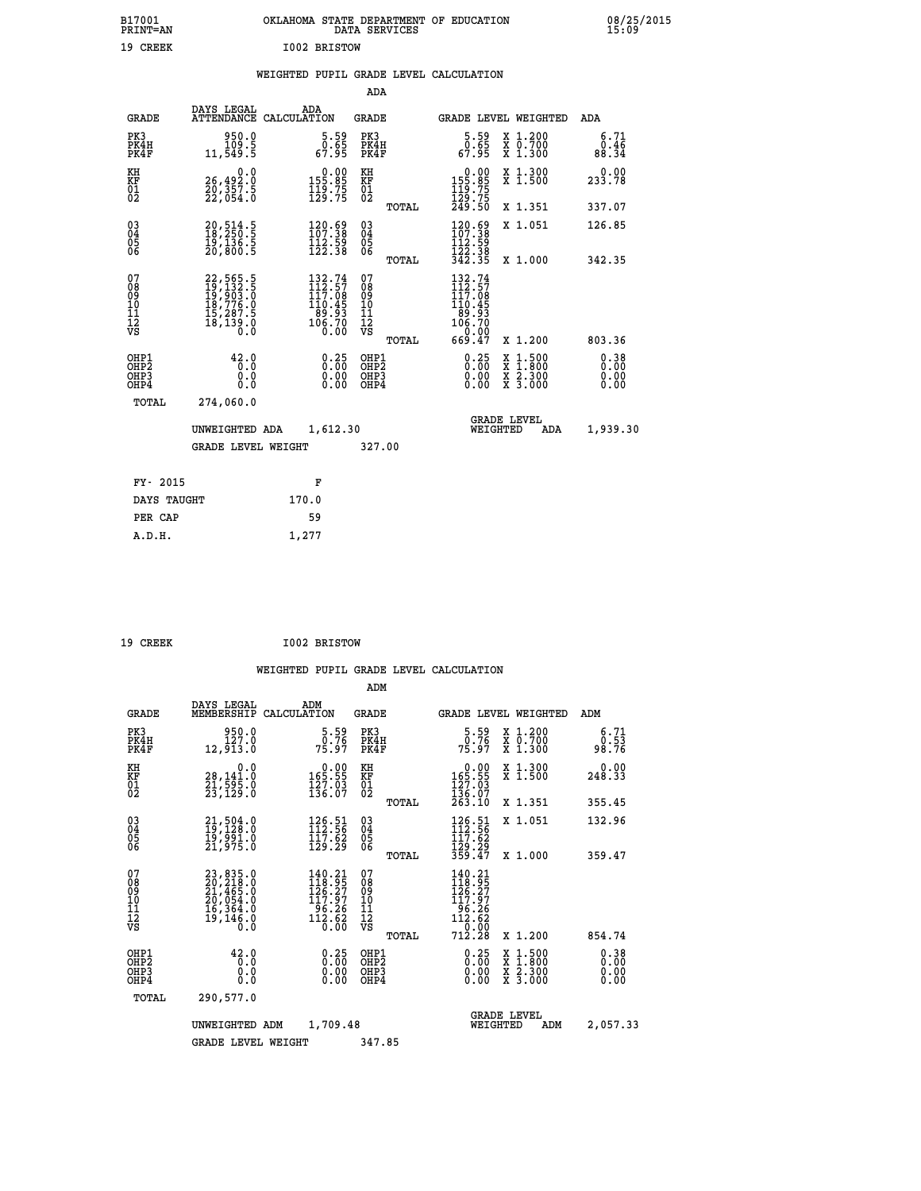|              | OKLAHOMA STATE DEPARTMENT OF EDUCATION<br>DATA SERVICES |  |
|--------------|---------------------------------------------------------|--|
| T002 BRISTOW |                                                         |  |

## **WEIGHTED PUPIL GRADE LEVEL CALCULATION**

|                                                                    |                                                                                                                                                                             |                                                                                   | ADA                                      |       |                                                                             |                                          |                              |
|--------------------------------------------------------------------|-----------------------------------------------------------------------------------------------------------------------------------------------------------------------------|-----------------------------------------------------------------------------------|------------------------------------------|-------|-----------------------------------------------------------------------------|------------------------------------------|------------------------------|
| <b>GRADE</b>                                                       | DAYS LEGAL<br><b>ATTENDANCE</b>                                                                                                                                             | ADA<br>CALCULATION                                                                | <b>GRADE</b>                             |       | <b>GRADE LEVEL WEIGHTED</b>                                                 |                                          | ADA                          |
| PK3<br>PK4H<br>PK4F                                                | 950.0<br>109.5<br>11,549.5                                                                                                                                                  | $\begin{smallmatrix}5.59\0.65\\67.95\end{smallmatrix}$                            | PK3<br>PK4H<br>PK4F                      |       | $\begin{smallmatrix}5.59\0.65\\67.95\end{smallmatrix}$                      | X 1.200<br>X 0.700<br>X 1.300            | 6.71<br>0.46<br>88.34        |
| KH<br><b>KF</b><br>01<br>02                                        | 0.0<br>26,492:0<br>20,357:5<br>22,054:0                                                                                                                                     | $\begin{array}{c} 0.00 \\ 155.85 \\ 119.75 \\ 129.75 \end{array}$                 | KH<br>KF<br>01<br>02                     |       | $\begin{array}{c} 0.00 \\ 155.85 \\ 119.75 \\ 129.75 \\ 249.50 \end{array}$ | X 1.300<br>X 1.500                       | 0.00<br>233.78               |
|                                                                    |                                                                                                                                                                             |                                                                                   |                                          | TOTAL |                                                                             | X 1.351                                  | 337.07                       |
| $\begin{smallmatrix} 03 \\[-4pt] 04 \end{smallmatrix}$<br>05<br>06 | 20,514.5<br>18,250.5<br>19,136.5<br>20,800.5                                                                                                                                | $\begin{array}{l} 120\cdot 59\\107\cdot 38\\112\cdot 59\\122\cdot 38 \end{array}$ | $\substack{03 \\ 04}$<br>05<br>06        |       | 120.69<br>$\frac{112}{122}$ . 59<br>$\frac{122}{342}$ . 38                  | X 1.051                                  | 126.85                       |
|                                                                    |                                                                                                                                                                             |                                                                                   |                                          | TOTAL |                                                                             | X 1.000                                  | 342.35                       |
| 07<br>08<br>09<br>11<br>11<br>12<br>VS                             | $\begin{smallmatrix} 22\,,\,565\cdot\,5\\ 19\,,\,132\cdot\,5\\ 19\,,\,903\cdot\,0\\ 18\,,\,776\cdot\,0\\ 15\,,\,287\cdot\,5\\ 15\,,\,139\cdot\,0\\ 0\,\,0\end{smallmatrix}$ | 132.74<br>$112.57$<br>$117.08$<br>$110.45$<br>$89.93$<br>$106.70$<br>0.00         | 07<br>08<br>09<br>11<br>11<br>12<br>VS   |       | 132.74<br>112.57<br>117.085<br>106.70<br>106.70<br>106.70                   |                                          |                              |
|                                                                    |                                                                                                                                                                             |                                                                                   |                                          | TOTAL | 669.47                                                                      | X 1.200                                  | 803.36                       |
| OHP1<br>OH <sub>P2</sub><br>OH <sub>P3</sub><br>OH <sub>P4</sub>   | 42.0<br>0.0<br>0.0<br>0.0                                                                                                                                                   | 0.25<br>0.00<br>0.00                                                              | OHP1<br>OHP <sub>2</sub><br>OHP3<br>OHP4 |       | $0.25$<br>$0.00$<br>0.00<br>0.00                                            | X 1:500<br>X 1:800<br>X 2:300<br>X 3:000 | 0.38<br>0.00<br>0.00<br>0.00 |
| TOTAL                                                              | 274,060.0                                                                                                                                                                   |                                                                                   |                                          |       |                                                                             |                                          |                              |
|                                                                    | UNWEIGHTED ADA                                                                                                                                                              | 1,612.30                                                                          |                                          |       |                                                                             | GRADE LEVEL<br>WEIGHTED<br>ADA           | 1,939.30                     |
|                                                                    | <b>GRADE LEVEL WEIGHT</b>                                                                                                                                                   |                                                                                   | 327.00                                   |       |                                                                             |                                          |                              |
| FY- 2015                                                           |                                                                                                                                                                             | F                                                                                 |                                          |       |                                                                             |                                          |                              |
| DAYS TAUGHT                                                        |                                                                                                                                                                             | 170.0                                                                             |                                          |       |                                                                             |                                          |                              |
| PER CAP                                                            |                                                                                                                                                                             | 59                                                                                |                                          |       |                                                                             |                                          |                              |

| 19 CREEK | I002 BRISTOW |
|----------|--------------|
|          |              |

 **A.D.H. 1,277**

 **B17001<br>PRINT=AN 19 CREEK** 

|                                                       |                                                                                           |                                                                                                | ADM                                                 |                                                                                        |                                          |                              |
|-------------------------------------------------------|-------------------------------------------------------------------------------------------|------------------------------------------------------------------------------------------------|-----------------------------------------------------|----------------------------------------------------------------------------------------|------------------------------------------|------------------------------|
| <b>GRADE</b>                                          | DAYS LEGAL<br>MEMBERSHIP                                                                  | ADM<br>CALCULATION                                                                             | <b>GRADE</b>                                        | GRADE LEVEL WEIGHTED                                                                   |                                          | ADM                          |
| PK3<br>PK4H<br>PK4F                                   | 950.0<br>127.0<br>12,913.0                                                                | $\frac{5.59}{0.76}$<br>75.97                                                                   | PK3<br>PK4H<br>PK4F                                 | $\frac{5.59}{0.76}$<br>75.97                                                           | X 1.200<br>X 0.700<br>X 1.300            | 6.71<br>0.53<br>98.76        |
| KH<br>KF<br>01<br>02                                  | 0.0<br>28,141.0<br>21,595.0<br>23,129.0                                                   | $\begin{smallmatrix} &0.00\\ 165.55\\ 127.03\\ 136.07\end{smallmatrix}$                        | KH<br>KF<br>01<br>02                                | $\begin{smallmatrix} &0.00\\ 165.55\\ 127.03\\ 136.07\\ 263.10 \end{smallmatrix}$      | X 1.300<br>X 1.500                       | 0.00<br>248.33               |
|                                                       |                                                                                           |                                                                                                | TOTAL                                               |                                                                                        | X 1.351                                  | 355.45                       |
| 03<br>04<br>05<br>06                                  | 21,504.0<br>19,128.0<br>19,991.0<br>21,975.0                                              | $\begin{smallmatrix} 126.51\ 112.56\ 117.62\ 129.29 \end{smallmatrix}$                         | $\begin{array}{c} 03 \\ 04 \\ 05 \\ 06 \end{array}$ | $126.51$<br>$112.56$<br>$117.62$<br>$129.29$<br>$359.47$                               | X 1.051                                  | 132.96                       |
|                                                       |                                                                                           |                                                                                                | TOTAL                                               |                                                                                        | X 1.000                                  | 359.47                       |
| 07<br>08<br>09<br>101<br>112<br>VS                    | $23,835.0$<br>$20,218.0$<br>$21,465.0$<br>$20,054.0$<br>$16,364.0$<br>$19,146.0$<br>$0.0$ | 140.21<br>118.95<br>126.27<br>$\begin{array}{r} 117.57 \\ 96.26 \\ 112.62 \\ 0.00 \end{array}$ | 07<br>08<br>09<br>11<br>11<br>12<br>VS<br>TOTAL     | 140.21<br>118.95<br>126.27<br>117.97<br>96.26<br>112.62<br>112.62<br>710.000<br>712.28 | X 1.200                                  | 854.74                       |
| OHP1<br>OH <sub>P</sub> 2<br>OH <sub>P3</sub><br>OHP4 | 42.0<br>0.0<br>0.000                                                                      | $0.25$<br>$0.00$<br>$0.00$<br>0.00                                                             | OHP1<br>OHP2<br>OHP3<br>OHP4                        | $0.25$<br>$0.00$<br>$0.00$<br>0.00                                                     | X 1:500<br>X 1:800<br>X 2:300<br>X 3:000 | 0.38<br>0.00<br>0.00<br>0.00 |
|                                                       | TOTAL<br>290,577.0                                                                        |                                                                                                |                                                     |                                                                                        |                                          |                              |
|                                                       | UNWEIGHTED                                                                                | 1,709.48<br>ADM                                                                                |                                                     | <b>GRADE LEVEL</b><br>WEIGHTED                                                         | ADM                                      | 2,057.33                     |
|                                                       | <b>GRADE LEVEL WEIGHT</b>                                                                 |                                                                                                | 347.85                                              |                                                                                        |                                          |                              |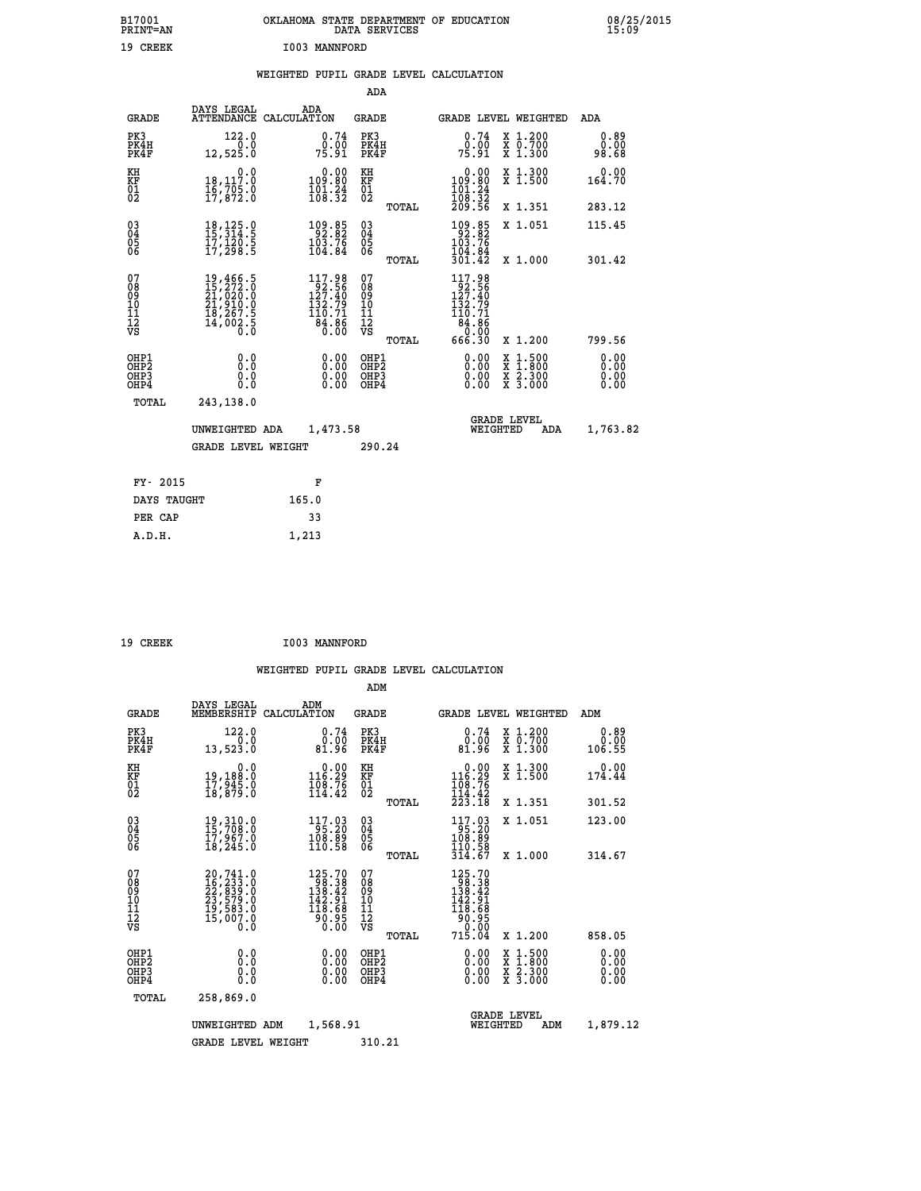| B17001<br>PRINT=AN<br>19 CREEK           |                                                                                                                                                                    | <b>I003 MANNFORD</b>                                                                             | DATA SERVICES                          | OKLAHOMA STATE DEPARTMENT OF EDUCATION                                          |                                                                                          | 08/25/2015                   |
|------------------------------------------|--------------------------------------------------------------------------------------------------------------------------------------------------------------------|--------------------------------------------------------------------------------------------------|----------------------------------------|---------------------------------------------------------------------------------|------------------------------------------------------------------------------------------|------------------------------|
|                                          |                                                                                                                                                                    |                                                                                                  |                                        | WEIGHTED PUPIL GRADE LEVEL CALCULATION                                          |                                                                                          |                              |
|                                          |                                                                                                                                                                    |                                                                                                  | ADA                                    |                                                                                 |                                                                                          |                              |
| <b>GRADE</b>                             | DAYS LEGAL<br>ATTENDANCE CALCULATION                                                                                                                               | <b>ADA</b>                                                                                       | <b>GRADE</b>                           | GRADE LEVEL WEIGHTED                                                            |                                                                                          | ADA                          |
| PK3<br>PK4H<br>PK4F                      | 122.0<br>0.0<br>12,525.0                                                                                                                                           | 0.74<br>0.00<br>75.91                                                                            | PK3<br>PK4H<br>PK4F                    | 0.74<br>0.00<br>75.91                                                           | X 1.200<br>X 0.700<br>X 1.300                                                            | 0.89<br>0.00<br>98.68        |
| KH<br>KF<br>$\overline{01}$              | 0.0<br>$\frac{18}{16}$ , $\frac{117}{705}$ .0<br>$\frac{17}{17}$ , 872.0                                                                                           | 0.00<br>109.80<br>$\frac{101.24}{108.32}$                                                        | KH<br>KF<br>$\overline{01}$            | $\begin{smallmatrix} 0.00\\ 109.80\\ 101.24\\ 108.32 \end{smallmatrix}$         | X 1.300<br>X 1.500                                                                       | 0.00<br>164.70               |
|                                          |                                                                                                                                                                    |                                                                                                  | TOTAL                                  | 209.56                                                                          | X 1.351                                                                                  | 283.12                       |
| $\substack{03 \\ 04}$<br>$\frac{05}{06}$ | 18, 125.0<br>15, 314.5<br>17,120:5<br>17,298:5                                                                                                                     | 109.85<br>103.76<br>104.84                                                                       | $\substack{03 \ 04}$<br>Õ5<br>ŎĞ       | 109.85<br>103.76<br>104.84                                                      | X 1.051                                                                                  | 115.45                       |
|                                          |                                                                                                                                                                    |                                                                                                  | TOTAL                                  | 301.42                                                                          | X 1.000                                                                                  | 301.42                       |
| 07<br>08<br>09<br>11<br>11<br>12<br>VS   | $\begin{smallmatrix} 19\,,\,466\,,\,5\\ 15\,,\,272\,,\,0\\ 21\,,\,020\,,\,0\\ 21\,,\,910\,,\,0\\ 18\,,\,267\,,\,5\\ 14\,,\,002\,,\,5\\ 0\,\,,\,0\end{smallmatrix}$ | $\begin{smallmatrix} 117.98\\ 92.56\\ 127.40\\ 132.79\\ 110.71\\ 84.86\\ 0.00 \end{smallmatrix}$ | 07<br>Ŏġ<br>09<br>ίŌ<br>īī<br>Ī2<br>VS | 117.98<br>92.56<br>127.40<br>132.79<br>110.71<br>$\frac{84.85}{0.00}$<br>666.30 |                                                                                          | 799.56                       |
|                                          |                                                                                                                                                                    |                                                                                                  | TOTAL                                  |                                                                                 | X 1.200                                                                                  |                              |
| OHP1<br>OHP2<br>OHP3<br>OHP4             | 0.000<br>0.0<br>0.0                                                                                                                                                | 0.00<br>0.00<br>0.00                                                                             | OHP1<br>OHP2<br>OHP3<br>OHP4           | 0.00<br>0.00<br>0.00                                                            | $\begin{smallmatrix} x & 1.500 \\ x & 1.800 \\ x & 2.300 \\ x & 3.000 \end{smallmatrix}$ | 0.00<br>0.00<br>0.00<br>0.00 |
| TOTAL                                    | 243,138.0                                                                                                                                                          |                                                                                                  |                                        |                                                                                 |                                                                                          |                              |
|                                          | UNWEIGHTED ADA<br><b>GRADE LEVEL WEIGHT</b>                                                                                                                        | 1,473.58                                                                                         | 290.24                                 | <b>GRADE LEVEL</b><br>WEIGHTED                                                  | ADA                                                                                      | 1,763.82                     |
|                                          |                                                                                                                                                                    |                                                                                                  |                                        |                                                                                 |                                                                                          |                              |
| FY- 2015                                 |                                                                                                                                                                    | F                                                                                                |                                        |                                                                                 |                                                                                          |                              |
| DAYS TAUGHT                              |                                                                                                                                                                    | 165.0                                                                                            |                                        |                                                                                 |                                                                                          |                              |
| PER CAP                                  |                                                                                                                                                                    | 33                                                                                               |                                        |                                                                                 |                                                                                          |                              |

| 19 CREEK | I003 MANNFORD |
|----------|---------------|

 **A.D.H. 1,213**

|                                    |                                          |                                                                                                 |                                                                             | ADM                                                 |       |                                                                                                                              |                                          |                              |  |
|------------------------------------|------------------------------------------|-------------------------------------------------------------------------------------------------|-----------------------------------------------------------------------------|-----------------------------------------------------|-------|------------------------------------------------------------------------------------------------------------------------------|------------------------------------------|------------------------------|--|
|                                    | <b>GRADE</b>                             | DAYS LEGAL<br>MEMBERSHIP                                                                        | ADM<br>CALCULATION                                                          | <b>GRADE</b>                                        |       |                                                                                                                              | <b>GRADE LEVEL WEIGHTED</b>              | ADM                          |  |
|                                    | PK3<br>PK4H<br>PK4F                      | 122.0<br>0.0<br>13,523.0                                                                        | 0.74<br>00.0<br>81.96                                                       | PK3<br>PK4H<br>PK4F                                 |       | 0.74<br>ةة:ة<br>81:96                                                                                                        | X 1.200<br>X 0.700<br>X 1.300            | 0.89<br>0.00<br>106.55       |  |
| KH<br>KF<br>01<br>02               |                                          | 0.0<br>19,188:0<br>17,945:0<br>18,879:0                                                         | $\begin{smallmatrix} &0.00\\ 116.29\\ 108.76\\ 114.42\end{smallmatrix}$     | KH<br>KF<br>01<br>02                                |       | $\begin{smallmatrix} &0.00\\ 116.29\\ 108.76\\ 114.42\\ 223.18\end{smallmatrix}$                                             | X 1.300<br>X 1.500                       | 0.00<br>174.44               |  |
|                                    |                                          |                                                                                                 |                                                                             |                                                     | TOTAL |                                                                                                                              | X 1.351                                  | 301.52                       |  |
| 03<br>04<br>05<br>06               |                                          | 19, 310.0<br>15, 708.0<br>17, 967.0<br>18, 245.0                                                | 117.03<br>95.20<br>108.89<br>110.58                                         | $\begin{array}{c} 03 \\ 04 \\ 05 \\ 06 \end{array}$ |       | 117.03<br>95.20<br>108.89<br>110.58                                                                                          | X 1.051                                  | 123.00                       |  |
|                                    |                                          |                                                                                                 |                                                                             |                                                     | TOTAL | 314.67                                                                                                                       | X 1.000                                  | 314.67                       |  |
| 07<br>08<br>09<br>101<br>112<br>VS |                                          | $20, 741.0$<br>$16, 233.0$<br>$22, 839.0$<br>$23, 579.0$<br>$19, 583.0$<br>$15, 007.0$<br>$0.0$ | $125.70$<br>$98.38$<br>$138.42$<br>$\frac{142.91}{118.68}$<br>30.05<br>0.00 | 07<br>08<br>09<br>11<br>11<br>12<br>VS              | TOTAL | $\begin{smallmatrix} 125.70\\ 98.38\\ 138.42\\ 142.91\\ 16.68\\ 90.95\\ 11\\ 0.00\\ \end{smallmatrix}$<br>71Š.Ŏ <del>4</del> | X 1.200                                  | 858.05                       |  |
|                                    | OHP1<br>OHP2<br>OH <sub>P3</sub><br>OHP4 | 0.0<br>0.000                                                                                    | $0.00$<br>$0.00$<br>0.00                                                    | OHP1<br>OHP2<br>OHP3<br>OHP4                        |       | $0.00$<br>$0.00$<br>0.00                                                                                                     | X 1:500<br>X 1:800<br>X 2:300<br>X 3:000 | 0.00<br>0.00<br>0.00<br>0.00 |  |
|                                    | TOTAL                                    | 258,869.0                                                                                       |                                                                             |                                                     |       |                                                                                                                              |                                          |                              |  |
|                                    |                                          | UNWEIGHTED<br>ADM                                                                               | 1,568.91                                                                    |                                                     |       | WEIGHTED                                                                                                                     | <b>GRADE LEVEL</b><br>ADM                | 1,879.12                     |  |
|                                    |                                          | <b>GRADE LEVEL WEIGHT</b>                                                                       |                                                                             | 310.21                                              |       |                                                                                                                              |                                          |                              |  |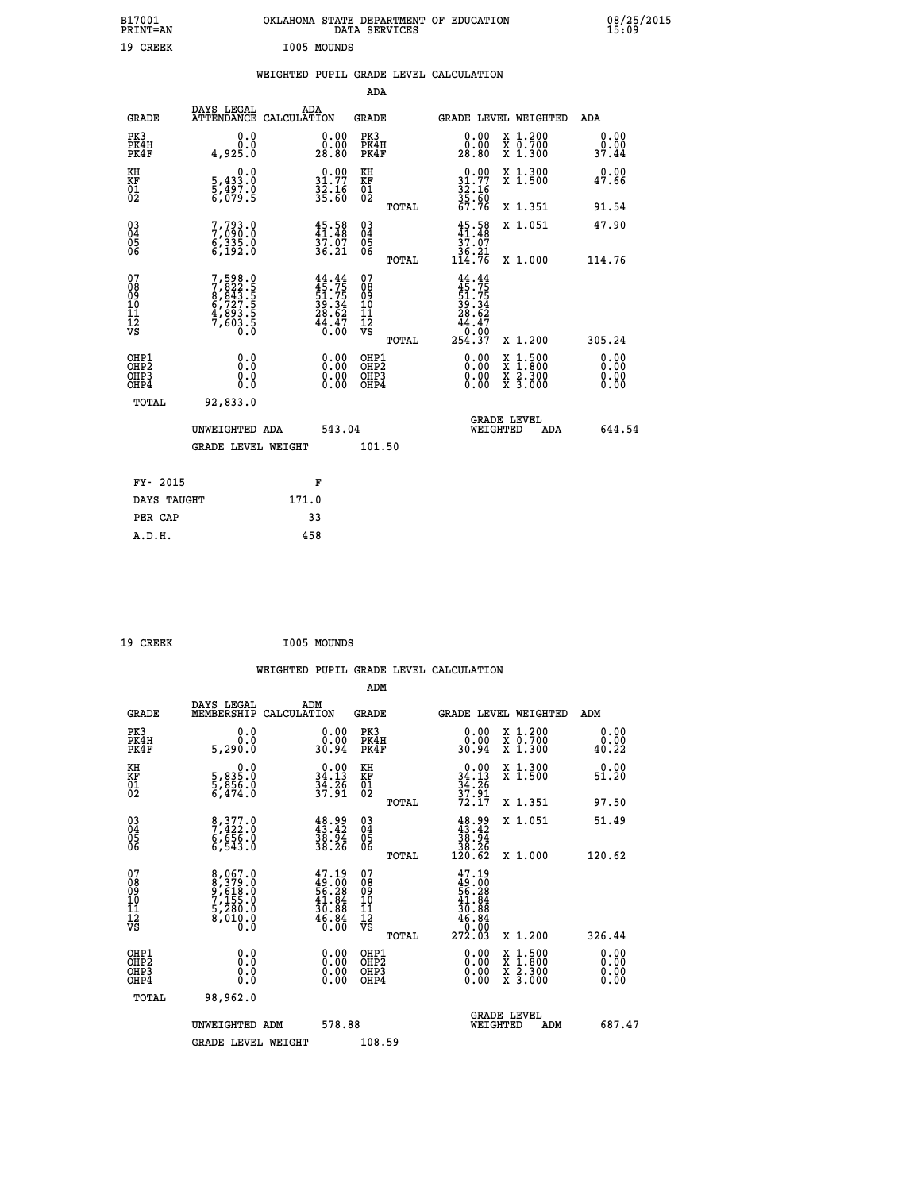| B17001<br>PRINT=AN | OKLAHOMA STATE DEPARTMENT OF EDUCATION<br>DATA SERVICES | 08/25/2015<br>15:09 |
|--------------------|---------------------------------------------------------|---------------------|
| 19 CREEK           | I005 MOUNDS                                             |                     |

## **WEIGHTED PUPIL GRADE LEVEL CALCULATION**

|                                                                   |                                                                           |                                                                          | ADA                                       |       |                                                                                      |                                          |                              |  |
|-------------------------------------------------------------------|---------------------------------------------------------------------------|--------------------------------------------------------------------------|-------------------------------------------|-------|--------------------------------------------------------------------------------------|------------------------------------------|------------------------------|--|
| <b>GRADE</b>                                                      | DAYS LEGAL<br>ATTENDANCE CALCULATION                                      | ADA                                                                      | <b>GRADE</b>                              |       | GRADE LEVEL WEIGHTED                                                                 |                                          | ADA                          |  |
| PK3<br>PK4H<br>PK4F                                               | 0.0<br>0.0<br>4,925.0                                                     | $\begin{smallmatrix} 0.00\\ 0.00\\ 28.80 \end{smallmatrix}$              | PK3<br>PK4H<br>PK4F                       |       | 0.00<br>80.00<br>28.80                                                               | X 1.200<br>X 0.700<br>X 1.300            | 0.00<br>0.00<br>37.44        |  |
| KH<br><b>KF</b><br>01<br>02                                       | 0.0<br>$\frac{5}{6}, \frac{433}{497}$ .0<br>6,079.5                       | $\begin{smallmatrix} 0.00\\ 31.77\\ 32.16\\ 35.60 \end{smallmatrix}$     | KH<br>KF<br>01<br>02                      |       | $0.00$<br>$31.77$<br>$32.16$<br>$35.60$<br>$67.76$                                   | X 1.300<br>X 1.500                       | 0.00<br>47.66                |  |
|                                                                   |                                                                           |                                                                          |                                           | TOTAL |                                                                                      | X 1.351                                  | 91.54                        |  |
| $^{03}_{04}$<br>Ŏ5<br>06                                          | 7,793.0<br>7,090.0<br>6,335.0<br>6,192.0                                  | $45.58$<br>$41.48$<br>37.07<br>36.21                                     | $\substack{03 \\ 04}$<br>Ŏ5<br>06         |       | $45.58$<br>$37.07$<br>$36.21$<br>$114.76$                                            | X 1.051                                  | 47.90                        |  |
|                                                                   |                                                                           |                                                                          |                                           | TOTAL |                                                                                      | X 1.000                                  | 114.76                       |  |
| 07<br>08901112<br>1112<br>VS                                      | 7,598.0<br>7,822.5<br>8,843.5<br>8,727.5<br>6,727.5<br>4,893.5<br>7,603.5 | $44.44$<br>$45.75$<br>$51.75$<br>$39.34$<br>$28.62$<br>$44.47$<br>$0.00$ | 07<br>08<br>09<br>11<br>11<br>12<br>VS    |       | $44.44$<br>$45.75$<br>$51.75$<br>$39.34$<br>$28.62$<br>$44.47$<br>$0.00$<br>$254.37$ |                                          |                              |  |
|                                                                   |                                                                           |                                                                          |                                           | TOTAL |                                                                                      | X 1.200                                  | 305.24                       |  |
| OHP1<br>OH <sub>P</sub> 2<br>OH <sub>P3</sub><br>OH <sub>P4</sub> | 0.0<br>0.0<br>0.0                                                         | $\begin{smallmatrix} 0.00 \ 0.00 \ 0.00 \ 0.00 \end{smallmatrix}$        | OHP1<br>OH <sub>P</sub> 2<br>OHP3<br>OHP4 |       | 0.00<br>0.00<br>0.00                                                                 | X 1:500<br>X 1:800<br>X 2:300<br>X 3:000 | 0.00<br>0.00<br>0.00<br>0.00 |  |
| TOTAL                                                             | 92,833.0                                                                  |                                                                          |                                           |       |                                                                                      |                                          |                              |  |
|                                                                   | UNWEIGHTED ADA                                                            | 543.04                                                                   |                                           |       |                                                                                      | GRADE LEVEL<br>WEIGHTED                  | 644.54<br>ADA                |  |
|                                                                   | <b>GRADE LEVEL WEIGHT</b>                                                 |                                                                          | 101.50                                    |       |                                                                                      |                                          |                              |  |
| FY- 2015                                                          |                                                                           | F                                                                        |                                           |       |                                                                                      |                                          |                              |  |
| DAYS TAUGHT                                                       |                                                                           | 171.0                                                                    |                                           |       |                                                                                      |                                          |                              |  |
| PER CAP                                                           |                                                                           | 33                                                                       |                                           |       |                                                                                      |                                          |                              |  |

| 19 CREEK | I005 MOUNDS |
|----------|-------------|

 **A.D.H. 458**

|                                          |                                                                       |                                                                          | ADM                                                 |       |                                                                                                |                                          |                       |
|------------------------------------------|-----------------------------------------------------------------------|--------------------------------------------------------------------------|-----------------------------------------------------|-------|------------------------------------------------------------------------------------------------|------------------------------------------|-----------------------|
| <b>GRADE</b>                             | DAYS LEGAL<br>MEMBERSHIP                                              | ADM<br>CALCULATION                                                       | <b>GRADE</b>                                        |       |                                                                                                | <b>GRADE LEVEL WEIGHTED</b>              | ADM                   |
| PK3<br>PK4H<br>PK4F                      | 0.0<br>0.0<br>5,290.0                                                 | $\begin{smallmatrix} 0.00\\ 0.00\\ 0.04 \end{smallmatrix}$               | PK3<br>PK4H<br>PK4F                                 |       | $\begin{smallmatrix} 0.00\\ 0.00\\ 0.04 \end{smallmatrix}$                                     | X 1.200<br>X 0.700<br>X 1.300            | 0.00<br>0.00<br>40.22 |
| KH<br>KF<br>01<br>02                     | 0.0<br>5,835.0<br>5,856.0<br>6,474.0                                  | $\begin{smallmatrix} 0.00\\ 34.13\\ 34.2\\ 37.91 \end{smallmatrix}$      | KH<br>KF<br>01<br>02                                |       | $0.00$<br>$34.13$<br>$34.26$<br>$37.91$<br>$72.17$                                             | X 1.300<br>X 1.500                       | 0.00<br>51.20         |
|                                          |                                                                       |                                                                          |                                                     | TOTAL |                                                                                                | X 1.351                                  | 97.50                 |
| 03<br>04<br>05<br>06                     | 8,377.0<br>7,422.0<br>6,656.0<br>6,543.0                              | $\begin{smallmatrix} 48.99\\ 43.42\\ 38.94\\ 38.26 \end{smallmatrix}$    | $\begin{array}{c} 03 \\ 04 \\ 05 \\ 06 \end{array}$ |       | $\begin{smallmatrix} 48.99\\ 43.42\\ 38.94\\ 38.26\\ 120.62 \end{smallmatrix}$                 | X 1.051                                  | 51.49                 |
|                                          |                                                                       |                                                                          |                                                     | TOTAL |                                                                                                | X 1.000                                  | 120.62                |
| 07<br>08<br>09<br>101<br>112<br>VS       | 8,067.0<br>8,379.0<br>9,618.0<br>7,155.0<br>5,280.0<br>8,010.0<br>0.0 | $47.19$<br>$49.00$<br>$56.28$<br>$41.84$<br>$30.88$<br>$46.84$<br>$6.84$ | 07<br>08<br>09<br>11<br>11<br>12<br>VS              | TOTAL | $\begin{smallmatrix} 47.19\ 49.00\ 56.28\ 41.84\ 30.88\ 46.86\ 6.00\ 272.03 \end{smallmatrix}$ | X 1.200                                  | 326.44                |
|                                          |                                                                       |                                                                          |                                                     |       |                                                                                                |                                          | 0.00                  |
| OHP1<br>OHP2<br>OHP <sub>3</sub><br>OHP4 |                                                                       |                                                                          | OHP1<br>OHP2<br>OHP <sub>3</sub>                    |       | $0.00$<br>$0.00$<br>0.00                                                                       | X 1:500<br>X 1:800<br>X 2:300<br>X 3:000 | 0.00<br>0.00          |
| TOTAL                                    | 98,962.0                                                              |                                                                          |                                                     |       |                                                                                                |                                          |                       |
|                                          | UNWEIGHTED ADM                                                        | 578.88                                                                   |                                                     |       |                                                                                                | GRADE LEVEL<br>WEIGHTED<br>ADM           | 687.47                |
|                                          | <b>GRADE LEVEL WEIGHT</b>                                             |                                                                          | 108.59                                              |       |                                                                                                |                                          |                       |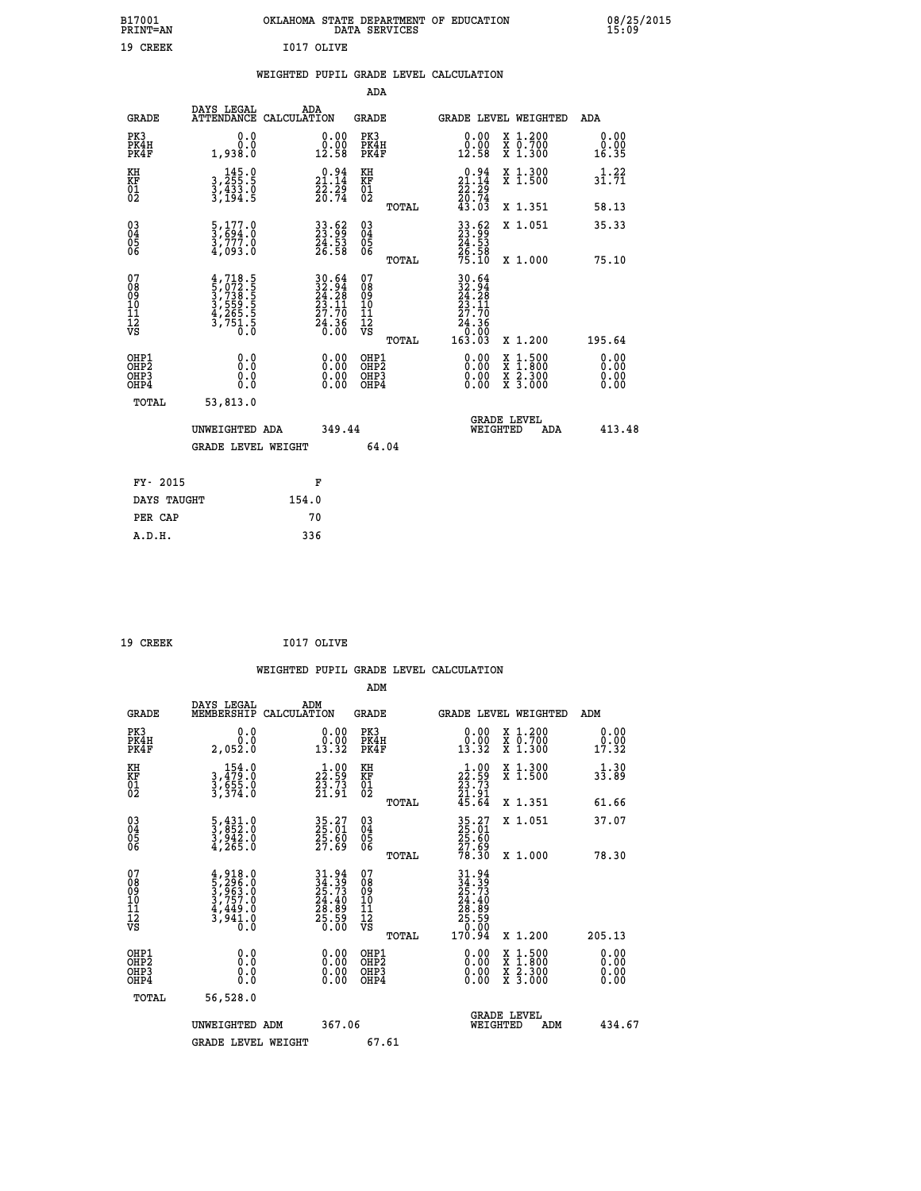|            | OKLAHOMA STATE DEPARTMENT OF EDUCATION<br>DATA SERVICES |  |
|------------|---------------------------------------------------------|--|
| T017 OLTVE |                                                         |  |

|  |  | WEIGHTED PUPIL GRADE LEVEL CALCULATION |
|--|--|----------------------------------------|
|  |  |                                        |

|                                                                    |                                                                                     |                                                                                           | ADA                                                 |       |                                                                                                     |                                          |     |                              |
|--------------------------------------------------------------------|-------------------------------------------------------------------------------------|-------------------------------------------------------------------------------------------|-----------------------------------------------------|-------|-----------------------------------------------------------------------------------------------------|------------------------------------------|-----|------------------------------|
| <b>GRADE</b>                                                       | DAYS LEGAL<br>ATTENDANCE CALCULATION                                                | ADA                                                                                       | <b>GRADE</b>                                        |       | <b>GRADE LEVEL WEIGHTED</b>                                                                         |                                          |     | ADA                          |
| PK3<br>PK4H<br>PK4F                                                | 0.0<br>0.0<br>1,938.0                                                               | $\begin{smallmatrix} 0.00\\ 0.00\\ 12.58 \end{smallmatrix}$                               | PK3<br>PK4H<br>PK4F                                 |       | $\begin{smallmatrix} 0.00\\ 0.00\\ 12.58 \end{smallmatrix}$                                         | X 1.200<br>X 0.700<br>X 1.300            |     | 0.00<br>0.00<br>16.35        |
| KH<br><b>KF</b><br>01<br>02                                        | $\begin{smallmatrix} & 145.0\\ 3,255.5\\ 3,433.0\\ 3,194.5 \end{smallmatrix}$       | $\begin{smallmatrix} 0.94\ 21.14\ 22.29\ 20.74 \end{smallmatrix}$                         | KH<br>KF<br>01<br>02                                |       | $\begin{smallmatrix} 0.94\ 21.14\ 22.29\ 20.74\ 43.03 \end{smallmatrix}$                            | X 1.300<br>X 1.500                       |     | 1.22<br>31.71                |
|                                                                    |                                                                                     |                                                                                           |                                                     | TOTAL |                                                                                                     | X 1.351                                  |     | 58.13                        |
| $\begin{smallmatrix} 03 \\[-4pt] 04 \end{smallmatrix}$<br>Ŏ5<br>06 | $\frac{5}{3}, \frac{177}{694}.0$<br>$\frac{3}{4}, \frac{777}{093}.0$                | 33.62<br>23.99<br>24.53<br>26.58                                                          | $\begin{array}{c} 03 \\ 04 \\ 05 \\ 06 \end{array}$ | TOTAL | 33.62<br>23.53<br>24.53<br>26.58<br>75.10                                                           | X 1.051<br>X 1.000                       |     | 35.33<br>75.10               |
| 07<br>08901112<br>1112<br>VS                                       | $4,718.5$<br>$5,072.5$<br>$3,738.5$<br>$3,559.5$<br>$4,265.5$<br>$3,751.5$<br>$0.0$ | $\begin{array}{l} 30.64 \\ 32.94 \\ 24.28 \\ 23.11 \\ 27.70 \\ 24.36 \\ 0.00 \end{array}$ | 07<br>08<br>09<br>11<br>11<br>12<br>VS              |       | $\begin{array}{r} 30.64 \\ 32.94 \\ 24.28 \\ 23.11 \\ 27.70 \\ 24.36 \\ 0.00 \\ 163.03 \end{array}$ |                                          |     |                              |
|                                                                    |                                                                                     |                                                                                           |                                                     | TOTAL |                                                                                                     | X 1.200                                  |     | 195.64                       |
| OHP1<br>OH <sub>P</sub> 2<br>OH <sub>P3</sub><br>OH <sub>P4</sub>  | 0.0<br>0.0<br>0.0                                                                   | 0.00<br>$\begin{smallmatrix} 0.00 \ 0.00 \end{smallmatrix}$                               | OHP1<br>OH <sub>P</sub> 2<br>OHP3<br>OHP4           |       | 0.00<br>0.00<br>0.00                                                                                | X 1:500<br>X 1:800<br>X 2:300<br>X 3:000 |     | 0.00<br>0.00<br>0.00<br>0.00 |
| TOTAL                                                              | 53,813.0                                                                            |                                                                                           |                                                     |       |                                                                                                     |                                          |     |                              |
|                                                                    | UNWEIGHTED ADA                                                                      | 349.44                                                                                    |                                                     |       |                                                                                                     | GRADE LEVEL<br>WEIGHTED                  | ADA | 413.48                       |
|                                                                    | <b>GRADE LEVEL WEIGHT</b>                                                           |                                                                                           | 64.04                                               |       |                                                                                                     |                                          |     |                              |
| FY- 2015                                                           |                                                                                     | F                                                                                         |                                                     |       |                                                                                                     |                                          |     |                              |
| DAYS TAUGHT                                                        |                                                                                     | 154.0                                                                                     |                                                     |       |                                                                                                     |                                          |     |                              |
| PER CAP                                                            |                                                                                     | 70                                                                                        |                                                     |       |                                                                                                     |                                          |     |                              |

| 19 CREEK | I017 OLIVE |
|----------|------------|

 **B17001<br>PRINT=AN<br>19 CREEK** 

 **WEIGHTED PUPIL GRADE LEVEL CALCULATION ADM DAYS LEGAL ADM GRADE MEMBERSHIP CALCULATION GRADE GRADE LEVEL WEIGHTED ADM**

| PK3<br>PK4H<br>PK4F                                  | ${\overset{\scriptstyle\phantom{00}0\cdot0}{0.0}}\phantom{0}$<br>2,052.0                             | $\begin{smallmatrix} 0.00\\ 0.00\\ 13.32 \end{smallmatrix}$       | PK3<br>PK4H<br>PK4F                                | $\begin{smallmatrix} 0.00\\ 0.00\\ 13.32 \end{smallmatrix}$                                      | X 1.200<br>X 0.700<br>X 1.300            | 0.00<br>$\frac{0.00}{17.32}$                                                                                                                                                                                                                                                   |
|------------------------------------------------------|------------------------------------------------------------------------------------------------------|-------------------------------------------------------------------|----------------------------------------------------|--------------------------------------------------------------------------------------------------|------------------------------------------|--------------------------------------------------------------------------------------------------------------------------------------------------------------------------------------------------------------------------------------------------------------------------------|
| KH<br>KF<br>01<br>02                                 | 154.0<br>3,479:0<br>3,555:0<br>3,374:0                                                               | $\begin{smallmatrix} 1.00\\22.59\\23.73\\21.91 \end{smallmatrix}$ | KH<br>KF<br>$^{01}_{02}$                           | $\begin{array}{c} 1\cdot 00 \\ 22\cdot 59 \\ 23\cdot 73 \\ 21\cdot 91 \\ 45\cdot 64 \end{array}$ | X 1.300<br>X 1.500                       | 1.30<br>33.89                                                                                                                                                                                                                                                                  |
|                                                      |                                                                                                      |                                                                   | TOTAL                                              |                                                                                                  | X 1.351                                  | 61.66                                                                                                                                                                                                                                                                          |
| $\begin{matrix} 03 \\ 04 \\ 05 \\ 06 \end{matrix}$   | $\frac{5}{3}, \frac{431}{852}.0$<br>$\frac{3}{3}, \frac{942}{963}.0$<br>$\frac{4}{3}, \frac{265}{9}$ | 35.27<br>25.01<br>25.60<br>27.69                                  | $\begin{matrix} 03 \\ 04 \\ 05 \\ 06 \end{matrix}$ | 35.27<br>25.61<br>25.60<br>27.69<br>78.30                                                        | X 1.051                                  | 37.07                                                                                                                                                                                                                                                                          |
|                                                      |                                                                                                      |                                                                   | TOTAL                                              |                                                                                                  | X 1.000                                  | 78.30                                                                                                                                                                                                                                                                          |
| 07<br>08<br>09<br>101<br>11<br>12<br>VS              | $4,918.0$<br>$5,296.0$<br>$3,963.0$<br>$3,757.0$<br>$4,449.0$<br>$3,941.0$<br>$0.0$                  | $31.94$<br>$25.73$<br>$24.40$<br>$28.89$<br>$25.50$               | 078<br>089<br>0011<br>11<br>12<br>VS               | $31.94$<br>$24.39$<br>$25.73$<br>$24.40$<br>$28.89$<br>$25.59$<br>$170.94$                       |                                          |                                                                                                                                                                                                                                                                                |
|                                                      |                                                                                                      |                                                                   | TOTAL                                              |                                                                                                  | X 1.200                                  | 205.13                                                                                                                                                                                                                                                                         |
| OHP1<br>OHP <sub>2</sub><br>OH <sub>P3</sub><br>OHP4 |                                                                                                      |                                                                   | OHP1<br>OHP2<br>OHP3<br>OHP4                       |                                                                                                  | X 1:500<br>X 1:800<br>X 2:300<br>X 3:000 | $\begin{smallmatrix} 0.00 & 0.00 & 0.00 & 0.00 & 0.00 & 0.00 & 0.00 & 0.00 & 0.00 & 0.00 & 0.00 & 0.00 & 0.00 & 0.00 & 0.00 & 0.00 & 0.00 & 0.00 & 0.00 & 0.00 & 0.00 & 0.00 & 0.00 & 0.00 & 0.00 & 0.00 & 0.00 & 0.00 & 0.00 & 0.00 & 0.00 & 0.00 & 0.00 & 0.00 & 0.00 & 0.0$ |
| TOTAL                                                | 56,528.0                                                                                             |                                                                   |                                                    |                                                                                                  |                                          |                                                                                                                                                                                                                                                                                |
|                                                      | UNWEIGHTED ADM                                                                                       | 367.06                                                            |                                                    | WEIGHTED                                                                                         | <b>GRADE LEVEL</b><br>ADM                | 434.67                                                                                                                                                                                                                                                                         |
|                                                      | <b>GRADE LEVEL WEIGHT</b>                                                                            |                                                                   | 67.61                                              |                                                                                                  |                                          |                                                                                                                                                                                                                                                                                |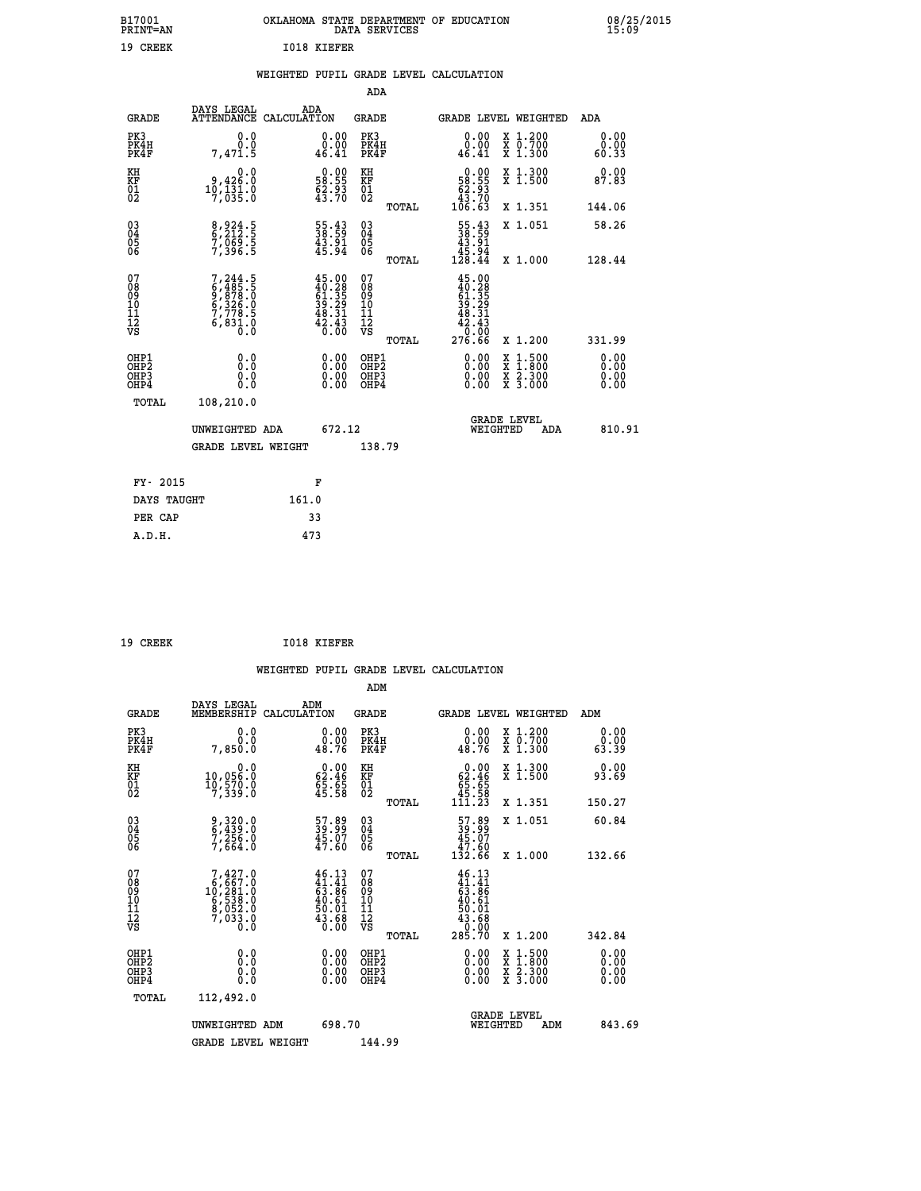|             | OKLAHOMA STATE DEPARTMENT OF EDUCATION<br>DATA SERVICES |  |
|-------------|---------------------------------------------------------|--|
| T018 KTEFER |                                                         |  |

## **WEIGHTED PUPIL GRADE LEVEL CALCULATION**

|                                                                              |                                                                                           |                                                                                                                                     | ADA                                     |       |                                                                                                               |                                                                                                                                              |                              |
|------------------------------------------------------------------------------|-------------------------------------------------------------------------------------------|-------------------------------------------------------------------------------------------------------------------------------------|-----------------------------------------|-------|---------------------------------------------------------------------------------------------------------------|----------------------------------------------------------------------------------------------------------------------------------------------|------------------------------|
| <b>GRADE</b>                                                                 | DAYS LEGAL                                                                                | ADA<br>ATTENDANCE CALCULATION                                                                                                       | GRADE                                   |       | <b>GRADE LEVEL WEIGHTED</b>                                                                                   |                                                                                                                                              | ADA                          |
| PK3<br>PK4H<br>PK4F                                                          | 0.0<br>Ō.Ō<br>7,471.5                                                                     | 0.00<br>0.00<br>46.41                                                                                                               | PK3<br>PK4H<br>PK4F                     |       | 0.00<br>0.00<br>46.41                                                                                         | X 1.200<br>X 0.700<br>X 1.300                                                                                                                | 0.00<br>0.00<br>60.33        |
| KH<br>KF<br>01<br>02                                                         | 0.0<br>0,426.0<br>10,131.0<br>7,035.0                                                     | $\begin{smallmatrix} 0.00\\ 58.55\\ 62.93\\ 43.70 \end{smallmatrix}$                                                                | KH<br>KF<br>01<br>02                    |       | $\begin{smallmatrix} &0.00\\ 58.55\\ 62.93\\ 43.70\\ 106.63\end{smallmatrix}$                                 | X 1.300<br>X 1.500                                                                                                                           | 0.00<br>87.83                |
|                                                                              |                                                                                           |                                                                                                                                     |                                         | TOTAL |                                                                                                               | X 1.351                                                                                                                                      | 144.06                       |
| $\begin{matrix} 03 \\ 04 \\ 05 \\ 06 \end{matrix}$                           | 8,924.5<br>6,212.5<br>7,069.5<br>7,396.5                                                  | 55.43<br>38.59<br>$\frac{43.91}{45.94}$                                                                                             | 03<br>04<br>05<br>06                    |       | $\begin{smallmatrix} 55.43\ 38.59\ 43.91\ 45.94\ 128.44 \end{smallmatrix}$                                    | X 1.051                                                                                                                                      | 58.26                        |
|                                                                              |                                                                                           |                                                                                                                                     |                                         | TOTAL |                                                                                                               | X 1.000                                                                                                                                      | 128.44                       |
| 07<br>08<br>09<br>11<br>11<br>12<br>VS                                       | $7, 244.5$<br>$6, 485.5$<br>$9, 878.0$<br>$6, 326.0$<br>$7, 778.5$<br>$6, 831.0$<br>$0.0$ | $\begin{smallmatrix} 4\,5\cdot00\\ 4\,0\cdot28\\ 6\,1\cdot35\\ 3\,9\cdot29\\ 4\,8\cdot31\\ 4\,2\cdot43\\ 0\cdot00\end{smallmatrix}$ | 07<br>08<br>09<br>101<br>11<br>12<br>VS | TOTAL | $\begin{smallmatrix} 45.00\\ 40.28\\ 61.35\\ 54.35\\ 39.29\\ 48.31\\ 42.43\\ 0.00\\ 276.66 \end{smallmatrix}$ | X 1.200                                                                                                                                      | 331.99                       |
| OHP1<br>OH <sub>P</sub> <sub>2</sub><br>OH <sub>P3</sub><br>OH <sub>P4</sub> | 0.0<br>Ō.Ō<br>0.0<br>0.0                                                                  | 0.00<br>0.00<br>0.00                                                                                                                | OHP1<br>OHP2<br>OHP3<br>OHP4            |       | 0.00<br>0.00<br>0.00                                                                                          | $\begin{smallmatrix} \mathtt{X} & 1\cdot500 \\ \mathtt{X} & 1\cdot800 \\ \mathtt{X} & 2\cdot300 \\ \mathtt{X} & 3\cdot000 \end{smallmatrix}$ | 0.00<br>0.00<br>0.00<br>0.00 |
| TOTAL                                                                        | 108,210.0                                                                                 |                                                                                                                                     |                                         |       |                                                                                                               |                                                                                                                                              |                              |
|                                                                              |                                                                                           | 672.12<br>UNWEIGHTED ADA                                                                                                            |                                         |       | WEIGHTED                                                                                                      | <b>GRADE LEVEL</b><br>ADA                                                                                                                    | 810.91                       |
|                                                                              | <b>GRADE LEVEL WEIGHT</b>                                                                 |                                                                                                                                     | 138.79                                  |       |                                                                                                               |                                                                                                                                              |                              |
|                                                                              |                                                                                           |                                                                                                                                     |                                         |       |                                                                                                               |                                                                                                                                              |                              |
| FY- 2015                                                                     |                                                                                           | F                                                                                                                                   |                                         |       |                                                                                                               |                                                                                                                                              |                              |
| DAYS TAUGHT                                                                  |                                                                                           | 161.0                                                                                                                               |                                         |       |                                                                                                               |                                                                                                                                              |                              |
| PER CAP                                                                      |                                                                                           | 33                                                                                                                                  |                                         |       |                                                                                                               |                                                                                                                                              |                              |
| A.D.H.                                                                       |                                                                                           | 473                                                                                                                                 |                                         |       |                                                                                                               |                                                                                                                                              |                              |

| 19 CREEK | 1018 KIEFER |
|----------|-------------|

 **A.D.H. 473**

 **B17001<br>PRINT=AN<br>19 CREEK** 

| <b>GRADE</b>                                       | DAYS LEGAL<br>MEMBERSHIP                                                                         | ADM<br>CALCULATION                                                  | <b>GRADE</b>                           |       |                                                                                                                                                                                                                                                                                | GRADE LEVEL WEIGHTED                     | ADM                   |  |
|----------------------------------------------------|--------------------------------------------------------------------------------------------------|---------------------------------------------------------------------|----------------------------------------|-------|--------------------------------------------------------------------------------------------------------------------------------------------------------------------------------------------------------------------------------------------------------------------------------|------------------------------------------|-----------------------|--|
| PK3<br>PK4H<br>PK4F                                | 0.0<br>0.0<br>7,850.0                                                                            | $\begin{smallmatrix} 0.00\\ 0.00\\ 48.76 \end{smallmatrix}$         | PK3<br>PK4H<br>PK4F                    |       | $\begin{smallmatrix} 0.00\\ 0.00\\ 48.76 \end{smallmatrix}$                                                                                                                                                                                                                    | X 1.200<br>X 0.700<br>X 1.300            | 0.00<br>0.00<br>63.39 |  |
| KH<br>KF<br>01<br>02                               | 0.0<br>10,056.0<br>10,570.0<br>7,339.0                                                           | $\begin{smallmatrix} 0.00\\ 62.46\\ 5.65\\ 45.58 \end{smallmatrix}$ | KH<br>KF<br>01<br>02                   |       | $\begin{smallmatrix} &0.00\,62.46\,65.65\,45.58\,111.23\end{smallmatrix}$                                                                                                                                                                                                      | X 1.300<br>X 1.500                       | 0.00<br>93.69         |  |
|                                                    |                                                                                                  |                                                                     |                                        | TOTAL |                                                                                                                                                                                                                                                                                | X 1.351                                  | 150.27                |  |
| $\begin{matrix} 03 \\ 04 \\ 05 \\ 06 \end{matrix}$ | 9,320.0<br>6,439.0<br>7,256.0<br>7,664.0                                                         | $\frac{57.89}{39.99}$<br>$\frac{45.07}{47.60}$                      | 03<br>04<br>05<br>06                   |       | $\begin{smallmatrix} 57.89 \\ 39.99 \\ 45.07 \\ 47.60 \\ 132.66 \end{smallmatrix}$                                                                                                                                                                                             | X 1.051                                  | 60.84                 |  |
|                                                    |                                                                                                  |                                                                     |                                        | TOTAL |                                                                                                                                                                                                                                                                                | X 1.000                                  | 132.66                |  |
| 07<br>08<br>09<br>101<br>112<br>VS                 | $\begin{smallmatrix}7,427.0\\6,667.0\\10,281.0\\6,538.0\\8,052.0\\7,033.0\\0.0\end{smallmatrix}$ | $46.13\n41.41\n63.86\n40.61\n50.01\n43.68\n0.00$                    | 07<br>08<br>09<br>11<br>11<br>12<br>VS | TOTAL | $46.13\n41.41\n63.86\n40.61\n50.01\n43.68\n0.000\n285.70$                                                                                                                                                                                                                      | X 1.200                                  | 342.84                |  |
| OHP1<br>OHP2<br>OHP3<br>OHP4                       | 0.0<br>$\begin{smallmatrix} 0.0 & 0 \ 0.0 & 0 \end{smallmatrix}$                                 |                                                                     | OHP1<br>OHP2<br>OHP3<br>OHP4           |       | $\begin{smallmatrix} 0.00 & 0.00 & 0.00 & 0.00 & 0.00 & 0.00 & 0.00 & 0.00 & 0.00 & 0.00 & 0.00 & 0.00 & 0.00 & 0.00 & 0.00 & 0.00 & 0.00 & 0.00 & 0.00 & 0.00 & 0.00 & 0.00 & 0.00 & 0.00 & 0.00 & 0.00 & 0.00 & 0.00 & 0.00 & 0.00 & 0.00 & 0.00 & 0.00 & 0.00 & 0.00 & 0.0$ | X 1:500<br>X 1:800<br>X 2:300<br>X 3:000 | 0.00<br>0.00<br>0.00  |  |
| TOTAL                                              | 112,492.0                                                                                        |                                                                     |                                        |       |                                                                                                                                                                                                                                                                                |                                          |                       |  |
|                                                    | UNWEIGHTED                                                                                       | 698.70<br>ADM                                                       |                                        |       | WEIGHTED                                                                                                                                                                                                                                                                       | <b>GRADE LEVEL</b><br>ADM                | 843.69                |  |
|                                                    | <b>GRADE LEVEL WEIGHT</b>                                                                        |                                                                     | 144.99                                 |       |                                                                                                                                                                                                                                                                                |                                          |                       |  |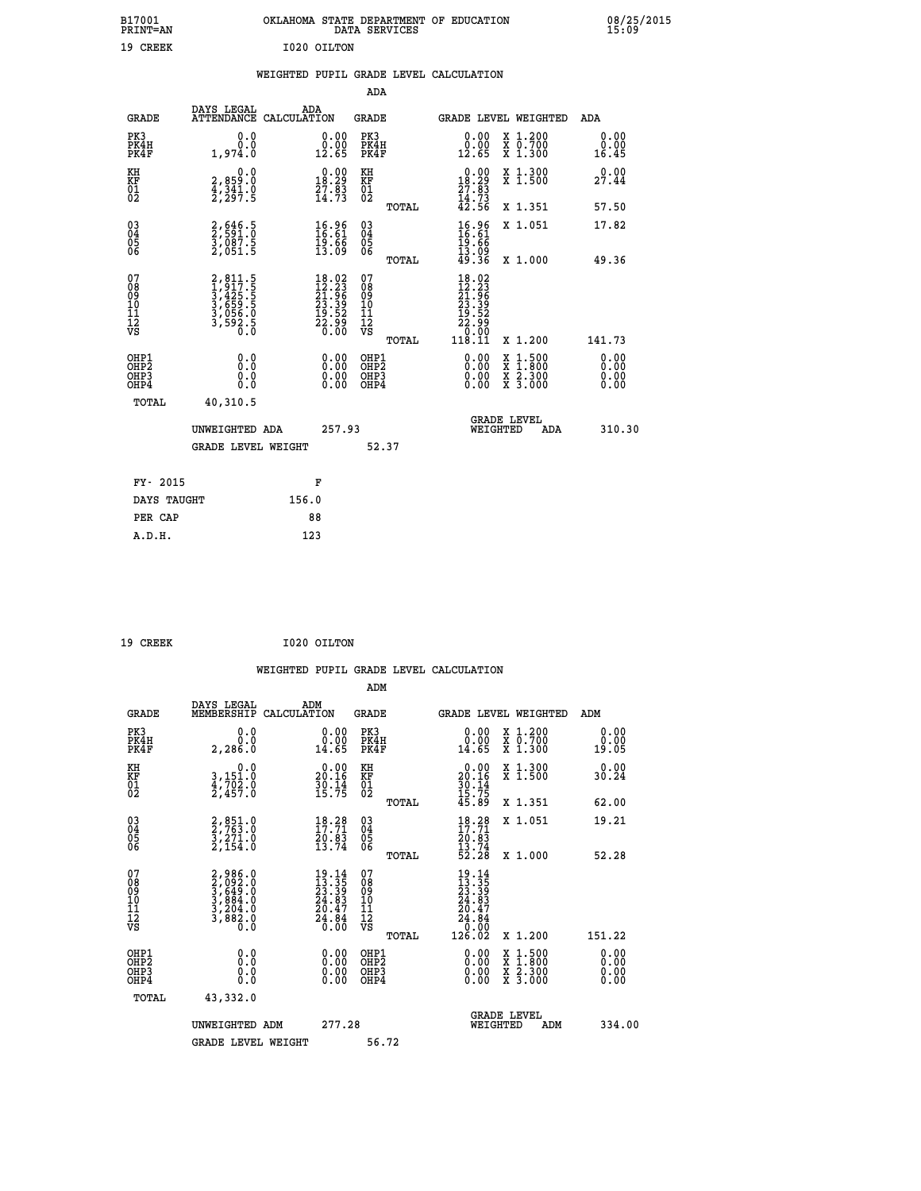| B17001<br><b>PRINT=AN</b> |             | OKLAHOMA STATE DEPARTMENT OF EDUCATION<br>DATA SERVICES |  |
|---------------------------|-------------|---------------------------------------------------------|--|
| 19 CREEK                  | I020 OILTON |                                                         |  |

### **WEIGHTED PUPIL GRADE LEVEL CALCULATION**

|                                                       |                                                                       |                                                                                              | ADA                                     |       |                                                                                                                                          |   |                                                           |                              |
|-------------------------------------------------------|-----------------------------------------------------------------------|----------------------------------------------------------------------------------------------|-----------------------------------------|-------|------------------------------------------------------------------------------------------------------------------------------------------|---|-----------------------------------------------------------|------------------------------|
| <b>GRADE</b>                                          | DAYS LEGAL<br><b>ATTENDANCE</b>                                       | ADA<br>CALCULATION                                                                           | GRADE                                   |       | GRADE LEVEL WEIGHTED                                                                                                                     |   |                                                           | <b>ADA</b>                   |
| PK3<br>PK4H<br>PK4F                                   | 0.0<br>0.0<br>1,974.0                                                 | 0.00<br>$\frac{0.00}{12.65}$                                                                 | PK3<br>PK4H<br>PK4F                     |       | 0.00<br>$\begin{smallmatrix} 0.00 \ 12.65 \end{smallmatrix}$                                                                             |   | X 1.200<br>X 0.700<br>X 1.300                             | 0.00<br>0.00<br>16.45        |
| KH<br><b>KF</b><br>01<br>02                           | 0.0<br>2,859:0<br>4,341.0<br>2,297:5                                  | $\begin{smallmatrix} 0.00\\18.29\\27.83\\14.73 \end{smallmatrix}$                            | KH<br>KF<br>01<br>02                    |       | $\begin{smallmatrix} 0.00\\18.29\\27.83\\14.73\\42.56 \end{smallmatrix}$                                                                 |   | X 1.300<br>X 1.500                                        | 0.00<br>27.44                |
|                                                       |                                                                       |                                                                                              |                                         | TOTAL |                                                                                                                                          |   | X 1.351                                                   | 57.50                        |
| $\begin{matrix} 03 \\ 04 \\ 05 \\ 06 \end{matrix}$    | 2,646.5<br>2,591.0<br>3,087.5<br>2,051.5                              | $\begin{smallmatrix} 16.96 \\ 16.61 \\ 19.66 \\ 13.09 \end{smallmatrix}$                     | 03<br>04<br>05<br>06                    |       | $16.81$<br>$19.66$<br>$19.66$<br>$13.09$<br>$49.36$                                                                                      |   | X 1.051                                                   | 17.82                        |
|                                                       |                                                                       |                                                                                              |                                         | TOTAL |                                                                                                                                          |   | X 1.000                                                   | 49.36                        |
| 07<br>08<br>09<br>101<br>11<br>12<br>VS               | 2,811.5<br>1,917.5<br>3,425.5<br>3,659.5<br>3,056.0<br>3,592.5<br>0.0 | $\begin{smallmatrix} 18.02\\ 12.23\\ 21.96\\ 23.39\\ 19.52\\ 22.99\\ 0.00 \end{smallmatrix}$ | 07<br>08<br>09<br>101<br>11<br>12<br>VS | TOTAL | $\begin{array}{r} 18\cdot02\\ 12\cdot23\\ 21\cdot96\\ 23\cdot39\\ 23\cdot39\\ 19\cdot52\\ 22\cdot90\\ 0\\ 0\\ 11\\ 8\cdot11 \end{array}$ |   | X 1.200                                                   | 141.73                       |
| OHP1<br>OHP2<br>OH <sub>P</sub> 3<br>OH <sub>P4</sub> | 0.0<br>0.000                                                          | 0.00<br>$0.00$<br>0.00                                                                       | OHP1<br>OHP2<br>OHP3<br>OHP4            |       | $0.00$<br>$0.00$<br>0.00                                                                                                                 | X | $1.500$<br>$1.800$<br>$\frac{x}{x}$ $\frac{5.300}{3.000}$ | 0.00<br>0.00<br>0.00<br>0.00 |
| TOTAL                                                 | 40,310.5                                                              |                                                                                              |                                         |       |                                                                                                                                          |   |                                                           |                              |
|                                                       | UNWEIGHTED ADA                                                        | 257.93                                                                                       |                                         |       | <b>GRADE LEVEL</b><br>WEIGHTED                                                                                                           |   | ADA                                                       | 310.30                       |
|                                                       | <b>GRADE LEVEL WEIGHT</b>                                             |                                                                                              | 52.37                                   |       |                                                                                                                                          |   |                                                           |                              |
| FY- 2015                                              |                                                                       | F                                                                                            |                                         |       |                                                                                                                                          |   |                                                           |                              |
| DAYS TAUGHT                                           |                                                                       | 156.0                                                                                        |                                         |       |                                                                                                                                          |   |                                                           |                              |
|                                                       |                                                                       |                                                                                              |                                         |       |                                                                                                                                          |   |                                                           |                              |

| 19 CREEK | I020 OILTON |
|----------|-------------|
|          |             |

**PER CAP** 88<br> **A.D.H.** 123

 **A.D.H. 123**

 **B17001<br>PRINT=AN** 

 **WEIGHTED PUPIL GRADE LEVEL CALCULATION ADM DAYS LEGAL ADM**

| <b>GRADE</b>                                       | ----<br>-----<br>MEMBERSHIP CALCULATION                               |                                                                        | GRADE                                              |       |                                                                                                   |          | GRADE LEVEL WEIGHTED                                                                                                                      | ADM                          |
|----------------------------------------------------|-----------------------------------------------------------------------|------------------------------------------------------------------------|----------------------------------------------------|-------|---------------------------------------------------------------------------------------------------|----------|-------------------------------------------------------------------------------------------------------------------------------------------|------------------------------|
| PK3<br>PK4H<br>PK4F                                | 0.0<br>0.0<br>2,286.0                                                 | 0.00<br>0.00<br>14.65                                                  | PK3<br>PK4H<br>PK4F                                |       | 0.00<br>0.00<br>14.65                                                                             |          | X 1.200<br>X 0.700<br>X 1.300                                                                                                             | 0.00<br>0.00<br>19.05        |
| KH<br>KF<br>01<br>02                               | 0.0<br>3,151:0<br>4,702:0<br>2,457:0                                  | $\begin{smallmatrix} 0.00\\ 20.16\\ 30.14\\ 15.75 \end{smallmatrix}$   | KH<br><b>KF</b><br>01<br>02                        |       | $\begin{smallmatrix} 0.00\\ 20.16\\ 30.14\\ 15.75\\ 45.89 \end{smallmatrix}$                      |          | X 1.300<br>X 1.500                                                                                                                        | 0.00<br>30.24                |
|                                                    |                                                                       |                                                                        |                                                    | TOTAL |                                                                                                   |          | X 1.351                                                                                                                                   | 62.00                        |
| $\begin{matrix} 03 \\ 04 \\ 05 \\ 06 \end{matrix}$ | $2, 851.0$<br>$2, 763.0$<br>$3, 271.0$<br>$2, 154.0$                  | $18.28$<br>17:71<br>$\frac{70.83}{13.74}$                              | $\begin{matrix} 03 \\ 04 \\ 05 \\ 06 \end{matrix}$ |       | $18.28$<br>$17.71$<br>$20.83$<br>$13.74$<br>$52.28$                                               |          | X 1.051                                                                                                                                   | 19.21                        |
|                                                    |                                                                       |                                                                        |                                                    | TOTAL |                                                                                                   |          | X 1.000                                                                                                                                   | 52.28                        |
| 07<br>08<br>09<br>101<br>11<br>12<br>VS            | 2,986.0<br>3,092.0<br>3,649.0<br>3,884.0<br>3,204.0<br>3,882.0<br>Ō.Ŏ | $19.14$<br>$13.35$<br>$23.39$<br>$24.83$<br>$20.47$<br>$24.84$<br>0.00 | 078901112<br>111112<br>VS                          |       | $\begin{smallmatrix} 19.14\ 13.35\ 23.39\ 24.81\ 24.847\ 24.84\ 0.000\ 126.02\ \end{smallmatrix}$ |          |                                                                                                                                           |                              |
|                                                    |                                                                       |                                                                        |                                                    | TOTAL |                                                                                                   |          | X 1.200                                                                                                                                   | 151.22                       |
| OHP1<br>OHP2<br>OH <sub>P3</sub><br>OHP4           | 0.0<br>0.0<br>Ŏ.Ŏ                                                     | 0.00<br>0.00<br>0.00                                                   | OHP1<br>OHP2<br>OHP3<br>OHP4                       |       | $0.00$<br>$0.00$<br>0.00                                                                          |          | $\begin{smallmatrix} \mathtt{X} & 1\cdot500\\ \mathtt{X} & 1\cdot800\\ \mathtt{X} & 2\cdot300\\ \mathtt{X} & 3\cdot000 \end{smallmatrix}$ | 0.00<br>0.00<br>0.00<br>0.00 |
| TOTAL                                              | 43,332.0                                                              |                                                                        |                                                    |       |                                                                                                   |          |                                                                                                                                           |                              |
|                                                    | UNWEIGHTED ADM                                                        | 277.28                                                                 |                                                    |       |                                                                                                   | WEIGHTED | <b>GRADE LEVEL</b><br>ADM                                                                                                                 | 334.00                       |
|                                                    | <b>GRADE LEVEL WEIGHT</b>                                             |                                                                        | 56.72                                              |       |                                                                                                   |          |                                                                                                                                           |                              |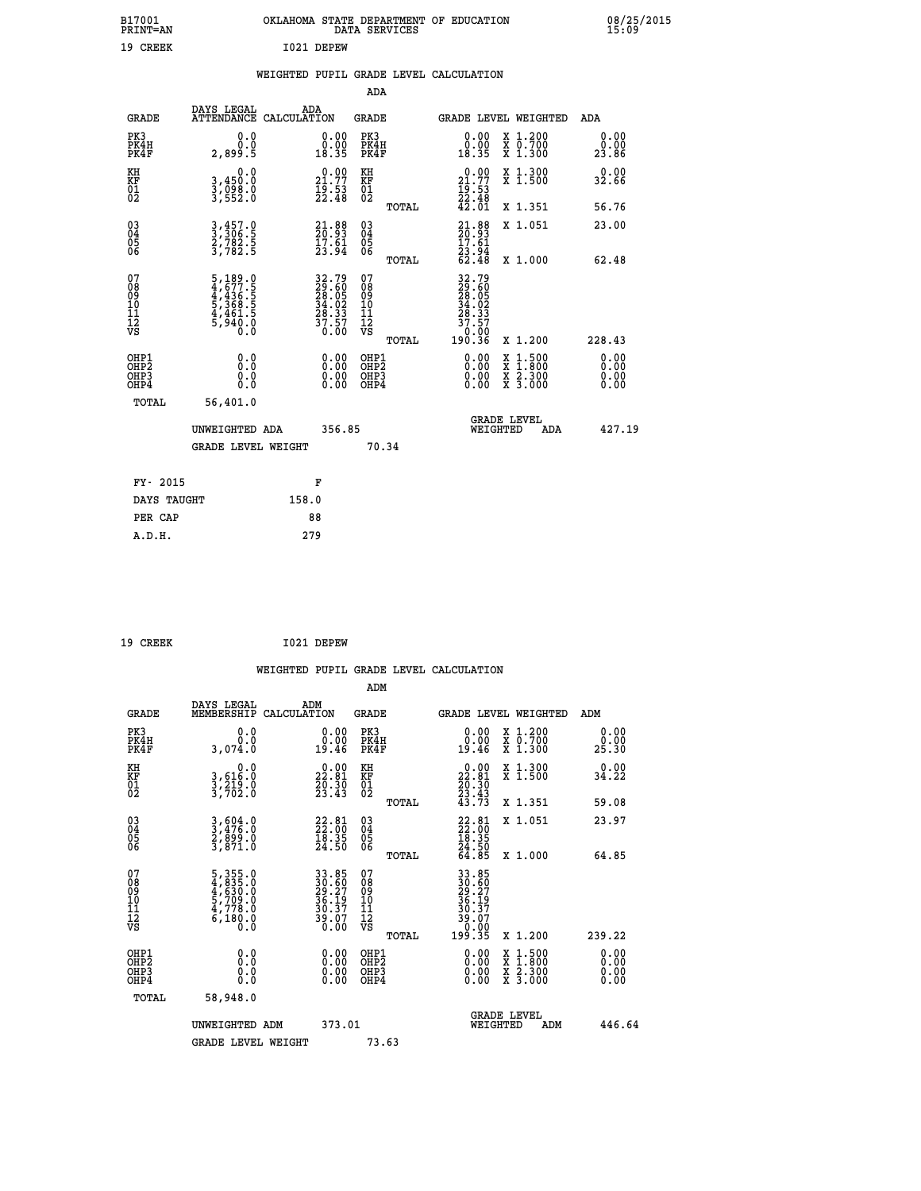| B17001<br>PRINT=AN | OKLAHOMA STATE DEPARTMENT OF EDUCATION<br>DATA SERVICES | 08/25/2015<br>15:09 |
|--------------------|---------------------------------------------------------|---------------------|
| 19 CREEK           | I021 DEPEW                                              |                     |
|                    | WEIGHTED PUPIL GRADE LEVEL CALCULATION                  |                     |

| WEIGHTED PUPIL GRADE LEVEL CALCULATION |  |  |  |  |  |
|----------------------------------------|--|--|--|--|--|
|----------------------------------------|--|--|--|--|--|

|                                                                    |                                                                           |                                                                       | ADA                                                |       |                                                                                                                                                                                                                                                                                |                                          |                               |
|--------------------------------------------------------------------|---------------------------------------------------------------------------|-----------------------------------------------------------------------|----------------------------------------------------|-------|--------------------------------------------------------------------------------------------------------------------------------------------------------------------------------------------------------------------------------------------------------------------------------|------------------------------------------|-------------------------------|
| <b>GRADE</b>                                                       | DAYS LEGAL<br>ATTENDANCE CALCULATION                                      | ADA                                                                   | <b>GRADE</b>                                       |       |                                                                                                                                                                                                                                                                                | GRADE LEVEL WEIGHTED                     | <b>ADA</b>                    |
| PK3<br>PK4H<br>PK4F                                                | 0.0<br>0.0<br>2,899.5                                                     | $\begin{smallmatrix} 0.00\\ 0.00\\ 18.35 \end{smallmatrix}$           | PK3<br>PK4H<br>PK4F                                |       | 0.00<br>$\begin{smallmatrix} 0.00 \\ 0.35 \end{smallmatrix}$                                                                                                                                                                                                                   | X 1.200<br>X 0.700<br>X 1.300            | 0.00<br>0.00<br>23.86         |
| KH<br>KF<br>01<br>02                                               | 0.0<br>3,450.0<br>3,098.0<br>3,552.0                                      | 21.77<br>$\frac{1}{2}$ $\frac{1}{2}$ $\cdot\frac{5}{4}$ $\frac{3}{8}$ | KH<br>KF<br>01<br>02                               |       | $\begin{smallmatrix} 0.00\\ 21.77\\ 19.53\\ 22.48\\ 42.01 \end{smallmatrix}$                                                                                                                                                                                                   | X 1.300<br>X 1.500                       | 0.00<br>32.66                 |
|                                                                    |                                                                           |                                                                       |                                                    | TOTAL |                                                                                                                                                                                                                                                                                | X 1.351                                  | 56.76                         |
| $\begin{smallmatrix} 03 \\[-4pt] 04 \end{smallmatrix}$<br>Ŏ5<br>06 | 3, 457.0<br>3, 306.5<br>2, 782.5<br>3, 782.5                              | $21.88$<br>$20.93$<br>$17.61$<br>$23.94$                              | $\begin{matrix} 03 \\ 04 \\ 05 \\ 06 \end{matrix}$ | TOTAL | $21.88$<br>$20.93$<br>$17.61$<br>$23.94$<br>$62.48$                                                                                                                                                                                                                            | X 1.051<br>X 1.000                       | 23.00<br>62.48                |
| 07<br>08<br>09<br>01<br>11<br>11<br>12<br>VS                       | 5,189.0<br>4,677.5<br>4,436.5<br>5,368.5<br>5,368.5<br>4,461.5<br>5,940.0 | 32.79<br>29.605<br>28.05<br>34.02<br>36.33<br>37.57<br>0.00           | 07<br>08<br>09<br>11<br>11<br>12<br>VS             |       | $\begin{smallmatrix} 32.79\ 29.605\ 28.052\ 34.022\ 34.337\ 37.57\ 0.00\ 190.36\ \end{smallmatrix}$                                                                                                                                                                            |                                          |                               |
|                                                                    |                                                                           |                                                                       |                                                    | TOTAL |                                                                                                                                                                                                                                                                                | X 1.200                                  | 228.43                        |
| OHP1<br>OHP <sub>2</sub><br>OH <sub>P3</sub><br>OHP4               | 0.0<br>0.000                                                              | 0.00<br>$\begin{smallmatrix} 0.00 \ 0.00 \end{smallmatrix}$           | OHP1<br>OHP2<br>OHP <sub>3</sub>                   |       | $\begin{smallmatrix} 0.00 & 0.00 & 0.00 & 0.00 & 0.00 & 0.00 & 0.00 & 0.00 & 0.00 & 0.00 & 0.00 & 0.00 & 0.00 & 0.00 & 0.00 & 0.00 & 0.00 & 0.00 & 0.00 & 0.00 & 0.00 & 0.00 & 0.00 & 0.00 & 0.00 & 0.00 & 0.00 & 0.00 & 0.00 & 0.00 & 0.00 & 0.00 & 0.00 & 0.00 & 0.00 & 0.0$ | X 1:500<br>X 1:800<br>X 2:300<br>X 3:000 | 0.00<br>Ō. ŌŌ<br>0.00<br>0.00 |
| TOTAL                                                              | 56,401.0                                                                  |                                                                       |                                                    |       |                                                                                                                                                                                                                                                                                |                                          |                               |
|                                                                    | UNWEIGHTED ADA                                                            | 356.85                                                                |                                                    |       |                                                                                                                                                                                                                                                                                | <b>GRADE LEVEL</b><br>WEIGHTED<br>ADA    | 427.19                        |
|                                                                    | <b>GRADE LEVEL WEIGHT</b>                                                 |                                                                       |                                                    | 70.34 |                                                                                                                                                                                                                                                                                |                                          |                               |
| FY- 2015                                                           |                                                                           | F                                                                     |                                                    |       |                                                                                                                                                                                                                                                                                |                                          |                               |
| DAYS TAUGHT                                                        |                                                                           | 158.0                                                                 |                                                    |       |                                                                                                                                                                                                                                                                                |                                          |                               |
| PER CAP                                                            |                                                                           | 88                                                                    |                                                    |       |                                                                                                                                                                                                                                                                                |                                          |                               |

| 19 CREEK | I021 DEPEW |
|----------|------------|
|          |            |

 **WEIGHTED PUPIL GRADE LEVEL CALCULATION ADM DAYS LEGAL ADM GRADE MEMBERSHIP CALCULATION GRADE GRADE LEVEL WEIGHTED ADM PK3 0.0 0.00 PK3 0.00 X 1.200 0.00 PK4H 0.0 0.00 PK4H 0.00 X 0.700 0.00 PK4F 3,074.0 19.46 PK4F 19.46 X 1.300 25.30 KH 0.0 0.00 KH 0.00 X 1.300 0.00 KF 3,616.0 22.81 KF 22.81 X 1.500 34.22 KH**  $\begin{array}{cccc} 0.0 & 0.00 & \text{KH} \\ \text{KF} & 3,616.0 & 22.81 & \text{KF} \\ 01 & 3,219.0 & 23.30 & 0 \\ 02 & 3,702.0 & 23.43 & 02 \end{array}$  $02$   $3,702.0$   $23.43$   $02$   $2,43$  **TOTAL 43.73 X 1.351 59.08 03 3,604.0 22.81 03 22.81 X 1.051 23.97 04 3,476.0 22.00 04 22.00 05 2,899.0 18.35 05 18.35 06 3,871.0 24.50 06 24.50 TOTAL 64.85 X 1.000 64.85**  $\begin{array}{cccc} 07 & 5\,7\,355.0 & 33.85 & 07 & 33.85\,0\,08 & 4\,7\,835.0 & 29.27 & 09 & 30.60\,09 & 4\,7\,630.0 & 29.27 & 09 & 29.27\,0\,10 & 5\,7\,709.0 & 36.19 & 10 & 36.19\,11 & 4\,7\,708.0 & 30.37 & 11 & 30.07\,0\,0 & 0 & 0 & 0 & 0 & 0 & 0\,0 & 0 & 0$  **TOTAL 199.35 X 1.200 239.22 OHP1 0.0 0.00 OHP1 0.00 X 1.500 0.00 OHP2 0.0 0.00 OHP2 0.00 X 1.800 0.00 OHP3 0.0 0.00 OHP3 0.00 X 2.300 0.00 OHP4 0.0 0.00 OHP4 0.00 X 3.000 0.00 TOTAL 58,948.0 GRADE LEVEL UNWEIGHTED ADM 373.01 WEIGHTED ADM 446.64** GRADE LEVEL WEIGHT 73.63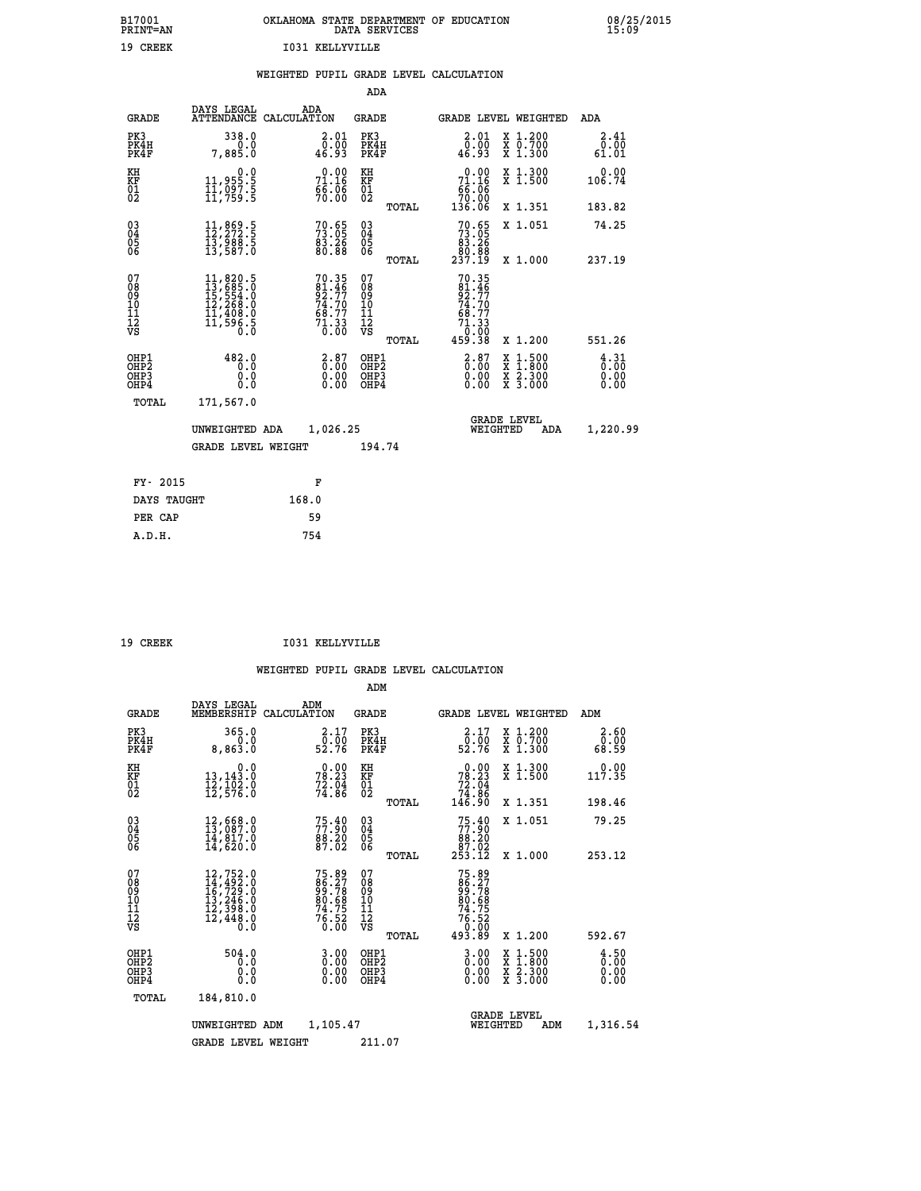|                 | OKLAHOMA STATE DEPARTMENT OF EDUCATION<br>DATA SERVICES |  |
|-----------------|---------------------------------------------------------|--|
| T031 KELLYVILLE |                                                         |  |

 **B17001 OKLAHOMA STATE DEPARTMENT OF EDUCATION 08/25/2015**

|  |  | WEIGHTED PUPIL GRADE LEVEL CALCULATION |
|--|--|----------------------------------------|
|  |  |                                        |

|                                                                    |                                                                                                                     |                                                                | ADA                                      |       |                                                                                                 |                                                                                                  |     |                                                 |
|--------------------------------------------------------------------|---------------------------------------------------------------------------------------------------------------------|----------------------------------------------------------------|------------------------------------------|-------|-------------------------------------------------------------------------------------------------|--------------------------------------------------------------------------------------------------|-----|-------------------------------------------------|
| <b>GRADE</b>                                                       | DAYS LEGAL                                                                                                          | ADA<br>ATTENDANCE CALCULATION                                  | <b>GRADE</b>                             |       | GRADE LEVEL WEIGHTED                                                                            |                                                                                                  |     | ADA                                             |
| PK3<br>PK4H<br>PK4F                                                | 338.0<br>0.0<br>7,885.0                                                                                             | $\begin{smallmatrix} 2.01\0.00\\0.93 \end{smallmatrix}$        | PK3<br>PK4H<br>PK4F                      |       | 2.01<br>$\begin{smallmatrix} \bar{0} \ \bar{1} \ \bar{0} \ \bar{2} \ \bar{3} \end{smallmatrix}$ | X 1.200<br>X 0.700<br>X 1.300                                                                    |     | 2.41<br>0.00<br>61.01                           |
| KH<br><b>KF</b><br>01<br>02                                        | 0.0<br>11,955:5<br>11,097:5<br>11,759:5                                                                             | 71.16<br>$\frac{6}{70}$ $\frac{6}{100}$                        | KH<br>KF<br>01<br>02                     |       | 71.16<br>$\frac{65.06}{70.00}$<br>136.06                                                        | X 1.300<br>X 1.500                                                                               |     | 0.00<br>106.74                                  |
|                                                                    |                                                                                                                     |                                                                |                                          | TOTAL |                                                                                                 | X 1.351                                                                                          |     | 183.82                                          |
| $\begin{smallmatrix} 03 \\[-4pt] 04 \end{smallmatrix}$<br>05<br>06 | $\begin{smallmatrix} 11, 869.5\\ 12, 272.5\\ 13, 988.5\\ 13, 587.0 \end{smallmatrix}$                               | $70.65$<br>$73.05$<br>$83.26$<br>$80.88$                       | $\substack{03 \\ 04}$<br>05<br>06        |       | $70.65$<br>$73.05$<br>$83.26$<br>$80.88$<br>$237.19$                                            | X 1.051                                                                                          |     | 74.25                                           |
|                                                                    |                                                                                                                     |                                                                |                                          | TOTAL |                                                                                                 | X 1.000                                                                                          |     | 237.19                                          |
| 07<br>08<br>09<br>11<br>11<br>12<br>VS                             | $\begin{smallmatrix} 11, 820.5\\ 13, 685.0\\ 15, 554.0\\ 12, 268.0\\ 11, 408.0\\ 11, 596.5\\ 0.0 \end{smallmatrix}$ | 70.35<br>81.46<br>92.77<br>74.70<br>58.77<br>$71.33$<br>$0.00$ | 07<br>08<br>09<br>11<br>11<br>12<br>VS   |       | $70.35$<br>81.46<br>92.77<br>74.70<br>68.77<br>68.77                                            |                                                                                                  |     |                                                 |
|                                                                    |                                                                                                                     |                                                                |                                          | TOTAL | 00.0°<br>459.38                                                                                 | X 1.200                                                                                          |     | 551.26                                          |
| OHP1<br>OH <sub>P2</sub><br>OH <sub>P3</sub><br>OH <sub>P4</sub>   | 482.0<br>0.0<br>0.0<br>0.0                                                                                          | $\frac{2.87}{0.00}$<br>0.00<br>0.00                            | OHP1<br>OHP <sub>2</sub><br>OHP3<br>OHP4 |       | $2.87$<br>$0.00$<br>0.00<br>0.00                                                                | $\begin{smallmatrix} x & 1 & 500 \\ x & 1 & 800 \\ x & 2 & 300 \\ x & 3 & 000 \end{smallmatrix}$ |     | $\frac{4}{0}$ : $\frac{31}{00}$<br>0.00<br>0.00 |
| TOTAL                                                              | 171,567.0                                                                                                           |                                                                |                                          |       |                                                                                                 |                                                                                                  |     |                                                 |
|                                                                    | UNWEIGHTED ADA                                                                                                      | 1,026.25                                                       |                                          |       |                                                                                                 | GRADE LEVEL<br>WEIGHTED                                                                          | ADA | 1,220.99                                        |
|                                                                    | <b>GRADE LEVEL WEIGHT</b>                                                                                           |                                                                | 194.74                                   |       |                                                                                                 |                                                                                                  |     |                                                 |
| FY- 2015                                                           |                                                                                                                     | F                                                              |                                          |       |                                                                                                 |                                                                                                  |     |                                                 |
| DAYS TAUGHT                                                        |                                                                                                                     | 168.0                                                          |                                          |       |                                                                                                 |                                                                                                  |     |                                                 |
| PER CAP                                                            |                                                                                                                     | 59                                                             |                                          |       |                                                                                                 |                                                                                                  |     |                                                 |

| CREEK |
|-------|
|       |

 **A.D.H. 754**

 **B17001<br>PRINT=AN<br>19 CREEK** 

19 CREEK 1031 KELLYVILLE

|                                                       |                                                                                                                                                 |                                                                     | ADM                                                 |                                                                                          |                                          |                              |
|-------------------------------------------------------|-------------------------------------------------------------------------------------------------------------------------------------------------|---------------------------------------------------------------------|-----------------------------------------------------|------------------------------------------------------------------------------------------|------------------------------------------|------------------------------|
| <b>GRADE</b>                                          | DAYS LEGAL<br>MEMBERSHIP                                                                                                                        | ADM<br>CALCULATION                                                  | <b>GRADE</b>                                        | GRADE LEVEL WEIGHTED                                                                     |                                          | ADM                          |
| PK3<br>PK4H<br>PK4F                                   | 365.0<br>0.0<br>8,863.0                                                                                                                         | 2.17<br>52.00<br>52.76                                              | PK3<br>PK4H<br>PK4F                                 | $\begin{smallmatrix} 2.17\\ 0.00\\ 52.76 \end{smallmatrix}$                              | X 1.200<br>X 0.700<br>X 1.300            | 2.60<br>0.00<br>68.59        |
| KH<br>KF<br>01<br>02                                  | 0.0<br>13,143:0<br>12,102:0<br>12,576:0                                                                                                         | $78.23$<br>$72.04$<br>$74.86$                                       | KH<br>KF<br>01<br>02                                | $\begin{smallmatrix} &0.00\\ 78.23\\ 72.04\\ 74.86\\ 146.90\end{smallmatrix}$            | X 1.300<br>X 1.500                       | 0.00<br>117.35               |
|                                                       |                                                                                                                                                 |                                                                     | TOTAL                                               |                                                                                          | X 1.351                                  | 198.46                       |
| 03<br>04<br>05<br>06                                  | 12,668.0<br>13,087.0<br>14,817.0<br>14,620.0                                                                                                    | 75.40<br>88.20<br>87.02                                             | $\begin{array}{c} 03 \\ 04 \\ 05 \\ 06 \end{array}$ | 75.40<br>88.20<br>87.02<br>253.12                                                        | X 1.051                                  | 79.25                        |
|                                                       |                                                                                                                                                 |                                                                     | TOTAL                                               |                                                                                          | X 1.000                                  | 253.12                       |
| 07<br>08<br>09<br>101<br>112<br>VS                    | $\begin{smallmatrix} 12,752\cdot 0\\ 14,492\cdot 0\\ 16,729\cdot 0\\ 13,246\cdot 0\\ 12,398\cdot 0\\ 12,448\cdot 0\\ 0\cdot 0\end{smallmatrix}$ | 75.89<br>86.27<br>99.78<br>90.68<br>80.68<br>74.75<br>76.52<br>0.00 | 07<br>08<br>09<br>11<br>11<br>12<br>VS              | $75.89$<br>$86.278$<br>$99.78$<br>$80.68$<br>$74.75$<br>$76.520$<br>$76.520$<br>$493.89$ |                                          |                              |
|                                                       |                                                                                                                                                 |                                                                     | TOTAL                                               |                                                                                          | X 1.200                                  | 592.67                       |
| OHP1<br>OH <sub>P</sub> 2<br>OH <sub>P3</sub><br>OHP4 | 504.0<br>0.0<br>0.000                                                                                                                           | $0.00$<br>$0.00$<br>0.00                                            | OHP1<br>OHP2<br>OHP3<br>OHP4                        | $0.00$<br>$0.00$<br>0.00                                                                 | X 1:500<br>X 1:800<br>X 2:300<br>X 3:000 | 4.50<br>0.00<br>0.00<br>0.00 |
| TOTAL                                                 | 184,810.0                                                                                                                                       |                                                                     |                                                     |                                                                                          |                                          |                              |
|                                                       | UNWEIGHTED ADM                                                                                                                                  | 1,105.47                                                            |                                                     | <b>GRADE LEVEL</b><br>WEIGHTED                                                           | ADM                                      | 1,316.54                     |
|                                                       | <b>GRADE LEVEL WEIGHT</b>                                                                                                                       |                                                                     | 211.07                                              |                                                                                          |                                          |                              |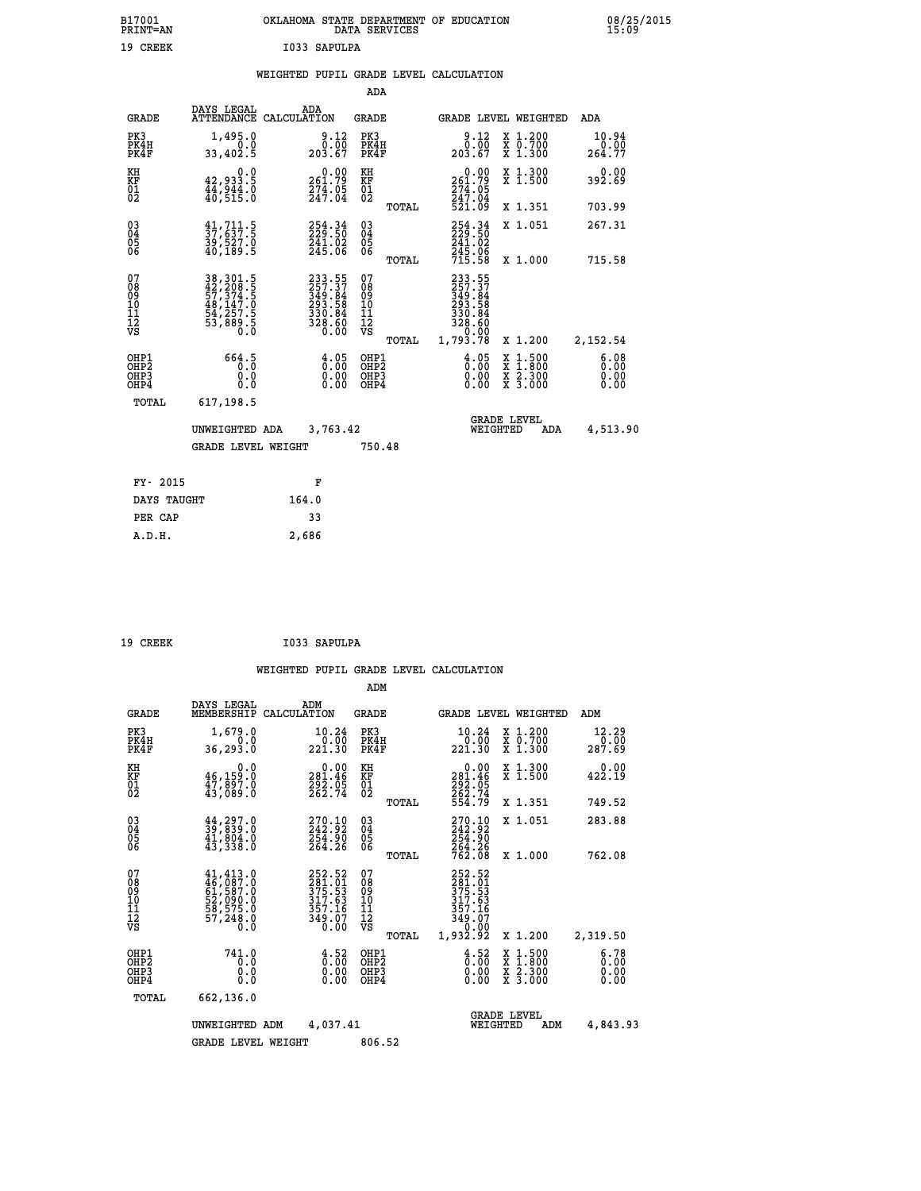| B17001<br><b>PRINT=AN</b> | OKLAHOMA<br>. STATE DEPARTMENT OF EDUCATION<br>DATA SERVICES | 08/25/2015<br>15:09 |
|---------------------------|--------------------------------------------------------------|---------------------|
| 19 CREEK                  | I033 SAPULPA                                                 |                     |

|  |  | WEIGHTED PUPIL GRADE LEVEL CALCULATION |
|--|--|----------------------------------------|
|  |  |                                        |

|                                          |                                                                            |                                                                                | ADA                                                               |       |                                                                                                         |                                                                     |                              |
|------------------------------------------|----------------------------------------------------------------------------|--------------------------------------------------------------------------------|-------------------------------------------------------------------|-------|---------------------------------------------------------------------------------------------------------|---------------------------------------------------------------------|------------------------------|
| <b>GRADE</b>                             | DAYS LEGAL                                                                 | ADA<br>ATTENDANCE CALCULATION                                                  | <b>GRADE</b>                                                      |       |                                                                                                         | GRADE LEVEL WEIGHTED                                                | ADA                          |
| PK3<br>PK4H<br>PK4F                      | 1,495.0<br>0.0<br>33,402.5                                                 | $\begin{smallmatrix} 9.12\ 0.00\ 203.67 \end{smallmatrix}$                     | PK3<br>PK4H<br>PK4F                                               |       | $\begin{smallmatrix} 9.12\ 0.00\ 203.67 \end{smallmatrix}$                                              | X 1.200<br>X 0.700<br>X 1.300                                       | 10.94<br>0.00<br>264.77      |
| KH<br>KF<br>01<br>02                     | 0.0<br>42,933.5<br>$\frac{17}{40}$ , $\frac{544}{515}$ .0                  | $\substack{0.00\\261.79\\274.05\\247.04}$                                      | KH<br>KF<br>01<br>02                                              |       | 0.00<br>261.79<br>274.05<br>247.04<br>521.09                                                            | X 1.300<br>X 1.500                                                  | 0.00<br>392.69               |
|                                          |                                                                            |                                                                                |                                                                   | TOTAL |                                                                                                         | X 1.351                                                             | 703.99                       |
| 030404<br>06                             | $\frac{41}{37}, \frac{711}{637}$ : 5<br>39,527.0<br>40,189.5               | 254.34<br>229.50<br>241.02<br>245.06                                           | $\substack{03 \\ 04}$<br>$\begin{matrix} 0.5 \\ 0.6 \end{matrix}$ |       | 254.34<br>241:02<br>245:06<br>715:58                                                                    | X 1.051                                                             | 267.31                       |
|                                          |                                                                            |                                                                                |                                                                   | TOTAL |                                                                                                         | X 1.000                                                             | 715.58                       |
| 07<br>08<br>09<br>11<br>11<br>12<br>VS   | 38, 301.5<br>42, 208.5<br>57, 374.5<br>53, 374.5<br>54, 257.5<br>53, 889.5 | $233.55$<br>$257.37$<br>$349.84$<br>$293.58$<br>$330.84$<br>$328.60$<br>$0.00$ | 07<br>08<br>09<br>11<br>11<br>12<br>VS                            |       | $\begin{smallmatrix} 233.55\ 257.37\ 349.84\ 293.58\ 330.84\ 328.60\ 0.00\ 1,793.78\ \end{smallmatrix}$ |                                                                     |                              |
|                                          |                                                                            |                                                                                |                                                                   | TOTAL |                                                                                                         | X 1.200                                                             | 2,152.54                     |
| OHP1<br>OHP <sub>2</sub><br>OHP3<br>OHP4 | 664.5<br>0.0<br>0.0                                                        | $\frac{4}{0}$ :00<br>$\begin{smallmatrix} 0.00 \ 0.00 \end{smallmatrix}$       | OHP1<br>OHP2<br>OHP3<br>OHP4                                      |       | $\frac{4.05}{0.00}$<br>0.00                                                                             | $1.500$<br>$1.800$<br>X<br>X<br>$\frac{x}{x}$ $\frac{5.300}{3.000}$ | 6.08<br>0.00<br>0.00<br>0.00 |
| TOTAL                                    | 617,198.5                                                                  |                                                                                |                                                                   |       |                                                                                                         |                                                                     |                              |
|                                          | UNWEIGHTED ADA                                                             | 3,763.42                                                                       |                                                                   |       |                                                                                                         | <b>GRADE LEVEL</b><br>WEIGHTED<br><b>ADA</b>                        | 4,513.90                     |
|                                          | <b>GRADE LEVEL WEIGHT</b>                                                  |                                                                                | 750.48                                                            |       |                                                                                                         |                                                                     |                              |
| FY- 2015                                 |                                                                            |                                                                                |                                                                   |       |                                                                                                         |                                                                     |                              |
|                                          |                                                                            | F                                                                              |                                                                   |       |                                                                                                         |                                                                     |                              |
| DAYS TAUGHT                              |                                                                            | 164.0                                                                          |                                                                   |       |                                                                                                         |                                                                     |                              |
| PER CAP                                  |                                                                            | 33                                                                             |                                                                   |       |                                                                                                         |                                                                     |                              |

| 19 CREEK | I033 SAPULPA |
|----------|--------------|
|          |              |

 **A.D.H. 2,686**

|                                                       |                                                                                                                                                              |                                                                         | ADM                                             |                                                                                  |                                                                                                  |                              |
|-------------------------------------------------------|--------------------------------------------------------------------------------------------------------------------------------------------------------------|-------------------------------------------------------------------------|-------------------------------------------------|----------------------------------------------------------------------------------|--------------------------------------------------------------------------------------------------|------------------------------|
| <b>GRADE</b>                                          | DAYS LEGAL<br>MEMBERSHIP                                                                                                                                     | ADM<br>CALCULATION                                                      | <b>GRADE</b>                                    | GRADE LEVEL WEIGHTED                                                             |                                                                                                  | ADM                          |
| PK3<br>PK4H<br>PK4F                                   | 1,679.0<br>0.0<br>36, 293.0                                                                                                                                  | 10.24<br>$0.\bar{0}\bar{0}$<br>221.30                                   | PK3<br>PK4H<br>PK4F                             | 10.24<br>0.00<br>221.30                                                          | X 1.200<br>X 0.700<br>X 1.300                                                                    | 12.29<br>287.69              |
| KH<br>KF<br>01<br>02                                  | 0.0<br>$\frac{46}{47}, \frac{159}{897}$ .0<br>$\frac{43}{43}, \frac{897}{089}$ .0                                                                            | $\begin{smallmatrix} &0.00\\ 281.46\\ 292.05\\ 262.74\end{smallmatrix}$ | KH<br>KF<br>01<br>02                            | $\begin{smallmatrix} &0.00\\ 281.46\\ 292.05\\ 262.74\\ 554.79\end{smallmatrix}$ | X 1.300<br>X 1.500                                                                               | 0.00<br>422.19               |
|                                                       |                                                                                                                                                              |                                                                         | TOTAL                                           |                                                                                  | X 1.351                                                                                          | 749.52                       |
| 03<br>04<br>05<br>06                                  | $\frac{44}{39}, \frac{297}{839}.0$<br>$\frac{41}{994}.0$<br>43,338.0                                                                                         | 270.10<br>242.92<br>254.90<br>264.26                                    | $^{03}_{04}$<br>0500                            | 270.10<br>242.92<br>254.90                                                       | X 1.051                                                                                          | 283.88                       |
|                                                       |                                                                                                                                                              |                                                                         | TOTAL                                           | 264.26<br>762.08                                                                 | X 1.000                                                                                          | 762.08                       |
| 07<br>08<br>09<br>101<br>112<br>VS                    | $\begin{smallmatrix} 41, 413 & . & 0\\ 46, 087 & . & 0\\ 61, 587 & . & 0\\ 52, 090 & . & 0\\ 58, 575 & . & 0\\ 57, 248 & . & 0\\ 0 & . & 0\end{smallmatrix}$ | 252.52<br>281.01<br>375.53<br>317.63<br>357.16<br>349.07<br>0.00        | 07<br>08<br>09<br>11<br>11<br>12<br>VS<br>TOTAL | 252.52<br>281.01<br>375.53<br>317.63<br>357.16<br>349.07<br>1,932.92             | X 1.200                                                                                          | 2,319.50                     |
| OHP1<br>OH <sub>P</sub> 2<br>OH <sub>P3</sub><br>OHP4 | 741.0<br>0.0<br>0.000                                                                                                                                        | $\begin{smallmatrix} 4.52\ 0.00 \ 0.00 \end{smallmatrix}$<br>0.00       | OHP1<br>OHP2<br>OHP3<br>OHP4                    | $\begin{smallmatrix} 4.52 \ 0.00 \ 0.00 \end{smallmatrix}$<br>0.00               | $\begin{smallmatrix} x & 1 & 500 \\ x & 1 & 800 \\ x & 2 & 300 \\ x & 3 & 000 \end{smallmatrix}$ | 6.78<br>0.00<br>0.00<br>0.00 |
| TOTAL                                                 | 662,136.0                                                                                                                                                    |                                                                         |                                                 |                                                                                  |                                                                                                  |                              |
|                                                       | UNWEIGHTED ADM                                                                                                                                               | 4,037.41                                                                |                                                 | <b>GRADE LEVEL</b><br>WEIGHTED                                                   | ADM                                                                                              | 4,843.93                     |
|                                                       | <b>GRADE LEVEL WEIGHT</b>                                                                                                                                    |                                                                         | 806.52                                          |                                                                                  |                                                                                                  |                              |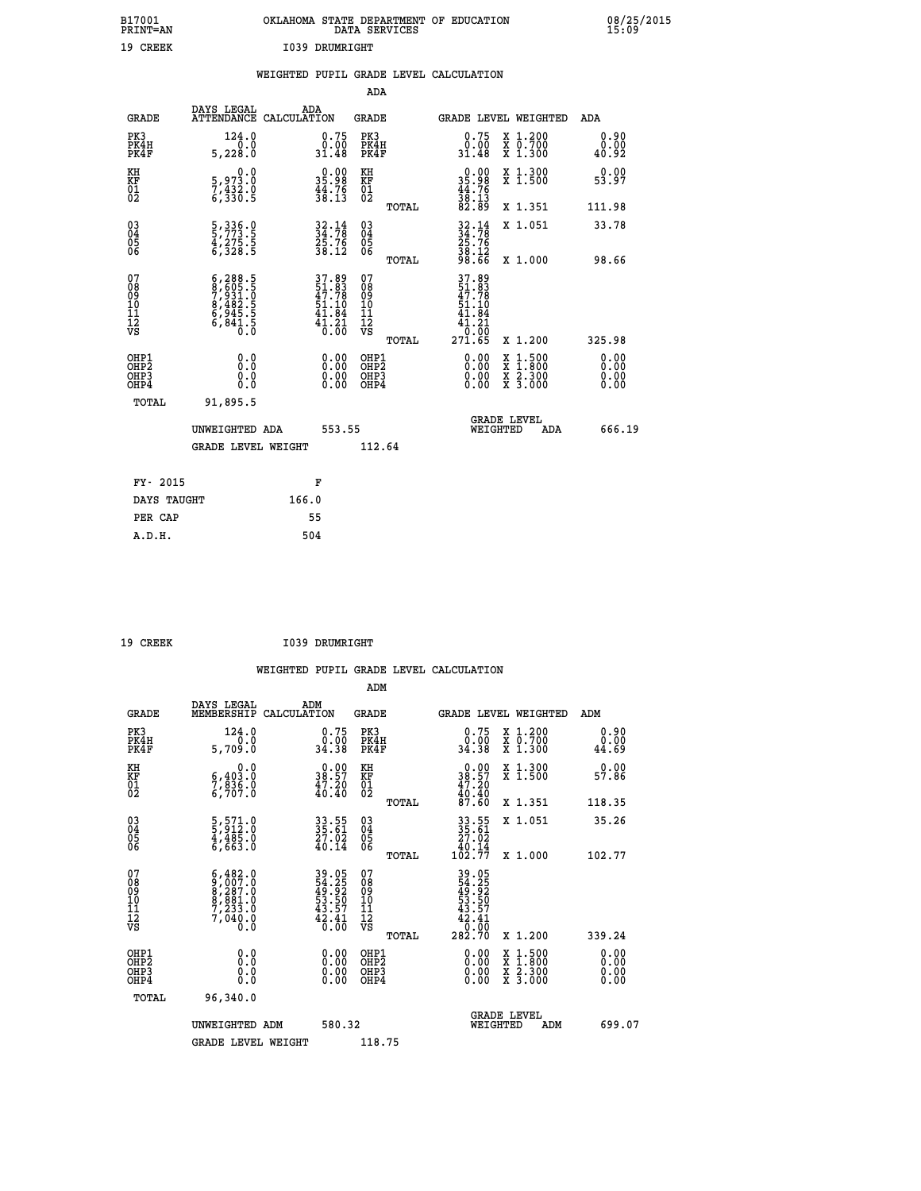| B17001<br>PRINT=AN | OKLAHOMA STATE DEPARTMENT OF EDUCATION<br>DATA SERVICES | 08/25/2015<br>15:09 |
|--------------------|---------------------------------------------------------|---------------------|
| 19<br>CREEK        | 1039 DRUMRIGHT                                          |                     |

|  |  | WEIGHTED PUPIL GRADE LEVEL CALCULATION |
|--|--|----------------------------------------|
|  |  |                                        |

|                                                                   |                                                                                           |                                                                          | ADA                                      |       |                                                                                       |                                          |                              |
|-------------------------------------------------------------------|-------------------------------------------------------------------------------------------|--------------------------------------------------------------------------|------------------------------------------|-------|---------------------------------------------------------------------------------------|------------------------------------------|------------------------------|
| <b>GRADE</b>                                                      | DAYS LEGAL<br>ATTENDANCE CALCULATION                                                      | ADA                                                                      | <b>GRADE</b>                             |       |                                                                                       | GRADE LEVEL WEIGHTED                     | ADA                          |
| PK3<br>PK4H<br>PK4F                                               | 124.0<br>0.0<br>5,228.0                                                                   | $\begin{smallmatrix} 0.75 \\ 0.00 \\ 31.48 \end{smallmatrix}$            | PK3<br>PK4H<br>PK4F                      |       | $\begin{smallmatrix} 0.75 \\ 0.00 \\ 31.48 \end{smallmatrix}$                         | X 1.200<br>X 0.700<br>X 1.300            | 0.90<br>0.00<br>40.92        |
| KH<br><b>KF</b><br>01<br>02                                       | 0.0<br>5,973.0<br>7,432.0<br>6,330.5                                                      | $35.98$<br>$44.76$<br>$38.13$                                            | KH<br>KF<br>01<br>02                     |       | $\begin{smallmatrix} 0.00\\ 35.98\\ 44.76\\ 38.13\\ 82.89 \end{smallmatrix}$          | X 1.300<br>X 1.500                       | 0.00<br>53.97                |
|                                                                   |                                                                                           |                                                                          |                                          | TOTAL |                                                                                       | X 1.351                                  | 111.98                       |
| $^{03}_{04}$<br>Ŏ5<br>06                                          | 5, 336.0<br>5, 773.5<br>4, 275.5<br>6, 328.5                                              | $34.78$<br>$34.78$<br>$25.76$<br>$38.12$                                 | $\substack{03 \\ 04}$<br>Ŏ5<br>06        | TOTAL | $32.14$<br>$34.78$<br>$25.76$<br>$38.12$<br>$98.66$                                   | X 1.051<br>X 1.000                       | 33.78<br>98.66               |
| 07<br>08901112<br>1112<br>VS                                      | $6, 288.5$<br>$7, 931.5$<br>$7, 931.5$<br>$8, 482.5$<br>$6, 945.5$<br>$6, 841.5$<br>$0.0$ | $37.89$<br>$51.83$<br>$47.78$<br>$51.10$<br>$41.84$<br>$41.21$<br>$0.00$ | 07<br>08<br>09<br>11<br>11<br>12<br>VS   |       | 37.89<br>51.83<br>47.78<br>51.10<br>41.84<br>41.21<br>$\overline{0}$ . $\overline{0}$ |                                          |                              |
|                                                                   |                                                                                           |                                                                          |                                          | TOTAL | 271.65                                                                                | X 1.200                                  | 325.98                       |
| OHP1<br>OH <sub>P</sub> 2<br>OH <sub>P3</sub><br>OH <sub>P4</sub> | 0.0<br>0.0<br>0.0                                                                         | $\begin{smallmatrix} 0.00 \ 0.00 \ 0.00 \ 0.00 \end{smallmatrix}$        | OHP1<br>OHP <sub>2</sub><br>OHP3<br>OHP4 |       | 0.00<br>0.00<br>0.00                                                                  | X 1:500<br>X 1:800<br>X 2:300<br>X 3:000 | 0.00<br>0.00<br>0.00<br>0.00 |
| TOTAL                                                             | 91,895.5                                                                                  |                                                                          |                                          |       |                                                                                       |                                          |                              |
|                                                                   | UNWEIGHTED ADA                                                                            | 553.55                                                                   |                                          |       |                                                                                       | GRADE LEVEL<br>WEIGHTED<br>ADA           | 666.19                       |
|                                                                   | <b>GRADE LEVEL WEIGHT</b>                                                                 |                                                                          | 112.64                                   |       |                                                                                       |                                          |                              |
| FY- 2015                                                          |                                                                                           | F                                                                        |                                          |       |                                                                                       |                                          |                              |
| DAYS TAUGHT                                                       |                                                                                           | 166.0                                                                    |                                          |       |                                                                                       |                                          |                              |
| PER CAP                                                           |                                                                                           | 55                                                                       |                                          |       |                                                                                       |                                          |                              |

| ססי<br>ь<br>., |
|----------------|
|                |

 **ADM**

19 CREEK 1039 DRUMRIGHT

| <b>GRADE</b>                                       | DAYS LEGAL<br>MEMBERSHIP                                                                                                          | ADM<br>CALCULATION                                                   | <b>GRADE</b>                                       |       |                                                                                                                                                                                                                                                                                |          | GRADE LEVEL WEIGHTED                                                      | ADM                      |  |
|----------------------------------------------------|-----------------------------------------------------------------------------------------------------------------------------------|----------------------------------------------------------------------|----------------------------------------------------|-------|--------------------------------------------------------------------------------------------------------------------------------------------------------------------------------------------------------------------------------------------------------------------------------|----------|---------------------------------------------------------------------------|--------------------------|--|
| PK3<br>PK4H<br>PK4F                                | 124.0<br>0.0<br>5,709.0                                                                                                           | 0.75<br>ةة:ة<br>34.38                                                | PK3<br>PK4H<br>PK4F                                |       | $\begin{smallmatrix} 0.75 \\ 0.00 \\ 34.38 \end{smallmatrix}$                                                                                                                                                                                                                  |          | $\begin{smallmatrix} x & 1.200 \\ x & 0.700 \end{smallmatrix}$<br>X 1.300 | 0.90<br>0.00<br>44.69    |  |
| KH<br>KF<br>01<br>02                               | 0.0<br>$\frac{6}{7}, \frac{403}{836}$ .0<br>6,707.0                                                                               | $\begin{smallmatrix} 0.00\\ 38.57\\ 47.20\\ 40.40 \end{smallmatrix}$ | KH<br>KF<br>01<br>02                               |       | $\begin{smallmatrix} 0.00\\ 38.57\\ 47.20\\ 40.40\\ 87.60 \end{smallmatrix}$                                                                                                                                                                                                   |          | X 1.300<br>X 1.500                                                        | 0.00<br>57.86            |  |
|                                                    |                                                                                                                                   |                                                                      |                                                    | TOTAL |                                                                                                                                                                                                                                                                                |          | X 1.351                                                                   | 118.35                   |  |
| $\begin{matrix} 03 \\ 04 \\ 05 \\ 06 \end{matrix}$ | 5,571.0<br>5,912.0<br>4,485.0<br>6,663.0                                                                                          | 33.55<br>35.61<br>27.02<br>40.14                                     | $\begin{matrix} 03 \\ 04 \\ 05 \\ 06 \end{matrix}$ |       | $33.55$<br>$35.61$<br>$27.02$<br>$40.14$<br>$102.77$                                                                                                                                                                                                                           |          | X 1.051                                                                   | 35.26                    |  |
|                                                    |                                                                                                                                   |                                                                      |                                                    | TOTAL |                                                                                                                                                                                                                                                                                |          | X 1.000                                                                   | 102.77                   |  |
| 07<br>08<br>09<br>101<br>11<br>12<br>VS            | $\begin{smallmatrix} 6\,,482\,.0\\ 9\,,007\,.0\\ 8\,,287\,.0\\ 8\,,881\,.0\\ 7\,,233\,.0\\ 7\,,040\,.0\\ 0\,.0 \end{smallmatrix}$ | 39.05<br>54.25<br>49.92<br>53.50<br>53.57<br>43.41<br>42.41          | 07<br>08<br>09<br>11<br>11<br>12<br>VS             | TOTAL | 39.05<br>44.255<br>43.50<br>53.57<br>42.41<br>42.41<br>0.00<br>282.70                                                                                                                                                                                                          |          | X 1.200                                                                   | 339.24                   |  |
| OHP1<br>OHP2<br>OH <sub>P3</sub><br>OHP4           | 0.0<br>0.000                                                                                                                      | $0.00$<br>$0.00$<br>0.00                                             | OHP1<br>OHP2<br>OHP3<br>OHP4                       |       | $\begin{smallmatrix} 0.00 & 0.00 & 0.00 & 0.00 & 0.00 & 0.00 & 0.00 & 0.00 & 0.00 & 0.00 & 0.00 & 0.00 & 0.00 & 0.00 & 0.00 & 0.00 & 0.00 & 0.00 & 0.00 & 0.00 & 0.00 & 0.00 & 0.00 & 0.00 & 0.00 & 0.00 & 0.00 & 0.00 & 0.00 & 0.00 & 0.00 & 0.00 & 0.00 & 0.00 & 0.00 & 0.0$ |          | X 1:500<br>X 1:800<br>X 2:300<br>X 3:000                                  | $0.00$<br>$0.00$<br>0.00 |  |
| TOTAL                                              | 96,340.0                                                                                                                          |                                                                      |                                                    |       |                                                                                                                                                                                                                                                                                |          |                                                                           |                          |  |
|                                                    | UNWEIGHTED                                                                                                                        | 580.32<br>ADM                                                        |                                                    |       |                                                                                                                                                                                                                                                                                | WEIGHTED | <b>GRADE LEVEL</b><br>ADM                                                 | 699.07                   |  |
|                                                    | <b>GRADE LEVEL WEIGHT</b>                                                                                                         |                                                                      | 118.75                                             |       |                                                                                                                                                                                                                                                                                |          |                                                                           |                          |  |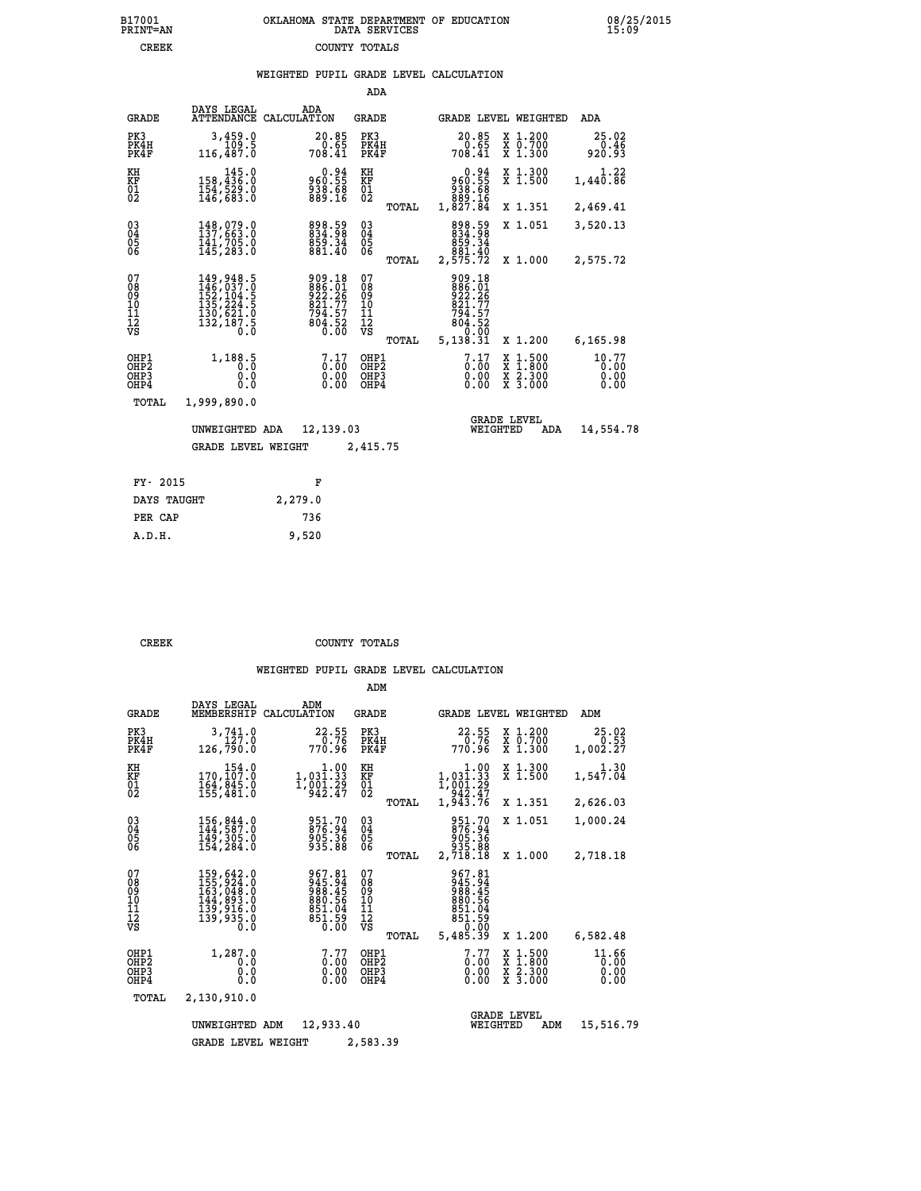|                                                                    |                                                                                                                           |                                                                        | ADA                                      |       |                                                                    |                                |                                                                                                  |                               |
|--------------------------------------------------------------------|---------------------------------------------------------------------------------------------------------------------------|------------------------------------------------------------------------|------------------------------------------|-------|--------------------------------------------------------------------|--------------------------------|--------------------------------------------------------------------------------------------------|-------------------------------|
| <b>GRADE</b>                                                       | DAYS LEGAL<br><b>ATTENDANCE</b>                                                                                           | ADA<br>CALCULATION                                                     | <b>GRADE</b>                             |       |                                                                    |                                | GRADE LEVEL WEIGHTED                                                                             | ADA                           |
| PK3<br>PK4H<br>PK4F                                                | 3,459.0<br>109.5<br>116,487.0                                                                                             | $20.85$<br>0.65<br>708.41                                              | PK3<br>PK4H<br>PK4F                      |       | 20.85<br>$70.65$<br>14.41                                          |                                | X 1.200<br>X 0.700<br>X 1.300                                                                    | 25.02<br>0.46<br>920.93       |
| KH<br><b>KF</b><br>01<br>02                                        | $145.0$<br>158,436.0<br>154,529.0<br>146,683.0                                                                            | 960.55<br>950.55<br>938.68<br>889.16                                   | KH<br>KF<br>01<br>02                     |       | 960.94<br>55.096<br>83.68<br>889.16<br>1,827.84                    |                                | X 1.300<br>X 1.500                                                                               | 1.22<br>1,440.86              |
|                                                                    |                                                                                                                           |                                                                        |                                          | TOTAL |                                                                    |                                | X 1.351                                                                                          | 2,469.41                      |
| $\begin{smallmatrix} 03 \\[-4pt] 04 \end{smallmatrix}$<br>Ŏ5<br>06 | $148,079.0$<br>$137,663.0$<br>$141,705.0$<br>$145,283.0$                                                                  | 898.59<br>834.98<br>859.34<br>881.40                                   | $^{03}_{04}$<br>$\substack{05 \\ 06}$    |       | 898.59<br>834.98<br>859.34<br>881.40<br>2,575.72                   |                                | X 1.051                                                                                          | 3,520.13                      |
|                                                                    |                                                                                                                           |                                                                        |                                          | TOTAL |                                                                    |                                | X 1.000                                                                                          | 2,575.72                      |
| 07<br>08<br>09<br>11<br>11<br>12<br>VS                             | $\begin{smallmatrix} 149, 948.5\\ 146, 037.0\\ 152, 104.5\\ 135, 224.5\\ 130, 621.0\\ 132, 187.5\\ 0.0 \end{smallmatrix}$ | 909.18<br>886.01<br>922.26<br>821.77<br>$794.57$<br>$804.52$<br>$0.00$ | 07<br>089<br>101<br>111<br>VS            |       | 909.18<br>886.01<br>922.26<br>821.77<br>794.57<br>804.520          |                                |                                                                                                  |                               |
|                                                                    |                                                                                                                           |                                                                        |                                          | TOTAL | 5,138.31                                                           |                                | X 1.200                                                                                          | 6,165.98                      |
| OHP1<br>OHP2<br>OHP3<br>OHP4                                       | 1,188.5<br>Ŏ.Ŏ<br>0.0<br>0.0                                                                                              | 7.17<br>Ŏ.ŎŎ<br>0.00                                                   | OHP1<br>OHP <sub>2</sub><br>OHP3<br>OHP4 |       | $\begin{smallmatrix} 7.17 \ 0.00 \ 0.00 \end{smallmatrix}$<br>0.00 |                                | $\begin{smallmatrix} x & 1 & 500 \\ x & 1 & 800 \\ x & 2 & 300 \\ x & 3 & 000 \end{smallmatrix}$ | 10.77<br>0.00<br>0.00<br>0.00 |
| <b>TOTAL</b>                                                       | 1,999,890.0                                                                                                               |                                                                        |                                          |       |                                                                    |                                |                                                                                                  |                               |
|                                                                    | UNWEIGHTED ADA                                                                                                            | 12,139.03                                                              |                                          |       |                                                                    | <b>GRADE LEVEL</b><br>WEIGHTED | ADA                                                                                              | 14,554.78                     |
|                                                                    | <b>GRADE LEVEL WEIGHT</b>                                                                                                 |                                                                        | 2,415.75                                 |       |                                                                    |                                |                                                                                                  |                               |
|                                                                    |                                                                                                                           |                                                                        |                                          |       |                                                                    |                                |                                                                                                  |                               |
| FY- 2015                                                           |                                                                                                                           | F                                                                      |                                          |       |                                                                    |                                |                                                                                                  |                               |
| DAYS TAUGHT                                                        |                                                                                                                           | 2,279.0                                                                |                                          |       |                                                                    |                                |                                                                                                  |                               |

| PER CAP | 736   |
|---------|-------|
| A.D.H.  | 9,520 |
|         |       |
|         |       |

 **CREEK COUNTY TOTALS**

|                                           |                                                                                   |                                                                       | ADM                                             |                                                                                   |                                                                                                  |                               |
|-------------------------------------------|-----------------------------------------------------------------------------------|-----------------------------------------------------------------------|-------------------------------------------------|-----------------------------------------------------------------------------------|--------------------------------------------------------------------------------------------------|-------------------------------|
| <b>GRADE</b>                              | DAYS LEGAL<br>MEMBERSHIP                                                          | ADM<br>CALCULATION                                                    | <b>GRADE</b>                                    | GRADE LEVEL WEIGHTED                                                              |                                                                                                  | ADM                           |
| PK3<br>PK4H<br>PK4F                       | 3,741.0<br>127.0<br>126,790.0                                                     | 22.55<br>0.76<br>770.96                                               | PK3<br>PK4H<br>PK4F                             | 22.55<br>0.76<br>770.96                                                           | X 1.200<br>X 0.700<br>X 1.300                                                                    | 25.02<br>0.53<br>1,002.27     |
| KH<br>KF<br>01<br>02                      | 154.0<br>170,107:0<br>164,845.0<br>155,481:0                                      | $\begin{array}{c} 1.00 \\ 1,031.33 \\ 1,001.29 \\ 942.47 \end{array}$ | KH<br>KF<br>01<br>02                            | $\begin{array}{c} 1.00 \\ 1,031.33 \\ 1,001.29 \\ 942.47 \\ 1,943.76 \end{array}$ | X 1.300<br>X 1.500                                                                               | 1.30<br>1,547.04              |
|                                           |                                                                                   |                                                                       | TOTAL                                           |                                                                                   | X 1.351                                                                                          | 2,626.03                      |
| 03<br>04<br>05<br>06                      | 156, 844.0<br>144, 587.0<br>149,305.0<br>154,284.0                                | 951.70<br>876.94<br>905.36<br>935.88                                  | $\substack{03 \\ 04}$<br>05                     | 951.70<br>876.94<br>905.36<br>935.88                                              | X 1.051                                                                                          | 1,000.24                      |
|                                           |                                                                                   |                                                                       | TOTAL                                           | 2,718.18                                                                          | X 1.000                                                                                          | 2,718.18                      |
| 07<br>08<br>09<br>11<br>11<br>12<br>VS    | 159,642.0<br>155,924.0<br>163,048.0<br>144,893.0<br>139,915.0<br>139,935.0<br>Ō.Ō | 967.81<br>945.94<br>988.45<br>880.56<br>851.04<br>851.59<br>0.00      | 07<br>08<br>09<br>11<br>11<br>12<br>VS<br>TOTAL | 967.81<br>945.94<br>988.45<br>880.56<br>851.04<br>851.59<br>0.00<br>5,485.39      | X 1.200                                                                                          | 6,582.48                      |
| OHP1<br>OH <sub>P</sub> 2<br>OHP3<br>OHP4 | 1,287.0<br>0.0<br>0.0<br>Ŏ.Ŏ                                                      | 7.77<br>$0.00$<br>0.00<br>0.00                                        | OHP1<br>OHP <sub>2</sub><br>OHP3<br>OHP4        | 7.77<br>0.00<br>0.00                                                              | $\begin{smallmatrix} x & 1 & 500 \\ x & 1 & 800 \\ x & 2 & 300 \\ x & 3 & 000 \end{smallmatrix}$ | 11.66<br>0.00<br>0.00<br>0.00 |
| TOTAL                                     | 2,130,910.0                                                                       |                                                                       |                                                 |                                                                                   |                                                                                                  |                               |
| UNWEIGHTED ADM<br>12,933.40               |                                                                                   |                                                                       |                                                 |                                                                                   | <b>GRADE LEVEL</b><br>WEIGHTED<br>ADM                                                            | 15,516.79                     |
|                                           | <b>GRADE LEVEL WEIGHT</b>                                                         |                                                                       |                                                 |                                                                                   |                                                                                                  |                               |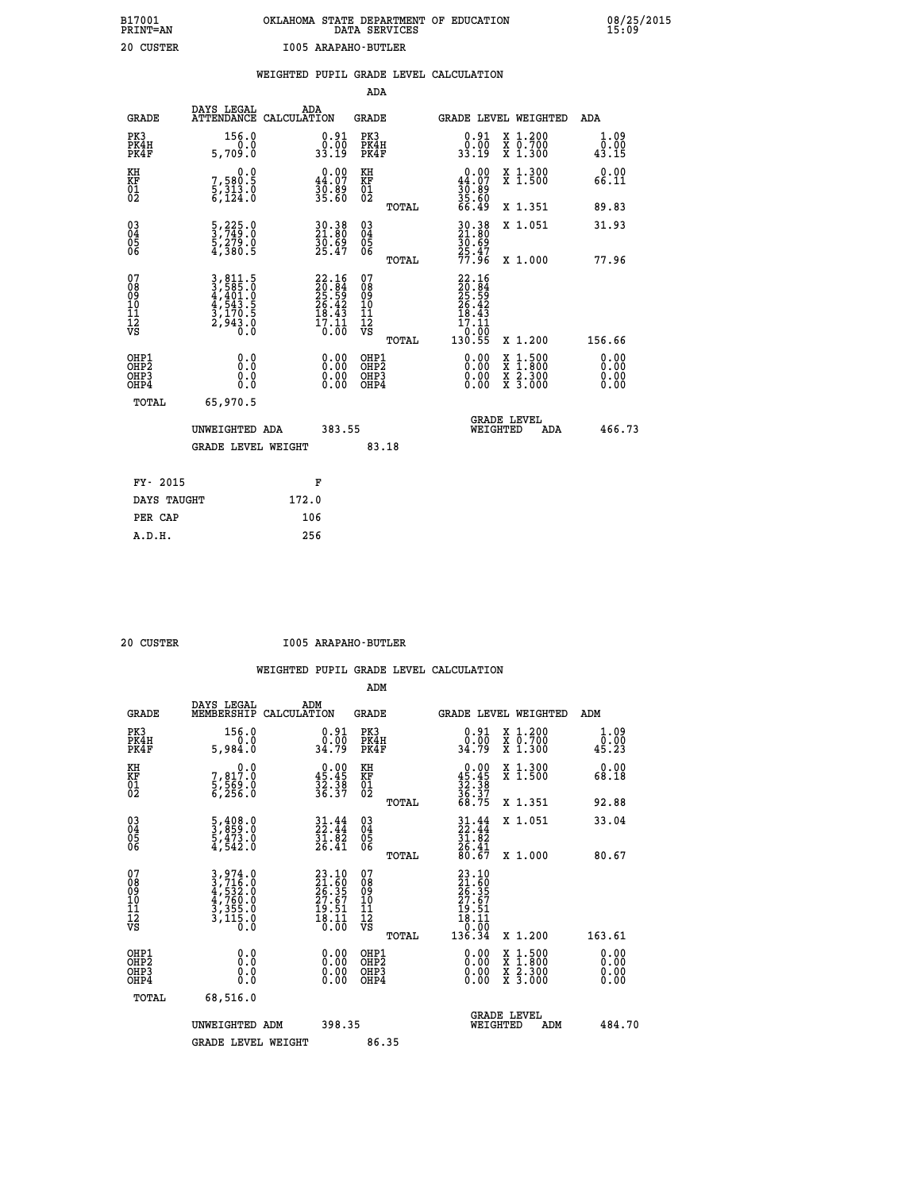|                              |                                                                   |                                                                      |       |                                                                             | ADA                                       |       |                                                                |                                          |                              |
|------------------------------|-------------------------------------------------------------------|----------------------------------------------------------------------|-------|-----------------------------------------------------------------------------|-------------------------------------------|-------|----------------------------------------------------------------|------------------------------------------|------------------------------|
|                              | <b>GRADE</b>                                                      | DAYS LEGAL<br>ATTENDANCE CALCULATION                                 | ADA   |                                                                             | <b>GRADE</b>                              |       |                                                                | <b>GRADE LEVEL WEIGHTED</b>              | ADA                          |
|                              | PK3<br>PK4H<br>PK4F                                               | 156.0<br>0.0<br>5,709.0                                              |       | $\begin{smallmatrix} 0.91\ 0.00\ 33.19 \end{smallmatrix}$                   | PK3<br>PK4H<br>PK4F                       |       | $\begin{smallmatrix} 0.91\ 0.00\ 33.19 \end{smallmatrix}$      | X 1.200<br>X 0.700<br>X 1.300            | 1.09<br>0.00<br>43.15        |
| KH<br><b>KF</b><br>01<br>02  |                                                                   | 0.0<br>7,580.5<br>5,313.0<br>6,124.0                                 |       | $0.00$<br>44.07<br>30.09<br>35.60                                           | KH<br>KF<br>01<br>02                      |       | 0.00<br>44.07<br>$\frac{36}{35}$ : 89<br>35: 60<br>66: 49      | X 1.300<br>X 1.500                       | 0.00<br>66.11                |
|                              |                                                                   |                                                                      |       |                                                                             |                                           | TOTAL |                                                                | X 1.351                                  | 89.83                        |
|                              | $^{03}_{04}$<br>Ŏ5<br>06                                          | $\frac{5}{3}, \frac{225}{749}.0$<br>$\frac{5}{4}, \frac{279}{380}.0$ |       | 30.38<br>21.80<br>30.69<br>25.47                                            | $\substack{03 \\ 04}$<br>Ŏ5<br>06         |       | 30.38<br>21.80<br>30.69<br>25.47<br>25.47                      | X 1.051                                  | 31.93                        |
|                              |                                                                   |                                                                      |       |                                                                             |                                           | TOTAL |                                                                | X 1.000                                  | 77.96                        |
| 07<br>08901112<br>1112<br>VS |                                                                   | 3,811.5<br>3,585.0<br>4,401.0<br>4,543.5<br>3,170.5<br>2,943.0       |       | $22.16$<br>$20.84$<br>$25.59$<br>$26.42$<br>$18.43$<br>$\frac{17.11}{0.00}$ | 07<br>08<br>09<br>11<br>11<br>12<br>VS    |       | $22.16$<br>$20.84$<br>$25.59$<br>$26.42$<br>$18.43$<br>$17.11$ |                                          |                              |
|                              |                                                                   |                                                                      |       |                                                                             |                                           | TOTAL | $\frac{0.00}{130.55}$                                          | X 1.200                                  | 156.66                       |
|                              | OHP1<br>OH <sub>P</sub> 2<br>OH <sub>P3</sub><br>OH <sub>P4</sub> | 0.0<br>0.0<br>0.0                                                    |       | 0.00<br>$\begin{smallmatrix} 0.00 \ 0.00 \end{smallmatrix}$                 | OHP1<br>OH <sub>P</sub> 2<br>OHP3<br>OHP4 |       | 0.00<br>0.00<br>0.00                                           | X 1:500<br>X 1:800<br>X 2:300<br>X 3:000 | 0.00<br>0.00<br>0.00<br>0.00 |
|                              | TOTAL                                                             | 65,970.5                                                             |       |                                                                             |                                           |       |                                                                |                                          |                              |
|                              |                                                                   | UNWEIGHTED ADA                                                       |       | 383.55                                                                      |                                           |       |                                                                | GRADE LEVEL<br>WEIGHTED<br>ADA           | 466.73                       |
|                              |                                                                   | <b>GRADE LEVEL WEIGHT</b>                                            |       |                                                                             | 83.18                                     |       |                                                                |                                          |                              |
|                              | FY- 2015                                                          |                                                                      |       | F                                                                           |                                           |       |                                                                |                                          |                              |
|                              | DAYS TAUGHT                                                       |                                                                      | 172.0 |                                                                             |                                           |       |                                                                |                                          |                              |
|                              | PER CAP                                                           |                                                                      | 106   |                                                                             |                                           |       |                                                                |                                          |                              |

 **20 CUSTER I005 ARAPAHO-BUTLER**

|                                           |                                                                                                                                                                                |                                                                          | ADM                                                 |                                                             |                                          |                                               |
|-------------------------------------------|--------------------------------------------------------------------------------------------------------------------------------------------------------------------------------|--------------------------------------------------------------------------|-----------------------------------------------------|-------------------------------------------------------------|------------------------------------------|-----------------------------------------------|
| <b>GRADE</b>                              | DAYS LEGAL<br>MEMBERSHIP                                                                                                                                                       | ADM<br>CALCULATION                                                       | <b>GRADE</b>                                        |                                                             | GRADE LEVEL WEIGHTED                     | ADM                                           |
| PK3<br>PK4H<br>PK4F                       | 156.0<br>0.0<br>5,984.0                                                                                                                                                        | $\begin{smallmatrix} 0.91\ 0.00\ 34.79 \end{smallmatrix}$                | PK3<br>PK4H<br>PK4F                                 | $\begin{smallmatrix} 0.91\ 0.00\\ 34.79 \end{smallmatrix}$  | X 1.200<br>X 0.700<br>X 1.300            | 1.09<br>$\bar{0}.\tilde{0}\tilde{0}$<br>45.23 |
| KH<br>KF<br>01<br>02                      | 0.0<br>7,817.0<br>5,569.0<br>6,256.0                                                                                                                                           | $0.00\n45.45\n32.38\n36.37$                                              | KH<br>KF<br>01<br>02                                | $0.00\n45.45\n32.38\n36.37\n68.75$                          | X 1.300<br>X 1.500                       | 0.00<br>68.18                                 |
|                                           |                                                                                                                                                                                |                                                                          | TOTAL                                               |                                                             | X 1.351                                  | 92.88                                         |
| 03<br>04<br>05<br>06                      | $\frac{5}{3}, \frac{408}{859}.0$<br>$\frac{5}{4}, \frac{473}{542}.0$                                                                                                           | $31.44$<br>$22.44$<br>$31.82$<br>$26.41$                                 | $\begin{array}{c} 03 \\ 04 \\ 05 \\ 06 \end{array}$ | $31.44$<br>$31.82$<br>$36.41$<br>$80.67$                    | X 1.051                                  | 33.04                                         |
|                                           |                                                                                                                                                                                |                                                                          | TOTAL                                               |                                                             | X 1.000                                  | 80.67                                         |
| 07<br>08<br>09<br>101<br>112<br>VS        | $\begin{smallmatrix} 3\,, & 974\,. & 0\\ 3\,, & 716\,. & 0\\ 4\,, & 532\,. & 0\\ 4\,, & 760\,. & 0\\ 3\,, & 355\,. & 0\\ 3\,, & 115\,. & 0\\ 0\,. & 0\,. & 0\end{smallmatrix}$ | $23.10$<br>$21.60$<br>$26.35$<br>$27.67$<br>$19.51$<br>$18.11$<br>$0.00$ | 07<br>08<br>09<br>11<br>11<br>12<br>VS              | 23.10<br>21.60<br>26.35<br>27.67<br>19.51<br>18.11<br>18.10 |                                          |                                               |
|                                           |                                                                                                                                                                                |                                                                          | TOTAL                                               | 136.34                                                      | X 1.200                                  | 163.61                                        |
| OHP1<br>OHP2<br>OH <sub>P</sub> 3<br>OHP4 | 0.0<br>$\begin{smallmatrix} 0.0 & 0 \ 0.0 & 0 \end{smallmatrix}$                                                                                                               |                                                                          | OHP1<br>OHP2<br>OHP <sub>3</sub>                    | $0.00$<br>$0.00$<br>0.00                                    | X 1:500<br>X 1:800<br>X 2:300<br>X 3:000 | 0.00<br>0.00<br>0.00                          |
| TOTAL                                     | 68,516.0                                                                                                                                                                       |                                                                          |                                                     |                                                             |                                          |                                               |
|                                           | UNWEIGHTED ADM                                                                                                                                                                 | 398.35                                                                   |                                                     |                                                             | GRADE LEVEL<br>WEIGHTED<br>ADM           | 484.70                                        |
|                                           | <b>GRADE LEVEL WEIGHT</b>                                                                                                                                                      |                                                                          | 86.35                                               |                                                             |                                          |                                               |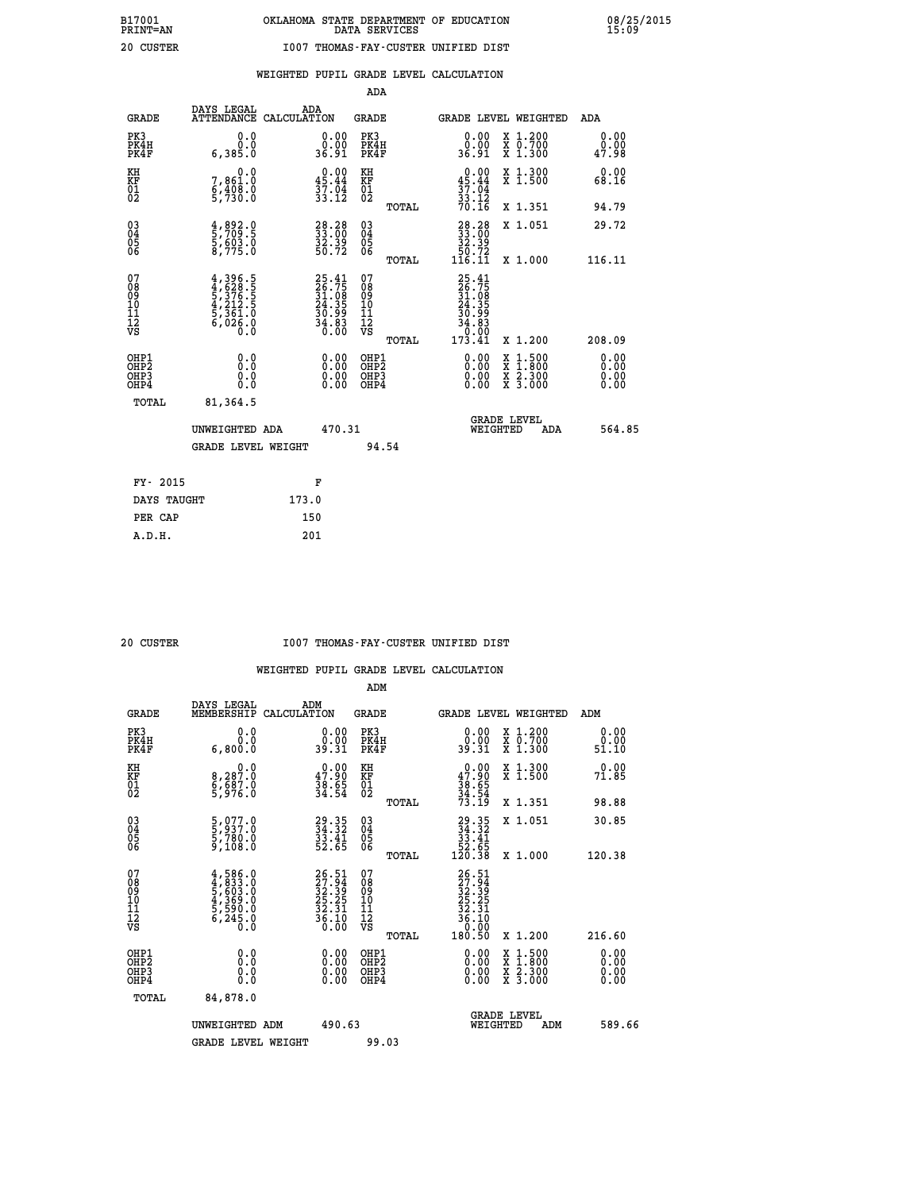**WEIGHTED PUPIL GRADE LEVEL CALCULATION**

|                                                                   |                                                                                                                                                          |                                                                           | ADA                                                 |       |                                                                                                         |                                          |                              |
|-------------------------------------------------------------------|----------------------------------------------------------------------------------------------------------------------------------------------------------|---------------------------------------------------------------------------|-----------------------------------------------------|-------|---------------------------------------------------------------------------------------------------------|------------------------------------------|------------------------------|
| <b>GRADE</b>                                                      | DAYS LEGAL<br><b>ATTENDANCE</b>                                                                                                                          | ADA<br>CALCULATION                                                        | <b>GRADE</b>                                        |       |                                                                                                         | <b>GRADE LEVEL WEIGHTED</b>              | ADA                          |
| PK3<br>PK4H<br>PK4F                                               | 0.0<br>0.0<br>6,385.0                                                                                                                                    | $\begin{smallmatrix} 0.00\\ 0.00\\ 36.91 \end{smallmatrix}$               | PK3<br>PK4H<br>PK4F                                 |       | $\begin{smallmatrix} 0.00\\ 0.00\\ 36.91 \end{smallmatrix}$                                             | X 1.200<br>X 0.700<br>X 1.300            | 0.00<br>0.00<br>47.98        |
| KH<br><b>KF</b><br>01<br>02                                       | 0.0<br>7,861:0<br>6,408:0<br>5,730:0                                                                                                                     | $0.00$<br>45.44<br>$\frac{57.04}{33.12}$                                  | KH<br>KF<br>01<br>02                                |       | 0.00<br>45.44                                                                                           | X 1.300<br>X 1.500                       | 0.00<br>68.16                |
|                                                                   |                                                                                                                                                          |                                                                           |                                                     | TOTAL | $\frac{37}{33}$ : $\frac{74}{12}$<br>70.16                                                              | X 1.351                                  | 94.79                        |
| $^{03}_{04}$<br>Ŏ5<br>06                                          | 4,892.0<br>5,709.5<br>5,603.0<br>8,775.0                                                                                                                 | 28.28<br>33.00<br>32.39<br>50.72                                          | $\begin{array}{c} 03 \\ 04 \\ 05 \\ 06 \end{array}$ | TOTAL | $\begin{smallmatrix} 28\cdot 28\\ 33\cdot 00\\ 32\cdot 39\\ 50\cdot 72\\ 116\cdot 11 \end{smallmatrix}$ | X 1.051<br>X 1.000                       | 29.72<br>116.11              |
| 07<br>08901112<br>1112<br>VS                                      | $\begin{smallmatrix} 4\,,\,396\,,\,5\\ 4\,,\,628\,,\,5\\ 5\,,\,376\,,\,5\\ 4\,,\,212\,,\,5\\ 5\,,\,361\,,\,0\\ 6\,,\,026\,,\,0\\ 0\,.0\end{smallmatrix}$ | $25.41$<br>$26.75$<br>$31.08$<br>$24.35$<br>$30.99$<br>$34.83$<br>$36.00$ | 07<br>08901112<br>1112<br>VS                        |       | $25.41$<br>$26.75$<br>$31.08$<br>$24.35$<br>$30.99$<br>$34.83$<br>$0.00$<br>$173.41$                    |                                          |                              |
|                                                                   |                                                                                                                                                          |                                                                           |                                                     | TOTAL |                                                                                                         | X 1.200                                  | 208.09                       |
| OHP1<br>OH <sub>P</sub> 2<br>OH <sub>P3</sub><br>OH <sub>P4</sub> | 0.0<br>0.000                                                                                                                                             | $\begin{smallmatrix} 0.00 \ 0.00 \ 0.00 \ 0.00 \end{smallmatrix}$         | OHP1<br>OH <sub>P</sub> 2<br>OHP3<br>OHP4           |       | 0.00<br>0.00<br>0.00                                                                                    | X 1:500<br>X 1:800<br>X 2:300<br>X 3:000 | 0.00<br>0.00<br>0.00<br>0.00 |
| TOTAL                                                             | 81,364.5                                                                                                                                                 |                                                                           |                                                     |       |                                                                                                         |                                          |                              |
|                                                                   | UNWEIGHTED ADA                                                                                                                                           | 470.31                                                                    |                                                     |       |                                                                                                         | GRADE LEVEL<br>WEIGHTED<br>ADA           | 564.85                       |
|                                                                   | <b>GRADE LEVEL WEIGHT</b>                                                                                                                                |                                                                           | 94.54                                               |       |                                                                                                         |                                          |                              |
| FY- 2015                                                          |                                                                                                                                                          | F                                                                         |                                                     |       |                                                                                                         |                                          |                              |
| DAYS TAUGHT                                                       |                                                                                                                                                          | 173.0                                                                     |                                                     |       |                                                                                                         |                                          |                              |
| PER CAP                                                           |                                                                                                                                                          | 150                                                                       |                                                     |       |                                                                                                         |                                          |                              |

 **A.D.H. 201**

### **20 CUSTER I007 THOMAS-FAY-CUSTER UNIFIED DIST**

|                                           |                                                                                         |                                                                          | ADM                                                 |                                                                                |                                          |                       |
|-------------------------------------------|-----------------------------------------------------------------------------------------|--------------------------------------------------------------------------|-----------------------------------------------------|--------------------------------------------------------------------------------|------------------------------------------|-----------------------|
| <b>GRADE</b>                              | DAYS LEGAL<br>MEMBERSHIP                                                                | ADM<br>CALCULATION                                                       | <b>GRADE</b>                                        | GRADE LEVEL WEIGHTED                                                           |                                          | ADM                   |
| PK3<br>PK4H<br>PK4F                       | 0.0<br>0.0<br>6,800.0                                                                   | $\begin{smallmatrix} 0.00\\ 0.00\\ 39.31 \end{smallmatrix}$              | PK3<br>PK4H<br>PK4F                                 | $\begin{smallmatrix} 0.00\\ 0.00\\ 39.31 \end{smallmatrix}$                    | X 1.200<br>X 0.700<br>X 1.300            | 0.00<br>0.00<br>51.10 |
| KH<br>KF<br>01<br>02                      | 0.0<br>8,287:0<br>6,687:0<br>5,976:0                                                    | $\begin{smallmatrix} 0.00\\ 47.90\\ 38.65\\ 34.54 \end{smallmatrix}$     | KH<br>KF<br>01<br>02                                | $0.00$<br>$38.65$<br>$34.54$<br>$73.19$                                        | X 1.300<br>X 1.500                       | 0.00<br>71.85         |
|                                           |                                                                                         |                                                                          | TOTAL                                               |                                                                                | X 1.351                                  | 98.88                 |
| 03<br>04<br>05<br>06                      | 5,077.0<br>5,937.0<br>5,780.0<br>9,108.0                                                | 29.35<br>34.32<br>33.41<br>52.65                                         | $\begin{array}{c} 03 \\ 04 \\ 05 \\ 06 \end{array}$ | $\begin{smallmatrix} 29.35\\ 34.32\\ 33.41\\ 52.65\\ 120.38 \end{smallmatrix}$ | X 1.051                                  | 30.85                 |
|                                           |                                                                                         |                                                                          | TOTAL                                               |                                                                                | X 1.000                                  | 120.38                |
| 07<br>08<br>09<br>101<br>112<br>VS        | $4,586.0$<br>$4,833.0$<br>$5,603.0$<br>$4,369.0$<br>$5,590.0$<br>$5,590.0$<br>$6,245.0$ | $26.51$<br>$27.94$<br>$32.39$<br>$25.25$<br>$32.31$<br>$36.10$<br>$0.00$ | 07<br>08<br>09<br>11<br>11<br>12<br>VS              | 26.51<br>27.94<br>32.39<br>25.25<br>32.31<br>36.10<br>36.00                    |                                          |                       |
|                                           |                                                                                         |                                                                          | TOTAL                                               | 180.50                                                                         | X 1.200                                  | 216.60                |
| OHP1<br>OHP2<br>OH <sub>P</sub> 3<br>OHP4 |                                                                                         |                                                                          | OHP1<br>OHP2<br>OHP <sub>3</sub>                    | $0.00$<br>$0.00$<br>0.00                                                       | X 1:500<br>X 1:800<br>X 2:300<br>X 3:000 | 0.00<br>0.00<br>0.00  |
| TOTAL                                     | 84,878.0                                                                                |                                                                          |                                                     |                                                                                |                                          |                       |
|                                           | UNWEIGHTED ADM                                                                          | 490.63                                                                   |                                                     |                                                                                | GRADE LEVEL<br>WEIGHTED<br>ADM           | 589.66                |
|                                           | <b>GRADE LEVEL WEIGHT</b>                                                               |                                                                          | 99.03                                               |                                                                                |                                          |                       |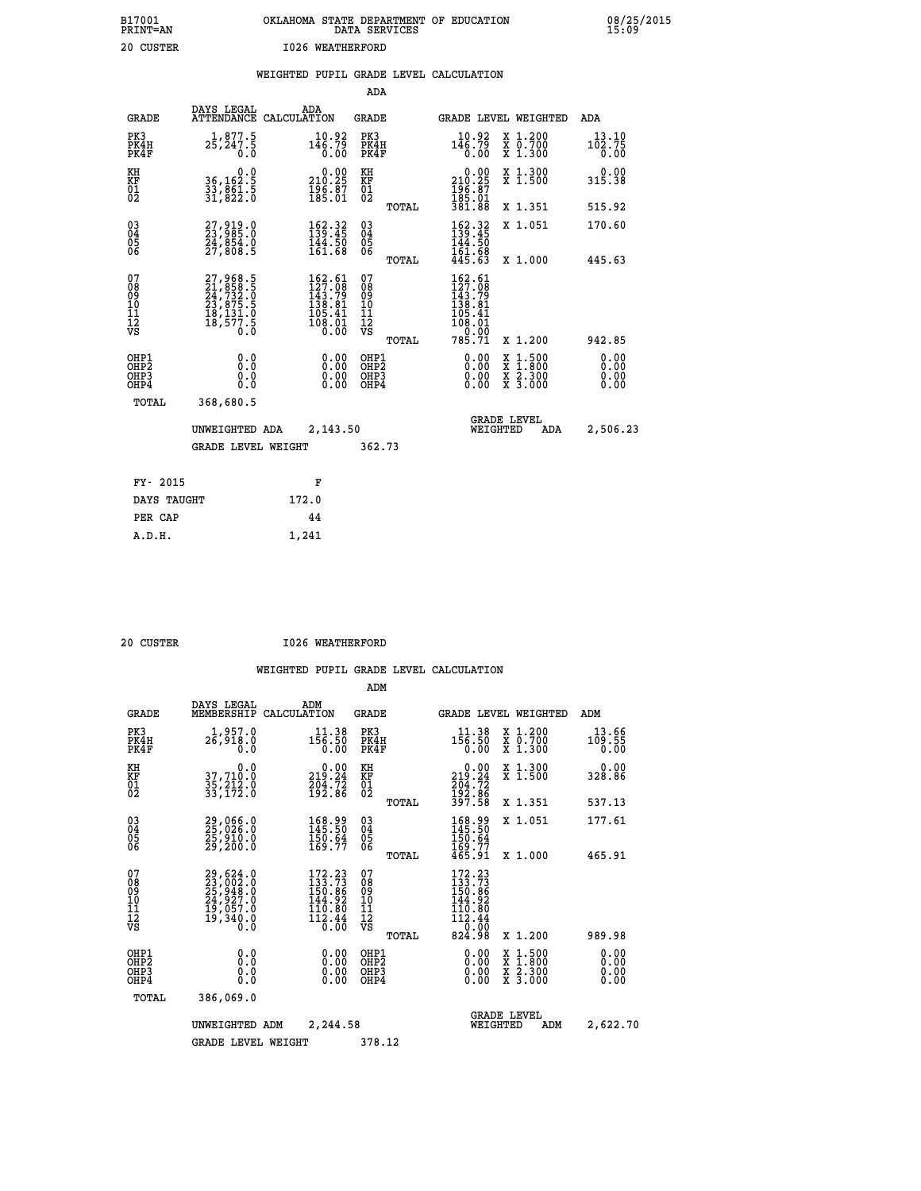# **B17001 OKLAHOMA STATE DEPARTMENT OF EDUCATION 08/25/2015 PRINT=AN DATA SERVICES 15:09 20 CUSTER 1026 WEATHERFORD**

|  |  | WEIGHTED PUPIL GRADE LEVEL CALCULATION |
|--|--|----------------------------------------|
|  |  |                                        |

|                                                                    |                                                                                                                                                 |                                                                         | ADA                                       |       |                                                                                                          |                                                                                                                                      |                              |
|--------------------------------------------------------------------|-------------------------------------------------------------------------------------------------------------------------------------------------|-------------------------------------------------------------------------|-------------------------------------------|-------|----------------------------------------------------------------------------------------------------------|--------------------------------------------------------------------------------------------------------------------------------------|------------------------------|
| <b>GRADE</b>                                                       | DAYS LEGAL                                                                                                                                      | ADA<br>ATTENDANCE CALCULATION                                           | GRADE                                     |       |                                                                                                          | GRADE LEVEL WEIGHTED                                                                                                                 | ADA                          |
| PK3<br>PK4H<br>PK4F                                                | $2\frac{1}{5}, \frac{877}{247}, \frac{5}{5}$<br>0.0                                                                                             | $10.92$<br>$146.79$<br>0.00                                             | PK3<br>PK4H<br>PK4F                       |       | $10.92$<br>$146.79$<br>0.00                                                                              | X 1.200<br>X 0.700<br>X 1.300                                                                                                        | 13.10<br>102.75<br>0.00      |
| KH<br>KF<br>01<br>02                                               | 0.0<br>36,162.5<br>33,861.5<br>31,822.0                                                                                                         | $\begin{smallmatrix} &0.00\\ 210.25\\ 196.87\\ 185.01\end{smallmatrix}$ | KH<br>KF<br>01<br>02                      |       | 210.29<br>$\frac{196}{185}$ $\frac{67}{381}$<br>381.88                                                   | X 1.300<br>X 1.500                                                                                                                   | 0.00<br>315.38               |
|                                                                    |                                                                                                                                                 |                                                                         |                                           | TOTAL |                                                                                                          | X 1.351                                                                                                                              | 515.92                       |
| $\begin{smallmatrix} 03 \\[-4pt] 04 \end{smallmatrix}$<br>Ŏ5<br>06 | 27,919.0<br>23,985.0<br>24,854.0<br>27,808.5                                                                                                    | 162.32<br>$\frac{144.50}{161.68}$                                       | $\substack{03 \\ 04}$<br>Ŏ5<br>06         |       | $162.32$<br>$139.45$<br>$144.50$<br>$161.68$<br>$445.63$                                                 | X 1.051                                                                                                                              | 170.60                       |
|                                                                    |                                                                                                                                                 |                                                                         |                                           | TOTAL |                                                                                                          | X 1.000                                                                                                                              | 445.63                       |
| 07<br>08<br>09<br>11<br>11<br>12<br>VS                             | $\begin{smallmatrix} 27,968\cdot 5\\ 21,858\cdot 5\\ 24,732\cdot 0\\ 23,875\cdot 5\\ 18,131\cdot 0\\ 18,577\cdot 5\\ 0\cdot 0\end{smallmatrix}$ | $162.61127.08143.79138.81105.41108.010.00$                              | 07<br>08<br>09<br>11<br>11<br>12<br>VS    | TOTAL | $\begin{smallmatrix} 162.61\\ 127.08\\ 143.79\\ 138.81\\ 105.41\\ 108.01\\ 0\end{smallmatrix}$<br>785.71 | X 1.200                                                                                                                              | 942.85                       |
| OHP1<br>OH <sub>P</sub> 2<br>OHP3<br>OHP4                          | 0.0<br>Ō.Ō<br>0.0<br>0.0                                                                                                                        | 0.00<br>0.00<br>0.00                                                    | OHP1<br>OH <sub>P</sub> 2<br>OHP3<br>OHP4 |       | 0.00<br>0.00<br>0.00                                                                                     | $\begin{smallmatrix} \mathtt{X} & 1 & 500 \\ \mathtt{X} & 1 & 800 \\ \mathtt{X} & 2 & 300 \\ \mathtt{X} & 3 & 000 \end{smallmatrix}$ | 0.00<br>0.00<br>0.00<br>0.00 |
| TOTAL                                                              | 368,680.5                                                                                                                                       |                                                                         |                                           |       |                                                                                                          |                                                                                                                                      |                              |
|                                                                    | UNWEIGHTED ADA                                                                                                                                  | 2,143.50                                                                |                                           |       | WEIGHTED                                                                                                 | <b>GRADE LEVEL</b><br>ADA                                                                                                            | 2,506.23                     |
|                                                                    | GRADE LEVEL WEIGHT                                                                                                                              |                                                                         | 362.73                                    |       |                                                                                                          |                                                                                                                                      |                              |
| FY- 2015                                                           |                                                                                                                                                 | F                                                                       |                                           |       |                                                                                                          |                                                                                                                                      |                              |
| DAYS TAUGHT                                                        |                                                                                                                                                 | 172.0                                                                   |                                           |       |                                                                                                          |                                                                                                                                      |                              |
| PER CAP                                                            |                                                                                                                                                 | 44                                                                      |                                           |       |                                                                                                          |                                                                                                                                      |                              |
| A.D.H.                                                             |                                                                                                                                                 | 1,241                                                                   |                                           |       |                                                                                                          |                                                                                                                                      |                              |
|                                                                    |                                                                                                                                                 |                                                                         |                                           |       |                                                                                                          |                                                                                                                                      |                              |

 **20 CUSTER I026 WEATHERFORD**

|                                                      |                                                                                           |                                                                          | ADM                                    |        |                                                                                                                          |                                          |                         |  |
|------------------------------------------------------|-------------------------------------------------------------------------------------------|--------------------------------------------------------------------------|----------------------------------------|--------|--------------------------------------------------------------------------------------------------------------------------|------------------------------------------|-------------------------|--|
| <b>GRADE</b>                                         | DAYS LEGAL<br>MEMBERSHIP                                                                  | ADM<br>CALCULATION                                                       | <b>GRADE</b>                           |        |                                                                                                                          | GRADE LEVEL WEIGHTED                     | ADM                     |  |
| PK3<br>PK4H<br>PK4F                                  | 1,957.0<br>26,918.0<br>0.0                                                                | 11.38<br>156.50<br>0.00                                                  | PK3<br>PK4H<br>PK4F                    |        | 11.38<br>156.50<br>0.00                                                                                                  | X 1.200<br>X 0.700<br>X 1.300            | 13.66<br>109.55<br>0.00 |  |
| KH<br>KF<br>01<br>02                                 | 0.0<br>37,710.0<br>35,212.0<br>33,172.0                                                   | $\begin{smallmatrix} &0.00\\ 219.24\\ 204.72\\ 192.86\end{smallmatrix}$  | KH<br>KF<br>01<br>02                   |        | 219.24<br>$\frac{204.72}{192.86}$<br>397.58                                                                              | X 1.300<br>X 1.500                       | 0.00<br>328.86          |  |
|                                                      |                                                                                           |                                                                          |                                        | TOTAL  |                                                                                                                          | X 1.351                                  | 537.13                  |  |
| 03<br>04<br>05<br>06                                 | 29,066.0<br>25,026.0<br>25,910.0<br>29,200.0                                              | 168.99<br>145.50<br>$\frac{150.64}{169.77}$                              | $^{03}_{04}$<br>05<br>06               |        | 168.99<br>145.50<br>150.64<br>169.77<br>465.91                                                                           | X 1.051                                  | 177.61                  |  |
|                                                      |                                                                                           |                                                                          |                                        | TOTAL  |                                                                                                                          | X 1.000                                  | 465.91                  |  |
| 07<br>08<br>09<br>101<br>112<br>VS                   | $29,624.0$<br>$23,002.0$<br>$25,948.0$<br>$24,927.0$<br>$19,057.0$<br>$19,340.0$<br>$0.0$ | $172.23$<br>$133.73$<br>$150.86$<br>$144.92$<br>110.80<br>112.44<br>0.00 | 07<br>08<br>09<br>11<br>11<br>12<br>VS | TOTAL  | $172.23$<br>$133.73$<br>$150.86$<br>$144.92$<br>$\begin{smallmatrix} 110.80 \ 112.44 \ 0.00 \end{smallmatrix}$<br>824.98 | X 1.200                                  | 989.98                  |  |
|                                                      |                                                                                           |                                                                          |                                        |        |                                                                                                                          |                                          | 0.00                    |  |
| OHP1<br>OHP <sub>2</sub><br>OH <sub>P3</sub><br>OHP4 | 0.0<br>0.000                                                                              | $0.00$<br>$0.00$<br>0.00                                                 | OHP1<br>OHP2<br>OHP3<br>OHP4           |        | $0.00$<br>$0.00$<br>0.00                                                                                                 | X 1:500<br>X 1:800<br>X 2:300<br>X 3:000 | 0.00<br>0.00<br>0.00    |  |
| TOTAL                                                | 386,069.0                                                                                 |                                                                          |                                        |        |                                                                                                                          |                                          |                         |  |
|                                                      | UNWEIGHTED                                                                                | 2,244.58<br>ADM                                                          |                                        |        | WEIGHTED                                                                                                                 | <b>GRADE LEVEL</b><br>ADM                | 2,622.70                |  |
|                                                      | <b>GRADE LEVEL WEIGHT</b>                                                                 |                                                                          |                                        | 378.12 |                                                                                                                          |                                          |                         |  |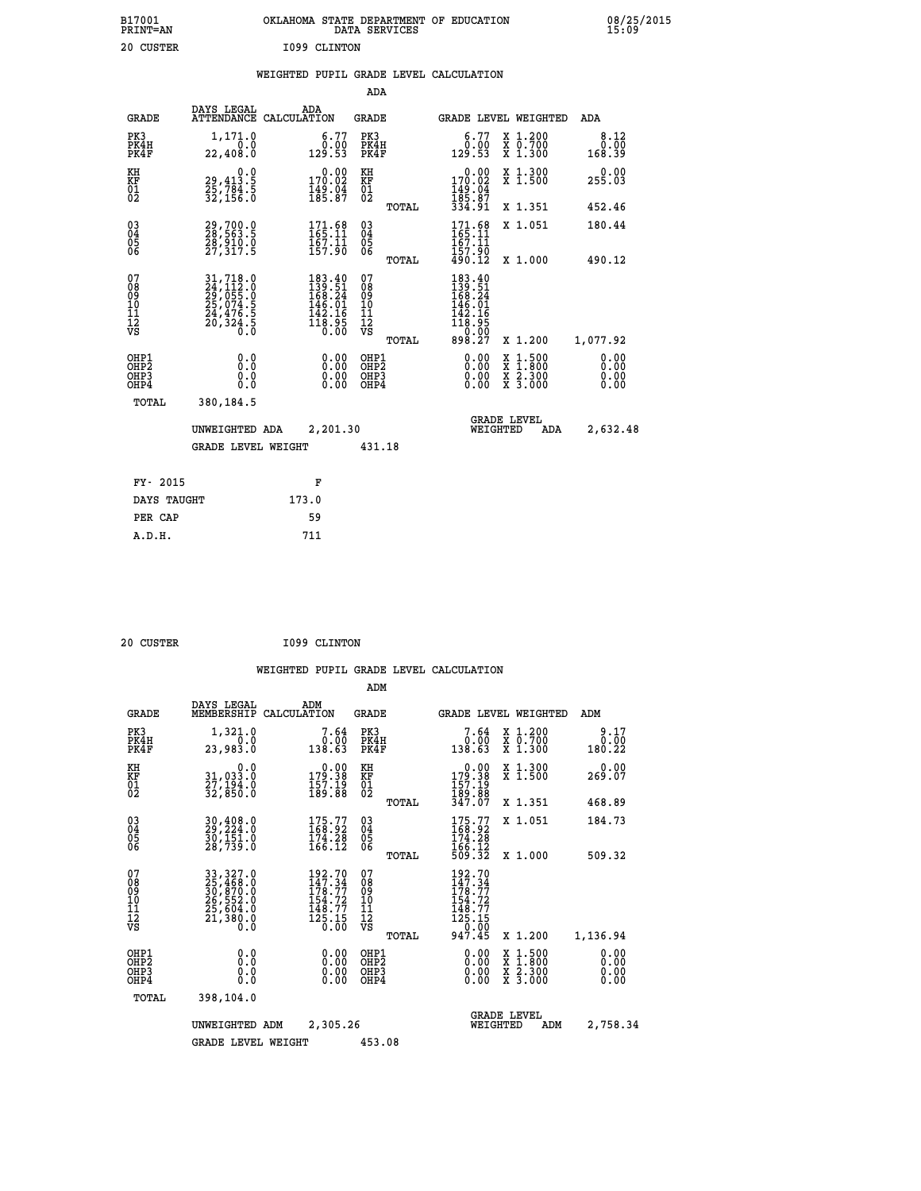| B17001<br>PRINT=AN | OKLAHOMA STATE DEPARTMENT OF EDUCATION<br>DATA SERVICES | 08/25/2015<br>15:09 |
|--------------------|---------------------------------------------------------|---------------------|
| 20<br>CUSTER       | 1099 CLINTON                                            |                     |

|  |  | WEIGHTED PUPIL GRADE LEVEL CALCULATION |
|--|--|----------------------------------------|
|  |  |                                        |

|                                                      |                                                                                                                     |                                                                                                                               | ADA                                       |       |                                                                                                                                     |                                                                                                  |                              |
|------------------------------------------------------|---------------------------------------------------------------------------------------------------------------------|-------------------------------------------------------------------------------------------------------------------------------|-------------------------------------------|-------|-------------------------------------------------------------------------------------------------------------------------------------|--------------------------------------------------------------------------------------------------|------------------------------|
| <b>GRADE</b>                                         | DAYS LEGAL                                                                                                          | ADA<br>ATTENDANCE CALCULATION                                                                                                 | <b>GRADE</b>                              |       |                                                                                                                                     | GRADE LEVEL WEIGHTED                                                                             | ADA                          |
| PK3<br>PK4H<br>PK4F                                  | 1,171.0<br>0.0<br>22,408.0                                                                                          | 6.77<br>$0.00$<br>129.53                                                                                                      | PK3<br>PK4H<br>PK4F                       |       | 6.77<br>ةُ:ة<br>129.53                                                                                                              | X 1.200<br>X 0.700<br>X 1.300                                                                    | 8.12<br>0.00<br>168.39       |
| KH<br>KF<br>01<br>02                                 | 0.0<br>29,413:5<br>25,784:5<br>32,156:0                                                                             | 0.00<br>170.02<br>149.04<br>185.87                                                                                            | KH<br>KF<br>01<br>02                      |       | 0.00<br>170.02<br>149.04<br>185.87<br>334.91                                                                                        | X 1.300<br>X 1.500                                                                               | 0.00<br>255.03               |
|                                                      |                                                                                                                     |                                                                                                                               |                                           | TOTAL |                                                                                                                                     | X 1.351                                                                                          | 452.46                       |
| $\begin{matrix} 03 \\ 04 \\ 05 \\ 06 \end{matrix}$   | 29,700.0<br>28,563.5<br>28,910.0<br>27,317.5                                                                        | 171.68<br>165.11<br>$\frac{167.11}{157.90}$                                                                                   | $\substack{03 \\ 04}$<br>$\frac{05}{06}$  |       | $171.68$<br>$165.11$<br>167.11<br>$\frac{157.90}{490.12}$                                                                           | X 1.051                                                                                          | 180.44                       |
|                                                      |                                                                                                                     |                                                                                                                               |                                           | TOTAL |                                                                                                                                     | X 1.000                                                                                          | 490.12                       |
| 07<br>08<br>09<br>10<br>11<br>12<br>VS               | $\begin{smallmatrix} 31, 718.0\\ 24, 112.0\\ 29, 055.0\\ 25, 074.5\\ 24, 476.5\\ 20, 324.5\\ 0.0 \end{smallmatrix}$ | $\begin{smallmatrix} 183\cdot40\\ 139\cdot51\\ 168\cdot24\\ 146\cdot01\\ 142\cdot16\\ 118\cdot95\\ 0\cdot00\end{smallmatrix}$ | 07<br>08<br>09<br>11<br>11<br>12<br>VS    |       | $\begin{smallmatrix} 183 & .40\\ 139 & .51\\ 168 & .24\\ 168 & .01\\ 142 & .16\\ 118 & .95\\ 0 & .00\\ 898 & .27 \end{smallmatrix}$ |                                                                                                  |                              |
|                                                      |                                                                                                                     |                                                                                                                               |                                           | TOTAL |                                                                                                                                     | X 1.200                                                                                          | 1,077.92                     |
| OHP1<br>OH <sub>P</sub> <sub>2</sub><br>OHP3<br>OHP4 | 0.0<br>0.0<br>0.0                                                                                                   | $0.00$<br>$0.00$<br>0.00                                                                                                      | OHP1<br>OH <sub>P</sub> 2<br>OHP3<br>OHP4 |       | $0.00$<br>$0.00$<br>0.00                                                                                                            | $\begin{smallmatrix} x & 1 & 500 \\ x & 1 & 800 \\ x & 2 & 300 \\ x & 3 & 000 \end{smallmatrix}$ | 0.00<br>0.00<br>0.00<br>0.00 |
| <b>TOTAL</b>                                         | 380,184.5                                                                                                           |                                                                                                                               |                                           |       |                                                                                                                                     |                                                                                                  |                              |
|                                                      | UNWEIGHTED ADA                                                                                                      | 2,201.30                                                                                                                      |                                           |       | WEIGHTED                                                                                                                            | <b>GRADE LEVEL</b><br>ADA                                                                        | 2,632.48                     |
|                                                      | <b>GRADE LEVEL WEIGHT</b>                                                                                           |                                                                                                                               | 431.18                                    |       |                                                                                                                                     |                                                                                                  |                              |
|                                                      |                                                                                                                     |                                                                                                                               |                                           |       |                                                                                                                                     |                                                                                                  |                              |
| FY- 2015                                             |                                                                                                                     | F                                                                                                                             |                                           |       |                                                                                                                                     |                                                                                                  |                              |
| DAYS TAUGHT                                          |                                                                                                                     | 173.0                                                                                                                         |                                           |       |                                                                                                                                     |                                                                                                  |                              |
| PER CAP                                              |                                                                                                                     | 59                                                                                                                            |                                           |       |                                                                                                                                     |                                                                                                  |                              |

| 20 CUSTER |  | I099 CLINTON |
|-----------|--|--------------|
|           |  |              |

|                                                       |                                                                                                                                                                                               |                                                                         | ADM                                     |       |                                                                                                                                                       |                                                                                                  |                              |  |
|-------------------------------------------------------|-----------------------------------------------------------------------------------------------------------------------------------------------------------------------------------------------|-------------------------------------------------------------------------|-----------------------------------------|-------|-------------------------------------------------------------------------------------------------------------------------------------------------------|--------------------------------------------------------------------------------------------------|------------------------------|--|
| <b>GRADE</b>                                          | DAYS LEGAL<br>MEMBERSHIP                                                                                                                                                                      | ADM<br>CALCULATION                                                      | <b>GRADE</b>                            |       | GRADE LEVEL WEIGHTED                                                                                                                                  |                                                                                                  | ADM                          |  |
| PK3<br>PK4H<br>PK4F                                   | 1,321.0<br>0.0<br>23,983.0                                                                                                                                                                    | 7.64<br>0.00<br>138.63                                                  | PK3<br>PK4H<br>PK4F                     |       | 7.64<br>0.00<br>138.63                                                                                                                                | X 1.200<br>X 0.700<br>X 1.300                                                                    | 9.17<br>0.00<br>180.22       |  |
| KH<br>KF<br>01<br>02                                  | 0.0<br>31,033:0<br>27,194:0<br>32,850:0                                                                                                                                                       | $\begin{smallmatrix} &0.00\\ 179.38\\ 157.19\\ 189.88\end{smallmatrix}$ | KH<br>KF<br>01<br>02                    |       | $\begin{smallmatrix} &0.00\\ 179.38\\ 157.19\\ 189.88\\ 347.07\end{smallmatrix}$                                                                      | X 1.300<br>X 1.500                                                                               | 0.00<br>269.07               |  |
|                                                       |                                                                                                                                                                                               |                                                                         |                                         | TOTAL |                                                                                                                                                       | X 1.351                                                                                          | 468.89                       |  |
| 03<br>04<br>05<br>06                                  | $30, 408.0$<br>$29, 224.0$<br>$30, 151.0$<br>28,739.0                                                                                                                                         | $175.77$<br>168.92<br>$\frac{174.28}{166.12}$                           | $^{03}_{04}$<br>05<br>06                |       | $175.77$<br>168.92<br>174.28                                                                                                                          | X 1.051                                                                                          | 184.73                       |  |
|                                                       |                                                                                                                                                                                               |                                                                         |                                         | TOTAL | 166.12<br>509.32                                                                                                                                      | X 1.000                                                                                          | 509.32                       |  |
| 07<br>08<br>09<br>101<br>112<br>VS                    | $\begin{smallmatrix} 33\, ,\, 327\, .\, 0\\ 25\, ,\, 468\, .\, 0\\ 30\, ,\, 870\, .\, 0\\ 26\, ,\, 552\, .\, 0\\ 25\, ,\, 604\, .\, 0\\ 21\, ,\, 380\, .\, 0\\ 0\, .\, 0\, \end{smallmatrix}$ | 192.70<br>147.34<br>178.77<br>154.72<br>148.77<br>125.15<br>0.00        | 07<br>08<br>09<br>101<br>11<br>12<br>VS | TOTAL | 192.70<br>147.34<br>$\begin{array}{c}\n\frac{1}{1}\frac{1}{7}\frac{1}{8}\cdot\frac{7}{7} \\ 154.72 \\ 148.77 \\ 125.15 \\ 0.9\n\end{array}$<br>947.45 | X 1.200                                                                                          | 1,136.94                     |  |
| OHP1<br>OH <sub>P</sub> 2<br>OH <sub>P3</sub><br>OHP4 | 0.0<br>0.000                                                                                                                                                                                  | $0.00$<br>$0.00$<br>0.00                                                | OHP1<br>OHP2<br>OHP3<br>OHP4            |       | $0.00$<br>$0.00$<br>0.00                                                                                                                              | $\begin{smallmatrix} x & 1 & 500 \\ x & 1 & 800 \\ x & 2 & 300 \\ x & 3 & 000 \end{smallmatrix}$ | 0.00<br>0.00<br>0.00<br>0.00 |  |
| TOTAL                                                 | 398,104.0                                                                                                                                                                                     |                                                                         |                                         |       |                                                                                                                                                       |                                                                                                  |                              |  |
|                                                       | UNWEIGHTED ADM                                                                                                                                                                                | 2,305.26                                                                |                                         |       | WEIGHTED                                                                                                                                              | <b>GRADE LEVEL</b><br>ADM                                                                        | 2,758.34                     |  |
|                                                       | <b>GRADE LEVEL WEIGHT</b>                                                                                                                                                                     |                                                                         | 453.08                                  |       |                                                                                                                                                       |                                                                                                  |                              |  |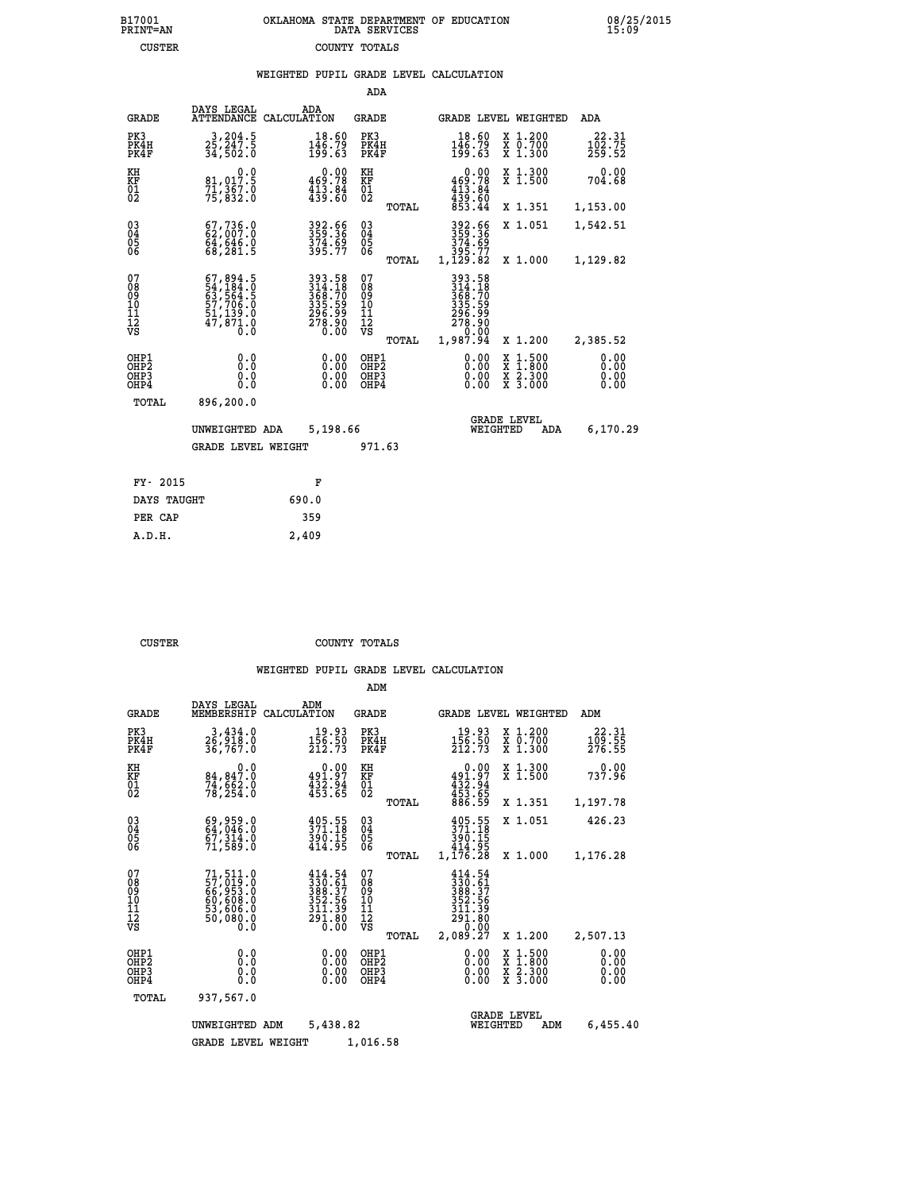|  | OKLAHOMA STATE DEPARTMENT OF EDUCATION<br>DATA SERVICES |  |
|--|---------------------------------------------------------|--|
|  | COUNTY TOTALS                                           |  |

 **B17001 OKLAHOMA STATE DEPARTMENT OF EDUCATION 08/25/2015**

|  |  | WEIGHTED PUPIL GRADE LEVEL CALCULATION |
|--|--|----------------------------------------|
|  |  |                                        |

|                                                      |                                                                        |                                                                            | ADA                                      |       |                                                                            |                                                                                                  |                                  |
|------------------------------------------------------|------------------------------------------------------------------------|----------------------------------------------------------------------------|------------------------------------------|-------|----------------------------------------------------------------------------|--------------------------------------------------------------------------------------------------|----------------------------------|
| <b>GRADE</b>                                         | DAYS LEGAL<br><b>ATTENDANCE</b>                                        | ADA<br>CALCULATION                                                         | <b>GRADE</b>                             |       |                                                                            | GRADE LEVEL WEIGHTED                                                                             | ADA                              |
| PK3<br>PK4H<br>PK4F                                  | 3,204.5<br>25,247.5<br>34,502.0                                        | $\begin{smallmatrix} 18.60\\ 146.79\\ 199.63 \end{smallmatrix}$            | PK3<br>PK4H<br>PK4F                      |       | 18.60<br>$\frac{1\bar{46} \cdot 79}{199.63}$                               | X 1.200<br>X 0.700<br>X 1.300                                                                    | $\frac{22.31}{102.75}$<br>259.52 |
| KH<br>KF<br>01<br>02                                 | 0.0<br>81,017.5<br>71,367.0<br>75,832.0                                | $\begin{smallmatrix} &0.00\\ 469.78\\ 413.84\\ 439.60\end{smallmatrix}$    | KH<br>KF<br>01<br>02                     |       | 0.00<br>$469.78$<br>$413.84$<br>$439.60$<br>$853.44$                       | X 1.300<br>X 1.500                                                                               | 0.00<br>704.68                   |
|                                                      |                                                                        |                                                                            |                                          | TOTAL |                                                                            | X 1.351                                                                                          | 1,153.00                         |
| $^{03}_{04}$<br>Ŏ5<br>06                             | 67,736.0<br>$64,646.0$<br>68,281.5                                     | 392.66<br>359.36<br>$374.69$<br>$395.77$                                   | $\substack{03 \\ 04}$<br>05<br>06        | TOTAL | 392.66<br>359.36<br>374:69<br>395.77<br>1,129.82                           | X 1.051<br>X 1.000                                                                               | 1,542.51<br>1,129.82             |
| 07<br>08<br>09<br>10<br>11<br>12<br>VS               | $67,894.5$<br>54,184.0<br>63,564.5<br>57,706.0<br>51,139.0<br>47,871.0 | 393.58<br>314.18<br>368.70<br>368.70<br>335.59<br>296.99<br>278.90<br>0.00 | 07<br>08<br>09<br>11<br>11<br>12<br>VS   |       | 393.58<br>314.18<br>368.70<br>368.70<br>335.59<br>296.90<br>278.90<br>0.00 |                                                                                                  |                                  |
|                                                      |                                                                        |                                                                            |                                          | TOTAL | 1,987.94                                                                   | X 1.200                                                                                          | 2,385.52                         |
| OHP1<br>OH <sub>P</sub> <sub>2</sub><br>OHP3<br>OHP4 | 0.0<br>Ō.Ō<br>0.0<br>0.0                                               | 0.00<br>0.00<br>0.00                                                       | OHP1<br>OHP <sub>2</sub><br>OHP3<br>OHP4 |       | $0.00$<br>$0.00$<br>0.00                                                   | $\begin{smallmatrix} x & 1 & 500 \\ x & 1 & 800 \\ x & 2 & 300 \\ x & 3 & 000 \end{smallmatrix}$ | 0.00<br>0.00<br>0.00<br>0.00     |
| <b>TOTAL</b>                                         | 896,200.0                                                              |                                                                            |                                          |       |                                                                            |                                                                                                  |                                  |
|                                                      | UNWEIGHTED ADA                                                         | 5,198.66                                                                   |                                          |       |                                                                            | <b>GRADE LEVEL</b><br>WEIGHTED<br>ADA                                                            | 6,170.29                         |
|                                                      | <b>GRADE LEVEL WEIGHT</b>                                              |                                                                            | 971.63                                   |       |                                                                            |                                                                                                  |                                  |
| FY- 2015                                             |                                                                        | F                                                                          |                                          |       |                                                                            |                                                                                                  |                                  |
| DAYS TAUGHT                                          |                                                                        | 690.0                                                                      |                                          |       |                                                                            |                                                                                                  |                                  |
|                                                      |                                                                        |                                                                            |                                          |       |                                                                            |                                                                                                  |                                  |
| PER CAP                                              |                                                                        | 359                                                                        |                                          |       |                                                                            |                                                                                                  |                                  |

| סס |  |  |
|----|--|--|

 **A.D.H. 2,409**

B17001<br>PRINT=AN<br>CUSTER

 **CUSTER COUNTY TOTALS**

|                                                       |                                                                      |                                                                                           | ADM                                              |                                                                                                                                                     |                                                                                                  |                              |
|-------------------------------------------------------|----------------------------------------------------------------------|-------------------------------------------------------------------------------------------|--------------------------------------------------|-----------------------------------------------------------------------------------------------------------------------------------------------------|--------------------------------------------------------------------------------------------------|------------------------------|
| <b>GRADE</b>                                          | DAYS LEGAL<br>MEMBERSHIP                                             | ADM<br>CALCULATION                                                                        | <b>GRADE</b>                                     | GRADE LEVEL WEIGHTED                                                                                                                                |                                                                                                  | ADM                          |
| PK3<br>PK4H<br>PK4F                                   | 3,434.0<br>26,918.0<br>36,767.0                                      | 19.93<br>$\frac{156.50}{212.73}$                                                          | PK3<br>PK4H<br>PK4F                              | 19.93<br>$\frac{156.50}{212.73}$                                                                                                                    | x 1.200<br>x 0.700<br>$X$ 1.300                                                                  | 22.31<br>109.55<br>276.55    |
| KH<br>KF<br>01<br>02                                  | 0.0<br>84,847.0<br>74,šēż.ŏ<br>78,254.O                              | $\begin{smallmatrix} &0.00\\ 491.97\\ 432.94\\ 433.65\end{smallmatrix}$                   | KH<br>KF<br>01<br>02                             | 0.00<br>$491.97$<br>$432.94$<br>$453.65$<br>$886.59$                                                                                                | X 1.300<br>X 1.500                                                                               | 0.00<br>737.96               |
|                                                       |                                                                      |                                                                                           | TOTAL                                            |                                                                                                                                                     | X 1.351                                                                                          | 1,197.78                     |
| 03<br>04<br>05<br>06                                  | 69,959.0<br>64,046.0<br>67,314.0<br>71,589.0                         | 405.55<br>371.18<br>$\frac{390.15}{414.95}$                                               | $\substack{03 \\ 04}$<br>0500                    | 405.55<br>371.18<br>390.15<br>414.95                                                                                                                | X 1.051                                                                                          | 426.23                       |
|                                                       |                                                                      |                                                                                           | TOTAL                                            | 1,176.28                                                                                                                                            | X 1.000                                                                                          | 1,176.28                     |
| 07<br>08<br>09<br>101<br>112<br>VS                    | 71,511.0<br>57,019.0<br>66,953.0<br>60,608.0<br>53,606.0<br>50,080.0 | 414.54<br>$\frac{3}{388}$<br>$\frac{3}{352}$ . $\frac{5}{35}$<br>311.39<br>291.80<br>0.00 | 07<br>08<br>09<br>101<br>11<br>12<br>VS<br>TOTAL | 414.54<br>$\frac{3}{3}$ $\frac{3}{8}$ $\frac{6}{3}$ $\frac{7}{2}$ $\frac{3}{2}$ $\frac{2}{2}$ $\frac{6}{5}$<br>311.39<br>291.80<br>0.00<br>2,089.27 | X 1.200                                                                                          | 2,507.13                     |
| OHP1<br>OH <sub>P</sub> 2<br>OH <sub>P3</sub><br>OHP4 | 0.0<br>0.000                                                         | 0.00<br>0.00<br>0.00                                                                      | OHP1<br>OHP2<br>OHP3<br>OHP4                     | $0.00$<br>$0.00$<br>0.00                                                                                                                            | $\begin{smallmatrix} x & 1 & 500 \\ x & 1 & 800 \\ x & 2 & 300 \\ x & 3 & 000 \end{smallmatrix}$ | 0.00<br>0.00<br>0.00<br>0.00 |
| TOTAL                                                 | 937,567.0                                                            |                                                                                           |                                                  |                                                                                                                                                     |                                                                                                  |                              |
|                                                       | UNWEIGHTED ADM                                                       | 5,438.82                                                                                  |                                                  | <b>GRADE LEVEL</b><br>WEIGHTED                                                                                                                      | ADM                                                                                              | 6,455.40                     |
|                                                       | <b>GRADE LEVEL WEIGHT</b>                                            |                                                                                           | 1,016.58                                         |                                                                                                                                                     |                                                                                                  |                              |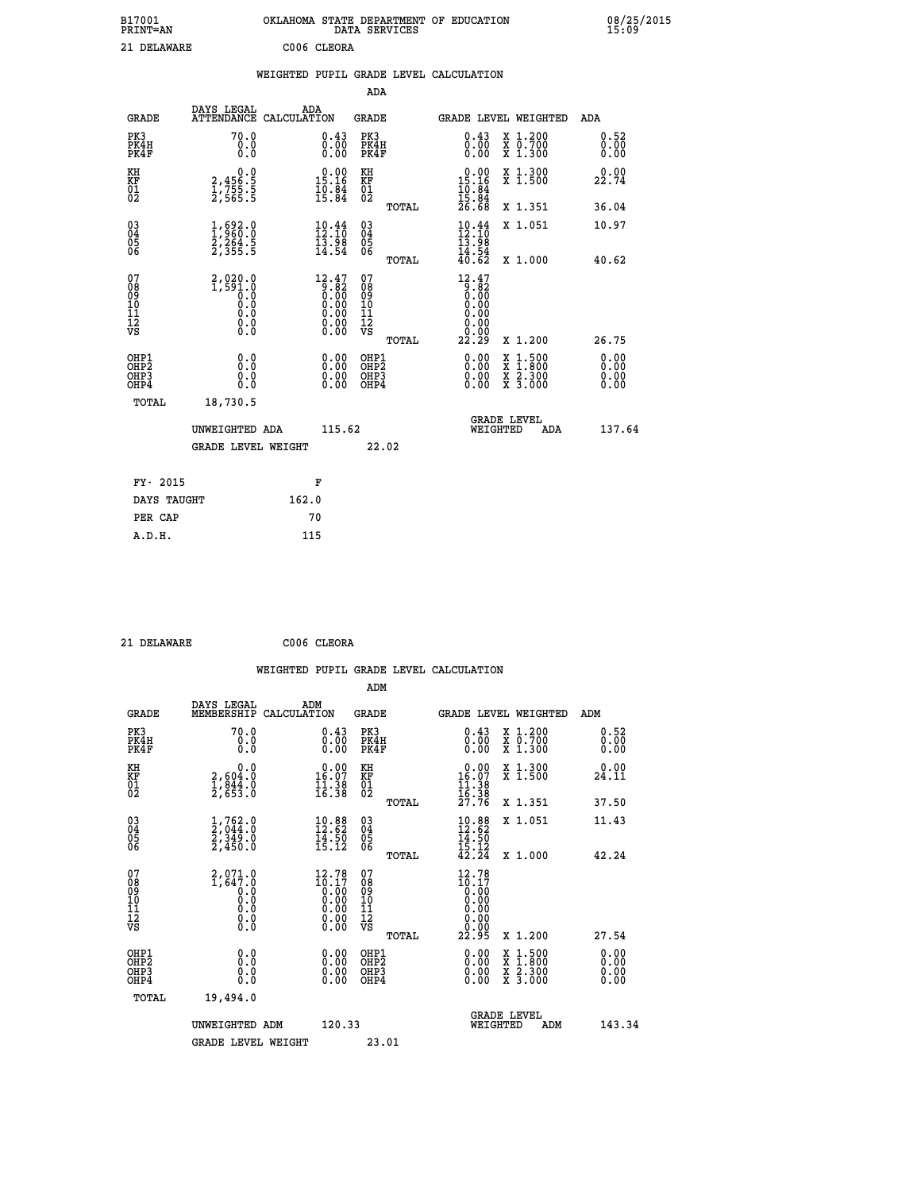| B17001<br><b>PRINT=AN</b> | OKLAHOMA STATE DEPARTMENT OF EDUCATION<br>DATA SERVICES | 08/25/2015<br>15:09 |
|---------------------------|---------------------------------------------------------|---------------------|
| 21 DELAWARE               | C006 CLEORA                                             |                     |

|                                                                    |                                                                       |                                                                                                                                                                                                                                                                                                  |                                        | ADA              |                                                                                                                                                                                                                                                                                                                                                                                                                                                                                                 |                                                                                                                                              |                              |
|--------------------------------------------------------------------|-----------------------------------------------------------------------|--------------------------------------------------------------------------------------------------------------------------------------------------------------------------------------------------------------------------------------------------------------------------------------------------|----------------------------------------|------------------|-------------------------------------------------------------------------------------------------------------------------------------------------------------------------------------------------------------------------------------------------------------------------------------------------------------------------------------------------------------------------------------------------------------------------------------------------------------------------------------------------|----------------------------------------------------------------------------------------------------------------------------------------------|------------------------------|
| <b>GRADE</b>                                                       | DAYS LEGAL<br>ATTENDANCE CALCULATION                                  | ADA                                                                                                                                                                                                                                                                                              | <b>GRADE</b>                           |                  |                                                                                                                                                                                                                                                                                                                                                                                                                                                                                                 | <b>GRADE LEVEL WEIGHTED</b>                                                                                                                  | <b>ADA</b>                   |
| PK3<br>PK4H<br>PK4F                                                | 70.0<br>0.0<br>0.0                                                    | $\overset{0.43}{\underset{0.00}{\scriptstyle 0.00}}$                                                                                                                                                                                                                                             | PK3                                    | PK4H<br>PK4F     | $\overset{0}{\underset{0}{\stackrel{0}{\stackrel{0}{\stackrel{0}{\stackrel{0}{\stackrel{0}{\stackrel{0}{\stackrel{0}{\stackrel{0}{\stackrel{0}{\stackrel{0}{\stackrel{0}{\stackrel{0}{\stackrel{0}{\stackrel{0}{\stackrel{0}{\stackrel{0}{\stackrel{0}{\stackrel{0}{\stackrel{0}{\stackrel{0}{\stackrel{0}{\stackrel{0}{\stackrel{0}{\stackrel{0}{\stackrel{0}{\stackrel{0}{\stackrel{0}{\stackrel{0}{\stackrel{0}{\stackrel{0}{\stackrel{0}{\stackrel{0}{\stackrel{0}{\stackrel{0}{\stackrel{$ | X 1.200<br>X 0.700<br>X 1.300                                                                                                                | 0.52<br>0.00<br>0.00         |
| KH<br>KF<br>01<br>02                                               | $\begin{smallmatrix} 0.0\\2,456.5\\1,755.5\\2,565.5\end{smallmatrix}$ | $0.00$<br>15.16<br>$\frac{10.84}{15.84}$                                                                                                                                                                                                                                                         | KH<br>KF<br>01<br>02                   |                  | $\begin{smallmatrix} 0.00\\ 15.16\\ 10.84\\ 15.84\\ 26.68 \end{smallmatrix}$                                                                                                                                                                                                                                                                                                                                                                                                                    | X 1.300<br>X 1.500                                                                                                                           | 0.00<br>22.74                |
|                                                                    |                                                                       |                                                                                                                                                                                                                                                                                                  |                                        | TOTAL            |                                                                                                                                                                                                                                                                                                                                                                                                                                                                                                 | X 1.351                                                                                                                                      | 36.04                        |
| $\begin{smallmatrix} 03 \\[-4pt] 04 \end{smallmatrix}$<br>Ŏ5<br>06 | $\frac{1}{2}, \frac{692}{960}$ :0<br>2,264.5<br>2,355.5               | $\begin{smallmatrix} 10.44 \\[-4pt] 12.10 \\[-4pt] 13.98 \\[-4pt] 14.54 \end{smallmatrix}$                                                                                                                                                                                                       | $\substack{03 \\ 04}$<br>Ŏ5<br>06      | TOTAL            | $10.4412.1013.9814.5440.62$                                                                                                                                                                                                                                                                                                                                                                                                                                                                     | X 1.051<br>X 1.000                                                                                                                           | 10.97<br>40.62               |
| 07<br>08<br>09<br>101<br>11<br>12<br>VS                            |                                                                       | $\begin{smallmatrix} 12.47\\[-1.2mm] 9.82\\[-1.2mm] 0.00\\[-1.2mm] 0.00\\[-1.2mm] 0.00\\[-1.2mm] 0.00\\[-1.2mm] 0.00\\[-1.2mm] 0.00\\[-1.2mm] 0.00\\[-1.2mm] 0.00\\[-1.2mm] 0.00\\[-1.2mm] 0.00\\[-1.2mm] 0.00\\[-1.2mm] 0.00\\[-1.2mm] 0.00\\[-1.2mm] 0.00\\[-1.2mm] 0.00\\[-1.2mm] 0.00\\[-1.$ | 07<br>08<br>09<br>11<br>11<br>12<br>VS |                  | 12.47<br>$\begin{matrix} 0.00000 & 0.0000 & 0.0000 & 0.0000 & 0.0000 & 0.0000 & 0.0000 & 0.0000 & 0.0000 & 0.0000 & 0.0000 & 0.0000 & 0.0000 & 0.0000 & 0.0000 & 0.0000 & 0.0000 & 0.0000 & 0.0000 & 0.0000 & 0.0000 & 0.0000 & 0.0000 & 0.0000 & 0.0000 & 0.0000 & 0.000$<br>0.00<br>0.00                                                                                                                                                                                                      |                                                                                                                                              |                              |
|                                                                    |                                                                       |                                                                                                                                                                                                                                                                                                  |                                        | TOTAL            | 22.29                                                                                                                                                                                                                                                                                                                                                                                                                                                                                           | X 1.200                                                                                                                                      | 26.75                        |
| OHP1<br>OHP <sub>2</sub><br>OH <sub>P3</sub><br>OHP4               | 0.0<br>0.000                                                          | 0.00<br>$\begin{smallmatrix} 0.00 \ 0.00 \end{smallmatrix}$                                                                                                                                                                                                                                      | OHP1<br>OHP2                           | OHP <sub>3</sub> | $\begin{smallmatrix} 0.00 & 0.00 & 0.00 & 0.00 & 0.00 & 0.00 & 0.00 & 0.00 & 0.00 & 0.00 & 0.00 & 0.00 & 0.00 & 0.00 & 0.00 & 0.00 & 0.00 & 0.00 & 0.00 & 0.00 & 0.00 & 0.00 & 0.00 & 0.00 & 0.00 & 0.00 & 0.00 & 0.00 & 0.00 & 0.00 & 0.00 & 0.00 & 0.00 & 0.00 & 0.00 & 0.0$                                                                                                                                                                                                                  | $\begin{smallmatrix} \mathtt{X} & 1\cdot500 \\ \mathtt{X} & 1\cdot800 \\ \mathtt{X} & 2\cdot300 \\ \mathtt{X} & 3\cdot000 \end{smallmatrix}$ | 0.00<br>0.00<br>0.00<br>0.00 |
| TOTAL                                                              | 18,730.5                                                              |                                                                                                                                                                                                                                                                                                  |                                        |                  |                                                                                                                                                                                                                                                                                                                                                                                                                                                                                                 |                                                                                                                                              |                              |
|                                                                    | UNWEIGHTED ADA                                                        |                                                                                                                                                                                                                                                                                                  | 115.62                                 |                  |                                                                                                                                                                                                                                                                                                                                                                                                                                                                                                 | <b>GRADE LEVEL</b><br>WEIGHTED<br>ADA                                                                                                        | 137.64                       |
|                                                                    | <b>GRADE LEVEL WEIGHT</b>                                             |                                                                                                                                                                                                                                                                                                  |                                        | 22.02            |                                                                                                                                                                                                                                                                                                                                                                                                                                                                                                 |                                                                                                                                              |                              |
| FY- 2015                                                           |                                                                       | F                                                                                                                                                                                                                                                                                                |                                        |                  |                                                                                                                                                                                                                                                                                                                                                                                                                                                                                                 |                                                                                                                                              |                              |
| DAYS TAUGHT                                                        |                                                                       | 162.0                                                                                                                                                                                                                                                                                            |                                        |                  |                                                                                                                                                                                                                                                                                                                                                                                                                                                                                                 |                                                                                                                                              |                              |
| PER CAP                                                            |                                                                       | 70                                                                                                                                                                                                                                                                                               |                                        |                  |                                                                                                                                                                                                                                                                                                                                                                                                                                                                                                 |                                                                                                                                              |                              |

| 21 DELAWARE |
|-------------|
|             |

 **21 DELAWARE C006 CLEORA**

 **WEIGHTED PUPIL GRADE LEVEL CALCULATION ADM DAYS LEGAL ADM GRADE MEMBERSHIP CALCULATION GRADE GRADE LEVEL WEIGHTED ADM**

| PK3<br>PK4H<br>PK4F                                | 70.0<br>0.000                                                        | $\overset{0.43}{\underset{0.00}{\scriptstyle 0.00}}$               | PK3<br>PK4H<br>PK4F                    | $\substack{0.43 \\ 0.00 \\ 0.00}$                                                          | X 1.200<br>X 0.700<br>X 1.300            | 0.52<br>0.00<br>0.00 |
|----------------------------------------------------|----------------------------------------------------------------------|--------------------------------------------------------------------|----------------------------------------|--------------------------------------------------------------------------------------------|------------------------------------------|----------------------|
| KH<br>KF<br>01<br>02                               | 0.0<br>2,604:0<br>1,844:0<br>2,653:0                                 | $\begin{array}{c} 0.00 \\ 16.07 \\ 11.38 \\ 16.38 \end{array}$     | KH<br>KF<br>01<br>02                   | 0.00<br>$16.07$<br>$11.38$<br>$16.38$<br>$27.76$                                           | X 1.300<br>X 1.500                       | 0.00<br>24.11        |
|                                                    |                                                                      |                                                                    | TOTAL                                  |                                                                                            | X 1.351                                  | 37.50                |
| $\begin{matrix} 03 \\ 04 \\ 05 \\ 06 \end{matrix}$ | $\frac{1}{2}, \frac{762}{944}.0\\ \frac{2}{349}.0\\ \frac{2}{450}.0$ | $\begin{smallmatrix} 10.88\ 12.62\ 14.50\ 15.12 \end{smallmatrix}$ | 03<br>04<br>05<br>06                   | $10.88$<br>$12.62$<br>$14.50$<br>$15.12$<br>$42.24$                                        | X 1.051                                  | 11.43                |
|                                                    |                                                                      |                                                                    | TOTAL                                  |                                                                                            | X 1.000                                  | 42.24                |
| 07<br>08<br>09<br>10<br>11<br>11<br>17<br>VS       |                                                                      | 12.78<br>$16.17$<br>0.00<br>0.00<br>0.00<br>0.00                   | 07<br>08<br>09<br>11<br>11<br>12<br>VS | 12.78<br>$\begin{smallmatrix} 16.17 \ 10.00 \ 0.00 \ 0.00 \ 0.00 \ 0.00 \end{smallmatrix}$ |                                          |                      |
|                                                    |                                                                      | 0.00                                                               | TOTAL                                  | 22.95                                                                                      | X 1.200                                  | 27.54                |
| OHP1<br>OHP2<br>OH <sub>P3</sub><br>OHP4           | 0.0<br>0.000                                                         | 0.00                                                               | OHP1<br>OHP2<br>OHP3<br>OHP4           | $0.00$<br>$0.00$<br>0.00                                                                   | x 1:500<br>x 1:800<br>x 2:300<br>X 3.000 | 0.00<br>0.00<br>0.00 |
| TOTAL                                              | 19,494.0                                                             |                                                                    |                                        |                                                                                            |                                          |                      |
|                                                    | UNWEIGHTED ADM                                                       | 120.33                                                             |                                        | WEIGHTED                                                                                   | <b>GRADE LEVEL</b><br>ADM                | 143.34               |
|                                                    | <b>GRADE LEVEL WEIGHT</b>                                            |                                                                    | 23.01                                  |                                                                                            |                                          |                      |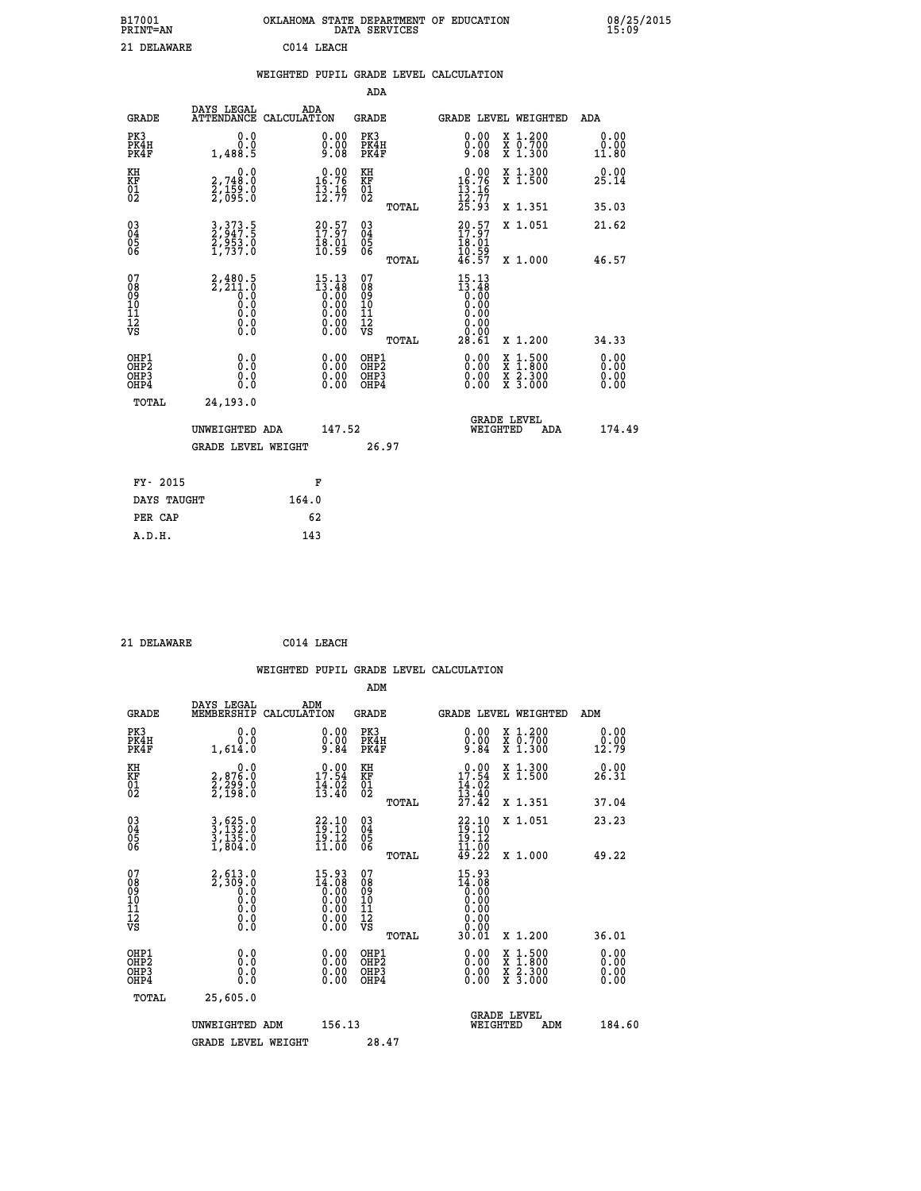|                   | OKLAHOMA STATE DEPARTMENT OF EDUCATION<br>DATA SERVICES |  |
|-------------------|---------------------------------------------------------|--|
| $C0111$ T $R01C0$ |                                                         |  |

| B17001<br>PRINT=AN                                 |                                                                     | OKLAHOMA STATE DEPARTMENT<br>DATA SERVICES |                                                                                                                                                                                                                                                                                                                                       |                                              |       | <b>EDUCATION</b><br>OF                                                                                                  |                                                                                                                                              | $^{08}_{15}:$                                               |
|----------------------------------------------------|---------------------------------------------------------------------|--------------------------------------------|---------------------------------------------------------------------------------------------------------------------------------------------------------------------------------------------------------------------------------------------------------------------------------------------------------------------------------------|----------------------------------------------|-------|-------------------------------------------------------------------------------------------------------------------------|----------------------------------------------------------------------------------------------------------------------------------------------|-------------------------------------------------------------|
| 21 DELAWARE                                        |                                                                     |                                            | C014 LEACH                                                                                                                                                                                                                                                                                                                            |                                              |       |                                                                                                                         |                                                                                                                                              |                                                             |
|                                                    |                                                                     |                                            |                                                                                                                                                                                                                                                                                                                                       |                                              |       | WEIGHTED PUPIL GRADE LEVEL CALCULATION                                                                                  |                                                                                                                                              |                                                             |
|                                                    |                                                                     |                                            |                                                                                                                                                                                                                                                                                                                                       | ADA                                          |       |                                                                                                                         |                                                                                                                                              |                                                             |
| <b>GRADE</b>                                       | DAYS LEGAL<br>ATTENDANCE CALCULATION                                | ADA                                        |                                                                                                                                                                                                                                                                                                                                       | <b>GRADE</b>                                 |       |                                                                                                                         | <b>GRADE LEVEL WEIGHTED</b>                                                                                                                  | <b>ADA</b>                                                  |
| PK3<br>PK4H<br>PK4F                                | 0.0<br>Ŏ.Ŏ<br>1,488.5                                               |                                            | $0.00\n0.00\n9.08$                                                                                                                                                                                                                                                                                                                    | PK3<br>PK4H<br>PK4F                          |       | $\begin{smallmatrix} 0.00\\ 0.00\\ 0.08 \end{smallmatrix}$                                                              | X 1.200<br>X 0.700<br>X 1.300                                                                                                                | $\begin{smallmatrix} 0.00\\ 0.00\\ 11.80 \end{smallmatrix}$ |
| KH<br>KF<br>01<br>02                               | 0.0<br>2,748:0<br>2,159:0<br>2,095:0                                |                                            | $16.76$<br>$15.76$<br>$13.16$<br>$12.77$                                                                                                                                                                                                                                                                                              | KH<br>KF<br>$\overline{01}_0$                |       | $0.00$<br>$16.76$<br>$13.16$<br>$12.77$<br>$25.93$                                                                      | X 1.300<br>X 1.500                                                                                                                           | $2\overset{0}{5}.14$                                        |
|                                                    |                                                                     |                                            |                                                                                                                                                                                                                                                                                                                                       |                                              | TOTAL |                                                                                                                         | X 1.351                                                                                                                                      | 35.03                                                       |
| $\begin{matrix} 03 \\ 04 \\ 05 \\ 06 \end{matrix}$ | 3, 373.5<br>2, 947.5<br>2, 953.0<br>1, 737.0                        |                                            | $\begin{smallmatrix} 20.57\ 17.97\ 18.01\ 10.59 \end{smallmatrix}$                                                                                                                                                                                                                                                                    | $03\overline{4}$<br>Ŏ5<br>06                 |       | $20.57$<br>$17.97$<br>$18.01$<br>$10.59$<br>$46.57$                                                                     | X 1.051                                                                                                                                      | 21.62                                                       |
|                                                    |                                                                     |                                            |                                                                                                                                                                                                                                                                                                                                       |                                              | TOTAL |                                                                                                                         | X 1.000                                                                                                                                      | 46.57                                                       |
| 07<br>08<br>09<br>10<br>11<br>11<br>12<br>VS       | $2,480.5$<br>$2,211.0$<br>$0.0$<br>$0.0$<br>$0.0$<br>$0.0$<br>$0.0$ |                                            | $\begin{smallmatrix} 15\cdot 13\\[-1.2mm] 13\cdot 48\\[-1.2mm] 0\cdot 00\\[-1.2mm] 0\cdot 00\\[-1.2mm] 0\cdot 00\\[-1.2mm] 0\cdot 00\\[-1.2mm] 0\cdot 00\\[-1.2mm] 0\cdot 00\\[-1.2mm] 0\cdot 00\\[-1.2mm] 0\cdot 00\\[-1.2mm] 0\cdot 00\\[-1.2mm] 0\cdot 00\\[-1.2mm] 0\cdot 00\\[-1.2mm] 0\cdot 00\\[-1.2mm] 0\cdot 00\\[-1.2mm] 0$ | 07<br>08<br>09<br>01<br>11<br>11<br>12<br>VS | TOTAL | $\begin{smallmatrix} 15 & 13 \\ 13 & 48 \\ 0 & 00 \\ 0 & 00 \\ 0 & 00 \\ 0 & 00 \\ 0 & 00 \\ 28 & 61 \end{smallmatrix}$ | X 1.200                                                                                                                                      | 34.33                                                       |
| OHP1<br>OHP2<br>OH <sub>P3</sub><br>OHP4           | $\begin{smallmatrix} 0.0 \ 0.0 \ 0.0 \ 0.0 \end{smallmatrix}$       |                                            | $0.00$<br>$0.00$<br>0.00                                                                                                                                                                                                                                                                                                              | OHP1<br>OHP2<br>OHP <sub>3</sub>             |       | $0.00$<br>$0.00$<br>0.00                                                                                                | $\begin{smallmatrix} \mathtt{X} & 1\cdot500 \\ \mathtt{X} & 1\cdot800 \\ \mathtt{X} & 2\cdot300 \\ \mathtt{X} & 3\cdot000 \end{smallmatrix}$ | $0.00$<br>$0.00$<br>0.00                                    |

| TOTAL       | 24,193.0                             |       |        |       |                                |     |        |
|-------------|--------------------------------------|-------|--------|-------|--------------------------------|-----|--------|
|             | UNWEIGHTED ADA<br>GRADE LEVEL WEIGHT |       | 147.52 | 26.97 | <b>GRADE LEVEL</b><br>WEIGHTED | ADA | 174.49 |
| FY- 2015    |                                      |       | F      |       |                                |     |        |
| DAYS TAUGHT |                                      | 164.0 |        |       |                                |     |        |
| PER CAP     |                                      | 62    |        |       |                                |     |        |
| A.D.H.      |                                      | 143   |        |       |                                |     |        |

 **21 DELAWARE C014 LEACH**

| ADM                                                                                                                                                                                                                                                                                                                                       |                              |
|-------------------------------------------------------------------------------------------------------------------------------------------------------------------------------------------------------------------------------------------------------------------------------------------------------------------------------------------|------------------------------|
|                                                                                                                                                                                                                                                                                                                                           |                              |
| DAYS LEGAL<br>ADM<br>MEMBERSHIP<br><b>GRADE</b><br>CALCULATION<br>GRADE LEVEL WEIGHTED<br>ADM<br><b>GRADE</b>                                                                                                                                                                                                                             |                              |
| PK3<br>PK3<br>$\begin{smallmatrix} 0.00 \\ 0.00 \\ 9.84 \end{smallmatrix}$<br>0.0<br>$\substack{0.00\\0.00\\9.84}$<br>X 1.200<br>X 0.700<br>X 1.300<br>0.0<br>PK4H<br>PK4H<br>PK4F<br>PK4F<br>12.79<br>1,614.0                                                                                                                            | 0.00<br>0.00                 |
| $17.54$<br>$14.02$<br>$13.40$<br>KH<br>$\begin{array}{c} 0.00 \\ 17.54 \\ 14.02 \\ 13.40 \\ 27.42 \end{array}$<br>X 1.300<br>X 1.500<br>KH<br>$\begin{smallmatrix} 0.0\\2,876.0\\2,299.0\\2,198.0\end{smallmatrix}$<br>KF<br>01<br>02<br>KF<br>01<br>02<br>26.31                                                                          | 0.00                         |
| X 1.351<br>37.04<br>TOTAL                                                                                                                                                                                                                                                                                                                 |                              |
| $\begin{matrix} 03 \\ 04 \\ 05 \\ 06 \end{matrix}$<br>3,625.0<br>3,132.0<br>3,135.0<br>1,804.0<br>030404<br>$22.10$<br>$19.12$<br>$11.00$<br>$11.00$<br>$49.22$<br>X 1.051<br>23.23<br>$\frac{22.10}{19.10}$<br>11.00<br>ŌĞ                                                                                                               |                              |
| 49.22<br>TOTAL<br>X 1.000                                                                                                                                                                                                                                                                                                                 |                              |
| 07<br>08<br>09<br>101<br>11<br>12<br>VS<br>07<br>08<br>09<br>01<br>11<br>11<br>12<br>VS<br>$15.93$<br>$14.08$<br>0.00<br>0.00<br>0.00<br>$2, 513.0$<br>2,309.0<br>$15.93\n14.08\n0.00\n0.00\n0.00\n0.00\n0.00$<br>$\begin{smallmatrix} 0.10\ 0.0 \ 0.0 \end{smallmatrix}$<br>$\begin{array}{c} 0.00 \\ 0.00 \\ 0.01 \end{array}$<br>$\S.$ |                              |
| 36.01<br>X 1.200<br>TOTAL                                                                                                                                                                                                                                                                                                                 |                              |
| OHP1<br>$\begin{smallmatrix} 0.00 \ 0.00 \ 0.00 \ 0.00 \end{smallmatrix}$<br>OHP1<br>0.00<br>X 1:500<br>X 1:800<br>X 2:300<br>X 3:000<br>0.0<br>OH <sub>P2</sub><br>OH <sub>P</sub> 2<br>OH <sub>P3</sub><br>0.000<br>$0.00$<br>0.00<br>OHP <sub>3</sub><br>OHP4                                                                          | 0.00<br>0.00<br>0.00<br>0.00 |
| TOTAL<br>25,605.0                                                                                                                                                                                                                                                                                                                         |                              |
| <b>GRADE LEVEL</b><br>156.13<br>UNWEIGHTED ADM<br>WEIGHTED<br>ADM<br>28.47<br><b>GRADE LEVEL WEIGHT</b>                                                                                                                                                                                                                                   | 184.60                       |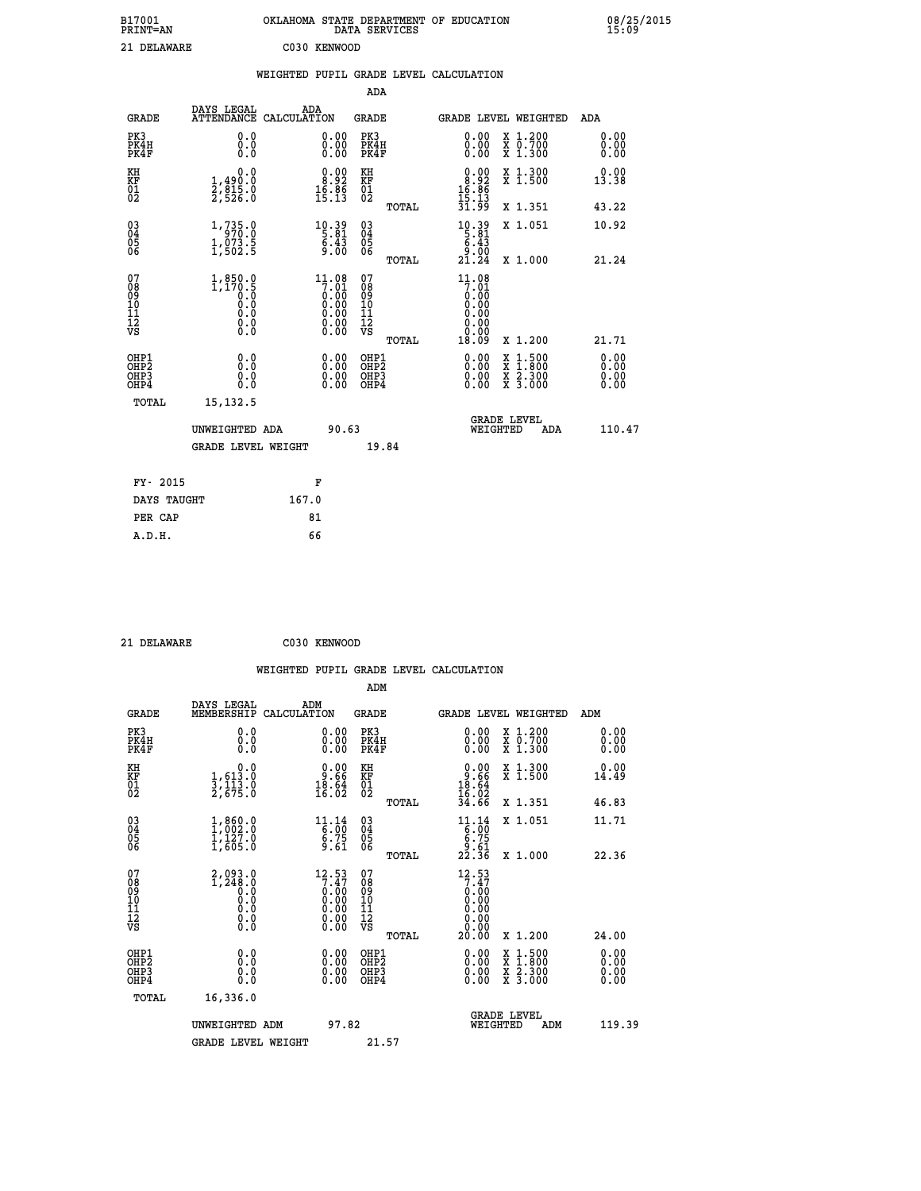| B17001<br><b>PRINT=AN</b> | OKLAHOMA STATE DEPARTMENT OF EDUCATION<br>DATA SERVICES | 08/25/2015<br>15:09 |
|---------------------------|---------------------------------------------------------|---------------------|
| 21 DELAWARE               | C030 KENWOOD                                            |                     |

|                                                                    |                                                  | WEIGHTED PUPIL GRADE LEVEL CALCULATION                                                                  |                                        |       |                                                                        |                                                |                              |
|--------------------------------------------------------------------|--------------------------------------------------|---------------------------------------------------------------------------------------------------------|----------------------------------------|-------|------------------------------------------------------------------------|------------------------------------------------|------------------------------|
|                                                                    |                                                  |                                                                                                         | ADA                                    |       |                                                                        |                                                |                              |
| <b>GRADE</b>                                                       | DAYS LEGAL<br><b>ATTENDANCE</b>                  | ADA<br>CALCULATION                                                                                      | <b>GRADE</b>                           |       |                                                                        | GRADE LEVEL WEIGHTED                           | ADA                          |
| PK3<br>PK4H<br>PK4F                                                | 0.0<br>0.0<br>0.0                                | $\begin{smallmatrix} 0.00\\ 0.00\\ 0.00 \end{smallmatrix}$                                              | PK3<br>PK4H<br>PK4F                    |       | 0.00<br>0.00<br>0.00                                                   | X 1.200<br>X 0.700<br>X 1.300                  | 0.00<br>0.00<br>0.00         |
| KH<br>KF<br>01<br>02                                               | 0.0<br>1,490:0<br>2,815:0<br>2,526:0             | $\begin{smallmatrix} 0.00\\ 8.92\\ 16.86\\ 15.13 \end{smallmatrix}$                                     | KH<br>KF<br>01<br>02                   |       | $\begin{array}{c} 0.00 \\ 8.92 \\ 16.86 \\ 15.13 \\ 31.99 \end{array}$ | X 1.300<br>X 1.500                             | 0.00<br>13.38                |
|                                                                    |                                                  |                                                                                                         |                                        | TOTAL |                                                                        | X 1.351                                        | 43.22                        |
| $\begin{smallmatrix} 03 \\[-4pt] 04 \end{smallmatrix}$<br>Ŏ5<br>06 | 1, 735.0<br>$1, 073.5$<br>$1, 502.5$             | 10.39<br>$\frac{6.45}{9.00}$                                                                            | $\substack{03 \\ 04}$<br>Ŏ5<br>06      |       | $10.39$<br>5.81<br>$5.43$<br>9.00                                      | X 1.051                                        | 10.92                        |
|                                                                    |                                                  |                                                                                                         |                                        | TOTAL | $2\bar{1}$ . $2\bar{4}$                                                | X 1.000                                        | 21.24                        |
| 07<br>08<br>09<br>101<br>112<br>VS                                 | $1,850.0$<br>1,170.5<br>0.0<br>Ŏ.Ŏ<br>$\S.$ $\S$ | $11.08$<br>$7.01$<br>$0.00$<br>$0.00$<br>$0.00$<br>$\begin{smallmatrix} 0.00 \\ 0.00 \end{smallmatrix}$ | 07<br>08<br>09<br>11<br>11<br>12<br>VS | TOTAL | $11.08$<br>7:01<br>0.00<br>0.00<br>0.00<br>0.00<br>18.09               | X 1.200                                        | 21.71                        |
| OHP1<br>OHP2<br>OHP3<br>OHP4                                       | 0.0<br>0.0<br>0.0                                | 0.00<br>$\begin{smallmatrix} 0.00 \ 0.00 \end{smallmatrix}$                                             | OHP1<br>OHP2<br>OHP3<br>OHP4           |       | 0.00<br>0.00<br>0.00                                                   | X 1:500<br>$\frac{x}{x}$ $\frac{5:300}{3:000}$ | 0.00<br>Ō.ŎŎ<br>0.00<br>0.00 |
| <b>TOTAL</b>                                                       | 15, 132.5                                        |                                                                                                         |                                        |       |                                                                        |                                                |                              |
|                                                                    | UNWEIGHTED ADA                                   | 90.63                                                                                                   |                                        |       | WEIGHTED                                                               | <b>GRADE LEVEL</b><br>ADA                      | 110.47                       |
|                                                                    | <b>GRADE LEVEL WEIGHT</b>                        |                                                                                                         |                                        | 19.84 |                                                                        |                                                |                              |
| FY- 2015                                                           |                                                  | F                                                                                                       |                                        |       |                                                                        |                                                |                              |
| DAYS TAUGHT                                                        |                                                  | 167.0                                                                                                   |                                        |       |                                                                        |                                                |                              |
| PER CAP                                                            |                                                  | 81                                                                                                      |                                        |       |                                                                        |                                                |                              |

 **21 DELAWARE C030 KENWOOD**

 **A.D.H. 66**

|                             |                                                    |                                                                                           |                    |                                                                                                                       |                                                     |       | WEIGHTED PUPIL GRADE LEVEL CALCULATION                                                        |                                          |                       |  |
|-----------------------------|----------------------------------------------------|-------------------------------------------------------------------------------------------|--------------------|-----------------------------------------------------------------------------------------------------------------------|-----------------------------------------------------|-------|-----------------------------------------------------------------------------------------------|------------------------------------------|-----------------------|--|
|                             |                                                    |                                                                                           |                    |                                                                                                                       | ADM                                                 |       |                                                                                               |                                          |                       |  |
|                             | <b>GRADE</b>                                       | DAYS LEGAL<br>MEMBERSHIP                                                                  | ADM<br>CALCULATION |                                                                                                                       | <b>GRADE</b>                                        |       |                                                                                               | GRADE LEVEL WEIGHTED                     | ADM                   |  |
|                             | PK3<br>PK4H<br>PK4F                                | 0.0<br>0.0<br>0.0                                                                         |                    | $\begin{smallmatrix} 0.00 \ 0.00 \ 0.00 \end{smallmatrix}$                                                            | PK3<br>PK4H<br>PK4F                                 |       | $\begin{smallmatrix} 0.00 \\ 0.00 \\ 0.00 \end{smallmatrix}$                                  | X 1.200<br>X 0.700<br>X 1.300            | 0.00<br>0.00<br>0.00  |  |
| KH<br>KF<br>01<br>02        |                                                    | $\begin{smallmatrix}&&&0.0\\1,613.0\\3,113.0\\2,675.0\end{smallmatrix}$                   |                    | $\begin{smallmatrix} 0.00\\ 9.66\\ 18.64\\ 16.02 \end{smallmatrix}$                                                   | KH<br>KF<br>01<br>02                                |       | $0.00\n9.66\n18.64\n16.02\n34.66$                                                             | X 1.300<br>X 1.500                       | 0.00<br>14.49         |  |
|                             |                                                    |                                                                                           |                    |                                                                                                                       |                                                     | TOTAL |                                                                                               | X 1.351                                  | 46.83                 |  |
|                             | $\begin{matrix} 03 \\ 04 \\ 05 \\ 06 \end{matrix}$ | $\begin{smallmatrix} 1, & 860.0\\ 1, & 002.0\\ 1, & 127.0\\ 1, & 605.0 \end{smallmatrix}$ |                    | $\begin{array}{c} 11\cdot 14\\ -6\cdot 00\\ 6\cdot 75\\ 9\cdot 61 \end{array}$                                        | $\begin{array}{c} 03 \\ 04 \\ 05 \\ 06 \end{array}$ |       | $\begin{array}{r} 11.14 \\[-4pt] 6.00 \\[-4pt] 6.75 \\[-4pt] 9.61 \\[-4pt] 22.36 \end{array}$ | X 1.051                                  | 11.71                 |  |
|                             |                                                    |                                                                                           |                    |                                                                                                                       |                                                     | TOTAL |                                                                                               | X 1.000                                  | 22.36                 |  |
| 07<br>0890112<br>1112<br>VS |                                                    | 2,093.0<br>1,248.0<br>0.0<br>0.0<br>Ō.Ō<br>$\S.$                                          |                    | $12.53$<br>$7.47$<br>$0.00$<br>$0.00$<br>$0.00$<br>$\begin{smallmatrix} 0.00 & 0.00 \\ 0.00 & 0.00 \end{smallmatrix}$ | 07<br>08901112<br>1112<br>VS                        | TOTAL | $\begin{smallmatrix} 12.53\\7.47\\0.00\\0.00 \end{smallmatrix}$<br>0.00<br>0.00<br>20.00      | X 1.200                                  | 24.00                 |  |
|                             | OHP1                                               |                                                                                           |                    |                                                                                                                       | OHP1                                                |       |                                                                                               |                                          | 0.00                  |  |
|                             | OHP <sub>2</sub><br>OH <sub>P3</sub><br>OHP4       | 0.0<br>0.000                                                                              |                    | $0.00$<br>$0.00$<br>0.00                                                                                              | OHP <sub>2</sub><br>OHP <sub>3</sub>                |       | 0.00<br>0.00<br>0.00                                                                          | X 1:500<br>X 1:800<br>X 2:300<br>X 3:000 | Ō. ŌŌ<br>0.00<br>0.00 |  |
|                             | TOTAL                                              | 16,336.0                                                                                  |                    |                                                                                                                       |                                                     |       |                                                                                               |                                          |                       |  |
|                             |                                                    | UNWEIGHTED ADM                                                                            |                    | 97.82                                                                                                                 |                                                     |       | WEIGHTED                                                                                      | <b>GRADE LEVEL</b><br>ADM                | 119.39                |  |
|                             |                                                    | <b>GRADE LEVEL WEIGHT</b>                                                                 |                    |                                                                                                                       | 21.57                                               |       |                                                                                               |                                          |                       |  |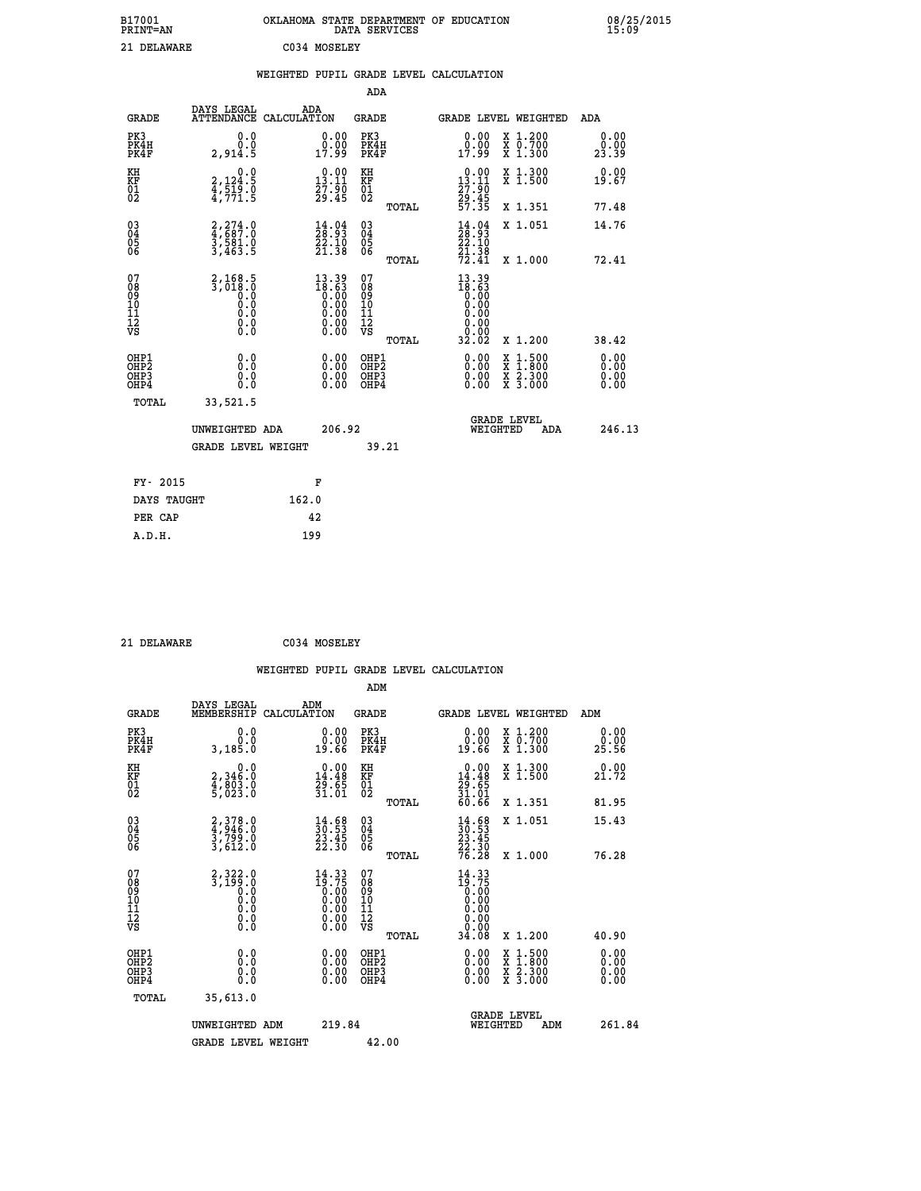| B17001<br><b>PRINT=AN</b> | OKLAHOMA STATE DEPARTMENT OF EDUCATION<br>DATA SERVICES | 08/25/2015<br>15:09 |
|---------------------------|---------------------------------------------------------|---------------------|
| 21 DELAWARE               | C034 MOSELEY                                            |                     |

|  |  | WEIGHTED PUPIL GRADE LEVEL CALCULATION |
|--|--|----------------------------------------|
|  |  |                                        |

|                                                                              |                                                                  |                                                                    | ADA                                                         |                                                                                                                                                                      |                              |
|------------------------------------------------------------------------------|------------------------------------------------------------------|--------------------------------------------------------------------|-------------------------------------------------------------|----------------------------------------------------------------------------------------------------------------------------------------------------------------------|------------------------------|
| <b>GRADE</b>                                                                 | DAYS LEGAL                                                       | ADA<br>ATTENDANCE CALCULATION                                      | GRADE                                                       | <b>GRADE LEVEL WEIGHTED</b>                                                                                                                                          | ADA                          |
| PK3<br>PK4H<br>PK4F                                                          | 0.0<br>Ō.Ō<br>2,914.5                                            | 0.00<br>0.00<br>17.99                                              | PK3<br>PK4H<br>PK4F                                         | X 1.200<br>X 0.700<br>X 1.300<br>0.00<br>0.00<br>17.99                                                                                                               | 0.00<br>0.00<br>23.39        |
| KH<br>KF<br>01<br>02                                                         | 0.0<br>2,124:5<br>4,519:0<br>4,771:5                             | $\begin{smallmatrix} 0.00\\13.11\\27.90\\29.45 \end{smallmatrix}$  | KH<br>KF<br>01<br>02                                        | X 1.300<br>X 1.500<br>$0.00$<br>13.11<br>$\frac{27.90}{29.45}$<br>57.35                                                                                              | 0.00<br>19.67                |
|                                                                              |                                                                  |                                                                    | TOTAL                                                       | X 1.351                                                                                                                                                              | 77.48                        |
| $\begin{matrix} 03 \\ 04 \\ 05 \\ 06 \end{matrix}$                           | $2,274.0$<br>$4,687.0$<br>$3,581.0$<br>$3,463.5$                 | $\begin{smallmatrix} 14.04\ 28.93\ 22.10\ 21.38 \end{smallmatrix}$ | $\begin{matrix} 03 \\ 04 \\ 05 \\ 06 \end{matrix}$<br>TOTAL | $\begin{smallmatrix} 14.04\ 28.93\ 22.10\ 21.38\ 72.41\ \end{smallmatrix}$<br>X 1.051<br>X 1.000                                                                     | 14.76<br>72.41               |
| 07<br>08<br>09<br>11<br>11<br>12<br>VS                                       | $\frac{2}{3}, \frac{168}{018}$ .<br>0.0<br>0.000<br>$\S.$        | 13.39<br>18.63                                                     | 07<br>08<br>09<br>11<br>11<br>12<br>VS<br>TOTAL             | 13.39<br>18:63<br>0.00<br>0.00<br>0.00<br>0.00<br>32.02<br>X 1.200                                                                                                   | 38.42                        |
| OHP1<br>OH <sub>P</sub> <sub>2</sub><br>OH <sub>P3</sub><br>OH <sub>P4</sub> | 0.0<br>0.0<br>0.0                                                | 0.00<br>0.00<br>0.00                                               | OHP1<br>OHP2<br>OHP3<br>OHP4                                | 0.00<br>$\begin{smallmatrix} \mathtt{X} & 1\cdot500 \\ \mathtt{X} & 1\cdot800 \\ \mathtt{X} & 2\cdot300 \\ \mathtt{X} & 3\cdot000 \end{smallmatrix}$<br>0.00<br>0.00 | 0.00<br>0.00<br>0.00<br>0.00 |
|                                                                              | TOTAL<br>33,521.5<br>UNWEIGHTED ADA<br><b>GRADE LEVEL WEIGHT</b> | 206.92                                                             | 39.21                                                       | <b>GRADE LEVEL</b><br>WEIGHTED                                                                                                                                       | 246.13<br>ADA                |
|                                                                              | FY- 2015                                                         | F                                                                  |                                                             |                                                                                                                                                                      |                              |
|                                                                              | DAYS TAUGHT                                                      | 162.0                                                              |                                                             |                                                                                                                                                                      |                              |
|                                                                              | PER CAP                                                          | 42                                                                 |                                                             |                                                                                                                                                                      |                              |
|                                                                              | A.D.H.                                                           | 199                                                                |                                                             |                                                                                                                                                                      |                              |

| 21 | DELAWARE |
|----|----------|
|    |          |

 **21 DELAWARE C034 MOSELEY**

 **WEIGHTED PUPIL GRADE LEVEL CALCULATION ADM DAYS LEGAL ADM GRADE MEMBERSHIP CALCULATION GRADE GRADE LEVEL WEIGHTED ADM**

| ם שמא                                              | MEMBERSHIP CALCOLATION                   |                                                                      | ם שמע                                               |       | GRADE DEVEL WEIGHTED                                                          |                                                                                                                     |     | שעם א                                                                                                                                                                                                                                                                          |  |
|----------------------------------------------------|------------------------------------------|----------------------------------------------------------------------|-----------------------------------------------------|-------|-------------------------------------------------------------------------------|---------------------------------------------------------------------------------------------------------------------|-----|--------------------------------------------------------------------------------------------------------------------------------------------------------------------------------------------------------------------------------------------------------------------------------|--|
| PK3<br>PK4H<br>PK4F                                | 0.000<br>3,185.0                         | $\begin{smallmatrix} 0.00\\ 0.00\\ 19.66 \end{smallmatrix}$          | PK3<br>PK4H<br>PK4F                                 |       | $\begin{smallmatrix} 0.00\\ 0.00\\ 19.66 \end{smallmatrix}$                   | X 1.200<br>X 0.700<br>X 1.300                                                                                       |     | $\begin{smallmatrix} 0.00\\ 0.00\\ 25.56 \end{smallmatrix}$                                                                                                                                                                                                                    |  |
| KH<br>KF<br>01<br>02                               | 0.0<br>2,346:0<br>4,803:0<br>5,023:0     | $\begin{smallmatrix} 0.00\\14.48\\29.65\\31.01 \end{smallmatrix}$    | KH<br>KF<br>01<br>02                                |       | $0.00\n14.48\n29.65\n31.01\n60.66$                                            | X 1.300<br>X 1.500                                                                                                  |     | 0.00<br>21.72                                                                                                                                                                                                                                                                  |  |
|                                                    |                                          |                                                                      |                                                     | TOTAL |                                                                               | X 1.351                                                                                                             |     | 81.95                                                                                                                                                                                                                                                                          |  |
| $\begin{matrix} 03 \\ 04 \\ 05 \\ 06 \end{matrix}$ | 2,378.0<br>4,946.0<br>3,799.0<br>3,612.0 | $\frac{14}{30}$ : 53<br>$\frac{23}{23}$ : 45<br>$\frac{23}{22}$ : 30 | $\begin{array}{c} 03 \\ 04 \\ 05 \\ 06 \end{array}$ |       | $\begin{smallmatrix} 14.68\\ 30.53\\ 23.45\\ 22.30\\ 76.28 \end{smallmatrix}$ | X 1.051                                                                                                             |     | 15.43                                                                                                                                                                                                                                                                          |  |
|                                                    |                                          |                                                                      |                                                     | TOTAL |                                                                               | X 1.000                                                                                                             |     | 76.28                                                                                                                                                                                                                                                                          |  |
| 07<br>08<br>09<br>101<br>11<br>12<br>VS            |                                          | $14.33\n19.75\n0.00\n0.00\n0.00\n0.00$                               | 07<br>08<br>09<br>001<br>11<br>11<br>12<br>VS       |       | $14.33\n19.75\n0.00\n0.00\n0.00\n0.00\n0.00$                                  |                                                                                                                     |     |                                                                                                                                                                                                                                                                                |  |
|                                                    |                                          | 0.00                                                                 |                                                     | TOTAL | 34.08                                                                         | X 1.200                                                                                                             |     | 40.90                                                                                                                                                                                                                                                                          |  |
| OHP1<br>OHP2<br>OH <sub>P3</sub><br>OHP4           |                                          | $\begin{smallmatrix} 0.00 \ 0.00 \ 0.00 \ 0.00 \end{smallmatrix}$    | OHP1<br>OHP2<br>OHP3<br>OHP4                        |       |                                                                               | $\begin{array}{l} \mathtt{X} & 1.500 \\ \mathtt{X} & 1.800 \\ \mathtt{X} & 2.300 \\ \mathtt{X} & 3.000 \end{array}$ |     | $\begin{smallmatrix} 0.00 & 0.00 & 0.00 & 0.00 & 0.00 & 0.00 & 0.00 & 0.00 & 0.00 & 0.00 & 0.00 & 0.00 & 0.00 & 0.00 & 0.00 & 0.00 & 0.00 & 0.00 & 0.00 & 0.00 & 0.00 & 0.00 & 0.00 & 0.00 & 0.00 & 0.00 & 0.00 & 0.00 & 0.00 & 0.00 & 0.00 & 0.00 & 0.00 & 0.00 & 0.00 & 0.0$ |  |
| TOTAL                                              | 35,613.0                                 |                                                                      |                                                     |       |                                                                               |                                                                                                                     |     |                                                                                                                                                                                                                                                                                |  |
|                                                    | UNWEIGHTED ADM                           | 219.84                                                               |                                                     |       | WEIGHTED                                                                      | <b>GRADE LEVEL</b>                                                                                                  | ADM | 261.84                                                                                                                                                                                                                                                                         |  |
|                                                    | <b>GRADE LEVEL WEIGHT</b>                |                                                                      | 42.00                                               |       |                                                                               |                                                                                                                     |     |                                                                                                                                                                                                                                                                                |  |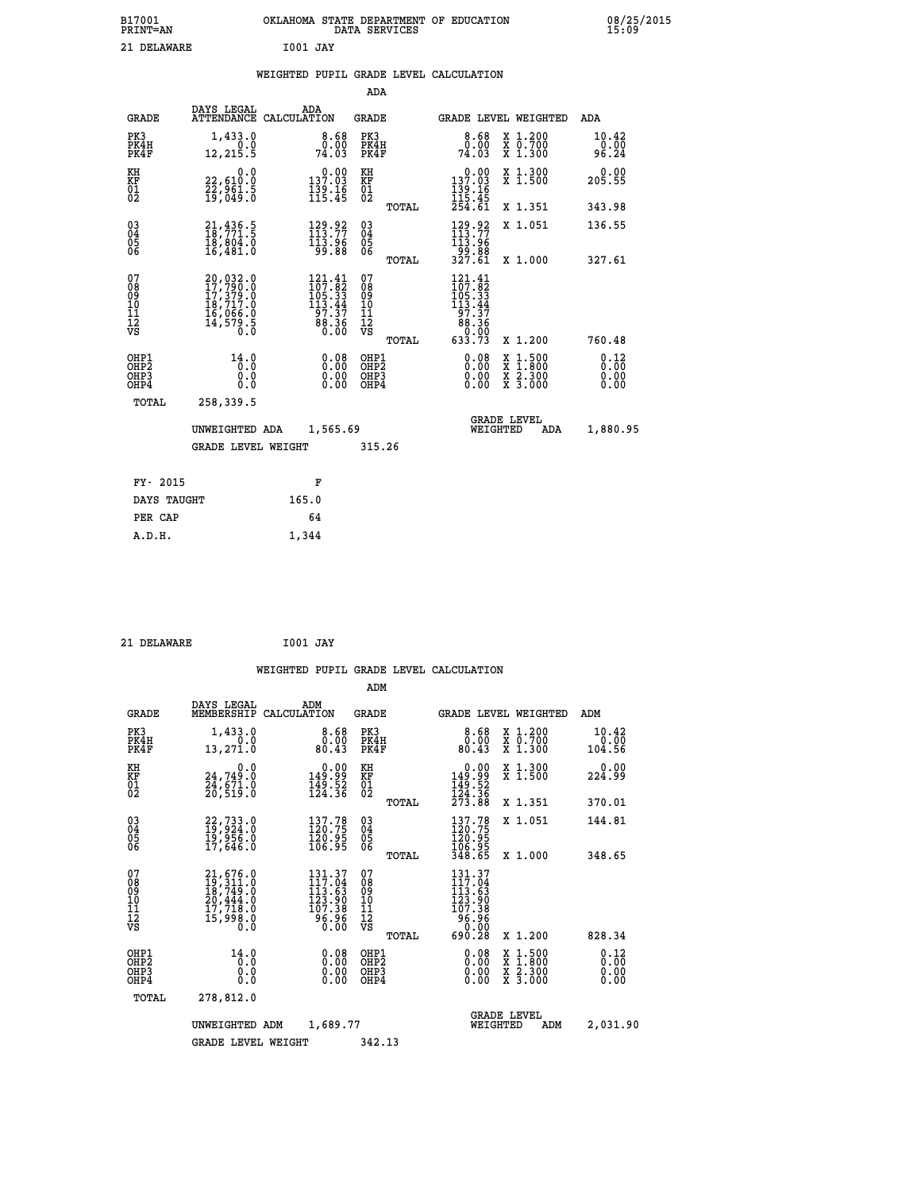| B17001<br><b>PRINT=AN</b>                |                                                                                                                 | OKLAHOMA STATE DEPARTMENT OF EDUCATION                                                    | DATA SERVICES                                   |                                                                                 |                                                                                          | 08/25/2015                    |
|------------------------------------------|-----------------------------------------------------------------------------------------------------------------|-------------------------------------------------------------------------------------------|-------------------------------------------------|---------------------------------------------------------------------------------|------------------------------------------------------------------------------------------|-------------------------------|
| 21 DELAWARE                              |                                                                                                                 | <b>I001 JAY</b>                                                                           |                                                 |                                                                                 |                                                                                          |                               |
|                                          |                                                                                                                 | WEIGHTED PUPIL GRADE LEVEL CALCULATION                                                    |                                                 |                                                                                 |                                                                                          |                               |
|                                          |                                                                                                                 |                                                                                           | ADA                                             |                                                                                 |                                                                                          |                               |
| <b>GRADE</b>                             | DAYS LEGAL                                                                                                      | ADA<br>ATTENDANCE CALCULATION                                                             | GRADE                                           | GRADE LEVEL WEIGHTED                                                            |                                                                                          | ADA                           |
| PK3<br>PK4H<br>PK4F                      | 1,433.0<br>12, 215.5                                                                                            | 8.68<br>0.00<br>74.03                                                                     | PK3<br>PK4H<br>PK4F                             | $8.68$<br>$0.00$<br>74.03                                                       | X 1.200<br>X 0.700<br>X 1.300                                                            | 10.42<br>$\frac{0.00}{96.24}$ |
| KH<br>KF<br>$\overline{01}$              | 0.0<br>22,610:0<br>22,961:5<br>19,049:0                                                                         | $\begin{smallmatrix} &0.00\\ 137.03\\ 139.16\\ 115.45\end{smallmatrix}$                   | KH<br>KF<br>01<br>02                            | $0.00$<br>137.03<br>$\frac{139}{115}$ :16<br>115:45<br>254:61                   | X 1.300<br>X 1.500                                                                       | 0.00<br>205.55                |
|                                          |                                                                                                                 |                                                                                           | TOTAL                                           |                                                                                 | X 1.351                                                                                  | 343.98                        |
| $\substack{03 \\ 04}$<br>Ŏ5<br>06        | $21,436.5$<br>$18,771.5$<br>Iĕ,eoi.o<br>16,481.0                                                                | 129.92<br>113.96<br>99.88                                                                 | 03<br>04<br>05<br>ŎĞ                            | 129.92<br>113:96<br>99:88<br>327:61                                             | X 1.051                                                                                  | 136.55                        |
|                                          |                                                                                                                 |                                                                                           | TOTAL                                           |                                                                                 | X 1,000                                                                                  | 327.61                        |
| 07<br>08<br>09<br>11<br>11<br>12<br>VS   | 20,032.0<br>$\begin{smallmatrix} 27,799.10\\ 17,379.0\\ 18,717.0\\ 16,066.0\\ 14,579.5\\ 0.0 \end{smallmatrix}$ | $\begin{smallmatrix} 121.41\\107.82\\105.33\\113.44\\97.37\\88.36\\0.00\end{smallmatrix}$ | 07<br>08<br>09<br>10<br>11<br>12<br>VS<br>TOTAL | 121.41<br>107:82<br>105:33<br>113:44<br>$\frac{57.57}{88.36}$<br>0.00<br>633.73 | X 1.200                                                                                  | 760.48                        |
| OHP1<br>OHP2<br>OH <sub>P3</sub><br>OHP4 | 14.0<br>0.0<br>0.0<br>0.0                                                                                       | 0.08<br>0.00<br>0.00                                                                      | OHP1<br>OHP2<br>OHP3<br>OHP4                    | 0.08<br>0.00<br>0.00                                                            | $\begin{smallmatrix} x & 1.500 \\ x & 1.800 \\ x & 2.300 \\ x & 3.000 \end{smallmatrix}$ | 0.12<br>0.00<br>0.00          |
| TOTAL                                    | 258,339.5                                                                                                       |                                                                                           |                                                 |                                                                                 |                                                                                          |                               |
|                                          | UNWEIGHTED ADA                                                                                                  | 1,565.69                                                                                  |                                                 | <b>GRADE LEVEL</b><br>WEIGHTED                                                  | ADA                                                                                      | 1,880.95                      |
|                                          | GRADE LEVEL WEIGHT                                                                                              |                                                                                           | 315.26                                          |                                                                                 |                                                                                          |                               |
| FY- 2015                                 |                                                                                                                 | F                                                                                         |                                                 |                                                                                 |                                                                                          |                               |
| DAYS TAUGHT                              |                                                                                                                 | 165.0                                                                                     |                                                 |                                                                                 |                                                                                          |                               |
| PER CAP                                  |                                                                                                                 | 64                                                                                        |                                                 |                                                                                 |                                                                                          |                               |
| A.D.H.                                   |                                                                                                                 | 1,344                                                                                     |                                                 |                                                                                 |                                                                                          |                               |

| 21 DELAWARE |  |
|-------------|--|
|             |  |

 **21 DELAWARE I001 JAY**

 **ADM DAYS LEGAL ADM GRADE MEMBERSHIP CALCULATION GRADE GRADE LEVEL WEIGHTED ADM PK3 1,433.0 8.68 PK3 8.68 X 1.200 10.42 PK4H 0.0 0.00 PK4H 0.00 X 0.700 0.00 PK4F 13,271.0 80.43 PK4F 80.43 X 1.300 104.56**

| ΚH<br>KF<br>01<br>02                                 | $\begin{smallmatrix} & & 0.0\ 24.749.0\ 24.671.0\ 20.519.0 \end{smallmatrix}$ | 0.00<br>99.99<br>$\frac{149.52}{124.36}$                        | KH<br>KF<br>01<br>02                               |       | $\begin{array}{c} 0.00 \\ 149.99 \\ 149.52 \\ 124.36 \\ 273.88 \end{array}$                                        | X 1.300<br>X 1.500                                                                                                  | 0.00<br>224.99       |
|------------------------------------------------------|-------------------------------------------------------------------------------|-----------------------------------------------------------------|----------------------------------------------------|-------|--------------------------------------------------------------------------------------------------------------------|---------------------------------------------------------------------------------------------------------------------|----------------------|
|                                                      |                                                                               | $137.78$<br>$120.75$                                            |                                                    | TOTAL | 137.78                                                                                                             | X 1.351<br>X 1.051                                                                                                  | 370.01<br>144.81     |
| $\begin{matrix} 03 \\ 04 \\ 05 \\ 06 \end{matrix}$   | 22, 733.0<br>19, 924.0<br>19, 956.0<br>17, 646.0                              | $\frac{120.95}{106.95}$                                         | $\begin{matrix} 03 \\ 04 \\ 05 \\ 06 \end{matrix}$ | TOTAL | 120:75<br>120.95<br>106.95<br>348.65                                                                               | X 1.000                                                                                                             | 348.65               |
| 07<br>08<br>09<br>101<br>11<br>12<br>VS              | 21,676.0<br>19,311.0<br>18,749.0<br>20,444.0<br>17,718.0<br>āś, 998.8<br>8.0  | 131.37<br>117.04<br>113.63<br>123.90<br>107.38<br>96.96<br>0.00 | 07<br>08<br>09<br>11<br>11<br>12<br>VS             | TOTAL | 131.37<br>117.04<br>$\begin{smallmatrix} 113.63 \\ 123.90 \\ 107.38 \\ 96.96 \\ \circ \end{smallmatrix}$<br>690.28 | X 1.200                                                                                                             | 828.34               |
| OHP1<br>OHP <sub>2</sub><br>OH <sub>P3</sub><br>OHP4 | 14.0<br>$\begin{smallmatrix} 0.0 & 0 \ 0.0 & 0 \end{smallmatrix}$<br>0.0      | $0.08$<br>$0.00$<br>0.00                                        | OHP1<br>OHP <sub>2</sub><br>OHP3<br>OHP4           |       | $0.08$<br>$0.00$<br>0.00                                                                                           | $\begin{array}{l} \mathtt{X} & 1.500 \\ \mathtt{X} & 1.800 \\ \mathtt{X} & 2.300 \\ \mathtt{X} & 3.000 \end{array}$ | 0.12<br>0.00<br>0.00 |
| TOTAL                                                | 278,812.0                                                                     |                                                                 |                                                    |       |                                                                                                                    | <b>GRADE LEVEL</b>                                                                                                  |                      |
|                                                      | UNWEIGHTED<br>ADM<br><b>GRADE LEVEL WEIGHT</b>                                | 1,689.77                                                        | 342.13                                             |       | WEIGHTED                                                                                                           | ADM                                                                                                                 | 2,031.90             |
|                                                      |                                                                               |                                                                 |                                                    |       |                                                                                                                    |                                                                                                                     |                      |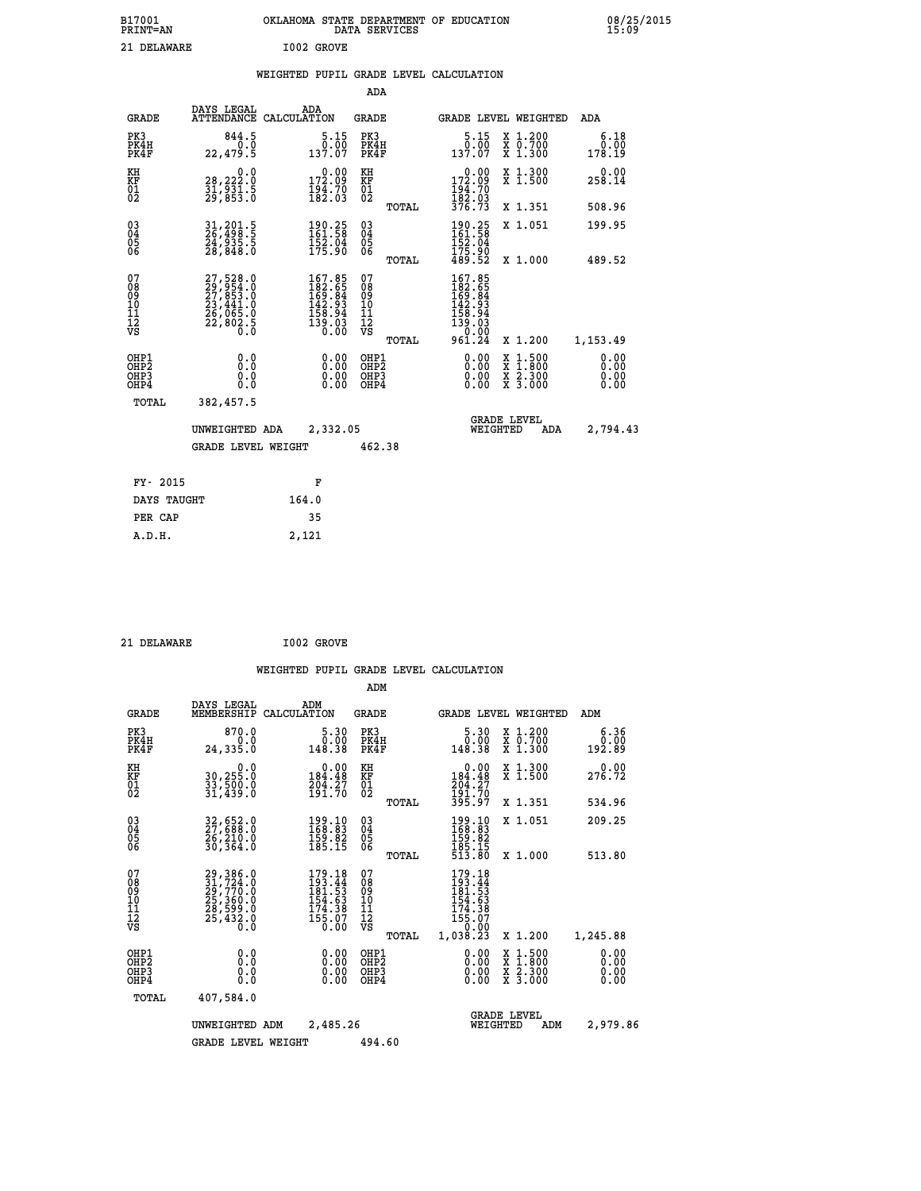| B17001<br>PRINT=AN | OKLAHOMA STATE DEPARTMENT OF EDUCATION<br>DATA SERVICES | 08/25/2015<br>15:09 |
|--------------------|---------------------------------------------------------|---------------------|
| 21 DELAWARE        | I002 GROVE                                              |                     |

|  |  | WEIGHTED PUPIL GRADE LEVEL CALCULATION |
|--|--|----------------------------------------|
|  |  |                                        |

|                                           |                                                                                           |                                                                                | ADA                                       |       |                                                                                                                      |                                                                                                  |                              |
|-------------------------------------------|-------------------------------------------------------------------------------------------|--------------------------------------------------------------------------------|-------------------------------------------|-------|----------------------------------------------------------------------------------------------------------------------|--------------------------------------------------------------------------------------------------|------------------------------|
| <b>GRADE</b>                              | DAYS LEGAL                                                                                | ADA<br>ATTENDANCE CALCULATION                                                  | GRADE                                     |       | <b>GRADE LEVEL WEIGHTED</b>                                                                                          |                                                                                                  | ADA                          |
| PK3<br>PK4H<br>PK4F                       | 844.5<br>0.0<br>22,479.5                                                                  | $\frac{5.15}{0.00}$<br>137.07                                                  | PK3<br>PK4H<br>PK4F                       |       | 5.15<br>$\begin{array}{c} 0.00 \\ 137.07 \end{array}$                                                                | X 1.200<br>X 0.700<br>X 1.300                                                                    | 6.18<br>0.00<br>178.19       |
| KH<br>KF<br>01<br>02                      | 0.0<br>28,222:0<br>31,931:5<br>29,853:0                                                   | $\substack{ \tt 172.09 \\ \tt 194.70 \\ \tt 182.03 }$                          | KH<br>KF<br>01<br>02                      |       | $\begin{smallmatrix} &0.00\\ 172.09\\ 194.70\\ 182.03\\ 376.73 \end{smallmatrix}$                                    | X 1.300<br>X 1.500                                                                               | $0.00$<br>258.14             |
|                                           |                                                                                           |                                                                                |                                           | TOTAL |                                                                                                                      | X 1.351                                                                                          | 508.96                       |
| 03<br>04<br>05<br>06                      | 31,201.5<br>26,498.5<br>24,935.5<br>28,848.0                                              | 190.25<br>161.58<br>152.04<br>175.90                                           | 03<br>04<br>05<br>06                      |       | 190.25<br>161.58<br>152.04<br>175.90<br>489.52                                                                       | X 1.051                                                                                          | 199.95                       |
|                                           |                                                                                           |                                                                                |                                           | TOTAL |                                                                                                                      | X 1.000                                                                                          | 489.52                       |
| 07<br>08<br>09<br>11<br>11<br>12<br>VS    | $27,528.0$<br>$29,954.0$<br>$27,853.0$<br>$23,441.0$<br>$26,065.0$<br>$22,802.5$<br>$0.0$ | $167.85$<br>$182.65$<br>$169.84$<br>$142.93$<br>$158.94$<br>$139.03$<br>$0.00$ | 07<br>08<br>09<br>11<br>11<br>12<br>VS    | TOTAL | $\begin{smallmatrix} 167.85\\ 182.65\\ 169.84\\ 169.84\\ 142.93\\ 158.94\\ 139.03\\ 0.00\\ 961.24 \end{smallmatrix}$ | X 1.200                                                                                          | 1,153.49                     |
| OHP1<br>OH <sub>P</sub> 2<br>OHP3<br>OHP4 | 0.0<br>0.0<br>$0.\overline{0}$                                                            | 0.00<br>0.00                                                                   | OHP1<br>OH <sub>P</sub> 2<br>OHP3<br>OHP4 |       | 0.00<br>0.00<br>0.00                                                                                                 | $\begin{smallmatrix} x & 1 & 500 \\ x & 1 & 800 \\ x & 2 & 300 \\ x & 3 & 000 \end{smallmatrix}$ | 0.00<br>0.00<br>0.00<br>0.00 |
| TOTAL                                     | 382,457.5                                                                                 |                                                                                |                                           |       |                                                                                                                      |                                                                                                  |                              |
|                                           | UNWEIGHTED ADA                                                                            | 2,332.05                                                                       |                                           |       | WEIGHTED                                                                                                             | <b>GRADE LEVEL</b><br>ADA                                                                        | 2,794.43                     |
|                                           | <b>GRADE LEVEL WEIGHT</b>                                                                 |                                                                                | 462.38                                    |       |                                                                                                                      |                                                                                                  |                              |
| FY- 2015                                  |                                                                                           |                                                                                |                                           |       |                                                                                                                      |                                                                                                  |                              |
|                                           |                                                                                           | F                                                                              |                                           |       |                                                                                                                      |                                                                                                  |                              |
| DAYS TAUGHT                               |                                                                                           | 164.0                                                                          |                                           |       |                                                                                                                      |                                                                                                  |                              |
| PER CAP                                   |                                                                                           | 35                                                                             |                                           |       |                                                                                                                      |                                                                                                  |                              |
| A.D.H.                                    |                                                                                           | 2,121                                                                          |                                           |       |                                                                                                                      |                                                                                                  |                              |

21 DELAWARE **I002 GROVE** 

 **ADM**

| <b>GRADE</b>                                                       | DAYS LEGAL<br>MEMBERSHIP                                                        | ADM<br>CALCULATION                                                        | <b>GRADE</b>                             |                                                                                                                                                                                                                                                                                | <b>GRADE LEVEL WEIGHTED</b>              | ADM                          |
|--------------------------------------------------------------------|---------------------------------------------------------------------------------|---------------------------------------------------------------------------|------------------------------------------|--------------------------------------------------------------------------------------------------------------------------------------------------------------------------------------------------------------------------------------------------------------------------------|------------------------------------------|------------------------------|
| PK3<br>PK4H<br>PK4F                                                | 870.0<br>0.0<br>24,335.0                                                        | 5.30<br>0.00<br>148.38                                                    | PK3<br>PK4H<br>PK4F                      | 5.30<br>ةة.ة<br>148.38                                                                                                                                                                                                                                                         | X 1.200<br>X 0.700<br>X 1.300            | 6.36<br>0.00<br>192.89       |
| KH<br><b>KF</b><br>01<br>02                                        | 0.0<br>30,255.0<br>33,500.0<br>31,439.0                                         | $\begin{smallmatrix} &0.00\\184.48\\204.27\\191.70\end{smallmatrix}$      | KH<br>KF<br>01<br>02                     | 0.00<br>184:48<br>204:27<br>191:70<br>395:97                                                                                                                                                                                                                                   | X 1.300<br>X 1.500                       | 0.00<br>276.72               |
|                                                                    |                                                                                 |                                                                           | TOTAL                                    |                                                                                                                                                                                                                                                                                | X 1.351                                  | 534.96                       |
| $\begin{smallmatrix} 03 \\[-4pt] 04 \end{smallmatrix}$<br>Ŏ5<br>06 | 32,652.0<br>27,698.0<br>26,210.0<br>30,364.0                                    | $\begin{smallmatrix} 199.10\\ 168.83\\ 159.82\\ 185.15 \end{smallmatrix}$ | $\substack{03 \\ 04}$<br>Ŏ5<br>06        | 199.10<br>168.83<br>159:82<br>185:15<br>513:80                                                                                                                                                                                                                                 | X 1.051                                  | 209.25                       |
|                                                                    |                                                                                 |                                                                           | TOTAL                                    |                                                                                                                                                                                                                                                                                | X 1.000                                  | 513.80                       |
| 07<br>08<br>09<br>101<br>11<br>12<br>VS                            | 29,386.0<br>31,724.0<br>29, 770.0<br>25, 360.0<br>28, 599.0<br>28, 432.0<br>0.0 | $179.18$<br>$193.44$<br>$181.53$<br>154.63<br>$\frac{174.38}{155.07}$     | 07<br>08<br>09<br>11<br>11<br>12<br>VS   | $179.18$<br>$193.44$<br>$181.53$<br>$154.53$<br>$\begin{array}{c} 174.38 \\ 155.07 \\ 0.00 \end{array}$                                                                                                                                                                        |                                          |                              |
|                                                                    |                                                                                 |                                                                           | TOTAL                                    | 1,038.23                                                                                                                                                                                                                                                                       | X 1.200                                  | 1,245.88                     |
| OHP1<br>OHP <sub>2</sub><br>OHP3<br>OHP4                           | 0.0<br>0.0<br>Ŏ.Ŏ                                                               | $0.00$<br>$0.00$<br>0.00                                                  | OHP1<br>OHP <sub>2</sub><br>OHP3<br>OHP4 | $\begin{smallmatrix} 0.00 & 0.00 & 0.00 & 0.00 & 0.00 & 0.00 & 0.00 & 0.00 & 0.00 & 0.00 & 0.00 & 0.00 & 0.00 & 0.00 & 0.00 & 0.00 & 0.00 & 0.00 & 0.00 & 0.00 & 0.00 & 0.00 & 0.00 & 0.00 & 0.00 & 0.00 & 0.00 & 0.00 & 0.00 & 0.00 & 0.00 & 0.00 & 0.00 & 0.00 & 0.00 & 0.0$ | X 1:500<br>X 1:800<br>X 2:300<br>X 3:000 | 0.00<br>0.00<br>0.00<br>0.00 |
| TOTAL                                                              | 407,584.0                                                                       |                                                                           |                                          |                                                                                                                                                                                                                                                                                |                                          |                              |
|                                                                    | UNWEIGHTED                                                                      | 2,485.26<br>ADM                                                           |                                          | WEIGHTED                                                                                                                                                                                                                                                                       | <b>GRADE LEVEL</b><br>ADM                | 2,979.86                     |
|                                                                    | <b>GRADE LEVEL WEIGHT</b>                                                       |                                                                           | 494.60                                   |                                                                                                                                                                                                                                                                                |                                          |                              |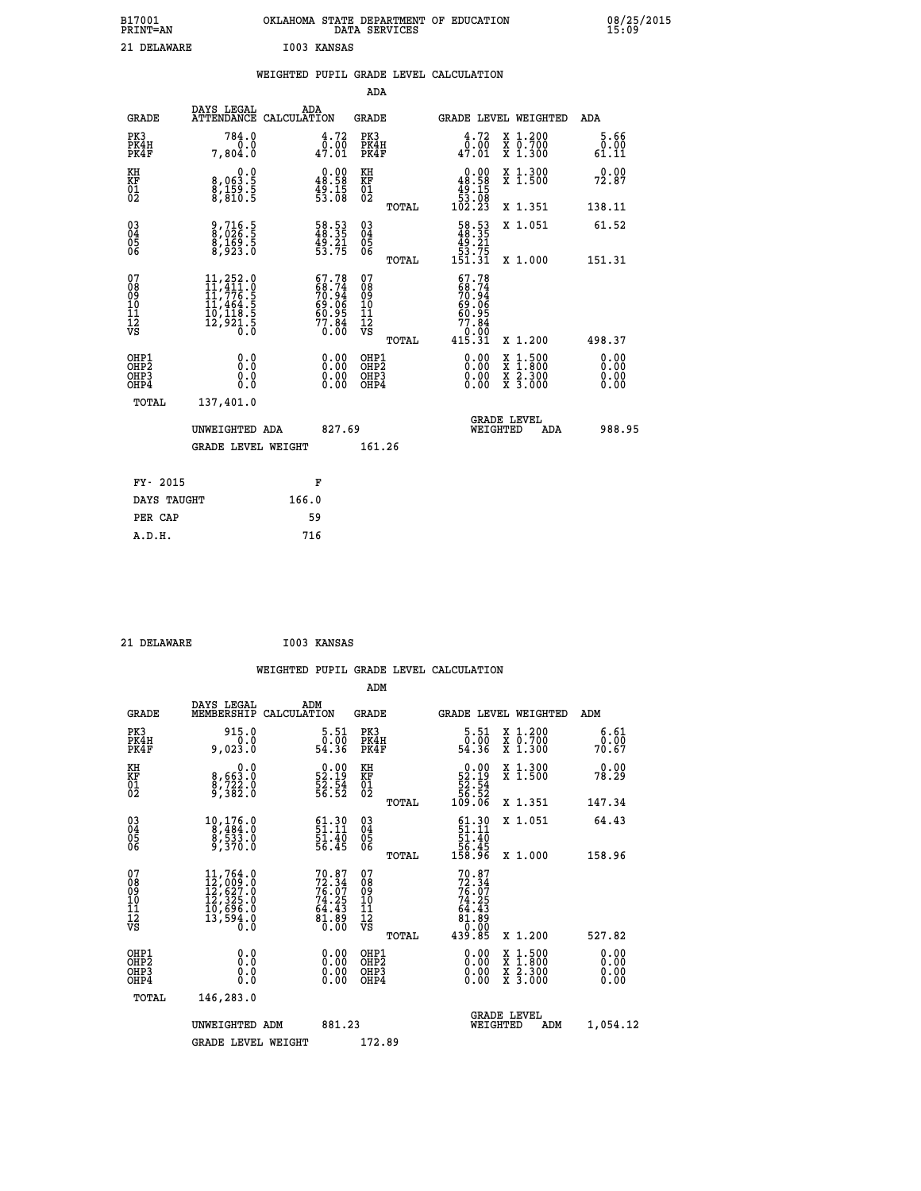| B17001<br><b>PRINT=AN</b> | OKLAHOMA STATE DEPARTMENT OF EDUCATION<br>DATA SERVICES | 08/25/2015<br>15:09 |
|---------------------------|---------------------------------------------------------|---------------------|
| 21 DELAWARE               | I003 KANSAS                                             |                     |

|  |     | WEIGHTED PUPIL GRADE LEVEL CALCULATION |  |
|--|-----|----------------------------------------|--|
|  | ADA |                                        |  |

| <b>GRADE</b>                                       | DAYS LEGAL<br>ATTENDANCE CALCULATION                                                                                                            | ADA   |                                                                          | <b>GRADE</b>                           |       |                                                                                      |          | <b>GRADE LEVEL WEIGHTED</b>                                                                                                               | ADA                          |
|----------------------------------------------------|-------------------------------------------------------------------------------------------------------------------------------------------------|-------|--------------------------------------------------------------------------|----------------------------------------|-------|--------------------------------------------------------------------------------------|----------|-------------------------------------------------------------------------------------------------------------------------------------------|------------------------------|
| PK3<br>PK4H<br>PK4F                                | 784.0<br>0.0<br>7,804.0                                                                                                                         |       | 4.72<br>0.00<br>47.01                                                    | PK3<br>PK4H<br>PK4F                    |       | 4.72<br>$\frac{0.00}{47.01}$                                                         |          | X 1.200<br>X 0.700<br>X 1.300                                                                                                             | 5.66<br>0.00<br>61.11        |
| KH<br>KF<br>01<br>02                               | $\begin{smallmatrix} & & 0.0 \ 8.063.5 \ 8.159.5 \ 8.810.5 \end{smallmatrix}$                                                                   |       | $\begin{smallmatrix} 0.00\\ 48.58\\ 49.15\\ 53.08 \end{smallmatrix}$     | KH<br>KF<br>01<br>02                   |       | 0.00<br>$\begin{array}{r} 48.58 \\ 49.15 \\ 53.08 \\ 102.23 \end{array}$             |          | X 1.300<br>X 1.500                                                                                                                        | 0.00<br>72.87                |
|                                                    |                                                                                                                                                 |       |                                                                          |                                        | TOTAL |                                                                                      |          | X 1.351                                                                                                                                   | 138.11                       |
| $\begin{matrix} 03 \\ 04 \\ 05 \\ 06 \end{matrix}$ | 9,716.5<br>8,026.5<br>8,169.5<br>8,923.0                                                                                                        |       | 58.53<br>48.35<br>49.21<br>53.75                                         | 03<br>04<br>05<br>06                   |       | $\begin{smallmatrix} 58.53\\ 48.35\\ 49.21\\ 53.75\\ 151.31\\ \end{smallmatrix}$     |          | X 1.051                                                                                                                                   | 61.52                        |
|                                                    |                                                                                                                                                 |       |                                                                          |                                        | TOTAL |                                                                                      |          | X 1.000                                                                                                                                   | 151.31                       |
| 07<br>08<br>09<br>11<br>11<br>12<br>VS             | $\begin{smallmatrix} 11,252\cdot 0\\ 11,411\cdot 0\\ 11,776\cdot 5\\ 11,464\cdot 5\\ 10,118\cdot 5\\ 12,921\cdot 5\\ 0\cdot 0\end{smallmatrix}$ |       | $67.78$<br>$68.74$<br>$70.94$<br>$69.06$<br>$60.95$<br>$77.84$<br>$0.00$ | 07<br>08<br>09<br>11<br>11<br>12<br>VS |       | $67.78$<br>$68.74$<br>$70.94$<br>$69.06$<br>$60.95$<br>$77.84$<br>$0.00$<br>$415.31$ |          |                                                                                                                                           |                              |
|                                                    |                                                                                                                                                 |       |                                                                          |                                        | TOTAL |                                                                                      |          | X 1.200                                                                                                                                   | 498.37                       |
| OHP1<br>OHP2<br>OHP3<br>OHP4                       | 0.0<br>0.000                                                                                                                                    |       | 0.00<br>$\begin{smallmatrix} 0.00 \ 0.00 \end{smallmatrix}$              | OHP1<br>OHP2<br>OHP3<br>OHP4           |       |                                                                                      |          | $\begin{smallmatrix} \mathtt{X} & 1\cdot500\\ \mathtt{X} & 1\cdot800\\ \mathtt{X} & 2\cdot300\\ \mathtt{X} & 3\cdot000 \end{smallmatrix}$ | 0.00<br>0.00<br>0.00<br>0.00 |
| TOTAL                                              | 137,401.0                                                                                                                                       |       |                                                                          |                                        |       |                                                                                      |          |                                                                                                                                           |                              |
|                                                    | UNWEIGHTED ADA                                                                                                                                  |       | 827.69                                                                   |                                        |       |                                                                                      | WEIGHTED | <b>GRADE LEVEL</b><br>ADA                                                                                                                 | 988.95                       |
|                                                    | <b>GRADE LEVEL WEIGHT</b>                                                                                                                       |       |                                                                          | 161.26                                 |       |                                                                                      |          |                                                                                                                                           |                              |
| FY- 2015                                           |                                                                                                                                                 | F     |                                                                          |                                        |       |                                                                                      |          |                                                                                                                                           |                              |
| DAYS TAUGHT                                        |                                                                                                                                                 | 166.0 |                                                                          |                                        |       |                                                                                      |          |                                                                                                                                           |                              |
|                                                    |                                                                                                                                                 |       |                                                                          |                                        |       |                                                                                      |          |                                                                                                                                           |                              |

| 21 | DELAWARE |  |
|----|----------|--|

 **PER CAP 59 A.D.H. 716**

 **21 DELAWARE I003 KANSAS**

| <b>GRADE</b>                                       | DAYS LEGAL<br>MEMBERSHIP                                                                                                                        | ADM<br>CALCULATION                                                       | <b>GRADE</b>                                        |       | GRADE LEVEL WEIGHTED                                                                                                                                                                                                                                                           |                                          | ADM                   |  |
|----------------------------------------------------|-------------------------------------------------------------------------------------------------------------------------------------------------|--------------------------------------------------------------------------|-----------------------------------------------------|-------|--------------------------------------------------------------------------------------------------------------------------------------------------------------------------------------------------------------------------------------------------------------------------------|------------------------------------------|-----------------------|--|
| PK3<br>PK4H<br>PK4F                                | 915.0<br>0.023.0                                                                                                                                | 5.51<br>ةة:ة<br>54.36                                                    | PK3<br>PK4H<br>PK4F                                 |       | $\begin{smallmatrix}5.51\0.00\\54.36\end{smallmatrix}$                                                                                                                                                                                                                         | X 1.200<br>X 0.700<br>X 1.300            | 6.61<br>0.00<br>70.67 |  |
| KH<br>KF<br>01<br>02                               | 0.0<br>8,663:0<br>8,722:0<br>9,382:0                                                                                                            | $\begin{smallmatrix} 0.00\\ 52.19\\ 52.54\\ 56.52 \end{smallmatrix}$     | KH<br>KF<br>01<br>02                                |       | $0.00\n52.19\n52.54\n56.52\n109.06$                                                                                                                                                                                                                                            | X 1.300<br>X 1.500                       | 0.00<br>78.29         |  |
|                                                    |                                                                                                                                                 |                                                                          |                                                     | TOTAL |                                                                                                                                                                                                                                                                                | X 1.351                                  | 147.34                |  |
| $\begin{matrix} 03 \\ 04 \\ 05 \\ 06 \end{matrix}$ | $\begin{smallmatrix}10,176.0\\8,484.0\\8,533.0\\9,370.0\end{smallmatrix}$                                                                       | $\begin{smallmatrix} 61.30\ 51.11\ 51.40\ 56.45 \end{smallmatrix}$       | $\begin{array}{c} 03 \\ 04 \\ 05 \\ 06 \end{array}$ |       | $\begin{array}{c} 61.30 \\ 51.11 \\ 51.40 \\ 56.45 \\ 158.96 \end{array}$                                                                                                                                                                                                      | X 1.051                                  | 64.43                 |  |
|                                                    |                                                                                                                                                 |                                                                          |                                                     | TOTAL |                                                                                                                                                                                                                                                                                | X 1.000                                  | 158.96                |  |
| 07<br>08901112<br>1112<br>VS                       | $\begin{smallmatrix} 11,764\cdot 0\\ 12,009\cdot 0\\ 12,627\cdot 0\\ 12,325\cdot 0\\ 10,696\cdot 0\\ 13,594\cdot 0\\ 0\cdot 0\end{smallmatrix}$ | $70.87$<br>$72.34$<br>$76.07$<br>$74.25$<br>$64.43$<br>$81.89$<br>$0.00$ | 07<br>08<br>09<br>001<br>11<br>11<br>12<br>VS       | TOTAL | $72.34$<br>$74.25$<br>$74.25$<br>$64.43$<br>$81.89$<br>$0.00$<br>$439.85$                                                                                                                                                                                                      | X 1.200                                  | 527.82                |  |
| OHP1<br>OHP2<br>OHP3<br>OHP4                       | 0.0<br>$\begin{smallmatrix} 0.0 & 0 \ 0.0 & 0 \end{smallmatrix}$                                                                                |                                                                          | OHP1<br>OHP2<br>OHP3<br>OHP4                        |       | $\begin{smallmatrix} 0.00 & 0.00 & 0.00 & 0.00 & 0.00 & 0.00 & 0.00 & 0.00 & 0.00 & 0.00 & 0.00 & 0.00 & 0.00 & 0.00 & 0.00 & 0.00 & 0.00 & 0.00 & 0.00 & 0.00 & 0.00 & 0.00 & 0.00 & 0.00 & 0.00 & 0.00 & 0.00 & 0.00 & 0.00 & 0.00 & 0.00 & 0.00 & 0.00 & 0.00 & 0.00 & 0.0$ | X 1:500<br>X 1:800<br>X 2:300<br>X 3:000 | 0.00<br>0.00<br>0.00  |  |
| TOTAL                                              | 146,283.0                                                                                                                                       |                                                                          |                                                     |       |                                                                                                                                                                                                                                                                                |                                          |                       |  |
|                                                    | UNWEIGHTED<br>ADM                                                                                                                               | 881.23                                                                   |                                                     |       | WEIGHTED                                                                                                                                                                                                                                                                       | <b>GRADE LEVEL</b><br>ADM                | 1,054.12              |  |
|                                                    | <b>GRADE LEVEL WEIGHT</b>                                                                                                                       |                                                                          | 172.89                                              |       |                                                                                                                                                                                                                                                                                |                                          |                       |  |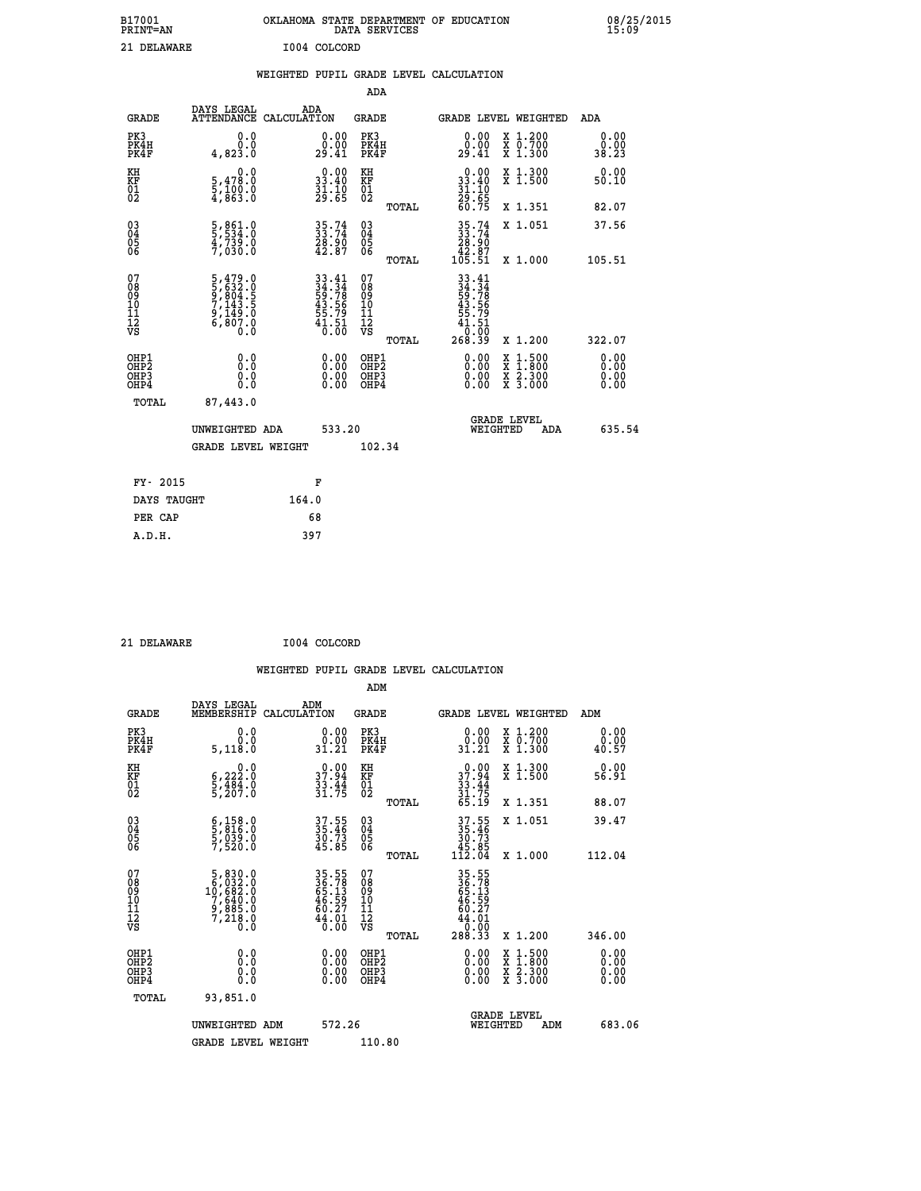| B17001<br><b>PRINT=AN</b> | OKLAHOMA<br>STATE DEPARTMENT OF EDUCATION<br>SERVICES<br>DATA | 08/25/2015<br>15:09 |
|---------------------------|---------------------------------------------------------------|---------------------|
| 21<br>DELAWARE            | T004<br>COLCORD                                               |                     |

| 21 DELAWARE                                        |                                                                           |       | I004 COLCORD                                                             |                                                     |       |                                                                                                    |                                                                                                                                              |                       |
|----------------------------------------------------|---------------------------------------------------------------------------|-------|--------------------------------------------------------------------------|-----------------------------------------------------|-------|----------------------------------------------------------------------------------------------------|----------------------------------------------------------------------------------------------------------------------------------------------|-----------------------|
|                                                    |                                                                           |       |                                                                          | ADA                                                 |       | WEIGHTED PUPIL GRADE LEVEL CALCULATION                                                             |                                                                                                                                              |                       |
| GRADE                                              | DAYS LEGAL ADA ATTENDANCE CALCULATION                                     |       |                                                                          | <b>GRADE</b>                                        |       |                                                                                                    | <b>GRADE LEVEL WEIGHTED</b>                                                                                                                  | ADA                   |
| PK3<br>PK4H<br>PK4F                                | 0.0<br>0.0<br>4,823.0                                                     |       | $\substack{0.00\\0.00\\29.41}$                                           | PK3<br>PK4H<br>PK4F                                 |       | 0.00<br>_0.00<br>29.41                                                                             | X 1.200<br>X 0.700<br>X 1.300                                                                                                                | 0.00<br>0.00<br>38.23 |
| KH<br>KF<br>01<br>02                               | 0.0<br>5,478.0<br>5,100.0<br>4,863.0                                      |       | $\begin{smallmatrix} 0.00\\ 33.40\\ 31.10\\ 29.65 \end{smallmatrix}$     | KH<br>KF<br>01<br>02                                |       | $\begin{smallmatrix} 0.00\\ 33.40\\ 31.10\\ 29.65\\ 60.75 \end{smallmatrix}$                       | X 1.300<br>X 1.500                                                                                                                           | 0.00<br>50.10         |
|                                                    |                                                                           |       |                                                                          |                                                     | TOTAL |                                                                                                    | X 1.351                                                                                                                                      | 82.07                 |
| $\begin{matrix} 03 \\ 04 \\ 05 \\ 06 \end{matrix}$ | 5,861.0<br>5,534.0<br>4,739.0<br>7,030.0                                  |       | $35.74$<br>$33.74$<br>$28.90$<br>$42.87$                                 | $\begin{array}{c} 03 \\ 04 \\ 05 \\ 06 \end{array}$ |       | $\begin{array}{r} 35\cdot 74 \\ 33\cdot 74 \\ 28\cdot 90 \\ 42\cdot 87 \\ 105\cdot 51 \end{array}$ | X 1.051                                                                                                                                      | 37.56                 |
|                                                    |                                                                           |       |                                                                          |                                                     | TOTAL |                                                                                                    | X 1.000                                                                                                                                      | 105.51                |
| 07<br>08<br>09<br>11<br>11<br>12<br>VS             | 5,479.0<br>5,632.0<br>5,804.5<br>7,143.5<br>7,149.0<br>6,807.0<br>6,807.0 |       | $33.41$<br>$34.34$<br>$59.78$<br>$43.56$<br>$55.79$<br>$41.51$<br>$0.00$ | 07<br>08<br>09<br>101<br>11<br>12<br>VS             | TOTAL | $33.41$<br>$34.34$<br>$59.78$<br>$43.56$<br>$55.79$<br>$41.51$<br>00.0 <sup>-</sup><br>268.39      | X 1.200                                                                                                                                      | 322.07                |
| OHP1<br>OHP2<br>OHP3<br>OHP4                       | 0.0<br>0.0<br>0.0                                                         |       | $0.00$<br>$0.00$<br>0.00                                                 | OHP1<br>OHP2<br>OHP3<br>OHP4                        |       | 0.00<br>0.00                                                                                       | $\begin{smallmatrix} \mathtt{X} & 1\cdot500 \\ \mathtt{X} & 1\cdot800 \\ \mathtt{X} & 2\cdot300 \\ \mathtt{X} & 3\cdot000 \end{smallmatrix}$ | 0.00<br>0.00<br>0.00  |
| TOTAL                                              | 87,443.0                                                                  |       |                                                                          |                                                     |       |                                                                                                    |                                                                                                                                              |                       |
|                                                    | UNWEIGHTED ADA                                                            |       | 533.20                                                                   |                                                     |       | WEIGHTED                                                                                           | <b>GRADE LEVEL</b><br>ADA                                                                                                                    | 635.54                |
|                                                    | <b>GRADE LEVEL WEIGHT</b>                                                 |       |                                                                          | 102.34                                              |       |                                                                                                    |                                                                                                                                              |                       |
| FY- 2015                                           |                                                                           |       | F                                                                        |                                                     |       |                                                                                                    |                                                                                                                                              |                       |
| DAYS TAUGHT                                        |                                                                           | 164.0 |                                                                          |                                                     |       |                                                                                                    |                                                                                                                                              |                       |
| PER CAP                                            |                                                                           |       | 68                                                                       |                                                     |       |                                                                                                    |                                                                                                                                              |                       |

 **21 DELAWARE I004 COLCORD**

 **A.D.H. 397**

| <b>GRADE</b>                             | DAYS LEGAL<br>MEMBERSHIP                                                                         | ADM<br>CALCULATION                                                   | <b>GRADE</b>                                       |       |                                                                                                                                                                                                                                                                                | GRADE LEVEL WEIGHTED                     | ADM                                                    |  |
|------------------------------------------|--------------------------------------------------------------------------------------------------|----------------------------------------------------------------------|----------------------------------------------------|-------|--------------------------------------------------------------------------------------------------------------------------------------------------------------------------------------------------------------------------------------------------------------------------------|------------------------------------------|--------------------------------------------------------|--|
| PK3<br>PK4H<br>PK4F                      | 0.0<br>5,118.0                                                                                   | $\begin{smallmatrix} 0.00\\ 0.00\\ 31.21 \end{smallmatrix}$          | PK3<br>PK4H<br>PK4F                                |       | $\begin{smallmatrix} 0.00\\ 0.00\\ 31.21 \end{smallmatrix}$                                                                                                                                                                                                                    | X 1.200<br>X 0.700<br>X 1.300            | 0.00<br>$\overset{\text{\normalsize{0.00}}}{_{40.57}}$ |  |
| KH<br>KF<br>01<br>02                     | 0.0<br>$\frac{6}{5}, \frac{222}{484}$ .0<br>5,207.0                                              | $\begin{smallmatrix} 0.00\\ 37.94\\ 33.44\\ 31.75 \end{smallmatrix}$ | KH<br>KF<br>01<br>02                               |       | $37.94$<br>$33.44$<br>$31.75$<br>$65.19$                                                                                                                                                                                                                                       | X 1.300<br>X 1.500                       | 0.00<br>56.91                                          |  |
|                                          |                                                                                                  |                                                                      |                                                    | TOTAL |                                                                                                                                                                                                                                                                                | X 1.351                                  | 88.07                                                  |  |
| 03<br>04<br>05<br>06                     | $\begin{smallmatrix} 6 & 158 & 0\\ 5 & 816 & 0\\ 5 & 039 & 0\\ 7 & 520 & 0 \end{smallmatrix}$    | 37.55<br>35.46<br>30.73<br>45.85                                     | $\begin{matrix} 03 \\ 04 \\ 05 \\ 06 \end{matrix}$ |       | $37.55$<br>$35.46$<br>$30.73$<br>$45.85$<br>$112.04$                                                                                                                                                                                                                           | X 1.051                                  | 39.47                                                  |  |
|                                          |                                                                                                  |                                                                      |                                                    | TOTAL |                                                                                                                                                                                                                                                                                | X 1.000                                  | 112.04                                                 |  |
| 07<br>089<br>090<br>1112<br>VS           | $\begin{smallmatrix}5,830.0\\6,032.0\\10,682.0\\7,640.0\\9,885.0\\7,218.0\\0.0\end{smallmatrix}$ | 35.55<br>36.78<br>65.13<br>65.59<br>46.27<br>44.010                  | 07<br>08901112<br>1112<br>VS                       | TOTAL | $35.55$<br>$36.78$<br>$65.13$<br>$46.59$<br>$44.01$<br>$0.00$<br>$288.33$                                                                                                                                                                                                      | X 1.200                                  | 346.00                                                 |  |
| OHP1<br>OHP2<br>OH <sub>P3</sub><br>OHP4 | $\begin{smallmatrix} 0.0 \ 0.0 \ 0.0 \end{smallmatrix}$                                          |                                                                      | OHP1<br>OHP2<br>OHP3<br>OHP4                       |       | $\begin{smallmatrix} 0.00 & 0.00 & 0.00 & 0.00 & 0.00 & 0.00 & 0.00 & 0.00 & 0.00 & 0.00 & 0.00 & 0.00 & 0.00 & 0.00 & 0.00 & 0.00 & 0.00 & 0.00 & 0.00 & 0.00 & 0.00 & 0.00 & 0.00 & 0.00 & 0.00 & 0.00 & 0.00 & 0.00 & 0.00 & 0.00 & 0.00 & 0.00 & 0.00 & 0.00 & 0.00 & 0.0$ | X 1:500<br>X 1:800<br>X 2:300<br>X 3:000 | 0.00<br>0.00<br>0.00                                   |  |
| TOTAL                                    | 93,851.0                                                                                         |                                                                      |                                                    |       |                                                                                                                                                                                                                                                                                |                                          |                                                        |  |
|                                          | UNWEIGHTED<br>ADM                                                                                | 572.26                                                               |                                                    |       | WEIGHTED                                                                                                                                                                                                                                                                       | <b>GRADE LEVEL</b><br>ADM                | 683.06                                                 |  |
|                                          | <b>GRADE LEVEL WEIGHT</b>                                                                        |                                                                      | 110.80                                             |       |                                                                                                                                                                                                                                                                                |                                          |                                                        |  |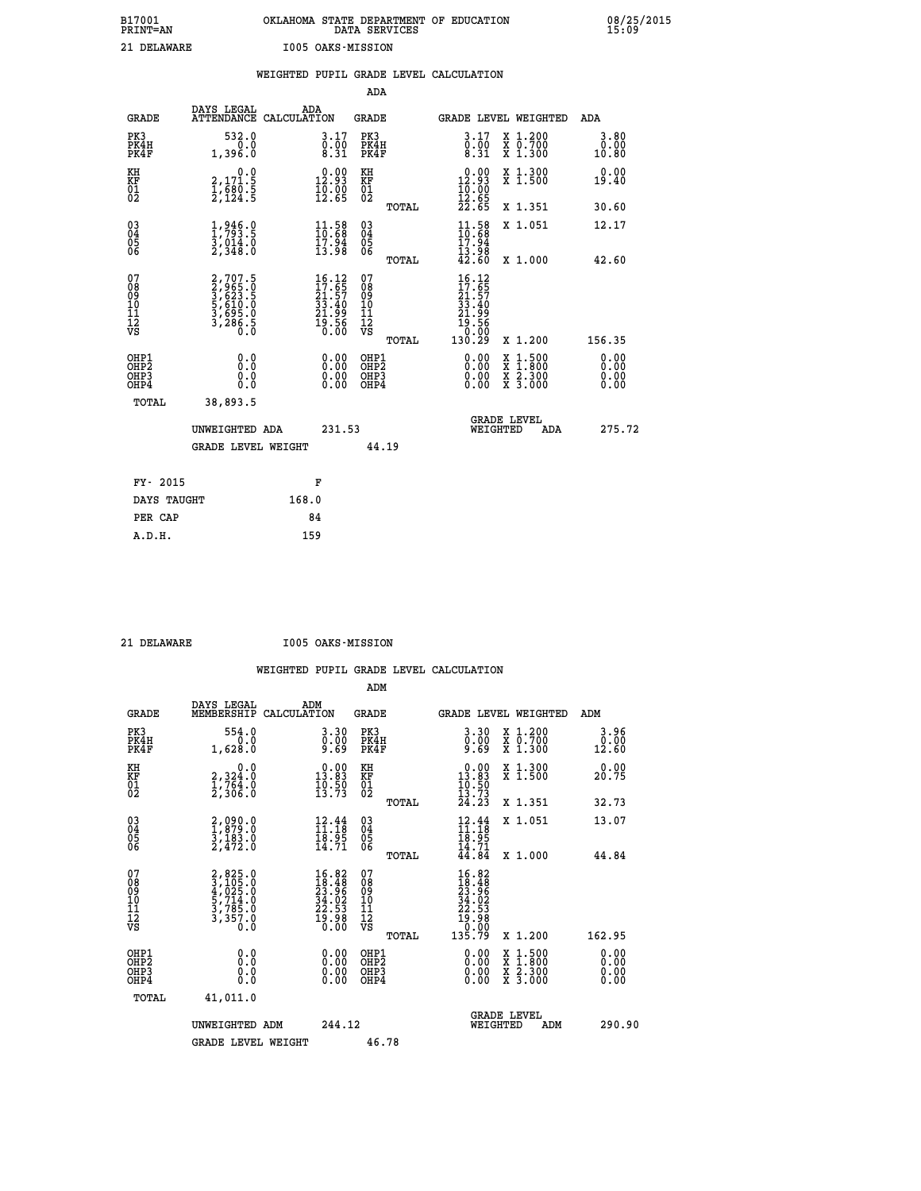# **B17001 OKLAHOMA STATE DEPARTMENT OF EDUCATION 08/25/2015 PRINT=AN DATA SERVICES 15:09 21 DELAWARE I005 OAKS-MISSION**

|                                                                    |                                                                       |       |                                                                                       |                                                     |       | WEIGHTED PUPIL GRADE LEVEL CALCULATION                                                                                                                                                                                                                                         |                                                                                                                                           |                                   |
|--------------------------------------------------------------------|-----------------------------------------------------------------------|-------|---------------------------------------------------------------------------------------|-----------------------------------------------------|-------|--------------------------------------------------------------------------------------------------------------------------------------------------------------------------------------------------------------------------------------------------------------------------------|-------------------------------------------------------------------------------------------------------------------------------------------|-----------------------------------|
|                                                                    |                                                                       |       |                                                                                       | <b>ADA</b>                                          |       |                                                                                                                                                                                                                                                                                |                                                                                                                                           |                                   |
| <b>GRADE</b>                                                       | DAYS LEGAL<br>ATTENDANCE CALCULATION                                  | ADA   |                                                                                       | GRADE                                               |       |                                                                                                                                                                                                                                                                                | GRADE LEVEL WEIGHTED                                                                                                                      | ADA                               |
| PK3<br>PK4H<br>PK4F                                                | 532.0<br>0.0<br>1,396.0                                               |       | $\begin{smallmatrix} 3.17\ 0.00\ 8.31 \end{smallmatrix}$                              | PK3<br>PK4H<br>PK4F                                 |       | $\begin{smallmatrix} 3.17\ 0.00\ 8.31 \end{smallmatrix}$                                                                                                                                                                                                                       | X 1.200<br>X 0.700<br>X 1.300                                                                                                             | 3.80<br>0.00<br>10.80             |
| KH<br>KF<br>01<br>02                                               | 0.0<br>2,171.5<br>1,680.5<br>2,124.5                                  |       | 12.93<br>$\frac{1}{12}$ , $\frac{5}{65}$                                              | KH<br>KF<br>01<br>02                                |       | $\begin{smallmatrix} 0.00\\ 12.93\\ 10.00\\ 12.65\\ 22.65 \end{smallmatrix}$                                                                                                                                                                                                   | X 1.300<br>X 1.500                                                                                                                        | 0.00<br>19.40                     |
|                                                                    |                                                                       |       |                                                                                       |                                                     | TOTAL |                                                                                                                                                                                                                                                                                | X 1.351                                                                                                                                   | 30.60                             |
| $\begin{smallmatrix} 03 \\[-4pt] 04 \end{smallmatrix}$<br>Ŏ5<br>06 | $\frac{1}{1}, \frac{946}{793}$ .5<br>3,014.0<br>2,348.0               |       | $\frac{11.58}{10.68}$<br>$\frac{17.94}{13.98}$                                        | $\begin{array}{c} 03 \\ 04 \\ 05 \\ 06 \end{array}$ |       | $\frac{11.58}{10.68}$<br>17.94                                                                                                                                                                                                                                                 | X 1.051                                                                                                                                   | 12.17                             |
|                                                                    |                                                                       |       |                                                                                       |                                                     | TOTAL | 13.98<br>42.60                                                                                                                                                                                                                                                                 | X 1.000                                                                                                                                   | 42.60                             |
| 07<br>08<br>09<br>01<br>11<br>11<br>12<br>VS                       | 2,707.5<br>3,965.0<br>3,623.5<br>5,610.0<br>5,695.0<br>3,286.5<br>0.0 |       | $\begin{smallmatrix} 16.12\\17.65\\21.57\\33.40\\21.99\\19.56\\0.00\end{smallmatrix}$ | 07<br>08<br>09<br>11<br>11<br>12<br>VS              | TOTAL | $\begin{smallmatrix} 16.12\ 17.65\ 21.57\ 23.40\ 33.40\ 21.99\ 19.56\ 0.000\ 130.29\ \end{smallmatrix}$                                                                                                                                                                        | X 1.200                                                                                                                                   | 156.35                            |
| OHP1<br>OHP2<br>OHP3<br>OHP4                                       | 0.0<br>0.0<br>0.0                                                     |       | $\begin{smallmatrix} 0.00 \ 0.00 \ 0.00 \ 0.00 \end{smallmatrix}$                     | OHP1<br>OHP2<br>OHP3<br>OHP4                        |       | $\begin{smallmatrix} 0.00 & 0.00 & 0.00 & 0.00 & 0.00 & 0.00 & 0.00 & 0.00 & 0.00 & 0.00 & 0.00 & 0.00 & 0.00 & 0.00 & 0.00 & 0.00 & 0.00 & 0.00 & 0.00 & 0.00 & 0.00 & 0.00 & 0.00 & 0.00 & 0.00 & 0.00 & 0.00 & 0.00 & 0.00 & 0.00 & 0.00 & 0.00 & 0.00 & 0.00 & 0.00 & 0.0$ | $\begin{smallmatrix} \mathtt{X} & 1\cdot500\\ \mathtt{X} & 1\cdot800\\ \mathtt{X} & 2\cdot300\\ \mathtt{X} & 3\cdot000 \end{smallmatrix}$ | 0.00<br>Ō. ŌŌ<br>$0.00$<br>$0.00$ |
| TOTAL                                                              | 38,893.5                                                              |       |                                                                                       |                                                     |       |                                                                                                                                                                                                                                                                                |                                                                                                                                           |                                   |
|                                                                    | UNWEIGHTED ADA                                                        |       | 231.53                                                                                |                                                     |       | WEIGHTED                                                                                                                                                                                                                                                                       | <b>GRADE LEVEL</b><br>ADA                                                                                                                 | 275.72                            |
|                                                                    | <b>GRADE LEVEL WEIGHT</b>                                             |       |                                                                                       |                                                     | 44.19 |                                                                                                                                                                                                                                                                                |                                                                                                                                           |                                   |
| FY- 2015                                                           |                                                                       |       | F                                                                                     |                                                     |       |                                                                                                                                                                                                                                                                                |                                                                                                                                           |                                   |
| DAYS TAUGHT                                                        |                                                                       | 168.0 |                                                                                       |                                                     |       |                                                                                                                                                                                                                                                                                |                                                                                                                                           |                                   |
| PER CAP                                                            |                                                                       |       | 84                                                                                    |                                                     |       |                                                                                                                                                                                                                                                                                |                                                                                                                                           |                                   |

 **A.D.H. 159**

 **21 DELAWARE I005 OAKS-MISSION**

|                                          |                                                                       |                                                                                              | ADM                                                |                                                                                                   |                                          |                              |
|------------------------------------------|-----------------------------------------------------------------------|----------------------------------------------------------------------------------------------|----------------------------------------------------|---------------------------------------------------------------------------------------------------|------------------------------------------|------------------------------|
| <b>GRADE</b>                             | DAYS LEGAL<br>MEMBERSHIP                                              | ADM<br>CALCULATION                                                                           | <b>GRADE</b>                                       |                                                                                                   | <b>GRADE LEVEL WEIGHTED</b>              | ADM                          |
| PK3<br>PK4H<br>PK4F                      | 554.0<br>0.0<br>1,628.0                                               | 3.30<br>ŏ:ŏŏ<br>9.69                                                                         | PK3<br>PK4H<br>PK4F                                | $\begin{smallmatrix} 3.30\ 0.00\ 9.69 \end{smallmatrix}$                                          | X 1.200<br>X 0.700<br>X 1.300            | 3.96<br>0.00<br>12.60        |
| KH<br>KF<br>01<br>02                     | 0.0<br>2, 324:0<br>1, 764:0<br>2, 306:0                               | $\begin{smallmatrix} 0.00\\ 13.83\\ 10.50\\ 13.73 \end{smallmatrix}$                         | KH<br>KF<br>01<br>02                               | $\begin{smallmatrix} 0.00\\ 13.83\\ 10.50\\ 13.73\\ 24.23 \end{smallmatrix}$                      | X 1.300<br>X 1.500                       | 0.00<br>20.75                |
|                                          |                                                                       |                                                                                              | TOTAL                                              |                                                                                                   | X 1.351                                  | 32.73                        |
| 03<br>04<br>05<br>06                     | 2,090.0<br>1,879.0<br>3,183.0<br>2,472.0                              | $\begin{array}{c} 12.44 \\[-4pt] 11.18 \\[-4pt] 18.95 \\[-4pt] 14.71 \end{array}$            | $\begin{matrix} 03 \\ 04 \\ 05 \\ 06 \end{matrix}$ | $12.4411.1818.9514.7144.84$                                                                       | X 1.051                                  | 13.07                        |
|                                          |                                                                       |                                                                                              | TOTAL                                              |                                                                                                   | X 1.000                                  | 44.84                        |
| 07<br>08<br>09<br>101<br>112<br>VS       | 2,825.0<br>3,105.0<br>4,025.0<br>5,714.0<br>5,785.0<br>3,357.0<br>0.0 | $\begin{smallmatrix} 16.82\\ 18.48\\ 23.96\\ 34.02\\ 22.53\\ 19.98\\ 0.00 \end{smallmatrix}$ | 07<br>08<br>09<br>11<br>11<br>12<br>VS<br>TOTAL    | $\begin{smallmatrix} 16.82\ 18.48\ 23.58\ 24.02\ 22.53\ 19.29\ 10.000\ 135.79\ \end{smallmatrix}$ | X 1.200                                  | 162.95                       |
|                                          |                                                                       |                                                                                              |                                                    |                                                                                                   |                                          |                              |
| OHP1<br>OHP2<br>OH <sub>P3</sub><br>OHP4 | 0.0<br>0.000                                                          | $0.00$<br>$0.00$<br>0.00                                                                     | OHP1<br>OHP2<br>OHP <sub>3</sub>                   | $0.00$<br>$0.00$<br>0.00                                                                          | X 1:500<br>X 1:800<br>X 2:300<br>X 3:000 | 0.00<br>0.00<br>0.00<br>0.00 |
| TOTAL                                    | 41,011.0                                                              |                                                                                              |                                                    |                                                                                                   |                                          |                              |
|                                          | UNWEIGHTED ADM                                                        | 244.12                                                                                       |                                                    |                                                                                                   | GRADE LEVEL<br>WEIGHTED<br>ADM           | 290.90                       |
|                                          | <b>GRADE LEVEL WEIGHT</b>                                             |                                                                                              | 46.78                                              |                                                                                                   |                                          |                              |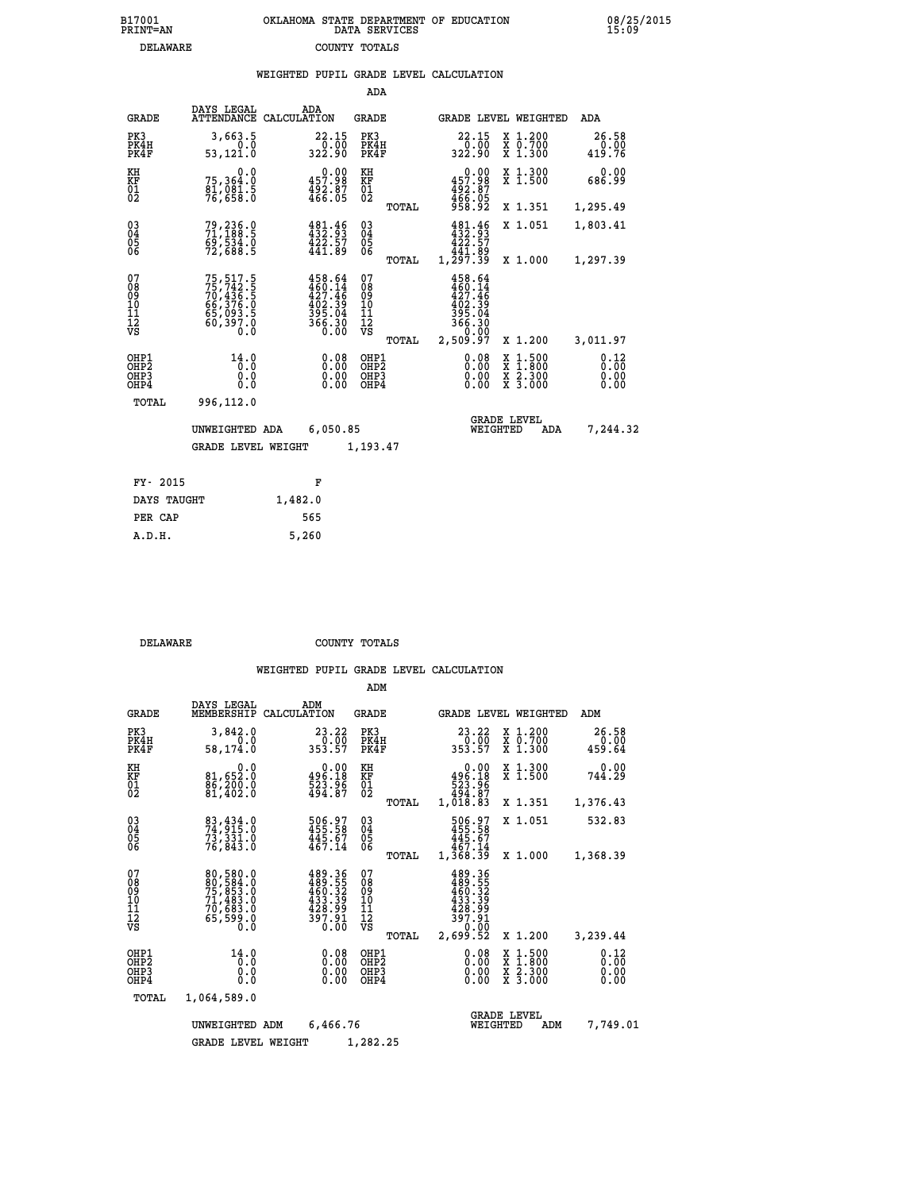|                                                      |                                                                             |         |                                                                                          | ADA                                                |       |                                                                    |                                |                                                                                                   |                              |
|------------------------------------------------------|-----------------------------------------------------------------------------|---------|------------------------------------------------------------------------------------------|----------------------------------------------------|-------|--------------------------------------------------------------------|--------------------------------|---------------------------------------------------------------------------------------------------|------------------------------|
| <b>GRADE</b>                                         | DAYS LEGAL<br>ATTENDANCE CALCULATION                                        |         | ADA                                                                                      | GRADE                                              |       |                                                                    |                                | GRADE LEVEL WEIGHTED                                                                              | ADA                          |
| PK3<br>PK4H<br>PK4F                                  | 3,663.5<br>0.0<br>53,121.0                                                  |         | 22.15<br>322.90                                                                          | PK3<br>PK4H<br>PK4F                                |       | 22.15<br>$\frac{0.00}{0.02}$                                       |                                | X 1.200<br>$\begin{array}{c} \overline{x} & \overline{0}.700 \\ \overline{x} & 1.300 \end{array}$ | 26.58<br>0.00<br>419.76      |
| KH<br>KF<br>01<br>02                                 | 0.0<br>75,364.0<br>áĭ,ŏĕi:š<br>76,658:ŏ                                     |         | 0.00<br>457.98<br>$\frac{492.87}{466.05}$                                                | KH<br>KF<br>$^{01}_{02}$                           |       | 457.98<br>492.87<br>466.05<br>958.92                               | 0.00                           | X 1.300<br>X 1.500                                                                                | 0.00<br>686.99               |
|                                                      |                                                                             |         |                                                                                          |                                                    | TOTAL |                                                                    |                                | X 1.351                                                                                           | 1,295.49                     |
| 03<br>04<br>05<br>06                                 | 79,236.0<br>71,188.5<br>69,534.0<br>72,688.5                                |         | $\begin{array}{l} 481\cdot 46\\ 432\cdot 93\\ 422\cdot 57\\ 441\cdot 89 \end{array}$     | $\begin{matrix} 03 \\ 04 \\ 05 \\ 06 \end{matrix}$ |       | $432.93$<br>$422.57$<br>$441.82$                                   |                                | X 1.051                                                                                           | 1,803.41                     |
|                                                      |                                                                             |         |                                                                                          |                                                    | TOTAL | 1,297.39                                                           |                                | X 1.000                                                                                           | 1,297.39                     |
| 07<br>08<br>09<br>11<br>11<br>12<br>VS               | 75,517.5<br>75,742.5<br>70,436.5<br>66,376.0<br>65,093.5<br>60,397.0<br>0.0 |         | $458.64$<br>$460.14$<br>$427.46$<br>$402.39$<br>$395.04$<br>$395.04$<br>$366.30$<br>0.00 | 07<br>08<br>09<br>11<br>11<br>12<br>VS             |       | 458.64<br>$460.14$<br>$427.46$<br>$402.39$<br>$395.04$<br>$366.30$ | 0.00                           |                                                                                                   |                              |
|                                                      |                                                                             |         |                                                                                          |                                                    | TOTAL | 2,509.97                                                           |                                | X 1.200                                                                                           | 3,011.97                     |
| OHP1<br>OHP2<br>OH <sub>P3</sub><br>OH <sub>P4</sub> | 14.0<br>Ō.Ō<br>0.0<br>0.0                                                   |         | 0.08<br>0.00<br>0.00                                                                     | OHP1<br>OHP2<br>OHP3<br>OHP4                       |       |                                                                    | 0.08<br>0.00<br>0.00           | $\begin{smallmatrix} x & 1 & 500 \\ x & 1 & 800 \\ x & 2 & 300 \\ x & 3 & 000 \end{smallmatrix}$  | 0.12<br>0.00<br>0.00<br>0.00 |
| TOTAL                                                | 996,112.0                                                                   |         |                                                                                          |                                                    |       |                                                                    |                                |                                                                                                   |                              |
|                                                      | UNWEIGHTED ADA                                                              |         | 6,050.85                                                                                 |                                                    |       |                                                                    | <b>GRADE LEVEL</b><br>WEIGHTED | ADA                                                                                               | 7,244.32                     |
|                                                      | <b>GRADE LEVEL WEIGHT</b>                                                   |         |                                                                                          | 1,193.47                                           |       |                                                                    |                                |                                                                                                   |                              |
|                                                      |                                                                             |         |                                                                                          |                                                    |       |                                                                    |                                |                                                                                                   |                              |
| FY- 2015                                             |                                                                             |         | F                                                                                        |                                                    |       |                                                                    |                                |                                                                                                   |                              |
| DAYS TAUGHT                                          |                                                                             | 1,482.0 |                                                                                          |                                                    |       |                                                                    |                                |                                                                                                   |                              |

| ri avij     |         |
|-------------|---------|
| DAYS TAUGHT | 1,482.0 |
| PER CAP     | 565     |
| A.D.H.      | 5,260   |
|             |         |

 **DELAWARE COUNTY TOTALS**

|                                                    |                                                                                  |                                                                      | ADM                                                |                                                                              |                                          |                              |
|----------------------------------------------------|----------------------------------------------------------------------------------|----------------------------------------------------------------------|----------------------------------------------------|------------------------------------------------------------------------------|------------------------------------------|------------------------------|
| <b>GRADE</b>                                       | DAYS LEGAL<br>MEMBERSHIP                                                         | ADM<br>CALCULATION                                                   | GRADE                                              | GRADE LEVEL WEIGHTED                                                         |                                          | ADM                          |
| PK3<br>PK4H<br>PK4F                                | 3,842.0<br>0.0<br>58,174.0                                                       | 23.22<br>$\frac{5}{353.57}$                                          | PK3<br>PK4H<br>PK4F                                | 23.22                                                                        | X 1.200<br>X 0.700<br>X 1.300            | 26.58<br>0.00<br>459.64      |
| KH<br>KF<br>01<br>02                               | 0.0<br>81,652.0<br>86,200.0<br>81,402.0                                          | $\begin{smallmatrix} &0.00\,496.18\,523.96\,494.87\end{smallmatrix}$ | KH<br>KF<br>01<br>02                               | 0.00<br>$396.18523.96494.871,018.83$                                         | X 1.300<br>X 1.500                       | 0.00<br>744.29               |
|                                                    |                                                                                  |                                                                      | TOTAL                                              |                                                                              | X 1.351                                  | 1,376.43                     |
| $\begin{matrix} 03 \\ 04 \\ 05 \\ 06 \end{matrix}$ | 83, 434.0<br>74, 915.0<br>73,331.0<br>76,843.0                                   | 506.97<br>455.58<br>445.67<br>467.14                                 | $\begin{matrix} 03 \\ 04 \\ 05 \\ 06 \end{matrix}$ | 506.97<br>455.58<br>445.67<br>467.14                                         | X 1.051                                  | 532.83                       |
|                                                    |                                                                                  |                                                                      | TOTAL                                              | 1,368.39                                                                     | X 1.000                                  | 1,368.39                     |
| 07<br>08<br>09<br>11<br>11<br>12<br>VS             | 80,580.0<br>80,584.0<br>75,853.0<br>71,483.0<br>70,683.0<br>65,599.0<br>65,599.0 | 489.36<br>489.55<br>460.32<br>433.39<br>$\frac{128.99}{397.91}$      | 07<br>08<br>09<br>11<br>11<br>12<br>VS<br>TOTAL    | 489.36<br>$489.555$<br>$433.399$<br>$428.99$<br>$397.91$<br>0.00<br>2,699.52 | X 1.200                                  | 3,239.44                     |
| OHP1<br>OHP2<br>OH <sub>P3</sub><br>OHP4           | 14.0<br>0.0<br>0.000                                                             | $0.08$<br>$0.00$<br>0.00                                             | OHP1<br>OHP2<br>OHP3<br>OHP4                       | $0.08$<br>$0.00$<br>0.00                                                     | X 1:500<br>X 1:800<br>X 2:300<br>X 3:000 | 0.12<br>0.00<br>0.00<br>0.00 |
| TOTAL                                              | 1,064,589.0                                                                      |                                                                      |                                                    |                                                                              |                                          |                              |
| 6,466.76<br>UNWEIGHTED<br>ADM                      |                                                                                  |                                                                      |                                                    |                                                                              | <b>GRADE LEVEL</b><br>WEIGHTED<br>ADM    | 7,749.01                     |
|                                                    | <b>GRADE LEVEL WEIGHT</b>                                                        |                                                                      |                                                    |                                                                              |                                          |                              |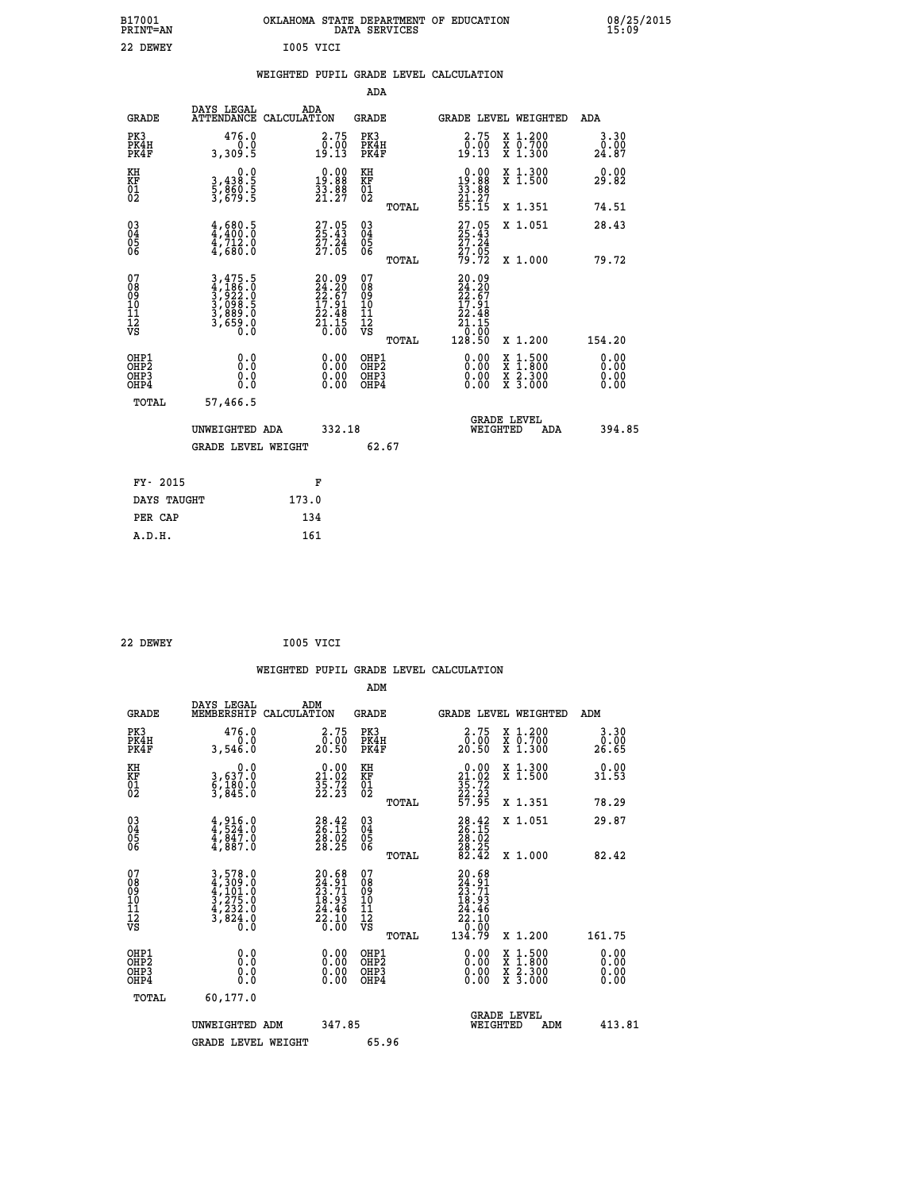| B17001<br><b>PRINT=AN</b>              |                                                                |                                                                   | DATA SERVICES                                      | OKLAHOMA STATE DEPARTMENT OF EDUCATION                                                                          | 08/25/2015<br>15:09   |
|----------------------------------------|----------------------------------------------------------------|-------------------------------------------------------------------|----------------------------------------------------|-----------------------------------------------------------------------------------------------------------------|-----------------------|
| 22 DEWEY                               |                                                                | I005 VICI                                                         |                                                    |                                                                                                                 |                       |
|                                        |                                                                | WEIGHTED PUPIL GRADE LEVEL CALCULATION                            |                                                    |                                                                                                                 |                       |
|                                        |                                                                |                                                                   | ADA                                                |                                                                                                                 |                       |
| <b>GRADE</b>                           | DAYS LEGAL<br>ATTENDANCE CALCULATION                           | ADA                                                               | GRADE                                              | GRADE LEVEL WEIGHTED                                                                                            | ADA                   |
| PK3<br>PK4H<br>PK4F                    | 476.0<br>0.0<br>3,309.5                                        | 2.75<br>0.00<br>19.13                                             | PK3<br>PK4H<br>PK4F                                | 2.75<br>X 1.200<br>X 0.700<br>X 1.300<br>$\frac{0.00}{19.13}$                                                   | 3.30<br>0.00<br>24.87 |
| KH<br>KF<br>$^{01}_{02}$               | 0.0<br>3,438:5<br>5,860:5<br>3,679:5                           | $\begin{smallmatrix} 0.00\\19.88\\33.88\\21.27 \end{smallmatrix}$ | KH<br>KF<br>$\overline{01}$                        | $\begin{smallmatrix} 0.00\\19.88\\33.88\\21.27 \end{smallmatrix}$<br>X 1.300<br>X 1.500                         | 0.00<br>29.82         |
|                                        |                                                                |                                                                   | TOTAL                                              | 55.15<br>X 1.351                                                                                                | 74.51                 |
| $\substack{03 \\ 04}$<br>0500          | $4,680.5$<br>$4,400.0$<br>4,712.0<br>4,680.0                   | $27.05$<br>$25.43$<br>$27.24$<br>$27.05$                          | $\begin{matrix} 03 \\ 04 \\ 05 \\ 06 \end{matrix}$ | $27.05$<br>$25.43$<br>X 1.051<br>27.24<br>$\frac{2}{2}$ $\frac{2}{3}$ $\frac{1}{2}$ $\frac{1}{2}$ $\frac{1}{2}$ | 28.43                 |
|                                        |                                                                |                                                                   | TOTAL                                              | 79.72<br>X 1.000                                                                                                | 79.72                 |
| 07<br>08<br>09<br>11<br>11<br>12<br>VS | 3,475.5<br>4,186.0<br>3,922.0<br>3,098.5<br>3,889.0<br>3,659.0 | $20.0924.2022.6717.9122.4821.150.00$                              | 07<br>08<br>09<br>10<br>11<br>12<br>VS<br>TOTAL    | $20.09$<br>$24.20$<br>$22.67$<br>$17.91$<br>22.48<br>$\bar{2}\bar{1}$ .15<br>0.00<br>128.50<br>X 1.200          | 154.20                |
| OHP1<br>OHP2                           | 0.0                                                            | 0.00                                                              |                                                    | 0.00                                                                                                            | 0.00                  |
| OHP3<br>OHP4                           | Ŏ.Ŏ<br>0.0<br>0.0                                              | 0.00<br>0.00                                                      | OHP1<br>OHP2<br>OHP3<br>OHP4                       | $\begin{smallmatrix} x & 1.500 \\ x & 1.800 \\ x & 2.300 \\ x & 3.000 \end{smallmatrix}$<br>0.00<br>0.00        | 0.00<br>0.00          |
| TOTAL                                  | 57,466.5                                                       |                                                                   |                                                    |                                                                                                                 |                       |
|                                        | UNWEIGHTED ADA                                                 | 332.18                                                            |                                                    | <b>GRADE LEVEL</b><br>WEIGHTED                                                                                  | 394.85<br>ADA         |
|                                        | <b>GRADE LEVEL WEIGHT</b>                                      |                                                                   | 62.67                                              |                                                                                                                 |                       |
| FY- 2015                               |                                                                | F                                                                 |                                                    |                                                                                                                 |                       |
| DAYS TAUGHT                            |                                                                | 173.0                                                             |                                                    |                                                                                                                 |                       |
| PER CAP                                |                                                                | 134                                                               |                                                    |                                                                                                                 |                       |
| A.D.H.                                 |                                                                | 161                                                               |                                                    |                                                                                                                 |                       |

| 22 DEWEY | I005 VICI |  |
|----------|-----------|--|
|          |           |  |

|                                                      |                                                                                                                                                             |                                                                    | WEIGHTED PUPIL GRADE LEVEL CALCULATION        |                                                                                                        |                                                                            |                              |
|------------------------------------------------------|-------------------------------------------------------------------------------------------------------------------------------------------------------------|--------------------------------------------------------------------|-----------------------------------------------|--------------------------------------------------------------------------------------------------------|----------------------------------------------------------------------------|------------------------------|
|                                                      |                                                                                                                                                             |                                                                    | ADM                                           |                                                                                                        |                                                                            |                              |
| <b>GRADE</b>                                         | DAYS LEGAL<br>MEMBERSHIP<br>CALCULATION                                                                                                                     | ADM                                                                | <b>GRADE</b>                                  | GRADE LEVEL WEIGHTED                                                                                   |                                                                            | ADM                          |
| PK3<br>PK4H<br>PK4F                                  | 476.0<br>0.0<br>3,546.0                                                                                                                                     | $\begin{smallmatrix} 2.75\0.00\\20.50 \end{smallmatrix}$           | PK3<br>PK4H<br>PK4F                           | $2.75$<br>$0.00$<br>20.50                                                                              | X 1.200<br>X 0.700<br>X 1.300                                              | 3.30<br>0.00<br>26.65        |
| KH<br>KF<br>01<br>02                                 | $\begin{smallmatrix}&&&0.0\\3,637.0\\6,180.0\\3,845.0\end{smallmatrix}$                                                                                     | $\begin{smallmatrix} 0.00\\21.02\\35.72\\22.23 \end{smallmatrix}$  | KH<br>KF<br>01<br>02                          | 0.00<br>$\begin{array}{r} 21.02 \\ 35.72 \\ 22.23 \\ 57.95 \end{array}$                                | X 1.300<br>X 1.500                                                         | 0.00<br>31.53                |
|                                                      |                                                                                                                                                             |                                                                    | TOTAL                                         |                                                                                                        | X 1.351                                                                    | 78.29                        |
| $\begin{matrix} 03 \\ 04 \\ 05 \\ 06 \end{matrix}$   | $4,916.0$<br>$4,847.0$<br>$4,847.0$<br>$4,887.0$                                                                                                            | $\begin{smallmatrix} 28.42\ 26.15\ 28.02\ 28.25 \end{smallmatrix}$ | 03<br>04<br>05<br>06                          | $28.15$<br>$26.15$<br>$28.02$<br>$28.25$<br>$82.42$                                                    | X 1.051                                                                    | 29.87                        |
|                                                      |                                                                                                                                                             |                                                                    | TOTAL                                         |                                                                                                        | X 1.000                                                                    | 82.42                        |
| 07<br>08<br>09<br>01<br>11<br>11<br>12<br>VS         | $\begin{smallmatrix} 3\,,\,578\,.\,0\\ 4\,,\,309\,.\,0\\ 4\,,\,101\,.\,0\\ 3\,,\,275\,.\,0\\ 4\,,\,232\,.\,0\\ 3\,,\,824\,.\,0\\ 0\,.\,0 \end{smallmatrix}$ | $20.68$<br>$24.91$<br>$23.71$<br>$18.93$<br>$\frac{24.46}{22.10}$  | 07<br>08<br>09<br>001<br>11<br>11<br>12<br>VS | 20.68<br>$\frac{24}{23}$ . $\frac{91}{13}$<br>$\frac{1}{29}$ . $\frac{93}{2}$<br>$\frac{24.46}{22.10}$ |                                                                            |                              |
|                                                      |                                                                                                                                                             |                                                                    | TOTAL                                         | 134.79                                                                                                 | X 1.200                                                                    | 161.75                       |
| OHP1<br>OHP2<br>OH <sub>P3</sub><br>OH <sub>P4</sub> | 0.0<br>0.000                                                                                                                                                | 0.00<br>$\begin{smallmatrix} 0.00 \ 0.00 \end{smallmatrix}$        | OHP1<br>OHP2<br>OHP3<br>OHP4                  | $0.00$<br>$0.00$<br>0.00                                                                               | $\frac{x}{x}$ $\frac{1.500}{1.800}$<br>$\frac{x}{x}$ $\frac{5:300}{3:000}$ | 0.00<br>0.00<br>0.00<br>0.00 |
| TOTAL                                                | 60,177.0                                                                                                                                                    |                                                                    |                                               |                                                                                                        |                                                                            |                              |
|                                                      | UNWEIGHTED ADM                                                                                                                                              | 347.85                                                             |                                               | <b>GRADE LEVEL</b><br>WEIGHTED                                                                         | ADM                                                                        | 413.81                       |
|                                                      | <b>GRADE LEVEL WEIGHT</b>                                                                                                                                   |                                                                    | 65.96                                         |                                                                                                        |                                                                            |                              |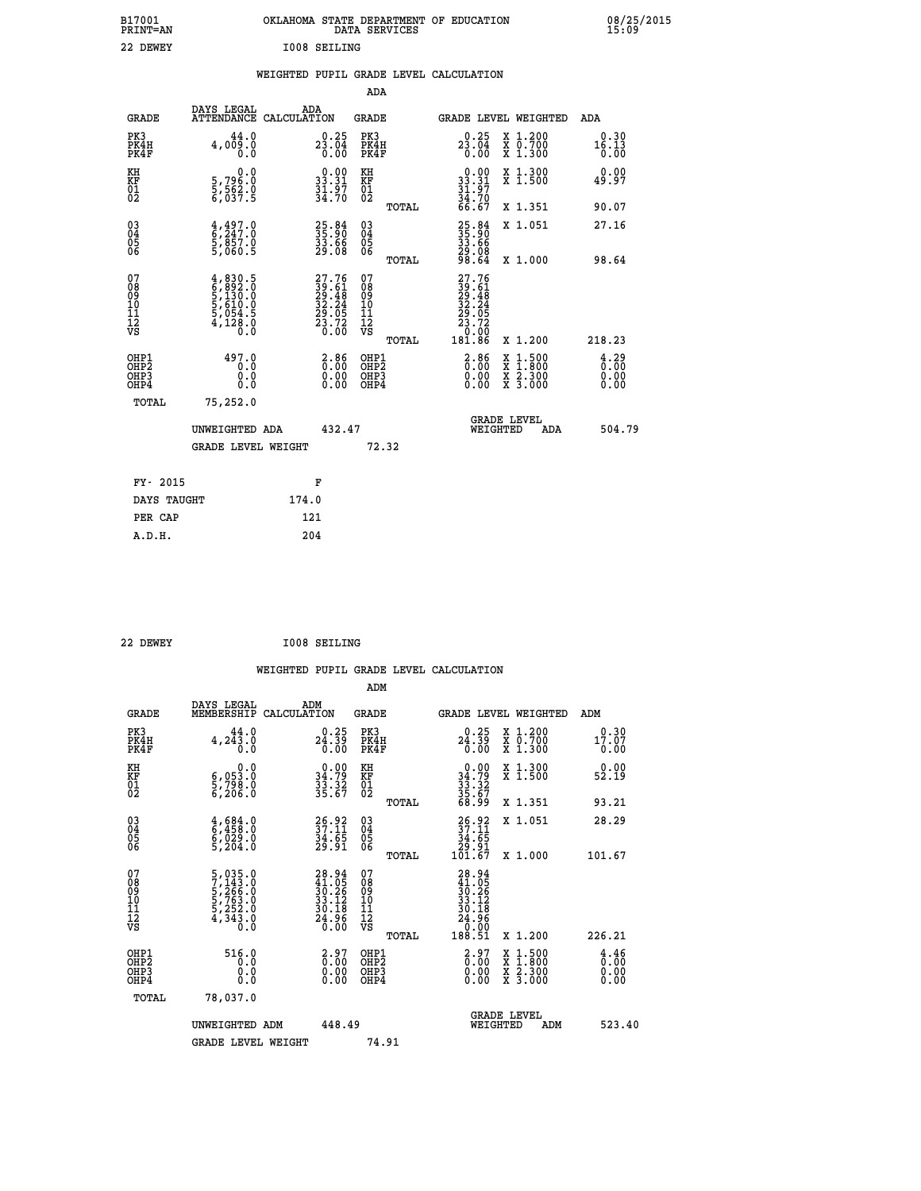| OKLAHOMA STATE DEPARTMENT OF EDUCATION<br>DATA SERVICES |  |
|---------------------------------------------------------|--|
| <b>IOO8 SEILING</b>                                     |  |

### **WEIGHTED PUPIL GRADE LEVEL CALCULATION**

|                                                    |                                                                                                   |                                                                          | ADA                                                 |       |                                                                                                                                               |   |                                                           |                                                 |
|----------------------------------------------------|---------------------------------------------------------------------------------------------------|--------------------------------------------------------------------------|-----------------------------------------------------|-------|-----------------------------------------------------------------------------------------------------------------------------------------------|---|-----------------------------------------------------------|-------------------------------------------------|
| <b>GRADE</b>                                       | DAYS LEGAL<br>ATTENDANCE CALCULATION                                                              | ADA                                                                      | <b>GRADE</b>                                        |       | GRADE LEVEL WEIGHTED                                                                                                                          |   |                                                           | <b>ADA</b>                                      |
| PK3<br>PK4H<br>PK4F                                | 44.0<br>4,009.0<br>0.0                                                                            | 23.04<br>0.00                                                            | PK3<br>PK4H<br>PK4F                                 |       | $23.04\n0.00$                                                                                                                                 |   | X 1.200<br>X 0.700<br>X 1.300                             | 0.30<br>16.13<br>0.00                           |
| KH<br>KF<br>01<br>02                               | 0.0<br>5,796:0<br>5,562:0<br>6,037:5                                                              | 33.31<br>$\frac{31.97}{34.70}$                                           | KH<br>KF<br>01<br>02                                |       | $\begin{array}{r} 0.00 \\ 33.31 \\ 31.97 \\ 34.70 \\ 66.67 \end{array}$                                                                       |   | X 1.300<br>X 1.500                                        | 0.00<br>49.97                                   |
|                                                    |                                                                                                   |                                                                          |                                                     | TOTAL |                                                                                                                                               |   | X 1.351                                                   | 90.07                                           |
| $\begin{matrix} 03 \\ 04 \\ 05 \\ 06 \end{matrix}$ | $\begin{smallmatrix} 4\,,\,497\,. \ 6\,,\,247\,. \ 9\,,\,857\,. \ 9\,,\,060\,. \end{smallmatrix}$ | 25.84<br>35.90<br>33.66<br>29.08                                         | $\begin{array}{c} 03 \\ 04 \\ 05 \\ 06 \end{array}$ | TOTAL | $\begin{smallmatrix} 25.84\\ 35.90\\ 33.66\\ 29.08\\ 98.64 \end{smallmatrix}$                                                                 |   | X 1.051<br>X 1.000                                        | 27.16<br>98.64                                  |
| 07<br>08<br>09<br>11<br>11<br>12<br>VS             | $4,830.5$<br>$6,892.0$<br>$5,130.0$<br>$5,610.0$<br>$5,054.5$<br>$4,128.0$<br>$0.0$               | $27.76$<br>$39.61$<br>$29.48$<br>$32.24$<br>$29.05$<br>$23.72$<br>$0.00$ | 07<br>08<br>09<br>11<br>11<br>12<br>VS              |       | 27.76<br>$\begin{smallmatrix} 24 & 1 & 2 \\ 29 & 48 \\ 22 & 24 \\ 32 & 24 \\ 23 & 72 \\ 23 & 72 \\ 0 & 0 & 0 \\ 18 & 8 & 6 \end{smallmatrix}$ |   |                                                           |                                                 |
|                                                    |                                                                                                   |                                                                          |                                                     | TOTAL |                                                                                                                                               |   | X 1.200                                                   | 218.23                                          |
| OHP1<br>OHP <sub>2</sub><br>OHP3<br>OHP4           | 497.0<br>0.0<br>0.0<br>Ō.Ō                                                                        | 3:86<br>$\begin{smallmatrix} 0.00 \ 0.00 \end{smallmatrix}$              | OHP1<br>OH <sub>P</sub> 2<br>OHP3<br>OHP4           |       | $\begin{smallmatrix} 2.86\ 0.00 \ 0.00 \end{smallmatrix}$<br>0.00                                                                             | X | $1:500$<br>$1:800$<br>$\frac{x}{x}$ $\frac{5:300}{3:000}$ | $\frac{4}{0}$ : $\frac{29}{00}$<br>0.00<br>0.00 |
| TOTAL                                              | 75,252.0                                                                                          |                                                                          |                                                     |       |                                                                                                                                               |   |                                                           |                                                 |
|                                                    | UNWEIGHTED ADA                                                                                    | 432.47                                                                   |                                                     |       | WEIGHTED                                                                                                                                      |   | <b>GRADE LEVEL</b><br>ADA                                 | 504.79                                          |
|                                                    | <b>GRADE LEVEL WEIGHT</b>                                                                         |                                                                          |                                                     | 72.32 |                                                                                                                                               |   |                                                           |                                                 |
| FY- 2015                                           |                                                                                                   | F                                                                        |                                                     |       |                                                                                                                                               |   |                                                           |                                                 |
| DAYS TAUGHT                                        |                                                                                                   | 174.0                                                                    |                                                     |       |                                                                                                                                               |   |                                                           |                                                 |
| PER CAP                                            |                                                                                                   | 121                                                                      |                                                     |       |                                                                                                                                               |   |                                                           |                                                 |
|                                                    |                                                                                                   |                                                                          |                                                     |       |                                                                                                                                               |   |                                                           |                                                 |

 **22 DEWEY I008 SEILING**

 **A.D.H. 204**

 **ADM**

 **B17001<br>PRINT=AN<br>22 DEWEY** 

| <b>GRADE</b>                                       | DAYS LEGAL<br>MEMBERSHIP CALCULATION                                                                                                  | ADM                                                                      | <b>GRADE</b>                                        |       |                                                                                                 | GRADE LEVEL WEIGHTED                                                      | ADM                                                                |  |
|----------------------------------------------------|---------------------------------------------------------------------------------------------------------------------------------------|--------------------------------------------------------------------------|-----------------------------------------------------|-------|-------------------------------------------------------------------------------------------------|---------------------------------------------------------------------------|--------------------------------------------------------------------|--|
| PK3<br>PK4H<br>PK4F                                | 44.0<br>4, 243.0<br>0.0                                                                                                               | $24.39$<br>$0.39$<br>$0.00$                                              | PK3<br>PK4H<br>PK4F                                 |       | 0.25<br>24.39<br>0.00                                                                           | $\begin{smallmatrix} x & 1.200 \\ x & 0.700 \end{smallmatrix}$<br>X 1.300 | 0.30<br>17.07<br>0.00                                              |  |
| KH<br>KF<br>01<br>02                               | 0.0<br>6,053:0<br>5,798:0<br>6,206:0                                                                                                  | $\begin{array}{c} 0.00 \\ 34.79 \\ 33.32 \\ 35.67 \end{array}$           | KH<br>KF<br>01<br>02                                |       | $0.00$<br>$34.79$<br>$33.32$<br>$35.67$<br>$68.99$                                              | X 1.300<br>X 1.500                                                        | 0.00<br>52.19                                                      |  |
|                                                    |                                                                                                                                       |                                                                          |                                                     | TOTAL |                                                                                                 | X 1.351                                                                   | 93.21                                                              |  |
| $\begin{matrix} 03 \\ 04 \\ 05 \\ 06 \end{matrix}$ | $\begin{smallmatrix} 4\,,\,684\,.0\\ 6\,,\,458\,.0\\ 6\,,\,029\,.0\\ 5\,,\,204\,.0 \end{smallmatrix}$                                 | $\frac{26.92}{37.11}$<br>$\frac{34.65}{29.91}$                           | $\begin{array}{c} 03 \\ 04 \\ 05 \\ 06 \end{array}$ |       | $\begin{smallmatrix} 26.92\ 37.11\ 34.65\ 29.91\ 101.67 \end{smallmatrix}$                      | X 1.051                                                                   | 28.29                                                              |  |
|                                                    |                                                                                                                                       |                                                                          |                                                     | TOTAL |                                                                                                 | X 1.000                                                                   | 101.67                                                             |  |
| 07<br>08<br>09<br>101<br>11<br>12<br>VS            | $\begin{smallmatrix}5\,,\,035\,.0\\7\,,\,143\,.0\\5\,,\,266\,.0\\5\,,\,763\,.0\\5\,,\,252\,.0\\4\,,\,343\,.0\\0\,.0\end{smallmatrix}$ | $28.94$<br>$41.05$<br>$30.26$<br>$33.12$<br>$30.18$<br>$24.96$<br>$0.00$ | 07<br>08<br>09<br>001<br>11<br>11<br>12<br>VS       | TOTAL | $\begin{smallmatrix} 28.94\ 41.05\ 30.26\ 33.12\ 34.18\ 24.96\ 0.00\ 188.51\ \end{smallmatrix}$ | X 1.200                                                                   | 226.21                                                             |  |
| OHP1<br>OHP2<br>OHP3<br>OHP4                       | 516.0<br>0.0<br>0.000                                                                                                                 | $\begin{smallmatrix} 2.97\0.00\0.00\0.00 \end{smallmatrix}$              | OHP1<br>OHP <sub>2</sub><br>OHP3<br>OHP4            |       | $\begin{smallmatrix} 2.97\0.00\0.00\0.00 \end{smallmatrix}$                                     | X 1:500<br>X 1:800<br>X 2:300<br>X 3:000                                  | $\begin{smallmatrix} 4.46 \ 0.00 \ 0.00 \end{smallmatrix}$<br>0.00 |  |
| TOTAL                                              | 78,037.0                                                                                                                              |                                                                          |                                                     |       |                                                                                                 |                                                                           |                                                                    |  |
|                                                    | UNWEIGHTED<br>ADM                                                                                                                     | 448.49                                                                   |                                                     |       | WEIGHTED                                                                                        | <b>GRADE LEVEL</b><br>ADM                                                 | 523.40                                                             |  |
|                                                    | <b>GRADE LEVEL WEIGHT</b>                                                                                                             |                                                                          | 74.91                                               |       |                                                                                                 |                                                                           |                                                                    |  |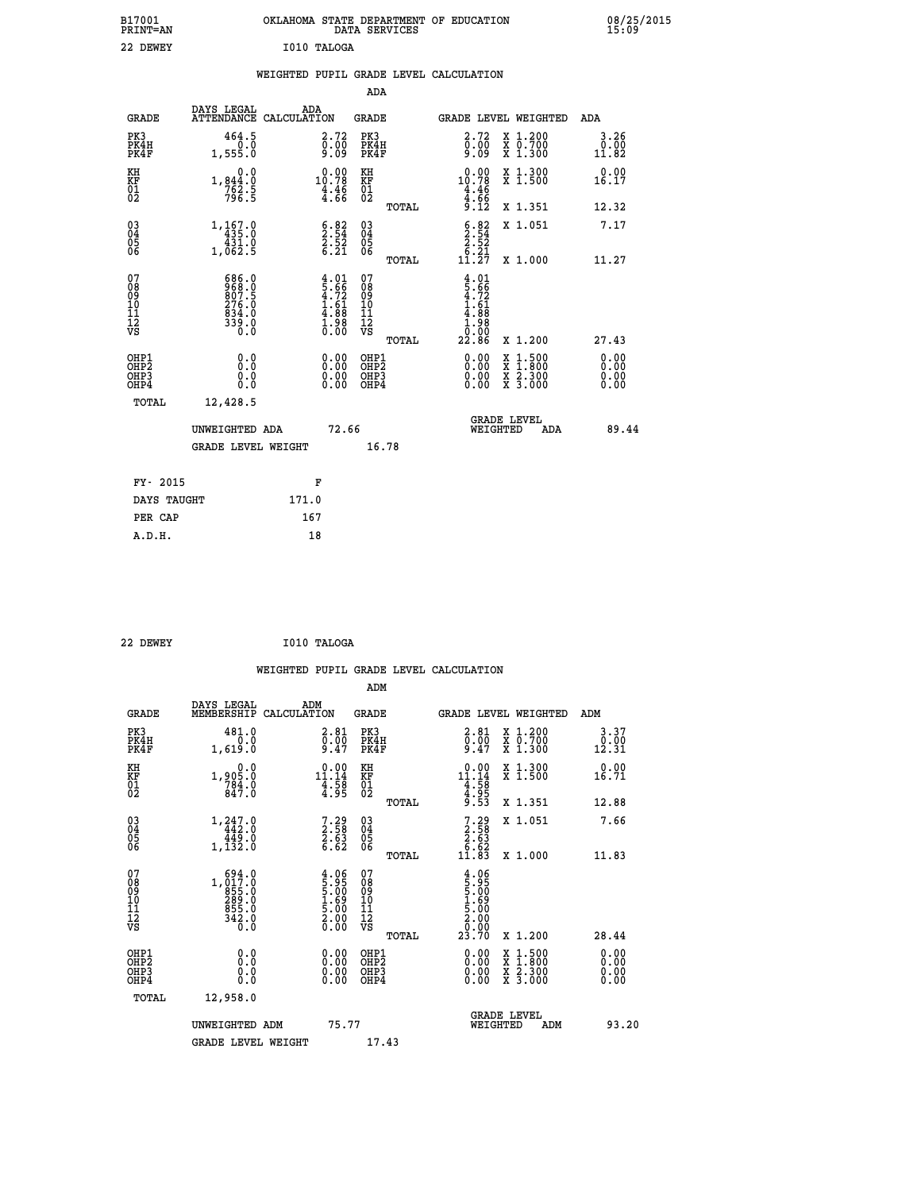| B17001<br>PRINT=AN<br>22 DEWEY            |                                                                                                          | OKLAHOMA STATE DEPARTMENT OF EDUCATION<br>I010 TALOGA              | DATA SERVICES                                                       |                                                                                                           |                                                                                          | 08/25/2015            |
|-------------------------------------------|----------------------------------------------------------------------------------------------------------|--------------------------------------------------------------------|---------------------------------------------------------------------|-----------------------------------------------------------------------------------------------------------|------------------------------------------------------------------------------------------|-----------------------|
|                                           |                                                                                                          | WEIGHTED PUPIL GRADE LEVEL CALCULATION                             | ADA                                                                 |                                                                                                           |                                                                                          |                       |
|                                           | DAYS LEGAL                                                                                               | ADA                                                                |                                                                     |                                                                                                           |                                                                                          |                       |
| <b>GRADE</b>                              |                                                                                                          | ATTENDANCE CALCULATION                                             | GRADE                                                               |                                                                                                           | <b>GRADE LEVEL WEIGHTED</b>                                                              | ADA                   |
| PK3<br>PK4H<br>PK4F                       | 464.5<br>1,555.0                                                                                         | 2.72<br>0.00<br>ۆة:ۆ                                               | PK3<br>PK4H<br>PK4F                                                 | 2.72<br>$\frac{5}{9}$ .09                                                                                 | X 1.200<br>X 0.700<br>X 1.300                                                            | 3.26<br>0.00<br>11.82 |
| KH<br>KF<br>$\overline{01}$               | 0.0<br>$1,844.0$<br>$762.5$<br>$796.5$                                                                   | $10.00$<br>10.78<br>$\frac{4.46}{4.66}$                            | KH<br>KF<br>01<br>02                                                | 0.00<br>10.78                                                                                             | X 1.300<br>X 1.500                                                                       | 0.00<br>16.17         |
|                                           |                                                                                                          |                                                                    | <b>TOTAL</b>                                                        | $\frac{4.46}{4.66}$<br>9.12                                                                               | X 1.351                                                                                  | 12.32                 |
| $03\overline{4}$<br>$\substack{05 \\ 06}$ | 1,167.0<br>$435.0$<br>$431.0$                                                                            | $\begin{array}{c} 6.82 \\ 2.54 \\ 2.52 \\ 6.21 \end{array}$        | $\begin{matrix} 03 \\ 04 \\ 05 \\ 06 \end{matrix}$                  | $\begin{smallmatrix} 6.82\ 2.54\ 2.52\ 2.52\ 6.21\ 11.27\ \end{smallmatrix}$                              | X 1.051                                                                                  | 7.17                  |
|                                           | 1,062.5                                                                                                  |                                                                    | <b>TOTAL</b>                                                        |                                                                                                           | X 1.000                                                                                  | 11.27                 |
| 07<br>08<br>09<br>10<br>11<br>12<br>VS    | 686.0<br>$\frac{868}{807}$ .5<br>$\begin{smallmatrix} 276.10 \\ 834.0 \\ 339.0 \\ 0.0 \end{smallmatrix}$ | $4.01$<br>$5.66$<br>$4.72$<br>$1.61$<br>$4.88$<br>$1.98$<br>$0.00$ | 07<br>08<br>09<br>10<br>$\frac{11}{12}$<br>$\frac{12}{18}$<br>TOTAL | $\begin{array}{c} 4.01 \\ 5.66 \\ 4.72 \\ 1.61 \end{array}$<br>$\frac{4.88}{1.98}$<br>98<br>0.00<br>22.86 | X 1.200                                                                                  | 27.43                 |
| OHP1                                      |                                                                                                          |                                                                    | OHP1                                                                |                                                                                                           |                                                                                          | 0.00                  |
| OH <sub>P</sub> 2<br>OHP3<br>OHP4         | 0.000<br>0.0<br>0.0                                                                                      | 0.00<br>0.00                                                       | OHP <sub>2</sub><br>OHP3<br>OHP4                                    | 0.00<br>0.00<br>0.00                                                                                      | $\begin{smallmatrix} x & 1.500 \\ x & 1.800 \\ x & 2.300 \\ x & 3.000 \end{smallmatrix}$ | 0.00<br>0.00<br>0.00  |
| <b>TOTAL</b>                              | 12,428.5                                                                                                 |                                                                    |                                                                     |                                                                                                           |                                                                                          |                       |
|                                           | UNWEIGHTED ADA                                                                                           | 72.66                                                              |                                                                     | WEIGHTED                                                                                                  | <b>GRADE LEVEL</b><br>ADA                                                                | 89.44                 |
|                                           | <b>GRADE LEVEL WEIGHT</b>                                                                                |                                                                    | 16.78                                                               |                                                                                                           |                                                                                          |                       |
| FY- 2015                                  |                                                                                                          | F                                                                  |                                                                     |                                                                                                           |                                                                                          |                       |
| DAYS TAUGHT                               |                                                                                                          | 171.0                                                              |                                                                     |                                                                                                           |                                                                                          |                       |
| PER CAP                                   |                                                                                                          | 167                                                                |                                                                     |                                                                                                           |                                                                                          |                       |

| 22 DEWEY | I010 TALOGA |
|----------|-------------|
|          |             |

|                                                    |                                                                                                               |                    |                                                                                  |                                  |       | WEIGHTED PUPIL GRADE LEVEL CALCULATION                                                                                                                                                                                                                                         |                                                                                                  |                       |       |
|----------------------------------------------------|---------------------------------------------------------------------------------------------------------------|--------------------|----------------------------------------------------------------------------------|----------------------------------|-------|--------------------------------------------------------------------------------------------------------------------------------------------------------------------------------------------------------------------------------------------------------------------------------|--------------------------------------------------------------------------------------------------|-----------------------|-------|
|                                                    |                                                                                                               |                    |                                                                                  | ADM                              |       |                                                                                                                                                                                                                                                                                |                                                                                                  |                       |       |
| <b>GRADE</b>                                       | DAYS LEGAL<br>MEMBERSHIP                                                                                      | ADM<br>CALCULATION |                                                                                  | <b>GRADE</b>                     |       | GRADE LEVEL WEIGHTED                                                                                                                                                                                                                                                           |                                                                                                  | ADM                   |       |
| PK3<br>PK4H<br>PK4F                                | 481.0<br>0.0<br>1,619.0                                                                                       |                    | $\overset{2.81}{\underset{9.47}{\scriptscriptstyle 0.00}}$                       | PK3<br>PK4H<br>PK4F              |       | $\begin{smallmatrix} 2.81\ 0.00\ 9.47 \end{smallmatrix}$                                                                                                                                                                                                                       | X 1.200<br>X 0.700<br>X 1.300                                                                    | 3.37<br>0.00<br>12.31 |       |
| KH<br>KF<br>01<br>02                               | 0.0<br>1,905:0<br>784:0<br>847:0                                                                              |                    | $\begin{array}{r} 0.00 \\[-4pt] 11.14 \\[-4pt] 4.58 \\[-4pt] 4.95 \end{array}$   | KH<br>KF<br>01<br>02             |       | $\begin{array}{r} 0.00 \\[-4pt] 11.14 \\[-4pt] 4.58 \\[-4pt] 4.95 \\[-4pt] 9.53 \end{array}$                                                                                                                                                                                   | X 1.300<br>X 1.500                                                                               | 0.00<br>16.71         |       |
|                                                    |                                                                                                               |                    |                                                                                  |                                  | TOTAL |                                                                                                                                                                                                                                                                                | X 1.351                                                                                          | 12.88                 |       |
| $\begin{matrix} 03 \\ 04 \\ 05 \\ 06 \end{matrix}$ | $\begin{array}{r} 1,247.0 \\ 442.0 \\ 449.0 \\ 1,132.0 \end{array}$                                           |                    | $7.29$<br>$2.58$<br>$2.63$<br>$6.62$                                             | 03<br>04<br>05<br>06             |       | $7.29$<br>$2.58$<br>$2.63$<br>$6.62$<br>$11.83$                                                                                                                                                                                                                                | X 1.051                                                                                          | 7.66                  |       |
|                                                    |                                                                                                               |                    |                                                                                  |                                  | TOTAL |                                                                                                                                                                                                                                                                                | X 1.000                                                                                          | 11.83                 |       |
| 07<br>0890112<br>1112<br>VS                        | $1, \begin{smallmatrix} 694.0 \\ 017.0 \\ 855.0 \\ 289.0 \\ 289.0 \\ 855.0 \\ 342.0 \\ 0.0 \end{smallmatrix}$ |                    | $\begin{smallmatrix} 4.06\,5.95\,5.00\,1.69\,5.00\,2.00\,0.00 \end{smallmatrix}$ | 07<br>08901123<br>1112<br>VS     | TOTAL | $4.95$<br>5.95<br>5.00<br>1.69<br>5.00<br>2.90<br>0.90<br>23.70                                                                                                                                                                                                                | X 1.200                                                                                          | 28.44                 |       |
|                                                    |                                                                                                               |                    |                                                                                  |                                  |       |                                                                                                                                                                                                                                                                                |                                                                                                  |                       |       |
| OHP1<br>OHP2<br>OH <sub>P3</sub><br>OHP4           | 0.0<br>0.000                                                                                                  |                    | $\begin{smallmatrix} 0.00 \ 0.00 \ 0.00 \ 0.00 \end{smallmatrix}$                | OHP1<br>OHP2<br>OHP <sub>3</sub> |       | $\begin{smallmatrix} 0.00 & 0.00 & 0.00 & 0.00 & 0.00 & 0.00 & 0.00 & 0.00 & 0.00 & 0.00 & 0.00 & 0.00 & 0.00 & 0.00 & 0.00 & 0.00 & 0.00 & 0.00 & 0.00 & 0.00 & 0.00 & 0.00 & 0.00 & 0.00 & 0.00 & 0.00 & 0.00 & 0.00 & 0.00 & 0.00 & 0.00 & 0.00 & 0.00 & 0.00 & 0.00 & 0.0$ | $\begin{smallmatrix} x & 1 & 500 \\ x & 1 & 800 \\ x & 2 & 300 \\ x & 3 & 000 \end{smallmatrix}$ | 0.00<br>0.00<br>0.00  |       |
| TOTAL                                              | 12,958.0                                                                                                      |                    |                                                                                  |                                  |       |                                                                                                                                                                                                                                                                                |                                                                                                  |                       |       |
|                                                    | UNWEIGHTED ADM                                                                                                |                    | 75.77                                                                            |                                  |       | WEIGHTED                                                                                                                                                                                                                                                                       | <b>GRADE LEVEL</b><br>ADM                                                                        |                       | 93.20 |
|                                                    | <b>GRADE LEVEL WEIGHT</b>                                                                                     |                    |                                                                                  | 17.43                            |       |                                                                                                                                                                                                                                                                                |                                                                                                  |                       |       |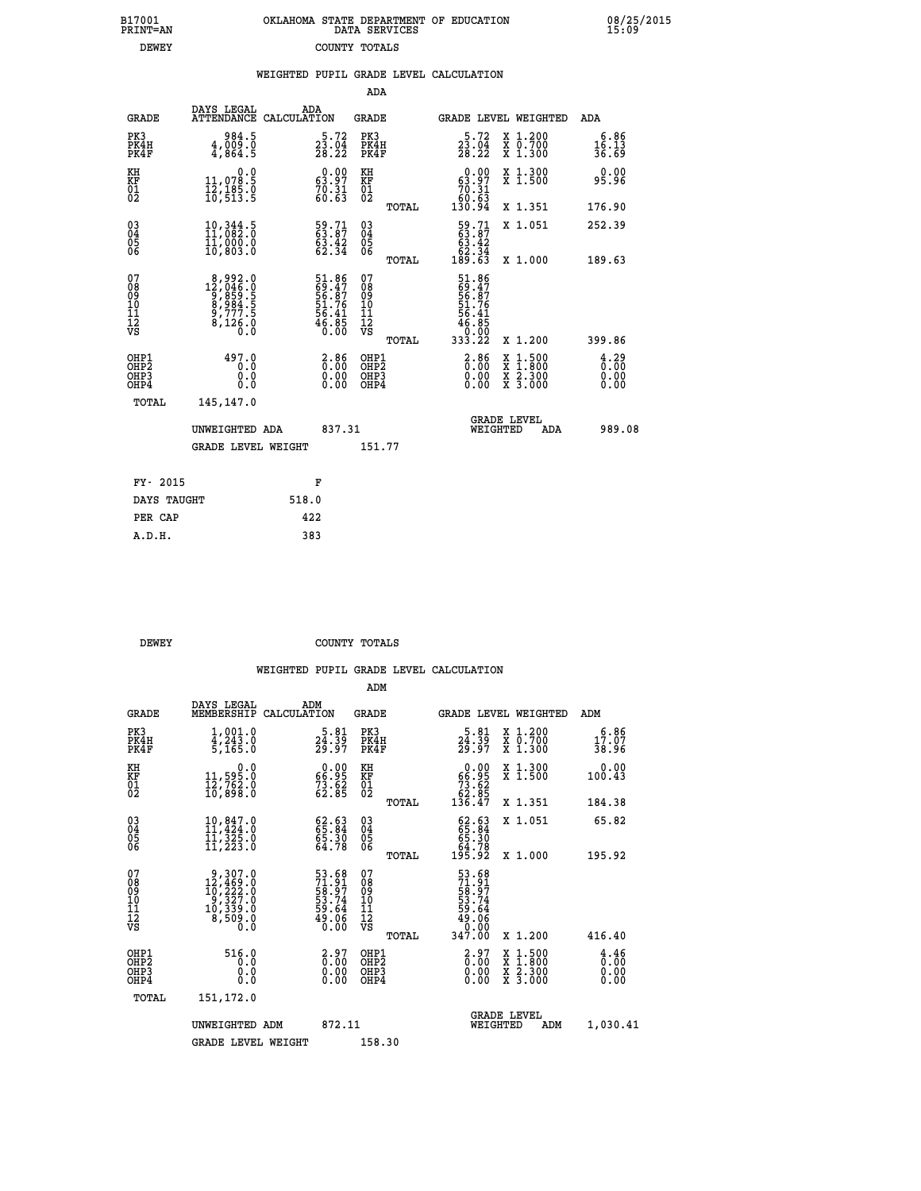| DATA SERVICES | OKLAHOMA STATE DEPARTMENT OF EDUCATION |  |
|---------------|----------------------------------------|--|
| COUNTY TOTALS |                                        |  |

 **B17001 OKLAHOMA STATE DEPARTMENT OF EDUCATION 08/25/2015**

| <b>DEWEY</b>                           |                                                                                                          |             | COUNTY TOTALS                                                        |                                                    |              |                                                                            |                                                                                                                                           |                                     |
|----------------------------------------|----------------------------------------------------------------------------------------------------------|-------------|----------------------------------------------------------------------|----------------------------------------------------|--------------|----------------------------------------------------------------------------|-------------------------------------------------------------------------------------------------------------------------------------------|-------------------------------------|
|                                        |                                                                                                          |             |                                                                      |                                                    |              | WEIGHTED PUPIL GRADE LEVEL CALCULATION                                     |                                                                                                                                           |                                     |
|                                        |                                                                                                          |             |                                                                      | <b>ADA</b>                                         |              |                                                                            |                                                                                                                                           |                                     |
| <b>GRADE</b>                           | DAYS LEGAL<br><b>ATTENDANCE</b>                                                                          | CALCULATION | ADA                                                                  | <b>GRADE</b>                                       |              |                                                                            | GRADE LEVEL WEIGHTED                                                                                                                      | ADA                                 |
| PK3<br>PK4H<br>PK4F                    | 984.5<br>$\frac{4}{9}, \frac{009}{864}$ .5                                                               |             | $\frac{5 \cdot 72}{23 \cdot 04}$<br>28.22                            | PK3<br>PK4H<br>PK4F                                |              | $\frac{5 \cdot 72}{23 \cdot 04}$<br>28.22                                  | X 1.200<br>X 0.700<br>X 1.300                                                                                                             | 6.86<br>16.13<br>36.69              |
| KH<br>KF<br>01<br>02                   | 0.0<br>11,078.5<br>12,185.0<br>10,513.5                                                                  |             | $\begin{smallmatrix} 0.00\\ 63.97\\ 70.31\\ 60.63 \end{smallmatrix}$ | KH<br>KF<br>01<br>02                               |              | $\begin{smallmatrix} &0.00\ 63.97\ 70.31\ 60.63\ 130.94\end{smallmatrix}$  | X 1.300<br>X 1.500                                                                                                                        | 0.00<br>95.96                       |
|                                        |                                                                                                          |             |                                                                      |                                                    | TOTAL        |                                                                            | X 1.351                                                                                                                                   | 176.90                              |
| $^{03}_{04}$<br>Ŏ5<br>06               | 10,344.5<br>11,082.0<br>īī,ŏŏō:ŏ<br>10,803.0                                                             |             | 59.71<br>63.87<br>63.42<br>62.34                                     | $\begin{matrix} 03 \\ 04 \\ 05 \\ 06 \end{matrix}$ |              | $\begin{smallmatrix} 59.71\ 63.87\ 63.42\ 62.34\ 189.63 \end{smallmatrix}$ | X 1.051                                                                                                                                   | 252.39                              |
|                                        |                                                                                                          |             |                                                                      |                                                    | TOTAL        |                                                                            | X 1.000                                                                                                                                   | 189.63                              |
| 07<br>08<br>09<br>11<br>11<br>12<br>VS | $\begin{smallmatrix} 8,992.0\\ 12,046.0\\ 9,859.5\\ 8,984.5\\ 9,777.5\\ 8,126.0\\ 0.0 \end{smallmatrix}$ |             | 51.86<br>69.47<br>56.87<br>51.76<br>54.41<br>56.85<br>46.85          | 07<br>08<br>09<br>101<br>11<br>12<br>VS            | <b>TOTAL</b> | 51.86<br>69.47<br>56.87<br>56.41<br>56.41<br>46.85<br>0.000<br>333.22      | X 1.200                                                                                                                                   | 399.86                              |
| OHP1<br>OHP2<br>OHP3<br>OHP4           | 497.0<br>0.0<br>0.0<br>0.0                                                                               |             | 2.86<br>$\begin{smallmatrix} 0.00 \ 0.00 \end{smallmatrix}$          | OHP1<br>OHP2<br>OHP3<br>OHP4                       |              | $2.86$<br>$0.00$<br>0.00                                                   | $\begin{smallmatrix} \mathtt{X} & 1\cdot500\\ \mathtt{X} & 1\cdot800\\ \mathtt{X} & 2\cdot300\\ \mathtt{X} & 3\cdot000 \end{smallmatrix}$ | $\frac{4.29}{0.00}$<br>0.00<br>0.00 |
| TOTAL                                  | 145,147.0                                                                                                |             |                                                                      |                                                    |              |                                                                            |                                                                                                                                           |                                     |
|                                        | UNWEIGHTED ADA                                                                                           |             | 837.31                                                               |                                                    |              |                                                                            | GRADE LEVEL<br>WEIGHTED<br>ADA                                                                                                            | 989.08                              |
|                                        | <b>GRADE LEVEL WEIGHT</b>                                                                                |             |                                                                      | 151.77                                             |              |                                                                            |                                                                                                                                           |                                     |
| FY- 2015                               |                                                                                                          |             | F                                                                    |                                                    |              |                                                                            |                                                                                                                                           |                                     |
| DAYS TAUGHT                            |                                                                                                          | 518.0       |                                                                      |                                                    |              |                                                                            |                                                                                                                                           |                                     |
| PER CAP                                |                                                                                                          | 422         |                                                                      |                                                    |              |                                                                            |                                                                                                                                           |                                     |

 **PER CAP 422 A.D.H. 383**

**B17001<br>PRINT=AN** 

 **DEWEY COUNTY TOTALS**

|                                          |                                                                                                            |                                                                      | ADM                                                 |                                                                                      |                                          |                              |
|------------------------------------------|------------------------------------------------------------------------------------------------------------|----------------------------------------------------------------------|-----------------------------------------------------|--------------------------------------------------------------------------------------|------------------------------------------|------------------------------|
| <b>GRADE</b>                             | DAYS LEGAL<br>MEMBERSHIP                                                                                   | ADM<br>CALCULATION                                                   | <b>GRADE</b>                                        | GRADE LEVEL WEIGHTED                                                                 |                                          | ADM                          |
| PK3<br>PK4H<br>PK4F                      | $1,001.0$<br>$4,243.0$<br>5,165.0                                                                          | $\frac{5.81}{24.39}$<br>$\frac{24.39}{29.97}$                        | PK3<br>PK4H<br>PK4F                                 | $\frac{5.81}{24.39}$<br>29.97                                                        | X 1.200<br>X 0.700<br>X 1.300            | 6.86<br>17.07<br>38.96       |
| KH<br>KF<br>01<br>02                     | 0.0<br>11,595.0<br>12,762.0<br>10,898.0                                                                    | $\begin{smallmatrix} 0.00\\ 66.95\\ 73.62\\ 62.85 \end{smallmatrix}$ | KH<br>KF<br>01<br>02                                | $\begin{smallmatrix} &0.00\\ 66.95\\ 73.62\\ 62.85\\ 136.47\end{smallmatrix}$        | X 1.300<br>X 1.500                       | 0.00<br>100.43               |
|                                          |                                                                                                            |                                                                      | TOTAL                                               |                                                                                      | X 1.351                                  | 184.38                       |
| 03<br>04<br>05<br>06                     | 10,847.0<br>11,424.0<br>11,325.0<br>11, 223.0                                                              | $62.63$<br>$65.30$<br>$65.30$<br>$64.78$                             | $\begin{array}{c} 03 \\ 04 \\ 05 \\ 06 \end{array}$ | $\begin{smallmatrix} 62.63\ 65.84\ 65.30\ 64.78\ 195.92 \end{smallmatrix}$           | X 1.051                                  | 65.82                        |
|                                          |                                                                                                            |                                                                      | TOTAL                                               |                                                                                      | X 1.000                                  | 195.92                       |
| 07<br>08<br>09<br>101<br>112<br>VS       | $\begin{smallmatrix} 9,307.0\\ 12,469.0\\ 10,222.0\\ 9,327.0\\ 10,339.0\\ 8,509.0\\ 0.0 \end{smallmatrix}$ | 53.68<br>71.91<br>58.97<br>53.74<br>59.64<br>59.06<br>49.06          | 07<br>08<br>09<br>11<br>11<br>12<br>VS              | $53.68$<br>$71.91$<br>$58.74$<br>$53.74$<br>$59.64$<br>$49.06$<br>$0.00$<br>$347.00$ |                                          |                              |
|                                          |                                                                                                            |                                                                      | TOTAL                                               |                                                                                      | X 1.200                                  | 416.40                       |
| OHP1<br>OHP2<br>OH <sub>P3</sub><br>OHP4 | 516.0<br>0.0<br>0.000                                                                                      | $\begin{smallmatrix} 2.97\ 0.00 \ 0.00 \end{smallmatrix}$<br>0.00    | OHP1<br>OHP2<br>OHP <sub>3</sub>                    | $\begin{smallmatrix} 2.97\ 0.00 \ 0.00 \end{smallmatrix}$<br>0.00                    | X 1:500<br>X 1:800<br>X 2:300<br>X 3:000 | 4.46<br>0.00<br>0.00<br>0.00 |
| TOTAL                                    | 151,172.0                                                                                                  |                                                                      |                                                     |                                                                                      |                                          |                              |
|                                          | UNWEIGHTED ADM                                                                                             | 872.11                                                               |                                                     | <b>GRADE LEVEL</b><br>WEIGHTED                                                       | ADM                                      | 1,030.41                     |
|                                          | <b>GRADE LEVEL WEIGHT</b>                                                                                  |                                                                      | 158.30                                              |                                                                                      |                                          |                              |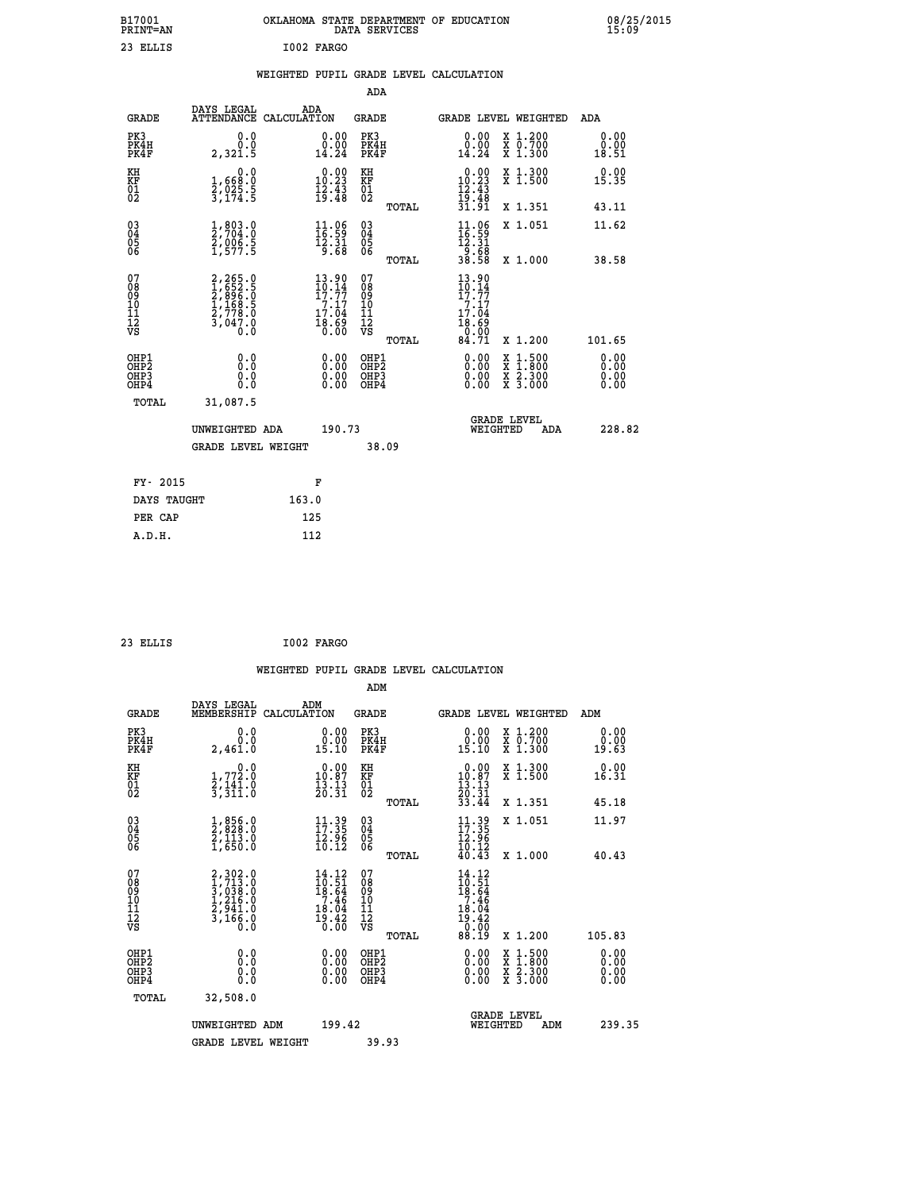| B17001<br><b>PRINT=AN</b> | OKLAHOMA STATE DEPARTMENT OF EDUCATION<br>DATA SERVICES | 08/25/2015<br>15:09 |
|---------------------------|---------------------------------------------------------|---------------------|
| 23 ELLIS                  | I002 FARGO                                              |                     |

|  |  | WEIGHTED PUPIL GRADE LEVEL CALCULATION |
|--|--|----------------------------------------|
|  |  |                                        |

|                                                    |                                                                                                  |                                                                                               | ADA                                                |       |                                                                                              |                                          |                              |
|----------------------------------------------------|--------------------------------------------------------------------------------------------------|-----------------------------------------------------------------------------------------------|----------------------------------------------------|-------|----------------------------------------------------------------------------------------------|------------------------------------------|------------------------------|
| <b>GRADE</b>                                       | DAYS LEGAL<br><b>ATTENDANCE</b>                                                                  | ADA<br>CALCULATION                                                                            | <b>GRADE</b>                                       |       |                                                                                              | GRADE LEVEL WEIGHTED                     | <b>ADA</b>                   |
| PK3<br>PK4H<br>PK4F                                | 0.0<br>0.0<br>2,321.5                                                                            | 0.00<br>0.00<br>14.24                                                                         | PK3<br>PK4H<br>PK4F                                |       | 0.00<br>0.00<br>14.24                                                                        | X 1.200<br>X 0.700<br>X 1.300            | 0.00<br>0.00<br>18.51        |
| KH<br>KF<br>01<br>02                               | $\begin{smallmatrix}&&&0.0\\1,668.0\\2,025.5\\3,174.5\end{smallmatrix}$                          | $\begin{smallmatrix} 0.00\\ 10.23\\ 12.43\\ 19.43\\ \end{smallmatrix}$                        | KH<br>KF<br>01<br>02                               |       | $\begin{array}{r} 0.00 \\ 10.23 \\ 12.43 \\ 19.48 \\ 31.91 \end{array}$                      | X 1.300<br>X 1.500                       | 0.00<br>15.35                |
|                                                    |                                                                                                  |                                                                                               |                                                    | TOTAL |                                                                                              | X 1.351                                  | 43.11                        |
| $\begin{matrix} 03 \\ 04 \\ 05 \\ 06 \end{matrix}$ | $\frac{1}{2}$ , 803.0<br>$\frac{2}{7}$ , 704.0<br>$\frac{2}{1}$ , 906.5<br>$\frac{5}{1}$ , 577.5 | $\begin{array}{c} 11\cdot 06\\ 16\cdot 59\\ 12\cdot 31\\ 9\cdot 68 \end{array}$               | $\begin{matrix} 03 \\ 04 \\ 05 \\ 06 \end{matrix}$ |       | $\begin{array}{l} 11\cdot 96\\ 16\cdot 59\\ 12\cdot 31\\ 9\cdot 68\\ 38\cdot 58 \end{array}$ | X 1.051                                  | 11.62                        |
|                                                    |                                                                                                  |                                                                                               |                                                    | TOTAL |                                                                                              | X 1.000                                  | 38.58                        |
| 07<br>08<br>09<br>10<br>11<br>11<br>12<br>VS       | 2,265.0<br>1,652.5<br>2,896.0<br>2,778.0<br>2,778.0<br>3,047.0                                   | $\frac{13.90}{10.14}$<br>$\begin{array}{c} 7.17 \\ 7.04 \\ 17.04 \\ 8.69 \\ 0.00 \end{array}$ | 07<br>08<br>09<br>11<br>11<br>12<br>VS             | TOTAL | $\frac{13.90}{10.14}$<br>$\frac{7:17}{17:04}$<br>$\frac{18.69}{0.00}$<br>84.71               | X 1.200                                  | 101.65                       |
| OHP1<br>OH <sub>P</sub> 2<br>OHP3<br>OHP4          | 0.0<br>0.000                                                                                     | $0.00$<br>$0.00$<br>0.00                                                                      | OHP1<br>OH <sub>P</sub> 2<br>OHP3<br>OHP4          |       | 0.00<br>0.00<br>0.00                                                                         | X 1:500<br>X 1:800<br>X 2:300<br>X 3:000 | 0.00<br>0.00<br>0.00<br>0.00 |
| TOTAL                                              | 31,087.5                                                                                         |                                                                                               |                                                    |       |                                                                                              |                                          |                              |
|                                                    | UNWEIGHTED ADA                                                                                   | 190.73                                                                                        |                                                    |       |                                                                                              | <b>GRADE LEVEL</b><br>WEIGHTED<br>ADA    | 228.82                       |
|                                                    | <b>GRADE LEVEL WEIGHT</b>                                                                        |                                                                                               | 38.09                                              |       |                                                                                              |                                          |                              |
| FY- 2015                                           |                                                                                                  | F                                                                                             |                                                    |       |                                                                                              |                                          |                              |
| DAYS TAUGHT                                        |                                                                                                  | 163.0                                                                                         |                                                    |       |                                                                                              |                                          |                              |
|                                                    |                                                                                                  |                                                                                               |                                                    |       |                                                                                              |                                          |                              |

 **23 ELLIS I002 FARGO**

 **PER CAP 125**

 **A.D.H. 112**

 **WEIGHTED PUPIL GRADE LEVEL CALCULATION ADM DAYS LEGAL ADM GRADE MEMBERSHIP CALCULATION GRADE GRADE LEVEL WEIGHTED ADM**

| سميت                                               | MEMBERSHIPE CADCOBAILON                                               |                                                                                                                                | ىستى                                               |       | GRADE DEVER MEIGHIED                                                          |                                                                                                                     | <b>ADII</b>                                                                                                                                                                                                                                                                    |
|----------------------------------------------------|-----------------------------------------------------------------------|--------------------------------------------------------------------------------------------------------------------------------|----------------------------------------------------|-------|-------------------------------------------------------------------------------|---------------------------------------------------------------------------------------------------------------------|--------------------------------------------------------------------------------------------------------------------------------------------------------------------------------------------------------------------------------------------------------------------------------|
| PK3<br>PK4H<br>PK4F                                | 0.000<br>2,461.0                                                      | $\begin{smallmatrix} 0.00\\ 0.00\\ 15.10 \end{smallmatrix}$                                                                    | PK3<br>PK4H<br>PK4F                                |       | $\begin{smallmatrix} 0.00\\ 0.00\\ 15.10 \end{smallmatrix}$                   | X 1.200<br>X 0.700<br>X 1.300                                                                                       | 0.00<br>0.00<br>19.63                                                                                                                                                                                                                                                          |
| KH<br>KF<br>01<br>02                               | 0.0<br>$\frac{1}{2}, \frac{772}{141}$ .0<br>3, 311.0                  | $\begin{smallmatrix} 0.00\\ 10.87\\ 13.13\\ 20.31 \end{smallmatrix}$                                                           | KH<br>KF<br>01<br>02                               |       | $\begin{smallmatrix} &0.00\\ 10.87\\ 13.13\\ 20.31\\ 33.44 \end{smallmatrix}$ | X 1.300<br>X 1.500                                                                                                  | 0.00<br>16.31                                                                                                                                                                                                                                                                  |
|                                                    |                                                                       |                                                                                                                                |                                                    | TOTAL |                                                                               | X 1.351                                                                                                             | 45.18                                                                                                                                                                                                                                                                          |
| $\begin{matrix} 03 \\ 04 \\ 05 \\ 06 \end{matrix}$ | $\frac{1}{2}, \substack{856.0\\2,828.0\\2,113.0\\1,650.0$             | $\begin{smallmatrix} 11\cdot 39\\ 17\cdot 35\\ 12\cdot 96\\ 10\cdot 12 \end{smallmatrix}$                                      | $\begin{matrix} 03 \\ 04 \\ 05 \\ 06 \end{matrix}$ |       | $11.39$<br>$12.35$<br>$12.96$<br>$10.12$<br>$40.43$                           | X 1.051                                                                                                             | 11.97                                                                                                                                                                                                                                                                          |
|                                                    |                                                                       |                                                                                                                                |                                                    | TOTAL |                                                                               | X 1.000                                                                                                             | 40.43                                                                                                                                                                                                                                                                          |
| 07<br>08<br>09<br>101<br>11<br>12<br>VS            | 2,302.0<br>1,713.0<br>3,038.0<br>3,216.0<br>2,941.0<br>3,166.0<br>Ō.Ō | $\begin{smallmatrix} 14\cdot 12\\ 10\cdot 51\\ 18\cdot 64\\ 7\cdot 46\\ 18\cdot 04\\ 19\cdot 42\\ 0\cdot 00 \end{smallmatrix}$ | 07<br>08<br>09<br>01<br>11<br>11<br>17<br>VS       |       | $14.12$<br>$10.51$<br>$18.64$<br>$7.464$<br>$18.042$<br>$19.420$<br>$88.19$   |                                                                                                                     |                                                                                                                                                                                                                                                                                |
|                                                    |                                                                       |                                                                                                                                |                                                    | TOTAL |                                                                               | X 1.200                                                                                                             | 105.83                                                                                                                                                                                                                                                                         |
| OHP1<br>OHP2<br>OH <sub>P3</sub><br>OHP4           | $\begin{smallmatrix} 0.0 \ 0.0 \ 0.0 \end{smallmatrix}$               | $\begin{smallmatrix} 0.00 \ 0.00 \ 0.00 \ 0.00 \end{smallmatrix}$                                                              | OHP1<br>OHP <sub>2</sub><br>OHP3<br>OHP4           |       |                                                                               | $\begin{array}{l} \mathtt{X} & 1.500 \\ \mathtt{X} & 1.800 \\ \mathtt{X} & 2.300 \\ \mathtt{X} & 3.000 \end{array}$ | $\begin{smallmatrix} 0.00 & 0.00 & 0.00 & 0.00 & 0.00 & 0.00 & 0.00 & 0.00 & 0.00 & 0.00 & 0.00 & 0.00 & 0.00 & 0.00 & 0.00 & 0.00 & 0.00 & 0.00 & 0.00 & 0.00 & 0.00 & 0.00 & 0.00 & 0.00 & 0.00 & 0.00 & 0.00 & 0.00 & 0.00 & 0.00 & 0.00 & 0.00 & 0.00 & 0.00 & 0.00 & 0.0$ |
| TOTAL                                              | 32,508.0                                                              |                                                                                                                                |                                                    |       |                                                                               |                                                                                                                     |                                                                                                                                                                                                                                                                                |
|                                                    | UNWEIGHTED ADM                                                        | 199.42                                                                                                                         |                                                    |       | WEIGHTED                                                                      | <b>GRADE LEVEL</b><br>ADM                                                                                           | 239.35                                                                                                                                                                                                                                                                         |
|                                                    | <b>GRADE LEVEL WEIGHT</b>                                             |                                                                                                                                | 39.93                                              |       |                                                                               |                                                                                                                     |                                                                                                                                                                                                                                                                                |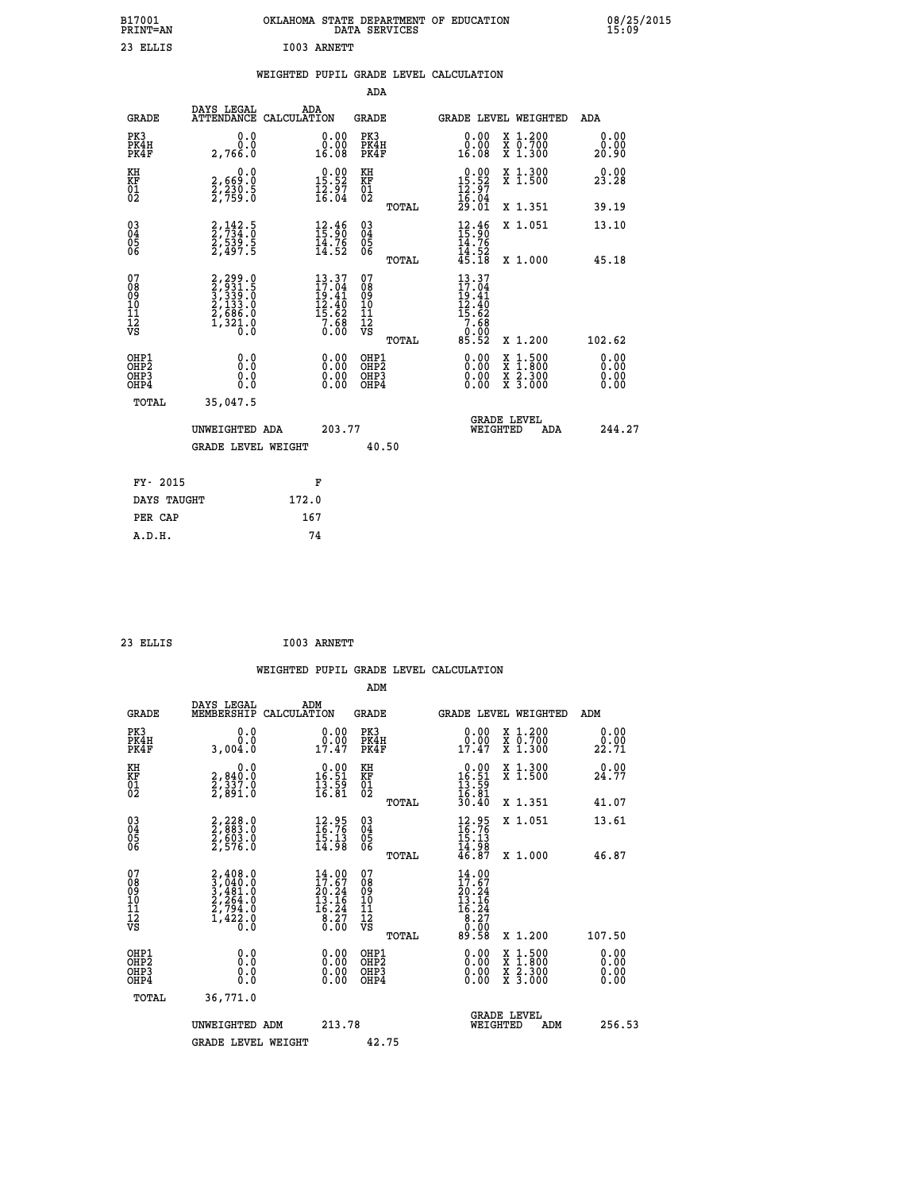| B17001<br>PRINT=AN | OKLAHOMA STATE DEPARTMENT OF EDUCATION<br>DATA SERVICES | 08/25/2015<br>15:09 |
|--------------------|---------------------------------------------------------|---------------------|
| 23<br>ELLIS        | I003 ARNETT                                             |                     |

## **WEIGHTED PUPIL GRADE LEVEL CALCULATION**

|                                                                    |                                                                                            |                                                                                                                       | ADA                                       |       |                                                                                                  |        |                                          |                              |
|--------------------------------------------------------------------|--------------------------------------------------------------------------------------------|-----------------------------------------------------------------------------------------------------------------------|-------------------------------------------|-------|--------------------------------------------------------------------------------------------------|--------|------------------------------------------|------------------------------|
| <b>GRADE</b>                                                       | DAYS LEGAL<br>ATTENDANCE CALCULATION                                                       | ADA                                                                                                                   | <b>GRADE</b>                              |       | GRADE LEVEL WEIGHTED                                                                             |        |                                          | <b>ADA</b>                   |
| PK3<br>PK4H<br>PK4F                                                | 0.0<br>0.0<br>2,766.0                                                                      | $\begin{smallmatrix} 0.00\\ 0.00\\ 16.08 \end{smallmatrix}$                                                           | PK3<br>PK4H<br>PK4F                       |       | 0.00<br>ŏ:ŏŏ<br>16:08                                                                            |        | X 1.200<br>X 0.700<br>X 1.300            | 0.00<br>0.00<br>20.90        |
| KH<br>KF<br>01<br>02                                               | 0.0<br>2,669:0<br>2,230:5<br>2,759:0                                                       | $0.00$<br>15.52<br>$\frac{1}{2}$ $\frac{2}{6}$ $\frac{5}{0}$ $\frac{7}{4}$                                            | KH<br>KF<br>01<br>02                      |       | $\begin{smallmatrix} 0.00\\ 15.52\\ 12.97\\ 16.04\\ 29.01 \end{smallmatrix}$                     |        | X 1.300<br>X 1.500                       | 0.00<br>23.28                |
|                                                                    |                                                                                            |                                                                                                                       |                                           | TOTAL |                                                                                                  |        | X 1.351                                  | 39.19                        |
| $\begin{smallmatrix} 03 \\[-4pt] 04 \end{smallmatrix}$<br>Ŏ5<br>06 | 2, 142.5<br>2, 734.0<br>2, 539.5<br>2, 497.5                                               | $12.46$<br>$15.90$<br>$\frac{14.76}{14.52}$                                                                           | $\substack{03 \\ 04}$<br>05<br>06         |       | $\begin{array}{c} 12.46 \\[-4pt] 15.90 \\[-4pt] 14.76 \\[-4pt] 14.52 \\[-4pt] 45.18 \end{array}$ |        | X 1.051                                  | 13.10                        |
|                                                                    |                                                                                            |                                                                                                                       |                                           | TOTAL |                                                                                                  |        | X 1.000                                  | 45.18                        |
| 07<br>08<br>09<br>11<br>11<br>12<br>VS                             | $2, 299.0$<br>$3, 339.5$<br>$3, 339.5$<br>$2, 1333.0$<br>$2, 686.0$<br>$1, 321.0$<br>$0.0$ | $\begin{array}{l} 13\cdot 37\\ 17\cdot 04\\ 19\cdot 41\\ 12\cdot 40\\ 15\cdot 62\\ 7\cdot 68\\ 0\cdot 00 \end{array}$ | 07<br>08<br>09<br>11<br>11<br>12<br>VS    |       | 13.37<br>17.04<br>$19.41$<br>$12.40$<br>$15.62$<br>$7.68$<br>$0.00$<br>$85.52$                   |        |                                          |                              |
|                                                                    |                                                                                            |                                                                                                                       |                                           | TOTAL |                                                                                                  |        | X 1.200                                  | 102.62                       |
| OHP1<br>OH <sub>P</sub> 2<br>OHP3<br>OHP4                          | 0.0<br>0.0<br>0.0                                                                          | 0.00<br>$\begin{smallmatrix} 0.00 \ 0.00 \end{smallmatrix}$                                                           | OHP1<br>OH <sub>P</sub> 2<br>OHP3<br>OHP4 |       | 0.00<br>0.00<br>0.00                                                                             | X<br>X | $1:500$<br>$1:800$<br>X 2.300<br>X 3.000 | 0.00<br>0.00<br>0.00<br>0.00 |
| TOTAL                                                              | 35,047.5                                                                                   |                                                                                                                       |                                           |       |                                                                                                  |        |                                          |                              |
|                                                                    | UNWEIGHTED ADA                                                                             | 203.77                                                                                                                |                                           |       | WEIGHTED                                                                                         |        | <b>GRADE LEVEL</b><br>ADA                | 244.27                       |
|                                                                    | <b>GRADE LEVEL WEIGHT</b>                                                                  |                                                                                                                       | 40.50                                     |       |                                                                                                  |        |                                          |                              |
| FY- 2015                                                           |                                                                                            |                                                                                                                       |                                           |       |                                                                                                  |        |                                          |                              |
|                                                                    |                                                                                            | F                                                                                                                     |                                           |       |                                                                                                  |        |                                          |                              |
| DAYS TAUGHT                                                        |                                                                                            | 172.0                                                                                                                 |                                           |       |                                                                                                  |        |                                          |                              |
| PER CAP                                                            |                                                                                            | 167                                                                                                                   |                                           |       |                                                                                                  |        |                                          |                              |

| ELLT |  |
|------|--|
|      |  |

 **A.D.H. 74**

 **ADM**

 **23 ELLIS I003 ARNETT**

| <b>GRADE</b>                                       | DAYS LEGAL<br>MEMBERSHIP CALCULATION                                                | ADM                                                                                  | <b>GRADE</b>                                       |       |                                                                                   | GRADE LEVEL WEIGHTED                     | ADM                  |  |
|----------------------------------------------------|-------------------------------------------------------------------------------------|--------------------------------------------------------------------------------------|----------------------------------------------------|-------|-----------------------------------------------------------------------------------|------------------------------------------|----------------------|--|
| PK3<br>PK4H<br>PK4F                                | 0.0<br>0.0<br>3,004.0                                                               | $\begin{smallmatrix} 0.00\\ 0.00\\ 17.47 \end{smallmatrix}$                          | PK3<br>PK4H<br>PK4F                                |       | 0.00<br>$0.00$<br>$17.47$                                                         | X 1.200<br>X 0.700<br>X 1.300            | 0.00<br>22.71        |  |
| KH<br>KF<br>01<br>02                               | 0.0<br>2,840:0<br>2,337:0<br>2,891:0                                                | $\begin{array}{c} 0.00 \\ 16.51 \\ 13.59 \\ 16.81 \end{array}$                       | KH<br>KF<br>01<br>02                               |       | $\begin{array}{r} 0.00 \\ 16.51 \\ 13.59 \\ 16.81 \\ 30.40 \end{array}$           | X 1.300<br>X 1.500                       | 0.00<br>24.77        |  |
|                                                    |                                                                                     |                                                                                      |                                                    | TOTAL |                                                                                   | X 1.351                                  | 41.07                |  |
| $\begin{matrix} 03 \\ 04 \\ 05 \\ 06 \end{matrix}$ | 2,228.0<br>2,883.0<br>2,603.0<br>2,576.0                                            | $\begin{smallmatrix} 12.95\\ 16.76\\ 15.13\\ 14.98 \end{smallmatrix}$                | $\begin{matrix} 03 \\ 04 \\ 05 \\ 06 \end{matrix}$ |       | $12.95$<br>$16.76$<br>$15.13$<br>$14.98$<br>$46.87$                               | X 1.051                                  | 13.61                |  |
|                                                    |                                                                                     |                                                                                      |                                                    | TOTAL |                                                                                   | X 1.000                                  | 46.87                |  |
| 07<br>08<br>09<br>101<br>11<br>12<br>VS            | $2,408.0$<br>$3,481.0$<br>$3,481.0$<br>$2,264.0$<br>$2,794.0$<br>$1,422.0$<br>$0.0$ | $\begin{smallmatrix} 14.00\\17.67\\20.24\\13.16\\16.24\\8.27\\0.00\end{smallmatrix}$ | 07<br>08<br>09<br>001<br>11<br>11<br>12<br>VS      | TOTAL | $\begin{smallmatrix} 14.00\\17.67\\20.24\\13.16\\16.24\\8.27\\8\end{smallmatrix}$ | X 1.200                                  | 107.50               |  |
| OHP1                                               |                                                                                     |                                                                                      | OHP1                                               |       |                                                                                   |                                          |                      |  |
| OHP2<br>OHP3<br>OHP4                               | 0.0<br>0.000                                                                        | $\begin{smallmatrix} 0.00 \ 0.00 \ 0.00 \ 0.00 \end{smallmatrix}$                    | OHP <sub>2</sub><br>OHP3<br>OHP4                   |       | 0.00<br>0.00                                                                      | X 1:500<br>X 1:800<br>X 2:300<br>X 3:000 | 0.00<br>0.00<br>0.00 |  |
| TOTAL                                              | 36,771.0                                                                            |                                                                                      |                                                    |       |                                                                                   |                                          |                      |  |
|                                                    | UNWEIGHTED<br>ADM                                                                   | 213.78                                                                               |                                                    |       | WEIGHTED                                                                          | <b>GRADE LEVEL</b><br>ADM                | 256.53               |  |
|                                                    | <b>GRADE LEVEL WEIGHT</b>                                                           |                                                                                      | 42.75                                              |       |                                                                                   |                                          |                      |  |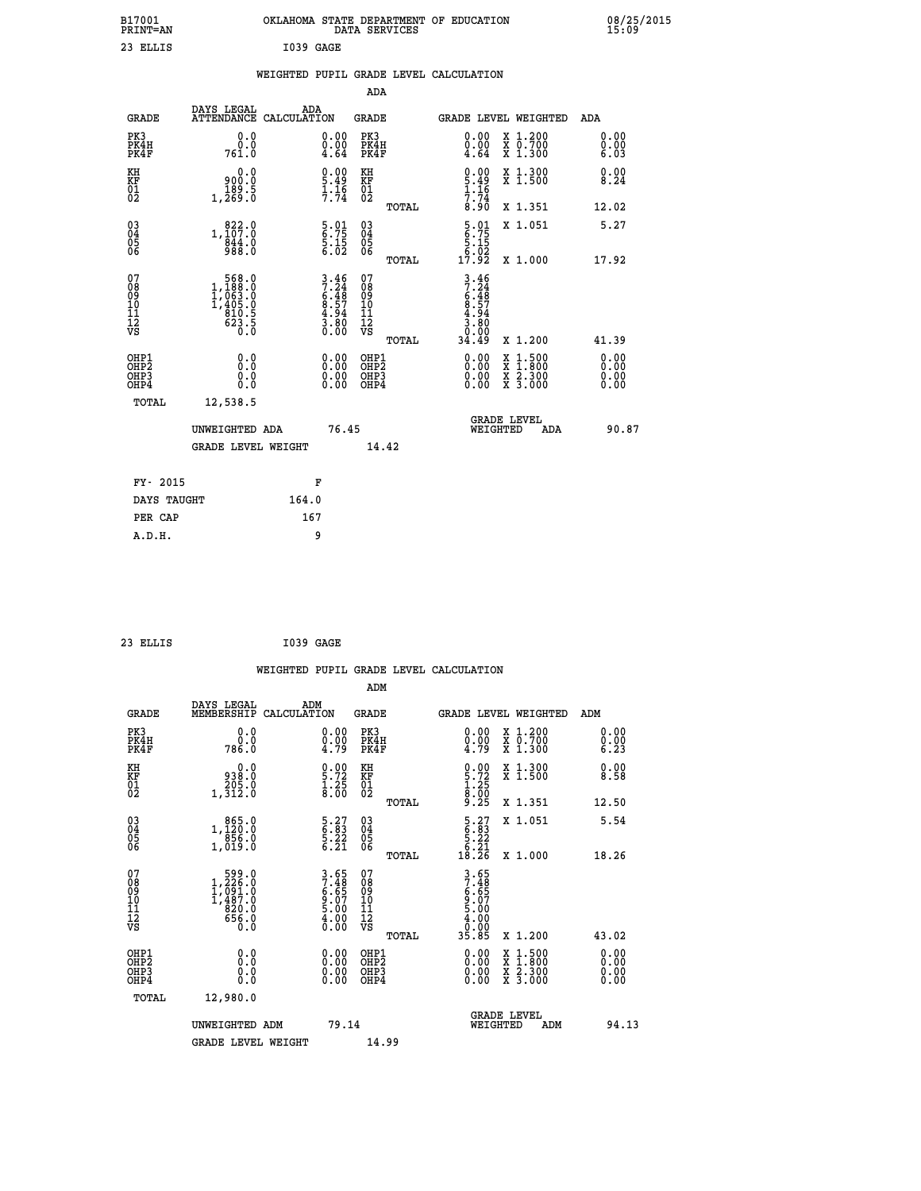|           | OKLAHOMA STATE DEPARTMENT OF EDUCATION<br>DATA SERVICES |  |
|-----------|---------------------------------------------------------|--|
| I039 GAGE |                                                         |  |

|  |  | WEIGHTED PUPIL GRADE LEVEL CALCULATION |
|--|--|----------------------------------------|
|  |  |                                        |

|                                                                    |                                                                                                              |                                                                                     | ADA                                       |       |                                                                               |        |                                          |                              |
|--------------------------------------------------------------------|--------------------------------------------------------------------------------------------------------------|-------------------------------------------------------------------------------------|-------------------------------------------|-------|-------------------------------------------------------------------------------|--------|------------------------------------------|------------------------------|
| <b>GRADE</b>                                                       | DAYS LEGAL                                                                                                   | ADA<br>ATTENDANCE CALCULATION                                                       | <b>GRADE</b>                              |       | GRADE LEVEL WEIGHTED                                                          |        |                                          | <b>ADA</b>                   |
| PK3<br>PK4H<br>PK4F                                                | 0.0<br>0.0<br>761.0                                                                                          | $\begin{smallmatrix} 0.00 \ 0.00 \ 4.64 \end{smallmatrix}$                          | PK3<br>PK4H<br>PK4F                       |       | 0.00<br>$\begin{smallmatrix} 0.00 \\ -4.64 \end{smallmatrix}$                 |        | X 1.200<br>X 0.700<br>X 1.300            | 0.00<br>0.00<br>6.03         |
| KH<br>KF<br>01<br>02                                               | 0.0<br>900.0<br>$1,\frac{189}{269}\cdot 5$                                                                   | $\frac{0.00}{5.49}$<br>$\frac{1}{7}$ : $\frac{16}{74}$                              | KH<br>KF<br>01<br>02                      |       | $0.00$<br>5.49<br>1.16<br>1.74<br>7.74<br>8.90                                |        | X 1.300<br>X 1.500                       | 0.00<br>8.24                 |
|                                                                    |                                                                                                              |                                                                                     |                                           | TOTAL |                                                                               |        | X 1.351                                  | 12.02                        |
| $\begin{smallmatrix} 03 \\[-4pt] 04 \end{smallmatrix}$<br>Ŏ5<br>06 | 1, 107:0<br>$\frac{844.0}{988.0}$                                                                            | $\begin{array}{c} 5 \cdot 01 \\ 6 \cdot 75 \\ 5 \cdot 15 \\ 6 \cdot 02 \end{array}$ | 03<br>04<br>05<br>06                      |       | $\begin{smallmatrix} 5.01\ 6.75\ 5.15\ 5.02\ 17.92 \end{smallmatrix}$         |        | X 1.051                                  | 5.27                         |
| 07                                                                 |                                                                                                              |                                                                                     | 07                                        | TOTAL |                                                                               |        | X 1.000                                  | 17.92                        |
| 08<br>09<br>11<br>11<br>12<br>VS                                   | $\begin{smallmatrix} &568.0\\ 1,188.0\\ 1,063.0\\ 1,063.0\\ 1,405.0\\ 810.5\\ 623.5\\ 0.0 \end{smallmatrix}$ | $3.46$<br>$7.24$<br>$6.48$<br>$8.57$<br>$4.94$<br>$3.80$<br>$0.00$                  | 08<br>09<br>11<br>11<br>12<br>VS          |       | $3.46$<br>$7.24$<br>$6.48$<br>$6.57$<br>$4.80$<br>$3.80$<br>$0.00$<br>$34.49$ |        |                                          |                              |
|                                                                    |                                                                                                              |                                                                                     |                                           | TOTAL |                                                                               |        | X 1.200                                  | 41.39                        |
| OHP1<br>OH <sub>P</sub> 2<br>OHP3<br>OHP4                          | 0.0<br>Ō.Ō<br>0.0<br>0.0                                                                                     | 0.00<br>$\begin{smallmatrix} 0.00 \ 0.00 \end{smallmatrix}$                         | OHP1<br>OH <sub>P</sub> 2<br>OHP3<br>OHP4 |       | 0.00<br>0.00<br>0.00                                                          | X<br>X | $1:500$<br>$1:800$<br>X 2.300<br>X 3.000 | 0.00<br>0.00<br>0.00<br>0.00 |
| TOTAL                                                              | 12,538.5                                                                                                     |                                                                                     |                                           |       |                                                                               |        |                                          |                              |
|                                                                    | UNWEIGHTED ADA                                                                                               |                                                                                     | 76.45                                     |       | WEIGHTED                                                                      |        | <b>GRADE LEVEL</b><br>ADA                | 90.87                        |
|                                                                    | <b>GRADE LEVEL WEIGHT</b>                                                                                    |                                                                                     |                                           | 14.42 |                                                                               |        |                                          |                              |
| FY- 2015                                                           |                                                                                                              | F                                                                                   |                                           |       |                                                                               |        |                                          |                              |
| DAYS TAUGHT                                                        |                                                                                                              | 164.0                                                                               |                                           |       |                                                                               |        |                                          |                              |
| PER CAP                                                            |                                                                                                              | 167                                                                                 |                                           |       |                                                                               |        |                                          |                              |

| 23 ELLIS | I039 GAGE |  |
|----------|-----------|--|
|          |           |  |

 **B17001<br>PRINT=AN<br>23 ELLIS** 

|                                                    |                                                                                                   |                    |                                                                    |                                                    |       | WEIGHTED PUPIL GRADE LEVEL CALCULATION                                              |                                                                                                  |                      |
|----------------------------------------------------|---------------------------------------------------------------------------------------------------|--------------------|--------------------------------------------------------------------|----------------------------------------------------|-------|-------------------------------------------------------------------------------------|--------------------------------------------------------------------------------------------------|----------------------|
|                                                    |                                                                                                   |                    |                                                                    | ADM                                                |       |                                                                                     |                                                                                                  |                      |
| <b>GRADE</b>                                       | DAYS LEGAL<br>MEMBERSHIP                                                                          | ADM<br>CALCULATION |                                                                    | <b>GRADE</b>                                       |       |                                                                                     | GRADE LEVEL WEIGHTED                                                                             | ADM                  |
| PK3<br>PK4H<br>PK4F                                | 0.0<br>0.0<br>786.0                                                                               |                    | $\substack{0.00\\0.00\\4.79}$                                      | PK3<br>PK4H<br>PK4F                                |       | $\begin{smallmatrix} 0.00 \ 0.00 \ 4.79 \end{smallmatrix}$                          | X 1.200<br>X 0.700<br>X 1.300                                                                    | 0.00<br>0.00<br>6.23 |
| KH<br>KF<br>$\overline{01}$                        | 0.0<br>0:089<br>0:205<br>1,312:0                                                                  |                    | $\begin{smallmatrix} 0.00\ 5.72\ 1.25\ 8.00 \end{smallmatrix}$     | KH<br>KF<br>01<br>02                               |       | $0.00$<br>5.72<br>1.25<br>8.00<br>8.25                                              | X 1.300<br>X 1.500                                                                               | 0.00<br>8.58         |
|                                                    |                                                                                                   |                    |                                                                    |                                                    | TOTAL |                                                                                     | X 1.351                                                                                          | 12.50                |
| $\begin{matrix} 03 \\ 04 \\ 05 \\ 06 \end{matrix}$ | $1, \begin{smallmatrix} 865.0 \ 120.0 \ 856.0 \ 1,019.0 \end{smallmatrix}$                        |                    | $\begin{smallmatrix} 5.27\ 6.83\ 5.22\ 6.21\ \end{smallmatrix}$    | $\begin{matrix} 03 \\ 04 \\ 05 \\ 06 \end{matrix}$ |       | $\begin{array}{c} 5 \cdot 27 \\ 6 \cdot 83 \\ 5 \cdot 22 \\ 6 \cdot 21 \end{array}$ | X 1.051                                                                                          | 5.54                 |
|                                                    |                                                                                                   |                    |                                                                    |                                                    | TOTAL | 18.26                                                                               | X 1.000                                                                                          | 18.26                |
| 07<br>08<br>09<br>11<br>11<br>12<br>VS             | $\begin{smallmatrix} &599.0\\ 1,226.0\\ 1,091.0\\ 1,487.0\\ 820.0\\ 656.0\\ 0.0\end{smallmatrix}$ |                    | $3.65$<br>$7.48$<br>$6.65$<br>$9.07$<br>$5.00$<br>$4.00$<br>$0.00$ | 07<br>08<br>09<br>11<br>11<br>12<br>VS             | TOTAL | 3.65<br>7.48<br>6.65<br>6.07<br>9.00<br>5.00<br>4.00<br>35.85                       | $X_1.200$                                                                                        | 43.02                |
|                                                    |                                                                                                   |                    |                                                                    |                                                    |       |                                                                                     |                                                                                                  |                      |
| OHP1<br>OHP2<br>OHP3<br>OHP4                       | 0.0<br>0.000                                                                                      |                    | $0.00$<br>$0.00$<br>0.00                                           | OHP1<br>OHP2<br>OHP <sub>3</sub>                   |       | $0.00$<br>$0.00$<br>0.00                                                            | $\begin{smallmatrix} x & 1 & 500 \\ x & 1 & 800 \\ x & 2 & 300 \\ x & 3 & 000 \end{smallmatrix}$ | 0.00<br>0.00<br>0.00 |
| TOTAL                                              | 12,980.0                                                                                          |                    |                                                                    |                                                    |       |                                                                                     |                                                                                                  |                      |
|                                                    | UNWEIGHTED ADM                                                                                    |                    | 79.14                                                              |                                                    |       |                                                                                     | <b>GRADE LEVEL</b><br>WEIGHTED<br>ADM                                                            | 94.13                |
|                                                    | <b>GRADE LEVEL WEIGHT</b>                                                                         |                    |                                                                    | 14.99                                              |       |                                                                                     |                                                                                                  |                      |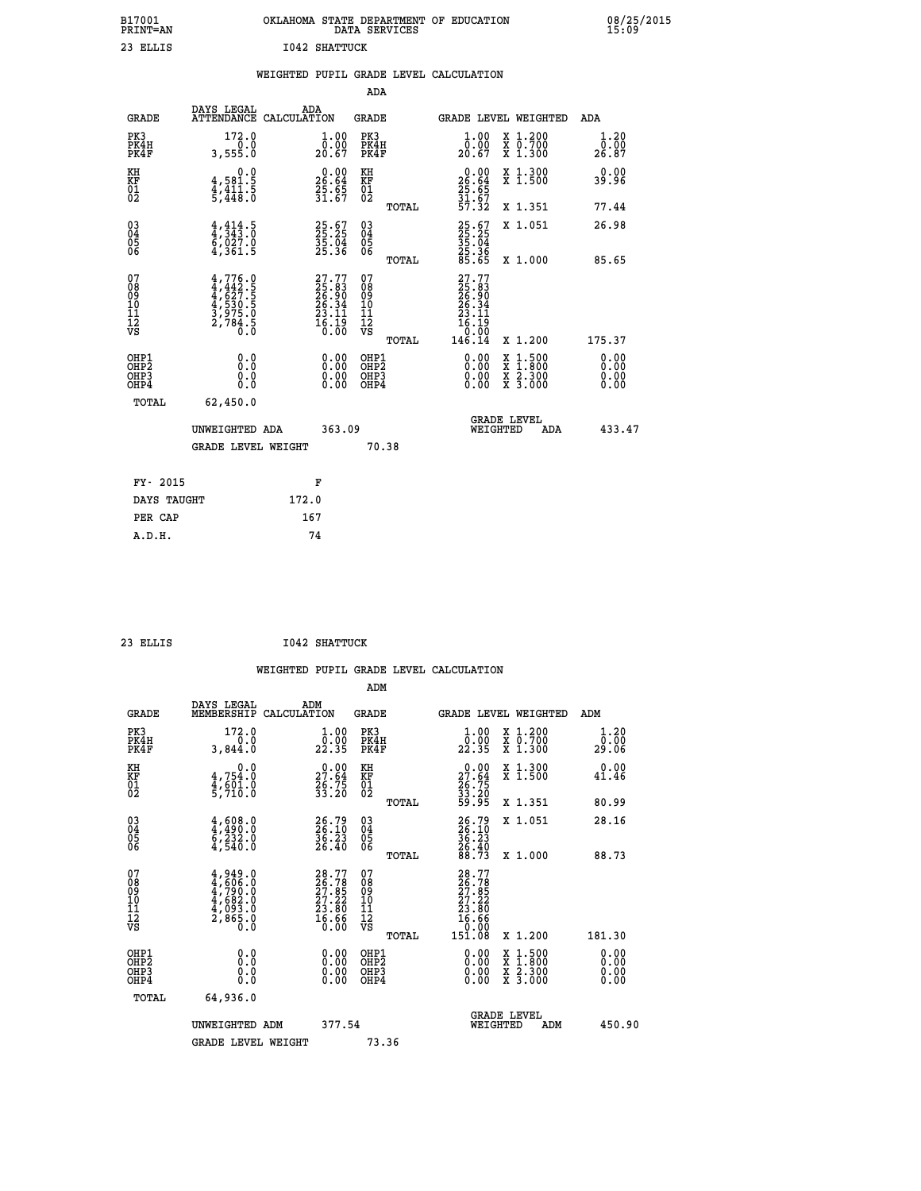| B17001<br>PRINT=AN  | OKLAHOMA<br>OF<br><b>EDUCATION</b><br>STATE DEPARTMENT<br>DATA SERVICES                                                              | 08/25/2015<br>15:09       |
|---------------------|--------------------------------------------------------------------------------------------------------------------------------------|---------------------------|
| 23 ELLIS            | 1042 SHATTUCK                                                                                                                        |                           |
|                     | WEIGHTED PUPIL GRADE LEVEL CALCULATION                                                                                               |                           |
|                     | ADA                                                                                                                                  |                           |
| GRADE               | DAYS LEGAL<br>ADA<br>GRADE<br>ATTENDANCE CALCULATION<br>GRADE LEVEL WEIGHTED                                                         | ADA                       |
| PK3<br>PK4H<br>PK4F | 172.0<br>1.00<br>PK3<br>X 1.200<br>1.00<br>0.00<br>0.0<br>0.00<br>PK4H<br>X 0.700<br>20.67<br>20.67<br>3,555.0<br>PK4F<br>1.300<br>x | $1.20$<br>$0.00$<br>26.87 |

| KH<br>KF<br>01<br>02                               | $\begin{smallmatrix}&&&0.0\\4.581.5\\4.411.5\\5.448.0\end{smallmatrix}$             | $\begin{array}{r} 0.00 \\ 26.64 \\ 25.65 \\ 31.67 \end{array}$           | KH<br>KF<br>01<br>02                               | TOTAL | $26.64$<br>$25.65$<br>$31.67$<br>$57.32$                                                                                                                                                                                                                                       | X 1.300<br>X 1.500<br>X 1.351                                                                                       | 0.00<br>39.96<br>77.44                                                                                                                                                                                                                                                         |
|----------------------------------------------------|-------------------------------------------------------------------------------------|--------------------------------------------------------------------------|----------------------------------------------------|-------|--------------------------------------------------------------------------------------------------------------------------------------------------------------------------------------------------------------------------------------------------------------------------------|---------------------------------------------------------------------------------------------------------------------|--------------------------------------------------------------------------------------------------------------------------------------------------------------------------------------------------------------------------------------------------------------------------------|
| $\begin{matrix} 03 \\ 04 \\ 05 \\ 06 \end{matrix}$ | $\frac{4}{4}, \frac{414}{343}$ . 0<br>6, 027. 0<br>4, 361. 5                        | 25.67<br>25.25<br>35.04<br>25.36                                         | $\begin{matrix} 03 \\ 04 \\ 05 \\ 06 \end{matrix}$ | TOTAL | 25.67<br>25.25<br>35.04<br>25.36<br>25.65                                                                                                                                                                                                                                      | X 1.051<br>X 1.000                                                                                                  | 26.98<br>85.65                                                                                                                                                                                                                                                                 |
| 07<br>08<br>09<br>101<br>11<br>12<br>VS            | $4,776.0$<br>$4,442.5$<br>$4,627.5$<br>$4,530.5$<br>$3,975.0$<br>$2,784.5$<br>$0.0$ | $27.77$<br>$25.83$<br>$26.90$<br>$26.34$<br>$23.11$<br>$16.19$<br>$0.00$ | 078<br>089<br>0011<br>11<br>12<br>VS               | TOTAL | $\begin{smallmatrix} 27.77 \\ 25.83 \\ 26.90 \\ 26.34 \\ 23.11 \\ 16.19 \\ 0.00 \\ 146.14 \end{smallmatrix}$                                                                                                                                                                   | X 1.200                                                                                                             | 175.37                                                                                                                                                                                                                                                                         |
| OHP1<br>OHP2<br>OHP3<br>OHP4                       |                                                                                     | $\begin{smallmatrix} 0.00 \ 0.00 \ 0.00 \ 0.00 \end{smallmatrix}$        | OHP1<br>OHP2<br>OHP3<br>OHP4                       |       | $\begin{smallmatrix} 0.00 & 0.00 & 0.00 & 0.00 & 0.00 & 0.00 & 0.00 & 0.00 & 0.00 & 0.00 & 0.00 & 0.00 & 0.00 & 0.00 & 0.00 & 0.00 & 0.00 & 0.00 & 0.00 & 0.00 & 0.00 & 0.00 & 0.00 & 0.00 & 0.00 & 0.00 & 0.00 & 0.00 & 0.00 & 0.00 & 0.00 & 0.00 & 0.00 & 0.00 & 0.00 & 0.0$ | $\begin{array}{l} \mathtt{X} & 1.500 \\ \mathtt{X} & 1.800 \\ \mathtt{X} & 2.300 \\ \mathtt{X} & 3.000 \end{array}$ | $\begin{smallmatrix} 0.00 & 0.00 & 0.00 & 0.00 & 0.00 & 0.00 & 0.00 & 0.00 & 0.00 & 0.00 & 0.00 & 0.00 & 0.00 & 0.00 & 0.00 & 0.00 & 0.00 & 0.00 & 0.00 & 0.00 & 0.00 & 0.00 & 0.00 & 0.00 & 0.00 & 0.00 & 0.00 & 0.00 & 0.00 & 0.00 & 0.00 & 0.00 & 0.00 & 0.00 & 0.00 & 0.0$ |
| TOTAL                                              | 62,450.0<br>UNWEIGHTED ADA<br><b>GRADE LEVEL WEIGHT</b>                             | 363.09                                                                   |                                                    | 70.38 | WEIGHTED                                                                                                                                                                                                                                                                       | <b>GRADE LEVEL</b><br>ADA                                                                                           | 433.47                                                                                                                                                                                                                                                                         |
| FY- 2015                                           |                                                                                     | F                                                                        |                                                    |       |                                                                                                                                                                                                                                                                                |                                                                                                                     |                                                                                                                                                                                                                                                                                |

| ri aulu     |       |
|-------------|-------|
| DAYS TAUGHT | 172.0 |
| PER CAP     | 167   |
| A.D.H.      | 74    |
|             |       |

 **ADM**

 **23 ELLIS I042 SHATTUCK**

| <b>GRADE</b>                                         | DAYS LEGAL<br>MEMBERSHIP                                                            | ADM<br>CALCULATION                                                       | <b>GRADE</b>                                           | <b>GRADE LEVEL WEIGHTED</b>                                                                                                                                                                                                                                                    |                                          | ADM                          |
|------------------------------------------------------|-------------------------------------------------------------------------------------|--------------------------------------------------------------------------|--------------------------------------------------------|--------------------------------------------------------------------------------------------------------------------------------------------------------------------------------------------------------------------------------------------------------------------------------|------------------------------------------|------------------------------|
| PK3<br>PK4H<br>PK4F                                  | 172.0<br>0.0<br>3,844.0                                                             | 1.00<br>22.35                                                            | PK3<br>PK4H<br>PK4F                                    | $\begin{smallmatrix} 1.00\\[-1.2mm] 0.00\\[-1.2mm] 22.35\end{smallmatrix}$                                                                                                                                                                                                     | X 1.200<br>X 0.700<br>X 1.300            | 1.20<br>ō:ōŏ<br>29.06        |
| KH<br>KF<br>01<br>02                                 | 0.0<br>$4,754.0$<br>$4,601.0$<br>5,710.0                                            | $\begin{smallmatrix} 0.00\\ 27.64\\ 26.75\\ 33.20 \end{smallmatrix}$     | KH<br>KF<br>01<br>02                                   | $\begin{smallmatrix} 0.00\\ 27.64\\ 26.75\\ 33.20\\ 59.95 \end{smallmatrix}$                                                                                                                                                                                                   | X 1.300<br>X 1.500                       | 0.00<br>41.46                |
|                                                      |                                                                                     |                                                                          | TOTAL                                                  |                                                                                                                                                                                                                                                                                | X 1.351                                  | 80.99                        |
| $\begin{matrix} 03 \\ 04 \\ 05 \\ 06 \end{matrix}$   | $4,608.0$<br>$4,490.0$<br>$6,232.0$<br>$4,540.0$                                    | 26.79<br>26.10<br>36.23<br>26.40                                         | $\begin{matrix} 03 \\ 04 \\ 05 \\ 06 \end{matrix}$     | 26.79<br>26.10<br>36.23<br>26.40<br>28.73                                                                                                                                                                                                                                      | X 1.051                                  | 28.16                        |
|                                                      |                                                                                     |                                                                          | TOTAL                                                  |                                                                                                                                                                                                                                                                                | X 1.000                                  | 88.73                        |
| 07<br>08<br>09<br>101<br>11<br>12<br>VS              | $4,949.0$<br>$4,606.0$<br>$4,799.0$<br>$4,682.0$<br>$4,093.0$<br>$2,865.0$<br>$0.0$ | $28.77$<br>$26.78$<br>$27.85$<br>$27.22$<br>$23.80$<br>$16.66$<br>$0.00$ | 07<br>08<br>09<br>001<br>11<br>11<br>12<br>VS<br>TOTAL | 28.77<br>26.785<br>27.85<br>27.22<br>23.80<br>16.66<br>16.66<br>151.08                                                                                                                                                                                                         | X 1.200                                  | 181.30                       |
| OHP1<br>OHP <sub>2</sub><br>OH <sub>P3</sub><br>OHP4 |                                                                                     | $0.00$<br>$0.00$<br>0.00                                                 | OHP1<br>OHP <sub>2</sub><br>OHP3<br>OHP4               | $\begin{smallmatrix} 0.00 & 0.00 & 0.00 & 0.00 & 0.00 & 0.00 & 0.00 & 0.00 & 0.00 & 0.00 & 0.00 & 0.00 & 0.00 & 0.00 & 0.00 & 0.00 & 0.00 & 0.00 & 0.00 & 0.00 & 0.00 & 0.00 & 0.00 & 0.00 & 0.00 & 0.00 & 0.00 & 0.00 & 0.00 & 0.00 & 0.00 & 0.00 & 0.00 & 0.00 & 0.00 & 0.0$ | X 1:500<br>X 1:800<br>X 2:300<br>X 3:000 | 0.00<br>0.00<br>0.00<br>0.00 |
| TOTAL                                                | 64,936.0                                                                            |                                                                          |                                                        |                                                                                                                                                                                                                                                                                |                                          |                              |
|                                                      | UNWEIGHTED<br>ADM                                                                   | 377.54                                                                   |                                                        | <b>GRADE LEVEL</b><br>WEIGHTED                                                                                                                                                                                                                                                 | ADM                                      | 450.90                       |
|                                                      | <b>GRADE LEVEL WEIGHT</b>                                                           |                                                                          | 73.36                                                  |                                                                                                                                                                                                                                                                                |                                          |                              |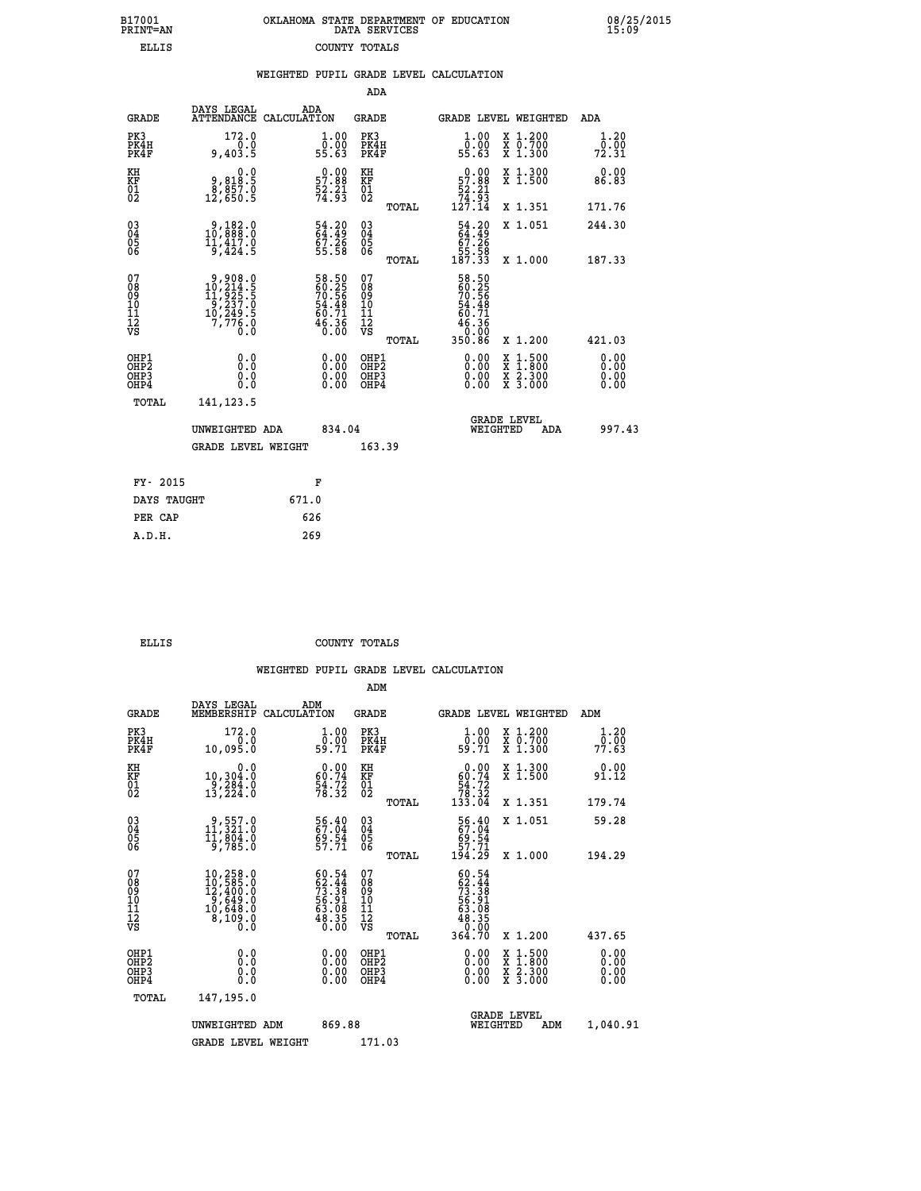| 7001<br>INT=AN | OKLAHOMA STATE DEPARTMENT OF EDUCATION<br>DATA SERVICES |  |
|----------------|---------------------------------------------------------|--|
| ELLIS          | COUNTY TOTALS                                           |  |

08/25/2015<br>15:09

|                                                                    |                                                                                                    | WEIGHTED PUPIL GRADE LEVEL CALCULATION                              |                                                    |                                                                      |                                                                                                                                           |                       |
|--------------------------------------------------------------------|----------------------------------------------------------------------------------------------------|---------------------------------------------------------------------|----------------------------------------------------|----------------------------------------------------------------------|-------------------------------------------------------------------------------------------------------------------------------------------|-----------------------|
|                                                                    |                                                                                                    |                                                                     | <b>ADA</b>                                         |                                                                      |                                                                                                                                           |                       |
| <b>GRADE</b>                                                       | DAYS LEGAL                                                                                         | ADA<br>ATTENDANCE CALCULATION                                       | <b>GRADE</b>                                       |                                                                      | <b>GRADE LEVEL WEIGHTED</b>                                                                                                               | ADA                   |
| PK3<br>PK4H<br>PK4F                                                | 172.0<br>0.0<br>9,403.5                                                                            | 1.00<br>0.00<br>55.63                                               | PK3<br>PK4H<br>PK4F                                | 1.00<br>ŏ:ŏŏ<br>55:63                                                | X 1.200<br>X 0.700<br>X 1.300                                                                                                             | 1.20<br>0.00<br>72.31 |
| KH<br>KF<br>01<br>02                                               | 0.0<br>8.818.5<br>8,857.0<br>12,650.5                                                              | $0.00$<br>57.88<br>$\frac{52.21}{74.93}$                            | KH<br>KF<br>01<br>02                               | $0.00$<br>57.88<br>$\frac{52.21}{74.93}$<br>127.14                   | X 1.300<br>X 1.500                                                                                                                        | 0.00<br>86.83         |
|                                                                    |                                                                                                    |                                                                     | TOTAL                                              |                                                                      | X 1.351                                                                                                                                   | 171.76                |
| $\begin{smallmatrix} 03 \\[-4pt] 04 \end{smallmatrix}$<br>05<br>06 | 0.182.0<br>$\bar{1}\bar{1}, \bar{4}\bar{1}\bar{7}.\bar{0}$<br>9,424.5                              | 54.20<br>64.49<br>67.26<br>55.58                                    | $\begin{matrix} 03 \\ 04 \\ 05 \\ 06 \end{matrix}$ | $\frac{54.20}{64.49}$                                                | X 1.051                                                                                                                                   | 244.30                |
|                                                                    |                                                                                                    |                                                                     | TOTAL                                              | 55.58<br>187.33                                                      | X 1.000                                                                                                                                   | 187.33                |
| 07<br>08901112<br>1112<br>VS                                       | $\begin{smallmatrix}9,908.0\\10,214.5\\11,925.5\\9,237.0\\10,249.5\\7,776.0\\0.0\end{smallmatrix}$ | 58.50<br>60.25<br>70.56<br>70.56<br>54.48<br>60.71<br>46.36<br>0.00 | 078<br>089<br>0011<br>11<br>12<br>VS<br>TOTAL      | 58.50<br>60.25<br>70.56<br>54.48<br>50.71<br>36.36<br>0.00<br>350.86 | X 1.200                                                                                                                                   | 421.03                |
| OHP1<br>OHP2<br>OH <sub>P</sub> 3<br>OH <sub>P4</sub>              | 0.0<br>0.0<br>0.0                                                                                  | 0.00<br>$\begin{smallmatrix} 0.00 \ 0.00 \end{smallmatrix}$         | OHP1<br>OHP2<br>OHP3<br>OHP4                       | 0.00<br>0.00                                                         | $\begin{smallmatrix} \mathtt{X} & 1\cdot500\\ \mathtt{X} & 1\cdot800\\ \mathtt{X} & 2\cdot300\\ \mathtt{X} & 3\cdot000 \end{smallmatrix}$ | 0.00<br>0.00<br>0.00  |
| TOTAL                                                              | 141, 123.5                                                                                         |                                                                     |                                                    |                                                                      |                                                                                                                                           |                       |
|                                                                    | UNWEIGHTED ADA                                                                                     | 834.04                                                              |                                                    | <b>GRADE LEVEL</b><br>WEIGHTED                                       | ADA                                                                                                                                       | 997.43                |
|                                                                    | <b>GRADE LEVEL WEIGHT</b>                                                                          |                                                                     | 163.39                                             |                                                                      |                                                                                                                                           |                       |
| FY- 2015                                                           |                                                                                                    | F                                                                   |                                                    |                                                                      |                                                                                                                                           |                       |
| DAYS TAUGHT                                                        |                                                                                                    | 671.0                                                               |                                                    |                                                                      |                                                                                                                                           |                       |
| PER CAP                                                            |                                                                                                    | 626                                                                 |                                                    |                                                                      |                                                                                                                                           |                       |

 **A.D.H. 269**

 **B17001<br>PRINT=AN** 

 **ELLIS COUNTY TOTALS**

|                                    |                                          |                                                                                                                                               |                    |                                                                          | ADM                                                 |       |                                                                                      |          |                                          |                              |  |
|------------------------------------|------------------------------------------|-----------------------------------------------------------------------------------------------------------------------------------------------|--------------------|--------------------------------------------------------------------------|-----------------------------------------------------|-------|--------------------------------------------------------------------------------------|----------|------------------------------------------|------------------------------|--|
|                                    | <b>GRADE</b>                             | DAYS LEGAL<br>MEMBERSHIP                                                                                                                      | ADM<br>CALCULATION |                                                                          | <b>GRADE</b>                                        |       |                                                                                      |          | GRADE LEVEL WEIGHTED                     | ADM                          |  |
|                                    | PK3<br>PK4H<br>PK4F                      | 172.0<br>0.0<br>10,095.0                                                                                                                      |                    | $\frac{1}{0}$ : 00<br>59.71                                              | PK3<br>PK4H<br>PK4F                                 |       | $\begin{smallmatrix} 1.00\\ 0.00\\ 59.71 \end{smallmatrix}$                          |          | X 1.200<br>X 0.700<br>X 1.300            | 1.20<br>77.ōŏ<br>77.63       |  |
| KH<br>KF<br>01<br>02               |                                          | 0.0<br>10,304.0<br>9,284.0<br>13,224.0                                                                                                        |                    | $\begin{smallmatrix} 0.00\\ 60.74\\ 54.72\\ 78.32 \end{smallmatrix}$     | KH<br>KF<br>01<br>02                                |       | 0.00<br>$\begin{array}{r} 60.74 \\ 54.72 \\ 78.32 \\ 133.04 \end{array}$             |          | X 1.300<br>X 1.500                       | $0.00$<br>91.12              |  |
|                                    |                                          |                                                                                                                                               |                    |                                                                          |                                                     | TOTAL |                                                                                      |          | X 1.351                                  | 179.74                       |  |
| 03<br>04<br>05<br>06               |                                          | $\begin{smallmatrix} 9,557.0\\ 11,321.0\\ 11,804.0\\ 9,785.0 \end{smallmatrix}$                                                               |                    | 56.40<br>67.04<br>69.54<br>57.71                                         | $\begin{array}{c} 03 \\ 04 \\ 05 \\ 06 \end{array}$ |       | $\begin{smallmatrix} 56.40\ 67.04\ 69.54\ 57.71\ 194.29 \end{smallmatrix}$           |          | X 1.051                                  | 59.28                        |  |
|                                    |                                          |                                                                                                                                               |                    |                                                                          |                                                     | TOTAL |                                                                                      |          | X 1.000                                  | 194.29                       |  |
| 07<br>08<br>09<br>101<br>112<br>VS |                                          | $\begin{smallmatrix} 10,258\cdot 0\\ 10,585\cdot 0\\ 12,400\cdot 0\\ 9,649\cdot 0\\ 10,648\cdot 0\\ 8,109\cdot 0\\ 0\cdot 0\end{smallmatrix}$ |                    | $60.54$<br>$62.44$<br>$73.38$<br>$56.91$<br>$63.08$<br>$48.35$<br>$0.00$ | 07<br>08<br>09<br>11<br>11<br>12<br>VS              | TOTAL | $60.54$<br>$62.44$<br>$73.38$<br>$56.91$<br>$63.08$<br>$48.350$<br>$69.90$<br>364.70 |          | X 1.200                                  | 437.65                       |  |
|                                    | OHP1<br>OHP2<br>OH <sub>P3</sub><br>OHP4 | 0.0<br>0.000                                                                                                                                  |                    | $0.00$<br>$0.00$<br>0.00                                                 | OHP1<br>OHP2<br>OHP <sub>3</sub>                    |       | $0.00$<br>$0.00$<br>0.00                                                             |          | X 1:500<br>X 1:800<br>X 2:300<br>X 3:000 | 0.00<br>0.00<br>0.00<br>0.00 |  |
|                                    | TOTAL                                    | 147,195.0                                                                                                                                     |                    |                                                                          |                                                     |       |                                                                                      |          |                                          |                              |  |
|                                    |                                          | UNWEIGHTED ADM                                                                                                                                |                    | 869.88                                                                   |                                                     |       |                                                                                      | WEIGHTED | <b>GRADE LEVEL</b><br>ADM                | 1,040.91                     |  |
|                                    |                                          | <b>GRADE LEVEL WEIGHT</b>                                                                                                                     |                    |                                                                          | 171.03                                              |       |                                                                                      |          |                                          |                              |  |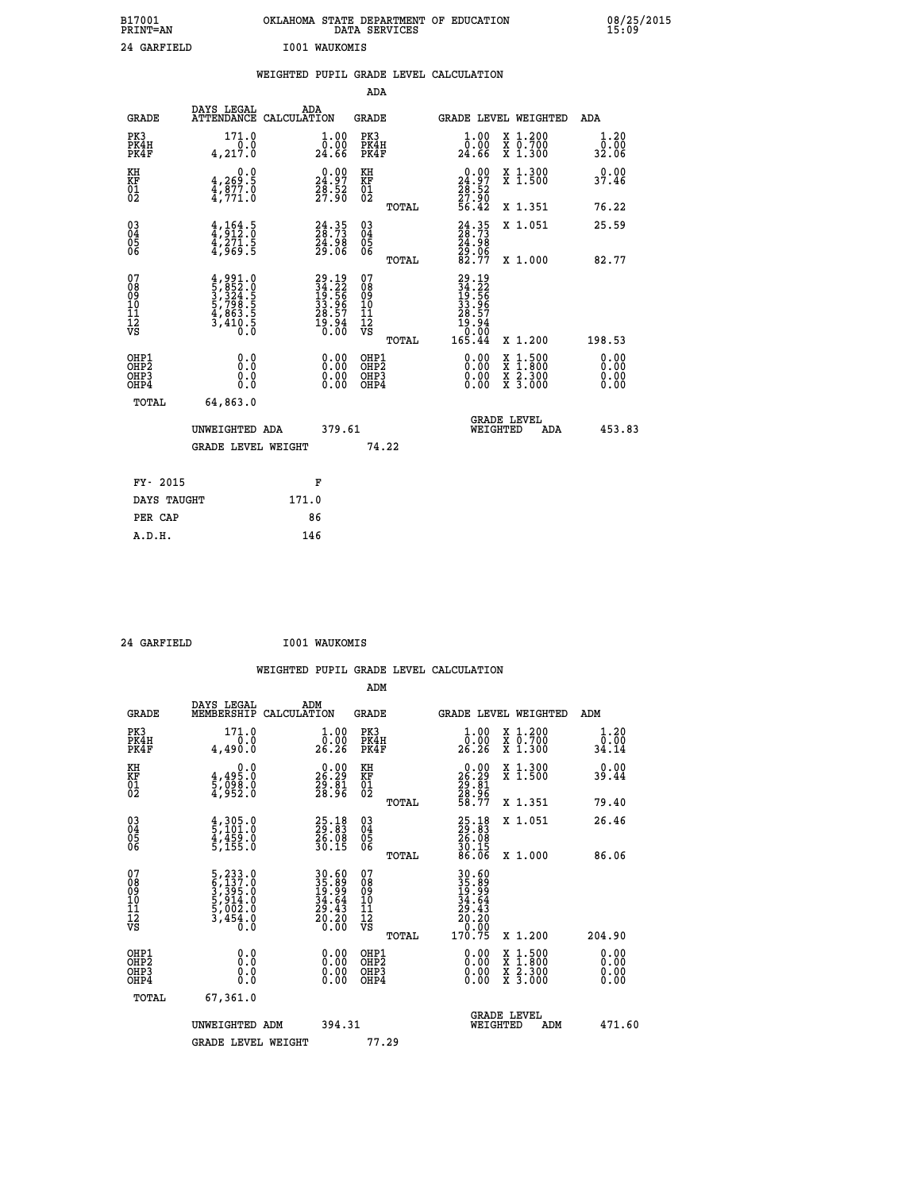| B17001<br>PRINT=AN | OKLAHOMA STATE DEPARTMENT OF EDUCATION<br>DATA SERVICES | 08/25/2015<br>15:09 |
|--------------------|---------------------------------------------------------|---------------------|
| 24 GARFIELD        | <b>I001 WAUKOMIS</b>                                    |                     |

|                                                                    |                                                                                            | WEIGHTED PUPIL GRADE LEVEL CALCULATION                            |                                                 |                                                                                                                       |                                          |                              |
|--------------------------------------------------------------------|--------------------------------------------------------------------------------------------|-------------------------------------------------------------------|-------------------------------------------------|-----------------------------------------------------------------------------------------------------------------------|------------------------------------------|------------------------------|
|                                                                    |                                                                                            |                                                                   | ADA                                             |                                                                                                                       |                                          |                              |
| <b>GRADE</b>                                                       | DAYS LEGAL                                                                                 | ADA<br>ATTENDANCE CALCULATION                                     | <b>GRADE</b>                                    | GRADE LEVEL WEIGHTED                                                                                                  |                                          | ADA                          |
| PK3<br>PK4H<br>PK4F                                                | 171.0<br>0.0<br>4,217.0                                                                    | $1.00$<br>$0.00$<br>24.66                                         | PK3<br>PK4H<br>PK4F                             | 1.00<br>0.00<br>24.66                                                                                                 | X 1.200<br>X 0.700<br>X 1.300            | 1.20<br>0.00<br>32.06        |
| KH<br>KF<br>01<br>02                                               | 0.0<br>$\frac{4}{4}, \frac{269}{877}$ .0<br>$\frac{4}{4}, \frac{977}{71}$ .0               | $\begin{smallmatrix} 0.00\\24.97\\28.52\\27.90 \end{smallmatrix}$ | KH<br>KF<br>01<br>02                            | $\begin{smallmatrix} 0.00\\24.97\\28.52\\27.90\\56.42\end{smallmatrix}$                                               | X 1.300<br>X 1.500                       | 0.00<br>37.46                |
|                                                                    |                                                                                            |                                                                   | TOTAL                                           |                                                                                                                       | X 1.351                                  | 76.22                        |
| $\begin{smallmatrix} 03 \\[-4pt] 04 \end{smallmatrix}$<br>Ŏ5<br>06 | $\frac{4}{3}, \frac{1}{9}$ $\frac{64}{2}$ $\cdot \frac{5}{0}$<br>$\frac{4,271.5}{4,969.5}$ | $24.35$<br>$28.73$<br>24.98<br>29.06                              | $\substack{03 \\ 04}$<br>Ŏ5<br>06               | 24.35<br>28.73<br>24.98<br>29.06<br>29.77                                                                             | X 1.051                                  | 25.59                        |
|                                                                    |                                                                                            |                                                                   | TOTAL                                           |                                                                                                                       | X 1.000                                  | 82.77                        |
| 07<br>08<br>09<br>101<br>112<br>VS                                 | $4,991.0$<br>$5,852.0$<br>$3,324.5$<br>$5,798.5$<br>$4,863.5$<br>$3,410.5$<br>$0.0$        | 29.19<br>34.22<br>19.56<br>33.96<br>38.57<br>28.57<br>19.94       | 07<br>08<br>09<br>11<br>11<br>12<br>VS<br>TOTAL | $\begin{smallmatrix} 29.19\\ 34.22\\ 19.56\\ 19.56\\ 33.967\\ 28.57\\ 19.94\\ 0.00\\ 0.00\\ 165.44 \end{smallmatrix}$ | X 1.200                                  | 198.53                       |
| OHP1<br>OHP2<br>OHP3<br>OHP4                                       | 0.0<br>0.0<br>0.0                                                                          | 0.00<br>$\begin{smallmatrix} 0.00 \ 0.00 \end{smallmatrix}$       | OHP1<br>OHP2<br>OHP3<br>OHP4                    | 0.00<br>X<br>X<br>0.00<br>0.00                                                                                        | $1:500$<br>$1:800$<br>X 2.300<br>X 3.000 | 0.00<br>0.00<br>0.00<br>0.00 |
| <b>TOTAL</b>                                                       | 64,863.0                                                                                   |                                                                   |                                                 |                                                                                                                       |                                          |                              |
|                                                                    | UNWEIGHTED ADA                                                                             | 379.61                                                            |                                                 | GRADE LEVEL<br>WEIGHTED                                                                                               | ADA                                      | 453.83                       |
|                                                                    | <b>GRADE LEVEL WEIGHT</b>                                                                  |                                                                   | 74.22                                           |                                                                                                                       |                                          |                              |
| FY- 2015                                                           |                                                                                            | F                                                                 |                                                 |                                                                                                                       |                                          |                              |
| DAYS TAUGHT                                                        |                                                                                            | 171.0                                                             |                                                 |                                                                                                                       |                                          |                              |
| PER CAP                                                            |                                                                                            | 86                                                                |                                                 |                                                                                                                       |                                          |                              |

 **24 GARFIELD I001 WAUKOMIS**

| <b>GRADE</b>                                         | DAYS LEGAL<br>MEMBERSHIP                                                                                              | ADM<br>CALCULATION                                                      | <b>GRADE</b>                             |       | <b>GRADE LEVEL WEIGHTED</b>                                                          |                                                                                                                                           | ADM                          |  |
|------------------------------------------------------|-----------------------------------------------------------------------------------------------------------------------|-------------------------------------------------------------------------|------------------------------------------|-------|--------------------------------------------------------------------------------------|-------------------------------------------------------------------------------------------------------------------------------------------|------------------------------|--|
| PK3<br>PK4H<br>PK4F                                  | 171.0<br>4,490.0                                                                                                      | $\substack{1.00\\0.00\\26.26}$                                          | PK3<br>PK4H<br>PK4F                      |       | 1.00<br>ŏ:ŏŏ<br>26:26                                                                | X 1.200<br>X 0.700<br>X 1.300                                                                                                             | 1.20<br>$\frac{0.00}{34.14}$ |  |
| KH<br>KF<br>01<br>02                                 | 0.0<br>4,495:0<br>5,098:0<br>4,952:0                                                                                  | $\begin{smallmatrix} 0.00\\ 26.29\\ 29.81\\ 28.96 \end{smallmatrix}$    | KH<br>KF<br>01<br>02                     |       | $\begin{smallmatrix} 0.00\\ 26.29\\ 29.81\\ 28.96\\ 28.77 \end{smallmatrix}$         | X 1.300<br>X 1.500                                                                                                                        | 0.00<br>39.44                |  |
|                                                      |                                                                                                                       |                                                                         |                                          | TOTAL |                                                                                      | X 1.351                                                                                                                                   | 79.40                        |  |
| $\begin{matrix} 03 \\ 04 \\ 05 \\ 06 \end{matrix}$   | $\begin{smallmatrix} 4 \ , \ 305 \ . \ 5 \ , \ 101 \ . \ 0 \ 4 \ , \ 459 \ . \ 0 \ 5 \ , \ 155 \ . \end{smallmatrix}$ | $\begin{smallmatrix} 25.18\\ 29.83\\ 26.08\\ 30.15\\ \end{smallmatrix}$ | 03<br>04<br>05<br>06                     |       | $25.1829.8326.0830.1586.06$                                                          | X 1.051                                                                                                                                   | 26.46                        |  |
|                                                      |                                                                                                                       |                                                                         |                                          | TOTAL |                                                                                      | X 1.000                                                                                                                                   | 86.06                        |  |
| 07<br>08<br>09<br>101<br>112<br>VS                   | $\begin{smallmatrix}5,233.0\\6,137.0\\3,395.0\\5,914.0\\5,002.0\\3,454.0\\0.0\end{smallmatrix}$                       | 30.60<br>35.89<br>19.99<br>34.64<br>30.43<br>20.20<br>20.30             | 07<br>08901112<br>1112<br>VS             |       | $30.60$<br>$35.89$<br>$19.99$<br>$34.64$<br>$20.43$<br>$20.20$<br>$0.00$<br>$170.75$ |                                                                                                                                           |                              |  |
|                                                      |                                                                                                                       |                                                                         |                                          | TOTAL |                                                                                      | X 1.200                                                                                                                                   | 204.90                       |  |
| OHP1<br>OHP <sub>2</sub><br>OH <sub>P3</sub><br>OHP4 | 0.0<br>0.0<br>0.0                                                                                                     |                                                                         | OHP1<br>OHP <sub>2</sub><br>OHP3<br>OHP4 |       |                                                                                      | $\begin{smallmatrix} \mathtt{X} & 1\cdot500\\ \mathtt{X} & 1\cdot800\\ \mathtt{X} & 2\cdot300\\ \mathtt{X} & 3\cdot000 \end{smallmatrix}$ | 0.00<br>0.00<br>0.00<br>0.00 |  |
| TOTAL                                                | 67,361.0                                                                                                              |                                                                         |                                          |       |                                                                                      |                                                                                                                                           |                              |  |
|                                                      | UNWEIGHTED ADM                                                                                                        | 394.31                                                                  |                                          |       | WEIGHTED                                                                             | <b>GRADE LEVEL</b><br>ADM                                                                                                                 | 471.60                       |  |
|                                                      | <b>GRADE LEVEL WEIGHT</b>                                                                                             |                                                                         | 77.29                                    |       |                                                                                      |                                                                                                                                           |                              |  |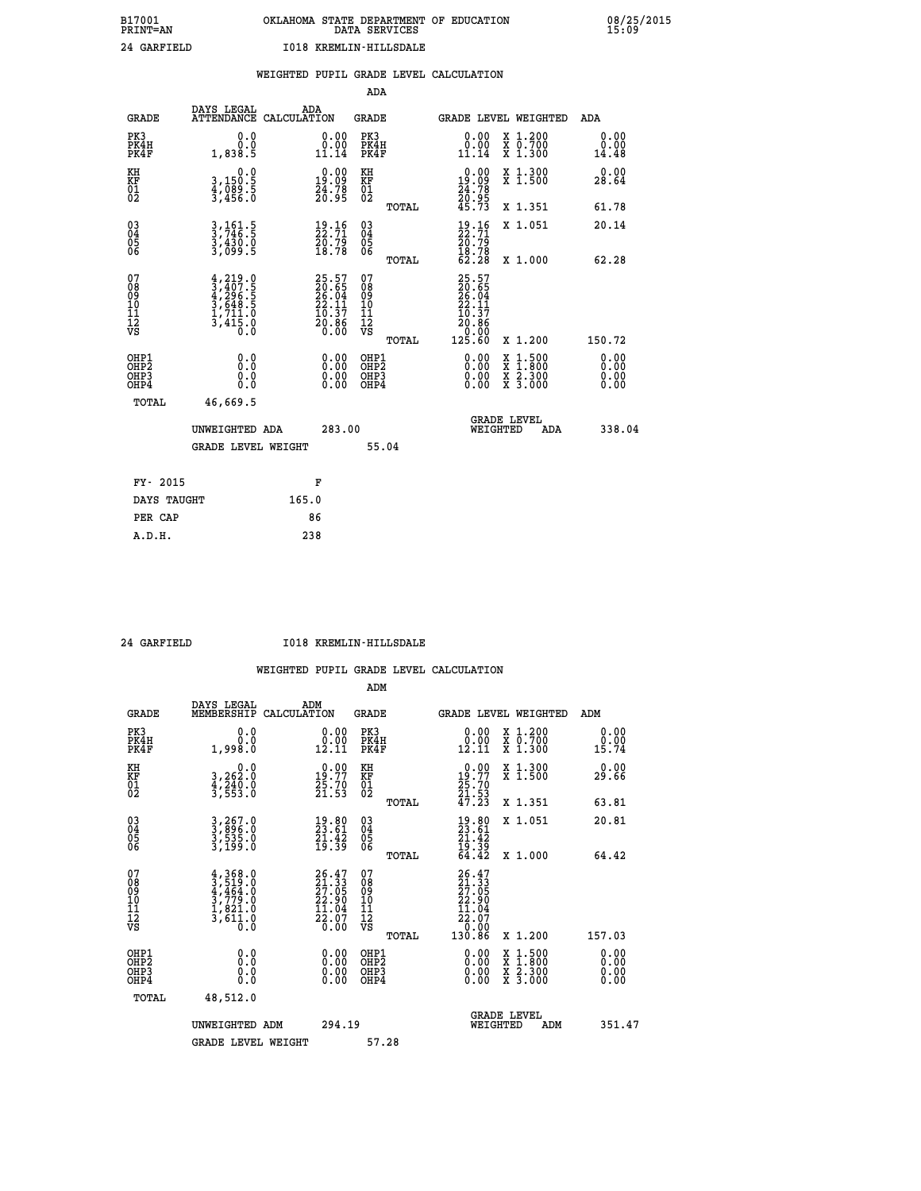|  |  | WEIGHTED PUPIL GRADE LEVEL CALCULATION |
|--|--|----------------------------------------|
|  |  |                                        |

|                                                                    |                                                                                     |                                                                          | ADA                                                 |       |                                                                           |                                                                                          |                               |
|--------------------------------------------------------------------|-------------------------------------------------------------------------------------|--------------------------------------------------------------------------|-----------------------------------------------------|-------|---------------------------------------------------------------------------|------------------------------------------------------------------------------------------|-------------------------------|
| <b>GRADE</b>                                                       | DAYS LEGAL<br>ATTENDANCE CALCULATION                                                | ADA                                                                      | <b>GRADE</b>                                        |       |                                                                           | GRADE LEVEL WEIGHTED                                                                     | ADA                           |
| PK3<br>PK4H<br>PK4F                                                | 0.0<br>0.0<br>1,838.5                                                               | $\begin{smallmatrix} 0.00\\ 0.00\\ 11.14 \end{smallmatrix}$              | PK3<br>PK4H<br>PK4F                                 |       | $\begin{smallmatrix} 0.00\\ 0.00\\ 11.14 \end{smallmatrix}$               | X 1.200<br>X 0.700<br>X 1.300                                                            | 0.00<br>0.00<br>14.48         |
| KH<br>KF<br>01<br>02                                               | 0.0<br>3,150:5<br>4,089:5<br>3,456:0                                                | $\begin{smallmatrix} 0.00\\19.09\\24.78\\20.95 \end{smallmatrix}$        | KH<br>KF<br>01<br>02                                |       | 0.00<br>$\begin{array}{c} 19.09 \\ 24.78 \\ 20.95 \\ 45.73 \end{array}$   | X 1.300<br>X 1.500                                                                       | 0.00<br>28.64                 |
|                                                                    |                                                                                     |                                                                          |                                                     | TOTAL |                                                                           | X 1.351                                                                                  | 61.78                         |
| $\begin{smallmatrix} 03 \\[-4pt] 04 \end{smallmatrix}$<br>Ŏ5<br>06 | 3,161.5<br>3,746.5<br>3,430.0<br>3,099.5                                            | $\frac{19}{22}.\frac{16}{71}$<br>$\frac{20}{18}.\frac{79}{78}$           | $\begin{array}{c} 03 \\ 04 \\ 05 \\ 06 \end{array}$ |       | $\begin{smallmatrix} 19.16\\22.71\\20.79\\18.78\\62.28 \end{smallmatrix}$ | X 1.051                                                                                  | 20.14                         |
|                                                                    |                                                                                     |                                                                          |                                                     | TOTAL |                                                                           | X 1.000                                                                                  | 62.28                         |
| 07<br>08<br>09<br>101<br>11<br>12<br>VS                            | $4,219.0$<br>$3,407.5$<br>$4,296.5$<br>$3,648.5$<br>$1,711.0$<br>$3,415.0$<br>$0.0$ | $25.57$<br>$20.65$<br>$26.04$<br>$22.11$<br>$10.37$<br>$20.86$<br>$0.00$ | 07<br>08<br>09<br>11<br>11<br>12<br>VS              |       | 25.57<br>20.65<br>26.04<br>22.11<br>10.37<br>20.86<br>0.00                |                                                                                          |                               |
|                                                                    |                                                                                     |                                                                          |                                                     | TOTAL | 125.60                                                                    | X 1.200                                                                                  | 150.72                        |
| OHP1<br>OHP <sub>2</sub><br>OH <sub>P3</sub><br>OHP4               | 0.0<br>0.000                                                                        | 0.00<br>$\begin{smallmatrix} 0.00 \ 0.00 \end{smallmatrix}$              | OHP1<br>OHP2<br>OHP <sub>3</sub>                    |       | 0.00<br>0.00                                                              | $\begin{smallmatrix} x & 1.500 \\ x & 1.800 \\ x & 2.300 \\ x & 3.000 \end{smallmatrix}$ | 0.00<br>Ō. ŌŌ<br>0.00<br>0.00 |
| TOTAL                                                              | 46,669.5                                                                            |                                                                          |                                                     |       |                                                                           |                                                                                          |                               |
|                                                                    | UNWEIGHTED ADA                                                                      | 283.00                                                                   |                                                     |       |                                                                           | <b>GRADE LEVEL</b><br>WEIGHTED<br>ADA                                                    | 338.04                        |
|                                                                    | <b>GRADE LEVEL WEIGHT</b>                                                           |                                                                          |                                                     | 55.04 |                                                                           |                                                                                          |                               |
| FY- 2015                                                           |                                                                                     | F                                                                        |                                                     |       |                                                                           |                                                                                          |                               |
| DAYS TAUGHT                                                        |                                                                                     | 165.0                                                                    |                                                     |       |                                                                           |                                                                                          |                               |
| PER CAP                                                            |                                                                                     | 86                                                                       |                                                     |       |                                                                           |                                                                                          |                               |

 **24 GARFIELD I018 KREMLIN-HILLSDALE**

|                                          |                                                                                     |                                                                          | ADM                                                 |                                                                           |                                          |                              |
|------------------------------------------|-------------------------------------------------------------------------------------|--------------------------------------------------------------------------|-----------------------------------------------------|---------------------------------------------------------------------------|------------------------------------------|------------------------------|
| <b>GRADE</b>                             | DAYS LEGAL<br>MEMBERSHIP                                                            | ADM<br>CALCULATION                                                       | <b>GRADE</b>                                        |                                                                           | GRADE LEVEL WEIGHTED                     | ADM                          |
| PK3<br>PK4H<br>PK4F                      | 0.0<br>0.0<br>1,998.Ŏ                                                               | $\begin{smallmatrix} 0.00\\ 0.00\\ 12.11 \end{smallmatrix}$              | PK3<br>PK4H<br>PK4F                                 | $\begin{smallmatrix} 0.00\\ 0.00\\ 12.11 \end{smallmatrix}$               | X 1.200<br>X 0.700<br>X 1.300            | 0.00<br>0.00<br>15.74        |
| KH<br>KF<br>01<br>02                     | 0.0<br>3,262:0<br>4,240:0<br>3,553:0                                                | $19.77$<br>$25.70$<br>$21.53$                                            | KH<br>KF<br>01<br>02                                | $\begin{smallmatrix} 0.00\\19.77\\25.70\\21.53\\47.23 \end{smallmatrix}$  | X 1.300<br>X 1.500                       | 0.00<br>29.66                |
|                                          |                                                                                     |                                                                          | TOTAL                                               |                                                                           | X 1.351                                  | 63.81                        |
| 03<br>04<br>05<br>06                     | 3,267.0<br>3,896.0<br>3,535.0<br>3,199.0                                            | $\begin{smallmatrix} 19.80\ 23.61\ 21.42\ 19.39 \end{smallmatrix}$       | $\begin{array}{c} 03 \\ 04 \\ 05 \\ 06 \end{array}$ | $19.80$<br>$23.61$<br>$21.42$<br>$19.39$<br>$64.42$                       | X 1.051                                  | 20.81                        |
|                                          |                                                                                     |                                                                          | TOTAL                                               |                                                                           | X 1.000                                  | 64.42                        |
| 07<br>08<br>09<br>101<br>112<br>VS       | $4,368.0$<br>$3,519.0$<br>$4,464.0$<br>$3,779.0$<br>$1,821.0$<br>$3,611.0$<br>$0.0$ | $26.47$<br>$21.33$<br>$27.05$<br>$22.90$<br>$11.04$<br>$22.07$<br>$0.00$ | 07<br>08<br>09<br>11<br>11<br>12<br>VS              | $26.47$<br>$21.33$<br>$27.05$<br>$22.90$<br>$11.04$<br>$22.07$<br>$26.09$ |                                          |                              |
|                                          |                                                                                     |                                                                          | TOTAL                                               | 130.86                                                                    | X 1.200                                  | 157.03                       |
| OHP1<br>OHP2<br>OH <sub>P3</sub><br>OHP4 | 0.0<br>0.000                                                                        |                                                                          | OHP1<br>OHP2<br>OHP <sub>3</sub>                    | $0.00$<br>$0.00$<br>0.00                                                  | X 1:500<br>X 1:800<br>X 2:300<br>X 3:000 | 0.00<br>0.00<br>0.00<br>0.00 |
| TOTAL                                    | 48,512.0                                                                            |                                                                          |                                                     |                                                                           |                                          |                              |
|                                          | UNWEIGHTED<br>ADM                                                                   | 294.19                                                                   |                                                     |                                                                           | GRADE LEVEL<br>WEIGHTED<br>ADM           | 351.47                       |
|                                          | <b>GRADE LEVEL WEIGHT</b>                                                           |                                                                          | 57.28                                               |                                                                           |                                          |                              |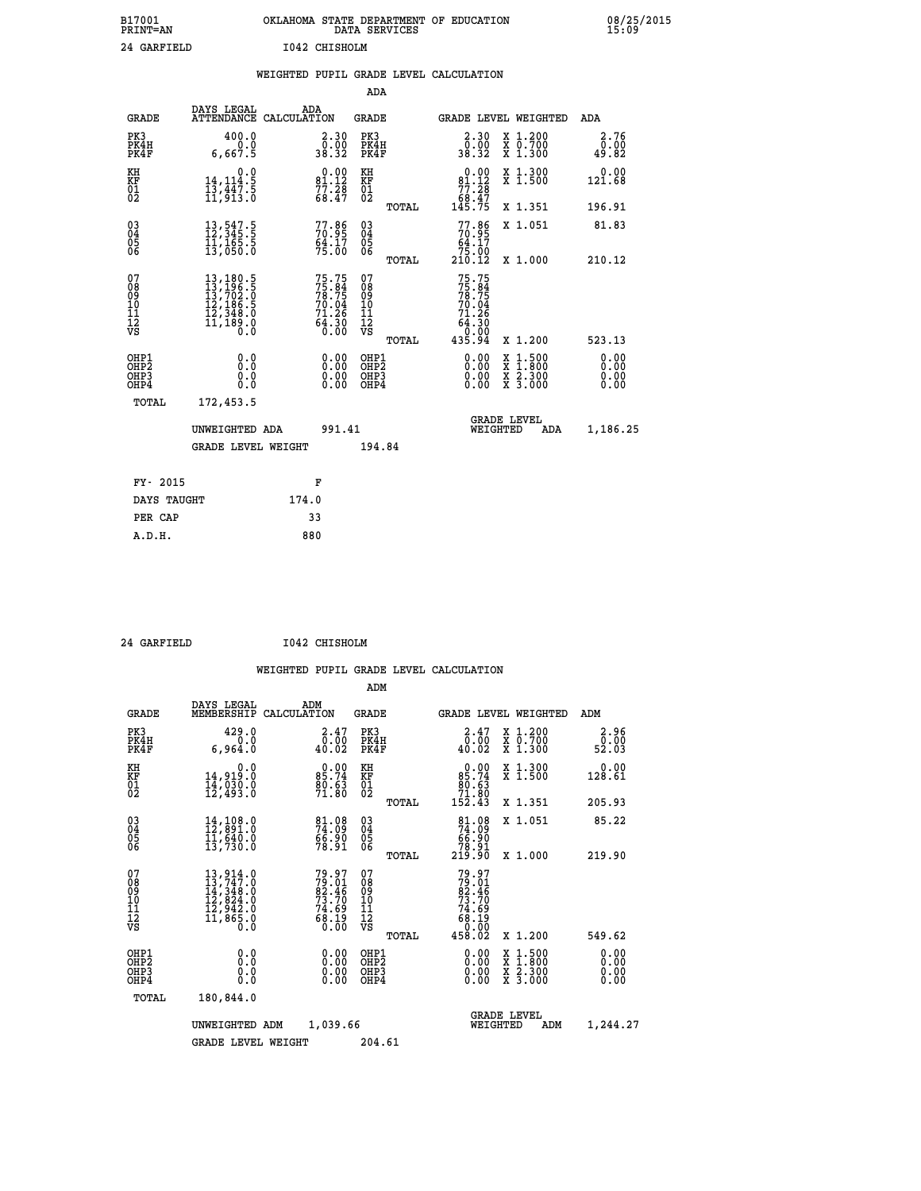| B17001<br><b>PRINT=AN</b> | OKLAHOMA<br>. STATE DEPARTMENT OF EDUCATION<br>DATA SERVICES | 08/25/2015<br>15:09 |
|---------------------------|--------------------------------------------------------------|---------------------|
| 24 GARFIELD               | 1042 CHISHOLM                                                |                     |

|                                                              |                                                                                                                                                                        |       |                                                                   |                                          |       | WEIGHTED PUPIL GRADE LEVEL CALCULATION                                                                                                                                                                                                                                                                                                                                                                                                                                                                                                                                                               |                                                                                          |                              |
|--------------------------------------------------------------|------------------------------------------------------------------------------------------------------------------------------------------------------------------------|-------|-------------------------------------------------------------------|------------------------------------------|-------|------------------------------------------------------------------------------------------------------------------------------------------------------------------------------------------------------------------------------------------------------------------------------------------------------------------------------------------------------------------------------------------------------------------------------------------------------------------------------------------------------------------------------------------------------------------------------------------------------|------------------------------------------------------------------------------------------|------------------------------|
|                                                              |                                                                                                                                                                        |       |                                                                   | <b>ADA</b>                               |       |                                                                                                                                                                                                                                                                                                                                                                                                                                                                                                                                                                                                      |                                                                                          |                              |
| <b>GRADE</b>                                                 | DAYS LEGAL<br>ATTENDANCE CALCULATION                                                                                                                                   |       | ADA                                                               | GRADE                                    |       | GRADE LEVEL WEIGHTED                                                                                                                                                                                                                                                                                                                                                                                                                                                                                                                                                                                 |                                                                                          | ADA                          |
| PK3<br>PK4H<br>PK4F                                          | 400.0<br>0.0<br>6,667.5                                                                                                                                                |       | $\begin{smallmatrix} 2.30\0.00\\38.32\end{smallmatrix}$           | PK3<br>PK4H<br>PK4F                      |       | $\begin{smallmatrix} 2.30\0.00\\38.32\end{smallmatrix}$                                                                                                                                                                                                                                                                                                                                                                                                                                                                                                                                              | X 1.200<br>X 0.700<br>X 1.300                                                            | 2.76<br>0.00<br>49.82        |
| KH<br>KF<br>01<br>02                                         | 0.0<br>14, 114.5<br>13,447:3<br>11,913:0                                                                                                                               |       | $0.00$<br>81.12<br>$77.28$<br>68.47                               | KH<br>KF<br>01<br>02                     |       | $0.00$<br>$81.12$<br>$77.28$<br>$68.47$                                                                                                                                                                                                                                                                                                                                                                                                                                                                                                                                                              | X 1.300<br>X 1.500                                                                       | 0.00<br>121.68               |
|                                                              |                                                                                                                                                                        |       |                                                                   |                                          | TOTAL | 145.75                                                                                                                                                                                                                                                                                                                                                                                                                                                                                                                                                                                               | X 1.351                                                                                  | 196.91                       |
| $\begin{smallmatrix} 03 \\[-4pt] 04 \end{smallmatrix}$<br>Ŏ5 | $\begin{smallmatrix} 13\,,\,547\cdot5\\ 12\,,\,345\cdot5\\ 11\,,\,165\cdot5\\ 13\,,\,050\cdot0 \end{smallmatrix}$                                                      |       | $77.86$<br>$70.95$<br>$64.17$<br>$75.00$                          | $\substack{03 \\ 04}$<br>05<br>06        |       | $77.86\n70.95\n64.17\n75.00\n210.12$                                                                                                                                                                                                                                                                                                                                                                                                                                                                                                                                                                 | X 1.051                                                                                  | 81.83                        |
| ŌĞ                                                           |                                                                                                                                                                        |       |                                                                   |                                          | TOTAL |                                                                                                                                                                                                                                                                                                                                                                                                                                                                                                                                                                                                      | X 1.000                                                                                  | 210.12                       |
| 07<br>08<br>09<br>11<br>11<br>12<br>VS                       | $\begin{smallmatrix} 13\,,\,180\,.\,5\\ 13\,,\,196\,. \,5\\ 13\,,\,702\,. \,0\\ 12\,,\,186\,. \,5\\ 12\,,\,348\,. \,0\\ 11\,,\,189\,. \,0\\ 0\,. \,0\end{smallmatrix}$ |       | 75.75<br>75.84<br>78.75<br>70.04<br>71.26<br>64.30<br>64.30       | 07<br>08<br>09<br>11<br>11<br>12<br>VS   | TOTAL | 75.75<br>$7\overline{5}\cdot\overline{6}\cdot\overline{7}\cdot\overline{5}\cdot\overline{7}\cdot\overline{9}\cdot\overline{0}\cdot\overline{9}\cdot\overline{9}\cdot\overline{9}\cdot\overline{9}\cdot\overline{9}\cdot\overline{1}\cdot\overline{1}\cdot\overline{1}\cdot\overline{1}\cdot\overline{1}\cdot\overline{1}\cdot\overline{1}\cdot\overline{1}\cdot\overline{1}\cdot\overline{1}\cdot\overline{1}\cdot\overline{1}\cdot\overline{1}\cdot\overline{1}\cdot\overline{1}\cdot\overline{1}\cdot\overline{1}\cdot\overline{1}\cdot\overline{1}\cdot\over$<br>71.26<br>64:30<br>00:00<br>04:35 | X 1.200                                                                                  | 523.13                       |
| OHP1<br>OH <sub>P</sub> 2<br>OHP3<br>OHP4                    | 0.0<br>0.0<br>0.0                                                                                                                                                      |       | $\begin{smallmatrix} 0.00 \ 0.00 \ 0.00 \ 0.00 \end{smallmatrix}$ | OHP1<br>OHP <sub>2</sub><br>OHP3<br>OHP4 |       | $\begin{smallmatrix} 0.00 & 0.00 & 0.00 & 0.00 & 0.00 & 0.00 & 0.00 & 0.00 & 0.00 & 0.00 & 0.00 & 0.00 & 0.00 & 0.00 & 0.00 & 0.00 & 0.00 & 0.00 & 0.00 & 0.00 & 0.00 & 0.00 & 0.00 & 0.00 & 0.00 & 0.00 & 0.00 & 0.00 & 0.00 & 0.00 & 0.00 & 0.00 & 0.00 & 0.00 & 0.00 & 0.0$                                                                                                                                                                                                                                                                                                                       | $\begin{smallmatrix} x & 1.500 \\ x & 1.800 \\ x & 2.300 \\ x & 3.000 \end{smallmatrix}$ | 0.00<br>0.00<br>0.00<br>0.00 |
| TOTAL                                                        | 172,453.5                                                                                                                                                              |       |                                                                   |                                          |       |                                                                                                                                                                                                                                                                                                                                                                                                                                                                                                                                                                                                      |                                                                                          |                              |
|                                                              | UNWEIGHTED ADA                                                                                                                                                         |       | 991.41                                                            |                                          |       | WEIGHTED                                                                                                                                                                                                                                                                                                                                                                                                                                                                                                                                                                                             | <b>GRADE LEVEL</b><br>ADA                                                                | 1,186.25                     |
|                                                              | <b>GRADE LEVEL WEIGHT</b>                                                                                                                                              |       |                                                                   | 194.84                                   |       |                                                                                                                                                                                                                                                                                                                                                                                                                                                                                                                                                                                                      |                                                                                          |                              |
| FY- 2015                                                     |                                                                                                                                                                        |       | F                                                                 |                                          |       |                                                                                                                                                                                                                                                                                                                                                                                                                                                                                                                                                                                                      |                                                                                          |                              |
| DAYS TAUGHT                                                  |                                                                                                                                                                        | 174.0 |                                                                   |                                          |       |                                                                                                                                                                                                                                                                                                                                                                                                                                                                                                                                                                                                      |                                                                                          |                              |
| PER CAP                                                      |                                                                                                                                                                        |       | 33                                                                |                                          |       |                                                                                                                                                                                                                                                                                                                                                                                                                                                                                                                                                                                                      |                                                                                          |                              |

 **24 GARFIELD I042 CHISHOLM**

| <b>GRADE</b>                                         | DAYS LEGAL<br>MEMBERSHIP                                                                                                                                                                 | ADM<br>CALCULATION                                         | <b>GRADE</b>                             |       | GRADE LEVEL WEIGHTED                                                                 |                                                                                                                     | ADM                                            |  |
|------------------------------------------------------|------------------------------------------------------------------------------------------------------------------------------------------------------------------------------------------|------------------------------------------------------------|------------------------------------------|-------|--------------------------------------------------------------------------------------|---------------------------------------------------------------------------------------------------------------------|------------------------------------------------|--|
| PK3<br>PK4H<br>PK4F                                  | 429.0<br>6,964.0                                                                                                                                                                         | 2.47<br>0.00<br>40.02                                      | PK3<br>PK4H<br>PK4F                      |       | 2.47<br>0.00<br>40.02                                                                | X 1.200<br>X 0.700<br>X 1.300                                                                                       | 2.96<br>$\frac{\bar{0}.\bar{0}\bar{0}}{52.03}$ |  |
| KH<br>KF<br>01<br>02                                 | 0.0<br>14,919.0<br>14,030.0<br>12,493.0                                                                                                                                                  | $0.00$<br>85.74<br>$\frac{80.63}{71.80}$                   | KH<br>KF<br>01<br>02                     |       | $\begin{smallmatrix} &0.00\ 85.74\ 80.63\ 71.80\ 152.43\ \end{smallmatrix}$          | X 1.300<br>X 1.500                                                                                                  | 0.00<br>128.61                                 |  |
|                                                      |                                                                                                                                                                                          |                                                            |                                          | TOTAL |                                                                                      | X 1.351                                                                                                             | 205.93                                         |  |
| $\begin{matrix} 03 \\ 04 \\ 05 \\ 06 \end{matrix}$   | 14,108.0<br>12,891.0<br>11,640.0                                                                                                                                                         | 81.08<br>74.09<br>66.90<br>78.91                           | $\substack{03 \\ 04}$<br>05<br>06        |       | $\begin{smallmatrix}81.08\\74.09\\66.90\\78.91\\219.90\end{smallmatrix}$             | X 1.051                                                                                                             | 85.22                                          |  |
|                                                      | 13,730.0                                                                                                                                                                                 |                                                            |                                          | TOTAL |                                                                                      | X 1.000                                                                                                             | 219.90                                         |  |
| 07<br>08<br>09<br>101<br>112<br>VS                   | $\begin{smallmatrix} 13\,, & 914\,. & 0\\ 13\,, & 747\,. & 0\\ 14\,, & 348\,. & 0\\ 12\,, & 824\,. & 0\\ 12\,, & 942\,. & 0\\ 11\,, & 865\,. & 0\\ 0\,. & 0\,. & 0\,. \end{smallmatrix}$ | 79.97<br>79.01<br>82.46<br>73.70<br>74.69<br>74.69<br>0.00 | 07<br>08<br>09<br>11<br>11<br>12<br>VS   | TOTAL | $79.97$<br>$79.01$<br>$82.46$<br>$73.70$<br>$74.69$<br>$68.19$<br>$0.00$<br>$458.02$ | X 1.200                                                                                                             | 549.62                                         |  |
| OHP1<br>OH <sub>P</sub> <sub>2</sub><br>OHP3<br>OHP4 | 0.0<br>0.0<br>0.0                                                                                                                                                                        | $0.00$<br>$0.00$<br>0.00                                   | OHP1<br>OHP <sub>2</sub><br>OHP3<br>OHP4 |       | $0.00$<br>$0.00$<br>0.00                                                             | $\begin{array}{l} \mathtt{X} & 1.500 \\ \mathtt{X} & 1.800 \\ \mathtt{X} & 2.300 \\ \mathtt{X} & 3.000 \end{array}$ | 0.00<br>0.00<br>0.00<br>0.00                   |  |
| TOTAL                                                | 180,844.0                                                                                                                                                                                |                                                            |                                          |       |                                                                                      |                                                                                                                     |                                                |  |
|                                                      | UNWEIGHTED                                                                                                                                                                               | 1,039.66<br>ADM                                            |                                          |       | WEIGHTED                                                                             | <b>GRADE LEVEL</b><br>ADM                                                                                           | 1,244.27                                       |  |
|                                                      | <b>GRADE LEVEL WEIGHT</b>                                                                                                                                                                |                                                            | 204.61                                   |       |                                                                                      |                                                                                                                     |                                                |  |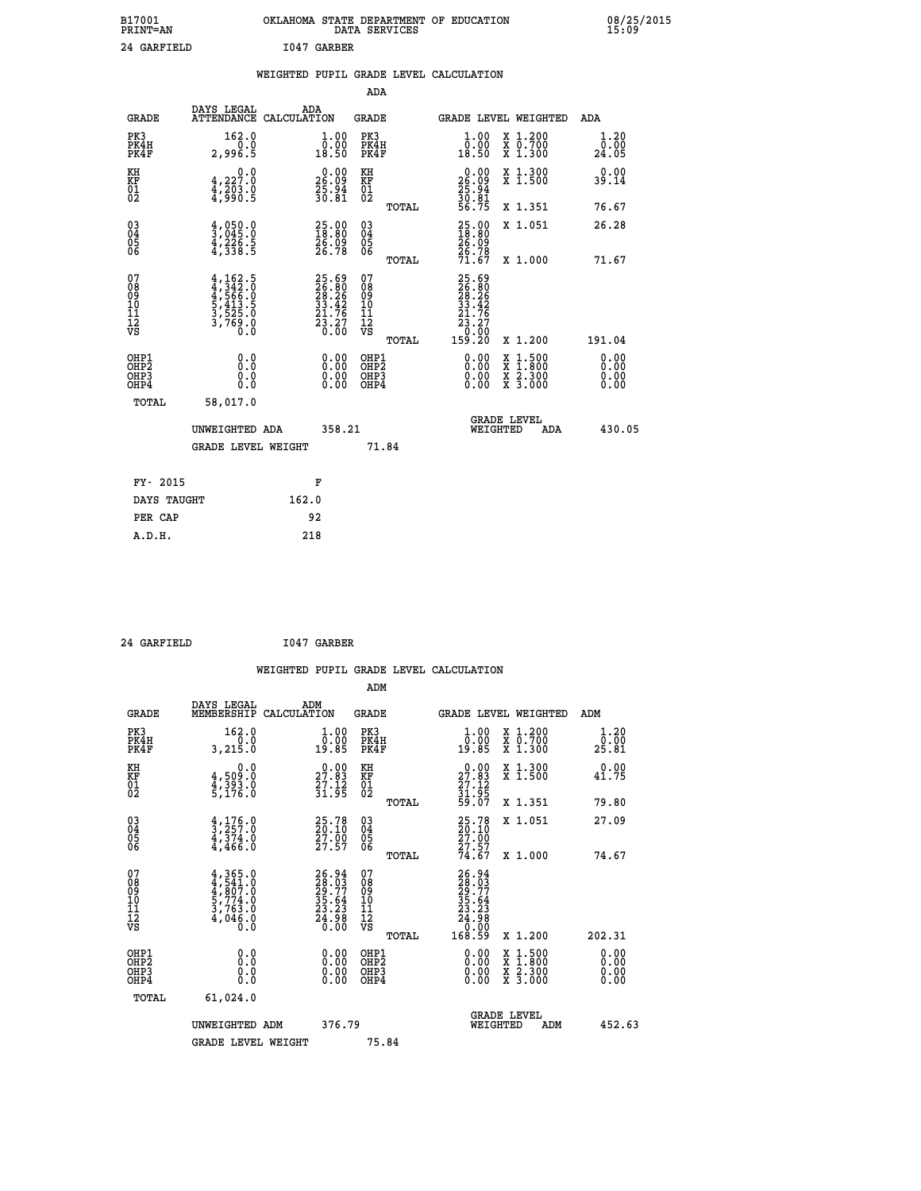| B17001<br><b>PRINT=AN</b> | OKLAHOMA STATE DEPARTMENT OF EDUCATION<br>DATA SERVICES | 08/25/2015<br>15:09 |
|---------------------------|---------------------------------------------------------|---------------------|
| 24 GARFIELD               | I047 GARBER                                             |                     |

|                                                    |                                                                            |                                                                          |                                                 | WEIGHTED PUPIL GRADE LEVEL CALCULATION                                       |                                                                                          |                              |
|----------------------------------------------------|----------------------------------------------------------------------------|--------------------------------------------------------------------------|-------------------------------------------------|------------------------------------------------------------------------------|------------------------------------------------------------------------------------------|------------------------------|
|                                                    |                                                                            |                                                                          | ADA                                             |                                                                              |                                                                                          |                              |
| <b>GRADE</b>                                       | DAYS LEGAL                                                                 | ADA<br>ATTENDANCE CALCULATION                                            | <b>GRADE</b>                                    | GRADE LEVEL WEIGHTED                                                         |                                                                                          | ADA                          |
| PK3<br>PK4H<br>PK4F                                | 162.0<br>0.0<br>2,996.5                                                    | $\begin{smallmatrix} 1.00\\ 0.00\\ 18.50 \end{smallmatrix}$              | PK3<br>PK4H<br>PK4F                             | 1.00<br>0.00<br>18.50                                                        | X 1.200<br>X 0.700<br>X 1.300                                                            | 1.20<br>0.00<br>24.05        |
| KH<br>KF<br>01<br>02                               | $\begin{smallmatrix}&&&0.0\\4.227.0\\4.203.0\\4.990.5\end{smallmatrix}$    | $\begin{smallmatrix} 0.00\\ 26.09\\ 25.94\\ 30.81 \end{smallmatrix}$     | KH<br>KF<br>01<br>02                            | $\begin{smallmatrix} 0.00\\ 26.09\\ 25.94\\ 30.81\\ 56.75 \end{smallmatrix}$ | X 1.300<br>X 1.500                                                                       | 0.00<br>39.14                |
|                                                    |                                                                            |                                                                          | TOTAL                                           |                                                                              | X 1.351                                                                                  | 76.67                        |
| $\begin{matrix} 03 \\ 04 \\ 05 \\ 06 \end{matrix}$ | $\frac{4}{3}$ , 050 : 0<br>$\frac{4}{3}, \frac{2}{338}$ . 5                | $25.00$<br>$18.80$<br>26.09<br>26.78                                     | 03<br>04<br>05<br>06                            | 25.00<br>18.80<br>26.09<br>26.78<br>71.67                                    | X 1.051                                                                                  | 26.28                        |
|                                                    |                                                                            |                                                                          | TOTAL                                           |                                                                              | X 1.000                                                                                  | 71.67                        |
| 07<br>08<br>09<br>11<br>11<br>12<br>VS             | $4,162.5$<br>$4,342.0$<br>$4,566.0$<br>$5,413.5$<br>$3,525.0$<br>$3,769.0$ | $25.69$<br>$26.26$<br>$28.26$<br>$33.42$<br>$21.76$<br>$23.27$<br>$0.00$ | 07<br>08<br>09<br>11<br>11<br>12<br>VS<br>TOTAL | 25.69<br>26.26<br>28.26<br>33.42<br>31.76<br>23.27<br>23.27<br>159.20        | X 1.200                                                                                  | 191.04                       |
| OHP1<br>OHP2<br>OHP3<br>OHP4                       | 0.0<br>0.0<br>0.0                                                          | $\begin{smallmatrix} 0.00 \ 0.00 \ 0.00 \ 0.00 \end{smallmatrix}$        | OHP1<br>OHP2<br>OHP3<br>OHP4                    |                                                                              | $\begin{smallmatrix} x & 1.500 \\ x & 1.800 \\ x & 2.300 \\ x & 3.000 \end{smallmatrix}$ | 0.00<br>0.00<br>0.00<br>0.00 |
| TOTAL                                              | 58,017.0                                                                   |                                                                          |                                                 |                                                                              |                                                                                          |                              |
|                                                    | UNWEIGHTED ADA                                                             | 358.21                                                                   |                                                 | <b>GRADE LEVEL</b><br>WEIGHTED                                               | ADA                                                                                      | 430.05                       |
|                                                    | <b>GRADE LEVEL WEIGHT</b>                                                  |                                                                          | 71.84                                           |                                                                              |                                                                                          |                              |
| FY- 2015                                           |                                                                            | F                                                                        |                                                 |                                                                              |                                                                                          |                              |
|                                                    | DAYS TAUGHT                                                                | 162.0                                                                    |                                                 |                                                                              |                                                                                          |                              |
| PER CAP                                            |                                                                            | 92                                                                       |                                                 |                                                                              |                                                                                          |                              |

 **24 GARFIELD I047 GARBER**

 **A.D.H. 218**

 **WEIGHTED PUPIL GRADE LEVEL CALCULATION ADM DAYS LEGAL ADM GRADE MEMBERSHIP CALCULATION GRADE GRADE LEVEL WEIGHTED ADM**

| PK3<br>PK4H<br>PK4F                                | 162.0<br>0.0<br>3,215.0                                                                              | $\begin{smallmatrix} 1.00\\ 0.00\\ 19.85 \end{smallmatrix}$              | PK3<br>PK4H<br>PK4F                                | $\begin{smallmatrix} 1.00\\ 0.00\\ 19.85 \end{smallmatrix}$                                       | X 1.200<br>X 0.700<br>X 1.300                                                                                       | 1.20<br>0.00<br>25.81 |
|----------------------------------------------------|------------------------------------------------------------------------------------------------------|--------------------------------------------------------------------------|----------------------------------------------------|---------------------------------------------------------------------------------------------------|---------------------------------------------------------------------------------------------------------------------|-----------------------|
| KH<br>KF<br>01<br>02                               | 0.0<br>$4,509.0$<br>$4,393.0$<br>$5,176.0$                                                           | $\begin{smallmatrix} 0.00\\ 27.83\\ 27.12\\ 31.95 \end{smallmatrix}$     | KH<br>KF<br>$^{01}_{02}$                           | $\begin{smallmatrix} 0.00\\ 27.83\\ 27.12\\ 31.95\\ 59.07 \end{smallmatrix}$                      | X 1.300<br>X 1.500                                                                                                  | 0.00<br>41.75         |
|                                                    |                                                                                                      |                                                                          | TOTAL                                              |                                                                                                   | X 1.351                                                                                                             | 79.80                 |
| $\begin{matrix} 03 \\ 04 \\ 05 \\ 06 \end{matrix}$ | $\frac{4}{3}, \frac{176}{257}.0$<br>$\frac{4}{3}, \frac{374}{36}.0$<br>$\frac{4}{4}, \frac{466}{30}$ | 25.78<br>20.10<br>27.00<br>27.57                                         | $\begin{matrix} 03 \\ 04 \\ 05 \\ 06 \end{matrix}$ | $\begin{smallmatrix} 25\cdot78\\ 20\cdot10\\ 27\cdot90\\ 27\cdot57\\ 74\cdot67 \end{smallmatrix}$ | X 1.051                                                                                                             | 27.09                 |
|                                                    |                                                                                                      |                                                                          | TOTAL                                              |                                                                                                   | X 1.000                                                                                                             | 74.67                 |
| 07<br>08<br>09<br>101<br>11<br>12<br>VS            | $4,365.0$<br>$4,541.0$<br>$4,807.0$<br>$5,774.0$<br>$3,763.0$<br>$4,046.0$<br>$0.0$                  | $26.94$<br>$28.03$<br>$29.77$<br>$35.64$<br>$23.23$<br>$24.98$<br>$0.00$ | 07<br>08<br>09<br>01<br>11<br>11<br>17<br>VS       | $\begin{smallmatrix} 26.94\ 28.03\ 29.77\ 29.74\ 35.64\ 24.98\ 24.980\ 168.59 \end{smallmatrix}$  |                                                                                                                     |                       |
|                                                    |                                                                                                      |                                                                          | <b>TOTAL</b>                                       |                                                                                                   | X 1.200                                                                                                             | 202.31                |
| OHP1<br>OHP2<br>OHP3<br>OHP4                       | $\begin{smallmatrix} 0.0 \ 0.0 \ 0.0 \end{smallmatrix}$                                              | 0.00                                                                     | OHP1<br>OHP2<br>OHP3<br>OHP4                       | $0.00$<br>0.00<br>0.00                                                                            | $\begin{array}{l} \mathtt{X} & 1.500 \\ \mathtt{X} & 1.800 \\ \mathtt{X} & 2.300 \\ \mathtt{X} & 3.000 \end{array}$ | 0.00<br>0.00<br>0.00  |
| TOTAL                                              | 61,024.0                                                                                             |                                                                          |                                                    |                                                                                                   |                                                                                                                     |                       |
|                                                    | UNWEIGHTED ADM                                                                                       | 376.79                                                                   |                                                    | <b>GRADE LEVEL</b><br>WEIGHTED                                                                    | ADM                                                                                                                 | 452.63                |
|                                                    | <b>GRADE LEVEL WEIGHT</b>                                                                            |                                                                          | 75.84                                              |                                                                                                   |                                                                                                                     |                       |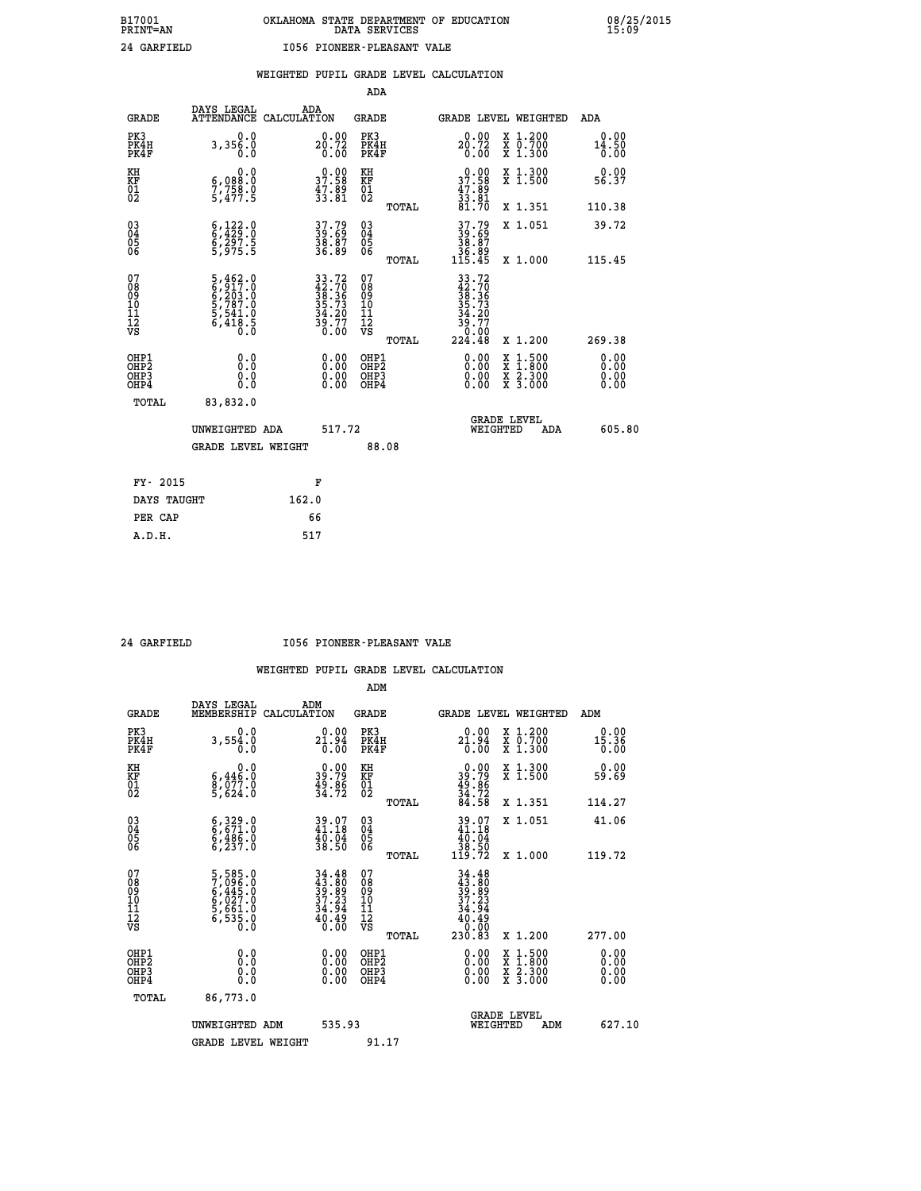|                                                                    |                                                                                                   |                                                                          |                                                     | ADA   |                                                                                                                                                                                                                                                                                |                                          |                               |
|--------------------------------------------------------------------|---------------------------------------------------------------------------------------------------|--------------------------------------------------------------------------|-----------------------------------------------------|-------|--------------------------------------------------------------------------------------------------------------------------------------------------------------------------------------------------------------------------------------------------------------------------------|------------------------------------------|-------------------------------|
| <b>GRADE</b>                                                       | DAYS LEGAL                                                                                        | ADA<br>ATTENDANCE CALCULATION                                            | <b>GRADE</b>                                        |       |                                                                                                                                                                                                                                                                                | GRADE LEVEL WEIGHTED                     | ADA                           |
| PK3<br>PK4H<br>PK4F                                                | 0.0<br>3,356.0<br>0.0                                                                             | $20.00$<br>$20.72$<br>$0.00$                                             | PK3<br>PK4H<br>PK4F                                 |       | 20.00<br>0.00                                                                                                                                                                                                                                                                  | X 1.200<br>X 0.700<br>X 1.300            | 0.00<br>14.50<br>0.00         |
| KH<br>KF<br>01<br>02                                               | 0.0<br>$\frac{6}{7}, \frac{0}{7}$<br>$\frac{88}{5}, \frac{8}{477}$<br>5,477.5                     | $\begin{smallmatrix} 0.00\\ 37.58\\ 47.89\\ 33.81 \end{smallmatrix}$     | KH<br>KF<br>01<br>02                                |       | $37.90$<br>37.58<br>$\frac{47.89}{33.81}$<br>81.70                                                                                                                                                                                                                             | X 1.300<br>X 1.500                       | 0.00<br>56.37                 |
|                                                                    |                                                                                                   |                                                                          |                                                     | TOTAL |                                                                                                                                                                                                                                                                                | X 1.351                                  | 110.38                        |
| $\begin{smallmatrix} 03 \\[-4pt] 04 \end{smallmatrix}$<br>Ŏ5<br>06 | $\begin{smallmatrix} 6\,,\,122\,. \ 6\,,\,429\,. \ 6\,,\,297\,. \ 5\,,\,975\,. \end{smallmatrix}$ | 37.79<br>39.69<br>38.87<br>36.89                                         | $\begin{array}{c} 03 \\ 04 \\ 05 \\ 06 \end{array}$ |       | $37.79$<br>$39.69$<br>$38.87$<br>$36.89$<br>$115.45$                                                                                                                                                                                                                           | X 1.051                                  | 39.72                         |
|                                                                    |                                                                                                   |                                                                          |                                                     | TOTAL |                                                                                                                                                                                                                                                                                | X 1.000                                  | 115.45                        |
| 07<br>08<br>09<br>101<br>11<br>12<br>VS                            | $5,462.0$<br>$6,203.0$<br>$6,203.0$<br>$5,787.0$<br>$5,541.0$<br>$6,418.5$<br>$0.0$               | $33.72$<br>$42.70$<br>$38.36$<br>$35.73$<br>$34.20$<br>$39.77$<br>$0.00$ | 07<br>08<br>09<br>01<br>11<br>11<br>12<br>VS        |       | $33.72$<br>$42.70$<br>$38.36$<br>$35.73$<br>$34.20$<br>$39.77$<br>$0.00$<br>$224.48$                                                                                                                                                                                           |                                          |                               |
|                                                                    |                                                                                                   |                                                                          |                                                     | TOTAL |                                                                                                                                                                                                                                                                                | X 1.200                                  | 269.38                        |
| OHP1<br>OHP <sub>2</sub><br>OH <sub>P3</sub><br>OHP4               | 0.0<br>0.000                                                                                      | 0.00<br>$\begin{smallmatrix} 0.00 \ 0.00 \end{smallmatrix}$              | OHP1<br>OHP2<br>OHP <sub>3</sub>                    |       | $\begin{smallmatrix} 0.00 & 0.00 & 0.00 & 0.00 & 0.00 & 0.00 & 0.00 & 0.00 & 0.00 & 0.00 & 0.00 & 0.00 & 0.00 & 0.00 & 0.00 & 0.00 & 0.00 & 0.00 & 0.00 & 0.00 & 0.00 & 0.00 & 0.00 & 0.00 & 0.00 & 0.00 & 0.00 & 0.00 & 0.00 & 0.00 & 0.00 & 0.00 & 0.00 & 0.00 & 0.00 & 0.0$ | X 1:500<br>X 1:800<br>X 2:300<br>X 3:000 | 0.00<br>Ō. ŌŌ<br>0.00<br>0.00 |
| TOTAL                                                              | 83,832.0                                                                                          |                                                                          |                                                     |       |                                                                                                                                                                                                                                                                                |                                          |                               |
|                                                                    | UNWEIGHTED ADA                                                                                    | 517.72                                                                   |                                                     |       |                                                                                                                                                                                                                                                                                | <b>GRADE LEVEL</b><br>WEIGHTED<br>ADA    | 605.80                        |
|                                                                    | <b>GRADE LEVEL WEIGHT</b>                                                                         |                                                                          |                                                     | 88.08 |                                                                                                                                                                                                                                                                                |                                          |                               |
| FY- 2015                                                           |                                                                                                   | F                                                                        |                                                     |       |                                                                                                                                                                                                                                                                                |                                          |                               |
| DAYS TAUGHT                                                        |                                                                                                   | 162.0                                                                    |                                                     |       |                                                                                                                                                                                                                                                                                |                                          |                               |
| PER CAP                                                            |                                                                                                   | 66                                                                       |                                                     |       |                                                                                                                                                                                                                                                                                |                                          |                               |

### **24 GARFIELD I056 PIONEER-PLEASANT VALE**

|                                                      |                                                                           |                                                                      | ADM                                                 |       |                                                                              |                                          |                       |
|------------------------------------------------------|---------------------------------------------------------------------------|----------------------------------------------------------------------|-----------------------------------------------------|-------|------------------------------------------------------------------------------|------------------------------------------|-----------------------|
| <b>GRADE</b>                                         | DAYS LEGAL<br>MEMBERSHIP                                                  | ADM<br>CALCULATION                                                   | <b>GRADE</b>                                        |       |                                                                              | GRADE LEVEL WEIGHTED                     | ADM                   |
| PK3<br>PK4H<br>PK4F                                  | 0.0<br>3,554.0<br>0.0                                                     | $2_1^{0.00}_{1.94}$                                                  | PK3<br>PK4H<br>PK4F                                 |       | 0.00<br>21.94<br>0.00                                                        | X 1.200<br>X 0.700<br>X 1.300            | 0.00<br>15.36<br>0.00 |
| KH<br>KF<br>01<br>02                                 | $\begin{smallmatrix}&&&0.0\\6,446.0\\8,077.0\\5,624.0\end{smallmatrix}$   | $\begin{smallmatrix} 0.00\\ 39.79\\ 49.86\\ 34.72 \end{smallmatrix}$ | KH<br>KF<br>01<br>02                                |       | $\begin{smallmatrix} 0.00\\ 39.79\\ 49.86\\ 34.72\\ 84.58 \end{smallmatrix}$ | X 1.300<br>X 1.500                       | 0.00<br>59.69         |
|                                                      |                                                                           |                                                                      |                                                     | TOTAL |                                                                              | X 1.351                                  | 114.27                |
| 03<br>04<br>05<br>06                                 | $6,329.0$<br>$6,671.0$<br>$6,486.0$<br>$6,237.0$                          | 39.07<br>41.18<br>$\frac{40.04}{38.50}$                              | $\begin{array}{c} 03 \\ 04 \\ 05 \\ 06 \end{array}$ |       | $39.07\n41.18\n40.04\n38.50\n119.72$                                         | X 1.051                                  | 41.06                 |
|                                                      |                                                                           |                                                                      |                                                     | TOTAL |                                                                              | X 1.000                                  | 119.72                |
| 07<br>08<br>09<br>101<br>11<br>12<br>VS              | 5,585.0<br>7,096.0<br>6,445.0<br>6,027.0<br>5,661.0<br>5,535.0<br>6,535.0 | $34.48$<br>$39.89$<br>$37.23$<br>$34.94$<br>$40.49$<br>$0.00$        | 07<br>08<br>09<br>11<br>11<br>12<br>VS              | TOTAL | 230.83                                                                       | X 1.200                                  | 277.00                |
| OHP1<br>OHP2<br>OHP <sub>3</sub><br>OH <sub>P4</sub> |                                                                           |                                                                      | OHP1<br>OHP2<br>OHP <sub>3</sub>                    |       | $0.00$<br>$0.00$<br>0.00                                                     | X 1:500<br>X 1:800<br>X 2:300<br>X 3:000 | 0.00<br>0.00<br>0.00  |
| TOTAL                                                | 86,773.0                                                                  |                                                                      |                                                     |       |                                                                              |                                          |                       |
|                                                      | UNWEIGHTED ADM                                                            | 535.93                                                               |                                                     |       |                                                                              | GRADE LEVEL<br>WEIGHTED<br>ADM           | 627.10                |
|                                                      | <b>GRADE LEVEL WEIGHT</b>                                                 |                                                                      | 91.17                                               |       |                                                                              |                                          |                       |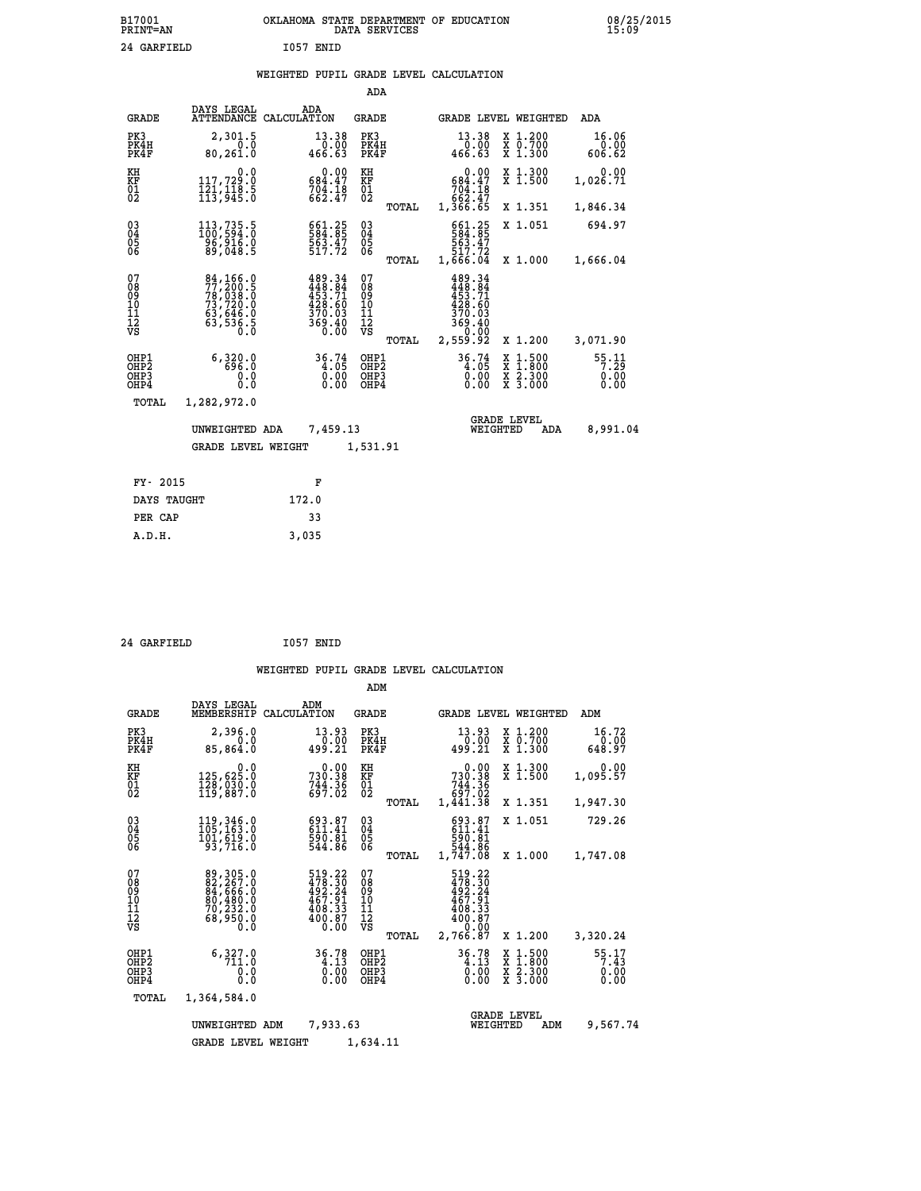| B17001<br><b>PRINT=AN</b> |             |           | OKLAHOMA STATE DEPARTMENT OF EDUCATION<br>DATA SERVICES |  |
|---------------------------|-------------|-----------|---------------------------------------------------------|--|
|                           | 24 GARFIELD | T057 ENTD |                                                         |  |

|  |  | WEIGHTED PUPIL GRADE LEVEL CALCULATION |
|--|--|----------------------------------------|
|  |  |                                        |

|                                                    |                                                                                                               |                                                                  | ADA                                       |       |                                                                                             |          |                                          |                         |
|----------------------------------------------------|---------------------------------------------------------------------------------------------------------------|------------------------------------------------------------------|-------------------------------------------|-------|---------------------------------------------------------------------------------------------|----------|------------------------------------------|-------------------------|
| <b>GRADE</b>                                       | DAYS LEGAL                                                                                                    | ADA<br>ATTENDANCE CALCULATION                                    | GRADE                                     |       |                                                                                             |          | GRADE LEVEL WEIGHTED                     | ADA                     |
| PK3<br>PK4H<br>PK4F                                | 2,301.5<br>0.0<br>80,261.0                                                                                    | 13.38<br>0.00<br>466.63                                          | PK3<br>PK4H<br>PK4F                       |       | 13.38<br>0.00<br>466.63                                                                     |          | X 1.200<br>X 0.700<br>X 1.300            | 16.06<br>0.00<br>606.62 |
| KH<br><b>KF</b><br>01<br>02                        | 0.0<br>117,729.0<br>$\frac{1}{1}\overline{2}\frac{1}{3}, \frac{1}{9}\overline{4}\frac{1}{5}\cdot\overline{5}$ | 0.00<br>684.47<br>$704.18$<br>662.47                             | KH<br>KF<br>$\overline{01}$               |       | 0.00<br>684.47<br>704.18<br>662.47<br>1,366.65                                              |          | X 1.300<br>X 1.500                       | 0.00<br>1,026.71        |
|                                                    |                                                                                                               |                                                                  |                                           | TOTAL |                                                                                             |          | X 1.351                                  | 1,846.34                |
| $\begin{matrix} 03 \\ 04 \\ 05 \\ 06 \end{matrix}$ | 113, 735.5<br>96,916.0<br>89,048.5                                                                            | 584.25<br>563.47<br>517.72                                       | 03<br>04<br>05<br>06                      |       | 661.25<br>584.85<br>563.47<br>517.72<br>1,666.04                                            |          | X 1.051                                  | 694.97                  |
|                                                    |                                                                                                               |                                                                  |                                           | TOTAL |                                                                                             |          | X 1.000                                  | 1,666.04                |
| 07<br>08<br>09<br>101<br>11<br>12<br>VS            | 84, 166.0<br>77, 200.5<br>78, 038.0<br>73, 720.0<br>63, 646.0<br>63, 536.5<br>0.0                             | 489.34<br>448.84<br>453.71<br>428.60<br>370.03<br>369.40<br>0.00 | 07<br>08<br>09<br>11<br>11<br>12<br>VS    | TOTAL | 489.34<br>$448.344$<br>$453.71$<br>$428.60$<br>$370.03$<br>$369.40$<br>$369.40$<br>2,559.92 |          | X 1.200                                  | 3,071.90                |
| OHP1<br>OH <sub>P</sub> 2<br>OHP3<br>OHP4          | 6,320.0<br>696.0<br>0.0<br>0.0                                                                                | $36.74\n4.05\n0.00\n0.00$                                        | OHP1<br>OH <sub>P</sub> 2<br>OHP3<br>OHP4 |       | $36.74$<br>$4.05$<br>$0.00$<br>0.00                                                         |          | X 1:500<br>X 1:800<br>X 2:300<br>X 3:000 | 55:11<br>0.00<br>0.00   |
| TOTAL                                              | 1,282,972.0                                                                                                   |                                                                  |                                           |       |                                                                                             |          |                                          |                         |
|                                                    | UNWEIGHTED ADA                                                                                                | 7,459.13                                                         |                                           |       |                                                                                             | WEIGHTED | <b>GRADE LEVEL</b><br>ADA                | 8,991.04                |
|                                                    | <b>GRADE LEVEL WEIGHT</b>                                                                                     |                                                                  | 1,531.91                                  |       |                                                                                             |          |                                          |                         |
| FY- 2015                                           |                                                                                                               | F                                                                |                                           |       |                                                                                             |          |                                          |                         |
| DAYS TAUGHT                                        |                                                                                                               | 172.0                                                            |                                           |       |                                                                                             |          |                                          |                         |
|                                                    |                                                                                                               |                                                                  |                                           |       |                                                                                             |          |                                          |                         |

| 24 GARFIELD | 1057 ENID |
|-------------|-----------|

 **PER CAP 33 A.D.H. 3,035**

 **ADM**

 **B17001<br>PRINT=AN** 

| <b>GRADE</b>                       | DAYS LEGAL<br>MEMBERSHIP                                                                                 | ADM<br>CALCULATION                                                           | <b>GRADE</b>                                    | GRADE LEVEL WEIGHTED                                                                                                 |                                                                                                                     | ADM                           |
|------------------------------------|----------------------------------------------------------------------------------------------------------|------------------------------------------------------------------------------|-------------------------------------------------|----------------------------------------------------------------------------------------------------------------------|---------------------------------------------------------------------------------------------------------------------|-------------------------------|
| PK3<br>PK4H<br>PK4F                | 2,396.0<br>0.0<br>85,864.0                                                                               | 13.93<br>0.00<br>499.21                                                      | PK3<br>PK4H<br>PK4F                             | 13.93<br>0.00<br>499.21                                                                                              | X 1.200<br>X 0.700<br>X 1.300                                                                                       | 16.72<br>0.00<br>648.97       |
| KH<br>KF<br>01<br>02               | 0.0<br>125,625.0<br>$\frac{1}{128}$ , $\frac{1}{88}$ , $\frac{1}{8}$                                     | $0.00$<br>730.38<br>$744.36$<br>697.02                                       | KH<br>KF<br>$\overline{01}$                     | 0.00<br>730.38<br>744.36<br>697.02                                                                                   | X 1.300<br>X 1.500                                                                                                  | 0.00<br>1,095.57              |
|                                    |                                                                                                          |                                                                              | TOTAL                                           | 1,441.38                                                                                                             | X 1.351                                                                                                             | 1,947.30                      |
| $03\overline{4}$<br>05<br>06       | 119, 346.0<br>105, 163.0<br>101, 619.0                                                                   | $\begin{smallmatrix} 693.87\ 611.41\ 590.81\ 544.86 \end{smallmatrix}$       | $\substack{03 \\ 04}$<br>05                     | 693.87<br>611.41<br>590.81                                                                                           | X 1.051                                                                                                             | 729.26                        |
|                                    | 93,716.0                                                                                                 |                                                                              | 06<br>TOTAL                                     | 544.86<br>1,747.08                                                                                                   | X 1.000                                                                                                             | 1,747.08                      |
| 07<br>08<br>09<br>101<br>112<br>VS | 89,305.0<br>$\begin{smallmatrix} 82,267.0\\ 84,666.0\\ 0,480.0\\ 70,232.0 \end{smallmatrix}$<br>68,950.0 | 519.22<br>$478.30$<br>$492.24$<br>$467.91$<br>$408.33$<br>$400.87$<br>$0.00$ | 07<br>08<br>09<br>11<br>11<br>12<br>VS<br>TOTAL | 519.22<br>$\begin{smallmatrix} 478.36 \\ 492.24 \\ 467.91 \\ 408.33 \\ 409.87 \end{smallmatrix}$<br>0.00<br>2,766.87 | X 1.200                                                                                                             | 3,320.24                      |
| OHP1<br>OHP2<br>OHP3<br>OHP4       | 6,327.0<br>0.0<br>0.0                                                                                    | 36.78<br>0.0000                                                              | OHP1<br>OH <sub>P</sub> 2<br>OHP3<br>OHP4       | 36.78<br>0.00                                                                                                        | $\begin{array}{l} \mathtt{X} & 1.500 \\ \mathtt{X} & 1.800 \\ \mathtt{X} & 2.300 \\ \mathtt{X} & 3.000 \end{array}$ | 55.17<br>7.43<br>0.00<br>0.00 |
| TOTAL                              | 1,364,584.0                                                                                              |                                                                              |                                                 |                                                                                                                      |                                                                                                                     |                               |
|                                    | UNWEIGHTED                                                                                               | 7,933.63<br>ADM                                                              |                                                 | WEIGHTED                                                                                                             | <b>GRADE LEVEL</b><br>ADM                                                                                           | 9,567.74                      |
|                                    | <b>GRADE LEVEL WEIGHT</b>                                                                                |                                                                              | 1,634.11                                        |                                                                                                                      |                                                                                                                     |                               |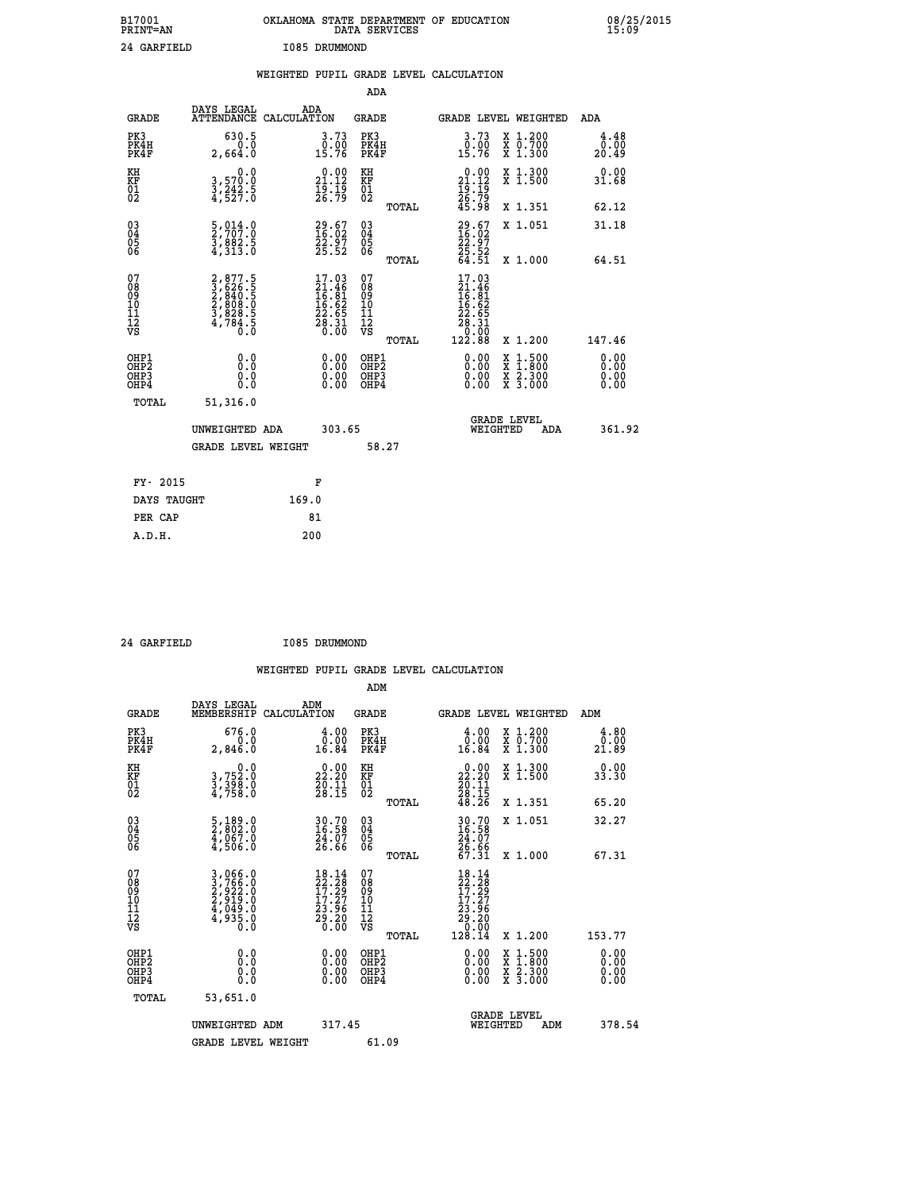| B17001<br><b>PRINT=AN</b> | OKLAHOMA STATE DEPARTMENT OF EDUCATION<br>DATA SERVICES | 08/25/2015<br>15:09 |
|---------------------------|---------------------------------------------------------|---------------------|
| 24 GARFIELD               | I085 DRUMMOND                                           |                     |

|                                                                    |                                                                                       | WEIGHTED PUPIL GRADE LEVEL CALCULATION                                   |                                        |       |                                                                                                                                      |                                                                            |                              |
|--------------------------------------------------------------------|---------------------------------------------------------------------------------------|--------------------------------------------------------------------------|----------------------------------------|-------|--------------------------------------------------------------------------------------------------------------------------------------|----------------------------------------------------------------------------|------------------------------|
|                                                                    |                                                                                       |                                                                          | ADA                                    |       |                                                                                                                                      |                                                                            |                              |
| <b>GRADE</b>                                                       | DAYS LEGAL                                                                            | ADA<br>ATTENDANCE CALCULATION                                            | <b>GRADE</b>                           |       |                                                                                                                                      | GRADE LEVEL WEIGHTED                                                       | ADA                          |
| PK3<br>PK4H<br>PK4F                                                | 630.5<br>0.0<br>2,664.0                                                               | $\begin{smallmatrix} 3.73\ 0.00\ 15.76 \end{smallmatrix}$                | PK3<br>PK4H<br>PK4F                    |       | 3.73<br>0.00<br>15.76                                                                                                                | X 1.200<br>X 0.700<br>X 1.300                                              | 4.48<br>0.00<br>20.49        |
| KH<br>KF<br>01<br>02                                               | 0.0<br>3,570.0<br>3,242.5<br>4,527.0                                                  | $\begin{smallmatrix} 0.00\\ 21.12\\ 19.19\\ 26.79 \end{smallmatrix}$     | KH<br>KF<br>01<br>02                   |       | $\begin{smallmatrix} 0.00\\ 21.12\\ 19.19\\ 26.79\\ 45.98 \end{smallmatrix}$                                                         | X 1.300<br>X 1.500                                                         | 0.00<br>31.68                |
|                                                                    |                                                                                       |                                                                          |                                        | TOTAL |                                                                                                                                      | X 1.351                                                                    | 62.12                        |
| $\begin{smallmatrix} 03 \\[-4pt] 04 \end{smallmatrix}$<br>Ŏ5<br>06 | $\frac{5}{2}$ , $\frac{014}{07}$ : $\frac{0}{0}$<br>$\frac{5}{4}, \frac{882}{313}$ .0 | $29.67$<br>16:02<br>22.97<br>25.52                                       | $\substack{03 \\ 04}$<br>05<br>06      |       | $29.67$<br>$16.02$<br>$22.97$<br>$25.52$<br>$64.51$                                                                                  | X 1.051                                                                    | 31.18                        |
|                                                                    |                                                                                       |                                                                          |                                        | TOTAL |                                                                                                                                      | X 1.000                                                                    | 64.51                        |
| 07<br>08<br>09<br>101<br>112<br>VS                                 | 2,877.5<br>3,626.5<br>2,840.5<br>2,808.0<br>3,828.5<br>3,784.5<br>0.0                 | $17.03$<br>$21.46$<br>$16.81$<br>$16.62$<br>$22.65$<br>$28.31$<br>$0.00$ | 07<br>08<br>09<br>11<br>11<br>12<br>VS | TOTAL | $\begin{array}{r} 17\cdot03 \\ 21\cdot46 \\ 16\cdot81 \\ 16\cdot62 \\ 22\cdot65 \\ 28\cdot31 \\ 0 \cdot00 \\ 122\cdot88 \end{array}$ | X 1.200                                                                    | 147.46                       |
| OHP1<br>OHP2<br>OHP3<br>OHP4                                       | 0.0<br>$0.\overline{0}$<br>0.0                                                        | 0.00<br>$\begin{smallmatrix} 0.00 \ 0.00 \end{smallmatrix}$              | OHP1<br>OHP2<br>OHP3<br>OHP4           |       | 0.00<br>0.00<br>0.00                                                                                                                 | $1:500$<br>$1:800$<br>X<br>X<br>$\frac{\ddot{x}}{x}$ $\frac{2.300}{3.000}$ | 0.00<br>0.00<br>0.00<br>0.00 |
| <b>TOTAL</b>                                                       | 51,316.0                                                                              |                                                                          |                                        |       |                                                                                                                                      |                                                                            |                              |
|                                                                    | UNWEIGHTED ADA                                                                        | 303.65                                                                   |                                        |       |                                                                                                                                      | GRADE LEVEL<br>WEIGHTED<br>ADA                                             | 361.92                       |
|                                                                    | <b>GRADE LEVEL WEIGHT</b>                                                             |                                                                          | 58.27                                  |       |                                                                                                                                      |                                                                            |                              |
| FY- 2015                                                           |                                                                                       | F                                                                        |                                        |       |                                                                                                                                      |                                                                            |                              |
| DAYS TAUGHT                                                        |                                                                                       | 169.0                                                                    |                                        |       |                                                                                                                                      |                                                                            |                              |
| PER CAP                                                            |                                                                                       | 81                                                                       |                                        |       |                                                                                                                                      |                                                                            |                              |

 **24 GARFIELD I085 DRUMMOND**

 **A.D.H. 200**

 **ADM**

| <b>GRADE</b>                                 | DAYS LEGAL<br>MEMBERSHIP                                              | ADM<br>CALCULATION                                                                                                       | <b>GRADE</b>                                       |       | GRADE LEVEL WEIGHTED                                                                                                                 |                                          | ADM                   |  |
|----------------------------------------------|-----------------------------------------------------------------------|--------------------------------------------------------------------------------------------------------------------------|----------------------------------------------------|-------|--------------------------------------------------------------------------------------------------------------------------------------|------------------------------------------|-----------------------|--|
| PK3<br>PK4H<br>PK4F                          | 676.0<br>0.0<br>2,846.0                                               | $\begin{smallmatrix} 4.00\\ 0.00\\ 16.84 \end{smallmatrix}$                                                              | PK3<br>PK4H<br>PK4F                                |       | $\begin{smallmatrix} 4.00\\ 0.00\\ 16.84 \end{smallmatrix}$                                                                          | X 1.200<br>X 0.700<br>X 1.300            | 4.80<br>0.00<br>21.89 |  |
| KH<br>KF<br>01<br>02                         | 0.0<br>3,752:0<br>3,398:0<br>4,758:0                                  | 22.20<br>$\frac{20.11}{28.15}$                                                                                           | KH<br>KF<br>$\overline{01}$                        |       | $\begin{smallmatrix} 0.00\\ 22.20\\ 20.11\\ 28.15\\ 48.26 \end{smallmatrix}$                                                         | X 1.300<br>X 1.500                       | 0.00<br>33.30         |  |
|                                              |                                                                       |                                                                                                                          |                                                    | TOTAL |                                                                                                                                      | X 1.351                                  | 65.20                 |  |
| 03<br>04<br>05<br>06                         | 5,189.0<br>2,802.0<br>4,067.0<br>4,506.0                              | 30.70<br>16.58<br>24.07<br>26.66                                                                                         | $\begin{matrix} 03 \\ 04 \\ 05 \\ 06 \end{matrix}$ |       | 30.70<br>16.58<br>24.07<br>26.66<br>67.31                                                                                            | X 1.051                                  | 32.27                 |  |
|                                              |                                                                       |                                                                                                                          |                                                    | TOTAL |                                                                                                                                      | X 1.000                                  | 67.31                 |  |
| 07<br>08<br>09<br>101<br>11<br>12<br>VS      | 3,066.0<br>3,766.0<br>2,922.0<br>2,919.0<br>4,049.0<br>4,935.0<br>0.0 | $\begin{smallmatrix} 18\cdot 14\\22\cdot 28\\17\cdot 29\\17\cdot 27\\23\cdot 96\\29\cdot 20\\0\cdot 00\end{smallmatrix}$ | 07<br>08<br>09<br>001<br>11<br>11<br>12<br>VS      | TOTAL | $\begin{array}{r} 18\cdot 14\\ 22\cdot 28\\ 17\cdot 29\\ 17\cdot 27\\ 23\cdot 96\\ 29\cdot 20\\ 0\cdot 00\\ 128\cdot 14 \end{array}$ | X 1.200                                  | 153.77                |  |
| OHP1                                         |                                                                       |                                                                                                                          |                                                    |       |                                                                                                                                      |                                          |                       |  |
| OHP <sub>2</sub><br>OH <sub>P3</sub><br>OHP4 | 0.0<br>0.000                                                          |                                                                                                                          | OHP1<br>OHP2<br>OHP3<br>OHP4                       |       | 0.00<br>$0.00$<br>0.00                                                                                                               | X 1:500<br>X 1:800<br>X 2:300<br>X 3:000 | 0.00<br>0.00<br>0.00  |  |
| TOTAL                                        | 53,651.0                                                              |                                                                                                                          |                                                    |       |                                                                                                                                      |                                          |                       |  |
|                                              | UNWEIGHTED<br>ADM                                                     | 317.45                                                                                                                   |                                                    |       | WEIGHTED                                                                                                                             | <b>GRADE LEVEL</b><br>ADM                | 378.54                |  |
|                                              | <b>GRADE LEVEL WEIGHT</b>                                             |                                                                                                                          | 61.09                                              |       |                                                                                                                                      |                                          |                       |  |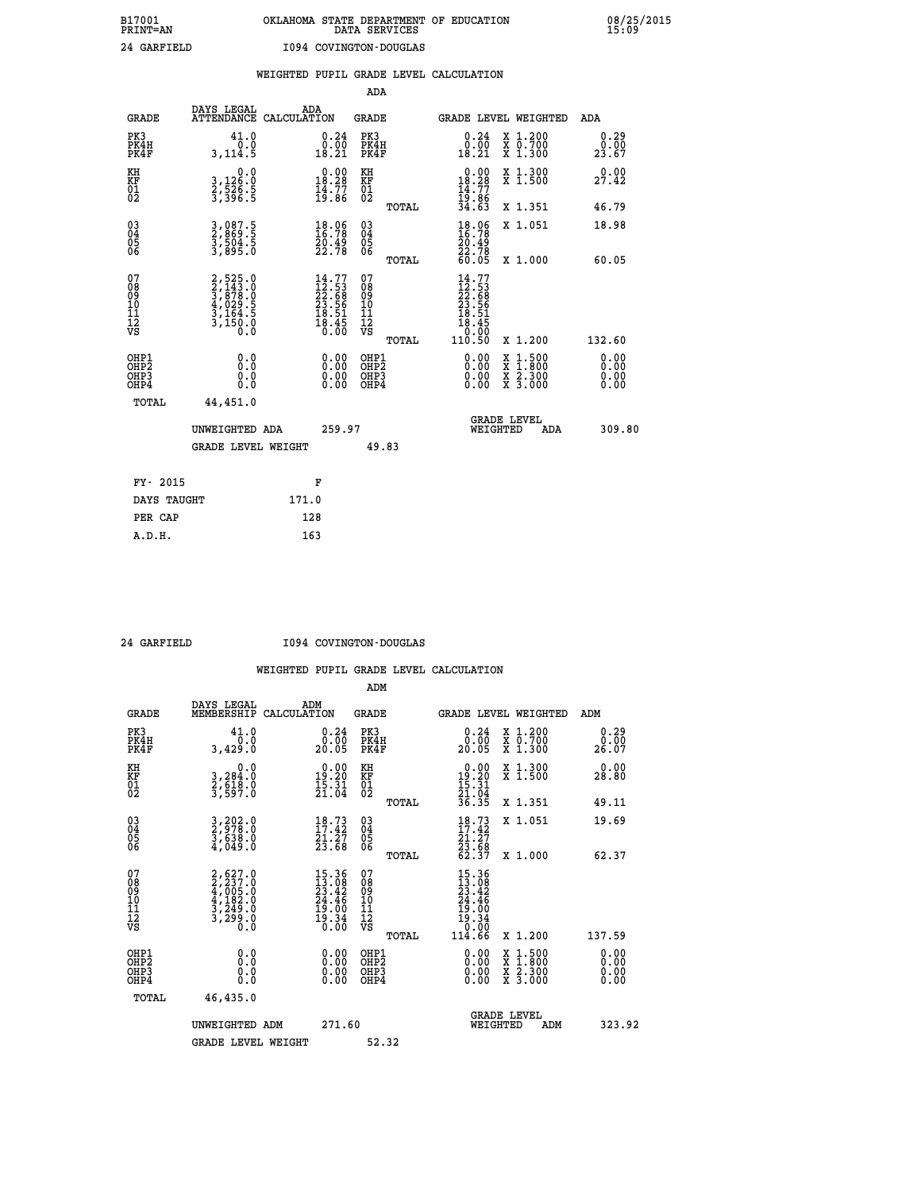|                                                                    |                                                                                     |                                                                          | ADA                                                 |       |                                                                         |                                          |                               |
|--------------------------------------------------------------------|-------------------------------------------------------------------------------------|--------------------------------------------------------------------------|-----------------------------------------------------|-------|-------------------------------------------------------------------------|------------------------------------------|-------------------------------|
| <b>GRADE</b>                                                       | DAYS LEGAL<br>ATTENDANCE CALCULATION                                                | ADA                                                                      | <b>GRADE</b>                                        |       |                                                                         | <b>GRADE LEVEL WEIGHTED</b>              | ADA                           |
| PK3<br>PK4H<br>PK4F                                                | 41.0<br>0.0<br>3, 114.5                                                             | $\substack{0.24 \\ 0.00 \\ 18.21}$                                       | PK3<br>PK4H<br>PK4F                                 |       | $\begin{smallmatrix} 0.24\ 0.00\\ 18.21 \end{smallmatrix}$              | X 1.200<br>X 0.700<br>X 1.300            | 0.29<br>0.00<br>23.67         |
| KH<br>KF<br>01<br>02                                               | 0.0<br>3,126:0<br>2,526:5<br>3,396:5                                                | $\begin{smallmatrix} 0.00\\ 18.28\\ 14.77\\ 19.86 \end{smallmatrix}$     | KH<br>KF<br>01<br>02                                |       | $\begin{array}{r} 0.00 \\ 18.28 \\ 14.77 \\ 19.86 \\ 34.63 \end{array}$ | X 1.300<br>X 1.500                       | 0.00<br>27.42                 |
|                                                                    |                                                                                     |                                                                          |                                                     | TOTAL |                                                                         | X 1.351                                  | 46.79                         |
| $\begin{smallmatrix} 03 \\[-4pt] 04 \end{smallmatrix}$<br>Ŏ5<br>06 | 3,087.5<br>2,869.5<br>3,504.5<br>3,895.0                                            | $\begin{smallmatrix} 18.06\\ 16.78\\ 20.49\\ 22.78 \end{smallmatrix}$    | $\begin{array}{c} 03 \\ 04 \\ 05 \\ 06 \end{array}$ |       | 18.06<br>16.78<br>$\frac{20.49}{22.78}$<br>60.05                        | X 1.051                                  | 18.98                         |
|                                                                    |                                                                                     |                                                                          |                                                     | TOTAL |                                                                         | X 1.000                                  | 60.05                         |
| 07<br>08<br>09<br>01<br>11<br>11<br>12<br>VS                       | $2,525.0$<br>$3,143.0$<br>$3,878.0$<br>$4,029.5$<br>$3,164.5$<br>$3,150.0$<br>$0.0$ | $14.77$<br>$22.53$<br>$22.68$<br>$23.56$<br>$18.51$<br>$18.45$<br>$0.00$ | 07<br>08<br>09<br>11<br>11<br>12<br>VS              |       | $14.77$<br>$22.53$<br>$22.68$<br>$23.56$<br>$18.51$<br>$18.45$<br>0.00  |                                          |                               |
|                                                                    |                                                                                     |                                                                          |                                                     | TOTAL | 110.50                                                                  | X 1.200                                  | 132.60                        |
| OHP1<br>OHP <sub>2</sub><br>OH <sub>P3</sub><br>OHP4               | 0.0<br>0.000                                                                        | 0.00<br>$\begin{smallmatrix} 0.00 \ 0.00 \end{smallmatrix}$              | OHP1<br>OHP <sub>2</sub><br>OHP <sub>3</sub>        |       | 0.00<br>0.00                                                            | X 1:500<br>X 1:800<br>X 2:300<br>X 3:000 | 0.00<br>Ō. ŌŌ<br>0.00<br>0.00 |
| TOTAL                                                              | 44,451.0                                                                            |                                                                          |                                                     |       |                                                                         |                                          |                               |
|                                                                    | UNWEIGHTED ADA                                                                      | 259.97                                                                   |                                                     |       |                                                                         | <b>GRADE LEVEL</b><br>WEIGHTED<br>ADA    | 309.80                        |
|                                                                    | <b>GRADE LEVEL WEIGHT</b>                                                           |                                                                          | 49.83                                               |       |                                                                         |                                          |                               |
| FY- 2015                                                           |                                                                                     | F                                                                        |                                                     |       |                                                                         |                                          |                               |
| DAYS TAUGHT                                                        |                                                                                     | 171.0                                                                    |                                                     |       |                                                                         |                                          |                               |
| PER CAP                                                            |                                                                                     | 128                                                                      |                                                     |       |                                                                         |                                          |                               |

 **24 GARFIELD I094 COVINGTON-DOUGLAS**

|                                          |                                                                                     |                                                                                                                   | ADM                                                |                                                                         |                                          |                              |
|------------------------------------------|-------------------------------------------------------------------------------------|-------------------------------------------------------------------------------------------------------------------|----------------------------------------------------|-------------------------------------------------------------------------|------------------------------------------|------------------------------|
| <b>GRADE</b>                             | DAYS LEGAL<br>MEMBERSHIP                                                            | ADM<br>CALCULATION                                                                                                | <b>GRADE</b>                                       | <b>GRADE LEVEL WEIGHTED</b>                                             |                                          | ADM                          |
| PK3<br>PK4H<br>PK4F                      | 41.0<br>0.0<br>3,429.0                                                              | $\begin{smallmatrix} 0.24\ 0.00 \ 20.05 \end{smallmatrix}$                                                        | PK3<br>PK4H<br>PK4F                                | $\begin{smallmatrix} 0.24\ 0.00 \ 20.05 \end{smallmatrix}$              | X 1.200<br>X 0.700<br>X 1.300            | 0.29<br>0.00<br>26.07        |
| KH<br>KF<br>01<br>02                     | 0.0<br>3,284:0<br>2,618.0<br>3,597:0                                                | $19.20$<br>$15.31$<br>$21.04$                                                                                     | KH<br>KF<br>01<br>02                               | $\begin{array}{r} 0.00 \\ 19.20 \\ 15.31 \\ 21.04 \\ 36.35 \end{array}$ | X 1.300<br>X 1.500                       | 0.00<br>28.80                |
|                                          |                                                                                     |                                                                                                                   | TOTAL                                              |                                                                         | X 1.351                                  | 49.11                        |
| 03<br>04<br>05<br>06                     | $\frac{3}{2}, \frac{202}{978}.0$<br>3,638.0<br>4,049.0                              | $18.73$<br>$17.42$<br>$\frac{\bar{2}\dot{1}\cdot\bar{2}\bar{7}}{23.68}$                                           | $\begin{matrix} 03 \\ 04 \\ 05 \\ 06 \end{matrix}$ | $18.73$<br>$17.42$<br>$21.27$<br>$23.68$<br>$62.37$                     | X 1.051                                  | 19.69                        |
|                                          |                                                                                     |                                                                                                                   | TOTAL                                              |                                                                         | X 1.000                                  | 62.37                        |
| 07<br>08<br>09<br>101<br>112<br>VS       | $2,627.0$<br>$2,237.0$<br>$4,005.0$<br>$4,182.0$<br>$3,249.0$<br>$3,299.0$<br>$0.0$ | $\begin{array}{l} 15\cdot36 \\ 13\cdot08 \\ 23\cdot42 \\ 24\cdot46 \\ 19\cdot00 \\ 19\cdot34 \\ 0.00 \end{array}$ | 07<br>08<br>09<br>11<br>11<br>12<br>VS             | $15.36$<br>$23.42$<br>$24.46$<br>$19.34$<br>$10.34$<br>$10.96$          |                                          |                              |
|                                          |                                                                                     |                                                                                                                   | TOTAL                                              | 114.66                                                                  | X 1.200                                  | 137.59                       |
| OHP1<br>OHP2<br>OH <sub>P3</sub><br>OHP4 | 0.0<br>$\begin{smallmatrix} 0.0 & 0 \ 0.0 & 0 \end{smallmatrix}$                    |                                                                                                                   | OHP1<br>OHP2<br>OHP <sub>3</sub>                   | $0.00$<br>$0.00$<br>0.00                                                | X 1:500<br>X 1:800<br>X 2:300<br>X 3:000 | 0.00<br>0.00<br>0.00<br>0.00 |
| TOTAL                                    | 46,435.0                                                                            |                                                                                                                   |                                                    |                                                                         |                                          |                              |
|                                          | UNWEIGHTED ADM                                                                      | 271.60                                                                                                            |                                                    | GRADE LEVEL<br>WEIGHTED                                                 | ADM                                      | 323.92                       |
|                                          | <b>GRADE LEVEL WEIGHT</b>                                                           |                                                                                                                   | 52.32                                              |                                                                         |                                          |                              |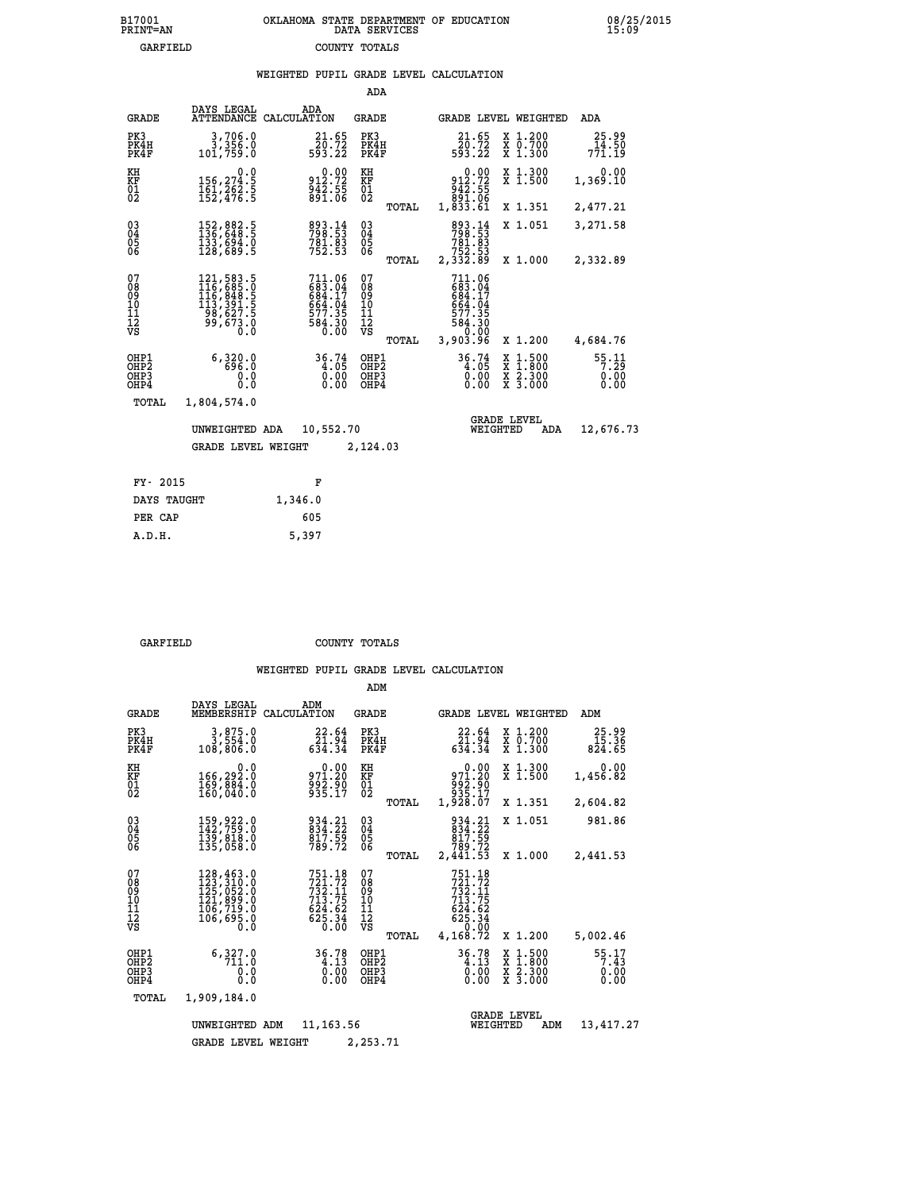|                                        |                                                                                                                                                    |                                                                                | ADA                                       |       |                                                                                                                       |                                |                                          |                          |
|----------------------------------------|----------------------------------------------------------------------------------------------------------------------------------------------------|--------------------------------------------------------------------------------|-------------------------------------------|-------|-----------------------------------------------------------------------------------------------------------------------|--------------------------------|------------------------------------------|--------------------------|
| <b>GRADE</b>                           | DAYS LEGAL                                                                                                                                         | ADA<br>ATTENDANCE CALCULATION                                                  | GRADE                                     |       |                                                                                                                       |                                | GRADE LEVEL WEIGHTED                     | ADA                      |
| PK3<br>PK4H<br>PK4F                    | 3,706.0<br>3,356.0<br>101,759.0                                                                                                                    | 21.65                                                                          | PK3<br>PK4H<br>PK4F                       |       | 21.65<br>$\begin{array}{r} \n 2\overline{0}.72 \\  593.22\n \end{array}$                                              |                                | X 1.200<br>X 0.700<br>X 1.300            | 25.99<br>14.50<br>771.19 |
| KH<br><b>KF</b><br>01<br>02            | 0.0<br>156,274.5<br>$\frac{161}{152}$ , $\frac{262}{152}$                                                                                          | 0.00<br>912:72<br>942:55<br>891:06                                             | KH<br>KF<br>$\overline{01}$               |       | 0.00<br>912.72<br>942.55<br>091.06<br>033.61<br>1,833.61                                                              |                                | X 1.300<br>$\overline{x}$ 1.500          | 0.00<br>1,369.10         |
|                                        |                                                                                                                                                    |                                                                                |                                           | TOTAL |                                                                                                                       |                                | X 1.351                                  | 2,477.21                 |
| $^{03}_{04}$<br>05<br>06               | 152,882.5<br>136,648.5<br>133,694.0<br>128,689.5                                                                                                   | 893.14<br>798.53<br>781.83<br>752.53                                           | $\substack{03 \\ 04}$<br>0506             |       | 893.14<br>798.53<br>781.83<br>752.53<br>2,332.89                                                                      |                                | X 1.051                                  | 3,271.58                 |
|                                        |                                                                                                                                                    |                                                                                |                                           | TOTAL |                                                                                                                       |                                | X 1.000                                  | 2,332.89                 |
| 07<br>08<br>09<br>11<br>11<br>12<br>VS | $\begin{smallmatrix} 121, 583\cdot 5\\ 116, 685\cdot 0\\ 116, 848\cdot 5\\ 113, 391\cdot 5\\ 98, 627\cdot 5\\ 99, 673\cdot 0\\ 0\end{smallmatrix}$ | $711.06$<br>$683.04$<br>$684.17$<br>$664.04$<br>$577.35$<br>$584.30$<br>$0.00$ | 07<br>08<br>09<br>11<br>11<br>12<br>VS    | TOTAL | 711.06<br>$\begin{array}{r} 11.106 \\ 683.04 \\ 684.17 \\ 664.04 \\ 577.35 \\ 584.30 \\ 0.00 \\ 3,903.96 \end{array}$ |                                | X 1.200                                  | 4,684.76                 |
|                                        |                                                                                                                                                    |                                                                                |                                           |       |                                                                                                                       |                                |                                          |                          |
| OHP1<br>OHP2<br>OHP3<br>OHP4           | 6,320.0<br>696.0<br>0.0<br>0.0                                                                                                                     | 36.74<br>0.00                                                                  | OHP1<br>OH <sub>P</sub> 2<br>OHP3<br>OHP4 |       | 36.74<br>0.00<br>0.00                                                                                                 | X<br>X                         | $1.500$<br>$1.800$<br>X 2.300<br>X 3.000 | 55:11<br>0.00<br>0.00    |
| TOTAL                                  | 1,804,574.0                                                                                                                                        |                                                                                |                                           |       |                                                                                                                       |                                |                                          |                          |
|                                        | UNWEIGHTED ADA                                                                                                                                     | 10,552.70                                                                      |                                           |       |                                                                                                                       | <b>GRADE LEVEL</b><br>WEIGHTED | ADA                                      | 12,676.73                |
|                                        | <b>GRADE LEVEL WEIGHT</b>                                                                                                                          |                                                                                | 2,124.03                                  |       |                                                                                                                       |                                |                                          |                          |
|                                        |                                                                                                                                                    |                                                                                |                                           |       |                                                                                                                       |                                |                                          |                          |
| FY- 2015                               |                                                                                                                                                    | F                                                                              |                                           |       |                                                                                                                       |                                |                                          |                          |
| DAYS TAUGHT                            |                                                                                                                                                    | 1,346.0                                                                        |                                           |       |                                                                                                                       |                                |                                          |                          |

| ח זסדסם |  |  |
|---------|--|--|

 **PER CAP 605 A.D.H. 5,397**

 **GARFIELD COUNTY TOTALS**

|                                           |                                                                                   |                                                                                                                                                                                            | ADM                                              |                                                                                                             |                                                                                                  |                               |
|-------------------------------------------|-----------------------------------------------------------------------------------|--------------------------------------------------------------------------------------------------------------------------------------------------------------------------------------------|--------------------------------------------------|-------------------------------------------------------------------------------------------------------------|--------------------------------------------------------------------------------------------------|-------------------------------|
| <b>GRADE</b>                              | DAYS LEGAL<br>MEMBERSHIP                                                          | ADM<br>CALCULATION                                                                                                                                                                         | <b>GRADE</b>                                     | GRADE LEVEL WEIGHTED                                                                                        |                                                                                                  | ADM                           |
| PK3<br>PK4H<br>PK4F                       | 3,875.0<br>3,554.0<br>108,806.0                                                   | 22.64<br>$\frac{2\bar{1}\cdot\tilde{9}\bar{4}}{634\cdot34}$                                                                                                                                | PK3<br>PK4H<br>PK4F                              | 22.64<br>$\frac{51.94}{634.34}$                                                                             | X 1.200<br>X 0.700<br>X 1.300                                                                    | 25.99<br>15.36<br>824.65      |
| KH<br>KF<br>01<br>02                      | 0.0<br>166,292.0<br>169,884.0<br>160,040.0                                        | $971.20$<br>$992.90$<br>$935.17$                                                                                                                                                           | KH<br>KF<br>$\overline{01}$                      | 0.00<br>971.20<br>88:50<br>835.17<br>1,928.07                                                               | X 1.300<br>X 1.500                                                                               | 0.00<br>1,456.82              |
|                                           |                                                                                   |                                                                                                                                                                                            | TOTAL                                            |                                                                                                             | X 1.351                                                                                          | 2,604.82                      |
| 03<br>04<br>05<br>06                      | 159, 922.0<br>142, 759.0<br>139,818.0<br>135,058.0                                | 934.21<br>834.22<br>$\frac{817.55}{789.72}$                                                                                                                                                | $\substack{03 \\ 04}$<br>05                      | 934.21<br>834.22<br>817.59<br>789.72                                                                        | X 1.051                                                                                          | 981.86                        |
|                                           |                                                                                   |                                                                                                                                                                                            | TOTAL                                            | 2,441.53                                                                                                    | X 1.000                                                                                          | 2,441.53                      |
| 07<br>08<br>09<br>11<br>11<br>12<br>VS    | 128,463.0<br>123,310.0<br>125,052.0<br>121,899.0<br>106,719.0<br>106,695.0<br>0:0 | $751.18$<br>$721.72$<br>$732.11$<br>$713.75$<br>$6\overline{2}\overline{4}\cdot\overline{6}\overline{2}\overline{5}\cdot\overline{3}\overline{4}\overline{6}\cdot\overline{0}\overline{0}$ | 07<br>08<br>09<br>101<br>11<br>12<br>VS<br>TOTAL | 751.18<br>721.72<br>732.11<br>713.75<br>$6\bar{2}\bar{4}\cdot6\bar{2}\62\bar{5}\cdot34$<br>0.00<br>4,168.72 | X 1.200                                                                                          | 5,002.46                      |
| OHP1<br>OH <sub>P</sub> 2<br>OHP3<br>OHP4 | 6,327.0<br>711.0<br>0.0<br>Ŏ.Ŏ                                                    | $36.78$<br>$4.13$<br>$0.00$<br>0.00                                                                                                                                                        | OHP1<br>OH <sub>P</sub> 2<br>OHP3<br>OHP4        | $36.78$<br>$4.13$<br>$0.00$<br>0.00                                                                         | $\begin{smallmatrix} x & 1 & 500 \\ x & 1 & 800 \\ x & 2 & 300 \\ x & 3 & 000 \end{smallmatrix}$ | 55.17<br>7.43<br>0.00<br>0.00 |
| TOTAL                                     | 1,909,184.0                                                                       |                                                                                                                                                                                            |                                                  |                                                                                                             |                                                                                                  |                               |
|                                           | UNWEIGHTED ADM                                                                    | 11, 163.56                                                                                                                                                                                 |                                                  | <b>GRADE LEVEL</b><br>WEIGHTED                                                                              | ADM                                                                                              | 13,417.27                     |
|                                           | <b>GRADE LEVEL WEIGHT</b>                                                         |                                                                                                                                                                                            | 2,253.71                                         |                                                                                                             |                                                                                                  |                               |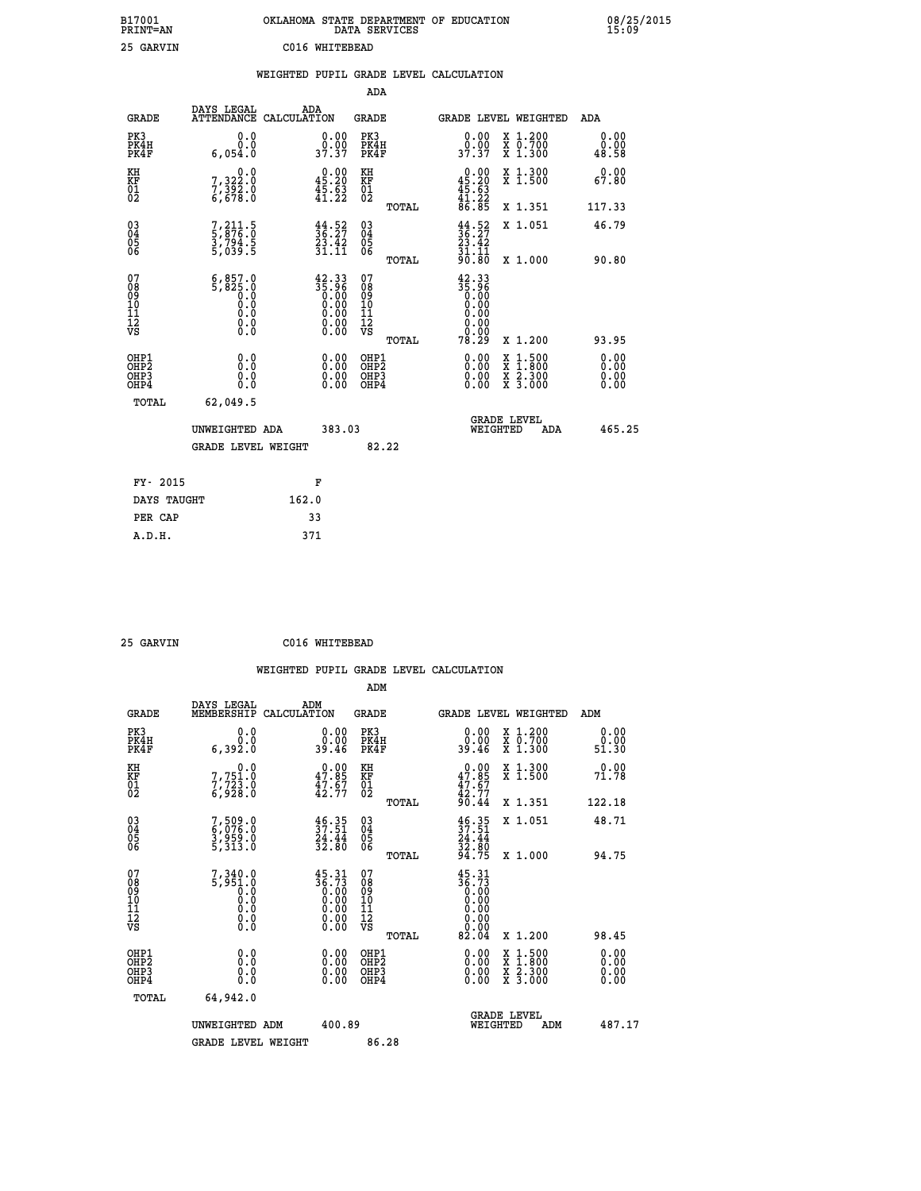| B17001<br>PRINT=AN | OKLAHOMA STATE DEPARTMENT OF EDUCATION<br>DATA SERVICES | 08/25/2015 |
|--------------------|---------------------------------------------------------|------------|
| 25 GARVIN          | C016 WHITEBEAD                                          |            |
|                    | WEIGHTED PUPIL GRADE LEVEL CALCULATION                  |            |
|                    | ADA                                                     |            |

| <b>GRADE</b>                                       | DAYS LEGAL<br><b>ATTENDANCE</b>                                                                                                     | ADA<br>CALCULATION |                                                                      | GRADE                                              |       |                                                                                               |          | <b>GRADE LEVEL WEIGHTED</b>                                                                      | ADA                          |
|----------------------------------------------------|-------------------------------------------------------------------------------------------------------------------------------------|--------------------|----------------------------------------------------------------------|----------------------------------------------------|-------|-----------------------------------------------------------------------------------------------|----------|--------------------------------------------------------------------------------------------------|------------------------------|
| PK3<br>PK4H<br>PK4F                                | 0.0<br>0.0<br>6,054.0                                                                                                               |                    | $\begin{smallmatrix} 0.00\\ 0.00\\ 37.37 \end{smallmatrix}$          | PK3<br>PK4H<br>PK4F                                |       | $\begin{smallmatrix} 0.00\\ 0.00\\ 37.37 \end{smallmatrix}$                                   |          | X 1.200<br>X 0.700<br>X 1.300                                                                    | 0.00<br>0.00<br>48.58        |
| KH<br>KF<br>01<br>02                               | 0.0<br>7,322:0<br>7,392:0<br>6,678:0                                                                                                |                    | $\begin{smallmatrix} 0.00\\ 45.20\\ 45.63\\ 41.22 \end{smallmatrix}$ | KH<br>KF<br>01<br>02                               |       | $\begin{smallmatrix} 0.00\\ 45.20\\ 45.63\\ 41.22\\ 86.85 \end{smallmatrix}$                  |          | X 1.300<br>X 1.500                                                                               | 0.00<br>67.80                |
|                                                    |                                                                                                                                     |                    |                                                                      |                                                    | TOTAL |                                                                                               |          | X 1.351                                                                                          | 117.33                       |
| $\begin{matrix} 03 \\ 04 \\ 05 \\ 06 \end{matrix}$ | 7,211.5<br>5,876.0<br>3,794.5<br>5,039.5                                                                                            |                    | $\frac{44}{36}$ : $\frac{52}{27}$<br>23.42<br>31.11                  | $\begin{matrix} 03 \\ 04 \\ 05 \\ 06 \end{matrix}$ |       | $\frac{44}{36}$ : $\frac{52}{27}$<br>$\frac{23}{3}$ : $\frac{42}{3}$<br>$\frac{31.11}{90.80}$ |          | X 1.051                                                                                          | 46.79                        |
| 07                                                 |                                                                                                                                     |                    |                                                                      | 07                                                 | TOTAL |                                                                                               |          | X 1.000                                                                                          | 90.80                        |
| 08<br>09<br>11<br>11<br>12<br>VS                   | $\begin{smallmatrix} 6,857.0\\ 5,825.0\\ 0.0\\ 0.0\\ \end{smallmatrix}$<br>$\begin{smallmatrix} 0.16 \ 0.0 \ 0.0 \end{smallmatrix}$ |                    | $\frac{42.33}{35.96}$                                                | 08<br>09<br>11<br>11<br>12<br>VS                   |       | $\begin{smallmatrix} 42.33\ 35.96\ 0.00\ 0.00 \end{smallmatrix}$<br>0.0000000000              |          |                                                                                                  |                              |
|                                                    |                                                                                                                                     |                    |                                                                      |                                                    | TOTAL | 78.29                                                                                         |          | X 1.200                                                                                          | 93.95                        |
| OHP1<br>OHP2<br>OHP3<br>OHP4                       | 0.0<br>0.0<br>Ō.Ō                                                                                                                   |                    | $\begin{smallmatrix} 0.00 \ 0.00 \ 0.00 \ 0.00 \end{smallmatrix}$    | OHP1<br>OHP2<br>OHP3<br>OHP4                       |       |                                                                                               |          | $\begin{smallmatrix} x & 1 & 500 \\ x & 1 & 800 \\ x & 2 & 300 \\ x & 3 & 000 \end{smallmatrix}$ | 0.00<br>Ŏ.ŎŎ<br>0.00<br>0.00 |
| <b>TOTAL</b>                                       | 62,049.5                                                                                                                            |                    |                                                                      |                                                    |       |                                                                                               |          |                                                                                                  |                              |
|                                                    | UNWEIGHTED ADA                                                                                                                      |                    | 383.03                                                               |                                                    |       |                                                                                               | WEIGHTED | <b>GRADE LEVEL</b><br>ADA                                                                        | 465.25                       |
|                                                    | <b>GRADE LEVEL WEIGHT</b>                                                                                                           |                    |                                                                      | 82.22                                              |       |                                                                                               |          |                                                                                                  |                              |
| FY- 2015                                           |                                                                                                                                     | F                  |                                                                      |                                                    |       |                                                                                               |          |                                                                                                  |                              |
| DAYS TAUGHT                                        |                                                                                                                                     | 162.0              |                                                                      |                                                    |       |                                                                                               |          |                                                                                                  |                              |
|                                                    |                                                                                                                                     |                    |                                                                      |                                                    |       |                                                                                               |          |                                                                                                  |                              |

| 25 GARVIN | C016 WHITEBEAD |
|-----------|----------------|
|           |                |

PER CAP 33<br>A.D.H. 371

|                                                      |                                                    |                                                                                                             |                                              | WEIGHTED PUPIL GRADE LEVEL CALCULATION                                                 |                                                                                                                     |                              |
|------------------------------------------------------|----------------------------------------------------|-------------------------------------------------------------------------------------------------------------|----------------------------------------------|----------------------------------------------------------------------------------------|---------------------------------------------------------------------------------------------------------------------|------------------------------|
|                                                      |                                                    |                                                                                                             | ADM                                          |                                                                                        |                                                                                                                     |                              |
| <b>GRADE</b>                                         | DAYS LEGAL<br>MEMBERSHIP                           | ADM<br>CALCULATION                                                                                          | <b>GRADE</b>                                 | <b>GRADE LEVEL WEIGHTED</b>                                                            |                                                                                                                     | ADM                          |
| PK3<br>PK4H<br>PK4F                                  | 0.0<br>0.0<br>6,392.0                              | 0.00<br>39.46                                                                                               | PK3<br>PK4H<br>PK4F                          | $\begin{smallmatrix} 0.00\\ 0.00\\ 39.46 \end{smallmatrix}$                            | X 1.200<br>X 0.700<br>X 1.300                                                                                       | 0.00<br>0.00<br>51.30        |
| KH<br>KF<br>01<br>02                                 | 0.0<br>7,751.0<br>7,723.0                          | $0.00$<br>$47.85$<br>$47.67$<br>$42.77$                                                                     | KH<br>KF<br>01<br>02                         | $0.00$<br>$47.85$<br>$47.67$<br>$42.77$<br>$90.44$                                     | X 1.300<br>X 1.500                                                                                                  | 0.00<br>71.78                |
|                                                      |                                                    |                                                                                                             | TOTAL                                        |                                                                                        | X 1.351                                                                                                             | 122.18                       |
| $\begin{matrix} 03 \\ 04 \\ 05 \\ 06 \end{matrix}$   | 7,509.0<br>6,076.0<br>3,959.0<br>5,313.0           | $\frac{46.35}{37.51}$<br>$\frac{24.44}{32.80}$                                                              | 03<br>04<br>05<br>06                         | $37.51$<br>$24.44$<br>$32.80$<br>$94.75$                                               | X 1.051                                                                                                             | 48.71                        |
|                                                      |                                                    |                                                                                                             | TOTAL                                        |                                                                                        | X 1.000                                                                                                             | 94.75                        |
| 07<br>0890112<br>1112<br>VS                          | $7,340.0$<br>5,951.0<br>0.0<br>0.0<br>0.0<br>$\S.$ | $\frac{45.31}{36.73}$<br>0.0000000000<br>$\begin{smallmatrix} 0.00 & 0.00 \\ 0.00 & 0.00 \end{smallmatrix}$ | 07<br>08901112<br>1112<br>VS<br>TOTAL        | 45.31<br>$\begin{array}{r} 36.73 \\ 6.00 \\ 0.00 \\ 0.00 \end{array}$<br>0.00<br>82.04 | X 1.200                                                                                                             | 98.45                        |
| OHP1<br>OHP <sub>2</sub><br>OH <sub>P3</sub><br>OHP4 | 0.0<br>0.000                                       | $0.00$<br>$0.00$<br>0.00                                                                                    | OHP1<br>OHP <sub>2</sub><br>OHP <sub>3</sub> | 0.00<br>0.00<br>0.00                                                                   | $\begin{array}{l} \mathtt{X} & 1.500 \\ \mathtt{X} & 1.800 \\ \mathtt{X} & 2.300 \\ \mathtt{X} & 3.000 \end{array}$ | 0.00<br>0.00<br>0.00<br>0.00 |
| TOTAL                                                | 64,942.0                                           |                                                                                                             |                                              |                                                                                        |                                                                                                                     |                              |
|                                                      | UNWEIGHTED ADM                                     | 400.89                                                                                                      |                                              | WEIGHTED                                                                               | <b>GRADE LEVEL</b><br>ADM                                                                                           | 487.17                       |
|                                                      | <b>GRADE LEVEL WEIGHT</b>                          |                                                                                                             | 86.28                                        |                                                                                        |                                                                                                                     |                              |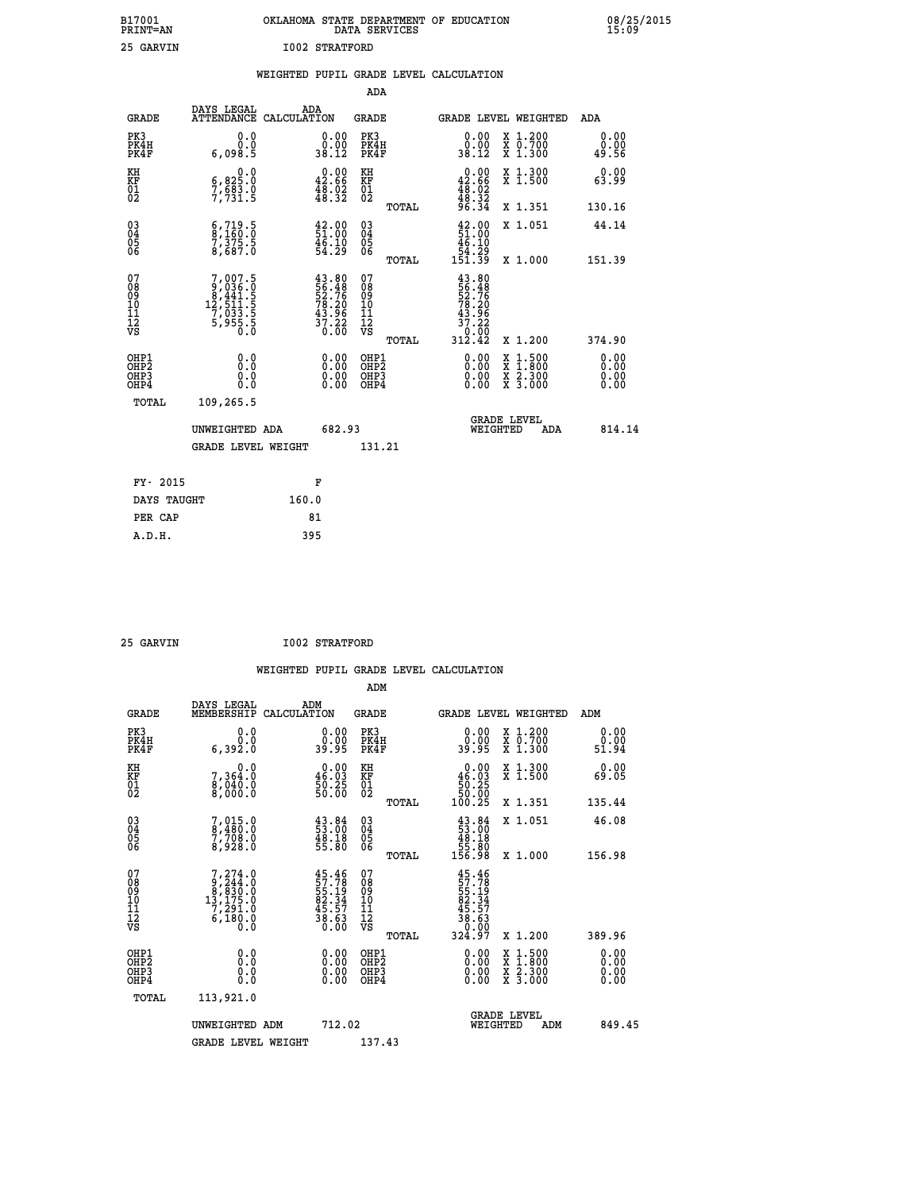|                       | OKLAHOMA STATE DEPARTMENT OF EDUCATION<br>DATA SERVICES |  |
|-----------------------|---------------------------------------------------------|--|
| <b>I002 STRATFORD</b> |                                                         |  |

|                                              |                                                                                                |       |                                                                                                                                                                 |                                          |       | WEIGHTED PUPIL GRADE LEVEL CALCULATION                                                                             |                                                                                          |                                   |
|----------------------------------------------|------------------------------------------------------------------------------------------------|-------|-----------------------------------------------------------------------------------------------------------------------------------------------------------------|------------------------------------------|-------|--------------------------------------------------------------------------------------------------------------------|------------------------------------------------------------------------------------------|-----------------------------------|
|                                              |                                                                                                |       |                                                                                                                                                                 | <b>ADA</b>                               |       |                                                                                                                    |                                                                                          |                                   |
| <b>GRADE</b>                                 | DAYS LEGAL<br>ATTENDANCE CALCULATION                                                           |       | ADA                                                                                                                                                             | GRADE                                    |       | GRADE LEVEL WEIGHTED                                                                                               |                                                                                          | ADA                               |
| PK3<br>PK4H<br>PK4F                          | 0.0<br>0.0<br>6,098.5                                                                          |       | $\begin{smallmatrix} 0.00\\ 0.00\\ 38.12 \end{smallmatrix}$                                                                                                     | PK3<br>PK4H<br>PK4F                      |       | $\begin{smallmatrix} 0.00\\ 0.00\\ 38.12 \end{smallmatrix}$                                                        | X 1.200<br>X 0.700<br>X 1.300                                                            | 0.00<br>0.00<br>49.56             |
| KH<br>KF<br>01<br>02                         | $\begin{smallmatrix} 6 & 0 & 0 \\ 6 & 825 & 0 \\ 7 & 683 & 0 \\ 7 & 731 & 5 \end{smallmatrix}$ |       | $0.00$<br>42.66<br>$\frac{1}{48}$ . $\frac{52}{32}$                                                                                                             | KH<br>KF<br>01<br>02                     |       | $0.00\n42.66\n48.02\n48.32\n96.34$                                                                                 | X 1.300<br>X 1.500                                                                       | 0.00<br>63.99                     |
|                                              |                                                                                                |       |                                                                                                                                                                 |                                          | TOTAL |                                                                                                                    | X 1.351                                                                                  | 130.16                            |
| 03<br>04<br>05<br>06                         | $\substack{6,719.5\\8,160.0\\7,375.5\\8,687.0$                                                 |       | $\begin{smallmatrix} 42.00\\ 51.00\\ 46.10\\ 54.29 \end{smallmatrix}$                                                                                           | $\substack{03 \\ 04}$<br>$\frac{05}{06}$ |       | $\frac{42.00}{51.00}$                                                                                              | X 1.051                                                                                  | 44.14                             |
|                                              |                                                                                                |       |                                                                                                                                                                 |                                          | TOTAL | $\begin{array}{r} 46.10 \\[-4pt] 54.29 \\[-4pt] 151.39 \end{array}$                                                | X 1.000                                                                                  | 151.39                            |
| 07<br>08<br>09<br>10<br>11<br>11<br>12<br>VS | $\begin{smallmatrix}7,007.5\\9,036.0\\8,441.5\\12,511.5\\7,033.5\\5,955.5\\0\end{smallmatrix}$ |       | $\begin{smallmatrix} 4\,3\cdot\,8\,0\\ 5\,6\cdot\,4\,8\\ 5\,2\cdot\,7\,6\\ 7\,8\cdot\,2\,0\\ 4\,3\cdot\,9\,6\\ 3\,7\cdot\,2\,2\\ 0\cdot\,0\,0\end{smallmatrix}$ | 07<br>08<br>09<br>11<br>11<br>12<br>VS   | TOTAL | 43.80<br>$\frac{1}{556}$<br>$\frac{1}{26}$<br>$\frac{2}{37}$<br>$\frac{3}{26}$<br>$\frac{3}{26}$<br>0:00<br>312.42 | X 1.200                                                                                  | 374.90                            |
| OHP1<br>OHP2<br>OH <sub>P3</sub><br>OHP4     | 0.0<br>0.0<br>$0.\overline{0}$                                                                 |       | $\begin{smallmatrix} 0.00 \ 0.00 \ 0.00 \ 0.00 \end{smallmatrix}$                                                                                               | OHP1<br>OHP2<br>OHP3<br>OHP4             |       |                                                                                                                    | $\begin{smallmatrix} x & 1.500 \\ x & 1.800 \\ x & 2.300 \\ x & 3.000 \end{smallmatrix}$ | 0.00<br>Ō. ŌŌ<br>$0.00$<br>$0.00$ |
| TOTAL                                        | 109,265.5                                                                                      |       |                                                                                                                                                                 |                                          |       |                                                                                                                    |                                                                                          |                                   |
|                                              | UNWEIGHTED ADA                                                                                 |       | 682.93                                                                                                                                                          |                                          |       | WEIGHTED                                                                                                           | <b>GRADE LEVEL</b><br>ADA                                                                | 814.14                            |
|                                              | <b>GRADE LEVEL WEIGHT</b>                                                                      |       |                                                                                                                                                                 | 131.21                                   |       |                                                                                                                    |                                                                                          |                                   |
| FY- 2015                                     |                                                                                                |       | F                                                                                                                                                               |                                          |       |                                                                                                                    |                                                                                          |                                   |
| DAYS TAUGHT                                  |                                                                                                | 160.0 |                                                                                                                                                                 |                                          |       |                                                                                                                    |                                                                                          |                                   |
| PER CAP                                      |                                                                                                |       | 81                                                                                                                                                              |                                          |       |                                                                                                                    |                                                                                          |                                   |

| RV |  |
|----|--|

 **A.D.H. 395**

B17001<br>PRINT=AN<br>25 GARVIN

 **25 GARVIN I002 STRATFORD**

|                                                   |                        |                                                | ADM                  |                                                            |                       |
|---------------------------------------------------|------------------------|------------------------------------------------|----------------------|------------------------------------------------------------|-----------------------|
| GRADE                                             | DAYS LEGAL             | ADM<br>MEMBERSHIP CALCULATION                  | <b>GRADE</b>         | GRADE LEVEL WEIGHTED                                       | ADM                   |
| PK3<br>PK4H<br>PK4F                               | 0.0<br>6,392.0         | 0.00<br>00<br>39.95                            | PK3<br>PK4H<br>PK4F  | X 1.200<br>0.00<br>X 0.700<br>00<br>39.95<br>x<br>1.300    | 0.00<br>ŏ.ŏŏ<br>51.94 |
| ΚH<br>ΚF<br>$\begin{matrix} 01 \ 02 \end{matrix}$ | 364.0 ،<br>8,<br>040.0 | 0.00<br>46.03<br>$\frac{25}{00}$<br>50.<br>50. | КH<br>KF<br>01<br>02 | X 1.300<br>0.00<br>.03<br>46<br>X 1.500<br>5ŏ<br>5ŏ<br>-25 | $0.00$<br>05.65       |
|                                                   |                        |                                                | <b>MOMAT.</b>        | 1 0 0<br>つら<br>351<br>Y                                    | 135 44                |

| $\begin{matrix} 01 \\ 02 \end{matrix}$             | $\begin{array}{c} \n 8,040.0 \\  8,000.0\n \end{array}$                                     | $\frac{1}{50}$ . 25<br>50.00                                                                                                                                                                                                                                                   | $\substack{01\02}$                                 | $\frac{50.25}{50.00}$<br>100.25<br><b>A 1.900</b>                                                                   | כט. כס                                                                                                                                                                                                                                                                         |
|----------------------------------------------------|---------------------------------------------------------------------------------------------|--------------------------------------------------------------------------------------------------------------------------------------------------------------------------------------------------------------------------------------------------------------------------------|----------------------------------------------------|---------------------------------------------------------------------------------------------------------------------|--------------------------------------------------------------------------------------------------------------------------------------------------------------------------------------------------------------------------------------------------------------------------------|
|                                                    |                                                                                             |                                                                                                                                                                                                                                                                                | TOTAL                                              | X 1.351                                                                                                             | 135.44                                                                                                                                                                                                                                                                         |
| $\begin{matrix} 03 \\ 04 \\ 05 \\ 06 \end{matrix}$ | $\begin{smallmatrix}7 & 015 & 0\\8 & 480 & 0\\7 & 708 & 0\\8 & 928 & 0\end{smallmatrix}$    | $\begin{smallmatrix} 43.84\ 53.00\ 48.18\ 55.80 \end{smallmatrix}$                                                                                                                                                                                                             | $\begin{matrix} 03 \\ 04 \\ 05 \\ 06 \end{matrix}$ | X 1.051<br>$\begin{smallmatrix} 43.84\ 53.00\ 48.18\ 55.80\ 156.98 \end{smallmatrix}$                               | 46.08                                                                                                                                                                                                                                                                          |
|                                                    |                                                                                             |                                                                                                                                                                                                                                                                                | TOTAL                                              | X 1.000                                                                                                             | 156.98                                                                                                                                                                                                                                                                         |
| 07<br>08<br>09<br>101<br>11<br>12<br>VS            | $\begin{smallmatrix}7,274.0\\9,244.0\\8,830.0\\13,175.0\\7,291.0\\6,180.0\end{smallmatrix}$ | $45.46$<br>$57.78$<br>$55.19$<br>$82.34$<br>$45.57$<br>$38.63$<br>$0.00$                                                                                                                                                                                                       | 078901112<br>111112<br>VS<br>TOTAL                 | $45.46$<br>$57.78$<br>$55.19$<br>$52.34$<br>$45.57$<br>$38.63$<br>$0.007$<br>$324.97$<br>X 1.200                    | 389.96                                                                                                                                                                                                                                                                         |
| OHP1<br>OHP2<br>OH <sub>P3</sub><br>OHP4           |                                                                                             | $\begin{smallmatrix} 0.00 & 0.00 & 0.00 & 0.00 & 0.00 & 0.00 & 0.00 & 0.00 & 0.00 & 0.00 & 0.00 & 0.00 & 0.00 & 0.00 & 0.00 & 0.00 & 0.00 & 0.00 & 0.00 & 0.00 & 0.00 & 0.00 & 0.00 & 0.00 & 0.00 & 0.00 & 0.00 & 0.00 & 0.00 & 0.00 & 0.00 & 0.00 & 0.00 & 0.00 & 0.00 & 0.0$ | OHP1<br>ŎĦP2<br>OHP3<br>OHP4                       | $\begin{array}{l} \mathtt{X} & 1.500 \\ \mathtt{X} & 1.800 \\ \mathtt{X} & 2.300 \\ \mathtt{X} & 3.000 \end{array}$ | $\begin{smallmatrix} 0.00 & 0.00 & 0.00 & 0.00 & 0.00 & 0.00 & 0.00 & 0.00 & 0.00 & 0.00 & 0.00 & 0.00 & 0.00 & 0.00 & 0.00 & 0.00 & 0.00 & 0.00 & 0.00 & 0.00 & 0.00 & 0.00 & 0.00 & 0.00 & 0.00 & 0.00 & 0.00 & 0.00 & 0.00 & 0.00 & 0.00 & 0.00 & 0.00 & 0.00 & 0.00 & 0.0$ |
| TOTAL                                              | 113,921.0                                                                                   |                                                                                                                                                                                                                                                                                |                                                    |                                                                                                                     |                                                                                                                                                                                                                                                                                |
|                                                    | UNWEIGHTED ADM                                                                              | 712.02                                                                                                                                                                                                                                                                         |                                                    | <b>GRADE LEVEL</b><br>WEIGHTED<br>ADM                                                                               | 849.45                                                                                                                                                                                                                                                                         |
|                                                    | <b>GRADE LEVEL WEIGHT</b>                                                                   |                                                                                                                                                                                                                                                                                | 137.43                                             |                                                                                                                     |                                                                                                                                                                                                                                                                                |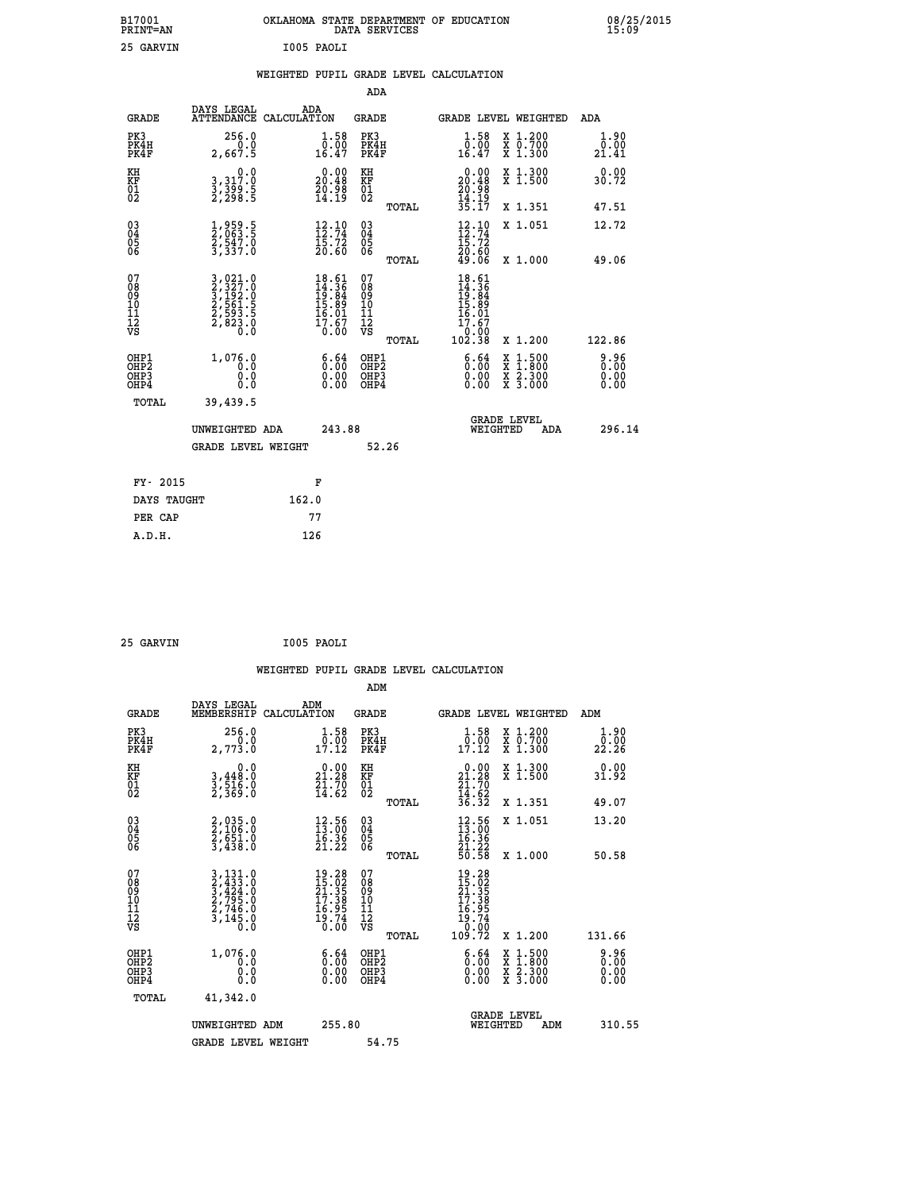| B17001<br>PRINT=AN | OKLAHOMA STATE DEPARTMENT OF EDUCATION<br>DATA SERVICES | 08/25/2015<br>15:09 |
|--------------------|---------------------------------------------------------|---------------------|
| 25 GARVIN          | I005 PAOLI                                              |                     |

|  |  | WEIGHTED PUPIL GRADE LEVEL CALCULATION |
|--|--|----------------------------------------|
|  |  |                                        |

|                                           |                                                                                                  |                                                                                   | ADA                                      |       |                                                                                   |                                          |                       |
|-------------------------------------------|--------------------------------------------------------------------------------------------------|-----------------------------------------------------------------------------------|------------------------------------------|-------|-----------------------------------------------------------------------------------|------------------------------------------|-----------------------|
| <b>GRADE</b>                              | DAYS LEGAL                                                                                       | ADA<br>ATTENDANCE CALCULATION                                                     | GRADE                                    |       |                                                                                   | <b>GRADE LEVEL WEIGHTED</b>              | ADA                   |
| PK3<br>PK4H<br>PK4F                       | 256.0<br>2,667.5                                                                                 | $\begin{smallmatrix} 1.58\ 0.001 6.47 \end{smallmatrix}$                          | PK3<br>PK4H<br>PK4F                      |       | $1.58$<br>0.00<br>16.47                                                           | X 1.200<br>X 0.700<br>X 1.300            | 1.90<br>0.00<br>21.41 |
| KH<br>KF<br>01<br>02                      | $\begin{smallmatrix}&&&0\cdot0\\3\,,&317\cdot0\\3\,,&399\cdot5\\2\,,&298\cdot5\end{smallmatrix}$ | $\begin{smallmatrix} 0.00\\ 20.48\\ 20.98\\ 14.19 \end{smallmatrix}$              | KH<br>KF<br>01<br>02                     |       | $0.00$<br>$20.48$<br>$20.98$<br>$14.19$<br>$35.17$                                | X 1.300<br>X 1.500                       | 0.00<br>30.72         |
|                                           |                                                                                                  |                                                                                   |                                          | TOTAL |                                                                                   | X 1.351                                  | 47.51                 |
| 03<br>04<br>05<br>06                      | 1,959.5<br>2,063.5<br>2,547.0<br>3,337.0                                                         | $\begin{array}{c} 12.10 \\[-4pt] 12.74 \\[-4pt] 15.72 \\[-4pt] 20.60 \end{array}$ | 03<br>04<br>05<br>06                     |       | $12.74$<br>$15.72$<br>$20.60$<br>$49.06$                                          | X 1.051                                  | 12.72                 |
|                                           |                                                                                                  |                                                                                   |                                          | TOTAL |                                                                                   | X 1.000                                  | 49.06                 |
| 07<br>08<br>09<br>11<br>11<br>12<br>VS    | 3,021.0<br>2,327.0<br>3,192.0<br>3,193.1<br>2,593.5<br>2,823.0<br>0.0                            | $18.61$<br>$14.36$<br>$19.84$<br>$15.89$<br>$16.01$<br>$17.67$<br>$0.00$          | 07<br>08<br>09<br>11<br>11<br>12<br>VS   | TOTAL | $18.61$<br>$14.36$<br>$19.84$<br>$15.89$<br>$16.01$<br>$17.67$<br>00.0^<br>102.38 | X 1.200                                  | 122.86                |
| OHP1<br>OH <sub>P</sub> 2<br>OHP3<br>OHP4 | 1,076.0<br>0.0<br>0.0<br>Ō.Ō                                                                     | 6:64<br>$\begin{smallmatrix} 0.00 \ 0.00 \end{smallmatrix}$                       | OHP1<br>OHP <sub>2</sub><br>OHP3<br>OHP4 |       | 6.64<br>0.00<br>0.00                                                              | X 1:500<br>X 1:800<br>X 2:300<br>X 3:000 | 0.96<br>0.00<br>0.00  |
| TOTAL                                     | 39,439.5                                                                                         |                                                                                   |                                          |       |                                                                                   |                                          |                       |
|                                           | UNWEIGHTED ADA                                                                                   | 243.88                                                                            |                                          |       |                                                                                   | <b>GRADE LEVEL</b><br>WEIGHTED<br>ADA    | 296.14                |
|                                           | <b>GRADE LEVEL WEIGHT</b>                                                                        |                                                                                   | 52.26                                    |       |                                                                                   |                                          |                       |
| FY- 2015                                  |                                                                                                  | F                                                                                 |                                          |       |                                                                                   |                                          |                       |
| DAYS TAUGHT                               |                                                                                                  | 162.0                                                                             |                                          |       |                                                                                   |                                          |                       |
| PER CAP                                   |                                                                                                  | 77                                                                                |                                          |       |                                                                                   |                                          |                       |
| A.D.H.                                    |                                                                                                  | 126                                                                               |                                          |       |                                                                                   |                                          |                       |

| 25 GARVIN | I005 PAOLI |
|-----------|------------|
|           |            |

|                                                    |                                                                                                                                                             | WEIGHTED PUPIL GRADE LEVEL CALCULATION                                                                                       |                                                     |       |                                                                                                                                                          |                                          |                       |
|----------------------------------------------------|-------------------------------------------------------------------------------------------------------------------------------------------------------------|------------------------------------------------------------------------------------------------------------------------------|-----------------------------------------------------|-------|----------------------------------------------------------------------------------------------------------------------------------------------------------|------------------------------------------|-----------------------|
|                                                    |                                                                                                                                                             |                                                                                                                              | ADM                                                 |       |                                                                                                                                                          |                                          |                       |
| <b>GRADE</b>                                       | DAYS LEGAL<br>MEMBERSHIP                                                                                                                                    | ADM<br>CALCULATION                                                                                                           | <b>GRADE</b>                                        |       |                                                                                                                                                          | <b>GRADE LEVEL WEIGHTED</b>              | ADM                   |
| PK3<br>PK4H<br>PK4F                                | 256.0<br>2,773.0                                                                                                                                            | $\begin{smallmatrix} 1.58\\ 0.00\\ 17.12 \end{smallmatrix}$                                                                  | PK3<br>PK4H<br>PK4F                                 |       | 1.58<br>$\overline{0}$ : $\overline{0}$<br>17.12                                                                                                         | X 1.200<br>X 0.700<br>X 1.300            | 1.90<br>0.00<br>22.26 |
| KH<br>KF<br>01<br>02                               | 0.0<br>$3,448.0$<br>$3,516.0$<br>$2,369.0$                                                                                                                  | $\begin{smallmatrix} 0.00\\ 21.28\\ 21.70\\ 14.62 \end{smallmatrix}$                                                         | KH<br>KF<br>01<br>02                                |       | $\begin{smallmatrix} 0.00\\ 21.28\\ 21.70\\ 14.62\\ 36.32 \end{smallmatrix}$                                                                             | X 1.300<br>X 1.500                       | 0.00<br>31.92         |
|                                                    |                                                                                                                                                             |                                                                                                                              |                                                     | TOTAL |                                                                                                                                                          | X 1.351                                  | 49.07                 |
| $\begin{matrix} 03 \\ 04 \\ 05 \\ 06 \end{matrix}$ | 2,035.0<br>2,106.0<br>2,651.0<br>3,438.0                                                                                                                    | $\begin{smallmatrix} 12.56\ 13.00\ 16.36\ 21.22 \end{smallmatrix}$                                                           | $\begin{array}{c} 03 \\ 04 \\ 05 \\ 06 \end{array}$ |       | $\begin{smallmatrix} 12\cdot\phantom{0}56\\ 13\cdot\phantom{0}06\\ 16\cdot\phantom{0}36\\ 21\cdot\phantom{0}22\\ 50\cdot\phantom{0}58 \end{smallmatrix}$ | X 1.051                                  | 13.20                 |
|                                                    |                                                                                                                                                             |                                                                                                                              |                                                     | TOTAL |                                                                                                                                                          | $X_1.000$                                | 50.58                 |
| 07<br>08<br>09<br>11<br>11<br>12<br>VS             | $\begin{smallmatrix} 3\,,\,131\,.\,0\\ 2\,,\,433\,.\,0\\ 3\,,\,424\,.\,0\\ 2\,,\,795\,.\,0\\ 2\,,\,746\,.\,0\\ 3\,,\,145\,.\,0\\ 0\,.\,0 \end{smallmatrix}$ | $\begin{array}{l} 19\cdot 28 \\ 15\cdot 02 \\ 21\cdot 35 \\ 17\cdot 38 \\ 16\cdot 95 \\ 19\cdot 74 \\ 0\cdot 00 \end{array}$ | 07<br>08<br>09<br>101<br>11<br>12<br>VS             |       | $\begin{smallmatrix} 19.28\ 15.02\ 21.358\ 217.388\ 17.389\ 16.954\ 19.74\ 0.002\ 109.72\ \end{smallmatrix}$                                             |                                          |                       |
|                                                    |                                                                                                                                                             |                                                                                                                              |                                                     | TOTAL |                                                                                                                                                          | X 1.200                                  | 131.66                |
| OHP1<br>OHP2<br>OH <sub>P3</sub><br>OHP4           | 1,076.0<br>0.0<br>0.000                                                                                                                                     | $\begin{smallmatrix} 6.64\ 0.00\ 0.00 \end{smallmatrix}$                                                                     | OHP1<br>OHP2<br>OHP <sub>3</sub><br>OHP4            |       | $\begin{smallmatrix} 6.64\ 0.00\ 0.00 \end{smallmatrix}$                                                                                                 | X 1:500<br>X 1:800<br>X 2:300<br>X 3:000 | 0.96<br>0.00<br>0.00  |
| TOTAL                                              | 41,342.0                                                                                                                                                    |                                                                                                                              |                                                     |       |                                                                                                                                                          |                                          |                       |
|                                                    | UNWEIGHTED ADM<br><b>GRADE LEVEL WEIGHT</b>                                                                                                                 | 255.80                                                                                                                       | 54.75                                               |       | WEIGHTED                                                                                                                                                 | <b>GRADE LEVEL</b><br>ADM                | 310.55                |
|                                                    |                                                                                                                                                             |                                                                                                                              |                                                     |       |                                                                                                                                                          |                                          |                       |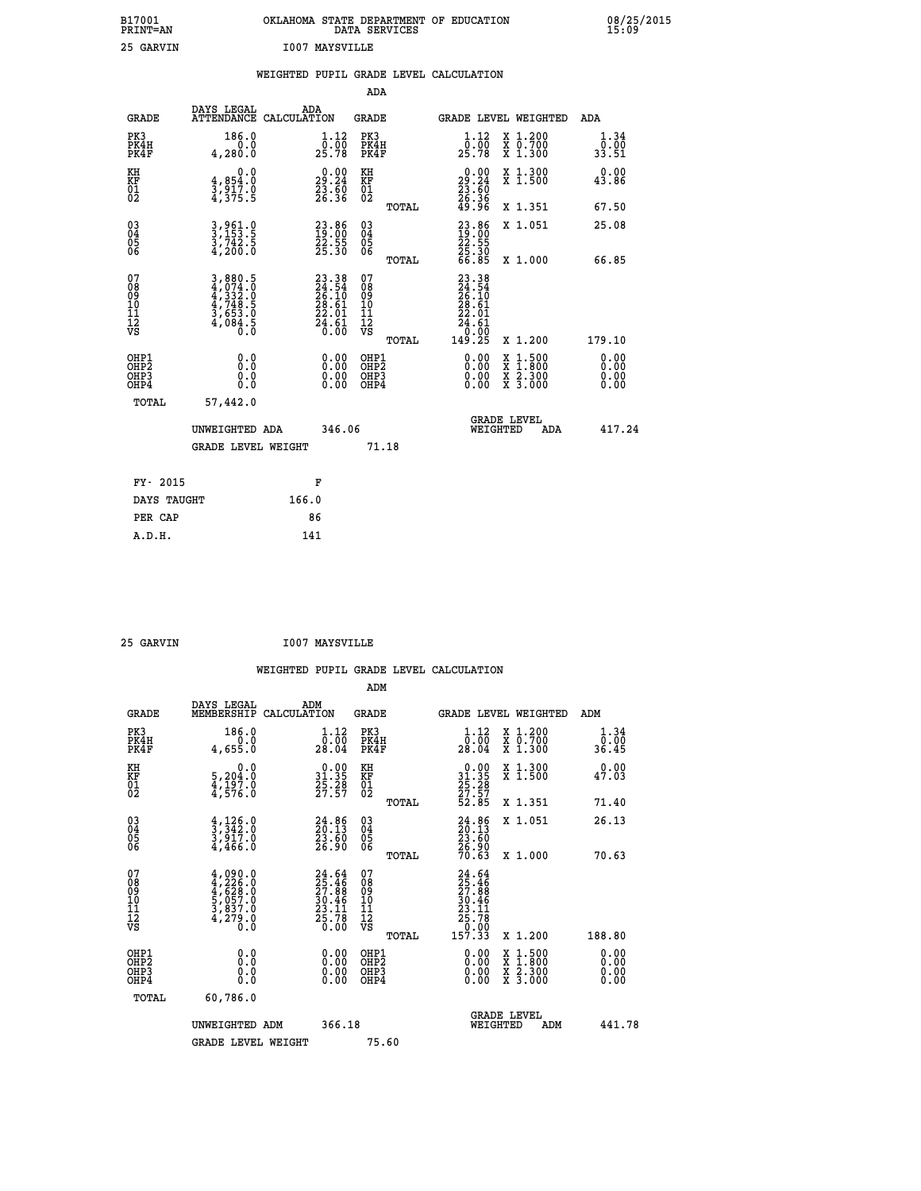| B17001<br>PRINT=AN | OKLAHOMA STATE DEPARTMENT OF EDUCATION<br>DATA SERVICES | 08/25/2015<br>15:09 |
|--------------------|---------------------------------------------------------|---------------------|
| 25 GARVIN          | <b>I007 MAYSVILLE</b>                                   |                     |

|                                                                    |                                                                                                                                                                                                          |       |                                                                          |                                        |       | WEIGHTED PUPIL GRADE LEVEL CALCULATION                                                                                                                                                                                                                                         |                                                                                          |                       |
|--------------------------------------------------------------------|----------------------------------------------------------------------------------------------------------------------------------------------------------------------------------------------------------|-------|--------------------------------------------------------------------------|----------------------------------------|-------|--------------------------------------------------------------------------------------------------------------------------------------------------------------------------------------------------------------------------------------------------------------------------------|------------------------------------------------------------------------------------------|-----------------------|
|                                                                    |                                                                                                                                                                                                          |       |                                                                          | <b>ADA</b>                             |       |                                                                                                                                                                                                                                                                                |                                                                                          |                       |
| <b>GRADE</b>                                                       | DAYS LEGAL<br>ATTENDANCE CALCULATION                                                                                                                                                                     |       | ADA                                                                      | GRADE                                  |       |                                                                                                                                                                                                                                                                                | GRADE LEVEL WEIGHTED                                                                     | ADA                   |
| PK3<br>PK4H<br>PK4F                                                | 186.0<br>0.0<br>4,280.0                                                                                                                                                                                  |       | $\frac{1}{0}$ : $\frac{12}{00}$<br>25.78                                 | PK3<br>PK4H<br>PK4F                    |       | $1.12$<br>$0.00$<br>25.78                                                                                                                                                                                                                                                      | X 1.200<br>X 0.700<br>X 1.300                                                            | 1.34<br>0.00<br>33.51 |
| KH<br>KF<br>01<br>02                                               | 0.0<br>$\frac{4}{3}, \frac{854}{917}$ .0<br>4,375.5                                                                                                                                                      |       | 29:24<br>23.60<br>26.36                                                  | KH<br>KF<br>01<br>02                   |       | $\begin{smallmatrix} 0.00\\29.24\\23.60\\26.36\\49.96 \end{smallmatrix}$                                                                                                                                                                                                       | X 1.300<br>X 1.500                                                                       | 0.00<br>43.86         |
|                                                                    |                                                                                                                                                                                                          |       |                                                                          |                                        | TOTAL |                                                                                                                                                                                                                                                                                | X 1.351                                                                                  | 67.50                 |
| $\begin{smallmatrix} 03 \\[-4pt] 04 \end{smallmatrix}$<br>Ŏ5<br>06 | 3,961.0<br>3,153.5<br>3,742.5<br>4,200.0                                                                                                                                                                 |       | $\begin{smallmatrix} 23.86\ 19.00\ 22.55\ 25.30 \end{smallmatrix}$       | $\substack{03 \\ 04}$<br>Ŏ5<br>06      |       | $\begin{smallmatrix} 23.86 \\ 19.00 \\ 22.55 \\ 25.30 \\ 66.85 \end{smallmatrix}$                                                                                                                                                                                              | X 1.051                                                                                  | 25.08                 |
|                                                                    |                                                                                                                                                                                                          |       |                                                                          |                                        | TOTAL |                                                                                                                                                                                                                                                                                | X 1.000                                                                                  | 66.85                 |
| 07<br>08<br>09<br>01<br>11<br>11<br>12<br>VS                       | $\begin{smallmatrix} 3\,,\,8\,8\,0\,. \,5\\ 4\,,\,0\,74\,. \,0\\ 4\,,\,3\,3\,2\,. \,0\\ 4\,,\,74\,8\,. \,5\\ 4\,,\,74\,8\,. \,5\\ 3\,,\,6\,5\,3\,. \,0\\ 4\,,\,0\,84\,. \,5\\ 0\,. \,0\end{smallmatrix}$ |       | $23.38$<br>$24.54$<br>$26.10$<br>$28.61$<br>$22.01$<br>$24.61$<br>$0.00$ | 07<br>08<br>09<br>11<br>11<br>12<br>VS | TOTAL | $\begin{smallmatrix} 23 & 38 \\ 24 & 54 \\ 26 & 10 \\ 28 & 61 \\ 22 & 61 \\ 24 & 61 \\ 24 & 61 \\ 0 & 00 \\ 149 & 25 \end{smallmatrix}$                                                                                                                                        | X 1.200                                                                                  | 179.10                |
| OHP1<br>OHP2<br>OHP3<br>OHP4                                       | 0.0<br>0.0<br>0.0                                                                                                                                                                                        |       | $\begin{smallmatrix} 0.00 \ 0.00 \ 0.00 \ 0.00 \end{smallmatrix}$        | OHP1<br>OHP2<br>OHP3<br>OHP4           |       | $\begin{smallmatrix} 0.00 & 0.00 & 0.00 & 0.00 & 0.00 & 0.00 & 0.00 & 0.00 & 0.00 & 0.00 & 0.00 & 0.00 & 0.00 & 0.00 & 0.00 & 0.00 & 0.00 & 0.00 & 0.00 & 0.00 & 0.00 & 0.00 & 0.00 & 0.00 & 0.00 & 0.00 & 0.00 & 0.00 & 0.00 & 0.00 & 0.00 & 0.00 & 0.00 & 0.00 & 0.00 & 0.0$ | $\begin{smallmatrix} x & 1.500 \\ x & 1.800 \\ x & 2.300 \\ x & 3.000 \end{smallmatrix}$ | 0.00<br>0.00<br>0.00  |
| TOTAL                                                              | 57,442.0                                                                                                                                                                                                 |       |                                                                          |                                        |       |                                                                                                                                                                                                                                                                                |                                                                                          |                       |
|                                                                    | UNWEIGHTED ADA                                                                                                                                                                                           |       | 346.06                                                                   |                                        |       | WEIGHTED                                                                                                                                                                                                                                                                       | <b>GRADE LEVEL</b><br>ADA                                                                | 417.24                |
|                                                                    | <b>GRADE LEVEL WEIGHT</b>                                                                                                                                                                                |       |                                                                          |                                        | 71.18 |                                                                                                                                                                                                                                                                                |                                                                                          |                       |
| FY- 2015                                                           |                                                                                                                                                                                                          |       | F                                                                        |                                        |       |                                                                                                                                                                                                                                                                                |                                                                                          |                       |
| DAYS TAUGHT                                                        |                                                                                                                                                                                                          | 166.0 |                                                                          |                                        |       |                                                                                                                                                                                                                                                                                |                                                                                          |                       |
| PER CAP                                                            |                                                                                                                                                                                                          |       | 86                                                                       |                                        |       |                                                                                                                                                                                                                                                                                |                                                                                          |                       |

 **25 GARVIN I007 MAYSVILLE**

| <b>GRADE</b>                                       | DAYS LEGAL<br>MEMBERSHIP                                                                       | ADM<br>CALCULATION                                                                       | <b>GRADE</b>                                       |       | GRADE LEVEL WEIGHTED                                                                 |                                          | ADM                                                                  |  |
|----------------------------------------------------|------------------------------------------------------------------------------------------------|------------------------------------------------------------------------------------------|----------------------------------------------------|-------|--------------------------------------------------------------------------------------|------------------------------------------|----------------------------------------------------------------------|--|
| PK3<br>PK4H<br>PK4F                                | 186.0<br>4,655.0                                                                               | $\begin{smallmatrix}1\cdot 12\\[-1.2mm] 0\cdot 00\\[-1.2mm] 28\cdot 04\end{smallmatrix}$ | PK3<br>PK4H<br>PK4F                                |       | 1.12<br>$\frac{0.00}{28.04}$                                                         | X 1.200<br>X 0.700<br>X 1.300            | 1.34<br>$\frac{\overline{0} \cdot \overline{0} \overline{0}}{36.45}$ |  |
| KH<br>KF<br>01<br>02                               | 0.0<br>$\frac{5}{4}, \frac{204}{197}$ .0<br>$\frac{4}{4}, \frac{576}{50}$ .0                   | $\begin{smallmatrix} 0.00\\ 31.35\\ 25.28\\ 27.57 \end{smallmatrix}$                     | KH<br>KF<br>01<br>02                               |       | $\begin{smallmatrix} 0.00\\ 31.35\\ 25.28\\ 27.57\\ 52.85 \end{smallmatrix}$         | X 1.300<br>X 1.500                       | 0.00<br>47.03                                                        |  |
|                                                    |                                                                                                |                                                                                          |                                                    | TOTAL |                                                                                      | X 1.351                                  | 71.40                                                                |  |
| $\begin{matrix} 03 \\ 04 \\ 05 \\ 06 \end{matrix}$ | $\frac{4}{3}, \frac{126}{342}.0$<br>3,917.0<br>4,466.0                                         | $24.86$<br>$23.13$<br>$23.60$<br>$26.90$                                                 | $\begin{matrix} 03 \\ 04 \\ 05 \\ 06 \end{matrix}$ |       | $24.86$<br>$23.60$<br>$26.90$<br>$70.63$                                             | X 1.051                                  | 26.13                                                                |  |
|                                                    |                                                                                                |                                                                                          |                                                    | TOTAL |                                                                                      | X 1.000                                  | 70.63                                                                |  |
| 07<br>08<br>09<br>101<br>112<br>VS                 | $4,090.0$<br>$4,226.0$<br>$4,628.0$<br>$5,057.0$<br>$5,057.0$<br>$3,837.0$<br>$4,279.0$<br>0.0 | $24.64$<br>$25.46$<br>$27.88$<br>$30.46$<br>$23.11$<br>$25.78$<br>0.00                   | 07<br>08<br>09<br>01<br>11<br>11<br>12<br>VS       | TOTAL | $24.64$<br>$25.46$<br>$27.88$<br>$30.46$<br>$23.11$<br>$25.78$<br>$0.00$<br>$157.33$ | X 1.200                                  | 188.80                                                               |  |
| OHP1<br>OHP2<br>OHP3<br>OHP4                       | 0.0<br>0.000                                                                                   |                                                                                          | OHP1<br>OHP2<br>OHP3<br>OHP4                       |       |                                                                                      | X 1:500<br>X 1:800<br>X 2:300<br>X 3:000 | 0.00<br>0.00<br>0.00                                                 |  |
| TOTAL                                              | 60,786.0                                                                                       |                                                                                          |                                                    |       |                                                                                      |                                          |                                                                      |  |
|                                                    | UNWEIGHTED<br>ADM                                                                              | 366.18                                                                                   |                                                    |       | <b>GRADE LEVEL</b><br>WEIGHTED                                                       | ADM                                      | 441.78                                                               |  |
|                                                    | <b>GRADE LEVEL WEIGHT</b>                                                                      |                                                                                          | 75.60                                              |       |                                                                                      |                                          |                                                                      |  |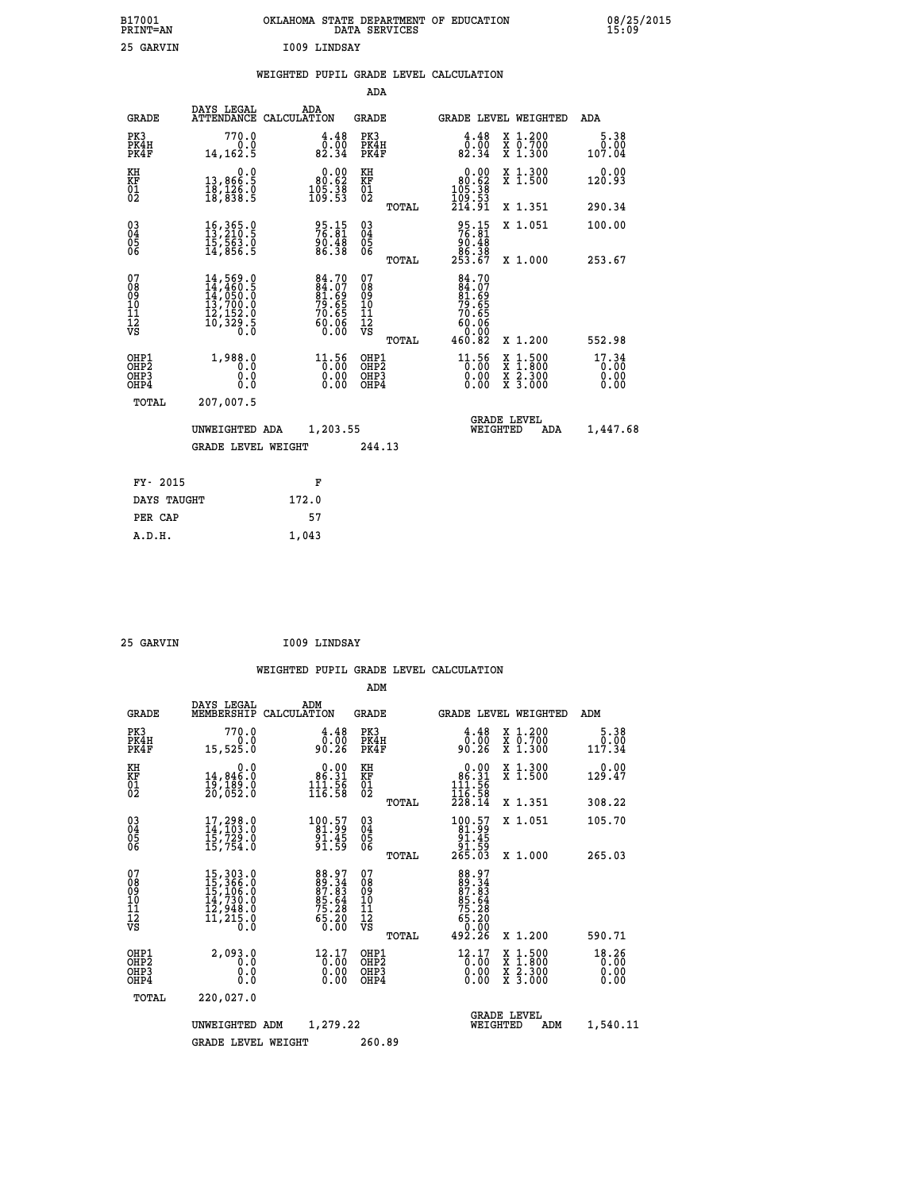| B17001<br><b>PRINT=AN</b> | OKLAHOMA<br>. STATE DEPARTMENT OF EDUCATION<br>DATA SERVICES | 08/25/2015<br>15:09 |
|---------------------------|--------------------------------------------------------------|---------------------|
| 25<br>GARVIN              | 1009 LINDSAY                                                 |                     |

|  |  | WEIGHTED PUPIL GRADE LEVEL CALCULATION |
|--|--|----------------------------------------|
|  |  |                                        |

|                                                                    |                                                                                                                                                     |                                                                      | ADA                                                 |       |                                                                                       |                                                                            |                               |
|--------------------------------------------------------------------|-----------------------------------------------------------------------------------------------------------------------------------------------------|----------------------------------------------------------------------|-----------------------------------------------------|-------|---------------------------------------------------------------------------------------|----------------------------------------------------------------------------|-------------------------------|
| <b>GRADE</b>                                                       | DAYS LEGAL                                                                                                                                          | ADA<br>ATTENDANCE CALCULATION                                        | <b>GRADE</b>                                        |       |                                                                                       | GRADE LEVEL WEIGHTED                                                       | <b>ADA</b>                    |
| PK3<br>PK4H<br>PK4F                                                | 770.0<br>0.0<br>14, 162.5                                                                                                                           | $\begin{smallmatrix} 4.48\ 0.00\\ 82.34 \end{smallmatrix}$           | PK3<br>PK4H<br>PK4F                                 |       | $\begin{smallmatrix} 4.48\ 0.00\\ 82.34 \end{smallmatrix}$                            | X 1.200<br>X 0.700<br>X 1.300                                              | 5.38<br>0.00<br>107.04        |
| KH<br>KF<br>01<br>02                                               | 0.0<br>13,866:5<br>18,126.0<br>18,838:5                                                                                                             | $\begin{smallmatrix} &0.00\ 80.62\ 105.38\ 109.53 \end{smallmatrix}$ | KH<br>KF<br>01<br>02                                |       | 0.00<br>$\begin{smallmatrix} 80.62 \ 105.38 \ 109.53 \ 214.91 \end{smallmatrix}$      | X 1.300<br>X 1.500                                                         | 0.00<br>120.93                |
|                                                                    |                                                                                                                                                     |                                                                      |                                                     | TOTAL |                                                                                       | X 1.351                                                                    | 290.34                        |
| $\begin{smallmatrix} 03 \\[-4pt] 04 \end{smallmatrix}$<br>05<br>ŌĞ | 16, 365.0<br>13, 210.5<br>15,563.0<br>14,856.5                                                                                                      | 95.15<br>76.81<br>90.48<br>86.38                                     | $\begin{array}{c} 03 \\ 04 \\ 05 \\ 06 \end{array}$ | TOTAL | $95.15$<br>$76.81$<br>$90.48$<br>$86.38$<br>$253.67$                                  | X 1.051<br>X 1.000                                                         | 100.00<br>253.67              |
| 07<br>08<br>09<br>11<br>11<br>12<br>VS                             | $\begin{smallmatrix} 14\,,\,569\,.0\\ 14\,,\,460\,.5\\ 14\,,\,050\,.0\\ 13\,,\,700\,.0\\ 12\,,\,152\,.0\\ 10\,,\,329\,.5\\ 0\,.0 \end{smallmatrix}$ | 84.70<br>84.07<br>81.69<br>79.65<br>70.65<br>70.65<br>60.06<br>0.00  | 07<br>08<br>09<br>11<br>11<br>12<br>VS              |       | $84.70$<br>$84.07$<br>$81.69$<br>$79.65$<br>$70.65$<br>$60.06$<br>$60.00$<br>$460.82$ |                                                                            |                               |
|                                                                    |                                                                                                                                                     |                                                                      |                                                     | TOTAL |                                                                                       | X 1.200                                                                    | 552.98                        |
| OHP1<br>OHP <sub>2</sub><br>OHP3<br>OHP4                           | 1,988.0<br>0.0<br>0.0<br>Ō.Ō                                                                                                                        | 11.56<br>$\begin{smallmatrix} 0.00 \ 0.00 \end{smallmatrix}$         | OHP1<br>OH <sub>P</sub> 2<br>OHP3<br>OHP4           |       | 11.56<br>0.00<br>0.00                                                                 | $1:500$<br>$1:800$<br>X<br>X<br>$\frac{\ddot{x}}{x}$ $\frac{2.300}{3.000}$ | 17.34<br>0.00<br>0.00<br>0.00 |
| TOTAL                                                              | 207,007.5                                                                                                                                           |                                                                      |                                                     |       |                                                                                       |                                                                            |                               |
|                                                                    | UNWEIGHTED ADA                                                                                                                                      | 1,203.55                                                             |                                                     |       |                                                                                       | <b>GRADE LEVEL</b><br>WEIGHTED<br>ADA                                      | 1,447.68                      |
|                                                                    | <b>GRADE LEVEL WEIGHT</b>                                                                                                                           |                                                                      | 244.13                                              |       |                                                                                       |                                                                            |                               |
| FY- 2015                                                           |                                                                                                                                                     | F                                                                    |                                                     |       |                                                                                       |                                                                            |                               |
| DAYS TAUGHT                                                        |                                                                                                                                                     | 172.0                                                                |                                                     |       |                                                                                       |                                                                            |                               |
| PER CAP                                                            |                                                                                                                                                     | 57                                                                   |                                                     |       |                                                                                       |                                                                            |                               |
|                                                                    |                                                                                                                                                     |                                                                      |                                                     |       |                                                                                       |                                                                            |                               |

| 25 GARVIN | I009 LINDSAY |
|-----------|--------------|

 **A.D.H. 1,043**

| <b>GRADE</b>                                         | DAYS LEGAL<br>MEMBERSHIP                                                                                                                        | ADM<br>CALCULATION                                                     | <b>GRADE</b>                             |       |                                                                                 |          | GRADE LEVEL WEIGHTED                                                                                                | ADM                    |  |
|------------------------------------------------------|-------------------------------------------------------------------------------------------------------------------------------------------------|------------------------------------------------------------------------|------------------------------------------|-------|---------------------------------------------------------------------------------|----------|---------------------------------------------------------------------------------------------------------------------|------------------------|--|
| PK3<br>PK4H<br>PK4F                                  | 770.0<br>$0.0$<br>15,525.0                                                                                                                      | 4.48<br>0.00<br>90.26                                                  | PK3<br>PK4H<br>PK4F                      |       | 4.48<br>0.00<br>90.26                                                           |          | X 1.200<br>X 0.700<br>X 1.300                                                                                       | 5.38<br>0.00<br>117.34 |  |
| KH<br>KF<br>01<br>02                                 | 0.0<br>14,846:0<br>19,189:0<br>20,052:0                                                                                                         | $\begin{smallmatrix} &0.00\\ 86.31\\ 111.56\\ 116.58\end{smallmatrix}$ | KH<br>KF<br>01<br>02                     |       | $0.00\n86.31\n111.56\n116.58\n228.14$                                           |          | X 1.300<br>X 1.500                                                                                                  | 0.00<br>129.47         |  |
|                                                      |                                                                                                                                                 |                                                                        |                                          | TOTAL |                                                                                 |          | X 1.351                                                                                                             | 308.22                 |  |
| $\begin{matrix} 03 \\ 04 \\ 05 \\ 06 \end{matrix}$   | 17,298.0<br>14,103.0<br>15,729.0                                                                                                                | $\begin{smallmatrix} 100.57\\ 81.99\\ 91.45\\ 91.59 \end{smallmatrix}$ | 03<br>04<br>05<br>06                     |       | $\begin{smallmatrix} 100.57\\ 81.99\\ 91.45\\ 91.59\\ 265.03 \end{smallmatrix}$ |          | X 1.051                                                                                                             | 105.70                 |  |
|                                                      | 15,754.0                                                                                                                                        |                                                                        |                                          | TOTAL |                                                                                 |          | X 1.000                                                                                                             | 265.03                 |  |
| 07<br>08<br>09<br>101<br>112<br>VS                   | $\begin{smallmatrix} 15,303\cdot 0\\ 15,366\cdot 0\\ 15,106\cdot 0\\ 14,730\cdot 0\\ 12,948\cdot 0\\ 11,215\cdot 0\\ 0\cdot 0\end{smallmatrix}$ | 88.97<br>89.343<br>87.83<br>85.64<br>75.28<br>65.20<br>0.00            | 07<br>08<br>09<br>11<br>11<br>12<br>VS   |       | 88.97<br>89.343<br>87.843<br>85.28<br>75.28<br>65.20<br>60.00<br>492.26         |          |                                                                                                                     |                        |  |
|                                                      |                                                                                                                                                 |                                                                        |                                          | TOTAL |                                                                                 |          | X 1.200                                                                                                             | 590.71                 |  |
| OHP1<br>OH <sub>P</sub> <sub>2</sub><br>OHP3<br>OHP4 | 2,093.0<br>0.0<br>0.0<br>0.0                                                                                                                    | $12.17$<br>$0.00$<br>0.00<br>0.00                                      | OHP1<br>OHP <sub>2</sub><br>OHP3<br>OHP4 |       | $\begin{smallmatrix} 12.17 \ 0.00 \ 0.00 \end{smallmatrix}$<br>0.00             |          | $\begin{array}{l} \mathtt{X} & 1.500 \\ \mathtt{X} & 1.800 \\ \mathtt{X} & 2.300 \\ \mathtt{X} & 3.000 \end{array}$ | 18.26<br>0.00<br>0.00  |  |
| TOTAL                                                | 220,027.0                                                                                                                                       |                                                                        |                                          |       |                                                                                 |          |                                                                                                                     |                        |  |
|                                                      | UNWEIGHTED ADM                                                                                                                                  | 1,279.22                                                               |                                          |       |                                                                                 | WEIGHTED | <b>GRADE LEVEL</b><br>ADM                                                                                           | 1,540.11               |  |
|                                                      | <b>GRADE LEVEL WEIGHT</b>                                                                                                                       |                                                                        | 260.89                                   |       |                                                                                 |          |                                                                                                                     |                        |  |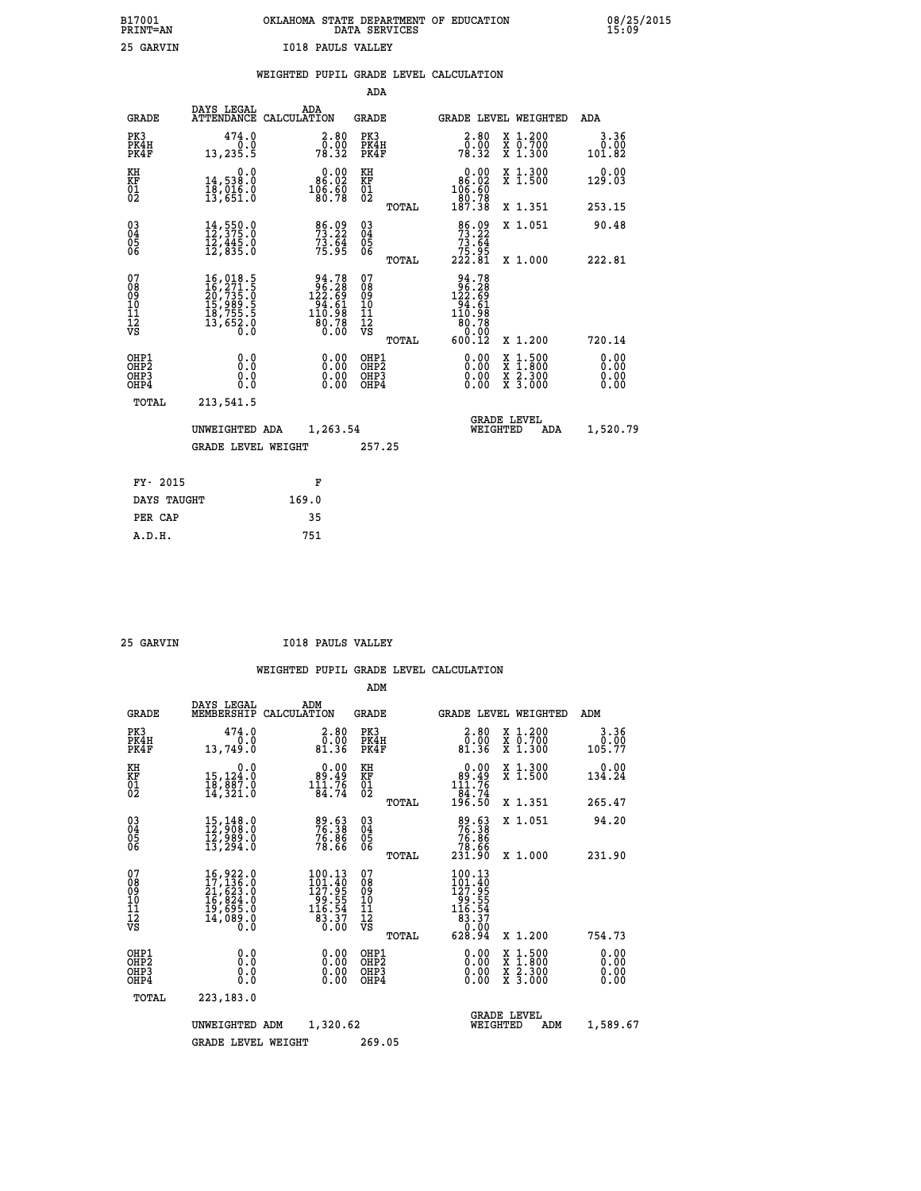| B17001<br>PRINT=AN | OKLAHOMA<br>. STATE DEPARTMENT OF EDUCATION<br>DATA SERVICES | 08/25/2015<br>15:09 |
|--------------------|--------------------------------------------------------------|---------------------|
| 25 GARVIN          | <b>I018 PAULS VALLEY</b>                                     |                     |

|                                                      |                                                                                                                                                                                                                        |                                                                                                        | ADA                                      |       |                                                                                                                |                                                                                                  |                              |
|------------------------------------------------------|------------------------------------------------------------------------------------------------------------------------------------------------------------------------------------------------------------------------|--------------------------------------------------------------------------------------------------------|------------------------------------------|-------|----------------------------------------------------------------------------------------------------------------|--------------------------------------------------------------------------------------------------|------------------------------|
| <b>GRADE</b>                                         | DAYS LEGAL                                                                                                                                                                                                             | ADA<br>ATTENDANCE CALCULATION                                                                          | <b>GRADE</b>                             |       |                                                                                                                | GRADE LEVEL WEIGHTED                                                                             | ADA                          |
| PK3<br>PK4H<br>PK4F                                  | 474.0<br>0.0<br>13,235.5                                                                                                                                                                                               | $\begin{smallmatrix} 2.80\0.00\\78.32\end{smallmatrix}$                                                | PK3<br>PK4H<br>PK4F                      |       | $\begin{smallmatrix} 2.80\0.00\\78.32\end{smallmatrix}$                                                        | X 1.200<br>X 0.700<br>X 1.300                                                                    | 3.36<br>0.00<br>101.82       |
| KH<br>KF<br>01<br>02                                 | 0.0<br>14,538.0<br>18,016.0<br>13,651.0                                                                                                                                                                                | $\begin{smallmatrix} &0.00\ 86.02\ 106.60\ 196.78\ \end{smallmatrix}$                                  | KH<br>KF<br>01<br>02                     |       | 0.00<br>$\begin{smallmatrix} 86.02\ 106.60\ 80.78\ 187.38 \end{smallmatrix}$                                   | X 1.300<br>X 1.500                                                                               | 0.00<br>129.03               |
|                                                      |                                                                                                                                                                                                                        |                                                                                                        |                                          | TOTAL |                                                                                                                | X 1.351                                                                                          | 253.15                       |
| $\begin{matrix} 03 \\ 04 \\ 05 \\ 06 \end{matrix}$   | 14,550.0<br>12,375.0<br>12,445.0<br>12,835.0                                                                                                                                                                           | 86.09<br>73.22<br>$7\overline{3}\cdot\overline{6}\overline{4}\overline{7}$<br>75.95                    | $^{03}_{04}$<br>Ŏ5<br>06                 | TOTAL | $\begin{smallmatrix}86.09\\73.22\\73.64\\75.95\\222.81\end{smallmatrix}$                                       | X 1.051<br>X 1.000                                                                               | 90.48<br>222.81              |
| 07                                                   |                                                                                                                                                                                                                        |                                                                                                        | 07                                       |       |                                                                                                                |                                                                                                  |                              |
| 08<br>09<br>11<br>11<br>12<br>VS                     | $\begin{smallmatrix} 16 \, , \, 018 \, . \, 5 \\ 16 \, , \, 271 \, . \, 5 \\ 20 \, , \, 735 \, . \, 0 \\ 15 \, , \, 989 \, . \, 5 \\ 18 \, , \, 755 \, . \, 5 \\ 13 \, , \, 652 \, . \, 0 \\ 0 \, . \end{smallmatrix}$ | $\begin{smallmatrix} 94.78\\ 96.28\\ 122.69\\ 14.61\\ 94.61\\ 110.98\\ 80.78\\ 0.00 \end{smallmatrix}$ | 08<br>09<br>11<br>11<br>12<br>VS         |       | $\begin{array}{r} 94.78 \\ 96.28 \\ 122.69 \\ 94.61 \\ 94.61 \\ 110.98 \\ 80.78 \\ 0.00 \\ 600.12 \end{array}$ |                                                                                                  |                              |
|                                                      |                                                                                                                                                                                                                        |                                                                                                        |                                          | TOTAL |                                                                                                                | X 1.200                                                                                          | 720.14                       |
| OHP1<br>OH <sub>P</sub> <sub>2</sub><br>OHP3<br>OHP4 | 0.0<br>0.0<br>0.0                                                                                                                                                                                                      | $\begin{smallmatrix} 0.00 \ 0.00 \ 0.00 \ 0.00 \end{smallmatrix}$                                      | OHP1<br>OHP <sub>2</sub><br>OHP3<br>OHP4 |       | $0.00$<br>$0.00$<br>0.00                                                                                       | $\begin{smallmatrix} x & 1 & 500 \\ x & 1 & 800 \\ x & 2 & 300 \\ x & 3 & 000 \end{smallmatrix}$ | 0.00<br>0.00<br>0.00<br>0.00 |
| <b>TOTAL</b>                                         | 213,541.5                                                                                                                                                                                                              |                                                                                                        |                                          |       |                                                                                                                |                                                                                                  |                              |
|                                                      | UNWEIGHTED ADA                                                                                                                                                                                                         | 1,263.54                                                                                               |                                          |       |                                                                                                                | <b>GRADE LEVEL</b><br>WEIGHTED<br>ADA                                                            | 1,520.79                     |
|                                                      | <b>GRADE LEVEL WEIGHT</b>                                                                                                                                                                                              |                                                                                                        | 257.25                                   |       |                                                                                                                |                                                                                                  |                              |
|                                                      |                                                                                                                                                                                                                        |                                                                                                        |                                          |       |                                                                                                                |                                                                                                  |                              |
| FY- 2015                                             |                                                                                                                                                                                                                        | F                                                                                                      |                                          |       |                                                                                                                |                                                                                                  |                              |
| DAYS TAUGHT                                          |                                                                                                                                                                                                                        | 169.0                                                                                                  |                                          |       |                                                                                                                |                                                                                                  |                              |
| PER CAP                                              |                                                                                                                                                                                                                        | 35                                                                                                     |                                          |       |                                                                                                                |                                                                                                  |                              |

 **25 GARVIN I018 PAULS VALLEY**

|                                          |                                                                                                                                                                                          |                                                                           | ADM                                                 |                                                                                 |                                          |                              |
|------------------------------------------|------------------------------------------------------------------------------------------------------------------------------------------------------------------------------------------|---------------------------------------------------------------------------|-----------------------------------------------------|---------------------------------------------------------------------------------|------------------------------------------|------------------------------|
| <b>GRADE</b>                             | DAYS LEGAL<br>MEMBERSHIP                                                                                                                                                                 | ADM<br>CALCULATION                                                        | <b>GRADE</b>                                        | GRADE LEVEL WEIGHTED                                                            |                                          | ADM                          |
| PK3<br>PK4H<br>PK4F                      | 474.0<br>0.0<br>13,749.0                                                                                                                                                                 | 2.80<br>ŏ:ŏŏ<br>81:36                                                     | PK3<br>PK4H<br>PK4F                                 | $\begin{smallmatrix} 2.80\0.008.90\81.36 \end{smallmatrix}$                     | X 1.200<br>X 0.700<br>X 1.300            | 3.36<br>0.00<br>105.77       |
| KH<br>KF<br>01<br>02                     | 0.0<br>15,124:0<br>18,887:0<br>14,321:0                                                                                                                                                  | $\begin{smallmatrix}&&0.00\\&89.49\\111.76\\84.74\end{smallmatrix}$       | KH<br>KF<br>01<br>02                                | $0.00\n89.49\n111.76\n84.74\n196.50$                                            | X 1.300<br>X 1.500                       | 0.00<br>134.24               |
|                                          |                                                                                                                                                                                          |                                                                           | TOTAL                                               |                                                                                 | X 1.351                                  | 265.47                       |
| 03<br>04<br>05<br>06                     | 15, 148.0<br>12, 908.0<br>12, 989.0<br>13,294.0                                                                                                                                          | 89.63<br>76.38<br>76.86<br>78.66                                          | $\begin{array}{c} 03 \\ 04 \\ 05 \\ 06 \end{array}$ | 89.63<br>76.38<br>76.86<br>23.66<br>231.90                                      | X 1.051                                  | 94.20                        |
|                                          |                                                                                                                                                                                          |                                                                           | TOTAL                                               |                                                                                 | X 1.000                                  | 231.90                       |
| 07<br>08<br>09<br>101<br>112<br>VS       | $\begin{smallmatrix} 16\,, & 922\,. & 0\\ 17\,, & 136\,. & 0\\ 21\,, & 623\,. & 0\\ 16\,, & 824\,. & 0\\ 19\,, & 695\,. & 0\\ 14\,, & 089\,. & 0\\ 0\,. & 0\,. & 0\,. \end{smallmatrix}$ | 100.13<br>$101.40$<br>$127.95$<br>$99.55$<br>$16.54$<br>$83.37$<br>$0.00$ | 07<br>08<br>09<br>101<br>11<br>12<br>VS<br>TOTAL    | 100.13<br>$101.405$<br>$127.955$<br>$99.554$<br>$116.54$<br>$83.37$<br>$628.94$ | X 1.200                                  | 754.73                       |
| OHP1<br>OHP2<br>OH <sub>P3</sub><br>OHP4 | 0.0<br>0.000                                                                                                                                                                             | $0.00$<br>$0.00$<br>0.00                                                  | OHP1<br>OHP2<br>OHP <sub>3</sub>                    | $0.00$<br>$0.00$<br>0.00                                                        | X 1:500<br>X 1:800<br>X 2:300<br>X 3:000 | 0.00<br>0.00<br>0.00<br>0.00 |
| TOTAL                                    | 223,183.0                                                                                                                                                                                |                                                                           |                                                     |                                                                                 |                                          |                              |
|                                          | UNWEIGHTED                                                                                                                                                                               | 1,320.62<br>ADM                                                           |                                                     | WEIGHTED                                                                        | <b>GRADE LEVEL</b><br>ADM                | 1,589.67                     |
|                                          | <b>GRADE LEVEL WEIGHT</b>                                                                                                                                                                |                                                                           | 269.05                                              |                                                                                 |                                          |                              |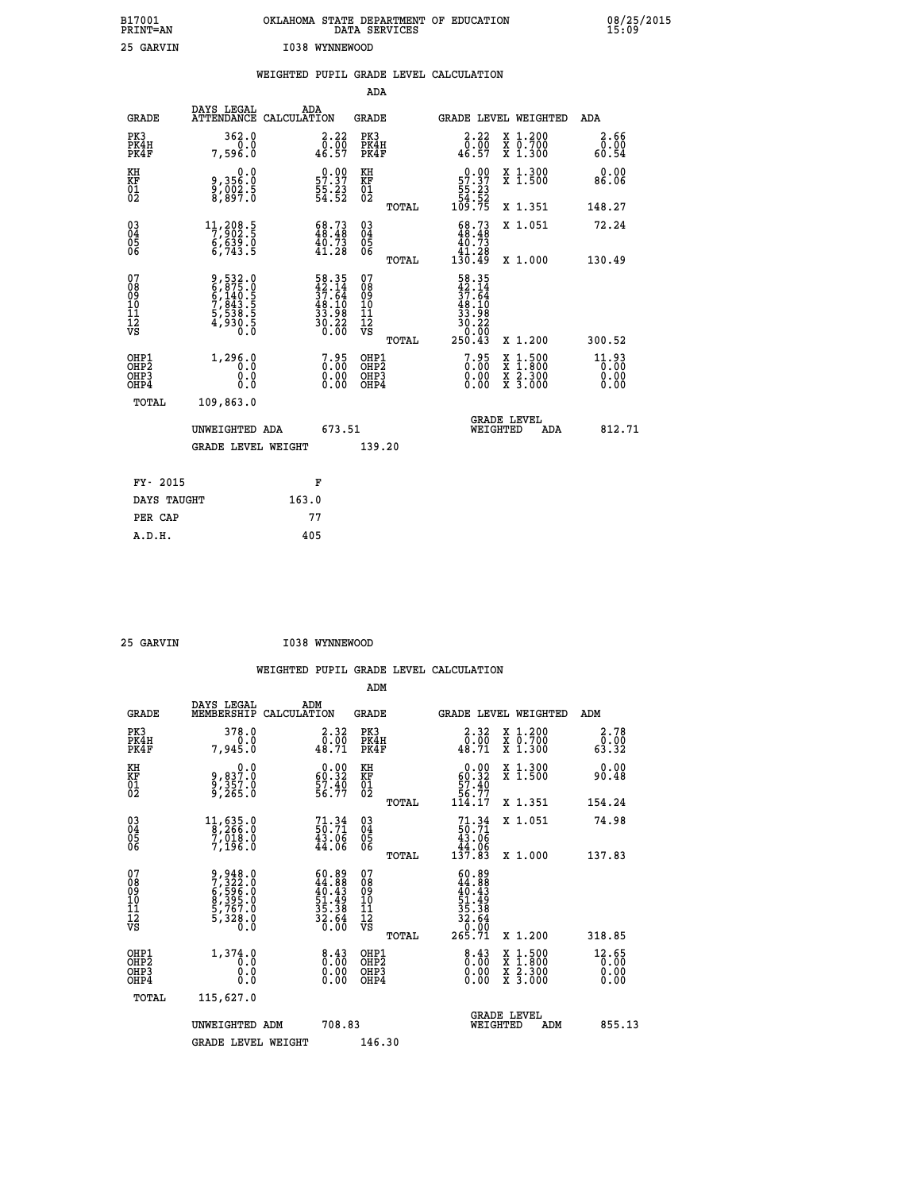| B17001<br>PRINT=AN<br>25 GARVIN |                         | OKLAHOMA<br>I038 WYNNEWOOD             | DATA SERVICES       | STATE DEPARTMENT OF | EDUCATION                    |                                            |               | 08/25/2015<br>15:09 |
|---------------------------------|-------------------------|----------------------------------------|---------------------|---------------------|------------------------------|--------------------------------------------|---------------|---------------------|
|                                 |                         | WEIGHTED PUPIL GRADE LEVEL CALCULATION |                     |                     |                              |                                            |               |                     |
|                                 |                         |                                        | ADA                 |                     |                              |                                            |               |                     |
| GRADE                           | DAYS LEGAL              | ADA<br>ATTENDANCE CALCULATION          | GRADE               |                     |                              | GRADE LEVEL WEIGHTED                       | ADA           |                     |
| PK3<br>PK4H<br>PK4F             | 362.0<br>0.0<br>7,596.0 | $3.22$<br>$0.00$<br>46.57              | PK3<br>PK4H<br>PK4F |                     | 2.22<br>0.00<br>46.57        | X 1.200<br>$\overline{X}$ 0.700<br>X 1.300 | 3.66<br>60.54 |                     |
| KH<br>KF<br>22                  | 0.0<br>9,356.0          | 0.00<br>57.37                          | КH<br>KF<br>$\sim$  |                     | $0.00$<br>57.37<br>$- - - -$ | X 1.300<br>X 1.500                         | 0.00<br>86.06 |                     |

| $\overline{01}$                                    | $\frac{5}{8}, \frac{002}{897}.5$                                                            | $\frac{5}{5}\cdot\frac{2}{3}\cdot\frac{3}{5}$                                             | $\overline{01}$                                                   | TOTAL | 55:23<br>54:52<br>109:75                                                                                     | X 1.351                                                                                                             | 148.27                                                             |
|----------------------------------------------------|---------------------------------------------------------------------------------------------|-------------------------------------------------------------------------------------------|-------------------------------------------------------------------|-------|--------------------------------------------------------------------------------------------------------------|---------------------------------------------------------------------------------------------------------------------|--------------------------------------------------------------------|
| $\begin{matrix} 03 \\ 04 \\ 05 \\ 06 \end{matrix}$ | $\begin{smallmatrix} 11,208.5\\7,902.5\\6,639.0\\6,743.5 \end{smallmatrix}$                 | $\begin{smallmatrix} 68.73\\ 48.48\\ 40.73\\ 41.28 \end{smallmatrix}$                     | $\substack{03 \\ 04}$<br>$\begin{matrix} 0.5 \\ 0.6 \end{matrix}$ | TOTAL | $\begin{smallmatrix} 68.73 \\ 48.48 \\ 40.73 \\ 41.28 \\ 130.49 \end{smallmatrix}$                           | X 1.051                                                                                                             | 72.24                                                              |
| 07<br>08<br>09<br>101<br>11<br>12<br>VS            | 9,532.0<br>6,875.0<br>6,140.5<br>7,843.5<br>7,838.5<br>5,538.5<br>4,930.5                   | $\begin{array}{r} 58.35 \\ 42.14 \\ 37.64 \\ 48.10 \\ 33.98 \\ 30.22 \\ 0.00 \end{array}$ | 078901112<br>111112<br>VS                                         | TOTAL | $\begin{array}{r} 58.35 \\ 42.14 \\ 37.64 \\ 48.10 \\ 48.10 \\ 33.98 \\ 30.22 \\ 0.00 \\ 250.43 \end{array}$ | X 1.000<br>X 1.200                                                                                                  | 130.49<br>300.52                                                   |
| OHP1<br>OHP2<br>OH <sub>P3</sub><br>OHP4<br>TOTAL  | 1,296.0<br>$\begin{smallmatrix} 0.0 & 0 \ 0.0 & 0 \ 0.0 & 0 \end{smallmatrix}$<br>109,863.0 | $\begin{smallmatrix} 7.95\ 0.00 \ 0.00 \end{smallmatrix}$<br>0.00                         | OHP1<br>OHP <sub>2</sub><br>OHP3<br>OHP4                          |       | $\begin{smallmatrix} 7.95\ 0.00\ 0.00 \end{smallmatrix}$                                                     | $\begin{array}{l} \mathtt{X} & 1.500 \\ \mathtt{X} & 1.800 \\ \mathtt{X} & 2.300 \\ \mathtt{X} & 3.000 \end{array}$ | $\begin{smallmatrix} 11.93\ 0.000000\ 0.0000000 \end{smallmatrix}$ |
|                                                    | UNWEIGHTED ADA<br><b>GRADE LEVEL WEIGHT</b>                                                 | 673.51                                                                                    | 139.20                                                            |       |                                                                                                              | <b>GRADE LEVEL</b><br>WEIGHTED<br>ADA                                                                               | 812.71                                                             |
| 0.015<br>$T^*$                                     |                                                                                             | $\blacksquare$                                                                            |                                                                   |       |                                                                                                              |                                                                                                                     |                                                                    |

| FY- 2015    | F     |
|-------------|-------|
| DAYS TAUGHT | 163.0 |
| PER CAP     | 77    |
| A.D.H.      | 405   |
|             |       |

| 25 GARVIN | I038 WYNNEWOOD |
|-----------|----------------|

|                                                    |                                                                           |                                                                                   | WEIGHTED PUPIL GRADE LEVEL CALCULATION              |                                                                                          |                                          |                                           |
|----------------------------------------------------|---------------------------------------------------------------------------|-----------------------------------------------------------------------------------|-----------------------------------------------------|------------------------------------------------------------------------------------------|------------------------------------------|-------------------------------------------|
|                                                    |                                                                           |                                                                                   | ADM                                                 |                                                                                          |                                          |                                           |
| <b>GRADE</b>                                       | DAYS LEGAL<br>MEMBERSHIP<br>CALCULATION                                   | ADM                                                                               | <b>GRADE</b>                                        | GRADE LEVEL WEIGHTED                                                                     |                                          | ADM                                       |
| PK3<br>PK4H<br>PK4F                                | 378.0<br>0.0<br>7,945.0                                                   | $\begin{smallmatrix} 2\cdot 32\\ 0.00\\ 48.71 \end{smallmatrix}$                  | PK3<br>PK4H<br>PK4F                                 | $\frac{2.32}{0.00}$<br>48.71                                                             | X 1.200<br>X 0.700<br>X 1.300            | 2.78<br>$\bar{0}.\bar{0}\bar{0}$<br>32.32 |
| KH<br>KF<br>01<br>02                               | 0.0<br>9,837:0<br>9,357:0<br>9,265:0                                      | $\begin{smallmatrix} 0.00\\ 60.32\\ 57.40\\ 56.77 \end{smallmatrix}$              | KH<br>KF<br>01<br>02                                | 0.00<br>$\begin{array}{r} 60.32 \\ 57.40 \\ 56.77 \\ 114.17 \end{array}$                 | X 1.300<br>X 1.500                       | 0.00<br>90.48                             |
|                                                    |                                                                           |                                                                                   | TOTAL                                               |                                                                                          | X 1.351                                  | 154.24                                    |
| $\begin{matrix} 03 \\ 04 \\ 05 \\ 06 \end{matrix}$ | $\begin{smallmatrix}11,635.0\\8,266.0\\7,018.0\\7,196.0\end{smallmatrix}$ | $71.34$<br>50.71<br>$\frac{43.06}{44.06}$                                         | $\begin{array}{c} 03 \\ 04 \\ 05 \\ 06 \end{array}$ | $71.34$<br>50.71<br>43.06<br>44.06<br>44.06<br>137.83                                    | X 1.051                                  | 74.98                                     |
|                                                    |                                                                           |                                                                                   | TOTAL                                               |                                                                                          | X 1.000                                  | 137.83                                    |
| 07<br>08<br>09<br>101<br>11<br>12<br>VS            | 9,948.0<br>7,322.0<br>6,596.0<br>6,595.0<br>8,395.0<br>5,767.0<br>5,328.0 | $60.89$<br>$44.88$<br>$40.43$<br>$51.49$<br>$51.38$<br>$35.38$<br>$32.64$<br>0.00 | 07<br>08<br>09<br>001<br>11<br>11<br>12<br>VS       | 60.89<br>$44.888$<br>$40.439$<br>$51.498$<br>$51.38$<br>$32.64$<br>$32.64$<br>$265.71$   |                                          |                                           |
|                                                    |                                                                           |                                                                                   | TOTAL                                               |                                                                                          | X 1.200                                  | 318.85                                    |
| OHP1<br>OHP2<br>OHP3<br>OHP4                       | 1,374.0<br>0.0<br>0.000                                                   | $\begin{smallmatrix} 8.43\ 0.00\ 0.00 \end{smallmatrix}$                          | OHP1<br>OHP2<br>OHP3<br>OHP4                        | $\begin{smallmatrix} 8 & 4 & 3 \\ 0 & 0 & 0 \\ 0 & 0 & 0 \\ 0 & 0 & 0 \end{smallmatrix}$ | X 1:500<br>X 1:800<br>X 2:300<br>X 3:000 | 12.65<br>0.00<br>0.00<br>0.00             |
| TOTAL                                              | 115,627.0                                                                 |                                                                                   |                                                     |                                                                                          |                                          |                                           |
|                                                    | UNWEIGHTED ADM                                                            | 708.83                                                                            |                                                     | WEIGHTED                                                                                 | <b>GRADE LEVEL</b><br>ADM                | 855.13                                    |
|                                                    | <b>GRADE LEVEL WEIGHT</b>                                                 |                                                                                   | 146.30                                              |                                                                                          |                                          |                                           |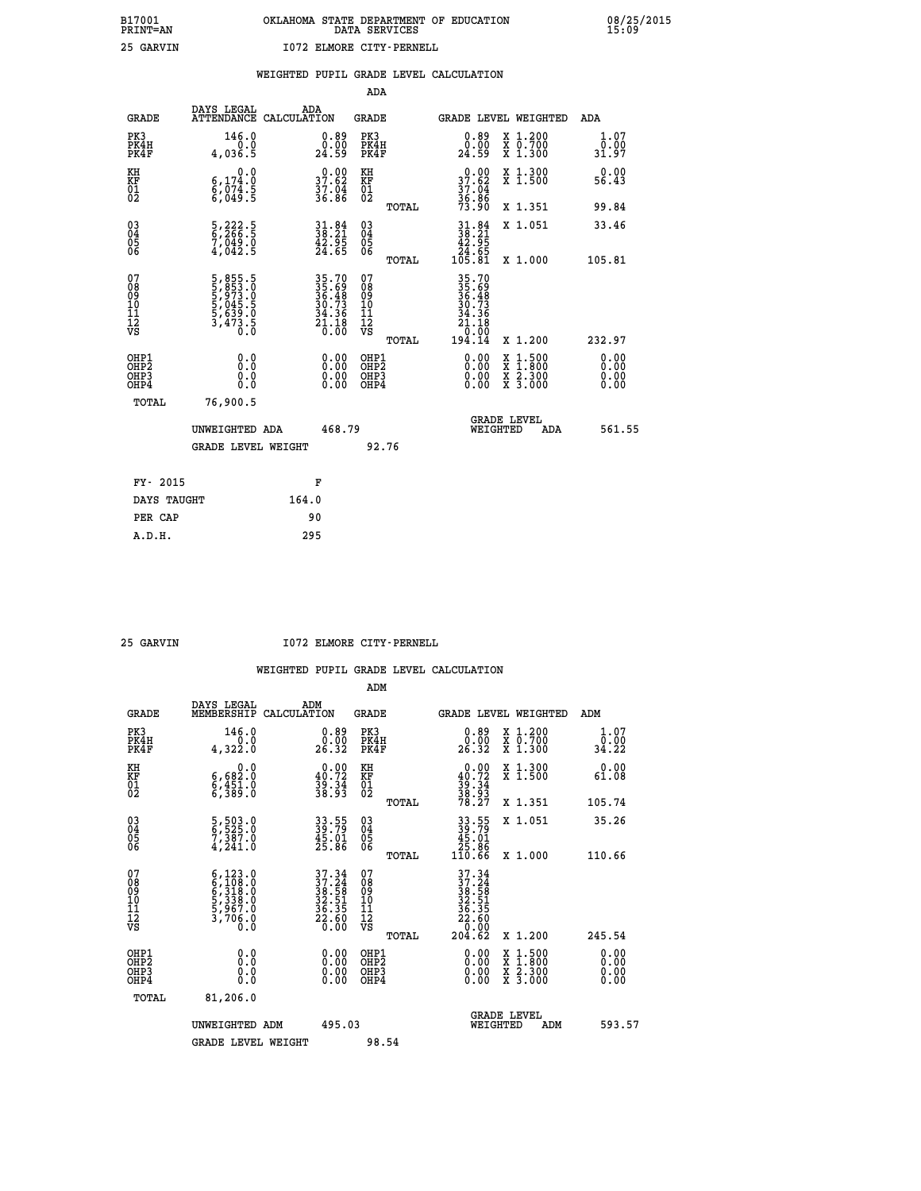|  |  | WEIGHTED PUPIL GRADE LEVEL CALCULATION |
|--|--|----------------------------------------|
|  |  |                                        |

|                                                                   |                                                                                  |                                                                                           | ADA                                                 |       |                                                                                                                                     |                                          |                              |
|-------------------------------------------------------------------|----------------------------------------------------------------------------------|-------------------------------------------------------------------------------------------|-----------------------------------------------------|-------|-------------------------------------------------------------------------------------------------------------------------------------|------------------------------------------|------------------------------|
| <b>GRADE</b>                                                      | DAYS LEGAL<br>ATTENDANCE CALCULATION                                             | ADA                                                                                       | <b>GRADE</b>                                        |       |                                                                                                                                     | GRADE LEVEL WEIGHTED                     | ADA                          |
| PK3<br>PK4H<br>PK4F                                               | 146.0<br>0.0<br>4,036.5                                                          | $\begin{smallmatrix} 0.89\ 0.00\ 24.59 \end{smallmatrix}$                                 | PK3<br>PK4H<br>PK4F                                 |       | $\begin{smallmatrix} 0.89\ 0.00\ 24.59 \end{smallmatrix}$                                                                           | X 1.200<br>X 0.700<br>X 1.300            | 1.07<br>0.00<br>31.97        |
| KH<br><b>KF</b><br>01<br>02                                       | 0.0<br>$\begin{smallmatrix} 6,174.8 \ 6,074.5 \ 6,049.5 \end{smallmatrix}$       | 37.62<br>$\frac{37.04}{36.86}$                                                            | KH<br>KF<br>01<br>02                                |       | 37.62<br>$\frac{37.04}{36.86}$<br>73.90                                                                                             | X 1.300<br>X 1.500                       | 0.00<br>56.43                |
|                                                                   |                                                                                  |                                                                                           |                                                     | TOTAL |                                                                                                                                     | X 1.351                                  | 99.84                        |
| $^{03}_{04}$<br>Ŏ5<br>06                                          | 5,222.5<br>6,266.5<br>7,049.0<br>4,042.5                                         | $31.84$<br>$38.21$<br>$42.95$<br>$24.65$                                                  | $\begin{array}{c} 03 \\ 04 \\ 05 \\ 06 \end{array}$ |       | $\begin{smallmatrix} 31.84\\ 38.21\\ 42.95\\ 24.65\\ 105.81\\ \end{smallmatrix}$                                                    | X 1.051                                  | 33.46                        |
| 07                                                                |                                                                                  |                                                                                           | 07                                                  | TOTAL |                                                                                                                                     | X 1.000                                  | 105.81                       |
| 08901112<br>1112<br>VS                                            | 5, 855.5<br>5, 853.0<br>5, 973.0<br>5, 045.5<br>5, 639.0<br>5, 639.0<br>3, 473.5 | $\begin{array}{r} 35.70 \\ 35.69 \\ 36.48 \\ 30.73 \\ 34.36 \\ 21.18 \\ 0.00 \end{array}$ | 08<br>09<br>11<br>11<br>12<br>VS                    |       | $\begin{array}{r} 35\cdot70 \\ 35\cdot69 \\ 36\cdot49 \\ 30\cdot73 \\ 34\cdot36 \\ 21\cdot10 \\ 0\cdot00 \\ 194\cdot14 \end{array}$ |                                          |                              |
|                                                                   |                                                                                  |                                                                                           |                                                     | TOTAL |                                                                                                                                     | X 1.200                                  | 232.97                       |
| OHP1<br>OH <sub>P</sub> 2<br>OH <sub>P3</sub><br>OH <sub>P4</sub> | 0.0<br>0.000                                                                     | $\begin{smallmatrix} 0.00 \ 0.00 \ 0.00 \ 0.00 \end{smallmatrix}$                         | OHP1<br>OH <sub>P</sub> 2<br>OHP3<br>OHP4           |       | 0.00<br>0.00<br>0.00                                                                                                                | X 1:500<br>X 1:800<br>X 2:300<br>X 3:000 | 0.00<br>0.00<br>0.00<br>0.00 |
| TOTAL                                                             | 76,900.5                                                                         |                                                                                           |                                                     |       |                                                                                                                                     |                                          |                              |
|                                                                   | UNWEIGHTED ADA                                                                   | 468.79                                                                                    |                                                     |       |                                                                                                                                     | GRADE LEVEL<br>WEIGHTED<br>ADA           | 561.55                       |
|                                                                   | <b>GRADE LEVEL WEIGHT</b>                                                        |                                                                                           | 92.76                                               |       |                                                                                                                                     |                                          |                              |
| FY- 2015                                                          |                                                                                  | F                                                                                         |                                                     |       |                                                                                                                                     |                                          |                              |
| DAYS TAUGHT                                                       |                                                                                  | 164.0                                                                                     |                                                     |       |                                                                                                                                     |                                          |                              |
| PER CAP                                                           |                                                                                  | 90                                                                                        |                                                     |       |                                                                                                                                     |                                          |                              |

 **25 GARVIN I072 ELMORE CITY-PERNELL**

|                                          |                                                                                      |                                                                      | ADM                                                 |                                                                                           |                                          |                        |
|------------------------------------------|--------------------------------------------------------------------------------------|----------------------------------------------------------------------|-----------------------------------------------------|-------------------------------------------------------------------------------------------|------------------------------------------|------------------------|
| <b>GRADE</b>                             | DAYS LEGAL<br>MEMBERSHIP                                                             | ADM<br>CALCULATION                                                   | <b>GRADE</b>                                        | GRADE LEVEL WEIGHTED                                                                      |                                          | ADM                    |
| PK3<br>PK4H<br>PK4F                      | 146.0<br>4,322.0                                                                     | $\begin{smallmatrix} 0.89\ 0.00\\ 26.32 \end{smallmatrix}$           | PK3<br>PK4H<br>PK4F                                 | $\begin{smallmatrix} 0.89\ 0.00\\ 26.32 \end{smallmatrix}$                                | X 1.200<br>X 0.700<br>X 1.300            | 1.07<br>0.00.<br>34.22 |
| KH<br>KF<br>01<br>02                     | 0.0<br>6,682:0<br>6,451:0<br>6,389:0                                                 | $\begin{smallmatrix} 0.00\\ 40.72\\ 39.34\\ 38.93 \end{smallmatrix}$ | KH<br>KF<br>01<br>02                                | $0.00\n40.72\n39.34\n38.93\n78.27$                                                        | X 1.300<br>X 1.500                       | 0.00<br>61.08          |
|                                          |                                                                                      |                                                                      | TOTAL                                               |                                                                                           | X 1.351                                  | 105.74                 |
| 03<br>04<br>05<br>06                     | 5,503.0<br>6,525.0<br>7,387.0<br>4,241.0                                             | 33.55<br>39.79<br>45.01<br>25.86                                     | $\begin{array}{c} 03 \\ 04 \\ 05 \\ 06 \end{array}$ | $33.55$<br>$39.79$<br>$45.01$<br>$25.86$<br>$110.66$                                      | X 1.051                                  | 35.26                  |
|                                          |                                                                                      |                                                                      | TOTAL                                               |                                                                                           | X 1.000                                  | 110.66                 |
| 07<br>08<br>09<br>101<br>11<br>12<br>VS  | $6,123.0$<br>$6,3108.0$<br>$6,318.0$<br>$5,338.0$<br>$5,967.0$<br>$3,706.0$<br>$0.0$ | $37.34$<br>$37.24$<br>$38.58$<br>$32.51$<br>$36.35$<br>$22.60$       | 07<br>08<br>09<br>11<br>11<br>12<br>VS<br>TOTAL     | $\begin{smallmatrix} 37.34\ 37.24\ 38.58\ 38.51\ 32.51\ 36.360\ 204.62 \end{smallmatrix}$ | X 1.200                                  | 245.54                 |
| OHP1<br>OHP2<br>OHP <sub>3</sub><br>OHP4 |                                                                                      |                                                                      | OHP1<br>OHP2<br>OHP <sub>3</sub>                    | $0.00$<br>$0.00$<br>0.00                                                                  | X 1:500<br>X 1:800<br>X 2:300<br>X 3:000 | 0.00<br>0.00<br>0.00   |
| TOTAL                                    | 81,206.0                                                                             |                                                                      |                                                     |                                                                                           |                                          |                        |
|                                          | UNWEIGHTED<br>ADM                                                                    | 495.03                                                               |                                                     |                                                                                           | GRADE LEVEL<br>WEIGHTED<br>ADM           | 593.57                 |
|                                          | <b>GRADE LEVEL WEIGHT</b>                                                            |                                                                      | 98.54                                               |                                                                                           |                                          |                        |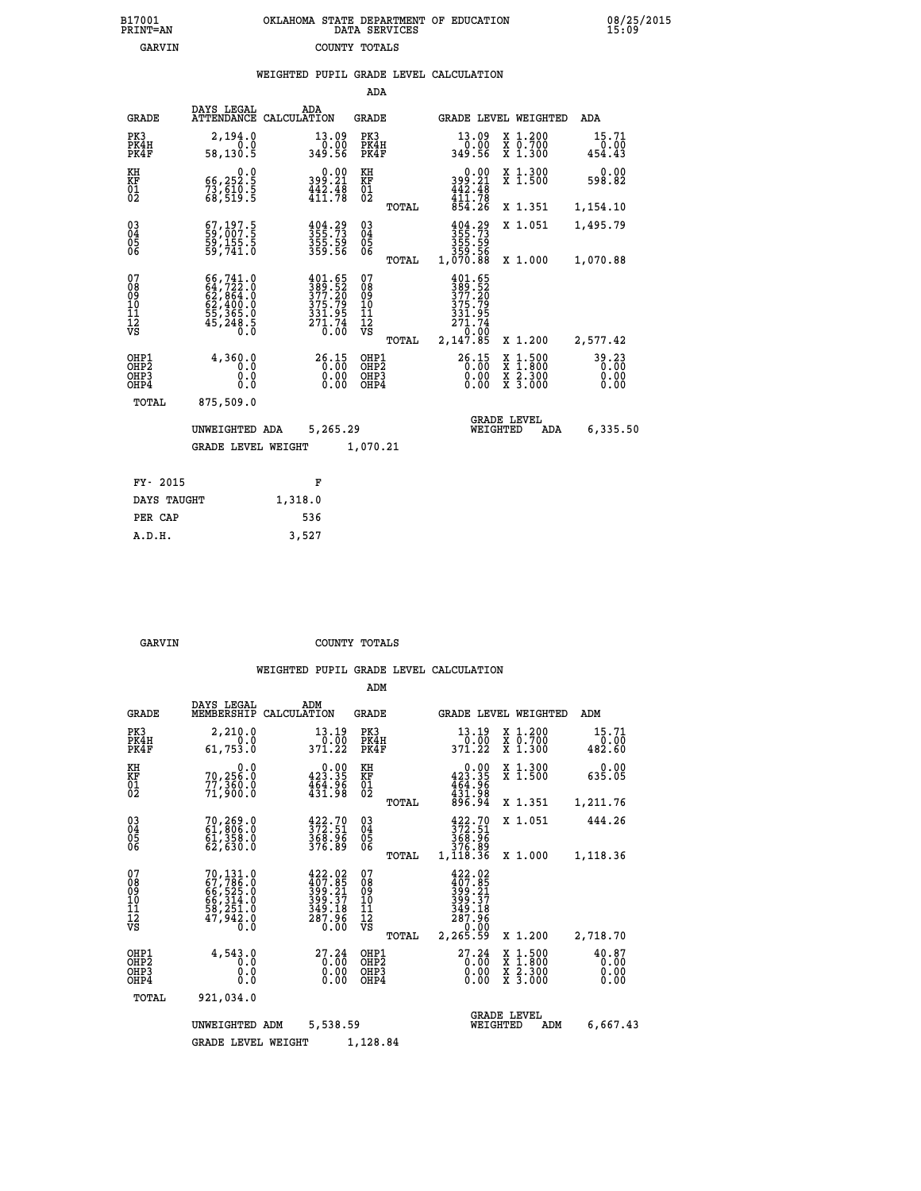| 7001<br>INT=AN | OKLAHOMA STATE DEPARTMENT OF EDUCATION<br>DATA SERVICES |  |
|----------------|---------------------------------------------------------|--|
| GARVIN         | COUNTY TOTALS                                           |  |

|                                               |                                                                                                                                                                           |         |                                                                            |                                            |       | WEIGHTED PUPIL GRADE LEVEL CALCULATION                                    |                                                                                                                                           |                               |
|-----------------------------------------------|---------------------------------------------------------------------------------------------------------------------------------------------------------------------------|---------|----------------------------------------------------------------------------|--------------------------------------------|-------|---------------------------------------------------------------------------|-------------------------------------------------------------------------------------------------------------------------------------------|-------------------------------|
|                                               |                                                                                                                                                                           |         |                                                                            | ADA                                        |       |                                                                           |                                                                                                                                           |                               |
| <b>GRADE</b>                                  | DAYS LEGAL<br>ATTENDANCE CALCULATION                                                                                                                                      |         | ADA                                                                        | <b>GRADE</b>                               |       | GRADE LEVEL WEIGHTED                                                      |                                                                                                                                           | ADA                           |
| PK3<br>PK4H<br>PK4F                           | 2,194.0<br>0.0<br>58,130.5                                                                                                                                                |         | $\begin{smallmatrix} 13.09\ 0.00 \ 349.56 \end{smallmatrix}$               | PK3<br>PK4H<br>PK4F                        |       | 13.09<br>0.00<br>349.56                                                   | X 1.200<br>X 0.700<br>X 1.300                                                                                                             | 15.71<br>0.00<br>454.43       |
| KH<br>KF<br>01<br>02                          | 0.0<br>66,252.5<br>73,610.5<br>68,519.5                                                                                                                                   |         | $0.00$<br>399.21<br>$\frac{1}{411}$ $\frac{2}{78}$                         | KH<br>KF<br>01<br>02                       |       | $0.00$<br>$399.21$<br>$442.48$<br>$411.78$<br>$854.26$                    | X 1.300<br>X 1.500                                                                                                                        | 0.00<br>598.82                |
|                                               |                                                                                                                                                                           |         |                                                                            |                                            | TOTAL |                                                                           | X 1.351                                                                                                                                   | 1,154.10                      |
| $\substack{03 \\ 04}$<br>05<br>06             | 67,197.5<br>59,007.5<br>59,155.5<br>59,741.0                                                                                                                              |         | $\frac{404}{355}$ : 73<br>$\frac{355}{355}$ : 59<br>$\frac{355}{359}$ : 56 | $\substack{03 \\ 04}$<br>0500              |       | $355.73355.59355.59359.561,070.88$                                        | X 1.051                                                                                                                                   | 1,495.79                      |
|                                               |                                                                                                                                                                           |         |                                                                            |                                            | TOTAL |                                                                           | X 1.000                                                                                                                                   | 1,070.88                      |
| 07<br>08<br>09<br>001<br>11<br>11<br>12<br>VS | $\begin{smallmatrix} 66\,,\,741\,.\,0\\ 64\,,\,722\,. \,0\\ 62\,,\,864\,. \,0\\ 62\,,\,400\,. \,0\\ 55\,,\,365\,. \,0\\ 45\,,\,248\,. \,5\\ 0\,. \,0\\ \end{smallmatrix}$ |         | 401.65<br>389.52<br>377.20<br>375.79<br>331.95<br>271.74<br>0.00           | 078<br>089<br>0011<br>11<br>11<br>12<br>VS | TOTAL | $\frac{401.65}{389.52}$<br>375.79<br>331.95<br>271.74<br>0.00<br>2,147.85 | X 1.200                                                                                                                                   | 2,577.42                      |
| OHP1<br>OHP2<br>OHP3<br>OHP4                  | 4,360.0<br>0.0<br>0.0<br>0.0                                                                                                                                              |         | 26.15<br>$0.00$<br>0.00                                                    | OHP1<br>OHP2<br>OHP3<br>OHP4               |       | 26.15<br>0.00                                                             | $\begin{smallmatrix} \mathtt{X} & 1\cdot500\\ \mathtt{X} & 1\cdot800\\ \mathtt{X} & 2\cdot300\\ \mathtt{X} & 3\cdot000 \end{smallmatrix}$ | 39.23<br>0.00<br>0.00<br>0.00 |
| TOTAL                                         | 875,509.0                                                                                                                                                                 |         |                                                                            |                                            |       |                                                                           |                                                                                                                                           |                               |
|                                               | UNWEIGHTED ADA                                                                                                                                                            |         | 5,265.29                                                                   |                                            |       | WEIGHTED                                                                  | <b>GRADE LEVEL</b><br>ADA                                                                                                                 | 6,335.50                      |
|                                               | <b>GRADE LEVEL WEIGHT</b>                                                                                                                                                 |         |                                                                            | 1,070.21                                   |       |                                                                           |                                                                                                                                           |                               |
| FY- 2015                                      |                                                                                                                                                                           |         | F                                                                          |                                            |       |                                                                           |                                                                                                                                           |                               |
| DAYS TAUGHT                                   |                                                                                                                                                                           | 1,318.0 |                                                                            |                                            |       |                                                                           |                                                                                                                                           |                               |
| PER CAP                                       |                                                                                                                                                                           | 536     |                                                                            |                                            |       |                                                                           |                                                                                                                                           |                               |

 **A.D.H. 3,527**

 **B17001<br>PRINT=AN** 

GARVIN **COUNTY TOTALS** 

|                                        |                                           |                                                                                           |                                                                          | ADM                                      |       |                                                                              |                                                                                                  |                               |
|----------------------------------------|-------------------------------------------|-------------------------------------------------------------------------------------------|--------------------------------------------------------------------------|------------------------------------------|-------|------------------------------------------------------------------------------|--------------------------------------------------------------------------------------------------|-------------------------------|
|                                        | <b>GRADE</b>                              | DAYS LEGAL<br>MEMBERSHIP                                                                  | ADM<br>CALCULATION                                                       | <b>GRADE</b>                             |       |                                                                              | GRADE LEVEL WEIGHTED                                                                             | ADM                           |
| PK3                                    | PK4H<br>PK4F                              | 2,210.0<br>0.0<br>61,753.0                                                                | 13.19<br>$0.\bar{0}0$<br>371.22                                          | PK3<br>PK4H<br>PK4F                      |       | 13.19<br>0.00<br>371.22                                                      | $\begin{array}{c} x & 1.200 \\ x & 0.700 \end{array}$<br>$X$ 1.300                               | 15.71<br>0.00<br>482.60       |
| KH<br>KF<br>01<br>02                   |                                           | 0.0<br>70,256:0<br>77,360:0<br>71,900:0                                                   | $0.00$<br>423.35<br>$\frac{454.96}{431.98}$                              | KH<br>KF<br>01<br>02                     |       | 0.00<br>423.35<br>$454.96$<br>$431.98$<br>896.94                             | X 1.300<br>X 1.500                                                                               | 0.00<br>635.05                |
|                                        |                                           |                                                                                           |                                                                          |                                          | TOTAL |                                                                              | X 1.351                                                                                          | 1,211.76                      |
| 03<br>04<br>05<br>06                   |                                           | 70,269.0<br>61,806.0<br>61,358.0<br>62,630.0                                              | $\frac{422.70}{372.51}$<br>368.96<br>376.89                              | $^{03}_{04}$<br>0500                     |       | $\frac{422.70}{372.51}$<br>368.96<br>376.89                                  | X 1.051                                                                                          | 444.26                        |
|                                        |                                           |                                                                                           |                                                                          |                                          | TOTAL | 1,118.36                                                                     | X 1.000                                                                                          | 1,118.36                      |
| 07<br>08<br>09<br>11<br>11<br>12<br>VS |                                           | 70,131.0<br>67,786.0<br>66,525.0<br>66,314.0<br>58,251.0<br>47,942.0<br>$\overline{0}$ .0 | $422.02$<br>$407.85$<br>$399.21$<br>$399.37$<br>349.18<br>287.96<br>0.00 | 07<br>08<br>09<br>101<br>11<br>12<br>VS  | TOTAL | 422.02<br>407.85<br>399.31<br>399.37<br>349.18<br>287.96<br>0.00<br>2,265.59 | X 1.200                                                                                          | 2,718.70                      |
|                                        | OHP1<br>OH <sub>P</sub> 2<br>OHP3<br>OHP4 | 4,543.0<br>0.0<br>0.0<br>Ŏ.Ŏ                                                              | 27.24<br>0.00<br>0.00                                                    | OHP1<br>OHP <sub>2</sub><br>OHP3<br>OHP4 |       | 27.24<br>0.00<br>0.00                                                        | $\begin{smallmatrix} x & 1 & 500 \\ x & 1 & 800 \\ x & 2 & 300 \\ x & 3 & 000 \end{smallmatrix}$ | 40.87<br>0.00<br>0.00<br>0.00 |
|                                        | TOTAL                                     | 921,034.0                                                                                 |                                                                          |                                          |       |                                                                              |                                                                                                  |                               |
|                                        |                                           | UNWEIGHTED ADM                                                                            | 5,538.59                                                                 |                                          |       |                                                                              | <b>GRADE LEVEL</b><br>WEIGHTED<br>ADM                                                            | 6,667.43                      |
|                                        |                                           | <b>GRADE LEVEL WEIGHT</b>                                                                 |                                                                          | 1,128.84                                 |       |                                                                              |                                                                                                  |                               |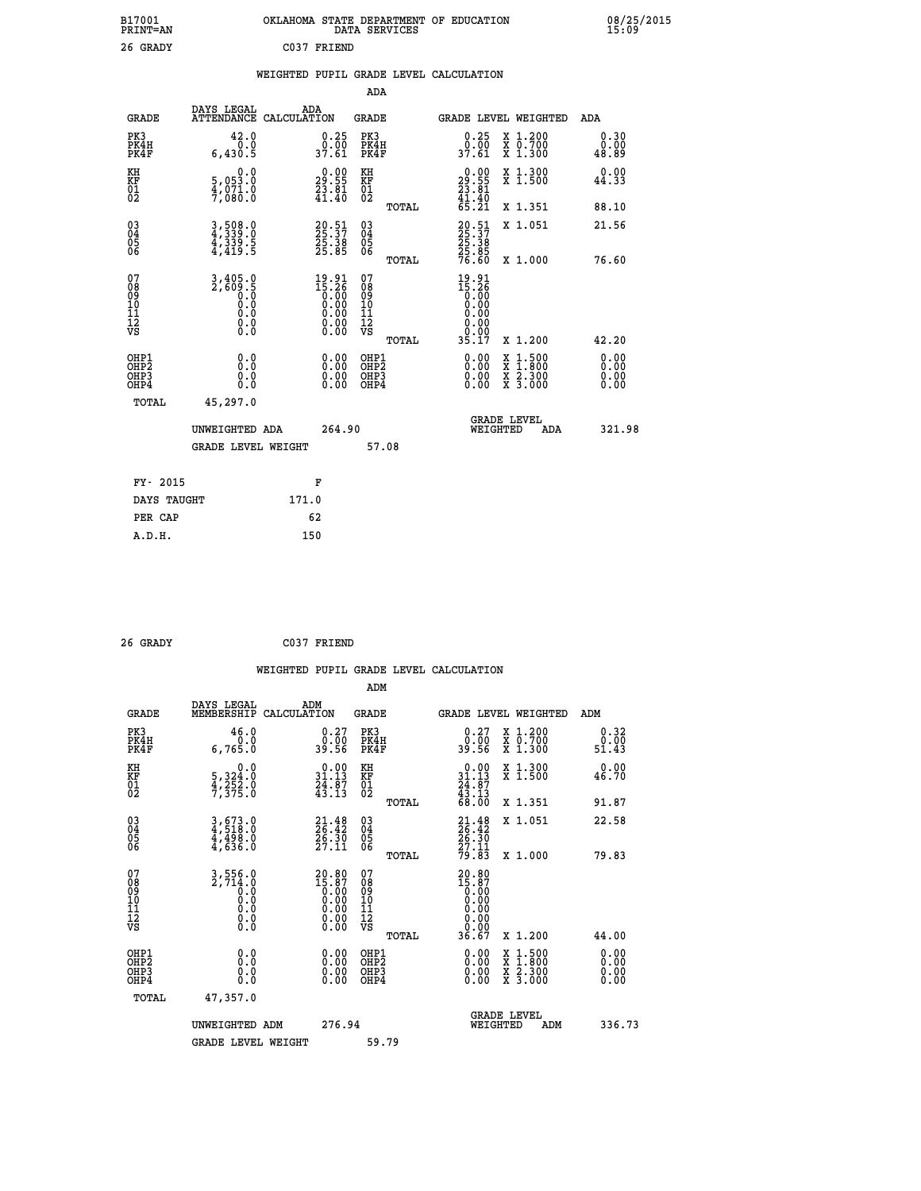| B17001<br><b>PRINT=AN</b> | OKLAHOMA<br>. STATE DEPARTMENT OF EDUCATION<br>DATA SERVICES | 08/25/2015<br>15:09 |
|---------------------------|--------------------------------------------------------------|---------------------|
| 26 GRADY                  | C037<br>FRIEND                                               |                     |

|  |  | WEIGHTED PUPIL GRADE LEVEL CALCULATION |
|--|--|----------------------------------------|
|  |  |                                        |

|                                           |                                                                                          |                                                                                                       | ADA                                             |                                                                                                                                                              |                              |
|-------------------------------------------|------------------------------------------------------------------------------------------|-------------------------------------------------------------------------------------------------------|-------------------------------------------------|--------------------------------------------------------------------------------------------------------------------------------------------------------------|------------------------------|
| <b>GRADE</b>                              | DAYS LEGAL                                                                               | ADA<br>ATTENDANCE CALCULATION                                                                         | GRADE                                           | GRADE LEVEL WEIGHTED                                                                                                                                         | ADA                          |
| PK3<br>PK4H<br>PK4F                       | 42.0<br>0.0<br>6,430.5                                                                   | $\begin{smallmatrix} 0.25\ 0.00\ 37.61\ \end{smallmatrix}$                                            | PK3<br>PK4H<br>PK4F                             | $\begin{smallmatrix} 0.25\ 0.00 \ 37.61 \end{smallmatrix}$<br>X 1.200<br>X 0.700<br>X 1.300                                                                  | 0.30<br>0.00<br>48.89        |
| KH<br>KF<br>01<br>02                      | 0.0<br>5,053.0<br>4,071.0<br>7,080.0                                                     | $\begin{smallmatrix} 0.00\\29.55\\23.81\\41.40 \end{smallmatrix}$                                     | KH<br>KF<br>01<br>02                            | X 1.300<br>X 1.500<br>$\begin{smallmatrix} 0.00\\29.55\\23.81\\41.40\\65.21 \end{smallmatrix}$                                                               | 0.00<br>44.33                |
|                                           |                                                                                          |                                                                                                       | TOTAL                                           | X 1.351                                                                                                                                                      | 88.10                        |
| 03<br>04<br>05<br>06                      | 3,508.0<br>4,339.0<br>4,339.5<br>4,419.5                                                 | 20:51<br>25:37<br>25:38<br>25:85                                                                      | 03<br>04<br>05<br>06<br>TOTAL                   | 20:51<br>25:37<br>25:38<br>25:85<br>76:60<br>X 1.051<br>X 1.000                                                                                              | 21.56<br>76.60               |
| 07<br>08<br>09<br>11<br>11<br>12<br>VS    | 3,405.0<br>2,609.5<br>$\begin{smallmatrix} 0.0 & 0 \ 0.0 & 0 \end{smallmatrix}$<br>$\S.$ | $\begin{smallmatrix} 19.91\ 15.26\ 0.00\ 0.00\ 0.00\ 0.00\ 0.00\ 0.00\ 0.00\ 0.00\ \end{smallmatrix}$ | 07<br>08<br>09<br>11<br>11<br>12<br>VS<br>TOTAL | $19.91$<br>$15.26$<br>$0.00$<br>$0.00$<br>$0.00$<br>0.00<br>35.17<br>X 1.200                                                                                 | 42.20                        |
| OHP1<br>OH <sub>P</sub> 2<br>OHP3<br>OHP4 | 0.0<br>0.0<br>0.0                                                                        | 0.00<br>$\begin{smallmatrix} 0.00 \ 0.00 \end{smallmatrix}$                                           | OHP1<br>OHP <sub>2</sub><br>OHP3<br>OHP4        | 0.00<br>$\begin{smallmatrix} \mathtt{X} & 1 & 500 \\ \mathtt{X} & 1 & 800 \\ \mathtt{X} & 2 & 300 \\ \mathtt{X} & 3 & 000 \end{smallmatrix}$<br>0.00<br>0.00 | 0.00<br>0.00<br>0.00<br>0.00 |
| TOTAL                                     | 45,297.0<br>UNWEIGHTED ADA<br><b>GRADE LEVEL WEIGHT</b>                                  | 264.90                                                                                                | 57.08                                           | <b>GRADE LEVEL</b><br>WEIGHTED<br>ADA                                                                                                                        | 321.98                       |
|                                           | FY- 2015                                                                                 | F                                                                                                     |                                                 |                                                                                                                                                              |                              |
|                                           | DAYS TAUGHT                                                                              | 171.0                                                                                                 |                                                 |                                                                                                                                                              |                              |
| PER CAP                                   |                                                                                          | 62                                                                                                    |                                                 |                                                                                                                                                              |                              |
| A.D.H.                                    |                                                                                          | 150                                                                                                   |                                                 |                                                                                                                                                              |                              |

| 26 GRADY |  |
|----------|--|

 **26 GRADY C037 FRIEND**

| <b>GRADE</b>                                             | DAYS LEGAL<br>MEMBERSHIP                 | ADM<br>CALCULATION                                                                        | <b>GRADE</b>                                        |       |                                                                                                                |          | <b>GRADE LEVEL WEIGHTED</b>              | ADM                   |  |
|----------------------------------------------------------|------------------------------------------|-------------------------------------------------------------------------------------------|-----------------------------------------------------|-------|----------------------------------------------------------------------------------------------------------------|----------|------------------------------------------|-----------------------|--|
| PK3<br>PK4H<br>PK4F                                      | 46.0<br>6,765.0                          | $\begin{smallmatrix} 0.27\ 0.00\ 39.56 \end{smallmatrix}$                                 | PK3<br>PK4H<br>PK4F                                 |       | 0.27<br>0.00<br>39.56                                                                                          |          | X 1.200<br>X 0.700<br>X 1.300            | 0.32<br>0.00<br>51.43 |  |
| KH<br>KF<br>01<br>02                                     | 0.0<br>5, 324:0<br>4, 252:0<br>7, 375:0  | $\begin{array}{c} 0.00 \\ 31.13 \\ 24.87 \\ 43.13 \end{array}$                            | KH<br>KF<br>01<br>02                                |       | $\begin{smallmatrix} 0.00\\ 31.13\\ 24.87\\ 43.13\\ 68.00 \end{smallmatrix}$                                   |          | X 1.300<br>X 1.500                       | 0.00<br>46.70         |  |
|                                                          |                                          |                                                                                           |                                                     | TOTAL |                                                                                                                |          | X 1.351                                  | 91.87                 |  |
| $\begin{matrix} 03 \\ 04 \\ 05 \\ 06 \end{matrix}$       | 3,673.0<br>4,518.0<br>4,498.0<br>4,636.0 | $21.48$<br>$26.42$<br>$26.30$<br>$27.11$                                                  | $\begin{array}{c} 03 \\ 04 \\ 05 \\ 06 \end{array}$ |       | $21.48$<br>$26.42$<br>$26.30$<br>$27.11$<br>$79.83$                                                            |          | X 1.051                                  | 22.58                 |  |
|                                                          |                                          |                                                                                           |                                                     | TOTAL |                                                                                                                |          | X 1.000                                  | 79.83                 |  |
| 07<br>08<br>09<br>11<br>11<br>12<br>VS                   |                                          | ${\begin{smallmatrix} 20.80\\15.87\\0.00\\0.00\\0.00\\0.00\\0.00\\0.00\end{smallmatrix}}$ | 07<br>08<br>09<br>11<br>11<br>12<br>VS              | TOTAL | $\begin{smallmatrix} 20.80\\ 15.87\\ 0.00\\ 0.00\\ 0.00\\ 0.00\\ 0.00\\ 0.00\\ 0.00\\ 36.67 \end{smallmatrix}$ |          | X 1.200                                  | 44.00                 |  |
| OHP1                                                     |                                          |                                                                                           | OHP1                                                |       |                                                                                                                |          |                                          |                       |  |
| OH <sub>P</sub> <sub>2</sub><br>OH <sub>P3</sub><br>OHP4 | 0.0<br>0.0<br>Ŏ.Ŏ                        |                                                                                           | OHP <sub>2</sub><br>OHP3<br>OHP4                    |       |                                                                                                                |          | X 1:500<br>X 1:800<br>X 2:300<br>X 3:000 | 0.00<br>0.00<br>0.00  |  |
| TOTAL                                                    | 47,357.0                                 |                                                                                           |                                                     |       |                                                                                                                |          |                                          |                       |  |
|                                                          | UNWEIGHTED ADM                           | 276.94                                                                                    |                                                     |       |                                                                                                                | WEIGHTED | <b>GRADE LEVEL</b><br>ADM                | 336.73                |  |
|                                                          | <b>GRADE LEVEL WEIGHT</b>                |                                                                                           | 59.79                                               |       |                                                                                                                |          |                                          |                       |  |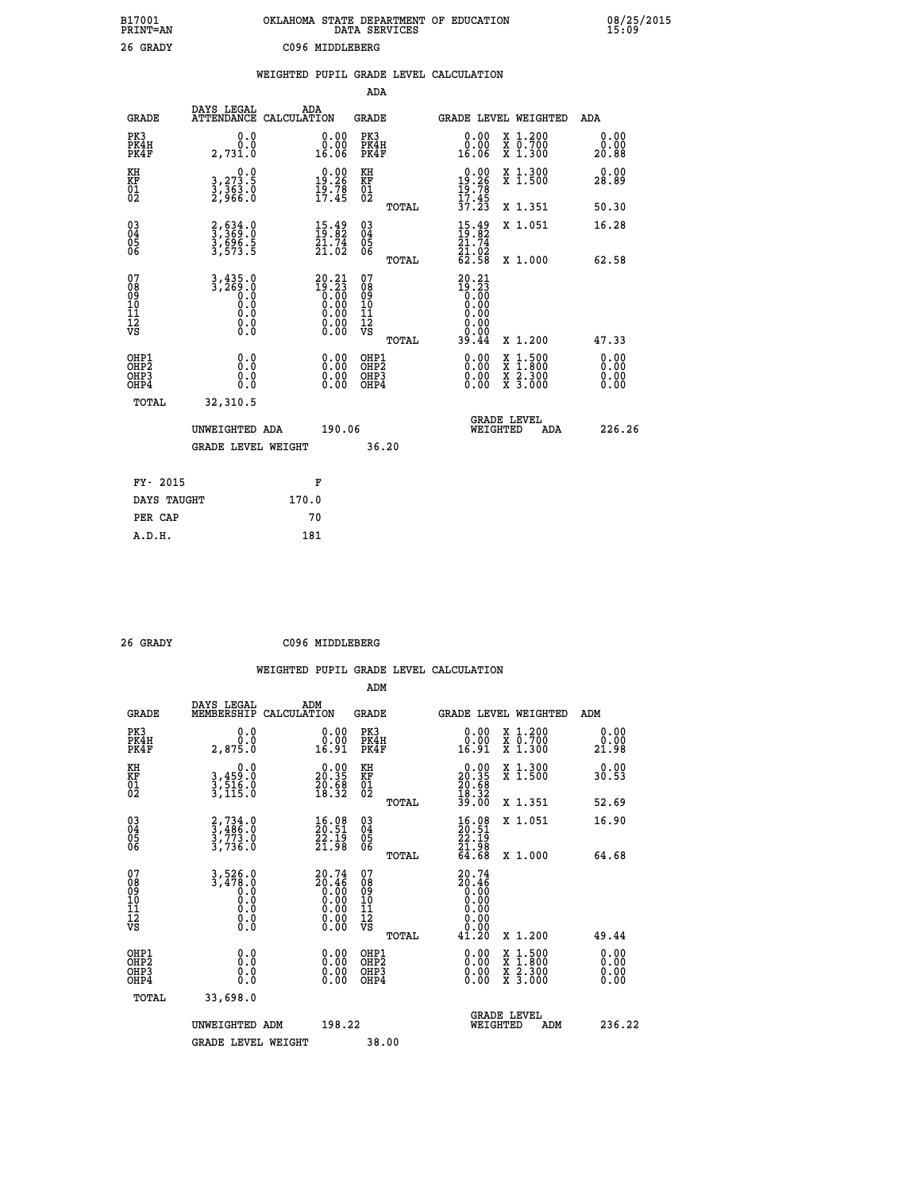| B17001<br>PRINT=AN                     |                                               | OKLAHOMA STATE DEPARTMENT OF EDUCATION                                                |                                                    | DATA SERVICES |                                                                         |                                                                                          | 08/25/2015            |
|----------------------------------------|-----------------------------------------------|---------------------------------------------------------------------------------------|----------------------------------------------------|---------------|-------------------------------------------------------------------------|------------------------------------------------------------------------------------------|-----------------------|
| 26 GRADY                               |                                               | C096 MIDDLEBERG                                                                       |                                                    |               |                                                                         |                                                                                          |                       |
|                                        |                                               | WEIGHTED PUPIL GRADE LEVEL CALCULATION                                                |                                                    |               |                                                                         |                                                                                          |                       |
|                                        |                                               |                                                                                       | ADA                                                |               |                                                                         |                                                                                          |                       |
| GRADE                                  | DAYS LEGAL                                    | ADA<br>ATTENDANCE CALCULATION                                                         | <b>GRADE</b>                                       |               |                                                                         | GRADE LEVEL WEIGHTED                                                                     | ADA                   |
| PK3<br>PK4H<br>PK4F                    | 0.0<br>0.0<br>2,731.0                         | 0.00<br>0.00<br>16.06                                                                 | PK3<br>PK4H<br>PK4F                                |               | 0.00<br>0.00<br>16.06                                                   | X 1.200<br>X 0.700<br>X 1.300                                                            | 0.00<br>0.00<br>20.88 |
| KH<br>KF<br>01<br>02                   | 0.0<br>3, 273.5<br>3, 363.0<br>2, 966.0       | $19.26$<br>$19.26$<br>$19.78$<br>$17.45$                                              | KH<br>KF<br>01<br>02                               |               | $19.26$<br>$19.26$<br>$19.78$<br>$17.45$                                | X 1.300<br>X 1.500                                                                       | 0.00<br>28.89         |
|                                        |                                               |                                                                                       |                                                    | TOTAL         | 37.23                                                                   | X 1.351                                                                                  | 50.30                 |
| 03<br>04<br>05<br>06                   | 2,634.0<br>3,369.0<br>3,696.5<br>3,573.5      | $\begin{smallmatrix} 15\cdot 49\\19\cdot 82\\21\cdot 74\\21\cdot 02\end{smallmatrix}$ | $\begin{matrix} 03 \\ 04 \\ 05 \\ 06 \end{matrix}$ |               | $15.49$<br>$19.82$<br>$21.74$<br>$21.92$                                | X 1.051                                                                                  | 16.28                 |
|                                        |                                               |                                                                                       |                                                    | TOTAL         | 62.58                                                                   | X 1.000                                                                                  | 62.58                 |
| 07<br>08<br>09<br>11<br>11<br>12<br>VS | $3, 435.0$<br>$3, 269.0$<br>ŏ.ŏ<br>0.0<br>0.0 |                                                                                       | 07<br>08<br>09<br>101<br>11<br>12<br>VS            | TOTAL         | $20.21$<br>$19.23$<br>$0.00$<br>$0.00$<br>0.00<br>0.00<br>0.00<br>39.44 | X 1.200                                                                                  | 47.33                 |
| OHP1                                   |                                               |                                                                                       | OHP1                                               |               |                                                                         |                                                                                          | 0.00                  |
| OH <sub>P</sub> 2<br>OHP3<br>OHP4      | 0.0<br>0.0<br>0.0                             |                                                                                       | OHP <sub>2</sub><br>OHP3<br>OHP4                   |               | 0.00<br>0.00<br>0.00                                                    | $\begin{smallmatrix} x & 1.500 \\ x & 1.800 \\ x & 2.300 \\ x & 3.000 \end{smallmatrix}$ | 0.00<br>0.00<br>0.00  |
| TOTAL                                  | 32,310.5                                      |                                                                                       |                                                    |               |                                                                         |                                                                                          |                       |
|                                        | UNWEIGHTED ADA                                | 190.06                                                                                |                                                    |               | WEIGHTED                                                                | <b>GRADE LEVEL</b><br>ADA                                                                | 226.26                |
|                                        | <b>GRADE LEVEL WEIGHT</b>                     |                                                                                       |                                                    | 36.20         |                                                                         |                                                                                          |                       |
| FY- 2015                               |                                               | F                                                                                     |                                                    |               |                                                                         |                                                                                          |                       |
| DAYS TAUGHT                            |                                               | 170.0                                                                                 |                                                    |               |                                                                         |                                                                                          |                       |
| PER CAP                                |                                               | 70                                                                                    |                                                    |               |                                                                         |                                                                                          |                       |

| 26 GRADY | C096 MIDDLEBERG |
|----------|-----------------|

|                                                      |                                                                               | WEIGHTED           |                                                                                                          |                                        |       | PUPIL GRADE LEVEL CALCULATION                                                 |                          |                                          |                                                             |
|------------------------------------------------------|-------------------------------------------------------------------------------|--------------------|----------------------------------------------------------------------------------------------------------|----------------------------------------|-------|-------------------------------------------------------------------------------|--------------------------|------------------------------------------|-------------------------------------------------------------|
|                                                      |                                                                               |                    |                                                                                                          | ADM                                    |       |                                                                               |                          |                                          |                                                             |
| <b>GRADE</b>                                         | DAYS LEGAL<br>MEMBERSHIP                                                      | ADM<br>CALCULATION |                                                                                                          | GRADE                                  |       |                                                                               |                          | <b>GRADE LEVEL WEIGHTED</b>              | ADM                                                         |
| PK3<br>PK4H<br>PK4F                                  | 0.0<br>ة.ة<br>2,875.0                                                         |                    | $\begin{smallmatrix} 0.00\\ 0.00\\ 16.91 \end{smallmatrix}$                                              | PK3<br>PK4H<br>PK4F                    |       | $\begin{smallmatrix} 0.00\\ 0.00\\ 16.91 \end{smallmatrix}$                   |                          | X 1.200<br>X 0.700<br>X 1.300            | $\begin{smallmatrix} 0.00\\ 0.00\\ 21.98 \end{smallmatrix}$ |
| KH<br>KF<br>01<br>02                                 | 0.0<br>3,459:0<br>3,516:0<br>3,115:0                                          |                    | $\begin{smallmatrix} 0.00\\ 20.35\\ 20.58\\ 18.32 \end{smallmatrix}$                                     | KH<br>KF<br>$\overline{01}$            |       | $\begin{smallmatrix} 0.00\\ 20.35\\ 20.68\\ 18.32\\ 39.00 \end{smallmatrix}$  |                          | X 1.300<br>X 1.500                       | $0.00$<br>30.53                                             |
|                                                      |                                                                               |                    |                                                                                                          |                                        | TOTAL |                                                                               |                          | X 1.351                                  | 52.69                                                       |
| $\begin{matrix} 03 \\ 04 \\ 05 \\ 06 \end{matrix}$   | $\begin{smallmatrix} 2,734.0\\ 3,486.0\\ 3,773.0\\ 3,736.0 \end{smallmatrix}$ |                    | $\begin{smallmatrix} 16.08\\ 20.51\\ 22.19\\ 21.98 \end{smallmatrix}$                                    | $\substack{03 \\ 04}$<br>05<br>ŌĞ      |       | $\begin{smallmatrix} 16.08\\ 20.51\\ 22.19\\ 21.98\\ 64.68 \end{smallmatrix}$ |                          | X 1.051                                  | 16.90                                                       |
|                                                      |                                                                               |                    |                                                                                                          |                                        | TOTAL |                                                                               |                          | X 1.000                                  | 64.68                                                       |
| 07<br>08<br>09<br>09<br>10<br>11<br>12<br>VS         | $3,526.0$<br>$3,478.0$<br>$0.0$<br>$0.0$<br>$0.0$<br>$0.0$<br>$0.0$           |                    | ${\begin{smallmatrix} 20.74 \ 20.46 \ 0.00 \ 0.00 \ 0.00 \ 0.00 \ 0.00 \ 0.00 \ 0.00 \end{smallmatrix}}$ | 07<br>08<br>09<br>11<br>11<br>12<br>VS | TOTAL | $20.74$<br>$20.46$<br>$0.00$<br>$0.00$<br>$0.00$<br>0.00<br>41.20             | 0.00                     | X 1.200                                  | 49.44                                                       |
| OHP1<br>OHP <sub>2</sub><br>OH <sub>P3</sub><br>OHP4 | 0.000000<br>0.0                                                               |                    | $0.00$<br>$0.00$<br>0.00                                                                                 | OHP1<br>OHP2<br>OHP3<br>OHP4           |       |                                                                               | $0.00$<br>$0.00$<br>0.00 | X 1:500<br>X 1:800<br>X 2:300<br>X 3:000 | $0.00$<br>$0.00$<br>0.00                                    |

| TOTAL | 33,698.0           |        |                                |        |
|-------|--------------------|--------|--------------------------------|--------|
|       | UNWEIGHTED ADM     | 198.22 | GRADE LEVEL<br>ADM<br>WEIGHTED | 236.22 |
|       | GRADE LEVEL WEIGHT | 38.00  |                                |        |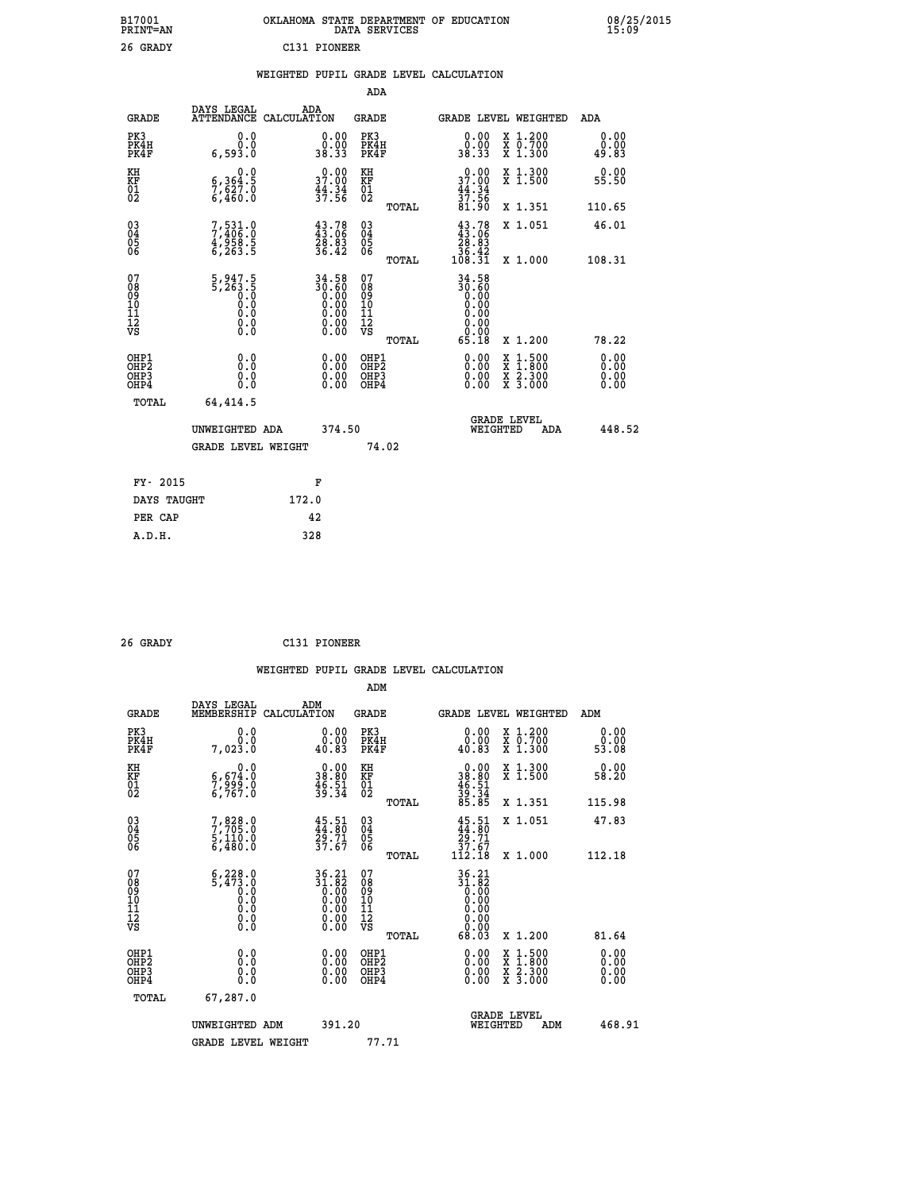| B17001<br><b>PRINT=AN</b> | OKLAHOMA STATE DEPARTMENT OF EDUCATION<br>DATA SERVICES | 08/25/2015<br>15:09 |
|---------------------------|---------------------------------------------------------|---------------------|
| 26 GRADY                  | C131 PIONEER                                            |                     |

|  |  | WEIGHTED PUPIL GRADE LEVEL CALCULATION |
|--|--|----------------------------------------|
|  |  |                                        |

|                                                                    |                                                                       |                                                                    | ADA                                                 |       |                                                                                                             |                                                                                                                                           |                               |
|--------------------------------------------------------------------|-----------------------------------------------------------------------|--------------------------------------------------------------------|-----------------------------------------------------|-------|-------------------------------------------------------------------------------------------------------------|-------------------------------------------------------------------------------------------------------------------------------------------|-------------------------------|
| <b>GRADE</b>                                                       | DAYS LEGAL<br>ATTENDANCE CALCULATION                                  | ADA                                                                | <b>GRADE</b>                                        |       |                                                                                                             | GRADE LEVEL WEIGHTED                                                                                                                      | ADA                           |
| PK3<br>PK4H<br>PK4F                                                | 0.0<br>0.0<br>6,593.0                                                 | $\begin{smallmatrix} 0.00\\ 0.00\\ 38.33 \end{smallmatrix}$        | PK3<br>PK4H<br>PK4F                                 |       | $\begin{smallmatrix} 0.00\\ 0.00\\ 38.33 \end{smallmatrix}$                                                 | X 1.200<br>X 0.700<br>X 1.300                                                                                                             | 0.00<br>0.00<br>49.83         |
| KH<br>KF<br>01<br>02                                               | 0.0<br>$\frac{6}{7}, \frac{364}{627}$ .0<br>6,460.0                   | 37.00<br>$\frac{44.34}{37.56}$                                     | KH<br>KF<br>01<br>02                                |       | 37.00<br>$\frac{44.34}{37.56}$                                                                              | X 1.300<br>X 1.500                                                                                                                        | 0.00<br>55.50                 |
|                                                                    |                                                                       |                                                                    |                                                     | TOTAL | 81.90                                                                                                       | X 1.351                                                                                                                                   | 110.65                        |
| $\begin{smallmatrix} 03 \\[-4pt] 04 \end{smallmatrix}$<br>Ŏ5<br>06 | 7,531.0<br>7,406.0<br>4,958.5<br>6,263.5                              | $\begin{smallmatrix} 43.78\ 43.06\ 28.83\ 36.42 \end{smallmatrix}$ | $\begin{array}{c} 03 \\ 04 \\ 05 \\ 06 \end{array}$ |       | $\begin{smallmatrix} 43.78\\ 43.06\\ 28.83\\ 36.42\\ 108.31\\ \end{smallmatrix}$                            | X 1.051                                                                                                                                   | 46.01                         |
|                                                                    |                                                                       |                                                                    |                                                     | TOTAL |                                                                                                             | X 1.000                                                                                                                                   | 108.31                        |
| 07<br>08<br>09<br>01<br>11<br>11<br>12<br>VS                       | $5, 947.5$<br>$5, 263.5$<br>$0.0$<br>$0.0$<br>$0.0$<br>$0.0$<br>$0.0$ | $34.58\n30.60\n0.00\n0.00\n0.00\n0.00\n0.00$                       | 07<br>08<br>09<br>11<br>11<br>12<br>VS              |       | $\begin{array}{@{}ll} 34.58 \\ 30.60 \\ 0.00 \\ 0.00 \\ 0.00 \\ 0.00 \\ 0.00 \\ 0.00 \\ \hline \end{array}$ |                                                                                                                                           |                               |
|                                                                    |                                                                       |                                                                    |                                                     | TOTAL | 65.18                                                                                                       | X 1.200                                                                                                                                   | 78.22                         |
| OHP1<br>OHP <sub>2</sub><br>OH <sub>P3</sub><br>OHP4               | 0.0<br>0.000                                                          | 0.00<br>$\begin{smallmatrix} 0.00 \ 0.00 \end{smallmatrix}$        | OHP1<br>OHP <sub>2</sub><br>OHP <sub>3</sub>        |       | 0.00<br>0.00                                                                                                | $\begin{smallmatrix} \mathtt{X} & 1\cdot500\\ \mathtt{X} & 1\cdot800\\ \mathtt{X} & 2\cdot300\\ \mathtt{X} & 3\cdot000 \end{smallmatrix}$ | 0.00<br>Ō. ŌŌ<br>0.00<br>0.00 |
| TOTAL                                                              | 64,414.5                                                              |                                                                    |                                                     |       |                                                                                                             |                                                                                                                                           |                               |
|                                                                    | UNWEIGHTED ADA                                                        | 374.50                                                             |                                                     |       |                                                                                                             | <b>GRADE LEVEL</b><br>WEIGHTED<br>ADA                                                                                                     | 448.52                        |
|                                                                    | <b>GRADE LEVEL WEIGHT</b>                                             |                                                                    |                                                     | 74.02 |                                                                                                             |                                                                                                                                           |                               |
| FY- 2015                                                           |                                                                       | F                                                                  |                                                     |       |                                                                                                             |                                                                                                                                           |                               |
| DAYS TAUGHT                                                        |                                                                       | 172.0                                                              |                                                     |       |                                                                                                             |                                                                                                                                           |                               |
| PER CAP                                                            |                                                                       | 42                                                                 |                                                     |       |                                                                                                             |                                                                                                                                           |                               |

| 26 GRADY | C131 PIONEER |
|----------|--------------|
|          |              |

 **WEIGHTED PUPIL GRADE LEVEL CALCULATION ADM DAYS LEGAL ADM GRADE MEMBERSHIP CALCULATION GRADE GRADE LEVEL WEIGHTED ADM PK3 0.0 0.00 PK3 0.00 X 1.200 0.00 PK4H 0.0 0.00 PK4H 0.00 X 0.700 0.00 PK4F 7,023.0 40.83 PK4F 40.83 X 1.300 53.08 KH 0.0 0.00 KH 0.00 X 1.300 0.00 KF 6,674.0 38.80 KF 38.80 X 1.500 58.20 01 7,999.0 46.51 01 46.51**  $02 \t\t 6,767.0 \t\t 39.34 \t 02 \t 39.34$  **TOTAL 85.85 X 1.351 115.98 03 7,828.0 45.51 03 45.51 X 1.051 47.83 04 7,705.0 44.80 04 44.80 05 5,110.0 29.71 05 29.71 06 6,480.0 37.67 06 37.67 TOTAL 112.18 X 1.000 112.18** 07 6,228.0 36.21 07 36.21<br>
08 5,473.0 31.82 08 31.82<br>
09 0.00 0.00 10 0.00<br>
11 0.0 0.00 11 0.00<br>
12 0.0 0.00 12<br>
VS 0.0 0.00 VS 0.00  **TOTAL 68.03 X 1.200 81.64 OHP1 0.0 0.00 OHP1 0.00 X 1.500 0.00 OHP2 0.0 0.00 OHP2 0.00 X 1.800 0.00 OHP3 0.0 0.00 OHP3 0.00 X 2.300 0.00 OHP4 0.0 0.00 OHP4 0.00 X 3.000 0.00 TOTAL 67,287.0 GRADE LEVEL UNWEIGHTED ADM 391.20 WEIGHTED ADM 468.91** GRADE LEVEL WEIGHT 77.71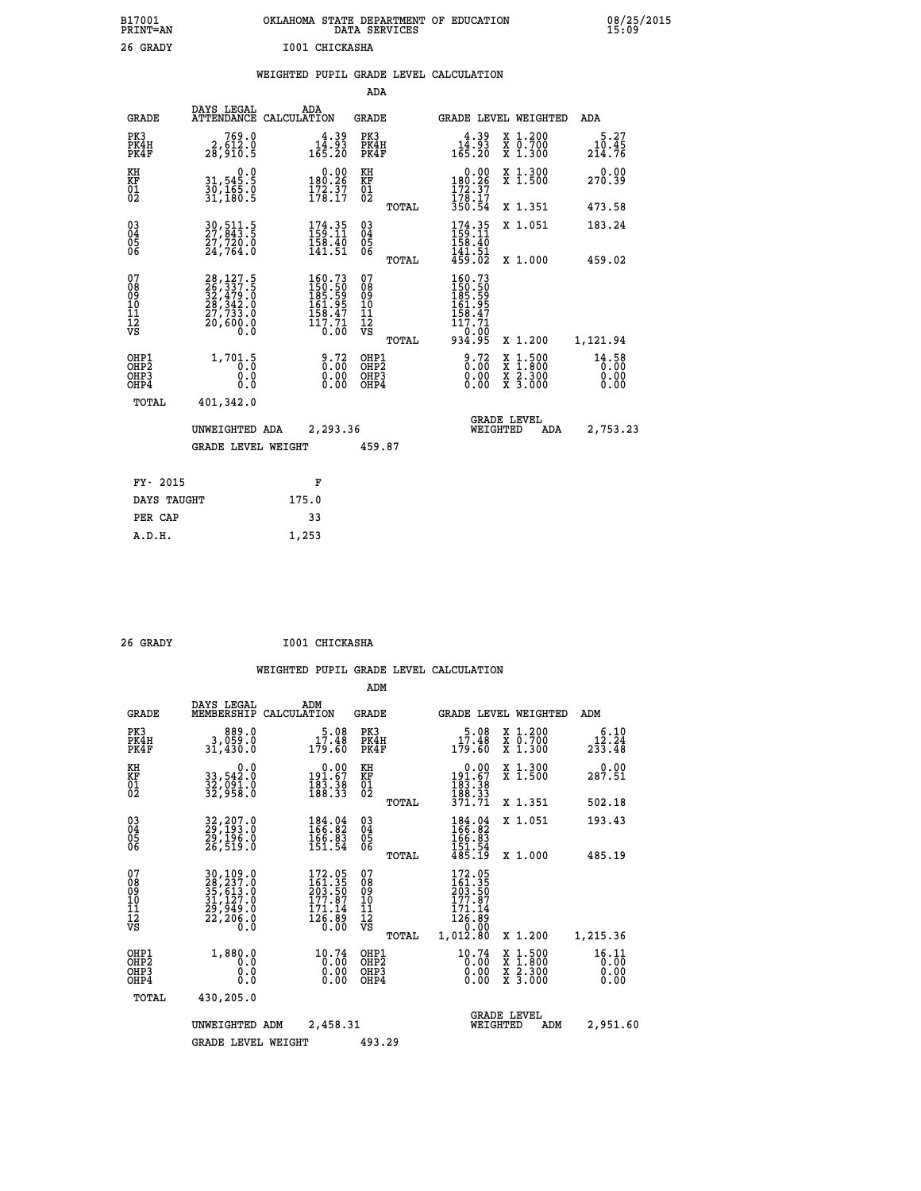| B17001          | OKLAHOMA STATE DEPARTMENT OF EDUCATION |
|-----------------|----------------------------------------|
| <b>PRINT=AN</b> | DATA SERVICES                          |
| 26 GRADY        | I001 CHICKASHA                         |

|  |  | WEIGHTED PUPIL GRADE LEVEL CALCULATION |
|--|--|----------------------------------------|
|  |  |                                        |

|                              |                                                                                                         | ADA                                                                                                                                                                                                                         |                                                                                                                                                                                                                                                                                                                                                                                                                     |                                                                                                        |
|------------------------------|---------------------------------------------------------------------------------------------------------|-----------------------------------------------------------------------------------------------------------------------------------------------------------------------------------------------------------------------------|---------------------------------------------------------------------------------------------------------------------------------------------------------------------------------------------------------------------------------------------------------------------------------------------------------------------------------------------------------------------------------------------------------------------|--------------------------------------------------------------------------------------------------------|
| DAYS LEGAL                   | ADA                                                                                                     | <b>GRADE</b>                                                                                                                                                                                                                | GRADE LEVEL WEIGHTED                                                                                                                                                                                                                                                                                                                                                                                                | ADA                                                                                                    |
| 2,612.0<br>28,910.5          |                                                                                                         | PK3<br>PK4H<br>PK4F                                                                                                                                                                                                         | $14.39$<br>$14.93$<br>$165.20$<br>X 1.200<br>X 0.700<br>X 1.300                                                                                                                                                                                                                                                                                                                                                     | 5.27<br>10.45<br>214.76                                                                                |
| 0.0                          |                                                                                                         | KH<br>KF                                                                                                                                                                                                                    | 0.00<br>X 1.300<br>X 1.500                                                                                                                                                                                                                                                                                                                                                                                          | 0.00<br>270.39                                                                                         |
|                              |                                                                                                         | TOTAL                                                                                                                                                                                                                       | X 1.351                                                                                                                                                                                                                                                                                                                                                                                                             | 473.58                                                                                                 |
| 30, 511.5<br>27, 843.5       |                                                                                                         | $\begin{smallmatrix} 03 \\[-4pt] 04 \end{smallmatrix}$<br>05                                                                                                                                                                | 174.35<br>X 1.051<br>158.40                                                                                                                                                                                                                                                                                                                                                                                         | 183.24                                                                                                 |
|                              |                                                                                                         |                                                                                                                                                                                                                             |                                                                                                                                                                                                                                                                                                                                                                                                                     | 459.02                                                                                                 |
|                              |                                                                                                         |                                                                                                                                                                                                                             | 150.50<br>185.59<br>161.95<br>158.47<br>117.71                                                                                                                                                                                                                                                                                                                                                                      |                                                                                                        |
|                              |                                                                                                         | TOTAL                                                                                                                                                                                                                       | X 1.200                                                                                                                                                                                                                                                                                                                                                                                                             | 1,121.94                                                                                               |
| 1,701.5<br>0.0<br>0.0<br>0.0 |                                                                                                         | OHP1<br>OH <sub>P</sub> 2<br>OHP3<br>OHP4                                                                                                                                                                                   | $\frac{9.72}{0.00}$<br>$1:500$<br>$1:800$<br>X<br>X<br>0.00<br>$\frac{\ddot{x}}{x}$ $\frac{2.300}{3.000}$<br>0.00                                                                                                                                                                                                                                                                                                   | 14.58<br>0.00<br>0.00<br>0.00                                                                          |
| 401,342.0                    |                                                                                                         |                                                                                                                                                                                                                             |                                                                                                                                                                                                                                                                                                                                                                                                                     |                                                                                                        |
|                              |                                                                                                         |                                                                                                                                                                                                                             | <b>GRADE LEVEL</b><br>WEIGHTED<br>ADA                                                                                                                                                                                                                                                                                                                                                                               | 2,753.23                                                                                               |
|                              |                                                                                                         | 459.87                                                                                                                                                                                                                      |                                                                                                                                                                                                                                                                                                                                                                                                                     |                                                                                                        |
|                              | F                                                                                                       |                                                                                                                                                                                                                             |                                                                                                                                                                                                                                                                                                                                                                                                                     |                                                                                                        |
|                              | 175.0                                                                                                   |                                                                                                                                                                                                                             |                                                                                                                                                                                                                                                                                                                                                                                                                     |                                                                                                        |
|                              | 33                                                                                                      |                                                                                                                                                                                                                             |                                                                                                                                                                                                                                                                                                                                                                                                                     |                                                                                                        |
|                              | 31,545.5<br>30,165.0<br>31,180.5<br>27,720.0<br>24,764.0<br>TOTAL<br>FY- 2015<br>DAYS TAUGHT<br>PER CAP | ATTENDANCE CALCULATION<br>$\begin{smallmatrix} 28\,,\,127\,.5\\ 26\,,\,337\,.5\\ 32\,,\,479\,.0\\ 28\,,\,342\,.0\\ 27\,,\,733\,.0\\ 20\,,\,600\,.0\\ 0\,. \end{smallmatrix}$<br>UNWEIGHTED ADA<br><b>GRADE LEVEL WEIGHT</b> | $14.39$<br>$14.93$<br>$165.20$<br>$\begin{smallmatrix} &0.00\\ 180.26\\ 172.37\\ 178.17 \end{smallmatrix}$<br>$\overline{01}$<br>174.35<br>$\frac{158}{141.51}$<br>TOTAL<br>07<br>$\begin{smallmatrix} 160.73\\150.50\\185.59\\161.95\\158.47\\158.47\\117.71\\0.00\end{smallmatrix}$<br>08<br>09<br>11<br>11<br>12<br>VS<br>$\frac{9.72}{0.00}$<br>$\begin{smallmatrix} 0.00 \ 0.00 \end{smallmatrix}$<br>2,293.36 | 180:26<br>172:37<br>178:17<br>350:54<br>$\frac{141.51}{459.02}$<br>X 1.000<br>160.73<br>0:00<br>934.95 |

| 26 GRADY | I001 CHICKASHA |
|----------|----------------|

 **A.D.H. 1,253**

|                                                       |                                                                             |                    |                                                                                             | ADM                                                |       |                                                                              |                                |                                                                  |                               |
|-------------------------------------------------------|-----------------------------------------------------------------------------|--------------------|---------------------------------------------------------------------------------------------|----------------------------------------------------|-------|------------------------------------------------------------------------------|--------------------------------|------------------------------------------------------------------|-------------------------------|
| <b>GRADE</b>                                          | DAYS LEGAL<br>MEMBERSHIP                                                    | ADM<br>CALCULATION |                                                                                             | <b>GRADE</b>                                       |       |                                                                              |                                | GRADE LEVEL WEIGHTED                                             | ADM                           |
| PK3<br>PK4H<br>PK4F                                   | 889.0<br>3,059.0<br>31,430.0                                                |                    | 5.08<br>17.48<br>179.60                                                                     | PK3<br>PK4H<br>PK4F                                |       | 17.48<br>179.60                                                              |                                | $\begin{array}{c} x & 1.200 \\ x & 0.700 \end{array}$<br>X 1.300 | 6.10<br>12.24<br>233.48       |
| KH<br>KF<br>01<br>02                                  | 0.0<br>33,542.0<br>32,091.0<br>32,958.0                                     |                    | $\begin{smallmatrix} &0.00\\191.67\\183.38\\188.33\end{smallmatrix}$                        | KH<br>KF<br>01<br>02                               |       | $\begin{smallmatrix} &0.00\\191.67\\183.38\\188.33\\371.71\end{smallmatrix}$ |                                | X 1.300<br>X 1.500                                               | 0.00<br>287.51                |
|                                                       |                                                                             |                    |                                                                                             |                                                    | TOTAL |                                                                              |                                | X 1.351                                                          | 502.18                        |
| 03<br>04<br>05<br>06                                  | 32, 207.0<br>29, 193.0<br>29, 196.0<br>26,519.0                             |                    | 184.04<br>166.82<br>166.83<br>151.54                                                        | $\begin{matrix} 03 \\ 04 \\ 05 \\ 06 \end{matrix}$ |       | 184.04<br>166.82<br>166.83                                                   |                                | X 1.051                                                          | 193.43                        |
|                                                       |                                                                             |                    |                                                                                             |                                                    | TOTAL | 151.54<br>485.19                                                             |                                | X 1.000                                                          | 485.19                        |
| 07<br>08<br>09<br>101<br>112<br>VS                    | 30,109.0<br>28,237.0<br>35,613.0<br>31,127.0<br>29,949.0<br>22,206.0<br>0.0 |                    | $\begin{smallmatrix} 172.05\\161.35\\203.50\\177.87\\171.14\\126.89\\0.00\end{smallmatrix}$ | 07<br>08<br>09<br>11<br>11<br>12<br>VS             | TOTAL | 172.05<br>161.35<br>203.50<br>177.87<br>$\frac{171.14}{126.89}$<br>1,012.80  |                                | X 1.200                                                          | 1,215.36                      |
| OHP1<br>OH <sub>P</sub> 2<br>OH <sub>P3</sub><br>OHP4 | 1,880.0<br>0.0<br>0.000                                                     |                    | 10.74<br>0.00<br>0.00                                                                       | OHP1<br>OHP2<br>OHP3<br>OHP4                       |       | 10.74<br>0:00<br>0.00<br>0.00                                                |                                | X 1:500<br>X 1:800<br>X 2:300<br>X 3:000                         | 16.11<br>0.00<br>0.00<br>0.00 |
| TOTAL                                                 | 430,205.0                                                                   |                    |                                                                                             |                                                    |       |                                                                              |                                |                                                                  |                               |
|                                                       | UNWEIGHTED                                                                  | ADM                | 2,458.31                                                                                    |                                                    |       |                                                                              | <b>GRADE LEVEL</b><br>WEIGHTED | ADM                                                              | 2,951.60                      |
|                                                       | <b>GRADE LEVEL WEIGHT</b>                                                   |                    |                                                                                             | 493.29                                             |       |                                                                              |                                |                                                                  |                               |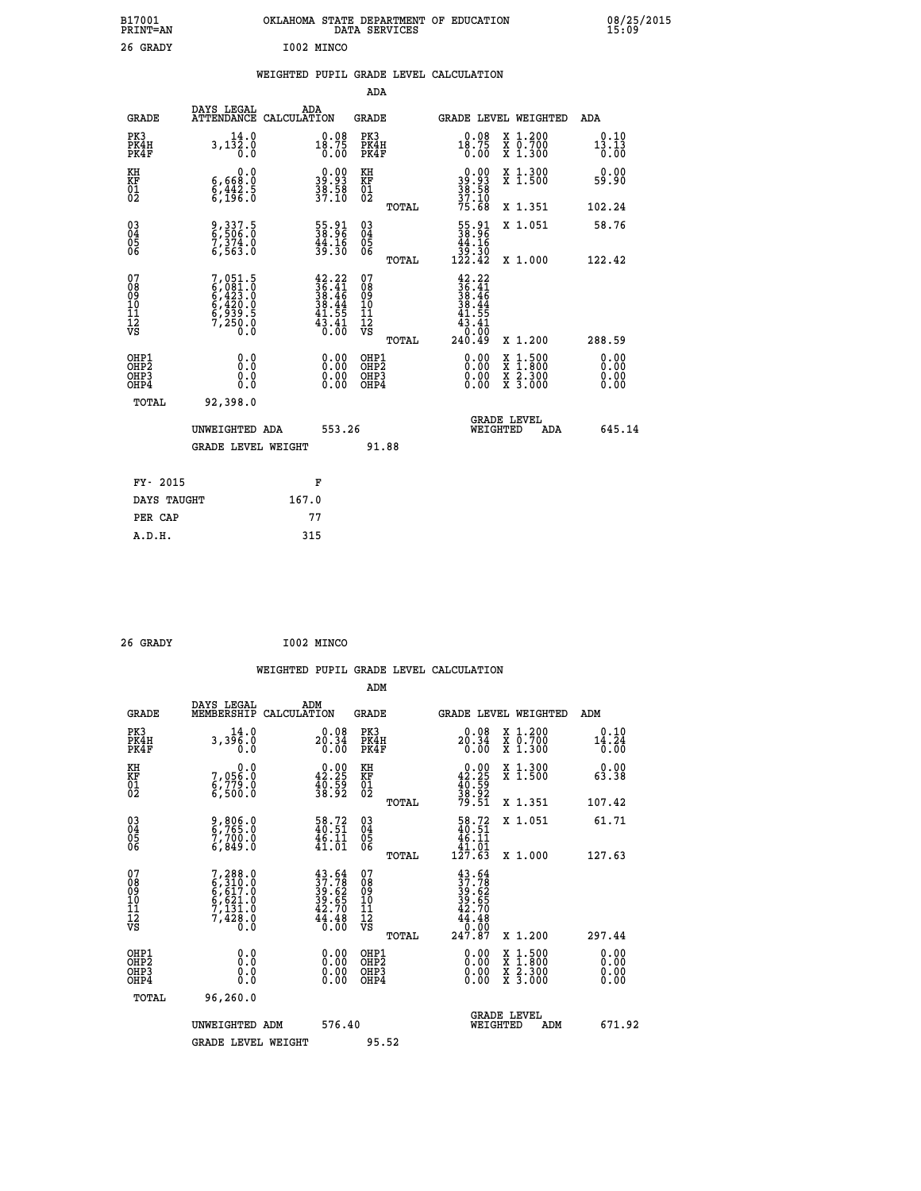| B17001<br><b>PRINT=AN</b> | OKLAHOMA<br>STATE DEPARTMENT OF EDUCATION<br><b>SERVICES</b><br>DATA | 08/25/2015<br>15:09 |
|---------------------------|----------------------------------------------------------------------|---------------------|
| 26.<br>GRADY              | T002 MTNCO                                                           |                     |

**26 GRADY** 

## **WEIGHTED PUPIL GRADE LEVEL CALCULATION**

|                                                                    |                                                                       |                                                                                                       | ADA                                                 |       |                                                                              |                                          |                                                                    |
|--------------------------------------------------------------------|-----------------------------------------------------------------------|-------------------------------------------------------------------------------------------------------|-----------------------------------------------------|-------|------------------------------------------------------------------------------|------------------------------------------|--------------------------------------------------------------------|
| <b>GRADE</b>                                                       | DAYS LEGAL                                                            | ADA<br>ATTENDANCE CALCULATION                                                                         | <b>GRADE</b>                                        |       |                                                                              | GRADE LEVEL WEIGHTED                     | ADA                                                                |
| PK3<br>PK4H<br>PK4F                                                | 14.0<br>$3,1\bar{3}$ $\bar{2}$ : $\bar{0}$<br>$\bar{0}$ : 0           | $0.08$<br>18.75<br>0.00                                                                               | PK3<br>PK4H<br>PK4F                                 |       | $18.75$<br>$0.08$<br>$0.00$                                                  | X 1.200<br>X 0.700<br>X 1.300            | 0.10<br>$1\overline{3}\cdot 1\overline{3}\overline{0}\overline{0}$ |
| KH<br>KF<br>01<br>02                                               | 0.0<br>6,668:0<br>6,442:5<br>6,196:0                                  | 39.93<br>39.93<br>38.58<br>37.10                                                                      | KH<br>KF<br>01<br>02                                |       | $\begin{smallmatrix} 0.00\\ 39.93\\ 38.58\\ 37.10\\ 75.68 \end{smallmatrix}$ | X 1.300<br>X 1.500                       | 0.00<br>59.90                                                      |
|                                                                    |                                                                       |                                                                                                       |                                                     | TOTAL |                                                                              | X 1.351                                  | 102.24                                                             |
| $\begin{smallmatrix} 03 \\[-4pt] 04 \end{smallmatrix}$<br>Ŏ5<br>06 | 9, 337.5<br>6, 506.0<br>7, 374.0<br>6, 563.0                          | 55.91<br>38.96<br>44.16<br>39.30                                                                      | $\begin{array}{c} 03 \\ 04 \\ 05 \\ 06 \end{array}$ |       | $\begin{array}{r} 55.91 \\ 38.96 \\ 44.16 \\ 39.30 \\ 122.42 \end{array}$    | X 1.051                                  | 58.76                                                              |
|                                                                    |                                                                       |                                                                                                       |                                                     | TOTAL |                                                                              | X 1.000                                  | 122.42                                                             |
| 07<br>08<br>09<br>101<br>11<br>12<br>VS                            | 7,051.5<br>6,081.0<br>6,423.0<br>6,420.0<br>6,939.5<br>7,250.0<br>0.0 | $42.22$<br>$36.41$<br>$38.46$<br>$38.44$<br>$41.55$<br>$\frac{4\overline{3}\cdot\overline{45}}{0.00}$ | 07<br>08<br>09<br>11<br>11<br>12<br>VS              |       | $42.22$<br>$36.41$<br>$38.46$<br>$38.44$<br>$41.55$<br>43.41                 |                                          |                                                                    |
|                                                                    |                                                                       |                                                                                                       |                                                     | TOTAL | 240.49                                                                       | X 1.200                                  | 288.59                                                             |
| OHP1<br>OHP <sub>2</sub><br>OH <sub>P3</sub><br>OHP4               | 0.0<br>0.000                                                          | 0.00<br>$\begin{smallmatrix} 0.00 \ 0.00 \end{smallmatrix}$                                           | OHP1<br>OHP2<br>OHP <sub>3</sub>                    |       |                                                                              | X 1:500<br>X 1:800<br>X 2:300<br>X 3:000 | 0.00<br>Ō. ŌŌ<br>0.00<br>0.00                                      |
| TOTAL                                                              | 92,398.0                                                              |                                                                                                       |                                                     |       |                                                                              |                                          |                                                                    |
|                                                                    | UNWEIGHTED ADA                                                        | 553.26                                                                                                |                                                     |       |                                                                              | <b>GRADE LEVEL</b><br>WEIGHTED<br>ADA    | 645.14                                                             |
|                                                                    | <b>GRADE LEVEL WEIGHT</b>                                             |                                                                                                       |                                                     | 91.88 |                                                                              |                                          |                                                                    |
| FY- 2015                                                           |                                                                       | F                                                                                                     |                                                     |       |                                                                              |                                          |                                                                    |
| DAYS TAUGHT                                                        |                                                                       | 167.0                                                                                                 |                                                     |       |                                                                              |                                          |                                                                    |
| PER CAP                                                            |                                                                       | 77                                                                                                    |                                                     |       |                                                                              |                                          |                                                                    |

| 26 GRADY |  | I002 MINCO |
|----------|--|------------|
|----------|--|------------|

 **A.D.H. 315**

 **WEIGHTED PUPIL GRADE LEVEL CALCULATION ADM DAYS LEGAL ADM GRADE MEMBERSHIP CALCULATION GRADE GRADE LEVEL WEIGHTED ADM PK3 14.0 0.08 PK3 0.08 X 1.200 0.10 PK4H 3,396.0 20.34 PK4H 20.34 X 0.700 14.24 PK4F 0.0 0.00 PK4F 0.00 X 1.300 0.00 KH 0.0 0.00 KH 0.00 X 1.300 0.00 KF 7,056.0 42.25 KF 42.25 X 1.500 63.38**  $\begin{array}{cccc} \text{KH} & \text{O.0} & \text{O.00} & \text{KH} \\ \text{KF} & \text{7,056.0} & \text{42.25} & \text{KF} \\ \text{O1} & \text{6,779.0} & \text{38.92} & \text{02} \\ \text{6,500.0} & \text{38.92} & \text{02} \end{array}$  $02$  6,500.0 38.92 02  $_{\text{no}}$  38.9<sub>2</sub>  **TOTAL 79.51 X 1.351 107.42 03 9,806.0 58.72 03 58.72 X 1.051 61.71 04 6,765.0 40.51 04 40.51 05 7,700.0 46.11 05 46.11** 06 6,849.0 41.01 06 <sub>momas</sub> 41.01  **TOTAL 127.63 X 1.000 127.63 07 7,288.0 43.64 07 43.64 08 6,310.0 37.78 08 37.78 09 6,617.0 39.62 09 39.62 10 6,621.0 39.65 10 39.65 11 7,131.0 42.70 11 42.70 12 7,428.0 44.48 12 44.48 VS 0.0 0.00 VS 0.00 TOTAL 247.87 X 1.200 297.44 OHP1 0.0 0.00 OHP1 0.00 X 1.500 0.00 OHP2 0.0 0.00 OHP2 0.00 X 1.800 0.00 OHP3 0.0 0.00 OHP3 0.00 X 2.300 0.00 OHP4 0.0 0.00 OHP4 0.00 X 3.000 0.00 TOTAL 96,260.0 GRADE LEVEL UNWEIGHTED ADM 576.40 WEIGHTED ADM 671.92** GRADE LEVEL WEIGHT 95.52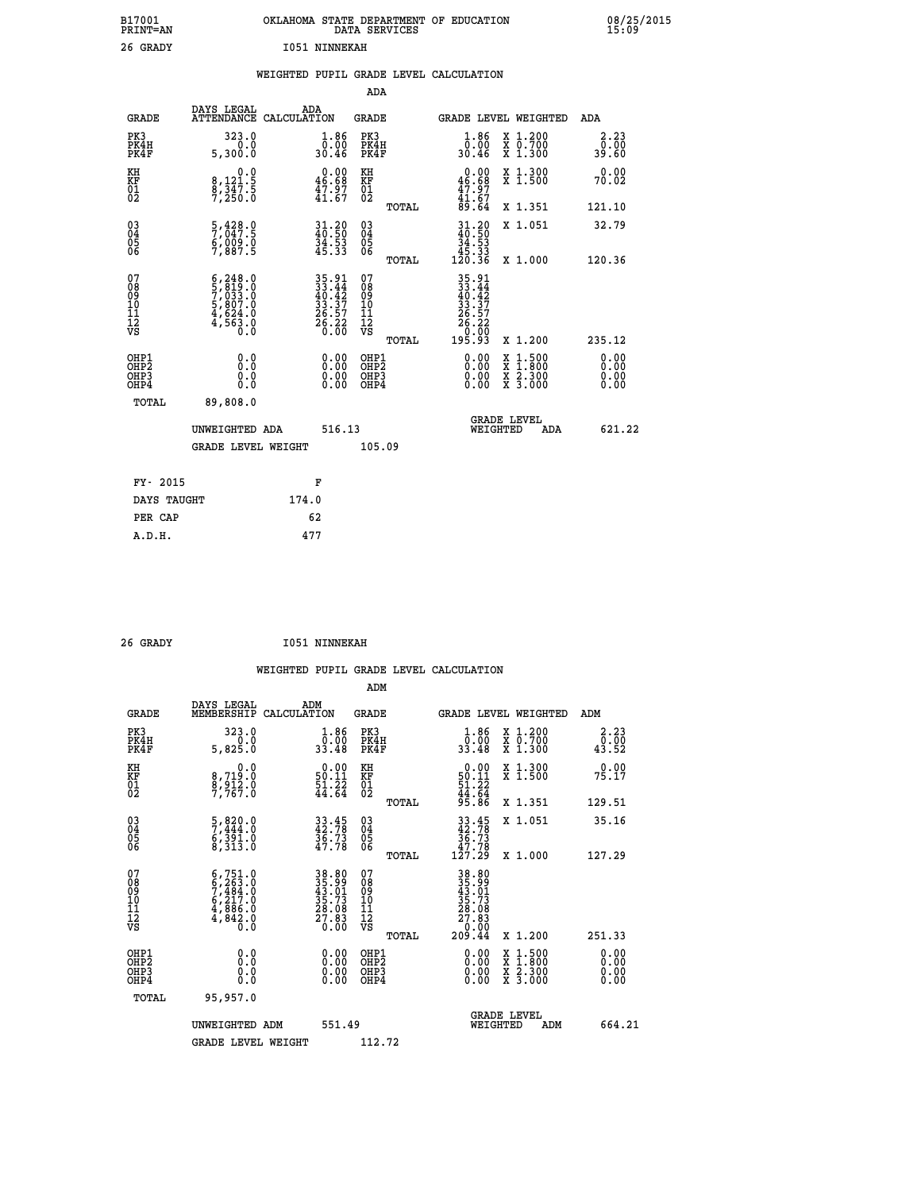| B17001<br>PRINT=AN                     |                                                                                                      | OKLAHOMA STATE DEPARTMENT OF EDUCATION                                                    | DATA SERVICES                                                   |                                                                                              |                                                                                          | 08/25/2015            |  |
|----------------------------------------|------------------------------------------------------------------------------------------------------|-------------------------------------------------------------------------------------------|-----------------------------------------------------------------|----------------------------------------------------------------------------------------------|------------------------------------------------------------------------------------------|-----------------------|--|
| 26 GRADY                               |                                                                                                      | <b>I051 NINNEKAH</b>                                                                      |                                                                 |                                                                                              |                                                                                          |                       |  |
|                                        |                                                                                                      | WEIGHTED PUPIL GRADE LEVEL CALCULATION                                                    |                                                                 |                                                                                              |                                                                                          |                       |  |
|                                        |                                                                                                      |                                                                                           | ADA                                                             |                                                                                              |                                                                                          |                       |  |
| <b>GRADE</b>                           | DAYS LEGAL<br>ATTENDANCE CALCULATION                                                                 | ADA                                                                                       | GRADE                                                           | GRADE LEVEL WEIGHTED                                                                         |                                                                                          | ADA                   |  |
| PK3<br>PK4H<br>PK4F                    | 323.0<br>0.0<br>5,300.0                                                                              | 1.86<br>0.00<br>30.46                                                                     | PK3<br>PK4H<br>PK4F                                             | $1.86$<br>$0.00$<br>30.46                                                                    | X 1.200<br>X 0.700<br>X 1.300                                                            | 2.23<br>0.00<br>39.60 |  |
| KH<br>KF<br>$^{01}_{02}$               | $\begin{smallmatrix}&&&0\cdot 0\\8\,,&121\cdot 5\\8\,,&347\cdot 5\\7\,,&250\cdot 0\end{smallmatrix}$ | $\begin{smallmatrix} 0.00\\ 46.68\\ 47.97\\ 41.67 \end{smallmatrix}$                      | KH<br>KF<br>$^{01}_{02}$                                        | 0.00<br>$\frac{46.68}{47.97}$                                                                | X 1.300<br>X 1.500                                                                       | 0.00<br>70.02         |  |
|                                        |                                                                                                      |                                                                                           | TOTAL                                                           | 89.64                                                                                        | X 1.351                                                                                  | 121.10                |  |
| $03\overline{4}$<br>Ŏ5<br>06           | $\frac{5}{7}$ , $\frac{428}{947}$ . $\frac{6}{9}$<br>6,ŎŌ9.Ŏ<br>7,887.5                              | 31.20<br>40.50<br>$\frac{34.53}{45.33}$                                                   | $\begin{matrix} 03 \\ 04 \\ 05 \\ 06 \end{matrix}$              | 31.20<br>40.50<br>$\frac{34.53}{45.33}$<br>120.36                                            | X 1.051                                                                                  | 32.79                 |  |
| 07<br>08<br>09<br>10<br>11<br>12<br>VS | $6, 248.0$<br>$5, 819.0$<br>$7, 033.0$<br>$5, 807.0$<br>$4, 624.0$<br>4,563.0                        | $\begin{array}{r} 35.91 \\ 33.44 \\ 40.42 \\ 33.37 \\ 26.57 \\ 26.22 \\ 0.00 \end{array}$ | <b>TOTAL</b><br>07<br>08<br>09<br>10<br>11<br>12<br>VS<br>TOTAL | 35.91<br>33.44<br>40.42<br>$\frac{33}{26}$ $\frac{37}{57}$<br>$\frac{26.22}{0.00}$<br>195.93 | X 1.000<br>X 1.200                                                                       | 120.36<br>235.12      |  |
| OHP1<br>OHP2<br>OHP3<br>OHP4<br>TOTAL  | 0.000<br>0.0<br>0.0<br>89,808.0                                                                      | 0.00<br>0.00<br>0.00                                                                      | OHP1<br>OHP <sub>2</sub><br>OHP3<br>OHP4                        | 0.00<br>0.00<br>0.00                                                                         | $\begin{smallmatrix} x & 1.500 \\ x & 1.800 \\ x & 2.300 \\ x & 3.000 \end{smallmatrix}$ | 0.00<br>0.00<br>0.00  |  |
|                                        | UNWEIGHTED ADA<br><b>GRADE LEVEL WEIGHT</b>                                                          | 516.13                                                                                    | 105.09                                                          | WEIGHTED                                                                                     | <b>GRADE LEVEL</b><br>ADA                                                                | 621.22                |  |
|                                        |                                                                                                      |                                                                                           |                                                                 |                                                                                              |                                                                                          |                       |  |
| FY- 2015                               |                                                                                                      | F                                                                                         |                                                                 |                                                                                              |                                                                                          |                       |  |
| DAYS TAUGHT                            |                                                                                                      | 174.0                                                                                     |                                                                 |                                                                                              |                                                                                          |                       |  |
|                                        |                                                                                                      |                                                                                           |                                                                 |                                                                                              |                                                                                          |                       |  |

| DAYS TAUGHT | 174.0 |  |
|-------------|-------|--|
| PER CAP     | 62    |  |
| A.D.H.      | 477   |  |
|             |       |  |

| 26 GRADY |  | <b>I051 NINNEKAH</b> |
|----------|--|----------------------|
|----------|--|----------------------|

 **WEIGHTED PUPIL GRADE LEVEL CALCULATION ADM DAYS LEGAL ADM GRADE MEMBERSHIP CALCULATION GRADE GRADE LEVEL WEIGHTED ADM PK3 323.0 1.86 PK3 1.86 X 1.200 2.23 PK4H 0.0 0.00 PK4H 0.00 X 0.700 0.00 PK4F 5,825.0 33.48 PK4F 33.48 X 1.300 43.52 KH 0.0 0.00 KH 0.00 X 1.300 0.00 KF 8,719.0 50.11 KF 50.11 X 1.500 75.17**  $\begin{array}{cccc} \text{KH} & \text{0.0} & \text{0.00} & \text{KH} \\ \text{KF} & \text{8,719.0} & \text{50.11} & \text{KF} \\ \text{02} & \text{7,767.0} & \text{41.64} & \text{02} \end{array}$  $02$  7,767.0  $44.64$   $02$   $22$   $44.64$  **TOTAL 95.86 X 1.351 129.51 03 5,820.0 33.45 03 33.45 X 1.051 35.16 04 7,444.0 42.78 04 42.78 05 6,391.0 36.73 05 36.73 06 8,313.0 47.78 06 47.78 TOTAL 127.29 X 1.000 127.29**  $\begin{array}{cccc} 07 & 6\,,751.0 & 38.80 & 07 & 38.80\ 08 & 6\,,263.0 & 35.90 & 08 & 35.99\ 09 & 7\,,484.0 & 43.01 & 09 & 43.01\ 10 & 6\,,217.0 & 35.73 & 10 & 35.73\ 11 & 4\,,886.0 & 28.08 & 11 & 28.08\ \hline \textrm{VS} & 4\,3.01 & 0 & 0 & 0 & 0 & 0 & 0 & 0 & 0 & 0 & 0 & 0$  $\begin{array}{cccc} 38.80 & 07 & 38.80 & 07 \\ 35.99 & 08 & 38.80 & 0 \\ 45.73 & 10 & 43.01 & 0 \\ 28.80 & 11 & 28.03 & 0 \\ 29.83 & 12 & 28.03 & 0 \\ 0.00 & 0& 0& 0& 0 \\ 0.00 & 0& 0& 0& 0 \\ 0.00 & 0& 0& 0& 0 \\ 0.00 & 0& 0& 0& 0 \\ 0.00 & 0& 0& 0& 0 \\ 0.00 & 0& 0& 0& 0$  **OHP1 0.0 0.00 OHP1 0.00 X 1.500 0.00 OHP2 0.0 0.00 OHP2 0.00 X 1.800 0.00 OHP3 0.0 0.00 OHP3 0.00 X 2.300 0.00 OHP4 0.0 0.00 OHP4 0.00 X 3.000 0.00 TOTAL 95,957.0 GRADE LEVEL UNWEIGHTED ADM 551.49 WEIGHTED ADM 664.21** GRADE LEVEL WEIGHT 112.72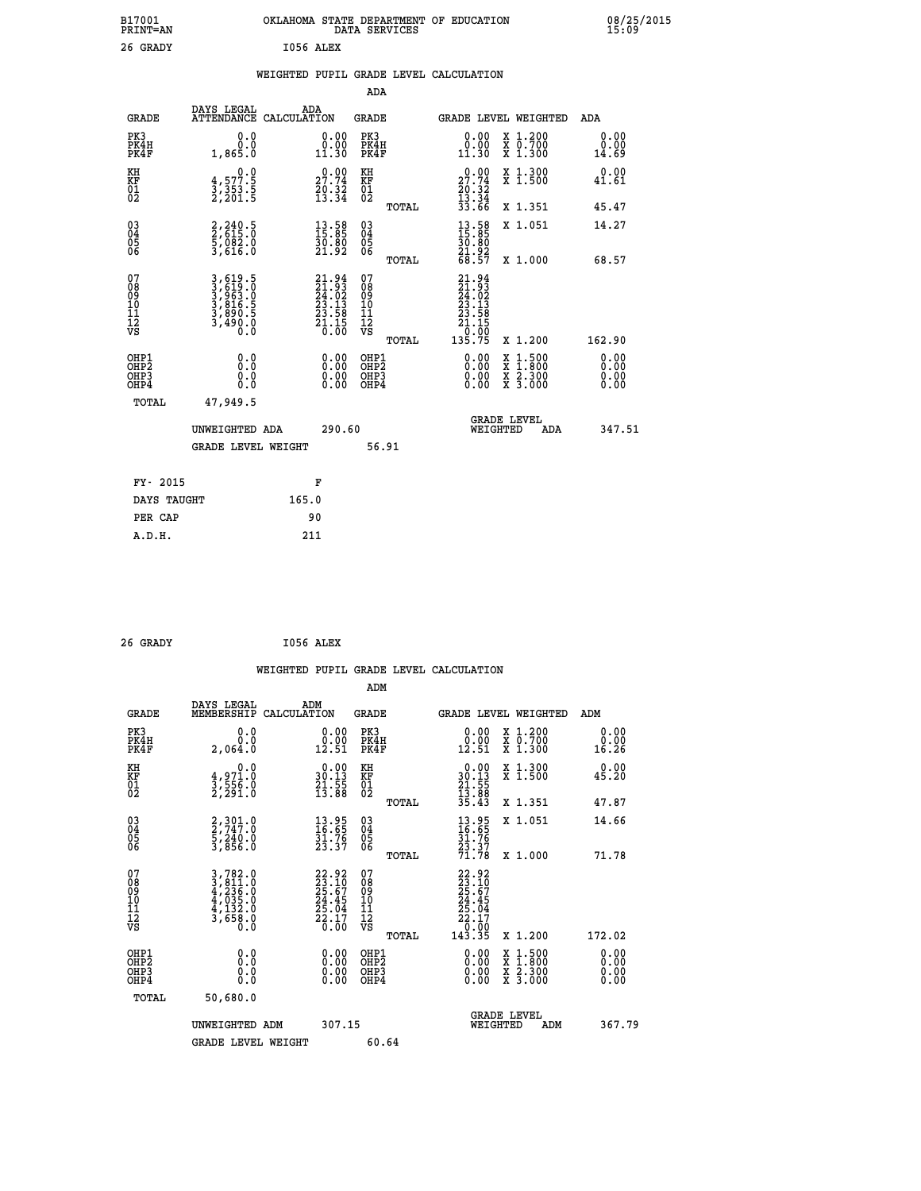| B17001<br><b>PRINT=AN</b> | OKLAHOMA STATE DEPARTMENT OF EDUCATION<br>DATA SERVICES | 08/25/2015<br>15:09 |
|---------------------------|---------------------------------------------------------|---------------------|
| 26 GRADY                  | I056 ALEX                                               |                     |

## **WEIGHTED PUPIL GRADE LEVEL CALCULATION**

|                                                       |                                                                         |                                                                                                             | ADA                                             |                                                                                                    |                                          |                       |
|-------------------------------------------------------|-------------------------------------------------------------------------|-------------------------------------------------------------------------------------------------------------|-------------------------------------------------|----------------------------------------------------------------------------------------------------|------------------------------------------|-----------------------|
| <b>GRADE</b>                                          | DAYS LEGAL                                                              | ADA<br>ATTENDANCE CALCULATION                                                                               | <b>GRADE</b>                                    |                                                                                                    | GRADE LEVEL WEIGHTED                     | ADA                   |
| PK3<br>PK4H<br>PK4F                                   | 0.0<br>0.865.0                                                          | $\begin{smallmatrix} 0.00\\ 0.00\\ 11.30 \end{smallmatrix}$                                                 | PK3<br>PK4H<br>PK4F                             | 0.00<br>$\begin{smallmatrix} 0.00 \ 11.30 \end{smallmatrix}$                                       | X 1.200<br>X 0.700<br>X 1.300            | 0.00<br>0.00<br>14.69 |
| KH<br>KF<br>01<br>02                                  | $\begin{smallmatrix}&&&0.0\\4.577.5\\3.353.5\\2.201.5\end{smallmatrix}$ | $27.74$<br>$20.32$<br>$13.34$                                                                               | KH<br>KF<br>01<br>02                            | $\begin{smallmatrix} 0.00\\ 27.74\\ 20.32\\ 13.34\\ 33.66 \end{smallmatrix}$                       | X 1.300<br>X 1.500                       | 0.00<br>41.61         |
|                                                       |                                                                         |                                                                                                             | TOTAL                                           |                                                                                                    | X 1.351                                  | 45.47                 |
| 03<br>04<br>05<br>06                                  | 2,240.5<br>2,615.0<br>5,082.0<br>3,616.0                                | $\begin{smallmatrix} 13.58\ 15.85\ 30.80\ 21.92 \end{smallmatrix}$                                          | 03<br>04<br>05<br>06                            | $\begin{smallmatrix} 13.58\\ 15.85\\ 30.80\\ 21.92\\ 68.57 \end{smallmatrix}$                      | X 1.051                                  | 14.27                 |
|                                                       |                                                                         |                                                                                                             | TOTAL                                           |                                                                                                    | X 1.000                                  | 68.57                 |
| 07<br>08<br>09<br>101<br>11<br>12<br>VS               | 3,619.5<br>3,619.0<br>3,963.0<br>3,816.5<br>3,890.5<br>3,490.0          | $\begin{smallmatrix} 21.94 \\ 21.93 \\ 24.02 \\ 23.13 \\ 23.58 \\ 21.15 \\ 21.15 \\ 0.00 \end{smallmatrix}$ | 07<br>08<br>09<br>11<br>11<br>12<br>VS<br>TOTAL | $\begin{smallmatrix} 21.94\ 21.93\ 24.02\ 23.13\ 23.138\ 21.138\ 21.150\ 135.75 \end{smallmatrix}$ | X 1.200                                  | 162.90                |
| OHP1<br>OH <sub>P</sub> 2<br>OH <sub>P3</sub><br>OHP4 | 0.0<br>0.0<br>0.0                                                       | 0.00<br>$\begin{smallmatrix} 0.00 \ 0.00 \end{smallmatrix}$                                                 | OHP1<br>OHP <sub>2</sub><br>OHP3<br>OHP4        | 0.00<br>0.00<br>0.00                                                                               | X 1:500<br>X 1:800<br>X 2:300<br>X 3:000 | 0.00<br>0.00<br>0.00  |
| TOTAL                                                 | 47,949.5                                                                |                                                                                                             |                                                 |                                                                                                    |                                          |                       |
|                                                       | UNWEIGHTED ADA<br><b>GRADE LEVEL WEIGHT</b>                             | 290.60                                                                                                      | 56.91                                           | WEIGHTED                                                                                           | <b>GRADE LEVEL</b><br>ADA                | 347.51                |
|                                                       |                                                                         |                                                                                                             |                                                 |                                                                                                    |                                          |                       |
| FY- 2015                                              |                                                                         | F                                                                                                           |                                                 |                                                                                                    |                                          |                       |
| DAYS TAUGHT                                           |                                                                         | 165.0                                                                                                       |                                                 |                                                                                                    |                                          |                       |
| PER CAP                                               |                                                                         | 90                                                                                                          |                                                 |                                                                                                    |                                          |                       |
| A.D.H.                                                |                                                                         | 211                                                                                                         |                                                 |                                                                                                    |                                          |                       |

| 26 GRADY |  | I056 ALEX |
|----------|--|-----------|
|----------|--|-----------|

|                                                    |                                                                                                                                                            | WEIGHTED PUPIL GRADE LEVEL CALCULATION                                   |        |                                                     |       |                                                                                                 |                                          |        |                      |
|----------------------------------------------------|------------------------------------------------------------------------------------------------------------------------------------------------------------|--------------------------------------------------------------------------|--------|-----------------------------------------------------|-------|-------------------------------------------------------------------------------------------------|------------------------------------------|--------|----------------------|
|                                                    |                                                                                                                                                            |                                                                          |        | ADM                                                 |       |                                                                                                 |                                          |        |                      |
| <b>GRADE</b>                                       | DAYS LEGAL<br>MEMBERSHIP                                                                                                                                   | ADM<br>CALCULATION                                                       |        | <b>GRADE</b>                                        |       | GRADE LEVEL WEIGHTED                                                                            |                                          | ADM    |                      |
| PK3<br>PK4H<br>PK4F                                | 0.0<br>Ŏ.Ŏ<br>2,064.0                                                                                                                                      | $\begin{smallmatrix} 0.00\\ 0.00\\ 12.51 \end{smallmatrix}$              |        | PK3<br>PK4H<br>PK4F                                 |       | $\begin{smallmatrix} 0.00\\ 0.00\\ 12.51 \end{smallmatrix}$                                     | X 1.200<br>X 0.700<br>X 1.300            | 16.26  | 0.00<br>0.00         |
| KH<br>KF<br>01<br>02                               | 0.0<br>$\frac{4}{3}, \frac{9}{556}$ .0<br>2,291.0                                                                                                          | $\begin{smallmatrix} 0.00\\ 30.13\\ 21.55\\ 13.88 \end{smallmatrix}$     |        | KH<br>KF<br>01<br>02                                |       | $\begin{array}{r} 0.00 \\ 30.13 \\ 21.55 \\ 13.88 \\ 35.43 \end{array}$                         | X 1.300<br>X 1.500                       | 45.20  | 0.00                 |
|                                                    |                                                                                                                                                            |                                                                          |        |                                                     | TOTAL |                                                                                                 | X 1.351                                  | 47.87  |                      |
| $\begin{matrix} 03 \\ 04 \\ 05 \\ 06 \end{matrix}$ | $\frac{2}{2}, \frac{301}{747}$ : 0<br>$\frac{5}{3}, \frac{240}{856}$ .0                                                                                    | $\begin{smallmatrix} 13.95\ 16.65\ 31.76\ 23.37 \end{smallmatrix}$       |        | $\begin{array}{c} 03 \\ 04 \\ 05 \\ 06 \end{array}$ |       | $13.95$<br>$16.65$<br>$31.76$<br>$23.37$<br>$71.78$                                             | X 1.051                                  | 14.66  |                      |
|                                                    |                                                                                                                                                            |                                                                          |        |                                                     | TOTAL |                                                                                                 | X 1.000                                  | 71.78  |                      |
| 07<br>08<br>09<br>101<br>11<br>12<br>VS            | $\begin{smallmatrix} 3\,,\,782\,.\,0\\ 3\,,\,811\,.\,0\\ 4\,,\,236\,.\,0\\ 4\,,\,035\,.\,0\\ 4\,,\,132\,.\,0\\ 3\,,\,658\,.\,0\\ 0\,.\,0\end{smallmatrix}$ | $22.92$<br>$23.10$<br>$25.67$<br>$24.45$<br>$25.04$<br>$22.17$<br>$0.00$ |        | 07<br>08<br>09<br>01<br>11<br>11<br>12<br>VS        |       | $\begin{smallmatrix} 22.92\ 23.10\ 25.67\ 24.45\ 25.04\ 22.17\ 0.00\ 143.35\ \end{smallmatrix}$ |                                          |        |                      |
|                                                    |                                                                                                                                                            |                                                                          |        |                                                     | TOTAL |                                                                                                 | X 1.200                                  | 172.02 |                      |
| OHP1<br>OHP2<br>OHP3<br>OHP4                       | 0.0<br>0.000                                                                                                                                               | $0.00$<br>$0.00$<br>0.00                                                 |        | OHP1<br>OHP2<br>OHP <sub>3</sub>                    |       | 0.00<br>0.00<br>0.00                                                                            | X 1:500<br>X 1:800<br>X 2:300<br>X 3:000 |        | 0.00<br>0.00<br>0.00 |
| TOTAL                                              | 50,680.0                                                                                                                                                   |                                                                          |        |                                                     |       |                                                                                                 |                                          |        |                      |
|                                                    | UNWEIGHTED ADM                                                                                                                                             |                                                                          | 307.15 |                                                     |       | WEIGHTED                                                                                        | <b>GRADE LEVEL</b><br>ADM                |        | 367.79               |
|                                                    | <b>GRADE LEVEL WEIGHT</b>                                                                                                                                  |                                                                          |        | 60.64                                               |       |                                                                                                 |                                          |        |                      |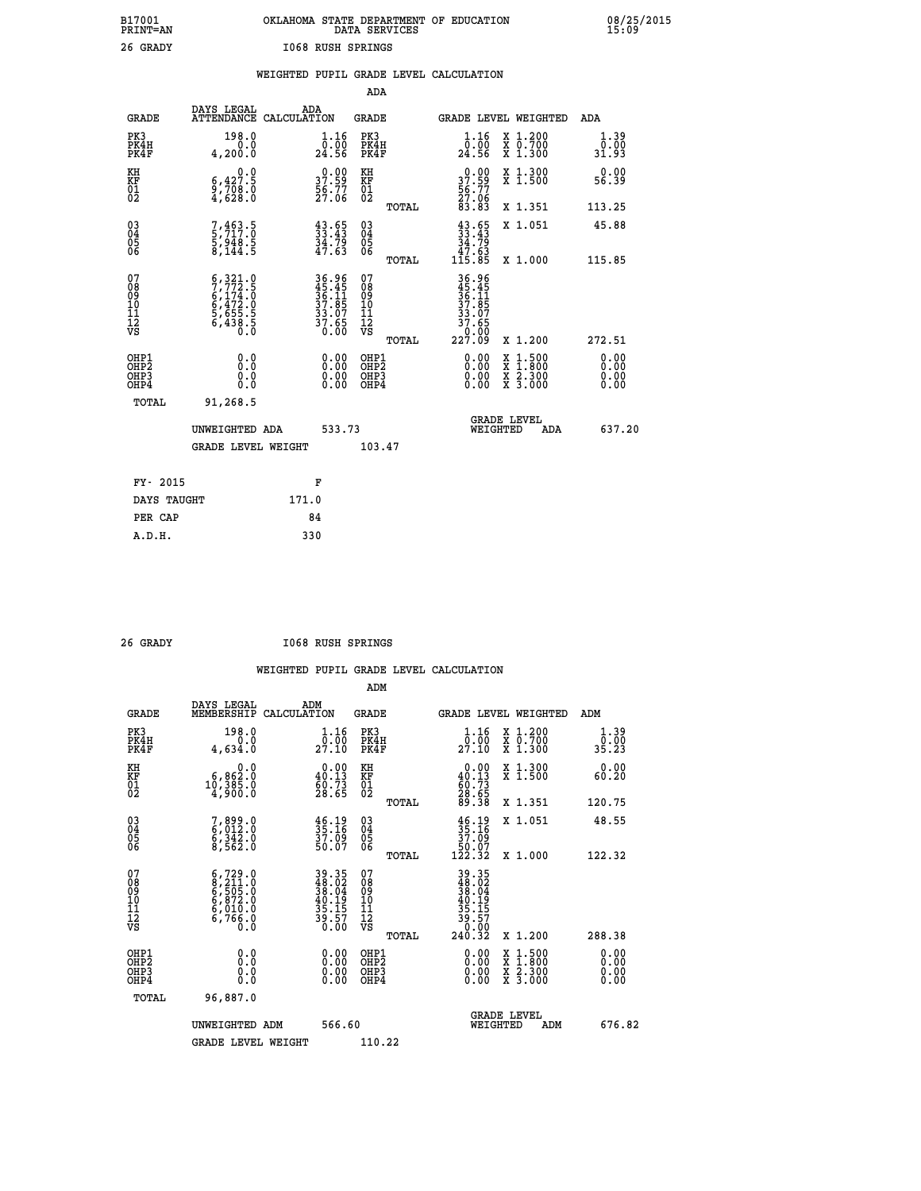| DATA SERVICES      | OKLAHOMA STATE DEPARTMENT OF EDUCATION |
|--------------------|----------------------------------------|
| TO SA RUSH SPRINGS |                                        |

| B17001<br>PRINT=AN                                                 |                                                                                                                                                                                | OKLAHOMA STATE DEPARTMENT OF EDUCATION                     | DATA SERVICES                            |                                                                                               |                                          | 28/25                 |
|--------------------------------------------------------------------|--------------------------------------------------------------------------------------------------------------------------------------------------------------------------------|------------------------------------------------------------|------------------------------------------|-----------------------------------------------------------------------------------------------|------------------------------------------|-----------------------|
| 26 GRADY                                                           |                                                                                                                                                                                | 1068 RUSH SPRINGS                                          |                                          |                                                                                               |                                          |                       |
|                                                                    |                                                                                                                                                                                | WEIGHTED PUPIL GRADE LEVEL CALCULATION                     | <b>ADA</b>                               |                                                                                               |                                          |                       |
| <b>GRADE</b>                                                       | DAYS LEGAL                                                                                                                                                                     | ADA<br>ATTENDANCE CALCULATION                              | GRADE                                    | GRADE LEVEL WEIGHTED                                                                          |                                          | ADA                   |
| PK3<br>PK4H<br>PK4F                                                | 198.0<br>0.0<br>4,200.0                                                                                                                                                        | 1.16<br>0.00<br>24.56                                      | PK3<br>PK4H<br>PK4F                      | $1.16$<br>$0.00$<br>24.56                                                                     | X 1.200<br>X 0.700<br>X 1.300            | 1.39<br>0.00<br>31.93 |
| KH<br>KF<br>01<br>02                                               | 0.0<br>$\substack{6,427.5\\9,708.0\\4,628.0}$                                                                                                                                  | 0.00<br>37.59<br>$\frac{56}{27}\cdot\frac{77}{06}$         | KH<br>KF<br>01<br>02                     | 37.99                                                                                         | X 1.300<br>X 1.500                       | 0.00<br>56.39         |
|                                                                    |                                                                                                                                                                                |                                                            | <b>TOTAL</b>                             | $\frac{56}{27}$ :06<br>83.83                                                                  | X 1.351                                  | 113.25                |
| $\begin{smallmatrix} 03 \\[-4pt] 04 \end{smallmatrix}$<br>Ŏ5<br>06 | $7,463.5$<br>5,717.0<br>5,948.5<br>8,144.5                                                                                                                                     | $43.65$<br>$33.43$<br>$34.79$<br>$47.63$                   | $\substack{03 \\ 04}$<br>$\frac{05}{06}$ | $43.65$<br>$33.43$<br>$34.79$<br>$47.63$                                                      | X 1.051                                  | 45.88                 |
| 07                                                                 |                                                                                                                                                                                |                                                            | <b>TOTAL</b><br>07                       | 115.85                                                                                        | X 1.000                                  | 115.85                |
| 08<br>09<br>11<br>11<br>12<br>VS                                   | $\begin{smallmatrix} 6\,, & 321\,. & 0\\ 7\,, & 772\,. & 5\\ 6\,, & 174\,. & 0\\ 6\,, & 472\,. & 0\\ 5\,, & 655\,. & 5\\ 6\,, & 438\,. & 5\\ 0\,. & 0\,. & 0\end{smallmatrix}$ | 36.96<br>45.45<br>36.11<br>37.85<br>33.07<br>37.65<br>0.00 | 08<br>09<br>101<br>11<br>12<br>VS        | 36.96<br>$\begin{smallmatrix} 45.45\ 45.41\ 36.115\ 37.857\ 37.650\ 227.09 \end{smallmatrix}$ |                                          |                       |
| OHP1                                                               |                                                                                                                                                                                |                                                            | TOTAL                                    |                                                                                               | X 1.200                                  | 272.51<br>0.00        |
| OHP2<br>OHP3<br>OHP4                                               | 0.0<br>0.0<br>0.0                                                                                                                                                              | 0.00<br>0.00<br>0.00                                       | OHP1<br>OHP2<br>OHP3<br>OHP4             | 0.00<br>0.00<br>0.00                                                                          | X 1:500<br>X 1:800<br>X 2:300<br>X 3:000 | 0.00<br>0.00<br>0.00  |
| <b>TOTAL</b>                                                       | 91,268.5                                                                                                                                                                       |                                                            |                                          |                                                                                               |                                          |                       |
|                                                                    | UNWEIGHTED ADA                                                                                                                                                                 | 533.73                                                     |                                          | <b>GRADE LEVEL</b><br><b>WEIGHTED</b>                                                         | ADA                                      | 637.20                |
|                                                                    | <b>GRADE LEVEL WEIGHT</b>                                                                                                                                                      |                                                            | 103.47                                   |                                                                                               |                                          |                       |
| FY- 2015                                                           |                                                                                                                                                                                | F                                                          |                                          |                                                                                               |                                          |                       |
| DAYS TAUGHT                                                        |                                                                                                                                                                                | 171.0                                                      |                                          |                                                                                               |                                          |                       |
| PER CAP                                                            |                                                                                                                                                                                | 84                                                         |                                          |                                                                                               |                                          |                       |
| A.D.H.                                                             |                                                                                                                                                                                | 330                                                        |                                          |                                                                                               |                                          |                       |

 **26 GRADY I068 RUSH SPRINGS**

|                                           |                                                                                           |                                                                      | ADM                                                 |       |                                                                                                                                           |                                          |     |                              |
|-------------------------------------------|-------------------------------------------------------------------------------------------|----------------------------------------------------------------------|-----------------------------------------------------|-------|-------------------------------------------------------------------------------------------------------------------------------------------|------------------------------------------|-----|------------------------------|
| <b>GRADE</b>                              | DAYS LEGAL<br>MEMBERSHIP                                                                  | ADM<br>CALCULATION                                                   | <b>GRADE</b>                                        |       | GRADE LEVEL WEIGHTED                                                                                                                      |                                          | ADM |                              |
| PK3<br>PK4H<br>PK4F                       | 198.0<br>0.0<br>4,634.0                                                                   | 1.16<br>27.10                                                        | PK3<br>PK4H<br>PK4F                                 |       | $\frac{1}{0}$ : $\frac{16}{00}$<br>27.10                                                                                                  | X 1.200<br>X 0.700<br>X 1.300            |     | 1.39<br>o:ŏó<br>35.23        |
| KH<br>KF<br>01<br>02                      | 0.0<br>$10,385.0$<br>$10,385.0$<br>$4,900.0$                                              | $\begin{smallmatrix} 0.00\\ 40.13\\ 60.73\\ 28.65 \end{smallmatrix}$ | KH<br>KF<br>01<br>02                                |       | $\begin{smallmatrix} 0.00\\ 40.13\\ 60.73\\ 28.65\\ 89.38 \end{smallmatrix}$                                                              | X 1.300<br>X 1.500                       |     | 0.00<br>60.20                |
|                                           |                                                                                           |                                                                      |                                                     | TOTAL |                                                                                                                                           | X 1.351                                  |     | 120.75                       |
| 03<br>04<br>05<br>06                      | 7,899.0<br>6,012.0<br>6,342.0<br>8,562.0                                                  | $\frac{46.19}{35.16}$<br>37.09<br>50.07                              | $\begin{array}{c} 03 \\ 04 \\ 05 \\ 06 \end{array}$ |       | $\begin{array}{c} 46.19 \\ 35.16 \\ 37.09 \\ 50.07 \\ 122.32 \end{array}$                                                                 | X 1.051                                  |     | 48.55                        |
|                                           |                                                                                           |                                                                      |                                                     | TOTAL |                                                                                                                                           | X 1.000                                  |     | 122.32                       |
| 07<br>08<br>09<br>101<br>112<br>VS        | $6, 729.0$<br>$8, 211.0$<br>$6, 505.0$<br>$6, 872.0$<br>$6, 010.0$<br>$6, 766.0$<br>$0.0$ | 39.35<br>48.02<br>38.04<br>38.19<br>35.157<br>39.57<br>0.00          | 07<br>08<br>09<br>11<br>11<br>12<br>VS              | TOTAL | $\begin{array}{r} 39\cdot 35 \\ 48\cdot 02 \\ 38\cdot 04 \\ 40\cdot 195 \\ 35\cdot 157 \\ 39\cdot 50 \\ 0.002 \\ 240\cdot 32 \end{array}$ | X 1.200                                  |     | 288.38                       |
| OHP1<br>OHP2<br>OH <sub>P</sub> 3<br>OHP4 | 0.0<br>$\begin{smallmatrix} 0.16 \ 0.0 \end{smallmatrix}$                                 |                                                                      | OHP1<br>OHP2<br>OHP <sub>3</sub>                    |       | $0.00$<br>$0.00$<br>0.00                                                                                                                  | X 1:500<br>X 1:800<br>X 2:300<br>X 3:000 |     | 0.00<br>0.00<br>0.00<br>0.00 |
| TOTAL                                     | 96,887.0                                                                                  |                                                                      |                                                     |       |                                                                                                                                           |                                          |     |                              |
|                                           | UNWEIGHTED ADM                                                                            | 566.60                                                               |                                                     |       | WEIGHTED                                                                                                                                  | <b>GRADE LEVEL</b>                       | ADM | 676.82                       |
|                                           | <b>GRADE LEVEL WEIGHT</b>                                                                 |                                                                      | 110.22                                              |       |                                                                                                                                           |                                          |     |                              |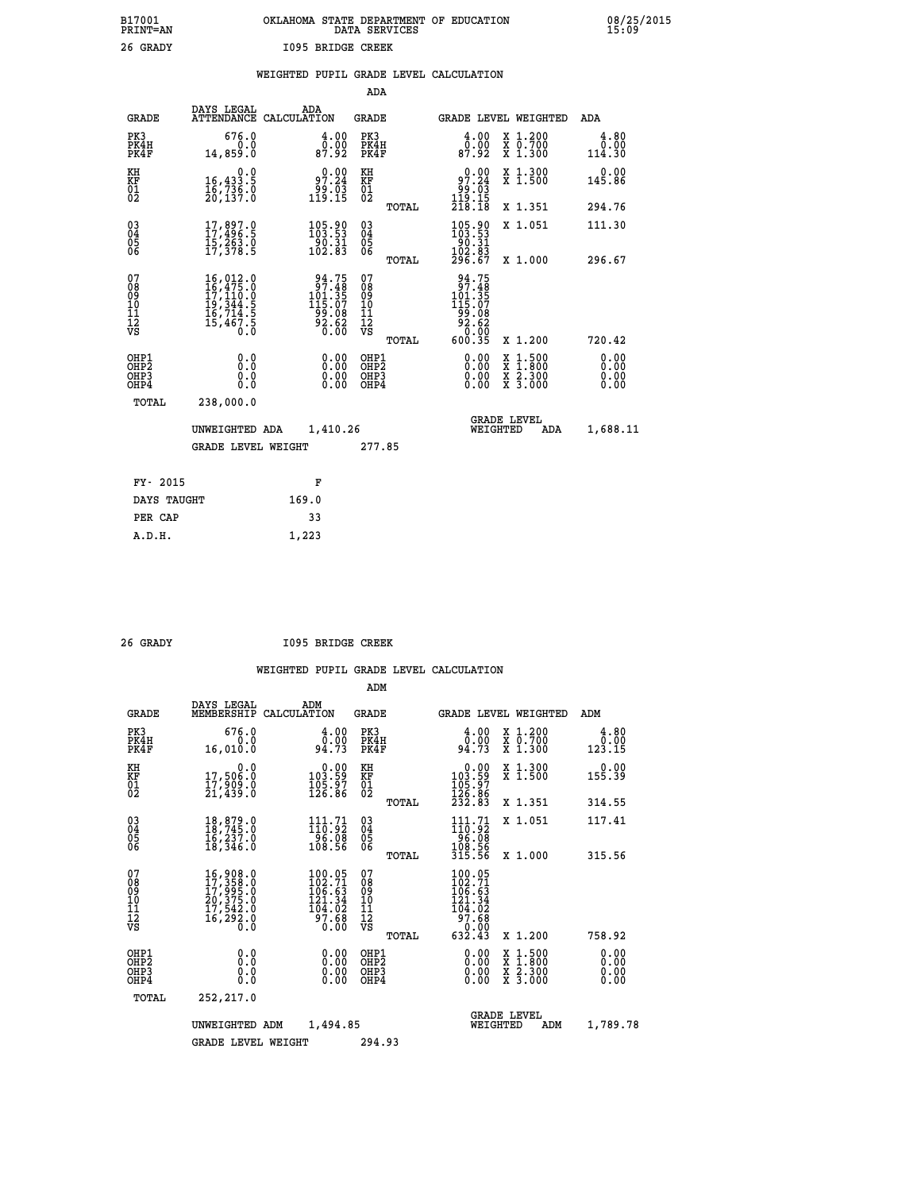| B17001          | OKLAHOMA STATE DEPARTMENT OF EDUCATION |
|-----------------|----------------------------------------|
| <b>PRINT=AN</b> | DATA SERVICES                          |
| 26 GRADY        | 1095 BRIDGE CREEK                      |

|  |  | WEIGHTED PUPIL GRADE LEVEL CALCULATION |
|--|--|----------------------------------------|
|  |  |                                        |

|                                                      |                                                                                                                                                                               |                                                                                                 | ADA                                      |       |                                                                                    |                                                                                                  |                              |
|------------------------------------------------------|-------------------------------------------------------------------------------------------------------------------------------------------------------------------------------|-------------------------------------------------------------------------------------------------|------------------------------------------|-------|------------------------------------------------------------------------------------|--------------------------------------------------------------------------------------------------|------------------------------|
| <b>GRADE</b>                                         | DAYS LEGAL                                                                                                                                                                    | ADA<br>ATTENDANCE CALCULATION                                                                   | <b>GRADE</b>                             |       |                                                                                    | GRADE LEVEL WEIGHTED                                                                             | ADA                          |
| PK3<br>PK4H<br>PK4F                                  | 676.0<br>0.0<br>14,859.0                                                                                                                                                      | $\begin{smallmatrix} 4.00\\ 0.00\\ 87.92 \end{smallmatrix}$                                     | PK3<br>PK4H<br>PK4F                      |       | $\begin{smallmatrix} 4.00\\ 0.00\\ 87.92 \end{smallmatrix}$                        | X 1.200<br>X 0.700<br>X 1.300                                                                    | 4.80<br>0.00<br>114.30       |
| KH<br>KF<br>01<br>02                                 | 0.0<br>16,433.5<br>16,736.0<br>20,137.0                                                                                                                                       | 97.24<br>55.ۋۇ<br>119.15                                                                        | KH<br>KF<br>01<br>02                     |       | $\begin{smallmatrix} &0.00\\ &97.24\\ &99.03\\ 119.15\\ 218.18\end{smallmatrix}$   | X 1.300<br>X 1.500                                                                               | 0.00<br>145.86               |
|                                                      |                                                                                                                                                                               |                                                                                                 |                                          | TOTAL |                                                                                    | X 1.351                                                                                          | 294.76                       |
| $\begin{matrix} 03 \\ 04 \\ 05 \\ 06 \end{matrix}$   | $17,897.9$<br>17,496.5<br>15,263.0<br>17,378.5                                                                                                                                | 105.90<br>$\frac{50.31}{102.83}$                                                                | $\substack{03 \\ 04}$<br>Ŏ5<br>06        |       | 105.90<br>$\frac{180.31}{102.83}$<br>102.83<br>296.67                              | X 1.051                                                                                          | 111.30                       |
|                                                      |                                                                                                                                                                               |                                                                                                 |                                          | TOTAL |                                                                                    | X 1.000                                                                                          | 296.67                       |
| 07<br>08<br>09<br>11<br>11<br>12<br>VS               | $\begin{smallmatrix} 16\,, & 012\,. & 0\\ 16\,, & 475\,. & 0\\ 17\,, & 110\,. & 0\\ 19\,, & 344\,. & 5\\ 16\,, & 714\,. & 5\\ 15\,, & 467\,. & 5\\ 0\,. & 0\end{smallmatrix}$ | $\begin{smallmatrix} 94.75\\ 97.48\\ 101.357\\ 115.07\\ 99.08\\ 92.62\\ 0.00 \end{smallmatrix}$ | 07<br>08<br>09<br>11<br>11<br>12<br>VS   |       | 94.75<br>97.48<br>$101.35$<br>$115.07$<br>$99.08$<br>$92.62$<br>$0.00$<br>$600.35$ |                                                                                                  |                              |
|                                                      |                                                                                                                                                                               |                                                                                                 |                                          | TOTAL |                                                                                    | X 1.200                                                                                          | 720.42                       |
| OHP1<br>OH <sub>P</sub> <sub>2</sub><br>OHP3<br>OHP4 | 0.0<br>0.0<br>0.0                                                                                                                                                             | $\begin{smallmatrix} 0.00 \ 0.00 \ 0.00 \ 0.00 \end{smallmatrix}$                               | OHP1<br>OHP <sub>2</sub><br>OHP3<br>OHP4 |       |                                                                                    | $\begin{smallmatrix} x & 1 & 500 \\ x & 1 & 800 \\ x & 2 & 300 \\ x & 3 & 000 \end{smallmatrix}$ | 0.00<br>0.00<br>0.00<br>0.00 |
| <b>TOTAL</b>                                         | 238,000.0                                                                                                                                                                     |                                                                                                 |                                          |       |                                                                                    |                                                                                                  |                              |
|                                                      | UNWEIGHTED ADA                                                                                                                                                                | 1,410.26                                                                                        |                                          |       |                                                                                    | <b>GRADE LEVEL</b><br>WEIGHTED<br>ADA                                                            | 1,688.11                     |
|                                                      | <b>GRADE LEVEL WEIGHT</b>                                                                                                                                                     |                                                                                                 | 277.85                                   |       |                                                                                    |                                                                                                  |                              |
|                                                      |                                                                                                                                                                               |                                                                                                 |                                          |       |                                                                                    |                                                                                                  |                              |
| FY- 2015                                             |                                                                                                                                                                               | F                                                                                               |                                          |       |                                                                                    |                                                                                                  |                              |
| DAYS TAUGHT                                          |                                                                                                                                                                               | 169.0                                                                                           |                                          |       |                                                                                    |                                                                                                  |                              |
| PER CAP                                              |                                                                                                                                                                               | 33                                                                                              |                                          |       |                                                                                    |                                                                                                  |                              |

 **A.D.H. 1,223**

 **26 GRADY I095 BRIDGE CREEK**

|                                          |                                                                                                                                                                               |                    |                                                                                                          | ADM                                                |       |                                                                                                                                                                                                                                                   |          |                                          |                              |
|------------------------------------------|-------------------------------------------------------------------------------------------------------------------------------------------------------------------------------|--------------------|----------------------------------------------------------------------------------------------------------|----------------------------------------------------|-------|---------------------------------------------------------------------------------------------------------------------------------------------------------------------------------------------------------------------------------------------------|----------|------------------------------------------|------------------------------|
| <b>GRADE</b>                             | DAYS LEGAL<br>MEMBERSHIP                                                                                                                                                      | ADM<br>CALCULATION |                                                                                                          | <b>GRADE</b>                                       |       |                                                                                                                                                                                                                                                   |          | GRADE LEVEL WEIGHTED                     | ADM                          |
| PK3<br>PK4H<br>PK4F                      | 676.0<br>0.0<br>16,010.0                                                                                                                                                      |                    | 4.00<br>ŏ:ŏŏ<br>94:73                                                                                    | PK3<br>PK4H<br>PK4F                                |       | $\begin{smallmatrix} 4.00\\ 0.00\\ 94.73 \end{smallmatrix}$                                                                                                                                                                                       |          | X 1.200<br>X 0.700<br>X 1.300            | 4.80<br>0.00<br>123.15       |
| KH<br>KF<br>01<br>02                     | 0.0<br>17,506.0<br>ī7, ŠOŠ. 0<br>21,439.0                                                                                                                                     |                    | $\begin{smallmatrix} &0.00\ 103.59\ 105.97\ 126.86\end{smallmatrix}$                                     | KH<br>KF<br>01<br>02                               |       | $\begin{smallmatrix} &0.00\\ 103.59\\ 105.97\\ 126.86\\ 232.83 \end{smallmatrix}$                                                                                                                                                                 |          | X 1.300<br>X 1.500                       | 0.00<br>155.39               |
|                                          |                                                                                                                                                                               |                    |                                                                                                          |                                                    | TOTAL |                                                                                                                                                                                                                                                   |          | X 1.351                                  | 314.55                       |
| 03<br>04<br>05<br>06                     | 18,879.0<br>18,745.0<br>16,237.0<br>18,346.0                                                                                                                                  |                    | $111.71$<br>$10.92$<br>$96.08$<br>108.56                                                                 | $\begin{matrix} 03 \\ 04 \\ 05 \\ 06 \end{matrix}$ |       | $\begin{array}{c} 111\cdot 71\\110\cdot 92\\ 96\cdot 08\\ 108\cdot 56\\ 315\cdot 56 \end{array}$                                                                                                                                                  |          | X 1.051                                  | 117.41                       |
|                                          |                                                                                                                                                                               |                    |                                                                                                          |                                                    | TOTAL |                                                                                                                                                                                                                                                   |          | X 1.000                                  | 315.56                       |
| 07<br>08<br>09<br>101<br>112<br>VS       | $\begin{smallmatrix} 16\,, & 908\,, & 0\\ 17\,, & 358\,, & 0\\ 17\,, & 995\,, & 0\\ 20\,, & 375\,, & 0\\ 17\,, & 542\,, & 0\\ 16\,, & 292\,, & 0\\ 0\,, & 0\end{smallmatrix}$ |                    | 100.05<br>102.71<br>106.63<br>121.34<br>104.02<br>$\frac{5}{9}\overline{7}\cdot\overline{6}\overline{8}$ | 07<br>08<br>09<br>11<br>11<br>12<br>VS             | TOTAL | $100.05$<br>$102.71$<br>$106.63$<br>$121.34$<br>$\begin{array}{r} 1 \overline{0} \overline{4} \cdot \overline{0} \overline{2} \\ 9 \overline{7} \cdot \overline{6} \\ 6 \overline{3} \overline{2} \cdot \overline{4} \\ \overline{5} \end{array}$ |          | X 1.200                                  | 758.92                       |
| OHP1<br>OHP2<br>OH <sub>P3</sub><br>OHP4 | 0.0<br>0.000                                                                                                                                                                  |                    | $0.00$<br>$0.00$<br>0.00                                                                                 | OHP1<br>OHP2<br>OHP3<br>OHP4                       |       | $0.00$<br>$0.00$<br>0.00                                                                                                                                                                                                                          |          | X 1:500<br>X 1:800<br>X 2:300<br>X 3:000 | 0.00<br>0.00<br>0.00<br>0.00 |
| TOTAL                                    | 252,217.0                                                                                                                                                                     |                    |                                                                                                          |                                                    |       |                                                                                                                                                                                                                                                   |          |                                          |                              |
|                                          | UNWEIGHTED                                                                                                                                                                    | ADM                | 1,494.85                                                                                                 |                                                    |       |                                                                                                                                                                                                                                                   | WEIGHTED | <b>GRADE LEVEL</b><br>ADM                | 1,789.78                     |
|                                          | <b>GRADE LEVEL WEIGHT</b>                                                                                                                                                     |                    |                                                                                                          | 294.93                                             |       |                                                                                                                                                                                                                                                   |          |                                          |                              |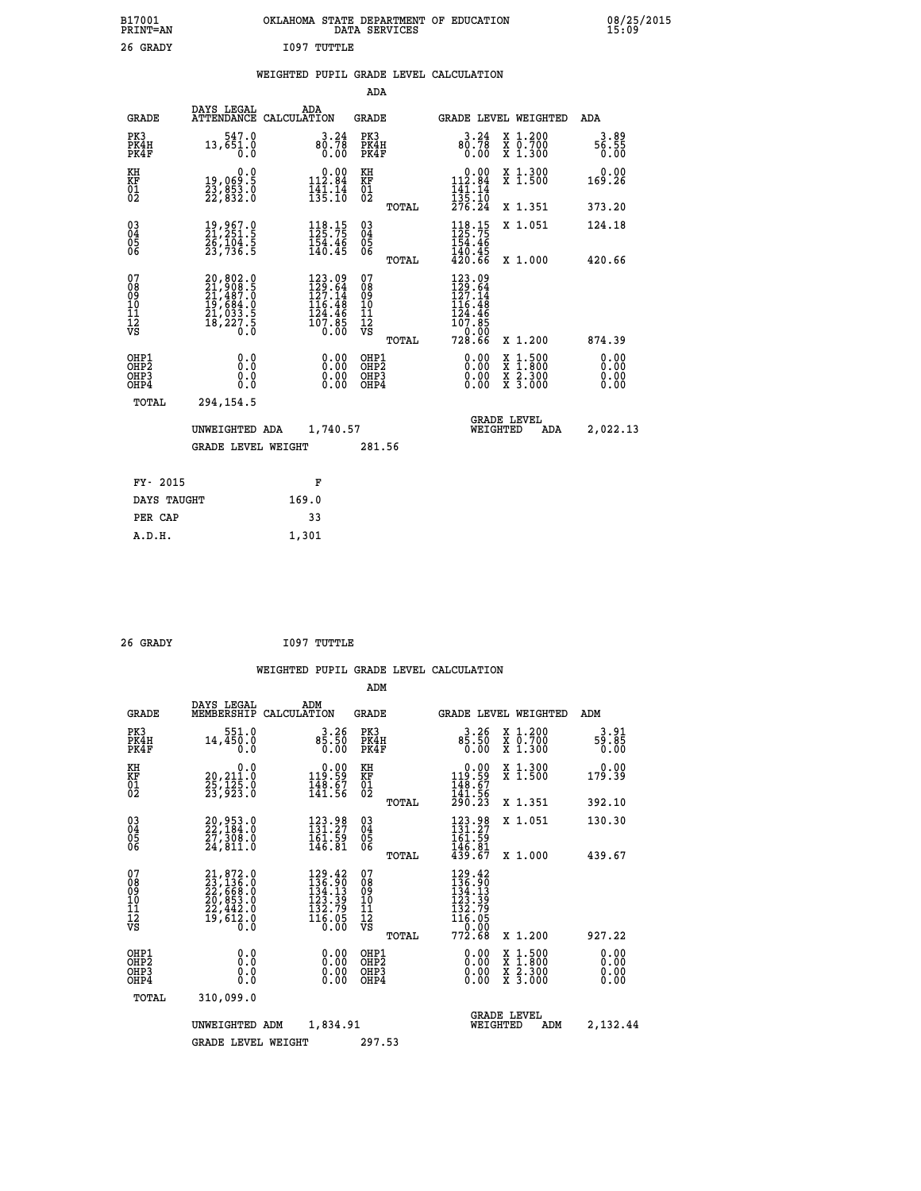| B17001<br><b>PRINT=AN</b> | OKLAHOMA STATE DEPARTMENT OF EDUCATION<br>DATA SERVICES |  |
|---------------------------|---------------------------------------------------------|--|
| 26 GRADY                  | 1097 TUTTLE                                             |  |

**1001** 08/25/2015

## **WEIGHTED PUPIL GRADE LEVEL CALCULATION**

|                                                                    |                                                                                           |                                                                                                                         | ADA                                               |       |                                                                                      |                                                                            |                              |
|--------------------------------------------------------------------|-------------------------------------------------------------------------------------------|-------------------------------------------------------------------------------------------------------------------------|---------------------------------------------------|-------|--------------------------------------------------------------------------------------|----------------------------------------------------------------------------|------------------------------|
| <b>GRADE</b>                                                       | DAYS LEGAL                                                                                | ADA<br>ATTENDANCE CALCULATION                                                                                           | <b>GRADE</b>                                      |       |                                                                                      | GRADE LEVEL WEIGHTED                                                       | ADA                          |
| PK3<br>PK4H<br>PK4F                                                | 547.0<br>13,651.0<br>0.0                                                                  | $80.78$<br>0.00                                                                                                         | PK3<br>PK4H<br>PK4F                               |       | $3.24$<br>80.78<br>0.00                                                              | X 1.200<br>X 0.700<br>X 1.300                                              | 3.89<br>56.55<br>0.00        |
| KH<br>KF<br>01<br>02                                               | 0.0<br>19,069:5<br>23,853:0<br>22,832:0                                                   | $0.00$<br>112.84<br>$\frac{1}{135}$ : $\frac{1}{10}$                                                                    | KH<br>KF<br>$\begin{matrix} 01 \ 02 \end{matrix}$ |       | $\begin{array}{c} 0.00 \\ 112.84 \\ 141.14 \\ 135.10 \\ 276.24 \end{array}$          | X 1.300<br>X 1.500                                                         | 0.00<br>169.26               |
|                                                                    |                                                                                           |                                                                                                                         |                                                   | TOTAL |                                                                                      | X 1.351                                                                    | 373.20                       |
| $\begin{smallmatrix} 03 \\[-4pt] 04 \end{smallmatrix}$<br>05<br>ŌĞ | 19,967.0<br>21,251.5<br>26,104:5<br>23,736:5                                              | 118.15<br>154.46<br>140.45                                                                                              | $\substack{03 \\ 04}$<br>05<br>06                 |       | 118.15<br>$\frac{154.46}{140.45}$<br>$\frac{45}{420.66}$                             | X 1.051                                                                    | 124.18                       |
|                                                                    |                                                                                           |                                                                                                                         |                                                   | TOTAL |                                                                                      | X 1.000                                                                    | 420.66                       |
| 07<br>08<br>09<br>11<br>11<br>12<br>VS                             | $20,802.0$<br>$21,908.5$<br>$21,487.0$<br>$19,684.0$<br>$21,033.5$<br>$18,227.5$<br>$0.0$ | 123.09<br>$\frac{129.64}{127.14}$<br>$\frac{126.48}{116.48}$<br>$\begin{array}{c} 124.76 \\ 107.85 \\ 0.00 \end{array}$ | 07<br>08<br>09<br>11<br>11<br>12<br>VS            |       | 123.09<br>129.64<br>127.14<br>$116.48$<br>$124.46$<br>$107.85$<br>$0.00$<br>$728.66$ |                                                                            |                              |
|                                                                    |                                                                                           |                                                                                                                         |                                                   | TOTAL |                                                                                      | X 1.200                                                                    | 874.39                       |
| OHP1<br>OHP <sub>2</sub><br>OHP3<br>OHP4                           | 0.0<br>Ō.Ō<br>0.0<br>$0.\overline{0}$                                                     | 0.00<br>$\begin{smallmatrix} 0.00 \ 0.00 \end{smallmatrix}$                                                             | OHP1<br>OH <sub>P</sub> 2<br>OHP3<br>OHP4         |       | 0.00<br>0.00<br>0.00                                                                 | $1:500$<br>$1:800$<br>X<br>X<br>$\frac{\ddot{x}}{x}$ $\frac{2.300}{3.000}$ | 0.00<br>0.00<br>0.00<br>0.00 |
| TOTAL                                                              | 294,154.5                                                                                 |                                                                                                                         |                                                   |       |                                                                                      |                                                                            |                              |
|                                                                    | UNWEIGHTED ADA                                                                            | 1,740.57                                                                                                                |                                                   |       |                                                                                      | <b>GRADE LEVEL</b><br>WEIGHTED<br>ADA                                      | 2,022.13                     |
|                                                                    | <b>GRADE LEVEL WEIGHT</b>                                                                 |                                                                                                                         | 281.56                                            |       |                                                                                      |                                                                            |                              |
| FY- 2015                                                           |                                                                                           | F                                                                                                                       |                                                   |       |                                                                                      |                                                                            |                              |
| DAYS TAUGHT                                                        |                                                                                           | 169.0                                                                                                                   |                                                   |       |                                                                                      |                                                                            |                              |
| PER CAP                                                            |                                                                                           | 33                                                                                                                      |                                                   |       |                                                                                      |                                                                            |                              |
|                                                                    |                                                                                           |                                                                                                                         |                                                   |       |                                                                                      |                                                                            |                              |

| 26 GRADY | 1097 TUTTLE |
|----------|-------------|

 **A.D.H. 1,301**

 **B17001<br>PRINT=AN** 

|                                                    |                                                      |                                                                                           |                    |                                                                                                 | ADM                                                |       |                                                                                                                                     |                                                                           |                              |
|----------------------------------------------------|------------------------------------------------------|-------------------------------------------------------------------------------------------|--------------------|-------------------------------------------------------------------------------------------------|----------------------------------------------------|-------|-------------------------------------------------------------------------------------------------------------------------------------|---------------------------------------------------------------------------|------------------------------|
|                                                    | <b>GRADE</b>                                         | DAYS LEGAL<br>MEMBERSHIP                                                                  | ADM<br>CALCULATION |                                                                                                 | <b>GRADE</b>                                       |       |                                                                                                                                     | GRADE LEVEL WEIGHTED                                                      | ADM                          |
|                                                    | PK3<br>PK4H<br>PK4F                                  | 551.0<br>14,450.0<br>0.0                                                                  |                    | $3.26$<br>85.50<br>0.00                                                                         | PK3<br>PK4H<br>PK4F                                |       | $3.26$<br>85.50<br>0.00                                                                                                             | $\begin{smallmatrix} x & 1.200 \\ x & 0.700 \end{smallmatrix}$<br>X 1.300 | 3.91<br>59.85<br>0.00        |
| KH<br>KF<br>01<br>02                               |                                                      | 0.0<br>20,211.0<br>25,125.0<br>23,923.0                                                   |                    | $\begin{smallmatrix} &0.00\\ 119.59\\ 148.67\\ 141.56\end{smallmatrix}$                         | KH<br>KF<br>01<br>02                               |       | $\begin{smallmatrix} &0.00\\ 119.59\\ 148.67\\ 141.56\\ 290.23\end{smallmatrix}$                                                    | X 1.300<br>X 1.500                                                        | 0.00<br>179.39               |
|                                                    |                                                      |                                                                                           |                    |                                                                                                 |                                                    | TOTAL |                                                                                                                                     | X 1.351                                                                   | 392.10                       |
| $\begin{matrix} 03 \\ 04 \\ 05 \\ 06 \end{matrix}$ |                                                      | 20,953.0<br>22,184.0<br>27,309.0<br>24,811.0                                              |                    | 123.98<br>131.27<br>161.59<br>146.81                                                            | $\begin{matrix} 03 \\ 04 \\ 05 \\ 06 \end{matrix}$ |       | 123.98<br>$\frac{161.59}{146.81}$<br>$\frac{439.67}{57}$                                                                            | X 1.051                                                                   | 130.30                       |
|                                                    |                                                      |                                                                                           |                    |                                                                                                 |                                                    | TOTAL |                                                                                                                                     | X 1.000                                                                   | 439.67                       |
| 07<br>08<br>09<br>101<br>112<br>VS                 |                                                      | $21,872.0$<br>$23,136.0$<br>$22,668.0$<br>$20,853.0$<br>$22,442.0$<br>$19,612.0$<br>$0.0$ |                    | 129.42<br>136.90<br>134.13<br>$\begin{array}{r} 123.39 \\ 132.79 \\ 116.05 \\ 0.00 \end{array}$ | 07<br>08<br>09<br>11<br>11<br>12<br>VS             | TOTAL | $\begin{smallmatrix} 129 & .42\\ 136 & .90\\ 134 & .13\\ 123 & .39\\ 132 & .79\\ 116 & .05\\ 0 & .00\\ \end{smallmatrix}$<br>772.68 | X 1.200                                                                   | 927.22                       |
|                                                    | OHP1<br>OHP <sub>2</sub><br>OH <sub>P3</sub><br>OHP4 | 0.0<br>0.000                                                                              |                    | $\begin{smallmatrix} 0.00 \ 0.00 \ 0.00 \ 0.00 \end{smallmatrix}$                               | OHP1<br>OHP2<br>OHP <sub>3</sub>                   |       | $0.00$<br>$0.00$<br>0.00                                                                                                            | X 1:500<br>X 1:800<br>X 2:300<br>X 3:000                                  | 0.00<br>0.00<br>0.00<br>0.00 |
|                                                    | TOTAL                                                | 310,099.0                                                                                 |                    |                                                                                                 |                                                    |       |                                                                                                                                     |                                                                           |                              |
|                                                    |                                                      | UNWEIGHTED                                                                                | ADM                | 1,834.91                                                                                        | <b>GRADE LEVEL</b><br>WEIGHTED                     |       |                                                                                                                                     | ADM                                                                       | 2,132.44                     |
|                                                    |                                                      | <b>GRADE LEVEL WEIGHT</b>                                                                 |                    |                                                                                                 | 297.53                                             |       |                                                                                                                                     |                                                                           |                              |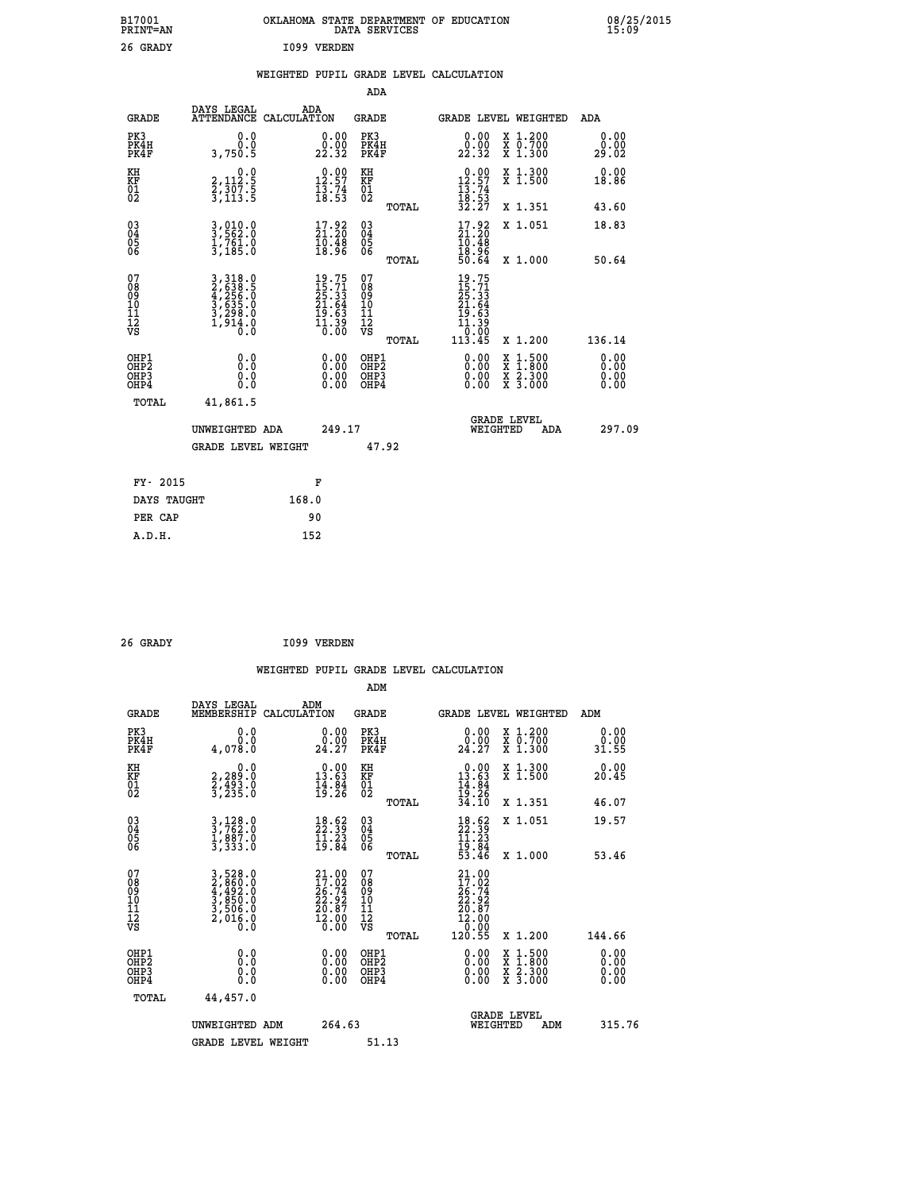| B17001<br><b>PRINT=AN</b> | OKLAHOMA STATE DEPARTMENT OF EDUCATION<br>DATA SERVICES | 08/25/2015<br>15:09 |
|---------------------------|---------------------------------------------------------|---------------------|
| 26 GRADY                  | 1099 VERDEN                                             |                     |

|  |  | WEIGHTED PUPIL GRADE LEVEL CALCULATION |
|--|--|----------------------------------------|
|  |  |                                        |

|                                                                    |                                                                           |                                                                         | ADA                                    |       |                                                                                                                                                               |                                                                                                                                           |                       |
|--------------------------------------------------------------------|---------------------------------------------------------------------------|-------------------------------------------------------------------------|----------------------------------------|-------|---------------------------------------------------------------------------------------------------------------------------------------------------------------|-------------------------------------------------------------------------------------------------------------------------------------------|-----------------------|
| <b>GRADE</b>                                                       | DAYS LEGAL<br>ATTENDANCE CALCULATION                                      | ADA                                                                     | <b>GRADE</b>                           |       |                                                                                                                                                               | GRADE LEVEL WEIGHTED                                                                                                                      | ADA                   |
| PK3<br>PK4H<br>PK4F                                                | 0.0<br>0.0<br>3,750.5                                                     | $\begin{smallmatrix} 0.00\\ 0.00\\ 22.32 \end{smallmatrix}$             | PK3<br>PK4H<br>PK4F                    |       | 0.00<br>22.32                                                                                                                                                 | X 1.200<br>X 0.700<br>X 1.300                                                                                                             | 0.00<br>0.00<br>29.02 |
| KH<br>KF<br>01<br>02                                               | 0.0<br>2,112:5<br>2,307:5<br>3,113:5                                      | 12.97<br>$\frac{1}{18}$ : 74<br>18:53                                   | KH<br>KF<br>$\overline{01}$            |       | $\begin{array}{r} 0.00 \\[-4pt] 12.57 \\[-4pt] 13.74 \\[-4pt] 18.53 \\[-4pt] 32.27 \end{array}$                                                               | X 1.300<br>X 1.500                                                                                                                        | 0.00<br>18.86         |
|                                                                    |                                                                           |                                                                         |                                        | TOTAL |                                                                                                                                                               | X 1.351                                                                                                                                   | 43.60                 |
| $\begin{smallmatrix} 03 \\[-4pt] 04 \end{smallmatrix}$<br>Ŏ5<br>06 | 3,010.0<br>3,562.0<br>1,761.0<br>3,185.0                                  | $\begin{smallmatrix} 17.92\\ 21.20\\ 10.48\\ 18.96 \end{smallmatrix}$   | 03<br>04<br>05<br>06                   |       | $\begin{smallmatrix} 17.92 \\ 21.20 \\ 10.48 \\ 18.96 \\ 50.64 \end{smallmatrix}$                                                                             | X 1.051                                                                                                                                   | 18.83                 |
|                                                                    |                                                                           |                                                                         |                                        | TOTAL |                                                                                                                                                               | X 1.000                                                                                                                                   | 50.64                 |
| 07<br>08<br>09<br>01<br>11<br>11<br>12<br>VS                       | 3,318.0<br>2,638.5<br>4,255.0<br>3,635.0<br>3,298.0<br>3,298.0<br>1,914.0 | $19.75$<br>$15.71$<br>$25.33$<br>$21.64$<br>$19.63$<br>$1.39$<br>$0.00$ | 07<br>08<br>09<br>11<br>11<br>12<br>VS |       | 19.75<br>$\begin{smallmatrix} 1 & 7 & 7 \\ 15 & 7 & 3 \\ 25 & 3 & 3 \\ 21 & 64 & 9 \\ 19 & 6 & 3 \\ 11 & 3 & 9 \\ 0 & 0 & 0 \\ 11 & 3 & 45 \end{smallmatrix}$ |                                                                                                                                           |                       |
|                                                                    |                                                                           |                                                                         |                                        | TOTAL |                                                                                                                                                               | X 1.200                                                                                                                                   | 136.14                |
| OHP1<br>OHP2<br>OH <sub>P3</sub><br>OHP4                           | 0.0<br>0.0<br>0.0                                                         | 0.00<br>0.00<br>0.00                                                    | OHP1<br>OHP2<br>OHP3<br>OHP4           |       |                                                                                                                                                               | $\begin{smallmatrix} \mathtt{X} & 1\cdot500\\ \mathtt{X} & 1\cdot800\\ \mathtt{X} & 2\cdot300\\ \mathtt{X} & 3\cdot000 \end{smallmatrix}$ | 0.00<br>0.00<br>0.00  |
| TOTAL                                                              | 41,861.5                                                                  |                                                                         |                                        |       |                                                                                                                                                               |                                                                                                                                           |                       |
|                                                                    | UNWEIGHTED ADA                                                            | 249.17                                                                  |                                        |       |                                                                                                                                                               | <b>GRADE LEVEL</b><br>WEIGHTED<br>ADA                                                                                                     | 297.09                |
|                                                                    | <b>GRADE LEVEL WEIGHT</b>                                                 |                                                                         |                                        | 47.92 |                                                                                                                                                               |                                                                                                                                           |                       |
| FY- 2015                                                           |                                                                           | F                                                                       |                                        |       |                                                                                                                                                               |                                                                                                                                           |                       |
| DAYS TAUGHT                                                        |                                                                           | 168.0                                                                   |                                        |       |                                                                                                                                                               |                                                                                                                                           |                       |
| PER CAP                                                            |                                                                           | 90                                                                      |                                        |       |                                                                                                                                                               |                                                                                                                                           |                       |

| I099 VERDEN<br>26 GRADY |
|-------------------------|
|-------------------------|

 **WEIGHTED PUPIL GRADE LEVEL CALCULATION ADM DAYS LEGAL ADM GRADE MEMBERSHIP CALCULATION GRADE GRADE LEVEL WEIGHTED ADM PK3 0.0 0.00 PK3 0.00 X 1.200 0.00 PK4H 0.0 0.00 PK4H 0.00 X 0.700 0.00 PK4F 4,078.0 24.27 PK4F 24.27 X 1.300 31.55 KH 0.0 0.00 KH 0.00 X 1.300 0.00 KF 2,289.0 13.63 KF 13.63 X 1.500 20.45**  $\begin{array}{cccc} \text{KH} & \text{0.0} & \text{0.00} & \text{KH} \\ \text{KF} & \text{2,299.0} & \text{13.63} & \text{KF} \\ \text{01} & \text{2,493.0} & \text{13.64} & \text{MF} \\ \text{02} & \text{3,235.0} & \text{19.26} & \text{02} \end{array}$ 02 3,235.0 19.26 02 <sub>noman</sub> 19.26  **TOTAL 34.10 X 1.351 46.07 03 3,128.0 18.62 03 18.62 X 1.051 19.57 04 3,762.0 22.39 04 22.39 05 1,887.0 11.23 05 11.23** 06  $3,333.0$  19.84 06  $\frac{19.84}{2}$  **TOTAL 53.46 X 1.000 53.46**  $\begin{array}{cccc} 07 & 3\, ,\, 528\, .\, 0 & 21\, .\, 00 & 07 & 21\, .\, 00\, 09 & 2\, ,\, 492\, .\, 0 & 10 & 3\, ,\, 850\, .\, 0 & 22\, .\, 92 & 10 & 22\, .\, 92 & 10 & 22\, .\, 92 & 10 & 22\, .\, 92 & 10 & 22\, .\, 92 & 10 & 22\, .\, 92 & 10 & 20\, .\, 11 & 3\, ,\,$  **TOTAL 120.55 X 1.200 144.66 OHP1 0.0 0.00 OHP1 0.00 X 1.500 0.00 OHP2 0.0 0.00 OHP2 0.00 X 1.800 0.00 OHP3 0.0 0.00 OHP3 0.00 X 2.300 0.00 OHP4 0.0 0.00 OHP4 0.00 X 3.000 0.00 TOTAL 44,457.0 GRADE LEVEL UNWEIGHTED ADM 264.63 WEIGHTED ADM 315.76** GRADE LEVEL WEIGHT 51.13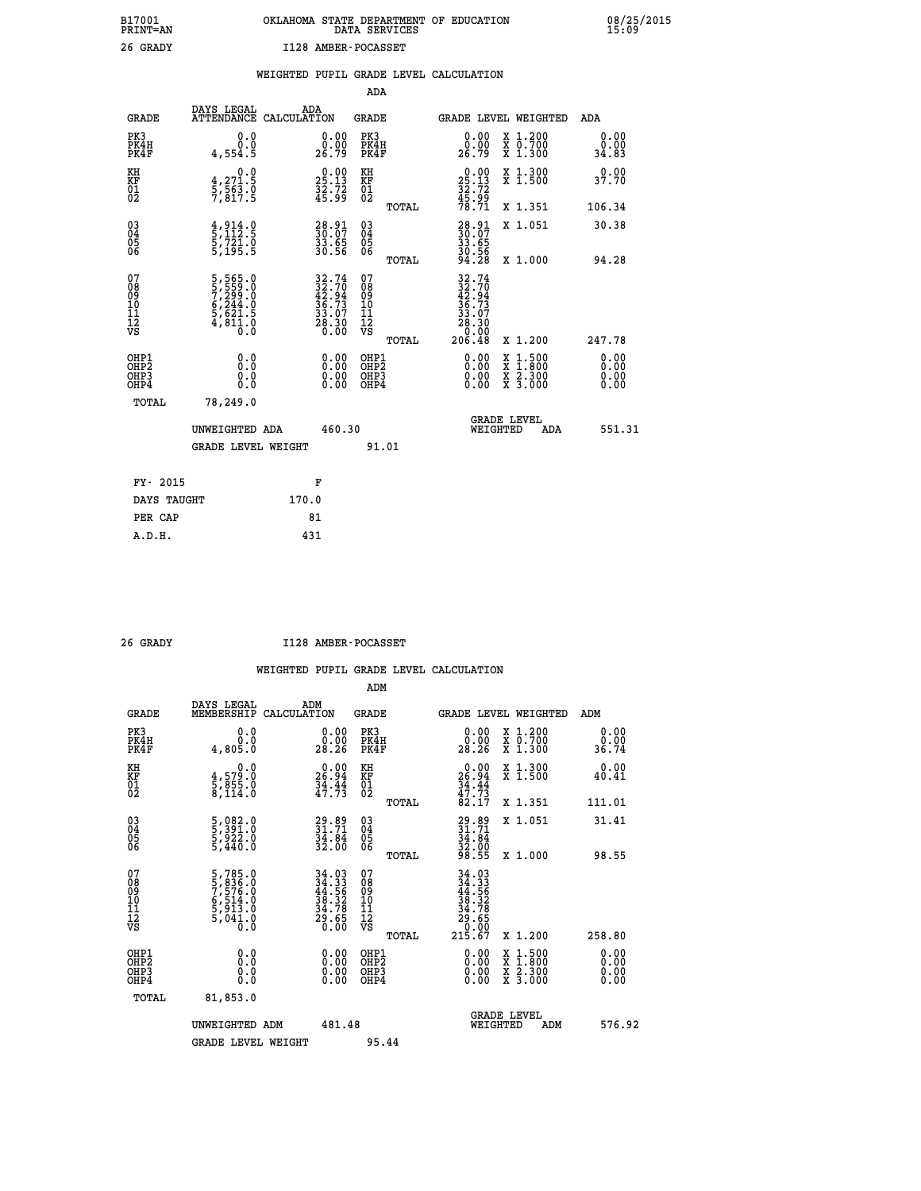|  | OKLAHOMA STATE DEPARTMENT OF EDUCATION<br>DATA SERVICES |  |
|--|---------------------------------------------------------|--|
|  | I128 AMBER-POCASSET                                     |  |

|                                                                    |                                                                                                         |                                                                      | ADA                                       |       |                                                                                          |                                                               |                                        |
|--------------------------------------------------------------------|---------------------------------------------------------------------------------------------------------|----------------------------------------------------------------------|-------------------------------------------|-------|------------------------------------------------------------------------------------------|---------------------------------------------------------------|----------------------------------------|
| <b>GRADE</b>                                                       | DAYS LEGAL<br>ATTENDANCE CALCULATION                                                                    | ADA                                                                  | <b>GRADE</b>                              |       |                                                                                          | GRADE LEVEL WEIGHTED                                          | <b>ADA</b>                             |
| PK3<br>PK4H<br>PK4F                                                | 0.0<br>0.0<br>4,554.5                                                                                   | $\begin{smallmatrix} 0.00\\ 0.00\\ 26.79 \end{smallmatrix}$          | PK3<br>PK4H<br>PK4F                       |       | $\begin{smallmatrix} 0.00\\ 0.00\\ 26.79 \end{smallmatrix}$                              | X 1.200<br>X 0.700<br>X 1.300                                 | 0.00<br>0.00<br>34.83                  |
| KH<br>KF<br>01<br>02                                               | 0.0<br>$\frac{4}{5}, \frac{271.5}{563.0}$<br>7,817.5                                                    | $\begin{smallmatrix} 0.00\\ 25.13\\ 32.72\\ 45.99 \end{smallmatrix}$ | KH<br>KF<br>01<br>02                      |       | $\begin{smallmatrix} 0.00\\ 25.13\\ 32.72\\ 45.99\\ 78.71 \end{smallmatrix}$             | X 1.300<br>X 1.500                                            | 0.00<br>37.70                          |
|                                                                    |                                                                                                         |                                                                      |                                           | TOTAL |                                                                                          | X 1.351                                                       | 106.34                                 |
| $\begin{smallmatrix} 03 \\[-4pt] 04 \end{smallmatrix}$<br>Ŏ5<br>06 | $\frac{4}{5}, \frac{914}{112}$ : 5<br>5, 721: 0<br>5, 195: 5                                            | 28.91<br>30.07<br>33.65<br>30.56                                     | 03<br>04<br>05<br>06                      | TOTAL | 28.91<br>30.07<br>33.65<br>30.56<br>30.56<br>94.28                                       | X 1.051<br>X 1.000                                            | 30.38<br>94.28                         |
| 07<br>08<br>09<br>11<br>11<br>12<br>VS                             | $\begin{smallmatrix} 5,565.0\\ 7,299.0\\ 7,299.0\\ 6,244.0\\ 5,621.5\\ 4,811.0\\ 0.0 \end{smallmatrix}$ | $32.7432.7042.9436.7333.0733.0728.300.00$                            | 07<br>08<br>09<br>11<br>11<br>12<br>VS    |       | $\begin{smallmatrix} 32.74\ 32.70\ 42.94\ 35.73\ 36.73\ 28.30\ 206.48 \end{smallmatrix}$ |                                                               |                                        |
| OHP1<br>OHP <sub>2</sub><br>OHP3<br>OHP4                           | 0.0<br>0.0<br>0.0                                                                                       | 0.00<br>$\begin{smallmatrix} 0.00 \ 0.00 \end{smallmatrix}$          | OHP1<br>OH <sub>P</sub> 2<br>OHP3<br>OHP4 | TOTAL | 0.00<br>0.00<br>0.00                                                                     | X 1.200<br>$1:500$<br>$1:800$<br>X<br>X<br>X 2.300<br>X 3.000 | 247.78<br>0.00<br>0.00<br>0.00<br>0.00 |
| TOTAL                                                              | 78,249.0                                                                                                |                                                                      |                                           |       |                                                                                          |                                                               |                                        |
|                                                                    | UNWEIGHTED ADA                                                                                          | 460.30                                                               |                                           |       | WEIGHTED                                                                                 | <b>GRADE LEVEL</b><br>ADA                                     | 551.31                                 |
|                                                                    | <b>GRADE LEVEL WEIGHT</b>                                                                               |                                                                      | 91.01                                     |       |                                                                                          |                                                               |                                        |
| FY- 2015                                                           |                                                                                                         | F                                                                    |                                           |       |                                                                                          |                                                               |                                        |
| DAYS TAUGHT                                                        |                                                                                                         | 170.0                                                                |                                           |       |                                                                                          |                                                               |                                        |
| PER CAP                                                            |                                                                                                         | 81                                                                   |                                           |       |                                                                                          |                                                               |                                        |

 **A.D.H. 431**

 **B17001<br>PRINT=AN<br>26 GRADY** 

 **26 GRADY I128 AMBER-POCASSET**

|                                                      |                                                                       |                                                                                      | ADM                                                 |                                                                                                                                             |                                          |                       |
|------------------------------------------------------|-----------------------------------------------------------------------|--------------------------------------------------------------------------------------|-----------------------------------------------------|---------------------------------------------------------------------------------------------------------------------------------------------|------------------------------------------|-----------------------|
| <b>GRADE</b>                                         | DAYS LEGAL<br>MEMBERSHIP                                              | ADM<br>CALCULATION                                                                   | <b>GRADE</b>                                        |                                                                                                                                             | GRADE LEVEL WEIGHTED                     | ADM                   |
| PK3<br>PK4H<br>PK4F                                  | 0.0<br>ŏ:ŏ<br>4,805.0                                                 | $\begin{smallmatrix} 0.00\\ 0.00\\ 28.26 \end{smallmatrix}$                          | PK3<br>PK4H<br>PK4F                                 | $\begin{smallmatrix} 0.00\\ 0.00\\ 28.26 \end{smallmatrix}$                                                                                 | X 1.200<br>X 0.700<br>X 1.300            | 0.00<br>ة.ة.<br>36.74 |
| KH<br>KF<br>01<br>02                                 | 0.0<br>$\frac{4}{5}, \frac{579}{85}, \frac{0}{114}$<br>8,114.0        | 26.94<br>$\frac{34}{47}\cdot\frac{44}{73}$                                           | KH<br>KF<br>01<br>02                                | $26.94$<br>$34.44$<br>$34.73$<br>$82.17$                                                                                                    | X 1.300<br>X 1.500                       | 0.00<br>40.41         |
|                                                      |                                                                       |                                                                                      | TOTAL                                               |                                                                                                                                             | X 1.351                                  | 111.01                |
| 03<br>04<br>05<br>06                                 | 5,082.0<br>5,391.0<br>5,922.0<br>5,440.0                              | $29.89$<br>$31.71$<br>$34.84$<br>$32.00$                                             | $\begin{array}{c} 03 \\ 04 \\ 05 \\ 06 \end{array}$ | 29.89<br>31.71<br>34.84<br>32.00<br>98.55                                                                                                   | X 1.051                                  | 31.41                 |
|                                                      |                                                                       |                                                                                      | TOTAL                                               |                                                                                                                                             | X 1.000                                  | 98.55                 |
| 07<br>08<br>09<br>101<br>11<br>12<br>VS              | 5,785.0<br>5,836.0<br>7,576.0<br>6,514.0<br>5,913.0<br>5,041.0<br>0.0 | $\begin{array}{r} 34.03 \\ 34.33 \\ 44.56 \\ 38.32 \\ 34.78 \\ 29.65 \\ \end{array}$ | 07<br>08<br>09<br>11<br>11<br>12<br>VS<br>TOTAL     | $\begin{array}{r} 34\cdot 03 \\ 34\cdot 33 \\ 44\cdot 56 \\ 38\cdot 32 \\ 34\cdot 78 \\ 29\cdot 65 \\ 0\cdot 00 \\ 215\cdot 67 \end{array}$ | X 1.200                                  | 258.80                |
| OHP1<br>OHP2<br>OH <sub>P3</sub><br>OH <sub>P4</sub> |                                                                       |                                                                                      | OHP1<br>OHP2<br>OHP <sub>3</sub>                    | $0.00$<br>$0.00$<br>0.00                                                                                                                    | X 1:500<br>X 1:800<br>X 2:300<br>X 3:000 | 0.00<br>0.00<br>0.00  |
| TOTAL                                                | 81,853.0                                                              |                                                                                      |                                                     |                                                                                                                                             |                                          |                       |
|                                                      | UNWEIGHTED ADM                                                        | 481.48                                                                               |                                                     |                                                                                                                                             | GRADE LEVEL<br>WEIGHTED<br>ADM           | 576.92                |
|                                                      | <b>GRADE LEVEL WEIGHT</b>                                             |                                                                                      | 95.44                                               |                                                                                                                                             |                                          |                       |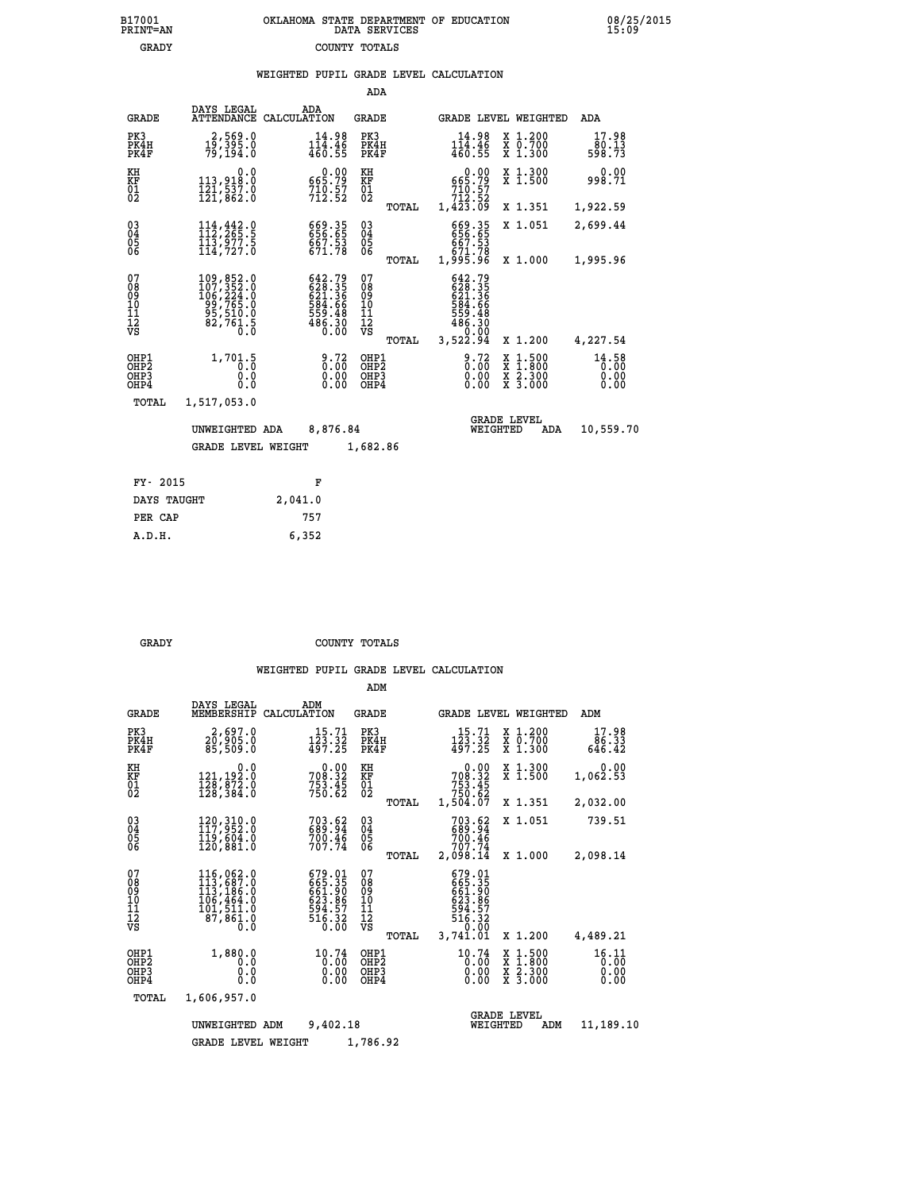|                                                    |                                                                                                              |             |                                                                  | ADA                                      |       |                                                                                                                                                                    |                                |                                                                                                   |                               |
|----------------------------------------------------|--------------------------------------------------------------------------------------------------------------|-------------|------------------------------------------------------------------|------------------------------------------|-------|--------------------------------------------------------------------------------------------------------------------------------------------------------------------|--------------------------------|---------------------------------------------------------------------------------------------------|-------------------------------|
| <b>GRADE</b>                                       | DAYS LEGAL<br>ATTENDANCE                                                                                     | CALCULATION | ADA                                                              | GRADE                                    |       |                                                                                                                                                                    |                                | GRADE LEVEL WEIGHTED                                                                              | ADA                           |
| PK3<br>PK4H<br>PK4F                                | 2,569.0<br>19,395.0<br>79,194.0                                                                              |             | 14.98<br>$1\bar{1}\bar{4}\cdot 4\bar{6}$<br>460.55               | PK3<br>PK4H<br>PK4F                      |       | 14.98<br>$1\overline{1}\overline{4}\cdot 4\overline{6}$<br>460.55                                                                                                  |                                | X 1.200<br>$\begin{array}{c} \overline{x} & \overline{0}.700 \\ \overline{x} & 1.300 \end{array}$ | 17.98<br>80.13<br>598.73      |
| KH<br><b>KF</b><br>01<br>02                        | 0.0<br>113,918.0<br>$\frac{1}{21}$ , $\frac{5}{3}$ , $\frac{3}{6}$ , $\frac{3}{6}$                           |             | $0.00$<br>19.79<br>$710.57$<br>$712.52$                          | KH<br>KF<br>$\overline{01}$              |       | $0.00$<br>29.79<br>710:57<br>712:52<br>1,423.09                                                                                                                    |                                | X 1.300<br>$\overline{x}$ 1.500                                                                   | 0.00<br>998.71                |
|                                                    |                                                                                                              |             |                                                                  |                                          | TOTAL |                                                                                                                                                                    |                                | X 1.351                                                                                           | 1,922.59                      |
| $\begin{matrix} 03 \\ 04 \\ 05 \\ 06 \end{matrix}$ | $\begin{array}{c} 114\,, 442\cdot 9\\ 112\,, 265\cdot 5\\ 113\,, 977\cdot 5\\ 114\,, 727\cdot 0 \end{array}$ |             | 669.35<br>656.65<br>667.53<br>671.78                             | $\substack{03 \\ 04}$<br>$\frac{05}{06}$ |       | 669.35<br>656.65<br>667.53<br>671.78<br>1,995.96                                                                                                                   |                                | X 1.051                                                                                           | 2,699.44                      |
|                                                    |                                                                                                              |             |                                                                  |                                          | TOTAL |                                                                                                                                                                    |                                | X 1.000                                                                                           | 1,995.96                      |
| 07<br>08<br>09<br>11<br>11<br>12<br>VS             | 109,852.0<br>107,352.0<br>106,224.0<br>22,765.0<br>$\frac{55}{82}, \frac{510}{761}$ $\frac{5}{0}$            |             | 642.79<br>628.35<br>621.36<br>634.66<br>559.48<br>486.30<br>0.00 | 07<br>08<br>09<br>11<br>11<br>12<br>VS   |       | 642.79<br>$\begin{smallmatrix} 6426\cdot 795\\ 6231\cdot 356\\ 624\cdot 356\\ 584\cdot 666\\ 559\cdot 48\\ 486\cdot 30\\ 0.00\\ 3\,,522\cdot 94 \end{smallmatrix}$ |                                |                                                                                                   |                               |
|                                                    |                                                                                                              |             |                                                                  |                                          | TOTAL |                                                                                                                                                                    |                                | X 1.200                                                                                           | 4,227.54                      |
| OHP1<br>OHP2<br>OHP3<br>OHP4                       | 1,701.5<br>0.0<br>0.0                                                                                        |             | $\frac{9.72}{0.00}$<br>$0.00$<br>0.00                            | OHP1<br>OHP2<br>OHP3<br>OHP4             |       |                                                                                                                                                                    | 0.72<br>0.00<br>0.00           | $\frac{x}{x}$ $\frac{1.500}{x}$<br>X 2.300<br>X 3.000                                             | 14.58<br>0.00<br>0.00<br>0.00 |
| TOTAL                                              | 1,517,053.0                                                                                                  |             |                                                                  |                                          |       |                                                                                                                                                                    |                                |                                                                                                   |                               |
|                                                    | UNWEIGHTED ADA                                                                                               |             | 8,876.84                                                         |                                          |       |                                                                                                                                                                    | <b>GRADE LEVEL</b><br>WEIGHTED | ADA                                                                                               | 10,559.70                     |
|                                                    | <b>GRADE LEVEL WEIGHT</b>                                                                                    |             |                                                                  | 1,682.86                                 |       |                                                                                                                                                                    |                                |                                                                                                   |                               |
|                                                    |                                                                                                              |             |                                                                  |                                          |       |                                                                                                                                                                    |                                |                                                                                                   |                               |
| FY- 2015                                           |                                                                                                              |             | F                                                                |                                          |       |                                                                                                                                                                    |                                |                                                                                                   |                               |
| DAYS TAUGHT                                        |                                                                                                              | 2,041.0     |                                                                  |                                          |       |                                                                                                                                                                    |                                |                                                                                                   |                               |

 **PER CAP 757**

 **A.D.H. 6,352**

 **GRADY COUNTY TOTALS**

|                                                       |                                                                            |                                                                  | ADM                                              |                                                                              |                                                                                                  |                               |
|-------------------------------------------------------|----------------------------------------------------------------------------|------------------------------------------------------------------|--------------------------------------------------|------------------------------------------------------------------------------|--------------------------------------------------------------------------------------------------|-------------------------------|
| <b>GRADE</b>                                          | DAYS LEGAL<br>MEMBERSHIP                                                   | ADM<br>CALCULATION                                               | <b>GRADE</b>                                     | GRADE LEVEL WEIGHTED                                                         |                                                                                                  | ADM                           |
| PK3<br>PK4H<br>PK4F                                   | 2,697.0<br>20,905.0<br>85,509.0                                            | 15.71<br>123.32<br>497.25                                        | PK3<br>PK4H<br>PK4F                              | 15.71<br>$\frac{123}{497.25}$                                                | $\begin{smallmatrix} x & 1.200 \\ x & 0.700 \end{smallmatrix}$<br>X 1.300                        | 17.98<br>86.33<br>646.42      |
| KH<br>KF<br>01<br>02                                  | 0.0<br>$\frac{121,192\,0}{128,872\,0}$<br>$\frac{128,872\,0}{128,384\,0}$  | $708.32$<br>$753.45$<br>$750.62$                                 | KH<br>KF<br>01<br>02                             | 0.00<br>$708.32$<br>$753.45$<br>$750.62$<br>$1,504.07$                       | X 1.300<br>X 1.500                                                                               | 0.00<br>1,062.53              |
|                                                       |                                                                            |                                                                  | TOTAL                                            |                                                                              | X 1.351                                                                                          | 2,032.00                      |
| 03<br>04<br>05<br>06                                  | 120, 310.0<br>117, 952.0<br>119,604.0<br>120,881.0                         | 703.62<br>689.94<br>700.46<br>707.74                             | $\substack{03 \\ 04}$<br>05                      | 703.62<br>689.94<br>700.46<br>707.74                                         | X 1.051                                                                                          | 739.51                        |
|                                                       |                                                                            |                                                                  | TOTAL                                            | 2,098.14                                                                     | X 1.000                                                                                          | 2,098.14                      |
| 07<br>08<br>09<br>11<br>11<br>12<br>VS                | 116,062.0<br>113,687.0<br>113,186.0<br>106,464.0<br>101,511.0<br>87, 861.0 | 679.01<br>665.35<br>661.90<br>623.86<br>594.57<br>516.32<br>0.00 | 07<br>08<br>09<br>101<br>11<br>12<br>VS<br>TOTAL | 679.01<br>665.35<br>661.90<br>623.86<br>594.57<br>516.32<br>0.00<br>3,741.01 | X 1.200                                                                                          | 4,489.21                      |
| OHP1<br>OH <sub>P</sub> 2<br>OHP <sub>3</sub><br>OHP4 | 1,880.0<br>0.0<br>0.0<br>Ŏ.Ŏ                                               | 10.74<br>0.00<br>0.00<br>0.00                                    | OHP1<br>OHP <sub>2</sub><br>OHP3<br>OHP4         | 10.74<br>0.00<br>0.00                                                        | $\begin{smallmatrix} x & 1 & 500 \\ x & 1 & 800 \\ x & 2 & 300 \\ x & 3 & 000 \end{smallmatrix}$ | 16.11<br>0.00<br>0.00<br>0.00 |
| TOTAL                                                 | 1,606,957.0                                                                |                                                                  |                                                  |                                                                              |                                                                                                  |                               |
|                                                       | UNWEIGHTED ADM                                                             | 9,402.18                                                         |                                                  | WEIGHTED                                                                     | <b>GRADE LEVEL</b><br>ADM                                                                        | 11,189.10                     |
|                                                       | <b>GRADE LEVEL WEIGHT</b>                                                  |                                                                  | 1,786.92                                         |                                                                              |                                                                                                  |                               |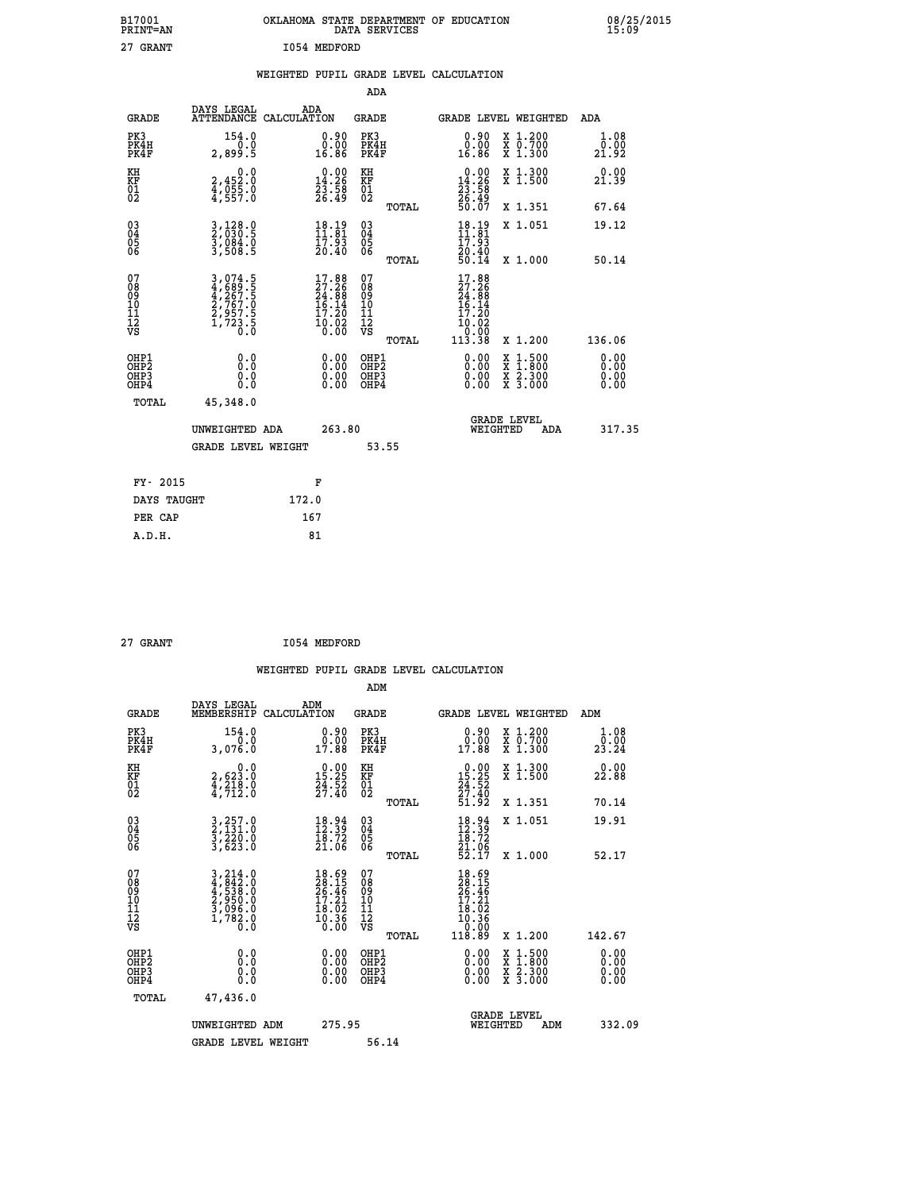| B17001<br>PRINT=AN   | OKLAHOMA STATE DEPARTMENT OF EDUCATION<br>DATA SERVICES | 08/25/2015<br>15:09  |
|----------------------|---------------------------------------------------------|----------------------|
| 27 GRANT             | I054 MEDFORD                                            |                      |
|                      | WEIGHTED PUPIL GRADE LEVEL CALCULATION                  |                      |
|                      | ADA                                                     |                      |
| $\sim$ $\sim$ $\sim$ | ADA<br>DAYS LEGAL<br>$\sim$ $\sim$ $\sim$<br>$\theta$   | $\sim$ $\sim$ $\sim$ |

| <b>GRADE</b>                                 |                                                                | ATTENDANCE CALCULATION                                                                       | <b>GRADE</b>                                 |       |                                                                                                       | <b>GRADE LEVEL WEIGHTED</b>                                                                      | ADA                          |
|----------------------------------------------|----------------------------------------------------------------|----------------------------------------------------------------------------------------------|----------------------------------------------|-------|-------------------------------------------------------------------------------------------------------|--------------------------------------------------------------------------------------------------|------------------------------|
| PK3<br>PK4H<br>PK4F                          | 154.0<br>2,899.5                                               | 0.90<br>0.00<br>16.86                                                                        | PK3<br>PK4H<br>PK4F                          |       | $\begin{smallmatrix} 0.90\\ 0.00\\ 16.86 \end{smallmatrix}$                                           | X 1.200<br>x 0.700<br>x 1.300                                                                    | 1.08<br>0.00<br>21.92        |
| KH<br>KF<br>01<br>02                         | 0.0<br>2,452:0<br>4,055:0<br>4,557:0                           | $\begin{smallmatrix} 0.00\\14.26\\23.58\\26.49 \end{smallmatrix}$                            | KH<br>KF<br>01<br>02                         |       | $\begin{smallmatrix} 0.00\\14.26\\23.58\\26.49\\50.07 \end{smallmatrix}$                              | X 1.300<br>X 1.500                                                                               | 0.00<br>21.39                |
|                                              |                                                                |                                                                                              |                                              | TOTAL |                                                                                                       | X 1.351                                                                                          | 67.64                        |
| 030404<br>ŌĞ                                 | 3,128.0<br>2,030.5<br>3,084.0<br>3,508.5                       | $\begin{smallmatrix} 18.19\\11.81\\17.93\\20.40 \end{smallmatrix}$                           | 030404<br>06                                 | TOTAL | $18.19$<br>$11.81$<br>$17.93$<br>$20.40$<br>$50.14$                                                   | X 1.051<br>X 1.000                                                                               | 19.12<br>50.14               |
| 07<br>08<br>09<br>10<br>11<br>11<br>12<br>VS | 3,074.5<br>4,689.5<br>4,267.5<br>2,767.0<br>2,957.5<br>1,723.5 | $\begin{smallmatrix} 17.88\\ 27.26\\ 24.88\\ 16.14\\ 17.20\\ 10.02\\ 0.00 \end{smallmatrix}$ | 07<br>08<br>09<br>01<br>11<br>11<br>12<br>VS | TOTAL | $\begin{smallmatrix} 17.88\\ 27.26\\ 24.88\\ 16.14\\ 17.20\\ 10.02\\ 0.00\\ 113.38 \end{smallmatrix}$ | X 1.200                                                                                          | 136.06                       |
| OHP1<br>OHP2<br>OHP3<br>OHP4                 | 0.0<br>0.0<br>0.0                                              | $\begin{smallmatrix} 0.00 \ 0.00 \ 0.00 \ 0.00 \end{smallmatrix}$                            | OHP1<br>OHP2<br>OHP3<br>OHP4                 |       | 0.00<br>0.00000                                                                                       | $\begin{smallmatrix} x & 1 & 500 \\ x & 1 & 800 \\ x & 2 & 300 \\ x & 3 & 000 \end{smallmatrix}$ | 0.00<br>0.00<br>0.00<br>0.00 |
| TOTAL                                        | 45,348.0<br>UNWEIGHTED ADA<br><b>GRADE LEVEL WEIGHT</b>        | 263.80                                                                                       |                                              | 53.55 | WEIGHTED                                                                                              | <b>GRADE LEVEL</b><br>ADA                                                                        | 317.35                       |
| FY- 2015                                     |                                                                | F                                                                                            |                                              |       |                                                                                                       |                                                                                                  |                              |
| DAYS TAUGHT                                  |                                                                | 172.0                                                                                        |                                              |       |                                                                                                       |                                                                                                  |                              |

| 27 GRANT | I054 MEDFORD |
|----------|--------------|
|          |              |

 **PER CAP 167 A.D.H. 81**

 **WEIGHTED PUPIL GRADE LEVEL CALCULATION ADM DAYS LEGAL ADM GRADE MEMBERSHIP CALCULATION GRADE GRADE LEVEL WEIGHTED ADM PK3 154.0 0.90 PK3 0.90 X 1.200 1.08 PK4H 0.0 0.00 PK4H 0.00 X 0.700 0.00 PK4F 3,076.0 17.88 PK4F 17.88 X 1.300 23.24 KH 0.0 0.00 KH 0.00 X 1.300 0.00 KF 2,623.0 15.25 KF 15.25 X 1.500 22.88 01 4,218.0 24.52 01 24.52 02 4,712.0 27.40 02 27.40 TOTAL 51.92 X 1.351 70.14 03 3,257.0 18.94 03 18.94 X 1.051 19.91 04 2,131.0 12.39 04 12.39 05 3,220.0 18.72 05 18.72 06 3,623.0 21.06 06 21.06 TOTAL 52.17 X 1.000 52.17**  $\begin{array}{cccc} 07 & 3,214.0 & 18.69 & 07 & 18.69 \ 08 & 4,842.0 & 28.15 & 08 & 28.15 \ 09 & 4,538.0 & 26.46 & 09 & 26.45 \ 10 & 2,950.0 & 17.21 & 10 & 17.21 \ 11 & 3,096.0 & 18.02 & 11 & 18.02 \ \hline \textrm{vs} & 1,786.0 & 18.02 & 11 & 18.02 \ \hline \textrm{vs} & 1,786.0 &$  **TOTAL 118.89 X 1.200 142.67 OHP1 0.0 0.00 OHP1 0.00 X 1.500 0.00 OHP2 0.0 0.00 OHP2 0.00 X 1.800 0.00 OHP3 0.0 0.00 OHP3 0.00 X 2.300 0.00 OHP4 0.0 0.00 OHP4 0.00 X 3.000 0.00 TOTAL 47,436.0 GRADE LEVEL UNWEIGHTED ADM 275.95 WEIGHTED ADM 332.09** GRADE LEVEL WEIGHT 56.14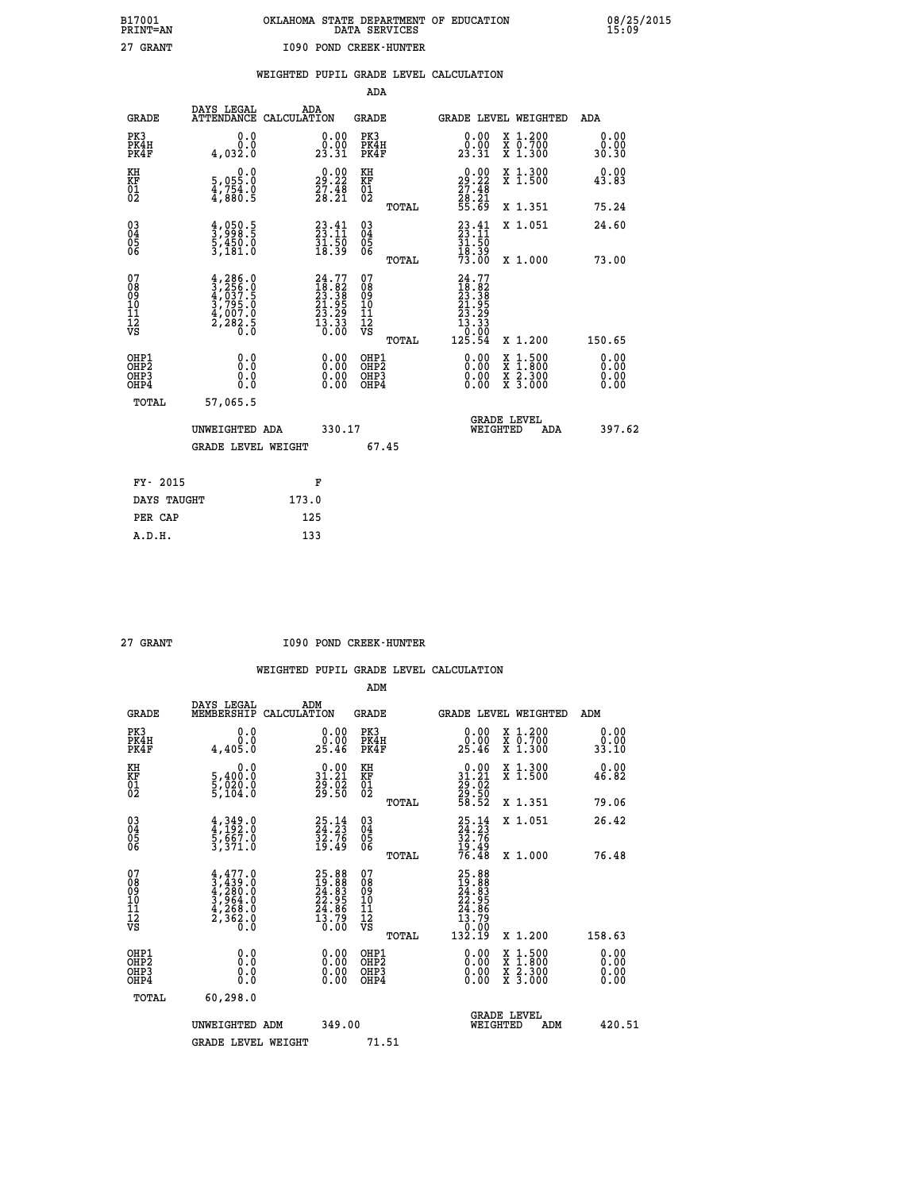|  | OKLAHOMA STATE DEPARTMENT OF EDUCATION<br>DATA SERVICES |  |
|--|---------------------------------------------------------|--|
|  | 1090 POND CREEK-HUNTER                                  |  |

|  |  | WEIGHTED PUPIL GRADE LEVEL CALCULATION |
|--|--|----------------------------------------|
|  |  |                                        |

|                                                                   |              |                                                                                                         |       |                                                                                              | ADA                                       |       |                                                                                                              |                                          |                              |
|-------------------------------------------------------------------|--------------|---------------------------------------------------------------------------------------------------------|-------|----------------------------------------------------------------------------------------------|-------------------------------------------|-------|--------------------------------------------------------------------------------------------------------------|------------------------------------------|------------------------------|
|                                                                   | <b>GRADE</b> | DAYS LEGAL<br>ATTENDANCE CALCULATION                                                                    | ADA   |                                                                                              | <b>GRADE</b>                              |       |                                                                                                              | GRADE LEVEL WEIGHTED                     | ADA                          |
| PK3<br>PK4H<br>PK4F                                               |              | 0.0<br>0.0<br>4,032.0                                                                                   |       | $\begin{smallmatrix} 0.00\\ 0.00\\ 23.31 \end{smallmatrix}$                                  | PK3<br>PK4H<br>PK4F                       |       | $\begin{smallmatrix} 0.00\\ 0.00\\ 23.31 \end{smallmatrix}$                                                  | X 1.200<br>X 0.700<br>X 1.300            | 0.00<br>0.00<br>30.30        |
| KH<br><b>KF</b><br>01<br>02                                       |              | 0.0<br>5,055:0<br>4,754.0<br>4,880:5                                                                    |       | 29:22<br>$\frac{27.48}{28.21}$                                                               | KH<br>KF<br>01<br>02                      |       | $\begin{smallmatrix} 0.00\\29.22\\27.48\\28.21\\55.69 \end{smallmatrix}$                                     | X 1.300<br>X 1.500                       | 0.00<br>43.83                |
|                                                                   |              |                                                                                                         |       |                                                                                              |                                           | TOTAL |                                                                                                              | X 1.351                                  | 75.24                        |
| $^{03}_{04}$<br>Ŏ5<br>06                                          |              | $\frac{4}{3}, \frac{050}{998}.5$<br>5,450.0<br>3,181.0                                                  |       | 23.41<br>$\frac{51}{18}$ $\frac{50}{39}$                                                     | $\substack{03 \\ 04}$<br>Ŏ5<br>06         | TOTAL | $23.11$<br>$23.11$<br>$31.50$<br>$18.39$<br>$73.00$                                                          | X 1.051<br>X 1.000                       | 24.60<br>73.00               |
| 07<br>08901112<br>1112<br>VS                                      |              | $\begin{smallmatrix} 4,286.0\\ 3,256.0\\ 4,037.5\\ 3,795.0\\ 4,007.0\\ 2,282.5\\ 0.0 \end{smallmatrix}$ |       | $\begin{smallmatrix} 24.77\\18.82\\23.38\\21.95\\23.29\\23.29\\13.33\\0.00\end{smallmatrix}$ | 07<br>08<br>09<br>11<br>11<br>12<br>VS    |       | $\begin{smallmatrix} 24.77\ 18.82\ 23.385\ 21.955\ 23.295\ 23.293\ 13.33\ 10.000\ 125.54\ \end{smallmatrix}$ |                                          |                              |
|                                                                   |              |                                                                                                         |       |                                                                                              |                                           | TOTAL |                                                                                                              | X 1.200                                  | 150.65                       |
| OHP1<br>OH <sub>P</sub> 2<br>OH <sub>P3</sub><br>OH <sub>P4</sub> |              | 0.0<br>0.0<br>0.0                                                                                       |       | 0.00<br>$\begin{smallmatrix} 0.00 \ 0.00 \end{smallmatrix}$                                  | OHP1<br>OH <sub>P</sub> 2<br>OHP3<br>OHP4 |       | 0.00<br>0.00<br>0.00                                                                                         | X 1:500<br>X 1:800<br>X 2:300<br>X 3:000 | 0.00<br>0.00<br>0.00<br>0.00 |
|                                                                   | TOTAL        | 57,065.5                                                                                                |       |                                                                                              |                                           |       |                                                                                                              |                                          |                              |
|                                                                   |              | UNWEIGHTED ADA                                                                                          |       | 330.17                                                                                       |                                           |       |                                                                                                              | GRADE LEVEL<br>WEIGHTED<br>ADA           | 397.62                       |
|                                                                   |              | <b>GRADE LEVEL WEIGHT</b>                                                                               |       |                                                                                              | 67.45                                     |       |                                                                                                              |                                          |                              |
|                                                                   | FY- 2015     |                                                                                                         |       | F                                                                                            |                                           |       |                                                                                                              |                                          |                              |
|                                                                   | DAYS TAUGHT  |                                                                                                         | 173.0 |                                                                                              |                                           |       |                                                                                                              |                                          |                              |
|                                                                   | PER CAP      |                                                                                                         | 125   |                                                                                              |                                           |       |                                                                                                              |                                          |                              |

 **A.D.H. 133**

 **B17001<br>PRINT=AN<br>27 GRANT** 

 **27 GRANT I090 POND CREEK-HUNTER**

|                                          |                                                                                     |                                                                      | ADM                                                 |                                                                                              |                                          |                       |
|------------------------------------------|-------------------------------------------------------------------------------------|----------------------------------------------------------------------|-----------------------------------------------------|----------------------------------------------------------------------------------------------|------------------------------------------|-----------------------|
| <b>GRADE</b>                             | DAYS LEGAL<br>MEMBERSHIP                                                            | ADM<br>CALCULATION                                                   | <b>GRADE</b>                                        |                                                                                              | GRADE LEVEL WEIGHTED                     | ADM                   |
| PK3<br>PK4H<br>PK4F                      | 0.0<br>0.0<br>4,405.0                                                               | $\begin{smallmatrix} 0.00\\ 0.00\\ 25.46 \end{smallmatrix}$          | PK3<br>PK4H<br>PK4F                                 | $\begin{smallmatrix} 0.00\\ 0.00\\ 25.46 \end{smallmatrix}$                                  | X 1.200<br>X 0.700<br>X 1.300            | 0.00<br>0.00<br>33.10 |
| KH<br>KF<br>01<br>02                     | 0.0<br>5,400:0<br>5,020:0<br>5,104:0                                                | $\begin{smallmatrix} 0.00\\ 31.21\\ 29.02\\ 29.50 \end{smallmatrix}$ | KH<br>KF<br>01<br>02                                | $\begin{smallmatrix} 0.00\\ 31.21\\ 29.02\\ 29.50\\ 58.52 \end{smallmatrix}$                 | X 1.300<br>X 1.500                       | 0.00<br>46.82         |
|                                          |                                                                                     |                                                                      | TOTAL                                               |                                                                                              | X 1.351                                  | 79.06                 |
| 03<br>04<br>05<br>06                     | $4,349.0$<br>$5,667.0$<br>$3,371.0$                                                 | 25.14<br>24.23<br>32.76<br>19.49                                     | $\begin{array}{c} 03 \\ 04 \\ 05 \\ 06 \end{array}$ | 25.14<br>24.23<br>32.76<br>32.49<br>19.49<br>76.48                                           | X 1.051                                  | 26.42                 |
|                                          |                                                                                     |                                                                      | TOTAL                                               |                                                                                              | X 1.000                                  | 76.48                 |
| 07<br>08<br>09<br>101<br>112<br>VS       | $4,477.0$<br>$3,439.0$<br>$4,280.0$<br>$3,964.0$<br>$4,268.0$<br>$2,362.0$<br>$0.0$ | $25.88\n19.883\n24.83\n22.95\n24.86\n13.79\n0.00$                    | 07<br>08<br>09<br>11<br>11<br>12<br>VS              | $\begin{smallmatrix} 25.88\ 12.91.82\ 22.955\ 24.86\ 13.79\ 13.10\ 132.19 \end{smallmatrix}$ |                                          |                       |
|                                          |                                                                                     |                                                                      | TOTAL                                               |                                                                                              | X 1.200                                  | 158.63                |
| OHP1<br>OHP2<br>OHP <sub>3</sub><br>OHP4 |                                                                                     |                                                                      | OHP1<br>OHP2<br>OHP <sub>3</sub>                    | $0.00$<br>$0.00$<br>0.00                                                                     | X 1:500<br>X 1:800<br>X 2:300<br>X 3:000 | 0.00<br>0.00<br>0.00  |
| TOTAL                                    | 60,298.0                                                                            |                                                                      |                                                     |                                                                                              |                                          |                       |
|                                          | UNWEIGHTED ADM                                                                      | 349.00                                                               |                                                     |                                                                                              | GRADE LEVEL<br>WEIGHTED<br>ADM           | 420.51                |
|                                          | <b>GRADE LEVEL WEIGHT</b>                                                           |                                                                      | 71.51                                               |                                                                                              |                                          |                       |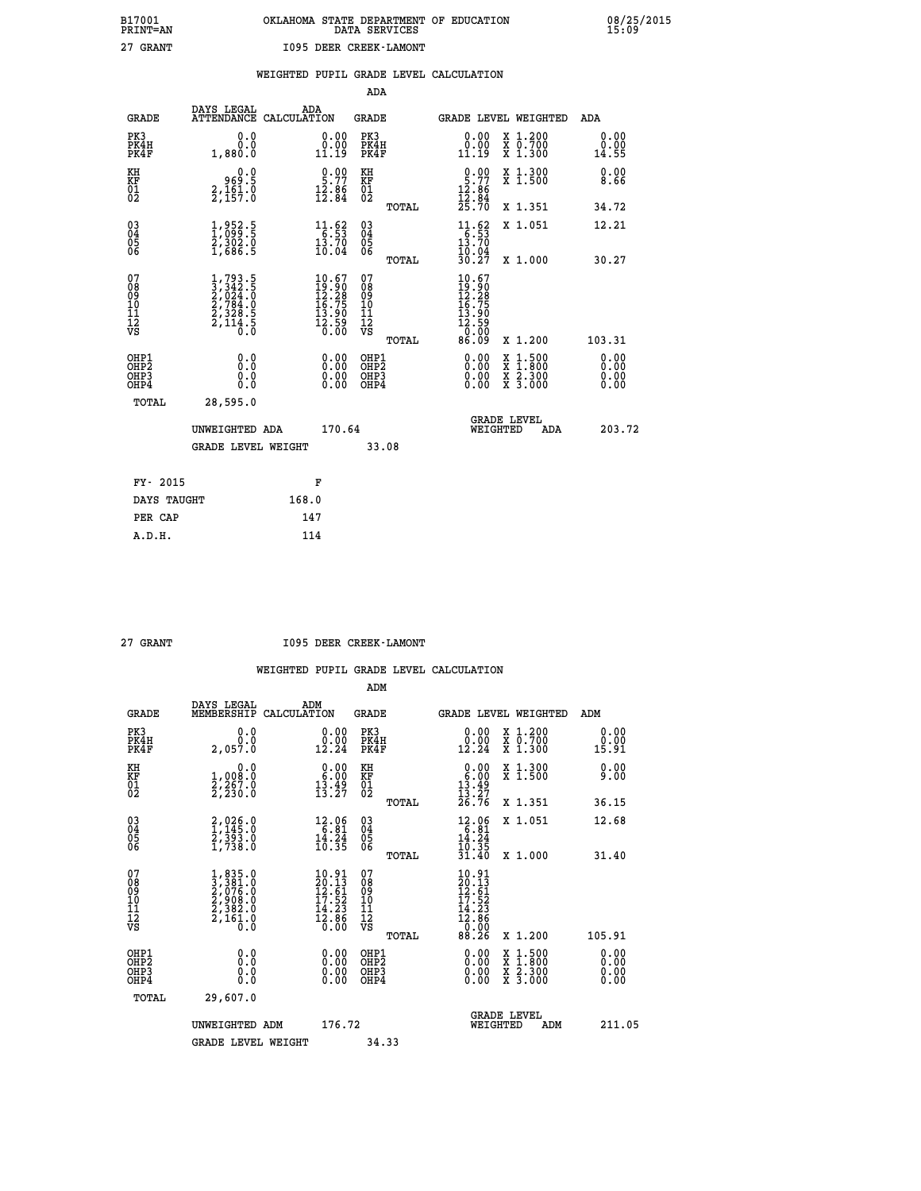|                                                                    |                                                                                                         |                                                                                        | ADA                                    |       |                                                                                                                                                                                                                                                                                |                                                                                                                                           |                               |
|--------------------------------------------------------------------|---------------------------------------------------------------------------------------------------------|----------------------------------------------------------------------------------------|----------------------------------------|-------|--------------------------------------------------------------------------------------------------------------------------------------------------------------------------------------------------------------------------------------------------------------------------------|-------------------------------------------------------------------------------------------------------------------------------------------|-------------------------------|
| <b>GRADE</b>                                                       | DAYS LEGAL                                                                                              | ADA<br>ATTENDANCE CALCULATION                                                          | <b>GRADE</b>                           |       |                                                                                                                                                                                                                                                                                | GRADE LEVEL WEIGHTED                                                                                                                      | ADA                           |
| PK3<br>PK4H<br>PK4F                                                | 0.0<br>0.0<br>1,880.0                                                                                   | $\begin{smallmatrix} 0.00\\ 0.00\\ 11.19 \end{smallmatrix}$                            | PK3<br>PK4H<br>PK4F                    |       | $\begin{smallmatrix} 0.00\\ 0.00\\ 11.19 \end{smallmatrix}$                                                                                                                                                                                                                    | X 1.200<br>X 0.700<br>X 1.300                                                                                                             | 0.00<br>0.00<br>14.55         |
| KH<br>KF<br>01<br>02                                               | 0.0<br>8:30<br>8:161,2<br>8:157:0                                                                       | $\frac{0.00}{5.77}$<br>$\frac{12.86}{12.84}$                                           | KH<br>KF<br>01<br>02                   |       | $\frac{0.00}{5.77}$<br>$\frac{12.86}{12.84}$<br>$\frac{25.70}{25.70}$                                                                                                                                                                                                          | X 1.300<br>X 1.500                                                                                                                        | 0.00<br>8.66                  |
|                                                                    |                                                                                                         |                                                                                        |                                        | TOTAL |                                                                                                                                                                                                                                                                                | X 1.351                                                                                                                                   | 34.72                         |
| $\begin{smallmatrix} 03 \\[-4pt] 04 \end{smallmatrix}$<br>Ŏ5<br>06 | $\frac{1}{2}, \frac{952}{099}.\frac{5}{5}$<br>$\frac{2}{3}, \frac{302}{06}.\frac{0}{5}$                 | $\begin{array}{r} 11.62 \\[-4pt] 6.53 \\[-4pt] 13.70 \\[-4pt] 10.04 \end{array}$       | $\substack{03 \\ 04}$<br>Ŏ5<br>06      |       | $\begin{array}{r} 11.62 \\[-4pt] 6.53 \\[-4pt] 13.70 \\[-4pt] 10.04 \\[-4pt] 30.27 \end{array}$                                                                                                                                                                                | X 1.051                                                                                                                                   | 12.21                         |
|                                                                    |                                                                                                         |                                                                                        |                                        | TOTAL |                                                                                                                                                                                                                                                                                | X 1.000                                                                                                                                   | 30.27                         |
| 07<br>08<br>09<br>101<br>11<br>12<br>VS                            | $\begin{smallmatrix} 1,793.5\\ 3,342.5\\ 2,024.0\\ 2,784.0\\ 2,328.5\\ 2,114.5\\ 0.0 \end{smallmatrix}$ | $\begin{smallmatrix} 10.67\\19.90\\12.28\\16.75\\13.90\\12.59\\0.00 \end{smallmatrix}$ | 07<br>08<br>09<br>11<br>11<br>12<br>VS |       | $10.67$<br>$12.28$<br>$16.75$<br>$13.90$<br>$12.59$<br>$0.00$                                                                                                                                                                                                                  |                                                                                                                                           |                               |
|                                                                    |                                                                                                         |                                                                                        |                                        | TOTAL | 86.09                                                                                                                                                                                                                                                                          | X 1.200                                                                                                                                   | 103.31                        |
| OHP1<br>OHP <sub>2</sub><br>OH <sub>P3</sub><br>OHP4               | 0.0<br>0.000                                                                                            | 0.00<br>$\begin{smallmatrix} 0.00 \ 0.00 \end{smallmatrix}$                            | OHP1<br>OHP2<br>OHP <sub>3</sub>       |       | $\begin{smallmatrix} 0.00 & 0.00 & 0.00 & 0.00 & 0.00 & 0.00 & 0.00 & 0.00 & 0.00 & 0.00 & 0.00 & 0.00 & 0.00 & 0.00 & 0.00 & 0.00 & 0.00 & 0.00 & 0.00 & 0.00 & 0.00 & 0.00 & 0.00 & 0.00 & 0.00 & 0.00 & 0.00 & 0.00 & 0.00 & 0.00 & 0.00 & 0.00 & 0.00 & 0.00 & 0.00 & 0.0$ | $\begin{smallmatrix} \mathtt{X} & 1\cdot500\\ \mathtt{X} & 1\cdot800\\ \mathtt{X} & 2\cdot300\\ \mathtt{X} & 3\cdot000 \end{smallmatrix}$ | 0.00<br>Ō. ŌŌ<br>0.00<br>0.00 |
| TOTAL                                                              | 28,595.0                                                                                                |                                                                                        |                                        |       |                                                                                                                                                                                                                                                                                |                                                                                                                                           |                               |
|                                                                    | UNWEIGHTED ADA                                                                                          | 170.64                                                                                 |                                        |       |                                                                                                                                                                                                                                                                                | <b>GRADE LEVEL</b><br>WEIGHTED<br>ADA                                                                                                     | 203.72                        |
|                                                                    | <b>GRADE LEVEL WEIGHT</b>                                                                               |                                                                                        |                                        | 33.08 |                                                                                                                                                                                                                                                                                |                                                                                                                                           |                               |
| FY- 2015                                                           |                                                                                                         | F                                                                                      |                                        |       |                                                                                                                                                                                                                                                                                |                                                                                                                                           |                               |
| DAYS TAUGHT                                                        |                                                                                                         | 168.0                                                                                  |                                        |       |                                                                                                                                                                                                                                                                                |                                                                                                                                           |                               |
| PER CAP                                                            |                                                                                                         | 147                                                                                    |                                        |       |                                                                                                                                                                                                                                                                                |                                                                                                                                           |                               |

| <b>GRANT</b> |
|--------------|

 **27 GRANT I095 DEER CREEK-LAMONT**

|                                          |                                                                                                                                             |                                                                                                            | ADM                                                 |                                                                                                             |                                          |                       |
|------------------------------------------|---------------------------------------------------------------------------------------------------------------------------------------------|------------------------------------------------------------------------------------------------------------|-----------------------------------------------------|-------------------------------------------------------------------------------------------------------------|------------------------------------------|-----------------------|
| <b>GRADE</b>                             | DAYS LEGAL<br>MEMBERSHIP                                                                                                                    | ADM<br>CALCULATION                                                                                         | <b>GRADE</b>                                        | GRADE LEVEL WEIGHTED                                                                                        |                                          | ADM                   |
| PK3<br>PK4H<br>PK4F                      | 0.0<br>0.0<br>2,057.0                                                                                                                       | $\begin{smallmatrix} 0.00\\ 0.00\\ 12.24 \end{smallmatrix}$                                                | PK3<br>PK4H<br>PK4F                                 | $\begin{smallmatrix} 0.00\\ 0.00\\ 12.24 \end{smallmatrix}$                                                 | X 1.200<br>X 0.700<br>X 1.300            | 0.00<br>0.00<br>15.91 |
| KH<br>KF<br>01<br>02                     | 0.0<br>1,008:0<br>2,267:0<br>2,230:0                                                                                                        | $\begin{smallmatrix} 0.00\\ 6.00\\ 13.49\\ 13.27 \end{smallmatrix}$                                        | KH<br>KF<br>01<br>02                                | $0.00\n6.00\n13.49\n13.27\n26.76$                                                                           | X 1.300<br>X 1.500                       | 0.00<br>9.00          |
|                                          |                                                                                                                                             |                                                                                                            | TOTAL                                               |                                                                                                             | X 1.351                                  | 36.15                 |
| 03<br>04<br>05<br>06                     | 2,026.0<br>1,145.0<br>2,393.0<br>1,738.0                                                                                                    | $\begin{array}{r} 12.06 \\ 6.81 \\ 14.24 \\ 10.35 \end{array}$                                             | $\begin{array}{c} 03 \\ 04 \\ 05 \\ 06 \end{array}$ | 12.06<br>6.81<br>14.24<br>10.35                                                                             | X 1.051                                  | 12.68                 |
|                                          |                                                                                                                                             |                                                                                                            | TOTAL                                               | 31.40                                                                                                       | X 1.000                                  | 31.40                 |
| 07<br>08<br>09<br>101<br>112<br>VS       | $\begin{smallmatrix} 1, & 835 & 0\\ 3, & 381 & 0\\ 2, & 076 & 0\\ 2, & 908 & 0\\ 2, & 382 & 0\\ 2, & 161 & 0\\ 0 & 0 & 0 \end{smallmatrix}$ | $\begin{smallmatrix} 10.91 \\ 20.13 \\ 12.61 \\ 17.52 \\ 14.23 \\ 14.33 \\ 2.86 \\ 0.00 \end{smallmatrix}$ | 07<br>08<br>09<br>11<br>11<br>12<br>VS<br>TOTAL     | $\begin{smallmatrix} 10.91 \\ 20.13 \\ 12.61 \\ 17.52 \\ 14.23 \\ 12.86 \\ 0.00 \\ 88.26 \end{smallmatrix}$ | X 1.200                                  | 105.91                |
|                                          |                                                                                                                                             |                                                                                                            |                                                     |                                                                                                             |                                          | 0.00                  |
| OHP1<br>OHP2<br>OH <sub>P3</sub><br>OHP4 | 0.0<br>0.000                                                                                                                                |                                                                                                            | OHP1<br>OHP2<br>OHP <sub>3</sub>                    | $0.00$<br>$0.00$<br>0.00                                                                                    | X 1:500<br>X 1:800<br>X 2:300<br>X 3:000 | 0.00<br>0.00<br>0.00  |
| TOTAL                                    | 29,607.0                                                                                                                                    |                                                                                                            |                                                     |                                                                                                             |                                          |                       |
|                                          | UNWEIGHTED ADM                                                                                                                              | 176.72                                                                                                     |                                                     | WEIGHTED                                                                                                    | <b>GRADE LEVEL</b><br>ADM                | 211.05                |
|                                          | <b>GRADE LEVEL WEIGHT</b>                                                                                                                   |                                                                                                            | 34.33                                               |                                                                                                             |                                          |                       |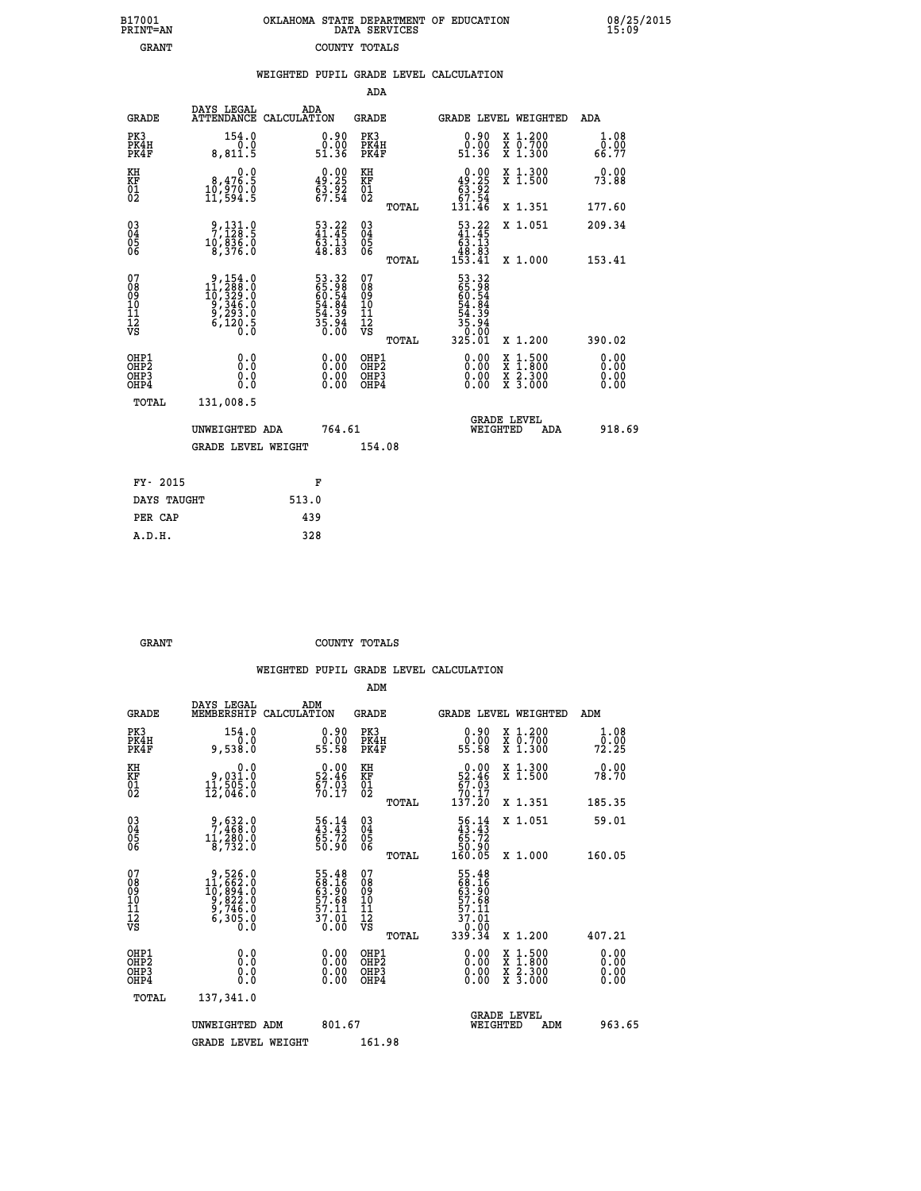| B17001          | OKLAHOMA STATE DEPARTMENT OF EDUCATION |
|-----------------|----------------------------------------|
| <b>PRINT=AN</b> | DATA SERVICES                          |
| GRANT           | COUNTY TOTALS                          |

 **B17001<br>PRINT=AN** 

 **B17001 OKLAHOMA STATE DEPARTMENT OF EDUCATION 08/25/2015**

|                                                              |                                                                                                                               | WEIGHTED PUPIL GRADE LEVEL CALCULATION                                                   |                                         |       |                                                                                                                                                                                                                                                                                |                                                                                        |                       |
|--------------------------------------------------------------|-------------------------------------------------------------------------------------------------------------------------------|------------------------------------------------------------------------------------------|-----------------------------------------|-------|--------------------------------------------------------------------------------------------------------------------------------------------------------------------------------------------------------------------------------------------------------------------------------|----------------------------------------------------------------------------------------|-----------------------|
|                                                              |                                                                                                                               |                                                                                          | ADA                                     |       |                                                                                                                                                                                                                                                                                |                                                                                        |                       |
| <b>GRADE</b>                                                 | DAYS LEGAL                                                                                                                    | ADA<br>ATTENDANCE CALCULATION                                                            | <b>GRADE</b>                            |       |                                                                                                                                                                                                                                                                                | GRADE LEVEL WEIGHTED                                                                   | ADA                   |
| PK3<br>PK4H<br>PK4F                                          | 154.0<br>0.0<br>8,811.5                                                                                                       | $\begin{smallmatrix} 0.90\\ 0.00\\ 51.36 \end{smallmatrix}$                              | PK3<br>PK4H<br>PK4F                     |       | $\begin{smallmatrix} 0.90\\ 0.00\\ 51.36 \end{smallmatrix}$                                                                                                                                                                                                                    | X 1.200<br>X 0.700<br>X 1.300                                                          | 1.08<br>0.00<br>66.77 |
| KH<br>KF<br>01<br>02                                         | 8,476.9<br>1ŏ,§żŏ:ŏ<br>11,594:5                                                                                               | $0.00$<br>49.25<br>$\frac{53.92}{67.54}$                                                 | KH<br>KF<br>01<br>02                    |       | $0.00\n49.25\n63.92\n67.54\n131.46$                                                                                                                                                                                                                                            | X 1.300<br>X 1.500                                                                     | 0.00<br>73.88         |
|                                                              |                                                                                                                               |                                                                                          |                                         | TOTAL |                                                                                                                                                                                                                                                                                | X 1.351                                                                                | 177.60                |
| $\begin{smallmatrix} 03 \\[-4pt] 04 \end{smallmatrix}$<br>05 | $\begin{smallmatrix} 9,131.0\\7,128.5\\10,836.0\\8,376.0 \end{smallmatrix}$                                                   | $\frac{53.22}{41.45}$<br>$\bar{6}\bar{3}\,\dot{.}\,\bar{1}\bar{3}\,\,\\ 48\,\dot{.}\,83$ | 03<br>04<br>05<br>06                    |       | $\begin{smallmatrix} 53.22 \\ 41.45 \\ 63.13 \\ 48.83 \\ 153.41 \end{smallmatrix}$                                                                                                                                                                                             | X 1.051                                                                                | 209.34                |
| 06                                                           |                                                                                                                               |                                                                                          |                                         | TOTAL |                                                                                                                                                                                                                                                                                | X 1.000                                                                                | 153.41                |
| 07<br>08<br>09<br>01<br>11<br>11<br>12<br>VS                 | $\begin{smallmatrix}9,154\cdot0\\11,288\cdot0\\10,329\cdot0\\9,346\cdot0\\9,293\cdot0\\6,120\cdot5\\0\cdot0\end{smallmatrix}$ | 53.32<br>65.98<br>60.54<br>60.54<br>54.39<br>54.39<br>35.94                              | 07<br>08<br>09<br>101<br>11<br>12<br>VS | TOTAL | 53.32<br>65.988<br>60.544<br>64.849<br>54.35.94<br>30.000<br>325.01                                                                                                                                                                                                            | X 1.200                                                                                | 390.02                |
| OHP1<br>OHP2<br>OHP3<br>OHP4                                 | 0.0<br>0.0<br>0.0                                                                                                             |                                                                                          | OHP1<br>OHP2<br>OHP <sub>3</sub>        |       | $\begin{smallmatrix} 0.00 & 0.00 & 0.00 & 0.00 & 0.00 & 0.00 & 0.00 & 0.00 & 0.00 & 0.00 & 0.00 & 0.00 & 0.00 & 0.00 & 0.00 & 0.00 & 0.00 & 0.00 & 0.00 & 0.00 & 0.00 & 0.00 & 0.00 & 0.00 & 0.00 & 0.00 & 0.00 & 0.00 & 0.00 & 0.00 & 0.00 & 0.00 & 0.00 & 0.00 & 0.00 & 0.0$ | $\begin{smallmatrix} 1.500\ 1.800\ 2.300\ 3.000 \end{smallmatrix}$<br>X<br>X<br>X<br>X | 0.00<br>0.00          |
| TOTAL                                                        | 131,008.5                                                                                                                     |                                                                                          |                                         |       |                                                                                                                                                                                                                                                                                |                                                                                        |                       |
|                                                              | UNWEIGHTED ADA                                                                                                                | 764.61                                                                                   |                                         |       | WEIGHTED                                                                                                                                                                                                                                                                       | <b>GRADE LEVEL</b><br>ADA                                                              | 918.69                |
|                                                              | <b>GRADE LEVEL WEIGHT</b>                                                                                                     |                                                                                          | 154.08                                  |       |                                                                                                                                                                                                                                                                                |                                                                                        |                       |
| FY- 2015                                                     |                                                                                                                               | F                                                                                        |                                         |       |                                                                                                                                                                                                                                                                                |                                                                                        |                       |
| DAYS TAUGHT                                                  |                                                                                                                               | 513.0                                                                                    |                                         |       |                                                                                                                                                                                                                                                                                |                                                                                        |                       |
| PER CAP                                                      |                                                                                                                               | 439                                                                                      |                                         |       |                                                                                                                                                                                                                                                                                |                                                                                        |                       |

| GRANT | COUNTY TOTALS |  |
|-------|---------------|--|

 **A.D.H. 328**

|                                           |                                                                                                   |                                                                    | ADM                                                 |       |                                                                               |                                          |                              |        |
|-------------------------------------------|---------------------------------------------------------------------------------------------------|--------------------------------------------------------------------|-----------------------------------------------------|-------|-------------------------------------------------------------------------------|------------------------------------------|------------------------------|--------|
| <b>GRADE</b>                              | DAYS LEGAL<br>MEMBERSHIP                                                                          | ADM<br>CALCULATION                                                 | <b>GRADE</b>                                        |       |                                                                               | GRADE LEVEL WEIGHTED                     | ADM                          |        |
| PK3<br>PK4H<br>PK4F                       | 154.0<br>0.0<br>9,538.0                                                                           | $\begin{smallmatrix} 0.90\\ 0.00\\ 0.00\\ 55.58 \end{smallmatrix}$ | PK3<br>PK4H<br>PK4F                                 |       | $\begin{smallmatrix} 0.90\\ 0.00\\ 55.58 \end{smallmatrix}$                   | X 1.200<br>X 0.700<br>X 1.300            | 1.08<br>72.00<br>72.25       |        |
| KH<br>KF<br>01<br>02                      | 0.0<br>9,031.0<br>11,505.0<br>12,046.0                                                            | $52.46$<br>$52.46$<br>$67.03$<br>$70.17$                           | KH<br>KF<br>01<br>02                                |       | $\begin{smallmatrix} &0.00\\ 52.46\\ 67.03\\ 70.17\\ 137.20\end{smallmatrix}$ | X 1.300<br>X 1.500                       | 0.00<br>78.70                |        |
|                                           |                                                                                                   |                                                                    |                                                     | TOTAL |                                                                               | X 1.351                                  | 185.35                       |        |
| 03<br>04<br>05<br>06                      | 9,632.0<br>7,468.0<br>11,280.0<br>8,732.0                                                         | 56.14<br>43.43<br>55.72<br>50.90                                   | $\begin{array}{c} 03 \\ 04 \\ 05 \\ 06 \end{array}$ |       | $\begin{smallmatrix} 56.14\ 43.43\ 65.72\ 50.90\ 160.05 \end{smallmatrix}$    | X 1.051                                  | 59.01                        |        |
|                                           |                                                                                                   |                                                                    |                                                     | TOTAL |                                                                               | X 1.000                                  | 160.05                       |        |
| 07<br>08<br>09<br>101<br>112<br>VS        | $\begin{smallmatrix}9,526.0\\11,662.0\\10,894.0\\9,822.0\\9,746.0\\6,305.0\\0.0\end{smallmatrix}$ | 55.48<br>68.16<br>63.90<br>57.68<br>57.11<br>57.01<br>37.01        | 07<br>08<br>09<br>11<br>11<br>12<br>VS              |       | 55.48<br>68.16<br>63.90<br>63.68<br>57.11<br>57.11<br>37.01<br>0.00<br>339.34 |                                          |                              |        |
|                                           |                                                                                                   |                                                                    |                                                     | TOTAL |                                                                               | X 1.200                                  | 407.21                       |        |
| OHP1<br>OHP2<br>OH <sub>P</sub> 3<br>OHP4 |                                                                                                   | $0.00$<br>$0.00$<br>0.00                                           | OHP1<br>OHP2<br>OHP <sub>3</sub>                    |       | $0.00$<br>$0.00$<br>0.00                                                      | X 1:500<br>X 1:800<br>X 2:300<br>X 3:000 | 0.00<br>0.00<br>0.00<br>0.00 |        |
| TOTAL                                     | 137,341.0                                                                                         |                                                                    |                                                     |       |                                                                               |                                          |                              |        |
|                                           | UNWEIGHTED ADM                                                                                    | 801.67                                                             |                                                     |       | WEIGHTED                                                                      | <b>GRADE LEVEL</b><br>ADM                |                              | 963.65 |
|                                           | <b>GRADE LEVEL WEIGHT</b>                                                                         |                                                                    | 161.98                                              |       |                                                                               |                                          |                              |        |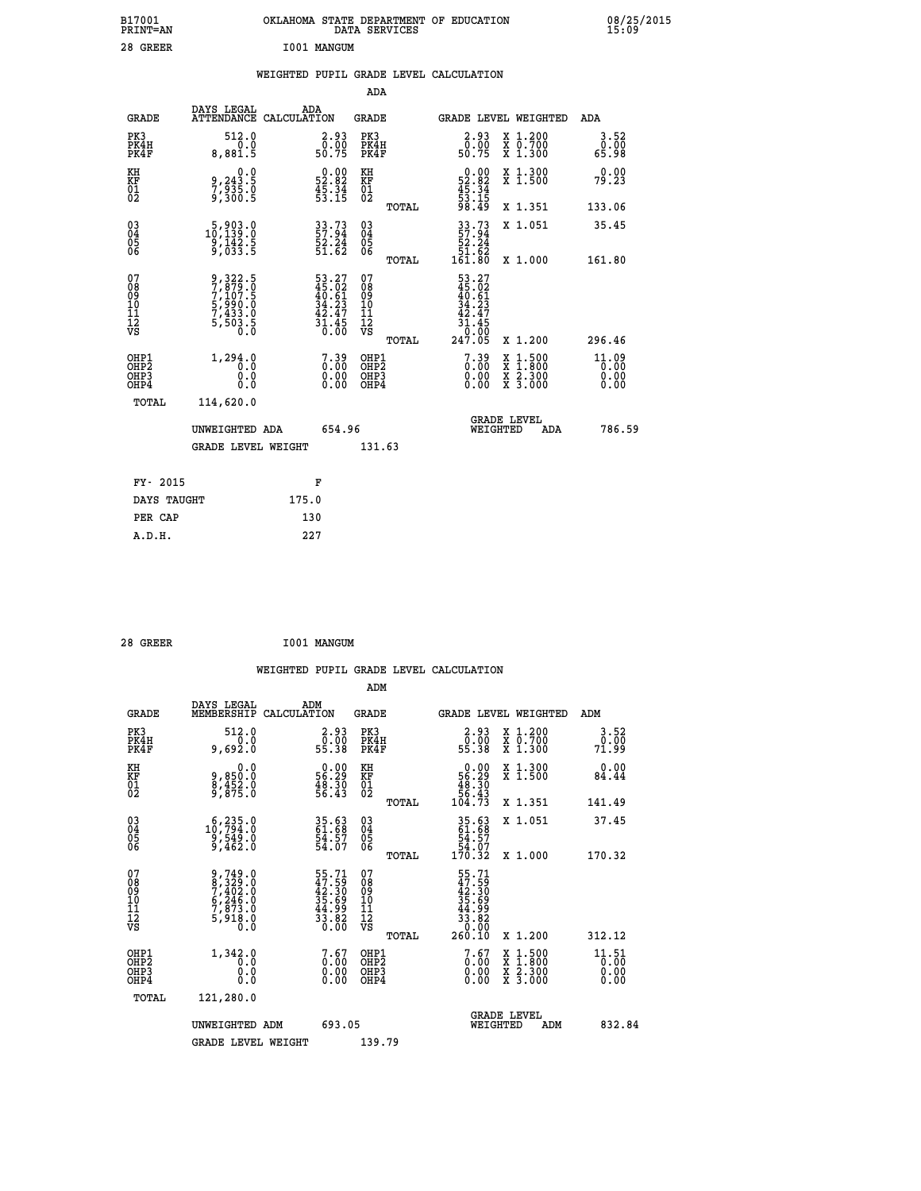| B17001<br>PRINT=AN                       |                                                                           | OKLAHOMA STATE DEPARTMENT OF EDUCATION                                 | DATA SERVICES                                      |                                                                    |                                                                                                  | 08/25/2015                    |  |
|------------------------------------------|---------------------------------------------------------------------------|------------------------------------------------------------------------|----------------------------------------------------|--------------------------------------------------------------------|--------------------------------------------------------------------------------------------------|-------------------------------|--|
| 28 GREER                                 |                                                                           | I001 MANGUM                                                            |                                                    |                                                                    |                                                                                                  |                               |  |
|                                          |                                                                           | WEIGHTED PUPIL GRADE LEVEL CALCULATION                                 |                                                    |                                                                    |                                                                                                  |                               |  |
|                                          |                                                                           |                                                                        | ADA                                                |                                                                    |                                                                                                  |                               |  |
| <b>GRADE</b>                             | DAYS LEGAL                                                                | ADA<br>ATTENDANCE CALCULATION                                          | GRADE                                              |                                                                    | GRADE LEVEL WEIGHTED                                                                             | ADA                           |  |
| PK3<br>PK4H<br>PK4F                      | 512.0<br>0.0<br>8,881.5                                                   | 2.93<br>$\frac{5}{50}$ . 75                                            | PK3<br>PK4H<br>PK4F                                | 2.93<br>$\frac{5}{50}$ . 75                                        | X 1.200<br>X 0.700<br>X 1.300                                                                    | 3.52<br>0.00<br>65.98         |  |
| KH<br>KF<br>01<br>02                     | 0.0<br>9,243.5<br>7,935.0<br>9,300.5                                      | $\begin{smallmatrix} 0.00\\ 52.82\\ 45.34\\ 53.15 \end{smallmatrix}$   | KH<br>KF<br>01<br>02                               | $\begin{array}{c} 0.00 \\ 52.82 \\ 45.34 \\ 53.15 \end{array}$     | X 1.300<br>X 1.500                                                                               | 0.00<br>79.23                 |  |
|                                          |                                                                           |                                                                        | TOTAL                                              | 98.49                                                              | X 1.351                                                                                          | 133.06                        |  |
| 030404<br>06                             | $\substack{5,903.0\\10,139.0\\9,142.5\\9,033.5}$                          | 33.73<br>57.94<br>52.24<br>51.62                                       | $\begin{matrix} 03 \\ 04 \\ 05 \\ 06 \end{matrix}$ | 33.73<br>57:94<br>52.24<br>51.62                                   | X 1.051                                                                                          | 35.45                         |  |
| 07                                       |                                                                           |                                                                        | TOTAL<br>07                                        | $16\overline{1.80}$                                                | X 1.000                                                                                          | 161.80                        |  |
| 08<br>09<br>10<br>īi<br>Ī2<br>VS         | 9,322.5<br>7,879.0<br>7,107.5<br>5,990.0<br>5,990.0<br>7,433.0<br>5,503.5 | $53.27$<br>$45.02$<br>$40.61$<br>$34.23$<br>$42.47$<br>$31.45$<br>0.00 | 08<br>09<br>10<br>11<br>Ī2<br>VS                   | $53.27$<br>$45.02$<br>$40.61$<br>$34.23$<br>42.47<br>31.45<br>0.00 |                                                                                                  |                               |  |
|                                          |                                                                           |                                                                        | TOTAL                                              | 247.05                                                             | X 1.200                                                                                          | 296.46                        |  |
| OHP1<br>OHP <sub>2</sub><br>OHP3<br>OHP4 | 1,294.0<br>Ō. Ō<br>0.0<br>0.0                                             | $\begin{smallmatrix} 7.39\ 0.00\ 0.00\ 0.00 \end{smallmatrix}$         | OHP1<br>OHP <sub>2</sub><br>OHP3<br>OHP4           | $7.39$<br>$0.00$<br>0.00<br>0.00                                   | $\begin{smallmatrix} x & 1 & 500 \\ x & 1 & 800 \\ x & 2 & 300 \\ x & 3 & 000 \end{smallmatrix}$ | 11.09<br>0.00<br>0.00<br>0.00 |  |
| TOTAL                                    | 114,620.0                                                                 |                                                                        |                                                    |                                                                    |                                                                                                  |                               |  |
|                                          | UNWEIGHTED ADA                                                            | 654.96                                                                 |                                                    | WEIGHTED                                                           | <b>GRADE LEVEL</b><br>ADA                                                                        | 786.59                        |  |
|                                          | <b>GRADE LEVEL WEIGHT</b>                                                 |                                                                        | 131.63                                             |                                                                    |                                                                                                  |                               |  |
| FY- 2015                                 |                                                                           | F                                                                      |                                                    |                                                                    |                                                                                                  |                               |  |
| DAYS TAUGHT                              |                                                                           | 175.0                                                                  |                                                    |                                                                    |                                                                                                  |                               |  |
| PER CAP                                  |                                                                           | 130                                                                    |                                                    |                                                                    |                                                                                                  |                               |  |

| I001 MANGUM<br>28 GREER |
|-------------------------|
|-------------------------|

 **WEIGHTED PUPIL GRADE LEVEL CALCULATION ADM DAYS LEGAL ADM GRADE MEMBERSHIP CALCULATION GRADE GRADE LEVEL WEIGHTED ADM PK3 512.0 2.93 PK3 2.93 X 1.200 3.52 PK4H 0.0 0.00 PK4H 0.00 X 0.700 0.00 PK4F 9,692.0 55.38 PK4F 55.38 X 1.300 71.99** 0.00 KH 0.00 RH 0.00 X 1.300<br>RF 9,850.0 56.29 KF 56.29 X 1.500 84.44  **01 8,452.0 48.30 01 48.30 02 9,875.0 56.43 02 56.43 TOTAL 104.73 X 1.351 141.49 03 6,235.0 35.63 03 35.63 X 1.051 37.45 04 10,794.0 61.68 04 61.68 05 9,549.0 54.57 05 54.57 06 9,462.0 54.07 06 54.07 TOTAL 170.32 X 1.000 170.32**  $\begin{array}{cccc} 07 & 9,749.0 & 55.71 & 07 & 55.71 \ 08 & 8,7329.0 & 42.30 & 08 & 42.30 \ 09 & 7,402.0 & 42.30 & 08 & 42.30 \ 10 & 6,246.0 & 35.69 & 10 & 35.69 \ 11 & 7,873.0 & 44.83 & 11 & 44.9 \ 12 & 5,918.0 & 33.82 & 12 & 44.9 \ 13 & 5,918.0 & 33.82 & 12 & 43.$  $\begin{array}{cccccc} 9,749.0 & 55.71 & 07 & 55.71 & 7 & 7 & 7 & 7 & 7 & 8 & 7 & 8 & 7 & 8 & 8 & 9 & 9 & 47.59 & 0 & 47.59 & 0 & 47.59 & 0 & 47.59 & 0 & 47.59 & 0 & 47.59 & 0 & 47.59 & 0 & 47.59 & 0 & 47.59 & 0 & 47.59 & 0 & 47.59 & 0 & 47.59 & 0 & 47.59 & 0 & 47.59 & 0 & 47.59$  **OHP1 1,342.0 7.67 OHP1 7.67 X 1.500 11.51 OHP2 0.0 0.00 OHP2 0.00 X 1.800 0.00 OHP3 0.0 0.00 OHP3 0.00 X 2.300 0.00 OHP4 0.0 0.00 OHP4 0.00 X 3.000 0.00 TOTAL 121,280.0 GRADE LEVEL UNWEIGHTED ADM 693.05 WEIGHTED ADM 832.84** GRADE LEVEL WEIGHT 139.79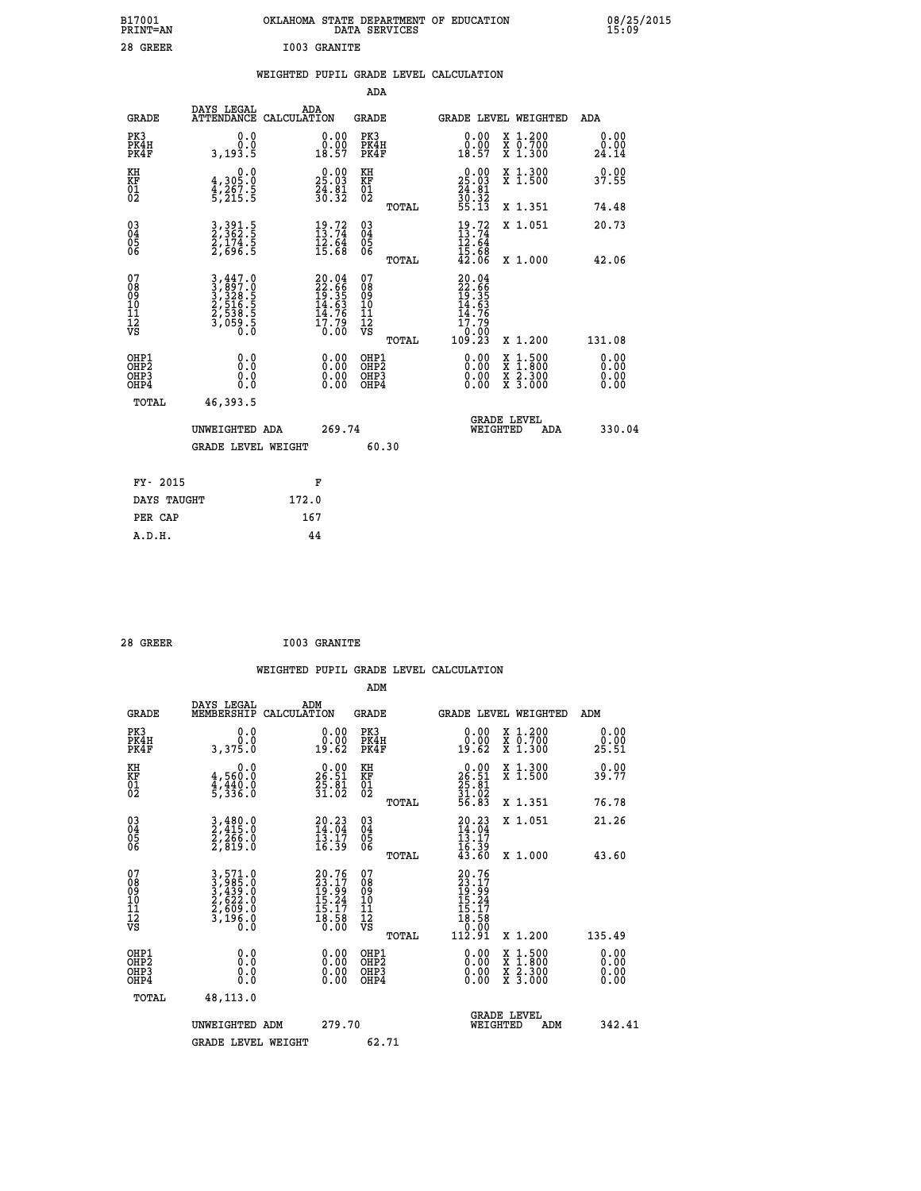| B17001<br><b>PRINT=AN</b> | OKLAHOMA STATE DEPARTMENT OF EDUCATION<br>DATA SERVICES | 08/25/2015<br>15:09 |
|---------------------------|---------------------------------------------------------|---------------------|
| 28 GREER                  | I003 GRANITE                                            |                     |

|  |  | WEIGHTED PUPIL GRADE LEVEL CALCULATION |
|--|--|----------------------------------------|
|  |  |                                        |

|                                                                    |                                                                                   |                                                                      | ADA                                       |       |                                                                              |        |                                                           |                              |
|--------------------------------------------------------------------|-----------------------------------------------------------------------------------|----------------------------------------------------------------------|-------------------------------------------|-------|------------------------------------------------------------------------------|--------|-----------------------------------------------------------|------------------------------|
| <b>GRADE</b>                                                       | DAYS LEGAL<br><b>ATTENDANCE</b>                                                   | ADA<br>CALCULATION                                                   | <b>GRADE</b>                              |       | GRADE LEVEL WEIGHTED                                                         |        |                                                           | <b>ADA</b>                   |
| PK3<br>PK4H<br>PK4F                                                | 0.0<br>0.0<br>3,193.5                                                             | $\begin{smallmatrix} 0.00\\ 0.00\\ 18.57 \end{smallmatrix}$          | PK3<br>PK4H<br>PK4F                       |       | $\begin{smallmatrix} 0.00\\ 0.00\\ 18.57 \end{smallmatrix}$                  |        | X 1.200<br>X 0.700<br>X 1.300                             | 0.00<br>$\frac{0.00}{24.14}$ |
| KH<br>KF<br>01<br>02                                               | 0.0<br>4,305.0<br>4,267.5<br>5,215.5                                              | $\begin{smallmatrix} 0.00\\ 25.03\\ 24.81\\ 30.32 \end{smallmatrix}$ | KH<br>KF<br>01<br>02                      |       | $\begin{smallmatrix} 0.00\\ 25.03\\ 24.81\\ 36.32\\ 55.13 \end{smallmatrix}$ |        | X 1.300<br>X 1.500                                        | 0.00<br>37.55                |
|                                                                    |                                                                                   |                                                                      |                                           | TOTAL |                                                                              |        | X 1.351                                                   | 74.48                        |
| $\begin{smallmatrix} 03 \\[-4pt] 04 \end{smallmatrix}$<br>Ŏ5<br>06 | 3, 391.5<br>2, 362.5<br>2, 174.5<br>2, 696.5                                      | $\frac{19}{13}.72$<br>$\frac{12.64}{15.68}$                          | 03<br>04<br>05<br>06                      | TOTAL | $19.72$<br>$13.74$<br>$12.64$<br>$15.68$<br>$42.06$                          |        | X 1.051<br>X 1.000                                        | 20.73<br>42.06               |
| 07<br>08<br>09<br>11<br>11<br>12<br>VS                             | $3,447.0$<br>$3,897.0$<br>$3,328.5$<br>$2,516.5$<br>$2,538.5$<br>$3,059.5$<br>0.0 | 20.04<br>22.66<br>19.35<br>14.63<br>14.76<br>17.79<br>0.00           | 07<br>08<br>09<br>11<br>11<br>12<br>VS    |       | 20.04<br>22.665<br>19.355<br>14.763<br>14.76<br>17.79<br>0.00<br>109.23      |        |                                                           |                              |
|                                                                    |                                                                                   |                                                                      |                                           | TOTAL |                                                                              |        | X 1.200                                                   | 131.08                       |
| OHP1<br>OHP <sub>2</sub><br>OHP3<br>OHP4                           | 0.0<br>0.0<br>Ŏ.Ŏ                                                                 | 0.00<br>$\begin{smallmatrix} 0.00 \ 0.00 \end{smallmatrix}$          | OHP1<br>OH <sub>P</sub> 2<br>OHP3<br>OHP4 |       | 0.00<br>0.00<br>0.00                                                         | X<br>X | $1:500$<br>$1:800$<br>$\frac{x}{x}$ $\frac{5:300}{3:000}$ | 0.00<br>0.00<br>0.00<br>0.00 |
| TOTAL                                                              | 46,393.5                                                                          |                                                                      |                                           |       |                                                                              |        |                                                           |                              |
|                                                                    | UNWEIGHTED ADA                                                                    | 269.74                                                               |                                           |       | <b>GRADE LEVEL</b><br>WEIGHTED                                               |        | ADA                                                       | 330.04                       |
|                                                                    | <b>GRADE LEVEL WEIGHT</b>                                                         |                                                                      | 60.30                                     |       |                                                                              |        |                                                           |                              |
| FY- 2015                                                           |                                                                                   | F                                                                    |                                           |       |                                                                              |        |                                                           |                              |
| DAYS TAUGHT                                                        |                                                                                   | 172.0                                                                |                                           |       |                                                                              |        |                                                           |                              |
| PER CAP                                                            |                                                                                   | 167                                                                  |                                           |       |                                                                              |        |                                                           |                              |
|                                                                    |                                                                                   |                                                                      |                                           |       |                                                                              |        |                                                           |                              |

| 28 GREER | <b>I003 GRANITE</b> |
|----------|---------------------|
|          |                     |

|                                                    |                                                                |                    |                                                                          |                                               |       | WEIGHTED PUPIL GRADE LEVEL CALCULATION                                                                                                                                                                                                                                         |                                                                                                  |                            |  |
|----------------------------------------------------|----------------------------------------------------------------|--------------------|--------------------------------------------------------------------------|-----------------------------------------------|-------|--------------------------------------------------------------------------------------------------------------------------------------------------------------------------------------------------------------------------------------------------------------------------------|--------------------------------------------------------------------------------------------------|----------------------------|--|
|                                                    |                                                                |                    |                                                                          | ADM                                           |       |                                                                                                                                                                                                                                                                                |                                                                                                  |                            |  |
| <b>GRADE</b>                                       | DAYS LEGAL<br>MEMBERSHIP                                       | ADM<br>CALCULATION |                                                                          | <b>GRADE</b>                                  |       | GRADE LEVEL WEIGHTED                                                                                                                                                                                                                                                           |                                                                                                  | ADM                        |  |
| PK3<br>PK4H<br>PK4F                                | 0.0<br>3,375.0                                                 |                    | $\begin{smallmatrix} 0.00\\ 0.00\\ 19.62 \end{smallmatrix}$              | PK3<br>PK4H<br>PK4F                           |       | $\begin{smallmatrix} 0.00\\ 0.00\\ 19.62 \end{smallmatrix}$                                                                                                                                                                                                                    | X 1.200<br>X 0.700<br>X 1.300                                                                    | 0.00<br>$2\overline{5.51}$ |  |
| KH<br>KF<br>01<br>02                               | 0.0<br>4,560:0<br>4,440:0<br>5,336:0                           |                    | $26.51$<br>$25.81$<br>$31.02$                                            | KH<br>KF<br>01<br>02                          |       | $\begin{smallmatrix} 0.00\\ 26.51\\ 25.81\\ 31.02\\ 56.83 \end{smallmatrix}$                                                                                                                                                                                                   | X 1.300<br>X 1.500                                                                               | 0.00<br>39.77              |  |
|                                                    |                                                                |                    |                                                                          |                                               | TOTAL |                                                                                                                                                                                                                                                                                | X 1.351                                                                                          | 76.78                      |  |
| $\begin{matrix} 03 \\ 04 \\ 05 \\ 06 \end{matrix}$ | 3,480.0<br>2,415.0<br>2,266.0<br>2,819.0                       |                    | $20.23$<br>$14.04$<br>$13.17$<br>$16.39$                                 | 03<br>04<br>05<br>06                          |       | $20.23$<br>$14.04$<br>$13.17$<br>$16.39$<br>$43.60$                                                                                                                                                                                                                            | X 1.051                                                                                          | 21.26                      |  |
|                                                    |                                                                |                    |                                                                          |                                               | TOTAL |                                                                                                                                                                                                                                                                                | X 1.000                                                                                          | 43.60                      |  |
| 07<br>0890112<br>1112<br>VS                        | 3,571.0<br>3,985.0<br>3,439.0<br>2,622.0<br>2,609.0<br>3,196.0 |                    | $20.76$<br>$23.17$<br>$19.99$<br>$15.24$<br>$15.17$<br>$18.58$<br>$0.00$ | 07<br>08<br>09<br>001<br>11<br>11<br>12<br>VS | TOTAL | $\begin{smallmatrix} 20.76\\ 23.17\\ 19.99\\ 15.24\\ 15.17\\ 18.58\\ 0.00\\ 112.91 \end{smallmatrix}$                                                                                                                                                                          | X 1.200                                                                                          | 135.49                     |  |
|                                                    |                                                                |                    |                                                                          |                                               |       |                                                                                                                                                                                                                                                                                |                                                                                                  |                            |  |
| OHP1<br>OHP2<br>OH <sub>P3</sub><br>OHP4           | 0.0<br>0.000                                                   |                    | $\begin{smallmatrix} 0.00 \ 0.00 \ 0.00 \ 0.00 \end{smallmatrix}$        | OHP1<br>OHP2<br>OHP3<br>OHP4                  |       | $\begin{smallmatrix} 0.00 & 0.00 & 0.00 & 0.00 & 0.00 & 0.00 & 0.00 & 0.00 & 0.00 & 0.00 & 0.00 & 0.00 & 0.00 & 0.00 & 0.00 & 0.00 & 0.00 & 0.00 & 0.00 & 0.00 & 0.00 & 0.00 & 0.00 & 0.00 & 0.00 & 0.00 & 0.00 & 0.00 & 0.00 & 0.00 & 0.00 & 0.00 & 0.00 & 0.00 & 0.00 & 0.0$ | $\begin{smallmatrix} x & 1 & 500 \\ x & 1 & 800 \\ x & 2 & 300 \\ x & 3 & 000 \end{smallmatrix}$ | 0.00<br>0.00<br>0.00       |  |
| TOTAL                                              | 48,113.0                                                       |                    |                                                                          |                                               |       |                                                                                                                                                                                                                                                                                |                                                                                                  |                            |  |
|                                                    | UNWEIGHTED ADM                                                 |                    | 279.70                                                                   |                                               |       | WEIGHTED                                                                                                                                                                                                                                                                       | <b>GRADE LEVEL</b><br>ADM                                                                        | 342.41                     |  |
|                                                    | <b>GRADE LEVEL WEIGHT</b>                                      |                    |                                                                          | 62.71                                         |       |                                                                                                                                                                                                                                                                                |                                                                                                  |                            |  |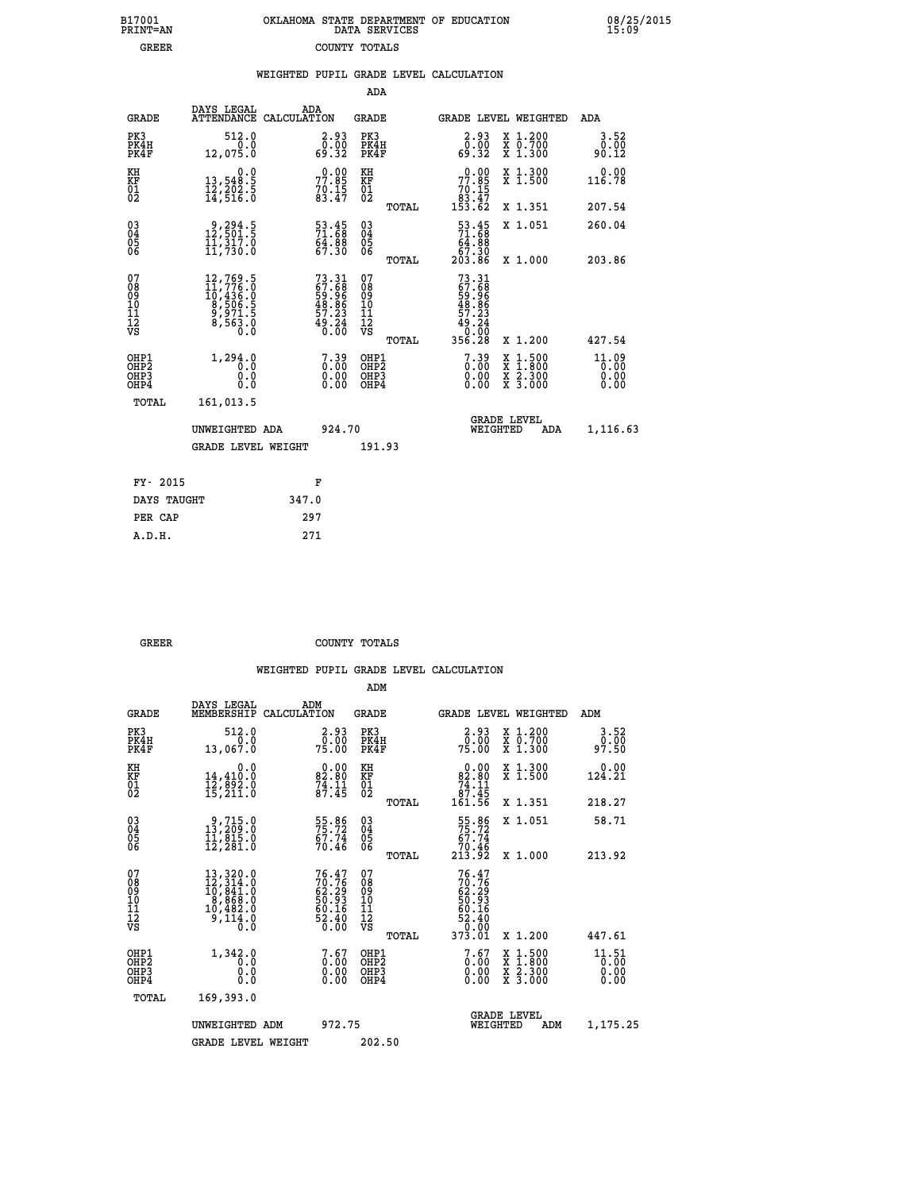| B17001          | OKLAHOMA STATE DEPARTMENT OF EDUCATION |
|-----------------|----------------------------------------|
| <b>PRINT=AN</b> | DATA SERVICES                          |
| <b>GREER</b>    | COUNTY TOTALS                          |

 **B17001<br>PRINT=AN<br>GREER** 

 **B17001 OKLAHOMA STATE DEPARTMENT OF EDUCATION 08/25/2015**

|                                           |                                                                                                                                              |                                                                          |                                                     | WEIGHTED PUPIL GRADE LEVEL CALCULATION                                        |                                                                     |                                 |
|-------------------------------------------|----------------------------------------------------------------------------------------------------------------------------------------------|--------------------------------------------------------------------------|-----------------------------------------------------|-------------------------------------------------------------------------------|---------------------------------------------------------------------|---------------------------------|
|                                           |                                                                                                                                              |                                                                          | ADA                                                 |                                                                               |                                                                     |                                 |
| <b>GRADE</b>                              | DAYS LEGAL                                                                                                                                   | ADA<br>ATTENDANCE CALCULATION                                            | <b>GRADE</b>                                        |                                                                               | GRADE LEVEL WEIGHTED                                                | ADA                             |
| PK3<br>PK4H<br>PK4F                       | 512.0<br>$\frac{1}{12,075.0}$                                                                                                                | 2.93<br>0.00<br>88.93                                                    | PK3<br>PK4H<br>PK4F                                 | 2.93<br>ةة:ة<br>32.93                                                         | X 1.200<br>X 0.700<br>X 1.300                                       | 3.52<br>0.00<br>90.12           |
| KH<br><b>KF</b><br>01<br>02               | $\begin{smallmatrix}&&&0.0\\13,548.5\\12,202.5\\14,516.0\end{smallmatrix}$                                                                   | $77.85$<br>$70.15$<br>$83.47$                                            | KH<br>KF<br>01<br>02                                | $\begin{smallmatrix} &0.00\\ 77.85\\ 70.15\\ 83.47\\ 153.62\end{smallmatrix}$ | X 1.300<br>X 1.500                                                  | 0.00<br>116.78                  |
|                                           |                                                                                                                                              |                                                                          | TOTAL                                               |                                                                               | X 1.351                                                             | 207.54                          |
| 03<br>04<br>05<br>06                      | $\begin{smallmatrix} 9,294.5\\ 12,501.5\\ 11,317.0\\ 11,730.0 \end{smallmatrix}$                                                             | 53.45<br>71.68<br>64.88<br>67.30                                         | $\begin{array}{c} 03 \\ 04 \\ 05 \\ 06 \end{array}$ | $\frac{53.45}{71.68}$                                                         | X 1.051                                                             | 260.04                          |
|                                           |                                                                                                                                              |                                                                          | TOTAL                                               | 67.30<br>203.86                                                               | X 1.000                                                             | 203.86                          |
| 07<br>08<br>09<br>101<br>112<br>VS        | $\begin{smallmatrix} 12,769\cdot 5\\ 11,776\cdot 0\\ 10,436\cdot 0\\ 8,506\cdot 5\\ 9,971\cdot 5\\ 8,563\cdot 0\\ 0\cdot 0\end{smallmatrix}$ | $73.31$<br>$67.68$<br>$59.96$<br>$48.86$<br>$49.23$<br>$49.24$<br>$0.00$ | 07<br>08<br>09<br>10<br>11<br>12<br>VS<br>TOTAL     | 73.31<br>67.68<br>59.96<br>58.86<br>57.23<br>49.24<br>0.00<br>356.28          | X 1.200                                                             | 427.54                          |
| OHP1<br>OH <sub>P</sub> 2<br>OHP3<br>OHP4 | 1,294.0<br>0.0<br>0.0<br>0.0                                                                                                                 | $7.39$<br>$0.00$<br>$\begin{smallmatrix} 0.00 \ 0.00 \end{smallmatrix}$  | OHP1<br>OHP2<br>OHP3<br>OHP4                        | $7.39$<br>$0.00$<br>0.00<br>0.00                                              | $1:500$<br>$1:800$<br>X<br>X<br>$\frac{x}{x}$ $\frac{5:300}{3:000}$ | $11.09$<br>0.00<br>0.00<br>0.00 |
| <b>TOTAL</b>                              | 161,013.5                                                                                                                                    |                                                                          |                                                     |                                                                               |                                                                     |                                 |
|                                           | UNWEIGHTED ADA                                                                                                                               | 924.70                                                                   |                                                     | WEIGHTED                                                                      | <b>GRADE LEVEL</b><br>ADA                                           | 1,116.63                        |
|                                           | <b>GRADE LEVEL WEIGHT</b>                                                                                                                    |                                                                          | 191.93                                              |                                                                               |                                                                     |                                 |
| FY- 2015                                  |                                                                                                                                              | F                                                                        |                                                     |                                                                               |                                                                     |                                 |
|                                           | DAYS TAUGHT                                                                                                                                  | 347.0                                                                    |                                                     |                                                                               |                                                                     |                                 |
| PER CAP                                   |                                                                                                                                              | 297                                                                      |                                                     |                                                                               |                                                                     |                                 |

| GREER | COUNTY TOTALS |  |
|-------|---------------|--|

 **A.D.H. 271**

|                                                                  |                                                                                                                                                                          |                                                                          | ADM                                                |       |                                                                                            |                                          |                               |
|------------------------------------------------------------------|--------------------------------------------------------------------------------------------------------------------------------------------------------------------------|--------------------------------------------------------------------------|----------------------------------------------------|-------|--------------------------------------------------------------------------------------------|------------------------------------------|-------------------------------|
| <b>GRADE</b>                                                     | DAYS LEGAL<br>MEMBERSHIP                                                                                                                                                 | ADM<br>CALCULATION                                                       | <b>GRADE</b>                                       |       |                                                                                            | <b>GRADE LEVEL WEIGHTED</b>              | ADM                           |
| PK3<br>PK4H<br>PK4F                                              | 512.0<br>0.0<br>13,067.0                                                                                                                                                 | $2.93$<br>$0.00$<br>75.00                                                | PK3<br>PK4H<br>PK4F                                |       | $2.93$<br>0.00<br>75.00                                                                    | X 1.200<br>X 0.700<br>X 1.300            | 3.52<br>0.00<br>97.50         |
| KH<br>KF<br>01<br>02                                             | 0.0<br>14,410:0<br>12,892:0<br>15,211:0                                                                                                                                  | $\begin{smallmatrix} 0.00\\ 82.80\\ 74.11\\ 87.45 \end{smallmatrix}$     | KH<br>KF<br>01<br>02                               |       | $\begin{smallmatrix}&&0.00\\82.80\\74.11\\87.45\\161.56\end{smallmatrix}$                  | X 1.300<br>X 1.500                       | 0.00<br>124.21                |
|                                                                  |                                                                                                                                                                          |                                                                          |                                                    | TOTAL |                                                                                            | X 1.351                                  | 218.27                        |
| 03<br>04<br>05<br>06                                             | $\begin{smallmatrix} 9,715.0\\ 13,209.0\\ 11,815.0\\ 12,281.0 \end{smallmatrix}$                                                                                         | 55.86<br>75.72<br>67.74<br>70.46                                         | $\begin{matrix} 03 \\ 04 \\ 05 \\ 06 \end{matrix}$ |       | $\begin{array}{c} 55.86 \\ 75.72 \\ 67.74 \\ 70.46 \\ 213.92 \end{array}$                  | X 1.051                                  | 58.71                         |
|                                                                  |                                                                                                                                                                          |                                                                          |                                                    | TOTAL |                                                                                            | X 1.000                                  | 213.92                        |
| 07<br>08901112<br>1112<br>VS                                     | $\begin{smallmatrix} 13\,, & 320\, . & 0\\ 12\,, & 314\, . & 0\\ 10\,, & 841\, . & 0\\ 8\,, & 868\, . & 0\\ 10\,, & 492\, . & 0 \end{smallmatrix}$<br>$\frac{3}{110}$ .0 | $76.47$<br>$70.76$<br>$62.29$<br>$50.93$<br>$60.16$<br>$52.40$<br>$0.00$ | 07<br>08<br>09<br>01<br>11<br>11<br>12<br>VS       |       | $\begin{array}{l} 76.47 \\ 70.76 \\ 62.29 \\ 50.93 \\ 60.16 \\ 52.40 \\ 79.09 \end{array}$ |                                          |                               |
|                                                                  |                                                                                                                                                                          |                                                                          |                                                    | TOTAL | 373.01                                                                                     | X 1.200                                  | 447.61                        |
| OHP1<br>OH <sub>P</sub> <sub>2</sub><br>OHP3<br>OH <sub>P4</sub> | 1,342.0<br>0.0<br>0.000                                                                                                                                                  | $\begin{smallmatrix} 7.67\ 0.00\ 0.00 \end{smallmatrix}$                 | OHP1<br>OHP2<br>OHP3<br>OHP4                       |       | $\begin{smallmatrix} 7.67 \ 0.00 \ 0.00 \end{smallmatrix}$<br>0.00                         | X 1:500<br>X 1:800<br>X 2:300<br>X 3:000 | 11.51<br>0.00<br>0.00<br>0.00 |
| TOTAL                                                            | 169,393.0                                                                                                                                                                |                                                                          |                                                    |       |                                                                                            |                                          |                               |
|                                                                  | UNWEIGHTED ADM                                                                                                                                                           | 972.75                                                                   |                                                    |       | WEIGHTED                                                                                   | <b>GRADE LEVEL</b><br>ADM                | 1,175.25                      |
|                                                                  | <b>GRADE LEVEL WEIGHT</b>                                                                                                                                                |                                                                          | 202.50                                             |       |                                                                                            |                                          |                               |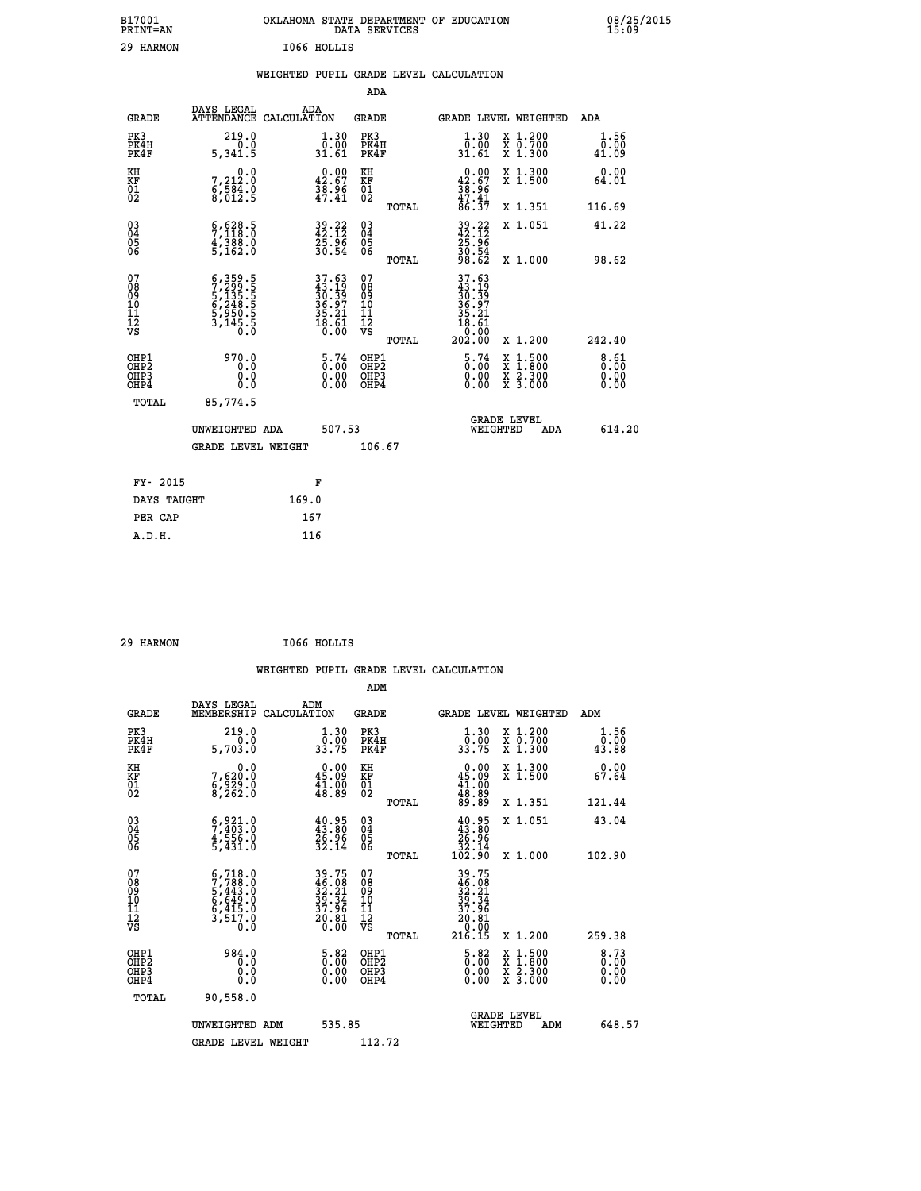| B17001<br><b>PRINT=AN</b> | OKLAHOMA STATE DEPARTMENT OF EDUCATION<br>DATA SERVICES | 08/25/2015<br>15:09 |
|---------------------------|---------------------------------------------------------|---------------------|
| 29<br>HARMON              | I066 HOLLIS                                             |                     |

|  |  | WEIGHTED PUPIL GRADE LEVEL CALCULATION |
|--|--|----------------------------------------|
|  |  |                                        |

|                                                                    |                                                                                                |                                                                            | ADA                                       |       |                                                                        |                                          |                       |
|--------------------------------------------------------------------|------------------------------------------------------------------------------------------------|----------------------------------------------------------------------------|-------------------------------------------|-------|------------------------------------------------------------------------|------------------------------------------|-----------------------|
| <b>GRADE</b>                                                       | DAYS LEGAL<br>ATTENDANCE CALCULATION                                                           | ADA                                                                        | <b>GRADE</b>                              |       |                                                                        | GRADE LEVEL WEIGHTED                     | <b>ADA</b>            |
| PK3<br>PK4H<br>PK4F                                                | 219.0<br>0.0<br>5,341.5                                                                        | $\begin{smallmatrix} 1.30\\[-1.2mm] 0.00\\[-1.2mm] 31.61\end{smallmatrix}$ | PK3<br>PK4H<br>PK4F                       |       | 1.30<br>ŏ:ŏŏ<br>31.61                                                  | X 1.200<br>X 0.700<br>X 1.300            | 1.56<br>0.00<br>41.09 |
| KH<br><b>KF</b><br>01<br>02                                        | 0.0<br>7,212:0<br>6,584:0<br>8,012:5                                                           | $0.00$<br>42.67<br>$\frac{38.96}{47.41}$                                   | KH<br>KF<br>01<br>02                      |       | 0.00<br>$42.67$<br>$38.96$<br>$47.41$<br>$86.37$                       | X 1.300<br>X 1.500                       | 0.00<br>64.01         |
|                                                                    |                                                                                                |                                                                            |                                           | TOTAL |                                                                        | X 1.351                                  | 116.69                |
| $\begin{smallmatrix} 03 \\[-4pt] 04 \end{smallmatrix}$<br>Ŏ5<br>06 | 5,628.5<br>$\frac{4}{5}$ , $\frac{3}{162}$ , $\frac{8}{16}$                                    | 39.22<br>42.12<br>25.96<br>30.54                                           | $\substack{03 \\ 04}$<br>Ŏ5<br>06         | TOTAL | $39.22$<br>$42.12$<br>$25.96$<br>$30.54$<br>$30.54$<br>$98.62$         | X 1.051<br>X 1.000                       | 41.22<br>98.62        |
| 07<br>08901112<br>1112<br>VS                                       | $\begin{smallmatrix} 6,359.5\\7,299.5\\5,135.5\\6,248.5\\950.5\\3,145.5\\0.0\end{smallmatrix}$ | $37.63$<br>$43.19$<br>$30.39$<br>$36.97$<br>$35.21$<br>$18.61$<br>$0.00$   | 07<br>08901112<br>1112<br>VS              |       | $37.63$<br>$33.19$<br>$30.39$<br>$36.97$<br>$35.21$<br>$18.61$<br>0.00 |                                          |                       |
|                                                                    |                                                                                                |                                                                            |                                           | TOTAL | 202.00                                                                 | X 1.200                                  | 242.40                |
| OHP1<br>OH <sub>P2</sub><br>OH <sub>P3</sub><br>OH <sub>P4</sub>   | 970.0<br>0.0<br>0.0<br>0.0                                                                     | $\begin{smallmatrix} 5\cdot74\0.00\0.00 \end{smallmatrix}$                 | OHP1<br>OH <sub>P</sub> 2<br>OHP3<br>OHP4 |       | $\frac{5.74}{0.00}$<br>0.00                                            | X 1:500<br>X 1:800<br>X 2:300<br>X 3:000 | 8.61<br>0.00<br>0.00  |
| TOTAL                                                              | 85,774.5                                                                                       |                                                                            |                                           |       |                                                                        |                                          |                       |
|                                                                    | UNWEIGHTED ADA                                                                                 | 507.53                                                                     |                                           |       |                                                                        | GRADE LEVEL<br>WEIGHTED<br>ADA           | 614.20                |
|                                                                    | <b>GRADE LEVEL WEIGHT</b>                                                                      |                                                                            | 106.67                                    |       |                                                                        |                                          |                       |
| FY- 2015                                                           |                                                                                                | F                                                                          |                                           |       |                                                                        |                                          |                       |
| DAYS TAUGHT                                                        |                                                                                                | 169.0                                                                      |                                           |       |                                                                        |                                          |                       |
| PER CAP                                                            |                                                                                                | 167                                                                        |                                           |       |                                                                        |                                          |                       |

| 29 HARMON | I066 HOLLIS |
|-----------|-------------|
|           |             |

|                                                      |                                                                                                                          | WEIGHTED PUPIL GRADE LEVEL CALCULATION                                                        |                                              |       |                                                                                    |                                                                     |                                  |
|------------------------------------------------------|--------------------------------------------------------------------------------------------------------------------------|-----------------------------------------------------------------------------------------------|----------------------------------------------|-------|------------------------------------------------------------------------------------|---------------------------------------------------------------------|----------------------------------|
|                                                      |                                                                                                                          |                                                                                               | ADM                                          |       |                                                                                    |                                                                     |                                  |
| <b>GRADE</b>                                         | DAYS LEGAL<br>MEMBERSHIP                                                                                                 | ADM<br>CALCULATION                                                                            | <b>GRADE</b>                                 |       |                                                                                    | GRADE LEVEL WEIGHTED                                                | ADM                              |
| PK3<br>PK4H<br>PK4F                                  | 219.0<br>0.0<br>5,703.0                                                                                                  | $\frac{1 \cdot 30}{0 \cdot 00}$<br>33.75                                                      | PK3<br>PK4H<br>PK4F                          |       | $\frac{1 \cdot 30}{0 \cdot 00}$<br>33.75                                           | X 1.200<br>X 0.700<br>X 1.300                                       | 1.56<br>0.00<br>43.88            |
| KH<br>KF<br>01<br>02                                 | 0.0<br>7,620:0<br>6,929:0<br>8,262:0                                                                                     | $\begin{smallmatrix} 0.00\\ 45.09\\ 41.00\\ 48.89 \end{smallmatrix}$                          | KH<br>KF<br>01<br>02                         |       | $\begin{smallmatrix} 0.00\\ 45.09\\ 41.00\\ 48.89\\ 89.89 \end{smallmatrix}$       | X 1.300<br>X 1.500                                                  | 0.00<br>67.64                    |
|                                                      |                                                                                                                          |                                                                                               |                                              | TOTAL |                                                                                    | X 1.351                                                             | 121.44                           |
| $\begin{matrix} 03 \\ 04 \\ 05 \\ 06 \end{matrix}$   | $\begin{smallmatrix} 6 & 9 & 2 & 1 & 0 \\ 7 & 4 & 0 & 3 & 0 \\ 4 & 5 & 5 & 6 & 0 \\ 5 & 4 & 3 & 1 & 0 \end{smallmatrix}$ | $40.95$<br>$43.80$<br>$26.96$<br>$32.14$                                                      | 03<br>04<br>05<br>06                         |       | $40.95$<br>$43.80$<br>$26.96$<br>$32.14$<br>$102.90$                               | X 1.051                                                             | 43.04                            |
|                                                      |                                                                                                                          |                                                                                               |                                              | TOTAL |                                                                                    | X 1.000                                                             | 102.90                           |
| 07<br>08<br>09<br>01<br>11<br>11<br>12<br>VS         | $5,718.0$<br>$7,788.0$<br>$5,443.0$<br>$6,649.0$<br>$6,415.0$<br>$3,517.0$<br>$0.0$                                      | $\begin{array}{r} 39.75 \\ 46.08 \\ 32.21 \\ 39.34 \\ 37.96 \\ 20.81 \\ 20.81 \\ \end{array}$ | 07<br>08<br>09<br>01<br>11<br>11<br>12<br>VS |       | 39.75<br>$\frac{46.08}{32.21}$<br>$\frac{39.34}{37.95}$<br>žģ:ğį<br>0:00<br>216.15 |                                                                     |                                  |
|                                                      |                                                                                                                          |                                                                                               |                                              | TOTAL |                                                                                    | X 1.200                                                             | 259.38                           |
| OHP1<br>OHP2<br>OH <sub>P3</sub><br>OH <sub>P4</sub> | 984.0<br>0.0<br>0.0<br>Ŏ.Ŏ                                                                                               | $\begin{smallmatrix} 5.82\ 0.00\ 0.00 \end{smallmatrix}$                                      | OHP1<br>OHP2<br>OHP3<br>OHP4                 |       | $\frac{5.82}{0.00}$<br>0.00                                                        | $1.500$<br>$1.800$<br>X<br>X<br>$\frac{x}{x}$ $\frac{5:300}{3:000}$ | $8.73$<br>$0.00$<br>0.00<br>0.00 |
| TOTAL                                                | 90,558.0                                                                                                                 |                                                                                               |                                              |       |                                                                                    |                                                                     |                                  |
|                                                      | UNWEIGHTED                                                                                                               | 535.85<br>ADM                                                                                 |                                              |       | WEIGHTED                                                                           | <b>GRADE LEVEL</b><br>ADM                                           | 648.57                           |
|                                                      | <b>GRADE LEVEL WEIGHT</b>                                                                                                |                                                                                               | 112.72                                       |       |                                                                                    |                                                                     |                                  |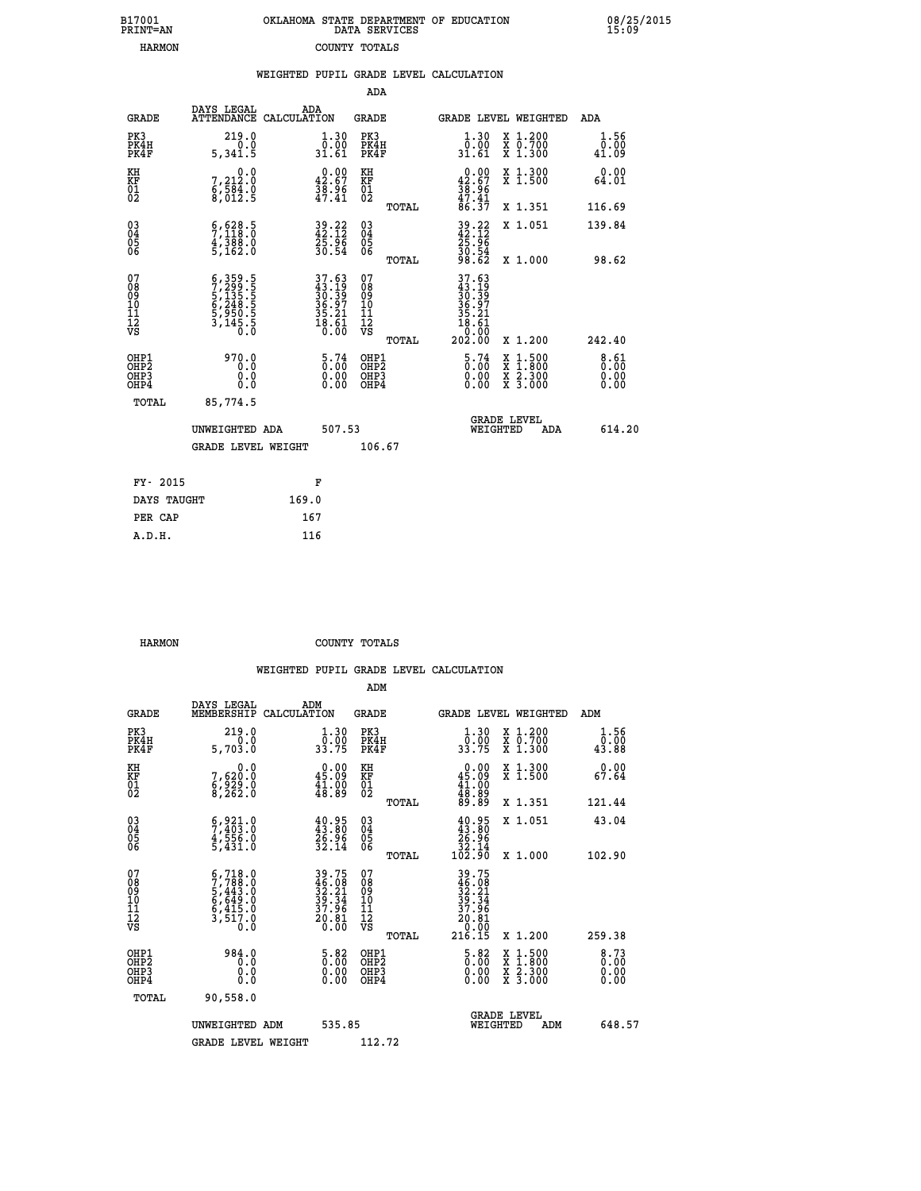| 7001<br>INT=AN |  | OKLAHOMA STATE DEPARTMENT OF EDUCATION<br>DATA SERVICES |  |
|----------------|--|---------------------------------------------------------|--|
| HARMON         |  | COUNTY TOTALS                                           |  |

 **B17001<br>PRINT=AN** 

 **B17001 OKLAHOMA STATE DEPARTMENT OF EDUCATION 08/25/2015**

| DAYS LEGAL                                                                                                                                                              | ADA                                                                                                                                                                         |                                                                            |                                                                                                                                                                                                                                                                                                                                                                         |                                                                                      |                                                                                                                                                                                                                                                                                                                    | ADA                                                                                                                                                                    |
|-------------------------------------------------------------------------------------------------------------------------------------------------------------------------|-----------------------------------------------------------------------------------------------------------------------------------------------------------------------------|----------------------------------------------------------------------------|-------------------------------------------------------------------------------------------------------------------------------------------------------------------------------------------------------------------------------------------------------------------------------------------------------------------------------------------------------------------------|--------------------------------------------------------------------------------------|--------------------------------------------------------------------------------------------------------------------------------------------------------------------------------------------------------------------------------------------------------------------------------------------------------------------|------------------------------------------------------------------------------------------------------------------------------------------------------------------------|
| 219.0<br>0.0<br>5,341.5                                                                                                                                                 |                                                                                                                                                                             | PK3                                                                        |                                                                                                                                                                                                                                                                                                                                                                         | $\begin{smallmatrix} 1.30\\[-1.2mm] 0.00\\[-1.2mm] 31.61\end{smallmatrix}$           | X 1.200<br>X 0.700<br>X 1.300                                                                                                                                                                                                                                                                                      | 1.56<br>0.00<br>41.09                                                                                                                                                  |
|                                                                                                                                                                         |                                                                                                                                                                             |                                                                            |                                                                                                                                                                                                                                                                                                                                                                         |                                                                                      | X 1.300<br>X 1.500                                                                                                                                                                                                                                                                                                 | 0.00<br>64.01                                                                                                                                                          |
|                                                                                                                                                                         |                                                                                                                                                                             |                                                                            | TOTAL                                                                                                                                                                                                                                                                                                                                                                   |                                                                                      | X 1.351                                                                                                                                                                                                                                                                                                            | 116.69                                                                                                                                                                 |
|                                                                                                                                                                         |                                                                                                                                                                             | $^{03}_{04}$                                                               |                                                                                                                                                                                                                                                                                                                                                                         |                                                                                      | X 1.051                                                                                                                                                                                                                                                                                                            | 139.84                                                                                                                                                                 |
|                                                                                                                                                                         |                                                                                                                                                                             |                                                                            | TOTAL                                                                                                                                                                                                                                                                                                                                                                   |                                                                                      | X 1.000                                                                                                                                                                                                                                                                                                            | 98.62                                                                                                                                                                  |
| $\begin{smallmatrix} 6\,, & 359\,, & 5\\ 7\,, & 299\,, & 5\\ 5\,, & 135\,, & 5\\ 6\,, & 248\,, & 5\\ 5\,, & 950\,, & 5\\ 3\,, & 145\,, & 0\\ 0\,, & 0\end{smallmatrix}$ |                                                                                                                                                                             | 078<br>089<br>0011<br>11<br>12<br>VS                                       | TOTAL                                                                                                                                                                                                                                                                                                                                                                   |                                                                                      | X 1.200                                                                                                                                                                                                                                                                                                            | 242.40                                                                                                                                                                 |
| 970.0<br>0.0<br>0.0<br>0.0                                                                                                                                              |                                                                                                                                                                             |                                                                            |                                                                                                                                                                                                                                                                                                                                                                         |                                                                                      | X<br>X<br>X<br>X                                                                                                                                                                                                                                                                                                   | 8.61<br>$0.00$<br>$0.00$                                                                                                                                               |
| 85,774.5                                                                                                                                                                |                                                                                                                                                                             |                                                                            |                                                                                                                                                                                                                                                                                                                                                                         |                                                                                      |                                                                                                                                                                                                                                                                                                                    |                                                                                                                                                                        |
|                                                                                                                                                                         |                                                                                                                                                                             |                                                                            |                                                                                                                                                                                                                                                                                                                                                                         |                                                                                      | ADA                                                                                                                                                                                                                                                                                                                | 614.20                                                                                                                                                                 |
|                                                                                                                                                                         |                                                                                                                                                                             |                                                                            |                                                                                                                                                                                                                                                                                                                                                                         |                                                                                      |                                                                                                                                                                                                                                                                                                                    |                                                                                                                                                                        |
|                                                                                                                                                                         |                                                                                                                                                                             |                                                                            |                                                                                                                                                                                                                                                                                                                                                                         |                                                                                      |                                                                                                                                                                                                                                                                                                                    |                                                                                                                                                                        |
| DAYS TAUGHT                                                                                                                                                             | 169.0                                                                                                                                                                       |                                                                            |                                                                                                                                                                                                                                                                                                                                                                         |                                                                                      |                                                                                                                                                                                                                                                                                                                    |                                                                                                                                                                        |
|                                                                                                                                                                         | 167                                                                                                                                                                         |                                                                            |                                                                                                                                                                                                                                                                                                                                                                         |                                                                                      |                                                                                                                                                                                                                                                                                                                    |                                                                                                                                                                        |
|                                                                                                                                                                         | $\begin{smallmatrix}&&&0.0\\7,212.0\\6,584.0\\8,012.5\end{smallmatrix}$<br>$\begin{smallmatrix} 6 & 628 & 5 \\ 7 & 118 & 0 \\ 4 & 388 & 0 \\ 5 & 162 & 0 \end{smallmatrix}$ | ATTENDANCE CALCULATION<br>UNWEIGHTED ADA<br><b>GRADE LEVEL WEIGHT</b><br>F | $\begin{smallmatrix} 1.30\\[-1.2mm] 0.00\\[-1.2mm] 31.61\end{smallmatrix}$<br>$0.00$<br>42.67<br>KH<br>KF<br>01<br>02<br>$\frac{38.96}{47.41}$<br>$39.22$<br>$42.12$<br>$25.96$<br>$30.54$<br>0500<br>$\begin{array}{l} 37.63 \\ 43.19 \\ 30.39 \\ 36.97 \\ 35.21 \\ 18.61 \\ 0.00 \end{array}$<br>$\begin{smallmatrix} 5\cdot74\0.00\0.00 \end{smallmatrix}$<br>507.53 | <b>ADA</b><br><b>GRADE</b><br>PK4H<br>PK4F<br>OHP1<br>OHP2<br>OHP3<br>OHP4<br>106.67 | $\begin{smallmatrix} 0.00\\ 42.67\\ 38.96\\ 47.41\\ 86.37\\ \end{smallmatrix}$<br>$39.22$<br>$42.12$<br>$25.96$<br>$30.54$<br>$30.54$<br>$98.62$<br>$\begin{smallmatrix} 37.63\ 43.19\ 30.39\ 30.397\ 36.21\ 35.21\ 18.61\ 202.00 \end{smallmatrix}$<br>$\begin{smallmatrix} 5\cdot74\0.00\0.00 \end{smallmatrix}$ | WEIGHTED PUPIL GRADE LEVEL CALCULATION<br>GRADE LEVEL WEIGHTED<br>$\begin{smallmatrix} 1.500\ 1.800\ 2.300\ 3.000 \end{smallmatrix}$<br><b>GRADE LEVEL</b><br>WEIGHTED |

| HARMON | COUNTY TOTALS |  |
|--------|---------------|--|

 **A.D.H. 116**

|                                          |                                                                                                                          |                                                                                            | ADM                                                 |       |                                                                                                                                             |                                          |                                                                  |
|------------------------------------------|--------------------------------------------------------------------------------------------------------------------------|--------------------------------------------------------------------------------------------|-----------------------------------------------------|-------|---------------------------------------------------------------------------------------------------------------------------------------------|------------------------------------------|------------------------------------------------------------------|
| <b>GRADE</b>                             | DAYS LEGAL<br>MEMBERSHIP                                                                                                 | ADM<br>CALCULATION                                                                         | <b>GRADE</b>                                        |       |                                                                                                                                             | GRADE LEVEL WEIGHTED                     | ADM                                                              |
| PK3<br>PK4H<br>PK4F                      | 219.0<br>5,703.0                                                                                                         | $\frac{1 \cdot 30}{0 \cdot 00}$<br>33.75                                                   | PK3<br>PK4H<br>PK4F                                 |       | $\frac{1 \cdot 30}{0 \cdot 00}$<br>33.75                                                                                                    | X 1.200<br>X 0.700<br>X 1.300            | 1.56<br>0.00<br>43.88                                            |
| KH<br>KF<br>01<br>02                     | 0.0<br>7,620:0<br>6,929:0<br>8,262:0                                                                                     | 45.09<br>$\frac{1}{48}.\overset{0}{89}$                                                    | KH<br>KF<br>01<br>02                                |       | $\begin{smallmatrix} 0.00\\ 45.09\\ 41.00\\ 48.89\\ 89.89 \end{smallmatrix}$                                                                | X 1.300<br>X 1.500                       | 0.00<br>67.64                                                    |
|                                          |                                                                                                                          |                                                                                            |                                                     | TOTAL |                                                                                                                                             | X 1.351                                  | 121.44                                                           |
| 03<br>04<br>05<br>06                     | $\begin{smallmatrix} 6 & 9 & 2 & 1 & 0 \\ 7 & 4 & 0 & 3 & 0 \\ 4 & 5 & 5 & 6 & 0 \\ 5 & 4 & 3 & 1 & 0 \end{smallmatrix}$ | $40.95$<br>$43.80$<br>$26.96$<br>$32.14$                                                   | $\begin{array}{c} 03 \\ 04 \\ 05 \\ 06 \end{array}$ |       | $40.95$<br>$43.80$<br>$26.96$<br>$32.14$<br>$102.90$                                                                                        | X 1.051                                  | 43.04                                                            |
|                                          |                                                                                                                          |                                                                                            |                                                     | TOTAL |                                                                                                                                             | X 1.000                                  | 102.90                                                           |
| 07<br>08<br>09<br>101<br>112<br>VS       | $5,718.0$<br>$7,788.0$<br>$5,443.0$<br>$6,649.0$<br>$6,415.0$<br>$3,517.0$<br>$0.0$                                      | $\begin{array}{r} 39.75 \\ 46.08 \\ 32.21 \\ 39.34 \\ 37.96 \\ 20.81 \\ 20.80 \end{array}$ | 07<br>08<br>09<br>11<br>11<br>12<br>VS              | TOTAL | $\begin{array}{r} 39\cdot 75 \\ 46\cdot 08 \\ 32\cdot 21 \\ 39\cdot 34 \\ 37\cdot 96 \\ 20\cdot 81 \\ 0\cdot 00 \\ 216\cdot 15 \end{array}$ | X 1.200                                  | 259.38                                                           |
| OHP1<br>OHP2<br>OH <sub>P3</sub><br>OHP4 | 984.0<br>0.0<br>0.000                                                                                                    | $\begin{smallmatrix} 5.82\ 0.00\ 0.00 \end{smallmatrix}$                                   | OHP1<br>OHP2<br>OHP <sub>3</sub>                    |       | $\frac{5.82}{0.00}$<br>0.00                                                                                                                 | X 1:500<br>X 1:800<br>X 2:300<br>X 3:000 | $\begin{smallmatrix} 8.73\ 0.00\ 0.00 \end{smallmatrix}$<br>0.00 |
| TOTAL                                    | 90,558.0                                                                                                                 |                                                                                            |                                                     |       |                                                                                                                                             |                                          |                                                                  |
|                                          | UNWEIGHTED ADM                                                                                                           | 535.85                                                                                     |                                                     |       | WEIGHTED                                                                                                                                    | <b>GRADE LEVEL</b><br>ADM                | 648.57                                                           |
|                                          | <b>GRADE LEVEL WEIGHT</b>                                                                                                |                                                                                            | 112.72                                              |       |                                                                                                                                             |                                          |                                                                  |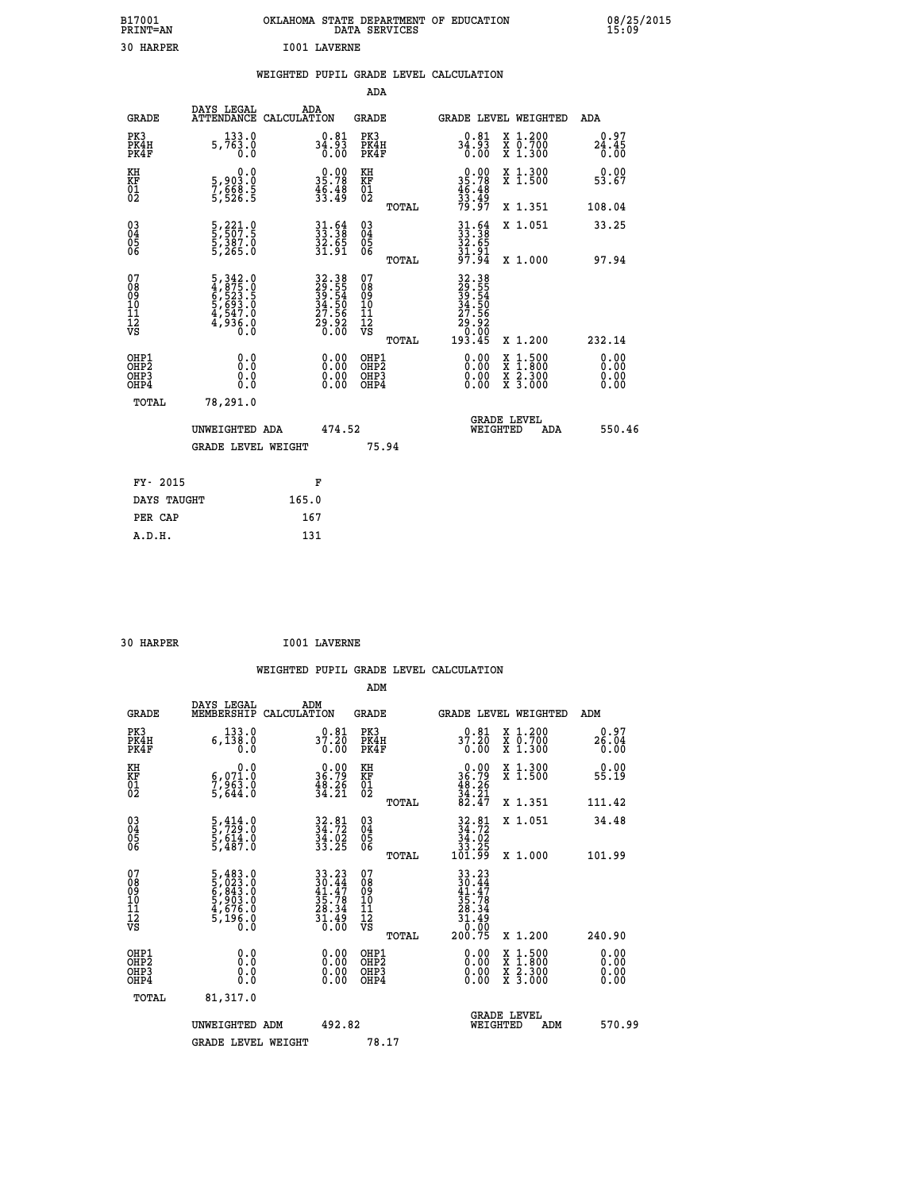| B17001<br>PRINT=AN  | OKLAHOMA STATE DEPARTMENT OF EDUCATION<br>DATA SERVICES | 08/25/2015<br>15:09 |
|---------------------|---------------------------------------------------------|---------------------|
| 30<br><b>HARPER</b> | <b>I001 LAVERNE</b>                                     |                     |

|  |  | WEIGHTED PUPIL GRADE LEVEL CALCULATION |
|--|--|----------------------------------------|
|  |  |                                        |

|                                                                             |                                                                              | ADA                                                              |                                                                                                                                                                                                                                                                                                           |                                                                                                                                                                                                              |
|-----------------------------------------------------------------------------|------------------------------------------------------------------------------|------------------------------------------------------------------|-----------------------------------------------------------------------------------------------------------------------------------------------------------------------------------------------------------------------------------------------------------------------------------------------------------|--------------------------------------------------------------------------------------------------------------------------------------------------------------------------------------------------------------|
| DAYS LEGAL                                                                  | ADA<br>CALCULATION                                                           | <b>GRADE</b>                                                     | GRADE LEVEL WEIGHTED                                                                                                                                                                                                                                                                                      | <b>ADA</b>                                                                                                                                                                                                   |
| 133.0<br>5,763.0<br>0.0                                                     |                                                                              | PK3<br>PK4H<br>PK4F                                              | $34.93$<br>$34.93$<br>0.00<br>X 1.200<br>X 0.700<br>X 1.300                                                                                                                                                                                                                                               | 0.97<br>$24.45$<br>$0.00$                                                                                                                                                                                    |
| 0.0                                                                         |                                                                              | KH                                                               | X 1.300<br>X 1.500                                                                                                                                                                                                                                                                                        | 0.00<br>53.67                                                                                                                                                                                                |
|                                                                             |                                                                              | TOTAL                                                            | X 1.351                                                                                                                                                                                                                                                                                                   | 108.04                                                                                                                                                                                                       |
| 5,221.0<br>5,507.5<br>5,387.0<br>5,265.0                                    |                                                                              | $\begin{array}{c} 03 \\ 04 \\ 05 \\ 06 \end{array}$              | X 1.051                                                                                                                                                                                                                                                                                                   | 33.25<br>97.94                                                                                                                                                                                               |
| 5, 342.0<br>4, 875.0<br>6, 523.5<br>5, 693.0<br>4, 547.0<br>4, 936.0<br>0.0 |                                                                              | 07<br>08<br>09<br>11<br>11<br>12<br>VS                           |                                                                                                                                                                                                                                                                                                           |                                                                                                                                                                                                              |
| 0.0<br>0.0<br>Ŏ.Ŏ                                                           | 0.00                                                                         | OHP1<br>OH <sub>P</sub> 2<br>OHP3<br>OHP4                        | 0.00<br>$1:500$<br>1:800<br>X<br>0.00<br>X 2.300<br>X 3.000<br>0.00                                                                                                                                                                                                                                       | 232.14<br>0.00<br>0.00<br>0.00<br>0.00                                                                                                                                                                       |
| 78,291.0                                                                    |                                                                              |                                                                  | <b>GRADE LEVEL</b><br>WEIGHTED<br>ADA                                                                                                                                                                                                                                                                     | 550.46                                                                                                                                                                                                       |
|                                                                             |                                                                              | 75.94                                                            |                                                                                                                                                                                                                                                                                                           |                                                                                                                                                                                                              |
|                                                                             | F                                                                            |                                                                  |                                                                                                                                                                                                                                                                                                           |                                                                                                                                                                                                              |
|                                                                             | 165.0                                                                        |                                                                  |                                                                                                                                                                                                                                                                                                           |                                                                                                                                                                                                              |
|                                                                             | 167                                                                          |                                                                  |                                                                                                                                                                                                                                                                                                           |                                                                                                                                                                                                              |
|                                                                             | 5,903.0<br>7,668.5<br>5,526.5<br>TOTAL<br>FY- 2015<br>DAYS TAUGHT<br>PER CAP | <b>ATTENDANCE</b><br>UNWEIGHTED ADA<br><b>GRADE LEVEL WEIGHT</b> | $34.93$<br>$0.00$<br>$\begin{smallmatrix} 0.00\\ 35.78\\ 46.48\\ 33.49 \end{smallmatrix}$<br>KF<br>01<br>02<br>$31.64$<br>$33.38$<br>$32.65$<br>$31.91$<br>TOTAL<br>32.38<br>29.55<br>39.54<br>34.50<br>34.56<br>27.56<br>29.92<br>TOTAL<br>$\begin{smallmatrix} 0.00 \ 0.00 \end{smallmatrix}$<br>474.52 | $0.00$<br>$35.78$<br>$46.48$<br>$33.49$<br>$79.97$<br>$33.38$<br>$33.38$<br>$32.65$<br>$31.91$<br>$97.94$<br>X 1.000<br>32.38<br>29.554<br>39.54<br>34.566<br>27.566<br>29.000<br>0.000<br>193.45<br>X 1.200 |

|                                                                  |                                                                                           |                                                                                           | ADM                                                   |                                                                                                                                                     |                                          |                          |
|------------------------------------------------------------------|-------------------------------------------------------------------------------------------|-------------------------------------------------------------------------------------------|-------------------------------------------------------|-----------------------------------------------------------------------------------------------------------------------------------------------------|------------------------------------------|--------------------------|
| <b>GRADE</b>                                                     | DAYS LEGAL<br>MEMBERSHIP                                                                  | ADM<br>CALCULATION                                                                        | GRADE                                                 |                                                                                                                                                     | <b>GRADE LEVEL WEIGHTED</b>              | ADM                      |
| PK3<br>PK4H<br>PK4F                                              | $6, 133.0$<br>$6, 138.0$<br>$0.0$                                                         | 37.20<br>0.00                                                                             | PK3<br>PK4H<br>PK4F                                   | 37.81<br>0.00                                                                                                                                       | X 1.200<br>X 0.700<br>X 1.300            | 0.97<br>26.04<br>0.00    |
| KH<br>KF<br>01<br>02                                             | 0.0<br>6,071.0<br>7,963.0<br>5,644.0                                                      | $\begin{smallmatrix} 0.00\\ 36.79\\ 48.26\\ 34.21 \end{smallmatrix}$                      | KH<br>KF<br>01<br>02                                  | $0.00\n36.79\n48.26\n34.21\n82.47$                                                                                                                  | X 1.300<br>X 1.500                       | 0.00<br>55.19            |
|                                                                  |                                                                                           |                                                                                           | TOTAL                                                 |                                                                                                                                                     | X 1.351                                  | 111.42                   |
| $\begin{matrix} 03 \\ 04 \\ 05 \\ 06 \end{matrix}$               | $\frac{5}{5}, \frac{414}{729}.0$<br>$\frac{5}{5}, \frac{614}{87}.0$<br>$\frac{5}{7487}.0$ | $34.72$<br>$34.72$<br>$34.02$<br>$33.25$                                                  | $\begin{array}{c} 03 \\ 04 \\ 05 \\ 06 \end{array}$   | $32.81$<br>$34.72$<br>$34.02$<br>$33.25$<br>$101.99$                                                                                                | X 1.051                                  | 34.48                    |
|                                                                  |                                                                                           |                                                                                           | TOTAL                                                 |                                                                                                                                                     | X 1.000                                  | 101.99                   |
| 07<br>08<br>09<br>10<br>11<br>11<br>12<br>VS                     | 5,483.0<br>5,023.0<br>6,843.0<br>6,903.0<br>5,903.0<br>4,676.0<br>5,196.0                 | $\begin{array}{r} 33.23 \\ 30.44 \\ 41.47 \\ 35.78 \\ 28.34 \\ 31.49 \\ 0.00 \end{array}$ | 07<br>08<br>09<br>01<br>11<br>11<br>12<br>VS<br>TOTAL | $\begin{array}{r} 33 \cdot 23 \\ 30 \cdot 44 \\ 41 \cdot 47 \\ 35 \cdot 78 \\ 28 \cdot 34 \\ 31 \cdot 49 \\ 0 \cdot 00 \\ 200 \cdot 75 \end{array}$ | X 1.200                                  | 240.90                   |
| OHP1<br>OHP <sub>2</sub><br>OH <sub>P3</sub><br>OH <sub>P4</sub> |                                                                                           |                                                                                           | OHP1<br>OHP2<br>OHP3<br>OHP4                          | $0.00$<br>$0.00$<br>0.00                                                                                                                            | X 1:500<br>X 1:800<br>X 2:300<br>X 3:000 | $0.00$<br>$0.00$<br>0.00 |
| TOTAL                                                            | 81,317.0                                                                                  |                                                                                           |                                                       |                                                                                                                                                     |                                          |                          |
|                                                                  | UNWEIGHTED<br>ADM<br><b>GRADE LEVEL WEIGHT</b>                                            | 492.82                                                                                    | 78.17                                                 | WEIGHTED                                                                                                                                            | <b>GRADE LEVEL</b><br>ADM                | 570.99                   |
|                                                                  |                                                                                           |                                                                                           |                                                       |                                                                                                                                                     |                                          |                          |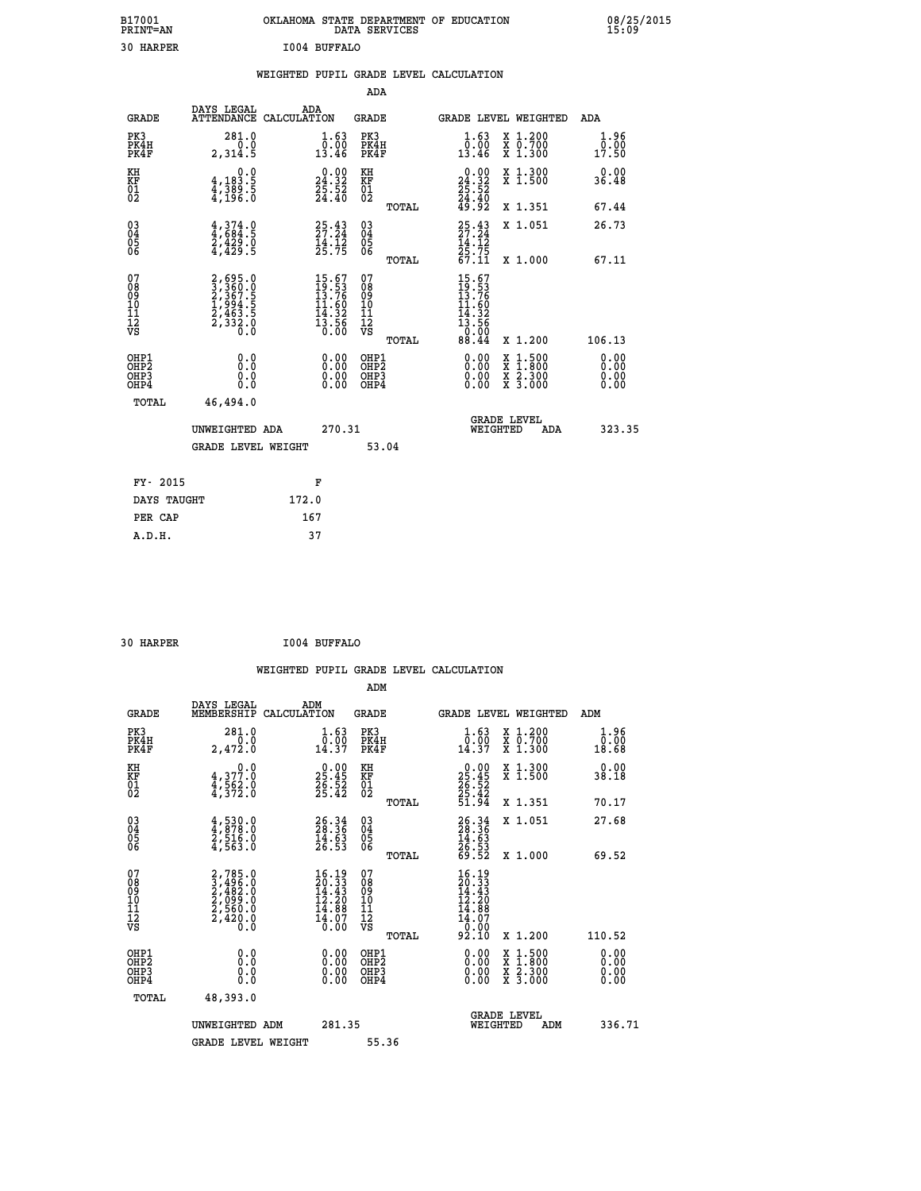| B17001<br>PRINT=AN | OKLAHOMA STATE DEPARTMENT OF EDUCATION<br>DATA SERVICES | 08/25/2015<br>15:09 |
|--------------------|---------------------------------------------------------|---------------------|
| 30<br>HARPER       | I004 BUFFALO                                            |                     |

|  |  | WEIGHTED PUPIL GRADE LEVEL CALCULATION |
|--|--|----------------------------------------|
|  |  |                                        |

|                                                                    |                                                                           |                                                                          | ADA                                       |       |                                                                                     |        |                                                           |                              |
|--------------------------------------------------------------------|---------------------------------------------------------------------------|--------------------------------------------------------------------------|-------------------------------------------|-------|-------------------------------------------------------------------------------------|--------|-----------------------------------------------------------|------------------------------|
| <b>GRADE</b>                                                       | DAYS LEGAL<br>ATTENDANCE CALCULATION                                      | ADA                                                                      | <b>GRADE</b>                              |       | GRADE LEVEL WEIGHTED                                                                |        |                                                           | <b>ADA</b>                   |
| PK3<br>PK4H<br>PK4F                                                | 281.0<br>0.0<br>2,314.5                                                   | $\begin{smallmatrix} 1.63\ 0.0013.46 \end{smallmatrix}$                  | PK3<br>PK4H<br>PK4F                       |       | 1.63<br>ةة:ة<br>13.46                                                               |        | X 1.200<br>X 0.700<br>X 1.300                             | 1.96<br>0.00<br>17.50        |
| KH<br>KF<br>01<br>02                                               | 0.0<br>4,183.5<br>4,389.5<br>4,196.0                                      | $\begin{smallmatrix} 0.00\\24.32\\25.52\\24.40 \end{smallmatrix}$        | KH<br>KF<br>01<br>02                      |       | $\begin{smallmatrix} 0.00\\24.32\\25.52\\24.40\\49.92\end{smallmatrix}$             |        | X 1.300<br>X 1.500                                        | 0.00<br>36.48                |
|                                                                    |                                                                           |                                                                          |                                           | TOTAL |                                                                                     |        | X 1.351                                                   | 67.44                        |
| $\begin{smallmatrix} 03 \\[-4pt] 04 \end{smallmatrix}$<br>Ŏ5<br>06 | $4,374.9$<br>$4,684.5$<br>$2,429.0$<br>$4,429.5$                          | 25.43<br>$\frac{14}{25}$ . 72<br>25. 75                                  | $\substack{03 \\ 04}$<br>05<br>06         | TOTAL | $25.43$<br>27.24<br>$\frac{14}{25}$ , $\frac{17}{75}$<br>67.11                      |        | X 1.051<br>X 1.000                                        | 26.73<br>67.11               |
| 07<br>08<br>09<br>11<br>11<br>12<br>VS                             | 2,695.0<br>3,360.0<br>2,367.5<br>2,367.5<br>1,994.5<br>2,463.5<br>2,332.0 | $15.67$<br>$19.53$<br>$13.76$<br>$11.60$<br>$14.32$<br>$13.56$<br>$0.00$ | 07<br>08<br>09<br>11<br>11<br>12<br>VS    |       | $15.67$<br>$19.56$<br>$13.76$<br>$14.60$<br>$14.32$<br>$13.56$<br>$0.00$<br>$88.44$ |        |                                                           |                              |
|                                                                    |                                                                           |                                                                          |                                           | TOTAL |                                                                                     |        | X 1.200                                                   | 106.13                       |
| OHP1<br>OHP <sub>2</sub><br>OHP3<br>OHP4                           | 0.0<br>Ō.Ō<br>0.0<br>0.0                                                  | 0.00<br>$\begin{smallmatrix} 0.00 \ 0.00 \end{smallmatrix}$              | OHP1<br>OH <sub>P</sub> 2<br>OHP3<br>OHP4 |       | 0.00<br>0.00<br>0.00                                                                | X<br>X | $1:500$<br>$1:800$<br>$\frac{x}{x}$ $\frac{5.300}{3.000}$ | 0.00<br>0.00<br>0.00<br>0.00 |
| TOTAL                                                              | 46,494.0                                                                  |                                                                          |                                           |       |                                                                                     |        |                                                           |                              |
|                                                                    | UNWEIGHTED ADA                                                            | 270.31                                                                   |                                           |       | <b>GRADE LEVEL</b><br>WEIGHTED                                                      |        | ADA                                                       | 323.35                       |
|                                                                    | <b>GRADE LEVEL WEIGHT</b>                                                 |                                                                          |                                           | 53.04 |                                                                                     |        |                                                           |                              |
| FY- 2015                                                           |                                                                           | F                                                                        |                                           |       |                                                                                     |        |                                                           |                              |
| DAYS TAUGHT                                                        |                                                                           | 172.0                                                                    |                                           |       |                                                                                     |        |                                                           |                              |
| PER CAP                                                            |                                                                           | 167                                                                      |                                           |       |                                                                                     |        |                                                           |                              |
|                                                                    |                                                                           |                                                                          |                                           |       |                                                                                     |        |                                                           |                              |

 **30 HARPER I004 BUFFALO**

| <b>GRADE</b>                                       | DAYS LEGAL<br>MEMBERSHIP                                                            | ADM<br>CALCULATION                                                                      | <b>GRADE</b>                                        |       |                                                                                                                             |          | GRADE LEVEL WEIGHTED                                                                                                                      | ADM                                |  |
|----------------------------------------------------|-------------------------------------------------------------------------------------|-----------------------------------------------------------------------------------------|-----------------------------------------------------|-------|-----------------------------------------------------------------------------------------------------------------------------|----------|-------------------------------------------------------------------------------------------------------------------------------------------|------------------------------------|--|
| PK3<br>PK4H<br>PK4F                                | 281.0<br>2,472.0                                                                    | 1.63<br>0.00<br>14.37                                                                   | PK3<br>PK4H<br>PK4F                                 |       | $\frac{1}{0}$ : $\frac{63}{00}$<br>14.37                                                                                    |          | X 1.200<br>X 0.700<br>X 1.300                                                                                                             | 1.96<br>$\overline{0.00}$<br>18.68 |  |
| KH<br>KF<br>01<br>02                               | 0.0<br>$\frac{4}{4}, \frac{377}{562}$ .0<br>$\frac{4}{4}, \frac{562}{372}$ .0       | $\begin{smallmatrix} 0.00\\ 25.45\\ 26.52\\ 25.42 \end{smallmatrix}$                    | KH<br>KF<br>01<br>02                                |       | $\begin{smallmatrix} 0.00\\ 25.45\\ 26.52\\ 25.42\\ 51.94 \end{smallmatrix}$                                                |          | X 1.300<br>X 1.500                                                                                                                        | 0.00<br>38.18                      |  |
|                                                    |                                                                                     |                                                                                         |                                                     | TOTAL |                                                                                                                             |          | X 1.351                                                                                                                                   | 70.17                              |  |
| $\begin{matrix} 03 \\ 04 \\ 05 \\ 06 \end{matrix}$ | $\frac{4}{4}, \frac{530}{878}.0$<br>$\frac{2}{4}, \frac{516}{563}.0$                | $26.36$<br>$28.36$<br>$14.63$<br>$26.53$                                                | $\begin{array}{c} 03 \\ 04 \\ 05 \\ 06 \end{array}$ |       | $26.36$<br>$28.36$<br>$14.63$<br>$26.53$<br>$69.52$                                                                         |          | X 1.051                                                                                                                                   | 27.68                              |  |
|                                                    |                                                                                     |                                                                                         |                                                     | TOTAL |                                                                                                                             |          | X 1.000                                                                                                                                   | 69.52                              |  |
| 07<br>08<br>09<br>101<br>11<br>12<br>VS            | $2,785.0$<br>$2,496.0$<br>$2,482.0$<br>$2,560.0$<br>$2,560.0$<br>$2,420.0$<br>$0.0$ | $\begin{smallmatrix} 16.19\\20.33\\14.43\\12.20\\14.88\\14.07\\16.00 \end{smallmatrix}$ | 07<br>08<br>09<br>11<br>11<br>12<br>VS              |       | $\begin{smallmatrix} 16 & 19 \\ 20 & 33 \\ 14 & 43 \\ 12 & 20 \\ 14 & 88 \\ 14 & 07 \\ 0 & 00 \\ 92 & 10 \end{smallmatrix}$ |          |                                                                                                                                           |                                    |  |
|                                                    |                                                                                     |                                                                                         |                                                     | TOTAL |                                                                                                                             |          | X 1.200                                                                                                                                   | 110.52                             |  |
| OHP1<br>OHP2<br>OHP <sub>3</sub><br>OHP4           | 0.0<br>0.000                                                                        | $0.00$<br>$0.00$<br>0.00                                                                | OHP1<br>OHP2<br>OHP <sub>3</sub><br>OHP4            |       | $0.00$<br>$0.00$<br>0.00                                                                                                    |          | $\begin{smallmatrix} \mathtt{X} & 1\cdot500\\ \mathtt{X} & 1\cdot800\\ \mathtt{X} & 2\cdot300\\ \mathtt{X} & 3\cdot000 \end{smallmatrix}$ | 0.00<br>0.00<br>0.00               |  |
| TOTAL                                              | 48,393.0                                                                            |                                                                                         |                                                     |       |                                                                                                                             |          |                                                                                                                                           |                                    |  |
|                                                    | UNWEIGHTED ADM                                                                      | 281.35                                                                                  |                                                     |       |                                                                                                                             | WEIGHTED | <b>GRADE LEVEL</b><br>ADM                                                                                                                 | 336.71                             |  |
|                                                    | <b>GRADE LEVEL WEIGHT</b>                                                           |                                                                                         | 55.36                                               |       |                                                                                                                             |          |                                                                                                                                           |                                    |  |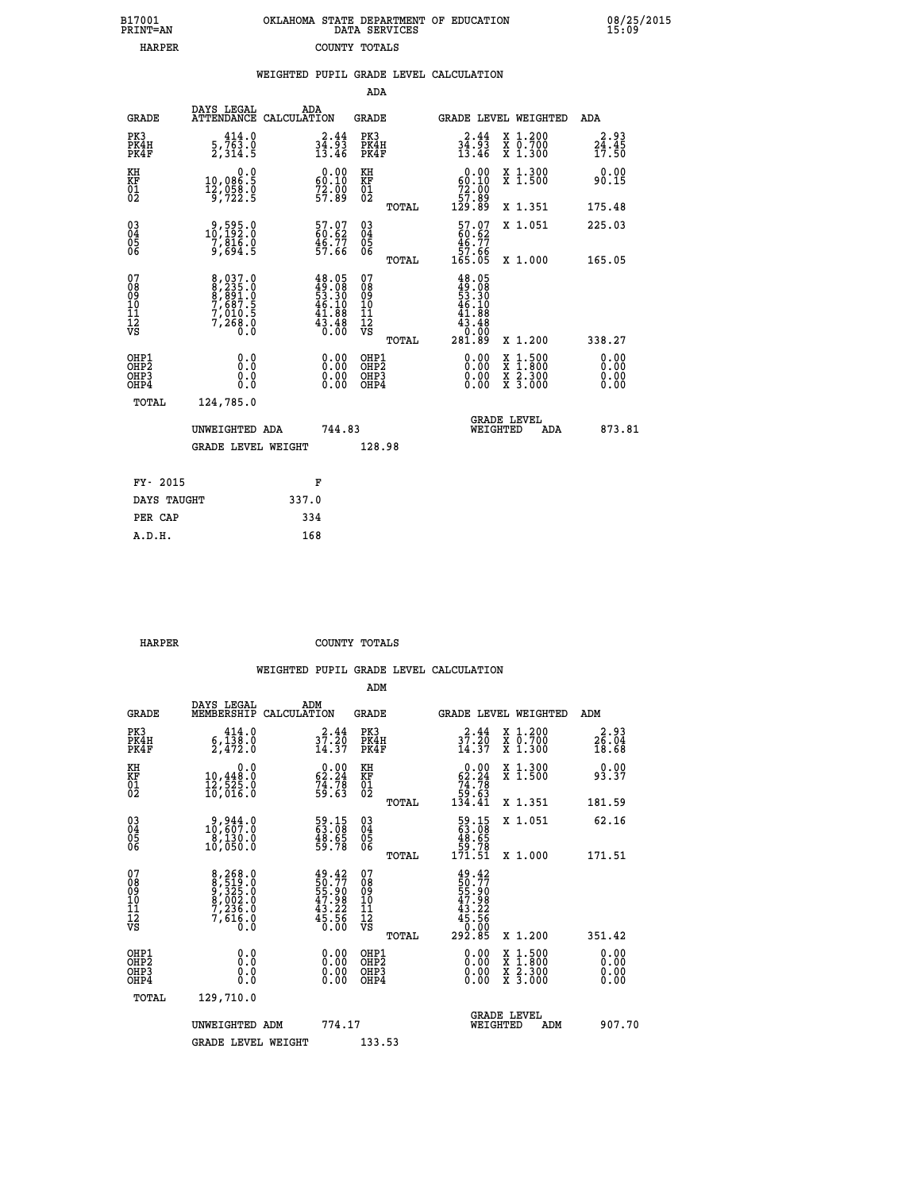| 7001<br>INT=AN | OKLAHOMA STATE DEPARTMENT OF EDUCATION<br>DATA SERVICES |  |
|----------------|---------------------------------------------------------|--|
| <b>HARPER</b>  | COUNTY TOTALS                                           |  |

08/25/2015<br>15:09

|                                                                    |                                                                                |       |                                                                          |                                           |       | WEIGHTED PUPIL GRADE LEVEL CALCULATION                                                                            |                                                                                          |            |                                          |  |
|--------------------------------------------------------------------|--------------------------------------------------------------------------------|-------|--------------------------------------------------------------------------|-------------------------------------------|-------|-------------------------------------------------------------------------------------------------------------------|------------------------------------------------------------------------------------------|------------|------------------------------------------|--|
|                                                                    |                                                                                |       |                                                                          | ADA                                       |       |                                                                                                                   |                                                                                          |            |                                          |  |
| <b>GRADE</b>                                                       | DAYS LEGAL<br>ATTENDANCE CALCULATION                                           | ADA   |                                                                          | <b>GRADE</b>                              |       | <b>GRADE LEVEL WEIGHTED</b>                                                                                       |                                                                                          |            | ADA                                      |  |
| PK3<br>PK4H<br>PK4F                                                | 414.0<br>$\frac{5}{2}, \frac{7}{3}$ $\frac{3}{4}$ $\frac{0}{5}$                |       | $34.93$<br>$13.46$                                                       | PK3<br>PK4H<br>PK4F                       |       | 2.44<br>34:33<br>13.46                                                                                            | X 1.200<br>X 0.700<br>X 1.300                                                            |            | 2.93<br>$\frac{2\bar{4}\cdot 45}{17.50}$ |  |
| KH<br>KF<br>01<br>02                                               | 0.0<br>10,086.5<br>$\frac{12}{9}$ , $\frac{55}{22}$ . 5                        |       | 60.00<br>$72.00$<br>57.89                                                | KH<br>KF<br>01<br>02                      |       | $\begin{smallmatrix} 0.00\\ 60.10\\ 72.00\\ 57.82 \end{smallmatrix}$                                              | X 1.300<br>X 1.500                                                                       |            | 0.00<br>90.15                            |  |
|                                                                    |                                                                                |       |                                                                          |                                           | TOTAL | 129.89                                                                                                            | X 1.351                                                                                  |            | 175.48                                   |  |
| $\begin{smallmatrix} 03 \\[-4pt] 04 \end{smallmatrix}$<br>Ŏ5<br>06 | $\begin{smallmatrix} 9,595.0\\ 10,192.0\\ 7,816.0\\ 9,694.5 \end{smallmatrix}$ |       | 57.07<br>60.62<br>46.77<br>57.66                                         | $\substack{03 \\ 04}$<br>Ŏ5<br>06         |       | $\begin{smallmatrix} 57.07\ 60.62\ 46.77\ 57.66\ 165.05 \end{smallmatrix}$                                        | X 1.051                                                                                  |            | 225.03                                   |  |
|                                                                    |                                                                                |       |                                                                          |                                           | TOTAL |                                                                                                                   | X 1.000                                                                                  |            | 165.05                                   |  |
| 07<br>08<br>09<br>11<br>11<br>12<br>VS                             | 8,037.0<br>8,235.0<br>8,891.0<br>7,687.5<br>7,010.5<br>7,268.0<br>0.0          |       | $48.05$<br>$49.08$<br>$53.30$<br>$46.10$<br>$41.88$<br>$43.48$<br>$6.00$ | 07<br>08<br>09<br>11<br>11<br>12<br>VS    | TOTAL | 48.05<br>$\begin{smallmatrix} 49.108 \\ 49.300 \\ 53.300 \\ 46.108 \\ 41.88 \\ 0.000 \\ 281.89 \end{smallmatrix}$ | X 1.200                                                                                  |            | 338.27                                   |  |
| OHP1<br>OH <sub>P</sub> 2<br>OHP3<br>OHP4                          | 0.0<br>Ō.Ō<br>0.0<br>Ŏ.Ŏ                                                       |       | $0.00$<br>$0.00$<br>0.00                                                 | OHP1<br>OH <sub>P</sub> 2<br>OHP3<br>OHP4 |       | 0.00<br>0.00<br>0.00                                                                                              | $\begin{smallmatrix} x & 1.500 \\ x & 1.800 \\ x & 2.300 \\ x & 3.000 \end{smallmatrix}$ |            | 0.00<br>0.00<br>0.00<br>0.00             |  |
| TOTAL                                                              | 124,785.0                                                                      |       |                                                                          |                                           |       |                                                                                                                   |                                                                                          |            |                                          |  |
|                                                                    | UNWEIGHTED ADA                                                                 |       | 744.83                                                                   |                                           |       | <b>GRADE LEVEL</b><br>WEIGHTED                                                                                    |                                                                                          | <b>ADA</b> | 873.81                                   |  |
|                                                                    | GRADE LEVEL WEIGHT                                                             |       |                                                                          | 128.98                                    |       |                                                                                                                   |                                                                                          |            |                                          |  |
| FY- 2015                                                           |                                                                                |       | F                                                                        |                                           |       |                                                                                                                   |                                                                                          |            |                                          |  |
| DAYS TAUGHT                                                        |                                                                                | 337.0 |                                                                          |                                           |       |                                                                                                                   |                                                                                          |            |                                          |  |
| PER CAP                                                            |                                                                                | 334   |                                                                          |                                           |       |                                                                                                                   |                                                                                          |            |                                          |  |

| ----- | ------------- |
|-------|---------------|
| 334   | PER CAP       |
| 168   | A.D.H.        |
|       |               |
|       |               |
|       |               |

 **HARPER COUNTY TOTALS**

 **B17001<br>PRINT=AN** 

|                                                    |                                                                                                    |                                                                          | ADM                                                 |                                                                                      |                                          |                      |
|----------------------------------------------------|----------------------------------------------------------------------------------------------------|--------------------------------------------------------------------------|-----------------------------------------------------|--------------------------------------------------------------------------------------|------------------------------------------|----------------------|
| <b>GRADE</b>                                       | DAYS LEGAL<br>MEMBERSHIP                                                                           | ADM<br>CALCULATION                                                       | <b>GRADE</b>                                        |                                                                                      | <b>GRADE LEVEL WEIGHTED</b>              | ADM                  |
| PK3<br>PK4H<br>PK4F                                | 414.0<br>$\frac{6}{2}, \frac{138}{472}$ .0                                                         | 37.44<br>14.37                                                           | PK3<br>PK4H<br>PK4F                                 | $37.20$<br>$14.37$                                                                   | X 1.200<br>X 0.700<br>X 1.300            | $26.04$<br>18.68     |
| KH<br>KF<br>01<br>02                               | $\begin{smallmatrix}&&&0.0\\10,448.0\\12,525.0\\16,016.0\end{smallmatrix}$                         | $\begin{smallmatrix} 0.00\\ 62.24\\ 74.78\\ 59.63 \end{smallmatrix}$     | KH<br>KF<br>01<br>02                                | $\begin{smallmatrix} &0.00\ 62.24\ 74.78\ 59.63\ 134.41\end{smallmatrix}$            | X 1.300<br>X 1.500                       | 93.37                |
|                                                    |                                                                                                    |                                                                          | TOTAL                                               |                                                                                      | X 1.351                                  | 181.59               |
| $\begin{matrix} 03 \\ 04 \\ 05 \\ 06 \end{matrix}$ | $\begin{smallmatrix} 9 & 944 & 0 \\ 10 & 607 & 0 \\ 8 & 130 & 0 \\ 10 & 050 & 0 \end{smallmatrix}$ | 59.15<br>63.08<br>48.65<br>59.78                                         | $\begin{array}{c} 03 \\ 04 \\ 05 \\ 06 \end{array}$ | 59.15<br>63.08<br>48.65<br>59.78<br>171.51                                           | X 1.051                                  | 62.16                |
|                                                    |                                                                                                    |                                                                          | TOTAL                                               |                                                                                      | X 1.000                                  | 171.51               |
| 07<br>08<br>09<br>101<br>11<br>12<br>VS            | 8,268.0<br>8,519.0<br>9,325.0<br>8,002.0<br>7,236.0<br>7,616.0<br>0.0                              | $49.42$<br>$50.77$<br>$55.90$<br>$47.98$<br>$43.22$<br>$45.56$<br>$0.00$ | 07<br>08<br>09<br>11<br>11<br>12<br>VS<br>TOTAL     | $49.42$<br>$50.77$<br>$55.90$<br>$47.98$<br>$43.22$<br>$45.56$<br>$0.00$<br>$292.85$ | X 1.200                                  | 351.42               |
| OHP1<br>OHP2<br>OH <sub>P3</sub><br>OHP4           |                                                                                                    |                                                                          | OHP1<br>OHP2<br>OHP3<br>OHP4                        |                                                                                      | X 1:500<br>X 1:800<br>X 2:300<br>X 3:000 | 0.00<br>0.00<br>0.00 |
| TOTAL                                              | 129,710.0                                                                                          |                                                                          |                                                     |                                                                                      |                                          |                      |
|                                                    | UNWEIGHTED ADM                                                                                     | 774.17                                                                   |                                                     | WEIGHTED                                                                             | <b>GRADE LEVEL</b><br>ADM                | 907.70               |
|                                                    | <b>GRADE LEVEL WEIGHT</b>                                                                          |                                                                          | 133.53                                              |                                                                                      |                                          |                      |
|                                                    |                                                                                                    |                                                                          |                                                     |                                                                                      |                                          |                      |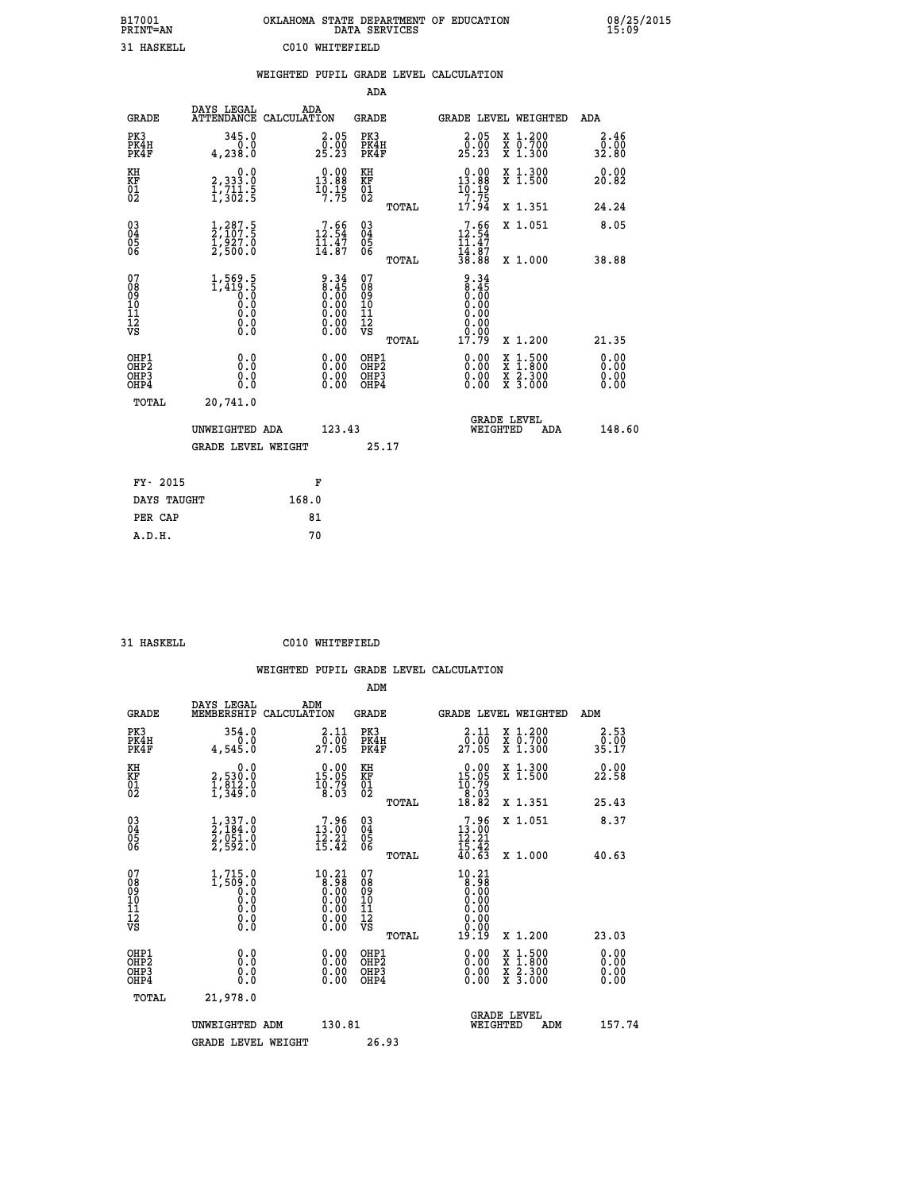| B17001<br><b>PRINT=AN</b> | OKLAHOMA STATE DEPARTMENT OF EDUCATION<br>DATA SERVICES | 08/25/2015<br>15:09 |
|---------------------------|---------------------------------------------------------|---------------------|
| 31 HASKELL                | C010 WHITEFIELD                                         |                     |

|                                                    |                                                                                                         |       |                                                                                               |                                          |       | WEIGHTED PUPIL GRADE LEVEL CALCULATION                                                       |                                                                                          |                              |
|----------------------------------------------------|---------------------------------------------------------------------------------------------------------|-------|-----------------------------------------------------------------------------------------------|------------------------------------------|-------|----------------------------------------------------------------------------------------------|------------------------------------------------------------------------------------------|------------------------------|
|                                                    |                                                                                                         |       |                                                                                               | <b>ADA</b>                               |       |                                                                                              |                                                                                          |                              |
| <b>GRADE</b>                                       | DAYS LEGAL<br>ATTENDANCE CALCULATION                                                                    | ADA   |                                                                                               | <b>GRADE</b>                             |       | GRADE LEVEL WEIGHTED                                                                         |                                                                                          | ADA                          |
| PK3<br>PK4H<br>PK4F                                | 345.0<br>0.0<br>4,238.0                                                                                 |       | $\begin{smallmatrix} 2.05\0.00\\25.23 \end{smallmatrix}$                                      | PK3<br>PK4H<br>PK4F                      |       | 2.05<br>$\frac{5}{25}$ . $\frac{5}{23}$                                                      | X 1.200<br>X 0.700<br>X 1.300                                                            | 2.46<br>0.00<br>32.80        |
| KH<br>KF<br>01<br>02                               | $\begin{smallmatrix} & & 0.0\ 2,333.0\ 1,711.5\ 1,302.5 \end{smallmatrix}$                              |       | $\begin{smallmatrix} 0.00\\13.88\\10.19\\7.75 \end{smallmatrix}$                              | KH<br>KF<br>01<br>02                     |       | $0.00$<br>13.88<br>$\frac{10.19}{7.75}$                                                      | X 1.300<br>X 1.500                                                                       | 0.00<br>20.82                |
|                                                    |                                                                                                         |       |                                                                                               |                                          | TOTAL | 17.94                                                                                        | X 1.351                                                                                  | 24.24                        |
| $\begin{matrix} 03 \\ 04 \\ 05 \\ 06 \end{matrix}$ | $\frac{1}{2}$ , $\frac{287.5}{107.5}$<br>$\frac{1}{2}$ , $\frac{5}{2}$ , $\frac{5}{2}$ , $\frac{5}{2}$  |       | $\begin{smallmatrix}7.66\\12.54\\11.47\\14.87\end{smallmatrix}$                               | $\substack{03 \\ 04}$<br>Ŏ5<br>06        |       | $7.66$<br>$12.54$<br>$11.47$<br>$14.87$<br>$38.88$                                           | X 1.051                                                                                  | 8.05                         |
|                                                    |                                                                                                         |       |                                                                                               |                                          | TOTAL |                                                                                              | X 1.000                                                                                  | 38.88                        |
| 07<br>08<br>09<br>11<br>11<br>12<br>VS             | 1,569.5<br>1,419.5<br>0.0<br>0.0<br>$\begin{smallmatrix} 0.0 & 0 \ 0.0 & 0 \ 0.0 & 0 \end{smallmatrix}$ |       | $\begin{smallmatrix} 9.34\ 8.45\ 0.00\ 0.00\ 0.00\ 0.00\ 0.00\ 0.00\ 0.00\ \end{smallmatrix}$ | 07<br>08<br>09<br>11<br>11<br>12<br>VS   | TOTAL | 9.34<br>$\begin{array}{c} 8.45 \\ 0.00 \\ 0.00 \end{array}$<br>0.00<br>0.00<br>ŏ.ŏŏ<br>17.79 | X 1.200                                                                                  | 21.35                        |
| OHP1<br>OHP <sub>2</sub><br>OHP3<br>OHP4           | 0.0<br>0.0<br>0.0                                                                                       |       | $\begin{smallmatrix} 0.00 \ 0.00 \ 0.00 \ 0.00 \end{smallmatrix}$                             | OHP1<br>OHP <sub>2</sub><br>OHP3<br>OHP4 |       |                                                                                              | $\begin{smallmatrix} x & 1.500 \\ x & 1.800 \\ x & 2.300 \\ x & 3.000 \end{smallmatrix}$ | 0.00<br>0.00<br>0.00<br>0.00 |
| TOTAL                                              | 20,741.0                                                                                                |       |                                                                                               |                                          |       |                                                                                              |                                                                                          |                              |
|                                                    | UNWEIGHTED ADA                                                                                          |       | 123.43                                                                                        |                                          |       | <b>GRADE LEVEL</b><br>WEIGHTED                                                               | ADA                                                                                      | 148.60                       |
|                                                    | <b>GRADE LEVEL WEIGHT</b>                                                                               |       |                                                                                               |                                          | 25.17 |                                                                                              |                                                                                          |                              |
| FY- 2015                                           |                                                                                                         | F     |                                                                                               |                                          |       |                                                                                              |                                                                                          |                              |
| DAYS TAUGHT                                        |                                                                                                         | 168.0 |                                                                                               |                                          |       |                                                                                              |                                                                                          |                              |
| PER CAP                                            |                                                                                                         | 81    |                                                                                               |                                          |       |                                                                                              |                                                                                          |                              |

 **31 HASKELL C010 WHITEFIELD**

|  |     | WEIGHTED PUPIL GRADE LEVEL CALCULATION |
|--|-----|----------------------------------------|
|  | ADM |                                        |

| <b>GRADE</b>                                       | DAYS LEGAL<br>MEMBERSHIP                                                           | ADM<br>CALCULATION                                                                             | <b>GRADE</b>                             |       | GRADE LEVEL WEIGHTED                                                                                                                                                                                                                                                           |                                          | ADM                  |                      |
|----------------------------------------------------|------------------------------------------------------------------------------------|------------------------------------------------------------------------------------------------|------------------------------------------|-------|--------------------------------------------------------------------------------------------------------------------------------------------------------------------------------------------------------------------------------------------------------------------------------|------------------------------------------|----------------------|----------------------|
| PK3<br>PK4H<br>PK4F                                | 354.0<br>4,545.0                                                                   | $\frac{2 \cdot 11}{0 \cdot 00}$<br>27.05                                                       | PK3<br>PK4H<br>PK4F                      |       | 2.11<br>27.05                                                                                                                                                                                                                                                                  | X 1.200<br>X 0.700<br>X 1.300            | $\frac{0.00}{35.17}$ | 2.53                 |
| KH<br>KF<br>01<br>02                               | 0.0<br>2,530:0<br>1,812:0<br>1,349:0                                               | $\begin{smallmatrix} 0.00\\ 15.05\\ 10.79\\ 8.03 \end{smallmatrix}$                            | KH<br>KF<br>01<br>02                     |       | $\begin{smallmatrix} 0.00\\ 15.05\\ 10.79\\ 8.03\\ 18.82 \end{smallmatrix}$                                                                                                                                                                                                    | X 1.300<br>X 1.500                       | 22.58                | 0.00                 |
|                                                    |                                                                                    |                                                                                                |                                          | TOTAL |                                                                                                                                                                                                                                                                                | X 1.351                                  | 25.43                |                      |
| $\begin{matrix} 03 \\ 04 \\ 05 \\ 06 \end{matrix}$ | $\frac{1}{2}, \frac{337}{184}.0 \ \frac{2}{2}, \frac{051}{92}.0 \ \frac{2}{592}.0$ | $\begin{smallmatrix}7.96\\13.00\\12.21\\15.42\end{smallmatrix}$                                | $\substack{03 \\ 04}$<br>$\frac{05}{06}$ |       | 7.96<br>$13.00$<br>$12.21$<br>$15.42$                                                                                                                                                                                                                                          | X 1.051                                  |                      | 8.37                 |
|                                                    |                                                                                    |                                                                                                |                                          | TOTAL | 40.63                                                                                                                                                                                                                                                                          | X 1.000                                  | 40.63                |                      |
| 07<br>08<br>09<br>101<br>112<br>VS                 | $1, 715.0\n1, 509.0\n0.0\n0.0\n0.0\n0.0\n0.0$                                      | $\begin{smallmatrix} 10.21\ 8.98\ 0.00\ 0.00\ 0.00\ 0.00\ 0.00\ 0.00\ 0.00\ \end{smallmatrix}$ | 07<br>08<br>09<br>11<br>11<br>12<br>VS   | TOTAL | $\begin{smallmatrix} 10.21\\ 8.98\\ 0.00\\ 0.00\\ 0.00\\ 0.00\\ 0.00\\ 0.00\\ 0.19.19 \end{smallmatrix}$                                                                                                                                                                       | X 1.200                                  | 23.03                |                      |
| OHP1<br>OHP2<br>OHP3<br>OHP4                       | 0.0<br>Ō.Ō<br>Ŏ.Ŏ                                                                  |                                                                                                | OHP1<br>OHP2<br>OHP3<br>OHP4             |       | $\begin{smallmatrix} 0.00 & 0.00 & 0.00 & 0.00 & 0.00 & 0.00 & 0.00 & 0.00 & 0.00 & 0.00 & 0.00 & 0.00 & 0.00 & 0.00 & 0.00 & 0.00 & 0.00 & 0.00 & 0.00 & 0.00 & 0.00 & 0.00 & 0.00 & 0.00 & 0.00 & 0.00 & 0.00 & 0.00 & 0.00 & 0.00 & 0.00 & 0.00 & 0.00 & 0.00 & 0.00 & 0.0$ | X 1:500<br>X 1:800<br>X 2:300<br>X 3:000 |                      | 0.00<br>0.00<br>0.00 |
| TOTAL                                              | 21,978.0                                                                           |                                                                                                |                                          |       |                                                                                                                                                                                                                                                                                |                                          |                      |                      |
|                                                    | UNWEIGHTED ADM                                                                     | 130.81                                                                                         |                                          |       | WEIGHTED                                                                                                                                                                                                                                                                       | <b>GRADE LEVEL</b><br>ADM                |                      | 157.74               |
|                                                    | <b>GRADE LEVEL WEIGHT</b>                                                          |                                                                                                | 26.93                                    |       |                                                                                                                                                                                                                                                                                |                                          |                      |                      |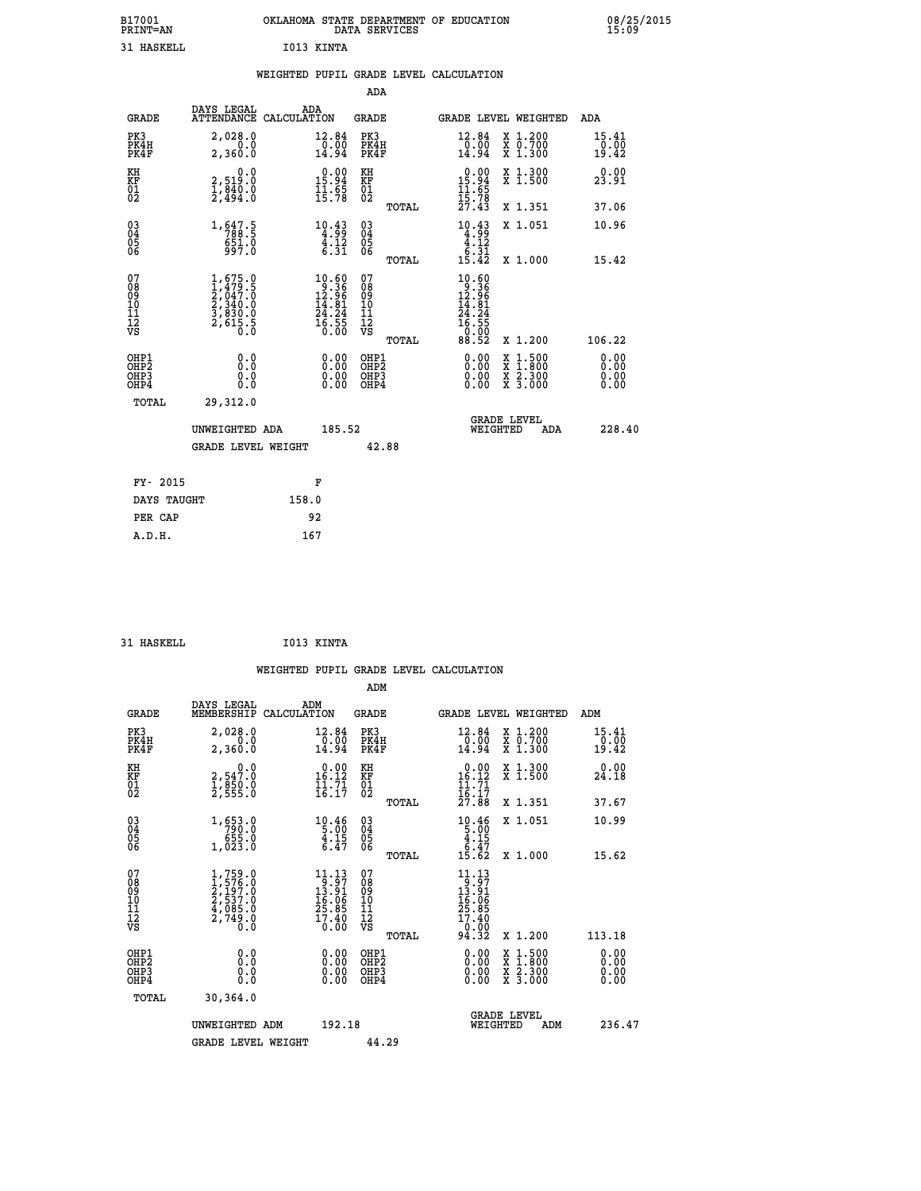| B17001<br><b>PRINT=AN</b> |            | OKLAHOMA STATE DEPARTMENT OF EDUCATION<br>DATA SERVICES | 08/25/2015<br>15:09 |
|---------------------------|------------|---------------------------------------------------------|---------------------|
| 31 HASKELL                | I013 KINTA |                                                         |                     |

|                                        |                                                                        | WEIGHTED PUPIL GRADE LEVEL CALCULATION |                                                                                                |                                        |       |                                                                                                           |                                |                                                                    |                        |
|----------------------------------------|------------------------------------------------------------------------|----------------------------------------|------------------------------------------------------------------------------------------------|----------------------------------------|-------|-----------------------------------------------------------------------------------------------------------|--------------------------------|--------------------------------------------------------------------|------------------------|
|                                        |                                                                        |                                        |                                                                                                | ADA                                    |       |                                                                                                           |                                |                                                                    |                        |
| <b>GRADE</b>                           | DAYS LEGAL<br>ATTENDANCE CALCULATION                                   | ADA                                    |                                                                                                | GRADE                                  |       |                                                                                                           |                                | GRADE LEVEL WEIGHTED                                               | ADA                    |
| PK3<br>PK4H<br>PK4F                    | 2,028.0<br>2,360.0                                                     |                                        | 12.84<br>$\frac{10.00}{14.94}$                                                                 | PK3<br>PK4H<br>PK4F                    |       | 12.84<br>$\frac{0.00}{14.94}$                                                                             |                                | X 1.200<br>X 0.700<br>X 1.300                                      | 15.41<br>0.00<br>19.42 |
| KH<br>KF<br>01<br>02                   | 0.0<br>2,519:0<br>1,840:0<br>2,494:0                                   |                                        | $\begin{array}{c} 0.00 \\ 15.94 \\ 11.65 \\ 15.78 \end{array}$                                 | KH<br>KF<br>01<br>02                   |       | $0.00$<br>$15.94$<br>$11.65$<br>$15.78$<br>$27.43$                                                        |                                | X 1.300<br>X 1.500                                                 | 0.00<br>23.91          |
|                                        |                                                                        |                                        |                                                                                                |                                        | TOTAL |                                                                                                           |                                | X 1.351                                                            | 37.06                  |
| $\substack{03 \\ 04}$<br>05<br>06      | 1, 647.5<br>$651.0$<br>997.0                                           |                                        | $\begin{array}{r} 10.43 \\ 4.99 \\ 4.12 \\ 6.31 \end{array}$                                   | $\substack{03 \\ 04}$<br>05<br>06      |       | $\begin{array}{r} 10.43 \\ 4.99 \\ 4.12 \\ 6.31 \\ 15.42 \end{array}$                                     |                                | X 1.051                                                            | 10.96                  |
|                                        |                                                                        |                                        |                                                                                                |                                        | TOTAL |                                                                                                           |                                | X 1.000                                                            | 15.42                  |
| 07<br>08<br>09<br>11<br>11<br>12<br>VS | $1,479.5$<br>$2,047.0$<br>$2,340.0$<br>$3,830.0$<br>$2,615.5$<br>$0.0$ |                                        | $\begin{smallmatrix} 10.60 \\ 9.36 \\ 12.96 \\ 14.81 \\ 24.24 \\ 55 \\ 0.00 \end{smallmatrix}$ | 07<br>08<br>09<br>11<br>11<br>12<br>VS | TOTAL | $\begin{smallmatrix} 10.60 \\ 9.36 \\ 12.96 \\ 14.81 \\ 24.24 \\ 5.55 \\ 0.90 \end{smallmatrix}$<br>88.52 |                                | X 1.200                                                            | 106.22                 |
| OHP1<br>OHP2<br>OHP3<br>OHP4           | 0.0<br>0.000                                                           |                                        | $\begin{smallmatrix} 0.00 \ 0.00 \ 0.00 \ 0.00 \end{smallmatrix}$                              | OHP1<br>OHP2<br>OHP <sub>3</sub>       |       |                                                                                                           | X<br>X<br>X<br>X               | $\begin{smallmatrix} 1.500\ 1.800\ 2.300\ 3.000 \end{smallmatrix}$ | 0.00<br>0.00           |
| TOTAL                                  | 29,312.0                                                               |                                        |                                                                                                |                                        |       |                                                                                                           |                                |                                                                    |                        |
|                                        | UNWEIGHTED ADA                                                         |                                        | 185.52                                                                                         |                                        |       |                                                                                                           | <b>GRADE LEVEL</b><br>WEIGHTED | ADA                                                                | 228.40                 |
|                                        | <b>GRADE LEVEL WEIGHT</b>                                              |                                        |                                                                                                | 42.88                                  |       |                                                                                                           |                                |                                                                    |                        |
| FY- 2015                               |                                                                        |                                        | F                                                                                              |                                        |       |                                                                                                           |                                |                                                                    |                        |
| DAYS TAUGHT                            |                                                                        | 158.0                                  |                                                                                                |                                        |       |                                                                                                           |                                |                                                                    |                        |
| PER CAP                                |                                                                        | 92                                     |                                                                                                |                                        |       |                                                                                                           |                                |                                                                    |                        |

 **31 HASKELL I013 KINTA WEIGHTED PUPIL GRADE LEVEL CALCULATION ADM DAYS LEGAL ADM GRADE MEMBERSHIP CALCULATION GRADE GRADE LEVEL WEIGHTED ADM PK3 2,028.0 12.84 PK3 12.84 X 1.200 15.41 PK4H 0.0 0.00 PK4H 0.00 X 0.700 0.00 PK4F 2,360.0 14.94 PK4F 14.94 X 1.300 19.42 KH 0.0 0.00 KH 0.00 X 1.300 0.00 KF 2,547.0 16.12 KF 16.12 X 1.500 24.18 01 1,850.0 11.71 01 11.71 02 2,555.0 16.17 02 16.17 TOTAL 27.88 X 1.351 37.67 03 1,653.0 10.46 03 10.46 X 1.051 10.99** 04 790.0 5.00 5.00 5.00<br>05 1,023.0 4.15 05 4.15<br>06 1,023.0 6.47 06 <sub>Forne</sub> 6.47  **TOTAL 15.62 X 1.000 15.62**  $\begin{array}{cccc} 07 & 1,759.0 & 11.13 & 07 & 11.13 \ 08 & 1,576.0 & 9 & 3.91 & 08 & 13.91 \ 09 & 2,197.0 & 13.91 & 08 & 13.91 \ 10 & 2,537.0 & 16.06 & 10 & 16.06 \ 11 & 4,085.0 & 25.85 & 11 & 25.85 \ 12 & 2,749.0 & 17.40 & 12 & 17.40 \ 18 & 0.0 & 0.0 & 0.0 & 0.0 &$  $\begin{array}{cccccc} 1,759.0 & 11.13 & 07 & 11.13 & 12.13 & 07 & 13.97 & 0.11.13 & 0.12.12 & 0.12.13 & 0.12.13 & 0.12.13 & 0.12.13 & 0.12.13 & 0.12.13 & 0.12.13 & 0.12.13 & 0.12.13 & 0.12.13 & 0.12.13 & 0.12.13 & 0.12.13 & 0.12.13 & 0.12.13 & 0.12.13 & 0.12$  **OHP1 0.0 0.00 OHP1 0.00 X 1.500 0.00 OHP2 0.0 0.00 OHP2 0.00 X 1.800 0.00 OHP3 0.0 0.00 OHP3 0.00 X 2.300 0.00 OHP4 0.0 0.00 OHP4 0.00 X 3.000 0.00 TOTAL 30,364.0 GRADE LEVEL UNWEIGHTED ADM 192.18 WEIGHTED ADM 236.47** GRADE LEVEL WEIGHT 44.29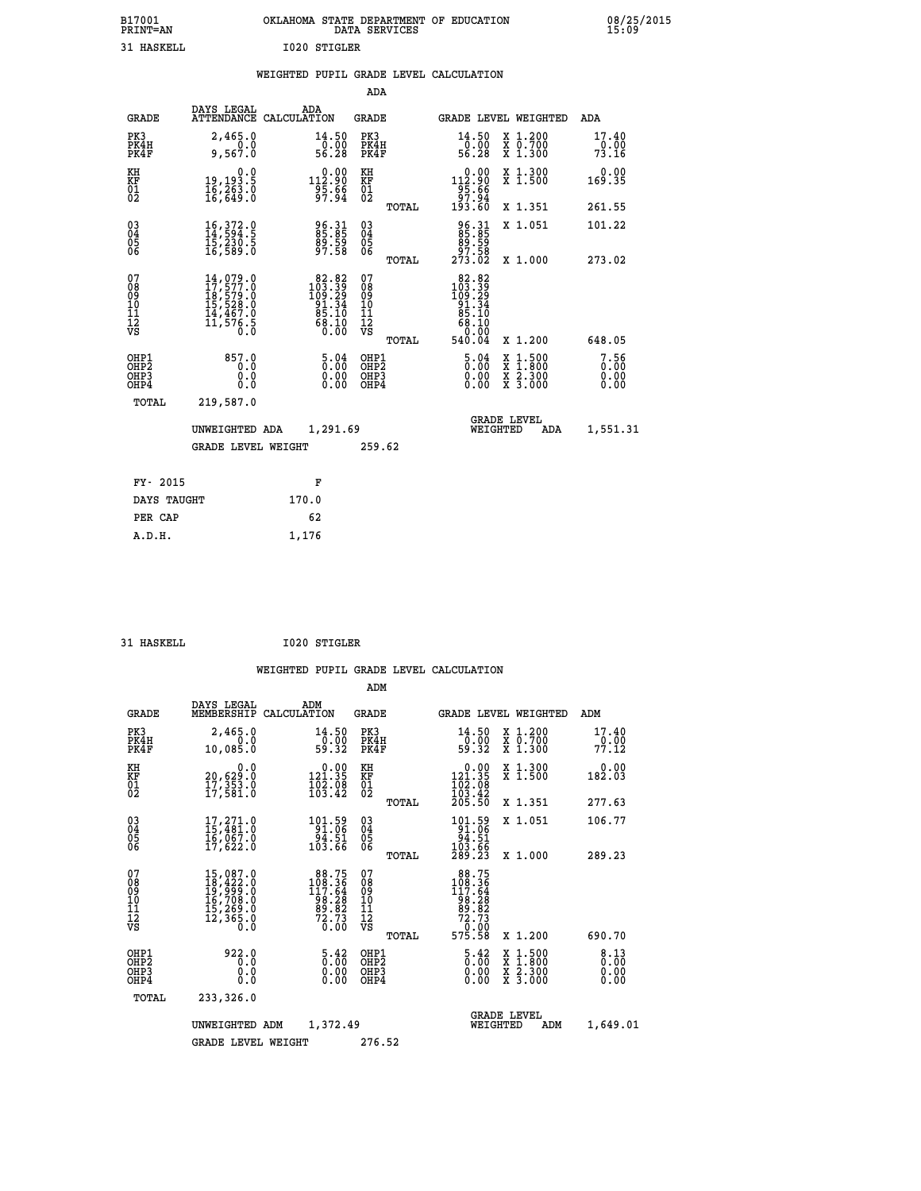| B17001<br><b>PRINT=AN</b> | OKLAHOMA<br>. STATE DEPARTMENT OF EDUCATION<br>DATA SERVICES | 08/25/2015<br>15:09 |
|---------------------------|--------------------------------------------------------------|---------------------|
| 31 HASKELL                | I020 STIGLER                                                 |                     |

|  |  | WEIGHTED PUPIL GRADE LEVEL CALCULATION |
|--|--|----------------------------------------|
|  |  |                                        |

|                                                       |                                                                                                                                                     |                                                                                                      | ADA                                      |       |                                                                                                           |                                          |                              |
|-------------------------------------------------------|-----------------------------------------------------------------------------------------------------------------------------------------------------|------------------------------------------------------------------------------------------------------|------------------------------------------|-------|-----------------------------------------------------------------------------------------------------------|------------------------------------------|------------------------------|
| <b>GRADE</b>                                          | DAYS LEGAL                                                                                                                                          | ADA<br>ATTENDANCE CALCULATION                                                                        | <b>GRADE</b>                             |       |                                                                                                           | <b>GRADE LEVEL WEIGHTED</b>              | ADA                          |
| PK3<br>PK4H<br>PK4F                                   | 2,465.0<br>9,567.0                                                                                                                                  | $\begin{array}{c} 14\cdot 50 \\ 0\cdot 00 \\ 56\cdot 28 \end{array}$                                 | PK3<br>PK4H<br>PK4F                      |       | $\frac{14.50}{0.00}$<br>56.28                                                                             | X 1.200<br>X 0.700<br>X 1.300            | 17.40<br>73.16               |
| KH<br>KF<br>01<br>02                                  | 0.0<br>19,193.5<br>16,263.0<br>16,649.0                                                                                                             |                                                                                                      | KH<br>KF<br>01<br>02                     |       | $\begin{smallmatrix}&&0.00\\112.90\\95.66\\97.94\\193.60\end{smallmatrix}$                                | X 1.300<br>X 1.500                       | 0.00<br>169.35               |
|                                                       |                                                                                                                                                     |                                                                                                      |                                          | TOTAL |                                                                                                           | X 1.351                                  | 261.55                       |
| 03<br>04<br>05<br>06                                  | 16, 372.0<br>14, 594.5<br>ī5,230.5<br>16,589.0                                                                                                      | 96.31<br>85.85<br>89.59<br>97.58                                                                     | 03<br>04<br>05<br>06                     |       | 96.31<br>85.85<br>89.59<br>97.58<br>273.02                                                                | X 1.051                                  | 101.22                       |
|                                                       |                                                                                                                                                     |                                                                                                      |                                          | TOTAL |                                                                                                           | X 1.000                                  | 273.02                       |
| 07<br>08<br>09<br>11<br>11<br>12<br>VS                | $\begin{smallmatrix} 14\,,\,079\,.0\\ 17\,,\,577\,.0\\ 18\,,\,579\,.0\\ 15\,,\,528\,.0\\ 14\,,\,467\,.0\\ 11\,,\,576\,.5\\ 0\,.0 \end{smallmatrix}$ | $\begin{smallmatrix} 82.82 \\ 103.39 \\ 109.29 \\ 91.34 \\ 85.10 \\ 68.10 \\ 0.00 \end{smallmatrix}$ | 07<br>08<br>09<br>11<br>11<br>12<br>VS   | TOTAL | $\begin{array}{r} 82.82 \\ 103.39 \\ 109.29 \\ 91.34 \\ 85.10 \\ 68.10 \\ 60.00 \\ \end{array}$<br>540.04 | X 1.200                                  | 648.05                       |
| OHP1<br>OH <sub>P</sub> 2<br>OH <sub>P3</sub><br>OHP4 | 857.0<br>0.0<br>0.0<br>0.0                                                                                                                          | $\frac{5.04}{0.00}$<br>$\begin{smallmatrix} 0.00 \ 0.00 \end{smallmatrix}$                           | OHP1<br>OHP <sub>2</sub><br>OHP3<br>OHP4 |       | $\frac{5.04}{0.00}$<br>0.00<br>0.00                                                                       | X 1:500<br>X 1:800<br>X 2:300<br>X 3:000 | 7.56<br>0.00<br>0.00<br>0.00 |
| TOTAL                                                 | 219,587.0                                                                                                                                           |                                                                                                      |                                          |       |                                                                                                           |                                          |                              |
|                                                       | UNWEIGHTED ADA                                                                                                                                      | 1,291.69                                                                                             |                                          |       | WEIGHTED                                                                                                  | <b>GRADE LEVEL</b><br>ADA                | 1,551.31                     |
|                                                       | GRADE LEVEL WEIGHT                                                                                                                                  |                                                                                                      | 259.62                                   |       |                                                                                                           |                                          |                              |
| FY- 2015                                              |                                                                                                                                                     | F                                                                                                    |                                          |       |                                                                                                           |                                          |                              |
| DAYS TAUGHT                                           |                                                                                                                                                     | 170.0                                                                                                |                                          |       |                                                                                                           |                                          |                              |
| PER CAP                                               |                                                                                                                                                     | 62                                                                                                   |                                          |       |                                                                                                           |                                          |                              |
| A.D.H.                                                |                                                                                                                                                     | 1,176                                                                                                |                                          |       |                                                                                                           |                                          |                              |
|                                                       |                                                                                                                                                     |                                                                                                      |                                          |       |                                                                                                           |                                          |                              |

| HASKELL. |
|----------|

 **31 HASKELL I020 STIGLER**

|                                                       |                                                                                                               |                                                                                                | ADM                                    |       |                                                                                                          |                                          |                               |
|-------------------------------------------------------|---------------------------------------------------------------------------------------------------------------|------------------------------------------------------------------------------------------------|----------------------------------------|-------|----------------------------------------------------------------------------------------------------------|------------------------------------------|-------------------------------|
| <b>GRADE</b>                                          | DAYS LEGAL<br>MEMBERSHIP                                                                                      | ADM<br>CALCULATION                                                                             | <b>GRADE</b>                           |       |                                                                                                          | GRADE LEVEL WEIGHTED                     | ADM                           |
| PK3<br>PK4H<br>PK4F                                   | 2,465.0<br>0.0<br>10,085.0                                                                                    | 14.50<br>$\frac{1}{59}.00$<br>59.32                                                            | PK3<br>PK4H<br>PK4F                    |       | 14.50<br>-0:00<br>59:32                                                                                  | X 1.200<br>X 0.700<br>X 1.300            | 17.40<br>$\frac{0.00}{77.12}$ |
| KH<br>KF<br>01<br>02                                  | 0.0<br>20,629:0<br>17,353:0<br>17,581:0                                                                       | $\begin{smallmatrix} 0.00\\ 121.35\\ 102.08\\ 103.42 \end{smallmatrix}$                        | KH<br>KF<br>01<br>02                   |       | $\begin{smallmatrix} &0.00\\ 121.35\\ 102.08\\ 103.42\\ 205.50 \end{smallmatrix}$                        | X 1.300<br>X 1.500                       | 0.00<br>182.03                |
|                                                       |                                                                                                               |                                                                                                |                                        | TOTAL |                                                                                                          | X 1.351                                  | 277.63                        |
| 03<br>04<br>05<br>06                                  | $17,271.0$<br>$15,481.0$<br>$16,067.0$<br>$17,622.0$                                                          | $\begin{array}{r} 101.59 \\ 91.06 \\ 94.51 \\ 103.66 \end{array}$                              | $^{03}_{04}$<br>0500                   |       | $101.59$<br>$91.06$<br>$94.51$<br>$103.66$<br>$289.23$                                                   | X 1.051                                  | 106.77                        |
|                                                       |                                                                                                               |                                                                                                |                                        | TOTAL |                                                                                                          | X 1.000                                  | 289.23                        |
| 07<br>08<br>09<br>101<br>112<br>VS                    | $\begin{smallmatrix} 15,087.0\\ 18,422.0\\ 19,999.0\\ 16,708.0\\ 15,269.0\\ 12,365.0\\ 0.0 \end{smallmatrix}$ | $\begin{smallmatrix} 88.75\\ 108.36\\ 117.64\\ 98.28\\ 89.82\\ 72.73\\ 0.00 \end{smallmatrix}$ | 07<br>08<br>09<br>11<br>11<br>12<br>VS | TOTAL | $\begin{smallmatrix} 88.75\\ 108.36\\ 117.64\\ 98.28\\ 99.82\\ 72.73\\ 0\\ 9\end{smallmatrix}$<br>575.58 | X 1.200                                  | 690.70                        |
| OHP1<br>OH <sub>P</sub> 2<br>OH <sub>P3</sub><br>OHP4 | 922.0<br>0.0<br>0.000                                                                                         | $\begin{smallmatrix} 5.42\ 0.00 \ 0.00 \end{smallmatrix}$<br>0.00                              | OHP1<br>OHP2<br>OHP3<br>OHP4           |       | $\begin{smallmatrix} 5.42\ 0.00 \ 0.00 \end{smallmatrix}$<br>0.00                                        | X 1:500<br>X 1:800<br>X 2:300<br>X 3:000 | 8.13<br>0.00<br>0.00<br>0.00  |
| TOTAL                                                 | 233,326.0                                                                                                     |                                                                                                |                                        |       |                                                                                                          |                                          |                               |
|                                                       | UNWEIGHTED                                                                                                    | 1,372.49<br>ADM                                                                                |                                        |       | WEIGHTED                                                                                                 | <b>GRADE LEVEL</b><br>ADM                | 1,649.01                      |
|                                                       | <b>GRADE LEVEL WEIGHT</b>                                                                                     |                                                                                                | 276.52                                 |       |                                                                                                          |                                          |                               |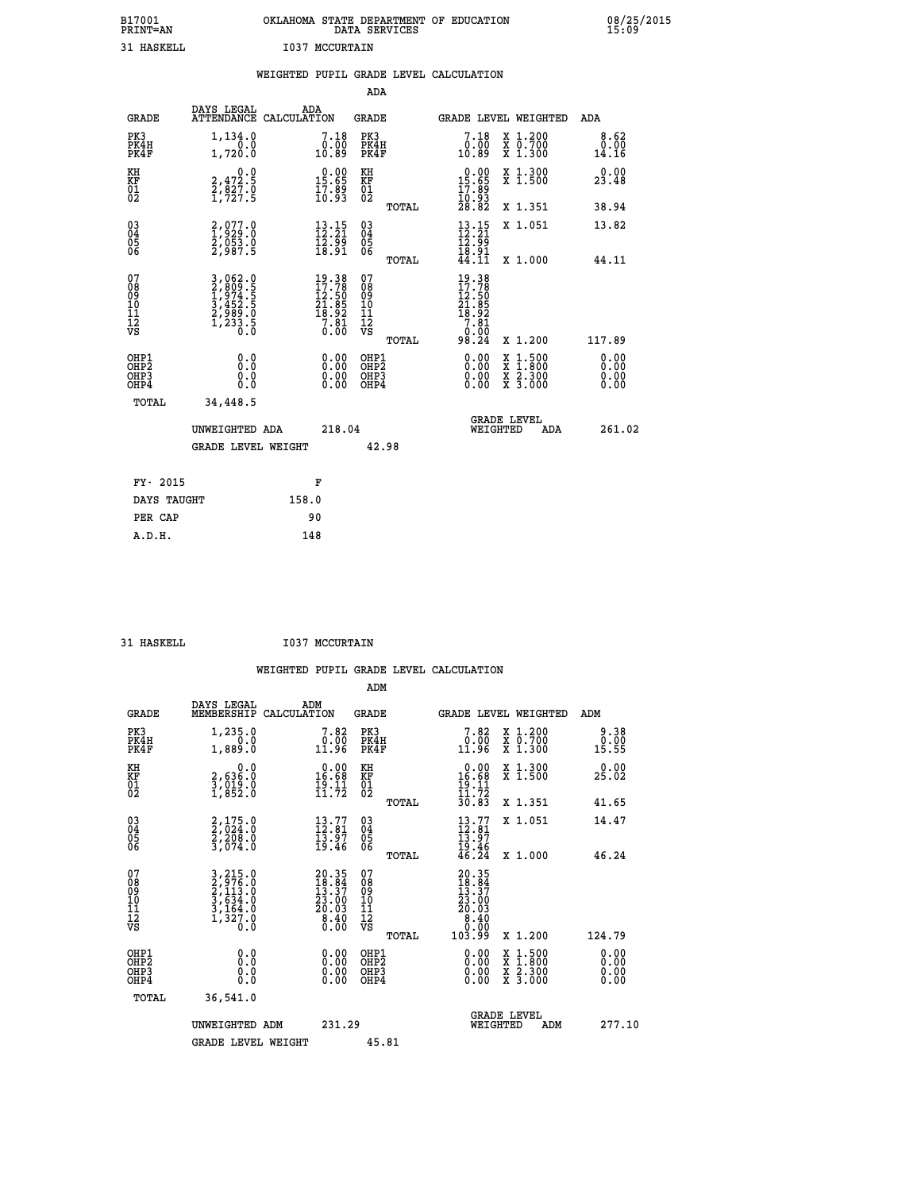| B17001<br>PRINT=AN | <b>OKLAHOMA</b><br>. STATE DEPARTMENT OF EDUCATION<br>DATA SERVICES | 08/25/2015<br>15:09 |
|--------------------|---------------------------------------------------------------------|---------------------|
| 31 HASKELL         | 1037<br>MCCURTAIN                                                   |                     |

|                                                                    |                                                                           | WEIGHTED PUPIL GRADE LEVEL CALCULATION                                                                                        |                                                    |       |                                                                                                                                                    |                                                                                                                                                          |                              |
|--------------------------------------------------------------------|---------------------------------------------------------------------------|-------------------------------------------------------------------------------------------------------------------------------|----------------------------------------------------|-------|----------------------------------------------------------------------------------------------------------------------------------------------------|----------------------------------------------------------------------------------------------------------------------------------------------------------|------------------------------|
|                                                                    |                                                                           |                                                                                                                               | <b>ADA</b>                                         |       |                                                                                                                                                    |                                                                                                                                                          |                              |
| <b>GRADE</b>                                                       | DAYS LEGAL                                                                | ADA<br>ATTENDANCE CALCULATION                                                                                                 | GRADE                                              |       |                                                                                                                                                    | GRADE LEVEL WEIGHTED                                                                                                                                     | ADA                          |
| PK3<br>PK4H<br>PK4F                                                | 1,134.0<br>1,720.0                                                        | 7.18<br>ŏōŏ<br>10.89                                                                                                          | PK3<br>PK4H<br>PK4F                                |       | 7.18<br>0.00<br>10.89                                                                                                                              | X 1.200<br>X 0.700<br>X 1.300                                                                                                                            | 8.62<br>0.00<br>14.16        |
| KH<br>KF<br>01<br>02                                               | $2,472.5$<br>$2,827.0$<br>$1,727.5$                                       | $\begin{smallmatrix} 0.00\\ 15.65\\ 17.89\\ 10.93 \end{smallmatrix}$                                                          | KH<br>KF<br>01<br>02                               |       | $\begin{smallmatrix} 0.00\\15.65\\17.89\\10.93\\28.82 \end{smallmatrix}$                                                                           | X 1.300<br>X 1.500                                                                                                                                       | 0.00<br>23.48                |
|                                                                    |                                                                           |                                                                                                                               |                                                    | TOTAL |                                                                                                                                                    | X 1.351                                                                                                                                                  | 38.94                        |
| $\begin{smallmatrix} 03 \\[-4pt] 04 \end{smallmatrix}$<br>Ŏ5<br>06 | 2,077.0<br>1,929.0<br>2,053.0<br>2,987.5                                  | $\frac{13}{12}:\frac{15}{21}$<br>$\frac{12.99}{18.91}$                                                                        | $\begin{matrix} 03 \\ 04 \\ 05 \\ 06 \end{matrix}$ |       | $\begin{array}{c} 13 \cdot 15 \\ 12 \cdot 21 \\ 12 \cdot 99 \\ 18 \cdot 91 \\ 44 \cdot 11 \end{array}$                                             | X 1.051                                                                                                                                                  | 13.82                        |
|                                                                    |                                                                           |                                                                                                                               |                                                    | TOTAL |                                                                                                                                                    | X 1.000                                                                                                                                                  | 44.11                        |
| 07<br>08<br>09<br>11<br>11<br>12<br>VS                             | 3,062.0<br>2,809.5<br>3,974.5<br>3,452.5<br>3,452.5<br>2,989.0<br>1,233.5 | $\begin{smallmatrix} 19 & 3 & 8\\ 17 & 7 & 8\\ 12 & 5 & 0\\ 21 & 8 & 5\\ 18 & 9 & 2\\ 7 & 8 & 1\\ 0 & 0 & 0\end{smallmatrix}$ | 07<br>08<br>09<br>11<br>11<br>12<br>VS             | TOTAL | $\begin{smallmatrix} 19 & 3 & 8\\ 17 & 7 & 8\\ 12 & 5 & 0\\ 21 & 8 & 5\\ 18 & 9 & 2\\ 7 & 8 & 1\\ 0 & 0 & 0\\ 0 & 0 & 0\end{smallmatrix}$<br>98.24 | X 1.200                                                                                                                                                  | 117.89                       |
| OHP1<br>OH <sub>P</sub> <sub>2</sub><br>OH <sub>P3</sub><br>OHP4   | 0.0<br>0.0<br>Ō.Ō                                                         | 0.00<br>$\begin{smallmatrix} 0.00 \ 0.00 \end{smallmatrix}$                                                                   | OHP1<br>OHP2<br>OHP3<br>OHP4                       |       | 0.00<br>0.00<br>0.00                                                                                                                               | $1:500$<br>1:800<br>$\begin{smallmatrix} \mathtt{X} & 1 & 500 \\ \mathtt{X} & 1 & 800 \\ \mathtt{X} & 2 & 300 \\ \mathtt{X} & 3 & 000 \end{smallmatrix}$ | 0.00<br>0.00<br>0.00<br>0.00 |
| TOTAL                                                              | 34,448.5                                                                  |                                                                                                                               |                                                    |       |                                                                                                                                                    |                                                                                                                                                          |                              |
|                                                                    | UNWEIGHTED ADA                                                            | 218.04                                                                                                                        |                                                    |       | WEIGHTED                                                                                                                                           | <b>GRADE LEVEL</b><br>ADA                                                                                                                                | 261.02                       |
|                                                                    | GRADE LEVEL WEIGHT                                                        |                                                                                                                               | 42.98                                              |       |                                                                                                                                                    |                                                                                                                                                          |                              |
| FY- 2015                                                           |                                                                           | F                                                                                                                             |                                                    |       |                                                                                                                                                    |                                                                                                                                                          |                              |
| DAYS TAUGHT                                                        |                                                                           | 158.0                                                                                                                         |                                                    |       |                                                                                                                                                    |                                                                                                                                                          |                              |
| PER CAP                                                            |                                                                           | 90                                                                                                                            |                                                    |       |                                                                                                                                                    |                                                                                                                                                          |                              |

31 HASKELL **I037 MCCURTAIN** 

| <b>GRADE</b>                                       | DAYS LEGAL<br>MEMBERSHIP                                                    | ADM<br>CALCULATION                                                                          | <b>GRADE</b>                                       |       | <b>GRADE LEVEL WEIGHTED</b>                                                                           |                                          | ADM                                          |                              |
|----------------------------------------------------|-----------------------------------------------------------------------------|---------------------------------------------------------------------------------------------|----------------------------------------------------|-------|-------------------------------------------------------------------------------------------------------|------------------------------------------|----------------------------------------------|------------------------------|
| PK3<br>PK4H<br>PK4F                                | 1,235.0<br>1,889.0                                                          | 7.82<br>$\frac{0.00}{11.96}$                                                                | PK3<br>PK4H<br>PK4F                                |       | 7.82<br>$\frac{0.00}{11.96}$                                                                          | X 1.200<br>X 0.700<br>X 1.300            | $\begin{array}{c} 0.00 \\ 15.55 \end{array}$ | 9.38                         |
| KH<br>KF<br>01<br>02                               | 0.0<br>2,636:0<br>3,019:0<br>1,852:0                                        | $\begin{array}{c} 0.00 \\ 16.68 \\ 19.11 \\ 11.72 \end{array}$                              | KH<br>KF<br>01<br>02                               |       | $\begin{array}{r} 0.00 \\ 16.68 \\ 19.11 \\ 11.72 \\ 30.83 \end{array}$                               | X 1.300<br>X 1.500                       | 25.02                                        | 0.00                         |
|                                                    |                                                                             |                                                                                             |                                                    | TOTAL |                                                                                                       | X 1.351                                  | 41.65                                        |                              |
| $\begin{matrix} 03 \\ 04 \\ 05 \\ 06 \end{matrix}$ | $2,175.0$<br>$2,208.0$<br>$2,208.0$<br>$3,074.0$                            | $\begin{smallmatrix} 13.77\\12.81\\13.97\\19.46 \end{smallmatrix}$                          | $\begin{matrix} 03 \\ 04 \\ 05 \\ 06 \end{matrix}$ |       | $13.77$<br>$12.81$<br>$13.97$<br>$19.46$<br>$46.24$                                                   | X 1.051                                  | 14.47                                        |                              |
|                                                    |                                                                             |                                                                                             |                                                    | TOTAL |                                                                                                       | X 1.000                                  | 46.24                                        |                              |
| 07<br>08<br>09<br>101<br>112<br>VS                 | 3, 215.0<br>2, 976.0<br>2, 113.0<br>3, 634.0<br>3, 164.0<br>1, 327.0<br>0.0 | $\begin{smallmatrix} 20.35\\ 18.84\\ 13.37\\ 23.00\\ 20.03\\ 8.40\\ 0.00 \end{smallmatrix}$ | 07<br>08<br>09<br>11<br>11<br>12<br>VS             | TOTAL | $\begin{smallmatrix} 20.35\ 18.34\ 13.37\ 13.37\ 23.00\ 20.03\ 8.40\ 0.00\ 103.99\ \end{smallmatrix}$ | X 1.200                                  | 124.79                                       |                              |
| OHP1<br>OHP2<br>OHP3<br>OHP4                       | 0.0<br>0.0<br>Ŏ.Ŏ                                                           |                                                                                             | OHP1<br>OHP2<br>OHP3<br>OHP4                       |       |                                                                                                       | X 1:500<br>X 1:800<br>X 2:300<br>X 3:000 |                                              | 0.00<br>0.00<br>0.00<br>0.00 |
| TOTAL                                              | 36,541.0                                                                    |                                                                                             |                                                    |       |                                                                                                       |                                          |                                              |                              |
|                                                    | UNWEIGHTED ADM                                                              | 231.29                                                                                      |                                                    |       | WEIGHTED                                                                                              | <b>GRADE LEVEL</b><br>ADM                |                                              | 277.10                       |
|                                                    | <b>GRADE LEVEL WEIGHT</b>                                                   |                                                                                             | 45.81                                              |       |                                                                                                       |                                          |                                              |                              |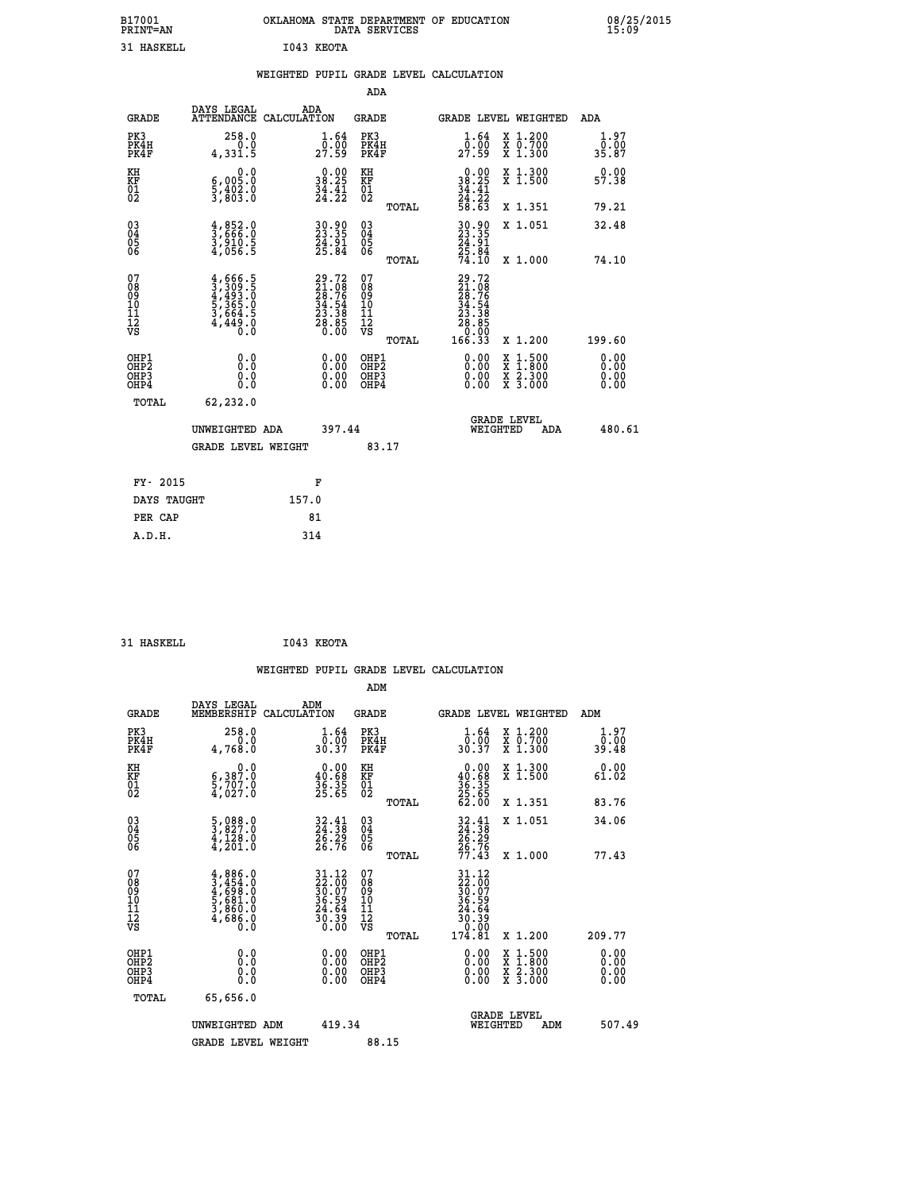| B17001<br>PRINT=AN                     |                                                                                     | OKLAHOMA STATE DEPARTMENT OF EDUCATION                                   | DATA SERVICES                                              |                                                                                                                                             |                                                                                                                                           | 08/25/2015                   |
|----------------------------------------|-------------------------------------------------------------------------------------|--------------------------------------------------------------------------|------------------------------------------------------------|---------------------------------------------------------------------------------------------------------------------------------------------|-------------------------------------------------------------------------------------------------------------------------------------------|------------------------------|
| <b>31 HASKELL</b>                      |                                                                                     | I043 KEOTA                                                               |                                                            |                                                                                                                                             |                                                                                                                                           |                              |
|                                        |                                                                                     | WEIGHTED PUPIL GRADE LEVEL CALCULATION                                   |                                                            |                                                                                                                                             |                                                                                                                                           |                              |
|                                        |                                                                                     |                                                                          | ADA                                                        |                                                                                                                                             |                                                                                                                                           |                              |
| <b>GRADE</b>                           | DAYS LEGAL                                                                          | ADA<br>ATTENDANCE CALCULATION                                            | <b>GRADE</b>                                               |                                                                                                                                             | GRADE LEVEL WEIGHTED                                                                                                                      | ADA                          |
| PK3<br>PK4H<br>PK4F                    | 258.0<br>0.0<br>4,331.5                                                             | 1.64<br>0.00<br>27.59                                                    | PK3<br>PK4H<br>PK4F                                        | $\frac{1}{0}$ : $\frac{64}{00}$<br>27.59                                                                                                    | X 1.200<br>X 0.700<br>X 1.300                                                                                                             | 1.97<br>0.00<br>35.87        |
| KH<br>KF<br>01<br>02                   | 0.0<br>6,005:0<br>5,402:0<br>3,803:0                                                | $\begin{smallmatrix} 0.00\\ 38.25\\ 34.41\\ 24.22 \end{smallmatrix}$     | KH<br><b>KF</b><br>01<br>02                                | $0.00$<br>$38.25$<br>$34.41$<br>$24.22$<br>$58.63$                                                                                          | X 1.300<br>X 1.500                                                                                                                        | 0.00<br>57.38                |
|                                        |                                                                                     |                                                                          | TOTAL                                                      |                                                                                                                                             | X 1.351                                                                                                                                   | 79.21                        |
| 03<br>04<br>05<br>06                   | $\frac{4}{3}, \frac{852}{666}$ .0<br>3,910.5<br>4,056.5                             | 30.90<br>23.35<br>24.91<br>25.84                                         | $\begin{matrix} 03 \\ 04 \\ 05 \\ 06 \end{matrix}$         | 30.90<br>23.35<br>24.91                                                                                                                     | X 1.051                                                                                                                                   | 32.48                        |
|                                        |                                                                                     |                                                                          | TOTAL                                                      | 25:84<br>74.10                                                                                                                              | X 1.000                                                                                                                                   | 74.10                        |
| 07<br>08<br>09<br>11<br>11<br>12<br>VS | $4,666.5$<br>$3,309.5$<br>$4,493.0$<br>$5,365.0$<br>$3,664.5$<br>$4,449.0$<br>$0.0$ | $29.72$<br>$21.08$<br>$28.76$<br>$34.54$<br>$23.38$<br>$28.85$<br>$0.00$ | 07<br>08<br>09<br>10<br>$\frac{11}{12}$<br>$\frac{12}{18}$ | $\begin{smallmatrix} 29\cdot72\ 21\cdot08\ 28\cdot76\ 29\cdot76\ 34\cdot54\ 23\cdot38\ 28\cdot86\ 29\cdot090\ 166\cdot33 \end{smallmatrix}$ |                                                                                                                                           |                              |
|                                        |                                                                                     |                                                                          | TOTAL                                                      |                                                                                                                                             | X 1.200                                                                                                                                   | 199.60                       |
| OHP1<br>OHP2<br>OHP3<br>OHP4           | 0.000<br>0.0<br>0.0                                                                 | 0.00<br>0.00<br>0.00                                                     | OHP1<br>OHP2<br>OHP3<br>OHP4                               | 0.00<br>0.00<br>0.00                                                                                                                        | $\begin{smallmatrix} \mathtt{X} & 1\cdot500\\ \mathtt{X} & 1\cdot800\\ \mathtt{X} & 2\cdot300\\ \mathtt{X} & 3\cdot000 \end{smallmatrix}$ | 0.00<br>0.00<br>0.00<br>0.00 |
| TOTAL                                  | 62,232.0                                                                            |                                                                          |                                                            |                                                                                                                                             |                                                                                                                                           |                              |
|                                        | UNWEIGHTED ADA                                                                      | 397.44                                                                   |                                                            | WEIGHTED                                                                                                                                    | <b>GRADE LEVEL</b><br>ADA                                                                                                                 | 480.61                       |
|                                        | <b>GRADE LEVEL WEIGHT</b>                                                           |                                                                          | 83.17                                                      |                                                                                                                                             |                                                                                                                                           |                              |
| FY- 2015                               |                                                                                     | F                                                                        |                                                            |                                                                                                                                             |                                                                                                                                           |                              |
| DAYS TAUGHT                            |                                                                                     | 157.0                                                                    |                                                            |                                                                                                                                             |                                                                                                                                           |                              |
| PER CAP                                |                                                                                     | 81                                                                       |                                                            |                                                                                                                                             |                                                                                                                                           |                              |

| 31 HASKELL | I043 KEOTA |
|------------|------------|

|                                                    |                                                                                                                 |                    |                                                                          |                                               |       | WEIGHTED PUPIL GRADE LEVEL CALCULATION                                                                                                                                                                                                                                         |                                                                                                  |        |                      |
|----------------------------------------------------|-----------------------------------------------------------------------------------------------------------------|--------------------|--------------------------------------------------------------------------|-----------------------------------------------|-------|--------------------------------------------------------------------------------------------------------------------------------------------------------------------------------------------------------------------------------------------------------------------------------|--------------------------------------------------------------------------------------------------|--------|----------------------|
|                                                    |                                                                                                                 |                    |                                                                          | ADM                                           |       |                                                                                                                                                                                                                                                                                |                                                                                                  |        |                      |
| <b>GRADE</b>                                       | DAYS LEGAL<br>MEMBERSHIP                                                                                        | ADM<br>CALCULATION |                                                                          | <b>GRADE</b>                                  |       | <b>GRADE LEVEL WEIGHTED</b>                                                                                                                                                                                                                                                    |                                                                                                  | ADM    |                      |
| PK3<br>PK4H<br>PK4F                                | 258.0<br>0.0<br>4,768.0                                                                                         |                    | $\frac{1}{0}$ : $\frac{64}{30}$<br>30.37                                 | PK3<br>PK4H<br>PK4F                           |       | $\frac{1}{0}$ : $\frac{64}{00}$<br>30.37                                                                                                                                                                                                                                       | X 1.200<br>X 0.700<br>X 1.300                                                                    | 39.48  | 1.97<br>0.00         |
| KH<br>KF<br>01<br>02                               | $\begin{smallmatrix}&&&0\cdot0\\ 6\,,&3\,8\,7\cdot0\\ 5\,,&7\,0\,7\cdot0\\ 4\,,&0\,2\,7\cdot0\end{smallmatrix}$ |                    | $\begin{smallmatrix} 0.00\\ 40.68\\ 36.35\\ 25.65 \end{smallmatrix}$     | KH<br>KF<br>01<br>02                          |       | $0.00\n40.68\n36.35\n25.65\n62.00$                                                                                                                                                                                                                                             | X 1.300<br>X 1.500                                                                               | 61.02  | 0.00                 |
|                                                    |                                                                                                                 |                    |                                                                          |                                               | TOTAL |                                                                                                                                                                                                                                                                                | X 1.351                                                                                          | 83.76  |                      |
| $\begin{matrix} 03 \\ 04 \\ 05 \\ 06 \end{matrix}$ | $\frac{5}{3}, \frac{088}{827}.0$<br>$\frac{4}{4}, \frac{128}{201}.0$                                            |                    | 32.41<br>24.38<br>26.29<br>26.76                                         | 03<br>04<br>05<br>06                          |       | 32.41<br>24.38<br>26.29<br>26.76<br>27.43                                                                                                                                                                                                                                      | X 1.051                                                                                          | 34.06  |                      |
|                                                    |                                                                                                                 |                    |                                                                          |                                               | TOTAL |                                                                                                                                                                                                                                                                                | X 1.000                                                                                          | 77.43  |                      |
| 07<br>0890112<br>1112<br>VS                        | $4,886.0$<br>$3,454.0$<br>$4,698.0$<br>$5,681.0$<br>$3,860.0$<br>$4,686.0$<br>$0.0$                             |                    | $31.12$<br>$22.00$<br>$30.07$<br>$36.59$<br>$24.64$<br>$30.39$<br>$0.00$ | 07<br>08<br>09<br>001<br>11<br>11<br>12<br>VS | TOTAL | $\begin{smallmatrix} 31.12\\22.00\\30.07\\36.59\\24.54\\24.54\\30.39\\0.00\\174.81\end{smallmatrix}$                                                                                                                                                                           | X 1.200                                                                                          | 209.77 |                      |
| OHP1<br>OHP2<br>OHP <sub>3</sub><br>OHP4           | 0.0<br>0.000                                                                                                    |                    | $\begin{smallmatrix} 0.00 \ 0.00 \ 0.00 \ 0.00 \end{smallmatrix}$        | OHP1<br>OHP2<br>OHP3<br>OHP4                  |       | $\begin{smallmatrix} 0.00 & 0.00 & 0.00 & 0.00 & 0.00 & 0.00 & 0.00 & 0.00 & 0.00 & 0.00 & 0.00 & 0.00 & 0.00 & 0.00 & 0.00 & 0.00 & 0.00 & 0.00 & 0.00 & 0.00 & 0.00 & 0.00 & 0.00 & 0.00 & 0.00 & 0.00 & 0.00 & 0.00 & 0.00 & 0.00 & 0.00 & 0.00 & 0.00 & 0.00 & 0.00 & 0.0$ | $\begin{smallmatrix} x & 1 & 500 \\ x & 1 & 800 \\ x & 2 & 300 \\ x & 3 & 000 \end{smallmatrix}$ |        | 0.00<br>0.00<br>0.00 |
| TOTAL                                              | 65,656.0                                                                                                        |                    |                                                                          |                                               |       |                                                                                                                                                                                                                                                                                |                                                                                                  |        |                      |
|                                                    | UNWEIGHTED ADM                                                                                                  |                    | 419.34                                                                   |                                               |       | WEIGHTED                                                                                                                                                                                                                                                                       | <b>GRADE LEVEL</b><br>ADM                                                                        |        | 507.49               |
|                                                    | <b>GRADE LEVEL WEIGHT</b>                                                                                       |                    |                                                                          | 88.15                                         |       |                                                                                                                                                                                                                                                                                |                                                                                                  |        |                      |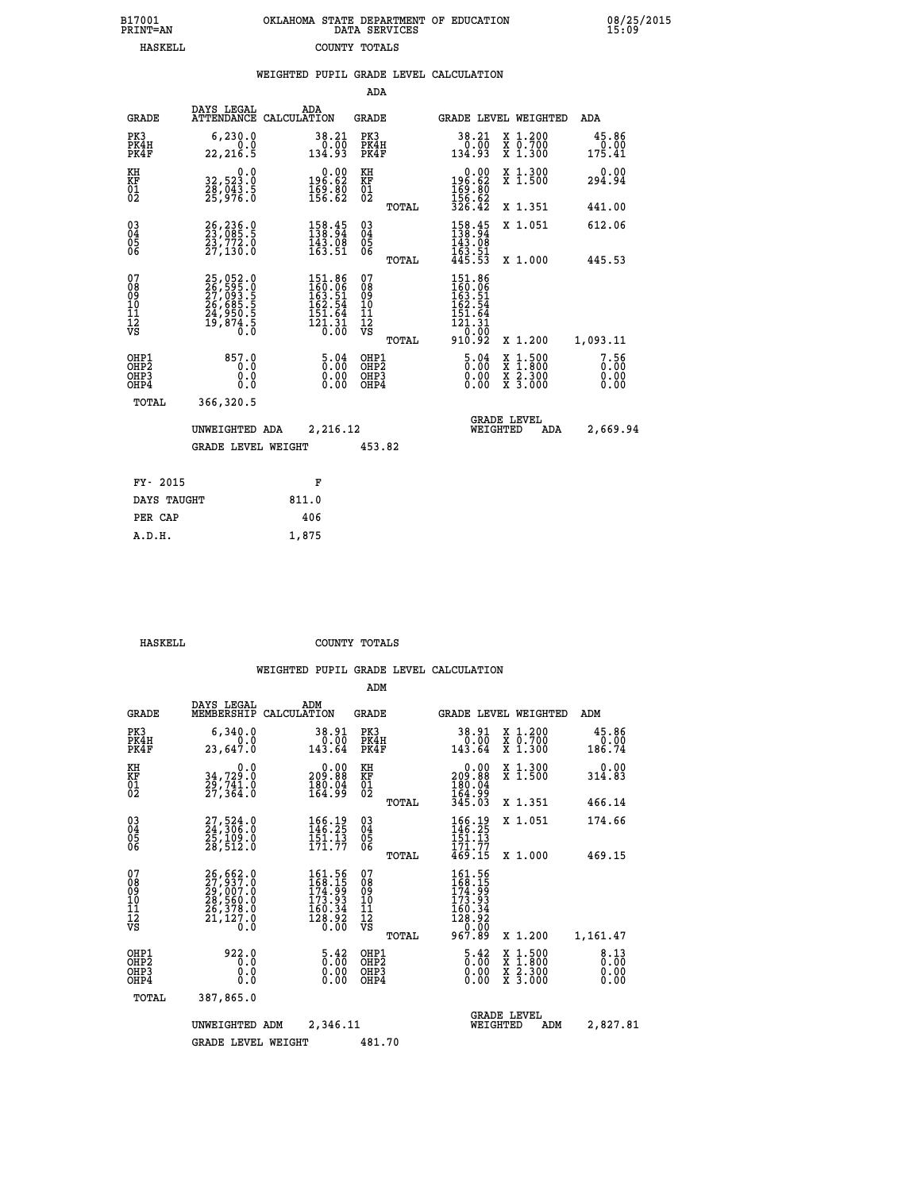|  | OKLAHOMA STATE DEPARTMENT OF EDUCATION<br>DATA SERVICES |  |
|--|---------------------------------------------------------|--|
|  | COUNTY TOTALS                                           |  |

 **B17001 OKLAHOMA STATE DEPARTMENT OF EDUCATION 08/25/2015**

|                                                                    |                                                                                  | WEIGHTED PUPIL GRADE LEVEL CALCULATION                                                             |                                               |                                                                                                           |                                                                                                                                           |                              |
|--------------------------------------------------------------------|----------------------------------------------------------------------------------|----------------------------------------------------------------------------------------------------|-----------------------------------------------|-----------------------------------------------------------------------------------------------------------|-------------------------------------------------------------------------------------------------------------------------------------------|------------------------------|
|                                                                    |                                                                                  |                                                                                                    | ADA                                           |                                                                                                           |                                                                                                                                           |                              |
| <b>GRADE</b>                                                       | DAYS LEGAL                                                                       | ADA<br>ATTENDANCE CALCULATION                                                                      | <b>GRADE</b>                                  | GRADE LEVEL WEIGHTED                                                                                      |                                                                                                                                           | ADA                          |
| PK3<br>PK4H<br>PK4F                                                | 6, 230.0<br>0.0<br>22, 216.5                                                     | 38.21<br>0.00<br>134.93                                                                            | PK3<br>PK4H<br>PK4F                           | 38.21<br>$\frac{0.00}{134.93}$                                                                            | X 1.200<br>X 0.700<br>X 1.300                                                                                                             | 45.86<br>0.00<br>175.41      |
| KH<br>KF<br>01<br>02                                               | 32,523.0<br>28,043.5<br>25,976.0                                                 | $0.00$<br>196.62<br>$\frac{169}{156}\cdot\frac{80}{62}$                                            | KH<br>KF<br>01<br>02                          | $\begin{smallmatrix} &0.00\\ 196.62\\ 169.80\\ 156.62\\ 326.42\end{smallmatrix}$                          | X 1.300<br>X 1.500                                                                                                                        | 0.00<br>294.94               |
|                                                                    |                                                                                  |                                                                                                    | TOTAL                                         |                                                                                                           | X 1.351                                                                                                                                   | 441.00                       |
| $\begin{smallmatrix} 03 \\[-4pt] 04 \end{smallmatrix}$<br>05<br>06 | 26,236.0<br>23,085.5<br>23,772.0<br>27,130.0                                     | 158.45<br>138.94<br>$\frac{143.08}{163.51}$                                                        | $^{03}_{04}$<br>0500                          | $\frac{158.45}{138.94}$                                                                                   | X 1.051                                                                                                                                   | 612.06                       |
|                                                                    |                                                                                  |                                                                                                    | TOTAL                                         | $\frac{1}{4}$ $\frac{5}{3}$ $\cdot$ $\frac{5}{5}$ $\frac{1}{3}$                                           | X 1.000                                                                                                                                   | 445.53                       |
| 07<br>08<br>09<br>10<br>11<br>11<br>12<br>VS                       | 25,052.0<br>26,595.0<br>27,093.5<br>26,685.5<br>24,950.5<br>24,950.5<br>19,874.5 | $\begin{smallmatrix} 151.86\\ 160.06\\ 163.51\\ 162.54\\ 151.64\\ 121.31\\ 0.00 \end{smallmatrix}$ | 078<br>089<br>0011<br>11<br>12<br>VS<br>TOTAL | 151.86<br>160.06<br>163.51<br>162.54<br>$\begin{array}{r} 151.64 \\ 121.31 \\ 0.00 \\ 910.92 \end{array}$ | X 1.200                                                                                                                                   | 1,093.11                     |
| OHP1<br>OHP2<br>OH <sub>P</sub> 3<br>OHP4                          | 857.0<br>0.0<br>0.0<br>0.0                                                       | $\frac{5.04}{0.00}$<br>$\begin{smallmatrix} 0.00 \ 0.00 \end{smallmatrix}$                         | OHP1<br>OHP2<br>OHP3<br>OHP4                  | $\frac{5.04}{0.00}$<br>0.00                                                                               | $\begin{smallmatrix} \mathtt{X} & 1\cdot500\\ \mathtt{X} & 1\cdot800\\ \mathtt{X} & 2\cdot300\\ \mathtt{X} & 3\cdot000 \end{smallmatrix}$ | 7.56<br>0.00<br>0.00<br>0.00 |
| TOTAL                                                              | 366,320.5                                                                        |                                                                                                    |                                               |                                                                                                           |                                                                                                                                           |                              |
|                                                                    | UNWEIGHTED ADA                                                                   | 2,216.12                                                                                           |                                               | <b>GRADE LEVEL</b><br>WEIGHTED                                                                            | ADA                                                                                                                                       | 2,669.94                     |
|                                                                    | <b>GRADE LEVEL WEIGHT</b>                                                        |                                                                                                    | 453.82                                        |                                                                                                           |                                                                                                                                           |                              |
| FY- 2015                                                           |                                                                                  | F                                                                                                  |                                               |                                                                                                           |                                                                                                                                           |                              |
| DAYS TAUGHT                                                        |                                                                                  | 811.0                                                                                              |                                               |                                                                                                           |                                                                                                                                           |                              |
| PER CAP                                                            |                                                                                  | 406                                                                                                |                                               |                                                                                                           |                                                                                                                                           |                              |

 **HASKELL COUNTY TOTALS**

 **A.D.H. 1,875**

B17001<br>PRINT=AN<br>HASKELL

|                                                       |                                                                             |                                                                                 | ADM                                              |                                                                                                          |                                                   |                              |
|-------------------------------------------------------|-----------------------------------------------------------------------------|---------------------------------------------------------------------------------|--------------------------------------------------|----------------------------------------------------------------------------------------------------------|---------------------------------------------------|------------------------------|
| <b>GRADE</b>                                          | DAYS LEGAL<br>MEMBERSHIP                                                    | ADM<br>CALCULATION                                                              | <b>GRADE</b>                                     | GRADE LEVEL WEIGHTED                                                                                     |                                                   | ADM                          |
| PK3<br>PK4H<br>PK4F                                   | 6,340.0<br>0.0<br>23,647.0                                                  | 38.91<br>0.00<br>143.64                                                         | PK3<br>PK4H<br>PK4F                              | 38.91<br>0.00<br>143.64                                                                                  | X 1.200<br>$\bar{x}$ $\bar{0}$ . 700<br>$X$ 1.300 | 45.86<br>0.00<br>186.74      |
| KH<br>KF<br>01<br>02                                  | 0.0<br>34,729:0<br>29,741:0<br>27,364:0                                     | $\begin{smallmatrix} &0.00\ 209.88\end{smallmatrix}$<br>$\frac{180.04}{164.99}$ | KH<br>KF<br>01<br>02                             | 0.00<br>209.88<br>$\frac{180.04}{164.99}$<br>345.03                                                      | X 1.300<br>X 1.500                                | 0.00<br>314.83               |
|                                                       |                                                                             |                                                                                 | TOTAL                                            |                                                                                                          | X 1.351                                           | 466.14                       |
| 03<br>04<br>05<br>06                                  | 27,524.0<br>24,306.0<br>25,109.0<br>28,512.0                                | 166.19<br>146.25<br>$\frac{151.13}{171.77}$                                     | $\substack{03 \\ 04}$<br>0500                    | 166.19<br>146.25<br>151.13<br>171.77                                                                     | X 1.051                                           | 174.66                       |
|                                                       |                                                                             |                                                                                 | TOTAL                                            | 469.15                                                                                                   | X 1.000                                           | 469.15                       |
| 07<br>08<br>09<br>101<br>112<br>VS                    | 26,662.0<br>27,937.0<br>29,007.0<br>28,560.0<br>26,378.0<br>21,127.0<br>0.0 | 161.56<br>168.15<br>174.99<br>173.93<br>$\frac{160.34}{128.92}$                 | 07<br>08<br>09<br>101<br>11<br>12<br>VS<br>TOTAL | 161.56<br>168.15<br>$\begin{array}{l} 174.59 \\ 173.93 \\ 160.34 \\ 128.92 \\ 0.0 \end{array}$<br>967.89 | X 1.200                                           | 1,161.47                     |
| OHP1<br>OH <sub>P</sub> 2<br>OH <sub>P3</sub><br>OHP4 | 922.0<br>0.0<br>0.0<br>Ŏ.Ŏ                                                  | $\begin{smallmatrix} 5.42\ 0.00 \ 0.00 \end{smallmatrix}$<br>0.00               | OHP1<br>OHP2<br>OHP3<br>OHP4                     | $\begin{smallmatrix} 5.42\ 0.00 \ 0.00 \end{smallmatrix}$<br>0.00                                        | X 1:500<br>X 1:800<br>X 2:300<br>X 3:000          | 8.13<br>0.00<br>0.00<br>0.00 |
| TOTAL                                                 | 387,865.0                                                                   |                                                                                 |                                                  |                                                                                                          |                                                   |                              |
|                                                       | UNWEIGHTED ADM                                                              | 2,346.11                                                                        |                                                  | <b>GRADE LEVEL</b><br>WEIGHTED                                                                           | ADM                                               | 2,827.81                     |
|                                                       | <b>GRADE LEVEL WEIGHT</b>                                                   |                                                                                 | 481.70                                           |                                                                                                          |                                                   |                              |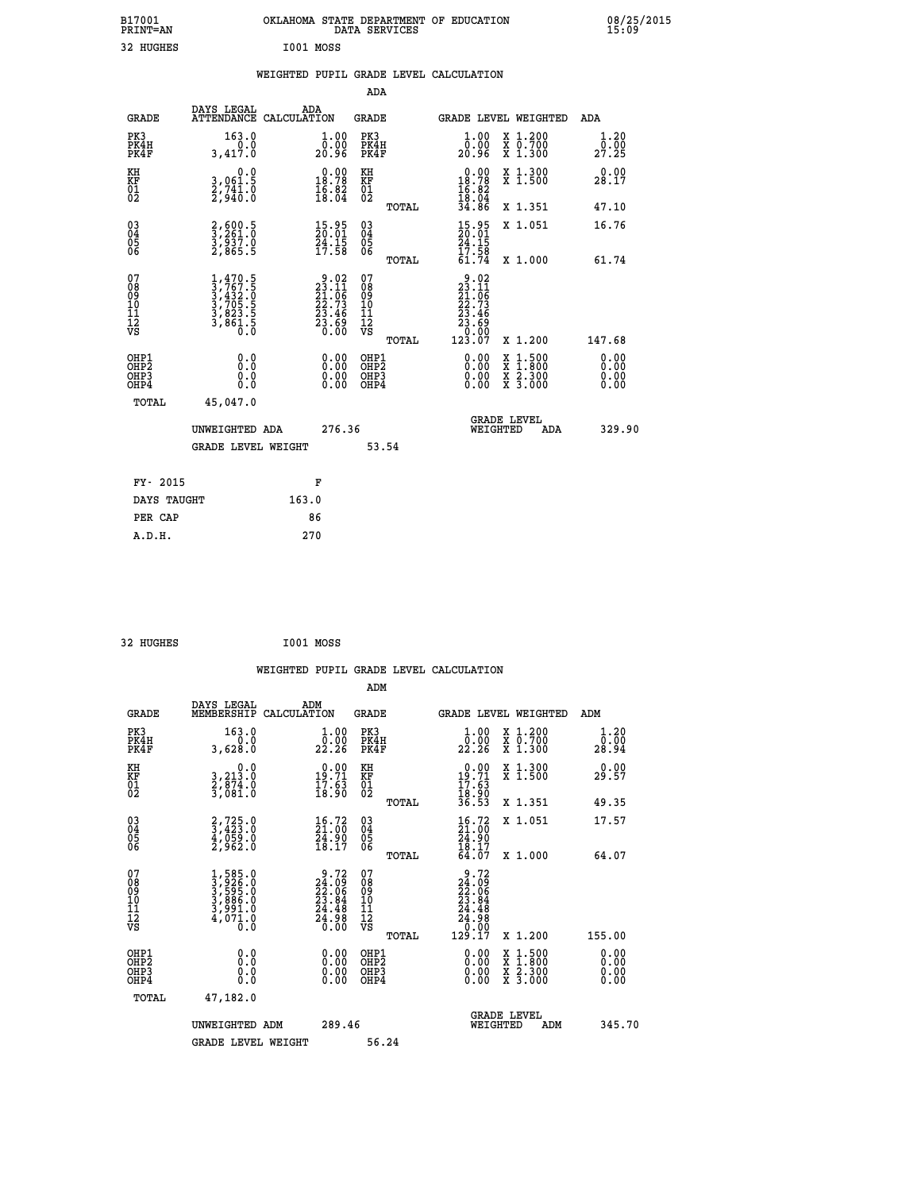| B17001<br>PRINT=AN                                 |                                                                                     | OKLAHOMA STATE DEPARTMENT OF EDUCATION                                                | DATA SERVICES                                      |                                                                                                               |                                                                                                  | 08/25/2015<br>15:09   |  |
|----------------------------------------------------|-------------------------------------------------------------------------------------|---------------------------------------------------------------------------------------|----------------------------------------------------|---------------------------------------------------------------------------------------------------------------|--------------------------------------------------------------------------------------------------|-----------------------|--|
| 32 HUGHES                                          |                                                                                     | I001 MOSS                                                                             |                                                    |                                                                                                               |                                                                                                  |                       |  |
|                                                    |                                                                                     | WEIGHTED PUPIL GRADE LEVEL CALCULATION                                                |                                                    |                                                                                                               |                                                                                                  |                       |  |
|                                                    |                                                                                     |                                                                                       | <b>ADA</b>                                         |                                                                                                               |                                                                                                  |                       |  |
| GRADE                                              | DAYS LEGAL<br>ATTENDANCE CALCULATION                                                | ADA                                                                                   | GRADE                                              | GRADE LEVEL WEIGHTED                                                                                          |                                                                                                  | ADA                   |  |
| PK3<br>PK4H<br>PK4F                                | 163.0<br>0.0<br>3,417.0                                                             | 1.00<br>0.00<br>20.96                                                                 | PK3<br>PK4H<br>PK4F                                | 1.00<br>0.00<br>20.96                                                                                         | X 1.200<br>X 0.700<br>X 1.300                                                                    | 1.20<br>0.00<br>27.25 |  |
| KH<br>KF<br>01<br>02                               | 0.0<br>3,061.5<br>2,741.0<br>2,940.0                                                | $\begin{smallmatrix} 0.00\\18.78\\16.82\\18.04 \end{smallmatrix}$                     | KH<br>KF<br>01<br>02                               | $0.00$<br>18.78<br>$\frac{16.82}{18.04}$<br>34.86                                                             | X 1.300<br>X 1.500                                                                               | 0.00<br>28.17         |  |
|                                                    |                                                                                     |                                                                                       | TOTAL                                              |                                                                                                               | X 1.351                                                                                          | 47.10                 |  |
| $\begin{matrix} 03 \\ 04 \\ 05 \\ 06 \end{matrix}$ | 2,600.5<br>3,261.0<br>3,937.0<br>2,865.5                                            | $\frac{15.95}{20.01}$<br>$\frac{24.15}{17.58}$                                        | $\begin{matrix} 03 \\ 04 \\ 05 \\ 06 \end{matrix}$ | $15.95$<br>$20.01$<br>$\frac{24}{17}$ : 15<br>17:58                                                           | X 1.051                                                                                          | 16.76                 |  |
|                                                    |                                                                                     |                                                                                       | <b>TOTAL</b>                                       | 61.74                                                                                                         | X 1.000                                                                                          | 61.74                 |  |
| 07<br>08<br>09<br>10<br>11<br>Ī2<br>VS             | $1,470.5$<br>$3,767.5$<br>$3,432.0$<br>$3,705.5$<br>$3,823.5$<br>$3,861.5$<br>$0.0$ | $\begin{smallmatrix} 9.02\\23.11\\21.06\\22.73\\23.46\\23.69\\23.60\end{smallmatrix}$ | 07<br>08<br>09<br>10<br>11<br>ĪŽ<br>VŠ<br>TOTAL    | $9.02$<br>$23.11$<br>$21.06$<br>$22.73$<br>$23.46$<br>23.69<br>$\begin{array}{c} 70.00 \\ 123.07 \end{array}$ | X 1.200                                                                                          | 147.68                |  |
| OHP1                                               |                                                                                     |                                                                                       | OHP1                                               |                                                                                                               |                                                                                                  | 0.00                  |  |
| OHP <sub>2</sub><br>OH <sub>P3</sub><br>OHP4       | 0.000<br>0.0<br>0.0                                                                 | 0.00<br>0.00<br>0.00                                                                  | OH <sub>P</sub> 2<br>OHP3<br>OHP4                  | 0.00<br>0.00<br>0.00                                                                                          | $\begin{smallmatrix} x & 1 & 500 \\ x & 1 & 800 \\ x & 2 & 300 \\ x & 3 & 000 \end{smallmatrix}$ | 0.00<br>0.00<br>0.00  |  |
| TOTAL                                              | 45,047.0                                                                            |                                                                                       |                                                    |                                                                                                               |                                                                                                  |                       |  |
|                                                    | UNWEIGHTED ADA                                                                      | 276.36                                                                                |                                                    | <b>GRADE LEVEL</b><br>WEIGHTED                                                                                | ADA                                                                                              | 329.90                |  |
|                                                    | GRADE LEVEL WEIGHT                                                                  |                                                                                       | 53.54                                              |                                                                                                               |                                                                                                  |                       |  |
| FY- 2015                                           |                                                                                     | F                                                                                     |                                                    |                                                                                                               |                                                                                                  |                       |  |
| DAYS TAUGHT                                        |                                                                                     | 163.0                                                                                 |                                                    |                                                                                                               |                                                                                                  |                       |  |
| PER CAP                                            |                                                                                     | 86                                                                                    |                                                    |                                                                                                               |                                                                                                  |                       |  |
| A.D.H.                                             |                                                                                     | 270                                                                                   |                                                    |                                                                                                               |                                                                                                  |                       |  |

| 32 HUGHES | I001 MOSS |  |
|-----------|-----------|--|
|           |           |  |

|                                                      |                                                                                      |                                                                                                   | WEIGHTED PUPIL GRADE LEVEL CALCULATION                |                                                                                                             |                                          |                              |
|------------------------------------------------------|--------------------------------------------------------------------------------------|---------------------------------------------------------------------------------------------------|-------------------------------------------------------|-------------------------------------------------------------------------------------------------------------|------------------------------------------|------------------------------|
|                                                      |                                                                                      |                                                                                                   | ADM                                                   |                                                                                                             |                                          |                              |
| <b>GRADE</b>                                         | DAYS LEGAL<br>MEMBERSHIP                                                             | ADM<br>CALCULATION                                                                                | GRADE                                                 | <b>GRADE LEVEL WEIGHTED</b>                                                                                 |                                          | ADM                          |
| PK3<br>PK4H<br>PK4F                                  | 163.0<br>0.0<br>3,628.0                                                              | $\begin{smallmatrix} 1.00\\[-1mm] 0.00\\[-1mm] 22.26\end{smallmatrix}$                            | PK3<br>PK4H<br>PK4F                                   | $\frac{1}{0}$ :00<br>22.26                                                                                  | X 1.200<br>X 0.700<br>X 1.300            | 1.20<br>0.00<br>28.94        |
| KH<br>KF<br>01<br>02                                 | $\begin{smallmatrix}&&&0.0\\3.213.0\\2.874.0\\3.081.0\end{smallmatrix}$              | $\begin{smallmatrix} 0.00\\19.71\\17.63\\18.90 \end{smallmatrix}$                                 | KH<br>KF<br>01<br>02                                  | 0.00<br>$19.71$<br>$17.63$<br>$18.90$<br>$36.53$                                                            | X 1.300<br>X 1.500                       | 0.00<br>29.57                |
|                                                      |                                                                                      |                                                                                                   | TOTAL                                                 |                                                                                                             | X 1.351                                  | 49.35                        |
| $\begin{matrix} 03 \\ 04 \\ 05 \\ 06 \end{matrix}$   | $\begin{smallmatrix} 2,725.0\\ 3,423.0\\ 4,059.0\\ 2,962.0 \end{smallmatrix}$        | $\begin{smallmatrix} 16.72\ 21.00\ 24.90\ 18.17 \end{smallmatrix}$                                | $\begin{array}{c} 03 \\ 04 \\ 05 \\ 06 \end{array}$   | $\begin{smallmatrix} 16.72\ 21.00\ 24.90\ 19.17 \end{smallmatrix}$                                          | X 1.051                                  | 17.57                        |
|                                                      |                                                                                      |                                                                                                   | TOTAL                                                 | 64.07                                                                                                       | X 1.000                                  | 64.07                        |
| 07<br>08<br>09<br>101<br>11<br>12<br>VS              | $1,585.0$<br>$3,5926.0$<br>$3,595.0$<br>$3,886.0$<br>$3,991.0$<br>$4,071.0$<br>$0.0$ | 9.72<br>$\begin{smallmatrix} 24.69 \\ 22.06 \\ 23.84 \\ 24.48 \\ 24.98 \\ 0.00 \end{smallmatrix}$ | 07<br>08<br>09<br>01<br>11<br>11<br>12<br>VS<br>TOTAL | 9.72<br>$\begin{smallmatrix} 24.76 \\ 22.06 \\ 23.84 \\ 24.48 \\ 24.98 \\ 0.00 \\ 129.17 \end{smallmatrix}$ | X 1.200                                  | 155.00                       |
|                                                      |                                                                                      |                                                                                                   |                                                       |                                                                                                             |                                          |                              |
| OHP1<br>OHP <sub>2</sub><br>OH <sub>P3</sub><br>OHP4 | 0.0<br>0.000                                                                         | $\begin{smallmatrix} 0.00 \ 0.00 \ 0.00 \ 0.00 \end{smallmatrix}$                                 | OHP1<br>OHP2<br>OHP3<br>OHP4                          | $0.00$<br>$0.00$<br>0.00                                                                                    | X 1:500<br>X 1:800<br>X 2:300<br>X 3:000 | 0.00<br>Ŏ.ŎŎ<br>0.00<br>0.00 |
| TOTAL                                                | 47,182.0                                                                             |                                                                                                   |                                                       |                                                                                                             |                                          |                              |
|                                                      | UNWEIGHTED ADM                                                                       | 289.46                                                                                            |                                                       | WEIGHTED                                                                                                    | <b>GRADE LEVEL</b><br>ADM                | 345.70                       |
|                                                      | <b>GRADE LEVEL WEIGHT</b>                                                            |                                                                                                   | 56.24                                                 |                                                                                                             |                                          |                              |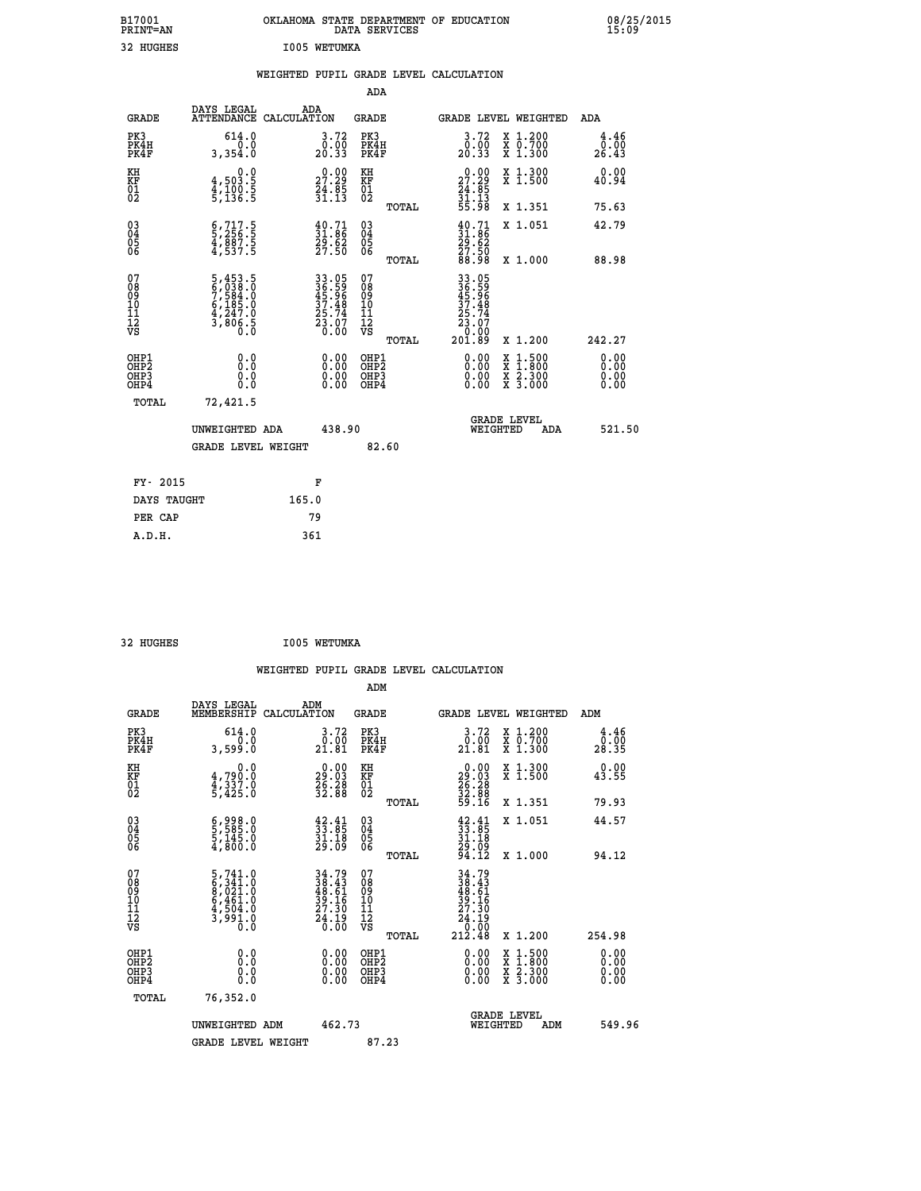| B17001<br>PRINT=AN<br>32 HUGHES              |                                                                                     | OKLAHOMA STATE DEPARTMENT OF EDUCATION DATA SERVICES<br>I005 WETUMKA |                                                    |                                                                           |                                                                             | 08/25/2015            |
|----------------------------------------------|-------------------------------------------------------------------------------------|----------------------------------------------------------------------|----------------------------------------------------|---------------------------------------------------------------------------|-----------------------------------------------------------------------------|-----------------------|
|                                              |                                                                                     | WEIGHTED PUPIL GRADE LEVEL CALCULATION                               |                                                    |                                                                           |                                                                             |                       |
|                                              |                                                                                     |                                                                      | <b>ADA</b>                                         |                                                                           |                                                                             |                       |
| <b>GRADE</b>                                 | DAYS LEGAL                                                                          | ADA<br>ATTENDANCE CALCULATION                                        | GRADE                                              |                                                                           | GRADE LEVEL WEIGHTED                                                        | ADA                   |
| PK3<br>PK4H<br>PK4F                          | 614.0<br>0.0<br>3,354.0                                                             | 3.72<br>$\frac{0.00}{20.33}$                                         | PK3<br>PK4H<br>PK4F                                | $\begin{smallmatrix} 3.72\ 0.00\ 20.33 \end{smallmatrix}$                 | X 1.200<br>X 0.700<br>X 1.300                                               | 4.46<br>0.00<br>26.43 |
| KH<br>KF<br>01<br>02                         | 0.0<br>4,503.5<br>4,100.5<br>5,136.5                                                | $\begin{smallmatrix} 0.00\\ 27.29\\ 24.85\\ 31.13 \end{smallmatrix}$ | KH<br>KF<br>01<br>02                               | 27.29<br>$\frac{24}{31}$ . $\frac{85}{35}$ . 98                           | X 1.300<br>X 1.500                                                          | 0.00<br>40.94         |
|                                              |                                                                                     |                                                                      | TOTAL                                              |                                                                           | X 1.351                                                                     | 75.63                 |
| $03\overline{4}$<br>$\frac{05}{06}$          | $\frac{6}{5}, \frac{717}{256}$ .<br>4,887.5<br>4,537.5                              | $\begin{smallmatrix} 40.71\ 31.86\ 29.62\ 27.50 \end{smallmatrix}$   | $\begin{matrix} 03 \\ 04 \\ 05 \\ 06 \end{matrix}$ | $\begin{smallmatrix} 40.71\ 31.86\ 29.62\ 27.50\ 88.98 \end{smallmatrix}$ | X 1.051                                                                     | 42.79                 |
|                                              |                                                                                     |                                                                      | TOTAL                                              |                                                                           | X 1.000                                                                     | 88.98                 |
| 07<br>08<br>09<br>01<br>11<br>11<br>12<br>VS | $5,453.5$<br>$6,033.0$<br>$7,584.0$<br>$6,185.0$<br>$4,247.0$<br>$3,806.5$<br>$0.0$ | 33.05<br>36.59<br>45.96<br>37.48<br>37.48<br>25.74<br>23.07<br>0.00  | 07<br>08<br>09<br>11<br>11<br>12<br>VS<br>TOTAL    | 33.05<br>36.59<br>45.96<br>37.48<br>25.74<br>23.07<br>0.00<br>201.89      | X 1.200                                                                     | 242.27                |
|                                              |                                                                                     |                                                                      |                                                    |                                                                           |                                                                             |                       |
| OHP1<br>OHP2<br>OH <sub>P3</sub><br>OHP4     | 0.0<br>Ō.Ō<br>0.0<br>0.0                                                            | $0.00$<br>$0.00$<br>0.00                                             | OHP1<br>OHP2<br>OHP3<br>OHP4                       | 0.00<br>0.00<br>0.00                                                      | $\begin{array}{l} x\,+\,500\\ x\,+\,300\\ x\,+\,2\\ x\,+\,3000 \end{array}$ | 0.00<br>0.00<br>0.00  |
| TOTAL                                        | 72,421.5                                                                            |                                                                      |                                                    |                                                                           |                                                                             |                       |
|                                              | UNWEIGHTED ADA                                                                      | 438.90                                                               |                                                    | WEIGHTED                                                                  | <b>GRADE LEVEL</b><br>ADA                                                   | 521.50                |
|                                              | <b>GRADE LEVEL WEIGHT</b>                                                           |                                                                      | 82.60                                              |                                                                           |                                                                             |                       |
| FY- 2015                                     |                                                                                     | F                                                                    |                                                    |                                                                           |                                                                             |                       |
| DAYS TAUGHT                                  |                                                                                     | 165.0                                                                |                                                    |                                                                           |                                                                             |                       |
| PER CAP                                      |                                                                                     | 79                                                                   |                                                    |                                                                           |                                                                             |                       |

| 32 HUGHES | I005 WETUMKA |
|-----------|--------------|
|           |              |

 **WEIGHTED PUPIL GRADE LEVEL CALCULATION ADM DAYS LEGAL ADM GRADE MEMBERSHIP CALCULATION GRADE GRADE LEVEL WEIGHTED ADM PK3 614.0 3.72 PK3 3.72 X 1.200 4.46 PK4H 0.0 0.00 PK4H 0.00 X 0.700 0.00 PK4F 3,599.0 21.81 PK4F 21.81 X 1.300 28.35 KH 0.0 0.00 KH 0.00 X 1.300 0.00 KF 4,790.0 29.03 KF 29.03 X 1.500 43.55 01 4,337.0 26.28 01 26.28 02 5,425.0 32.88 02 32.88 TOTAL 59.16 X 1.351 79.93 03 6,998.0 42.41 03 42.41 X 1.051 44.57 04 5,585.0 33.85 04 33.85 05 5,145.0 31.18 05 31.18 06 4,800.0 29.09 06 29.09 TOTAL 94.12 X 1.000 94.12**  $\begin{array}{cccc} 07 & 5\,,741.0 & 34\,.79 & 07 & 34\,.79 \ 08 & 6\,,341.0 & 38\,.61 & 09 & 38\,.61 \ 10 & 6\,,461.0 & 39.16 & 10 & 39.16 \ 11 & 4\,,504.0 & 27.30 & 11 & 27.30 \ 12 & 3\,,991.0 & 27.30 & 12 & 27.30 \ 13 & 50 & 0.0 & 27.30 & 12 & 27.30 \ 18 & 0.0 & 0.0 & 0.0$ **5,741.0**<br> **5,341.0**<br> **5,341.0**<br> **5,461.0**<br> **5,461.0**<br> **5,461.0**<br> **5,461.0**<br> **5,461.0**<br> **5,461.0**<br> **5,461.0**<br> **5,461.0**<br> **5,461.0**<br> **5,461.0**<br> **5,461.0**<br> **5,461.0**<br> **5,461.0**<br> **5,461.0**<br> **5,91.0**<br> **5,41.19**<br> **5,91.0**<br> **5,4 OHP1 0.0 0.00 OHP1 0.00 X 1.500 0.00 OHP2 0.0 0.00 OHP2 0.00 X 1.800 0.00 OHP3 0.0 0.00 OHP3 0.00 X 2.300 0.00 OHP4 0.0 0.00 OHP4 0.00 X 3.000 0.00 TOTAL 76,352.0** UNWEIGHTED ADM 462.73  **UNWEIGHTED ADM 462.73 WEIGHTED ADM 549.96** GRADE LEVEL WEIGHT 87.23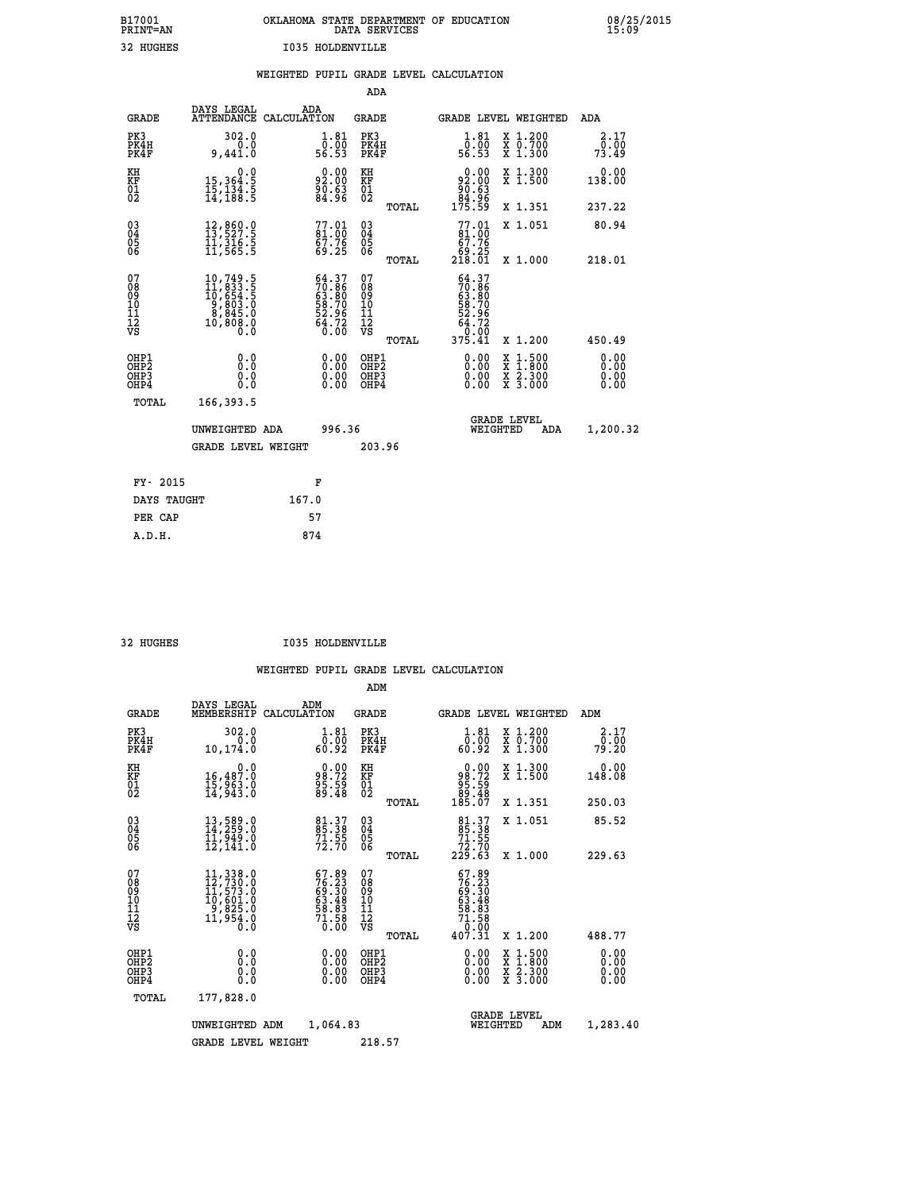| OKLAHOMA STATE DEPARTMENT OF EDUCATION<br>DATA SERVICES |  |
|---------------------------------------------------------|--|
| <b>I035 HOLDENVILLE</b>                                 |  |

|                                                      |                                                                                                                                                                    |       |                                                                             |                                                    |       | WEIGHTED PUPIL GRADE LEVEL CALCULATION                                    |                                                                                                                                      |                               |
|------------------------------------------------------|--------------------------------------------------------------------------------------------------------------------------------------------------------------------|-------|-----------------------------------------------------------------------------|----------------------------------------------------|-------|---------------------------------------------------------------------------|--------------------------------------------------------------------------------------------------------------------------------------|-------------------------------|
|                                                      |                                                                                                                                                                    |       |                                                                             | ADA                                                |       |                                                                           |                                                                                                                                      |                               |
| <b>GRADE</b>                                         | DAYS LEGAL<br>ATTENDANCE CALCULATION                                                                                                                               |       | ADA                                                                         | GRADE                                              |       |                                                                           | <b>GRADE LEVEL WEIGHTED</b>                                                                                                          | ADA                           |
| PK3<br>PK4H<br>PK4F                                  | 302.0<br>0.0<br>9,441.0                                                                                                                                            |       | $\begin{smallmatrix}1.81\0.00\\56.53\end{smallmatrix}$                      | PK3<br>PK4H<br>PK4F                                |       | $1.81$<br>0.00<br>56.53                                                   | X 1.200<br>X 0.700<br>X 1.300                                                                                                        | 2.17<br>0.00<br>73.49         |
| KH<br>KF<br>01<br>02                                 | 0.0<br>15,364.5<br>15,134.5<br>14,188.5                                                                                                                            |       | $\begin{smallmatrix} 0.00\\ 2.00\\ 92.00\\ 90.63\\ 84.96 \end{smallmatrix}$ | KH<br>KF<br>01<br>02                               |       | 0.00<br>92:00<br>80.63<br>84:96<br>175:59                                 | X 1.300<br>X 1.500                                                                                                                   | 0.00<br>138.00                |
|                                                      |                                                                                                                                                                    |       |                                                                             |                                                    | TOTAL |                                                                           | X 1.351                                                                                                                              | 237.22                        |
| 030404<br>ŎĞ                                         | $\begin{smallmatrix} 12\,, & 860\,. & 0\\ 13\,, & 527\,. & 5\\ 11\,, & 316\,. & 5\\ 11\,, & 565\,. & 5 \end{smallmatrix}$                                          |       | $\begin{smallmatrix} 77.01 \\ 81.00 \\ 57.76 \end{smallmatrix}$<br>69.25    | $\begin{matrix} 03 \\ 04 \\ 05 \\ 06 \end{matrix}$ |       | $77.01$<br>$61.00$<br>$67.76$                                             | X 1.051                                                                                                                              | 80.94                         |
|                                                      |                                                                                                                                                                    |       |                                                                             |                                                    | TOTAL | ةْ: 69<br>218.01                                                          | X 1.000                                                                                                                              | 218.01                        |
| 07<br>08901112<br>1112<br>VS                         | $\begin{smallmatrix} 10\,,749\,,\,5\\ 11\,,833\,,\,5\\ 10\,,654\,,\,5\\ 9\,,803\,,\,0\\ 8\,,845\,,\,0\\ 8\,,845\,,\,0\\ 10\,,\,808\,,\,0\\ 0\,. \end{smallmatrix}$ |       | $54.37$<br>$70.86$<br>$63.80$<br>$58.70$<br>$52.96$<br>$64.72$<br>$0.00$    | 07<br>08<br>09<br>11<br>11<br>12<br>VS             |       | $54.37$<br>$70.86$<br>$63.80$<br>$58.70$<br>$52.96$<br>$64.72$<br>$90.99$ |                                                                                                                                      |                               |
|                                                      |                                                                                                                                                                    |       |                                                                             |                                                    | TOTAL | 375.41                                                                    | X 1.200                                                                                                                              | 450.49                        |
| OHP1<br>OHP <sub>2</sub><br>OH <sub>P3</sub><br>OHP4 | 0.0<br>Ŏ.Ŏ<br>0.0<br>0.0                                                                                                                                           |       | $0.00$<br>$0.00$<br>0.00                                                    | OHP1<br>OHP <sub>2</sub><br>OHP3<br>OHP4           |       | $0.00$<br>$0.00$<br>0.00                                                  | $\begin{smallmatrix} \texttt{X} & 1 & 500 \\ \texttt{X} & 1 & 800 \\ \texttt{X} & 2 & 300 \\ \texttt{X} & 3 & 000 \end{smallmatrix}$ | 0.00<br>Ō. ŌŌ<br>0.00<br>0.00 |
| TOTAL                                                | 166,393.5                                                                                                                                                          |       |                                                                             |                                                    |       |                                                                           |                                                                                                                                      |                               |
|                                                      | UNWEIGHTED ADA                                                                                                                                                     |       | 996.36                                                                      |                                                    |       |                                                                           | <b>GRADE LEVEL</b><br>WEIGHTED<br>ADA                                                                                                | 1,200.32                      |
|                                                      | <b>GRADE LEVEL WEIGHT</b>                                                                                                                                          |       |                                                                             | 203.96                                             |       |                                                                           |                                                                                                                                      |                               |
| FY- 2015                                             |                                                                                                                                                                    |       | F                                                                           |                                                    |       |                                                                           |                                                                                                                                      |                               |
| DAYS TAUGHT                                          |                                                                                                                                                                    | 167.0 |                                                                             |                                                    |       |                                                                           |                                                                                                                                      |                               |
| PER CAP                                              |                                                                                                                                                                    |       | 57                                                                          |                                                    |       |                                                                           |                                                                                                                                      |                               |
| A.D.H.                                               |                                                                                                                                                                    |       | 874                                                                         |                                                    |       |                                                                           |                                                                                                                                      |                               |

B17001<br>PRINT=AN<br>32 HUGHES

32 HUGHES **I035 HOLDENVILLE** 

|                                          |                                          |                                                                                                                                                   |                                                                          | ADM                                                 |       |                                                                                              |                                          |                              |
|------------------------------------------|------------------------------------------|---------------------------------------------------------------------------------------------------------------------------------------------------|--------------------------------------------------------------------------|-----------------------------------------------------|-------|----------------------------------------------------------------------------------------------|------------------------------------------|------------------------------|
|                                          | DAYS LEGAL<br><b>GRADE</b><br>MEMBERSHIP | ADM<br>CALCULATION                                                                                                                                |                                                                          | <b>GRADE</b>                                        |       |                                                                                              | <b>GRADE LEVEL WEIGHTED</b>              | ADM                          |
| PK3<br>PK4F                              | PK4H                                     | 302.0<br>0.0<br>10,174.0                                                                                                                          | 1.81<br>ō:ŏō<br>82∶65                                                    | PK3<br>PK4H<br>PK4F                                 |       | $\begin{smallmatrix}1.81\0.00\\60.92\end{smallmatrix}$                                       | X 1.200<br>X 0.700<br>X 1.300            | 2.17<br>0.00<br>79.20        |
| KH<br>KF<br>01<br>02                     |                                          | 0.0<br>16,487.0<br>15,963.0<br>14,943.0                                                                                                           | $\begin{smallmatrix} 0.00\\ 98.72\\ 95.59\\ 89.48 \end{smallmatrix}$     | KH<br>KF<br>01<br>02                                |       | $\begin{smallmatrix} &0.00\98.72\95.59\89.48\185.07\end{smallmatrix}$                        | X 1.300<br>X 1.500                       | 0.00<br>148.08               |
|                                          |                                          |                                                                                                                                                   |                                                                          |                                                     | TOTAL |                                                                                              | X 1.351                                  | 250.03                       |
| 03<br>04<br>05<br>06                     |                                          | 13,589.0<br>14,259.0<br>11,949.0<br>12,141.0                                                                                                      | 81.37<br>85.38<br>71.55<br>72.70                                         | $\begin{array}{c} 03 \\ 04 \\ 05 \\ 06 \end{array}$ |       | $\begin{smallmatrix}81\cdot37\\85\cdot38\\71\cdot55\\72\cdot70\\229\cdot63\end{smallmatrix}$ | X 1.051                                  | 85.52                        |
|                                          |                                          |                                                                                                                                                   |                                                                          |                                                     | TOTAL |                                                                                              | X 1.000                                  | 229.63                       |
| 07<br>08<br>09<br>101<br>112<br>VS       |                                          | $\begin{smallmatrix} 11\,,\,338\,.0\\ 12\,,\,730\,.0\\ 11\,,\,573\,.0\\ 10\,,\,601\,.0\\ 9\,,\,825\,.0\\ 11\,,\,954\,.0\\ 0\,. \end{smallmatrix}$ | $57.89$<br>$76.23$<br>$69.30$<br>$63.48$<br>$58.83$<br>$71.58$<br>$0.00$ | 07<br>08<br>09<br>11<br>11<br>12<br>VS              | TOTAL | $76.23$<br>$76.23$<br>$69.30$<br>$63.48$<br>$58.83$<br>$71.58$<br>$0.00$<br>$407.31$         | X 1.200                                  | 488.77                       |
| OHP1<br>OHP2<br>OH <sub>P3</sub><br>OHP4 |                                          | 0.0<br>0.000                                                                                                                                      | $0.00$<br>$0.00$<br>0.00                                                 | OHP1<br>OHP2<br>OHP <sub>3</sub>                    |       | $0.00$<br>$0.00$<br>0.00                                                                     | X 1:500<br>X 1:800<br>X 2:300<br>X 3:000 | 0.00<br>0.00<br>0.00<br>0.00 |
|                                          | TOTAL<br>177,828.0                       |                                                                                                                                                   |                                                                          |                                                     |       |                                                                                              |                                          |                              |
|                                          |                                          | UNWEIGHTED ADM                                                                                                                                    | 1,064.83                                                                 |                                                     |       | WEIGHTED                                                                                     | <b>GRADE LEVEL</b><br>ADM                | 1,283.40                     |
|                                          |                                          | <b>GRADE LEVEL WEIGHT</b>                                                                                                                         |                                                                          | 218.57                                              |       |                                                                                              |                                          |                              |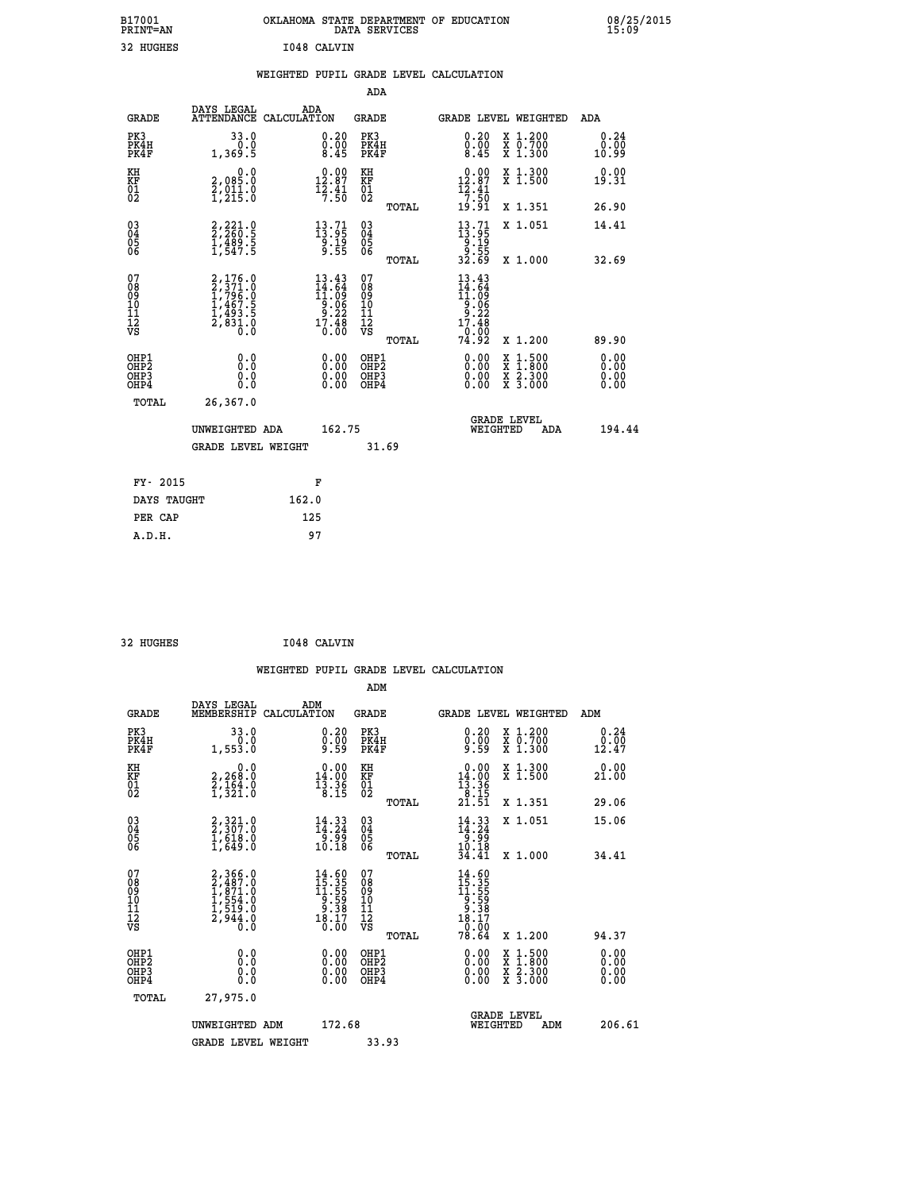| B17001<br><b>PRINT=AN</b> | OKLAHOMA STATE DEPARTMENT OF EDUCATION<br>DATA SERVICES | 08/25/2015<br>15:09 |
|---------------------------|---------------------------------------------------------|---------------------|
| 32<br>HUGHES              | I048 CALVIN                                             |                     |

|                                                                    |                                                                       |                                                                                                                        | ADA                                                 |       |                                                                                 |                                          |                              |
|--------------------------------------------------------------------|-----------------------------------------------------------------------|------------------------------------------------------------------------------------------------------------------------|-----------------------------------------------------|-------|---------------------------------------------------------------------------------|------------------------------------------|------------------------------|
| <b>GRADE</b>                                                       | DAYS LEGAL<br>ATTENDANCE CALCULATION                                  | ADA                                                                                                                    | <b>GRADE</b>                                        |       |                                                                                 | GRADE LEVEL WEIGHTED                     | ADA                          |
| PK3<br>PK4H<br>PK4F                                                | 33.0<br>0.0<br>1,369.5                                                | $\substack{0.20 \\ 0.00 \\ 8.45}$                                                                                      | PK3<br>PK4H<br>PK4F                                 |       | $\begin{smallmatrix} 0.20\ 0.00\ 8.45 \end{smallmatrix}$                        | X 1.200<br>X 0.700<br>X 1.300            | 0.24<br>0.00<br>10.99        |
| KH<br>KF<br>01<br>02                                               | 0.0<br>2,085:0<br>2,011:0<br>1,215:0                                  | 12.87<br>$\frac{15.41}{7.50}$                                                                                          | KH<br>KF<br>01<br>02                                |       | $12.87$<br>$12.87$<br>$12.41$<br>$7.50$                                         | X 1.300<br>X 1.500                       | 0.00<br>19.31                |
|                                                                    |                                                                       |                                                                                                                        |                                                     | TOTAL | 19.91                                                                           | X 1.351                                  | 26.90                        |
| $\begin{smallmatrix} 03 \\[-4pt] 04 \end{smallmatrix}$<br>Ŏ5<br>06 | 2,221.0<br>2,260.5<br>1,489.5<br>1,547.5                              | $\begin{smallmatrix} 13.71\ 13.95\ 9.19\ 9.55 \end{smallmatrix}$                                                       | $\begin{array}{c} 03 \\ 04 \\ 05 \\ 06 \end{array}$ |       | $\begin{smallmatrix} 13.71 \\ 13.95 \\ 9.19 \\ 9.55 \\ 32.69 \end{smallmatrix}$ | X 1.051                                  | 14.41                        |
|                                                                    |                                                                       |                                                                                                                        |                                                     | TOTAL |                                                                                 | X 1.000                                  | 32.69                        |
| 07<br>08<br>09<br>101<br>11<br>12<br>VS                            | 2,176.0<br>1,796.0<br>1,796.0<br>1,467.5<br>1,493.5<br>2,831.0<br>0.0 | $\begin{smallmatrix} 13\cdot 43\\14\cdot 64\\11\cdot 09\\9\cdot 06\\9\cdot 22\\17\cdot 48\\0\cdot 00\end{smallmatrix}$ | 07<br>08<br>09<br>101<br>11<br>12<br>VS             |       | $13.43$<br>$14.64$<br>$11.09$<br>$9.06$<br>$9.22$<br>$17.48$<br>0.00            |                                          |                              |
|                                                                    |                                                                       |                                                                                                                        |                                                     | TOTAL | 74.92                                                                           | X 1.200                                  | 89.90                        |
| OHP1<br>OHP <sub>2</sub><br>OH <sub>P3</sub><br>OHP4               | 0.0<br>0.000                                                          | 0.00<br>$\begin{smallmatrix} 0.00 \ 0.00 \end{smallmatrix}$                                                            | OHP1<br>OHP2<br>OHP <sub>3</sub>                    |       | 0.00<br>0.00                                                                    | X 1:500<br>X 1:800<br>X 2:300<br>X 3:000 | 0.00<br>0.00<br>0.00<br>0.00 |
| TOTAL                                                              | 26,367.0                                                              |                                                                                                                        |                                                     |       |                                                                                 |                                          |                              |
|                                                                    | UNWEIGHTED ADA                                                        | 162.75                                                                                                                 |                                                     |       |                                                                                 | <b>GRADE LEVEL</b><br>WEIGHTED<br>ADA    | 194.44                       |
|                                                                    | <b>GRADE LEVEL WEIGHT</b>                                             |                                                                                                                        | 31.69                                               |       |                                                                                 |                                          |                              |
| FY- 2015                                                           |                                                                       | F                                                                                                                      |                                                     |       |                                                                                 |                                          |                              |
| DAYS TAUGHT                                                        |                                                                       | 162.0                                                                                                                  |                                                     |       |                                                                                 |                                          |                              |
| PER CAP                                                            |                                                                       | 125                                                                                                                    |                                                     |       |                                                                                 |                                          |                              |

| 32 HUGHES | I048 CALVIN |
|-----------|-------------|
|           |             |

 **WEIGHTED PUPIL GRADE LEVEL CALCULATION ADM DAYS LEGAL ADM GRADE MEMBERSHIP CALCULATION GRADE GRADE LEVEL WEIGHTED ADM PK3 33.0 0.20 PK3 0.20 X 1.200 0.24 PK4H 0.0 0.00 PK4H 0.00 X 0.700 0.00 PK4F 1,553.0 9.59 PK4F 9.59 X 1.300 12.47 KH 0.0 0.00 KH 0.00 X 1.300 0.00 KF 2,268.0 14.00 KF 14.00 X 1.500 21.00** 01 2,164.0 13.36 01 13.36<br>
02 1,321.0 8.15 02 **13.15 TOTAL 21.51 X 1.351 29.06 03 2,321.0 14.33 03 14.33 X 1.051 15.06 04 2,307.0 14.24 04 14.24 05 1,618.0 9.99 05 9.99** 06 1,649.0 10.18 06 <sub>momas</sub> 10.18  **TOTAL 34.41 X 1.000 34.41**  $\begin{array}{cccc} 07 & 2,366.0 & 14.60 & 07 & 14.60 \cr 08 & 2,467.0 & 15.35 & 08 & 15.35 \cr 09 & 1,871.0 & 11.55 & 09 & 11.55 \cr 10 & 1,554.0 & 9.59 & 10 & 9.59 \cr 11 & 1,519.0 & 9.59 & 10 & 9.59 \cr 12 & 2,944.0 & 18.17 & 12 & 9.38 \cr \nabla\mathbf{S} & 0 & 18.17 & 12 &$  $\begin{array}{cccc} 14.60 & 07 & 14.60 & 10.11 & 0.12 & 0.13 \\ 15.315 & 09 & 15.315 & 0.13 \\ 9.529 & 10 & 9.539 & 1.37 \\ 9.539 & 11 & 9.539 & 0.33 \\ 18.17 & 12 & 9.317 & 0.10 \\ 10.00 & 0.00 & 0.0182 & 0.00 & 0.00 \\ 0.00 & 0.00 & 0.00 & 0.00 & 0.00 \\ 0.00 & 0.00 & 0.$  **OHP1 0.0 0.00 OHP1 0.00 X 1.500 0.00 OHP2 0.0 0.00 OHP2 0.00 X 1.800 0.00 OHP3 0.0 0.00 OHP3 0.00 X 2.300 0.00 OHP4 0.0 0.00 OHP4 0.00 X 3.000 0.00 TOTAL 27,975.0 GRADE LEVEL UNWEIGHTED ADM 172.68 WEIGHTED ADM 206.61** GRADE LEVEL WEIGHT 33.93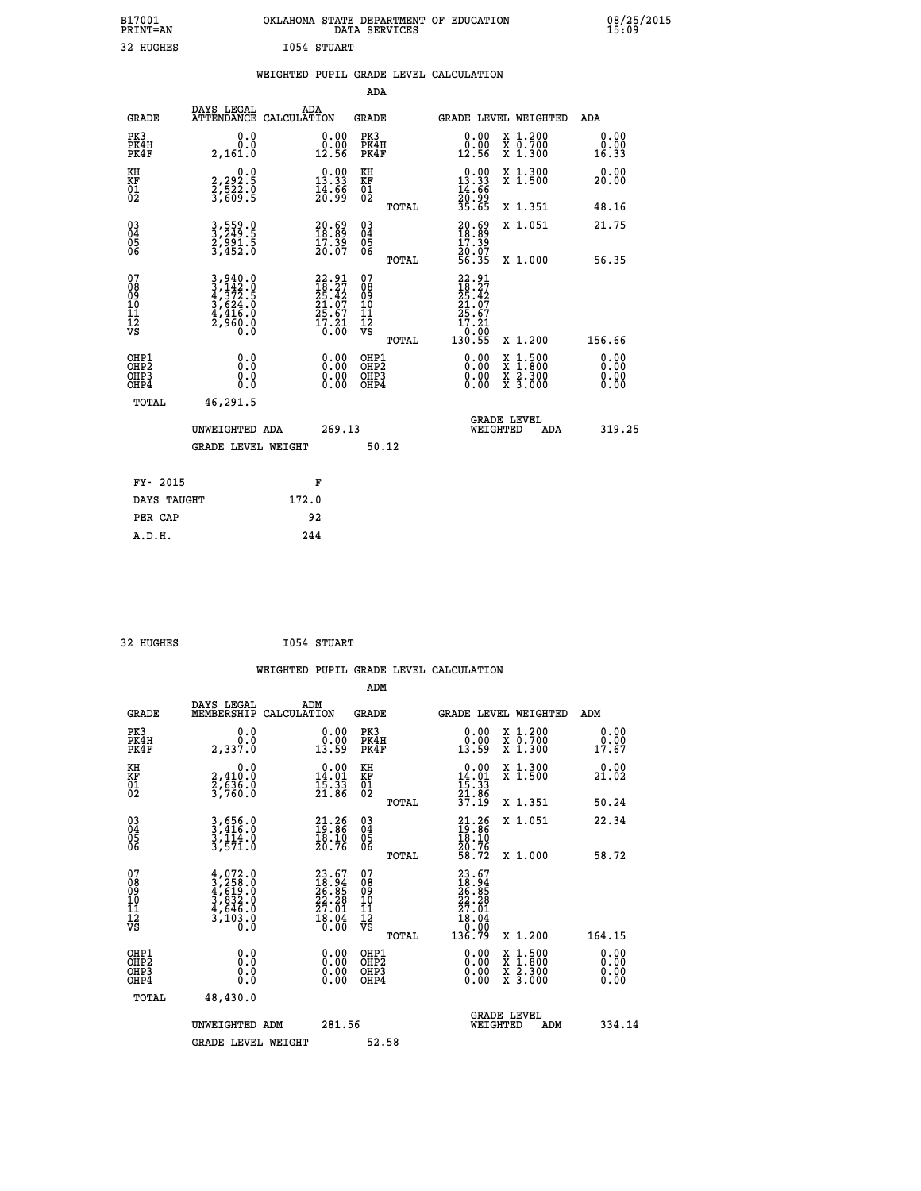| B17001<br><b>PRINT=AN</b> | OKLAHOMA STATE DEPARTMENT OF EDUCATION<br>DATA SERVICES | 08/25/2015<br>15:09 |
|---------------------------|---------------------------------------------------------|---------------------|
| 32 HUGHES                 | 1054 STUART                                             |                     |

|  |  | WEIGHTED PUPIL GRADE LEVEL CALCULATION |
|--|--|----------------------------------------|
|  |  |                                        |

|                                                                    |                                                                                                                                                                                     |                                                                                       | ADA                                                |       |                                                                        |                                          |                       |
|--------------------------------------------------------------------|-------------------------------------------------------------------------------------------------------------------------------------------------------------------------------------|---------------------------------------------------------------------------------------|----------------------------------------------------|-------|------------------------------------------------------------------------|------------------------------------------|-----------------------|
| <b>GRADE</b>                                                       | DAYS LEGAL<br>ATTENDANCE CALCULATION                                                                                                                                                | ADA                                                                                   | <b>GRADE</b>                                       |       |                                                                        | <b>GRADE LEVEL WEIGHTED</b>              | ADA                   |
| PK3<br>PK4H<br>PK4F                                                | 0.0<br>0.0<br>2,161.0                                                                                                                                                               | 0.00<br>$\begin{smallmatrix} 0.00 \ 12.56 \end{smallmatrix}$                          | PK3<br>PK4H<br>PK4F                                |       | 0.00<br>0.00<br>12.56                                                  | X 1.200<br>X 0.700<br>X 1.300            | 0.00<br>0.00<br>16.33 |
| KH<br>KF<br>01<br>02                                               | 0.0<br>2,292.5<br>2,522.0<br>3,609.5                                                                                                                                                | $0.00$<br>13.33<br>$\frac{14}{20}$ : $\frac{55}{9}$                                   | KH<br>KF<br>01<br>02                               |       | $0.00$<br>13.33<br>$\frac{14}{20}$ : $\frac{66}{35}$<br>35.65          | X 1.300<br>X 1.500                       | 0.00<br>20.00         |
|                                                                    |                                                                                                                                                                                     |                                                                                       |                                                    | TOTAL |                                                                        | X 1.351                                  | 48.16                 |
| $\begin{smallmatrix} 03 \\[-4pt] 04 \end{smallmatrix}$<br>Ŏ5<br>06 | 3,559.0<br>3,249.5<br>2,991.5<br>3,452.0                                                                                                                                            | $\begin{smallmatrix} 20.69\ 18.89\ 17.39\ 20.07 \end{smallmatrix}$                    | $\begin{matrix} 03 \\ 04 \\ 05 \\ 06 \end{matrix}$ |       | $20.69$<br>$18.39$<br>$17.39$<br>$20.07$<br>$56.35$                    | X 1.051                                  | 21.75                 |
|                                                                    |                                                                                                                                                                                     |                                                                                       |                                                    | TOTAL |                                                                        | X 1.000                                  | 56.35                 |
| 07<br>08<br>09<br>01<br>11<br>11<br>12<br>VS                       | $\begin{smallmatrix} 3\,, & 940\, . \, 0\\ 3\,, & 142\, . \, 0\\ 4\,, & 372\, . \, 5\\ 3\,, & 624\, . \, 0\\ 4\,, & 416\, . \, 0\\ 2\,, & 960\, . \, 0\\ 0\,. & 0\end{smallmatrix}$ | $\frac{22.91}{18.27}$<br>$\frac{1}{25.42}$<br>$21.07$<br>$25.67$<br>$17.21$<br>$0.00$ | 07<br>08<br>09<br>11<br>11<br>12<br>VS             |       | $22.91$<br>$18.27$<br>$25.42$<br>$21.07$<br>$25.67$<br>$17.21$<br>0.00 |                                          |                       |
|                                                                    |                                                                                                                                                                                     |                                                                                       |                                                    | TOTAL | 130.55                                                                 | X 1.200                                  | 156.66                |
| OHP1<br><b>OHP2</b><br>OH <sub>P3</sub><br>OHP4                    | 0.0<br>0.0<br>0.0                                                                                                                                                                   | 0.00<br>0.00<br>0.00                                                                  | OHP1<br>OHP2<br>OHP3<br>OHP4                       |       | 0.00<br>0.00                                                           | X 1:500<br>X 1:800<br>X 2:300<br>X 3:000 | 0.00<br>0.00<br>0.00  |
| TOTAL                                                              | 46,291.5                                                                                                                                                                            |                                                                                       |                                                    |       |                                                                        |                                          |                       |
|                                                                    | UNWEIGHTED ADA                                                                                                                                                                      | 269.13                                                                                |                                                    |       |                                                                        | <b>GRADE LEVEL</b><br>WEIGHTED<br>ADA    | 319.25                |
|                                                                    | <b>GRADE LEVEL WEIGHT</b>                                                                                                                                                           |                                                                                       |                                                    | 50.12 |                                                                        |                                          |                       |
| FY- 2015                                                           |                                                                                                                                                                                     | F                                                                                     |                                                    |       |                                                                        |                                          |                       |
| DAYS TAUGHT                                                        |                                                                                                                                                                                     | 172.0                                                                                 |                                                    |       |                                                                        |                                          |                       |
| PER CAP                                                            |                                                                                                                                                                                     | 92                                                                                    |                                                    |       |                                                                        |                                          |                       |

| 2 HUGHES |  |  |
|----------|--|--|
|          |  |  |

32 HUGHES **I054 STUART WEIGHTED PUPIL GRADE LEVEL CALCULATION ADM DAYS LEGAL ADM GRADE MEMBERSHIP CALCULATION GRADE GRADE LEVEL WEIGHTED ADM PK3 0.0 0.00 PK3 0.00 X 1.200 0.00 PK4H 0.0 0.00 PK4H 0.00 X 0.700 0.00 PK4F 2,337.0 13.59 PK4F 13.59 X 1.300 17.67 KH 0.0 0.00 KH 0.00 X 1.300 0.00 KF 2,410.0 14.01 KF 14.01 X 1.500 21.02 01 2,636.0 15.33 01 15.33 02 3,760.0 21.86 02 21.86 TOTAL 37.19 X 1.351 50.24 03 3,656.0 21.26 03 21.26 X 1.051 22.34 04 3,416.0 19.86 04 19.86 05 3,114.0 18.10 05 18.10 06 3,571.0 20.76 06 20.76 TOTAL 58.72 X 1.000 58.72**  $\begin{array}{cccc} 07 & 4,022.0 & 23.67 & 07 & 23.67 \ 08 & 3,258.0 & 16.94 & 08 & 18.94 \ 09 & 4,619.0 & 26.85 & 09 & 26.85 \ 10 & 3,832.0 & 22.28 & 10 & 22.28 \ 11 & 4,646.0 & 27.01 & 11 & 27.01 \ \sqrt{5} & 3,103.0 & 16.06 & \sqrt{5} & \text{no} & 29.08 \end{array}$  **TOTAL 136.79 X 1.200 164.15 OHP1 0.0 0.00 OHP1 0.00 X 1.500 0.00 OHP2 0.0 0.00 OHP2 0.00 X 1.800 0.00 OHP3 0.0 0.00 OHP3 0.00 X 2.300 0.00 OHP4 0.0 0.00 OHP4 0.00 X 3.000 0.00 TOTAL 48,430.0 GRADE LEVEL UNWEIGHTED ADM 281.56 WEIGHTED ADM 334.14** GRADE LEVEL WEIGHT 52.58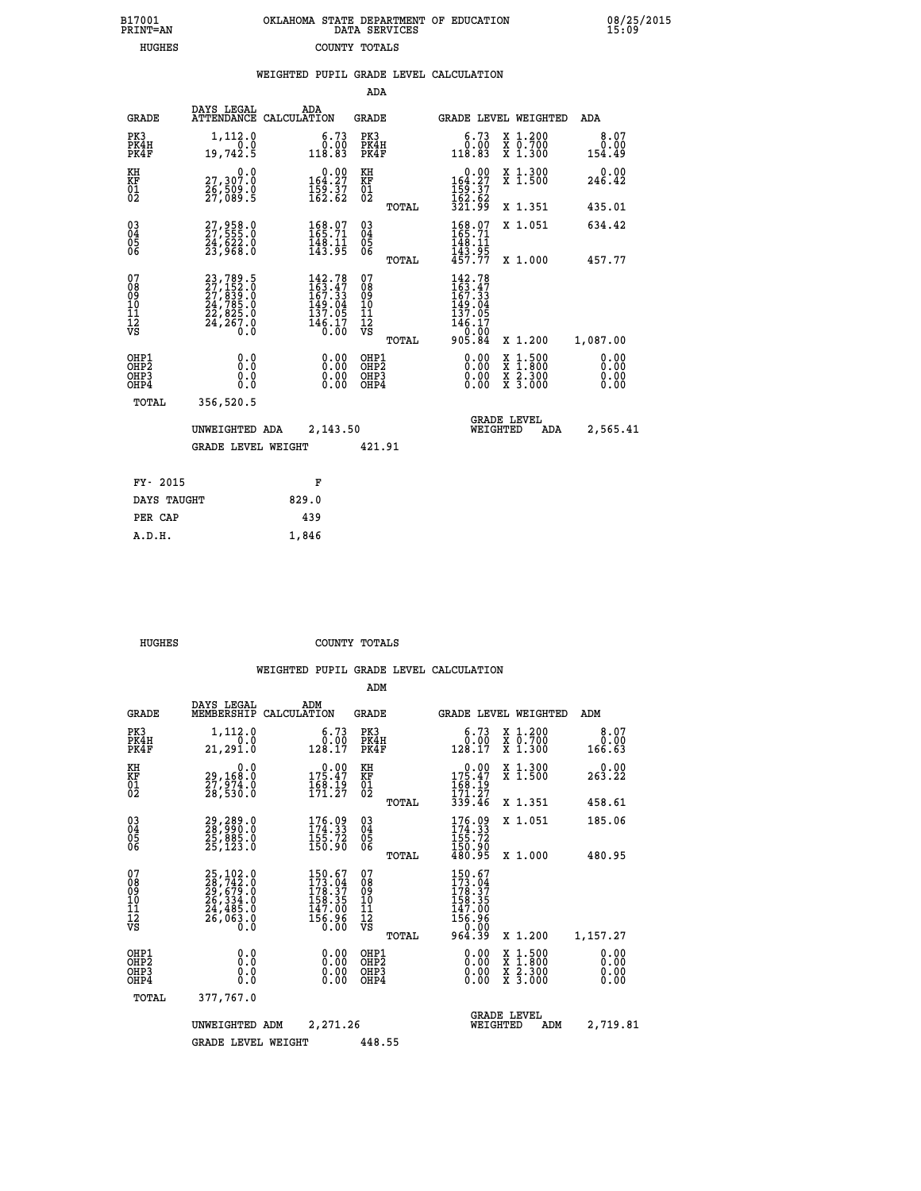| OKLAHOMA STATE DEPARTMENT OF EDUCATION<br>DATA SERVICES |  |
|---------------------------------------------------------|--|
| COUNTY TOTALS                                           |  |

 **B17001<br>PRINT=AN HUGHES COUNTY TOTALS**  **B17001 OKLAHOMA STATE DEPARTMENT OF EDUCATION 08/25/2015**

|                                    |                                                                                           | WEIGHTED PUPIL GRADE LEVEL CALCULATION                                        |                                        |       |                                                                      |                                          |                              |
|------------------------------------|-------------------------------------------------------------------------------------------|-------------------------------------------------------------------------------|----------------------------------------|-------|----------------------------------------------------------------------|------------------------------------------|------------------------------|
|                                    |                                                                                           |                                                                               | <b>ADA</b>                             |       |                                                                      |                                          |                              |
| <b>GRADE</b>                       | DAYS LEGAL                                                                                | ADA<br>ATTENDANCE CALCULATION                                                 | GRADE                                  |       |                                                                      | GRADE LEVEL WEIGHTED                     | ADA                          |
| PK3<br>PK4H<br>PK4F                | 1,112.0<br>0.0<br>19,742.5                                                                | 6.73<br>0.00<br>118.83                                                        | PK3<br>PK4H<br>PK4F                    |       | 6.73<br>0.00<br>118.83                                               | X 1.200<br>X 0.700<br>X 1.300            | 8.07<br>0.00<br>154.49       |
| KH<br>KF<br>01<br>02               | 0.0<br>27,307.0<br>26,509.0<br>27,089.5                                                   | $\begin{smallmatrix}&&0.00\\164.27\\159.37\\162.62\end{smallmatrix}$          | KH<br><b>KF</b><br>01<br>02            |       | 0.00<br>$164.27$<br>$159.37$<br>$162.62$<br>$321.99$                 | X 1.300<br>$\overline{x}$ 1.500          | 0.00<br>246.42               |
|                                    |                                                                                           |                                                                               |                                        | TOTAL |                                                                      | X 1.351                                  | 435.01                       |
| $^{03}_{04}$<br>05<br>06           | 27,958.0<br>27,555.0<br>24,622.0<br>23,968.0                                              | $\begin{smallmatrix} 168.07\\ 165.71\\ 148.11\\ 143.95 \end{smallmatrix}$     | $^{03}_{04}$<br>$\frac{05}{06}$        |       | 168.07<br>165.71<br>148.11                                           | X 1.051                                  | 634.42                       |
|                                    |                                                                                           |                                                                               |                                        | TOTAL | 143.95<br>457.77                                                     | X 1.000                                  | 457.77                       |
| 07<br>08<br>09<br>101<br>112<br>VS | $23,789.5$<br>$27,152.0$<br>$27,839.0$<br>$24,785.0$<br>$22,825.0$<br>$24,267.0$<br>$0.0$ | $142.78$<br>$163.47$<br>$167.33$<br>149.04<br>137.05<br>$\frac{146.17}{0.00}$ | 07<br>08<br>09<br>11<br>11<br>12<br>VS |       | 142.78<br>163.47<br>167.33<br>149.04<br>137.05<br>$146.17$<br>905.84 |                                          |                              |
|                                    |                                                                                           |                                                                               |                                        | TOTAL |                                                                      | X 1.200                                  | 1,087.00                     |
| OHP1<br>OHP2<br>OHP3<br>OHP4       | 0.0<br>Ŏ.Ŏ<br>0.0<br>0.0                                                                  | 0.00<br>0.00<br>0.00                                                          | OHP1<br>OHP2<br>OHP3<br>OHP4           |       | 0.00<br>0.00<br>0.00                                                 | X 1:500<br>X 1:800<br>X 2:300<br>X 3:000 | 0.00<br>ŏ:ŏŏ<br>0.00<br>0.00 |
| TOTAL                              | 356,520.5                                                                                 |                                                                               |                                        |       |                                                                      |                                          |                              |
|                                    | UNWEIGHTED ADA                                                                            | 2,143.50                                                                      |                                        |       |                                                                      | <b>GRADE LEVEL</b><br>WEIGHTED<br>ADA    | 2,565.41                     |
|                                    | <b>GRADE LEVEL WEIGHT</b>                                                                 |                                                                               | 421.91                                 |       |                                                                      |                                          |                              |
| FY- 2015                           |                                                                                           | F                                                                             |                                        |       |                                                                      |                                          |                              |
| DAYS TAUGHT                        |                                                                                           | 829.0                                                                         |                                        |       |                                                                      |                                          |                              |
| PER CAP                            |                                                                                           | 439                                                                           |                                        |       |                                                                      |                                          |                              |
| A.D.H.                             |                                                                                           | 1,846                                                                         |                                        |       |                                                                      |                                          |                              |

 **HUGHES COUNTY TOTALS**

 **ADM**

|  |  | WEIGHTED PUPIL GRADE LEVEL CALCULATION |
|--|--|----------------------------------------|
|  |  |                                        |

| <b>GRADE</b>                                         | DAYS LEGAL<br>MEMBERSHIP CALCULATION                                                                         | ADM                                                                                                         | <b>GRADE</b>                              |       |                                                                          | GRADE LEVEL WEIGHTED                     | ADM                          |
|------------------------------------------------------|--------------------------------------------------------------------------------------------------------------|-------------------------------------------------------------------------------------------------------------|-------------------------------------------|-------|--------------------------------------------------------------------------|------------------------------------------|------------------------------|
| PK3<br>PK4H<br>PK4F                                  | 1,112.0<br>0.0<br>21,291.0                                                                                   | 6.73<br>0.00<br>128.17                                                                                      | PK3<br>PK4H<br>PK4F                       |       | 6.73<br>0.00<br>128.17                                                   | X 1.200<br>x ō:7ŏŏ<br>x 1:300            | 8.07<br>0.00<br>166.63       |
| KH<br>KF<br>01<br>02                                 | 0.0<br>29,168:0<br>27,974:0<br>28,530:0                                                                      | $\begin{smallmatrix} &0.00\\ 175.47\\ 168.19\\ 171.27\end{smallmatrix}$                                     | KH<br>KF<br>01<br>02                      |       | $175.47$<br>$168.19$<br>$151.27$                                         | X 1.300<br>X 1.500                       | 0.00<br>263.22               |
|                                                      |                                                                                                              |                                                                                                             |                                           | TOTAL | 339.46                                                                   | X 1.351                                  | 458.61                       |
| 030404                                               | 29,289.0<br>28,990.0<br>25,885.0<br>25,123.0                                                                 | $\begin{smallmatrix} 176.09\\174.33\\155.72\\150.90 \end{smallmatrix}$                                      | $\substack{03 \\ 04}$<br>05<br>06         |       | $176.09$<br>$174.33$<br>$155.72$<br>$150.90$<br>$480.95$                 | X 1.051                                  | 185.06                       |
| 06                                                   |                                                                                                              |                                                                                                             |                                           | TOTAL |                                                                          | $X_1.000$                                | 480.95                       |
| 07<br>08<br>09<br>101<br>11<br>12<br>VS              | $\begin{smallmatrix} 25,102.0\\ 28,742.0\\ 29,679.0\\ 26,334.0\\ 24,485.0\\ 26,063.0\\ 0.0\end{smallmatrix}$ | $\begin{smallmatrix} 150.67\\ 173.04\\ 178.37\\ 158.35\\ 158.35\\ 147.00\\ 156.96\\ 0.00 \end{smallmatrix}$ | 07<br>08<br>09<br>11<br>11<br>12<br>VS    |       | $150.67$<br>$173.04$<br>$178.37$<br>$158.35$<br>147.00<br>156.96<br>0.00 |                                          |                              |
|                                                      |                                                                                                              |                                                                                                             |                                           | TOTAL | 964.39                                                                   | X 1.200                                  | 1,157.27                     |
| OHP1<br>OH <sub>P</sub> <sub>2</sub><br>OHP3<br>OHP4 | 0.0<br>0.000                                                                                                 |                                                                                                             | OHP1<br>OH <sub>P</sub> 2<br>OHP3<br>OHP4 |       | 0.00<br>0.00<br>0.00                                                     | X 1:500<br>X 1:800<br>X 2:300<br>X 3:000 | 0.00<br>0.00<br>0.00<br>0.00 |
| TOTAL                                                | 377,767.0                                                                                                    |                                                                                                             |                                           |       |                                                                          |                                          |                              |
|                                                      | UNWEIGHTED                                                                                                   | 2,271.26<br>ADM                                                                                             |                                           |       | WEIGHTED                                                                 | <b>GRADE LEVEL</b><br>ADM                | 2,719.81                     |
|                                                      | <b>GRADE LEVEL WEIGHT</b>                                                                                    |                                                                                                             | 448.55                                    |       |                                                                          |                                          |                              |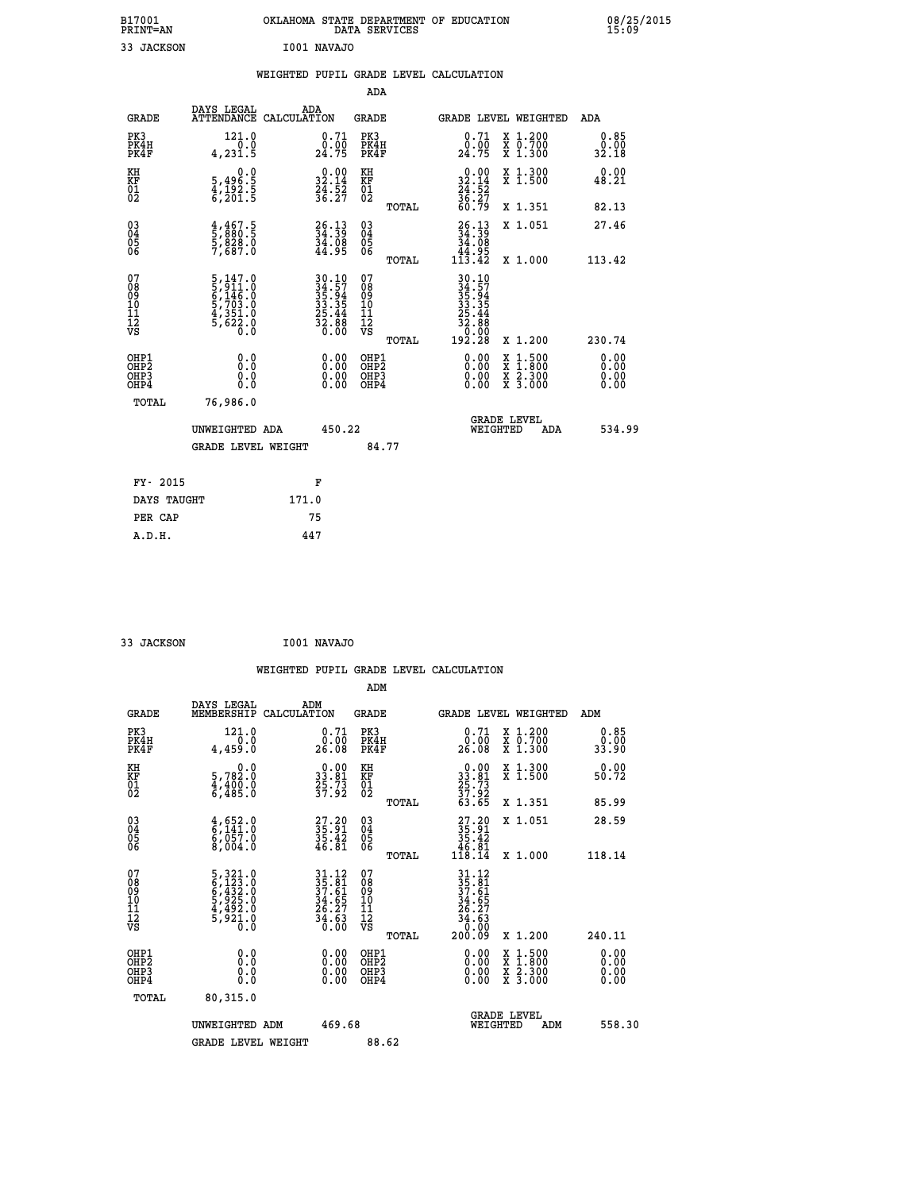| B17001<br><b>PRINT=AN</b> | OKLAHOMA STATE DEPARTMENT OF EDUCATION<br>DATA SERVICES | 08/25/2015<br>15:09 |
|---------------------------|---------------------------------------------------------|---------------------|
| 33 JACKSON                | I001 NAVAJO                                             |                     |

|                                                        |                                                                                                 |            |                                                                    |                                        |       | WEIGHTED PUPIL GRADE LEVEL CALCULATION                                                  |                                                                                                                                                 |                                        |
|--------------------------------------------------------|-------------------------------------------------------------------------------------------------|------------|--------------------------------------------------------------------|----------------------------------------|-------|-----------------------------------------------------------------------------------------|-------------------------------------------------------------------------------------------------------------------------------------------------|----------------------------------------|
| <b>GRADE</b>                                           | DAYS LEGAL<br>ATTENDANCE CALCULATION                                                            | ADA        |                                                                    | ADA<br><b>GRADE</b>                    |       |                                                                                         | GRADE LEVEL WEIGHTED                                                                                                                            | ADA                                    |
| PK3<br>PK4H<br>PK4F                                    | 121.0<br>0.0<br>4,231.5                                                                         |            | 0.71<br>24.75                                                      | PK3<br>PK4H<br>PK4F                    |       | 0.71<br>$\frac{0.00}{24.75}$                                                            | X 1.200<br>X 0.700<br>X 1.300                                                                                                                   | 0.85<br>0.00<br>32.18                  |
| KH<br><b>KF</b><br>01<br>02                            | $\begin{smallmatrix}&&&0.0\\5,496.5\\4,192.5\\6,201.5\end{smallmatrix}$                         |            | $32.14$<br>$32.14$<br>$24.52$<br>$36.27$                           | KH<br>KF<br>01<br>02                   |       | $32.14$<br>$34.14$<br>$36.27$                                                           | X 1.300<br>X 1.500                                                                                                                              | 0.00<br>48.21                          |
| $\begin{smallmatrix} 03 \\[-4pt] 04 \end{smallmatrix}$ | $\frac{4}{5}, \frac{4}{880}$ .5<br>5,828.0<br>5,828.0<br>7,687.0                                |            | $\begin{smallmatrix} 26.13\ 34.39\ 34.08\ 44.95 \end{smallmatrix}$ | $\substack{03 \\ 04}$<br>05<br>06      | TOTAL | 60.79<br>$26.1334.3934.0844.95113.42$                                                   | X 1.351<br>X 1.051                                                                                                                              | 82.13<br>27.46                         |
| 05<br>06                                               |                                                                                                 |            |                                                                    |                                        | TOTAL |                                                                                         | X 1.000                                                                                                                                         | 113.42                                 |
| 07<br>08<br>09<br>111<br>12<br>VS                      | $\begin{smallmatrix}5,147.0\\5,911.0\\6,146.0\\5,703.0\\4,351.0\\5,622.0\\0.0\end{smallmatrix}$ |            | $30.1034.5735.9433.3525.4432.8832.880.00$                          | 07<br>08<br>09<br>11<br>11<br>12<br>VS |       | $\begin{smallmatrix} 30.10\\ 34.57\\ 35.94\\ 35.34\\ 32.44\\ 22.8\\ 0\end{smallmatrix}$ |                                                                                                                                                 |                                        |
| OHP1<br>OHP <sub>2</sub><br>OHP3<br>OHP4               | 0.0<br>0.0<br>0.0                                                                               |            | 0.00<br>$\begin{smallmatrix} 0.00 \ 0.00 \end{smallmatrix}$        | OHP1<br>OHP2<br>OHP3<br>OHP4           | TOTAL | 0.00<br>0.00                                                                            | X 1.200<br>$\begin{smallmatrix} \texttt{X} & 1 & 500 \\ \texttt{X} & 1 & 800 \\ \texttt{X} & 2 & 300 \\ \texttt{X} & 3 & 000 \end{smallmatrix}$ | 230.74<br>0.00<br>0.00<br>0.00<br>0.00 |
| TOTAL                                                  | 76,986.0<br>UNWEIGHTED ADA<br><b>GRADE LEVEL WEIGHT</b>                                         |            | 450.22                                                             | 84.77                                  |       |                                                                                         | <b>GRADE LEVEL</b><br>WEIGHTED<br>ADA                                                                                                           | 534.99                                 |
|                                                        |                                                                                                 |            |                                                                    |                                        |       |                                                                                         |                                                                                                                                                 |                                        |
| FY- 2015<br>DAYS TAUGHT                                |                                                                                                 | F<br>171.0 |                                                                    |                                        |       |                                                                                         |                                                                                                                                                 |                                        |
| PER CAP                                                |                                                                                                 | 75         |                                                                    |                                        |       |                                                                                         |                                                                                                                                                 |                                        |
| A.D.H.                                                 |                                                                                                 | 447        |                                                                    |                                        |       |                                                                                         |                                                                                                                                                 |                                        |

 **33 JACKSON I001 NAVAJO**

|                                                    |                                                                                                    |                    |                                                                          |                                               |       | WEIGHTED PUPIL GRADE LEVEL CALCULATION                                                                                                      |                                                                                                  |        |                       |
|----------------------------------------------------|----------------------------------------------------------------------------------------------------|--------------------|--------------------------------------------------------------------------|-----------------------------------------------|-------|---------------------------------------------------------------------------------------------------------------------------------------------|--------------------------------------------------------------------------------------------------|--------|-----------------------|
|                                                    |                                                                                                    |                    |                                                                          | ADM                                           |       |                                                                                                                                             |                                                                                                  |        |                       |
| <b>GRADE</b>                                       | DAYS LEGAL<br>MEMBERSHIP                                                                           | ADM<br>CALCULATION |                                                                          | <b>GRADE</b>                                  |       | <b>GRADE LEVEL WEIGHTED</b>                                                                                                                 |                                                                                                  | ADM    |                       |
| PK3<br>PK4H<br>PK4F                                | 121.0<br>$\overline{0}$ .0<br>4,459.0                                                              |                    | 0.71<br>ō:óō<br>26:08                                                    | PK3<br>PK4H<br>PK4F                           |       | $\begin{smallmatrix} 0.71\ 0.00\ 26.08 \end{smallmatrix}$                                                                                   | X 1.200<br>X 0.700<br>X 1.300                                                                    |        | 0.85<br>0.00<br>33.90 |
| KH<br>KF<br>01<br>02                               | 0.0<br>5,782:0<br>4,400:0<br>6,485:0                                                               |                    | $\begin{smallmatrix} 0.00\\ 33.81\\ 25.73\\ 37.92 \end{smallmatrix}$     | KH<br>KF<br>01<br>02                          |       | $\begin{smallmatrix} 0.00\\ 33.81\\ 25.73\\ 37.92\\ 63.65 \end{smallmatrix}$                                                                | X 1.300<br>X 1.500                                                                               |        | 0.00<br>50.72         |
|                                                    |                                                                                                    |                    |                                                                          |                                               | TOTAL |                                                                                                                                             | X 1.351                                                                                          |        | 85.99                 |
| $\begin{matrix} 03 \\ 04 \\ 05 \\ 06 \end{matrix}$ | $\begin{smallmatrix} 4\,,\,652\,.0\,6\,,\,141\,.0\,6\,,\,057\,.0\,8\,,\,004\,.0 \end{smallmatrix}$ |                    | $\begin{smallmatrix} 27.20\\ 35.91\\ 35.42\\ 46.81 \end{smallmatrix}$    | 03<br>04<br>05<br>06                          |       | $\begin{smallmatrix} 27.20\\ 35.91\\ 35.42\\ 46.81\\ 118.14 \end{smallmatrix}$                                                              | X 1.051                                                                                          |        | 28.59                 |
|                                                    |                                                                                                    |                    |                                                                          |                                               | TOTAL |                                                                                                                                             | X 1.000                                                                                          | 118.14 |                       |
| 07<br>0890112<br>1112<br>VS                        | 5, 321.0<br>6, 423.0<br>6, 432.0<br>5, 925.0<br>4, 492.0<br>5, 921.0<br>0.0                        |                    | $31.12$<br>$35.81$<br>$37.61$<br>$34.65$<br>$26.27$<br>$34.63$<br>$0.00$ | 07<br>08<br>09<br>001<br>11<br>11<br>12<br>VS | TOTAL | $\begin{array}{r} 31\cdot 12 \\ 35\cdot 81 \\ 37\cdot 61 \\ 34\cdot 65 \\ 26\cdot 27 \\ 34\cdot 63 \\ 0\cdot 00 \\ 200\cdot 09 \end{array}$ | $X_1.200$                                                                                        | 240.11 |                       |
| OHP1<br>OHP2<br>OHP3<br>OHP4                       | 0.0<br>0.000                                                                                       |                    | $\begin{smallmatrix} 0.00 \ 0.00 \ 0.00 \ 0.00 \end{smallmatrix}$        | OHP1<br>OHP2<br>OHP3<br>OHP4                  |       |                                                                                                                                             | $\begin{smallmatrix} x & 1 & 500 \\ x & 1 & 800 \\ x & 2 & 300 \\ x & 3 & 000 \end{smallmatrix}$ |        | 0.00<br>0.00<br>0.00  |
| TOTAL                                              | 80,315.0                                                                                           |                    |                                                                          |                                               |       |                                                                                                                                             |                                                                                                  |        |                       |
|                                                    | UNWEIGHTED ADM                                                                                     |                    | 469.68                                                                   |                                               |       | WEIGHTED                                                                                                                                    | <b>GRADE LEVEL</b><br>ADM                                                                        |        | 558.30                |
|                                                    | <b>GRADE LEVEL WEIGHT</b>                                                                          |                    |                                                                          | 88.62                                         |       |                                                                                                                                             |                                                                                                  |        |                       |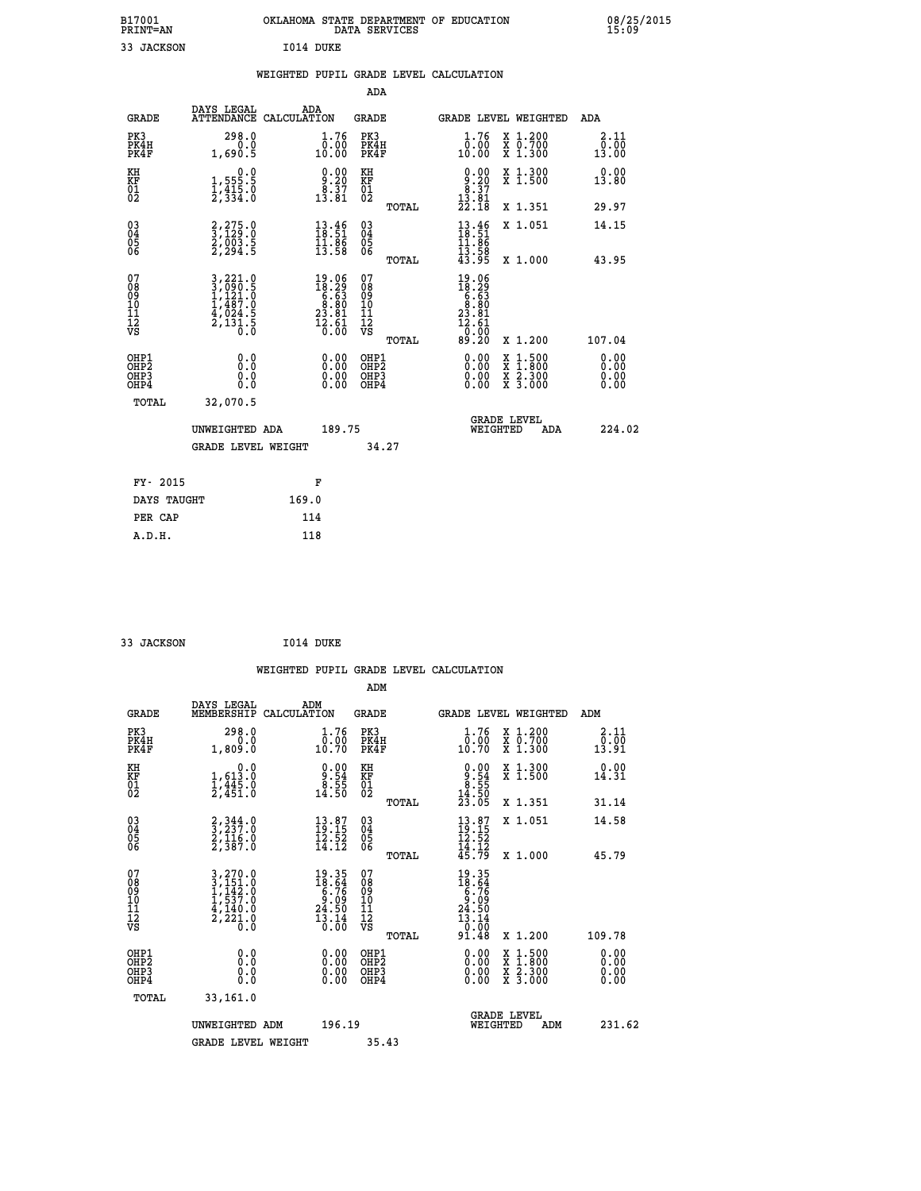| B17001<br><b>PRINT=AN</b> | OKLAHOMA STATE DEPARTMENT OF EDUCATION<br>DATA SERVICES | 08/25/2015<br>15:09 |
|---------------------------|---------------------------------------------------------|---------------------|
| JACKSON                   | I014 DUKE                                               |                     |

|  |  | WEIGHTED PUPIL GRADE LEVEL CALCULATION |
|--|--|----------------------------------------|
|  |  |                                        |

|                                                    |                                                                                                                                                              |                    |                                                                                         | ADA                                    |       |                                                                                                 |                                          |                              |
|----------------------------------------------------|--------------------------------------------------------------------------------------------------------------------------------------------------------------|--------------------|-----------------------------------------------------------------------------------------|----------------------------------------|-------|-------------------------------------------------------------------------------------------------|------------------------------------------|------------------------------|
| <b>GRADE</b>                                       | DAYS LEGAL<br><b>ATTENDANCE</b>                                                                                                                              | ADA<br>CALCULATION |                                                                                         | <b>GRADE</b>                           |       |                                                                                                 | GRADE LEVEL WEIGHTED                     | <b>ADA</b>                   |
| PK3<br>PK4H<br>PK4F                                | 298.0<br>0.0<br>1,690.5                                                                                                                                      |                    | 1.76<br>$\frac{0.00}{10.00}$                                                            | PK3<br>PK4H<br>PK4F                    |       | 1.76<br>ŏ:óŏ<br>10:00                                                                           | X 1.200<br>X 0.700<br>X 1.300            | 2.11<br>0.00<br>13.00        |
| KH<br>KF<br>01<br>02                               | $\begin{smallmatrix}&&&0.0\\1,555.5\\1,415.0\\2,334.0\end{smallmatrix}$                                                                                      |                    | $\begin{smallmatrix} 0.00\\ 9.20\\ 8.37\\ 13.81 \end{smallmatrix}$                      | KH<br>KF<br>01<br>02                   |       | $\begin{smallmatrix} 0.00\\ 9.20\\ 8.37\\ 13.81\\ 22.18 \end{smallmatrix}$                      | X 1.300<br>X 1.500                       | 0.00<br>13.80                |
|                                                    |                                                                                                                                                              |                    |                                                                                         |                                        | TOTAL |                                                                                                 | X 1.351                                  | 29.97                        |
| $\begin{matrix} 03 \\ 04 \\ 05 \\ 06 \end{matrix}$ | $\begin{smallmatrix} 2,275.0\\ 3,129.0\\ 2,003.5\\ 2,294.5 \end{smallmatrix}$                                                                                |                    | $\begin{smallmatrix} 13.46\\18.51\\11.86\\13.58 \end{smallmatrix}$                      | 03<br>04<br>05<br>06                   |       | $13.46$<br>$18.51$<br>$11.86$<br>$13.58$<br>$43.95$                                             | X 1.051                                  | 14.15                        |
|                                                    |                                                                                                                                                              |                    |                                                                                         |                                        | TOTAL |                                                                                                 | X 1.000                                  | 43.95                        |
| 07<br>08<br>09<br>10<br>11<br>11<br>12<br>VS       | $\begin{smallmatrix} 3\,,\,221\cdot0\\ 3\,,\,090\cdot5\\ 1\,,\,121\cdot0\\ 1\,,\,487\cdot0\\ 4\,,\,024\cdot5\\ 2\,,\,131\cdot5\\ 0\,\cdot0\end{smallmatrix}$ |                    | $\begin{array}{r} 19.06 \\ 18.29 \\ 6.63 \\ 8.80 \\ 23.81 \\ 12.61 \\ 0.00 \end{array}$ | 07<br>08<br>09<br>11<br>11<br>12<br>VS | TOTAL | $\begin{array}{r} 19.06 \\ 18.29 \\ 6.63 \\ 8.80 \\ 23.81 \\ 12.61 \\ 0.00 \\ 9.20 \end{array}$ | X 1.200                                  | 107.04                       |
| OHP1<br>OHP2<br>OH <sub>P3</sub><br>OHP4           | 0.0<br>0.0<br>0.0                                                                                                                                            |                    | $\begin{smallmatrix} 0.00 \ 0.00 \ 0.00 \ 0.00 \end{smallmatrix}$                       | OHP1<br>OHP2<br>OHP3<br>OHP4           |       | $0.00$<br>$0.00$<br>0.00                                                                        | X 1:500<br>X 1:800<br>X 2:300<br>X 3:000 | 0.00<br>0.00<br>0.00<br>0.00 |
| TOTAL                                              | 32,070.5                                                                                                                                                     |                    |                                                                                         |                                        |       |                                                                                                 |                                          |                              |
|                                                    | UNWEIGHTED ADA                                                                                                                                               |                    | 189.75                                                                                  |                                        |       | WEIGHTED                                                                                        | <b>GRADE LEVEL</b><br>ADA                | 224.02                       |
|                                                    | <b>GRADE LEVEL WEIGHT</b>                                                                                                                                    |                    |                                                                                         |                                        | 34.27 |                                                                                                 |                                          |                              |
| FY- 2015                                           |                                                                                                                                                              |                    | F                                                                                       |                                        |       |                                                                                                 |                                          |                              |
| DAYS TAUGHT                                        |                                                                                                                                                              | 169.0              |                                                                                         |                                        |       |                                                                                                 |                                          |                              |
|                                                    |                                                                                                                                                              |                    |                                                                                         |                                        |       |                                                                                                 |                                          |                              |

 **PER CAP 114 A.D.H. 118**

 **33 JACKSON I014 DUKE WEIGHTED PUPIL GRADE LEVEL CALCULATION ADM DAYS LEGAL ADM GRADE MEMBERSHIP CALCULATION GRADE GRADE LEVEL WEIGHTED ADM PK3 298.0 1.76 PK3 1.76 X 1.200 2.11 PK4H 0.0 0.00 PK4H 0.00 X 0.700 0.00 PK4F 1,809.0 10.70 PK4F 10.70 X 1.300 13.91 KH 0.0 0.00 KH 0.00 X 1.300 0.00 KF 1,613.0 9.54 KF 9.54 X 1.500 14.31 01 1,445.0 8.55 01 8.55 02 2,451.0 14.50 02 14.50 TOTAL 23.05 X 1.351 31.14 03 2,344.0 13.87 03 13.87 X 1.051 14.58 04 3,237.0 19.15 04 19.15 05 2,116.0 12.52 05 12.52** 06 2,387.0 14.12 06 <sub>momas</sub> 14.12  **TOTAL 45.79 X 1.000 45.79**  $\begin{array}{cccc} 07 & 3,270.0 & 19.35 & 07 & 19.35 \ 08 & 3,151.0 & 18.64 & 08 & 18.64 \ 09 & 1,142.0 & 6.76 & 09 & 6.76 \ 10 & 1,537.0 & 9.09 & 10 & 9.09 \ 11 & 4,140.0 & 24.50 & 11 & 24.50 \ \hline \textrm{vs} & 2,221.0 & 13.14 & 12 & 24.50 \ 13 & 0.0 & 13.14 & 12 & 13.$  $\begin{array}{cccccc} 19.35 & 07 & 19.35 & 19.35 & 19.35 & 19.35 & 19.35 & 19.35 & 19.35 & 19.35 & 19.35 & 19.35 & 19.35 & 19.35 & 19.35 & 19.35 & 19.35 & 19.35 & 19.35 & 19.35 & 19.35 & 19.35 & 19.35 & 19.35 & 19.35 & 19.35 & 19.35 & 19.35 & 19.35 & 19.35 & 19.3$  **OHP1 0.0 0.00 OHP1 0.00 X 1.500 0.00 OHP2 0.0 0.00 OHP2 0.00 X 1.800 0.00 OHP3 0.0 0.00 OHP3 0.00 X 2.300 0.00 OHP4 0.0 0.00 OHP4 0.00 X 3.000 0.00 TOTAL 33,161.0** UNWEIGHTED ADM 196.19  **UNWEIGHTED ADM 196.19 WEIGHTED ADM 231.62 GRADE LEVEL WEIGHT 35.43**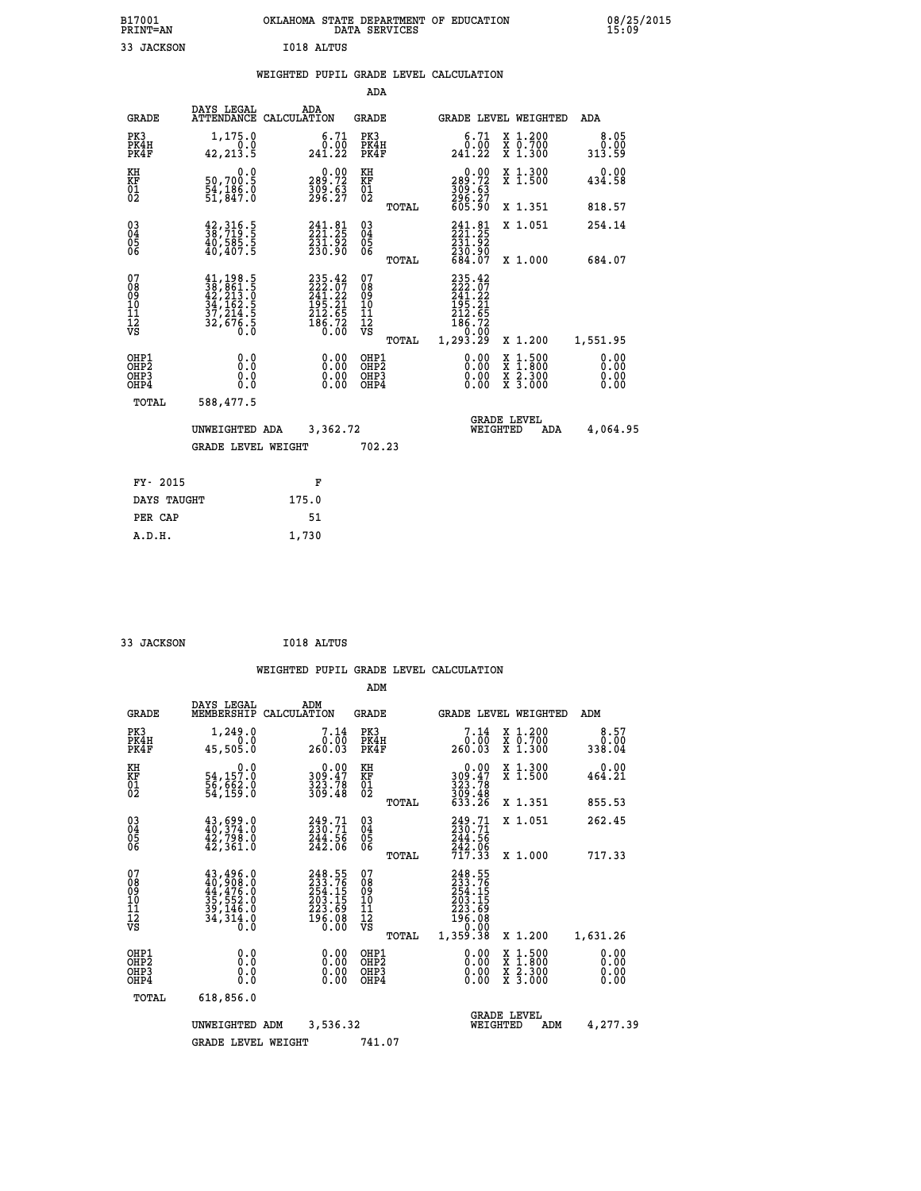| B17001<br>PRINT=AN                                 |                                                                                                               |     |                                                                                |                                                    |       | OKLAHOMA STATE DEPARTMENT OF EDUCATION<br>DATA SERVICES                                    |                                |                                          | 08/25/2015                   |  |
|----------------------------------------------------|---------------------------------------------------------------------------------------------------------------|-----|--------------------------------------------------------------------------------|----------------------------------------------------|-------|--------------------------------------------------------------------------------------------|--------------------------------|------------------------------------------|------------------------------|--|
| 33 JACKSON                                         |                                                                                                               |     | I018 ALTUS                                                                     |                                                    |       |                                                                                            |                                |                                          |                              |  |
|                                                    |                                                                                                               |     |                                                                                |                                                    |       | WEIGHTED PUPIL GRADE LEVEL CALCULATION                                                     |                                |                                          |                              |  |
|                                                    |                                                                                                               |     |                                                                                | ADA                                                |       |                                                                                            |                                |                                          |                              |  |
| <b>GRADE</b>                                       | DAYS LEGAL<br>ATTENDANCE CALCULATION                                                                          | ADA |                                                                                | <b>GRADE</b>                                       |       |                                                                                            |                                | GRADE LEVEL WEIGHTED                     | ADA                          |  |
| PK3<br>PK4H<br>PK4F                                | 1,175.0<br>0.0<br>42, 213.5                                                                                   |     | 6.71<br>0.00<br>241.22                                                         | PK3<br>PK4H<br>PK4F                                |       | 6.71<br>0.00<br>241.22                                                                     |                                | X 1.200<br>X 0.700<br>X 1.300            | 8.05<br>0.00<br>313.59       |  |
| KH<br>KF<br>$\overline{01}$                        | 0.0<br>50,700.5<br>54,186.0<br>51,847.0                                                                       |     | $\begin{smallmatrix} 0.00\\289.72\\309.63\\296.27 \end{smallmatrix}$           | KH<br>KF<br>01<br>02                               |       | $\begin{smallmatrix} &0.00\\ 289.72\\ 309.63\\ 296.27\\ 605.90 \end{smallmatrix}$          |                                | X 1.300<br>X 1.500                       | 0.00<br>434.58               |  |
|                                                    |                                                                                                               |     |                                                                                |                                                    | TOTAL |                                                                                            |                                | X 1.351                                  | 818.57                       |  |
| $\begin{matrix} 03 \\ 04 \\ 05 \\ 06 \end{matrix}$ | $\begin{smallmatrix} 42\,,\,316\,.5\\ 38\,,\,719\,.5\\ 40\,,\,585\,.5\\ 40\,,\,407\,.5 \end{smallmatrix}$     |     | $\begin{smallmatrix} 241.81\\ 221.25\\ 231.92\\ 230.90 \end{smallmatrix}$      | $\begin{matrix} 03 \\ 04 \\ 05 \\ 06 \end{matrix}$ |       | 241.81<br>221.25<br>231.92<br>230.90<br>684.07                                             |                                | X 1.051                                  | 254.14                       |  |
|                                                    |                                                                                                               |     |                                                                                |                                                    | TOTAL |                                                                                            |                                | X 1.000                                  | 684.07                       |  |
| 07<br>08<br>09<br>01<br>11<br>11<br>12<br>VS       | $\begin{smallmatrix} 41,198.5\\ 38,861.5\\ 42,213.0\\ 34,162.5\\ 37,214.5\\ 32,676.5\\ 0.0 \end{smallmatrix}$ |     | $235.42$<br>$222.07$<br>$241.22$<br>$195.21$<br>$212.65$<br>$186.72$<br>$0.00$ | 0789011128                                         | TOTAL | 235.42<br>222.07<br>241.22<br>$\frac{195.21}{212.65}$<br>$\frac{186.72}{0.00}$<br>1,293.29 |                                | X 1.200                                  | 1,551.95                     |  |
| OHP1<br>OHP2<br>OH <sub>P3</sub><br>OHP4           | 0.0<br>0.0<br>0.0                                                                                             |     | 0.00<br>0.00<br>0.00                                                           | OHP1<br>OHP <sub>2</sub><br>OHP3<br>OHP4           |       | 0.00<br>0.00<br>0.00                                                                       |                                | X 1:500<br>X 1:800<br>X 2:300<br>X 3:000 | 0.00<br>0.00<br>0.00<br>0.00 |  |
| TOTAL                                              | 588,477.5                                                                                                     |     |                                                                                |                                                    |       |                                                                                            |                                |                                          |                              |  |
|                                                    | UNWEIGHTED ADA                                                                                                |     | 3,362.72                                                                       |                                                    |       |                                                                                            | <b>GRADE LEVEL</b><br>WEIGHTED | ADA                                      | 4,064.95                     |  |
|                                                    | <b>GRADE LEVEL WEIGHT</b>                                                                                     |     |                                                                                | 702.23                                             |       |                                                                                            |                                |                                          |                              |  |
|                                                    |                                                                                                               |     |                                                                                |                                                    |       |                                                                                            |                                |                                          |                              |  |

| FY- 2015    | F     |
|-------------|-------|
| DAYS TAUGHT | 175.0 |
| PER CAP     | 51    |
| A.D.H.      | 1,730 |
|             |       |

| 33 JACKSON | I018 ALTUS |
|------------|------------|

 **ADM**

| <b>GRADE</b>                                                 | DAYS LEGAL<br>MEMBERSHIP                                                                                                                          | ADM<br>CALCULATION                                                      | <b>GRADE</b>                           |       | <b>GRADE LEVEL WEIGHTED</b>                                            |                                                                                                                     | ADM                    |  |
|--------------------------------------------------------------|---------------------------------------------------------------------------------------------------------------------------------------------------|-------------------------------------------------------------------------|----------------------------------------|-------|------------------------------------------------------------------------|---------------------------------------------------------------------------------------------------------------------|------------------------|--|
| PK3<br>PK4H<br>PK4F                                          | 1,249.0<br>0.0<br>45,505.0                                                                                                                        | 7.14<br>0.00<br>260.03                                                  | PK3<br>PK4H<br>PK4F                    |       | 7.14<br>0.00<br>260.03                                                 | X 1.200<br>X 0.700<br>X 1.300                                                                                       | 8.57<br>0.00<br>338.04 |  |
| KH<br>KF<br>$^{01}_{02}$                                     | 0.0<br>54,157.0<br>56,662.0<br>54,159.0                                                                                                           | $\begin{smallmatrix} 0.00\\ 309.47\\ 323.78\\ 369.48 \end{smallmatrix}$ | KH<br>KF<br>$^{01}_{02}$               |       | $0.00$<br>$309.47$<br>$323.78$<br>$309.48$<br>$633.26$                 | X 1.300<br>X 1.500                                                                                                  | 0.00<br>464.21         |  |
|                                                              |                                                                                                                                                   |                                                                         |                                        | TOTAL |                                                                        | X 1.351                                                                                                             | 855.53                 |  |
| $\begin{smallmatrix} 03 \\[-4pt] 04 \end{smallmatrix}$<br>Ŏ5 | $43,699.0$<br>$40,374.0$<br>$42,798.0$<br>$42,361.0$                                                                                              | $249.71$<br>$230.71$<br>$244.56$<br>$242.06$                            | $\substack{03 \\ 04}$<br>Ŏ5            |       | 249.71<br>230.71<br>244.56<br>242.06<br>717.33                         | X 1.051                                                                                                             | 262.45                 |  |
| 06                                                           |                                                                                                                                                   |                                                                         | 06                                     | TOTAL |                                                                        | X 1.000                                                                                                             | 717.33                 |  |
| 07<br>089<br>090<br>1112<br>VS                               | $\begin{smallmatrix} 43\,,496\,, 0\\ 40\,, 908\,, 0\\ 44\,, 476\,, 0\\ 35\,, 552\,, 0\\ 39\,, 146\,, 0\\ 34\,, 314\,, 0\\ 0\,. \end{smallmatrix}$ | 248.55<br>2333.76<br>254.15<br>203.15<br>223.69<br>196.08<br>0.00       | 07<br>08<br>09<br>11<br>11<br>12<br>VS |       | 248.55<br>233.765<br>254.155<br>203.155<br>223.69<br>196.080<br>20.000 |                                                                                                                     |                        |  |
|                                                              |                                                                                                                                                   |                                                                         |                                        | TOTAL | 1,359.38                                                               | X 1.200                                                                                                             | 1,631.26               |  |
| OHP1<br>OHP2<br>OH <sub>P3</sub><br>OHP4                     | 0.0<br>0.000                                                                                                                                      |                                                                         | OHP1<br>OHP2<br>OHP3<br>OHP4           |       | 0.00<br>0.00<br>0.00                                                   | $\begin{array}{l} \mathtt{X} & 1.500 \\ \mathtt{X} & 1.800 \\ \mathtt{X} & 2.300 \\ \mathtt{X} & 3.000 \end{array}$ | 0.00<br>0.00<br>0.00   |  |
| TOTAL                                                        | 618,856.0                                                                                                                                         |                                                                         |                                        |       |                                                                        |                                                                                                                     |                        |  |
|                                                              | UNWEIGHTED                                                                                                                                        | 3,536.32<br>ADM                                                         |                                        |       | WEIGHTED                                                               | <b>GRADE LEVEL</b><br>ADM                                                                                           | 4,277.39               |  |
|                                                              | <b>GRADE LEVEL WEIGHT</b>                                                                                                                         |                                                                         | 741.07                                 |       |                                                                        |                                                                                                                     |                        |  |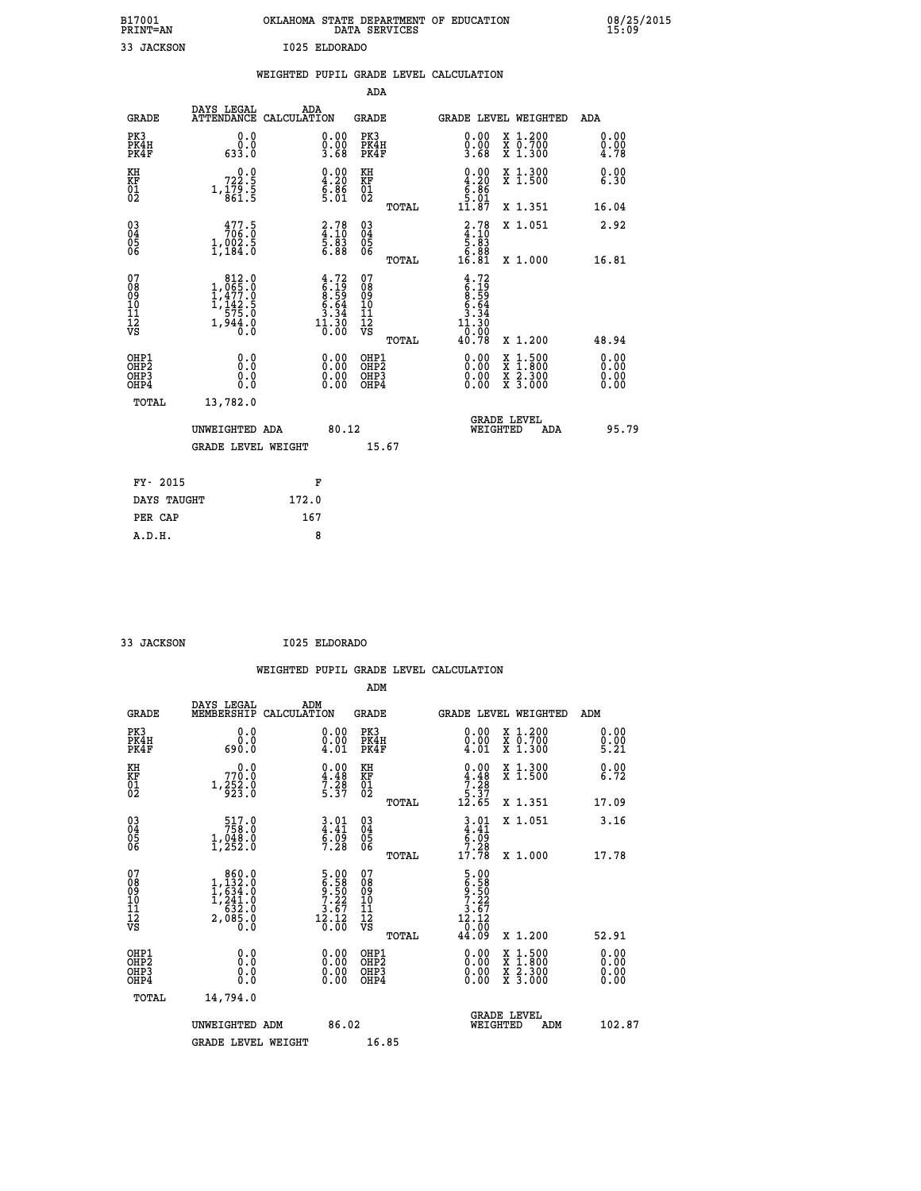| B17001          | OKLAHOMA STATE DEPARTMENT OF EDUCATION |
|-----------------|----------------------------------------|
| <b>PRINT=AN</b> | DATA SERVICES                          |
| 33 JACKSON      | I025 ELDORADO                          |

 **B17001 OKLAHOMA STATE DEPARTMENT OF EDUCATION 08/25/2015**

|                                                                    |                                                                                                             |       |                                                                    |                                                     |       | WEIGHTED PUPIL GRADE LEVEL CALCULATION                                                                                                                                                                                                                                         |                                          |                                  |
|--------------------------------------------------------------------|-------------------------------------------------------------------------------------------------------------|-------|--------------------------------------------------------------------|-----------------------------------------------------|-------|--------------------------------------------------------------------------------------------------------------------------------------------------------------------------------------------------------------------------------------------------------------------------------|------------------------------------------|----------------------------------|
|                                                                    |                                                                                                             |       |                                                                    | <b>ADA</b>                                          |       |                                                                                                                                                                                                                                                                                |                                          |                                  |
| <b>GRADE</b>                                                       | DAYS LEGAL<br>ATTENDANCE CALCULATION                                                                        |       | ADA                                                                | GRADE                                               |       | GRADE LEVEL WEIGHTED                                                                                                                                                                                                                                                           |                                          | ADA                              |
| PK3<br>PK4H<br>PK4F                                                | 0.0<br>0.0<br>633.0                                                                                         |       | $\begin{smallmatrix} 0.00\\ 0.00\\ 3.68 \end{smallmatrix}$         | PK3<br>PK4H<br>PK4F                                 |       | $\begin{smallmatrix} 0.00\\ 0.00\\ 3.68 \end{smallmatrix}$                                                                                                                                                                                                                     | X 1.200<br>X 0.700<br>X 1.300            | 0.00<br>0.00<br>4.78             |
| KH<br>KF<br>01<br>02                                               | 722.5<br>$1,\frac{1}{8}$ $\frac{75}{61}$ $\frac{5}{5}$                                                      |       | $\begin{smallmatrix} 0.00\ 4.20\ 6.86\ 5.01\ \end{smallmatrix}$    | KH<br>KF<br>01<br>02                                |       | $0.00$<br>$4.20$<br>$6.86$<br>$5.01$                                                                                                                                                                                                                                           | X 1.300<br>X 1.500                       | 0.00<br>6.30                     |
|                                                                    |                                                                                                             |       |                                                                    |                                                     | TOTAL | 11.87                                                                                                                                                                                                                                                                          | X 1.351                                  | 16.04                            |
| $\begin{smallmatrix} 03 \\[-4pt] 04 \end{smallmatrix}$<br>Ŏ5<br>06 | $\frac{477.5}{706.0}$<br>$1,002.5$<br>$1,184.0$                                                             |       | $\begin{smallmatrix} 2.78\ 4.10\ 5.83\ 6.88 \end{smallmatrix}$     | $\begin{array}{c} 03 \\ 04 \\ 05 \\ 06 \end{array}$ |       | $\begin{smallmatrix} 2.78\ 4.10\ 5.83\ 6.88\ 16.81\ \end{smallmatrix}$                                                                                                                                                                                                         | X 1.051                                  | 2.92                             |
|                                                                    |                                                                                                             |       |                                                                    |                                                     | TOTAL |                                                                                                                                                                                                                                                                                | X 1.000                                  | 16.81                            |
| 07<br>08<br>09<br>10<br>11<br>11<br>12<br>VS                       | $\begin{smallmatrix} & 812.0 \\ 1,065.0 \\ 1,477.0 \\ 1,142.5 \\ 575.0 \\ 1,944.0 \\ 0.0 \end{smallmatrix}$ |       | $4.72$<br>$6.19$<br>$8.59$<br>$6.64$<br>$3.34$<br>$1.30$<br>$0.00$ | 07<br>08<br>09<br>11<br>11<br>12<br>VS              | TOTAL | $4.72$<br>$6.19$<br>$8.59$<br>$6.64$<br>$3.344$<br>$11.30$<br>0.00<br>40.78                                                                                                                                                                                                    | X 1.200                                  | 48.94                            |
| OHP1<br>OHP2<br>OHP3<br>OHP4                                       | 0.0<br>Ō.Ō<br>0.0<br>$0.\overline{0}$                                                                       |       | $\begin{smallmatrix} 0.00 \ 0.00 \ 0.00 \ 0.00 \end{smallmatrix}$  | OHP1<br>OHP2<br>OHP3<br>OHP4                        |       | $\begin{smallmatrix} 0.00 & 0.00 & 0.00 & 0.00 & 0.00 & 0.00 & 0.00 & 0.00 & 0.00 & 0.00 & 0.00 & 0.00 & 0.00 & 0.00 & 0.00 & 0.00 & 0.00 & 0.00 & 0.00 & 0.00 & 0.00 & 0.00 & 0.00 & 0.00 & 0.00 & 0.00 & 0.00 & 0.00 & 0.00 & 0.00 & 0.00 & 0.00 & 0.00 & 0.00 & 0.00 & 0.0$ | X 1:500<br>X 1:800<br>X 2:300<br>X 3:000 | 0.00<br>0.00<br>$0.00$<br>$0.00$ |
| TOTAL                                                              | 13,782.0                                                                                                    |       |                                                                    |                                                     |       |                                                                                                                                                                                                                                                                                |                                          |                                  |
|                                                                    | UNWEIGHTED ADA                                                                                              |       | 80.12                                                              |                                                     |       |                                                                                                                                                                                                                                                                                | <b>GRADE LEVEL</b><br>WEIGHTED<br>ADA    | 95.79                            |
|                                                                    | <b>GRADE LEVEL WEIGHT</b>                                                                                   |       |                                                                    |                                                     | 15.67 |                                                                                                                                                                                                                                                                                |                                          |                                  |
| FY- 2015                                                           |                                                                                                             |       | F                                                                  |                                                     |       |                                                                                                                                                                                                                                                                                |                                          |                                  |
| DAYS TAUGHT                                                        |                                                                                                             | 172.0 |                                                                    |                                                     |       |                                                                                                                                                                                                                                                                                |                                          |                                  |
| PER CAP                                                            |                                                                                                             | 167   |                                                                    |                                                     |       |                                                                                                                                                                                                                                                                                |                                          |                                  |

 **A.D.H. 8**

 **B17001<br>PRINT=AN** 

 **33 JACKSON I025 ELDORADO**

|                                                    |                                                                                                       |                                                                                                                         |                                       | WEIGHTED PUPIL GRADE LEVEL CALCULATION                                                                                                                                                                                                                                                                                                                                             |                      |
|----------------------------------------------------|-------------------------------------------------------------------------------------------------------|-------------------------------------------------------------------------------------------------------------------------|---------------------------------------|------------------------------------------------------------------------------------------------------------------------------------------------------------------------------------------------------------------------------------------------------------------------------------------------------------------------------------------------------------------------------------|----------------------|
|                                                    |                                                                                                       |                                                                                                                         | ADM                                   |                                                                                                                                                                                                                                                                                                                                                                                    |                      |
| <b>GRADE</b>                                       | DAYS LEGAL<br>MEMBERSHIP<br>CALCULATION                                                               | ADM                                                                                                                     | <b>GRADE</b>                          | <b>GRADE LEVEL WEIGHTED</b>                                                                                                                                                                                                                                                                                                                                                        | ADM                  |
| PK3<br>PK4H<br>PK4F                                | 0.0<br>0.0<br>690.0                                                                                   | $\substack{0.00\\0.00\\4.01}$                                                                                           | PK3<br>PK4H<br>PK4F                   | $\begin{smallmatrix} 0.00 \\ 0.00 \\ 4.01 \end{smallmatrix}$<br>X 1.200<br>X 0.700<br>X 1.300                                                                                                                                                                                                                                                                                      | 0.00<br>0.00<br>5.21 |
| KH<br>KF<br>01<br>02                               | 0.0<br>770.0<br>$1, \frac{252}{923}$ :0                                                               | $\begin{smallmatrix} 0.00\\ 4.48\\ 7.28\\ 5.37 \end{smallmatrix}$                                                       | KH<br>KF<br>01<br>02                  | $\begin{array}{c} 0.00 \\ 4.48 \\ 7.28 \\ 5.37 \\ 12.65 \end{array}$<br>X 1.300<br>X 1.500                                                                                                                                                                                                                                                                                         | 0.00<br>6.72         |
|                                                    |                                                                                                       |                                                                                                                         | TOTAL                                 | X 1.351                                                                                                                                                                                                                                                                                                                                                                            | 17.09                |
| $\begin{matrix} 03 \\ 04 \\ 05 \\ 06 \end{matrix}$ | $\begin{smallmatrix} 517.0\\ 758.0\\ 1,048.0\\ 1,252.0 \end{smallmatrix}$                             | $3.01$<br>$4.41$<br>$6.09$<br>7.28                                                                                      | 03<br>04<br>05<br>06                  | $3.01$<br>$4.41$<br>$6.09$<br>$7.28$<br>X 1.051                                                                                                                                                                                                                                                                                                                                    | 3.16                 |
|                                                    |                                                                                                       |                                                                                                                         | TOTAL                                 | 17.78<br>X 1.000                                                                                                                                                                                                                                                                                                                                                                   | 17.78                |
| 07<br>0890112<br>1112<br>VS                        | $\begin{smallmatrix} & 860.0\\ 1,132.0\\ 1,634.0\\ 1,241.0\\ 632.0\\ 2,085.0\\ 0.0 \end{smallmatrix}$ | $\begin{array}{c} 5\cdot 00 \\ 6\cdot 50 \\ 9\cdot 50 \\ 7\cdot 22 \\ 3\cdot 67 \\ 12\cdot 12 \\ 0\cdot 00 \end{array}$ | 07<br>08901112<br>1112<br>VS<br>TOTAL | $\begin{array}{c} 5\cdot 00\\ 6\cdot 50\\ 9\cdot 50\\ 7\cdot 22\\ 3\cdot 67\\ 12\cdot 12\\ 0\cdot 00\\ 44\cdot 09 \end{array}$<br>$X_1.200$                                                                                                                                                                                                                                        | 52.91                |
| OHP1<br>OHP2                                       | 0.0                                                                                                   | $\begin{smallmatrix} 0.00 \ 0.00 \ 0.00 \ 0.00 \end{smallmatrix}$                                                       | OHP1<br>OHP2                          | $\begin{smallmatrix} 0.00 & 0.00 & 0.00 & 0.00 & 0.00 & 0.00 & 0.00 & 0.00 & 0.00 & 0.00 & 0.00 & 0.00 & 0.00 & 0.00 & 0.00 & 0.00 & 0.00 & 0.00 & 0.00 & 0.00 & 0.00 & 0.00 & 0.00 & 0.00 & 0.00 & 0.00 & 0.00 & 0.00 & 0.00 & 0.00 & 0.00 & 0.00 & 0.00 & 0.00 & 0.00 & 0.0$<br>$\begin{smallmatrix} x & 1 & 500 \\ x & 1 & 800 \\ x & 2 & 300 \\ x & 3 & 000 \end{smallmatrix}$ | 0.00                 |
| OH <sub>P3</sub><br>OHP4                           | 0.000                                                                                                 |                                                                                                                         | OHP3<br>OHP4                          |                                                                                                                                                                                                                                                                                                                                                                                    | 0.00<br>0.00         |
| TOTAL                                              | 14,794.0                                                                                              |                                                                                                                         |                                       |                                                                                                                                                                                                                                                                                                                                                                                    |                      |
|                                                    | UNWEIGHTED ADM                                                                                        | 86.02                                                                                                                   |                                       | <b>GRADE LEVEL</b><br>WEIGHTED<br>ADM                                                                                                                                                                                                                                                                                                                                              | 102.87               |
|                                                    | <b>GRADE LEVEL WEIGHT</b>                                                                             |                                                                                                                         | 16.85                                 |                                                                                                                                                                                                                                                                                                                                                                                    |                      |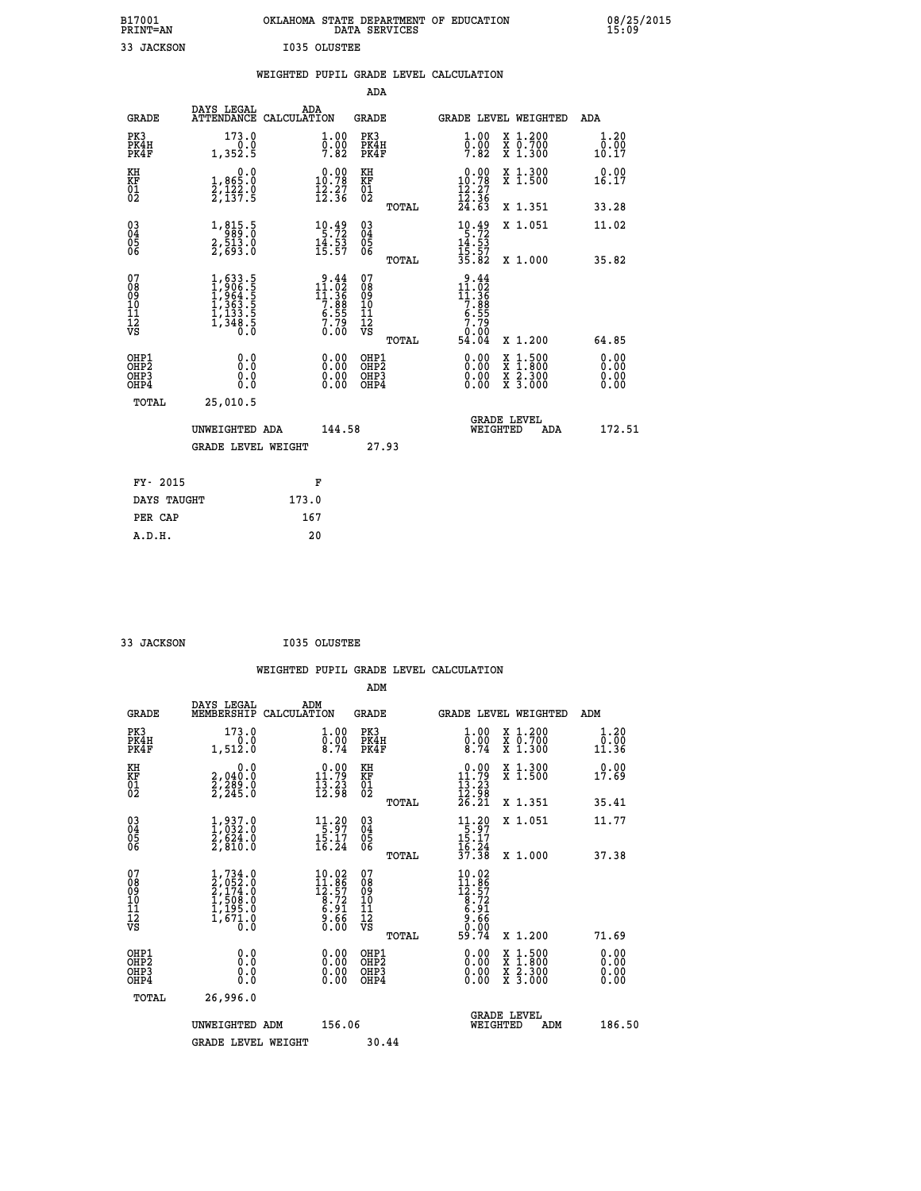| B17001<br>PRINT=AN | OKLAHOMA STATE DEPARTMENT OF EDUCATION<br>DATA SERVICES | 08/25/2015<br>15:09 |
|--------------------|---------------------------------------------------------|---------------------|
| 33 JACKSON         | <b>I035 OLUSTEE</b>                                     |                     |

|                                                    |                                                                                           | WEIGHTED PUPIL GRADE LEVEL CALCULATION                                                                                    |                                                 |                                                                                                            |                              |
|----------------------------------------------------|-------------------------------------------------------------------------------------------|---------------------------------------------------------------------------------------------------------------------------|-------------------------------------------------|------------------------------------------------------------------------------------------------------------|------------------------------|
|                                                    |                                                                                           |                                                                                                                           | <b>ADA</b>                                      |                                                                                                            |                              |
| <b>GRADE</b>                                       | DAYS LEGAL                                                                                | ADA<br>ATTENDANCE CALCULATION                                                                                             | <b>GRADE</b>                                    | GRADE LEVEL WEIGHTED                                                                                       | ADA                          |
| PK3<br>PK4H<br>PK4F                                | 173.0<br>0.0<br>1,352.5                                                                   | $\begin{smallmatrix} 1.00\ 0.00\ 7.82 \end{smallmatrix}$                                                                  | PK3<br>PK4H<br>PK4F                             | 1.00<br>X 1.200<br>X 0.700<br>X 1.300<br>$\frac{0}{7}.\overset{0}{8} \frac{0}{2}$                          | 1.20<br>0.00<br>10.17        |
| KH<br>KF<br>01<br>02                               | $\begin{smallmatrix}&&&0.0\\1,865.0\\2,122.0\\2,137.5\end{smallmatrix}$                   | $\begin{smallmatrix} 0.00\\ 10.78\\ 12.27\\ 12.36 \end{smallmatrix}$                                                      | KH<br>KF<br>01<br>02                            | $\begin{smallmatrix} 0.00\\ 10.78\\ 12.27\\ 12.36\\ 24.63 \end{smallmatrix}$<br>X 1.300<br>X 1.500         | 0.00<br>16.17                |
|                                                    |                                                                                           |                                                                                                                           | TOTAL                                           | X 1.351                                                                                                    | 33.28                        |
| $\begin{matrix} 03 \\ 04 \\ 05 \\ 06 \end{matrix}$ | 1,815.5<br>2,513.0<br>2,693.0                                                             | $\begin{array}{l} 10.49 \\ 5.72 \\ 14.53 \\ 15.57 \end{array}$                                                            | 03<br>04<br>05<br>06                            | $\begin{array}{r} 10.49 \\[-4pt] 5.72 \\[-4pt] 14.53 \\[-4pt] 15.57 \\[-4pt] 35.82 \end{array}$<br>X 1.051 | 11.02                        |
|                                                    |                                                                                           |                                                                                                                           | TOTAL                                           | X 1.000                                                                                                    | 35.82                        |
| 07<br>08901112<br>1112<br>VS                       | $1, 633.5$<br>$1, 906.5$<br>$1, 964.5$<br>$1, 363.5$<br>$1, 133.5$<br>$1, 348.5$<br>$0.0$ | $\begin{array}{r} 9.44 \\[-2pt] 11.02 \\[-2pt] 11.36 \\[-2pt] 7.88 \\[-2pt] 6.55 \\[-2pt] 7.79 \\[-2pt] 0.00 \end{array}$ | 07<br>08<br>09<br>11<br>11<br>12<br>VS<br>TOTAL | $9.44$<br>$11.92$<br>$11.36$<br>$7.88$<br>$6.55$<br>$7.79$<br>$-0.00$<br>54<br>.04<br>X 1.200              | 64.85                        |
| OHP1<br>OHP2<br>OH <sub>P3</sub><br>OHP4           | 0.0<br>0.0<br>0.0                                                                         | $\begin{smallmatrix} 0.00 \ 0.00 \ 0.00 \ 0.00 \end{smallmatrix}$                                                         | OHP1<br>OHP2<br>OHP3<br>OHP4                    | X 1:500<br>X 1:800<br>X 2:300<br>X 3:000                                                                   | 0.00<br>0.00<br>0.00<br>0.00 |
| TOTAL                                              | 25,010.5                                                                                  |                                                                                                                           |                                                 |                                                                                                            |                              |
|                                                    | UNWEIGHTED ADA                                                                            | 144.58                                                                                                                    |                                                 | <b>GRADE LEVEL</b><br>WEIGHTED<br>ADA                                                                      | 172.51                       |
|                                                    | <b>GRADE LEVEL WEIGHT</b>                                                                 |                                                                                                                           | 27.93                                           |                                                                                                            |                              |
| FY- 2015                                           |                                                                                           | F                                                                                                                         |                                                 |                                                                                                            |                              |
|                                                    | DAYS TAUGHT                                                                               | 173.0                                                                                                                     |                                                 |                                                                                                            |                              |
| PER CAP                                            |                                                                                           | 167                                                                                                                       |                                                 |                                                                                                            |                              |

| 33 JACKSON                   |                                                                                       |     | I035 OLUSTEE                                                                              |                                                     |       |                                                                                                  |          |                                                                                                                     |                       |  |
|------------------------------|---------------------------------------------------------------------------------------|-----|-------------------------------------------------------------------------------------------|-----------------------------------------------------|-------|--------------------------------------------------------------------------------------------------|----------|---------------------------------------------------------------------------------------------------------------------|-----------------------|--|
|                              |                                                                                       |     |                                                                                           |                                                     |       | WEIGHTED PUPIL GRADE LEVEL CALCULATION                                                           |          |                                                                                                                     |                       |  |
|                              |                                                                                       |     |                                                                                           | ADM                                                 |       |                                                                                                  |          |                                                                                                                     |                       |  |
| <b>GRADE</b>                 | DAYS LEGAL<br>MEMBERSHIP CALCULATION                                                  | ADM |                                                                                           | <b>GRADE</b>                                        |       |                                                                                                  |          | <b>GRADE LEVEL WEIGHTED</b>                                                                                         | ADM                   |  |
| PK3<br>PK4H<br>PK4F          | 173.0<br>0.0<br>1,512.0                                                               |     | $\begin{smallmatrix} 1.00\ 0.00\ 8.74 \end{smallmatrix}$                                  | PK3<br>PK4H<br>PK4F                                 |       | $\begin{smallmatrix} 1.00 \\ 0.00 \\ 8.74 \end{smallmatrix}$                                     |          | X 1.200<br>X 0.700<br>X 1.300                                                                                       | 1.20<br>0.00<br>11.36 |  |
| KH<br>KF<br>01<br>02         | 0.0<br>2,040.0<br>2,289.0<br>2,245.0                                                  |     | $\begin{smallmatrix} 0.00\\ 11.79\\ 13.23\\ 12.98 \end{smallmatrix}$                      | KH<br>KF<br>01<br>02                                |       | 0.00<br>$\begin{smallmatrix}11.79\\13.23\\12.98\\26.21\end{smallmatrix}$                         |          | X 1.300<br>X 1.500                                                                                                  | 0.00<br>17.69         |  |
|                              |                                                                                       |     |                                                                                           |                                                     | TOTAL |                                                                                                  |          | X 1.351                                                                                                             | 35.41                 |  |
| 03<br>04<br>05<br>06         | $\frac{1}{1}, \begin{smallmatrix} 937.0 \ 32.0 \ 2,624.0 \ 2,810.0 \end{smallmatrix}$ |     | $\begin{array}{c} 11\cdot 20 \\ 5\cdot 97 \\ 15\cdot 17 \\ 16\cdot 24 \end{array}$        | $\begin{array}{c} 03 \\ 04 \\ 05 \\ 06 \end{array}$ |       | $\begin{array}{c} 11.20 \\[-4pt] 5.97 \\[-4pt] 15.17 \\[-4pt] 16.24 \\[-4pt] 37.38 \end{array}$  |          | X 1.051                                                                                                             | 11.77                 |  |
| 07<br>08901112<br>1112<br>VS | $1,734.0$<br>$2,052.0$<br>$2,174.0$<br>$1,508.0$<br>$1,195.0$<br>$1,671.0$<br>$0.0$   |     | $\begin{smallmatrix} 10.02\\ 11.86\\ 12.57\\ 8.72\\ 6.91\\ 9.66\\ 0.00 \end{smallmatrix}$ | 07<br>08<br>09<br>001<br>11<br>11<br>12<br>VS       | TOTAL | $\begin{smallmatrix} 10.02\\ 11.86\\ 12.57\\ 8.72\\ 6.91\\ 6.66\\ 0.00\\ 9.74 \end{smallmatrix}$ |          | X 1.000                                                                                                             | 37.38                 |  |
|                              |                                                                                       |     |                                                                                           |                                                     | TOTAL |                                                                                                  |          | X 1.200                                                                                                             | 71.69                 |  |
| OHP1<br>OHP2<br>OHP3<br>OHP4 | 0.0<br>0.000                                                                          |     | $0.00$<br>$0.00$<br>0.00                                                                  | OHP1<br>OHP2<br>OHP3<br>OHP4                        |       |                                                                                                  |          | $\begin{array}{l} \mathtt{X} & 1.500 \\ \mathtt{X} & 1.800 \\ \mathtt{X} & 2.300 \\ \mathtt{X} & 3.000 \end{array}$ | 0.00<br>0.00<br>0.00  |  |
| TOTAL                        | 26,996.0                                                                              |     |                                                                                           |                                                     |       |                                                                                                  |          |                                                                                                                     |                       |  |
|                              | UNWEIGHTED ADM                                                                        |     | 156.06                                                                                    |                                                     |       |                                                                                                  | WEIGHTED | <b>GRADE LEVEL</b><br>ADM                                                                                           | 186.50                |  |
|                              | <b>GRADE LEVEL WEIGHT</b>                                                             |     |                                                                                           | 30.44                                               |       |                                                                                                  |          |                                                                                                                     |                       |  |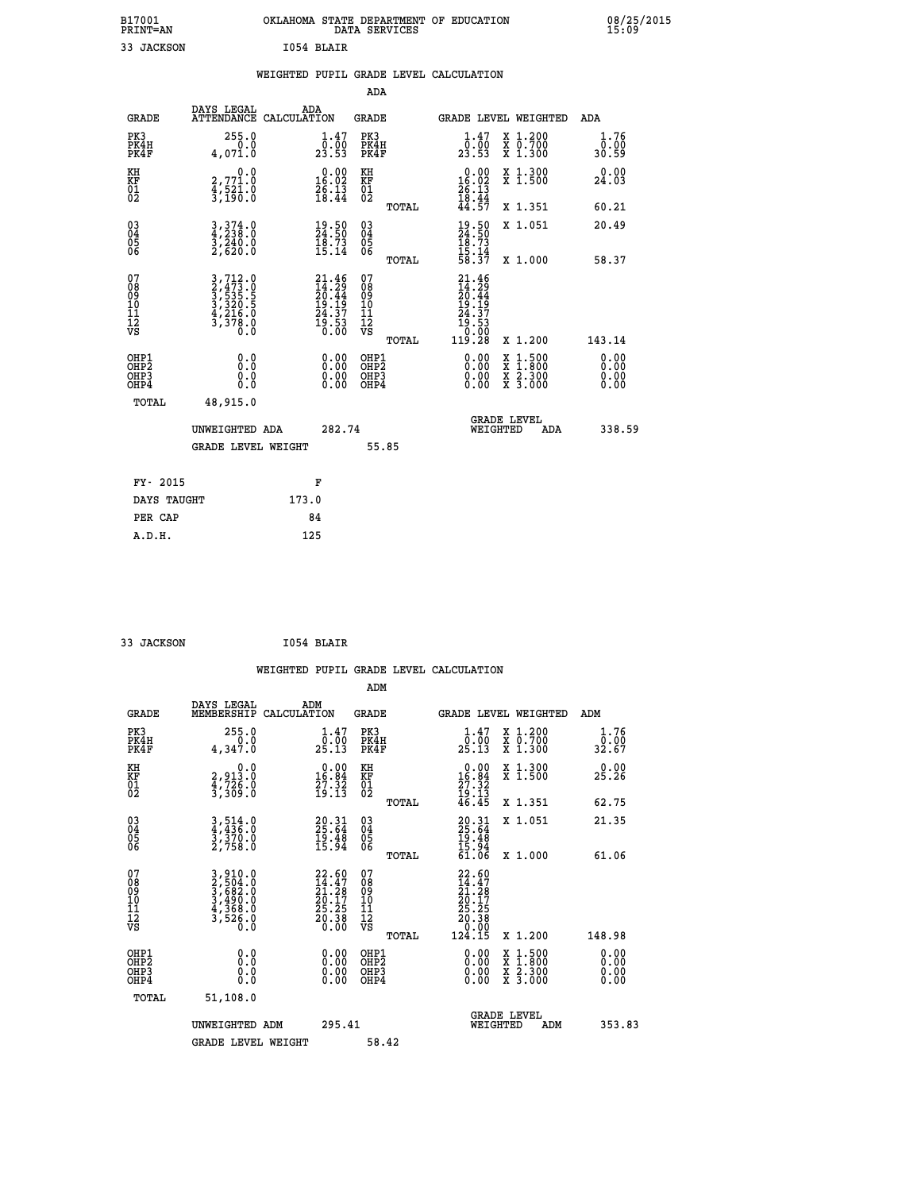| B17001<br><b>PRINT=AN</b> | OKLAHOMA STATE DEPARTMENT OF EDUCATION<br>DATA SERVICES | 08/25/2015<br>15:09 |
|---------------------------|---------------------------------------------------------|---------------------|
| 33 JACKSON                | 1054 BLAIR                                              |                     |

|                                                                    |                                                                                                                                                               |                                                                          |                                                     |       | WEIGHTED PUPIL GRADE LEVEL CALCULATION                                                                                |                                                                   |                        |
|--------------------------------------------------------------------|---------------------------------------------------------------------------------------------------------------------------------------------------------------|--------------------------------------------------------------------------|-----------------------------------------------------|-------|-----------------------------------------------------------------------------------------------------------------------|-------------------------------------------------------------------|------------------------|
|                                                                    |                                                                                                                                                               |                                                                          | <b>ADA</b>                                          |       |                                                                                                                       |                                                                   |                        |
| <b>GRADE</b>                                                       | DAYS LEGAL<br>ATTENDANCE CALCULATION                                                                                                                          | ADA                                                                      | <b>GRADE</b>                                        |       |                                                                                                                       | GRADE LEVEL WEIGHTED                                              | ADA                    |
| PK3<br>PK4H<br>PK4F                                                | 255.0<br>0.0<br>4,071.0                                                                                                                                       | $\begin{smallmatrix} 1.47\ 0.00\\ 23.53 \end{smallmatrix}$               | PK3<br>PK4H<br>PK4F                                 |       | $\frac{1 \cdot 47}{0 \cdot 00}$<br>23.53                                                                              | X 1.200<br>X 0.700<br>X 1.300                                     | 1.76<br>0.00<br>30.59  |
| KH<br>KF<br>01<br>02                                               | 0.0<br>2,771.0<br>4,521.0<br>3,190.0                                                                                                                          | $\begin{smallmatrix} 0.00\\ 16.02\\ 26.13\\ 18.44 \end{smallmatrix}$     | KH<br>KF<br>01<br>02                                |       | $\begin{smallmatrix} 0.00\\16.02\\26.13\\18.44\\44.57 \end{smallmatrix}$                                              | X 1.300<br>X 1.500                                                | 0.00<br>24.03          |
|                                                                    |                                                                                                                                                               |                                                                          |                                                     | TOTAL |                                                                                                                       | X 1.351                                                           | 60.21                  |
| $\begin{smallmatrix} 03 \\[-4pt] 04 \end{smallmatrix}$<br>Ŏ5<br>06 | $3,374.0$<br>$4,238.0$<br>$3,240.0$<br>$2,620.0$                                                                                                              | $\begin{smallmatrix} 19.50\ 24.50\ 18.73\ 15.14 \end{smallmatrix}$       | $\begin{array}{c} 03 \\ 04 \\ 05 \\ 06 \end{array}$ |       | $19.50$<br>$24.50$<br>$18.73$<br>$15.14$<br>$58.37$                                                                   | X 1.051                                                           | 20.49                  |
|                                                                    |                                                                                                                                                               |                                                                          |                                                     | TOTAL |                                                                                                                       | X 1.000                                                           | 58.37                  |
| 07<br>0890112<br>1112<br>VS                                        | $\begin{smallmatrix} 3\,,\,712\,.\,0\\ 2\,,\,473\,.\,0\\ 3\,,\,535\,.\,5\\ 3\,,\,320\,.\,5\\ 4\,,\,216\,.\,0\\ 3\,,\,378\,.\,0\\ 0\,.\,0\\ \end{smallmatrix}$ | $21.46$<br>$14.29$<br>$20.44$<br>$19.19$<br>$24.37$<br>$19.53$<br>$0.00$ | 07<br>08<br>09<br>11<br>11<br>12<br>VS              | TOTAL | $\begin{smallmatrix} 21.46 \\ 14.29 \\ 20.44 \\ 20.44 \\ 19.19 \\ 24.37 \\ 19.53 \\ 0.00 \\ 119.28 \end{smallmatrix}$ | X 1.200                                                           | 143.14                 |
| OHP1<br>OHP2<br>OHP3<br>OHP4                                       | 0.0<br>0.0<br>Ō.Ō                                                                                                                                             | 0.0000<br>$0.00$<br>0.00                                                 | OHP1<br>OHP2<br>OHP3<br>OHP4                        |       | 0.00<br>0.00<br>0.00                                                                                                  | $1:500$<br>1:800<br>X<br>X<br>$\frac{x}{x}$ $\frac{5:300}{3:000}$ | 0.0000<br>0.00<br>0.00 |
| <b>TOTAL</b>                                                       | 48,915.0                                                                                                                                                      |                                                                          |                                                     |       |                                                                                                                       |                                                                   |                        |
|                                                                    | UNWEIGHTED ADA                                                                                                                                                | 282.74                                                                   |                                                     |       | WEIGHTED                                                                                                              | <b>GRADE LEVEL</b><br>ADA                                         | 338.59                 |
|                                                                    | <b>GRADE LEVEL WEIGHT</b>                                                                                                                                     |                                                                          | 55.85                                               |       |                                                                                                                       |                                                                   |                        |
| FY- 2015                                                           |                                                                                                                                                               | F                                                                        |                                                     |       |                                                                                                                       |                                                                   |                        |
| DAYS TAUGHT                                                        |                                                                                                                                                               | 173.0                                                                    |                                                     |       |                                                                                                                       |                                                                   |                        |
| PER CAP                                                            |                                                                                                                                                               | 84                                                                       |                                                     |       |                                                                                                                       |                                                                   |                        |
|                                                                    |                                                                                                                                                               |                                                                          |                                                     |       |                                                                                                                       |                                                                   |                        |

 **33 JACKSON I054 BLAIR WEIGHTED PUPIL GRADE LEVEL CALCULATION ADM DAYS LEGAL ADM GRADE MEMBERSHIP CALCULATION GRADE GRADE LEVEL WEIGHTED ADM PK3 255.0 1.47 PK3 1.47 X 1.200 1.76 PK4H 0.0 0.00 PK4H 0.00 X 0.700 0.00 PK4F 4,347.0 25.13 PK4F 25.13 X 1.300 32.67 KH 0.0 0.00 KH 0.00 X 1.300 0.00 KF 2,913.0 16.84 KF 16.84 X 1.500 25.26 01 4,726.0 27.32 01 27.32**<br>**02 3,309.0 19.13 02 19.13 TOTAL 46.45 X 1.351 62.75 03 3,514.0 20.31 03 20.31 X 1.051 21.35 04 4,436.0 25.64 04 25.64 05 3,370.0 19.48 05 19.48** 06 2,758.0 15.94 06 <sub>momas</sub> 15.94  **TOTAL 61.06 X 1.000 61.06**  $\begin{array}{cccc} 07 & 3,910.0 & 22.60 & 07 & 22.60 \ 08 & 2,504.0 & 14.47 & 08 & 14.47 \ 09 & 3,682.0 & 21.28 & 09 & 21.28 \ 10 & 3,490.0 & 20.17 & 10 & 20.17 \ 11 & 4,368.0 & 25.25 & 11 & 25.25 \ 0.0 & 20.38 & 12 & 25.25 \ 0.0 & 0 & 0.00 & 0.00 & 0.00 \end{array}$  $\begin{array}{cccc} 22.60 & 07 & 22.60 \ 14.428 & 08 & 14.47 \ 20.17 & 10 & 20.117 \ 20.38 & 12 & 25.25 \ 3.58 & 12 & 25.25 \ 0.38 & 12 & 20.38 \ 0.00 & 08 & 0.00 \ 0.00 & 08 & 0.00 \ 0.00 & 08 & 0.00 \ 0.00 & 08 & 0.00 \ 0.00 & 08 & 0.00 \ 0.00 & 08 & 0.00 \ 0.00 & 08$  **OHP1 0.0 0.00 OHP1 0.00 X 1.500 0.00 OHP2 0.0 0.00 OHP2 0.00 X 1.800 0.00 OHP3 0.0 0.00 OHP3 0.00 X 2.300 0.00 OHP4 0.0 0.00 OHP4 0.00 X 3.000 0.00 TOTAL 51,108.0 GRADE LEVEL UNWEIGHTED ADM 295.41 WEIGHTED ADM 353.83 GRADE LEVEL WEIGHT 58.42**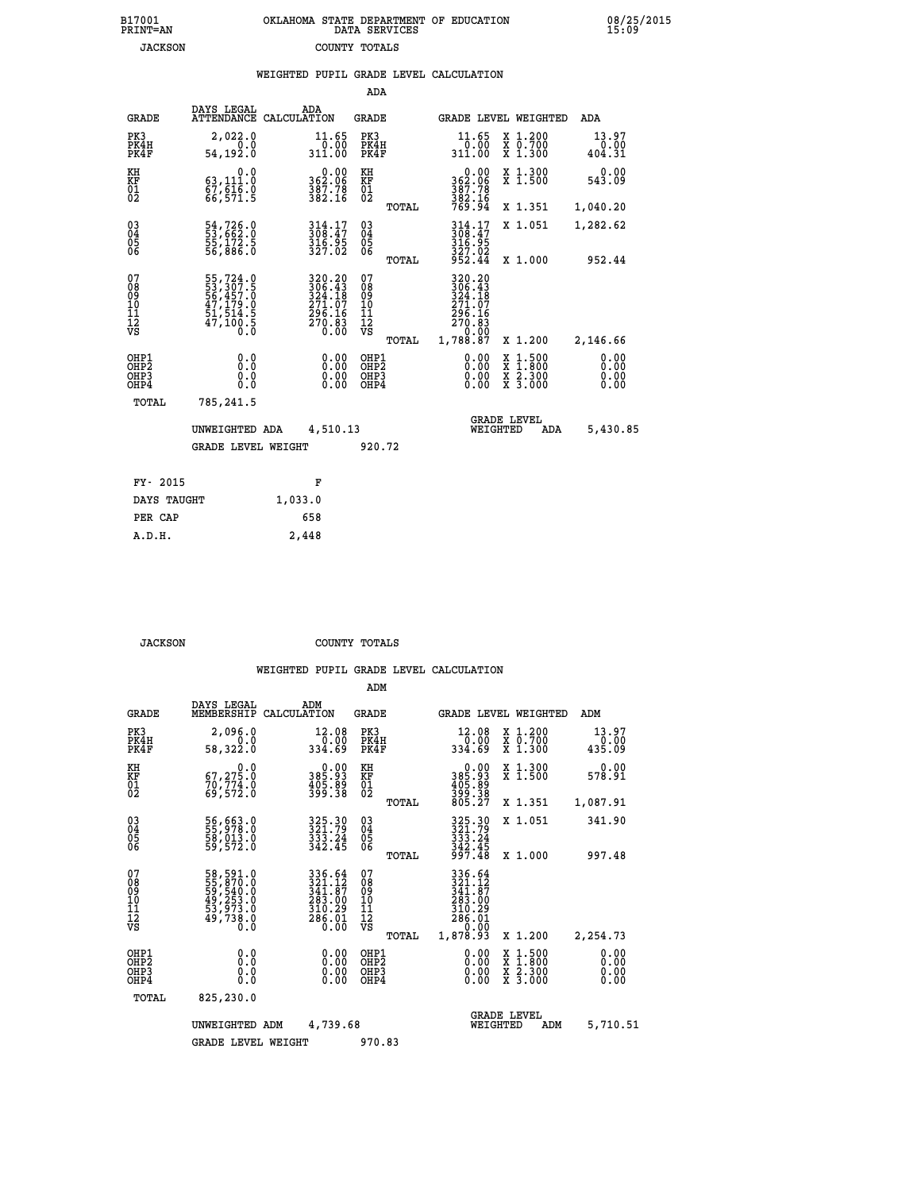| 7001<br>INT=AN |  | OKLAHOMA STATE DEPARTMENT OF EDUCATION<br>DATA SERVICES |  |
|----------------|--|---------------------------------------------------------|--|
| JACKSON        |  | COUNTY TOTALS                                           |  |

08/25/2015<br>15:09

|                                                              |                                                                                  |         |                                                                                                    |                                        |       | WEIGHTED PUPIL GRADE LEVEL CALCULATION                                                                                                                                                                                                                                         |                                                                                                                                           |                              |
|--------------------------------------------------------------|----------------------------------------------------------------------------------|---------|----------------------------------------------------------------------------------------------------|----------------------------------------|-------|--------------------------------------------------------------------------------------------------------------------------------------------------------------------------------------------------------------------------------------------------------------------------------|-------------------------------------------------------------------------------------------------------------------------------------------|------------------------------|
|                                                              |                                                                                  |         |                                                                                                    | ADA                                    |       |                                                                                                                                                                                                                                                                                |                                                                                                                                           |                              |
| <b>GRADE</b>                                                 | DAYS LEGAL<br>ATTENDANCE CALCULATION                                             | ADA     |                                                                                                    | <b>GRADE</b>                           |       |                                                                                                                                                                                                                                                                                | GRADE LEVEL WEIGHTED                                                                                                                      | ADA                          |
| PK3<br>PK4H<br>PK4F                                          | 2,022.0<br>0.0<br>54,192.0                                                       |         | 11.65<br>0.00<br>311.00                                                                            | PK3<br>PK4H<br>PK4F                    |       | 11.65<br>00.07<br>311.00                                                                                                                                                                                                                                                       | X 1.200<br>X 0.700<br>X 1.300                                                                                                             | 13.97<br>0.00<br>404.31      |
| KH<br>KF<br>01<br>02                                         | 0.0<br>63, 111.0<br>$\frac{67}{66}, \frac{616}{571}$ $\frac{8}{5}$               |         | 0.00<br>362.06<br>$\frac{387.78}{382.16}$                                                          | KH<br>KF<br>01<br>02                   |       | $0.00$<br>362.06<br>387.78<br>382.16<br>769.94                                                                                                                                                                                                                                 | X 1.300<br>X 1.500                                                                                                                        | 0.00<br>543.09               |
|                                                              |                                                                                  |         |                                                                                                    |                                        | TOTAL |                                                                                                                                                                                                                                                                                | X 1.351                                                                                                                                   | 1,040.20                     |
| $\begin{smallmatrix} 03 \\[-4pt] 04 \end{smallmatrix}$<br>05 | 54,726.0<br>53,662.0<br>55,172.5<br>56,886.0                                     |         | 314.17<br>308.47<br>316.95<br>327.02                                                               | $\substack{03 \\ 04}$<br>05            |       | 314.17<br>308.47<br>316.95                                                                                                                                                                                                                                                     | X 1.051                                                                                                                                   | 1,282.62                     |
| 06                                                           |                                                                                  |         |                                                                                                    | 06                                     | TOTAL | 327.02<br>952.44                                                                                                                                                                                                                                                               | X 1.000                                                                                                                                   | 952.44                       |
| 07<br>Ŏ8<br>09<br>10<br>īĭ<br>12<br>νs                       | 55,724.0<br>53,307.5<br>56,457.0<br>56,457.0<br>47,179.0<br>51,514.5<br>47,100.5 |         | $\begin{smallmatrix} 320.20\\ 306.43\\ 324.18\\ 271.07\\ 296.16\\ 270.83\\ 0.00 \end{smallmatrix}$ | 07<br>08<br>09<br>10<br>11<br>12<br>VS | TOTAL | 320.20<br>306.43<br>324.18<br>271.07<br>296.16<br>270.83<br>0.00<br>1,788.87                                                                                                                                                                                                   | X 1.200                                                                                                                                   | 2,146.66                     |
| OHP1<br>OHP2<br>OHP3<br>OHP4                                 | 0.0<br>0.0<br>0.0                                                                |         | $\begin{smallmatrix} 0.00 \ 0.00 \ 0.00 \ 0.00 \end{smallmatrix}$                                  | OHP1<br>OHP2<br>OHP3<br>OHP4           |       | $\begin{smallmatrix} 0.00 & 0.00 & 0.00 & 0.00 & 0.00 & 0.00 & 0.00 & 0.00 & 0.00 & 0.00 & 0.00 & 0.00 & 0.00 & 0.00 & 0.00 & 0.00 & 0.00 & 0.00 & 0.00 & 0.00 & 0.00 & 0.00 & 0.00 & 0.00 & 0.00 & 0.00 & 0.00 & 0.00 & 0.00 & 0.00 & 0.00 & 0.00 & 0.00 & 0.00 & 0.00 & 0.0$ | $\begin{smallmatrix} \mathtt{X} & 1\cdot500\\ \mathtt{X} & 1\cdot800\\ \mathtt{X} & 2\cdot300\\ \mathtt{X} & 3\cdot000 \end{smallmatrix}$ | 0.00<br>0.00<br>0.00<br>0.00 |
| TOTAL                                                        | 785,241.5                                                                        |         |                                                                                                    |                                        |       |                                                                                                                                                                                                                                                                                |                                                                                                                                           |                              |
|                                                              | UNWEIGHTED ADA                                                                   |         | 4,510.13                                                                                           |                                        |       | WEIGHTED                                                                                                                                                                                                                                                                       | <b>GRADE LEVEL</b><br>ADA                                                                                                                 | 5,430.85                     |
|                                                              | <b>GRADE LEVEL WEIGHT</b>                                                        |         |                                                                                                    | 920.72                                 |       |                                                                                                                                                                                                                                                                                |                                                                                                                                           |                              |
| FY- 2015                                                     |                                                                                  |         | F                                                                                                  |                                        |       |                                                                                                                                                                                                                                                                                |                                                                                                                                           |                              |
| DAYS TAUGHT                                                  |                                                                                  | 1,033.0 |                                                                                                    |                                        |       |                                                                                                                                                                                                                                                                                |                                                                                                                                           |                              |
| PER CAP                                                      |                                                                                  | 658     |                                                                                                    |                                        |       |                                                                                                                                                                                                                                                                                |                                                                                                                                           |                              |

 **JACKSON COUNTY TOTALS**

 **A.D.H. 2,448**

**B17001<br>PRINT=AN** 

|                                          |                                                                      |                    |                                                                         | ADM                                                 |       |                                                                                                                                                                                                                                   |                                |                                          |                              |  |
|------------------------------------------|----------------------------------------------------------------------|--------------------|-------------------------------------------------------------------------|-----------------------------------------------------|-------|-----------------------------------------------------------------------------------------------------------------------------------------------------------------------------------------------------------------------------------|--------------------------------|------------------------------------------|------------------------------|--|
| <b>GRADE</b>                             | DAYS LEGAL<br>MEMBERSHIP                                             | ADM<br>CALCULATION |                                                                         | <b>GRADE</b>                                        |       |                                                                                                                                                                                                                                   |                                | <b>GRADE LEVEL WEIGHTED</b>              | ADM                          |  |
| PK3<br>PK4H<br>PK4F                      | 2,096.0<br>0.0<br>58,322.0                                           |                    | 12.08<br>00.0 <sup>1</sup><br>89.88                                     | PK3<br>PK4H<br>PK4F                                 |       | 12.08<br>334.69                                                                                                                                                                                                                   | 0.00                           | X 1.200<br>X 0.700<br>X 1.300            | 13.97<br>0.00<br>435.09      |  |
| KH<br>KF<br>01<br>02                     | 0.0<br>67,275.0<br>70,774.0<br>69,572.0                              |                    | $\begin{smallmatrix} 0.00\\ 385.93\\ 405.89\\ 399.38 \end{smallmatrix}$ | KH<br>KF<br>01<br>02                                |       | $\begin{smallmatrix} &0.00\\ 385.93\\ 405.89\\ 399.38\\ 805.27 \end{smallmatrix}$                                                                                                                                                 |                                | X 1.300<br>X 1.500                       | 0.00<br>578.91               |  |
|                                          |                                                                      |                    |                                                                         |                                                     | TOTAL |                                                                                                                                                                                                                                   |                                | X 1.351                                  | 1,087.91                     |  |
| 03<br>04<br>05<br>06                     | 56,663.0<br>55,978.0<br>58,013.0<br>59,572.0                         |                    | 325.30<br>321.79<br>333.24<br>342.45                                    | $\begin{array}{c} 03 \\ 04 \\ 05 \\ 06 \end{array}$ |       | 325.30<br>321.79<br>$\begin{array}{c} 3\overline{3}\overline{3}\overline{3}\cdot 2\overline{4} \\ 3\overline{4}\overline{2}\cdot \overline{4}\overline{5} \\ 9\overline{9}\overline{7}\cdot \overline{4}\overline{8} \end{array}$ |                                | X 1.051                                  | 341.90                       |  |
|                                          |                                                                      |                    |                                                                         |                                                     | TOTAL |                                                                                                                                                                                                                                   |                                | X 1.000                                  | 997.48                       |  |
| 07<br>08<br>09<br>101<br>112<br>VS       | 58,591.0<br>55,870.0<br>59,540.0<br>49,253.0<br>53,973.0<br>49,738.0 |                    | 336.64<br>321.12<br>341.87<br>283.00<br>$\frac{310.29}{286.01}$         | 07<br>08<br>09<br>11<br>11<br>12<br>VS              | TOTAL | 336.64<br>321.12<br>341.87<br>283.00<br>310.29<br>286.01<br>0.00<br>1,878.93                                                                                                                                                      |                                | X 1.200                                  | 2,254.73                     |  |
| OHP1<br>OHP2<br>OH <sub>P3</sub><br>OHP4 | 0.0<br>0.000                                                         |                    | $0.00$<br>$0.00$<br>0.00                                                | OHP1<br>OHP2<br>OHP3<br>OHP4                        |       |                                                                                                                                                                                                                                   | $0.00$<br>$0.00$<br>0.00       | X 1:500<br>X 1:800<br>X 2:300<br>X 3:000 | 0.00<br>0.00<br>0.00<br>0.00 |  |
| TOTAL                                    | 825,230.0                                                            |                    |                                                                         |                                                     |       |                                                                                                                                                                                                                                   |                                |                                          |                              |  |
|                                          | UNWEIGHTED                                                           | ADM                | 4,739.68                                                                |                                                     |       |                                                                                                                                                                                                                                   | <b>GRADE LEVEL</b><br>WEIGHTED | ADM                                      | 5,710.51                     |  |
|                                          | <b>GRADE LEVEL WEIGHT</b>                                            |                    |                                                                         | 970.83                                              |       |                                                                                                                                                                                                                                   |                                |                                          |                              |  |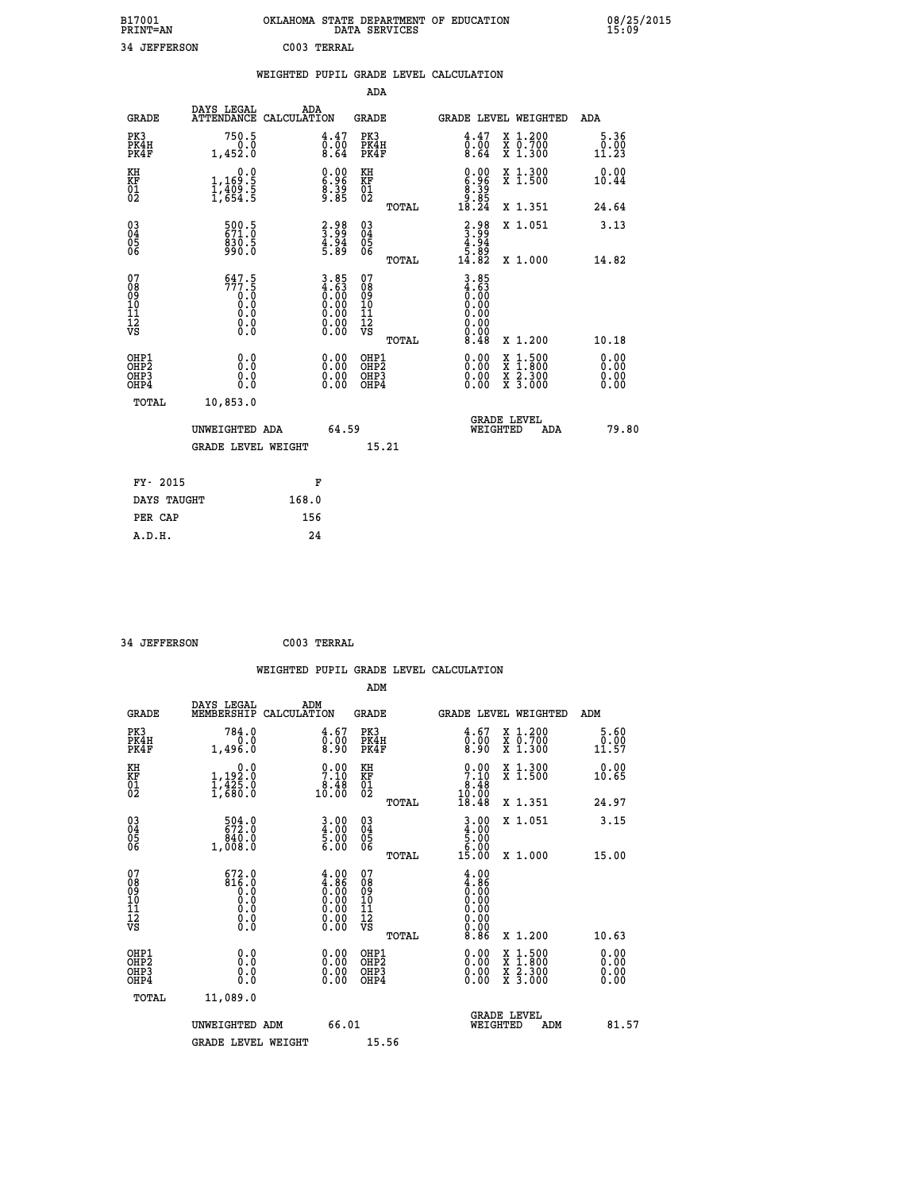| B17001<br><b>PRINT=AN</b> | OKLAHOMA STATE DEPARTMENT OF EDUCATION<br>DATA SERVICES |  |
|---------------------------|---------------------------------------------------------|--|
| 34 JEFFERSON              | C003 TERRAL                                             |  |

 **B17001<br>PRINT=AN** 

 **A.D.H. 24**

 **B17001 OKLAHOMA STATE DEPARTMENT OF EDUCATION 08/25/2015**

|                                                    |                                                                                   | WEIGHTED PUPIL GRADE LEVEL CALCULATION |                                                                              |                                        |       |                                                                           |                                          |                              |
|----------------------------------------------------|-----------------------------------------------------------------------------------|----------------------------------------|------------------------------------------------------------------------------|----------------------------------------|-------|---------------------------------------------------------------------------|------------------------------------------|------------------------------|
|                                                    |                                                                                   |                                        |                                                                              | ADA                                    |       |                                                                           |                                          |                              |
| <b>GRADE</b>                                       | DAYS LEGAL<br>ATTENDANCE CALCULATION                                              | ADA                                    |                                                                              | <b>GRADE</b>                           |       |                                                                           | GRADE LEVEL WEIGHTED                     | ADA                          |
| PK3<br>PK4H<br>PK4F                                | 750.5<br>0.0<br>1,452.0                                                           |                                        | $\begin{smallmatrix} 4.47\ 0.00\ 8.64 \end{smallmatrix}$                     | PK3<br>PK4H<br>PK4F                    |       | $\begin{smallmatrix} 4.47\ 0.00\ 8.64 \end{smallmatrix}$                  | X 1.200<br>X 0.700<br>X 1.300            | 5.36<br>0.00<br>11.23        |
| KH<br>KF<br>01<br>02                               | 0.0<br>$\frac{1}{1}, \frac{169}{409}$ .<br>1,409.5<br>1,654.5                     |                                        | $\begin{smallmatrix} 0.00\ 6.96\ 8.39\ 8.85 \end{smallmatrix}$               | KH<br>KF<br>01<br>02                   |       | $\begin{smallmatrix} 0.00\\ 6.96\\ 8.39\\ 9.89\\ 18.24 \end{smallmatrix}$ | X 1.300<br>X 1.500                       | 0.00<br>10.44                |
|                                                    |                                                                                   |                                        |                                                                              |                                        | TOTAL |                                                                           | X 1.351                                  | 24.64                        |
| $\begin{matrix} 03 \\ 04 \\ 05 \\ 06 \end{matrix}$ | 599.5<br>$830.5$<br>990.0                                                         |                                        | $\begin{smallmatrix} 2.98\\ 3.99\\ 4.94\\ 5.89 \end{smallmatrix}$            | $^{03}_{04}$<br>Ŏ5<br>06               |       | $\begin{smallmatrix} 2.98\\ 3.99\\ 4.94\\ 5.89\\ 14.82 \end{smallmatrix}$ | X 1.051                                  | 3.13                         |
|                                                    |                                                                                   |                                        |                                                                              |                                        | TOTAL |                                                                           | X 1.000                                  | 14.82                        |
| 07<br>089<br>090<br>1112<br>VS                     | $\begin{smallmatrix} 647.5\\777.5\\0.0\\0.0\\0.0\\0.0\\0.0\\0.0\end{smallmatrix}$ |                                        | $3.85$<br>$4.63$<br>$0.00$<br>$0.00$<br>$0.00$<br>$0.00$<br>$0.00$<br>$0.00$ | 07<br>08<br>09<br>11<br>11<br>12<br>VS | TOTAL | $3.85$<br>$4.63$<br>$0.00$<br>$0.00$<br>0.00<br>0.00<br>8.48              | X 1.200                                  | 10.18                        |
| OHP1<br>OHP2<br>OH <sub>P3</sub><br>OHP4           | 0.0<br>0.0<br>0.0                                                                 |                                        | $\begin{smallmatrix} 0.00 \ 0.00 \ 0.00 \ 0.00 \end{smallmatrix}$            | OHP1<br>OHP2<br>OHP3<br>OHP4           |       |                                                                           | X 1:500<br>X 1:800<br>X 2:300<br>X 3:000 | 0.00<br>0.00<br>0.00<br>0.00 |
| TOTAL                                              | 10,853.0                                                                          |                                        |                                                                              |                                        |       |                                                                           |                                          |                              |
|                                                    | UNWEIGHTED ADA                                                                    |                                        | 64.59                                                                        |                                        |       | WEIGHTED                                                                  | <b>GRADE LEVEL</b><br>ADA                | 79.80                        |
|                                                    | <b>GRADE LEVEL WEIGHT</b>                                                         |                                        |                                                                              | 15.21                                  |       |                                                                           |                                          |                              |
| FY- 2015                                           |                                                                                   | F                                      |                                                                              |                                        |       |                                                                           |                                          |                              |
| DAYS TAUGHT                                        |                                                                                   | 168.0                                  |                                                                              |                                        |       |                                                                           |                                          |                              |
| PER CAP                                            |                                                                                   | 156                                    |                                                                              |                                        |       |                                                                           |                                          |                              |

| 34 JEFFERSON                                       |                                                                                                     | C003 TERRAL                                                                                   |                                         |       |                                                                        |                                                                                                                                           |                              |
|----------------------------------------------------|-----------------------------------------------------------------------------------------------------|-----------------------------------------------------------------------------------------------|-----------------------------------------|-------|------------------------------------------------------------------------|-------------------------------------------------------------------------------------------------------------------------------------------|------------------------------|
|                                                    |                                                                                                     |                                                                                               |                                         |       | WEIGHTED PUPIL GRADE LEVEL CALCULATION                                 |                                                                                                                                           |                              |
|                                                    |                                                                                                     |                                                                                               | ADM                                     |       |                                                                        |                                                                                                                                           |                              |
| <b>GRADE</b>                                       | DAYS LEGAL<br>MEMBERSHIP CALCULATION                                                                | ADM                                                                                           | GRADE                                   |       |                                                                        | GRADE LEVEL WEIGHTED                                                                                                                      | ADM                          |
| PK3<br>PK4H<br>PK4F                                | 784.0<br>0.0<br>1,496.0                                                                             | 4.67<br>0.00<br>8.90                                                                          | PK3<br>PK4H<br>PK4F                     |       | 4.67<br>≬.≬0<br>8.90                                                   | X 1.200<br>X 0.700<br>X 1.300                                                                                                             | 5.60<br>0.00<br>11.57        |
| KH<br>KF<br>01<br>02                               | 0.0<br>$1,192.0$<br>$1,425.0$<br>$1,680.0$                                                          | $\begin{smallmatrix}0.00\\7.10\\8.48\\10.00\end{smallmatrix}$                                 | KH<br><b>KF</b><br>01<br>02             |       | $\begin{smallmatrix} 0.00\\7.10\\8.48\\10.00\\18.48 \end{smallmatrix}$ | X 1.300<br>X 1.500                                                                                                                        | 0.00<br>10.65                |
|                                                    |                                                                                                     |                                                                                               |                                         | TOTAL |                                                                        | X 1.351                                                                                                                                   | 24.97                        |
| $\begin{matrix} 03 \\ 04 \\ 05 \\ 06 \end{matrix}$ | 504.0<br>840.0<br>1,008.0                                                                           | $\begin{smallmatrix} 3 & 0 & 0 \\ 4 & 0 & 0 \\ 5 & 0 & 0 \\ 6 & 0 & 0 \end{smallmatrix}$      | 03<br>04<br>05<br>06                    |       | $3.00$<br>$5.00$<br>$5.00$<br>$6.00$                                   | X 1.051                                                                                                                                   | 3.15                         |
|                                                    |                                                                                                     |                                                                                               |                                         | TOTAL | 15.00                                                                  | X 1.000                                                                                                                                   | 15.00                        |
| 07<br>08<br>09<br>10<br>11<br>11<br>12<br>VS       | $672.0$<br>$816.0$<br>$\begin{smallmatrix} 0.1 & 0 \ 0.0 & 0 \ 0.0 & 0 \ 0.0 & 0 \end{smallmatrix}$ | $\begin{smallmatrix} 4.00\ 4.86\ 0.00\ 0.00\ 0.00\ 0.00\ 0.00\ 0.00\ 0.00\ \end{smallmatrix}$ | 07<br>08<br>09<br>101<br>11<br>12<br>VS | TOTAL | 4.00<br>$\begin{matrix} 1.86 \\ 0.00 \end{matrix}$                     | X 1.200                                                                                                                                   | 10.63                        |
| OHP1<br>OHP2<br>OH <sub>P3</sub><br>OHP4           | 0.0<br>0.0<br>0.0                                                                                   | 0.00<br>0.00<br>0.00                                                                          | OHP1<br>OHP2<br>OHP <sub>3</sub>        |       | 0.00<br>0.00<br>0.00                                                   | $\begin{smallmatrix} \mathtt{X} & 1\cdot500\\ \mathtt{X} & 1\cdot800\\ \mathtt{X} & 2\cdot300\\ \mathtt{X} & 3\cdot000 \end{smallmatrix}$ | 0.00<br>0.00<br>0.00<br>0.00 |
| TOTAL                                              | 11,089.0                                                                                            |                                                                                               |                                         |       |                                                                        |                                                                                                                                           |                              |
|                                                    | UNWEIGHTED ADM<br><b>GRADE LEVEL WEIGHT</b>                                                         | 66.01                                                                                         | 15.56                                   |       | WEIGHTED                                                               | <b>GRADE LEVEL</b><br>ADM                                                                                                                 | 81.57                        |
|                                                    |                                                                                                     |                                                                                               |                                         |       |                                                                        |                                                                                                                                           |                              |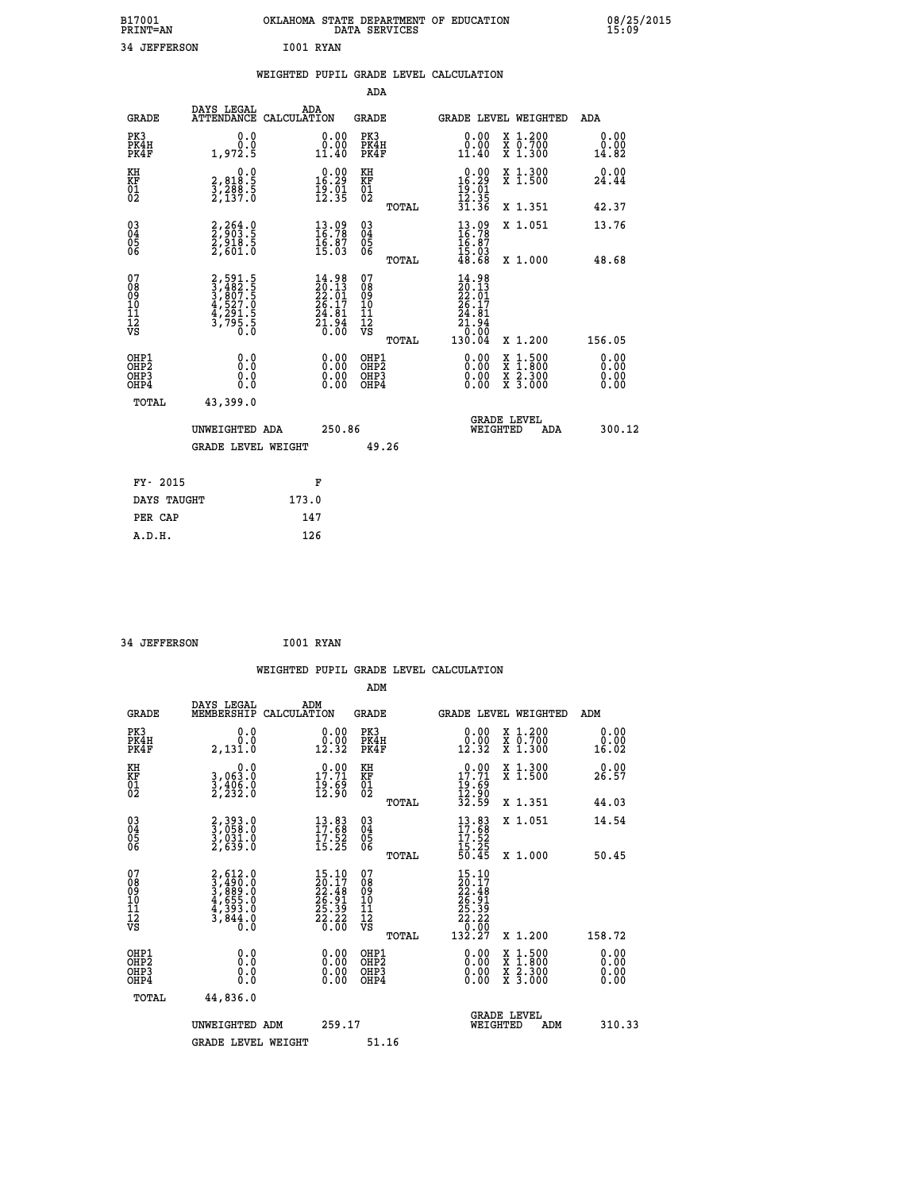| B17001<br><b>PRINT=AN</b> | OKLAHOMA STATE DEPARTMENT OF EDUCATION<br>DATA SERVICES | 08/25/2015<br>15:09 |
|---------------------------|---------------------------------------------------------|---------------------|
| 34 JEFFERSON              | I001 RYAN                                               |                     |

|                                                                   |                                                                |                                                                                              | ADA                                                 |       |                                                                                               |                                          |                              |
|-------------------------------------------------------------------|----------------------------------------------------------------|----------------------------------------------------------------------------------------------|-----------------------------------------------------|-------|-----------------------------------------------------------------------------------------------|------------------------------------------|------------------------------|
| <b>GRADE</b>                                                      | DAYS LEGAL<br>ATTENDANCE CALCULATION                           | ADA                                                                                          | <b>GRADE</b>                                        |       |                                                                                               | <b>GRADE LEVEL WEIGHTED</b>              | ADA                          |
| PK3<br>PK4H<br>PK4F                                               | 0.0<br>0.0<br>1,972.5                                          | $\begin{smallmatrix} 0.00\\ 0.00\\ 11.40 \end{smallmatrix}$                                  | PK3<br>PK4H<br>PK4F                                 |       | 0.00<br>$\begin{smallmatrix}0.00\\ 0.00\\ 11.40\end{smallmatrix}$                             | X 1.200<br>X 0.700<br>X 1.300            | 0.00<br>0.00<br>14.82        |
| KH<br><b>KF</b><br>01<br>02                                       | 0.0<br>2,818:5<br>3,288:5<br>2,137:0                           | $0.00$<br>16.29<br>$\frac{19}{12}$ $\frac{51}{35}$                                           | KH<br>KF<br>01<br>02                                |       | $\begin{array}{r} 0.00 \\ 16.29 \\ 19.01 \\ 12.35 \\ 31.36 \end{array}$                       | X 1.300<br>X 1.500                       | 0.00<br>24.44                |
|                                                                   |                                                                |                                                                                              |                                                     | TOTAL |                                                                                               | X 1.351                                  | 42.37                        |
| $^{03}_{04}$<br>Ŏ5<br>06                                          | 2,264.0<br>2,903.5<br>2,918.5<br>2,601.0                       | $\begin{smallmatrix} 13.09\\ 16.78\\ 16.87\\ 15.03 \end{smallmatrix}$                        | $\begin{array}{c} 03 \\ 04 \\ 05 \\ 06 \end{array}$ | TOTAL | $\frac{13.09}{16.78}$<br>$\frac{16.87}{15.03}$<br>48.68                                       | X 1.051<br>X 1.000                       | 13.76<br>48.68               |
| 07<br>08901112<br>1112<br>VS                                      | 2,591.5<br>3,482.5<br>3,807.5<br>3,527.0<br>4,291.5<br>3,795.5 | $\begin{smallmatrix} 14.98\\20.13\\22.01\\26.17\\26.17\\24.81\\21.94\\0.00\end{smallmatrix}$ | 07<br>08<br>09<br>11<br>11<br>12<br>VS              |       | $\begin{array}{l} 14.98 \\ 20.13 \\ 22.01 \\ 26.17 \\ 24.81 \\ 21.94 \\ 20.09 \\ \end{array}$ |                                          |                              |
|                                                                   |                                                                |                                                                                              |                                                     | TOTAL | 130.04                                                                                        | X 1.200                                  | 156.05                       |
| OHP1<br>OH <sub>P</sub> 2<br>OH <sub>P3</sub><br>OH <sub>P4</sub> | 0.0<br>0.0<br>0.0                                              | $\begin{smallmatrix} 0.00 \ 0.00 \ 0.00 \ 0.00 \end{smallmatrix}$                            | OHP1<br>OHP <sub>2</sub><br>OHP3<br>OHP4            |       | 0.00<br>0.00<br>0.00                                                                          | X 1:500<br>X 1:800<br>X 2:300<br>X 3:000 | 0.00<br>0.00<br>0.00<br>0.00 |
| TOTAL                                                             | 43,399.0                                                       |                                                                                              |                                                     |       |                                                                                               |                                          |                              |
|                                                                   | UNWEIGHTED ADA                                                 | 250.86                                                                                       |                                                     |       |                                                                                               | GRADE LEVEL<br>WEIGHTED<br>ADA           | 300.12                       |
|                                                                   | <b>GRADE LEVEL WEIGHT</b>                                      |                                                                                              |                                                     | 49.26 |                                                                                               |                                          |                              |
| FY- 2015                                                          |                                                                | F                                                                                            |                                                     |       |                                                                                               |                                          |                              |
| DAYS TAUGHT                                                       |                                                                | 173.0                                                                                        |                                                     |       |                                                                                               |                                          |                              |
| PER CAP                                                           |                                                                | 147                                                                                          |                                                     |       |                                                                                               |                                          |                              |

| 34 JEFFERSON | I001 RYAN |
|--------------|-----------|
|              |           |

|                                                      |                                                                                     |                                                                                                     | WEIGHTED PUPIL GRADE LEVEL CALCULATION        |                                                                                                                                                                |                       |
|------------------------------------------------------|-------------------------------------------------------------------------------------|-----------------------------------------------------------------------------------------------------|-----------------------------------------------|----------------------------------------------------------------------------------------------------------------------------------------------------------------|-----------------------|
|                                                      |                                                                                     |                                                                                                     | ADM                                           |                                                                                                                                                                |                       |
| <b>GRADE</b>                                         | DAYS LEGAL<br>MEMBERSHIP<br>CALCULATION                                             | ADM                                                                                                 | <b>GRADE</b>                                  | <b>GRADE LEVEL WEIGHTED</b>                                                                                                                                    | ADM                   |
| PK3<br>PK4H<br>PK4F                                  | 0.0<br>0.0<br>2,131.0                                                               | $\begin{smallmatrix} 0.00\\ 0.00\\ 12.32 \end{smallmatrix}$                                         | PK3<br>PK4H<br>PK4F                           | 0.00<br>X 1.200<br>X 0.700<br>X 1.300<br>12.32                                                                                                                 | 0.00<br>0.00<br>16.02 |
| KH<br>KF<br>01<br>02                                 | 0.0<br>3,063:0<br>3,406:0<br>2,232:0                                                | $\begin{smallmatrix} 0.00\\ 17.71\\ 19.69\\ 12.90 \end{smallmatrix}$                                | KH<br>KF<br>01<br>02                          | $\begin{smallmatrix} 0.00\\ 17.71\\ 19.69\\ 12.90\\ 32.59 \end{smallmatrix}$<br>X 1.300<br>X 1.500                                                             | 0.00<br>26.57         |
|                                                      |                                                                                     |                                                                                                     | TOTAL                                         | X 1.351                                                                                                                                                        | 44.03                 |
| $\begin{matrix} 03 \\ 04 \\ 05 \\ 06 \end{matrix}$   | 2,393.0<br>3,058.0<br>3,031.0<br>2,639.0                                            | $\begin{smallmatrix} 13.83\ 17.68\ 17.52\ 15.25 \end{smallmatrix}$                                  | 03<br>04<br>05<br>06                          | X 1.051<br>$\begin{smallmatrix} 13.83\ 17.68\ 17.52\ 15.25\ 15.45 \end{smallmatrix}$                                                                           | 14.54                 |
|                                                      |                                                                                     |                                                                                                     | TOTAL                                         | X 1.000                                                                                                                                                        | 50.45                 |
| 07<br>08<br>09<br>01<br>11<br>11<br>12<br>VS         | $2,612.0$<br>$3,490.0$<br>$3,889.0$<br>$4,655.0$<br>$4,393.0$<br>$3,844.0$<br>$0.0$ | $\begin{smallmatrix} 15.10 \\ 20.17 \\ 22.48 \\ 26.91 \\ 25.39 \\ 25.39 \\ 26.60 \end{smallmatrix}$ | 07<br>08<br>09<br>001<br>11<br>11<br>12<br>VS | 15.10<br>$\begin{smallmatrix} 1 & 1 & 1 & 1 \ 2 & 2 & 1 & 4 \ 2 & 6 & 9 & 1 \ 2 & 5 & 3 & 9 \ 2 & 2 & 3 & 2 \ 2 & 2 & 2 & 2 \ 1 & 3 & 2 & 2 \end{smallmatrix}$ |                       |
|                                                      |                                                                                     |                                                                                                     | TOTAL                                         | X 1.200                                                                                                                                                        | 158.72                |
| OHP1<br>OHP2<br>OH <sub>P3</sub><br>OH <sub>P4</sub> | 0.0<br>$\begin{smallmatrix} 0.0 & 0 \ 0.0 & 0 \end{smallmatrix}$                    | 0.00<br>$\begin{smallmatrix} 0.00 \ 0.00 \end{smallmatrix}$                                         | OHP1<br>OHP2<br>OHP3<br>OHP4                  | $0.00$<br>$0.00$<br>$1.500$<br>$1.800$<br>X<br>X<br>$\frac{x}{x}$ $\frac{5:300}{3:000}$<br>0.00                                                                | 0.00<br>0.00<br>0.00  |
| TOTAL                                                | 44,836.0                                                                            |                                                                                                     |                                               |                                                                                                                                                                |                       |
|                                                      | UNWEIGHTED<br>ADM                                                                   | 259.17                                                                                              |                                               | <b>GRADE LEVEL</b><br>WEIGHTED<br>ADM                                                                                                                          | 310.33                |
|                                                      | <b>GRADE LEVEL WEIGHT</b>                                                           |                                                                                                     | 51.16                                         |                                                                                                                                                                |                       |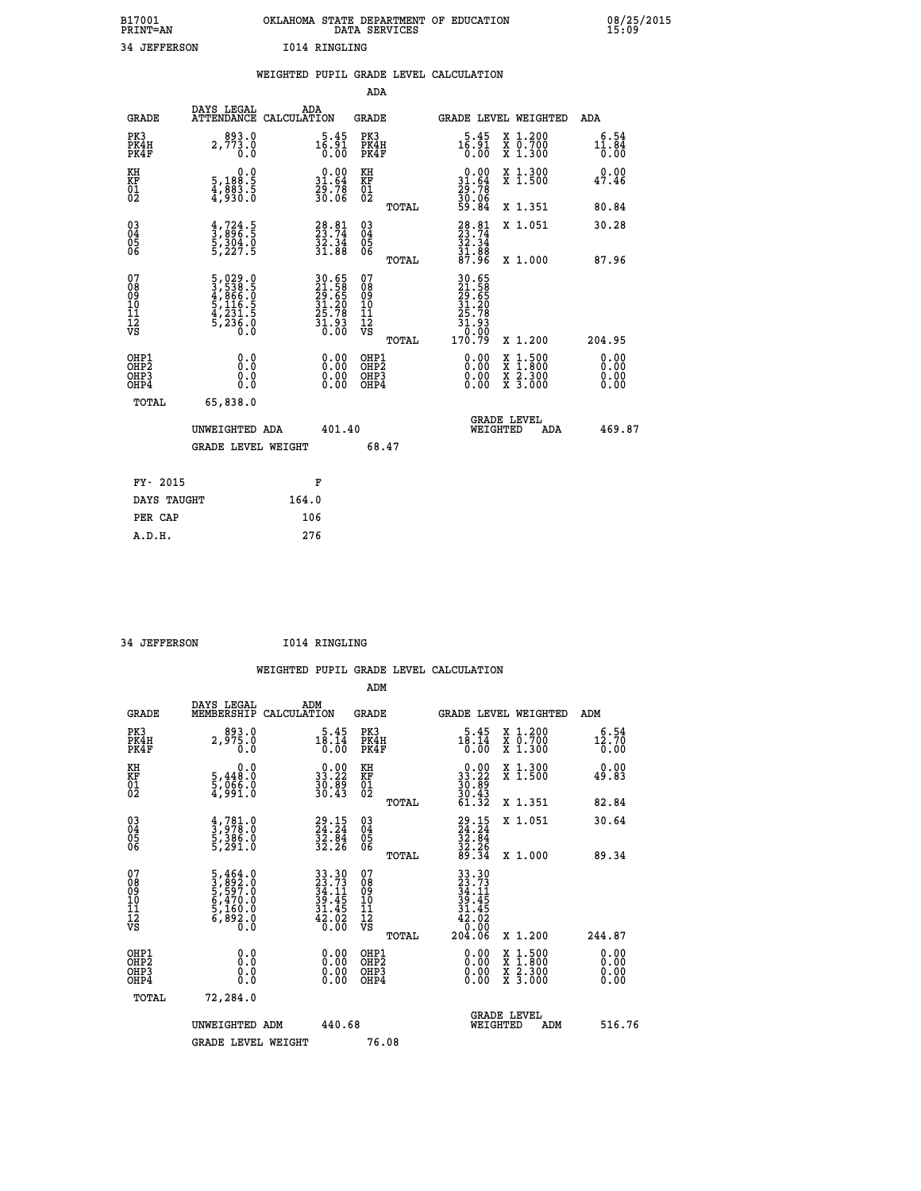| B17001          | OKLAHOMA STATE DEPARTMENT OF EDUCATION |
|-----------------|----------------------------------------|
| <b>PRINT=AN</b> | DATA SERVICES                          |
| 34 JEFFERSON    | 1014 RINGLING                          |

| DAYS LEGAL<br>ADA<br><b>ATTENDANCE</b><br><b>GRADE</b><br>CALCULATION<br>GRADE LEVEL WEIGHTED<br><b>GRADE</b>                                                                                                                                                                                                                              | <b>ADA</b>                   |
|--------------------------------------------------------------------------------------------------------------------------------------------------------------------------------------------------------------------------------------------------------------------------------------------------------------------------------------------|------------------------------|
|                                                                                                                                                                                                                                                                                                                                            |                              |
| 893.0<br>PK3<br>PK3<br>PK4H<br>$1\overline{6}\cdot 9\overline{1}\overline{0}\cdot 0\overline{0}$<br>X 1.200<br>X 0.700<br>X 1.300<br>$1\overline{6}\cdot 9\overline{1}\overline{0}\cdot 0\overline{0}$<br>PK4H<br>2,773.0<br>PK4F<br>PK4F<br>0.0                                                                                           | 6.54<br>$11.84$<br>0.00      |
| $\begin{smallmatrix} 0.00\\ 31.64\\ 29.78\\ 30.06 \end{smallmatrix}$<br>$\begin{smallmatrix} 0.00\\ 31.64\\ 29.78\\ 30.06\\ 59.84 \end{smallmatrix}$<br>X 1.300<br>X 1.500<br>KH<br>0.0<br>KH<br>5,188:5<br>4,883:5<br>4,930:0<br>KF<br>01<br>02<br>KF<br>01<br>02                                                                         | 0.00<br>47.46                |
| X 1.351<br>TOTAL                                                                                                                                                                                                                                                                                                                           | 80.84                        |
| $\begin{smallmatrix} 03 \\[-4pt] 04 \end{smallmatrix}$<br>$28.74$<br>$33.74$<br>$32.34$<br>$31.88$<br>$87.96$<br>$\frac{4}{3}, \frac{724}{896}$ . 5<br>5, 304.0<br>5, 227.5<br>$28.81$<br>23.74<br>$\begin{array}{c} 03 \\ 04 \\ 05 \\ 06 \end{array}$<br>X 1.051<br>Ŏ5<br>06<br>$\frac{55}{31}$ $\cdot \frac{31}{88}$<br>X 1.000<br>TOTAL | 30.28<br>87.96               |
| 07<br>07<br>30.65<br>21.588<br>29.565<br>31.20<br>35.78<br>31.93<br>0.00<br>170.79<br>$\begin{smallmatrix}5,029.0\\3,538.5\\4,866.0\\5,116.5\\5,231.5\\5,236.0\\0.0\end{smallmatrix}$<br>30.65<br>21.58<br>29.65<br>31.20<br>31.78<br>31.93<br>0.00<br>08<br>09<br>11<br>11<br>12<br>VS<br>08<br>09<br>11<br>11<br>12<br>VS                |                              |
| X 1.200<br>TOTAL                                                                                                                                                                                                                                                                                                                           | 204.95                       |
| OHP1<br>OHP1<br>0.00<br>$1:500$<br>1:800<br>0.0<br>0.00<br>X<br>OHP <sub>2</sub><br>OH <sub>P</sub> 2<br>$\begin{smallmatrix} 0.00 \ 0.00 \end{smallmatrix}$<br>0.00<br>$\frac{x}{x}$ $\frac{5:300}{3:000}$<br>0.0<br>OHP3<br>OHP3<br>0.0<br>OHP4<br>OHP4<br>0.00                                                                          | 0.00<br>0.00<br>0.00<br>0.00 |
| TOTAL<br>65,838.0                                                                                                                                                                                                                                                                                                                          |                              |
| <b>GRADE LEVEL</b><br>WEIGHTED<br>401.40<br>UNWEIGHTED ADA<br>ADA                                                                                                                                                                                                                                                                          | 469.87                       |
| <b>GRADE LEVEL WEIGHT</b><br>68.47                                                                                                                                                                                                                                                                                                         |                              |
| FY- 2015<br>F                                                                                                                                                                                                                                                                                                                              |                              |
| DAYS TAUGHT<br>164.0                                                                                                                                                                                                                                                                                                                       |                              |
| PER CAP<br>106                                                                                                                                                                                                                                                                                                                             |                              |

 **34 JEFFERSON I014 RINGLING**

 **A.D.H. 276**

 **ADM**

| <b>GRADE</b>                                       | DAYS LEGAL<br>MEMBERSHIP CALCULATION                                                             | ADM                                                                                       | <b>GRADE</b>                                        |                                                                                                                                                                                                                                                                                | GRADE LEVEL WEIGHTED                     | ADM                   |
|----------------------------------------------------|--------------------------------------------------------------------------------------------------|-------------------------------------------------------------------------------------------|-----------------------------------------------------|--------------------------------------------------------------------------------------------------------------------------------------------------------------------------------------------------------------------------------------------------------------------------------|------------------------------------------|-----------------------|
| PK3<br>PK4H<br>PK4F                                | 893.0<br>2,975.0<br>0.0                                                                          | 5.45<br>18.14<br>0.00                                                                     | PK3<br>PK4H<br>PK4F                                 | 5.45<br>18.14<br>0.00                                                                                                                                                                                                                                                          | X 1.200<br>X 0.700<br>X 1.300            | 6.54<br>12.70<br>0.00 |
| KH<br>KF<br>01<br>02                               | 0.0<br>5,448:0<br>5,066:0<br>4,991:0                                                             | $\begin{smallmatrix} 0.00\\ 33.22\\ 30.89\\ 30.43\\ \end{smallmatrix}$                    | KH<br>KF<br>01<br>02                                | $\begin{smallmatrix} 0.00\\ 33.22\\ 30.89\\ 30.43\\ 43.32 \end{smallmatrix}$                                                                                                                                                                                                   | X 1.300<br>X 1.500                       | 0.00<br>49.83         |
|                                                    |                                                                                                  |                                                                                           | TOTAL                                               |                                                                                                                                                                                                                                                                                | X 1.351                                  | 82.84                 |
| $\begin{matrix} 03 \\ 04 \\ 05 \\ 06 \end{matrix}$ | $\begin{smallmatrix} 4 & 781 & 0 \\ 3 & 978 & 0 \\ 5 & 386 & 0 \\ 5 & 291 & 0 \end{smallmatrix}$ | $29.15$<br>$24.24$<br>$32.84$<br>$32.26$                                                  | $\begin{array}{c} 03 \\ 04 \\ 05 \\ 06 \end{array}$ | $29.15$<br>$24.24$<br>$32.84$<br>$32.26$<br>$39.34$                                                                                                                                                                                                                            | X 1.051                                  | 30.64                 |
|                                                    |                                                                                                  |                                                                                           | TOTAL                                               |                                                                                                                                                                                                                                                                                | X 1.000                                  | 89.34                 |
| 07<br>08<br>09<br>101<br>11<br>12<br>VS            | 5,464.0<br>3,892.0<br>5,597.0<br>5,470.0<br>5,160.0<br>5,160.0<br>6,892.0                        | $\begin{array}{r} 33.30 \\ 23.73 \\ 34.11 \\ 39.45 \\ 31.45 \\ 42.02 \\ 0.00 \end{array}$ | 078<br>089<br>0011<br>11<br>11<br>12<br>VS<br>TOTAL | $33.30$<br>$23.73$<br>$34.11$<br>$39.45$<br>$31.45$<br>$42.020$<br>$204.06$                                                                                                                                                                                                    | X 1.200                                  | 244.87                |
| OHP1<br>OHP2<br>OHP3<br>OHP4                       | 0.0<br>0.000                                                                                     |                                                                                           | OHP1<br>OHP2<br>OHP3<br>OHP4                        | $\begin{smallmatrix} 0.00 & 0.00 & 0.00 & 0.00 & 0.00 & 0.00 & 0.00 & 0.00 & 0.00 & 0.00 & 0.00 & 0.00 & 0.00 & 0.00 & 0.00 & 0.00 & 0.00 & 0.00 & 0.00 & 0.00 & 0.00 & 0.00 & 0.00 & 0.00 & 0.00 & 0.00 & 0.00 & 0.00 & 0.00 & 0.00 & 0.00 & 0.00 & 0.00 & 0.00 & 0.00 & 0.0$ | X 1:500<br>X 1:800<br>X 2:300<br>X 3:000 | 0.00<br>0.00<br>0.00  |
| TOTAL                                              | 72,284.0                                                                                         |                                                                                           |                                                     |                                                                                                                                                                                                                                                                                |                                          |                       |
|                                                    | UNWEIGHTED<br>ADM                                                                                | 440.68                                                                                    |                                                     | WEIGHTED                                                                                                                                                                                                                                                                       | <b>GRADE LEVEL</b><br>ADM                | 516.76                |
|                                                    | <b>GRADE LEVEL WEIGHT</b>                                                                        |                                                                                           | 76.08                                               |                                                                                                                                                                                                                                                                                |                                          |                       |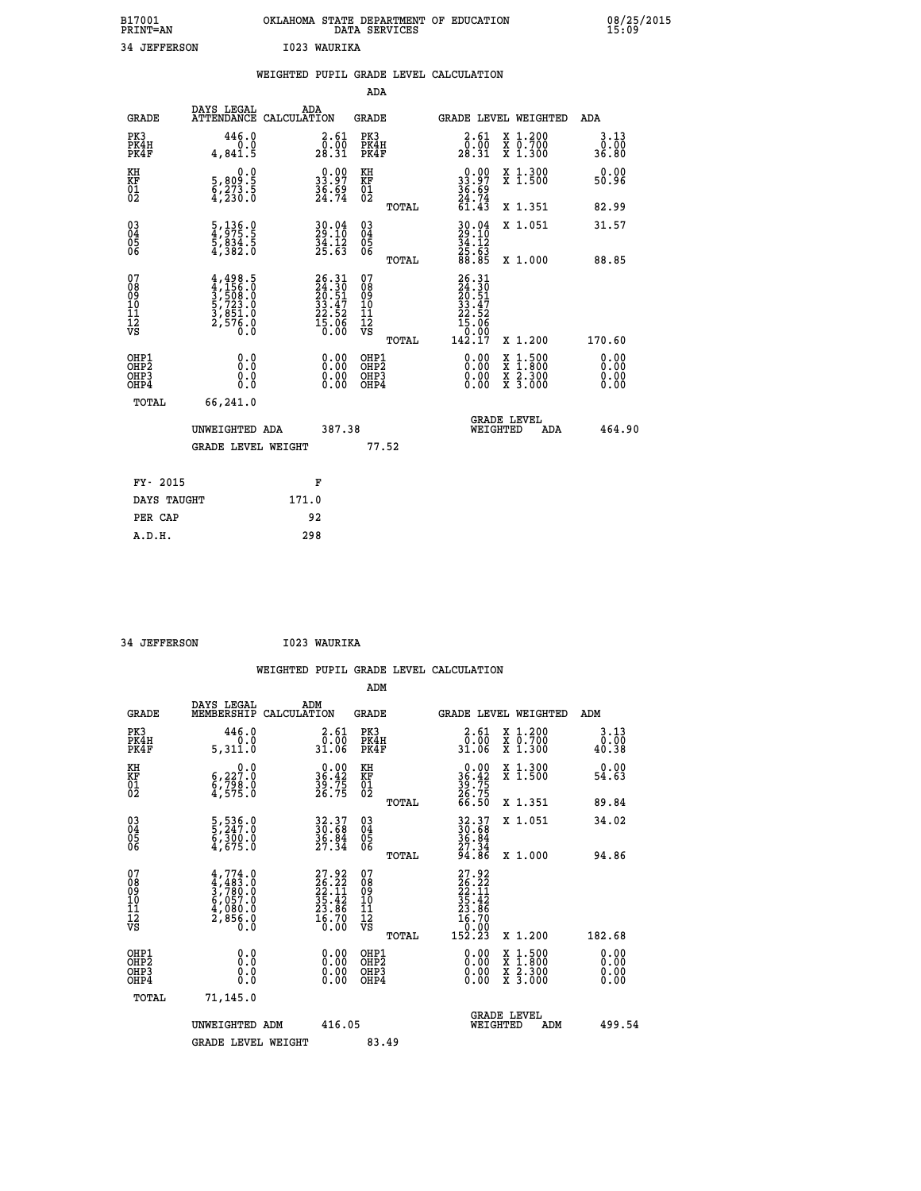| B17001<br><b>PRINT=AN</b> | OKLAHOMA<br>. STATE DEPARTMENT OF EDUCATION<br>DATA SERVICES | 08/25/2015<br>15:09 |
|---------------------------|--------------------------------------------------------------|---------------------|
| 34<br><b>JEFFERSON</b>    | 1023 WAURIKA                                                 |                     |

|                                                    |                                                                        | WEIGHTED PUPIL GRADE LEVEL CALCULATION                                   |                                                 |                                                                                |                                                                                                                                           |                              |
|----------------------------------------------------|------------------------------------------------------------------------|--------------------------------------------------------------------------|-------------------------------------------------|--------------------------------------------------------------------------------|-------------------------------------------------------------------------------------------------------------------------------------------|------------------------------|
|                                                    |                                                                        |                                                                          | ADA                                             |                                                                                |                                                                                                                                           |                              |
| <b>GRADE</b>                                       | DAYS LEGAL                                                             | ADA<br>ATTENDANCE CALCULATION                                            | <b>GRADE</b>                                    | GRADE LEVEL WEIGHTED                                                           |                                                                                                                                           | ADA                          |
| PK3<br>PK4H<br>PK4F                                | 446.0<br>0.0<br>4,841.5                                                | $\begin{smallmatrix} 2.61\0.00\\28.31\end{smallmatrix}$                  | PK3<br>PK4H<br>PK4F                             | 2.61<br>$\frac{\bar{0} \cdot \tilde{0} \bar{0}}{28.31}$                        | X 1.200<br>X 0.700<br>X 1.300                                                                                                             | 3.13<br>0.00<br>36.80        |
| KH<br>KF<br>01<br>02                               | 0.0<br>5,809:5<br>6,273:5<br>4,230:0                                   | $\begin{smallmatrix} 0.00\\ 33.97\\ 36.69\\ 24.74 \end{smallmatrix}$     | KH<br>KF<br>01<br>02                            | $\begin{smallmatrix} 0.00\\ 33.97\\ 36.69\\ 24.74\\ 61.43\\ \end{smallmatrix}$ | X 1.300<br>X 1.500                                                                                                                        | 0.00<br>50.96                |
|                                                    |                                                                        |                                                                          | TOTAL                                           |                                                                                | X 1.351                                                                                                                                   | 82.99                        |
| $\begin{matrix} 03 \\ 04 \\ 05 \\ 06 \end{matrix}$ | 5, 136.0<br>4, 975.5<br>5, 834.5<br>4, 382.0                           | $30.04$<br>$29.10$<br>$34.12$<br>$25.63$                                 | 03<br>04<br>05<br>06                            | $30.04$<br>$34.10$<br>$34.12$<br>$25.63$<br>$88.85$                            | X 1.051                                                                                                                                   | 31.57                        |
|                                                    |                                                                        |                                                                          | TOTAL                                           |                                                                                | X 1.000                                                                                                                                   | 88.85                        |
| 07<br>08901112<br>1112<br>VS                       | $4,498.5$<br>$3,508.0$<br>$5,723.0$<br>$3,851.0$<br>$2,576.0$<br>$0.0$ | $26.31$<br>$24.30$<br>$20.51$<br>$33.47$<br>$22.52$<br>$15.06$<br>$0.00$ | 07<br>08<br>09<br>11<br>11<br>12<br>VS<br>TOTAL | 26.31<br>24.30<br>20.51<br>33.47<br>22.52<br>15.060<br>10.99<br>142.ĭ7         | X 1.200                                                                                                                                   | 170.60                       |
| OHP1<br>OHP2<br>OHP3<br>OHP4                       | 0.0<br>0.0<br>0.0                                                      | $\begin{smallmatrix} 0.00 \ 0.00 \ 0.00 \ 0.00 \end{smallmatrix}$        | OHP1<br>OHP2<br>OHP3<br>OHP4                    |                                                                                | $\begin{smallmatrix} \mathtt{X} & 1\cdot500\\ \mathtt{X} & 1\cdot800\\ \mathtt{X} & 2\cdot300\\ \mathtt{X} & 3\cdot000 \end{smallmatrix}$ | 0.00<br>0.00<br>0.00<br>0.00 |
|                                                    | TOTAL<br>66,241.0                                                      |                                                                          |                                                 |                                                                                |                                                                                                                                           |                              |
|                                                    | UNWEIGHTED ADA                                                         | 387.38                                                                   |                                                 | <b>GRADE LEVEL</b><br>WEIGHTED                                                 | ADA                                                                                                                                       | 464.90                       |
|                                                    | <b>GRADE LEVEL WEIGHT</b>                                              |                                                                          | 77.52                                           |                                                                                |                                                                                                                                           |                              |
|                                                    | FY- 2015                                                               | F                                                                        |                                                 |                                                                                |                                                                                                                                           |                              |
|                                                    | DAYS TAUGHT                                                            | 171.0                                                                    |                                                 |                                                                                |                                                                                                                                           |                              |
|                                                    | PER CAP                                                                | 92                                                                       |                                                 |                                                                                |                                                                                                                                           |                              |

 **34 JEFFERSON I023 WAURIKA**

 **A.D.H. 298**

| <b>GRADE</b>                                       | DAYS LEGAL<br>MEMBERSHIP                                                   | ADM<br>CALCULATION                                                   | <b>GRADE</b>                                       |       | <b>GRADE LEVEL WEIGHTED</b>                                                               |                                          | ADM                   |  |
|----------------------------------------------------|----------------------------------------------------------------------------|----------------------------------------------------------------------|----------------------------------------------------|-------|-------------------------------------------------------------------------------------------|------------------------------------------|-----------------------|--|
| PK3<br>PK4H<br>PK4F                                | 446.0<br>0.0<br>5,311.0                                                    | $\begin{smallmatrix} 2.61\0.00\\31.06\end{smallmatrix}$              | PK3<br>PK4H<br>PK4F                                |       | $\begin{smallmatrix} 2.61\0.00\\31.06\end{smallmatrix}$                                   | X 1.200<br>X 0.700<br>X 1.300            | 3.13<br>0.00<br>40.38 |  |
| KH<br>KF<br>01<br>02                               | $\begin{smallmatrix} & & 0.0\ 6.227.0\ 8.798.0\ 4.575.0 \end{smallmatrix}$ | $\begin{smallmatrix} 0.00\\ 36.42\\ 39.75\\ 26.75 \end{smallmatrix}$ | KH<br>KF<br>01<br>02                               |       | $36.42$<br>$39.75$<br>$26.75$<br>$66.50$                                                  | X 1.300<br>X 1.500                       | 0.00<br>54.63         |  |
|                                                    |                                                                            |                                                                      |                                                    | TOTAL |                                                                                           | X 1.351                                  | 89.84                 |  |
| $\begin{matrix} 03 \\ 04 \\ 05 \\ 06 \end{matrix}$ | 5,536.0<br>5,247.0<br>6,300.0<br>4,675.0                                   | 32.37<br>30.68<br>36.84<br>27.34                                     | $\begin{matrix} 03 \\ 04 \\ 05 \\ 06 \end{matrix}$ |       | $32.37$<br>$36.84$<br>$36.84$<br>$27.34$<br>$94.86$                                       | X 1.051                                  | 34.02                 |  |
|                                                    |                                                                            |                                                                      |                                                    | TOTAL |                                                                                           | X 1.000                                  | 94.86                 |  |
| 07<br>089<br>090<br>1112<br>VS                     | $4,774.0$<br>$4,483.0$<br>$3,780.0$<br>$6,057.0$<br>$4,080.0$<br>$2,856.0$ | 27.92<br>26.22<br>22.11<br>35.42<br>33.86<br>23.86<br>16.70<br>0.00  | 07<br>08<br>09<br>11<br>11<br>12<br>VS             | TOTAL | $\begin{smallmatrix} 27.92\ 26.22\ 22.11\ 35.42\ 23.86\ 16.700\ 152.23 \end{smallmatrix}$ | X 1.200                                  | 182.68                |  |
| OHP1<br>OHP2<br>OH <sub>P3</sub>                   | 0.0                                                                        |                                                                      | OHP1<br>OHP2<br>OHP3                               |       | 0.00                                                                                      | X 1:500<br>X 1:800<br>X 2:300<br>X 3:000 | 0.00<br>0.00          |  |
| OHP4                                               | 0.000                                                                      |                                                                      | OHP4                                               |       | $0.00$<br>0.00                                                                            |                                          | 0.00                  |  |
| TOTAL                                              | 71,145.0                                                                   |                                                                      |                                                    |       |                                                                                           |                                          |                       |  |
|                                                    | UNWEIGHTED<br>ADM                                                          | 416.05                                                               |                                                    |       | WEIGHTED                                                                                  | <b>GRADE LEVEL</b><br>ADM                | 499.54                |  |
|                                                    | <b>GRADE LEVEL WEIGHT</b>                                                  |                                                                      | 83.49                                              |       |                                                                                           |                                          |                       |  |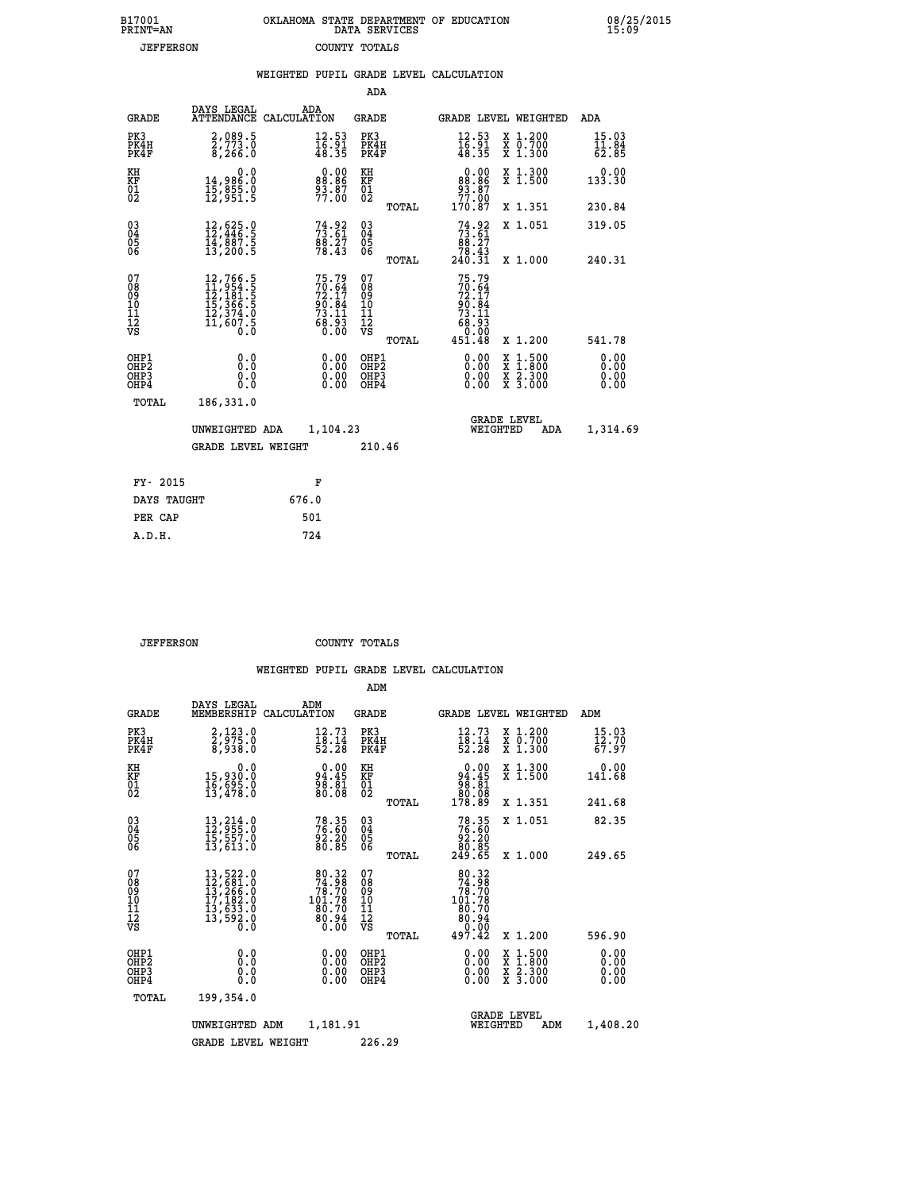| B17001           | OKLAHOMA STATE DEPARTMENT OF EDUCATION |
|------------------|----------------------------------------|
| <b>PRINT=AN</b>  | DATA SERVICES                          |
| <b>JEFFERSON</b> | COUNTY TOTALS                          |

08/25/2015<br>15:09

|                                                                    |                                          |                                                                                                                                                 | WEIGHTED PUPIL GRADE LEVEL CALCULATION                               |                                                    |       |                                                                              |                                                                                                                                                            |                                                         |
|--------------------------------------------------------------------|------------------------------------------|-------------------------------------------------------------------------------------------------------------------------------------------------|----------------------------------------------------------------------|----------------------------------------------------|-------|------------------------------------------------------------------------------|------------------------------------------------------------------------------------------------------------------------------------------------------------|---------------------------------------------------------|
|                                                                    |                                          |                                                                                                                                                 |                                                                      | <b>ADA</b>                                         |       |                                                                              |                                                                                                                                                            |                                                         |
|                                                                    | <b>GRADE</b>                             | DAYS LEGAL<br><b>ATTENDANCE</b>                                                                                                                 | ADA<br>CALCULATION                                                   | GRADE                                              |       |                                                                              | GRADE LEVEL WEIGHTED                                                                                                                                       | ADA                                                     |
| PK3                                                                | PK4H<br>PK4F                             | 2,089.5<br>2,773.0<br>8,266.0                                                                                                                   | $\frac{12.53}{16.91}$<br>48.35                                       | PK3<br>PK4H<br>PK4F                                |       | 12.53<br>$\frac{16.91}{48.35}$                                               | X 1.200<br>X 0.700<br>X 1.300                                                                                                                              | 15.03<br>$\bar{1}\bar{1}\cdot\bar{8}\bar{4}\over 62.85$ |
| KH<br>KF<br>01<br>02                                               |                                          | 0.0<br>14,986:0<br>15,855:0<br>12,951:5                                                                                                         | $\begin{smallmatrix} 0.00\\ 88.86\\ 93.87\\ 77.00 \end{smallmatrix}$ | KH<br>KF<br>01<br>02                               |       | $\begin{array}{c} 0.00 \\ 88.86 \\ 93.87 \\ 77.00 \end{array}$               | X 1.300<br>X 1.500                                                                                                                                         | 0.00<br>133.30                                          |
|                                                                    |                                          |                                                                                                                                                 |                                                                      |                                                    | TOTAL | 170.87                                                                       | X 1.351                                                                                                                                                    | 230.84                                                  |
| $\begin{smallmatrix} 03 \\[-4pt] 04 \end{smallmatrix}$<br>05<br>06 |                                          | $\begin{smallmatrix} 12\,,\,625\cdot0\\ 12\,,\,446\cdot5\\ 14\,,\,887\cdot5\\ 13\,,\,200\cdot5 \end{smallmatrix}$                               | $73.61$<br>$73.61$<br>$88.27$<br>$78.43$                             | $\begin{matrix} 03 \\ 04 \\ 05 \\ 06 \end{matrix}$ |       | $73.61$<br>$73.61$<br>$88.27$<br>$78.43$<br>$240.31$                         | X 1.051                                                                                                                                                    | 319.05                                                  |
|                                                                    |                                          |                                                                                                                                                 |                                                                      |                                                    | TOTAL |                                                                              | X 1.000                                                                                                                                                    | 240.31                                                  |
| 07<br>08<br>09<br>11<br>11<br>12<br>VS                             |                                          | $\begin{smallmatrix} 12,766\cdot 5\\ 11,954\cdot 5\\ 12,181\cdot 5\\ 15,366\cdot 5\\ 12,374\cdot 0\\ 11,607\cdot 5\\ 0\cdot 0\end{smallmatrix}$ | 75.79<br>70.64<br>72.17<br>90.84<br>73.11<br>73.11<br>68.93<br>60.00 | 07<br>08<br>09<br>11<br>11<br>12<br>VS             | TOTAL | 75.79<br>$70.64$<br>$72.17$<br>$90.84$<br>$73.11$<br>153.<br>03.00<br>451.48 | X 1.200                                                                                                                                                    | 541.78                                                  |
|                                                                    | OHP1<br>OHP2<br>OH <sub>P3</sub><br>OHP4 | 0.0<br>0.0<br>Ō.Ō                                                                                                                               | 0.00<br>$\begin{smallmatrix} 0.00 \ 0.00 \end{smallmatrix}$          | OHP1<br>OHP2<br>OHP3<br>OHP4                       |       | 0.00<br>0.00<br>0.00                                                         | $1:500$<br>$1:800$<br>$\begin{smallmatrix} \mathtt{X} & 1 & 500 \\ \mathtt{X} & 1 & 800 \\ \mathtt{X} & 2 & 300 \\ \mathtt{X} & 3 & 000 \end{smallmatrix}$ | 0.00<br>0.00<br>0.00<br>0.00                            |
|                                                                    | TOTAL                                    | 186,331.0                                                                                                                                       |                                                                      |                                                    |       |                                                                              |                                                                                                                                                            |                                                         |
|                                                                    |                                          | UNWEIGHTED ADA                                                                                                                                  | 1,104.23                                                             |                                                    |       | WEIGHTED                                                                     | <b>GRADE LEVEL</b><br>ADA                                                                                                                                  | 1,314.69                                                |
|                                                                    |                                          | <b>GRADE LEVEL WEIGHT</b>                                                                                                                       |                                                                      | 210.46                                             |       |                                                                              |                                                                                                                                                            |                                                         |
|                                                                    | FY- 2015                                 |                                                                                                                                                 | F                                                                    |                                                    |       |                                                                              |                                                                                                                                                            |                                                         |
|                                                                    | DAYS TAUGHT                              |                                                                                                                                                 | 676.0                                                                |                                                    |       |                                                                              |                                                                                                                                                            |                                                         |
|                                                                    | PER CAP                                  |                                                                                                                                                 | 501                                                                  |                                                    |       |                                                                              |                                                                                                                                                            |                                                         |

 **JEFFERSON COUNTY TOTALS**

 **A.D.H. 724**

|                                          |                                                                                                                                                                  |                                                                                                      | ADM                                                 |                                                                                                      |                                          |                              |
|------------------------------------------|------------------------------------------------------------------------------------------------------------------------------------------------------------------|------------------------------------------------------------------------------------------------------|-----------------------------------------------------|------------------------------------------------------------------------------------------------------|------------------------------------------|------------------------------|
| <b>GRADE</b>                             | DAYS LEGAL<br>MEMBERSHIP                                                                                                                                         | ADM<br>CALCULATION                                                                                   | <b>GRADE</b>                                        | <b>GRADE LEVEL WEIGHTED</b>                                                                          |                                          | ADM                          |
| PK3<br>PK4H<br>PK4F                      | 2,123.0<br>2,975.0<br>8,938.0                                                                                                                                    | 12.73<br>$\frac{18.14}{52.28}$                                                                       | PK3<br>PK4H<br>PK4F                                 | 12.73<br>$\frac{18.14}{52.28}$                                                                       | X 1.200<br>X 0.700<br>X 1.300            | 15.03<br>12.70<br>67.97      |
| KH<br>KF<br>01<br>02                     | 0.0<br>15,930.0<br>16,695.0<br>13,478.0                                                                                                                          | 94.45<br>98.81<br>80.08                                                                              | KH<br>KF<br>01<br>02                                | $\begin{smallmatrix} &0.00\,94.45\,98.81\,80.08\,90.08\,178.89\end{smallmatrix}$                     | X 1.300<br>X 1.500                       | 0.00<br>141.68               |
|                                          |                                                                                                                                                                  |                                                                                                      | TOTAL                                               |                                                                                                      | X 1.351                                  | 241.68                       |
| 03<br>04<br>05<br>06                     | 13, 214.0<br>12, 955.0<br>15, 557.0<br>13,613.0                                                                                                                  | 78.35<br>76.60<br>92.20<br>80.85                                                                     | $\begin{array}{c} 03 \\ 04 \\ 05 \\ 06 \end{array}$ | $78.35\n76.60\n92.20\n80.85\n249.65$                                                                 | X 1.051                                  | 82.35                        |
|                                          |                                                                                                                                                                  |                                                                                                      | TOTAL                                               |                                                                                                      | X 1.000                                  | 249.65                       |
| 07<br>08<br>09<br>101<br>112<br>VS       | $\begin{smallmatrix} 13\,,\,522\,.\,0\\ 12\,,\,681\,.\,0\\ 13\,,\,266\,.\,0\\ 17\,,\,182\,.\,0\\ 13\,,\,633\,.\,0\\ 13\,,\,592\,.\,0\\ 0\,.\,0\end{smallmatrix}$ | $\begin{smallmatrix} 80.32 \\ 74.98 \\ 78.70 \\ 101.78 \\ 90.79 \end{smallmatrix}$<br>ěč. Čě<br>0.00 | 07<br>08<br>09<br>11<br>11<br>12<br>VS<br>TOTAL     | $\begin{array}{r} 80.32 \\ 74.98 \\ 78.70 \\ 101.78 \\ 80.70 \\ 80.94 \\ 0.00 \\ 497.42 \end{array}$ | X 1.200                                  | 596.90                       |
| OHP1<br>OHP2<br>OH <sub>P3</sub><br>OHP4 | 0.0<br>0.000                                                                                                                                                     | $0.00$<br>$0.00$<br>0.00                                                                             | OHP1<br>OHP2<br>OHP3<br>OHP4                        | $0.00$<br>$0.00$<br>0.00                                                                             | X 1:500<br>X 1:800<br>X 2:300<br>X 3:000 | 0.00<br>0.00<br>0.00<br>0.00 |
| TOTAL                                    | 199,354.0                                                                                                                                                        |                                                                                                      |                                                     |                                                                                                      |                                          |                              |
|                                          | UNWEIGHTED                                                                                                                                                       | 1,181.91<br>ADM                                                                                      |                                                     | <b>GRADE LEVEL</b><br>WEIGHTED                                                                       | ADM                                      | 1,408.20                     |
|                                          | <b>GRADE LEVEL WEIGHT</b>                                                                                                                                        |                                                                                                      | 226.29                                              |                                                                                                      |                                          |                              |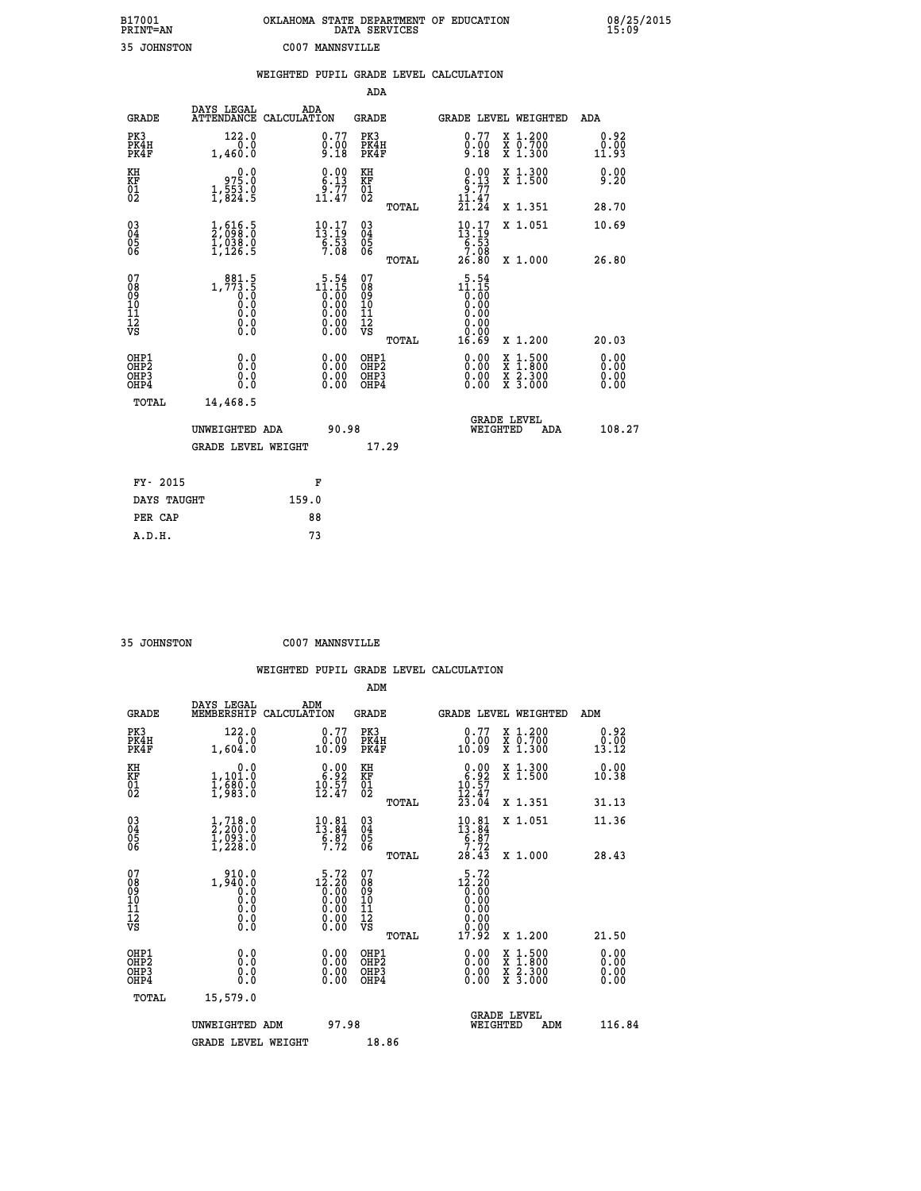| B17001          | OKLAHOMA STATE DEPARTMENT OF EDUCATION |
|-----------------|----------------------------------------|
| <b>PRINT=AN</b> | DATA SERVICES                          |
| 35 JOHNSTON     | C007 MANNSVILLE                        |

 **B17001 OKLAHOMA STATE DEPARTMENT OF EDUCATION 08/25/2015**

|                                                    |                                                                                       | WEIGHTED PUPIL GRADE LEVEL CALCULATION                             |                                        |       |                                                                                                 |                                                                                                                                           |                              |
|----------------------------------------------------|---------------------------------------------------------------------------------------|--------------------------------------------------------------------|----------------------------------------|-------|-------------------------------------------------------------------------------------------------|-------------------------------------------------------------------------------------------------------------------------------------------|------------------------------|
|                                                    |                                                                                       |                                                                    | <b>ADA</b>                             |       |                                                                                                 |                                                                                                                                           |                              |
| <b>GRADE</b>                                       | DAYS LEGAL                                                                            | ADA<br>ATTENDANCE CALCULATION                                      | <b>GRADE</b>                           |       |                                                                                                 | GRADE LEVEL WEIGHTED                                                                                                                      | ADA                          |
| PK3<br>PK4H<br>PK4F                                | 122.0<br>0.0<br>1,460.0                                                               | $\substack{0.77 \\ 0.00 \\ 9.18}$                                  | PK3<br>PK4H<br>PK4F                    |       | $\begin{smallmatrix} 0.77 \\ 0.00 \\ 9.18 \end{smallmatrix}$                                    | X 1.200<br>X 0.700<br>X 1.300                                                                                                             | 0.92<br>0.00<br>11.93        |
| KH<br>KF<br>01<br>02                               | 975.0<br>$1, \frac{5}{3}$ $\frac{5}{3}$ $\cdot$ $\frac{8}{5}$                         | $\begin{smallmatrix} 0.00\\ 6.13\\ 9.77\\ 11.47 \end{smallmatrix}$ | KH<br>KF<br>01<br>02                   |       | $\begin{smallmatrix} 0.00\\ 6.13\\ 9.77\\ 11.47\\ 21.24 \end{smallmatrix}$                      | X 1.300<br>X 1.500                                                                                                                        | 0.00<br>9.20                 |
|                                                    |                                                                                       |                                                                    |                                        | TOTAL |                                                                                                 | X 1.351                                                                                                                                   | 28.70                        |
| $\begin{matrix} 03 \\ 04 \\ 05 \\ 06 \end{matrix}$ | $\frac{1}{2}$ , $\frac{616}{98}$ : $\frac{5}{0}$<br>$\frac{1}{1}$ , 038:0<br>1, 126.5 | $10.17$<br>$13.19$<br>$\frac{6}{7}.53$                             | $^{03}_{04}$<br>Ŏ5<br>06               |       | $\begin{smallmatrix} 10\cdot 17\\13\cdot 19\\6\cdot 53\\7\cdot 08\\26\cdot 80\end{smallmatrix}$ | X 1.051                                                                                                                                   | 10.69                        |
|                                                    |                                                                                       |                                                                    |                                        | TOTAL |                                                                                                 | X 1.000                                                                                                                                   | 26.80                        |
| 07<br>08<br>09<br>101<br>112<br>VS                 | $1, 773.5$<br>0.0<br>0.0<br>0.0<br>0.0<br>$\S.$                                       | $11.15$<br>$0.00$<br>$0.00$<br>$0.00$<br>$0.00$<br>Ŏ.ŎŎ<br>O.OO    | 07<br>08<br>09<br>11<br>11<br>12<br>VS | TOTAL | $11.15$<br>$10.15$<br>$0.00$<br>$0.00$<br>0.00<br>0.00<br>16.69                                 | X 1.200                                                                                                                                   | 20.03                        |
| OHP1<br>OHP2<br>OH <sub>P3</sub><br>OHP4           | 0.0<br>0.0<br>0.0                                                                     | $\begin{smallmatrix} 0.00 \ 0.00 \ 0.00 \ 0.00 \end{smallmatrix}$  | OHP1<br>OHP2<br>OHP3<br>OHP4           |       |                                                                                                 | $\begin{smallmatrix} \mathtt{X} & 1\cdot500\\ \mathtt{X} & 1\cdot800\\ \mathtt{X} & 2\cdot300\\ \mathtt{X} & 3\cdot000 \end{smallmatrix}$ | 0.00<br>0.00<br>0.00<br>0.00 |
| TOTAL                                              | 14,468.5                                                                              |                                                                    |                                        |       |                                                                                                 |                                                                                                                                           |                              |
|                                                    | UNWEIGHTED ADA                                                                        | 90.98                                                              |                                        |       | WEIGHTED                                                                                        | <b>GRADE LEVEL</b><br>ADA                                                                                                                 | 108.27                       |
|                                                    | <b>GRADE LEVEL WEIGHT</b>                                                             |                                                                    | 17.29                                  |       |                                                                                                 |                                                                                                                                           |                              |
| FY- 2015                                           |                                                                                       | F                                                                  |                                        |       |                                                                                                 |                                                                                                                                           |                              |
| DAYS TAUGHT                                        |                                                                                       | 159.0                                                              |                                        |       |                                                                                                 |                                                                                                                                           |                              |
| PER CAP                                            |                                                                                       | 88                                                                 |                                        |       |                                                                                                 |                                                                                                                                           |                              |

 **35 JOHNSTON C007 MANNSVILLE**

 **A.D.H. 73**

 **ADM**

| <b>GRADE</b>                                         | DAYS LEGAL<br>MEMBERSHIP CALCULATION                                                   | ADM                                                                                             | <b>GRADE</b>                                        |       |                                                                                                             | GRADE LEVEL WEIGHTED                     | ADM                     |  |
|------------------------------------------------------|----------------------------------------------------------------------------------------|-------------------------------------------------------------------------------------------------|-----------------------------------------------------|-------|-------------------------------------------------------------------------------------------------------------|------------------------------------------|-------------------------|--|
| PK3<br>PK4H<br>PK4F                                  | 122.0<br>0.0<br>1,604.0                                                                | 0.77<br>0.00<br>10.09                                                                           | PK3<br>PK4H<br>PK4F                                 |       | 0.77<br>0.00<br>10.09                                                                                       | X 1.200<br>X 0.700<br>X 1.300            | 0.92<br>$0.00$<br>13.12 |  |
| KH<br>KF<br>01<br>02                                 | 0.0<br>1,101.0<br>1,680.0<br>1,983.0                                                   | $\begin{smallmatrix} 0.00\\ 6.92\\ 10.57\\ 12.47 \end{smallmatrix}$                             | KH<br>KF<br>01<br>02                                |       | $\begin{array}{c} 0.00 \\ 6.92 \\ 10.57 \\ 12.47 \\ 23.04 \end{array}$                                      | X 1.300<br>X 1.500                       | 0.00<br>10.38           |  |
|                                                      |                                                                                        |                                                                                                 |                                                     | TOTAL |                                                                                                             | X 1.351                                  | 31.13                   |  |
| $\begin{matrix} 03 \\ 04 \\ 05 \\ 06 \end{matrix}$   | $\begin{smallmatrix} 1.718.0\\2.200.0\\1.093.0\\1.228.0 \end{smallmatrix}$             | $\begin{smallmatrix} 10.81\\13.84\\6.87\\7.72 \end{smallmatrix}$                                | $\begin{array}{c} 03 \\ 04 \\ 05 \\ 06 \end{array}$ |       | $\begin{smallmatrix} 10.81\\[-1.2mm] 13.84\\[-1.2mm] 6.87\\[-1.2mm] 7.72\\[-1.2mm] 28.43 \end{smallmatrix}$ | X 1.051                                  | 11.36                   |  |
|                                                      |                                                                                        |                                                                                                 |                                                     | TOTAL |                                                                                                             | X 1.000                                  | 28.43                   |  |
| 07<br>08<br>09<br>101<br>11<br>12<br>VS              | 910.0<br>1,940.0<br>$\begin{smallmatrix} 0.5 & 0 \ 0.0 & 0 \end{smallmatrix}$<br>0.000 | $\begin{smallmatrix} 5\cdot72\\12\cdot20\\0.00\\0.00\\0.00\\0.00\\0.00\\0.00 \end{smallmatrix}$ | 07<br>08<br>09<br>01<br>11<br>11<br>12<br>VS        |       | 5.72<br>$12.26$<br>0.00<br>0.00<br>0.00<br>0.00<br>0.00<br>17.92                                            |                                          |                         |  |
|                                                      |                                                                                        |                                                                                                 |                                                     | TOTAL |                                                                                                             | X 1.200                                  | 21.50                   |  |
| OHP1<br>OHP <sub>2</sub><br>OH <sub>P3</sub><br>OHP4 | 0.0<br>0.000                                                                           |                                                                                                 | OHP1<br>OHP2<br>OHP3<br>OHP4                        |       | 0.00<br>$0.00$<br>0.00                                                                                      | X 1:500<br>X 1:800<br>X 2:300<br>X 3:000 | 0.00<br>0.00<br>0.00    |  |
| TOTAL                                                | 15,579.0                                                                               |                                                                                                 |                                                     |       |                                                                                                             |                                          |                         |  |
|                                                      | UNWEIGHTED<br>ADM                                                                      |                                                                                                 | 97.98                                               |       | WEIGHTED                                                                                                    | <b>GRADE LEVEL</b><br>ADM                | 116.84                  |  |
|                                                      | <b>GRADE LEVEL WEIGHT</b>                                                              |                                                                                                 | 18.86                                               |       |                                                                                                             |                                          |                         |  |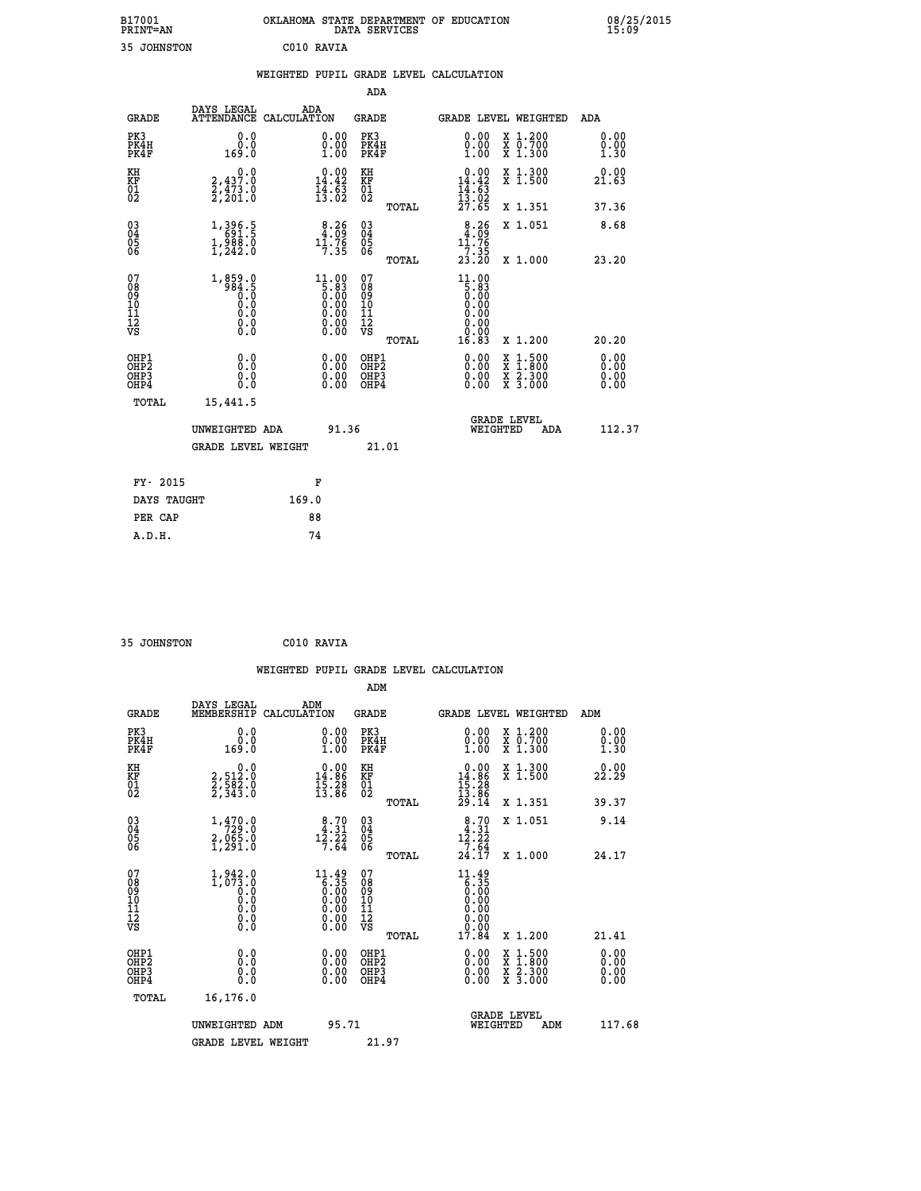| DAYS LEGAL                                            |                                                                                                                                                            |                                                                                                 |                                                                                                                                                              |                                                                                     |                                                                                                                                                                                                                                                                                |                                                                                                       |                                        | ADA                                                                                                                                                                                                                                                                                                       |
|-------------------------------------------------------|------------------------------------------------------------------------------------------------------------------------------------------------------------|-------------------------------------------------------------------------------------------------|--------------------------------------------------------------------------------------------------------------------------------------------------------------|-------------------------------------------------------------------------------------|--------------------------------------------------------------------------------------------------------------------------------------------------------------------------------------------------------------------------------------------------------------------------------|-------------------------------------------------------------------------------------------------------|----------------------------------------|-----------------------------------------------------------------------------------------------------------------------------------------------------------------------------------------------------------------------------------------------------------------------------------------------------------|
| 0.0<br>0.0<br>169.0                                   |                                                                                                                                                            | 0.00<br>1.00                                                                                    |                                                                                                                                                              |                                                                                     | 0.00<br>$\begin{smallmatrix} 0.00 \ 1.00 \end{smallmatrix}$                                                                                                                                                                                                                    |                                                                                                       |                                        | 0.00<br>0.00<br>1.30                                                                                                                                                                                                                                                                                      |
|                                                       |                                                                                                                                                            |                                                                                                 |                                                                                                                                                              |                                                                                     |                                                                                                                                                                                                                                                                                |                                                                                                       |                                        | 0.00<br>21.63                                                                                                                                                                                                                                                                                             |
|                                                       |                                                                                                                                                            |                                                                                                 |                                                                                                                                                              | TOTAL                                                                               |                                                                                                                                                                                                                                                                                |                                                                                                       |                                        | 37.36                                                                                                                                                                                                                                                                                                     |
|                                                       |                                                                                                                                                            |                                                                                                 |                                                                                                                                                              |                                                                                     | $8.26$<br>4.09<br>11.76                                                                                                                                                                                                                                                        |                                                                                                       |                                        | 8.68                                                                                                                                                                                                                                                                                                      |
|                                                       |                                                                                                                                                            |                                                                                                 |                                                                                                                                                              | TOTAL                                                                               |                                                                                                                                                                                                                                                                                |                                                                                                       |                                        | 23.20                                                                                                                                                                                                                                                                                                     |
| $1,859.0$<br>984.5<br>0.0<br>0.0<br>0.0<br>$\S.$ $\S$ |                                                                                                                                                            | 11.00<br>$\begin{array}{c} 1.83 \\ 0.83 \\ 0.00 \\ 0.00 \\ 0.00 \\ 0.00 \\ \end{array}$<br>ŏ:ŏŏ | 07<br>08<br>09<br>11<br>11<br>12<br>VS                                                                                                                       | TOTAL                                                                               | 11.00<br>$\begin{array}{c} 5.83 \ 5.00 \ 0.00 \end{array}$<br>0.00<br>0.00<br>16.83                                                                                                                                                                                            |                                                                                                       |                                        | 20.20                                                                                                                                                                                                                                                                                                     |
| 0.0<br>0.0<br>0.0                                     |                                                                                                                                                            | 0.00<br>$\begin{smallmatrix} 0.00 \ 0.00 \end{smallmatrix}$                                     |                                                                                                                                                              |                                                                                     | $\begin{smallmatrix} 0.00 & 0.00 & 0.00 & 0.00 & 0.00 & 0.00 & 0.00 & 0.00 & 0.00 & 0.00 & 0.00 & 0.00 & 0.00 & 0.00 & 0.00 & 0.00 & 0.00 & 0.00 & 0.00 & 0.00 & 0.00 & 0.00 & 0.00 & 0.00 & 0.00 & 0.00 & 0.00 & 0.00 & 0.00 & 0.00 & 0.00 & 0.00 & 0.00 & 0.00 & 0.00 & 0.0$ |                                                                                                       |                                        | 0.00<br>0.00<br>0.00                                                                                                                                                                                                                                                                                      |
| 15,441.5                                              |                                                                                                                                                            |                                                                                                 |                                                                                                                                                              |                                                                                     |                                                                                                                                                                                                                                                                                |                                                                                                       |                                        |                                                                                                                                                                                                                                                                                                           |
|                                                       |                                                                                                                                                            |                                                                                                 |                                                                                                                                                              |                                                                                     |                                                                                                                                                                                                                                                                                |                                                                                                       | ADA                                    | 112.37                                                                                                                                                                                                                                                                                                    |
|                                                       |                                                                                                                                                            |                                                                                                 |                                                                                                                                                              |                                                                                     |                                                                                                                                                                                                                                                                                |                                                                                                       |                                        |                                                                                                                                                                                                                                                                                                           |
|                                                       |                                                                                                                                                            |                                                                                                 |                                                                                                                                                              |                                                                                     |                                                                                                                                                                                                                                                                                |                                                                                                       |                                        |                                                                                                                                                                                                                                                                                                           |
| DAYS TAUGHT                                           |                                                                                                                                                            |                                                                                                 |                                                                                                                                                              |                                                                                     |                                                                                                                                                                                                                                                                                |                                                                                                       |                                        |                                                                                                                                                                                                                                                                                                           |
|                                                       |                                                                                                                                                            |                                                                                                 |                                                                                                                                                              |                                                                                     |                                                                                                                                                                                                                                                                                |                                                                                                       |                                        |                                                                                                                                                                                                                                                                                                           |
|                                                       | $\begin{smallmatrix} 0 & 0 & 0 \\ 2 & 4 & 3 & 7 & 0 \\ 2 & 4 & 7 & 3 & 0 \\ 2 & 2 & 0 & 1 & 0 \end{smallmatrix}$<br>1,396.5<br>691.5<br>1,988.0<br>1,242.0 | UNWEIGHTED ADA<br><b>GRADE LEVEL WEIGHT</b>                                                     | ADA<br>ATTENDANCE CALCULATION<br>$\begin{array}{c} 0.00 \\ 14.42 \\ 14.63 \\ 13.02 \end{array}$<br>$8.26$<br>$4.09$<br>$11.76$<br>$7.35$<br>F<br>169.0<br>88 | KH<br>KF<br>01<br>02<br>$\begin{matrix} 03 \\ 04 \\ 05 \\ 06 \end{matrix}$<br>91.36 | <b>ADA</b><br>GRADE<br>PK3<br>PK4H<br>PK4F<br>OHP1<br>OHP2<br>OHP3<br>OHP4<br>21.01                                                                                                                                                                                            | $\begin{array}{r} 0.00 \\ 14.42 \\ 14.63 \\ 13.02 \\ 27.65 \end{array}$<br>$\frac{7}{23}.35$<br>23.20 | WEIGHTED PUPIL GRADE LEVEL CALCULATION | GRADE LEVEL WEIGHTED<br>X 1.200<br>X 0.700<br>X 1.300<br>X 1.300<br>X 1.500<br>X 1.351<br>X 1.051<br>X 1.000<br>X 1.200<br>$\begin{smallmatrix} \mathtt{X} & 1\cdot500 \\ \mathtt{X} & 1\cdot800 \\ \mathtt{X} & 2\cdot300 \\ \mathtt{X} & 3\cdot000 \end{smallmatrix}$<br><b>GRADE LEVEL</b><br>WEIGHTED |

| -- | _ _ _ _ _ _ _ _ _ _ |  |
|----|---------------------|--|

 **35 JOHNSTON C010 RAVIA WEIGHTED PUPIL GRADE LEVEL CALCULATION ADM DAYS LEGAL ADM GRADE MEMBERSHIP CALCULATION GRADE GRADE LEVEL WEIGHTED ADM PK3 0.0 0.00 PK3 0.00 X 1.200 0.00 PK4H 0.0 0.00 PK4H 0.00 X 0.700 0.00 PK4F 169.0 1.00 PK4F 1.00 X 1.300 1.30 KH 0.0 0.00 KH 0.00 X 1.300 0.00 KF 2,512.0 14.86 KF 14.86 X 1.500 22.29 01 2,582.0 15.28 01 15.28 02 2,343.0 13.86 02 13.86 TOTAL 29.14 X 1.351 39.37 03 1,470.0 8.70 03 8.70 X 1.051 9.14 04 729.0 4.31 04 4.31 05 2,065.0 12.22 05 12.22 06 1,291.0 7.64 06 7.64 TOTAL 24.17 X 1.000 24.17** 07 1,942.0 11.49 07 11.49<br>
08 1,073.0 6.35 08 6.35<br>
10 0.0 0.00 10 0.00<br>
11 0.0 0.00 11 0.00<br>
12 0.00 12 0.00<br>
VS 0.0 0.00 12<br>
12 0.00  **TOTAL 17.84 X 1.200 21.41 OHP1 0.0 0.00 OHP1 0.00 X 1.500 0.00 OHP2 0.0 0.00 OHP2 0.00 X 1.800 0.00 OHP3 0.0 0.00 OHP3 0.00 X 2.300 0.00 OHP4 0.0 0.00 OHP4 0.00 X 3.000 0.00 TOTAL 16,176.0 GRADE LEVEL UNWEIGHTED ADM 95.71 WEIGHTED ADM 117.68** GRADE LEVEL WEIGHT 21.97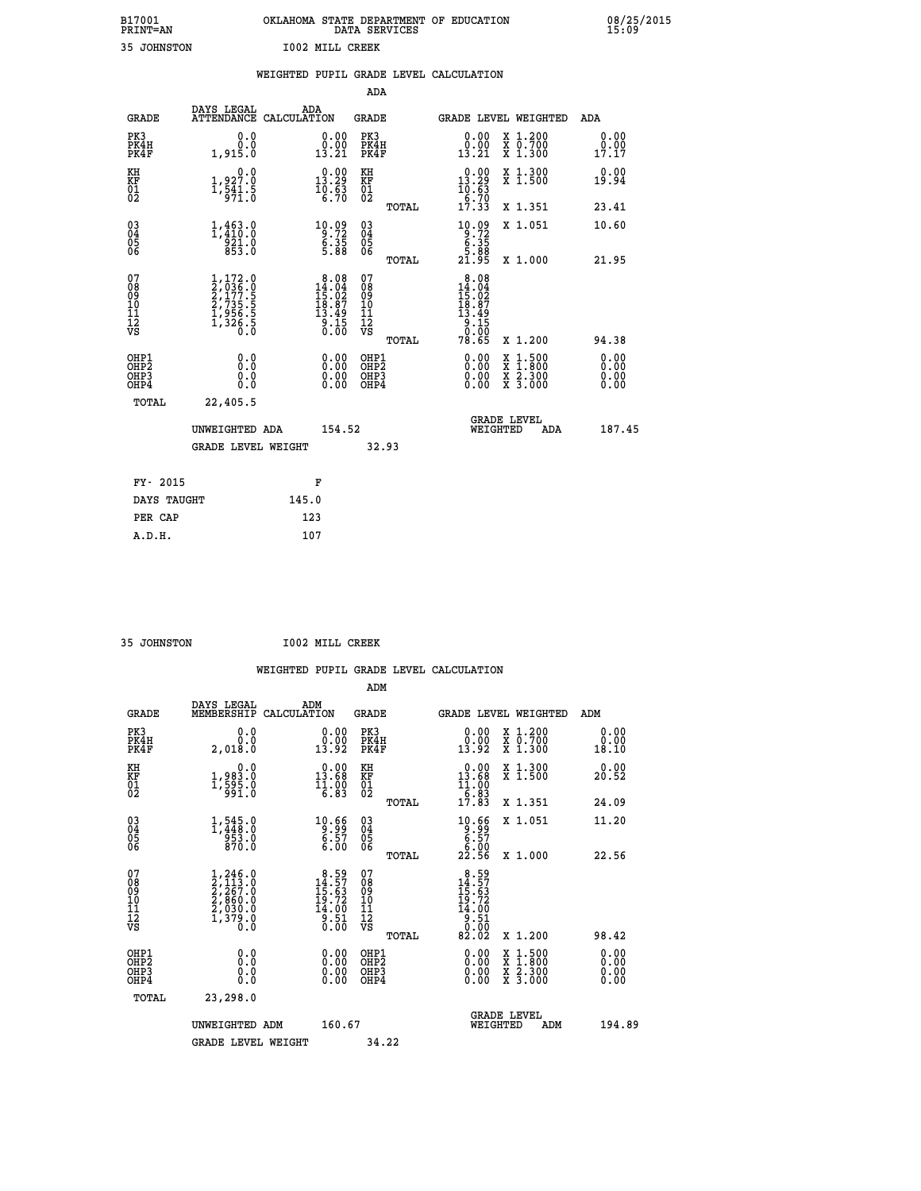| B17001          | OKLAHOMA STATE DEPARTMENT OF EDUCATION |
|-----------------|----------------------------------------|
| <b>PRINT=AN</b> | DATA SERVICES                          |
| 35 JOHNSTON     | <b>IOO2 MILL CREEK</b>                 |

|                                                                    |                                                                                     | WEIGHTED PUPIL GRADE LEVEL CALCULATION                                                  |                                                    |       |                                                                                                                 |                                                                                                                                              |                       |
|--------------------------------------------------------------------|-------------------------------------------------------------------------------------|-----------------------------------------------------------------------------------------|----------------------------------------------------|-------|-----------------------------------------------------------------------------------------------------------------|----------------------------------------------------------------------------------------------------------------------------------------------|-----------------------|
|                                                                    |                                                                                     |                                                                                         | <b>ADA</b>                                         |       |                                                                                                                 |                                                                                                                                              |                       |
| <b>GRADE</b>                                                       | DAYS LEGAL<br>ATTENDANCE CALCULATION                                                | ADA                                                                                     | GRADE                                              |       |                                                                                                                 | GRADE LEVEL WEIGHTED                                                                                                                         | ADA                   |
| PK3<br>PK4H<br>PK4F                                                | 0.0<br>0.0<br>1,915.0                                                               | 0.00<br>13.21                                                                           | PK3<br>PK4H<br>PK4F                                |       | 0.00<br>$\begin{smallmatrix} \v{0} \ \v{0} \ \v{1} \ \v{3} \ \v{2} \ \v{1} \end{smallmatrix}$                   | X 1.200<br>X 0.700<br>X 1.300                                                                                                                | 0.00<br>0.00<br>17.17 |
| KH<br>KF<br>01<br>02                                               | $\begin{smallmatrix}&&&0.0\\1,927.0\\1,541.5\\971.0\end{smallmatrix}$               | $\begin{smallmatrix} 0.00\\13.29\\10.63\\6.70 \end{smallmatrix}$                        | KH<br>KF<br>01<br>02                               |       | $\begin{array}{c} 0.00 \\ 13.29 \\ 10.63 \\ 6.70 \\ 17.33 \end{array}$                                          | X 1.300<br>X 1.500                                                                                                                           | 0.00<br>19.94         |
|                                                                    |                                                                                     |                                                                                         |                                                    | TOTAL |                                                                                                                 | X 1.351                                                                                                                                      | 23.41                 |
| $\begin{smallmatrix} 03 \\[-4pt] 04 \end{smallmatrix}$<br>Ŏ5<br>06 | $1,463.0$<br>$1,410.0$<br>$921.0$<br>$853.0$                                        | $\begin{array}{r} 10.09 \\[-4pt] 9.72 \\[-4pt] 6.35 \\[-4pt] 5.88 \end{array}$          | $\begin{matrix} 03 \\ 04 \\ 05 \\ 06 \end{matrix}$ |       | $\begin{array}{c} 10.09 \\ -3.72 \\ -6.35 \\ 5.88 \\ 21.95 \end{array}$                                         | X 1.051                                                                                                                                      | 10.60                 |
|                                                                    |                                                                                     |                                                                                         |                                                    | TOTAL |                                                                                                                 | X 1.000                                                                                                                                      | 21.95                 |
| 07<br>08<br>09<br>11<br>11<br>12<br>VS                             | $1,172.0$<br>$2,036.0$<br>$2,177.5$<br>$2,735.5$<br>$1,956.5$<br>$1,326.5$<br>$0.0$ | $\begin{array}{r} 8.08 \\ 14.04 \\ 15.02 \\ 18.87 \\ 13.49 \\ 9.15 \\ 0.00 \end{array}$ | 07<br>08<br>09<br>11<br>11<br>12<br>VS             | TOTAL | $\begin{array}{r} 8.08 \\ 14.04 \\ 15.02 \\ 18.87 \\ 13.49 \\ 9.15 \\ 0.00 \\ \text{9.00} \end{array}$<br>78.65 | X 1.200                                                                                                                                      | 94.38                 |
| OHP1<br>OHP2<br>OH <sub>P3</sub><br>OH <sub>P4</sub>               | 0.0<br>0.0<br>Ŏ.Ŏ                                                                   | 0.00<br>$\begin{smallmatrix} 0.00 \ 0.00 \end{smallmatrix}$                             | OHP1<br>OHP2<br>OHP3<br>OHP4                       |       | 0.00<br>0.00                                                                                                    | $\begin{smallmatrix} \mathtt{X} & 1\cdot500 \\ \mathtt{X} & 1\cdot800 \\ \mathtt{X} & 2\cdot300 \\ \mathtt{X} & 3\cdot000 \end{smallmatrix}$ | 0.00<br>0.00<br>0.00  |
| TOTAL                                                              | 22,405.5                                                                            |                                                                                         |                                                    |       |                                                                                                                 |                                                                                                                                              |                       |
|                                                                    | UNWEIGHTED ADA                                                                      | 154.52                                                                                  |                                                    |       | WEIGHTED                                                                                                        | <b>GRADE LEVEL</b><br>ADA                                                                                                                    | 187.45                |
|                                                                    | <b>GRADE LEVEL WEIGHT</b>                                                           |                                                                                         |                                                    | 32.93 |                                                                                                                 |                                                                                                                                              |                       |
| FY- 2015                                                           |                                                                                     | F                                                                                       |                                                    |       |                                                                                                                 |                                                                                                                                              |                       |
| DAYS TAUGHT                                                        |                                                                                     | 145.0                                                                                   |                                                    |       |                                                                                                                 |                                                                                                                                              |                       |
| PER CAP                                                            |                                                                                     | 123                                                                                     |                                                    |       |                                                                                                                 |                                                                                                                                              |                       |

 **35 JOHNSTON I002 MILL CREEK**

|                                                    |                                                                                                  |     |                                                                                                                                      |                                        |       | WEIGHTED PUPIL GRADE LEVEL CALCULATION                                                        |                                                                                                                                           |                              |
|----------------------------------------------------|--------------------------------------------------------------------------------------------------|-----|--------------------------------------------------------------------------------------------------------------------------------------|----------------------------------------|-------|-----------------------------------------------------------------------------------------------|-------------------------------------------------------------------------------------------------------------------------------------------|------------------------------|
|                                                    |                                                                                                  |     |                                                                                                                                      | ADM                                    |       |                                                                                               |                                                                                                                                           |                              |
| <b>GRADE</b>                                       | DAYS LEGAL<br>MEMBERSHIP CALCULATION                                                             | ADM |                                                                                                                                      | <b>GRADE</b>                           |       | GRADE LEVEL WEIGHTED                                                                          |                                                                                                                                           | ADM                          |
| PK3<br>PK4H<br>PK4F                                | 0.0<br>0.0<br>2,018.0                                                                            |     | 0.00<br>$\frac{0.00}{13.92}$                                                                                                         | PK3<br>PK4H<br>PK4F                    |       | 0.00<br>0.00<br>13.92                                                                         | X 1.200<br>X 0.700<br>X 1.300                                                                                                             | 0.00<br>0.00<br>18.10        |
| KH<br>KF<br>01<br>02                               | 0.0<br>1,983.0<br>1,595.0<br>991.0                                                               |     | 0.00<br>13.68<br>$\frac{11.00}{6.83}$                                                                                                | KH<br>KF<br>01<br>02                   |       | 0.00<br>$13.68$<br>$11.00$<br>$6.83$<br>$17.83$                                               | X 1.300<br>X 1.500                                                                                                                        | 0.00<br>20.52                |
|                                                    |                                                                                                  |     |                                                                                                                                      |                                        | TOTAL |                                                                                               | X 1.351                                                                                                                                   | 24.09                        |
| $\begin{matrix} 03 \\ 04 \\ 05 \\ 06 \end{matrix}$ | 1,545.0<br>953.0<br>870.0                                                                        |     | $\begin{array}{r} 10.66 \\ 9.99 \\ 6.57 \\ 6.00 \end{array}$                                                                         | $\substack{03 \\ 04}$<br>05<br>06      |       | $\begin{array}{r} 10.66 \\[-4pt] 9.57 \\[-4pt] 6.57 \\[-4pt] 6.00 \\[-4pt] 22.56 \end{array}$ | X 1.051                                                                                                                                   | 11.20                        |
|                                                    |                                                                                                  |     |                                                                                                                                      |                                        | TOTAL |                                                                                               | X 1.000                                                                                                                                   | 22.56                        |
| 07<br>08<br>09<br>101<br>11<br>12<br>VS            | $\begin{smallmatrix} 1,246.0\\2,113.0\\2,267.0\\2,860.0\\2,030.0\\1,379.0\\0.0\end{smallmatrix}$ |     | $\begin{smallmatrix} 8.59 \\[-4pt] 14.57 \\[-4pt] 15.63 \\[-4pt] 19.72 \\[-4pt] 14.00 \\[-4pt] 9.51 \\[-4pt] 0.50 \end{smallmatrix}$ | 07<br>08<br>09<br>11<br>11<br>12<br>VS | TOTAL | $\begin{smallmatrix} 8.59\\14.57\\15.63\\19.72\\14.00\\9.51\\0.00\\82.02\end{smallmatrix}$    | X 1.200                                                                                                                                   | 98.42                        |
| OHP1<br>OHP2<br>OH <sub>P3</sub><br>OHP4           | 0.0<br>0.0<br>0.0                                                                                |     | 0.00<br>$\begin{smallmatrix} 0.00 \ 0.00 \end{smallmatrix}$                                                                          | OHP1<br>OHP2<br>OHP3<br>OHP4           |       | $0.00$<br>$0.00$<br>0.00                                                                      | $\begin{smallmatrix} \mathtt{X} & 1\cdot500\\ \mathtt{X} & 1\cdot800\\ \mathtt{X} & 2\cdot300\\ \mathtt{X} & 3\cdot000 \end{smallmatrix}$ | 0.00<br>0.00<br>0.00<br>0.00 |
| TOTAL                                              | 23,298.0                                                                                         |     |                                                                                                                                      |                                        |       |                                                                                               |                                                                                                                                           |                              |
|                                                    | UNWEIGHTED ADM                                                                                   |     | 160.67                                                                                                                               |                                        |       | <b>GRADE LEVEL</b><br>WEIGHTED                                                                | ADM                                                                                                                                       | 194.89                       |
|                                                    | <b>GRADE LEVEL WEIGHT</b>                                                                        |     |                                                                                                                                      | 34.22                                  |       |                                                                                               |                                                                                                                                           |                              |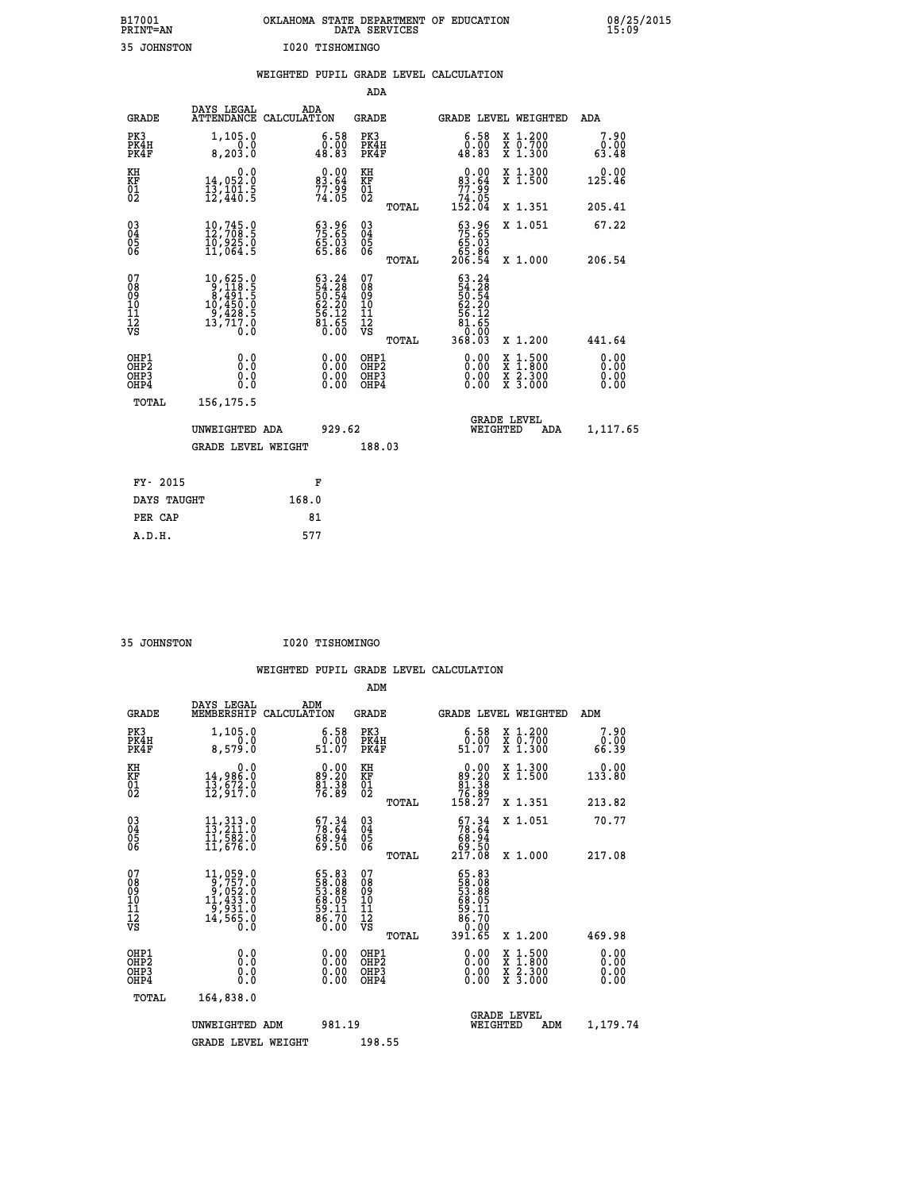| B17001          | OKLAHOMA STATE DEPARTMENT OF EDUCATION |
|-----------------|----------------------------------------|
| <b>PRINT=AN</b> | DATA SERVICES                          |
| 35 JOHNSTON     | I020 TISHOMINGO                        |

|                                                                    |                                                                                                                                                    | WEIGHTED PUPIL GRADE LEVEL CALCULATION                            |                                               |              |                                                                                                                                |                                                                                                  |                              |
|--------------------------------------------------------------------|----------------------------------------------------------------------------------------------------------------------------------------------------|-------------------------------------------------------------------|-----------------------------------------------|--------------|--------------------------------------------------------------------------------------------------------------------------------|--------------------------------------------------------------------------------------------------|------------------------------|
|                                                                    |                                                                                                                                                    |                                                                   | <b>ADA</b>                                    |              |                                                                                                                                |                                                                                                  |                              |
| <b>GRADE</b>                                                       | DAYS LEGAL                                                                                                                                         | ADA<br>ATTENDANCE CALCULATION                                     | <b>GRADE</b>                                  |              |                                                                                                                                | GRADE LEVEL WEIGHTED                                                                             | ADA                          |
| PK3<br>PK4H<br>PK4F                                                | 1,105.0<br>8,203.0                                                                                                                                 | $\substack{6.58 \\ 0.00 \\ 48.83}$                                | PK3<br>PK4H<br>PK4F                           |              | $\begin{smallmatrix} 6.58\ 0.00\\ 48.83 \end{smallmatrix}$                                                                     | X 1.200<br>X 0.700<br>X 1.300                                                                    | 7.90<br>$0.00$<br>63.48      |
| KH<br>KF<br>01<br>02                                               | 0.0<br>14,052.0<br>$\frac{1}{12}$ , $\frac{1}{440}$ $\frac{1}{5}$                                                                                  | $0.00$<br>83.64<br>$77.99$<br>$74.05$                             | KH<br>KF<br>01<br>02                          |              | 0.00<br>83.64<br>77.99                                                                                                         | X 1.300<br>X 1.500                                                                               | 0.00<br>125.46               |
|                                                                    |                                                                                                                                                    |                                                                   |                                               | <b>TOTAL</b> | 74.05<br>152.04                                                                                                                | X 1.351                                                                                          | 205.41                       |
| $\begin{smallmatrix} 03 \\[-4pt] 04 \end{smallmatrix}$<br>Ŏ5<br>06 | $10, 745.0$<br>$12, 708.5$<br>$10, 925.0$<br>$11, 064.5$                                                                                           | 63.96<br>75.65<br>65.03<br>65.86                                  | 03<br>04<br>05<br>06                          |              | $53.96$<br>$75.65$<br>$65.03$<br>$65.86$<br>$206.54$                                                                           | X 1.051                                                                                          | 67.22                        |
|                                                                    |                                                                                                                                                    |                                                                   |                                               | TOTAL        |                                                                                                                                | X 1.000                                                                                          | 206.54                       |
| 07<br>0890112<br>1112<br>VS                                        | $\begin{smallmatrix} 10, 625\cdot 0\\ 9, 118\cdot 5\\ 8, 491\cdot 5\\ 10, 450\cdot 0\\ 9, 428\cdot 5\\ 13, 717\cdot 0\\ 0\cdot 0\end{smallmatrix}$ | $63.24$<br>54.28<br>50.54<br>50.20<br>62.20<br>56.12<br>50.65     | 07<br>08<br>09<br>001<br>11<br>11<br>12<br>VS | TOTAL        | 63.24<br>54.28<br>50:54<br>62.20<br>$\overline{1}\overline{2}$<br>56<br>$\begin{array}{c} 81.65 \\ 0.05 \\ 368.03 \end{array}$ | X 1.200                                                                                          | 441.64                       |
| OHP1<br>OHP2<br>OHP3<br>OHP4                                       | 0.0<br>0.0<br>0.0                                                                                                                                  | $\begin{smallmatrix} 0.00 \ 0.00 \ 0.00 \ 0.00 \end{smallmatrix}$ | OHP1<br>OHP2<br>OHP3<br>OHP4                  |              | 0.00<br>0.00<br>0.00                                                                                                           | $\begin{smallmatrix} x & 1 & 500 \\ x & 1 & 800 \\ x & 2 & 300 \\ x & 3 & 000 \end{smallmatrix}$ | 0.00<br>0.00<br>0.00<br>0.00 |
| <b>TOTAL</b>                                                       | 156, 175.5                                                                                                                                         |                                                                   |                                               |              |                                                                                                                                |                                                                                                  |                              |
|                                                                    | UNWEIGHTED ADA                                                                                                                                     | 929.62                                                            |                                               |              | WEIGHTED                                                                                                                       | <b>GRADE LEVEL</b><br>ADA                                                                        | 1,117.65                     |
|                                                                    | <b>GRADE LEVEL WEIGHT</b>                                                                                                                          |                                                                   | 188.03                                        |              |                                                                                                                                |                                                                                                  |                              |
| FY- 2015                                                           |                                                                                                                                                    | F                                                                 |                                               |              |                                                                                                                                |                                                                                                  |                              |
| DAYS TAUGHT                                                        |                                                                                                                                                    | 168.0                                                             |                                               |              |                                                                                                                                |                                                                                                  |                              |
| PER CAP                                                            |                                                                                                                                                    | 81                                                                |                                               |              |                                                                                                                                |                                                                                                  |                              |

 **35 JOHNSTON I020 TISHOMINGO**

|                                          |                                                                                                                                        |                                                                    | ADM                                                 |          |                                                                                |                                          |                       |  |
|------------------------------------------|----------------------------------------------------------------------------------------------------------------------------------------|--------------------------------------------------------------------|-----------------------------------------------------|----------|--------------------------------------------------------------------------------|------------------------------------------|-----------------------|--|
| <b>GRADE</b>                             | DAYS LEGAL<br>MEMBERSHIP                                                                                                               | ADM<br>CALCULATION                                                 | <b>GRADE</b>                                        |          |                                                                                | <b>GRADE LEVEL WEIGHTED</b>              | ADM                   |  |
| PK3<br>PK4H<br>PK4F                      | 1,105.0<br>8,579.0                                                                                                                     | $\begin{smallmatrix} 6.58\ 0.00\\ 51.07 \end{smallmatrix}$         | PK3<br>PK4H<br>PK4F                                 |          | $\begin{smallmatrix} 6.58\ 0.00\\ 51.07 \end{smallmatrix}$                     | X 1.200<br>X 0.700<br>X 1.300            | 7.90<br>0.00<br>66.39 |  |
| KH<br>KF<br>01<br>02                     | 0.0<br>14,986.0<br>13,672.0<br>12,917.0                                                                                                | $89.20$<br>$81.38$<br>$76.89$                                      | KH<br>KF<br>01<br>02                                |          | $\begin{smallmatrix}&&0.00\\89.20\\81.38\\76.89\\158.27\end{smallmatrix}$      | X 1.300<br>X 1.500                       | 0.00<br>133.80        |  |
|                                          |                                                                                                                                        |                                                                    |                                                     | TOTAL    |                                                                                | X 1.351                                  | 213.82                |  |
| 03<br>04<br>05<br>06                     | $\begin{smallmatrix} 11\,,\,313\cdot 0\\ 13\,,\,211\cdot 0\\ 11\,,\,582\cdot 0\\ 11\,,\,676\cdot 0 \end{smallmatrix}$                  | $\begin{smallmatrix} 67.34\ 78.64\ 68.94\ 69.50 \end{smallmatrix}$ | $\begin{array}{c} 03 \\ 04 \\ 05 \\ 06 \end{array}$ |          | $\begin{smallmatrix} 67.34\\ 78.64\\ 68.94\\ 69.50\\ 217.08 \end{smallmatrix}$ | X 1.051                                  | 70.77                 |  |
|                                          |                                                                                                                                        |                                                                    |                                                     | TOTAL    |                                                                                | X 1.000                                  | 217.08                |  |
| 07<br>08<br>09<br>101<br>11<br>12<br>VS  | $\begin{smallmatrix} 11,059\cdot 0\\9,757\cdot 0\\9,052\cdot 0\\11,433\cdot 0\\9,931\cdot 0\\14,565\cdot 0\\0\cdot 0\end{smallmatrix}$ | 65.83<br>58.88<br>53.88<br>68.05<br>59.11<br>86.70<br>0.00         | 07<br>08<br>09<br>11<br>11<br>12<br>VS              |          | 65.83<br>53.888<br>53.88<br>68.70<br>86.70<br>80.90                            |                                          |                       |  |
|                                          |                                                                                                                                        |                                                                    |                                                     | TOTAL    | 391.65                                                                         | X 1.200                                  | 469.98                |  |
| OHP1<br>OHP2<br>OHP <sub>3</sub><br>OHP4 |                                                                                                                                        | $0.00$<br>$0.00$<br>0.00                                           | OHP1<br>OHP2<br>OHP <sub>3</sub>                    |          | $0.00$<br>$0.00$<br>0.00                                                       | X 1:500<br>X 1:800<br>X 2:300<br>X 3:000 | 0.00<br>0.00<br>0.00  |  |
| TOTAL                                    | 164,838.0                                                                                                                              |                                                                    |                                                     |          |                                                                                |                                          |                       |  |
|                                          | UNWEIGHTED ADM                                                                                                                         | 981.19                                                             |                                                     | WEIGHTED | <b>GRADE LEVEL</b><br>ADM                                                      | 1,179.74                                 |                       |  |
|                                          | <b>GRADE LEVEL WEIGHT</b>                                                                                                              |                                                                    | 198.55                                              |          |                                                                                |                                          |                       |  |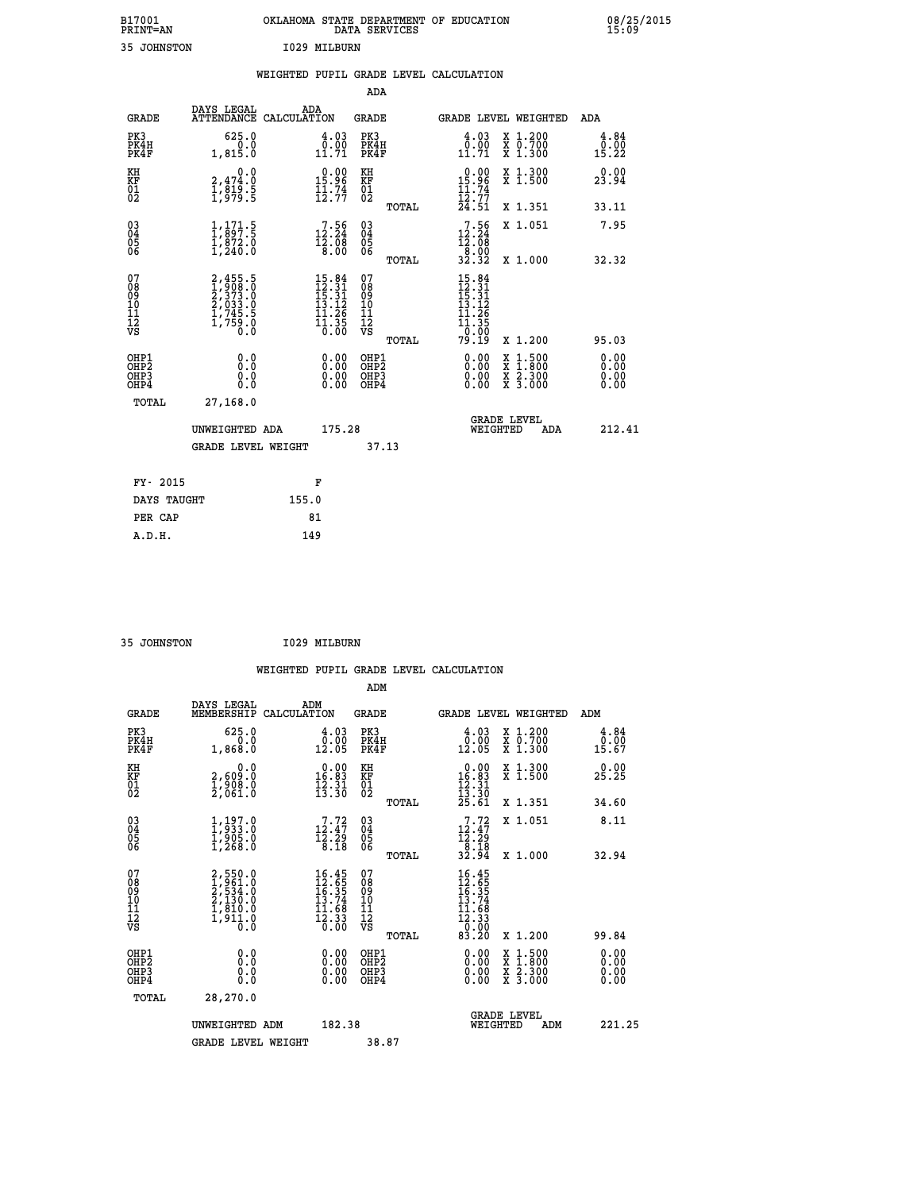| B17001<br>PRINT=AN | <b>OKLAHOMA</b><br>STATE DEPARTMENT OF EDUCATION<br>DATA SERVICES | 08/25/2015<br>15:09 |
|--------------------|-------------------------------------------------------------------|---------------------|
| 35<br>JOHNSTON     | 1029 MILBURN                                                      |                     |

|                                                                    |                                                                                        |       |                                                                                                                              |                                          |       | WEIGHTED PUPIL GRADE LEVEL CALCULATION                                                                                             |                                                                                                                                           |     |                       |
|--------------------------------------------------------------------|----------------------------------------------------------------------------------------|-------|------------------------------------------------------------------------------------------------------------------------------|------------------------------------------|-------|------------------------------------------------------------------------------------------------------------------------------------|-------------------------------------------------------------------------------------------------------------------------------------------|-----|-----------------------|
|                                                                    |                                                                                        |       |                                                                                                                              | <b>ADA</b>                               |       |                                                                                                                                    |                                                                                                                                           |     |                       |
| <b>GRADE</b>                                                       | DAYS LEGAL<br>ATTENDANCE CALCULATION                                                   |       | ADA                                                                                                                          | GRADE                                    |       | GRADE LEVEL WEIGHTED                                                                                                               |                                                                                                                                           |     | ADA                   |
| PK3<br>PK4H<br>PK4F                                                | 625.0<br>0.0<br>1,815.0                                                                |       | $\begin{smallmatrix} 4.03\0.001.71\end{smallmatrix}$                                                                         | PK3<br>PK4H<br>PK4F                      |       | $\frac{4.03}{0.00}$<br>11.71                                                                                                       | X 1.200<br>X 0.700<br>X 1.300                                                                                                             |     | 4.84<br>0.00<br>15.22 |
| KH<br>KF<br>01<br>02                                               | 0.0<br>2,474:0<br>1,819:5<br>1,979:5                                                   |       | $0.00$<br>15.96<br>$\frac{1}{12}$ $\frac{5}{77}$                                                                             | KH<br>KF<br>$\overline{01}$              |       | $0.00$<br>15.96                                                                                                                    | X 1.300<br>X 1.500                                                                                                                        |     | 0.00<br>23.94         |
|                                                                    |                                                                                        |       |                                                                                                                              |                                          | TOTAL | $\frac{11.74}{12.77}$<br>$24.51$                                                                                                   | X 1.351                                                                                                                                   |     | 33.11                 |
| $\begin{smallmatrix} 03 \\[-4pt] 04 \end{smallmatrix}$<br>Ŏ5<br>06 | $\frac{1}{1}, \frac{1}{897}$ : 5<br>$\frac{1}{1}, \frac{872}{872}$ : 0<br>$1, 240$ : 0 |       | $12.56$<br>$12.24$<br>$12.08$                                                                                                | $\substack{03 \\ 04}$<br>$\frac{05}{06}$ |       | $12.56$<br>$12.24$<br>$12.08$                                                                                                      | X 1.051                                                                                                                                   |     | 7.95                  |
|                                                                    |                                                                                        |       | 0.00                                                                                                                         |                                          | TOTAL | $\frac{18.00}{32.32}$                                                                                                              | X 1.000                                                                                                                                   |     | 32.32                 |
| 07<br>08<br>09<br>01<br>11<br>11<br>12<br>VS                       | 2,455.5<br>1,908.0<br>2,373.0<br>2,033.0<br>2,033.0<br>1,745.5<br>1,759.0              |       | $\begin{array}{r} 15\cdot 84 \\ 12\cdot 31 \\ 15\cdot 31 \\ 13\cdot 12 \\ 11\cdot 26 \\ 11\cdot 35 \\ 0\cdot 00 \end{array}$ | 07<br>08<br>09<br>11<br>11<br>12<br>VS   | TOTAL | $15.84$<br>$12.31$<br>$15.31$<br>$13.12$<br>11.26<br>$\overline{1}\overline{1}$ $\overline{3}\overline{5}$ $\overline{0}$<br>79.19 | X 1.200                                                                                                                                   |     | 95.03                 |
| OHP1<br>OHP2<br>OHP3<br>OHP4                                       | 0.0<br>0.0<br>$0.\overline{0}$                                                         |       | $\begin{smallmatrix} 0.00 \ 0.00 \ 0.00 \ 0.00 \end{smallmatrix}$                                                            | OHP1<br>OHP2<br>OHP3<br>OHP4             |       | 0.00<br>0.00                                                                                                                       | $\begin{smallmatrix} \mathtt{X} & 1\cdot500\\ \mathtt{X} & 1\cdot800\\ \mathtt{X} & 2\cdot300\\ \mathtt{X} & 3\cdot000 \end{smallmatrix}$ |     | 0.00<br>0.00<br>0.00  |
| TOTAL                                                              | 27,168.0                                                                               |       |                                                                                                                              |                                          |       |                                                                                                                                    |                                                                                                                                           |     |                       |
|                                                                    | UNWEIGHTED ADA                                                                         |       | 175.28                                                                                                                       |                                          |       | WEIGHTED                                                                                                                           | <b>GRADE LEVEL</b>                                                                                                                        | ADA | 212.41                |
|                                                                    | <b>GRADE LEVEL WEIGHT</b>                                                              |       |                                                                                                                              |                                          | 37.13 |                                                                                                                                    |                                                                                                                                           |     |                       |
| FY- 2015                                                           |                                                                                        |       | F                                                                                                                            |                                          |       |                                                                                                                                    |                                                                                                                                           |     |                       |
| DAYS TAUGHT                                                        |                                                                                        | 155.0 |                                                                                                                              |                                          |       |                                                                                                                                    |                                                                                                                                           |     |                       |
| PER CAP                                                            |                                                                                        |       | 81                                                                                                                           |                                          |       |                                                                                                                                    |                                                                                                                                           |     |                       |

| 35 JOHNSTON | 1029 MILBURN |
|-------------|--------------|

|                                                      |                                                                               |                    |                                                                                                                              |                                              |       | WEIGHTED PUPIL GRADE LEVEL CALCULATION                                                                                                     |                                                     |                                       |
|------------------------------------------------------|-------------------------------------------------------------------------------|--------------------|------------------------------------------------------------------------------------------------------------------------------|----------------------------------------------|-------|--------------------------------------------------------------------------------------------------------------------------------------------|-----------------------------------------------------|---------------------------------------|
|                                                      |                                                                               |                    |                                                                                                                              | ADM                                          |       |                                                                                                                                            |                                                     |                                       |
| <b>GRADE</b>                                         | DAYS LEGAL<br>MEMBERSHIP                                                      | ADM<br>CALCULATION |                                                                                                                              | <b>GRADE</b>                                 |       | <b>GRADE LEVEL WEIGHTED</b>                                                                                                                |                                                     | ADM                                   |
| PK3<br>PK4H<br>PK4F                                  | 625.0<br>0.0<br>1,868.0                                                       |                    | $\begin{smallmatrix} 4.03\ 0.0010.01 \end{smallmatrix}$                                                                      | PK3<br>PK4H<br>PK4F                          |       | $\begin{smallmatrix} 4.03\ 0.00\ 12.05 \end{smallmatrix}$                                                                                  | X 1.200<br>X 0.700<br>X 1.300                       | 4.84<br>0.00<br>15.67                 |
| KH<br>KF<br>01<br>02                                 | 0.0<br>2,609.0<br>$\frac{1}{2}$ , $\frac{5}{0}$ $\frac{5}{1}$ , $\frac{5}{0}$ |                    | $\begin{smallmatrix} 0.00\\ 16.83\\ 12.31\\ 13.30 \end{smallmatrix}$                                                         | KH<br>KF<br>01<br>02                         |       | $\begin{array}{r} 0.00 \\ 16.83 \\ 12.31 \\ 13.30 \\ 25.61 \end{array}$                                                                    | X 1.300<br>X 1.500                                  | 0.00<br>25.25                         |
|                                                      |                                                                               |                    |                                                                                                                              |                                              | TOTAL |                                                                                                                                            | X 1.351                                             | 34.60                                 |
| $\begin{matrix} 03 \\ 04 \\ 05 \\ 06 \end{matrix}$   | $1, 197.0$<br>$1, 933.0$<br>$1, 905.0$<br>$1, 268.0$                          |                    | $\begin{smallmatrix}7.72\12.47\12.29\18.18\end{smallmatrix}$                                                                 | 03<br>04<br>05<br>06                         |       | $7.72$<br>$12.47$<br>$12.29$<br>$8.18$<br>$32.94$                                                                                          | X 1.051                                             | 8.11                                  |
| 07<br>0890112<br>1112<br>VS                          | 2,550.0<br>1,961.0<br>2,534.0<br>2,130.0<br>1,810.0<br>1,911.0<br>0.0         |                    | $\begin{array}{r} 16\cdot 45 \\ 12\cdot 65 \\ 16\cdot 35 \\ 13\cdot 74 \\ 11\cdot 68 \\ 12\cdot 33 \\ 0\cdot 00 \end{array}$ | 07<br>08901112<br>1112<br>VS                 | TOTAL | $\begin{array}{r} 16\cdot 45 \\ 12\cdot 65 \\ 16\cdot 34 \\ 13\cdot 74 \\ 11\cdot 68 \\ 12\cdot 33 \\ 0\cdot 00 \\ 83\cdot 20 \end{array}$ | X 1.000                                             | 32.94                                 |
| OHP1<br>OHP <sub>2</sub><br>OH <sub>P3</sub><br>OHP4 | 0.0<br>0.000                                                                  |                    | $0.00$<br>$0.00$<br>0.00                                                                                                     | OHP1<br>OHP <sub>2</sub><br>OHP <sub>3</sub> | TOTAL | 0.00<br>0.00<br>0.00                                                                                                                       | X 1.200<br>X 1:500<br>X 1:800<br>X 2:300<br>X 3:000 | 99.84<br>0.00<br>0.00<br>0.00<br>0.00 |
| TOTAL                                                | 28,270.0<br>UNWEIGHTED ADM<br><b>GRADE LEVEL WEIGHT</b>                       |                    | 182.38                                                                                                                       | 38.87                                        |       | WEIGHTED                                                                                                                                   | <b>GRADE LEVEL</b><br>ADM                           | 221.25                                |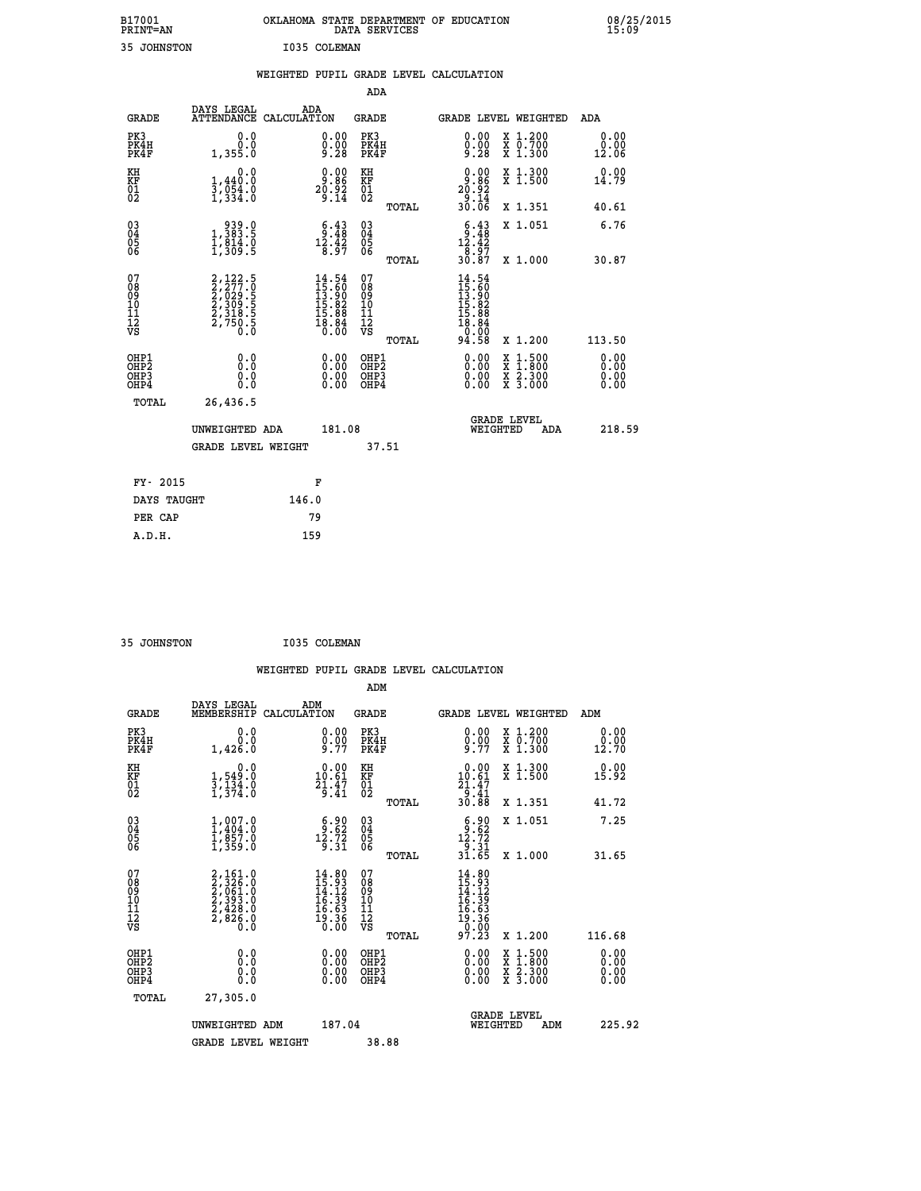| B17001<br><b>PRINT=AN</b> | OKLAHOMA STATE DEPARTMENT OF EDUCATION<br>DATA SERVICES |  |
|---------------------------|---------------------------------------------------------|--|
| 35 JOHNSTON               | I035 COLEMAN                                            |  |

 **B17001 OKLAHOMA STATE DEPARTMENT OF EDUCATION 08/25/2015**

|                                              |                                                                            | WEIGHTED PUPIL GRADE LEVEL CALCULATION                                   |                                                    |       |                                                                                                                                                                                                                                                                                |                                                                                                                                              |                       |
|----------------------------------------------|----------------------------------------------------------------------------|--------------------------------------------------------------------------|----------------------------------------------------|-------|--------------------------------------------------------------------------------------------------------------------------------------------------------------------------------------------------------------------------------------------------------------------------------|----------------------------------------------------------------------------------------------------------------------------------------------|-----------------------|
|                                              |                                                                            |                                                                          | ADA                                                |       |                                                                                                                                                                                                                                                                                |                                                                                                                                              |                       |
| <b>GRADE</b>                                 | DAYS LEGAL                                                                 | ADA<br>ATTENDANCE CALCULATION                                            | GRADE                                              |       |                                                                                                                                                                                                                                                                                | GRADE LEVEL WEIGHTED                                                                                                                         | ADA                   |
| PK3<br>PK4H<br>PK4F                          | 0.0<br>0.0<br>1,355.0                                                      | $\substack{0.00\\0.00\\9.28}$                                            | PK3<br>PK4H<br>PK4F                                |       | $\substack{0.00\\0.00\\9.28}$                                                                                                                                                                                                                                                  | X 1.200<br>X 0.700<br>X 1.300                                                                                                                | 0.00<br>0.00<br>12.06 |
| KH<br>KF<br>01<br>02                         | 0.0<br>$\frac{1}{3}, \frac{440}{954}$ .0<br>1,334.0                        | $0.00$<br>9.86<br>$2\overline{0}$ : 92<br>9:14                           | KH<br>KF<br>01<br>02                               |       | $\begin{smallmatrix} 0.00\\ -9.86\\ 20.92\\ -14\\ 30.06 \end{smallmatrix}$                                                                                                                                                                                                     | X 1.300<br>X 1.500                                                                                                                           | 0.00<br>14.79         |
|                                              |                                                                            |                                                                          |                                                    | TOTAL |                                                                                                                                                                                                                                                                                | X 1.351                                                                                                                                      | 40.61                 |
| $^{03}_{04}$<br>05                           | $\begin{smallmatrix} & 939.0\\1,383.5\\1,814.0\\1,309.5 \end{smallmatrix}$ | $\begin{smallmatrix}&&6\\&&3\\2&48\\12&42\\8&97\end{smallmatrix}$        | $\begin{matrix} 03 \\ 04 \\ 05 \\ 06 \end{matrix}$ |       | $\begin{smallmatrix} 6\cdot4 & 3\\ 9\cdot4 & 8\\ 12\cdot4 & 2\\ 8\cdot9 & 7\\ 30\cdot8 & 7 \end{smallmatrix}$                                                                                                                                                                  | X 1.051                                                                                                                                      | 6.76                  |
| 06                                           |                                                                            |                                                                          |                                                    | TOTAL |                                                                                                                                                                                                                                                                                | X 1.000                                                                                                                                      | 30.87                 |
| 07<br>08<br>09<br>01<br>11<br>11<br>12<br>VS | 2,122.5<br>2,277.0<br>2,029.5<br>2,309.5<br>2,318.5<br>2,750.5<br>0.0      | $14.54$<br>$15.60$<br>$13.90$<br>$15.82$<br>$15.88$<br>$18.84$<br>$0.00$ | 07<br>08<br>09<br>101<br>11<br>12<br>VS            | TOTAL | $\begin{array}{l} 14\cdot54\\15\cdot60\\13\cdot90\\15\cdot82\\15\cdot88\\16\cdot86\\0\cdot10\\0\end{array}$<br>94.58                                                                                                                                                           | X 1.200                                                                                                                                      | 113.50                |
| OHP1<br>OHP2<br>OHP3<br>OHP4                 | 0.0<br>0.000                                                               | $\begin{smallmatrix} 0.00 \ 0.00 \ 0.00 \ 0.00 \end{smallmatrix}$        | OHP1<br>OHP2<br>OHP <sub>3</sub>                   |       | $\begin{smallmatrix} 0.00 & 0.00 & 0.00 & 0.00 & 0.00 & 0.00 & 0.00 & 0.00 & 0.00 & 0.00 & 0.00 & 0.00 & 0.00 & 0.00 & 0.00 & 0.00 & 0.00 & 0.00 & 0.00 & 0.00 & 0.00 & 0.00 & 0.00 & 0.00 & 0.00 & 0.00 & 0.00 & 0.00 & 0.00 & 0.00 & 0.00 & 0.00 & 0.00 & 0.00 & 0.00 & 0.0$ | $\begin{smallmatrix} \mathtt{X} & 1\cdot500 \\ \mathtt{X} & 1\cdot800 \\ \mathtt{X} & 2\cdot300 \\ \mathtt{X} & 3\cdot000 \end{smallmatrix}$ | 0.00<br>0.00<br>0.00  |
| TOTAL                                        | 26,436.5                                                                   |                                                                          |                                                    |       |                                                                                                                                                                                                                                                                                |                                                                                                                                              |                       |
|                                              | UNWEIGHTED ADA                                                             | 181.08                                                                   |                                                    |       | WEIGHTED                                                                                                                                                                                                                                                                       | <b>GRADE LEVEL</b><br>ADA                                                                                                                    | 218.59                |
|                                              | <b>GRADE LEVEL WEIGHT</b>                                                  |                                                                          |                                                    | 37.51 |                                                                                                                                                                                                                                                                                |                                                                                                                                              |                       |
| FY- 2015                                     |                                                                            | F                                                                        |                                                    |       |                                                                                                                                                                                                                                                                                |                                                                                                                                              |                       |
| DAYS TAUGHT                                  |                                                                            | 146.0                                                                    |                                                    |       |                                                                                                                                                                                                                                                                                |                                                                                                                                              |                       |
| PER CAP                                      |                                                                            | 79                                                                       |                                                    |       |                                                                                                                                                                                                                                                                                |                                                                                                                                              |                       |

| 35 JOHNSTON | I035 COLEMAN |
|-------------|--------------|
|             |              |

 **A.D.H. 159**

 **B17001<br>PRINT=AN** 

|                                                    |                                                                                     | WEIGHTED PUPIL GRADE LEVEL CALCULATION                                                                                        |                                               |                                                                                                                                                                                                                                                                                |                                                                                                  |                       |
|----------------------------------------------------|-------------------------------------------------------------------------------------|-------------------------------------------------------------------------------------------------------------------------------|-----------------------------------------------|--------------------------------------------------------------------------------------------------------------------------------------------------------------------------------------------------------------------------------------------------------------------------------|--------------------------------------------------------------------------------------------------|-----------------------|
|                                                    |                                                                                     |                                                                                                                               | ADM                                           |                                                                                                                                                                                                                                                                                |                                                                                                  |                       |
| <b>GRADE</b>                                       | DAYS LEGAL<br>MEMBERSHIP                                                            | ADM<br>CALCULATION                                                                                                            | <b>GRADE</b>                                  | <b>GRADE LEVEL WEIGHTED</b>                                                                                                                                                                                                                                                    |                                                                                                  | ADM                   |
| PK3<br>PK4H<br>PK4F                                | 0.0<br>0.0<br>1,426.0                                                               | $\substack{0.00\\0.00\\9.77}$                                                                                                 | PK3<br>PK4H<br>PK4F                           | $0.00$<br>$0.00$<br>$9.77$                                                                                                                                                                                                                                                     | X 1.200<br>X 0.700<br>X 1.300                                                                    | 0.00<br>0.00<br>12.70 |
| KH<br>KF<br>01<br>02                               | 0.0<br>$\frac{1}{3}, \frac{549}{134}$ .0<br>1,374.0                                 | $\begin{smallmatrix} 0.00\\ 10.61\\ 21.47\\ 9.41 \end{smallmatrix}$                                                           | KH<br>KF<br>01<br>02                          | $\begin{array}{r} 0.00 \\ 10.61 \\ 21.47 \\ 9.41 \\ 30.88 \end{array}$                                                                                                                                                                                                         | X 1.300<br>X 1.500                                                                               | 0.00<br>15.92         |
|                                                    |                                                                                     |                                                                                                                               | TOTAL                                         |                                                                                                                                                                                                                                                                                | X 1.351                                                                                          | 41.72                 |
| $\begin{matrix} 03 \\ 04 \\ 05 \\ 06 \end{matrix}$ | $1, 007.0$<br>$1, 404.0$<br>$1, 857.0$<br>$1, 359.0$                                | $\begin{smallmatrix} 6.90\\ 9.62\\ 12.72\\ 9.31 \end{smallmatrix}$                                                            | 03<br>04<br>05<br>06                          | $\begin{array}{c} 6 \cdot 82 \\ 12 \cdot 72 \\ 9 \cdot 31 \\ 31 \cdot 65 \end{array}$                                                                                                                                                                                          | X 1.051                                                                                          | 7.25                  |
|                                                    |                                                                                     |                                                                                                                               | TOTAL                                         |                                                                                                                                                                                                                                                                                | X 1.000                                                                                          | 31.65                 |
| 07<br>0890112<br>1112<br>VS                        | $2,161.0$<br>$2,326.0$<br>$2,061.0$<br>$2,393.0$<br>$2,428.0$<br>$2,826.0$<br>$0.0$ | $\begin{array}{r} 14.80 \\[-4pt] 15.93 \\[-4pt] 14.12 \\[-4pt] 16.39 \\[-4pt] 16.63 \\[-4pt] 19.36 \\[-4pt] 0.00 \end{array}$ | 07<br>08<br>09<br>001<br>11<br>11<br>12<br>VS | $\begin{array}{c} 14\cdot 80 \\ 15\cdot 93 \\ 14\cdot 12 \\ 16\cdot 39 \\ 16\cdot 63 \\ 19\cdot 36 \\ 0\cdot 00 \\ 97\cdot 23 \end{array}$                                                                                                                                     |                                                                                                  |                       |
|                                                    |                                                                                     |                                                                                                                               | TOTAL                                         |                                                                                                                                                                                                                                                                                | $X_1.200$                                                                                        | 116.68                |
| OHP1<br>OHP2<br>OH <sub>P3</sub><br>OHP4           | 0.0<br>0.000                                                                        | $\begin{smallmatrix} 0.00 \ 0.00 \ 0.00 \ 0.00 \end{smallmatrix}$                                                             | OHP1<br>OHP2<br>OHP3<br>OHP4                  | $\begin{smallmatrix} 0.00 & 0.00 & 0.00 & 0.00 & 0.00 & 0.00 & 0.00 & 0.00 & 0.00 & 0.00 & 0.00 & 0.00 & 0.00 & 0.00 & 0.00 & 0.00 & 0.00 & 0.00 & 0.00 & 0.00 & 0.00 & 0.00 & 0.00 & 0.00 & 0.00 & 0.00 & 0.00 & 0.00 & 0.00 & 0.00 & 0.00 & 0.00 & 0.00 & 0.00 & 0.00 & 0.0$ | $\begin{smallmatrix} x & 1 & 500 \\ x & 1 & 800 \\ x & 2 & 300 \\ x & 3 & 000 \end{smallmatrix}$ | 0.00<br>0.00<br>0.00  |
| TOTAL                                              | 27,305.0                                                                            |                                                                                                                               |                                               |                                                                                                                                                                                                                                                                                |                                                                                                  |                       |
|                                                    | UNWEIGHTED ADM                                                                      | 187.04                                                                                                                        |                                               | <b>GRADE LEVEL</b><br>WEIGHTED                                                                                                                                                                                                                                                 | ADM                                                                                              | 225.92                |
|                                                    | <b>GRADE LEVEL WEIGHT</b>                                                           |                                                                                                                               | 38.88                                         |                                                                                                                                                                                                                                                                                |                                                                                                  |                       |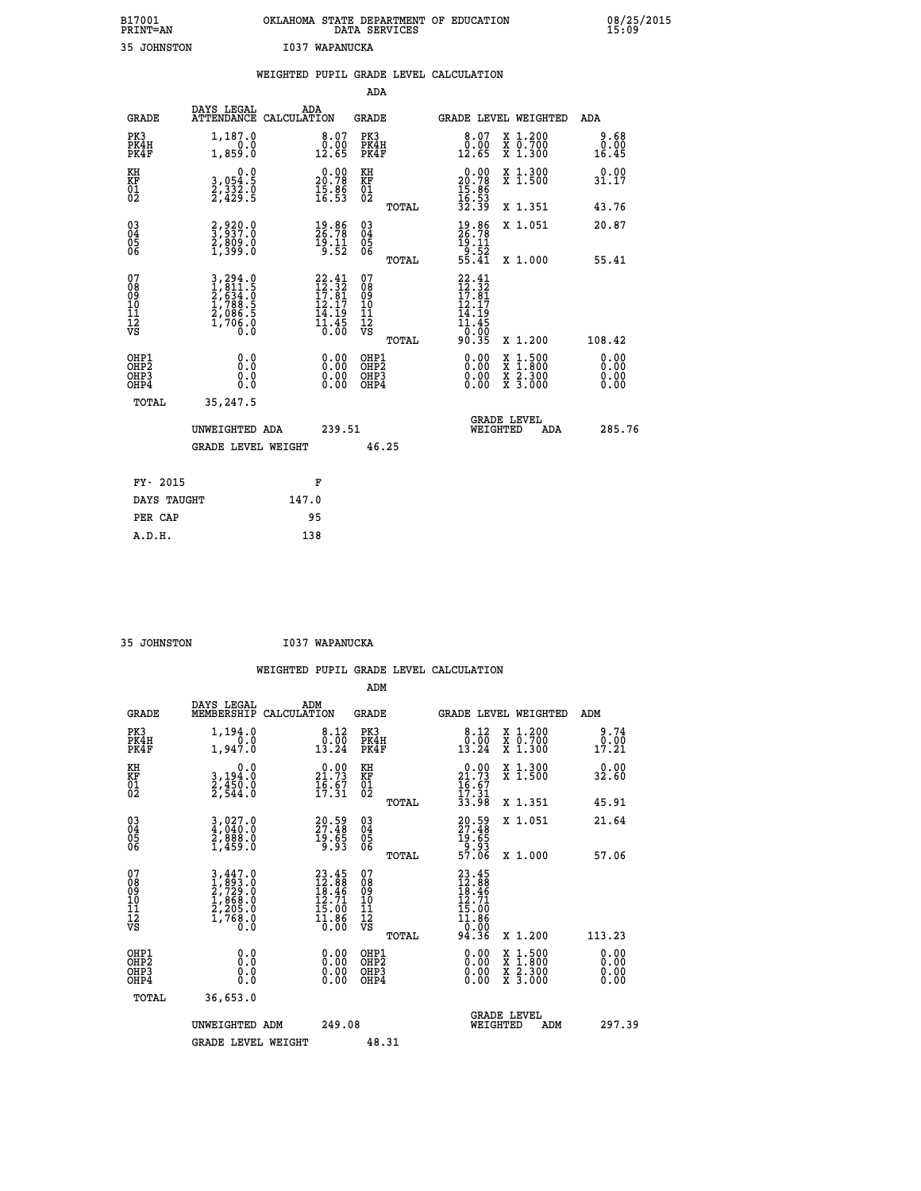| B17001<br><b>PRINT=AN</b> | OKLAHOMA STATE DEPARTMENT OF EDUCATION<br>DATA SERVICES |  |
|---------------------------|---------------------------------------------------------|--|
| 35 JOHNSTON               | I037 WAPANUCKA                                          |  |

|                                                                    |                                                                | WEIGHTED PUPIL GRADE LEVEL CALCULATION                                     |                                                     |       |                                                                                    |                                                                                                                                              |                              |
|--------------------------------------------------------------------|----------------------------------------------------------------|----------------------------------------------------------------------------|-----------------------------------------------------|-------|------------------------------------------------------------------------------------|----------------------------------------------------------------------------------------------------------------------------------------------|------------------------------|
|                                                                    |                                                                |                                                                            | <b>ADA</b>                                          |       |                                                                                    |                                                                                                                                              |                              |
| <b>GRADE</b>                                                       | DAYS LEGAL<br>ATTENDANCE CALCULATION                           | ADA                                                                        | <b>GRADE</b>                                        |       | GRADE LEVEL WEIGHTED                                                               |                                                                                                                                              | <b>ADA</b>                   |
| PK3<br>PK4H<br>PK4F                                                | 1,187.0<br>1,859.0                                             | $\begin{smallmatrix} 8.07\ 0.00\ 12.65 \end{smallmatrix}$                  | PK3<br>PK4H<br>PK4F                                 |       | $\begin{smallmatrix} 8.07\0.00\\12.65 \end{smallmatrix}$                           | X 1.200<br>X 0.700<br>X 1.300                                                                                                                | 9.68<br>ة.0<br>16.45         |
| KH<br>KF<br>01<br>02                                               | 0.0<br>3,054:5<br>2,332:0<br>2,429:5                           | $\begin{smallmatrix} 0.00\\ 20.78\\ 15.86\\ 16.53 \end{smallmatrix}$       | KH<br>KF<br>01<br>02                                |       | $\begin{smallmatrix} 0.00\\ 20.78\\ 15.86\\ 16.53\\ 32.39 \end{smallmatrix}$       | X 1.300<br>X 1.500                                                                                                                           | 0.00<br>31.17                |
|                                                                    |                                                                |                                                                            |                                                     | TOTAL |                                                                                    | X 1.351                                                                                                                                      | 43.76                        |
| $\begin{smallmatrix} 03 \\[-4pt] 04 \end{smallmatrix}$<br>05<br>06 | 2,920.0<br>3,937.0<br>2,809.0<br>1,399.0                       | $\begin{smallmatrix} 19.86\\ 26.78\\ 19.11\\ 9.52 \end{smallmatrix}$       | $\begin{array}{c} 03 \\ 04 \\ 05 \\ 06 \end{array}$ |       | $19.86$<br>$26.78$<br>$19.11$<br>$9.52$<br>$55.41$                                 | X 1.051                                                                                                                                      | 20.87                        |
|                                                                    |                                                                |                                                                            |                                                     | TOTAL |                                                                                    | X 1.000                                                                                                                                      | 55.41                        |
| 07<br>08<br>09<br>11<br>11<br>12<br>VS                             | 3,294.0<br>1,811.5<br>2,634.0<br>2,686.5<br>2,086.5<br>1,706.0 | $22.41$<br>$12.32$<br>$17.81$<br>$12.17$<br>$\frac{14}{11}$ $\frac{15}{6}$ | 07<br>08<br>09<br>11<br>11<br>12<br>VS              | TOTAL | $22.41$<br>$12.32$<br>$17.81$<br>$12.17$<br>14.19<br>$\frac{11.45}{0.00}$<br>90.35 | X 1.200                                                                                                                                      | 108.42                       |
| OHP1<br>OHP2<br>OH <sub>P3</sub><br>OH <sub>P4</sub>               | 0.0<br>Ō.Ō<br>0.0<br>0.0                                       | 0.00<br>$0.00$<br>0.00                                                     | OHP1<br>OHP2<br>OHP3<br>OHP4                        |       | $0.00$<br>$0.00$<br>0.00                                                           | $\begin{smallmatrix} \mathtt{X} & 1\cdot500 \\ \mathtt{X} & 1\cdot800 \\ \mathtt{X} & 2\cdot300 \\ \mathtt{X} & 3\cdot000 \end{smallmatrix}$ | 0.00<br>0.00<br>0.00<br>0.00 |
| TOTAL                                                              | 35,247.5                                                       |                                                                            |                                                     |       |                                                                                    |                                                                                                                                              |                              |
|                                                                    | UNWEIGHTED ADA                                                 | 239.51                                                                     |                                                     |       | <b>GRADE LEVEL</b><br>WEIGHTED                                                     | ADA                                                                                                                                          | 285.76                       |
|                                                                    | GRADE LEVEL WEIGHT                                             |                                                                            | 46.25                                               |       |                                                                                    |                                                                                                                                              |                              |
| FY- 2015                                                           |                                                                | F                                                                          |                                                     |       |                                                                                    |                                                                                                                                              |                              |
| DAYS TAUGHT                                                        |                                                                | 147.0                                                                      |                                                     |       |                                                                                    |                                                                                                                                              |                              |
| PER CAP                                                            |                                                                | 95                                                                         |                                                     |       |                                                                                    |                                                                                                                                              |                              |

| אראפאמדה. |  |
|-----------|--|

 **35 JOHNSTON I037 WAPANUCKA**

|  |     | WEIGHTED PUPIL GRADE LEVEL CALCULATION |
|--|-----|----------------------------------------|
|  | ADM |                                        |

| <b>GRADE</b>                                                     | DAYS LEGAL<br>MEMBERSHIP                                                                                                                                | ADM<br>CALCULATION                                                                           | <b>GRADE</b>                                        |       |                                                                                    | GRADE LEVEL WEIGHTED                     | ADM                          |
|------------------------------------------------------------------|---------------------------------------------------------------------------------------------------------------------------------------------------------|----------------------------------------------------------------------------------------------|-----------------------------------------------------|-------|------------------------------------------------------------------------------------|------------------------------------------|------------------------------|
| PK3<br>PK4H<br>PK4F                                              | 1,194.0<br>1,947.0                                                                                                                                      | 8.12<br>0.00<br>13.24                                                                        | PK3<br>PK4H<br>PK4F                                 |       | 8.12<br>$0.00$<br>13.24                                                            | X 1.200<br>X 0.700<br>X 1.300            | 9.74<br>$\frac{0.00}{17.21}$ |
| KH<br>KF<br>01<br>02                                             | 0.0<br>3,194:0<br>2,450:0<br>2,544:0                                                                                                                    | $\begin{smallmatrix} 0.00\\ 21.73\\ 16.57\\ 17.31 \end{smallmatrix}$                         | KH<br>KF<br>01<br>02                                |       | $\begin{array}{r} 0.00 \\ 21.73 \\ 16.67 \\ 17.31 \\ 33.98 \end{array}$            | X 1.300<br>X 1.500                       | 0.00<br>32.60                |
|                                                                  |                                                                                                                                                         |                                                                                              |                                                     | TOTAL |                                                                                    | X 1.351                                  | 45.91                        |
| $\begin{matrix} 03 \\ 04 \\ 05 \\ 06 \end{matrix}$               | 3,027.0<br>4,040.0<br>2,888.0<br>1,459.0                                                                                                                | 20.59<br>27.48<br>19.65<br>9.93                                                              | $\begin{array}{c} 03 \\ 04 \\ 05 \\ 06 \end{array}$ |       | 20:59<br>27:48<br>19:65<br>19:53<br>57:06                                          | X 1.051                                  | 21.64                        |
|                                                                  |                                                                                                                                                         |                                                                                              |                                                     | TOTAL |                                                                                    | X 1.000                                  | 57.06                        |
| 07<br>08<br>09<br>11<br>11<br>12<br>VS                           | $\begin{smallmatrix} 3\,,447\,.\,0\\ 1\,,\,893\,.\,0\\ 2\,,\,729\,.\,0\\ 1\,,\,868\,.\,0\\ 2\,,\,205\,.\,0\\ 1\,,\,768\,.\,0\\ 0\,.0 \end{smallmatrix}$ | $\begin{smallmatrix} 23.45\\ 12.88\\ 18.46\\ 12.71\\ 15.00\\ 11.86\\ 0.00 \end{smallmatrix}$ | 07<br>08<br>09<br>11<br>11<br>12<br>VS              | TOTAL | $23.45$<br>$12.88$<br>$18.46$<br>$12.71$<br>$15.00$<br>$11.86$<br>$0.000$<br>94.36 | X 1.200                                  | 113.23                       |
| OHP1<br>OH <sub>P</sub> <sub>2</sub><br>OH <sub>P3</sub><br>OHP4 | 0.0<br>Ō.Ō<br>Ŏ.Ŏ                                                                                                                                       |                                                                                              | OHP1<br>OHP <sub>2</sub><br>OHP3<br>OHP4            |       |                                                                                    | X 1:500<br>X 1:800<br>X 2:300<br>X 3:000 | 0.00<br>0.00<br>0.00         |
| TOTAL                                                            | 36,653.0                                                                                                                                                |                                                                                              |                                                     |       |                                                                                    |                                          |                              |
|                                                                  | UNWEIGHTED ADM                                                                                                                                          | 249.08                                                                                       |                                                     |       | <b>GRADE LEVEL</b><br>WEIGHTED                                                     | ADM                                      | 297.39                       |
|                                                                  | <b>GRADE LEVEL WEIGHT</b>                                                                                                                               |                                                                                              | 48.31                                               |       |                                                                                    |                                          |                              |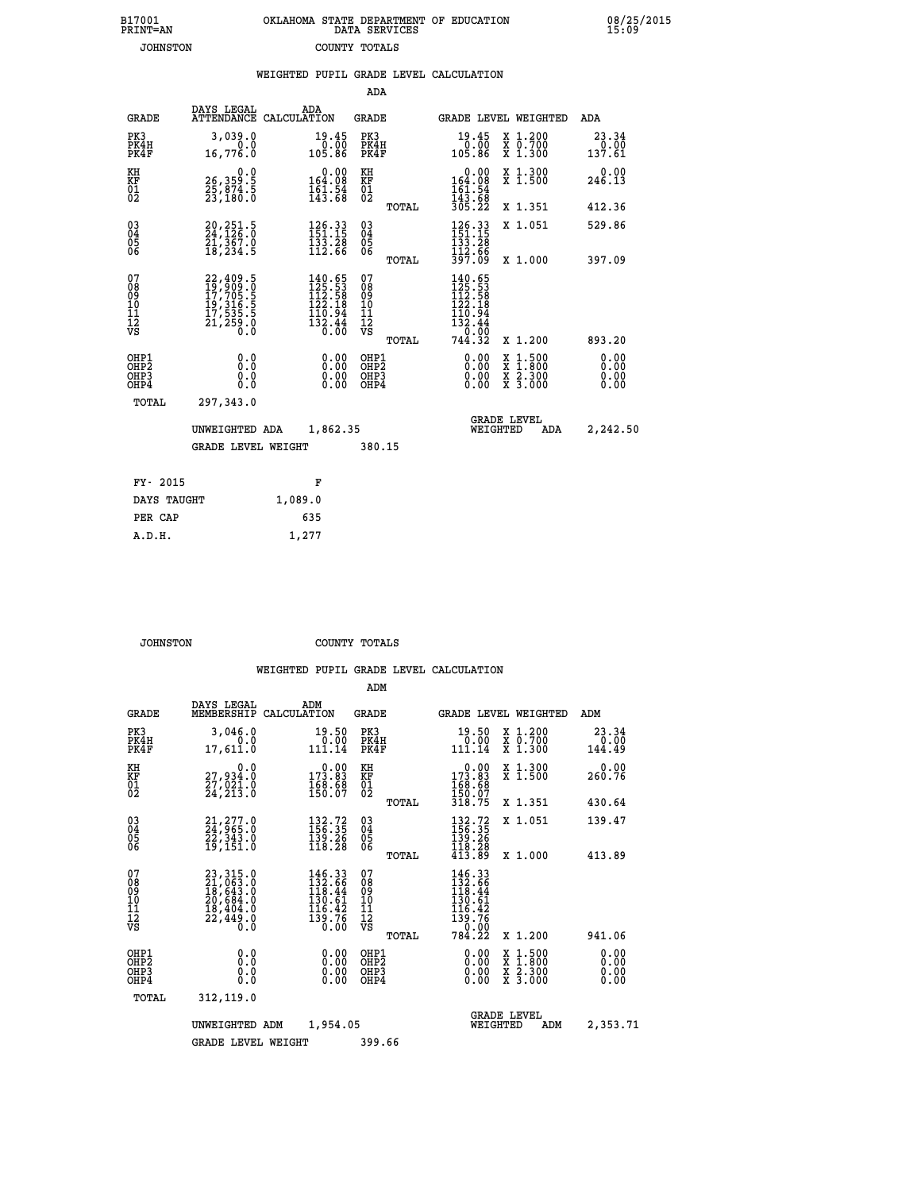| 7001<br>INT=AN | OKLAHOMA STATE DEPARTMENT OF EDUCATION<br>DATA SERVICES |  |
|----------------|---------------------------------------------------------|--|
| JOHNSTON       | COUNTY TOTALS                                           |  |

**B17001<br>PRINT=AN** 

 **B17001 OKLAHOMA STATE DEPARTMENT OF EDUCATION 08/25/2015**

|                                          |                                                                      | WEIGHTED PUPIL GRADE LEVEL CALCULATION                                                |                        |                                                    |       |                                                                                                                                                                                                                                     |                                                                                                                                      |                              |
|------------------------------------------|----------------------------------------------------------------------|---------------------------------------------------------------------------------------|------------------------|----------------------------------------------------|-------|-------------------------------------------------------------------------------------------------------------------------------------------------------------------------------------------------------------------------------------|--------------------------------------------------------------------------------------------------------------------------------------|------------------------------|
|                                          |                                                                      |                                                                                       |                        | <b>ADA</b>                                         |       |                                                                                                                                                                                                                                     |                                                                                                                                      |                              |
| <b>GRADE</b>                             | DAYS LEGAL<br>ATTENDANCE CALCULATION                                 | ADA                                                                                   |                        | GRADE                                              |       |                                                                                                                                                                                                                                     | GRADE LEVEL WEIGHTED                                                                                                                 | ADA                          |
| PK3<br>PK4H<br>PK4F                      | 3,039.0<br>0.0<br>16,776.0                                           | 105.86                                                                                | 19.45<br>0.00          | PK3<br>PK4H<br>PK4F                                |       | $19.45\n0.00\n105.86$                                                                                                                                                                                                               | X 1.200<br>X 0.700<br>X 1.300                                                                                                        | 23.34<br>0.00<br>137.61      |
| KH<br>KF<br>01<br>02                     | 0.0<br>26,359:5<br>25,874:5<br>23,180:0                              | $0.00$<br>164.08<br>$\frac{161.54}{143.68}$                                           |                        | KH<br>KF<br>01<br>02                               |       | $\begin{array}{c} 0.00 \\ 164.08 \\ 161.54 \\ 143.68 \\ 305.22 \end{array}$                                                                                                                                                         | X 1.300<br>X 1.500                                                                                                                   | 0.00<br>246.13               |
|                                          |                                                                      |                                                                                       |                        |                                                    | TOTAL |                                                                                                                                                                                                                                     | X 1.351                                                                                                                              | 412.36                       |
| 03<br>04<br>05<br>06                     | 20,251.5<br>24,126.0<br>21,367.0<br>18,234.5                         | $\begin{array}{l} 126.33 \\[-4pt] 151.15 \\[-4pt] 133.28 \\[-4pt] 112.66 \end{array}$ |                        | $\begin{matrix} 03 \\ 04 \\ 05 \\ 06 \end{matrix}$ |       | 126.33<br>151.15<br>133.28                                                                                                                                                                                                          | X 1.051                                                                                                                              | 529.86                       |
|                                          |                                                                      |                                                                                       |                        |                                                    | TOTAL | 112.66<br>397.09                                                                                                                                                                                                                    | X 1.000                                                                                                                              | 397.09                       |
| 07<br>08<br>09<br>11<br>11<br>12<br>VS   | 22,409.5<br>19,909.0<br>17,705.5<br>19,316.5<br>17,535.5<br>21,259.0 | $140.65$<br>$125.53$<br>$112.58$<br>$122.18$<br>$\frac{110.94}{132.44}$<br>$0.00$     |                        | 07<br>08<br>09<br>11<br>11<br>12<br>VS             | TOTAL | 140.65<br>$\frac{1}{1}\overline{2}\,\overline{5}\cdot\overline{5}\,\overline{3}\,$<br>$\frac{1}{1}\overline{2}\,\overline{2}\cdot\overline{1}\,\overline{8}\,$<br>$\begin{array}{r} 116.94 \\ 132.44 \\ 0.00 \\ 744.32 \end{array}$ | X 1.200                                                                                                                              | 893.20                       |
| OHP1<br>OHP2<br>OH <sub>P3</sub><br>OHP4 | 0.0<br>0.0<br>0.0                                                    |                                                                                       | 0.00<br>$0.00$<br>0.00 | OHP1<br>OHP2<br>OHP3<br>OHP4                       |       | 0.00<br>0.00<br>0.00                                                                                                                                                                                                                | $\begin{smallmatrix} \mathtt{X} & 1 & 500 \\ \mathtt{X} & 1 & 800 \\ \mathtt{X} & 2 & 300 \\ \mathtt{X} & 3 & 000 \end{smallmatrix}$ | 0.00<br>0.00<br>0.00<br>0.00 |
| <b>TOTAL</b>                             | 297,343.0                                                            |                                                                                       |                        |                                                    |       |                                                                                                                                                                                                                                     |                                                                                                                                      |                              |
|                                          | UNWEIGHTED ADA                                                       |                                                                                       | 1,862.35               |                                                    |       | WEIGHTED                                                                                                                                                                                                                            | <b>GRADE LEVEL</b><br>ADA                                                                                                            | 2,242.50                     |
|                                          | <b>GRADE LEVEL WEIGHT</b>                                            |                                                                                       |                        | 380.15                                             |       |                                                                                                                                                                                                                                     |                                                                                                                                      |                              |
| FY- 2015                                 |                                                                      | F                                                                                     |                        |                                                    |       |                                                                                                                                                                                                                                     |                                                                                                                                      |                              |
| DAYS TAUGHT                              |                                                                      | 1,089.0                                                                               |                        |                                                    |       |                                                                                                                                                                                                                                     |                                                                                                                                      |                              |
| PER CAP                                  |                                                                      | 635                                                                                   |                        |                                                    |       |                                                                                                                                                                                                                                     |                                                                                                                                      |                              |

 **A.D.H. 1,277**

 **JOHNSTON COUNTY TOTALS**

|                                                    |                              |                                                                                  |                                                                                                                                                    | ADM                                                 |                                                                                                                             |                                |                                          |                                |
|----------------------------------------------------|------------------------------|----------------------------------------------------------------------------------|----------------------------------------------------------------------------------------------------------------------------------------------------|-----------------------------------------------------|-----------------------------------------------------------------------------------------------------------------------------|--------------------------------|------------------------------------------|--------------------------------|
|                                                    | <b>GRADE</b>                 | DAYS LEGAL<br>MEMBERSHIP<br>CALCULATION                                          | ADM                                                                                                                                                | <b>GRADE</b>                                        |                                                                                                                             |                                | <b>GRADE LEVEL WEIGHTED</b>              | ADM                            |
| PK3                                                | PK4H<br>PK4F                 | 3,046.0<br>0.0<br>17,611.0                                                       | 19.50<br>0.00<br>111.14                                                                                                                            | PK3<br>PK4H<br>PK4F                                 | 19.50<br>$\begin{smallmatrix} & 0.00\ 111.14\end{smallmatrix}$                                                              |                                | X 1.200<br>X 0.700<br>X 1.300            | 23.34<br>$\frac{0.00}{144.49}$ |
| KH<br>KF<br>01<br>02                               |                              | 0.0<br>27,934:0<br>27,021:0<br>24,213:0                                          | $\begin{smallmatrix} &0.00\ 173.83\ 168.68\ 150.07\ \end{smallmatrix}$                                                                             | KH<br><b>KF</b><br>01<br>02                         | $\begin{array}{c} 0.00 \\ 173.83 \\ 168.68 \\ 150.07 \\ 318.75 \end{array}$                                                 |                                | X 1.300<br>X 1.500                       | 0.00<br>260.76                 |
|                                                    |                              |                                                                                  |                                                                                                                                                    | TOTAL                                               |                                                                                                                             |                                | X 1.351                                  | 430.64                         |
| $\begin{matrix} 03 \\ 04 \\ 05 \\ 06 \end{matrix}$ |                              | $21, 277.0$<br>$24, 965.0$<br>$22, 343.0$<br>$19, 151.0$                         | $\begin{smallmatrix} 132.72\ 156.35\ 139.26\ 118.28 \end{smallmatrix}$                                                                             | $\begin{array}{c} 03 \\ 04 \\ 05 \\ 06 \end{array}$ | $132.72$<br>$156.35$<br>$139.26$<br>$118.28$<br>$413.89$                                                                    |                                | X 1.051                                  | 139.47                         |
|                                                    |                              |                                                                                  |                                                                                                                                                    | TOTAL                                               |                                                                                                                             |                                | X 1.000                                  | 413.89                         |
| 07<br>08<br>09<br>101<br>11<br>12<br>VS            |                              | 23, 315.0<br>21, 063.0<br>18, 643.0<br>20, 684.0<br>18, 404.0<br>22,449.0<br>0.0 | $\begin{smallmatrix} 146\cdot 33\\ 132\cdot 66\\ 118\cdot 44\\ 130\cdot 61\\ 136\cdot 42\\ 116\cdot 42\\ 139\cdot 76\\ 0\cdot 00\end{smallmatrix}$ | 07<br>08<br>09<br>11<br>11<br>12<br>VS<br>TOTAL     | $\begin{smallmatrix} 146 & 33\\ 132 & 66\\ 118 & 44\\ 130 & 61\\ 116 & 42\\ 139 & 76\\ 0 & 00\\ 784 & 22 \end{smallmatrix}$ |                                | X 1.200                                  | 941.06                         |
|                                                    | OHP1<br>OHP2<br>OHP3<br>OHP4 | 0.0<br>0.000                                                                     |                                                                                                                                                    | OHP1<br>OHP2<br>OHP3<br>OHP4                        | 0.00<br>$0.00$<br>0.00                                                                                                      |                                | X 1:500<br>X 1:800<br>X 2:300<br>X 3:000 | 0.00<br>0.00<br>0.00<br>0.00   |
|                                                    | TOTAL                        | 312,119.0                                                                        |                                                                                                                                                    |                                                     |                                                                                                                             |                                |                                          |                                |
|                                                    |                              | UNWEIGHTED<br>ADM                                                                | 1,954.05                                                                                                                                           |                                                     |                                                                                                                             | <b>GRADE LEVEL</b><br>WEIGHTED | ADM                                      | 2,353.71                       |
|                                                    |                              | <b>GRADE LEVEL WEIGHT</b>                                                        |                                                                                                                                                    | 399.66                                              |                                                                                                                             |                                |                                          |                                |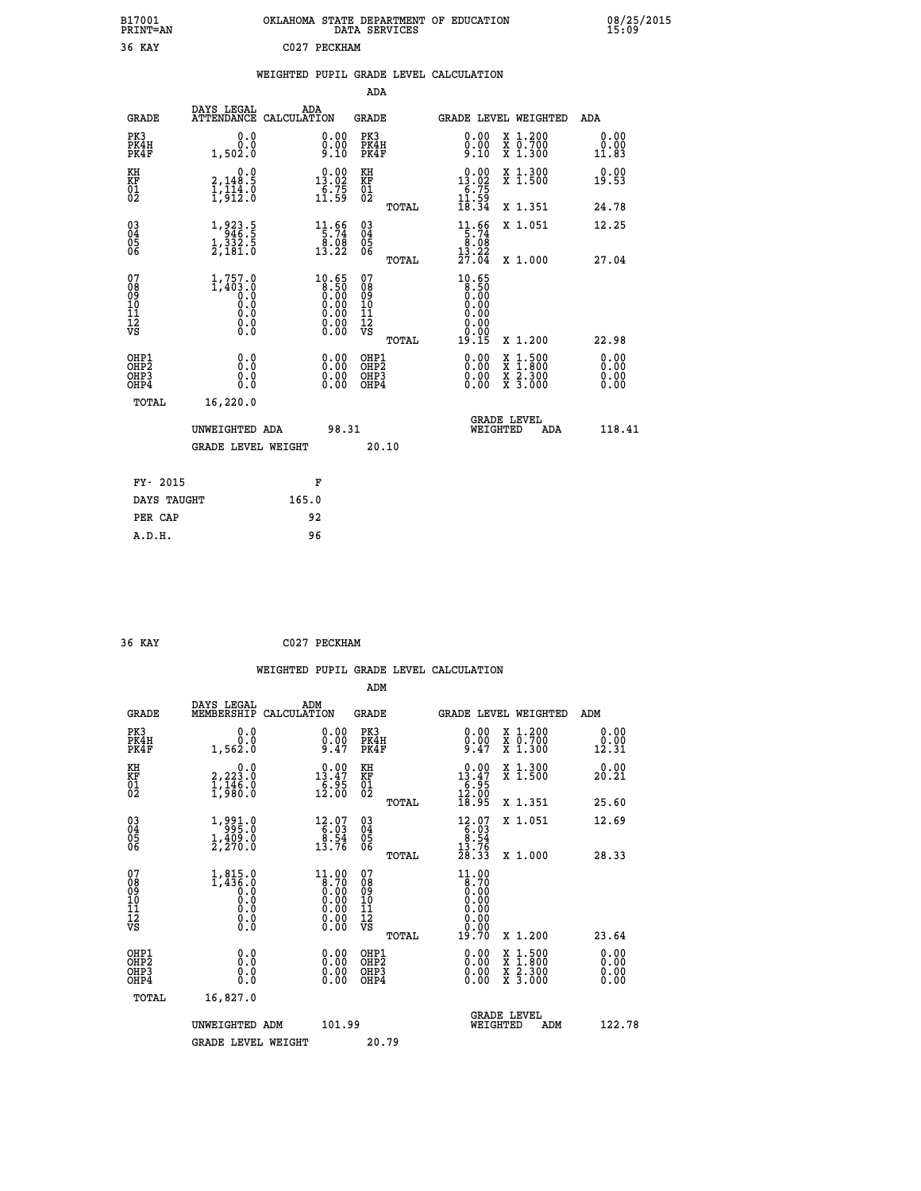| B17001<br><b>PRINT=AN</b> | OKLAHOMA STATE DEPARTMENT OF EDUCATION<br>DATA SERVICES | 08/25/2015<br>15:09 |
|---------------------------|---------------------------------------------------------|---------------------|
| 36<br>KAY                 | 2027<br>PECKHAM                                         |                     |

|  |  | WEIGHTED PUPIL GRADE LEVEL CALCULATION |
|--|--|----------------------------------------|
|  |  |                                        |

|                                                       |                                                                                        |                                                                                                      | ADA                                      |       |                                                                                                |                                          |     |                              |
|-------------------------------------------------------|----------------------------------------------------------------------------------------|------------------------------------------------------------------------------------------------------|------------------------------------------|-------|------------------------------------------------------------------------------------------------|------------------------------------------|-----|------------------------------|
| <b>GRADE</b>                                          | DAYS LEGAL<br><b>ATTENDANCE</b>                                                        | ADA<br>CALCULATION                                                                                   | GRADE                                    |       | <b>GRADE LEVEL WEIGHTED</b>                                                                    |                                          |     | <b>ADA</b>                   |
| PK3<br>PK4H<br>PK4F                                   | 0.0<br>0.0<br>1,502.0                                                                  | 0.00<br>$0.00$<br>9.10                                                                               | PK3<br>PK4H<br>PK4F                      |       | 0.00<br>$0.00$<br>9.10                                                                         | X 1.200<br>X 0.700<br>X 1.300            |     | 0.00<br>0.00<br>11.83        |
| KH<br><b>KF</b><br>01<br>02                           | 0.0<br>2,148.5<br>$\frac{1}{1}, \frac{1}{9}$ $\frac{1}{2}$ $\frac{3}{2}$ $\frac{3}{8}$ | $\begin{array}{r} 0.00 \\ 13.02 \\ 6.75 \\ 11.59 \end{array}$                                        | KH<br>KF<br>01<br>02                     |       | $\begin{array}{r} 0.00 \\ 13.02 \\ 6.75 \\ 11.59 \\ 18.34 \end{array}$                         | X 1.300<br>X 1.500                       |     | 0.00<br>19.53                |
|                                                       |                                                                                        |                                                                                                      |                                          | TOTAL |                                                                                                | X 1.351                                  |     | 24.78                        |
| $\begin{matrix} 03 \\ 04 \\ 05 \\ 06 \end{matrix}$    | 1,923.5<br>$\frac{1}{2}, \frac{3}{181}$ $\frac{3}{18}$                                 | $\begin{array}{r} 11.66 \\[-4pt] 5.74 \\[-4pt] 8.08 \\[-4pt] 13.22 \end{array}$                      | 03<br>04<br>05<br>06                     |       | $\begin{array}{r} 11.66 \\[-4pt] 5.74 \\[-4pt] 8.08 \\[-4pt] 13.22 \\[-4pt] 27.04 \end{array}$ | X 1.051                                  |     | 12.25                        |
|                                                       |                                                                                        |                                                                                                      |                                          | TOTAL |                                                                                                | X 1.000                                  |     | 27.04                        |
| 07<br>08<br>09<br>10<br>11<br>11<br>12<br>VS          | $1,757.0$<br>$1,403.0$<br>$0.0$<br>$0.0$<br>$0.0$<br>$\S.$                             | $\begin{smallmatrix} 10.65\ 8.50\ 0.00\ 0.00\ 0.00\ 0.00\ 0.00\ 0.00\ 0.00\ 0.00\ \end{smallmatrix}$ | 07<br>08<br>09<br>11<br>11<br>12<br>VS   | TOTAL | $10.65$<br>$8.50$<br>$0.00$<br>$0.00$<br>$0.00$<br>0.00<br>19.15                               | X 1.200                                  |     | 22.98                        |
| OHP1<br>OH <sub>P2</sub><br>OH <sub>P</sub> 3<br>OHP4 | 0.0<br>0.0<br>0.0                                                                      | $\begin{smallmatrix} 0.00 \ 0.00 \ 0.00 \ 0.00 \end{smallmatrix}$                                    | OHP1<br>OHP <sub>2</sub><br>OHP3<br>OHP4 |       | $0.00$<br>$0.00$<br>0.00                                                                       | X 1:500<br>X 1:800<br>X 2:300<br>X 3:000 |     | 0.00<br>0.00<br>0.00<br>0.00 |
| TOTAL                                                 | 16,220.0                                                                               |                                                                                                      |                                          |       |                                                                                                |                                          |     |                              |
|                                                       | UNWEIGHTED ADA                                                                         | 98.31                                                                                                |                                          |       |                                                                                                | <b>GRADE LEVEL</b><br>WEIGHTED           | ADA | 118.41                       |
|                                                       | <b>GRADE LEVEL WEIGHT</b>                                                              |                                                                                                      |                                          | 20.10 |                                                                                                |                                          |     |                              |
| FY- 2015                                              |                                                                                        | F                                                                                                    |                                          |       |                                                                                                |                                          |     |                              |
| DAYS TAUGHT                                           |                                                                                        | 165.0                                                                                                |                                          |       |                                                                                                |                                          |     |                              |
|                                                       |                                                                                        |                                                                                                      |                                          |       |                                                                                                |                                          |     |                              |

| 36 KAY | C027 PECKHAM |
|--------|--------------|
|        |              |

 **PER CAP 92 A.D.H. 96**

 **WEIGHTED PUPIL GRADE LEVEL CALCULATION ADM DAYS LEGAL ADM GRADE MEMBERSHIP CALCULATION GRADE GRADE LEVEL WEIGHTED ADM PK3 0.0 0.00 PK3 0.00 X 1.200 0.00 PK4H 0.0 0.00 PK4H 0.00 X 0.700 0.00 PK4F 1,562.0 9.47 PK4F 9.47 X 1.300 12.31 KH 0.0 0.00 KH 0.00 X 1.300 0.00 KF 2,223.0 13.47 KF 13.47 X 1.500 20.21 01 1,146.0 6.95 01 6.95 02 1,980.0 12.00 02 12.00 TOTAL 18.95 X 1.351 25.60 03 1,991.0 12.07 03 12.07 X 1.051 12.69 04 995.0 6.03 04 6.03 05 1,409.0 8.54 05 8.54 06 2,270.0 13.76 06 13.76 TOTAL 28.33 X 1.000 28.33 07** 1,815.0 11.00 07 11.00<br>
08 1,436.0 8.70 08 8.70<br>
10 0.0 0.00 10 0.00<br>
11 0.0 0.00 11 0.00<br>
12 0.00 0.00 12 0.00<br>
12<br>
VS 0.0 0.00 VS −  **TOTAL 19.70 X 1.200 23.64 OHP1 0.0 0.00 OHP1 0.00 X 1.500 0.00 OHP2 0.0 0.00 OHP2 0.00 X 1.800 0.00 OHP3 0.0 0.00 OHP3 0.00 X 2.300 0.00 OHP4 0.0 0.00 OHP4 0.00 X 3.000 0.00 TOTAL 16,827.0 GRADE LEVEL UNWEIGHTED ADM 101.99 WEIGHTED ADM 122.78** GRADE LEVEL WEIGHT 20.79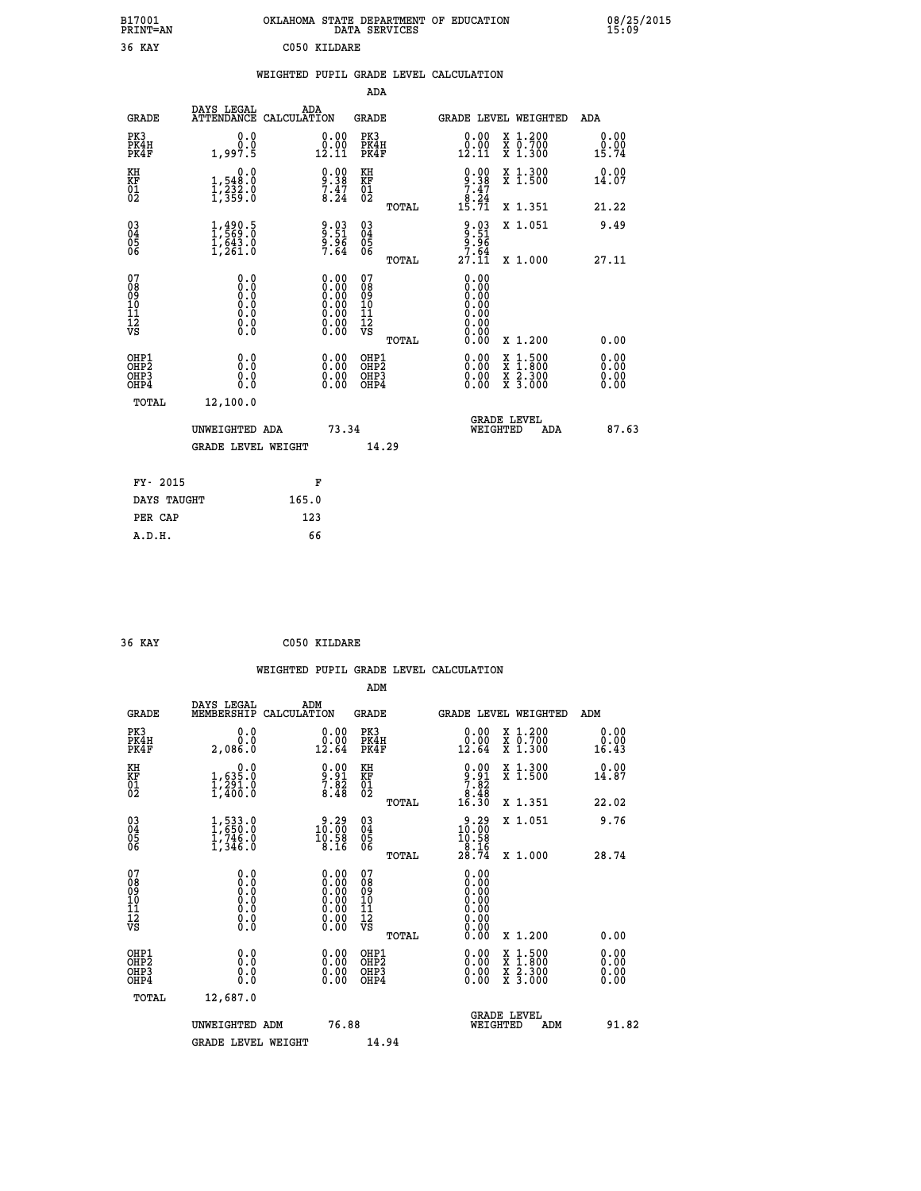| B17001<br><b>PRINT=AN</b> | OKLAHOMA STATE DEPARTMENT OF EDUCATION<br>DATA SERVICES | 08/25/2015<br>15:09 |
|---------------------------|---------------------------------------------------------|---------------------|
| 36<br>KAY                 | C050 KILDARE                                            |                     |

|  |  | WEIGHTED PUPIL GRADE LEVEL CALCULATION |
|--|--|----------------------------------------|
|  |  |                                        |

|                                                                    |                                                      |                                                                                               | ADA                                                |       |                                                                                                                                                                                                                                                                                |                                                                                                                                           |                                   |
|--------------------------------------------------------------------|------------------------------------------------------|-----------------------------------------------------------------------------------------------|----------------------------------------------------|-------|--------------------------------------------------------------------------------------------------------------------------------------------------------------------------------------------------------------------------------------------------------------------------------|-------------------------------------------------------------------------------------------------------------------------------------------|-----------------------------------|
| <b>GRADE</b>                                                       | DAYS LEGAL<br>ATTENDANCE CALCULATION                 | ADA                                                                                           | <b>GRADE</b>                                       |       |                                                                                                                                                                                                                                                                                | GRADE LEVEL WEIGHTED                                                                                                                      | ADA                               |
| PK3<br>PK4H<br>PK4F                                                | 0.0<br>0.0<br>1,997.5                                | $\begin{smallmatrix} 0.00\\ 0.00\\ 12.11 \end{smallmatrix}$                                   | PK3<br>PK4H<br>PK4F                                |       | $\begin{smallmatrix} 0.00\\ 0.00\\ 12.11 \end{smallmatrix}$                                                                                                                                                                                                                    | X 1.200<br>X 0.700<br>X 1.300                                                                                                             | 0.00<br>$0.00$<br>15.74           |
| KH<br>KF<br>01<br>02                                               | 0.0<br>1,548:0<br>1,232:0<br>1,359:0                 | $\begin{smallmatrix} 0.00\\ 9.38\\ 7.47\\ 8.24 \end{smallmatrix}$                             | KH<br>KF<br>01<br>02                               |       | $0.00$<br>$7.38$<br>$7.47$<br>$8.24$<br>$15.71$                                                                                                                                                                                                                                | X 1.300<br>X 1.500                                                                                                                        | 0.00<br>14.07                     |
|                                                                    |                                                      |                                                                                               |                                                    | TOTAL |                                                                                                                                                                                                                                                                                | X 1.351                                                                                                                                   | 21.22                             |
| $\begin{smallmatrix} 03 \\[-4pt] 04 \end{smallmatrix}$<br>Ŏ5<br>06 | $1, 490.5$<br>$1, 569.0$<br>$1, 643.0$<br>$1, 261.0$ | $\frac{9.03}{9.96}$<br>9.96<br>7.64                                                           | $\begin{matrix} 03 \\ 04 \\ 05 \\ 06 \end{matrix}$ |       | $9.51$<br>$9.51$<br>$9.96$<br>$7.64$                                                                                                                                                                                                                                           | X 1.051                                                                                                                                   | 9.49                              |
|                                                                    |                                                      |                                                                                               |                                                    | TOTAL | 27.11                                                                                                                                                                                                                                                                          | X 1.000                                                                                                                                   | 27.11                             |
| 07<br>08<br>09<br>01<br>11<br>11<br>12<br>VS                       | 0.0                                                  | $\begin{smallmatrix} 0.00\ 0.00\ 0.00\ 0.00\ 0.00\ 0.00\ 0.00\ 0.00\ 0.00\ \end{smallmatrix}$ | 07<br>08<br>09<br>11<br>11<br>12<br>VS             |       | 0.00<br>0.00<br>0.00<br>0.00<br>0.00<br>0.00                                                                                                                                                                                                                                   |                                                                                                                                           |                                   |
|                                                                    |                                                      |                                                                                               |                                                    | TOTAL | 0.00                                                                                                                                                                                                                                                                           | X 1.200                                                                                                                                   | 0.00                              |
| OHP1<br>OHP <sub>2</sub><br>OH <sub>P3</sub><br>OHP4               | 0.0<br>0.000                                         | 0.00<br>$\begin{smallmatrix} 0.00 \ 0.00 \end{smallmatrix}$                                   | OHP1<br>OHP2<br>OHP <sub>3</sub>                   |       | $\begin{smallmatrix} 0.00 & 0.00 & 0.00 & 0.00 & 0.00 & 0.00 & 0.00 & 0.00 & 0.00 & 0.00 & 0.00 & 0.00 & 0.00 & 0.00 & 0.00 & 0.00 & 0.00 & 0.00 & 0.00 & 0.00 & 0.00 & 0.00 & 0.00 & 0.00 & 0.00 & 0.00 & 0.00 & 0.00 & 0.00 & 0.00 & 0.00 & 0.00 & 0.00 & 0.00 & 0.00 & 0.0$ | $\begin{smallmatrix} \mathtt{X} & 1\cdot500\\ \mathtt{X} & 1\cdot800\\ \mathtt{X} & 2\cdot300\\ \mathtt{X} & 3\cdot000 \end{smallmatrix}$ | 0.00<br>Ō. ŌŌ<br>$0.00$<br>$0.00$ |
| TOTAL                                                              | 12,100.0                                             |                                                                                               |                                                    |       |                                                                                                                                                                                                                                                                                |                                                                                                                                           |                                   |
|                                                                    | UNWEIGHTED ADA                                       | 73.34                                                                                         |                                                    |       |                                                                                                                                                                                                                                                                                | <b>GRADE LEVEL</b><br>WEIGHTED<br><b>ADA</b>                                                                                              | 87.63                             |
|                                                                    | <b>GRADE LEVEL WEIGHT</b>                            |                                                                                               | 14.29                                              |       |                                                                                                                                                                                                                                                                                |                                                                                                                                           |                                   |
| FY- 2015                                                           |                                                      | F                                                                                             |                                                    |       |                                                                                                                                                                                                                                                                                |                                                                                                                                           |                                   |
| DAYS TAUGHT                                                        |                                                      | 165.0                                                                                         |                                                    |       |                                                                                                                                                                                                                                                                                |                                                                                                                                           |                                   |
| PER CAP                                                            |                                                      | 123                                                                                           |                                                    |       |                                                                                                                                                                                                                                                                                |                                                                                                                                           |                                   |

| 36 KAY | C050 KILDARE |
|--------|--------------|
|        |              |

 **WEIGHTED PUPIL GRADE LEVEL CALCULATION ADM DAYS LEGAL ADM GRADE MEMBERSHIP CALCULATION GRADE GRADE LEVEL WEIGHTED ADM PK3 0.0 0.00 PK3 0.00 X 1.200 0.00 PK4H 0.0 0.00 PK4H 0.00 X 0.700 0.00 PK4F 2,086.0 12.64 PK4F 12.64 X 1.300 16.43 KH 0.0 0.00 KH 0.00 X 1.300 0.00 KF 1,635.0 9.91 KF 9.91 X 1.500 14.87**  $\begin{array}{cccc} 01 & 1/291.0 & 7.82 & 01 & 7.82 \\ 02 & 1/400.0 & 8.48 & 02 & 0 \end{array}$  **TOTAL 16.30 X 1.351 22.02 03 1,533.0 9.29 03 9.29 X 1.051 9.76 04 1,650.0 10.00 04 10.00 05 1,746.0 10.58 05 10.58 06 1,346.0 8.16 06 8.16 TOTAL 28.74 X 1.000 28.74 07 0.0 0.00 07 0.00 08 0.0 0.00 08 0.00 03 0.00 0.00 0.000 0.000 10 0.0 0.00 10 0.00 11 0.0 0.00 11 0.00 12 0.0 0.00 12 0.00 VS** 0.0 0.00 VS 0.00 0.00  **TOTAL 0.00 X 1.200 0.00 OHP1 0.0 0.00 OHP1 0.00 X 1.500 0.00 OHP2 0.0 0.00 OHP2 0.00 X 1.800 0.00 OHP3 0.0 0.00 OHP3 0.00 X 2.300 0.00 OHP4 0.0 0.00 OHP4 0.00 X 3.000 0.00 TOTAL 12,687.0 GRADE LEVEL UNWEIGHTED ADM 76.88 WEIGHTED ADM 91.82** GRADE LEVEL WEIGHT 14.94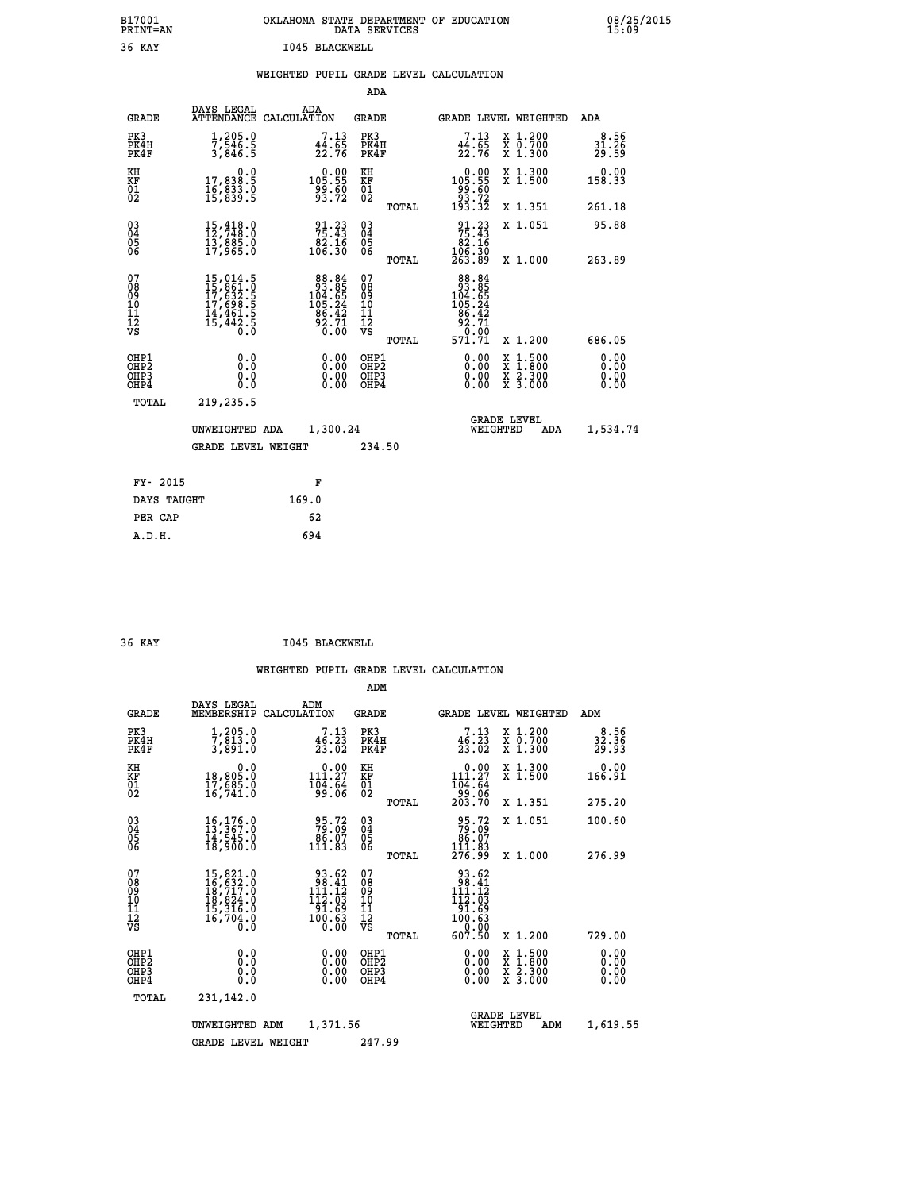| B17001<br>PRINT=AN | OKLAHOMA<br>. STATE DEPARTMENT OF EDUCATION<br>DATA SERVICES | 08/25/2015<br>15:09 |
|--------------------|--------------------------------------------------------------|---------------------|
| 36<br>KAY          | 1045 BLACKWELL                                               |                     |

|  |  | WEIGHTED PUPIL GRADE LEVEL CALCULATION |
|--|--|----------------------------------------|
|  |  |                                        |

|                                                                  |                                                                                   |                                                                                             | ADA                                                |       |                                                                                                       |                                                                                                                                              |                              |
|------------------------------------------------------------------|-----------------------------------------------------------------------------------|---------------------------------------------------------------------------------------------|----------------------------------------------------|-------|-------------------------------------------------------------------------------------------------------|----------------------------------------------------------------------------------------------------------------------------------------------|------------------------------|
| <b>GRADE</b>                                                     | DAYS LEGAL                                                                        | ADA<br>ATTENDANCE CALCULATION                                                               | GRADE                                              |       | <b>GRADE LEVEL WEIGHTED</b>                                                                           |                                                                                                                                              | ADA                          |
| PK3<br>PK4H<br>PK4F                                              | $\frac{1}{7}, \frac{205}{546}$ .<br>3,846.5                                       | $7.13$<br>$44.65$<br>$22.76$                                                                | PK3<br>PK4H<br>PK4F                                |       | 7.13<br>$\frac{44.65}{22.76}$                                                                         | X 1.200<br>X 0.700<br>X 1.300                                                                                                                | 8.56<br>31.26<br>29.59       |
| KH<br>KF<br>01<br>02                                             | 0.0<br>17,838:5<br>16,833:0<br>15,839:5                                           |                                                                                             | KH<br>KF<br>01<br>02                               |       | $\begin{smallmatrix}&&0.00\\105.55\\99.60\\93.72\\193.32\end{smallmatrix}$                            | X 1.300<br>X 1.500                                                                                                                           | 0.00<br>158.33               |
|                                                                  |                                                                                   |                                                                                             |                                                    | TOTAL |                                                                                                       | X 1.351                                                                                                                                      | 261.18                       |
| $^{03}_{04}$<br>Ŏ5<br>06                                         | $\begin{smallmatrix} 15,418.0\\ 12,748.0\\ 13,885.0\\ 17,965.0 \end{smallmatrix}$ | $\begin{array}{r} 91.23 \\ 75.43 \\ 82.16 \\ 106.30 \end{array}$                            | $\begin{matrix} 03 \\ 04 \\ 05 \\ 06 \end{matrix}$ |       | $\begin{array}{r} 91.23 \\ 75.43 \\ 82.16 \\ 106.30 \\ 263.89 \end{array}$                            | X 1.051                                                                                                                                      | 95.88                        |
|                                                                  |                                                                                   |                                                                                             |                                                    | TOTAL |                                                                                                       | X 1.000                                                                                                                                      | 263.89                       |
| 07<br>08<br>09<br>11<br>11<br>12<br>VS                           | 15,014.5<br>15,861.0<br>17,632.5<br>17,698.5<br>14,461.5<br>15,442.5<br>0.0       | $\begin{array}{r} 88.84 \\ 93.85 \\ 104.65 \\ 105.24 \\ 86.42 \\ 92.71 \\ 0.00 \end{array}$ | 07<br>08<br>09<br>11<br>11<br>12<br>VS             | TOTAL | $\begin{array}{r} 88.84 \\ 93.85 \\ 104.85 \\ 105.24 \\ 96.42 \\ 92.71 \\ 0.00 \\ 571.71 \end{array}$ | X 1.200                                                                                                                                      | 686.05                       |
| OHP1<br>OHP <sub>2</sub><br>OH <sub>P3</sub><br>OH <sub>P4</sub> | 0.0<br>0.0<br>0.0                                                                 | 0.00<br>0.00<br>0.00                                                                        | OHP1<br>OHP2<br>OHP3<br>OHP4                       |       | 0.00<br>0.00<br>0.00                                                                                  | $\begin{smallmatrix} \mathtt{X} & 1\cdot500 \\ \mathtt{X} & 1\cdot800 \\ \mathtt{X} & 2\cdot300 \\ \mathtt{X} & 3\cdot000 \end{smallmatrix}$ | 0.00<br>0.00<br>0.00<br>0.00 |
| TOTAL                                                            | 219,235.5                                                                         |                                                                                             |                                                    |       |                                                                                                       |                                                                                                                                              |                              |
|                                                                  | UNWEIGHTED ADA                                                                    | 1,300.24                                                                                    |                                                    |       | WEIGHTED                                                                                              | <b>GRADE LEVEL</b><br>ADA                                                                                                                    | 1,534.74                     |
|                                                                  | <b>GRADE LEVEL WEIGHT</b>                                                         |                                                                                             | 234.50                                             |       |                                                                                                       |                                                                                                                                              |                              |
|                                                                  |                                                                                   |                                                                                             |                                                    |       |                                                                                                       |                                                                                                                                              |                              |
| FY- 2015                                                         |                                                                                   | F                                                                                           |                                                    |       |                                                                                                       |                                                                                                                                              |                              |
| DAYS TAUGHT                                                      |                                                                                   | 169.0                                                                                       |                                                    |       |                                                                                                       |                                                                                                                                              |                              |
| PER CAP                                                          |                                                                                   | 62                                                                                          |                                                    |       |                                                                                                       |                                                                                                                                              |                              |
| A.D.H.                                                           |                                                                                   | 694                                                                                         |                                                    |       |                                                                                                       |                                                                                                                                              |                              |

| 36 KAY | 1045 BLACKWELL |
|--------|----------------|

|                                          |                                                                                                       |                                                                                                                           | ADM                                                |                                                                                                                                             |                                          |                              |
|------------------------------------------|-------------------------------------------------------------------------------------------------------|---------------------------------------------------------------------------------------------------------------------------|----------------------------------------------------|---------------------------------------------------------------------------------------------------------------------------------------------|------------------------------------------|------------------------------|
| <b>GRADE</b>                             | DAYS LEGAL<br>MEMBERSHIP                                                                              | ADM<br>CALCULATION                                                                                                        | <b>GRADE</b>                                       |                                                                                                                                             | <b>GRADE LEVEL WEIGHTED</b>              | ADM                          |
| PK3<br>PK4H<br>PK4F                      | 1,205.0<br>7,813.0<br>3,891.0                                                                         | 7.13<br>$\frac{46}{23}$ , $\frac{23}{02}$                                                                                 | PK3<br>PK4H<br>PK4F                                | 7.13<br>46.23<br>23.02                                                                                                                      | X 1.200<br>X 0.700<br>X 1.300            | $32.36$<br>$29.93$           |
| KH<br>KF<br>01<br>02                     | 0.0<br>18,805.0<br>17,685.0<br>16,741.0                                                               | $\begin{smallmatrix} &0.00\\ 111.27\\ 104.64\\ 99.06\end{smallmatrix}$                                                    | KH<br>KF<br>01<br>02                               | $0.00$<br>111.27<br>$\begin{array}{r} 104.64 \\ 99.06 \\ 203.70 \end{array}$                                                                | X 1.300<br>X 1.500                       | 0.00<br>166.91               |
|                                          |                                                                                                       |                                                                                                                           | TOTAL                                              |                                                                                                                                             | X 1.351                                  | 275.20                       |
| 03<br>04<br>05<br>06                     | 16, 176.0<br>13, 367.0<br>14, 545.0<br>18,900.0                                                       | 95.72<br>79.09<br>86.07<br>111.83                                                                                         | $\begin{matrix} 03 \\ 04 \\ 05 \\ 06 \end{matrix}$ | 95.72<br>79.09<br>86.07<br>111.83<br>276.99                                                                                                 | X 1.051                                  | 100.60                       |
|                                          |                                                                                                       |                                                                                                                           | TOTAL                                              |                                                                                                                                             | X 1.000                                  | 276.99                       |
| 07<br>08<br>09<br>101<br>112<br>VS       | $\begin{smallmatrix}15,821.0\\16,632.0\\18,717.0\\18,824.0\\15,316.0\\16,704.0\\0.0\end{smallmatrix}$ | $\frac{93.62}{98.41}$<br>11.12<br>111<br>$\begin{smallmatrix} 112. & 03\ 91. & 69\ 100. & 63\ 0. & 00\ \end{smallmatrix}$ | 07<br>08<br>09<br>11<br>11<br>12<br>VS<br>TOTAL    | $\begin{smallmatrix} 93.62\ 98.41\ 111.12 \end{smallmatrix}$<br>112.03<br>$\begin{array}{r} 101.69 \\ 100.63 \\ 0.00 \end{array}$<br>607.50 | X 1.200                                  | 729.00                       |
| OHP1<br>OHP2<br>OH <sub>P3</sub><br>OHP4 | 0.0<br>0.000                                                                                          | $0.00$<br>$0.00$<br>0.00                                                                                                  | OHP1<br>OHP2<br>OHP3<br>OHP4                       | $0.00$<br>$0.00$<br>0.00                                                                                                                    | X 1:500<br>X 1:800<br>X 2:300<br>X 3:000 | 0.00<br>0.00<br>0.00<br>0.00 |
| TOTAL                                    | 231,142.0                                                                                             |                                                                                                                           |                                                    |                                                                                                                                             |                                          |                              |
|                                          | 1,371.56<br>UNWEIGHTED<br>ADM                                                                         |                                                                                                                           |                                                    | WEIGHTED                                                                                                                                    | <b>GRADE LEVEL</b><br>ADM                | 1,619.55                     |
|                                          | 247.99                                                                                                |                                                                                                                           |                                                    |                                                                                                                                             |                                          |                              |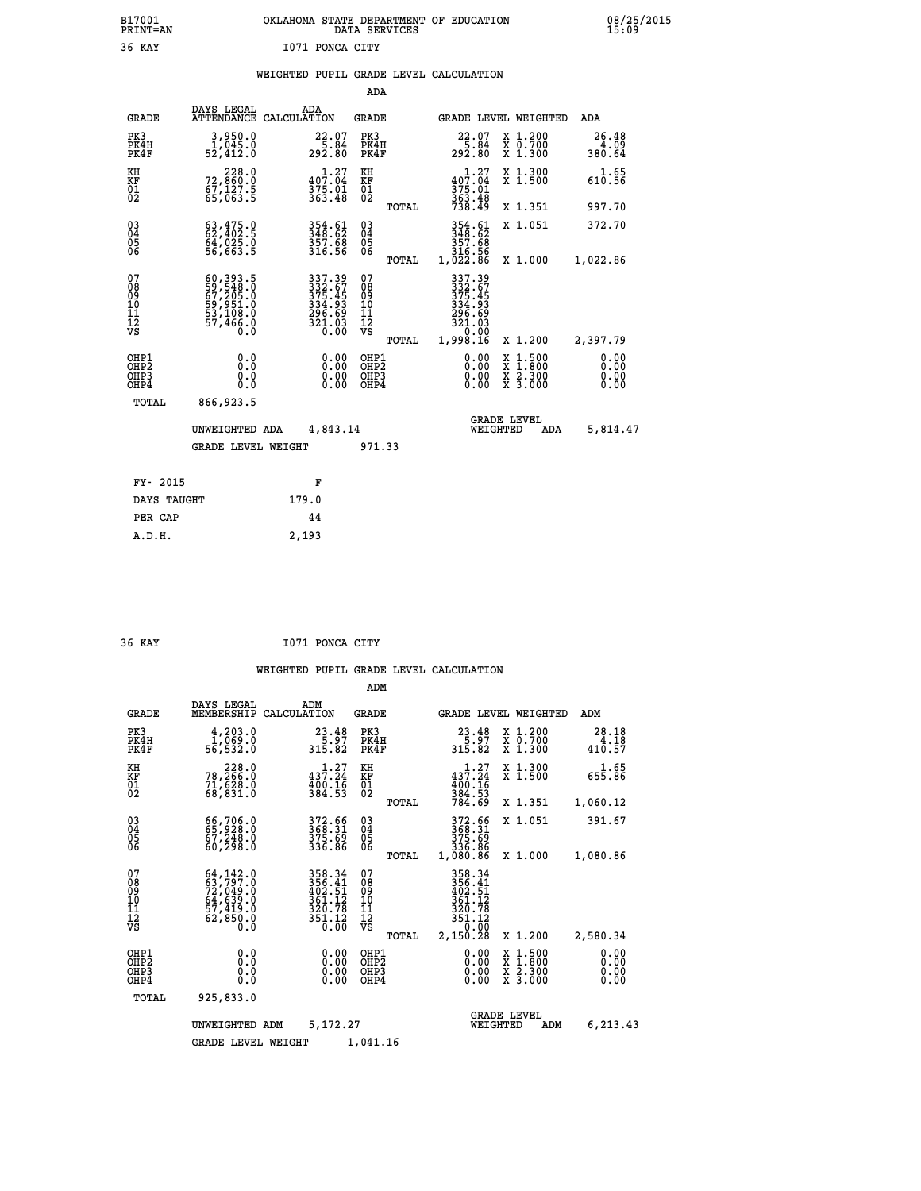# **B17001 OKLAHOMA STATE DEPARTMENT OF EDUCATION 08/25/2015 PRINT=AN DATA SERVICES 15:09 36 KAY I071 PONCA CITY**

|  |  | WEIGHTED PUPIL GRADE LEVEL CALCULATION |
|--|--|----------------------------------------|
|  |  |                                        |

|                                                                    |                                                                                   |                                                                                    | ADA                                                                     |       |                                                                            |                                                                                                  |                              |
|--------------------------------------------------------------------|-----------------------------------------------------------------------------------|------------------------------------------------------------------------------------|-------------------------------------------------------------------------|-------|----------------------------------------------------------------------------|--------------------------------------------------------------------------------------------------|------------------------------|
| <b>GRADE</b>                                                       | DAYS LEGAL                                                                        | ADA<br>ATTENDANCE CALCULATION                                                      | <b>GRADE</b>                                                            |       |                                                                            | GRADE LEVEL WEIGHTED                                                                             | <b>ADA</b>                   |
| PK3<br>PK4H<br>PK4F                                                | 3,950.0<br>1,045.0<br>52,412.0                                                    | 22.07<br>5.84<br>292.80                                                            | PK3<br>PK4H<br>PK4F                                                     |       | $22.07$<br>$5.84$<br>$292.80$                                              | X 1.200<br>X 0.700<br>X 1.300                                                                    | 26.48<br>4.09<br>380.64      |
| KH<br><b>KF</b><br>01<br>02                                        | 228.0<br>72,860:0<br>67,127.5<br>65,063:5                                         | $\begin{array}{c} 1\cdot 27\\ 407\cdot 04\\ 375\cdot 01\\ 363\cdot 48 \end{array}$ | KH<br>KF<br>$\overline{\begin{smallmatrix} 0&1\ 0&2 \end{smallmatrix}}$ |       | $40\overline{7}\cdot\overline{0}4$<br>375.01<br>363.48<br>738.49           | X 1.300<br>X 1.500                                                                               | 1.65<br>610.56               |
|                                                                    |                                                                                   |                                                                                    |                                                                         | TOTAL |                                                                            | X 1.351                                                                                          | 997.70                       |
| $\begin{smallmatrix} 03 \\[-4pt] 04 \end{smallmatrix}$<br>05<br>06 | $63, 475.0$<br>$62, 402.5$<br>$64, 025.0$<br>$56, 663.5$                          | 354.61<br>348.62<br>357.68<br>316.56                                               | $\substack{03 \\ 04}$<br>05<br>06                                       |       | 354.61<br>348.62<br>357.68<br>316.56<br>1,022.86                           | X 1.051                                                                                          | 372.70                       |
|                                                                    |                                                                                   |                                                                                    |                                                                         | TOTAL |                                                                            | X 1.000                                                                                          | 1,022.86                     |
| 07<br>08<br>09<br>11<br>11<br>12<br>VS                             | 60, 393.5<br>59, 548.0<br>67, 205.0<br>59, 951.0<br>53, 108.0<br>57, 466.0<br>Ō.Ŏ | 337.39<br>332.67<br>375.45<br>334.93<br>295.69<br>$\frac{321.03}{0.00}$            | 07<br>08<br>09<br>11<br>11<br>12<br>VS                                  |       | 337.39<br>$332.67$<br>$375.45$<br>$334.93$<br>$296.69$<br>$321.03$<br>0.00 |                                                                                                  |                              |
|                                                                    |                                                                                   |                                                                                    |                                                                         | TOTAL | 1,998.16                                                                   | X 1.200                                                                                          | 2,397.79                     |
| OHP1<br>OH <sub>P</sub> 2<br>OH <sub>P3</sub><br>OH <sub>P4</sub>  | 0.0<br>0.0<br>0.0                                                                 | 0.00<br>0.00<br>0.00                                                               | OHP1<br>OHP <sub>2</sub><br>OHP3<br>OHP4                                |       | 0.00<br>0.00<br>0.00                                                       | $\begin{smallmatrix} x & 1 & 500 \\ x & 1 & 800 \\ x & 2 & 300 \\ x & 3 & 000 \end{smallmatrix}$ | 0.00<br>0.00<br>0.00<br>0.00 |
| TOTAL                                                              | 866,923.5                                                                         |                                                                                    |                                                                         |       |                                                                            |                                                                                                  |                              |
|                                                                    | UNWEIGHTED ADA                                                                    | 4,843.14                                                                           |                                                                         |       |                                                                            | <b>GRADE LEVEL</b><br>WEIGHTED<br>ADA                                                            | 5,814.47                     |
|                                                                    | <b>GRADE LEVEL WEIGHT</b>                                                         |                                                                                    | 971.33                                                                  |       |                                                                            |                                                                                                  |                              |
| FY- 2015                                                           |                                                                                   | F                                                                                  |                                                                         |       |                                                                            |                                                                                                  |                              |
| DAYS TAUGHT                                                        |                                                                                   | 179.0                                                                              |                                                                         |       |                                                                            |                                                                                                  |                              |
| PER CAP                                                            |                                                                                   | 44                                                                                 |                                                                         |       |                                                                            |                                                                                                  |                              |
|                                                                    |                                                                                   |                                                                                    |                                                                         |       |                                                                            |                                                                                                  |                              |

| 36 KAY | I071 PONCA CITY |  |
|--------|-----------------|--|
|        |                 |  |

 **A.D.H. 2,193**

|                                                       |                                                                                                             |                                                                                      | ADM                                              |                                                                                |                                                                                                  |                              |
|-------------------------------------------------------|-------------------------------------------------------------------------------------------------------------|--------------------------------------------------------------------------------------|--------------------------------------------------|--------------------------------------------------------------------------------|--------------------------------------------------------------------------------------------------|------------------------------|
| <b>GRADE</b>                                          | DAYS LEGAL<br>MEMBERSHIP                                                                                    | ADM<br>CALCULATION                                                                   | <b>GRADE</b>                                     | GRADE LEVEL WEIGHTED                                                           |                                                                                                  | ADM                          |
| PK3<br>PK4H<br>PK4F                                   | 4,203.0<br>1,069.0<br>56,532.0                                                                              | 23.48<br>5.97<br>315.82                                                              | PK3<br>PK4H<br>PK4F                              | $23.48$<br>$5.97$<br>315.82                                                    | X 1.200<br>X 0.700<br>X 1.300                                                                    | 28.18<br>4.18<br>410.57      |
| KH<br>KF<br>01<br>02                                  | 228.0<br>78,266.0<br>$7\overline{1}, \overline{6} \overline{2} \overline{8} \cdot \overline{0}$<br>68,831.0 | 437.27<br>$\frac{400}{384}$ . $\frac{7}{53}$                                         | KH<br>KF<br>01<br>02                             | $43\overline{7}\cdot 24$<br>$\frac{400}{384}$ . $\frac{16}{53}$<br>784.69      | X 1.300<br>X 1.500                                                                               | 1.65<br>655.86               |
|                                                       |                                                                                                             |                                                                                      | TOTAL                                            |                                                                                | X 1.351                                                                                          | 1,060.12                     |
| 03<br>04<br>05<br>06                                  | 66,706.0<br>65,928.0<br>67,248.0<br>60, 298.0                                                               | 372.66<br>368.31<br>375.69<br>336.86                                                 | $^{03}_{04}$<br>0500                             | 372.66<br>368.31<br>375.69<br>336.86                                           | X 1.051                                                                                          | 391.67                       |
|                                                       |                                                                                                             |                                                                                      | TOTAL                                            | 1,080.86                                                                       | X 1.000                                                                                          | 1,080.86                     |
| 07<br>08<br>09<br>11<br>11<br>12<br>VS                | $64, 142.0$<br>$63, 797.0$<br>$72, 049.0$<br>$64, 639.0$<br>$57, 419.0$<br>$62, 850.0$<br>$0.0$             | 358.34<br>356.41<br>402.51<br>$36\overline{1}.12$<br>320.78<br>$\frac{351.12}{0.00}$ | 07<br>08<br>09<br>101<br>11<br>12<br>VS<br>TOTAL | 358.34<br>356:41<br>402:51<br>361:12<br>320.78<br>$351.12$<br>0.00<br>2,150.28 | X 1.200                                                                                          | 2,580.34                     |
| OHP1<br>OH <sub>P</sub> 2<br>OH <sub>P3</sub><br>OHP4 | 0.0<br>0.0<br>Ŏ.Ŏ                                                                                           | 0.00<br>0.00<br>0.00                                                                 | OHP1<br>OHP2<br>OHP3<br>OHP4                     | $0.00$<br>$0.00$<br>0.00                                                       | $\begin{smallmatrix} x & 1 & 500 \\ x & 1 & 800 \\ x & 2 & 300 \\ x & 3 & 000 \end{smallmatrix}$ | 0.00<br>0.00<br>0.00<br>0.00 |
| TOTAL                                                 | 925,833.0                                                                                                   |                                                                                      |                                                  |                                                                                |                                                                                                  |                              |
|                                                       | UNWEIGHTED                                                                                                  | 5,172.27<br>ADM                                                                      |                                                  | <b>GRADE LEVEL</b><br>WEIGHTED                                                 | ADM                                                                                              | 6,213.43                     |
|                                                       | <b>GRADE LEVEL WEIGHT</b>                                                                                   |                                                                                      | 1,041.16                                         |                                                                                |                                                                                                  |                              |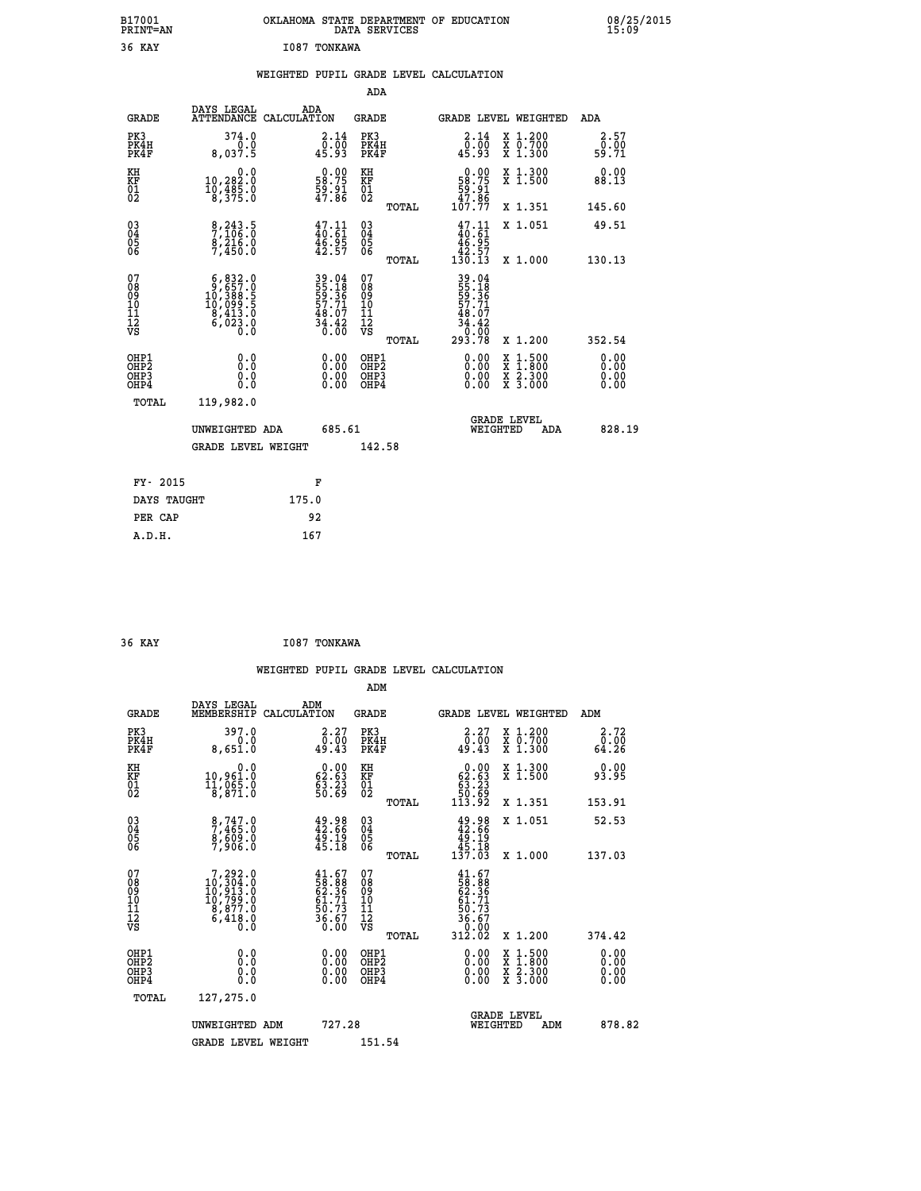| B17001<br>PRINT=AN | OKLAHOMA STATE DEPARTMENT OF EDUCATION<br>DATA SERVICES | 08/25/2015<br>15:09 |
|--------------------|---------------------------------------------------------|---------------------|
| 36<br>KAY          | <b>I087 TONKAWA</b>                                     |                     |

|  |  | WEIGHTED PUPIL GRADE LEVEL CALCULATION |
|--|--|----------------------------------------|
|  |  |                                        |

|                                                       |                                                                                                   |                                                                      | ADA                                      |       |                                                                                  |                                          |                              |
|-------------------------------------------------------|---------------------------------------------------------------------------------------------------|----------------------------------------------------------------------|------------------------------------------|-------|----------------------------------------------------------------------------------|------------------------------------------|------------------------------|
| <b>GRADE</b>                                          | DAYS LEGAL                                                                                        | ADA<br>ATTENDANCE CALCULATION                                        | <b>GRADE</b>                             |       | <b>GRADE LEVEL WEIGHTED</b>                                                      |                                          | ADA                          |
| PK3<br>PK4H<br>PK4F                                   | 374.0<br>0.0<br>8,037.5                                                                           | $\begin{smallmatrix} 2.14\0.00\\0.00\\45.93 \end{smallmatrix}$       | PK3<br>PK4H<br>PK4F                      |       | $\frac{2.14}{0.00}$<br>45.93                                                     | X 1.200<br>X 0.700<br>X 1.300            | 2.57<br>0.00<br>59.71        |
| KH<br>KF<br>01<br>02                                  | 0.0<br>10,282:0<br>10,485:0<br>8,375:0                                                            | $\begin{smallmatrix} 0.00\\ 58.75\\ 59.91\\ 47.86 \end{smallmatrix}$ | KH<br>KF<br>01<br>02                     |       | $\begin{smallmatrix} &0.00\\ 58.75\\ 59.91\\ 47.86\\ 107.77 \end{smallmatrix}$   | X 1.300<br>X 1.500                       | 0.00<br>88.13                |
|                                                       |                                                                                                   |                                                                      |                                          | TOTAL |                                                                                  | X 1.351                                  | 145.60                       |
| 03<br>04<br>05<br>06                                  | 8,243.5<br>7,106.0<br>8,216.0<br>7,450.0                                                          | $\frac{47.11}{40.61}$<br>$\frac{46.95}{42.57}$                       | 03<br>04<br>05<br>06                     |       | $\begin{smallmatrix} 47.11\\ 40.61\\ 46.95\\ 42.57\\ 130.13 \end{smallmatrix}$   | X 1.051                                  | 49.51                        |
|                                                       |                                                                                                   |                                                                      |                                          | TOTAL |                                                                                  | X 1.000                                  | 130.13                       |
| 07<br>08<br>09<br>11<br>11<br>12<br>VS                | $\begin{smallmatrix}6,832.0\\9,657.0\\10,388.5\\10,099.5\\8,413.0\\6,023.0\\0.0\end{smallmatrix}$ | 39.04<br>55.18<br>55.36<br>57.71<br>48.07<br>48.42<br>34.420         | 07<br>08<br>09<br>11<br>11<br>12<br>VS   | TOTAL | 39.04<br>55.186<br>59.361<br>57.71<br>57.71<br>48.07<br>34.42<br>0.000<br>293.78 | X 1.200                                  | 352.54                       |
| OHP1<br>OH <sub>P</sub> 2<br>OH <sub>P3</sub><br>OHP4 | 0.0<br>0.0<br>0.0                                                                                 | 0.00<br>$\begin{smallmatrix} 0.00 \ 0.00 \end{smallmatrix}$          | OHP1<br>OHP <sub>2</sub><br>OHP3<br>OHP4 |       | 0.00<br>0.00<br>0.00                                                             | X 1:500<br>X 1:800<br>X 2:300<br>X 3:000 | 0.00<br>0.00<br>0.00<br>0.00 |
| TOTAL                                                 | 119,982.0                                                                                         |                                                                      |                                          |       |                                                                                  |                                          |                              |
|                                                       | UNWEIGHTED ADA                                                                                    | 685.61                                                               |                                          |       | WEIGHTED                                                                         | <b>GRADE LEVEL</b><br>ADA                | 828.19                       |
|                                                       | GRADE LEVEL WEIGHT                                                                                |                                                                      | 142.58                                   |       |                                                                                  |                                          |                              |
|                                                       |                                                                                                   |                                                                      |                                          |       |                                                                                  |                                          |                              |
| FY- 2015                                              |                                                                                                   | F                                                                    |                                          |       |                                                                                  |                                          |                              |
| DAYS TAUGHT                                           |                                                                                                   | 175.0                                                                |                                          |       |                                                                                  |                                          |                              |
| PER CAP                                               |                                                                                                   | 92                                                                   |                                          |       |                                                                                  |                                          |                              |
| A.D.H.                                                |                                                                                                   | 167                                                                  |                                          |       |                                                                                  |                                          |                              |

| 36 KAY | I087 TONKAWA |
|--------|--------------|
|        |              |

| <b>GRADE</b>                                                     | DAYS LEGAL<br>MEMBERSHIP                                                                           | ADM<br>CALCULATION                                                   | <b>GRADE</b>                                        |       |                                                                                                        |                                | GRADE LEVEL WEIGHTED                     | ADM                                          |  |
|------------------------------------------------------------------|----------------------------------------------------------------------------------------------------|----------------------------------------------------------------------|-----------------------------------------------------|-------|--------------------------------------------------------------------------------------------------------|--------------------------------|------------------------------------------|----------------------------------------------|--|
| PK3<br>PK4H<br>PK4F                                              | 397.0<br>0.0<br>8,651.0                                                                            | 2.27<br>0.00<br>49.43                                                | PK3<br>PK4H<br>PK4F                                 |       | 2.27<br>$\frac{0.00}{49.43}$                                                                           |                                | X 1.200<br>X 0.700<br>X 1.300            | 2.72<br>$\frac{\overline{0} \cdot 0}{64.26}$ |  |
| KH<br>KF<br>01<br>02                                             | 0.0<br>10,961.0<br>11,065.0<br>8,871.0                                                             | $\begin{smallmatrix} 0.00\\ 62.63\\ 63.23\\ 50.69 \end{smallmatrix}$ | KH<br>KF<br>01<br>02                                |       | $\begin{smallmatrix} &0.00\ 62.63\ 63.23\ 50.69\ 113.92\end{smallmatrix}$                              |                                | X 1.300<br>X 1.500                       | 0.00<br>93.95                                |  |
|                                                                  |                                                                                                    |                                                                      |                                                     | TOTAL |                                                                                                        |                                | X 1.351                                  | 153.91                                       |  |
| $\begin{matrix} 03 \\ 04 \\ 05 \\ 06 \end{matrix}$               | $\begin{smallmatrix} 8,747.0\\ 7,465.0\\ 8,609.0\\ 7,906.0 \end{smallmatrix}$                      | $49.98$<br>$42.66$<br>$49.19$<br>$45.18$                             | $\begin{array}{c} 03 \\ 04 \\ 05 \\ 06 \end{array}$ |       | $49.98$<br>$42.66$<br>$49.19$<br>$45.18$<br>$137.03$                                                   |                                | X 1.051                                  | 52.53                                        |  |
|                                                                  |                                                                                                    |                                                                      |                                                     | TOTAL |                                                                                                        |                                | X 1.000                                  | 137.03                                       |  |
| 07<br>08<br>09<br>11<br>11<br>12<br>VS                           | $\begin{smallmatrix}7,292.0\\10,304.0\\10,913.0\\10,799.0\\8,877.0\\6,418.0\\0.0\end{smallmatrix}$ | $41.67$<br>58.88<br>62.36<br>61.71<br>61.73<br>50.73<br>36.67        | 07<br>08<br>09<br>11<br>11<br>12<br>VS              | TOTAL | $\begin{smallmatrix} 41.67\\ 58.88\\ 62.36\\ 61.71\\ 50.73\\ 56.67\\ 36.60\\ 312.02 \end{smallmatrix}$ |                                | X 1.200                                  | 374.42                                       |  |
| OHP1<br>OH <sub>P</sub> <sub>2</sub><br>OH <sub>P3</sub><br>OHP4 | 0.0<br>0.000                                                                                       |                                                                      | OHP1<br>OHP <sub>2</sub><br>OHP3<br>OHP4            |       |                                                                                                        |                                | X 1:500<br>X 1:800<br>X 2:300<br>X 3:000 | 0.00<br>0.00<br>0.00<br>0.00                 |  |
| TOTAL                                                            | 127,275.0                                                                                          |                                                                      |                                                     |       |                                                                                                        |                                |                                          |                                              |  |
|                                                                  | UNWEIGHTED ADM                                                                                     | 727.28                                                               |                                                     |       |                                                                                                        | <b>GRADE LEVEL</b><br>WEIGHTED | ADM                                      | 878.82                                       |  |
|                                                                  | <b>GRADE LEVEL WEIGHT</b>                                                                          |                                                                      | 151.54                                              |       |                                                                                                        |                                |                                          |                                              |  |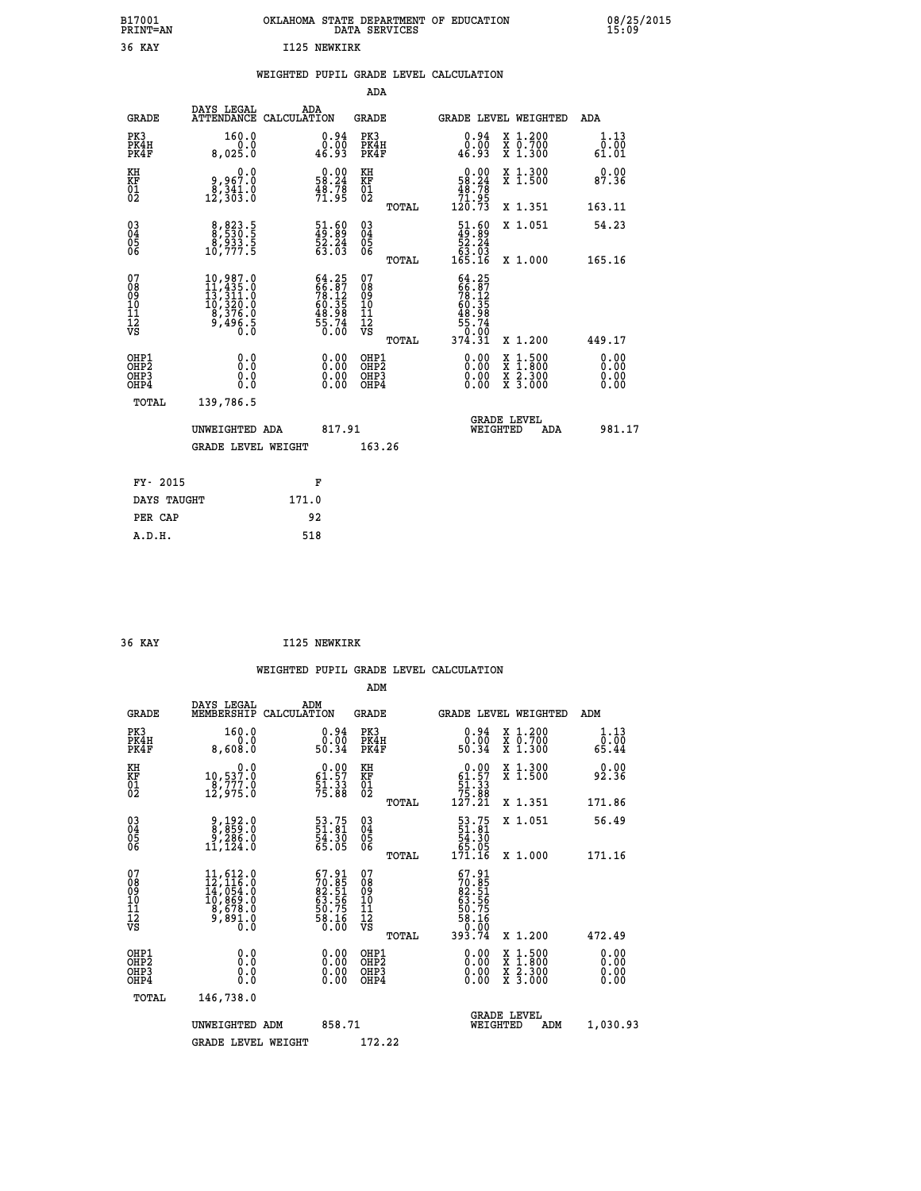| B17001<br><b>PRINT=AN</b> | OKLAHOMA STATE DEPARTMENT OF EDUCATION<br>DATA SERVICES | 08/25/2015<br>15:09 |
|---------------------------|---------------------------------------------------------|---------------------|
| 36 KAY                    | I125 NEWKIRK                                            |                     |

|  |  | WEIGHTED PUPIL GRADE LEVEL CALCULATION |
|--|--|----------------------------------------|
|  |  |                                        |

|                                                      |                                                                                                             |                                                                          | ADA                                      |       |                                                                                                               |                                          |                              |
|------------------------------------------------------|-------------------------------------------------------------------------------------------------------------|--------------------------------------------------------------------------|------------------------------------------|-------|---------------------------------------------------------------------------------------------------------------|------------------------------------------|------------------------------|
| <b>GRADE</b>                                         | DAYS LEGAL                                                                                                  | ADA<br>ATTENDANCE CALCULATION                                            | <b>GRADE</b>                             |       | <b>GRADE LEVEL WEIGHTED</b>                                                                                   |                                          | ADA                          |
| PK3<br>PK4H<br>PK4F                                  | 160.0<br>8,025.0                                                                                            | $\begin{smallmatrix} 0.94\ 0.00\\ 0.00\\ 46.93 \end{smallmatrix}$        | PK3<br>PK4H<br>PK4F                      |       | $0.94$<br>$0.00$<br>46.93                                                                                     | X 1.200<br>X 0.700<br>X 1.300            | 1.13<br>0.00<br>61.01        |
| KH<br>KF<br>01<br>02                                 | 0.0<br>0,967.0<br>0,341.0<br>12,303.0                                                                       | $\begin{smallmatrix} 0.00\\ 58.24\\ 48.78\\ 71.95 \end{smallmatrix}$     | KH<br>KF<br>01<br>02                     |       | $\begin{smallmatrix} &0.00\\ 58.24\\ 48.78\\ 71.95\\ 120.73\end{smallmatrix}$                                 | X 1.300<br>X 1.500                       | 0.00<br>87.36                |
|                                                      |                                                                                                             |                                                                          |                                          | TOTAL |                                                                                                               | X 1.351                                  | 163.11                       |
| 03<br>04<br>05<br>06                                 | 8,823.5<br>8,530.5<br>8,933.5<br>10,777.5                                                                   | $\begin{smallmatrix} 51.60\\ 49.89\\ 52.24\\ 63.03\\ \end{smallmatrix}$  | 03<br>04<br>05<br>06                     |       | $\begin{smallmatrix} 51.60\\ 49.89\\ 52.24\\ 63.03\\ 165.16 \end{smallmatrix}$                                | X 1.051                                  | 54.23                        |
|                                                      |                                                                                                             |                                                                          |                                          | TOTAL |                                                                                                               | X 1.000                                  | 165.16                       |
| 07<br>08<br>09<br>11<br>11<br>12<br>VS               | $\begin{smallmatrix} 10,987.0\\ 11,435.0\\ 13,311.0\\ 10,320.0\\ 8,376.0\\ 9,496.5\\ 0.0 \end{smallmatrix}$ | $64.25$<br>$66.87$<br>$78.12$<br>$60.35$<br>$48.98$<br>$55.74$<br>$0.00$ | 07<br>08<br>09<br>11<br>11<br>12<br>VS   | TOTAL | $\begin{smallmatrix} 64.25\\ 66.87\\ 78.12\\ 78.12\\ 60.35\\ 48.98\\ 55.74\\ 0.00\\ 374.31 \end{smallmatrix}$ | X 1.200                                  | 449.17                       |
| OHP1<br>OHP <sub>2</sub><br>OH <sub>P3</sub><br>OHP4 | 0.0<br>0.0<br>0.0                                                                                           | 0.00<br>$\begin{smallmatrix} 0.00 \ 0.00 \end{smallmatrix}$              | OHP1<br>OHP <sub>2</sub><br>OHP3<br>OHP4 |       | $0.00$<br>$0.00$<br>0.00                                                                                      | X 1:500<br>X 1:800<br>X 2:300<br>X 3:000 | 0.00<br>0.00<br>0.00<br>0.00 |
| TOTAL                                                | 139,786.5                                                                                                   |                                                                          |                                          |       |                                                                                                               |                                          |                              |
|                                                      | UNWEIGHTED ADA                                                                                              | 817.91                                                                   |                                          |       | WEIGHTED                                                                                                      | <b>GRADE LEVEL</b><br>ADA                | 981.17                       |
|                                                      | GRADE LEVEL WEIGHT                                                                                          |                                                                          | 163.26                                   |       |                                                                                                               |                                          |                              |
|                                                      |                                                                                                             |                                                                          |                                          |       |                                                                                                               |                                          |                              |
| FY- 2015                                             |                                                                                                             | F                                                                        |                                          |       |                                                                                                               |                                          |                              |
| DAYS TAUGHT                                          |                                                                                                             | 171.0                                                                    |                                          |       |                                                                                                               |                                          |                              |
| PER CAP                                              |                                                                                                             | 92                                                                       |                                          |       |                                                                                                               |                                          |                              |
| A.D.H.                                               |                                                                                                             | 518                                                                      |                                          |       |                                                                                                               |                                          |                              |

| 36 KAY | I125 NEWKIRK |
|--------|--------------|

 **ADM**

| <b>GRADE</b>                                       | DAYS LEGAL<br>MEMBERSHIP CALCULATION                                                                                                                | ADM                                                                  | <b>GRADE</b>                                       |       |                                                                                                                                                                                                                                                                                |          | GRADE LEVEL WEIGHTED                     | ADM                                         |
|----------------------------------------------------|-----------------------------------------------------------------------------------------------------------------------------------------------------|----------------------------------------------------------------------|----------------------------------------------------|-------|--------------------------------------------------------------------------------------------------------------------------------------------------------------------------------------------------------------------------------------------------------------------------------|----------|------------------------------------------|---------------------------------------------|
| PK3<br>PK4H<br>PK4F                                | 160.0<br>0.0<br>8,608.0                                                                                                                             | $\begin{smallmatrix} 0.94\ 0.00\\ 0.00\\ 50.34 \end{smallmatrix}$    | PK3<br>PK4H<br>PK4F                                |       | $\begin{smallmatrix} 0.94\ 0.00\\ 0.00\\ 50.34 \end{smallmatrix}$                                                                                                                                                                                                              |          | X 1.200<br>X 0.700<br>X 1.300            | 1.13<br>$\bar{0}.\bar{0}\bar{0}\over 65.44$ |
| KH<br>KF<br>01<br>02                               | $\begin{smallmatrix}&&&0.0\\10,537.0\\8,777.0\\12,975.0\end{smallmatrix}$                                                                           | $\begin{smallmatrix} 0.00\\ 61.57\\ 51.33\\ 75.88 \end{smallmatrix}$ | KH<br>KF<br>01<br>02                               |       | 0.00<br>$\begin{smallmatrix} 61.57\ 51.33\ 75.88\ 127.21\end{smallmatrix}$                                                                                                                                                                                                     |          | X 1.300<br>X 1.500                       | 0.00<br>92.36                               |
|                                                    |                                                                                                                                                     |                                                                      |                                                    | TOTAL |                                                                                                                                                                                                                                                                                |          | X 1.351                                  | 171.86                                      |
| $\begin{matrix} 03 \\ 04 \\ 05 \\ 06 \end{matrix}$ | 9,192.0<br>8,859.0<br>9,286.0<br>11,124.0                                                                                                           | 53.75<br>51.81<br>54.30<br>65.05                                     | $\begin{matrix} 03 \\ 04 \\ 05 \\ 06 \end{matrix}$ |       | $\begin{array}{r} 53.75 \\ 51.81 \\ 54.30 \\ 65.05 \\ 171.16 \end{array}$                                                                                                                                                                                                      |          | X 1.051                                  | 56.49                                       |
|                                                    |                                                                                                                                                     |                                                                      |                                                    | TOTAL |                                                                                                                                                                                                                                                                                |          | X 1.000                                  | 171.16                                      |
| 07<br>08<br>09<br>101<br>11<br>12<br>VS            | $\begin{smallmatrix} 11, 612\cdot 0\\ 12, 116\cdot 0\\ 14, 054\cdot 0\\ 10, 869\cdot 0\\ 8, 678\cdot 0\\ 9, 891\cdot 0\\ 0\cdot 0\end{smallmatrix}$ | 67.91<br>70.85<br>82.51<br>63.56<br>63.75<br>58.16<br>58.16          | 07<br>08<br>09<br>001<br>11<br>11<br>12<br>VS      | TOTAL | $67.91$<br>$70.851$<br>$82.51$<br>$63.56$<br>$50.75$<br>$58.16$<br>$0.00$<br>$393.74$                                                                                                                                                                                          |          | X 1.200                                  | 472.49                                      |
| OHP1<br>OHP2<br>OH <sub>P3</sub><br>OHP4           |                                                                                                                                                     | $\begin{smallmatrix} 0.00 \ 0.00 \ 0.00 \ 0.00 \end{smallmatrix}$    | OHP1<br>OHP2<br>OHP3<br>OHP4                       |       | $\begin{smallmatrix} 0.00 & 0.00 & 0.00 & 0.00 & 0.00 & 0.00 & 0.00 & 0.00 & 0.00 & 0.00 & 0.00 & 0.00 & 0.00 & 0.00 & 0.00 & 0.00 & 0.00 & 0.00 & 0.00 & 0.00 & 0.00 & 0.00 & 0.00 & 0.00 & 0.00 & 0.00 & 0.00 & 0.00 & 0.00 & 0.00 & 0.00 & 0.00 & 0.00 & 0.00 & 0.00 & 0.0$ |          | X 1:500<br>X 1:800<br>X 2:300<br>X 3:000 | $0.00$<br>$0.00$<br>0.00                    |
| TOTAL                                              | 146,738.0                                                                                                                                           |                                                                      |                                                    |       |                                                                                                                                                                                                                                                                                |          |                                          |                                             |
|                                                    | UNWEIGHTED                                                                                                                                          | 858.71<br>ADM                                                        |                                                    |       |                                                                                                                                                                                                                                                                                | WEIGHTED | <b>GRADE LEVEL</b><br>ADM                | 1,030.93                                    |
|                                                    | <b>GRADE LEVEL WEIGHT</b>                                                                                                                           |                                                                      | 172.22                                             |       |                                                                                                                                                                                                                                                                                |          |                                          |                                             |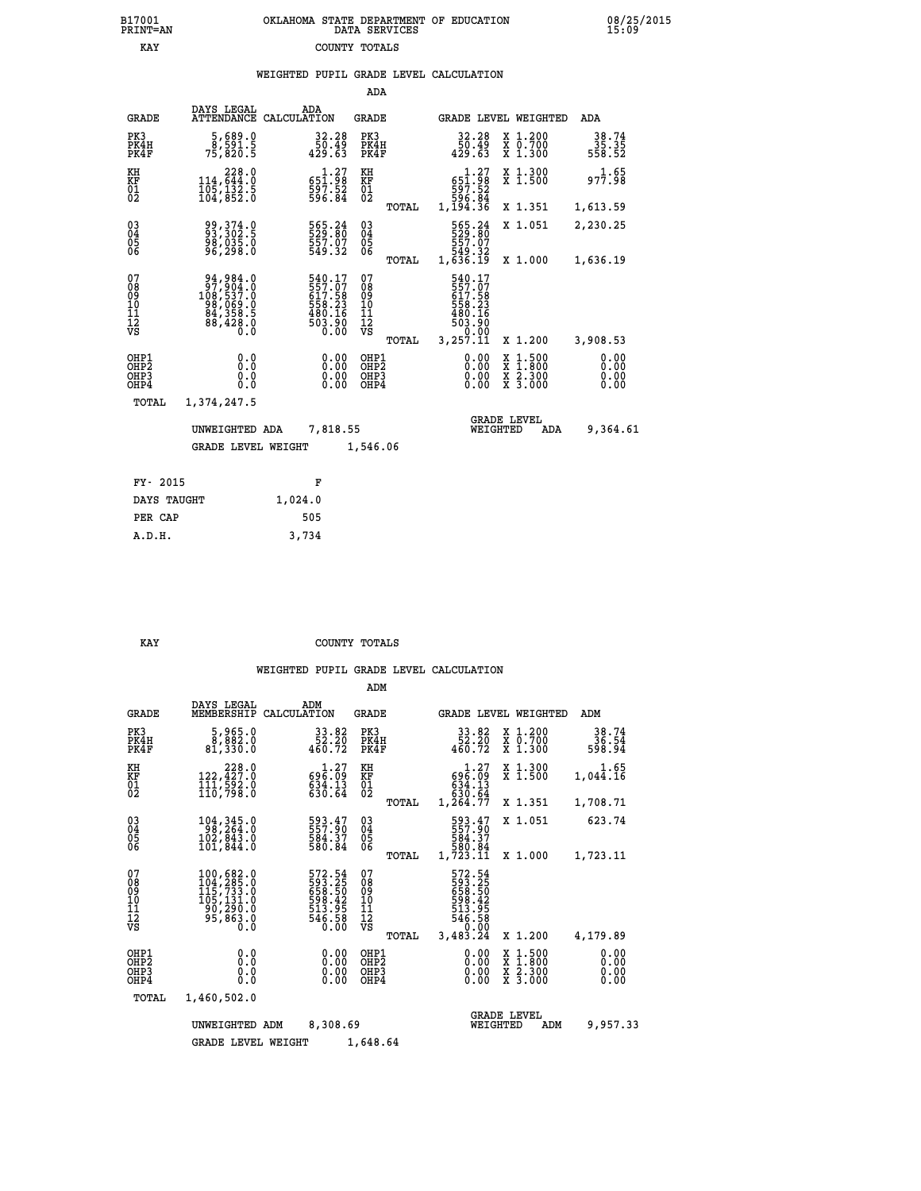## **B17001 OKLAHOMA STATE DEPARTMENT OF EDUCATION 08/25/2015 PRINT=AN DATA SERVICES 15:09 EXAY** COUNTY TOTALS

|                                                                    |                                                                                            |                                                                                                                 | ADA                                       |       |                                                                                |          |                                                                                                  |                              |
|--------------------------------------------------------------------|--------------------------------------------------------------------------------------------|-----------------------------------------------------------------------------------------------------------------|-------------------------------------------|-------|--------------------------------------------------------------------------------|----------|--------------------------------------------------------------------------------------------------|------------------------------|
| <b>GRADE</b>                                                       | DAYS LEGAL<br><b>ATTENDANCE</b>                                                            | ADA<br>CALCULATION                                                                                              | <b>GRADE</b>                              |       |                                                                                |          | GRADE LEVEL WEIGHTED                                                                             | ADA                          |
| PK3<br>PK4H<br>PK4F                                                | 5,689.0<br>8,591.5<br>75,820.5                                                             | 32.28<br>ۆ4.05<br>429.63                                                                                        | PK3<br>PK4H<br>PK4F                       |       | 32.28<br>43.05<br>429.63                                                       |          | X 1.200<br>X 0.700<br>X 1.300                                                                    | $38.74$<br>35.35<br>558.52   |
| KH<br><b>KF</b><br>01<br>02                                        | $\begin{smallmatrix} & 228.0\\ 114,644.0\\ 105,132.5\\ 104,852.0 \end{smallmatrix}$        | $\substack{\substack{5\bar{1}\cdot\bar{2}\bar{7}\\59\bar{7}\cdot\bar{5}\bar{2}\\59\bar{6}\cdot\bar{8}\bar{4}}}$ | KH<br>KF<br>01<br>02                      |       | $\begin{smallmatrix}&&1.27\551.98\597.52\596.84\1,194.36\end{smallmatrix}$     |          | X 1.300<br>X 1.500                                                                               | 977.98                       |
|                                                                    |                                                                                            |                                                                                                                 |                                           | TOTAL |                                                                                |          | X 1.351                                                                                          | 1,613.59                     |
| $\begin{smallmatrix} 03 \\[-4pt] 04 \end{smallmatrix}$<br>Ŏ5<br>06 | 99, 374.0<br>93, 302.5<br>98, 035.0<br>96, 298.0                                           | 565.24<br>529.80<br>557.07<br>549.32                                                                            | 03<br>04<br>05<br>06                      |       | 565.24<br>529.80<br>557.07<br>549.32<br>1,636.19                               |          | X 1.051                                                                                          | 2,230.25                     |
|                                                                    |                                                                                            |                                                                                                                 |                                           | TOTAL |                                                                                |          | X 1.000                                                                                          | 1,636.19                     |
| 07<br>08<br>09<br>10<br>11<br>12<br>VS                             | $94,984.0$<br>$97,904.0$<br>$108,537.0$<br>$98,069.0$<br>$84,358.5$<br>$88,428.0$<br>$0.0$ | 540.17<br>557.07<br>617.58<br>558.23<br>480.16<br>503.90<br>0.00                                                | 07<br>08<br>09<br>11<br>11<br>12<br>VS    | TOTAL | 540.17<br>557.07<br>617.58<br>658.23<br>563.90<br>480.16<br>503.90<br>3,257.11 |          | X 1.200                                                                                          | 3,908.53                     |
| OHP1<br>OHP2<br>OHP3<br>OHP4                                       | 0.0<br>0.0<br>Ŏ.Ŏ                                                                          | 0.00<br>0.00<br>0.00                                                                                            | OHP1<br>OH <sub>P</sub> 2<br>OHP3<br>OHP4 |       | 0.00<br>0.00<br>0.00                                                           |          | $\begin{smallmatrix} x & 1 & 500 \\ x & 1 & 800 \\ x & 2 & 300 \\ x & 3 & 000 \end{smallmatrix}$ | 0.00<br>0.00<br>0.00<br>0.00 |
| <b>TOTAL</b>                                                       | 1,374,247.5                                                                                |                                                                                                                 |                                           |       |                                                                                |          |                                                                                                  |                              |
|                                                                    | UNWEIGHTED ADA                                                                             | 7,818.55                                                                                                        |                                           |       |                                                                                | WEIGHTED | <b>GRADE LEVEL</b><br>ADA                                                                        | 9,364.61                     |
|                                                                    | <b>GRADE LEVEL WEIGHT</b>                                                                  |                                                                                                                 | 1,546.06                                  |       |                                                                                |          |                                                                                                  |                              |
|                                                                    |                                                                                            |                                                                                                                 |                                           |       |                                                                                |          |                                                                                                  |                              |
| FY- 2015                                                           |                                                                                            | F                                                                                                               |                                           |       |                                                                                |          |                                                                                                  |                              |
| DAYS TAUGHT                                                        |                                                                                            | 1,024.0                                                                                                         |                                           |       |                                                                                |          |                                                                                                  |                              |

 **PER CAP 505 A.D.H. 3,734**

#### **KAY** COUNTY TOTALS

|                                                    |                                                                                 |                                                                             | ADM                                                |                                                                                          |                                                                                                                     |                              |
|----------------------------------------------------|---------------------------------------------------------------------------------|-----------------------------------------------------------------------------|----------------------------------------------------|------------------------------------------------------------------------------------------|---------------------------------------------------------------------------------------------------------------------|------------------------------|
| <b>GRADE</b>                                       | DAYS LEGAL<br>MEMBERSHIP                                                        | ADM<br>CALCULATION                                                          | <b>GRADE</b>                                       | <b>GRADE LEVEL WEIGHTED</b>                                                              |                                                                                                                     | ADM                          |
| PK3<br>PK4H<br>PK4F                                | 5,965.0<br>8,882.0<br>81,330.0                                                  | 33.82<br>52.20<br>460.72                                                    | PK3<br>PK4H<br>PK4F                                | $33.82$<br>$52.20$<br>$460.72$                                                           | X 1.200<br>X 0.700<br>X 1.300                                                                                       | 38.74<br>36.54<br>598.94     |
| KH<br>KF<br>01<br>02                               | $\substack{228.0\\122,427.0\\111,592.0\\110,798.0}$                             | $\substack{\begin{array}{c} 1.27\\696.09\\834.13\\630.64 \end{array}}$      | KH<br>KF<br>$\overline{01}$                        | $69\overline{6}:\overline{09}\atop{034}\overline{0}:\overline{13}\atop{030}\overline{0}$ | X 1.300<br>X 1.500                                                                                                  | 1.65<br>1,044.16             |
|                                                    |                                                                                 |                                                                             | TOTAL                                              | 1,264.77                                                                                 | X 1.351                                                                                                             | 1,708.71                     |
| $\begin{matrix} 03 \\ 04 \\ 05 \\ 06 \end{matrix}$ | 104, 345.0<br>98, 264.0<br>102,843.0                                            | 593.47<br>557.90<br>584.37<br>580.84                                        | $\begin{matrix} 03 \\ 04 \\ 05 \\ 06 \end{matrix}$ | 593.47<br>557.90<br>584.37                                                               | X 1.051                                                                                                             | 623.74                       |
|                                                    | 101,844.0                                                                       |                                                                             | TOTAL                                              | 580.84<br>1,723.11                                                                       | X 1.000                                                                                                             | 1,723.11                     |
| 07<br>08<br>09<br>101<br>11<br>12<br>VS            | 100,682.0<br>104,285.0<br>115,733.0<br>105,131.0<br>20,290.0<br>95,863.0<br>0.0 | 572.54<br>593.25<br>558.50<br>658.425<br>513.95<br>513.95<br>546.58<br>0.00 | 07<br>08<br>09<br>11<br>11<br>12<br>VS<br>TOTAL    | 572.54<br>593.25<br>658.50<br>658.42<br>513.95<br>546.58<br>546.58<br>3,483.24           | X 1.200                                                                                                             | 4,179.89                     |
| OHP1<br>OHP2<br>OH <sub>P3</sub><br>OHP4           | 0.0<br>0.000                                                                    |                                                                             | OHP1<br>OHP2<br>OHP3<br>OHP4                       | 0.00<br>$\begin{smallmatrix} 0.00 & 0 \ 0.00 & 0 \end{smallmatrix}$                      | $\begin{array}{l} \mathtt{X} & 1.500 \\ \mathtt{X} & 1.800 \\ \mathtt{X} & 2.300 \\ \mathtt{X} & 3.000 \end{array}$ | 0.00<br>0.00<br>0.00<br>0.00 |
| TOTAL                                              | 1,460,502.0                                                                     |                                                                             |                                                    |                                                                                          |                                                                                                                     |                              |
|                                                    | UNWEIGHTED<br><b>GRADE LEVEL WEIGHT</b>                                         | 8,308.69<br>ADM                                                             | 1,648.64                                           | <b>GRADE LEVEL</b><br>WEIGHTED                                                           | ADM                                                                                                                 | 9,957.33                     |
|                                                    |                                                                                 |                                                                             |                                                    |                                                                                          |                                                                                                                     |                              |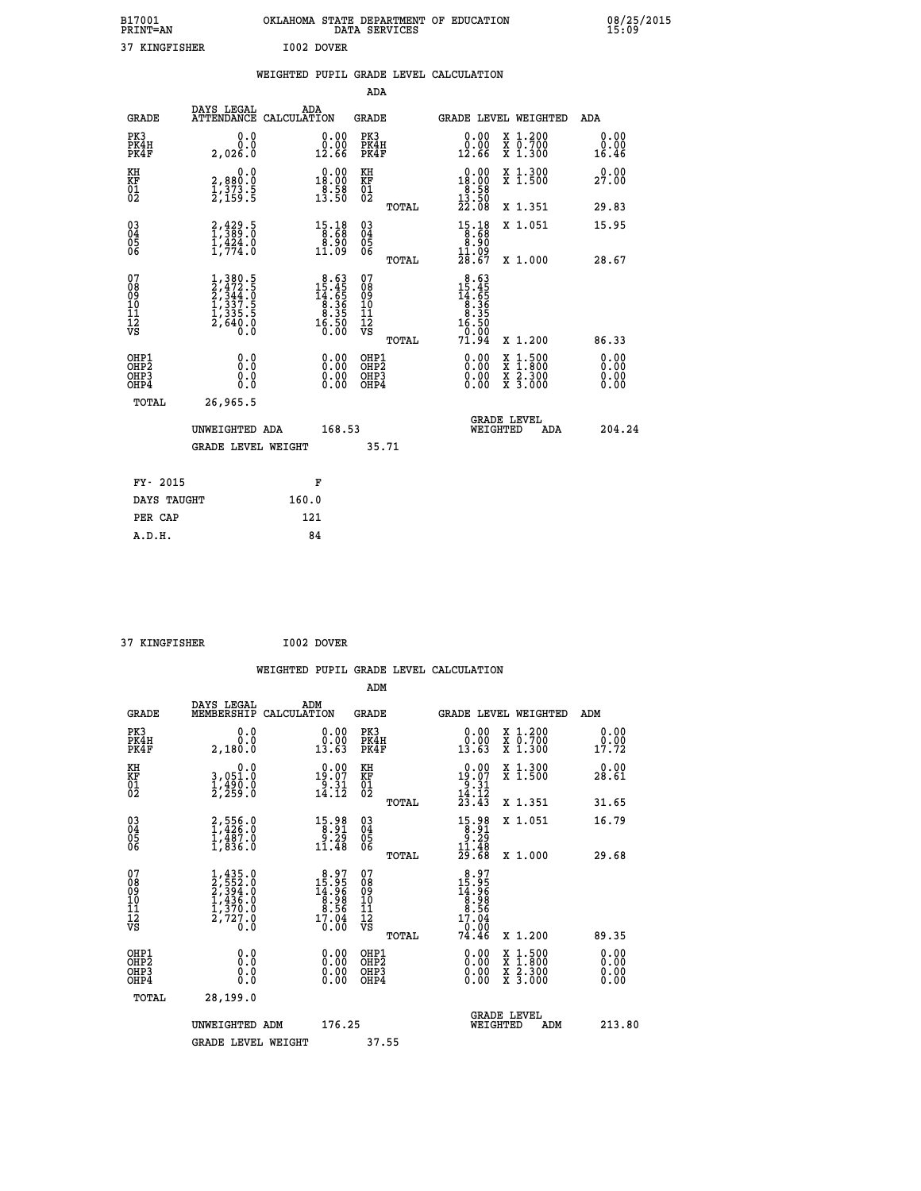| B17001<br><b>PRINT=AN</b> | OKLAHOMA STATE DEPARTMENT OF EDUCATION<br>DATA SERVICES | 08/25/2015<br>15:09 |
|---------------------------|---------------------------------------------------------|---------------------|
| 37<br>KINGFISHER          | I002 DOVER                                              |                     |

|                                                                    |                                                                                                  |                                                                                           | ADA                                                 |       |                                                                                                |                                          |                               |
|--------------------------------------------------------------------|--------------------------------------------------------------------------------------------------|-------------------------------------------------------------------------------------------|-----------------------------------------------------|-------|------------------------------------------------------------------------------------------------|------------------------------------------|-------------------------------|
| <b>GRADE</b>                                                       | DAYS LEGAL<br>ATTENDANCE CALCULATION                                                             | ADA                                                                                       | <b>GRADE</b>                                        |       |                                                                                                | GRADE LEVEL WEIGHTED                     | <b>ADA</b>                    |
| PK3<br>PK4H<br>PK4F                                                | 0.0<br>0.0<br>2,026.0                                                                            | 0.00<br>12.66                                                                             | PK3<br>PK4H<br>PK4F                                 |       | 0.00<br>ăč.<br>12.66                                                                           | X 1.200<br>X 0.700<br>X 1.300            | 0.00<br>0.00<br>16.46         |
| KH<br>KF<br>01<br>02                                               | 0.0<br>2,880:0<br>1,373.5<br>2,159:5                                                             | $\begin{smallmatrix} 0.00\\18.00\\8.9\\13.50 \end{smallmatrix}$                           | KH<br>KF<br>01<br>02                                |       | 0.00<br>$18.00$<br>$8.58$<br>$13.50$<br>$22.08$                                                | X 1.300<br>X 1.500                       | 0.00<br>27.00                 |
|                                                                    |                                                                                                  |                                                                                           |                                                     | TOTAL |                                                                                                | X 1.351                                  | 29.83                         |
| $\begin{smallmatrix} 03 \\[-4pt] 04 \end{smallmatrix}$<br>Ŏ5<br>06 | $2,429.5$<br>$1,389.0$<br>$1,424.0$<br>$1,774.0$                                                 | $\begin{smallmatrix} 15\cdot 18\\ 8\cdot 68\\ 8\cdot 90\\ 11\cdot 09 \end{smallmatrix}$   | $\begin{array}{c} 03 \\ 04 \\ 05 \\ 06 \end{array}$ |       | $\begin{smallmatrix}15\cdot 18\\8\cdot 68\\8\cdot 90\\11\cdot 09\\28\cdot 67\end{smallmatrix}$ | X 1.051                                  | 15.95                         |
|                                                                    |                                                                                                  |                                                                                           |                                                     | TOTAL |                                                                                                | X 1.000                                  | 28.67                         |
| 07<br>08<br>09<br>01<br>11<br>11<br>12<br>VS                       | $\begin{smallmatrix} 1,380.5\\2,472.5\\2,344.0\\1,337.5\\1,335.5\\2,640.0\\0.0\end{smallmatrix}$ | $\begin{smallmatrix} 8.63\\ 15.45\\ 14.65\\ 8.36\\ 8.35\\ 16.50\\ 0.00 \end{smallmatrix}$ | 07<br>08<br>09<br>11<br>11<br>12<br>VS              |       | $\begin{array}{r} 8.63 \\ 15.45 \\ 14.65 \\ 8.366 \\ 8.35 \\ 16.50 \\ 16.50 \\ 9. \end{array}$ |                                          |                               |
|                                                                    |                                                                                                  |                                                                                           |                                                     | TOTAL | 71.94                                                                                          | X 1.200                                  | 86.33                         |
| OHP1<br>OHP <sub>2</sub><br>OH <sub>P3</sub><br>OHP4               | 0.0<br>0.000                                                                                     | 0.00<br>$\begin{smallmatrix} 0.00 \ 0.00 \end{smallmatrix}$                               | OHP1<br>OHP2<br>OHP <sub>3</sub>                    |       | 0.00<br>0.00                                                                                   | X 1:500<br>X 1:800<br>X 2:300<br>X 3:000 | 0.00<br>Ō. ŌŌ<br>0.00<br>0.00 |
| TOTAL                                                              | 26,965.5                                                                                         |                                                                                           |                                                     |       |                                                                                                |                                          |                               |
|                                                                    | UNWEIGHTED ADA                                                                                   | 168.53                                                                                    |                                                     |       |                                                                                                | <b>GRADE LEVEL</b><br>WEIGHTED<br>ADA    | 204.24                        |
|                                                                    | <b>GRADE LEVEL WEIGHT</b>                                                                        |                                                                                           |                                                     | 35.71 |                                                                                                |                                          |                               |
| FY- 2015                                                           |                                                                                                  | F                                                                                         |                                                     |       |                                                                                                |                                          |                               |
| DAYS TAUGHT                                                        |                                                                                                  | 160.0                                                                                     |                                                     |       |                                                                                                |                                          |                               |
| PER CAP                                                            |                                                                                                  | 121                                                                                       |                                                     |       |                                                                                                |                                          |                               |

 **37 KINGFISHER I002 DOVER WEIGHTED PUPIL GRADE LEVEL CALCULATION ADM DAYS LEGAL ADM GRADE MEMBERSHIP CALCULATION GRADE GRADE LEVEL WEIGHTED ADM PK3 0.0 0.00 PK3 0.00 X 1.200 0.00 PK4H 0.0 0.00 PK4H 0.00 X 0.700 0.00 PK4F 2,180.0 13.63 PK4F 13.63 X 1.300 17.72 KH 0.0 0.00 KH 0.00 X 1.300 0.00 KF 3,051.0 19.07 KF 19.07 X 1.500 28.61 01 1,490.0 9.31 01 9.31 02 2,259.0 14.12 02 14.12 TOTAL 23.43 X 1.351 31.65 03 2,556.0 15.98 03 15.98 X 1.051 16.79 04 1,426.0 8.91 04 8.91 05 1,487.0 9.29 05 9.29** 06 1,836.0 11.48 06 <sub>mome</sub> 11.48  **TOTAL 29.68 X 1.000 29.68**  $\begin{array}{cccc} 07 & 1,435.0 & 8.97 & 07 & 8.97 \ 08 & 2,532.0 & 14.96 & 09 & 14.96 \ 10 & 1,436.0 & 8.98 & 10 & 8.98 \ 10 & 1,436.0 & 8.98 & 10 & 8.98 \ 11 & 1,700.0 & 8.98 & 10 & 8.98 \ 12 & 7,727.0 & 17.04 & 12 & 9.06 \ \hline \textrm{vs} & 2,727.0 & 10.00 & \textrm{vs} &$  **TOTAL 74.46 X 1.200 89.35 OHP1 0.0 0.00 OHP1 0.00 X 1.500 0.00 OHP2 0.0 0.00 OHP2 0.00 X 1.800 0.00 OHP3 0.0 0.00 OHP3 0.00 X 2.300 0.00 OHP4 0.0 0.00 OHP4 0.00 X 3.000 0.00 TOTAL 28,199.0** UNWEIGHTED ADM 176.25  **UNWEIGHTED ADM 176.25 WEIGHTED ADM 213.80** GRADE LEVEL WEIGHT 37.55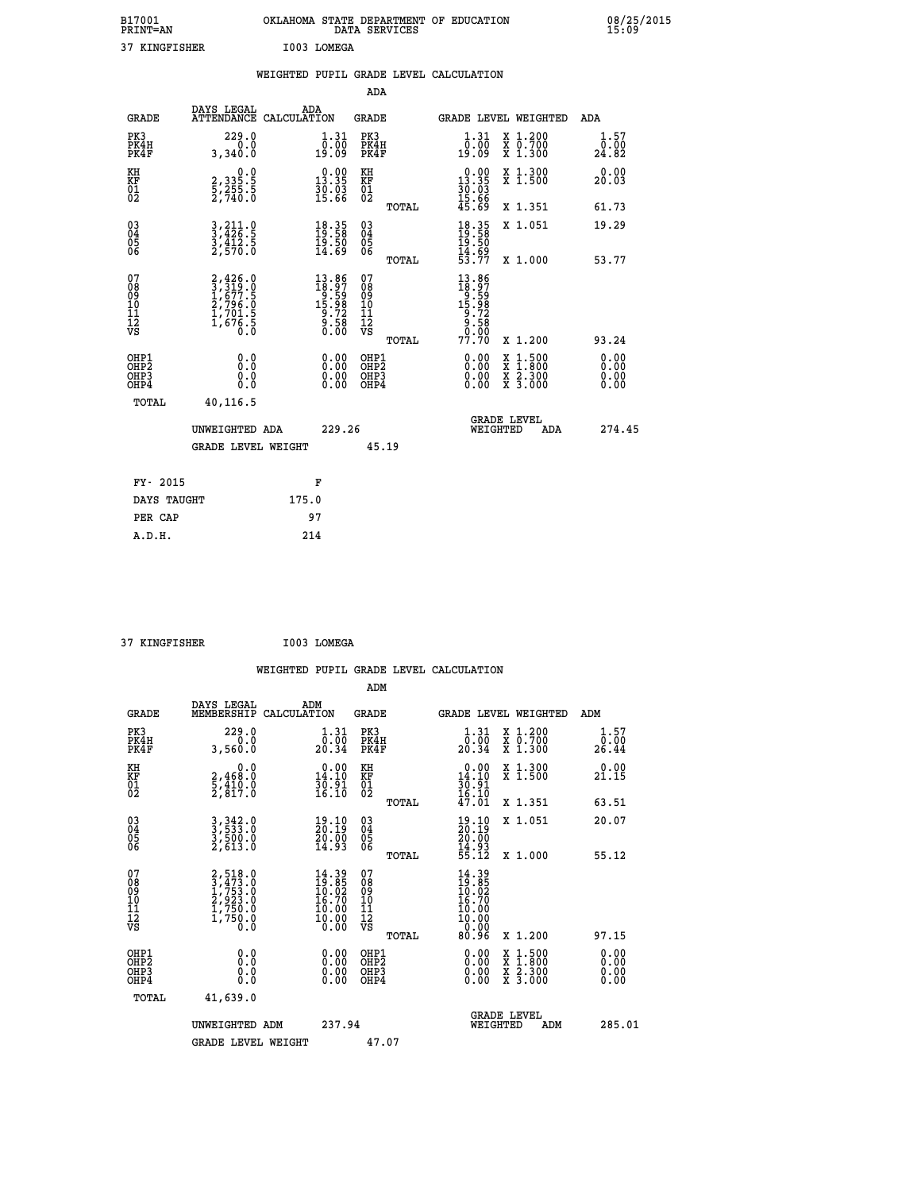| B17001<br><b>PRINT=AN</b> | OKLAHOMA STATE DEPARTMENT OF EDUCATION<br>SERVICES<br>DATA | 08/25/2015<br>15:09 |
|---------------------------|------------------------------------------------------------|---------------------|
| つつ<br><b>KINGFISHER</b>   | rnna<br><b>T.OMEGA</b>                                     |                     |

| 37 KINGFISHER                                                      |                                                                       |       | I003 LOMEGA                                                                                              |                                         |       |                                                                              |                                                                                                                                      |                              |
|--------------------------------------------------------------------|-----------------------------------------------------------------------|-------|----------------------------------------------------------------------------------------------------------|-----------------------------------------|-------|------------------------------------------------------------------------------|--------------------------------------------------------------------------------------------------------------------------------------|------------------------------|
|                                                                    |                                                                       |       |                                                                                                          |                                         |       | WEIGHTED PUPIL GRADE LEVEL CALCULATION                                       |                                                                                                                                      |                              |
|                                                                    |                                                                       |       |                                                                                                          | <b>ADA</b>                              |       |                                                                              |                                                                                                                                      |                              |
| <b>GRADE</b>                                                       | DAYS LEGAL<br>ATTENDANCE CALCULATION                                  |       | ADA                                                                                                      | <b>GRADE</b>                            |       |                                                                              | GRADE LEVEL WEIGHTED                                                                                                                 | ADA                          |
| PK3<br>PK4H<br>PK4F                                                | 229.0<br>3,340.0                                                      |       | $1.31$<br>$0.00$<br>19.09                                                                                | PK3<br>PK4H<br>PK4F                     |       | 1.31<br>0.00<br>19.09                                                        | X 1.200<br>X 0.700<br>X 1.300                                                                                                        | 1.57<br>0.00<br>24.82        |
| KH<br>KF<br>01<br>02                                               | $\begin{smallmatrix} 0.0\\2,335.5\\5,255.5\\2,740.0\end{smallmatrix}$ |       | $\begin{smallmatrix} 0.00\\ 13.35\\ 30.03\\ 15.66 \end{smallmatrix}$                                     | KH<br>KF<br>01<br>02                    |       | $\begin{smallmatrix} 0.00\\ 13.35\\ 30.03\\ 15.66\\ 45.69 \end{smallmatrix}$ | X 1.300<br>X 1.500                                                                                                                   | 0.00<br>20.03                |
|                                                                    |                                                                       |       |                                                                                                          |                                         | TOTAL |                                                                              | X 1.351                                                                                                                              | 61.73                        |
| $\begin{smallmatrix} 03 \\[-4pt] 04 \end{smallmatrix}$<br>Ŏ5<br>06 | 3,211.0<br>3,426.5<br>3,412.5<br>2,570.0                              |       | $\begin{smallmatrix} 18.35\ 19.58\ 19.50\ 14.69 \end{smallmatrix}$                                       | 03<br>04<br>05<br>06                    |       | 18.35<br>19.58<br>19.50<br>14.69<br>53.77                                    | X 1.051                                                                                                                              | 19.29                        |
|                                                                    |                                                                       |       |                                                                                                          |                                         | TOTAL |                                                                              | X 1.000                                                                                                                              | 53.77                        |
| 07<br>08<br>09<br>11<br>11<br>12<br>VS                             | 2,426.0<br>3,319.0<br>1,677.5<br>2,796.0<br>1,701.5<br>1,676.5<br>0.0 |       | $\begin{smallmatrix} 13.86 \\ 18.97 \\ 9.59 \\ 15.98 \\ 15.98 \\ 9.72 \\ 9.58 \\ 0.00 \end{smallmatrix}$ | 07<br>08<br>09<br>101<br>11<br>12<br>VS |       | 13.86<br>$18.97$<br>$15.98$<br>$15.98$<br>$9.728$<br>$9.588$<br>$9.98$       |                                                                                                                                      |                              |
|                                                                    |                                                                       |       |                                                                                                          |                                         | TOTAL | 77.70                                                                        | X 1.200                                                                                                                              | 93.24                        |
| OHP1<br>OHP2<br>OHP3<br>OHP4                                       | 0.0<br>Ō.Ō<br>0.0<br>0.0                                              |       | $0.00$<br>$0.00$<br>0.00                                                                                 | OHP1<br>OHP2<br>OHP3<br>OHP4            |       | $0.00$<br>$0.00$<br>0.00                                                     | $\begin{smallmatrix} \mathtt{X} & 1 & 500 \\ \mathtt{X} & 1 & 800 \\ \mathtt{X} & 2 & 300 \\ \mathtt{X} & 3 & 000 \end{smallmatrix}$ | 0.00<br>Ŏ.ŎŎ<br>Q.QQ<br>0.00 |
| <b>TOTAL</b>                                                       | 40,116.5                                                              |       |                                                                                                          |                                         |       |                                                                              |                                                                                                                                      |                              |
|                                                                    | UNWEIGHTED ADA                                                        |       | 229.26                                                                                                   |                                         |       | WEIGHTED                                                                     | <b>GRADE LEVEL</b><br>ADA                                                                                                            | 274.45                       |
|                                                                    | <b>GRADE LEVEL WEIGHT</b>                                             |       |                                                                                                          |                                         | 45.19 |                                                                              |                                                                                                                                      |                              |
| FY- 2015                                                           |                                                                       |       | F                                                                                                        |                                         |       |                                                                              |                                                                                                                                      |                              |
| DAYS TAUGHT                                                        |                                                                       | 175.0 |                                                                                                          |                                         |       |                                                                              |                                                                                                                                      |                              |
| PER CAP                                                            |                                                                       |       | 97                                                                                                       |                                         |       |                                                                              |                                                                                                                                      |                              |

| A.D.H. |  | 214 |
|--------|--|-----|
|        |  |     |
|        |  |     |
|        |  |     |

 **37 KINGFISHER I003 LOMEGA**

| <b>GRADE</b>                                                     | DAYS LEGAL<br>MEMBERSHIP                                                            | ADM<br>CALCULATION                                                | <b>GRADE</b>                                        | GRADE LEVEL WEIGHTED                                                     |                                          | ADM                          |
|------------------------------------------------------------------|-------------------------------------------------------------------------------------|-------------------------------------------------------------------|-----------------------------------------------------|--------------------------------------------------------------------------|------------------------------------------|------------------------------|
| PK3<br>PK4H<br>PK4F                                              | 229.0<br>3,560.0                                                                    | $\frac{1}{0}$ : $\frac{31}{00}$<br>20.34                          | PK3<br>PK4H<br>PK4F                                 | $\begin{smallmatrix} 1.31\ 0.00\ 20.34 \end{smallmatrix}$                | X 1.200<br>X 0.700<br>X 1.300            | 1.57<br>$\frac{0.00}{26.44}$ |
| KH<br>KF<br>01<br>02                                             | 0.0<br>$\frac{2}{5}, \frac{468}{817}$ .0<br>2,817.0                                 | $\begin{smallmatrix} 0.00\\14.10\\30.91\\16.10 \end{smallmatrix}$ | KH<br>KF<br>01<br>02                                | $\begin{smallmatrix} 0.00\\14.10\\30.91\\16.10\\47.01 \end{smallmatrix}$ | X 1.300<br>X 1.500                       | 0.00<br>21.15                |
|                                                                  |                                                                                     |                                                                   | TOTAL                                               |                                                                          | X 1.351                                  | 63.51                        |
| $\begin{matrix} 03 \\ 04 \\ 05 \\ 06 \end{matrix}$               | $3,342.0$<br>$3,533.0$<br>$3,500.0$<br>$2,613.0$                                    | $\frac{19.10}{20.19}$<br>$\frac{50.00}{14.93}$                    | $\begin{array}{c} 03 \\ 04 \\ 05 \\ 06 \end{array}$ | 19.10<br>$\frac{20.19}{20.00}$<br>$\frac{4.93}{55.12}$                   | X 1.051                                  | 20.07                        |
|                                                                  |                                                                                     |                                                                   | TOTAL                                               |                                                                          | X 1.000                                  | 55.12                        |
| 07<br>08<br>09<br>11<br>11<br>12<br>VS                           | $2,518.0$<br>$3,473.0$<br>$1,753.0$<br>$2,923.0$<br>$1,750.0$<br>$1,750.0$<br>$0.0$ | $14.39$<br>$19.85$<br>$10.02$<br>$16.70$<br>$\frac{10.00}{10.00}$ | 07<br>08<br>09<br>11<br>11<br>12<br>VS<br>TOTAL     | $14.3919.8510.0216.7010.0010.000.00$<br>80.96                            | X 1.200                                  | 97.15                        |
| OHP1<br>OH <sub>P</sub> <sub>2</sub><br>OH <sub>P3</sub><br>OHP4 | 0.0<br>0.0<br>Ŏ.Ŏ                                                                   |                                                                   | OHP1<br>OHP <sub>2</sub><br>OHP3<br>OHP4            |                                                                          | X 1:500<br>X 1:800<br>X 2:300<br>X 3:000 | 0.00<br>0.00<br>0.00<br>0.00 |
| TOTAL                                                            | 41,639.0                                                                            |                                                                   |                                                     |                                                                          |                                          |                              |
|                                                                  | UNWEIGHTED ADM                                                                      | 237.94                                                            |                                                     | <b>GRADE LEVEL</b><br>WEIGHTED                                           | ADM                                      | 285.01                       |
|                                                                  | <b>GRADE LEVEL WEIGHT</b>                                                           |                                                                   | 47.07                                               |                                                                          |                                          |                              |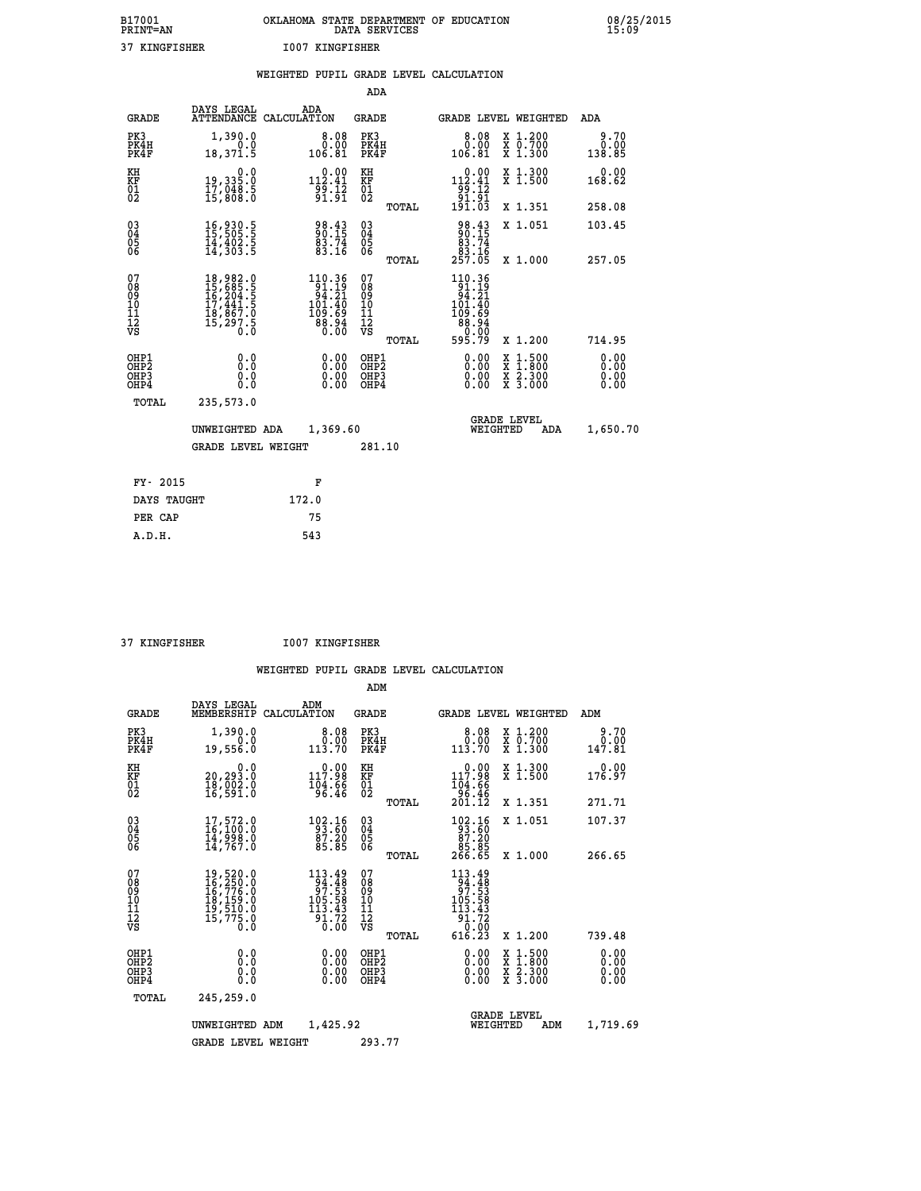| B17001<br>PRINT=AN |               | OKLAHOMA STATE DEPARTMENT OF EDUCATION<br>DATA SERVICES | 08/25/2015<br>15:09 |
|--------------------|---------------|---------------------------------------------------------|---------------------|
|                    | 37 KINGFISHER | 1007 KINGFISHER                                         |                     |

|                                                                    |                                                                        | WEIGHTED PUPIL GRADE LEVEL CALCULATION                                                                                                                                                                                                                                                                                                                                                                              |                                                     |                                                                                                                         |                              |
|--------------------------------------------------------------------|------------------------------------------------------------------------|---------------------------------------------------------------------------------------------------------------------------------------------------------------------------------------------------------------------------------------------------------------------------------------------------------------------------------------------------------------------------------------------------------------------|-----------------------------------------------------|-------------------------------------------------------------------------------------------------------------------------|------------------------------|
|                                                                    |                                                                        |                                                                                                                                                                                                                                                                                                                                                                                                                     | <b>ADA</b>                                          |                                                                                                                         |                              |
| <b>GRADE</b>                                                       | <b>DAYS LEGAL<br/>ATTENDANCE</b>                                       | ADA<br>CALCULATION                                                                                                                                                                                                                                                                                                                                                                                                  | <b>GRADE</b>                                        | GRADE LEVEL WEIGHTED                                                                                                    | ADA                          |
| PK3<br>PK4H<br>PK4F                                                | 1,390.0<br>$\begin{smallmatrix} - & 0.0 \\ 18,371.5 \end{smallmatrix}$ | $\begin{smallmatrix}8.08\0.00\\0.00\\106.81\end{smallmatrix}$                                                                                                                                                                                                                                                                                                                                                       | PK3<br>PK4H<br>PK4F                                 | 8.08<br>X 1.200<br>X 0.700<br>X 1.300<br>0.00<br>106.81                                                                 | 9.70<br>0.00<br>138.85       |
| KH<br>KF<br>01<br>02                                               | 0.0<br>19,335:0<br>17,048:5<br>15,808:0                                | $\substack{1~\stackrel{0~.~0~0}{1~\stackrel{0~.~0}{1~\stackrel{0~.~0}{0~\stackrel{1}{0~\stackrel{1}{0~\stackrel{1}{0~\stackrel{1}{0~\stackrel{1}{0~\stackrel{1}{0~\stackrel{1}{0~\stackrel{1}{0~\stackrel{1}{0~\stackrel{1}{0~\stackrel{1}{0~\stackrel{1}{0~\stackrel{1}{0~\stackrel{1}{0~\stackrel{1}{0~\stackrel{1}{0~\stackrel{1}{0~\stackrel{1}{0~\stackrel{1}{0~\stackrel{1}{0~\stackrel{1}{0~\stackrel{1}{0~$ | KH<br>KF<br>01<br>02                                | $\begin{array}{c} 0.00 \\[-4pt] 112.41 \\[-4pt] 99.12 \\[-4pt] 91.91 \\[-4pt] 191.03 \end{array}$<br>X 1.300<br>X 1.500 | 0.00<br>168.62               |
|                                                                    |                                                                        |                                                                                                                                                                                                                                                                                                                                                                                                                     | TOTAL                                               | X 1.351                                                                                                                 | 258.08                       |
| $\begin{smallmatrix} 03 \\[-4pt] 04 \end{smallmatrix}$<br>05<br>06 | 16,930.5<br>15,505.5<br>14,402.5<br>14,303.5                           | 98.43<br>90.15<br>83.74<br>83.16                                                                                                                                                                                                                                                                                                                                                                                    | $\begin{array}{c} 03 \\ 04 \\ 05 \\ 06 \end{array}$ | $\begin{array}{r} 98.43 \\ 90.15 \\ 83.74 \\ 83.16 \\ 257.05 \end{array}$<br>X 1.051                                    | 103.45                       |
|                                                                    |                                                                        |                                                                                                                                                                                                                                                                                                                                                                                                                     | TOTAL                                               | X 1.000                                                                                                                 | 257.05                       |
| 07<br>08<br>09<br>11<br>11<br>12<br>VS                             |                                                                        | $\begin{smallmatrix} 110.36\\ 91.19\\ 94.21\\ 101.40\\ 109.69\\ 88.94\\ 0.00 \end{smallmatrix}$                                                                                                                                                                                                                                                                                                                     | 07<br>08<br>09<br>11<br>11<br>12<br>VS<br>TOTAL     | 110.36<br>$101.19$<br>$94.21$<br>$101.40$<br>$109.69$<br>$88.94$<br>$80.00$<br>$595.79$<br>X 1.200                      | 714.95                       |
| OHP1<br>OHP2<br>OHP3<br>OHP4                                       | 0.0<br>0.0<br>0.0                                                      | 0.0000<br>$0.00$<br>0.00                                                                                                                                                                                                                                                                                                                                                                                            | OHP1<br>OHP2<br>OHP3<br>OHP4                        | 0.00<br>1:500<br>X<br>X<br>X<br>X<br>$\frac{2.300}{3.000}$<br>0.00<br>0.00                                              | 0.00<br>0.00<br>0.00<br>0.00 |
| <b>TOTAL</b>                                                       | 235,573.0                                                              |                                                                                                                                                                                                                                                                                                                                                                                                                     |                                                     |                                                                                                                         |                              |
|                                                                    | UNWEIGHTED ADA                                                         | 1,369.60                                                                                                                                                                                                                                                                                                                                                                                                            |                                                     | <b>GRADE LEVEL</b><br>WEIGHTED                                                                                          | 1,650.70<br>ADA              |
|                                                                    | <b>GRADE LEVEL WEIGHT</b>                                              |                                                                                                                                                                                                                                                                                                                                                                                                                     | 281.10                                              |                                                                                                                         |                              |
| FY- 2015                                                           |                                                                        | F                                                                                                                                                                                                                                                                                                                                                                                                                   |                                                     |                                                                                                                         |                              |
| DAYS TAUGHT                                                        |                                                                        | 172.0                                                                                                                                                                                                                                                                                                                                                                                                               |                                                     |                                                                                                                         |                              |
| PER CAP                                                            |                                                                        | 75                                                                                                                                                                                                                                                                                                                                                                                                                  |                                                     |                                                                                                                         |                              |

 **37 KINGFISHER I007 KINGFISHER**

|                                          |                                                                                                                                                                                               |                                                                                                                                          | ADM                                                 |                                                                                                        |                                          |                              |
|------------------------------------------|-----------------------------------------------------------------------------------------------------------------------------------------------------------------------------------------------|------------------------------------------------------------------------------------------------------------------------------------------|-----------------------------------------------------|--------------------------------------------------------------------------------------------------------|------------------------------------------|------------------------------|
|                                          | DAYS LEGAL<br><b>GRADE</b><br>MEMBERSHIP                                                                                                                                                      | ADM<br>CALCULATION                                                                                                                       | <b>GRADE</b>                                        | GRADE LEVEL WEIGHTED                                                                                   |                                          | ADM                          |
| PK3<br>PK4H<br>PK4F                      | 1,390.0<br>19,556.0                                                                                                                                                                           | 8.08<br>0.00<br>0.0<br>113.70                                                                                                            | PK3<br>PK4H<br>PK4F                                 |                                                                                                        | X 1.200<br>X 0.700<br>X 1.300            | 9.70<br>0.00<br>147.81       |
| KH<br>KF<br>01<br>02                     | 20,293.0<br>18,002.0<br>16,591.0                                                                                                                                                              | 0.0<br>$\begin{smallmatrix} &0.00\\ 117.98\\ 104.66\\ 96.46\end{smallmatrix}$                                                            | KH<br>KF<br>01<br>02                                | 117.98<br>104:66<br>96:46<br>201:12                                                                    | X 1.300<br>X 1.500                       | 0.00<br>176.97               |
|                                          |                                                                                                                                                                                               |                                                                                                                                          | TOTAL                                               |                                                                                                        | X 1.351                                  | 271.71                       |
| 03<br>04<br>05<br>06                     | 17,572.0<br>16,100.0<br>14,998.0<br>14,767.0                                                                                                                                                  | $\begin{smallmatrix} 102.16\\ 93.60\\ 87.20\\ 85.85 \end{smallmatrix}$                                                                   | $\begin{array}{c} 03 \\ 04 \\ 05 \\ 06 \end{array}$ | 102.16<br>93.60<br>97.20                                                                               | X 1.051                                  | 107.37                       |
|                                          |                                                                                                                                                                                               |                                                                                                                                          | TOTAL                                               | 85.85<br>266.65                                                                                        | X 1.000                                  | 266.65                       |
| 07<br>08<br>09<br>101<br>112<br>VS       | $\begin{smallmatrix} 19 \,,\, 520 \,. \,0 \\ 16 \,,\, 250 \,. \,0 \\ 16 \,,\, 776 \,. \,0 \\ 18 \,,\, 159 \,. \,0 \\ 19 \,,\, 510 \,. \,0 \\ 15 \,,\, 775 \,. \,0 \\ 0 \,. \end{smallmatrix}$ | 113.49<br>$\frac{1}{9}\overline{9}\overline{7}\cdot\overline{5}\overline{3}\overline{3}\overline{1}$<br>105.58<br>$\frac{113.43}{91.72}$ | 07<br>08<br>09<br>101<br>11<br>12<br>VS<br>TOTAL    | $\begin{array}{r} 113.49 \\ 94.48 \\ 97.53 \\ 105.58 \\ 113.43 \\ 91.72 \\ 0.00 \end{array}$<br>616.23 | X 1.200                                  | 739.48                       |
| OHP1<br>OHP2<br>OH <sub>P3</sub><br>OHP4 |                                                                                                                                                                                               | 0.0<br>$0.00$<br>$0.00$<br>0.000<br>0.00                                                                                                 | OHP1<br>OHP2<br>OHP3<br>OHP4                        | $0.00$<br>$0.00$<br>0.00                                                                               | X 1:500<br>X 1:800<br>X 2:300<br>X 3:000 | 0.00<br>0.00<br>0.00<br>0.00 |
|                                          | TOTAL<br>245,259.0                                                                                                                                                                            |                                                                                                                                          |                                                     |                                                                                                        |                                          |                              |
|                                          | UNWEIGHTED                                                                                                                                                                                    | 1,425.92<br>ADM                                                                                                                          |                                                     | <b>GRADE LEVEL</b><br>WEIGHTED                                                                         | ADM                                      | 1,719.69                     |
|                                          |                                                                                                                                                                                               | <b>GRADE LEVEL WEIGHT</b>                                                                                                                | 293.77                                              |                                                                                                        |                                          |                              |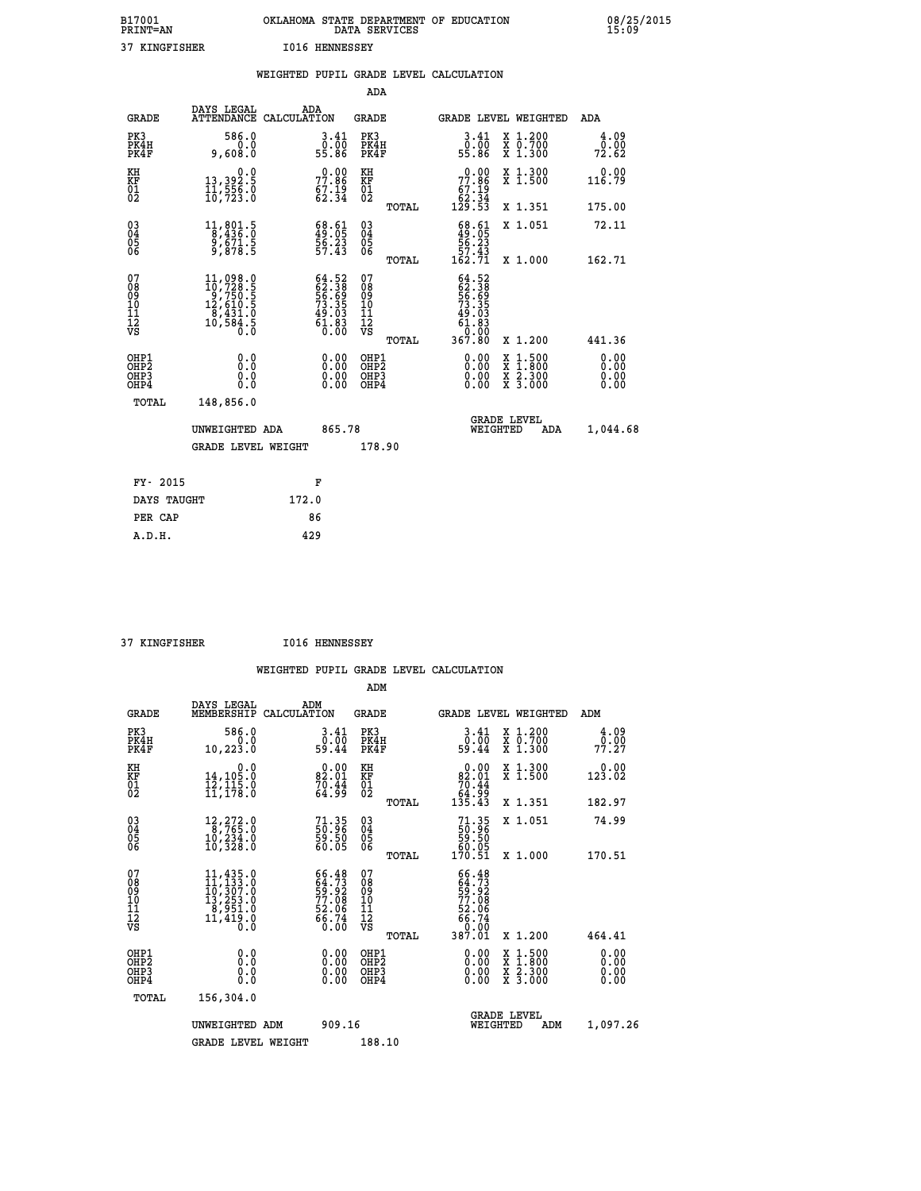| B17001          | OKLAHOMA STATE DEPARTMENT OF EDUCATION |
|-----------------|----------------------------------------|
| <b>PRINT=AN</b> | DATA SERVICES                          |
| 37 KINGFISHER   | <b>I016 HENNESSEY</b>                  |

|                                        |                                                                                                                                               | WEIGHTED PUPIL GRADE LEVEL CALCULATION                                   |                                                     |       |                                                                       |                                                    |                              |
|----------------------------------------|-----------------------------------------------------------------------------------------------------------------------------------------------|--------------------------------------------------------------------------|-----------------------------------------------------|-------|-----------------------------------------------------------------------|----------------------------------------------------|------------------------------|
|                                        |                                                                                                                                               |                                                                          | <b>ADA</b>                                          |       |                                                                       |                                                    |                              |
| <b>GRADE</b>                           | <b>DAYS LEGAL<br/>ATTENDANCE</b>                                                                                                              | ADA<br>CALCULATION                                                       | <b>GRADE</b>                                        |       |                                                                       | GRADE LEVEL WEIGHTED                               | ADA                          |
| PK3<br>PK4H<br>PK4F                    | 586.0<br>$0.0$ .<br>0.808,9                                                                                                                   | $\begin{smallmatrix} 3.41\ 0.00\ 55.86 \end{smallmatrix}$                | PK3<br>PK4H<br>PK4F                                 |       | $\begin{smallmatrix} 3.41\ 0.00\ 55.86 \end{smallmatrix}$             | X 1.200<br>X 0.700<br>X 1.300                      | 4.09<br>0.00<br>72.62        |
| KH<br>KF<br>01<br>02                   | 0.0<br>13,392.5<br>11,556.0<br>10,723.0                                                                                                       | $77.86$<br>$67.19$<br>$62.34$                                            | KH<br>KF<br>01<br>02                                |       | 77.86<br>$67.19$<br>$62.34$<br>$129.53$                               | X 1.300<br>X 1.500                                 | 0.00<br>116.79               |
|                                        |                                                                                                                                               |                                                                          |                                                     | TOTAL |                                                                       | X 1.351                                            | 175.00                       |
| $^{03}_{04}$<br>05<br>06               | $\begin{smallmatrix}11, & 801.5\\8, & 436.0\\9, & 671.5\\9, & 878.5\end{smallmatrix}$                                                         | $\begin{smallmatrix} 68.61\49.05\56.23\57.43 \end{smallmatrix}$          | $\begin{array}{c} 03 \\ 04 \\ 05 \\ 06 \end{array}$ |       | $\begin{smallmatrix} 68.61\49.05\56.23\57.43\162.71\end{smallmatrix}$ | X 1.051                                            | 72.11                        |
|                                        |                                                                                                                                               |                                                                          |                                                     | TOTAL |                                                                       | X 1.000                                            | 162.71                       |
| 07<br>08<br>09<br>11<br>11<br>12<br>VS | $\begin{smallmatrix} 11,098\cdot 0\\ 10,728\cdot 5\\ 9,750\cdot 5\\ 12,610\cdot 5\\ 8,431\cdot 0\\ 10,584\cdot 5\\ 0\cdot 0\end{smallmatrix}$ | $64.52$<br>$62.38$<br>$56.69$<br>$73.35$<br>$49.03$<br>$61.83$<br>$0.00$ | 07<br>08<br>09<br>11<br>11<br>12<br>VS              | TOTAL | $64.52\n62.389\n56.695\n73.355\n49.033\n61.830\n0.000\n367.80$        | X 1.200                                            | 441.36                       |
| OHP1<br>OHP2<br>OHP3<br>OHP4           | 0.0<br>Ō.Ō<br>0.0                                                                                                                             | 0.0000<br>$\begin{smallmatrix} 0.00 \ 0.00 \end{smallmatrix}$            | OHP1<br>OHP2<br>OHP3<br>OHP4                        |       | 0.00<br>0.00<br>0.00                                                  | 1:500<br>X<br>X<br>X<br>X<br>$\frac{2.300}{3.000}$ | 0.00<br>0.00<br>0.00<br>0.00 |
| <b>TOTAL</b>                           | 148,856.0                                                                                                                                     |                                                                          |                                                     |       |                                                                       |                                                    |                              |
|                                        | UNWEIGHTED ADA                                                                                                                                | 865.78                                                                   |                                                     |       | WEIGHTED                                                              | <b>GRADE LEVEL</b><br>ADA                          | 1,044.68                     |
|                                        | <b>GRADE LEVEL WEIGHT</b>                                                                                                                     |                                                                          | 178.90                                              |       |                                                                       |                                                    |                              |
| FY- 2015                               |                                                                                                                                               | F                                                                        |                                                     |       |                                                                       |                                                    |                              |
| DAYS TAUGHT                            |                                                                                                                                               | 172.0                                                                    |                                                     |       |                                                                       |                                                    |                              |
| PER CAP                                |                                                                                                                                               | 86                                                                       |                                                     |       |                                                                       |                                                    |                              |

 **37 KINGFISHER I016 HENNESSEY**

 **A.D.H. 429**

|                                          |                                                                                                                                                                                         |                                                                      | ADM                                                 |                                                                          |                                          |                                 |
|------------------------------------------|-----------------------------------------------------------------------------------------------------------------------------------------------------------------------------------------|----------------------------------------------------------------------|-----------------------------------------------------|--------------------------------------------------------------------------|------------------------------------------|---------------------------------|
| <b>GRADE</b>                             | DAYS LEGAL<br>MEMBERSHIP                                                                                                                                                                | ADM<br>CALCULATION                                                   | <b>GRADE</b>                                        | <b>GRADE LEVEL WEIGHTED</b>                                              |                                          | ADM                             |
| PK3<br>PK4H<br>PK4F                      | 586.0<br>0.0<br>10, 223.0                                                                                                                                                               | 3.41<br>0.00<br>59.44                                                | PK3<br>PK4H<br>PK4F                                 | $\begin{smallmatrix} 3.41\ 0.00 \ 59.44 \end{smallmatrix}$               | X 1.200<br>X 0.700<br>X 1.300            | 4.09<br>$7\overline{7}\cdot 27$ |
| KH<br>KF<br>01<br>02                     | 0.0<br>14,105.0<br>12,115.0<br>11,178.0                                                                                                                                                 | $0.00$<br>82.01<br>$\frac{70.44}{64.99}$                             | KH<br>KF<br>01<br>02                                | 0.00<br>$\begin{array}{r} 82.01 \\ 70.44 \\ 64.99 \\ 135.43 \end{array}$ | X 1.300<br>X 1.500                       | 0.00<br>123.02                  |
|                                          |                                                                                                                                                                                         |                                                                      | TOTAL                                               |                                                                          | X 1.351                                  | 182.97                          |
| 03<br>04<br>05<br>06                     | 12,272.0<br>8,765.0<br>10,234.0<br>10,328.0                                                                                                                                             | $\begin{smallmatrix} 71.35\ 50.96\ 59.50\ 60.05 \end{smallmatrix}$   | $\begin{array}{c} 03 \\ 04 \\ 05 \\ 06 \end{array}$ | $71.3550.9659.5060.05170.51$                                             | X 1.051                                  | 74.99                           |
|                                          |                                                                                                                                                                                         |                                                                      | TOTAL                                               |                                                                          | X 1.000                                  | 170.51                          |
| 07<br>08<br>09<br>101<br>112<br>VS       | $\begin{smallmatrix} 11\,, & 435\,, & 0\\ 11\,, & 133\,, & 0\\ 10\,, & 307\,, & 0\\ 13\,, & 253\,, & 0\\ 8\,, & 951\,, & 0\\ 11\,, & 419\,, & 0\\ 0\,. & 0\,. & 0\,. \end{smallmatrix}$ | 66.48<br>64.73<br>59.92<br>77.08<br>77.08<br>52.06<br>66.74<br>66.74 | 07<br>08<br>09<br>11<br>11<br>12<br>VS              | 66.48<br>$64.73$<br>$59.92$<br>$77.08$<br>$52.06$<br>$66.74$<br>$60.00$  |                                          |                                 |
|                                          |                                                                                                                                                                                         |                                                                      | TOTAL                                               | 387.Ŏľ                                                                   | X 1.200                                  | 464.41                          |
| OHP1<br>OHP2<br>OH <sub>P3</sub><br>OHP4 | 0.0<br>0.000                                                                                                                                                                            | $0.00$<br>$0.00$<br>0.00                                             | OHP1<br>OHP2<br>OHP <sub>3</sub>                    | $0.00$<br>$0.00$<br>0.00                                                 | X 1:500<br>X 1:800<br>X 2:300<br>X 3:000 | 0.00<br>0.00<br>0.00<br>0.00    |
| TOTAL                                    | 156,304.0                                                                                                                                                                               |                                                                      |                                                     |                                                                          |                                          |                                 |
|                                          | UNWEIGHTED ADM                                                                                                                                                                          | 909.16                                                               |                                                     | <b>GRADE LEVEL</b><br>WEIGHTED                                           | ADM                                      | 1,097.26                        |
|                                          | <b>GRADE LEVEL WEIGHT</b>                                                                                                                                                               |                                                                      | 188.10                                              |                                                                          |                                          |                                 |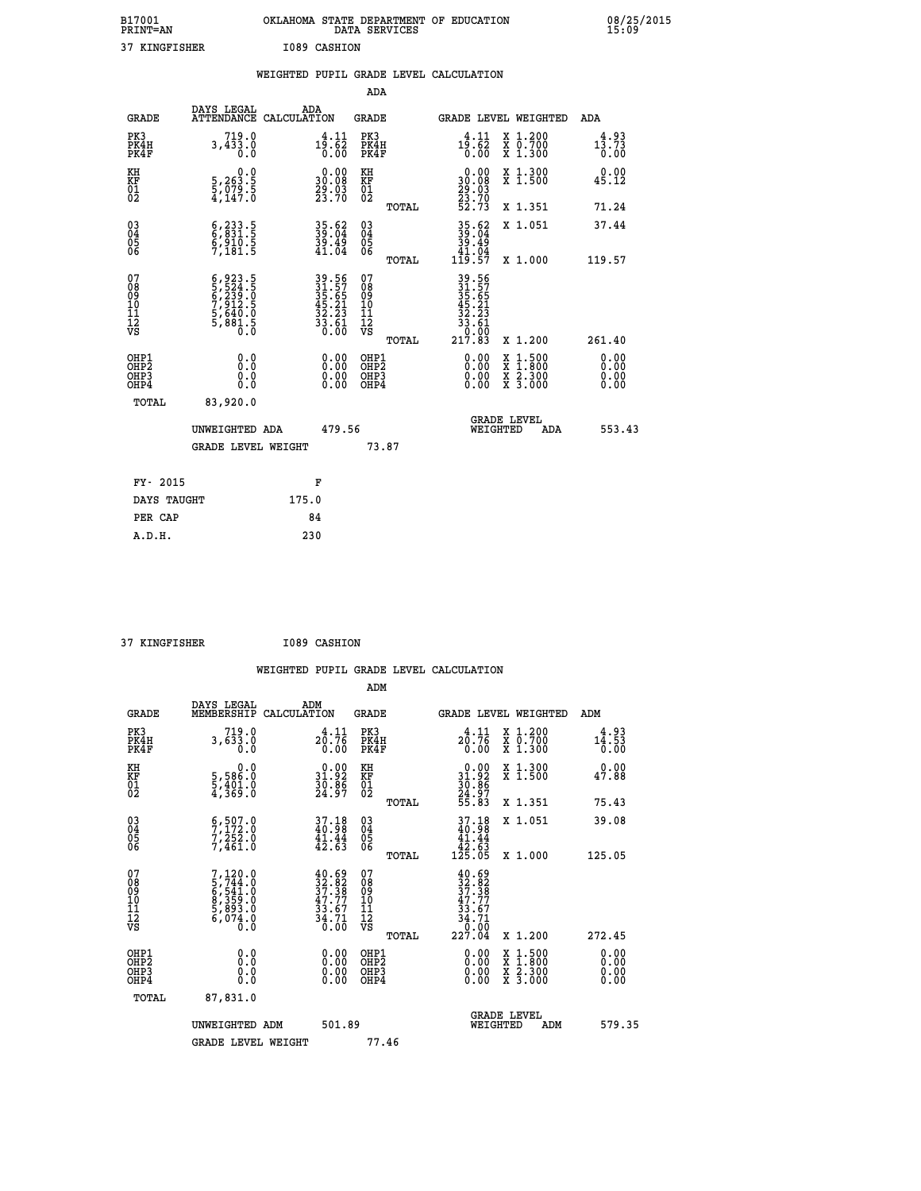| B17001<br><b>PRINT=AN</b> | OKLAHOMA STATE DEPARTMENT OF EDUCATION<br>DATA SERVICES |  |
|---------------------------|---------------------------------------------------------|--|
| 37 KINGFISHER             | I089 CASHION                                            |  |

|  |  | WEIGHTED PUPIL GRADE LEVEL CALCULATION |
|--|--|----------------------------------------|
|  |  |                                        |

|                                                    |                                                                                     |                                                                                           | ADA                                                  |       |                                                                                               |                                             |                                           |
|----------------------------------------------------|-------------------------------------------------------------------------------------|-------------------------------------------------------------------------------------------|------------------------------------------------------|-------|-----------------------------------------------------------------------------------------------|---------------------------------------------|-------------------------------------------|
| <b>GRADE</b>                                       | DAYS LEGAL<br><b>ATTENDANCE</b>                                                     | ADA<br>CALCULATION                                                                        | <b>GRADE</b>                                         |       | GRADE LEVEL WEIGHTED                                                                          |                                             | <b>ADA</b>                                |
| PK3<br>PK4H<br>PK4F                                | $3,433.0$<br>0.0                                                                    | $1\overline{9}:\overline{6}1\over 0.62$                                                   | PK3<br>PK4H<br>PK4F                                  |       | 4.11<br>$\frac{1\overline{5}\cdot\overline{6}\overline{2}}{0.00}$                             | X 1.200<br>X 0.700<br>X 1.300               | 4.93<br>$1\bar{3}.\bar{7}\bar{3}$<br>0.00 |
| KH<br>KF<br>01<br>02                               | 0.0<br>5,263.5<br>5,079.5<br>4,147.0                                                | $\begin{smallmatrix} 0.00\\ 30.08\\ 29.03\\ 23.70 \end{smallmatrix}$                      | KH<br>KF<br>01<br>02                                 |       | 0.00<br>30:08<br>29:03<br>23:70<br>52:73                                                      | X 1.300<br>X 1.500                          | 0.00<br>45.12                             |
|                                                    |                                                                                     |                                                                                           |                                                      | TOTAL |                                                                                               | X 1.351                                     | 71.24                                     |
| $\begin{matrix} 03 \\ 04 \\ 05 \\ 06 \end{matrix}$ | $\begin{smallmatrix} 6,233.5\\ 6,831.5\\ 6,910.5\\ 7,181.5 \end{smallmatrix}$       | 35.62<br>39.04<br>39.49<br>41.04                                                          | 03<br>04<br>05<br>06                                 | TOTAL | $35.62$<br>$39.04$<br>$39.49$<br>$41.04$<br>$119.57$                                          | X 1.051<br>X 1.000                          | 37.44<br>119.57                           |
| 07<br>08<br>09<br>11<br>11<br>12<br>VS             | $6,923.5$<br>$5,523.5$<br>$6,239.5$<br>$7,912.5$<br>$5,640.0$<br>$5,881.5$<br>$0.0$ | $\begin{array}{r} 39.56 \\ 31.57 \\ 35.65 \\ 45.21 \\ 32.23 \\ 33.61 \\ 0.00 \end{array}$ | 07<br>08<br>09<br>11<br>11<br>12<br>VS               |       | $\begin{array}{r} 39.56\\ 31.57\\ 35.651\\ 45.21\\ 32.23\\ 33.61\\ 0.00\\ 217.83 \end{array}$ |                                             |                                           |
|                                                    |                                                                                     |                                                                                           |                                                      | TOTAL |                                                                                               | X 1.200                                     | 261.40                                    |
| OHP1<br>OHP <sub>2</sub><br>OHP3<br>OHP4           | 0.0<br>0.0<br>0.0                                                                   | 0.00<br>$\begin{smallmatrix} 0.00 \ 0.00 \end{smallmatrix}$                               | OHP1<br>OHP2<br>OHP <sub>3</sub><br>OHP <sub>4</sub> |       | $0.00$<br>$0.00$<br>0.00                                                                      | $1:500$<br>1:800<br>X<br>X 2.300<br>X 3.000 | 0.00<br>0.00<br>0.00<br>0.00              |
| TOTAL                                              | 83,920.0                                                                            |                                                                                           |                                                      |       |                                                                                               |                                             |                                           |
|                                                    | UNWEIGHTED ADA                                                                      | 479.56                                                                                    |                                                      |       |                                                                                               | <b>GRADE LEVEL</b><br>WEIGHTED              | 553.43<br>ADA                             |
|                                                    | <b>GRADE LEVEL WEIGHT</b>                                                           |                                                                                           | 73.87                                                |       |                                                                                               |                                             |                                           |
| FY- 2015                                           |                                                                                     | F                                                                                         |                                                      |       |                                                                                               |                                             |                                           |
| DAYS TAUGHT                                        |                                                                                     | 175.0                                                                                     |                                                      |       |                                                                                               |                                             |                                           |
| PER CAP                                            |                                                                                     | 84                                                                                        |                                                      |       |                                                                                               |                                             |                                           |
|                                                    |                                                                                     |                                                                                           |                                                      |       |                                                                                               |                                             |                                           |

 **37 KINGFISHER I089 CASHION**

 **A.D.H. 230**

| <b>GRADE</b>                                       | DAYS LEGAL<br>MEMBERSHIP                                                          | ADM<br>CALCULATION                                                                           | <b>GRADE</b>                           |       | GRADE LEVEL WEIGHTED                                                                                                                                                                                                                                                           |                                          | ADM                   |        |
|----------------------------------------------------|-----------------------------------------------------------------------------------|----------------------------------------------------------------------------------------------|----------------------------------------|-------|--------------------------------------------------------------------------------------------------------------------------------------------------------------------------------------------------------------------------------------------------------------------------------|------------------------------------------|-----------------------|--------|
| PK3<br>PK4H<br>PK4F                                | 719.0<br>3,633.0<br>0.0                                                           | $2\frac{4}{9}:\frac{11}{76}$<br>0.00                                                         | PK3<br>PK4H<br>PK4F                    |       | 4.11<br>20.76<br>0.00                                                                                                                                                                                                                                                          | X 1.200<br>X 0.700<br>X 1.300            | 4.93<br>14.53<br>0.00 |        |
| KH<br>KF<br>01<br>02                               | 0.0<br>5,586:0<br>5,401:0<br>4,369:0                                              | $\begin{smallmatrix} 0.00\\ 31.92\\ 30.86\\ 24.97 \end{smallmatrix}$                         | KH<br>KF<br>01<br>02                   |       | $0.00$<br>$31.92$<br>$30.86$<br>$24.97$<br>$55.83$                                                                                                                                                                                                                             | X 1.300<br>X 1.500                       | 0.00<br>47.88         |        |
|                                                    |                                                                                   |                                                                                              |                                        | TOTAL |                                                                                                                                                                                                                                                                                | X 1.351                                  | 75.43                 |        |
| $\begin{matrix} 03 \\ 04 \\ 05 \\ 06 \end{matrix}$ | $\begin{smallmatrix} 6, 507.0\\ 7, 172.0\\ 7, 252.0\\ 7, 461.0 \end{smallmatrix}$ | $37.18$<br>$40.98$<br>$\frac{41.44}{42.63}$                                                  | 03<br>04<br>05<br>06                   |       | 37.18<br>$\begin{array}{r} 40.58 \\ 41.44 \\ 42.63 \\ 125.05 \end{array}$                                                                                                                                                                                                      | X 1.051                                  | 39.08                 |        |
|                                                    |                                                                                   |                                                                                              |                                        | TOTAL |                                                                                                                                                                                                                                                                                | X 1.000                                  | 125.05                |        |
| 07<br>08<br>09<br>101<br>112<br>VS                 | $7,120.0$<br>5,744.0<br>5,541.0<br>6,545.0<br>8,359.0<br>5,893.0<br>6,074.0       | $\begin{smallmatrix} 40.69\\ 32.82\\ 37.38\\ 47.77\\ 33.67\\ 34.71\\ 0.00 \end{smallmatrix}$ | 07<br>08<br>09<br>11<br>11<br>12<br>VS | TOTAL | $\begin{smallmatrix} 40.69\\ 32.82\\ 37.38\\ 47.77\\ 33.67\\ 34.71\\ 0.00\\ 227.04 \end{smallmatrix}$                                                                                                                                                                          | X 1.200                                  | 272.45                |        |
| OHP1<br>OHP2<br>OHP3<br>OHP4                       | 0.0<br>Ō.Ō<br>Ŏ.Ŏ                                                                 |                                                                                              | OHP1<br>OHP2<br>OHP3<br>OHP4           |       | $\begin{smallmatrix} 0.00 & 0.00 & 0.00 & 0.00 & 0.00 & 0.00 & 0.00 & 0.00 & 0.00 & 0.00 & 0.00 & 0.00 & 0.00 & 0.00 & 0.00 & 0.00 & 0.00 & 0.00 & 0.00 & 0.00 & 0.00 & 0.00 & 0.00 & 0.00 & 0.00 & 0.00 & 0.00 & 0.00 & 0.00 & 0.00 & 0.00 & 0.00 & 0.00 & 0.00 & 0.00 & 0.0$ | X 1:500<br>X 1:800<br>X 2:300<br>X 3:000 | 0.00<br>0.00<br>0.00  |        |
| TOTAL                                              | 87,831.0                                                                          |                                                                                              |                                        |       |                                                                                                                                                                                                                                                                                |                                          |                       |        |
|                                                    | UNWEIGHTED<br>ADM                                                                 | 501.89                                                                                       |                                        |       | WEIGHTED                                                                                                                                                                                                                                                                       | <b>GRADE LEVEL</b><br>ADM                |                       | 579.35 |
|                                                    | <b>GRADE LEVEL WEIGHT</b>                                                         |                                                                                              | 77.46                                  |       |                                                                                                                                                                                                                                                                                |                                          |                       |        |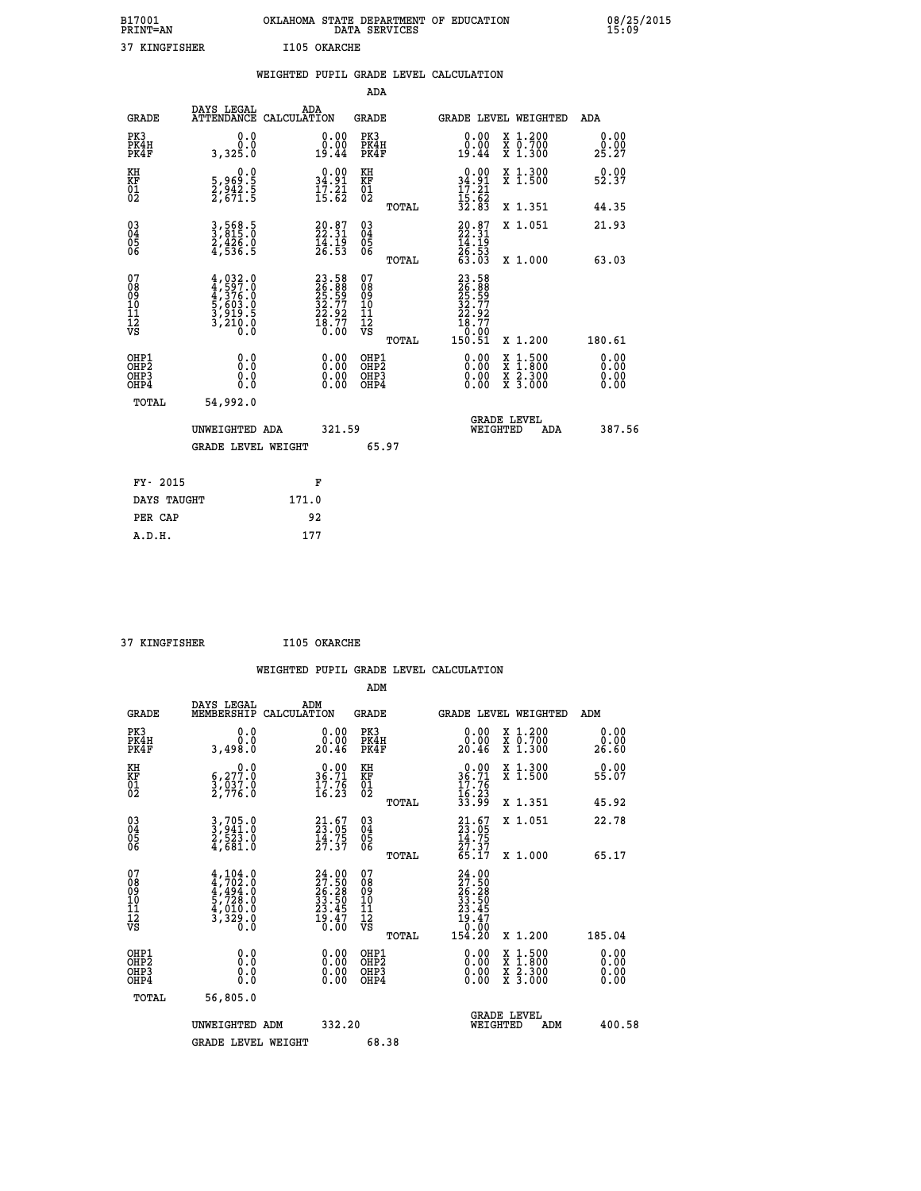| B17001<br><b>PRINT=AN</b> | OKLAHOMA STATE DEPARTMENT OF EDUCATION<br>DATA SERVICES |  |
|---------------------------|---------------------------------------------------------|--|
| 37 KINGFISHER             | I105 OKARCHE                                            |  |

 **B17001 OKLAHOMA STATE DEPARTMENT OF EDUCATION 08/25/2015**

|                                    |                                                                                      | WEIGHTED PUPIL GRADE LEVEL CALCULATION                                   |                                        |       |                                                                                                         |                                                                   |                              |
|------------------------------------|--------------------------------------------------------------------------------------|--------------------------------------------------------------------------|----------------------------------------|-------|---------------------------------------------------------------------------------------------------------|-------------------------------------------------------------------|------------------------------|
|                                    |                                                                                      |                                                                          | <b>ADA</b>                             |       |                                                                                                         |                                                                   |                              |
| <b>GRADE</b>                       | DAYS LEGAL<br><b>ATTENDANCE</b>                                                      | ADA<br>CALCULATION                                                       | <b>GRADE</b>                           |       |                                                                                                         | GRADE LEVEL WEIGHTED                                              | ADA                          |
| PK3<br>PK4H<br>PK4F                | 0.0<br>0.0<br>3,325.0                                                                | $\begin{smallmatrix} 0.00\\ 0.00\\ 19.44 \end{smallmatrix}$              | PK3<br>PK4H<br>PK4F                    |       | 0.00<br>0.00<br>19.44                                                                                   | X 1.200<br>X 0.700<br>X 1.300                                     | 0.00<br>0.00<br>25.27        |
| KH<br>KF<br>01<br>02               | $\begin{smallmatrix}&&&0.0\\5.969.5\\2.942.5\\2.671.5\end{smallmatrix}$              | $\begin{smallmatrix} 0.00\\ 34.91\\ 17.21\\ 15.62 \end{smallmatrix}$     | KH<br>KF<br>01<br>02                   |       | $0.00$<br>$34.91$<br>$17.21$<br>$15.62$<br>$32.83$                                                      | X 1.300<br>X 1.500                                                | 0.00<br>52.37                |
|                                    |                                                                                      |                                                                          |                                        | TOTAL |                                                                                                         | X 1.351                                                           | 44.35                        |
| $^{03}_{04}$<br>Ŏ5<br>06           | 3,568.5<br>3,815.0<br>$\frac{2}{4}, \frac{4}{5}$ $\frac{2}{6}$ $\cdot$ $\frac{5}{5}$ | $20.87$<br>$22.31$<br>$\frac{1}{26}$ $\frac{1}{53}$                      | $\substack{03 \\ 04}$<br>05<br>06      |       | $20.87$<br>$22.31$<br>$14.19$<br>$26.53$<br>$63.03$                                                     | X 1.051                                                           | 21.93                        |
|                                    |                                                                                      |                                                                          |                                        | TOTAL |                                                                                                         | X 1.000                                                           | 63.03                        |
| 07<br>08<br>09<br>101<br>112<br>VS | $4,932.0$<br>$4,597.0$<br>$4,376.0$<br>$5,603.0$<br>$3,919.5$<br>$3,210.0$<br>0.0    | $23.58$<br>$26.88$<br>$25.59$<br>$32.77$<br>$22.92$<br>$18.77$<br>$0.00$ | 07<br>08<br>09<br>11<br>11<br>12<br>VS | TOTAL | $\begin{smallmatrix} 23.58\\ 26.89\\ 25.59\\ 22.77\\ 22.92\\ 18.77\\ 0.00\\ 150.51\\ \end{smallmatrix}$ | X 1.200                                                           | 180.61                       |
| OHP1<br>OHP2<br>OHP3<br>OHP4       | 0.0<br>0.0<br>Ŏ.Ŏ                                                                    | 0.00<br>$\begin{smallmatrix} 0.00 \ 0.00 \end{smallmatrix}$              | OHP1<br>OHP2<br>OHP3<br>OHP4           |       | 0.00<br>0.00<br>0.00                                                                                    | $1:500$<br>1:800<br>X<br>X<br>$\frac{x}{x}$ $\frac{2.300}{3.000}$ | 0.00<br>0.00<br>0.00<br>0.00 |
| <b>TOTAL</b>                       | 54,992.0                                                                             |                                                                          |                                        |       |                                                                                                         |                                                                   |                              |
|                                    | UNWEIGHTED ADA                                                                       | 321.59                                                                   |                                        |       |                                                                                                         | GRADE LEVEL<br>WEIGHTED<br>ADA                                    | 387.56                       |
|                                    | <b>GRADE LEVEL WEIGHT</b>                                                            |                                                                          |                                        | 65.97 |                                                                                                         |                                                                   |                              |
| FY- 2015                           |                                                                                      | F                                                                        |                                        |       |                                                                                                         |                                                                   |                              |
| DAYS TAUGHT                        |                                                                                      | 171.0                                                                    |                                        |       |                                                                                                         |                                                                   |                              |
| PER CAP                            |                                                                                      | 92                                                                       |                                        |       |                                                                                                         |                                                                   |                              |

 **37 KINGFISHER I105 OKARCHE**

 **A.D.H. 177**

| <b>GRADE</b>                             | DAYS LEGAL<br>MEMBERSHIP                                                                                                                                         | ADM<br>CALCULATION                        | <b>GRADE</b>                                       |       | <b>GRADE LEVEL WEIGHTED</b>                                                                                 |                                          | ADM                   |  |
|------------------------------------------|------------------------------------------------------------------------------------------------------------------------------------------------------------------|-------------------------------------------|----------------------------------------------------|-------|-------------------------------------------------------------------------------------------------------------|------------------------------------------|-----------------------|--|
| PK3<br>PK4H<br>PK4F                      | 0.0<br>3,498.0                                                                                                                                                   | 0.00<br>20.46                             | PK3<br>PK4H<br>PK4F                                |       | $\begin{smallmatrix} 0.00\\ 0.00\\ 20.46 \end{smallmatrix}$                                                 | X 1.200<br>X 0.700<br>X 1.300            | 0.00<br>0.00<br>26.60 |  |
| KH<br>KF<br>01<br>02                     | $\begin{smallmatrix} & & 0.0\ 6.277.0\ 3.037.0\ 2.776.0 \end{smallmatrix}$                                                                                       | $36.71$<br>$17.76$<br>$16.23$             | KH<br>KF<br>01<br>02                               |       | $0.00$<br>$36.71$<br>$17.76$<br>$16.23$<br>$33.99$                                                          | X 1.300<br>X 1.500                       | 0.00<br>55.07         |  |
|                                          |                                                                                                                                                                  |                                           |                                                    | TOTAL |                                                                                                             | X 1.351                                  | 45.92                 |  |
| 03<br>04<br>05<br>06                     | 3,705.0<br>3,941.0<br>2,523.0<br>4,681.0                                                                                                                         | $21.67$<br>$23.05$<br>$14.75$<br>$27.37$  | $\begin{matrix} 03 \\ 04 \\ 05 \\ 06 \end{matrix}$ |       | $21.67$<br>$23.05$<br>$14.75$<br>$27.37$<br>$65.17$                                                         | X 1.051                                  | 22.78                 |  |
|                                          |                                                                                                                                                                  |                                           |                                                    | TOTAL |                                                                                                             | X 1.000                                  | 65.17                 |  |
| 07<br>089<br>090<br>1112<br>VS           | $\begin{smallmatrix} 4\,,\,104\,.\,0\\ 4\,,\,702\,. \,0\\ 4\,,\,494\,. \,0\\ 5\,,\,728\,. \,0\\ 4\,,\,010\,. \,0\\ 3\,,\,329\,. \,0\\ 0\,. \,0\end{smallmatrix}$ | $24.0027.5026.2833.5023.4523.4719.470.00$ | 07<br>08<br>09<br>01<br>11<br>11<br>12<br>VS       | TOTAL | $\begin{smallmatrix} 24.00\ 27.50\ 26.28\ 33.505\ 33.505\ 23.457\ 19.470\ 0.000\ 154.20\ \end{smallmatrix}$ | X 1.200                                  | 185.04                |  |
| OHP1<br>OHP2<br>OH <sub>P3</sub><br>OHP4 | 0.0<br>0.000                                                                                                                                                     |                                           | OHP1<br>OHP2<br>OHP3<br>OHP4                       |       | 0.00<br>$0.00$<br>0.00                                                                                      | X 1:500<br>X 1:800<br>X 2:300<br>X 3:000 | 0.00<br>0.00<br>0.00  |  |
| TOTAL                                    | 56,805.0                                                                                                                                                         |                                           |                                                    |       |                                                                                                             |                                          |                       |  |
|                                          | UNWEIGHTED<br>ADM                                                                                                                                                | 332.20                                    |                                                    |       | WEIGHTED                                                                                                    | <b>GRADE LEVEL</b><br>ADM                | 400.58                |  |
|                                          | <b>GRADE LEVEL WEIGHT</b>                                                                                                                                        |                                           | 68.38                                              |       |                                                                                                             |                                          |                       |  |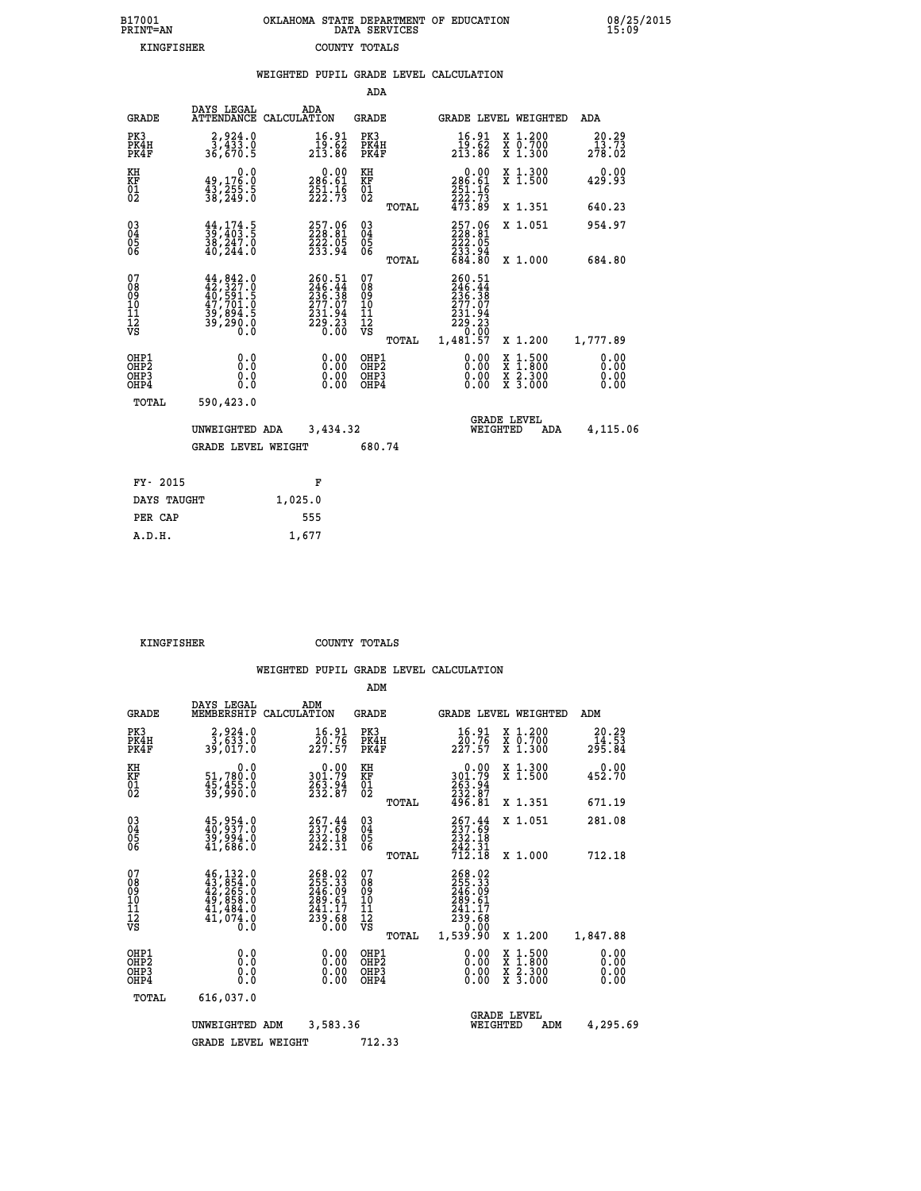| B17001<br>PRINT=AN | OKLAHOMA STATE DEPARTMENT OF EDUCATION<br>DATA SERVICES | 08/25/2015<br>15:09 |
|--------------------|---------------------------------------------------------|---------------------|
| KINGFISHER         | COUNTY TOTALS                                           |                     |

|                                                              |                                                                                                           |         |                                                                                |                                        |       | WEIGHTED PUPIL GRADE LEVEL CALCULATION                                                                                                                                                                                                                                         |                                                                                                                                              |                          |
|--------------------------------------------------------------|-----------------------------------------------------------------------------------------------------------|---------|--------------------------------------------------------------------------------|----------------------------------------|-------|--------------------------------------------------------------------------------------------------------------------------------------------------------------------------------------------------------------------------------------------------------------------------------|----------------------------------------------------------------------------------------------------------------------------------------------|--------------------------|
|                                                              |                                                                                                           |         |                                                                                | ADA                                    |       |                                                                                                                                                                                                                                                                                |                                                                                                                                              |                          |
| <b>GRADE</b>                                                 | DAYS LEGAL<br>ATTENDANCE CALCULATION                                                                      | ADA     |                                                                                | <b>GRADE</b>                           |       |                                                                                                                                                                                                                                                                                | GRADE LEVEL WEIGHTED                                                                                                                         | ADA                      |
| PK3<br>PK4H<br>PK4F                                          | $\begin{smallmatrix} 2,924.0\\ 3,433.0\\ 36,670.5 \end{smallmatrix}$                                      |         | $\frac{16.91}{19.62}$<br>213.86                                                | PK3<br>PK4H<br>PK4F                    |       | 16.91<br>19.62<br>213.86                                                                                                                                                                                                                                                       | X 1.200<br>X 0.700<br>X 1.300                                                                                                                | 20.29<br>13.73<br>278.02 |
| KH<br>KF<br>01<br>02                                         | $\begin{smallmatrix}&&&0.0\49,176.0\43,255.5\38,249.0\end{smallmatrix}$                                   |         | $0.00$<br>286.61<br>$\frac{251}{222}.$ $\frac{16}{73}$                         | KH<br>KF<br>01<br>02                   |       | $0.00$<br>286.61<br>$\frac{251.16}{222.73}$<br>473.89                                                                                                                                                                                                                          | X 1.300<br>X 1.500                                                                                                                           | 0.00<br>429.93           |
|                                                              |                                                                                                           |         |                                                                                |                                        | TOTAL |                                                                                                                                                                                                                                                                                | X 1.351                                                                                                                                      | 640.23                   |
| $\begin{smallmatrix} 03 \\[-4pt] 04 \end{smallmatrix}$<br>05 | $\begin{smallmatrix} 44\,,\,174\,.5\\ 39\,,\,403\,.5\\ 38\,,\,247\,.0\\ 40\,,\,244\,.0 \end{smallmatrix}$ |         | $\begin{smallmatrix} 257.06\\ 228.81\\ 222.05\\ 233.94 \end{smallmatrix}$      | $\substack{03 \\ 04}$<br>05            |       | $257.06228.81222.05233.94684.80$                                                                                                                                                                                                                                               | X 1.051                                                                                                                                      | 954.97                   |
| 06                                                           |                                                                                                           |         |                                                                                | 06                                     | TOTAL |                                                                                                                                                                                                                                                                                | X 1.000                                                                                                                                      | 684.80                   |
| 07<br>08<br>09<br>10<br>11<br>12<br>νs                       |                                                                                                           |         | $260.51$<br>$246.44$<br>$236.38$<br>$277.07$<br>$231.94$<br>$229.23$<br>$0.00$ | 07<br>08<br>09<br>10<br>11<br>12<br>VS | TOTAL | 260.51<br>$\frac{246}{236}$ : $\frac{44}{38}$<br>$\frac{277}{37}$<br>$\substack{231.94 \ 229.23 \ 0.00 \ 1,481.57}$                                                                                                                                                            | X 1.200                                                                                                                                      | 1,777.89                 |
| OHP1<br>OHP2<br>OHP3<br>OHP4                                 | 0.0<br>0.0<br>0.0                                                                                         |         | $\begin{smallmatrix} 0.00 \ 0.00 \ 0.00 \ 0.00 \end{smallmatrix}$              | OHP1<br>OHP2<br>OHP3<br>OHP4           |       | $\begin{smallmatrix} 0.00 & 0.00 & 0.00 & 0.00 & 0.00 & 0.00 & 0.00 & 0.00 & 0.00 & 0.00 & 0.00 & 0.00 & 0.00 & 0.00 & 0.00 & 0.00 & 0.00 & 0.00 & 0.00 & 0.00 & 0.00 & 0.00 & 0.00 & 0.00 & 0.00 & 0.00 & 0.00 & 0.00 & 0.00 & 0.00 & 0.00 & 0.00 & 0.00 & 0.00 & 0.00 & 0.0$ | $\begin{smallmatrix} \mathtt{X} & 1\cdot500 \\ \mathtt{X} & 1\cdot800 \\ \mathtt{X} & 2\cdot300 \\ \mathtt{X} & 3\cdot000 \end{smallmatrix}$ | 0.00<br>0.00<br>0.00     |
| TOTAL                                                        | 590,423.0                                                                                                 |         |                                                                                |                                        |       |                                                                                                                                                                                                                                                                                |                                                                                                                                              |                          |
|                                                              | UNWEIGHTED ADA                                                                                            |         | 3,434.32                                                                       |                                        |       | WEIGHTED                                                                                                                                                                                                                                                                       | <b>GRADE LEVEL</b><br>ADA                                                                                                                    | 4,115.06                 |
|                                                              | <b>GRADE LEVEL WEIGHT</b>                                                                                 |         |                                                                                | 680.74                                 |       |                                                                                                                                                                                                                                                                                |                                                                                                                                              |                          |
| FY- 2015                                                     |                                                                                                           |         | F                                                                              |                                        |       |                                                                                                                                                                                                                                                                                |                                                                                                                                              |                          |
| DAYS TAUGHT                                                  |                                                                                                           | 1,025.0 |                                                                                |                                        |       |                                                                                                                                                                                                                                                                                |                                                                                                                                              |                          |
| PER CAP                                                      |                                                                                                           | 555     |                                                                                |                                        |       |                                                                                                                                                                                                                                                                                |                                                                                                                                              |                          |

 **KINGFISHER COUNTY TOTALS**

 **A.D.H. 1,677**

|                                                      |                                                                                                                                                     |                                                                         | ADM                                                 |       |                                                                             |                                          |                              |
|------------------------------------------------------|-----------------------------------------------------------------------------------------------------------------------------------------------------|-------------------------------------------------------------------------|-----------------------------------------------------|-------|-----------------------------------------------------------------------------|------------------------------------------|------------------------------|
| <b>GRADE</b>                                         | DAYS LEGAL<br>MEMBERSHIP                                                                                                                            | ADM<br>CALCULATION                                                      | <b>GRADE</b>                                        |       |                                                                             | <b>GRADE LEVEL WEIGHTED</b>              | ADM                          |
| PK3<br>PK4H<br>PK4F                                  | 2,924.0<br>3,633.0<br>39,017.0                                                                                                                      | $\frac{16.91}{20.76}$<br>227.57                                         | PK3<br>PK4H<br>PK4F                                 |       | $\frac{16.91}{20.76}$<br>227.57                                             | X 1.200<br>X 0.700<br>X 1.300            | 20.29<br>14.53<br>295.84     |
| KH<br>KF<br>01<br>02                                 | 0.0<br>51,780.0<br>45,455.0<br>39,990.0                                                                                                             | $\begin{smallmatrix} &0.00\\ 301.79\\ 263.94\\ 232.87\end{smallmatrix}$ | KH<br>KF<br>01<br>02                                |       | $0.00$<br>$301.79$<br>$263.94$<br>$232.87$<br>$496.81$                      | X 1.300<br>X 1.500                       | 0.00<br>452.70               |
|                                                      |                                                                                                                                                     |                                                                         |                                                     | TOTAL |                                                                             | X 1.351                                  | 671.19                       |
| 03<br>04<br>05<br>06                                 | $\begin{smallmatrix} 45,954.0\\ 40,937.0\\ 39,994.0\\ 41,686.0 \end{smallmatrix}$                                                                   | 267.44<br>237.69<br>232.18<br>242.31                                    | $\begin{array}{c} 03 \\ 04 \\ 05 \\ 06 \end{array}$ |       | $257.44$<br>237.69<br>$\frac{232.18}{242.31}$<br>712.18                     | X 1.051                                  | 281.08                       |
|                                                      |                                                                                                                                                     |                                                                         |                                                     | TOTAL |                                                                             | X 1.000                                  | 712.18                       |
| 07<br>08<br>09<br>101<br>112<br>VS                   | $\begin{smallmatrix} 46\,,\,132\,.0\\ 43\,,\,854\,.0\\ 42\,,\,265\,.0\\ 49\,,\,858\,.0\\ 41\,,\,484\,.0\\ 41\,,\,074\,.0\\ 0\ .0 \end{smallmatrix}$ | 268.02<br>255.33<br>246.09<br>289.61<br>241.17<br>239.68<br>0.00        | 07<br>08<br>09<br>11<br>11<br>12<br>VS              | TOTAL | 268.02<br>255.33<br>246.09<br>289.61<br>$\frac{241.17}{239.68}$<br>1,539.90 | X 1.200                                  | 1,847.88                     |
| OHP1<br>OHP <sub>2</sub><br>OH <sub>P3</sub><br>OHP4 | 0.0<br>0.000                                                                                                                                        | $0.00$<br>$0.00$<br>0.00                                                | OHP1<br>OHP2<br>OHP3<br>OHP4                        |       | $0.00$<br>$0.00$<br>0.00                                                    | X 1:500<br>X 1:800<br>X 2:300<br>X 3:000 | 0.00<br>0.00<br>0.00<br>0.00 |
| TOTAL                                                | 616,037.0                                                                                                                                           |                                                                         |                                                     |       |                                                                             |                                          |                              |
|                                                      | UNWEIGHTED                                                                                                                                          | 3,583.36<br>ADM                                                         |                                                     |       |                                                                             | <b>GRADE LEVEL</b><br>WEIGHTED<br>ADM    | 4,295.69                     |
|                                                      | <b>GRADE LEVEL WEIGHT</b>                                                                                                                           |                                                                         | 712.33                                              |       |                                                                             |                                          |                              |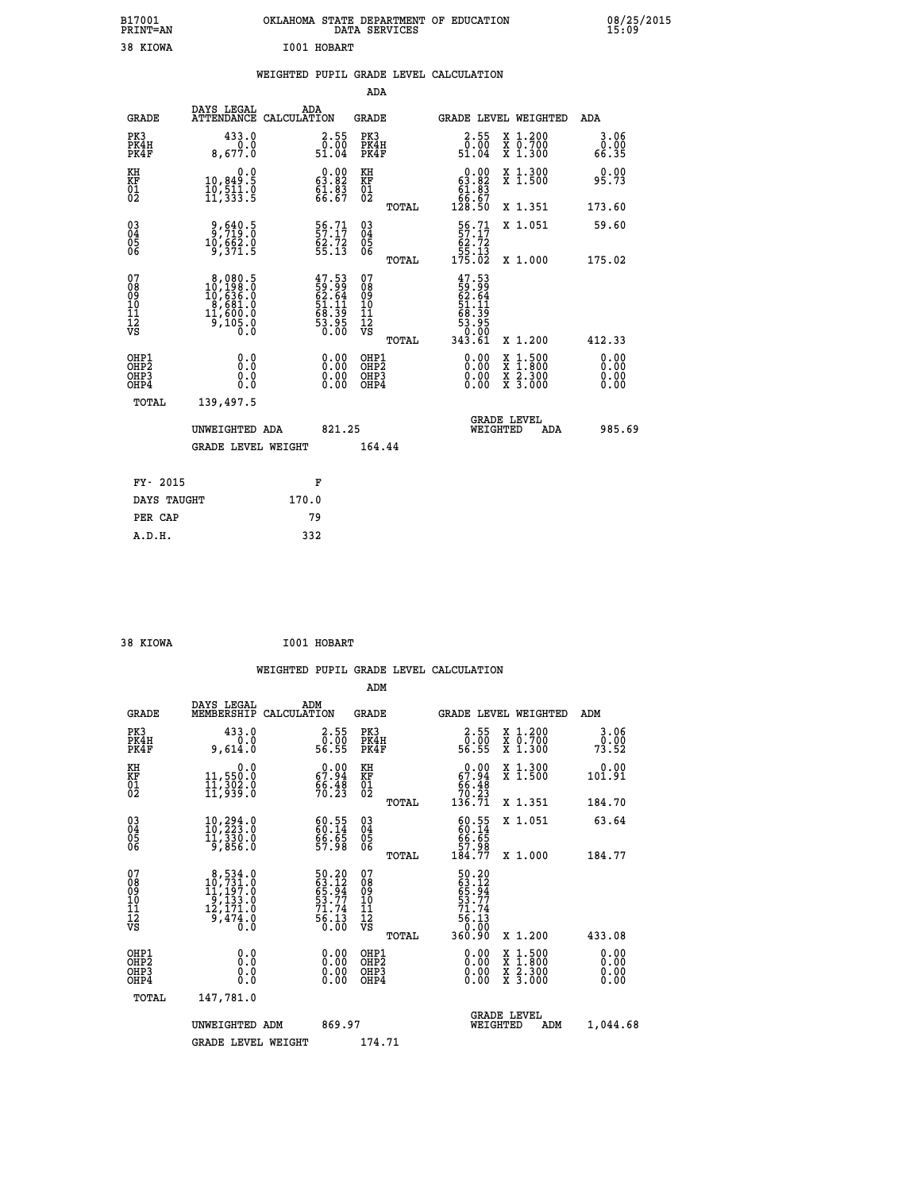| B17001<br>PRINT=AN | OKLAHOMA STATE DEPARTMENT OF EDUCATION<br>DATA SERVICES | 08/25/2015<br>15:09 |
|--------------------|---------------------------------------------------------|---------------------|
| 38 KIOWA           | I001 HOBART                                             |                     |

|  |  | WEIGHTED PUPIL GRADE LEVEL CALCULATION |
|--|--|----------------------------------------|
|  |  |                                        |

|                                                    |                                                                                                          |                                                                      | ADA                                      |       |                                                                               |                                          |                              |
|----------------------------------------------------|----------------------------------------------------------------------------------------------------------|----------------------------------------------------------------------|------------------------------------------|-------|-------------------------------------------------------------------------------|------------------------------------------|------------------------------|
| <b>GRADE</b>                                       | DAYS LEGAL<br>ATTENDANCE CALCULATION                                                                     | ADA                                                                  | <b>GRADE</b>                             |       |                                                                               | GRADE LEVEL WEIGHTED                     | ADA                          |
| PK3<br>PK4H<br>PK4F                                | 433.0<br>0.0<br>8,677.0                                                                                  | $\begin{smallmatrix} 2.55\0.00\51.04\end{smallmatrix}$               | PK3<br>PK4H<br>PK4F                      |       | $\begin{smallmatrix} 2.55\0.00\51.04\end{smallmatrix}$                        | X 1.200<br>X 0.700<br>X 1.300            | 3.06<br>0.00<br>66.35        |
| KH<br>KF<br>01<br>02                               | 0.0<br>10,849.5<br>10,511.0<br>11,333.5                                                                  | $\begin{smallmatrix} 0.00\\ 63.82\\ 61.83\\ 66.67 \end{smallmatrix}$ | KH<br>KF<br>01<br>02                     |       | $\begin{smallmatrix} &0.00\ 63.82\ 61.83\ 66.67\ 128.50 \end{smallmatrix}$    | X 1.300<br>X 1.500                       | 0.00<br>95.73                |
|                                                    |                                                                                                          |                                                                      |                                          | TOTAL |                                                                               | X 1.351                                  | 173.60                       |
| $\begin{matrix} 03 \\ 04 \\ 05 \\ 06 \end{matrix}$ | $\frac{9}{7}$ , $\frac{640}{19}$ ; $\frac{5}{0}$<br>10,662.0<br>9,371.5                                  | $\frac{56}{57}$ : 17<br>$\frac{62.72}{55.13}$                        | $\substack{03 \\ 04}$<br>Ŏ5<br>06        |       | $\frac{56}{57}.71$<br>$\begin{array}{r} 62.72 \\ 55.13 \\ 175.02 \end{array}$ | X 1.051                                  | 59.60                        |
|                                                    |                                                                                                          |                                                                      |                                          | TOTAL |                                                                               | X 1.000                                  | 175.02                       |
| 07<br>08<br>09<br>11<br>11<br>12<br>VS             | $\begin{smallmatrix}8&,080.5\\10&,198.0\\10&,636.0\\8&,681.0\\11&,600.0\\9&,105.0\\0&0\end{smallmatrix}$ | $47.53$<br>59.99<br>62.64<br>61.11<br>53.39<br>53.95<br>53.00        | 07<br>08<br>09<br>11<br>11<br>12<br>VS   |       | $47.53$<br>$59.99$<br>$62.64$<br>$51.11$<br>$68.395$<br>$53.050$<br>$343.61$  |                                          |                              |
|                                                    |                                                                                                          |                                                                      |                                          | TOTAL |                                                                               | X 1.200                                  | 412.33                       |
| OHP1<br>OHP2<br>OHP3<br>OHP4                       | 0.0<br>0.0<br>0.0                                                                                        | $\begin{smallmatrix} 0.00 \ 0.00 \ 0.00 \ 0.00 \end{smallmatrix}$    | OHP1<br>OHP <sub>2</sub><br>OHP3<br>OHP4 |       |                                                                               | X 1:500<br>X 1:800<br>X 2:300<br>X 3:000 | 0.00<br>0.00<br>0.00<br>0.00 |
| <b>TOTAL</b>                                       | 139,497.5                                                                                                |                                                                      |                                          |       |                                                                               |                                          |                              |
|                                                    | UNWEIGHTED ADA                                                                                           | 821.25                                                               |                                          |       |                                                                               | <b>GRADE LEVEL</b><br>WEIGHTED<br>ADA    | 985.69                       |
|                                                    | <b>GRADE LEVEL WEIGHT</b>                                                                                |                                                                      | 164.44                                   |       |                                                                               |                                          |                              |
|                                                    |                                                                                                          |                                                                      |                                          |       |                                                                               |                                          |                              |
| FY- 2015                                           |                                                                                                          | F                                                                    |                                          |       |                                                                               |                                          |                              |
| DAYS TAUGHT                                        |                                                                                                          | 170.0                                                                |                                          |       |                                                                               |                                          |                              |
| PER CAP                                            |                                                                                                          | 79                                                                   |                                          |       |                                                                               |                                          |                              |

| 38 KIOWA | I001 HOBART |
|----------|-------------|

|                                                    |                                                                                                      |                                                                      | ADM                                                |       |                                                                          |                                          |                       |  |
|----------------------------------------------------|------------------------------------------------------------------------------------------------------|----------------------------------------------------------------------|----------------------------------------------------|-------|--------------------------------------------------------------------------|------------------------------------------|-----------------------|--|
| <b>GRADE</b>                                       | DAYS LEGAL<br>MEMBERSHIP                                                                             | ADM<br>CALCULATION                                                   | <b>GRADE</b>                                       |       |                                                                          | GRADE LEVEL WEIGHTED                     | ADM                   |  |
| PK3<br>PK4H<br>PK4F                                | 433.0<br>0.0<br>9,614.0                                                                              | $\begin{array}{c} 2.55 \\ 0.00 \\ 56.55 \end{array}$                 | PK3<br>PK4H<br>PK4F                                |       | 2.55<br>ō:ŏŏ<br>56.55                                                    | X 1.200<br>X 0.700<br>X 1.300            | 3.06<br>0.00<br>73.52 |  |
| KH<br>KF<br>01<br>02                               | 0.0<br>11,550.0<br>11,302.0<br>11,939.0                                                              | $\begin{smallmatrix} 0.00\\ 67.94\\ 66.48\\ 70.23 \end{smallmatrix}$ | KH<br>KF<br>01<br>02                               |       | 0.00<br>$\begin{array}{r} 67.94 \\ 66.48 \\ 70.23 \\ 136.71 \end{array}$ | X 1.300<br>X 1.500                       | 0.00<br>101.91        |  |
|                                                    |                                                                                                      |                                                                      |                                                    | TOTAL |                                                                          | X 1.351                                  | 184.70                |  |
| $\begin{matrix} 03 \\ 04 \\ 05 \\ 06 \end{matrix}$ | $10, 294.0$<br>$10, 223.0$<br>$11, 330.0$<br>$9, 856.0$                                              | $\begin{smallmatrix} 60.55\ 60.14\ 66.65\ 57.98 \end{smallmatrix}$   | $\begin{matrix} 03 \\ 04 \\ 05 \\ 06 \end{matrix}$ |       | $60.55$<br>$60.14$<br>$66.65$<br>$57.98$<br>$184.77$                     | X 1.051                                  | 63.64                 |  |
|                                                    |                                                                                                      |                                                                      |                                                    | TOTAL |                                                                          | X 1.000                                  | 184.77                |  |
| 07<br>08<br>09<br>10<br>11<br>11<br>12<br>VS       | $\begin{smallmatrix}8,534.0\\10,731.0\\11,197.0\\9,133.0\\12,171.0\\9,474.0\end{smallmatrix}$<br>Ō.Ō | 50.20<br>63.12<br>65.94<br>53.77<br>71.74<br>75.13<br>0.00           | 07<br>08<br>09<br>01<br>11<br>11<br>12<br>VS       | TOTAL | 50.20<br>63.12<br>65.94<br>65.77<br>56.13<br>56.13<br>0.00<br>360.90     | X 1.200                                  | 433.08                |  |
| OHP1<br><b>OHP2</b><br>OH <sub>P3</sub><br>OHP4    | 0.0<br>0.000                                                                                         | $0.00$<br>$0.00$<br>0.00                                             | OHP1<br>OHP2<br>OHP3<br>OHP4                       |       | $0.00$<br>$0.00$<br>0.00                                                 | X 1:500<br>X 1:800<br>X 2:300<br>X 3:000 | 0.00<br>0.00<br>0.00  |  |
| TOTAL                                              | 147,781.0                                                                                            |                                                                      |                                                    |       |                                                                          |                                          |                       |  |
|                                                    | UNWEIGHTED                                                                                           | 869.97<br>ADM                                                        |                                                    |       | WEIGHTED                                                                 | <b>GRADE LEVEL</b><br>ADM                | 1,044.68              |  |
|                                                    | <b>GRADE LEVEL WEIGHT</b>                                                                            |                                                                      | 174.71                                             |       |                                                                          |                                          |                       |  |
|                                                    |                                                                                                      |                                                                      |                                                    |       |                                                                          |                                          |                       |  |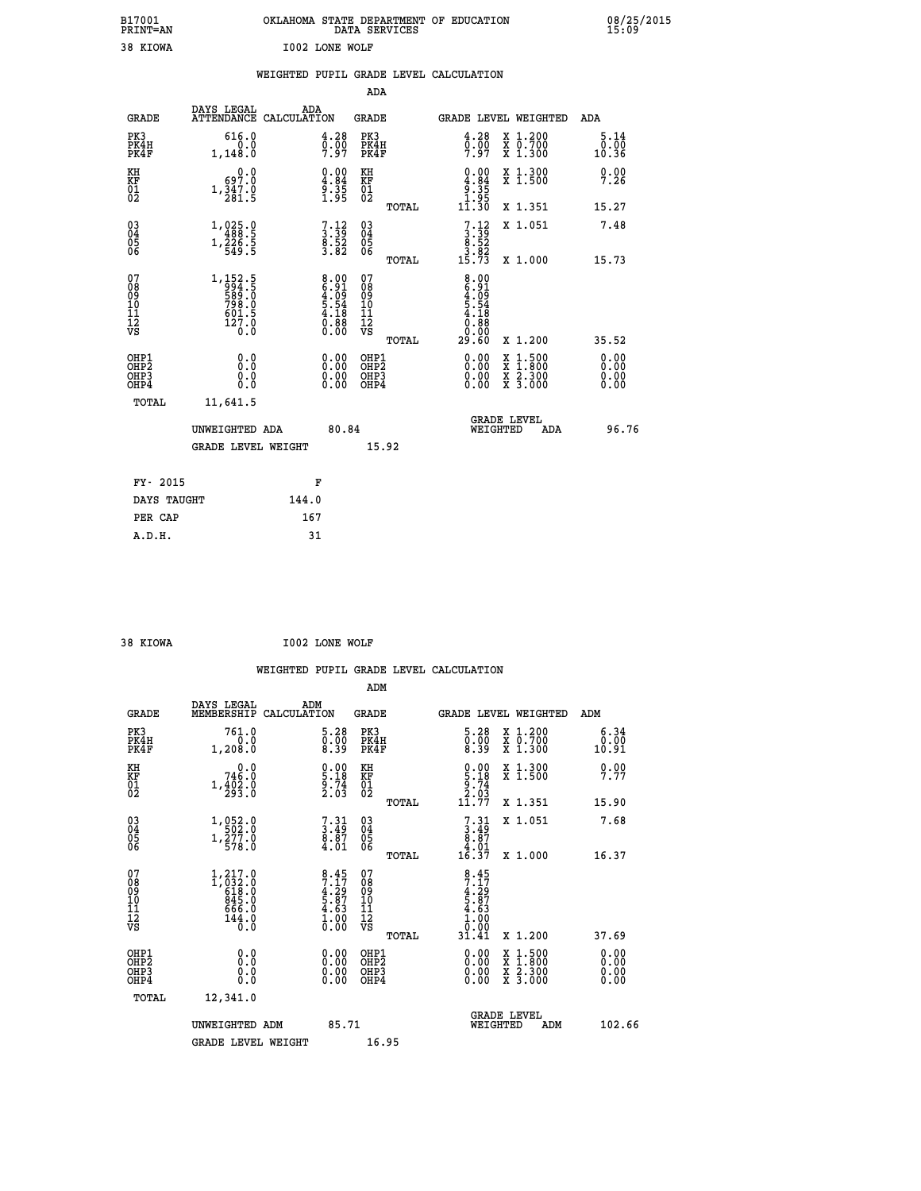|                       | OKLAHOMA STATE DEPARTMENT OF EDUCATION<br>DATA SERVICES |  |
|-----------------------|---------------------------------------------------------|--|
| <b>IO02 LONE WOLF</b> |                                                         |  |

 **B17001 OKLAHOMA STATE DEPARTMENT OF EDUCATION 08/25/2015**

|                                                                    |                                                                                      | WEIGHTED PUPIL GRADE LEVEL CALCULATION                             |                                                 |                                                                                                                                                                                                                                                                                |                                                                          |
|--------------------------------------------------------------------|--------------------------------------------------------------------------------------|--------------------------------------------------------------------|-------------------------------------------------|--------------------------------------------------------------------------------------------------------------------------------------------------------------------------------------------------------------------------------------------------------------------------------|--------------------------------------------------------------------------|
|                                                                    |                                                                                      |                                                                    | <b>ADA</b>                                      |                                                                                                                                                                                                                                                                                |                                                                          |
| <b>GRADE</b>                                                       | DAYS LEGAL                                                                           | ADA<br>ATTENDANCE CALCULATION                                      | GRADE                                           | GRADE LEVEL WEIGHTED                                                                                                                                                                                                                                                           | ADA                                                                      |
| PK3<br>PK4H<br>PK4F                                                | 616.0<br>0.0<br>1,148.0                                                              | $\begin{smallmatrix} 4.28\ 0.00\ 7.97 \end{smallmatrix}$           | PK3<br>PK4H<br>PK4F                             | $\begin{smallmatrix} 4.28\ 0.00\ 7.97 \end{smallmatrix}$                                                                                                                                                                                                                       | X 1.200<br>X 0.700<br>X 1.300<br>5.14<br>0.00<br>10.36                   |
| KH<br>KF<br>01<br>02                                               | 0.0<br>0.299<br>$1,\frac{3}{2}\frac{4}{8}\frac{7}{1}\cdot\frac{8}{5}$                | $\begin{smallmatrix} 0.00\\ 4.84\\ 9.35\\ 1.95 \end{smallmatrix}$  | KH<br>KF<br>01<br>02                            | $0.00$<br>$-9.84$<br>$-35$<br>$-95$                                                                                                                                                                                                                                            | X 1.300<br>X 1.500<br>0.00<br>7.26                                       |
|                                                                    |                                                                                      |                                                                    | TOTAL                                           | $1\bar{1}.\bar{3}\bar{0}$                                                                                                                                                                                                                                                      | X 1.351<br>15.27                                                         |
| $\begin{smallmatrix} 03 \\[-4pt] 04 \end{smallmatrix}$<br>Ŏ5<br>06 | $\begin{array}{r} 1,025\cdot 0\\ 488\cdot 5\\ 1,226\cdot 5\\ 549\cdot 5 \end{array}$ | $7.12$<br>$3.39$<br>$8.52$<br>$3.82$                               | $\substack{03 \\ 04}$<br>Ŏ5<br>06               | $\begin{smallmatrix}7\cdot 12\\ 3\cdot 39\\ 8\cdot 52\\ 3\cdot 82\\ 15\cdot 73\end{smallmatrix}$                                                                                                                                                                               | 7.48<br>X 1.051                                                          |
|                                                                    |                                                                                      |                                                                    | TOTAL                                           |                                                                                                                                                                                                                                                                                | X 1.000<br>15.73                                                         |
| 07<br>08<br>09<br>10<br>11<br>11<br>12<br>VS                       | 1, 152.5<br>994.5<br>589.0<br>598.0<br>798.0<br>601.5<br>127.0<br>$0.\check{0}$      | $8.00$<br>$6.91$<br>$4.09$<br>$5.54$<br>$4.18$<br>$0.88$<br>$0.00$ | 07<br>08<br>09<br>11<br>11<br>12<br>VS<br>TOTAL | 8.91<br>6.91<br>6.54<br>5.54<br>5.54<br>6.88<br>0.90<br>29.60                                                                                                                                                                                                                  | X 1.200<br>35.52                                                         |
| OHP1<br>OH <sub>P</sub> 2<br>OHP3<br>OH <sub>P4</sub>              | 0.0<br>0.0<br>0.0                                                                    | $\begin{smallmatrix} 0.00 \ 0.00 \ 0.00 \ 0.00 \end{smallmatrix}$  | OHP1<br>OHP <sub>2</sub><br>OHP3<br>OHP4        | $\begin{smallmatrix} 0.00 & 0.00 & 0.00 & 0.00 & 0.00 & 0.00 & 0.00 & 0.00 & 0.00 & 0.00 & 0.00 & 0.00 & 0.00 & 0.00 & 0.00 & 0.00 & 0.00 & 0.00 & 0.00 & 0.00 & 0.00 & 0.00 & 0.00 & 0.00 & 0.00 & 0.00 & 0.00 & 0.00 & 0.00 & 0.00 & 0.00 & 0.00 & 0.00 & 0.00 & 0.00 & 0.0$ | X 1:500<br>X 1:800<br>X 2:300<br>X 3:000<br>0.00<br>0.00<br>0.00<br>0.00 |
| TOTAL                                                              | 11,641.5                                                                             |                                                                    |                                                 |                                                                                                                                                                                                                                                                                |                                                                          |
|                                                                    | UNWEIGHTED ADA                                                                       | 80.84                                                              |                                                 | <b>GRADE LEVEL</b><br>WEIGHTED                                                                                                                                                                                                                                                 | 96.76<br><b>ADA</b>                                                      |
|                                                                    | <b>GRADE LEVEL WEIGHT</b>                                                            |                                                                    | 15.92                                           |                                                                                                                                                                                                                                                                                |                                                                          |
|                                                                    | FY- 2015                                                                             | F                                                                  |                                                 |                                                                                                                                                                                                                                                                                |                                                                          |
|                                                                    | DAYS TAUGHT                                                                          | 144.0                                                              |                                                 |                                                                                                                                                                                                                                                                                |                                                                          |
|                                                                    | PER CAP                                                                              | 167                                                                |                                                 |                                                                                                                                                                                                                                                                                |                                                                          |

 **38 KIOWA I002 LONE WOLF**

 **A.D.H. 31**

 **B17001<br>PRINT=AN<br>38 KIOWA** 

|                                                    |                                                                               |     |                                                                                                                        |                                                    |       | WEIGHTED PUPIL GRADE LEVEL CALCULATION                                                                                                                                                                                                                                         |                                                                                                                                      |     |                               |
|----------------------------------------------------|-------------------------------------------------------------------------------|-----|------------------------------------------------------------------------------------------------------------------------|----------------------------------------------------|-------|--------------------------------------------------------------------------------------------------------------------------------------------------------------------------------------------------------------------------------------------------------------------------------|--------------------------------------------------------------------------------------------------------------------------------------|-----|-------------------------------|
|                                                    |                                                                               |     |                                                                                                                        | ADM                                                |       |                                                                                                                                                                                                                                                                                |                                                                                                                                      |     |                               |
| <b>GRADE</b>                                       | DAYS LEGAL<br>MEMBERSHIP CALCULATION                                          | ADM |                                                                                                                        | <b>GRADE</b>                                       |       | GRADE LEVEL WEIGHTED                                                                                                                                                                                                                                                           |                                                                                                                                      | ADM |                               |
| PK3<br>PK4H<br>PK4F                                | 761.0<br>0.0<br>1,208.0                                                       |     | $\begin{smallmatrix} 5.28\ 0.00\ 8.39 \end{smallmatrix}$                                                               | PK3<br>PK4H<br>PK4F                                |       | $\begin{smallmatrix} 5.28\ 0.00\ 8.39 \end{smallmatrix}$                                                                                                                                                                                                                       | X 1.200<br>X 0.700<br>X 1.300                                                                                                        |     | 6.34<br>0.00<br>10.91         |
| KH<br>KF<br>01<br>02                               | 0.0<br>746.0<br>$1, \frac{4}{2}$ $\frac{5}{2}$ $\frac{3}{2}$ $\frac{5}{2}$    |     | $\begin{smallmatrix} 0.00\\ 5.18\\ 9.74\\ 2.03 \end{smallmatrix}$                                                      | KH<br>KF<br>01<br>02                               |       | $0.00$<br>$5.18$<br>$9.74$<br>$2.03$                                                                                                                                                                                                                                           | X 1.300<br>X 1.500                                                                                                                   |     | 0.00<br>7.77                  |
|                                                    |                                                                               |     |                                                                                                                        |                                                    | TOTAL | $1\overline{1}$ .77                                                                                                                                                                                                                                                            | X 1.351                                                                                                                              |     | 15.90                         |
| $\begin{matrix} 03 \\ 04 \\ 05 \\ 06 \end{matrix}$ | 1, 052.0<br>$1,\frac{5}{5}$ 77.0                                              |     | $7.31$<br>$3.49$<br>$8.87$<br>$4.01$                                                                                   | $\begin{matrix} 03 \\ 04 \\ 05 \\ 06 \end{matrix}$ |       | $\begin{smallmatrix}7\cdot31\\3\cdot49\\8\cdot87\\4\cdot01\\16\cdot37\end{smallmatrix}$                                                                                                                                                                                        | X 1.051                                                                                                                              |     | 7.68                          |
|                                                    |                                                                               |     |                                                                                                                        |                                                    | TOTAL |                                                                                                                                                                                                                                                                                | X 1.000                                                                                                                              |     | 16.37                         |
| 07<br>08<br>09<br>11<br>11<br>12<br>VS             | $1, 217.0$<br>$1, 032.0$<br>$618.0$<br>$845.0$<br>$666.0$<br>$144.0$<br>$0.0$ |     | $\begin{array}{l} 8\cdot 45 \\ 7\cdot 17 \\ 4\cdot 29 \\ 5\cdot 87 \\ 4\cdot 63 \\ 1\cdot 00 \\ 0\cdot 00 \end{array}$ | 07<br>08901123<br>1122<br>VS                       | TOTAL | $\frac{8.45}{7.17}$<br>$4:29$<br>5.87<br>4.63<br>1.00<br>0.00<br>31.41                                                                                                                                                                                                         | X 1.200                                                                                                                              |     | 37.69                         |
| OHP1<br>OHP2<br>OH <sub>P3</sub><br>OHP4           | 0.0<br>0.000                                                                  |     | 0.00<br>$\begin{smallmatrix} 0.00 \ 0.00 \end{smallmatrix}$                                                            | OHP1<br>OHP2<br>OHP3<br>OHP4                       |       | $\begin{smallmatrix} 0.00 & 0.00 & 0.00 & 0.00 & 0.00 & 0.00 & 0.00 & 0.00 & 0.00 & 0.00 & 0.00 & 0.00 & 0.00 & 0.00 & 0.00 & 0.00 & 0.00 & 0.00 & 0.00 & 0.00 & 0.00 & 0.00 & 0.00 & 0.00 & 0.00 & 0.00 & 0.00 & 0.00 & 0.00 & 0.00 & 0.00 & 0.00 & 0.00 & 0.00 & 0.00 & 0.0$ | $\begin{smallmatrix} \mathtt{X} & 1 & 500 \\ \mathtt{X} & 1 & 800 \\ \mathtt{X} & 2 & 300 \\ \mathtt{X} & 3 & 000 \end{smallmatrix}$ |     | 0.00<br>Ō. ŌŌ<br>0.00<br>0.00 |
| TOTAL                                              | 12,341.0                                                                      |     |                                                                                                                        |                                                    |       |                                                                                                                                                                                                                                                                                |                                                                                                                                      |     |                               |
|                                                    | UNWEIGHTED ADM<br><b>GRADE LEVEL WEIGHT</b>                                   |     | 85.71                                                                                                                  | 16.95                                              |       | WEIGHTED                                                                                                                                                                                                                                                                       | <b>GRADE LEVEL</b><br>ADM                                                                                                            |     | 102.66                        |
|                                                    |                                                                               |     |                                                                                                                        |                                                    |       |                                                                                                                                                                                                                                                                                |                                                                                                                                      |     |                               |
|                                                    |                                                                               |     |                                                                                                                        |                                                    |       |                                                                                                                                                                                                                                                                                |                                                                                                                                      |     |                               |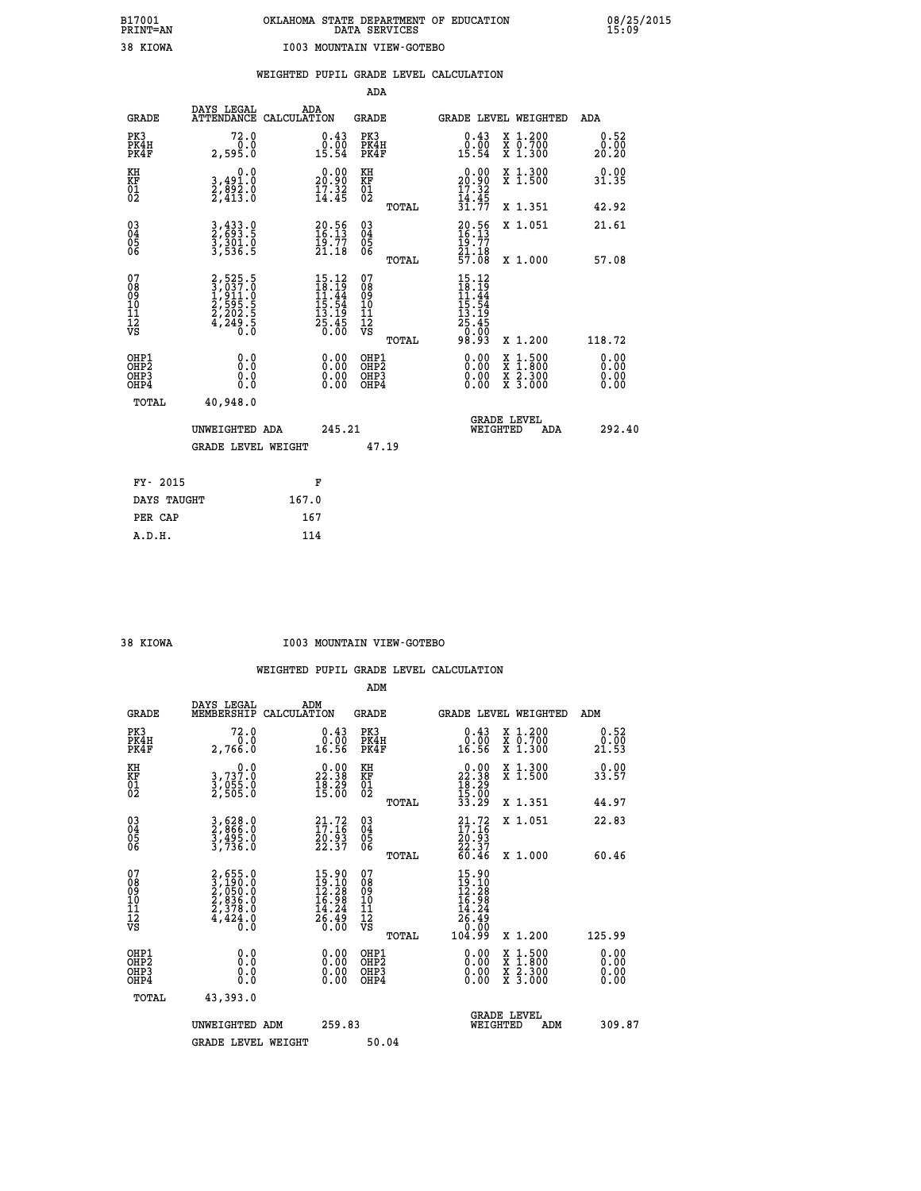| <b>KIOWA</b> |  |
|--------------|--|
|              |  |

### **WEIGHTED PUPIL GRADE LEVEL CALCULATION**

|                                                                    |                                                                |                                                                                           | ADA                                                 |       |                                                                                                                                                       |                                          |                               |
|--------------------------------------------------------------------|----------------------------------------------------------------|-------------------------------------------------------------------------------------------|-----------------------------------------------------|-------|-------------------------------------------------------------------------------------------------------------------------------------------------------|------------------------------------------|-------------------------------|
| <b>GRADE</b>                                                       | DAYS LEGAL<br>ATTENDANCE CALCULATION                           | ADA                                                                                       | <b>GRADE</b>                                        |       |                                                                                                                                                       | GRADE LEVEL WEIGHTED                     | ADA                           |
| PK3<br>PK4H<br>PK4F                                                | 72.0<br>0.0<br>2,595.0                                         | $\substack{0.43 \\ 0.00 \\ 15.54}$                                                        | PK3<br>PK4H<br>PK4F                                 |       | $\begin{smallmatrix} 0.43\ 0.00\ 15.54 \end{smallmatrix}$                                                                                             | X 1.200<br>X 0.700<br>X 1.300            | 0.52<br>0.00<br>20.20         |
| KH<br>KF<br>01<br>02                                               | 0.0<br>3,491.0<br>2,892.0<br>2,413.0                           | 20.90<br>$\frac{17.32}{14.45}$                                                            | KH<br>KF<br>01<br>02                                |       | $\begin{smallmatrix} 0.00\\ 20.90\\ 17.32\\ 14.45\\ 31.77 \end{smallmatrix}$                                                                          | X 1.300<br>X 1.500                       | 0.00<br>31.35                 |
|                                                                    |                                                                |                                                                                           |                                                     | TOTAL |                                                                                                                                                       | X 1.351                                  | 42.92                         |
| $\begin{smallmatrix} 03 \\[-4pt] 04 \end{smallmatrix}$<br>Ŏ5<br>06 | 3,433.0<br>2,693.5<br>3,301.0<br>3,536.5                       | $20.56$<br>$16.13$<br>$19.77$<br>$21.18$                                                  | $\begin{array}{c} 03 \\ 04 \\ 05 \\ 06 \end{array}$ |       | $20.56$<br>$16.13$<br>$\frac{19}{21}. \frac{77}{18}$<br>$\frac{77}{57}.08$                                                                            | X 1.051                                  | 21.61                         |
|                                                                    |                                                                |                                                                                           |                                                     | TOTAL |                                                                                                                                                       | X 1.000                                  | 57.08                         |
| 07<br>08<br>09<br>101<br>11<br>12<br>VS                            | 2,525.5<br>3,037.0<br>1,911.0<br>2,595.5<br>2,202.5<br>4,249.5 | $\begin{array}{r} 15.12 \\ 18.19 \\ 11.44 \\ 15.54 \\ 13.19 \\ 25.45 \\ 0.00 \end{array}$ | 07<br>08<br>09<br>11<br>11<br>12<br>VS              |       | $\begin{array}{@{}ll} 15 \cdot 12 \\ 18 \cdot 19 \\ 11 \cdot 44 \\ 15 \cdot 54 \\ 13 \cdot 19 \\ 25 \cdot 45 \\ 26 \cdot 90 \\ 0 \cdot 0 \end{array}$ |                                          |                               |
|                                                                    |                                                                |                                                                                           |                                                     | TOTAL | 98.93                                                                                                                                                 | X 1.200                                  | 118.72                        |
| OHP1<br>OHP <sub>2</sub><br>OH <sub>P3</sub><br>OHP4               | 0.0<br>0.000                                                   | 0.00<br>$\begin{smallmatrix} 0.00 \ 0.00 \end{smallmatrix}$                               | OHP1<br>OHP2<br>OHP <sub>3</sub>                    |       | 0.00<br>0.00                                                                                                                                          | X 1:500<br>X 1:800<br>X 2:300<br>X 3:000 | 0.00<br>Ō. ŌŌ<br>0.00<br>0.00 |
| TOTAL                                                              | 40,948.0                                                       |                                                                                           |                                                     |       |                                                                                                                                                       |                                          |                               |
|                                                                    | UNWEIGHTED ADA                                                 | 245.21                                                                                    |                                                     |       |                                                                                                                                                       | <b>GRADE LEVEL</b><br>WEIGHTED<br>ADA    | 292.40                        |
|                                                                    | <b>GRADE LEVEL WEIGHT</b>                                      |                                                                                           | 47.19                                               |       |                                                                                                                                                       |                                          |                               |
| FY- 2015                                                           |                                                                | F                                                                                         |                                                     |       |                                                                                                                                                       |                                          |                               |
| DAYS TAUGHT                                                        |                                                                | 167.0                                                                                     |                                                     |       |                                                                                                                                                       |                                          |                               |
| PER CAP                                                            |                                                                | 167                                                                                       |                                                     |       |                                                                                                                                                       |                                          |                               |

 **A.D.H. 114**

#### **38 KIOWA I003 MOUNTAIN VIEW-GOTEBO**

|                                           |                                                                       |                                                                                                 | ADM                                                 |                                                                              |                                          |                       |
|-------------------------------------------|-----------------------------------------------------------------------|-------------------------------------------------------------------------------------------------|-----------------------------------------------------|------------------------------------------------------------------------------|------------------------------------------|-----------------------|
| <b>GRADE</b>                              | DAYS LEGAL<br>MEMBERSHIP                                              | ADM<br>CALCULATION                                                                              | <b>GRADE</b>                                        |                                                                              | <b>GRADE LEVEL WEIGHTED</b>              | ADM                   |
| PK3<br>PK4H<br>PK4F                       | 72.0<br>ة:7<br>2,766.0                                                | $\begin{smallmatrix} 0.43\ 0.00\ 16.56 \end{smallmatrix}$                                       | PK3<br>PK4H<br>PK4F                                 | $\begin{smallmatrix} 0.43 \\ 0.00 \\ 16.56 \end{smallmatrix}$                | X 1.200<br>X 0.700<br>X 1.300            | 0.52<br>ō:ŏō<br>21.53 |
| KH<br>KF<br>01<br>02                      | 0.0<br>3,737:0<br>3,055:0<br>2,505:0                                  | $\begin{smallmatrix} 0.00\\ 22.38\\ 18.39\\ 15.00 \end{smallmatrix}$                            | KH<br>KF<br>01<br>02                                | $\begin{smallmatrix} 0.00\\ 22.38\\ 18.29\\ 15.00\\ 33.29 \end{smallmatrix}$ | X 1.300<br>X 1.500                       | 0.00<br>33.57         |
|                                           |                                                                       |                                                                                                 | TOTAL                                               |                                                                              | X 1.351                                  | 44.97                 |
| 03<br>04<br>05<br>06                      | 3,628.0<br>2,866.0<br>3,495.0<br>3,736.0                              | 21.72<br>$\frac{20.93}{22.37}$                                                                  | $\begin{array}{c} 03 \\ 04 \\ 05 \\ 06 \end{array}$ | $21.72$<br>$17.16$<br>$20.93$<br>$22.37$<br>$60.46$                          | X 1.051                                  | 22.83                 |
|                                           |                                                                       |                                                                                                 | TOTAL                                               |                                                                              | X 1.000                                  | 60.46                 |
| 07<br>08<br>09<br>101<br>112<br>VS        | 2,655.0<br>3,190.0<br>2,050.0<br>2,836.0<br>2,378.0<br>4,424.0<br>0.0 | $15.90$<br>$19.10$<br>$12.29$<br>$\begin{array}{r} 16.98 \\ 14.24 \\ 26.49 \\ 0.00 \end{array}$ | 07<br>08<br>09<br>11<br>11<br>12<br>VS              | $15.90$<br>$12.28$<br>$16.98$<br>$14.24$<br>$26.49$<br>$0.00$<br>104.99      |                                          |                       |
|                                           |                                                                       |                                                                                                 | TOTAL                                               |                                                                              | X 1.200                                  | 125.99                |
| OHP1<br>OHP2<br>OH <sub>P</sub> 3<br>OHP4 | 0.0<br>0.000                                                          |                                                                                                 | OHP1<br>OHP2<br>OHP <sub>3</sub>                    | $0.00$<br>$0.00$<br>0.00                                                     | X 1:500<br>X 1:800<br>X 2:300<br>X 3:000 | 0.00<br>0.00<br>0.00  |
| TOTAL                                     | 43,393.0                                                              |                                                                                                 |                                                     |                                                                              |                                          |                       |
|                                           | UNWEIGHTED ADM                                                        | 259.83                                                                                          |                                                     |                                                                              | GRADE LEVEL<br>WEIGHTED<br>ADM           | 309.87                |
|                                           | <b>GRADE LEVEL WEIGHT</b>                                             |                                                                                                 | 50.04                                               |                                                                              |                                          |                       |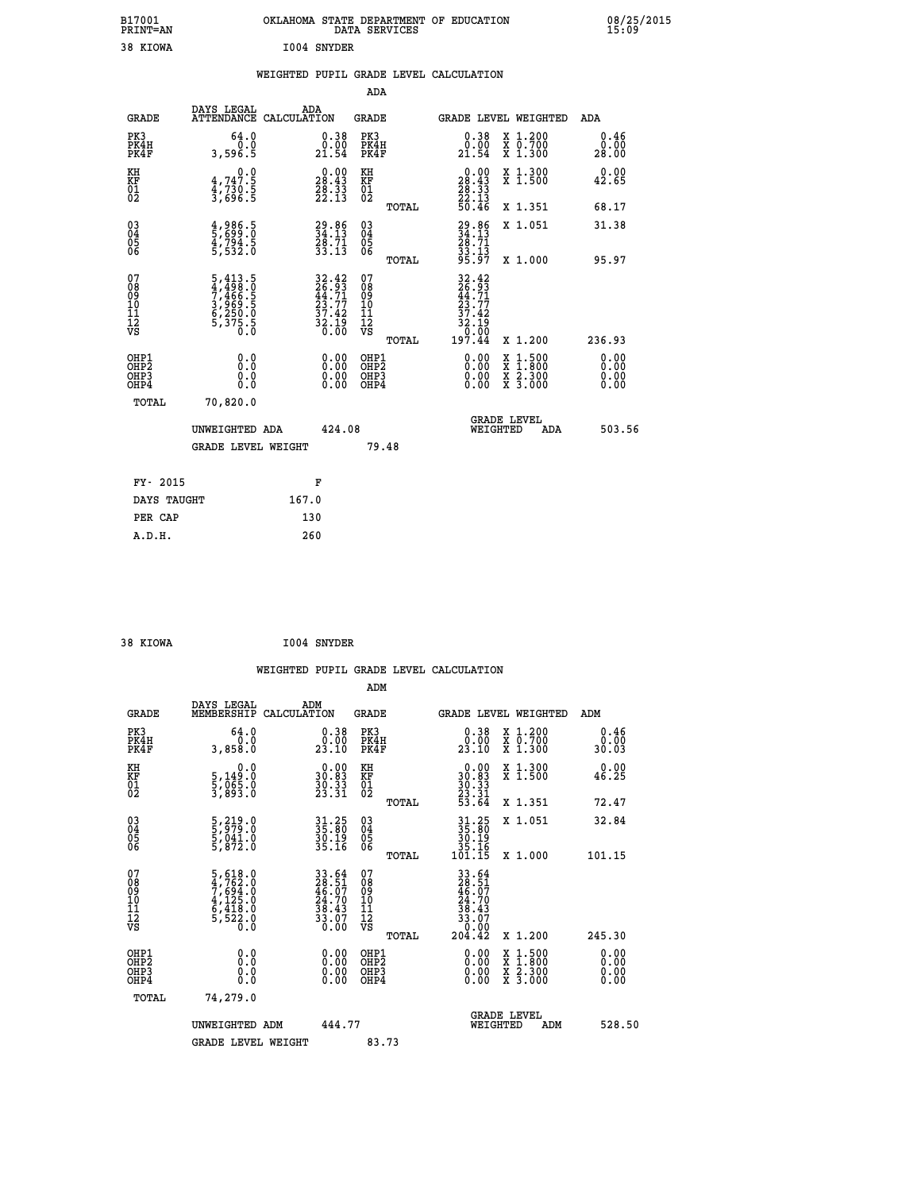| B17001<br><b>PRINT=AN</b> | OKLAHOMA STATE DEPARTMENT OF EDUCATION<br>DATA SERVICES | 08/25/2015<br>15:09 |
|---------------------------|---------------------------------------------------------|---------------------|
| 38 KIOWA                  | 1004 SNYDER                                             |                     |

|  |  | WEIGHTED PUPIL GRADE LEVEL CALCULATION |
|--|--|----------------------------------------|
|  |  |                                        |

|                                                                    |                                                                           |                                                                      | ADA                                    |       |                                                                                      |                                          |                               |
|--------------------------------------------------------------------|---------------------------------------------------------------------------|----------------------------------------------------------------------|----------------------------------------|-------|--------------------------------------------------------------------------------------|------------------------------------------|-------------------------------|
| <b>GRADE</b>                                                       | DAYS LEGAL                                                                | ADA<br>ATTENDANCE CALCULATION                                        | <b>GRADE</b>                           |       |                                                                                      | GRADE LEVEL WEIGHTED                     | <b>ADA</b>                    |
| PK3<br>PK4H<br>PK4F                                                | 64.0<br>0.0<br>3,596.5                                                    | $\begin{smallmatrix} 0.38\ 0.00\\ 21.54 \end{smallmatrix}$           | PK3<br>PK4H<br>PK4F                    |       | 0.38<br>$\begin{smallmatrix} 0.00 \ 21.54 \end{smallmatrix}$                         | X 1.200<br>X 0.700<br>X 1.300            | 0.46<br>0.00<br>28.00         |
| KH<br>KF<br>01<br>02                                               | 0.0<br>$4,747.5$<br>$4,730.5$<br>$3,696.5$                                | $\begin{smallmatrix} 0.00\\ 28.43\\ 28.33\\ 22.13 \end{smallmatrix}$ | KH<br>KF<br>01<br>02                   |       | $\begin{smallmatrix} 0.00\\ 28.43\\ 28.33\\ 28.33\\ 22.13\\ 50.46 \end{smallmatrix}$ | X 1.300<br>X 1.500                       | 0.00<br>42.65                 |
|                                                                    |                                                                           |                                                                      |                                        | TOTAL |                                                                                      | X 1.351                                  | 68.17                         |
| $\begin{smallmatrix} 03 \\[-4pt] 04 \end{smallmatrix}$<br>Ŏ5<br>06 | 4,986.5<br>5,699.0<br>4,794.5<br>5,532.0                                  | $29.86$<br>$34.13$<br>$28.71$<br>$33.13$                             | $\substack{03 \\ 04}$<br>Ŏ5<br>06      |       | $29.86$<br>$34.13$<br>$28.71$<br>$33.13$<br>$95.97$                                  | X 1.051                                  | 31.38                         |
|                                                                    |                                                                           |                                                                      |                                        | TOTAL |                                                                                      | X 1.000                                  | 95.97                         |
| 07<br>08<br>09<br>101<br>11<br>12<br>VS                            | 5,413.5<br>4,498.0<br>7,466.5<br>3,969.5<br>6,250.0<br>6,250.0<br>5,375.5 | 32.42<br>26.93<br>44.71<br>23.77<br>37.42<br>32.19<br>32.19          | 07<br>08<br>09<br>11<br>11<br>12<br>VS |       | $\frac{32.15}{0.00}$                                                                 |                                          |                               |
|                                                                    |                                                                           |                                                                      |                                        | TOTAL | 197.44                                                                               | X 1.200                                  | 236.93                        |
| OHP1<br>OHP <sub>2</sub><br>OH <sub>P3</sub><br>OHP4               | 0.0<br>0.000                                                              | 0.00<br>$\begin{smallmatrix} 0.00 \ 0.00 \end{smallmatrix}$          | OHP1<br>OHP2<br>OHP <sub>3</sub>       |       | 0.00<br>0.00                                                                         | X 1:500<br>X 1:800<br>X 2:300<br>X 3:000 | 0.00<br>Ō. ŌŌ<br>0.00<br>0.00 |
| TOTAL                                                              | 70,820.0                                                                  |                                                                      |                                        |       |                                                                                      |                                          |                               |
|                                                                    | UNWEIGHTED ADA                                                            | 424.08                                                               |                                        |       |                                                                                      | <b>GRADE LEVEL</b><br>WEIGHTED<br>ADA    | 503.56                        |
|                                                                    | <b>GRADE LEVEL WEIGHT</b>                                                 |                                                                      |                                        | 79.48 |                                                                                      |                                          |                               |
| FY- 2015                                                           |                                                                           | F                                                                    |                                        |       |                                                                                      |                                          |                               |
| DAYS TAUGHT                                                        |                                                                           | 167.0                                                                |                                        |       |                                                                                      |                                          |                               |
| PER CAP                                                            |                                                                           | 130                                                                  |                                        |       |                                                                                      |                                          |                               |

| I004 SNYDER<br>38 KIOWA |  |  |  |  |
|-------------------------|--|--|--|--|
|-------------------------|--|--|--|--|

 **WEIGHTED PUPIL GRADE LEVEL CALCULATION ADM DAYS LEGAL ADM GRADE MEMBERSHIP CALCULATION GRADE GRADE LEVEL WEIGHTED ADM PK3 64.0 0.38 PK3 0.38 X 1.200 0.46 PK4H 0.0 0.00 PK4H 0.00 X 0.700 0.00 PK4F 3,858.0 23.10 PK4F 23.10 X 1.300 30.03 KH 0.0 0.00 KH 0.00 X 1.300 0.00 KF 5,149.0 30.83 KF 30.83 X 1.500 46.25 01 5,065.0 30.33 01 30.33**  $02$  3,893.0  $23.31$   $02$   $23.31$   $24$  **TOTAL 53.64 X 1.351 72.47 03 5,219.0 31.25 03 31.25 X 1.051 32.84 04 5,979.0 35.80 04 35.80 05 5,041.0 30.19 05 30.19 06 5,872.0 35.16 06 35.16 TOTAL 101.15 X 1.000 101.15**  $\begin{array}{cccc} 07 & 5,618.0 & 33.64 & 07 & 33.64 \\ 08 & 4,762.0 & 28.51 & 08 & 28.51 \\ 09 & 7,694.0 & 46.07 & 09 & 46.07 \\ 10 & 4,125.0 & 24.70 & 10 & 24.70 \\ 11 & 6,418.0 & 38.43 & 11 & 38.43 \\ 12 & 5,528.0 & 3,07 & 12 & 33.07 \\ \nabla\texttt{S} & 5,528.0 & 30.00 & \$  **TOTAL 204.42 X 1.200 245.30 OHP1 0.0 0.00 OHP1 0.00 X 1.500 0.00 OHP2 0.0 0.00 OHP2 0.00 X 1.800 0.00 OHP3 0.0 0.00 OHP3 0.00 X 2.300 0.00 OHP4 0.0 0.00 OHP4 0.00 X 3.000 0.00 TOTAL 74,279.0 GRADE LEVEL UNWEIGHTED ADM 444.77 WEIGHTED ADM 528.50** GRADE LEVEL WEIGHT 83.73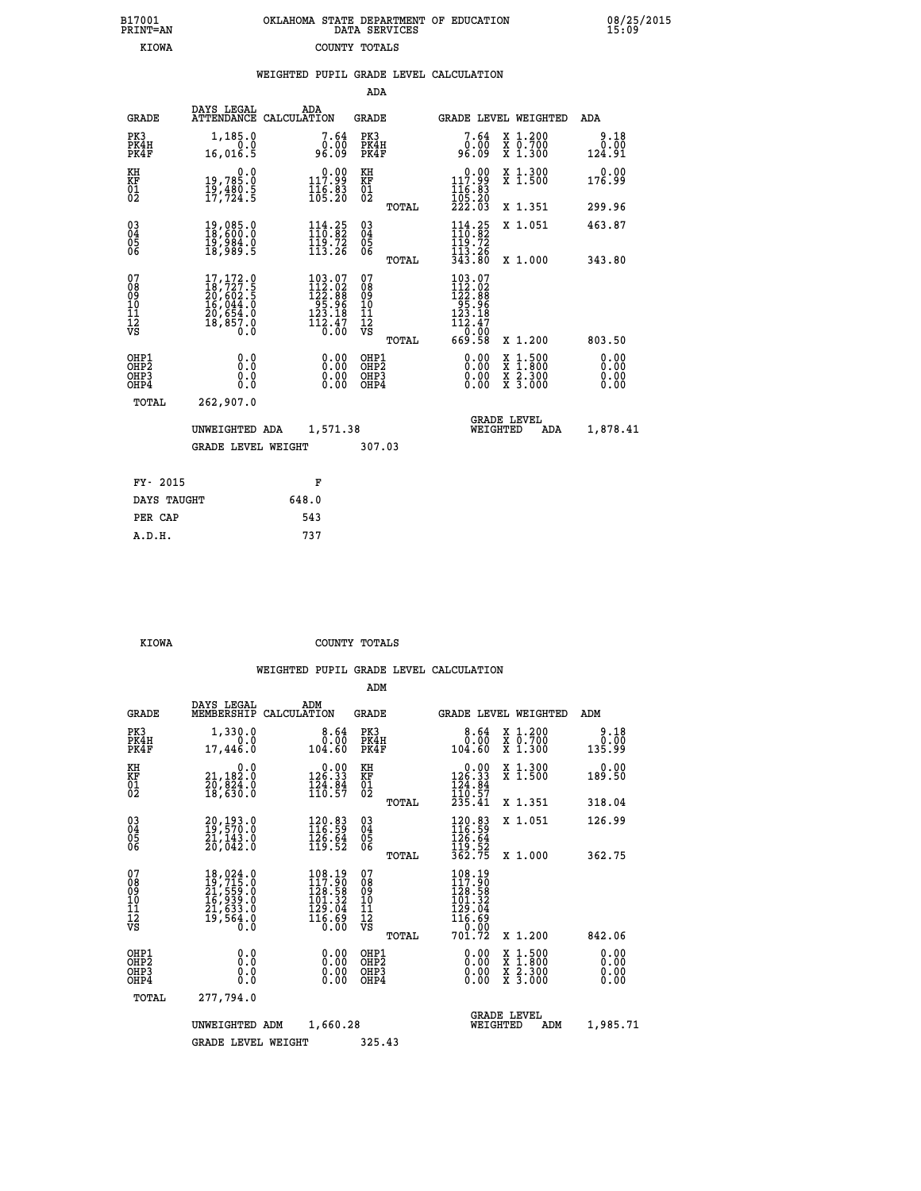| B17001          | OKLAHOMA STATE DEPARTMENT OF EDUCATION |
|-----------------|----------------------------------------|
| <b>PRINT=AN</b> | DATA SERVICES                          |
| KIOWA           | COUNTY TOTALS                          |

 **B17001 OKLAHOMA STATE DEPARTMENT OF EDUCATION 08/25/2015**

|                                                                    |                                                                                                                                                 | WEIGHTED PUPIL GRADE LEVEL CALCULATION                                                                                              |                                                     |                                                                                                                                     |                                          |                              |
|--------------------------------------------------------------------|-------------------------------------------------------------------------------------------------------------------------------------------------|-------------------------------------------------------------------------------------------------------------------------------------|-----------------------------------------------------|-------------------------------------------------------------------------------------------------------------------------------------|------------------------------------------|------------------------------|
|                                                                    |                                                                                                                                                 |                                                                                                                                     | <b>ADA</b>                                          |                                                                                                                                     |                                          |                              |
| <b>GRADE</b>                                                       | <b>DAYS LEGAL<br/>ATTENDANCE</b>                                                                                                                | ADA<br>CALCULATION                                                                                                                  | <b>GRADE</b>                                        | GRADE LEVEL WEIGHTED                                                                                                                |                                          | ADA                          |
| PK3<br>PK4H<br>PK4F                                                | 1,185.0<br>16,016.5                                                                                                                             | 7.64<br>0.00<br>09.3e                                                                                                               | PK3<br>PK4H<br>PK4F                                 | 7.64<br>0.00<br>96.09                                                                                                               | X 1.200<br>X 0.700<br>X 1.300            | 9.18<br>0.00<br>124.91       |
| KH<br>KF<br>01<br>02                                               | 0.0<br>19,785:0<br>19,480:5<br>17,724:5                                                                                                         | 0.00<br>$\frac{117.99}{116.83}$<br>$\frac{15.83}{105.20}$                                                                           | KH<br>KF<br>01<br>02                                | 0.00<br>$117.99$<br>$116.83$<br>$105.20$<br>$222.03$                                                                                | X 1.300<br>X 1.500                       | 0.00<br>176.99               |
|                                                                    |                                                                                                                                                 |                                                                                                                                     | TOTAL                                               |                                                                                                                                     | X 1.351                                  | 299.96                       |
| $\begin{smallmatrix} 03 \\[-4pt] 04 \end{smallmatrix}$<br>05<br>06 | 19,085.0<br>18,600.0<br>īš,šši.č<br>18,989.5                                                                                                    | $\begin{array}{l} 114\cdot 25\\110\cdot 82\\119\cdot 72\\113\cdot 26\end{array}$                                                    | $\begin{array}{c} 03 \\ 04 \\ 05 \\ 06 \end{array}$ | $114.25$<br>$110.82$<br>$\frac{119.72}{113.26}$<br>343.80                                                                           | X 1.051                                  | 463.87                       |
|                                                                    |                                                                                                                                                 |                                                                                                                                     | TOTAL                                               |                                                                                                                                     | X 1.000                                  | 343.80                       |
| 07<br>08<br>09<br>11<br>11<br>12<br>VS                             | $\begin{smallmatrix} 17,172\cdot 0\\ 18,727\cdot 5\\ 20,602\cdot 5\\ 16,044\cdot 0\\ 20,654\cdot 0\\ 18,857\cdot 0\\ 0\cdot 0\end{smallmatrix}$ | $\begin{smallmatrix} 103\cdot 07\\ 112\cdot 02\\ 122\cdot 88\\ 95\cdot 96\\ 123\cdot 18\\ 112\cdot 47\\ 0\cdot 00\end{smallmatrix}$ | 07<br>08<br>09<br>11<br>11<br>12<br>VS<br>TOTAL     | $\begin{smallmatrix} 103\cdot07\\112\cdot02\\122\cdot88\\95\cdot96\\123\cdot18\\112\cdot47\\0\cdot00\\0\end{smallmatrix}$<br>669.58 | X 1.200                                  | 803.50                       |
| OHP1<br>OHP2<br>OHP3<br>OHP4                                       | 0.0<br>0.0<br>0.0                                                                                                                               | 0.00<br>$\begin{smallmatrix} 0.00 \ 0.00 \end{smallmatrix}$                                                                         | OHP1<br>OHP2<br>OHP3<br>OHP4                        | 0.00<br>0.00<br>0.00                                                                                                                | X 1:500<br>X 1:800<br>X 2:300<br>X 3:000 | 0.00<br>0.00<br>0.00<br>0.00 |
| <b>TOTAL</b>                                                       | 262,907.0                                                                                                                                       |                                                                                                                                     |                                                     |                                                                                                                                     |                                          |                              |
|                                                                    | UNWEIGHTED ADA                                                                                                                                  | 1,571.38                                                                                                                            |                                                     | <b>GRADE LEVEL</b><br>WEIGHTED                                                                                                      | ADA                                      | 1,878.41                     |
|                                                                    | <b>GRADE LEVEL WEIGHT</b>                                                                                                                       |                                                                                                                                     | 307.03                                              |                                                                                                                                     |                                          |                              |
| FY- 2015                                                           |                                                                                                                                                 | F                                                                                                                                   |                                                     |                                                                                                                                     |                                          |                              |
| DAYS TAUGHT                                                        |                                                                                                                                                 | 648.0                                                                                                                               |                                                     |                                                                                                                                     |                                          |                              |
| PER CAP                                                            |                                                                                                                                                 | 543                                                                                                                                 |                                                     |                                                                                                                                     |                                          |                              |

 **KIOWA COUNTY TOTALS**

 **A.D.H. 737**

B17001<br>PRINT=AN<br>KIOWA

|                                                       |                                                                                                                                                                 |                                                                         | ADM                                     |                                                                             |                                          |                              |
|-------------------------------------------------------|-----------------------------------------------------------------------------------------------------------------------------------------------------------------|-------------------------------------------------------------------------|-----------------------------------------|-----------------------------------------------------------------------------|------------------------------------------|------------------------------|
|                                                       | DAYS LEGAL<br><b>GRADE</b><br>MEMBERSHIP                                                                                                                        | ADM<br>CALCULATION                                                      | <b>GRADE</b>                            | <b>GRADE LEVEL WEIGHTED</b>                                                 |                                          | ADM                          |
| PK3<br>PK4H<br>PK4F                                   | 1,330.0<br>0.0<br>17,446.0                                                                                                                                      | 8.64<br>0.00<br>104.60                                                  | PK3<br>PK4H<br>PK4F                     | 8.64<br>0.00<br>104.60                                                      | X 1.200<br>x 0.700<br>x 1.300            | 9.18<br>0.00<br>135.99       |
| KH<br>KF<br>01<br>02                                  | 0.0<br>21,182:0<br>20,824:0<br>18,630:0                                                                                                                         | $0.00$<br>126.33<br>$\frac{1}{2}\frac{3}{4}\cdot\frac{8}{5}$            | KH<br>KF<br>01<br>02                    | $\begin{array}{c} 0.00 \\ 126.33 \\ 124.84 \\ 110.57 \\ 235.41 \end{array}$ | X 1.300<br>X 1.500                       | 0.00<br>189.50               |
|                                                       |                                                                                                                                                                 |                                                                         | TOTAL                                   |                                                                             | X 1.351                                  | 318.04                       |
| 03<br>04<br>05<br>06                                  | 20,193.0<br>19,570.0<br>21,143.0<br>20,042.0                                                                                                                    | 120.83<br>116.59<br>$\frac{126}{119}$ . 54                              | $^{03}_{04}$<br>05<br>06                | $120.83$<br>$116.59$<br>$126.64$<br>$119.52$<br>$362.75$                    | X 1.051                                  | 126.99                       |
|                                                       |                                                                                                                                                                 |                                                                         | TOTAL                                   |                                                                             | X 1.000                                  | 362.75                       |
| 07<br>08<br>09<br>101<br>112<br>VS                    | $\begin{smallmatrix} 18\,,\,024\,.\,0\\ 19\,,\,715\,.\,0\\ 21\,,\,559\,.\,0\\ 16\,,\,939\,.\,0\\ 21\,,\,633\,.\,0\\ 19\,,\,564\,. \,0\\ 0\,. \end{smallmatrix}$ | 108.19<br>117.90<br>ĪŽģ.58<br>101.32<br>129.04<br>$\frac{116.69}{0.00}$ | 07<br>08<br>09<br>101<br>11<br>12<br>VS | 108.19<br>117.90<br>126.58<br>101.32<br>129.04<br>116.69<br>0.00            |                                          |                              |
|                                                       |                                                                                                                                                                 |                                                                         | TOTAL                                   | 701.72                                                                      | X 1.200                                  | 842.06                       |
| OHP1<br>OH <sub>P</sub> 2<br>OH <sub>P3</sub><br>OHP4 | 0.0<br>0.000                                                                                                                                                    | $0.00$<br>$0.00$<br>0.00                                                | OHP1<br>OHP2<br>OHP3<br>OHP4            | $0.00$<br>$0.00$<br>0.00                                                    | X 1:500<br>X 1:800<br>X 2:300<br>X 3:000 | 0.00<br>0.00<br>0.00<br>0.00 |
|                                                       | 277,794.0<br>TOTAL                                                                                                                                              |                                                                         |                                         |                                                                             |                                          |                              |
|                                                       | UNWEIGHTED ADM                                                                                                                                                  | 1,660.28                                                                |                                         | <b>GRADE LEVEL</b><br>WEIGHTED                                              | ADM                                      | 1,985.71                     |
|                                                       |                                                                                                                                                                 | <b>GRADE LEVEL WEIGHT</b>                                               | 325.43                                  |                                                                             |                                          |                              |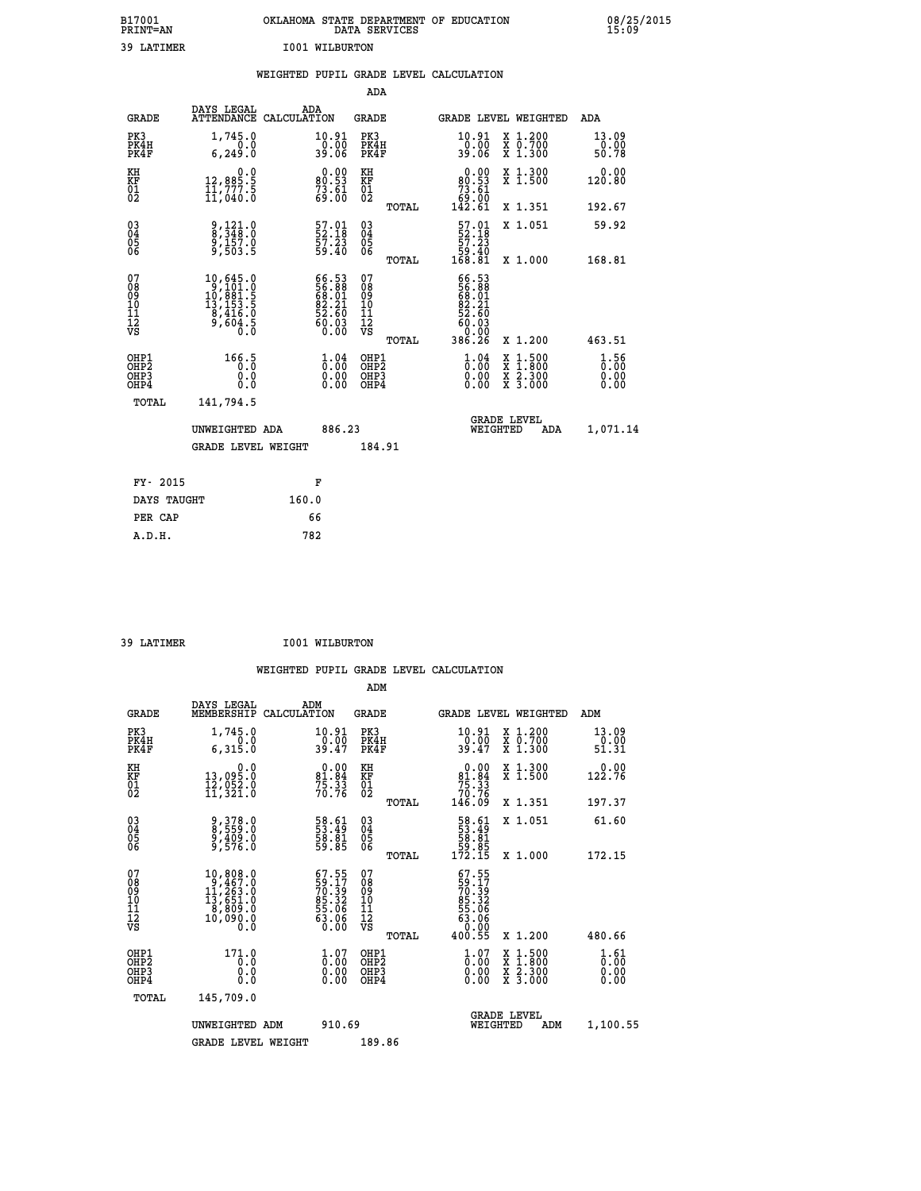| B17001<br><b>PRINT=AN</b> | OKLAHOMA STATE DEPARTMENT OF EDUCATION<br>DATA SERVICES | 08/25/2015<br>15:09 |
|---------------------------|---------------------------------------------------------|---------------------|
| 39 LATIMER                | 1001 WILBURTON                                          |                     |

|                                              |                                                                                                                               | WEIGHTED PUPIL GRADE LEVEL CALCULATION                                                             |                                                    |       |                                                                                                                    |                                                                                        |                        |
|----------------------------------------------|-------------------------------------------------------------------------------------------------------------------------------|----------------------------------------------------------------------------------------------------|----------------------------------------------------|-------|--------------------------------------------------------------------------------------------------------------------|----------------------------------------------------------------------------------------|------------------------|
|                                              |                                                                                                                               |                                                                                                    | ADA                                                |       |                                                                                                                    |                                                                                        |                        |
| <b>GRADE</b>                                 | DAYS LEGAL                                                                                                                    | ADA<br>ATTENDANCE CALCULATION                                                                      | <b>GRADE</b>                                       |       |                                                                                                                    | GRADE LEVEL WEIGHTED                                                                   | ADA                    |
| PK3<br>PK4H<br>PK4F                          | 1,745.0<br>0.0<br>6, 249.0                                                                                                    | $\begin{array}{c} 10.91 \\ 0.00 \\ 39.06 \end{array}$                                              | PK3<br>PK4H<br>PK4F                                |       | $\begin{array}{c} 10.91 \\ 0.00 \\ 39.06 \end{array}$                                                              | X 1.200<br>X 0.700<br>X 1.300                                                          | 13.09<br>0.00<br>50.78 |
| KH<br>KF<br>01<br>02                         | $\begin{smallmatrix} & & 0 & .0 \\ 12 & 885 & .5 \\ 11 & 777 & .5 \\ 11 & 040 & .0 \end{smallmatrix}$                         | $0.00$<br>80.53<br>$\frac{73.61}{69.00}$                                                           | KH<br>KF<br>01<br>02                               |       | $\begin{smallmatrix} &0.00\ 80.53\ 73.61\ 69.00\ 142.61\end{smallmatrix}$                                          | X 1.300<br>X 1.500                                                                     | 0.00<br>120.80         |
|                                              |                                                                                                                               |                                                                                                    |                                                    | TOTAL |                                                                                                                    | X 1.351                                                                                | 192.67                 |
| $^{03}_{04}$<br>05                           | 9,121.0<br>8,348.0<br>9,157.0<br>9,503.5                                                                                      | 57.01<br>52.18<br>57.23<br>59.40                                                                   | $\begin{matrix} 03 \\ 04 \\ 05 \\ 06 \end{matrix}$ |       | $\frac{57.01}{52.18}$<br>$\frac{57.23}{57.23}$                                                                     | X 1.051                                                                                | 59.92                  |
| 06                                           |                                                                                                                               |                                                                                                    |                                                    | TOTAL | 04.05<br>168.81                                                                                                    | X 1.000                                                                                | 168.81                 |
| 07<br>08<br>09<br>01<br>11<br>11<br>12<br>VS | $\begin{smallmatrix} 10, 645 & 0\\ 9, 101 & 0\\ 10, 881 & 5\\ 13, 153 & 5\\ 8, 416 & 0\\ 9, 604 & 5\\ 0 & 0\end{smallmatrix}$ | 66.53<br>56.88<br>68.01<br>62.21<br>52.60<br>$\begin{smallmatrix} 60.03 \ 60.00 \end{smallmatrix}$ | 07<br>08<br>09<br>101<br>11<br>12<br>VS            | TOTAL | 66.53<br>$\begin{smallmatrix} 566.38 \\ 56.381.01 \\ 682.21 \\ 52.60 \\ 60.03 \\ 0.00 \\ 386.26 \end{smallmatrix}$ | X 1.200                                                                                | 463.51                 |
| OHP1<br>OHP2<br>OHP3<br>OHP4                 | 166.5<br>0.0<br>0.0                                                                                                           | $\begin{smallmatrix} 1.04\ 0.00\ 0.00 \end{smallmatrix}$                                           | OHP1<br>OHP2<br>OHP3<br>OHP4                       |       | $\begin{smallmatrix} 1 & 04\ 0 & 00\ 0 & 00\ 0 & 00\ \end{smallmatrix}$                                            | $\begin{smallmatrix} 1.500\ 1.800\ 2.300\ 3.000 \end{smallmatrix}$<br>X<br>X<br>X<br>X | 1.56<br>0.00<br>0.00   |
| TOTAL                                        | 141,794.5                                                                                                                     |                                                                                                    |                                                    |       |                                                                                                                    |                                                                                        |                        |
|                                              | UNWEIGHTED ADA                                                                                                                | 886.23                                                                                             |                                                    |       | WEIGHTED                                                                                                           | <b>GRADE LEVEL</b><br>ADA                                                              | 1,071.14               |
|                                              | <b>GRADE LEVEL WEIGHT</b>                                                                                                     |                                                                                                    | 184.91                                             |       |                                                                                                                    |                                                                                        |                        |
| FY- 2015                                     |                                                                                                                               | F                                                                                                  |                                                    |       |                                                                                                                    |                                                                                        |                        |
| DAYS TAUGHT                                  |                                                                                                                               | 160.0                                                                                              |                                                    |       |                                                                                                                    |                                                                                        |                        |
| PER CAP                                      |                                                                                                                               | 66                                                                                                 |                                                    |       |                                                                                                                    |                                                                                        |                        |

 **ADM**

 **39 LATIMER I001 WILBURTON**

| <b>GRADE</b>                 | DAYS LEGAL<br>MEMBERSHIP                                                                                          | ADM<br>CALCULATION                                                    | <b>GRADE</b>                                       |       | <b>GRADE LEVEL WEIGHTED</b>                                                                      |                                          | ADM                                                         |  |
|------------------------------|-------------------------------------------------------------------------------------------------------------------|-----------------------------------------------------------------------|----------------------------------------------------|-------|--------------------------------------------------------------------------------------------------|------------------------------------------|-------------------------------------------------------------|--|
| PK3<br>PK4H<br>PK4F          | 1,745.0<br>6,315.0                                                                                                | 10.91<br>$\frac{0.00}{39.47}$                                         | PK3<br>PK4H<br>PK4F                                |       | $\frac{10.91}{0.00}$<br>39.47                                                                    | X 1.200<br>X 0.700<br>X 1.300            | $\begin{smallmatrix} 13.09\ 0.00 \ 51.31 \end{smallmatrix}$ |  |
| KH<br>KF<br>01<br>02         | $\begin{smallmatrix} & & 0 & .0\ 13 & .095 & .0\ 12 & .052 & .0\ 11 & .321 & .0 \end{smallmatrix}$                | $81.84$<br>$75.33$<br>$70.76$                                         | KH<br>KF<br>01<br>02                               |       | $0.00\n81.84\n75.33\n70.76\n146.09$                                                              | X 1.300<br>X 1.500                       | $0.00$<br>122.76                                            |  |
|                              |                                                                                                                   |                                                                       |                                                    | TOTAL |                                                                                                  | X 1.351                                  | 197.37                                                      |  |
| 03<br>04<br>05<br>06         | 9,378.0<br>8,559.0<br>9,409.0<br>9,576.0                                                                          | 58.61<br>53.49<br>58.81<br>59.85                                      | $\begin{matrix} 03 \\ 04 \\ 05 \\ 06 \end{matrix}$ |       | $\begin{smallmatrix} 58.61\ 53.49\ 58.81\ 59.85\ 172.15 \end{smallmatrix}$                       | X 1.051                                  | 61.60                                                       |  |
|                              |                                                                                                                   |                                                                       |                                                    | TOTAL |                                                                                                  | X 1.000                                  | 172.15                                                      |  |
| 07<br>08901112<br>1112<br>VS | $\begin{smallmatrix} 10, 808.0\\ 9, 467.0\\ 11, 263.0\\ 13, 651.0\\ 8, 809.0\\ 10, 090.0\\ 0.0 \end{smallmatrix}$ | $67.55$<br>59.17<br>70.39<br>85.32<br>85.06<br>53.06<br>63.06<br>0.00 | 07<br>08<br>09<br>001<br>11<br>11<br>12<br>VS      | TOTAL | $\begin{smallmatrix} 67.55\ 59.17\ 70.392\ 85.32\ 85.06\ 63.06\ 9.001\ 400.55 \end{smallmatrix}$ | X 1.200                                  | 480.66                                                      |  |
| OHP1<br>OHP2<br>OHP3<br>OHP4 | 171.0<br>0.0<br>0.0<br>Ŏ.Ŏ                                                                                        | $\begin{smallmatrix} 1.07\ 0.00\ 0.00 \end{smallmatrix}$              | OHP1<br>OHP2<br>OHP3<br>OHP4                       |       | $\begin{smallmatrix} 1.07 \ 0.00 \ 0.00 \ 0.00 \end{smallmatrix}$                                | X 1:500<br>X 1:800<br>X 2:300<br>X 3:000 | $\frac{1}{0}$ : $\frac{61}{00}$<br>0.00                     |  |
| TOTAL                        | 145,709.0                                                                                                         |                                                                       |                                                    |       |                                                                                                  |                                          |                                                             |  |
|                              | UNWEIGHTED ADM                                                                                                    | 910.69                                                                |                                                    |       | WEIGHTED                                                                                         | <b>GRADE LEVEL</b><br>ADM                | 1,100.55                                                    |  |
|                              | <b>GRADE LEVEL WEIGHT</b>                                                                                         |                                                                       | 189.86                                             |       |                                                                                                  |                                          |                                                             |  |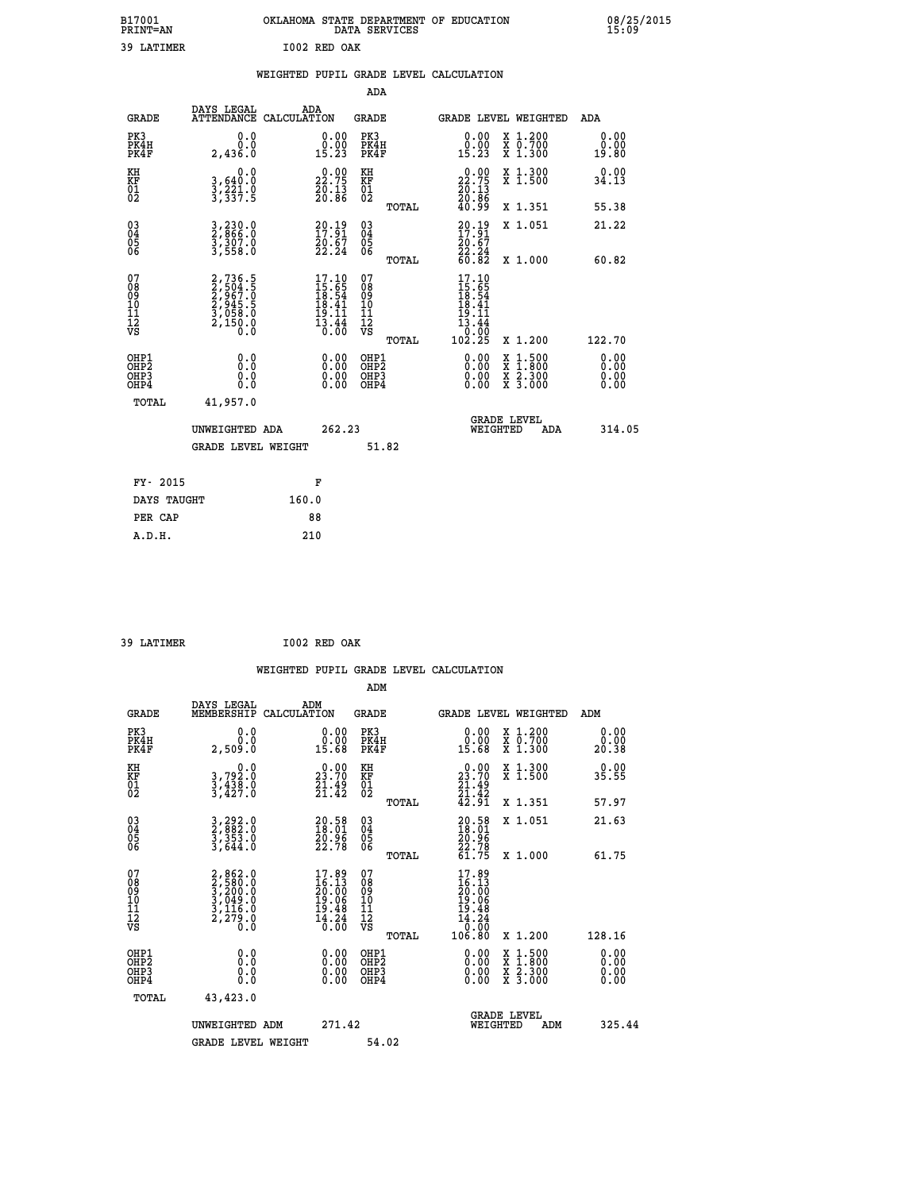| OKLAHOMA STATE DEPARTMENT OF EDUCATION<br>DATA SERVICES |  |
|---------------------------------------------------------|--|
| T002 RED OAK                                            |  |

| B17001<br><b>PRINT=AN</b>              |                                                                | OKLAHOMA STATE DEPARTMENT OF EDUCATION                                                                                       | DATA SERVICES                                      |       |                                                                                                                                      |                                          | 08/25<br>15:09        |
|----------------------------------------|----------------------------------------------------------------|------------------------------------------------------------------------------------------------------------------------------|----------------------------------------------------|-------|--------------------------------------------------------------------------------------------------------------------------------------|------------------------------------------|-----------------------|
| 39 LATIMER                             |                                                                | I002 RED OAK                                                                                                                 |                                                    |       |                                                                                                                                      |                                          |                       |
|                                        |                                                                | WEIGHTED PUPIL GRADE LEVEL CALCULATION                                                                                       | <b>ADA</b>                                         |       |                                                                                                                                      |                                          |                       |
| <b>GRADE</b>                           | DAYS LEGAL                                                     | ADA<br>ATTENDANCE CALCULATION                                                                                                | GRADE                                              |       |                                                                                                                                      | GRADE LEVEL WEIGHTED                     | ADA                   |
| PK3<br>PK4H<br>PK4F                    | 0.0<br>0.0<br>2,436.0                                          | 0.00<br>$0.00$<br>15.23                                                                                                      | PK3<br>PK4H<br>PK4F                                |       | 0.00<br>$0.00$<br>15.23                                                                                                              | X 1.200<br>X 0.700<br>X 1.300            | 0.00<br>0.00<br>19.80 |
| KH<br>KF<br>01<br>02                   | 0.0<br>3,640:0<br>3,221:0<br>3,337:5                           | $\begin{smallmatrix} 0.00\\ 22.75\\ 20.13\\ 20.86 \end{smallmatrix}$                                                         | KH<br>KF<br>01<br>02                               |       | $\begin{smallmatrix} 0.00\\ 22.75\\ 20.13\\ 20.86\\ 40.99 \end{smallmatrix}$                                                         | X 1.300<br>X 1.500                       | 0.00<br>34.13         |
|                                        |                                                                |                                                                                                                              |                                                    | TOTAL |                                                                                                                                      | X 1.351                                  | 55.38                 |
| 030404<br>06                           | 3,230.0<br>2,866.0<br>3,307.0<br>3,558.0                       | $\begin{smallmatrix} 20.19\\17.91\\20.67\\22.24 \end{smallmatrix}$                                                           | $\begin{matrix} 03 \\ 04 \\ 05 \\ 06 \end{matrix}$ |       | $\frac{20.19}{17.91}$<br>$\frac{20.67}{22.24}$<br>60.82                                                                              | X 1.051                                  | 21.22                 |
|                                        |                                                                |                                                                                                                              |                                                    | TOTAL |                                                                                                                                      | X 1.000                                  | 60.82                 |
| 07<br>08<br>09<br>10<br>11<br>12<br>VS | 2,736.5<br>2,504.5<br>2,967.0<br>2,945.5<br>3,058.0<br>2,150.0 | $\begin{array}{c} 17\cdot 10 \\ 15\cdot 65 \\ 18\cdot 54 \\ 18\cdot 41 \\ 19\cdot 11 \\ 13\cdot 44 \\ 0\cdot 00 \end{array}$ | 07<br>08<br>09<br>101<br>11<br>12<br>VS            | TOTAL | 17.10<br>$\frac{15}{18}$ : $\frac{55}{18}$<br>$\frac{18}{18}$ : $\frac{41}{18}$<br>$\frac{15}{13}$ $\frac{11}{44}$<br>0:00<br>102.25 | X 1.200                                  | 122.70                |
| OHP1<br>OHP2<br>OHP3<br>OHP4           | 0.0<br>Ŏ.Ŏ<br>0.0<br>0.0                                       | 0.0000<br>0.00<br>0.00                                                                                                       | OHP1<br>OHP2<br>OHP3<br>OHP4                       |       | 0.00<br>0.00                                                                                                                         | X 1:500<br>X 1:800<br>X 2:300<br>X 3:000 | 0.00<br>0.00<br>0.00  |
| TOTAL                                  | 41,957.0                                                       |                                                                                                                              |                                                    |       |                                                                                                                                      |                                          |                       |
|                                        | UNWEIGHTED ADA                                                 |                                                                                                                              | 262.23                                             |       |                                                                                                                                      | <b>GRADE LEVEL</b><br>WEIGHTED<br>ADA    | 314.05                |
|                                        | <b>GRADE LEVEL WEIGHT</b>                                      |                                                                                                                              | 51.82                                              |       |                                                                                                                                      |                                          |                       |
| FY- 2015                               |                                                                | F                                                                                                                            |                                                    |       |                                                                                                                                      |                                          |                       |
| DAYS TAUGHT                            |                                                                | 160.0                                                                                                                        |                                                    |       |                                                                                                                                      |                                          |                       |
| PER CAP                                |                                                                | 88                                                                                                                           |                                                    |       |                                                                                                                                      |                                          |                       |

 **39 LATIMER I002 RED OAK**

 **ADM DAYS LEGAL ADM GRADE MEMBERSHIP CALCULATION GRADE GRADE LEVEL WEIGHTED ADM**

| PK3<br>PK4H<br>PK4F                                | 0.000<br>2,509.0                                                                    | $\begin{smallmatrix} 0.00\\ 0.00\\ 15.68 \end{smallmatrix}$              | PK3<br>PK4H<br>PK4F                                 | 0.00<br>15.68                                                                                                            | X 1.200<br>X 0.700<br>X 1.300                                                                                       | $0.00$<br>$0.00$<br>20.38 |
|----------------------------------------------------|-------------------------------------------------------------------------------------|--------------------------------------------------------------------------|-----------------------------------------------------|--------------------------------------------------------------------------------------------------------------------------|---------------------------------------------------------------------------------------------------------------------|---------------------------|
| KH<br>KF<br>01<br>02                               | 0.0<br>3,792:0<br>3,438:0<br>3,427:0                                                | $\begin{smallmatrix} 0.00\\ 23.70\\ 21.49\\ 21.42 \end{smallmatrix}$     | KH<br>KF<br>01<br>02                                | $\begin{smallmatrix} 0.00\\ 23.70\\ 21.49\\ 21.42\\ 42.91 \end{smallmatrix}$                                             | X 1.300<br>X 1.500                                                                                                  | 0.00<br>35.55             |
|                                                    |                                                                                     |                                                                          | TOTAL                                               |                                                                                                                          | X 1.351                                                                                                             | 57.97                     |
| $\begin{matrix} 03 \\ 04 \\ 05 \\ 06 \end{matrix}$ | 3, 292.0<br>2, 882.0<br>3, 353.0<br>3, 644.0                                        | $\begin{smallmatrix} 20.58\ 18.01\ 20.96\ 22.78 \end{smallmatrix}$       | $\begin{array}{c} 03 \\ 04 \\ 05 \\ 06 \end{array}$ | $20.58$<br>$18.01$<br>$20.96$<br>$22.78$<br>$61.75$                                                                      | X 1.051                                                                                                             | 21.63                     |
|                                                    |                                                                                     |                                                                          | TOTAL                                               |                                                                                                                          | X 1.000                                                                                                             | 61.75                     |
| 07<br>08<br>09<br>101<br>11<br>12<br>VS            | $2,862.0$<br>$3,200.0$<br>$3,200.0$<br>$3,049.0$<br>$3,116.0$<br>$2,279.0$<br>$0.0$ | $17.89$<br>$16.13$<br>$20.00$<br>$19.06$<br>$19.48$<br>$14.24$<br>$0.00$ | 07<br>08<br>09<br>001<br>11<br>11<br>12<br>VS       | 17.89<br>$\begin{smallmatrix}1 & 0.3 \ 1 & 0.1 \ 2 & 0.06 \ 1 & 0.48 \ 1 & 0.24 \ 1 & 0.00 \ 1 & 0.80 \end{smallmatrix}$ |                                                                                                                     |                           |
|                                                    |                                                                                     |                                                                          | TOTAL                                               |                                                                                                                          | X 1.200                                                                                                             | 128.16                    |
| OHP1<br>OHP2<br>OHP3<br>OHP4                       |                                                                                     | $\begin{smallmatrix} 0.00 \ 0.00 \ 0.00 \ 0.00 \end{smallmatrix}$        | OHP1<br>OHP2<br>OHP3<br>OHP4                        |                                                                                                                          | $\begin{array}{l} \mathtt{X} & 1.500 \\ \mathtt{X} & 1.800 \\ \mathtt{X} & 2.300 \\ \mathtt{X} & 3.000 \end{array}$ | $0.00$<br>$0.00$<br>0.00  |
| TOTAL                                              | 43,423.0                                                                            |                                                                          |                                                     |                                                                                                                          |                                                                                                                     |                           |
|                                                    | UNWEIGHTED ADM                                                                      | 271.42                                                                   |                                                     | WEIGHTED                                                                                                                 | <b>GRADE LEVEL</b><br>ADM                                                                                           | 325.44                    |
|                                                    | <b>GRADE LEVEL WEIGHT</b>                                                           |                                                                          | 54.02                                               |                                                                                                                          |                                                                                                                     |                           |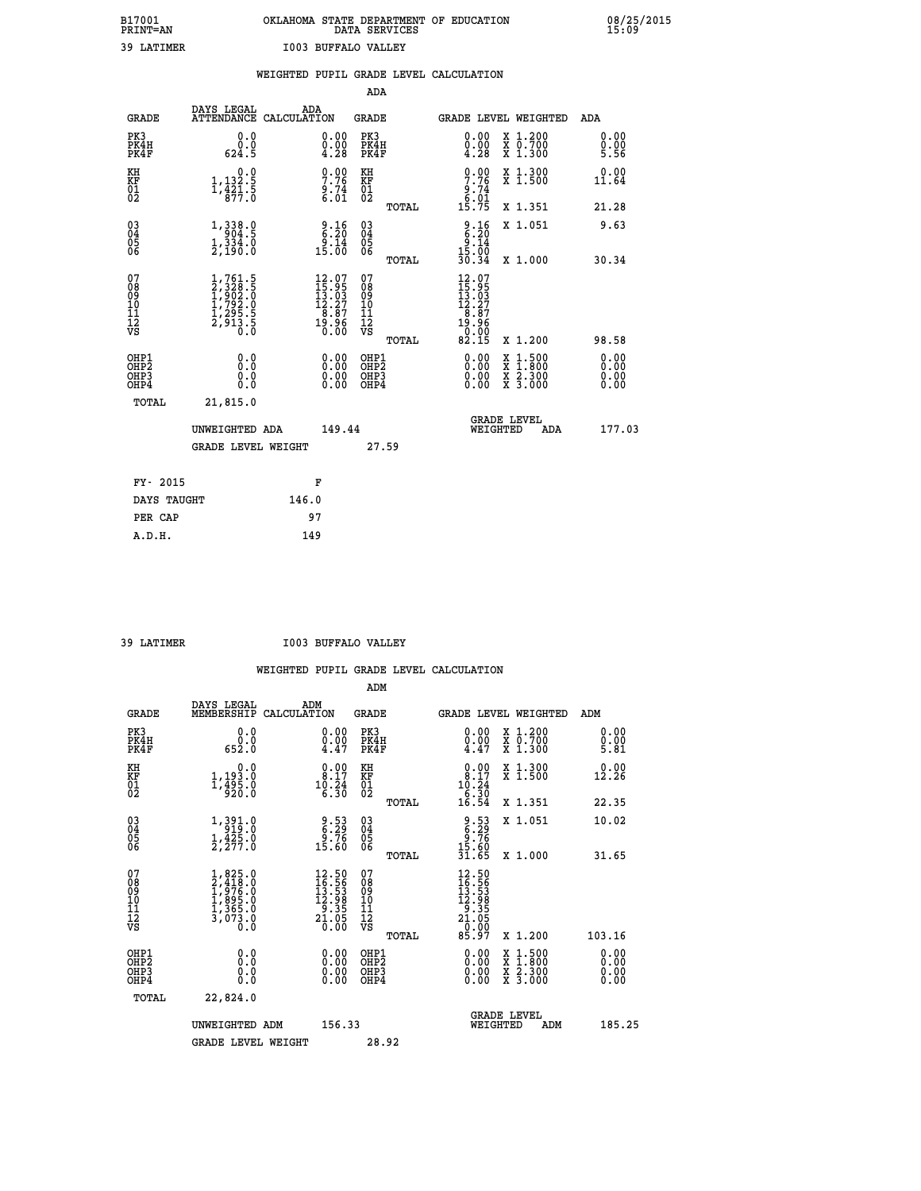# **B17001 OKLAHOMA STATE DEPARTMENT OF EDUCATION 08/25/2015 PRINT=AN DATA SERVICES 15:09**

| 39 LATIMER                        |                                                                                                                |       | <b>I003 BUFFALO VALLEY</b>                                                           |                                                    |       |                                                                                            |                                                                                                                                              |                      |
|-----------------------------------|----------------------------------------------------------------------------------------------------------------|-------|--------------------------------------------------------------------------------------|----------------------------------------------------|-------|--------------------------------------------------------------------------------------------|----------------------------------------------------------------------------------------------------------------------------------------------|----------------------|
|                                   |                                                                                                                |       |                                                                                      |                                                    |       | WEIGHTED PUPIL GRADE LEVEL CALCULATION                                                     |                                                                                                                                              |                      |
|                                   |                                                                                                                |       |                                                                                      | ADA                                                |       |                                                                                            |                                                                                                                                              |                      |
| <b>GRADE</b>                      | DAYS LEGAL<br>ATTENDANCE CALCULATION                                                                           |       | ADA                                                                                  | GRADE                                              |       |                                                                                            | GRADE LEVEL WEIGHTED                                                                                                                         | ADA                  |
| PK3<br>PK4H<br>PK4F               | 0.0<br>0.0<br>624.5                                                                                            |       | $\begin{smallmatrix} 0.00 \ 0.00 \ 4.28 \end{smallmatrix}$                           | PK3<br>PK4H<br>PK4F                                |       | $\begin{smallmatrix} 0.00 \\ 0.00 \\ 4.28 \end{smallmatrix}$                               | X 1.200<br>X 0.700<br>X 1.300                                                                                                                | 0.00<br>0.00<br>5.56 |
| KH<br>KF<br>01<br>02              | 0.0<br>$1, 132.5$<br>$1, 421.5$<br>$877.5$                                                                     |       | $\begin{array}{c} 0.00 \\ 7.76 \\ 9.74 \\ 6.01 \end{array}$                          | KH<br>KF<br>01<br>02                               |       | $0.00$<br>$7.76$<br>$9.74$<br>$6.01$<br>$15.75$                                            | X 1.300<br>X 1.500                                                                                                                           | 0.00<br>11.64        |
|                                   |                                                                                                                |       |                                                                                      |                                                    | TOTAL |                                                                                            | X 1.351                                                                                                                                      | 21.28                |
| 03<br>04<br>05<br>06              | $\begin{smallmatrix} 1\,, & 338\,. & 0\\ 904\,. & 5\\ 1\,, & 334\,. & 0\\ 2\,, & 190\,. & 0 \end{smallmatrix}$ |       | $\begin{array}{c} 9.16 \\ 6.20 \\ 9.14 \\ 15.00 \end{array}$                         | $\begin{matrix} 03 \\ 04 \\ 05 \\ 06 \end{matrix}$ |       | $\frac{9.16}{6.20}$                                                                        | X 1.051                                                                                                                                      | 9.63                 |
|                                   |                                                                                                                |       |                                                                                      |                                                    | TOTAL | 15:00<br>30:34                                                                             | X 1.000                                                                                                                                      | 30.34                |
| 07<br>089<br>090<br>1112<br>VS    | $1, 761.5$<br>$2, 328.5$<br>$1, 902.0$<br>$1, 792.0$<br>$1, 295.5$<br>$2, 913.5$<br>$0.0$                      |       | $\begin{smallmatrix} 12.07\\15.95\\13.03\\12.27\\8.87\\19.96\\0.00\end{smallmatrix}$ | 07<br>08<br>09<br>001<br>11<br>11<br>12<br>VS      | TOTAL | $\begin{smallmatrix} 12.07\\15.95\\13.03\\12.27\\8.87\\19.96\\9\end{smallmatrix}$<br>82.15 | X 1.200                                                                                                                                      | 98.58                |
| OHP1                              |                                                                                                                |       |                                                                                      |                                                    |       |                                                                                            |                                                                                                                                              |                      |
| OH <sub>P</sub> 2<br>OHP3<br>OHP4 | 0.0<br>0.0<br>0.0                                                                                              |       | 0.00<br>$0.00$<br>0.00                                                               | OHP1<br>OHP2<br>OHP3<br>OHP4                       |       | 0.00<br>0.00<br>0.00                                                                       | $\begin{smallmatrix} \mathtt{X} & 1\cdot500 \\ \mathtt{X} & 1\cdot800 \\ \mathtt{X} & 2\cdot300 \\ \mathtt{X} & 3\cdot000 \end{smallmatrix}$ | 0.00<br>0.00<br>0.00 |
| TOTAL                             | 21,815.0                                                                                                       |       |                                                                                      |                                                    |       |                                                                                            |                                                                                                                                              |                      |
|                                   | UNWEIGHTED ADA                                                                                                 |       | 149.44                                                                               |                                                    |       |                                                                                            | <b>GRADE LEVEL</b><br>WEIGHTED<br><b>ADA</b>                                                                                                 | 177.03               |
|                                   | <b>GRADE LEVEL WEIGHT</b>                                                                                      |       |                                                                                      |                                                    | 27.59 |                                                                                            |                                                                                                                                              |                      |
| FY- 2015                          |                                                                                                                |       | F                                                                                    |                                                    |       |                                                                                            |                                                                                                                                              |                      |
| DAYS TAUGHT                       |                                                                                                                | 146.0 |                                                                                      |                                                    |       |                                                                                            |                                                                                                                                              |                      |
| PER CAP                           |                                                                                                                |       | 97                                                                                   |                                                    |       |                                                                                            |                                                                                                                                              |                      |

 **A.D.H. 149**

 **39 LATIMER I003 BUFFALO VALLEY**

|                                          |                                                                                                    |                                                                                                   | ADM                                                 |       |                                                                                                                                                 |                                          |                              |
|------------------------------------------|----------------------------------------------------------------------------------------------------|---------------------------------------------------------------------------------------------------|-----------------------------------------------------|-------|-------------------------------------------------------------------------------------------------------------------------------------------------|------------------------------------------|------------------------------|
| <b>GRADE</b>                             | DAYS LEGAL<br>MEMBERSHIP                                                                           | ADM<br>CALCULATION                                                                                | <b>GRADE</b>                                        |       |                                                                                                                                                 | <b>GRADE LEVEL WEIGHTED</b>              | ADM                          |
| PK3<br>PK4H<br>PK4F                      | 0.0<br>ة:ة<br>652:0                                                                                | $\begin{smallmatrix} 0.00 \ 0.00 \ 4.47 \end{smallmatrix}$                                        | PK3<br>PK4H<br>PK4F                                 |       | $\begin{smallmatrix} 0.00 \\ 0.00 \\ 4.47 \end{smallmatrix}$                                                                                    | X 1.200<br>X 0.700<br>X 1.300            | 0.00<br>0.00<br>5.81         |
| KH<br>KF<br>01<br>02                     | 0.0<br>$1, 193.0$<br>$1, 495.0$<br>$920.0$                                                         | $\begin{smallmatrix} 0.00\\ 8.17\\ 10.24\\ 6.30 \end{smallmatrix}$                                | KH<br>KF<br>01<br>02                                |       | $\begin{smallmatrix} 0.00\\ 8.17\\ 10.24\\ 6.30\\ 16.54 \end{smallmatrix}$                                                                      | X 1.300<br>X 1.500                       | 0.00<br>12.26                |
|                                          |                                                                                                    |                                                                                                   |                                                     | TOTAL |                                                                                                                                                 | X 1.351                                  | 22.35                        |
| 03<br>04<br>05<br>06                     | $\begin{smallmatrix} 1\,, & 391 & 0\\ 919 & 0\\ 1\,, & 425 & 0\\ 2\,, & 277 & 0 \end{smallmatrix}$ | $\begin{array}{c} 9.53 \\ 6.29 \\ 9.76 \\ 15.60 \end{array}$                                      | $\begin{array}{c} 03 \\ 04 \\ 05 \\ 06 \end{array}$ |       | $9.53$<br>$6.29$<br>$9.76$<br>$15.60$<br>$31.65$                                                                                                | X 1.051                                  | 10.02                        |
|                                          |                                                                                                    |                                                                                                   |                                                     | TOTAL |                                                                                                                                                 | X 1.000                                  | 31.65                        |
| 07<br>08<br>09<br>101<br>11<br>12<br>VS  | $1,825.0$<br>$2,418.0$<br>$1,976.0$<br>$1,895.0$<br>$1,365.0$<br>$3,073.0$<br>$0.0$                | $\begin{smallmatrix} 12.50 \\ 16.56 \\ 13.53 \\ 12.98 \\ 9.35 \\ 21.05 \\ 0.00 \end{smallmatrix}$ | 07<br>08<br>09<br>11<br>11<br>12<br>VS              |       | $\begin{smallmatrix} 12\cdot50\\ 16\cdot56\\ 13\cdot53\\ 12\cdot98\\ 2\cdot355\\ 21\cdot05\\ 0\cdot90\\ 0\cdot90\\ 85\cdot97 \end{smallmatrix}$ |                                          |                              |
|                                          |                                                                                                    |                                                                                                   |                                                     | TOTAL |                                                                                                                                                 | X 1.200                                  | 103.16                       |
| OHP1<br>OHP2<br>OHP <sub>3</sub><br>OHP4 |                                                                                                    |                                                                                                   | OHP1<br>OHP2<br>OHP <sub>3</sub>                    |       | $0.00$<br>$0.00$<br>0.00                                                                                                                        | X 1:500<br>X 1:800<br>X 2:300<br>X 3:000 | 0.00<br>0.00<br>0.00<br>0.00 |
| TOTAL                                    | 22,824.0                                                                                           |                                                                                                   |                                                     |       |                                                                                                                                                 |                                          |                              |
|                                          | UNWEIGHTED ADM                                                                                     | 156.33                                                                                            |                                                     |       |                                                                                                                                                 | GRADE LEVEL<br>WEIGHTED<br>ADM           | 185.25                       |
|                                          | <b>GRADE LEVEL WEIGHT</b>                                                                          |                                                                                                   | 28.92                                               |       |                                                                                                                                                 |                                          |                              |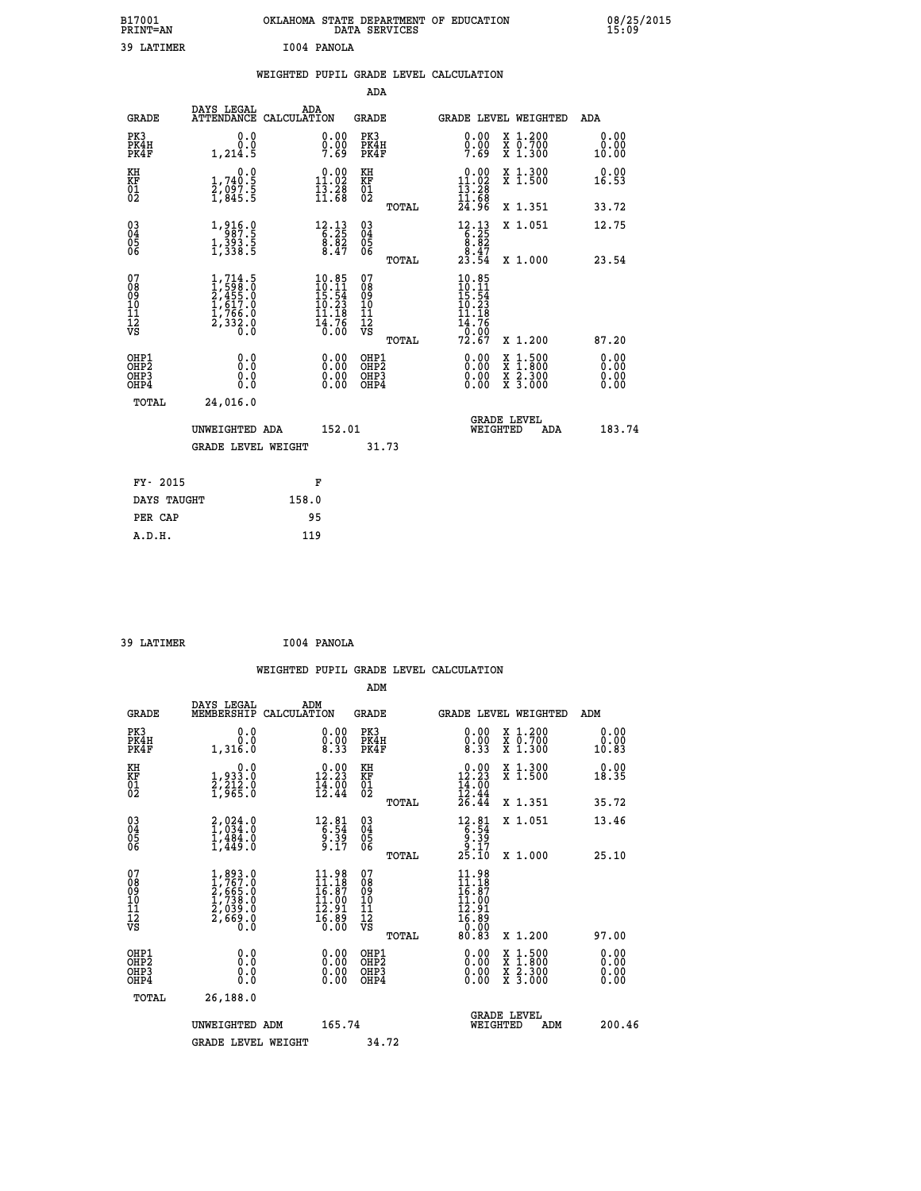| B17001<br><b>PRINT=AN</b> | OKLAHOMA STATE DEPARTMENT OF EDUCATION<br>SERVICES<br>DATA | 08/25/2015<br>15:09 |
|---------------------------|------------------------------------------------------------|---------------------|
| 39<br>LATIMER             | I004<br><b>PANOLA</b>                                      |                     |

| 39 LATIMER                       |                                                                                                                                                                     |       | I004 PANOLA                                                                                                                   |                                                    |       |                                                                                                |                                                                                                                                              |                              |
|----------------------------------|---------------------------------------------------------------------------------------------------------------------------------------------------------------------|-------|-------------------------------------------------------------------------------------------------------------------------------|----------------------------------------------------|-------|------------------------------------------------------------------------------------------------|----------------------------------------------------------------------------------------------------------------------------------------------|------------------------------|
|                                  |                                                                                                                                                                     |       |                                                                                                                               | ADA                                                |       | WEIGHTED PUPIL GRADE LEVEL CALCULATION                                                         |                                                                                                                                              |                              |
| GRADE                            | DAYS LEGAL<br>ATTENDANCE CALCULATION                                                                                                                                |       | ADA                                                                                                                           | GRADE                                              |       |                                                                                                | GRADE LEVEL WEIGHTED                                                                                                                         | ADA                          |
| PK3<br>PK4H<br>PK4F              | 0.0<br>0.0<br>1,214.5                                                                                                                                               |       | 0.00<br>$\frac{0}{7}.00$<br>7.69                                                                                              | PK3<br>PK4H<br>PK4F                                |       | 0.00<br>0.00<br>7.69                                                                           | X 1.200<br>X 0.700<br>X 1.300                                                                                                                | 0.00<br>0.00<br>10.00        |
| KH<br>KF<br>01<br>02             | 0.0<br>1,740:5<br>2,097:5<br>1,845:5                                                                                                                                |       | $\begin{smallmatrix} 0.00\\ 11.02\\ 13.28\\ 11.68 \end{smallmatrix}$                                                          | KH<br>KF<br>01<br>02                               |       | $0.00$<br>11.02<br>$\frac{13}{11}$ $\frac{28}{68}$<br>$24.96$                                  | X 1.300<br>X 1.500                                                                                                                           | 0.00<br>16.53                |
| 03<br>04<br>05<br>06             | $\begin{smallmatrix} 1,916.0\\-\ 987.5\\1,393.5\\1,338.5 \end{smallmatrix}$                                                                                         |       | $\begin{array}{r} 12\cdot 13 \\ 6\cdot 25 \\ 8\cdot 82 \\ 8\cdot 47 \end{array}$                                              | $\begin{matrix} 03 \\ 04 \\ 05 \\ 06 \end{matrix}$ | TOTAL | $\begin{array}{r} 12\cdot 13 \\ 6\cdot 25 \\ 8\cdot 82 \\ 8\cdot 47 \\ 23\cdot 54 \end{array}$ | X 1.351<br>X 1.051                                                                                                                           | 33.72<br>12.75               |
| 07                               |                                                                                                                                                                     |       |                                                                                                                               | 07                                                 | TOTAL |                                                                                                | X 1.000                                                                                                                                      | 23.54                        |
| 08<br>09<br>10<br>11<br>12<br>VS | $\begin{smallmatrix} 1,714\, . \ 1,598\, . \ 0 \\ 2,455\, . \ 0 \\ 2,455\, . \ 0 \\ 1,617\, . \ 0 \\ 1,766\, . \ 0 \\ 2,332\, . \ 0 \\ 0\, . \ 0 \end{smallmatrix}$ |       | $\begin{array}{r} 10.85 \\[-4pt] 10.11 \\[-4pt] 15.54 \\[-4pt] 10.23 \\[-4pt] 14.78 \\[-4pt] 14.76 \\[-4pt] 0.00 \end{array}$ | 08<br>09<br>11<br>11<br>12<br>VS                   | TOTAL | $10.85$<br>$10.11$<br>$15.54$<br>$10.23$<br>$11.18$<br>$\frac{14.76}{0.00}$<br>72.67           | X 1.200                                                                                                                                      | 87.20                        |
| OHP1<br>OHP2<br>OHP3<br>OHP4     | 0.0<br>0.0<br>0.0                                                                                                                                                   |       | 0.00<br>$0.00$<br>0.00                                                                                                        | OHP1<br>OHP2<br>OHP3<br>OHP4                       |       | 0.00<br>0.00<br>0.00                                                                           | $\begin{smallmatrix} \mathtt{X} & 1\cdot500 \\ \mathtt{X} & 1\cdot800 \\ \mathtt{X} & 2\cdot300 \\ \mathtt{X} & 3\cdot000 \end{smallmatrix}$ | 0.00<br>0.00<br>0.00<br>0.00 |
| TOTAL                            | 24,016.0<br>UNWEIGHTED ADA                                                                                                                                          |       | 152.01                                                                                                                        |                                                    |       | WEIGHTED                                                                                       | <b>GRADE LEVEL</b><br>ADA                                                                                                                    | 183.74                       |
|                                  | <b>GRADE LEVEL WEIGHT</b>                                                                                                                                           |       |                                                                                                                               | 31.73                                              |       |                                                                                                |                                                                                                                                              |                              |
| FY- 2015                         |                                                                                                                                                                     |       | F                                                                                                                             |                                                    |       |                                                                                                |                                                                                                                                              |                              |
| DAYS TAUGHT                      |                                                                                                                                                                     | 158.0 |                                                                                                                               |                                                    |       |                                                                                                |                                                                                                                                              |                              |
| PER CAP<br>A.D.H.                |                                                                                                                                                                     | 119   | 95                                                                                                                            |                                                    |       |                                                                                                |                                                                                                                                              |                              |

 **39 LATIMER I004 PANOLA**

 **WEIGHTED PUPIL GRADE LEVEL CALCULATION ADM DAYS LEGAL ADM GRADE MEMBERSHIP CALCULATION GRADE GRADE LEVEL WEIGHTED ADM PK3 0.0 0.00 PK3 0.00 X 1.200 0.00 PK4H 0.0 0.00 PK4H 0.00 X 0.700 0.00 PK4F 1,316.0 8.33 PK4F 8.33 X 1.300 10.83 KH 0.0 0.00 KH 0.00 X 1.300 0.00 KF 1,933.0 12.23 KF 12.23 X 1.500 18.35** 01 2,212.0 14.00 01 14.00<br>02 1,965.0 12.44 02 <sub>nomas</sub> 12.44  **TOTAL 26.44 X 1.351 35.72 03 2,024.0 12.81 03 12.81 X 1.051 13.46 04 1,034.0 6.54 04 6.54 05 1,484.0 9.39 05 9.39 06 1,449.0 9.17 06 9.17 TOTAL 25.10 X 1.000 25.10**  $\begin{array}{cccc} 07 & 1,893.0 & 11.98 & 07 & 11.98 \ 08 & 1,767.0 & 16.87 & 0.87 \ 09 & 2,665.0 & 16.87 & 0.87 & 16.87 \ 10 & 1,738.0 & 11.00 & 10 & 11.10 \ 11 & 2,039.0 & 12.91 & 11 & 0.01 \ 12 & 2,669.0 & 12.91 & 11 & 12.91 \ \hline\hline\hline\hline\hline\hline\hline\hline\hline\hline\$  **TOTAL 80.83 X 1.200 97.00 OHP1 0.0 0.00 OHP1 0.00 X 1.500 0.00 OHP2 0.0 0.00 OHP2 0.00 X 1.800 0.00 OHP3 0.0 0.00 OHP3 0.00 X 2.300 0.00 OHP4 0.0 0.00 OHP4 0.00 X 3.000 0.00 TOTAL 26,188.0 GRADE LEVEL UNWEIGHTED ADM 165.74 WEIGHTED ADM 200.46** GRADE LEVEL WEIGHT 34.72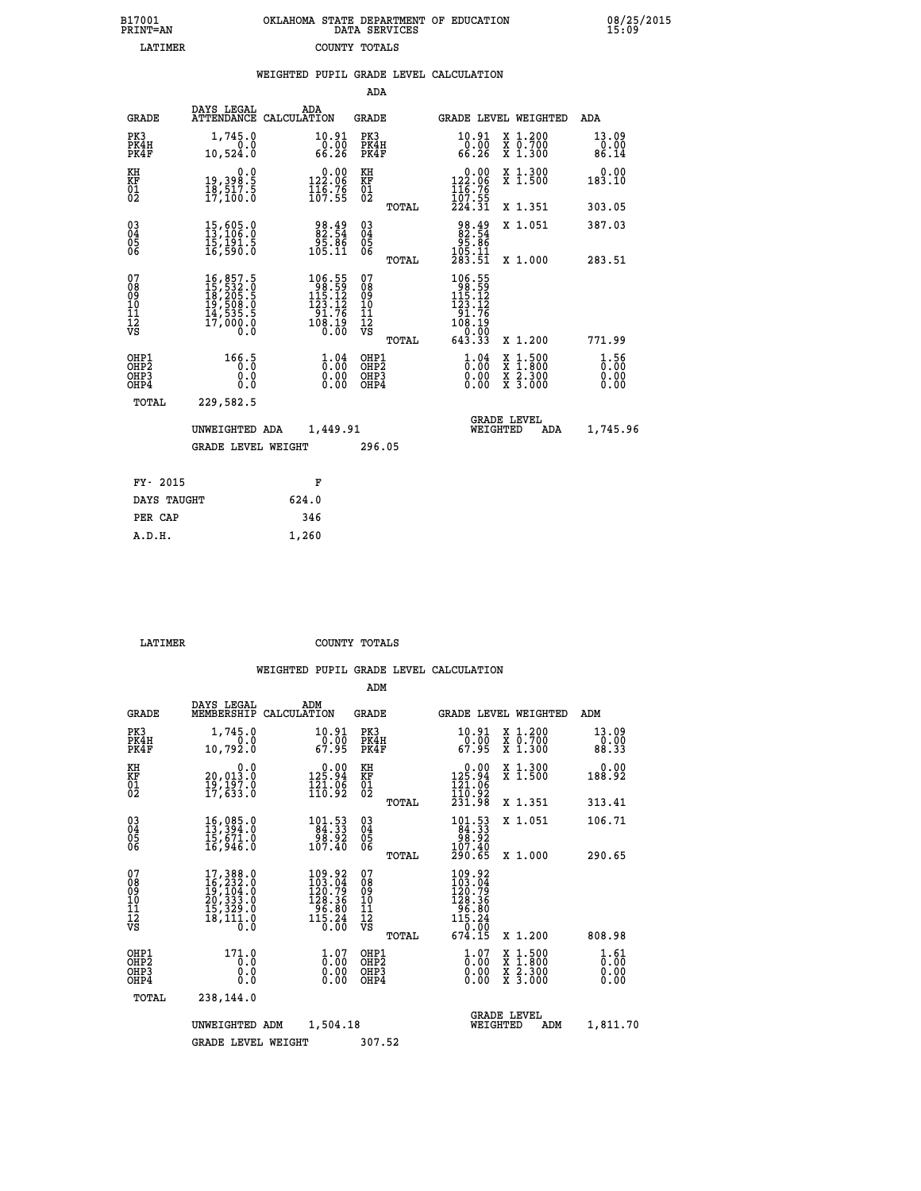| 7001<br>INT=AN  | OKLAHOMA STATE DEPARTMENT OF EDUCATION<br>DATA SERVICES |  |
|-----------------|---------------------------------------------------------|--|
| <b>T.ATTMER</b> | COUNTY TOTALS                                           |  |

 **B17001 OKLAHOMA STATE DEPARTMENT OF EDUCATION 08/25/2015**

|                                                                    |                                                                                                                                                                                          | WEIGHTED PUPIL GRADE LEVEL CALCULATION                                                        |                                                     |                                                                                                         |                                                                                                                                              |                              |
|--------------------------------------------------------------------|------------------------------------------------------------------------------------------------------------------------------------------------------------------------------------------|-----------------------------------------------------------------------------------------------|-----------------------------------------------------|---------------------------------------------------------------------------------------------------------|----------------------------------------------------------------------------------------------------------------------------------------------|------------------------------|
|                                                                    |                                                                                                                                                                                          |                                                                                               | ADA                                                 |                                                                                                         |                                                                                                                                              |                              |
| <b>GRADE</b>                                                       | DAYS LEGAL                                                                                                                                                                               | ADA<br>ATTENDANCE CALCULATION                                                                 | <b>GRADE</b>                                        | <b>GRADE LEVEL WEIGHTED</b>                                                                             |                                                                                                                                              | ADA                          |
| PK3<br>PK4H<br>PK4F                                                | 1,745.0<br>0.0<br>10,524.0                                                                                                                                                               | $\substack{10.91 \\ 0.00 \\ 66.26}$                                                           | PK3<br>PK4H<br>PK4F                                 | $\substack{10.91 \\ 0.00 \\ 66.26}$                                                                     | X 1.200<br>X 0.700<br>X 1.300                                                                                                                | 13.09<br>0.00<br>86.14       |
| KH<br>KF<br>01<br>02                                               | 0.0<br>19,398.5<br>18,517.5<br>17,100.0                                                                                                                                                  | $0.00$<br>122.06<br>$\frac{115}{107}$ $\frac{78}{55}$                                         | KH<br>KF<br>01<br>02                                | $\begin{smallmatrix} &0.00\\ 122.06\\ 116.76\\ 107.55\\ 224.31\end{smallmatrix}$                        | X 1.300<br>X 1.500                                                                                                                           | 0.00<br>183.10               |
|                                                                    |                                                                                                                                                                                          |                                                                                               | TOTAL                                               |                                                                                                         | X 1.351                                                                                                                                      | 303.05                       |
| $\begin{smallmatrix} 03 \\[-4pt] 04 \end{smallmatrix}$<br>05<br>06 | 15,605.0<br>13,106.0<br>īš,ī91.5<br>16,590.0                                                                                                                                             | 98.49<br>82:54<br>95:86<br>105:11                                                             | $^{03}_{04}$<br>0500                                | 98.49<br>82.54<br>95.86<br>105.11<br>283.51                                                             | X 1.051                                                                                                                                      | 387.03                       |
|                                                                    |                                                                                                                                                                                          |                                                                                               | TOTAL                                               |                                                                                                         | X 1.000                                                                                                                                      | 283.51                       |
| 07<br>08<br>09<br>10<br>11<br>11<br>12<br>VS                       | $\begin{smallmatrix} 16\,, & 857\,, & 5\\ 15\,, & 532\,, & 0\\ 18\,, & 205\,, & 5\\ 19\,, & 508\,, & 0\\ 14\,, & 535\,, & 5\\ 17\,, & 000\,, & 0\\ 0\,, & 0\,, & 0\,, \end{smallmatrix}$ | $\begin{array}{r} 106.55 \\ 98.59 \\ 115.12 \\ 123.12 \\ 91.76 \\ 108.19 \\ 0.00 \end{array}$ | 078<br>089<br>0011<br>11<br>11<br>12<br>VS<br>TOTAL | $\begin{array}{r} 106.55 \\ 98.59 \\ 115.12 \\ 123.12 \\ 91.76 \\ 108.19 \\ 0.00 \\ 643.33 \end{array}$ | X 1.200                                                                                                                                      | 771.99                       |
| OHP1<br>OHP2<br>OH <sub>P</sub> 3<br>OHP4                          | 166.5<br>0.0<br>0.0                                                                                                                                                                      | $\frac{1}{0}$ : 04<br>$\begin{smallmatrix} 0.00 \ 0.00 \end{smallmatrix}$                     | OHP1<br>OHP2<br>OHP3<br>OHP4                        | $1.04$<br>$0.00$<br>0.00                                                                                | $\begin{smallmatrix} \mathtt{X} & 1\cdot500 \\ \mathtt{X} & 1\cdot800 \\ \mathtt{X} & 2\cdot300 \\ \mathtt{X} & 3\cdot000 \end{smallmatrix}$ | 1.56<br>0.00<br>0.00<br>0.00 |
| TOTAL                                                              | 229,582.5                                                                                                                                                                                |                                                                                               |                                                     |                                                                                                         |                                                                                                                                              |                              |
|                                                                    | UNWEIGHTED ADA                                                                                                                                                                           | 1,449.91                                                                                      |                                                     | <b>GRADE LEVEL</b><br>WEIGHTED                                                                          | ADA                                                                                                                                          | 1,745.96                     |
|                                                                    | <b>GRADE LEVEL WEIGHT</b>                                                                                                                                                                |                                                                                               | 296.05                                              |                                                                                                         |                                                                                                                                              |                              |
| FY- 2015                                                           |                                                                                                                                                                                          | F                                                                                             |                                                     |                                                                                                         |                                                                                                                                              |                              |
| DAYS TAUGHT                                                        |                                                                                                                                                                                          | 624.0                                                                                         |                                                     |                                                                                                         |                                                                                                                                              |                              |
| PER CAP                                                            |                                                                                                                                                                                          | 346                                                                                           |                                                     |                                                                                                         |                                                                                                                                              |                              |

 **LATIMER COUNTY TOTALS**

 **A.D.H. 1,260**

 **B17001<br>PRINT=AN** 

|                                                       |                                                                                                       |                                                                                                                                        | ADM                                                |                                                                                                      |                                          |                              |
|-------------------------------------------------------|-------------------------------------------------------------------------------------------------------|----------------------------------------------------------------------------------------------------------------------------------------|----------------------------------------------------|------------------------------------------------------------------------------------------------------|------------------------------------------|------------------------------|
| <b>GRADE</b>                                          | DAYS LEGAL<br>MEMBERSHIP                                                                              | ADM<br>CALCULATION                                                                                                                     | <b>GRADE</b>                                       |                                                                                                      | GRADE LEVEL WEIGHTED                     | ADM                          |
| PK3<br>PK4H<br>PK4F                                   | 1,745.0<br>0.0<br>10,792.0                                                                            | 10.91<br>0.00<br>67.95                                                                                                                 | PK3<br>PK4H<br>PK4F                                | 10.91<br>67.95                                                                                       | X 1.200<br>X 0.700<br>X 1.300            | 13.09<br>0.00<br>88.33       |
| KH<br>KF<br>01<br>02                                  | 0.0<br>20,013.0<br>$\frac{19}{17}$ , $\frac{197}{633}$ . $\frac{8}{10}$                               | $0.00$<br>125.94<br>$\frac{1}{110}$ $\frac{1}{92}$                                                                                     | KH<br>KF<br>01<br>02                               | $\begin{smallmatrix} &0.00\\ 125.94\\ 121.06\\ 110.92\\ 231.98 \end{smallmatrix}$                    | X 1.300<br>X 1.500                       | 0.00<br>188.92               |
|                                                       |                                                                                                       |                                                                                                                                        | TOTAL                                              |                                                                                                      | X 1.351                                  | 313.41                       |
| 03<br>04<br>05<br>06                                  | $16,085.0$<br>$13,394.0$<br>$15,671.0$<br>$16,946.0$                                                  | 101.53<br>84.33<br>88.92<br>107.40                                                                                                     | $\begin{matrix} 03 \\ 04 \\ 05 \\ 06 \end{matrix}$ | $\begin{array}{r} 101.53 \\ 84.33 \\ 98.92 \\ 107.40 \end{array}$                                    | X 1.051                                  | 106.71                       |
|                                                       |                                                                                                       |                                                                                                                                        | TOTAL                                              | 290.65                                                                                               | X 1.000                                  | 290.65                       |
| 07<br>08<br>09<br>101<br>112<br>VS                    | $\begin{smallmatrix}17,388.0\\16,232.0\\19,104.0\\20,333.0\\15,329.0\\18,111.0\\0.0\end{smallmatrix}$ | 109.92<br>103.04<br>120.79<br>$\begin{array}{r} 128.36 \\ 96.80 \\ 115.24 \\ 0.00 \end{array}$                                         | 07<br>08<br>09<br>101<br>11<br>12<br>VS<br>TOTAL   | $\begin{smallmatrix} 109.92\\103.04\\120.79\\128.36\\96.80\\115.24\\0.00\end{smallmatrix}$<br>674.15 | X 1.200                                  | 808.98                       |
| OHP1<br>OH <sub>P</sub> 2<br>OH <sub>P3</sub><br>OHP4 | 171.0<br>0.0<br>0.000                                                                                 | $\overset{1}{\underset{0}{0}}\,\overset{0}{\overset{0}{\cdot}}\,\overset{0}{\underset{0}{0}}\,\overset{0}{\overset{0}{\cdot}}$<br>0.00 | OHP1<br>OHP2<br>OHP3<br>OHP4                       | $\begin{smallmatrix} 1.07 \ 0.00 \ 0.00 \end{smallmatrix}$<br>0.00                                   | X 1:500<br>X 1:800<br>X 2:300<br>X 3:000 | 1.61<br>0.00<br>0.00<br>0.00 |
| TOTAL                                                 | 238,144.0                                                                                             |                                                                                                                                        |                                                    |                                                                                                      |                                          |                              |
|                                                       | UNWEIGHTED ADM                                                                                        | 1,504.18                                                                                                                               |                                                    | WEIGHTED                                                                                             | <b>GRADE LEVEL</b><br>ADM                | 1,811.70                     |
|                                                       | <b>GRADE LEVEL WEIGHT</b>                                                                             |                                                                                                                                        | 307.52                                             |                                                                                                      |                                          |                              |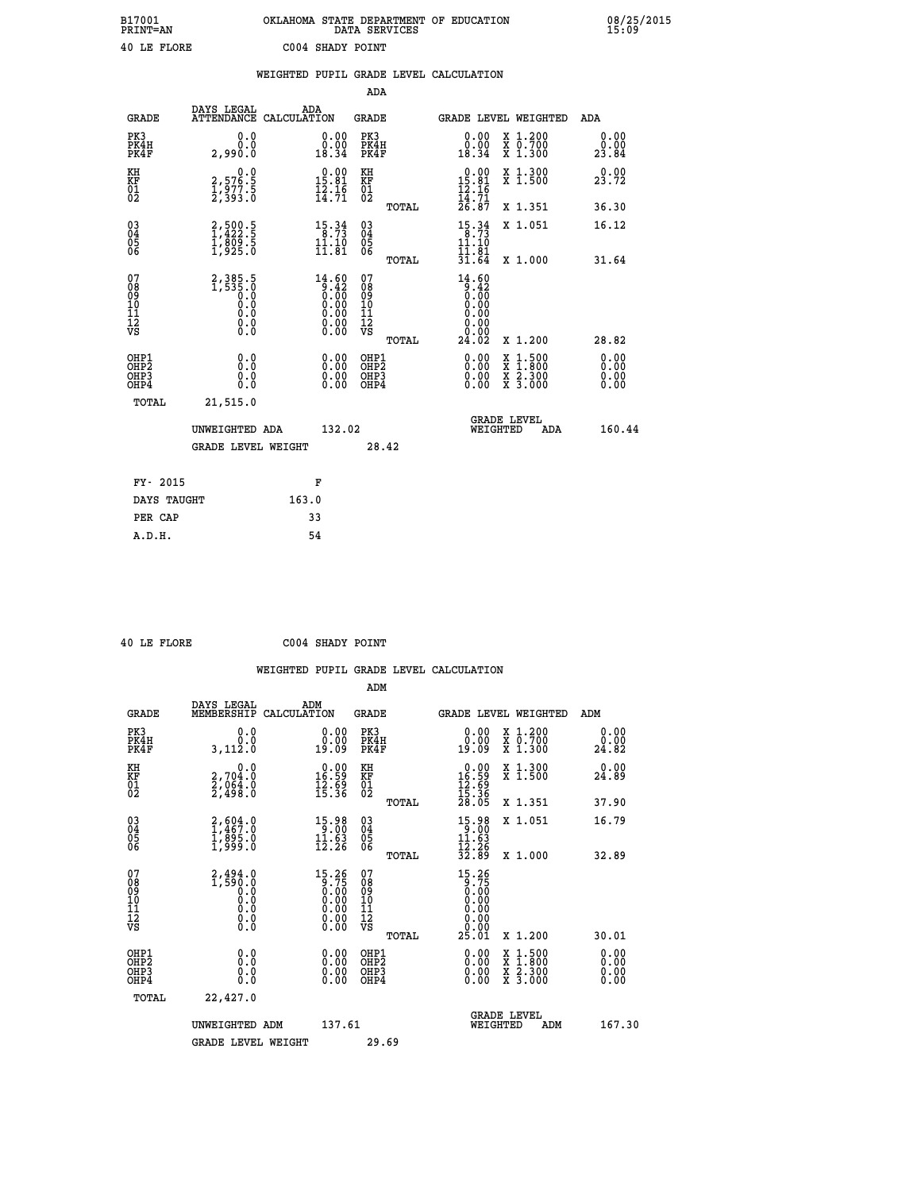| B17001<br>PRINT=AN | OKLAHOMA STATE DEPARTMENT OF EDUCATION<br>DATA SERVICES | 08/25/2015<br>15:09 |
|--------------------|---------------------------------------------------------|---------------------|
| 40 LE FLORE        | C004 SHADY POINT                                        |                     |

|                                                                    |                                                                        |       |                                                                                              |                                          |       | WEIGHTED PUPIL GRADE LEVEL CALCULATION                                                                                                                                                                                                                                         |                                          |                       |
|--------------------------------------------------------------------|------------------------------------------------------------------------|-------|----------------------------------------------------------------------------------------------|------------------------------------------|-------|--------------------------------------------------------------------------------------------------------------------------------------------------------------------------------------------------------------------------------------------------------------------------------|------------------------------------------|-----------------------|
|                                                                    |                                                                        |       |                                                                                              | <b>ADA</b>                               |       |                                                                                                                                                                                                                                                                                |                                          |                       |
| <b>GRADE</b>                                                       | DAYS LEGAL<br>ATTENDANCE CALCULATION                                   | ADA   |                                                                                              | GRADE                                    |       | GRADE LEVEL WEIGHTED                                                                                                                                                                                                                                                           |                                          | ADA                   |
| PK3<br>PK4H<br>PK4F                                                | 0.0<br>0.0<br>2,990.0                                                  |       | $\begin{smallmatrix} 0.00\\ 0.00\\ 18.34 \end{smallmatrix}$                                  | PK3<br>PK4H<br>PK4F                      |       | 0.00<br>$\substack{0.001 \ 18.34}$                                                                                                                                                                                                                                             | X 1.200<br>X 0.700<br>X 1.300            | 0.00<br>0.00<br>23.84 |
| KH<br>KF<br>$\frac{01}{02}$                                        | $\begin{smallmatrix} 0.0\\2,576.5\\1,977.5\\2,393.0 \end{smallmatrix}$ |       | 15.81<br>$\frac{1}{2}\cdot\frac{1}{7}\cdot\frac{1}{7}$                                       | KH<br>KF<br>$\overline{01}$              |       | $0.00$<br>15.81<br>$\frac{12.16}{14.71}$<br>$\frac{26.87}{26.87}$                                                                                                                                                                                                              | X 1.300<br>X 1.500                       | 0.00<br>23.72         |
|                                                                    |                                                                        |       |                                                                                              |                                          | TOTAL |                                                                                                                                                                                                                                                                                | X 1.351                                  | 36.30                 |
| $\begin{smallmatrix} 03 \\[-4pt] 04 \end{smallmatrix}$<br>Ŏ5<br>06 | 2,500.5<br>1,422.5<br>1,809.5<br>1,925.0                               |       | $15.34$<br>8.73<br>11.10<br>11.81                                                            | $\substack{03 \\ 04}$<br>$\frac{05}{06}$ |       | $15.34$<br>8.73<br>11.10<br>11.01                                                                                                                                                                                                                                              | X 1.051                                  | 16.12                 |
|                                                                    |                                                                        |       |                                                                                              |                                          | TOTAL | 31.64                                                                                                                                                                                                                                                                          | X 1.000                                  | 31.64                 |
| 07<br>08<br>09<br>11<br>11<br>12<br>VS                             | 2, 385.5<br>1, 535.0<br>0.0<br>0.0<br>0.0<br>$\S.$                     |       | 14.60<br>$\begin{array}{c} 3.42 \\ 0.60 \\ 0.00 \\ 0.00 \\ 0.00 \\ 0.00 \end{array}$<br>0.00 | 07<br>08<br>09<br>11<br>11<br>12<br>VS   | TOTAL | 14.60<br>$\begin{smallmatrix} 0.42 \ 0.00 \ 0.00 \end{smallmatrix}$<br>0.00<br>0.00<br>0.00<br>24.02                                                                                                                                                                           | X 1.200                                  | 28.82                 |
| OHP1<br>OHP <sub>2</sub><br>OHP3<br>OHP4                           | 0.0<br>0.0<br>$0.\overline{0}$                                         |       | $\begin{smallmatrix} 0.00 \ 0.00 \ 0.00 \ 0.00 \end{smallmatrix}$                            | OHP1<br>OHP <sub>2</sub><br>OHP3<br>OHP4 |       | $\begin{smallmatrix} 0.00 & 0.00 & 0.00 & 0.00 & 0.00 & 0.00 & 0.00 & 0.00 & 0.00 & 0.00 & 0.00 & 0.00 & 0.00 & 0.00 & 0.00 & 0.00 & 0.00 & 0.00 & 0.00 & 0.00 & 0.00 & 0.00 & 0.00 & 0.00 & 0.00 & 0.00 & 0.00 & 0.00 & 0.00 & 0.00 & 0.00 & 0.00 & 0.00 & 0.00 & 0.00 & 0.0$ | X 1:500<br>X 1:800<br>X 2:300<br>X 3:000 | 0.00<br>0.00<br>0.00  |
| TOTAL                                                              | 21,515.0                                                               |       |                                                                                              |                                          |       |                                                                                                                                                                                                                                                                                |                                          |                       |
|                                                                    | UNWEIGHTED ADA                                                         |       | 132.02                                                                                       |                                          |       | <b>GRADE LEVEL</b><br>WEIGHTED                                                                                                                                                                                                                                                 | ADA                                      | 160.44                |
|                                                                    | <b>GRADE LEVEL WEIGHT</b>                                              |       |                                                                                              |                                          | 28.42 |                                                                                                                                                                                                                                                                                |                                          |                       |
| FY- 2015                                                           |                                                                        |       | F                                                                                            |                                          |       |                                                                                                                                                                                                                                                                                |                                          |                       |
| DAYS TAUGHT                                                        |                                                                        | 163.0 |                                                                                              |                                          |       |                                                                                                                                                                                                                                                                                |                                          |                       |
| PER CAP                                                            |                                                                        |       | 33                                                                                           |                                          |       |                                                                                                                                                                                                                                                                                |                                          |                       |

 **40 LE FLORE C004 SHADY POINT**

|                                          |                                                                                                      |                                                                                                                                                   | ADM                                                |       |                                                                         |                                          |                              |
|------------------------------------------|------------------------------------------------------------------------------------------------------|---------------------------------------------------------------------------------------------------------------------------------------------------|----------------------------------------------------|-------|-------------------------------------------------------------------------|------------------------------------------|------------------------------|
| <b>GRADE</b>                             | DAYS LEGAL<br>MEMBERSHIP                                                                             | ADM<br>CALCULATION                                                                                                                                | <b>GRADE</b>                                       |       |                                                                         | <b>GRADE LEVEL WEIGHTED</b>              | ADM                          |
| PK3<br>PK4H<br>PK4F                      | 0.0<br>Ō.Ō<br>3,112.0                                                                                | 0.00<br>19.09                                                                                                                                     | PK3<br>PK4H<br>PK4F                                |       | 0.00<br>19.09                                                           | X 1.200<br>X 0.700<br>X 1.300            | 0.00<br>0.00<br>24.82        |
| KH<br>KF<br>01<br>02                     | 0.0<br>2,704:0<br>2,064:0<br>2,498:0                                                                 | $\begin{array}{c} 0.00 \\ 16.59 \\ 12.59 \\ 15.36 \end{array}$                                                                                    | KH<br>KF<br>01<br>02                               |       | $\begin{array}{r} 0.00 \\ 16.59 \\ 12.69 \\ 15.36 \\ 28.05 \end{array}$ | X 1.300<br>X 1.500                       | 0.00<br>24.89                |
|                                          |                                                                                                      |                                                                                                                                                   |                                                    | TOTAL |                                                                         | X 1.351                                  | 37.90                        |
| 03<br>04<br>05<br>06                     | 2,604.0<br>1,467.0<br>1,895.0<br>1,999.0                                                             | 15.98<br>$\frac{11.63}{12.26}$                                                                                                                    | $\begin{matrix} 03 \\ 04 \\ 05 \\ 06 \end{matrix}$ |       | 15.98<br>$\frac{11.63}{12.26}$<br>32.89                                 | X 1.051                                  | 16.79                        |
|                                          |                                                                                                      |                                                                                                                                                   |                                                    | TOTAL |                                                                         | X 1.000                                  | 32.89                        |
| 07<br>08<br>09<br>101<br>112<br>VS       | $2,494.0$<br>1,590.0<br>$\begin{smallmatrix} 0.0 & 0 \ 0.0 & 0 \ 0.0 & 0 \end{smallmatrix}$<br>$\S.$ | $\begin{smallmatrix} 15\cdot 26\\ 9\cdot 75\\ 0\cdot 00\\ 0\cdot 00\\ 0\cdot 00\\ 0\cdot 00\\ 0\cdot 00\\ 0\cdot 00\\ 0\cdot 00\end{smallmatrix}$ | 07<br>08<br>09<br>101<br>11<br>12<br>VS            |       | 15.26<br>$\begin{array}{c} 0.75 \\ 0.00 \\ 0.00 \end{array}$            |                                          |                              |
|                                          |                                                                                                      |                                                                                                                                                   |                                                    | TOTAL | 25.01                                                                   | X 1.200                                  | 30.01                        |
| OHP1<br>OHP2<br>OH <sub>P3</sub><br>OHP4 | 0.0<br>0.000                                                                                         | $0.00$<br>$0.00$<br>0.00                                                                                                                          | OHP1<br>OHP2<br>OHP <sub>3</sub>                   |       | $0.00$<br>$0.00$<br>0.00                                                | X 1:500<br>X 1:800<br>X 2:300<br>X 3:000 | 0.00<br>0.00<br>0.00<br>0.00 |
| TOTAL                                    | 22,427.0                                                                                             |                                                                                                                                                   |                                                    |       |                                                                         |                                          |                              |
|                                          | UNWEIGHTED ADM                                                                                       | 137.61                                                                                                                                            |                                                    |       |                                                                         | <b>GRADE LEVEL</b><br>WEIGHTED<br>ADM    | 167.30                       |
|                                          | <b>GRADE LEVEL WEIGHT</b>                                                                            |                                                                                                                                                   | 29.69                                              |       |                                                                         |                                          |                              |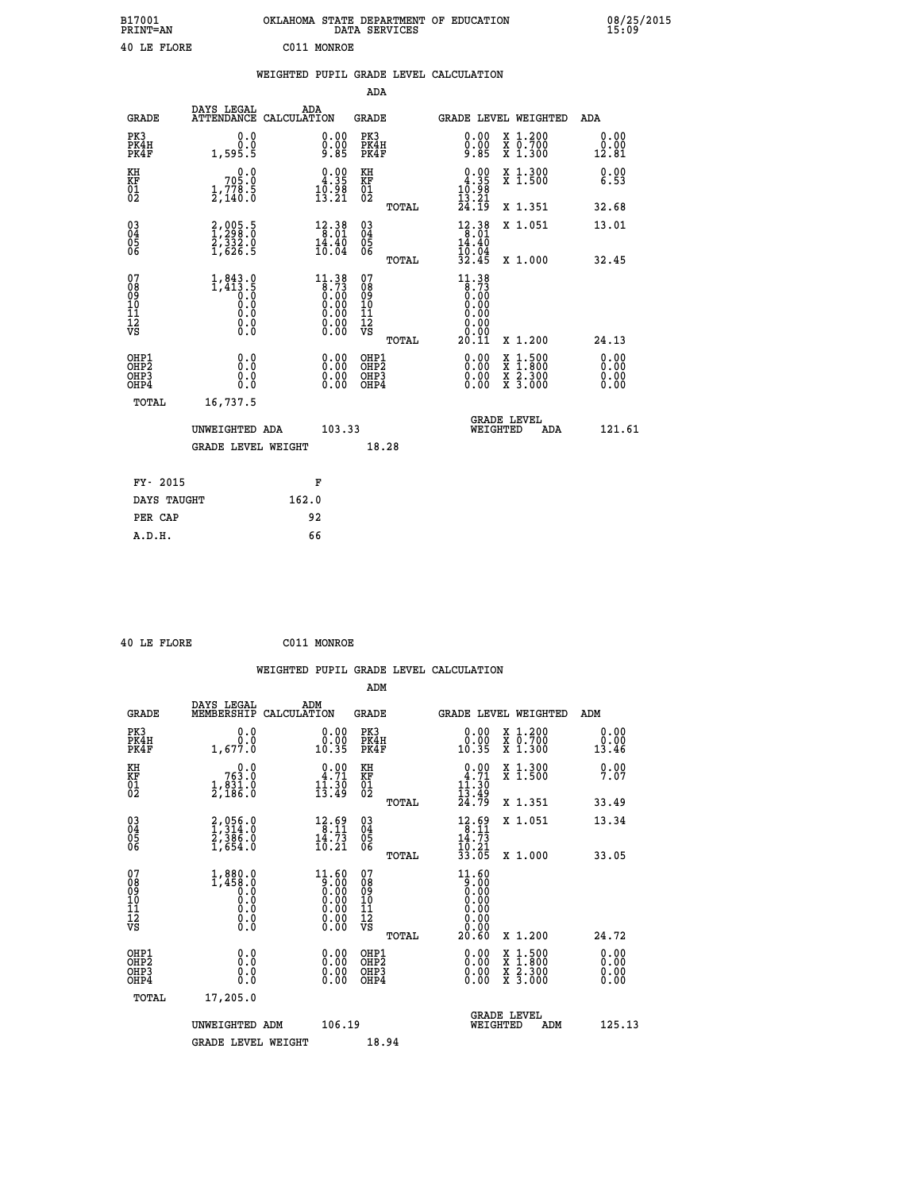| B17001<br>PRINT=AN | OKLAHOMA STATE DEPARTMENT OF EDUCATION<br>DATA SERVICES | 08/25/2015<br>15:09 |
|--------------------|---------------------------------------------------------|---------------------|
| 40 LE FLORE        | C011<br>MONROE                                          |                     |

|                                                                    |                                                                                                      |       |                                                                                                                                                   |                                        |       | WEIGHTED PUPIL GRADE LEVEL CALCULATION                                                           |                                                                                                                                      |                              |
|--------------------------------------------------------------------|------------------------------------------------------------------------------------------------------|-------|---------------------------------------------------------------------------------------------------------------------------------------------------|----------------------------------------|-------|--------------------------------------------------------------------------------------------------|--------------------------------------------------------------------------------------------------------------------------------------|------------------------------|
|                                                                    |                                                                                                      |       |                                                                                                                                                   | <b>ADA</b>                             |       |                                                                                                  |                                                                                                                                      |                              |
| <b>GRADE</b>                                                       | DAYS LEGAL ADA ATTENDANCE CALCULATION                                                                |       |                                                                                                                                                   | <b>GRADE</b>                           |       | GRADE LEVEL WEIGHTED                                                                             |                                                                                                                                      | ADA                          |
| PK3<br>PK4H<br>PK4F                                                | 0.0<br>0.0<br>1,595.5                                                                                |       | 0.00<br>$0.00$<br>9.85                                                                                                                            | PK3<br>PK4H<br>PK4F                    |       | 0.00<br>$\frac{0.00}{9.85}$                                                                      | X 1.200<br>X 0.700<br>X 1.300                                                                                                        | 0.00<br>0.00<br>12.81        |
| KH<br>KF<br>01<br>02                                               | 0.0<br>705.0<br>$\frac{1}{2}$ , $\frac{778}{140}$ .                                                  |       | $\begin{smallmatrix} 0.00\\ 4.35\\ 10.98\\ 13.21 \end{smallmatrix}$                                                                               | KH<br>KF<br>01<br>02                   |       | $0.00$<br>$4.35$<br>$\frac{10.98}{13.21}$<br>$24.19$                                             | X 1.300<br>X 1.500                                                                                                                   | 0.00<br>6.53                 |
|                                                                    |                                                                                                      |       |                                                                                                                                                   |                                        | TOTAL |                                                                                                  | X 1.351                                                                                                                              | 32.68                        |
| $\begin{smallmatrix} 03 \\[-4pt] 04 \end{smallmatrix}$<br>Ŏ5<br>06 | 2,005.5<br>$\frac{27332.0}{1,626.5}$                                                                 |       | $\begin{array}{r} 12\cdot 38 \\ 8\cdot 01 \\ 14\cdot 40 \\ 10\cdot 04 \end{array}$                                                                | $\substack{03 \\ 04}$<br>0500          |       | $\begin{array}{r} 12\cdot 38 \\ 8\cdot 01 \\ 14\cdot 40 \\ 10\cdot 04 \\ 32\cdot 45 \end{array}$ | X 1.051                                                                                                                              | 13.01                        |
|                                                                    |                                                                                                      |       |                                                                                                                                                   |                                        | TOTAL |                                                                                                  | X 1.000                                                                                                                              | 32.45                        |
| 07<br>08<br>09<br>11<br>11<br>12<br>VS                             | $1,843.0$<br>$1,413.5$<br>$0.0$<br>$0.0$<br>$\begin{smallmatrix} 0.16 \ 0.0 \ 0.0 \end{smallmatrix}$ |       | $\begin{smallmatrix} 11\cdot 38\\ 8\cdot 73\\ 0\cdot 00\\ 0\cdot 00\\ 0\cdot 00\\ 0\cdot 00\\ 0\cdot 00\\ 0\cdot 00\\ 0\cdot 00\end{smallmatrix}$ | 07<br>08<br>09<br>11<br>11<br>12<br>VS | TOTAL | 11.38<br>$\begin{array}{c} 0.73 \\ 0.00 \\ 0.00 \end{array}$<br>0.00<br>0.00<br>0.00<br>20.11    | X 1.200                                                                                                                              | 24.13                        |
|                                                                    |                                                                                                      |       |                                                                                                                                                   |                                        |       |                                                                                                  |                                                                                                                                      |                              |
| OHP1<br>OHP2<br>OHP3<br>OHP4                                       | 0.0<br>0.0<br>0.0                                                                                    |       | 0.00<br>$\begin{smallmatrix} 0.00 \ 0.00 \end{smallmatrix}$                                                                                       | OHP1<br>OHP2<br>OHP3<br>OHP4           |       | 0.00<br>0.00<br>0.00                                                                             | $\begin{smallmatrix} \mathtt{X} & 1 & 500 \\ \mathtt{X} & 1 & 800 \\ \mathtt{X} & 2 & 300 \\ \mathtt{X} & 3 & 000 \end{smallmatrix}$ | 0.00<br>ŏ:ŏŏ<br>0.00<br>0.00 |
| TOTAL                                                              | 16,737.5                                                                                             |       |                                                                                                                                                   |                                        |       |                                                                                                  |                                                                                                                                      |                              |
|                                                                    | UNWEIGHTED ADA                                                                                       |       | 103.33                                                                                                                                            |                                        |       | <b>GRADE LEVEL</b><br>WEIGHTED                                                                   | ADA                                                                                                                                  | 121.61                       |
|                                                                    | <b>GRADE LEVEL WEIGHT</b>                                                                            |       |                                                                                                                                                   |                                        | 18.28 |                                                                                                  |                                                                                                                                      |                              |
| FY- 2015                                                           |                                                                                                      |       | F                                                                                                                                                 |                                        |       |                                                                                                  |                                                                                                                                      |                              |
| DAYS TAUGHT                                                        |                                                                                                      | 162.0 |                                                                                                                                                   |                                        |       |                                                                                                  |                                                                                                                                      |                              |
| PER CAP                                                            |                                                                                                      |       | 92                                                                                                                                                |                                        |       |                                                                                                  |                                                                                                                                      |                              |
| A.D.H.                                                             |                                                                                                      |       | 66                                                                                                                                                |                                        |       |                                                                                                  |                                                                                                                                      |                              |

| 40 LE FLORE                                        |                                                                       | C011 MONROE |                                                                     |                                        |       |                                                                        |                                                                                                                                              |                       |
|----------------------------------------------------|-----------------------------------------------------------------------|-------------|---------------------------------------------------------------------|----------------------------------------|-------|------------------------------------------------------------------------|----------------------------------------------------------------------------------------------------------------------------------------------|-----------------------|
|                                                    |                                                                       |             |                                                                     |                                        |       | WEIGHTED PUPIL GRADE LEVEL CALCULATION                                 |                                                                                                                                              |                       |
|                                                    |                                                                       |             |                                                                     | ADM                                    |       |                                                                        |                                                                                                                                              |                       |
| <b>GRADE</b>                                       | DAYS LEGAL<br>MEMBERSHIP CALCULATION                                  | ADM         |                                                                     | GRADE                                  |       |                                                                        | GRADE LEVEL WEIGHTED                                                                                                                         | ADM                   |
| PK3<br>PK4H<br>PK4F                                | 0.0<br>0.0<br>1,677.0                                                 |             | 0.00<br>0.00<br>10.35                                               | PK3<br>PK4H<br>PK4F                    |       | 0.00<br>$\begin{array}{c} 0.00 \\ 10.35 \end{array}$                   | X 1.200<br>X 0.700<br>X 1.300                                                                                                                | 0.00<br>0.00<br>13.46 |
| KH<br>KF<br>01<br>02                               | 0.0<br>763.0<br>$\frac{1}{2}$ , $\frac{831}{86}$ ; $\frac{8}{8}$      |             | $\begin{smallmatrix} 0.00\\ 4.71\\ 11.30\\ 13.49 \end{smallmatrix}$ | KH<br>KF<br>01<br>02                   |       | $\begin{array}{c} 0.00 \\ 4.71 \\ 11.30 \\ 13.49 \\ 24.79 \end{array}$ | X 1.300<br>X 1.500                                                                                                                           | 0.00<br>7.07          |
|                                                    |                                                                       |             |                                                                     |                                        | TOTAL |                                                                        | X 1.351                                                                                                                                      | 33.49                 |
| $\begin{matrix} 03 \\ 04 \\ 05 \\ 06 \end{matrix}$ | 2,056.0<br>2,386.0<br>1,654.0                                         |             | $12.69$<br>8.11<br>$\frac{14}{10}$ $\frac{73}{21}$                  | 03<br>04<br>05<br>06                   |       | $12.69$<br>8.11<br>$\frac{14.73}{10.21}$<br>33.05                      | X 1.051                                                                                                                                      | 13.34                 |
|                                                    |                                                                       |             |                                                                     |                                        | TOTAL |                                                                        | X 1.000                                                                                                                                      | 33.05                 |
| 07<br>08<br>09<br>11<br>11<br>12<br>VS             | $1, 880.0$<br>$1, 458.0$<br>$0.0$<br>$0.0$<br>$0.0$<br>$0.0$<br>$0.0$ |             | $^{11.60}_{9.00}$<br>0.00<br>0.00                                   | 07<br>08<br>09<br>11<br>11<br>12<br>VS | TOTAL | $11.60$<br>$0.00$<br>0.00<br>0.00<br>0.00<br>0.00<br>0.00<br>20.60     | X 1.200                                                                                                                                      | 24.72                 |
| OHP1<br>OHP2                                       | 0.0                                                                   |             |                                                                     | OHP1                                   |       | 0.00                                                                   |                                                                                                                                              | 0.00                  |
| OH <sub>P3</sub><br>OHP4                           | 0.0<br>Ŏ.Ŏ                                                            |             | $0.00$<br>$0.00$<br>0.00                                            | OHP <sub>2</sub><br>OHP3<br>OHP4       |       | $0.00$<br>0.00                                                         | $\begin{smallmatrix} \mathtt{X} & 1\cdot500 \\ \mathtt{X} & 1\cdot800 \\ \mathtt{X} & 2\cdot300 \\ \mathtt{X} & 3\cdot000 \end{smallmatrix}$ | 0.00<br>0.00          |
| TOTAL                                              | 17,205.0                                                              |             |                                                                     |                                        |       |                                                                        |                                                                                                                                              |                       |
|                                                    | UNWEIGHTED ADM                                                        |             | 106.19                                                              |                                        |       | WEIGHTED                                                               | <b>GRADE LEVEL</b><br>ADM                                                                                                                    | 125.13                |
|                                                    | <b>GRADE LEVEL WEIGHT</b>                                             |             |                                                                     | 18.94                                  |       |                                                                        |                                                                                                                                              |                       |
|                                                    |                                                                       |             |                                                                     |                                        |       |                                                                        |                                                                                                                                              |                       |
|                                                    |                                                                       |             |                                                                     |                                        |       |                                                                        |                                                                                                                                              |                       |
|                                                    |                                                                       |             |                                                                     |                                        |       |                                                                        |                                                                                                                                              |                       |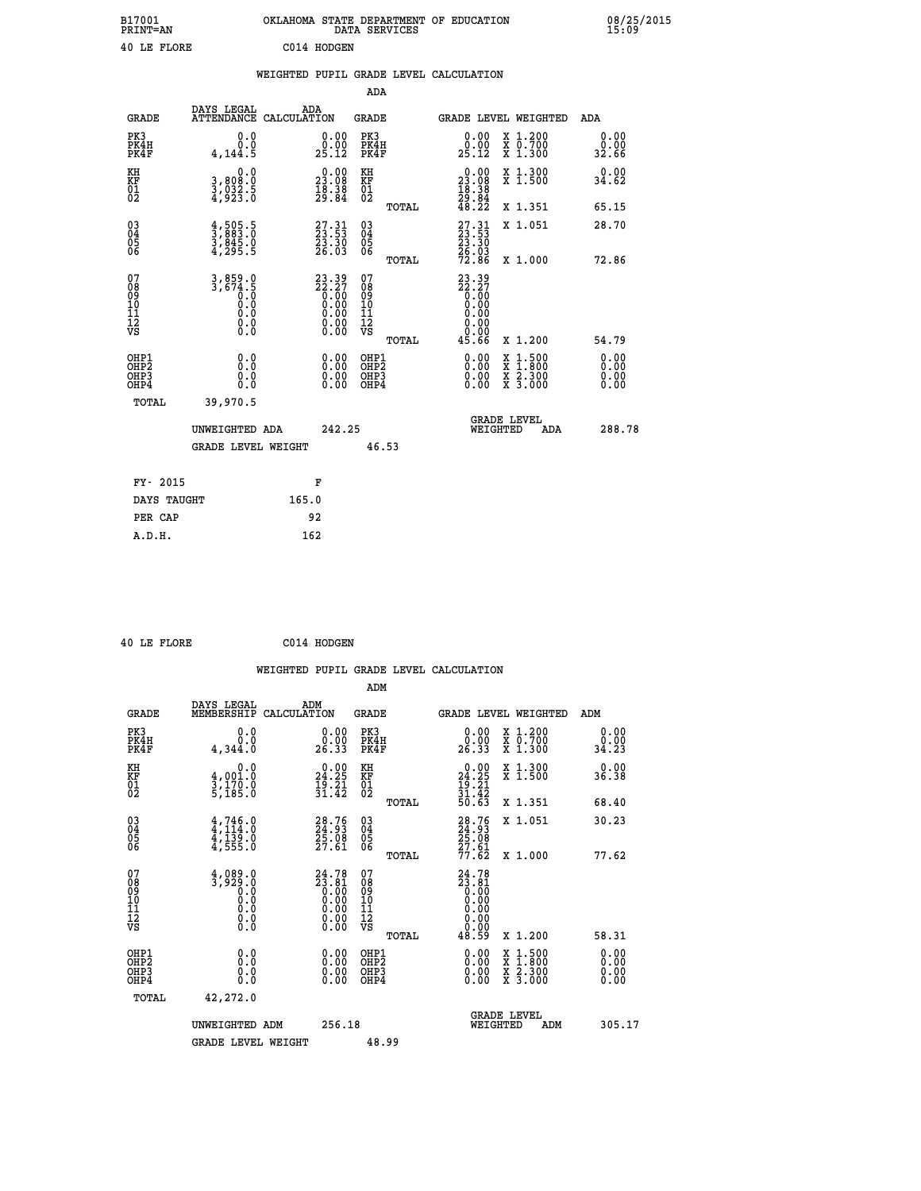| B17001<br>PRINT=AN | OKLAHOMA STATE DEPARTMENT OF EDUCATION<br>DATA SERVICES | 08/25/2015<br>15:09 |
|--------------------|---------------------------------------------------------|---------------------|
| 40 LE FLORE        | C014 HODGEN                                             |                     |

|  | WEIGHTED PUPIL GRADE LEVEL CALCULATION |
|--|----------------------------------------|

|                                                                              |                                                                                    |                                                                                                 | ADA                                             |                                                                                                                                                                      |                              |
|------------------------------------------------------------------------------|------------------------------------------------------------------------------------|-------------------------------------------------------------------------------------------------|-------------------------------------------------|----------------------------------------------------------------------------------------------------------------------------------------------------------------------|------------------------------|
| <b>GRADE</b>                                                                 | DAYS LEGAL                                                                         | ADA<br>ATTENDANCE CALCULATION                                                                   | GRADE                                           | <b>GRADE LEVEL WEIGHTED</b>                                                                                                                                          | ADA                          |
| PK3<br>PK4H<br>PK4F                                                          | 0.0<br>Ō.Ō<br>4,144.5                                                              | $\substack{0.00\\0.00\\25.12}$                                                                  | PK3<br>PK4H<br>PK4F                             | 0.00<br>X 1.200<br>X 0.700<br>X 1.300<br>0.00<br>25.12                                                                                                               | 0.00<br>0.00<br>32.66        |
| KH<br>KF<br>01<br>02                                                         | 0.0<br>3,808:0<br>3,032:5<br>4,923:0                                               | $\begin{smallmatrix} 0.00\\ 23.08\\ 18.38\\ 29.84 \end{smallmatrix}$                            | KH<br>KF<br>01<br>02                            | $\begin{smallmatrix} 0.00\\ 23.08\\ 18.38\\ 29.84\\ 48.22 \end{smallmatrix}$<br>X 1.300<br>X 1.500                                                                   | 0.00<br>34.62                |
|                                                                              |                                                                                    |                                                                                                 | TOTAL                                           | X 1.351                                                                                                                                                              | 65.15                        |
| $\begin{matrix} 03 \\ 04 \\ 05 \\ 06 \end{matrix}$                           | $\frac{4}{3}, \frac{505}{883}.0 \ \frac{3}{845}.0 \ \frac{4}{4}, \frac{295.5}{84}$ | 27.31<br>23.53<br>23.30<br>26.03                                                                | 03<br>04<br>05<br>06<br>TOTAL                   | $\begin{smallmatrix} 27.31\\ 23.53\\ 23.30\\ 26.03\\ 72.86 \end{smallmatrix}$<br>X 1.051<br>X 1.000                                                                  | 28.70<br>72.86               |
| 07<br>08<br>09<br>11<br>11<br>12<br>VS                                       | $3,859.0$<br>$3,674.5$<br>$0.0$<br>0.0<br>0.0<br>$\S.$                             | $\begin{smallmatrix} 23.39\\ 22.27\\ 0.00\\ 0.00\\ 0.00\\ 0.00\\ 0.00\\ 0.00 \end{smallmatrix}$ | 07<br>08<br>09<br>11<br>11<br>12<br>VS<br>TOTAL | $23.39$<br>$22.27$<br>$0.00$<br>$0.00$<br>0.00<br>0.00<br>45.66<br>X 1.200                                                                                           | 54.79                        |
| OHP1<br>OH <sub>P</sub> <sub>2</sub><br>OH <sub>P3</sub><br>OH <sub>P4</sub> | 0.0<br>0.0<br>0.0                                                                  | 0.00<br>0.00<br>0.00                                                                            | OHP1<br>OHP2<br>OHP3<br>OHP4                    | 0.00<br>$\begin{smallmatrix} \mathtt{X} & 1\cdot500 \\ \mathtt{X} & 1\cdot800 \\ \mathtt{X} & 2\cdot300 \\ \mathtt{X} & 3\cdot000 \end{smallmatrix}$<br>0.00<br>0.00 | 0.00<br>0.00<br>0.00<br>0.00 |
| TOTAL                                                                        | 39,970.5<br>UNWEIGHTED ADA<br><b>GRADE LEVEL WEIGHT</b>                            | 242.25                                                                                          | 46.53                                           | <b>GRADE LEVEL</b><br>WEIGHTED<br>ADA                                                                                                                                | 288.78                       |
| FY- 2015                                                                     |                                                                                    | F                                                                                               |                                                 |                                                                                                                                                                      |                              |
| DAYS TAUGHT                                                                  |                                                                                    | 165.0                                                                                           |                                                 |                                                                                                                                                                      |                              |
| PER CAP                                                                      |                                                                                    | 92                                                                                              |                                                 |                                                                                                                                                                      |                              |
| A.D.H.                                                                       |                                                                                    | 162                                                                                             |                                                 |                                                                                                                                                                      |                              |

|  | 40 LE FLORE | C014 HODGEN |
|--|-------------|-------------|

| <b>GRADE</b>                                       | DAYS LEGAL<br>MEMBERSHIP                                                                           | ADM<br>CALCULATION                                                                                                                                                              | <b>GRADE</b>                                       |       | <b>GRADE LEVEL WEIGHTED</b>                                                                                      |                                          | ADM                   |  |
|----------------------------------------------------|----------------------------------------------------------------------------------------------------|---------------------------------------------------------------------------------------------------------------------------------------------------------------------------------|----------------------------------------------------|-------|------------------------------------------------------------------------------------------------------------------|------------------------------------------|-----------------------|--|
| PK3<br>PK4H<br>PK4F                                | 0.0<br>0.0<br>4,344.0                                                                              | $\begin{smallmatrix} 0.00\\ 0.00\\ 26.33 \end{smallmatrix}$                                                                                                                     | PK3<br>PK4H<br>PK4F                                |       | $\begin{smallmatrix} 0.00\\ 0.00\\ 26.33 \end{smallmatrix}$                                                      | X 1.200<br>X 0.700<br>X 1.300            | 0.00<br>0.00<br>34.23 |  |
| KH<br>KF<br>01<br>02                               | 0.0<br>4,001.0<br>3,170.0<br>5,185.0                                                               | 24.25<br>$\frac{1}{3}$ $\frac{3}{1}$ $\cdot$ $\frac{21}{42}$                                                                                                                    | KH<br>KF<br>01<br>02                               |       | 24.25<br>$\frac{1}{31}$ $\cdot\frac{21}{42}$<br>$\frac{31}{50}$ $\cdot\frac{42}{63}$                             | X 1.300<br>X 1.500                       | 0.00<br>36.38         |  |
|                                                    |                                                                                                    |                                                                                                                                                                                 |                                                    | TOTAL |                                                                                                                  | X 1.351                                  | 68.40                 |  |
| $\begin{matrix} 03 \\ 04 \\ 05 \\ 06 \end{matrix}$ | $4,746.0$<br>$4,114.0$<br>$4,139.0$<br>$4,555.0$                                                   | $\begin{smallmatrix} 28.76\\ 24.93\\ 25.08\\ 27.61 \end{smallmatrix}$                                                                                                           | $\begin{matrix} 03 \\ 04 \\ 05 \\ 06 \end{matrix}$ |       | 28.76<br>24.93<br>25.08<br>27.61<br>77.62                                                                        | X 1.051                                  | 30.23                 |  |
|                                                    |                                                                                                    |                                                                                                                                                                                 |                                                    | TOTAL |                                                                                                                  | X 1.000                                  | 77.62                 |  |
| 07<br>089<br>090<br>1112<br>VS                     | $\begin{smallmatrix} 4,089.0\\ 3,929.0\\ 0.0\\ 0.0\\ 0.0\\ 0.0\\ 0.0\\ 0.0\\ 0.0\end{smallmatrix}$ | ${\overset{24}{\phantom{1}3}} {\overset{78}{\phantom{1}0}} {\overset{81}{\phantom{1}0}} {\overset{10}{\phantom{1}0}} {\overset{10}{\phantom{1}0}} {\overset{10}{\phantom{1}0}}$ | 07<br>08<br>09<br>001<br>11<br>11<br>12<br>VS      | TOTAL | ${\begin{smallmatrix} 24.78\\ 23.81\\ 0.00\\ 0.00\\ 0.00\\ 0.00\\ 0.00\\ 0.00\\ 0.00\\ 48.59 \end{smallmatrix}}$ | X 1.200                                  | 58.31                 |  |
| OHP1<br>OHP2<br>OH <sub>P3</sub><br>OHP4           | 0.0<br>0.000                                                                                       |                                                                                                                                                                                 | OHP1<br>OHP2<br>OHP3<br>OHP4                       |       |                                                                                                                  | X 1:500<br>X 1:800<br>X 2:300<br>X 3:000 | 0.00<br>0.00<br>0.00  |  |
| TOTAL                                              | 42,272.0                                                                                           |                                                                                                                                                                                 |                                                    |       |                                                                                                                  |                                          |                       |  |
|                                                    | UNWEIGHTED<br>ADM                                                                                  | 256.18                                                                                                                                                                          |                                                    |       | WEIGHTED                                                                                                         | <b>GRADE LEVEL</b><br>ADM                | 305.17                |  |
|                                                    | <b>GRADE LEVEL WEIGHT</b>                                                                          |                                                                                                                                                                                 | 48.99                                              |       |                                                                                                                  |                                          |                       |  |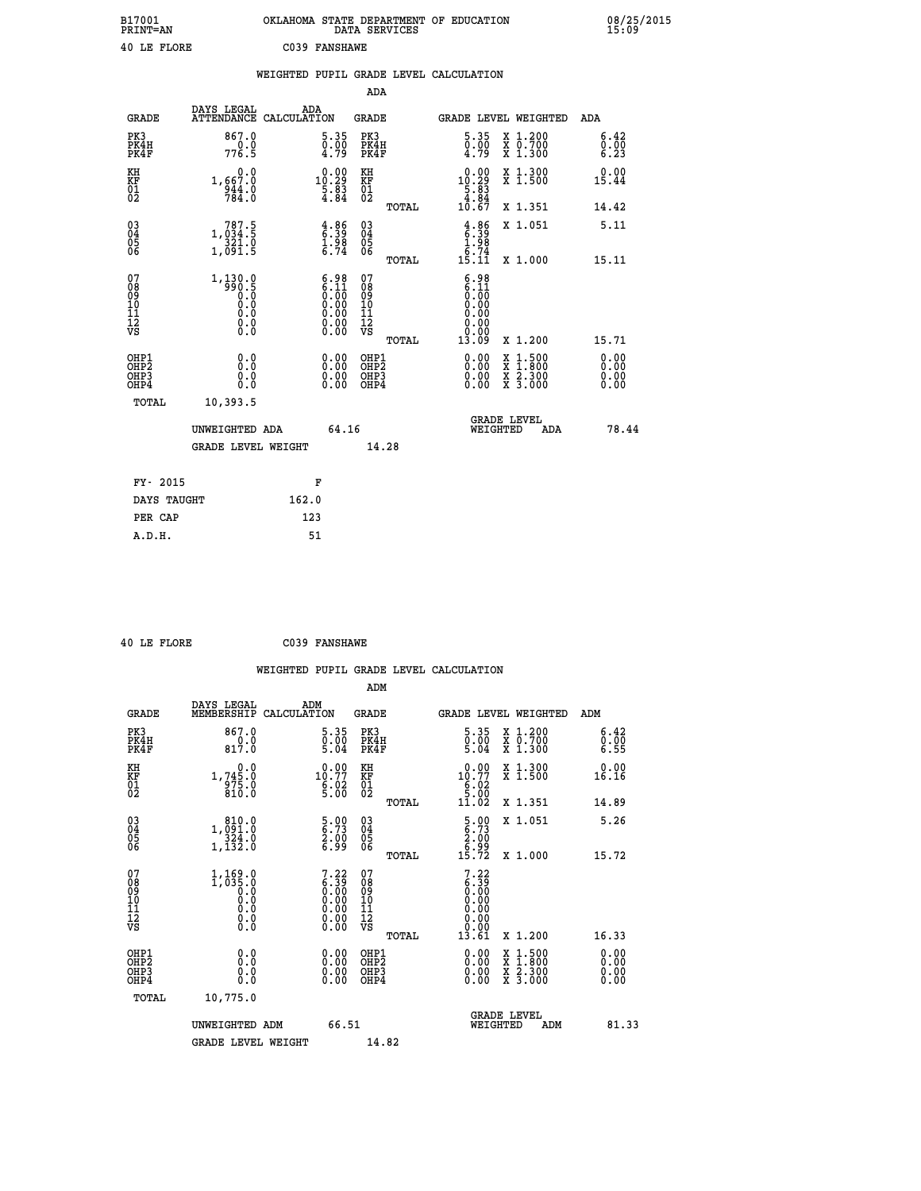| B17001<br><b>PRINT=AN</b> | OKLAHOMA STATE DEPARTMENT OF EDUCATION<br>DATA SERVICES | 08/25/2015<br>15:09 |
|---------------------------|---------------------------------------------------------|---------------------|
| 40 LE FLORE               | C039 FANSHAWE                                           |                     |

|                              |                                                                                                    | WEIGHTED PUPIL GRADE LEVEL CALCULATION |                                                                                               |                                                     |       |                                                                            |                                                          |                                                                    |                          |
|------------------------------|----------------------------------------------------------------------------------------------------|----------------------------------------|-----------------------------------------------------------------------------------------------|-----------------------------------------------------|-------|----------------------------------------------------------------------------|----------------------------------------------------------|--------------------------------------------------------------------|--------------------------|
|                              |                                                                                                    |                                        |                                                                                               | ADA                                                 |       |                                                                            |                                                          |                                                                    |                          |
| <b>GRADE</b>                 | DAYS LEGAL<br>ATTENDANCE CALCULATION                                                               | ADA                                    |                                                                                               | GRADE                                               |       |                                                                            |                                                          | GRADE LEVEL WEIGHTED                                               | ADA                      |
| PK3<br>PK4H<br>PK4F          | 867.0<br>776.9                                                                                     |                                        | 5.35<br>$\begin{smallmatrix} 0.00 \ 4.79 \end{smallmatrix}$                                   | PK3<br>PK4H<br>PK4F                                 |       |                                                                            | $\begin{smallmatrix} 5.35\ 0.00\ 4.79 \end{smallmatrix}$ | X 1.200<br>X 0.700<br>X 1.300                                      | 6.42<br>0.00<br>6.23     |
| KH<br>KF<br>01<br>02         | 0.0<br>1,667.0<br>944.0<br>784.0                                                                   |                                        | $10.29$<br>$5.83$<br>$4.84$                                                                   | KH<br>KF<br>01<br>02                                |       | $\begin{smallmatrix} 0.00\\ 10.29\\ 5.83\\ 4.84\\ 10.67 \end{smallmatrix}$ |                                                          | X 1.300<br>X 1.500                                                 | 0.00<br>15.44            |
|                              |                                                                                                    |                                        |                                                                                               |                                                     | TOTAL |                                                                            |                                                          | X 1.351                                                            | 14.42                    |
| $03\overline{4}$<br>Ŏ5<br>06 | $\begin{smallmatrix} 787.5\\ 1,034.5\\ 321.0\\ 1,091.5 \end{smallmatrix}$                          |                                        | $\begin{array}{c} 4.86 \\ 6.39 \\ 1.98 \\ 6.74 \end{array}$                                   | $\begin{array}{c} 03 \\ 04 \\ 05 \\ 06 \end{array}$ |       | $4.86$<br>$6.39$<br>$1.98$<br>$6.74$<br>$15.11$                            |                                                          | X 1.051                                                            | 5.11                     |
|                              |                                                                                                    |                                        |                                                                                               |                                                     | TOTAL |                                                                            |                                                          | X 1.000                                                            | 15.11                    |
| 07<br>0890112<br>1112<br>VS  | $\begin{smallmatrix} 1.130.0\\ -990.5\\ 0.0\\ 0.0\\ 0.0\\ 0.0\\ 0.0\\ 0.0\\ 0.0 \end{smallmatrix}$ |                                        | $\begin{smallmatrix} 6.98\ 6.11\ 0.00\ 0.00\ 0.00\ 0.00\ 0.00\ 0.00\ 0.00\ \end{smallmatrix}$ | 07<br>08<br>09<br>11<br>11<br>12<br>VS              | TOTAL | 13.09                                                                      | $6.98\n6.11\n0.00\n0.00$<br>0.00<br>0.00<br>0.00         | X 1.200                                                            | 15.71                    |
| OHP1<br>OHP2<br>OHP3<br>OHP4 | 0.0<br>0.000                                                                                       |                                        |                                                                                               | OHP1<br>OHP2<br>OHP3<br>OHP4                        |       |                                                                            | X<br>X<br>X<br>X                                         | $\begin{smallmatrix} 1.500\ 1.800\ 2.300\ 3.000 \end{smallmatrix}$ | 0.00<br>$0.00$<br>$0.00$ |
| TOTAL                        | 10,393.5                                                                                           |                                        |                                                                                               |                                                     |       |                                                                            |                                                          |                                                                    |                          |
|                              | UNWEIGHTED ADA                                                                                     |                                        | 64.16                                                                                         |                                                     |       |                                                                            | <b>GRADE LEVEL</b><br>WEIGHTED                           | ADA                                                                | 78.44                    |
|                              | <b>GRADE LEVEL WEIGHT</b>                                                                          |                                        |                                                                                               |                                                     | 14.28 |                                                                            |                                                          |                                                                    |                          |
| FY- 2015                     |                                                                                                    |                                        | F                                                                                             |                                                     |       |                                                                            |                                                          |                                                                    |                          |
| DAYS TAUGHT                  |                                                                                                    | 162.0                                  |                                                                                               |                                                     |       |                                                                            |                                                          |                                                                    |                          |
| PER CAP                      |                                                                                                    | 123                                    |                                                                                               |                                                     |       |                                                                            |                                                          |                                                                    |                          |

 **40 LE FLORE C039 FANSHAWE**

 **A.D.H. 51**

 **WEIGHTED PUPIL GRADE LEVEL CALCULATION ADM DAYS LEGAL ADM GRADE MEMBERSHIP CALCULATION GRADE GRADE LEVEL WEIGHTED ADM PK3 867.0 5.35 PK3 5.35 X 1.200 6.42 PK4H 0.0 0.00 PK4H 0.00 X 0.700 0.00 PK4F 817.0 5.04 PK4F 5.04 X 1.300 6.55 KH 0.0 0.00 KH 0.00 X 1.300 0.00 KF 1,745.0 10.77 KF 10.77 X 1.500 16.16 01 975.0 6.02 01 6.02 02 810.0 5.00 02 5.00 TOTAL 11.02 X 1.351 14.89 03 810.0 5.00 03 5.00 X 1.051 5.26 04 1,091.0 6.73 04 6.73 05 324.0 2.00 05 2.00 06 1,132.0 6.99 06 6.99 TOTAL 15.72 X 1.000 15.72** 07 1,169.0 7.22 07<br>
08 1,035.0 6.30 08 6.39<br>
10 0.0 0.00 10 0.00<br>
11 0.0 0.00 11 0.00<br>
12 0.0 0.00 12<br>
VS 0.0 0.00 VS 0.00  $\begin{array}{cccccc} 1,169\cdot 0 & 7\cdot 22 & 07 & 7\cdot 22 & 2 \\ 1,035\cdot 0 & 6\cdot 39 & 08 & 6\cdot 39 \\ 0.0 & 0.00 & 10 & 0.00 & 0 \\ 0.0 & 0.00 & 11 & 0.000 \\ 0.0 & 0.00 & 12 & 0.00 \\ 0.0 & 0.00 & 12 & 0.00 \\ 0.0 & 0.00 & 12 & 0.00 \\ 0.0 & 0.00 & 0.01 & 1 & 1.200 \\ 0.0 & 0.00 &$  **OHP1 0.0 0.00 OHP1 0.00 X 1.500 0.00 OHP2 0.0 0.00 OHP2 0.00 X 1.800 0.00 OHP3 0.0 0.00 OHP3 0.00 X 2.300 0.00 OHP4 0.0 0.00 OHP4 0.00 X 3.000 0.00 TOTAL 10,775.0 GRADE LEVEL UNWEIGHTED ADM 66.51 WEIGHTED ADM 81.33** GRADE LEVEL WEIGHT 14.82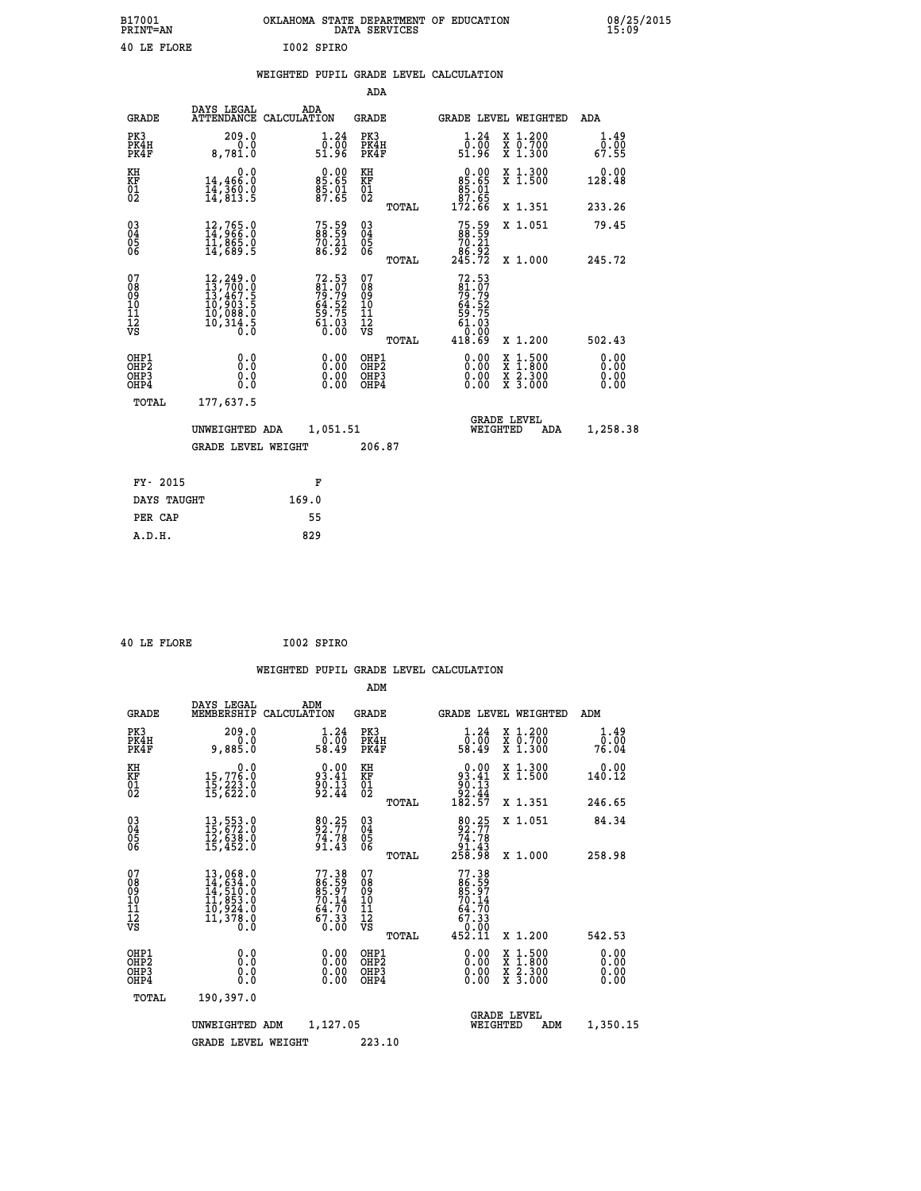| B17001<br>PRINT=AN | OKLAHOMA STATE DEPARTMENT OF EDUCATION<br>DATA SERVICES | 08/25/2015<br>15:09 |
|--------------------|---------------------------------------------------------|---------------------|
| 40 LE FLORE        | I002 SPIRO                                              |                     |

|                                                                    |                                                                                                                                                 |                                                                        | ADA                                                               |       |                                                                             |                                                                                                  |                              |
|--------------------------------------------------------------------|-------------------------------------------------------------------------------------------------------------------------------------------------|------------------------------------------------------------------------|-------------------------------------------------------------------|-------|-----------------------------------------------------------------------------|--------------------------------------------------------------------------------------------------|------------------------------|
| <b>GRADE</b>                                                       | DAYS LEGAL                                                                                                                                      | ADA<br>ATTENDANCE CALCULATION                                          | <b>GRADE</b>                                                      |       |                                                                             | <b>GRADE LEVEL WEIGHTED</b>                                                                      | <b>ADA</b>                   |
| PK3<br>PK4H<br>PK4F                                                | 209.0<br>0.0<br>8,781.0                                                                                                                         | 1.24<br>ةة∷ة<br>51.96                                                  | PK3<br>PK4H<br>PK4F                                               |       | 1.24<br>ōö:ō<br>51.96                                                       | X 1.200<br>X 0.700<br>X 1.300                                                                    | 1.49<br>0.00<br>67.55        |
| KH<br><b>KF</b><br>01<br>02                                        | 0.0<br>14,466:0<br>14,360.0<br>14,813:5                                                                                                         | $\begin{smallmatrix} 0.00\\ 85.65\\ 85.01\\ 87.65 \end{smallmatrix}$   | KH<br>KF<br>01<br>02                                              |       | 0.00<br>$85.65$<br>$85.01$<br>$97.65$                                       | X 1.300<br>X 1.500                                                                               | 0.00<br>128.48               |
|                                                                    |                                                                                                                                                 |                                                                        |                                                                   | TOTAL | 172.66                                                                      | X 1.351                                                                                          | 233.26                       |
| $\begin{smallmatrix} 03 \\[-4pt] 04 \end{smallmatrix}$<br>05<br>06 | $12,765.0$<br>$14,966.0$<br>$11,865.0$<br>$14,689.5$                                                                                            | 75.59<br>88.59<br>70.21<br>86.92                                       | $\substack{03 \\ 04}$<br>$\begin{matrix} 0.5 \\ 0.6 \end{matrix}$ |       | $75.59$<br>88.59<br>$\begin{array}{r} 70.21 \\ 86.92 \\ 245.72 \end{array}$ | X 1.051                                                                                          | 79.45                        |
|                                                                    |                                                                                                                                                 |                                                                        |                                                                   | TOTAL |                                                                             | X 1.000                                                                                          | 245.72                       |
| 07<br>08<br>09<br>11<br>11<br>12<br>VS                             | $\begin{smallmatrix} 12,249\cdot 0\\ 13,700\cdot 0\\ 13,467\cdot 5\\ 10,903\cdot 5\\ 10,088\cdot 0\\ 10,314\cdot 5\\ 0\cdot 0\end{smallmatrix}$ | $72.53$<br>81.07<br>79.79<br>64.52<br>64.52<br>59.75<br>61.03<br>61.03 | 07<br>08<br>09<br>11<br>11<br>12<br>VS                            |       | $72.53$<br>81.07<br>79.79<br>64.52<br>59.75<br>59.75<br>$\overline{0}$ .00  |                                                                                                  |                              |
|                                                                    |                                                                                                                                                 |                                                                        |                                                                   | TOTAL | 418.69                                                                      | X 1.200                                                                                          | 502.43                       |
| OHP1<br>OH <sub>P</sub> 2<br>OH <sub>P3</sub><br>OH <sub>P4</sub>  | 0.0<br>0.0<br>0.0                                                                                                                               | 0.00<br>0.00<br>0.00                                                   | OHP1<br>OHP <sub>2</sub><br>OHP3<br>OHP4                          |       | 0.00<br>0.00<br>0.00                                                        | $\begin{smallmatrix} x & 1 & 500 \\ x & 1 & 800 \\ x & 2 & 300 \\ x & 3 & 000 \end{smallmatrix}$ | 0.00<br>0.00<br>0.00<br>0.00 |
| TOTAL                                                              | 177,637.5                                                                                                                                       |                                                                        |                                                                   |       |                                                                             |                                                                                                  |                              |
|                                                                    | UNWEIGHTED ADA                                                                                                                                  | 1,051.51                                                               |                                                                   |       |                                                                             | GRADE LEVEL<br>WEIGHTED<br>ADA                                                                   | 1,258.38                     |
|                                                                    | <b>GRADE LEVEL WEIGHT</b>                                                                                                                       |                                                                        | 206.87                                                            |       |                                                                             |                                                                                                  |                              |
| FY- 2015                                                           |                                                                                                                                                 | F                                                                      |                                                                   |       |                                                                             |                                                                                                  |                              |
| DAYS TAUGHT                                                        |                                                                                                                                                 | 169.0                                                                  |                                                                   |       |                                                                             |                                                                                                  |                              |
| PER CAP                                                            |                                                                                                                                                 | 55                                                                     |                                                                   |       |                                                                             |                                                                                                  |                              |

|  | 40 LE FLORE | I002 SPIRO |
|--|-------------|------------|
|  |             |            |

 **ADM**

| <b>GRADE</b>                                                       | DAYS LEGAL                                                                                                                                                                               | ADM<br>MEMBERSHIP CALCULATION                                       | <b>GRADE</b>                                  |       |                                                                           | <b>GRADE LEVEL WEIGHTED</b>              | ADM                   |
|--------------------------------------------------------------------|------------------------------------------------------------------------------------------------------------------------------------------------------------------------------------------|---------------------------------------------------------------------|-----------------------------------------------|-------|---------------------------------------------------------------------------|------------------------------------------|-----------------------|
| PK3<br>PK4H<br>PK4F                                                | 209.0<br>0.0<br>9,885.0                                                                                                                                                                  | 1.24<br>ōÖ.ÖŌ<br>58.49                                              | PK3<br>PK4H<br>PK4F                           |       | 1.24<br>ōō.ōō<br>49∶85                                                    | X 1.200<br>X 0.700<br>X 1.300            | 1.49<br>0.00<br>76.04 |
| KH<br><b>KF</b><br>01<br>02                                        | 0.0<br>15,776.0<br>15,223.0<br>15,622.0                                                                                                                                                  | 93.41<br>$\frac{5}{9}$ $\overline{\phantom{0}2\cdot 43}$            | KH<br>KF<br>$\overline{01}$                   |       | $\begin{smallmatrix} &0.00\ 93.41\ 90.13\ 92.44\ 182.57\end{smallmatrix}$ | X 1.300<br>X 1.500                       | 0.00<br>140.12        |
|                                                                    |                                                                                                                                                                                          |                                                                     |                                               | TOTAL |                                                                           | X 1.351                                  | 246.65                |
| $\begin{smallmatrix} 03 \\[-4pt] 04 \end{smallmatrix}$<br>Ŏ5<br>06 | 13,553.0<br>15,672.0<br>12,638.0<br>15,452.0                                                                                                                                             | 80.25<br>92.77<br>74.78<br>91.43                                    | $\substack{03 \\ 04}$<br>05<br>06             |       | $\begin{smallmatrix}80.25\\92.77\\74.78\\91.43\\258.98\end{smallmatrix}$  | X 1.051                                  | 84.34                 |
|                                                                    |                                                                                                                                                                                          |                                                                     |                                               | TOTAL |                                                                           | X 1.000                                  | 258.98                |
| 07<br>089<br>090<br>1112<br>VS                                     | $\begin{smallmatrix} 13\,, & 068\,. & 0\\ 14\,, & 634\,. & 0\\ 14\,, & 510\,. & 0\\ 11\,, & 853\,. & 0\\ 10\,, & 924\,. & 0\\ 11\,, & 378\,. & 0\\ 0\,. & 0\,. & 0\,. \end{smallmatrix}$ | 77.38<br>86.59<br>85.97<br>70.14<br>70.14<br>64.70<br>67.33<br>0.00 | 07<br>08<br>09<br>001<br>11<br>11<br>12<br>VS |       | $77.38$<br>86.597<br>85.97<br>70.14<br>67.33<br>67.33<br>0.00<br>452.11   |                                          |                       |
|                                                                    |                                                                                                                                                                                          |                                                                     |                                               | TOTAL |                                                                           | X 1.200                                  | 542.53                |
| OHP1<br>OHP <sub>2</sub><br>OH <sub>P3</sub><br>OHP4               | 0.0<br>0.0<br>0.0                                                                                                                                                                        |                                                                     | OHP1<br>OHP <sub>2</sub><br>OHP3<br>OHP4      |       | 0.00<br>0.00<br>0.00                                                      | X 1:500<br>X 1:800<br>X 2:300<br>X 3:000 | 0.00<br>0.00<br>0.00  |
| TOTAL                                                              | 190,397.0                                                                                                                                                                                |                                                                     |                                               |       |                                                                           |                                          |                       |
|                                                                    | UNWEIGHTED                                                                                                                                                                               | 1,127.05<br>ADM                                                     |                                               |       | WEIGHTED                                                                  | <b>GRADE LEVEL</b><br>ADM                | 1,350.15              |
|                                                                    | <b>GRADE LEVEL WEIGHT</b>                                                                                                                                                                |                                                                     | 223.10                                        |       |                                                                           |                                          |                       |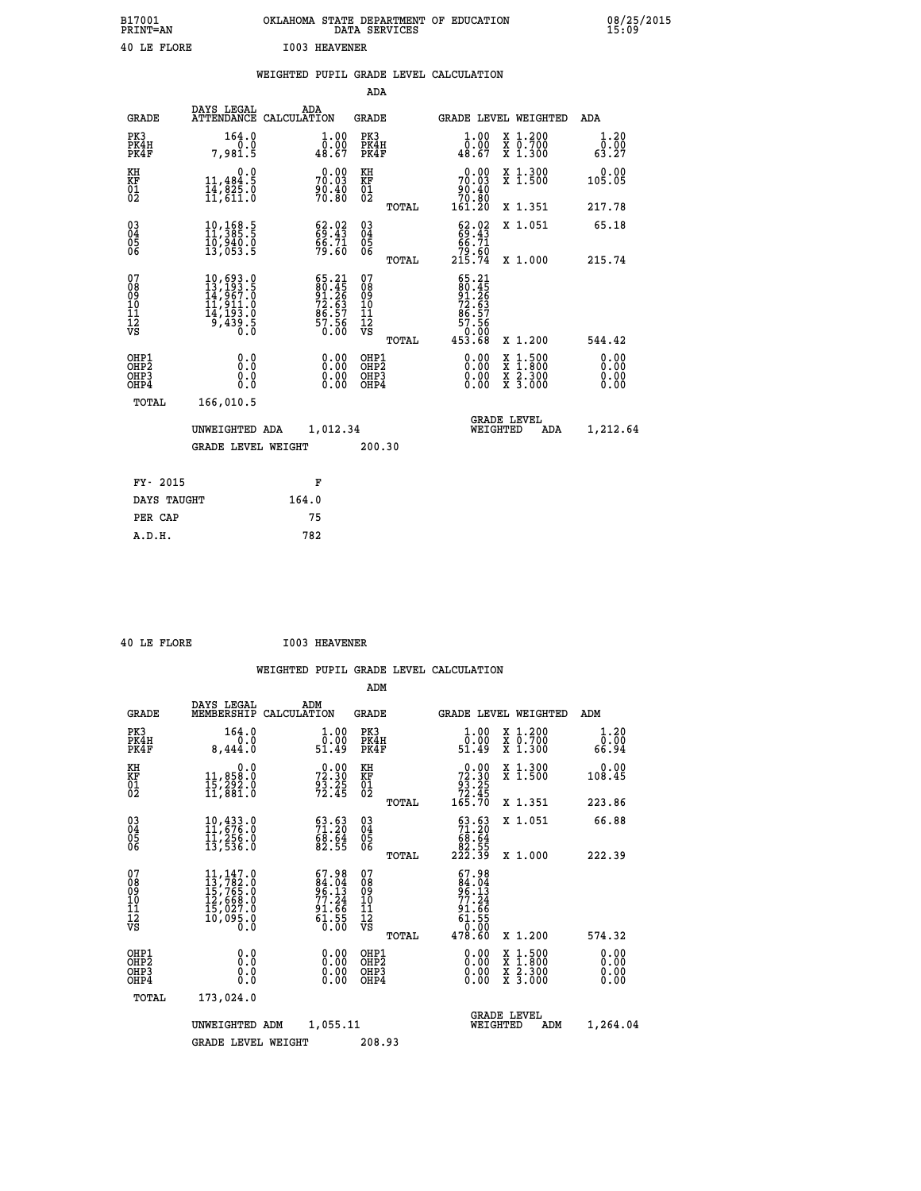| B17001<br><b>PRINT=AN</b> | OKLAHOMA STATE DEPARTMENT OF EDUCATION<br>DATA SERVICES | 08/25/2015<br>15:09 |
|---------------------------|---------------------------------------------------------|---------------------|
| 40 LE FLORE               | <b>I003 HEAVENER</b>                                    |                     |

|                                                                    |                                                                                                                                  | WEIGHTED PUPIL GRADE LEVEL CALCULATION                              |                                                     |       |                                                                                            |                                                                                                                                              |                                                                  |
|--------------------------------------------------------------------|----------------------------------------------------------------------------------------------------------------------------------|---------------------------------------------------------------------|-----------------------------------------------------|-------|--------------------------------------------------------------------------------------------|----------------------------------------------------------------------------------------------------------------------------------------------|------------------------------------------------------------------|
|                                                                    |                                                                                                                                  |                                                                     | <b>ADA</b>                                          |       |                                                                                            |                                                                                                                                              |                                                                  |
| <b>GRADE</b>                                                       | DAYS LEGAL<br><b>ATTENDANCE</b>                                                                                                  | ADA<br>CALCULATION                                                  | <b>GRADE</b>                                        |       |                                                                                            | GRADE LEVEL WEIGHTED                                                                                                                         | ADA                                                              |
| PK3<br>PK4H<br>PK4F                                                | 164.0<br>7,981.5                                                                                                                 | $\begin{smallmatrix} 1.00\\ 0.00\\ 48.67 \end{smallmatrix}$         | PK3<br>PK4H<br>PK4F                                 |       | 1.00<br>ŏ:ŏŏ<br>48:67                                                                      | X 1.200<br>X 0.700<br>X 1.300                                                                                                                | 1.20<br>$\overline{0}$ : $\overline{0}$ $\overline{0}$<br>63: 27 |
| KH<br>KF<br>01<br>02                                               | 0.0<br>$\frac{11}{14}, \frac{484}{825}$ .0<br>$\frac{14}{11}, \frac{611}{611}$ .0                                                | 0.00<br>70.03<br>90.40<br>70.80                                     | KH<br>KF<br>01<br>02                                |       | 0.00<br>70.03<br>86.40<br>70.80<br>161.20                                                  | X 1.300<br>X 1.500                                                                                                                           | 0.00<br>105.05                                                   |
|                                                                    |                                                                                                                                  |                                                                     |                                                     | TOTAL |                                                                                            | X 1.351                                                                                                                                      | 217.78                                                           |
| $\begin{smallmatrix} 03 \\[-4pt] 04 \end{smallmatrix}$<br>Ŏ5<br>06 | $\begin{smallmatrix} 10, 168.5\\ 11, 385.5\\ 10, 940.0\\ 13, 053.5 \end{smallmatrix}$                                            | $\begin{smallmatrix} 62.02\ 69.43\ 66.71\ 79.60 \end{smallmatrix}$  | $\begin{array}{c} 03 \\ 04 \\ 05 \\ 06 \end{array}$ |       | $\begin{smallmatrix} 62.02\\ 69.43\\ 66.71\\ 79.60\\ 215.74 \end{smallmatrix}$             | X 1.051                                                                                                                                      | 65.18                                                            |
|                                                                    |                                                                                                                                  |                                                                     |                                                     | TOTAL |                                                                                            | X 1.000                                                                                                                                      | 215.74                                                           |
| 07<br>08<br>09<br>11<br>11<br>12<br>VS                             | $\begin{smallmatrix} 10, 693 & 0\\ 13, 193 & 5\\ 14, 967 & 0\\ 11, 911 & 0\\ 14, 193 & 0\\ 9, 439 & 5\\ 0 & 0 \end{smallmatrix}$ | 65.21<br>80.45<br>91.26<br>72.63<br>72.53<br>86.57<br>57.56<br>0.00 | 07<br>08<br>09<br>11<br>11<br>12<br>VS              | TOTAL | 65.21<br>$\frac{80.45}{91.26}$<br>72.63<br>$\frac{6}{57}$ . 57<br>57. 56<br>0.00<br>453.68 | X 1.200                                                                                                                                      | 544.42                                                           |
| OHP1<br>OHP2<br>OH <sub>P3</sub><br>OHP4                           | 0.0<br>Ŏ.Ŏ<br>0.0<br>0.0                                                                                                         | 0.00<br>$0.00$<br>0.00                                              | OHP1<br>OHP2<br>OHP3<br>OHP4                        |       | 0.00<br>$0.00$<br>0.00                                                                     | $\begin{smallmatrix} \mathtt{X} & 1\cdot500 \\ \mathtt{X} & 1\cdot800 \\ \mathtt{X} & 2\cdot300 \\ \mathtt{X} & 3\cdot000 \end{smallmatrix}$ | 0.00<br>ŏ:ŏŏ<br>0.00<br>0.00                                     |
| TOTAL                                                              | 166,010.5                                                                                                                        |                                                                     |                                                     |       |                                                                                            |                                                                                                                                              |                                                                  |
|                                                                    | UNWEIGHTED ADA                                                                                                                   | 1,012.34                                                            |                                                     |       | WEIGHTED                                                                                   | <b>GRADE LEVEL</b><br>ADA                                                                                                                    | 1,212.64                                                         |
|                                                                    | <b>GRADE LEVEL WEIGHT</b>                                                                                                        |                                                                     | 200.30                                              |       |                                                                                            |                                                                                                                                              |                                                                  |
| FY- 2015                                                           |                                                                                                                                  | F                                                                   |                                                     |       |                                                                                            |                                                                                                                                              |                                                                  |
| DAYS TAUGHT                                                        |                                                                                                                                  | 164.0                                                               |                                                     |       |                                                                                            |                                                                                                                                              |                                                                  |
| PER CAP                                                            |                                                                                                                                  | 75                                                                  |                                                     |       |                                                                                            |                                                                                                                                              |                                                                  |

 **40 LE FLORE I003 HEAVENER**

|                                          |                                                                                                                                                                       |                                                                        | ADM                                                 |                                                                            |                                          |                              |
|------------------------------------------|-----------------------------------------------------------------------------------------------------------------------------------------------------------------------|------------------------------------------------------------------------|-----------------------------------------------------|----------------------------------------------------------------------------|------------------------------------------|------------------------------|
| <b>GRADE</b>                             | DAYS LEGAL<br>MEMBERSHIP                                                                                                                                              | ADM<br>CALCULATION                                                     | <b>GRADE</b>                                        | <b>GRADE LEVEL WEIGHTED</b>                                                |                                          | ADM                          |
| PK3<br>PK4H<br>PK4F                      | 164.0<br>0.0<br>8,444.0                                                                                                                                               | 1.00<br>0.00<br>51.49                                                  | PK3<br>PK4H<br>PK4F                                 | $\begin{smallmatrix} 1.00\\[-1mm] 0.00\\[-1mm] 51.49\end{smallmatrix}$     | X 1.200<br>X 0.700<br>X 1.300            | 1.20<br>0.00<br>66.94        |
| KH<br>KF<br>01<br>02                     | 0.0<br>11,858.0<br>15,292.0<br>11,881.0                                                                                                                               | $72.30$<br>$93.25$<br>$72.45$                                          | KH<br>KF<br>01<br>02                                | $\begin{smallmatrix} &0.00\\72.30\\93.25\\72.45\\165.70\end{smallmatrix}$  | X 1.300<br>X 1.500                       | 0.00<br>108.45               |
|                                          |                                                                                                                                                                       |                                                                        | TOTAL                                               |                                                                            | X 1.351                                  | 223.86                       |
| 03<br>04<br>05<br>06                     | 10,433.0<br>11,676.0<br>11,256.0<br>13,536.0                                                                                                                          | $\begin{smallmatrix} 63.63\ 71.20\ 68.64\ 82.55 \end{smallmatrix}$     | $\begin{array}{c} 03 \\ 04 \\ 05 \\ 06 \end{array}$ | $\begin{smallmatrix} 63.63\ 71.20\ 68.64\ 82.55\ 222.39 \end{smallmatrix}$ | X 1.051                                  | 66.88                        |
|                                          |                                                                                                                                                                       |                                                                        | TOTAL                                               |                                                                            | X 1.000                                  | 222.39                       |
| 07<br>08<br>09<br>101<br>112<br>VS       | $\begin{smallmatrix} 11,147\, . \ 11,782\, . \ 12,782\, . \ 15,765\, . \ 0\\ 12,668\, . \ 12,627\, . \ 0\\ 15,027\, . \ 0\\ 10,095\, . \ 0\\ 0\, . \end{smallmatrix}$ | 67.98<br>$84.04$<br>$96.13$<br>$77.24$<br>$91.66$<br>$61.55$<br>$0.00$ | 07<br>08<br>09<br>101<br>11<br>12<br>VS             | 67.98<br>$84.04$<br>$96.13$<br>$77.24$<br>$91.66$<br>$61.55$<br>$0.00$     |                                          |                              |
|                                          |                                                                                                                                                                       |                                                                        | TOTAL                                               | 478.60                                                                     | X 1.200                                  | 574.32                       |
| OHP1<br>OHP2<br>OH <sub>P3</sub><br>OHP4 | 0.0<br>0.000                                                                                                                                                          | $0.00$<br>$0.00$<br>0.00                                               | OHP1<br>OHP2<br>OHP <sub>3</sub>                    | $0.00$<br>$0.00$<br>0.00                                                   | X 1:500<br>X 1:800<br>X 2:300<br>X 3:000 | 0.00<br>0.00<br>0.00<br>0.00 |
| TOTAL                                    | 173,024.0                                                                                                                                                             |                                                                        |                                                     |                                                                            |                                          |                              |
|                                          | UNWEIGHTED                                                                                                                                                            | 1,055.11<br>ADM                                                        |                                                     | WEIGHTED                                                                   | <b>GRADE LEVEL</b><br>ADM                | 1,264.04                     |
|                                          | <b>GRADE LEVEL WEIGHT</b>                                                                                                                                             |                                                                        | 208.93                                              |                                                                            |                                          |                              |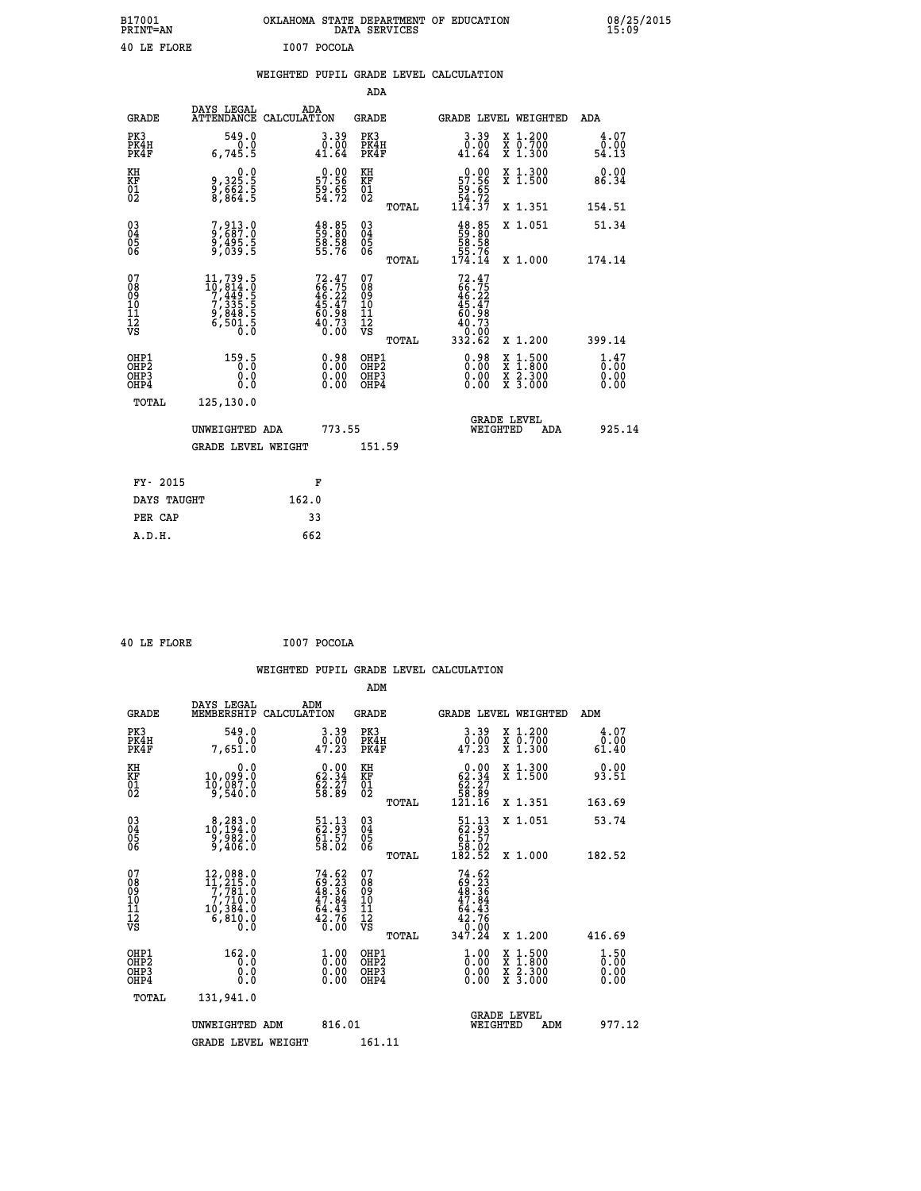| B17001<br>PRINT=AN | <b>OKT AHOMA</b><br>STATE DEPARTMENT OF EDUCATION<br><b>SERVICES</b><br>DATA | 08/25/2015<br>15:09 |
|--------------------|------------------------------------------------------------------------------|---------------------|
| 40<br>LE FLORE     | I007<br>POCOLA                                                               |                     |

|  |  | WEIGHTED PUPIL GRADE LEVEL CALCULATION |
|--|--|----------------------------------------|
|  |  |                                        |

|                                                                  |                                                                                                                                             |                                                                          | ADA                                    |       |                                                                                                              |                                                                                                                                              |                              |
|------------------------------------------------------------------|---------------------------------------------------------------------------------------------------------------------------------------------|--------------------------------------------------------------------------|----------------------------------------|-------|--------------------------------------------------------------------------------------------------------------|----------------------------------------------------------------------------------------------------------------------------------------------|------------------------------|
| <b>GRADE</b>                                                     | DAYS LEGAL                                                                                                                                  | ADA<br>ATTENDANCE CALCULATION                                            | <b>GRADE</b>                           |       | <b>GRADE LEVEL WEIGHTED</b>                                                                                  |                                                                                                                                              | ADA                          |
| PK3<br>PK4H<br>PK4F                                              | 549.0<br>6,745.5                                                                                                                            | $3.39$<br>$0.00$<br>41.64                                                | PK3<br>PK4H<br>PK4F                    |       | $3.39$<br>$0.00$<br>41.64                                                                                    | X 1.200<br>X 0.700<br>X 1.300                                                                                                                | 4.07<br>0.00<br>54.13        |
| KH<br>KF<br>01<br>02                                             | 0.0<br>9,325.5<br>8,864.5<br>8,864.5                                                                                                        | $\begin{smallmatrix} 0.00\\ 57.56\\ 9.65\\ 4.72 \end{smallmatrix}$       | KH<br>KF<br>01<br>02                   |       | $\begin{smallmatrix} &0.00\\ 57.56\\ 59.65\\ 54.72\\ 114.37\end{smallmatrix}$                                | X 1.300<br>X 1.500                                                                                                                           | 0.00<br>86.34                |
|                                                                  |                                                                                                                                             |                                                                          |                                        | TOTAL |                                                                                                              | X 1.351                                                                                                                                      | 154.51                       |
| $\begin{matrix} 03 \\ 04 \\ 05 \\ 06 \end{matrix}$               | 7,913.0<br>9,687.0<br>9,495.5<br>9,039.5                                                                                                    | $\begin{smallmatrix} 48.85\ 59.80\ 58.58\ 55.76 \end{smallmatrix}$       | 03<br>04<br>05<br>06                   |       | $48.85$<br>59.80<br>58.58<br>55.76<br>55.76<br>174.14                                                        | X 1.051                                                                                                                                      | 51.34                        |
|                                                                  |                                                                                                                                             |                                                                          |                                        | TOTAL |                                                                                                              | X 1.000                                                                                                                                      | 174.14                       |
| 07<br>08<br>09<br>11<br>11<br>12<br>VS                           | $\begin{smallmatrix} 11,739\cdot 5\\ 10,814\cdot 0\\ 7,449\cdot 5\\ 7,335\cdot 5\\ 9,848\cdot 5\\ 6,501\cdot 5\\ 0\cdot 0\end{smallmatrix}$ | $72.47$<br>$66.75$<br>$46.22$<br>$45.47$<br>$60.98$<br>$40.73$<br>$0.00$ | 07<br>08<br>09<br>11<br>11<br>12<br>VS | TOTAL | 72.47<br>66.75<br>46.22<br>45.47<br>50.98<br>$\begin{smallmatrix} 40.73 \\ 0.00 \\ 332.62 \end{smallmatrix}$ | X 1.200                                                                                                                                      | 399.14                       |
| OHP1<br>OHP <sub>2</sub><br>OH <sub>P3</sub><br>OH <sub>P4</sub> | 159.5<br>0.0<br>0.0                                                                                                                         | 0.98<br>$\begin{smallmatrix} 0.00 \ 0.00 \end{smallmatrix}$              | OHP1<br>OHP2<br>OHP3<br>OHP4           |       | $0.98$<br>$0.00$<br>$0.00$<br>0.00                                                                           | $\begin{smallmatrix} \mathtt{X} & 1\cdot500 \\ \mathtt{X} & 1\cdot800 \\ \mathtt{X} & 2\cdot300 \\ \mathtt{X} & 3\cdot000 \end{smallmatrix}$ | 1.47<br>0.00<br>0.00<br>0.00 |
| TOTAL                                                            | 125,130.0                                                                                                                                   |                                                                          |                                        |       |                                                                                                              |                                                                                                                                              |                              |
|                                                                  | UNWEIGHTED ADA                                                                                                                              | 773.55                                                                   |                                        |       | WEIGHTED                                                                                                     | <b>GRADE LEVEL</b><br>ADA                                                                                                                    | 925.14                       |
|                                                                  | <b>GRADE LEVEL WEIGHT</b>                                                                                                                   |                                                                          | 151.59                                 |       |                                                                                                              |                                                                                                                                              |                              |
|                                                                  |                                                                                                                                             |                                                                          |                                        |       |                                                                                                              |                                                                                                                                              |                              |
| FY- 2015                                                         |                                                                                                                                             | F                                                                        |                                        |       |                                                                                                              |                                                                                                                                              |                              |
| DAYS TAUGHT                                                      |                                                                                                                                             | 162.0                                                                    |                                        |       |                                                                                                              |                                                                                                                                              |                              |
| PER CAP                                                          |                                                                                                                                             | 33                                                                       |                                        |       |                                                                                                              |                                                                                                                                              |                              |
| A.D.H.                                                           |                                                                                                                                             | 662                                                                      |                                        |       |                                                                                                              |                                                                                                                                              |                              |

|  | 40 LE FLORE | I007 POCOLA |
|--|-------------|-------------|

 **40 LE FLORE I007 POCOLA**

|                                          |                                                                                                       |                                                                                                                     | ADM                                                 |       |                                                                                |                                          |                              |
|------------------------------------------|-------------------------------------------------------------------------------------------------------|---------------------------------------------------------------------------------------------------------------------|-----------------------------------------------------|-------|--------------------------------------------------------------------------------|------------------------------------------|------------------------------|
| <b>GRADE</b>                             | DAYS LEGAL<br>MEMBERSHIP                                                                              | ADM<br>CALCULATION                                                                                                  | <b>GRADE</b>                                        |       |                                                                                | <b>GRADE LEVEL WEIGHTED</b>              | ADM                          |
| PK3<br>PK4H<br>PK4F                      | 549.0<br>0.0<br>7,651.0                                                                               | $\begin{smallmatrix} 3.39\ 0.00\ 47.23 \end{smallmatrix}$                                                           | PK3<br>PK4H<br>PK4F                                 |       | $3.39$<br>$0.00$<br>$47.23$                                                    | X 1.200<br>X 0.700<br>X 1.300            | 4.07<br>0.00<br>61.40        |
| KH<br>KF<br>01<br>02                     | 0.0<br>10,099:0<br>10,087:0<br>9,540:0                                                                | $\begin{smallmatrix} 0.00\\ 62.34\\ 62.27\\ 58.89 \end{smallmatrix}$                                                | KH<br>KF<br>01<br>02                                |       | $\begin{smallmatrix} &0.00\ 62.34\ 62.27\ 58.89\ 121.16\end{smallmatrix}$      | X 1.300<br>X 1.500                       | 0.00<br>93.51                |
|                                          |                                                                                                       |                                                                                                                     |                                                     | TOTAL |                                                                                | X 1.351                                  | 163.69                       |
| 03<br>04<br>05<br>06                     | $\substack{8,283.0\\10,194.0\\9,982.0\\9,406.0}$                                                      | $\begin{smallmatrix} 51.13\ 62.93\ 61.57\ 58.02 \end{smallmatrix}$                                                  | $\begin{array}{c} 03 \\ 04 \\ 05 \\ 06 \end{array}$ |       | $\begin{smallmatrix} 51.13\\ 62.93\\ 61.57\\ 58.02\\ 182.52 \end{smallmatrix}$ | X 1.051                                  | 53.74                        |
|                                          |                                                                                                       |                                                                                                                     |                                                     | TOTAL |                                                                                | X 1.000                                  | 182.52                       |
| 07<br>08<br>09<br>101<br>112<br>VS       | $\begin{smallmatrix} 12,088.0\\ 11,215.0\\ 7,781.0\\ 7,710.0\\ 10,384.0 \end{smallmatrix}$<br>6,810.0 | $74.62$<br>$69.23$<br>$48.36$<br>$47.84$<br>$64.43$<br>$42.76$<br>0.00                                              | 07<br>08<br>09<br>11<br>11<br>12<br>VS              |       | $74.6269.2348.3647.8447.8464.4342.7642.70$                                     |                                          |                              |
|                                          |                                                                                                       |                                                                                                                     |                                                     | TOTAL | 347.24                                                                         | X 1.200                                  | 416.69                       |
| OHP1<br>OHP2<br>OH <sub>P3</sub><br>OHP4 | 162.0<br>0.0<br>0.000                                                                                 | $\overset{1}{\underset{0}{0}}\,\overset{0}{\cdots}\,\overset{0}{\underset{0}{0}}\,\overset{0}{\phantom{0}}$<br>0.00 | OHP1<br>OHP2<br>OHP <sub>3</sub>                    |       | $\frac{1}{0}$ :00<br>0.00<br>0.00                                              | X 1:500<br>X 1:800<br>X 2:300<br>X 3:000 | 1.50<br>0.00<br>0.00<br>0.00 |
| TOTAL                                    | 131,941.0                                                                                             |                                                                                                                     |                                                     |       |                                                                                |                                          |                              |
|                                          | UNWEIGHTED ADM                                                                                        | 816.01                                                                                                              |                                                     |       | WEIGHTED                                                                       | <b>GRADE LEVEL</b><br>ADM                | 977.12                       |
|                                          | <b>GRADE LEVEL WEIGHT</b>                                                                             |                                                                                                                     | 161.11                                              |       |                                                                                |                                          |                              |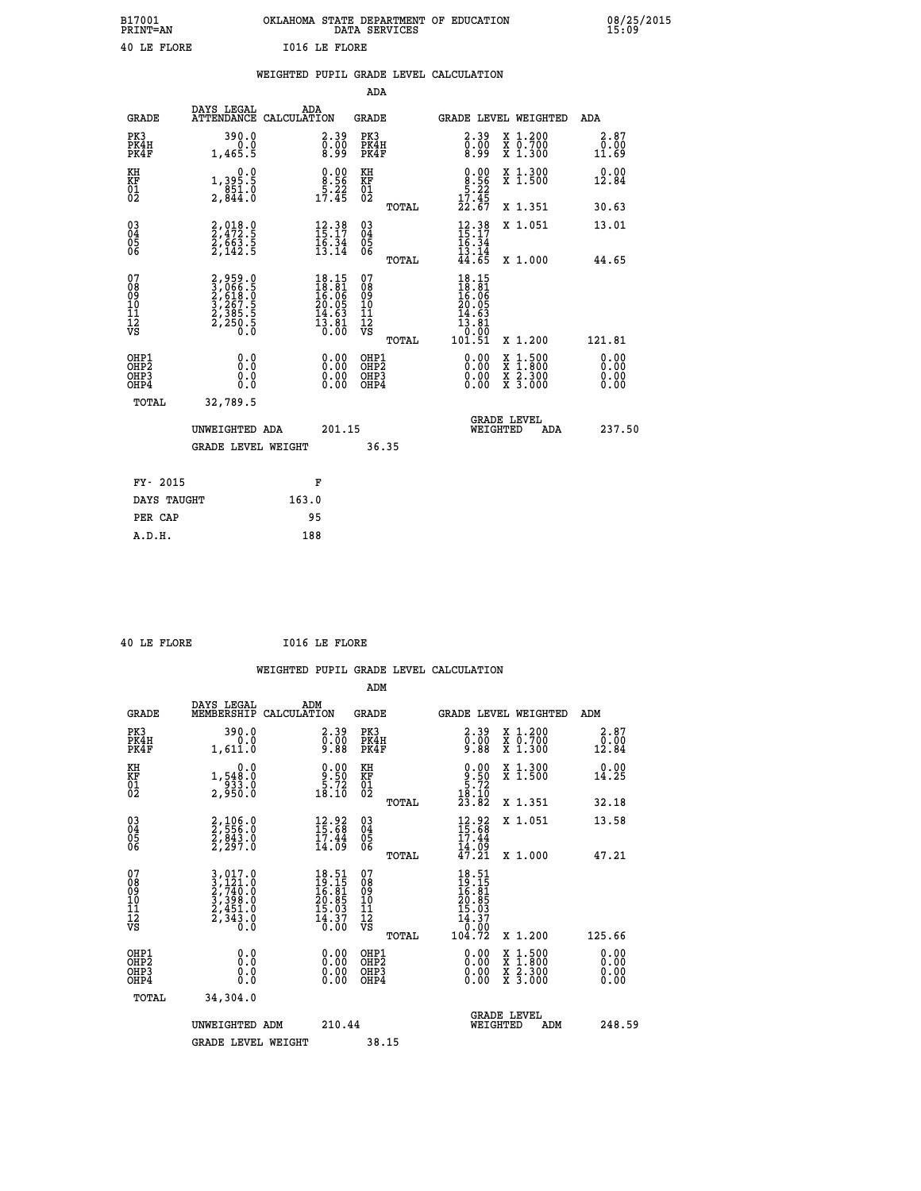| B17001          | OKLAHOMA STATE DEPARTMENT OF EDUCATION |
|-----------------|----------------------------------------|
| <b>PRINT=AN</b> | DATA SERVICES                          |
| 40 LE FLORE     | <b>I016 LE FLORE</b>                   |

 **B17001 OKLAHOMA STATE DEPARTMENT OF EDUCATION 08/25/2015**

|                                                    |                                                                                  | WEIGHTED PUPIL GRADE LEVEL CALCULATION                                                       |                                                 |                                                                                                   |                                                              |                              |
|----------------------------------------------------|----------------------------------------------------------------------------------|----------------------------------------------------------------------------------------------|-------------------------------------------------|---------------------------------------------------------------------------------------------------|--------------------------------------------------------------|------------------------------|
|                                                    |                                                                                  |                                                                                              | <b>ADA</b>                                      |                                                                                                   |                                                              |                              |
| <b>GRADE</b>                                       | DAYS LEGAL<br><b>ATTENDANCE</b>                                                  | ADA<br>CALCULATION                                                                           | <b>GRADE</b>                                    | GRADE LEVEL WEIGHTED                                                                              |                                                              | ADA                          |
| PK3<br>PK4H<br>PK4F                                | 390.0<br>0.0<br>1,465.5                                                          | $\overset{2.39}{\underset{8.99}{\scriptstyle 0.00}}$                                         | PK3<br>PK4H<br>PK4F                             | $2.39$<br>$0.00$<br>8.99                                                                          | X 1.200<br>X 0.700<br>X 1.300                                | 2.87<br>0.00<br>11.69        |
| KH<br>KF<br>01<br>02                               | $\begin{smallmatrix}&&&0.0\\1,395.5\\851.0\\2,844.0\end{smallmatrix}$            | $\begin{smallmatrix} 0.00\\ 8.56\\ -5.22\\ 17.45 \end{smallmatrix}$                          | KH<br>KF<br>01<br>02                            | $\begin{smallmatrix} 0.00\\8.56\\5.22\\17.45\\22.67\end{smallmatrix}$                             | X 1.300<br>X 1.500                                           | 0.00<br>12.84                |
|                                                    |                                                                                  |                                                                                              | TOTAL                                           |                                                                                                   | X 1.351                                                      | 30.63                        |
| $\begin{matrix} 03 \\ 04 \\ 05 \\ 06 \end{matrix}$ | 2,018.0<br>2,472.5<br>2,663.5<br>2,142.5                                         | $12.38$<br>$15.17$<br>$\frac{16:34}{13:14}$                                                  | 03<br>04<br>05<br>06                            | $\begin{array}{c} 12\cdot 38 \\ 15\cdot 17 \\ 16\cdot 34 \\ 13\cdot 14 \\ 44\cdot 65 \end{array}$ | X 1.051                                                      | 13.01                        |
|                                                    |                                                                                  |                                                                                              | TOTAL                                           |                                                                                                   | X 1.000                                                      | 44.65                        |
| 07<br>08901112<br>1112<br>VS                       | 2,959.0<br>3,066.5<br>3,066.5<br>2,518.0<br>3,267.5<br>2,385.5<br>2,250.5<br>0.0 | $\begin{smallmatrix} 18.15\\ 18.81\\ 16.06\\ 20.05\\ 14.63\\ 13.81\\ 0.00 \end{smallmatrix}$ | 07<br>08<br>09<br>11<br>11<br>12<br>VS<br>TOTAL | $18.15$<br>$18.81$<br>$16.06$<br>$20.05$<br>$14.63$<br>13.81<br>ةة:ة<br>101.51                    | X 1.200                                                      | 121.81                       |
| OHP1<br>OHP2<br>OH <sub>P3</sub><br>OHP4           | 0.0<br>Ō.Ō<br>Ō.Ō                                                                | 0.0000<br>$\begin{smallmatrix} 0.00 \ 0.00 \end{smallmatrix}$                                | OHP1<br>OHP2<br>OHP3<br>OHP4                    | 0.00<br>0.00<br>0.00                                                                              | $1:500$<br>1:800<br>X 1:500<br>X 1:800<br>X 2:300<br>X 3:000 | 0.00<br>0.00<br>0.00<br>0.00 |
|                                                    | <b>TOTAL</b><br>32,789.5                                                         |                                                                                              |                                                 |                                                                                                   |                                                              |                              |
|                                                    | UNWEIGHTED ADA                                                                   | 201.15                                                                                       |                                                 | <b>GRADE LEVEL</b><br>WEIGHTED                                                                    | ADA                                                          | 237.50                       |
|                                                    | <b>GRADE LEVEL WEIGHT</b>                                                        |                                                                                              | 36.35                                           |                                                                                                   |                                                              |                              |
|                                                    | FY- 2015                                                                         | F                                                                                            |                                                 |                                                                                                   |                                                              |                              |
|                                                    | DAYS TAUGHT                                                                      | 163.0                                                                                        |                                                 |                                                                                                   |                                                              |                              |
|                                                    | PER CAP                                                                          | 95                                                                                           |                                                 |                                                                                                   |                                                              |                              |

 **A.D.H. 188**

 **B17001<br>PRINT=AN** 

 **40 LE FLORE I016 LE FLORE**

|                                          |                                                                                                                                                             |                                                                          | ADM                                                 |       |                                                                                |                                          |                                                                                                      |
|------------------------------------------|-------------------------------------------------------------------------------------------------------------------------------------------------------------|--------------------------------------------------------------------------|-----------------------------------------------------|-------|--------------------------------------------------------------------------------|------------------------------------------|------------------------------------------------------------------------------------------------------|
| <b>GRADE</b>                             | DAYS LEGAL<br>MEMBERSHIP                                                                                                                                    | ADM<br>CALCULATION                                                       | <b>GRADE</b>                                        |       |                                                                                | <b>GRADE LEVEL WEIGHTED</b>              | ADM                                                                                                  |
| PK3<br>PK4H<br>PK4F                      | 390.0<br>0.0<br>1,611.0                                                                                                                                     | $\begin{smallmatrix} 2.39\ 0.00\ 9.88 \end{smallmatrix}$                 | PK3<br>PK4H<br>PK4F                                 |       | $\begin{smallmatrix} 2.39\ 0.00\ 9.88 \end{smallmatrix}$                       | X 1.200<br>X 0.700<br>X 1.300            | 2.87<br>$\begin{smallmatrix} \bar{0}\ \bar{0}\ \bar{1}\ \bar{2}\ \bar{3}\ \bar{4} \end{smallmatrix}$ |
| KH<br>KF<br>01<br>02                     | 0.0<br>1,548.0<br>933.0<br>2,950.0                                                                                                                          | $\begin{smallmatrix} 0.00\\ 9.50\\ 5.72\\ 18.10 \end{smallmatrix}$       | KH<br>KF<br>01<br>02                                |       | $\begin{smallmatrix} 0.00\\ -9.50\\ 5.72\\ 18.10\\ 23.82 \end{smallmatrix}$    | X 1.300<br>X 1.500                       | 0.00<br>14.25                                                                                        |
|                                          |                                                                                                                                                             |                                                                          |                                                     | TOTAL |                                                                                | X 1.351                                  | 32.18                                                                                                |
| 03<br>04<br>05<br>06                     | 2,106.0<br>2,556.0<br>2,843.0<br>2,297.0                                                                                                                    | $\begin{smallmatrix} 12.92\ 15.68\ 17.44\ 14.09 \end{smallmatrix}$       | $\begin{array}{c} 03 \\ 04 \\ 05 \\ 06 \end{array}$ |       | $12.82$<br>$15.68$<br>$17.44$<br>$14.09$<br>$47.21$                            | X 1.051                                  | 13.58                                                                                                |
|                                          |                                                                                                                                                             |                                                                          |                                                     | TOTAL |                                                                                | X 1.000                                  | 47.21                                                                                                |
| 07<br>08<br>09<br>101<br>112<br>VS       | $\begin{smallmatrix} 3\,,\,017\,.\,0\\ 2\,,\,740\,.\,0\\ 2\,,\,740\,.\,0\\ 3\,,\,398\,.\,0\\ 2\,,\,451\,.\,0\\ 2\,,\,343\,.\,0\\ 0\,.\,0 \end{smallmatrix}$ | $18.51$<br>$19.15$<br>$16.81$<br>$20.85$<br>$15.03$<br>$14.37$<br>$0.00$ | 07<br>08<br>09<br>11<br>11<br>12<br>VS              | TOTAL | 18.51<br>19.15<br>16.81<br>20.85<br>15.03<br>15.37<br>14.37<br>04.92<br>104.72 | X 1.200                                  | 125.66                                                                                               |
|                                          |                                                                                                                                                             |                                                                          |                                                     |       |                                                                                |                                          |                                                                                                      |
| OHP1<br>OHP2<br>OH <sub>P3</sub><br>OHP4 | 0.0<br>$\begin{smallmatrix} 0.0 & 0 \ 0.0 & 0 \end{smallmatrix}$                                                                                            |                                                                          | OHP1<br>OHP2<br>OHP <sub>3</sub>                    |       | $0.00$<br>$0.00$<br>0.00                                                       | X 1:500<br>X 1:800<br>X 2:300<br>X 3:000 | 0.00<br>0.00<br>0.00<br>0.00                                                                         |
| TOTAL                                    | 34,304.0                                                                                                                                                    |                                                                          |                                                     |       |                                                                                |                                          |                                                                                                      |
|                                          | UNWEIGHTED ADM                                                                                                                                              | 210.44                                                                   |                                                     |       |                                                                                | GRADE LEVEL<br>WEIGHTED<br>ADM           | 248.59                                                                                               |
|                                          | <b>GRADE LEVEL WEIGHT</b>                                                                                                                                   |                                                                          | 38.15                                               |       |                                                                                |                                          |                                                                                                      |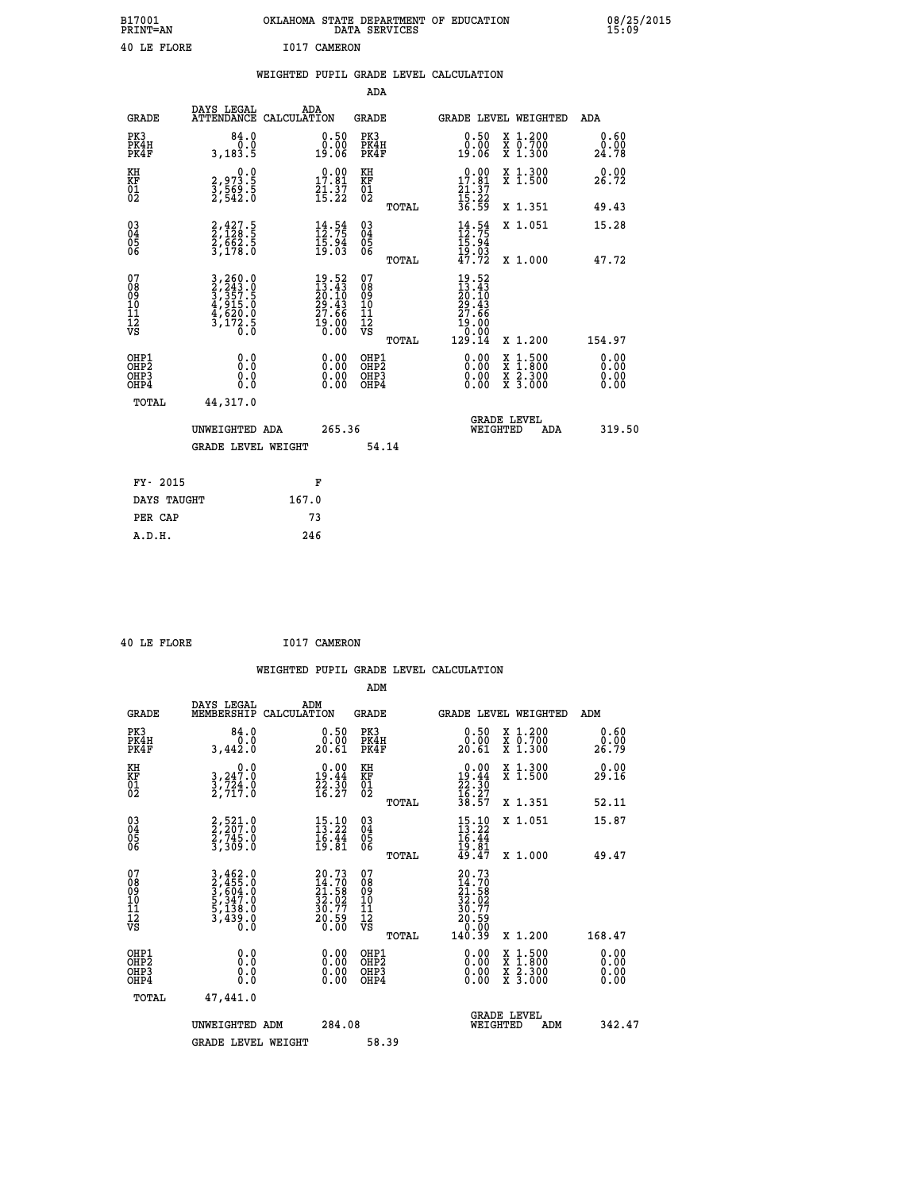| B17001<br>PRINT=AN | OKLAHOMA STATE DEPARTMENT OF EDUCATION<br>DATA SERVICES | 08/25/2015<br>15:09 |
|--------------------|---------------------------------------------------------|---------------------|
| 40 LE FLORE        | 1017 CAMERON                                            |                     |

|                                                                    |              |                                                                                                                                                               |       |                                                                             |                                        |       | WEIGHTED PUPIL GRADE LEVEL CALCULATION                                         |                                                                                          |                                  |  |
|--------------------------------------------------------------------|--------------|---------------------------------------------------------------------------------------------------------------------------------------------------------------|-------|-----------------------------------------------------------------------------|----------------------------------------|-------|--------------------------------------------------------------------------------|------------------------------------------------------------------------------------------|----------------------------------|--|
|                                                                    |              |                                                                                                                                                               |       |                                                                             | <b>ADA</b>                             |       |                                                                                |                                                                                          |                                  |  |
|                                                                    | <b>GRADE</b> | DAYS LEGAL<br>ATTENDANCE CALCULATION                                                                                                                          | ADA   |                                                                             | GRADE                                  |       | GRADE LEVEL WEIGHTED                                                           |                                                                                          | ADA                              |  |
| PK3<br>PK4H<br>PK4F                                                |              | 84.0<br>0.0<br>3,183.5                                                                                                                                        |       | $\begin{smallmatrix} 0.50\ 0.00\ 19.06 \end{smallmatrix}$                   | PK3<br>PK4H<br>PK4F                    |       | $0.50$<br>$0.00$<br>19.06                                                      | X 1.200<br>X 0.700<br>X 1.300                                                            | 0.60<br>0.00<br>24.78            |  |
| KH<br>KF<br>01<br>02                                               |              | $\begin{smallmatrix} 0.0\\2,973.5\\3,569.5\\2,542.0 \end{smallmatrix}$                                                                                        |       | $\begin{smallmatrix} 0.00\\ 17.81\\ 21.37\\ 15.22 \end{smallmatrix}$        | KH<br>KF<br>01<br>02                   |       | 17.81                                                                          | X 1.300<br>X 1.500                                                                       | 0.00<br>26.72                    |  |
|                                                                    |              |                                                                                                                                                               |       |                                                                             |                                        | TOTAL | $\frac{21}{15}$ $\cdot\frac{37}{22}$<br>$\frac{36}{59}$                        | X 1.351                                                                                  | 49.43                            |  |
| $\begin{smallmatrix} 03 \\[-4pt] 04 \end{smallmatrix}$<br>Ŏ5<br>06 |              | 2,427.5<br>2,128.5<br>2,662.5<br>3,178.0                                                                                                                      |       | $\frac{14}{12} : 54$<br>$\frac{15:94}{19:03}$                               | $\substack{03 \\ 04}$<br>Ŏ5<br>06      |       | $\frac{14}{12} : 54$<br>$\frac{15.94}{19.03}$<br>47.72                         | X 1.051                                                                                  | 15.28                            |  |
|                                                                    |              |                                                                                                                                                               |       |                                                                             |                                        | TOTAL |                                                                                | X 1.000                                                                                  | 47.72                            |  |
| 07<br>08<br>09<br>01<br>11<br>11<br>12<br>VS                       |              | $\begin{smallmatrix} 3\,,\,260\,.\,0\\ 2\,,\,243\,.\,0\\ 3\,,\,357\,.\,5\\ 4\,,\,915\,.\,0\\ 4\,,\,620\,.\,0\\ 3\,,\,172\,.\,5\\ 0\,.\,0\\ \end{smallmatrix}$ |       | $19.52$<br>$13.43$<br>$20.10$<br>$29.43$<br>$27.66$<br>$\frac{19.00}{0.00}$ | 07<br>08<br>09<br>11<br>11<br>12<br>VS | TOTAL | $19.52$<br>$13.43$<br>$20.10$<br>$29.43$<br>$27.66$<br>19:00<br>0:00<br>129:14 | X 1.200                                                                                  | 154.97                           |  |
| OHP1<br>OHP2<br>OHP3<br>OHP4                                       |              | 0.0<br>0.0<br>0.0                                                                                                                                             |       | $\begin{smallmatrix} 0.00 \ 0.00 \ 0.00 \ 0.00 \end{smallmatrix}$           | OHP1<br>OHP2<br>OHP3<br>OHP4           |       |                                                                                | $\begin{smallmatrix} x & 1.500 \\ x & 1.800 \\ x & 2.300 \\ x & 3.000 \end{smallmatrix}$ | 0.00<br>0.00<br>$0.00$<br>$0.00$ |  |
|                                                                    | TOTAL        | 44,317.0                                                                                                                                                      |       |                                                                             |                                        |       |                                                                                |                                                                                          |                                  |  |
|                                                                    |              | UNWEIGHTED ADA                                                                                                                                                |       | 265.36                                                                      |                                        |       | WEIGHTED                                                                       | <b>GRADE LEVEL</b><br>ADA                                                                | 319.50                           |  |
|                                                                    |              | <b>GRADE LEVEL WEIGHT</b>                                                                                                                                     |       |                                                                             |                                        | 54.14 |                                                                                |                                                                                          |                                  |  |
|                                                                    | FY- 2015     |                                                                                                                                                               |       | F                                                                           |                                        |       |                                                                                |                                                                                          |                                  |  |
|                                                                    | DAYS TAUGHT  |                                                                                                                                                               | 167.0 |                                                                             |                                        |       |                                                                                |                                                                                          |                                  |  |
|                                                                    | PER CAP      |                                                                                                                                                               |       | 73                                                                          |                                        |       |                                                                                |                                                                                          |                                  |  |

 **40 LE FLORE I017 CAMERON**

 **A.D.H. 246**

| <b>GRADE</b>                                       | DAYS LEGAL<br>MEMBERSHIP                                                                                                                      | ADM<br>CALCULATION                                                                  | <b>GRADE</b>                           |       | GRADE LEVEL WEIGHTED                                                                      |                                          | ADM           |                      |
|----------------------------------------------------|-----------------------------------------------------------------------------------------------------------------------------------------------|-------------------------------------------------------------------------------------|----------------------------------------|-------|-------------------------------------------------------------------------------------------|------------------------------------------|---------------|----------------------|
| PK3<br>PK4H<br>PK4F                                | 84.0<br>3,442.0                                                                                                                               | 0.50<br>0.00<br>$20.\tilde{61}$                                                     | PK3<br>PK4H<br>PK4F                    |       | 0.50<br>0.00<br>20.61                                                                     | X 1.200<br>X 0.700<br>X 1.300            | 0.00<br>26.79 | 0.60                 |
| KH<br>KF<br>01<br>02                               | 0.0<br>$3, 247.0$<br>$3, 724.0$<br>2,717.0                                                                                                    | $\begin{smallmatrix} 0.00\\19.44\\22.30\\16.27 \end{smallmatrix}$                   | KH<br>KF<br>01<br>02                   |       | $\begin{smallmatrix} 0.00\\19.44\\22.30\\16.27\\38.57 \end{smallmatrix}$                  | X 1.300<br>X 1.500                       | 29.16         | 0.00                 |
|                                                    |                                                                                                                                               |                                                                                     |                                        | TOTAL |                                                                                           | X 1.351                                  | 52.11         |                      |
| $\begin{matrix} 03 \\ 04 \\ 05 \\ 06 \end{matrix}$ | 2,521.0<br>2,207.0<br>2,745.0<br>3,309.0                                                                                                      | $\begin{array}{c} 15\cdot 10 \\ 13\cdot 22 \\ 16\cdot 44 \\ 19\cdot 81 \end{array}$ | 03<br>04<br>05<br>06                   |       | $15.10$<br>$13.22$<br>$\frac{16.44}{19.81}$<br>49.47                                      | X 1.051                                  | 15.87         |                      |
|                                                    |                                                                                                                                               |                                                                                     |                                        | TOTAL |                                                                                           | X 1.000                                  | 49.47         |                      |
| 07<br>08<br>09<br>101<br>112<br>VS                 | $\begin{smallmatrix} 3\,,\,462\,.0\\ 2\,,\,455\,.0\\ 3\,,\,604\,.0\\ 5\,,\,347\,.0\\ 5\,,\,138\,.0\\ 3\,,\,439\,.0\\ 0\,.0 \end{smallmatrix}$ | $20.73$<br>$14.70$<br>$21.58$<br>$32.02$<br>$30.77$<br>$20.59$<br>$0.00$            | 07<br>08<br>09<br>11<br>11<br>12<br>VS | TOTAL | $\begin{smallmatrix} 20.73\ 14.70\ 21.58\ 32.02\ 30.77\ 20.590\ 140.39 \end{smallmatrix}$ | X 1.200                                  | 168.47        |                      |
| OHP1<br>OHP2<br>OHP3<br>OHP4                       | 0.0<br>Ō.Ō<br>Ŏ.Ŏ                                                                                                                             |                                                                                     | OHP1<br>OHP2<br>OHP3<br>OHP4           |       |                                                                                           | X 1:500<br>X 1:800<br>X 2:300<br>X 3:000 |               | 0.00<br>0.00<br>0.00 |
| TOTAL                                              | 47,441.0                                                                                                                                      |                                                                                     |                                        |       |                                                                                           |                                          |               |                      |
|                                                    | UNWEIGHTED ADM                                                                                                                                | 284.08                                                                              |                                        |       | WEIGHTED                                                                                  | <b>GRADE LEVEL</b><br>ADM                |               | 342.47               |
|                                                    | <b>GRADE LEVEL WEIGHT</b>                                                                                                                     |                                                                                     | 58.39                                  |       |                                                                                           |                                          |               |                      |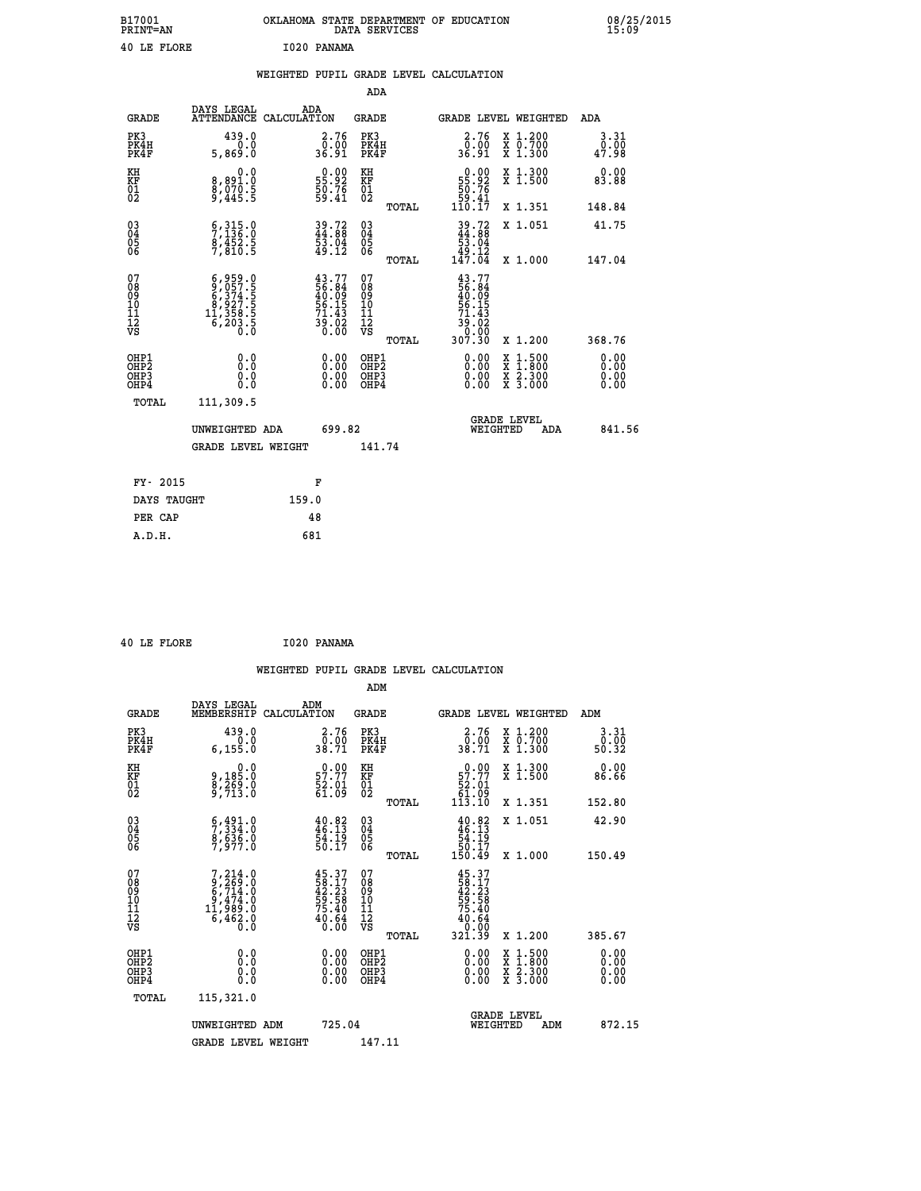| B17001<br><b>PRINT=AN</b> | OKLAHOMA STATE DEPARTMENT OF EDUCATION<br>DATA SERVICES | 08/25/2015<br>15:09 |
|---------------------------|---------------------------------------------------------|---------------------|
| 40 LE FLORE               | I020 PANAMA                                             |                     |

|                                                                    |                                                                                                                                                          | WEIGHTED PUPIL GRADE LEVEL CALCULATION                                  |                                                 |                                                                             |                                                         |                              |
|--------------------------------------------------------------------|----------------------------------------------------------------------------------------------------------------------------------------------------------|-------------------------------------------------------------------------|-------------------------------------------------|-----------------------------------------------------------------------------|---------------------------------------------------------|------------------------------|
|                                                                    |                                                                                                                                                          |                                                                         | <b>ADA</b>                                      |                                                                             |                                                         |                              |
| <b>GRADE</b>                                                       | DAYS LEGAL                                                                                                                                               | ADA<br>ATTENDANCE CALCULATION                                           | <b>GRADE</b>                                    | GRADE LEVEL WEIGHTED                                                        |                                                         | ADA                          |
| PK3<br>PK4H<br>PK4F                                                | 439.0<br>0.0<br>5,869.0                                                                                                                                  | 2.76<br>0.00<br>36.91                                                   | PK3<br>PK4H<br>PK4F                             | 2.76<br>0.00<br>36.91                                                       | X 1.200<br>X 0.700<br>X 1.300                           | 3.31<br>0.00<br>47.98        |
| KH<br>KF<br>01<br>02                                               | 0.0<br>8,891:0<br>8,070:5<br>9,445:5                                                                                                                     | $\begin{smallmatrix} 0.00\\ 55.92\\ 50.76\\ 59.41 \end{smallmatrix}$    | KH<br>KF<br>01<br>02                            | $\begin{smallmatrix} &0.00\ 55.92\ 50.76\ 59.41\ 110.17\ \end{smallmatrix}$ | X 1.300<br>X 1.500                                      | 0.00<br>83.88                |
|                                                                    |                                                                                                                                                          |                                                                         | TOTAL                                           |                                                                             | X 1.351                                                 | 148.84                       |
| $\begin{smallmatrix} 03 \\[-4pt] 04 \end{smallmatrix}$<br>Ŏ5<br>06 | $\frac{6}{7}, \frac{315}{136}$ .0<br>$\frac{8}{7}, \frac{452}{810}$ .5                                                                                   | 39.72<br>44.88<br>53.04<br>53.12                                        | $\substack{03 \\ 04}$<br>Ŏ5<br>06               | $39.72$<br>$44.88$<br>$53.04$<br>$49.12$<br>$147.04$                        | X 1.051                                                 | 41.75                        |
|                                                                    |                                                                                                                                                          |                                                                         | TOTAL                                           |                                                                             | X 1.000                                                 | 147.04                       |
| 07<br>089<br>090<br>1112<br>VS                                     | $\begin{smallmatrix} 6 & 9 & 59 & 0 \\ 9 & 0 & 57 & 5 \\ 6 & 3 & 74 & 5 \\ 8 & 9 & 27 & 5 \\ 11 & 358 & 5 \\ 6 & 203 & 5 \\ 0 & 0 & 0 \end{smallmatrix}$ | $43.77$<br>56.84<br>$40.09$<br>56.15<br>56.15<br>71.43<br>39.02<br>0.00 | 07<br>08<br>09<br>11<br>11<br>12<br>VS<br>TOTAL | 43.77<br>56.84<br>40.09<br>56.15<br>71.43<br>65:02<br>0.00<br>307:30        | X 1.200                                                 | 368.76                       |
| OHP1<br>OHP2<br>OHP3<br>OHP4                                       | 0.0<br>0.0<br>0.0                                                                                                                                        | 0.00<br>$\begin{smallmatrix} 0.00 \ 0.00 \end{smallmatrix}$             | OHP1<br>OHP2<br>OHP3<br>OHP4                    | 0.00<br>X<br>X<br>0.00<br>0.00                                              | $1:500$<br>1:800<br>$\frac{x}{x}$ $\frac{5:300}{3:000}$ | 0.00<br>0.00<br>0.00<br>0.00 |
| <b>TOTAL</b>                                                       | 111,309.5                                                                                                                                                |                                                                         |                                                 |                                                                             |                                                         |                              |
|                                                                    | UNWEIGHTED ADA                                                                                                                                           | 699.82                                                                  |                                                 | GRADE LEVEL<br>WEIGHTED                                                     | ADA                                                     | 841.56                       |
|                                                                    | <b>GRADE LEVEL WEIGHT</b>                                                                                                                                |                                                                         | 141.74                                          |                                                                             |                                                         |                              |
| FY- 2015                                                           |                                                                                                                                                          | F                                                                       |                                                 |                                                                             |                                                         |                              |
|                                                                    | DAYS TAUGHT                                                                                                                                              | 159.0                                                                   |                                                 |                                                                             |                                                         |                              |
| PER CAP                                                            |                                                                                                                                                          | 48                                                                      |                                                 |                                                                             |                                                         |                              |

 **40 LE FLORE I020 PANAMA**

 **A.D.H. 681**

 **ADM**

| <b>GRADE</b>                                       | DAYS LEGAL<br>MEMBERSHIP CALCULATION                                                 | ADM                                                                      | <b>GRADE</b>                                       |       |                                                                                      | GRADE LEVEL WEIGHTED                     | ADM                                                                 |  |
|----------------------------------------------------|--------------------------------------------------------------------------------------|--------------------------------------------------------------------------|----------------------------------------------------|-------|--------------------------------------------------------------------------------------|------------------------------------------|---------------------------------------------------------------------|--|
| PK3<br>PK4H<br>PK4F                                | 439.0<br>6, 155.0                                                                    | 2.76<br>0.00<br>38.71                                                    | PK3<br>PK4H<br>PK4F                                |       | 2.76<br>$\frac{0.00}{38.71}$                                                         | X 1.200<br>X 0.700<br>X 1.300            | $\begin{smallmatrix} 3 & 31 \\ 0 & 00 \\ 50 & 32 \end{smallmatrix}$ |  |
| KH<br>KF<br>01<br>02                               | 0.0<br>9,185:0<br>8,269:0<br>9,713:0                                                 | $\begin{smallmatrix} 0.00\\ 57.77\\ 52.01\\ 61.09 \end{smallmatrix}$     | KH<br>KF<br>01<br>02                               |       | $\begin{smallmatrix} &0.00\ 57.77\ 52.01\ 61.09\ 113.10\ \end{smallmatrix}$          | X 1.300<br>X 1.500                       | 0.00<br>86.66                                                       |  |
|                                                    |                                                                                      |                                                                          |                                                    | TOTAL |                                                                                      | X 1.351                                  | 152.80                                                              |  |
| $\begin{matrix} 03 \\ 04 \\ 05 \\ 06 \end{matrix}$ | $\begin{smallmatrix} 6,491.0\\ 7,334.0\\ 8,636.0\\ 7,977.0 \end{smallmatrix}$        | $40.82$<br>$46.13$<br>$54.19$<br>$50.17$                                 | $\begin{matrix} 03 \\ 04 \\ 05 \\ 06 \end{matrix}$ |       | $40.82$<br>$46.13$<br>$54.19$<br>$50.17$<br>$150.49$                                 | X 1.051                                  | 42.90                                                               |  |
|                                                    |                                                                                      |                                                                          |                                                    | TOTAL |                                                                                      | X 1.000                                  | 150.49                                                              |  |
| 07<br>08<br>09<br>101<br>11<br>12<br>VS            | $7,214.0$<br>$9,269.0$<br>$6,714.0$<br>$9,474.0$<br>$11,989.0$<br>$6,462.0$<br>$0.0$ | $45.37$<br>$58.17$<br>$42.23$<br>$59.58$<br>$75.40$<br>$40.64$<br>$0.00$ | 07<br>08<br>09<br>001<br>11<br>11<br>12<br>VS      | TOTAL | $45.37$<br>$42.23$<br>$59.58$<br>$75.40$<br>$75.40$<br>$40.64$<br>$0.00$<br>$321.39$ | X 1.200                                  | 385.67                                                              |  |
| OHP1<br>OHP2<br>OHP3<br>OHP4                       | 0.0<br>0.000                                                                         |                                                                          | OHP1<br>OHP2<br>OHP3<br>OHP4                       |       | 0.00<br>$0.00$<br>0.00                                                               | X 1:500<br>X 1:800<br>X 2:300<br>X 3:000 | 0.00<br>0.00<br>0.00                                                |  |
| TOTAL                                              | 115,321.0                                                                            |                                                                          |                                                    |       |                                                                                      |                                          |                                                                     |  |
|                                                    | UNWEIGHTED<br>ADM                                                                    | 725.04                                                                   |                                                    |       | WEIGHTED                                                                             | <b>GRADE LEVEL</b><br>ADM                | 872.15                                                              |  |
|                                                    | <b>GRADE LEVEL WEIGHT</b>                                                            |                                                                          | 147.11                                             |       |                                                                                      |                                          |                                                                     |  |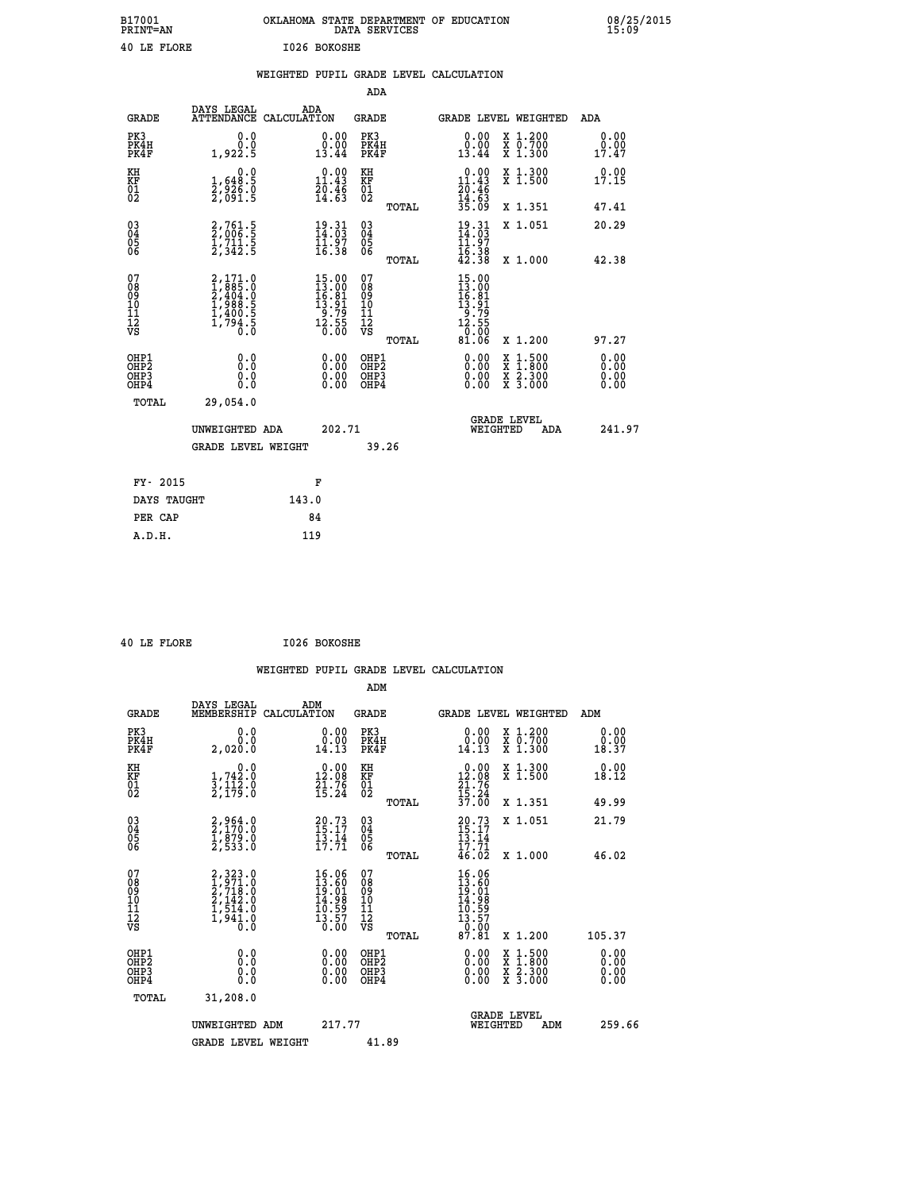| B17001<br><b>PRINT=AN</b> | OKLAHOMA STATE DEPARTMENT OF EDUCATION<br>DATA SERVICES | 08/25/2015<br>15:09 |
|---------------------------|---------------------------------------------------------|---------------------|
| 40 LE FLORE               | I026 BOKOSHE                                            |                     |

|                                           |                                                                           | WEIGHTED PUPIL GRADE LEVEL CALCULATION                                                                               |                                                                  |                                                                                                                                                                                                                                                                                                                                                                            |                              |
|-------------------------------------------|---------------------------------------------------------------------------|----------------------------------------------------------------------------------------------------------------------|------------------------------------------------------------------|----------------------------------------------------------------------------------------------------------------------------------------------------------------------------------------------------------------------------------------------------------------------------------------------------------------------------------------------------------------------------|------------------------------|
|                                           |                                                                           |                                                                                                                      | <b>ADA</b>                                                       |                                                                                                                                                                                                                                                                                                                                                                            |                              |
| <b>GRADE</b>                              | DAYS LEGAL                                                                | ADA<br>ATTENDANCE CALCULATION                                                                                        | <b>GRADE</b>                                                     | GRADE LEVEL WEIGHTED                                                                                                                                                                                                                                                                                                                                                       | <b>ADA</b>                   |
| PK3<br>PK4H<br>PK4F                       | 0.0<br>0.0<br>1,922.5                                                     | $\begin{smallmatrix} 0.00\\ 0.00\\ 13.44 \end{smallmatrix}$                                                          | PK3<br>PK4H<br>PK4F                                              | 0.00<br>X 1.200<br>X 0.700<br>X 1.300<br>0.00<br>13.44                                                                                                                                                                                                                                                                                                                     | 0.00<br>0.00<br>17.47        |
| KH<br>KF<br>01<br>02                      | 0.0<br>$\frac{1}{2}, \frac{648}{926}$ .0<br>2,091.5                       | 0.00<br>$\frac{11.43}{20.46}$<br>14.63                                                                               | KH<br>KF<br>01<br>02                                             | $\begin{array}{r} 0.00 \\ 11.43 \\ 20.46 \\ 14.63 \\ 35.09 \end{array}$<br>X 1.300<br>X 1.500                                                                                                                                                                                                                                                                              | 0.00<br>17.15                |
|                                           |                                                                           |                                                                                                                      | TOTAL                                                            | X 1.351                                                                                                                                                                                                                                                                                                                                                                    | 47.41                        |
| $^{03}_{04}$<br>Ŏ5<br>06                  | 2,761.5<br>2,006.5<br>1,711.5<br>2,342.5                                  | $\begin{array}{c} 19\cdot 31 \\ 14\cdot 03 \\ 11\cdot 97 \\ 16\cdot 38 \end{array}$                                  | $\begin{matrix} 03 \\ 04 \\ 05 \\ 06 \end{matrix}$               | $19.31$<br>$14.03$<br>$11.97$<br>$16.38$<br>$42.38$<br>X 1.051                                                                                                                                                                                                                                                                                                             | 20.29                        |
|                                           |                                                                           |                                                                                                                      | TOTAL                                                            | X 1.000                                                                                                                                                                                                                                                                                                                                                                    | 42.38                        |
| 07<br>08<br>09<br>11<br>11<br>12<br>VS    | 2,171.0<br>1,885.0<br>2,404.0<br>2,404.0<br>1,988.5<br>1,400.5<br>1,794.5 | $\begin{array}{l} 15\cdot00 \\ 13\cdot00 \\ 16\cdot81 \\ 13\cdot91 \\ 9\cdot79 \\ 12\cdot55 \\ 0\cdot00 \end{array}$ | 07<br>08<br>09<br>11<br>11<br>12<br>VS                           | $\begin{array}{r} 15\cdot00 \\ 13\cdot00 \\ 16\cdot81 \\ 13\cdot91 \\ 9\cdot79 \\ 12\cdot55 \\ 0\cdot00 \\ 81\cdot06 \end{array}$                                                                                                                                                                                                                                          |                              |
|                                           |                                                                           |                                                                                                                      | TOTAL                                                            | X 1.200                                                                                                                                                                                                                                                                                                                                                                    | 97.27                        |
| OHP1<br>OH <sub>P</sub> 2<br>OHP3<br>OHP4 | 0.0<br>Ŏ.Ŏ<br>0.0<br>0.0                                                  | $\begin{smallmatrix} 0.00 \ 0.00 \ 0.00 \ 0.00 \end{smallmatrix}$                                                    | OHP1<br>OHP <sub>2</sub><br>OHP <sub>3</sub><br>OHP <sub>4</sub> | $\begin{smallmatrix} 0.00 & 0.00 & 0.00 & 0.00 & 0.00 & 0.00 & 0.00 & 0.00 & 0.00 & 0.00 & 0.00 & 0.00 & 0.00 & 0.00 & 0.00 & 0.00 & 0.00 & 0.00 & 0.00 & 0.00 & 0.00 & 0.00 & 0.00 & 0.00 & 0.00 & 0.00 & 0.00 & 0.00 & 0.00 & 0.00 & 0.00 & 0.00 & 0.00 & 0.00 & 0.00 & 0.0$<br>$\begin{smallmatrix} x & 1.500 \\ x & 1.800 \\ x & 2.300 \\ x & 3.000 \end{smallmatrix}$ | 0.00<br>0.00<br>0.00<br>0.00 |
| TOTAL                                     | 29,054.0                                                                  |                                                                                                                      |                                                                  |                                                                                                                                                                                                                                                                                                                                                                            |                              |
|                                           | UNWEIGHTED ADA                                                            | 202.71                                                                                                               |                                                                  | <b>GRADE LEVEL</b><br>WEIGHTED<br>ADA                                                                                                                                                                                                                                                                                                                                      | 241.97                       |
|                                           | <b>GRADE LEVEL WEIGHT</b>                                                 |                                                                                                                      | 39.26                                                            |                                                                                                                                                                                                                                                                                                                                                                            |                              |
| FY- 2015                                  |                                                                           | F                                                                                                                    |                                                                  |                                                                                                                                                                                                                                                                                                                                                                            |                              |
| DAYS TAUGHT                               |                                                                           | 143.0                                                                                                                |                                                                  |                                                                                                                                                                                                                                                                                                                                                                            |                              |
| PER CAP                                   |                                                                           | 84                                                                                                                   |                                                                  |                                                                                                                                                                                                                                                                                                                                                                            |                              |
| A.D.H.                                    |                                                                           | 119                                                                                                                  |                                                                  |                                                                                                                                                                                                                                                                                                                                                                            |                              |

|  | 40 LE FLORE | I026 BOKOSHE |
|--|-------------|--------------|
|  |             |              |

| <b>GRADE</b>                                         | DAYS LEGAL<br>MEMBERSHIP                                                            | ADM<br>CALCULATION                                                                     | <b>GRADE</b>                                       |       | <b>GRADE LEVEL WEIGHTED</b>                                                   |                                          | ADM                          |  |
|------------------------------------------------------|-------------------------------------------------------------------------------------|----------------------------------------------------------------------------------------|----------------------------------------------------|-------|-------------------------------------------------------------------------------|------------------------------------------|------------------------------|--|
| PK3<br>PK4H<br>PK4F                                  | 0.0<br>0.0<br>2,020.0                                                               | 0.00<br>14.13                                                                          | PK3<br>PK4H<br>PK4F                                |       | 0.00<br>$\begin{smallmatrix} 0.00 \ 14.13 \end{smallmatrix}$                  | X 1.200<br>X 0.700<br>X 1.300            | 0.00<br>0.00<br>18.37        |  |
| KH<br>KF<br>01<br>02                                 | 0.0<br>$\frac{1}{3}, \frac{742}{173}$ .0<br>2,179.0                                 | $\begin{smallmatrix} 0.00\\ 12.08\\ 21.76\\ 15.24 \end{smallmatrix}$                   | KH<br>KF<br>01<br>02                               |       | $\begin{smallmatrix} 0.00\\ 12.08\\ 21.76\\ 15.24\\ 37.00 \end{smallmatrix}$  | X 1.300<br>X 1.500                       | 0.00<br>18.12                |  |
|                                                      |                                                                                     |                                                                                        |                                                    | TOTAL |                                                                               | X 1.351                                  | 49.99                        |  |
| $\begin{matrix} 03 \\ 04 \\ 05 \\ 06 \end{matrix}$   | 2,964.0<br>2,170.0<br>1,879.0<br>2,533.0                                            | $20.73$<br>$15.17$<br>$13.14$<br>$17.71$                                               | $\begin{matrix} 03 \\ 04 \\ 05 \\ 06 \end{matrix}$ |       | $20.73$<br>$15.17$<br>$13.14$<br>$17.71$<br>$46.02$                           | X 1.051                                  | 21.79                        |  |
|                                                      |                                                                                     |                                                                                        |                                                    | TOTAL |                                                                               | X 1.000                                  | 46.02                        |  |
| 07<br>08<br>09<br>11<br>11<br>12<br>VS               | $2,323.0$<br>$2,713.0$<br>$2,718.0$<br>$2,142.0$<br>$1,514.0$<br>$1,941.0$<br>$0.0$ | $\begin{smallmatrix} 16.06\\13.60\\19.01\\14.98\\10.59\\13.57\\0.00 \end{smallmatrix}$ | 07<br>08<br>09<br>11<br>11<br>12<br>VS             | TOTAL | $16.06$<br>$13.601$<br>$19.08$<br>$14.989$<br>$10.597$<br>$13.570$<br>$87.81$ | X 1.200                                  | 105.37                       |  |
| OHP1<br>OH <sub>P</sub> <sub>2</sub><br>OHP3<br>OHP4 | 0.0<br>0.0<br>Ŏ.Ŏ                                                                   | $0.00$<br>$0.00$<br>0.00                                                               | OHP1<br>OHP <sub>2</sub><br>OHP3<br>OHP4           |       |                                                                               | X 1:500<br>X 1:800<br>X 2:300<br>X 3:000 | 0.00<br>0.00<br>0.00<br>0.00 |  |
| TOTAL                                                | 31,208.0                                                                            |                                                                                        |                                                    |       |                                                                               |                                          |                              |  |
|                                                      | UNWEIGHTED ADM                                                                      | 217.77                                                                                 |                                                    |       | <b>GRADE LEVEL</b><br>WEIGHTED                                                | ADM                                      | 259.66                       |  |
|                                                      | <b>GRADE LEVEL WEIGHT</b>                                                           |                                                                                        | 41.89                                              |       |                                                                               |                                          |                              |  |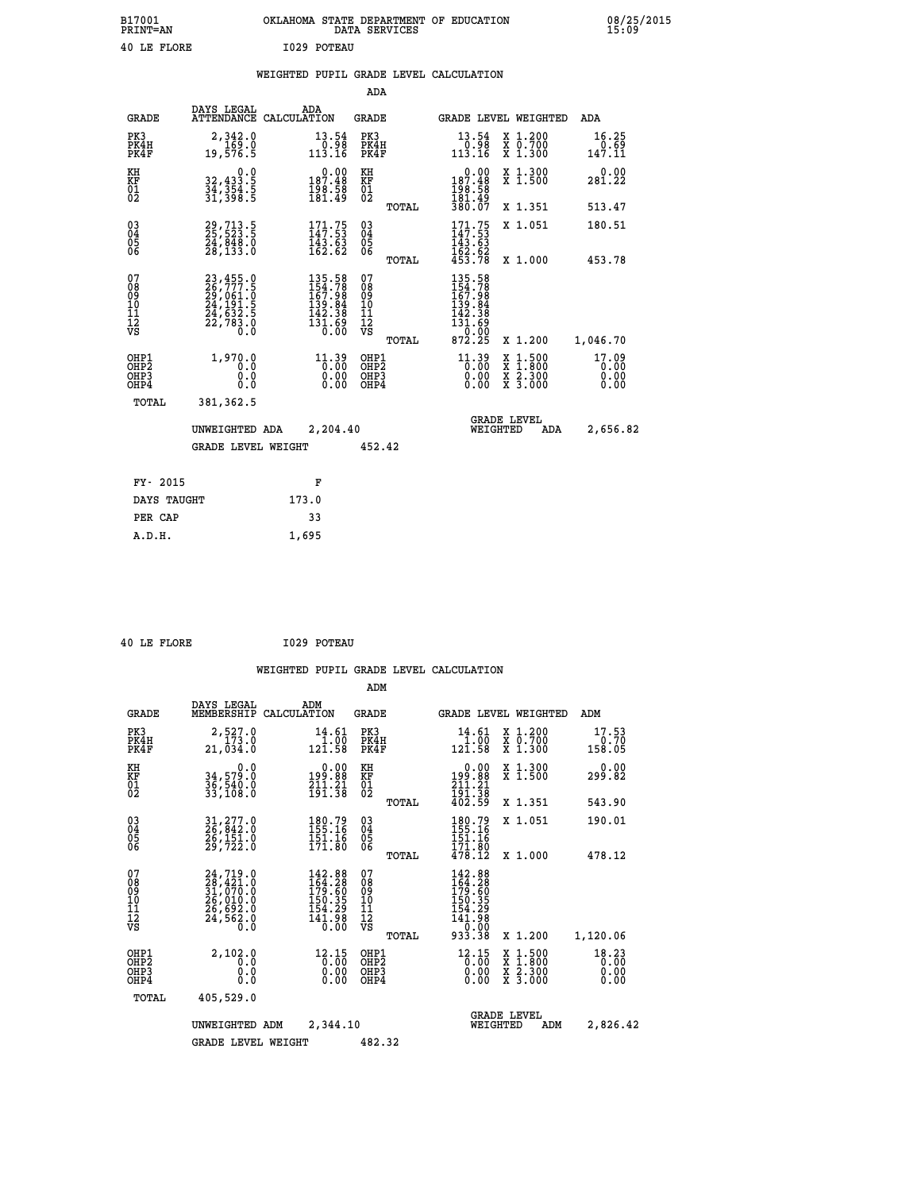| B17001<br><b>PRINT=AN</b> | OKLAHOMA STATE DEPARTMENT OF EDUCATION<br>DATA SERVICES | 08/25/2015<br>15:09 |
|---------------------------|---------------------------------------------------------|---------------------|
| 40 LE FLORE               | I029 POTEAU                                             |                     |

|  |  | WEIGHTED PUPIL GRADE LEVEL CALCULATION |
|--|--|----------------------------------------|
|  |  |                                        |

|                                                                    |                                                                                                                                                      |                                                                                                             | ADA                                      |       |                                                                        |                                                                                                  |                               |
|--------------------------------------------------------------------|------------------------------------------------------------------------------------------------------------------------------------------------------|-------------------------------------------------------------------------------------------------------------|------------------------------------------|-------|------------------------------------------------------------------------|--------------------------------------------------------------------------------------------------|-------------------------------|
| <b>GRADE</b>                                                       | DAYS LEGAL                                                                                                                                           | ADA<br>ATTENDANCE CALCULATION                                                                               | <b>GRADE</b>                             |       |                                                                        | GRADE LEVEL WEIGHTED                                                                             | ADA                           |
| PK3<br>PK4H<br>PK4F                                                | 2,342.0<br>169.0<br>19,576.5                                                                                                                         | $\begin{smallmatrix} 13.54\ 0.98\ 113.16 \end{smallmatrix}$                                                 | PK3<br>PK4H<br>PK4F                      |       | $\begin{smallmatrix} 13.54\ 0.98\ 113.16 \end{smallmatrix}$            | X 1.200<br>X 0.700<br>X 1.300                                                                    | 16.25<br>0.69<br>147.11       |
| KH<br><b>KF</b><br>01<br>02                                        | 0.0<br>32,433.5<br>34,354.5<br>31,398.5                                                                                                              | $0.00$<br>187.48<br>$\frac{198.58}{181.49}$                                                                 | KH<br>KF<br>01<br>02                     |       | $0.00$<br>187.48<br>196.58<br>181.49<br>380.07                         | X 1.300<br>X 1.500                                                                               | 0.00<br>281.22                |
|                                                                    |                                                                                                                                                      |                                                                                                             |                                          | TOTAL |                                                                        | X 1.351                                                                                          | 513.47                        |
| $\begin{smallmatrix} 03 \\[-4pt] 04 \end{smallmatrix}$<br>05<br>06 | 29,713.5<br>25,523.5<br>24,848.0<br>28,133.0                                                                                                         | $171.75$<br>$147.53$<br>$\frac{143.63}{162.62}$                                                             | $\substack{03 \\ 04}$<br>05<br>06        |       | $171.75$<br>$147.53$<br>$143.63$<br>$162.62$<br>$453.78$               | X 1.051                                                                                          | 180.51                        |
|                                                                    |                                                                                                                                                      |                                                                                                             |                                          | TOTAL |                                                                        | X 1.000                                                                                          | 453.78                        |
| 07<br>08901112<br>1112<br>VS                                       | $\begin{smallmatrix} 23\,,455\cdot0\\ 26\,,777\cdot5\\ 29\,,061\cdot0\\ 24\,,191\cdot5\\ 24\,,632\cdot5\\ 22\,,783\cdot0\\ 0\cdot0\end{smallmatrix}$ | $\begin{smallmatrix} 135.58\\ 154.78\\ 167.98\\ 139.84\\ 132.38\\ 142.38\\ 131.69\\ 0.00 \end{smallmatrix}$ | 07<br>08<br>09<br>11<br>11<br>12<br>VS   |       | 135.58<br>154.788<br>167.984<br>139.84<br>142.38<br>131.690<br>070.000 |                                                                                                  |                               |
|                                                                    |                                                                                                                                                      |                                                                                                             |                                          | TOTAL | 872.25                                                                 | X 1.200                                                                                          | 1,046.70                      |
| OHP1<br>OH <sub>P2</sub><br>OH <sub>P3</sub><br>OH <sub>P4</sub>   | 1,970.0<br>0.0<br>0.0<br>0.0                                                                                                                         | $11.39$<br>$0.00$<br>0.00<br>0.00                                                                           | OHP1<br>OHP <sub>2</sub><br>OHP3<br>OHP4 |       | $11.39$<br>$0.00$<br>0.00<br>0.00                                      | $\begin{smallmatrix} x & 1 & 500 \\ x & 1 & 800 \\ x & 2 & 300 \\ x & 3 & 000 \end{smallmatrix}$ | 17.09<br>0.00<br>0.00<br>0.00 |
| TOTAL                                                              | 381,362.5                                                                                                                                            |                                                                                                             |                                          |       |                                                                        |                                                                                                  |                               |
|                                                                    | UNWEIGHTED ADA                                                                                                                                       | 2,204.40                                                                                                    |                                          |       |                                                                        | <b>GRADE LEVEL</b><br>WEIGHTED<br>ADA                                                            | 2,656.82                      |
|                                                                    | <b>GRADE LEVEL WEIGHT</b>                                                                                                                            |                                                                                                             | 452.42                                   |       |                                                                        |                                                                                                  |                               |
| FY- 2015                                                           |                                                                                                                                                      | F                                                                                                           |                                          |       |                                                                        |                                                                                                  |                               |
| DAYS TAUGHT                                                        |                                                                                                                                                      | 173.0                                                                                                       |                                          |       |                                                                        |                                                                                                  |                               |
| PER CAP                                                            |                                                                                                                                                      | 33                                                                                                          |                                          |       |                                                                        |                                                                                                  |                               |

 **40 LE FLORE I029 POTEAU**

 **A.D.H. 1,695**

|                                                       |                                                                                                 |                                                                   | ADM                                              |                                                                                    |                                                                                                  |                               |
|-------------------------------------------------------|-------------------------------------------------------------------------------------------------|-------------------------------------------------------------------|--------------------------------------------------|------------------------------------------------------------------------------------|--------------------------------------------------------------------------------------------------|-------------------------------|
| <b>GRADE</b>                                          | DAYS LEGAL<br>MEMBERSHIP                                                                        | ADM<br>CALCULATION                                                | <b>GRADE</b>                                     | <b>GRADE LEVEL WEIGHTED</b>                                                        |                                                                                                  | ADM                           |
| PK3<br>PK4H<br>PK4F                                   | 2,527.0<br>173.0<br>21,034.0                                                                    | 14.61<br>$\frac{1}{121.58}$                                       | PK3<br>PK4H<br>PK4F                              | 14.61<br>$\frac{1}{121.58}$                                                        | X 1.200<br>x 0.700<br>x 1.300                                                                    | 17.53<br>0.70<br>158.05       |
| KH<br>KF<br>01<br>02                                  | 0.0<br>34,579.0<br>36,540.0<br>33,108.0                                                         | $\begin{array}{c} 0.00 \\ 199.88 \\ 211.21 \\ 191.38 \end{array}$ | KH<br>KF<br>01<br>02                             | 0.00<br>199:88<br>211:21<br>191:38<br>402:59                                       | X 1.300<br>X 1.500                                                                               | 0.00<br>299.82                |
|                                                       |                                                                                                 |                                                                   | TOTAL                                            |                                                                                    | X 1.351                                                                                          | 543.90                        |
| 03<br>04<br>05<br>06                                  | 31,277.0<br>26,842.0<br>26,151.0<br>29,722.0                                                    | 180.79<br>155.16<br>151.16<br>171.80                              | $\substack{03 \\ 04}$<br>0500                    | 180.79<br>155.16<br>151.16<br>171.80                                               | X 1.051                                                                                          | 190.01                        |
|                                                       |                                                                                                 |                                                                   | TOTAL                                            | 478.12                                                                             | X 1.000                                                                                          | 478.12                        |
| 07<br>08<br>09<br>101<br>112<br>VS                    | $24, 719.0$<br>$28, 421.0$<br>$31, 070.0$<br>$26, 010.0$<br>$26, 692.0$<br>$24, 562.0$<br>$0.0$ | 142.88<br>164.28<br>179.60<br>150.35<br>154.29<br>141.98<br>0.00  | 07<br>08<br>09<br>101<br>11<br>12<br>VS<br>TOTAL | $142.88$<br>$164.28$<br>$179.60$<br>$150.35$<br>154:29<br>141:98<br>0.00<br>933.38 | X 1.200                                                                                          | 1,120.06                      |
| OHP1<br>OH <sub>P</sub> 2<br>OH <sub>P3</sub><br>OHP4 | 2,102.0<br>0.0<br>0.0<br>Ŏ.Ŏ                                                                    | $\frac{12.15}{0.00}$<br>0.00                                      | OHP1<br>OHP2<br>OHP3<br>OHP4                     | $\frac{12.15}{0.00}$<br>0.00                                                       | $\begin{smallmatrix} x & 1 & 500 \\ x & 1 & 800 \\ x & 2 & 300 \\ x & 3 & 000 \end{smallmatrix}$ | 18.23<br>0.00<br>0.00<br>0.00 |
| TOTAL                                                 | 405,529.0                                                                                       |                                                                   |                                                  |                                                                                    |                                                                                                  |                               |
|                                                       | UNWEIGHTED                                                                                      | 2,344.10<br>ADM                                                   |                                                  | <b>GRADE LEVEL</b><br>WEIGHTED                                                     | ADM                                                                                              | 2,826.42                      |
|                                                       | <b>GRADE LEVEL WEIGHT</b>                                                                       |                                                                   | 482.32                                           |                                                                                    |                                                                                                  |                               |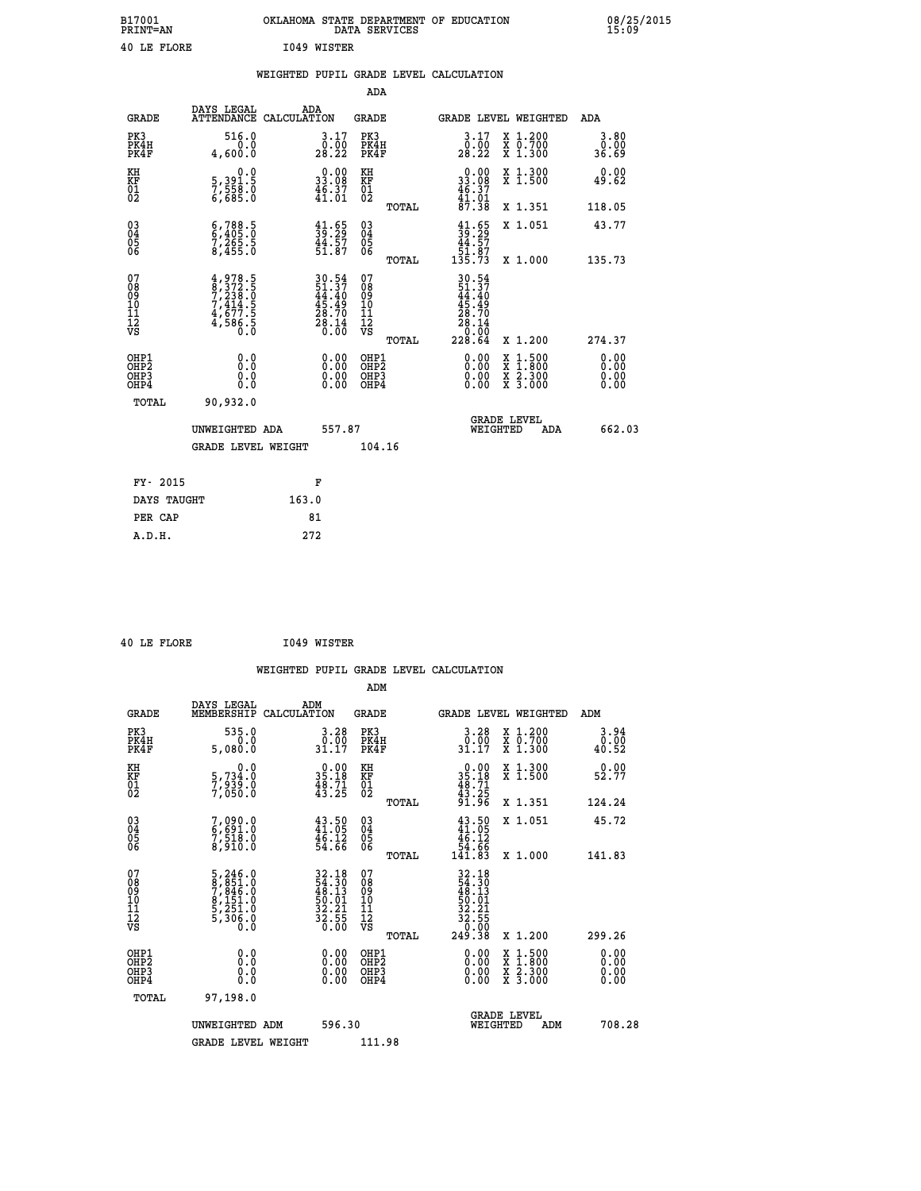| B17001<br>PRINT=AN | OKLAHOMA<br>STATE DEPARTMENT OF EDUCATION<br>SERVICES<br>DATA | 08/25/2015<br>15:09 |
|--------------------|---------------------------------------------------------------|---------------------|
| 40 LE FLORE        | I049<br>WISTER                                                |                     |

| 40 LE FLORE                                                        |                                                                                                                                                                                     |       | I049 WISTER                                                                               |                                               |       |                                                                |                                                                                                                                           |                               |
|--------------------------------------------------------------------|-------------------------------------------------------------------------------------------------------------------------------------------------------------------------------------|-------|-------------------------------------------------------------------------------------------|-----------------------------------------------|-------|----------------------------------------------------------------|-------------------------------------------------------------------------------------------------------------------------------------------|-------------------------------|
|                                                                    |                                                                                                                                                                                     |       |                                                                                           |                                               |       | WEIGHTED PUPIL GRADE LEVEL CALCULATION                         |                                                                                                                                           |                               |
|                                                                    |                                                                                                                                                                                     |       |                                                                                           | <b>ADA</b>                                    |       |                                                                |                                                                                                                                           |                               |
| <b>GRADE</b>                                                       | DAYS LEGAL ADA ADA ATTENDANCE CALCULATION                                                                                                                                           |       |                                                                                           | <b>GRADE</b>                                  |       | GRADE LEVEL WEIGHTED                                           |                                                                                                                                           | ADA                           |
| PK3<br>PK4H<br>PK4F                                                | 516.0<br>0.0<br>4,600.0                                                                                                                                                             |       | $\begin{smallmatrix} 3.17\\ 0.00\\ 28.22 \end{smallmatrix}$                               | PK3<br>PK4H<br>PK4F                           |       | $\begin{smallmatrix} 3.17\\ 0.00\\ 28.22 \end{smallmatrix}$    | X 1.200<br>X 0.700<br>X 1.300                                                                                                             | 3.80<br>0.00<br>36.69         |
| KH<br>KF<br>01<br>02                                               | 0.0<br>5,391.5<br>7,558.0<br>6,685.0                                                                                                                                                |       | $\begin{smallmatrix} 0.00\\ 33.08\\ 46.37\\ 41.01 \end{smallmatrix}$                      | KH<br>KF<br>01<br>02                          |       | $\begin{array}{c} 0.00 \\ 33.08 \\ 46.37 \\ 41.01 \end{array}$ | X 1.300<br>X 1.500                                                                                                                        | 0.00<br>49.62                 |
|                                                                    |                                                                                                                                                                                     |       |                                                                                           |                                               | TOTAL | 87.38                                                          | X 1.351                                                                                                                                   | 118.05                        |
| $\begin{smallmatrix} 03 \\[-4pt] 04 \end{smallmatrix}$<br>Ŏ5<br>06 | $\begin{smallmatrix} 6 & 788 & 5 \\ 6 & 405 & 0 \\ 7 & 265 & 5 \\ 8 & 455 & 0 \end{smallmatrix}$                                                                                    |       | $\frac{41.65}{39.29}$<br>$\frac{44.57}{51.87}$                                            | $\substack{03 \\ 04}$<br>$\frac{05}{06}$      |       | $41.65$<br>$39.29$<br>$44.57$<br>$51.87$<br>$135.73$           | X 1.051                                                                                                                                   | 43.77                         |
|                                                                    |                                                                                                                                                                                     |       |                                                                                           |                                               | TOTAL |                                                                | X 1.000                                                                                                                                   | 135.73                        |
| 07<br>08<br>09<br>101<br>11<br>12<br>VS                            | $\begin{smallmatrix} 4\,, & 9\,78\,. & 5\\ 8\,, & 3\,72\,. & 5\\ 7\,, & 2\,38\,. & 0\\ 7\,, & 4\,14\,. & 5\\ 4\,, & 6\,77\,. & 5\\ 4\,, & 5\,86\,. & 0\\ 0\,. & 0\end{smallmatrix}$ |       | $\begin{array}{l} 30.54 \\ 51.37 \\ 44.40 \\ 45.49 \\ 28.70 \\ 28.14 \\ 0.00 \end{array}$ | 07<br>08<br>09<br>001<br>11<br>11<br>12<br>VS |       | 30.54<br>51.37<br>44.40<br>45.49<br>28.70<br>28.14<br>0.00     |                                                                                                                                           |                               |
|                                                                    |                                                                                                                                                                                     |       |                                                                                           |                                               | TOTAL | 228.64                                                         | X 1.200                                                                                                                                   | 274.37                        |
| OHP1<br>OHP2<br>OHP3<br>OHP4                                       | 0.0<br>0.0<br>0.0                                                                                                                                                                   |       |                                                                                           | OHP1<br>OHP2<br>OHP <sub>3</sub>              |       | 0.00<br>0.00                                                   | $\begin{smallmatrix} \mathtt{X} & 1\cdot500\\ \mathtt{X} & 1\cdot800\\ \mathtt{X} & 2\cdot300\\ \mathtt{X} & 3\cdot000 \end{smallmatrix}$ | 0.00<br>Ō. ŌŌ<br>0.00<br>0.00 |
| TOTAL                                                              | 90,932.0                                                                                                                                                                            |       |                                                                                           |                                               |       |                                                                |                                                                                                                                           |                               |
|                                                                    | UNWEIGHTED ADA                                                                                                                                                                      |       | 557.87                                                                                    |                                               |       | GRADE LEVEL<br>WEIGHTED                                        | ADA                                                                                                                                       | 662.03                        |
|                                                                    | GRADE LEVEL WEIGHT                                                                                                                                                                  |       |                                                                                           | 104.16                                        |       |                                                                |                                                                                                                                           |                               |
| FY- 2015                                                           |                                                                                                                                                                                     |       | F                                                                                         |                                               |       |                                                                |                                                                                                                                           |                               |
| DAYS TAUGHT                                                        |                                                                                                                                                                                     | 163.0 |                                                                                           |                                               |       |                                                                |                                                                                                                                           |                               |
| PER CAP                                                            |                                                                                                                                                                                     |       | 81                                                                                        |                                               |       |                                                                |                                                                                                                                           |                               |

 **40 LE FLORE I049 WISTER**

 **A.D.H. 272**

 **ADM**

| <b>GRADE</b>                                                     | DAYS LEGAL<br>MEMBERSHIP                                                            | ADM<br>CALCULATION                                                                        | <b>GRADE</b>                                       |       |                                                                                      |          | GRADE LEVEL WEIGHTED                     | ADM                   |  |
|------------------------------------------------------------------|-------------------------------------------------------------------------------------|-------------------------------------------------------------------------------------------|----------------------------------------------------|-------|--------------------------------------------------------------------------------------|----------|------------------------------------------|-----------------------|--|
| PK3<br>PK4H<br>PK4F                                              | 535.0<br>0.0<br>5,080.0                                                             | $\begin{smallmatrix} 3.28\ 0.00\\ 1.17 \end{smallmatrix}$                                 | PK3<br>PK4H<br>PK4F                                |       | 3.28<br>$\frac{0.00}{31.17}$                                                         |          | X 1.200<br>X 0.700<br>X 1.300            | 3.94<br>0.00<br>40.52 |  |
| KH<br>KF<br>01<br>02                                             | 0.0<br>5,734:0<br>7,939:0<br>7,050:0                                                | $\begin{smallmatrix} 0.00\\ 35.18\\ 48.71\\ 43.25 \end{smallmatrix}$                      | KH<br>KF<br>01<br>02                               |       | $\begin{smallmatrix} 0.00\\ 35.18\\ 48.71\\ 43.25\\ 91.96 \end{smallmatrix}$         |          | X 1.300<br>X 1.500                       | 0.00<br>52.77         |  |
|                                                                  |                                                                                     |                                                                                           |                                                    | TOTAL |                                                                                      |          | X 1.351                                  | 124.24                |  |
| $\begin{matrix} 03 \\ 04 \\ 05 \\ 06 \end{matrix}$               | 7,090.0<br>6,691.0<br>7,518.0<br>8,910.0                                            | $43.50$<br>$41.05$<br>$46.12$<br>$54.66$                                                  | $\begin{matrix} 03 \\ 04 \\ 05 \\ 06 \end{matrix}$ |       | $43.50\n41.05\n46.12\n54.66\n141.83$                                                 |          | X 1.051                                  | 45.72                 |  |
|                                                                  |                                                                                     |                                                                                           |                                                    | TOTAL |                                                                                      |          | X 1.000                                  | 141.83                |  |
| 07<br>089<br>090<br>1112<br>VS                                   | $5,246.0$<br>$7,845.0$<br>$7,846.0$<br>$8,151.0$<br>$5,251.0$<br>$5,306.0$<br>$0.0$ | $\begin{array}{r} 32.18 \\ 54.30 \\ 48.13 \\ 50.01 \\ 52.21 \\ 32.55 \\ 0.00 \end{array}$ | 07<br>08<br>09<br>001<br>11<br>11<br>12<br>VS      | TOTAL | $32.18$<br>$48.30$<br>$48.13$<br>$50.01$<br>$52.21$<br>$32.55$<br>$0.00$<br>$249.38$ |          | X 1.200                                  | 299.26                |  |
| OHP1<br>OH <sub>P</sub> <sub>2</sub><br>OHP3<br>OH <sub>P4</sub> | 0.0<br>0.0<br>0.0                                                                   | $0.00$<br>$0.00$<br>0.00                                                                  | OHP1<br>OHP <sub>2</sub><br>OHP3<br>OHP4           |       | $0.00$<br>$0.00$<br>0.00                                                             |          | X 1:500<br>X 1:800<br>X 2:300<br>X 3:000 | 0.00<br>0.00<br>0.00  |  |
| TOTAL                                                            | 97,198.0                                                                            |                                                                                           |                                                    |       |                                                                                      |          |                                          |                       |  |
|                                                                  | UNWEIGHTED ADM                                                                      | 596.30                                                                                    |                                                    |       |                                                                                      | WEIGHTED | <b>GRADE LEVEL</b><br>ADM                | 708.28                |  |
|                                                                  | <b>GRADE LEVEL WEIGHT</b>                                                           |                                                                                           | 111.98                                             |       |                                                                                      |          |                                          |                       |  |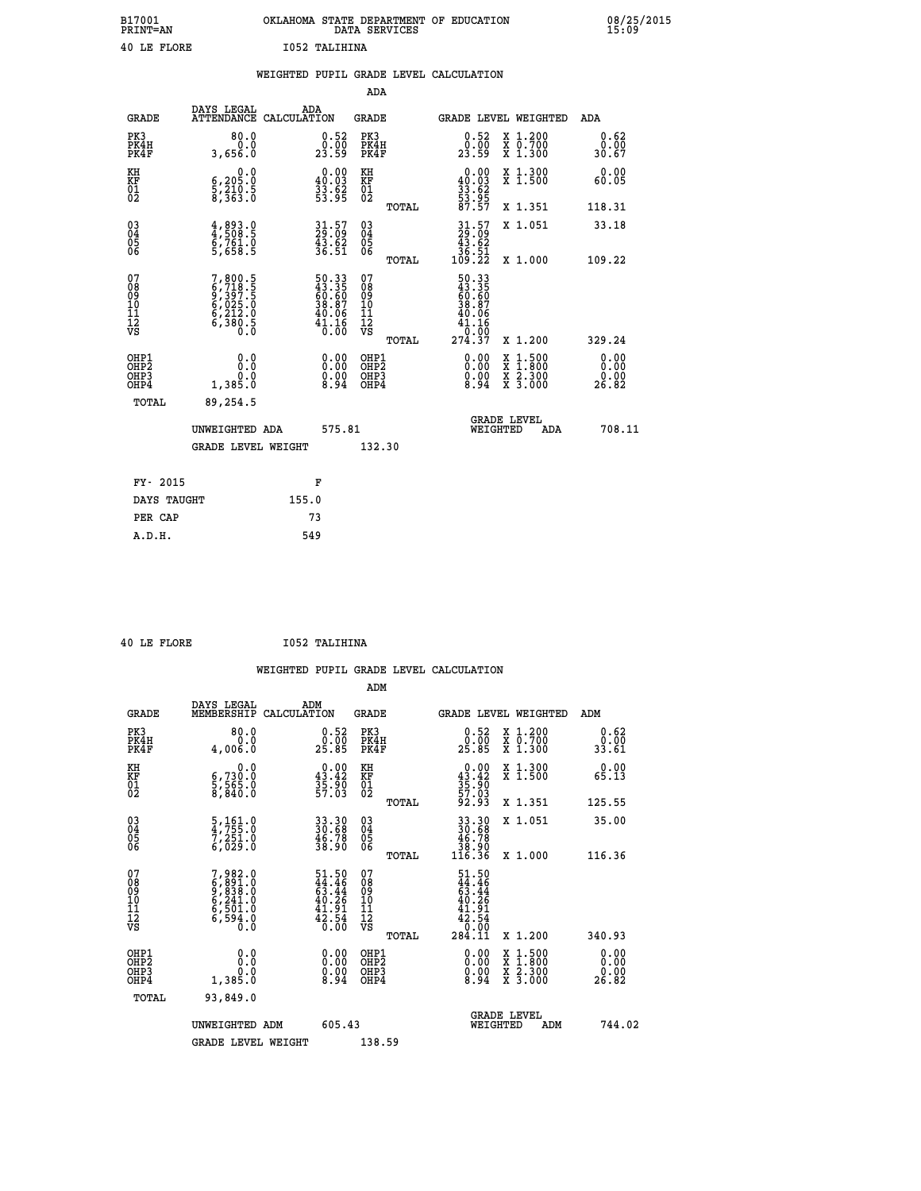| B17001<br><b>PRINT=AN</b> | OKLAHOMA STATE DEPARTMENT OF EDUCATION<br>DATA SERVICES | 08/25/2015<br>15:09 |
|---------------------------|---------------------------------------------------------|---------------------|
| 40 LE FLORE               | 1052 TALIHINA                                           |                     |

|                                           |                                                                                                 |       |                                                                      |                                                     |       | WEIGHTED PUPIL GRADE LEVEL CALCULATION                                         |                                                                                                                                           |     |                               |  |
|-------------------------------------------|-------------------------------------------------------------------------------------------------|-------|----------------------------------------------------------------------|-----------------------------------------------------|-------|--------------------------------------------------------------------------------|-------------------------------------------------------------------------------------------------------------------------------------------|-----|-------------------------------|--|
|                                           |                                                                                                 |       |                                                                      | <b>ADA</b>                                          |       |                                                                                |                                                                                                                                           |     |                               |  |
| <b>GRADE</b>                              | DAYS LEGAL<br>ATTENDANCE CALCULATION                                                            |       | ADA                                                                  | <b>GRADE</b>                                        |       | GRADE LEVEL WEIGHTED                                                           |                                                                                                                                           |     | ADA                           |  |
| PK3<br>PK4H<br>PK4F                       | 80.0<br>3,656.0                                                                                 |       | $\begin{smallmatrix} 0.52\ 0.00 \ 23.59 \end{smallmatrix}$           | PK3<br>PK4H<br>PK4F                                 |       | $\begin{smallmatrix} 0.52\ 0.00 \ 23.59 \end{smallmatrix}$                     | X 1.200<br>X 0.700<br>X 1.300                                                                                                             |     | 0.62<br>0.00<br>30.67         |  |
| KH<br>KF<br>01<br>02                      | $\begin{smallmatrix}&&&0.0\\6.205.0\\5.210.5\\8.363.0\end{smallmatrix}$                         |       | $\begin{smallmatrix} 0.00\\ 40.03\\ 33.62\\ 53.95 \end{smallmatrix}$ | KH<br>KF<br>01<br>02                                |       | 0.00<br>$\frac{40.03}{33.62}$<br>$\frac{53.95}{53.95}$                         | X 1.300<br>X 1.500                                                                                                                        |     | 0.00<br>60.05                 |  |
|                                           |                                                                                                 |       |                                                                      |                                                     | TOTAL | 87.57                                                                          | X 1.351                                                                                                                                   |     | 118.31                        |  |
| 03<br>04<br>05<br>06                      | 4,893.0<br>4,508.5<br>6,761.0<br>5,658.5                                                        |       | $31.57$<br>$29.09$<br>$43.62$<br>$36.51$                             | $\begin{array}{c} 03 \\ 04 \\ 05 \\ 06 \end{array}$ |       | $\begin{smallmatrix} 31.57\\ 29.09\\ 43.62\\ 36.51\\ 109.22 \end{smallmatrix}$ | X 1.051                                                                                                                                   |     | 33.18                         |  |
|                                           |                                                                                                 |       |                                                                      |                                                     | TOTAL |                                                                                | X 1.000                                                                                                                                   |     | 109.22                        |  |
| 07<br>08901112<br>1112<br>VS              | $\begin{smallmatrix}7,800.5\\6,718.5\\9,397.5\\6,025.0\\6,212.0\\6,380.5\\0.0\end{smallmatrix}$ |       | 50.33<br>43.35<br>60.60<br>38.87<br>40.06<br>41.16<br>Ō. ŌŎ          | 07<br>08<br>09<br>11<br>11<br>12<br>VS              | TOTAL | 50.33<br>43.35<br>60.60<br>38.87<br>40.06<br>41.16<br>10:00<br>274.37          | X 1.200                                                                                                                                   |     | 329.24                        |  |
| OHP1<br>OH <sub>P</sub> 2<br>OHP3<br>OHP4 | 0.0<br>Ŏ.Ŏ<br>0.85.0                                                                            |       | $\begin{smallmatrix} 0.00 \ 0.00 \ 0.00 \ 8.94 \end{smallmatrix}$    | OHP1<br>OHP <sub>2</sub><br>OHP3<br>OHP4            |       | 0.00<br>$\begin{smallmatrix} 0.00 & 0.01 \\ 0.94 & 0.01 \end{smallmatrix}$     | $\begin{smallmatrix} \mathtt{X} & 1\cdot500\\ \mathtt{X} & 1\cdot800\\ \mathtt{X} & 2\cdot300\\ \mathtt{X} & 3\cdot000 \end{smallmatrix}$ |     | 0.00<br>0.00<br>ŏ:ŏŏ<br>26.82 |  |
| TOTAL                                     | 89,254.5                                                                                        |       |                                                                      |                                                     |       |                                                                                |                                                                                                                                           |     |                               |  |
|                                           | UNWEIGHTED ADA                                                                                  |       | 575.81                                                               |                                                     |       | <b>GRADE LEVEL</b><br>WEIGHTED                                                 |                                                                                                                                           | ADA | 708.11                        |  |
|                                           | <b>GRADE LEVEL WEIGHT</b>                                                                       |       |                                                                      | 132.30                                              |       |                                                                                |                                                                                                                                           |     |                               |  |
| FY- 2015                                  |                                                                                                 |       | F                                                                    |                                                     |       |                                                                                |                                                                                                                                           |     |                               |  |
| DAYS TAUGHT                               |                                                                                                 | 155.0 |                                                                      |                                                     |       |                                                                                |                                                                                                                                           |     |                               |  |
| PER CAP                                   |                                                                                                 |       | 73                                                                   |                                                     |       |                                                                                |                                                                                                                                           |     |                               |  |

|  | 40 LE FLORE | I052 TALIHINA |
|--|-------------|---------------|
|  |             |               |

 **ADM**

| <b>GRADE</b>                                       | DAYS LEGAL<br>MEMBERSHIP CALCULATION                                                | ADM                                                                      | <b>GRADE</b>                                        |       | GRADE LEVEL WEIGHTED                                                                 |                                          | ADM                                                                |  |
|----------------------------------------------------|-------------------------------------------------------------------------------------|--------------------------------------------------------------------------|-----------------------------------------------------|-------|--------------------------------------------------------------------------------------|------------------------------------------|--------------------------------------------------------------------|--|
| PK3<br>PK4H<br>PK4F                                | 80.0<br>0.0<br>4,006.0                                                              | 0.52<br>25.85                                                            | PK3<br>PK4H<br>PK4F                                 |       | $\begin{smallmatrix} 0.52\ 0.00 \ 25.85 \end{smallmatrix}$                           | X 1.200<br>X 0.700<br>X 1.300            | 0.62<br>$\frac{0.00}{33.61}$                                       |  |
| KH<br>KF<br>01<br>02                               | 0.0<br>$\frac{6}{3}, \frac{730}{565}$ .0<br>8,840.0                                 | $0.00$<br>$43.42$<br>$35.90$<br>$57.03$                                  | KH<br>KF<br>01<br>02                                |       | $0.00\n43.42\n35.90\n57.03\n57.03\n92.93$                                            | X 1.300<br>X 1.500                       | 0.00<br>65.13                                                      |  |
|                                                    |                                                                                     |                                                                          |                                                     | TOTAL |                                                                                      | X 1.351                                  | 125.55                                                             |  |
| $\begin{matrix} 03 \\ 04 \\ 05 \\ 06 \end{matrix}$ | 5,161.0<br>4,755.0<br>7,251.0<br>6,029.0                                            | 33.30<br>30.68<br>46.78<br>38.90                                         | $\begin{array}{c} 03 \\ 04 \\ 05 \\ 06 \end{array}$ |       | $33.3030.6846.7838.90116.36$                                                         | X 1.051                                  | 35.00                                                              |  |
|                                                    |                                                                                     |                                                                          |                                                     | TOTAL |                                                                                      | X 1.000                                  | 116.36                                                             |  |
| 07<br>08<br>09<br>101<br>11<br>12<br>VS            | $7,982.0$<br>$6,891.0$<br>$9,838.0$<br>$6,241.0$<br>$6,501.0$<br>$6,594.0$<br>$0.0$ | $51.50$<br>$44.46$<br>$63.44$<br>$40.26$<br>$41.91$<br>$42.54$<br>$6.00$ | 07<br>08<br>09<br>001<br>11<br>11<br>12<br>VS       | TOTAL | $51.50$<br>$44.46$<br>$63.44$<br>$40.26$<br>$41.91$<br>$42.54$<br>$0.00$<br>$284.11$ | X 1.200                                  | 340.93                                                             |  |
| OHP1<br>OHP2<br>OHP3<br>OHP4                       | 0.0<br>0.85.0                                                                       | $\begin{smallmatrix} 0.00 \ 0.00 \ 0.00 \ 8.94 \end{smallmatrix}$        | OHP1<br>OHP2<br>OHP3<br>OHP4                        |       | $0.00$<br>$0.00$<br>8.94                                                             | X 1:500<br>X 1:800<br>X 2:300<br>X 3:000 | $\begin{smallmatrix} 0.00\\ 0.00\\ 0.00\\ 26.82 \end{smallmatrix}$ |  |
| TOTAL                                              | 93,849.0                                                                            |                                                                          |                                                     |       |                                                                                      |                                          |                                                                    |  |
|                                                    | UNWEIGHTED<br>ADM                                                                   | 605.43                                                                   |                                                     |       | WEIGHTED                                                                             | <b>GRADE LEVEL</b><br>ADM                | 744.02                                                             |  |
|                                                    | <b>GRADE LEVEL WEIGHT</b>                                                           |                                                                          | 138.59                                              |       |                                                                                      |                                          |                                                                    |  |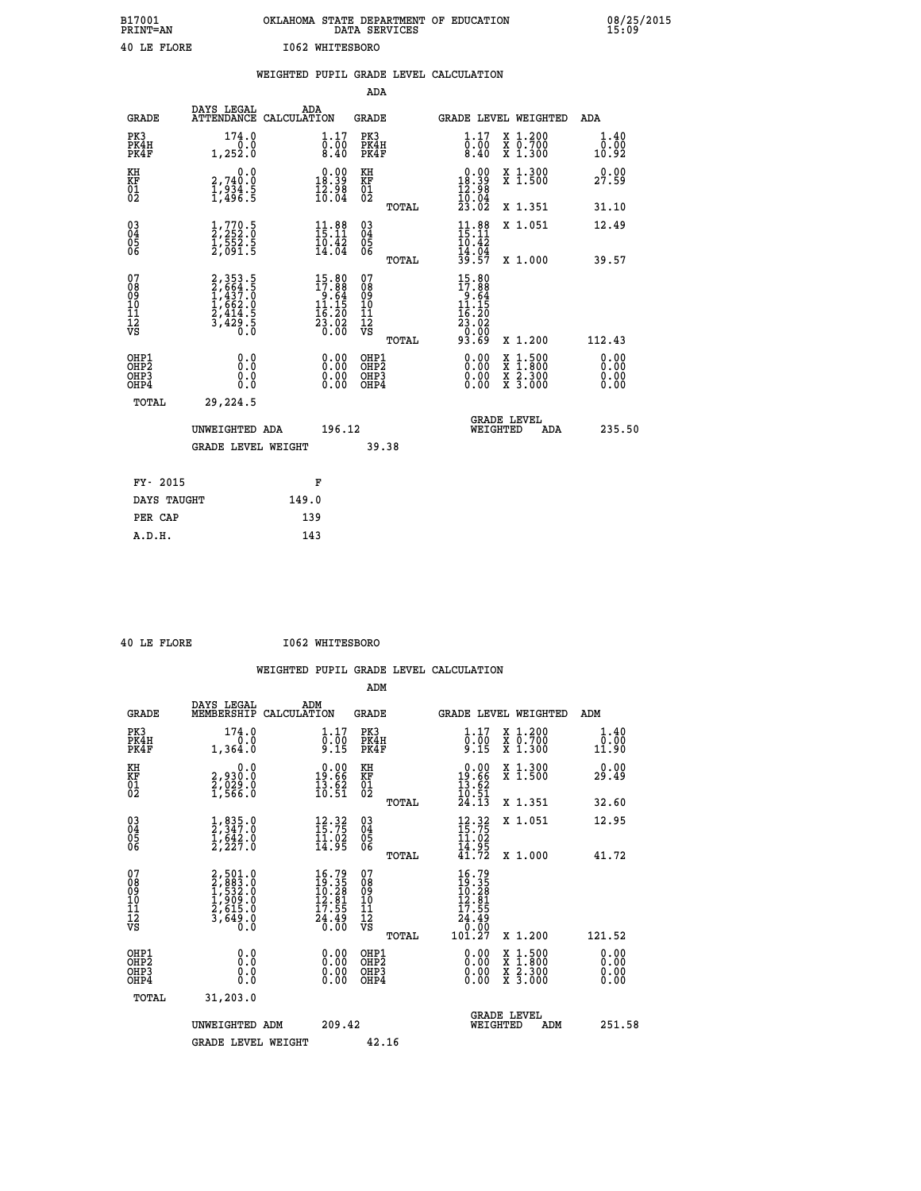| B17001<br>PRINT=AN | OKLAHOMA STATE DEPARTMENT OF EDUCATION<br>DATA SERVICES | 08/25/2015<br>15:09 |
|--------------------|---------------------------------------------------------|---------------------|
| 40 LE FLORE        | 1062 WHITESBORO                                         |                     |

|                                                    |                                                                                                         | WEIGHTED PUPIL GRADE LEVEL CALCULATION                                                   |                                                 |                                                                                                                                      |                                                                                                                                           |                              |
|----------------------------------------------------|---------------------------------------------------------------------------------------------------------|------------------------------------------------------------------------------------------|-------------------------------------------------|--------------------------------------------------------------------------------------------------------------------------------------|-------------------------------------------------------------------------------------------------------------------------------------------|------------------------------|
|                                                    |                                                                                                         |                                                                                          | <b>ADA</b>                                      |                                                                                                                                      |                                                                                                                                           |                              |
| <b>GRADE</b>                                       | DAYS LEGAL                                                                                              | ADA<br>ATTENDANCE CALCULATION                                                            | <b>GRADE</b>                                    | GRADE LEVEL WEIGHTED                                                                                                                 |                                                                                                                                           | ADA                          |
| PK3<br>PK4H<br>PK4F                                | 174.0<br>0.0<br>1,252.0                                                                                 | $\substack{1.17 \\ 0.00 \\ 8.40}$                                                        | PK3<br>PK4H<br>PK4F                             | $\substack{1.17 \\ 0.00 \\ 8.40}$                                                                                                    | X 1.200<br>X 0.700<br>X 1.300                                                                                                             | 1.40<br>0.00<br>10.92        |
| KH<br>KF<br>01<br>02                               | 0.0<br>2,740:0<br>1,934.5<br>1,496:5                                                                    | $\begin{smallmatrix} 0.00\\18.39\\12.98\\16.04 \end{smallmatrix}$                        | KH<br>KF<br>01<br>02                            | $\begin{smallmatrix} &0.00\\ 18.39\\ 12.98\\ 10.04\\ 23.02 \end{smallmatrix}$                                                        | X 1.300<br>X 1.500                                                                                                                        | 0.00<br>27.59                |
|                                                    |                                                                                                         |                                                                                          | TOTAL                                           |                                                                                                                                      | X 1.351                                                                                                                                   | 31.10                        |
| $\begin{matrix} 03 \\ 04 \\ 05 \\ 06 \end{matrix}$ | $\frac{1}{2}$ , $\frac{770}{252}$ ; $\overline{0}$<br>$\frac{1}{2}, \frac{55}{21}$ : 5                  | $11.88$<br>$15.11$<br>$\frac{10.42}{14.04}$                                              | 03<br>04<br>05<br>06                            | $11.88$<br>$15.11$<br>$10.42$<br>$14.04$<br>$39.57$                                                                                  | X 1.051                                                                                                                                   | 12.49                        |
|                                                    |                                                                                                         |                                                                                          | TOTAL                                           |                                                                                                                                      | X 1.000                                                                                                                                   | 39.57                        |
| 07<br>08901112<br>1112<br>VS                       | $\begin{smallmatrix} 2,353.5\\ 2,664.5\\ 1,437.0\\ 1,662.0\\ 2,414.5\\ 3,429.5\\ 0.0 \end{smallmatrix}$ | $\begin{array}{r} 15.80 \\ 17.88 \\ 9.64 \\ 11.15 \\ 16.20 \\ 23.02 \\ 0.00 \end{array}$ | 07<br>08<br>09<br>11<br>11<br>12<br>VS<br>TOTAL | $\begin{array}{r} 15\cdot 80 \\ 17\cdot 88 \\ 9\cdot 64 \\ 11\cdot 15 \\ 16\cdot 20 \\ 23\cdot 02 \\ 0.00 \\ 93\cdot 69 \end{array}$ | X 1.200                                                                                                                                   | 112.43                       |
| OHP1<br>OHP2<br>OH <sub>P3</sub><br>OHP4           | 0.0<br>0.0<br>0.0                                                                                       |                                                                                          | OHP1<br>OHP2<br>OHP3<br>OHP4                    |                                                                                                                                      | $\begin{smallmatrix} \mathtt{X} & 1\cdot500\\ \mathtt{X} & 1\cdot800\\ \mathtt{X} & 2\cdot300\\ \mathtt{X} & 3\cdot000 \end{smallmatrix}$ | 0.00<br>0.00<br>0.00<br>0.00 |
| TOTAL                                              | 29,224.5                                                                                                |                                                                                          |                                                 |                                                                                                                                      |                                                                                                                                           |                              |
|                                                    | UNWEIGHTED ADA                                                                                          | 196.12                                                                                   |                                                 | <b>GRADE LEVEL</b><br>WEIGHTED                                                                                                       | ADA                                                                                                                                       | 235.50                       |
|                                                    | <b>GRADE LEVEL WEIGHT</b>                                                                               |                                                                                          | 39.38                                           |                                                                                                                                      |                                                                                                                                           |                              |
| FY- 2015                                           |                                                                                                         | F                                                                                        |                                                 |                                                                                                                                      |                                                                                                                                           |                              |
|                                                    | DAYS TAUGHT                                                                                             | 149.0                                                                                    |                                                 |                                                                                                                                      |                                                                                                                                           |                              |
| PER CAP                                            |                                                                                                         | 139                                                                                      |                                                 |                                                                                                                                      |                                                                                                                                           |                              |

| 40 LE FLORE |  |  |
|-------------|--|--|

 **ADM**

 **40 LE FLORE I062 WHITESBORO**

| <b>GRADE</b>                 | DAYS LEGAL<br>MEMBERSHIP                                              | ADM<br>CALCULATION                                                                        | <b>GRADE</b>                                       |       | <b>GRADE LEVEL WEIGHTED</b>                                                           |                                          | ADM                                                                        |  |
|------------------------------|-----------------------------------------------------------------------|-------------------------------------------------------------------------------------------|----------------------------------------------------|-------|---------------------------------------------------------------------------------------|------------------------------------------|----------------------------------------------------------------------------|--|
| PK3<br>PK4H<br>PK4F          | 174.0<br>0.0<br>1,364.0                                               | $\begin{smallmatrix} 1.17\ 0.00\ 9.15 \end{smallmatrix}$                                  | PK3<br>PK4H<br>PK4F                                |       | $\begin{smallmatrix} 1\cdot 17\ 0\cdot 00\ 9\cdot 15 \end{smallmatrix}$               | X 1.200<br>X 0.700<br>X 1.300            | $\begin{smallmatrix} 1.40\\[-1.2mm] 0.00\\[-1.9mm] 11.90\end{smallmatrix}$ |  |
| KH<br>KF<br>01<br>02         | 0.0<br>2,930:0<br>2,029:0<br>1,566:0                                  | $\begin{smallmatrix} 0.00\\19.66\\13.62\\10.51 \end{smallmatrix}$                         | KH<br>KF<br>01<br>02                               |       | $\begin{array}{r} 0.00 \\ 19.66 \\ 13.62 \\ 10.51 \\ 24.13 \end{array}$               | X 1.300<br>X 1.500                       | 0.00<br>29.49                                                              |  |
|                              |                                                                       |                                                                                           |                                                    | TOTAL |                                                                                       | X 1.351                                  | 32.60                                                                      |  |
| 03<br>04<br>05<br>06         | $\frac{1}{2}, \frac{835}{347}.0 \\ 1, \frac{642}{2}, 0 \\ 2, 227.0$   | $\begin{smallmatrix} 12\cdot 32\\ 15\cdot 75\\ 11\cdot 02\\ 14\cdot 95 \end{smallmatrix}$ | $\begin{matrix} 03 \\ 04 \\ 05 \\ 06 \end{matrix}$ |       | $12.32$<br>$15.75$<br>$11.02$<br>$14.95$<br>$41.72$                                   | X 1.051                                  | 12.95                                                                      |  |
|                              |                                                                       |                                                                                           |                                                    | TOTAL |                                                                                       | X 1.000                                  | 41.72                                                                      |  |
| 07<br>08901112<br>1112<br>VS | 2,501.0<br>2,883.0<br>1,532.0<br>1,909.0<br>2,615.0<br>3,649.0<br>0.0 | $16.79$<br>$19.35$<br>$10.28$<br>$12.81$<br>$17.55$<br>$24.49$<br>$0.00$                  | 07<br>08901112<br>1112<br>VS                       | TOTAL | $16.79$<br>$19.35$<br>$10.281$<br>$12.81$<br>$17.55$<br>$24.49$<br>$0.00$<br>$101.27$ | X 1.200                                  | 121.52                                                                     |  |
| OHP1<br>OHP2<br>OHP3<br>OHP4 | 0.0<br>0.000                                                          |                                                                                           | OHP1<br>OHP2<br>OHP3<br>OHP4                       |       |                                                                                       | X 1:500<br>X 1:800<br>X 2:300<br>X 3:000 | 0.00<br>0.00<br>0.00                                                       |  |
| TOTAL                        | 31,203.0                                                              |                                                                                           |                                                    |       |                                                                                       |                                          |                                                                            |  |
|                              | UNWEIGHTED ADM                                                        | 209.42                                                                                    |                                                    |       | WEIGHTED                                                                              | <b>GRADE LEVEL</b><br>ADM                | 251.58                                                                     |  |
|                              | <b>GRADE LEVEL WEIGHT</b>                                             |                                                                                           | 42.16                                              |       |                                                                                       |                                          |                                                                            |  |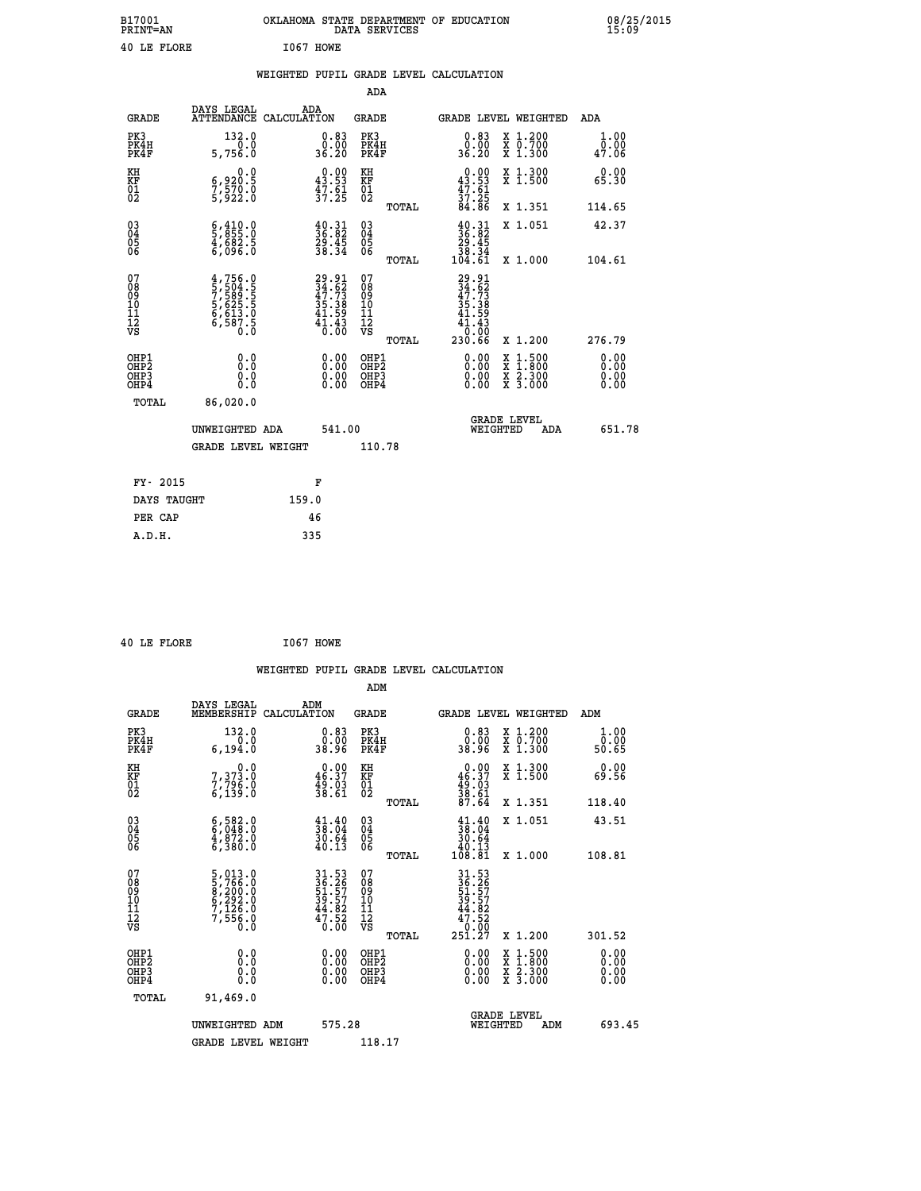| B17001<br><b>PRINT=AN</b> | OKLAHOMA STATE DEPARTMENT OF EDUCATION<br>DATA SERVICES | 08/25/2015<br>15:09 |
|---------------------------|---------------------------------------------------------|---------------------|
| 40 LE FLORE               | I067 HOWE                                               |                     |

|                                                          |                                                                                                                                                          |                                                                          |                                                     | WEIGHTED PUPIL GRADE LEVEL CALCULATION                                         |                                          |                       |
|----------------------------------------------------------|----------------------------------------------------------------------------------------------------------------------------------------------------------|--------------------------------------------------------------------------|-----------------------------------------------------|--------------------------------------------------------------------------------|------------------------------------------|-----------------------|
|                                                          |                                                                                                                                                          |                                                                          | ADA                                                 |                                                                                |                                          |                       |
|                                                          |                                                                                                                                                          |                                                                          |                                                     |                                                                                |                                          |                       |
| <b>GRADE</b>                                             |                                                                                                                                                          | DAYS LEGAL ADA ATTENDANCE CALCULATION                                    | <b>GRADE</b>                                        | GRADE LEVEL WEIGHTED                                                           |                                          | <b>ADA</b>            |
| PK3<br>PK4H<br>PK4F                                      | 132.0<br>0.0<br>5,756.0                                                                                                                                  | $\begin{smallmatrix} 0.83\ 0.00\\ 0.00\\ 36.20 \end{smallmatrix}$        | PK3<br>PK4H<br>PK4F                                 | 0.83<br>ō.ŏō<br>36.20                                                          | X 1.200<br>X 0.700<br>X 1.300            | 1.00<br>0.00<br>47.06 |
| KH<br>KF<br>01<br>02                                     | 0.0<br>6,920:5<br>7,570:0<br>5,922:0                                                                                                                     | $\begin{smallmatrix} 0.00\\ 43.53\\ 47.61\\ 37.25 \end{smallmatrix}$     | KH<br>KF<br>01<br>02                                | $0.00\n43.53\n47.61\n37.25\n84.86$                                             | X 1.300<br>X 1.500                       | 0.00<br>65.30         |
|                                                          |                                                                                                                                                          |                                                                          | TOTAL                                               |                                                                                | X 1.351                                  | 114.65                |
| $\begin{matrix} 03 \\ 04 \\ 05 \\ 06 \end{matrix}$       | $\frac{6}{5}, \frac{410}{855} . 0$<br>4,682.5<br>6,096.0                                                                                                 | $\begin{smallmatrix} 40.31\ 36.82\ 29.45\ 38.34 \end{smallmatrix}$       | $\begin{array}{c} 03 \\ 04 \\ 05 \\ 06 \end{array}$ | $\begin{smallmatrix} 40.31\ 36.82\ 29.45\ 38.34\ 104.61\ \end{smallmatrix}$    | X 1.051                                  | 42.37                 |
|                                                          |                                                                                                                                                          |                                                                          | TOTAL                                               |                                                                                | X 1.000                                  | 104.61                |
| 07<br>08<br>09<br>11<br>11<br>12<br>VS                   | $\begin{smallmatrix} 4\,,\,756\,,\,0\\ 5\,,\,504\,,\,5\\ 7\,,\,589\,,\,5\\ 5\,,\,625\,,\,5\\ 6\,,\,613\,,\,0\\ 6\,,\,587\,,\,5\\ 0\,. \end{smallmatrix}$ | $29.91$<br>$34.62$<br>$47.73$<br>$35.38$<br>$41.59$<br>$41.43$<br>$0.00$ | 07<br>08<br>09<br>11<br>11<br>12<br>VS<br>TOTAL     | $29.91$<br>$34.62$<br>$47.73$<br>$35.38$<br>$41.59$<br>41.43<br>0.00<br>230.66 | X 1.200                                  | 276.79                |
| OHP1                                                     | 0.0                                                                                                                                                      |                                                                          | OHP1                                                |                                                                                |                                          | 0.00                  |
| OH <sub>P</sub> <sub>2</sub><br>OH <sub>P3</sub><br>OHP4 | Ō.Ō<br>0.0<br>Ŏ.Ŏ                                                                                                                                        | $\begin{smallmatrix} 0.00 \ 0.00 \ 0.00 \ 0.00 \end{smallmatrix}$        | OHP <sub>2</sub><br>OHP3<br>OHP4                    | 0.00<br>0.00<br>0.00                                                           | X 1:500<br>X 1:800<br>X 2:300<br>X 3:000 | Ō. ŌŌ<br>0.00<br>0.00 |
| <b>TOTAL</b>                                             | 86,020.0                                                                                                                                                 |                                                                          |                                                     |                                                                                |                                          |                       |
|                                                          | UNWEIGHTED ADA                                                                                                                                           | 541.00                                                                   |                                                     | GRADE LEVEL<br>WEIGHTED                                                        | ADA                                      | 651.78                |
|                                                          | <b>GRADE LEVEL WEIGHT</b>                                                                                                                                |                                                                          | 110.78                                              |                                                                                |                                          |                       |
| FY- 2015                                                 |                                                                                                                                                          | F                                                                        |                                                     |                                                                                |                                          |                       |
| DAYS TAUGHT                                              |                                                                                                                                                          | 159.0                                                                    |                                                     |                                                                                |                                          |                       |
| PER CAP                                                  |                                                                                                                                                          | 46                                                                       |                                                     |                                                                                |                                          |                       |

 **40 LE FLORE I067 HOWE**

 **A.D.H. 335**

|                                                      |                                                                                               |                                                                                           |                                                 | WEIGHTED PUPIL GRADE LEVEL CALCULATION                                                                                                                                                                                                                                         |                                          |                       |
|------------------------------------------------------|-----------------------------------------------------------------------------------------------|-------------------------------------------------------------------------------------------|-------------------------------------------------|--------------------------------------------------------------------------------------------------------------------------------------------------------------------------------------------------------------------------------------------------------------------------------|------------------------------------------|-----------------------|
|                                                      |                                                                                               |                                                                                           | ADM                                             |                                                                                                                                                                                                                                                                                |                                          |                       |
| <b>GRADE</b>                                         | DAYS LEGAL<br>MEMBERSHIP<br>CALCULATION                                                       | ADM                                                                                       | <b>GRADE</b>                                    | <b>GRADE LEVEL WEIGHTED</b>                                                                                                                                                                                                                                                    |                                          | ADM                   |
| PK3<br>PK4H<br>PK4F                                  | 132.0<br>0.0<br>6, 194.0                                                                      | $\begin{smallmatrix} 0.83\ 0.00\ 38.96 \end{smallmatrix}$                                 | PK3<br>PK4H<br>PK4F                             | $\begin{smallmatrix} 0.83\ 0.00\\ 0.00\\ 38.96 \end{smallmatrix}$                                                                                                                                                                                                              | X 1.200<br>X 0.700<br>X 1.300            | 1.00<br>0.00<br>50.65 |
| KH<br>KF<br>01<br>02                                 | 0.0<br>7,373.0<br>7,796.0<br>6,139.0                                                          | $\begin{smallmatrix} 0.00\\ 46.37\\ 49.03\\ 38.61 \end{smallmatrix}$                      | KH<br>KF<br>01<br>02                            | $0.00\n46.37\n49.03\n38.61\n38.61\n87.64$                                                                                                                                                                                                                                      | X 1.300<br>X 1.500                       | 0.00<br>69.56         |
|                                                      |                                                                                               |                                                                                           | TOTAL                                           |                                                                                                                                                                                                                                                                                | X 1.351                                  | 118.40                |
| $\begin{matrix} 03 \\ 04 \\ 05 \\ 06 \end{matrix}$   | $\begin{smallmatrix} 6 & 582 & 0\\ 6 & 048 & 0\\ 4 & 872 & 0\\ 6 & 380 & 0 \end{smallmatrix}$ | $\begin{smallmatrix} 41.40\\ 38.04\\ 30.64\\ 40.13 \end{smallmatrix}$                     | 03<br>04<br>05<br>06                            | $\begin{smallmatrix} 41\cdot 40\\ 38\cdot 04\\ 30\cdot 64\\ 40\cdot 13\\ 108\cdot 81\\ \end{smallmatrix}$                                                                                                                                                                      | X 1.051                                  | 43.51                 |
|                                                      |                                                                                               |                                                                                           | TOTAL                                           |                                                                                                                                                                                                                                                                                | X 1.000                                  | 108.81                |
| 07<br>08<br>09<br>101<br>112<br>VS                   | 5,013.0<br>5,766.0<br>8,200.0<br>6,292.0<br>6,292.0<br>7,126.0<br>7,556.0                     | $\begin{array}{c} 31.53 \\ 36.26 \\ 51.57 \\ 39.57 \\ 44.82 \\ 47.52 \\ 0.00 \end{array}$ | 07<br>08<br>09<br>11<br>11<br>12<br>VS<br>TOTAL | 31.53<br>36.26<br>51.57<br>39.57<br>44.82<br>$\begin{array}{r} 47.52 \\ 0.02 \\ 251.27 \end{array}$                                                                                                                                                                            | X 1.200                                  | 301.52                |
|                                                      |                                                                                               |                                                                                           |                                                 |                                                                                                                                                                                                                                                                                |                                          |                       |
| OHP1<br>OHP2<br>OH <sub>P3</sub><br>OH <sub>P4</sub> | 0.0<br>0.000                                                                                  | $\begin{smallmatrix} 0.00 \ 0.00 \ 0.00 \ 0.00 \end{smallmatrix}$                         | OHP1<br>OHP2<br>OHP3<br>OHP4                    | $\begin{smallmatrix} 0.00 & 0.00 & 0.00 & 0.00 & 0.00 & 0.00 & 0.00 & 0.00 & 0.00 & 0.00 & 0.00 & 0.00 & 0.00 & 0.00 & 0.00 & 0.00 & 0.00 & 0.00 & 0.00 & 0.00 & 0.00 & 0.00 & 0.00 & 0.00 & 0.00 & 0.00 & 0.00 & 0.00 & 0.00 & 0.00 & 0.00 & 0.00 & 0.00 & 0.00 & 0.00 & 0.0$ | X 1:500<br>X 1:800<br>X 2:300<br>X 3:000 | 0.00<br>0.00<br>0.00  |
| TOTAL                                                | 91,469.0                                                                                      |                                                                                           |                                                 |                                                                                                                                                                                                                                                                                |                                          |                       |
|                                                      | UNWEIGHTED ADM                                                                                | 575.28                                                                                    |                                                 | GRADE LEVEL<br>WEIGHTED                                                                                                                                                                                                                                                        | ADM                                      | 693.45                |
|                                                      | <b>GRADE LEVEL WEIGHT</b>                                                                     |                                                                                           | 118.17                                          |                                                                                                                                                                                                                                                                                |                                          |                       |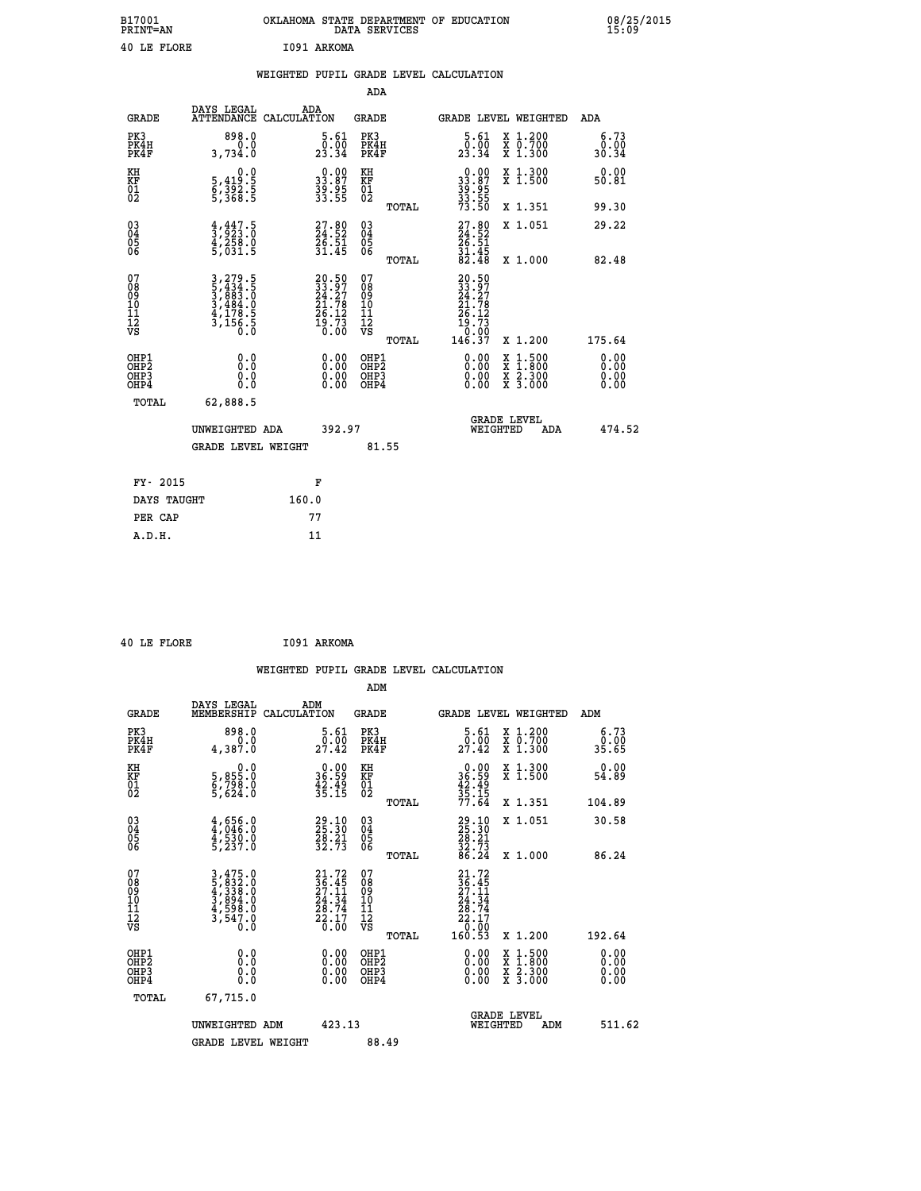| B17001<br>PRINT=AN | OKLAHOMA STATE DEPARTMENT OF EDUCATION<br>DATA SERVICES | 08/25/2015<br>15:09 |
|--------------------|---------------------------------------------------------|---------------------|
| 40 LE FLORE        | I091 ARKOMA                                             |                     |

|                                                      |                                                                            | WEIGHTED PUPIL GRADE LEVEL CALCULATION                                   |                                          |                                                                                                                                                                       |                              |
|------------------------------------------------------|----------------------------------------------------------------------------|--------------------------------------------------------------------------|------------------------------------------|-----------------------------------------------------------------------------------------------------------------------------------------------------------------------|------------------------------|
|                                                      |                                                                            |                                                                          | <b>ADA</b>                               |                                                                                                                                                                       |                              |
| <b>GRADE</b>                                         | DAYS LEGAL                                                                 | ADA<br>ATTENDANCE CALCULATION                                            | GRADE                                    | GRADE LEVEL WEIGHTED                                                                                                                                                  | ADA                          |
| PK3<br>PK4H<br>PK4F                                  | 898.0<br>0.0<br>3,734.0                                                    | 5.61<br>$\frac{5}{23.34}$                                                | PK3<br>PK4H<br>PK4F                      | $\begin{smallmatrix}5.61\0.00\\23.34\end{smallmatrix}$<br>X 1.200<br>X 0.700<br>X 1.300                                                                               | 6.73<br>0.00<br>30.34        |
| KH<br>KF<br>01<br>02                                 | 0.0<br>5,419:5<br>6,392:5<br>5,368:5                                       | $\begin{smallmatrix} 0.00\\ 33.87\\ 39.95\\ 33.55 \end{smallmatrix}$     | KH<br>KF<br>01<br>02                     | $\begin{smallmatrix} 0.00\\ 33.87\\ 39.95\\ 33.55\\ 73.50 \end{smallmatrix}$<br>X 1.300<br>X 1.500                                                                    | 0.00<br>50.81                |
|                                                      |                                                                            |                                                                          | TOTAL                                    | X 1.351                                                                                                                                                               | 99.30                        |
| $\begin{matrix} 03 \\ 04 \\ 05 \\ 06 \end{matrix}$   | $\frac{4}{3}, \frac{447}{923}$ : 0<br>$\frac{4}{5}$ , $\frac{258}{031}$ .5 | $\begin{smallmatrix} 27.80\\ 24.52\\ 26.51\\ 31.45 \end{smallmatrix}$    | $^{03}_{04}$<br>05<br>06                 | $27.80$<br>$24.52$<br>$26.51$<br>$31.45$<br>$82.48$<br>X 1.051                                                                                                        | 29.22                        |
|                                                      |                                                                            |                                                                          | TOTAL                                    | X 1.000                                                                                                                                                               | 82.48                        |
| 07<br>08<br>09<br>001<br>11<br>11<br>12<br>VS        | 3,279.5<br>5,434.5<br>5,4883.0<br>3,484.0<br>4,178.5<br>3,156.5            | $20.50$<br>$33.97$<br>$24.27$<br>$21.78$<br>$26.12$<br>$19.73$<br>$0.00$ | 07<br>08<br>09<br>11<br>11<br>12<br>VS   | $\frac{20.50}{33.97}$<br>$\begin{smallmatrix} 24.76\ 21.78\ 26.12\ 19.73\ 0.00\ 146.37 \end{smallmatrix}$                                                             |                              |
|                                                      |                                                                            |                                                                          | TOTAL                                    | X 1.200                                                                                                                                                               | 175.64                       |
| OHP1<br>OHP <sub>2</sub><br>OH <sub>P3</sub><br>OHP4 | 0.0<br>Ō.Ō<br>0.0<br>0.0                                                   | 0.00<br>0.00<br>0.00                                                     | OHP1<br>OHP <sub>2</sub><br>OHP3<br>OHP4 | $0.00$<br>$0.00$<br>$\begin{smallmatrix} \mathtt{X} & 1\cdot500\\ \mathtt{X} & 1\cdot800\\ \mathtt{X} & 2\cdot300\\ \mathtt{X} & 3\cdot000 \end{smallmatrix}$<br>0.00 | 0.00<br>0.00<br>0.00<br>0.00 |
| TOTAL                                                | 62,888.5                                                                   |                                                                          |                                          | <b>GRADE LEVEL</b>                                                                                                                                                    |                              |
|                                                      | UNWEIGHTED ADA                                                             | 392.97                                                                   |                                          | WEIGHTED<br>ADA                                                                                                                                                       | 474.52                       |
|                                                      | <b>GRADE LEVEL WEIGHT</b>                                                  |                                                                          | 81.55                                    |                                                                                                                                                                       |                              |
| FY- 2015                                             |                                                                            | F                                                                        |                                          |                                                                                                                                                                       |                              |
| DAYS TAUGHT                                          |                                                                            | 160.0                                                                    |                                          |                                                                                                                                                                       |                              |
| PER CAP                                              |                                                                            | 77                                                                       |                                          |                                                                                                                                                                       |                              |
| A.D.H.                                               |                                                                            | 11                                                                       |                                          |                                                                                                                                                                       |                              |

 **40 LE FLORE I091 ARKOMA**

| <b>GRADE</b>                                       | DAYS LEGAL<br>MEMBERSHIP                                         | ADM<br>CALCULATION                                                       | <b>GRADE</b>                                       |       | GRADE LEVEL WEIGHTED                                                                      |                                          | ADM                   |  |
|----------------------------------------------------|------------------------------------------------------------------|--------------------------------------------------------------------------|----------------------------------------------------|-------|-------------------------------------------------------------------------------------------|------------------------------------------|-----------------------|--|
| PK3<br>PK4H<br>PK4F                                | 898.0<br>4,387.0                                                 | 5.61<br>27.42                                                            | PK3<br>PK4H<br>PK4F                                |       | $\overset{5}{\substack{0.61\\27.42}}$                                                     | X 1.200<br>X 0.700<br>X 1.300            | 6.73<br>0.00<br>35.65 |  |
| KH<br>KF<br>01<br>02                               | 0.0<br>5,855:0<br>6,798:0<br>5,624:0                             | $\begin{smallmatrix} 0.00\\ 36.59\\ 42.49\\ 35.15 \end{smallmatrix}$     | KH<br>KF<br>01<br>02                               |       | $0.00$<br>$36.59$<br>$42.49$<br>$35.15$<br>$77.64$                                        | X 1.300<br>X 1.500                       | 0.00<br>54.89         |  |
|                                                    |                                                                  |                                                                          |                                                    | TOTAL |                                                                                           | X 1.351                                  | 104.89                |  |
| $\begin{matrix} 03 \\ 04 \\ 05 \\ 06 \end{matrix}$ | $4,656.0$<br>$4,946.0$<br>$4,530.0$<br>$5,237.0$                 | 29.10<br>25.30<br>28.21<br>32.73                                         | $\begin{matrix} 03 \\ 04 \\ 05 \\ 06 \end{matrix}$ |       | $29.10$<br>$25.30$<br>$28.21$<br>$32.73$<br>$86.24$                                       | X 1.051                                  | 30.58                 |  |
|                                                    |                                                                  |                                                                          |                                                    | TOTAL |                                                                                           | X 1.000                                  | 86.24                 |  |
| 07<br>08901112<br>1112<br>VS                       | 3,475.0<br>5,832.0<br>4,338.0<br>4,598.0<br>4,598.0<br>3,547.0   | $21.72$<br>$36.45$<br>$27.11$<br>$24.34$<br>$28.74$<br>$22.17$<br>$0.00$ | 07<br>08<br>09<br>001<br>11<br>11<br>12<br>VS      | TOTAL | $\begin{smallmatrix} 21.72\ 36.45\ 27.11\ 24.34\ 28.74\ 22.17\ 0.00.53 \end{smallmatrix}$ | X 1.200                                  | 192.64                |  |
| OHP1<br>OHP2<br>OHP3<br>OHP4                       | 0.0<br>$\begin{smallmatrix} 0.0 & 0 \ 0.0 & 0 \end{smallmatrix}$ |                                                                          | OHP1<br>OHP2<br>OHP3<br>OHP4                       |       |                                                                                           | X 1:500<br>X 1:800<br>X 2:300<br>X 3:000 | 0.00<br>0.00<br>0.00  |  |
| TOTAL                                              | 67,715.0                                                         |                                                                          |                                                    |       |                                                                                           |                                          |                       |  |
|                                                    | UNWEIGHTED<br>ADM                                                | 423.13                                                                   |                                                    |       | WEIGHTED                                                                                  | <b>GRADE LEVEL</b><br>ADM                | 511.62                |  |
|                                                    | <b>GRADE LEVEL WEIGHT</b>                                        |                                                                          | 88.49                                              |       |                                                                                           |                                          |                       |  |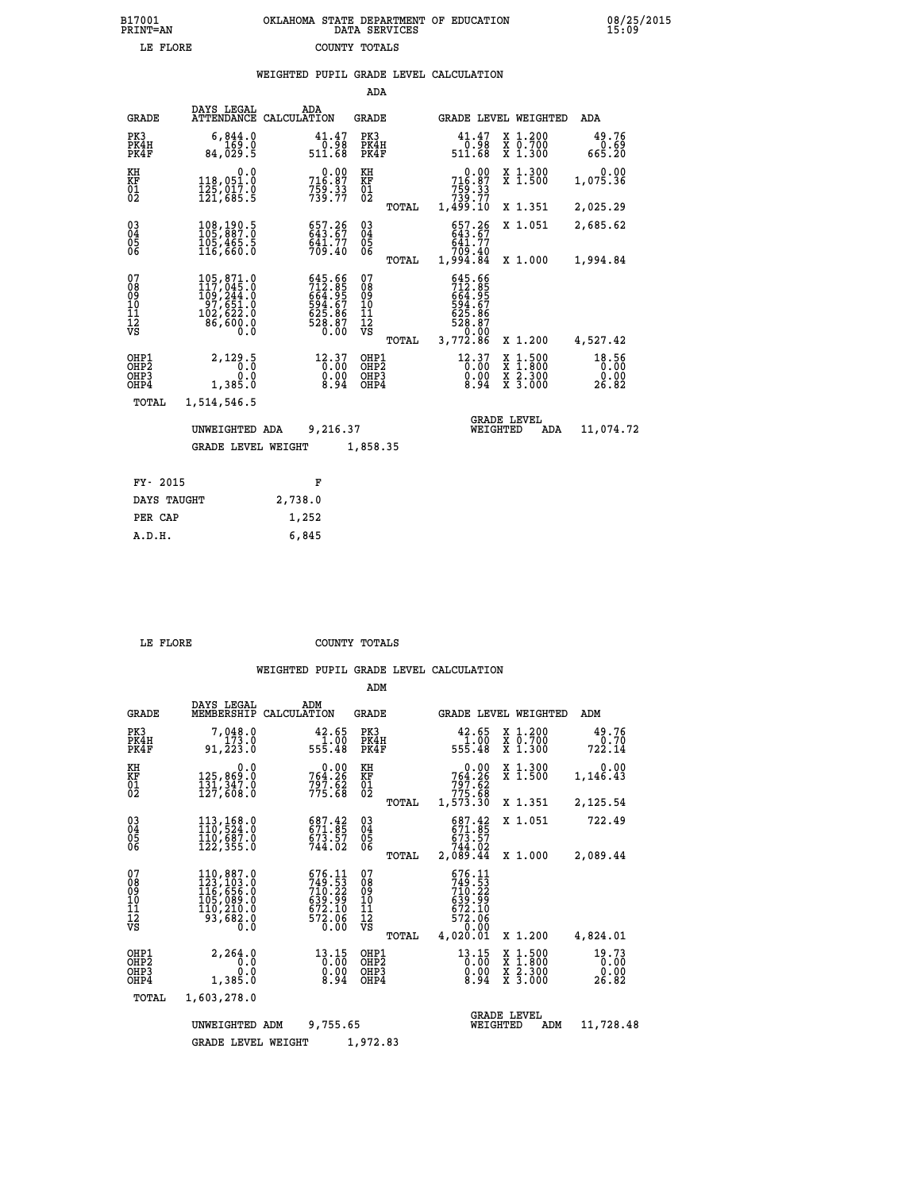|                                                              |                                                                                                      |                                                                      | ADA                                                          |       |                                                                                         |                                                                       |                         |
|--------------------------------------------------------------|------------------------------------------------------------------------------------------------------|----------------------------------------------------------------------|--------------------------------------------------------------|-------|-----------------------------------------------------------------------------------------|-----------------------------------------------------------------------|-------------------------|
| <b>GRADE</b>                                                 | DAYS LEGAL                                                                                           | ADA<br>ATTENDANCE CALCULATION                                        | GRADE                                                        |       |                                                                                         | GRADE LEVEL WEIGHTED                                                  | ADA                     |
| PK3<br>PK4H<br>PK4F                                          | 6,844.0<br>169.0<br>84,029.5                                                                         | 41.47<br>0.98<br>511.68                                              | PK3<br>PK4H<br>PK4F                                          |       | 41.47<br>89.0<br>511.68                                                                 | X 1.200<br>X 0.700<br>X 1.300                                         | 49.76<br>$0.69$<br>0.20 |
| KH<br>KF<br>$\overline{01}$                                  | 0.0<br>118,051.0<br>$\frac{125}{121}$ , $\frac{017}{685}$ . 5                                        | 716.87<br>$7\bar{5}\tilde{9}\cdot\tilde{3}\tilde{3}$<br>$739\cdot77$ | KH<br>KF<br>$^{01}_{02}$                                     |       | 0.00<br>716.87<br>759.33<br>739.77<br>1,499.10                                          | X 1.300<br>X 1.500                                                    | 0.00<br>1,075.36        |
|                                                              |                                                                                                      |                                                                      |                                                              | TOTAL |                                                                                         | X 1.351                                                               | 2,025.29                |
| $\begin{smallmatrix} 03 \\[-4pt] 04 \end{smallmatrix}$<br>05 | 108,190.5<br>105,465.5<br>116,660.0                                                                  | 657.26<br>643.67<br>641.77<br>709.40                                 | $\begin{smallmatrix} 03 \\[-4pt] 04 \end{smallmatrix}$<br>05 |       | 657.26<br>643.67<br>641.77<br>709.40                                                    | X 1.051                                                               | 2,685.62                |
| 06                                                           |                                                                                                      |                                                                      | 06                                                           | TOTAL | 1,994.84                                                                                | X 1.000                                                               | 1,994.84                |
| 078901112<br>00010112<br>VS                                  | 105, 871.0<br>117, 045.0<br>109, 244.0<br>$\frac{57}{102}$ , $\frac{651}{622}$ .0<br>86,600.0<br>Ō.Ō | 645.66<br>712.85<br>664.95<br>625.86<br>625.86<br>528.87<br>0.00     | 07<br>08<br>09<br>11<br>11<br>12<br>VS                       | TOTAL | $645.66$<br>$712.85$<br>$664.95$<br>$594.67$<br>$625.86$<br>$528.87$<br>$3,772.86$      | X 1.200                                                               | 4,527.42                |
| OHP1<br>OHP2<br>OH <sub>P3</sub><br>OHP4                     | 2,129.5<br>0.0<br>0.0<br>1,385.0                                                                     | 12.37<br>0.00<br>8.94                                                | OHP1<br>OHP2<br>OHP3<br>OHP4                                 |       | $12.37$<br>$0.00$<br>$\begin{smallmatrix} 0.00 & 0.01 \\ 0.94 & 0.01 \end{smallmatrix}$ | X 1:500<br>X 1:800<br>$\frac{x}{x}$ $\frac{2 \cdot 300}{3 \cdot 000}$ | 18.56<br>0.00<br>26.82  |
| TOTAL                                                        | 1,514,546.5                                                                                          |                                                                      |                                                              |       |                                                                                         |                                                                       |                         |
|                                                              | UNWEIGHTED ADA<br><b>GRADE LEVEL WEIGHT</b>                                                          | 9,216.37                                                             | 1,858.35                                                     |       | WEIGHTED                                                                                | <b>GRADE LEVEL</b><br>ADA                                             | 11,074.72               |
|                                                              |                                                                                                      |                                                                      |                                                              |       |                                                                                         |                                                                       |                         |
| FY- 2015                                                     |                                                                                                      | F                                                                    |                                                              |       |                                                                                         |                                                                       |                         |
| <b>BATTS MATTSTER</b>                                        |                                                                                                      | 0.722                                                                |                                                              |       |                                                                                         |                                                                       |                         |

| ri avij     |         |
|-------------|---------|
| DAYS TAUGHT | 2,738.0 |
| PER CAP     | 1,252   |
| A.D.H.      | 6,845   |
|             |         |

 **LE FLORE COUNTY TOTALS**

|                                                    |                                                                                  |                                                                            | ADM                                             |                                                                                        |                                                                               |                                |
|----------------------------------------------------|----------------------------------------------------------------------------------|----------------------------------------------------------------------------|-------------------------------------------------|----------------------------------------------------------------------------------------|-------------------------------------------------------------------------------|--------------------------------|
| <b>GRADE</b>                                       | DAYS LEGAL<br>MEMBERSHIP                                                         | ADM<br>CALCULATION                                                         | <b>GRADE</b>                                    | GRADE LEVEL WEIGHTED                                                                   |                                                                               | ADM                            |
| PK3<br>PK4H<br>PK4F                                | 7,048.0<br>173.0<br>91,223.0                                                     | 42.65<br>$\frac{1.00}{555.48}$                                             | PK3<br>PK4H<br>PK4F                             | 42.65<br>00.I<br>555.48                                                                | X 1.200<br>X 0.700<br>X 1.300                                                 | 49.76<br>0.70<br>722.14        |
| KH<br>KF<br>01<br>02                               | 0.0<br>125,869.0<br>$\frac{1}{127}$ , $\frac{3}{608}$ .0                         | 0.00<br>764.26<br>$797.62$<br>$775.68$                                     | KH<br>KF<br>01<br>02                            | 0.00<br>764.26<br>$797.62$<br>$775.68$                                                 | X 1.300<br>X 1.500                                                            | 0.00<br>1,146.43               |
|                                                    |                                                                                  |                                                                            | TOTAL                                           | 1,573.30                                                                               | X 1.351                                                                       | 2,125.54                       |
| $\begin{matrix} 03 \\ 04 \\ 05 \\ 06 \end{matrix}$ | 113,168.0<br>110,524.0<br>110,687.0<br>122,355.0                                 | 687.42<br>671.85<br>673.57<br>744.02                                       | $\substack{03 \\ 04}$<br>$\frac{05}{06}$        | 687.42<br>$671.85$<br>$673.57$<br>$744.02$                                             | X 1.051                                                                       | 722.49                         |
|                                                    |                                                                                  |                                                                            | TOTAL                                           | 2,089.44                                                                               | X 1.000                                                                       | 2,089.44                       |
| 07<br>08<br>09<br>001<br>11<br>11<br>12<br>VS      | 110,887.0<br>123,103.0<br>116,656.0<br>105,089.0<br>110,210.0<br>93,682.0<br>0.0 | 676.11<br>$749.53$<br>$710.22$<br>$639.99$<br>$672.10$<br>$572.06$<br>0.00 | 07<br>08<br>09<br>11<br>11<br>12<br>VS<br>TOTAL | 676.11<br>$749.53$<br>$710.22$<br>$639.99$<br>$672.10$<br>$572.06$<br>0.00<br>4,020.01 | X 1.200                                                                       | 4,824.01                       |
| OHP1<br>OHP2<br>OHP3<br>OHP4                       | 2,264.0<br>0.0<br>0.0<br>1,385.0                                                 | 13.15<br>0.00<br>0.00<br>8.94                                              | OHP1<br>OHP2<br>OHP3<br>OHP4                    | $13.15$<br>$0.00$<br>$\begin{smallmatrix} 0.00 \\ 8.94 \end{smallmatrix}$              | $\begin{array}{c} x & 1.500 \\ x & 1.800 \\ x & 2.300 \end{array}$<br>X 3.000 | 19.73<br>0.00<br>0.00<br>26.82 |
| TOTAL                                              | 1,603,278.0                                                                      |                                                                            |                                                 |                                                                                        |                                                                               |                                |
|                                                    | UNWEIGHTED ADM<br><b>GRADE LEVEL WEIGHT</b>                                      | 9,755.65                                                                   | 1,972.83                                        | WEIGHTED                                                                               | <b>GRADE LEVEL</b><br>ADM                                                     | 11,728.48                      |
|                                                    |                                                                                  |                                                                            |                                                 |                                                                                        |                                                                               |                                |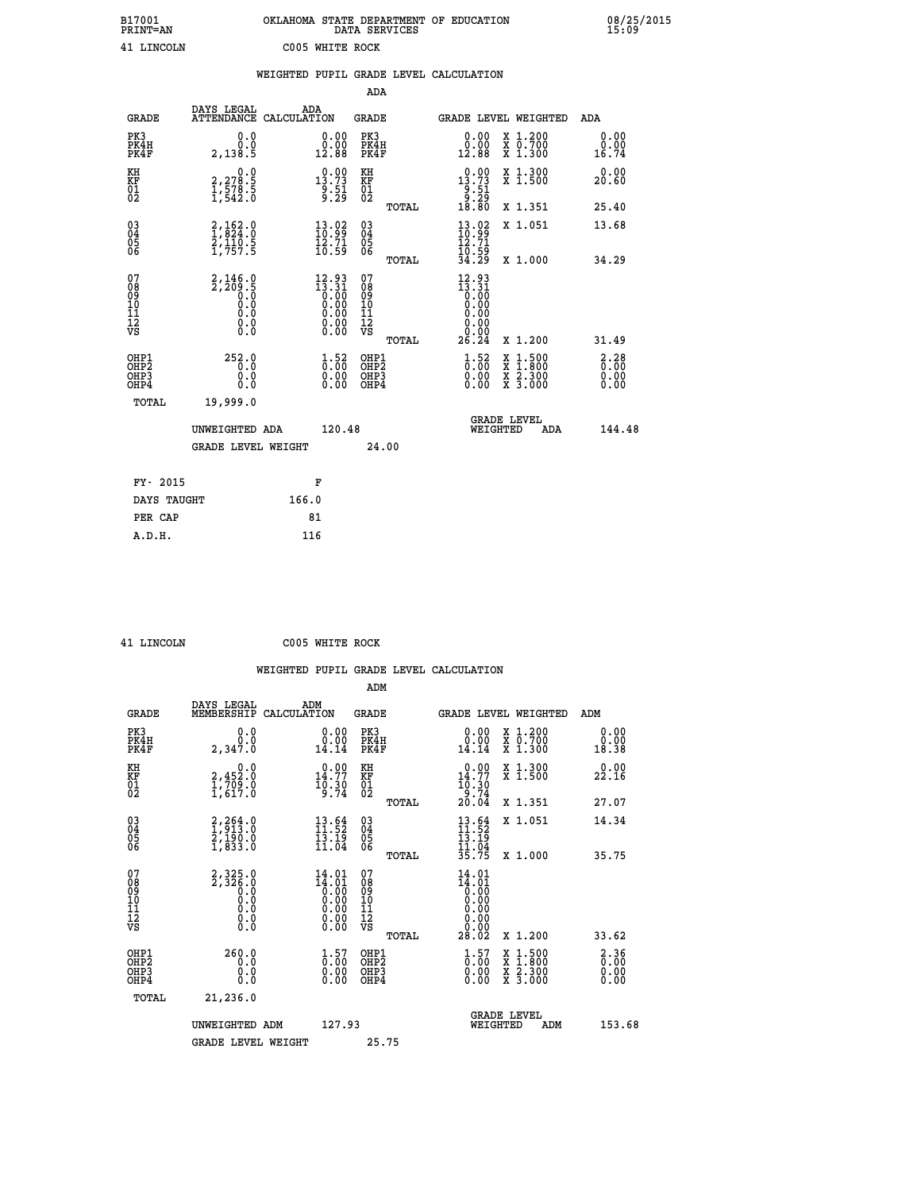| B17001          | OKLAHOMA STATE DEPARTMENT OF EDUCATION |
|-----------------|----------------------------------------|
| <b>PRINT=AN</b> | DATA SERVICES                          |
| 41 LINCOLN      | C005 WHITE ROCK                        |

 **B17001 OKLAHOMA STATE DEPARTMENT OF EDUCATION 08/25/2015**

|                                                    |                                                            | WEIGHTED PUPIL GRADE LEVEL CALCULATION                                                                          |                                        |       |                                                                            |                                                                                                                                           |                              |
|----------------------------------------------------|------------------------------------------------------------|-----------------------------------------------------------------------------------------------------------------|----------------------------------------|-------|----------------------------------------------------------------------------|-------------------------------------------------------------------------------------------------------------------------------------------|------------------------------|
|                                                    |                                                            |                                                                                                                 | ADA                                    |       |                                                                            |                                                                                                                                           |                              |
| <b>GRADE</b>                                       | DAYS LEGAL                                                 | ADA<br>ATTENDANCE CALCULATION                                                                                   | <b>GRADE</b>                           |       |                                                                            | GRADE LEVEL WEIGHTED                                                                                                                      | ADA                          |
| PK3<br>PK4H<br>PK4F                                | 0.0<br>0.0<br>2,138.5                                      | $\begin{smallmatrix} 0.00\\ 0.00\\ 12.88 \end{smallmatrix}$                                                     | PK3<br>PK4H<br>PK4F                    |       | 0.00<br>0.00<br>12.88                                                      | X 1.200<br>X 0.700<br>X 1.300                                                                                                             | 0.00<br>0.00<br>16.74        |
| KH<br>KF<br>01<br>02                               | 0.0<br>2,278.5<br>1,578.5<br>1,542.0                       | $\begin{smallmatrix} 0.00\\ 13.73\\ 9.51\\ 9.29 \end{smallmatrix}$                                              | KH<br>KF<br>01<br>02                   |       | $\begin{smallmatrix} 0.00\\ 13.73\\ 9.51\\ 9.29\\ 18.80 \end{smallmatrix}$ | X 1.300<br>X 1.500                                                                                                                        | 0.00<br>20.60                |
|                                                    |                                                            |                                                                                                                 |                                        | TOTAL |                                                                            | X 1.351                                                                                                                                   | 25.40                        |
| $\begin{matrix} 03 \\ 04 \\ 05 \\ 06 \end{matrix}$ | $2,162.0$<br>1,824.0<br>$\frac{2}{1}, \frac{1}{757}$ . 5   | $\frac{13.02}{10.99}$<br>$\bar{1}\tilde{2}\cdot\tilde{7}\tilde{1}$<br>$\bar{1}\tilde{0}\cdot\tilde{5}\tilde{9}$ | $^{03}_{04}$<br>Ŏ5<br>06               |       | $\begin{smallmatrix} 13.02\ 10.99\ 12.71\ 10.59\ 34.29 \end{smallmatrix}$  | X 1.051                                                                                                                                   | 13.68                        |
|                                                    |                                                            |                                                                                                                 |                                        | TOTAL |                                                                            | X 1.000                                                                                                                                   | 34.29                        |
| 07<br>08<br>09<br>11<br>11<br>12<br>VS             | $2, 146.0$<br>$2, 209.5$<br>$0.0$<br>$0.0$<br>0.0<br>$\S.$ | $\begin{smallmatrix} 12.93 \\ 13.31 \\ 0.00 \\ 0.00 \\ 0.00 \\ 0.00 \end{smallmatrix}$<br>Ŏ.ŎŎ<br>O.OO          | 07<br>08<br>09<br>11<br>11<br>12<br>VS | TOTAL | $12.93$<br>$13.31$<br>$0.00$<br>$0.00$<br>0.00<br>0.00<br>26.24            | X 1.200                                                                                                                                   | 31.49                        |
| OHP1<br>OHP2<br>OH <sub>P3</sub><br>OHP4           | 252.0<br>0.0<br>0.0                                        | $\begin{smallmatrix} 1.52\ 0.00\ 0.00 \end{smallmatrix}$                                                        | OHP1<br>OHP2<br>OHP3<br>OHP4           |       | $\begin{smallmatrix} 1.52\ 0.00\ 0.00 \end{smallmatrix}$                   | $\begin{smallmatrix} \mathtt{X} & 1\cdot500\\ \mathtt{X} & 1\cdot800\\ \mathtt{X} & 2\cdot300\\ \mathtt{X} & 3\cdot000 \end{smallmatrix}$ | 2.28<br>0.00<br>0.00<br>0.00 |
| TOTAL                                              | 19,999.0                                                   |                                                                                                                 |                                        |       |                                                                            |                                                                                                                                           |                              |
|                                                    | UNWEIGHTED ADA                                             | 120.48                                                                                                          |                                        |       | WEIGHTED                                                                   | <b>GRADE LEVEL</b><br>ADA                                                                                                                 | 144.48                       |
|                                                    | <b>GRADE LEVEL WEIGHT</b>                                  |                                                                                                                 | 24.00                                  |       |                                                                            |                                                                                                                                           |                              |
| FY- 2015                                           |                                                            | F                                                                                                               |                                        |       |                                                                            |                                                                                                                                           |                              |
| DAYS TAUGHT                                        |                                                            | 166.0                                                                                                           |                                        |       |                                                                            |                                                                                                                                           |                              |
| PER CAP                                            |                                                            | 81                                                                                                              |                                        |       |                                                                            |                                                                                                                                           |                              |

 **A.D.H. 116**

 **41 LINCOLN C005 WHITE ROCK**

|                                                    |                                                                          | WEIGHTED PUPIL GRADE LEVEL CALCULATION                                        |                                              |       |                                                                               |                                          |                                                             |
|----------------------------------------------------|--------------------------------------------------------------------------|-------------------------------------------------------------------------------|----------------------------------------------|-------|-------------------------------------------------------------------------------|------------------------------------------|-------------------------------------------------------------|
| <b>GRADE</b>                                       | DAYS LEGAL<br>MEMBERSHIP                                                 | ADM<br>CALCULATION                                                            | ADM<br>GRADE                                 |       |                                                                               | <b>GRADE LEVEL WEIGHTED</b>              | ADM                                                         |
| PK3<br>PK4H<br>PK4F                                | 0.0<br>ة:ة<br>2,347.0                                                    | $\begin{smallmatrix} 0.00\\ 0.00\\ 14.14 \end{smallmatrix}$                   | PK3<br>PK4H<br>PK4F                          |       | $\begin{smallmatrix} 0.00\\ 0.00\\ 14.14 \end{smallmatrix}$                   | X 1.200<br>X 0.700<br>X 1.300            | $\begin{smallmatrix} 0.00\\ 0.00\\ 18.38 \end{smallmatrix}$ |
| KH<br>KF<br>01<br>02                               | $\begin{smallmatrix}&&&0\cdot0\2,452.0\1,709.0\1,617.0\end{smallmatrix}$ | $14.77$<br>$16.30$<br>$19.30$<br>$9.74$                                       | KH<br>KF<br>01<br>02                         |       | $14.77$<br>$16.30$<br>$19.30$<br>$24$                                         | X 1.300<br>X 1.500                       | 0.00<br>22.16                                               |
|                                                    |                                                                          |                                                                               |                                              | TOTAL | 20.04                                                                         | X 1.351                                  | 27.07                                                       |
| $\begin{matrix} 03 \\ 04 \\ 05 \\ 06 \end{matrix}$ | $2, 264.0$<br>$1, 913.0$<br>$2, 190.0$<br>$1, 833.0$                     | $13.64$<br>$11.52$<br>$13.19$<br>$11.04$                                      | $^{03}_{04}$<br>Ŏ5<br>06                     |       | $\frac{13.64}{11.52}$<br>$\frac{13.19}{11.04}$<br>$\frac{35.75}{35.75}$       | X 1.051                                  | 14.34                                                       |
|                                                    |                                                                          |                                                                               |                                              | TOTAL |                                                                               | X 1.000                                  | 35.75                                                       |
| 07<br>08<br>09<br>101<br>11<br>12<br>VS            | $2,325.0$<br>$2,326.0$<br>$0.0$<br>$0.0$<br>$0.0$<br>$0.0$<br>$0.0$      | $14.01$<br>$0.00$<br>$0.00$<br>$0.00$<br>$0.00$<br>$0.00$<br>$0.00$<br>$0.00$ | 07<br>08<br>09<br>10<br>11<br>11<br>12<br>νs | TOTAL | 14.01<br>$14.01$<br>$0.00$<br>$0.00$<br>$0.00$<br>$0.00$<br>$0.00$<br>$28.02$ | X 1.200                                  | 33.62                                                       |
| OHP1<br>OHP <sub>2</sub>                           |                                                                          |                                                                               | OHP1<br>OHP2                                 |       |                                                                               |                                          |                                                             |
| OHP3<br>OHP4                                       | $260.0$<br>0.0<br>0.0<br>0.0                                             | $\begin{smallmatrix} 1.57\ 0.00\ 0.00 \end{smallmatrix}$                      | OHP3<br>OHP4                                 |       | $\begin{smallmatrix} 1.57\ 0.00\ 0.00 \end{smallmatrix}$                      | X 1:500<br>X 1:800<br>X 2:300<br>X 3:000 | $\begin{smallmatrix} 2\cdot 36\0.00\0.00 \end{smallmatrix}$ |
|                                                    |                                                                          |                                                                               |                                              |       |                                                                               |                                          |                                                             |

| TOTAL | 21,236.0           |        |                                       |        |
|-------|--------------------|--------|---------------------------------------|--------|
|       | UNWEIGHTED ADM     | 127.93 | <b>GRADE LEVEL</b><br>ADM<br>WEIGHTED | 153.68 |
|       | GRADE LEVEL WEIGHT | 25.75  |                                       |        |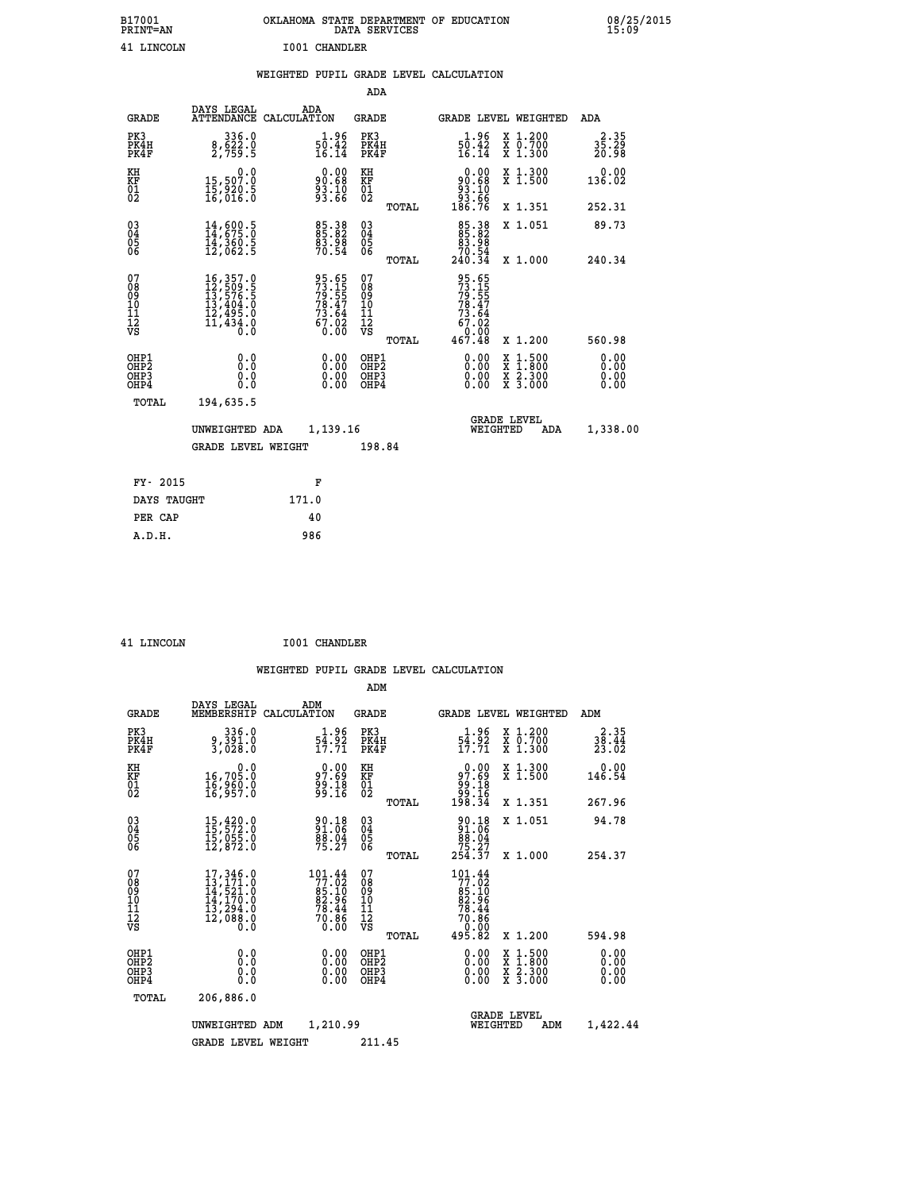| B17001<br>PRINT=AN                                 |                                                                                                                                                                                      | OKLAHOMA STATE DEPARTMENT OF EDUCATION DATA SERVICES        |                              |              |                                                                                                   |                                                                                    | 08/25/2015                                         |  |
|----------------------------------------------------|--------------------------------------------------------------------------------------------------------------------------------------------------------------------------------------|-------------------------------------------------------------|------------------------------|--------------|---------------------------------------------------------------------------------------------------|------------------------------------------------------------------------------------|----------------------------------------------------|--|
| 41 LINCOLN                                         |                                                                                                                                                                                      | <b>I001 CHANDLER</b>                                        |                              |              |                                                                                                   |                                                                                    |                                                    |  |
|                                                    |                                                                                                                                                                                      | WEIGHTED PUPIL GRADE LEVEL CALCULATION                      |                              |              |                                                                                                   |                                                                                    |                                                    |  |
|                                                    |                                                                                                                                                                                      |                                                             | ADA                          |              |                                                                                                   |                                                                                    |                                                    |  |
| <b>GRADE</b>                                       | DAYS LEGAL                                                                                                                                                                           | ADA<br>ATTENDANCE CALCULATION                               | <b>GRADE</b>                 |              |                                                                                                   | GRADE LEVEL WEIGHTED                                                               | ADA                                                |  |
| PK3<br>PK4H<br>PK4F                                | 336.0<br>8,622.0<br>2,759.5                                                                                                                                                          | 1.96<br>$\frac{50.42}{16.14}$                               | PK3<br>PK4H<br>PK4F          |              | 1.96<br>$\frac{50.42}{16.14}$                                                                     | X 1.200<br>X 0.700<br>X 1.300                                                      | $3\overline{5}\cdot 3\overline{9}\atop 20\cdot 98$ |  |
| KH<br>KF<br>01<br>02                               | 0.0<br>15,507.0<br>15,920.5<br>16,016.0                                                                                                                                              | $90.00$<br>$93.68$<br>$93.10$<br>$93.66$                    | KH<br>KF<br>01<br>02         |              | $0.00\n90.68\n93.10\n93.66\n186.76$                                                               | X 1.300<br>X 1.500                                                                 | 0.00<br>136.02                                     |  |
|                                                    |                                                                                                                                                                                      |                                                             |                              | TOTAL        |                                                                                                   | X 1.351                                                                            | 252.31                                             |  |
| $\begin{matrix} 03 \\ 04 \\ 05 \\ 06 \end{matrix}$ | $\frac{14}{14}, \frac{600}{675}.0 \ \frac{14}{360}.5 \ \frac{360}{12}, \frac{5}{062}.5$                                                                                              | 85.38<br>85.82<br>83.98<br>70.54                            | 03<br>04<br>05<br>06         |              | $\begin{smallmatrix}85\cdot 38\\85\cdot 82\\83\cdot 98\\70\cdot 54\\240\cdot 34\end{smallmatrix}$ | X 1.051                                                                            | 89.73                                              |  |
|                                                    |                                                                                                                                                                                      |                                                             |                              | TOTAL        |                                                                                                   | X 1.000                                                                            | 240.34                                             |  |
| 07<br>08<br>09<br>10<br>11<br>12<br>VS             | $\begin{smallmatrix} 16\,, & 357\,. & 0\\ 12\,, & 509\,. & 5\\ 13\,, & 576\,. & 5\\ 13\,, & 404\,. & 0\\ 12\,, & 495\,. & 0\\ 11\,, & 434\,. & 0\\ 0\,. & 0\,. & 0\end{smallmatrix}$ | 95.65<br>73.15<br>79.55<br>78.47<br>73.64<br>67.02<br>67.02 | 078901112<br>00010112<br>VS  | <b>TOTAL</b> | 95.65<br>73.15<br>79.55<br>78.47<br>73.64<br>67.02<br>ó:ŏö<br>467.48                              | X 1.200                                                                            | 560.98                                             |  |
| OHP1<br>OHP2<br>OHP3<br>OHP4<br>TOTAL              | 0.0<br>0.0<br>0.0<br>194,635.5                                                                                                                                                       | 0.00<br>0.00                                                | OHP1<br>OHP2<br>OHP3<br>OHP4 |              | 0.00<br>0.00<br>0.00                                                                              | $\frac{x}{x}$ $\frac{1.500}{x}$<br>$\frac{x}{x}$ $\frac{2 \cdot 300}{3 \cdot 000}$ | 0.00<br>0.00<br>0.00                               |  |
|                                                    | UNWEIGHTED ADA<br><b>GRADE LEVEL WEIGHT</b>                                                                                                                                          | 1,139.16                                                    | 198.84                       |              | WEIGHTED                                                                                          | <b>GRADE LEVEL</b><br>ADA                                                          | 1,338.00                                           |  |

| FY- 2015    | F     |
|-------------|-------|
| DAYS TAUGHT | 171.0 |
| PER CAP     | 40    |
| A.D.H.      | 986   |
|             |       |

 **ADM**

| LINCOLN |  |
|---------|--|

 **41 LINCOLN I001 CHANDLER**

| <b>GRADE</b>                                       | DAYS LEGAL                                                                                                                                                                            | ADM<br>MEMBERSHIP CALCULATION                                                              | <b>GRADE</b>                                    | GRADE LEVEL WEIGHTED                                                                                 |                                                                                                                     | ADM                    |
|----------------------------------------------------|---------------------------------------------------------------------------------------------------------------------------------------------------------------------------------------|--------------------------------------------------------------------------------------------|-------------------------------------------------|------------------------------------------------------------------------------------------------------|---------------------------------------------------------------------------------------------------------------------|------------------------|
| PK3<br>PK4H<br>PK4F                                | 336.0<br>9,391.0<br>3,028.0                                                                                                                                                           | 1.96<br>54.92<br>17.71                                                                     | PK3<br>PK4H<br>PK4F                             | 1.96<br>$\frac{5\bar{4}\cdot 5\check{2}}{17:71}$                                                     | X 1.200<br>X 0.700<br>X 1.300                                                                                       | 2.35<br>38.44<br>23.02 |
| KH<br>KF<br>01<br>02                               | 0.0<br>16,705.0<br>1ĕ,9ĕŏ:ŏ<br>1&,957:0                                                                                                                                               | 0.00<br>97.69<br>89.I8<br>99.I6                                                            | KH<br>KF<br>01<br>02                            | 0.00<br>97.69<br>84<br>16<br>198.34                                                                  | X 1.300<br>X 1.500                                                                                                  | 0.00<br>146.54         |
|                                                    |                                                                                                                                                                                       |                                                                                            | TOTAL                                           |                                                                                                      | X 1.351                                                                                                             | 267.96                 |
| $\begin{matrix} 03 \\ 04 \\ 05 \\ 06 \end{matrix}$ | $\begin{smallmatrix} 15 \ , \ 420 \ . \ 0 \\ 15 \ , \ 572 \ . \ 0 \\ 15 \ , \ 055 \ . \ 0 \\ 12 \ , \ 872 \ . \ 0 \end{smallmatrix}$                                                  | 90.18<br>91.06<br>88.04<br>75.27                                                           | $\substack{03 \\ 04}$<br>$\frac{05}{06}$        | $\begin{smallmatrix} 90.18\\ 91.06\\ 88.04\\ 75.27\\ 254.37 \end{smallmatrix}$                       | X 1.051                                                                                                             | 94.78                  |
|                                                    |                                                                                                                                                                                       |                                                                                            | TOTAL                                           |                                                                                                      | X 1.000                                                                                                             | 254.37                 |
| 07<br>08<br>09<br>101<br>11<br>12<br>VS            | 17,346.0<br>$\begin{smallmatrix} 13 \,,\, 171 \,,\, 0 \\ 14 \,,\, 521 \,,\, 0 \\ 14 \,,\, 170 \,,\, 0 \\ 13 \,,\, 294 \,,\, 0 \\ 12 \,,\, 088 \,,\, 0 \\ 0 \,,\, 0 \end{smallmatrix}$ | $\begin{array}{r} 101.44 \\ 77.02 \\ 85.10 \\ 82.96 \\ 78.44 \\ 70.86 \end{array}$<br>0.00 | 07<br>08<br>09<br>11<br>11<br>12<br>VS<br>TOTAL | $\begin{array}{r} 101.44 \\ 77.02 \\ 85.10 \\ 82.96 \\ 78.44 \\ 70.86 \\ 0.00 \\ 495.82 \end{array}$ | X 1.200                                                                                                             | 594.98                 |
| OHP1<br>OHP2<br>OHP3<br>OHP4                       | 0.0<br>0.0<br>0.0                                                                                                                                                                     | $0.00$<br>$0.00$<br>0.00                                                                   | OHP1<br>OHP <sub>2</sub><br>OHP3<br>OHP4        | 0.00<br>0.00<br>0.00                                                                                 | $\begin{array}{l} \mathtt{X} & 1.500 \\ \mathtt{X} & 1.800 \\ \mathtt{X} & 2.300 \\ \mathtt{X} & 3.000 \end{array}$ | 0.00<br>0.00<br>0.00   |
| TOTAL                                              | 206,886.0                                                                                                                                                                             |                                                                                            |                                                 |                                                                                                      |                                                                                                                     |                        |
|                                                    | UNWEIGHTED                                                                                                                                                                            | 1,210.99<br>ADM                                                                            |                                                 | WEIGHTED                                                                                             | <b>GRADE LEVEL</b><br>ADM                                                                                           | 1,422.44               |
|                                                    | <b>GRADE LEVEL WEIGHT</b>                                                                                                                                                             |                                                                                            | 211.45                                          |                                                                                                      |                                                                                                                     |                        |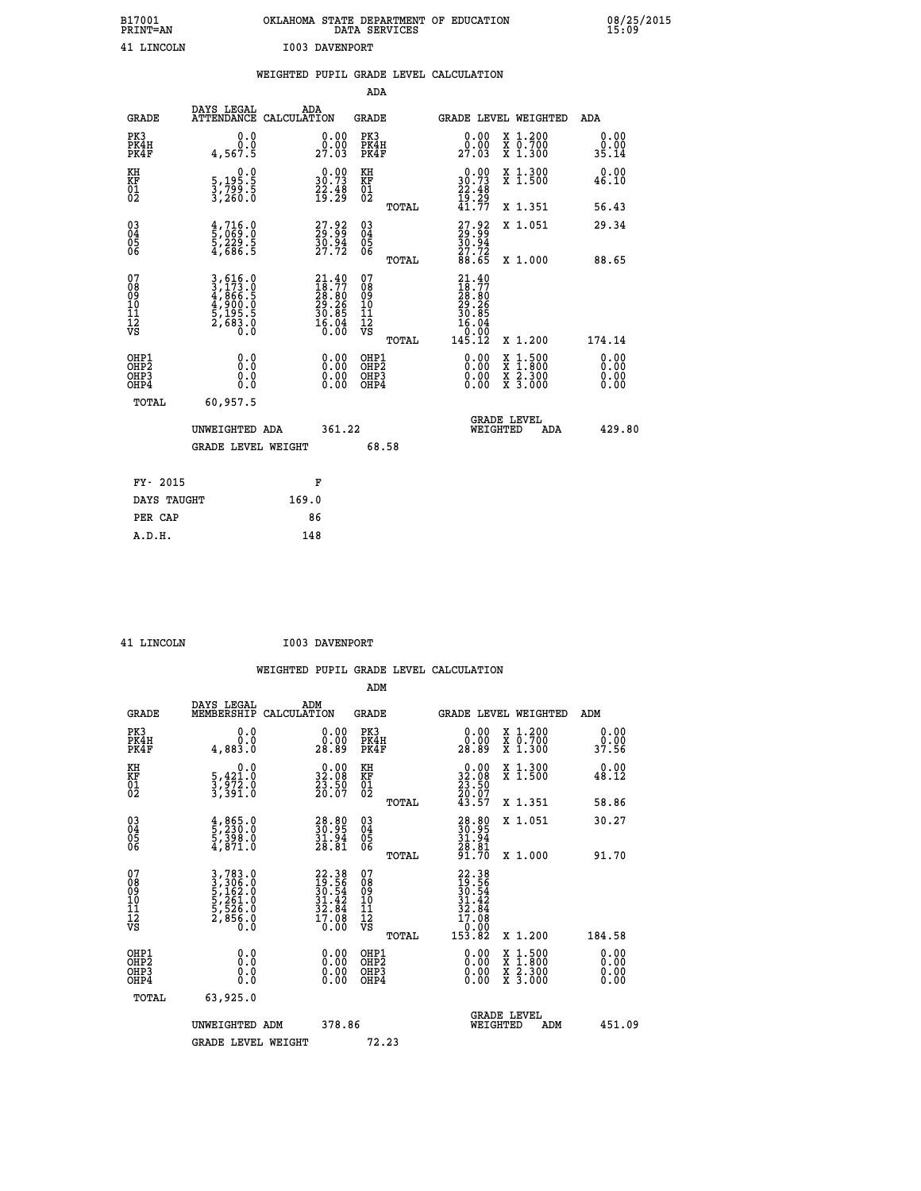| B17001          | OKLAHOMA STATE DEPARTMENT OF EDUCATION |
|-----------------|----------------------------------------|
| <b>PRINT=AN</b> | DATA SERVICES                          |
| 41 LINCOLN      | I003 DAVENPORT                         |

|                                                                    |                                                                                                                                                          | WEIGHTED PUPIL GRADE LEVEL CALCULATION                                                       |                                   |       |                                                                                                        |                                                                                                                                               |                               |
|--------------------------------------------------------------------|----------------------------------------------------------------------------------------------------------------------------------------------------------|----------------------------------------------------------------------------------------------|-----------------------------------|-------|--------------------------------------------------------------------------------------------------------|-----------------------------------------------------------------------------------------------------------------------------------------------|-------------------------------|
|                                                                    |                                                                                                                                                          |                                                                                              | <b>ADA</b>                        |       |                                                                                                        |                                                                                                                                               |                               |
| <b>GRADE</b>                                                       | DAYS LEGAL<br><b>ATTENDANCE</b>                                                                                                                          | ADA<br>CALCULATION                                                                           | <b>GRADE</b>                      |       |                                                                                                        | GRADE LEVEL WEIGHTED                                                                                                                          | ADA                           |
| PK3<br>PK4H<br>PK4F                                                | 0.0<br>0.0<br>4,567.5                                                                                                                                    | $\begin{smallmatrix} 0.00\\ 0.00\\ 27.03 \end{smallmatrix}$                                  | PK3<br>PK4H<br>PK4F               |       | $\begin{smallmatrix} 0.00\\ 0.00\\ 27.03 \end{smallmatrix}$                                            | X 1.200<br>X 0.700<br>X 1.300                                                                                                                 | 0.00<br>0.00<br>35.14         |
| KH<br>KF<br>01<br>02                                               | $\begin{smallmatrix}&&&0.0\\5,195.5\\3,799.5\\3,260.0\end{smallmatrix}$                                                                                  | $\begin{smallmatrix} 0.00\\ 30.73\\ 22.48\\ 19.29 \end{smallmatrix}$                         | KH<br>KF<br>01<br>02              |       | $0.00$<br>$30.73$<br>$22.48$<br>$19.29$<br>$41.77$                                                     | X 1.300<br>X 1.500                                                                                                                            | 0.00<br>46.10                 |
|                                                                    |                                                                                                                                                          |                                                                                              |                                   | TOTAL |                                                                                                        | X 1.351                                                                                                                                       | 56.43                         |
| $\begin{smallmatrix} 03 \\[-4pt] 04 \end{smallmatrix}$<br>Ŏ5<br>06 | $\frac{4}{5}, \frac{716}{069}.0 \ \frac{5}{2}, \frac{229}{686}.5$                                                                                        | $\begin{smallmatrix} 27.92\ 29.99\ 30.94\ 27.72 \end{smallmatrix}$                           | $\substack{03 \\ 04}$<br>Ŏ5<br>06 |       | $27.92$<br>$29.99$<br>$30.94$<br>$27.72$<br>$88.65$                                                    | X 1.051                                                                                                                                       | 29.34                         |
|                                                                    |                                                                                                                                                          |                                                                                              |                                   | TOTAL |                                                                                                        | X 1.000                                                                                                                                       | 88.65                         |
| 07<br>08901112<br>1112<br>VS                                       | $\begin{smallmatrix} 3\,,\,616\,,\,0\\ 3\,,\,173\,,\,0\\ 4\,,\,866\,,\,5\\ 4\,,\,900\,,\,0\\ 5\,,\,195\,,\,5\\ 2\,,\,683\,,\,0\\ 0\,. \end{smallmatrix}$ | $\begin{smallmatrix} 21.40\\ 18.77\\ 28.80\\ 29.26\\ 30.85\\ 16.04\\ 0.00 \end{smallmatrix}$ | 07<br>08901112<br>1112<br>VS      | TOTAL | $21.40$<br>$18.77$<br>$\begin{smallmatrix} 28.86\ 29.26\ 30.85\ 16.04\ 0.00\ 145.12 \end{smallmatrix}$ | X 1.200                                                                                                                                       | 174.14                        |
| OHP1<br>OHP2<br>OHP3<br>OHP4                                       | 0.0<br>0.0<br>0.0                                                                                                                                        | 0.00<br>$\begin{smallmatrix} 0.00 \ 0.00 \end{smallmatrix}$                                  | OHP1<br>OHP2<br>OHP3<br>OHP4      |       | 0.00<br>0.00                                                                                           | 1:500<br>$\begin{smallmatrix} \mathtt{X} & 1 & 500 \\ \mathtt{X} & 1 & 800 \\ \mathtt{X} & 2 & 300 \\ \mathtt{X} & 3 & 000 \end{smallmatrix}$ | 0.00<br>Ō. ŌŌ<br>0.00<br>0.00 |
| <b>TOTAL</b>                                                       | 60,957.5                                                                                                                                                 |                                                                                              |                                   |       |                                                                                                        |                                                                                                                                               |                               |
|                                                                    | UNWEIGHTED ADA                                                                                                                                           | 361.22                                                                                       |                                   |       | WEIGHTED                                                                                               | <b>GRADE LEVEL</b><br>ADA                                                                                                                     | 429.80                        |
|                                                                    | GRADE LEVEL WEIGHT                                                                                                                                       |                                                                                              | 68.58                             |       |                                                                                                        |                                                                                                                                               |                               |
| FY- 2015                                                           |                                                                                                                                                          | F                                                                                            |                                   |       |                                                                                                        |                                                                                                                                               |                               |
| DAYS TAUGHT                                                        |                                                                                                                                                          | 169.0                                                                                        |                                   |       |                                                                                                        |                                                                                                                                               |                               |
| PER CAP                                                            |                                                                                                                                                          | 86                                                                                           |                                   |       |                                                                                                        |                                                                                                                                               |                               |

| LINCOLN |
|---------|

| 41 LINCOLN                                         |                                                                                         |     | <b>I003 DAVENPORT</b>                                                |                                        |       |                                                                                   |          |                                                                                                                                           |                              |  |
|----------------------------------------------------|-----------------------------------------------------------------------------------------|-----|----------------------------------------------------------------------|----------------------------------------|-------|-----------------------------------------------------------------------------------|----------|-------------------------------------------------------------------------------------------------------------------------------------------|------------------------------|--|
|                                                    |                                                                                         |     |                                                                      |                                        |       | WEIGHTED PUPIL GRADE LEVEL CALCULATION                                            |          |                                                                                                                                           |                              |  |
|                                                    |                                                                                         |     |                                                                      | ADM                                    |       |                                                                                   |          |                                                                                                                                           |                              |  |
| <b>GRADE</b>                                       | DAYS LEGAL<br>MEMBERSHIP CALCULATION                                                    | ADM |                                                                      | GRADE                                  |       |                                                                                   |          | GRADE LEVEL WEIGHTED                                                                                                                      | ADM                          |  |
| PK3<br>PK4H<br>PK4F                                | 0.0<br>0.0<br>4,883.0                                                                   |     | $\begin{smallmatrix} 0.00\\ 0.00\\ 28.89 \end{smallmatrix}$          | PK3<br>PK4H<br>PK4F                    |       | $\begin{smallmatrix} 0.00\\ 0.00\\ 28.89 \end{smallmatrix}$                       |          | X 1.200<br>X 0.700<br>X 1.300                                                                                                             | 0.00<br>0.00<br>37.56        |  |
| KH<br>KF<br>01<br>02                               | $\begin{smallmatrix}&&&0\cdot0\\5,421\cdot0\\3,972\cdot0\\3,391\cdot0\end{smallmatrix}$ |     | $\begin{smallmatrix} 0.00\\ 32.08\\ 23.50\\ 20.07 \end{smallmatrix}$ | KH<br>KF<br>01<br>02                   |       | $\begin{smallmatrix} 0.00\\ 32.08\\ 23.50\\ 20.07\\ 43.57 \end{smallmatrix}$      |          | X 1.300<br>X 1.500                                                                                                                        | 0.00<br>48.12                |  |
|                                                    |                                                                                         |     |                                                                      |                                        | TOTAL |                                                                                   |          | X 1.351                                                                                                                                   | 58.86                        |  |
| $\begin{matrix} 03 \\ 04 \\ 05 \\ 06 \end{matrix}$ | $\frac{4}{5}$ , $\frac{865}{230}$ .0<br>5, 398.0<br>4, 871.0                            |     | 38.80<br>$\frac{31.94}{28.81}$                                       | 03<br>04<br>05<br>06                   |       | 28.80<br>30.95<br>31.94<br>28.81<br>28.70                                         |          | X 1.051                                                                                                                                   | 30.27                        |  |
|                                                    |                                                                                         |     |                                                                      |                                        | TOTAL |                                                                                   |          | X 1.000                                                                                                                                   | 91.70                        |  |
| 07<br>08<br>09<br>001<br>11<br>11<br>12<br>VS      | 3,783.0<br>3,306.0<br>5,162.0<br>5,261.0<br>5,526.0<br>2,856.0<br>0.0                   |     | $22.3819.5630.5431.4232.8417.080.00$                                 | 07<br>08<br>09<br>11<br>11<br>12<br>VS | TOTAL | $22.38$<br>$19.56$<br>$30.54$<br>$31.42$<br>$32.84$<br>$17.08$<br>00:01<br>153.82 |          | X 1.200                                                                                                                                   | 184.58                       |  |
|                                                    |                                                                                         |     |                                                                      |                                        |       |                                                                                   |          |                                                                                                                                           |                              |  |
| OHP1<br>OHP2<br>OH <sub>P3</sub><br>OHP4           | 0.000<br>0.0<br>Ō.Ō                                                                     |     | 0.00<br>$\begin{smallmatrix} 0.00 \ 0.00 \end{smallmatrix}$          | OHP1<br>OHP2<br>OHP3<br>OHP4           |       |                                                                                   |          | $\begin{smallmatrix} \mathtt{X} & 1\cdot500\\ \mathtt{X} & 1\cdot800\\ \mathtt{X} & 2\cdot300\\ \mathtt{X} & 3\cdot000 \end{smallmatrix}$ | 0.00<br>ŏ:ŏŏ<br>0.00<br>0.00 |  |
| TOTAL                                              | 63,925.0                                                                                |     |                                                                      |                                        |       |                                                                                   |          |                                                                                                                                           |                              |  |
|                                                    | UNWEIGHTED ADM                                                                          |     | 378.86                                                               |                                        |       |                                                                                   | WEIGHTED | <b>GRADE LEVEL</b><br>ADM                                                                                                                 | 451.09                       |  |
|                                                    | GRADE LEVEL WEIGHT                                                                      |     |                                                                      |                                        | 72.23 |                                                                                   |          |                                                                                                                                           |                              |  |
|                                                    |                                                                                         |     |                                                                      |                                        |       |                                                                                   |          |                                                                                                                                           |                              |  |
|                                                    |                                                                                         |     |                                                                      |                                        |       |                                                                                   |          |                                                                                                                                           |                              |  |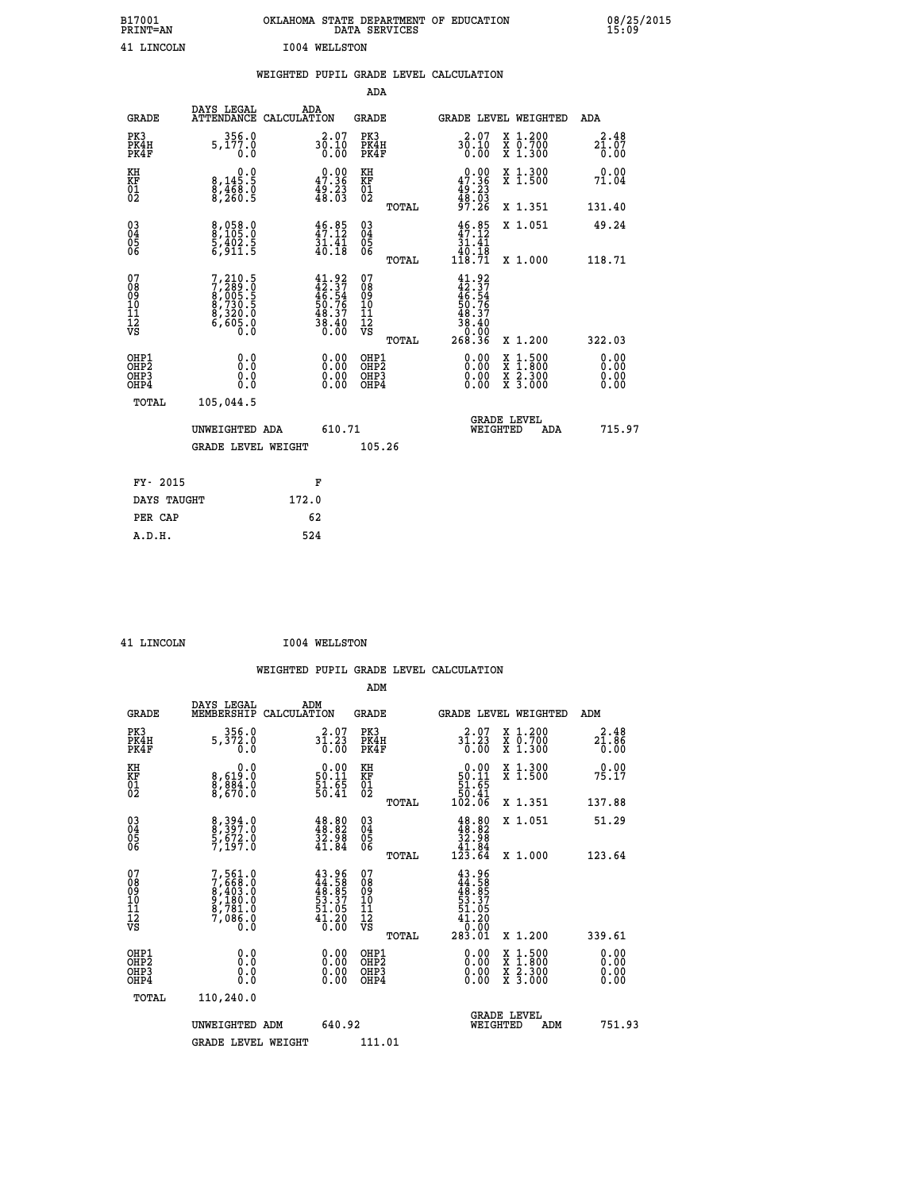| B17001<br><b>PRINT=AN</b> | OKLAHOMA STATE DEPARTMENT OF EDUCATION<br>DATA SERVICES | 08/25/2015<br>15:09 |
|---------------------------|---------------------------------------------------------|---------------------|
| 41 LINCOLN                | 1004 WELLSTON                                           |                     |

|  |  | WEIGHTED PUPIL GRADE LEVEL CALCULATION |
|--|--|----------------------------------------|
|  |  |                                        |

|                                                                              |                                                                         |                                                                          | ADA                                       |       |                                                                           |                                          |                                               |
|------------------------------------------------------------------------------|-------------------------------------------------------------------------|--------------------------------------------------------------------------|-------------------------------------------|-------|---------------------------------------------------------------------------|------------------------------------------|-----------------------------------------------|
| <b>GRADE</b>                                                                 | DAYS LEGAL<br>ATTENDANCE CALCULATION                                    | ADA                                                                      | <b>GRADE</b>                              |       |                                                                           | GRADE LEVEL WEIGHTED                     | <b>ADA</b>                                    |
| PK3<br>PK4H<br>PK4F                                                          | 356.0<br>5,177.0<br>0.0                                                 | $30.10$<br>0.00                                                          | PK3<br>PK4H<br>PK4F                       |       | 2.07<br>$30.10$<br>$0.00$                                                 | X 1.200<br>X 0.700<br>X 1.300            | 2.48<br>$2\bar{1}\,.\,0\bar{7}$<br>$0\,.\,00$ |
| KH<br><b>KF</b><br>01<br>02                                                  | $\begin{smallmatrix}&&&0.0\\8,145.5\\8,468.0\\8,260.5\end{smallmatrix}$ | $0.00$<br>47.36<br>$\frac{49.23}{48.03}$                                 | KH<br>KF<br>01<br>02                      |       | $0.00$<br>47.36<br>$\frac{49.23}{48.03}$<br>97.26                         | X 1.300<br>X 1.500                       | 0.00<br>71.04                                 |
|                                                                              |                                                                         |                                                                          |                                           | TOTAL |                                                                           | X 1.351                                  | 131.40                                        |
| $^{03}_{04}$<br>Ŏ5<br>06                                                     | 8,058.0<br>8,105.0<br>5,402.5<br>6,911.5                                | $46.85$<br>$47.12$<br>$\frac{51.41}{40.18}$                              | $\substack{03 \\ 04}$<br>Ŏ5<br>06         | TOTAL | $\begin{array}{c} 46.85 \\ 47.12 \\ 31.41 \\ 40.18 \\ 118.71 \end{array}$ | X 1.051<br>X 1.000                       | 49.24<br>118.71                               |
| 07<br>08901112<br>1112<br>VS                                                 | 7,210.5<br>7,289.0<br>8,005.5<br>8,730.5<br>8,320.0<br>6,605.0<br>0.0   | $41.92$<br>$42.37$<br>$46.54$<br>$50.76$<br>$50.37$<br>$38.40$<br>$0.00$ | 07<br>08<br>09<br>11<br>11<br>12<br>VS    |       | $41.92$<br>$42.37$<br>$46.54$<br>$50.76$<br>$50.37$<br>$48.37$<br>$38.40$ |                                          |                                               |
|                                                                              |                                                                         |                                                                          |                                           | TOTAL | 0.00<br>268.36                                                            | X 1.200                                  | 322.03                                        |
| OHP1<br>OH <sub>P</sub> <sub>2</sub><br>OH <sub>P3</sub><br>OH <sub>P4</sub> | 0.0<br>0.000                                                            | $\begin{smallmatrix} 0.00 \ 0.00 \ 0.00 \ 0.00 \end{smallmatrix}$        | OHP1<br>OH <sub>P</sub> 2<br>OHP3<br>OHP4 |       | 0.00<br>0.00<br>0.00                                                      | X 1:500<br>X 1:800<br>X 2:300<br>X 3:000 | 0.00<br>0.00<br>0.00<br>0.00                  |
| TOTAL                                                                        | 105,044.5                                                               |                                                                          |                                           |       |                                                                           |                                          |                                               |
|                                                                              | UNWEIGHTED ADA                                                          | 610.71                                                                   |                                           |       |                                                                           | GRADE LEVEL<br>WEIGHTED<br>ADA           | 715.97                                        |
|                                                                              | <b>GRADE LEVEL WEIGHT</b>                                               |                                                                          | 105.26                                    |       |                                                                           |                                          |                                               |
| FY- 2015                                                                     |                                                                         | F                                                                        |                                           |       |                                                                           |                                          |                                               |
| DAYS TAUGHT                                                                  |                                                                         | 172.0                                                                    |                                           |       |                                                                           |                                          |                                               |
| PER CAP                                                                      |                                                                         | 62                                                                       |                                           |       |                                                                           |                                          |                                               |

 **ADM**

 **41 LINCOLN I004 WELLSTON**

| <b>GRADE</b>                 | DAYS LEGAL<br>MEMBERSHIP                                                            | ADM<br>CALCULATION                                                       | <b>GRADE</b>                                       |       |                                                                                                 |          | GRADE LEVEL WEIGHTED                     | ADM                                                                       |  |
|------------------------------|-------------------------------------------------------------------------------------|--------------------------------------------------------------------------|----------------------------------------------------|-------|-------------------------------------------------------------------------------------------------|----------|------------------------------------------|---------------------------------------------------------------------------|--|
| PK3<br>PK4H<br>PK4F          | 356.0<br>5,372.0<br>0.0                                                             | 31.23<br>0.00                                                            | PK3<br>PK4H<br>PK4F                                |       | 31.23<br>$\overline{0}$ .00                                                                     |          | X 1.200<br>X 0.700<br>X 1.300            | $2\overset{2}{1}\overset{4}{.}\overset{8}{\underset{0}{8}}\overset{6}{6}$ |  |
| KH<br>KF<br>01<br>02         | $\begin{smallmatrix} & & 0.0\ 8.619.0\ 8.884.0\ 8.670.0 \end{smallmatrix}$          | $\begin{smallmatrix} 0.00\\ 50.11\\ 51.65\\ 50.41 \end{smallmatrix}$     | KH<br>KF<br>01<br>02                               |       | $\begin{smallmatrix} &0.00\ 50.11\ 51.65\ 50.41\ 102.06\ \end{smallmatrix}$                     |          | X 1.300<br>X 1.500                       | 0.00<br>75.17                                                             |  |
|                              |                                                                                     |                                                                          |                                                    | TOTAL |                                                                                                 |          | X 1.351                                  | 137.88                                                                    |  |
| 03<br>04<br>05<br>06         | 8, 394.0<br>8, 397.0<br>5, 672.0<br>7, 197.0                                        | $\begin{smallmatrix} 48.80\\ 48.82\\ 32.98\\ 41.84 \end{smallmatrix}$    | $\begin{matrix} 03 \\ 04 \\ 05 \\ 06 \end{matrix}$ |       | $\begin{smallmatrix} 48.80\\ 48.82\\ 32.98\\ 41.84\\ 123.64 \end{smallmatrix}$                  |          | X 1.051                                  | 51.29                                                                     |  |
|                              |                                                                                     |                                                                          |                                                    | TOTAL |                                                                                                 |          | X 1.000                                  | 123.64                                                                    |  |
| 07<br>08901112<br>1112<br>VS | $7,561.0$<br>$7,668.0$<br>$8,403.0$<br>$9,180.0$<br>$8,781.0$<br>$7,086.0$<br>$0.0$ | $43.96$<br>$44.58$<br>$48.85$<br>$53.37$<br>$51.05$<br>$41.20$<br>$0.00$ | 07<br>08<br>09<br>01<br>11<br>11<br>12<br>VS       | TOTAL | $43.96$<br>$44.58$<br>$45.85$<br>$53.37$<br>$51.05$<br>$41.20$<br>$41.20$<br>$0.00$<br>$283.01$ |          | X 1.200                                  | 339.61                                                                    |  |
| OHP1<br>OHP2<br>OHP3<br>OHP4 | 0.0<br>$\begin{smallmatrix} 0.0 & 0 \ 0.0 & 0 \end{smallmatrix}$                    |                                                                          | OHP1<br>OHP2<br>OHP3<br>OHP4                       |       |                                                                                                 |          | X 1:500<br>X 1:800<br>X 2:300<br>X 3:000 | $0.00$<br>$0.00$<br>0.00                                                  |  |
| TOTAL                        | 110,240.0                                                                           |                                                                          |                                                    |       |                                                                                                 |          |                                          |                                                                           |  |
|                              | UNWEIGHTED ADM                                                                      | 640.92                                                                   |                                                    |       |                                                                                                 | WEIGHTED | <b>GRADE LEVEL</b><br>ADM                | 751.93                                                                    |  |
|                              | <b>GRADE LEVEL WEIGHT</b>                                                           |                                                                          | 111.01                                             |       |                                                                                                 |          |                                          |                                                                           |  |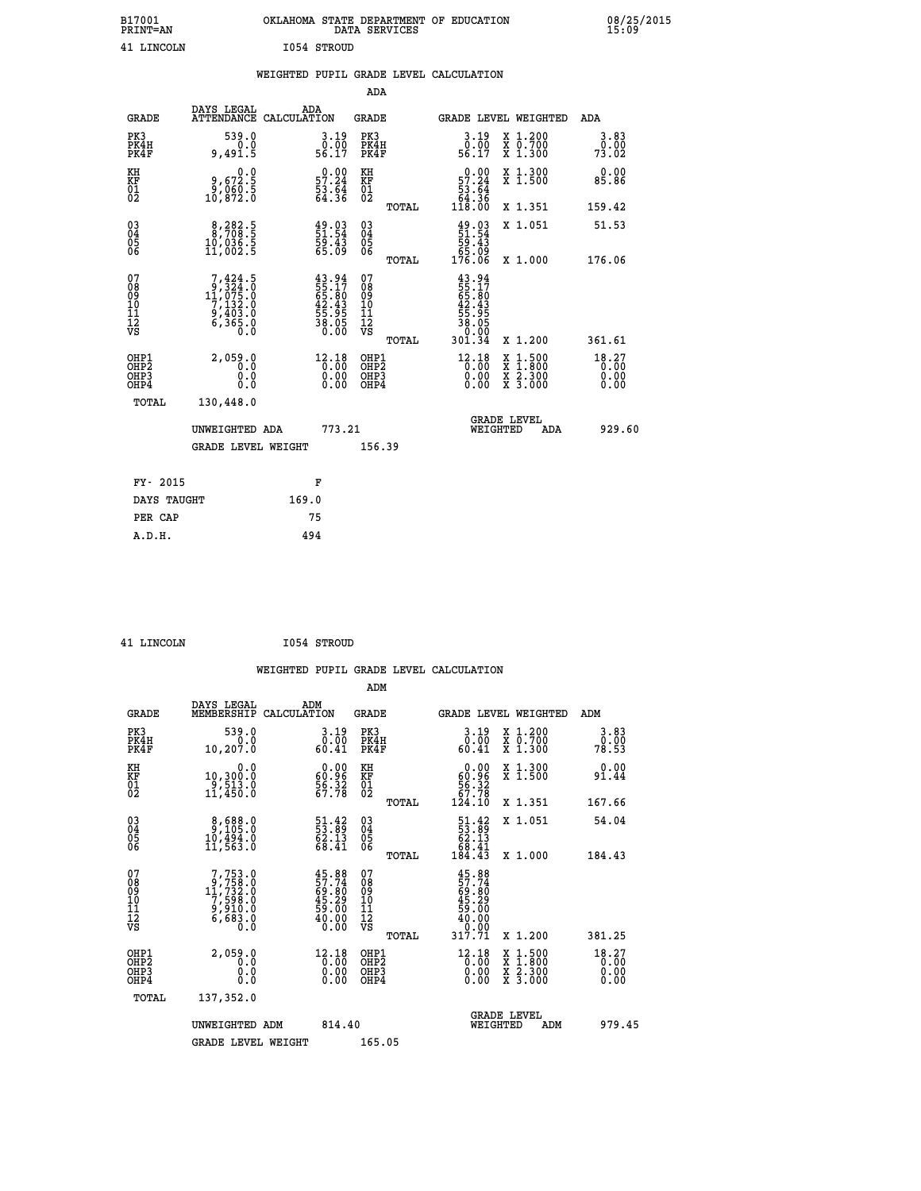| B17001<br><b>PRINT=AN</b> | OKLAHOMA STATE DEPARTMENT OF EDUCATION<br>DATA SERVICES | 08/25/2015<br>15:09 |
|---------------------------|---------------------------------------------------------|---------------------|
| <b>T.TNCOLN</b>           | TO54 STROITD                                            |                     |

| 41 LINCOLN                                                         |                                                                                                  |       | I054 STROUD                                                              |                                        |       |                                                                          |          |                                                                                                                                      |                               |
|--------------------------------------------------------------------|--------------------------------------------------------------------------------------------------|-------|--------------------------------------------------------------------------|----------------------------------------|-------|--------------------------------------------------------------------------|----------|--------------------------------------------------------------------------------------------------------------------------------------|-------------------------------|
|                                                                    |                                                                                                  |       |                                                                          |                                        |       | WEIGHTED PUPIL GRADE LEVEL CALCULATION                                   |          |                                                                                                                                      |                               |
|                                                                    |                                                                                                  |       |                                                                          | <b>ADA</b>                             |       |                                                                          |          |                                                                                                                                      |                               |
| <b>GRADE</b>                                                       | DAYS LEGAL<br>ATTENDANCE CALCULATION                                                             | ADA   |                                                                          | GRADE                                  |       |                                                                          |          | GRADE LEVEL WEIGHTED                                                                                                                 | ADA                           |
| PK3<br>PK4H<br>PK4F                                                | 539.0<br>$0.0$<br>9,491.5                                                                        |       | $\begin{smallmatrix} 3.19 \\ 0.00 \\ 56.17 \end{smallmatrix}$            | PK3<br>PK4H<br>PK4F                    |       | $\begin{smallmatrix} 3.19 \\ 0.00 \\ 56.17 \end{smallmatrix}$            |          | X 1.200<br>X 0.700<br>X 1.300                                                                                                        | 3.83<br>0.00<br>73.02         |
| KH<br>KF<br>01<br>02                                               | 0.0<br>8,672.5<br>8,060.5<br>10,872.0                                                            |       | $\begin{smallmatrix} 0.00\\ 57.24\\ 53.64\\ 64.36 \end{smallmatrix}$     | КH<br>KF<br>01<br>02                   |       | $0.00\n57.24\n53.64\n64.36\n118.00$                                      |          | X 1.300<br>X 1.500                                                                                                                   | 0.00<br>85.86                 |
|                                                                    |                                                                                                  |       |                                                                          |                                        | TOTAL |                                                                          |          | X 1.351                                                                                                                              | 159.42                        |
| $\begin{smallmatrix} 03 \\[-4pt] 04 \end{smallmatrix}$<br>05<br>ŎĞ | $\begin{smallmatrix} 8,282.5\\ 8,708.5\\ 10,036.5\\ 11,002.5 \end{smallmatrix}$                  |       | $\begin{smallmatrix} 49.03\ 51.54\ 59.43\ 55.09 \end{smallmatrix}$       | $^{03}_{04}$<br>$\frac{05}{06}$        |       | $\frac{49.03}{51.54}$<br>$\frac{59.43}{59.43}$                           |          | X 1.051                                                                                                                              | 51.53                         |
|                                                                    |                                                                                                  |       |                                                                          |                                        | TOTAL | ĕ5:ōቓ<br>176.06                                                          |          | X 1.000                                                                                                                              | 176.06                        |
| 07<br>08<br>09<br>11<br>11<br>12<br>VS                             | $\begin{smallmatrix}7,424.5\\9,324.0\\11,075.0\\7,132.0\\9,403.0\\6,365.0\\0.0\end{smallmatrix}$ |       | $43.94$<br>$55.17$<br>$65.80$<br>$42.43$<br>$55.95$<br>$38.05$<br>$0.00$ | 07<br>08<br>09<br>11<br>11<br>12<br>VS |       | $43.94$<br>$55.17$<br>$65.80$<br>$42.43$<br>$55.95$<br>$38.05$<br>$0.99$ |          |                                                                                                                                      |                               |
|                                                                    |                                                                                                  |       |                                                                          |                                        | TOTAL | 301.34                                                                   |          | X 1.200                                                                                                                              | 361.61                        |
| OHP1<br>OHP2<br>OHP3<br>OHP4                                       | 2,059.0<br>0.0<br>0.0<br>0.0                                                                     |       | $12.18$<br>$0.00$<br>$\begin{smallmatrix} 0.00 \ 0.00 \end{smallmatrix}$ | OHP1<br>OHP2<br>QHP3<br>OHP4           |       | $12.18$<br>$0.00$<br>0.00                                                |          | $\begin{smallmatrix} \mathtt{X} & 1 & 500 \\ \mathtt{X} & 1 & 800 \\ \mathtt{X} & 2 & 300 \\ \mathtt{X} & 3 & 000 \end{smallmatrix}$ | 18.27<br>0.00<br>0.00<br>0.00 |
| TOTAL                                                              | 130,448.0                                                                                        |       |                                                                          |                                        |       |                                                                          |          |                                                                                                                                      |                               |
|                                                                    | UNWEIGHTED ADA                                                                                   |       | 773.21                                                                   |                                        |       |                                                                          | WEIGHTED | <b>GRADE LEVEL</b><br>ADA                                                                                                            | 929.60                        |
|                                                                    | <b>GRADE LEVEL WEIGHT</b>                                                                        |       |                                                                          | 156.39                                 |       |                                                                          |          |                                                                                                                                      |                               |
| FY- 2015                                                           |                                                                                                  |       | F                                                                        |                                        |       |                                                                          |          |                                                                                                                                      |                               |
| DAYS TAUGHT                                                        |                                                                                                  | 169.0 |                                                                          |                                        |       |                                                                          |          |                                                                                                                                      |                               |
| PER CAP                                                            |                                                                                                  |       | 75                                                                       |                                        |       |                                                                          |          |                                                                                                                                      |                               |
| A.D.H.                                                             |                                                                                                  | 494   |                                                                          |                                        |       |                                                                          |          |                                                                                                                                      |                               |

 **41 LINCOLN I054 STROUD**

 **ADM**

| <b>GRADE</b>                 | DAYS LEGAL<br>MEMBERSHIP                                                                                                            | ADM<br>CALCULATION                                                                                            | <b>GRADE</b>                                       |       | GRADE LEVEL WEIGHTED                                                          |                                          | ADM                           |  |
|------------------------------|-------------------------------------------------------------------------------------------------------------------------------------|---------------------------------------------------------------------------------------------------------------|----------------------------------------------------|-------|-------------------------------------------------------------------------------|------------------------------------------|-------------------------------|--|
| PK3<br>PK4H<br>PK4F          | 539.0<br>0.0<br>10, 207.0                                                                                                           | $3.19$<br>$0.00$<br>60.41                                                                                     | PK3<br>PK4H<br>PK4F                                |       | 3.19<br>0.00<br>60.41                                                         | X 1.200<br>X 0.700<br>X 1.300            | 3.83<br>0.00<br>78.53         |  |
| KH<br>KF<br>01<br>02         | 0.0<br>10,300.0<br>9,513.0<br>11,450.0                                                                                              | $\begin{smallmatrix} 0.00\\ 60.96\\ 56.32\\ 67.78 \end{smallmatrix}$                                          | KH<br>KF<br>01<br>02                               |       | $\begin{smallmatrix} &0.00\\ 60.96\\ 56.32\\ 67.78\\ 124.10\end{smallmatrix}$ | X 1.300<br>X 1.500                       | 0.00<br>91.44                 |  |
|                              |                                                                                                                                     |                                                                                                               |                                                    | TOTAL |                                                                               | X 1.351                                  | 167.66                        |  |
| 03<br>04<br>05<br>06         | $\begin{smallmatrix}8,688.0\\9,105.0\\10,494.0\\11,563.0\end{smallmatrix}$                                                          | $\begin{smallmatrix} 51.42\ 53.89\ 62.13\ 68.41\ \end{smallmatrix}$                                           | $\begin{matrix} 03 \\ 04 \\ 05 \\ 06 \end{matrix}$ |       | $\begin{smallmatrix} 51.42\ 53.89\ 62.13\ 68.41\ 184.43 \end{smallmatrix}$    | X 1.051                                  | 54.04                         |  |
|                              |                                                                                                                                     |                                                                                                               |                                                    | TOTAL |                                                                               | X 1.000                                  | 184.43                        |  |
| 07<br>08901112<br>1112<br>VS | $\begin{smallmatrix}7,753\cdot 0\\9,758\cdot 0\\11,732\cdot 0\\7,598\cdot 0\\9,910\cdot 0\\6,683\cdot 0\\0\cdot 0\end{smallmatrix}$ | $45.88$<br>$57.74$<br>$69.80$<br>$45.29$<br>$59.00$<br>$40.00$<br>$0.00$                                      | 07<br>08901112<br>1112<br>VS                       | TOTAL | $45.88$<br>$57.74$<br>$69.80$<br>$45.29$<br>$59.00$<br>$40.000$<br>$317.71$   | X 1.200                                  | 381.25                        |  |
| OHP1<br>OHP2<br>OHP3<br>OHP4 | 2,059.0<br>0.0<br>0.000                                                                                                             | $\begin{smallmatrix} 12\cdot 18\\[-1.2mm] 0\cdot 00\\[-1.2mm] 0\cdot 00\\[-1.2mm] 0\cdot 00\end{smallmatrix}$ | OHP1<br>OHP2<br>OHP3<br>OHP4                       |       | $^{12.18}_{0.00}$<br>0.00                                                     | X 1:500<br>X 1:800<br>X 2:300<br>X 3:000 | 18.27<br>0.00<br>0.00<br>0.00 |  |
| TOTAL                        | 137,352.0                                                                                                                           |                                                                                                               |                                                    |       |                                                                               |                                          |                               |  |
|                              | UNWEIGHTED ADM                                                                                                                      | 814.40                                                                                                        |                                                    |       | WEIGHTED                                                                      | <b>GRADE LEVEL</b><br>ADM                | 979.45                        |  |
|                              | <b>GRADE LEVEL WEIGHT</b>                                                                                                           |                                                                                                               | 165.05                                             |       |                                                                               |                                          |                               |  |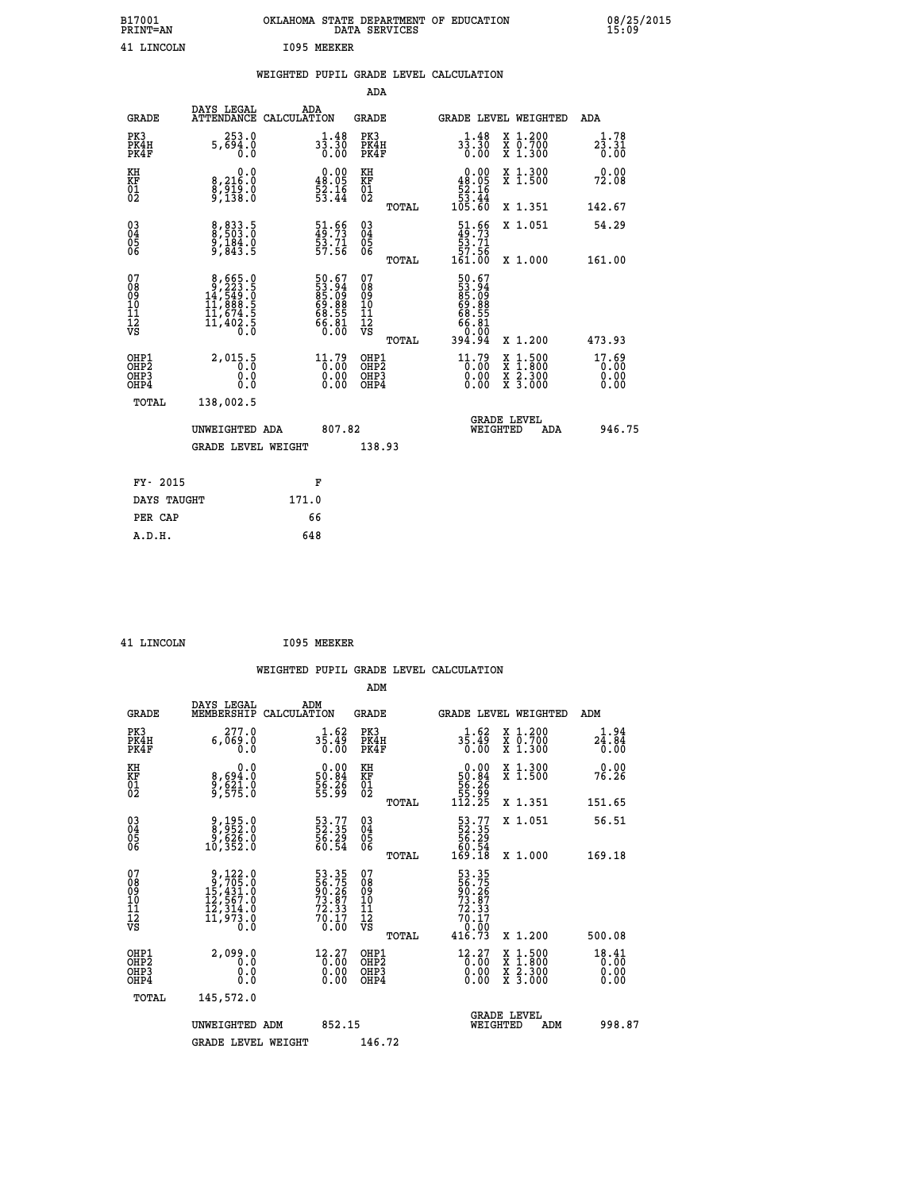| B17001<br><b>PRINT=AN</b> | OKLAHOMA STATE DEPARTMENT OF EDUCATION<br>DATA SERVICES | 08/25/2015<br>15:09 |
|---------------------------|---------------------------------------------------------|---------------------|
| 41<br>LINCOLN             | 1095<br>MEEKER                                          |                     |

|  |  | WEIGHTED PUPIL GRADE LEVEL CALCULATION |
|--|--|----------------------------------------|
|  |  |                                        |

|                                                                              |                                                                                                     |                                                                                         |                                                     | ADA    |                                                                                            |                                          |                               |
|------------------------------------------------------------------------------|-----------------------------------------------------------------------------------------------------|-----------------------------------------------------------------------------------------|-----------------------------------------------------|--------|--------------------------------------------------------------------------------------------|------------------------------------------|-------------------------------|
| <b>GRADE</b>                                                                 | DAYS LEGAL<br>ATTENDANCE CALCULATION                                                                | ADA                                                                                     | <b>GRADE</b>                                        |        |                                                                                            | GRADE LEVEL WEIGHTED                     | ADA                           |
| PK3<br>PK4H<br>PK4F                                                          | 253.0<br>5,694.0                                                                                    | $3\frac{1}{3}\cdot\frac{48}{30}$<br>0.00                                                | PK3<br>PK4H<br>PK4F                                 |        | $3\frac{1}{3}\cdot\frac{4}{30}$<br>0.00                                                    | X 1.200<br>X 0.700<br>X 1.300            | 1.78<br>23.31<br>0.00         |
| KH<br>KF<br>01<br>02                                                         | 0.0<br>8,216:0<br>8,919:0<br>9,138:0                                                                | $\begin{smallmatrix} 0.00\\ 48.05\\ 52.16\\ 53.44 \end{smallmatrix}$                    | KH<br>KF<br>01<br>02                                |        | 0.00<br>$\begin{array}{r} 48.05 \\[-4pt] 52.16 \\[-4pt] 53.44 \\[-4pt] 105.60 \end{array}$ | X 1.300<br>X 1.500                       | 0.00<br>72.08                 |
|                                                                              |                                                                                                     |                                                                                         |                                                     | TOTAL  |                                                                                            | X 1.351                                  | 142.67                        |
| $^{03}_{04}$<br>Ŏ5<br>06                                                     | 8,833.5<br>9,184.0<br>9,843.5                                                                       | $\begin{smallmatrix} 51.66\\ 49.73\\ 53.71\\ 57.56 \end{smallmatrix}$                   | $\begin{array}{c} 03 \\ 04 \\ 05 \\ 06 \end{array}$ | TOTAL  | $\begin{smallmatrix} 51.66\\ 49.73\\ 53.71\\ 57.56\\ 161.00 \end{smallmatrix}$             | X 1.051<br>X 1.000                       | 54.29<br>161.00               |
| 07<br>08901112<br>1112<br>VS                                                 | $\begin{smallmatrix}8,665.0\\9,223.5\\14,549.0\\11,888.5\\11,674.5\\11,402.5\\0.0\end{smallmatrix}$ | 50.67<br>53.94<br>85.09<br>69.88<br>68.55<br>66.80<br>60.00                             | 07<br>08901112<br>1112<br>VS                        |        | 50.67<br>53.949<br>85.099<br>68.86<br>68.555<br>66.000<br>394.94                           |                                          |                               |
|                                                                              |                                                                                                     |                                                                                         |                                                     | TOTAL  |                                                                                            | X 1.200                                  | 473.93                        |
| OHP1<br>OH <sub>P</sub> <sub>2</sub><br>OH <sub>P3</sub><br>OH <sub>P4</sub> | 2,015.5<br>0.000                                                                                    | $\begin{smallmatrix} 11.79 \\[-4pt] 0.00 \\[-4pt] 0.00 \\[-4pt] 0.00 \end{smallmatrix}$ | OHP1<br>OHP <sub>2</sub><br>OHP3<br>OHP4            |        | $\begin{smallmatrix} 11.79 \\[-4pt] 0.00\\[-4pt] 0.00\\[-4pt] 0.00\end{smallmatrix}$       | X 1:500<br>X 1:800<br>X 2:300<br>X 3:000 | 17.69<br>0.00<br>0.00<br>0.00 |
| TOTAL                                                                        | 138,002.5                                                                                           |                                                                                         |                                                     |        |                                                                                            |                                          |                               |
|                                                                              | UNWEIGHTED ADA                                                                                      |                                                                                         | 807.82                                              |        |                                                                                            | GRADE LEVEL<br>WEIGHTED<br>ADA           | 946.75                        |
|                                                                              | <b>GRADE LEVEL WEIGHT</b>                                                                           |                                                                                         |                                                     | 138.93 |                                                                                            |                                          |                               |
| FY- 2015                                                                     |                                                                                                     | F                                                                                       |                                                     |        |                                                                                            |                                          |                               |
| DAYS TAUGHT                                                                  |                                                                                                     | 171.0                                                                                   |                                                     |        |                                                                                            |                                          |                               |
| PER CAP                                                                      |                                                                                                     | 66                                                                                      |                                                     |        |                                                                                            |                                          |                               |

| <b>LINCOLN</b> |  |
|----------------|--|

 **ADM**

**EXECUTE 1095 MEEKER** 

| <b>GRADE</b>                                         | DAYS LEGAL<br>MEMBERSHIP                                                                                                        | ADM<br>CALCULATION                                                                                  | <b>GRADE</b>                                       |       | GRADE LEVEL WEIGHTED                                                                                |                                          | ADM                           |  |
|------------------------------------------------------|---------------------------------------------------------------------------------------------------------------------------------|-----------------------------------------------------------------------------------------------------|----------------------------------------------------|-------|-----------------------------------------------------------------------------------------------------|------------------------------------------|-------------------------------|--|
| PK3<br>PK4H<br>PK4F                                  | 277.0<br>0.069.0<br>0.0                                                                                                         | $3\frac{1}{5}\cdot 49\atop 0\cdot 00$                                                               | PK3<br>PK4H<br>PK4F                                |       | $3\overline{5}\cdot 49\over 0.00$                                                                   | X 1.200<br>X 0.700<br>X 1.300            | 24.94<br>0.00                 |  |
| KH<br>KF<br>01<br>02                                 | 0.0<br>8,694:0<br>9,621:0<br>9,575:0                                                                                            | $\begin{smallmatrix} 0.00\\ 50.84\\ 56.36\\ 55.99 \end{smallmatrix}$                                | KH<br>KF<br>01<br>02                               |       | $0.00\n50.84\n56.26\n55.99\n112.25$                                                                 | X 1.300<br>X 1.500                       | 0.00<br>76.26                 |  |
|                                                      |                                                                                                                                 |                                                                                                     |                                                    | TOTAL |                                                                                                     | X 1.351                                  | 151.65                        |  |
| 03<br>04<br>05<br>06                                 | 9,195.0<br>8,952.0<br>9,626.0<br>10,352.0                                                                                       | 53.77<br>52.35<br>56.29<br>60.54                                                                    | $\begin{matrix} 03 \\ 04 \\ 05 \\ 06 \end{matrix}$ |       | $\begin{smallmatrix} 53.77\\ 52.35\\ 56.29\\ 60.54\\ 169.18 \end{smallmatrix}$                      | X 1.051                                  | 56.51                         |  |
|                                                      |                                                                                                                                 |                                                                                                     |                                                    | TOTAL |                                                                                                     | X 1.000                                  | 169.18                        |  |
| 07<br>08<br>09<br>101<br>11<br>12<br>VS              | $\begin{smallmatrix}9,122\cdot0\\9,705\cdot0\\15,431\cdot0\\12,567\cdot0\\12,314\cdot0\\11,973\cdot0\\0\cdot0\end{smallmatrix}$ | 53.35<br>56.75<br>90.26<br>73.87<br>72.33<br>70.17<br>0.00                                          | 07<br>08<br>09<br>01<br>11<br>11<br>12<br>VS       | TOTAL | 53.35<br>56.75<br>90.267<br>73.87<br>72.33<br>70.17<br>0.00<br>416.73                               | X 1.200                                  | 500.08                        |  |
| OHP1<br>OHP2<br>OH <sub>P3</sub><br>OH <sub>P4</sub> | 2,099.0<br>0.0<br>0.000                                                                                                         | $\begin{smallmatrix} 12\cdot27\\[-1mm] 0\cdot00\\[-1mm] 0\cdot00\\[-1mm] 0\cdot00\end{smallmatrix}$ | OHP1<br>OHP2<br>OHP3<br>OHP4                       |       | $\begin{smallmatrix} 12\cdot27\\[-1mm] 0\cdot00\\[-1mm] 0\cdot00\\[-1mm] 0\cdot00\end{smallmatrix}$ | X 1:500<br>X 1:800<br>X 2:300<br>X 3:000 | 18.41<br>0.00<br>0.00<br>0.00 |  |
| TOTAL                                                | 145,572.0                                                                                                                       |                                                                                                     |                                                    |       |                                                                                                     |                                          |                               |  |
|                                                      | UNWEIGHTED<br>ADM                                                                                                               | 852.15                                                                                              |                                                    |       | WEIGHTED                                                                                            | <b>GRADE LEVEL</b><br>ADM                | 998.87                        |  |
|                                                      | <b>GRADE LEVEL WEIGHT</b>                                                                                                       |                                                                                                     | 146.72                                             |       |                                                                                                     |                                          |                               |  |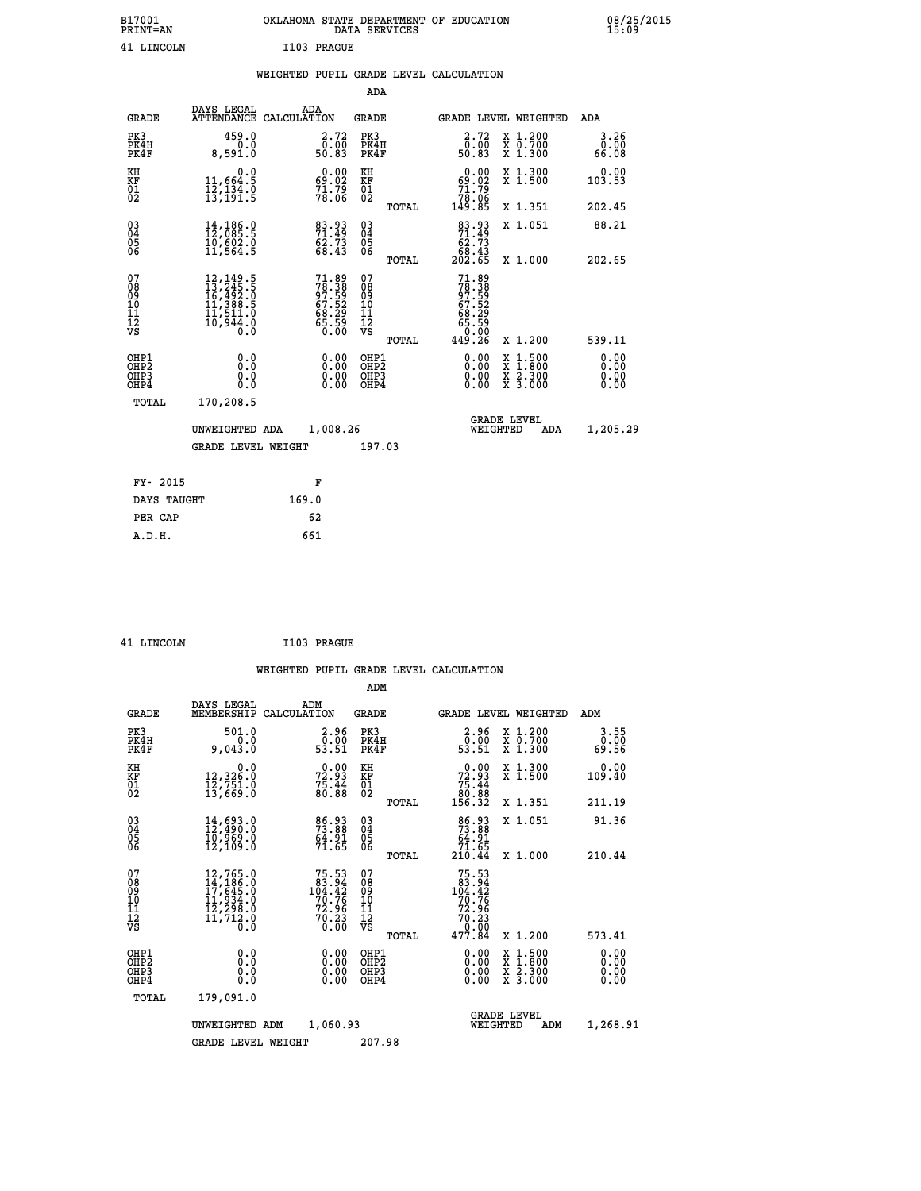| B17001<br><b>PRINT=AN</b> | OKLAHOMA STATE DEPARTMENT OF EDUCATION<br>DATA SERVICES |  |
|---------------------------|---------------------------------------------------------|--|
| 41 LINCOLN                | I103 PRAGUE                                             |  |

|  |  | WEIGHTED PUPIL GRADE LEVEL CALCULATION |
|--|--|----------------------------------------|
|  |  |                                        |

| DAYS LEGAL<br><b>GRADE</b> | ADA                                                                                                                                                                                                                                     | GRADE                                                                                                                                                                             | GRADE LEVEL WEIGHTED                                                                                                                                         | ADA                                                                                                                                                                              |
|----------------------------|-----------------------------------------------------------------------------------------------------------------------------------------------------------------------------------------------------------------------------------------|-----------------------------------------------------------------------------------------------------------------------------------------------------------------------------------|--------------------------------------------------------------------------------------------------------------------------------------------------------------|----------------------------------------------------------------------------------------------------------------------------------------------------------------------------------|
| 459.0<br>8,591.0           | $\begin{smallmatrix} 2.72\ 0.00\ 50.83 \end{smallmatrix}$                                                                                                                                                                               | PK3<br>PK4H<br>PK4F                                                                                                                                                               | $\begin{smallmatrix} 2.72\ 0.00\ 50.83 \end{smallmatrix}$<br>X 1.200<br>X 0.700<br>X 1.300                                                                   | 3.26<br>0.00<br>66.08                                                                                                                                                            |
| 0.0                        |                                                                                                                                                                                                                                         |                                                                                                                                                                                   | X 1.300<br>X 1.500                                                                                                                                           | 0.00<br>103.53                                                                                                                                                                   |
|                            |                                                                                                                                                                                                                                         | TOTAL                                                                                                                                                                             | X 1.351                                                                                                                                                      | 202.45                                                                                                                                                                           |
| 14,186.0                   |                                                                                                                                                                                                                                         |                                                                                                                                                                                   | X 1.051                                                                                                                                                      | 88.21                                                                                                                                                                            |
|                            |                                                                                                                                                                                                                                         |                                                                                                                                                                                   |                                                                                                                                                              | 202.65                                                                                                                                                                           |
|                            |                                                                                                                                                                                                                                         | 07<br>08<br>09<br>11<br>11<br>12<br>VS<br>TOTAL                                                                                                                                   | X 1.200                                                                                                                                                      | 539.11                                                                                                                                                                           |
| 0.0<br>0.0<br>0.0          | 0.00<br>$\begin{smallmatrix} 0.00 \ 0.00 \end{smallmatrix}$                                                                                                                                                                             | OHP1<br>OHP <sub>2</sub><br>OHP3<br>OHP4                                                                                                                                          | 0.00<br>$\begin{smallmatrix} \mathtt{X} & 1 & 500 \\ \mathtt{X} & 1 & 800 \\ \mathtt{X} & 2 & 300 \\ \mathtt{X} & 3 & 000 \end{smallmatrix}$<br>0.00<br>0.00 | 0.00<br>0.00<br>0.00<br>0.00                                                                                                                                                     |
| TOTAL<br>170,208.5         |                                                                                                                                                                                                                                         |                                                                                                                                                                                   |                                                                                                                                                              |                                                                                                                                                                                  |
|                            |                                                                                                                                                                                                                                         |                                                                                                                                                                                   | <b>GRADE LEVEL</b><br>WEIGHTED<br>ADA                                                                                                                        | 1,205.29                                                                                                                                                                         |
|                            |                                                                                                                                                                                                                                         |                                                                                                                                                                                   |                                                                                                                                                              |                                                                                                                                                                                  |
| FY- 2015                   | F                                                                                                                                                                                                                                       |                                                                                                                                                                                   |                                                                                                                                                              |                                                                                                                                                                                  |
| DAYS TAUGHT                | 169.0                                                                                                                                                                                                                                   |                                                                                                                                                                                   |                                                                                                                                                              |                                                                                                                                                                                  |
| PER CAP                    | 62                                                                                                                                                                                                                                      |                                                                                                                                                                                   |                                                                                                                                                              |                                                                                                                                                                                  |
| A.D.H.                     | 661                                                                                                                                                                                                                                     |                                                                                                                                                                                   |                                                                                                                                                              |                                                                                                                                                                                  |
|                            | 11,664.5<br>12,134.0<br>13,191.5<br>10,602.0<br>11,564.5<br>$\begin{smallmatrix} 12\,,\,149\cdot\,5\\ 13\,,\,245\cdot\,5\\ 16\,,\,492\cdot\,0\\ 11\,,\,388\cdot\,5\\ 11\,,\,511\cdot\,0\\ 10\,,\,944\cdot\,0\\ 0\,\,0\end{smallmatrix}$ | ATTENDANCE CALCULATION<br>$\begin{smallmatrix} 0.00\\ 69.02\\ 71.79\\ 78.06 \end{smallmatrix}$<br>83.93<br>71.49<br>62.73<br>68.43<br>UNWEIGHTED ADA<br><b>GRADE LEVEL WEIGHT</b> | ADA<br>KH<br>KF<br>01<br>02<br>03<br>04<br>05<br>06<br>TOTAL<br>71.89<br>78.38<br>97.59<br>67.52<br>68.29<br>68.50<br>65.50<br>1,008.26<br>197.03            | $\begin{smallmatrix} &0.00\ 69.02\ 71.79\ 78.06\ 149.85\ \end{smallmatrix}$<br>$83.9371.4962.7368.43202.65$<br>X 1.000<br>$71.89\n78.389\n97.529\n68.299\n68.299\n65.500\n49.26$ |

| 41 LINCOLN | I103 PRAGUE |
|------------|-------------|
|            |             |

 **ADM**

| <b>GRADE</b>                                       | DAYS LEGAL<br>MEMBERSHIP                                                                                                                        | ADM<br>CALCULATION                                                                      | <b>GRADE</b>                                 |       | GRADE LEVEL WEIGHTED                                                                                                                         |                                          | ADM                   |  |
|----------------------------------------------------|-------------------------------------------------------------------------------------------------------------------------------------------------|-----------------------------------------------------------------------------------------|----------------------------------------------|-------|----------------------------------------------------------------------------------------------------------------------------------------------|------------------------------------------|-----------------------|--|
| PK3<br>PK4H<br>PK4F                                | 501.0<br>0.0<br>9,043.0                                                                                                                         | $\begin{smallmatrix} 2.96\0.00\\ 53.51\end{smallmatrix}$                                | PK3<br>PK4H<br>PK4F                          |       | 2.96<br>$\bar{0}.\bar{0}\bar{0}\over 53.51$                                                                                                  | X 1.200<br>X 0.700<br>X 1.300            | 3.55<br>0.00<br>69.56 |  |
| KH<br>KF<br>$\overline{01}$                        | 0.0<br>12,326.0<br>12,751.0<br>13,669.0                                                                                                         | 72.93<br>72.93<br>75.44<br>80.88                                                        | KH<br>KF<br>$\overline{01}$                  |       | $\begin{smallmatrix} &0.00\ 72.93\ 75.44\ 80.88\ 156.32\end{smallmatrix}$                                                                    | X 1.300<br>X 1.500                       | 0.00<br>109.40        |  |
|                                                    |                                                                                                                                                 |                                                                                         |                                              | TOTAL |                                                                                                                                              | X 1.351                                  | 211.19                |  |
| $\begin{matrix} 03 \\ 04 \\ 05 \\ 06 \end{matrix}$ | 14,693.0<br>12,490.0<br>10,969.0                                                                                                                | 86.93<br>73.88<br>$\frac{64.91}{71.65}$                                                 | 030404                                       |       | $\begin{smallmatrix}86.93\\73.88\\64.91\\71.65\\210.44\end{smallmatrix}$                                                                     | X 1.051                                  | 91.36                 |  |
|                                                    | 12,109.0                                                                                                                                        |                                                                                         | 06                                           | TOTAL |                                                                                                                                              | X 1.000                                  | 210.44                |  |
| 07<br>089<br>090<br>1112<br>VS                     | $\begin{smallmatrix} 12,765\cdot 0\\ 14,186\cdot 0\\ 17,645\cdot 0\\ 11,934\cdot 0\\ 12,298\cdot 0\\ 11,712\cdot 0\\ 0\cdot 0\end{smallmatrix}$ | $\begin{smallmatrix}75.53\\83.94\\104.42\\70.76\\72.96\\70.23\end{smallmatrix}$<br>0.00 | 07<br>08<br>09<br>01<br>11<br>11<br>12<br>VS |       | $\begin{array}{r} 75\cdot 53 \\ 83\cdot 94 \\ 104\cdot 42 \\ 70\cdot 76 \\ 72\cdot 96 \\ 70\cdot 23 \\ 0\cdot 00 \\ 477\cdot 84 \end{array}$ |                                          |                       |  |
| OHP1                                               |                                                                                                                                                 |                                                                                         |                                              | TOTAL |                                                                                                                                              | X 1.200                                  | 573.41                |  |
| OHP <sub>2</sub><br>OH <sub>P3</sub><br>OHP4       | 0.0<br>0.000                                                                                                                                    |                                                                                         | OHP1<br>OHP2<br>OHP3<br>OHP4                 |       | 0.00<br>$0.00$<br>0.00                                                                                                                       | X 1:500<br>X 1:800<br>X 2:300<br>X 3:000 | 0.00<br>0.00<br>0.00  |  |
| TOTAL                                              | 179,091.0                                                                                                                                       |                                                                                         |                                              |       |                                                                                                                                              |                                          |                       |  |
|                                                    | UNWEIGHTED                                                                                                                                      | 1,060.93<br>ADM                                                                         |                                              |       | WEIGHTED                                                                                                                                     | <b>GRADE LEVEL</b><br>ADM                | 1,268.91              |  |
|                                                    | <b>GRADE LEVEL WEIGHT</b>                                                                                                                       |                                                                                         | 207.98                                       |       |                                                                                                                                              |                                          |                       |  |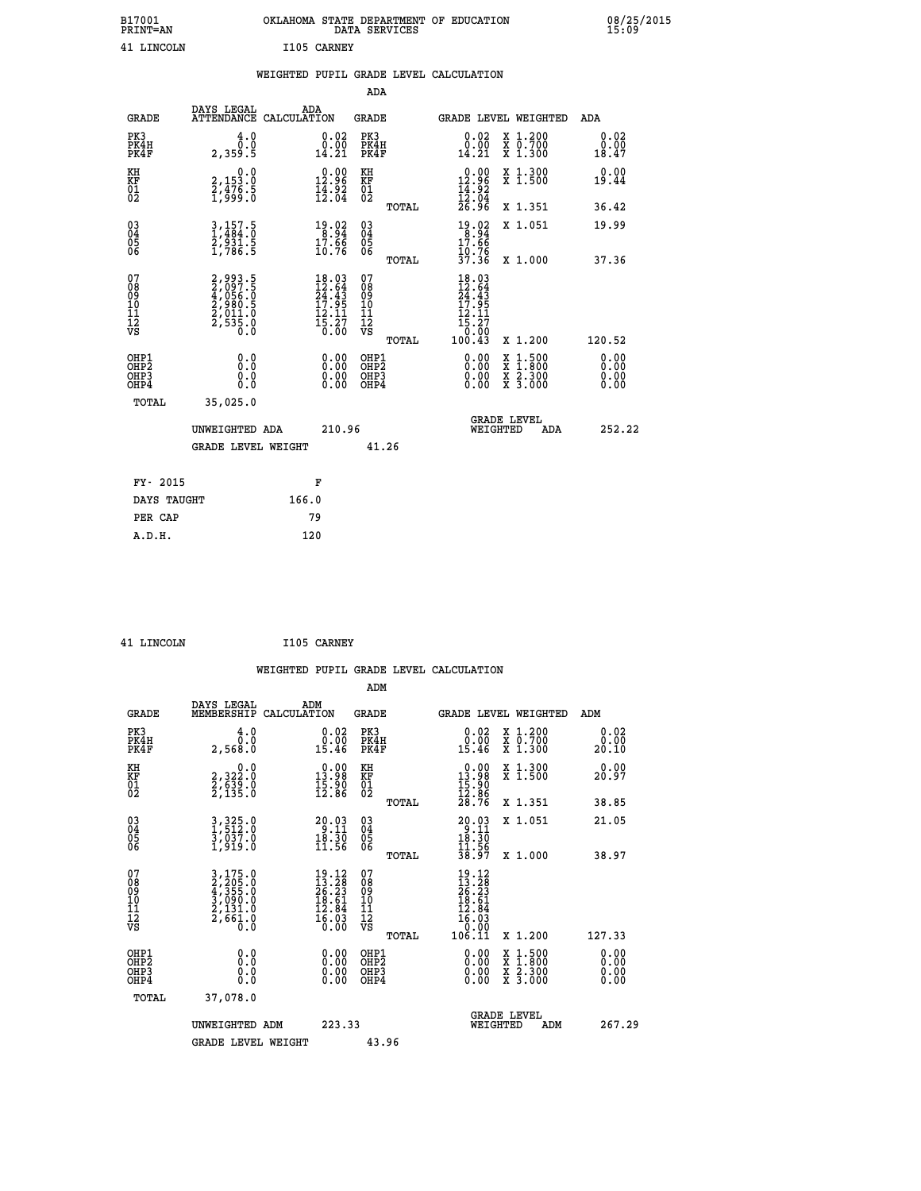| B17001<br><b>PRINT=AN</b> | OKLAHOMA STATE DEPARTMENT OF EDUCATION<br>DATA SERVICES | 08/25/2015<br>15:09 |
|---------------------------|---------------------------------------------------------|---------------------|
| 41<br>LINCOLN             | I105<br>CARNEY                                          |                     |

|                                                                    |                                                                       |                                                                                                   | ADA                                          |       |                                                                                                                                               |                                                                                                                                           |                              |
|--------------------------------------------------------------------|-----------------------------------------------------------------------|---------------------------------------------------------------------------------------------------|----------------------------------------------|-------|-----------------------------------------------------------------------------------------------------------------------------------------------|-------------------------------------------------------------------------------------------------------------------------------------------|------------------------------|
| <b>GRADE</b>                                                       | DAYS LEGAL                                                            | ADA<br>ATTENDANCE CALCULATION                                                                     | <b>GRADE</b>                                 |       |                                                                                                                                               | GRADE LEVEL WEIGHTED                                                                                                                      | ADA                          |
| PK3<br>PK4H<br>PK4F                                                | 4.0<br>0.0<br>2,359.5                                                 | $\begin{smallmatrix} 0.02\ 0.00\ 14.21 \end{smallmatrix}$                                         | PK3<br>PK4H<br>PK4F                          |       | $\begin{smallmatrix} 0.02\\ 0.00\\ 14.21 \end{smallmatrix}$                                                                                   | X 1.200<br>X 0.700<br>X 1.300                                                                                                             | 0.02<br>0.00<br>18.47        |
| KH<br>KF<br>01<br>02                                               | 0.0<br>2,153.0<br>2,476.5<br>1,999.0                                  | $0.00$<br>12.96<br>$\frac{1}{4}$ $\frac{1}{2}$ $\frac{5}{2}$                                      | KH<br>KF<br>01<br>02                         |       | $\begin{array}{r} 0.00 \\ 12.96 \\ 14.92 \\ 12.04 \\ 26.96 \end{array}$                                                                       | X 1.300<br>X 1.500                                                                                                                        | 0.00<br>19.44                |
|                                                                    |                                                                       |                                                                                                   |                                              | TOTAL |                                                                                                                                               | X 1.351                                                                                                                                   | 36.42                        |
| $\begin{smallmatrix} 03 \\[-4pt] 04 \end{smallmatrix}$<br>Ŏ5<br>06 | $3, 157.5$<br>$1, 484.0$<br>$2, 931.5$<br>$1, 786.5$                  | $\begin{array}{c} 19.02 \\ 8.94 \\ 17.66 \\ 10.76 \end{array}$                                    | $\substack{03 \\ 04}$<br>Ŏ5<br>06            |       | $19.92$<br>$17.94$<br>$17.96$<br>10.76<br>37.36                                                                                               | X 1.051                                                                                                                                   | 19.99                        |
|                                                                    |                                                                       |                                                                                                   |                                              | TOTAL |                                                                                                                                               | X 1.000                                                                                                                                   | 37.36                        |
| 07<br>08<br>09<br>101<br>11<br>12<br>VS                            | 2,993.5<br>2,097.5<br>4,056.0<br>4,056.0<br>2,980.5<br>2,535.0<br>0.0 | $\begin{smallmatrix} 18.03 \\ 12.64 \\ 24.43 \\ 17.95 \\ 12.11 \\ 5.27 \\ 0.00 \end{smallmatrix}$ | 07<br>08<br>09<br>101<br>11<br>12<br>VS      |       | $\begin{array}{@{}ll} 18.03 \\[-2.0ex] 12.64 \\[-2.0ex] 24.43 \\[-2.0ex] 17.95 \\[-2.0ex] 12.11 \\[-2.0ex] 15.27 \\[-2.0ex] 0.92 \end{array}$ |                                                                                                                                           |                              |
|                                                                    |                                                                       |                                                                                                   |                                              | TOTAL | 100.43                                                                                                                                        | X 1.200                                                                                                                                   | 120.52                       |
| OHP1<br>OHP <sub>2</sub><br>OH <sub>P3</sub><br>OHP4               | 0.0<br>0.0<br>0.0                                                     | 0.00<br>$\begin{smallmatrix} 0.00 \ 0.00 \end{smallmatrix}$                                       | OHP1<br>OHP <sub>2</sub><br>OHP <sub>3</sub> |       | 0.00<br>0.00                                                                                                                                  | $\begin{smallmatrix} \mathtt{X} & 1\cdot500\\ \mathtt{X} & 1\cdot800\\ \mathtt{X} & 2\cdot300\\ \mathtt{X} & 3\cdot000 \end{smallmatrix}$ | 0.00<br>0.00<br>0.00<br>0.00 |
| TOTAL                                                              | 35,025.0                                                              |                                                                                                   |                                              |       |                                                                                                                                               |                                                                                                                                           |                              |
|                                                                    | UNWEIGHTED ADA                                                        | 210.96                                                                                            |                                              |       |                                                                                                                                               | <b>GRADE LEVEL</b><br>WEIGHTED<br>ADA                                                                                                     | 252.22                       |
|                                                                    | <b>GRADE LEVEL WEIGHT</b>                                             |                                                                                                   |                                              | 41.26 |                                                                                                                                               |                                                                                                                                           |                              |
| FY- 2015                                                           |                                                                       | F                                                                                                 |                                              |       |                                                                                                                                               |                                                                                                                                           |                              |
| DAYS TAUGHT                                                        |                                                                       | 166.0                                                                                             |                                              |       |                                                                                                                                               |                                                                                                                                           |                              |
| PER CAP                                                            |                                                                       | 79                                                                                                |                                              |       |                                                                                                                                               |                                                                                                                                           |                              |

| <b>T.TNCOLN</b> |
|-----------------|

**1105 CARNEY** 

 **WEIGHTED PUPIL GRADE LEVEL CALCULATION ADM DAYS LEGAL ADM GRADE MEMBERSHIP CALCULATION GRADE GRADE LEVEL WEIGHTED ADM PK3 4.0 0.02 PK3 0.02 X 1.200 0.02 PK4H 0.0 0.00 PK4H 0.00 X 0.700 0.00 PK4F 2,568.0 15.46 PK4F 15.46 X 1.300 20.10 KH 0.0 0.00 KH 0.00 X 1.300 0.00 KF 2,322.0 13.98 KF 13.98 X 1.500 20.97 01 2,639.0 15.90 01 15.90 02 2,135.0 12.86 02 12.86 TOTAL 28.76 X 1.351 38.85 03 3,325.0 20.03 03 20.03 X 1.051 21.05 04 1,512.0 9.11 04 9.11 05 3,037.0 18.30 05 18.30** 06 1,919.0 11.56 06 <sub>memas</sub> 11.56  **TOTAL 38.97 X 1.000 38.97**  $\begin{array}{cccc} 07 & 3/15.0 & 19.12 & 07 & 19.12 \ 08 & 2/395.0 & 13.28 & 08 & 13.28 \ 09 & 4/355.0 & 26.23 & 09 & 26.23 \ 10 & 3/990.0 & 18.61 & 10 & 18.61 \ 11 & 2/131.0 & 12.84 & 11 & 12.861 \ \hline \textrm{vs} & 2/661.0 & 16.03 & 12 & 6.03 \ \hline \textrm{vs} & 2/661.0 &$  $\begin{array}{cccccc} 3,175.0 & & & & 19.12 & 07 \ 2,295.0 & & & 12.23 & 08 & & & 13.12 \ 3,039.0 & & & 18.61 & 10 & & 16.63 \ 3,090.0 & & & 18.61 & 11 & & 18.61 \ 2,661.0 & & & 16.03 & 12 & & 16.03 \ 60.0 & & & 6.00 & \text{VS} & & & 10.01 \ 7 & & & 10.01 & & & 12.84 \ 7 & & & 10.01 & & & 16.$  **OHP1 0.0 0.00 OHP1 0.00 X 1.500 0.00 OHP2 0.0 0.00 OHP2 0.00 X 1.800 0.00 OHP3 0.0 0.00 OHP3 0.00 X 2.300 0.00 OHP4 0.0 0.00 OHP4 0.00 X 3.000 0.00**

| TOTAL | 37,078.0           |        |                                       |        |
|-------|--------------------|--------|---------------------------------------|--------|
|       | UNWEIGHTED ADM     | 223.33 | <b>GRADE LEVEL</b><br>ADM<br>WEIGHTED | 267.29 |
|       | GRADE LEVEL WEIGHT | 43.96  |                                       |        |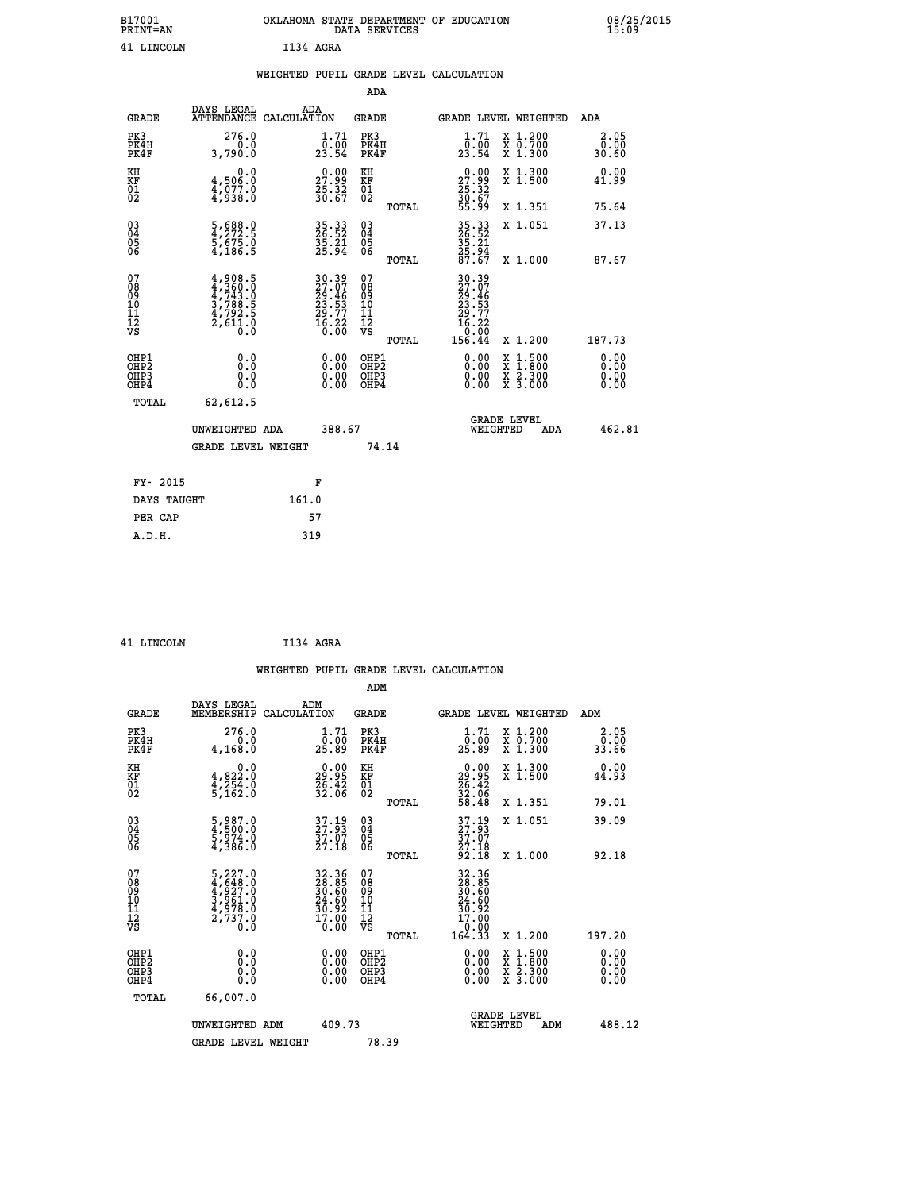|           | OKLAHOMA STATE DEPARTMENT OF EDUCATION<br>DATA SERVICES |  |
|-----------|---------------------------------------------------------|--|
| T134 AGRA |                                                         |  |

|                                        |                                                                                     | WEIGHTED PUPIL GRADE LEVEL CALCULATION                               |                                                    |       |                                                                                                      |                                                                                                           |                              |
|----------------------------------------|-------------------------------------------------------------------------------------|----------------------------------------------------------------------|----------------------------------------------------|-------|------------------------------------------------------------------------------------------------------|-----------------------------------------------------------------------------------------------------------|------------------------------|
|                                        |                                                                                     |                                                                      | <b>ADA</b>                                         |       |                                                                                                      |                                                                                                           |                              |
| <b>GRADE</b>                           |                                                                                     | DAYS LEGAL ADA ATTENDANCE CALCULATION                                | <b>GRADE</b>                                       |       |                                                                                                      | GRADE LEVEL WEIGHTED                                                                                      | ADA                          |
| PK3<br>PK4H<br>PK4F                    | 276.0<br>3,790.0                                                                    | 1.71<br>$\frac{0.00}{23.54}$                                         | PK3<br>PK4H<br>PK4F                                |       | 1.71<br>$\frac{\bar{0} \cdot 0 \bar{0}}{23.54}$                                                      | X 1.200<br>X 0.700<br>X 1.300                                                                             | 2.05<br>0.00<br>30.60        |
| KH<br>KF<br>01<br>02                   | 0.0<br>4,506.0<br>$\frac{1}{4}, \frac{5}{9} \frac{7}{3} \cdot \frac{8}{6}$          | $\begin{smallmatrix} 0.00\\ 27.99\\ 25.32\\ 30.67 \end{smallmatrix}$ | KH<br><b>KF</b><br>01<br>02                        |       | 0.00<br>$\begin{smallmatrix} 27.99 \\ 25.32 \\ 30.67 \\ 55.99 \end{smallmatrix}$                     | X 1.300<br>X 1.500                                                                                        | 0.00<br>41.99                |
|                                        |                                                                                     |                                                                      |                                                    | TOTAL |                                                                                                      | X 1.351                                                                                                   | 75.64                        |
| $^{03}_{04}$<br>05<br>06               | $\frac{5}{4}, \frac{688}{272}$ : 5<br>5,675: 0<br>4,186: 5                          | 35.33<br>26.52<br>35.21<br>25.94                                     | $\begin{matrix} 03 \\ 04 \\ 05 \\ 06 \end{matrix}$ |       | 35.33<br>26.52<br>35.21<br>25.94<br>27.67                                                            | X 1.051                                                                                                   | 37.13                        |
|                                        |                                                                                     |                                                                      |                                                    | TOTAL |                                                                                                      | X 1.000                                                                                                   | 87.67                        |
| 07<br>08<br>09<br>11<br>11<br>12<br>VS | $4,908.5$<br>$4,743.0$<br>$4,743.0$<br>$3,788.5$<br>$4,792.5$<br>$2,611.0$<br>$0.0$ | 30.39<br>27.07<br>29.46<br>23.53<br>29.77<br>20.22<br>16.22          | 07<br>08<br>09<br>11<br>11<br>12<br>VS             | TOTAL | $\begin{smallmatrix} 30.39\\27.07\\29.46\\23.53\\24.57\\29.77\\16.22\\0.00\\156.44\end{smallmatrix}$ | X 1.200                                                                                                   | 187.73                       |
| OHP1<br>OHP2<br>OHP3<br>OHP4           | 0.0<br>Ō.Ō<br>0.0                                                                   | 0.0000<br>$\begin{smallmatrix} 0.00 \ 0.00 \end{smallmatrix}$        | OHP1<br>OHP2<br>OHP3<br>OHP4                       |       | 0.00<br>0.00<br>0.00                                                                                 | 1:500<br>$\begin{smallmatrix} x & 1 & 500 \\ x & 1 & 800 \\ x & 2 & 300 \\ x & 3 & 000 \end{smallmatrix}$ | 0.00<br>0.00<br>0.00<br>0.00 |
| <b>TOTAL</b>                           | 62,612.5                                                                            |                                                                      |                                                    |       |                                                                                                      |                                                                                                           |                              |
|                                        | UNWEIGHTED ADA                                                                      | 388.67                                                               |                                                    |       | WEIGHTED                                                                                             | <b>GRADE LEVEL</b><br>ADA                                                                                 | 462.81                       |
|                                        | <b>GRADE LEVEL WEIGHT</b>                                                           |                                                                      |                                                    | 74.14 |                                                                                                      |                                                                                                           |                              |
| FY- 2015                               |                                                                                     | F                                                                    |                                                    |       |                                                                                                      |                                                                                                           |                              |
| DAYS TAUGHT                            |                                                                                     | 161.0                                                                |                                                    |       |                                                                                                      |                                                                                                           |                              |
| PER CAP                                |                                                                                     | 57                                                                   |                                                    |       |                                                                                                      |                                                                                                           |                              |

| <b>LINCOLN</b> |
|----------------|
|                |

B17001<br>PRINT=AN<br>41 LINCOLN

**INCOLN** 1134 AGRA

|                                    |                                                                                                 |                    |                                                                      |                                        |       | WEIGHTED PUPIL GRADE LEVEL CALCULATION                                                                                                                                                                                                                                         |                                          |     |                       |
|------------------------------------|-------------------------------------------------------------------------------------------------|--------------------|----------------------------------------------------------------------|----------------------------------------|-------|--------------------------------------------------------------------------------------------------------------------------------------------------------------------------------------------------------------------------------------------------------------------------------|------------------------------------------|-----|-----------------------|
|                                    |                                                                                                 |                    |                                                                      | ADM                                    |       |                                                                                                                                                                                                                                                                                |                                          |     |                       |
| <b>GRADE</b>                       | DAYS LEGAL<br>MEMBERSHIP                                                                        | ADM<br>CALCULATION |                                                                      | GRADE                                  |       | <b>GRADE LEVEL WEIGHTED</b>                                                                                                                                                                                                                                                    |                                          | ADM |                       |
| PK3<br>PK4H<br>PK4F                | 276.0<br>0.0<br>4,168.0                                                                         |                    | 1.71<br>ō:0ō<br>25.89                                                | PK3<br>PK4H<br>PK4F                    |       | $\frac{1}{0}$ : $\frac{71}{00}$<br>25.89                                                                                                                                                                                                                                       | X 1.200<br>X 0.700<br>X 1.300            |     | 2.05<br>ō:ŏŏ<br>33.66 |
| KH<br>KF<br>01<br>02               | $\begin{smallmatrix}&&&0.0\\4,822.0\\4,254.0\\5,162.0\end{smallmatrix}$                         |                    | $\begin{smallmatrix} 0.00\\ 29.95\\ 26.42\\ 32.06 \end{smallmatrix}$ | KH<br>KF<br>01<br>02                   |       | $\begin{smallmatrix} 0.00\\ 29.95\\ 26.42\\ 32.06\\ 58.48 \end{smallmatrix}$                                                                                                                                                                                                   | X 1.300<br>X 1.500                       |     | 0.00<br>44.93         |
|                                    |                                                                                                 |                    |                                                                      |                                        | TOTAL |                                                                                                                                                                                                                                                                                | X 1.351                                  |     | 79.01                 |
| 03<br>04<br>05<br>06               | 5,987.0<br>4,500.0<br>5,974.0<br>4,386.0                                                        |                    | 37.19<br>27.93<br>37.07<br>27.18                                     | 03<br>04<br>05<br>06                   |       | $\begin{array}{c} 37.19 \\ 27.93 \\ 37.07 \\ 27.18 \end{array}$                                                                                                                                                                                                                | X 1.051                                  |     | 39.09                 |
|                                    |                                                                                                 |                    |                                                                      |                                        | TOTAL | 92.I8                                                                                                                                                                                                                                                                          | X 1.000                                  |     | 92.18                 |
| 07<br>08<br>09<br>101<br>112<br>VS | $\begin{smallmatrix}5,227.0\\4,648.0\\4,927.0\\3,961.0\\4,978.0\\2,737.0\\0.0\end{smallmatrix}$ |                    | 32.36<br>28.85<br>30.60<br>24.60<br>30.92<br>$\frac{17.00}{0.00}$    | 07<br>08<br>09<br>11<br>11<br>12<br>VS | TOTAL | 32.36<br>28.85<br>30.60<br>24.60<br>30.92<br>17.00<br>0.00<br>164.33                                                                                                                                                                                                           | X 1.200                                  |     | 197.20                |
| OHP1                               |                                                                                                 |                    |                                                                      | OHP1                                   |       |                                                                                                                                                                                                                                                                                |                                          |     |                       |
| OHP2<br>OHP3<br>OHP4               | 0.0<br>0.000                                                                                    |                    | 0.00<br>0.00<br>0.00                                                 | OHP <sub>2</sub><br>OHP3<br>OHP4       |       | $\begin{smallmatrix} 0.00 & 0.00 & 0.00 & 0.00 & 0.00 & 0.00 & 0.00 & 0.00 & 0.00 & 0.00 & 0.00 & 0.00 & 0.00 & 0.00 & 0.00 & 0.00 & 0.00 & 0.00 & 0.00 & 0.00 & 0.00 & 0.00 & 0.00 & 0.00 & 0.00 & 0.00 & 0.00 & 0.00 & 0.00 & 0.00 & 0.00 & 0.00 & 0.00 & 0.00 & 0.00 & 0.0$ | X 1:500<br>X 1:800<br>X 2:300<br>X 3:000 |     | 0.00<br>0.00<br>0.00  |
| TOTAL                              | 66,007.0                                                                                        |                    |                                                                      |                                        |       |                                                                                                                                                                                                                                                                                |                                          |     |                       |
|                                    | UNWEIGHTED ADM                                                                                  |                    | 409.73                                                               |                                        |       | WEIGHTED                                                                                                                                                                                                                                                                       | <b>GRADE LEVEL</b><br>ADM                |     | 488.12                |
|                                    | <b>GRADE LEVEL WEIGHT</b>                                                                       |                    |                                                                      | 78.39                                  |       |                                                                                                                                                                                                                                                                                |                                          |     |                       |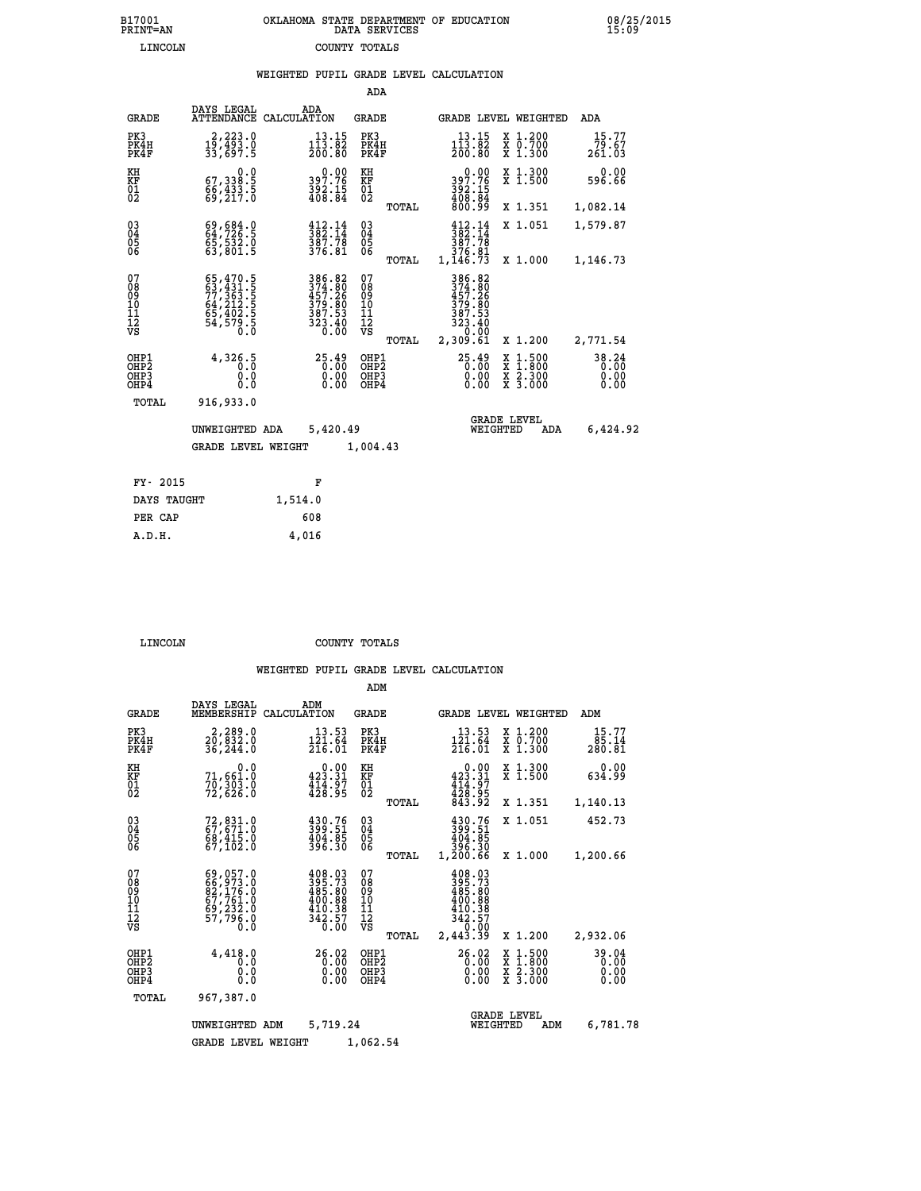|                                                                    |                                                                                                               |         |                                                                                                                         | ADA                                                 |       |                                                                                                                 |                                |                                          |                               |
|--------------------------------------------------------------------|---------------------------------------------------------------------------------------------------------------|---------|-------------------------------------------------------------------------------------------------------------------------|-----------------------------------------------------|-------|-----------------------------------------------------------------------------------------------------------------|--------------------------------|------------------------------------------|-------------------------------|
| <b>GRADE</b>                                                       | DAYS LEGAL<br>ATTENDANCE CALCULATION                                                                          |         | ADA                                                                                                                     | GRADE                                               |       |                                                                                                                 |                                | GRADE LEVEL WEIGHTED                     | ADA                           |
| PK3<br>PK4H<br>PK4F                                                | 2,223.0<br>19,493.0<br>33,697.5                                                                               |         | 13.15<br>$1\bar{1}\bar{3}\cdot\bar{8}\bar{2}$<br>$200.80$                                                               | PK3<br>PK4H<br>PK4F                                 |       | 13.15<br>$\frac{1\bar{1}\bar{3}\cdot\bar{8}\bar{2}}{200.80}$                                                    |                                | X 1.200<br>X 0.700<br>X 1.300            | 15.77<br>79.67<br>261.03      |
| KH<br>KF<br>01<br>02                                               | $\begin{smallmatrix}&&&0.0\\67,338.5\\66,433.5\\69,217.0\end{smallmatrix}$                                    |         | $397.76$<br>$392.15$<br>$408.84$                                                                                        | KH<br>KF<br>01<br>02                                |       | 397.76<br>$\frac{392.15}{408.84}$                                                                               | 0.00                           | X 1.300<br>X 1.500                       | 0.00<br>596.66                |
|                                                                    |                                                                                                               |         |                                                                                                                         |                                                     | TOTAL |                                                                                                                 |                                | X 1.351                                  | 1,082.14                      |
| $\begin{smallmatrix} 03 \\[-4pt] 04 \end{smallmatrix}$<br>Ŏ5<br>06 | 69,684.0<br>64,726.5<br>65,532.0<br>63,801.5                                                                  |         | $\begin{array}{c} 412.14 \\ 382.14 \\ 387.78 \\ 376.81 \end{array}$                                                     | $\begin{array}{c} 03 \\ 04 \\ 05 \\ 06 \end{array}$ |       | 412.14<br>$\frac{1}{3}\overline{8}\overline{2}\cdot\overline{1}\overline{4}\nonumber\ 387.78\n376.81\n1,146.73$ |                                | X 1.051                                  | 1,579.87                      |
|                                                                    |                                                                                                               |         |                                                                                                                         |                                                     | TOTAL |                                                                                                                 |                                | X 1.000                                  | 1,146.73                      |
| 07<br>08<br>09<br>11<br>11<br>12<br>VS                             | $\begin{smallmatrix} 65,470.5\\ 63,431.5\\ 77,363.5\\ 64,212.5\\ 65,402.5\\ 54,579.5\\ 0.0 \end{smallmatrix}$ |         | $\begin{array}{r} 386\cdot82\\ 374\cdot80\\ 457\cdot26\\ 379\cdot80\\ 387\cdot53\\ 323\cdot40\\ 0\cdot00\\ \end{array}$ | 07<br>08<br>09<br>101<br>11<br>12<br>VS             |       | 386.82<br>$374.80$<br>$379.80$<br>$379.80$<br>$387.53$<br>$323.40$<br>$30.00$                                   |                                |                                          |                               |
|                                                                    |                                                                                                               |         |                                                                                                                         |                                                     | TOTAL | 2,309.61                                                                                                        |                                | X 1.200                                  | 2,771.54                      |
| OHP1<br>OHP2<br>OHP3<br>OHP4                                       | 4,326.5<br>0.0<br>0.0                                                                                         |         | 25.49<br>0.00<br>$\begin{smallmatrix} 0.00 \ 0.00 \end{smallmatrix}$                                                    | OHP1<br>OHP2<br>OHP3<br>OHP4                        |       | $25.49$<br>$0.00$                                                                                               | X<br>0.00<br>0.00              | $1.500$<br>$1.800$<br>X 2.300<br>X 3.000 | 38.24<br>0.00<br>0.00<br>0.00 |
| TOTAL                                                              | 916,933.0                                                                                                     |         |                                                                                                                         |                                                     |       |                                                                                                                 |                                |                                          |                               |
|                                                                    | UNWEIGHTED ADA                                                                                                |         | 5,420.49                                                                                                                |                                                     |       |                                                                                                                 | <b>GRADE LEVEL</b><br>WEIGHTED | ADA                                      | 6,424.92                      |
|                                                                    | <b>GRADE LEVEL WEIGHT</b>                                                                                     |         |                                                                                                                         | 1,004.43                                            |       |                                                                                                                 |                                |                                          |                               |
| FY- 2015                                                           |                                                                                                               |         | F                                                                                                                       |                                                     |       |                                                                                                                 |                                |                                          |                               |
| DAYS TAUGHT                                                        |                                                                                                               | 1,514.0 |                                                                                                                         |                                                     |       |                                                                                                                 |                                |                                          |                               |
|                                                                    |                                                                                                               |         |                                                                                                                         |                                                     |       |                                                                                                                 |                                |                                          |                               |

| PER CAP | 608   |
|---------|-------|
| A.D.H.  | 4,016 |
|         |       |

 **LINCOLN COUNTY TOTALS**

|                                           |                                                                                   |                                                                           | ADM                                              |                                                                                     |                                                                                                  |                               |
|-------------------------------------------|-----------------------------------------------------------------------------------|---------------------------------------------------------------------------|--------------------------------------------------|-------------------------------------------------------------------------------------|--------------------------------------------------------------------------------------------------|-------------------------------|
| <b>GRADE</b>                              | DAYS LEGAL<br>MEMBERSHIP                                                          | ADM<br>CALCULATION                                                        | <b>GRADE</b>                                     | GRADE LEVEL WEIGHTED                                                                |                                                                                                  | ADM                           |
| PK3<br>PK4H<br>PK4F                       | 2,289.0<br>$2\bar{0}$ , $8\bar{3}\bar{2}$ .0<br>36, 244.0                         | 13.53<br>$\frac{1\bar{2}\bar{1}\cdot\bar{6}\bar{4}}{216\cdot01}$          | PK3<br>PK4H<br>PK4F                              | 13.53<br>$\frac{1\bar{2}\tilde{1}\cdot\tilde{6}\tilde{4}}{216.01}$                  | $\begin{smallmatrix} x & 1.200 \\ x & 0.700 \end{smallmatrix}$<br>X 1.300                        | 15.77<br>85.14<br>280.81      |
| KH<br>KF<br>01<br>02                      | 0.0<br>71,661.0<br>70,303.0<br>72,626.0                                           | $0.00$<br>423.31<br>$\frac{414.97}{428.95}$                               | KH<br>KF<br>01<br>02                             | $0.00$<br>423.31<br>$\frac{414}{428}$ : 97<br>$843.95$                              | X 1.300<br>X 1.500                                                                               | 0.00<br>634.99                |
|                                           |                                                                                   |                                                                           | TOTAL                                            |                                                                                     | X 1.351                                                                                          | 1,140.13                      |
| 03<br>04<br>05<br>06                      | 72,831.0<br>67,671.0<br>68,415.0<br>67,102.0                                      | $\begin{smallmatrix} 430.76\\ 399.51\\ 404.85\\ 396.30 \end{smallmatrix}$ | $^{03}_{04}$<br>0500                             | 430.76<br>399.51<br>404.85<br>396.30                                                | X 1.051                                                                                          | 452.73                        |
|                                           |                                                                                   |                                                                           | TOTAL                                            | 1,200.66                                                                            | X 1.000                                                                                          | 1,200.66                      |
| 07<br>08<br>09<br>11<br>11<br>12<br>VS    | 69,057.0<br>$667, 973.0$<br>$82, 176.0$<br>$67, 761.0$<br>$69, 232.0$<br>57,796.0 | $395.73$<br>$485.80$<br>400.88<br>$\frac{410.38}{342.57}$                 | 07<br>08<br>09<br>101<br>11<br>12<br>VS<br>TOTAL | 408.03<br>395.73<br>485.80<br>400.88<br>$\frac{410.38}{342.57}$<br>0.00<br>2,443.39 | X 1.200                                                                                          | 2,932.06                      |
| OHP1<br>OH <sub>P</sub> 2<br>OHP3<br>OHP4 | 4,418.0<br>0.0<br>0.0<br>Ŏ.Ŏ                                                      | 26.02<br>0.00<br>0.00<br>0.00                                             | OHP1<br>OHP2<br>OHP3<br>OHP4                     | 26.02<br>0.00<br>0.00                                                               | $\begin{smallmatrix} x & 1 & 500 \\ x & 1 & 800 \\ x & 2 & 300 \\ x & 3 & 000 \end{smallmatrix}$ | 39.04<br>0.00<br>0.00<br>0.00 |
| TOTAL                                     | 967,387.0                                                                         |                                                                           |                                                  |                                                                                     |                                                                                                  |                               |
|                                           | UNWEIGHTED ADM                                                                    | 5,719.24                                                                  |                                                  | WEIGHTED                                                                            | <b>GRADE LEVEL</b><br>ADM                                                                        | 6,781.78                      |
|                                           | <b>GRADE LEVEL WEIGHT</b>                                                         |                                                                           | 1,062.54                                         |                                                                                     |                                                                                                  |                               |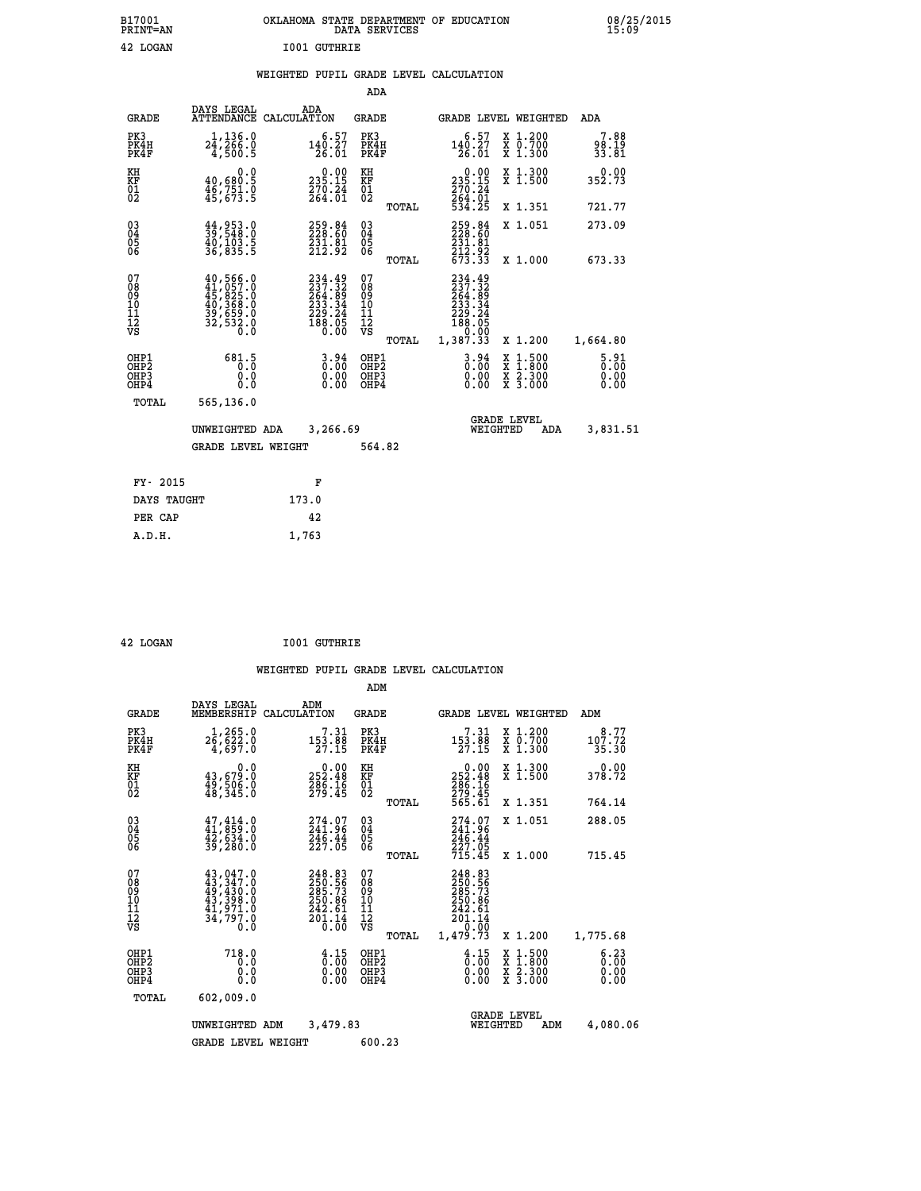|  |                     | OKLAHOMA STATE DEPARTMENT OF EDUCATION<br>DATA SERVICES |  |
|--|---------------------|---------------------------------------------------------|--|
|  | <b>IO01 GUTHRIE</b> |                                                         |  |

**CON**<br> **B**<sub>15:09</sub><br> **B**<sub>15:09</sub>

## **WEIGHTED PUPIL GRADE LEVEL CALCULATION**

|                                                    |                                                                                                               |                                                                                | ADA                                    |       |                                                                                   |                                                                            |                                     |
|----------------------------------------------------|---------------------------------------------------------------------------------------------------------------|--------------------------------------------------------------------------------|----------------------------------------|-------|-----------------------------------------------------------------------------------|----------------------------------------------------------------------------|-------------------------------------|
| <b>GRADE</b>                                       | DAYS LEGAL                                                                                                    | ADA<br>ATTENDANCE CALCULATION                                                  | <b>GRADE</b>                           |       |                                                                                   | GRADE LEVEL WEIGHTED                                                       | <b>ADA</b>                          |
| PK3<br>PK4H<br>PK4F                                | $2\frac{1}{4}, \frac{136}{266}$ .0<br>4,500.5                                                                 | $140.27$<br>$26.01$                                                            | PK3<br>PK4H<br>PK4F                    |       | 6.57<br>$\frac{140.27}{26.01}$                                                    | X 1.200<br>X 0.700<br>X 1.300                                              | 7.88<br>98.19<br>33.81              |
| KH<br>KF<br>01<br>02                               | 0.0<br>$\frac{40,680.5}{46,751.0}$<br>$\frac{46,751.0}{45,673.5}$                                             | 235.15<br>$\frac{270}{264}$ . $\frac{24}{01}$                                  | KH<br>KF<br>01<br>02                   |       | $\begin{smallmatrix} &0.00\\ 235.15\\ 270.24\\ 264.01\\ 534.25 \end{smallmatrix}$ | X 1.300<br>X 1.500                                                         | 0.00<br>352.73                      |
|                                                    |                                                                                                               |                                                                                |                                        | TOTAL |                                                                                   | X 1.351                                                                    | 721.77                              |
| $\begin{matrix} 03 \\ 04 \\ 05 \\ 06 \end{matrix}$ | 44,953.0<br>39,548.0<br>$\frac{40}{36}$ , $\frac{103}{835}$ .<br>36, 835.5                                    | 259.84<br>228.60<br>$\frac{231}{212}$ $\frac{81}{92}$                          | 03<br>04<br>05<br>06                   |       | 259.84<br>228.60<br>$\frac{231.81}{212.92}$<br>$\frac{212.92}{673.33}$            | X 1.051                                                                    | 273.09                              |
|                                                    |                                                                                                               |                                                                                |                                        | TOTAL |                                                                                   | X 1.000                                                                    | 673.33                              |
| 07<br>08<br>09<br>11<br>11<br>12<br>VS             | $\begin{smallmatrix} 40,566.0\\ 41,057.0\\ 45,825.0\\ 40,368.0\\ 39,659.0\\ 32,532.0\\ 0.0 \end{smallmatrix}$ | $234.49$<br>$237.32$<br>$264.89$<br>$233.34$<br>$229.24$<br>$188.05$<br>$0.00$ | 07<br>08<br>09<br>11<br>11<br>12<br>VS |       | 234.49<br>$237.32$<br>$254.89$<br>$233.34$<br>$229.24$<br>$188.05$<br>$0.93$      |                                                                            |                                     |
|                                                    |                                                                                                               |                                                                                |                                        | TOTAL | 1,387.33                                                                          | X 1.200                                                                    | 1,664.80                            |
| OHP1<br>OHP <sub>2</sub><br>OHP3<br>OHP4           | 681.5<br>0.0<br>0.0                                                                                           | $3.94$<br>$0.00$<br>$\begin{smallmatrix} 0.00 \ 0.00 \end{smallmatrix}$        | OHP1<br>OHP2<br>OHP3<br>OHP4           |       | $3.94$<br>$0.00$<br>$0.00$<br>0.00                                                | $1.500$<br>$1.800$<br>X<br>$\frac{x}{x}$ $\frac{5}{3}$ : $\frac{500}{000}$ | $\frac{5.91}{0.00}$<br>0.00<br>0.00 |
| TOTAL                                              | 565,136.0                                                                                                     |                                                                                |                                        |       |                                                                                   |                                                                            |                                     |
|                                                    | UNWEIGHTED ADA                                                                                                | 3,266.69                                                                       |                                        |       |                                                                                   | <b>GRADE LEVEL</b><br>WEIGHTED<br><b>ADA</b>                               | 3,831.51                            |
|                                                    | <b>GRADE LEVEL WEIGHT</b>                                                                                     |                                                                                | 564.82                                 |       |                                                                                   |                                                                            |                                     |
| FY- 2015                                           |                                                                                                               |                                                                                |                                        |       |                                                                                   |                                                                            |                                     |
|                                                    |                                                                                                               | F                                                                              |                                        |       |                                                                                   |                                                                            |                                     |
| DAYS TAUGHT                                        |                                                                                                               | 173.0                                                                          |                                        |       |                                                                                   |                                                                            |                                     |
| PER CAP                                            |                                                                                                               | 42                                                                             |                                        |       |                                                                                   |                                                                            |                                     |

| 42 LOGAN | <b>I001 GUTHRIE</b> |
|----------|---------------------|

 **A.D.H. 1,763**

 **B17001<br>PRINT=AN** 42 LOGAN

|                              |                                                                                                                                                                               |                                                                                             |                                                          | ADM                                                |       |                                                                                   |          |                                          |                         |  |
|------------------------------|-------------------------------------------------------------------------------------------------------------------------------------------------------------------------------|---------------------------------------------------------------------------------------------|----------------------------------------------------------|----------------------------------------------------|-------|-----------------------------------------------------------------------------------|----------|------------------------------------------|-------------------------|--|
| <b>GRADE</b>                 | DAYS LEGAL<br>MEMBERSHIP                                                                                                                                                      | ADM<br>CALCULATION                                                                          |                                                          | GRADE                                              |       |                                                                                   |          | GRADE LEVEL WEIGHTED                     | ADM                     |  |
| PK3<br>PK4H<br>PK4F          | 1,265.0<br>26,622.0<br>4,697.0                                                                                                                                                | 153.88<br>27.15                                                                             | 7.31                                                     | PK3<br>PK4H<br>PK4F                                |       | 7.31<br>$\frac{153.88}{27.15}$                                                    |          | X 1.200<br>X 0.700<br>X 1.300            | 8.77<br>107.72<br>35.30 |  |
| KH<br>KF<br>01<br>02         | 0.0<br>43,679.0<br>49,506.0<br>48,345.0                                                                                                                                       | $0.00$<br>252.48<br>$\frac{286}{279}.16$                                                    |                                                          | KH<br>KF<br>01<br>02                               |       | $\begin{smallmatrix} &0.00\\ 252.48\\ 286.16\\ 279.45\\ 565.61 \end{smallmatrix}$ |          | X 1.300<br>X 1.500                       | 0.00<br>378.72          |  |
|                              |                                                                                                                                                                               |                                                                                             |                                                          |                                                    | TOTAL |                                                                                   |          | X 1.351                                  | 764.14                  |  |
| 030404<br>06                 | $47, 414.0$<br>$41, 859.0$<br>$42, 634.0$<br>$39, 280.0$                                                                                                                      | 274.07<br>241.96<br>$\frac{246.44}{227.05}$                                                 |                                                          | $\begin{matrix} 03 \\ 04 \\ 05 \\ 06 \end{matrix}$ |       | 274.07<br>241.96<br>246.44<br>227.05                                              |          | X 1.051                                  | 288.05                  |  |
|                              |                                                                                                                                                                               |                                                                                             |                                                          |                                                    | TOTAL | 715.45                                                                            |          | X 1.000                                  | 715.45                  |  |
| 07<br>0890112<br>1112<br>VS  | $\begin{smallmatrix} 43\,, & 047\,. & 0\\ 43\,, & 347\,. & 0\\ 49\,, & 430\,. & 0\\ 43\,, & 398\,. & 0\\ 41\,, & 971\,. & 0\\ 34\,, & 797\,. & 0\\ 0\,. & 0\end{smallmatrix}$ | 248.83<br>250.56<br>285.73<br>250.86<br>242.61<br>$\frac{5}{0}$ $\frac{1}{0}$ $\frac{1}{0}$ |                                                          | 07<br>08<br>09<br>11<br>11<br>12<br>VS             |       | 248.83<br>250.56<br>285.73<br>250.86<br>242.61<br>201.14<br>0.00                  |          |                                          |                         |  |
|                              | 718.0                                                                                                                                                                         |                                                                                             |                                                          |                                                    | TOTAL | 1,479.73                                                                          |          | X 1.200                                  | 1,775.68<br>6.23        |  |
| OHP1<br>OHP2<br>OHP3<br>OHP4 | 0.0<br>0.0<br>0.0                                                                                                                                                             |                                                                                             | $\begin{smallmatrix} 4.15\ 0.00\ 0.00 \end{smallmatrix}$ | OHP1<br>OHP2<br>OHP3<br>OHP4                       |       | $\begin{smallmatrix} 4.15\ 0.00\ 0.00 \end{smallmatrix}$                          |          | X 1:500<br>X 1:800<br>X 2:300<br>X 3:000 | 0.00<br>0.00<br>0.00    |  |
| TOTAL                        | 602,009.0                                                                                                                                                                     |                                                                                             |                                                          |                                                    |       |                                                                                   |          |                                          |                         |  |
|                              | UNWEIGHTED ADM                                                                                                                                                                |                                                                                             | 3,479.83                                                 |                                                    |       |                                                                                   | WEIGHTED | <b>GRADE LEVEL</b><br>ADM                | 4,080.06                |  |
|                              | <b>GRADE LEVEL WEIGHT</b>                                                                                                                                                     |                                                                                             |                                                          | 600.23                                             |       |                                                                                   |          |                                          |                         |  |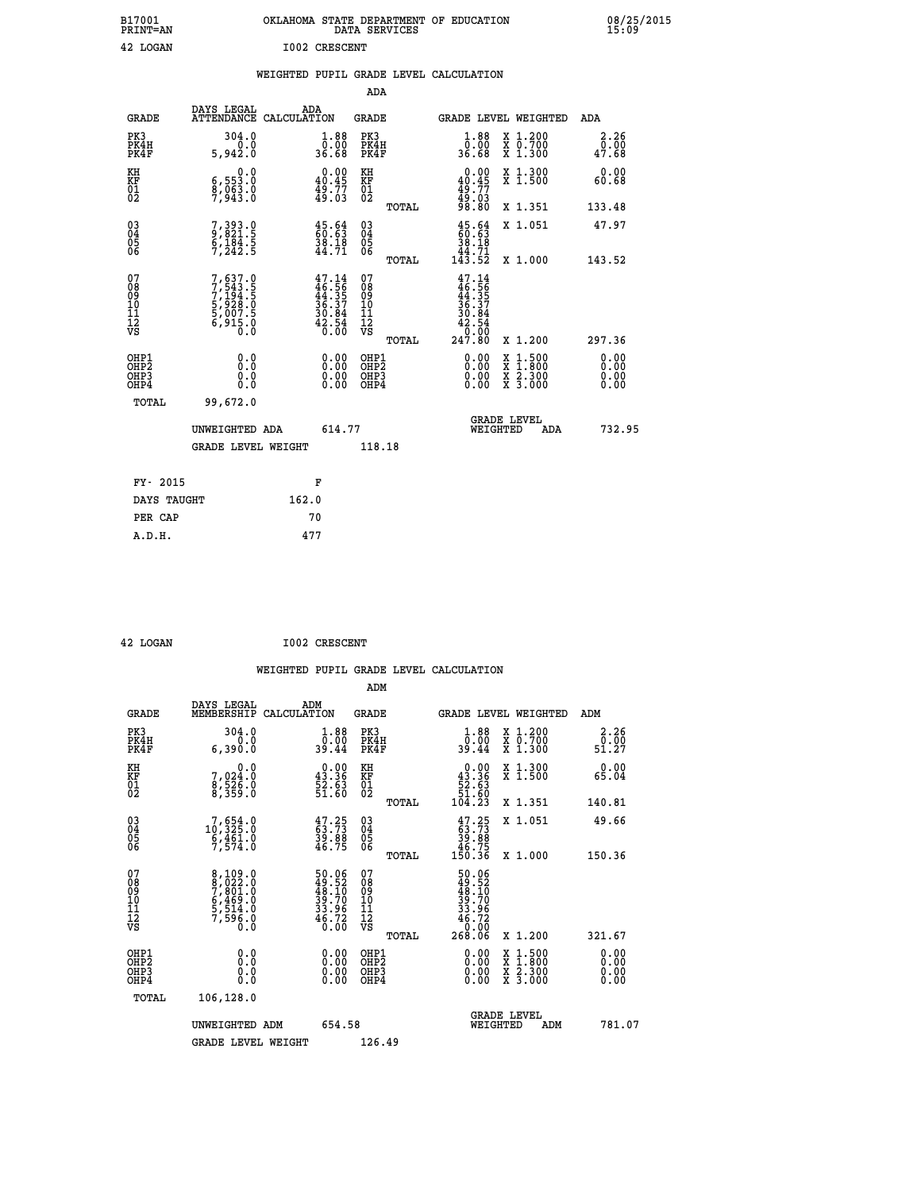| B17001<br>PRINT=AN               |                                                                            | OKLAHOMA STATE DEPARTMENT OF EDUCATION                                   | DATA SERVICES                                        |                                                                                                |                                                                                          | 08/25/2015<br>15:09   |  |
|----------------------------------|----------------------------------------------------------------------------|--------------------------------------------------------------------------|------------------------------------------------------|------------------------------------------------------------------------------------------------|------------------------------------------------------------------------------------------|-----------------------|--|
| 42 LOGAN                         |                                                                            | <b>I002 CRESCENT</b>                                                     |                                                      |                                                                                                |                                                                                          |                       |  |
|                                  |                                                                            | WEIGHTED PUPIL GRADE LEVEL CALCULATION                                   |                                                      |                                                                                                |                                                                                          |                       |  |
|                                  |                                                                            |                                                                          | ADA                                                  |                                                                                                |                                                                                          |                       |  |
| <b>GRADE</b>                     | DAYS LEGAL                                                                 | ADA<br>ATTENDANCE CALCULATION                                            | GRADE                                                |                                                                                                | GRADE LEVEL WEIGHTED                                                                     | ADA                   |  |
| PK3<br>PK4H<br>PK4F              | 304.0<br>0.0<br>5,942.0                                                    | 1.88<br>0.00<br>36.68                                                    | PK3<br>PK4H<br>PK4F                                  | 1.88<br>0.00<br>36.68                                                                          | X 1.200<br>X 0.700<br>X 1.300                                                            | 2.26<br>0.00<br>47.68 |  |
| KH<br>KF<br>$\frac{01}{02}$      | $\begin{smallmatrix} & & 0.0\ 6.553.0\ 8.083.0\ 7.943.0 \end{smallmatrix}$ | $0.00$<br>40.45<br>49:77<br>49:03                                        | KH<br><b>KF</b><br>01<br>02                          | $0.00$<br>$40.45$<br>$49.77$<br>$49.03$                                                        | X 1.300<br>X 1.500                                                                       | 0.00<br>60.68         |  |
|                                  |                                                                            |                                                                          | TOTAL                                                | 98.80                                                                                          | X 1.351                                                                                  | 133.48                |  |
| 030404<br>ŎĞ                     | 7, 393.0<br>9, 821.5<br>6, 184.5<br>7, 242.5                               | $\frac{45.64}{60.63}$<br>$\frac{38.18}{44.71}$                           | $\begin{matrix} 03 \\ 04 \\ 05 \\ 06 \end{matrix}$   | $\frac{45.64}{60.63}$<br>38.18<br>$\frac{1}{4}$ $\frac{1}{3}$ $\cdot\frac{7}{5}$ $\frac{1}{2}$ | X 1.051                                                                                  | 47.97                 |  |
| 07                               |                                                                            |                                                                          | <b>TOTAL</b><br>07                                   |                                                                                                | X 1.000                                                                                  | 143.52                |  |
| 08<br>09<br>11<br>11<br>12<br>VS | 7,637.0<br>7,543.5<br>7,194.5<br>5,928.0<br>5,007.5<br>6,915.0<br>6,915.0  | $47.14$<br>$46.56$<br>$44.35$<br>$36.37$<br>$30.84$<br>$42.54$<br>$6.00$ | 08<br>09<br>10<br>$\frac{11}{12}$<br>$\frac{12}{18}$ | $47.14$<br>$46.56$<br>$44.35$<br>$36.37$<br>30.84<br>42.54<br>$\overline{0}$ .00<br>247.80     |                                                                                          | 297.36                |  |
| OHP1                             |                                                                            |                                                                          | TOTAL<br>OHP1                                        |                                                                                                | X 1.200                                                                                  | 0.00                  |  |
| OHP <sub>2</sub><br>OHP3<br>OHP4 | 0.0<br>0.0<br>0.0                                                          | 0.00<br>$\begin{smallmatrix} 0.00 \ 0.00 \end{smallmatrix}$              | OH <sub>P</sub> 2<br>OHP3<br>OHP4                    | 0.00<br>0.00                                                                                   | $\begin{smallmatrix} x & 1.500 \\ x & 1.800 \\ x & 2.300 \\ x & 3.000 \end{smallmatrix}$ | 0.00<br>0.00<br>0.00  |  |
| TOTAL                            | 99,672.0                                                                   |                                                                          |                                                      |                                                                                                |                                                                                          |                       |  |
|                                  | UNWEIGHTED ADA                                                             | 614.77                                                                   |                                                      | WEIGHTED                                                                                       | <b>GRADE LEVEL</b><br>ADA                                                                | 732.95                |  |
|                                  | <b>GRADE LEVEL WEIGHT</b>                                                  |                                                                          | 118.18                                               |                                                                                                |                                                                                          |                       |  |
| FY- 2015                         |                                                                            | F                                                                        |                                                      |                                                                                                |                                                                                          |                       |  |
| DAYS TAUGHT                      |                                                                            | 162.0                                                                    |                                                      |                                                                                                |                                                                                          |                       |  |
| PER CAP                          |                                                                            | 70                                                                       |                                                      |                                                                                                |                                                                                          |                       |  |

| 42 LOGAN | <b>I002 CRESCENT</b> |
|----------|----------------------|

 **WEIGHTED PUPIL GRADE LEVEL CALCULATION ADM DAYS LEGAL ADM GRADE MEMBERSHIP CALCULATION GRADE GRADE LEVEL WEIGHTED ADM PK3 304.0 1.88 PK3 1.88 X 1.200 2.26 PK4H 0.0 0.00 PK4H 0.00 X 0.700 0.00 PK4F 6,390.0 39.44 PK4F 39.44 X 1.300 51.27 KH 0.0 0.00 KH 0.00 X 1.300 0.00 KF 7,024.0 43.36 KF 43.36 X 1.500 65.04 01 8,526.0 52.63 01 52.63 02 8,359.0 51.60 02 51.60 TOTAL 104.23 X 1.351 140.81 03 7,654.0 47.25 03 47.25 X 1.051 49.66 04 10,325.0 63.73 04 63.73 05 6,461.0 39.88 05 39.88 06 7,574.0 46.75 06 46.75 TOTAL 150.36 X 1.000 150.36**  $\begin{array}{cccc} 07 & 8\,, 109\,.0 & 50\,.06 & 07 & 50\,.06\,08 & 0& 49\,.52\,.09 & 7\,, 801\,.0 & 48\,.10 & 09 & 48\,.10\,0 & 0 & 49\,.5\,.514\,.0 & 39\,.70 & 10 & 39\,.70\,.11 & 5\,, 59\,.0 & 33\,.9 & 11 & 33\,.9\,.70\,.01 & 46\,.72 & 46\,.72\,.01 & 46\,.75 & 0\,.0 & 46\,.73 & 5$  $\begin{array}{cccc} 50.06 & 07 & 50.06 & 12111 & 12111 & 12111 & 12111 & 12111 & 12111 & 12111 & 12111 & 12111 & 12111 & 12111 & 12111 & 12111 & 12111 & 12111 & 12111 & 12111 & 12111 & 12111 & 12111 & 12111 & 12111 & 12111 & 12111 & 12111 & 12111 & 12111 & 12111$  **OHP1 0.0 0.00 OHP1 0.00 X 1.500 0.00 OHP2 0.0 0.00 OHP2 0.00 X 1.800 0.00 OHP3 0.0 0.00 OHP3 0.00 X 2.300 0.00 OHP4 0.0 0.00 OHP4 0.00 X 3.000 0.00 TOTAL 106,128.0 GRADE LEVEL UNWEIGHTED ADM 654.58 WEIGHTED ADM 781.07** GRADE LEVEL WEIGHT 126.49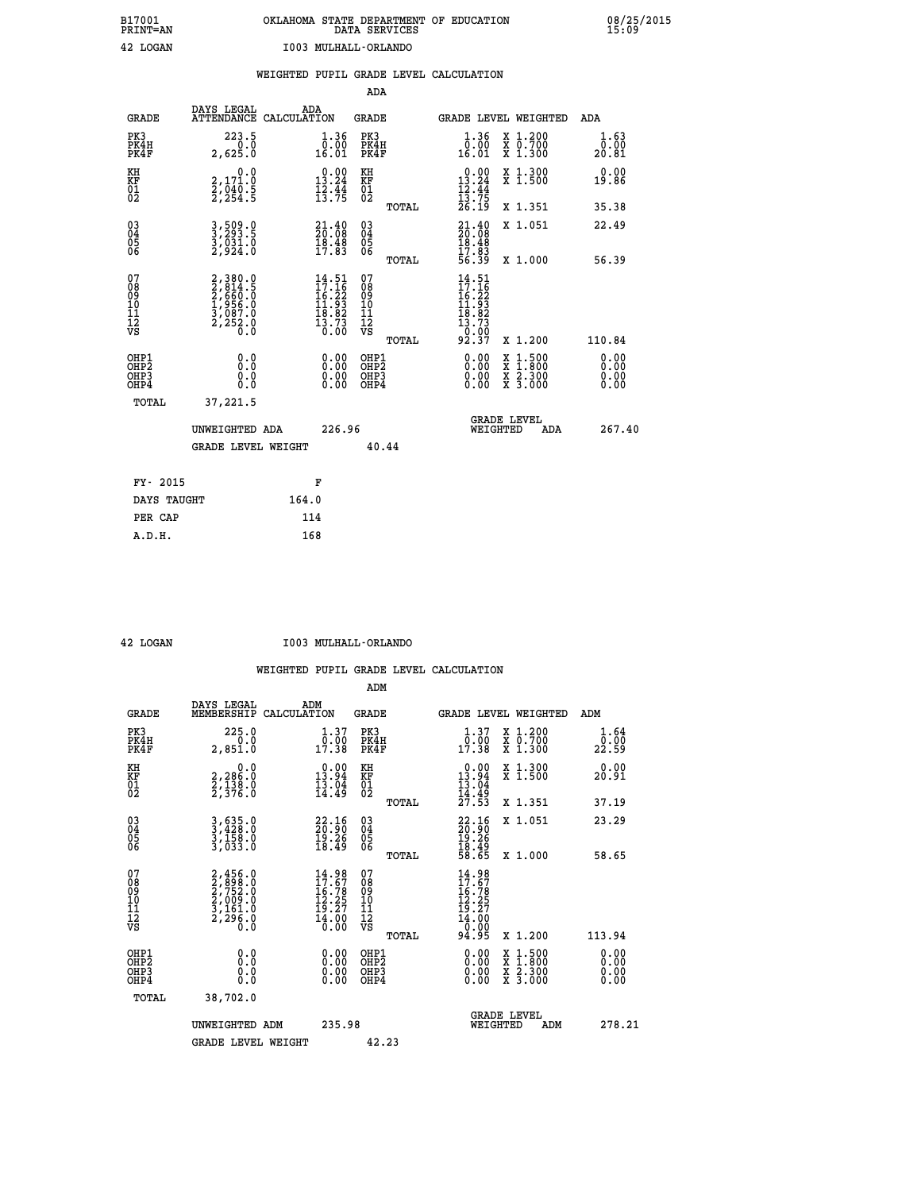|                                                                    |                                                                           |                                                                                              | ADA                                       |       |                                                                                    |        |                                                           |                              |
|--------------------------------------------------------------------|---------------------------------------------------------------------------|----------------------------------------------------------------------------------------------|-------------------------------------------|-------|------------------------------------------------------------------------------------|--------|-----------------------------------------------------------|------------------------------|
| <b>GRADE</b>                                                       | DAYS LEGAL<br>ATTENDANCE CALCULATION                                      | ADA                                                                                          | <b>GRADE</b>                              |       | GRADE LEVEL WEIGHTED                                                               |        |                                                           | <b>ADA</b>                   |
| PK3<br>PK4H<br>PK4F                                                | 223.5<br>0.0<br>2,625.0                                                   | $\begin{smallmatrix} 1.36 \\[-4pt] 0.00\\[-4pt] 16.01\end{smallmatrix}$                      | PK3<br>PK4H<br>PK4F                       |       | 1.36<br>ŏ:ŏŏ<br>16:01                                                              |        | X 1.200<br>X 0.700<br>X 1.300                             | 1.63<br>0.00<br>20.81        |
| KH<br>KF<br>01<br>02                                               | 0.0<br>2,171.0<br>2,040.5<br>2,254.5                                      | $0.00$<br>13.24<br>$\frac{1}{2}\cdot\frac{1}{7}\cdot\frac{1}{5}$                             | KH<br>KF<br>$\overline{01}$               |       | $0.00$<br>13.24<br>$\frac{12.44}{13.75}$<br>$\frac{26.19}{26.19}$                  |        | X 1.300<br>X 1.500                                        | 0.00<br>19.86                |
|                                                                    |                                                                           |                                                                                              |                                           | TOTAL |                                                                                    |        | X 1.351                                                   | 35.38                        |
| $\begin{smallmatrix} 03 \\[-4pt] 04 \end{smallmatrix}$<br>Ŏ5<br>06 | 3,509.0<br>3,293.5<br>3,031.0<br>2,924.0                                  | $\begin{smallmatrix} 21\cdot 40\\ 20\cdot 08\\ 18\cdot 48\\ 17\cdot 83 \end{smallmatrix}$    | $\substack{03 \\ 04}$<br>$\frac{05}{06}$  |       | $21.4020.0818.4817.8356.39$                                                        |        | X 1.051                                                   | 22.49                        |
|                                                                    |                                                                           |                                                                                              |                                           | TOTAL |                                                                                    |        | X 1.000                                                   | 56.39                        |
| 07<br>08<br>09<br>11<br>11<br>12<br>VS                             | 2,380.0<br>2,814.5<br>2,660.0<br>2,660.0<br>1,956.0<br>3,087.0<br>2,252.0 | $\begin{smallmatrix} 14.51\\ 17.16\\ 16.22\\ 11.93\\ 18.82\\ 13.73\\ 0.00 \end{smallmatrix}$ | 07<br>08<br>09<br>11<br>11<br>12<br>VS    |       | $14.51$<br>$17.16$<br>$16.22$<br>$11.93$<br>$18.82$<br>$13.73$<br>$0.007$<br>92.37 |        |                                                           |                              |
|                                                                    |                                                                           |                                                                                              |                                           | TOTAL |                                                                                    |        | X 1.200                                                   | 110.84                       |
| OHP1<br>OH <sub>P</sub> 2<br>OHP3<br>OHP4                          | 0.0<br>Ō.Ō<br>0.0<br>Ō.Ō                                                  | 0.00<br>$\begin{smallmatrix} 0.00 \ 0.00 \end{smallmatrix}$                                  | OHP1<br>OH <sub>P</sub> 2<br>OHP3<br>OHP4 |       | 0.00<br>0.00<br>0.00                                                               | X<br>X | $1:500$<br>$1:800$<br>$\frac{x}{x}$ $\frac{5:300}{3:000}$ | 0.00<br>0.00<br>0.00<br>0.00 |
| TOTAL                                                              | 37,221.5                                                                  |                                                                                              |                                           |       |                                                                                    |        |                                                           |                              |
|                                                                    | UNWEIGHTED ADA                                                            | 226.96                                                                                       |                                           |       | WEIGHTED                                                                           |        | <b>GRADE LEVEL</b><br>ADA                                 | 267.40                       |
|                                                                    | <b>GRADE LEVEL WEIGHT</b>                                                 |                                                                                              | 40.44                                     |       |                                                                                    |        |                                                           |                              |
| FY- 2015                                                           |                                                                           | F                                                                                            |                                           |       |                                                                                    |        |                                                           |                              |
| DAYS TAUGHT                                                        |                                                                           | 164.0                                                                                        |                                           |       |                                                                                    |        |                                                           |                              |
| PER CAP                                                            |                                                                           | 114                                                                                          |                                           |       |                                                                                    |        |                                                           |                              |
|                                                                    |                                                                           |                                                                                              |                                           |       |                                                                                    |        |                                                           |                              |

 **42 LOGAN I003 MULHALL-ORLANDO**

|                                                      |                                                                           |                                                                                              | ADM                                                 |                                                                                     |                                          |                              |
|------------------------------------------------------|---------------------------------------------------------------------------|----------------------------------------------------------------------------------------------|-----------------------------------------------------|-------------------------------------------------------------------------------------|------------------------------------------|------------------------------|
| <b>GRADE</b>                                         | DAYS LEGAL<br>MEMBERSHIP                                                  | ADM<br>CALCULATION                                                                           | <b>GRADE</b>                                        | GRADE LEVEL WEIGHTED                                                                |                                          | ADM                          |
| PK3<br>PK4H<br>PK4F                                  | 225.0<br>0.0<br>2,851.0                                                   | $\begin{smallmatrix} 1.37\ 0.00\ 17.38 \end{smallmatrix}$                                    | PK3<br>PK4H<br>PK4F                                 | $\begin{smallmatrix} 1.37\\ 0.00\\ 17.38 \end{smallmatrix}$                         | X 1.200<br>X 0.700<br>X 1.300            | 1.64<br>_0:00<br>22:59       |
| KH<br>KF<br>01<br>02                                 | 0.0<br>2,286:0<br>2,138:0<br>2,376:0                                      | $\begin{smallmatrix} 0.00\\ 13.94\\ 13.04\\ 14.49 \end{smallmatrix}$                         | KH<br>KF<br>01<br>02                                | $\begin{array}{c} 0.00 \\ 13.94 \\ 13.04 \\ 14.49 \\ 27.53 \end{array}$             | X 1.300<br>X 1.500                       | 0.00<br>20.91                |
|                                                      |                                                                           |                                                                                              | TOTAL                                               |                                                                                     | X 1.351                                  | 37.19                        |
| 03<br>04<br>05<br>06                                 | 3,635.0<br>3,428.0<br>3,158.0<br>3,033.0                                  | $\begin{smallmatrix} 22.16\\ 20.90\\ 19.26\\ 18.49 \end{smallmatrix}$                        | $\begin{array}{c} 03 \\ 04 \\ 05 \\ 06 \end{array}$ | $22.16$<br>$20.90$<br>$19.26$<br>$18.49$<br>$58.65$                                 | X 1.051                                  | 23.29                        |
|                                                      |                                                                           |                                                                                              | TOTAL                                               |                                                                                     | X 1.000                                  | 58.65                        |
| 07<br>08<br>09<br>101<br>112<br>VS                   | 2,456.0<br>2,898.0<br>2,752.0<br>2,752.0<br>2,161.0<br>3,161.0<br>2,296.0 | $\begin{smallmatrix} 14.98\\ 17.67\\ 16.78\\ 12.25\\ 19.27\\ 14.00\\ 0.00 \end{smallmatrix}$ | 07<br>08<br>09<br>11<br>11<br>12<br>VS              | $14.98$<br>$17.67$<br>$16.78$<br>$12.25$<br>$19.27$<br>$14.000$<br>$0.005$<br>94.95 |                                          |                              |
|                                                      |                                                                           |                                                                                              | TOTAL                                               |                                                                                     | X 1.200                                  | 113.94                       |
| OHP1<br>OHP2<br>OH <sub>P3</sub><br>OH <sub>P4</sub> | 0.0<br>0.000                                                              |                                                                                              | OHP1<br>OHP2<br>OHP <sub>3</sub>                    | $0.00$<br>$0.00$<br>0.00                                                            | X 1:500<br>X 1:800<br>X 2:300<br>X 3:000 | 0.00<br>0.00<br>0.00<br>0.00 |
| TOTAL                                                | 38,702.0                                                                  |                                                                                              |                                                     |                                                                                     |                                          |                              |
|                                                      | UNWEIGHTED ADM                                                            | 235.98                                                                                       |                                                     | WEIGHTED                                                                            | <b>GRADE LEVEL</b><br>ADM                | 278.21                       |
|                                                      | <b>GRADE LEVEL WEIGHT</b>                                                 |                                                                                              | 42.23                                               |                                                                                     |                                          |                              |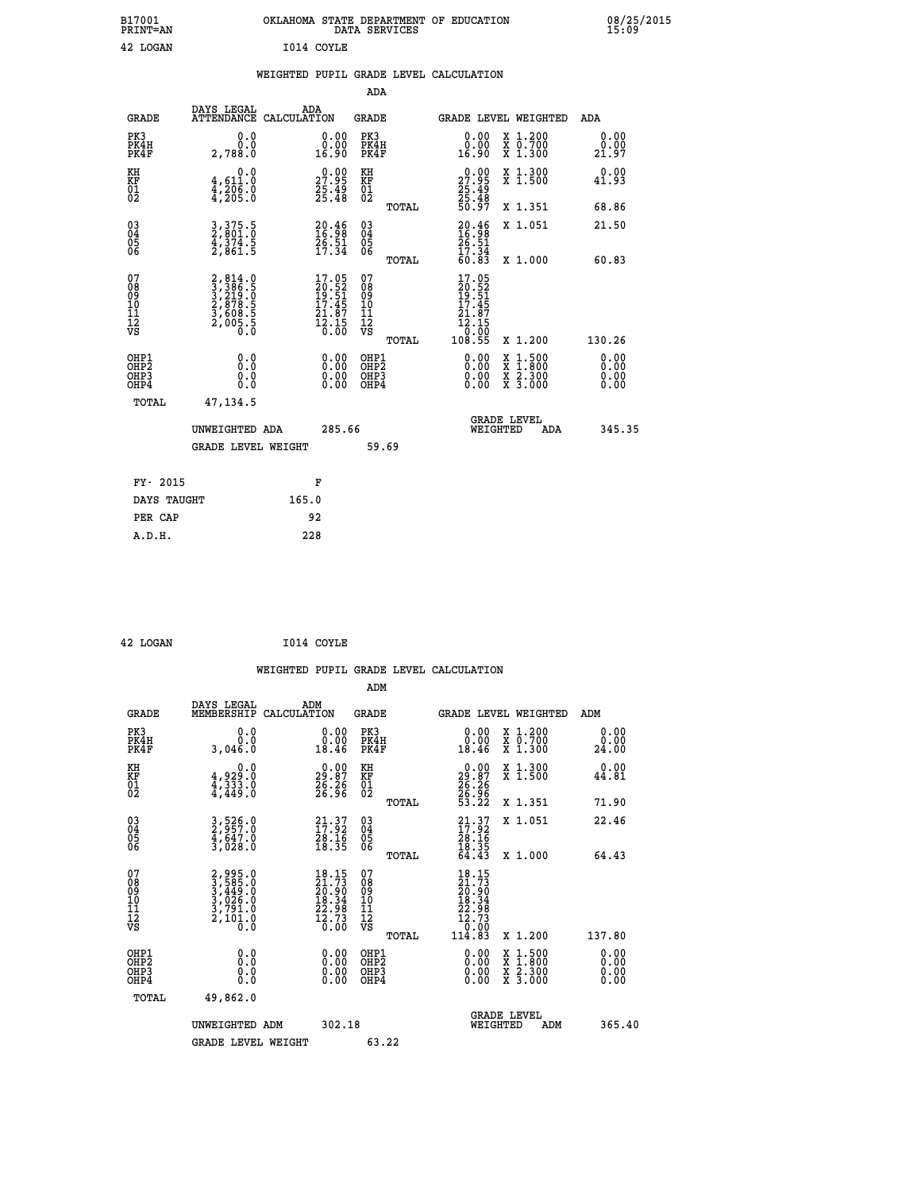| B17001<br><b>PRINT=AN</b> | OKLAHOMA STATE DEPARTMENT OF EDUCATION<br>DATA SERVICES | 08/25/2015<br>15:09 |
|---------------------------|---------------------------------------------------------|---------------------|
| 42<br>LOGAN               | I014 COYLE                                              |                     |

## **WEIGHTED PUPIL GRADE LEVEL CALCULATION**

|                                                                    |                                                                                                                                                 |                                                                                             | ADA                                            |       |                                                                                                                    |                                                                                                                                           |                       |
|--------------------------------------------------------------------|-------------------------------------------------------------------------------------------------------------------------------------------------|---------------------------------------------------------------------------------------------|------------------------------------------------|-------|--------------------------------------------------------------------------------------------------------------------|-------------------------------------------------------------------------------------------------------------------------------------------|-----------------------|
| <b>GRADE</b>                                                       | DAYS LEGAL<br>ATTENDANCE CALCULATION                                                                                                            | ADA                                                                                         | <b>GRADE</b>                                   |       |                                                                                                                    | GRADE LEVEL WEIGHTED                                                                                                                      | ADA                   |
| PK3<br>PK4H<br>PK4F                                                | 0.0<br>0.0<br>2,788.0                                                                                                                           | 0.00<br>0.00<br>16.90                                                                       | PK3<br>PK4H<br>PK4F                            |       | 0.00<br>ة:ة<br>16:90                                                                                               | X 1.200<br>X 0.700<br>X 1.300                                                                                                             | 0.00<br>0.00<br>21.97 |
| KH<br>KF<br>01<br>02                                               | 0.0<br>$\frac{4}{4}, \frac{611}{206}$ .0<br>$\frac{4}{4}, \frac{205}{205}$ .0                                                                   | 27.99<br>$\frac{25.49}{25.48}$                                                              | KH<br>KF<br>01<br>02                           |       | 29:99<br>$\frac{25}{25}$ : 49<br>$\frac{25}{50}$ : 48                                                              | X 1.300<br>X 1.500                                                                                                                        | 0.00<br>41.93         |
|                                                                    |                                                                                                                                                 |                                                                                             |                                                | TOTAL |                                                                                                                    | X 1.351                                                                                                                                   | 68.86                 |
| $\begin{smallmatrix} 03 \\[-4pt] 04 \end{smallmatrix}$<br>Ŏ5<br>06 | 3, 375.5<br>2, 801.0<br>4, 374.5<br>2, 861.5                                                                                                    | $20.46$<br>$16.98$<br>$26.51$<br>$17.34$                                                    | $\substack{03 \\ 04}$<br>$\substack{05 \\ 06}$ |       | $20.46$<br>$16.98$<br>$26.51$<br>$17.34$<br>$60.83$                                                                | X 1.051                                                                                                                                   | 21.50                 |
|                                                                    |                                                                                                                                                 |                                                                                             |                                                | TOTAL |                                                                                                                    | X 1.000                                                                                                                                   | 60.83                 |
| 07<br>08<br>09<br>11<br>11<br>12<br>VS                             | $\begin{smallmatrix} 2, 814\cdot 0\\ 3, 386\cdot 5\\ 3, 219\cdot 0\\ 2, 878\cdot 5\\ 3, 608\cdot 5\\ 2, 005\cdot 5\\ 0\cdot 0\end{smallmatrix}$ | $\begin{smallmatrix} 17.05\\ 20.52\\ 19.51\\ 17.45\\ 21.87\\ 2.15\\ 0.00 \end{smallmatrix}$ | 07<br>08<br>09<br>11<br>11<br>12<br>VS         |       | 17.05<br>$\frac{20.52}{19.51}$<br>$\frac{17.45}{21.87}$<br>$\frac{1}{2}$ $\frac{1}{2}$ $\frac{1}{2}$ $\frac{6}{2}$ |                                                                                                                                           |                       |
|                                                                    |                                                                                                                                                 |                                                                                             |                                                | TOTAL | 108.55                                                                                                             | X 1.200                                                                                                                                   | 130.26                |
| OHP1<br><b>OHP2</b><br>OH <sub>P3</sub><br>OHP4                    | 0.0<br>0.0<br>0.0                                                                                                                               | 0.00<br>0.00<br>0.00                                                                        | OHP1<br>OHP2<br>OHP3<br>OHP4                   |       | 0.00<br>$\begin{smallmatrix} 0.00 \\ 0.00 \end{smallmatrix}$                                                       | $\begin{smallmatrix} \mathtt{X} & 1\cdot500\\ \mathtt{X} & 1\cdot800\\ \mathtt{X} & 2\cdot300\\ \mathtt{X} & 3\cdot000 \end{smallmatrix}$ | 0.00<br>0.00<br>0.00  |
| TOTAL                                                              | 47, 134.5                                                                                                                                       |                                                                                             |                                                |       |                                                                                                                    |                                                                                                                                           |                       |
|                                                                    | UNWEIGHTED ADA                                                                                                                                  | 285.66                                                                                      |                                                |       |                                                                                                                    | <b>GRADE LEVEL</b><br>WEIGHTED<br>ADA                                                                                                     | 345.35                |
|                                                                    | <b>GRADE LEVEL WEIGHT</b>                                                                                                                       |                                                                                             | 59.69                                          |       |                                                                                                                    |                                                                                                                                           |                       |
| FY- 2015                                                           |                                                                                                                                                 | F                                                                                           |                                                |       |                                                                                                                    |                                                                                                                                           |                       |
| DAYS TAUGHT                                                        |                                                                                                                                                 | 165.0                                                                                       |                                                |       |                                                                                                                    |                                                                                                                                           |                       |
| PER CAP                                                            |                                                                                                                                                 | 92                                                                                          |                                                |       |                                                                                                                    |                                                                                                                                           |                       |

| 42 LOGAN | I014 COYLE |
|----------|------------|
|          |            |

 **A.D.H. 228**

 **WEIGHTED PUPIL GRADE LEVEL CALCULATION ADM DAYS LEGAL ADM GRADE MEMBERSHIP CALCULATION GRADE GRADE LEVEL WEIGHTED ADM PK3 0.0 0.00 PK3 0.00 X 1.200 0.00 PK4H 0.0 0.00 PK4H 0.00 X 0.700 0.00 PK4F 3,046.0 18.46 PK4F 18.46 X 1.300 24.00 KH 0.0 0.00 KH 0.00 X 1.300 0.00 KF 4,929.0 29.87 KF 29.87 X 1.500 44.81 KH**  $\begin{array}{cccc} 0.0 & 0.00 & \text{KH} \\ \text{KF} & 4,929.0 & 29.87 & \text{KF} \\ 01 & 4,433.0 & 26.36 & 01 \\ 02 & 4,449.0 & 26.36 & 02 \end{array}$  **02 4,449.0 26.96 02 26.96 TOTAL 53.22 X 1.351 71.90 03 3,526.0 21.37 03 21.37 X 1.051 22.46 04 2,957.0 17.92 04 17.92 05 4,647.0 28.16 05 28.16** 06 3,028.0 18.35 06 <sub>momas</sub> 18.35  **TOTAL 64.43 X 1.000 64.43**  $\begin{array}{cccc} 07 & 2,995.0 & 18.15 & 07 & 18.15 \ 08 & 3,585.0 & 21.73 & 08 & 21.73 \ 09 & 3,449.0 & 20.90 & 09 & 20.90 \ 10 & 3,026.0 & 18.34 & 10 & 18.34 \ 11 & 3,791.0 & 22.98 & 11 & 22.98 \ 12 & 2,101.0 & 12.73 & 12 & 22.98 \ 13 & 2,101.0 & 16.0 & 18 & 34 \$  $\begin{array}{cccc} 18.15&07&&&&18.15\\ 21.73&08&&&&21.73\\ 20.90&09&&&&20.90\\ 18.34&10&&&&20.90\\ 12.298&11&&&&22.98\\ 72.73&12&&&&12.298\\ 16.30&\textrm{VS}&&&&12.73\\ 0.00&\textrm{VS}&&&&12.73\\ 0.00&\textrm{TCAL}&&114.83&\textrm{X}\ 1.200&&137.80 \end{array}$  **OHP1 0.0 0.00 OHP1 0.00 X 1.500 0.00 OHP2 0.0 0.00 OHP2 0.00 X 1.800 0.00 OHP3 0.0 0.00 OHP3 0.00 X 2.300 0.00 OHP4 0.0 0.00 OHP4 0.00 X 3.000 0.00 TOTAL 49,862.0 GRADE LEVEL UNWEIGHTED ADM 302.18 WEIGHTED ADM 365.40 GRADE LEVEL WEIGHT 63.22**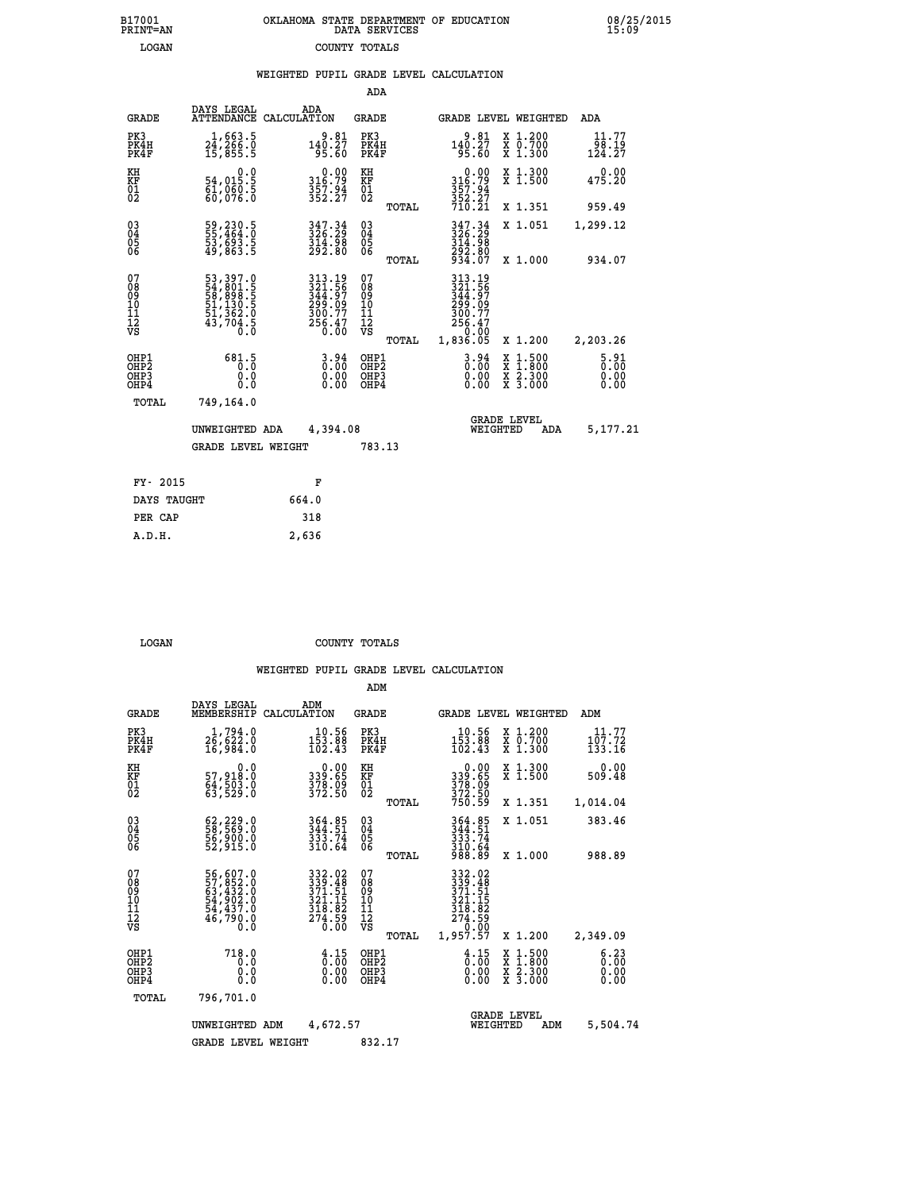| OKLAHOMA STATE DEPARTMENT OF EDUCATION<br>DATA SERVICES |  |
|---------------------------------------------------------|--|
| COUNTY TOTALS                                           |  |

 **B17001 OKLAHOMA STATE DEPARTMENT OF EDUCATION 08/25/2015**

|  |  | WEIGHTED PUPIL GRADE LEVEL CALCULATION |
|--|--|----------------------------------------|
|  |  |                                        |

|                                                                    |                                                                            |                                                                            | ADA                                       |       |                                                                              |                                                                            |                                  |
|--------------------------------------------------------------------|----------------------------------------------------------------------------|----------------------------------------------------------------------------|-------------------------------------------|-------|------------------------------------------------------------------------------|----------------------------------------------------------------------------|----------------------------------|
| <b>GRADE</b>                                                       | DAYS LEGAL<br><b>ATTENDANCE</b>                                            | ADA<br>CALCULATION                                                         | <b>GRADE</b>                              |       |                                                                              | GRADE LEVEL WEIGHTED                                                       | <b>ADA</b>                       |
| PK3<br>PK4H<br>PK4F                                                | 24,266.0<br>15,855.5                                                       | $140.27$<br>95.60                                                          | PK3<br>PK4H<br>PK4F                       |       | 9.81<br>140.27<br>95.60                                                      | X 1.200<br>X 0.700<br>X 1.300                                              | 11.77<br>98.19<br>124.27         |
| KH<br>KF<br>01<br>02                                               | 0.0<br>54,015.5<br>$\frac{61}{60}, \frac{660}{076}$                        | $0.00$<br>316.79<br>$357.94$<br>$352.27$                                   | KH<br>KF<br>$\overline{01}$               |       | 0.00<br>316:79<br>357:94<br>352:27<br>710:21                                 | X 1.300<br>X 1.500                                                         | 0.00<br>475.20                   |
|                                                                    |                                                                            |                                                                            |                                           | TOTAL |                                                                              | X 1.351                                                                    | 959.49                           |
| $\begin{smallmatrix} 03 \\[-4pt] 04 \end{smallmatrix}$<br>05<br>06 | 59,230.5<br>55,464.0<br>53,693.5<br>49,863.5                               | 347.34<br>326.29<br>$\frac{314.58}{292.80}$                                | $\substack{03 \\ 04}$<br>$\frac{05}{06}$  |       | 347.34<br>326.29<br>314:58<br>292:80<br>934:07                               | X 1.051                                                                    | 1,299.12                         |
|                                                                    |                                                                            |                                                                            |                                           | TOTAL |                                                                              | X 1.000                                                                    | 934.07                           |
| 07<br>08<br>09<br>11<br>11<br>12<br>VS                             | 53, 397.0<br>54, 801.5<br>58, 898.5<br>51, 130.5<br>51, 362.0<br>43, 704.5 | 313.19<br>321.56<br>344.57<br>349.09<br>299.09<br>300.77<br>256.47<br>0.00 | 07<br>08<br>09<br>11<br>11<br>12<br>VS    |       | 313.19<br>$321.56$<br>$344.97$<br>$299.09$<br>$300.77$<br>$256.47$<br>$0.00$ |                                                                            |                                  |
|                                                                    |                                                                            |                                                                            |                                           | TOTAL | 1,836.05                                                                     | X 1.200                                                                    | 2,203.26                         |
| OHP1<br>OHP <sub>2</sub><br>OHP3<br>OHP4                           | 681.5<br>0.0<br>0.0                                                        | $3.94$<br>$0.00$<br>$\begin{smallmatrix} 0.00 \ 0.00 \end{smallmatrix}$    | OHP1<br>OH <sub>P</sub> 2<br>OHP3<br>OHP4 |       | $3.94$<br>$0.00$<br>0.00<br>0.00                                             | $1:500$<br>$1:800$<br>X<br>X<br>$\frac{\ddot{x}}{x}$ $\frac{2.300}{3.000}$ | $5.91$<br>$0.00$<br>0.00<br>0.00 |
| TOTAL                                                              | 749,164.0                                                                  |                                                                            |                                           |       |                                                                              |                                                                            |                                  |
|                                                                    | UNWEIGHTED ADA                                                             | 4,394.08                                                                   |                                           |       |                                                                              | <b>GRADE LEVEL</b><br>WEIGHTED<br>ADA                                      | 5,177.21                         |
|                                                                    | <b>GRADE LEVEL WEIGHT</b>                                                  |                                                                            | 783.13                                    |       |                                                                              |                                                                            |                                  |
| FY- 2015                                                           |                                                                            | F                                                                          |                                           |       |                                                                              |                                                                            |                                  |
| DAYS TAUGHT                                                        |                                                                            | 664.0                                                                      |                                           |       |                                                                              |                                                                            |                                  |
| PER CAP                                                            |                                                                            | 318                                                                        |                                           |       |                                                                              |                                                                            |                                  |
|                                                                    |                                                                            |                                                                            |                                           |       |                                                                              |                                                                            |                                  |

 **LOGAN COUNTY TOTALS**

 **A.D.H. 2,636**

B17001<br>PRINT=AN<br>LOGAN

|                                                       |                                                                      |                                                                                                                         | ADM                                                 |       |                                                                                                                                                                                                                                                                                                                                                                                                                                                                    |                                |                                          |                              |  |
|-------------------------------------------------------|----------------------------------------------------------------------|-------------------------------------------------------------------------------------------------------------------------|-----------------------------------------------------|-------|--------------------------------------------------------------------------------------------------------------------------------------------------------------------------------------------------------------------------------------------------------------------------------------------------------------------------------------------------------------------------------------------------------------------------------------------------------------------|--------------------------------|------------------------------------------|------------------------------|--|
| <b>GRADE</b>                                          | DAYS LEGAL<br>MEMBERSHIP                                             | ADM<br>CALCULATION                                                                                                      | <b>GRADE</b>                                        |       |                                                                                                                                                                                                                                                                                                                                                                                                                                                                    |                                | GRADE LEVEL WEIGHTED                     | ADM                          |  |
| PK3<br>PK4H<br>PK4F                                   | 1,794.0<br>26,622.0<br>16,984.0                                      | 10.56<br>$\frac{153}{102}.$ $\frac{88}{43}$                                                                             | PK3<br>PK4H<br>PK4F                                 |       | $10.56$<br>$153.88$<br>$102.43$                                                                                                                                                                                                                                                                                                                                                                                                                                    |                                | X 1.200<br>X 0.700<br>X 1.300            | 11.77<br>107.72<br>133.16    |  |
| KH<br>KF<br>01<br>02                                  | 0.0<br>57,918:0<br>64,503:0<br>63,529:0                              | $\begin{smallmatrix} 0.00\\ 339.65\\ 378.09\\ 372.50 \end{smallmatrix}$                                                 | KH<br>KF<br>01<br>02                                |       | $\begin{smallmatrix} &0.00\,339.65\,378.09\,372.50\,750.59\end{smallmatrix}$                                                                                                                                                                                                                                                                                                                                                                                       |                                | X 1.300<br>X 1.500                       | 0.00<br>509.48               |  |
|                                                       |                                                                      |                                                                                                                         |                                                     | TOTAL |                                                                                                                                                                                                                                                                                                                                                                                                                                                                    |                                | X 1.351                                  | 1,014.04                     |  |
| 03<br>04<br>05<br>06                                  | 62,229.0<br>58,569.0<br>56,900.0<br>52,915.0                         | 364.85<br>344.51<br>333.74<br>310.64                                                                                    | $\begin{array}{c} 03 \\ 04 \\ 05 \\ 06 \end{array}$ |       | 364.85<br>344.51<br>333.74<br>$\frac{310.64}{988.89}$                                                                                                                                                                                                                                                                                                                                                                                                              |                                | X 1.051                                  | 383.46                       |  |
|                                                       |                                                                      |                                                                                                                         |                                                     | TOTAL |                                                                                                                                                                                                                                                                                                                                                                                                                                                                    |                                | X 1.000                                  | 988.89                       |  |
| 07<br>08<br>09<br>101<br>112<br>VS                    | 56,607.0<br>57,852.0<br>63,432.0<br>54,902.0<br>54,437.0<br>46,790.0 | $\begin{array}{r} 332\cdot02\\ 339\cdot48\\ 371\cdot51\\ 321\cdot15\\ 318\cdot82\\ 274\cdot59\\ 0\cdot00\\ \end{array}$ | 07<br>08<br>09<br>11<br>11<br>12<br>VS              | TOTAL | 332.02<br>339.48<br>371.51<br>321.15<br>$\begin{array}{@{}c@{\hspace{1em}}c@{\hspace{1em}}c@{\hspace{1em}}c@{\hspace{1em}}c@{\hspace{1em}}c@{\hspace{1em}}c@{\hspace{1em}}c@{\hspace{1em}}c@{\hspace{1em}}c@{\hspace{1em}}c@{\hspace{1em}}c@{\hspace{1em}}c@{\hspace{1em}}c@{\hspace{1em}}c@{\hspace{1em}}c@{\hspace{1em}}c@{\hspace{1em}}c@{\hspace{1em}}c@{\hspace{1em}}c@{\hspace{1em}}c@{\hspace{1em}}c@{\hspace{1em}}c@{\hspace{1em}}c@{\hspace{$<br>1,957.57 |                                | X 1.200                                  | 2,349.09                     |  |
| OHP1<br>OH <sub>P</sub> 2<br>OH <sub>P3</sub><br>OHP4 | 718.0<br>0.0<br>0.000                                                | $\begin{smallmatrix} 4.15\ 0.00 \ 0.00 \end{smallmatrix}$<br>0.00                                                       | OHP1<br>OHP2<br>OHP3<br>OHP4                        |       | $\begin{smallmatrix} 4.15\ 0.00 \ 0.00 \end{smallmatrix}$<br>0.00                                                                                                                                                                                                                                                                                                                                                                                                  |                                | X 1:500<br>X 1:800<br>X 2:300<br>X 3:000 | 6.23<br>0.00<br>0.00<br>0.00 |  |
| TOTAL                                                 | 796,701.0                                                            |                                                                                                                         |                                                     |       |                                                                                                                                                                                                                                                                                                                                                                                                                                                                    |                                |                                          |                              |  |
|                                                       | UNWEIGHTED                                                           | 4,672.57<br>ADM                                                                                                         |                                                     |       |                                                                                                                                                                                                                                                                                                                                                                                                                                                                    | <b>GRADE LEVEL</b><br>WEIGHTED | ADM                                      | 5,504.74                     |  |
|                                                       | <b>GRADE LEVEL WEIGHT</b>                                            |                                                                                                                         | 832.17                                              |       |                                                                                                                                                                                                                                                                                                                                                                                                                                                                    |                                |                                          |                              |  |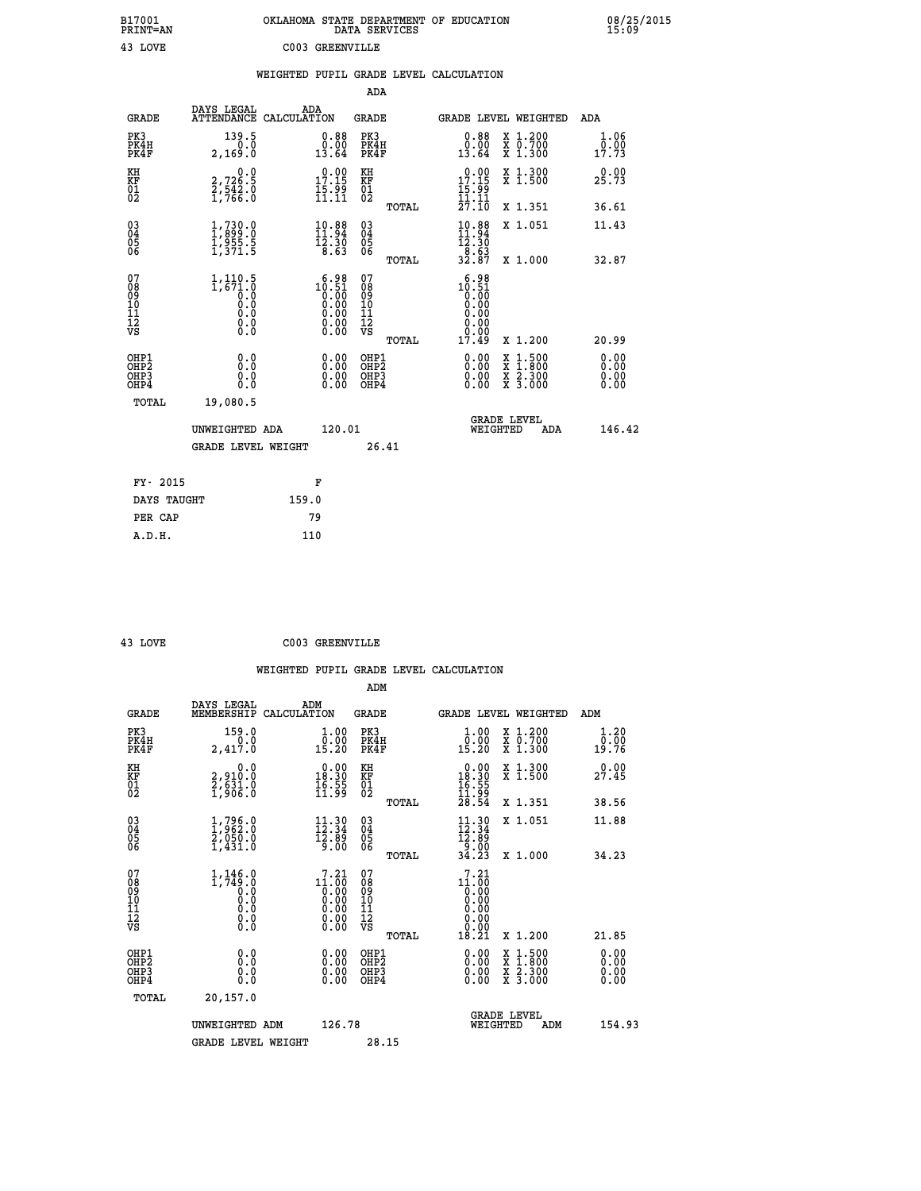| B17001<br>PRINT=AN                                   |                                                                               | OKLAHOMA STATE DEPARTMENT OF EDUCATION                                                                | DATA SERVICES                                           |                                                                                                        |                                                                                                                                           | 08/25/2015<br>15:09          |
|------------------------------------------------------|-------------------------------------------------------------------------------|-------------------------------------------------------------------------------------------------------|---------------------------------------------------------|--------------------------------------------------------------------------------------------------------|-------------------------------------------------------------------------------------------------------------------------------------------|------------------------------|
| 43 LOVE                                              |                                                                               | C003 GREENVILLE                                                                                       |                                                         |                                                                                                        |                                                                                                                                           |                              |
|                                                      |                                                                               | WEIGHTED PUPIL GRADE LEVEL CALCULATION                                                                |                                                         |                                                                                                        |                                                                                                                                           |                              |
|                                                      |                                                                               |                                                                                                       | ADA                                                     |                                                                                                        |                                                                                                                                           |                              |
| <b>GRADE</b>                                         | DAYS LEGAL                                                                    | ADA<br>ATTENDANCE CALCULATION                                                                         | <b>GRADE</b>                                            |                                                                                                        | GRADE LEVEL WEIGHTED                                                                                                                      | ADA                          |
| PK3<br>PK4H<br>PK4F                                  | 139.5<br>0.0<br>2,169.0                                                       | 0.88<br>0.00<br>13.64                                                                                 | PK3<br>PK4H<br>PK4F                                     | 0.88<br>0.00<br>13.64                                                                                  | X 1.200<br>X 0.700<br>X 1.300                                                                                                             | 1.06<br>0.00<br>17.73        |
| KH<br>KF<br>01<br>02                                 | 0.0<br>2,726.5<br>2,542.0<br>1,766.0                                          | $17.15$<br>$15.99$<br>$15.99$<br>$11.11$                                                              | ΚH<br><b>KF</b><br>01<br>02                             | $\begin{array}{c} 0.00 \\ 17.15 \\ 15.99 \\ 11.11 \end{array}$                                         | X 1.300<br>X 1.500                                                                                                                        | 0.00<br>25.73                |
|                                                      |                                                                               |                                                                                                       | TOTAL                                                   | 27.IO                                                                                                  | X 1.351                                                                                                                                   | 36.61                        |
| 03<br>04<br>05<br>06                                 | $\begin{smallmatrix} 1,730.0\\ 1,899.0\\ 1,955.5\\ 1,371.5 \end{smallmatrix}$ | $\begin{array}{c} 10\cdot 88 \\ 11\cdot 94 \\ 12\cdot 30 \\ 8\cdot 63 \end{array}$                    | $\begin{matrix} 03 \\ 04 \\ 05 \\ 06 \end{matrix}$      | $10.88$<br>$11.94$<br>$12.30$                                                                          | X 1.051                                                                                                                                   | 11.43                        |
|                                                      |                                                                               |                                                                                                       | TOTAL                                                   | $\begin{array}{c} -\overline{8}\cdot\overline{6}\,\overline{3}\\ 3\,2\cdot\overline{8}\,7 \end{array}$ | X 1.000                                                                                                                                   | 32.87                        |
| 07<br>08<br>09<br>11<br>11<br>12<br>VS               | $1,110.5$<br>$1,671.0$<br>$0.0$<br>ŏ.ŏ<br>0.0<br>0.0<br>Ŏ.Ō                   | $10.51$<br>$0.51$<br>$0.00$<br>$0.00$<br>0.00<br>$\begin{smallmatrix} 0.00 \\ 0.00 \end{smallmatrix}$ | 07<br>08<br>09<br>101<br>11<br>12<br>VS<br><b>TOTAL</b> | $10.98$<br>$10.51$<br>$0.00$<br>0.00<br>0.00<br>0.00<br>0.00<br>17.49                                  | X 1.200                                                                                                                                   | 20.99                        |
| OHP1<br>OHP <sub>2</sub><br>OH <sub>P3</sub><br>OHP4 | 0.0<br>Ō.Ō<br>0.0<br>0.0                                                      | $0.00$<br>$0.00$<br>0.00                                                                              | OHP1<br>OHP <sub>2</sub><br>OHP3<br>OHP4                | $0.00$<br>$0.00$<br>0.00                                                                               | $\begin{smallmatrix} \mathtt{X} & 1\cdot500\\ \mathtt{X} & 1\cdot800\\ \mathtt{X} & 2\cdot300\\ \mathtt{X} & 3\cdot000 \end{smallmatrix}$ | 0.00<br>0.00<br>0.00<br>0.00 |
| TOTAL                                                | 19,080.5                                                                      |                                                                                                       |                                                         |                                                                                                        |                                                                                                                                           |                              |
|                                                      | UNWEIGHTED ADA<br><b>GRADE LEVEL WEIGHT</b>                                   | 120.01                                                                                                | 26.41                                                   | WEIGHTED                                                                                               | <b>GRADE LEVEL</b><br>ADA                                                                                                                 | 146.42                       |
|                                                      |                                                                               |                                                                                                       |                                                         |                                                                                                        |                                                                                                                                           |                              |
| FY- 2015                                             |                                                                               | F                                                                                                     |                                                         |                                                                                                        |                                                                                                                                           |                              |
| DAYS TAUGHT                                          |                                                                               | 159.0                                                                                                 |                                                         |                                                                                                        |                                                                                                                                           |                              |
| PER CAP                                              |                                                                               | 79                                                                                                    |                                                         |                                                                                                        |                                                                                                                                           |                              |
| A.D.H.                                               |                                                                               | 110                                                                                                   |                                                         |                                                                                                        |                                                                                                                                           |                              |

| v |  |
|---|--|

3 LOVE C003 GREENVILLE

| <b>GRADE</b>                                         | DAYS LEGAL<br>MEMBERSHIP                                                      | ADM<br>CALCULATION                                                                                   | <b>GRADE</b>                                       |       |                                                                         |          | GRADE LEVEL WEIGHTED                                                                                                | ADM                   |
|------------------------------------------------------|-------------------------------------------------------------------------------|------------------------------------------------------------------------------------------------------|----------------------------------------------------|-------|-------------------------------------------------------------------------|----------|---------------------------------------------------------------------------------------------------------------------|-----------------------|
| PK3<br>PK4H<br>PK4F                                  | 159.0<br>2,417.0                                                              | $\begin{smallmatrix} 1.00\\[-1mm] 0.00\\[-1mm] 15.20\end{smallmatrix}$                               | PK3<br>PK4H<br>PK4F                                |       | $\begin{smallmatrix} 1.00\\[-1mm] 0.00\\[-1mm] 15.20\end{smallmatrix}$  |          | X 1.200<br>X 0.700<br>X 1.300                                                                                       | 1.20<br>0.00<br>19.76 |
| KH<br>KF<br>01<br>02                                 | 0.0<br>2,910:0<br>2,631:0<br>1,906:0                                          | $\begin{smallmatrix} 0.00\\ 18.30\\ 16.39\\ 11.99 \end{smallmatrix}$                                 | KH<br>KF<br>$^{01}_{02}$                           |       | $\begin{array}{c} 0.00 \\ 18.30 \\ 16.55 \\ 11.99 \\ 28.54 \end{array}$ |          | X 1.300<br>X 1.500                                                                                                  | 0.00<br>27.45         |
|                                                      |                                                                               |                                                                                                      |                                                    | TOTAL |                                                                         |          | X 1.351                                                                                                             | 38.56                 |
| 03<br>04<br>05<br>06                                 | $\begin{smallmatrix} 1,796.0\\ 1,962.0\\ 2,050.0\\ 1,431.0 \end{smallmatrix}$ | $\begin{array}{c} 11\cdot 30 \\[-4pt] 12\cdot 34 \\[-4pt] 12\cdot 89 \\[-4pt] 9\cdot 00 \end{array}$ | $\begin{matrix} 03 \\ 04 \\ 05 \\ 06 \end{matrix}$ |       | $\begin{smallmatrix} 11.30 \\ 12.34 \\ 12.89 \\ 9.00 \end{smallmatrix}$ |          | X 1.051                                                                                                             | 11.88                 |
|                                                      |                                                                               |                                                                                                      |                                                    | TOTAL | 34.23                                                                   |          | X 1.000                                                                                                             | 34.23                 |
| 07<br>08<br>09<br>101<br>11<br>12<br>VS              |                                                                               | 7.21<br>$11.60$<br>0.00<br>0.00<br>0.00<br>0.00<br>0.00                                              | 07<br>08<br>09<br>01<br>11<br>11<br>12<br>VS       |       | 7.21                                                                    |          |                                                                                                                     |                       |
|                                                      |                                                                               |                                                                                                      |                                                    | TOTAL |                                                                         |          | X 1.200                                                                                                             | 21.85                 |
| OHP1<br>OHP <sub>2</sub><br>OH <sub>P3</sub><br>OHP4 | 0.0<br>0.000                                                                  | $\begin{smallmatrix} 0.00 \ 0.00 \ 0.00 \ 0.00 \end{smallmatrix}$                                    | OHP1<br>OHP2<br>OHP3<br>OHP4                       |       | 0.00<br>$0.00$<br>0.00                                                  |          | $\begin{array}{l} \mathtt{X} & 1.500 \\ \mathtt{X} & 1.800 \\ \mathtt{X} & 2.300 \\ \mathtt{X} & 3.000 \end{array}$ | 0.00<br>0.00<br>0.00  |
| TOTAL                                                | 20,157.0                                                                      |                                                                                                      |                                                    |       |                                                                         |          |                                                                                                                     |                       |
|                                                      | UNWEIGHTED                                                                    | 126.78<br>ADM                                                                                        |                                                    |       |                                                                         | WEIGHTED | <b>GRADE LEVEL</b><br>ADM                                                                                           | 154.93                |
|                                                      | <b>GRADE LEVEL WEIGHT</b>                                                     |                                                                                                      | 28.15                                              |       |                                                                         |          |                                                                                                                     |                       |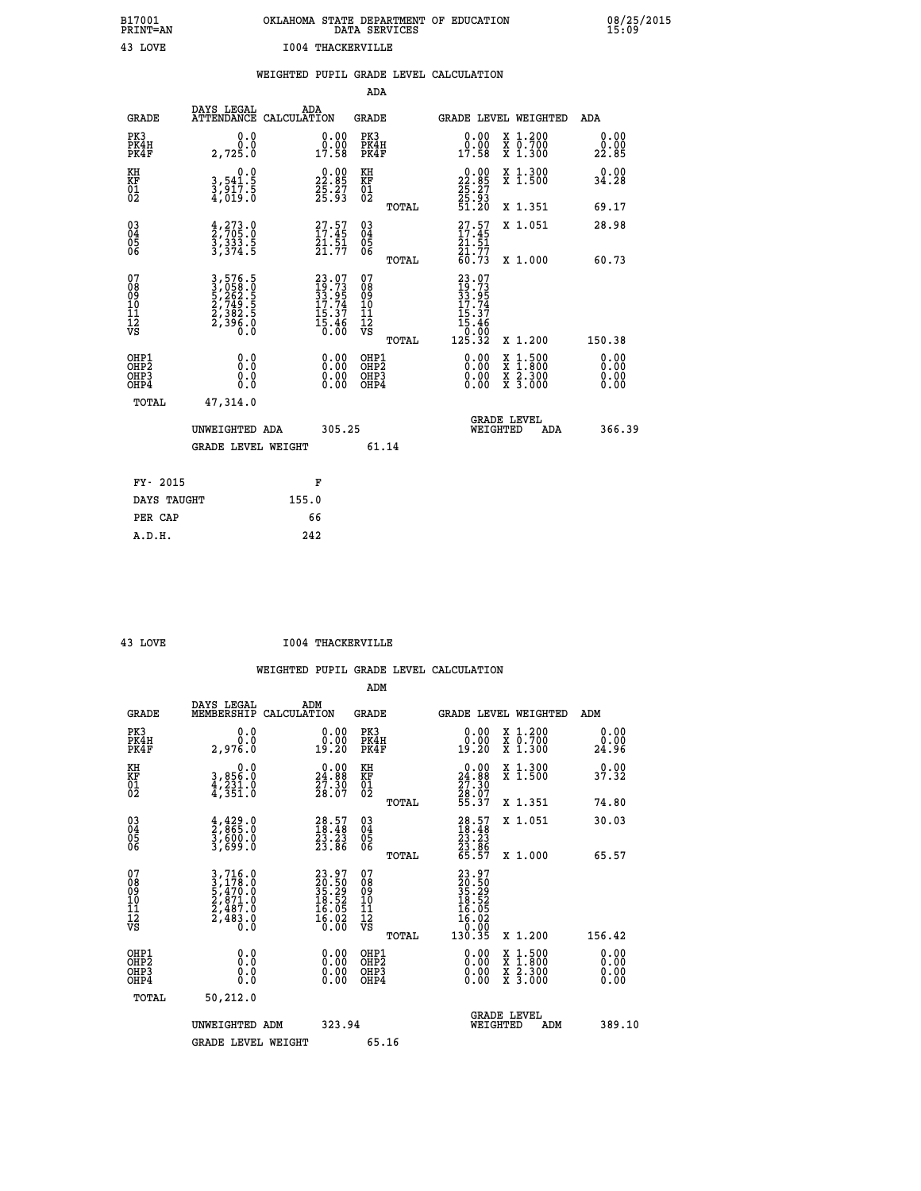| OKLAHOMA STATE DEPARTMENT OF EDUCATION<br>DATA SERVICES |  |
|---------------------------------------------------------|--|
| 1004 THACKERVILLE                                       |  |

 **B17001 OKLAHOMA STATE DEPARTMENT OF EDUCATION 08/25/2015**

|                                                                    |                                                                |                                                                          | ADA                                                 |       |                                                                                                                               |        |                                          |                              |
|--------------------------------------------------------------------|----------------------------------------------------------------|--------------------------------------------------------------------------|-----------------------------------------------------|-------|-------------------------------------------------------------------------------------------------------------------------------|--------|------------------------------------------|------------------------------|
| <b>GRADE</b>                                                       | DAYS LEGAL<br>ATTENDANCE CALCULATION                           | ADA                                                                      | <b>GRADE</b>                                        |       | GRADE LEVEL WEIGHTED                                                                                                          |        |                                          | <b>ADA</b>                   |
| PK3<br>PK4H<br>PK4F                                                | 0.0<br>0.0<br>2,725.0                                          | $\begin{smallmatrix} 0.00\\ 0.00\\ 17.58 \end{smallmatrix}$              | PK3<br>PK4H<br>PK4F                                 |       | $\begin{smallmatrix} 0.00\\ 0.00\\ 17.58 \end{smallmatrix}$                                                                   |        | X 1.200<br>X 0.700<br>X 1.300            | 0.00<br>0.00<br>22.85        |
| KH<br>KF<br>01<br>02                                               | 0.0<br>3,541.5<br>3,917.5<br>4,019.0                           | $\begin{smallmatrix} 0.00\\ 22.85\\ 25.27\\ 25.93\\ \end{smallmatrix}$   | KH<br>KF<br>01<br>02                                |       | $\begin{smallmatrix} 0.00\\ 22.85\\ 25.27\\ 25.93\\ 51.20 \end{smallmatrix}$                                                  |        | X 1.300<br>X 1.500                       | 0.00<br>34.28                |
|                                                                    |                                                                |                                                                          |                                                     | TOTAL |                                                                                                                               |        | X 1.351                                  | 69.17                        |
| $\begin{smallmatrix} 03 \\[-4pt] 04 \end{smallmatrix}$<br>Ŏ5<br>06 | $\frac{4}{2}, \frac{273}{705}$ .0<br>3, 333.5<br>3, 374.5      | 27.57<br>$\frac{51.51}{21.77}$                                           | $\begin{array}{c} 03 \\ 04 \\ 05 \\ 06 \end{array}$ | TOTAL | $27.57$<br>$17.45$<br>$\frac{21.51}{21.77}$<br>60.73                                                                          |        | X 1.051<br>X 1.000                       | 28.98<br>60.73               |
| 07<br>08<br>09<br>11<br>11<br>12<br>VS                             | 3,576.5<br>3,058.0<br>5,262.5<br>5,249.5<br>2,382.5<br>2,396.0 | $23.07$<br>$19.73$<br>$33.95$<br>$17.74$<br>$15.37$<br>$15.46$<br>$0.00$ | 07<br>08<br>09<br>11<br>11<br>12<br>VS              |       | $\begin{smallmatrix} 23 & 07 \\ 19 & 73 \\ 33 & 954 \\ 17 & 74 \\ 15 & 37 \\ 15 & 46 \\ 0 & 00 \\ 125 & 32 \end{smallmatrix}$ |        |                                          |                              |
|                                                                    |                                                                |                                                                          |                                                     | TOTAL |                                                                                                                               |        | X 1.200                                  | 150.38                       |
| OHP1<br>OH <sub>P</sub> 2<br>OHP3<br>OHP4                          | 0.0<br>Ō.Ō<br>0.0<br>0.0                                       | 0.00<br>$\begin{smallmatrix} 0.00 \ 0.00 \end{smallmatrix}$              | OHP1<br>OH <sub>P</sub> 2<br>OHP3<br>OHP4           |       | 0.00<br>0.00<br>0.00                                                                                                          | X<br>X | $1:500$<br>$1:800$<br>X 2.300<br>X 3.000 | 0.00<br>0.00<br>0.00<br>0.00 |
| TOTAL                                                              | 47,314.0                                                       |                                                                          |                                                     |       |                                                                                                                               |        |                                          |                              |
|                                                                    | UNWEIGHTED ADA                                                 | 305.25                                                                   |                                                     |       | <b>GRADE LEVEL</b><br>WEIGHTED                                                                                                |        | ADA                                      | 366.39                       |
|                                                                    | <b>GRADE LEVEL WEIGHT</b>                                      |                                                                          | 61.14                                               |       |                                                                                                                               |        |                                          |                              |
| FY- 2015                                                           |                                                                | F                                                                        |                                                     |       |                                                                                                                               |        |                                          |                              |
| DAYS TAUGHT                                                        |                                                                | 155.0                                                                    |                                                     |       |                                                                                                                               |        |                                          |                              |
| PER CAP                                                            |                                                                | 66                                                                       |                                                     |       |                                                                                                                               |        |                                          |                              |
|                                                                    |                                                                |                                                                          |                                                     |       |                                                                                                                               |        |                                          |                              |

 **A.D.H. 242**

**B17001<br>PRINT=AN<br>43 LOVE** 

 **43 LOVE I004 THACKERVILLE**

|                                           |                                                                                                                                               |                                                                                        | ADM                                                 |                                                                          |                                          |                      |
|-------------------------------------------|-----------------------------------------------------------------------------------------------------------------------------------------------|----------------------------------------------------------------------------------------|-----------------------------------------------------|--------------------------------------------------------------------------|------------------------------------------|----------------------|
| <b>GRADE</b>                              | DAYS LEGAL<br>MEMBERSHIP                                                                                                                      | ADM<br>CALCULATION                                                                     | <b>GRADE</b>                                        |                                                                          | GRADE LEVEL WEIGHTED                     | ADM                  |
| PK3<br>PK4H<br>PK4F                       | 0.0<br>ة:ة<br>2,976.0                                                                                                                         | $\begin{smallmatrix} 0.00\\ 0.00\\ 19.20 \end{smallmatrix}$                            | PK3<br>PK4H<br>PK4F                                 | $\begin{smallmatrix} 0.00\\ 0.00\\ 19.20 \end{smallmatrix}$              | X 1.200<br>X 0.700<br>X 1.300            | 0.00<br>ةة.<br>24.96 |
| KH<br>KF<br>01<br>02                      | 0.0<br>3,856:0<br>4,231:0<br>4,351:0                                                                                                          | $\begin{smallmatrix} 0.00\\24.88\\27.30\\28.07 \end{smallmatrix}$                      | KH<br>KF<br>01<br>02                                | $\begin{smallmatrix} 0.00\\24.88\\27.30\\28.07\\55.37 \end{smallmatrix}$ | X 1.300<br>X 1.500                       | 37.32                |
|                                           |                                                                                                                                               |                                                                                        | TOTAL                                               |                                                                          | X 1.351                                  | 74.80                |
| 03<br>04<br>05<br>06                      | $\frac{4}{2}, \frac{429}{865} .0$<br>3,600.0<br>3,699.0                                                                                       | $\begin{smallmatrix} 28.57\ 18.48\ 23.23\ 23.86 \end{smallmatrix}$                     | $\begin{array}{c} 03 \\ 04 \\ 05 \\ 06 \end{array}$ | 28.57<br>18.48<br>23.23<br>23.86<br>65.57                                | X 1.051                                  | 30.03                |
|                                           |                                                                                                                                               |                                                                                        | TOTAL                                               |                                                                          | X 1.000                                  | 65.57                |
| 07<br>08<br>09<br>101<br>112<br>VS        | $\begin{smallmatrix} 3\,,\,716\,.0\\ 3\,,\,178\,.0\\ 5\,,\,470\,.0\\ 2\,,\,871\,.0\\ 2\,,\,487\,.0\\ 2\,,\,483\,.0\\ 0\,.0 \end{smallmatrix}$ | $\begin{smallmatrix} 23.97\ 20.50\ 35.29\ 18.52\ 16.05\ 16.02\ 0.00 \end{smallmatrix}$ | 07<br>08<br>09<br>11<br>11<br>12<br>VS              | 23.97<br>20.50<br>35.29<br>35.29<br>18.05<br>16.020<br>0.90              |                                          |                      |
|                                           |                                                                                                                                               |                                                                                        | TOTAL                                               | 130.35                                                                   | X 1.200                                  | 156.42               |
| OHP1<br>OHP2<br>OH <sub>P</sub> 3<br>OHP4 | 0.0<br>$\begin{smallmatrix} 0.0 & 0 \ 0.0 & 0 \end{smallmatrix}$                                                                              |                                                                                        | OHP1<br>OHP2<br>OHP <sub>3</sub>                    | $0.00$<br>$0.00$<br>0.00                                                 | X 1:500<br>X 1:800<br>X 2:300<br>X 3:000 | 0.00<br>0.00<br>0.00 |
| TOTAL                                     | 50,212.0                                                                                                                                      |                                                                                        |                                                     |                                                                          |                                          |                      |
|                                           | UNWEIGHTED<br>ADM                                                                                                                             | 323.94                                                                                 |                                                     |                                                                          | GRADE LEVEL<br>WEIGHTED<br>ADM           | 389.10               |
|                                           | <b>GRADE LEVEL WEIGHT</b>                                                                                                                     |                                                                                        | 65.16                                               |                                                                          |                                          |                      |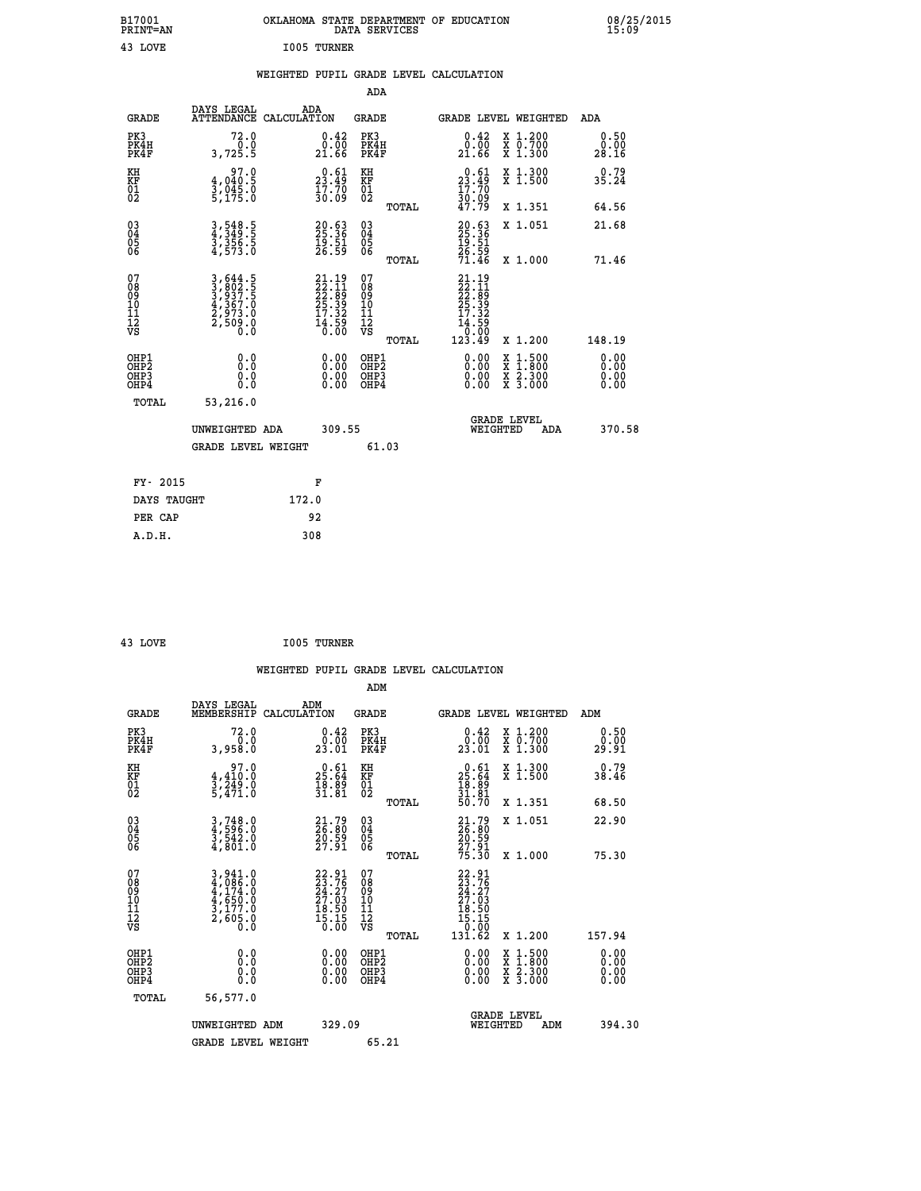| B17001<br>PRINT=AN                       |                                                                           | OKLAHOMA STATE DEPARTMENT OF EDUCATION                              | DATA SERVICES                                                   |                                                                              |                                                                                          | 08/25/2015            |
|------------------------------------------|---------------------------------------------------------------------------|---------------------------------------------------------------------|-----------------------------------------------------------------|------------------------------------------------------------------------------|------------------------------------------------------------------------------------------|-----------------------|
| 43 LOVE                                  |                                                                           | I005 TURNER                                                         |                                                                 |                                                                              |                                                                                          |                       |
|                                          |                                                                           | WEIGHTED PUPIL GRADE LEVEL CALCULATION                              | ADA                                                             |                                                                              |                                                                                          |                       |
| <b>GRADE</b>                             | DAYS LEGAL                                                                | ADA<br>ATTENDANCE CALCULATION                                       | <b>GRADE</b>                                                    | GRADE LEVEL WEIGHTED                                                         |                                                                                          | ADA                   |
| PK3<br>PK4H<br>PK4F                      | 72.0<br>0.0<br>3,725.5                                                    | 0.42<br>0.00<br>21.66                                               | PK3<br>PK4H<br>PK4F                                             | 0.42<br>_0.00<br>21.66                                                       | X 1.200<br>X 0.700<br>X 1.300                                                            | 0.50<br>0.00<br>28.16 |
| KH<br>KF<br>01<br>02                     | 97.0<br>4,040.5<br>$\frac{3}{5}$ , 045.0                                  | $\begin{smallmatrix} 0.61\ 23.49\ 17.70\ 30.09 \end{smallmatrix}$   | KH<br>KF<br>01<br>02                                            | $\begin{smallmatrix} 0.61\ 23.49\ 17.70\ 30.09\ 47.79 \end{smallmatrix}$     | X 1.300<br>X 1.500                                                                       | 0.79<br>35.24         |
|                                          |                                                                           |                                                                     | TOTAL                                                           |                                                                              | X 1.351                                                                                  | 64.56                 |
| 030404<br>06                             | 3,548.5<br>4,349.5<br>3,356.5<br>4,573.0                                  | 20.63<br>25.36<br>19.51<br>26.59                                    | $\begin{matrix} 03 \\ 04 \\ 05 \\ 06 \end{matrix}$              | $20.63$<br>25.36<br>19.51<br>26.59<br>71.46                                  | X 1.051                                                                                  | 21.68                 |
| 07<br>08<br>09<br>10<br>11<br>12<br>VS   | 3,644.5<br>3,802.5<br>3,937.5<br>4,367.0<br>4,367.0<br>2,973.0<br>2,509.0 | 21.19<br>22.11<br>22.89<br>25.39<br>25.32<br>17.32<br>14.59<br>0.00 | <b>TOTAL</b><br>07<br>08<br>09<br>10<br>11<br>12<br>VS<br>TOTAL | $21.19$<br>$22.11$<br>$22.89$<br>$25.39$<br>17.32<br>14.59<br>0.00<br>123.49 | X 1.000<br>X 1.200                                                                       | 71.46<br>148.19       |
| OHP1<br>OHP <sub>2</sub><br>OHP3<br>OHP4 | 0.0<br>0.0<br>0.0                                                         | 0.00<br>0.00                                                        | OHP1<br>OHP <sub>2</sub><br>OHP3<br>OHP4                        | 0.00<br>0.00                                                                 | $\begin{smallmatrix} x & 1.500 \\ x & 1.800 \\ x & 2.300 \\ x & 3.000 \end{smallmatrix}$ | 0.00<br>0.0000        |
| TOTAL                                    | 53,216.0                                                                  |                                                                     |                                                                 |                                                                              |                                                                                          |                       |
|                                          | UNWEIGHTED ADA                                                            | 309.55                                                              |                                                                 | <b>GRADE LEVEL</b><br>WEIGHTED                                               | ADA                                                                                      | 370.58                |
|                                          | <b>GRADE LEVEL WEIGHT</b>                                                 |                                                                     | 61.03                                                           |                                                                              |                                                                                          |                       |
| FY- 2015                                 |                                                                           | F                                                                   |                                                                 |                                                                              |                                                                                          |                       |
| DAYS TAUGHT                              |                                                                           | 172.0                                                               |                                                                 |                                                                              |                                                                                          |                       |
| PER CAP                                  |                                                                           | 92                                                                  |                                                                 |                                                                              |                                                                                          |                       |

| 43 LOVE | <b>I005 TURNER</b> |
|---------|--------------------|
|         |                    |

 **WEIGHTED PUPIL GRADE LEVEL CALCULATION ADM DAYS LEGAL ADM GRADE MEMBERSHIP CALCULATION GRADE GRADE LEVEL WEIGHTED ADM PK3 72.0 0.42 PK3 0.42 X 1.200 0.50 PK4H 0.0 0.00 PK4H 0.00 X 0.700 0.00 PK4F 3,958.0 23.01 PK4F 23.01 X 1.300 29.91 KH 97.0 0.61 KH 0.61 X 1.300 0.79 KF 4,410.0 25.64 KF 25.64 X 1.500 38.46**  $\begin{array}{cccc} \text{KH} & \text{97.0} & \text{0.61} & \text{KH} \\ \text{KF} & \text{4,410.0} & \text{25.64} & \text{KF} \\ \text{02} & \text{5,471.0} & \text{31.81} & \text{02} \end{array}$  $02$  5,471.0  $31.81$   $02$   $\frac{31.81}{2}$ ,  $03\frac{1}{2}$  **TOTAL 50.70 X 1.351 68.50 03 3,748.0 21.79 03 21.79 X 1.051 22.90 04 4,596.0 26.80 04 26.80 05 3,542.0 20.59 05 20.59 06 4,801.0 27.91 06 27.91 TOTAL 75.30 X 1.000 75.30 07 3,941.0 22.91 07 22.91 08 4,086.0 23.76 08 23.76 09 4,174.0 24.27 09 24.27 10 4,650.0 27.03 10 27.03 11 3,177.0 18.50 11 18.50 12 2,605.0 15.15 12 15.15 VS 0.0 0.00 VS 0.00**  $\begin{array}{cccc} 22.91 & 07 & 22.91 & 17.11 & 17.12 & 18.50 & 23.76 & 27.03 & 10 & 24.27.6 & 27.03 & 10 & 27.03 & 27.03 & 27.03 & 27.03 & 27.03 & 27.03 & 27.03 & 27.03 & 27.03 & 27.03 & 27.03 & 27.03 & 27.03 & 27.03 & 27.03 & 27.03 & 27.03 & 27.03 & 27.03 & 27$  **OHP1 0.0 0.00 OHP1 0.00 X 1.500 0.00 OHP2 0.0 0.00 OHP2 0.00 X 1.800 0.00 OHP3 0.0 0.00 OHP3 0.00 X 2.300 0.00 OHP4 0.0 0.00 OHP4 0.00 X 3.000 0.00 TOTAL 56,577.0 GRADE LEVEL UNWEIGHTED ADM 329.09 WEIGHTED ADM 394.30** GRADE LEVEL WEIGHT 65.21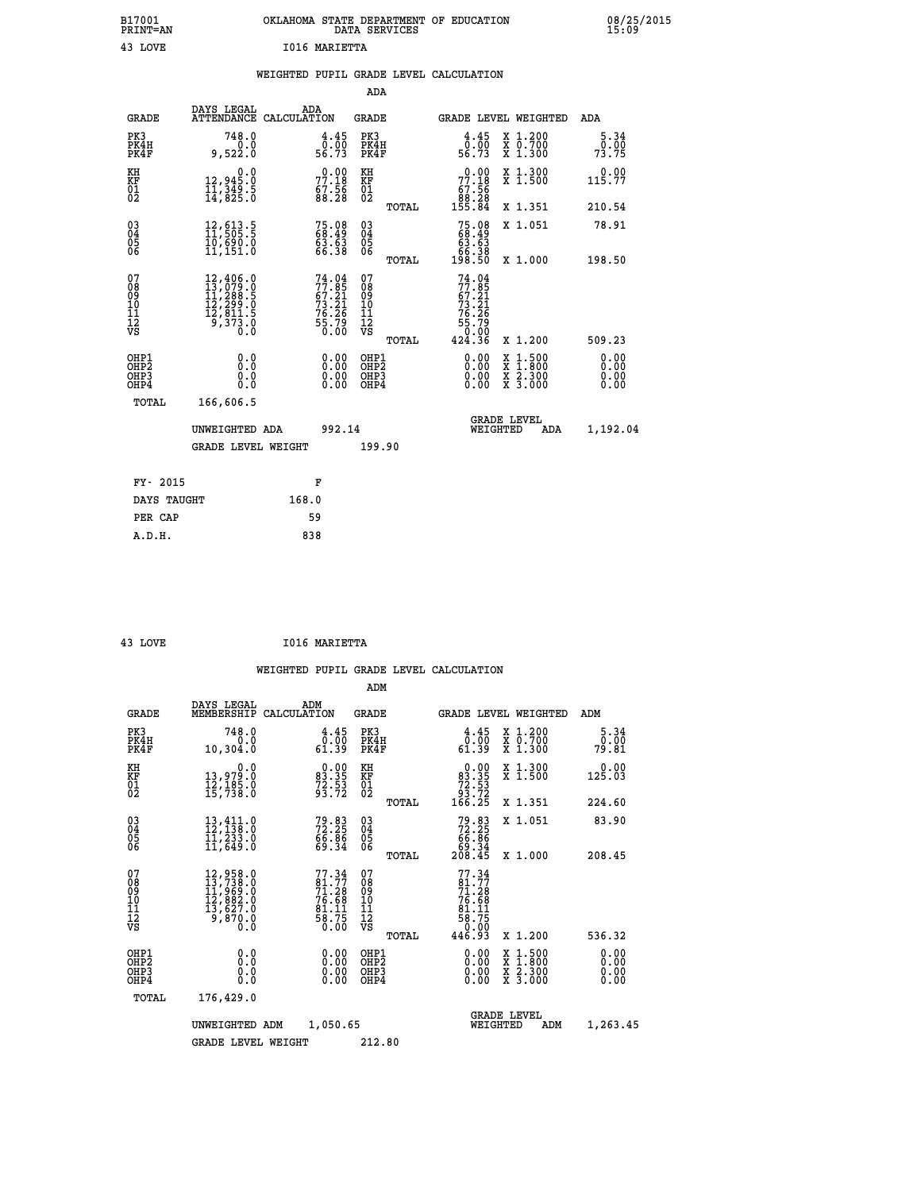| OKLAHOMA STATE DEPARTMENT OF EDUCATION<br>DATA SERVICES |  |
|---------------------------------------------------------|--|
| 1016 MARIETTA                                           |  |

08/25/2015<br>15:09

|  |  | WEIGHTED PUPIL GRADE LEVEL CALCULATION |
|--|--|----------------------------------------|
|  |  |                                        |

|                                                                    |                                                                                                                                                |                                                                          | ADA                                       |       |                                                                                               |                                                    |                              |
|--------------------------------------------------------------------|------------------------------------------------------------------------------------------------------------------------------------------------|--------------------------------------------------------------------------|-------------------------------------------|-------|-----------------------------------------------------------------------------------------------|----------------------------------------------------|------------------------------|
| <b>GRADE</b>                                                       | DAYS LEGAL<br>ATTENDANCE CALCULATION                                                                                                           | ADA                                                                      | <b>GRADE</b>                              |       |                                                                                               | GRADE LEVEL WEIGHTED                               | <b>ADA</b>                   |
| PK3<br>PK4H<br>PK4F                                                | 748.0<br>0.0<br>9,522.0                                                                                                                        | $\begin{smallmatrix} 4.45\ 0.00\ 56.73 \end{smallmatrix}$                | PK3<br>PK4H<br>PK4F                       |       | $\begin{smallmatrix} 4.45\ 0.00\ 56.73 \end{smallmatrix}$                                     | X 1.200<br>X 0.700<br>X 1.300                      | 5.34<br>0.00<br>73.75        |
| KH<br>KF<br>01<br>02                                               | 0.0<br>12,945.0<br>11,349.5<br>14,825.0                                                                                                        | 77.18<br>$\frac{67.56}{88.28}$                                           | KH<br>KF<br>01<br>02                      |       | 77.18<br>$\begin{array}{c} 67.56 \\ 88.28 \\ 155.84 \end{array}$                              | X 1.300<br>X 1.500                                 | 0.00<br>115.77               |
|                                                                    |                                                                                                                                                |                                                                          |                                           | TOTAL |                                                                                               | X 1.351                                            | 210.54                       |
| $\begin{smallmatrix} 03 \\[-4pt] 04 \end{smallmatrix}$<br>05<br>ŌĞ | 12,613.5<br>11,505.5<br>10,690.0<br>11,151.0                                                                                                   | 75.08<br>68.49<br>63.63<br>66.38                                         | 03<br>04<br>05<br>06                      | TOTAL | $75.0868.4963.6366.38198.50$                                                                  | X 1.051<br>X 1.000                                 | 78.91<br>198.50              |
| 07<br>08<br>09<br>11<br>11<br>12<br>VS                             | $\begin{smallmatrix} 12,406\cdot 0\\ 13,079\cdot 0\\ 11,288\cdot 5\\ 12,299\cdot 0\\ 12,811\cdot 5\\ 9,373\cdot 0\\ 0\cdot 0\end{smallmatrix}$ | $74.04$<br>$77.85$<br>$67.21$<br>$73.21$<br>$76.26$<br>$75.79$<br>$0.00$ | 07<br>08<br>09<br>11<br>11<br>12<br>VS    |       | 74.04<br>$77.85$<br>$73.21$<br>$73.21$<br>$76.26$<br>$76.79$<br>$55.79$<br>$0.00$<br>$424.36$ |                                                    |                              |
|                                                                    |                                                                                                                                                |                                                                          |                                           | TOTAL |                                                                                               | X 1.200                                            | 509.23                       |
| OHP1<br>OHP <sub>2</sub><br>OHP3<br>OHP4                           | 0.0<br>Ō.Ō<br>0.0<br>Ō.Ō                                                                                                                       | 0.00<br>$\begin{smallmatrix} 0.00 \ 0.00 \end{smallmatrix}$              | OHP1<br>OH <sub>P</sub> 2<br>OHP3<br>OHP4 |       | 0.00<br>0.00<br>0.00                                                                          | $1:500$<br>$1:800$<br>X<br>X<br>X 2.300<br>X 3.000 | 0.00<br>0.00<br>0.00<br>0.00 |
| TOTAL                                                              | 166,606.5                                                                                                                                      |                                                                          |                                           |       |                                                                                               |                                                    |                              |
|                                                                    | UNWEIGHTED ADA                                                                                                                                 | 992.14                                                                   |                                           |       |                                                                                               | <b>GRADE LEVEL</b><br>WEIGHTED<br>ADA              | 1,192.04                     |
|                                                                    | <b>GRADE LEVEL WEIGHT</b>                                                                                                                      |                                                                          | 199.90                                    |       |                                                                                               |                                                    |                              |
| FY- 2015                                                           |                                                                                                                                                | F                                                                        |                                           |       |                                                                                               |                                                    |                              |
| DAYS TAUGHT                                                        |                                                                                                                                                | 168.0                                                                    |                                           |       |                                                                                               |                                                    |                              |
| PER CAP                                                            |                                                                                                                                                | 59                                                                       |                                           |       |                                                                                               |                                                    |                              |
|                                                                    |                                                                                                                                                |                                                                          |                                           |       |                                                                                               |                                                    |                              |

 **A.D.H. 838**

 **B17001<br>PRINT=AN 43 LOVE** 

 **43 LOVE I016 MARIETTA**

|                                    |                                          |                                                                                                                     |                                                                                    | ADM                                                |       |                                                                           |                                          |                              |
|------------------------------------|------------------------------------------|---------------------------------------------------------------------------------------------------------------------|------------------------------------------------------------------------------------|----------------------------------------------------|-------|---------------------------------------------------------------------------|------------------------------------------|------------------------------|
|                                    | <b>GRADE</b>                             | DAYS LEGAL<br>MEMBERSHIP<br>CALCULATION                                                                             | ADM                                                                                | <b>GRADE</b>                                       |       |                                                                           | GRADE LEVEL WEIGHTED                     | ADM                          |
| PK3                                | PK4H<br>PK4F                             | 748.0<br>0.0<br>10,304.0                                                                                            | 4.45<br>$\begin{array}{c} \tilde{0} \cdot \tilde{0} \ \tilde{0} \cdot \end{array}$ | PK3<br>PK4H<br>PK4F                                |       | $\begin{smallmatrix} 4.45\ 0.00\ 61.39 \end{smallmatrix}$                 | X 1.200<br>X 0.700<br>X 1.300            | 5.34<br>0.00<br>79.81        |
| KH<br>KF<br>01<br>02               |                                          | 0.0<br>13,979.0<br>12,185.0<br>15,738.0                                                                             | $\begin{smallmatrix} 0.00\\ 83.35\\ 72.53\\ 93.72 \end{smallmatrix}$               | KH<br>KF<br>01<br>02                               |       | $\begin{smallmatrix}&&0.00\\83.35\\72.53\\93.72\\166.25\end{smallmatrix}$ | X 1.300<br>X 1.500                       | 0.00<br>125.03               |
|                                    |                                          |                                                                                                                     |                                                                                    |                                                    | TOTAL |                                                                           | X 1.351                                  | 224.60                       |
| 03<br>04<br>05<br>06               |                                          | $\begin{smallmatrix} 13\,,\,4\,11\cdot0\\ 12\,,\,138\cdot0\\ 11\,,\,233\cdot0\\ 11\,,\,649\cdot0 \end{smallmatrix}$ | 79.83<br>72.25<br>66.86<br>69.34                                                   | $\begin{matrix} 03 \\ 04 \\ 05 \\ 06 \end{matrix}$ |       | $79.83\n72.25\n66.86\n69.34\n208.45$                                      | X 1.051                                  | 83.90                        |
|                                    |                                          |                                                                                                                     |                                                                                    |                                                    | TOTAL |                                                                           | X 1.000                                  | 208.45                       |
| 07<br>08<br>09<br>101<br>112<br>VS |                                          | $\begin{smallmatrix} 12,958.0\\ 13,738.0\\ 11,969.0\\ 12,882.0\\ 13,627.0\\ 9,870.0\\ 0.0 \end{smallmatrix}$        | $77.3481.7771.2876.6881.1183.7558.750.00$                                          | 07<br>08<br>09<br>11<br>11<br>12<br>VS             | TOTAL | $77.34$<br>81.77<br>71.28<br>$76.68$<br>81.11<br>88.75<br>50.00<br>446.93 | X 1.200                                  | 536.32                       |
|                                    | OHP1<br>OHP2<br>OH <sub>P3</sub><br>OHP4 | 0.0<br>0.000                                                                                                        | $0.00$<br>$0.00$<br>0.00                                                           | OHP1<br>OHP2<br>OHP <sub>3</sub>                   |       | $0.00$<br>$0.00$<br>0.00                                                  | X 1:500<br>X 1:800<br>X 2:300<br>X 3:000 | 0.00<br>0.00<br>0.00<br>0.00 |
|                                    | TOTAL                                    | 176,429.0                                                                                                           |                                                                                    |                                                    |       |                                                                           |                                          |                              |
|                                    |                                          | UNWEIGHTED ADM                                                                                                      | 1,050.65                                                                           |                                                    |       | WEIGHTED                                                                  | <b>GRADE LEVEL</b><br>ADM                | 1,263.45                     |
|                                    |                                          | <b>GRADE LEVEL WEIGHT</b>                                                                                           |                                                                                    | 212.80                                             |       |                                                                           |                                          |                              |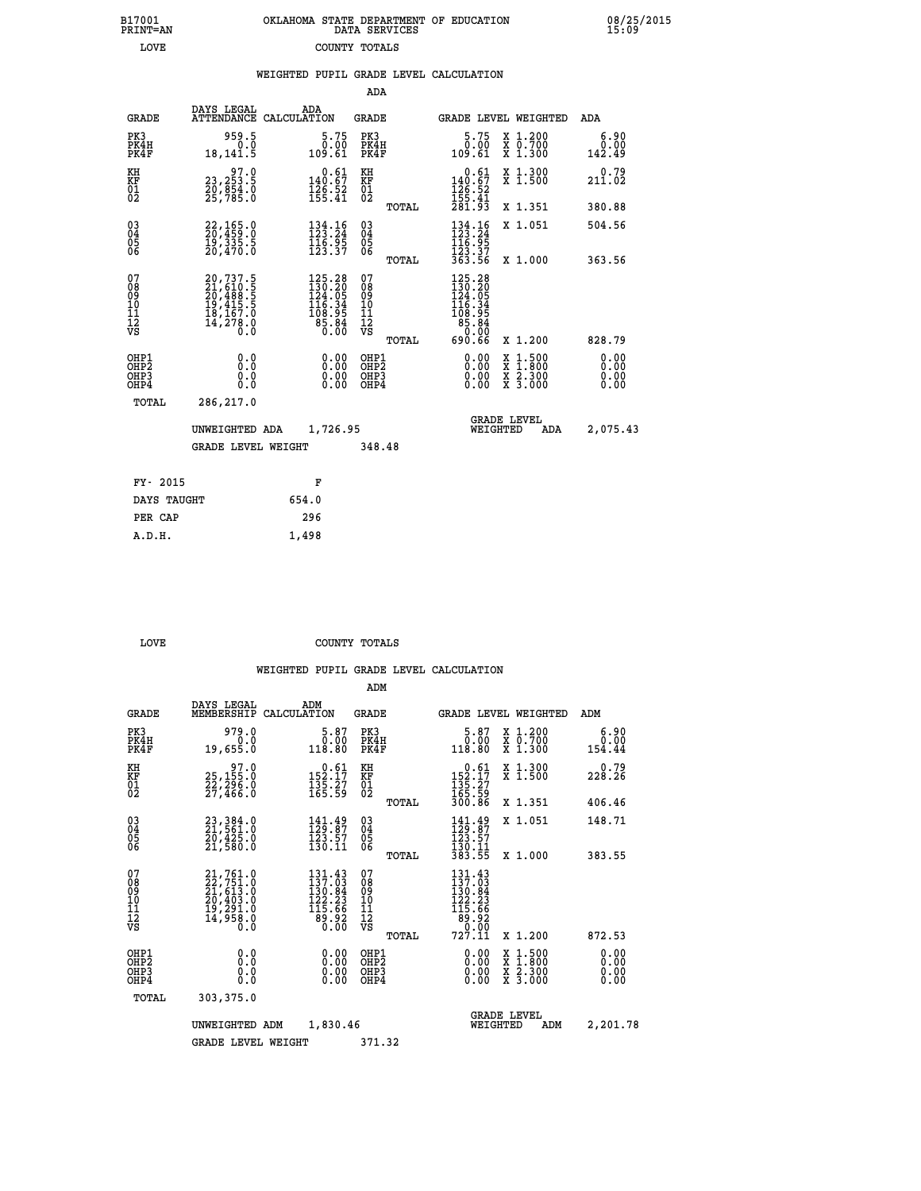| B17001          | OKLAHOMA STATE DEPARTMENT OF EDUCATION |
|-----------------|----------------------------------------|
| <b>PRINT=AN</b> | DATA SERVICES                          |
| LOVE            | COUNTY TOTALS                          |

 **B17001 OKLAHOMA STATE DEPARTMENT OF EDUCATION 08/25/2015**

|                                           |                                                                                           |                                                                                                                                          | ADA                                                 |       |                                                                                                                                            |                                                                                                                                      |                              |
|-------------------------------------------|-------------------------------------------------------------------------------------------|------------------------------------------------------------------------------------------------------------------------------------------|-----------------------------------------------------|-------|--------------------------------------------------------------------------------------------------------------------------------------------|--------------------------------------------------------------------------------------------------------------------------------------|------------------------------|
| <b>GRADE</b>                              | DAYS LEGAL                                                                                | ADA<br>ATTENDANCE CALCULATION                                                                                                            | GRADE                                               |       | GRADE LEVEL WEIGHTED                                                                                                                       |                                                                                                                                      | ADA                          |
| PK3<br>PK4H<br>PK4F                       | 959.5<br>0.0<br>18,141.5                                                                  | $5.75$<br>$0.00$<br>109.61                                                                                                               | PK3<br>PK4H<br>PK4F                                 |       | 5.75<br>0.00<br>109.61                                                                                                                     | X 1.200<br>X 0.700<br>X 1.300                                                                                                        | 6.90<br>0.00<br>142.49       |
| KH<br>KF<br>01<br>02                      | 97.0<br>23,253.5<br>20,854.0<br>25,785.0                                                  | $\begin{smallmatrix} &0.61\ 140.67\ 126.52\ 155.41\end{smallmatrix}$                                                                     | KH<br>KF<br>01<br>02                                |       | $0.61$<br>140.67<br>$\frac{126}{155}$ : $\frac{52}{41}$<br>$281.93$                                                                        | X 1.300<br>X 1.500                                                                                                                   | 0.79<br>211.02               |
|                                           |                                                                                           |                                                                                                                                          |                                                     | TOTAL |                                                                                                                                            | X 1.351                                                                                                                              | 380.88                       |
| 03<br>04<br>05<br>06                      | $22, 165.0$<br>$20, 459.0$<br>$19, 335.5$<br>$20, 470.0$                                  | $134.16$<br>$123.24$<br>$\frac{1}{12}$ $\frac{1}{3}$ $\cdot \frac{1}{3}$ $\frac{1}{2}$ $\frac{1}{3}$                                     | $\begin{array}{c} 03 \\ 04 \\ 05 \\ 06 \end{array}$ |       | $134.16$<br>$123.24$<br>$\frac{116.95}{123.37}$<br>363.56                                                                                  | X 1.051                                                                                                                              | 504.56                       |
|                                           |                                                                                           |                                                                                                                                          |                                                     | TOTAL |                                                                                                                                            | X 1.000                                                                                                                              | 363.56                       |
| 07<br>08<br>09<br>10<br>11<br>12<br>VS    | $20,737.5$<br>$21,610.5$<br>$20,488.5$<br>$19,415.5$<br>$18,167.0$<br>$14,278.0$<br>$0.0$ | $\begin{smallmatrix} 125\cdot28\\ 130\cdot20\\ 124\cdot05\\ 124\cdot05\\ 16\cdot34\\ 108\cdot95\\ 85\cdot86\\ 0\cdot00\end{smallmatrix}$ | 07<br>08<br>09<br>11<br>11<br>12<br>VS              | TOTAL | $\begin{smallmatrix} 125\cdot28\\ 130\cdot20\\ 124\cdot05\\ 146\cdot34\\ 168\cdot95\\ 85\cdot86\\ 0\cdot90\\ 0\end{smallmatrix}$<br>690.66 | X 1.200                                                                                                                              | 828.79                       |
| OHP1<br>OH <sub>P</sub> 2<br>OHP3<br>OHP4 | 0.0<br>0.0<br>$0.\overline{0}$                                                            | 0.00<br>0.00                                                                                                                             | OHP1<br>OH <sub>P</sub> 2<br>OHP3<br>OHP4           |       | 0.00<br>0.00<br>0.00                                                                                                                       | $\begin{smallmatrix} \mathtt{X} & 1 & 500 \\ \mathtt{X} & 1 & 800 \\ \mathtt{X} & 2 & 300 \\ \mathtt{X} & 3 & 000 \end{smallmatrix}$ | 0.00<br>0.00<br>0.00<br>0.00 |
| TOTAL                                     | 286,217.0                                                                                 |                                                                                                                                          |                                                     |       |                                                                                                                                            |                                                                                                                                      |                              |
|                                           | UNWEIGHTED ADA                                                                            | 1,726.95                                                                                                                                 |                                                     |       | WEIGHTED                                                                                                                                   | <b>GRADE LEVEL</b><br>ADA                                                                                                            | 2,075.43                     |
|                                           | <b>GRADE LEVEL WEIGHT</b>                                                                 |                                                                                                                                          | 348.48                                              |       |                                                                                                                                            |                                                                                                                                      |                              |
|                                           |                                                                                           |                                                                                                                                          |                                                     |       |                                                                                                                                            |                                                                                                                                      |                              |
| FY- 2015                                  |                                                                                           | F                                                                                                                                        |                                                     |       |                                                                                                                                            |                                                                                                                                      |                              |
| DAYS TAUGHT                               |                                                                                           | 654.0                                                                                                                                    |                                                     |       |                                                                                                                                            |                                                                                                                                      |                              |
| PER CAP                                   |                                                                                           | 296                                                                                                                                      |                                                     |       |                                                                                                                                            |                                                                                                                                      |                              |
| A.D.H.                                    |                                                                                           | 1,498                                                                                                                                    |                                                     |       |                                                                                                                                            |                                                                                                                                      |                              |

B17001<br>PRINT=AN<br>LOVE

**LOVE COUNTY TOTALS** 

|                                                       |                                                                                           |                                                                               | ADM                                                |                                                                                         |                                          |                              |
|-------------------------------------------------------|-------------------------------------------------------------------------------------------|-------------------------------------------------------------------------------|----------------------------------------------------|-----------------------------------------------------------------------------------------|------------------------------------------|------------------------------|
| <b>GRADE</b>                                          | DAYS LEGAL<br>MEMBERSHIP                                                                  | ADM<br>CALCULATION                                                            | <b>GRADE</b>                                       |                                                                                         | GRADE LEVEL WEIGHTED                     | ADM                          |
| PK3<br>PK4H<br>PK4F                                   | 979.0<br>0.0<br>19,655.0                                                                  | 5.87<br>0.00<br>118.80                                                        | PK3<br>PK4H<br>PK4F                                | $\begin{smallmatrix}5.87\0.00\\118.80\end{smallmatrix}$                                 | X 1.200<br>X 0.700<br>X 1.300            | 6.90<br>0.00<br>154.44       |
| KH<br>KF<br>01<br>02                                  | $\substack{25,155.0\\25,155.0\\22,296.0\\27,466.0$                                        | $\begin{array}{r} 0.61 \\ 152.17 \\ 135.27 \\ 165.59 \end{array}$             | KH<br>KF<br>01<br>02                               | $\begin{array}{r} 0.61 \\ 152.17 \\ 135.27 \\ 165.59 \\ 300.86 \end{array}$             | X 1.300<br>X 1.500                       | 0.79<br>228.26               |
|                                                       |                                                                                           |                                                                               | TOTAL                                              |                                                                                         | X 1.351                                  | 406.46                       |
| 03<br>04<br>05<br>06                                  | 23, 384.0<br>21, 561.0<br>20, 425.0<br>21,580.0                                           | $141.49$<br>$129.87$<br>$123.57$<br>130.11                                    | $\begin{matrix} 03 \\ 04 \\ 05 \\ 06 \end{matrix}$ | $141.49$<br>$129.87$<br>$123.57$<br>$130.11$<br>$383.55$                                | X 1.051                                  | 148.71                       |
|                                                       |                                                                                           |                                                                               | TOTAL                                              |                                                                                         | X 1.000                                  | 383.55                       |
| 07<br>08<br>09<br>101<br>112<br>VS                    | $21,761.0$<br>$22,751.0$<br>$21,613.0$<br>$20,403.0$<br>$19,291.0$<br>$14,958.0$<br>$0.0$ | $131.43$<br>$137.03$<br>$136.84$<br>$122.23$<br>$115.66$<br>$89.92$<br>$0.00$ | 07<br>08<br>09<br>101<br>11<br>12<br>VS<br>TOTAL   | $131.43$<br>$137.03$<br>$130.84$<br>$122.23$<br>$115.66$<br>$89.92$<br>$9.99$<br>727.11 | X 1.200                                  | 872.53                       |
| OHP1<br>OH <sub>P</sub> 2<br>OH <sub>P3</sub><br>OHP4 | 0.0<br>0.000                                                                              | $0.00$<br>$0.00$<br>0.00                                                      | OHP1<br>OHP2<br>OHP3<br>OHP4                       | $0.00$<br>$0.00$<br>0.00                                                                | X 1:500<br>X 1:800<br>X 2:300<br>X 3:000 | 0.00<br>0.00<br>0.00<br>0.00 |
| TOTAL                                                 | 303,375.0                                                                                 |                                                                               |                                                    |                                                                                         |                                          |                              |
|                                                       | UNWEIGHTED ADM                                                                            | 1,830.46                                                                      |                                                    | WEIGHTED                                                                                | <b>GRADE LEVEL</b><br>ADM                | 2,201.78                     |
|                                                       | <b>GRADE LEVEL WEIGHT</b>                                                                 |                                                                               | 371.32                                             |                                                                                         |                                          |                              |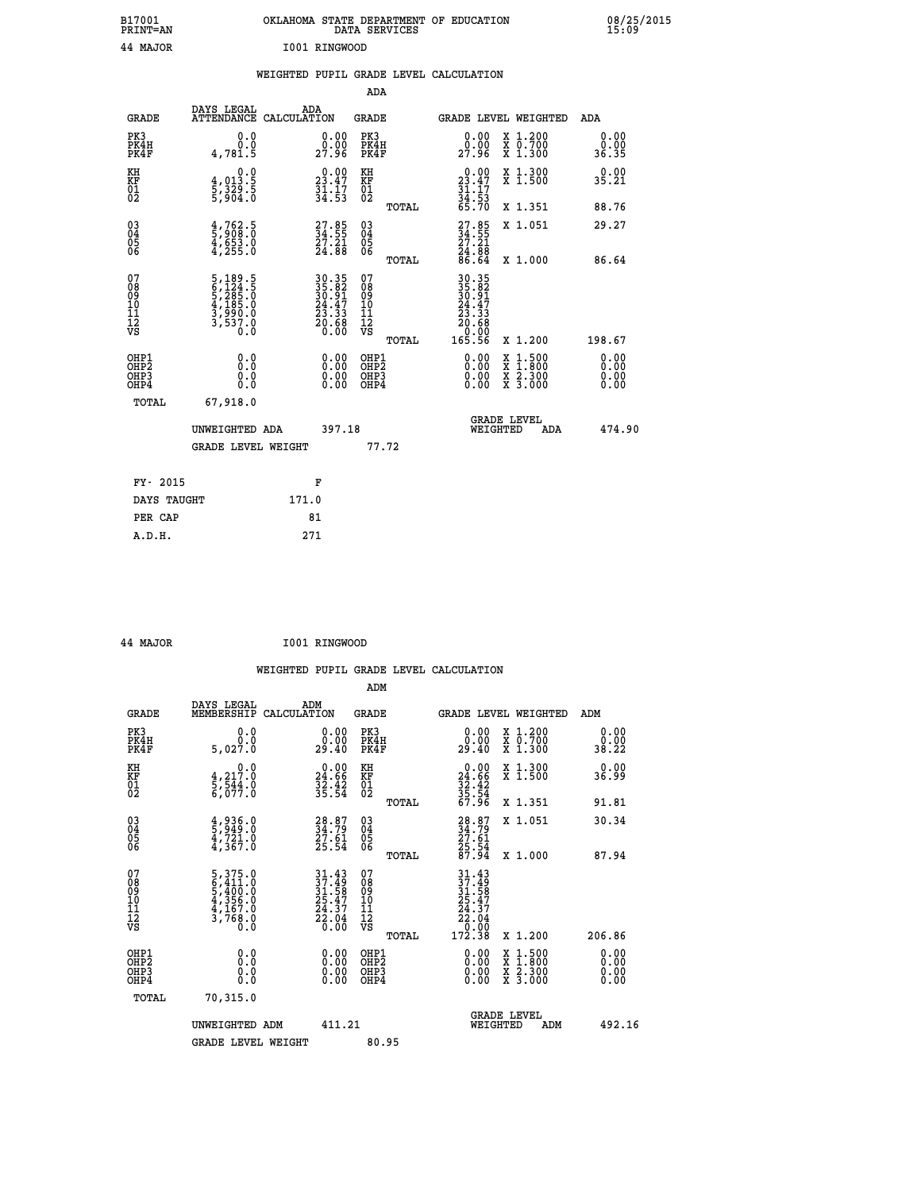| B17001                                 | PRINT=AN                                                                       | OKLAHOMA STATE DEPARTMENT OF EDUCATION                                                    | DATA SERVICES                                                      |                                                                                                        |                                                                                          | 08/25/2015<br>15:09   |
|----------------------------------------|--------------------------------------------------------------------------------|-------------------------------------------------------------------------------------------|--------------------------------------------------------------------|--------------------------------------------------------------------------------------------------------|------------------------------------------------------------------------------------------|-----------------------|
|                                        | 44 MAJOR                                                                       | I001 RINGWOOD                                                                             |                                                                    |                                                                                                        |                                                                                          |                       |
|                                        |                                                                                | WEIGHTED PUPIL GRADE LEVEL CALCULATION                                                    |                                                                    |                                                                                                        |                                                                                          |                       |
|                                        |                                                                                |                                                                                           | <b>ADA</b>                                                         |                                                                                                        |                                                                                          |                       |
|                                        | DAYS LEGAL<br><b>GRADE</b>                                                     | ADA<br>ATTENDANCE CALCULATION                                                             | GRADE                                                              | GRADE LEVEL WEIGHTED                                                                                   |                                                                                          | ADA                   |
| PK3<br>PK4H<br>PK4F                    | 0.0<br>0.0<br>4,781.5                                                          | 0.0000<br>27.96                                                                           | PK3<br>PK4H<br>PK4F                                                | $0.00$<br>0.00<br>27.96                                                                                | X 1.200<br>X 0.700<br>X 1.300                                                            | 0.00<br>0.00<br>36.35 |
| KH<br>KF<br>01<br>02                   | 0.0<br>$\frac{4}{5}, \frac{013}{329}$ . 5<br>5, 329. 5                         | $\begin{smallmatrix} 0.00\\ 23.47\\ 31.17\\ 34.53 \end{smallmatrix}$                      | KH<br><b>KF</b><br>01<br>02                                        | $0.00$<br>$23.47$<br>$31.17$<br>$34.53$<br>$65.70$                                                     | X 1.300<br>X 1.500                                                                       | 0.00<br>35.21         |
|                                        |                                                                                |                                                                                           | TOTAL                                                              |                                                                                                        | X 1.351                                                                                  | 88.76                 |
| 03<br>04<br>05<br>06                   | $\frac{4}{5}$ , $\frac{762}{908}$ . 0<br>$\frac{4}{4}$ , $\frac{653}{255}$ . 0 | $\begin{smallmatrix} 27.85\\ 34.55\\ 27.21\\ 24.88 \end{smallmatrix}$                     | $\begin{matrix} 03 \\ 04 \\ 05 \\ 06 \end{matrix}$                 | $\frac{27.85}{34.55}$                                                                                  | X 1.051                                                                                  | 29.27                 |
|                                        |                                                                                |                                                                                           | TOTAL                                                              | $\frac{54}{86}$ . $\frac{55}{64}$                                                                      | X 1.000                                                                                  | 86.64                 |
| 07<br>08<br>09<br>11<br>11<br>12<br>VS | 5,189.5<br>6,124.5<br>5,285.0<br>4,185.0<br>3,990.0<br>3,537.0<br>Ó.Ŏ          | $\begin{array}{r} 30.35 \\ 35.82 \\ 30.91 \\ 24.47 \\ 23.33 \\ 20.68 \\ 0.00 \end{array}$ | 07<br>ŏġ<br>09<br>$\frac{10}{11}$<br>$\frac{12}{12}$<br>$\sqrt{8}$ | 30.35<br>35.82<br>30.91<br>24.47<br>23.33<br>$\begin{smallmatrix} 0.68 \ 0.00 \end{smallmatrix}$<br>20 |                                                                                          |                       |
|                                        |                                                                                |                                                                                           | TOTAL                                                              | 165.56                                                                                                 | X 1.200                                                                                  | 198.67                |
| OHP1<br>OHP2<br>OHP3<br>OHP4           | 0.0<br>0.0<br>0.0                                                              | 0.00<br>$\begin{smallmatrix} 0.00 \ 0.00 \end{smallmatrix}$                               | OHP1<br>OHP2<br>OHP3<br>OHP4                                       | 0.00<br>0.00<br>0.00                                                                                   | $\begin{smallmatrix} x & 1.500 \\ x & 1.800 \\ x & 2.300 \\ x & 3.000 \end{smallmatrix}$ | 0.00<br>0.00<br>0.00  |
|                                        | TOTAL<br>67,918.0                                                              |                                                                                           |                                                                    |                                                                                                        |                                                                                          |                       |
|                                        | UNWEIGHTED ADA                                                                 | 397.18                                                                                    |                                                                    | <b>GRADE LEVEL</b><br>WEIGHTED                                                                         | ADA                                                                                      | 474.90                |
|                                        | <b>GRADE LEVEL WEIGHT</b>                                                      |                                                                                           | 77.72                                                              |                                                                                                        |                                                                                          |                       |
|                                        | FY- 2015                                                                       | F                                                                                         |                                                                    |                                                                                                        |                                                                                          |                       |
|                                        | DAYS TAUGHT                                                                    | 171.0                                                                                     |                                                                    |                                                                                                        |                                                                                          |                       |
|                                        | PER CAP                                                                        | 81                                                                                        |                                                                    |                                                                                                        |                                                                                          |                       |
|                                        | A.D.H.                                                                         | 271                                                                                       |                                                                    |                                                                                                        |                                                                                          |                       |

 **44 MAJOR I001 RINGWOOD**

|                                                      |                                                                                                  |                                                                                           |                                                 | WEIGHTED PUPIL GRADE LEVEL CALCULATION                                                                                                                                                                                                                                                                                                                                     |                              |
|------------------------------------------------------|--------------------------------------------------------------------------------------------------|-------------------------------------------------------------------------------------------|-------------------------------------------------|----------------------------------------------------------------------------------------------------------------------------------------------------------------------------------------------------------------------------------------------------------------------------------------------------------------------------------------------------------------------------|------------------------------|
|                                                      |                                                                                                  |                                                                                           | ADM                                             |                                                                                                                                                                                                                                                                                                                                                                            |                              |
| <b>GRADE</b>                                         | DAYS LEGAL<br>MEMBERSHIP<br>CALCULATION                                                          | ADM                                                                                       | <b>GRADE</b>                                    | GRADE LEVEL WEIGHTED                                                                                                                                                                                                                                                                                                                                                       | ADM                          |
| PK3<br>PK4H<br>PK4F                                  | 0.0<br>0.0<br>5,027.0                                                                            | 0.00<br>29.40                                                                             | PK3<br>PK4H<br>PK4F                             | $\begin{smallmatrix} 0.00\\ 0.00\\ 29.40 \end{smallmatrix}$<br>X 1.200<br>X 0.700<br>X 1.300                                                                                                                                                                                                                                                                               | 0.00<br>0.00<br>38.22        |
| KH<br>KF<br>01<br>02                                 | $\begin{smallmatrix}&&&0\cdot0\\4\,,&217\cdot0\\5\,,&544\cdot0\\6\,,&077\cdot0\end{smallmatrix}$ | $\begin{smallmatrix} 0.00\\ 24.66\\ 32.42\\ 35.54 \end{smallmatrix}$                      | KH<br>KF<br>01<br>02                            | $0.00$<br>$24.66$<br>$32.42$<br>$35.54$<br>$67.96$<br>X 1.300<br>X 1.500                                                                                                                                                                                                                                                                                                   | 0.00<br>36.99                |
|                                                      |                                                                                                  |                                                                                           | TOTAL                                           | X 1.351                                                                                                                                                                                                                                                                                                                                                                    | 91.81                        |
| $\begin{matrix} 03 \\ 04 \\ 05 \\ 06 \end{matrix}$   | $\frac{4}{5}$ , $\frac{936}{949}$ . 0<br>$\frac{4}{4}$ , $\frac{721}{367}$ . 0                   | 28.87<br>34.79<br>27.61<br>25.54                                                          | 03<br>04<br>05<br>06                            | X 1.051<br>28.87<br>34.79<br>27.61<br>25.54<br>87.94                                                                                                                                                                                                                                                                                                                       | 30.34                        |
|                                                      |                                                                                                  |                                                                                           | TOTAL                                           | X 1.000                                                                                                                                                                                                                                                                                                                                                                    | 87.94                        |
| 07<br>08<br>09<br>101<br>112<br>VS                   | $\begin{smallmatrix}5,375.0\\6,411.0\\5,400.0\\4,356.0\\4,167.0\\3,768.0\\0.0\end{smallmatrix}$  | $\begin{array}{l} 31.43 \\ 37.49 \\ 31.58 \\ 25.47 \\ 24.37 \\ 22.04 \\ 0.00 \end{array}$ | 07<br>08<br>09<br>11<br>11<br>12<br>VS<br>TOTAL | $\begin{array}{r} 31.43 \\ 37.49 \\ 31.58 \\ 25.47 \\ 24.37 \\ 22.04 \\ 0.00 \\ 172.38 \end{array}$<br>X 1.200                                                                                                                                                                                                                                                             | 206.86                       |
| OHP1<br>OHP2<br>OH <sub>P3</sub><br>OH <sub>P4</sub> | 0.0<br>0.000                                                                                     | $\begin{smallmatrix} 0.00 \ 0.00 \ 0.00 \ 0.00 \end{smallmatrix}$                         | OHP1<br>OHP2<br>OHP3<br>OHP4                    | $\begin{smallmatrix} 0.00 & 0.00 & 0.00 & 0.00 & 0.00 & 0.00 & 0.00 & 0.00 & 0.00 & 0.00 & 0.00 & 0.00 & 0.00 & 0.00 & 0.00 & 0.00 & 0.00 & 0.00 & 0.00 & 0.00 & 0.00 & 0.00 & 0.00 & 0.00 & 0.00 & 0.00 & 0.00 & 0.00 & 0.00 & 0.00 & 0.00 & 0.00 & 0.00 & 0.00 & 0.00 & 0.0$<br>$\begin{smallmatrix} x & 1.500 \\ x & 1.800 \\ x & 2.300 \\ x & 3.000 \end{smallmatrix}$ | 0.00<br>0.00<br>0.00<br>0.00 |
| TOTAL                                                | 70,315.0                                                                                         |                                                                                           |                                                 |                                                                                                                                                                                                                                                                                                                                                                            |                              |
|                                                      | UNWEIGHTED ADM                                                                                   | 411.21                                                                                    |                                                 | <b>GRADE LEVEL</b><br>WEIGHTED                                                                                                                                                                                                                                                                                                                                             | 492.16<br>ADM                |
|                                                      | <b>GRADE LEVEL WEIGHT</b>                                                                        |                                                                                           | 80.95                                           |                                                                                                                                                                                                                                                                                                                                                                            |                              |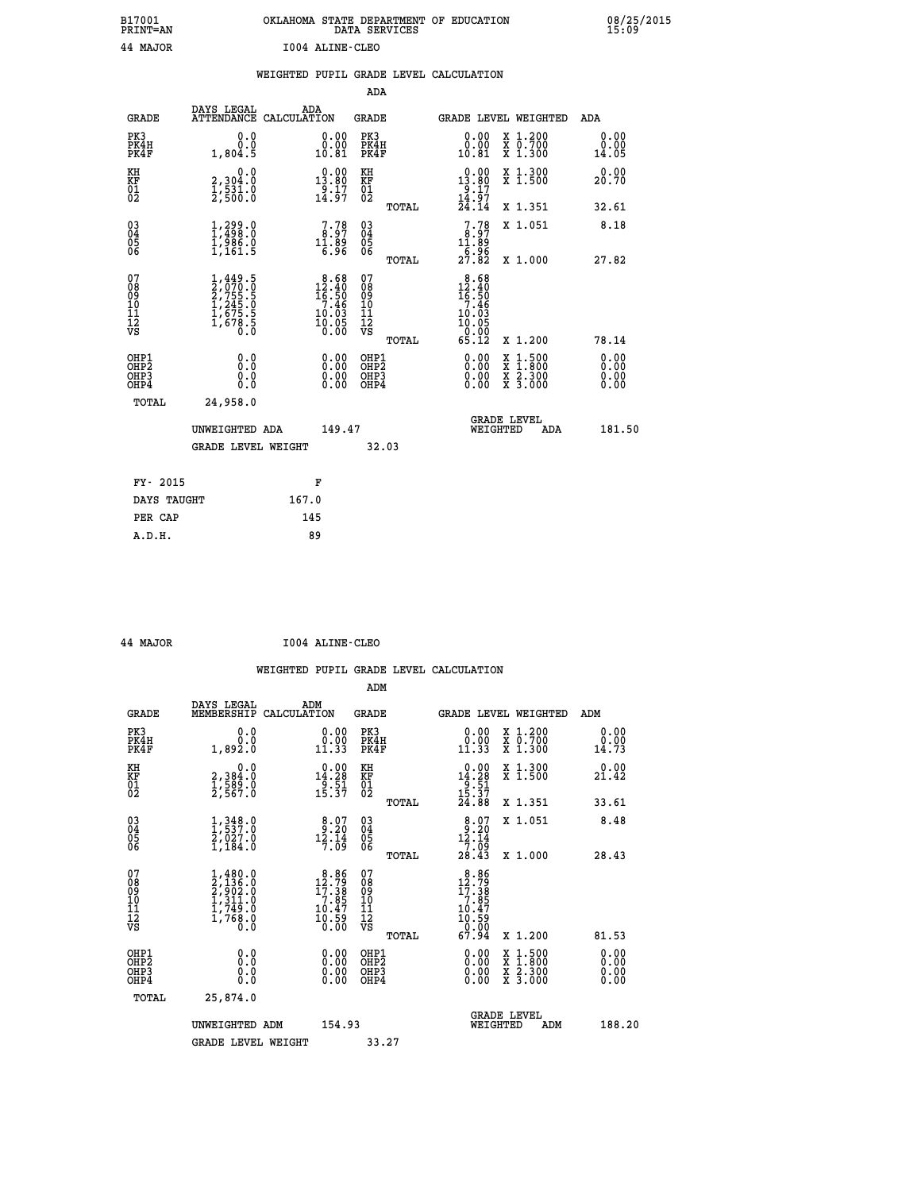| B17001          | OKLAHOMA STATE DEPARTMENT OF EDUCATION |
|-----------------|----------------------------------------|
| <b>PRINT=AN</b> | DATA SERVICES                          |
| 44 MAJOR        | 1004 ALINE-CLEO                        |

08/25/2015<br>15:09

|                                                       |                                                                               | WEIGHTED PUPIL GRADE LEVEL CALCULATION                                             |                                                    |       |                                                                                         |                                                                                                                                           |                       |
|-------------------------------------------------------|-------------------------------------------------------------------------------|------------------------------------------------------------------------------------|----------------------------------------------------|-------|-----------------------------------------------------------------------------------------|-------------------------------------------------------------------------------------------------------------------------------------------|-----------------------|
|                                                       |                                                                               |                                                                                    | ADA                                                |       |                                                                                         |                                                                                                                                           |                       |
| <b>GRADE</b>                                          | DAYS LEGAL                                                                    | ADA<br>ATTENDANCE CALCULATION                                                      | <b>GRADE</b>                                       |       |                                                                                         | GRADE LEVEL WEIGHTED                                                                                                                      | ADA                   |
| PK3<br>PK4H<br>PK4F                                   | 0.0<br>0.0<br>1,804.5                                                         | $\begin{smallmatrix} 0.00\\ 0.00\\ 10.81 \end{smallmatrix}$                        | PK3<br>PK4H<br>PK4F                                |       | 0.00<br>ŏ:ŏŏ<br>10:81                                                                   | X 1.200<br>X 0.700<br>X 1.300                                                                                                             | 0.00<br>0.00<br>14.05 |
| KH<br>KF<br>01<br>02                                  | 0.0<br>2,304:0<br>1,531:0<br>2,500:0                                          | $0.00$<br>13.80<br>$\frac{5}{14}$ $\frac{17}{97}$                                  | KH<br>KF<br>01<br>02                               |       | 13.80<br>$\frac{19}{14}$ $\cdot \frac{17}{97}$<br>$\frac{14}{24}$ $\cdot \frac{14}{14}$ | X 1.300<br>X 1.500                                                                                                                        | 0.00<br>20.70         |
|                                                       |                                                                               |                                                                                    |                                                    | TOTAL |                                                                                         | X 1.351                                                                                                                                   | 32.61                 |
| $^{03}_{04}$<br>05<br>06                              | $\begin{smallmatrix} 1,299.0\\ 1,498.0\\ 1,986.0\\ 1,161.5 \end{smallmatrix}$ | $\begin{smallmatrix}7.78\ 8.97\ 11.89\ 6.96\end{smallmatrix}$                      | $\begin{matrix} 03 \\ 04 \\ 05 \\ 06 \end{matrix}$ |       | $\begin{smallmatrix}7.78\ 8.97\ 11.89\end{smallmatrix}$                                 | X 1.051                                                                                                                                   | 8.18                  |
|                                                       |                                                                               |                                                                                    |                                                    | TOTAL | $\frac{1}{27}\cdot\frac{96}{82}$                                                        | X 1.000                                                                                                                                   | 27.82                 |
| 07<br>08<br>09<br>10<br>11<br>11<br>12<br>VS          | $1,449.5$<br>$2,755.5$<br>$1,245.5$<br>$1,675.5$<br>$1,675.5$<br>$0.0$        | $\begin{smallmatrix}8.68\\12.40\\16.50\\7.46\\10.03\\10.05\\0.00\end{smallmatrix}$ | 078<br>089<br>0011<br>11<br>12<br>VS               | TOTAL | $12.40$<br>$16.50$<br>$7.46$<br>10.03<br>$\frac{10.05}{65.12}$                          | X 1.200                                                                                                                                   | 78.14                 |
| OHP1<br>OHP2<br>OH <sub>P</sub> 3<br>OH <sub>P4</sub> | 0.0<br>0.0<br>0.0                                                             | 0.00<br>$\begin{smallmatrix} 0.00 \ 0.00 \end{smallmatrix}$                        | OHP1<br>OHP2<br>OHP3<br>OHP4                       |       | 0.00<br>0.00                                                                            | $\begin{smallmatrix} \mathtt{X} & 1\cdot500\\ \mathtt{X} & 1\cdot800\\ \mathtt{X} & 2\cdot300\\ \mathtt{X} & 3\cdot000 \end{smallmatrix}$ | 0.00<br>0.00<br>0.00  |
| TOTAL                                                 | 24,958.0                                                                      |                                                                                    |                                                    |       |                                                                                         |                                                                                                                                           |                       |
|                                                       | UNWEIGHTED ADA                                                                | 149.47                                                                             |                                                    |       | WEIGHTED                                                                                | <b>GRADE LEVEL</b><br>ADA                                                                                                                 | 181.50                |
|                                                       | <b>GRADE LEVEL WEIGHT</b>                                                     |                                                                                    |                                                    | 32.03 |                                                                                         |                                                                                                                                           |                       |
| FY- 2015                                              |                                                                               | F                                                                                  |                                                    |       |                                                                                         |                                                                                                                                           |                       |
| DAYS TAUGHT                                           |                                                                               | 167.0                                                                              |                                                    |       |                                                                                         |                                                                                                                                           |                       |
| PER CAP                                               |                                                                               | 145                                                                                |                                                    |       |                                                                                         |                                                                                                                                           |                       |

 **44 MAJOR I004 ALINE-CLEO**

 **A.D.H. 89**

 **ADM**

 **B17001<br>PRINT=AN** 

| <b>GRADE</b>                                       | DAYS LEGAL<br>MEMBERSHIP CALCULATION                                                | ADM                                                                                              | <b>GRADE</b>                                        |       | GRADE LEVEL WEIGHTED                                                                             |                                          | ADM                   |  |
|----------------------------------------------------|-------------------------------------------------------------------------------------|--------------------------------------------------------------------------------------------------|-----------------------------------------------------|-------|--------------------------------------------------------------------------------------------------|------------------------------------------|-----------------------|--|
| PK3<br>PK4H<br>PK4F                                | 0.0<br>0.0<br>1,892.0                                                               | 0.00<br>11.33                                                                                    | PK3<br>PK4H<br>PK4F                                 |       | 0.00<br>11.33                                                                                    | X 1.200<br>X 0.700<br>X 1.300            | 0.00<br>0.00<br>14.73 |  |
| KH<br>KF<br>01<br>02                               | 0.0<br>2,384.0<br>1,589.0<br>2,567.0                                                | $\begin{array}{c} 0.00 \\ 14.28 \\ 9.51 \\ 15.37 \end{array}$                                    | KH<br>KF<br>01<br>02                                |       | $\begin{array}{r} 0.00 \\ 14.28 \\ 9.51 \\ 15.37 \\ 24.88 \end{array}$                           | X 1.300<br>X 1.500                       | 0.00<br>21.42         |  |
|                                                    |                                                                                     |                                                                                                  |                                                     | TOTAL |                                                                                                  | X 1.351                                  | 33.61                 |  |
| $\begin{matrix} 03 \\ 04 \\ 05 \\ 06 \end{matrix}$ | $\frac{1}{1}, \frac{348}{537}.0$<br>$\frac{2}{1}, \frac{027}{184}.0$                | $8.20$<br>$12.20$<br>$12.14$<br>7.09                                                             | $\begin{array}{c} 03 \\ 04 \\ 05 \\ 06 \end{array}$ |       | $8.07$<br>$12.14$<br>$7.09$<br>$28.43$                                                           | X 1.051                                  | 8.48                  |  |
|                                                    |                                                                                     |                                                                                                  |                                                     | TOTAL |                                                                                                  | X 1.000                                  | 28.43                 |  |
| 07<br>08<br>09<br>101<br>11<br>12<br>VS            | $1,480.0$<br>$2,136.0$<br>$2,902.0$<br>$1,311.0$<br>$1,749.0$<br>$1,768.0$<br>$0.0$ | $\begin{smallmatrix} 8.86 \\ 12.79 \\ 17.38 \\ 7.85 \\ 10.47 \\ 10.59 \\ 0.00 \end{smallmatrix}$ | 078<br>089<br>0011<br>11<br>11<br>12<br>VS          | TOTAL | $\begin{array}{r} 8.86 \\ 12.79 \\ 17.38 \\ 7.85 \\ 10.47 \\ 10.59 \\ 0.00 \\ 67.94 \end{array}$ | X 1.200                                  | 81.53                 |  |
| OHP1<br>OHP2<br>OHP3<br>OHP4                       | 0.0<br>$\begin{smallmatrix} 0.0 & 0 \ 0.0 & 0 \end{smallmatrix}$                    |                                                                                                  | OHP1<br>OHP2<br>OHP3<br>OHP4                        |       | $0.00$<br>$0.00$<br>0.00                                                                         | X 1:500<br>X 1:800<br>X 2:300<br>X 3:000 | 0.00<br>0.00<br>0.00  |  |
| TOTAL                                              | 25,874.0                                                                            |                                                                                                  |                                                     |       |                                                                                                  |                                          |                       |  |
|                                                    | UNWEIGHTED<br>ADM                                                                   | 154.93                                                                                           |                                                     |       | WEIGHTED                                                                                         | <b>GRADE LEVEL</b><br>ADM                | 188.20                |  |
|                                                    | <b>GRADE LEVEL WEIGHT</b>                                                           |                                                                                                  | 33.27                                               |       |                                                                                                  |                                          |                       |  |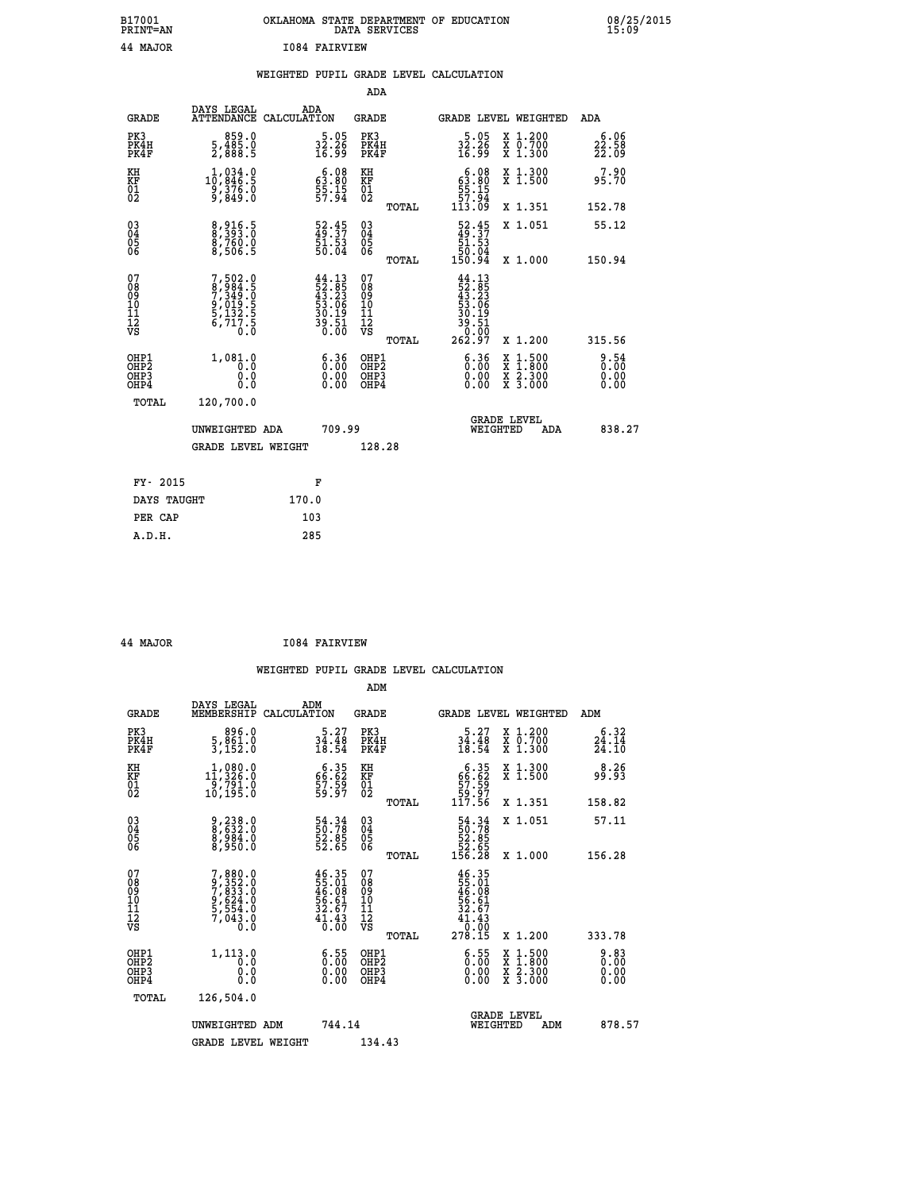## **B17001 OKLAHOMA STATE DEPARTMENT OF EDUCATION 08/25/2015 PRINT=AN DATA SERVICES 15:09 44 MAJOR I084 FAIRVIEW**

|  |  | WEIGHTED PUPIL GRADE LEVEL CALCULATION |
|--|--|----------------------------------------|
|  |  |                                        |

|                                                                    |                                                                                             |                                                                                           | ADA                                       |                                                                                                                                     |                            |
|--------------------------------------------------------------------|---------------------------------------------------------------------------------------------|-------------------------------------------------------------------------------------------|-------------------------------------------|-------------------------------------------------------------------------------------------------------------------------------------|----------------------------|
| <b>GRADE</b>                                                       | DAYS LEGAL                                                                                  | ADA<br>ATTENDANCE CALCULATION                                                             | <b>GRADE</b>                              | GRADE LEVEL WEIGHTED                                                                                                                | ADA                        |
| PK3<br>PK4H<br>PK4F                                                | 859.0<br>5,485.0<br>2,888.5                                                                 | $\frac{5.05}{32.26}$<br>16.99                                                             | PK3<br>PK4H<br>PK4F                       | X 1.200<br>X 0.700<br>X 1.300<br>$\frac{5.05}{32.26}$<br>16.99                                                                      | 6.06<br>$22.58$<br>$22.09$ |
| KH<br><b>KF</b><br>01<br>02                                        | 1,034.0<br>10,846.5<br>$\frac{3}{3}, \frac{3}{8}$ $\frac{7}{8}$ $\frac{2}{3}$ $\frac{3}{8}$ | $\begin{smallmatrix} 6.08\\ 63.80\\ 55.15\\ 57.94 \end{smallmatrix}$                      | KH<br>KF<br>01<br>02                      | $63.80$<br>$55.15$<br>$57.94$<br>X 1.300<br>X 1.500                                                                                 | 7.90<br>95.70              |
|                                                                    |                                                                                             |                                                                                           | TOTAL                                     | 113.09<br>X 1.351                                                                                                                   | 152.78                     |
| $\begin{smallmatrix} 03 \\[-4pt] 04 \end{smallmatrix}$<br>Ŏ5<br>06 | 8,916.5<br>8,760.0<br>8,506.5                                                               | $\begin{smallmatrix} 52\cdot 45\\ 49\cdot 37\\ 51\cdot 53\\ 50\cdot 04 \end{smallmatrix}$ | 03<br>04<br>05<br>06                      | $\begin{smallmatrix} 52.45\\ 49.37\\ 51.53\\ 50.04\\ 150.94 \end{smallmatrix}$<br>X 1.051                                           | 55.12                      |
|                                                                    |                                                                                             |                                                                                           | TOTAL                                     | X 1.000                                                                                                                             | 150.94                     |
| 07<br>08901112<br>1112<br>VS                                       | $7,502.0$<br>$8,984.5$<br>$7,349.0$<br>$9,019.5$<br>$5,132.5$<br>$6,717.5$<br>$0.0$         | $44.13$<br>$52.85$<br>$43.23$<br>$53.06$<br>$30.19$<br>$39.51$<br>$0.00$                  | 07<br>08<br>09<br>11<br>11<br>12<br>VS    | $\begin{array}{r} 44\cdot 13 \\ 52\cdot 85 \\ 43\cdot 23 \\ 53\cdot 06 \\ 50\cdot 19 \\ 39\cdot 51 \\ 0 \\ 262\cdot 97 \end{array}$ |                            |
|                                                                    |                                                                                             |                                                                                           | TOTAL                                     | X 1.200                                                                                                                             | 315.56                     |
| OHP1<br>OH <sub>P</sub> 2<br>OH <sub>P3</sub><br>OH <sub>P4</sub>  | 1,081.0<br>0.0<br>0.0<br>0.0                                                                | $\begin{smallmatrix} 6.36\ 0.00\ 0.00 \end{smallmatrix}$                                  | OHP1<br>OH <sub>P</sub> 2<br>OHP3<br>OHP4 | $\begin{smallmatrix} 6.36\ 0.00\ 0.00 \end{smallmatrix}$<br>X 1:500<br>X 1:800<br>X 2:300<br>X 3:000                                | 8:54<br>0.00<br>0.00       |
|                                                                    | TOTAL<br>120,700.0                                                                          |                                                                                           |                                           |                                                                                                                                     |                            |
|                                                                    | UNWEIGHTED ADA                                                                              | 709.99                                                                                    |                                           | GRADE LEVEL<br>WEIGHTED<br>ADA                                                                                                      | 838.27                     |
|                                                                    | <b>GRADE LEVEL WEIGHT</b>                                                                   |                                                                                           | 128.28                                    |                                                                                                                                     |                            |
|                                                                    | FY- 2015                                                                                    | F                                                                                         |                                           |                                                                                                                                     |                            |
|                                                                    | DAYS TAUGHT                                                                                 | 170.0                                                                                     |                                           |                                                                                                                                     |                            |
|                                                                    | PER CAP                                                                                     | 103                                                                                       |                                           |                                                                                                                                     |                            |

| 44 | <b>MAJOR</b> |  |
|----|--------------|--|
|    |              |  |

 **A.D.H. 285**

 **44 MAJOR I084 FAIRVIEW**

|                                          |                                                                                     |                                                                          | ADM                                                 |       |                                                                                                                      |                                          |                            |
|------------------------------------------|-------------------------------------------------------------------------------------|--------------------------------------------------------------------------|-----------------------------------------------------|-------|----------------------------------------------------------------------------------------------------------------------|------------------------------------------|----------------------------|
| <b>GRADE</b>                             | DAYS LEGAL<br>MEMBERSHIP                                                            | ADM<br>CALCULATION                                                       | <b>GRADE</b>                                        |       |                                                                                                                      | GRADE LEVEL WEIGHTED                     | ADM                        |
| PK3<br>PK4H<br>PK4F                      | 896.0<br>5, 861.0<br>3,152.0                                                        | $\frac{5 \cdot 27}{34 \cdot 48}$<br>18.54                                | PK3<br>PK4H<br>PK4F                                 |       | $\frac{5.27}{34.48}$<br>18.54                                                                                        | X 1.200<br>X 0.700<br>X 1.300            | 6.32<br>$24.14$<br>$24.10$ |
| KH<br>KF<br>01<br>02                     | $\begin{smallmatrix} 1,080.0\\ 11,326.0\\ 9,791.0\\ 10,195.0 \end{smallmatrix}$     | $66.35$<br>$59.59$<br>$59.97$                                            | KH<br>KF<br>01<br>02                                |       | $\begin{smallmatrix} & 6 & 3 & 5\\ 6 & 6 & 6 & 2\\ 5 & 7 & 5 & 9\\ 5 & 9 & 9 & 7\\ 11 & 7 & 5 & 6 \end{smallmatrix}$ | X 1.300<br>X 1.500                       | 8.26<br>99.93              |
|                                          |                                                                                     |                                                                          |                                                     | TOTAL |                                                                                                                      | X 1.351                                  | 158.82                     |
| 03<br>04<br>05<br>06                     | 9,238.0<br>8,632.0<br>8,984.0<br>8,950.0                                            | 54.34<br>50.78<br>52.85<br>52.65                                         | $\begin{array}{c} 03 \\ 04 \\ 05 \\ 06 \end{array}$ |       | $\begin{smallmatrix} 54.34\ 50.78\ 52.85\ 52.65\ 156.28 \end{smallmatrix}$                                           | X 1.051                                  | 57.11                      |
|                                          |                                                                                     |                                                                          |                                                     | TOTAL |                                                                                                                      | X 1.000                                  | 156.28                     |
| 07<br>08<br>09<br>101<br>112<br>VS       | $7,880.0$<br>$7,852.0$<br>$7,833.0$<br>$9,624.0$<br>$5,554.0$<br>$7,043.0$<br>$0.0$ | $46.35$<br>$55.01$<br>$46.08$<br>$56.61$<br>$32.67$<br>$41.43$<br>$0.00$ | 07<br>08<br>09<br>11<br>11<br>12<br>VS              | TOTAL | $46.35$<br>$55.01$<br>$46.08$<br>$56.61$<br>$32.67$<br>$41.43$<br>$0.005$<br>$278.15$                                | X 1.200                                  | 333.78                     |
|                                          | 1,113.0                                                                             |                                                                          |                                                     |       |                                                                                                                      |                                          |                            |
| OHP1<br>OHP2<br>OHP <sub>3</sub><br>OHP4 | 0.0<br>0.000                                                                        | $\begin{smallmatrix} 6.55\ 0.00\ 0.00 \end{smallmatrix}$                 | OHP1<br>OHP2<br>OHP <sub>3</sub>                    |       | $\begin{smallmatrix} 6.55\ 0.00 \ 0.00 \end{smallmatrix}$<br>0.00                                                    | X 1:500<br>X 1:800<br>X 2:300<br>X 3:000 | 0.83<br>0.00<br>0.00       |
| TOTAL                                    | 126,504.0                                                                           |                                                                          |                                                     |       |                                                                                                                      |                                          |                            |
|                                          | UNWEIGHTED ADM                                                                      | 744.14                                                                   |                                                     |       | WEIGHTED                                                                                                             | <b>GRADE LEVEL</b><br>ADM                | 878.57                     |
|                                          | <b>GRADE LEVEL WEIGHT</b>                                                           |                                                                          | 134.43                                              |       |                                                                                                                      |                                          |                            |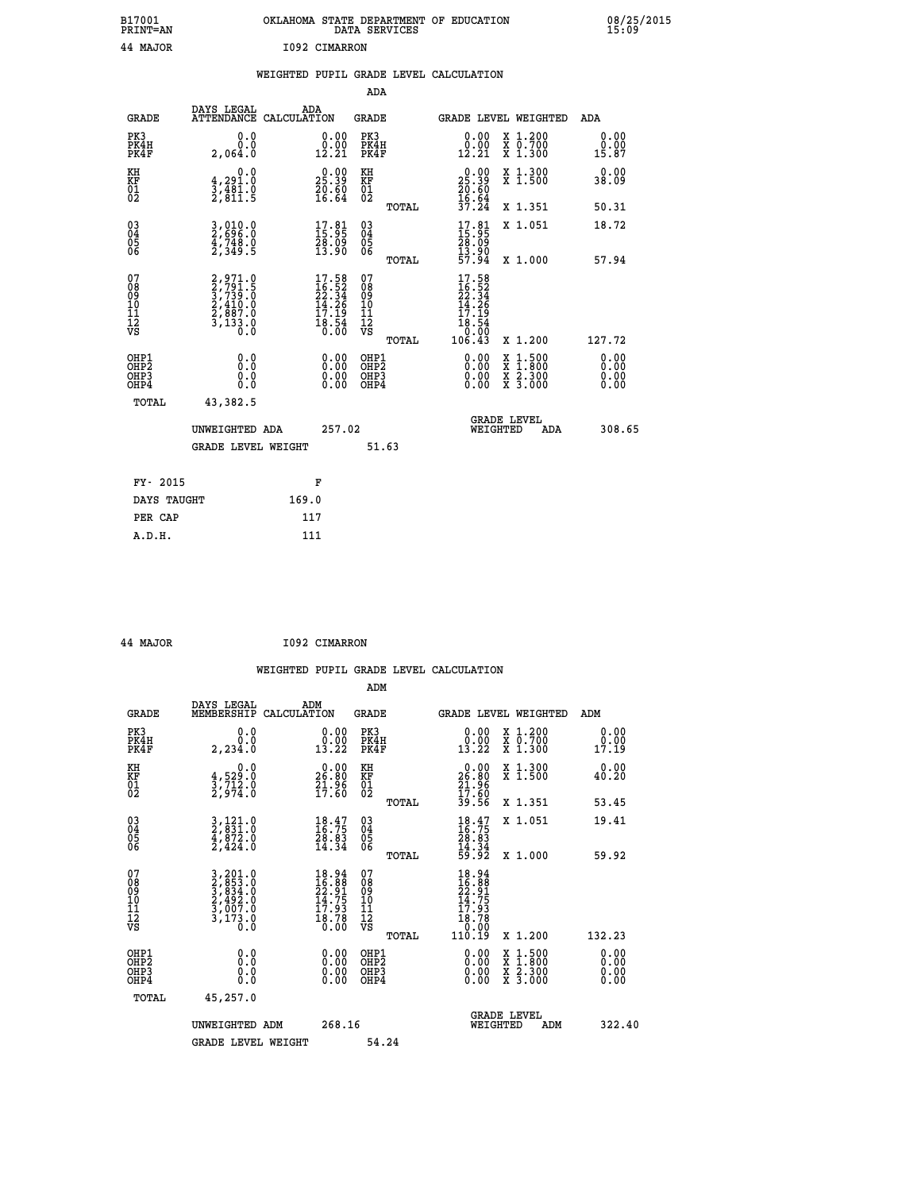| B17001<br>PRINT=AN                                            |                                                                                     | OKLAHOMA STATE DEPARTMENT OF EDUCATION<br>DATA SERVICES                  |                                                    |                                                                                |                                                                                          | 08/25/2015<br>15:09          |
|---------------------------------------------------------------|-------------------------------------------------------------------------------------|--------------------------------------------------------------------------|----------------------------------------------------|--------------------------------------------------------------------------------|------------------------------------------------------------------------------------------|------------------------------|
| 44 MAJOR                                                      |                                                                                     | I092 CIMARRON                                                            |                                                    |                                                                                |                                                                                          |                              |
|                                                               |                                                                                     | WEIGHTED PUPIL GRADE LEVEL CALCULATION                                   |                                                    |                                                                                |                                                                                          |                              |
|                                                               |                                                                                     |                                                                          | ADA                                                |                                                                                |                                                                                          |                              |
| <b>GRADE</b>                                                  | DAYS LEGAL                                                                          | ADA<br>ATTENDANCE CALCULATION                                            | <b>GRADE</b>                                       |                                                                                | GRADE LEVEL WEIGHTED                                                                     | ADA                          |
| PK3<br>PK4H<br>PK4F                                           | 0.0<br>Ŏ.Ŏ<br>2,064.0                                                               | $\substack{0.00\\0.00\\12.21}$                                           | PK3<br>PK4H<br>PK4F                                | $\begin{smallmatrix} 0.00\\ 0.00\\ 12.21 \end{smallmatrix}$                    | X 1.200<br>X 0.700<br>X 1.300                                                            | 0.00<br>0.00<br>15.87        |
| KH<br>KF<br>01<br>02                                          | 0.0<br>$\frac{4}{3}, \frac{291}{481}$ . 0<br>2, 811. 5                              | $\begin{smallmatrix} 0.00\\ 25.39\\ 20.60\\ 16.64 \end{smallmatrix}$     | KH<br>KF<br>01<br>02                               | $25.39$<br>$26.80$<br>$20.60$<br>$16.64$<br>$37.24$                            | X 1.300<br>X 1.500                                                                       | 0.00<br>38.09                |
|                                                               |                                                                                     |                                                                          | TOTAL                                              |                                                                                | X 1.351                                                                                  | 50.31                        |
| 03<br>04<br>05<br>06                                          | $3,010.0$<br>2,000.0<br>$\frac{4}{2}$ , $\frac{748}{349}$ . 5                       | $\begin{smallmatrix} 17.81\ 15.95\ 28.09\ 13.90 \end{smallmatrix}$       | $\begin{matrix} 03 \\ 04 \\ 05 \\ 06 \end{matrix}$ | $\begin{smallmatrix} 17.81\ 15.95\ 28.09\ 13.90\ 157.94 \end{smallmatrix}$     | X 1.051                                                                                  | 18.72                        |
|                                                               |                                                                                     |                                                                          | TOTAL                                              |                                                                                | X 1.000                                                                                  | 57.94                        |
| 07<br>08<br>09<br>11<br>11<br>12<br>VS                        | $2,971.9$<br>$3,791.5$<br>$3,739.0$<br>$2,410.0$<br>$2,887.0$<br>$3,133.0$<br>$0.0$ | $17.58$<br>$16.52$<br>$22.34$<br>$14.26$<br>$17.19$<br>$18.54$<br>$0.00$ | 07<br>08901112<br>1112<br>VS<br>TOTAL              | 17.58<br>$16.52$<br>$22.34$<br>$14.26$<br>$17.19$<br>$18.54$<br>Ŏ.ŎŌ<br>106.43 | X 1.200                                                                                  | 127.72                       |
|                                                               |                                                                                     |                                                                          |                                                    |                                                                                |                                                                                          |                              |
| OHP1<br>OHP2<br>OH <sub>P3</sub><br>OH <sub>P4</sub><br>TOTAL | 0.0<br>0.0<br>0.0<br>43,382.5                                                       |                                                                          | OHP1<br>OHP2<br>OHP3<br>OHP4                       |                                                                                | $\begin{smallmatrix} x & 1.500 \\ x & 1.800 \\ x & 2.300 \\ x & 3.000 \end{smallmatrix}$ | 0.00<br>0.00<br>0.00<br>0.00 |
|                                                               |                                                                                     |                                                                          |                                                    |                                                                                |                                                                                          |                              |

|          | UNWEIGHTED ADA            | 257.02 |       | <b>GRADE LEVEL</b><br>WEIGHTED | ADA | 308.65 |
|----------|---------------------------|--------|-------|--------------------------------|-----|--------|
|          | <b>GRADE LEVEL WEIGHT</b> |        | 51.63 |                                |     |        |
| FY- 2015 |                           | F      |       |                                |     |        |
|          | DAYS TAUGHT               | 169.0  |       |                                |     |        |
| PER CAP  |                           | 117    |       |                                |     |        |

| 44 MAJOR | I092 CIMARRON |
|----------|---------------|
|          |               |

 **WEIGHTED PUPIL GRADE LEVEL CALCULATION ADM DAYS LEGAL ADM GRADE MEMBERSHIP CALCULATION GRADE GRADE LEVEL WEIGHTED ADM PK3 0.0 0.00 PK3 0.00 X 1.200 0.00 PK4H 0.0 0.00 PK4H 0.00 X 0.700 0.00 PK4F 2,234.0 13.22 PK4F 13.22 X 1.300 17.19 KH 0.0 0.00 KH 0.00 X 1.300 0.00 KF 4,529.0 26.80 KF 26.80 X 1.500 40.20 KH**  $\begin{array}{cccc} 0.0 & 0.00 & \text{KH} \\ \text{KF} & 4,529.0 & 26.80 & \text{KF} \\ 01 & 3,712.0 & 1.86 & 0.00 \\ 02 & 2,974.0 & 17.80 & 0.2 \end{array}$ 02 2,974.0 17.60 02 <sub>noman</sub> 17.60  **TOTAL 39.56 X 1.351 53.45 03 3,121.0 18.47 03 18.47 X 1.051 19.41 04 2,831.0 16.75 04 16.75 05 4,872.0 28.83 05 28.83** 06 2,424.0 14.34 06 <sub>mome</sub> 14.34  **TOTAL 59.92 X 1.000 59.92**  $\begin{array}{cccc} 07 & 3,201.0 & 18.94 & 07 & 18.94 \ 08 & 2,8533.0 & 16.96 & 16.86 \ 09 & 2,492.0 & 14.75 & 10 & 14.75 \ 10 & 2,492.0 & 14.75 & 10 & 14.75 \ 11 & 3,017.0 & 17.93 & 11 & 17.93 \ \hline \textrm{vs} & 3,173.0 & 18.78 & 12 & 18.78 \ 13.0 & 10.00 & 17.93 & 12$  **TOTAL 110.19 X 1.200 132.23 OHP1 0.0 0.00 OHP1 0.00 X 1.500 0.00 OHP2 0.0 0.00 OHP2 0.00 X 1.800 0.00 OHP3 0.0 0.00 OHP3 0.00 X 2.300 0.00 OHP4 0.0 0.00 OHP4 0.00 X 3.000 0.00 TOTAL 45,257.0 GRADE LEVEL UNWEIGHTED ADM 268.16 WEIGHTED ADM 322.40** GRADE LEVEL WEIGHT 54.24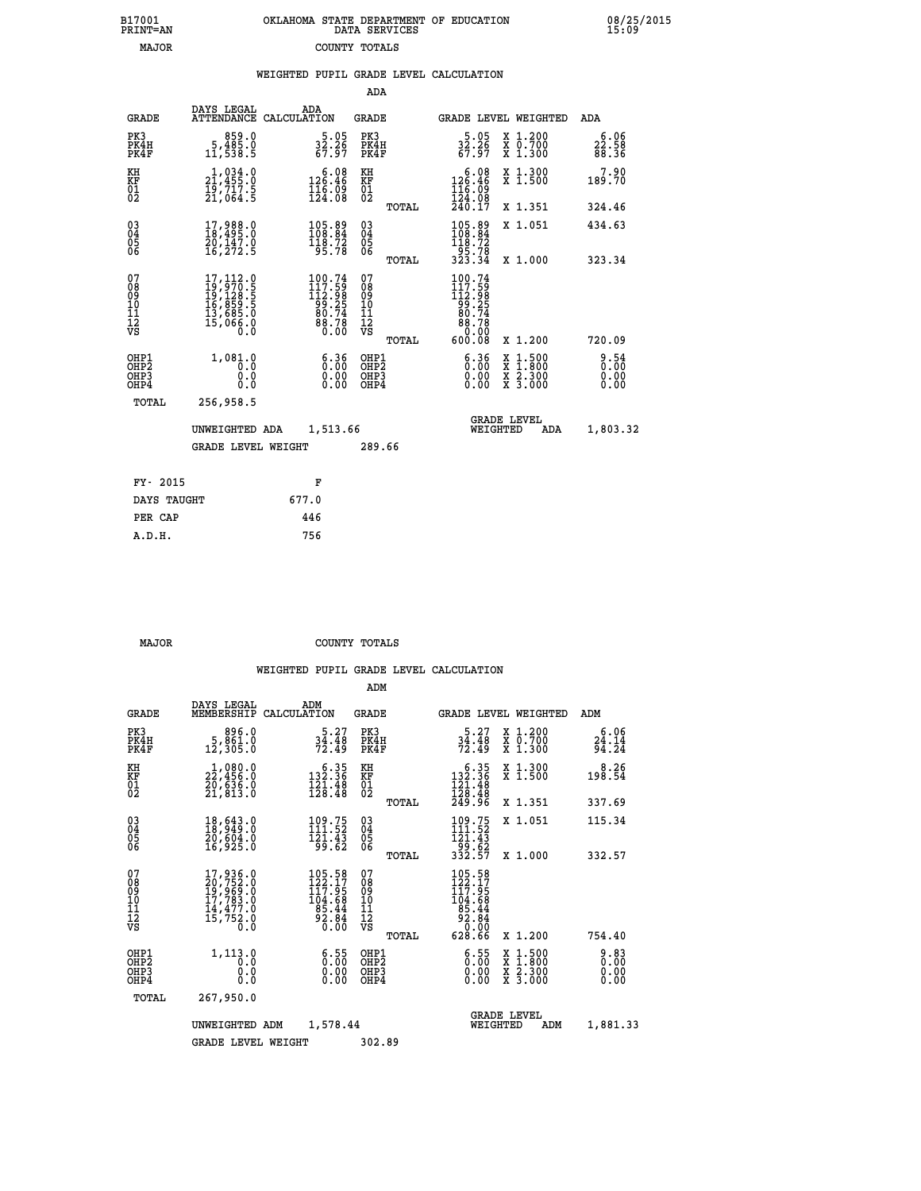| 7001<br>INT=AN | OKLAHOMA STATE DEPARTMENT OF EDUCATION<br>DATA SERVICES |  |
|----------------|---------------------------------------------------------|--|
| MAJOR          | COUNTY TOTALS                                           |  |

 **B17001 OKLAHOMA STATE DEPARTMENT OF EDUCATION 08/25/2015**

|  |  | WEIGHTED PUPIL GRADE LEVEL CALCULATION |
|--|--|----------------------------------------|
|  |  |                                        |

|                                                                    |                                                                                                                                               |                                                                             | ADA                                                |       |                                                                                                                                |                                                                                                                                           |                        |
|--------------------------------------------------------------------|-----------------------------------------------------------------------------------------------------------------------------------------------|-----------------------------------------------------------------------------|----------------------------------------------------|-------|--------------------------------------------------------------------------------------------------------------------------------|-------------------------------------------------------------------------------------------------------------------------------------------|------------------------|
| <b>GRADE</b>                                                       | DAYS LEGAL                                                                                                                                    | ADA<br>ATTENDANCE CALCULATION                                               | GRADE                                              |       | <b>GRADE LEVEL WEIGHTED</b>                                                                                                    |                                                                                                                                           | ADA                    |
| PK3<br>PK4H<br>PK4F                                                | 0.059<br>0.§§§,5<br>11,538.5                                                                                                                  | $\frac{5.05}{32.26}$<br>67.97                                               | PK3<br>PK4H<br>PK4F                                |       | $\frac{5.05}{32.26}$<br>67.97                                                                                                  | X 1.200<br>X 0.700<br>X 1.300                                                                                                             | 6.06<br>22.58<br>88.36 |
| KH<br>KF<br>01<br>02                                               | $\begin{smallmatrix} 1,034\cdot0\ 21,455\cdot0\ 19,717\cdot5\ 21,064\cdot5 \end{smallmatrix}$                                                 | $\begin{smallmatrix} & 6.08\\126.46\\116.09\\124.08\end{smallmatrix}$       | KH<br><b>KF</b><br>01<br>02                        |       | $\begin{smallmatrix} & 6 & 0 & 8\\ 12 & 6 & 4 & 6\\ 11 & 6 & 0 & 9\\ 12 & 4 & 0 & 8\\ 24 & 0 & 17\end{smallmatrix}$            | X 1.300<br>X 1.500                                                                                                                        | 7.90<br>189.70         |
|                                                                    |                                                                                                                                               |                                                                             |                                                    | TOTAL |                                                                                                                                | X 1.351                                                                                                                                   | 324.46                 |
| $\begin{smallmatrix} 03 \\[-4pt] 04 \end{smallmatrix}$<br>05<br>06 | $\begin{smallmatrix} 17,988.0\\ 18,495.0\\ 20,147.0\\ 16,272.5 \end{smallmatrix}$                                                             | $\begin{smallmatrix} 105.89\\ 108.84\\ 118.72\\ 95.78 \end{smallmatrix}$    | $\begin{matrix} 03 \\ 04 \\ 05 \\ 06 \end{matrix}$ |       | $\frac{105.89}{108.84}$<br>$\frac{119.72}{119.72}$<br>$\frac{1}{3}\frac{5}{3}\cdot\frac{7}{3}\cdot\frac{7}{3}\cdot\frac{1}{4}$ | X 1.051                                                                                                                                   | 434.63                 |
|                                                                    |                                                                                                                                               |                                                                             |                                                    | TOTAL |                                                                                                                                | X 1.000                                                                                                                                   | 323.34                 |
| 07<br>08<br>09<br>11<br>11<br>12<br>VS                             | $\begin{smallmatrix}17,112\cdot0\\19,970\cdot5\\19,128\cdot5\\16,859\cdot5\\16,859\cdot5\\13,685\cdot0\\15,066\cdot0\end{smallmatrix}$<br>0.0 | $100.74$<br>$117.59$<br>$112.98$<br>$99.25$<br>$80.74$<br>$88.78$<br>$0.00$ | 07<br>08<br>09<br>11<br>11<br>12<br>VS             | TOTAL | $\begin{smallmatrix} 100.74\\117.59\\112.98\\99.25\\80.74\\80.70\\80.00\\600.08\end{smallmatrix}$                              | X 1.200                                                                                                                                   | 720.09                 |
| OHP1<br>OHP <sub>2</sub><br>OH <sub>P3</sub><br>OH <sub>P4</sub>   | 1,081.0<br>0.0<br>0.0<br>0.0                                                                                                                  | 6.36<br>0.00<br>0.00                                                        | OHP1<br>OHP2<br>OHP3<br>OHP4                       |       | 6.36<br>0.00<br>0.00                                                                                                           | $\begin{smallmatrix} \mathtt{X} & 1\cdot500\\ \mathtt{X} & 1\cdot800\\ \mathtt{X} & 2\cdot300\\ \mathtt{X} & 3\cdot000 \end{smallmatrix}$ | 8.54<br>0.00<br>0.00   |
| TOTAL                                                              | 256,958.5                                                                                                                                     |                                                                             |                                                    |       |                                                                                                                                |                                                                                                                                           |                        |
|                                                                    | UNWEIGHTED ADA                                                                                                                                | 1,513.66                                                                    |                                                    |       | WEIGHTED                                                                                                                       | <b>GRADE LEVEL</b><br>ADA                                                                                                                 | 1,803.32               |
|                                                                    | <b>GRADE LEVEL WEIGHT</b>                                                                                                                     |                                                                             | 289.66                                             |       |                                                                                                                                |                                                                                                                                           |                        |
|                                                                    |                                                                                                                                               |                                                                             |                                                    |       |                                                                                                                                |                                                                                                                                           |                        |
| FY- 2015                                                           |                                                                                                                                               | F                                                                           |                                                    |       |                                                                                                                                |                                                                                                                                           |                        |
| DAYS TAUGHT                                                        |                                                                                                                                               | 677.0                                                                       |                                                    |       |                                                                                                                                |                                                                                                                                           |                        |
| PER CAP                                                            |                                                                                                                                               | 446                                                                         |                                                    |       |                                                                                                                                |                                                                                                                                           |                        |
| A.D.H.                                                             |                                                                                                                                               | 756                                                                         |                                                    |       |                                                                                                                                |                                                                                                                                           |                        |

 **B17001<br>PRINT=AN** 

 **MAJOR COUNTY TOTALS**

|                                    |                                                       |                                                                                                                                                 |                    |                                                                                    | ADM                                                |       |                                                                                                |                                |                                          |                        |
|------------------------------------|-------------------------------------------------------|-------------------------------------------------------------------------------------------------------------------------------------------------|--------------------|------------------------------------------------------------------------------------|----------------------------------------------------|-------|------------------------------------------------------------------------------------------------|--------------------------------|------------------------------------------|------------------------|
|                                    | <b>GRADE</b>                                          | DAYS LEGAL<br>MEMBERSHIP                                                                                                                        | ADM<br>CALCULATION |                                                                                    | <b>GRADE</b>                                       |       |                                                                                                |                                | GRADE LEVEL WEIGHTED                     | ADM                    |
|                                    | PK3<br>PK4H<br>PK4F                                   | 896.0<br>5, Šéi.ŏ<br>12,305.0                                                                                                                   |                    | 5.27<br>$\frac{3\bar{4}\cdot\bar{4}\dot{8}}{72.49}$                                | PK3<br>PK4H<br>PK4F                                |       | 5.27<br>$\frac{3\bar{4}\cdot\bar{4}\dot{8}}{72.49}$                                            |                                | X 1.200<br>X 0.700<br>X 1.300            | 6.06<br>24.14<br>94.24 |
| KH<br>KF<br>01<br>02               |                                                       | $\substack{1,080.0\\22,456.0\\20,636.0\\21,813.0$                                                                                               |                    | $\begin{smallmatrix}&&6&.35\\132&.36\\121&.48\\128&.48\end{smallmatrix}$           | KH<br>KF<br>01<br>02                               |       | $\begin{smallmatrix}&&6&.35\\132&.36\\121&.48\\128&.48\\249&.96\end{smallmatrix}$              |                                | X 1.300<br>X 1.500                       | 8.26<br>198.54         |
|                                    |                                                       |                                                                                                                                                 |                    |                                                                                    |                                                    | TOTAL |                                                                                                |                                | X 1.351                                  | 337.69                 |
| 03<br>04<br>05<br>06               |                                                       | 18,643.0<br>18,949.0<br>20,604.0<br>16,925.0                                                                                                    |                    | $\frac{109.75}{111.52}$<br>$\frac{1}{9}$ $\frac{1}{6}$ $\frac{1}{6}$ $\frac{1}{2}$ | $\begin{matrix} 03 \\ 04 \\ 05 \\ 06 \end{matrix}$ |       | 109.75<br>111.52<br>121.43                                                                     |                                | X 1.051                                  | 115.34                 |
|                                    |                                                       |                                                                                                                                                 |                    |                                                                                    |                                                    | TOTAL | - 55: 52<br>332.57                                                                             |                                | X 1.000                                  | 332.57                 |
| 07<br>08<br>09<br>101<br>112<br>VS |                                                       | $\begin{smallmatrix} 17,936\cdot 0\\ 20,752\cdot 0\\ 19,969\cdot 0\\ 17,783\cdot 0\\ 14,477\cdot 0\\ 15,752\cdot 0\\ 0\cdot 0\end{smallmatrix}$ |                    | 105.58<br>122.17<br>117.95<br>104:68<br>85.44<br>92:84<br>0.00                     | 07<br>08<br>09<br>11<br>11<br>12<br>VS             |       | 105.58<br>122.17<br>117.95<br>$\begin{array}{r} 104.768 \\ 85.44 \\ 92.84 \\ 0.02 \end{array}$ |                                |                                          |                        |
|                                    |                                                       |                                                                                                                                                 |                    |                                                                                    |                                                    | TOTAL | 628.66                                                                                         |                                | X 1.200                                  | 754.40                 |
|                                    | OHP1<br>OH <sub>P</sub> 2<br>OH <sub>P3</sub><br>OHP4 | 1,113.0<br>0.0<br>0.000                                                                                                                         |                    | $\begin{smallmatrix} 6.55\ 0.00 \ 0.00 \end{smallmatrix}$<br>0.00                  | OHP1<br>OHP2<br>OHP3<br>OHP4                       |       | $\begin{smallmatrix} 6.55\ 0.00 \ 0.00 \end{smallmatrix}$<br>0.00                              |                                | X 1:500<br>X 1:800<br>X 2:300<br>X 3:000 | 0.83<br>0.00<br>0.00   |
|                                    | TOTAL                                                 | 267,950.0                                                                                                                                       |                    |                                                                                    |                                                    |       |                                                                                                |                                |                                          |                        |
|                                    |                                                       | UNWEIGHTED                                                                                                                                      | ADM                | 1,578.44                                                                           |                                                    |       |                                                                                                | <b>GRADE LEVEL</b><br>WEIGHTED | ADM                                      | 1,881.33               |
|                                    |                                                       | <b>GRADE LEVEL WEIGHT</b>                                                                                                                       |                    |                                                                                    | 302.89                                             |       |                                                                                                |                                |                                          |                        |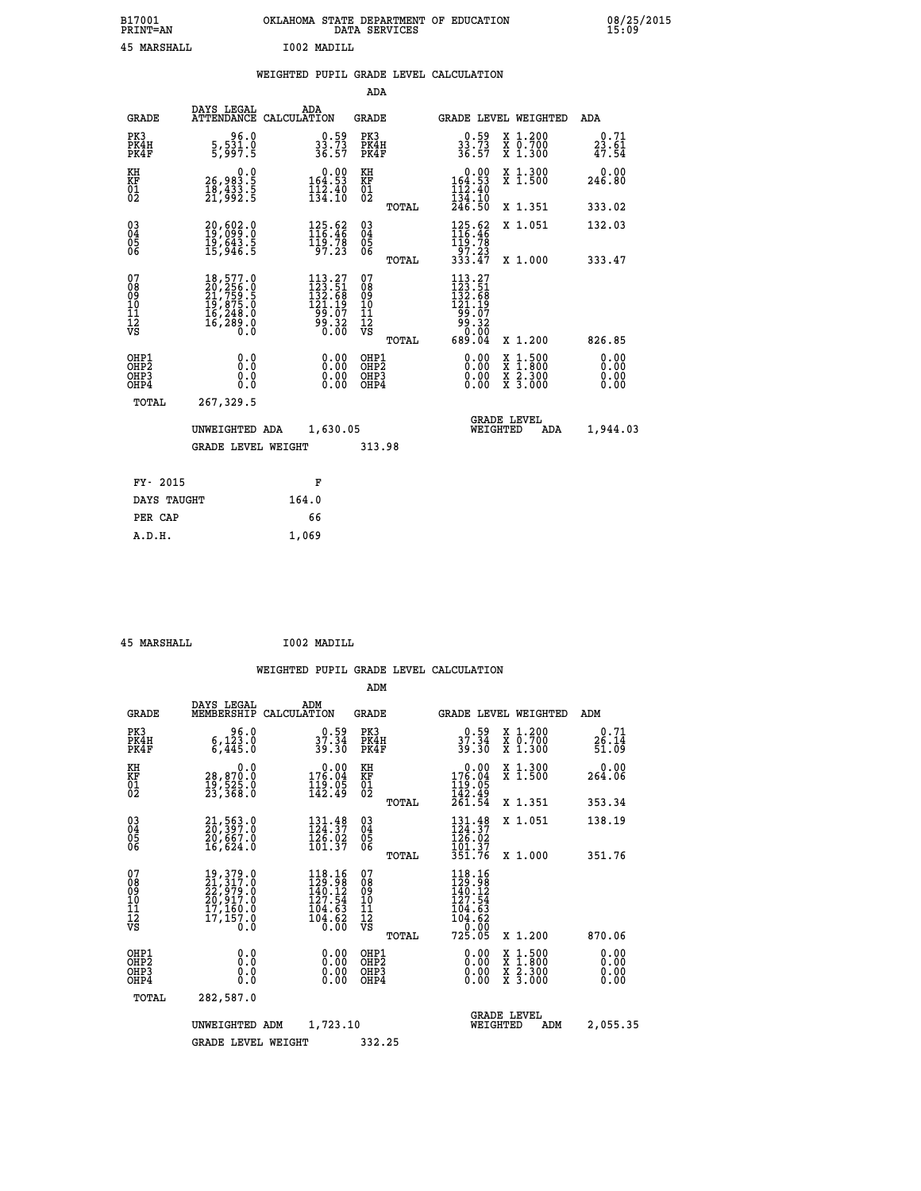| B17001          | OKLAHOMA STATE DEPARTMENT OF EDUCATION |
|-----------------|----------------------------------------|
| <b>PRINT=AN</b> | DATA SERVICES                          |
| 45 MARSHALL     | I002 MADILL                            |

|  |  | WEIGHTED PUPIL GRADE LEVEL CALCULATION |
|--|--|----------------------------------------|
|  |  |                                        |

|                                                                    |                                                                                                               |                                                                                                                                                                                                               | ADA                                       |       |                                                                                                                                                                                                                                                                                                                                            |                                                                                                  |                                                                                                           |
|--------------------------------------------------------------------|---------------------------------------------------------------------------------------------------------------|---------------------------------------------------------------------------------------------------------------------------------------------------------------------------------------------------------------|-------------------------------------------|-------|--------------------------------------------------------------------------------------------------------------------------------------------------------------------------------------------------------------------------------------------------------------------------------------------------------------------------------------------|--------------------------------------------------------------------------------------------------|-----------------------------------------------------------------------------------------------------------|
| <b>GRADE</b>                                                       | DAYS LEGAL                                                                                                    | ADA<br>ATTENDANCE CALCULATION                                                                                                                                                                                 | <b>GRADE</b>                              |       | GRADE LEVEL WEIGHTED                                                                                                                                                                                                                                                                                                                       |                                                                                                  | ADA                                                                                                       |
| PK3<br>PK4H<br>PK4F                                                | 96.0<br>$\frac{5}{5}$ , $\frac{531}{97}$ . 5                                                                  | $33.73$<br>33.73<br>36.57                                                                                                                                                                                     | PK3<br>PK4H<br>PK4F                       |       | $\begin{smallmatrix} 0.59 \\ 33.73 \\ 36.57 \end{smallmatrix}$                                                                                                                                                                                                                                                                             | X 1.200<br>X 0.700<br>X 1.300                                                                    | 0.71<br>$2\overline{3}\cdot\overline{6}\overline{1}\overline{4}\overline{7}\cdot\overline{5}\overline{4}$ |
| KH<br><b>KF</b><br>01<br>02                                        | $\begin{smallmatrix} & & 0.0\ 26,983.5\ 18,433.5\ 21,992.5 \end{smallmatrix}$                                 | $0.00$<br>164.53<br>$\frac{1}{134}$ $\frac{2}{10}$                                                                                                                                                            | KH<br>KF<br>01<br>02                      |       | $\begin{array}{c} 0.00 \\ 164.53 \\ 112.40 \\ 134.10 \\ 246.50 \end{array}$                                                                                                                                                                                                                                                                | X 1.300<br>X 1.500                                                                               | 0.00<br>246.80                                                                                            |
|                                                                    |                                                                                                               |                                                                                                                                                                                                               |                                           | TOTAL |                                                                                                                                                                                                                                                                                                                                            | X 1.351                                                                                          | 333.02                                                                                                    |
| $\begin{smallmatrix} 03 \\[-4pt] 04 \end{smallmatrix}$<br>05<br>06 | 20,602.0<br>19,099.0<br>19,643.5<br>15,946.5                                                                  | $\begin{array}{c} 125.62 \\[-4pt] 116.46 \\[-4pt] 119.78 \\[-4pt] 97.23 \end{array}$                                                                                                                          | $\substack{03 \\ 04}$<br>05<br>06         |       | $\begin{array}{c} 125.62 \\ 116.46 \\ 119.78 \\ 97.23 \\ 333.47 \end{array}$                                                                                                                                                                                                                                                               | X 1.051                                                                                          | 132.03                                                                                                    |
|                                                                    |                                                                                                               |                                                                                                                                                                                                               |                                           | TOTAL |                                                                                                                                                                                                                                                                                                                                            | X 1.000                                                                                          | 333.47                                                                                                    |
| 07<br>08<br>09<br>11<br>11<br>12<br>VS                             | $\begin{smallmatrix} 18,577.0\\ 20,256.0\\ 21,759.5\\ 19,875.0\\ 16,248.0\\ 16,289.0\\ 0.0 \end{smallmatrix}$ | 113.27<br>$\begin{smallmatrix} 1 & 1 & 3 & 0 & 6 & 1 \\ 1 & 3 & 2 & 0 & 6 & 8 \\ 1 & 3 & 2 & 0 & 6 & 8 \\ 1 & 2 & 1 & 1 & 9 \\ 9 & 9 & 0 & 0 & 7 \\ 9 & 0 & 0 & 3 & 2 \\ 0 & 0 & 0 & 0 & 0 \end{smallmatrix}$ | 07<br>08901112<br>1112<br>VS              |       | 113.27<br>$\begin{smallmatrix} 1 & 2 & 3 & 5 & 1 \\ 1 & 3 & 2 & 6 & 8 \\ 1 & 3 & 1 & 1 & 9 \\ 1 & 2 & 1 & 1 & 9 \\ 9 & 0 & 0 & 0 & 7 \\ 9 & 0 & 0 & 0 & 0 \\ 0 & 0 & 0 & 0 & 0 \\ 0 & 0 & 0 & 0 & 0 \\ 0 & 0 & 0 & 0 & 0 \\ 0 & 0 & 0 & 0 & 0 \\ 0 & 0 & 0 & 0 & 0 \\ 0 & 0 & 0 & 0 & 0 \\ 0 & 0 & 0 & 0 & 0 \\ 0 & 0 & 0 & 0 & 0 \\ 0 & $ |                                                                                                  |                                                                                                           |
|                                                                    |                                                                                                               |                                                                                                                                                                                                               |                                           | TOTAL | 689.04                                                                                                                                                                                                                                                                                                                                     | X 1.200                                                                                          | 826.85                                                                                                    |
| OHP1<br>OH <sub>P</sub> 2<br>OH <sub>P3</sub><br>OH <sub>P4</sub>  | 0.0<br>0.0<br>0.0                                                                                             | 0.00<br>0.00<br>0.00                                                                                                                                                                                          | OHP1<br>OH <sub>P</sub> 2<br>OHP3<br>OHP4 |       | 0.00<br>0.00<br>0.00                                                                                                                                                                                                                                                                                                                       | $\begin{smallmatrix} x & 1 & 500 \\ x & 1 & 800 \\ x & 2 & 300 \\ x & 3 & 000 \end{smallmatrix}$ | 0.00<br>0.00<br>0.00<br>0.00                                                                              |
| TOTAL                                                              | 267,329.5                                                                                                     |                                                                                                                                                                                                               |                                           |       |                                                                                                                                                                                                                                                                                                                                            |                                                                                                  |                                                                                                           |
|                                                                    | UNWEIGHTED ADA                                                                                                | 1,630.05                                                                                                                                                                                                      |                                           |       |                                                                                                                                                                                                                                                                                                                                            | GRADE LEVEL<br>WEIGHTED<br>ADA                                                                   | 1,944.03                                                                                                  |
|                                                                    | <b>GRADE LEVEL WEIGHT</b>                                                                                     |                                                                                                                                                                                                               | 313.98                                    |       |                                                                                                                                                                                                                                                                                                                                            |                                                                                                  |                                                                                                           |
| FY- 2015                                                           |                                                                                                               | F                                                                                                                                                                                                             |                                           |       |                                                                                                                                                                                                                                                                                                                                            |                                                                                                  |                                                                                                           |
| DAYS TAUGHT                                                        |                                                                                                               | 164.0                                                                                                                                                                                                         |                                           |       |                                                                                                                                                                                                                                                                                                                                            |                                                                                                  |                                                                                                           |
| PER CAP                                                            |                                                                                                               | 66                                                                                                                                                                                                            |                                           |       |                                                                                                                                                                                                                                                                                                                                            |                                                                                                  |                                                                                                           |

 **45 MARSHALL I002 MADILL**

 **A.D.H. 1,069**

|                                                       |                                                                                   |                                                                         | ADM                                              |                                                                                                 |                                                                                                  |                        |
|-------------------------------------------------------|-----------------------------------------------------------------------------------|-------------------------------------------------------------------------|--------------------------------------------------|-------------------------------------------------------------------------------------------------|--------------------------------------------------------------------------------------------------|------------------------|
| <b>GRADE</b>                                          | DAYS LEGAL<br>MEMBERSHIP                                                          | ADM<br>CALCULATION                                                      | <b>GRADE</b>                                     | GRADE LEVEL WEIGHTED                                                                            |                                                                                                  | ADM                    |
| PK3<br>PK4H<br>PK4F                                   | 96.0<br>$6,123.0$<br>$6,445.0$                                                    | 0.59<br>37.34<br>39.30                                                  | PK3<br>PK4H<br>PK4F                              | $0.59$<br>37.34<br>39.30                                                                        | X 1.200<br>X 0.700<br>X 1.300                                                                    | 0.71<br>26.14<br>51.09 |
| KH<br>KF<br>01<br>02                                  | 0.0<br>28,870.0<br>19,525.0<br>23,368.0                                           | $\begin{smallmatrix} &0.00\\ 176.04\\ 119.05\\ 142.49\end{smallmatrix}$ | KH<br>KF<br>01<br>02                             | $\begin{smallmatrix} &0.00\ 176.04\ 119.05\ 142.49\ 261.54\ \end{smallmatrix}$                  | X 1.300<br>X 1.500                                                                               | 0.00<br>264.06         |
|                                                       |                                                                                   |                                                                         | TOTAL                                            |                                                                                                 | X 1.351                                                                                          | 353.34                 |
| 03<br>04<br>05<br>06                                  | 21,563.0<br>20,397.0<br>20,667.0<br>16,624.0                                      | $131.48$<br>$124.37$<br>$126.02$<br>101.37                              | $^{03}_{04}$<br>05<br>06                         | $131.48$<br>$124.37$<br>126.02<br>101.37                                                        | X 1.051                                                                                          | 138.19                 |
|                                                       |                                                                                   |                                                                         | TOTAL                                            | 351.76                                                                                          | X 1.000                                                                                          | 351.76                 |
| 07<br>08<br>09<br>101<br>112<br>VS                    | 19, 379.0<br>21, 317.0<br>22, 979.0<br>20, 917.0<br>17, 160.0<br>17, 157.0<br>Ó.Ŏ | 118.16<br>129.98<br>140.12<br>127.54<br>104.63<br>$\frac{104.62}{0.00}$ | 07<br>08<br>09<br>101<br>11<br>12<br>VS<br>TOTAL | $\begin{array}{c} 118.16\\129.98\\140.12\\127.54\\104.63\\104.62\\0\\0\\0\end{array}$<br>725.05 | X 1.200                                                                                          | 870.06                 |
|                                                       |                                                                                   |                                                                         |                                                  |                                                                                                 |                                                                                                  | 0.00                   |
| OHP1<br>OH <sub>P</sub> 2<br>OH <sub>P3</sub><br>OHP4 | 0.0<br>0.000                                                                      | $0.00$<br>$0.00$<br>0.00                                                | OHP1<br>OHP2<br>OHP3<br>OHP4                     | $0.00$<br>$0.00$<br>0.00                                                                        | $\begin{smallmatrix} x & 1 & 500 \\ x & 1 & 800 \\ x & 2 & 300 \\ x & 3 & 000 \end{smallmatrix}$ | 0.00<br>0.00<br>0.00   |
| TOTAL                                                 | 282,587.0                                                                         |                                                                         |                                                  |                                                                                                 |                                                                                                  |                        |
|                                                       | UNWEIGHTED                                                                        | 1,723.10<br>ADM                                                         |                                                  | WEIGHTED                                                                                        | <b>GRADE LEVEL</b><br>ADM                                                                        | 2,055.35               |
|                                                       | <b>GRADE LEVEL WEIGHT</b>                                                         |                                                                         | 332.25                                           |                                                                                                 |                                                                                                  |                        |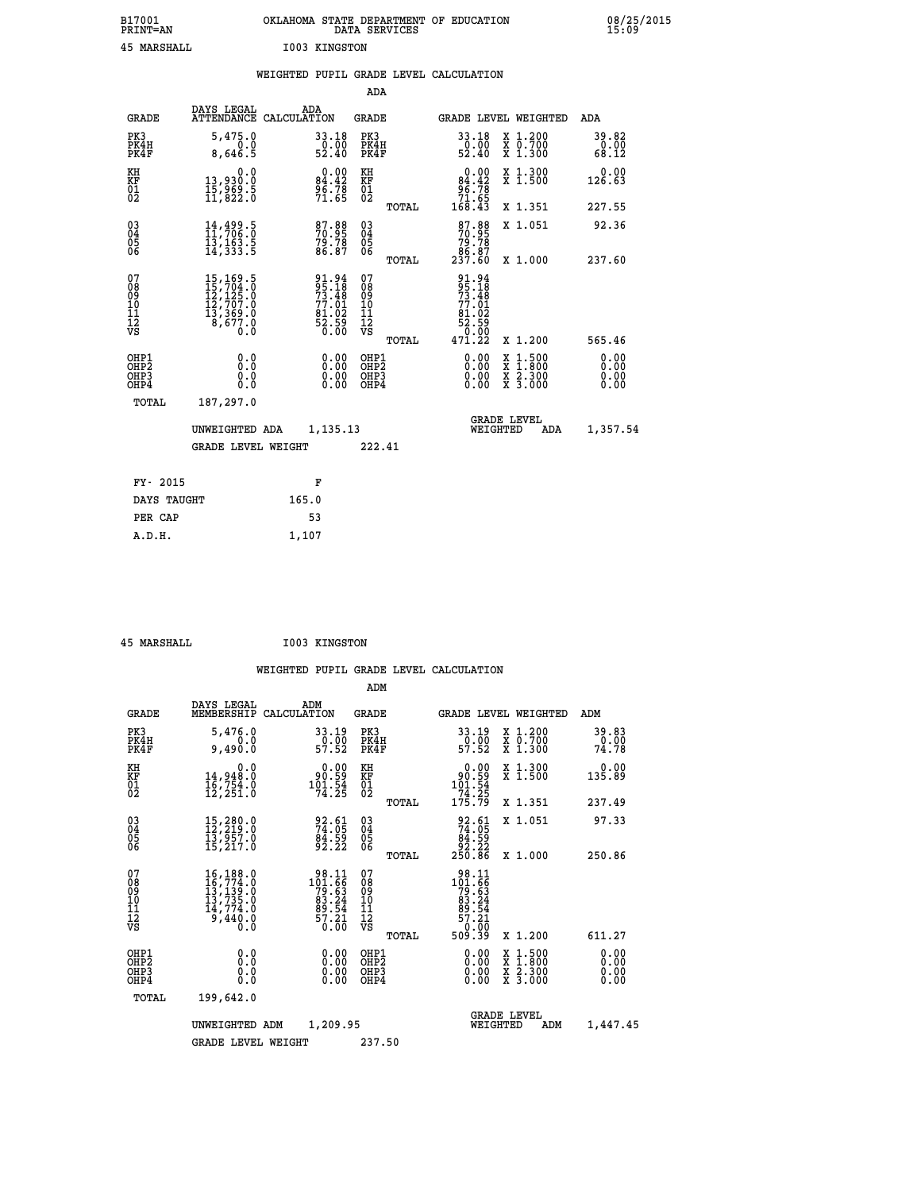| B17001<br><b>PRINT=AN</b> | OKLAHOMA<br>STATE DEPARTMENT OF EDUCATION<br>DATA SERVICES | 08/25/2015<br>15:09 |
|---------------------------|------------------------------------------------------------|---------------------|
| 45<br>MARSHALL            | I003 KINGSTON                                              |                     |

|                                                                    |                              |                                                                                                              |       |                                                                     |                                        |       | WEIGHTED PUPIL GRADE LEVEL CALCULATION                                                    |          |                                                |                              |
|--------------------------------------------------------------------|------------------------------|--------------------------------------------------------------------------------------------------------------|-------|---------------------------------------------------------------------|----------------------------------------|-------|-------------------------------------------------------------------------------------------|----------|------------------------------------------------|------------------------------|
|                                                                    |                              |                                                                                                              |       |                                                                     | ADA                                    |       |                                                                                           |          |                                                |                              |
|                                                                    | <b>GRADE</b>                 | DAYS LEGAL<br>ATTENDANCE CALCULATION                                                                         | ADA   |                                                                     | <b>GRADE</b>                           |       |                                                                                           |          | GRADE LEVEL WEIGHTED                           | ADA                          |
|                                                                    | PK3<br>PK4H<br>PK4F          | 5,475.0<br>0.0<br>8,646.5                                                                                    |       | $\begin{array}{r} 33.18 \\ 0.00 \\ 52.40 \end{array}$               | PK3<br>PK4H<br>PK4F                    |       | 33.18<br>$\frac{50}{52}.00$                                                               |          | X 1.200<br>X 0.700<br>X 1.300                  | 39.82<br>0.00<br>68.12       |
| KH<br>KF<br>01<br>02                                               |                              | 0.0<br>13,930.0<br>15,969.5<br>11,822.0                                                                      |       | 0.00<br>84.42<br>96.78<br>71.65                                     | KH<br>KF<br>01<br>02                   |       | $0.00\n84.42\n96.78\n71.65\n168.43$                                                       |          | X 1.300<br>X 1.500                             | 0.00<br>126.63               |
|                                                                    |                              |                                                                                                              |       |                                                                     |                                        | TOTAL |                                                                                           |          | X 1.351                                        | 227.55                       |
| $\begin{smallmatrix} 03 \\[-4pt] 04 \end{smallmatrix}$<br>Ŏ5<br>ŎĞ |                              | 14,499.5<br>11,706:0<br>$\bar{1}\bar{3}$ , 163.5<br>14, 333.5                                                |       | 87.88<br>70.95<br>79.78<br>86.87                                    | $03\overline{4}$<br>Ŏ5<br>06           |       | $\frac{87.88}{70.95}$<br>$\begin{array}{r} 79.78 \\ 79.87 \\ 86.87 \\ 237.60 \end{array}$ |          | X 1.051                                        | 92.36                        |
|                                                                    |                              |                                                                                                              |       |                                                                     |                                        | TOTAL |                                                                                           |          | X 1.000                                        | 237.60                       |
| 07<br>08<br>09<br>101<br>112<br>VS                                 |                              | $\begin{smallmatrix} 15,169.5\\ 15,704.0\\ 12,125.0\\ 12,707.0\\ 13,369.0\\ 8,677.0\\ 0.0 \end{smallmatrix}$ |       | 91.94<br>95.18<br>73.48<br>77.01<br>77.02<br>81.02<br>52.59<br>0.00 | 07<br>08<br>09<br>11<br>11<br>12<br>VS | TOTAL | 91.94<br>95.18<br>73.48<br>77.01<br>81.02<br>$\frac{52.59}{0.00}$<br>471.22               |          | X 1.200                                        | 565.46                       |
|                                                                    | OHP1<br>OHP2<br>OHP3<br>OHP4 | 0.0<br>$0.\overline{0}$<br>Ō.O                                                                               |       | 0.00<br>$\begin{smallmatrix} 0.00 \ 0.00 \end{smallmatrix}$         | OHP1<br>OHP2<br>OHP3<br>OHP4           |       | 0.00<br>0.00<br>0.00                                                                      |          | X 1:500<br>$\frac{x}{x}$ $\frac{5:300}{3:000}$ | 0.00<br>Ō.ŎŎ<br>0.00<br>0.00 |
|                                                                    | <b>TOTAL</b>                 | 187,297.0                                                                                                    |       |                                                                     |                                        |       |                                                                                           |          |                                                |                              |
|                                                                    |                              | UNWEIGHTED ADA                                                                                               |       | 1,135.13                                                            |                                        |       |                                                                                           | WEIGHTED | <b>GRADE LEVEL</b><br>ADA                      | 1,357.54                     |
|                                                                    |                              | <b>GRADE LEVEL WEIGHT</b>                                                                                    |       |                                                                     | 222.41                                 |       |                                                                                           |          |                                                |                              |
|                                                                    | FY- 2015                     |                                                                                                              |       | F                                                                   |                                        |       |                                                                                           |          |                                                |                              |
|                                                                    | DAYS TAUGHT                  |                                                                                                              | 165.0 |                                                                     |                                        |       |                                                                                           |          |                                                |                              |
|                                                                    | PER CAP                      |                                                                                                              |       | 53                                                                  |                                        |       |                                                                                           |          |                                                |                              |

 **45 MARSHALL I003 KINGSTON**

 **A.D.H. 1,107**

| <b>GRADE</b>                                       | DAYS LEGAL<br>MEMBERSHIP                                                                                                                           | ADM<br>CALCULATION                                                                                  | <b>GRADE</b>                                       |       | GRADE LEVEL WEIGHTED                                                                                 |                                          | ADM                    |  |
|----------------------------------------------------|----------------------------------------------------------------------------------------------------------------------------------------------------|-----------------------------------------------------------------------------------------------------|----------------------------------------------------|-------|------------------------------------------------------------------------------------------------------|------------------------------------------|------------------------|--|
| PK3<br>PK4H<br>PK4F                                | 5,476.0<br>$0.0$<br>9,490.0                                                                                                                        | 33.19<br>$\frac{0.00}{57.52}$                                                                       | PK3<br>PK4H<br>PK4F                                |       | 33.19<br>$\frac{0.00}{57.52}$                                                                        | X 1.200<br>X 0.700<br>X 1.300            | 39.83<br>0.00<br>74.78 |  |
| KH<br>KF<br>01<br>02                               | 0.0<br>14,948.0<br>16,754.0<br>12,251.0                                                                                                            | $\begin{smallmatrix} &0.00\ 90.59\ 101.54\ 74.25\ \end{smallmatrix}$                                | KH<br>KF<br>01<br>02                               |       | 0.00<br>90:59<br>101:54<br>174:25<br>175:79                                                          | X 1.300<br>X 1.500                       | 0.00<br>135.89         |  |
|                                                    |                                                                                                                                                    |                                                                                                     |                                                    | TOTAL |                                                                                                      | X 1.351                                  | 237.49                 |  |
| $\begin{matrix} 03 \\ 04 \\ 05 \\ 06 \end{matrix}$ | $\begin{smallmatrix} 15,280.0\\ 12,219.0\\ 13,957.0\\ 15,217.0 \end{smallmatrix}$                                                                  | 92.61<br>74.05<br>84.59<br>92.22                                                                    | $\begin{matrix} 03 \\ 04 \\ 05 \\ 06 \end{matrix}$ |       | $92.61$<br>$74.05$<br>$84.59$<br>$92.22$<br>$250.86$                                                 | X 1.051                                  | 97.33                  |  |
|                                                    |                                                                                                                                                    |                                                                                                     |                                                    | TOTAL |                                                                                                      | X 1.000                                  | 250.86                 |  |
| 07<br>08<br>09<br>101<br>112<br>VS                 | $\begin{smallmatrix} 16\,,\,188\,.0\\ 16\,,\,774\,.0\\ 13\,,\,139\,.0\\ 13\,,\,735\,.0\\ 14\,,\,774\,.0\\ 9\,,\,440\,.0\\ 0\,.0 \end{smallmatrix}$ | $\begin{array}{r} 98.11 \\ 101.66 \\ 79.63 \\ 83.24 \\ 89.54 \\ 99.54 \\ 57.21 \\ 0.00 \end{array}$ | 07<br>08<br>09<br>001<br>11<br>11<br>12<br>VS      | TOTAL | $\begin{array}{r} 98.11 \\ 101.66 \\ 79.63 \\ 83.24 \\ 89.54 \\ 57.21 \\ 0.00 \\ 509.39 \end{array}$ | X 1.200                                  | 611.27                 |  |
| OHP1<br>OHP2<br>OHP3<br>OHP4                       | 0.0<br>0.000                                                                                                                                       |                                                                                                     | OHP1<br>OHP2<br>OHP3<br>OHP4                       |       |                                                                                                      | X 1:500<br>X 1:800<br>X 2:300<br>X 3:000 | 0.00<br>0.00<br>0.00   |  |
| TOTAL                                              | 199,642.0                                                                                                                                          |                                                                                                     |                                                    |       |                                                                                                      |                                          |                        |  |
|                                                    | UNWEIGHTED                                                                                                                                         | 1,209.95<br>ADM                                                                                     |                                                    |       | WEIGHTED                                                                                             | <b>GRADE LEVEL</b><br>ADM                | 1,447.45               |  |
|                                                    | <b>GRADE LEVEL WEIGHT</b>                                                                                                                          |                                                                                                     | 237.50                                             |       |                                                                                                      |                                          |                        |  |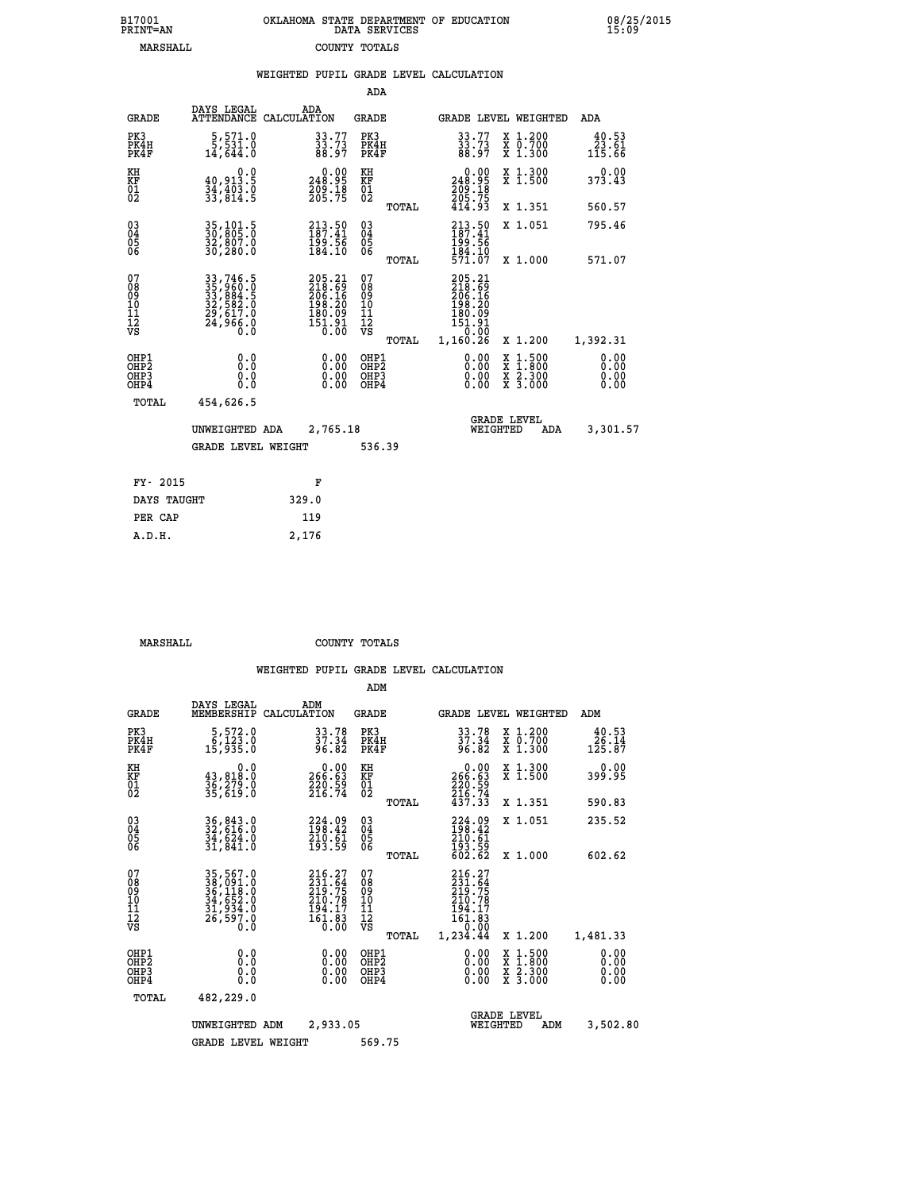| 7001<br>INT=AN | OKLAHOMA STATE DEPARTMENT OF EDUCATION<br>DATA SERVICES |  |  |
|----------------|---------------------------------------------------------|--|--|
| MARSHALL       | COUNTY TOTALS                                           |  |  |

 **B17001 OKLAHOMA STATE DEPARTMENT OF EDUCATION 08/25/2015**

|                                                              |                                                                         | WEIGHTED PUPIL GRADE LEVEL CALCULATION                                     |                                        |       |                                                                                   |                               |                                                                                         |
|--------------------------------------------------------------|-------------------------------------------------------------------------|----------------------------------------------------------------------------|----------------------------------------|-------|-----------------------------------------------------------------------------------|-------------------------------|-----------------------------------------------------------------------------------------|
|                                                              |                                                                         |                                                                            | ADA                                    |       |                                                                                   |                               |                                                                                         |
| <b>GRADE</b>                                                 | DAYS LEGAL<br><b>ATTENDANCE</b>                                         | ADA<br>CALCULATION                                                         | <b>GRADE</b>                           |       |                                                                                   | GRADE LEVEL WEIGHTED          | ADA                                                                                     |
| PK3<br>PK4H<br>PK4F                                          | $\begin{smallmatrix} 5, 571.0\\ 5, 531.0\\ 14, 644.0 \end{smallmatrix}$ | $33.77$<br>$33.73$<br>$88.97$                                              | PK3<br>PK4H<br>PK4F                    |       | $33.77$<br>$33.73$<br>$88.97$                                                     | X 1.200<br>X 0.700<br>X 1.300 | 40.53<br>$\frac{\tilde{2}\, \tilde{3}\, \ldots \, \tilde{6}\, \tilde{1}}{115\, .\, 66}$ |
| KH<br>KF<br>01<br>02                                         | 0.0<br>$\frac{40,913.5}{34,403.0}$<br>$\frac{34,403.0}{33,814.5}$       | $\begin{smallmatrix} &0.00\\ 248.95\\ 209.18\\ 205.75 \end{smallmatrix}$   | KH<br>KF<br>01<br>02                   |       | $\begin{smallmatrix} &0.00\\ 248.95\\ 209.18\\ 205.75\\ 414.93 \end{smallmatrix}$ | X 1.300<br>X 1.500            | 0.00<br>373.43                                                                          |
|                                                              |                                                                         |                                                                            |                                        | TOTAL |                                                                                   | X 1.351                       | 560.57                                                                                  |
| $\begin{smallmatrix} 03 \\[-4pt] 04 \end{smallmatrix}$<br>05 | 35,101.5<br>30,805:0<br>32,807.0<br>30,280.0                            | $213.50$<br>$187.41$<br>$\frac{199}{184}.56$                               | $\substack{03 \\ 04}$<br>Ŏ5<br>06      |       | $213.50$<br>$187.41$<br>199.56<br>184.10                                          | X 1.051                       | 795.46                                                                                  |
| ŎĞ                                                           |                                                                         |                                                                            |                                        | TOTAL | 571.07                                                                            | X 1.000                       | 571.07                                                                                  |
| 07<br>08<br>09<br>10<br>11<br>12<br>VS                       | 33,746.5<br>35,960.0<br>33,884.5<br>32,582.0<br>29,617.0<br>24,966.0    | 205.21<br>218.69<br>206.16<br>206.16<br>198.20<br>180.09<br>151.91<br>0.00 | 07<br>08<br>09<br>11<br>11<br>12<br>VS | TOTAL | 205.21<br>218.69<br>206.16<br>198.20<br>180.09<br>151.91<br>0.00<br>1,160.26      | X 1.200                       | 1,392.31                                                                                |
| OHP1<br>OHP2<br>OHP3<br>OHP4                                 | 0.0<br>0.0<br>Ō.O                                                       | 0.00<br>$\begin{smallmatrix} 0.00 \ 0.00 \end{smallmatrix}$                | OHP1<br>OHP2<br>OHP3<br>OHP4           |       | 0.00<br>0.00<br>0.00                                                              | X 1:500<br>X 2.300<br>X 3.000 | 0.00<br>0.00<br>0.00<br>0.00                                                            |
| <b>TOTAL</b>                                                 | 454,626.5                                                               |                                                                            |                                        |       |                                                                                   |                               |                                                                                         |
|                                                              | UNWEIGHTED ADA                                                          | 2,765.18                                                                   |                                        |       | WEIGHTED                                                                          | <b>GRADE LEVEL</b><br>ADA     | 3,301.57                                                                                |
|                                                              | <b>GRADE LEVEL WEIGHT</b>                                               |                                                                            | 536.39                                 |       |                                                                                   |                               |                                                                                         |
| FY- 2015                                                     |                                                                         | F                                                                          |                                        |       |                                                                                   |                               |                                                                                         |
| DAYS TAUGHT                                                  |                                                                         | 329.0                                                                      |                                        |       |                                                                                   |                               |                                                                                         |
| PER CAP                                                      |                                                                         | 119                                                                        |                                        |       |                                                                                   |                               |                                                                                         |

 **MARSHALL COUNTY TOTALS**

 **A.D.H. 2,176**

 **B17001<br>PRINT=AN** 

|                                                       |                                                                                  |                                                                               | ADM                                     |       |                                                                              |                                                                                                  |                              |
|-------------------------------------------------------|----------------------------------------------------------------------------------|-------------------------------------------------------------------------------|-----------------------------------------|-------|------------------------------------------------------------------------------|--------------------------------------------------------------------------------------------------|------------------------------|
|                                                       | DAYS LEGAL<br><b>GRADE</b><br>MEMBERSHIP                                         | ADM<br>CALCULATION                                                            | <b>GRADE</b>                            |       | GRADE LEVEL WEIGHTED                                                         |                                                                                                  | ADM                          |
| PK3<br>PK4H<br>PK4F                                   | 5,572.0<br>6,123.0<br>15,935.0                                                   | 33.78<br>37.34<br>96.82                                                       | PK3<br>PK4H<br>PK4F                     |       | 33.78<br>37.34<br>96.82                                                      | X 1.200<br>X 0.700<br>X 1.300                                                                    | 40.53<br>26.14<br>125.87     |
| KH<br>KF<br>01<br>02                                  | 43,818.0<br>36,279.0<br>35,619.0                                                 | 0.0<br>$\begin{smallmatrix} &0.00\ 266.63\ 220.59\ 216.74\ \end{smallmatrix}$ | KH<br>KF<br>01<br>02                    |       | 0.00<br>266:63<br>220:59<br>216:74<br>437:33                                 | X 1.300<br>X 1.500                                                                               | 0.00<br>399.95               |
|                                                       |                                                                                  |                                                                               |                                         | TOTAL |                                                                              | X 1.351                                                                                          | 590.83                       |
| 03<br>04<br>05<br>06                                  | 36,843.0<br>32,616.0<br>34,624.0<br>31,841.0                                     | $224.09$<br>$198.42$<br>$210.61$<br>$193.59$                                  | $^{03}_{04}$<br>0500                    |       | 224.09<br>198.42<br>$\frac{210}{193}$ $\frac{61}{59}$<br>$\frac{62}{602}$    | X 1.051                                                                                          | 235.52                       |
|                                                       |                                                                                  |                                                                               |                                         | TOTAL |                                                                              | X 1.000                                                                                          | 602.62                       |
| 07<br>08<br>09<br>101<br>112<br>VS                    | 35, 567.0<br>38, 091.0<br>36, 118.0<br>34, 652.0<br>31, 934.0<br>26,597.0<br>0:0 | 216.27<br>231.64<br>219.75<br>210.78<br>$\frac{194.17}{161.83}$               | 07<br>08<br>09<br>101<br>11<br>12<br>VS | TOTAL | 216.27<br>231.64<br>219.75<br>210.78<br>194.17<br>161.03<br>0.00<br>1,234.44 | X 1.200                                                                                          | 1,481.33                     |
| OHP1<br>OH <sub>P</sub> 2<br>OH <sub>P3</sub><br>OHP4 |                                                                                  | 0.0<br>$0.00$<br>$0.00$<br>0.000<br>0.00                                      | OHP1<br>OHP2<br>OHP3<br>OHP4            |       | $0.00$<br>$0.00$<br>0.00                                                     | $\begin{smallmatrix} x & 1 & 500 \\ x & 1 & 800 \\ x & 2 & 300 \\ x & 3 & 000 \end{smallmatrix}$ | 0.00<br>0.00<br>0.00<br>0.00 |
|                                                       | 482,229.0<br>TOTAL                                                               |                                                                               |                                         |       |                                                                              |                                                                                                  |                              |
|                                                       | UNWEIGHTED                                                                       | 2,933.05<br>ADM                                                               |                                         |       | <b>GRADE LEVEL</b><br>WEIGHTED                                               | ADM                                                                                              | 3,502.80                     |
|                                                       |                                                                                  | <b>GRADE LEVEL WEIGHT</b>                                                     | 569.75                                  |       |                                                                              |                                                                                                  |                              |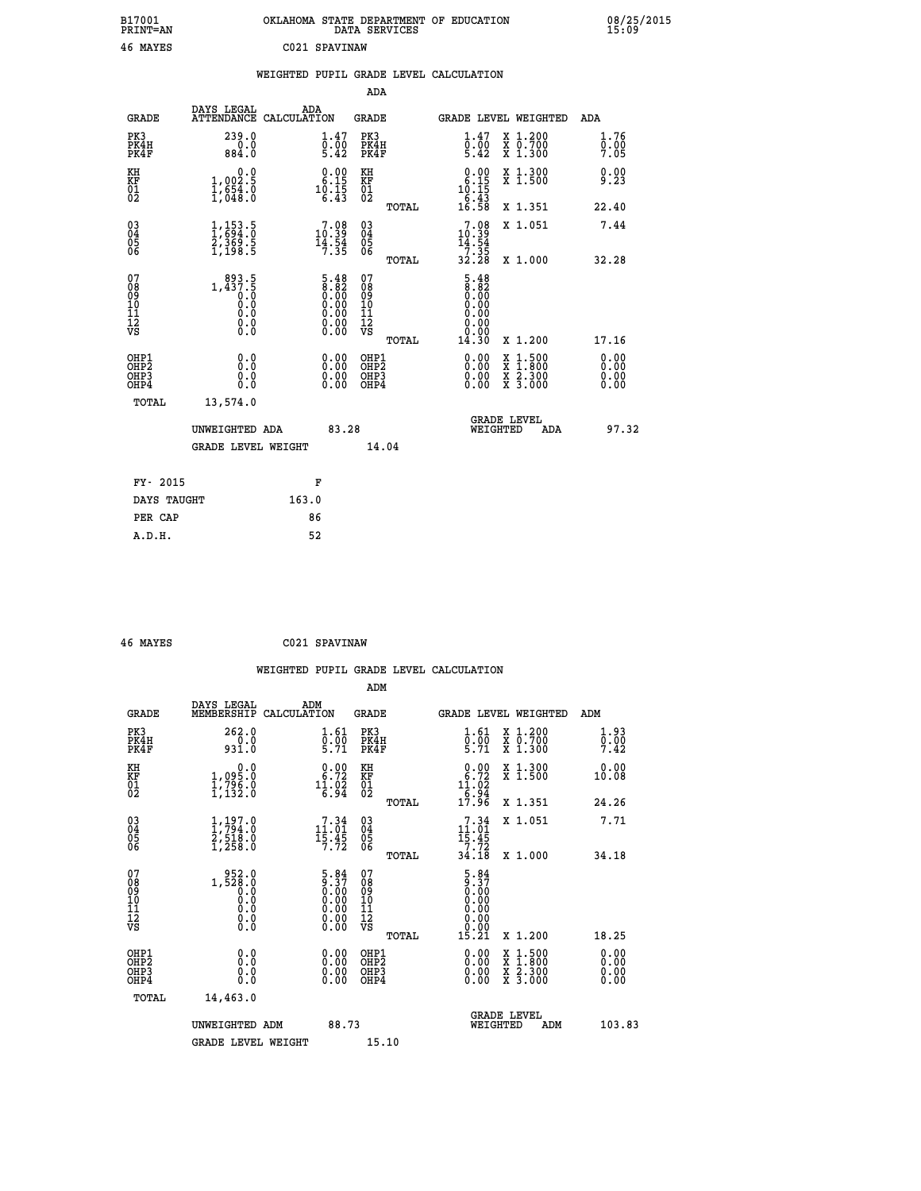| B17001<br>PRINT=AN                        |                                                                                                       | OKLAHOMA STATE DEPARTMENT OF EDUCATION DATA SERVICES                                          |                                                    |                                                                            |                                                                                                                                           | 08/25/2015<br>15:09          |
|-------------------------------------------|-------------------------------------------------------------------------------------------------------|-----------------------------------------------------------------------------------------------|----------------------------------------------------|----------------------------------------------------------------------------|-------------------------------------------------------------------------------------------------------------------------------------------|------------------------------|
| 46 MAYES                                  |                                                                                                       | C021 SPAVINAW                                                                                 |                                                    |                                                                            |                                                                                                                                           |                              |
|                                           |                                                                                                       | WEIGHTED PUPIL GRADE LEVEL CALCULATION                                                        |                                                    |                                                                            |                                                                                                                                           |                              |
|                                           |                                                                                                       |                                                                                               | <b>ADA</b>                                         |                                                                            |                                                                                                                                           |                              |
| <b>GRADE</b>                              | DAYS LEGAL                                                                                            | ADA<br>ATTENDANCE CALCULATION                                                                 | <b>GRADE</b>                                       | GRADE LEVEL WEIGHTED                                                       |                                                                                                                                           | <b>ADA</b>                   |
| PK3<br>PK4H<br>PK4F                       | 239.0<br>0.0<br>884.0                                                                                 | 1.47<br>$\overline{0}$ : $\overline{0}0$<br>5.42                                              | PK3<br>PK4H<br>PK4F                                | 1.47<br>$\bar{0}$ .00<br>5.42                                              | X 1.200<br>X 0.700<br>X 1.300                                                                                                             | 1.76<br>0.00<br>7.05         |
| KH<br>KF<br>01<br>02                      | 0.0<br>5.200,1<br>$\frac{1}{1}$ , 654.0                                                               | $\begin{smallmatrix} 0.00\\ 6.15\\ 10.15\\ 6.43 \end{smallmatrix}$                            | KH<br>KF<br>01<br>02                               | $\begin{smallmatrix} 0.00\\ 6.15\\ 10.15\\ 16.43\\ 6.58 \end{smallmatrix}$ | X 1.300<br>X 1.500                                                                                                                        | 0.00<br>9.23                 |
|                                           |                                                                                                       |                                                                                               | TOTAL                                              |                                                                            | X 1.351                                                                                                                                   | 22.40                        |
| 03<br>04<br>05<br>06                      | $\frac{1}{1}, \frac{153}{694}. \frac{5}{0}$<br>$\frac{2}{1}, \frac{369}{198}. \frac{5}{5}$            | $\begin{smallmatrix}7\cdot08\\10\cdot39\\14\cdot54\\7\cdot35\end{smallmatrix}$                | $\begin{matrix} 03 \\ 04 \\ 05 \\ 06 \end{matrix}$ | 10:39                                                                      | X 1.051                                                                                                                                   | 7.44                         |
|                                           |                                                                                                       |                                                                                               | TOTAL                                              | $\frac{14.54}{7.35}$<br>32.28                                              | X 1.000                                                                                                                                   | 32.28                        |
| 07<br>08901112<br>1112<br>VS              | $\begin{smallmatrix} & 893.5\\ 1,437.5\\ 0.0\\ 0.0\\ 0.0\\ 0.0\\ 0.0\\ 0.0\\ 0.0\\ \end{smallmatrix}$ | $\begin{smallmatrix} 5.48\ 8.82\ 0.00\ 0.00\ 0.00\ 0.00\ 0.00\ 0.00\ 0.00\ \end{smallmatrix}$ | 07<br>08901112<br>1112<br>VS                       | 5.48<br>8.82<br>0.00<br>0.00<br>0.00<br>0.00<br>0.00                       |                                                                                                                                           |                              |
|                                           |                                                                                                       |                                                                                               | TOTAL                                              | 14.30                                                                      | X 1.200                                                                                                                                   | 17.16                        |
| OHP1<br>OH <sub>P</sub> 2<br>OHP3<br>OHP4 | 0.000<br>0.0<br>0.0                                                                                   |                                                                                               | OHP1<br>OH <sub>P</sub> 2<br>OHP3<br>OHP4          | 0.00<br>0.00                                                               | $\begin{smallmatrix} \mathtt{X} & 1\cdot500\\ \mathtt{X} & 1\cdot800\\ \mathtt{X} & 2\cdot300\\ \mathtt{X} & 3\cdot000 \end{smallmatrix}$ | 0.00<br>0.00<br>0.00<br>0.00 |
| TOTAL                                     | 13,574.0                                                                                              |                                                                                               |                                                    |                                                                            |                                                                                                                                           |                              |
|                                           | UNWEIGHTED ADA                                                                                        | 83.28                                                                                         |                                                    | <b>GRADE LEVEL</b><br>WEIGHTED                                             | ADA                                                                                                                                       | 97.32                        |

|             | GRADE LEVEL WEIGHT | 14.04 |
|-------------|--------------------|-------|
| FY- 2015    | F                  |       |
| DAYS TAUGHT | 163.0              |       |
| PER CAP     | 86                 |       |
| A.D.H.      | 52                 |       |

| 46 MAYES | C021 SPAVINAW |
|----------|---------------|
|          |               |

 **WEIGHTED PUPIL GRADE LEVEL CALCULATION ADM DAYS LEGAL ADM GRADE MEMBERSHIP CALCULATION GRADE GRADE LEVEL WEIGHTED ADM PK3 262.0 1.61 PK3 1.61 X 1.200 1.93 PK4H 0.0 0.00 PK4H 0.00 X 0.700 0.00 PK4F 931.0 5.71 PK4F 5.71 X 1.300 7.42 KH 0.0 0.00 KH 0.00 X 1.300 0.00 KF 1,095.0 6.72 KF 6.72 X 1.500 10.08** 01 1,796.0 11.02 01 11.02<br>
02 1,132.0 6.94 02 <sub>mems</sub> 19.94  **TOTAL 17.96 X 1.351 24.26 03 1,197.0 7.34 03 7.34 X 1.051 7.71 04 1,794.0 11.01 04 11.01 05 2,518.0 15.45 05 15.45 06 1,258.0 7.72 06 7.72 TOTAL 34.18 X 1.000 34.18 07 1,528.0 5.84 07 5.84**<br>
08 **1,528.0 0.00 0.00 0.00**<br>
10 0.0 0.00 10 0.00<br>
11 0.0 0.00 11 0.00<br>
12 0.00 0.00 12<br> **VS** 0.00 VS 0.00  $\begin{array}{cccc} 5.84 & 07 & 5.84 \ 0.37 & 0.89 & 5.37 \ 0.00 & 10 & 0.000 \ 0.00 & 11 & 0.000 \ 0.00 & 12 & 0.000 \ 0.00 & \texttt{vs} & 0.000 \ 0.00 & \texttt{vs} & 0.21 & \texttt{x} & 1.200 \ 0.00 & 0\texttt{HP2} & 0.00 & \texttt{x} & 1.500 & 0.00 \ 0.00 & 0\texttt{HP3} & 0.00 & \texttt{x} & 3.300 &$  **OHP1 0.0 0.00 OHP1 0.00 X 1.500 0.00 OHP2 0.0 0.00 OHP2 0.00 X 1.800 0.00 OHP3 0.0 0.00 OHP3 0.00 X 2.300 0.00 OHP4 0.0 0.00 OHP4 0.00 X 3.000 0.00 TOTAL 14,463.0** UNWEIGHTED ADM 88.73 GRADE LEVEL<br>WEIGHTED ADM 103.83 GRADE LEVEL WEIGHT 15.10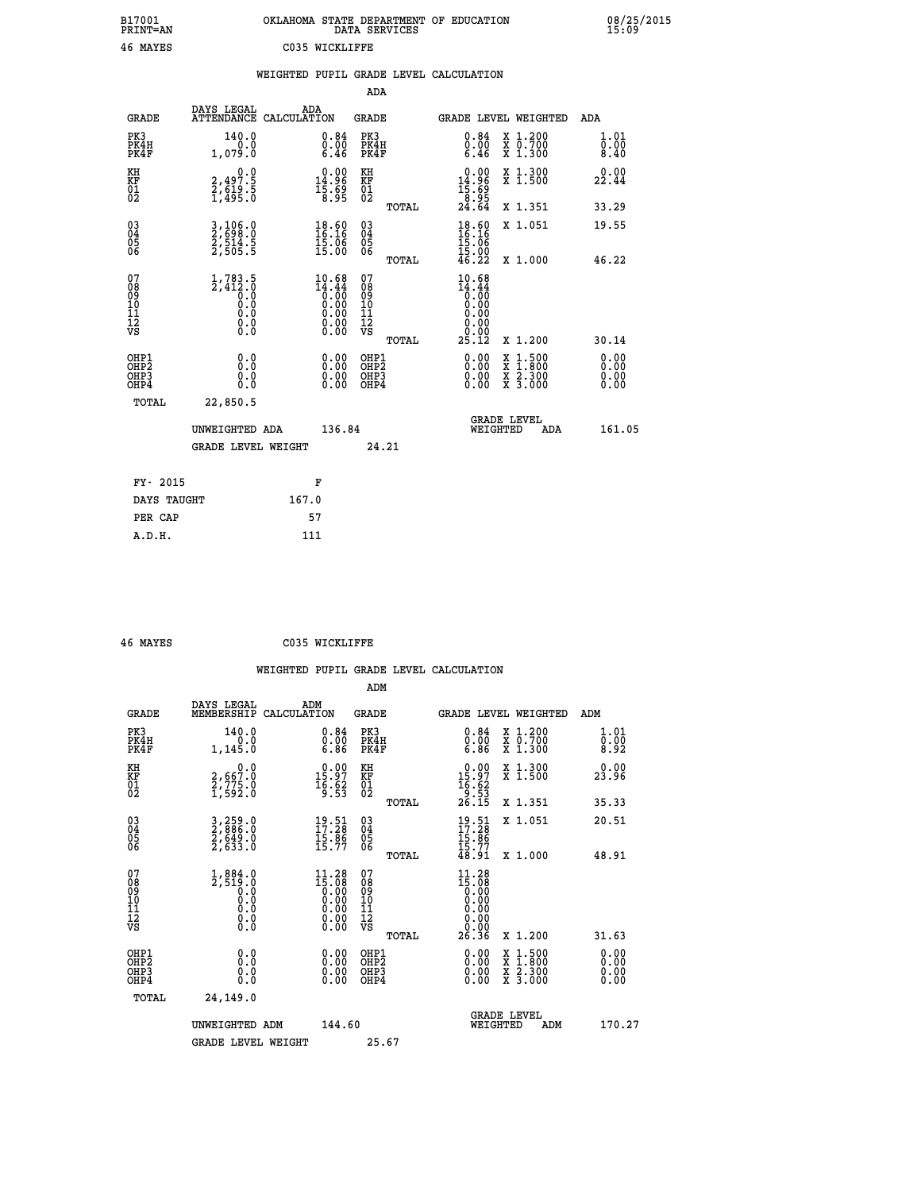| B17001<br><b>PRINT=AN</b> | OKLAHOMA STATE DEPARTMENT OF EDUCATION<br>DATA SERVICES | 08/25/2015<br>15:09 |
|---------------------------|---------------------------------------------------------|---------------------|
| 46 MAYES                  | C035 WICKLIFFE                                          |                     |

|                                                                    |                                                        | WEIGHTED PUPIL GRADE LEVEL CALCULATION                                                                                 |                                        |       |                                                                        |                                                                     |                              |
|--------------------------------------------------------------------|--------------------------------------------------------|------------------------------------------------------------------------------------------------------------------------|----------------------------------------|-------|------------------------------------------------------------------------|---------------------------------------------------------------------|------------------------------|
|                                                                    |                                                        |                                                                                                                        | ADA                                    |       |                                                                        |                                                                     |                              |
| <b>GRADE</b>                                                       | DAYS LEGAL                                             | ADA<br>ATTENDANCE CALCULATION                                                                                          | <b>GRADE</b>                           |       |                                                                        | GRADE LEVEL WEIGHTED                                                | ADA                          |
| PK3<br>PK4H<br>PK4F                                                | 140.0<br>0.0<br>1,079.0                                | 0.84<br>$\substack{0.00\\ 6.46}$                                                                                       | PK3<br>PK4H<br>PK4F                    |       | 0.84<br>0.00<br>6.46                                                   | X 1.200<br>X 0.700<br>X 1.300                                       | 1.01<br>0.00<br>8.40         |
| KH<br>KF<br>01<br>02                                               | 0.0<br>2,497.5<br>2,619.5<br>1,495.0                   | $\begin{smallmatrix} 0.00\\ 14.96\\ 15.69\\ 8.95 \end{smallmatrix}$                                                    | KH<br>KF<br>01<br>02                   |       | $\begin{array}{c} 0.00 \\ 14.96 \\ 15.69 \\ 8.95 \\ 24.64 \end{array}$ | X 1.300<br>X 1.500                                                  | 0.00<br>22.44                |
|                                                                    |                                                        |                                                                                                                        |                                        | TOTAL |                                                                        | X 1.351                                                             | 33.29                        |
| $\begin{smallmatrix} 03 \\[-4pt] 04 \end{smallmatrix}$<br>Ŏ5<br>06 | 3,106.0<br>2,698.0<br>2,514.5<br>2,505.5               | $\frac{18.60}{16.16}$<br>$\frac{15.06}{15.00}$                                                                         | $\substack{03 \\ 04}$<br>Ŏ5<br>06      |       | $\frac{18.60}{16.16}$<br>$\frac{15.06}{15.00}$<br>$46.22$              | X 1.051                                                             | 19.55                        |
|                                                                    |                                                        |                                                                                                                        |                                        | TOTAL |                                                                        | X 1.000                                                             | 46.22                        |
| 07<br>08<br>09<br>101<br>112<br>VS                                 | $1,783.5$<br>$2,412.0$<br>$0.0$<br>0.0<br>Ō.Ō<br>$\S.$ | $10.68$<br>$14.44$<br>$0.00$<br>$0.00$<br>$0.00$<br>$\begin{smallmatrix} 0.00 & 0.00 \\ 0.00 & 0.00 \end{smallmatrix}$ | 07<br>08<br>09<br>11<br>11<br>12<br>VS | TOTAL | $10.68$<br>$14.44$<br>$0.00$<br>$0.00$<br>0.00<br>0.00<br>25.12        | X 1.200                                                             | 30.14                        |
| OHP1<br>OHP2<br>OHP3<br>OHP4                                       | 0.0<br>Ŏ.Ō<br>0.0<br>0.0                               | 0.00<br>$0.00$<br>0.00                                                                                                 | OHP1<br>OHP2<br>OHP3<br>OHP4           |       | 0.00<br>0.00<br>0.00                                                   | $1.500$<br>$1.800$<br>X<br>X<br>$\frac{x}{x}$ $\frac{5:300}{3:000}$ | 0.00<br>0.00<br>0.00<br>0.00 |
| TOTAL                                                              | 22,850.5                                               |                                                                                                                        |                                        |       |                                                                        |                                                                     |                              |
|                                                                    | UNWEIGHTED ADA                                         |                                                                                                                        | 136.84                                 |       | WEIGHTED                                                               | <b>GRADE LEVEL</b><br>ADA                                           | 161.05                       |
|                                                                    | <b>GRADE LEVEL WEIGHT</b>                              |                                                                                                                        |                                        | 24.21 |                                                                        |                                                                     |                              |
| FY- 2015                                                           |                                                        | F                                                                                                                      |                                        |       |                                                                        |                                                                     |                              |
| DAYS TAUGHT                                                        |                                                        | 167.0                                                                                                                  |                                        |       |                                                                        |                                                                     |                              |
| PER CAP                                                            |                                                        | 57                                                                                                                     |                                        |       |                                                                        |                                                                     |                              |

 **46 MAYES C035 WICKLIFFE**

| <b>GRADE</b>                                       | DAYS LEGAL<br>MEMBERSHIP                                                   | ADM<br>CALCULATION                                                                                                              | <b>GRADE</b>                                       |       |                                                                                                                                                                                                                                                                                |          | GRADE LEVEL WEIGHTED                     | ADM                         |
|----------------------------------------------------|----------------------------------------------------------------------------|---------------------------------------------------------------------------------------------------------------------------------|----------------------------------------------------|-------|--------------------------------------------------------------------------------------------------------------------------------------------------------------------------------------------------------------------------------------------------------------------------------|----------|------------------------------------------|-----------------------------|
| PK3<br>PK4H<br>PK4F                                | 140.0<br>1, 145.0                                                          | $\substack{0.84 \\ 0.00 \\ 6.86}$                                                                                               | PK3<br>PK4H<br>PK4F                                |       | $\substack{0.84 \\ 0.00 \\ 6.86}$                                                                                                                                                                                                                                              |          | X 1.200<br>X 0.700<br>X 1.300            | 1.01<br>$\frac{0.00}{8.92}$ |
| KH<br>KF<br>01<br>02                               | $\begin{smallmatrix} & & 0.0\ 2.667.0\ 2.775.0\ 1.592.0 \end{smallmatrix}$ | $\begin{smallmatrix} 0.00\\ 15.97\\ 16.62\\ 9.53 \end{smallmatrix}$                                                             | KH<br>KF<br>01<br>02                               |       | $\begin{array}{r} 0.00 \\ 15.97 \\ 16.62 \\ 9.53 \\ 26.15 \end{array}$                                                                                                                                                                                                         |          | X 1.300<br>X 1.500                       | 0.00<br>23.96               |
|                                                    |                                                                            |                                                                                                                                 |                                                    | TOTAL |                                                                                                                                                                                                                                                                                |          | X 1.351                                  | 35.33                       |
| $\begin{matrix} 03 \\ 04 \\ 05 \\ 06 \end{matrix}$ | 3,259.0<br>2,886.0<br>2,649.0<br>2,633.0                                   | $\begin{smallmatrix} 19.51\ 17.28\ 15.86\ 15.77 \end{smallmatrix}$                                                              | $\begin{matrix} 03 \\ 04 \\ 05 \\ 06 \end{matrix}$ |       | $19.51$<br>$17.28$<br>$15.86$<br>$15.77$<br>$48.91$                                                                                                                                                                                                                            |          | X 1.051                                  | 20.51                       |
|                                                    |                                                                            |                                                                                                                                 |                                                    | TOTAL |                                                                                                                                                                                                                                                                                |          | X 1.000                                  | 48.91                       |
| 07<br>089<br>090<br>1112<br>VS                     | $1,884.0$<br>$2,519.0$<br>$0.0$<br>$0.0$<br>$0.0$<br>$0.0$<br>$0.0$        | $\begin{smallmatrix} 11\cdot 28\\15\cdot 08\\0\cdot 00\\0\cdot 00\\0\cdot 00\\0\cdot 00\\0\cdot 00\\0\cdot 00\end{smallmatrix}$ | 07<br>08901112<br>1112<br>VS                       | TOTAL | $\begin{smallmatrix} 11\cdot 28\\15\cdot 08\\0\cdot 00\\0\cdot 00\\0\cdot 00\\0\cdot 00\\0\cdot 00\\0\cdot 00\\26\cdot 36\end{smallmatrix}$                                                                                                                                    |          | X 1.200                                  | 31.63                       |
| OHP1<br>OHP2<br>OH <sub>P3</sub><br>OHP4           | 0.0<br>0.000                                                               |                                                                                                                                 | OHP1<br>OHP2<br>OHP3<br>OHP4                       |       | $\begin{smallmatrix} 0.00 & 0.00 & 0.00 & 0.00 & 0.00 & 0.00 & 0.00 & 0.00 & 0.00 & 0.00 & 0.00 & 0.00 & 0.00 & 0.00 & 0.00 & 0.00 & 0.00 & 0.00 & 0.00 & 0.00 & 0.00 & 0.00 & 0.00 & 0.00 & 0.00 & 0.00 & 0.00 & 0.00 & 0.00 & 0.00 & 0.00 & 0.00 & 0.00 & 0.00 & 0.00 & 0.0$ |          | X 1:500<br>X 1:800<br>X 2:300<br>X 3:000 | 0.00<br>0.00<br>0.00        |
| TOTAL                                              | 24,149.0                                                                   |                                                                                                                                 |                                                    |       |                                                                                                                                                                                                                                                                                |          |                                          |                             |
|                                                    | UNWEIGHTED                                                                 | 144.60<br>ADM                                                                                                                   |                                                    |       |                                                                                                                                                                                                                                                                                | WEIGHTED | <b>GRADE LEVEL</b><br>ADM                | 170.27                      |
|                                                    | <b>GRADE LEVEL WEIGHT</b>                                                  |                                                                                                                                 | 25.67                                              |       |                                                                                                                                                                                                                                                                                |          |                                          |                             |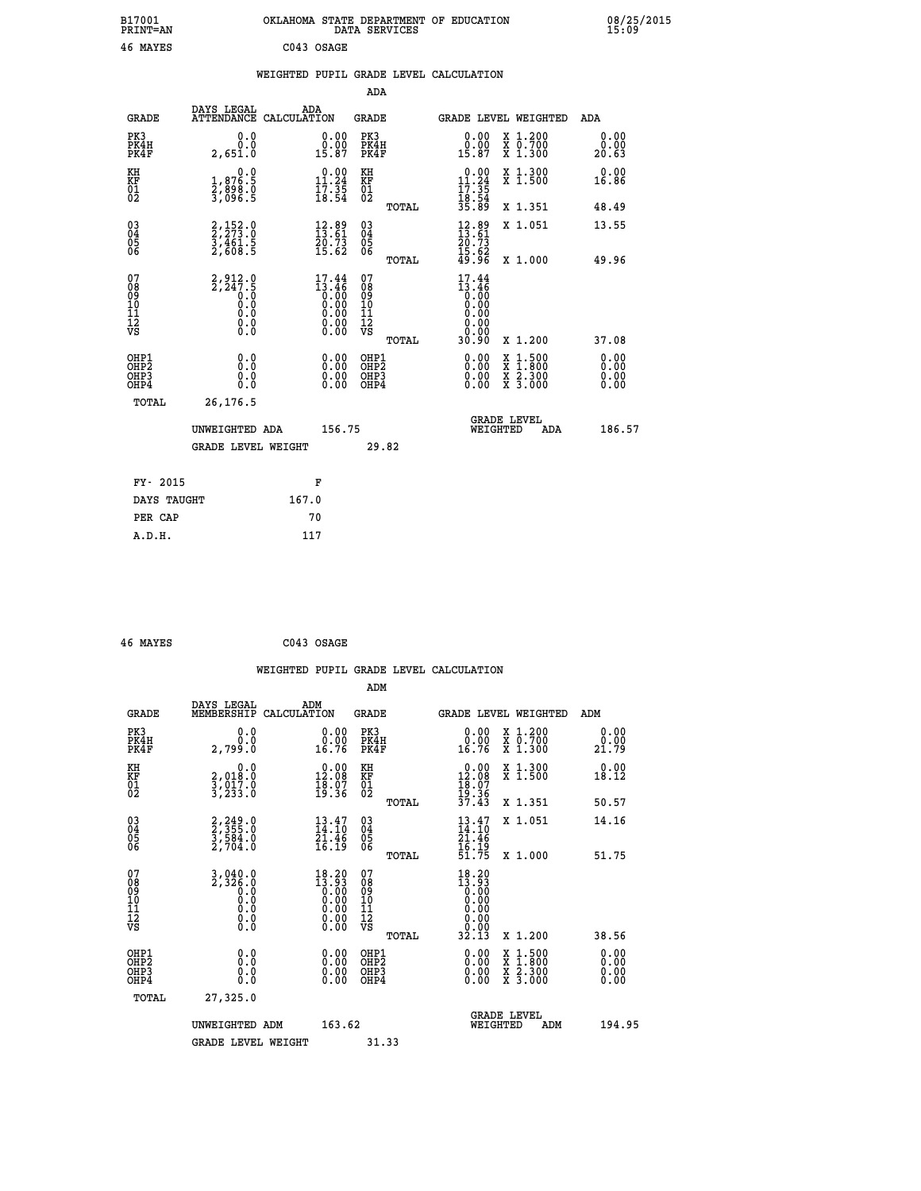| B17001<br><b>PRINT=AN</b>                            |                                                                       | OKLAHOMA STATE DEPARTMENT OF EDUCATION                                                                                                           | DATA SERVICES                                          |                                                                 |                                                                                          | 08/25/2015<br>15:09          |  |
|------------------------------------------------------|-----------------------------------------------------------------------|--------------------------------------------------------------------------------------------------------------------------------------------------|--------------------------------------------------------|-----------------------------------------------------------------|------------------------------------------------------------------------------------------|------------------------------|--|
| 46 MAYES                                             |                                                                       | C043 OSAGE                                                                                                                                       |                                                        |                                                                 |                                                                                          |                              |  |
|                                                      |                                                                       | WEIGHTED PUPIL GRADE LEVEL CALCULATION                                                                                                           |                                                        |                                                                 |                                                                                          |                              |  |
|                                                      |                                                                       |                                                                                                                                                  | ADA                                                    |                                                                 |                                                                                          |                              |  |
| <b>GRADE</b>                                         | DAYS LEGAL                                                            | ADA<br>ATTENDANCE CALCULATION                                                                                                                    | GRADE                                                  | <b>GRADE LEVEL WEIGHTED</b>                                     |                                                                                          | ADA                          |  |
| PK3<br>PK4H<br>PK4F                                  | 0.0<br>0.0<br>2,651.0                                                 | 0.00<br>$\begin{smallmatrix} 0.00 \\ 15.87 \end{smallmatrix}$                                                                                    | PK3<br>PK4H<br>PK4F                                    | $\begin{smallmatrix} 0.00\\ 0.00\\ 15.87 \end{smallmatrix}$     | X 1.200<br>X 0.700<br>X 1.300                                                            | 0.00<br>0.00<br>20.63        |  |
| KH<br>KF<br>$^{01}_{02}$                             | 0.0<br>1,876.5<br>2,898.0<br>3,096.5                                  | $\begin{smallmatrix} 0.00\\ 11.24\\ 17.35\\ 18.54 \end{smallmatrix}$                                                                             | КH<br>KF<br>01<br>02                                   | $0.00$<br>11.24<br>$\frac{17.35}{18.54}$<br>35.89               | X 1.300<br>X 1.500                                                                       | 0.00<br>16.86                |  |
|                                                      |                                                                       |                                                                                                                                                  | TOTAL                                                  |                                                                 | X 1.351                                                                                  | 48.49                        |  |
| $\substack{03 \\ 04}$<br>0500                        | 2, 152.0<br>$\frac{1}{2}$ , $\frac{1}{6}$ , $\frac{1}{5}$<br>2, 608.5 | $\begin{smallmatrix} 12.89\\13.61\\20.73\\15.62 \end{smallmatrix}$                                                                               | 03<br>04<br>05<br>06                                   | $\frac{12.89}{13.61}$<br>20.73                                  | X 1.051                                                                                  | 13.55                        |  |
|                                                      |                                                                       |                                                                                                                                                  | TOTAL                                                  | $\frac{15.62}{49.96}$                                           | X 1.000                                                                                  | 49.96                        |  |
| 07<br>08<br>09<br>11<br>11<br>12<br>VS               | $2, 912.0$<br>$2, 247.5$<br>0.0<br>0.0<br>$\S.$                       | $\begin{smallmatrix} 17.44 \\[-4pt] 13.46 \\[-4pt] 0.00 \\[-4pt] 0.00 \\[-4pt] 0.00 \\[-4pt] 0.00 \\[-4pt] 0.00 \\[-4pt] 0.00 \end{smallmatrix}$ | 07<br>08<br>09<br>10<br>11<br>12<br>VS<br><b>TOTAL</b> | 17.44<br>13.46<br>0.00<br>0.00<br>0.00<br>0.00<br>0.00<br>30.90 | X 1.200                                                                                  | 37.08                        |  |
| OHP1<br>OHP <sub>2</sub><br>OH <sub>P3</sub><br>OHP4 | 0.0<br>0.0<br>0.0<br>0.0                                              | 0.00<br>0.00<br>0.00                                                                                                                             | OHP1<br>OH <sub>P</sub> 2<br>OHP3<br>OHP4              | 0.00<br>0.00<br>0.00                                            | $\begin{smallmatrix} x & 1.500 \\ x & 1.800 \\ x & 2.300 \\ x & 3.000 \end{smallmatrix}$ | 0.00<br>0.00<br>0.00<br>0.00 |  |
| TOTAL                                                | 26, 176.5                                                             |                                                                                                                                                  |                                                        |                                                                 |                                                                                          |                              |  |
|                                                      | UNWEIGHTED ADA                                                        | 156.75                                                                                                                                           |                                                        | <b>GRADE LEVEL</b><br>WEIGHTED                                  | ADA                                                                                      | 186.57                       |  |
|                                                      | <b>GRADE LEVEL WEIGHT</b>                                             |                                                                                                                                                  | 29.82                                                  |                                                                 |                                                                                          |                              |  |
| FY- 2015                                             |                                                                       | F                                                                                                                                                |                                                        |                                                                 |                                                                                          |                              |  |
| DAYS TAUGHT                                          |                                                                       | 167.0                                                                                                                                            |                                                        |                                                                 |                                                                                          |                              |  |
| PER CAP                                              |                                                                       | 70                                                                                                                                               |                                                        |                                                                 |                                                                                          |                              |  |

| 46 MAYES | C043 OSAGE |
|----------|------------|
|          |            |

|                                                    |                                                                                                                   |                    |                                                                      |                                               |       | WEIGHTED PUPIL GRADE LEVEL CALCULATION                                                                                                                                                                                                                                         |                                                                                                  |                       |        |
|----------------------------------------------------|-------------------------------------------------------------------------------------------------------------------|--------------------|----------------------------------------------------------------------|-----------------------------------------------|-------|--------------------------------------------------------------------------------------------------------------------------------------------------------------------------------------------------------------------------------------------------------------------------------|--------------------------------------------------------------------------------------------------|-----------------------|--------|
|                                                    |                                                                                                                   |                    |                                                                      | ADM                                           |       |                                                                                                                                                                                                                                                                                |                                                                                                  |                       |        |
| <b>GRADE</b>                                       | DAYS LEGAL<br>MEMBERSHIP                                                                                          | ADM<br>CALCULATION |                                                                      | <b>GRADE</b>                                  |       |                                                                                                                                                                                                                                                                                | GRADE LEVEL WEIGHTED                                                                             | ADM                   |        |
| PK3<br>PK4H<br>PK4F                                | 0.0<br>Ō.Ō<br>2,799.0                                                                                             |                    | $\begin{smallmatrix} 0.00\\ 0.00\\ 16.76 \end{smallmatrix}$          | PK3<br>PK4H<br>PK4F                           |       | 0.00<br>16.76                                                                                                                                                                                                                                                                  | X 1.200<br>X 0.700<br>X 1.300                                                                    | 0.00<br>0.00<br>21.79 |        |
| KH<br>KF<br>01<br>02                               | 0.0<br>2,018:0<br>3,017:0<br>3,233:0                                                                              |                    | $\begin{smallmatrix} 0.00\\ 12.08\\ 18.07\\ 19.36 \end{smallmatrix}$ | KH<br>KF<br>01<br>02                          |       | $\begin{array}{c} 0.00 \\[-4pt] 12.08 \\[-4pt] 18.07 \\[-4pt] 19.36 \\[-4pt] 37.43 \end{array}$                                                                                                                                                                                | X 1.300<br>X 1.500                                                                               | 0.00<br>18.12         |        |
|                                                    |                                                                                                                   |                    |                                                                      |                                               | TOTAL |                                                                                                                                                                                                                                                                                | X 1.351                                                                                          | 50.57                 |        |
| $\begin{matrix} 03 \\ 04 \\ 05 \\ 06 \end{matrix}$ | 2, 249.0<br>2, 355.0<br>3, 584.0<br>2, 704.0                                                                      |                    | $\frac{13.47}{14.10}$<br>$\frac{21.46}{16.19}$                       | $^{03}_{04}$<br>Ŏ5<br>06                      |       | $13.47$<br>$14.10$<br>$21.46$<br>$16.19$<br>$51.75$                                                                                                                                                                                                                            | X 1.051                                                                                          | 14.16                 |        |
|                                                    |                                                                                                                   |                    |                                                                      |                                               | TOTAL |                                                                                                                                                                                                                                                                                | X 1.000                                                                                          | 51.75                 |        |
| 07<br>0890112<br>1112<br>VS                        | $\frac{3}{2}, \frac{040}{326}, \frac{0}{0}$<br>0.0 0.0<br>$\begin{smallmatrix} 0.10\ 0.0 \ 0.0 \end{smallmatrix}$ |                    | $18.20$<br>$13.93$                                                   | 07<br>08<br>09<br>001<br>11<br>11<br>12<br>VS |       | $18.20$<br>$13.93$<br>$0.00$<br>$0.00$<br>0.00<br>$\begin{array}{c} 0.00 \\ 0.00 \\ 32.13 \end{array}$                                                                                                                                                                         |                                                                                                  |                       |        |
|                                                    |                                                                                                                   |                    |                                                                      |                                               | TOTAL |                                                                                                                                                                                                                                                                                | $X_1.200$                                                                                        | 38.56                 |        |
| OHP1<br>OHP2<br>OH <sub>P3</sub><br>OHP4           | 0.0<br>0.000                                                                                                      |                    | $\begin{smallmatrix} 0.00 \ 0.00 \ 0.00 \ 0.00 \end{smallmatrix}$    | OHP1<br>OHP2<br>OHP3<br>OHP4                  |       | $\begin{smallmatrix} 0.00 & 0.00 & 0.00 & 0.00 & 0.00 & 0.00 & 0.00 & 0.00 & 0.00 & 0.00 & 0.00 & 0.00 & 0.00 & 0.00 & 0.00 & 0.00 & 0.00 & 0.00 & 0.00 & 0.00 & 0.00 & 0.00 & 0.00 & 0.00 & 0.00 & 0.00 & 0.00 & 0.00 & 0.00 & 0.00 & 0.00 & 0.00 & 0.00 & 0.00 & 0.00 & 0.0$ | $\begin{smallmatrix} x & 1 & 500 \\ x & 1 & 800 \\ x & 2 & 300 \\ x & 3 & 000 \end{smallmatrix}$ | 0.00<br>0.00<br>0.00  |        |
| TOTAL                                              | 27,325.0                                                                                                          |                    |                                                                      |                                               |       |                                                                                                                                                                                                                                                                                |                                                                                                  |                       |        |
|                                                    | UNWEIGHTED ADM                                                                                                    |                    | 163.62                                                               |                                               |       | WEIGHTED                                                                                                                                                                                                                                                                       | <b>GRADE LEVEL</b><br>ADM                                                                        |                       | 194.95 |
|                                                    | <b>GRADE LEVEL WEIGHT</b>                                                                                         |                    |                                                                      | 31.33                                         |       |                                                                                                                                                                                                                                                                                |                                                                                                  |                       |        |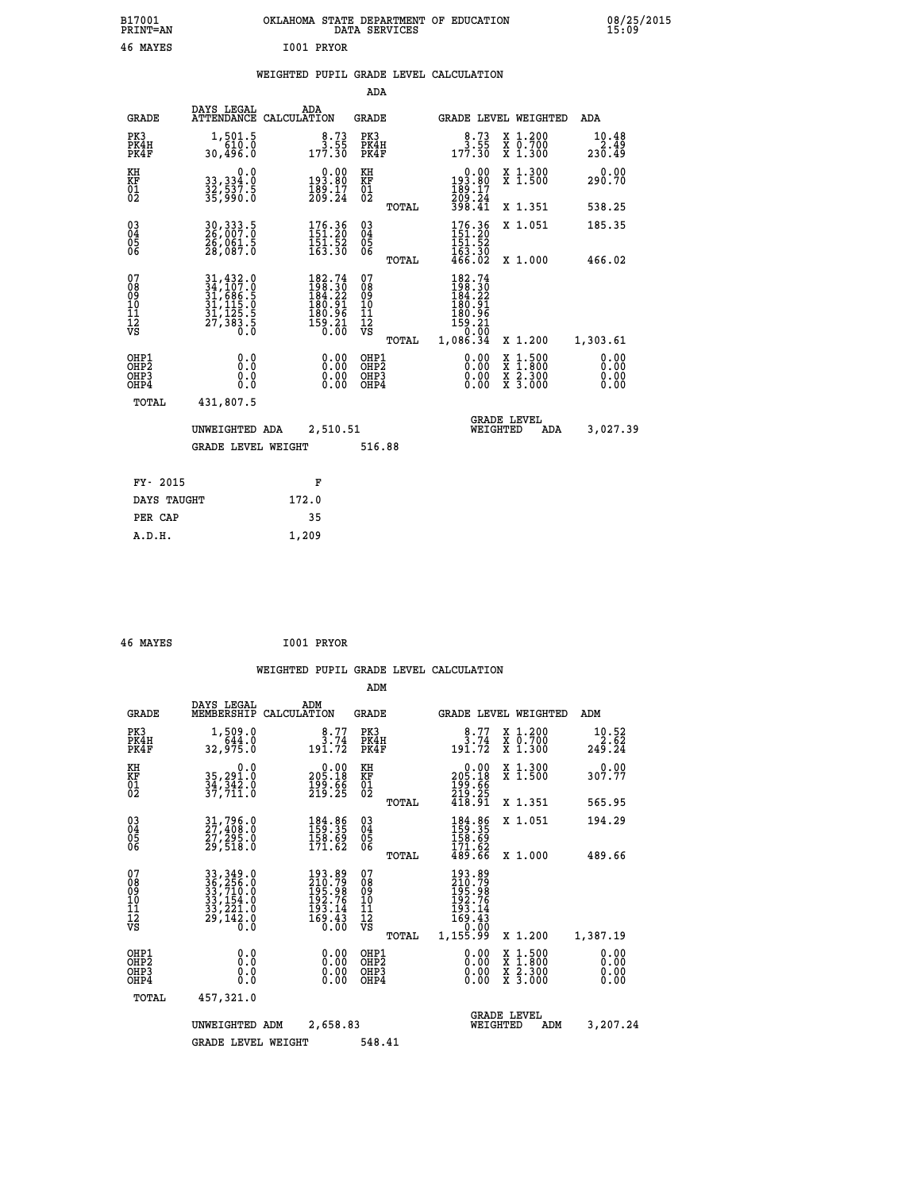| B17001<br><b>PRINT=AN</b>              |                                                                             | OKLAHOMA STATE DEPARTMENT OF EDUCATION                                 | DATA SERVICES                                                                       |                                                                                                                 |                                                                                          | 08/25/2015<br>15:09     |
|----------------------------------------|-----------------------------------------------------------------------------|------------------------------------------------------------------------|-------------------------------------------------------------------------------------|-----------------------------------------------------------------------------------------------------------------|------------------------------------------------------------------------------------------|-------------------------|
| 46 MAYES                               |                                                                             | I001 PRYOR                                                             |                                                                                     |                                                                                                                 |                                                                                          |                         |
|                                        |                                                                             | WEIGHTED PUPIL GRADE LEVEL CALCULATION                                 |                                                                                     |                                                                                                                 |                                                                                          |                         |
|                                        |                                                                             |                                                                        | <b>ADA</b>                                                                          |                                                                                                                 |                                                                                          |                         |
| GRADE                                  | DAYS LEGAL                                                                  | ADA<br>ATTENDANCE CALCULATION                                          | GRADE                                                                               | GRADE LEVEL WEIGHTED                                                                                            |                                                                                          | ADA                     |
| PK3<br>PK4H<br>PK4F                    | 1,501.5<br>610.0<br>30,496.0                                                | $\begin{smallmatrix}8.73\3.55\177.30\end{smallmatrix}$                 | PK3<br>PK4H<br>PK4F                                                                 | $\begin{smallmatrix}8.73\3.55\177.30\end{smallmatrix}$                                                          | X 1.200<br>X 0.700<br>X 1.300                                                            | 10.48<br>2.49<br>230.49 |
| KH<br>KF<br>$\frac{01}{02}$            | 0.0<br>33,334:0<br>32,537:5<br>35,990:0                                     | $0.00$<br>193.80<br>$\frac{189}{209}$ : $\frac{17}{24}$                | KH<br>KF<br>$\overline{01}$                                                         | $0.00$<br>$0.00$<br>$0.80$<br>$\frac{189}{209}\cdot\frac{17}{24}$                                               | X 1.300<br>X 1.500                                                                       | 0.00<br>290.70          |
|                                        |                                                                             |                                                                        | <b>TOTAL</b>                                                                        | 398.41                                                                                                          | X 1.351                                                                                  | 538.25                  |
| $^{03}_{04}$<br>05<br>ŎĞ               | 30, 333.5<br>26, 007:0<br>26,061.5<br>28,087.0                              | $\begin{smallmatrix} 176.36\\151.20\\151.52\\163.30 \end{smallmatrix}$ | $03\overline{4}$<br>0500                                                            | $\begin{array}{c} 176.36 \\[-4pt] 151.20 \\[-4pt] 151.52 \\[-4pt] 163.30 \\[-4pt] 466.02 \end{array}$           | X 1.051                                                                                  | 185.35                  |
|                                        |                                                                             |                                                                        | <b>TOTAL</b>                                                                        |                                                                                                                 | X 1.000                                                                                  | 466.02                  |
| 07<br>08<br>09<br>11<br>11<br>12<br>VS | 31,432.0<br>34,107.0<br>31,686.5<br>31,115.0<br>31,125.5<br>27,383.5<br>0.0 | 182.74<br>198.30<br>184.22<br>180.91<br>$\frac{180.96}{159.21}$        | 07<br>$\frac{0.8}{0.9}$<br>10<br>$\frac{11}{12}$<br>$\frac{12}{18}$<br><b>TOTAL</b> | 182.74<br>$\frac{1}{2}\frac{1}{8}\frac{1}{4}\cdot\frac{3}{2}$<br>180.91<br>180.96<br>159.21<br>0.00<br>1,086.34 | X 1.200                                                                                  | 1,303.61                |
| OHP1                                   | 0.000                                                                       | 0.00                                                                   | OHP1<br>OHP2                                                                        | 0.00                                                                                                            |                                                                                          | 0.00                    |
| OHP <sub>2</sub><br>OHP3<br>OHP4       | 0.0<br>0.0                                                                  | 0.00<br>0.00                                                           | OHP3<br>OHP4                                                                        | 0.00<br>0.00                                                                                                    | $\begin{smallmatrix} x & 1.500 \\ x & 1.800 \\ x & 2.300 \\ x & 3.000 \end{smallmatrix}$ | 0.00<br>0.00<br>0.00    |
| TOTAL                                  | 431,807.5                                                                   |                                                                        |                                                                                     |                                                                                                                 |                                                                                          |                         |
|                                        | UNWEIGHTED ADA                                                              | 2,510.51                                                               |                                                                                     | WEIGHTED                                                                                                        | <b>GRADE LEVEL</b><br>ADA                                                                | 3,027.39                |
|                                        | GRADE LEVEL WEIGHT                                                          |                                                                        | 516.88                                                                              |                                                                                                                 |                                                                                          |                         |
| FY- 2015                               |                                                                             | F                                                                      |                                                                                     |                                                                                                                 |                                                                                          |                         |
| DAYS TAUGHT                            |                                                                             | 172.0                                                                  |                                                                                     |                                                                                                                 |                                                                                          |                         |
| PER CAP                                |                                                                             | 35                                                                     |                                                                                     |                                                                                                                 |                                                                                          |                         |
| A.D.H.                                 |                                                                             | 1,209                                                                  |                                                                                     |                                                                                                                 |                                                                                          |                         |

|                                                    |                                                                                                                                                                               |                                                                                                      |                          | ADM                                                |       |                                                                                                                                                                                                                                                                                |          |                                                                                                  |                               |
|----------------------------------------------------|-------------------------------------------------------------------------------------------------------------------------------------------------------------------------------|------------------------------------------------------------------------------------------------------|--------------------------|----------------------------------------------------|-------|--------------------------------------------------------------------------------------------------------------------------------------------------------------------------------------------------------------------------------------------------------------------------------|----------|--------------------------------------------------------------------------------------------------|-------------------------------|
| <b>GRADE</b>                                       | DAYS LEGAL<br>MEMBERSHIP                                                                                                                                                      | ADM<br>CALCULATION                                                                                   |                          | <b>GRADE</b>                                       |       |                                                                                                                                                                                                                                                                                |          | GRADE LEVEL WEIGHTED                                                                             | ADM                           |
| PK3<br>PK4H<br>PK4F                                | 1,509.0<br>644.0<br>32,975.0                                                                                                                                                  | 191.72                                                                                               | 8.77<br>3.74             | PK3<br>PK4H<br>PK4F                                |       | $3.74$<br>191.72                                                                                                                                                                                                                                                               |          | X 1.200<br>X 0.700<br>X 1.300                                                                    | $10.52$<br>$2.62$<br>$249.24$ |
| KH<br>KF<br>01<br>02                               | 0.0<br>35,291.0<br>34,342.0<br>37,711.0                                                                                                                                       | $\begin{smallmatrix} &0.00\ 205.18\ 199.66\ 219.25 \end{smallmatrix}$                                |                          | KH<br>KF<br>01<br>02                               |       | $\begin{smallmatrix} &0.00\\ 205.18\\ 199.66\\ 219.25\\ 418.91 \end{smallmatrix}$                                                                                                                                                                                              |          | X 1.300<br>X 1.500                                                                               | 0.00<br>307.77                |
|                                                    |                                                                                                                                                                               |                                                                                                      |                          |                                                    | TOTAL |                                                                                                                                                                                                                                                                                |          | X 1.351                                                                                          | 565.95                        |
| $\begin{matrix} 03 \\ 04 \\ 05 \\ 06 \end{matrix}$ | 31,796.0<br>27,408.0<br>27,295.0<br>29,518.0                                                                                                                                  | $184.86$<br>$159.35$<br>$158.69$<br>$171.62$                                                         |                          | $\begin{matrix} 03 \\ 04 \\ 05 \\ 06 \end{matrix}$ |       | $184.86$<br>$159.35$<br>$158.69$<br>$171.62$<br>$489.66$                                                                                                                                                                                                                       |          | X 1.051                                                                                          | 194.29                        |
|                                                    |                                                                                                                                                                               |                                                                                                      |                          |                                                    | TOTAL |                                                                                                                                                                                                                                                                                |          | X 1.000                                                                                          | 489.66                        |
| 07<br>08<br>09<br>11<br>11<br>12<br>VS             | $\begin{smallmatrix} 33\,, & 349\,, & 0\\ 36\,, & 256\,, & 0\\ 33\,, & 710\,, & 0\\ 33\,, & 154\,, & 0\\ 33\,, & 221\,, & 0\\ 29\,, & 142\,, & 0\\ 0\,. & 0\end{smallmatrix}$ | $\begin{smallmatrix} 193.89\\210.79\\195.98\\192.76\\193.14\\193.14\\169.43\\0.00 \end{smallmatrix}$ |                          | 07<br>08<br>09<br>01<br>11<br>11<br>12<br>VS       | TOTAL | $193.89$<br>$210.79$<br>$195.98$<br>$192.76$<br>$193.14$<br>$169.43$<br>$0.00$<br>$1,155.99$                                                                                                                                                                                   |          | X 1.200                                                                                          | 1,387.19                      |
| OHP1<br>OHP2<br>OH <sub>P3</sub><br>OHP4           | 0.0<br>0.0<br>0.0                                                                                                                                                             |                                                                                                      | $0.00$<br>$0.00$<br>0.00 | OHP1<br>OHP2<br>OHP3<br>OHP4                       |       | $\begin{smallmatrix} 0.00 & 0.00 & 0.00 & 0.00 & 0.00 & 0.00 & 0.00 & 0.00 & 0.00 & 0.00 & 0.00 & 0.00 & 0.00 & 0.00 & 0.00 & 0.00 & 0.00 & 0.00 & 0.00 & 0.00 & 0.00 & 0.00 & 0.00 & 0.00 & 0.00 & 0.00 & 0.00 & 0.00 & 0.00 & 0.00 & 0.00 & 0.00 & 0.00 & 0.00 & 0.00 & 0.0$ |          | $\begin{smallmatrix} x & 1 & 500 \\ x & 1 & 800 \\ x & 2 & 300 \\ x & 3 & 000 \end{smallmatrix}$ | 0.00<br>0.00<br>0.00<br>0.00  |
| TOTAL                                              | 457,321.0                                                                                                                                                                     |                                                                                                      |                          |                                                    |       |                                                                                                                                                                                                                                                                                |          |                                                                                                  |                               |
|                                                    | UNWEIGHTED                                                                                                                                                                    | ADM                                                                                                  | 2,658.83                 |                                                    |       |                                                                                                                                                                                                                                                                                | WEIGHTED | <b>GRADE LEVEL</b><br>ADM                                                                        | 3,207.24                      |
|                                                    | <b>GRADE LEVEL WEIGHT</b>                                                                                                                                                     |                                                                                                      |                          | 548.41                                             |       |                                                                                                                                                                                                                                                                                |          |                                                                                                  |                               |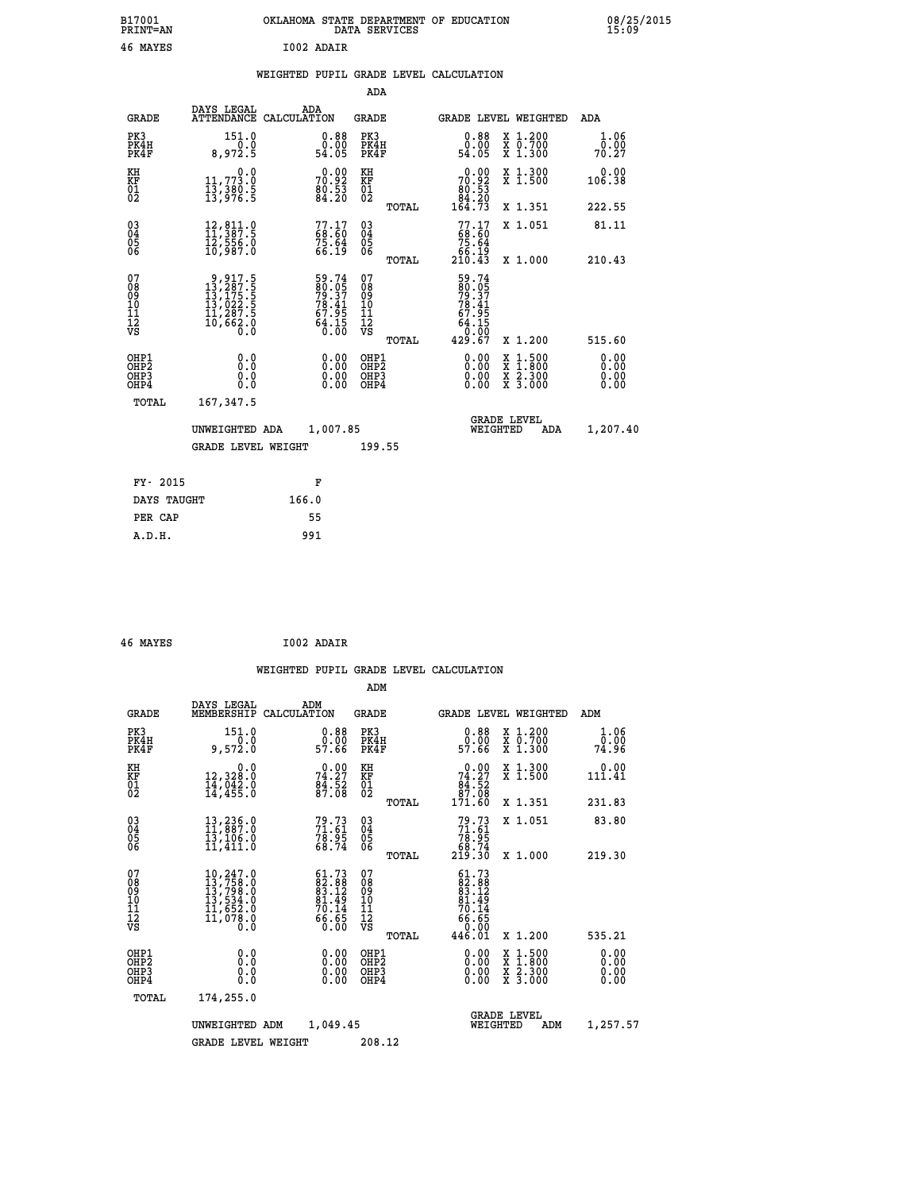| B17001<br><b>PRINT=AN</b> | OKLAHOMA STATE DEPARTMENT OF EDUCATION<br>DATA SERVICES | 08/25/2015<br>15:09 |
|---------------------------|---------------------------------------------------------|---------------------|
| 46<br>MAYES               | I002 ADAIR                                              |                     |

|  |  | WEIGHTED PUPIL GRADE LEVEL CALCULATION |
|--|--|----------------------------------------|
|  |  |                                        |

|                                                                  |                                                                                                      |                                                             | ADA                                                |       |                                                                                      |                                                                                                                                              |                              |
|------------------------------------------------------------------|------------------------------------------------------------------------------------------------------|-------------------------------------------------------------|----------------------------------------------------|-------|--------------------------------------------------------------------------------------|----------------------------------------------------------------------------------------------------------------------------------------------|------------------------------|
| <b>GRADE</b>                                                     | DAYS LEGAL                                                                                           | ADA<br>ATTENDANCE CALCULATION                               | GRADE                                              |       | <b>GRADE LEVEL WEIGHTED</b>                                                          |                                                                                                                                              | ADA                          |
| PK3<br>PK4H<br>PK4F                                              | 151.0<br>8,972.5                                                                                     | $0.88$<br>$0.00$<br>54.05                                   | PK3<br>PK4H<br>PK4F                                |       | 0.88<br>0.00<br>54.05                                                                | X 1.200<br>X 0.700<br>X 1.300                                                                                                                | 1.06<br>0.00<br>70.27        |
| KH<br>KF<br>01<br>02                                             | 0.0<br>$\frac{11}{13}, \frac{773}{30}$<br>$\frac{13}{13}, \frac{380}{96}$<br>$\frac{5}{13}$          | 70.92<br>80.92<br>80.53<br>84.20                            | KH<br>KF<br>01<br>02                               |       | $\begin{smallmatrix} &0.00\\ 70.92\\ 80.53\\ 84.20\\ 164.73 \end{smallmatrix}$       | X 1.300<br>X 1.500                                                                                                                           | 0.00<br>106.38               |
|                                                                  |                                                                                                      |                                                             |                                                    | TOTAL |                                                                                      | X 1.351                                                                                                                                      | 222.55                       |
| $^{03}_{04}$<br>Ŏ5<br>06                                         | 12,811.0<br>11,387.5<br>ĪŽ,ŠŠ6.Ŏ<br>10,987.O                                                         | $77.17$<br>$68.60$<br>$75.64$<br>$66.19$                    | $\begin{matrix} 03 \\ 04 \\ 05 \\ 06 \end{matrix}$ |       | 77.17<br>68.60<br>75.64<br>66.19<br>210.43                                           | X 1.051                                                                                                                                      | 81.11                        |
|                                                                  |                                                                                                      |                                                             |                                                    | TOTAL |                                                                                      | X 1.000                                                                                                                                      | 210.43                       |
| 07<br>08<br>09<br>11<br>11<br>12<br>VS                           | $\begin{smallmatrix}9,917.5\\13,287.5\\13,175.5\\13,022.5\\11,287.5\\10,662.0\\0.0\end{smallmatrix}$ | 59.74<br>80.05<br>79.37<br>78.41<br>67.95<br>64.15<br>64.15 | 07<br>08<br>09<br>11<br>11<br>12<br>VS             | TOTAL | $59.74$<br>$79.37$<br>$78.41$<br>$78.41$<br>$67.95$<br>$64.15$<br>$0.00$<br>$429.67$ | X 1.200                                                                                                                                      | 515.60                       |
| OHP1<br>OHP <sub>2</sub><br>OH <sub>P3</sub><br>OH <sub>P4</sub> | 0.0<br>0.0<br>0.0                                                                                    | 0.00<br>0.00<br>0.00                                        | OHP1<br>OHP2<br>OHP3<br>OHP4                       |       | 0.00<br>0.00<br>0.00                                                                 | $\begin{smallmatrix} \mathtt{X} & 1\cdot500 \\ \mathtt{X} & 1\cdot800 \\ \mathtt{X} & 2\cdot300 \\ \mathtt{X} & 3\cdot000 \end{smallmatrix}$ | 0.00<br>0.00<br>0.00<br>0.00 |
| TOTAL                                                            | 167,347.5                                                                                            |                                                             |                                                    |       |                                                                                      |                                                                                                                                              |                              |
|                                                                  | UNWEIGHTED ADA                                                                                       | 1,007.85                                                    |                                                    |       | WEIGHTED                                                                             | <b>GRADE LEVEL</b><br>ADA                                                                                                                    | 1,207.40                     |
|                                                                  | <b>GRADE LEVEL WEIGHT</b>                                                                            |                                                             | 199.55                                             |       |                                                                                      |                                                                                                                                              |                              |
| FY- 2015                                                         |                                                                                                      | F                                                           |                                                    |       |                                                                                      |                                                                                                                                              |                              |
| DAYS TAUGHT                                                      |                                                                                                      | 166.0                                                       |                                                    |       |                                                                                      |                                                                                                                                              |                              |
| PER CAP                                                          |                                                                                                      | 55                                                          |                                                    |       |                                                                                      |                                                                                                                                              |                              |
| A.D.H.                                                           |                                                                                                      | 991                                                         |                                                    |       |                                                                                      |                                                                                                                                              |                              |
|                                                                  |                                                                                                      |                                                             |                                                    |       |                                                                                      |                                                                                                                                              |                              |

| 46 MAYES | I002 ADAIR |
|----------|------------|

|                                                    |                                                                                                                     |                                                                   | ADM                                           |       |                                                                                                                        |                                          |                                                             |  |
|----------------------------------------------------|---------------------------------------------------------------------------------------------------------------------|-------------------------------------------------------------------|-----------------------------------------------|-------|------------------------------------------------------------------------------------------------------------------------|------------------------------------------|-------------------------------------------------------------|--|
| <b>GRADE</b>                                       | DAYS LEGAL<br>MEMBERSHIP                                                                                            | ADM<br>CALCULATION                                                | GRADE                                         |       | <b>GRADE LEVEL WEIGHTED</b>                                                                                            |                                          | ADM                                                         |  |
| PK3<br>PK4H<br>PK4F                                | 151.0<br>9,572.0                                                                                                    | $\begin{smallmatrix} 0.88\ 0.00\\ 0.00\\ 57.66 \end{smallmatrix}$ | PK3<br>PK4H<br>PK4F                           |       | 0.88<br>ŏ.ŏŏ<br>57.66                                                                                                  | X 1.200<br>X 0.700<br>X 1.300            | 1.06<br>$\frac{\bar{0} \cdot \bar{0} \bar{0}}{74 \cdot 96}$ |  |
| KH<br>KF<br>01<br>02                               | 0.0<br>12,328:0<br>14,042:0<br>14,455:0                                                                             | $74.27$<br>$84.27$<br>$84.52$<br>$87.08$                          | KH<br>KF<br>01<br>02                          |       | $\begin{smallmatrix} &0.00\ 74.27\ 84.52\ 87.08\ 171.60\ \end{smallmatrix}$                                            | X 1.300<br>X 1.500                       | 0.00<br>111.41                                              |  |
|                                                    |                                                                                                                     |                                                                   |                                               | TOTAL |                                                                                                                        | X 1.351                                  | 231.83                                                      |  |
| $\begin{matrix} 03 \\ 04 \\ 05 \\ 06 \end{matrix}$ | $\begin{smallmatrix} 13\,,\,236\,.0\\ 11\,,\,887\,.0\\ 13\,,\,106\,.0\\ 11\,,\,411\,.0 \end{smallmatrix}$           | 79.73<br>71.61<br>78.95<br>68.74                                  | 03<br>04<br>05<br>06                          |       | $79.73\n71.61\n78.95\n68.74\n219.30$                                                                                   | X 1.051                                  | 83.80                                                       |  |
|                                                    |                                                                                                                     |                                                                   |                                               | TOTAL |                                                                                                                        | X 1.000                                  | 219.30                                                      |  |
| 07<br>08<br>09<br>101<br>11<br>12<br>VS            | $\begin{smallmatrix} 10, 247.0\\ 13, 758.0\\ 13, 798.0\\ 13, 534.0\\ 11, 652.0\\ 11, 078.0\\ 0.0 \end{smallmatrix}$ | $61.7382.8883.1281.4970.1470.1466.650.00$                         | 07<br>08<br>09<br>001<br>11<br>11<br>12<br>VS |       | $\begin{smallmatrix} 61.73 \\ 82.88 \\ 83.12 \\ 81.49 \\ 70.14 \\ 70.14 \\ 66.65 \\ 0.001 \\ 446.01 \end{smallmatrix}$ |                                          |                                                             |  |
|                                                    |                                                                                                                     |                                                                   |                                               | TOTAL |                                                                                                                        | X 1.200                                  | 535.21                                                      |  |
| OHP1<br>OHP <sub>2</sub><br>OHP3<br>OHP4           |                                                                                                                     |                                                                   | OHP1<br>OHP <sub>2</sub><br>OHP3<br>OHP4      |       | 0.00<br>0.00                                                                                                           | X 1:500<br>X 1:800<br>X 2:300<br>X 3:000 | 0.00<br>0.00<br>0.00<br>0.00                                |  |
| TOTAL                                              | 174,255.0                                                                                                           |                                                                   |                                               |       |                                                                                                                        |                                          |                                                             |  |
|                                                    | UNWEIGHTED                                                                                                          | 1,049.45<br>ADM                                                   |                                               |       | WEIGHTED                                                                                                               | <b>GRADE LEVEL</b><br>ADM                | 1,257.57                                                    |  |
|                                                    | <b>GRADE LEVEL WEIGHT</b>                                                                                           |                                                                   | 208.12                                        |       |                                                                                                                        |                                          |                                                             |  |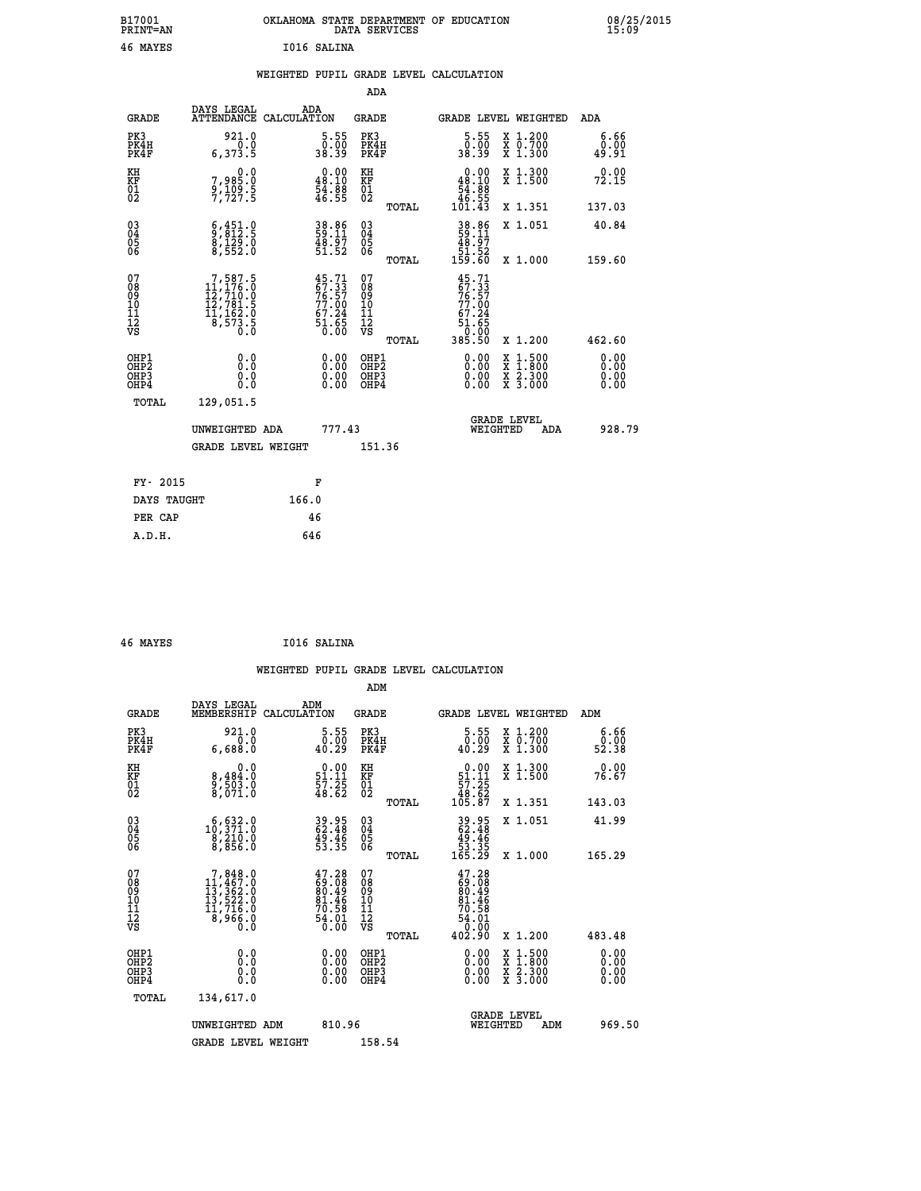| B17001<br><b>PRINT=AN</b> | OKLAHOMA STATE DEPARTMENT OF EDUCATION<br>DATA SERVICES | 08/25/2015<br>15:09 |
|---------------------------|---------------------------------------------------------|---------------------|
| 46<br>MAYES               | I016 SALINA                                             |                     |

#### **WEIGHTED PUPIL GRADE LEVEL CALCULATION**

|                                                                   |                                                                                                     |                                                                          |                                                     | ADA                                       |                                                                                      |                                          |                              |
|-------------------------------------------------------------------|-----------------------------------------------------------------------------------------------------|--------------------------------------------------------------------------|-----------------------------------------------------|-------------------------------------------|--------------------------------------------------------------------------------------|------------------------------------------|------------------------------|
| <b>GRADE</b>                                                      | DAYS LEGAL<br>ATTENDANCE CALCULATION                                                                | ADA                                                                      | <b>GRADE</b>                                        |                                           |                                                                                      | GRADE LEVEL WEIGHTED                     | ADA                          |
| PK3<br>PK4H<br>PK4F                                               | 921.0<br>0.0<br>6,373.5                                                                             | $\begin{smallmatrix}5.55\0.00\38.39\end{smallmatrix}$                    |                                                     | PK3<br>PK4H<br>PK4F                       | $\begin{smallmatrix}5.55\0.00\\38.39\end{smallmatrix}$                               | X 1.200<br>X 0.700<br>X 1.300            | 6.66<br>0.00<br>49.91        |
| KH<br><b>KF</b><br>01<br>02                                       | 0.0<br>7,985:0<br>9,109:5<br>7,727:5                                                                | $\begin{smallmatrix} 0.00\\ 48.10\\ 54.8\\ 46.55 \end{smallmatrix}$      | KH<br>KF<br>01<br>02                                |                                           | $\begin{smallmatrix}&&0.00\\48.10\\54.88\\46.55\\101.43\end{smallmatrix}$            | X 1.300<br>X 1.500                       | 0.00<br>72.15                |
|                                                                   |                                                                                                     |                                                                          |                                                     | TOTAL                                     |                                                                                      | X 1.351                                  | 137.03                       |
| $^{03}_{04}$<br>Ŏ5<br>06                                          | $\begin{smallmatrix} 6,451.0\\ 9,812.5\\ 8,129.0\\ 8,552.0 \end{smallmatrix}$                       | 38.86<br>59.11<br>48.97<br>51.52                                         | $\begin{array}{c} 03 \\ 04 \\ 05 \\ 06 \end{array}$ |                                           | $38.86$<br>59.11<br>48.97<br>51.52<br>59.60                                          | X 1.051                                  | 40.84                        |
| 07                                                                |                                                                                                     |                                                                          | 07                                                  | TOTAL                                     |                                                                                      | X 1.000                                  | 159.60                       |
| 08<br>09<br>11<br>11<br>12<br>VS                                  | $\begin{smallmatrix}7,587.5\\11,176.0\\12,710.0\\12,781.5\\11,162.0\\8,573.5\\0.0\end{smallmatrix}$ | $45.71$<br>$57.33$<br>$76.57$<br>$77.00$<br>$67.24$<br>$51.65$<br>$0.00$ | 08901112<br>1112<br>VS                              |                                           | $45.71$<br>$67.33$<br>$76.57$<br>$77.00$<br>$67.24$<br>$51.65$<br>$0.00$<br>$385.50$ |                                          |                              |
|                                                                   |                                                                                                     |                                                                          |                                                     | TOTAL                                     |                                                                                      | X 1.200                                  | 462.60                       |
| OHP1<br>OH <sub>P</sub> 2<br>OH <sub>P3</sub><br>OH <sub>P4</sub> | 0.0<br>0.000                                                                                        | $\begin{smallmatrix} 0.00 \ 0.00 \ 0.00 \ 0.00 \end{smallmatrix}$        |                                                     | OHP1<br>OH <sub>P</sub> 2<br>OHP3<br>OHP4 | 0.00<br>0.00<br>0.00                                                                 | X 1:500<br>X 1:800<br>X 2:300<br>X 3:000 | 0.00<br>0.00<br>0.00<br>0.00 |
| TOTAL                                                             | 129,051.5                                                                                           |                                                                          |                                                     |                                           |                                                                                      |                                          |                              |
|                                                                   | UNWEIGHTED ADA                                                                                      | 777.43                                                                   |                                                     |                                           |                                                                                      | GRADE LEVEL<br>WEIGHTED<br>ADA           | 928.79                       |
|                                                                   | <b>GRADE LEVEL WEIGHT</b>                                                                           |                                                                          |                                                     | 151.36                                    |                                                                                      |                                          |                              |
| FY- 2015                                                          |                                                                                                     | F                                                                        |                                                     |                                           |                                                                                      |                                          |                              |
| DAYS TAUGHT                                                       |                                                                                                     | 166.0                                                                    |                                                     |                                           |                                                                                      |                                          |                              |
| PER CAP                                                           |                                                                                                     | 46                                                                       |                                                     |                                           |                                                                                      |                                          |                              |

| 46 MAYES | I016 SALINA |
|----------|-------------|
|          |             |

 **A.D.H. 646**

|                                           |                                                                                                                        |                                                                             | ADM                                                 |       |                                                                                     |                                          |                              |
|-------------------------------------------|------------------------------------------------------------------------------------------------------------------------|-----------------------------------------------------------------------------|-----------------------------------------------------|-------|-------------------------------------------------------------------------------------|------------------------------------------|------------------------------|
| <b>GRADE</b>                              | DAYS LEGAL<br>MEMBERSHIP                                                                                               | ADM<br>CALCULATION                                                          | <b>GRADE</b>                                        |       |                                                                                     | GRADE LEVEL WEIGHTED                     | ADM                          |
| PK3<br>PK4H<br>PK4F                       | 921.0<br>6,688.0                                                                                                       | $\substack{5.55 \\ 0.00 \\ 40.29}$                                          | PK3<br>PK4H<br>PK4F                                 |       | $\substack{5.55 \\ 0.00 \\ 40.29}$                                                  | X 1.200<br>X 0.700<br>X 1.300            | 6.66<br>ŏ:ŏŏ<br>52:38        |
| KH<br>KF<br>01<br>02                      | 0.0<br>8,484:0<br>9,503:0<br>8,071:0                                                                                   | $\begin{smallmatrix} 0.00\\ 51.11\\ 57.25\\ 48.62 \end{smallmatrix}$        | KH<br>KF<br>01<br>02                                |       | $\begin{array}{c} 0.00 \\ 51.11 \\ 57.25 \\ 48.62 \\ 105.87 \end{array}$            | X 1.300<br>X 1.500                       | 0.00<br>76.67                |
|                                           |                                                                                                                        |                                                                             |                                                     | TOTAL |                                                                                     | X 1.351                                  | 143.03                       |
| 03<br>04<br>05<br>06                      | $\substack{ \substack{ \textcolor{red}{\textbf{5.32.0}}\\  \  \  \, 0,210.0\\  \  \  \, 8,210.0\\  \  \  \, 8,856.0}}$ | 39.95<br>62.48<br>49.46<br>53.35                                            | $\begin{array}{c} 03 \\ 04 \\ 05 \\ 06 \end{array}$ |       | 39.95<br>62.48<br>49.46<br>53.35<br>53.35<br>165.29                                 | X 1.051                                  | 41.99                        |
|                                           |                                                                                                                        |                                                                             |                                                     | TOTAL |                                                                                     | X 1.000                                  | 165.29                       |
| 07<br>08<br>09<br>101<br>112<br>VS        | $\begin{smallmatrix}7,848.0\\11,467.0\\13,362.0\\13,522.0\\11,716.0\\8,966.0\\0.0\end{smallmatrix}$                    | $47.28$<br>$69.08$<br>$80.49$<br>$81.46$<br>$70.58$<br>$\frac{54.01}{0.00}$ | 07<br>08<br>09<br>11<br>11<br>12<br>VS              |       | $47.28$<br>$69.08$<br>$80.49$<br>$81.46$<br>$70.58$<br>$74.01$<br>$54.01$<br>$0.00$ |                                          |                              |
|                                           |                                                                                                                        |                                                                             |                                                     | TOTAL | 402.90                                                                              | X 1.200                                  | 483.48                       |
| OHP1<br>OHP2<br>OH <sub>P</sub> 3<br>OHP4 |                                                                                                                        | $0.00$<br>$0.00$<br>0.00                                                    | OHP1<br>OHP2<br>OHP <sub>3</sub>                    |       | $0.00$<br>$0.00$<br>0.00                                                            | X 1:500<br>X 1:800<br>X 2:300<br>X 3:000 | 0.00<br>0.00<br>0.00<br>0.00 |
| TOTAL                                     | 134,617.0                                                                                                              |                                                                             |                                                     |       |                                                                                     |                                          |                              |
|                                           | UNWEIGHTED ADM                                                                                                         | 810.96                                                                      |                                                     |       |                                                                                     | <b>GRADE LEVEL</b><br>WEIGHTED<br>ADM    | 969.50                       |
|                                           | <b>GRADE LEVEL WEIGHT</b>                                                                                              |                                                                             | 158.54                                              |       |                                                                                     |                                          |                              |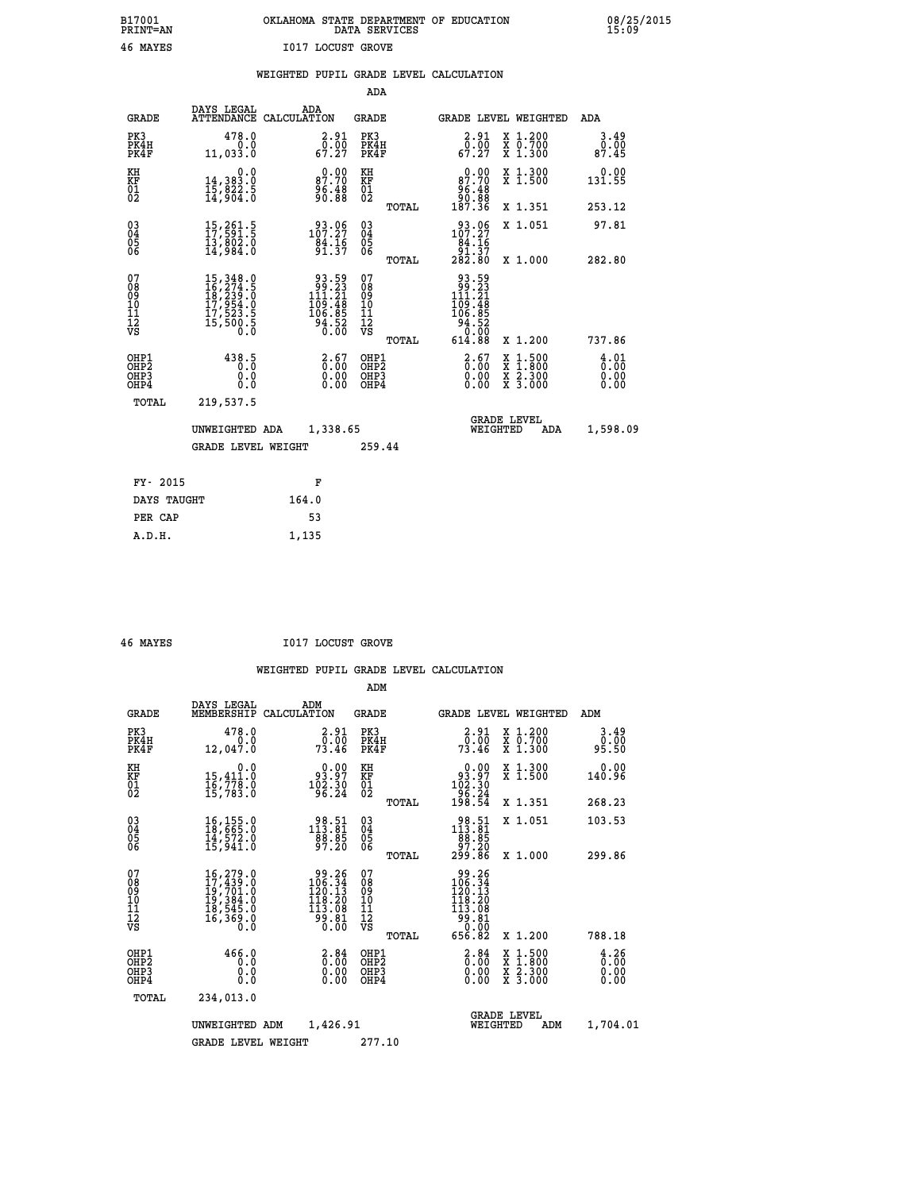#### **B17001 OKLAHOMA STATE DEPARTMENT OF EDUCATION 08/25/2015 PRINT=AN DATA SERVICES 15:09 46 MAYES I017 LOCUST GROVE**

|  |  | WEIGHTED PUPIL GRADE LEVEL CALCULATION |
|--|--|----------------------------------------|
|  |  |                                        |

|                                                                  |                                            | ADA                                                                                                                                                                                                                                                                                      |                                                                                                                                                                                                                                                                                                                 |                                                                                                                                                                                                                          |
|------------------------------------------------------------------|--------------------------------------------|------------------------------------------------------------------------------------------------------------------------------------------------------------------------------------------------------------------------------------------------------------------------------------------|-----------------------------------------------------------------------------------------------------------------------------------------------------------------------------------------------------------------------------------------------------------------------------------------------------------------|--------------------------------------------------------------------------------------------------------------------------------------------------------------------------------------------------------------------------|
| <b>GRADE</b>                                                     | ADA                                        | <b>GRADE</b>                                                                                                                                                                                                                                                                             | <b>GRADE LEVEL WEIGHTED</b>                                                                                                                                                                                                                                                                                     | ADA                                                                                                                                                                                                                      |
| PK3<br>PK4H<br>PK4F                                              |                                            | PK3<br>PK4H<br>PK4F                                                                                                                                                                                                                                                                      | $\begin{smallmatrix} 2.91\0.00\\ 67.27\end{smallmatrix}$<br>X 1.200<br>X 0.700<br>X 1.300                                                                                                                                                                                                                       | 3.49<br>0.00<br>87.45                                                                                                                                                                                                    |
|                                                                  | 87.70                                      | KH                                                                                                                                                                                                                                                                                       | 0.00<br>X 1.300<br>X 1.500<br>87.70                                                                                                                                                                                                                                                                             | 0.00<br>131.55                                                                                                                                                                                                           |
|                                                                  |                                            | TOTAL                                                                                                                                                                                                                                                                                    | X 1.351                                                                                                                                                                                                                                                                                                         | 253.12                                                                                                                                                                                                                   |
|                                                                  | $33.06$<br>107.27<br>$\frac{84.16}{91.37}$ | $\substack{03 \\ 04}$<br>05<br>06                                                                                                                                                                                                                                                        | X 1.051                                                                                                                                                                                                                                                                                                         | 97.81                                                                                                                                                                                                                    |
|                                                                  |                                            |                                                                                                                                                                                                                                                                                          |                                                                                                                                                                                                                                                                                                                 | 282.80                                                                                                                                                                                                                   |
|                                                                  |                                            |                                                                                                                                                                                                                                                                                          |                                                                                                                                                                                                                                                                                                                 |                                                                                                                                                                                                                          |
|                                                                  |                                            | TOTAL                                                                                                                                                                                                                                                                                    | 614.88<br>X 1.200                                                                                                                                                                                                                                                                                               | 737.86                                                                                                                                                                                                                   |
| OHP1<br>OH <sub>P2</sub><br>OH <sub>P3</sub><br>OH <sub>P4</sub> | 0.00                                       | OHP1<br>OH <sub>P</sub> 2<br>OHP3<br>OHP4                                                                                                                                                                                                                                                | $\frac{2.67}{0.00}$<br>$\begin{smallmatrix} x & 1 & 500 \\ x & 1 & 800 \\ x & 2 & 300 \\ x & 3 & 000 \end{smallmatrix}$<br>0.00<br>0.00                                                                                                                                                                         | $\frac{4}{0}$ : 01<br>0.00<br>0.00                                                                                                                                                                                       |
| TOTAL                                                            |                                            |                                                                                                                                                                                                                                                                                          |                                                                                                                                                                                                                                                                                                                 |                                                                                                                                                                                                                          |
|                                                                  |                                            |                                                                                                                                                                                                                                                                                          | GRADE LEVEL<br>WEIGHTED<br>ADA                                                                                                                                                                                                                                                                                  | 1,598.09                                                                                                                                                                                                                 |
|                                                                  |                                            | 259.44                                                                                                                                                                                                                                                                                   |                                                                                                                                                                                                                                                                                                                 |                                                                                                                                                                                                                          |
|                                                                  |                                            |                                                                                                                                                                                                                                                                                          |                                                                                                                                                                                                                                                                                                                 |                                                                                                                                                                                                                          |
| DAYS TAUGHT                                                      | 164.0                                      |                                                                                                                                                                                                                                                                                          |                                                                                                                                                                                                                                                                                                                 |                                                                                                                                                                                                                          |
| PER CAP                                                          | 53                                         |                                                                                                                                                                                                                                                                                          |                                                                                                                                                                                                                                                                                                                 |                                                                                                                                                                                                                          |
|                                                                  | FY- 2015                                   | DAYS LEGAL<br>ATTENDANCE CALCULATION<br>478.0<br>0.0<br>11,033.0<br>0.0<br>14,383.0<br>15,822.5<br>14,904.0<br>$\begin{smallmatrix} 15,261.5\\ 17,591.5\\ 13,802.0\\ 14,984.0 \end{smallmatrix}$<br>438.5<br>0.0<br>0.0<br>219,537.5<br>UNWEIGHTED ADA<br><b>GRADE LEVEL WEIGHT</b><br>F | $\begin{smallmatrix} 2.91\0.00\\ 67.27 \end{smallmatrix}$<br>KF<br>01<br>02<br>96:48<br>90:88<br>TOTAL<br>$\begin{smallmatrix} 93.59\\ 99.23\\ 111.21\\ 109.48\\ 106.85\\ 94.52\\ 0.00 \end{smallmatrix}$<br>07<br>08901112<br>1112<br>VS<br>$\begin{smallmatrix} 2.67\0.00\0.00 \end{smallmatrix}$<br>1,338.65 | $\frac{96.48}{90.88}$<br>187.36<br>$\begin{array}{r} 93.06 \\ 107.27 \\ 84.16 \\ 91.37 \\ 282.80 \end{array}$<br>X 1.000<br>93.59<br>23.23<br>111.21<br>$\begin{array}{r} 109.48 \\ 106.85 \\ 94.52 \\ 0.00 \end{array}$ |

| MAYES |
|-------|
|       |

 **A.D.H. 1,135**

**1017 LOCUST GROVE** 

|                                          |                                                                                                                                         |                                                                                                            | ADM                                                 |                                                                                                         |                                          |                                                                    |
|------------------------------------------|-----------------------------------------------------------------------------------------------------------------------------------------|------------------------------------------------------------------------------------------------------------|-----------------------------------------------------|---------------------------------------------------------------------------------------------------------|------------------------------------------|--------------------------------------------------------------------|
| <b>GRADE</b>                             | DAYS LEGAL<br>MEMBERSHIP                                                                                                                | ADM<br>CALCULATION                                                                                         | <b>GRADE</b>                                        | GRADE LEVEL WEIGHTED                                                                                    |                                          | ADM                                                                |
| PK3<br>PK4H<br>PK4F                      | 478.0<br>0.0<br>12,047.0                                                                                                                | 2.91<br>0.00<br>73.46                                                                                      | PK3<br>PK4H<br>PK4F                                 | $\begin{smallmatrix} 2.91\0.00\\73.46\end{smallmatrix}$                                                 | X 1.200<br>X 0.700<br>X 1.300            | 3.49<br>0.00<br>95.50                                              |
| KH<br>KF<br>01<br>02                     | 0.0<br>15,411:0<br>16,778:0<br>15,783:0                                                                                                 | $\begin{smallmatrix} 0.00\\ 93.97\\ 102.30\\ 96.24 \end{smallmatrix}$                                      | KH<br>KF<br>01<br>02                                | $\begin{smallmatrix} &0.00\\ 93.97\\ 102.30\\ 96.24\\ 198.54\end{smallmatrix}$                          | X 1.300<br>X 1.500                       | 0.00<br>140.96                                                     |
|                                          |                                                                                                                                         |                                                                                                            | TOTAL                                               |                                                                                                         | X 1.351                                  | 268.23                                                             |
| 03<br>04<br>05<br>06                     | $\begin{smallmatrix} 16,155.0\\ 18,665.0\\ 14,572.0\\ 15,941.0 \end{smallmatrix}$                                                       | 98.51<br>113.81<br>88.85<br>97.20                                                                          | $\begin{array}{c} 03 \\ 04 \\ 05 \\ 06 \end{array}$ | $\begin{smallmatrix} 98.51\\ 113.81\\ 88.85\\ 97.20\\ 299.86 \end{smallmatrix}$                         | X 1.051                                  | 103.53                                                             |
|                                          |                                                                                                                                         |                                                                                                            | TOTAL                                               |                                                                                                         | X 1.000                                  | 299.86                                                             |
| 07<br>08<br>09<br>101<br>112<br>VS       | $\begin{smallmatrix} 16\,,279\,.0\\ 17\,,439\,.0\\ 19\,,701\,.0\\ 19\,,384\,.0\\ 18\,,545\,.0\\ 16\,,369\,.0\\ 0\,.0 \end{smallmatrix}$ | $\frac{99.26}{106.34}$<br>120.13<br>118.20<br>$\begin{smallmatrix} 113.768\ 99.81\ 0.00 \end{smallmatrix}$ | 07<br>08<br>09<br>11<br>11<br>12<br>VS<br>TOTAL     | 99.26<br>106.34<br>120.13<br>$\begin{array}{r} 118.20 \\ 113.08 \\ 99.81 \\ 2.00 \end{array}$<br>656.82 | X 1.200                                  | 788.18                                                             |
| OHP1<br>OHP2<br>OH <sub>P3</sub><br>OHP4 | 466.0<br>0.0<br>0.000                                                                                                                   | $\begin{smallmatrix} 2.84\ 0.00 \ 0.00 \end{smallmatrix}$<br>0.00                                          | OHP1<br>OHP2<br>OHP <sub>3</sub>                    | $\begin{smallmatrix} 2.84\ 0.00 \ 0.00 \end{smallmatrix}$<br>0.00                                       | X 1:500<br>X 1:800<br>X 2:300<br>X 3:000 | $\begin{smallmatrix} 4.26 \ 0.00 \ 0.00 \end{smallmatrix}$<br>0.00 |
|                                          | TOTAL<br>234,013.0                                                                                                                      |                                                                                                            |                                                     |                                                                                                         |                                          |                                                                    |
|                                          | UNWEIGHTED                                                                                                                              | 1,426.91<br>ADM                                                                                            |                                                     | <b>GRADE LEVEL</b><br>WEIGHTED                                                                          | ADM                                      | 1,704.01                                                           |
|                                          | GRADE LEVEL WEIGHT                                                                                                                      |                                                                                                            | 277.10                                              |                                                                                                         |                                          |                                                                    |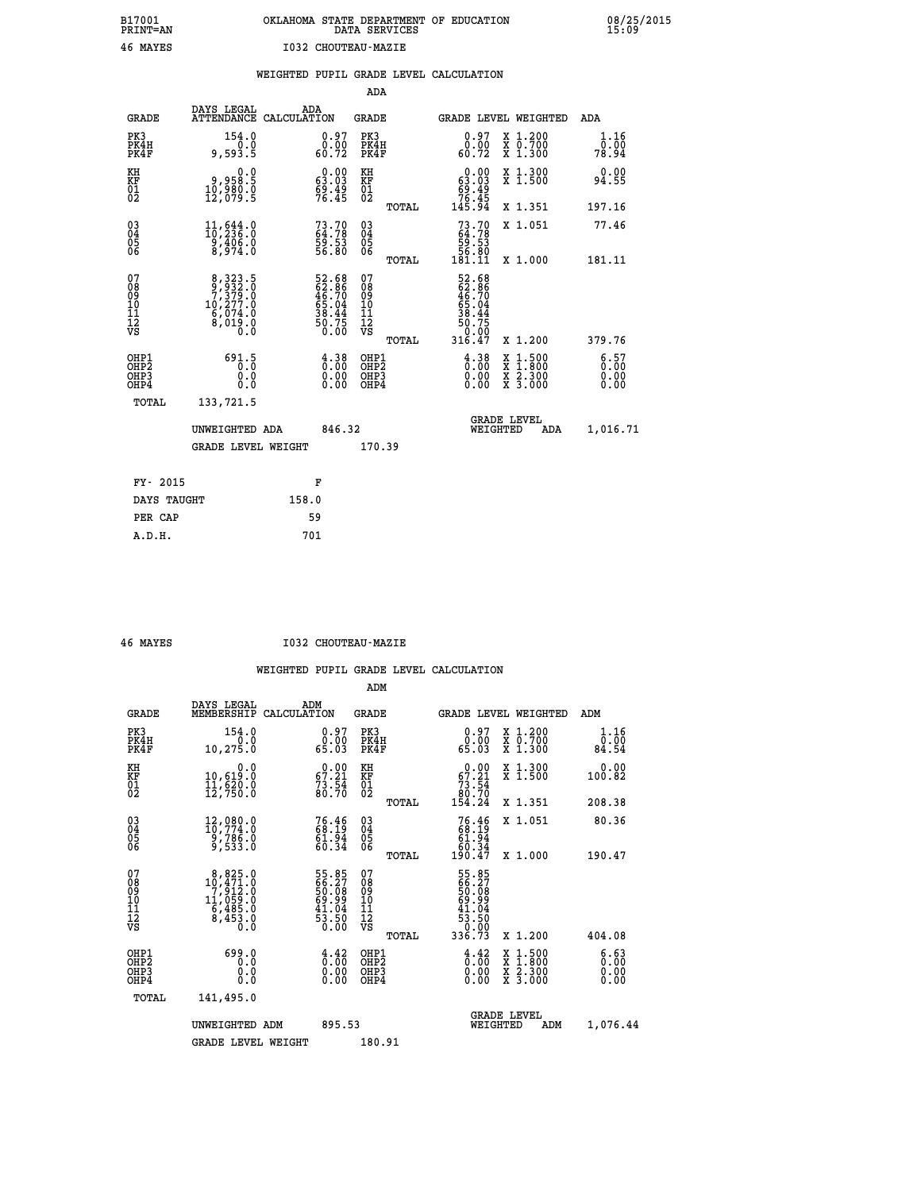# **B17001 OKLAHOMA STATE DEPARTMENT OF EDUCATION 08/25/2015 PRINT=AN DATA SERVICES 15:09 46 MAYES I032 CHOUTEAU-MAZIE**

|                                                                    |                                                                                                  |                                                                      | ADA                                                 |       |                                                             |                                                                                                  |                       |
|--------------------------------------------------------------------|--------------------------------------------------------------------------------------------------|----------------------------------------------------------------------|-----------------------------------------------------|-------|-------------------------------------------------------------|--------------------------------------------------------------------------------------------------|-----------------------|
| <b>GRADE</b>                                                       | DAYS LEGAL<br>ATTENDANCE CALCULATION                                                             | ADA                                                                  | <b>GRADE</b>                                        |       |                                                             | GRADE LEVEL WEIGHTED                                                                             | ADA                   |
| PK3<br>PK4H<br>PK4F                                                | 154.0<br>0.0<br>9,593.5                                                                          | $\begin{smallmatrix} 0.97\ 0.00\ 60.72 \end{smallmatrix}$            | PK3<br>PK4H<br>PK4F                                 |       | $\begin{smallmatrix} 0.97\ 0.00\\ 60.72 \end{smallmatrix}$  | X 1.200<br>X 0.700<br>X 1.300                                                                    | 1.16<br>0.00<br>78.94 |
| KH<br><b>KF</b><br>01<br>02                                        | 0.0<br>8:38,0<br>0:980.0<br>12,079:5                                                             | $\begin{smallmatrix} 0.00\\ 63.03\\ 69.49\\ 76.45 \end{smallmatrix}$ | KH<br>KF<br>01<br>02                                |       | $0.00\n63.03\n69.49\n76.45\n145.94$                         | X 1.300<br>X 1.500                                                                               | 0.00<br>94.55         |
|                                                                    |                                                                                                  |                                                                      |                                                     | TOTAL |                                                             | X 1.351                                                                                          | 197.16                |
| $\begin{smallmatrix} 03 \\[-4pt] 04 \end{smallmatrix}$<br>05<br>06 | 11,644.0<br>10,236.0<br>$\frac{9,406.0}{8,974.0}$                                                | $73.70$<br>$64.78$<br>$59.53$<br>$56.80$                             | $\begin{array}{c} 03 \\ 04 \\ 05 \\ 06 \end{array}$ |       | $73.7064.7859.5356.80181.11$                                | X 1.051                                                                                          | 77.46                 |
| 07                                                                 |                                                                                                  |                                                                      | 07                                                  | TOTAL |                                                             | X 1.000                                                                                          | 181.11                |
| 08901112<br>1112<br>VS                                             | $\begin{smallmatrix}8,323.5\\9,932.0\\7,379.0\\10,277.0\\6,074.0\\8,019.0\\0.0\end{smallmatrix}$ | 52.68<br>62.86<br>46.70<br>46.04<br>55.04<br>38.44<br>50.75<br>50.00 | 08<br>09<br>11<br>11<br>12<br>VS                    |       | 52.68<br>62.86<br>46.70<br>46.04<br>58.44<br>38.75<br>50.75 |                                                                                                  |                       |
|                                                                    |                                                                                                  |                                                                      |                                                     | TOTAL | 316.47                                                      | X 1.200                                                                                          | 379.76                |
| OHP1<br>OH <sub>P</sub> 2<br>OH <sub>P3</sub><br>OH <sub>P4</sub>  | 691.5<br>0.0<br>0.0                                                                              | $\begin{smallmatrix} 4.38\ 0.00\ 0.00 \end{smallmatrix}$             | OHP1<br>OH <sub>P</sub> 2<br>OHP3<br>OHP4           |       | $\begin{smallmatrix} 4.38\ 0.00\ 0.00 \end{smallmatrix}$    | $\begin{smallmatrix} x & 1 & 500 \\ x & 1 & 800 \\ x & 2 & 300 \\ x & 3 & 000 \end{smallmatrix}$ | 6:57<br>0.00<br>0.00  |
| TOTAL                                                              | 133,721.5                                                                                        |                                                                      |                                                     |       |                                                             |                                                                                                  |                       |
|                                                                    | UNWEIGHTED ADA                                                                                   | 846.32                                                               |                                                     |       |                                                             | GRADE LEVEL<br>WEIGHTED<br>ADA                                                                   | 1,016.71              |
|                                                                    | <b>GRADE LEVEL WEIGHT</b>                                                                        |                                                                      | 170.39                                              |       |                                                             |                                                                                                  |                       |
| FY- 2015                                                           |                                                                                                  | F                                                                    |                                                     |       |                                                             |                                                                                                  |                       |
| DAYS TAUGHT                                                        |                                                                                                  | 158.0                                                                |                                                     |       |                                                             |                                                                                                  |                       |
| PER CAP                                                            |                                                                                                  | 59                                                                   |                                                     |       |                                                             |                                                                                                  |                       |

 **A.D.H. 701**

 **46 MAYES I032 CHOUTEAU-MAZIE**

|                                          |                                                                                                   |                                                                      | ADM                                                 |                                                                             |                                          |                              |
|------------------------------------------|---------------------------------------------------------------------------------------------------|----------------------------------------------------------------------|-----------------------------------------------------|-----------------------------------------------------------------------------|------------------------------------------|------------------------------|
| <b>GRADE</b>                             | DAYS LEGAL<br>MEMBERSHIP                                                                          | ADM<br>CALCULATION                                                   | <b>GRADE</b>                                        | GRADE LEVEL WEIGHTED                                                        |                                          | ADM                          |
| PK3<br>PK4H<br>PK4F                      | 154.0<br>0.0<br>10,275.0                                                                          | 0.97<br>0.00<br>65.03                                                | PK3<br>PK4H<br>PK4F                                 | $0.97$<br>$0.00$<br>65.03                                                   | X 1.200<br>X 0.700<br>X 1.300            | 1.16<br>0.00<br>84.54        |
| KH<br>KF<br>01<br>02                     | 0.0<br>10,619:0<br>11,620:0<br>12,750:0                                                           | $\begin{smallmatrix} 0.00\\ 67.21\\ 73.54\\ 80.70 \end{smallmatrix}$ | KH<br>KF<br>01<br>02                                | $\begin{smallmatrix} &0.00\ 67.21\ 73.54\ 80.70\ 154.24\ \end{smallmatrix}$ | X 1.300<br>X 1.500                       | 0.00<br>100.82               |
|                                          |                                                                                                   |                                                                      | TOTAL                                               |                                                                             | X 1.351                                  | 208.38                       |
| 03<br>04<br>05<br>06                     | 12,080.0<br>10,774.0<br>2,786.0<br>9,533.0                                                        | 76.46<br>68.19<br>$\frac{61.94}{60.34}$                              | $\begin{array}{c} 03 \\ 04 \\ 05 \\ 06 \end{array}$ | $76.4668.1961.9460.34190.47$                                                | X 1.051                                  | 80.36                        |
|                                          |                                                                                                   |                                                                      | TOTAL                                               |                                                                             | X 1.000                                  | 190.47                       |
| 07<br>08<br>09<br>101<br>112<br>VS       | $\begin{smallmatrix}8,825.0\\10,471.0\\7,912.0\\11,059.0\\6,485.0\\8,453.0\\0.0\end{smallmatrix}$ | 55.85<br>66.27<br>50.08<br>50.99<br>41.04<br>53.50<br>50.00          | 07<br>08<br>09<br>11<br>11<br>12<br>VS<br>TOTAL     | 55.85<br>66.27<br>50.08<br>50.99<br>41.04<br>53.50<br>50.99<br>336.73       | X 1.200                                  | 404.08                       |
|                                          |                                                                                                   |                                                                      |                                                     |                                                                             |                                          |                              |
| OHP1<br>OHP2<br>OH <sub>P3</sub><br>OHP4 | 699.0<br>0.0<br>0.000                                                                             | $\begin{smallmatrix} 4.42\ 0.00\ 0.00 \end{smallmatrix}$<br>0.00     | OHP1<br>OHP2<br>OHP3<br>OHP4                        | $\begin{smallmatrix} 4.42 \ 0.00 \ 0.00 \end{smallmatrix}$<br>0.00          | X 1:500<br>X 1:800<br>X 2:300<br>X 3:000 | 6.63<br>0.00<br>0.00<br>0.00 |
|                                          | TOTAL<br>141,495.0                                                                                |                                                                      |                                                     |                                                                             |                                          |                              |
|                                          | UNWEIGHTED ADM                                                                                    | 895.53                                                               |                                                     | <b>GRADE LEVEL</b><br>WEIGHTED                                              | ADM                                      | 1,076.44                     |
|                                          | <b>GRADE LEVEL WEIGHT</b>                                                                         |                                                                      | 180.91                                              |                                                                             |                                          |                              |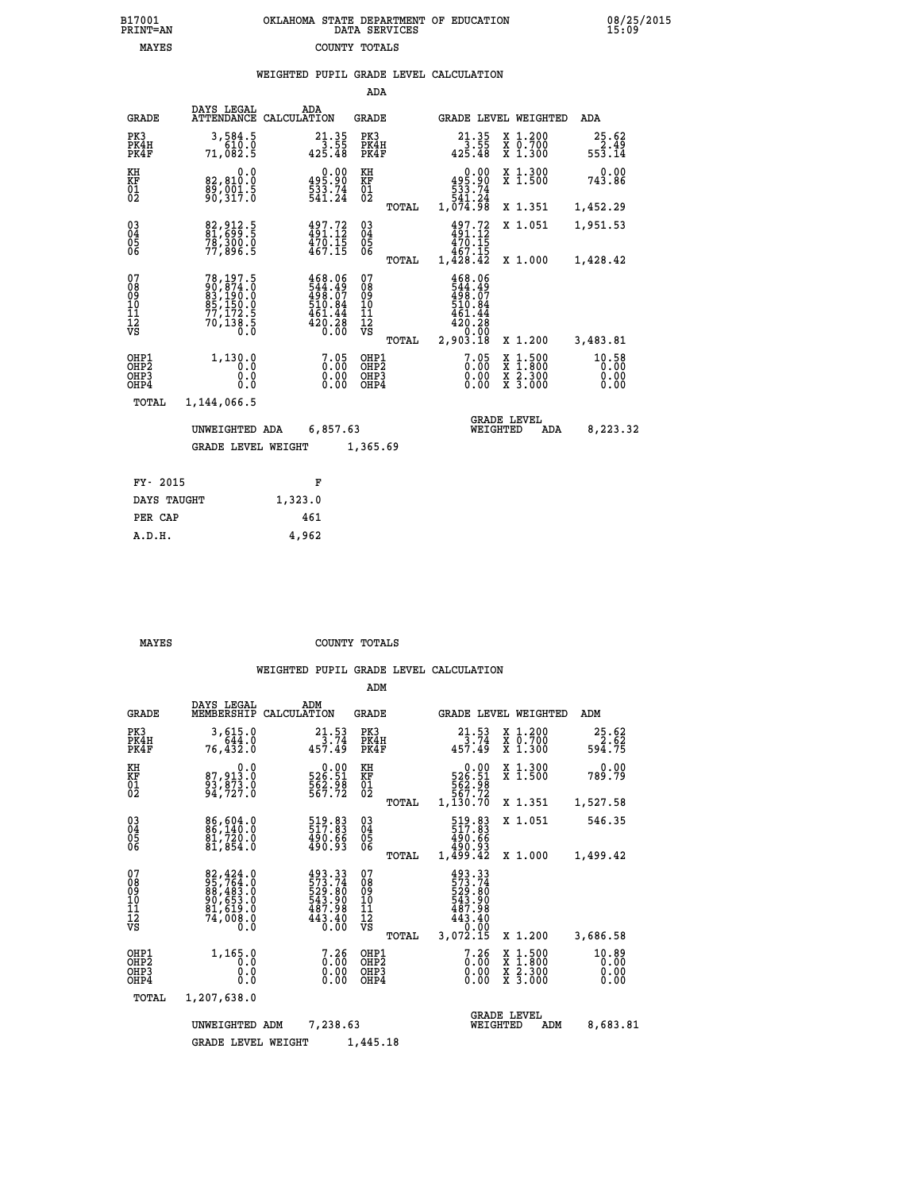| 7001<br>INT=AN | OKLAHOMA STATE DEPARTMENT OF EDUCATION<br>DATA SERVICES |  |
|----------------|---------------------------------------------------------|--|
| MAYES          | COUNTY TOTALS                                           |  |

|                                                                    |                                                                                                 |                    |                                                                         | ADA                                            |       |                                                                                |                                |                                                                                                  |                         |
|--------------------------------------------------------------------|-------------------------------------------------------------------------------------------------|--------------------|-------------------------------------------------------------------------|------------------------------------------------|-------|--------------------------------------------------------------------------------|--------------------------------|--------------------------------------------------------------------------------------------------|-------------------------|
| <b>GRADE</b>                                                       | DAYS LEGAL<br><b>ATTENDANCE</b>                                                                 | ADA<br>CALCULATION |                                                                         | <b>GRADE</b>                                   |       |                                                                                |                                | GRADE LEVEL WEIGHTED                                                                             | <b>ADA</b>              |
| PK3<br>PK4H<br>PK4F                                                | 3,584.5<br>610.0<br>71,082.5                                                                    |                    | $21.35$<br>$3.55$<br>$425.48$                                           | PK3<br>PK4H<br>PK4F                            |       | 21.35<br>$425.55$<br>425.48                                                    |                                | X 1.200<br>X 0.700<br>X 1.300                                                                    | 25.62<br>2.49<br>553.14 |
| KH<br><b>KF</b><br>01<br>02                                        | 0.0<br>82,810.0<br>89,001.5<br>90,317.0                                                         |                    | $\begin{smallmatrix} &0.00\\ 495.90\\ 533.74\\ 541.24\end{smallmatrix}$ | KH<br>KF<br>01<br>02                           |       | 495.90<br>533.74<br>541.24<br>1,074.98                                         | 0.00                           | X 1.300<br>X 1.500                                                                               | 0.00<br>743.86          |
|                                                                    |                                                                                                 |                    |                                                                         |                                                | TOTAL |                                                                                |                                | X 1.351                                                                                          | 1,452.29                |
| $\begin{smallmatrix} 03 \\[-4pt] 04 \end{smallmatrix}$<br>Ŏ5<br>06 | 82, 912.5<br>81, 699.5<br>78,300.0<br>77,896.5                                                  |                    | $497.72$<br>$491.12$<br>$470.15$<br>$467.15$                            | $\substack{03 \\ 04}$<br>$\substack{05 \\ 06}$ |       | $497.72$<br>$491.12$<br>$470.15$<br>$467.15$<br>$1,428.42$                     |                                | X 1.051                                                                                          | 1,951.53                |
|                                                                    |                                                                                                 |                    |                                                                         |                                                | TOTAL |                                                                                |                                | X 1.000                                                                                          | 1,428.42                |
| 07<br>08<br>09<br>11<br>11<br>12<br>VS                             | 78, 197.5<br>90, 874.0<br>83, 190.0<br>85, 150.0<br>$\frac{77}{70}$ , 172:5<br>70, 138:5<br>0.0 |                    | 468.06<br>544.49<br>498.07<br>510.84<br>461.44<br>$\frac{420.28}{0.00}$ | 07<br>089<br>101<br>111<br>VS                  | TOTAL | 468.06<br>544.49<br>498.07<br>510.84<br>461.44<br>$420.28$<br>0.00<br>2,903.18 |                                | X 1.200                                                                                          | 3,483.81                |
| OHP1<br>OHP2                                                       | 1,130.0<br>0.0                                                                                  |                    | 7.05                                                                    | OHP1<br>OH <sub>P</sub> 2                      |       |                                                                                | 7.05<br>0.00                   | $\begin{smallmatrix} x & 1 & 500 \\ x & 1 & 800 \\ x & 2 & 300 \\ x & 3 & 000 \end{smallmatrix}$ | 10.58<br>0.00           |
| OHP3<br>OHP4                                                       | 0.0<br>0.0                                                                                      |                    | 0.00<br>0.00                                                            | OHP3<br>OHP4                                   |       |                                                                                | 0.00<br>0.00                   |                                                                                                  | 0.00<br>0.00            |
| <b>TOTAL</b>                                                       | 1,144,066.5                                                                                     |                    |                                                                         |                                                |       |                                                                                |                                |                                                                                                  |                         |
|                                                                    | UNWEIGHTED ADA                                                                                  |                    | 6,857.63                                                                |                                                |       |                                                                                | <b>GRADE LEVEL</b><br>WEIGHTED | ADA                                                                                              | 8,223.32                |
|                                                                    | <b>GRADE LEVEL WEIGHT</b>                                                                       |                    |                                                                         | 1,365.69                                       |       |                                                                                |                                |                                                                                                  |                         |
| FY- 2015                                                           |                                                                                                 |                    | F                                                                       |                                                |       |                                                                                |                                |                                                                                                  |                         |
| DAYS TAUGHT                                                        |                                                                                                 | 1,323.0            |                                                                         |                                                |       |                                                                                |                                |                                                                                                  |                         |
|                                                                    |                                                                                                 |                    |                                                                         |                                                |       |                                                                                |                                |                                                                                                  |                         |

| A.D.H. |  | 4,962 |
|--------|--|-------|
|        |  |       |
|        |  |       |

 **PER CAP 461**

 **B17001<br>PRINT=AN** 

 **MAYES COUNTY TOTALS**

|                                                       |                                                                               |                                                                          | ADM                                              |                                                                                  |                                          |                               |
|-------------------------------------------------------|-------------------------------------------------------------------------------|--------------------------------------------------------------------------|--------------------------------------------------|----------------------------------------------------------------------------------|------------------------------------------|-------------------------------|
| <b>GRADE</b>                                          | DAYS LEGAL<br>MEMBERSHIP                                                      | ADM<br>CALCULATION                                                       | <b>GRADE</b>                                     | GRADE LEVEL WEIGHTED                                                             |                                          | ADM                           |
| PK3<br>PK4H<br>PK4F                                   | 3,615.0<br>644.0<br>76,432.0                                                  | 21.53<br>3.74<br>457.49                                                  | PK3<br>PK4H<br>PK4F                              | 21.53<br>$\frac{1}{457.49}$                                                      | X 1.200<br>X 0.700<br>$X$ 1.300          | $25.62$<br>$594.75$           |
| KH<br>KF<br>01<br>02                                  | 0.0<br>87,913.0<br>93,873.0<br>94,727.0                                       | $\begin{smallmatrix} &0.00\\ 526.51\\ 562.98\\ 567.72 \end{smallmatrix}$ | KH<br>KF<br>01<br>02                             | 0.00<br>526.51<br>562.98<br>567.72<br>1,130.70                                   | X 1.300<br>X 1.500                       | 0.00<br>789.79                |
|                                                       |                                                                               |                                                                          | TOTAL                                            |                                                                                  | X 1.351                                  | 1,527.58                      |
| 03<br>04<br>05<br>06                                  | 86,604.0<br>86,140.0<br>81,720.0<br>81,854.0                                  | 519.83<br>517.83<br>490.66<br>490.93                                     | $\substack{03 \\ 04}$<br>05                      | 519.83<br>490.66<br>490.93                                                       | X 1.051                                  | 546.35                        |
|                                                       |                                                                               |                                                                          | TOTAL                                            | 1,499.42                                                                         | X 1.000                                  | 1,499.42                      |
| 07<br>08<br>09<br>11<br>11<br>12<br>VS                | 82,424.0<br>95,764.0<br>88,483.0<br>90,653.0<br>91,612.0<br>$7\bar{4}$ ,008.0 | 493.33<br>573.74<br>529.80<br>543.90<br>487.98<br>443.40<br>0.00         | 07<br>08<br>09<br>101<br>11<br>12<br>VS<br>TOTAL | 493.33<br>573.74<br>529.80<br>543.90<br>487.98<br>$443.40$<br>$0.00$<br>3,072.15 | X 1.200                                  | 3,686.58                      |
| OHP1<br>OH <sub>P</sub> 2<br>OH <sub>P3</sub><br>OHP4 | 1,165.0<br>0.0<br>0.0<br>Ŏ.Ŏ                                                  | $\begin{smallmatrix} 7.26\ 0.00 \ 0.00 \end{smallmatrix}$<br>0.00        | OHP1<br>OHP2<br>OHP3<br>OHP4                     | 7.26<br>$0.00$<br>0.00<br>0.00                                                   | X 1:500<br>X 1:800<br>X 2:300<br>X 3:000 | 10.89<br>0.00<br>0.00<br>0.00 |
| TOTAL                                                 | 1,207,638.0                                                                   |                                                                          |                                                  |                                                                                  |                                          |                               |
|                                                       | UNWEIGHTED                                                                    | 7,238.63<br>ADM                                                          |                                                  | WEIGHTED                                                                         | <b>GRADE LEVEL</b><br>ADM                | 8,683.81                      |
|                                                       | <b>GRADE LEVEL WEIGHT</b>                                                     |                                                                          | 1,445.18                                         |                                                                                  |                                          |                               |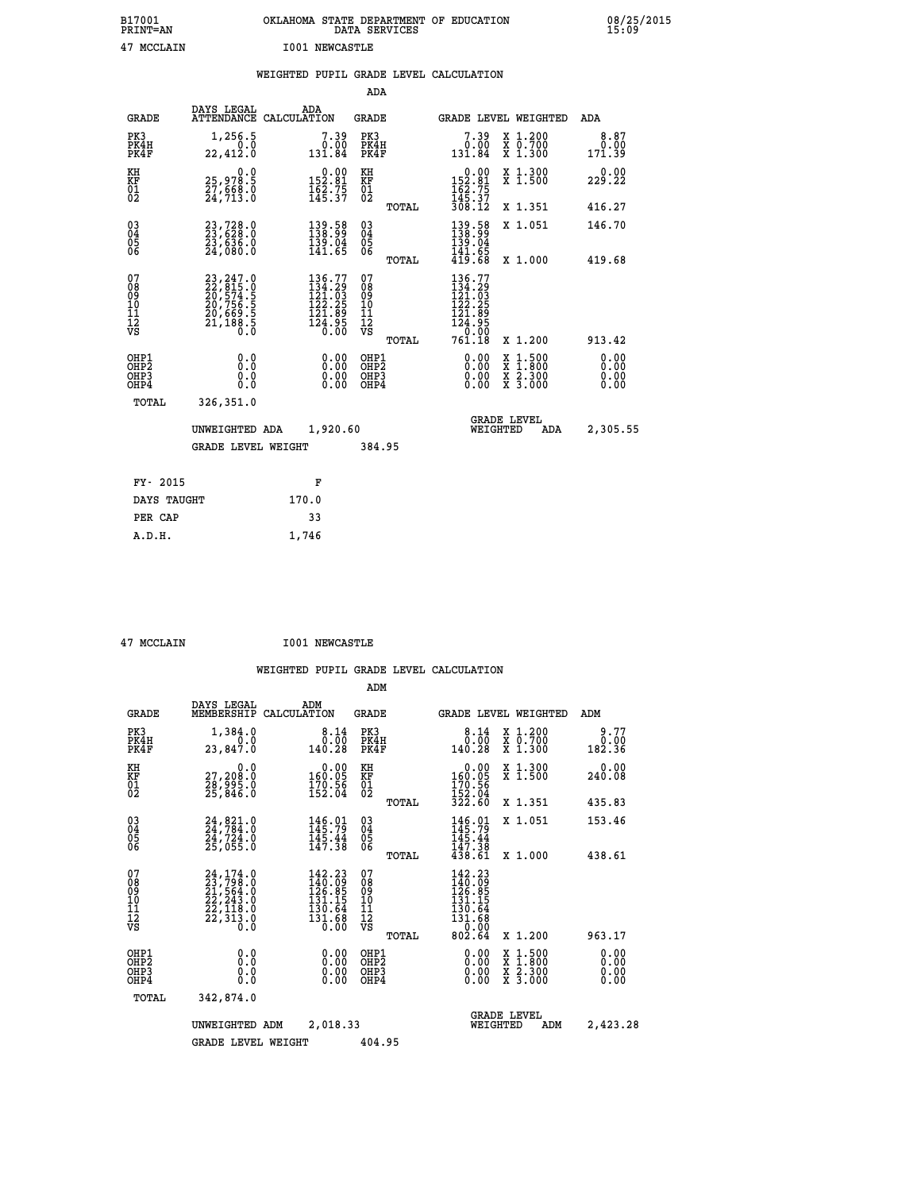| B17001<br>PRINT=AN                                 |                                                                      |                                                                         | DATA SERVICES                                   | OKLAHOMA STATE DEPARTMENT OF EDUCATION                                                                           | 08/25/2015                   |
|----------------------------------------------------|----------------------------------------------------------------------|-------------------------------------------------------------------------|-------------------------------------------------|------------------------------------------------------------------------------------------------------------------|------------------------------|
| 47 MCCLAIN                                         |                                                                      | <b>I001 NEWCASTLE</b>                                                   |                                                 |                                                                                                                  |                              |
|                                                    |                                                                      | WEIGHTED PUPIL GRADE LEVEL CALCULATION                                  |                                                 |                                                                                                                  |                              |
|                                                    |                                                                      |                                                                         | ADA                                             |                                                                                                                  |                              |
| GRADE                                              | DAYS LEGAL<br>ATTENDANCE CALCULATION                                 | ADA                                                                     | GRADE                                           | <b>GRADE LEVEL WEIGHTED</b>                                                                                      | ADA                          |
| PK3<br>PK4H<br>PK4F                                | 1,256.5<br>0.0<br>22,412.0                                           | $7.39\n0.00\n131.84$                                                    | PK3<br>PK4H<br>PK4F                             | 7.39<br>X 1.200<br>$\begin{smallmatrix} 7 & 0.700 \\ 7 & 1.300 \end{smallmatrix}$<br>0.00<br>131.84              | 8.87<br>0.00<br>171.39       |
| KH<br>KF<br>$\overline{01}$                        | 0.0<br>25,978.5<br>27,668.0<br>24,713.0                              | $0.00$<br>152.81<br>$\frac{162.75}{145.37}$                             | KH<br>KF<br>$\overline{01}$                     | $0.00$<br>152.81<br>X 1.300<br>X 1.500<br>$\frac{162.75}{145.37}$                                                | 0.00<br>229.22               |
|                                                    |                                                                      |                                                                         | TOTAL                                           | 308.12<br>X 1.351                                                                                                | 416.27                       |
| $\substack{03 \\ 04}$<br>Ŏ5<br>06                  | 23,728.0<br>23,628.0<br>23,636.0<br>24,080.0                         | 139.58<br>138.99<br>139.04<br>141.65                                    | 03<br>04<br>05<br>06<br>TOTAL                   | 139.58<br>138.99<br>X 1.051<br>139.04<br>141.65<br>419.68<br>X 1.000                                             | 146.70<br>419.68             |
| 07<br>08<br>09<br>11<br>11<br>12<br>VS             | 23,247.0<br>22,815.0<br>20,574.5<br>20,756.5<br>20,669.5<br>21,188.5 | 136.77<br>$\frac{134}{121}$ $\frac{29}{122}$<br>$\frac{121.89}{124.95}$ | 07<br>08<br>09<br>11<br>11<br>12<br>VS<br>TOTAL | 136.77<br>134.29<br>121.03<br>122.25<br>121.89<br>$\frac{1}{2}\frac{3}{6}\cdot\frac{9}{60}$<br>761.18<br>X 1.200 | 913.42                       |
| OHP1<br>OH <sub>P</sub> 2<br>OHP3<br>OHP4<br>TOTAL | 0.0<br>0.0<br>0.0<br>0.0<br>326,351.0                                | 0.00<br>0.00<br>0.00                                                    | OHP1<br>OHP <sub>2</sub><br>OHP3<br>OHP4        | 0.00<br>$\begin{smallmatrix} x & 1.500 \\ x & 1.800 \\ x & 2.300 \\ x & 3.000 \end{smallmatrix}$<br>0.00<br>0.00 | 0.00<br>0.00<br>0.00<br>0.00 |
|                                                    | UNWEIGHTED ADA<br><b>GRADE LEVEL WEIGHT</b>                          | 1,920.60                                                                | 384.95                                          | <b>GRADE LEVEL</b><br>WEIGHTED<br>ADA                                                                            | 2,305.55                     |
| FY- 2015<br>DAYS TAUGHT                            |                                                                      | F<br>170.0                                                              |                                                 |                                                                                                                  |                              |

 **PER CAP 33 A.D.H. 1,746**

 **47 MCCLAIN I001 NEWCASTLE**

|                                                       |                                                                                                                                                     |                                                                          | ADM                                              |                                                                                                                                     |                                                                                                  |                              |
|-------------------------------------------------------|-----------------------------------------------------------------------------------------------------------------------------------------------------|--------------------------------------------------------------------------|--------------------------------------------------|-------------------------------------------------------------------------------------------------------------------------------------|--------------------------------------------------------------------------------------------------|------------------------------|
| <b>GRADE</b>                                          | DAYS LEGAL<br>MEMBERSHIP                                                                                                                            | ADM<br>CALCULATION                                                       | <b>GRADE</b>                                     | GRADE LEVEL WEIGHTED                                                                                                                |                                                                                                  | ADM                          |
| PK3<br>PK4H<br>PK4F                                   | 1,384.0<br>0.0<br>23,847.0                                                                                                                          | 8.14<br>0.00<br>140.28                                                   | PK3<br>PK4H<br>PK4F                              | 8.14<br>0.00<br>140.28                                                                                                              | X 1.200<br>X 0.700<br>X 1.300                                                                    | 9.77<br>0.00<br>182.36       |
| KH<br>KF<br>01<br>02                                  | 0.0<br>27,208:0<br>28,995:0<br>25,846:0                                                                                                             | $\begin{smallmatrix} &0.00\\ 160.05\\ 170.56\\ 152.04\end{smallmatrix}$  | KH<br>KF<br>01<br>02                             | 0.00<br>160:05<br>170:56<br>152:04<br>322:60                                                                                        | X 1.300<br>X 1.500                                                                               | 0.00<br>240.08               |
|                                                       |                                                                                                                                                     |                                                                          | TOTAL                                            |                                                                                                                                     | X 1.351                                                                                          | 435.83                       |
| 03<br>04<br>05<br>06                                  | 24, 821.0<br>24, 784.0<br>24, 724.0<br>25,055.0                                                                                                     | 146.01<br>145.79<br>145.44<br>147.38                                     | $\substack{03 \\ 04}$<br>05<br>06                | 146.91<br>$\frac{115}{147}$ $\frac{14}{38}$<br>$\frac{138}{438}$                                                                    | X 1.051                                                                                          | 153.46                       |
|                                                       |                                                                                                                                                     |                                                                          | TOTAL                                            |                                                                                                                                     | X 1.000                                                                                          | 438.61                       |
| 07<br>08<br>09<br>101<br>112<br>VS                    | $\begin{smallmatrix} 24\,,\,174\,.0\\ 23\,,\,798\,.0\\ 21\,,\,564\,.0\\ 22\,,\,243\,.0\\ 22\,,\,118\,.0\\ 22\,,\,313\,.0\\ 0\,.0 \end{smallmatrix}$ | $142.23$<br>$140.09$<br>$126.85$<br>$131.15$<br>130.64<br>131.68<br>0.00 | 07<br>08<br>09<br>101<br>11<br>12<br>VS<br>TOTAL | 142.23<br>$\frac{116}{126}$ : 09<br>$\frac{126}{131}$ : 05<br>$\begin{smallmatrix} 130.64 \ 131.68 \ 1 \end{smallmatrix}$<br>802.64 | X 1.200                                                                                          | 963.17                       |
| OHP1<br>OH <sub>P</sub> 2<br>OH <sub>P3</sub><br>OHP4 | 0.0<br>0.000                                                                                                                                        | $0.00$<br>$0.00$<br>0.00                                                 | OHP1<br>OHP2<br>OHP3<br>OHP4                     | $0.00$<br>$0.00$<br>0.00                                                                                                            | $\begin{smallmatrix} x & 1 & 500 \\ x & 1 & 800 \\ x & 2 & 300 \\ x & 3 & 000 \end{smallmatrix}$ | 0.00<br>0.00<br>0.00<br>0.00 |
| TOTAL                                                 | 342,874.0                                                                                                                                           |                                                                          |                                                  |                                                                                                                                     |                                                                                                  |                              |
|                                                       | UNWEIGHTED                                                                                                                                          | 2,018.33<br>ADM                                                          |                                                  | <b>GRADE LEVEL</b><br>WEIGHTED                                                                                                      | ADM                                                                                              | 2,423.28                     |
|                                                       | <b>GRADE LEVEL WEIGHT</b>                                                                                                                           |                                                                          | 404.95                                           |                                                                                                                                     |                                                                                                  |                              |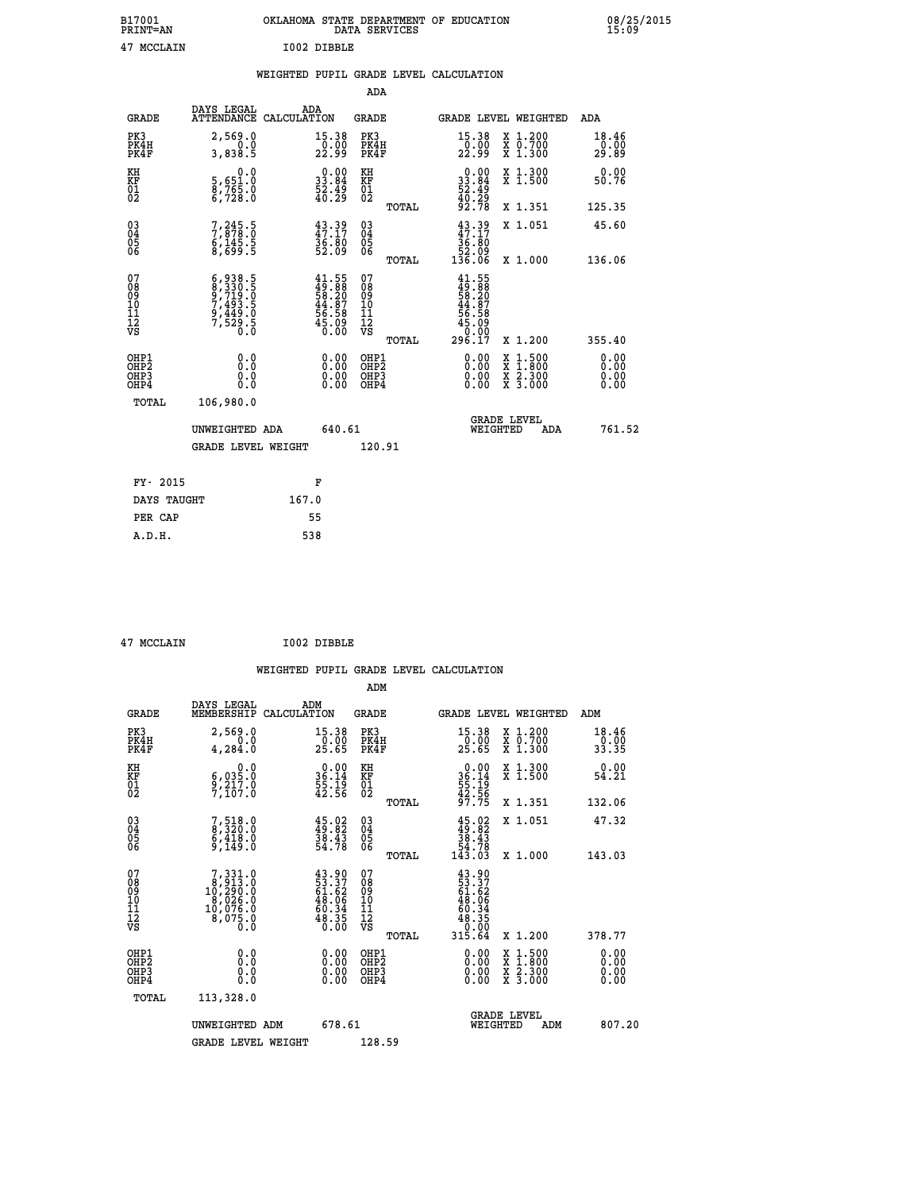| B17001<br><b>PRINT=AN</b> | OKLAHOMA STATE DEPARTMENT OF EDUCATION<br>DATA SERVICES |  |
|---------------------------|---------------------------------------------------------|--|
| 47 MCCLAIN                | I002 DIBBLE                                             |  |

|  |  | WEIGHTED PUPIL GRADE LEVEL CALCULATION |
|--|--|----------------------------------------|
|  |  |                                        |

|                                                                              |                                                                                                                                                                         |                                                                          | ADA                                       |       |                                                                                     |                                          |                              |
|------------------------------------------------------------------------------|-------------------------------------------------------------------------------------------------------------------------------------------------------------------------|--------------------------------------------------------------------------|-------------------------------------------|-------|-------------------------------------------------------------------------------------|------------------------------------------|------------------------------|
| <b>GRADE</b>                                                                 | DAYS LEGAL<br>ATTENDANCE CALCULATION                                                                                                                                    | ADA                                                                      | <b>GRADE</b>                              |       | GRADE LEVEL WEIGHTED                                                                |                                          | ADA                          |
| PK3<br>PK4H<br>PK4F                                                          | 2,569.0<br>0.0<br>3,838.5                                                                                                                                               | 15.38<br>$\frac{0.00}{22.99}$                                            | PK3<br>PK4H<br>PK4F                       |       | $\begin{array}{c} 15\cdot 38 \\ 0\cdot 00 \\ 22\cdot 99 \end{array}$                | X 1.200<br>X 0.700<br>X 1.300            | 18.46<br>0.00<br>29.89       |
| KH<br><b>KF</b><br>01<br>02                                                  | 0.0<br>5,651:0<br>8,765:0<br>6,728:0                                                                                                                                    | $\begin{smallmatrix} 0.00\\ 33.84\\ 52.49\\ 40.29 \end{smallmatrix}$     | KH<br>KF<br>01<br>02                      |       | $\begin{smallmatrix} 0.00\\ 33.84\\ 52.49\\ 40.29\\ 92.78 \end{smallmatrix}$        | X 1.300<br>X 1.500                       | 0.00<br>50.76                |
|                                                                              |                                                                                                                                                                         |                                                                          |                                           | TOTAL |                                                                                     | X 1.351                                  | 125.35                       |
| $\begin{smallmatrix} 03 \\[-4pt] 04 \end{smallmatrix}$<br>Ŏ5<br>06           | 7,245.5<br>7,878.0<br>6,145.5<br>8,699.5                                                                                                                                | 43.39<br>47.17<br>36.80<br>52.09                                         | $\substack{03 \\ 04}$<br>05<br>06         |       | $43.39$<br>$47.17$<br>$36.80$<br>$52.09$<br>$136.06$                                | X 1.051                                  | 45.60                        |
| 07                                                                           |                                                                                                                                                                         |                                                                          | 07                                        | TOTAL |                                                                                     | X 1.000                                  | 136.06                       |
| 08901112<br>1112<br>VS                                                       | $\begin{smallmatrix} 6\,, & 938\,, & 5\\ 8\,, & 330\,, & 5\\ 9\,, & 719\,, & 0\\ 7\,, & 493\,, & 5\\ 9\,, & 449\,, & 0\\ 7\,, & 529\,, & 5\\ 0\,, & 0\end{smallmatrix}$ | $41.55$<br>$49.88$<br>$58.20$<br>$44.87$<br>$56.58$<br>$55.09$<br>$6.00$ | 08<br>09<br>11<br>11<br>12<br>VS          | TOTAL | $41.55$<br>$49.88$<br>$58.20$<br>$44.87$<br>$56.58$<br>$55.09$<br>$99.99$<br>296.17 | X 1.200                                  | 355.40                       |
| OHP1<br>OH <sub>P</sub> <sub>2</sub><br>OH <sub>P3</sub><br>OH <sub>P4</sub> | 0.0<br>0.0<br>0.0                                                                                                                                                       | $\begin{smallmatrix} 0.00 \ 0.00 \ 0.00 \ 0.00 \end{smallmatrix}$        | OHP1<br>OH <sub>P</sub> 2<br>OHP3<br>OHP4 |       | 0.00<br>0.00<br>0.00                                                                | X 1:500<br>X 1:800<br>X 2:300<br>X 3:000 | 0.00<br>0.00<br>0.00<br>0.00 |
| TOTAL                                                                        | 106,980.0                                                                                                                                                               |                                                                          |                                           |       |                                                                                     |                                          |                              |
|                                                                              | UNWEIGHTED ADA                                                                                                                                                          | 640.61                                                                   |                                           |       |                                                                                     | GRADE LEVEL<br>WEIGHTED<br>ADA           | 761.52                       |
|                                                                              | <b>GRADE LEVEL WEIGHT</b>                                                                                                                                               |                                                                          | 120.91                                    |       |                                                                                     |                                          |                              |
| FY- 2015                                                                     |                                                                                                                                                                         | F                                                                        |                                           |       |                                                                                     |                                          |                              |
| DAYS TAUGHT                                                                  |                                                                                                                                                                         | 167.0                                                                    |                                           |       |                                                                                     |                                          |                              |
| PER CAP                                                                      |                                                                                                                                                                         | 55                                                                       |                                           |       |                                                                                     |                                          |                              |

 **47 MCCLAIN I002 DIBBLE**

 **A.D.H. 538**

 **B17001<br>PRINT=AN** 

|                                           |                                                                                                   |                                                                      | ADM                                                 |       |                                                                         |                                          |                                                       |
|-------------------------------------------|---------------------------------------------------------------------------------------------------|----------------------------------------------------------------------|-----------------------------------------------------|-------|-------------------------------------------------------------------------|------------------------------------------|-------------------------------------------------------|
| <b>GRADE</b>                              | DAYS LEGAL<br>MEMBERSHIP                                                                          | ADM<br>CALCULATION                                                   | <b>GRADE</b>                                        |       |                                                                         | GRADE LEVEL WEIGHTED                     | ADM                                                   |
| PK3<br>PK4H<br>PK4F                       | 2,569.0<br>0.0<br>4, 284.0                                                                        | 15.38<br>$\frac{0.00}{25.65}$                                        | PK3<br>PK4H<br>PK4F                                 |       | $\begin{array}{c} 15\cdot 38 \\ 0\cdot 00 \\ 25\cdot 65 \end{array}$    | X 1.200<br>X 0.700<br>X 1.300            | $\begin{array}{c} 18.46 \\ 0.00 \\ 33.35 \end{array}$ |
| KH<br>KF<br>01<br>02                      | 0.0<br>$\frac{6}{9}, \frac{035}{217}.0$<br>7,107.0                                                | $\begin{smallmatrix} 0.00\\ 36.14\\ 55.19\\ 42.56 \end{smallmatrix}$ | KH<br>KF<br>01<br>02                                |       | $0.00$<br>$36.14$<br>$55.19$<br>$42.56$<br>$97.75$                      | X 1.300<br>X 1.500                       | 0.00<br>54.21                                         |
|                                           |                                                                                                   |                                                                      |                                                     | TOTAL |                                                                         | X 1.351                                  | 132.06                                                |
| 03<br>04<br>05<br>06                      | 7,518.0<br>8,320.0<br>6,418.0<br>9,149.0                                                          | $45.02$<br>$49.82$<br>$38.43$<br>$54.78$                             | $\begin{array}{c} 03 \\ 04 \\ 05 \\ 06 \end{array}$ |       | $45.02\n38.43\n54.78\n143.03$                                           | X 1.051                                  | 47.32                                                 |
|                                           |                                                                                                   |                                                                      |                                                     | TOTAL |                                                                         | X 1.000                                  | 143.03                                                |
| 07<br>08<br>09<br>101<br>112<br>VS        | $\begin{smallmatrix}7,331.0\\8,913.0\\10,290.0\\8,026.0\\10,076.0\\8,075.0\\0.0\end{smallmatrix}$ | $43.90$<br>$53.37$<br>$61.62$<br>$48.06$<br>$48.34$<br>$48.35$       | 07<br>08<br>09<br>11<br>11<br>12<br>VS              | TOTAL | $43.90$<br>53.372<br>61.62<br>61.64<br>48.35<br>48.35<br>0.00<br>315.64 | X 1.200                                  | 378.77                                                |
| OHP1<br>OHP2<br>OH <sub>P</sub> 3<br>OHP4 | 0.0<br>0.000                                                                                      | $0.00$<br>$0.00$<br>0.00                                             | OHP1<br>OHP2<br>OHP <sub>3</sub>                    |       | $0.00$<br>$0.00$<br>0.00                                                | X 1:500<br>X 1:800<br>X 2:300<br>X 3:000 | 0.00<br>0.00<br>0.00<br>0.00                          |
| TOTAL                                     | 113,328.0                                                                                         |                                                                      |                                                     |       |                                                                         |                                          |                                                       |
|                                           | UNWEIGHTED ADM                                                                                    | 678.61                                                               |                                                     |       |                                                                         | <b>GRADE LEVEL</b><br>WEIGHTED<br>ADM    | 807.20                                                |
|                                           | <b>GRADE LEVEL WEIGHT</b>                                                                         |                                                                      | 128.59                                              |       |                                                                         |                                          |                                                       |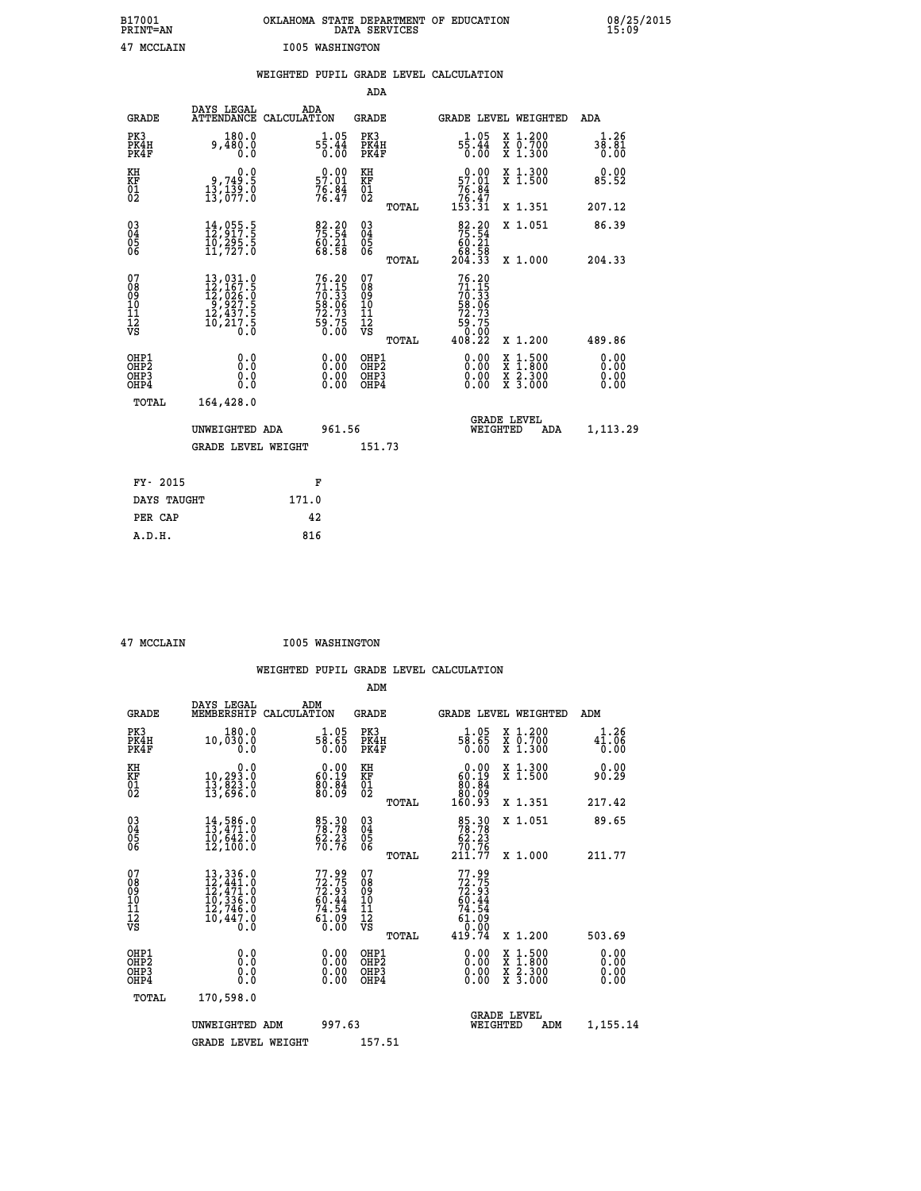| B17001          | OKLAHOMA STATE DEPARTMENT OF EDUCATION |
|-----------------|----------------------------------------|
| <b>PRINT=AN</b> | DATA SERVICES                          |
| 47 MCCLAIN      | <b>I005 WASHINGTON</b>                 |

|  |  | WEIGHTED PUPIL GRADE LEVEL CALCULATION |
|--|--|----------------------------------------|
|  |  |                                        |

|                                                                    |                                                                                                                                                                                           |                                                                          | ADA                                                 |                                                                                      |                              |
|--------------------------------------------------------------------|-------------------------------------------------------------------------------------------------------------------------------------------------------------------------------------------|--------------------------------------------------------------------------|-----------------------------------------------------|--------------------------------------------------------------------------------------|------------------------------|
| <b>GRADE</b>                                                       | DAYS LEGAL                                                                                                                                                                                | ADA<br>ATTENDANCE CALCULATION                                            | <b>GRADE</b>                                        | GRADE LEVEL WEIGHTED                                                                 | ADA                          |
| PK3<br>PK4H<br>PK4F                                                | 180.0<br>9,480.0<br>0.0                                                                                                                                                                   | $5\frac{1}{5}\cdot\frac{05}{44}$<br>0.00                                 | PK3<br>PK4H<br>PK4F                                 | X 1.200<br>X 0.700<br>X 1.300<br>$5\frac{1}{5}\cdot\frac{05}{44}$<br>0.00            | 1.26<br>38.81<br>0.00        |
| KH<br><b>KF</b><br>01<br>02                                        | 0.0<br>,749.5<br>3.81,0<br>0.139,139<br>13,077.0                                                                                                                                          | $0.00$<br>57.01<br>$76.84$<br>$76.47$                                    | KH<br>KF<br>01<br>02                                | X 1.300<br>X 1.500<br>$0.00$<br>57.01<br>$76.84$<br>$76.47$<br>$153.31$              | 0.00<br>85.52                |
|                                                                    |                                                                                                                                                                                           |                                                                          | TOTAL                                               | X 1.351                                                                              | 207.12                       |
| $\begin{smallmatrix} 03 \\[-4pt] 04 \end{smallmatrix}$<br>05<br>06 | $\begin{smallmatrix} 14 \ , \ 055 \ . \ 11 \ , \ 217 \ . \ 5 \ 10 \ , \ 295 \ . \ 5 \ 11 \ , \ 727 \ . \ 0 \end{smallmatrix}$                                                             | 75:34<br>$\frac{60.21}{68.58}$                                           | $\begin{array}{c} 03 \\ 04 \\ 05 \\ 06 \end{array}$ | $\begin{array}{r} 82.20 \\ 75.54 \\ 60.21 \\ 68.58 \\ 204.33 \end{array}$<br>X 1.051 | 86.39                        |
| 07                                                                 |                                                                                                                                                                                           |                                                                          | TOTAL<br>07                                         | X 1.000                                                                              | 204.33                       |
| 08901112<br>1112<br>VS                                             | $\begin{smallmatrix} 13 \,, & 031 \,. & 0\\ 12 \,, & 167 \,. & 5\\ 12 \,, & 026 \,. & 0\\ 9 \,, & 927 \,. & 5\\ 12 \,, & 437 \,. & 5\\ 10 \,, & 217 \,. & 5\\ 0 \,. & 0\end{smallmatrix}$ | $76.20$<br>$71.15$<br>$70.33$<br>$58.06$<br>$72.73$<br>$59.75$<br>$0.00$ | 08901112<br>1112<br>VS                              | $76.20$<br>$71.15$<br>$70.33$<br>$58.06$<br>$72.73$<br>$59.75$<br>$90.99$            |                              |
|                                                                    |                                                                                                                                                                                           |                                                                          | TOTAL                                               | 408.22<br>X 1.200                                                                    | 489.86                       |
| OHP1<br>OH <sub>P</sub> 2<br>OH <sub>P3</sub><br>OH <sub>P4</sub>  | 0.0<br>0.0<br>0.0                                                                                                                                                                         | 0.00<br>$\begin{smallmatrix} 0.00 \ 0.00 \end{smallmatrix}$              | OHP1<br>OH <sub>P</sub> 2<br>OHP3<br>OHP4           | 0.00<br>X 1:500<br>X 1:800<br>X 2:300<br>X 3:000<br>0.00<br>0.00                     | 0.00<br>0.00<br>0.00<br>0.00 |
|                                                                    | TOTAL<br>164,428.0                                                                                                                                                                        |                                                                          |                                                     |                                                                                      |                              |
|                                                                    | UNWEIGHTED ADA                                                                                                                                                                            | 961.56                                                                   |                                                     | GRADE LEVEL<br>WEIGHTED<br>ADA                                                       | 1,113.29                     |
|                                                                    | <b>GRADE LEVEL WEIGHT</b>                                                                                                                                                                 |                                                                          | 151.73                                              |                                                                                      |                              |
|                                                                    | FY- 2015                                                                                                                                                                                  | F                                                                        |                                                     |                                                                                      |                              |
|                                                                    | DAYS TAUGHT                                                                                                                                                                               | 171.0                                                                    |                                                     |                                                                                      |                              |
|                                                                    | PER CAP                                                                                                                                                                                   | 42                                                                       |                                                     |                                                                                      |                              |

 **A.D.H. 816**

 **47 MCCLAIN I005 WASHINGTON**

|                                          |                                                                                                                                                                                      |                                                                                                      | ADM                                                |                                                                             |                                          |                                                                |
|------------------------------------------|--------------------------------------------------------------------------------------------------------------------------------------------------------------------------------------|------------------------------------------------------------------------------------------------------|----------------------------------------------------|-----------------------------------------------------------------------------|------------------------------------------|----------------------------------------------------------------|
| <b>GRADE</b>                             | DAYS LEGAL<br>MEMBERSHIP                                                                                                                                                             | ADM<br>CALCULATION                                                                                   | <b>GRADE</b>                                       | GRADE LEVEL WEIGHTED                                                        |                                          | ADM                                                            |
| PK3<br>PK4H<br>PK4F                      | 180.0<br>10,030.0<br>0.0                                                                                                                                                             | $\frac{1.05}{58.65}$<br>0.00                                                                         | PK3<br>PK4H<br>PK4F                                | $\frac{1.05}{58.65}$<br>0.00                                                | X 1.200<br>X 0.700<br>X 1.300            | 1.26<br>$4\overline{1}\cdot\overline{0}\overline{6}$<br>$0.00$ |
| KH<br>KF<br>01<br>02                     | 0.0<br>10,293.0<br>13,823.0<br>13,696.0                                                                                                                                              | $0.00$<br>$60.19$<br>$\frac{80.84}{80.09}$                                                           | KH<br>KF<br>01<br>02                               | $\begin{smallmatrix} &0.00\ 60.19\ 80.84\ 80.09\ 160.93\ \end{smallmatrix}$ | X 1.300<br>X 1.500                       | 0.00<br>90.29                                                  |
|                                          |                                                                                                                                                                                      |                                                                                                      | TOTAL                                              |                                                                             | X 1.351                                  | 217.42                                                         |
| 03<br>04<br>05<br>06                     | $14,586.0$<br>$13,471.0$<br>$10,642.0$<br>12,100.0                                                                                                                                   | 85.30<br>78.78<br>$\frac{62.23}{70.76}$                                                              | $\begin{matrix} 03 \\ 04 \\ 05 \\ 06 \end{matrix}$ | 85.30<br>78.78<br>62.23                                                     | X 1.051                                  | 89.65                                                          |
|                                          |                                                                                                                                                                                      |                                                                                                      | TOTAL                                              | 70.76<br>211.77                                                             | X 1.000                                  | 211.77                                                         |
| 07<br>08<br>09<br>101<br>112<br>VS       | $\begin{smallmatrix} 13\,, & 336\,, & 0\\ 12\,, & 441\,, & 0\\ 12\,, & 471\,, & 0\\ 10\,, & 336\,, & 0\\ 12\,, & 746\,, & 0\\ 10\,, & 447\,, & 0\\ 0\,, & 0\,, & 0\end{smallmatrix}$ | 77.99<br>72.75<br>72.93<br>60.44<br>74.54<br>$\begin{smallmatrix} 6\bar{1}\ 0\ 0\ \end{smallmatrix}$ | 07<br>08<br>09<br>11<br>11<br>12<br>VS             | 77.99<br>72.75<br>72.93<br>60.44<br>74.54<br>74.54<br>61.090                |                                          |                                                                |
|                                          |                                                                                                                                                                                      |                                                                                                      | TOTAL                                              | 419.74                                                                      | X 1.200                                  | 503.69                                                         |
| OHP1<br>OHP2<br>OH <sub>P3</sub><br>OHP4 | 0.0<br>0.000                                                                                                                                                                         | $0.00$<br>$0.00$<br>0.00                                                                             | OHP1<br>OHP2<br>OHP <sub>3</sub>                   | $0.00$<br>$0.00$<br>0.00                                                    | X 1:500<br>X 1:800<br>X 2:300<br>X 3:000 | 0.00<br>0.00<br>0.00<br>0.00                                   |
| TOTAL                                    | 170,598.0                                                                                                                                                                            |                                                                                                      |                                                    |                                                                             |                                          |                                                                |
|                                          | UNWEIGHTED ADM                                                                                                                                                                       | 997.63                                                                                               |                                                    | WEIGHTED                                                                    | <b>GRADE LEVEL</b><br>ADM                | 1,155.14                                                       |
|                                          | GRADE LEVEL WEIGHT                                                                                                                                                                   |                                                                                                      | 157.51                                             |                                                                             |                                          |                                                                |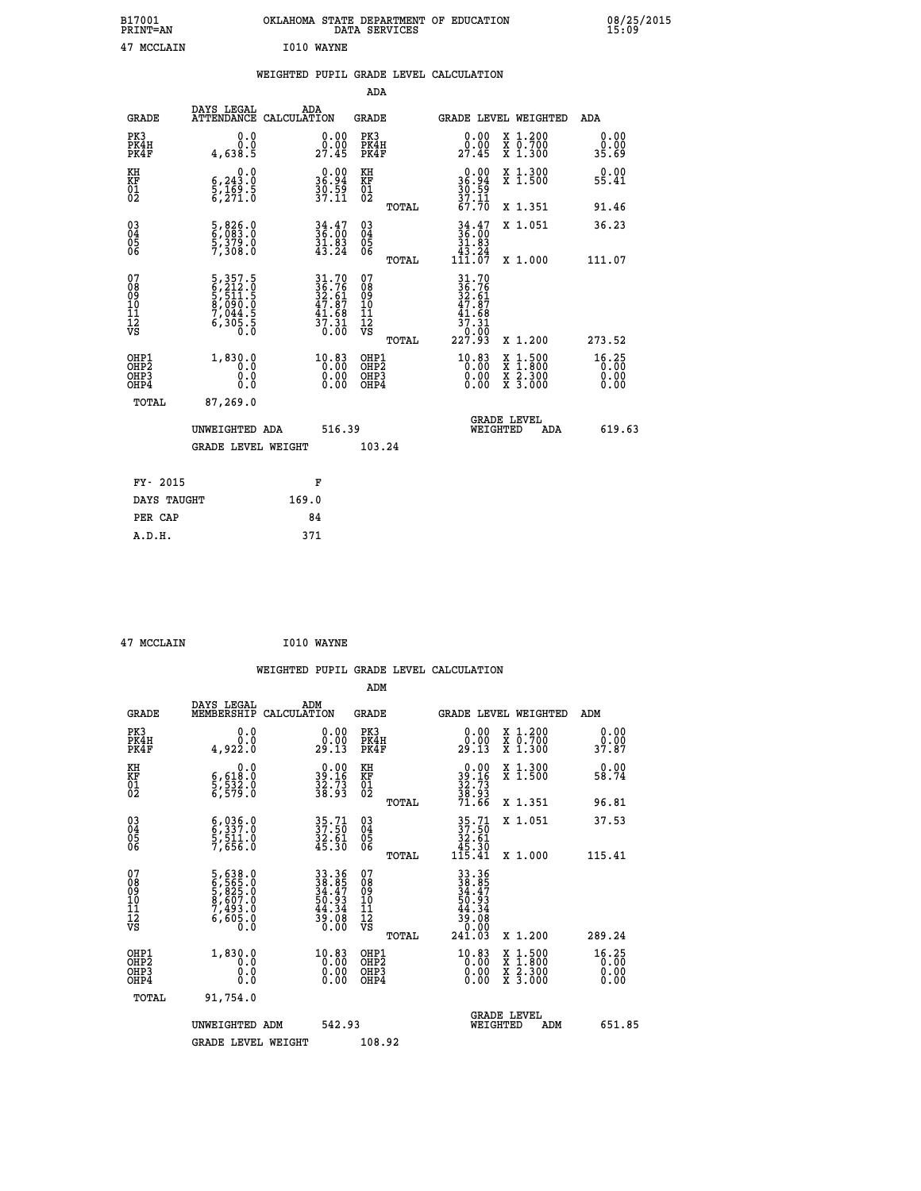| B17001<br>PRINT=AN | OKLAHOMA STATE DEPARTMENT OF EDUCATION<br>DATA SERVICES | 08/25/2015<br>15:09 |
|--------------------|---------------------------------------------------------|---------------------|
| 47 MCCLAIN         | I010 WAYNE                                              |                     |

|  |  | WEIGHTED PUPIL GRADE LEVEL CALCULATION |
|--|--|----------------------------------------|
|  |  |                                        |

|                                                                              |                                                                                                                      |                                                                                           | ADA                                                |       |                                                                                                        |                                                                                                                                           |                               |
|------------------------------------------------------------------------------|----------------------------------------------------------------------------------------------------------------------|-------------------------------------------------------------------------------------------|----------------------------------------------------|-------|--------------------------------------------------------------------------------------------------------|-------------------------------------------------------------------------------------------------------------------------------------------|-------------------------------|
| <b>GRADE</b>                                                                 | DAYS LEGAL                                                                                                           | ADA<br>ATTENDANCE CALCULATION                                                             | GRADE                                              |       | <b>GRADE LEVEL WEIGHTED</b>                                                                            |                                                                                                                                           | ADA                           |
| PK3<br>PK4H<br>PK4F                                                          | 0.0<br>Ō.Ō<br>4,638.5                                                                                                | $0.00$<br>$0.00$<br>27.45                                                                 | PK3<br>PK4H<br>PK4F                                |       | 0.00<br>0.00<br>27.45                                                                                  | X 1.200<br>X 0.700<br>X 1.300                                                                                                             | 0.00<br>0.00<br>35.69         |
| KH<br>KF<br>01<br>02                                                         | $\begin{smallmatrix}&&&0\, .\, 0\\ 6\, ,\, 243\, .\, 0\\ 5\, ,\, 169\, .\, 5\\ 6\, ,\, 271\, .\, 0\end{smallmatrix}$ | $36.94$<br>$36.94$<br>$39.59$<br>$37.11$                                                  | KH<br>KF<br>01<br>02                               |       | $36.94$<br>$36.94$<br>$39.59$<br>$37.11$                                                               | X 1.300<br>X 1.500                                                                                                                        | 0.00<br>55.41                 |
|                                                                              |                                                                                                                      |                                                                                           |                                                    | TOTAL | 67.70                                                                                                  | X 1.351                                                                                                                                   | 91.46                         |
| $\begin{matrix} 03 \\ 04 \\ 05 \\ 06 \end{matrix}$                           | 5,826.0<br>6,083.0<br>5,379.0<br>7,308.0                                                                             | $34.47$<br>$36.00$<br>$31.83$<br>$43.24$                                                  | $\begin{matrix} 03 \\ 04 \\ 05 \\ 06 \end{matrix}$ |       | 34.47<br>36.00<br>31.83<br>43.24                                                                       | X 1.051                                                                                                                                   | 36.23                         |
|                                                                              |                                                                                                                      |                                                                                           |                                                    | TOTAL | 111.07                                                                                                 | X 1.000                                                                                                                                   | 111.07                        |
| 07<br>08<br>09<br>11<br>11<br>12<br>VS                                       | 5, 357.5<br>6, 212.0<br>5, 511.5<br>8, 090.0<br>7, 044.5<br>6, 305.5                                                 | $\begin{array}{c} 31.70 \\ 36.76 \\ 32.61 \\ 47.87 \\ 41.68 \\ 37.31 \\ 0.00 \end{array}$ | 07<br>08<br>09<br>11<br>11<br>12<br>VS             | TOTAL | $\begin{array}{r} 31.70 \\ 36.76 \\ 32.61 \\ 47.87 \\ 41.68 \\ 37.31 \\ 0.00 \\ 227.93 \\ \end{array}$ | X 1.200                                                                                                                                   | 273.52                        |
| OHP1<br>OH <sub>P</sub> <sub>2</sub><br>OH <sub>P3</sub><br>OH <sub>P4</sub> | 1,830.0<br>0.0<br>0.0<br>0.0                                                                                         | 10.83<br>$0.00$<br>0.00                                                                   | OHP1<br>OHP2<br>OHP3<br>OHP4                       |       | $^{10.83}_{0.00}$<br>0.00                                                                              | $\begin{smallmatrix} \mathtt{X} & 1\cdot500\\ \mathtt{X} & 1\cdot800\\ \mathtt{X} & 2\cdot300\\ \mathtt{X} & 3\cdot000 \end{smallmatrix}$ | 16.25<br>0.00<br>0.00<br>0.00 |
| TOTAL                                                                        | 87,269.0                                                                                                             |                                                                                           |                                                    |       |                                                                                                        |                                                                                                                                           |                               |
|                                                                              | UNWEIGHTED ADA                                                                                                       | 516.39                                                                                    |                                                    |       | WEIGHTED                                                                                               | <b>GRADE LEVEL</b><br>ADA                                                                                                                 | 619.63                        |
|                                                                              | <b>GRADE LEVEL WEIGHT</b>                                                                                            |                                                                                           | 103.24                                             |       |                                                                                                        |                                                                                                                                           |                               |
|                                                                              |                                                                                                                      |                                                                                           |                                                    |       |                                                                                                        |                                                                                                                                           |                               |
| FY- 2015                                                                     |                                                                                                                      | F                                                                                         |                                                    |       |                                                                                                        |                                                                                                                                           |                               |
| DAYS TAUGHT                                                                  |                                                                                                                      | 169.0                                                                                     |                                                    |       |                                                                                                        |                                                                                                                                           |                               |
| PER CAP                                                                      |                                                                                                                      | 84                                                                                        |                                                    |       |                                                                                                        |                                                                                                                                           |                               |
| A.D.H.                                                                       |                                                                                                                      | 371                                                                                       |                                                    |       |                                                                                                        |                                                                                                                                           |                               |

|  | 47 MCCLAIN |  |
|--|------------|--|

**ANCCLAIN** I010 WAYNE

|                                                      |                                                                                                  |                                                                      |                                        | WEIGHTED PUPIL GRADE LEVEL CALCULATION                               |                                          |                       |
|------------------------------------------------------|--------------------------------------------------------------------------------------------------|----------------------------------------------------------------------|----------------------------------------|----------------------------------------------------------------------|------------------------------------------|-----------------------|
|                                                      |                                                                                                  |                                                                      | ADM                                    |                                                                      |                                          |                       |
| <b>GRADE</b>                                         | DAYS LEGAL<br>MEMBERSHIP                                                                         | ADM<br>CALCULATION                                                   | <b>GRADE</b>                           | <b>GRADE LEVEL WEIGHTED</b>                                          |                                          | ADM                   |
| PK3<br>PK4H<br>PK4F                                  | 0.0<br>0.0<br>4,922.0                                                                            | $\begin{smallmatrix} 0.00\\ 0.00\\ 29.13 \end{smallmatrix}$          | PK3<br>PK4H<br>PK4F                    | $\begin{smallmatrix} 0.00\\ 0.00\\ 29.13 \end{smallmatrix}$          | X 1.200<br>X 0.700<br>X 1.300            | 0.00<br>0.00<br>37.87 |
| KH<br>KF<br>01<br>02                                 | $\begin{smallmatrix}&&&0.0\\ 6,618.0\\ 5,532.0\\ 6,579.0\end{smallmatrix}$                       | $\begin{smallmatrix} 0.00\\ 39.16\\ 32.73\\ 38.93 \end{smallmatrix}$ | KH<br>KF<br>01<br>02                   | $39.16$<br>$32.73$<br>$38.93$<br>$71.66$                             | X 1.300<br>X 1.500                       | 0.00<br>58.74         |
|                                                      |                                                                                                  |                                                                      | TOTAL                                  |                                                                      | X 1.351                                  | 96.81                 |
| 03<br>04<br>05<br>06                                 | $\begin{smallmatrix} 6 & 036 & 0 \\ 6 & 337 & 0 \\ 5 & 511 & 0 \\ 7 & 656 & 0 \end{smallmatrix}$ | 35.71<br>37.50<br>32.61<br>45.30                                     | 03<br>04<br>05<br>06                   | $35.71$<br>$37.50$<br>$32.61$<br>$45.30$<br>$115.41$                 | X 1.051                                  | 37.53                 |
|                                                      |                                                                                                  |                                                                      | TOTAL                                  |                                                                      | X 1.000                                  | 115.41                |
| 07<br>08<br>09<br>101<br>112<br>VS                   | 5,638.0<br>6,565.0<br>5,825.0<br>5,607.0<br>7,493.0<br>6,605.0<br>0.0                            | 33.36<br>38.85<br>34.47<br>50.93<br>50.08<br>39.08                   | 07<br>08<br>09<br>11<br>11<br>12<br>VS | 33.36<br>38.85<br>34.47<br>50.93<br>44.34<br>35:08<br>0.00<br>241.03 |                                          |                       |
|                                                      |                                                                                                  |                                                                      | TOTAL                                  |                                                                      | X 1.200                                  | 289.24                |
| OHP1<br>OHP2<br>OH <sub>P3</sub><br>OH <sub>P4</sub> | 1,830.0<br>0.0<br>0.000                                                                          | $\begin{smallmatrix} 10.83\ 0.00\ 0.00\ 0.00 \end{smallmatrix}$      | OHP1<br>OHP2<br>OHP3<br>OHP4           | $\begin{smallmatrix} 10.83\ 0.00\ 0.00\ 0.00 \end{smallmatrix}$      | X 1:500<br>X 1:800<br>X 2:300<br>X 3:000 | 16.25<br>0.0000       |
| TOTAL                                                | 91,754.0                                                                                         |                                                                      |                                        |                                                                      |                                          |                       |
|                                                      | UNWEIGHTED ADM                                                                                   | 542.93                                                               |                                        | GRADE LEVEL<br>WEIGHTED                                              | ADM                                      | 651.85                |
|                                                      | <b>GRADE LEVEL WEIGHT</b>                                                                        |                                                                      | 108.92                                 |                                                                      |                                          |                       |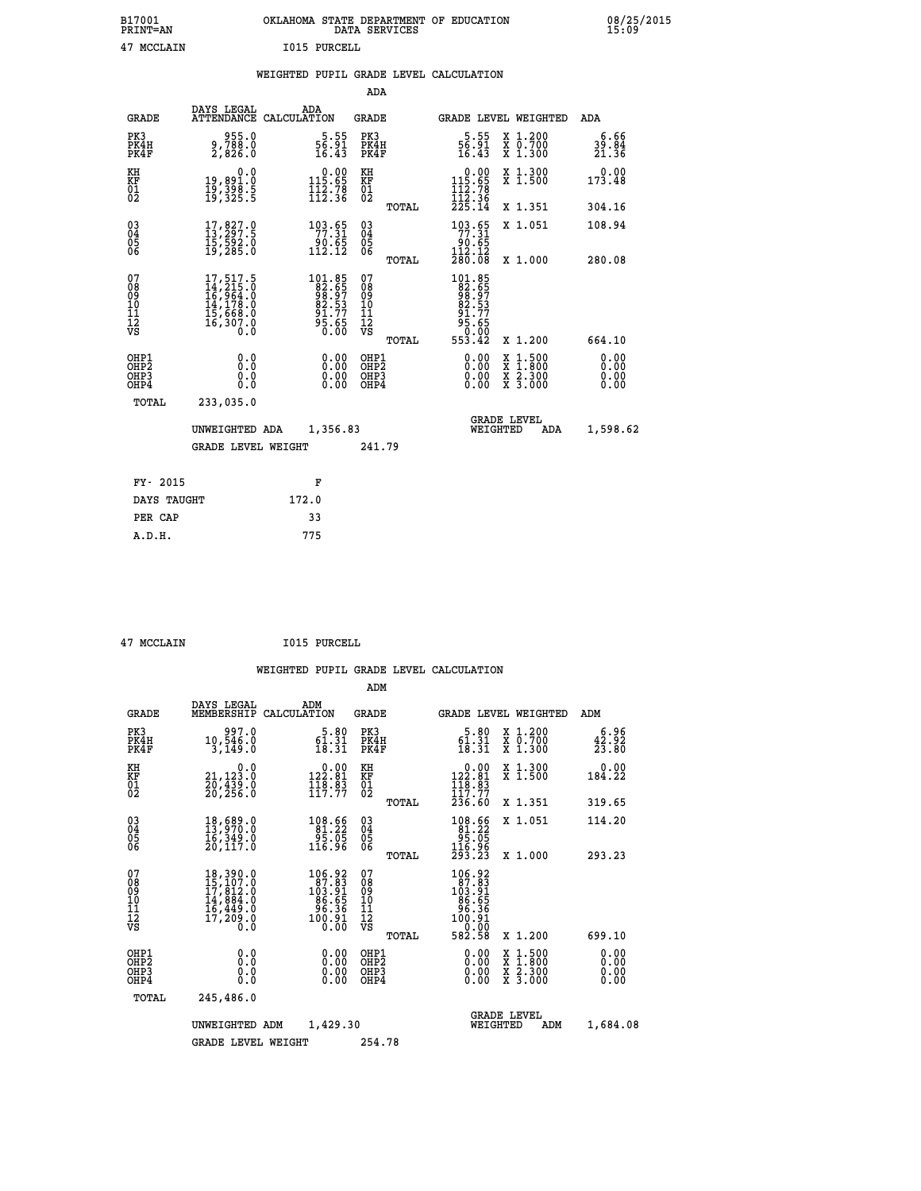## **B17001 OKLAHOMA STATE DEPARTMENT OF EDUCATION 08/25/2015 PRINT=AN DATA SERVICES 15:09 47 MCCLAIN I015 PURCELL**

|  |  | WEIGHTED PUPIL GRADE LEVEL CALCULATION |
|--|--|----------------------------------------|
|  |  |                                        |

|                                                                    |                                                                                                               |                                                                         | ADA                                       |       |                                                                                                                   |                                                                     |                              |
|--------------------------------------------------------------------|---------------------------------------------------------------------------------------------------------------|-------------------------------------------------------------------------|-------------------------------------------|-------|-------------------------------------------------------------------------------------------------------------------|---------------------------------------------------------------------|------------------------------|
| <b>GRADE</b>                                                       | DAYS LEGAL                                                                                                    | ADA<br>ATTENDANCE CALCULATION                                           | <b>GRADE</b>                              |       |                                                                                                                   | GRADE LEVEL WEIGHTED                                                | <b>ADA</b>                   |
| PK3<br>PK4H<br>PK4F                                                | 955.0<br>9,788.0<br>2,826.0                                                                                   | $\frac{5}{16}$ . $\frac{55}{16}$<br>16.43                               | PK3<br>PK4H<br>PK4F                       |       | $\frac{5}{16}$ : $\frac{55}{16}$<br>16.43                                                                         | X 1.200<br>X 0.700<br>X 1.300                                       | 6.66<br>39.84<br>21.36       |
| KH<br>KF<br>01<br>02                                               | 0.0<br>19,891.0<br>19,398.5<br>19,325.5                                                                       | $\begin{smallmatrix} 0.00\\ 115.65\\ 112.78\\ 112.36 \end{smallmatrix}$ | KH<br>KF<br>01<br>02                      |       | $\begin{smallmatrix} &0.00\\ 115.65\\ 112.78\\ 112.36\\ 225.14\end{smallmatrix}$                                  | X 1.300<br>X 1.500                                                  | 0.00<br>173.48               |
|                                                                    |                                                                                                               |                                                                         |                                           | TOTAL |                                                                                                                   | X 1.351                                                             | 304.16                       |
| $\begin{smallmatrix} 03 \\[-4pt] 04 \end{smallmatrix}$<br>05<br>ŌĞ | 17,827.0<br>13,297.5<br>15,592.0<br>19,285.0                                                                  | 103.65<br>ۋة.≀ۋ<br>112.12                                               | $\substack{03 \\ 04}$<br>05<br>06         |       | 193.65<br>$\frac{66}{112}$ , $\frac{12}{280}$ , $\frac{12}{08}$                                                   | X 1.051                                                             | 108.94                       |
| 07                                                                 |                                                                                                               |                                                                         | 07                                        | TOTAL |                                                                                                                   | X 1.000                                                             | 280.08                       |
| 08<br>09<br>11<br>11<br>12<br>VS                                   | $\begin{smallmatrix} 17,517.5\\ 14,215.0\\ 16,964.0\\ 14,178.0\\ 15,668.0\\ 16,307.0\\ 0.0 \end{smallmatrix}$ | 101.85<br>82.657<br>98.973<br>82.537<br>91.77<br>95.65<br>0.00          | 08<br>09<br>11<br>11<br>12<br>VS          |       | $\begin{smallmatrix} 101.85\\ 82.657\\ 98.57\\ 98.57\\ 82.537\\ 91.77\\ 95.65\\ 0.002\\ 553.42 \end{smallmatrix}$ |                                                                     |                              |
|                                                                    |                                                                                                               |                                                                         |                                           | TOTAL |                                                                                                                   | X 1.200                                                             | 664.10                       |
| OHP1<br>OHP <sub>2</sub><br>OHP3<br>OHP4                           | 0.0<br>Ō.Ō<br>0.0<br>$0.\overline{0}$                                                                         | 0.00<br>$\begin{smallmatrix} 0.00 \ 0.00 \end{smallmatrix}$             | OHP1<br>OH <sub>P</sub> 2<br>OHP3<br>OHP4 |       | 0.00<br>0.00<br>0.00                                                                                              | $1:500$<br>$1:800$<br>X<br>X<br>$\frac{x}{x}$ $\frac{2.300}{3.000}$ | 0.00<br>0.00<br>0.00<br>0.00 |
| TOTAL                                                              | 233,035.0                                                                                                     |                                                                         |                                           |       |                                                                                                                   |                                                                     |                              |
|                                                                    | UNWEIGHTED ADA                                                                                                | 1,356.83                                                                |                                           |       |                                                                                                                   | <b>GRADE LEVEL</b><br>WEIGHTED<br>ADA                               | 1,598.62                     |
|                                                                    | <b>GRADE LEVEL WEIGHT</b>                                                                                     |                                                                         | 241.79                                    |       |                                                                                                                   |                                                                     |                              |
| FY- 2015                                                           |                                                                                                               | F                                                                       |                                           |       |                                                                                                                   |                                                                     |                              |
| DAYS TAUGHT                                                        |                                                                                                               | 172.0                                                                   |                                           |       |                                                                                                                   |                                                                     |                              |
| PER CAP                                                            |                                                                                                               | 33                                                                      |                                           |       |                                                                                                                   |                                                                     |                              |
|                                                                    |                                                                                                               |                                                                         |                                           |       |                                                                                                                   |                                                                     |                              |

 **A.D.H. 775**

 **47 MCCLAIN I015 PURCELL**

|                                                       |                                                                                                                                                                                          |                                                                                                 | ADM                                                 |                                                                                                       |                                          |                                                           |
|-------------------------------------------------------|------------------------------------------------------------------------------------------------------------------------------------------------------------------------------------------|-------------------------------------------------------------------------------------------------|-----------------------------------------------------|-------------------------------------------------------------------------------------------------------|------------------------------------------|-----------------------------------------------------------|
| <b>GRADE</b>                                          | DAYS LEGAL<br>MEMBERSHIP                                                                                                                                                                 | ADM<br>CALCULATION                                                                              | <b>GRADE</b>                                        | <b>GRADE LEVEL WEIGHTED</b>                                                                           |                                          | ADM                                                       |
| PK3<br>PK4H<br>PK4F                                   | 997.0<br>10,546.0<br>3,149.0                                                                                                                                                             | 5.80<br>$\frac{61.31}{18.31}$                                                                   | PK3<br>PK4H<br>PK4F                                 | 5.80<br>$\frac{6\bar{1}\cdot\bar{3}1}{18\cdot31}$                                                     | X 1.200<br>X 0.700<br>X 1.300            | 6.96<br>$\frac{4\tilde{2}\cdot\tilde{9}\tilde{2}}{23.80}$ |
| KH<br>KF<br>01<br>02                                  | 0.0<br>21,123.0<br>20,439.0<br>20,256.0                                                                                                                                                  | $\begin{smallmatrix} 0.00\\ 122.81\\ 118.83\\ 117.77 \end{smallmatrix}$                         | KH<br>KF<br>01<br>02                                | $\begin{smallmatrix} 0.00\\ 122.81\\ 118.83\\ 117.77 \end{smallmatrix}$                               | X 1.300<br>X 1.500                       | 0.00<br>184.22                                            |
|                                                       |                                                                                                                                                                                          |                                                                                                 | TOTAL                                               | 236.60                                                                                                | X 1.351                                  | 319.65                                                    |
| 03<br>04<br>05<br>06                                  | 18,689.0<br>13,970.0<br>16,349.0<br>20,117.0                                                                                                                                             | $\begin{array}{r} 108.66 \\ 81.22 \\ 95.05 \\ 116.96 \end{array}$                               | $\begin{array}{c} 03 \\ 04 \\ 05 \\ 06 \end{array}$ | $\begin{smallmatrix} 108.66\\ 81.22\\ 95.05\\ 116.96\\ 293.23 \end{smallmatrix}$                      | X 1.051                                  | 114.20                                                    |
|                                                       |                                                                                                                                                                                          |                                                                                                 | TOTAL                                               |                                                                                                       | X 1.000                                  | 293.23                                                    |
| 07<br>08<br>09<br>101<br>112<br>VS                    | $\begin{smallmatrix} 18\,, & 390\,. & 0\\ 15\,, & 107\,. & 0\\ 17\,, & 812\,. & 0\\ 14\,, & 884\,. & 0\\ 16\,, & 449\,. & 0\\ 17\,, & 209\,. & 0\\ 0\,. & 0\,. & 0\,. \end{smallmatrix}$ | $\begin{smallmatrix} 106.92\\ 87.83\\ 103.91\\ 96.55\\ 96.36\\ 100.91\\ 0.00 \end{smallmatrix}$ | 07<br>08<br>09<br>101<br>11<br>12<br>VS<br>TOTAL    | $\begin{smallmatrix} 106.92\\ 87.83\\ 103.91\\ 96.55\\ 96.55\\ 100.91\\ 0\end{smallmatrix}$<br>582.58 | X 1.200                                  | 699.10                                                    |
| OHP1<br>OH <sub>P</sub> 2<br>OH <sub>P3</sub><br>OHP4 | 0.0<br>0.000                                                                                                                                                                             | $0.00$<br>$0.00$<br>0.00                                                                        | OHP1<br>OHP2<br>OHP3<br>OHP4                        | $0.00$<br>$0.00$<br>0.00                                                                              | X 1:500<br>X 1:800<br>X 2:300<br>X 3:000 | 0.00<br>0.00<br>0.00<br>0.00                              |
| TOTAL                                                 | 245,486.0                                                                                                                                                                                |                                                                                                 |                                                     |                                                                                                       |                                          |                                                           |
|                                                       | UNWEIGHTED                                                                                                                                                                               | 1,429.30<br>ADM                                                                                 |                                                     | <b>GRADE LEVEL</b><br>WEIGHTED                                                                        | ADM                                      | 1,684.08                                                  |
|                                                       | <b>GRADE LEVEL WEIGHT</b>                                                                                                                                                                |                                                                                                 | 254.78                                              |                                                                                                       |                                          |                                                           |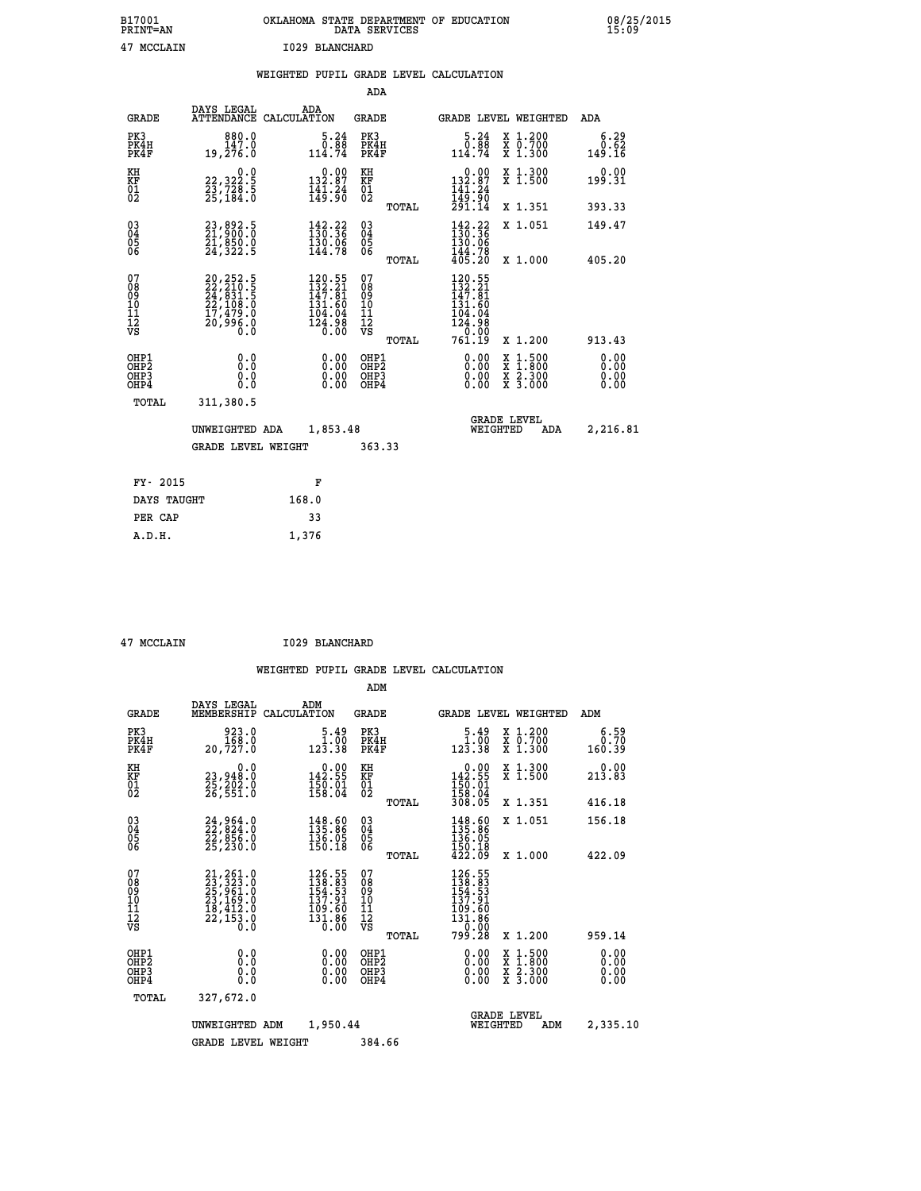| B17001<br><b>PRINT=AN</b> | OKLAHOMA STATE DEPARTMENT OF EDUCATION<br>DATA SERVICES | 08/25/2015<br>15:09 |
|---------------------------|---------------------------------------------------------|---------------------|
| 47<br>MCCLAIN             | 1029 BLANCHARD                                          |                     |

|  |  | WEIGHTED PUPIL GRADE LEVEL CALCULATION |
|--|--|----------------------------------------|
|  |  |                                        |

|                                                                    |                                                                                                                                          |                                                                       | ADA                                       |       |                                                                                                                            |                                                                   |                              |
|--------------------------------------------------------------------|------------------------------------------------------------------------------------------------------------------------------------------|-----------------------------------------------------------------------|-------------------------------------------|-------|----------------------------------------------------------------------------------------------------------------------------|-------------------------------------------------------------------|------------------------------|
| <b>GRADE</b>                                                       | DAYS LEGAL                                                                                                                               | ADA<br>ATTENDANCE CALCULATION                                         | GRADE                                     |       |                                                                                                                            | <b>GRADE LEVEL WEIGHTED</b>                                       | <b>ADA</b>                   |
| PK3<br>PK4H<br>PK4F                                                | 880.0<br>147.0<br>19,276.0                                                                                                               | $\begin{smallmatrix}5.24\0.88\114.74\end{smallmatrix}$                | PK3<br>PK4H<br>PK4F                       |       | $\begin{smallmatrix}5.24\0.88\114.74\end{smallmatrix}$                                                                     | X 1.200<br>X 0.700<br>X 1.300                                     | 6.29<br>0.62<br>149.16       |
| KH<br>KF<br>01<br>02                                               | 0.0<br>22,322:5<br>23,728:5<br>25,184:0                                                                                                  | $0.00$<br>132.87<br>$\frac{1}{4}$ $\frac{1}{3}$ $\cdot \frac{24}{90}$ | KH<br>KF<br>$\overline{01}$               |       | $\begin{smallmatrix} &0.00\\ 132.87\\ 141.24\\ 149.90\\ 291.14\end{smallmatrix}$                                           | X 1.300<br>X 1.500                                                | 0.00<br>199.31               |
|                                                                    |                                                                                                                                          |                                                                       |                                           | TOTAL |                                                                                                                            | X 1.351                                                           | 393.33                       |
| $\begin{smallmatrix} 03 \\[-4pt] 04 \end{smallmatrix}$<br>05<br>ŌĞ | 23,892.5<br>21,900.0<br>21,850.0<br>24,322.5                                                                                             | $\frac{142}{130} \cdot \frac{22}{36}$<br>$\frac{130.06}{144.78}$      | $\substack{03 \\ 04}$<br>0500             | TOTAL | $142.22$<br>$130.36$<br>130.06<br>144.78<br>405.20                                                                         | X 1.051<br>X 1.000                                                | 149.47<br>405.20             |
| 07<br>08<br>09<br>11<br>11<br>12<br>VS                             | $\begin{smallmatrix} 20,252\cdot 5\\ 22,210\cdot 5\\ 24,831\cdot 5\\ 22,108\cdot 0\\ 17,479\cdot 0\\ 20,996\cdot 0\\ 0\end{smallmatrix}$ | $120.55$<br>$132.21$<br>$147.81$<br>131.60<br>$\frac{104.04}{124.98}$ | 07<br>08<br>09<br>11<br>11<br>12<br>VS    |       | 120.55<br>$\bar{1}\bar{3}\tilde{2}\cdot\tilde{3}\bar{1}$<br>147.81<br>131.60<br>$104.04$<br>$124.98$<br>$0.00$<br>$761.19$ |                                                                   |                              |
|                                                                    |                                                                                                                                          |                                                                       |                                           | TOTAL |                                                                                                                            | X 1.200                                                           | 913.43                       |
| OHP1<br>OH <sub>P</sub> 2<br>OHP3<br>OHP4                          | 0.0<br>Ō.Ō<br>0.0<br>Ō.Ō                                                                                                                 | 0.00<br>$\begin{smallmatrix} 0.00 \ 0.00 \end{smallmatrix}$           | OHP1<br>OH <sub>P</sub> 2<br>OHP3<br>OHP4 |       | 0.00<br>0.00<br>0.00                                                                                                       | $1:500$<br>1:800<br>X<br>X<br>$\frac{x}{x}$ $\frac{2.300}{3.000}$ | 0.00<br>0.00<br>0.00<br>0.00 |
| TOTAL                                                              | 311,380.5                                                                                                                                |                                                                       |                                           |       |                                                                                                                            |                                                                   |                              |
|                                                                    | UNWEIGHTED ADA                                                                                                                           | 1,853.48                                                              |                                           |       |                                                                                                                            | <b>GRADE LEVEL</b><br>WEIGHTED<br>ADA                             | 2,216.81                     |
|                                                                    | <b>GRADE LEVEL WEIGHT</b>                                                                                                                |                                                                       | 363.33                                    |       |                                                                                                                            |                                                                   |                              |
| FY- 2015                                                           |                                                                                                                                          | F                                                                     |                                           |       |                                                                                                                            |                                                                   |                              |
| DAYS TAUGHT                                                        |                                                                                                                                          | 168.0                                                                 |                                           |       |                                                                                                                            |                                                                   |                              |
| PER CAP                                                            |                                                                                                                                          | 33                                                                    |                                           |       |                                                                                                                            |                                                                   |                              |
|                                                                    |                                                                                                                                          |                                                                       |                                           |       |                                                                                                                            |                                                                   |                              |

 **A.D.H. 1,376**

 **47 MCCLAIN I029 BLANCHARD**

|                                                       |                                                                                                               |                                                                                                                                              | ADM                                     |                                                                               |                                          |                              |
|-------------------------------------------------------|---------------------------------------------------------------------------------------------------------------|----------------------------------------------------------------------------------------------------------------------------------------------|-----------------------------------------|-------------------------------------------------------------------------------|------------------------------------------|------------------------------|
| <b>GRADE</b>                                          | DAYS LEGAL<br>MEMBERSHIP                                                                                      | ADM<br>CALCULATION                                                                                                                           | <b>GRADE</b>                            | <b>GRADE LEVEL WEIGHTED</b>                                                   |                                          | ADM                          |
| PK3<br>PK4H<br>PK4F                                   | 923.0<br>168.0<br>20,727.0                                                                                    | 5.49<br>$\begin{smallmatrix} &\check{1} & \check{0} & \check{0}\ \check{1} & \check{2} & \check{3} & \check{3} & \check{8}\end{smallmatrix}$ | PK3<br>PK4H<br>PK4F                     | $\begin{array}{c} 5.49 \\ 1.00 \\ 123.38 \end{array}$                         | X 1.200<br>X 0.700<br>X 1.300            | 6.59<br>0.70<br>160.39       |
| KH<br>KF<br>01<br>02                                  | 0.0<br>23,948:0<br>25,202:0<br>26,551:0                                                                       | $0.00$<br>142.55<br>$\frac{150.01}{158.04}$                                                                                                  | KH<br>KF<br>01<br>02                    | $\begin{array}{c} 0.00 \\ 142.55 \\ 150.01 \\ 158.04 \\ 308.05 \end{array}$   | X 1.300<br>X 1.500                       | 0.00<br>213.83               |
|                                                       |                                                                                                               |                                                                                                                                              | TOTAL                                   |                                                                               | X 1.351                                  | 416.18                       |
| 03<br>04<br>05<br>06                                  | 24,964.0<br>22,824.0<br>22,856.0<br>25,230.0                                                                  | $\begin{array}{l} 148.60 \\[-4pt] 135.86 \\[-4pt] 136.05 \\[-4pt] 150.18 \end{array}$                                                        | $^{03}_{04}$<br>05<br>06                | $\begin{array}{r} 148.60 \\ 135.86 \\ 136.05 \\ 150.18 \\ 422.09 \end{array}$ | X 1.051                                  | 156.18                       |
|                                                       |                                                                                                               |                                                                                                                                              | TOTAL                                   |                                                                               | X 1.000                                  | 422.09                       |
| 07<br>08<br>09<br>101<br>112<br>VS                    | $\begin{smallmatrix} 21,261.0\\ 23,323.0\\ 25,961.0\\ 23,169.0\\ 18,412.0\\ 22,153.0\\ 0.0 \end{smallmatrix}$ | $\frac{126.55}{138.83}$<br>$\frac{154.53}{53}$<br>137.91<br>109.60<br>131.86<br>0.00                                                         | 07<br>08<br>09<br>101<br>11<br>12<br>VS | $126.55$<br>$138.83$<br>$154.53$<br>$137.91$<br>109.60<br>131.86<br>-- 0.00   |                                          |                              |
|                                                       |                                                                                                               |                                                                                                                                              | TOTAL                                   | 799.28                                                                        | X 1.200                                  | 959.14                       |
| OHP1<br>OH <sub>P</sub> 2<br>OH <sub>P3</sub><br>OHP4 | 0.0<br>0.000                                                                                                  | $0.00$<br>$0.00$<br>0.00                                                                                                                     | OHP1<br>OHP2<br>OHP3<br>OHP4            | $0.00$<br>$0.00$<br>0.00                                                      | X 1:500<br>X 1:800<br>X 2:300<br>X 3:000 | 0.00<br>0.00<br>0.00<br>0.00 |
| TOTAL                                                 | 327,672.0                                                                                                     |                                                                                                                                              |                                         |                                                                               |                                          |                              |
|                                                       | UNWEIGHTED ADM                                                                                                | 1,950.44                                                                                                                                     |                                         | WEIGHTED                                                                      | <b>GRADE LEVEL</b><br>ADM                | 2,335.10                     |
|                                                       | <b>GRADE LEVEL WEIGHT</b>                                                                                     |                                                                                                                                              | 384.66                                  |                                                                               |                                          |                              |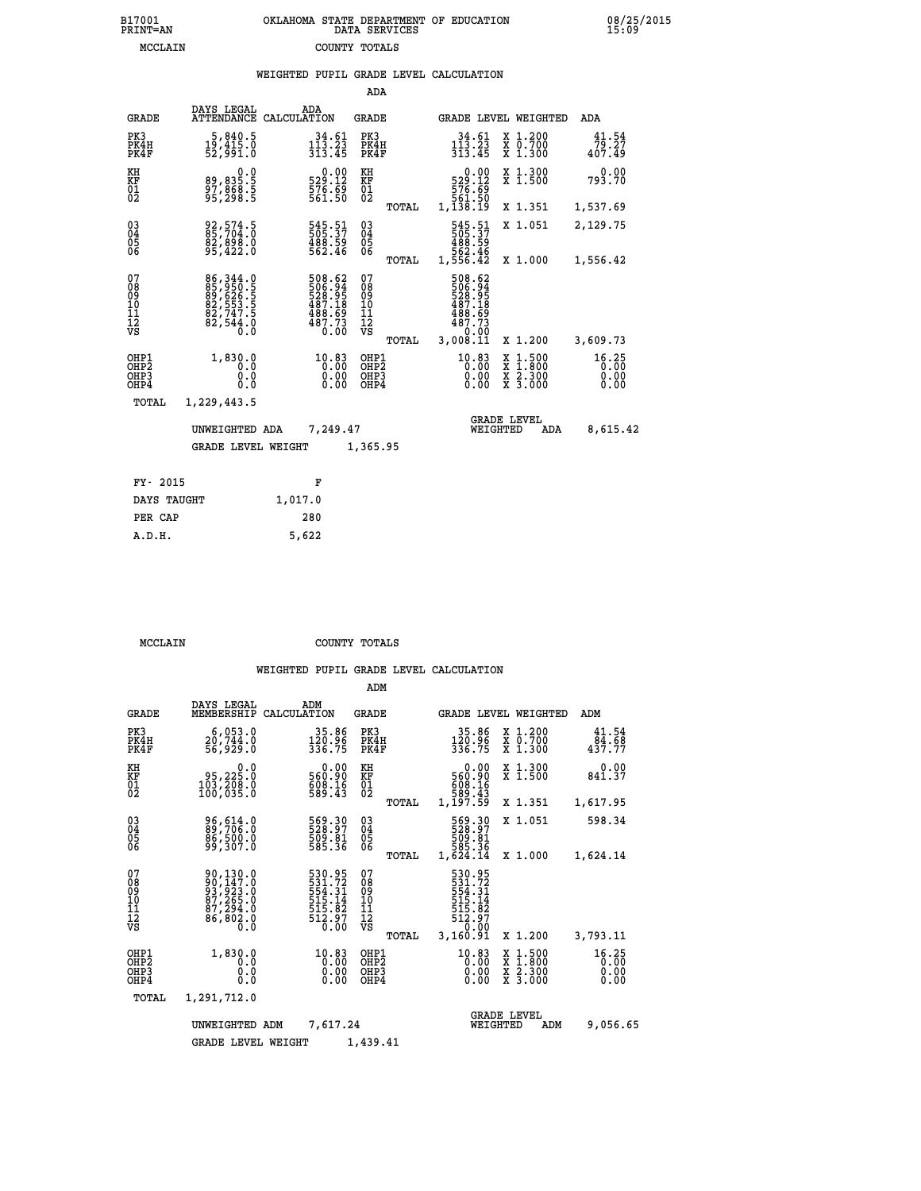|                                                    |                                                                      |                                                                                            |                         | ADA                                                 |       |                                                                                |                                |                                          |                               |
|----------------------------------------------------|----------------------------------------------------------------------|--------------------------------------------------------------------------------------------|-------------------------|-----------------------------------------------------|-------|--------------------------------------------------------------------------------|--------------------------------|------------------------------------------|-------------------------------|
| <b>GRADE</b>                                       | DAYS LEGAL<br><b>ATTENDANCE</b>                                      | ADA<br>CALCULATION                                                                         |                         | GRADE                                               |       |                                                                                |                                | <b>GRADE LEVEL WEIGHTED</b>              | <b>ADA</b>                    |
| PK3<br>PK4H<br>PK4F                                | 5,840.5<br>19,415.0<br>52,991.0                                      | $\frac{1\bar{1}\bar{3}\cdot\bar{2}\bar{3}}{313.45}$                                        | 34.61                   | PK3<br>PK4H<br>PK4F                                 |       | $34.61$<br>$113.23$<br>$313.45$                                                |                                | X 1.200<br>X 0.700<br>X 1.300            | 41.54<br>79.27<br>407.49      |
| KH<br><b>KF</b><br>01<br>02                        | 0.0<br>89,835.5<br>97,868.5<br>95,298.5                              | $\begin{smallmatrix} &0.00\\ 529.12\\ 576.69\\ 561.50\end{smallmatrix}$                    |                         | KH<br>KF<br>01<br>02                                |       | $\begin{smallmatrix} &0.00\,529.12\,576.69\,561.50\,1,138.19\end{smallmatrix}$ |                                | X 1.300<br>X 1.500                       | 0.00<br>793.70                |
|                                                    |                                                                      |                                                                                            |                         |                                                     | TOTAL |                                                                                |                                | X 1.351                                  | 1,537.69                      |
| $\begin{matrix} 03 \\ 04 \\ 05 \\ 06 \end{matrix}$ | 92,574.5<br>85,704.0<br>82,898.0<br>95,422.0                         | 545.51<br>505.37<br>488.59<br>562.46                                                       |                         | $\begin{array}{c} 03 \\ 04 \\ 05 \\ 06 \end{array}$ |       | 545.51<br>505.37<br>488.59<br>482.46<br>556.42                                 |                                | X 1.051                                  | 2,129.75                      |
|                                                    |                                                                      |                                                                                            |                         |                                                     | TOTAL |                                                                                |                                | X 1.000                                  | 1,556.42                      |
| 07<br>08<br>09<br>11<br>11<br>12<br>VS             | 86,344.0<br>85,950.5<br>89,626.5<br>82,553.5<br>82,747.5<br>82,544.0 | $\begin{smallmatrix}508.62\\506.94\\528.95\\487.18\\488.69\\487.73\\0.00\end{smallmatrix}$ |                         | 07<br>08<br>09<br>11<br>11<br>12<br>VS              | TOTAL | 508.62<br>506.94<br>528.95<br>487.18<br>488.69<br>487.73<br>0:00<br>3,008.11   |                                | X 1.200                                  | 3,609.73                      |
| OHP1<br>OHP2<br>OHP3<br>OH <sub>P4</sub>           | 1,830.0<br>0.0<br>0.0<br>0.0                                         |                                                                                            | 10.83<br>$0.00$<br>0.00 | OHP1<br>OHP2<br>OHP3<br>OHP4                        |       | 10.83                                                                          | X<br>0.00<br>0.00              | $1.500$<br>$1.800$<br>X 2.300<br>X 3.000 | 16.25<br>0.00<br>0.00<br>0.00 |
| TOTAL                                              | 1,229,443.5                                                          |                                                                                            |                         |                                                     |       |                                                                                |                                |                                          |                               |
|                                                    | UNWEIGHTED ADA                                                       |                                                                                            | 7,249.47                |                                                     |       |                                                                                | <b>GRADE LEVEL</b><br>WEIGHTED | ADA                                      | 8,615.42                      |
|                                                    | <b>GRADE LEVEL WEIGHT</b>                                            |                                                                                            |                         | 1,365.95                                            |       |                                                                                |                                |                                          |                               |
|                                                    |                                                                      |                                                                                            |                         |                                                     |       |                                                                                |                                |                                          |                               |
| FY- 2015                                           |                                                                      | F                                                                                          |                         |                                                     |       |                                                                                |                                |                                          |                               |
| DAYS TAUGHT                                        |                                                                      | 1,017.0                                                                                    |                         |                                                     |       |                                                                                |                                |                                          |                               |

 **PER CAP 280 A.D.H. 5,622**

 **MCCLAIN COUNTY TOTALS**

|                                                       |                                                                                                               |                                                                                                 | ADM                                              |                                                                              |                                                                                                  |                                             |
|-------------------------------------------------------|---------------------------------------------------------------------------------------------------------------|-------------------------------------------------------------------------------------------------|--------------------------------------------------|------------------------------------------------------------------------------|--------------------------------------------------------------------------------------------------|---------------------------------------------|
| <b>GRADE</b>                                          | DAYS LEGAL<br>MEMBERSHIP                                                                                      | ADM<br>CALCULATION                                                                              | <b>GRADE</b>                                     | GRADE LEVEL WEIGHTED                                                         |                                                                                                  | ADM                                         |
| PK3<br>PK4H<br>PK4F                                   | 6,053.0<br>20,744.0<br>56,929.0                                                                               | 35.86<br>$\frac{120.96}{336.75}$                                                                | PK3<br>PK4H<br>PK4F                              | 35.86<br>120.96<br>336.75                                                    | $\begin{smallmatrix} x & 1.200 \\ x & 0.700 \end{smallmatrix}$<br>X 1.300                        | 41.54<br>$43\overline{7}\cdot\overline{77}$ |
| KH<br>KF<br>01<br>02                                  | 0.0<br>95, 225.0<br>$\frac{103}{100}, \overline{208}.0$                                                       | $\begin{smallmatrix} &0.00\ 560.90\ 608.16\ 589.43\ \end{smallmatrix}$                          | KH<br>KF<br>01<br>02                             | 0.00<br>560.90<br>608.16<br>589.43<br>1,197.59                               | X 1.300<br>X 1.500                                                                               | 0.00<br>841.37                              |
|                                                       |                                                                                                               |                                                                                                 | TOTAL                                            |                                                                              | X 1.351                                                                                          | 1,617.95                                    |
| 03<br>04<br>05<br>06                                  | 96,614.0<br>89,706.0<br>86,500.0<br>99,307.0                                                                  | 569.30<br>528.97<br>509.81<br>585.36                                                            | $\substack{03 \\ 04}$<br>05<br>06                | 569.30<br>528.97<br>509.81<br>585.36                                         | X 1.051                                                                                          | 598.34                                      |
|                                                       |                                                                                                               |                                                                                                 | TOTAL                                            | 1,624.14                                                                     | X 1.000                                                                                          | 1,624.14                                    |
| 07<br>08<br>09<br>11<br>11<br>12<br>VS                | $\begin{smallmatrix} 90,130.0\\ 90,147.0\\ 93,923.0\\ 87,265.0\\ 87,294.0\\ 86,802.0\\ 0.0 \end{smallmatrix}$ | 530.95<br>531.72<br>554.31<br>515.14<br>$\frac{515}{512}\cdot\frac{82}{97}$<br>$\frac{7}{0.00}$ | 07<br>08<br>09<br>101<br>11<br>12<br>VS<br>TOTAL | 530.95<br>531.72<br>554.31<br>515.14<br>515.82<br>512.97<br>0.00<br>3,160.91 | X 1.200                                                                                          | 3,793.11                                    |
| OHP1<br>OH <sub>P</sub> 2<br>OHP <sub>3</sub><br>OHP4 | 1,830.0<br>0.0<br>0.0<br>Ŏ.Ŏ                                                                                  | 10.83<br>0.00<br>0.00                                                                           | OHP1<br>OHP2<br>OHP3<br>OHP4                     | $^{10.83}_{0.00}$<br>0.00                                                    | $\begin{smallmatrix} x & 1 & 500 \\ x & 1 & 800 \\ x & 2 & 300 \\ x & 3 & 000 \end{smallmatrix}$ | 16.25<br>0.00<br>0.00<br>0.00               |
| TOTAL                                                 | 1,291,712.0                                                                                                   |                                                                                                 |                                                  |                                                                              |                                                                                                  |                                             |
|                                                       | UNWEIGHTED                                                                                                    | 7,617.24<br>ADM                                                                                 |                                                  | <b>GRADE LEVEL</b><br>WEIGHTED                                               | ADM                                                                                              | 9,056.65                                    |
|                                                       | <b>GRADE LEVEL WEIGHT</b>                                                                                     |                                                                                                 | 1,439.41                                         |                                                                              |                                                                                                  |                                             |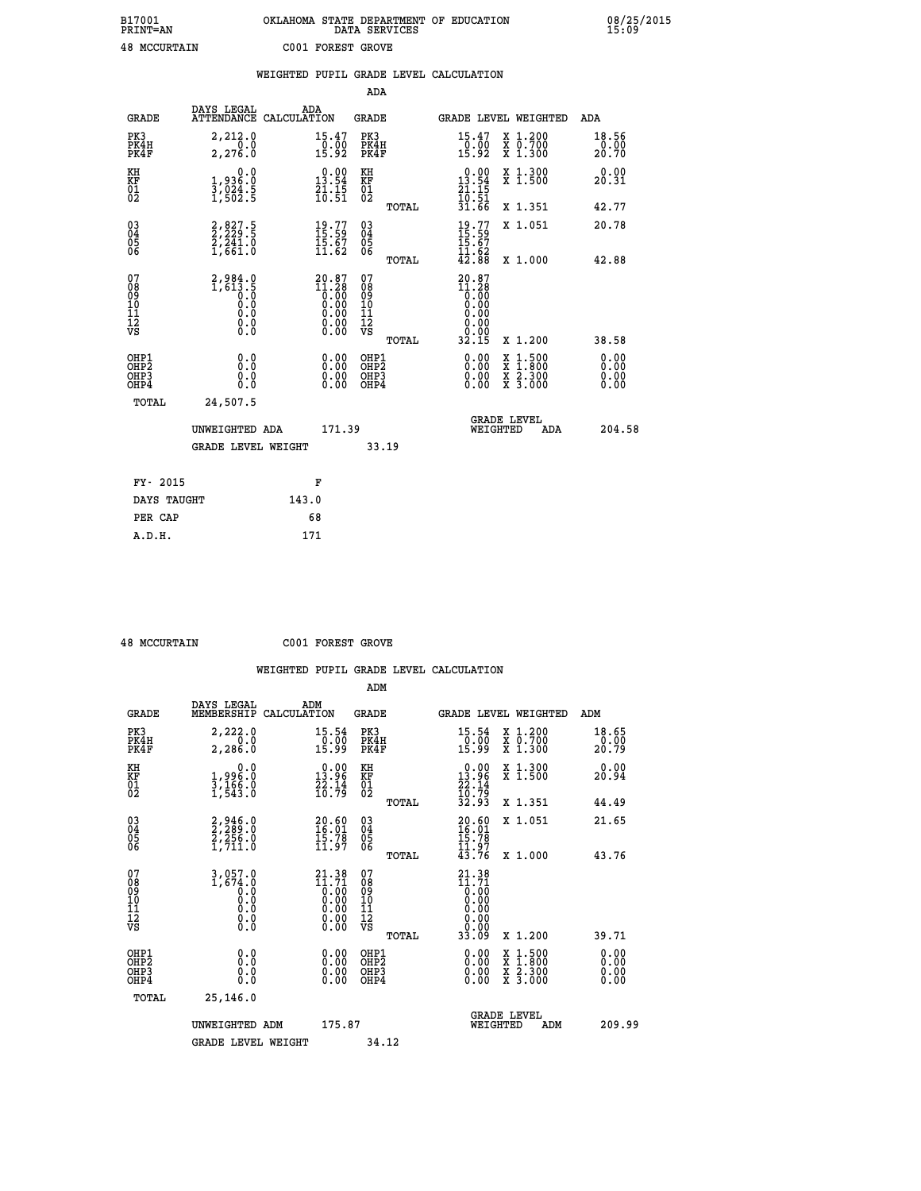## **B17001 OKLAHOMA STATE DEPARTMENT OF EDUCATION 08/25/2015 PRINT=AN DATA SERVICES 15:09 48 MCCURTAIN C001 FOREST GROVE**

|                                    |                                                                                                                                          | WEIGHTED PUPIL GRADE LEVEL CALCULATION                            |                                        |       |                                                                         |                               |                              |
|------------------------------------|------------------------------------------------------------------------------------------------------------------------------------------|-------------------------------------------------------------------|----------------------------------------|-------|-------------------------------------------------------------------------|-------------------------------|------------------------------|
|                                    |                                                                                                                                          |                                                                   | ADA                                    |       |                                                                         |                               |                              |
| <b>GRADE</b>                       | DAYS LEGAL                                                                                                                               | ADA<br>ATTENDANCE CALCULATION                                     | <b>GRADE</b>                           |       |                                                                         | GRADE LEVEL WEIGHTED          | ADA                          |
| PK3<br>PK4H<br>PK4F                | 2,212.0<br>2,276.0                                                                                                                       | 15.47<br>$\frac{10.00}{15.92}$                                    | PK3<br>PK4H<br>PK4F                    |       | 15.47<br>$\frac{0.00}{15.92}$                                           | X 1.200<br>X 0.700<br>X 1.300 | 18.56<br>0.00<br>20.70       |
| KH<br>KF<br>01<br>02               | 0.0<br>1,936:0<br>3,024:5<br>1,502:5                                                                                                     | $\begin{smallmatrix} 0.00\\13.54\\21.15\\10.51 \end{smallmatrix}$ | KH<br>KF<br>01<br>02                   |       | $\begin{array}{r} 0.00 \\ 13.54 \\ 21.15 \\ 10.51 \\ 31.66 \end{array}$ | X 1.300<br>X 1.500            | 0.00<br>20.31                |
|                                    |                                                                                                                                          |                                                                   |                                        | TOTAL |                                                                         | X 1.351                       | 42.77                        |
| 03<br>04<br>05<br>06               | 2,827.5<br>2,229.5<br>2,241.0<br>1,661.0                                                                                                 | $19.77$<br>$15.59$<br>$\frac{15.67}{11.62}$                       | $^{03}_{04}$<br>05<br>06               |       | $19.77$<br>$15.59$<br>$15.67$<br>$11.62$<br>$42.88$                     | X 1.051                       | 20.78                        |
|                                    |                                                                                                                                          |                                                                   |                                        | TOTAL |                                                                         | X 1.000                       | 42.88                        |
| 07<br>08<br>09<br>101<br>112<br>VS | 2,984.0<br>$\frac{1}{6}$ $\frac{1}{6}$ $\frac{1}{6}$ $\frac{1}{6}$<br>$\begin{smallmatrix} 0.5 & 0 \ 0.0 & 0 \end{smallmatrix}$<br>$\S.$ | $20.87$<br>$11.28$<br>$0.00$<br>$0.00$<br>$0.00$<br>ŏ:ŏŏ<br>O.OO  | 07<br>08<br>09<br>11<br>11<br>12<br>VS | TOTAL | $20.87$<br>$11.28$<br>$0.00$<br>0.00<br>0.00<br>0.00<br>32.15           | X 1.200                       | 38.58                        |
| OHP1<br>OHP2<br>OHP3<br>OHP4       | 0.0<br>$0.\overline{0}$<br>0.0                                                                                                           | 0.00<br>$\begin{smallmatrix} 0.00 \ 0.00 \end{smallmatrix}$       | OHP1<br>OHP2<br>OHP3<br>OHP4           |       | 0.00<br>0.00<br>0.00                                                    | X 1:500<br>X 2.300<br>X 3.000 | 0.00<br>Ō.ŎŎ<br>0.00<br>0.00 |
| TOTAL                              | 24,507.5                                                                                                                                 |                                                                   |                                        |       |                                                                         |                               |                              |
|                                    | UNWEIGHTED ADA                                                                                                                           | 171.39                                                            |                                        |       | WEIGHTED                                                                | <b>GRADE LEVEL</b><br>ADA     | 204.58                       |
|                                    | GRADE LEVEL WEIGHT                                                                                                                       |                                                                   | 33.19                                  |       |                                                                         |                               |                              |
| FY- 2015                           |                                                                                                                                          | F                                                                 |                                        |       |                                                                         |                               |                              |
| DAYS TAUGHT                        |                                                                                                                                          | 143.0                                                             |                                        |       |                                                                         |                               |                              |
| PER CAP                            |                                                                                                                                          | 68                                                                |                                        |       |                                                                         |                               |                              |

 **A.D.H. 171**

 **48 MCCURTAIN C001 FOREST GROVE**

|                                                      |                                                                                            |                                                                                                                                                    | ADM                                                 |       |                                                                               |                                          |                                |
|------------------------------------------------------|--------------------------------------------------------------------------------------------|----------------------------------------------------------------------------------------------------------------------------------------------------|-----------------------------------------------------|-------|-------------------------------------------------------------------------------|------------------------------------------|--------------------------------|
| <b>GRADE</b>                                         | DAYS LEGAL<br>MEMBERSHIP                                                                   | ADM<br>CALCULATION                                                                                                                                 | <b>GRADE</b>                                        |       |                                                                               | GRADE LEVEL WEIGHTED                     | ADM                            |
| PK3<br>PK4H<br>PK4F                                  | 2,222.0<br>$\overline{0}$ .0<br>2,286.0                                                    | 15.54<br>$\frac{0.00}{15.99}$                                                                                                                      | PK3<br>PK4H<br>PK4F                                 |       | $\begin{array}{c} 15\cdot 54 \\ 0\cdot 00 \\ 15\cdot 99 \end{array}$          | X 1.200<br>X 0.700<br>X 1.300            | 18.65<br>$\frac{10.00}{20.79}$ |
| KH<br>KF<br>01<br>02                                 | 0.0<br>1,99ĕ:ŏ<br>3,166:0<br>1,543:0                                                       | $\begin{array}{c} 0.00 \\ 13.96 \\ 22.14 \\ 10.79 \end{array}$                                                                                     | KH<br>KF<br>01<br>02                                |       | $\begin{smallmatrix} 0.00\\ 13.96\\ 22.14\\ 10.79\\ 32.93 \end{smallmatrix}$  | X 1.300<br>X 1.500                       | 0.00<br>20.94                  |
|                                                      |                                                                                            |                                                                                                                                                    |                                                     | TOTAL |                                                                               | X 1.351                                  | 44.49                          |
| 03<br>04<br>05<br>06                                 | 2, 946.0<br>2, 289.0<br>2, 256.0<br>1,711.0                                                | $\begin{smallmatrix} 20.60 \ 16.01 \ 15.78 \ 11.97 \end{smallmatrix}$                                                                              | $\begin{array}{c} 03 \\ 04 \\ 05 \\ 06 \end{array}$ |       | $\frac{20.60}{16.01}$<br>11.97                                                | X 1.051                                  | 21.65                          |
|                                                      |                                                                                            |                                                                                                                                                    |                                                     | TOTAL | 43.76                                                                         | X 1.000                                  | 43.76                          |
| 07<br>08<br>09<br>101<br>112<br>VS                   | $\begin{smallmatrix} 3,057.0\\ 1,674.0\\ 0.0\\ 0.0\\ 0.0\\ 0.0 \end{smallmatrix}$<br>$\S.$ | $\begin{smallmatrix} 21\cdot 38\\ 11\cdot 71\\ 0\cdot 00\\ 0\cdot 00\\ 0\cdot 00\\ 0\cdot 00\\ 0\cdot 00\\ 0\cdot 00\\ 0\cdot 00\end{smallmatrix}$ | 07<br>08<br>09<br>11<br>11<br>12<br>VS              |       | $21.38$<br>$11.71$<br>$0.00$<br>$0.00$<br>$0.00$<br>$0.00$<br>$0.00$<br>33.09 |                                          |                                |
|                                                      |                                                                                            |                                                                                                                                                    |                                                     | TOTAL |                                                                               | X 1.200                                  | 39.71                          |
| OHP1<br>OHP2<br>OH <sub>P3</sub><br>OH <sub>P4</sub> | 0.0<br>0.000                                                                               | $0.00$<br>$0.00$<br>0.00                                                                                                                           | OHP1<br>OHP2<br>OHP <sub>3</sub>                    |       | $0.00$<br>$0.00$<br>0.00                                                      | X 1:500<br>X 1:800<br>X 2:300<br>X 3:000 | 0.00<br>0.00<br>0.00<br>0.00   |
| TOTAL                                                | 25,146.0                                                                                   |                                                                                                                                                    |                                                     |       |                                                                               |                                          |                                |
|                                                      | UNWEIGHTED ADM                                                                             | 175.87                                                                                                                                             |                                                     |       |                                                                               | <b>GRADE LEVEL</b><br>WEIGHTED<br>ADM    | 209.99                         |
|                                                      | <b>GRADE LEVEL WEIGHT</b>                                                                  |                                                                                                                                                    | 34.12                                               |       |                                                                               |                                          |                                |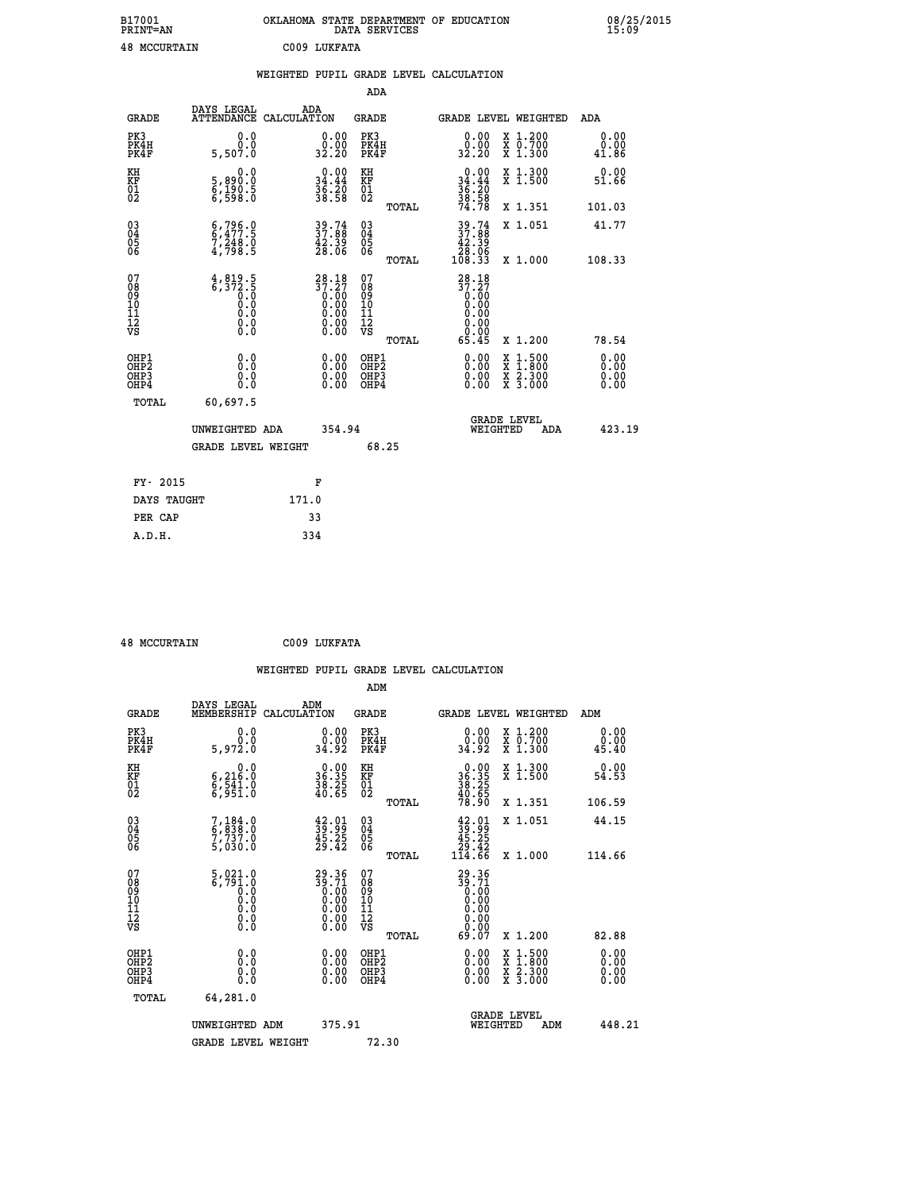| B17001<br><b>PRINT=AN</b> | OKLAHOMA STATE DEPARTMENT OF EDUCATION<br>DATA SERVICES |  |
|---------------------------|---------------------------------------------------------|--|
| <b>48 MCCURTAIN</b>       | C009 LUKFATA                                            |  |

|                                              |                                                                                                | WEIGHTED PUPIL GRADE LEVEL CALCULATION                                       |                                                 |                                                                 |                                          |                                  |
|----------------------------------------------|------------------------------------------------------------------------------------------------|------------------------------------------------------------------------------|-------------------------------------------------|-----------------------------------------------------------------|------------------------------------------|----------------------------------|
|                                              |                                                                                                |                                                                              | <b>ADA</b>                                      |                                                                 |                                          |                                  |
| <b>GRADE</b>                                 | DAYS LEGAL                                                                                     | ADA<br>ATTENDANCE CALCULATION                                                | GRADE                                           | GRADE LEVEL WEIGHTED                                            |                                          | ADA                              |
| PK3<br>PK4H<br>PK4F                          | 0.0<br>$0.\overline{0}$<br>5,507.0                                                             | $\begin{smallmatrix} 0.00\\ 0.00\\ 32.20 \end{smallmatrix}$                  | PK3<br>PK4H<br>PK4F                             | $\begin{smallmatrix} 0.00\\ 0.00\\ 32.20 \end{smallmatrix}$     | X 1.200<br>X 0.700<br>X 1.300            | 0.00<br>0.00<br>41.86            |
| KH<br>KF<br>01<br>02                         | 0.0<br>5,890:0<br>6,190:5<br>6,598:0                                                           | $\begin{smallmatrix} 0.00\\ 34.44\\ 36.20\\ 36.58 \end{smallmatrix}$         | KH<br>KF<br>01<br>02                            | $0.00$<br>$34.44$<br>$36.20$<br>$38.58$                         | X 1.300<br>X 1.500                       | 0.00<br>51.66                    |
|                                              |                                                                                                |                                                                              | TOTAL                                           | 74.78                                                           | X 1.351                                  | 101.03                           |
| 03<br>04<br>05<br>06                         | $6, 796.0$<br>$6, 477.5$<br>$7, 248.0$<br>$4, 798.5$                                           | $39.74$<br>$37.88$<br>$42.39$<br>$28.06$                                     | $\substack{03 \\ 04}$<br>$\frac{05}{06}$        | $39.74$<br>$37.88$<br>$42.39$<br>$28.06$<br>$108.33$            | X 1.051                                  | 41.77                            |
|                                              |                                                                                                |                                                                              | TOTAL                                           |                                                                 | X 1.000                                  | 108.33                           |
| 07<br>08<br>09<br>01<br>11<br>11<br>12<br>VS | $4,819.5$<br>6,372.5<br>0.0<br>0.0<br>$\begin{smallmatrix} 0.16 \ 0.0 \ 0.0 \end{smallmatrix}$ | $28.18$<br>$37.27$<br>$0.00$<br>$0.00$<br>$0.00$<br>$0.00$<br>$0.00$<br>0.00 | 07<br>08<br>09<br>11<br>11<br>12<br>VS<br>TOTAL | $28.18$<br>$37.27$<br>$0.00$<br>$0.00$<br>0.00<br>0.00<br>65.45 | X 1.200                                  | 78.54                            |
| OHP1<br>OHP2<br>OHP3<br>OHP4                 | 0.0<br>0.0<br>$0.\overline{0}$                                                                 | $\begin{smallmatrix} 0.00 \ 0.00 \ 0.00 \ 0.00 \end{smallmatrix}$            | OHP1<br>OHP2<br>OHP3<br>OHP4                    |                                                                 | X 1:500<br>X 1:800<br>X 2:300<br>X 3:000 | 0.00<br>0.00<br>$0.00$<br>$0.00$ |
| TOTAL                                        | 60,697.5                                                                                       |                                                                              |                                                 |                                                                 |                                          |                                  |
|                                              | UNWEIGHTED ADA                                                                                 | 354.94                                                                       |                                                 | <b>GRADE LEVEL</b><br>WEIGHTED                                  | ADA                                      | 423.19                           |
|                                              | <b>GRADE LEVEL WEIGHT</b>                                                                      |                                                                              | 68.25                                           |                                                                 |                                          |                                  |
| FY- 2015                                     |                                                                                                | F                                                                            |                                                 |                                                                 |                                          |                                  |
| DAYS TAUGHT                                  |                                                                                                | 171.0                                                                        |                                                 |                                                                 |                                          |                                  |
| PER CAP                                      |                                                                                                | 33                                                                           |                                                 |                                                                 |                                          |                                  |

| <b>48 MCCURTAIN</b> | C009 LUKFATA |
|---------------------|--------------|
|                     |              |

 **A.D.H. 334**

 **B17001<br>PRINT=AN** 

| <b>GRADE</b>                                                     | DAYS LEGAL<br>MEMBERSHIP                                                        | ADM<br>CALCULATION                                                                                    | <b>GRADE</b>                                        |       |                                                                               |          | <b>GRADE LEVEL WEIGHTED</b>              | ADM                          |  |
|------------------------------------------------------------------|---------------------------------------------------------------------------------|-------------------------------------------------------------------------------------------------------|-----------------------------------------------------|-------|-------------------------------------------------------------------------------|----------|------------------------------------------|------------------------------|--|
| PK3<br>PK4H<br>PK4F                                              | 0.0<br>5,972.0                                                                  | 0.00<br>34.92                                                                                         | PK3<br>PK4H<br>PK4F                                 |       | 0.00<br>ةةٍ:ةٍ<br>34:92                                                       |          | X 1.200<br>X 0.700<br>X 1.300            | 0.00<br>$0.00$<br>45.40      |  |
| KH<br>KF<br>01<br>02                                             | 0.0<br>6,216:0<br>6,541:0<br>6,951:0                                            | $\begin{smallmatrix} 0.00\\ 36.35\\ 38.25\\ 40.65 \end{smallmatrix}$                                  | KH<br>KF<br>01<br>02                                |       | $36.3538.2538.2540.6578.90$                                                   |          | X 1.300<br>X 1.500                       | 0.00<br>54.53                |  |
|                                                                  |                                                                                 |                                                                                                       |                                                     | TOTAL |                                                                               |          | X 1.351                                  | 106.59                       |  |
| $\begin{matrix} 03 \\ 04 \\ 05 \\ 06 \end{matrix}$               | $7,184.0$<br>6,838.0<br>7,737.0<br>5,030.0                                      | $\frac{42.01}{39.29}$<br>$\frac{45.25}{29.42}$                                                        | $\begin{array}{c} 03 \\ 04 \\ 05 \\ 06 \end{array}$ |       | $33.91$<br>$39.99$<br>$45.25$<br>$29.42$<br>$114.66$                          |          | X 1.051                                  | 44.15                        |  |
|                                                                  |                                                                                 |                                                                                                       |                                                     | TOTAL |                                                                               |          | X 1.000                                  | 114.66                       |  |
| 07<br>08<br>09<br>11<br>11<br>12<br>VS                           | $\begin{smallmatrix}5,021.0\\6,791.0\\0.0\\0.0\\0.0\\0.0\\0.0\end{smallmatrix}$ | $\begin{smallmatrix} 29.36\ 39.71\ 0.00\ 0.00\ 0.00\ 0.00\ 0.00\ 0.00\ 0.00\ 0.00\ \end{smallmatrix}$ | 07<br>08<br>09<br>11<br>11<br>12<br>VS              |       | $29.36$<br>$39.71$<br>$0.00$<br>$0.00$<br>$0.00$<br>$0.00$<br>$0.00$<br>69.07 |          | X 1.200                                  | 82.88                        |  |
|                                                                  |                                                                                 |                                                                                                       |                                                     | TOTAL |                                                                               |          |                                          |                              |  |
| OHP1<br>OH <sub>P</sub> <sub>2</sub><br>OH <sub>P3</sub><br>OHP4 | 0.0<br>0.0<br>Ŏ.Ŏ                                                               |                                                                                                       | OHP1<br>OHP <sub>2</sub><br>OHP3<br>OHP4            |       |                                                                               |          | X 1:500<br>X 1:800<br>X 2:300<br>X 3:000 | 0.00<br>0.00<br>0.00<br>0.00 |  |
| TOTAL                                                            | 64,281.0                                                                        |                                                                                                       |                                                     |       |                                                                               |          |                                          |                              |  |
|                                                                  | UNWEIGHTED ADM                                                                  | 375.91                                                                                                |                                                     |       |                                                                               | WEIGHTED | <b>GRADE LEVEL</b><br>ADM                | 448.21                       |  |
|                                                                  | <b>GRADE LEVEL WEIGHT</b>                                                       |                                                                                                       | 72.30                                               |       |                                                                               |          |                                          |                              |  |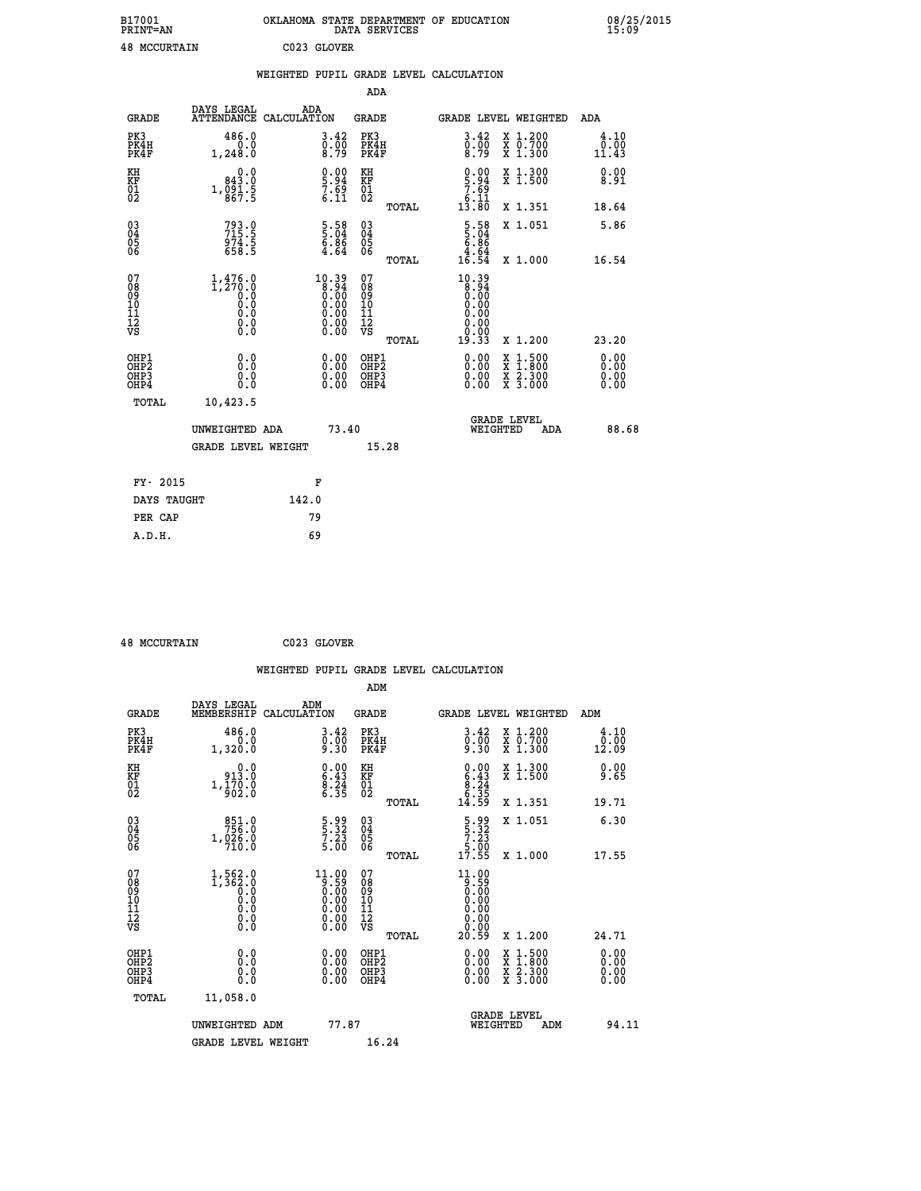| B17001<br><b>PRINT=AN</b> | OKLAHOMA STATE DEPARTMENT OF EDUCATION<br>DATA SERVICES |  |
|---------------------------|---------------------------------------------------------|--|
| <b>48 MCCURTAIN</b>       | C023 GLOVER                                             |  |

|                                                                    |                                                          | WEIGHTED PUPIL GRADE LEVEL CALCULATION                                                               |                                                                   |       |                                                                           |                                                                                                                                           |                              |
|--------------------------------------------------------------------|----------------------------------------------------------|------------------------------------------------------------------------------------------------------|-------------------------------------------------------------------|-------|---------------------------------------------------------------------------|-------------------------------------------------------------------------------------------------------------------------------------------|------------------------------|
|                                                                    |                                                          |                                                                                                      | ADA                                                               |       |                                                                           |                                                                                                                                           |                              |
| <b>GRADE</b>                                                       | DAYS LEGAL<br><b>ATTENDANCE</b>                          | ADA<br>CALCULATION                                                                                   | <b>GRADE</b>                                                      |       | GRADE LEVEL WEIGHTED                                                      |                                                                                                                                           | ADA                          |
| PK3<br>PK4H<br>PK4F                                                | 486.0<br>1,248.0                                         | $\begin{smallmatrix} 3.42\ 0.00\ 8.79 \end{smallmatrix}$                                             | PK3<br>PK4H<br>PK4F                                               |       | $\begin{smallmatrix} 3.42\ 0.00\ 8.79 \end{smallmatrix}$                  | X 1.200<br>X 0.700<br>X 1.300                                                                                                             | 4.10<br>0.00<br>11.43        |
| KH<br>KF<br>01<br>02                                               | 0.0<br>843.0<br>$1, \frac{0}{8}$ $\frac{5}{7}$ $\cdot$ 5 | $\begin{smallmatrix} 0.00\ 5.94\ 7.69\ 6.11\ \end{smallmatrix}$                                      | KH<br>KF<br>01<br>02                                              |       | $\begin{smallmatrix} 0.00\\ 5.94\\ 7.69\\ 6.11\\ 13.80 \end{smallmatrix}$ | X 1.300<br>X 1.500                                                                                                                        | 0.00<br>8.91                 |
|                                                                    |                                                          |                                                                                                      |                                                                   | TOTAL |                                                                           | X 1.351                                                                                                                                   | 18.64                        |
| $\begin{smallmatrix} 03 \\[-4pt] 04 \end{smallmatrix}$<br>Ŏ5<br>06 | 793.0<br>715.5<br>974.5<br>658.5                         | $\frac{5.58}{6.86}$<br>$\frac{6.86}{4.64}$                                                           | $\substack{03 \\ 04}$<br>$\begin{matrix} 0.5 \\ 0.6 \end{matrix}$ |       | $\begin{array}{r} 5.58 \\ 5.04 \\ 6.86 \\ 4.64 \\ 16.54 \end{array}$      | X 1.051                                                                                                                                   | 5.86                         |
|                                                                    |                                                          |                                                                                                      |                                                                   | TOTAL |                                                                           | X 1.000                                                                                                                                   | 16.54                        |
| 07<br>08<br>09<br>11<br>11<br>12<br>VS                             |                                                          | $\begin{smallmatrix} 10.39\ 8.94\ 0.00\ 0.00\ 0.00\ 0.00\ 0.00\ 0.00\ 0.00\ 0.00\ \end{smallmatrix}$ | 07<br>08<br>09<br>11<br>11<br>12<br>VS                            | TOTAL | 10.39<br>8.94<br>0.00<br>0.00<br>0.00<br>0.00<br>19.33                    | X 1.200                                                                                                                                   | 23.20                        |
| OHP1<br>OHP2<br>OH <sub>P3</sub><br>OHP4                           | 0.0<br>0.0<br>0.0                                        | $\begin{smallmatrix} 0.00 \ 0.00 \ 0.00 \ 0.00 \end{smallmatrix}$                                    | OHP1<br>OHP2<br>OHP3<br>OHP4                                      |       | $0.00$<br>$0.00$<br>0.00                                                  | $\begin{smallmatrix} \mathtt{X} & 1\cdot500\\ \mathtt{X} & 1\cdot800\\ \mathtt{X} & 2\cdot300\\ \mathtt{X} & 3\cdot000 \end{smallmatrix}$ | 0.00<br>0.00<br>0.00<br>0.00 |
| TOTAL                                                              | 10,423.5                                                 |                                                                                                      |                                                                   |       |                                                                           |                                                                                                                                           |                              |
|                                                                    | UNWEIGHTED ADA                                           | 73.40                                                                                                |                                                                   |       | WEIGHTED                                                                  | <b>GRADE LEVEL</b><br>ADA                                                                                                                 | 88.68                        |
|                                                                    | <b>GRADE LEVEL WEIGHT</b>                                |                                                                                                      | 15.28                                                             |       |                                                                           |                                                                                                                                           |                              |
| FY- 2015                                                           |                                                          | F                                                                                                    |                                                                   |       |                                                                           |                                                                                                                                           |                              |
| DAYS TAUGHT                                                        |                                                          | 142.0                                                                                                |                                                                   |       |                                                                           |                                                                                                                                           |                              |
| PER CAP                                                            |                                                          | 79                                                                                                   |                                                                   |       |                                                                           |                                                                                                                                           |                              |

 **48 MCCURTAIN C023 GLOVER**

|                                                    |                                                                                                             | WEIGHTED PUPIL GRADE LEVEL CALCULATION                                                                                                                               |                                  |                |                                                                                                                                                                                                                                                                                |                                                                                                  |                       |
|----------------------------------------------------|-------------------------------------------------------------------------------------------------------------|----------------------------------------------------------------------------------------------------------------------------------------------------------------------|----------------------------------|----------------|--------------------------------------------------------------------------------------------------------------------------------------------------------------------------------------------------------------------------------------------------------------------------------|--------------------------------------------------------------------------------------------------|-----------------------|
|                                                    |                                                                                                             |                                                                                                                                                                      | ADM                              |                |                                                                                                                                                                                                                                                                                |                                                                                                  |                       |
| <b>GRADE</b>                                       | DAYS LEGAL<br>MEMBERSHIP                                                                                    | ADM<br>CALCULATION                                                                                                                                                   | <b>GRADE</b>                     |                |                                                                                                                                                                                                                                                                                | <b>GRADE LEVEL WEIGHTED</b>                                                                      | ADM                   |
| PK3<br>PK4H<br>PK4F                                | 486.0<br>0.0<br>1,320.0                                                                                     | 3.42<br>$0.00$<br>9.30                                                                                                                                               | PK3<br>PK4H<br>PK4F              |                | $\begin{smallmatrix} 3.42\ 0.00\ 9.30 \end{smallmatrix}$                                                                                                                                                                                                                       | X 1.200<br>X 0.700<br>X 1.300                                                                    | 4.10<br>0.00<br>12.09 |
| KH<br>KF<br>01<br>02                               | 0.0<br>913.0<br>$1,\frac{1}{9}\overline{0}\overline{2}\cdot\overline{0}$                                    | $\begin{smallmatrix} 0.00\\ 6.43\\ 8.24\\ 6.35 \end{smallmatrix}$                                                                                                    | KH<br>KF<br>01<br>02             |                | $0.00$<br>$6.43$<br>$8.24$<br>$6.35$<br>$14.59$                                                                                                                                                                                                                                | X 1.300<br>X 1.500                                                                               | 0.00<br>9.65          |
|                                                    |                                                                                                             |                                                                                                                                                                      |                                  | TOTAL          |                                                                                                                                                                                                                                                                                | X 1.351                                                                                          | 19.71                 |
| $\begin{matrix} 03 \\ 04 \\ 05 \\ 06 \end{matrix}$ | $\begin{smallmatrix}851.0\\756.0\\1,026.0\\710.0\end{smallmatrix}$                                          | $\begin{array}{c} 5 \cdot 99 \\ 5 \cdot 32 \\ 7 \cdot 23 \\ 5 \cdot 00 \end{array}$                                                                                  | 03<br>04<br>05<br>06             |                | $\begin{array}{c} 5 \cdot 99 \\ 5 \cdot 32 \\ 7 \cdot 23 \\ 5 \cdot 00 \\ 17 \cdot 55 \end{array}$                                                                                                                                                                             | X 1.051                                                                                          | 6.30                  |
| 07<br>0890112<br>1112<br>VS                        | $1, 562.0$<br>1, 362.0<br>0.0<br>0.0<br>$\begin{smallmatrix} 0.0 & 0 \ 0.0 & 0 \ 0.0 & 0 \end{smallmatrix}$ | $\begin{smallmatrix} 11.00\\[-1.2mm] 9.59\\[-1.2mm] 0.00\\[-1.2mm] 0.00\\[-1.2mm] 0.00\\[-1.2mm] 0.00\\[-1.2mm] 0.00\\[-1.2mm] 0.00\\[-1.2mm] 0.00\end{smallmatrix}$ | 07<br>08901112<br>1112<br>VS     | TOTAL<br>TOTAL | $11.00$<br>0.59<br>0.00<br>0.00<br>0.00<br>0.00<br>20.59                                                                                                                                                                                                                       | X 1.000<br>X 1.200                                                                               | 17.55<br>24.71        |
| OHP1<br>OHP2<br>OH <sub>P3</sub><br>OHP4<br>TOTAL  | 0.0<br>0.000<br>11,058.0                                                                                    | $\begin{smallmatrix} 0.00 \ 0.00 \ 0.00 \ 0.00 \end{smallmatrix}$                                                                                                    | OHP1<br>OHP2<br>OHP <sub>3</sub> |                | $\begin{smallmatrix} 0.00 & 0.00 & 0.00 & 0.00 & 0.00 & 0.00 & 0.00 & 0.00 & 0.00 & 0.00 & 0.00 & 0.00 & 0.00 & 0.00 & 0.00 & 0.00 & 0.00 & 0.00 & 0.00 & 0.00 & 0.00 & 0.00 & 0.00 & 0.00 & 0.00 & 0.00 & 0.00 & 0.00 & 0.00 & 0.00 & 0.00 & 0.00 & 0.00 & 0.00 & 0.00 & 0.0$ | $\begin{smallmatrix} x & 1 & 500 \\ x & 1 & 800 \\ x & 2 & 300 \\ x & 3 & 000 \end{smallmatrix}$ | 0.00<br>0.00<br>0.00  |
|                                                    | UNWEIGHTED ADM<br><b>GRADE LEVEL WEIGHT</b>                                                                 | 77.87                                                                                                                                                                | 16.24                            |                | WEIGHTED                                                                                                                                                                                                                                                                       | <b>GRADE LEVEL</b><br>ADM                                                                        | 94.11                 |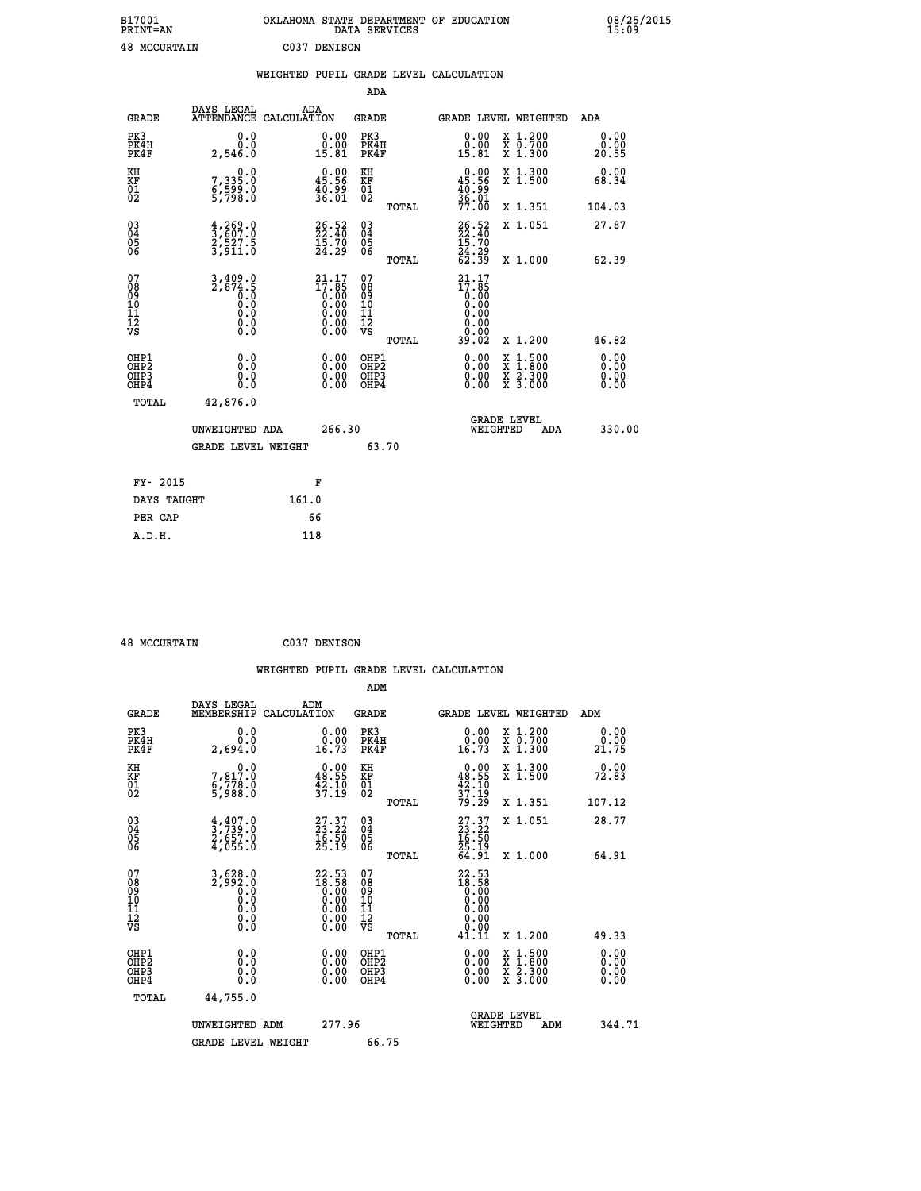| B17001<br><b>PRINT=AN</b> | OKLAHOMA STATE DEPARTMENT OF EDUCATION<br>DATA SERVICES | 08/25/2015<br>15:09 |
|---------------------------|---------------------------------------------------------|---------------------|
| 48<br>MCCURTAIN           | CO37<br>DENISON                                         |                     |

|                                          |                                                                         | WEIGHTED PUPIL GRADE LEVEL CALCULATION                                                              |                                        |       |                                                               |                                          |                       |
|------------------------------------------|-------------------------------------------------------------------------|-----------------------------------------------------------------------------------------------------|----------------------------------------|-------|---------------------------------------------------------------|------------------------------------------|-----------------------|
|                                          |                                                                         |                                                                                                     | ADA                                    |       |                                                               |                                          |                       |
| <b>GRADE</b>                             | DAYS LEGAL                                                              | ADA<br>ATTENDANCE CALCULATION                                                                       | <b>GRADE</b>                           |       |                                                               | GRADE LEVEL WEIGHTED                     | ADA                   |
| PK3<br>PK4H<br>PK4F                      | 0.0<br>0.0<br>2,546.0                                                   | $\begin{smallmatrix} 0.00\\ 0.00\\ 15.81 \end{smallmatrix}$                                         | PK3<br>PK4H<br>PK4F                    |       | 0.00<br>0.00<br>15.81                                         | X 1.200<br>X 0.700<br>X 1.300            | 0.00<br>0.00<br>20.55 |
| KH<br>KF<br>01<br>02                     | $\begin{smallmatrix}&&&0.0\\7,335.0\\6,599.0\\5,798.0\end{smallmatrix}$ | $0.00$<br>45.56<br>40.99<br>36.01                                                                   | KH<br>KF<br>01<br>02                   |       | $0.00$<br>45.56<br>$\frac{1}{36}$ . 99<br>$\frac{3}{77}$ . 00 | X 1.300<br>X 1.500                       | 0.00<br>68.34         |
|                                          |                                                                         |                                                                                                     |                                        | TOTAL |                                                               | X 1.351                                  | 104.03                |
| 030404<br>06                             | $\frac{4}{3}$ , $\frac{269}{607}$ : 0<br>2,527.5<br>3,911.0             | $\begin{smallmatrix} 26.52\ 22.40\ 15.70\ 24.29 \end{smallmatrix}$                                  | $^{03}_{04}$<br>05<br>06               |       | 26.52<br>22.40<br>15.70<br>24.29<br>24.39                     | X 1.051                                  | 27.87                 |
|                                          |                                                                         |                                                                                                     |                                        | TOTAL |                                                               | X 1.000                                  | 62.39                 |
| 07<br>08<br>09<br>10<br>11<br>12<br>VS   | $3,409.0$<br>$2,874.5$<br>$0.0$<br>$0.0$<br>Ŏ.Ō<br>$\S.$ $\S$           | 21.17<br>$\begin{smallmatrix} 11.165\ 17.85\ 0.00\ 0.00\ 0.00\ 0.00\ 0.00\ 0.00\ \end{smallmatrix}$ | 07<br>08<br>09<br>11<br>11<br>12<br>VS | TOTAL | 21.17<br>17.85<br>0.00<br>0.00<br>00:00<br>02.02              | X 1.200                                  | 46.82                 |
| OHP1<br>OHP2<br>OHP <sub>3</sub><br>OHP4 | 0.0<br>0.0<br>0.0                                                       |                                                                                                     | OHP1<br>OHP2<br>OHP <sub>3</sub>       |       |                                                               | X 1:500<br>X 1:800<br>X 2:300<br>X 3:000 | 0.00<br>0.00<br>0.00  |
| TOTAL                                    | 42,876.0                                                                |                                                                                                     |                                        |       |                                                               |                                          |                       |
|                                          | UNWEIGHTED ADA                                                          | 266.30                                                                                              |                                        |       | WEIGHTED                                                      | <b>GRADE LEVEL</b><br>ADA                | 330.00                |
|                                          | <b>GRADE LEVEL WEIGHT</b>                                               |                                                                                                     | 63.70                                  |       |                                                               |                                          |                       |
| FY- 2015                                 |                                                                         | F                                                                                                   |                                        |       |                                                               |                                          |                       |
| DAYS TAUGHT                              |                                                                         | 161.0                                                                                               |                                        |       |                                                               |                                          |                       |
| PER CAP                                  |                                                                         | 66                                                                                                  |                                        |       |                                                               |                                          |                       |

| <b>48 MCCURTAIN</b> | C037 DENISON |
|---------------------|--------------|
|                     |              |

|            |            |     | WEIGHTED PUPIL GRADE LEVEL CALCULATION |  |
|------------|------------|-----|----------------------------------------|--|
|            |            | ADM |                                        |  |
| DAVC TECAT | <b>ADM</b> |     |                                        |  |

| <b>GRADE</b>                                         | DAYS LEGAL<br>MEMBERSHIP                                                                                                                                                                                                                     | ADM<br>CALCULATION                                                   | <b>GRADE</b>                                        |       |                                                                      |          | <b>GRADE LEVEL WEIGHTED</b>              | ADM                          |  |
|------------------------------------------------------|----------------------------------------------------------------------------------------------------------------------------------------------------------------------------------------------------------------------------------------------|----------------------------------------------------------------------|-----------------------------------------------------|-------|----------------------------------------------------------------------|----------|------------------------------------------|------------------------------|--|
| PK3<br>PK4H<br>PK4F                                  | 0.0<br>0.0<br>2,694.0                                                                                                                                                                                                                        | 0.00<br>16.73                                                        | PK3<br>PK4H<br>PK4F                                 |       | 0.00<br>$0.00$<br>16.73                                              |          | X 1.200<br>X 0.700<br>X 1.300            | 0.00<br>0.00<br>21.75        |  |
| KH<br>KF<br>01<br>02                                 | 0.0<br>7,817.0<br>6,778.0<br>5,988.0                                                                                                                                                                                                         | $\begin{smallmatrix} 0.00\\ 48.55\\ 42.10\\ 37.19 \end{smallmatrix}$ | KH<br>KF<br>01<br>02                                |       | $0.00\n48.55\n42.10\n37.19\n79.29$                                   |          | X 1.300<br>X 1.500                       | 0.00<br>72.83                |  |
|                                                      |                                                                                                                                                                                                                                              |                                                                      |                                                     | TOTAL |                                                                      |          | X 1.351                                  | 107.12                       |  |
| $\begin{matrix} 03 \\ 04 \\ 05 \\ 06 \end{matrix}$   | $\frac{4}{3}, \frac{407}{739}.0$<br>$\frac{2}{4}, \frac{657}{055}.0$                                                                                                                                                                         | $\begin{smallmatrix} 27.37\ 23.22\ 16.50\ 25.19 \end{smallmatrix}$   | $\begin{array}{c} 03 \\ 04 \\ 05 \\ 06 \end{array}$ |       | $27.37$<br>$23.22$<br>$16.50$<br>$25.19$<br>$64.91$                  |          | X 1.051                                  | 28.77                        |  |
|                                                      |                                                                                                                                                                                                                                              |                                                                      |                                                     | TOTAL |                                                                      |          | X 1.000                                  | 64.91                        |  |
| 07<br>08<br>09<br>11<br>11<br>12<br>VS               | $\left.\begin{smallmatrix} 3\,,\,628\,. \ 2\,,\,992\,. \ 0\, \ 0\, \ .\,0\, \ 0\, \ .\,0\, \ 0\, \ .\,0\, \ 0\, \ .\,0\, \ 0\, \ .\,0\, \ 0\, \ .\,0\, \ 0\, \ .\,0\, \ 0\, \ .\,0\, \ 0\, \ .\,0\, \ 0\, \ .\,0\, \end{smallmatrix}\right.$ |                                                                      | 07<br>08<br>09<br>11<br>11<br>12<br>VS              |       | $22.53$<br>$18.58$<br>$0.00$<br>$0.00$<br>$0.00$<br>$0.00$<br>$0.00$ |          |                                          |                              |  |
|                                                      |                                                                                                                                                                                                                                              |                                                                      |                                                     | TOTAL | 41.11                                                                |          | X 1.200                                  | 49.33                        |  |
| OHP1<br>OH <sub>P</sub> <sub>2</sub><br>OHP3<br>OHP4 | 0.0<br>0.0<br>Ŏ.Ŏ                                                                                                                                                                                                                            |                                                                      | OHP1<br>OHP <sub>2</sub><br>OHP3<br>OHP4            |       |                                                                      |          | X 1:500<br>X 1:800<br>X 2:300<br>X 3:000 | 0.00<br>0.00<br>0.00<br>0.00 |  |
| TOTAL                                                | 44,755.0                                                                                                                                                                                                                                     |                                                                      |                                                     |       |                                                                      |          |                                          |                              |  |
|                                                      | UNWEIGHTED ADM                                                                                                                                                                                                                               | 277.96                                                               |                                                     |       |                                                                      | WEIGHTED | <b>GRADE LEVEL</b><br>ADM                | 344.71                       |  |
|                                                      | <b>GRADE LEVEL WEIGHT</b>                                                                                                                                                                                                                    |                                                                      | 66.75                                               |       |                                                                      |          |                                          |                              |  |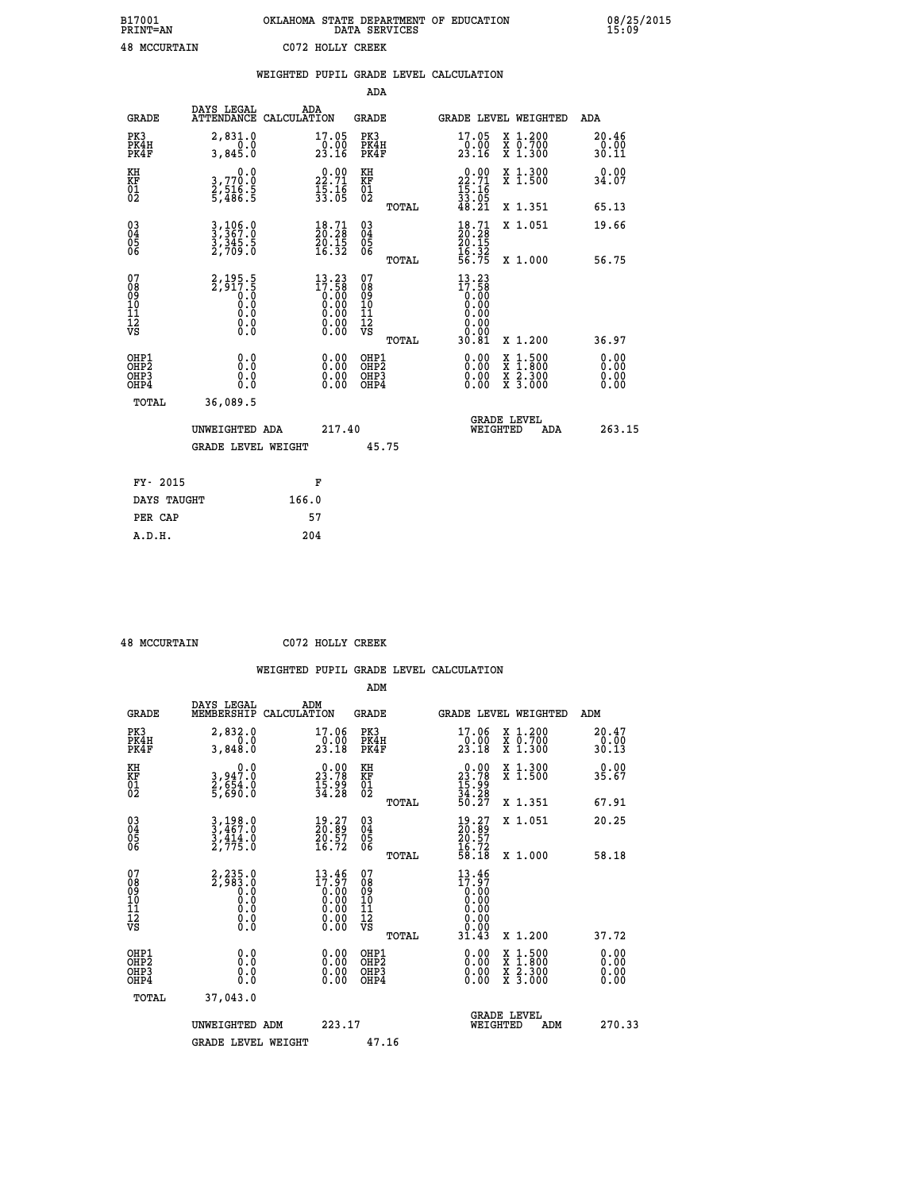| B17001<br><b>PRINT=AN</b> | OKLAHOMA STATE DEPARTMENT OF EDUCATION<br>DATA SERVICES | 08/25/2015<br>15:09 |
|---------------------------|---------------------------------------------------------|---------------------|
| <b>48 MCCURTAIN</b>       | C072 HOLLY CREEK                                        |                     |

|                                                    |                                                                 | WEIGHTED PUPIL GRADE LEVEL CALCULATION                            |                                        |       |                                                                                                                                                                                                                                                                                |                                          |                              |
|----------------------------------------------------|-----------------------------------------------------------------|-------------------------------------------------------------------|----------------------------------------|-------|--------------------------------------------------------------------------------------------------------------------------------------------------------------------------------------------------------------------------------------------------------------------------------|------------------------------------------|------------------------------|
|                                                    |                                                                 |                                                                   | <b>ADA</b>                             |       |                                                                                                                                                                                                                                                                                |                                          |                              |
| <b>GRADE</b>                                       | DAYS LEGAL                                                      | ADA<br>ATTENDANCE CALCULATION                                     | <b>GRADE</b>                           |       |                                                                                                                                                                                                                                                                                | GRADE LEVEL WEIGHTED                     | ADA                          |
| PK3<br>PK4H<br>PK4F                                | 2,831.0<br>0.0<br>3,845.0                                       | $\substack{17.05 \\ 0.00 \\ 23.16}$                               | PK3<br>PK4H<br>PK4F                    |       | 17.05<br>$\frac{10}{23}. \frac{0}{16}$                                                                                                                                                                                                                                         | X 1.200<br>X 0.700<br>X 1.300            | 20.46<br>0.00<br>30.11       |
| KH<br>KF<br>01<br>02                               | 0.0<br>3,770.0<br>2,516.5<br>5,486.5                            | $22.71$<br>$15.16$<br>$33.05$                                     | KH<br>KF<br>01<br>02                   |       | $\begin{smallmatrix} 0.00\\ 22.71\\ 15.16\\ 33.05\\ 48.21 \end{smallmatrix}$                                                                                                                                                                                                   | X 1.300<br>X 1.500                       | 0.00<br>34.07                |
|                                                    |                                                                 |                                                                   |                                        | TOTAL |                                                                                                                                                                                                                                                                                | X 1.351                                  | 65.13                        |
| $\begin{matrix} 03 \\ 04 \\ 05 \\ 06 \end{matrix}$ | $3,367.0$<br>$3,367.0$<br>$3,345.5$<br>$2,709.0$                | $\frac{18.71}{20.28}$<br>$\frac{50.15}{16.32}$                    | 03<br>04<br>05<br>06                   |       | $18.71$<br>$20.28$<br>$20.15$<br>$16.32$<br>$56.75$                                                                                                                                                                                                                            | X 1.051                                  | 19.66                        |
|                                                    |                                                                 |                                                                   |                                        | TOTAL |                                                                                                                                                                                                                                                                                | X 1.000                                  | 56.75                        |
| 07<br>08<br>09<br>101<br>112<br>VS                 | $2, 195.5$<br>$2, 917.5$<br>$0.0$<br>$0.0$<br>0.0<br>$\S.$ $\S$ | $13.23$<br>$17.58$<br>$0.00$<br>$0.00$<br>$0.00$<br>Ŏ.ŎŎ<br>O.OO  | 07<br>08<br>09<br>11<br>11<br>12<br>VS | TOTAL | 13.23<br>17:58<br>0.00<br>0.00<br>0.00<br>0.00<br>30.81                                                                                                                                                                                                                        | X 1.200                                  | 36.97                        |
| OHP1<br>OHP2<br>OH <sub>P3</sub><br>OHP4           | 0.0<br>0.0<br>0.0                                               | $\begin{smallmatrix} 0.00 \ 0.00 \ 0.00 \ 0.00 \end{smallmatrix}$ | OHP1<br>OHP2<br>OHP3<br>OHP4           |       | $\begin{smallmatrix} 0.00 & 0.00 & 0.00 & 0.00 & 0.00 & 0.00 & 0.00 & 0.00 & 0.00 & 0.00 & 0.00 & 0.00 & 0.00 & 0.00 & 0.00 & 0.00 & 0.00 & 0.00 & 0.00 & 0.00 & 0.00 & 0.00 & 0.00 & 0.00 & 0.00 & 0.00 & 0.00 & 0.00 & 0.00 & 0.00 & 0.00 & 0.00 & 0.00 & 0.00 & 0.00 & 0.0$ | X 1:500<br>X 1:800<br>X 2:300<br>X 3:000 | 0.00<br>0.00<br>0.00<br>0.00 |
| TOTAL                                              | 36,089.5                                                        |                                                                   |                                        |       |                                                                                                                                                                                                                                                                                |                                          |                              |
|                                                    | UNWEIGHTED ADA                                                  | 217.40                                                            |                                        |       | WEIGHTED                                                                                                                                                                                                                                                                       | <b>GRADE LEVEL</b><br>ADA                | 263.15                       |
|                                                    | <b>GRADE LEVEL WEIGHT</b>                                       |                                                                   | 45.75                                  |       |                                                                                                                                                                                                                                                                                |                                          |                              |
| FY- 2015                                           |                                                                 | F                                                                 |                                        |       |                                                                                                                                                                                                                                                                                |                                          |                              |
| DAYS TAUGHT                                        |                                                                 | 166.0                                                             |                                        |       |                                                                                                                                                                                                                                                                                |                                          |                              |
| PER CAP                                            |                                                                 | 57                                                                |                                        |       |                                                                                                                                                                                                                                                                                |                                          |                              |

 **A.D.H. 204**

 **48 MCCURTAIN C072 HOLLY CREEK**

|                                                      |                                                          |                                                                                             | ADM                                                |       |                                                                              |                                          |                               |
|------------------------------------------------------|----------------------------------------------------------|---------------------------------------------------------------------------------------------|----------------------------------------------------|-------|------------------------------------------------------------------------------|------------------------------------------|-------------------------------|
| <b>GRADE</b>                                         | DAYS LEGAL<br>MEMBERSHIP                                 | ADM<br>CALCULATION                                                                          | <b>GRADE</b>                                       |       |                                                                              | GRADE LEVEL WEIGHTED                     | ADM                           |
| PK3<br>PK4H<br>PK4F                                  | $2,832.0$<br>3,848.0                                     | 17.06<br>$\frac{0.00}{23.18}$                                                               | PK3<br>PK4H<br>PK4F                                |       | $\substack{17.06 \\ 0.00 \\ 23.18}$                                          | X 1.200<br>X 0.700<br>X 1.300            | 20.47<br>$\frac{0.00}{30.13}$ |
| KH<br>KF<br>01<br>02                                 | 0.0<br>3,947.0<br>2,654.0<br>5,690.0                     | $\begin{smallmatrix} 0.00\\ 23.78\\ 15.99\\ 34.28 \end{smallmatrix}$                        | KH<br>KF<br>01<br>02                               |       | $\begin{smallmatrix} 0.00\\ 23.78\\ 15.99\\ 34.28\\ 50.27 \end{smallmatrix}$ | X 1.300<br>X 1.500                       | 0.00<br>35.67                 |
|                                                      |                                                          |                                                                                             |                                                    | TOTAL |                                                                              | X 1.351                                  | 67.91                         |
| 03<br>04<br>05<br>06                                 | $3,467.0$<br>$3,467.0$<br>$3,414.0$<br>$2,775.0$         | $\begin{smallmatrix} 19.27\ 20.89\ 20.57\ 16.72 \end{smallmatrix}$                          | $\begin{matrix} 03 \\ 04 \\ 05 \\ 06 \end{matrix}$ |       | $\begin{smallmatrix} 19.27\ 20.89\ 20.57\ 16.72\ 58.18 \end{smallmatrix}$    | X 1.051                                  | 20.25                         |
|                                                      |                                                          |                                                                                             |                                                    | TOTAL |                                                                              | X 1.000                                  | 58.18                         |
| 07<br>08<br>09<br>101<br>112<br>VS                   | $2, 235.0$<br>$2, 983.0$<br>$0.0$<br>0.0<br>0.0<br>$\S.$ | $13.46$<br>$17.97$<br>$\begin{smallmatrix} 0.100\ 0.00\ 0.00\ 0.00\ 0.00 \end{smallmatrix}$ | 07<br>08<br>09<br>101<br>11<br>12<br>VS            |       | $13.46$<br>$17.97$<br>0.00                                                   |                                          |                               |
|                                                      |                                                          |                                                                                             |                                                    | TOTAL | 31.43                                                                        | X 1.200                                  | 37.72                         |
| OHP1<br>OHP2<br>OH <sub>P3</sub><br>OH <sub>P4</sub> | 0.0<br>0.000                                             | $0.00$<br>$0.00$<br>0.00                                                                    | OHP1<br>OHP2<br>OHP <sub>3</sub>                   |       | $0.00$<br>$0.00$<br>0.00                                                     | X 1:500<br>X 1:800<br>X 2:300<br>X 3:000 | 0.00<br>0.00<br>0.00          |
| TOTAL                                                | 37,043.0                                                 |                                                                                             |                                                    |       |                                                                              |                                          |                               |
|                                                      | UNWEIGHTED ADM                                           | 223.17                                                                                      |                                                    |       | WEIGHTED                                                                     | <b>GRADE LEVEL</b><br>ADM                | 270.33                        |
|                                                      | <b>GRADE LEVEL WEIGHT</b>                                |                                                                                             | 47.16                                              |       |                                                                              |                                          |                               |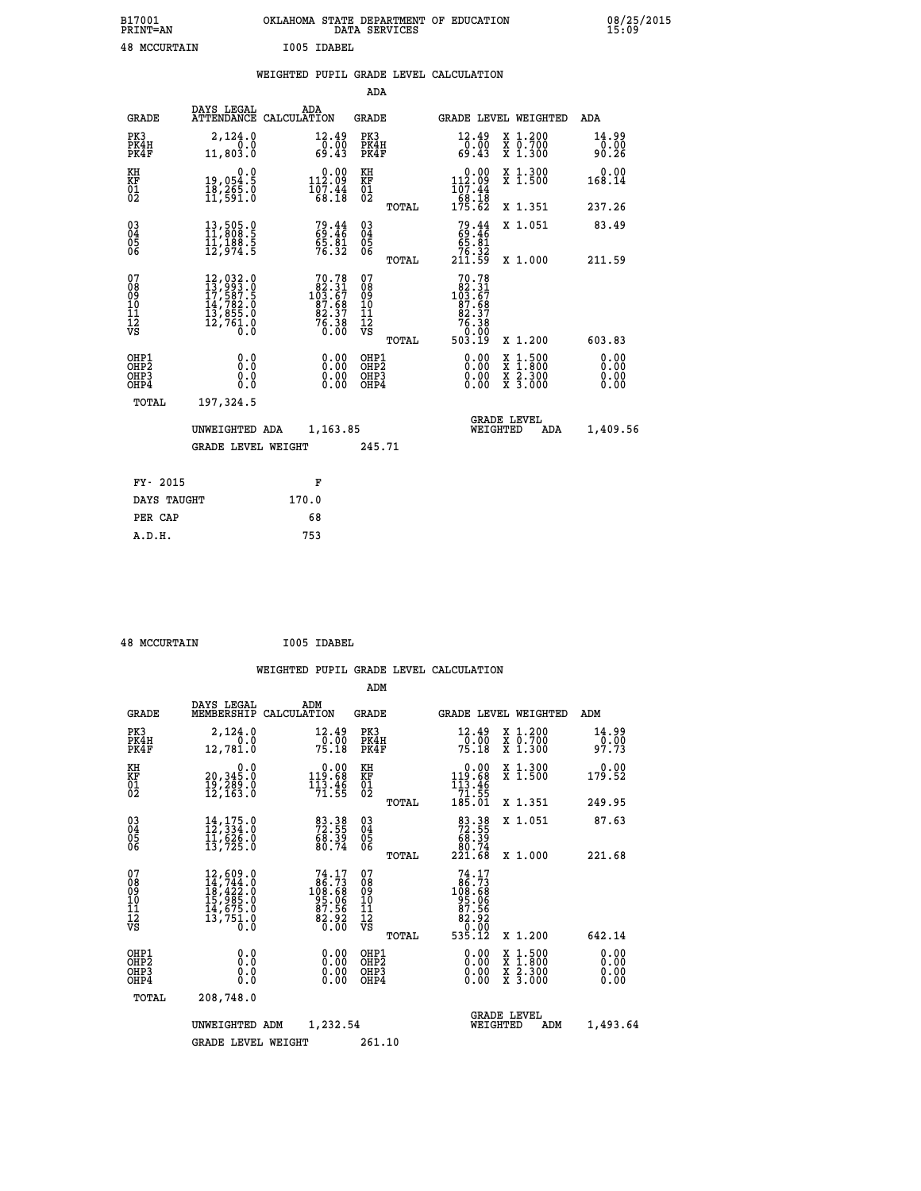| B17001<br><b>PRINT=AN</b> |             | OKLAHOMA STATE DEPARTMENT OF EDUCATION<br>DATA SERVICES |  |
|---------------------------|-------------|---------------------------------------------------------|--|
| <b>48 MCCURTAIN</b>       | I005 IDABEL |                                                         |  |

**1001** 08/25/2015

| <b>GRADE</b>                                                       |                                              | ADA                                                           |                                                                       |                                                                                                                                                                                                                                                                                                                                                                     |                                                                                                            |                                                                                                                                                                                                                        | <b>ADA</b>                                                        |
|--------------------------------------------------------------------|----------------------------------------------|---------------------------------------------------------------|-----------------------------------------------------------------------|---------------------------------------------------------------------------------------------------------------------------------------------------------------------------------------------------------------------------------------------------------------------------------------------------------------------------------------------------------------------|------------------------------------------------------------------------------------------------------------|------------------------------------------------------------------------------------------------------------------------------------------------------------------------------------------------------------------------|-------------------------------------------------------------------|
| PK3<br>PK4H<br>PK4F                                                | 2,124.0<br>0.0<br>11,803.0                   |                                                               |                                                                       |                                                                                                                                                                                                                                                                                                                                                                     | $\begin{smallmatrix} 12.49\ 0.00 \ 69.43 \end{smallmatrix}$                                                | X 1.200<br>X 0.700<br>X 1.300                                                                                                                                                                                          | 14.99<br>0.00<br>90.26                                            |
| KH<br>KF<br>01<br>02                                               | 0.0                                          |                                                               | KH<br>KF                                                              |                                                                                                                                                                                                                                                                                                                                                                     | 0.00                                                                                                       | X 1.300<br>X 1.500                                                                                                                                                                                                     | 0.00<br>168.14                                                    |
|                                                                    |                                              |                                                               |                                                                       | TOTAL                                                                                                                                                                                                                                                                                                                                                               |                                                                                                            | X 1.351                                                                                                                                                                                                                | 237.26                                                            |
| $\begin{smallmatrix} 03 \\[-4pt] 04 \end{smallmatrix}$<br>05<br>ŌĞ | 13,505.0<br>11,808.5<br>11,188:5<br>12,974:5 |                                                               | $\substack{03 \\ 04}$<br>05<br>06                                     |                                                                                                                                                                                                                                                                                                                                                                     |                                                                                                            | X 1.051                                                                                                                                                                                                                | 83.49<br>211.59                                                   |
| 07                                                                 |                                              |                                                               |                                                                       |                                                                                                                                                                                                                                                                                                                                                                     |                                                                                                            |                                                                                                                                                                                                                        |                                                                   |
| 08<br>09<br>11<br>11<br>12<br>VS                                   |                                              |                                                               |                                                                       |                                                                                                                                                                                                                                                                                                                                                                     |                                                                                                            |                                                                                                                                                                                                                        |                                                                   |
|                                                                    |                                              |                                                               |                                                                       | TOTAL                                                                                                                                                                                                                                                                                                                                                               |                                                                                                            | X 1.200                                                                                                                                                                                                                | 603.83                                                            |
| OHP1<br>OHP <sub>2</sub><br>OHP3<br>OHP4                           | 0.0<br>Ō.Ō<br>0.0<br>$0.\overline{0}$        |                                                               |                                                                       |                                                                                                                                                                                                                                                                                                                                                                     | 0.00<br>0.00<br>0.00                                                                                       | $1:500$<br>$1:800$<br>X<br>X<br>$\frac{\ddot{x}}{x}$ $\frac{2.300}{3.000}$                                                                                                                                             | 0.00<br>0.00<br>0.00<br>0.00                                      |
| TOTAL                                                              | 197,324.5                                    |                                                               |                                                                       |                                                                                                                                                                                                                                                                                                                                                                     |                                                                                                            |                                                                                                                                                                                                                        |                                                                   |
|                                                                    |                                              |                                                               |                                                                       |                                                                                                                                                                                                                                                                                                                                                                     |                                                                                                            | ADA                                                                                                                                                                                                                    | 1,409.56                                                          |
|                                                                    |                                              |                                                               |                                                                       |                                                                                                                                                                                                                                                                                                                                                                     |                                                                                                            |                                                                                                                                                                                                                        |                                                                   |
| FY- 2015                                                           |                                              | F                                                             |                                                                       |                                                                                                                                                                                                                                                                                                                                                                     |                                                                                                            |                                                                                                                                                                                                                        |                                                                   |
|                                                                    |                                              | 170.0                                                         |                                                                       |                                                                                                                                                                                                                                                                                                                                                                     |                                                                                                            |                                                                                                                                                                                                                        |                                                                   |
| PER CAP                                                            |                                              | 68                                                            |                                                                       |                                                                                                                                                                                                                                                                                                                                                                     |                                                                                                            |                                                                                                                                                                                                                        |                                                                   |
|                                                                    |                                              | DAYS LEGAL<br>19,054.5<br>18,265.0<br>11,591.0<br>DAYS TAUGHT | ATTENDANCE CALCULATION<br>UNWEIGHTED ADA<br><b>GRADE LEVEL WEIGHT</b> | 12.49<br>$\frac{0}{69}. \frac{00}{43}$<br>$\begin{smallmatrix} 0.00\\ 112.09\\ 107.44\\ 68.18 \end{smallmatrix}$<br>$\overline{01}$<br>79.44<br>$\frac{65.81}{76.32}$<br>07<br>70.78<br>$103.31$<br>$82.31$<br>$87.68$<br>$82.37$<br>$76.38$<br>0.00<br>08<br>09<br>11<br>11<br>12<br>VS<br>0.00<br>$\begin{smallmatrix} 0.00 \ 0.00 \end{smallmatrix}$<br>1,163.85 | ADA<br><b>GRADE</b><br>PK3<br>PK4H<br>PK4F<br>TOTAL<br>OHP1<br>OH <sub>P</sub> 2<br>OHP3<br>OHP4<br>245.71 | $\begin{array}{r} 112.09 \\ 107.44 \\ 68.18 \\ 175.62 \end{array}$<br>$79.44$<br>$69.46$<br>$65.81$<br>$76.32$<br>$211.59$<br>70.78<br>$103.317$<br>$103.67$<br>$87.687$<br>$82.37$<br>$76.38$<br>$76.380$<br>$503.19$ | GRADE LEVEL WEIGHTED<br>X 1.000<br><b>GRADE LEVEL</b><br>WEIGHTED |

 **48 MCCURTAIN I005 IDABEL**

 **A.D.H. 753**

|                                                      |                                                                                                                                         |                                                                            | ADM                                                |                                                                                                                   |                                                                                                  |                              |
|------------------------------------------------------|-----------------------------------------------------------------------------------------------------------------------------------------|----------------------------------------------------------------------------|----------------------------------------------------|-------------------------------------------------------------------------------------------------------------------|--------------------------------------------------------------------------------------------------|------------------------------|
| <b>GRADE</b>                                         | DAYS LEGAL<br>MEMBERSHIP                                                                                                                | ADM<br>CALCULATION                                                         | <b>GRADE</b>                                       | GRADE LEVEL WEIGHTED                                                                                              |                                                                                                  | ADM                          |
| PK3<br>PK4H<br>PK4F                                  | 2,124.0<br>0.0<br>12,781.0                                                                                                              | 12.49<br>0.00<br>75.18                                                     | PK3<br>PK4H<br>PK4F                                | $\frac{12.49}{0.00}$<br>75.18                                                                                     | X 1.200<br>X 0.700<br>X 1.300                                                                    | 14.99<br>0.00<br>97.73       |
| KH<br>KF<br>01<br>02                                 | 0.0<br>20,345.0<br>19,289.0<br>12,163.0                                                                                                 | $\begin{smallmatrix} &0.00\\ 119.68\\ 113.46\\ 71.55\end{smallmatrix}$     | KH<br>KF<br>01<br>02                               | $\begin{array}{r} 0.00 \\ 119.68 \\ 113.46 \\ 71.55 \\ 185.01 \end{array}$                                        | X 1.300<br>X 1.500                                                                               | 0.00<br>179.52               |
|                                                      |                                                                                                                                         |                                                                            | TOTAL                                              |                                                                                                                   | X 1.351                                                                                          | 249.95                       |
| 03<br>04<br>05<br>06                                 | $14, 175.0$<br>$12, 334.0$<br>$11, 625.0$<br>13,725.0                                                                                   | 83.38<br>72.55<br>68.39<br>80.74                                           | $\begin{matrix} 03 \\ 04 \\ 05 \\ 06 \end{matrix}$ | $\begin{smallmatrix}83\cdot 38\\72\cdot 55\\68\cdot 39\\80\cdot 74\\221\cdot 68\end{smallmatrix}$                 | X 1.051                                                                                          | 87.63                        |
|                                                      |                                                                                                                                         |                                                                            | TOTAL                                              |                                                                                                                   | X 1.000                                                                                          | 221.68                       |
| 07<br>08<br>09<br>101<br>112<br>VS                   | $\begin{smallmatrix} 12\,,609\,.0\\ 14\,,744\,.0\\ 18\,,422\,.0\\ 15\,,985\,.0\\ 14\,,675\,.0\\ 13\,,751\,.0\\ 0\,.0 \end{smallmatrix}$ | $74.17$<br>$108.73$<br>$108.68$<br>$95.06$<br>$87.56$<br>$82.92$<br>$0.00$ | 07<br>08<br>09<br>11<br>11<br>12<br>VS<br>TOTAL    | 74.17<br>$\begin{array}{r} 186.73 \\ 108.68 \\ 95.06 \\ 87.56 \\ 82.92 \\ 0.00 \\ -2.00 \\ \end{array}$<br>535.12 | X 1.200                                                                                          | 642.14                       |
| OHP1<br>OHP <sub>2</sub><br>OH <sub>P3</sub><br>OHP4 | 0.0<br>0.000                                                                                                                            | $0.00$<br>$0.00$<br>0.00                                                   | OHP1<br>OHP2<br>OHP3<br>OHP4                       | $0.00$<br>$0.00$<br>0.00                                                                                          | $\begin{smallmatrix} x & 1 & 500 \\ x & 1 & 800 \\ x & 2 & 300 \\ x & 3 & 000 \end{smallmatrix}$ | 0.00<br>0.00<br>0.00<br>0.00 |
| TOTAL                                                | 208,748.0                                                                                                                               |                                                                            |                                                    |                                                                                                                   |                                                                                                  |                              |
|                                                      | UNWEIGHTED ADM                                                                                                                          | 1,232.54                                                                   |                                                    | <b>GRADE LEVEL</b><br>WEIGHTED                                                                                    | ADM                                                                                              | 1,493.64                     |
|                                                      | <b>GRADE LEVEL WEIGHT</b>                                                                                                               |                                                                            | 261.10                                             |                                                                                                                   |                                                                                                  |                              |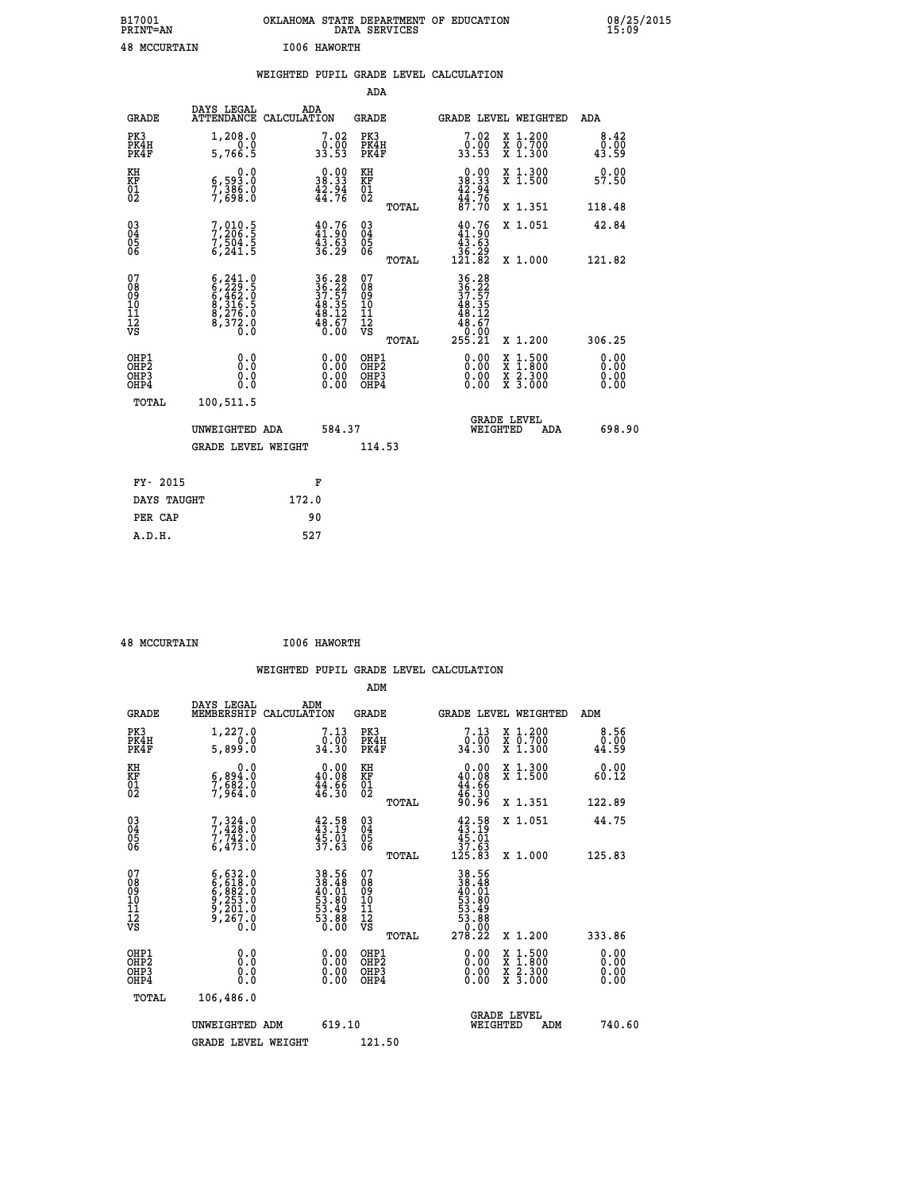| B17001<br><b>PRINT=AN</b> |           |              | DATA SERVICES | OKLAHOMA STATE DEPARTMENT OF EDUCATION | 08/25/2015<br>15:09 |
|---------------------------|-----------|--------------|---------------|----------------------------------------|---------------------|
| 48                        | MCCURTAIN | I006 HAWORTH |               |                                        |                     |

| DAYS LEGAL                                                                                              | ADA                                                                       |                                                                                                                                                                                                                                                                                                        |                                                                                |                                                                                             |                                                                    | <b>ADA</b>                                                                                                                                                                                                                                                                     |
|---------------------------------------------------------------------------------------------------------|---------------------------------------------------------------------------|--------------------------------------------------------------------------------------------------------------------------------------------------------------------------------------------------------------------------------------------------------------------------------------------------------|--------------------------------------------------------------------------------|---------------------------------------------------------------------------------------------|--------------------------------------------------------------------|--------------------------------------------------------------------------------------------------------------------------------------------------------------------------------------------------------------------------------------------------------------------------------|
| 1,208.0<br>5,766.5                                                                                      | $7.02$<br>33.00<br>33.53                                                  |                                                                                                                                                                                                                                                                                                        |                                                                                | $7.02$<br>33.00<br>33.53                                                                    |                                                                    | 8.42<br>ō:ōō<br>43:59                                                                                                                                                                                                                                                          |
| 0.0                                                                                                     |                                                                           | KH                                                                                                                                                                                                                                                                                                     |                                                                                |                                                                                             | X 1.300<br>X 1.500                                                 | 0.00<br>57.50                                                                                                                                                                                                                                                                  |
|                                                                                                         |                                                                           |                                                                                                                                                                                                                                                                                                        | TOTAL                                                                          |                                                                                             | X 1.351                                                            | 118.48                                                                                                                                                                                                                                                                         |
|                                                                                                         |                                                                           |                                                                                                                                                                                                                                                                                                        |                                                                                |                                                                                             | X 1.051                                                            | 42.84                                                                                                                                                                                                                                                                          |
|                                                                                                         |                                                                           |                                                                                                                                                                                                                                                                                                        | TOTAL                                                                          |                                                                                             | X 1.000                                                            | 121.82                                                                                                                                                                                                                                                                         |
| $\begin{smallmatrix} 6,241.0\\ 6,229.5\\ 6,462.0\\ 8,316.5\\ 8,276.0\\ 8,372.0\\ 0.0 \end{smallmatrix}$ |                                                                           | 07<br>08<br>09<br>11<br>11<br>12<br>VS                                                                                                                                                                                                                                                                 | TOTAL                                                                          | 36.22<br>36.22<br>37.57<br>48.35<br>48.12<br>48.67<br>0.00<br>255.21                        | X 1.200                                                            | 306.25                                                                                                                                                                                                                                                                         |
| 0.0<br>0.0<br>0.0                                                                                       | 0.00<br>$\begin{smallmatrix} 0.00 \ 0.00 \end{smallmatrix}$               |                                                                                                                                                                                                                                                                                                        |                                                                                | $0.00$<br>$0.00$<br>0.00                                                                    |                                                                    | 0.00<br>0.00<br>0.00<br>0.00                                                                                                                                                                                                                                                   |
| 100,511.5                                                                                               |                                                                           |                                                                                                                                                                                                                                                                                                        |                                                                                |                                                                                             |                                                                    |                                                                                                                                                                                                                                                                                |
| UNWEIGHTED ADA                                                                                          |                                                                           |                                                                                                                                                                                                                                                                                                        |                                                                                |                                                                                             | ADA                                                                | 698.90                                                                                                                                                                                                                                                                         |
|                                                                                                         |                                                                           |                                                                                                                                                                                                                                                                                                        |                                                                                |                                                                                             |                                                                    |                                                                                                                                                                                                                                                                                |
|                                                                                                         |                                                                           |                                                                                                                                                                                                                                                                                                        |                                                                                |                                                                                             |                                                                    |                                                                                                                                                                                                                                                                                |
| DAYS TAUGHT                                                                                             | 172.0                                                                     |                                                                                                                                                                                                                                                                                                        |                                                                                |                                                                                             |                                                                    |                                                                                                                                                                                                                                                                                |
|                                                                                                         | 90                                                                        |                                                                                                                                                                                                                                                                                                        |                                                                                |                                                                                             |                                                                    |                                                                                                                                                                                                                                                                                |
|                                                                                                         | 6,593.0<br>7,386.0<br>7,698.0<br>7,010.5<br>7,206.5<br>7,504.5<br>6,241.5 | ATTENDANCE CALCULATION<br>$\begin{smallmatrix} 0.00\\ 38.33\\ 42.94\\ 44.76 \end{smallmatrix}$<br>$\begin{smallmatrix} 40.76\\ 41.90\\ 43.63\\ 36.29 \end{smallmatrix}$<br>$\begin{array}{r} 36.28 \\ 36.22 \\ 37.57 \\ 48.35 \\ 48.12 \\ 48.67 \\ 0.00 \end{array}$<br><b>GRADE LEVEL WEIGHT</b><br>F | KF<br>01<br>02<br>$\begin{matrix} 03 \\ 04 \\ 05 \\ 06 \end{matrix}$<br>584.37 | <b>ADA</b><br><b>GRADE</b><br>PK3<br>PK4H<br>PK4F<br>OHP1<br>OHP2<br>OHP3<br>OHP4<br>114.53 | $0.0038.3342.9444.7687.70$<br>$40.76\n41.90\n43.63\n36.29\n121.82$ | WEIGHTED PUPIL GRADE LEVEL CALCULATION<br>GRADE LEVEL WEIGHTED<br>X 1.200<br>X 0.700<br>X 1.300<br>$\begin{smallmatrix} \mathtt{X} & 1\cdot500\\ \mathtt{X} & 1\cdot800\\ \mathtt{X} & 2\cdot300\\ \mathtt{X} & 3\cdot000 \end{smallmatrix}$<br><b>GRADE LEVEL</b><br>WEIGHTED |

 **48 MCCURTAIN I006 HAWORTH**

 **A.D.H. 527**

 **ADM DAYS LEGAL ADM GRADE MEMBERSHIP CALCULATION GRADE GRADE LEVEL WEIGHTED ADM PK3 1,227.0 7.13 PK3 7.13 X 1.200 8.56 PK4H 0.0 0.00 PK4H 0.00 X 0.700 0.00**

| .<br>PK4F                                            | <br>5,899.0                                                                               | 34.30                                                               | PK4F                                               | 34.30                                                                                                         | $\ddot{x}$ 1.300                                                                                                                     | <br>44.59            |
|------------------------------------------------------|-------------------------------------------------------------------------------------------|---------------------------------------------------------------------|----------------------------------------------------|---------------------------------------------------------------------------------------------------------------|--------------------------------------------------------------------------------------------------------------------------------------|----------------------|
| KH<br><b>KF</b><br>01<br>02                          | 0.0<br>$\frac{6}{7}, \frac{894}{682}$ $\frac{3}{664}$                                     | $\begin{smallmatrix} 0.00\\ 40.08\\ 44.8\\ 46.30 \end{smallmatrix}$ | KH<br>KF<br>01<br>02                               | $\begin{smallmatrix} &0.00\ 40.08\ 44.66\ 46.30\ 46.30\ 90.96\ \end{smallmatrix}$                             | X 1.300<br>X 1.500                                                                                                                   | 0.00<br>60.12        |
|                                                      |                                                                                           |                                                                     | TOTAL                                              |                                                                                                               | X 1.351                                                                                                                              | 122.89               |
| $\begin{matrix} 03 \\ 04 \\ 05 \\ 06 \end{matrix}$   | $7,324.0$<br>$7,7428.0$<br>$7,742.0$<br>$6,473.0$                                         | $42.58$<br>$43.19$<br>$45.01$<br>$37.63$                            | $\begin{matrix} 03 \\ 04 \\ 05 \\ 06 \end{matrix}$ | $43.58$<br>$43.19$<br>$45.01$<br>$37.63$<br>$125.83$                                                          | X 1.051                                                                                                                              | 44.75                |
|                                                      |                                                                                           |                                                                     | TOTAL                                              |                                                                                                               | X 1.000                                                                                                                              | 125.83               |
| 07<br>089<br>090<br>1112<br>VS                       | $6, 632.0$<br>$6, 618.0$<br>$6, 882.0$<br>$9, 253.0$<br>$9, 201.0$<br>$9, 267.0$<br>$0.0$ | 38.56<br>38.48<br>40.01<br>53.80<br>53.49<br>53.88<br>53.88         | 07<br>08<br>09<br>101<br>11<br>12<br>VS            | $\begin{array}{r} 38.56 \\ 38.48 \\ 40.01 \\ 53.80 \\ 53.49 \\ 53.49 \\ 53.68 \\ 0.000 \\ 278.22 \end{array}$ |                                                                                                                                      |                      |
|                                                      |                                                                                           |                                                                     | TOTAL                                              |                                                                                                               | X 1.200                                                                                                                              | 333.86               |
| OHP1<br>OHP <sub>2</sub><br>OH <sub>P3</sub><br>OHP4 | 0.0<br>0.0<br>Ŏ.Ŏ                                                                         | 0.00                                                                | OHP1<br>OHP <sub>2</sub><br>OHP3<br>OHP4           | 0.00                                                                                                          | $\begin{smallmatrix} \mathtt{X} & 1 & 500 \\ \mathtt{X} & 1 & 800 \\ \mathtt{X} & 2 & 300 \\ \mathtt{X} & 3 & 000 \end{smallmatrix}$ | 0.00<br>0.00<br>0.00 |
| TOTAL                                                | 106,486.0                                                                                 |                                                                     |                                                    |                                                                                                               |                                                                                                                                      |                      |
|                                                      | UNWEIGHTED ADM                                                                            | 619.10                                                              |                                                    | WEIGHTED                                                                                                      | <b>GRADE LEVEL</b><br>ADM                                                                                                            | 740.60               |
|                                                      | GRADE LEVEL WEIGHT                                                                        |                                                                     | 121.50                                             |                                                                                                               |                                                                                                                                      |                      |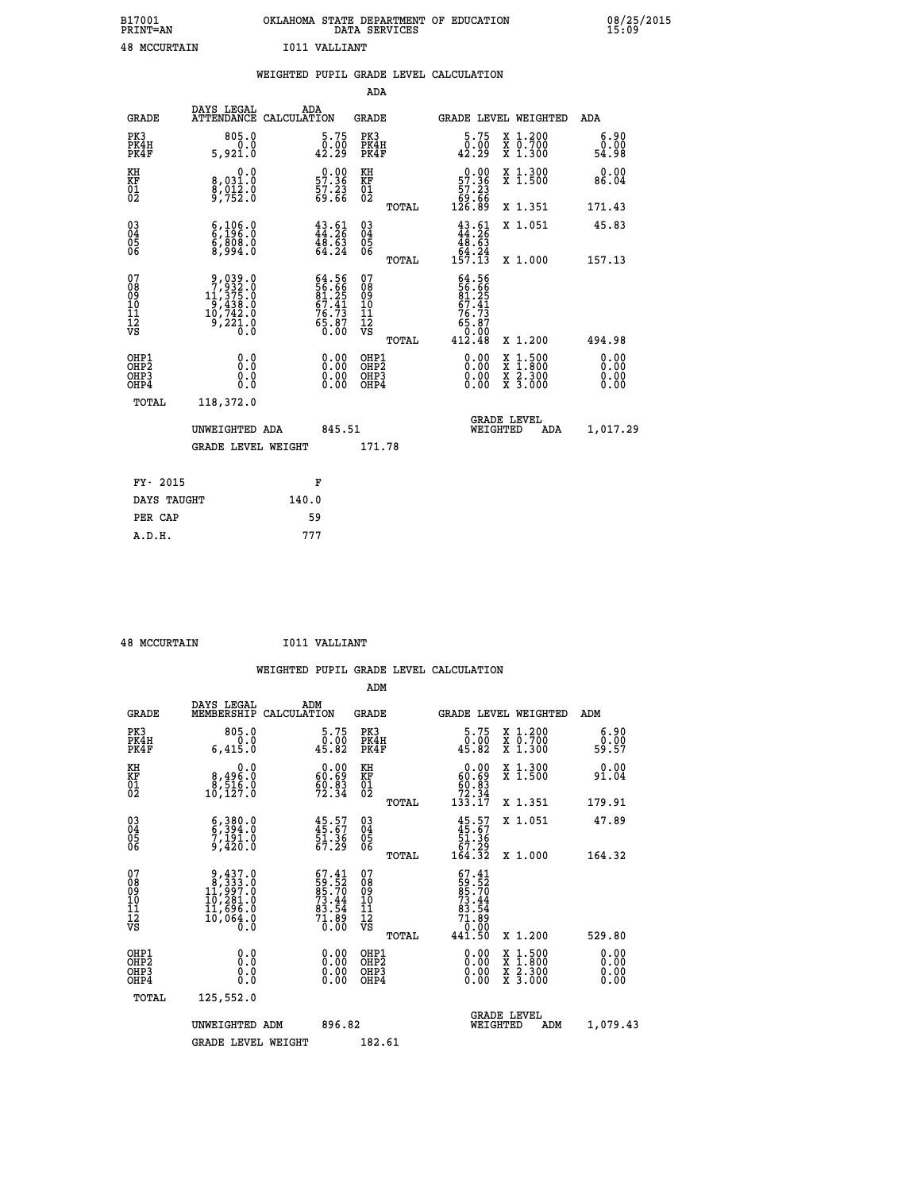| B17001              | OKLAHOMA STATE DEPARTMENT OF EDUCATION |
|---------------------|----------------------------------------|
| <b>PRINT=AN</b>     | DATA SERVICES                          |
| <b>48 MCCURTAIN</b> | I011 VALLIANT                          |

|                                          |                                                                                                         | WEIGHTED PUPIL GRADE LEVEL CALCULATION                               |                                                    |       |                                                                                                      |                                                                                                  |                              |
|------------------------------------------|---------------------------------------------------------------------------------------------------------|----------------------------------------------------------------------|----------------------------------------------------|-------|------------------------------------------------------------------------------------------------------|--------------------------------------------------------------------------------------------------|------------------------------|
|                                          |                                                                                                         |                                                                      | <b>ADA</b>                                         |       |                                                                                                      |                                                                                                  |                              |
| <b>GRADE</b>                             | DAYS LEGAL                                                                                              | ADA<br>ATTENDANCE CALCULATION                                        | <b>GRADE</b>                                       |       |                                                                                                      | GRADE LEVEL WEIGHTED                                                                             | ADA                          |
| PK3<br>PK4H<br>PK4F                      | 805.0<br>5,921.0                                                                                        | 5.75<br>$\frac{0.00}{42.29}$                                         | PK3<br>PK4H<br>PK4F                                |       | 5.75<br>$\begin{smallmatrix} \v{0} \ \v{0} \ \v{1} \ \v{2} \ \v{3} \end{smallmatrix}$                | X 1.200<br>X 0.700<br>X 1.300                                                                    | 6.90<br>0.00<br>54.98        |
| KH<br>KF<br>01<br>02                     | 0.0<br>8,031:0<br>8,012:0<br>9,752:0                                                                    | $\begin{smallmatrix} 0.00\\ 57.36\\ 57.23\\ 69.66 \end{smallmatrix}$ | KH<br>KF<br>01<br>02                               |       | $\begin{smallmatrix} &0.00\\ 57.36\\ 57.23\\ 69.66\\ 126.89\end{smallmatrix}$                        | X 1.300<br>X 1.500                                                                               | 0.00<br>86.04                |
|                                          |                                                                                                         |                                                                      |                                                    | TOTAL |                                                                                                      | X 1.351                                                                                          | 171.43                       |
| $^{03}_{04}$<br>Ŏ5<br>06                 | $\begin{smallmatrix} 6\,,\,106\,. \ 6\,,\,196\,. \ 0\,6\,,\,808\,. \ 0\,8\,,\,994\,. \end{smallmatrix}$ | $43.61$<br>$44.26$<br>$48.63$<br>$64.24$                             | $\begin{matrix} 03 \\ 04 \\ 05 \\ 06 \end{matrix}$ |       | $43.61$<br>$44.26$<br>$48.63$<br>$64.24$<br>$157.13$                                                 | X 1.051                                                                                          | 45.83                        |
|                                          |                                                                                                         |                                                                      |                                                    | TOTAL |                                                                                                      | X 1.000                                                                                          | 157.13                       |
| 07<br>08<br>09<br>11<br>11<br>12<br>VS   | $\begin{smallmatrix} 9,039.0\\7,932.0\\11,375.0\\9,438.0\\10,742.0\\9,221.0\\0.0 \end{smallmatrix}$     | $64.56$<br>56.66<br>81.25<br>87.41<br>67.73<br>76.73<br>65.87        | 07<br>08<br>09<br>11<br>11<br>12<br>VS             | TOTAL | $\begin{smallmatrix} 64.56\\ 56.56\\ 7.41\\ 67.41\\ 76.73\\ 65.87\\ 0.00\\ 412.48 \end{smallmatrix}$ | X 1.200                                                                                          | 494.98                       |
| OHP1<br>OHP2<br>OH <sub>P3</sub><br>OHP4 | 0.0<br>Ō.Ō<br>Ō.Ō                                                                                       | 0.00<br>$\begin{smallmatrix} 0.00 \ 0.00 \end{smallmatrix}$          | OHP1<br>OHP2<br>OHP3<br>OHP4                       |       | 0.00<br>0.00<br>0.00                                                                                 | $\begin{smallmatrix} x & 1 & 500 \\ x & 1 & 800 \\ x & 2 & 300 \\ x & 3 & 000 \end{smallmatrix}$ | 0.00<br>0.00<br>0.00<br>0.00 |
| TOTAL                                    | 118,372.0                                                                                               |                                                                      |                                                    |       |                                                                                                      |                                                                                                  |                              |
|                                          | UNWEIGHTED ADA                                                                                          | 845.51                                                               |                                                    |       | WEIGHTED                                                                                             | <b>GRADE LEVEL</b><br>ADA                                                                        | 1,017.29                     |
|                                          | <b>GRADE LEVEL WEIGHT</b>                                                                               |                                                                      | 171.78                                             |       |                                                                                                      |                                                                                                  |                              |
| FY- 2015                                 |                                                                                                         | F                                                                    |                                                    |       |                                                                                                      |                                                                                                  |                              |
| DAYS TAUGHT                              |                                                                                                         | 140.0                                                                |                                                    |       |                                                                                                      |                                                                                                  |                              |
| PER CAP                                  |                                                                                                         | 59                                                                   |                                                    |       |                                                                                                      |                                                                                                  |                              |

 **A.D.H. 777**

 **B17001<br>PRINT=AN** 

 **48 MCCURTAIN I011 VALLIANT**

 **WEIGHTED PUPIL GRADE LEVEL CALCULATION ADM DAYS LEGAL ADM GRADE MEMBERSHIP CALCULATION GRADE GRADE LEVEL WEIGHTED ADM**

| PK3<br>PK4H<br>PK4F                                | 805.0<br>0.0<br>6,415.0                                                                                               | $\begin{smallmatrix}5.75\0.00\\45.82\end{smallmatrix}$                 | PK3<br>PK4H<br>PK4F                           | $\substack{5.75 \\ 0.00 \\ 45.82}$                                                   | X 1.200<br>X 0.700<br>X 1.300                                                                                                        | 6.90<br>0.00<br>59.57 |
|----------------------------------------------------|-----------------------------------------------------------------------------------------------------------------------|------------------------------------------------------------------------|-----------------------------------------------|--------------------------------------------------------------------------------------|--------------------------------------------------------------------------------------------------------------------------------------|-----------------------|
| KH<br>KF<br>01<br>02                               | 0.0<br>8,496.0<br>8,516.0<br>10,127.0                                                                                 | $\begin{smallmatrix} 0.00\\ 60.69\\ 60.83\\ 72.34 \end{smallmatrix}$   | KH<br>KF<br>01<br>02                          | $\begin{smallmatrix} &0.00\\ 60.69\\ 60.83\\ 72.34\\ 133.17\end{smallmatrix}$        | X 1.300<br>X 1.500                                                                                                                   | 0.00<br>91.04         |
|                                                    |                                                                                                                       |                                                                        | TOTAL                                         |                                                                                      | X 1.351                                                                                                                              | 179.91                |
| $\begin{matrix} 03 \\ 04 \\ 05 \\ 06 \end{matrix}$ | $\begin{smallmatrix} 6 \ , \ 394 \ . \ 6 \ , \ 394 \ . \ 0 \ 7 \ , \ 191 \ . \ 0 \ 9 \ , \ 420 \ . \end{smallmatrix}$ | $45.57$<br>$45.67$<br>$51.36$<br>$67.29$                               | 03<br>04<br>05<br>06                          | $45.57$<br>$51.36$<br>$57.29$<br>$164.32$                                            | X 1.051                                                                                                                              | 47.89                 |
|                                                    |                                                                                                                       |                                                                        | TOTAL                                         |                                                                                      | X 1.000                                                                                                                              | 164.32                |
| 07<br>089<br>090<br>1112<br>VS                     | $9,437.0$<br>$8,333.0$<br>$11,997.0$<br>$10,281.0$<br>$11,696.0$<br>$10,064.0$<br>0.0                                 | $67.41$<br>59.52<br>85.70<br>73.44<br>73.54<br>83.54<br>71.89<br>70.00 | 07<br>08<br>09<br>001<br>11<br>11<br>17<br>VS | $67.41$<br>$59.52$<br>$85.70$<br>$73.44$<br>$83.54$<br>$71.89$<br>$0.00$<br>$441.50$ |                                                                                                                                      |                       |
|                                                    |                                                                                                                       |                                                                        | <b>TOTAL</b>                                  |                                                                                      | X 1.200                                                                                                                              | 529.80                |
| OHP1<br>OHP2<br>OH <sub>P3</sub><br>OHP4           | $\begin{smallmatrix} 0.0 \ 0.0 \ 0.0 \ 0.0 \end{smallmatrix}$                                                         | $0.00$<br>$0.00$<br>0.00                                               | OHP1<br>OHP2<br>OHP3<br>OHP4                  | $0.00$<br>$0.00$<br>0.00                                                             | $\begin{smallmatrix} \mathtt{X} & 1 & 500 \\ \mathtt{X} & 1 & 800 \\ \mathtt{X} & 2 & 300 \\ \mathtt{X} & 3 & 000 \end{smallmatrix}$ | 0.00<br>0.00<br>0.00  |
| TOTAL                                              | 125,552.0                                                                                                             |                                                                        |                                               |                                                                                      |                                                                                                                                      |                       |
|                                                    | UNWEIGHTED ADM                                                                                                        | 896.82                                                                 |                                               | WEIGHTED                                                                             | <b>GRADE LEVEL</b><br>ADM                                                                                                            | 1,079.43              |
|                                                    | <b>GRADE LEVEL WEIGHT</b>                                                                                             |                                                                        | 182.61                                        |                                                                                      |                                                                                                                                      |                       |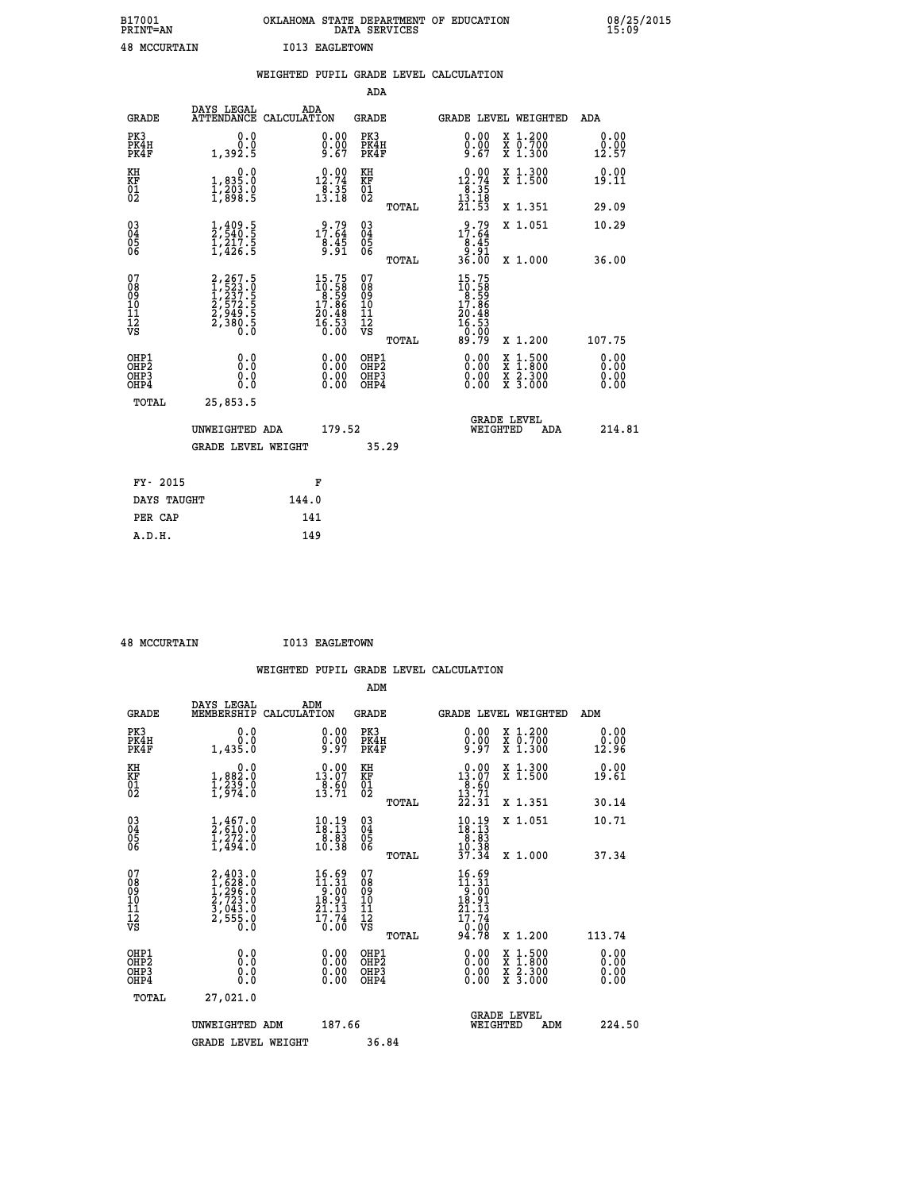| B17001              | OKLAHOMA STATE DEPARTMENT OF EDUCATION |
|---------------------|----------------------------------------|
| <b>PRINT=AN</b>     | DATA SERVICES                          |
| <b>48 MCCURTAIN</b> | <b>I013 EAGLETOWN</b>                  |

|                                                                    |                                                                                       |       |                                                                         |                                          |       | WEIGHTED PUPIL GRADE LEVEL CALCULATION                                                                                                                                                                                                                                         |                                                                                                                                           |                              |
|--------------------------------------------------------------------|---------------------------------------------------------------------------------------|-------|-------------------------------------------------------------------------|------------------------------------------|-------|--------------------------------------------------------------------------------------------------------------------------------------------------------------------------------------------------------------------------------------------------------------------------------|-------------------------------------------------------------------------------------------------------------------------------------------|------------------------------|
|                                                                    |                                                                                       |       |                                                                         | <b>ADA</b>                               |       |                                                                                                                                                                                                                                                                                |                                                                                                                                           |                              |
| <b>GRADE</b>                                                       | DAYS LEGAL<br>ATTENDANCE CALCULATION                                                  |       | ADA                                                                     | GRADE                                    |       | GRADE LEVEL WEIGHTED                                                                                                                                                                                                                                                           |                                                                                                                                           | ADA                          |
| PK3<br>PK4H<br>PK4F                                                | 0.0<br>0.0<br>1,392.5                                                                 |       | $\begin{smallmatrix} 0.00\ 0.00\ 9.67 \end{smallmatrix}$                | PK3<br>PK4H<br>PK4F                      |       | $0.00$<br>$0.00$<br>$9.67$                                                                                                                                                                                                                                                     | X 1.200<br>X 0.700<br>X 1.300                                                                                                             | 0.00<br>0.00<br>12.57        |
| KH<br>KF<br>01<br>02                                               | $\begin{smallmatrix}&&&0.0\\1,835.0\\1,203.0\\1,898.5\end{smallmatrix}$               |       | $\begin{smallmatrix} 0.00\\ 12.74\\ 8.35\\ 13.18 \end{smallmatrix}$     | KH<br>KF<br>01<br>02                     |       | $12.74$<br>$12.74$<br>$8.35$<br>$13.18$                                                                                                                                                                                                                                        | X 1.300<br>X 1.500                                                                                                                        | 0.00<br>19.11                |
|                                                                    |                                                                                       |       |                                                                         |                                          | TOTAL | 21.53                                                                                                                                                                                                                                                                          | X 1.351                                                                                                                                   | 29.09                        |
| $\begin{smallmatrix} 03 \\[-4pt] 04 \end{smallmatrix}$<br>Ŏ5<br>06 | $\frac{1}{2}, \frac{409}{540}$ .<br>$\frac{5}{1}, \frac{217}{426}$ .<br>$\frac{5}{5}$ |       | $17.64$<br>$8.45$<br>$9.91$                                             | $\substack{03 \\ 04}$<br>Ŏ5<br>06        |       | $\begin{array}{r} 9.79 \\ 17.64 \\ 8.45 \\ 9.91 \\ 36.00 \end{array}$                                                                                                                                                                                                          | X 1.051                                                                                                                                   | 10.29                        |
|                                                                    |                                                                                       |       |                                                                         |                                          | TOTAL |                                                                                                                                                                                                                                                                                | X 1.000                                                                                                                                   | 36.00                        |
| 07<br>08<br>09<br>11<br>11<br>12<br>VS                             | 2,267.5<br>1,523.0<br>1,237.5<br>2,572.5<br>2,949.5<br>2,380.5<br>0.0                 |       | $15.75$<br>$10.58$<br>$8.59$<br>$17.86$<br>$20.48$<br>$16.53$<br>$0.00$ | 07<br>08<br>09<br>11<br>11<br>12<br>VS   | TOTAL | 15.75<br>$\begin{array}{c} 10.588 \\ 10.598 \\ 17.866 \\ 20.48 \\ 16.53 \\ 0.90 \\ 90.79 \end{array}$<br>89.79                                                                                                                                                                 | X 1.200                                                                                                                                   | 107.75                       |
| OHP1<br>OH <sub>P</sub><br>OHP3<br>OHP4                            | 0.0<br>0.0<br>0.0                                                                     |       | $\begin{smallmatrix} 0.00 \ 0.00 \ 0.00 \ 0.00 \end{smallmatrix}$       | OHP1<br>OHP <sub>2</sub><br>OHP3<br>OHP4 |       | $\begin{smallmatrix} 0.00 & 0.00 & 0.00 & 0.00 & 0.00 & 0.00 & 0.00 & 0.00 & 0.00 & 0.00 & 0.00 & 0.00 & 0.00 & 0.00 & 0.00 & 0.00 & 0.00 & 0.00 & 0.00 & 0.00 & 0.00 & 0.00 & 0.00 & 0.00 & 0.00 & 0.00 & 0.00 & 0.00 & 0.00 & 0.00 & 0.00 & 0.00 & 0.00 & 0.00 & 0.00 & 0.0$ | $\begin{smallmatrix} \mathtt{X} & 1\cdot500\\ \mathtt{X} & 1\cdot800\\ \mathtt{X} & 2\cdot300\\ \mathtt{X} & 3\cdot000 \end{smallmatrix}$ | 0.00<br>0.00<br>0.00<br>0.00 |
| TOTAL                                                              | 25,853.5                                                                              |       |                                                                         |                                          |       |                                                                                                                                                                                                                                                                                |                                                                                                                                           |                              |
|                                                                    | UNWEIGHTED ADA                                                                        |       | 179.52                                                                  |                                          |       | <b>GRADE LEVEL</b><br>WEIGHTED                                                                                                                                                                                                                                                 | ADA                                                                                                                                       | 214.81                       |
|                                                                    | <b>GRADE LEVEL WEIGHT</b>                                                             |       |                                                                         |                                          | 35.29 |                                                                                                                                                                                                                                                                                |                                                                                                                                           |                              |
| FY- 2015                                                           |                                                                                       |       | F                                                                       |                                          |       |                                                                                                                                                                                                                                                                                |                                                                                                                                           |                              |
| DAYS TAUGHT                                                        |                                                                                       | 144.0 |                                                                         |                                          |       |                                                                                                                                                                                                                                                                                |                                                                                                                                           |                              |
| PER CAP                                                            |                                                                                       |       | 141                                                                     |                                          |       |                                                                                                                                                                                                                                                                                |                                                                                                                                           |                              |

 **48 MCCURTAIN I013 EAGLETOWN**

| <b>48 MCCURTAIN</b>                                |                                                                                        | TOT? EUGLETOMM                                                                          |                                                 |                                                                                          |                                                                                                                                           |                       |
|----------------------------------------------------|----------------------------------------------------------------------------------------|-----------------------------------------------------------------------------------------|-------------------------------------------------|------------------------------------------------------------------------------------------|-------------------------------------------------------------------------------------------------------------------------------------------|-----------------------|
|                                                    |                                                                                        |                                                                                         |                                                 | WEIGHTED PUPIL GRADE LEVEL CALCULATION                                                   |                                                                                                                                           |                       |
|                                                    |                                                                                        |                                                                                         | ADM                                             |                                                                                          |                                                                                                                                           |                       |
| <b>GRADE</b>                                       | DAYS LEGAL<br>MEMBERSHIP<br>CALCULATION                                                | ADM                                                                                     | <b>GRADE</b>                                    | <b>GRADE LEVEL WEIGHTED</b>                                                              |                                                                                                                                           | ADM                   |
| PK3<br>PK4H<br>PK4F                                | 0.0<br>0.0<br>1,435.0                                                                  | 0.00<br>9.97                                                                            | PK3<br>PK4H<br>PK4F                             | 0.00<br>$0.00$<br>9.97                                                                   | X 1.200<br>X 0.700<br>X 1.300                                                                                                             | 0.00<br>0.00<br>12.96 |
| KH<br>KF<br>01<br>02                               | $\begin{smallmatrix}&&&0.0\\1,882.0\\1,239.0\\1,974.0\end{smallmatrix}$                | $\begin{smallmatrix} 0.00\\13.07\\8.60\\13.71 \end{smallmatrix}$                        | KH<br>KF<br>$\overline{01}$                     | 0.00<br>13.07<br>$\frac{18.60}{13.71}$<br>22.31                                          | X 1.300<br>X 1.500                                                                                                                        | 0.00<br>19.61         |
|                                                    |                                                                                        |                                                                                         | TOTAL                                           |                                                                                          | X 1.351                                                                                                                                   | 30.14                 |
| $\begin{matrix} 03 \\ 04 \\ 05 \\ 06 \end{matrix}$ | $\frac{1}{2}, \frac{4}{6}$<br>$\frac{6}{1}$ , $\frac{272}{4}$<br>$\frac{0}{1}$ , 494.0 | $\begin{smallmatrix} 10.19\\18.13\\ 8.83\\ 10.38 \end{smallmatrix}$                     | 03<br>04<br>05<br>06                            | $\begin{array}{c} 10\cdot 19\\18\cdot 13\\8\cdot 83\\10\cdot 38\\37\cdot 34 \end{array}$ | X 1.051                                                                                                                                   | 10.71                 |
|                                                    |                                                                                        |                                                                                         | TOTAL                                           |                                                                                          | X 1.000                                                                                                                                   | 37.34                 |
| 07<br>08<br>09<br>10<br>11<br>11<br>12<br>VS       | $2,403.0$<br>$1,628.0$<br>$1,296.0$<br>$2,723.0$<br>$3,043.0$<br>$2,555.0$<br>$0.0$    | $\begin{array}{r} 16.69 \\ 11.31 \\ 9.00 \\ 18.91 \\ 21.13 \\ 7.74 \\ 0.00 \end{array}$ | 07<br>08<br>09<br>11<br>11<br>12<br>VS<br>TOTAL | 16.69<br>$\frac{11.31}{9.00}$<br>18.91<br>21.13<br>17.74<br>-0:00<br>94:78               | X 1.200                                                                                                                                   | 113.74                |
|                                                    |                                                                                        |                                                                                         |                                                 |                                                                                          |                                                                                                                                           | 0.00                  |
| OHP1<br>OHP2<br>OHP3<br>OHP4                       | 0.0<br>0.0<br>Ŏ.Ŏ                                                                      | 0.00<br>$0.00$<br>0.00                                                                  | OHP1<br>OHP2<br>OHP3<br>OHP4                    | $0.00$<br>$0.00$<br>0.00                                                                 | $\begin{smallmatrix} \mathtt{X} & 1\cdot500\\ \mathtt{X} & 1\cdot800\\ \mathtt{X} & 2\cdot300\\ \mathtt{X} & 3\cdot000 \end{smallmatrix}$ | 0.00<br>0.00<br>0.00  |
| TOTAL                                              | 27,021.0                                                                               |                                                                                         |                                                 |                                                                                          |                                                                                                                                           |                       |
|                                                    | UNWEIGHTED ADM                                                                         | 187.66                                                                                  |                                                 | <b>GRADE LEVEL</b><br>WEIGHTED                                                           | ADM                                                                                                                                       | 224.50                |
|                                                    | <b>GRADE LEVEL WEIGHT</b>                                                              |                                                                                         | 36.84                                           |                                                                                          |                                                                                                                                           |                       |
|                                                    |                                                                                        |                                                                                         |                                                 |                                                                                          |                                                                                                                                           |                       |
|                                                    |                                                                                        |                                                                                         |                                                 |                                                                                          |                                                                                                                                           |                       |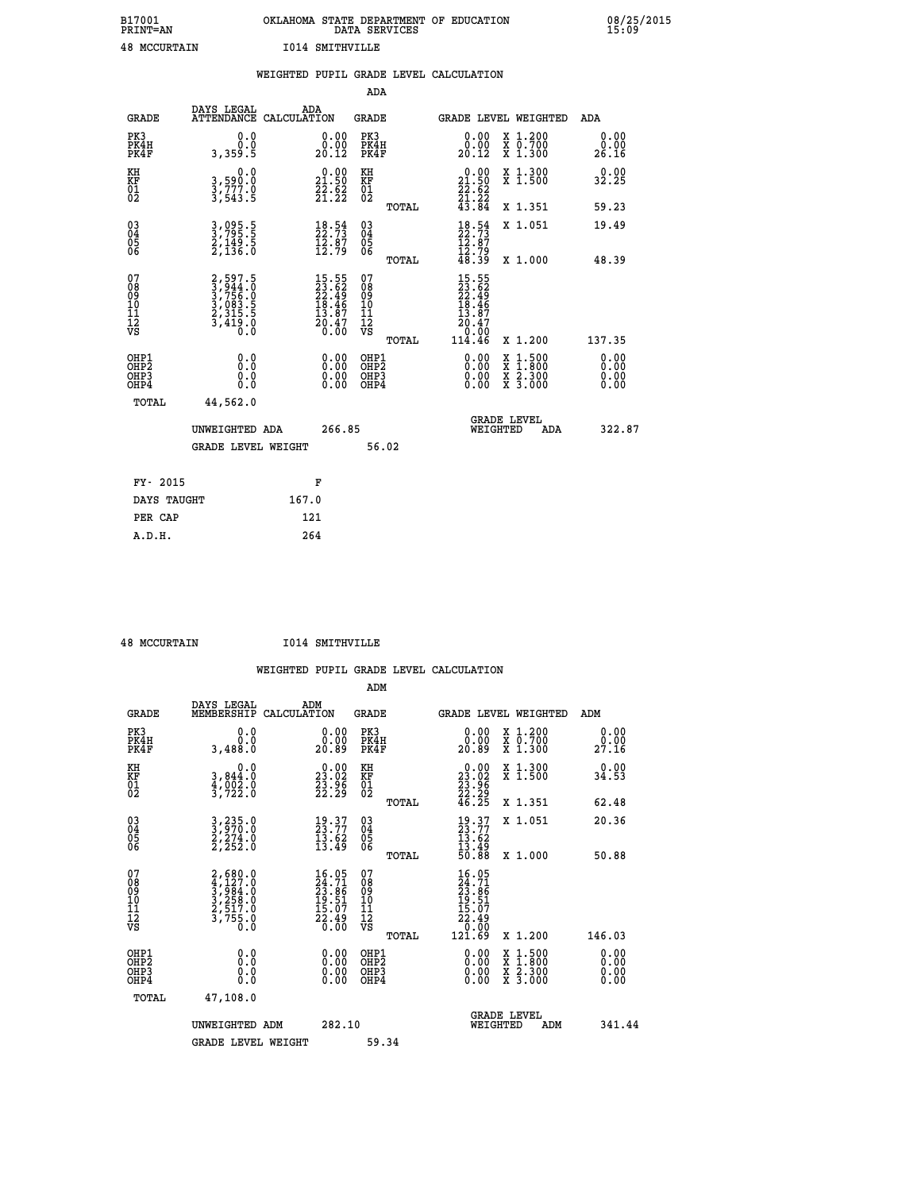| B17001              | OKLAHOMA STATE DEPARTMENT OF EDUCATION |
|---------------------|----------------------------------------|
| <b>PRINT=AN</b>     | DATA SERVICES                          |
| <b>48 MCCURTAIN</b> | <b>I014 SMITHVILLE</b>                 |

|                                                                    |                                                                | WEIGHTED PUPIL GRADE LEVEL CALCULATION                                   |                                                     |       |                                                                                                     |                                                                                                                                           |                               |
|--------------------------------------------------------------------|----------------------------------------------------------------|--------------------------------------------------------------------------|-----------------------------------------------------|-------|-----------------------------------------------------------------------------------------------------|-------------------------------------------------------------------------------------------------------------------------------------------|-------------------------------|
|                                                                    |                                                                |                                                                          | <b>ADA</b>                                          |       |                                                                                                     |                                                                                                                                           |                               |
| <b>GRADE</b>                                                       | <b>DAYS LEGAL<br/>ATTENDANCE</b>                               | ADA<br>CALCULATION                                                       | <b>GRADE</b>                                        |       |                                                                                                     | GRADE LEVEL WEIGHTED                                                                                                                      | ADA                           |
| PK3<br>PK4H<br>PK4F                                                | 0.0<br>0.0<br>3,359.5                                          | $\substack{0.00\\0.00\\20.12}$                                           | PK3<br>PK4H<br>PK4F                                 |       | 0.00<br>ŏ:ŏŏ<br>20:12                                                                               | X 1.200<br>X 0.700<br>X 1.300                                                                                                             | 0.00<br>0.00<br>26.16         |
| KH<br>KF<br>01<br>02                                               | 0.0<br>3,590:0<br>3,777.0<br>3,543:5                           | $\begin{smallmatrix} 0.00\\ 21.50\\ 22.52\\ 21.22 \end{smallmatrix}$     | KH<br>KF<br>01<br>02                                |       | $\begin{smallmatrix} 0.00\\21.50\\22.62\\21.22\\43.84 \end{smallmatrix}$                            | X 1.300<br>X 1.500                                                                                                                        | 0.00<br>32.25                 |
|                                                                    |                                                                |                                                                          |                                                     | TOTAL |                                                                                                     | X 1.351                                                                                                                                   | 59.23                         |
| $\begin{smallmatrix} 03 \\[-4pt] 04 \end{smallmatrix}$<br>Ŏ5<br>06 | 3,095.5<br>3,795.5<br>2,149.5<br>2,136.0                       | $\begin{smallmatrix} 18.54\ 22.73\ 12.87\ 12.79 \end{smallmatrix}$       | $\begin{array}{c} 03 \\ 04 \\ 05 \\ 06 \end{array}$ |       | $18.54$<br>$12.73$<br>$12.87$<br>$12.79$<br>$48.39$                                                 | X 1.051                                                                                                                                   | 19.49                         |
|                                                                    |                                                                |                                                                          |                                                     | TOTAL |                                                                                                     | X 1.000                                                                                                                                   | 48.39                         |
| 07<br>0890112<br>1112<br>VS                                        | 2,597.5<br>3,944.0<br>3,756.0<br>3,756.0<br>3,415.5<br>3,419.0 | $15.55$<br>$23.62$<br>$22.49$<br>$18.46$<br>$13.87$<br>$20.47$<br>$0.00$ | 07<br>08901112<br>1112<br>VS                        | TOTAL | 15.55<br>23.62<br>22.49<br>18.46<br>13.87<br>$\begin{array}{r} 20.47 \\ 0.00 \\ 114.46 \end{array}$ | X 1.200                                                                                                                                   | 137.35                        |
| OHP1<br>OHP2<br>OH <sub>P3</sub><br>OHP4                           | 0.0<br>0.0<br>0.0                                              | $\begin{smallmatrix} 0.00 \ 0.00 \ 0.00 \ 0.00 \end{smallmatrix}$        | OHP1<br>OHP2<br>OHP3<br>OHP4                        |       | 0.00<br>0.00<br>0.00                                                                                | $\begin{smallmatrix} \mathtt{X} & 1\cdot500\\ \mathtt{X} & 1\cdot800\\ \mathtt{X} & 2\cdot300\\ \mathtt{X} & 3\cdot000 \end{smallmatrix}$ | 0.00<br>Ō. ŌŌ<br>0.00<br>0.00 |
| TOTAL                                                              | 44,562.0                                                       |                                                                          |                                                     |       |                                                                                                     |                                                                                                                                           |                               |
|                                                                    | UNWEIGHTED ADA                                                 | 266.85                                                                   |                                                     |       | WEIGHTED                                                                                            | <b>GRADE LEVEL</b><br>ADA                                                                                                                 | 322.87                        |
|                                                                    | <b>GRADE LEVEL WEIGHT</b>                                      |                                                                          | 56.02                                               |       |                                                                                                     |                                                                                                                                           |                               |
| FY- 2015                                                           |                                                                | F                                                                        |                                                     |       |                                                                                                     |                                                                                                                                           |                               |
| DAYS TAUGHT                                                        |                                                                | 167.0                                                                    |                                                     |       |                                                                                                     |                                                                                                                                           |                               |
| PER CAP                                                            |                                                                | 121                                                                      |                                                     |       |                                                                                                     |                                                                                                                                           |                               |

| 48 MCCURTAIN |
|--------------|

 **A.D.H. 264**

 **48 MCCURTAIN I014 SMITHVILLE**

| <b>GRADE</b>                                       | DAYS LEGAL<br>MEMBERSHIP                                                            | ADM<br>CALCULATION                                                       | <b>GRADE</b>                                  |       | <b>GRADE LEVEL WEIGHTED</b>                                                          |                                                                                                                                           | ADM                          |        |
|----------------------------------------------------|-------------------------------------------------------------------------------------|--------------------------------------------------------------------------|-----------------------------------------------|-------|--------------------------------------------------------------------------------------|-------------------------------------------------------------------------------------------------------------------------------------------|------------------------------|--------|
| PK3<br>PK4H<br>PK4F                                | 0.0<br>0.0<br>3,488.0                                                               | 0.0000<br>20.89                                                          | PK3<br>PK4H<br>PK4F                           |       | 0.00<br>0.00<br>20.89                                                                | X 1.200<br>X 0.700<br>X 1.300                                                                                                             | 0.00<br>0.00<br>27.16        |        |
| KH<br>KF<br>01<br>02                               | 0.0<br>3,844:0<br>4,002:0<br>3,722:0                                                | $\begin{smallmatrix} 0.00\\ 23.02\\ 23.96\\ 22.29 \end{smallmatrix}$     | KH<br>KF<br>01<br>02                          |       | $\begin{smallmatrix} 0.00\\ 23.02\\ 23.96\\ 22.29\\ 46.25 \end{smallmatrix}$         | X 1.300<br>X 1.500                                                                                                                        | 0.00<br>34.53                |        |
|                                                    |                                                                                     |                                                                          |                                               | TOTAL |                                                                                      | X 1.351                                                                                                                                   | 62.48                        |        |
| $\begin{matrix} 03 \\ 04 \\ 05 \\ 06 \end{matrix}$ | $3, 235.0$<br>$3, 270.0$<br>$2, 274.0$<br>$2, 252.0$                                | $\frac{19}{23}.77$<br>$\frac{13.62}{13.49}$                              | 03<br>04<br>05<br>06                          |       | $\begin{smallmatrix} 19.37\\ 23.77\\ 13.62\\ 13.49\\ 50.88 \end{smallmatrix}$        | X 1.051                                                                                                                                   | 20.36                        |        |
|                                                    |                                                                                     |                                                                          |                                               | TOTAL |                                                                                      | X 1.000                                                                                                                                   | 50.88                        |        |
| 07<br>08<br>09<br>101<br>112<br>VS                 | $2,680.0$<br>$4,127.0$<br>$3,984.0$<br>$3,258.0$<br>$2,517.0$<br>$3,755.0$<br>$0.0$ | $16.05$<br>$24.71$<br>$23.86$<br>$19.51$<br>$15.07$<br>$22.49$<br>$0.00$ | 07<br>08<br>09<br>001<br>11<br>11<br>12<br>VS | TOTAL | $16.05$<br>$24.71$<br>$23.86$<br>$19.51$<br>$15.07$<br>$22.49$<br>$0.00$<br>$121.69$ | X 1.200                                                                                                                                   | 146.03                       |        |
| OHP1                                               |                                                                                     |                                                                          | OHP1                                          |       |                                                                                      |                                                                                                                                           |                              |        |
| OHP <sub>2</sub><br>OH <sub>P3</sub><br>OHP4       | 0.0<br>0.0<br>0.0                                                                   | $0.00$<br>$0.00$<br>0.00                                                 | OHP <sub>2</sub><br>OHP3<br>OHP4              |       |                                                                                      | $\begin{smallmatrix} \mathtt{X} & 1\cdot500\\ \mathtt{X} & 1\cdot800\\ \mathtt{X} & 2\cdot300\\ \mathtt{X} & 3\cdot000 \end{smallmatrix}$ | 0.00<br>0.00<br>0.00<br>0.00 |        |
| TOTAL                                              | 47,108.0                                                                            |                                                                          |                                               |       |                                                                                      |                                                                                                                                           |                              |        |
|                                                    | UNWEIGHTED ADM                                                                      | 282.10                                                                   |                                               |       | <b>GRADE LEVEL</b><br>WEIGHTED                                                       | ADM                                                                                                                                       |                              | 341.44 |
|                                                    | <b>GRADE LEVEL WEIGHT</b>                                                           |                                                                          | 59.34                                         |       |                                                                                      |                                                                                                                                           |                              |        |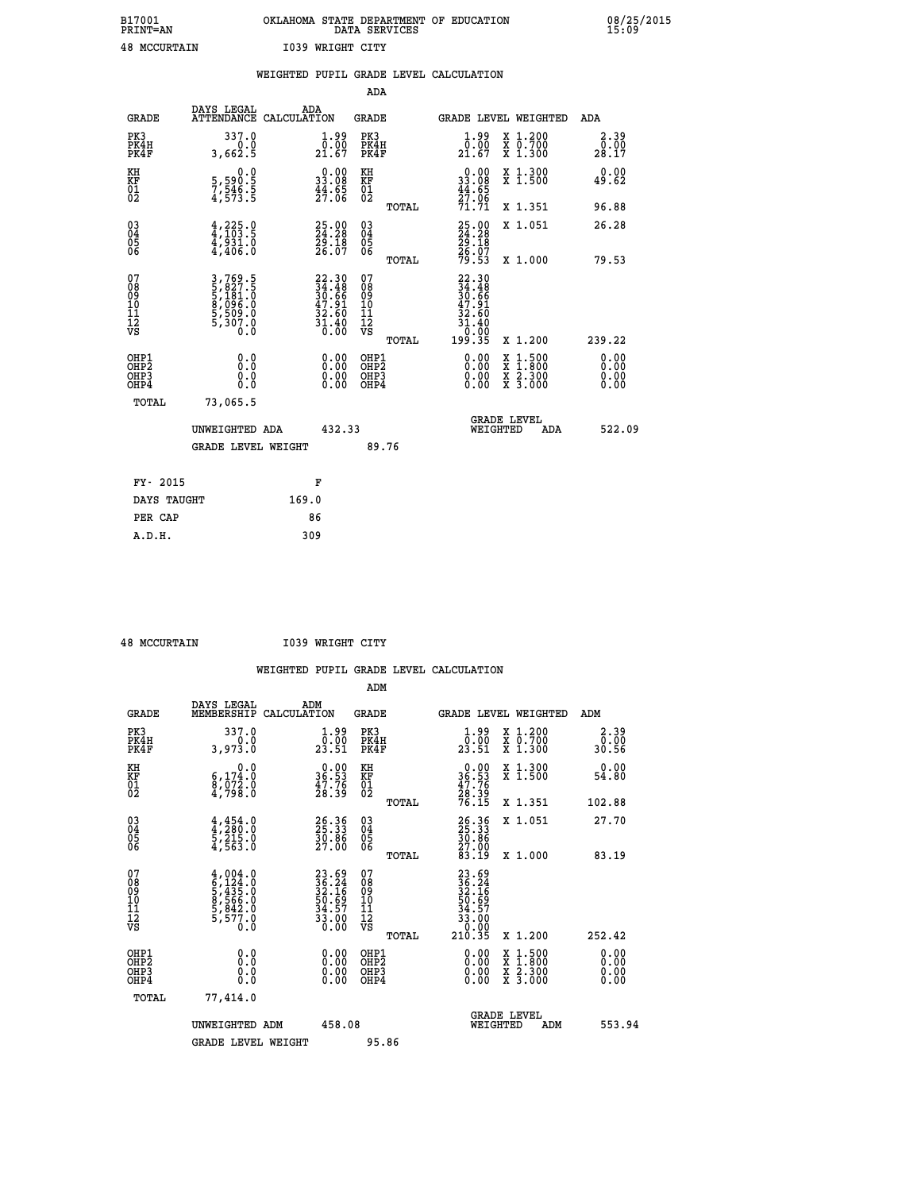| B17001              | OKLAHOMA STATE DEPARTMENT OF EDUCATION |
|---------------------|----------------------------------------|
| <b>PRINT=AN</b>     | DATA SERVICES                          |
| <b>48 MCCURTAIN</b> | 1039 WRIGHT CITY                       |

|                                                                    |                                                                           |                                                                          |                                                    | WEIGHTED PUPIL GRADE LEVEL CALCULATION                                                                       |                                                                                                                                           |                              |
|--------------------------------------------------------------------|---------------------------------------------------------------------------|--------------------------------------------------------------------------|----------------------------------------------------|--------------------------------------------------------------------------------------------------------------|-------------------------------------------------------------------------------------------------------------------------------------------|------------------------------|
|                                                                    |                                                                           |                                                                          | <b>ADA</b>                                         |                                                                                                              |                                                                                                                                           |                              |
| <b>GRADE</b>                                                       | DAYS LEGAL<br>ATTENDANCE CALCULATION                                      | ADA                                                                      | <b>GRADE</b>                                       | GRADE LEVEL WEIGHTED                                                                                         |                                                                                                                                           | ADA                          |
| PK3<br>PK4H<br>PK4F                                                | 337.0<br>3,662.5                                                          | $\frac{1}{0}$ : 00<br>21.67                                              | PK3<br>PK4H<br>PK4F                                | $\frac{1}{0}$ : 00<br>21.67                                                                                  | X 1.200<br>X 0.700<br>X 1.300                                                                                                             | 2.39<br>0.00<br>28.17        |
| KH<br>KF<br>01<br>02                                               | $\begin{smallmatrix} 0.0\\5,590.5\\7,546.5\\4,573.5 \end{smallmatrix}$    | $\begin{smallmatrix} 0.00\\ 33.08\\ 44.65\\ 27.06 \end{smallmatrix}$     | KH<br>KF<br>01<br>02                               | $\begin{smallmatrix} 0.00\\ 33.08\\ 44.65\\ 27.06\\ 71.71 \end{smallmatrix}$                                 | X 1.300<br>X 1.500                                                                                                                        | 0.00<br>49.62                |
|                                                                    |                                                                           |                                                                          | TOTAL                                              |                                                                                                              | X 1.351                                                                                                                                   | 96.88                        |
| $\begin{smallmatrix} 03 \\[-4pt] 04 \end{smallmatrix}$<br>05<br>06 | $4,225.0$<br>$4,103.5$<br>$4,931.0$<br>$4,406.0$                          | 25.00<br>24.28<br>29.18<br>26.07                                         | $\begin{matrix} 03 \\ 04 \\ 05 \\ 06 \end{matrix}$ | 25.00<br>24.28<br>29.18<br>26.07<br>26.53                                                                    | X 1.051                                                                                                                                   | 26.28                        |
|                                                                    |                                                                           |                                                                          | TOTAL                                              |                                                                                                              | X 1.000                                                                                                                                   | 79.53                        |
| 07<br>08<br>09<br>11<br>11<br>12<br>VS                             | 3,769.5<br>5,827.5<br>5,181.0<br>5,180.0<br>8,096.0<br>5,509.0<br>5,307.0 | $22.30$<br>$34.48$<br>$30.66$<br>$47.91$<br>$32.60$<br>$31.40$<br>$0.00$ | 07<br>08<br>09<br>11<br>11<br>12<br>VS<br>TOTAL    | $22.30$<br>$34.48$<br>$30.66$<br>$47.91$<br>32.60<br>$3\overline{1}\cdot\overline{0}0\overline{0}$<br>199.35 | X 1.200                                                                                                                                   | 239.22                       |
| OHP1<br>OHP2<br>OH <sub>P3</sub><br>OH <sub>P4</sub>               | 0.0<br>0.0<br>0.0                                                         | 0.00<br>$\begin{smallmatrix} 0.00 \ 0.00 \end{smallmatrix}$              | OHP1<br>OHP2<br>OHP <sub>3</sub><br>OHP4           | 0.00<br>0.00                                                                                                 | $\begin{smallmatrix} \mathtt{X} & 1\cdot500\\ \mathtt{X} & 1\cdot800\\ \mathtt{X} & 2\cdot300\\ \mathtt{X} & 3\cdot000 \end{smallmatrix}$ | 0.00<br>ŏ:ŏŏ<br>0.00<br>0.00 |
| TOTAL                                                              | 73,065.5                                                                  |                                                                          |                                                    |                                                                                                              |                                                                                                                                           |                              |
|                                                                    | UNWEIGHTED ADA                                                            | 432.33                                                                   |                                                    | <b>GRADE LEVEL</b><br>WEIGHTED                                                                               | ADA                                                                                                                                       | 522.09                       |
|                                                                    | <b>GRADE LEVEL WEIGHT</b>                                                 |                                                                          | 89.76                                              |                                                                                                              |                                                                                                                                           |                              |
| FY- 2015                                                           |                                                                           | F                                                                        |                                                    |                                                                                                              |                                                                                                                                           |                              |
| DAYS TAUGHT                                                        |                                                                           | 169.0                                                                    |                                                    |                                                                                                              |                                                                                                                                           |                              |
| PER CAP                                                            |                                                                           | 86                                                                       |                                                    |                                                                                                              |                                                                                                                                           |                              |

 **A.D.H. 309**

 **48 MCCURTAIN I039 WRIGHT CITY**

|                                          |                                                                                     |                                                                      | ADM                                                 |                                                                              |                                          |                              |
|------------------------------------------|-------------------------------------------------------------------------------------|----------------------------------------------------------------------|-----------------------------------------------------|------------------------------------------------------------------------------|------------------------------------------|------------------------------|
| <b>GRADE</b>                             | DAYS LEGAL<br>MEMBERSHIP                                                            | ADM<br>CALCULATION                                                   | <b>GRADE</b>                                        | <b>GRADE LEVEL WEIGHTED</b>                                                  |                                          | ADM                          |
| PK3<br>PK4H<br>PK4F                      | 337.0<br>3,973.0                                                                    | $\frac{1}{0}$ : $\frac{99}{23.51}$                                   | PK3<br>PK4H<br>PK4F                                 | $\begin{smallmatrix} 1.99 \\[-4pt] 0.00\\[-4pt] 23.51\end{smallmatrix}$      | X 1.200<br>X 0.700<br>X 1.300            | 2.39<br>0.00<br>30.56        |
| KH<br>KF<br>01<br>02                     | 0.0<br>$\begin{smallmatrix} 6,174.0\\ 8,072.0\\ 4,798.0 \end{smallmatrix}$          | $\begin{smallmatrix} 0.00\\ 36.53\\ 47.76\\ 28.39 \end{smallmatrix}$ | KH<br>KF<br>01<br>02                                | $\begin{smallmatrix} 0.00\\ 36.53\\ 47.76\\ 28.39\\ 76.15 \end{smallmatrix}$ | X 1.300<br>X 1.500                       | 0.00<br>54.80                |
|                                          |                                                                                     |                                                                      | TOTAL                                               |                                                                              | X 1.351                                  | 102.88                       |
| 03<br>04<br>05<br>06                     | $4, 454.0$<br>$4, 280.0$<br>$5, 215.0$<br>4,563.0                                   | 26.36<br>25.33<br>30.86<br>27.00                                     | $\begin{array}{c} 03 \\ 04 \\ 05 \\ 06 \end{array}$ | 26.35<br>25.33<br>30.86<br>27.00<br>23.19                                    | X 1.051                                  | 27.70                        |
|                                          |                                                                                     |                                                                      | TOTAL                                               |                                                                              | X 1.000                                  | 83.19                        |
| 07<br>08<br>09<br>101<br>112<br>VS       | $4,004.0$<br>$6,124.0$<br>$5,435.0$<br>$8,566.0$<br>$5,842.0$<br>$5,577.0$<br>$0.0$ | 23.69<br>36.24<br>32.16<br>32.16<br>50.69<br>34.57<br>33.00<br>0.00  | 07<br>08<br>09<br>11<br>11<br>12<br>VS<br>TOTAL     | 23.69<br>36.24<br>32.16<br>32.69<br>54.57<br>33.000<br>33.000<br>210.35      | X 1.200                                  | 252.42                       |
| OHP1<br>OHP2<br>OHP <sub>3</sub><br>OHP4 | 0.0<br>$\begin{smallmatrix} 0.16 \ 0.0 \end{smallmatrix}$                           | $0.00$<br>$0.00$<br>0.00                                             | OHP1<br>OHP2<br>OHP <sub>3</sub>                    | $0.00$<br>$0.00$<br>0.00                                                     | X 1:500<br>X 1:800<br>X 2:300<br>X 3:000 | 0.00<br>0.00<br>0.00<br>0.00 |
| TOTAL                                    | 77,414.0                                                                            |                                                                      |                                                     |                                                                              |                                          |                              |
|                                          | UNWEIGHTED ADM                                                                      | 458.08                                                               |                                                     | GRADE LEVEL<br>WEIGHTED                                                      | ADM                                      | 553.94                       |
|                                          | <b>GRADE LEVEL WEIGHT</b>                                                           |                                                                      | 95.86                                               |                                                                              |                                          |                              |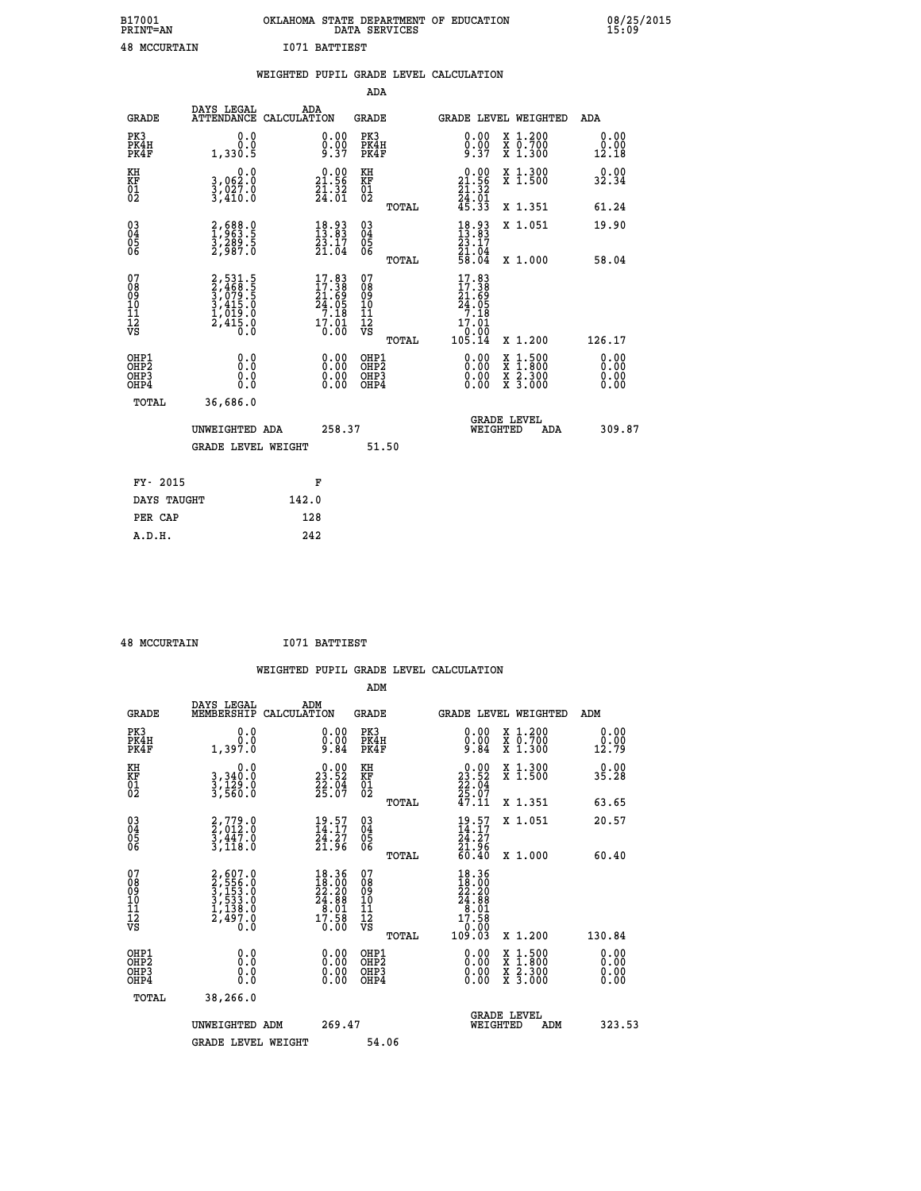| B17001              | OKLAHOMA STATE DEPARTMENT OF EDUCATION |
|---------------------|----------------------------------------|
| <b>PRINT=AN</b>     | DATA SERVICES                          |
| <b>48 MCCURTAIN</b> | 1071 BATTIEST                          |

|                                                    |                                                                       | WEIGHTED PUPIL GRADE LEVEL CALCULATION                                  |                                        |       |                                                                               |                                                                                                                                           |                              |
|----------------------------------------------------|-----------------------------------------------------------------------|-------------------------------------------------------------------------|----------------------------------------|-------|-------------------------------------------------------------------------------|-------------------------------------------------------------------------------------------------------------------------------------------|------------------------------|
|                                                    |                                                                       |                                                                         | <b>ADA</b>                             |       |                                                                               |                                                                                                                                           |                              |
| <b>GRADE</b>                                       | DAYS LEGAL<br><b>ATTENDANCE</b>                                       | ADA<br>CALCULATION                                                      | <b>GRADE</b>                           |       |                                                                               | GRADE LEVEL WEIGHTED                                                                                                                      | ADA                          |
| PK3<br>PK4H<br>PK4F                                | 0.0<br>0.0<br>1,330.5                                                 | $\begin{smallmatrix} 0.00\\ 0.00\\ 9.37 \end{smallmatrix}$              | PK3<br>PK4H<br>PK4F                    |       | 0.00<br>$0.00$<br>9.37                                                        | X 1.200<br>X 0.700<br>X 1.300                                                                                                             | 0.00<br>0.00<br>12.18        |
| KH<br>KF<br>01<br>02                               | 0.0<br>3,062:0<br>3,027:0<br>3,410:0                                  | $\begin{smallmatrix} 0.00\\ 21.56\\ 21.32\\ 24.01 \end{smallmatrix}$    | KH<br>KF<br>01<br>02                   |       | $\begin{smallmatrix} 0.00\\21.56\\21.32\\24.01\\45.33 \end{smallmatrix}$      | X 1.300<br>X 1.500                                                                                                                        | 0.00<br>32.34                |
|                                                    |                                                                       |                                                                         |                                        | TOTAL |                                                                               | X 1.351                                                                                                                                   | 61.24                        |
| $\begin{matrix} 03 \\ 04 \\ 05 \\ 06 \end{matrix}$ | 2,688.0<br>1,963.5<br>3,289.5<br>2,987.0                              | 18.93<br>13.83<br>$\frac{23}{21}$ $\frac{17}{04}$                       | 03<br>04<br>05<br>06                   |       | $18.93$<br>$13.83$<br>$23.17$<br>$21.04$<br>$58.04$                           | X 1.051                                                                                                                                   | 19.90                        |
|                                                    |                                                                       |                                                                         |                                        | TOTAL |                                                                               | X 1.000                                                                                                                                   | 58.04                        |
| 07<br>08901112<br>1112<br>VS                       | 2,531.5<br>2,468.5<br>3,079.5<br>3,415.0<br>1,019.0<br>2,415.0<br>0.0 | $17.83$<br>$17.38$<br>$21.69$<br>$24.05$<br>$7.18$<br>$17.01$<br>$0.00$ | 07<br>08<br>09<br>11<br>11<br>12<br>VS | TOTAL | $17.83$<br>$17.38$<br>$21.69$<br>$24.05$<br>$7.18$<br>17.01<br>0.00<br>105.14 | X 1.200                                                                                                                                   | 126.17                       |
| OHP1<br>OHP2<br>OH <sub>P3</sub><br>OHP4           | 0.0<br>0.0<br>0.0                                                     | $\begin{smallmatrix} 0.00 \ 0.00 \ 0.00 \ 0.00 \end{smallmatrix}$       | OHP1<br>OHP2<br>OHP3<br>OHP4           |       |                                                                               | $\begin{smallmatrix} \mathtt{X} & 1\cdot500\\ \mathtt{X} & 1\cdot800\\ \mathtt{X} & 2\cdot300\\ \mathtt{X} & 3\cdot000 \end{smallmatrix}$ | 0.00<br>0.00<br>0.00<br>0.00 |
| TOTAL                                              | 36,686.0                                                              |                                                                         |                                        |       |                                                                               |                                                                                                                                           |                              |
|                                                    | UNWEIGHTED ADA                                                        | 258.37                                                                  |                                        |       | WEIGHTED                                                                      | <b>GRADE LEVEL</b><br>ADA                                                                                                                 | 309.87                       |
|                                                    | <b>GRADE LEVEL WEIGHT</b>                                             |                                                                         | 51.50                                  |       |                                                                               |                                                                                                                                           |                              |
| FY- 2015                                           |                                                                       | F                                                                       |                                        |       |                                                                               |                                                                                                                                           |                              |
| DAYS TAUGHT                                        |                                                                       | 142.0                                                                   |                                        |       |                                                                               |                                                                                                                                           |                              |
| PER CAP                                            |                                                                       | 128                                                                     |                                        |       |                                                                               |                                                                                                                                           |                              |

| <b>48 MCCURTAIN</b> | 1071 BATTIEST |
|---------------------|---------------|

|                                                      |                                                                           | WEIGHTED PUPIL GRADE LEVEL CALCULATION                                                           |                                        |       |                                                                                                |                                          |                              |
|------------------------------------------------------|---------------------------------------------------------------------------|--------------------------------------------------------------------------------------------------|----------------------------------------|-------|------------------------------------------------------------------------------------------------|------------------------------------------|------------------------------|
|                                                      |                                                                           |                                                                                                  | ADM                                    |       |                                                                                                |                                          |                              |
| <b>GRADE</b>                                         | DAYS LEGAL<br>MEMBERSHIP                                                  | ADM<br>CALCULATION                                                                               | <b>GRADE</b>                           |       |                                                                                                | GRADE LEVEL WEIGHTED                     | ADM                          |
| PK3<br>PK4H<br>PK4F                                  | 0.0<br>0.0<br>1,397.0                                                     | 0.00<br>Ŏ.ŎŎ<br>9.84                                                                             | PK3<br>PK4H<br>PK4F                    |       | 0.00<br>$0.00$<br>9.84                                                                         | X 1.200<br>X 0.700<br>X 1.300            | 0.00<br>0.00<br>12.79        |
| KH<br>KF<br>01<br>02                                 | 0.0<br>3,340:0<br>3,129:0<br>3,560:0                                      | $\begin{smallmatrix} 0.00\\ 23.52\\ 22.04\\ 25.07 \end{smallmatrix}$                             | KH<br>KF<br>01<br>02                   |       | 0.00<br>$23.52$<br>$22.04$<br>$25.07$<br>$47.11$                                               | X 1.300<br>X 1.500                       | 0.00<br>35.28                |
|                                                      |                                                                           |                                                                                                  |                                        | TOTAL |                                                                                                | X 1.351                                  | 63.65                        |
| $\begin{matrix} 03 \\ 04 \\ 05 \\ 06 \end{matrix}$   | $2,779.0$<br>$2,012.0$<br>$3,447.0$<br>$3,118.0$                          | $\frac{19.57}{14.17}$<br>$\frac{24.27}{21.96}$                                                   | $\substack{03 \\ 04}$<br>Ŏ5<br>06      |       | $\frac{19.57}{14.17}$<br>24.27<br>21.96<br>60.40                                               | X 1.051                                  | 20.57                        |
|                                                      |                                                                           |                                                                                                  |                                        | TOTAL |                                                                                                | X 1.000                                  | 60.40                        |
| 07<br>08<br>09<br>11<br>11<br>12<br>VS               | 2,607.0<br>3,556.0<br>3,153.0<br>3,533.0<br>3,533.0<br>1,138.0<br>2,497.0 | $\begin{smallmatrix} 18.36 \\ 18.00 \\ 22.20 \\ 24.88 \\ 8.01 \\ 7.58 \\ 0.00 \end{smallmatrix}$ | 07<br>08<br>09<br>11<br>11<br>12<br>VS | TOTAL | 18.36<br>$\frac{18.000}{22.200}$<br>$24.88$<br>$8.01$<br>$17.58$<br>00.0 <sup>1</sup><br>03.03 | X 1.200                                  | 130.84                       |
| OHP1<br>OHP2<br>OH <sub>P3</sub><br>OH <sub>P4</sub> | 0.0<br>0.000                                                              | 0.00<br>$\begin{smallmatrix} 0.00 \ 0.00 \end{smallmatrix}$                                      | OHP1<br>OHP2<br>OHP3<br>OHP4           |       | 0.00<br>0.00                                                                                   | X 1:500<br>X 1:800<br>X 2:300<br>X 3:000 | 0.00<br>0.00<br>0.00<br>0.00 |
| <b>TOTAL</b>                                         | 38,266.0                                                                  |                                                                                                  |                                        |       |                                                                                                |                                          |                              |
|                                                      | UNWEIGHTED ADM                                                            | 269.47                                                                                           |                                        |       | WEIGHTED                                                                                       | <b>GRADE LEVEL</b><br>ADM                | 323.53                       |
|                                                      | <b>GRADE LEVEL WEIGHT</b>                                                 |                                                                                                  | 54.06                                  |       |                                                                                                |                                          |                              |
|                                                      |                                                                           |                                                                                                  |                                        |       |                                                                                                |                                          |                              |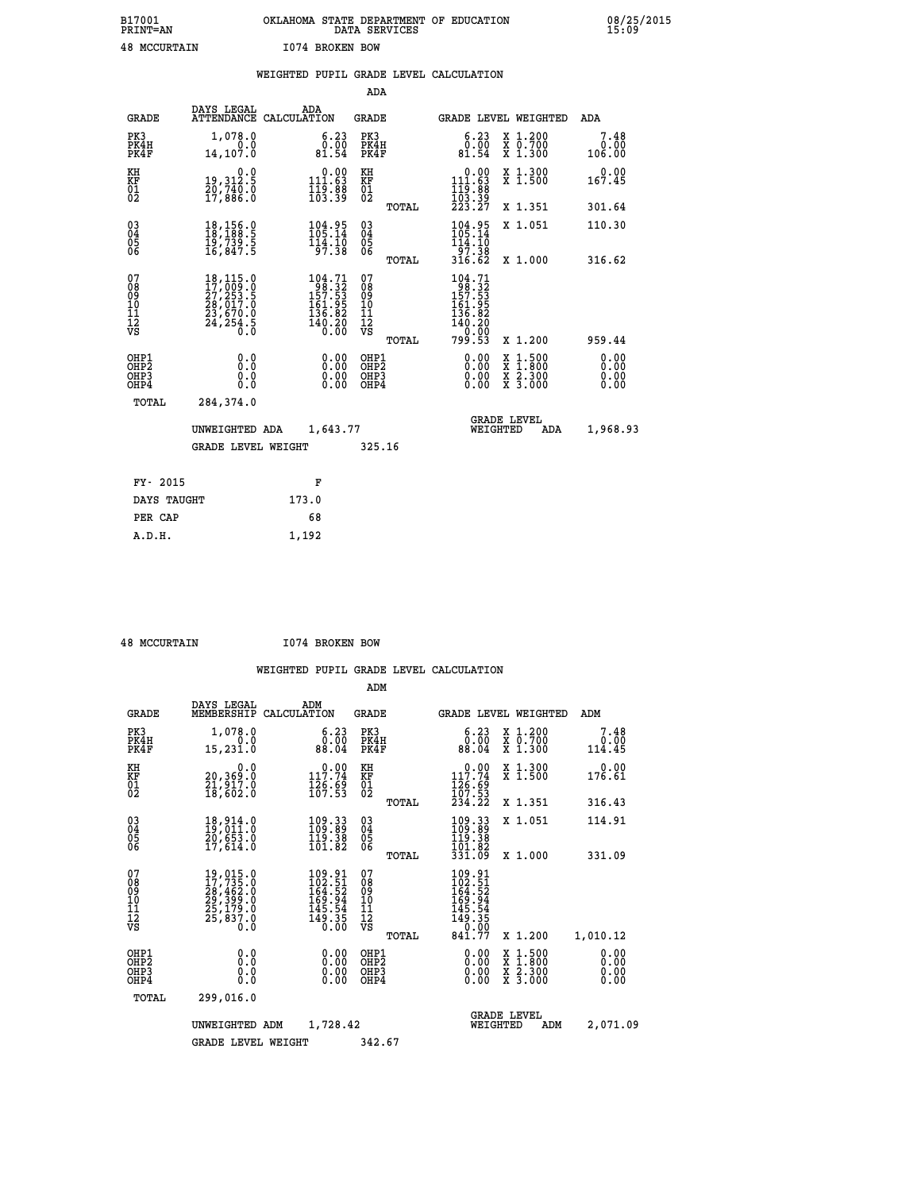| B17001<br><b>PRINT=AN</b> | OKLAHOMA STATE DEPARTMENT OF EDUCATION<br>DATA SERVICES | 08/25/2015<br>15:09 |
|---------------------------|---------------------------------------------------------|---------------------|
| <b>48 MCCURTAIN</b>       | 1074 BROKEN BOW                                         |                     |

|                                                                    |                                                                                                                                                 | WEIGHTED PUPIL GRADE LEVEL CALCULATION                                                                                       |                                                     |              |                                                                                                           |                                                                                                  |                              |
|--------------------------------------------------------------------|-------------------------------------------------------------------------------------------------------------------------------------------------|------------------------------------------------------------------------------------------------------------------------------|-----------------------------------------------------|--------------|-----------------------------------------------------------------------------------------------------------|--------------------------------------------------------------------------------------------------|------------------------------|
|                                                                    |                                                                                                                                                 |                                                                                                                              | <b>ADA</b>                                          |              |                                                                                                           |                                                                                                  |                              |
| <b>GRADE</b>                                                       | DAYS LEGAL                                                                                                                                      | ADA<br>ATTENDANCE CALCULATION                                                                                                | <b>GRADE</b>                                        |              | GRADE LEVEL WEIGHTED                                                                                      |                                                                                                  | ADA                          |
| PK3<br>PK4H<br>PK4F                                                | 1,078.0<br>14, 107.0                                                                                                                            | $\begin{smallmatrix} 6.23\ 0.00\ 81.54 \end{smallmatrix}$                                                                    | PK3<br>PK4H<br>PK4F                                 |              | $\begin{smallmatrix} 6.23\ 0.00\ 81.54 \end{smallmatrix}$                                                 | X 1.200<br>X 0.700<br>X 1.300                                                                    | 7.48<br>0.00<br>106.00       |
| KH<br>KF<br>01<br>02                                               | 0.0<br>19,312.5<br>20,740.0<br>17,886.0                                                                                                         | $\begin{smallmatrix} &0.00\\ 111.63\\ 119.88\\ 103.39 \end{smallmatrix}$                                                     | KH<br>KF<br>01<br>02                                |              | 0.00<br>$\begin{smallmatrix} 111.63\ 119.83\ 103.39\ 223.27 \end{smallmatrix}$                            | X 1.300<br>X 1.500                                                                               | 0.00<br>167.45               |
|                                                                    |                                                                                                                                                 |                                                                                                                              |                                                     | <b>TOTAL</b> |                                                                                                           | X 1.351                                                                                          | 301.64                       |
| $\begin{smallmatrix} 03 \\[-4pt] 04 \end{smallmatrix}$<br>Ŏ5<br>06 | $\begin{smallmatrix} 18,156.0\\ 18,188.5\\ 19,739.5\\ 16,847.5 \end{smallmatrix}$                                                               | $104.95$<br>$105.14$<br>$114.10$<br>$97.38$                                                                                  | $\begin{array}{c} 03 \\ 04 \\ 05 \\ 06 \end{array}$ |              | $104.95$<br>$105.14$<br>$114.10$<br>$97.38$<br>$316.62$                                                   | X 1.051                                                                                          | 110.30                       |
|                                                                    |                                                                                                                                                 |                                                                                                                              |                                                     | TOTAL        |                                                                                                           | X 1.000                                                                                          | 316.62                       |
| 07<br>0890112<br>1112<br>VS                                        | $\begin{smallmatrix} 18,115\cdot 0\\ 17,009\cdot 0\\ 27,253\cdot 5\\ 28,017\cdot 0\\ 23,670\cdot 0\\ 24,254\cdot 5\\ 0\cdot 0\end{smallmatrix}$ | $\begin{smallmatrix} 104\cdot71\\ 98\cdot32\\ 157\cdot53\\ 161\cdot95\\ 136\cdot82\\ 140\cdot20\\ 0\cdot00\end{smallmatrix}$ | 07<br>08901112<br>1112<br>VS                        | TOTAL        | 104.71<br>$\begin{array}{r} 198.32 \\ 157.53 \\ 161.95 \\ 136.82 \\ 140.20 \\ 0.00 \end{array}$<br>799.53 | X 1.200                                                                                          | 959.44                       |
| OHP1<br>OHP2<br>OHP3<br>OHP4                                       | 0.0<br>0.0<br>0.0                                                                                                                               | $\begin{smallmatrix} 0.00 \ 0.00 \ 0.00 \ 0.00 \end{smallmatrix}$                                                            | OHP1<br>OHP2<br>OHP3<br>OHP4                        |              | 0.00<br>0.00<br>0.00                                                                                      | $\begin{smallmatrix} x & 1 & 500 \\ x & 1 & 800 \\ x & 2 & 300 \\ x & 3 & 000 \end{smallmatrix}$ | 0.00<br>0.00<br>0.00<br>0.00 |
| <b>TOTAL</b>                                                       | 284,374.0                                                                                                                                       |                                                                                                                              |                                                     |              |                                                                                                           |                                                                                                  |                              |
|                                                                    | UNWEIGHTED ADA                                                                                                                                  | 1,643.77                                                                                                                     |                                                     |              | WEIGHTED                                                                                                  | <b>GRADE LEVEL</b><br>ADA                                                                        | 1,968.93                     |
|                                                                    | <b>GRADE LEVEL WEIGHT</b>                                                                                                                       |                                                                                                                              | 325.16                                              |              |                                                                                                           |                                                                                                  |                              |
| FY- 2015                                                           |                                                                                                                                                 | F                                                                                                                            |                                                     |              |                                                                                                           |                                                                                                  |                              |
| DAYS TAUGHT                                                        |                                                                                                                                                 | 173.0                                                                                                                        |                                                     |              |                                                                                                           |                                                                                                  |                              |
| PER CAP                                                            |                                                                                                                                                 | 68                                                                                                                           |                                                     |              |                                                                                                           |                                                                                                  |                              |

 **48 MCCURTAIN I074 BROKEN BOW**

 **A.D.H. 1,192**

|                                          |                                                                             |                                                                                          | ADM                                                 |       |                                                                               |                                          |                        |
|------------------------------------------|-----------------------------------------------------------------------------|------------------------------------------------------------------------------------------|-----------------------------------------------------|-------|-------------------------------------------------------------------------------|------------------------------------------|------------------------|
| <b>GRADE</b>                             | DAYS LEGAL<br>MEMBERSHIP                                                    | ADM<br>CALCULATION                                                                       | <b>GRADE</b>                                        |       |                                                                               | <b>GRADE LEVEL WEIGHTED</b>              | ADM                    |
| PK3<br>PK4H<br>PK4F                      | 1,078.0<br>0.0<br>15,231.0                                                  | 6.23<br>0.00<br>88.04                                                                    | PK3<br>PK4H<br>PK4F                                 |       | $6.23$<br>$0.00$<br>88.04                                                     | X 1.200<br>X 0.700<br>X 1.300            | 7.48<br>0.00<br>114.45 |
| KH<br>KF<br>01<br>02                     | 0.0<br>20,369:0<br>21,917.0<br>18,602:0                                     | $\begin{array}{c} 0.00 \\ 117.74 \\ 126.69 \\ 167.53 \end{array}$                        | KH<br>KF<br>01<br>02                                |       | 117.74<br>$\frac{126}{107}$ : $\frac{63}{53}$<br>$234.22$                     | X 1.300<br>X 1.500                       | 0.00<br>176.61         |
|                                          |                                                                             |                                                                                          |                                                     | TOTAL |                                                                               | X 1.351                                  | 316.43                 |
| 03<br>04<br>05<br>06                     | 18,914.0<br>19,011.0<br>20,653.0<br>17,614.0                                | 109:33<br>109:89<br>119:38<br>101.82                                                     | $\begin{array}{c} 03 \\ 04 \\ 05 \\ 06 \end{array}$ |       | 109:33<br>109:89<br>119:38                                                    | X 1.051                                  | 114.91                 |
|                                          |                                                                             |                                                                                          |                                                     | TOTAL | 101.02<br>331.09                                                              | X 1.000                                  | 331.09                 |
| 07<br>08<br>09<br>101<br>112<br>VS       | 19,015.0<br>17,735.0<br>28,462.0<br>29,399.0<br>25,179.0<br>25,837.0<br>0.0 | $\frac{109.91}{102.51}$<br>$\frac{164.52}{164.52}$<br>169:94<br>145:54<br>149:35<br>0:00 | 07<br>08<br>09<br>11<br>11<br>12<br>VS              | TOTAL | 109.91<br>102.51<br>164.52<br>169.944<br>145.54<br>149.350<br>0.000<br>841.77 | X 1.200                                  | 1,010.12               |
|                                          |                                                                             |                                                                                          |                                                     |       |                                                                               |                                          | 0.00                   |
| OHP1<br>OHP2<br>OH <sub>P3</sub><br>OHP4 | 0.0<br>0.000                                                                | $0.00$<br>$0.00$<br>0.00                                                                 | OHP1<br>OHP2<br>OHP3<br>OHP4                        |       | $0.00$<br>$0.00$<br>0.00                                                      | X 1:500<br>X 1:800<br>X 2:300<br>X 3:000 | 0.00<br>0.00<br>0.00   |
| TOTAL                                    | 299,016.0                                                                   |                                                                                          |                                                     |       |                                                                               |                                          |                        |
|                                          | UNWEIGHTED ADM                                                              | 1,728.42                                                                                 |                                                     |       | WEIGHTED                                                                      | <b>GRADE LEVEL</b><br>ADM                | 2,071.09               |
|                                          | <b>GRADE LEVEL WEIGHT</b>                                                   |                                                                                          | 342.67                                              |       |                                                                               |                                          |                        |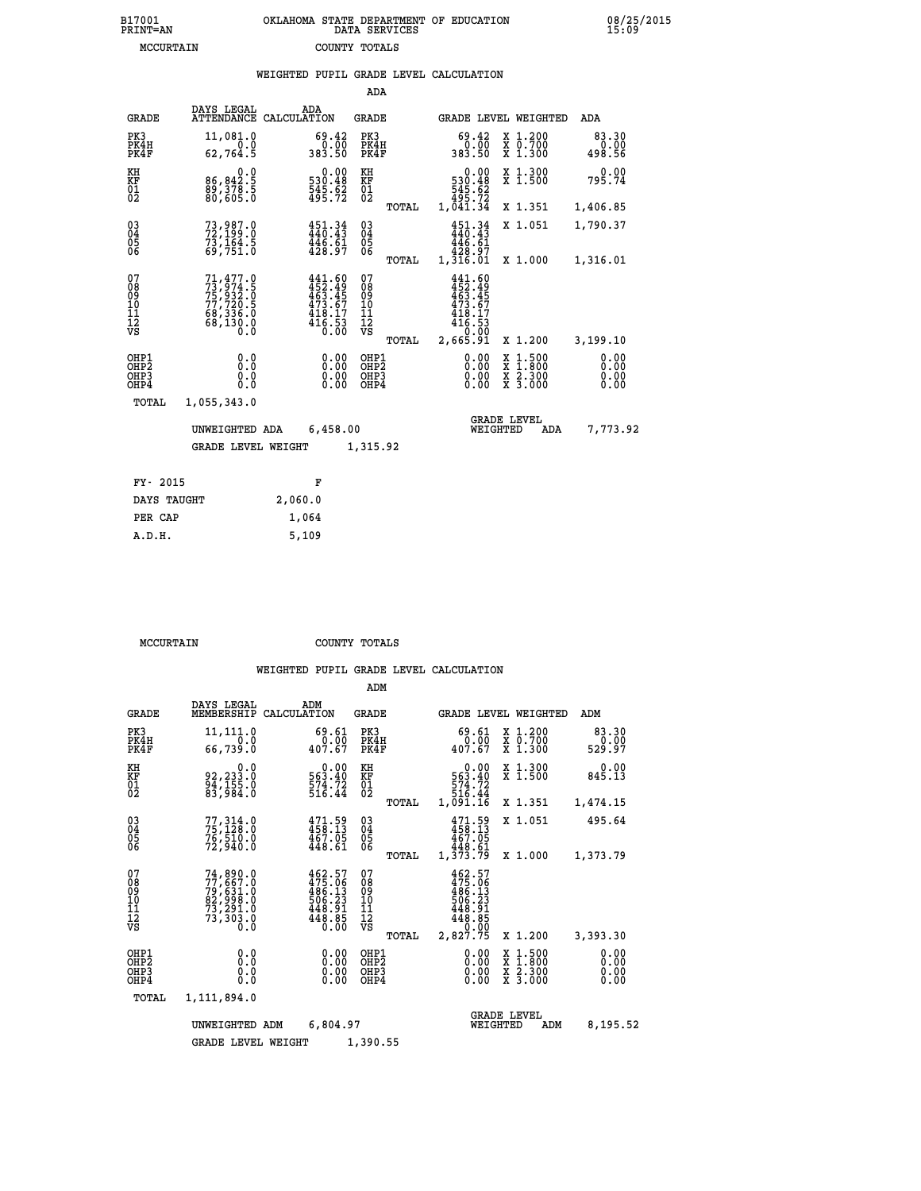|                                          |                                                                                                                                         | WEIGHTED PUPIL GRADE LEVEL CALCULATION                                                                      |                                          |       |                                                                      |                         |                                          |                              |
|------------------------------------------|-----------------------------------------------------------------------------------------------------------------------------------------|-------------------------------------------------------------------------------------------------------------|------------------------------------------|-------|----------------------------------------------------------------------|-------------------------|------------------------------------------|------------------------------|
|                                          |                                                                                                                                         |                                                                                                             | ADA                                      |       |                                                                      |                         |                                          |                              |
| <b>GRADE</b>                             | DAYS LEGAL<br><b>ATTENDANCE</b>                                                                                                         | ADA<br>CALCULATION                                                                                          | <b>GRADE</b>                             |       |                                                                      |                         | GRADE LEVEL WEIGHTED                     | ADA                          |
| PK3<br>PK4H<br>PK4F                      | 11,081.0<br>0.0<br>62,764.5                                                                                                             | 69.42<br>0.00<br>383.50                                                                                     | PK3<br>PK4H<br>PK4F                      |       | 0.00<br>383.50                                                       | 69.42                   | X 1.200<br>X 0.700<br>X 1.300            | 83.30<br>00.00<br>498.56     |
| KH<br>KF<br>01<br>02                     | 0.0<br>86,842:5<br>89,378:5<br>80,605:0                                                                                                 | $\begin{smallmatrix} &0.00\ 530.48\ 545.62\ 495.72\ \end{smallmatrix}$                                      | KH<br>KF<br>01<br>02                     |       | 530.48<br>545.62<br>545.72<br>495.72<br>1,041.34                     | 0.00                    | X 1.300<br>X 1.500                       | 0.00<br>795.74               |
|                                          |                                                                                                                                         |                                                                                                             |                                          | TOTAL |                                                                      |                         | X 1.351                                  | 1,406.85                     |
| $03\overline{4}$<br>Ŏ5                   | 73,987.0<br>72,199.0<br>73,164.5<br>69,751.0                                                                                            | $451.34$<br>$440.43$<br>$\frac{446}{428}\cdot\frac{61}{97}$                                                 | $\substack{03 \\ 04}$<br>$\frac{05}{06}$ |       | $451.34$<br>$440.43$                                                 |                         | X 1.051                                  | 1,790.37                     |
| ŌĞ                                       |                                                                                                                                         |                                                                                                             |                                          | TOTAL | 446.61<br>428.97<br>1,316.01                                         |                         | X 1.000                                  | 1,316.01                     |
| 07<br>08<br>09<br>10<br>11<br>12<br>VS   | $\begin{smallmatrix} 71, 477 & 0 \\ 73, 974 & 5 \\ 75, 932 & 0 \\ 77, 720 & 5 \\ 68, 336 & 0 \\ 68, 130 & 0 \\ 0 & 0 \end{smallmatrix}$ | $\begin{smallmatrix} 441.60\\ 452.49\\ 463.45\\ 463.67\\ 473.67\\ 418.17\\ 416.53\\ 0.00 \end{smallmatrix}$ | 07<br>08<br>09<br>11<br>11<br>12<br>VS   | TOTAL | 441.60<br>452.49<br>463.45<br>473.67<br>418.17<br>416.53<br>2,665.91 |                         | X 1.200                                  | 3,199.10                     |
| OHP1<br>OHP2<br>OH <sub>P3</sub><br>OHP4 | 0.0<br>0.0<br>0.0                                                                                                                       | 0.00<br>$\begin{smallmatrix} 0.00 \ 0.00 \end{smallmatrix}$                                                 | OHP1<br>OHP2<br>OHP3<br>OHP4             |       |                                                                      | 0.00<br>0.00<br>0.00    | X 1:500<br>X 1:800<br>X 2:300<br>X 3:000 | 0.00<br>0.00<br>0.00<br>0.00 |
| <b>TOTAL</b>                             | 1,055,343.0                                                                                                                             |                                                                                                             |                                          |       |                                                                      |                         |                                          |                              |
|                                          | UNWEIGHTED ADA                                                                                                                          | 6,458.00                                                                                                    |                                          |       |                                                                      | GRADE LEVEL<br>WEIGHTED | ADA                                      | 7,773.92                     |
|                                          | <b>GRADE LEVEL WEIGHT</b>                                                                                                               |                                                                                                             | 1,315.92                                 |       |                                                                      |                         |                                          |                              |
| FY- 2015                                 |                                                                                                                                         | F                                                                                                           |                                          |       |                                                                      |                         |                                          |                              |
| DAYS TAUGHT                              |                                                                                                                                         | 2,060.0                                                                                                     |                                          |       |                                                                      |                         |                                          |                              |
|                                          |                                                                                                                                         |                                                                                                             |                                          |       |                                                                      |                         |                                          |                              |

| DAIS TAUGHT | 4,000.0 |
|-------------|---------|
| PER CAP     | 1,064   |
| A.D.H.      | 5,109   |
|             |         |

 **MCCURTAIN COUNTY TOTALS**

|                                                    |                                                                                           |                                                                              | ADM                                             |                                                                                            |                                                                                                  |                              |  |
|----------------------------------------------------|-------------------------------------------------------------------------------------------|------------------------------------------------------------------------------|-------------------------------------------------|--------------------------------------------------------------------------------------------|--------------------------------------------------------------------------------------------------|------------------------------|--|
| <b>GRADE</b>                                       | DAYS LEGAL<br>MEMBERSHIP                                                                  | ADM<br>CALCULATION                                                           | <b>GRADE</b>                                    | <b>GRADE LEVEL WEIGHTED</b>                                                                |                                                                                                  | ADM                          |  |
| PK3<br>PK4H<br>PK4F                                | 11,111.0<br>0.0<br>66,739.0                                                               | 69.61<br>$\frac{0.00}{407.67}$                                               | PK3<br>PK4H<br>PK4F                             | 69.61<br>$\frac{0.00}{407.67}$                                                             | X 1.200<br>X 0.700<br>X 1.300                                                                    | 83.30<br>0.00<br>529.97      |  |
| KH<br>KF<br>01<br>02                               | 0.0<br>92,233:0<br>94,155:0<br>83,984:0                                                   | 0.00<br>563.40<br>574.72<br>516.44                                           | KH<br>KF<br>01<br>02                            | 0.00<br>563.40<br>574.72<br>516.44                                                         | X 1.300<br>X 1.500                                                                               | 0.00<br>845.13               |  |
|                                                    |                                                                                           |                                                                              | TOTAL                                           | 1,091.16                                                                                   | X 1.351                                                                                          | 1,474.15                     |  |
| $\begin{matrix} 03 \\ 04 \\ 05 \\ 06 \end{matrix}$ | 77, 314.0<br>76,510.0<br>72,940.0                                                         | 471.59<br>458.13<br>467.05<br>448.61                                         | $\substack{03 \\ 04}$<br>05<br>06               | 471.59<br>458.13<br>467.05<br>448.61                                                       | X 1.051                                                                                          | 495.64                       |  |
|                                                    |                                                                                           |                                                                              | TOTAL                                           | 1,373.79                                                                                   | X 1.000                                                                                          | 1,373.79                     |  |
| 07<br>08<br>09<br>101<br>11<br>12<br>VS            | $77,667.0$<br>$77,667.0$<br>$79,631.0$<br>$82,998.0$<br>$73,291.0$<br>$73,303.0$<br>$0.0$ | $462.57$<br>$475.06$<br>$486.13$<br>$506.23$<br>$448.91$<br>$448.85$<br>Ŏ.ŎŎ | 07<br>08<br>09<br>11<br>11<br>12<br>VS<br>TOTAL | $462.57$<br>$475.06$<br>$486.13$<br>$506.23$<br>$448.91$<br>$448.85$<br>$0.00$<br>2,827.75 | X 1.200                                                                                          | 3,393.30                     |  |
| OHP1<br>OHP2<br>OH <sub>P3</sub><br>OHP4           | 0.0<br>0.0<br>0.0                                                                         | $0.00$<br>$0.00$<br>0.00                                                     | OHP1<br>OHP2<br>OHP3<br>OHP4                    | $0.00$<br>$0.00$<br>0.00                                                                   | $\begin{smallmatrix} x & 1 & 500 \\ x & 1 & 800 \\ x & 2 & 300 \\ x & 3 & 000 \end{smallmatrix}$ | 0.00<br>0.00<br>0.00<br>0.00 |  |
| TOTAL                                              | 1,111,894.0                                                                               |                                                                              |                                                 |                                                                                            |                                                                                                  |                              |  |
|                                                    | UNWEIGHTED                                                                                | 6,804.97<br>ADM                                                              |                                                 | WEIGHTED                                                                                   | <b>GRADE LEVEL</b><br>ADM                                                                        | 8,195.52                     |  |
|                                                    | <b>GRADE LEVEL WEIGHT</b>                                                                 |                                                                              | 1,390.55                                        |                                                                                            |                                                                                                  |                              |  |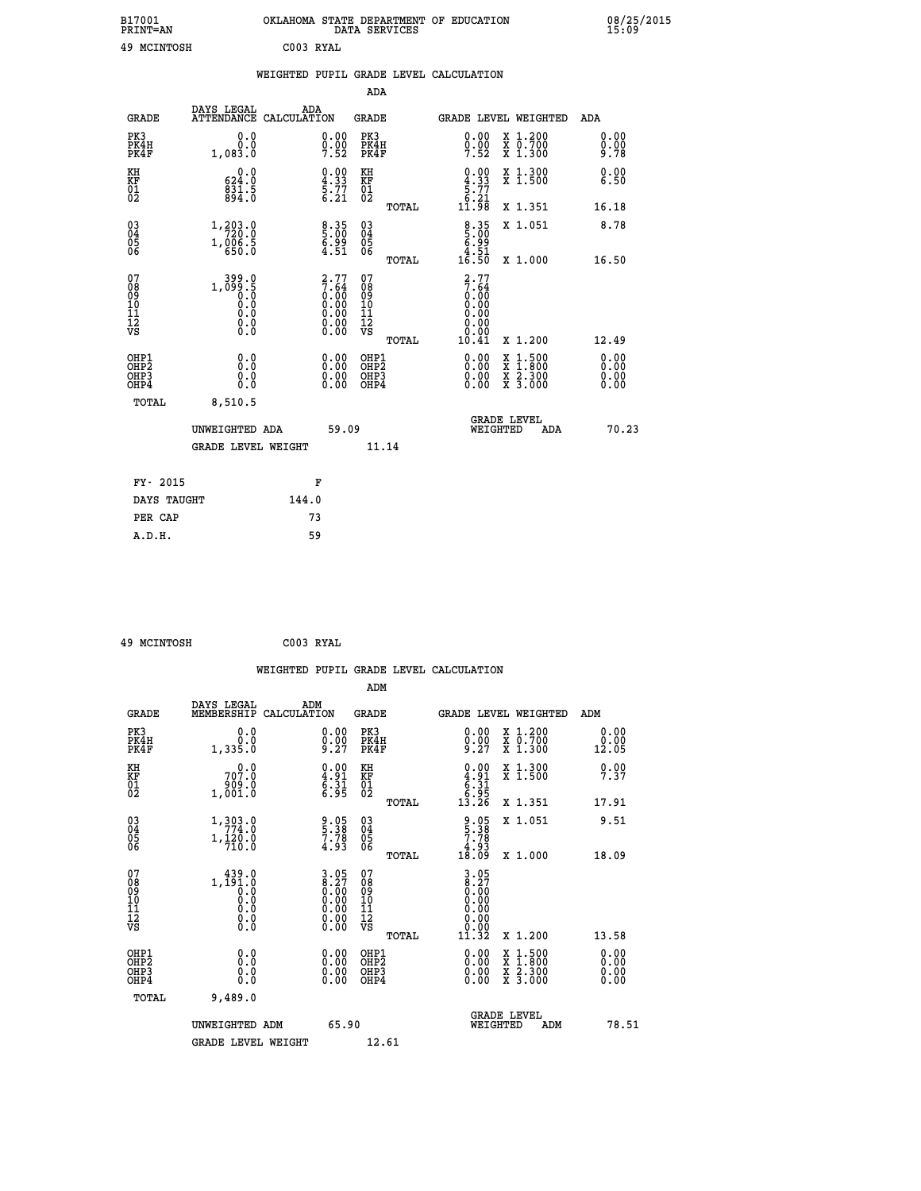|                                          |                                                                                                   | WEIGHTED PUPIL GRADE LEVEL CALCULATION                                                                                   |                                                    |       |                                                                                  |                                                                                                  |                      |
|------------------------------------------|---------------------------------------------------------------------------------------------------|--------------------------------------------------------------------------------------------------------------------------|----------------------------------------------------|-------|----------------------------------------------------------------------------------|--------------------------------------------------------------------------------------------------|----------------------|
|                                          |                                                                                                   |                                                                                                                          | <b>ADA</b>                                         |       |                                                                                  |                                                                                                  |                      |
| <b>GRADE</b>                             | DAYS LEGAL<br>ATTENDANCE CALCULATION                                                              | ADA                                                                                                                      | <b>GRADE</b>                                       |       |                                                                                  | GRADE LEVEL WEIGHTED                                                                             | ADA                  |
| PK3<br>PK4H<br>PK4F                      | 0.0<br>0.0<br>1,083.0                                                                             | $0.00$<br>$0.00$<br>$7.52$                                                                                               | PK3<br>PK4H<br>PK4F                                |       | 0.00<br>$0.00$<br>7.52                                                           | X 1.200<br>X 0.700<br>X 1.300                                                                    | 0.00<br>0.00<br>9.78 |
| KH<br>KF<br>01<br>02                     | 0.0<br>624.0<br>$\frac{831.5}{894.0}$                                                             | $\begin{smallmatrix} 0.00\ 4.33\ 5.77\ 6.21\ \end{smallmatrix}$                                                          | KH<br>KF<br>01<br>02                               |       | $\begin{smallmatrix} 0.00\\ 4.33\\ 5.77\\ 5.21\\ 6.21\\ 11.98 \end{smallmatrix}$ | X 1.300<br>X 1.500                                                                               | 0.00<br>6.50         |
|                                          |                                                                                                   |                                                                                                                          |                                                    | TOTAL |                                                                                  | X 1.351                                                                                          | 16.18                |
| $^{03}_{04}$<br>Ŏ5<br>06                 | 1, 203.0<br>$1, \frac{0}{6}$ $\frac{0}{5}$ $\frac{0}{0}$                                          | $8.35$<br>5.00<br>ۆۋ: 6<br>4.51                                                                                          | $\begin{matrix} 03 \\ 04 \\ 05 \\ 06 \end{matrix}$ |       | $\begin{array}{c} 8.35 \\ 5.00 \\ 6.99 \\ 4.51 \\ 16.50 \end{array}$             | X 1.051                                                                                          | 8.78                 |
|                                          |                                                                                                   |                                                                                                                          |                                                    | TOTAL |                                                                                  | X 1.000                                                                                          | 16.50                |
| 07<br>08<br>09<br>11<br>11<br>12<br>VS   | $1, \begin{smallmatrix} 399.0 \\ 099.5 \\ 0.0 \\ 0.0 \\ 0.0 \\ 0.0 \\ \end{smallmatrix}$<br>$\S.$ | $\begin{smallmatrix} 2\cdot77\7\cdot64\0\cdot00\0\cdot00\0\cdot00\0\cdot00\0\cdot00\0\cdot00\0\cdot0\0\end{smallmatrix}$ | 07<br>08<br>09<br>11<br>11<br>12<br>VS             | TOTAL | $2.77$<br>7.64<br>0.00<br>0.00<br>0.00<br>0.00<br>Ŏ.ŌŌ<br>10.41                  | X 1.200                                                                                          | 12.49                |
| OHP1<br>OHP2<br>OH <sub>P3</sub><br>OHP4 | 0.0<br>0.0<br>Ō.Ō                                                                                 | 0.0000<br>$\begin{smallmatrix} 0.00 \ 0.00 \end{smallmatrix}$                                                            | OHP1<br>OHP2<br>OHP3<br>OHP4                       |       | 0.00<br>0.00<br>0.00                                                             | $\begin{smallmatrix} x & 1 & 500 \\ x & 1 & 800 \\ x & 2 & 300 \\ x & 3 & 000 \end{smallmatrix}$ | 0.00<br>0.00<br>0.00 |
| TOTAL                                    | 8,510.5                                                                                           |                                                                                                                          |                                                    |       |                                                                                  |                                                                                                  |                      |
|                                          | UNWEIGHTED ADA                                                                                    |                                                                                                                          | 59.09                                              |       | WEIGHTED                                                                         | <b>GRADE LEVEL</b><br>ADA                                                                        | 70.23                |
|                                          | <b>GRADE LEVEL WEIGHT</b>                                                                         |                                                                                                                          |                                                    | 11.14 |                                                                                  |                                                                                                  |                      |
| FY- 2015                                 |                                                                                                   | F                                                                                                                        |                                                    |       |                                                                                  |                                                                                                  |                      |
| DAYS TAUGHT                              |                                                                                                   | 144.0                                                                                                                    |                                                    |       |                                                                                  |                                                                                                  |                      |
| PER CAP                                  |                                                                                                   | 73                                                                                                                       |                                                    |       |                                                                                  |                                                                                                  |                      |

 **49 MCINTOSH C003 RYAL**

|                                                    |                                                                                                                                          |                                                                   |                                              | WEIGHTED PUPIL GRADE LEVEL CALCULATION                                       |                                          |                       |
|----------------------------------------------------|------------------------------------------------------------------------------------------------------------------------------------------|-------------------------------------------------------------------|----------------------------------------------|------------------------------------------------------------------------------|------------------------------------------|-----------------------|
|                                                    |                                                                                                                                          |                                                                   | ADM                                          |                                                                              |                                          |                       |
| <b>GRADE</b>                                       | DAYS LEGAL<br>MEMBERSHIP<br>CALCULATION                                                                                                  | ADM                                                               | <b>GRADE</b>                                 | <b>GRADE LEVEL WEIGHTED</b>                                                  |                                          | ADM                   |
| PK3<br>PK4H<br>PK4F                                | 0.0<br>0.0<br>1,335.0                                                                                                                    | $\substack{0.00\\0.00\\9.27}$                                     | PK3<br>PK4H<br>PK4F                          | $0.00$<br>$0.00$<br>$9.27$                                                   | X 1.200<br>X 0.700<br>X 1.300            | 0.00<br>0.00<br>12.05 |
| KH<br>KF<br>01<br>02                               | $70^{0.0}_{7.0}$<br>1,001.0                                                                                                              | $\begin{smallmatrix} 0.00\\ 4.91\\ 6.31\\ 6.95 \end{smallmatrix}$ | KH<br>KF<br>01<br>02                         | $\begin{array}{c} 0.00 \\ 4.91 \\ 6.31 \\ 6.91 \\ 6.95 \\ 13.26 \end{array}$ | X 1.300<br>X 1.500                       | 9.99                  |
|                                                    |                                                                                                                                          |                                                                   | TOTAL                                        |                                                                              | X 1.351                                  | 17.91                 |
| $\begin{matrix} 03 \\ 04 \\ 05 \\ 06 \end{matrix}$ | $\begin{smallmatrix} 1\,, & 3 & 0 & 3 & 0 \\ 7 & 7 & 7 & 4 & 0 \\ 1\,, & 1 & 2 & 0 & 0 \\ 7 & 1 & 0 & 0 & 0 \end{smallmatrix}$           | 9.05<br>5.38<br>7.78<br>4.93                                      | 03<br>04<br>05<br>06                         | $\begin{array}{c} 9.05 \\ 5.38 \\ 7.78 \\ 4.93 \\ 18.09 \end{array}$         | X 1.051                                  | 9.51                  |
|                                                    |                                                                                                                                          |                                                                   | TOTAL                                        |                                                                              | X 1.000                                  | 18.09                 |
| 07<br>0890112<br>1112<br>VS                        | $1, \begin{smallmatrix} 439.0\\191.0\\0.0\\0.0 \end{smallmatrix}$<br>$\begin{smallmatrix} 0.0 & 0 \ 0.0 & 0 \ 0.0 & 0 \end{smallmatrix}$ | $3.05\n8.27\n0.00\n0.00\n0.00\n0.00\n0.00$                        | 07<br>08901112<br>1112<br>VS                 | $3.05$<br>$8.27$<br>$0.00$<br>$0.00$<br>0.00<br>0.00<br>11.32                | X 1.200                                  |                       |
|                                                    |                                                                                                                                          |                                                                   | TOTAL                                        |                                                                              |                                          | 13.58                 |
| OHP1<br>OHP <sub>2</sub><br>OHP3<br>OHP4           | 0.0<br>0.000                                                                                                                             | $0.00$<br>$0.00$<br>0.00                                          | OHP1<br>OHP <sub>2</sub><br>OHP <sub>3</sub> | 0.00<br>0.00<br>0.00                                                         | X 1:500<br>X 1:800<br>X 2:300<br>X 3:000 | 0.00<br>0.00<br>0.00  |
| TOTAL                                              | 9,489.0                                                                                                                                  |                                                                   |                                              |                                                                              |                                          |                       |
|                                                    | UNWEIGHTED ADM                                                                                                                           | 65.90                                                             |                                              | <b>GRADE LEVEL</b><br>WEIGHTED                                               | ADM                                      | 78.51                 |
|                                                    | <b>GRADE LEVEL WEIGHT</b>                                                                                                                |                                                                   | 12.61                                        |                                                                              |                                          |                       |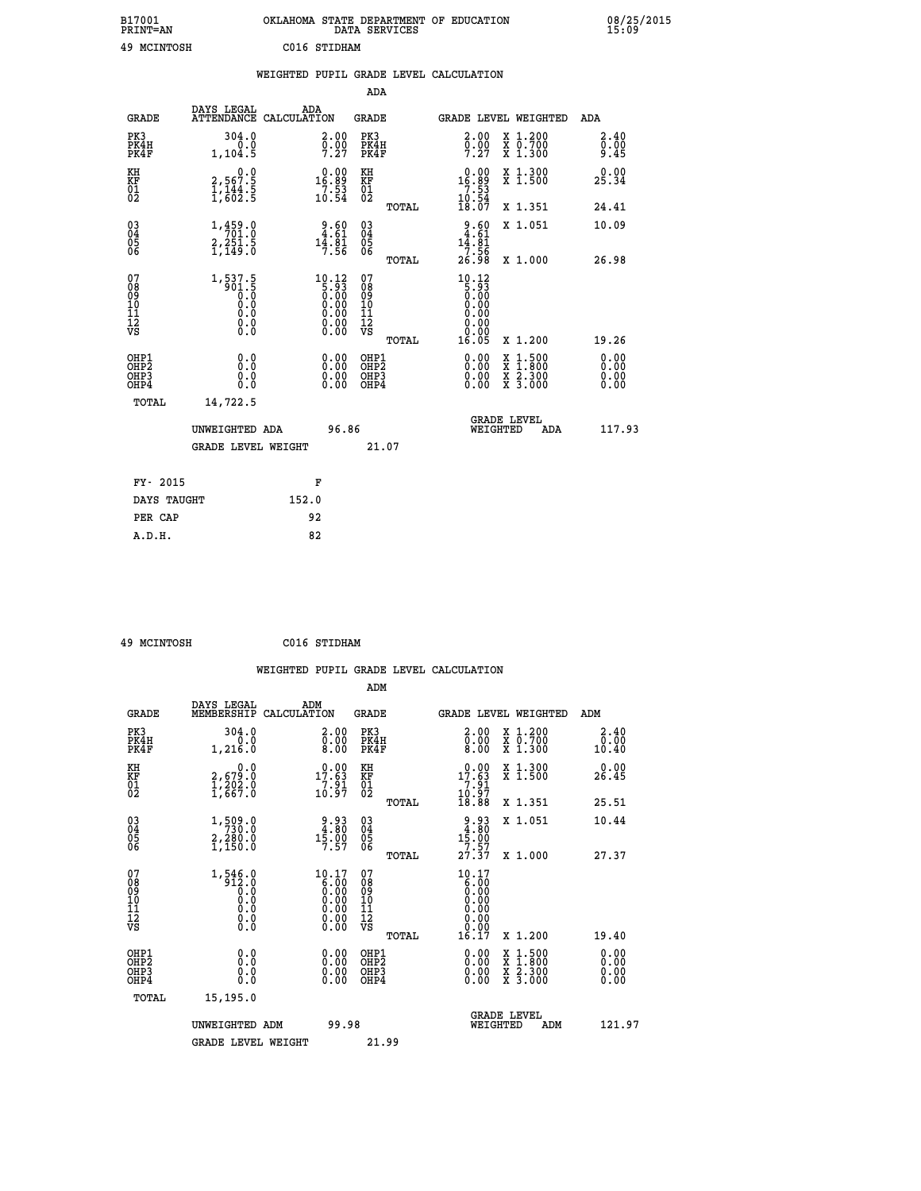| B17001<br><b>PRINT=AN</b> | OKLAHOMA STATE DEPARTMENT OF EDUCATION<br>DATA SERVICES | 08/25/2015<br>15:09 |
|---------------------------|---------------------------------------------------------|---------------------|
| 49<br>MCINTOSH            | C016 STIDHAM                                            |                     |

|                                                    |                                                                                                   | WEIGHTED PUPIL GRADE LEVEL CALCULATION                                                                                                                                         |                                        |       |                                                                        |                                                                     |                              |
|----------------------------------------------------|---------------------------------------------------------------------------------------------------|--------------------------------------------------------------------------------------------------------------------------------------------------------------------------------|----------------------------------------|-------|------------------------------------------------------------------------|---------------------------------------------------------------------|------------------------------|
|                                                    |                                                                                                   |                                                                                                                                                                                | ADA                                    |       |                                                                        |                                                                     |                              |
| <b>GRADE</b>                                       | DAYS LEGAL                                                                                        | ADA<br>ATTENDANCE CALCULATION                                                                                                                                                  | <b>GRADE</b>                           |       |                                                                        | GRADE LEVEL WEIGHTED                                                | ADA                          |
| PK3<br>PK4H<br>PK4F                                | 304.0<br>0.0<br>1, 104.5                                                                          | 2.00<br>$\frac{5.00}{7.27}$                                                                                                                                                    | PK3<br>PK4H<br>PK4F                    |       | 2.00<br>$\frac{0}{7}$ . $\frac{0}{27}$                                 | X 1.200<br>X 0.700<br>X 1.300                                       | 2.40<br>0.00<br>9.45         |
| KH<br>KF<br>01<br>02                               | $2,567.5$<br>$1,144.5$<br>$1,602.5$                                                               | $16.89$<br>$7.53$<br>$10.54$                                                                                                                                                   | KH<br>KF<br>01<br>02                   |       | $\begin{array}{r} 0.00 \\ 16.89 \\ 7.53 \\ 10.54 \\ 18.07 \end{array}$ | X 1.300<br>X 1.500                                                  | 0.00<br>25.34                |
|                                                    |                                                                                                   |                                                                                                                                                                                |                                        | TOTAL |                                                                        | X 1.351                                                             | 24.41                        |
| $\begin{matrix} 03 \\ 04 \\ 05 \\ 06 \end{matrix}$ | 1,459.0<br>$2,25\overline{1}.5$<br>1,149.0                                                        | $\begin{smallmatrix} 9.60\\ 4.61\\ 14.81\\ 7.56 \end{smallmatrix}$                                                                                                             | 03<br>04<br>05<br>06                   |       | $2.60$<br>4.61<br>14.01<br>7.56                                        | X 1.051                                                             | 10.09                        |
|                                                    |                                                                                                   |                                                                                                                                                                                |                                        | TOTAL | 26.98                                                                  | X 1.000                                                             | 26.98                        |
| 07<br>08<br>09<br>101<br>112<br>VS                 | $\begin{smallmatrix} 1,537.5\\ -901.5\\ 0.0\\ 0.0\\ 0.0\\ 0.0\\ 0.0\\ \end{smallmatrix}$<br>$\S.$ | $\begin{smallmatrix} 10.12\\[-1.2mm] 5.93\\[-1.2mm] 0.00\\[-1.2mm] 0.00\\[-1.2mm] 0.00\\[-1.2mm] 0.00\end{smallmatrix}$<br>$\begin{smallmatrix} 0.00 \ 0.00 \end{smallmatrix}$ | 07<br>08<br>09<br>11<br>11<br>12<br>VS | TOTAL | $10.12$<br>$5.93$<br>$0.00$<br>0.00<br>0.00<br>0.00<br>16.05           | X 1.200                                                             | 19.26                        |
| OHP1<br>OHP2<br>OHP3<br>OHP4                       | 0.0<br>Ŏ.Ŏ<br>0.0<br>0.0                                                                          | 0.00<br>$0.00$<br>0.00                                                                                                                                                         | OHP1<br>OHP2<br>OHP3<br>OHP4           |       | 0.00<br>0.00<br>0.00                                                   | $1.500$<br>$1.800$<br>X<br>X<br>$\frac{x}{x}$ $\frac{5:300}{3:000}$ | 0.00<br>0.00<br>0.00<br>0.00 |
| TOTAL                                              | 14,722.5                                                                                          |                                                                                                                                                                                |                                        |       |                                                                        |                                                                     |                              |
|                                                    | UNWEIGHTED ADA                                                                                    | 96.86                                                                                                                                                                          |                                        |       | WEIGHTED                                                               | <b>GRADE LEVEL</b><br>ADA                                           | 117.93                       |
|                                                    | <b>GRADE LEVEL WEIGHT</b>                                                                         |                                                                                                                                                                                | 21.07                                  |       |                                                                        |                                                                     |                              |
| FY- 2015                                           |                                                                                                   | F                                                                                                                                                                              |                                        |       |                                                                        |                                                                     |                              |
| DAYS TAUGHT                                        |                                                                                                   | 152.0                                                                                                                                                                          |                                        |       |                                                                        |                                                                     |                              |
| PER CAP                                            |                                                                                                   | 92                                                                                                                                                                             |                                        |       |                                                                        |                                                                     |                              |

 **49 MCINTOSH C016 STIDHAM**

|                                                      |                                                                  |                    |                                                                                                      |                                         |       | WEIGHTED PUPIL GRADE LEVEL CALCULATION                                                                                                                                                                                                                                         |                                                                                                                                           |                               |
|------------------------------------------------------|------------------------------------------------------------------|--------------------|------------------------------------------------------------------------------------------------------|-----------------------------------------|-------|--------------------------------------------------------------------------------------------------------------------------------------------------------------------------------------------------------------------------------------------------------------------------------|-------------------------------------------------------------------------------------------------------------------------------------------|-------------------------------|
|                                                      |                                                                  |                    |                                                                                                      | ADM                                     |       |                                                                                                                                                                                                                                                                                |                                                                                                                                           |                               |
| <b>GRADE</b>                                         | DAYS LEGAL<br>MEMBERSHIP                                         | ADM<br>CALCULATION |                                                                                                      | <b>GRADE</b>                            |       |                                                                                                                                                                                                                                                                                | <b>GRADE LEVEL WEIGHTED</b>                                                                                                               | ADM                           |
| PK3<br>PK4H<br>PK4F                                  | 304.0<br>0.0<br>1,216.0                                          |                    | $\begin{smallmatrix} 2.00\ 0.00\ 8.00 \end{smallmatrix}$                                             | PK3<br>PK4H<br>PK4F                     |       | $\begin{smallmatrix} 2.00\ 0.00\ 8.00 \end{smallmatrix}$                                                                                                                                                                                                                       | X 1.200<br>X 0.700<br>X 1.300                                                                                                             | 2.40<br>0.00<br>10.40         |
| KH<br>KF<br>01<br>02                                 | 0.0<br>2,679:0<br>1,202:0<br>1,667:0                             |                    | $1\overline{7.63}$<br>$\frac{7:81}{10:97}$                                                           | KH<br>KF<br>01<br>02                    |       | 0.00<br>$17.63$<br>$7.91$<br>$10.97$<br>$18.88$                                                                                                                                                                                                                                | X 1.300<br>X 1.500                                                                                                                        | 0.00<br>26.45                 |
|                                                      |                                                                  |                    |                                                                                                      |                                         | TOTAL |                                                                                                                                                                                                                                                                                | X 1.351                                                                                                                                   | 25.51                         |
| $\begin{matrix} 03 \\ 04 \\ 05 \\ 06 \end{matrix}$   | 1,509.0<br>2,280.0<br>1,150.0                                    |                    | $\begin{array}{c} 9.93 \\ 4.80 \\ 15.00 \\ 7.57 \end{array}$                                         | 03<br>04<br>05<br>06                    |       | $\begin{array}{c} 9.93 \\ 4.80 \\ 15.00 \\ 7.57 \\ 27.37 \end{array}$                                                                                                                                                                                                          | X 1.051                                                                                                                                   | 10.44                         |
|                                                      |                                                                  |                    |                                                                                                      |                                         | TOTAL |                                                                                                                                                                                                                                                                                | X 1.000                                                                                                                                   | 27.37                         |
| 07<br>08<br>09<br>101<br>112<br>VS                   | $1,546.0$<br>912.0<br>0.0<br>0.0<br>0.0<br>$\S.$                 |                    | $\begin{smallmatrix} 10.17\ 6.00\ 0.00\ 0.00\ 0.00\ 0.00\ 0.00\ 0.00\ 0.00\ 0.00\ \end{smallmatrix}$ | 07<br>08<br>09<br>101<br>11<br>12<br>VS |       | 10.17<br>0.00<br>0.00                                                                                                                                                                                                                                                          |                                                                                                                                           |                               |
|                                                      |                                                                  |                    |                                                                                                      |                                         | TOTAL | 16.17                                                                                                                                                                                                                                                                          | X 1.200                                                                                                                                   | 19.40                         |
| OHP1<br>OHP2<br>OH <sub>P3</sub><br>OH <sub>P4</sub> | 0.0<br>$\begin{smallmatrix} 0.0 & 0 \ 0.0 & 0 \end{smallmatrix}$ |                    | 0.00<br>$\begin{smallmatrix} 0.00 \ 0.00 \end{smallmatrix}$                                          | OHP1<br>OHP2<br>OHP3<br>OHP4            |       | $\begin{smallmatrix} 0.00 & 0.00 & 0.00 & 0.00 & 0.00 & 0.00 & 0.00 & 0.00 & 0.00 & 0.00 & 0.00 & 0.00 & 0.00 & 0.00 & 0.00 & 0.00 & 0.00 & 0.00 & 0.00 & 0.00 & 0.00 & 0.00 & 0.00 & 0.00 & 0.00 & 0.00 & 0.00 & 0.00 & 0.00 & 0.00 & 0.00 & 0.00 & 0.00 & 0.00 & 0.00 & 0.0$ | $\begin{smallmatrix} \mathtt{X} & 1\cdot500\\ \mathtt{X} & 1\cdot800\\ \mathtt{X} & 2\cdot300\\ \mathtt{X} & 3\cdot000 \end{smallmatrix}$ | 0.00<br>Ō. ŌŌ<br>0.00<br>0.00 |
| TOTAL                                                | 15,195.0                                                         |                    |                                                                                                      |                                         |       |                                                                                                                                                                                                                                                                                |                                                                                                                                           |                               |
|                                                      | UNWEIGHTED ADM<br><b>GRADE LEVEL WEIGHT</b>                      |                    | 99.98                                                                                                | 21.99                                   |       |                                                                                                                                                                                                                                                                                | <b>GRADE LEVEL</b><br>WEIGHTED<br>ADM                                                                                                     | 121.97                        |
|                                                      |                                                                  |                    |                                                                                                      |                                         |       |                                                                                                                                                                                                                                                                                |                                                                                                                                           |                               |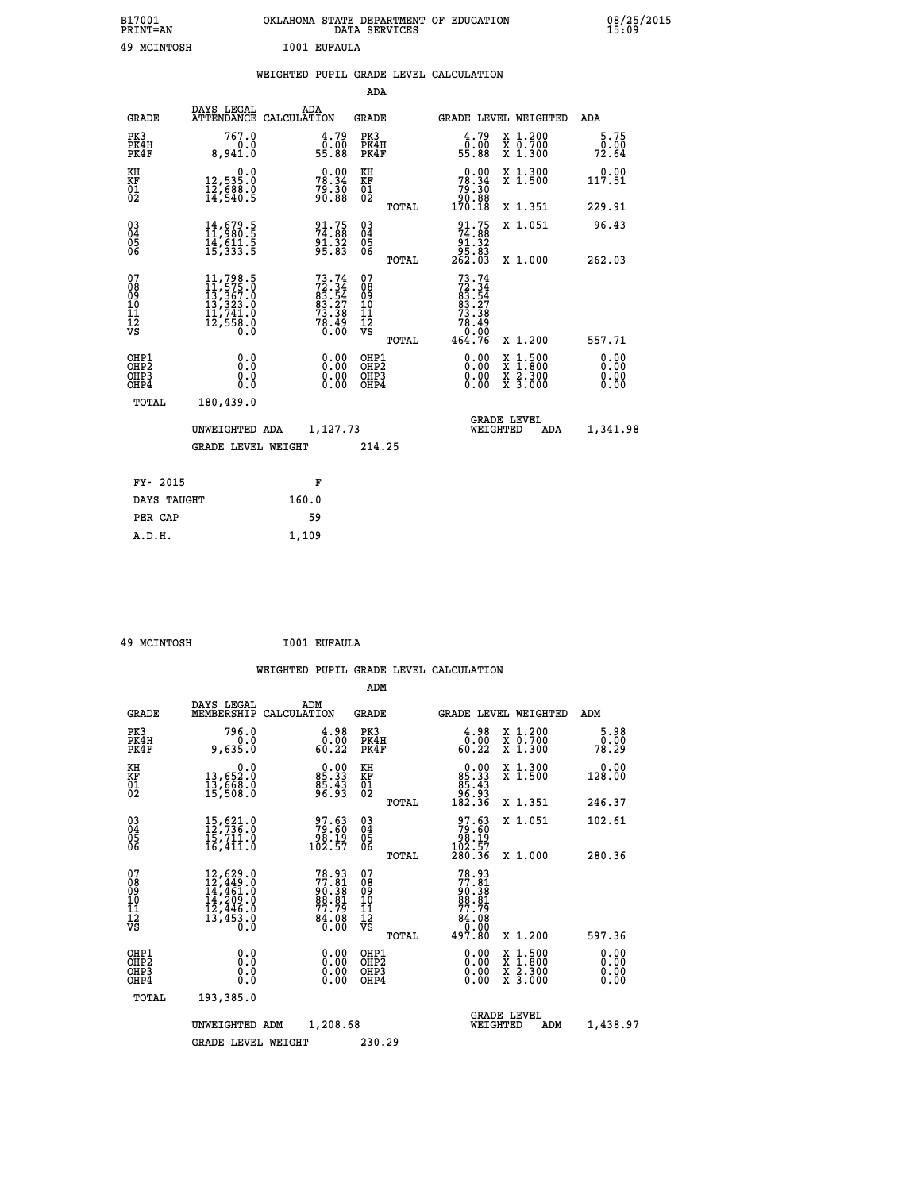| B17001<br>PRINT=AN | OKLAHOMA STATE DEPARTMENT OF EDUCATION<br>DATA SERVICES | 08/25/2015<br>15:09 |
|--------------------|---------------------------------------------------------|---------------------|
| 49 MCINTOSH        | I001 EUFAULA                                            |                     |

| <b>ELCTMIONII</b>                                                  |                                                                                                                                                 |       | TAAT RALVAN                                                              |                                          |       |                                                                                      |                                                                                                                                              |                       |
|--------------------------------------------------------------------|-------------------------------------------------------------------------------------------------------------------------------------------------|-------|--------------------------------------------------------------------------|------------------------------------------|-------|--------------------------------------------------------------------------------------|----------------------------------------------------------------------------------------------------------------------------------------------|-----------------------|
|                                                                    |                                                                                                                                                 |       |                                                                          |                                          |       | WEIGHTED PUPIL GRADE LEVEL CALCULATION                                               |                                                                                                                                              |                       |
|                                                                    |                                                                                                                                                 |       |                                                                          | <b>ADA</b>                               |       |                                                                                      |                                                                                                                                              |                       |
| <b>GRADE</b>                                                       | DAYS LEGAL<br>ATTENDANCE CALCULATION                                                                                                            |       | ADA                                                                      | <b>GRADE</b>                             |       |                                                                                      | GRADE LEVEL WEIGHTED                                                                                                                         | ADA                   |
| PK3<br>PK4H<br>PK4F                                                | 767.0<br>0.0<br>8,941.0                                                                                                                         |       | $\frac{4.79}{0.00}$<br>55.88                                             | PK3<br>PK4H<br>PK4F                      |       | $\frac{4.79}{0.00}$<br>55.88                                                         | X 1.200<br>X 0.700<br>X 1.300                                                                                                                | 5.75<br>0.00<br>72.64 |
| KH<br>KF<br>01<br>02                                               | $\begin{smallmatrix} & & 0.0\ 12,535.0\ 12,688.0\ 14,540.5 \end{smallmatrix}$                                                                   |       | 78.34<br>78.34<br>79.30<br>90.88                                         | KH<br>KF<br>01<br>02                     |       | $\begin{smallmatrix} &0.00\\ 78.34\\ 79.30\\ 90.88\\ 170.18\end{smallmatrix}$        | X 1.300<br>X 1.500                                                                                                                           | 0.00<br>117.51        |
|                                                                    |                                                                                                                                                 |       |                                                                          |                                          | TOTAL |                                                                                      | X 1.351                                                                                                                                      | 229.91                |
| $\begin{smallmatrix} 03 \\[-4pt] 04 \end{smallmatrix}$<br>Ŏ5<br>06 | $\begin{smallmatrix} 14\,,\,679\,.5\ 11\,,\,980\,.5\ 14\,,\,611\,.5\ 15\,,\,333\,.5 \end{smallmatrix}$                                          |       | 91.75<br>74.88<br>91.32<br>95.83                                         | $\substack{03 \\ 04}$<br>$\frac{05}{06}$ |       | $\begin{array}{c} 91.75 \\ 74.88 \\ 91.32 \\ 95.83 \\ 262.03 \end{array}$            | X 1.051                                                                                                                                      | 96.43                 |
|                                                                    |                                                                                                                                                 |       |                                                                          |                                          | TOTAL |                                                                                      | X 1.000                                                                                                                                      | 262.03                |
| 07<br>08<br>09<br>10<br>11<br>12<br>VS                             | $\begin{smallmatrix} 11,798\cdot 5\\ 11,575\cdot 0\\ 13,367\cdot 0\\ 13,323\cdot 0\\ 11,741\cdot 0\\ 12,558\cdot 0\\ 0\cdot 0\end{smallmatrix}$ |       | $73.74$<br>$72.34$<br>$83.54$<br>$83.27$<br>$73.38$<br>$78.49$<br>$0.00$ | 07<br>08<br>09<br>11<br>11<br>12<br>VS   |       | $73.74$<br>$72.34$<br>$83.54$<br>$83.27$<br>$73.38$<br>$78.49$<br>$0.00$<br>$464.76$ | X 1.200                                                                                                                                      | 557.71                |
| OHP1                                                               | 0.0                                                                                                                                             |       | 0.00                                                                     | OHP1<br>OHP2                             | TOTAL | 0.00                                                                                 |                                                                                                                                              | 0.00                  |
| OHP2<br>OHP3<br>OHP4                                               | Ŏ.Ŏ<br>0.0<br>0.0                                                                                                                               |       | $0.00$<br>0.00                                                           | OHP3<br>OHP4                             |       | 0.00<br>0.00                                                                         | $\begin{smallmatrix} \mathtt{X} & 1\cdot500 \\ \mathtt{X} & 1\cdot800 \\ \mathtt{X} & 2\cdot300 \\ \mathtt{X} & 3\cdot000 \end{smallmatrix}$ | 0.ŎŎ<br>0.00<br>0.00  |
| TOTAL                                                              | 180,439.0                                                                                                                                       |       |                                                                          |                                          |       |                                                                                      |                                                                                                                                              |                       |
|                                                                    | UNWEIGHTED ADA                                                                                                                                  |       | 1,127.73                                                                 |                                          |       |                                                                                      | <b>GRADE LEVEL</b><br>WEIGHTED<br>ADA                                                                                                        | 1,341.98              |
|                                                                    | GRADE LEVEL WEIGHT                                                                                                                              |       |                                                                          | 214.25                                   |       |                                                                                      |                                                                                                                                              |                       |
| FY- 2015                                                           |                                                                                                                                                 |       | F                                                                        |                                          |       |                                                                                      |                                                                                                                                              |                       |
| DAYS TAUGHT                                                        |                                                                                                                                                 | 160.0 |                                                                          |                                          |       |                                                                                      |                                                                                                                                              |                       |
| PER CAP                                                            |                                                                                                                                                 |       | 59                                                                       |                                          |       |                                                                                      |                                                                                                                                              |                       |

 **49 MCINTOSH I001 EUFAULA**

 **A.D.H. 1,109**

 **WEIGHTED PUPIL GRADE LEVEL CALCULATION ADM DAYS LEGAL ADM**

| <b>GRADE</b>                                       | DAYS TEGAT<br>MEMBERSHIP                                                                                                         | ADM<br>CALCULATION                                         | <b>GRADE</b>                                       |       |                                                                                      |          | <b>GRADE LEVEL WEIGHTED</b>                                                                                                               | ADM                          |
|----------------------------------------------------|----------------------------------------------------------------------------------------------------------------------------------|------------------------------------------------------------|----------------------------------------------------|-------|--------------------------------------------------------------------------------------|----------|-------------------------------------------------------------------------------------------------------------------------------------------|------------------------------|
| PK3<br>PK4H<br>PK4F                                | 796.0<br>0.0<br>9,635.0                                                                                                          | $\begin{smallmatrix} 4.98\ 0.00\\ 6.22 \end{smallmatrix}$  | PK3<br>PK4H<br>PK4F                                |       | 0.98<br>60.22                                                                        |          | X 1.200<br>X 0.700<br>X 1.300                                                                                                             | 5.98<br>0.00<br>78.29        |
| KH<br>KF<br>01<br>02                               | 0.0<br>13,652:0<br>13,668:0<br>15,508:0                                                                                          | 85.33<br>85.33<br>85.43<br>96.93                           | KH<br>KF<br>01<br>02                               |       | $\begin{smallmatrix} 0.00\\85.33\\85.43\\96.93\\182.36 \end{smallmatrix}$            |          | X 1.300<br>X 1.500                                                                                                                        | 0.00<br>128.00               |
|                                                    |                                                                                                                                  |                                                            |                                                    | TOTAL |                                                                                      |          | X 1.351                                                                                                                                   | 246.37                       |
| $\begin{matrix} 03 \\ 04 \\ 05 \\ 06 \end{matrix}$ | 15,621.0<br>12,736.0<br>15,711.0                                                                                                 | 97.63<br>79.60<br>98.19<br>102.57                          | $\begin{matrix} 03 \\ 04 \\ 05 \\ 06 \end{matrix}$ |       | $\begin{smallmatrix} 97.63 \\ 79.60 \\ 98.19 \\ 102.57 \\ 280.36 \end{smallmatrix}$  |          | X 1.051                                                                                                                                   | 102.61                       |
|                                                    | 16,411.0                                                                                                                         |                                                            |                                                    | TOTAL |                                                                                      |          | X 1.000                                                                                                                                   | 280.36                       |
| 07<br>08<br>09<br>101<br>112<br>VS                 | $\begin{smallmatrix} 12, 629 & 0\\ 12, 449 & 0\\ 14, 461 & 0\\ 14, 209 & 0\\ 12, 446 & 0\\ 13, 453 & 0 \end{smallmatrix}$<br>0.0 | 78.93<br>77.81<br>90.38<br>88.81<br>77.79<br>74.08<br>0.00 | 07<br>08<br>09<br>10<br>11<br>12<br>νs             |       | $77.81$<br>$77.81$<br>$90.38$<br>$98.81$<br>$77.79$<br>$84.08$<br>$0.00$<br>$497.80$ |          |                                                                                                                                           |                              |
|                                                    |                                                                                                                                  |                                                            |                                                    | TOTAL |                                                                                      |          | X 1.200                                                                                                                                   | 597.36                       |
| OHP1<br>OHP2<br>OH <sub>P3</sub><br>OHP4           | 0.0<br>0.0<br>0.0                                                                                                                | $0.00$<br>$0.00$<br>0.00                                   | OHP1<br>OHP <sub>2</sub><br>OHP3<br>OHP4           |       | $0.00$<br>$0.00$<br>0.00                                                             |          | $\begin{smallmatrix} \mathtt{X} & 1\cdot500\\ \mathtt{X} & 1\cdot800\\ \mathtt{X} & 2\cdot300\\ \mathtt{X} & 3\cdot000 \end{smallmatrix}$ | 0.00<br>0.00<br>0.00<br>0.00 |
| TOTAL                                              | 193,385.0                                                                                                                        |                                                            |                                                    |       |                                                                                      |          |                                                                                                                                           |                              |
|                                                    | UNWEIGHTED                                                                                                                       | 1,208.68<br>ADM                                            |                                                    |       |                                                                                      | WEIGHTED | <b>GRADE LEVEL</b><br>ADM                                                                                                                 | 1,438.97                     |
|                                                    | <b>GRADE LEVEL WEIGHT</b>                                                                                                        |                                                            | 230.29                                             |       |                                                                                      |          |                                                                                                                                           |                              |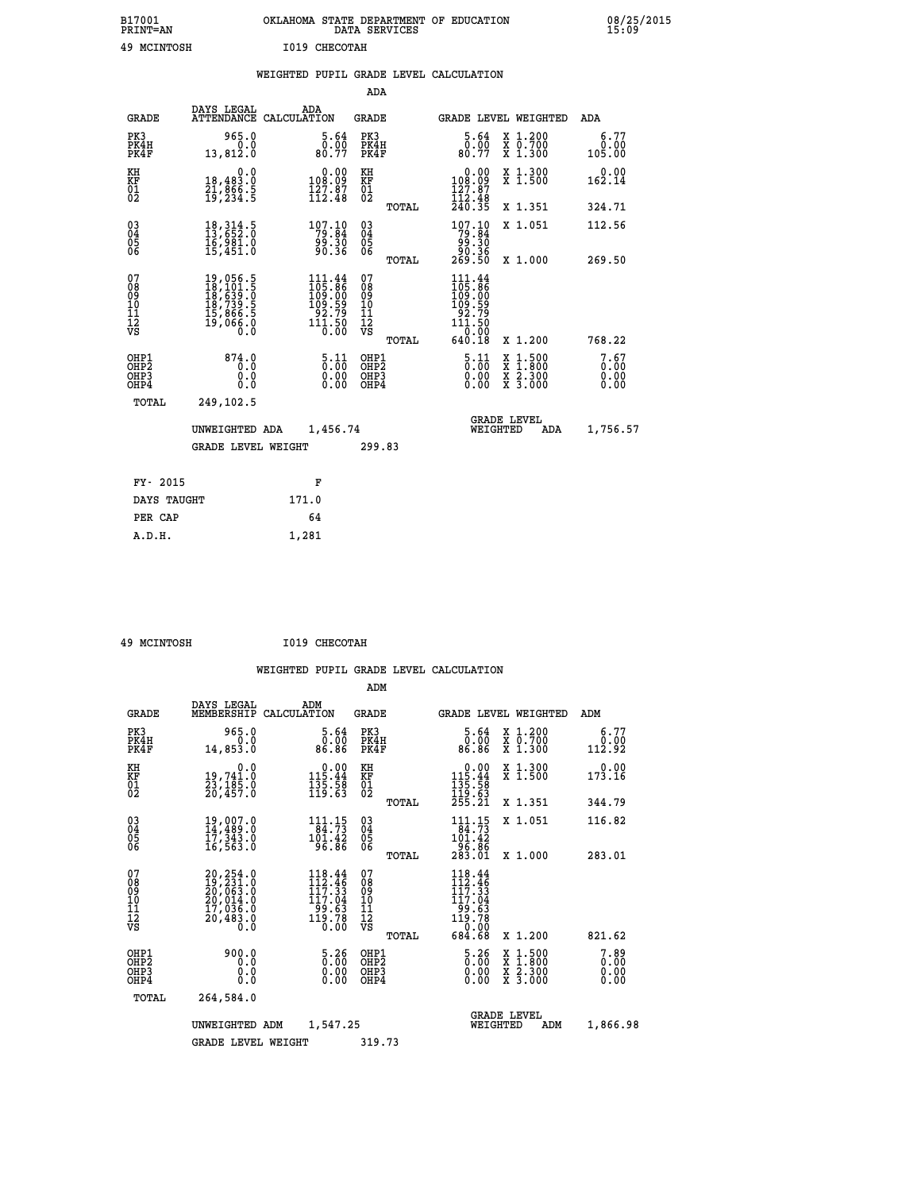| B17001<br><b>PRINT=AN</b> | OKLAHOMA STATE DEPARTMENT OF EDUCATION<br>DATA SERVICES | 08/25/2015<br>15:09 |
|---------------------------|---------------------------------------------------------|---------------------|
| 49<br>MCINTOSH            | 1019 CHECOTAH                                           |                     |

|                                                                    |                                                                                                                                                                                                   | WEIGHTED PUPIL GRADE LEVEL CALCULATION                                                                               |                                        |       |                                                                                                          |                                                    |                              |
|--------------------------------------------------------------------|---------------------------------------------------------------------------------------------------------------------------------------------------------------------------------------------------|----------------------------------------------------------------------------------------------------------------------|----------------------------------------|-------|----------------------------------------------------------------------------------------------------------|----------------------------------------------------|------------------------------|
|                                                                    |                                                                                                                                                                                                   |                                                                                                                      | ADA                                    |       |                                                                                                          |                                                    |                              |
| <b>GRADE</b>                                                       | DAYS LEGAL                                                                                                                                                                                        | ADA<br>ATTENDANCE CALCULATION                                                                                        | <b>GRADE</b>                           |       |                                                                                                          | GRADE LEVEL WEIGHTED                               | ADA                          |
| PK3<br>PK4H<br>PK4F                                                | 965.0<br>0.0<br>13,812.0                                                                                                                                                                          | 5.64<br>ō:ŏō<br>80:77                                                                                                | PK3<br>PK4H<br>PK4F                    |       | 5.64<br>0.00<br>80.77                                                                                    | X 1.200<br>X 0.700<br>X 1.300                      | 6.77<br>0.00<br>105.00       |
| KH<br>KF<br>01<br>02                                               | 0.0<br>18,483.0<br>21,866.5<br>19,234.5                                                                                                                                                           | $\begin{smallmatrix} &0.00\\ 108.09\\ 127.87\\ 112.48\end{smallmatrix}$                                              | KH<br>KF<br>01<br>02                   |       | $\begin{smallmatrix} &0.00\\ 108.09\\ 127.87\\ 112.48\\ 240.35 \end{smallmatrix}$                        | X 1.300<br>X 1.500                                 | $0.00$<br>162.14             |
|                                                                    |                                                                                                                                                                                                   |                                                                                                                      |                                        | TOTAL |                                                                                                          | X 1.351                                            | 324.71                       |
| $\begin{smallmatrix} 03 \\[-4pt] 04 \end{smallmatrix}$<br>Ŏ5<br>ŎĞ | 18, 314.5<br>13, 652.0<br>īč, ŠŠĪ.Ŏ<br>15,451.O                                                                                                                                                   | 107.10<br>ة: ۋۈ<br>90.36                                                                                             | $\substack{03 \\ 04}$<br>Ŏ5<br>06      |       | 107.10<br>36: وَوُ<br>36: 90<br>269: 50                                                                  | X 1.051                                            | 112.56                       |
|                                                                    |                                                                                                                                                                                                   |                                                                                                                      |                                        | TOTAL |                                                                                                          | X 1.000                                            | 269.50                       |
| 07<br>08<br>09<br>10<br>11<br>12<br>VS                             | $\begin{smallmatrix} 19 \,, & 056 \,, & 5 \\ 18 \,, & 101 \,, & 5 \\ 18 \,, & 639 \,, & 0 \\ 18 \,, & 739 \,, & 5 \\ 15 \,, & 866 \,, & 5 \\ 19 \,, & 066 \,, & 0 \\ 0 \,, & 0 \end{smallmatrix}$ | $\begin{array}{c} 111\cdot 44\\105\cdot 86\\109\cdot 00\\109\cdot 59\\92\cdot 79\\111\cdot 50\\0\cdot 00\end{array}$ | 07<br>08<br>09<br>11<br>11<br>12<br>VS | TOTAL | $\begin{array}{c} 111.44 \\ 105.86 \\ 109.00 \\ 109.59 \\ 92.79 \\ 111.50 \end{array}$<br>0.00<br>640.18 | X 1.200                                            | 768.22                       |
| OHP1<br>OHP2<br>OHP3<br>OHP4                                       | 874.0<br>0.0<br>0.0<br>0.0                                                                                                                                                                        | $\frac{5 \cdot 11}{0 \cdot 00}$<br>$\begin{smallmatrix} 0.00 \ 0.00 \end{smallmatrix}$                               | OHP1<br>OHP2<br>OHP3<br>OHP4           |       | $\frac{5 \cdot 11}{0 \cdot 00}$<br>0.00<br>0.00                                                          | $1:500$<br>$1:800$<br>X<br>X<br>X 2.300<br>X 3.000 | 7.67<br>0.00<br>0.00<br>0.00 |
| <b>TOTAL</b>                                                       | 249,102.5                                                                                                                                                                                         |                                                                                                                      |                                        |       |                                                                                                          |                                                    |                              |
|                                                                    | UNWEIGHTED ADA                                                                                                                                                                                    | 1,456.74                                                                                                             |                                        |       | WEIGHTED                                                                                                 | <b>GRADE LEVEL</b><br>ADA                          | 1,756.57                     |
|                                                                    | <b>GRADE LEVEL WEIGHT</b>                                                                                                                                                                         |                                                                                                                      | 299.83                                 |       |                                                                                                          |                                                    |                              |
| FY- 2015                                                           |                                                                                                                                                                                                   | F                                                                                                                    |                                        |       |                                                                                                          |                                                    |                              |
| DAYS TAUGHT                                                        |                                                                                                                                                                                                   | 171.0                                                                                                                |                                        |       |                                                                                                          |                                                    |                              |
| PER CAP                                                            |                                                                                                                                                                                                   | 64                                                                                                                   |                                        |       |                                                                                                          |                                                    |                              |

 **49 MCINTOSH I019 CHECOTAH**

 **A.D.H. 1,281**

 **ADM**

| <b>GRADE</b>                                                       | DAYS LEGAL                                                                  | ADM<br>MEMBERSHIP CALCULATION                                                                         | <b>GRADE</b>                                                              |       |                                                                                          | <b>GRADE LEVEL WEIGHTED</b>              | ADM                          |
|--------------------------------------------------------------------|-----------------------------------------------------------------------------|-------------------------------------------------------------------------------------------------------|---------------------------------------------------------------------------|-------|------------------------------------------------------------------------------------------|------------------------------------------|------------------------------|
| PK3<br>PK4H<br>PK4F                                                | 965.0<br>0.0<br>14,853.0                                                    | 5.64<br>0.00<br>86.86                                                                                 | PK3<br>PK4H<br>PK4F                                                       |       | 5.64<br>0.00<br>86.86                                                                    | X 1.200<br>X 0.700<br>X 1.300            | 6.77<br>0.00<br>112.92       |
| KH<br><b>KF</b><br>01<br>02                                        | 0.0<br>19,741:0<br>23,185:0<br>20,457:0                                     | $\begin{array}{r} 0.00 \\ 115.44 \\ 135.58 \\ 119.63 \end{array}$                                     | KH<br>KF<br>01<br>02                                                      |       | $\begin{array}{c} 0.00 \\ 115.44 \\ 135.58 \\ 119.63 \\ 255.21 \end{array}$              | X 1.300<br>X 1.500                       | 0.00<br>173.16               |
|                                                                    |                                                                             |                                                                                                       |                                                                           | TOTAL |                                                                                          | X 1.351                                  | 344.79                       |
| $\begin{smallmatrix} 03 \\[-4pt] 04 \end{smallmatrix}$<br>Ŏ5<br>06 | 19,007.0<br>14,489.0<br>17,343.0<br>16,563.0                                | $111.15$<br>84.73<br>$\frac{101.42}{96.86}$                                                           | $\begin{smallmatrix} 03 \\[-4pt] 04 \end{smallmatrix}$<br>$\frac{05}{06}$ |       | 111.15<br>$\begin{array}{r} 184.73 \\ 101.42 \\ 96.86 \\ 283.01 \end{array}$             | X 1.051                                  | 116.82                       |
|                                                                    |                                                                             |                                                                                                       |                                                                           | TOTAL |                                                                                          | X 1.000                                  | 283.01                       |
| 07<br>08<br>09<br>101<br>11<br>12<br>VS                            | 20,254.0<br>19,231.0<br>20,063:0<br>20,014:0<br>17,036:0<br>20,483.0<br>0.0 | $118.44$<br>$112.46$<br>$117.33$<br>117.04<br>99.63<br>$1\bar{1}\bar{9}\cdot\bar{7}\bar{8}$<br>$0.00$ | 07<br>08<br>09<br>11<br>11<br>12<br>VS                                    | TOTAL | $118.44$<br>$112.46$<br>$117.33$<br>$117.04$<br>$19.63$<br>$119.78$<br>$-0.00$<br>684.68 | X 1.200                                  | 821.62                       |
| OHP1<br>OHP <sub>2</sub><br>OHP3<br>OHP4                           | 900.0<br>0.0<br>0.0<br>0.0                                                  | $\begin{smallmatrix} 5.26 \ 0.00 \ 0.00 \end{smallmatrix}$<br>0.00                                    | OHP1<br>OHP <sub>2</sub><br>OHP3<br>OHP4                                  |       | $\frac{5.26}{0.00}$<br>0.00                                                              | X 1:500<br>X 1:800<br>X 2:300<br>X 3:000 | 7.89<br>0.00<br>0.00<br>0.00 |
| TOTAL                                                              | 264,584.0                                                                   |                                                                                                       |                                                                           |       |                                                                                          |                                          |                              |
|                                                                    | UNWEIGHTED                                                                  | 1,547.25<br>ADM                                                                                       |                                                                           |       | WEIGHTED                                                                                 | <b>GRADE LEVEL</b><br>ADM                | 1,866.98                     |
|                                                                    | <b>GRADE LEVEL WEIGHT</b>                                                   |                                                                                                       | 319.73                                                                    |       |                                                                                          |                                          |                              |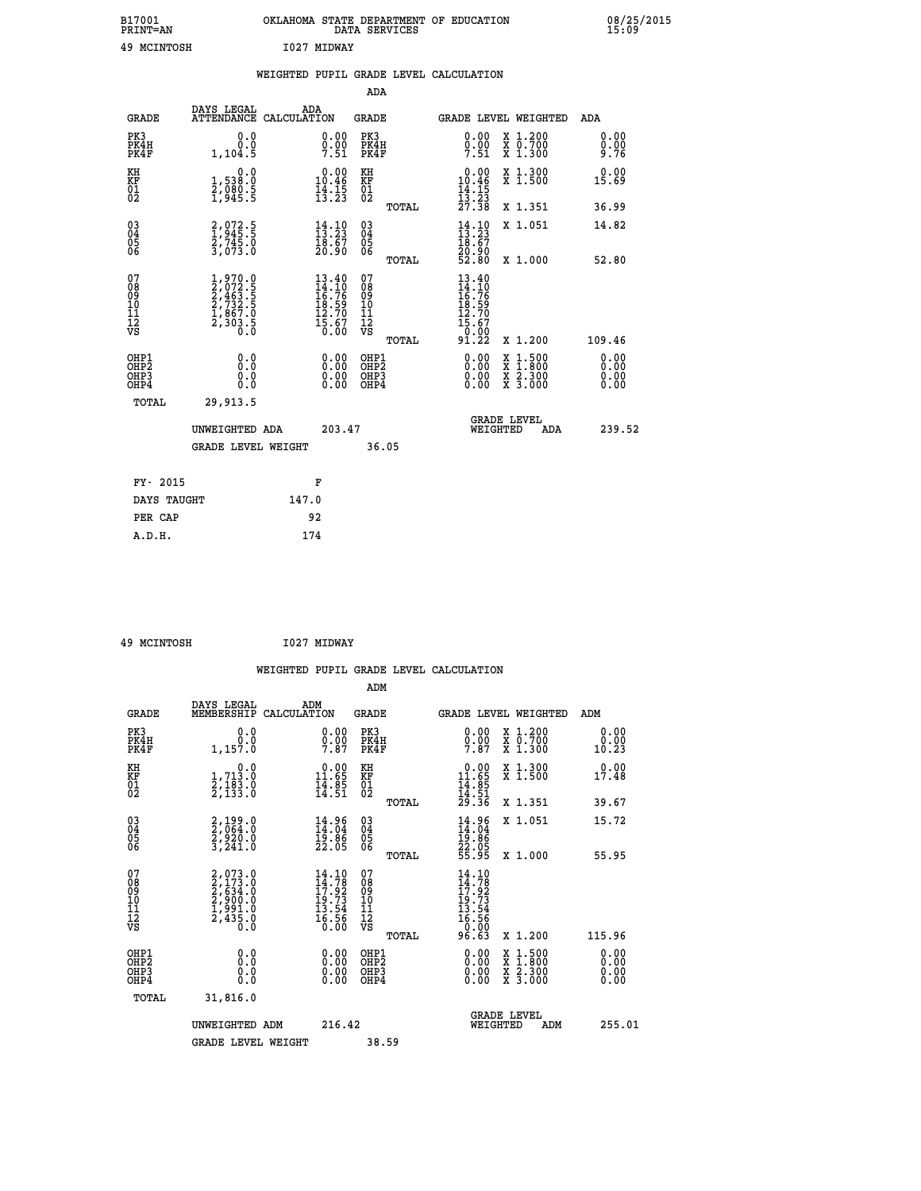| B17001<br><b>PRINT=AN</b> | OKLAHOMA STATE DEPARTMENT OF EDUCATION<br>DATA SERVICES |  |
|---------------------------|---------------------------------------------------------|--|
| 49 MCINTOSH               | T027 MTDWAY                                             |  |

**CON** 08/25/2015

|                                                                    |                                                                                     | WEIGHTED PUPIL GRADE LEVEL CALCULATION                                                                                         |                                        |       |                                                                            |                                                                     |                              |
|--------------------------------------------------------------------|-------------------------------------------------------------------------------------|--------------------------------------------------------------------------------------------------------------------------------|----------------------------------------|-------|----------------------------------------------------------------------------|---------------------------------------------------------------------|------------------------------|
|                                                                    |                                                                                     |                                                                                                                                | <b>ADA</b>                             |       |                                                                            |                                                                     |                              |
| <b>GRADE</b>                                                       | DAYS LEGAL<br><b>ATTENDANCE</b>                                                     | ADA<br>CALCULATION                                                                                                             | <b>GRADE</b>                           |       |                                                                            | GRADE LEVEL WEIGHTED                                                | ADA                          |
| PK3<br>PK4H<br>PK4F                                                | 0.0<br>0.0<br>1,104.5                                                               | $0.00$<br>$0.00$<br>$7.51$                                                                                                     | PK3<br>PK4H<br>PK4F                    |       | 0.00<br>$0.00$<br>7.51                                                     | X 1.200<br>X 0.700<br>X 1.300                                       | 0.00<br>0.00<br>9.76         |
| KH<br>KF<br>01<br>02                                               | 0.0<br>1,538:0<br>2,080:5<br>1,945:5                                                | $\begin{smallmatrix} 0.00\\ 10.46\\ 14.15\\ 13.23 \end{smallmatrix}$                                                           | KH<br>KF<br>01<br>02                   |       | $\begin{array}{r} 0.00 \\ 10.46 \\ 14.15 \\ 13.23 \\ 27.38 \end{array}$    | X 1.300<br>X 1.500                                                  | 0.00<br>15.69                |
|                                                                    |                                                                                     |                                                                                                                                |                                        | TOTAL |                                                                            | X 1.351                                                             | 36.99                        |
| $\begin{smallmatrix} 03 \\[-4pt] 04 \end{smallmatrix}$<br>Ŏ5<br>06 | 2,972.5<br>$\frac{27}{3}$ , $\frac{745}{073}$ . 0                                   | $\frac{14}{13}:\frac{10}{23}$<br>$\frac{18.67}{20.90}$                                                                         | $\substack{03 \\ 04}$<br>05<br>06      |       | $\frac{14}{13}:\frac{10}{23}$<br>18:67<br>20.90<br>52.80                   | X 1.051                                                             | 14.82                        |
|                                                                    |                                                                                     |                                                                                                                                |                                        | TOTAL |                                                                            | X 1.000                                                             | 52.80                        |
| 07<br>08<br>09<br>101<br>112<br>VS                                 | $1,970.0$<br>$2,072.5$<br>$2,463.5$<br>$2,732.5$<br>$1,867.0$<br>$2,303.5$<br>$0.0$ | $\begin{array}{l} 13.40 \\[-4pt] 14.10 \\[-4pt] 16.76 \\[-4pt] 18.59 \\[-4pt] 12.70 \\[-4pt] 15.67 \\[-4pt] 15.60 \end{array}$ | 07<br>08<br>09<br>11<br>11<br>12<br>VS | TOTAL | 13.40<br>14.10<br>16.76<br>18.59<br>12.70<br>$\frac{15.67}{0.00}$<br>91.22 | X 1.200                                                             | 109.46                       |
| OHP1<br>OHP2<br>OHP3<br>OHP4                                       | 0.0<br>0.0<br>Ō.Ō                                                                   | 0.00<br>$\begin{smallmatrix} 0.00 \ 0.00 \end{smallmatrix}$                                                                    | OHP1<br>OHP2<br>OHP3<br>OHP4           |       | 0.00<br>0.00<br>0.00                                                       | $1:500$<br>$1:800$<br>X<br>X<br>$\frac{x}{x}$ $\frac{5:300}{3:000}$ | 0.00<br>0.00<br>0.00<br>0.00 |
| <b>TOTAL</b>                                                       | 29,913.5                                                                            |                                                                                                                                |                                        |       |                                                                            |                                                                     |                              |
|                                                                    | UNWEIGHTED ADA                                                                      | 203.47                                                                                                                         |                                        |       |                                                                            | GRADE LEVEL<br>WEIGHTED<br>ADA                                      | 239.52                       |
|                                                                    | <b>GRADE LEVEL WEIGHT</b>                                                           |                                                                                                                                | 36.05                                  |       |                                                                            |                                                                     |                              |
| FY- 2015                                                           |                                                                                     | F                                                                                                                              |                                        |       |                                                                            |                                                                     |                              |
| DAYS TAUGHT                                                        |                                                                                     | 147.0                                                                                                                          |                                        |       |                                                                            |                                                                     |                              |
| PER CAP                                                            |                                                                                     | 92                                                                                                                             |                                        |       |                                                                            |                                                                     |                              |

 **49 MCINTOSH I027 MIDWAY**

|                                                      |                                                                         |                                                                                                                                 |                                                     | WEIGHTED PUPIL GRADE LEVEL CALCULATION                                                                                                                                                                                                                                         |                                          |                       |
|------------------------------------------------------|-------------------------------------------------------------------------|---------------------------------------------------------------------------------------------------------------------------------|-----------------------------------------------------|--------------------------------------------------------------------------------------------------------------------------------------------------------------------------------------------------------------------------------------------------------------------------------|------------------------------------------|-----------------------|
|                                                      |                                                                         |                                                                                                                                 | ADM                                                 |                                                                                                                                                                                                                                                                                |                                          |                       |
| <b>GRADE</b>                                         | DAYS LEGAL<br>MEMBERSHIP                                                | ADM<br>CALCULATION                                                                                                              | <b>GRADE</b>                                        | <b>GRADE LEVEL WEIGHTED</b>                                                                                                                                                                                                                                                    |                                          | ADM                   |
| PK3<br>PK4H<br>PK4F                                  | 0.0<br>0.0<br>1,157.0                                                   | $0.00$<br>$0.00$<br>7.87                                                                                                        | PK3<br>PK4H<br>PK4F                                 | $0.00$<br>$0.00$<br>7.87                                                                                                                                                                                                                                                       | X 1.200<br>X 0.700<br>X 1.300            | 0.00<br>0.00<br>10.23 |
| KH<br>KF<br>01<br>02                                 | $\begin{smallmatrix}&&&0.0\\1.713.0\\2.183.0\\2.133.0\end{smallmatrix}$ | $\begin{array}{c} 0.00 \\ 11.65 \\ 14.85 \\ 14.51 \end{array}$                                                                  | KH<br>KF<br>01<br>02                                | $\begin{array}{r} 0.00 \\ 11.65 \\ 14.85 \\ 14.51 \\ 29.36 \end{array}$                                                                                                                                                                                                        | X 1.300<br>X 1.500                       | 0.00<br>17.48         |
|                                                      |                                                                         |                                                                                                                                 | TOTAL                                               |                                                                                                                                                                                                                                                                                | X 1.351                                  | 39.67                 |
| $\begin{matrix} 03 \\ 04 \\ 05 \\ 06 \end{matrix}$   | $2,199.0$<br>$2,964.0$<br>$2,920.0$<br>$3,241.0$                        | $14.96$<br>$14.04$<br>$19.86$<br>$22.05$                                                                                        | $\begin{array}{c} 03 \\ 04 \\ 05 \\ 06 \end{array}$ | $14.96$<br>$14.04$<br>$19.86$<br>$22.05$<br>$55.95$                                                                                                                                                                                                                            | X 1.051                                  | 15.72                 |
|                                                      |                                                                         |                                                                                                                                 | TOTAL                                               |                                                                                                                                                                                                                                                                                | X 1.000                                  | 55.95                 |
| 07<br>08<br>09<br>101<br>112<br>VS                   | 2,073.0<br>2,173.0<br>2,634.0<br>2,900.0<br>1,991.0<br>2,435.0<br>0.0   | $\begin{smallmatrix} 14\cdot 10\\ 14\cdot 78\\ 17\cdot 92\\ 19\cdot 73\\ 13\cdot 54\\ 16\cdot 56\\ 0\cdot 00 \end{smallmatrix}$ | 07<br>08<br>09<br>11<br>11<br>12<br>VS<br>TOTAL     | 14.10<br>$14.782$<br>$17.923$<br>$19.73$<br>$13.54$<br>$16.56$<br>$0.003$<br>96.63                                                                                                                                                                                             | X 1.200                                  | 115.96                |
|                                                      |                                                                         |                                                                                                                                 |                                                     |                                                                                                                                                                                                                                                                                |                                          |                       |
| OHP1<br>OHP2<br>OH <sub>P3</sub><br>OH <sub>P4</sub> | 0.0<br>0.000                                                            | $\begin{smallmatrix} 0.00 \ 0.00 \ 0.00 \ 0.00 \end{smallmatrix}$                                                               | OHP1<br>OHP2<br>OHP3<br>OHP4                        | $\begin{smallmatrix} 0.00 & 0.00 & 0.00 & 0.00 & 0.00 & 0.00 & 0.00 & 0.00 & 0.00 & 0.00 & 0.00 & 0.00 & 0.00 & 0.00 & 0.00 & 0.00 & 0.00 & 0.00 & 0.00 & 0.00 & 0.00 & 0.00 & 0.00 & 0.00 & 0.00 & 0.00 & 0.00 & 0.00 & 0.00 & 0.00 & 0.00 & 0.00 & 0.00 & 0.00 & 0.00 & 0.0$ | X 1:500<br>X 1:800<br>X 2:300<br>X 3:000 | 0.00<br>0.00<br>0.00  |
| TOTAL                                                | 31,816.0                                                                |                                                                                                                                 |                                                     |                                                                                                                                                                                                                                                                                |                                          |                       |
|                                                      | UNWEIGHTED ADM                                                          | 216.42                                                                                                                          |                                                     | GRADE LEVEL<br>WEIGHTED                                                                                                                                                                                                                                                        | ADM                                      | 255.01                |
|                                                      | <b>GRADE LEVEL WEIGHT</b>                                               |                                                                                                                                 | 38.59                                               |                                                                                                                                                                                                                                                                                |                                          |                       |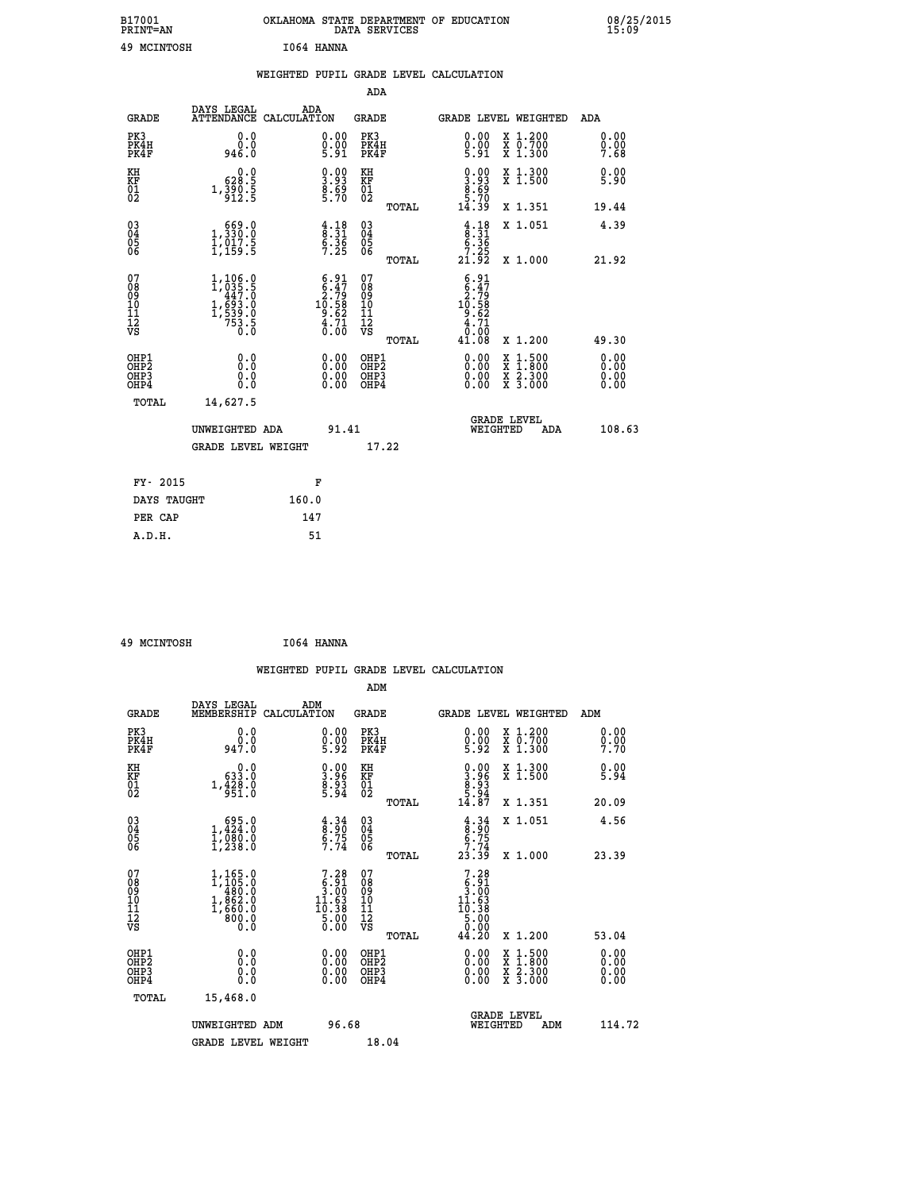| B17001<br><b>PRINT=AN</b> |            | OKLAHOMA STATE DEPARTMENT OF EDUCATION<br>DATA SERVICES |  |
|---------------------------|------------|---------------------------------------------------------|--|
| 49 MCINTOSH               | 1064 HANNA |                                                         |  |

|                                                    |                                                                                                             | WEIGHTED PUPIL GRADE LEVEL CALCULATION                                                        |                                        |       |                                                                               |                                          |                              |
|----------------------------------------------------|-------------------------------------------------------------------------------------------------------------|-----------------------------------------------------------------------------------------------|----------------------------------------|-------|-------------------------------------------------------------------------------|------------------------------------------|------------------------------|
|                                                    |                                                                                                             |                                                                                               | <b>ADA</b>                             |       |                                                                               |                                          |                              |
| <b>GRADE</b>                                       |                                                                                                             | DAYS LEGAL ADA ATTENDANCE CALCULATION                                                         | <b>GRADE</b>                           |       |                                                                               | GRADE LEVEL WEIGHTED                     | ADA                          |
| PK3<br>PK4H<br>PK4F                                | 0.0<br>ة:ة<br>946.0                                                                                         | $\substack{0.00\\0.00\\5.91}$                                                                 | PK3<br>PK4H<br>PK4F                    |       | 0.00<br>$0.00$<br>5.91                                                        | X 1.200<br>X 0.700<br>X 1.300            | 0.00<br>0.00<br>7.68         |
| KH<br>KF<br>01<br>02                               | 0.0<br>628:5<br>1,390:5<br>912:5                                                                            | $\begin{smallmatrix} 0.00\ 3.93\ 8.69\ 5.70 \end{smallmatrix}$                                | KH<br>KF<br>01<br>02                   |       | $\begin{smallmatrix} 0.00\\ 3.93\\ 8.69\\ 5.70\\ 14.39 \end{smallmatrix}$     | X 1.300<br>X 1.500                       | 0.00<br>5.90                 |
|                                                    |                                                                                                             |                                                                                               |                                        | TOTAL |                                                                               | X 1.351                                  | 19.44                        |
| $\begin{matrix} 03 \\ 04 \\ 05 \\ 06 \end{matrix}$ | $\begin{smallmatrix} 669.0\\ 1,330.0\\ 1,017.5\\ 1,159.5 \end{smallmatrix}$                                 | $\begin{array}{c} 4.18 \\ 8.31 \\ 6.36 \\ 7.25 \end{array}$                                   | 03<br>04<br>05<br>06                   |       | $\begin{array}{c} 4.18 \\ 8.31 \\ 6.36 \\ 7.25 \\ 21.92 \end{array}$          | X 1.051                                  | 4.39                         |
|                                                    |                                                                                                             |                                                                                               |                                        | TOTAL |                                                                               | X 1.000                                  | 21.92                        |
| 07<br>08901112<br>1112<br>VS                       | $\begin{smallmatrix} 1,106.0\\ 1,035.5\\ 447.0\\ 493.0\\ 1,693.0\\ 1,539.0\\ 753.5\\ 0.0 \end{smallmatrix}$ | $\begin{smallmatrix} 6.91 \\ 6.47 \\ 2.79 \\ 10.58 \\ 9.62 \\ 4.71 \\ 0.00 \end{smallmatrix}$ | 07<br>08<br>09<br>11<br>11<br>12<br>VS | TOTAL | $6.91$<br>$6.47$<br>$10.58$<br>$10.58$<br>$9.62$<br>$4.71$<br>$0.08$<br>41.08 | X 1.200                                  | 49.30                        |
| OHP1<br>OHP2<br>OHP3<br>OHP4                       | 0.0<br>0.0<br>0.0                                                                                           | $\begin{smallmatrix} 0.00 \ 0.00 \ 0.00 \ 0.00 \end{smallmatrix}$                             | OHP1<br>OHP2<br>OHP3<br>OHP4           |       |                                                                               | X 1:500<br>X 1:800<br>X 2:300<br>X 3:000 | 0.00<br>0.00<br>0.00<br>0.00 |
| TOTAL                                              | 14,627.5                                                                                                    |                                                                                               |                                        |       |                                                                               |                                          |                              |
|                                                    | UNWEIGHTED ADA                                                                                              | 91.41                                                                                         |                                        |       | WEIGHTED                                                                      | <b>GRADE LEVEL</b><br>ADA                | 108.63                       |
|                                                    | <b>GRADE LEVEL WEIGHT</b>                                                                                   |                                                                                               | 17.22                                  |       |                                                                               |                                          |                              |
| FY- 2015                                           |                                                                                                             | F                                                                                             |                                        |       |                                                                               |                                          |                              |
| DAYS TAUGHT                                        |                                                                                                             | 160.0                                                                                         |                                        |       |                                                                               |                                          |                              |
| PER CAP                                            |                                                                                                             | 147                                                                                           |                                        |       |                                                                               |                                          |                              |

| 49 MCINTOSH | I064 HANNA |
|-------------|------------|
|             |            |

 **A.D.H. 51**

 **B17001<br>PRINT=AN** 

|                                                    |                                                                                                             |                    |                                                                                                                                                                                       |                                              |       | WEIGHTED PUPIL GRADE LEVEL CALCULATION                                                                                                                    |                                          |                      |  |
|----------------------------------------------------|-------------------------------------------------------------------------------------------------------------|--------------------|---------------------------------------------------------------------------------------------------------------------------------------------------------------------------------------|----------------------------------------------|-------|-----------------------------------------------------------------------------------------------------------------------------------------------------------|------------------------------------------|----------------------|--|
|                                                    |                                                                                                             |                    |                                                                                                                                                                                       | ADM                                          |       |                                                                                                                                                           |                                          |                      |  |
| <b>GRADE</b>                                       | DAYS LEGAL<br>MEMBERSHIP                                                                                    | ADM<br>CALCULATION |                                                                                                                                                                                       | <b>GRADE</b>                                 |       | <b>GRADE LEVEL WEIGHTED</b>                                                                                                                               |                                          | ADM                  |  |
| PK3<br>PK4H<br>PK4F                                | 0.0<br>ة:ۆ<br>947:0                                                                                         |                    | $\substack{0.00\\0.00\\5.92}$                                                                                                                                                         | PK3<br>PK4H<br>PK4F                          |       | $\begin{smallmatrix} 0.00\\ 0.00\\ 5.92 \end{smallmatrix}$                                                                                                | X 1.200<br>X 0.700<br>X 1.300            | 0.00<br>0.00<br>7.70 |  |
| KH<br>KF<br>01<br>02                               | $0.0$<br>0.633.0<br>1.428.0<br>951.0                                                                        |                    | $\begin{smallmatrix} 0.00\\ 3.96\\ 8.93\\ 5.94 \end{smallmatrix}$                                                                                                                     | KH<br>KF<br>01<br>02                         |       | $\begin{smallmatrix} 0.00\\ 3.96\\ 8.93\\ 9.3\\ 5.94\\ 14.87 \end{smallmatrix}$                                                                           | X 1.300<br>X 1.500                       | 0.00<br>5.94         |  |
|                                                    |                                                                                                             |                    |                                                                                                                                                                                       |                                              | TOTAL |                                                                                                                                                           | X 1.351<br>X 1.051                       | 20.09<br>4.56        |  |
| $\begin{matrix} 03 \\ 04 \\ 05 \\ 06 \end{matrix}$ | $\begin{smallmatrix} 695.0\\ 1,424.0\\ 1,080.0\\ 1,238.0 \end{smallmatrix}$                                 |                    | $\begin{array}{c} 4.34 \\ 8.90 \\ 6.75 \\ 7.74 \end{array}$                                                                                                                           | 03<br>04<br>05<br>06                         | TOTAL | $4.34$<br>$8.90$<br>$6.75$<br>$7.74$<br>23.39                                                                                                             | X 1.000                                  | 23.39                |  |
| 07<br>0890112<br>1112<br>VS                        | $\begin{smallmatrix} 1,165.0\\ 1,105.0\\ 480.0\\ 480.0\\ 1,862.0\\ 1,660.0\\ 800.0\\ 0.0 \end{smallmatrix}$ |                    | $\begin{smallmatrix}7\cdot28\\[-1.2mm] 5\cdot91\\[-1.2mm] 3\cdot00\\[-1.2mm] 11\cdot63\\[-1.2mm] 10\cdot38\\[-1.2mm] 5\cdot00\\[-1.2mm] 5\cdot00\\[-1.2mm] 0\cdot00\end{smallmatrix}$ | 07<br>08<br>09<br>01<br>11<br>11<br>12<br>VS | TOTAL | $\begin{smallmatrix}7\cdot28\\[-1mm]8\cdot91\\[-1mm]3\cdot00\\[-1mm]11\cdot63\\[-1mm]10\cdot38\\[-1mm]5\cdot00\\[-1mm]0\cdot90\end{smallmatrix}$<br>44.20 | X 1.200                                  | 53.04                |  |
| OHP1<br>OHP2<br>OH <sub>P3</sub><br>OHP4           | 0.0<br>0.000                                                                                                |                    | $0.00$<br>$0.00$<br>0.00                                                                                                                                                              | OHP1<br>OHP2<br>OHP <sub>3</sub>             |       | 0.00<br>0.00<br>0.00                                                                                                                                      | X 1:500<br>X 1:800<br>X 2:300<br>X 3:000 | 0.00<br>0.00<br>0.00 |  |
| TOTAL                                              | 15,468.0                                                                                                    |                    |                                                                                                                                                                                       |                                              |       |                                                                                                                                                           |                                          |                      |  |
|                                                    | UNWEIGHTED ADM                                                                                              |                    | 96.68                                                                                                                                                                                 |                                              |       | WEIGHTED                                                                                                                                                  | <b>GRADE LEVEL</b><br>ADM                | 114.72               |  |
|                                                    | <b>GRADE LEVEL WEIGHT</b>                                                                                   |                    |                                                                                                                                                                                       | 18.04                                        |       |                                                                                                                                                           |                                          |                      |  |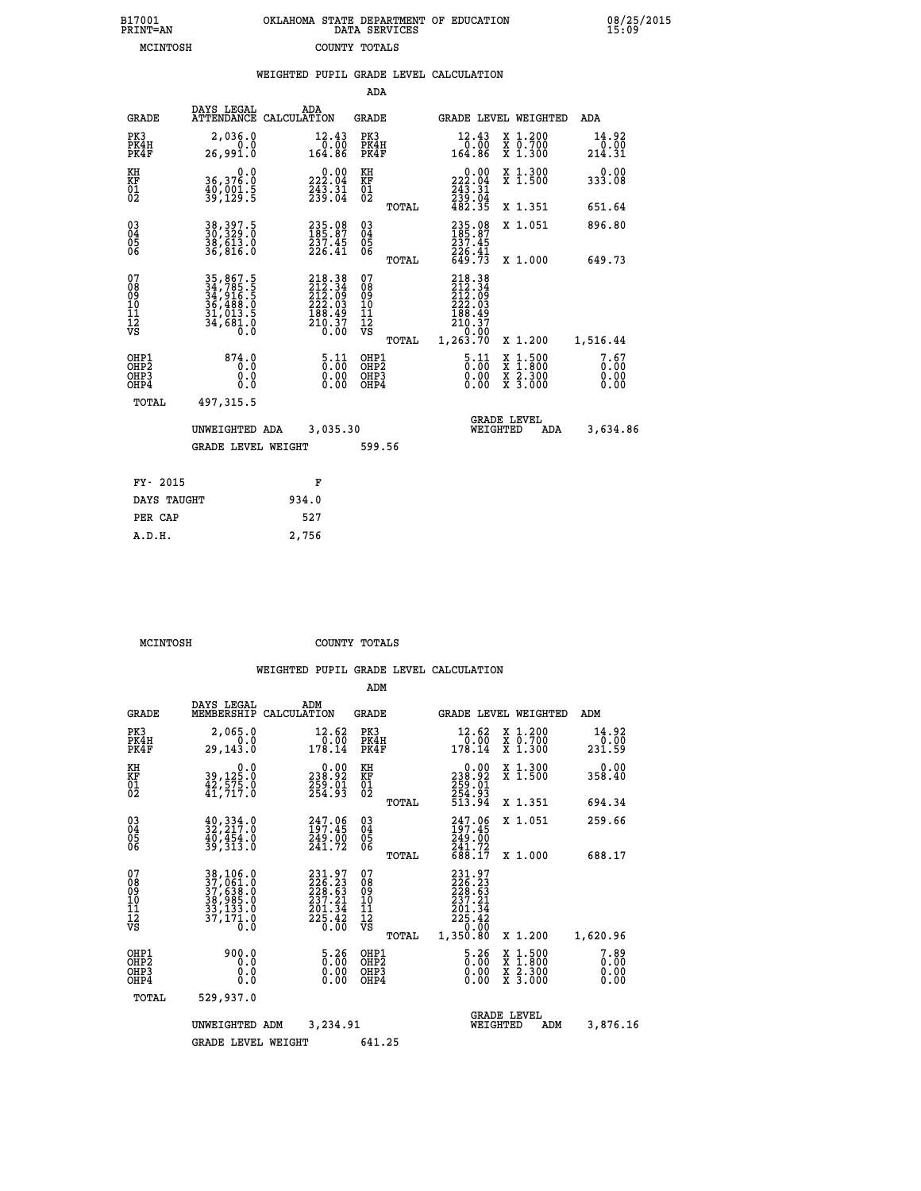| 7001<br>INT=AN | OKLAHOMA STATE DEPARTMENT OF EDUCATION<br>DATA SERVICES |  |
|----------------|---------------------------------------------------------|--|
| MCINTOSH       | COUNTY TOTALS                                           |  |

 **B17001<br>PRINT=AN** 

 **B17001 OKLAHOMA STATE DEPARTMENT OF EDUCATION 08/25/2015**

|                                                              |                                                                      | WEIGHTED PUPIL GRADE LEVEL CALCULATION                                         |                                                                                 |                                        |       |                                                                                                                                        |                                                                                        |                              |
|--------------------------------------------------------------|----------------------------------------------------------------------|--------------------------------------------------------------------------------|---------------------------------------------------------------------------------|----------------------------------------|-------|----------------------------------------------------------------------------------------------------------------------------------------|----------------------------------------------------------------------------------------|------------------------------|
|                                                              |                                                                      |                                                                                |                                                                                 | ADA                                    |       |                                                                                                                                        |                                                                                        |                              |
| <b>GRADE</b>                                                 | DAYS LEGAL                                                           | ADA<br>ATTENDANCE CALCULATION                                                  |                                                                                 | <b>GRADE</b>                           |       |                                                                                                                                        | <b>GRADE LEVEL WEIGHTED</b>                                                            | ADA                          |
| PK3<br>PK4H<br>PK4F                                          | 2,036.0<br>0.0<br>26,991.0                                           | 12.43<br>164.86                                                                | 0.00                                                                            | PK3<br>PK4H<br>PK4F                    |       | 12.43<br>00.07<br>164.86                                                                                                               | X 1.200<br>X 0.700<br>X 1.300                                                          | 14.92<br>0.00<br>214.31      |
| KH<br>KF<br>$\frac{01}{02}$                                  | 0.0<br>36,376.0<br>40,001.5<br>39,129.5                              | 222.00<br>$\frac{7}{239}$ . $\frac{31}{04}$                                    |                                                                                 | KH<br>KF<br>01<br>02                   |       | $\begin{array}{c} 0.00 \\ 222.04 \\ 243.31 \\ 239.04 \\ 482.35 \end{array}$                                                            | X 1.300<br>X 1.500                                                                     | 0.00<br>333.08               |
|                                                              |                                                                      |                                                                                |                                                                                 |                                        | TOTAL |                                                                                                                                        | X 1.351                                                                                | 651.64                       |
| $\begin{smallmatrix} 03 \\[-4pt] 04 \end{smallmatrix}$<br>05 | 38, 397.5<br>30, 329.0<br>38, 613.0<br>36, 816.0                     | $\begin{smallmatrix} 235.08\\185.87\\237.45\\226.41 \end{smallmatrix}$         |                                                                                 | $^{03}_{04}$<br>05                     |       | 235.08<br>185.87<br>237.45                                                                                                             | X 1.051                                                                                | 896.80                       |
| 06                                                           |                                                                      |                                                                                |                                                                                 | 06                                     | TOTAL | 226.41<br>649.73                                                                                                                       | X 1.000                                                                                | 649.73                       |
| 07<br>ŏġ<br>09<br>10<br>īĭ<br>12<br>νs                       | 35,867.5<br>34,785.5<br>34,916.5<br>36,488.0<br>31,013.5<br>34,681.0 | $218.38$<br>$212.34$<br>$212.09$<br>$222.03$<br>$188.49$<br>$210.37$<br>$0.00$ |                                                                                 | 07<br>08<br>09<br>10<br>11<br>12<br>VS | TOTAL | $218.38$<br>$212.34$<br>$212.09$<br>$222.03$<br>$\begin{smallmatrix} 268.49 \\ 188.49 \\ 210.37 \\ 0.00 \\ 1,263.70 \end{smallmatrix}$ | X 1.200                                                                                | 1,516.44                     |
| OHP1<br>OHP2<br>OHP3<br>OHP4                                 | 874.0<br>0.0<br>0.0<br>0.0                                           |                                                                                | $\begin{smallmatrix} 5\cdot 11\0\cdot 00\0\cdot 00\0\cdot 00 \end{smallmatrix}$ | OHP1<br>OHP2<br>OHP3<br>OHP4           |       | $\frac{5 \cdot 11}{0 \cdot 00}$<br>0.00                                                                                                | $\begin{smallmatrix} 1.500\ 1.800\ 2.300\ 3.000 \end{smallmatrix}$<br><b>XXX</b><br>XX | 7.67<br>0.00<br>0.00<br>0.00 |
| TOTAL                                                        | 497,315.5                                                            |                                                                                |                                                                                 |                                        |       |                                                                                                                                        |                                                                                        |                              |
|                                                              | UNWEIGHTED ADA                                                       | 3,035.30                                                                       |                                                                                 |                                        |       | WEIGHTED                                                                                                                               | <b>GRADE LEVEL</b><br>ADA                                                              | 3,634.86                     |
|                                                              | <b>GRADE LEVEL WEIGHT</b>                                            |                                                                                |                                                                                 | 599.56                                 |       |                                                                                                                                        |                                                                                        |                              |
| FY- 2015                                                     |                                                                      | F                                                                              |                                                                                 |                                        |       |                                                                                                                                        |                                                                                        |                              |
| DAYS TAUGHT                                                  |                                                                      | 934.0                                                                          |                                                                                 |                                        |       |                                                                                                                                        |                                                                                        |                              |
| PER CAP                                                      |                                                                      | 527                                                                            |                                                                                 |                                        |       |                                                                                                                                        |                                                                                        |                              |

| MCINTOSH | COUNTY TOTALS |  |
|----------|---------------|--|

 **A.D.H. 2,756**

|                                                       |                                                                                          |                                                                         | ADM                                                 |                                                                              |                                                                                               |
|-------------------------------------------------------|------------------------------------------------------------------------------------------|-------------------------------------------------------------------------|-----------------------------------------------------|------------------------------------------------------------------------------|-----------------------------------------------------------------------------------------------|
| <b>GRADE</b>                                          | DAYS LEGAL<br>MEMBERSHIP                                                                 | ADM<br>CALCULATION                                                      | <b>GRADE</b>                                        | <b>GRADE LEVEL WEIGHTED</b>                                                  | ADM                                                                                           |
| PK3<br>PK4H<br>PK4F                                   | 2,065.0<br>0.0<br>29,143.0                                                               | 12.62<br>0.00<br>178.14                                                 | PK3<br>PK4H<br>PK4F                                 | 12.62<br>0.00<br>178.14                                                      | $\begin{array}{c} x & 1.200 \\ x & 0.700 \end{array}$<br>14.92<br>0.00<br>$X$ 1.300<br>231.59 |
| KH<br>KF<br>01<br>02                                  | 0.0<br>39,125.0<br>42,575.0<br>41,717.0                                                  | $\begin{smallmatrix} &0.00\\ 238.92\\ 259.01\\ 254.93\end{smallmatrix}$ | KH<br>KF<br>01<br>02                                | 0.00<br>238:92<br>259:01<br>254:93<br>513:94                                 | X 1.300<br>X 1.500<br>0.00<br>358.40                                                          |
|                                                       |                                                                                          |                                                                         | TOTAL                                               |                                                                              | X 1.351<br>694.34                                                                             |
| 03<br>04<br>05<br>06                                  | $\frac{40}{32}$ , $\frac{334}{217}$ .<br>$\frac{40}{49}$ , $\frac{454}{9}$ .<br>39,313.0 | 247.06<br>197.45<br>249.00<br>241.72                                    | $\begin{array}{c} 03 \\ 04 \\ 05 \\ 06 \end{array}$ | 247.06<br>197.45<br>249.00<br>241.72<br>688.17                               | X 1.051<br>259.66                                                                             |
|                                                       |                                                                                          |                                                                         | TOTAL                                               |                                                                              | 688.17<br>X 1.000                                                                             |
| 07<br>08<br>09<br>101<br>112<br>VS                    | 38,106.0<br>37,061.0<br>37,638.0<br>38,985.0<br>33,133.0<br>37,171.0                     | 231.97<br>226.23<br>228.63<br>237.21<br>201.34<br>$\frac{225.42}{0.00}$ | 07<br>08<br>09<br>101<br>11<br>12<br>VS<br>TOTAL    | 231.97<br>226.23<br>228.63<br>237.21<br>201.34<br>225.42<br>0.00<br>1,350.80 | X 1.200<br>1,620.96                                                                           |
| OHP1<br>OH <sub>P</sub> 2<br>OH <sub>P3</sub><br>OHP4 | 900.0<br>0.0<br>0.0<br>Ŏ.Ŏ                                                               | $\begin{smallmatrix} 5.26 \ 0.00 \ 0.00 \end{smallmatrix}$<br>0.00      | OHP1<br>OHP2<br>OHP3<br>OHP4                        | $\begin{smallmatrix} 5.26 \ 0.00 \ 0.00 \end{smallmatrix}$<br>0.00           | 7.89<br>X 1:500<br>X 1:800<br>X 2:300<br>X 3:000<br>0.00<br>0.00<br>0.00                      |
| TOTAL                                                 | 529,937.0                                                                                |                                                                         |                                                     |                                                                              |                                                                                               |
|                                                       | UNWEIGHTED ADM                                                                           | 3,234.91                                                                |                                                     | <b>GRADE LEVEL</b><br>WEIGHTED                                               | 3,876.16<br>ADM                                                                               |
|                                                       | <b>GRADE LEVEL WEIGHT</b>                                                                |                                                                         | 641.25                                              |                                                                              |                                                                                               |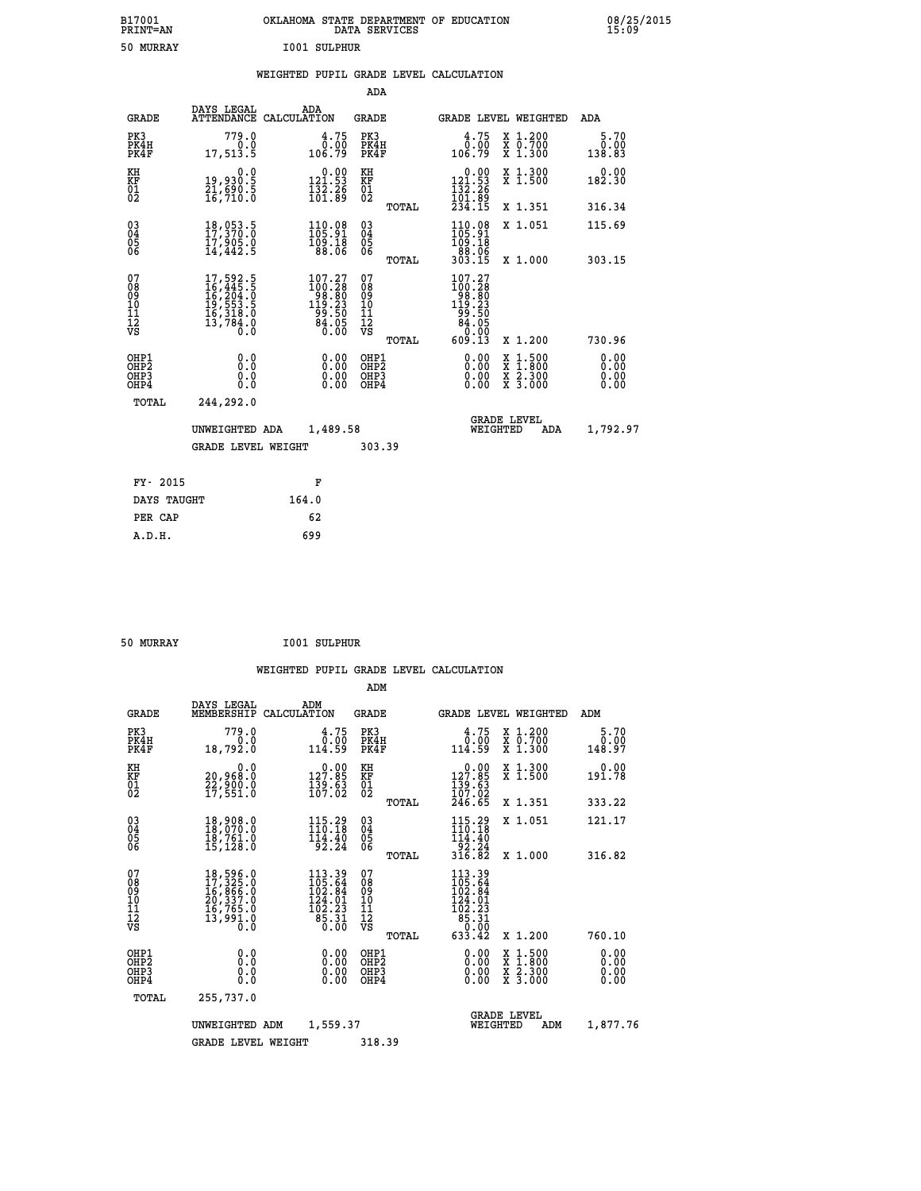| B17001<br><b>PRINT=AN</b> | OKLAHOMA STATE DEPARTMENT OF EDUCATION<br>DATA SERVICES | 08/25/2015<br>15:09 |
|---------------------------|---------------------------------------------------------|---------------------|
| 50 MURRAY                 | 1001 SULPHUR                                            |                     |

#### **WEIGHTED PUPIL GRADE LEVEL CALCULATION**

|                                                                              |                                                                                           |                                                                                                  | ADA                                                |       |                                                                                            |                                                                                                                                              |                              |
|------------------------------------------------------------------------------|-------------------------------------------------------------------------------------------|--------------------------------------------------------------------------------------------------|----------------------------------------------------|-------|--------------------------------------------------------------------------------------------|----------------------------------------------------------------------------------------------------------------------------------------------|------------------------------|
| <b>GRADE</b>                                                                 | DAYS LEGAL                                                                                | ADA<br>ATTENDANCE CALCULATION                                                                    | GRADE                                              |       | <b>GRADE LEVEL WEIGHTED</b>                                                                |                                                                                                                                              | ADA                          |
| PK3<br>PK4H<br>PK4F                                                          | 779.0<br>0.0<br>17,513.5                                                                  | 4.75<br>0.00<br>106.79                                                                           | PK3<br>PK4H<br>PK4F                                |       | 4.75<br>0.00<br>106.79                                                                     | X 1.200<br>X 0.700<br>X 1.300                                                                                                                | 5.70<br>0.00<br>138.83       |
| KH<br>KF<br>01<br>02                                                         | 0.0<br>19,930.5<br>21,690.5<br>16,710.0                                                   | $\begin{smallmatrix} 0.00\\ 121.53\\ 132.26\\ 101.89 \end{smallmatrix}$                          | KH<br><b>KF</b><br>01<br>02                        |       | $\begin{array}{c} 0.00 \\ 121.53 \\ 132.26 \\ 101.89 \\ 234.15 \end{array}$                | X 1.300<br>X 1.500                                                                                                                           | 0.00<br>182.30               |
|                                                                              |                                                                                           |                                                                                                  |                                                    | TOTAL |                                                                                            | X 1.351                                                                                                                                      | 316.34                       |
| $^{03}_{04}$<br>Ŏ5<br>06                                                     | 18,053.5<br>17,370.0<br>ī7,905.0<br>14,442.5                                              | $\begin{smallmatrix} 110.08\\ 105.91\\ 109.18\\ 88.06 \end{smallmatrix}$                         | $\begin{matrix} 03 \\ 04 \\ 05 \\ 06 \end{matrix}$ |       | 110.08<br>105:91<br>109:18<br>88:06<br>303:15                                              | X 1.051                                                                                                                                      | 115.69                       |
|                                                                              |                                                                                           |                                                                                                  |                                                    | TOTAL |                                                                                            | X 1.000                                                                                                                                      | 303.15                       |
| 07<br>08<br>09<br>11<br>11<br>12<br>VS                                       | 17,592.5<br>16,445.5<br>16,204.0<br>19,553.5<br>16,318.0<br>13,784.0<br>$\overline{0}$ .0 | $\begin{smallmatrix} 107.27\\100.28\\98.80\\199.23\\199.23\\99.50\\84.05\\0.00\end{smallmatrix}$ | 07<br>08<br>09<br>11<br>11<br>12<br>VS             | TOTAL | $\begin{smallmatrix} 107.27\\100.28\\98.80\\199.23\\99.50\\84.05\\609.13\end{smallmatrix}$ | X 1.200                                                                                                                                      | 730.96                       |
| OHP1<br>OH <sub>P</sub> <sub>2</sub><br>OH <sub>P3</sub><br>OH <sub>P4</sub> | 0.0<br>Ō.Ō<br>0.0<br>0.0                                                                  | 0.00<br>0.00<br>0.00                                                                             | OHP1<br>OHP2<br>OHP3<br>OHP4                       |       | 0.00<br>0.00<br>0.00                                                                       | $\begin{smallmatrix} \mathtt{X} & 1\cdot500 \\ \mathtt{X} & 1\cdot800 \\ \mathtt{X} & 2\cdot300 \\ \mathtt{X} & 3\cdot000 \end{smallmatrix}$ | 0.00<br>0.00<br>0.00<br>0.00 |
| TOTAL                                                                        | 244,292.0                                                                                 |                                                                                                  |                                                    |       |                                                                                            |                                                                                                                                              |                              |
|                                                                              | UNWEIGHTED ADA                                                                            | 1,489.58                                                                                         |                                                    |       | WEIGHTED                                                                                   | <b>GRADE LEVEL</b><br>ADA                                                                                                                    | 1,792.97                     |
|                                                                              | <b>GRADE LEVEL WEIGHT</b>                                                                 |                                                                                                  | 303.39                                             |       |                                                                                            |                                                                                                                                              |                              |
| FY- 2015                                                                     |                                                                                           | F                                                                                                |                                                    |       |                                                                                            |                                                                                                                                              |                              |
| DAYS TAUGHT                                                                  |                                                                                           | 164.0                                                                                            |                                                    |       |                                                                                            |                                                                                                                                              |                              |
| PER CAP                                                                      |                                                                                           | 62                                                                                               |                                                    |       |                                                                                            |                                                                                                                                              |                              |
| A.D.H.                                                                       |                                                                                           | 699                                                                                              |                                                    |       |                                                                                            |                                                                                                                                              |                              |
|                                                                              |                                                                                           |                                                                                                  |                                                    |       |                                                                                            |                                                                                                                                              |                              |

| 50 MURRAY | <b>I001 SULPHUR</b> |
|-----------|---------------------|
|           |                     |

|  |  | WEIGHTED PUPIL GRADE LEVEL CALCULATION |
|--|--|----------------------------------------|
|  |  |                                        |

|                                                    |                                                                                                                                                     |                                                                                                                                                                                     | ADM                                                 |                                                                                                                                                         |                                          |                        |
|----------------------------------------------------|-----------------------------------------------------------------------------------------------------------------------------------------------------|-------------------------------------------------------------------------------------------------------------------------------------------------------------------------------------|-----------------------------------------------------|---------------------------------------------------------------------------------------------------------------------------------------------------------|------------------------------------------|------------------------|
| <b>GRADE</b>                                       | DAYS LEGAL<br>MEMBERSHIP                                                                                                                            | ADM<br>CALCULATION                                                                                                                                                                  | <b>GRADE</b>                                        |                                                                                                                                                         | <b>GRADE LEVEL WEIGHTED</b>              | ADM                    |
| PK3<br>PK4H<br>PK4F                                | 779.0<br>0.0<br>18,792.0                                                                                                                            | 4.75<br>$\frac{\bar{0} \cdot \bar{0} \bar{0}}{114.59}$                                                                                                                              | PK3<br>PK4H<br>PK4F                                 | 4.75<br>$\overset{\text{\normalsize\bullet}}{114.59}$                                                                                                   | X 1.200<br>X 0.700<br>X 1.300            | 5.70<br>0.00<br>148.97 |
| KH<br>KF<br>01<br>02                               | 0.0<br>20,968.0<br>22,900.0<br>17,551.0                                                                                                             | $0.00$<br>127.85<br>$\frac{159}{107}$ $\frac{63}{02}$                                                                                                                               | KH<br>KF<br>01<br>02                                | $\begin{smallmatrix} &0.00\\ 127.85\\ 139.63\\ 107.02\\ 246.65\end{smallmatrix}$                                                                        | X 1.300<br>X 1.500                       | 0.00<br>191.78         |
|                                                    |                                                                                                                                                     |                                                                                                                                                                                     | TOTAL                                               |                                                                                                                                                         | X 1.351                                  | 333.22                 |
| $\begin{matrix} 03 \\ 04 \\ 05 \\ 06 \end{matrix}$ | $\begin{smallmatrix} 18\,, & 908\,. & 0\\ 18\,, & 070\,. & 0\\ 18\,, & 761\,. & 0\\ 15\,, & 128\,. & 0 \end{smallmatrix}$                           | $115.29$<br>$110.18$<br>$\frac{114.40}{92.24}$                                                                                                                                      | $\begin{array}{c} 03 \\ 04 \\ 05 \\ 06 \end{array}$ | $115.29$<br>$110.18$<br>$\begin{array}{r} 114.40 \\ 92.24 \\ 316.82 \end{array}$                                                                        | X 1.051                                  | 121.17                 |
|                                                    |                                                                                                                                                     |                                                                                                                                                                                     | TOTAL                                               |                                                                                                                                                         | X 1.000                                  | 316.82                 |
| 07<br>08<br>09<br>101<br>11<br>12<br>VS            | $\begin{smallmatrix} 18\,,\,596\,.0\\ 17\,,\,325\,.0\\ 16\,,\,866\,.0\\ 20\,,\,337\,.0\\ 16\,,\,765\,.0\\ 13\,,\,991\,.0\\ 0\,.0 \end{smallmatrix}$ | $113.39$<br>$105.64$<br>$102.84$<br>$\frac{1}{2}\overline{4}\cdot\overline{0}\overline{1}\overline{1}\overline{0}\overline{2}\cdot\overline{2}\overline{3}$<br>$\frac{85.31}{0.00}$ | 07<br>08<br>09<br>11<br>11<br>12<br>VS<br>TOTAL     | $\begin{smallmatrix} 113\cdot 39\\105\cdot 64\\102\cdot 84\\124\cdot 01\\124\cdot 01\\102\cdot 23\\85\cdot 31\\0\cdot 00\\633\cdot 42\end{smallmatrix}$ | X 1.200                                  | 760.10                 |
| OHP1<br>OHP2<br>OH <sub>P3</sub><br>OHP4           | 0.0<br>0.000                                                                                                                                        | $0.00$<br>$0.00$<br>0.00                                                                                                                                                            | OHP1<br>OHP2<br>OHP <sub>3</sub>                    | $0.00$<br>$0.00$<br>0.00                                                                                                                                | X 1:500<br>X 1:800<br>X 2:300<br>X 3:000 | 0.00<br>0.00<br>0.00   |
| TOTAL                                              | 255,737.0                                                                                                                                           |                                                                                                                                                                                     |                                                     |                                                                                                                                                         |                                          |                        |
|                                                    | UNWEIGHTED                                                                                                                                          | 1,559.37<br>ADM                                                                                                                                                                     |                                                     | WEIGHTED                                                                                                                                                | <b>GRADE LEVEL</b><br>ADM                | 1,877.76               |
|                                                    | <b>GRADE LEVEL WEIGHT</b>                                                                                                                           |                                                                                                                                                                                     | 318.39                                              |                                                                                                                                                         |                                          |                        |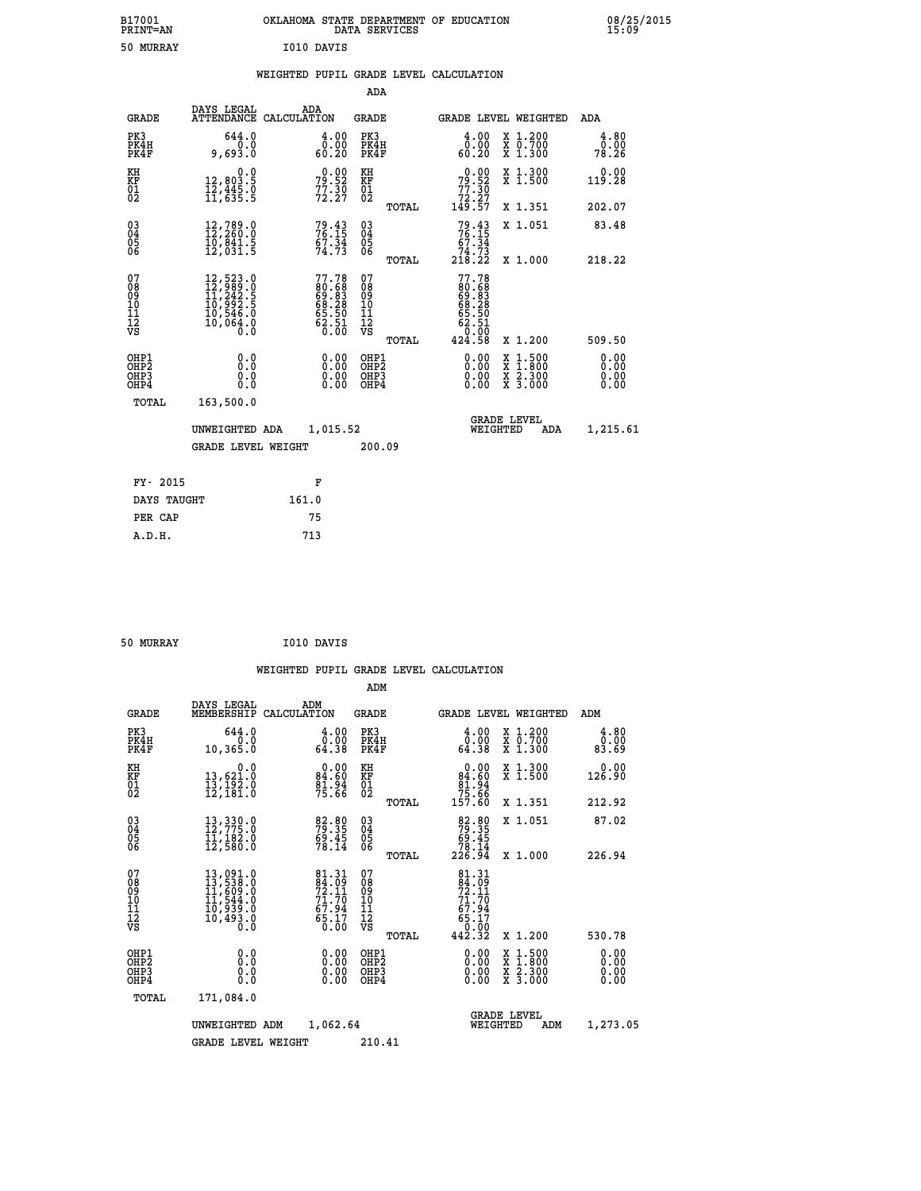| B17001<br><b>PRINT=AN</b> | OKLAHOMA STATE DEPARTMENT OF EDUCATION<br>DATA SERVICES | 08/25/2015<br>15:09 |
|---------------------------|---------------------------------------------------------|---------------------|
| 50<br>MURRAY              | I010 DAVIS                                              |                     |

#### **WEIGHTED PUPIL GRADE LEVEL CALCULATION**

|                                                                    |                                                                                                                                                       |                                                                          | ADA                                    |       |                                           |                                                                                                                                              |                              |
|--------------------------------------------------------------------|-------------------------------------------------------------------------------------------------------------------------------------------------------|--------------------------------------------------------------------------|----------------------------------------|-------|-------------------------------------------|----------------------------------------------------------------------------------------------------------------------------------------------|------------------------------|
| <b>GRADE</b>                                                       | DAYS LEGAL                                                                                                                                            | ADA<br>ATTENDANCE CALCULATION                                            | <b>GRADE</b>                           |       |                                           | <b>GRADE LEVEL WEIGHTED</b>                                                                                                                  | ADA                          |
| PK3<br>PK4H<br>PK4F                                                | 644.0<br>0.0<br>9,693.0                                                                                                                               | 4.00<br>ةة.ة<br>60.20                                                    | PK3<br>PK4H<br>PK4F                    |       | 4.00<br>ةة.ة<br>60:20                     | X 1.200<br>X 0.700<br>X 1.300                                                                                                                | 4.80<br>0.00<br>78.26        |
| KH<br>KF<br>01<br>02                                               | 0.0<br>12,803.5<br>12,445.0<br>11,635.5                                                                                                               | 79.90<br>$77.30$<br>$72.27$                                              | KH<br>KF<br>01<br>02                   |       | $79.52$<br>$77.30$<br>$72.27$<br>$149.57$ | X 1.300<br>X 1.500                                                                                                                           | 0.00<br>119.28               |
|                                                                    |                                                                                                                                                       |                                                                          |                                        | TOTAL |                                           | X 1.351                                                                                                                                      | 202.07                       |
| $\begin{smallmatrix} 03 \\[-4pt] 04 \end{smallmatrix}$<br>Ŏ5<br>06 | $\substack{12,789.0\\12,260.0\\10,841.5\\12,031.5}$                                                                                                   | $79.43$<br>$76.15$<br>$\frac{67.34}{74.73}$                              | $\substack{03 \\ 04}$<br>Ŏ5<br>06      |       | $79.43\n76.15\n67.34\n74.73\n218.22$      | X 1.051                                                                                                                                      | 83.48                        |
|                                                                    |                                                                                                                                                       |                                                                          |                                        | TOTAL |                                           | X 1.000                                                                                                                                      | 218.22                       |
| 07<br>08<br>09<br>101<br>11<br>12<br>VS                            | $\begin{smallmatrix} 12, 523\cdot 0\\ 12, 989\cdot 0\\ 11, 242\cdot 5\\ 10, 992\cdot 5\\ 10, 546\cdot 0\\ 10, 064\cdot 0\\ 0\cdot 0\end{smallmatrix}$ | $77.78$<br>$80.68$<br>$69.83$<br>$68.28$<br>$65.50$<br>$62.51$<br>$0.00$ | 07<br>08<br>09<br>11<br>11<br>12<br>VS |       | 77.78                                     |                                                                                                                                              |                              |
|                                                                    |                                                                                                                                                       |                                                                          |                                        | TOTAL | 424.58                                    | X 1.200                                                                                                                                      | 509.50                       |
| OHP1<br>OHP <sub>2</sub><br>OH <sub>P3</sub><br>OHP4               | 0.0<br>0.0<br>0.0                                                                                                                                     | 0.00<br>$\begin{smallmatrix} 0.00 \ 0.00 \end{smallmatrix}$              | OHP1<br>OHP2<br>OHP <sub>3</sub>       |       | 0.00<br>0.00                              | $\begin{smallmatrix} \mathtt{X} & 1\cdot500 \\ \mathtt{X} & 1\cdot800 \\ \mathtt{X} & 2\cdot300 \\ \mathtt{X} & 3\cdot000 \end{smallmatrix}$ | 0.00<br>0.00<br>0.00<br>0.00 |
| TOTAL                                                              | 163,500.0                                                                                                                                             |                                                                          |                                        |       |                                           |                                                                                                                                              |                              |
|                                                                    | UNWEIGHTED ADA                                                                                                                                        | 1,015.52                                                                 |                                        |       |                                           | <b>GRADE LEVEL</b><br>WEIGHTED<br>ADA                                                                                                        | 1,215.61                     |
|                                                                    | <b>GRADE LEVEL WEIGHT</b>                                                                                                                             |                                                                          | 200.09                                 |       |                                           |                                                                                                                                              |                              |
| FY- 2015                                                           |                                                                                                                                                       | F                                                                        |                                        |       |                                           |                                                                                                                                              |                              |
| DAYS TAUGHT                                                        |                                                                                                                                                       | 161.0                                                                    |                                        |       |                                           |                                                                                                                                              |                              |
| PER CAP                                                            |                                                                                                                                                       | 75                                                                       |                                        |       |                                           |                                                                                                                                              |                              |

| 50 MURRAY | I010 DAVIS |
|-----------|------------|
|           |            |

 **A.D.H. 713**

 **WEIGHTED PUPIL GRADE LEVEL CALCULATION ADM DAYS LEGAL ADM GRADE MEMBERSHIP CALCULATION GRADE GRADE LEVEL WEIGHTED ADM PK3 644.0 4.00 PK3 4.00 X 1.200 4.80 PK4H 0.0 0.00 PK4H 0.00 X 0.700 0.00 PK4F 10,365.0 64.38 PK4F 64.38 X 1.300 83.69 KH 0.0 0.00 KH 0.00 X 1.300 0.00 KF 13,621.0 84.60 KF 84.60 X 1.500 126.90** 01 13,192.0 81.94 01 81.94<br>02 12,181.0 75.66 02 <sub>momen</sub> 15.94  **TOTAL 157.60 X 1.351 212.92 03 13,330.0 82.80 03 82.80 X 1.051 87.02 04 12,775.0 79.35 04 79.35 05 11,182.0 69.45 05 69.45 06 12,580.0 78.14 06 78.14 TOTAL 226.94 X 1.000 226.94**  $\begin{array}{cccc} 07 & 13\, , 091\, . \ 08 & 13\, , 535\, . \ 09 & 11\, , 609\, . \ 1 & 609\, . \ 1 & 544\, . \ 0 & 11\, , 544\, . \ 0 & 69\, . \ 10 & 11\, , 544\, . \ 10 & 69\, . \ 11 & 10\, . \ 12 & 10\, , 493\, . \ 0 & 67\, . \ 12 & 67\, . \ 13 & 10\, . \ 14\, . \ 15 & 10\, . \end{$  $\begin{array}{cccc} 81.31 & 07 & 81.31 \\ 92.11 & 08 & 92.11 \\ 72.17 & 10 & 71.70 \\ 71.70 & 10 & 71.70 \\ 65.17 & 12 & 67.94 \\ 65.17 & 12 & 67.94 \\ 0.00 & 081P3 & 0.00 & 0.00 \\ 0.00 & 081P2 & 0.00 & 0.00 & 0.00 \\ 0.00 & 081P4 & 0.00 & 0.00 & 0.00 \\ 0.00 & 081P4 & 0.00$  **OHP1 0.0 0.00 OHP1 0.00 X 1.500 0.00 OHP2 0.0 0.00 OHP2 0.00 X 1.800 0.00 OHP3 0.0 0.00 OHP3 0.00 X 2.300 0.00**

 **OHP4 0.0 0.00 OHP4 0.00 X 3.000 0.00**

| TOTAL | 171,084.0                  |        |                                       |          |
|-------|----------------------------|--------|---------------------------------------|----------|
|       | 1,062.64<br>UNWEIGHTED ADM |        | <b>GRADE LEVEL</b><br>ADM<br>WEIGHTED | 1,273.05 |
|       | GRADE LEVEL WEIGHT         | 210.41 |                                       |          |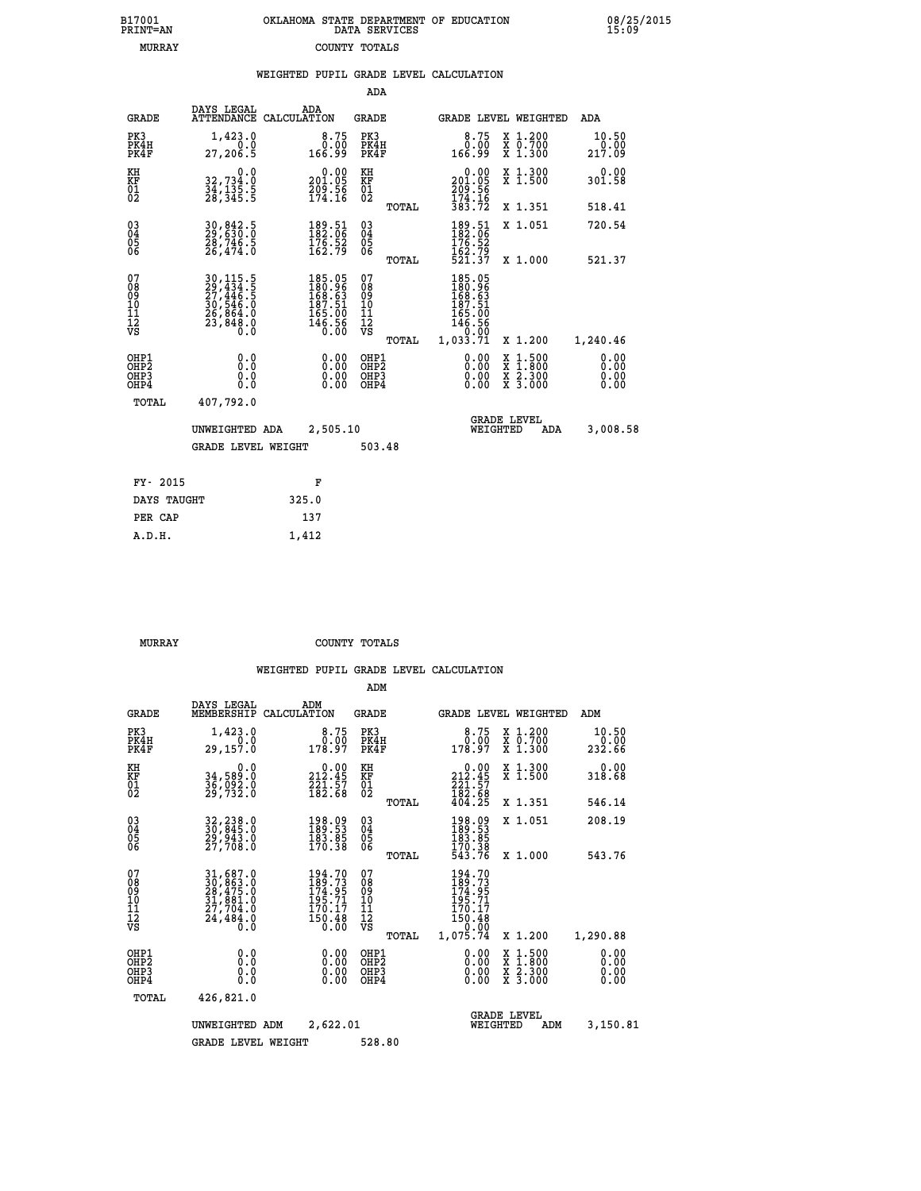| 7001<br>INT=AN | OKLAHOMA STATE DEPARTMENT OF EDUCATION | DATA SERVICES |  |  |
|----------------|----------------------------------------|---------------|--|--|
| MURRAY         |                                        | COUNTY TOTALS |  |  |

|                                                              |                                                                                                                         |       |                                                                                                             |                                         |       | WEIGHTED PUPIL GRADE LEVEL CALCULATION                                                                                                                                                                                                                                         |                                                                                                                                              |                         |
|--------------------------------------------------------------|-------------------------------------------------------------------------------------------------------------------------|-------|-------------------------------------------------------------------------------------------------------------|-----------------------------------------|-------|--------------------------------------------------------------------------------------------------------------------------------------------------------------------------------------------------------------------------------------------------------------------------------|----------------------------------------------------------------------------------------------------------------------------------------------|-------------------------|
|                                                              |                                                                                                                         |       |                                                                                                             | ADA                                     |       |                                                                                                                                                                                                                                                                                |                                                                                                                                              |                         |
| <b>GRADE</b>                                                 | DAYS LEGAL<br>ATTENDANCE CALCULATION                                                                                    | ADA   |                                                                                                             | <b>GRADE</b>                            |       |                                                                                                                                                                                                                                                                                | GRADE LEVEL WEIGHTED                                                                                                                         | ADA                     |
| PK3<br>PK4H<br>PK4F                                          | 1,423.0<br>0.0<br>27,206.5                                                                                              |       | $8.75$<br>$0.00$<br>166.99                                                                                  | PK3<br>PK4H<br>PK4F                     |       | $8.75$<br>$0.00$<br>166.99                                                                                                                                                                                                                                                     | X 1.200<br>X 0.700<br>X 1.300                                                                                                                | 10.50<br>0.00<br>217.09 |
| KH<br>KF<br>01<br>02                                         | $\begin{smallmatrix}&&&0.0\\32,734.0\\34,135.5\\28,345.5\end{smallmatrix}$                                              |       | $0.00$<br>201.05<br>$\frac{209.56}{174.16}$                                                                 | KH<br>KF<br>01<br>02                    |       | $\begin{smallmatrix} &0.00\\ 201.05\\ 209.56\\ 174.16\\ 383.72 \end{smallmatrix}$                                                                                                                                                                                              | X 1.300<br>X 1.500                                                                                                                           | $0.00$<br>301.58        |
|                                                              |                                                                                                                         |       |                                                                                                             |                                         | TOTAL |                                                                                                                                                                                                                                                                                | X 1.351                                                                                                                                      | 518.41                  |
| $\begin{smallmatrix} 03 \\[-4pt] 04 \end{smallmatrix}$<br>05 | $\begin{smallmatrix} 30\,, & 842\,. \ 29\,, & 630\,. \ 0 \\ 28\,, & 746\,. \ 5 \\ 26\,, & 474\,. \ 0 \end{smallmatrix}$ |       | $\frac{189}{182}$ : $\frac{51}{16}$<br>$\frac{176}{162}$ : 52<br>$\frac{52}{162}$ : 79                      | $^{03}_{04}$<br>0500                    |       | 189.51<br>182.06                                                                                                                                                                                                                                                               | X 1.051                                                                                                                                      | 720.54                  |
| 06                                                           |                                                                                                                         |       |                                                                                                             |                                         | TOTAL | $\frac{176.52}{162.79}$<br>521.37                                                                                                                                                                                                                                              | X 1.000                                                                                                                                      | 521.37                  |
| 07<br>08<br>09<br>01<br>11<br>11<br>12<br>VS                 | 30, 115.5<br>29, 434.5<br>27, 446.5<br>30, 546.0<br>36, 864.0<br>26, 864.0<br>23, 848.0                                 |       | $\begin{smallmatrix} 185.05\\ 180.96\\ 168.63\\ 167.51\\ 187.51\\ 165.00\\ 146.56\\ 0.00 \end{smallmatrix}$ | 07<br>08<br>09<br>101<br>11<br>12<br>VS | TOTAL | 185.05<br>180.96<br>168.63<br>187.51<br>$\begin{array}{r} 165.00 \\ 146.56 \\ 0.00 \\ 1,033.71 \end{array}$                                                                                                                                                                    | X 1.200                                                                                                                                      | 1,240.46                |
| OHP1<br>OHP2<br>OHP3<br>OHP4                                 | 0.0<br>0.0<br>Ŏ.Ŏ                                                                                                       |       | $\begin{smallmatrix} 0.00 \ 0.00 \ 0.00 \ 0.00 \end{smallmatrix}$                                           | OHP1<br>OHP2<br>OHP3<br>OHP4            |       | $\begin{smallmatrix} 0.00 & 0.00 & 0.00 & 0.00 & 0.00 & 0.00 & 0.00 & 0.00 & 0.00 & 0.00 & 0.00 & 0.00 & 0.00 & 0.00 & 0.00 & 0.00 & 0.00 & 0.00 & 0.00 & 0.00 & 0.00 & 0.00 & 0.00 & 0.00 & 0.00 & 0.00 & 0.00 & 0.00 & 0.00 & 0.00 & 0.00 & 0.00 & 0.00 & 0.00 & 0.00 & 0.0$ | $\begin{smallmatrix} \mathtt{X} & 1\cdot500 \\ \mathtt{X} & 1\cdot800 \\ \mathtt{X} & 2\cdot300 \\ \mathtt{X} & 3\cdot000 \end{smallmatrix}$ | 0.00<br>0.00<br>0.00    |
| TOTAL                                                        | 407,792.0                                                                                                               |       |                                                                                                             |                                         |       |                                                                                                                                                                                                                                                                                |                                                                                                                                              |                         |
|                                                              | UNWEIGHTED ADA                                                                                                          |       | 2,505.10                                                                                                    |                                         |       | WEIGHTED                                                                                                                                                                                                                                                                       | <b>GRADE LEVEL</b><br>ADA                                                                                                                    | 3,008.58                |
|                                                              | <b>GRADE LEVEL WEIGHT</b>                                                                                               |       |                                                                                                             | 503.48                                  |       |                                                                                                                                                                                                                                                                                |                                                                                                                                              |                         |
| FY- 2015                                                     |                                                                                                                         |       | F                                                                                                           |                                         |       |                                                                                                                                                                                                                                                                                |                                                                                                                                              |                         |
| DAYS TAUGHT                                                  |                                                                                                                         | 325.0 |                                                                                                             |                                         |       |                                                                                                                                                                                                                                                                                |                                                                                                                                              |                         |
| PER CAP                                                      |                                                                                                                         | 137   |                                                                                                             |                                         |       |                                                                                                                                                                                                                                                                                |                                                                                                                                              |                         |

| MURRAY | COUNTY TOTALS |  |
|--------|---------------|--|

 **A.D.H. 1,412**

 **B17001<br>PRINT=AN** 

|                                                       |                                                                                                                     |             |                                                                                                                                                                                                                              | ADM                                                |       |                                                                                                     |                                |                                          |                              |
|-------------------------------------------------------|---------------------------------------------------------------------------------------------------------------------|-------------|------------------------------------------------------------------------------------------------------------------------------------------------------------------------------------------------------------------------------|----------------------------------------------------|-------|-----------------------------------------------------------------------------------------------------|--------------------------------|------------------------------------------|------------------------------|
| <b>GRADE</b>                                          | DAYS LEGAL<br>MEMBERSHIP                                                                                            | CALCULATION | ADM                                                                                                                                                                                                                          | <b>GRADE</b>                                       |       |                                                                                                     |                                | <b>GRADE LEVEL WEIGHTED</b>              | ADM                          |
| PK3<br>PK4H<br>PK4F                                   | 1,423.0<br>0.0<br>29,157.0                                                                                          |             | 8.75<br>0.00<br>178.97                                                                                                                                                                                                       | PK3<br>PK4H<br>PK4F                                |       | 8.75<br>0.00<br>178.97                                                                              |                                | X 1.200<br>X 0.700<br>X 1.300            | 10.50<br>0.00<br>232.66      |
| KH<br>KF<br>01<br>02                                  | 0.0<br>34,589.0<br>36,ŏ92.ŏ<br>29,732.ô                                                                             |             | $\substack{ \textcolor{red}{\textbf{212.45}} \\\textcolor{red}{\textbf{221.57}}\\ \textcolor{red}{\textbf{221.57}}\\ \textcolor{red}{\textbf{182.68}}\\ \textcolor{red}{\textbf{182.68}}\\ \textcolor{red}{\textbf{182.68}}$ | KH<br>KF<br>01<br>02                               |       | 212.45<br>$\frac{2}{2}$ $\frac{2}{1}$ $\frac{2}{5}$ $\frac{7}{6}$<br>$\frac{8}{4}$<br>$\frac{2}{5}$ |                                | X 1.300<br>X 1.500                       | 0.00<br>318.68               |
|                                                       |                                                                                                                     |             |                                                                                                                                                                                                                              |                                                    | TOTAL |                                                                                                     |                                | X 1.351                                  | 546.14                       |
| 03<br>04<br>05<br>06                                  | 32, 238.0<br>30, 845.0<br>29, 943.0<br>27,708.0                                                                     |             | 198.09<br>189.53<br>183.85<br>170.38                                                                                                                                                                                         | $\begin{matrix} 03 \\ 04 \\ 05 \\ 06 \end{matrix}$ |       | 198.09<br>189.53<br>183.85                                                                          |                                | X 1.051                                  | 208.19                       |
|                                                       |                                                                                                                     |             |                                                                                                                                                                                                                              |                                                    | TOTAL | 170.38<br>543.76                                                                                    |                                | X 1.000                                  | 543.76                       |
| 07<br>08<br>09<br>101<br>112<br>VS                    | $\begin{smallmatrix} 31, 687.0\\ 30, 863.0\\ 28, 475.0\\ 31, 881.0\\ 27, 704.0\\ 24, 484.0\\ 0.0 \end{smallmatrix}$ |             | 194.70<br>189.73<br>174.95<br>195.71<br>170.17<br>150.48<br>ŏ:ōŏ                                                                                                                                                             | 07<br>08<br>09<br>101<br>11<br>12<br>VS            | TOTAL | 194.70<br>189.73<br>174.95<br>195.71<br>170.17<br>150.48<br>0.00<br>1,075.74                        |                                | X 1.200                                  | 1,290.88                     |
| OHP1<br>OH <sub>P</sub> 2<br>OH <sub>P3</sub><br>OHP4 | 0.0<br>0.000                                                                                                        |             | $0.00$<br>$0.00$<br>0.00                                                                                                                                                                                                     | OHP1<br>OHP2<br>OHP3<br>OHP4                       |       | $0.00$<br>$0.00$<br>0.00                                                                            |                                | X 1:500<br>X 1:800<br>X 2:300<br>X 3:000 | 0.00<br>0.00<br>0.00<br>0.00 |
| TOTAL                                                 | 426,821.0                                                                                                           |             |                                                                                                                                                                                                                              |                                                    |       |                                                                                                     |                                |                                          |                              |
|                                                       | UNWEIGHTED                                                                                                          | ADM         | 2,622.01                                                                                                                                                                                                                     |                                                    |       |                                                                                                     | <b>GRADE LEVEL</b><br>WEIGHTED | ADM                                      | 3,150.81                     |
|                                                       | <b>GRADE LEVEL WEIGHT</b>                                                                                           |             |                                                                                                                                                                                                                              | 528.80                                             |       |                                                                                                     |                                |                                          |                              |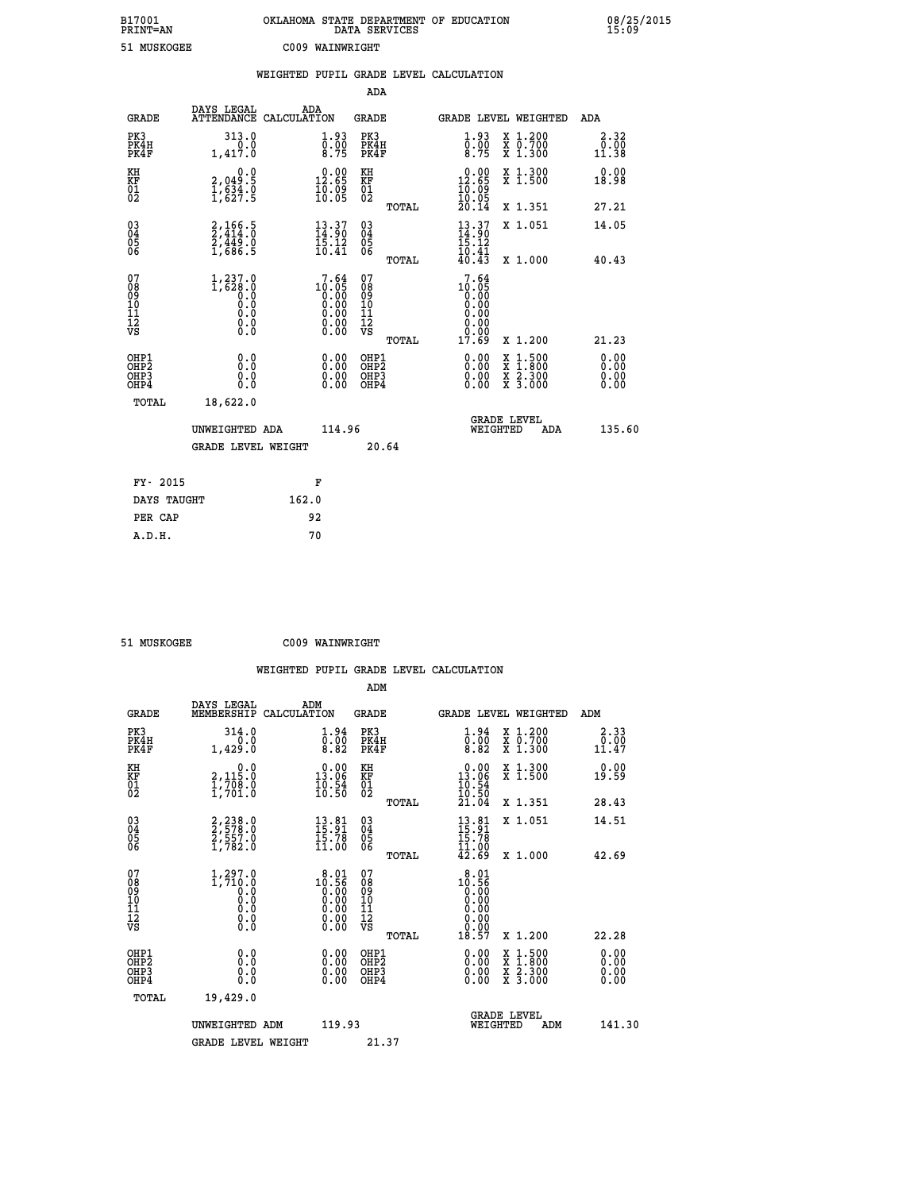| B17001<br><b>PRINT=AN</b> | OKLAHOMA STATE DEPARTMENT OF EDUCATION<br>DATA SERVICES | 08/25/2015<br>15:09 |
|---------------------------|---------------------------------------------------------|---------------------|
| 51 MUSKOGEE               | C009 WAINWRIGHT                                         |                     |

|                                                                    |                                                               | WEIGHTED PUPIL GRADE LEVEL CALCULATION                            |                                        |       |                                                           |                                          |                       |
|--------------------------------------------------------------------|---------------------------------------------------------------|-------------------------------------------------------------------|----------------------------------------|-------|-----------------------------------------------------------|------------------------------------------|-----------------------|
|                                                                    |                                                               |                                                                   | <b>ADA</b>                             |       |                                                           |                                          |                       |
| <b>GRADE</b>                                                       | DAYS LEGAL                                                    | ADA<br>ATTENDANCE CALCULATION                                     | GRADE                                  |       |                                                           | GRADE LEVEL WEIGHTED                     | ADA                   |
| PK3<br>PK4H<br>PK4F                                                | 313.0<br>0.0<br>1,417.0                                       | $\begin{smallmatrix} 1.93\ 0.00\ 8.75 \end{smallmatrix}$          | PK3<br>PK4H<br>PK4F                    |       | $\begin{smallmatrix} 1.93\ 0.00\\ 8.75 \end{smallmatrix}$ | X 1.200<br>X 0.700<br>X 1.300            | 2.32<br>0.00<br>11.38 |
| KH<br>KF<br>$\overline{01}$                                        | 0.0<br>2,049.5<br>$\frac{1}{2}, \frac{6}{6} \frac{3}{27}$ : 9 | $0.00$<br>12.65<br>$\frac{1}{10}$ .09                             | KH<br>KF<br>$\overline{01}$            |       | $12.00$<br>12.65<br>$\frac{1}{10}$ .09                    | X 1.300<br>X 1.500                       | 0.00<br>18.98         |
|                                                                    |                                                               |                                                                   |                                        | TOTAL | 20.14                                                     | X 1.351                                  | 27.21                 |
| $\begin{smallmatrix} 03 \\[-4pt] 04 \end{smallmatrix}$<br>Ŏ5<br>06 | $2,414.5$<br>$2,414.0$<br>$2,449.0$<br>$1,686.5$              | $\frac{13}{14}$ : $\frac{37}{15}$<br>$\frac{13}{12}$              | $\substack{03 \\ 04}$<br>Ŏ5<br>06      |       | $\frac{13}{14}$ : 37<br>15.12                             | X 1.051                                  | 14.05                 |
|                                                                    |                                                               | 10.41                                                             |                                        | TOTAL | 10.41<br>40.43                                            | X 1.000                                  | 40.43                 |
| 07<br>08<br>09<br>11<br>11<br>12<br>VS                             | $1, 237.0$<br>1,628.0<br>0.0<br>0.0<br>0.0<br>$\S.$           | 7.64<br>$10.000$<br>0.00<br>0.00<br>0.00<br>0.00<br>0.00          | 07<br>08<br>09<br>11<br>11<br>12<br>VS | TOTAL | 7.64<br>$10.05$<br>0.00<br>0.00<br>0.00<br>0.00<br>17.69  | X 1.200                                  | 21.23                 |
| OHP1<br>OHP2<br>OHP3<br>OHP4                                       | 0.0<br>0.0<br>0.0                                             | $\begin{smallmatrix} 0.00 \ 0.00 \ 0.00 \ 0.00 \end{smallmatrix}$ | OHP1<br>OHP2<br>OHP3<br>OHP4           |       | 0.00<br>0.00                                              | X 1:500<br>X 1:800<br>X 2:300<br>X 3:000 | 0.00<br>0.00<br>0.00  |
| TOTAL                                                              | 18,622.0                                                      |                                                                   |                                        |       |                                                           |                                          |                       |
|                                                                    | UNWEIGHTED ADA                                                |                                                                   | 114.96                                 |       | WEIGHTED                                                  | <b>GRADE LEVEL</b><br>ADA                | 135.60                |
|                                                                    | <b>GRADE LEVEL WEIGHT</b>                                     |                                                                   |                                        | 20.64 |                                                           |                                          |                       |
| FY- 2015                                                           |                                                               | F                                                                 |                                        |       |                                                           |                                          |                       |
| DAYS TAUGHT                                                        |                                                               | 162.0                                                             |                                        |       |                                                           |                                          |                       |
| PER CAP                                                            |                                                               | 92                                                                |                                        |       |                                                           |                                          |                       |

| <b>MITSKOCEE</b> |
|------------------|

 **A.D.H. 70**

 **51 MUSKOGEE C009 WAINWRIGHT**

 **ADM DAYS LEGAL ADM GRADE MEMBERSHIP CALCULATION GRADE GRADE LEVEL WEIGHTED ADM PK3 314.0 1.94 PK3 1.94 X 1.200 2.33**

| .<br>PK4H<br>PK4F                                  | $5.5^{+2}$<br>1,429.0                                                                                            | $\begin{smallmatrix} 0.00\ 0.82 \end{smallmatrix}$                                      | PK4H<br>PK4F                                    | $\begin{smallmatrix} 0.10 \ 0.82 \end{smallmatrix}$                     | $\begin{smallmatrix} 7 & 0.700 \\ X & 1.300 \end{smallmatrix}$ | $\begin{array}{c} 0.00 \\ 11.47 \end{array}$ |
|----------------------------------------------------|------------------------------------------------------------------------------------------------------------------|-----------------------------------------------------------------------------------------|-------------------------------------------------|-------------------------------------------------------------------------|----------------------------------------------------------------|----------------------------------------------|
| KH<br>KF<br>01<br>02                               | 0.0<br>2,115.0<br>$\frac{1}{1}$ , 708.0                                                                          | $\begin{smallmatrix} 0.00\\ 13.06\\ 10.54\\ 10.50 \end{smallmatrix}$                    | KH<br>KF<br>01<br>02                            | $\begin{array}{r} 0.00 \\ 13.06 \\ 10.54 \\ 10.50 \\ 21.04 \end{array}$ | X 1.300<br>X 1.500                                             | 0.00<br>19.59                                |
|                                                    |                                                                                                                  |                                                                                         | TOTAL                                           |                                                                         | X 1.351                                                        | 28.43                                        |
| $\begin{matrix} 03 \\ 04 \\ 05 \\ 06 \end{matrix}$ | 2,238.0<br>2,578.0<br>2,557.0<br>1,782.0                                                                         | $\begin{array}{c} 13 \cdot 81 \\ 15 \cdot 91 \\ 15 \cdot 78 \\ 11 \cdot 00 \end{array}$ | $03\overline{4}$<br>$\frac{05}{06}$             | $13.81$<br>$15.78$<br>$15.78$<br>$11.00$<br>$42.69$                     | X 1.051                                                        | 14.51                                        |
|                                                    |                                                                                                                  |                                                                                         | TOTAL                                           |                                                                         | X 1.000                                                        | 42.69                                        |
| 07<br>08<br>09<br>11<br>11<br>12<br>VS             | $\left.\begin{smallmatrix} 1,297.0\\ 1,710.0\\ 0.0\\ 0.0\\ 0.0\\ 0.0\\ 0.0\\ 0.0\\ 0.0 \end{smallmatrix}\right.$ | 8.01<br>$10.56$<br>0.00<br>0.00<br>0.00<br>0.00                                         | 07<br>08<br>09<br>11<br>11<br>12<br>VS<br>TOTAL | $10.56$<br>0.00<br>0.00<br>0.00<br>0.00<br>18.57                        | X 1.200                                                        | 22.28                                        |
| OHP1<br>OHP <sub>2</sub><br>OHP3<br>OHP4           | 0.0<br>0.0<br>0.0                                                                                                | $0.00$<br>$0.00$<br>0.00                                                                | OHP1<br>OHP <sub>2</sub><br>OHP3<br>OHP4        |                                                                         | X 1:500<br>X 1:800<br>X 2:300<br>X 3:000                       | 0.00<br>0.00<br>0.00                         |
| TOTAL                                              | 19,429.0                                                                                                         |                                                                                         |                                                 |                                                                         |                                                                |                                              |
|                                                    | UNWEIGHTED ADM                                                                                                   | 119.93                                                                                  |                                                 | WEIGHTED                                                                | <b>GRADE LEVEL</b><br>ADM                                      | 141.30                                       |
|                                                    | <b>GRADE LEVEL WEIGHT</b>                                                                                        |                                                                                         | 21.37                                           |                                                                         |                                                                |                                              |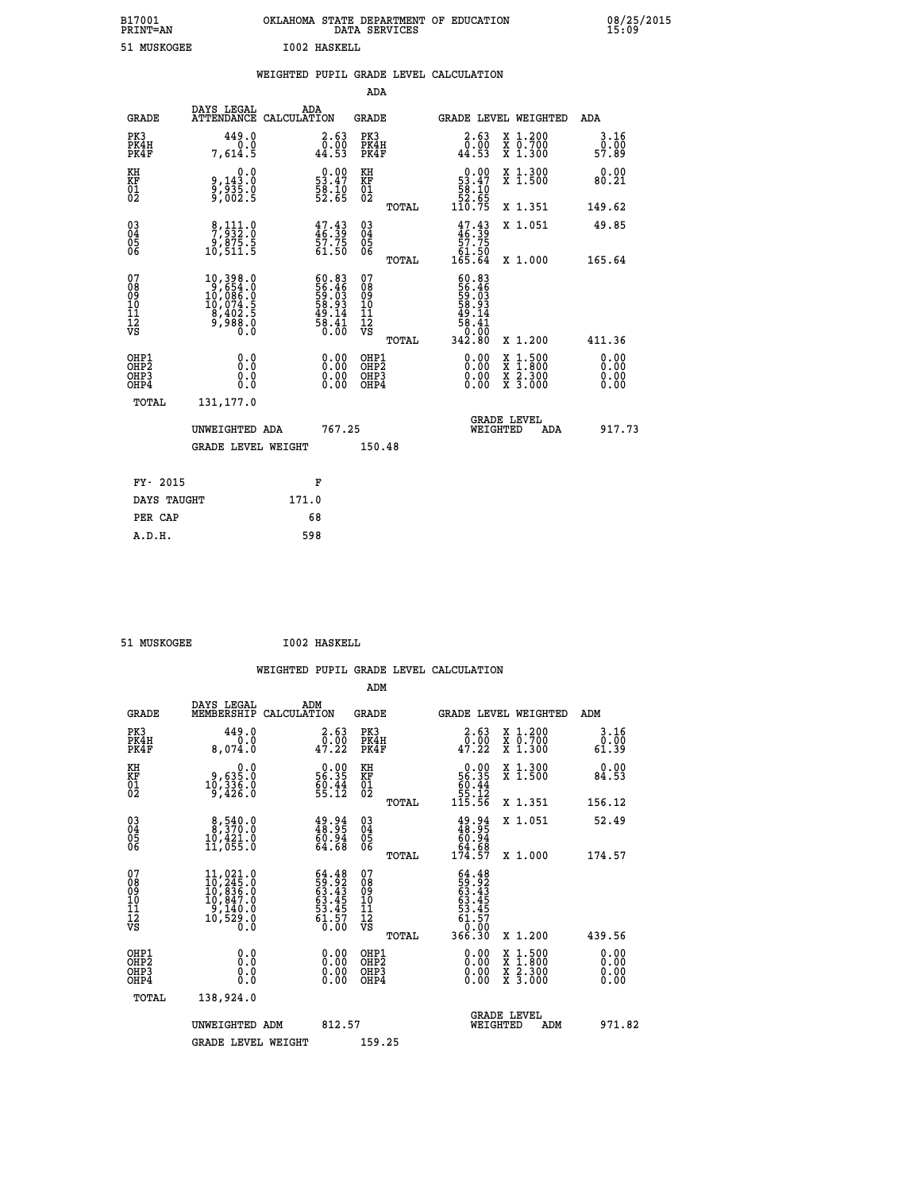| B17001<br><b>PRINT=AN</b> | OKLAHOMA STATE DEPARTMENT OF EDUCATION<br>DATA SERVICES |  |
|---------------------------|---------------------------------------------------------|--|
| 51 MUSKOGEE               | 1002 HASKELL                                            |  |

 **ADA**

 **B17001 OKLAHOMA STATE DEPARTMENT OF EDUCATION 08/25/2015**

|  |  | WEIGHTED PUPIL GRADE LEVEL CALCULATION |
|--|--|----------------------------------------|
|  |  |                                        |

| <b>GRADE</b>                          | DAYS LEGAL<br><b>ATTENDANCE</b>                                                                            | ADA<br>CALCULATION                                                   | <b>GRADE</b>                           |       |                                                                                                                                                                                                                                                                                | <b>GRADE LEVEL WEIGHTED</b>                                                              | ADA                       |
|---------------------------------------|------------------------------------------------------------------------------------------------------------|----------------------------------------------------------------------|----------------------------------------|-------|--------------------------------------------------------------------------------------------------------------------------------------------------------------------------------------------------------------------------------------------------------------------------------|------------------------------------------------------------------------------------------|---------------------------|
| PK3<br>PK4H<br>PK4F                   | 449.0<br>0.0<br>7,614.5                                                                                    | 2.63<br>$\overline{0}$ .00<br>44.53                                  | PK3<br>PK4H<br>PK4F                    |       | 2.63<br>0.00<br>44.53                                                                                                                                                                                                                                                          | X 1.200<br>X 0.700<br>X 1.300                                                            | $3.16$<br>$0.00$<br>57.89 |
| KH<br>KF<br>01<br>02                  | 0.0<br>0,143:0<br>0,935:0<br>9,002:5                                                                       | $\begin{smallmatrix} 0.00\\ 53.47\\ 58.10\\ 52.65 \end{smallmatrix}$ | KH<br>KF<br>01<br>02                   |       | $\begin{smallmatrix} &0.00\ 53.47\ 58.10\ 52.65\ 110.75 \end{smallmatrix}$                                                                                                                                                                                                     | X 1.300<br>X 1.500                                                                       | 0.00<br>80.21             |
|                                       |                                                                                                            |                                                                      |                                        | TOTAL |                                                                                                                                                                                                                                                                                | X 1.351                                                                                  | 149.62                    |
| 030404<br>06                          | $\begin{smallmatrix}8,111.0\\7,932.0\\9,875.5\\10,511.5\end{smallmatrix}$                                  | 47.43<br>46.39<br>57.75<br>61.50                                     | $\substack{03 \\ 04}$<br>Ŏ5<br>06      | TOTAL | $47.43\n46.39\n57.75\n61.50\n165.64$                                                                                                                                                                                                                                           | X 1.051<br>X 1.000                                                                       | 49.85<br>165.64           |
| 07<br>08<br>09<br>101<br>112<br>VS    | $\begin{smallmatrix} 10,398.0\\ 9,654.0\\ 10,086.0\\ 10,074.5\\ 8,402.5\\ 9,988.0\\ 0.0 \end{smallmatrix}$ | $60.83$<br>59.46<br>59.03<br>58.93<br>58.44<br>58.41                 | 07<br>08<br>09<br>11<br>11<br>12<br>VS |       | 60.83<br>56.465<br>58.93<br>58.144<br>58.41<br>0.00                                                                                                                                                                                                                            |                                                                                          |                           |
|                                       |                                                                                                            |                                                                      |                                        | TOTAL | 342.80                                                                                                                                                                                                                                                                         | X 1.200                                                                                  | 411.36                    |
| OHP1<br>OHP2<br>OHP3<br>OHP4<br>TOTAL | 0.0<br>0.0<br>Ŏ.Ŏ<br>131,177.0                                                                             | $0.00$<br>$0.00$<br>0.00                                             | OHP1<br>OHP2<br>OHP3<br>OHP4           |       | $\begin{smallmatrix} 0.00 & 0.00 & 0.00 & 0.00 & 0.00 & 0.00 & 0.00 & 0.00 & 0.00 & 0.00 & 0.00 & 0.00 & 0.00 & 0.00 & 0.00 & 0.00 & 0.00 & 0.00 & 0.00 & 0.00 & 0.00 & 0.00 & 0.00 & 0.00 & 0.00 & 0.00 & 0.00 & 0.00 & 0.00 & 0.00 & 0.00 & 0.00 & 0.00 & 0.00 & 0.00 & 0.0$ | $\begin{smallmatrix} x & 1.500 \\ x & 1.800 \\ x & 2.300 \\ x & 3.000 \end{smallmatrix}$ | 0.00<br>0.00<br>0.00      |
|                                       | UNWEIGHTED ADA                                                                                             | 767.25                                                               |                                        |       | WEIGHTED                                                                                                                                                                                                                                                                       | <b>GRADE LEVEL</b><br>ADA                                                                | 917.73                    |
|                                       | GRADE LEVEL WEIGHT                                                                                         |                                                                      | 150.48                                 |       |                                                                                                                                                                                                                                                                                |                                                                                          |                           |
| FY- 2015                              |                                                                                                            | F                                                                    |                                        |       |                                                                                                                                                                                                                                                                                |                                                                                          |                           |
| DAYS TAUGHT                           |                                                                                                            | 171.0                                                                |                                        |       |                                                                                                                                                                                                                                                                                |                                                                                          |                           |
| PER CAP                               |                                                                                                            | 68                                                                   |                                        |       |                                                                                                                                                                                                                                                                                |                                                                                          |                           |

51 MUSKOGEE **I002 HASKELL** 

 **A.D.H. 598**

 **ADM**

| <b>GRADE</b>                                       | DAYS LEGAL<br>MEMBERSHIP CALCULATION                                                                         | ADM                                                                      | <b>GRADE</b>                                       |       |                                                                                                                   | GRADE LEVEL WEIGHTED                     | ADM                   |        |
|----------------------------------------------------|--------------------------------------------------------------------------------------------------------------|--------------------------------------------------------------------------|----------------------------------------------------|-------|-------------------------------------------------------------------------------------------------------------------|------------------------------------------|-----------------------|--------|
| PK3<br>PK4H<br>PK4F                                | 449.0<br>0.0<br>8,074.0                                                                                      | 2.63<br>0.00<br>47.22                                                    | PK3<br>PK4H<br>PK4F                                |       | $\begin{smallmatrix} 2.63\0.00\\47.22 \end{smallmatrix}$                                                          | X 1.200<br>X 0.700<br>X 1.300            | 3.16<br>0.00<br>61.39 |        |
| KH<br>KF<br>01<br>02                               | 0.0<br>0,635.0<br>10,336.0<br>9,426.0                                                                        | $\begin{smallmatrix} 0.00\\ 56.35\\ 69.44\\ 55.12 \end{smallmatrix}$     | KH<br>KF<br>01<br>02                               |       | 0.00<br>56:35<br>60:44<br>55:12<br>115:56                                                                         | X 1.300<br>X 1.500                       | 0.00<br>84.53         |        |
|                                                    |                                                                                                              |                                                                          |                                                    | TOTAL |                                                                                                                   | X 1.351                                  | 156.12                |        |
| $\begin{matrix} 03 \\ 04 \\ 05 \\ 06 \end{matrix}$ | $\begin{smallmatrix}8,540.0\\8,370.0\\10,421.0\\11,055.0\end{smallmatrix}$                                   | $\begin{smallmatrix} 49.94\ 48.95\ 60.94\ 64.68 \end{smallmatrix}$       | $\begin{matrix} 03 \\ 04 \\ 05 \\ 06 \end{matrix}$ |       | $49.94$<br>$60.94$<br>$64.68$<br>$174.57$                                                                         | X 1.051                                  | 52.49                 |        |
|                                                    |                                                                                                              |                                                                          |                                                    | TOTAL |                                                                                                                   | $X_1.000$                                | 174.57                |        |
| 07<br>08<br>09<br>101<br>11<br>12<br>VS            | $\begin{smallmatrix} 11,021.0\\ 10,245.0\\ 10,836.0\\ 10,847.0\\ 9,140.0\\ 10,529.0\\ 0.0 \end{smallmatrix}$ | $64.48$<br>$59.92$<br>$63.43$<br>$63.45$<br>$53.45$<br>$61.57$<br>$0.00$ | 07<br>08<br>09<br>01<br>11<br>11<br>12<br>VS       | TOTAL | $\begin{array}{r} 64.48 \\ 59.92 \\ 63.43 \\ 63.455 \\ 63.455 \\ 53.457 \\ 61.570 \\ 0.000 \\ 366.30 \end{array}$ | X 1.200                                  | 439.56                |        |
| OHP1<br>OHP2<br>OH <sub>P3</sub><br>OHP4           | 0.0<br>0.000                                                                                                 | $\begin{smallmatrix} 0.00 \ 0.00 \ 0.00 \ 0.00 \end{smallmatrix}$        | OHP1<br>OHP <sub>2</sub><br>OHP3<br>OHP4           |       | 0.00<br>0.00                                                                                                      | X 1:500<br>X 1:800<br>X 2:300<br>X 3:000 | 0.00<br>0.00<br>0.00  |        |
| TOTAL                                              | 138,924.0                                                                                                    |                                                                          |                                                    |       |                                                                                                                   |                                          |                       |        |
|                                                    | UNWEIGHTED ADM                                                                                               | 812.57                                                                   |                                                    |       | WEIGHTED                                                                                                          | <b>GRADE LEVEL</b><br>ADM                |                       | 971.82 |
|                                                    | <b>GRADE LEVEL WEIGHT</b>                                                                                    |                                                                          | 159.25                                             |       |                                                                                                                   |                                          |                       |        |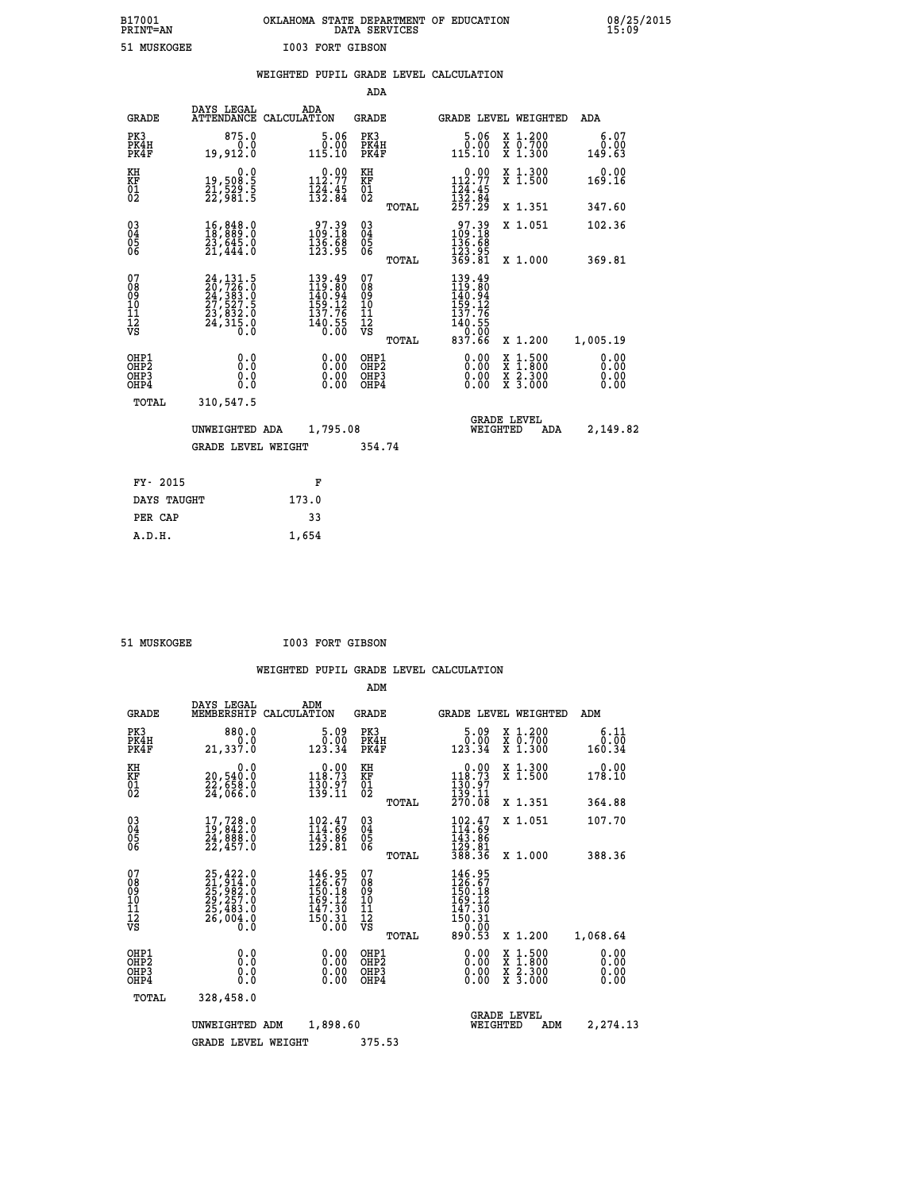# **B17001 OKLAHOMA STATE DEPARTMENT OF EDUCATION 08/25/2015 PRINT=AN DATA SERVICES 15:09 51 MUSKOGEE I003 FORT GIBSON**

|                                                                    |                                                                                                                                                     | WEIGHTED PUPIL GRADE LEVEL CALCULATION                                                              |                                         |       |                                                                                       |                                                                                                                                                          |                              |
|--------------------------------------------------------------------|-----------------------------------------------------------------------------------------------------------------------------------------------------|-----------------------------------------------------------------------------------------------------|-----------------------------------------|-------|---------------------------------------------------------------------------------------|----------------------------------------------------------------------------------------------------------------------------------------------------------|------------------------------|
|                                                                    |                                                                                                                                                     |                                                                                                     | ADA                                     |       |                                                                                       |                                                                                                                                                          |                              |
| <b>GRADE</b>                                                       | DAYS LEGAL                                                                                                                                          | ADA<br>ATTENDANCE CALCULATION                                                                       | <b>GRADE</b>                            |       | GRADE LEVEL WEIGHTED                                                                  |                                                                                                                                                          | ADA                          |
| PK3<br>PK4H<br>PK4F                                                | 875.0<br>0.0<br>19,912.0                                                                                                                            | 5.06<br>0.00<br>115.10                                                                              | PK3<br>PK4H<br>PK4F                     |       | 5.06<br>0.00<br>115.10                                                                | $\begin{smallmatrix} x & 1.200 \\ x & 0.700 \end{smallmatrix}$<br>X 1.300                                                                                | 6.07<br>0.00<br>149.63       |
| KH<br>KF<br>01<br>02                                               | 0.0<br>19,508:5<br>21,529:5<br>22,981:5                                                                                                             | $\begin{smallmatrix} 0.00\\ 112.77\\ 124.45\\ 132.84 \end{smallmatrix}$                             | KH<br>KF<br>01<br>02                    |       | 0.00<br>$112.77$<br>$124.45$<br>$132.84$<br>$257.29$                                  | X 1.300<br>X 1.500                                                                                                                                       | 0.00<br>169.16               |
|                                                                    |                                                                                                                                                     |                                                                                                     |                                         | TOTAL |                                                                                       | X 1.351                                                                                                                                                  | 347.60                       |
| $\begin{smallmatrix} 03 \\[-4pt] 04 \end{smallmatrix}$<br>Ŏ5<br>ŌĞ | 16,848.0<br>18,889.0<br>23,645.0<br>21,444.0                                                                                                        | $\begin{smallmatrix} 97.39 \\ 109.18 \\ 136.68 \\ 123.95 \end{smallmatrix}$                         | $\substack{03 \\ 04}$<br>05<br>06       |       | $\begin{smallmatrix} 97.39 \\ 109.18 \\ 136.68 \\ 123.95 \\ 369.81 \end{smallmatrix}$ | X 1.051                                                                                                                                                  | 102.36                       |
|                                                                    |                                                                                                                                                     |                                                                                                     |                                         | TOTAL |                                                                                       | X 1.000                                                                                                                                                  | 369.81                       |
| 07<br>08<br>09<br>11<br>11<br>12<br>VS                             | $\begin{smallmatrix} 24\,,\,131\,.5\\ 20\,,\,726\,.0\\ 24\,,\,383\,.0\\ 27\,,\,527\,.5\\ 23\,,\,832\,.0\\ 24\,,\,315\,.0\\ 0\,.0 \end{smallmatrix}$ | $\begin{smallmatrix} 139.49\\119.80\\140.94\\159.12\\157.76\\137.76\\140.55\\0.00\end{smallmatrix}$ | 07<br>08<br>09<br>101<br>11<br>12<br>VS |       | 139.49<br>119.80<br>140.94<br>159.12<br>137.76<br>140.55<br>$\frac{1}{837.60}$        |                                                                                                                                                          |                              |
|                                                                    |                                                                                                                                                     |                                                                                                     |                                         | TOTAL |                                                                                       | X 1.200                                                                                                                                                  | 1,005.19                     |
| OHP1<br>OHP <sub>2</sub><br>OHP3<br>OHP4                           | 0.0<br>0.0<br>0.0                                                                                                                                   | 0.00<br>$\begin{smallmatrix} 0.00 \ 0.00 \end{smallmatrix}$                                         | OHP1<br>OHP2<br>OHP3<br>OHP4            |       | 0.00<br>0.00<br>0.00                                                                  | $\frac{x}{x}$ $\frac{1.500}{x}$<br>$\begin{array}{c} \hat{x} & \hat{2} \cdot \check{3} \, \check{0} \, \check{0} \\ x & 3 \cdot 0 \, 0 \, 0 \end{array}$ | 0.00<br>0.00<br>0.00<br>0.00 |
| TOTAL                                                              | 310,547.5                                                                                                                                           |                                                                                                     |                                         |       |                                                                                       |                                                                                                                                                          |                              |
|                                                                    | UNWEIGHTED ADA                                                                                                                                      | 1,795.08                                                                                            |                                         |       | WEIGHTED                                                                              | <b>GRADE LEVEL</b><br>ADA                                                                                                                                | 2,149.82                     |
|                                                                    | <b>GRADE LEVEL WEIGHT</b>                                                                                                                           |                                                                                                     | 354.74                                  |       |                                                                                       |                                                                                                                                                          |                              |
| FY- 2015                                                           |                                                                                                                                                     | F                                                                                                   |                                         |       |                                                                                       |                                                                                                                                                          |                              |
| DAYS TAUGHT                                                        |                                                                                                                                                     | 173.0                                                                                               |                                         |       |                                                                                       |                                                                                                                                                          |                              |
| PER CAP                                                            |                                                                                                                                                     | 33                                                                                                  |                                         |       |                                                                                       |                                                                                                                                                          |                              |
| A.D.H.                                                             |                                                                                                                                                     | 1,654                                                                                               |                                         |       |                                                                                       |                                                                                                                                                          |                              |

 **51 MUSKOGEE I003 FORT GIBSON**

|                                                       |                                                                             |                    |                                                                         | ADM                                     |       |                                                                            |          |                                                                  |                              |
|-------------------------------------------------------|-----------------------------------------------------------------------------|--------------------|-------------------------------------------------------------------------|-----------------------------------------|-------|----------------------------------------------------------------------------|----------|------------------------------------------------------------------|------------------------------|
| <b>GRADE</b>                                          | DAYS LEGAL<br>MEMBERSHIP                                                    | ADM<br>CALCULATION |                                                                         | <b>GRADE</b>                            |       |                                                                            |          | <b>GRADE LEVEL WEIGHTED</b>                                      | ADM                          |
| PK3<br>PK4H<br>PK4F                                   | 880.0<br>0.0<br>21,337.0                                                    |                    | 5.09<br>0.00<br>123.34                                                  | PK3<br>PK4H<br>PK4F                     |       | 0.09<br>123.34                                                             |          | $\begin{array}{c} x & 1.200 \\ x & 0.700 \end{array}$<br>X 1.300 | 6.11<br>0.00<br>160.34       |
| KH<br>KF<br>01<br>02                                  | 0.0<br>20,540.0<br>22,658.0<br>24,066.0                                     |                    | $\begin{smallmatrix} 0.00\\ 118.73\\ 130.97\\ 139.11 \end{smallmatrix}$ | KH<br>KF<br>01<br>02                    |       | 0.00<br>118.73<br>$\frac{130.97}{139.11}$<br>270.08                        |          | X 1.300<br>X 1.500                                               | 0.00<br>178.10               |
|                                                       |                                                                             |                    |                                                                         |                                         | TOTAL |                                                                            |          | X 1.351                                                          | 364.88                       |
| 03<br>04<br>05<br>06                                  | 17,728.0<br>19,842.0<br>24,888.0<br>22,457.0                                |                    | $102.47$<br>$114.69$<br>$143.86$<br>$129.81$                            | $^{03}_{04}$<br>0500                    |       | $102.47$<br>$114.69$<br>$143.86$<br>$129.81$<br>$388.36$                   |          | X 1.051                                                          | 107.70                       |
|                                                       |                                                                             |                    |                                                                         |                                         | TOTAL |                                                                            |          | X 1.000                                                          | 388.36                       |
| 07<br>08<br>09<br>101<br>112<br>VS                    | 25,422.0<br>21,914.0<br>25,982.0<br>29,257.0<br>25,483.0<br>26,004.0<br>0.0 |                    | 146.95<br>126.67<br>150.18<br>169.12<br>$\frac{147.30}{150.31}$         | 07<br>08<br>09<br>101<br>11<br>12<br>VS | TOTAL | 146.95<br>126.67<br>150.18<br>169.12<br>147.30<br>150.31<br>0.00<br>890.53 |          | X 1.200                                                          | 1,068.64                     |
| OHP1<br>OH <sub>P</sub> 2<br>OH <sub>P3</sub><br>OHP4 | 0.0<br>0.000                                                                |                    | $0.00$<br>$0.00$<br>0.00                                                | OHP1<br>OHP2<br>OHP3<br>OHP4            |       | $0.00$<br>$0.00$<br>0.00                                                   |          | X 1:500<br>X 1:800<br>X 2:300<br>X 3:000                         | 0.00<br>0.00<br>0.00<br>0.00 |
| TOTAL                                                 | 328,458.0                                                                   |                    |                                                                         |                                         |       |                                                                            |          |                                                                  |                              |
|                                                       | UNWEIGHTED                                                                  | ADM                | 1,898.60                                                                |                                         |       |                                                                            | WEIGHTED | <b>GRADE LEVEL</b><br>ADM                                        | 2,274.13                     |
|                                                       | <b>GRADE LEVEL WEIGHT</b>                                                   |                    |                                                                         | 375.53                                  |       |                                                                            |          |                                                                  |                              |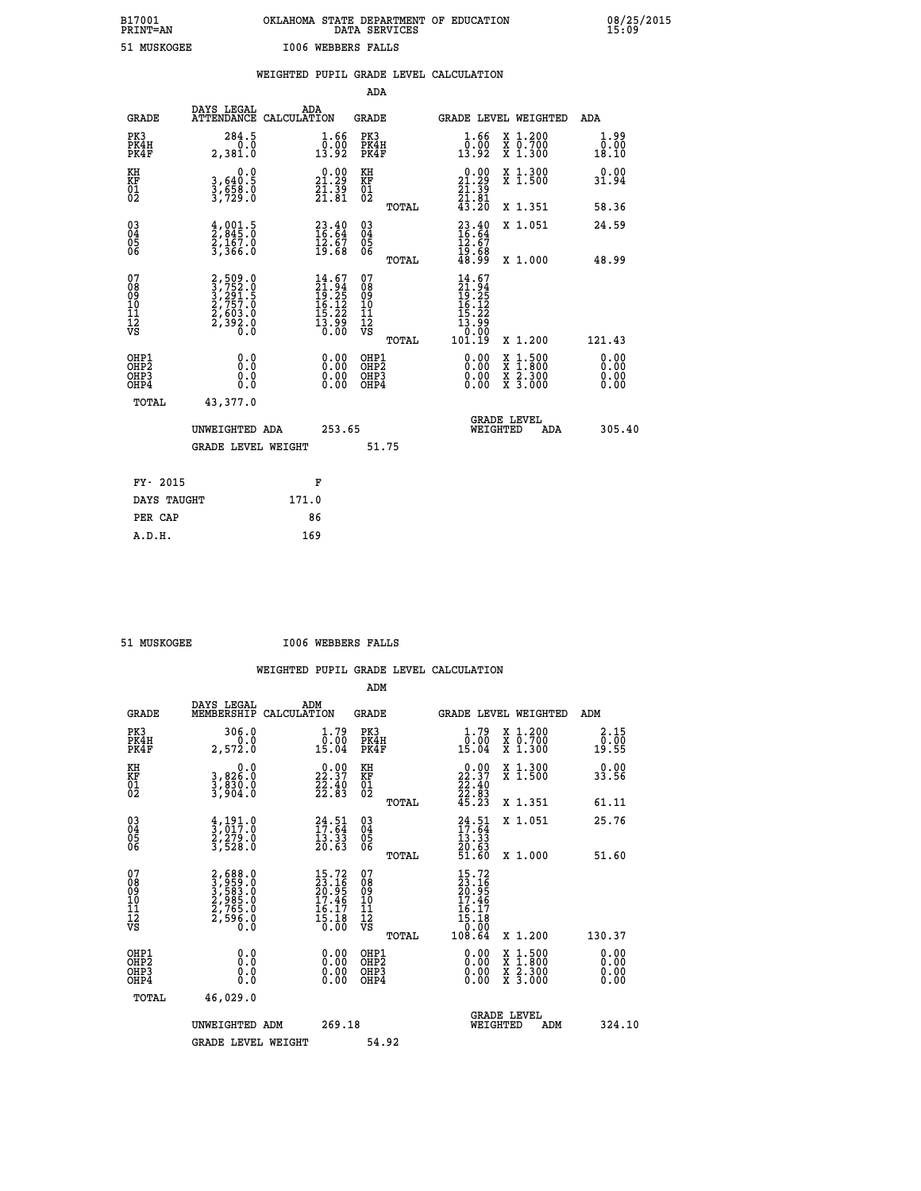| B17001<br><b>PRINT=AN</b> | OKLAHOMA STATE DEPARTMENT OF EDUCATION<br>DATA SERVICES |  |
|---------------------------|---------------------------------------------------------|--|
| 51 MUSKOGEE               | 1006 WEBBERS FALLS                                      |  |

 **B17001 OKLAHOMA STATE DEPARTMENT OF EDUCATION 08/25/2015**

|                                                                    |                                                                                     | WEIGHTED PUPIL GRADE LEVEL CALCULATION                                   |                                                 |                                                                                                                  |                                                                                          |                              |
|--------------------------------------------------------------------|-------------------------------------------------------------------------------------|--------------------------------------------------------------------------|-------------------------------------------------|------------------------------------------------------------------------------------------------------------------|------------------------------------------------------------------------------------------|------------------------------|
|                                                                    |                                                                                     |                                                                          | <b>ADA</b>                                      |                                                                                                                  |                                                                                          |                              |
| <b>GRADE</b>                                                       | DAYS LEGAL                                                                          | ADA<br>ATTENDANCE CALCULATION                                            | GRADE                                           | GRADE LEVEL WEIGHTED                                                                                             |                                                                                          | ADA                          |
| PK3<br>PK4H<br>PK4F                                                | 284.5<br>0.0<br>2,381.0                                                             | $\frac{1}{0}$ : $\frac{66}{00}$<br>13.92                                 | PK3<br>PK4H<br>PK4F                             | $\frac{1}{0}$ : $\frac{66}{13}$<br>13.92                                                                         | X 1.200<br>X 0.700<br>X 1.300                                                            | 1.99<br>0.00<br>18.10        |
| KH<br>KF<br>01<br>02                                               | 0.0<br>$\frac{3}{3}, \frac{640}{58}.\frac{5}{0}$<br>$\frac{3}{729}.\frac{0}{0}$     | $\begin{smallmatrix} 0.00\\ 21.29\\ 21.39\\ 21.81 \end{smallmatrix}$     | KH<br>KF<br>01<br>02                            | $\begin{array}{c} 0.00 \\ 21.29 \\ 21.39 \\ 21.81 \\ 43.20 \end{array}$                                          | X 1.300<br>X 1.500                                                                       | 0.00<br>31.94                |
|                                                                    |                                                                                     |                                                                          | TOTAL                                           |                                                                                                                  | X 1.351                                                                                  | 58.36                        |
| $\begin{smallmatrix} 03 \\[-4pt] 04 \end{smallmatrix}$<br>Ŏ5<br>06 | $\frac{4}{2}, \frac{001}{845}$ .0<br>$\frac{2}{3}, \frac{167}{366}$ .0              | $23.40$<br>$16.64$<br>$\frac{12.67}{19.68}$                              | $\substack{03 \\ 04}$<br>Ŏ5<br>06               | $\frac{23.40}{16.64}$<br>$\frac{12.67}{12.67}$                                                                   | X 1.051                                                                                  | 24.59                        |
|                                                                    |                                                                                     |                                                                          | TOTAL                                           | 19:68<br>48:99                                                                                                   | X 1.000                                                                                  | 48.99                        |
| 07<br>08<br>09<br>11<br>11<br>12<br>VS                             | $2,509.0$<br>$3,752.0$<br>$3,291.5$<br>$2,757.0$<br>$2,603.0$<br>$2,392.0$<br>$0.0$ | $14.67$<br>$21.94$<br>$19.25$<br>$16.12$<br>$15.22$<br>$13.99$<br>$0.00$ | 07<br>08<br>09<br>11<br>11<br>12<br>VS<br>TOTAL | 14.67<br>$\begin{smallmatrix} 14.94\ 12.94\ 19.25\ 16.122\ 15.22\ 15.22\ 13.99\ 0.00\ 101.19\ \end{smallmatrix}$ | X 1.200                                                                                  | 121.43                       |
| OHP1<br>OH <sub>P</sub> 2<br>OHP3<br>OHP4                          | 0.0<br>0.0<br>0.0                                                                   | $\begin{smallmatrix} 0.00 \ 0.00 \ 0.00 \ 0.00 \end{smallmatrix}$        | OHP1<br>OHP <sub>2</sub><br>OHP3<br>OHP4        |                                                                                                                  | $\begin{smallmatrix} x & 1.500 \\ x & 1.800 \\ x & 2.300 \\ x & 3.000 \end{smallmatrix}$ | 0.00<br>0.00<br>0.00<br>0.00 |
| TOTAL                                                              | 43,377.0                                                                            |                                                                          |                                                 |                                                                                                                  |                                                                                          |                              |
|                                                                    | UNWEIGHTED ADA                                                                      | 253.65                                                                   |                                                 | <b>GRADE LEVEL</b><br>WEIGHTED                                                                                   | <b>ADA</b>                                                                               | 305.40                       |
|                                                                    | <b>GRADE LEVEL WEIGHT</b>                                                           |                                                                          | 51.75                                           |                                                                                                                  |                                                                                          |                              |
|                                                                    | FY- 2015                                                                            | F                                                                        |                                                 |                                                                                                                  |                                                                                          |                              |
|                                                                    | DAYS TAUGHT                                                                         | 171.0                                                                    |                                                 |                                                                                                                  |                                                                                          |                              |
|                                                                    | PER CAP                                                                             | 86                                                                       |                                                 |                                                                                                                  |                                                                                          |                              |

 **A.D.H. 169**

 **B17001<br>PRINT=AN** 

 **51 MUSKOGEE I006 WEBBERS FALLS**

|                                          |                                                                                           |                                                                        | ADM                                                 |       |                                                                              |                                          |                              |
|------------------------------------------|-------------------------------------------------------------------------------------------|------------------------------------------------------------------------|-----------------------------------------------------|-------|------------------------------------------------------------------------------|------------------------------------------|------------------------------|
| <b>GRADE</b>                             | DAYS LEGAL<br>MEMBERSHIP                                                                  | ADM<br>CALCULATION                                                     | <b>GRADE</b>                                        |       |                                                                              | <b>GRADE LEVEL WEIGHTED</b>              | ADM                          |
| PK3<br>PK4H<br>PK4F                      | 306.0<br>2,572.0                                                                          | 1.79<br>$\frac{0.00}{15.04}$                                           | PK3<br>PK4H<br>PK4F                                 |       | $\begin{smallmatrix} 1.79 \\ 0.00 \\ 15.04 \end{smallmatrix}$                | X 1.200<br>X 0.700<br>X 1.300            | 2.15<br>0.00<br>19.55        |
| KH<br>KF<br>01<br>02                     | 0.0<br>3,826:0<br>3,830:0<br>3,904:0                                                      | $\begin{smallmatrix} 0.00\\ 22.37\\ 22.40\\ 22.83 \end{smallmatrix}$   | KH<br>KF<br>01<br>02                                |       | $\begin{smallmatrix} 0.00\\ 22.37\\ 22.40\\ 22.83\\ 45.23 \end{smallmatrix}$ | X 1.300<br>X 1.500                       | 0.00<br>33.56                |
|                                          |                                                                                           |                                                                        |                                                     | TOTAL |                                                                              | X 1.351                                  | 61.11                        |
| 03<br>04<br>05<br>06                     | $\frac{4}{3}, \frac{191}{017}.0$<br>$\frac{2}{3}, \frac{279}{528}.0$<br>$\frac{3}{528}.0$ | $24.51$<br>$17.64$<br>$\frac{13.33}{20.63}$                            | $\begin{array}{c} 03 \\ 04 \\ 05 \\ 06 \end{array}$ |       | $24.51$<br>$17.64$<br>$13.33$<br>$20.63$<br>$51.60$                          | X 1.051                                  | 25.76                        |
|                                          |                                                                                           |                                                                        |                                                     | TOTAL |                                                                              | X 1.000                                  | 51.60                        |
| 07<br>08<br>09<br>101<br>112<br>VS       | 2,688.0<br>3,959.0<br>3,583.0<br>2,985.0<br>2,765.0<br>2,596.0                            | $15.72$<br>$23.16$<br>$20.95$<br>$17.46$<br>$16.17$<br>$15.18$<br>0.00 | 07<br>08<br>09<br>11<br>11<br>12<br>VS              |       | 15.72<br>23.16<br>20.95<br>17.46<br>17.18<br>15.18<br>15.18<br>108.64        |                                          |                              |
|                                          |                                                                                           |                                                                        |                                                     | TOTAL |                                                                              | X 1.200                                  | 130.37                       |
| OHP1<br>OHP2<br>OH <sub>P3</sub><br>OHP4 | 0.0<br>0.000                                                                              |                                                                        | OHP1<br>OHP2<br>OHP <sub>3</sub>                    |       | $0.00$<br>$0.00$<br>0.00                                                     | X 1:500<br>X 1:800<br>X 2:300<br>X 3:000 | 0.00<br>0.00<br>0.00<br>0.00 |
| TOTAL                                    | 46,029.0                                                                                  |                                                                        |                                                     |       |                                                                              |                                          |                              |
|                                          | UNWEIGHTED ADM                                                                            | 269.18                                                                 |                                                     |       | <b>GRADE LEVEL</b><br>WEIGHTED                                               | ADM                                      | 324.10                       |
|                                          | <b>GRADE LEVEL WEIGHT</b>                                                                 |                                                                        | 54.92                                               |       |                                                                              |                                          |                              |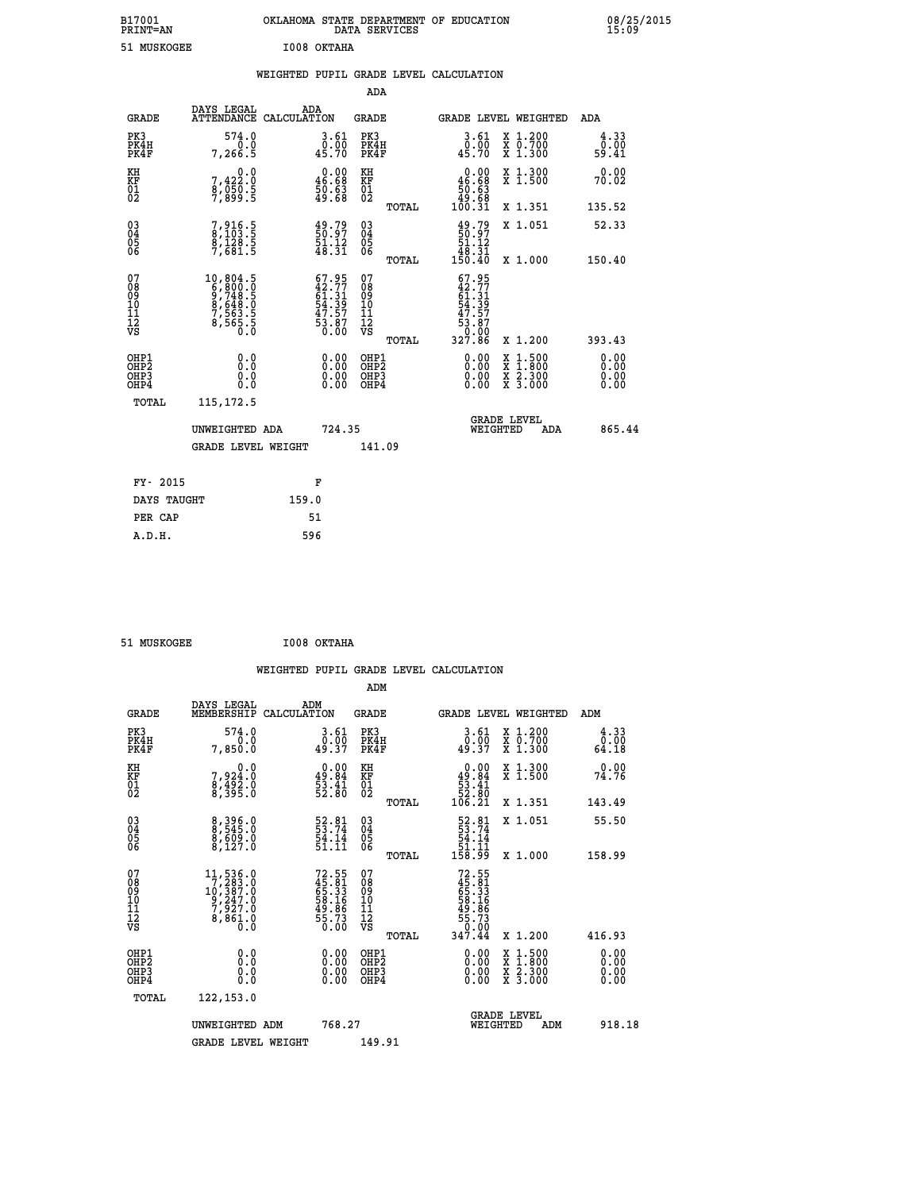| B17001<br><b>PRINT=AN</b> | OKLAHOMA STATE DEPARTMENT OF EDUCATION<br>DATA SERVICES | 08/25/2015<br>15:09 |
|---------------------------|---------------------------------------------------------|---------------------|
| 51 MUSKOGEE               | I008 OKTAHA                                             |                     |

|                                                                    |                                                                                                              |                                                                          | ADA                                                |       |                                                                                       |        |                                          |                              |
|--------------------------------------------------------------------|--------------------------------------------------------------------------------------------------------------|--------------------------------------------------------------------------|----------------------------------------------------|-------|---------------------------------------------------------------------------------------|--------|------------------------------------------|------------------------------|
| <b>GRADE</b>                                                       | DAYS LEGAL<br><b>ATTENDANCE</b>                                                                              | ADA<br>CALCULATION                                                       | <b>GRADE</b>                                       |       | GRADE LEVEL WEIGHTED                                                                  |        |                                          | <b>ADA</b>                   |
| PK3<br>PK4H<br>PK4F                                                | 574.0<br>0.0<br>7,266.5                                                                                      | $\begin{smallmatrix} 3.61\ 0.00\ 45.70 \end{smallmatrix}$                | PK3<br>PK4H<br>PK4F                                |       | 3.61<br>ō:ŏō<br>45:70                                                                 |        | X 1.200<br>X 0.700<br>X 1.300            | $\frac{4.33}{0.00}$<br>59.41 |
| KH<br>KF<br>01<br>02                                               | 0.0<br>7,422:0<br>8,050:5<br>7,899:5                                                                         | $\begin{smallmatrix} 0.00\\ 46.68\\ 50.63\\ 49.68 \end{smallmatrix}$     | KH<br>KF<br>01<br>02                               |       | 0.00<br>$\begin{array}{r} 46.68 \\ 50.63 \\ 49.68 \\ 100.31 \end{array}$              |        | X 1.300<br>X 1.500                       | 0.00<br>70.02                |
|                                                                    |                                                                                                              |                                                                          |                                                    | TOTAL |                                                                                       |        | X 1.351                                  | 135.52                       |
| $\begin{smallmatrix} 03 \\[-4pt] 04 \end{smallmatrix}$<br>Ŏ5<br>06 | 7,916.5<br>8,103.5<br>8,128.5<br>7,681.5                                                                     | 49.79<br>50.97<br>$\frac{51.12}{48.31}$                                  | $\begin{matrix} 03 \\ 04 \\ 05 \\ 06 \end{matrix}$ | TOTAL | $\begin{smallmatrix} 49.79\\ 50.97\\ 51.12\\ 48.31\\ 150.40 \end{smallmatrix}$        |        | X 1.051<br>X 1.000                       | 52.33<br>150.40              |
| 07<br>08<br>09<br>11<br>11<br>12<br>VS                             | $\begin{smallmatrix}10, 804.5\\ 6, 800.0\\ 9, 748.5\\ 8, 648.0\\ 7, 563.5\\ 8, 565.5\\ 0.0\end{smallmatrix}$ | $67.95$<br>$42.77$<br>$61.31$<br>$54.39$<br>$47.57$<br>$53.87$<br>$0.00$ | 07<br>08<br>09<br>11<br>11<br>12<br>VS             |       | $67.95$<br>$42.77$<br>$64.31$<br>$54.39$<br>$47.57$<br>$53.87$<br>$0.000$<br>$327.86$ |        |                                          |                              |
|                                                                    |                                                                                                              |                                                                          |                                                    | TOTAL |                                                                                       |        | X 1.200                                  | 393.43                       |
| OHP1<br>OHP <sub>2</sub><br>OHP3<br>OHP4                           | 0.0<br>0.0<br>0.0                                                                                            | 0.00<br>$\begin{smallmatrix} 0.00 \ 0.00 \end{smallmatrix}$              | OHP1<br>OH <sub>P</sub> 2<br>OHP3<br>OHP4          |       | 0.00<br>0.00<br>0.00                                                                  | X<br>X | $1:500$<br>$1:800$<br>X 2.300<br>X 3.000 | 0.00<br>0.00<br>0.00<br>0.00 |
| TOTAL                                                              | 115, 172.5                                                                                                   |                                                                          |                                                    |       |                                                                                       |        |                                          |                              |
|                                                                    | UNWEIGHTED ADA                                                                                               | 724.35                                                                   |                                                    |       | <b>GRADE LEVEL</b><br>WEIGHTED                                                        |        | ADA                                      | 865.44                       |
|                                                                    | <b>GRADE LEVEL WEIGHT</b>                                                                                    |                                                                          | 141.09                                             |       |                                                                                       |        |                                          |                              |
| FY- 2015                                                           |                                                                                                              | F                                                                        |                                                    |       |                                                                                       |        |                                          |                              |
| DAYS TAUGHT                                                        |                                                                                                              | 159.0                                                                    |                                                    |       |                                                                                       |        |                                          |                              |
| PER CAP                                                            |                                                                                                              | 51                                                                       |                                                    |       |                                                                                       |        |                                          |                              |
|                                                                    |                                                                                                              |                                                                          |                                                    |       |                                                                                       |        |                                          |                              |

 **51 MUSKOGEE I008 OKTAHA**

 **A.D.H. 596**

 **ADM DAYS LEGAL ADM GRADE MEMBERSHIP CALCULATION GRADE GRADE LEVEL WEIGHTED ADM PK3 574.0 3.61 PK3 3.61 X 1.200 4.33 PK4H 0.0 0.00 PK4H 0.00 X 0.700 0.00**

| PK4F                                               | 7,850.0                                                                                                                               | 49.37                                                                 | PK4F                                                  | 49.37                                                                                           | X 1.300                                                                                                             | 64.18                                                                                                                                                                                                                                                                          |
|----------------------------------------------------|---------------------------------------------------------------------------------------------------------------------------------------|-----------------------------------------------------------------------|-------------------------------------------------------|-------------------------------------------------------------------------------------------------|---------------------------------------------------------------------------------------------------------------------|--------------------------------------------------------------------------------------------------------------------------------------------------------------------------------------------------------------------------------------------------------------------------------|
| KH<br>KF<br>01<br>02                               | $7,924.0$<br>$8,492.0$<br>$8,395.0$                                                                                                   | $\begin{smallmatrix} 0.00\\ 49.84\\ 53.41\\ 52.80 \end{smallmatrix}$  | KH<br>KF<br>01<br>02                                  | $\begin{smallmatrix} &0.00\\ 49.84\\ \phantom{0}53.41\\ 52.80\\ 106.21\end{smallmatrix}$        | X 1.300<br>X 1.500                                                                                                  | 0.00<br>74.76                                                                                                                                                                                                                                                                  |
|                                                    |                                                                                                                                       |                                                                       | TOTAL                                                 |                                                                                                 | X 1.351                                                                                                             | 143.49                                                                                                                                                                                                                                                                         |
| $\begin{matrix} 03 \\ 04 \\ 05 \\ 06 \end{matrix}$ | 8,396.0<br>8,545.0<br>8,609.0<br>8,127.0                                                                                              | $\begin{smallmatrix} 52.81\\ 53.74\\ 54.14\\ 51.11 \end{smallmatrix}$ | $\begin{matrix} 03 \\ 04 \\ 05 \\ 06 \end{matrix}$    | $\begin{array}{r} 52.81 \\ 53.74 \\ 54.14 \\ 51.11 \\ 158.99 \end{array}$                       | X 1.051                                                                                                             | 55.50                                                                                                                                                                                                                                                                          |
|                                                    |                                                                                                                                       |                                                                       | TOTAL                                                 |                                                                                                 | X 1.000                                                                                                             | 158.99                                                                                                                                                                                                                                                                         |
| 07<br>08<br>09<br>101<br>11<br>12<br>VS            | $\begin{smallmatrix} 11,536\cdot 0\\7,283\cdot 0\\10,387\cdot 0\\9,247\cdot 0\\7,927\cdot 0\\8,861\cdot 0\\0\cdot 0\end{smallmatrix}$ | 72.55<br>45.31<br>65.33<br>58.16<br>58.73<br>55.73<br>50.00           | 07<br>08<br>09<br>01<br>11<br>11<br>12<br>VS<br>TOTAL | $72.55$<br>$45.81$<br>$65.33$<br>$58.16$<br>$59.86$<br>$49.86$<br>$55.73$<br>$0.00$<br>$347.44$ | X 1.200                                                                                                             | 416.93                                                                                                                                                                                                                                                                         |
| OHP1<br>OHP2<br>OH <sub>P3</sub><br>OHP4           |                                                                                                                                       | $\begin{smallmatrix} 0.00 \ 0.00 \ 0.00 \ 0.00 \end{smallmatrix}$     | OHP1<br>OHP <sub>2</sub><br>OHP3<br>OHP4              |                                                                                                 | $\begin{array}{l} \mathtt{X} & 1.500 \\ \mathtt{X} & 1.800 \\ \mathtt{X} & 2.300 \\ \mathtt{X} & 3.000 \end{array}$ | $\begin{smallmatrix} 0.00 & 0.00 & 0.00 & 0.00 & 0.00 & 0.00 & 0.00 & 0.00 & 0.00 & 0.00 & 0.00 & 0.00 & 0.00 & 0.00 & 0.00 & 0.00 & 0.00 & 0.00 & 0.00 & 0.00 & 0.00 & 0.00 & 0.00 & 0.00 & 0.00 & 0.00 & 0.00 & 0.00 & 0.00 & 0.00 & 0.00 & 0.00 & 0.00 & 0.00 & 0.00 & 0.0$ |
| TOTAL                                              | 122, 153.0                                                                                                                            |                                                                       |                                                       |                                                                                                 |                                                                                                                     |                                                                                                                                                                                                                                                                                |
|                                                    | UNWEIGHTED<br>ADM                                                                                                                     | 768.27                                                                |                                                       | WEIGHTED                                                                                        | <b>GRADE LEVEL</b><br>ADM                                                                                           | 918.18                                                                                                                                                                                                                                                                         |
|                                                    | <b>GRADE LEVEL WEIGHT</b>                                                                                                             |                                                                       | 149.91                                                |                                                                                                 |                                                                                                                     |                                                                                                                                                                                                                                                                                |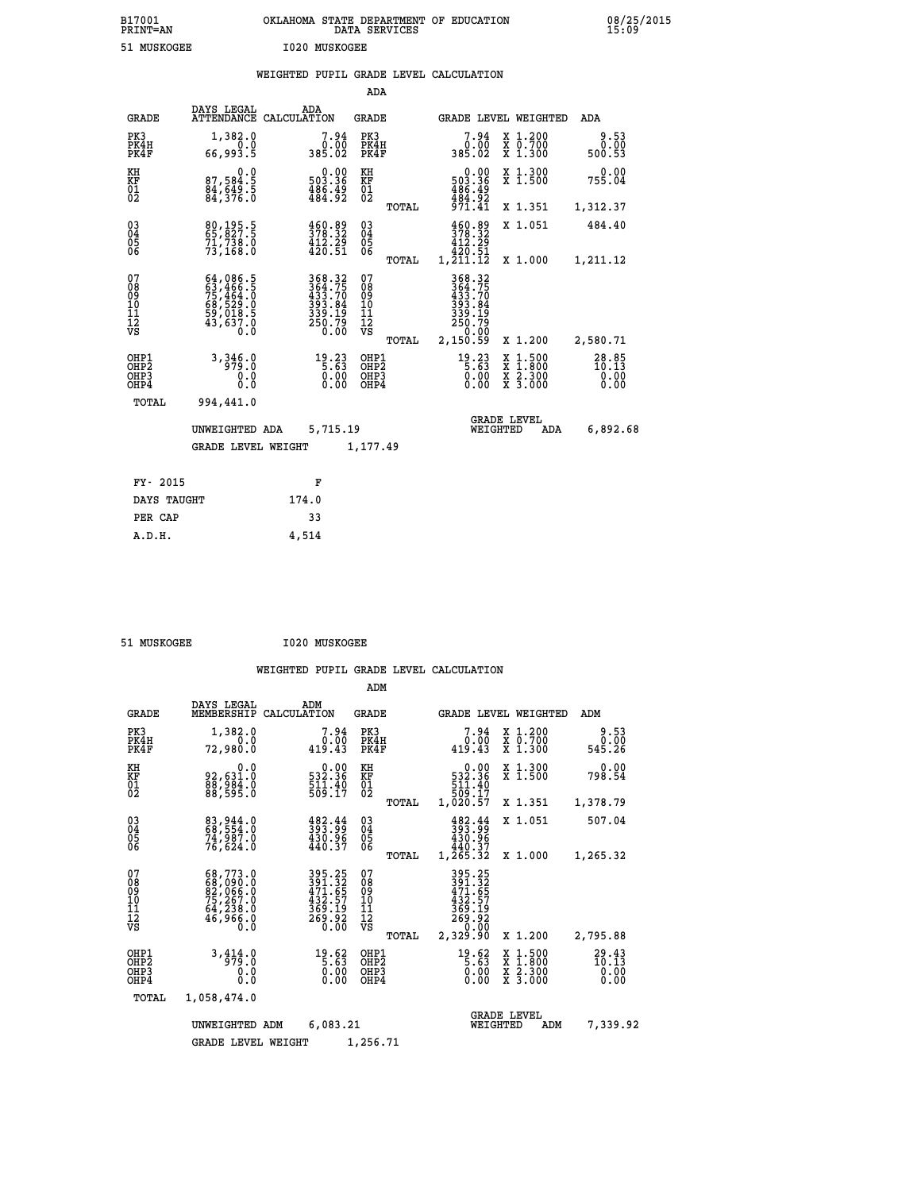| B17001<br><b>PRINT=AN</b> | OKLAHOMA<br>. STATE DEPARTMENT OF EDUCATION<br>DATA SERVICES | 08/25/2015<br>15:09 |
|---------------------------|--------------------------------------------------------------|---------------------|
| 51 MUSKOGEE               | 1020 MUSKOGEE                                                |                     |

|  |  | WEIGHTED PUPIL GRADE LEVEL CALCULATION |
|--|--|----------------------------------------|
|  |  |                                        |

|                                                                    |                                                                                         |                                                                            | ADA                                       |       |                                                                            |                                                                     |                                    |
|--------------------------------------------------------------------|-----------------------------------------------------------------------------------------|----------------------------------------------------------------------------|-------------------------------------------|-------|----------------------------------------------------------------------------|---------------------------------------------------------------------|------------------------------------|
| <b>GRADE</b>                                                       | DAYS LEGAL                                                                              | ADA<br>ATTENDANCE CALCULATION                                              | <b>GRADE</b>                              |       |                                                                            | GRADE LEVEL WEIGHTED                                                | ADA                                |
| PK3<br>PK4H<br>PK4F                                                | 1,382.0<br>0.0<br>66,993.5                                                              | $7.94\n0.00\n385.02$                                                       | PK3<br>PK4H<br>PK4F                       |       | 7.94<br>ةة:ف<br>385.02                                                     | X 1.200<br>X 0.700<br>X 1.300                                       | 9.53<br>0.00<br>500.53             |
| KH<br>KF<br>01<br>02                                               | 0.0<br>87,584.5<br>84,649.5<br>84,376.0                                                 | $0.00$<br>503.36<br>$\frac{486}{484}$ : $\frac{49}{92}$                    | KH<br>KF<br>$\overline{01}$               |       | $\begin{array}{c} 0.00 \\ 503.36 \\ 486.49 \\ 484.92 \end{array}$          | X 1.300<br>X 1.500                                                  | 0.00<br>755.04                     |
|                                                                    |                                                                                         |                                                                            |                                           | TOTAL | 971.41                                                                     | X 1.351                                                             | 1,312.37                           |
| $\begin{smallmatrix} 03 \\[-4pt] 04 \end{smallmatrix}$<br>05<br>ŌĞ | 80,195.5<br>71,738.0<br>73,168.0                                                        | 460.89<br>378.32<br>$\frac{412.29}{420.51}$                                | $\substack{03 \\ 04}$<br>$\frac{05}{06}$  |       | 460.89<br>378.32<br>412.29<br>1,200.51<br>1,211.12                         | X 1.051                                                             | 484.40                             |
|                                                                    |                                                                                         |                                                                            |                                           | TOTAL |                                                                            | X 1.000                                                             | 1,211.12                           |
| 07<br>08<br>09<br>11<br>11<br>12<br>VS                             | 64,086.5<br>63,466.5<br>75,464.0<br>75,464.0<br>68,529.0<br>59,018.5<br>43,637.0<br>0.0 | 368.32<br>364.75<br>363.70<br>433.84<br>339.19<br>339.19<br>250.79<br>0.00 | 07<br>08<br>09<br>11<br>11<br>12<br>VS    |       | 368.32<br>$364.75$<br>$393.84$<br>$393.84$<br>$339.19$<br>$250.79$<br>0.00 |                                                                     |                                    |
|                                                                    |                                                                                         |                                                                            |                                           | TOTAL | 2,150.59                                                                   | X 1.200                                                             | 2,580.71                           |
| OHP1<br>OH <sub>P</sub> 2<br>OHP3<br>OHP4                          | 3,346.0<br>0.0<br>$0.\overline{0}$                                                      | 19.23<br>5.63<br>$\begin{smallmatrix} 0.00 \ 0.00 \end{smallmatrix}$       | OHP1<br>OH <sub>P</sub> 2<br>OHP3<br>OHP4 |       | $19.23$<br>5.63<br>0.00<br>0.00                                            | $1:500$<br>$1:800$<br>X<br>X<br>$\frac{x}{x}$ $\frac{5:300}{3:000}$ | $28.85$<br>$10.13$<br>0.00<br>0.00 |
| TOTAL                                                              | 994,441.0                                                                               |                                                                            |                                           |       |                                                                            |                                                                     |                                    |
|                                                                    | UNWEIGHTED ADA                                                                          | 5,715.19                                                                   |                                           |       |                                                                            | <b>GRADE LEVEL</b><br>WEIGHTED<br>ADA                               | 6,892.68                           |
|                                                                    | <b>GRADE LEVEL WEIGHT</b>                                                               |                                                                            | 1,177.49                                  |       |                                                                            |                                                                     |                                    |
| FY- 2015                                                           |                                                                                         | F                                                                          |                                           |       |                                                                            |                                                                     |                                    |
| DAYS TAUGHT                                                        |                                                                                         | 174.0                                                                      |                                           |       |                                                                            |                                                                     |                                    |
| PER CAP                                                            |                                                                                         | 33                                                                         |                                           |       |                                                                            |                                                                     |                                    |

| MISKOCEE |  |
|----------|--|

 **A.D.H. 4,514**

 **51 MUSKOGEE I020 MUSKOGEE**

|                                                       |                                                                                           |                                                                                      | ADM                                              |                                                                                         |                                                                  |                                |
|-------------------------------------------------------|-------------------------------------------------------------------------------------------|--------------------------------------------------------------------------------------|--------------------------------------------------|-----------------------------------------------------------------------------------------|------------------------------------------------------------------|--------------------------------|
| <b>GRADE</b>                                          | DAYS LEGAL<br>MEMBERSHIP                                                                  | ADM<br>CALCULATION                                                                   | <b>GRADE</b>                                     | <b>GRADE LEVEL WEIGHTED</b>                                                             |                                                                  | ADM                            |
| PK3<br>PK4H<br>PK4F                                   | 1,382.0<br>0.0<br>72,980.0                                                                | 7.94<br>0.00<br>419.43                                                               | PK3<br>PK4H<br>PK4F                              | 7.94<br>0.00<br>419.43                                                                  | $\begin{array}{c} x & 1.200 \\ x & 0.700 \end{array}$<br>X 1.300 | 9.53<br>0.00<br>545.26         |
| KH<br>KF<br>01<br>02                                  | 0.0<br>92,631.0<br>88,984.0<br>88,595.0                                                   | $\begin{smallmatrix} &0.00\ 532.36\ 511.40\ 509.17\ \end{smallmatrix}$               | KH<br>KF<br>01<br>02                             | 0.00<br>$\begin{smallmatrix}532.36\511.40\509.17\1,020.57\end{smallmatrix}$             | X 1.300<br>X 1.500                                               | 0.00<br>798.54                 |
|                                                       |                                                                                           |                                                                                      | TOTAL                                            |                                                                                         | X 1.351                                                          | 1,378.79                       |
| 03<br>04<br>05<br>06                                  | 83, 944.0<br>68, 554.0<br>74, 987.0<br>76,624.0                                           | 482.44<br>393.99<br>430.96<br>440.37                                                 | $\substack{03 \\ 04}$<br>05<br>06                | 482.44<br>393.99<br>430.96<br>440.37                                                    | X 1.051                                                          | 507.04                         |
|                                                       |                                                                                           |                                                                                      | TOTAL                                            | 1,265.32                                                                                | X 1.000                                                          | 1,265.32                       |
| 07<br>08<br>09<br>11<br>11<br>12<br>VS                | $68,773.0$<br>$68,090.0$<br>$82,066.0$<br>$75,267.0$<br>$64,238.0$<br>$46,966.0$<br>$0.0$ | 395.25<br>391.32<br>471.65<br>$43\overline{2}$ .<br>: 57<br>369.19<br>269.92<br>0.00 | 07<br>08<br>09<br>101<br>11<br>12<br>VS<br>TOTAL | 395.25<br>391.32<br>$471.65$<br>$432.57$<br>$369.19$<br>$269.92$<br>$20.00$<br>2,329.90 | X 1.200                                                          | 2,795.88                       |
| OHP1<br>OH <sub>P</sub> 2<br>OH <sub>P3</sub><br>OHP4 | 3,414.0<br>979.0<br>0.000                                                                 | $19.62$<br>5.63<br>0.00<br>0.00                                                      | OHP1<br>OHP2<br>OHP3<br>OHP4                     | $19.62$<br>5.63<br>0.00<br>0.00                                                         | X 1:500<br>X 1:800<br>X 2:300<br>X 3:000                         | 29.43<br>10:13<br>0.00<br>0.00 |
| TOTAL                                                 | 1,058,474.0                                                                               |                                                                                      |                                                  |                                                                                         |                                                                  |                                |
|                                                       | UNWEIGHTED ADM                                                                            | 6,083.21                                                                             |                                                  | <b>GRADE LEVEL</b><br>WEIGHTED                                                          | ADM                                                              | 7,339.92                       |
|                                                       | <b>GRADE LEVEL WEIGHT</b>                                                                 |                                                                                      | 1,256.71                                         |                                                                                         |                                                                  |                                |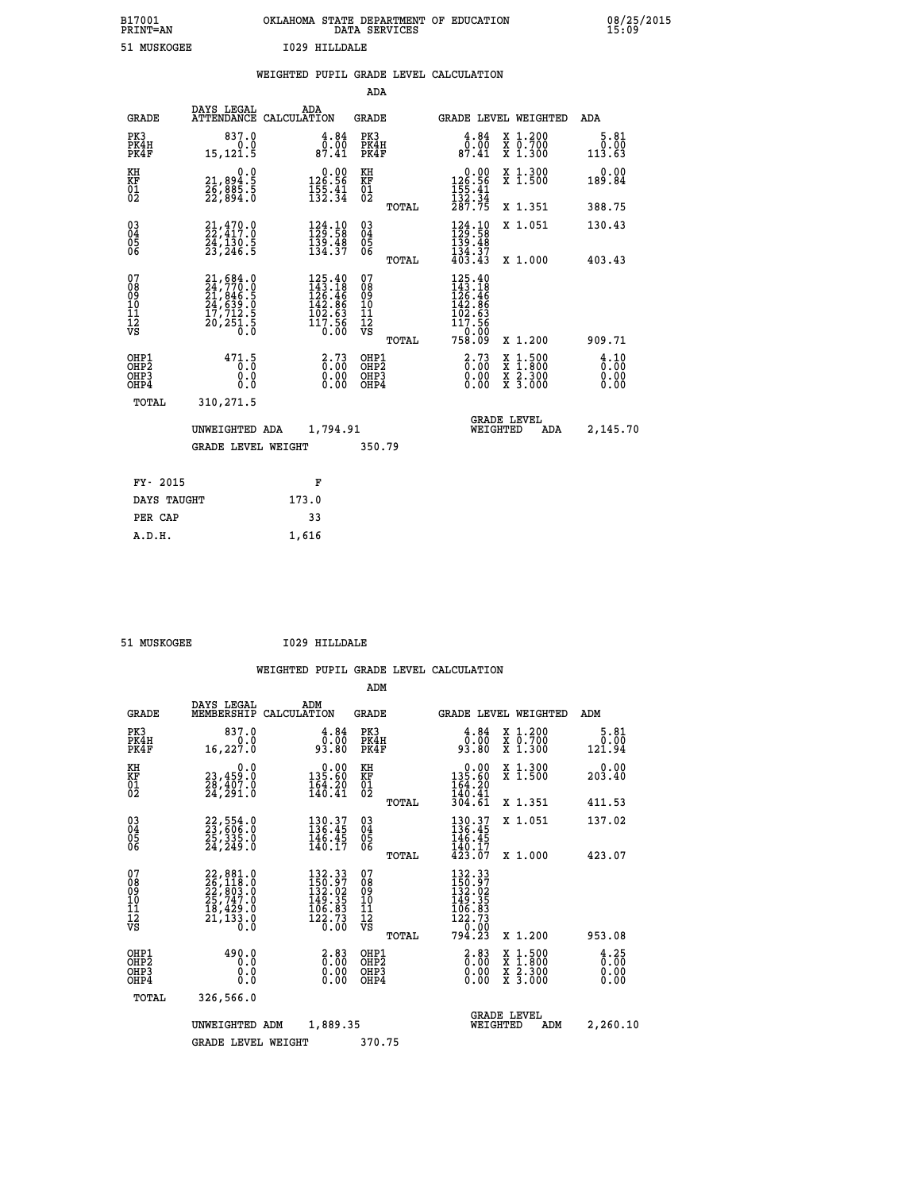| B17001<br><b>PRINT=AN</b> | OKLAHOMA STATE DEPARTMENT OF EDUCATION<br>DATA SERVICES | 08/25/2015<br>15:09 |
|---------------------------|---------------------------------------------------------|---------------------|
| 51.<br>MUSKOGEE           | T029 HILLDALE                                           |                     |

| 51 MUSKOGEE                            |                                                                                           | 1029 HILLDALE |                                                                                                             |                                                    |       |                                                                                                       |                                                                                                                                           |                        |
|----------------------------------------|-------------------------------------------------------------------------------------------|---------------|-------------------------------------------------------------------------------------------------------------|----------------------------------------------------|-------|-------------------------------------------------------------------------------------------------------|-------------------------------------------------------------------------------------------------------------------------------------------|------------------------|
|                                        |                                                                                           |               |                                                                                                             |                                                    |       | WEIGHTED PUPIL GRADE LEVEL CALCULATION                                                                |                                                                                                                                           |                        |
|                                        |                                                                                           |               |                                                                                                             | ADA                                                |       |                                                                                                       |                                                                                                                                           |                        |
| <b>GRADE</b>                           | DAYS LEGAL<br>ATTENDANCE CALCULATION                                                      | ADA           |                                                                                                             | GRADE                                              |       |                                                                                                       | GRADE LEVEL WEIGHTED                                                                                                                      | ADA                    |
| PK3<br>PK4H<br>PK4F                    | 837.0<br>0.0<br>15, 121.5                                                                 |               | $\overset{4}{\underset{87.41}{\overset{84}{\underset{7.41}{\hspace{5.2mm}}}}}$                              | PK3<br>PK4H<br>PK4F                                |       | 4.84<br>0.00<br>87.41                                                                                 | X 1.200<br>X 0.700<br>X 1.300                                                                                                             | 5.81<br>0.00<br>113.63 |
| KH<br>KF<br>$\overline{01}$            | 0.0<br>$\frac{21}{26}, \frac{894}{885}, \frac{5}{22}$<br>22,894.0                         |               | $0.00$<br>126.56<br>$\frac{155}{132}$ $\cdot\frac{41}{34}$                                                  | KH<br>KF<br>01<br>02                               |       | $\begin{array}{c} 0.00 \\ 126.56 \\ 155.41 \\ 132.34 \\ 287.75 \end{array}$                           | X 1.300<br>X 1.500                                                                                                                        | 0.00<br>189.84         |
|                                        |                                                                                           |               |                                                                                                             |                                                    | TOTAL |                                                                                                       | X 1.351                                                                                                                                   | 388.75                 |
| 030404<br>06                           | $21,470.0$<br>$22,417.0$<br>$24,130.5$<br>$23,246.5$                                      |               | $\begin{smallmatrix} 124.10\\129.58\\139.48\\134.37 \end{smallmatrix}$                                      | $\begin{matrix} 03 \\ 04 \\ 05 \\ 06 \end{matrix}$ |       | $\begin{array}{c} 124\cdot 10\\ 129\cdot 58\\ 139\cdot 48\\ 134\cdot 37\\ 403\cdot 43 \end{array}$    | X 1.051                                                                                                                                   | 130.43                 |
|                                        |                                                                                           |               |                                                                                                             |                                                    | TOTAL |                                                                                                       | X 1.000                                                                                                                                   | 403.43                 |
| 07<br>08<br>09<br>11<br>11<br>12<br>VS | $21,684.0$<br>$24,770.0$<br>$21,846.5$<br>$24,639.0$<br>$17,712.5$<br>$20,251.5$<br>$0.0$ |               | $\begin{smallmatrix} 125.40\\ 143.18\\ 126.46\\ 126.46\\ 142.86\\ 102.63\\ 117.56\\ 0.00 \end{smallmatrix}$ | 07<br>08<br>09<br>101<br>11<br>12<br>VS            | TOTAL | $\begin{smallmatrix} 125.40\\ 143.18\\ 126.46\\ 142.86\\ 102.63\\ 117.58 \end{smallmatrix}$<br>758.09 | X 1.200                                                                                                                                   | 909.71                 |
| OHP1<br>OHP2                           | 471.5                                                                                     |               | $\frac{2}{0}$ : $\frac{73}{00}$                                                                             | OHP1                                               |       | $2.73$<br>$0.00$                                                                                      |                                                                                                                                           | 4.10                   |
| OH <sub>P3</sub><br>OHP4               | 0.0<br>0.0                                                                                |               | $\begin{smallmatrix} 0.00 \ 0.00 \end{smallmatrix}$                                                         | OHP <sub>2</sub><br>OHP3<br>OHP4                   |       | $0.00$<br>0.00                                                                                        | $\begin{smallmatrix} \mathtt{X} & 1\cdot500\\ \mathtt{X} & 1\cdot800\\ \mathtt{X} & 2\cdot300\\ \mathtt{X} & 3\cdot000 \end{smallmatrix}$ | ō:ōŏ<br>0.00<br>0.00   |
| TOTAL                                  | 310,271.5                                                                                 |               |                                                                                                             |                                                    |       |                                                                                                       |                                                                                                                                           |                        |
|                                        | UNWEIGHTED ADA                                                                            |               | 1,794.91                                                                                                    |                                                    |       |                                                                                                       | <b>GRADE LEVEL</b><br>WEIGHTED<br>ADA                                                                                                     | 2,145.70               |
|                                        | <b>GRADE LEVEL WEIGHT</b>                                                                 |               |                                                                                                             | 350.79                                             |       |                                                                                                       |                                                                                                                                           |                        |
| FY- 2015                               |                                                                                           |               | F                                                                                                           |                                                    |       |                                                                                                       |                                                                                                                                           |                        |
| DAYS TAUGHT                            |                                                                                           | 173.0         |                                                                                                             |                                                    |       |                                                                                                       |                                                                                                                                           |                        |
| PER CAP                                |                                                                                           | 33            |                                                                                                             |                                                    |       |                                                                                                       |                                                                                                                                           |                        |

 **A.D.H. 1,616**

 **ADM**

 **51 MUSKOGEE I029 HILLDALE**

| <b>GRADE</b>                                                       | DAYS LEGAL<br>MEMBERSHIP CALCULATION                                                                                                       | ADM                                                                                                                          |                                                                   | <b>GRADE</b>                                  |       |                                                                                                               |                                | <b>GRADE LEVEL WEIGHTED</b>                                                                                         | ADM                          |
|--------------------------------------------------------------------|--------------------------------------------------------------------------------------------------------------------------------------------|------------------------------------------------------------------------------------------------------------------------------|-------------------------------------------------------------------|-----------------------------------------------|-------|---------------------------------------------------------------------------------------------------------------|--------------------------------|---------------------------------------------------------------------------------------------------------------------|------------------------------|
| PK3<br>PK4H<br>PK4F                                                | 837.0<br>0.0<br>16, 227.0                                                                                                                  | 93.80                                                                                                                        | 4.84<br>0.00                                                      | PK3<br>PK4H<br>PK4F                           |       | $\begin{smallmatrix} 4.84\ 0.00\ 93.80 \end{smallmatrix}$                                                     |                                | X 1.200<br>X 0.700<br>X 1.300                                                                                       | 5.81<br>0.00<br>121.94       |
| KH<br><b>KF</b><br>01<br>02                                        | 0.0<br>23,459:0<br>28,407:0<br>24,291:0                                                                                                    | $\begin{smallmatrix} &0.00\\ 135.60\\ 164.20\\ 140.41\end{smallmatrix}$                                                      |                                                                   | KH<br>KF<br>01<br>02                          |       | $\begin{smallmatrix} &0.00\\ 135.60\\ 164.20\\ 140.41\end{smallmatrix}$                                       |                                | X 1.300<br>X 1.500                                                                                                  | 0.00<br>203.40               |
|                                                                    |                                                                                                                                            |                                                                                                                              |                                                                   |                                               | TOTAL | 304.61                                                                                                        |                                | X 1.351                                                                                                             | 411.53                       |
| $\begin{smallmatrix} 03 \\[-4pt] 04 \end{smallmatrix}$<br>Ŏ5<br>06 | 22,554.0<br>23,606.0<br>25,335.0<br>24,249.0                                                                                               | 130.37<br>136.45<br>146.45<br>140.17                                                                                         |                                                                   | $\substack{03 \\ 04}$<br>$\frac{05}{06}$      |       | 130.37<br>136.45<br>146.45                                                                                    |                                | X 1.051                                                                                                             | 137.02                       |
|                                                                    |                                                                                                                                            |                                                                                                                              |                                                                   |                                               | TOTAL | $\frac{140.17}{423.07}$                                                                                       |                                | X 1.000                                                                                                             | 423.07                       |
| 07<br>08<br>09<br>101<br>11<br>12<br>VS                            | 22,881.0<br>26,118.0<br>22,803.0<br>25,747.0<br>13,422.0<br>$\overline{21}$ , $\overline{13}$ $\overline{3}$ $\overline{0}$ $\overline{0}$ | 132.33<br>150.97<br>132.02<br>149.35<br>106.83<br>$\bar{1}\bar{2}\bar{2}\cdot\bar{7}\bar{3}$<br>$\bar{0}\cdot\bar{0}\bar{0}$ |                                                                   | 07<br>08<br>09<br>001<br>11<br>11<br>12<br>VS | TOTAL | $\begin{smallmatrix} 132.33\\ 150.97\\ 132.02\\ 149.35\\ 106.83\\ 122.73\\ 0.00\\ 794.23\\ \end{smallmatrix}$ |                                | X 1.200                                                                                                             | 953.08                       |
| OHP1<br>OHP <sub>2</sub><br>OHP3<br>OHP4                           | 490.0<br>0.0<br>0.0<br>Ŏ.Ŏ                                                                                                                 |                                                                                                                              | $\begin{smallmatrix} 2.83\ 0.00 \ 0.00 \end{smallmatrix}$<br>0.00 | OHP1<br>OH <sub>P</sub> 2<br>OHP3<br>OHP4     |       | $\begin{smallmatrix} 2.83\0.00\0.00\0.00 \end{smallmatrix}$                                                   |                                | $\begin{array}{l} \mathtt{X} & 1.500 \\ \mathtt{X} & 1.800 \\ \mathtt{X} & 2.300 \\ \mathtt{X} & 3.000 \end{array}$ | 4.25<br>0.00<br>0.00<br>0.00 |
| TOTAL                                                              | 326,566.0                                                                                                                                  |                                                                                                                              |                                                                   |                                               |       |                                                                                                               |                                |                                                                                                                     |                              |
|                                                                    | UNWEIGHTED                                                                                                                                 | ADM                                                                                                                          | 1,889.35                                                          |                                               |       |                                                                                                               | <b>GRADE LEVEL</b><br>WEIGHTED | ADM                                                                                                                 | 2,260.10                     |
|                                                                    | <b>GRADE LEVEL WEIGHT</b>                                                                                                                  |                                                                                                                              |                                                                   | 370.75                                        |       |                                                                                                               |                                |                                                                                                                     |                              |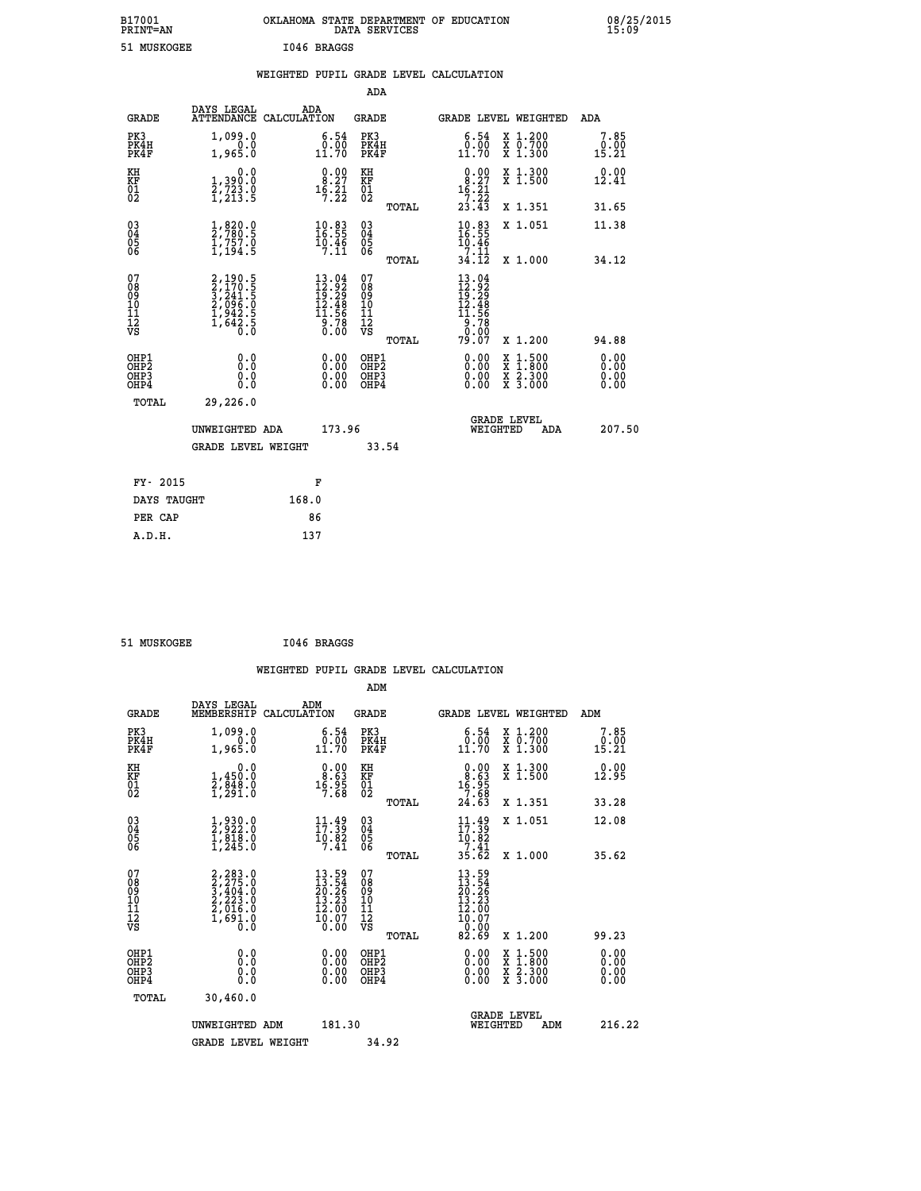| B17001<br><b>PRINT=AN</b> | OKLAHOMA STATE DEPARTMENT OF EDUCATION<br>DATA SERVICES | 08/25/2015<br>15:09 |
|---------------------------|---------------------------------------------------------|---------------------|
| 51 MUSKOGEE               | 1046 BRAGGS                                             |                     |

|  |  | WEIGHTED PUPIL GRADE LEVEL CALCULATION |
|--|--|----------------------------------------|
|  |  |                                        |

|                                                       |                                                                                  |                                                                                                                           | ADA                                       |       |                                                   |                                                                                                                                      |                              |
|-------------------------------------------------------|----------------------------------------------------------------------------------|---------------------------------------------------------------------------------------------------------------------------|-------------------------------------------|-------|---------------------------------------------------|--------------------------------------------------------------------------------------------------------------------------------------|------------------------------|
| <b>GRADE</b>                                          | DAYS LEGAL                                                                       | ADA<br>ATTENDANCE CALCULATION                                                                                             | GRADE                                     |       | <b>GRADE LEVEL WEIGHTED</b>                       |                                                                                                                                      | ADA                          |
| PK3<br>PK4H<br>PK4F                                   | 1,099.0<br>1,965.0                                                               | $\substack{6.54 \\ 0.00 \\ 11.70}$                                                                                        | PK3<br>PK4H<br>PK4F                       |       | $\substack{6.54 \\ 0.00 \\ 11.70}$                | X 1.200<br>X 0.700<br>X 1.300                                                                                                        | 7.85<br>0.00<br>15.21        |
| KH<br>KF<br>01<br>02                                  | 0.0<br>1,390:0<br>2,723:0<br>1,213:5                                             | $\begin{smallmatrix} 0.00\\ 8.27\\ 16.21\\ 7.22 \end{smallmatrix}$                                                        | KH<br>KF<br>01<br>02                      |       | 8.27<br>$1\frac{5}{7}\cdot\frac{5}{2}\frac{1}{2}$ | X 1.300<br>X 1.500                                                                                                                   | 0.00<br>12.41                |
|                                                       |                                                                                  |                                                                                                                           |                                           | TOTAL | 23.43                                             | X 1.351                                                                                                                              | 31.65                        |
| 03<br>04<br>05<br>06                                  | $\frac{1}{2}, \frac{820}{780}.5$<br>$\frac{1}{1}, \frac{757}{194}.5$             | $\begin{smallmatrix} 10.83\ 16.55\ 19.46\ 7.11 \end{smallmatrix}$                                                         | 03<br>04<br>05<br>06                      |       | $10.83$<br>$16.55$<br>$10.46$<br>$7.11$           | X 1.051                                                                                                                              | 11.38                        |
|                                                       |                                                                                  |                                                                                                                           |                                           | TOTAL | 34.12                                             | X 1.000                                                                                                                              | 34.12                        |
| 07<br>08<br>09<br>11<br>11<br>12<br>VS                | 2,190.5<br>2,170.5<br>3,241.5<br>3,241.5<br>2,096.0<br>1,942.5<br>1,642.5<br>0.0 | $\begin{smallmatrix} 13\cdot04\\ 12\cdot92\\ 19\cdot29\\ 12\cdot48\\ 11\cdot56\\ 9\cdot78\\ 0\cdot00\\ \end{smallmatrix}$ | 07<br>08<br>09<br>11<br>11<br>12<br>VS    | TOTAL | 79.07                                             | X 1.200                                                                                                                              | 94.88                        |
| OHP1<br>OH <sub>P</sub> 2<br>OH <sub>P3</sub><br>OHP4 | 0.0<br>0.0<br>0.0                                                                | 0.00<br>$\begin{smallmatrix} 0.00 \ 0.00 \end{smallmatrix}$                                                               | OHP1<br>OH <sub>P</sub> 2<br>OHP3<br>OHP4 |       | 0.00<br>0.00<br>0.00                              | $\begin{smallmatrix} \mathtt{X} & 1 & 500 \\ \mathtt{X} & 1 & 800 \\ \mathtt{X} & 2 & 300 \\ \mathtt{X} & 3 & 000 \end{smallmatrix}$ | 0.00<br>0.00<br>0.00<br>0.00 |
| TOTAL                                                 | 29,226.0                                                                         |                                                                                                                           |                                           |       |                                                   |                                                                                                                                      |                              |
|                                                       | UNWEIGHTED ADA                                                                   | 173.96                                                                                                                    |                                           |       | <b>GRADE LEVEL</b><br>WEIGHTED                    | ADA                                                                                                                                  | 207.50                       |
|                                                       | <b>GRADE LEVEL WEIGHT</b>                                                        |                                                                                                                           | 33.54                                     |       |                                                   |                                                                                                                                      |                              |
| FY- 2015                                              |                                                                                  | F                                                                                                                         |                                           |       |                                                   |                                                                                                                                      |                              |
| DAYS TAUGHT                                           |                                                                                  | 168.0                                                                                                                     |                                           |       |                                                   |                                                                                                                                      |                              |
| PER CAP                                               |                                                                                  | 86                                                                                                                        |                                           |       |                                                   |                                                                                                                                      |                              |
| A.D.H.                                                |                                                                                  | 137                                                                                                                       |                                           |       |                                                   |                                                                                                                                      |                              |

| 51 MUSKOGEE | I046 BRAGGS |
|-------------|-------------|
|             |             |

 **WEIGHTED PUPIL GRADE LEVEL CALCULATION ADM DAYS LEGAL ADM**

| <b>GRADE</b>                                       | ----<br>-----<br>MEMBERSHIP CALCULATION                                                   |                                                                    | GRADE                                              |       |                                                                                         |          | <b>GRADE LEVEL WEIGHTED</b>                                                                                                               | ADM                          |
|----------------------------------------------------|-------------------------------------------------------------------------------------------|--------------------------------------------------------------------|----------------------------------------------------|-------|-----------------------------------------------------------------------------------------|----------|-------------------------------------------------------------------------------------------------------------------------------------------|------------------------------|
| PK3<br>PK4H<br>PK4F                                | 1,099.0<br>0.0<br>1,965.0                                                                 | 6.54<br>$0.00$<br>11.70                                            | PK3<br>PK4H<br>PK4F                                |       | 6.54<br>0.00<br>11.70                                                                   |          | X 1.200<br>X 0.700<br>X 1.300                                                                                                             | 7.85<br>0.00<br>15.21        |
| KH<br>KF<br>01<br>02                               | 0.0<br>1,450.0<br>2,848.0<br>1,291.0                                                      | $\begin{smallmatrix} 0.00\\ 8.63\\ 16.95\\ 7.68 \end{smallmatrix}$ | KH<br><b>KF</b><br>01<br>02                        |       | $\begin{smallmatrix} 0.00\\ 8.63\\ 16.95\\ 7.68\\ 24.63 \end{smallmatrix}$              |          | X 1.300<br>X 1.500                                                                                                                        | 0.00<br>12.95                |
|                                                    |                                                                                           |                                                                    |                                                    | TOTAL |                                                                                         |          | X 1.351                                                                                                                                   | 33.28                        |
| $\begin{matrix} 03 \\ 04 \\ 05 \\ 06 \end{matrix}$ | $\frac{1}{2}, \frac{930}{922}.0 \\ 1, \frac{818}{916}.0 \\ 1, 245.0$                      | $\frac{11}{17}$ : $\frac{49}{39}$<br>$\frac{10.82}{7.41}$          | $\begin{matrix} 03 \\ 04 \\ 05 \\ 06 \end{matrix}$ |       | $\begin{array}{l} 11\cdot 49\\17\cdot 39\\10\cdot 82\\7\cdot 41\\35\cdot 62\end{array}$ |          | X 1.051                                                                                                                                   | 12.08                        |
|                                                    |                                                                                           |                                                                    |                                                    | TOTAL |                                                                                         |          | X 1.000                                                                                                                                   | 35.62                        |
| 07<br>08<br>09<br>101<br>11<br>12<br>VS            | $2, 283.0$<br>$3, 275.0$<br>$3, 404.0$<br>$2, 223.0$<br>$2, 016.0$<br>$1, 691.0$<br>$0.0$ | $13.54$<br>$20.26$<br>$13.23$<br>$12.00$<br>$10.07$<br>$0.00$      | 0789011112<br>1111112<br>VS                        |       | $13.59$<br>$13.26$<br>$20.26$<br>$13.230$<br>$12.007$<br>$0.009$<br>$82.69$             |          |                                                                                                                                           |                              |
|                                                    |                                                                                           |                                                                    |                                                    | TOTAL |                                                                                         |          | X 1.200                                                                                                                                   | 99.23                        |
| OHP1<br>OHP2<br>OH <sub>P3</sub><br>OHP4           | 0.0<br>0.0<br>Ō.Ō                                                                         | 0.00<br>0.00<br>0.00                                               | OHP1<br>OHP2<br>OHP3<br>OHP4                       |       | $0.00$<br>$0.00$<br>0.00                                                                |          | $\begin{smallmatrix} \mathtt{X} & 1\cdot500\\ \mathtt{X} & 1\cdot800\\ \mathtt{X} & 2\cdot300\\ \mathtt{X} & 3\cdot000 \end{smallmatrix}$ | 0.00<br>0.00<br>0.00<br>0.00 |
| TOTAL                                              | 30,460.0                                                                                  |                                                                    |                                                    |       |                                                                                         |          |                                                                                                                                           |                              |
|                                                    | UNWEIGHTED ADM                                                                            | 181.30                                                             |                                                    |       |                                                                                         | WEIGHTED | <b>GRADE LEVEL</b><br>ADM                                                                                                                 | 216.22                       |
|                                                    | <b>GRADE LEVEL WEIGHT</b>                                                                 |                                                                    | 34.92                                              |       |                                                                                         |          |                                                                                                                                           |                              |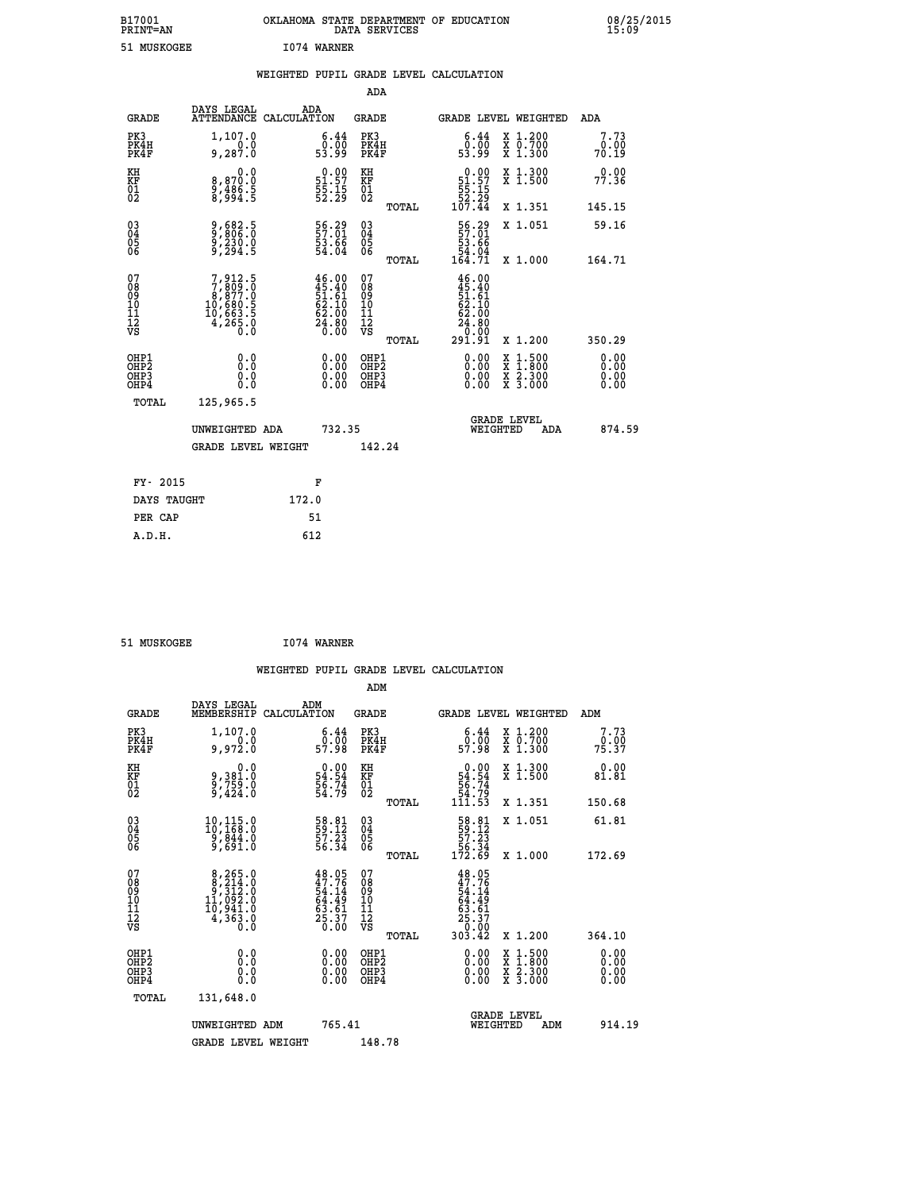| B17001<br><b>PRINT=AN</b> | OKLAHOMA STATE DEPARTMENT OF EDUCATION<br>DATA SERVICES | 08/25/2015<br>15:09 |
|---------------------------|---------------------------------------------------------|---------------------|
| 51 MUSKOGEE               | 1074 WARNER                                             |                     |

|                                                                    |                                                                                       |                                                                          | ADA                                                |       |                                                                                      |        |                                                           |                              |
|--------------------------------------------------------------------|---------------------------------------------------------------------------------------|--------------------------------------------------------------------------|----------------------------------------------------|-------|--------------------------------------------------------------------------------------|--------|-----------------------------------------------------------|------------------------------|
| <b>GRADE</b>                                                       | DAYS LEGAL<br><b>ATTENDANCE</b>                                                       | ADA<br>CALCULATION                                                       | <b>GRADE</b>                                       |       | GRADE LEVEL WEIGHTED                                                                 |        |                                                           | <b>ADA</b>                   |
| PK3<br>PK4H<br>PK4F                                                | 1,107.0<br>0.0<br>9,287.0                                                             | $\begin{smallmatrix} 6.44\ 0.00 \ 53.99 \end{smallmatrix}$               | PK3<br>PK4H<br>PK4F                                |       | $\begin{smallmatrix} 6.44\ 0.00 \ 53.99 \end{smallmatrix}$                           |        | X 1.200<br>X 0.700<br>X 1.300                             | 7.73<br>0.00<br>70.19        |
| KH<br>KF<br>01<br>02                                               | 0.0<br>8,870.0<br>9,486.5<br>8,994.5                                                  | $\begin{smallmatrix} 0.00\\ 51.57\\ 55.15\\ 52.29 \end{smallmatrix}$     | KH<br>KF<br>01<br>02                               |       | $\begin{array}{r} 0.00 \\ 51.57 \\ 55.15 \\ 52.29 \\ 107.44 \end{array}$             |        | X 1.300<br>X 1.500                                        | 0.00<br>77.36                |
|                                                                    |                                                                                       |                                                                          |                                                    | TOTAL |                                                                                      |        | X 1.351                                                   | 145.15                       |
| $\begin{smallmatrix} 03 \\[-4pt] 04 \end{smallmatrix}$<br>Ŏ5<br>06 | 9,682.5<br>9,230.0<br>9,230.0<br>9,294.5                                              | 56.29<br>$\frac{53.66}{54.04}$                                           | $\begin{matrix} 03 \\ 04 \\ 05 \\ 06 \end{matrix}$ |       | 56.29<br>$\frac{53.66}{54.04}$<br>164.71                                             |        | X 1.051                                                   | 59.16                        |
| 07                                                                 |                                                                                       |                                                                          | 07                                                 | TOTAL |                                                                                      |        | X 1.000                                                   | 164.71                       |
| 08<br>09<br>11<br>11<br>12<br>VS                                   | $7,912.5$<br>$7,809.0$<br>$8,877.0$<br>$10,680.5$<br>$10,663.5$<br>$4,265.0$<br>$0.0$ | $46.00$<br>$45.40$<br>$51.61$<br>$62.10$<br>$62.00$<br>$24.80$<br>$0.00$ | 08<br>09<br>11<br>11<br>12<br>VS                   |       | $46.00$<br>$45.40$<br>$51.61$<br>$62.10$<br>$62.00$<br>$24.80$<br>$0.00$<br>$291.91$ |        |                                                           |                              |
|                                                                    |                                                                                       |                                                                          |                                                    | TOTAL |                                                                                      |        | X 1.200                                                   | 350.29                       |
| OHP1<br>OHP <sub>2</sub><br>OHP3<br>OHP4                           | 0.0<br>0.0<br>0.0                                                                     | 0.00<br>$\begin{smallmatrix} 0.00 \ 0.00 \end{smallmatrix}$              | OHP1<br>OH <sub>P</sub> 2<br>OHP3<br>OHP4          |       | 0.00<br>0.00<br>0.00                                                                 | X<br>X | $1:500$<br>$1:800$<br>$\frac{x}{x}$ $\frac{5:300}{3:000}$ | 0.00<br>0.00<br>0.00<br>0.00 |
| TOTAL                                                              | 125,965.5                                                                             |                                                                          |                                                    |       |                                                                                      |        |                                                           |                              |
|                                                                    | UNWEIGHTED ADA                                                                        | 732.35                                                                   |                                                    |       | <b>GRADE LEVEL</b><br>WEIGHTED                                                       |        | ADA                                                       | 874.59                       |
|                                                                    | <b>GRADE LEVEL WEIGHT</b>                                                             |                                                                          | 142.24                                             |       |                                                                                      |        |                                                           |                              |
| FY- 2015                                                           |                                                                                       | F                                                                        |                                                    |       |                                                                                      |        |                                                           |                              |
| DAYS TAUGHT                                                        |                                                                                       | 172.0                                                                    |                                                    |       |                                                                                      |        |                                                           |                              |
| PER CAP                                                            |                                                                                       | 51                                                                       |                                                    |       |                                                                                      |        |                                                           |                              |
|                                                                    |                                                                                       |                                                                          |                                                    |       |                                                                                      |        |                                                           |                              |

| 51 MUSKOGEE | 1074 WARNER |
|-------------|-------------|
|             |             |

| <b>GRADE</b>                             | DAYS LEGAL<br>MEMBERSHIP                                                                            | ADM<br>CALCULATION                                                       | <b>GRADE</b>                                       |       |                                                                                       | GRADE LEVEL WEIGHTED                     | ADM                  |  |
|------------------------------------------|-----------------------------------------------------------------------------------------------------|--------------------------------------------------------------------------|----------------------------------------------------|-------|---------------------------------------------------------------------------------------|------------------------------------------|----------------------|--|
| PK3<br>PK4H<br>PK4F                      | 1,107.0<br>0.0<br>0.972.0                                                                           | $\begin{smallmatrix} 6.44\ 0.00\ 57.98 \end{smallmatrix}$                | PK3<br>PK4H<br>PK4F                                |       | $\begin{smallmatrix} 6.44\ 0.00\ 57.98 \end{smallmatrix}$                             | X 1.200<br>X 0.700<br>X 1.300            | 7.73<br>75.90        |  |
| KH<br>KF<br>01<br>02                     | 0.0<br>9,381.0<br>9,759.0<br>9,424.0                                                                | $\begin{array}{c} 0.00 \\ 54.54 \\ 56.74 \\ 54.79 \end{array}$           | KH<br>KF<br>01<br>02                               |       | $0.00$<br>54.54<br>56.74<br>54.79<br>111.53                                           | X 1.300<br>X 1.500                       | 0.00<br>81.81        |  |
|                                          |                                                                                                     |                                                                          |                                                    | TOTAL |                                                                                       | X 1.351                                  | 150.68               |  |
| 03<br>04<br>05<br>06                     | $\begin{smallmatrix} 10,115\cdot 0\\ 10,168\cdot 0\\ 9,844\cdot 0\\ 9,691\cdot 0 \end{smallmatrix}$ | 58.81<br>59.12<br>57.23<br>56.34                                         | $\begin{matrix} 03 \\ 04 \\ 05 \\ 06 \end{matrix}$ |       | $\begin{array}{r} 58.81 \\ 59.12 \\ 57.23 \\ 56.34 \\ 172.69 \end{array}$             | X 1.051                                  | 61.81                |  |
|                                          |                                                                                                     |                                                                          |                                                    | TOTAL |                                                                                       | X 1.000                                  | 172.69               |  |
| 07<br>089<br>090<br>1112<br>VS           | $\begin{smallmatrix}8,265.0\\8,214.0\\9,312.0\\11,092.0\\10,941.0\\4,363.0\\0.0\end{smallmatrix}$   | $48.05$<br>$47.76$<br>$54.14$<br>$64.49$<br>$63.61$<br>$25.37$<br>$0.00$ | 07<br>08901112<br>1112<br>VS                       | TOTAL | $48.05$<br>$47.76$<br>$54.14$<br>$64.49$<br>$63.61$<br>$25.37$<br>$0.002$<br>$303.42$ | X 1.200                                  | 364.10               |  |
| OHP1<br>OHP2<br>OH <sub>P3</sub><br>OHP4 | 0.0<br>0.000                                                                                        | $\begin{smallmatrix} 0.00 \ 0.00 \ 0.00 \ 0.00 \end{smallmatrix}$        | OHP1<br>OHP2<br>OHP3<br>OHP4                       |       |                                                                                       | X 1:500<br>X 1:800<br>X 2:300<br>X 3:000 | 0.00<br>0.00<br>0.00 |  |
| TOTAL                                    | 131,648.0                                                                                           |                                                                          |                                                    |       |                                                                                       |                                          |                      |  |
|                                          | UNWEIGHTED<br>ADM                                                                                   | 765.41                                                                   |                                                    |       | WEIGHTED                                                                              | <b>GRADE LEVEL</b><br>ADM                | 914.19               |  |
|                                          | <b>GRADE LEVEL WEIGHT</b>                                                                           |                                                                          | 148.78                                             |       |                                                                                       |                                          |                      |  |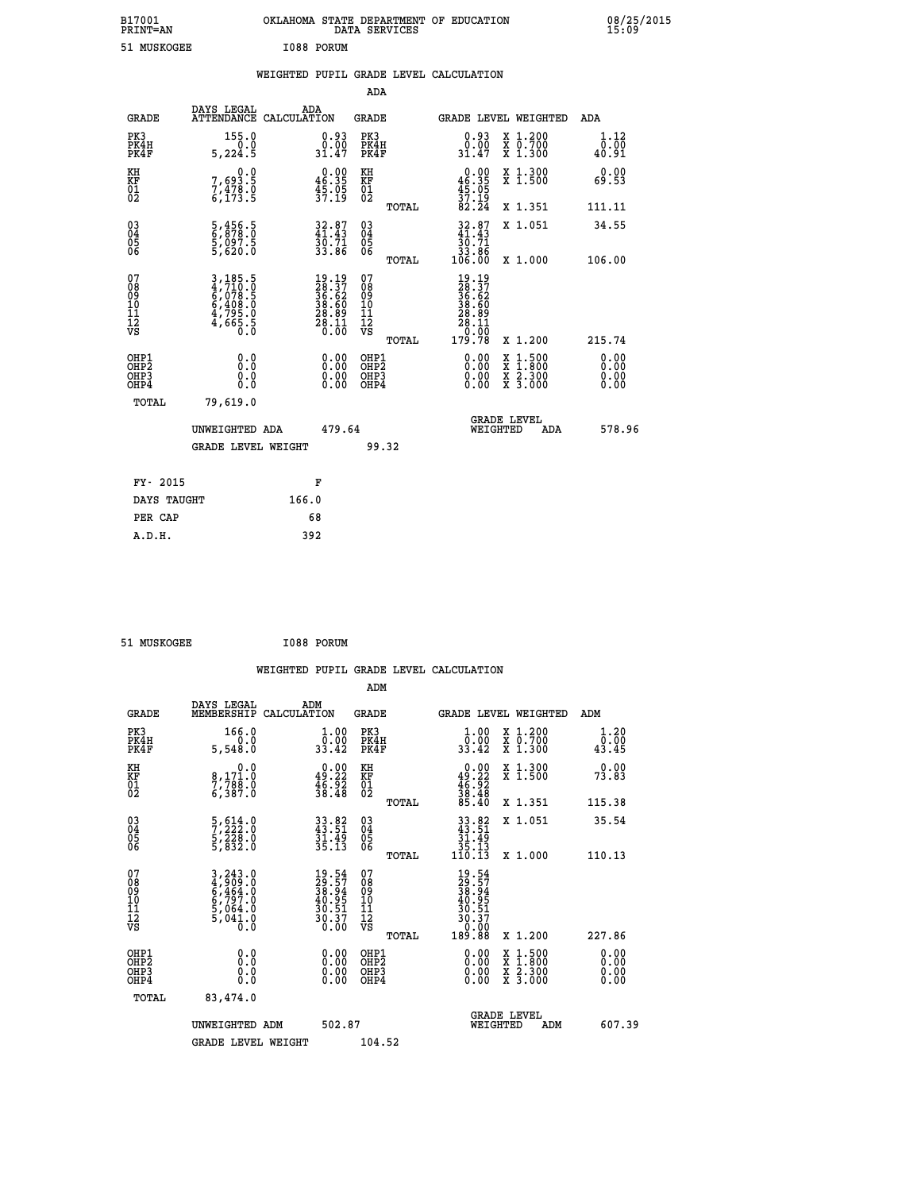| B17001<br><b>PRINT=AN</b> | OKLAHOMA<br>. STATE DEPARTMENT OF EDUCATION<br>DATA SERVICES | 08/25/2015<br>15:09 |
|---------------------------|--------------------------------------------------------------|---------------------|
| 51 MUSKOGEE               | I088 PORUM                                                   |                     |

|                                                    |                                                                |                                                                          | ADA                                                |       |                                                                                               |        |                                                           |                              |
|----------------------------------------------------|----------------------------------------------------------------|--------------------------------------------------------------------------|----------------------------------------------------|-------|-----------------------------------------------------------------------------------------------|--------|-----------------------------------------------------------|------------------------------|
| <b>GRADE</b>                                       | DAYS LEGAL<br><b>ATTENDANCE</b>                                | ADA<br>CALCULATION                                                       | <b>GRADE</b>                                       |       | GRADE LEVEL WEIGHTED                                                                          |        |                                                           | <b>ADA</b>                   |
| PK3<br>PK4H<br>PK4F                                | 155.0<br>0.0<br>5,224.5                                        | $\begin{smallmatrix} 0.93\ 0.00\ 31.47 \end{smallmatrix}$                | PK3<br>PK4H<br>PK4F                                |       | $\begin{smallmatrix} 0.93\ 0.00\ 31.47 \end{smallmatrix}$                                     |        | X 1.200<br>X 0.700<br>X 1.300                             | 1.12<br>0.00<br>40.91        |
| KH<br>KF<br>01<br>02                               | 0.0<br>7,693.5<br>7,478.0<br>6,173.5                           | $\begin{smallmatrix} 0.00\\ 46.35\\ 45.05\\ 37.19 \end{smallmatrix}$     | KH<br>KF<br>01<br>02                               |       | $0.00$<br>$46.35$<br>$45.05$<br>$37.19$<br>$82.24$                                            |        | X 1.300<br>X 1.500                                        | 0.00<br>69.53                |
|                                                    |                                                                |                                                                          |                                                    | TOTAL |                                                                                               |        | X 1.351                                                   | 111.11                       |
| $\begin{matrix} 03 \\ 04 \\ 05 \\ 06 \end{matrix}$ | 5,456.5<br>6,878.0<br>5,097.5<br>5,620.0                       | $32.87$<br>41.43<br>30.71<br>33.86                                       | $\begin{matrix} 03 \\ 04 \\ 05 \\ 06 \end{matrix}$ | TOTAL | $32.87$<br>$41.43$<br>$\frac{36}{33}$ . 86<br>33.86<br>106.00                                 |        | X 1.051<br>X 1.000                                        | 34.55<br>106.00              |
| 07<br>08<br>09<br>11<br>11<br>12<br>VS             | 3,185.5<br>4,710.0<br>6,078.5<br>6,408.0<br>4,795.0<br>4,665.5 | $19.19$<br>$28.37$<br>$36.62$<br>$38.60$<br>$28.11$<br>$28.11$<br>$0.00$ | 07<br>08<br>09<br>11<br>11<br>12<br>VS             |       | $\begin{smallmatrix} 19.19\\28.37\\36.62\\36.60\\28.89\\28.11\\0.00\\179.78\end{smallmatrix}$ |        |                                                           |                              |
|                                                    |                                                                |                                                                          |                                                    | TOTAL |                                                                                               |        | X 1.200                                                   | 215.74                       |
| OHP1<br>OHP <sub>2</sub><br>OHP3<br>OHP4           | 0.0<br>0.0<br>Ŏ.Ŏ                                              | 0.00<br>$\begin{smallmatrix} 0.00 \ 0.00 \end{smallmatrix}$              | OHP1<br>OH <sub>P</sub> 2<br>OHP3<br>OHP4          |       | 0.00<br>0.00<br>0.00                                                                          | X<br>X | $1:500$<br>$1:800$<br>$\frac{x}{x}$ $\frac{5:300}{3:000}$ | 0.00<br>0.00<br>0.00<br>0.00 |
| TOTAL                                              | 79,619.0                                                       |                                                                          |                                                    |       |                                                                                               |        |                                                           |                              |
|                                                    | UNWEIGHTED ADA                                                 | 479.64                                                                   |                                                    |       | WEIGHTED                                                                                      |        | <b>GRADE LEVEL</b><br>ADA                                 | 578.96                       |
|                                                    | <b>GRADE LEVEL WEIGHT</b>                                      |                                                                          | 99.32                                              |       |                                                                                               |        |                                                           |                              |
| FY- 2015                                           |                                                                | F                                                                        |                                                    |       |                                                                                               |        |                                                           |                              |
| DAYS TAUGHT                                        |                                                                | 166.0                                                                    |                                                    |       |                                                                                               |        |                                                           |                              |
| PER CAP                                            |                                                                | 68                                                                       |                                                    |       |                                                                                               |        |                                                           |                              |
|                                                    |                                                                |                                                                          |                                                    |       |                                                                                               |        |                                                           |                              |

51 MUSKOGEE 1088 PORUM

 **A.D.H. 392**

| <b>GRADE</b>                                         | DAYS LEGAL<br>MEMBERSHIP                                                            | ADM<br>CALCULATION                                                   | <b>GRADE</b>                                        |       |                                                                                                                                                                                                                                                                                |          | <b>GRADE LEVEL WEIGHTED</b>              | ADM                          |        |
|------------------------------------------------------|-------------------------------------------------------------------------------------|----------------------------------------------------------------------|-----------------------------------------------------|-------|--------------------------------------------------------------------------------------------------------------------------------------------------------------------------------------------------------------------------------------------------------------------------------|----------|------------------------------------------|------------------------------|--------|
| PK3<br>PK4H<br>PK4F                                  | 166.0<br>5,548.0                                                                    | $\begin{smallmatrix} 1.00\\ 0.00\\ 33.42 \end{smallmatrix}$          | PK3<br>PK4H<br>PK4F                                 |       | $\begin{smallmatrix} 1.00\\ 0.00\\ 33.42 \end{smallmatrix}$                                                                                                                                                                                                                    |          | X 1.200<br>X 0.700<br>X 1.300            | 1.20<br>$\frac{0.00}{43.45}$ |        |
| KH<br>KF<br>01<br>02                                 | 0.0<br>8,171.0<br>7,788.0<br>6,387.0                                                | $\begin{smallmatrix} 0.00\\ 49.22\\ 46.92\\ 38.48 \end{smallmatrix}$ | KH<br>KF<br>01<br>02                                |       | $0.00\n49.22\n46.92\n38.48\n38.40$                                                                                                                                                                                                                                             |          | X 1.300<br>X 1.500                       | 0.00<br>73.83                |        |
|                                                      |                                                                                     |                                                                      |                                                     | TOTAL |                                                                                                                                                                                                                                                                                |          | X 1.351                                  | 115.38                       |        |
| 03<br>04<br>05<br>06                                 | $\frac{5}{7}, \frac{614}{222} . 0 \\ 5, \frac{228}{332} . 0 \\ 5, \frac{832}{30} .$ | $33.82$<br>$43.51$<br>$31.49$<br>$35.13$                             | $\begin{array}{c} 03 \\ 04 \\ 05 \\ 06 \end{array}$ |       | $\begin{array}{r} 33.82 \\ 43.51 \\ 31.49 \\ 35.13 \\ 110.13 \end{array}$                                                                                                                                                                                                      |          | X 1.051                                  | 35.54                        |        |
|                                                      |                                                                                     |                                                                      |                                                     | TOTAL |                                                                                                                                                                                                                                                                                |          | X 1.000                                  | 110.13                       |        |
| 07<br>08<br>09<br>11<br>11<br>12<br>VS               | 3,243.0<br>4,909.0<br>6,464.0<br>6,797.0<br>5,064.0<br>5,041.0<br>0.0               | $19.54$<br>$29.57$<br>$38.94$<br>$40.95$<br>$30.51$<br>$30.37$       | 07<br>08<br>09<br>01<br>11<br>11<br>12<br>VS        | TOTAL | $19.54$<br>$29.57$<br>$38.945$<br>$30.51$<br>$30.37$<br>$0.000$<br>$189.88$                                                                                                                                                                                                    |          | X 1.200                                  | 227.86                       |        |
| OHP1<br>OH <sub>P</sub> <sub>2</sub><br>OHP3<br>OHP4 | 0.0<br>0.0<br>Ŏ.Ŏ                                                                   |                                                                      | OHP1<br>OHP <sub>2</sub><br>OHP3<br>OHP4            |       | $\begin{smallmatrix} 0.00 & 0.00 & 0.00 & 0.00 & 0.00 & 0.00 & 0.00 & 0.00 & 0.00 & 0.00 & 0.00 & 0.00 & 0.00 & 0.00 & 0.00 & 0.00 & 0.00 & 0.00 & 0.00 & 0.00 & 0.00 & 0.00 & 0.00 & 0.00 & 0.00 & 0.00 & 0.00 & 0.00 & 0.00 & 0.00 & 0.00 & 0.00 & 0.00 & 0.00 & 0.00 & 0.0$ |          | X 1:500<br>X 1:800<br>X 2:300<br>X 3:000 | 0.00<br>0.00<br>0.00         |        |
| TOTAL                                                | 83,474.0                                                                            |                                                                      |                                                     |       |                                                                                                                                                                                                                                                                                |          |                                          |                              |        |
|                                                      | UNWEIGHTED ADM                                                                      | 502.87                                                               |                                                     |       |                                                                                                                                                                                                                                                                                | WEIGHTED | <b>GRADE LEVEL</b><br>ADM                |                              | 607.39 |
|                                                      | <b>GRADE LEVEL WEIGHT</b>                                                           |                                                                      | 104.52                                              |       |                                                                                                                                                                                                                                                                                |          |                                          |                              |        |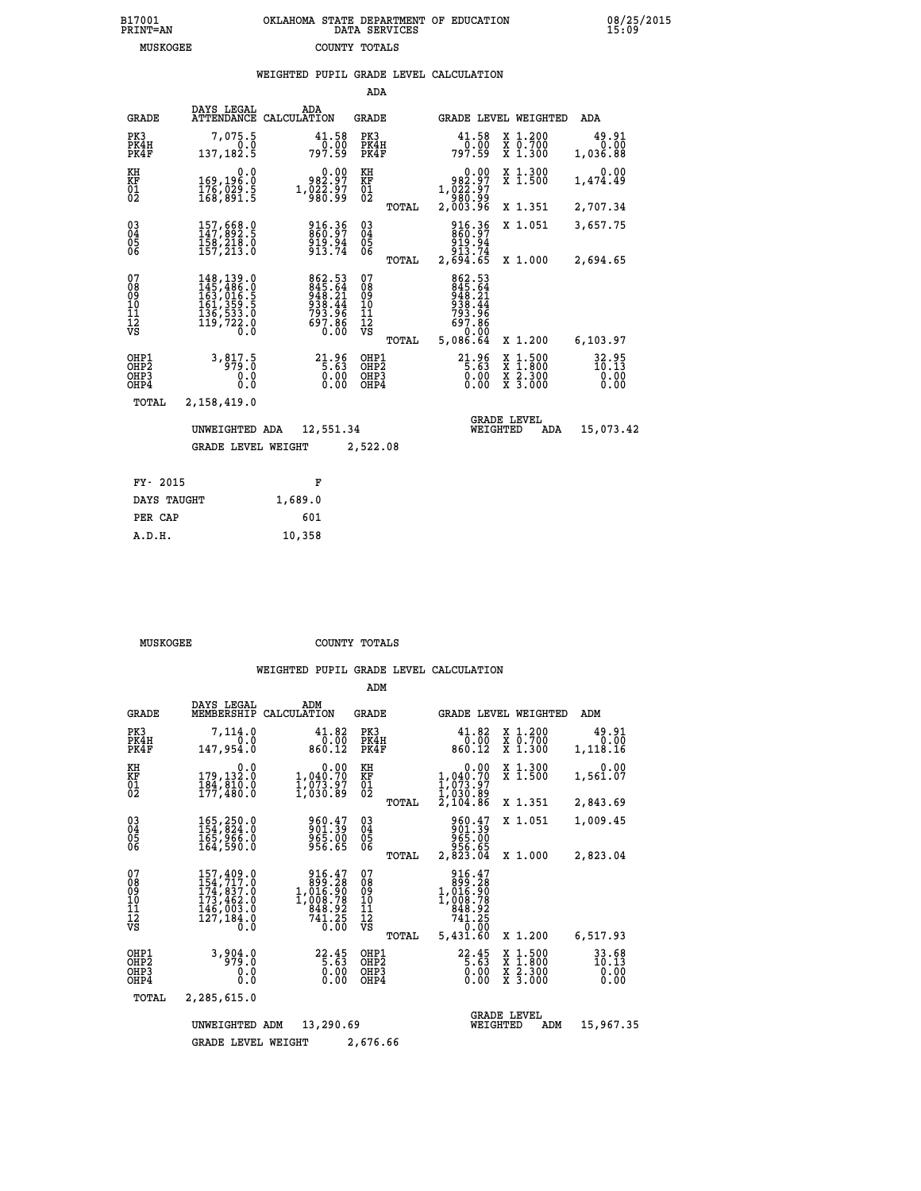## **B17001 OKLAHOMA STATE DEPARTMENT OF EDUCATION 08/25/2015 PRINT=AN DATA SERVICES 15:09 MUSKOGEE COUNTY TOTALS**

|  |  | WEIGHTED PUPIL GRADE LEVEL CALCULATION |
|--|--|----------------------------------------|
|  |  |                                        |

|                                                                    |                                                                                                                                                       |                                                                  | ADA                                            |       |                                                                              |                                          |                                |
|--------------------------------------------------------------------|-------------------------------------------------------------------------------------------------------------------------------------------------------|------------------------------------------------------------------|------------------------------------------------|-------|------------------------------------------------------------------------------|------------------------------------------|--------------------------------|
| <b>GRADE</b>                                                       | DAYS LEGAL<br><b>ATTENDANCE</b>                                                                                                                       | ADA<br>CALCULATION                                               | <b>GRADE</b>                                   |       |                                                                              | GRADE LEVEL WEIGHTED                     | ADA                            |
| PK3<br>PK4H<br>PK4F                                                | 7,075.5<br>0.0<br>137, 182.5                                                                                                                          | 41.58<br>797.59                                                  | PK3<br>PK4H<br>PK4F                            |       | 41.58<br>00.00<br>797.59                                                     | X 1.200<br>X 0.700<br>X 1.300            | 49.91<br>0.00<br>1,036.88      |
| KH<br><b>KF</b><br>01<br>02                                        | 0.0<br>169,196.0<br>176,029.5<br>168,891.5                                                                                                            | 0.00<br>982.97<br>1, 022.97<br>980.99                            | KH<br>KF<br>$\overline{01}$                    |       | 0.00<br>982.97<br>1,022.97<br>980.99<br>2,003.96                             | X 1.300<br>X 1.500                       | 0.00<br>1,474.49               |
|                                                                    |                                                                                                                                                       |                                                                  |                                                | TOTAL |                                                                              | X 1.351                                  | 2,707.34                       |
| $\begin{smallmatrix} 03 \\[-4pt] 04 \end{smallmatrix}$<br>Ŏ5<br>06 | 157,668.0<br>147,892.5<br>158,218.0<br>157,213.0                                                                                                      | 916:36<br>860:97<br>919:94<br>913:74                             | $\substack{03 \\ 04}$<br>$\substack{05 \\ 06}$ |       | 916.36<br>860.97<br>919.94<br>913.74<br>2,694.65                             | X 1.051                                  | 3,657.75                       |
|                                                                    |                                                                                                                                                       |                                                                  |                                                | TOTAL |                                                                              | X 1.000                                  | 2,694.65                       |
| 07<br>08<br>09<br>11<br>11<br>12<br>VS                             | $\begin{smallmatrix} 148,139\cdot 0\\ 145,486\cdot 0\\ 163,016\cdot 5\\ 161,359\cdot 5\\ 136,533\cdot 0\\ 119,722\cdot 0\\ 0\cdot 0\end{smallmatrix}$ | 862.53<br>845.64<br>948.21<br>938.44<br>793.96<br>697.86<br>0.00 | 07<br>089<br>101<br>111<br>VS                  |       | 862.53<br>845.64<br>948.21<br>938.44<br>793.96<br>697.86<br>0.00<br>5,086.64 | X 1.200                                  |                                |
|                                                                    |                                                                                                                                                       |                                                                  |                                                | TOTAL |                                                                              |                                          | 6,103.97                       |
| OHP1<br>OHP2<br>OHP3<br>OHP4                                       | 3,817.5<br>979.0<br>0.0<br>0.0                                                                                                                        | $21.96$<br>5.63<br>0.00                                          | OHP1<br>OHP <sub>2</sub><br>OHP3<br>OHP4       |       | $21.96$<br>5.63<br>0.00                                                      | X 1:500<br>X 1:800<br>X 2:300<br>X 3:000 | 32.95<br>10.13<br>0.00<br>0.00 |
| <b>TOTAL</b>                                                       | 2,158,419.0                                                                                                                                           |                                                                  |                                                |       |                                                                              |                                          |                                |
|                                                                    | UNWEIGHTED ADA                                                                                                                                        | 12,551.34                                                        |                                                |       | WEIGHTED                                                                     | <b>GRADE LEVEL</b><br>ADA                | 15,073.42                      |
|                                                                    | <b>GRADE LEVEL WEIGHT</b>                                                                                                                             |                                                                  | 2,522.08                                       |       |                                                                              |                                          |                                |
|                                                                    |                                                                                                                                                       |                                                                  |                                                |       |                                                                              |                                          |                                |
| FY- 2015                                                           |                                                                                                                                                       | F                                                                |                                                |       |                                                                              |                                          |                                |
| DAYS TAUGHT                                                        |                                                                                                                                                       | 1,689.0                                                          |                                                |       |                                                                              |                                          |                                |

 **PER CAP 601 A.D.H. 10,358**

**MUSKOGEE COUNTY TOTALS** 

|                                                    |                              |                                                                                        |                                                                                                                                    | ADM                                             |                                                                                                                                                                                                                                                                                                                                                         |                                                                                            |                                |
|----------------------------------------------------|------------------------------|----------------------------------------------------------------------------------------|------------------------------------------------------------------------------------------------------------------------------------|-------------------------------------------------|---------------------------------------------------------------------------------------------------------------------------------------------------------------------------------------------------------------------------------------------------------------------------------------------------------------------------------------------------------|--------------------------------------------------------------------------------------------|--------------------------------|
|                                                    | <b>GRADE</b>                 | DAYS LEGAL<br>MEMBERSHIP                                                               | ADM<br>CALCULATION                                                                                                                 | <b>GRADE</b>                                    | <b>GRADE LEVEL WEIGHTED</b>                                                                                                                                                                                                                                                                                                                             |                                                                                            | ADM                            |
| PK3                                                | PK4H<br>PK4F                 | 7,114.0<br>0.0<br>147,954.0                                                            | 41.82<br>$\frac{0.00}{0.00}$                                                                                                       | PK3<br>PK4H<br>PK4F                             | 41.82<br>0.00<br>860.12                                                                                                                                                                                                                                                                                                                                 | X 1.200<br>X 0.700<br>X 1.300                                                              | 49.91<br>0.00<br>1,118.16      |
| KH<br>KF<br>01<br>02                               |                              | 0.0<br>179,132.0<br>184,810.0                                                          | 0.00<br>1,040.70<br>1,073.97<br>1,030.89                                                                                           | KH<br>KF<br>01<br>02                            | 0.00<br>$1,040.70$<br>$1,073.97$<br>$1,030.89$<br>$2,104.86$                                                                                                                                                                                                                                                                                            | X 1.300<br>X 1.500                                                                         | 0.00<br>1,561.07               |
|                                                    |                              |                                                                                        |                                                                                                                                    | TOTAL                                           |                                                                                                                                                                                                                                                                                                                                                         | X 1.351                                                                                    | 2,843.69                       |
| $\begin{matrix} 03 \\ 04 \\ 05 \\ 06 \end{matrix}$ |                              | 165,250.0<br>154,824.0<br>165,966.0                                                    | 960.47<br>901.39<br>965.00<br>956.65                                                                                               | $\substack{03 \\ 04}$<br>$\frac{05}{06}$        | 960.47<br>901.39<br>965.00                                                                                                                                                                                                                                                                                                                              | X 1.051                                                                                    | 1,009.45                       |
|                                                    |                              | 164,590.0                                                                              |                                                                                                                                    | TOTAL                                           | 956.65<br>2,823.04                                                                                                                                                                                                                                                                                                                                      | X 1.000                                                                                    | 2,823.04                       |
| 07<br>08<br>09<br>10<br>11<br>11<br>12<br>VS       |                              | 157, 409.0<br>154, 717.0<br>174, 837.0<br>173, 462.0<br>145, 003.0<br>127,184.0<br>0.0 | 916.47<br>$\begin{smallmatrix} 1.916 & 26 \\ 899 & 28 \\ 1,016 & 90 \\ 1,008 & 78 \\ 948 & 92 \end{smallmatrix}$<br>741.25<br>0.00 | 07<br>08<br>09<br>11<br>11<br>12<br>VS<br>TOTAL | 916.47<br>$\begin{smallmatrix} 6 & 3 & 3 & 2 & 6 \\ 1 & 0 & 16 & 0 & 9 \\ 1 & 0 & 16 & 0 & 9 \\ 1 & 0 & 0 & 8 & 7 \\ 8 & 4 & 8 & 9 & 2 \\ 7 & 4 & 1 & 25 \\ 9 & 0 & 0 & 0 \\ 1 & 0 & 0 & 0 \\ 1 & 0 & 0 & 0 \\ 1 & 0 & 0 & 0 \\ 1 & 0 & 0 & 0 \\ 1 & 0 & 0 & 0 \\ 1 & 0 & 0 & 0 \\ 1 & 0 & 0 & 0 \\ 1 & 0 & 0 & 0 \\ 1 & 0 & 0 & 0 \\ 0 & $<br>5,431.60 | X 1.200                                                                                    | 6,517.93                       |
|                                                    | OHP1<br>OHP2<br>OHP3<br>OHP4 | 3,904.0<br>0.0<br>Ŏ.Ŏ                                                                  | 22.45<br>0.00                                                                                                                      | OHP1<br>OHP2<br>OHP3<br>OHP4                    | $22.45$<br>$5.63$<br>0.00                                                                                                                                                                                                                                                                                                                               | $\begin{array}{c} x & 1.500 \\ x & 1.800 \\ x & 2.300 \end{array}$<br>$\overline{x}$ 3.000 | 33.68<br>10.13<br>0.00<br>0.00 |
|                                                    | TOTAL                        | 2,285,615.0                                                                            |                                                                                                                                    |                                                 |                                                                                                                                                                                                                                                                                                                                                         |                                                                                            |                                |
|                                                    |                              | UNWEIGHTED                                                                             | 13,290.69<br>ADM                                                                                                                   |                                                 | WEIGHTED                                                                                                                                                                                                                                                                                                                                                | <b>GRADE LEVEL</b><br>ADM                                                                  | 15,967.35                      |
|                                                    |                              | <b>GRADE LEVEL WEIGHT</b>                                                              |                                                                                                                                    | 2,676.66                                        |                                                                                                                                                                                                                                                                                                                                                         |                                                                                            |                                |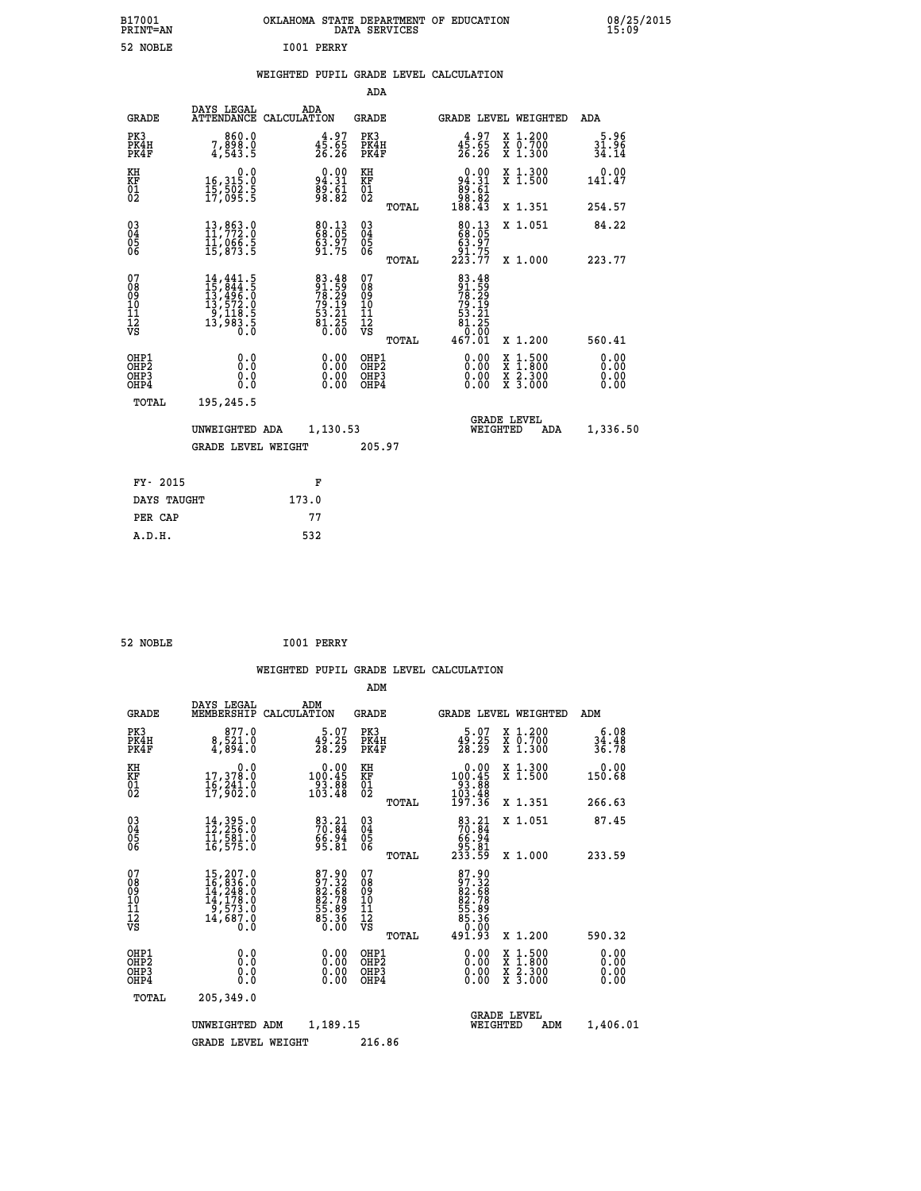| B17001<br>PRINT=AN | OKLAHOMA STATE DEPARTMENT OF EDUCATION<br>DATA SERVICES | 08/25/2015<br>15:09 |
|--------------------|---------------------------------------------------------|---------------------|
| 52 NOBLE           | I001<br><b>PERRY</b>                                    |                     |

|                                                                              |                                                                                                                                                                                                   |                                                                      | ADA                                                 |       |                                                                           |                                          |                               |
|------------------------------------------------------------------------------|---------------------------------------------------------------------------------------------------------------------------------------------------------------------------------------------------|----------------------------------------------------------------------|-----------------------------------------------------|-------|---------------------------------------------------------------------------|------------------------------------------|-------------------------------|
| <b>GRADE</b>                                                                 | DAYS LEGAL                                                                                                                                                                                        | ADA<br>ATTENDANCE CALCULATION                                        | <b>GRADE</b>                                        |       | <b>GRADE LEVEL WEIGHTED</b>                                               |                                          | ADA                           |
| PK3<br>PK4H<br>PK4F                                                          | 0.086,7<br>0.898,7<br>4,543.5                                                                                                                                                                     | $4\frac{4}{5}\cdot\frac{97}{65}$<br>26.26                            | PK3<br>PK4H<br>PK4F                                 |       | $45.65$<br>$26.26$                                                        | X 1.200<br>X 0.700<br>X 1.300            | $\frac{5.96}{31.96}$<br>34.14 |
| KH<br><b>KF</b><br>01<br>02                                                  | 0.0<br>16, 315:0<br>15, 502:5<br>17, 095:5                                                                                                                                                        | $94.31$<br>$89.61$<br>$98.82$                                        | KH<br>KF<br>01<br>02                                |       | $\begin{smallmatrix} &0.00\ 94.31\ 89.61\ 98.82\ 188.43\end{smallmatrix}$ | X 1.300<br>X 1.500                       | 0.00<br>141.47                |
|                                                                              |                                                                                                                                                                                                   |                                                                      |                                                     | TOTAL |                                                                           | X 1.351                                  | 254.57                        |
| $\begin{smallmatrix} 03 \\[-4pt] 04 \end{smallmatrix}$<br>05<br>06           | $\begin{smallmatrix} 13\,, & 863\ . & 0\\ 11\,, & 772\ . & 0\\ 11\,, & 066\ . & 5\\ 15\,, & 873\ . & 5 \end{smallmatrix}$                                                                         | 80.13<br>63.97<br>91.75                                              | $\begin{array}{c} 03 \\ 04 \\ 05 \\ 06 \end{array}$ | TOTAL | $\begin{smallmatrix}80.13\\68.05\\63.97\\91.75\\223.77\end{smallmatrix}$  | X 1.051<br>X 1.000                       | 84.22<br>223.77               |
| 07<br>08901112<br>1112<br>VS                                                 | $\begin{smallmatrix} 14\,, & 441\,, & 5\\ 15\,, & 844\,, & 5\\ 13\,, & 496\,, & 0\\ 13\,, & 572\,, & 0\\ 9\,, & 118\,, & 5\\ 13\,, & 983\,, & 5\\ 13\,, & 983\,, & 5\\ 0\,. & 0\end{smallmatrix}$ | 83.48<br>91.59<br>78.29<br>79.19<br>79.11<br>53.21<br>81.250<br>0.00 | 07<br>08<br>09<br>11<br>11<br>12<br>VS              |       | 83.48<br>91.59<br>78.29<br>79.19<br>79.21<br>53.21<br>81.250              |                                          |                               |
|                                                                              |                                                                                                                                                                                                   |                                                                      |                                                     | TOTAL | 467.01                                                                    | X 1.200                                  | 560.41                        |
| OHP1<br>OH <sub>P</sub> <sub>2</sub><br>OH <sub>P3</sub><br>OH <sub>P4</sub> | 0.0<br>0.0<br>0.0                                                                                                                                                                                 | $\begin{smallmatrix} 0.00 \ 0.00 \ 0.00 \ 0.00 \end{smallmatrix}$    | OHP1<br>OH <sub>P</sub> 2<br>OHP3<br>OHP4           |       | 0.00<br>0.00<br>0.00                                                      | X 1:500<br>X 1:800<br>X 2:300<br>X 3:000 | 0.00<br>0.00<br>0.00<br>0.00  |
| TOTAL                                                                        | 195,245.5                                                                                                                                                                                         |                                                                      |                                                     |       |                                                                           |                                          |                               |
|                                                                              | UNWEIGHTED ADA                                                                                                                                                                                    | 1,130.53                                                             |                                                     |       |                                                                           | GRADE LEVEL<br>WEIGHTED                  | 1,336.50<br>ADA               |
|                                                                              | <b>GRADE LEVEL WEIGHT</b>                                                                                                                                                                         |                                                                      | 205.97                                              |       |                                                                           |                                          |                               |
| FY- 2015                                                                     |                                                                                                                                                                                                   | F                                                                    |                                                     |       |                                                                           |                                          |                               |
| DAYS TAUGHT                                                                  |                                                                                                                                                                                                   | 173.0                                                                |                                                     |       |                                                                           |                                          |                               |
| PER CAP                                                                      |                                                                                                                                                                                                   | 77                                                                   |                                                     |       |                                                                           |                                          |                               |

| 52 NOBLE | I001 PERRY |
|----------|------------|

 **A.D.H. 532**

|                                                    |                                                                                                                                                |                                                                         | ADM                                                 |       |                                                                           |                                          |                      |
|----------------------------------------------------|------------------------------------------------------------------------------------------------------------------------------------------------|-------------------------------------------------------------------------|-----------------------------------------------------|-------|---------------------------------------------------------------------------|------------------------------------------|----------------------|
| <b>GRADE</b>                                       | DAYS LEGAL<br>MEMBERSHIP                                                                                                                       | ADM<br>CALCULATION                                                      | <b>GRADE</b>                                        |       |                                                                           | <b>GRADE LEVEL WEIGHTED</b>              | ADM                  |
| PK3<br>PK4H<br>PK4F                                | 877.0<br>8,521.0<br>4,894.0                                                                                                                    | $\frac{5.07}{28.25}$                                                    | PK3<br>PK4H<br>PK4F                                 |       | 5.07<br>$\frac{49.25}{28.29}$                                             | X 1.200<br>X 0.700<br>X 1.300            | $34.48$<br>$36.78$   |
| KH<br>KF<br>01<br>02                               | 0.0<br>17,378.0<br>16,241.0<br>17,902.0                                                                                                        | $\begin{smallmatrix} &0.00\\ 100.45\\ 93.88\\ 103.48 \end{smallmatrix}$ | KH<br>KF<br>01<br>02                                |       | 0.00<br>100:45<br>93:88<br>103:48<br>197:36                               | X 1.300<br>X 1.500                       | 0.00<br>150.68       |
|                                                    |                                                                                                                                                |                                                                         |                                                     | TOTAL |                                                                           | X 1.351                                  | 266.63               |
| $\begin{matrix} 03 \\ 04 \\ 05 \\ 06 \end{matrix}$ | $14,395.0$<br>$12,256.0$<br>$11,581.0$<br>$16,575.0$                                                                                           | $\begin{smallmatrix} 83.21\ 70.84\ 66.94\ 95.81 \end{smallmatrix}$      | $\begin{array}{c} 03 \\ 04 \\ 05 \\ 06 \end{array}$ |       | $\begin{array}{r} 83.21 \\ 70.84 \\ 66.94 \\ 95.81 \\ 233.59 \end{array}$ | X 1.051                                  | 87.45                |
|                                                    |                                                                                                                                                |                                                                         |                                                     | TOTAL |                                                                           | X 1.000                                  | 233.59               |
| 07<br>08<br>09<br>101<br>112<br>VS                 | $\begin{smallmatrix} 15,207\cdot 0\\ 16,836\cdot 0\\ 14,248\cdot 0\\ 14,178\cdot 0\\ 9,573\cdot 0\\ 14,687\cdot 0\\ 0\cdot 0\end{smallmatrix}$ | 87.90<br>87.32<br>82.68<br>82.78<br>55.89<br>55.38<br>0.00              | 07<br>08<br>09<br>11<br>11<br>12<br>VS              | TOTAL | 87.90<br>87.32<br>82.68<br>82.78<br>85.89<br>55.360<br>85.360<br>491.93   | X 1.200                                  | 590.32               |
| OHP1                                               |                                                                                                                                                |                                                                         |                                                     |       |                                                                           |                                          | 0.00                 |
| OHP <sub>2</sub><br>OH <sub>P3</sub><br>OHP4       | 0.0<br>0.000                                                                                                                                   | $\begin{smallmatrix} 0.00 \ 0.00 \ 0.00 \ 0.00 \end{smallmatrix}$       | OHP1<br>OHP2<br>OHP <sub>3</sub>                    |       | $0.00$<br>$0.00$<br>0.00                                                  | X 1:500<br>X 1:800<br>X 2:300<br>X 3:000 | 0.00<br>0.00<br>0.00 |
| TOTAL                                              | 205,349.0                                                                                                                                      |                                                                         |                                                     |       |                                                                           |                                          |                      |
|                                                    | UNWEIGHTED                                                                                                                                     | 1,189.15<br>ADM                                                         |                                                     |       |                                                                           | <b>GRADE LEVEL</b><br>WEIGHTED<br>ADM    | 1,406.01             |
|                                                    | <b>GRADE LEVEL WEIGHT</b>                                                                                                                      |                                                                         | 216.86                                              |       |                                                                           |                                          |                      |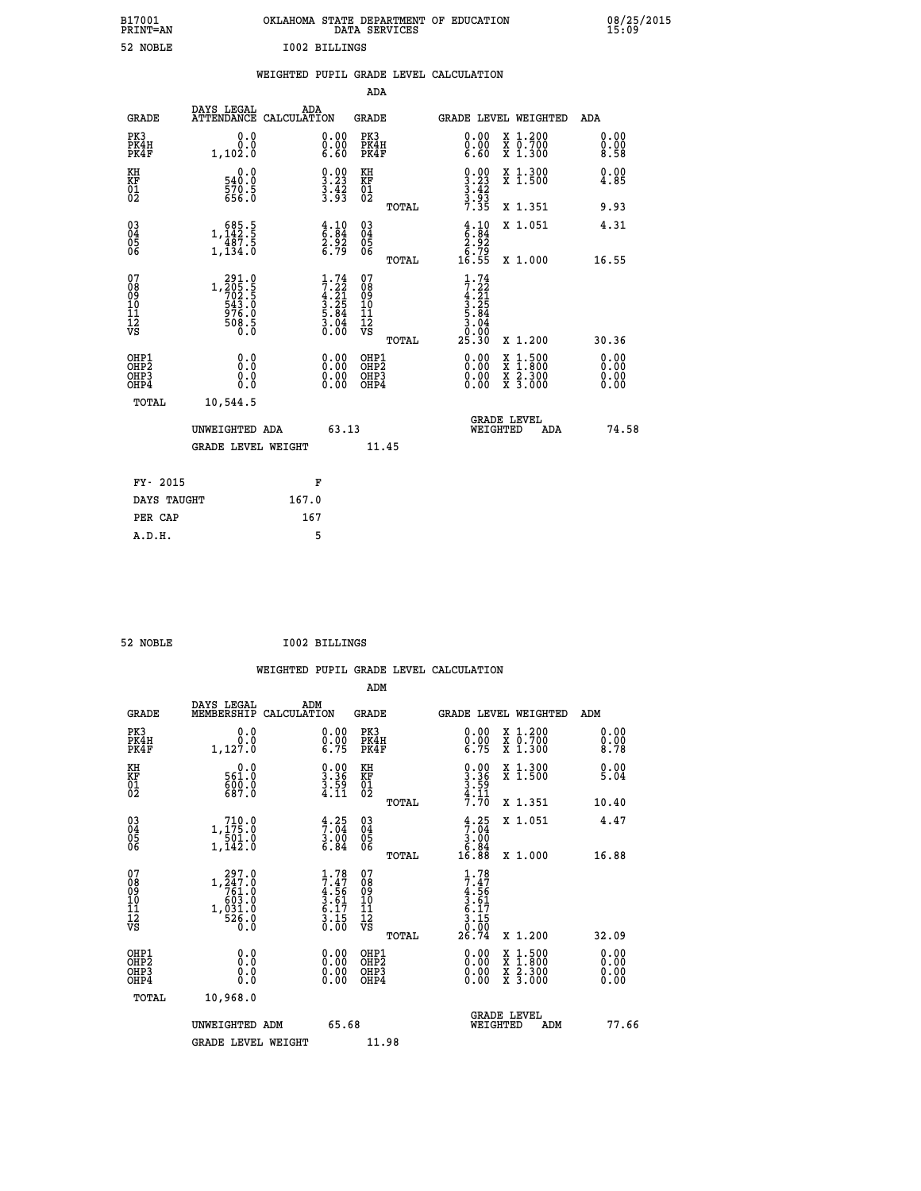| B17001<br><b>PRINT=AN</b> | OKLAHOMA STATE DEPARTMENT OF EDUCATION<br>DATA SERVICES | 08/25/2015<br>15:09 |
|---------------------------|---------------------------------------------------------|---------------------|
| 52<br>NOBLE               | I002 BILLINGS                                           |                     |

|            |           |     | WEIGHTED PUPIL GRADE LEVEL CALCULATION |  |
|------------|-----------|-----|----------------------------------------|--|
|            |           | ADA |                                        |  |
| DAVG TEGAT | $\lambda$ |     |                                        |  |

| <b>GRADE</b>                                       | DAYS LEGAL<br><b>ATTENDANCE</b>                                                                       | ADA<br>CALCULATION |                                                                    | GRADE                                              |       |                                                                          |          | <b>GRADE LEVEL WEIGHTED</b>                                                                      | ADA                          |
|----------------------------------------------------|-------------------------------------------------------------------------------------------------------|--------------------|--------------------------------------------------------------------|----------------------------------------------------|-------|--------------------------------------------------------------------------|----------|--------------------------------------------------------------------------------------------------|------------------------------|
| PK3<br>PK4H<br>PK4F                                | 0.0<br>0.0<br>1, 102.0                                                                                |                    | $\begin{smallmatrix} 0.00 \ 0.00 \ 6.60 \end{smallmatrix}$         | PK3<br>PK4H<br>PK4F                                |       | $\begin{smallmatrix} 0.00 \\ 0.00 \\ 6.60 \end{smallmatrix}$             |          | X 1.200<br>X 0.700<br>X 1.300                                                                    | 0.00<br>0.00<br>8.58         |
| KH<br>KF<br>01<br>02                               | 0.0<br>540:0<br>570:5<br>656:0                                                                        |                    | $\begin{smallmatrix} 0.00\\ 3.23\\ 3.42\\ 3.53 \end{smallmatrix}$  | KH<br>KF<br>01<br>02                               |       | $\begin{smallmatrix} 0.00\\ 3.23\\ 3.42\\ 3.93\\ 7.35 \end{smallmatrix}$ |          | X 1.300<br>X 1.500                                                                               | 0.00<br>4.85                 |
|                                                    |                                                                                                       |                    |                                                                    |                                                    | TOTAL |                                                                          |          | X 1.351                                                                                          | 9.93                         |
| $\begin{matrix} 03 \\ 04 \\ 05 \\ 06 \end{matrix}$ | $\begin{array}{c} 685.5 \\ 1,142.5 \\ 487.5 \\ 1,134.0 \end{array}$                                   |                    | $\begin{array}{c} 4.10 \\ 6.84 \\ 2.92 \\ 6.79 \end{array}$        | $\begin{matrix} 03 \\ 04 \\ 05 \\ 06 \end{matrix}$ |       | $\begin{array}{c} 4.10 \\ 6.84 \\ 2.92 \\ 6.79 \\ 16.55 \end{array}$     |          | X 1.051                                                                                          | 4.31                         |
|                                                    |                                                                                                       |                    |                                                                    |                                                    | TOTAL |                                                                          |          | X 1.000                                                                                          | 16.55                        |
| 07<br>08<br>09<br>11<br>11<br>12<br>VS             | $\begin{smallmatrix} 291.0\\ 1,205.5\\ 702.5\\ 543.0\\ 976.0\\ 508.5\\ 0.0\\ 0.0\\ \end{smallmatrix}$ |                    | $1.74$<br>$7.22$<br>$4.21$<br>$3.25$<br>$5.84$<br>$3.04$<br>$0.00$ | 07<br>08<br>09<br>11<br>11<br>12<br>VS             |       | $1.74$<br>$7.22$<br>$4.21$<br>$3.25$<br>$5.84$<br>$3.04$<br>$0.00$       |          |                                                                                                  |                              |
|                                                    |                                                                                                       |                    |                                                                    |                                                    | TOTAL | 25.30                                                                    |          | X 1.200                                                                                          | 30.36                        |
| OHP1<br>OHP2<br>OHP3<br>OHP4                       | 0.0<br>0.000                                                                                          |                    | $\begin{smallmatrix} 0.00 \ 0.00 \ 0.00 \ 0.00 \end{smallmatrix}$  | OHP1<br>OHP2<br>OHP3<br>OHP4                       |       |                                                                          |          | $\begin{smallmatrix} x & 1 & 500 \\ x & 1 & 800 \\ x & 2 & 300 \\ x & 3 & 000 \end{smallmatrix}$ | 0.00<br>Ŏ.ŎŎ<br>Q.QQ<br>0.00 |
| <b>TOTAL</b>                                       | 10,544.5                                                                                              |                    |                                                                    |                                                    |       |                                                                          |          |                                                                                                  |                              |
|                                                    | UNWEIGHTED ADA                                                                                        |                    | 63.13                                                              |                                                    |       |                                                                          | WEIGHTED | <b>GRADE LEVEL</b><br>ADA                                                                        | 74.58                        |
|                                                    | <b>GRADE LEVEL WEIGHT</b>                                                                             |                    |                                                                    | 11.45                                              |       |                                                                          |          |                                                                                                  |                              |
| FY- 2015                                           |                                                                                                       |                    | F                                                                  |                                                    |       |                                                                          |          |                                                                                                  |                              |
| DAYS TAUGHT                                        |                                                                                                       | 167.0              |                                                                    |                                                    |       |                                                                          |          |                                                                                                  |                              |
|                                                    |                                                                                                       |                    |                                                                    |                                                    |       |                                                                          |          |                                                                                                  |                              |

| 52 NOBLE | <b>I002 BILLINGS</b> |
|----------|----------------------|

 **PER CAP 167 A.D.H. 5**

 **WEIGHTED PUPIL GRADE LEVEL CALCULATION ADM DAYS LEGAL ADM GRADE MEMBERSHIP CALCULATION GRADE GRADE LEVEL WEIGHTED ADM PK3 0.0 0.00 PK3 0.00 X 1.200 0.00 PK4H 0.0 0.00 PK4H 0.00 X 0.700 0.00 PK4F 1,127.0 6.75 PK4F 6.75 X 1.300 8.78** 0.0 0.00 KH 0.00 X 1.300<br>RF 561.0 3.36 KF 3.36 X 1.500 5.04  **01 600.0 3.59 01 3.59**  $02 \hspace{1.5cm} 687.0 \hspace{1.5cm} 4.11 \hspace{1.5cm} 02 \hspace{1.5cm} \frac{4.11}{12}$  **TOTAL 7.70 X 1.351 10.40 03 710.0 4.25 03 4.25 X 1.051 4.47 04 1,175.0 7.04 04 7.04 05 501.0 3.00 05 3.00** 06 1,142.0 6.84 06  $\frac{6}{1}$  **TOTAL 16.88 X 1.000 16.88** 07 297.0 1.78 07 1.78<br>
08 1,247.0 7.47 08 7.47<br>
09 603.0 3.61 10 3.61<br>
11 1,031.0 6.17 11 6.17<br>
12 526.0 3.15 12 3.15<br>
VS 50.0 0.00 VS 0.00  **TOTAL 26.74 X 1.200 32.09 OHP1 0.0 0.00 OHP1 0.00 X 1.500 0.00 OHP2 0.0 0.00 OHP2 0.00 X 1.800 0.00 OHP3 0.0 0.00 OHP3 0.00 X 2.300 0.00 OHP4 0.0 0.00 OHP4 0.00 X 3.000 0.00 TOTAL 10,968.0 GRADE LEVEL UNWEIGHTED ADM 65.68 WEIGHTED ADM 77.66** GRADE LEVEL WEIGHT 11.98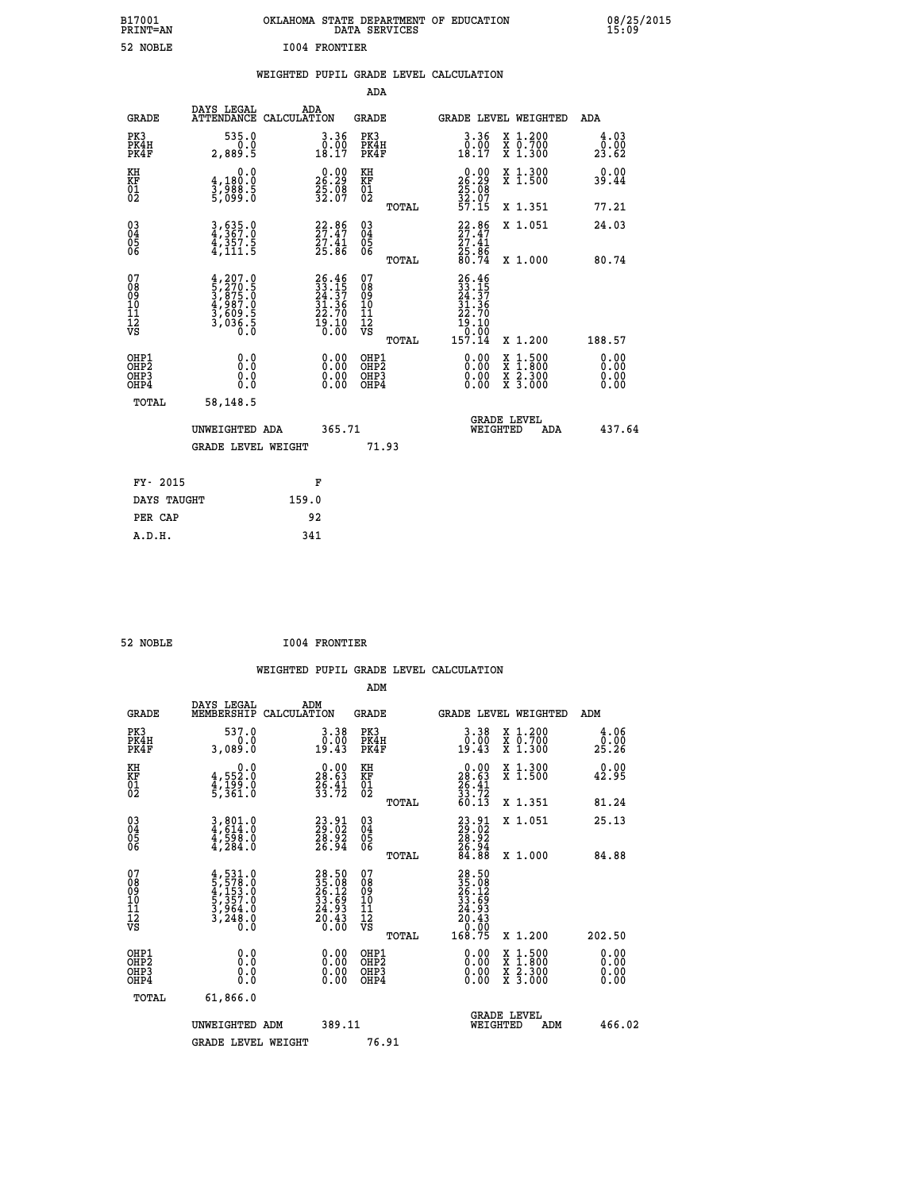| B17001<br>PRINT=AN                                |                                                                                           | OKLAHOMA STATE DEPARTMENT OF EDUCATION                            | DATA SERVICES                                   |                                                                                                                     |                                                                                          | 08/25/2015                   |  |
|---------------------------------------------------|-------------------------------------------------------------------------------------------|-------------------------------------------------------------------|-------------------------------------------------|---------------------------------------------------------------------------------------------------------------------|------------------------------------------------------------------------------------------|------------------------------|--|
| 52 NOBLE                                          |                                                                                           | 1004 FRONTIER                                                     |                                                 |                                                                                                                     |                                                                                          |                              |  |
|                                                   |                                                                                           | WEIGHTED PUPIL GRADE LEVEL CALCULATION                            |                                                 |                                                                                                                     |                                                                                          |                              |  |
|                                                   |                                                                                           |                                                                   | ADA                                             |                                                                                                                     |                                                                                          |                              |  |
| <b>GRADE</b>                                      | DAYS LEGAL<br>ATTENDANCE CALCULATION                                                      | ADA                                                               | GRADE                                           | GRADE LEVEL WEIGHTED                                                                                                |                                                                                          | ADA                          |  |
| PK3<br>PK4H<br>PK4F                               | 535.0<br>0.0<br>2,889.5                                                                   | 3.36<br>$\begin{smallmatrix} 0.00 \\ 18.17 \end{smallmatrix}$     | PK3<br>PK4H<br>PK4F                             | 3.36<br>$\begin{smallmatrix} 0.00\\ 18.17 \end{smallmatrix}$                                                        | X 1.200<br>X 0.700<br>X 1.300                                                            | 4.03<br>0.00<br>23.62        |  |
| KH<br>KF<br>$\frac{01}{02}$                       | 0.0<br>4,180:0<br>3,988:5<br>5,099:0                                                      | $26.29$<br>$25.29$<br>$35.08$<br>$32.07$                          | KH<br>KF<br>$\overline{01}$                     | 26.29<br>35:08<br>32:07                                                                                             | X 1.300<br>X 1.500                                                                       | 0.00<br>39.44                |  |
|                                                   |                                                                                           |                                                                   | TOTAL                                           | 57.15                                                                                                               | X 1.351                                                                                  | 77.21                        |  |
| 030404<br>06                                      | 3,635.0<br>4,367.0<br>4,357.5<br>4,111.5                                                  | $22.86$<br>$27.47$<br>$27.41$<br>$25.86$                          | 03<br>04<br>05<br>06<br><b>TOTAL</b>            | $22.86$<br>$27.47$<br>27.41<br>25.86<br>80.74                                                                       | X 1.051<br>X 1.000                                                                       | 24.03<br>80.74               |  |
| 07<br>08<br>09<br>10<br>11<br>Ī2<br>VS            | $4, 207.0$<br>$5, 270.5$<br>$3, 875.0$<br>$4, 987.0$<br>$3, 609.5$<br>$3, 036.5$<br>$0.0$ | 26.46<br>33.15<br>24.37<br>31.36<br>22.70<br>$\frac{15:10}{0:00}$ | 07<br>08<br>09<br>10<br>11<br>īā<br>vs<br>TOTAL | 26.46<br>$\frac{33}{24}$ . $\frac{15}{37}$<br>$\frac{31}{25}$ . $\frac{36}{25}$<br>22.70<br>19.10<br>0.00<br>157.14 | X 1.200                                                                                  | 188.57                       |  |
| OHP1<br>OHP <sub>2</sub><br>OHP3<br>OHP4<br>TOTAL | 0.0<br>0.0<br>0.0<br>0.0<br>58,148.5                                                      | 0.00<br>0.00                                                      | OHP1<br>OHP2<br>OHP3<br>OHP4                    | 0.00<br>0.00<br>0.00                                                                                                | $\begin{smallmatrix} x & 1.500 \\ x & 1.800 \\ x & 2.300 \\ x & 3.000 \end{smallmatrix}$ | 0.00<br>0.00<br>0.00<br>0.00 |  |
|                                                   | UNWEIGHTED ADA<br><b>GRADE LEVEL WEIGHT</b>                                               | 365.71                                                            | 71.93                                           | <b>GRADE LEVEL</b><br>WEIGHTED                                                                                      | ADA                                                                                      | 437.64                       |  |
| FY- 2015                                          |                                                                                           | F                                                                 |                                                 |                                                                                                                     |                                                                                          |                              |  |
| DAYS TAUGHT                                       |                                                                                           | 159.0                                                             |                                                 |                                                                                                                     |                                                                                          |                              |  |

| 52 NOBLE | <b>I004 FRONTIER</b> |
|----------|----------------------|

 **PER CAP 92 A.D.H. 341**

 **ADM DAYS LEGAL ADM GRADE MEMBERSHIP CALCULATION GRADE GRADE LEVEL WEIGHTED ADM PK3 537.0 3.38 PK3 3.38 X 1.200 4.06 PK4H 0.0 0.00 PK4H 0.00 X 0.700 0.00 PK4F 3,089.0 19.43 PK4F 19.43 X 1.300 25.26 KH 0.0 0.00 KH 0.00 X 1.300 0.00 KF 4,552.0 28.63 KF 28.63 X 1.500 42.95** 01 **4,199.0** 25.<del>1</del>1 01 25.41<br>02 5,361.0 33.72 <sub>22</sub>

|                                                      |                                                                                     |                                                                          |                                                    | TOTAL | 60.13                                                                                                        | X 1.351                                                                                          | 81.24                                                                                                                                                                                                                                                                          |  |
|------------------------------------------------------|-------------------------------------------------------------------------------------|--------------------------------------------------------------------------|----------------------------------------------------|-------|--------------------------------------------------------------------------------------------------------------|--------------------------------------------------------------------------------------------------|--------------------------------------------------------------------------------------------------------------------------------------------------------------------------------------------------------------------------------------------------------------------------------|--|
| 03<br>04<br>05<br>06                                 | $3,801.0$<br>$4,614.0$<br>$4,598.0$<br>$4,284.0$                                    | $\begin{smallmatrix} 23.91\ 29.02\ 28.92\ 26.94 \end{smallmatrix}$       | $\begin{matrix} 03 \\ 04 \\ 05 \\ 06 \end{matrix}$ | TOTAL | $\begin{smallmatrix} 23 & 91 \\ 29 & 02 \\ 28 & 92 \\ 26 & 94 \\ 26 & 84 \end{smallmatrix}$                  | X 1.051<br>X 1.000                                                                               | 25.13<br>84.88                                                                                                                                                                                                                                                                 |  |
| 07<br>08<br>09<br>101<br>11<br>12<br>VS              | $4,531.0$<br>$5,578.0$<br>$4,153.0$<br>$5,357.0$<br>$3,964.0$<br>$3,248.0$<br>$0.0$ | 28.50<br>35.08<br>26.12<br>33.69<br>24.93<br>$\frac{5}{0}$ $\frac{3}{0}$ | 0789011112<br>1111112<br>VS                        | TOTAL | $\begin{smallmatrix} 28.50\,35.08\\ 35.08\\ 26.12\\ 33.59\\ 24.93\\ 20.43\\ 0.00\\ 168.75 \end{smallmatrix}$ | X 1.200                                                                                          | 202.50                                                                                                                                                                                                                                                                         |  |
| OHP1<br>OHP <sub>2</sub><br>OH <sub>P3</sub><br>OHP4 | 0.0<br>0.0<br>Ō.Ō                                                                   |                                                                          | OHP1<br>OHP <sub>2</sub><br>OHP3<br>OHP4           |       | $\begin{smallmatrix} 0.00 \ 0.00 \ 0.00 \ 0.00 \end{smallmatrix}$                                            | $\begin{smallmatrix} x & 1 & 500 \\ x & 1 & 800 \\ x & 2 & 300 \\ x & 3 & 000 \end{smallmatrix}$ | $\begin{smallmatrix} 0.00 & 0.00 & 0.00 & 0.00 & 0.00 & 0.00 & 0.00 & 0.00 & 0.00 & 0.00 & 0.00 & 0.00 & 0.00 & 0.00 & 0.00 & 0.00 & 0.00 & 0.00 & 0.00 & 0.00 & 0.00 & 0.00 & 0.00 & 0.00 & 0.00 & 0.00 & 0.00 & 0.00 & 0.00 & 0.00 & 0.00 & 0.00 & 0.00 & 0.00 & 0.00 & 0.0$ |  |
| TOTAL                                                | 61,866.0                                                                            |                                                                          |                                                    |       | <b>GRADE LEVEL</b>                                                                                           |                                                                                                  |                                                                                                                                                                                                                                                                                |  |
|                                                      | UNWEIGHTED ADM                                                                      | 389.11                                                                   |                                                    |       | WEIGHTED                                                                                                     | ADM                                                                                              | 466.02                                                                                                                                                                                                                                                                         |  |
|                                                      | <b>GRADE LEVEL WEIGHT</b>                                                           |                                                                          |                                                    | 76.91 |                                                                                                              |                                                                                                  |                                                                                                                                                                                                                                                                                |  |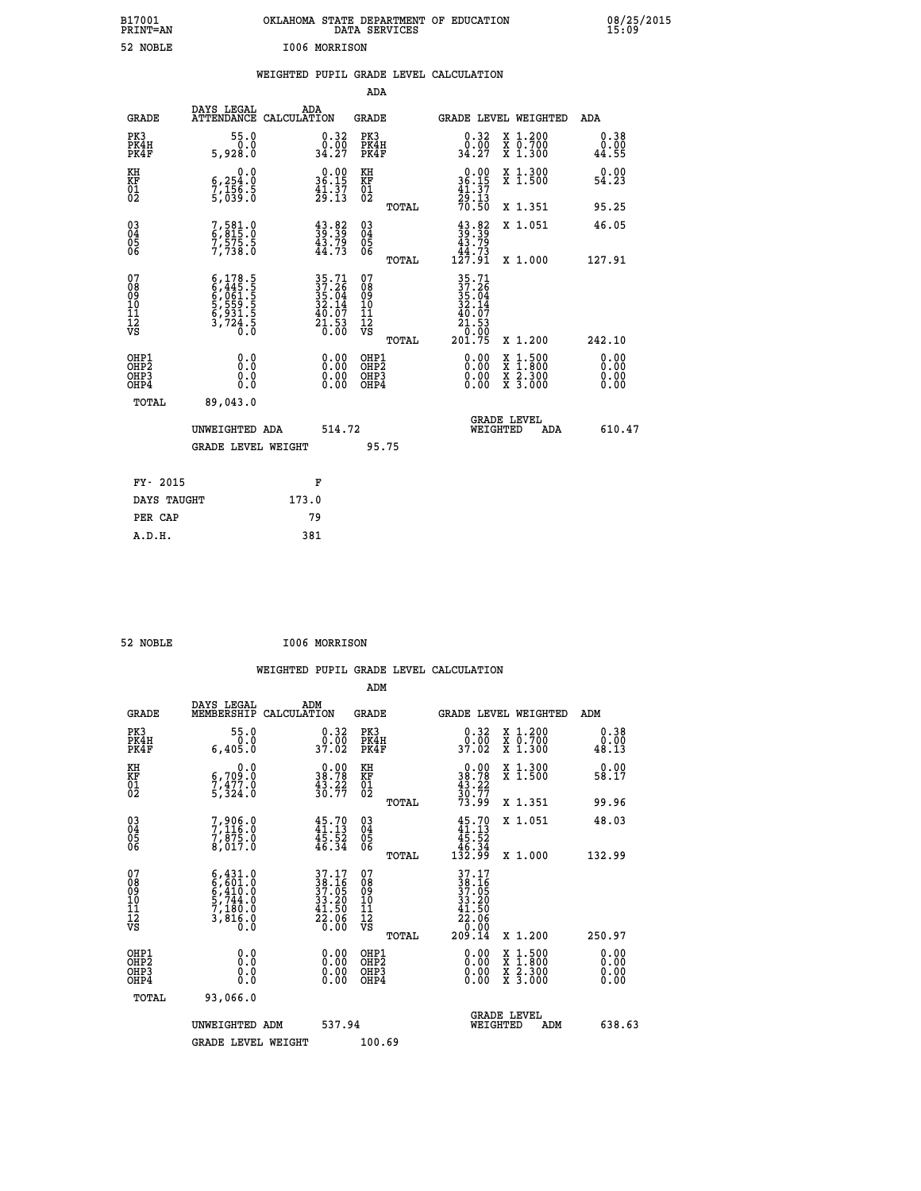| B17001<br>PRINT=AN                       |                                                                                     | OKLAHOMA STATE DEPARTMENT OF EDUCATION                               | DATA SERVICES                                          |                                                                     |                                                                                                                                      | 08/25/2015            |
|------------------------------------------|-------------------------------------------------------------------------------------|----------------------------------------------------------------------|--------------------------------------------------------|---------------------------------------------------------------------|--------------------------------------------------------------------------------------------------------------------------------------|-----------------------|
| 52 NOBLE                                 |                                                                                     | I006 MORRISON                                                        |                                                        |                                                                     |                                                                                                                                      |                       |
|                                          |                                                                                     | WEIGHTED PUPIL GRADE LEVEL CALCULATION                               |                                                        |                                                                     |                                                                                                                                      |                       |
|                                          |                                                                                     |                                                                      | ADA                                                    |                                                                     |                                                                                                                                      |                       |
| GRADE                                    | DAYS LEGAL                                                                          | ADA<br>ATTENDANCE CALCULATION                                        | GRADE                                                  | <b>GRADE LEVEL WEIGHTED</b>                                         |                                                                                                                                      | ADA                   |
| PK3<br>PK4H<br>PK4F                      | 55.0<br>0.0<br>5,928.0                                                              | 0.32<br>$\frac{0.00}{34.27}$                                         | PK3<br>PK4H<br>PK4F                                    | 0.32<br>$\frac{0.00}{34.27}$                                        | X 1.200<br>X 0.700<br>X 1.300                                                                                                        | 0.38<br>0.00<br>44.55 |
| KH<br>KF<br>$\frac{01}{02}$              | $\begin{smallmatrix} & & 0.0\ 6.254.0\ 7.156.5\ 5.039.0 \end{smallmatrix}$          | $\begin{smallmatrix} 0.00\\ 36.15\\ 41.37\\ 29.13 \end{smallmatrix}$ | KH<br>KF<br>01<br>02                                   | $0.00$<br>36.15<br>$\frac{41 \cdot 37}{29 \cdot 13}$<br>70.50       | X 1.300<br>X 1.500                                                                                                                   | 0.00<br>54.23         |
|                                          |                                                                                     |                                                                      | TOTAL                                                  |                                                                     | X 1.351                                                                                                                              | 95.25                 |
| $\substack{03 \\ 04}$<br>$\frac{05}{06}$ | 7,581.0<br>$7,575.5$<br>$7,738.0$                                                   | $\begin{smallmatrix} 43.82\ 39.39\ 43.79\ 44.73 \end{smallmatrix}$   | 03<br>04<br>05<br>06<br><b>TOTAL</b>                   | $\frac{43}{39}$ : $\frac{82}{39}$<br>43.79<br>$\frac{1}{127.91}$    | X 1.051<br>X 1.000                                                                                                                   | 46.05<br>127.91       |
| 07<br>08<br>09<br>11<br>11<br>12<br>VS   | $6,445.5$<br>$6,445.5$<br>$6,061.5$<br>$5,559.5$<br>$6,931.5$<br>$3,724.5$<br>$0.0$ | 35.71<br>37.26<br>35.04<br>32.14<br>$\frac{40.07}{21.53}$            | 07<br>08<br>09<br>11<br>11<br>12<br>VS<br><b>TOTAL</b> | 35.71<br>37.26<br>35.04<br>32.14<br>$\frac{40.07}{21.53}$<br>201.75 | X 1.200                                                                                                                              | 242.10                |
| OHP1<br>OHP2<br>OH <sub>P3</sub><br>OHP4 | 0.0<br>0.0<br>0.0<br>0.0                                                            | 0.00<br>0.00<br>0.00                                                 | OHP1<br>OH <sub>P</sub> 2<br>OHP3<br>OHP4              | 0.00<br>0.00<br>0.00                                                | $\begin{smallmatrix} \mathtt{X} & 1 & 500 \\ \mathtt{X} & 1 & 800 \\ \mathtt{X} & 2 & 300 \\ \mathtt{X} & 3 & 000 \end{smallmatrix}$ | 0.00<br>0.00<br>0.00  |
| TOTAL                                    | 89,043.0                                                                            |                                                                      |                                                        |                                                                     |                                                                                                                                      |                       |
|                                          | UNWEIGHTED ADA                                                                      | 514.72                                                               |                                                        | <b>GRADE LEVEL</b><br>WEIGHTED                                      | ADA                                                                                                                                  | 610.47                |
|                                          | <b>GRADE LEVEL WEIGHT</b>                                                           |                                                                      | 95.75                                                  |                                                                     |                                                                                                                                      |                       |
| FY- 2015                                 |                                                                                     | F                                                                    |                                                        |                                                                     |                                                                                                                                      |                       |
| DAYS TAUGHT                              |                                                                                     | 173.0                                                                |                                                        |                                                                     |                                                                                                                                      |                       |

| I006 MORRISON<br>52 NOBLE |  |  |
|---------------------------|--|--|
|---------------------------|--|--|

 **PER CAP 79 A.D.H. 381**

 **WEIGHTED PUPIL GRADE LEVEL CALCULATION ADM DAYS LEGAL ADM GRADE MEMBERSHIP CALCULATION GRADE GRADE LEVEL WEIGHTED ADM PK3 55.0 0.32 PK3 0.32 X 1.200 0.38 PK4H 0.0 0.00 PK4H 0.00 X 0.700 0.00 PK4F 6,405.0 37.02 PK4F 37.02 X 1.300 48.13 KH 0.0 0.00 KH 0.00 X 1.300 0.00 KF 6,709.0 38.78 KF 38.78 X 1.500 58.17**  $\begin{array}{cccc} \text{KH} & \text{O.0} & \text{O.00} & \text{KH} \\ \text{KF} & \text{G.709.0} & \text{38.78} & \text{KF} \\ \text{O1} & \text{7.324.0} & \text{3.324.70} \\ \text{O2} & \text{5.324.0} & \text{3.327.02} \end{array}$  $02$  5,324.0 30.77 02  $\frac{30}{77}$  **TOTAL 73.99 X 1.351 99.96 03 7,906.0 45.70 03 45.70 X 1.051 48.03** 04 7,116.0 41.13 04 41.13 04<br>05 7,875.0 45.52 05<br>06 8,017.0 45.34 06 <sub>46.34</sub> 46.34  **TOTAL 132.99 X 1.000 132.99**  $\begin{array}{cccc} 07 & 6\,,431.0 & 37.17 & 07 & 37.17 \ 08 & 6\,,601.0 & 38.16 & 08 & 39.16 \ 09 & 6\,,410.0 & 37.05 & 09 & 37.05 \ 10 & 5\,,744.0 & 33.20 & 10 & 33.20 \ 11 & 7\,,180.0 & 41.50 & 11 & 41.50 \ \hline\end{array}$  **TOTAL 209.14 X 1.200 250.97 OHP1 0.0 0.00 OHP1 0.00 X 1.500 0.00 OHP2 0.0 0.00 OHP2 0.00 X 1.800 0.00 OHP3 0.0 0.00 OHP3 0.00 X 2.300 0.00 OHP4 0.0 0.00 OHP4 0.00 X 3.000 0.00 TOTAL 93,066.0 GRADE LEVEL UNWEIGHTED ADM 537.94 WEIGHTED ADM 638.63** GRADE LEVEL WEIGHT 100.69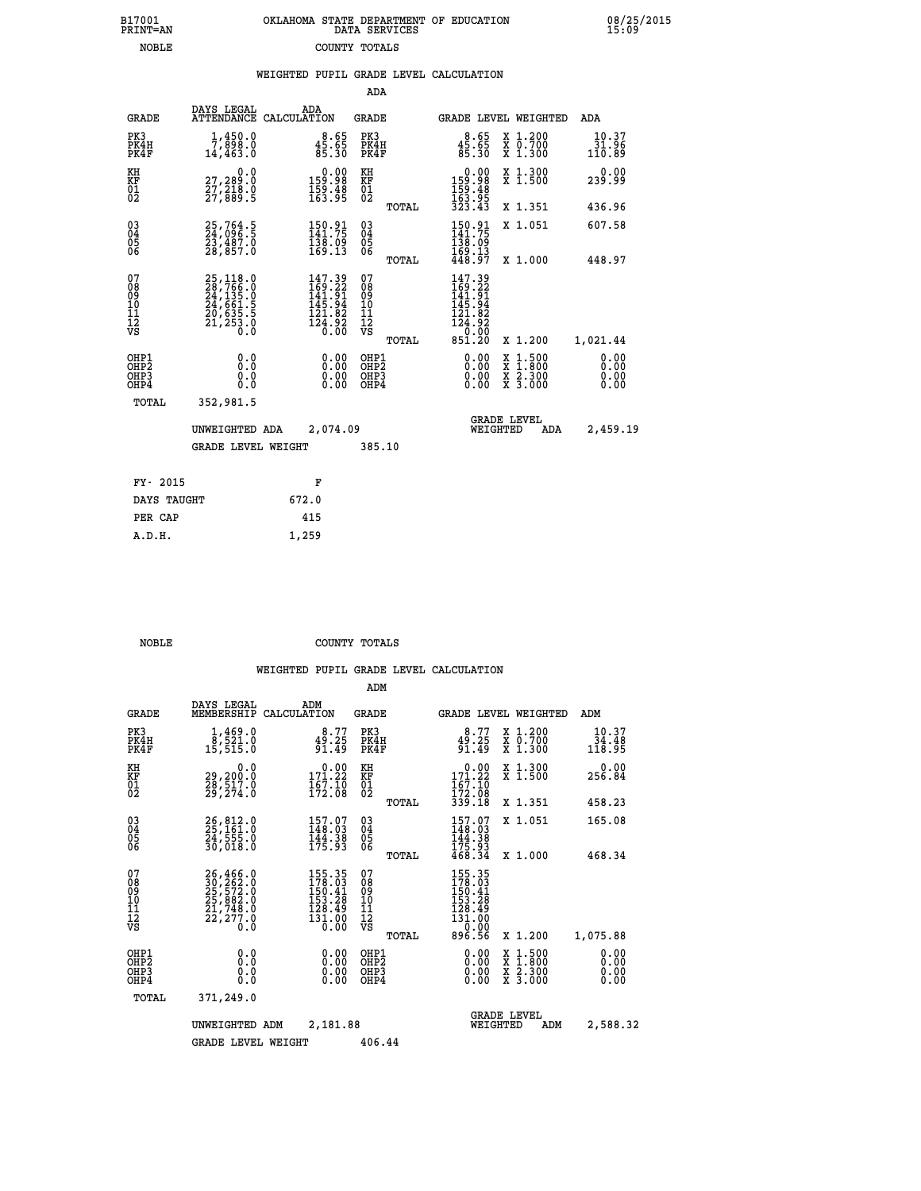| B17001<br><b>PRINT=AN</b> | OKLAHOMA STATE DEPARTMENT OF EDUCATION<br>DATA SERVICES |  |
|---------------------------|---------------------------------------------------------|--|
| NOBLE                     | COUNTY TOTALS                                           |  |

 **B17001 OKLAHOMA STATE DEPARTMENT OF EDUCATION 08/25/2015**

|                                                                    |                                                                                           |                                                                                             | ADA                                       |       |                                                                                           |                                                                                                  |                              |
|--------------------------------------------------------------------|-------------------------------------------------------------------------------------------|---------------------------------------------------------------------------------------------|-------------------------------------------|-------|-------------------------------------------------------------------------------------------|--------------------------------------------------------------------------------------------------|------------------------------|
| <b>GRADE</b>                                                       | DAYS LEGAL                                                                                | ADA<br>ATTENDANCE CALCULATION                                                               | <b>GRADE</b>                              |       |                                                                                           | GRADE LEVEL WEIGHTED                                                                             | ADA                          |
| PK3<br>PK4H<br>PK4F                                                | 1,450.0<br>7,898.0<br>14,463.0                                                            | $8.65$<br>$85.65$<br>$85.30$                                                                | PK3<br>PK4H<br>PK4F                       |       | $45.65$<br>$85.30$                                                                        | X 1.200<br>X 0.700<br>X 1.300                                                                    | 10.37<br>31.96<br>110.89     |
| KH<br><b>KF</b><br>01<br>02                                        | 0.0<br>27,289.0<br>27,210.0<br>27,889.5                                                   | $\begin{array}{c} 0.00 \\ 159.98 \\ 159.48 \\ 163.95 \end{array}$                           | KH<br>KF<br>01<br>02                      |       | $\begin{smallmatrix} &0.00\\ 159.98\\ 159.48\\ 153.95\\ 163.95\\ 323.43\end{smallmatrix}$ | X 1.300<br>X 1.500                                                                               | 0.00<br>239.99               |
|                                                                    |                                                                                           |                                                                                             |                                           | TOTAL |                                                                                           | X 1.351                                                                                          | 436.96                       |
| $\begin{smallmatrix} 03 \\[-4pt] 04 \end{smallmatrix}$<br>05<br>06 | 25,764.5<br>24,096.5<br>23,487.0<br>28,857.0                                              | $150.91$<br>$141.75$<br>$138.09$<br>$169.13$                                                | $\substack{03 \\ 04}$<br>05<br>06         |       | $150.91$<br>$141.75$<br>$138.09$<br>$169.13$<br>$448.97$                                  | X 1.051                                                                                          | 607.58                       |
|                                                                    |                                                                                           |                                                                                             |                                           | TOTAL |                                                                                           | X 1.000                                                                                          | 448.97                       |
| 07<br>08<br>09<br>11<br>11<br>12<br>VS                             | $25,118.0$<br>$28,766.0$<br>$24,135.0$<br>$24,661.5$<br>$20,635.5$<br>$21,253.0$<br>$0.0$ | $\begin{smallmatrix} 147.39\\169.22\\141.91\\145.94\\121.82\\124.92\\0.00\end{smallmatrix}$ | 07<br>08<br>09<br>11<br>11<br>12<br>VS    |       | 147.39<br>$169.22$<br>$141.91$<br>$145.94$<br>$121.82$<br>$124.92$<br>0.00                |                                                                                                  |                              |
|                                                                    |                                                                                           |                                                                                             |                                           | TOTAL | 851.20                                                                                    | X 1.200                                                                                          | 1,021.44                     |
| OHP1<br>OH <sub>P2</sub><br>OH <sub>P3</sub><br>OH <sub>P4</sub>   | 0.0<br>0.0<br>0.0                                                                         | 0.00<br>0.00<br>0.00                                                                        | OHP1<br>OH <sub>P</sub> 2<br>OHP3<br>OHP4 |       | 0.00<br>0.00<br>0.00                                                                      | $\begin{smallmatrix} x & 1 & 500 \\ x & 1 & 800 \\ x & 2 & 300 \\ x & 3 & 000 \end{smallmatrix}$ | 0.00<br>0.00<br>0.00<br>0.00 |
| TOTAL                                                              | 352,981.5                                                                                 |                                                                                             |                                           |       |                                                                                           |                                                                                                  |                              |
|                                                                    | UNWEIGHTED ADA                                                                            | 2,074.09                                                                                    |                                           |       |                                                                                           | <b>GRADE LEVEL</b><br>WEIGHTED<br>ADA                                                            | 2,459.19                     |
|                                                                    | <b>GRADE LEVEL WEIGHT</b>                                                                 |                                                                                             | 385.10                                    |       |                                                                                           |                                                                                                  |                              |
| FY- 2015                                                           |                                                                                           | F                                                                                           |                                           |       |                                                                                           |                                                                                                  |                              |
| DAYS TAUGHT                                                        |                                                                                           | 672.0                                                                                       |                                           |       |                                                                                           |                                                                                                  |                              |
| PER CAP                                                            |                                                                                           | 415                                                                                         |                                           |       |                                                                                           |                                                                                                  |                              |

| ס זמו |  |  |  |
|-------|--|--|--|

 **A.D.H. 1,259**

B17001<br>PRINT=AN<br>NOBLE

 **NOBLE COUNTY TOTALS**

|                                                       |                                                                      |                                                                         | ADM                                             |                                                                             |                                                                                                  |                              |
|-------------------------------------------------------|----------------------------------------------------------------------|-------------------------------------------------------------------------|-------------------------------------------------|-----------------------------------------------------------------------------|--------------------------------------------------------------------------------------------------|------------------------------|
| <b>GRADE</b>                                          | DAYS LEGAL<br>MEMBERSHIP                                             | ADM<br>CALCULATION                                                      | <b>GRADE</b>                                    | <b>GRADE LEVEL WEIGHTED</b>                                                 |                                                                                                  | ADM                          |
| PK3<br>PK4H<br>PK4F                                   | $\frac{1}{2}, \frac{469}{521}.0$<br>15,515.0                         | 8.77<br>49.25<br>91.49                                                  | PK3<br>PK4H<br>PK4F                             | 8.77<br>49.25<br>91.49                                                      | X 1.200<br>X 0.700<br>X 1.300                                                                    | 10.37<br>34.48<br>118.95     |
| KH<br>KF<br>01<br>02                                  | 0.0<br>29,200:0<br>28,517:0<br>29,274:0                              | $\begin{smallmatrix} &0.00\\ 171.22\\ 167.10\\ 172.08\end{smallmatrix}$ | KH<br>KF<br>01<br>02                            | $\begin{array}{c} 0.00 \\ 171.22 \\ 167.10 \\ 172.08 \\ 339.18 \end{array}$ | X 1.300<br>X 1.500                                                                               | 0.00<br>256.84               |
|                                                       |                                                                      |                                                                         | TOTAL                                           |                                                                             | X 1.351                                                                                          | 458.23                       |
| 03<br>04<br>05<br>06                                  | 26, 812.0<br>25, 161.0<br>24, 555.0<br>30,018.0                      | 157.07<br>148.03<br>$\frac{144}{175}$ . 38                              | $^{03}_{04}$<br>0500                            | $157.07$<br>148.03<br>144.38                                                | X 1.051                                                                                          | 165.08                       |
|                                                       |                                                                      |                                                                         | TOTAL                                           | 175.93<br>468.34                                                            | X 1.000                                                                                          | 468.34                       |
| 07<br>08<br>09<br>101<br>112<br>VS                    | 26,466.0<br>30,262.0<br>25,572.0<br>25,882.0<br>21,748.0<br>22,277.0 | 155.35<br>178.03<br>150.41<br>153.28<br>128.49<br>131.00<br>0.00        | 07<br>08<br>09<br>11<br>11<br>12<br>VS<br>TOTAL | 155.35<br>178.03<br>150.41<br>153.28<br>128.49<br>131.00<br>0.00<br>896.56  | X 1.200                                                                                          | 1,075.88                     |
| OHP1<br>OH <sub>P</sub> 2<br>OH <sub>P3</sub><br>OHP4 | 0.0<br>0.000                                                         | $0.00$<br>$0.00$<br>0.00                                                | OHP1<br>OHP2<br>OHP3<br>OHP4                    | $0.00$<br>$0.00$<br>0.00                                                    | $\begin{smallmatrix} x & 1 & 500 \\ x & 1 & 800 \\ x & 2 & 300 \\ x & 3 & 000 \end{smallmatrix}$ | 0.00<br>0.00<br>0.00<br>0.00 |
| TOTAL                                                 | 371,249.0                                                            |                                                                         |                                                 |                                                                             |                                                                                                  |                              |
|                                                       | UNWEIGHTED                                                           | 2,181.88<br>ADM                                                         |                                                 | <b>GRADE LEVEL</b><br>WEIGHTED                                              | ADM                                                                                              | 2,588.32                     |
|                                                       | <b>GRADE LEVEL WEIGHT</b>                                            |                                                                         | 406.44                                          |                                                                             |                                                                                                  |                              |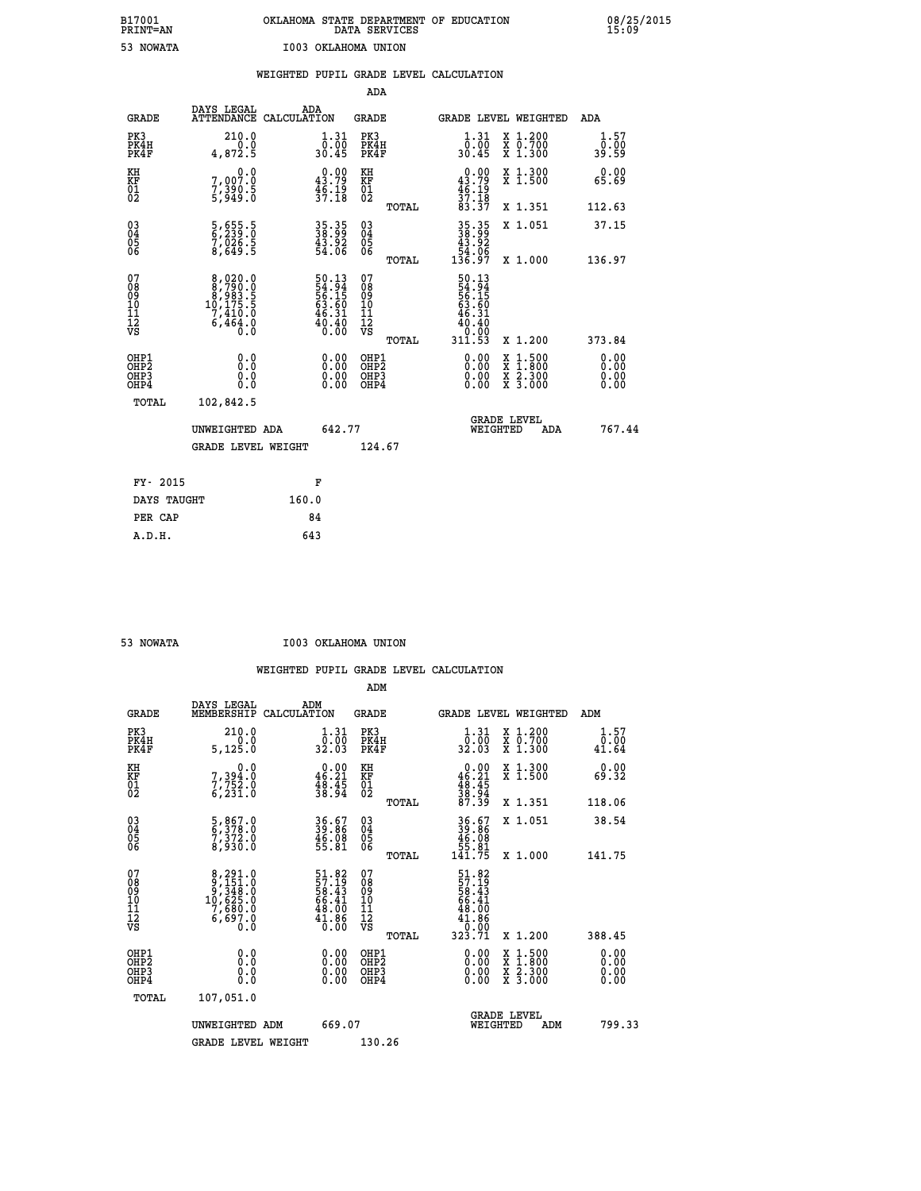|                                                                              |                                                                                                  |                                                                     | ADA                                                 |       |                                                            |                                          |                              |
|------------------------------------------------------------------------------|--------------------------------------------------------------------------------------------------|---------------------------------------------------------------------|-----------------------------------------------------|-------|------------------------------------------------------------|------------------------------------------|------------------------------|
| <b>GRADE</b>                                                                 | DAYS LEGAL<br>ATTENDANCE CALCULATION                                                             | ADA                                                                 | <b>GRADE</b>                                        |       |                                                            | GRADE LEVEL WEIGHTED                     | ADA                          |
| PK3<br>PK4H<br>PK4F                                                          | 210.0<br>0.0<br>4,872.5                                                                          | $\begin{smallmatrix} 1.31\ 0.00\\ 30.45 \end{smallmatrix}$          | PK3<br>PK4H<br>PK4F                                 |       | 1.31<br>ō:ŏō<br>30.45                                      | X 1.200<br>X 0.700<br>X 1.300            | 1.57<br>0.00<br>39.59        |
| KH<br>KF<br>01<br>02                                                         | 0.0<br>7,007:0<br>7,390:5<br>5,949:0                                                             | $0.00$<br>43.79<br>$\frac{46:19}{37:18}$                            | KH<br>KF<br>01<br>02                                |       | $0.00$<br>43.79<br>$\frac{46}{37}$ :19                     | X 1.300<br>X 1.500                       | 0.00<br>65.69                |
|                                                                              |                                                                                                  |                                                                     |                                                     | TOTAL | 83.37                                                      | X 1.351                                  | 112.63                       |
| $^{03}_{04}$<br>Ŏ5<br>06                                                     | 5,655.5<br>6,239.0<br>7,026.5<br>8,649.5                                                         | 35.35<br>38.99<br>43.92<br>54.06                                    | $\begin{array}{c} 03 \\ 04 \\ 05 \\ 06 \end{array}$ | TOTAL | $35.35$<br>$38.99$<br>$43.92$<br>$54.06$<br>$136.97$       | X 1.051<br>X 1.000                       | 37.15<br>136.97              |
| 07<br>08901112<br>1112<br>VS                                                 | $\begin{smallmatrix}8,020.0\\8,790.0\\8,983.5\\10,175.5\\7,410.0\\6,464.0\\0.0\end{smallmatrix}$ | 50.13<br>54.94<br>56.15<br>56.15<br>63.60<br>46.31<br>40.40<br>0.00 | 07<br>08<br>09<br>11<br>11<br>12<br>VS              |       | 50.13<br>54.94<br>56.15<br>53.60<br>46.31<br>40.40<br>0.00 |                                          |                              |
|                                                                              |                                                                                                  |                                                                     |                                                     | TOTAL | 311.53                                                     | X 1.200                                  | 373.84                       |
| OHP1<br>OH <sub>P</sub> <sub>2</sub><br>OH <sub>P3</sub><br>OH <sub>P4</sub> | 0.0<br>0.000                                                                                     | $\begin{smallmatrix} 0.00 \ 0.00 \ 0.00 \ 0.00 \end{smallmatrix}$   | OHP1<br>OH <sub>P</sub> 2<br>OHP3<br>OHP4           |       | $0.00$<br>$0.00$<br>0.00                                   | X 1:500<br>X 1:800<br>X 2:300<br>X 3:000 | 0.00<br>0.00<br>0.00<br>0.00 |
| TOTAL                                                                        | 102,842.5                                                                                        |                                                                     |                                                     |       |                                                            |                                          |                              |
|                                                                              | UNWEIGHTED ADA                                                                                   | 642.77                                                              |                                                     |       |                                                            | GRADE LEVEL<br>WEIGHTED<br>ADA           | 767.44                       |
|                                                                              | <b>GRADE LEVEL WEIGHT</b>                                                                        |                                                                     | 124.67                                              |       |                                                            |                                          |                              |
| FY- 2015                                                                     |                                                                                                  | F                                                                   |                                                     |       |                                                            |                                          |                              |
| DAYS TAUGHT                                                                  |                                                                                                  | 160.0                                                               |                                                     |       |                                                            |                                          |                              |
| PER CAP                                                                      |                                                                                                  | 84                                                                  |                                                     |       |                                                            |                                          |                              |

| <b>NOWATA</b> |
|---------------|
|               |

 **53 NOWATA I003 OKLAHOMA UNION**

|                                          |                                                                                                  |                                                                          | ADM                                                 |       |                                                                                      |                                          |                       |
|------------------------------------------|--------------------------------------------------------------------------------------------------|--------------------------------------------------------------------------|-----------------------------------------------------|-------|--------------------------------------------------------------------------------------|------------------------------------------|-----------------------|
| <b>GRADE</b>                             | DAYS LEGAL<br>MEMBERSHIP                                                                         | ADM<br>CALCULATION                                                       | <b>GRADE</b>                                        |       |                                                                                      | <b>GRADE LEVEL WEIGHTED</b>              | ADM                   |
| PK3<br>PK4H<br>PK4F                      | 210.0<br>$\begin{array}{c} 0.0 \\ 5,125.0 \end{array}$                                           | 1.31<br>ō:ŏō<br>32.03                                                    | PK3<br>PK4H<br>PK4F                                 |       | $\begin{smallmatrix} 1.31\ 0.00\\ 32.03 \end{smallmatrix}$                           | X 1.200<br>X 0.700<br>X 1.300            | 1.57<br>0.00<br>41.64 |
| KH<br>KF<br>01<br>02                     | 0.0<br>7, 394:0<br>7, 752:0<br>6, 231:0                                                          | $0.00$<br>46.21<br>$\frac{48.45}{38.94}$                                 | KH<br>KF<br>01<br>02                                |       | $\begin{smallmatrix}&&0.00\\46.21\\48.45\\38.94\\37.39\end{smallmatrix}$             | X 1.300<br>X 1.500                       | 0.00<br>69.32         |
|                                          |                                                                                                  |                                                                          |                                                     | TOTAL |                                                                                      | X 1.351                                  | 118.06                |
| 03<br>04<br>05<br>06                     | 5,867.0<br>6,378.0<br>7,372.0<br>8,930.0                                                         | 36.67<br>39.86<br>46.08<br>55.81                                         | $\begin{array}{c} 03 \\ 04 \\ 05 \\ 06 \end{array}$ |       | $36.67$<br>$39.86$<br>$46.08$<br>$55.81$<br>$141.75$                                 | X 1.051                                  | 38.54                 |
|                                          |                                                                                                  |                                                                          |                                                     | TOTAL |                                                                                      | X 1.000                                  | 141.75                |
| 07<br>08<br>09<br>101<br>11<br>12<br>VS  | $\begin{smallmatrix}8,291.0\\9,151.0\\9,348.0\\10,625.0\\7,680.0\\6,697.0\\0.0\end{smallmatrix}$ | $51.82$<br>$57.19$<br>$58.43$<br>$66.41$<br>$48.00$<br>$41.86$<br>$0.00$ | 07<br>08<br>09<br>11<br>11<br>12<br>VS              | TOTAL | $57.19$<br>$58.43$<br>$56.41$<br>$66.41$<br>$48.00$<br>$41.86$<br>$0.00$<br>$323.71$ | X 1.200                                  | 388.45                |
| OHP1<br>OHP2<br>OH <sub>P3</sub><br>OHP4 | 0.0<br>$\begin{smallmatrix} 0.16 \ 0.0 \end{smallmatrix}$                                        |                                                                          | OHP1<br>OHP2<br>OHP <sub>3</sub>                    |       | $0.00$<br>$0.00$<br>0.00                                                             | X 1:500<br>X 1:800<br>X 2:300<br>X 3:000 | 0.00<br>0.00<br>0.00  |
| TOTAL                                    | 107,051.0                                                                                        |                                                                          |                                                     |       |                                                                                      |                                          |                       |
|                                          | UNWEIGHTED ADM                                                                                   | 669.07                                                                   |                                                     |       |                                                                                      | GRADE LEVEL<br>WEIGHTED<br>ADM           | 799.33                |
|                                          | <b>GRADE LEVEL WEIGHT</b>                                                                        |                                                                          | 130.26                                              |       |                                                                                      |                                          |                       |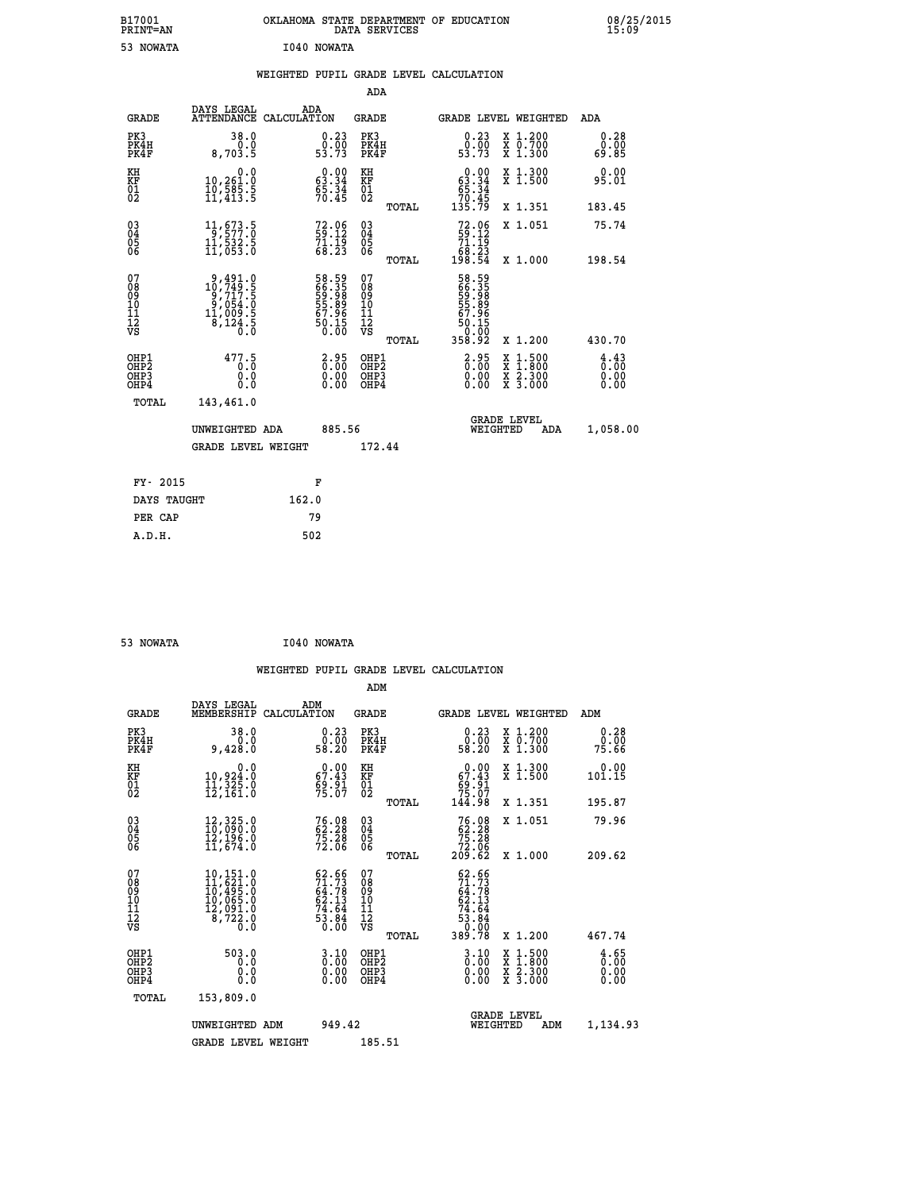| B17001<br><b>PRINT=AN</b> | OKLAHOMA<br>. STATE DEPARTMENT OF EDUCATION<br>DATA SERVICES | 08/25/2015<br>15:09 |
|---------------------------|--------------------------------------------------------------|---------------------|
| 53<br><b>NOWATA</b>       | I040 NOWATA                                                  |                     |

|  |  | WEIGHTED PUPIL GRADE LEVEL CALCULATION |
|--|--|----------------------------------------|
|  |  |                                        |

|                                                    |                                                                                                           |                                                                      | ADA                                                 |       |                                                                           |                                                                                                  |                                                 |
|----------------------------------------------------|-----------------------------------------------------------------------------------------------------------|----------------------------------------------------------------------|-----------------------------------------------------|-------|---------------------------------------------------------------------------|--------------------------------------------------------------------------------------------------|-------------------------------------------------|
| <b>GRADE</b>                                       | DAYS LEGAL<br>ATTENDANCE CALCULATION                                                                      | ADA                                                                  | <b>GRADE</b>                                        |       |                                                                           | GRADE LEVEL WEIGHTED                                                                             | ADA                                             |
| PK3<br>PK4H<br>PK4F                                | 38.0<br>0.0<br>8,703.5                                                                                    | $\begin{smallmatrix} 0.23\ 0.00\ 53.73 \end{smallmatrix}$            | PK3<br>PK4H<br>PK4F                                 |       | $\begin{smallmatrix} 0.23 \\ 0.00 \\ 53.73 \end{smallmatrix}$             | X 1.200<br>X 0.700<br>X 1.300                                                                    | 0.28<br>0.00<br>69.85                           |
| KH<br>KF<br>01<br>02                               | 0.0<br>10,261.0<br>10,585.5<br>11,413.5                                                                   | $\begin{smallmatrix} 0.00\\ 63.34\\ 65.34\\ 70.45 \end{smallmatrix}$ | KH<br>KF<br>01<br>02                                |       | $\begin{smallmatrix} &0.00\ 63.34\ 65.34\ 70.45\ 135.79\end{smallmatrix}$ | X 1.300<br>X 1.500                                                                               | 0.00<br>95.01                                   |
|                                                    |                                                                                                           |                                                                      |                                                     | TOTAL |                                                                           | X 1.351                                                                                          | 183.45                                          |
| $\begin{matrix} 03 \\ 04 \\ 05 \\ 06 \end{matrix}$ | $1\frac{1}{9}$ , 577: 0<br>11,532.5<br>11,053.0                                                           | 72.06<br>59:12<br>$\frac{71}{68}. \frac{15}{23}$                     | $\begin{array}{c} 03 \\ 04 \\ 05 \\ 06 \end{array}$ |       | $72.06$<br>59.12<br>71.19<br>68.23<br>198.54                              | X 1.051                                                                                          | 75.74                                           |
|                                                    |                                                                                                           |                                                                      |                                                     | TOTAL |                                                                           | X 1.000                                                                                          | 198.54                                          |
| 07<br>08<br>09<br>11<br>11<br>12<br>VS             | $\begin{smallmatrix} 9,491.0\\ 10,749.5\\ 9,717.5\\ 9,054.0\\ 11,009.5\\ 8,124.5\\ 0.0 \end{smallmatrix}$ | 58.59<br>66.35<br>59.98<br>55.89<br>57.96<br>50.15<br>50.10          | 07<br>08<br>09<br>101<br>112<br>VS                  |       | 58.59<br>669.358<br>59.88989<br>50.1965<br>50.1002<br>358.92              |                                                                                                  |                                                 |
|                                                    |                                                                                                           |                                                                      |                                                     | TOTAL |                                                                           | X 1.200                                                                                          | 430.70                                          |
| OHP1<br>OHP2<br>OHP3<br>OHP4                       | 477.5<br>0.0<br>0.0                                                                                       | $\begin{smallmatrix} 2.95\0.00\0.00 \end{smallmatrix}$               | OHP1<br>OHP <sub>2</sub><br>OHP3<br>OHP4            |       | $\begin{smallmatrix} 2.95\0.00\0.00 \end{smallmatrix}$                    | $\begin{smallmatrix} x & 1 & 500 \\ x & 1 & 800 \\ x & 2 & 300 \\ x & 3 & 000 \end{smallmatrix}$ | $\frac{4}{0}$ : $\frac{43}{00}$<br>0.00<br>0.00 |
| <b>TOTAL</b>                                       | 143,461.0                                                                                                 |                                                                      |                                                     |       |                                                                           |                                                                                                  |                                                 |
|                                                    | UNWEIGHTED ADA                                                                                            | 885.56                                                               |                                                     |       |                                                                           | <b>GRADE LEVEL</b><br>WEIGHTED<br>ADA                                                            | 1,058.00                                        |
|                                                    | <b>GRADE LEVEL WEIGHT</b>                                                                                 |                                                                      | 172.44                                              |       |                                                                           |                                                                                                  |                                                 |
|                                                    |                                                                                                           |                                                                      |                                                     |       |                                                                           |                                                                                                  |                                                 |
| FY- 2015                                           |                                                                                                           | F                                                                    |                                                     |       |                                                                           |                                                                                                  |                                                 |
| DAYS TAUGHT                                        |                                                                                                           | 162.0                                                                |                                                     |       |                                                                           |                                                                                                  |                                                 |
| PER CAP                                            |                                                                                                           | 79                                                                   |                                                     |       |                                                                           |                                                                                                  |                                                 |

| 53 NOWATA | I040 NOWATA |
|-----------|-------------|

|                                          |                                                                                                              |                                                                          | ADM                                                 |                                                                                     |                                |                                          |                              |
|------------------------------------------|--------------------------------------------------------------------------------------------------------------|--------------------------------------------------------------------------|-----------------------------------------------------|-------------------------------------------------------------------------------------|--------------------------------|------------------------------------------|------------------------------|
| <b>GRADE</b>                             | DAYS LEGAL<br>MEMBERSHIP                                                                                     | ADM<br>CALCULATION                                                       | <b>GRADE</b>                                        |                                                                                     |                                | <b>GRADE LEVEL WEIGHTED</b>              | ADM                          |
| PK3<br>PK4H<br>PK4F                      | 38.0<br>0.0<br>9,428.0                                                                                       | 0.23<br>58.00<br>58.20                                                   | PK3<br>PK4H<br>PK4F                                 | $\begin{smallmatrix} 0.23\ 0.00\ 58.20 \end{smallmatrix}$                           |                                | X 1.200<br>X 0.700<br>X 1.300            | 0.28<br>0.00<br>75.66        |
| KH<br>KF<br>01<br>02                     | 0.0<br>10,924.0<br>11,325.0<br>12,161.0                                                                      | $0.00$<br>67.43<br>$\frac{69.91}{75.07}$                                 | KH<br>KF<br>01<br>02                                | $0.00$<br>$67.43$<br>$69.91$<br>$75.07$<br>$144.98$                                 |                                | X 1.300<br>X 1.500                       | 0.00<br>101.15               |
|                                          |                                                                                                              |                                                                          | TOTAL                                               |                                                                                     |                                | X 1.351                                  | 195.87                       |
| 03<br>04<br>05<br>06                     | 12,325.0<br>10,090.0<br>12,196.0<br>11,674.0                                                                 | 76.08<br>62.28<br>75.28<br>72.06                                         | $\begin{array}{c} 03 \\ 04 \\ 05 \\ 06 \end{array}$ | $76.08\n62.28\n75.28\n72.06\n209.62$                                                |                                | X 1.051                                  | 79.96                        |
|                                          |                                                                                                              |                                                                          | TOTAL                                               |                                                                                     |                                | X 1.000                                  | 209.62                       |
| 07<br>08<br>09<br>101<br>112<br>VS       | $\begin{smallmatrix} 10,151.0\\ 11,621.0\\ 10,495.0\\ 10,065.0\\ 12,091.0\\ 8,722.0\\ 0.0 \end{smallmatrix}$ | $62.66$<br>$71.73$<br>$64.78$<br>$62.13$<br>$74.64$<br>$53.84$<br>$0.00$ | 07<br>08<br>09<br>11<br>11<br>12<br>VS<br>TOTAL     | $62.66$<br>$71.73$<br>$64.78$<br>$62.13$<br>$74.64$<br>$53.84$<br>$50.90$<br>389.78 |                                | X 1.200                                  | 467.74                       |
| OHP1<br>OHP2<br>OH <sub>P3</sub><br>OHP4 | 503.0<br>0.0<br>0.000                                                                                        | $\begin{smallmatrix} 3.10\ 0.00 \end{smallmatrix}$<br>0.00               | OHP1<br>OHP2<br>OHP <sub>3</sub>                    | $\begin{smallmatrix} 3.10\ 0.00 \ 0.00 \end{smallmatrix}$<br>0.00                   |                                | X 1:500<br>X 1:800<br>X 2:300<br>X 3:000 | 4.65<br>0.00<br>0.00<br>0.00 |
| TOTAL                                    | 153,809.0                                                                                                    |                                                                          |                                                     |                                                                                     |                                |                                          |                              |
|                                          | UNWEIGHTED ADM                                                                                               | 949.42                                                                   |                                                     |                                                                                     | <b>GRADE LEVEL</b><br>WEIGHTED | ADM                                      | 1,134.93                     |
|                                          | <b>GRADE LEVEL WEIGHT</b>                                                                                    |                                                                          | 185.51                                              |                                                                                     |                                |                                          |                              |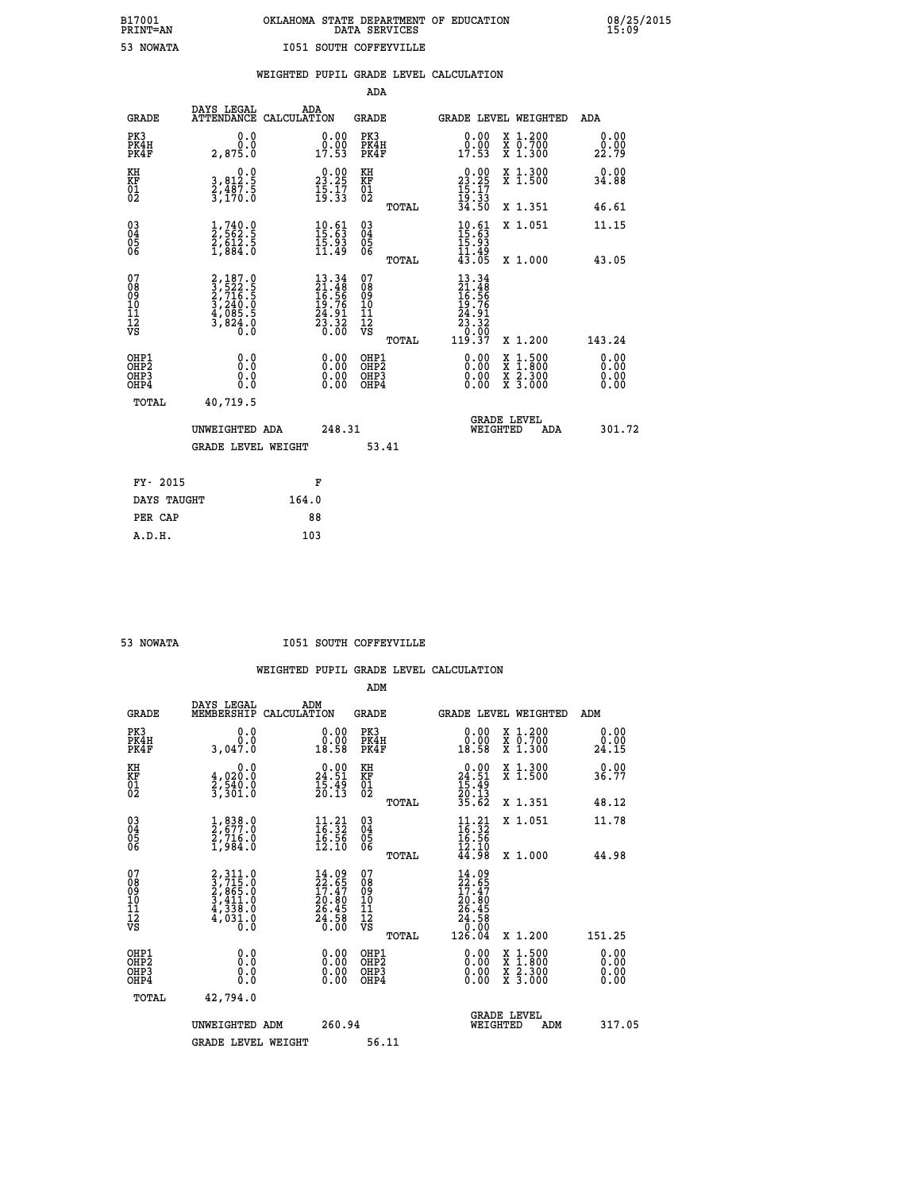# **B17001 OKLAHOMA STATE DEPARTMENT OF EDUCATION 08/25/2015 PRINT=AN DATA SERVICES 15:09 53 NOWATA I051 SOUTH COFFEYVILLE**

|                                                                    |                                                                                                 |                                                                          | ADA                                                 |       |                                                                                                                                                                                                                                                                                |                                                                                                                                           |                              |
|--------------------------------------------------------------------|-------------------------------------------------------------------------------------------------|--------------------------------------------------------------------------|-----------------------------------------------------|-------|--------------------------------------------------------------------------------------------------------------------------------------------------------------------------------------------------------------------------------------------------------------------------------|-------------------------------------------------------------------------------------------------------------------------------------------|------------------------------|
| <b>GRADE</b>                                                       | DAYS LEGAL<br>ATTENDANCE CALCULATION                                                            | ADA                                                                      | <b>GRADE</b>                                        |       |                                                                                                                                                                                                                                                                                | GRADE LEVEL WEIGHTED                                                                                                                      | ADA                          |
| PK3<br>PK4H<br>PK4F                                                | 0.0<br>0.0<br>2,875.0                                                                           | $\begin{smallmatrix} 0.00\\ 0.00\\ 17.53 \end{smallmatrix}$              | PK3<br>PK4H<br>PK4F                                 |       | $\begin{smallmatrix} 0.00\\ 0.00\\ 17.53 \end{smallmatrix}$                                                                                                                                                                                                                    | X 1.200<br>X 0.700<br>X 1.300                                                                                                             | 0.00<br>0.00<br>22.79        |
| KH<br>KF<br>01<br>02                                               | 0.0<br>3,812:5<br>2,487:5<br>3,170:0                                                            | $\begin{smallmatrix} 0.00\\ 23.25\\ 15.17\\ 19.33 \end{smallmatrix}$     | KH<br>KF<br>01<br>02                                |       | $\begin{smallmatrix} 0.00\\ 23.25\\ 15.17\\ 19.33\\ 34.50 \end{smallmatrix}$                                                                                                                                                                                                   | X 1.300<br>X 1.500                                                                                                                        | 0.00<br>34.88                |
|                                                                    |                                                                                                 |                                                                          |                                                     | TOTAL |                                                                                                                                                                                                                                                                                | X 1.351                                                                                                                                   | 46.61                        |
| $\begin{smallmatrix} 03 \\[-4pt] 04 \end{smallmatrix}$<br>Ŏ5<br>06 | $\frac{1}{2}, \frac{740}{562}$ .<br>$\frac{2}{5612}$ .<br>$\frac{5}{1}, \frac{612}{884}$ .<br>0 | $10.61$<br>$15.63$<br>$15.93$<br>$11.49$                                 | $\begin{array}{c} 03 \\ 04 \\ 05 \\ 06 \end{array}$ |       | $10.61$<br>$15.63$<br>$15.93$<br>$11.49$<br>$43.05$                                                                                                                                                                                                                            | X 1.051                                                                                                                                   | 11.15                        |
|                                                                    |                                                                                                 |                                                                          |                                                     | TOTAL |                                                                                                                                                                                                                                                                                | X 1.000                                                                                                                                   | 43.05                        |
| 07<br>08<br>09<br>01<br>11<br>11<br>12<br>VS                       | 2,187.0<br>3,522.5<br>2,716.5<br>2,716.5<br>3,240.0<br>4,085.5<br>3,824.0                       | $13.34$<br>$21.48$<br>$16.56$<br>$19.76$<br>$24.91$<br>$23.32$<br>$0.00$ | 07<br>08<br>09<br>11<br>11<br>12<br>VS              |       | $\begin{array}{r} 13\cdot 34 \\ 21\cdot 48 \\ 16\cdot 56 \\ 19\cdot 76 \\ 24\cdot 91 \\ 23\cdot 32 \\ 0\cdot 00 \\ 119\cdot 37 \end{array}$                                                                                                                                    |                                                                                                                                           |                              |
|                                                                    |                                                                                                 |                                                                          |                                                     | TOTAL |                                                                                                                                                                                                                                                                                | X 1.200                                                                                                                                   | 143.24                       |
| OHP1<br>OHP <sub>2</sub><br>OH <sub>P3</sub><br>OHP4               | 0.0<br>0.000                                                                                    | 0.00<br>$\begin{smallmatrix} 0.00 \ 0.00 \end{smallmatrix}$              | OHP1<br>OHP2<br>OHP <sub>3</sub>                    |       | $\begin{smallmatrix} 0.00 & 0.00 & 0.00 & 0.00 & 0.00 & 0.00 & 0.00 & 0.00 & 0.00 & 0.00 & 0.00 & 0.00 & 0.00 & 0.00 & 0.00 & 0.00 & 0.00 & 0.00 & 0.00 & 0.00 & 0.00 & 0.00 & 0.00 & 0.00 & 0.00 & 0.00 & 0.00 & 0.00 & 0.00 & 0.00 & 0.00 & 0.00 & 0.00 & 0.00 & 0.00 & 0.0$ | $\begin{smallmatrix} \mathtt{X} & 1\cdot500\\ \mathtt{X} & 1\cdot800\\ \mathtt{X} & 2\cdot300\\ \mathtt{X} & 3\cdot000 \end{smallmatrix}$ | 0.00<br>0.00<br>0.00<br>0.00 |
| TOTAL                                                              | 40,719.5                                                                                        |                                                                          |                                                     |       |                                                                                                                                                                                                                                                                                |                                                                                                                                           |                              |
|                                                                    | UNWEIGHTED ADA                                                                                  | 248.31                                                                   |                                                     |       |                                                                                                                                                                                                                                                                                | <b>GRADE LEVEL</b><br>WEIGHTED<br>ADA                                                                                                     | 301.72                       |
|                                                                    | <b>GRADE LEVEL WEIGHT</b>                                                                       |                                                                          |                                                     | 53.41 |                                                                                                                                                                                                                                                                                |                                                                                                                                           |                              |
| FY- 2015                                                           |                                                                                                 | F                                                                        |                                                     |       |                                                                                                                                                                                                                                                                                |                                                                                                                                           |                              |
| DAYS TAUGHT                                                        |                                                                                                 | 164.0                                                                    |                                                     |       |                                                                                                                                                                                                                                                                                |                                                                                                                                           |                              |
| PER CAP                                                            |                                                                                                 | 88                                                                       |                                                     |       |                                                                                                                                                                                                                                                                                |                                                                                                                                           |                              |

 **A.D.H. 103**

 **53 NOWATA I051 SOUTH COFFEYVILLE**

|                                          |                                                                                     |                                                                              | ADM                                                 |       |                                                                            |                                          |                       |
|------------------------------------------|-------------------------------------------------------------------------------------|------------------------------------------------------------------------------|-----------------------------------------------------|-------|----------------------------------------------------------------------------|------------------------------------------|-----------------------|
| <b>GRADE</b>                             | DAYS LEGAL<br>MEMBERSHIP                                                            | ADM<br>CALCULATION                                                           | <b>GRADE</b>                                        |       |                                                                            | <b>GRADE LEVEL WEIGHTED</b>              | ADM                   |
| PK3<br>PK4H<br>PK4F                      | 0.0<br>ة.ة<br>3,047.0                                                               | $\begin{smallmatrix} 0.00\\ 0.00\\ 18.58 \end{smallmatrix}$                  | PK3<br>PK4H<br>PK4F                                 |       | $\begin{smallmatrix} 0.00\\ 0.00\\ 18.58 \end{smallmatrix}$                | X 1.200<br>X 0.700<br>X 1.300            | 0.00<br>0.00<br>24.15 |
| KH<br>KF<br>01<br>02                     | 0.0<br>$\frac{4}{2}, \frac{0}{5}\frac{2}{0}.$ 0<br>3,301.0                          | $\begin{smallmatrix} 0.00\\24.51\\15.49\\20.13 \end{smallmatrix}$            | KH<br>KF<br>01<br>02                                |       | $0.00$<br>$24.51$<br>$15.49$<br>$20.13$<br>$35.62$                         | X 1.300<br>X 1.500                       | 0.00<br>36.77         |
|                                          |                                                                                     |                                                                              |                                                     | TOTAL |                                                                            | X 1.351                                  | 48.12                 |
| 03<br>04<br>05<br>06                     | $\frac{1}{2}$ , $\frac{838}{577.0}$<br>$\frac{2}{719}$ , $\frac{716}{9}$<br>1,984.0 | $\begin{array}{l} 11\cdot 21\\16\cdot 32\\16\cdot 56\\12\cdot 10\end{array}$ | $\begin{array}{c} 03 \\ 04 \\ 05 \\ 06 \end{array}$ |       | $11.21$<br>$16.32$<br>$16.56$<br>$12.10$<br>$44.98$                        | X 1.051                                  | 11.78                 |
|                                          |                                                                                     |                                                                              |                                                     | TOTAL |                                                                            | X 1.000                                  | 44.98                 |
| 07<br>08<br>09<br>101<br>11<br>12<br>VS  | $2,311.0$<br>$3,715.0$<br>$2,865.0$<br>$3,411.0$<br>$4,338.0$<br>$4,031.0$<br>$0.0$ | $14.09$<br>$22.65$<br>$17.47$<br>$20.80$<br>$26.45$<br>$24.58$<br>$0.00$     | 07<br>08<br>09<br>11<br>11<br>12<br>VS              |       | $14.09$<br>$22.65$<br>$17.47$<br>$20.805$<br>$26.45$<br>$24.58$<br>$0.004$ |                                          |                       |
|                                          |                                                                                     |                                                                              |                                                     | TOTAL |                                                                            | X 1.200                                  | 151.25                |
| OHP1<br>OHP2<br>OHP <sub>3</sub><br>OHP4 | 0.0<br>$\begin{smallmatrix} 0.16 \ 0.0 \end{smallmatrix}$                           |                                                                              | OHP1<br>OHP2<br>OHP <sub>3</sub>                    |       | $0.00$<br>$0.00$<br>0.00                                                   | X 1:500<br>X 1:800<br>X 2:300<br>X 3:000 | 0.00<br>0.00<br>0.00  |
| TOTAL                                    | 42,794.0                                                                            |                                                                              |                                                     |       |                                                                            |                                          |                       |
|                                          | UNWEIGHTED ADM                                                                      | 260.94                                                                       |                                                     |       |                                                                            | GRADE LEVEL<br>WEIGHTED<br>ADM           | 317.05                |
|                                          | <b>GRADE LEVEL WEIGHT</b>                                                           |                                                                              | 56.11                                               |       |                                                                            |                                          |                       |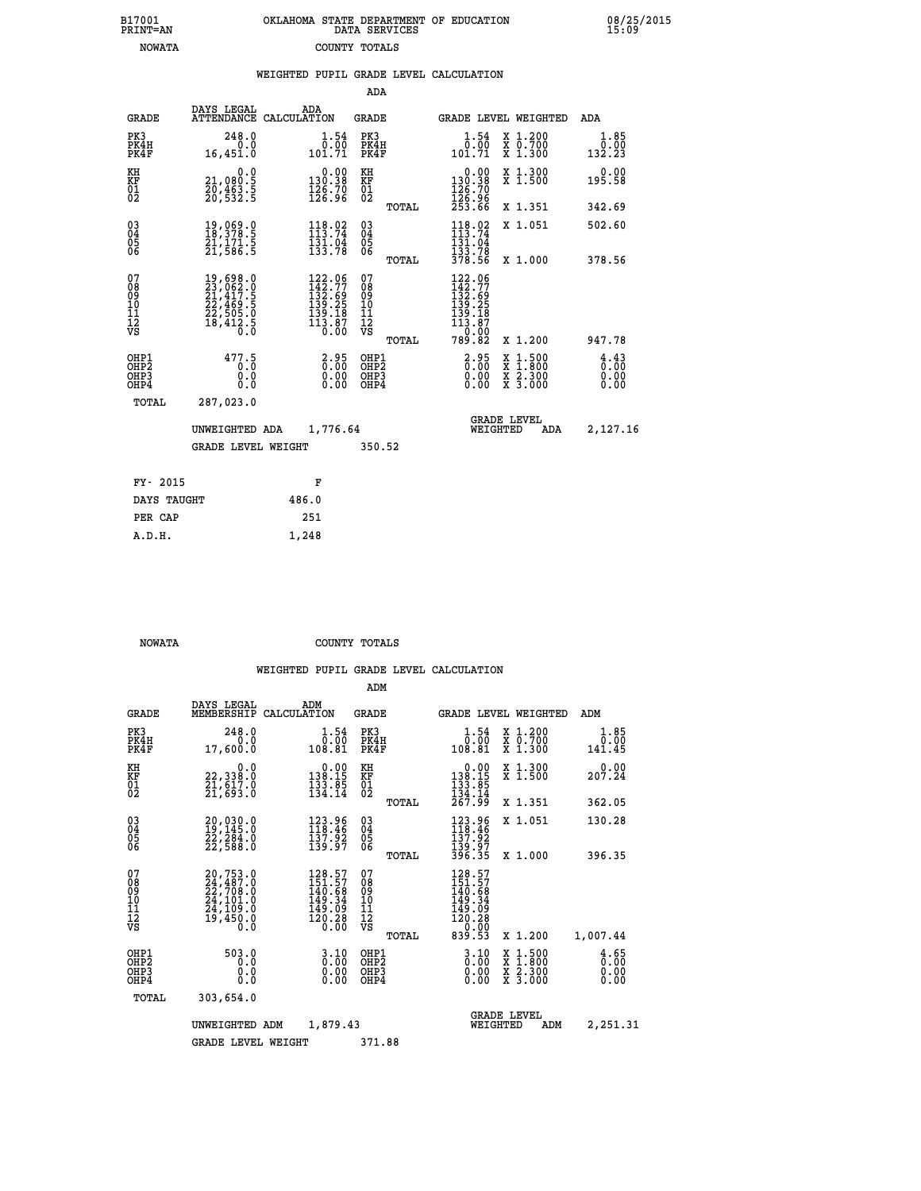|  | OKLAHOMA STATE DEPARTMENT OF EDUCATION<br>DATA SERVICES |  |
|--|---------------------------------------------------------|--|
|  | COUNTY TOTALS                                           |  |

 **B17001 OKLAHOMA STATE DEPARTMENT OF EDUCATION 08/25/2015**

|                                                    |                                                                                                                                                                              | WEIGHTED PUPIL GRADE LEVEL CALCULATION                                                                                               |                                                                  |       |                                                                                                                                                     |                                                                                        |                              |
|----------------------------------------------------|------------------------------------------------------------------------------------------------------------------------------------------------------------------------------|--------------------------------------------------------------------------------------------------------------------------------------|------------------------------------------------------------------|-------|-----------------------------------------------------------------------------------------------------------------------------------------------------|----------------------------------------------------------------------------------------|------------------------------|
|                                                    |                                                                                                                                                                              |                                                                                                                                      | <b>ADA</b>                                                       |       |                                                                                                                                                     |                                                                                        |                              |
| <b>GRADE</b>                                       | DAYS LEGAL                                                                                                                                                                   | ADA<br>ATTENDANCE CALCULATION                                                                                                        | <b>GRADE</b>                                                     |       |                                                                                                                                                     | GRADE LEVEL WEIGHTED                                                                   | ADA                          |
| PK3<br>PK4H<br>PK4F                                | 248.0<br>$\begin{smallmatrix} 0.0 \\ 0.16 \\ 16,451.0 \end{smallmatrix}$                                                                                                     | $\begin{smallmatrix} 1.54\ 0.00\ 1.71 \end{smallmatrix}$                                                                             | PK3<br>PK4H<br>PK4F                                              |       | $\begin{smallmatrix} 1.54\ 0.00\ 101.71 \end{smallmatrix}$                                                                                          | X 1.200<br>X 0.700<br>X 1.300                                                          | 1.85<br>0.00<br>132.23       |
| KH<br>KF<br>01<br>02                               | 0.0<br>21,080:5<br>20,463:5<br>20,532:5                                                                                                                                      | $\begin{smallmatrix} &0.00\\ 130.38\\ 126.70\\ 126.96\end{smallmatrix}$                                                              | KH<br>KF<br>01<br>02                                             |       | $\begin{smallmatrix} &0.00\\ 130.38\\ 126.70\\ 126.96\\ 253.66\end{smallmatrix}$                                                                    | X 1.300<br>X 1.500                                                                     | $0.00$<br>195.58             |
|                                                    |                                                                                                                                                                              |                                                                                                                                      |                                                                  | TOTAL |                                                                                                                                                     | X 1.351                                                                                | 342.69                       |
| $\begin{matrix} 03 \\ 04 \\ 05 \\ 06 \end{matrix}$ | $\begin{smallmatrix} 19 \, , \, 069 \, . \, 0 \\ 18 \, , \, 378 \, . \, 5 \\ 21 \, , \, 171 \, . \, 5 \\ 21 \, , \, 586 \, . \, 5 \end{smallmatrix}$                         | $\begin{array}{l} 118.02 \\[-4pt] 113.74 \\[-4pt] 131.04 \\[-4pt] 133.78 \end{array}$                                                | $\begin{matrix} 03 \\ 04 \\ 05 \\ 06 \end{matrix}$               |       | $\begin{array}{c} 118.02 \\ 113.74 \\ 131.04 \\ 133.78 \\ 378.56 \end{array}$                                                                       | X 1.051                                                                                | 502.60                       |
|                                                    |                                                                                                                                                                              |                                                                                                                                      |                                                                  | TOTAL |                                                                                                                                                     | X 1.000                                                                                | 378.56                       |
| 07<br>08<br>09<br>11<br>11<br>12<br>VS             | $\begin{smallmatrix} 19 \,, 698 \,. \ 23 \,, 062 \,. \ 0 \\ 21 \,, 417 \,. \ 5 \\ 22 \,, 469 \,. \ 5 \\ 22 \,, 505 \,. \ 0 \\ 18 \,, 412 \,. \ 5 \\ 0 \,. \end{smallmatrix}$ | $\begin{smallmatrix} 122\cdot 06\\ 142\cdot 77\\ 132\cdot 69\\ 139\cdot 25\\ 139\cdot 18\\ 113\cdot 87\\ 0\cdot 00\end{smallmatrix}$ | 07<br>08<br>09<br>11<br>11<br>12<br>VS                           |       | $\begin{smallmatrix} 122\cdot 06\\ 142\cdot 77\\ 132\cdot 69\\ 139\cdot 25\\ 139\cdot 18\\ 113\cdot 87\\ 0\cdot 00\\ 789\cdot 82 \end{smallmatrix}$ |                                                                                        |                              |
|                                                    |                                                                                                                                                                              |                                                                                                                                      |                                                                  | TOTAL |                                                                                                                                                     | X 1.200                                                                                | 947.78                       |
| OHP1<br>OH <sub>P</sub> 2<br>OHP3<br>OHP4          | 477.5<br>Ó.Ŏ<br>0.0<br>0.0                                                                                                                                                   | $\begin{smallmatrix} 2.95\0.00\0.00 \end{smallmatrix}$                                                                               | OHP1<br>OHP <sub>2</sub><br>OHP <sub>3</sub><br>OHP <sub>4</sub> |       | $2.95$<br>$0.00$<br>0.00                                                                                                                            | $\begin{smallmatrix} 1.500\ 1.800\ 2.300\ 3.000 \end{smallmatrix}$<br><b>XXX</b><br>XX | 4.43<br>0.00<br>0.00<br>0.00 |
| TOTAL                                              | 287,023.0<br>UNWEIGHTED ADA                                                                                                                                                  | 1,776.64                                                                                                                             |                                                                  |       | WEIGHTED                                                                                                                                            | <b>GRADE LEVEL</b><br>ADA                                                              | 2,127.16                     |
|                                                    | <b>GRADE LEVEL WEIGHT</b>                                                                                                                                                    |                                                                                                                                      | 350.52                                                           |       |                                                                                                                                                     |                                                                                        |                              |
| FY- 2015                                           |                                                                                                                                                                              | F                                                                                                                                    |                                                                  |       |                                                                                                                                                     |                                                                                        |                              |
| DAYS TAUGHT                                        |                                                                                                                                                                              | 486.0                                                                                                                                |                                                                  |       |                                                                                                                                                     |                                                                                        |                              |
| PER CAP                                            |                                                                                                                                                                              | 251                                                                                                                                  |                                                                  |       |                                                                                                                                                     |                                                                                        |                              |
| A.D.H.                                             |                                                                                                                                                                              | 1,248                                                                                                                                |                                                                  |       |                                                                                                                                                     |                                                                                        |                              |

 **B17001<br>PRINT=AN NOWATA** 

 **NOWATA COUNTY TOTALS**

|                                                       |                                                                                           |                                                                         | ADM                                     |       |                                                                            |                                          |                              |
|-------------------------------------------------------|-------------------------------------------------------------------------------------------|-------------------------------------------------------------------------|-----------------------------------------|-------|----------------------------------------------------------------------------|------------------------------------------|------------------------------|
| <b>GRADE</b>                                          | DAYS LEGAL<br>MEMBERSHIP                                                                  | ADM<br>CALCULATION                                                      | <b>GRADE</b>                            |       | <b>GRADE LEVEL WEIGHTED</b>                                                |                                          | ADM                          |
| PK3<br>PK4H<br>PK4F                                   | 248.0<br>0.0<br>17,600.0                                                                  | 1.54<br>0.00<br>108.81                                                  | PK3<br>PK4H<br>PK4F                     |       | 1.54<br>0.00<br>108.81                                                     | X 1.200<br>X 0.700<br>X 1.300            | 1.85<br>0.00<br>141.45       |
| KH<br>KF<br>01<br>02                                  | 0.0<br>22,338:0<br>21,617:0<br>21,693:0                                                   | $\begin{smallmatrix} &0.00\\ 138.15\\ 133.85\\ 134.14\end{smallmatrix}$ | KH<br>KF<br>01<br>02                    |       | 0.00<br>$138.15$<br>$133.85$<br>$134.14$<br>$267.99$                       | X 1.300<br>X 1.500                       | 0.00<br>207.24               |
|                                                       |                                                                                           |                                                                         |                                         | TOTAL |                                                                            | X 1.351                                  | 362.05                       |
| 03<br>04<br>05<br>06                                  | 20,030.0<br>19,145.0<br>22,284.0<br>22,588.0                                              | 123.96<br>118.46<br>$\frac{137.92}{139.97}$                             | $^{03}_{04}$<br>05<br>06                |       | 123.96<br>118.46<br>137.92                                                 | X 1.051                                  | 130.28                       |
|                                                       |                                                                                           |                                                                         |                                         | TOTAL | 139.97<br>396.35                                                           | X 1.000                                  | 396.35                       |
| 07<br>08<br>09<br>101<br>112<br>VS                    | $20,753.0$<br>$24,487.0$<br>$22,708.0$<br>$24,101.0$<br>$24,109.0$<br>$19,450.0$<br>$0.0$ | 128.57<br>151.57<br>140.68<br>149.34<br>149.09<br>120.28<br>0.00        | 07<br>08<br>09<br>101<br>11<br>12<br>VS | TOTAL | 128.57<br>151.57<br>140.68<br>149.34<br>149.09<br>120.28<br>0.00<br>839.53 | X 1.200                                  | 1,007.44                     |
| OHP1<br>OH <sub>P</sub> 2<br>OH <sub>P3</sub><br>OHP4 | 503.0<br>0.0<br>0.0<br>Ŏ.Ŏ                                                                | $\begin{smallmatrix} 3.10\ 0.00 \end{smallmatrix}$<br>0.00              | OHP1<br>OHP2<br>OHP3<br>OHP4            |       | $\begin{smallmatrix} 3.10\ 0.00 \ 0.00 \end{smallmatrix}$<br>0.00          | X 1:500<br>X 1:800<br>X 2:300<br>X 3:000 | 4.65<br>0.00<br>0.00<br>0.00 |
| TOTAL                                                 | 303,654.0                                                                                 |                                                                         |                                         |       |                                                                            |                                          |                              |
|                                                       | UNWEIGHTED ADM                                                                            | 1,879.43                                                                |                                         |       | <b>GRADE LEVEL</b><br>WEIGHTED                                             | ADM                                      | 2,251.31                     |
|                                                       | <b>GRADE LEVEL WEIGHT</b>                                                                 |                                                                         | 371.88                                  |       |                                                                            |                                          |                              |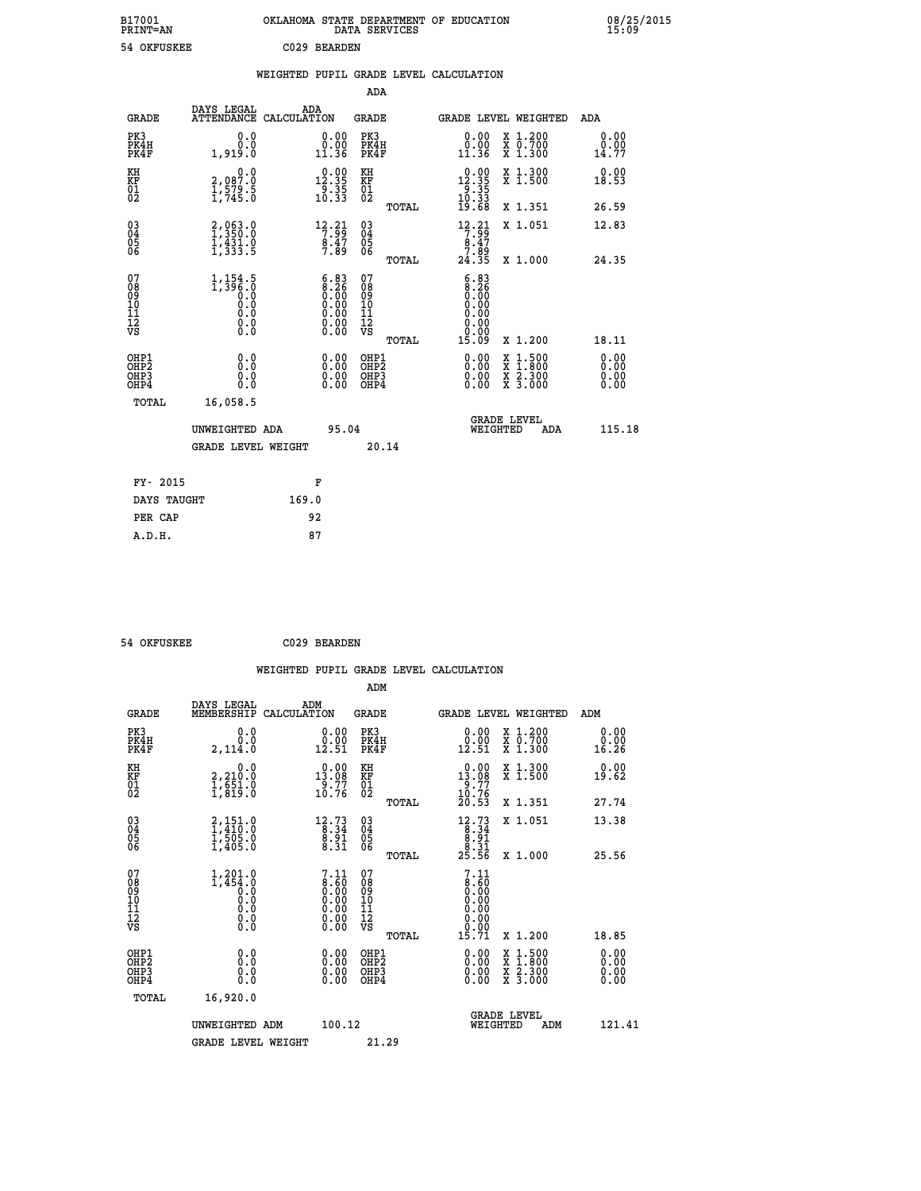| B17001<br><b>PRINT=AN</b> | <b>OKLAHOMA</b><br>DATA | STATE DEPARTMENT OF EDUCATION<br>SERVICES | 08/25/2015<br>15:09 |
|---------------------------|-------------------------|-------------------------------------------|---------------------|
| 54 OKFUSKEE               | C029<br>BEARDEN         |                                           |                     |

| 54 OKFUSKEE                              |                                                                                                |       | C029 BEARDEN                                                                                  |                                         |       |                                                                                                                                                                                                                                                                                |                                                                                                                                      |                              |
|------------------------------------------|------------------------------------------------------------------------------------------------|-------|-----------------------------------------------------------------------------------------------|-----------------------------------------|-------|--------------------------------------------------------------------------------------------------------------------------------------------------------------------------------------------------------------------------------------------------------------------------------|--------------------------------------------------------------------------------------------------------------------------------------|------------------------------|
|                                          |                                                                                                |       |                                                                                               |                                         |       | WEIGHTED PUPIL GRADE LEVEL CALCULATION                                                                                                                                                                                                                                         |                                                                                                                                      |                              |
|                                          |                                                                                                |       |                                                                                               | ADA                                     |       |                                                                                                                                                                                                                                                                                |                                                                                                                                      |                              |
| <b>GRADE</b>                             | DAYS LEGAL<br>ATTENDANCE CALCULATION                                                           |       | ADA                                                                                           | GRADE                                   |       |                                                                                                                                                                                                                                                                                | <b>GRADE LEVEL WEIGHTED</b>                                                                                                          | ADA                          |
| PK3<br>PK4H<br>PK4F                      | 0.0<br>0.0<br>1,919.0                                                                          |       | $\begin{smallmatrix} 0.00\\ 0.00\\ 11.36 \end{smallmatrix}$                                   | PK3<br>PK4H<br>PK4F                     |       | 0.00<br>0.00<br>11.36                                                                                                                                                                                                                                                          | X 1.200<br>X 0.700<br>X 1.300                                                                                                        | 0.00<br>$\frac{0.00}{14.77}$ |
| KH<br>KF<br>01<br>02                     | 0.0<br>2,087:0<br>1,579:5<br>1,745:0                                                           |       | $\begin{smallmatrix} 0.00\\ 12.35\\ 9.35\\ 10.33 \end{smallmatrix}$                           | KH<br>KF<br>01<br>02                    |       | $\begin{array}{r} 0.00 \\ 12.35 \\ 9.35 \\ 10.33 \\ 19.68 \end{array}$                                                                                                                                                                                                         | X 1.300<br>X 1.500                                                                                                                   | 0.00<br>18.53                |
|                                          |                                                                                                |       |                                                                                               |                                         | TOTAL |                                                                                                                                                                                                                                                                                | X 1.351                                                                                                                              | 26.59                        |
| $^{03}_{04}$<br>Ŏ5<br>06                 | $2,063.0$<br>$1,350.0$<br>$1,431.0$<br>$1,333.5$                                               |       | $\begin{array}{r} 12.21 \\ 7.99 \\ 8.47 \\ 7.89 \end{array}$                                  | 03<br>04<br>05<br>06                    |       | $\begin{array}{c} 12\cdot 21 \\ 7\cdot 99 \\ 8\cdot 47 \\ 7\cdot 89 \\ 24\cdot 35 \end{array}$                                                                                                                                                                                 | X 1.051                                                                                                                              | 12.83                        |
|                                          |                                                                                                |       |                                                                                               |                                         | TOTAL |                                                                                                                                                                                                                                                                                | X 1.000                                                                                                                              | 24.35                        |
| 07<br>08<br>09<br>11<br>11<br>12<br>VS   | $1,154.5$<br>1,396.0<br>0.0<br>0.0<br>$\begin{smallmatrix} 0.16 \ 0.0 \ 0.0 \end{smallmatrix}$ |       | $\begin{smallmatrix} 6.83\ 8.26\ 0.00\ 0.00\ 0.00\ 0.00\ 0.00\ 0.00\ 0.00\ \end{smallmatrix}$ | 07<br>08<br>09<br>101<br>11<br>12<br>VS |       | 6.83<br>$\begin{array}{c} 8.26 \\ 0.00 \end{array}$<br>0.00<br>0.00<br>0.00                                                                                                                                                                                                    |                                                                                                                                      |                              |
|                                          |                                                                                                |       |                                                                                               |                                         | TOTAL | 15.09                                                                                                                                                                                                                                                                          | X 1.200                                                                                                                              | 18.11                        |
| OHP1<br>OHP <sub>2</sub><br>OHP3<br>OHP4 | 0.0<br>0.0<br>0.0                                                                              |       | $0.00$<br>$0.00$<br>0.00                                                                      | OHP1<br>OHP2<br>OHP3<br>OHP4            |       | $\begin{smallmatrix} 0.00 & 0.00 & 0.00 & 0.00 & 0.00 & 0.00 & 0.00 & 0.00 & 0.00 & 0.00 & 0.00 & 0.00 & 0.00 & 0.00 & 0.00 & 0.00 & 0.00 & 0.00 & 0.00 & 0.00 & 0.00 & 0.00 & 0.00 & 0.00 & 0.00 & 0.00 & 0.00 & 0.00 & 0.00 & 0.00 & 0.00 & 0.00 & 0.00 & 0.00 & 0.00 & 0.0$ | $\begin{smallmatrix} \mathtt{X} & 1 & 500 \\ \mathtt{X} & 1 & 800 \\ \mathtt{X} & 2 & 300 \\ \mathtt{X} & 3 & 000 \end{smallmatrix}$ | 0.00<br>0.00<br>0.00<br>0.00 |
| TOTAL                                    | 16,058.5                                                                                       |       |                                                                                               |                                         |       |                                                                                                                                                                                                                                                                                |                                                                                                                                      |                              |
|                                          | UNWEIGHTED ADA                                                                                 |       | 95.04                                                                                         |                                         |       |                                                                                                                                                                                                                                                                                | <b>GRADE LEVEL</b><br>WEIGHTED<br>ADA                                                                                                | 115.18                       |
|                                          | <b>GRADE LEVEL WEIGHT</b>                                                                      |       |                                                                                               | 20.14                                   |       |                                                                                                                                                                                                                                                                                |                                                                                                                                      |                              |
| FY- 2015                                 |                                                                                                |       | F                                                                                             |                                         |       |                                                                                                                                                                                                                                                                                |                                                                                                                                      |                              |
| DAYS TAUGHT                              |                                                                                                | 169.0 |                                                                                               |                                         |       |                                                                                                                                                                                                                                                                                |                                                                                                                                      |                              |
| PER CAP                                  |                                                                                                |       | 92                                                                                            |                                         |       |                                                                                                                                                                                                                                                                                |                                                                                                                                      |                              |

 **54 OKFUSKEE C029 BEARDEN**

 **A.D.H. 87**

 **WEIGHTED PUPIL GRADE LEVEL CALCULATION ADM DAYS LEGAL ADM**

| <b>GRADE</b>                                       | DAYS TEGAT<br>MEMBERSHIP                                                                                  | ADM<br>CALCULATION                                                                 | <b>GRADE</b>                                       |       |                                                                                                |          | <b>GRADE LEVEL WEIGHTED</b>                                                                                                               | ADM                          |  |
|----------------------------------------------------|-----------------------------------------------------------------------------------------------------------|------------------------------------------------------------------------------------|----------------------------------------------------|-------|------------------------------------------------------------------------------------------------|----------|-------------------------------------------------------------------------------------------------------------------------------------------|------------------------------|--|
| PK3<br>PK4H<br>PK4F                                | 0.0<br>0.0<br>2,114.0                                                                                     | $\begin{smallmatrix} 0.00\\ 0.00\\ 12.51 \end{smallmatrix}$                        | PK3<br>PK4H<br>PK4F                                |       | 0.00<br>0.00<br>12.51                                                                          |          | X 1.200<br>X 0.700<br>X 1.300                                                                                                             | 0.00<br>0.00<br>16.26        |  |
| KH<br>KF<br>01<br>02                               | 0.0<br>2,210:0<br>1,651:0<br>1,819:0                                                                      | $\begin{smallmatrix} 0.00\\13.08\\9.77\\10.76 \end{smallmatrix}$                   | KH<br>KF<br>01<br>02                               |       | $\begin{smallmatrix} 0.00\\13.08\\9.77\\10.76\\20.53\\ \end{smallmatrix}$                      |          | X 1.300<br>X 1.500                                                                                                                        | 0.00<br>19.62                |  |
|                                                    |                                                                                                           |                                                                                    |                                                    | TOTAL |                                                                                                |          | X 1.351                                                                                                                                   | 27.74                        |  |
| $\begin{matrix} 03 \\ 04 \\ 05 \\ 06 \end{matrix}$ | $\begin{smallmatrix} 2\,,\,151\,. \ 1\,,\,410\,. \ 0\, 1\,,\,505\,. \ 0\, 1\,,\,405\,. \end{smallmatrix}$ | $\begin{smallmatrix} 12\cdot73\\ 8\cdot34\\ 8\cdot91\\ 8\cdot31 \end{smallmatrix}$ | $\begin{matrix} 03 \\ 04 \\ 05 \\ 06 \end{matrix}$ |       | $\begin{array}{r} 12\cdot 73 \\ 8\cdot 34 \\ 8\cdot 91 \\ 8\cdot 31 \\ 25\cdot 56 \end{array}$ |          | X 1.051                                                                                                                                   | 13.38                        |  |
|                                                    |                                                                                                           |                                                                                    |                                                    | TOTAL |                                                                                                |          | X 1.000                                                                                                                                   | 25.56                        |  |
| 07<br>08<br>09<br>11<br>11<br>12<br>VS             | $\begin{smallmatrix} 1,201.0\\ 1,454.0\\ 0.0\\ 0.0\\ 0.0\\ 0.0\\ 0.0\\ 0.0\\ 0.0\\ \end{smallmatrix}$     | 7.11                                                                               | 07<br>08<br>09<br>11<br>11<br>12<br>VS             |       | 7.11<br>$\begin{array}{c} 6.760 \\ 0.00 \\ 0.00 \\ 0.00 \\ 0.00 \\ 0.00 \\ 15.71 \end{array}$  |          |                                                                                                                                           |                              |  |
|                                                    |                                                                                                           |                                                                                    |                                                    | TOTAL |                                                                                                |          | X 1.200                                                                                                                                   | 18.85                        |  |
| OHP1<br>OHP2<br>OH <sub>P3</sub><br>OHP4           | 0.0<br>0.0<br>0.0                                                                                         | $0.00$<br>$0.00$<br>0.00                                                           | OHP1<br>OHP <sub>2</sub><br>OHP3<br>OHP4           |       |                                                                                                |          | $\begin{smallmatrix} \mathtt{X} & 1\cdot500\\ \mathtt{X} & 1\cdot800\\ \mathtt{X} & 2\cdot300\\ \mathtt{X} & 3\cdot000 \end{smallmatrix}$ | 0.00<br>0.00<br>0.00<br>0.00 |  |
| TOTAL                                              | 16,920.0                                                                                                  |                                                                                    |                                                    |       |                                                                                                |          |                                                                                                                                           |                              |  |
|                                                    | UNWEIGHTED ADM                                                                                            | 100.12                                                                             |                                                    |       |                                                                                                | WEIGHTED | <b>GRADE LEVEL</b><br>ADM                                                                                                                 | 121.41                       |  |
|                                                    | <b>GRADE LEVEL WEIGHT</b>                                                                                 |                                                                                    | 21.29                                              |       |                                                                                                |          |                                                                                                                                           |                              |  |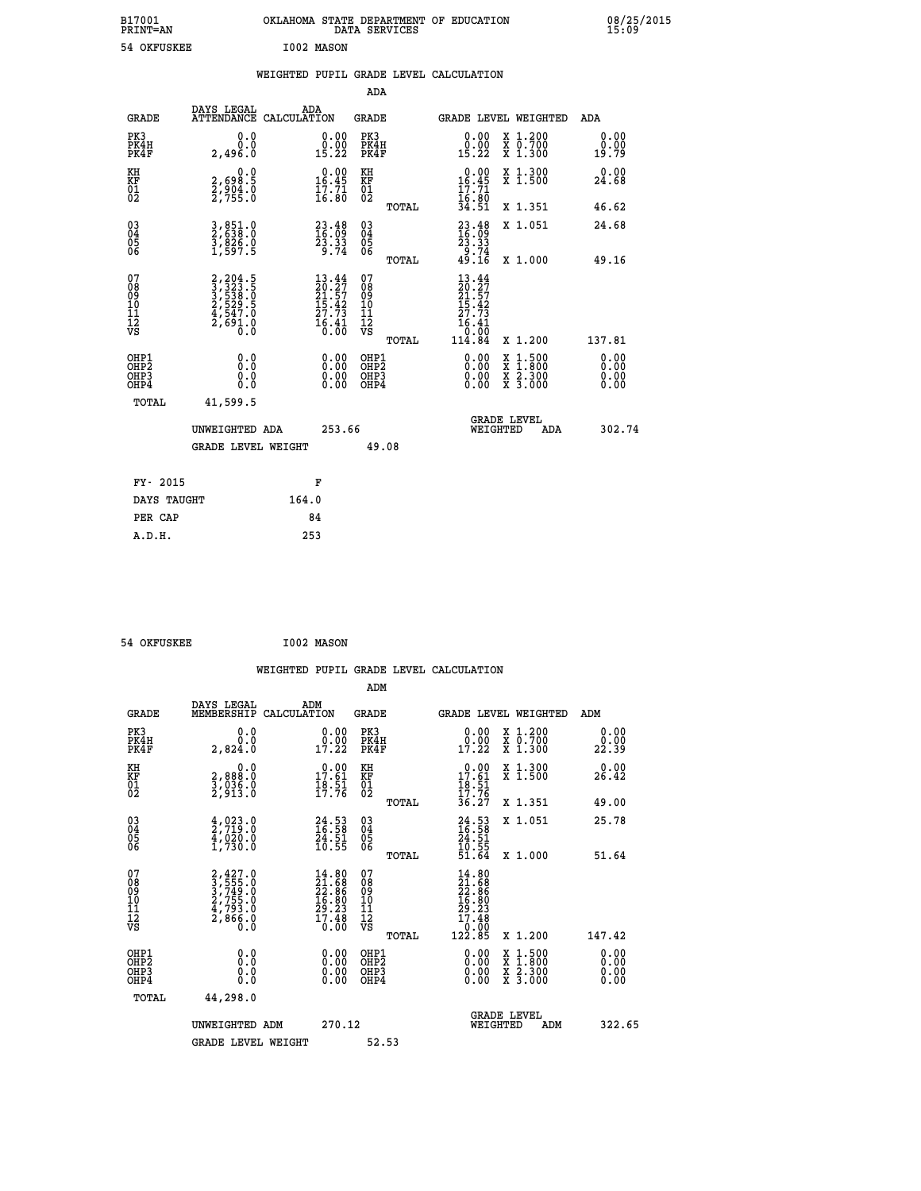| B17001<br><b>PRINT=AN</b> | OKLAHOMA STATE DEPARTMENT OF EDUCATION<br>DATA SERVICES | 08/25/2015<br>15:09 |
|---------------------------|---------------------------------------------------------|---------------------|
| 54 OKFUSKEE               | I002 MASON                                              |                     |

|  |  | WEIGHTED PUPIL GRADE LEVEL CALCULATION |
|--|--|----------------------------------------|
|  |  |                                        |

|                                                                    |                                                                                           |                                                                                                                          | ADA                                            |                                                                                              |                              |
|--------------------------------------------------------------------|-------------------------------------------------------------------------------------------|--------------------------------------------------------------------------------------------------------------------------|------------------------------------------------|----------------------------------------------------------------------------------------------|------------------------------|
|                                                                    | DAYS LEGAL<br><b>GRADE</b>                                                                | ADA<br>ATTENDANCE CALCULATION                                                                                            | <b>GRADE</b>                                   | GRADE LEVEL WEIGHTED                                                                         | ADA                          |
| PK3<br>PK4H<br>PK4F                                                | 2,496.0                                                                                   | 0.0<br>$\substack{0.00\\0.00\\15.22}$<br>0.0                                                                             | PK3<br>PK4H<br>PK4F                            | $\begin{smallmatrix} 0.00\\ 0.00\\ 15.22 \end{smallmatrix}$<br>X 1.200<br>X 0.700<br>X 1.300 | 0.00<br>0.00<br>19.79        |
| KH<br><b>KF</b><br>01<br>02                                        | 2,698.5<br>2,904.0<br>2,755.0                                                             | $0.00$<br>16.45<br>0.0<br>$\frac{17}{16}$ $\frac{71}{80}$                                                                | KH<br>KF<br>01<br>02                           | 0.00<br>X 1.300<br>X 1.500<br>16.45<br>$\frac{17.71}{16.80}$<br>34.51                        | 0.00<br>24.68                |
|                                                                    |                                                                                           |                                                                                                                          | TOTAL                                          | X 1.351                                                                                      | 46.62                        |
| $\begin{smallmatrix} 03 \\[-4pt] 04 \end{smallmatrix}$<br>Ŏ5<br>06 | 3,851.0<br>2,638.0<br>3,826.0<br>1,597.5                                                  | $\begin{smallmatrix} 23.48\ 16.09\ 23.33\ 29.74 \end{smallmatrix}$                                                       | $\substack{03 \\ 04}$<br>$\substack{05 \\ 06}$ | $23.48$<br>$16.09$<br>$23.33$<br>$9.74$<br>$49.16$<br>X 1.051                                | 24.68                        |
|                                                                    |                                                                                           |                                                                                                                          | TOTAL                                          | X 1.000                                                                                      | 49.16                        |
| 07<br>08<br>09<br>11<br>11<br>12<br>VS                             | $2, 204.5$<br>$3, 323.5$<br>$3, 538.5$<br>$2, 529.5$<br>$4, 547.0$<br>$2, 691.0$<br>$0.0$ | $\begin{smallmatrix} 13\cdot44\\ 20\cdot27\\ 21\cdot57\\ 15\cdot42\\ 27\cdot73\\ 16\cdot41\\ 0\cdot00 \end{smallmatrix}$ | 07<br>08<br>09<br>11<br>11<br>12<br>VS         | $13.44$<br>$20.27$<br>$21.57$<br>$15.42$<br>$27.73$<br>$\frac{16.41}{0.00}$                  |                              |
|                                                                    |                                                                                           |                                                                                                                          | TOTAL                                          | 114.84<br>X 1.200                                                                            | 137.81                       |
| OHP1<br>OH <sub>P</sub> 2<br>OH <sub>P3</sub><br>OH <sub>P4</sub>  |                                                                                           | 0.00<br>0.0<br>$\begin{smallmatrix} 0.00 \ 0.00 \end{smallmatrix}$<br>0.0<br>0.0                                         | OHP1<br>OH <sub>P</sub> 2<br>OHP3<br>OHP4      | 0.00<br>X 1:500<br>X 1:800<br>X 2:300<br>X 3:000<br>0.00<br>0.00                             | 0.00<br>0.00<br>0.00<br>0.00 |
|                                                                    | TOTAL<br>41,599.5                                                                         |                                                                                                                          |                                                |                                                                                              |                              |
|                                                                    | UNWEIGHTED ADA                                                                            | 253.66                                                                                                                   |                                                | GRADE LEVEL<br>WEIGHTED                                                                      | 302.74<br>ADA                |
|                                                                    |                                                                                           | <b>GRADE LEVEL WEIGHT</b>                                                                                                | 49.08                                          |                                                                                              |                              |
|                                                                    | FY- 2015                                                                                  | F                                                                                                                        |                                                |                                                                                              |                              |
|                                                                    | DAYS TAUGHT                                                                               | 164.0                                                                                                                    |                                                |                                                                                              |                              |
|                                                                    | PER CAP                                                                                   | 84                                                                                                                       |                                                |                                                                                              |                              |

| 54 OKFUSKEE | I002 MASON |
|-------------|------------|
|             |            |

 **WEIGHTED PUPIL GRADE LEVEL CALCULATION ADM DAYS LEGAL ADM GRADE MEMBERSHIP CALCULATION GRADE GRADE LEVEL WEIGHTED ADM**

| PK3<br>PK4H<br>PK4F                                | 0.0000<br>2,824.0                                                                     | $\begin{smallmatrix} 0.00\\ 0.00\\ 17.22 \end{smallmatrix}$              | PK3<br>PK4H<br>PK4F                                    | $\begin{smallmatrix} 0.00\\ 0.00\\ 17.22 \end{smallmatrix}$                           | X 1.200<br>X 0.700<br>X 1.300            | 0.00<br>0.00<br>22.39    |
|----------------------------------------------------|---------------------------------------------------------------------------------------|--------------------------------------------------------------------------|--------------------------------------------------------|---------------------------------------------------------------------------------------|------------------------------------------|--------------------------|
| KH<br>KF<br>01<br>02                               | 0.0<br>2,888:0<br>3,036.0<br>2,913:0                                                  | $\begin{smallmatrix} 0.00\\ 17.61\\ 18.51\\ 17.76 \end{smallmatrix}$     | KH<br>KF<br>01<br>02                                   | $0.00$<br>$17.61$<br>$18.51$<br>$17.76$<br>$36.27$                                    | X 1.300<br>X 1.500                       | 0.00<br>26.42            |
|                                                    |                                                                                       |                                                                          | TOTAL                                                  |                                                                                       | X 1.351                                  | 49.00                    |
| $\begin{matrix} 03 \\ 04 \\ 05 \\ 06 \end{matrix}$ | $\frac{4}{2}$ , $\frac{0}{2}$ , $\frac{3}{2}$ , $\frac{0}{2}$<br>$\frac{4}{1}$ ,020.0 | $24.53$<br>$16.58$<br>$24.51$<br>$10.55$                                 | $\begin{array}{c} 03 \\ 04 \\ 05 \\ 06 \end{array}$    | $24.53$<br>$16.58$<br>$24.51$<br>$10.55$<br>$51.64$                                   | X 1.051                                  | 25.78                    |
|                                                    |                                                                                       |                                                                          | TOTAL                                                  |                                                                                       | X 1.000                                  | 51.64                    |
| 07<br>08<br>09<br>101<br>11<br>12<br>VS            | $2,427.0$<br>$3,749.0$<br>$3,749.0$<br>$2,755.0$<br>$4,793.0$<br>$2,866.0$<br>$0.0$   | $14.80$<br>$21.68$<br>$22.86$<br>$16.80$<br>$29.23$<br>$17.48$<br>$0.00$ | 07<br>08<br>09<br>001<br>11<br>11<br>12<br>VS<br>TOTAL | $\begin{smallmatrix} 14.80\ 21.686\ 22.866\ 16.801\ 17.480\ 122.85 \end{smallmatrix}$ | X 1.200                                  | 147.42                   |
| OHP1<br>OHP2<br>OHP3<br>OHP4                       |                                                                                       | $\begin{smallmatrix} 0.00 \ 0.00 \ 0.00 \ 0.00 \end{smallmatrix}$        | OHP1<br>OHP2<br>OHP3<br>OHP4                           |                                                                                       | X 1:500<br>X 1:800<br>X 2:300<br>X 3:000 | $0.00$<br>$0.00$<br>0.00 |
| TOTAL                                              | 44,298.0                                                                              |                                                                          |                                                        |                                                                                       |                                          |                          |
|                                                    | UNWEIGHTED ADM                                                                        | 270.12                                                                   |                                                        | WEIGHTED                                                                              | <b>GRADE LEVEL</b><br>ADM                | 322.65                   |
|                                                    | <b>GRADE LEVEL WEIGHT</b>                                                             |                                                                          | 52.53                                                  |                                                                                       |                                          |                          |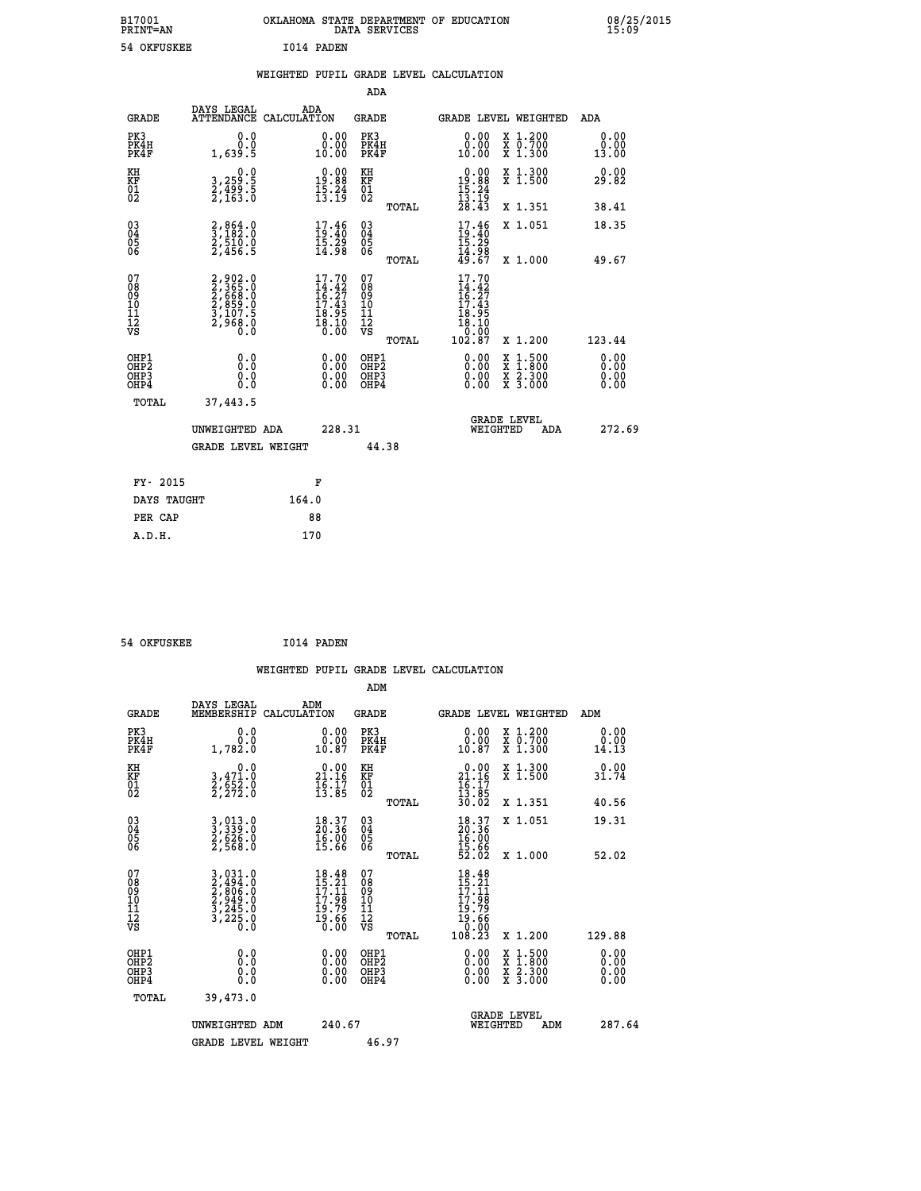| B17001<br><b>PRINT=AN</b> | OKLAHOMA STATE DEPARTMENT OF EDUCATION<br>DATA SERVICES | 08/25/2015<br>15:09 |
|---------------------------|---------------------------------------------------------|---------------------|
| 54 OKFUSKEE               | I014 PADEN                                              |                     |

|  |  | WEIGHTED PUPIL GRADE LEVEL CALCULATION |
|--|--|----------------------------------------|
|  |  |                                        |

|                                                                    |                                                                            |                                                                          | ADA                                    |       |                                                                                                              |                                                                                                                                           |                       |
|--------------------------------------------------------------------|----------------------------------------------------------------------------|--------------------------------------------------------------------------|----------------------------------------|-------|--------------------------------------------------------------------------------------------------------------|-------------------------------------------------------------------------------------------------------------------------------------------|-----------------------|
| <b>GRADE</b>                                                       | DAYS LEGAL<br>ATTENDANCE CALCULATION                                       | ADA                                                                      | <b>GRADE</b>                           |       |                                                                                                              | GRADE LEVEL WEIGHTED                                                                                                                      | ADA                   |
| PK3<br>PK4H<br>PK4F                                                | 0.0<br>0.0<br>1,639.5                                                      | 0.00<br>0.00<br>10.00                                                    | PK3<br>PK4H<br>PK4F                    |       | 0.00<br>0.00<br>10.00                                                                                        | X 1.200<br>X 0.700<br>X 1.300                                                                                                             | 0.00<br>0.00<br>13.00 |
| KH<br>KF<br>$\begin{matrix} 0 \\ 2 \end{matrix}$                   | 0.0<br>3,259:5<br>2,499:5<br>2,163:0                                       | $\begin{smallmatrix} 0.00\\19.88\\15.24\\13.19 \end{smallmatrix}$        | KH<br>KF<br>$\overline{01}$            |       | $0.00$<br>19.88<br>$\frac{15}{13}$ : $\frac{24}{19}$<br>$\frac{28}{28}$ : 43                                 | X 1.300<br>X 1.500                                                                                                                        | 0.00<br>29.82         |
|                                                                    |                                                                            |                                                                          |                                        | TOTAL |                                                                                                              | X 1.351                                                                                                                                   | 38.41                 |
| $\begin{smallmatrix} 03 \\[-4pt] 04 \end{smallmatrix}$<br>Ŏ5<br>06 | $\frac{2}{3}, \frac{864}{182}.0$<br>$\frac{2}{510}.0$<br>$\frac{2}{456}.5$ | $\begin{smallmatrix} 17.46 \\ 19.40 \\ 15.29 \\ 14.98 \end{smallmatrix}$ | $\substack{03 \\ 04}$<br>Ŏ5<br>06      |       | $17.46$<br>$15.29$<br>$15.29$<br>$14.98$<br>$49.67$                                                          | X 1.051                                                                                                                                   | 18.35                 |
|                                                                    |                                                                            |                                                                          |                                        | TOTAL |                                                                                                              | X 1.000                                                                                                                                   | 49.67                 |
| 07<br>08<br>09<br>11<br>11<br>12<br>VS                             | 2,902.0<br>2,365.0<br>2,668.0<br>2,859.0<br>3,107.5<br>2,968.0             | 17.70<br>$14.42$<br>$16.27$<br>$17.43$<br>$18.95$<br>$18.10$<br>$0.00$   | 07<br>08<br>09<br>11<br>11<br>12<br>VS |       | 17.70<br>$\begin{smallmatrix} 14.42 \\ 16.27 \\ 17.43 \\ 18.95 \\ 18.10 \\ 0.00 \\ 102.87 \end{smallmatrix}$ |                                                                                                                                           |                       |
|                                                                    |                                                                            |                                                                          |                                        | TOTAL |                                                                                                              | X 1.200                                                                                                                                   | 123.44                |
| OHP1<br>OHP <sub>2</sub><br>OH <sub>P3</sub><br>OHP4               | 0.0<br>0.0<br>0.0                                                          | 0.00<br>0.00<br>0.00                                                     | OHP1<br>OHP2<br>OHP3<br>OHP4           |       |                                                                                                              | $\begin{smallmatrix} \mathtt{X} & 1\cdot500\\ \mathtt{X} & 1\cdot800\\ \mathtt{X} & 2\cdot300\\ \mathtt{X} & 3\cdot000 \end{smallmatrix}$ | 0.00<br>0.00<br>0.00  |
| TOTAL                                                              | 37,443.5                                                                   |                                                                          |                                        |       |                                                                                                              |                                                                                                                                           |                       |
|                                                                    | UNWEIGHTED ADA                                                             | 228.31                                                                   |                                        |       |                                                                                                              | <b>GRADE LEVEL</b><br>WEIGHTED<br>ADA                                                                                                     | 272.69                |
|                                                                    | <b>GRADE LEVEL WEIGHT</b>                                                  |                                                                          | 44.38                                  |       |                                                                                                              |                                                                                                                                           |                       |
| FY- 2015                                                           |                                                                            | F                                                                        |                                        |       |                                                                                                              |                                                                                                                                           |                       |
| DAYS TAUGHT                                                        |                                                                            | 164.0                                                                    |                                        |       |                                                                                                              |                                                                                                                                           |                       |
| PER CAP                                                            |                                                                            | 88                                                                       |                                        |       |                                                                                                              |                                                                                                                                           |                       |

 **54 OKFUSKEE I014 PADEN WEIGHTED PUPIL GRADE LEVEL CALCULATION ADM DAYS LEGAL ADM GRADE MEMBERSHIP CALCULATION GRADE GRADE LEVEL WEIGHTED ADM PK3 0.0 0.00 PK3 0.00 X 1.200 0.00 PK4H 0.0 0.00 PK4H 0.00 X 0.700 0.00 PK4F 1,782.0 10.87 PK4F 10.87 X 1.300 14.13 KH 0.0 0.00 KH 0.00 X 1.300 0.00 KF 3,471.0 21.16 KF 21.16 X 1.500 31.74 01 2,652.0 16.17 01 16.17 02 2,272.0 13.85 02 13.85 TOTAL 30.02 X 1.351 40.56 03 3,013.0 18.37 03 18.37 X 1.051 19.31 04 3,339.0 20.36 04 20.36 05 2,626.0 16.00 05 16.00** 06 2,568.0 15.66 06 <sub>momas</sub> 15.66  **TOTAL 52.02 X 1.000 52.02**  $\begin{array}{cccc} 07 & 3,031.0 & 18.48 & 07 & 18.48 \ 08 & 2,866.0 & 15.21 & 08 & 17.11 \ 09 & 2,949.0 & 17.11 & 09 & 17.11 \ 10 & 2,949.0 & 17.98 & 10 & 17.98 \ 11 & 3,245.0 & 19.66 & 12 & 19.76 \ \hline \textrm{vs} & 3,225.0 & 19.66 & 12 & 19.78 \ 13 & 20.0 & 19.6 & 12 &$  **TOTAL 108.23 X 1.200 129.88 OHP1 0.0 0.00 OHP1 0.00 X 1.500 0.00 OHP2 0.0 0.00 OHP2 0.00 X 1.800 0.00 OHP3 0.0 0.00 OHP3 0.00 X 2.300 0.00 OHP4 0.0 0.00 OHP4 0.00 X 3.000 0.00 TOTAL 39,473.0 GRADE LEVEL UNWEIGHTED ADM 240.67 WEIGHTED ADM 287.64** GRADE LEVEL WEIGHT 46.97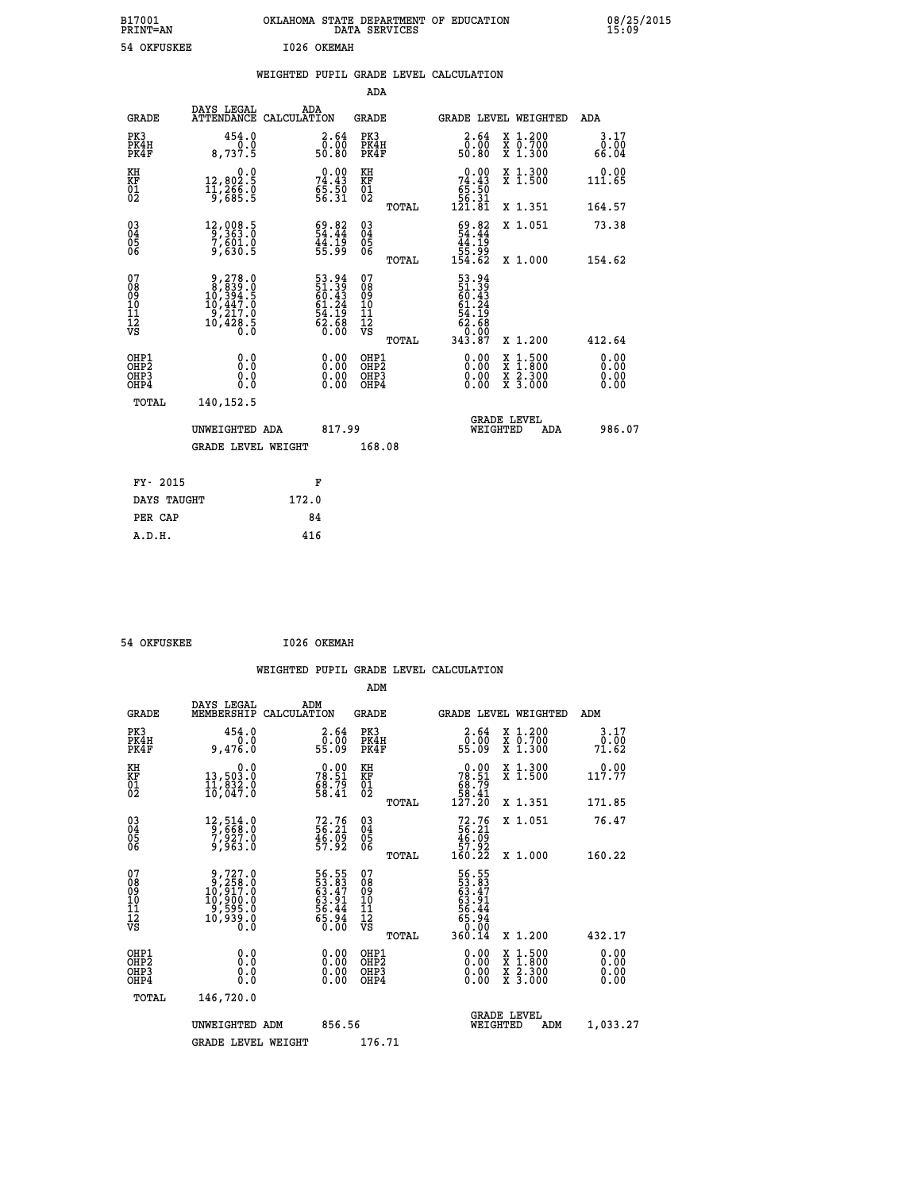| B17001<br>PRINT=AN | <b>OKLAHOMA</b><br>STATE DEPARTMENT OF EDUCATION<br>DATA SERVICES | 08/25/2015<br>15:09 |
|--------------------|-------------------------------------------------------------------|---------------------|
| 54 OKFUSKEE        | 1026 OKEMAH                                                       |                     |

|  |  | WEIGHTED PUPIL GRADE LEVEL CALCULATION |
|--|--|----------------------------------------|
|  |  |                                        |

|                                                       |                                                                                                            |                                                             | ADA                                      |       |                                                                               |                                                                                                                                      |                              |
|-------------------------------------------------------|------------------------------------------------------------------------------------------------------------|-------------------------------------------------------------|------------------------------------------|-------|-------------------------------------------------------------------------------|--------------------------------------------------------------------------------------------------------------------------------------|------------------------------|
| <b>GRADE</b>                                          | DAYS LEGAL                                                                                                 | ADA<br>ATTENDANCE CALCULATION                               | GRADE                                    |       | <b>GRADE LEVEL WEIGHTED</b>                                                   |                                                                                                                                      | ADA                          |
| PK3<br>PK4H<br>PK4F                                   | 454.0<br>8,737.5                                                                                           | 2.64<br>ōŏ:ŏō<br>50.80                                      | PK3<br>PK4H<br>PK4F                      |       | 2.64<br>0.00<br>50.80                                                         | X 1.200<br>X 0.700<br>X 1.300                                                                                                        | 3.17<br>0.00<br>66.04        |
| KH<br>KF<br>01<br>02                                  | 0.0<br>12,802.5<br>11,266.0<br>9,685.5                                                                     | $74.43$<br>$55.50$<br>$56.31$                               | KH<br>KF<br>01<br>02                     |       | $\begin{smallmatrix} &0.00\ 74.43\ 65.50\ 56.31\ 121.81\end{smallmatrix}$     | X 1.300<br>X 1.500                                                                                                                   | 0.00<br>111.65               |
|                                                       |                                                                                                            |                                                             |                                          | TOTAL |                                                                               | X 1.351                                                                                                                              | 164.57                       |
| 03<br>04<br>05<br>06                                  | 12,008.5<br>9,363.0<br>7,601.0<br>9,630.5                                                                  | 54.82<br>44:19<br>55:99                                     | 03<br>04<br>05<br>06                     |       | $\frac{69.82}{54.44}$<br>$\frac{44.19}{54.19}$<br>وَةٍ:55<br>154.62           | X 1.051                                                                                                                              | 73.38                        |
|                                                       |                                                                                                            |                                                             |                                          | TOTAL |                                                                               | X 1.000                                                                                                                              | 154.62                       |
| 07<br>08<br>09<br>11<br>11<br>12<br>VS                | $\begin{smallmatrix} 9,278.0\\ 8,839.0\\ 10,394.5\\ 10,447.0\\ 9,217.0\\ 10,428.5\\ 0.0 \end{smallmatrix}$ | 53.94<br>51.39<br>60.43<br>61.24<br>64.19<br>54.68<br>62.68 | 07<br>08<br>09<br>11<br>11<br>12<br>VS   | TOTAL | 53.94<br>51.39<br>60.43<br>61.24<br>54.19<br>54.19<br>62.68<br>00.00<br>87.81 | X 1.200                                                                                                                              | 412.64                       |
| OHP1<br>OH <sub>P</sub> 2<br>OH <sub>P3</sub><br>OHP4 | 0.0<br>0.0<br>0.0                                                                                          | 0.00<br>$\begin{smallmatrix} 0.00 \ 0.00 \end{smallmatrix}$ | OHP1<br>OHP <sub>2</sub><br>OHP3<br>OHP4 |       | 0.00<br>0.00<br>0.00                                                          | $\begin{smallmatrix} \mathtt{X} & 1 & 500 \\ \mathtt{X} & 1 & 800 \\ \mathtt{X} & 2 & 300 \\ \mathtt{X} & 3 & 000 \end{smallmatrix}$ | 0.00<br>0.00<br>0.00<br>0.00 |
| TOTAL                                                 | 140,152.5                                                                                                  |                                                             |                                          |       |                                                                               |                                                                                                                                      |                              |
|                                                       | UNWEIGHTED ADA                                                                                             | 817.99                                                      |                                          |       | WEIGHTED                                                                      | <b>GRADE LEVEL</b><br>ADA                                                                                                            | 986.07                       |
|                                                       | <b>GRADE LEVEL WEIGHT</b>                                                                                  |                                                             | 168.08                                   |       |                                                                               |                                                                                                                                      |                              |
| FY- 2015                                              |                                                                                                            | F                                                           |                                          |       |                                                                               |                                                                                                                                      |                              |
| DAYS TAUGHT                                           |                                                                                                            | 172.0                                                       |                                          |       |                                                                               |                                                                                                                                      |                              |
|                                                       |                                                                                                            |                                                             |                                          |       |                                                                               |                                                                                                                                      |                              |
| PER CAP                                               |                                                                                                            | 84                                                          |                                          |       |                                                                               |                                                                                                                                      |                              |
| A.D.H.                                                |                                                                                                            | 416                                                         |                                          |       |                                                                               |                                                                                                                                      |                              |

| 54 OKFUSKEE | I026 OKEMAH |
|-------------|-------------|
|             |             |

 **ADM**

| <b>GRADE</b>                            | DAYS LEGAL<br>MEMBERSHIP CALCULATION                                                                       | ADM                                                               | <b>GRADE</b>                                       |       |                                                                               |          | GRADE LEVEL WEIGHTED                     | ADM                   |
|-----------------------------------------|------------------------------------------------------------------------------------------------------------|-------------------------------------------------------------------|----------------------------------------------------|-------|-------------------------------------------------------------------------------|----------|------------------------------------------|-----------------------|
| PK3<br>PK4H<br>PK4F                     | 454.0<br>0.0<br>9,476.0                                                                                    | 2.64<br>ōŏ.ōō<br>55.09                                            | PK3<br>PK4H<br>PK4F                                |       | 2.64<br>ōŏ.ō<br>09.55                                                         |          | X 1.200<br>X 0.700<br>X 1.300            | 3.17<br>0.00<br>71.62 |
| KH<br>KF<br>01<br>02                    | 0.0<br>13,503.0<br>11,832.0<br>10,047.0                                                                    | $78.51$<br>$78.51$<br>$68.79$<br>$58.41$                          | KH<br>KF<br>01<br>02                               |       | $\begin{smallmatrix} &0.00\\ 78.51\\ 68.79\\ 58.41\\ 127.20\end{smallmatrix}$ |          | X 1.300<br>X 1.500                       | 0.00<br>117.77        |
|                                         |                                                                                                            |                                                                   |                                                    | TOTAL |                                                                               |          | X 1.351                                  | 171.85                |
| 03<br>04<br>05<br>06                    | 12,514.0<br>9,668.0<br>7,927.0<br>9,963.0                                                                  | $72.76$<br>56.21<br>46.09<br>57.92                                | $\begin{matrix} 03 \\ 04 \\ 05 \\ 06 \end{matrix}$ |       | $72.76$<br>56.21<br>46.09<br>57.92<br>57.92<br>160.22                         |          | X 1.051                                  | 76.47                 |
|                                         |                                                                                                            |                                                                   |                                                    | TOTAL |                                                                               |          | X 1.000                                  | 160.22                |
| 07<br>08<br>09<br>101<br>11<br>12<br>VS | $\begin{smallmatrix} 9,727.0\\ 9,258.0\\ 10,917.0\\ 10,900.0\\ 9,595.0\\ 10,939.0\\ 0.0 \end{smallmatrix}$ | 56.55<br>53.83<br>63.47<br>63.91<br>56.44<br>56.94<br>65.94       | 07<br>08<br>09<br>001<br>11<br>11<br>12<br>VS      |       | 56.55<br>53.83<br>63.47<br>63.91<br>56.944<br>65.940                          |          |                                          |                       |
|                                         |                                                                                                            |                                                                   |                                                    | TOTAL | 360.14                                                                        |          | X 1.200                                  | 432.17                |
| OHP1<br>OHP2<br>OHP3<br>OHP4            | 0.0<br>0.000                                                                                               | $\begin{smallmatrix} 0.00 \ 0.00 \ 0.00 \ 0.00 \end{smallmatrix}$ | OHP1<br>OHP2<br>OHP3<br>OHP4                       |       | 0.00<br>0.00                                                                  |          | X 1:500<br>X 1:800<br>X 2:300<br>X 3:000 | 0.00<br>0.00<br>0.00  |
| TOTAL                                   | 146,720.0                                                                                                  |                                                                   |                                                    |       |                                                                               |          |                                          |                       |
|                                         | UNWEIGHTED<br>ADM                                                                                          | 856.56                                                            |                                                    |       |                                                                               | WEIGHTED | <b>GRADE LEVEL</b><br>ADM                | 1,033.27              |
|                                         | <b>GRADE LEVEL WEIGHT</b>                                                                                  |                                                                   | 176.71                                             |       |                                                                               |          |                                          |                       |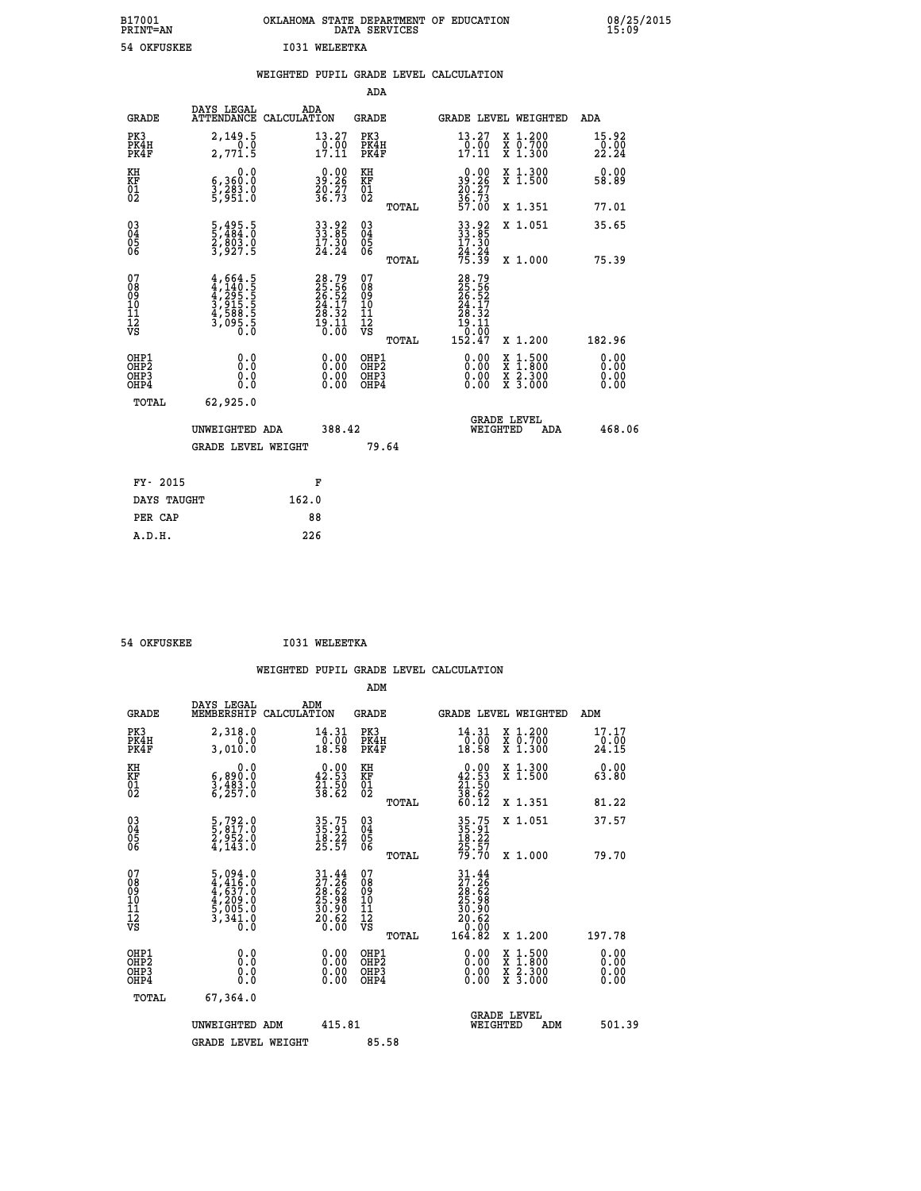| B17001<br><b>PRINT=AN</b> | OKLAHOMA STATE DEPARTMENT OF EDUCATION<br>DATA SERVICES | 08/25/2015<br>15:09 |
|---------------------------|---------------------------------------------------------|---------------------|
| 54<br>OKFUSKEE            | I031<br>WELEETKA                                        |                     |

| 54 OKFUSKEE                             |                                                                            |             | <b>I031 WELEETKA</b>                                                     |                                                      |       |                                                                       |                                                                                                                                      |                                     |
|-----------------------------------------|----------------------------------------------------------------------------|-------------|--------------------------------------------------------------------------|------------------------------------------------------|-------|-----------------------------------------------------------------------|--------------------------------------------------------------------------------------------------------------------------------------|-------------------------------------|
|                                         |                                                                            |             |                                                                          |                                                      |       | WEIGHTED PUPIL GRADE LEVEL CALCULATION                                |                                                                                                                                      |                                     |
|                                         |                                                                            |             |                                                                          | <b>ADA</b>                                           |       |                                                                       |                                                                                                                                      |                                     |
| <b>GRADE</b>                            | <b>DAYS LEGAL<br/>ATTENDANCE</b>                                           | CALCULATION | ADA                                                                      | <b>GRADE</b>                                         |       |                                                                       | GRADE LEVEL WEIGHTED                                                                                                                 | ADA                                 |
| PK3<br>PK4H<br>PK4F                     | 2,149.5<br>0.0<br>2,771.5                                                  |             | $\begin{smallmatrix} 13.27\ 0.00\ 17.11 \end{smallmatrix}$               | PK3<br>PK4H<br>PK4F                                  |       | $\begin{array}{c} 13\cdot 27 \\ 0\cdot 00 \\ 17\cdot 11 \end{array}$  | X 1.200<br>X 0.700<br>X 1.300                                                                                                        | $\substack{15.92 \\ 0.00 \\ 22.24}$ |
| KH<br>KF<br>01<br>02                    | 0.0<br>6,360.0<br>3,283.0<br>5,951.0                                       |             | $39.26$<br>$29.27$<br>$36.73$                                            | KH<br>KF<br>01<br>02                                 |       | $39.26$<br>$30.27$<br>$36.73$<br>$57.00$                              | X 1.300<br>X 1.500                                                                                                                   | 0.00<br>58.89                       |
|                                         |                                                                            |             |                                                                          |                                                      | TOTAL |                                                                       | X 1.351                                                                                                                              | 77.01                               |
| $^{03}_{04}$<br>Ŏ5<br>06                | 5,495.5<br>5,484.0<br>2,803.0<br>3,927.5                                   |             | 33.92<br>33.85<br>17.30<br>24.24                                         | $\begin{matrix} 03 \\ 04 \\ 05 \\ 06 \end{matrix}$   |       | 33.92<br>33.85<br>17.30                                               | X 1.051                                                                                                                              | 35.65                               |
|                                         |                                                                            |             |                                                                          |                                                      | TOTAL | 24:24<br>75:39                                                        | X 1.000                                                                                                                              | 75.39                               |
| 07<br>08<br>09<br>101<br>11<br>17<br>VS | $4,664.5$<br>$4,240.5$<br>$4,295.5$<br>$3,915.5$<br>$4,588.5$<br>$3,095.5$ |             | $28.79$<br>$25.56$<br>$26.52$<br>$24.17$<br>$28.32$<br>$19.11$<br>$0.00$ | 07<br>08<br>09<br>01<br>11<br>11<br>12<br>VS         | TOTAL | 28.79<br>25.56<br>26.52<br>24.17<br>28.32<br>īš.ĭī<br>10:00<br>152.47 | X 1.200                                                                                                                              | 182.96                              |
| OHP1                                    |                                                                            |             |                                                                          |                                                      |       |                                                                       |                                                                                                                                      | 0.00                                |
| OHP <sub>2</sub><br>OHP3<br>OHP4        | 0.0<br>0.0<br>0.0                                                          |             | $\begin{smallmatrix} 0.00 \ 0.00 \ 0.00 \ 0.00 \end{smallmatrix}$        | OHP1<br>OHP2<br>OHP <sub>3</sub><br>OHP <sub>4</sub> |       | 0.00<br>0.00                                                          | $\begin{smallmatrix} \mathtt{X} & 1 & 500 \\ \mathtt{X} & 1 & 800 \\ \mathtt{X} & 2 & 300 \\ \mathtt{X} & 3 & 000 \end{smallmatrix}$ | Ō. ŌŌ<br>0.00                       |
| TOTAL                                   | 62,925.0                                                                   |             |                                                                          |                                                      |       |                                                                       |                                                                                                                                      |                                     |
|                                         | UNWEIGHTED ADA                                                             |             | 388.42                                                                   |                                                      |       |                                                                       | GRADE LEVEL<br>WEIGHTED<br>ADA                                                                                                       | 468.06                              |
|                                         | <b>GRADE LEVEL WEIGHT</b>                                                  |             |                                                                          |                                                      | 79.64 |                                                                       |                                                                                                                                      |                                     |
| FY- 2015                                |                                                                            |             | F                                                                        |                                                      |       |                                                                       |                                                                                                                                      |                                     |
| DAYS TAUGHT                             |                                                                            | 162.0       |                                                                          |                                                      |       |                                                                       |                                                                                                                                      |                                     |
| PER CAP                                 |                                                                            |             | 88                                                                       |                                                      |       |                                                                       |                                                                                                                                      |                                     |

 **ADM**

 **54 OKFUSKEE I031 WELEETKA**

| <b>GRADE</b>                            | DAYS LEGAL<br>MEMBERSHIP CALCULATION                                                                                                  | ADM                                                                  | <b>GRADE</b>                                        |                                                                                                      |                                | GRADE LEVEL WEIGHTED                     | ADM                     |
|-----------------------------------------|---------------------------------------------------------------------------------------------------------------------------------------|----------------------------------------------------------------------|-----------------------------------------------------|------------------------------------------------------------------------------------------------------|--------------------------------|------------------------------------------|-------------------------|
| PK3<br>PK4H<br>PK4F                     | 2,318.0<br>0.0<br>3,010.0                                                                                                             | 14.31<br>$\frac{0.00}{18.58}$                                        | PK3<br>PK4H<br>PK4F                                 | 14.31<br>$\frac{10.00}{18.58}$                                                                       |                                | X 1.200<br>X 0.700<br>X 1.300            | 17.17<br>-0.00<br>24.15 |
| KH<br>KF<br>01<br>02                    | 0.0<br>6,890:0<br>3,483.0<br>6,257:0                                                                                                  | $\begin{smallmatrix} 0.00\\ 42.53\\ 21.50\\ 38.62 \end{smallmatrix}$ | KH<br>KF<br>01<br>02                                | $\begin{smallmatrix} 0.00\\ 42.53\\ 21.50\\ 38.62\\ 60.12 \end{smallmatrix}$                         |                                | X 1.300<br>X 1.500                       | 0.00<br>63.80           |
|                                         |                                                                                                                                       |                                                                      | TOTAL                                               |                                                                                                      |                                | X 1.351                                  | 81.22                   |
| 03<br>04<br>05<br>06                    | 5,792.0<br>5,817.0<br>2,952.0<br>4,143.0                                                                                              | 35.75<br>35.91<br>18.22<br>25.57                                     | $\begin{array}{c} 03 \\ 04 \\ 05 \\ 06 \end{array}$ | 35.75<br>35.91<br>18.22<br>25.57<br>79.70                                                            |                                | X 1.051                                  | 37.57                   |
|                                         |                                                                                                                                       |                                                                      | TOTAL                                               |                                                                                                      |                                | X 1.000                                  | 79.70                   |
| 07<br>08<br>09<br>101<br>11<br>12<br>VS | $\begin{smallmatrix}5\,,\,094\,.0\\4\,,\,416\,.0\\4\,,\,637\,.0\\4\,,\,209\,.0\\5\,,\,005\,.0\\3\,,\,341\,.0\\0\,.0\end{smallmatrix}$ | $31.4427.2628.6225.9830.9030.620.60$                                 | 078<br>089<br>0011<br>11<br>11<br>12<br>VS<br>TOTAL | $\begin{smallmatrix} 31.44\\27.26\\28.62\\25.98\\25.98\\30.90\\20.62\\0.00\\164.82\end{smallmatrix}$ |                                | X 1.200                                  | 197.78                  |
| OHP1<br>OHP2<br>OHP3<br>OHP4            | 0.0<br>0.000                                                                                                                          | $\begin{smallmatrix} 0.00 \ 0.00 \ 0.00 \ 0.00 \end{smallmatrix}$    | OHP1<br>OHP2<br>OHP3<br>OHP4                        | 0.00<br>0.00                                                                                         |                                | X 1:500<br>X 1:800<br>X 2:300<br>X 3:000 | 0.00<br>0.00<br>0.00    |
| TOTAL                                   | 67,364.0                                                                                                                              |                                                                      |                                                     |                                                                                                      |                                |                                          |                         |
|                                         | UNWEIGHTED<br>ADM                                                                                                                     | 415.81                                                               |                                                     |                                                                                                      | <b>GRADE LEVEL</b><br>WEIGHTED | ADM                                      | 501.39                  |
|                                         | <b>GRADE LEVEL WEIGHT</b>                                                                                                             |                                                                      | 85.58                                               |                                                                                                      |                                |                                          |                         |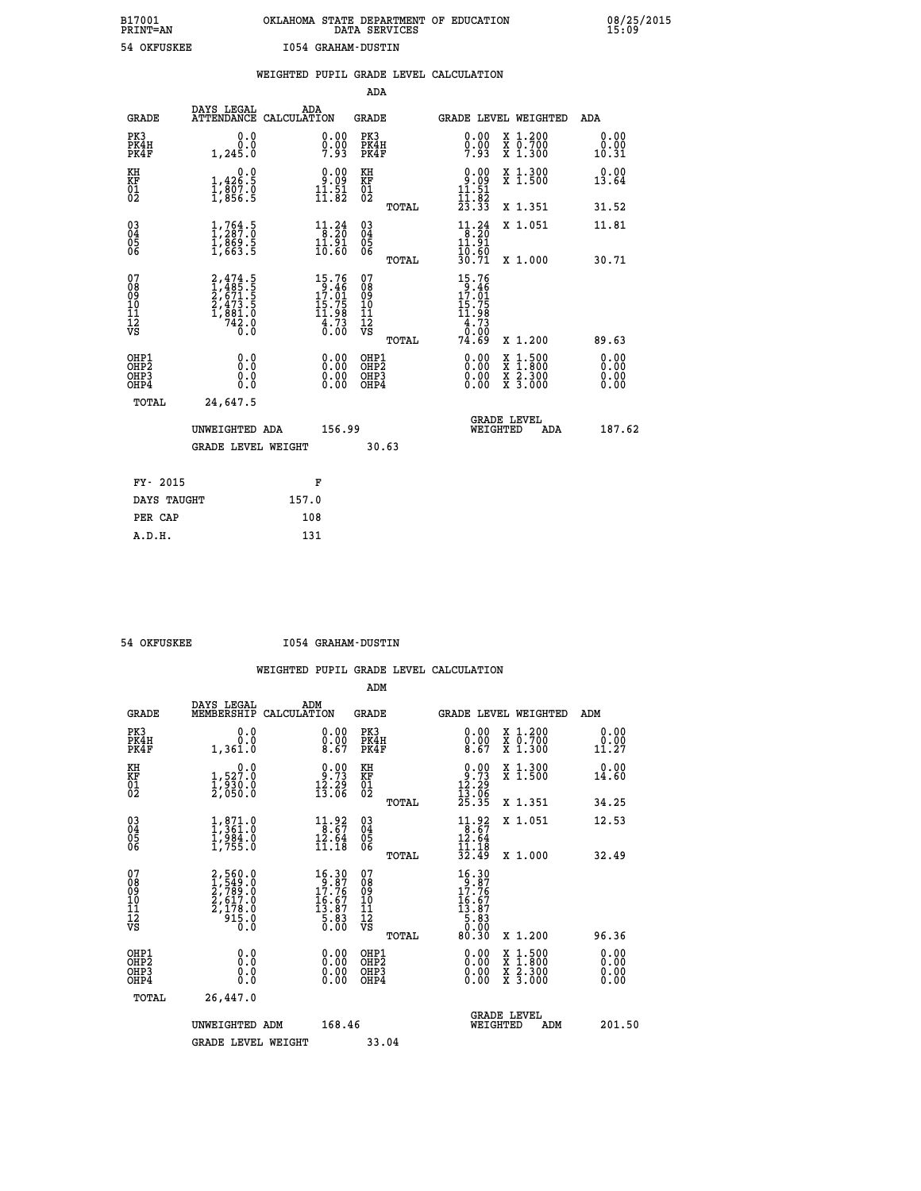# **B17001 OKLAHOMA STATE DEPARTMENT OF EDUCATION 08/25/2015 PRINT=AN DATA SERVICES 15:09 54 OKFUSKEE I054 GRAHAM-DUSTIN**

|                                                                    |                                                                                     |       |                                                                                 |                                          |       | WEIGHTED PUPIL GRADE LEVEL CALCULATION                                          |                                                                                                                                           |                              |
|--------------------------------------------------------------------|-------------------------------------------------------------------------------------|-------|---------------------------------------------------------------------------------|------------------------------------------|-------|---------------------------------------------------------------------------------|-------------------------------------------------------------------------------------------------------------------------------------------|------------------------------|
|                                                                    |                                                                                     |       |                                                                                 | <b>ADA</b>                               |       |                                                                                 |                                                                                                                                           |                              |
| <b>GRADE</b>                                                       | DAYS LEGAL<br>ATTENDANCE CALCULATION                                                |       | ADA                                                                             | GRADE                                    |       | GRADE LEVEL WEIGHTED                                                            |                                                                                                                                           | ADA                          |
| PK3<br>PK4H<br>PK4F                                                | 0.0<br>0.0<br>1,245.0                                                               |       | $\begin{smallmatrix} 0.00\\ 0.00\\ 7.93 \end{smallmatrix}$                      | PK3<br>PK4H<br>PK4F                      |       | 0.00<br>$0.00$<br>7.93                                                          | X 1.200<br>X 0.700<br>X 1.300                                                                                                             | 0.00<br>0.00<br>10.31        |
| KH<br>KF<br>01<br>02                                               | 1,426.9<br>$\frac{1}{3}, \frac{8}{856}$ : 5                                         |       | $\begin{smallmatrix} 0.00\\ 9.09\\ 11.51\\ 11.82 \end{smallmatrix}$             | KH<br>KF<br>01<br>02                     |       | $0.00$<br>$11.51$<br>$11.82$<br>$23.33$                                         | X 1.300<br>X 1.500                                                                                                                        | 0.00<br>13.64                |
|                                                                    |                                                                                     |       |                                                                                 |                                          | TOTAL |                                                                                 | X 1.351                                                                                                                                   | 31.52                        |
| $\begin{smallmatrix} 03 \\[-4pt] 04 \end{smallmatrix}$<br>Ŏ5<br>06 | $\frac{1}{1}, \frac{764}{287}.0 \ \frac{1}{869}.5 \ \frac{1}{1}, \frac{863}{663}.5$ |       | $\begin{array}{c} 11\cdot 24\\ 8\cdot 20\\ 11\cdot 91\\ 10\cdot 60 \end{array}$ | $\substack{03 \\ 04}$<br>05<br>06        |       | $11.24$<br>$8.20$<br>$11.91$                                                    | X 1.051                                                                                                                                   | 11.81                        |
|                                                                    |                                                                                     |       |                                                                                 |                                          | TOTAL | 10.60<br>30.71                                                                  | X 1.000                                                                                                                                   | 30.71                        |
| 07<br>08<br>09<br>11<br>11<br>12<br>VS                             | $2,474.5$<br>$1,485.5$<br>$2,671.5$<br>$2,473.5$<br>$1,881.0$<br>$742.0$<br>$0.0$   |       | 15.76<br>$13.461$<br>$17.01$<br>$15.75$<br>$11.98$<br>$4.73$<br>0.00            | 07<br>08<br>09<br>11<br>11<br>12<br>VS   | TOTAL | 15.76<br>$19.461$<br>$17.01$<br>$15.75$<br>$11.98$<br>$4.73$<br>$0.00$<br>74.69 | X 1.200                                                                                                                                   | 89.63                        |
| OHP1<br>OH <sub>P</sub> 2<br>OHP3<br>OHP4                          | 0.0<br>0.0<br>0.0                                                                   |       | $\begin{smallmatrix} 0.00 \ 0.00 \ 0.00 \ 0.00 \end{smallmatrix}$               | OHP1<br>OHP <sub>2</sub><br>OHP3<br>OHP4 |       |                                                                                 | $\begin{smallmatrix} \mathtt{X} & 1\cdot500\\ \mathtt{X} & 1\cdot800\\ \mathtt{X} & 2\cdot300\\ \mathtt{X} & 3\cdot000 \end{smallmatrix}$ | 0.00<br>0.00<br>0.00<br>0.00 |
| TOTAL                                                              | 24,647.5                                                                            |       |                                                                                 |                                          |       |                                                                                 |                                                                                                                                           |                              |
|                                                                    | UNWEIGHTED ADA                                                                      |       | 156.99                                                                          |                                          |       | WEIGHTED                                                                        | <b>GRADE LEVEL</b><br><b>ADA</b>                                                                                                          | 187.62                       |
|                                                                    | <b>GRADE LEVEL WEIGHT</b>                                                           |       |                                                                                 |                                          | 30.63 |                                                                                 |                                                                                                                                           |                              |
| FY- 2015                                                           |                                                                                     |       | F                                                                               |                                          |       |                                                                                 |                                                                                                                                           |                              |
| DAYS TAUGHT                                                        |                                                                                     | 157.0 |                                                                                 |                                          |       |                                                                                 |                                                                                                                                           |                              |
| PER CAP                                                            |                                                                                     | 108   |                                                                                 |                                          |       |                                                                                 |                                                                                                                                           |                              |

 **A.D.H. 131**

 **54 OKFUSKEE I054 GRAHAM-DUSTIN**

|                                          |                                                                                   |                                                                                                  | ADM                                                 |                                                                                                    |                                          |                       |
|------------------------------------------|-----------------------------------------------------------------------------------|--------------------------------------------------------------------------------------------------|-----------------------------------------------------|----------------------------------------------------------------------------------------------------|------------------------------------------|-----------------------|
| <b>GRADE</b>                             | DAYS LEGAL<br>MEMBERSHIP                                                          | ADM<br>CALCULATION                                                                               | <b>GRADE</b>                                        | <b>GRADE LEVEL WEIGHTED</b>                                                                        |                                          | ADM                   |
| PK3<br>PK4H<br>PK4F                      | 0.0<br>0.0<br>1,361.0                                                             | $\begin{smallmatrix} 0.00\ 0.00\ 0.00\ 8.67 \end{smallmatrix}$                                   | PK3<br>PK4H<br>PK4F                                 | $\begin{smallmatrix} 0.00 \\ 0.00 \\ 8.67 \end{smallmatrix}$                                       | X 1.200<br>X 0.700<br>X 1.300            | 0.00<br>0.00<br>11.27 |
| KH<br>KF<br>01<br>02                     | 0.0<br>$\frac{1}{2}, \frac{527.0}{930.0}$<br>2,050.0                              | $\begin{smallmatrix} 0.00\\ 9.73\\ 12.29\\ 13.06 \end{smallmatrix}$                              | KH<br>KF<br>01<br>02                                | $0.93$<br>$12.29$<br>$13.06$<br>$25.35$                                                            | X 1.300<br>X 1.500                       | 0.00<br>14.60         |
|                                          |                                                                                   |                                                                                                  | TOTAL                                               |                                                                                                    | X 1.351                                  | 34.25                 |
| 03<br>04<br>05<br>06                     | $\begin{smallmatrix} 1, 871.0\\ 1, 361.0\\ 1, 984.0\\ 1, 755.0 \end{smallmatrix}$ | $\begin{array}{c} 11.92 \\ 8.67 \\ 12.64 \\ 11.18 \end{array}$                                   | $\begin{array}{c} 03 \\ 04 \\ 05 \\ 06 \end{array}$ | $11.92$<br>$8.67$<br>$12.64$<br>11.18                                                              | X 1.051                                  | 12.53                 |
|                                          |                                                                                   |                                                                                                  | TOTAL                                               | 32.49                                                                                              | X 1.000                                  | 32.49                 |
| 07<br>08<br>09<br>101<br>112<br>VS       | $2,560.0$<br>$1,549.0$<br>$2,789.0$<br>$2,617.0$<br>$2,178.0$<br>$915.0$<br>$0.0$ | $\begin{smallmatrix} 16.30 \\ 9.87 \\ 17.76 \\ 16.67 \\ 13.87 \\ 5.83 \\ 0.00 \end{smallmatrix}$ | 07<br>08<br>09<br>11<br>11<br>12<br>VS<br>TOTAL     | $\begin{smallmatrix} 16.30\\ 9.87\\ 17.76\\ 16.67\\ 18.87\\ 5.83\\ 0.00\\ 80.30 \end{smallmatrix}$ | X 1.200                                  | 96.36                 |
| OHP1<br>OHP2<br>OH <sub>P3</sub><br>OHP4 | 0.0<br>0.000                                                                      | $0.00$<br>$0.00$<br>0.00                                                                         | OHP1<br>OHP2<br>OHP <sub>3</sub>                    | $0.00$<br>$0.00$<br>0.00                                                                           | X 1:500<br>X 1:800<br>X 2:300<br>X 3:000 | 0.00<br>0.00<br>0.00  |
| TOTAL                                    | 26,447.0                                                                          |                                                                                                  |                                                     |                                                                                                    |                                          |                       |
|                                          | UNWEIGHTED ADM                                                                    | 168.46                                                                                           |                                                     | WEIGHTED                                                                                           | <b>GRADE LEVEL</b><br>ADM                | 201.50                |
|                                          | <b>GRADE LEVEL WEIGHT</b>                                                         |                                                                                                  | 33.04                                               |                                                                                                    |                                          |                       |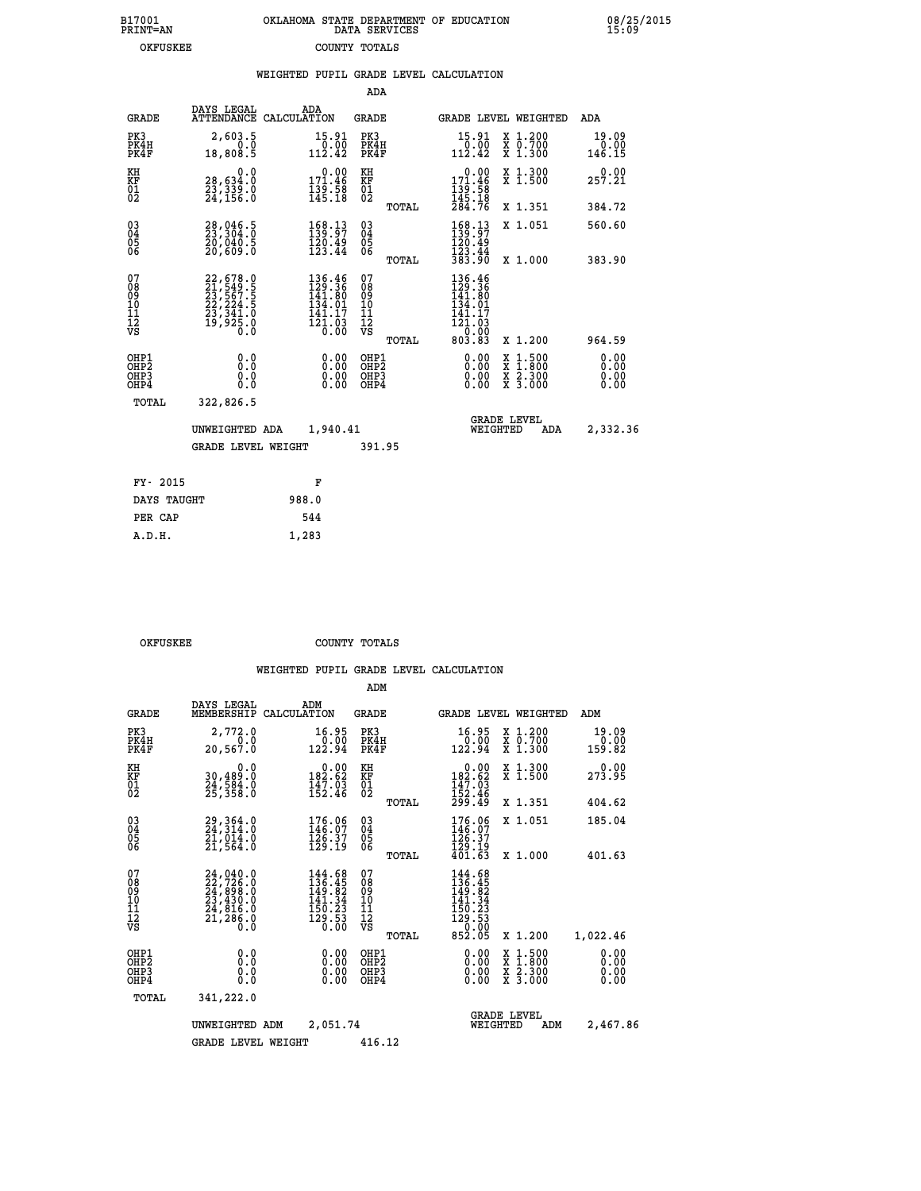| 7001<br>INT=AN | OKLAHOMA STATE DEPARTMENT OF EDUCATION<br>DATA SERVICES |  |
|----------------|---------------------------------------------------------|--|
| OKFUSKEE       | COUNTY TOTALS                                           |  |

 **B17001 OKLAHOMA STATE DEPARTMENT OF EDUCATION 08/25/2015**

|                                                              |                                                                                           | WEIGHTED PUPIL GRADE LEVEL CALCULATION                                                                                                                                                        |                                                 |                                                                                                                                                                                                                                                                                                                                                                                                                             |                              |
|--------------------------------------------------------------|-------------------------------------------------------------------------------------------|-----------------------------------------------------------------------------------------------------------------------------------------------------------------------------------------------|-------------------------------------------------|-----------------------------------------------------------------------------------------------------------------------------------------------------------------------------------------------------------------------------------------------------------------------------------------------------------------------------------------------------------------------------------------------------------------------------|------------------------------|
|                                                              |                                                                                           |                                                                                                                                                                                               | ADA                                             |                                                                                                                                                                                                                                                                                                                                                                                                                             |                              |
| <b>GRADE</b>                                                 | DAYS LEGAL<br>ATTENDANCE                                                                  | ADA<br>CALCULATION                                                                                                                                                                            | <b>GRADE</b>                                    | <b>GRADE LEVEL WEIGHTED</b>                                                                                                                                                                                                                                                                                                                                                                                                 | ADA                          |
| PK3<br>PK4H<br>PK4F                                          | 2,603.5<br>0.0<br>18,808.5                                                                | $\begin{smallmatrix} 15.91\ 0.00 \ 112.42 \end{smallmatrix}$                                                                                                                                  | PK3<br>PK4H<br>PK4F                             | 15.91<br>X 1.200<br>X 0.700<br>X 1.300<br>$\begin{array}{r} 0.00 \\ 112.42 \end{array}$                                                                                                                                                                                                                                                                                                                                     | 19.09<br>0.00<br>146.15      |
| KH<br>KF<br>01<br>02                                         | 0.0<br>28,634:0<br>23,339:0<br>24,156:0                                                   | $0.00$<br>171.46<br>$\frac{139.58}{145.18}$                                                                                                                                                   | KH<br>KF<br>01<br>02                            | $\begin{smallmatrix} &0.00\\ 171.46\\ 139.58\\ 145.18\\ 284.76 \end{smallmatrix}$<br>X 1.300<br>X 1.500                                                                                                                                                                                                                                                                                                                     | 257.21                       |
|                                                              |                                                                                           |                                                                                                                                                                                               | TOTAL                                           | X 1.351                                                                                                                                                                                                                                                                                                                                                                                                                     | 384.72                       |
| $\begin{smallmatrix} 03 \\[-4pt] 04 \end{smallmatrix}$<br>05 | 28,046.5<br>23,304.0<br>20,040.5<br>20,609.0                                              | $\begin{smallmatrix} 168.13\\139.97\\120.49\\123.44 \end{smallmatrix}$                                                                                                                        | $\substack{03 \\ 04}$<br>05<br>06               | $168.13$<br>$139.97$<br>$120.49$<br>$123.44$<br>$383.90$<br>X 1.051                                                                                                                                                                                                                                                                                                                                                         | 560.60                       |
| 06                                                           |                                                                                           |                                                                                                                                                                                               | TOTAL                                           | X 1.000                                                                                                                                                                                                                                                                                                                                                                                                                     | 383.90                       |
| 07<br>08<br>09<br>01<br>11<br>11<br>12<br>VS                 | $22,678.0$<br>$21,549.5$<br>$23,567.5$<br>$22,224.5$<br>$23,341.0$<br>$19,925.0$<br>$0.0$ | $136.46$<br>$129.36$<br>$141.80$<br>$134.91$<br>141.17<br>$\begin{array}{c}\n\overline{1}\,\overline{2}\,\overline{1}\cdot\overline{0}\,3 \\ \overline{0}\cdot\,\overline{0}\,0\n\end{array}$ | 07<br>08<br>09<br>11<br>11<br>12<br>VS<br>TOTAL | 136.46<br>129.36<br>141.80<br>134.01<br>141∶17<br>121∶03<br>$\frac{1}{6}$ $\frac{1}{6}$ $\frac{1}{6}$ $\frac{1}{6}$ $\frac{1}{6}$ $\frac{1}{6}$ $\frac{1}{6}$ $\frac{1}{6}$ $\frac{1}{6}$ $\frac{1}{6}$ $\frac{1}{6}$ $\frac{1}{6}$ $\frac{1}{6}$ $\frac{1}{6}$ $\frac{1}{6}$ $\frac{1}{6}$ $\frac{1}{6}$ $\frac{1}{6}$ $\frac{1}{6}$ $\frac{1}{6}$ $\frac{1}{6}$ $\frac{1}{6}$<br>X 1.200                                  | 964.59                       |
| OHP1<br>OH <sub>P</sub> 2<br>OHP3<br>OHP4                    | 0.0<br>0.000                                                                              | $\begin{smallmatrix} 0.00 \ 0.00 \ 0.00 \ 0.00 \end{smallmatrix}$                                                                                                                             | OHP1<br>OHP <sub>2</sub><br>OHP3<br>OHP4        | $\begin{smallmatrix} 0.00 & 0.00 & 0.00 & 0.00 & 0.00 & 0.00 & 0.00 & 0.00 & 0.00 & 0.00 & 0.00 & 0.00 & 0.00 & 0.00 & 0.00 & 0.00 & 0.00 & 0.00 & 0.00 & 0.00 & 0.00 & 0.00 & 0.00 & 0.00 & 0.00 & 0.00 & 0.00 & 0.00 & 0.00 & 0.00 & 0.00 & 0.00 & 0.00 & 0.00 & 0.00 & 0.0$<br>$\begin{smallmatrix} \mathtt{X} & 1\cdot500\\ \mathtt{X} & 1\cdot800\\ \mathtt{X} & 2\cdot300\\ \mathtt{X} & 3\cdot000 \end{smallmatrix}$ | 0.00<br>0.00<br>0.00<br>0.00 |
| TOTAL                                                        | 322,826.5                                                                                 |                                                                                                                                                                                               |                                                 |                                                                                                                                                                                                                                                                                                                                                                                                                             |                              |
|                                                              | UNWEIGHTED ADA                                                                            | 1,940.41                                                                                                                                                                                      |                                                 | <b>GRADE LEVEL</b><br>WEIGHTED                                                                                                                                                                                                                                                                                                                                                                                              | 2,332.36<br>ADA              |
|                                                              | <b>GRADE LEVEL WEIGHT</b>                                                                 |                                                                                                                                                                                               | 391.95                                          |                                                                                                                                                                                                                                                                                                                                                                                                                             |                              |
| FY- 2015                                                     |                                                                                           | F                                                                                                                                                                                             |                                                 |                                                                                                                                                                                                                                                                                                                                                                                                                             |                              |
| DAYS TAUGHT                                                  |                                                                                           | 988.0                                                                                                                                                                                         |                                                 |                                                                                                                                                                                                                                                                                                                                                                                                                             |                              |
| PER CAP                                                      |                                                                                           | 544                                                                                                                                                                                           |                                                 |                                                                                                                                                                                                                                                                                                                                                                                                                             |                              |

OKFUSKEE COUNTY TOTALS

 **ADM**

 **A.D.H. 1,283**

 **B17001<br>PRINT=AN** 

| <b>GRADE</b>                                                       | DAYS LEGAL                                                                                | ADM<br>MEMBERSHIP CALCULATION                                                                     | <b>GRADE</b>                                                              |                                                                                                                 |                                | <b>GRADE LEVEL WEIGHTED</b>                                                                                         | ADM                          |
|--------------------------------------------------------------------|-------------------------------------------------------------------------------------------|---------------------------------------------------------------------------------------------------|---------------------------------------------------------------------------|-----------------------------------------------------------------------------------------------------------------|--------------------------------|---------------------------------------------------------------------------------------------------------------------|------------------------------|
| PK3<br>PK4H<br>PK4F                                                | 2,772.0<br>0.0<br>20,567.0                                                                | 16.95<br>0.00<br>122.94                                                                           | PK3<br>PK4H<br>PK4F                                                       | 16.95<br>0.00<br>122.94                                                                                         |                                | X 1.200<br>X 0.700<br>X 1.300                                                                                       | 19.09<br>0.00<br>159.82      |
| KH<br><b>KF</b><br>01<br>02                                        | 0.0<br>30,489.0<br>24,584.0<br>25,358.0                                                   | $\begin{smallmatrix} &0.00\\ 182.62\\ 147.03\\ 152.46\end{smallmatrix}$                           | KH<br>KF<br>01<br>02                                                      | $\begin{smallmatrix} &0.00\\ 182.62\\ 147.03\\ 152.46\\ 299.49\end{smallmatrix}$                                |                                | X 1.300<br>X 1.500                                                                                                  | 0.00<br>273.95               |
|                                                                    |                                                                                           |                                                                                                   | TOTAL                                                                     |                                                                                                                 |                                | X 1.351                                                                                                             | 404.62                       |
| $\begin{smallmatrix} 03 \\[-4pt] 04 \end{smallmatrix}$<br>Ŏ5<br>06 | 29, 364.0<br>24, 314.0<br>21,014.0<br>21,564.0                                            | 176.06<br>146.07<br>126.37<br>129.19                                                              | $\begin{smallmatrix} 03 \\[-4pt] 04 \end{smallmatrix}$<br>$\frac{05}{06}$ | 176.06<br>146.07<br>126.37                                                                                      |                                | X 1.051                                                                                                             | 185.04                       |
|                                                                    |                                                                                           |                                                                                                   | TOTAL                                                                     | $\frac{1}{29}.19$<br>401.63                                                                                     |                                | X 1.000                                                                                                             | 401.63                       |
| 07<br>08<br>09<br>101<br>11<br>12<br>VS                            | $24,040.0$<br>$22,726.0$<br>$24,898.0$<br>$23,430.0$<br>$24,816.0$<br>$21,286.0$<br>$0.0$ | 144.68<br>136.45<br>149.82<br>141.34<br>$\frac{1\overline{50} \cdot 2\overline{3}}{129 \cdot 53}$ | 07<br>08<br>09<br>001<br>11<br>11<br>12<br>VS<br>TOTAL                    | $144.68$<br>$136.45$<br>$149.82$<br>$141.34$<br>$\begin{smallmatrix} 1150.23\ 129.53\ 852.05 \end{smallmatrix}$ |                                | X 1.200                                                                                                             | 1,022.46                     |
| OHP1<br>OHP <sub>2</sub><br>OHP3<br>OHP4                           | 0.0<br>0.0<br>0.0                                                                         | $0.00$<br>$0.00$<br>0.00                                                                          | OHP1<br>OH <sub>P</sub> 2<br>OHP3<br>OHP4                                 | $0.00$<br>$0.00$<br>0.00                                                                                        |                                | $\begin{array}{l} \mathtt{X} & 1.500 \\ \mathtt{X} & 1.800 \\ \mathtt{X} & 2.300 \\ \mathtt{X} & 3.000 \end{array}$ | 0.00<br>0.00<br>0.00<br>0.00 |
| TOTAL                                                              | 341,222.0                                                                                 |                                                                                                   |                                                                           |                                                                                                                 |                                |                                                                                                                     |                              |
|                                                                    | UNWEIGHTED                                                                                | 2,051.74<br>ADM                                                                                   |                                                                           |                                                                                                                 | <b>GRADE LEVEL</b><br>WEIGHTED | ADM                                                                                                                 | 2,467.86                     |
|                                                                    | <b>GRADE LEVEL WEIGHT</b>                                                                 |                                                                                                   | 416.12                                                                    |                                                                                                                 |                                |                                                                                                                     |                              |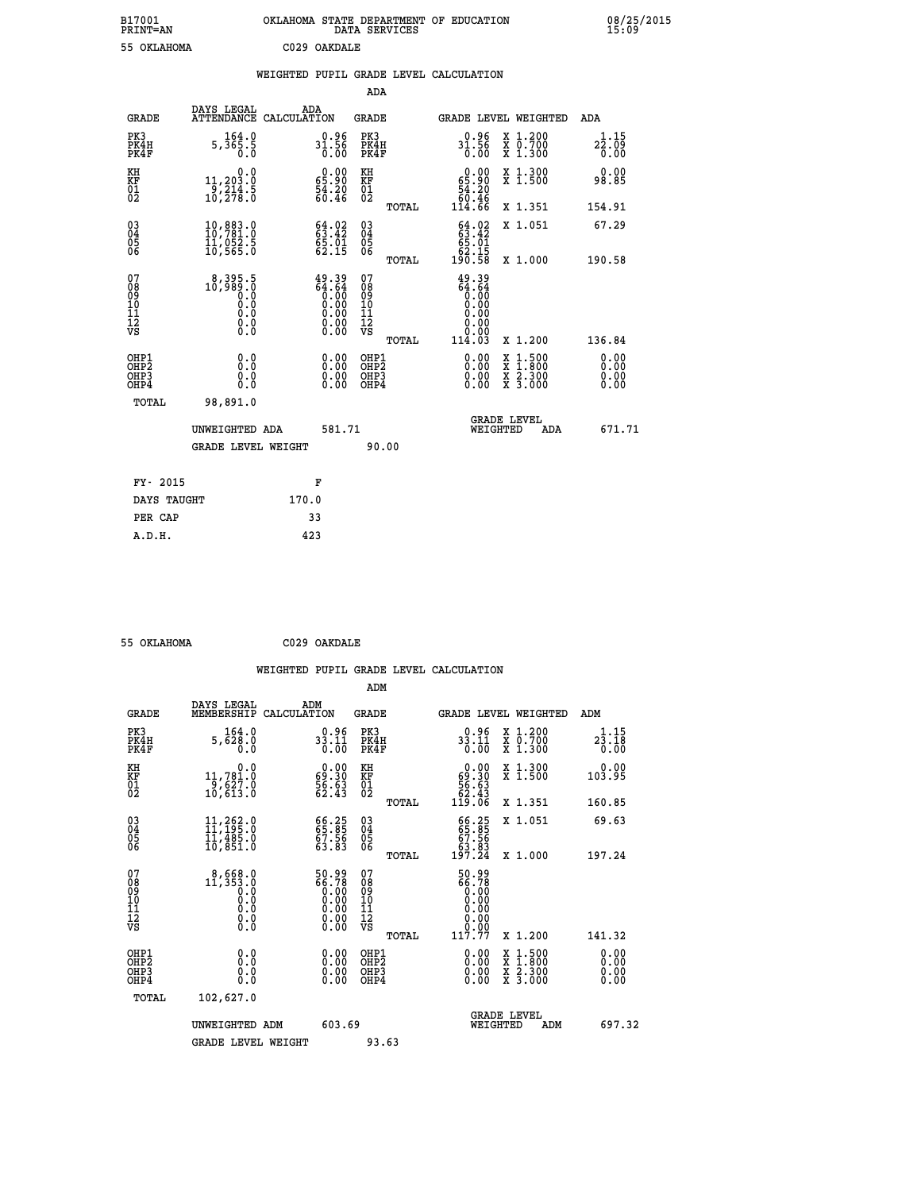| B17001<br><b>PRINT=AN</b> | OKLAHOMA | . STATE DEPARTMENT OF EDUCATION<br>DATA SERVICES |  | 08/25/2015<br>15:09 |
|---------------------------|----------|--------------------------------------------------|--|---------------------|
| 55 OKLAHOMA               |          | C029 OAKDALE                                     |  |                     |

|  |  | WEIGHTED PUPIL GRADE LEVEL CALCULATION |
|--|--|----------------------------------------|
|  |  |                                        |

|                                                                              |                                                                                                     |                                                                      | ADA                                                |       |                                                                      |                                                                                                                                              |                              |
|------------------------------------------------------------------------------|-----------------------------------------------------------------------------------------------------|----------------------------------------------------------------------|----------------------------------------------------|-------|----------------------------------------------------------------------|----------------------------------------------------------------------------------------------------------------------------------------------|------------------------------|
| <b>GRADE</b>                                                                 | DAYS LEGAL                                                                                          | ADA<br>ATTENDANCE CALCULATION                                        | GRADE                                              |       |                                                                      | <b>GRADE LEVEL WEIGHTED</b>                                                                                                                  | ADA                          |
| PK3<br>PK4H<br>PK4F                                                          | 164.0<br>5,365.5<br>0.0                                                                             | $31.56$<br>0.00                                                      | PK3<br>PK4H<br>PK4F                                |       | 31.56<br>$\overline{0}$ .00                                          | X 1.200<br>X 0.700<br>X 1.300                                                                                                                | 1.15<br>22.09<br>0.00        |
| KH<br>KF<br>01<br>02                                                         | 0.0<br>11,203.0<br>$\frac{1}{10}$ , $\frac{2}{10}$<br>$\frac{1}{2}$ , $\frac{1}{8}$ ; $\frac{5}{0}$ | $\begin{smallmatrix} 0.00\\ 65.90\\ 54.20\\ 60.46 \end{smallmatrix}$ | KH<br>KF<br>01<br>02                               |       | $\begin{smallmatrix} 0.00\\ 65.90\\ 54.20\\ 99.46 \end{smallmatrix}$ | X 1.300<br>X 1.500                                                                                                                           | 0.00<br>98.85                |
|                                                                              |                                                                                                     |                                                                      |                                                    | TOTAL | 114.66                                                               | X 1.351                                                                                                                                      | 154.91                       |
| $^{03}_{04}$<br>Ŏ5<br>06                                                     | 10,883.0<br>10,781.0<br>11,052.5<br>10, 565.0                                                       | 64.02<br>$\frac{65.01}{62.15}$                                       | $\begin{matrix} 03 \\ 04 \\ 05 \\ 06 \end{matrix}$ |       | $63.42$<br>$65.91$<br>62.15                                          | X 1.051                                                                                                                                      | 67.29                        |
|                                                                              |                                                                                                     |                                                                      |                                                    | TOTAL | 190.58                                                               | X 1.000                                                                                                                                      | 190.58                       |
| 07<br>08<br>09<br>11<br>11<br>12<br>VS                                       | 8,395.5<br>0.089.0<br>0.0<br>0.000<br>$\S.$                                                         | $49.39$<br>$64.64$<br>$0.00$<br>$0.00$<br>$0.00$<br>$0.00$<br>$0.00$ | 07<br>08<br>09<br>101<br>11<br>12<br>VS            | TOTAL | 49.39<br>$64.64$<br>0.00<br>0.00<br>0.00<br>114.03                   | X 1.200                                                                                                                                      | 136.84                       |
| OHP1<br>OH <sub>P</sub> <sub>2</sub><br>OH <sub>P3</sub><br>OH <sub>P4</sub> | 0.0<br>0.0<br>0.0                                                                                   | 0.00<br>0.00<br>0.00                                                 | OHP1<br>OHP2<br>OHP3<br>OHP4                       |       | 0.00<br>0.00<br>0.00                                                 | $\begin{smallmatrix} \mathtt{X} & 1\cdot500 \\ \mathtt{X} & 1\cdot800 \\ \mathtt{X} & 2\cdot300 \\ \mathtt{X} & 3\cdot000 \end{smallmatrix}$ | 0.00<br>0.00<br>0.00<br>0.00 |
| TOTAL                                                                        | 98,891.0                                                                                            |                                                                      |                                                    |       |                                                                      |                                                                                                                                              |                              |
|                                                                              | UNWEIGHTED ADA                                                                                      | 581.71                                                               |                                                    |       | WEIGHTED                                                             | <b>GRADE LEVEL</b><br>ADA                                                                                                                    | 671.71                       |
|                                                                              | <b>GRADE LEVEL WEIGHT</b>                                                                           |                                                                      |                                                    | 90.00 |                                                                      |                                                                                                                                              |                              |
| FY- 2015                                                                     |                                                                                                     | F                                                                    |                                                    |       |                                                                      |                                                                                                                                              |                              |
| DAYS TAUGHT                                                                  |                                                                                                     | 170.0                                                                |                                                    |       |                                                                      |                                                                                                                                              |                              |
| PER CAP                                                                      |                                                                                                     | 33                                                                   |                                                    |       |                                                                      |                                                                                                                                              |                              |
| A.D.H.                                                                       |                                                                                                     | 423                                                                  |                                                    |       |                                                                      |                                                                                                                                              |                              |
|                                                                              |                                                                                                     |                                                                      |                                                    |       |                                                                      |                                                                                                                                              |                              |

| 55 OKLAHOMA | C029 OAKDALE |
|-------------|--------------|
|             |              |

| <b>GRADE</b>                                       | DAYS LEGAL<br>MEMBERSHIP                                                                             | ADM<br>CALCULATION                                                   | <b>GRADE</b>                                        |       |                                                                                                                 |          | <b>GRADE LEVEL WEIGHTED</b>                                                                                         | ADM                                     |
|----------------------------------------------------|------------------------------------------------------------------------------------------------------|----------------------------------------------------------------------|-----------------------------------------------------|-------|-----------------------------------------------------------------------------------------------------------------|----------|---------------------------------------------------------------------------------------------------------------------|-----------------------------------------|
| PK3<br>PK4H<br>PK4F                                | 164.0<br>5,628.0<br>0.0                                                                              | $0.96$<br>33.11<br>0.00                                              | PK3<br>PK4H<br>PK4F                                 |       | $0.96$<br>33.11<br>0.00                                                                                         |          | X 1.200<br>X 0.700<br>X 1.300                                                                                       | 1.15<br>$2\overline{3}\cdot 18$<br>0.00 |
| KH<br>KF<br>01<br>02                               | 0.0<br>11,781.0<br>9,627.0<br>10,613.0                                                               | $\begin{smallmatrix} 0.00\\ 69.30\\ 56.63\\ 62.43 \end{smallmatrix}$ | KH<br>KF<br>01<br>02                                |       | $\begin{smallmatrix} &0.00\ 69.30\ 56.63\ 52.43\ 119.06\ \end{smallmatrix}$                                     |          | X 1.300<br>X 1.500                                                                                                  | 0.00<br>103.95                          |
|                                                    |                                                                                                      |                                                                      |                                                     | TOTAL |                                                                                                                 |          | X 1.351                                                                                                             | 160.85                                  |
| $\begin{matrix} 03 \\ 04 \\ 05 \\ 06 \end{matrix}$ | $\begin{smallmatrix} 11 & 262 & 0 \\ 11 & 195 & 0 \\ 11 & 485 & 0 \\ 10 & 851 & 0 \end{smallmatrix}$ | 66.25<br>65.85<br>67.56<br>63.83                                     | $\begin{array}{c} 03 \\ 04 \\ 05 \\ 06 \end{array}$ |       | 66.25<br>65.85<br>67.56<br>63.83<br>197.24                                                                      |          | X 1.051                                                                                                             | 69.63                                   |
|                                                    |                                                                                                      |                                                                      |                                                     | TOTAL |                                                                                                                 |          | X 1.000                                                                                                             | 197.24                                  |
| 07<br>08<br>09<br>101<br>112<br>VS                 | $\begin{smallmatrix} 8,668.0\\ 11,353.0\\ 0.0\\ 0.0\\ 0.0\\ 0.0\\ 0.0\\ 0.0 \end{smallmatrix}$       | 50.99<br>66.78<br>0.00                                               | 07<br>08<br>09<br>11<br>11<br>12<br>VS              |       | $\begin{smallmatrix} 50.99\ 66.78\ 6.00\ 0.00\ 0.00\ 0.00\ 0.00\ 0.00\ 0.00\ 0.00\ 0.117.77\ \end{smallmatrix}$ |          |                                                                                                                     |                                         |
|                                                    |                                                                                                      |                                                                      |                                                     | TOTAL |                                                                                                                 |          | X 1.200                                                                                                             | 141.32                                  |
| OHP1<br>OH <sub>P</sub> 2<br>OHP3<br>OHP4          | 0.0<br>0.0<br>Ŏ.Ŏ                                                                                    | $0.00$<br>$0.00$<br>0.00                                             | OHP1<br>OHP <sub>2</sub><br>OHP3<br>OHP4            |       |                                                                                                                 |          | $\begin{array}{l} \mathtt{X} & 1.500 \\ \mathtt{X} & 1.800 \\ \mathtt{X} & 2.300 \\ \mathtt{X} & 3.000 \end{array}$ | 0.00<br>0.00<br>0.00<br>0.00            |
| TOTAL                                              | 102,627.0                                                                                            |                                                                      |                                                     |       |                                                                                                                 |          |                                                                                                                     |                                         |
|                                                    | UNWEIGHTED ADM                                                                                       | 603.69                                                               |                                                     |       |                                                                                                                 | WEIGHTED | <b>GRADE LEVEL</b><br>ADM                                                                                           | 697.32                                  |
|                                                    | <b>GRADE LEVEL WEIGHT</b>                                                                            |                                                                      | 93.63                                               |       |                                                                                                                 |          |                                                                                                                     |                                         |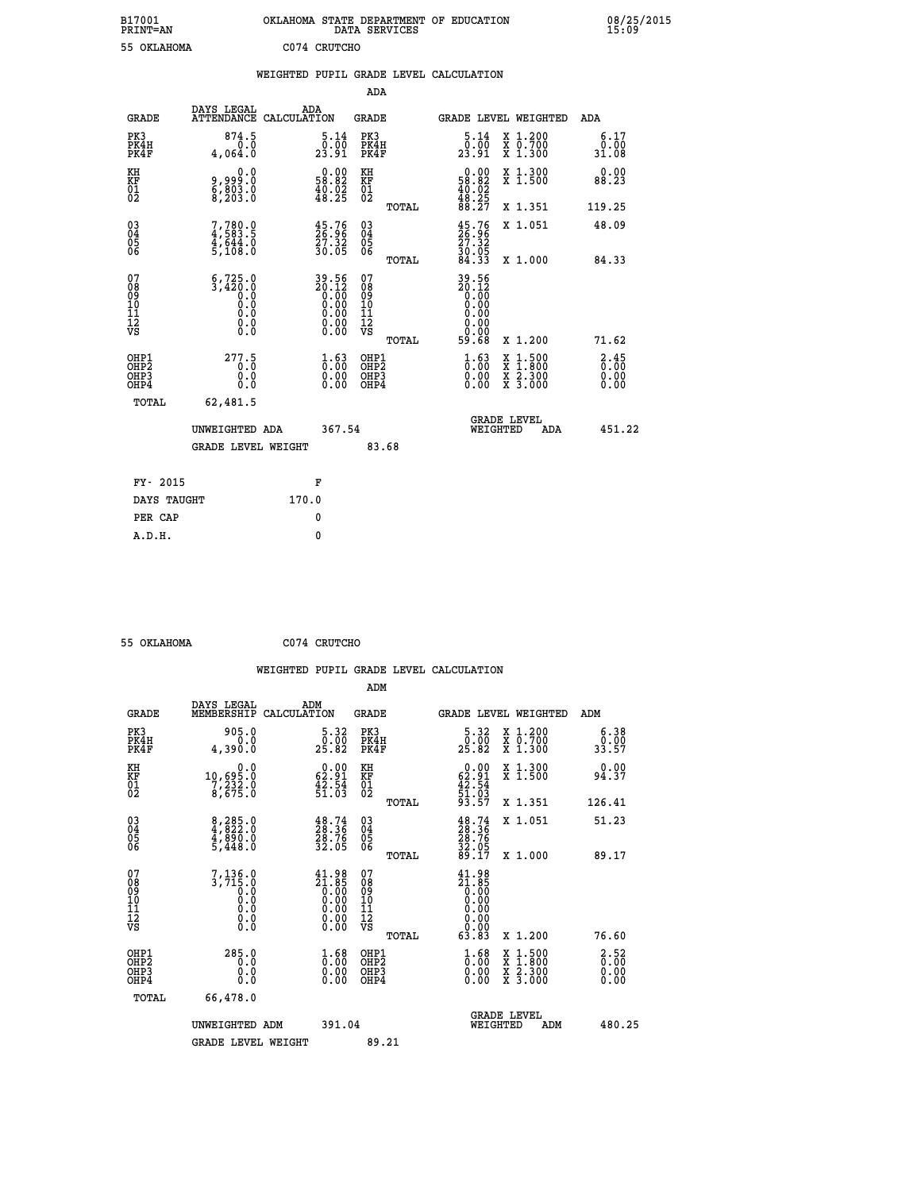| B17001<br><b>PRINT=AN</b> | OKLAHOMA STATE DEPARTMENT OF EDUCATION<br>SERVICES<br>DATA | 08/25/2015<br>15:09 |
|---------------------------|------------------------------------------------------------|---------------------|
| 55<br>OKLAHOMA            | C074<br>CRUTCHO                                            |                     |

| 55 OKLAHOMA                              |                                                                                                |       | C074 CRUTCHO                                                         |                                        |       |                                                                                 |                                                                                                                                              |                                     |
|------------------------------------------|------------------------------------------------------------------------------------------------|-------|----------------------------------------------------------------------|----------------------------------------|-------|---------------------------------------------------------------------------------|----------------------------------------------------------------------------------------------------------------------------------------------|-------------------------------------|
|                                          |                                                                                                |       |                                                                      |                                        |       | WEIGHTED PUPIL GRADE LEVEL CALCULATION                                          |                                                                                                                                              |                                     |
|                                          |                                                                                                |       |                                                                      | ADA                                    |       |                                                                                 |                                                                                                                                              |                                     |
| <b>GRADE</b>                             | DAYS LEGAL ADA ATTENDANCE CALCULATION                                                          |       |                                                                      | GRADE                                  |       |                                                                                 | GRADE LEVEL WEIGHTED                                                                                                                         | ADA                                 |
| PK3<br>PK4H<br>PK4F                      | 874.5<br>0.0<br>4,064.0                                                                        |       | 5.14<br>23.91                                                        | PK3<br>PK4H<br>PK4F                    |       | $\frac{5.14}{0.00}$<br>23.91                                                    | X 1.200<br>X 0.700<br>X 1.300                                                                                                                | 6.17<br>0.00<br>31.08               |
| KH<br>KF<br>01<br>02                     | 0.0<br>9,999:0<br>8,803:0<br>8,203:0                                                           |       | $0.00$<br>58.82<br>$\frac{40.02}{48.25}$                             | KH<br>KF<br>01<br>02                   |       | $0.00$<br>58.82<br>$\frac{40.02}{48.25}$<br>88.27                               | X 1.300<br>X 1.500                                                                                                                           | 0.00<br>88.23                       |
|                                          |                                                                                                |       |                                                                      |                                        | TOTAL |                                                                                 | X 1.351                                                                                                                                      | 119.25                              |
| $^{03}_{04}$<br>Ŏ5<br>ŌĞ                 | $7,780.0$<br>4,583.5<br>4,644.0<br>5,108.0                                                     |       | $\frac{45.76}{26.96}$<br>$\frac{27.32}{30.05}$                       | $^{03}_{04}$<br>Ŏ5<br>06               |       | $\begin{smallmatrix} 45.76\\ 26.96\\ 27.32\\ 30.05\\ 84.33\\ \end{smallmatrix}$ | X 1.051                                                                                                                                      | 48.09                               |
|                                          |                                                                                                |       |                                                                      |                                        | TOTAL |                                                                                 | X 1.000                                                                                                                                      | 84.33                               |
| 07<br>08<br>09<br>11<br>11<br>12<br>VS   | $6,725.0$<br>3,420.0<br>0.0<br>0.0<br>$\begin{smallmatrix} 0.16 \ 0.0 \ 0.0 \end{smallmatrix}$ |       | $39.56$<br>$20.12$<br>$0.00$<br>$0.00$<br>$0.00$<br>$0.00$<br>$0.00$ | 07<br>08<br>09<br>11<br>11<br>12<br>VS | TOTAL | 39.56<br>20.12<br>0.00<br>0.00<br>0.000000000<br>59.68                          | X 1.200                                                                                                                                      | 71.62                               |
| OHP1<br>OHP2<br>OH <sub>P3</sub><br>OHP4 | 277.5<br>0.0<br>0.0                                                                            |       | $\frac{1}{0}$ : 00<br>0.00<br>0.00                                   | OHP1<br>OHP2<br>OHP3<br>OHP4           |       | $\begin{smallmatrix} 1.63\ 0.00\ 0.00 \end{smallmatrix}$                        | $\begin{smallmatrix} \mathtt{X} & 1\cdot500 \\ \mathtt{X} & 1\cdot800 \\ \mathtt{X} & 2\cdot300 \\ \mathtt{X} & 3\cdot000 \end{smallmatrix}$ | $\frac{2.45}{0.00}$<br>0.00<br>0.00 |
| TOTAL                                    | 62,481.5                                                                                       |       |                                                                      |                                        |       |                                                                                 |                                                                                                                                              |                                     |
|                                          | UNWEIGHTED ADA                                                                                 |       | 367.54                                                               |                                        |       | WEIGHTED                                                                        | <b>GRADE LEVEL</b><br>ADA                                                                                                                    | 451.22                              |
|                                          | <b>GRADE LEVEL WEIGHT</b>                                                                      |       |                                                                      |                                        | 83.68 |                                                                                 |                                                                                                                                              |                                     |
| FY- 2015                                 |                                                                                                |       | F                                                                    |                                        |       |                                                                                 |                                                                                                                                              |                                     |
| DAYS TAUGHT                              |                                                                                                | 170.0 |                                                                      |                                        |       |                                                                                 |                                                                                                                                              |                                     |
| PER CAP                                  |                                                                                                |       | 0                                                                    |                                        |       |                                                                                 |                                                                                                                                              |                                     |
| A.D.H.                                   |                                                                                                |       | $\mathbf{0}$                                                         |                                        |       |                                                                                 |                                                                                                                                              |                                     |

| -- | - --- - -- - - - - |  |
|----|--------------------|--|

 **55 OKLAHOMA C074 CRUTCHO**

| <b>GRADE</b>                                                     | DAYS LEGAL<br>MEMBERSHIP                                                                                                 | ADM<br>CALCULATION                                                                      | <b>GRADE</b>                                        |       |                                                                                                                                                                                                                                                                                                                                          |                                | GRADE LEVEL WEIGHTED                     | ADM                                |  |
|------------------------------------------------------------------|--------------------------------------------------------------------------------------------------------------------------|-----------------------------------------------------------------------------------------|-----------------------------------------------------|-------|------------------------------------------------------------------------------------------------------------------------------------------------------------------------------------------------------------------------------------------------------------------------------------------------------------------------------------------|--------------------------------|------------------------------------------|------------------------------------|--|
| PK3<br>PK4H<br>PK4F                                              | 905.0<br>0.0<br>4,390.0                                                                                                  | $\begin{smallmatrix}5.32\0.00\\25.82\end{smallmatrix}$                                  | PK3<br>PK4H<br>PK4F                                 |       | 5.32<br>25.82                                                                                                                                                                                                                                                                                                                            |                                | X 1.200<br>X 0.700<br>X 1.300            | 6.38<br>$\frac{0.00}{33.57}$       |  |
| KH<br>KF<br>01<br>02                                             | 0.0<br>10,695.0<br>7,232.0<br>8,675.0                                                                                    | $\begin{smallmatrix} 0.00\\ 62.91\\ 42.54\\ 51.03 \end{smallmatrix}$                    | KH<br>KF<br>01<br>02                                |       | $\begin{smallmatrix} 0.00\\ 62.91\\ 42.54\\ 51.03\\ 93.57 \end{smallmatrix}$                                                                                                                                                                                                                                                             |                                | X 1.300<br>X 1.500                       | 0.00<br>94.37                      |  |
|                                                                  |                                                                                                                          |                                                                                         |                                                     | TOTAL |                                                                                                                                                                                                                                                                                                                                          |                                | X 1.351                                  | 126.41                             |  |
| $\begin{matrix} 03 \\ 04 \\ 05 \\ 06 \end{matrix}$               | $\begin{smallmatrix} 8 & 2 & 8 & 5 & 0 \\ 4 & 8 & 2 & 2 & 0 \\ 4 & 8 & 9 & 0 & 0 \\ 5 & 4 & 4 & 8 & 0 \end{smallmatrix}$ | $\frac{48.74}{28.36}$<br>$\frac{28.76}{32.05}$                                          | $\begin{array}{c} 03 \\ 04 \\ 05 \\ 06 \end{array}$ |       | $\begin{smallmatrix} 48.74\ 28.36\ 28.76\ 28.76\ 32.05\ 89.17 \end{smallmatrix}$                                                                                                                                                                                                                                                         |                                | X 1.051                                  | 51.23                              |  |
|                                                                  |                                                                                                                          |                                                                                         |                                                     | TOTAL |                                                                                                                                                                                                                                                                                                                                          |                                | X 1.000                                  | 89.17                              |  |
| 07<br>08<br>09<br>11<br>11<br>12<br>VS                           | $\left.\begin{smallmatrix}7,136.0\\3,715.0\\0.0\\0.0\\0.0\\0.0\\0.0\end{smallmatrix}\right.$                             | $\begin{smallmatrix} 41.98\\21.85\\0.00\\0.00\\0.00\\0.00\\0.00\\0.00\end{smallmatrix}$ | 07<br>08<br>09<br>11<br>11<br>12<br>VS              | TOTAL | $\begin{smallmatrix} 41.98 \\[-4pt] 21.85 \\[-4pt] 0.00 \\[-4pt] 0.00 \\[-4pt] 0.00 \\[-4pt] 0.00 \\[-4pt] 0.00 \\[-4pt] 0.00 \\[-4pt] 0.00 \\[-4pt] 0.00 \\[-4pt] 0.00 \\[-4pt] 0.00 \\[-4pt] 0.00 \\[-4pt] 0.00 \\[-4pt] 0.00 \\[-4pt] 0.00 \\[-4pt] 0.00 \\[-4pt] 0.00 \\[-4pt] 0.00 \\[-4pt] 0.00 \\[-4pt] 0.00 \\[-4pt] 0$<br>63.83 |                                | X 1.200                                  | 76.60                              |  |
| OHP1<br>OH <sub>P</sub> <sub>2</sub><br>OH <sub>P3</sub><br>OHP4 | 285.0<br>0.0<br>0.0<br>Ŏ.Ŏ                                                                                               | $\substack{1.68 \\ 0.00}$<br>0.00                                                       | OHP1<br>OHP <sub>2</sub><br>OHP3<br>OHP4            |       | $\begin{smallmatrix} 1.68\ 0.00\ 0.00 \end{smallmatrix}$                                                                                                                                                                                                                                                                                 |                                | X 1:500<br>X 1:800<br>X 2:300<br>X 3:000 | 2.52<br>$\overline{0}$ .00<br>0.00 |  |
| TOTAL                                                            | 66,478.0                                                                                                                 |                                                                                         |                                                     |       |                                                                                                                                                                                                                                                                                                                                          |                                |                                          |                                    |  |
|                                                                  | UNWEIGHTED ADM                                                                                                           | 391.04                                                                                  |                                                     |       |                                                                                                                                                                                                                                                                                                                                          | <b>GRADE LEVEL</b><br>WEIGHTED | ADM                                      | 480.25                             |  |
|                                                                  | <b>GRADE LEVEL WEIGHT</b>                                                                                                |                                                                                         | 89.21                                               |       |                                                                                                                                                                                                                                                                                                                                          |                                |                                          |                                    |  |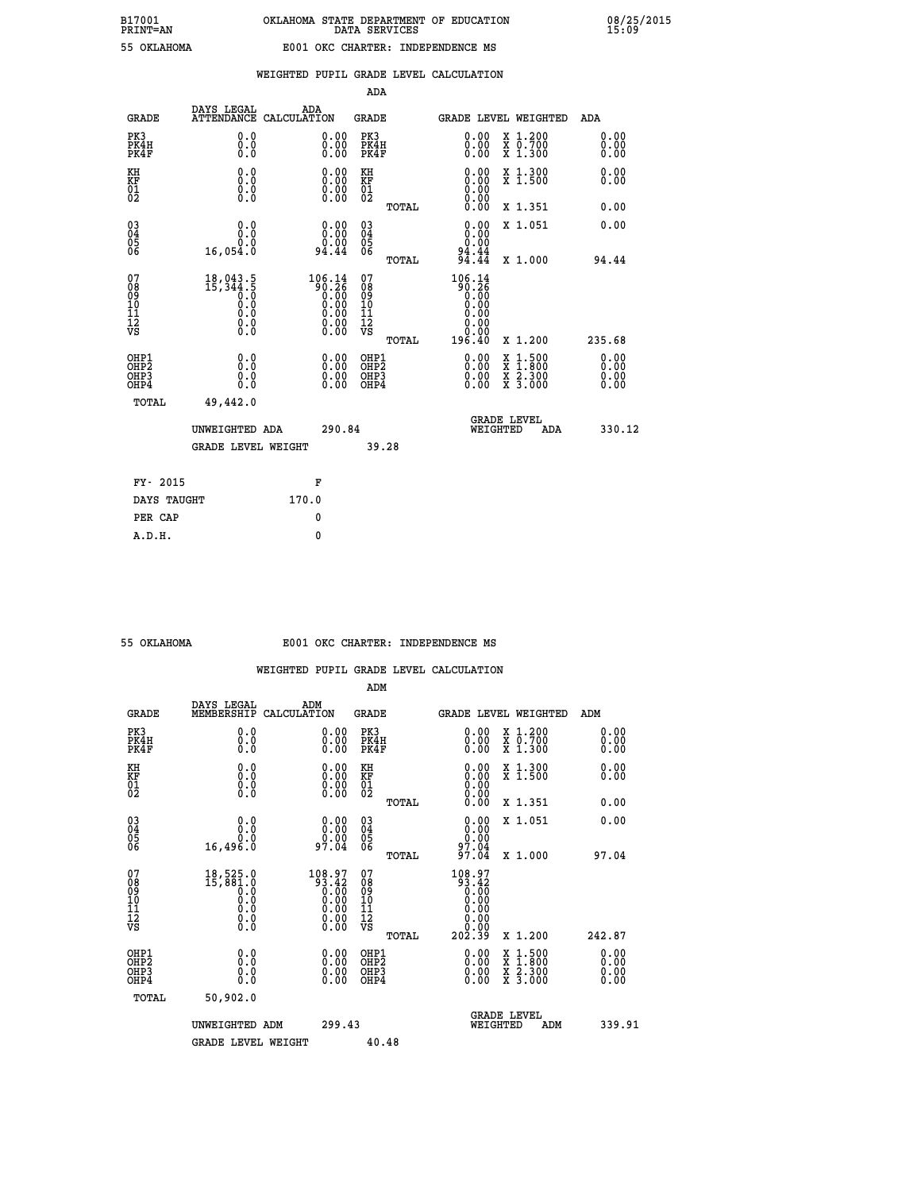| ın | ת ביטש<br>$\sim$<br>$\sim$ |  |
|----|----------------------------|--|
|    |                            |  |
|    |                            |  |

|                                                                    |                                                            |                                                                                                         | ADA                                    |       |                                                              |                                                                                                                                              |                               |
|--------------------------------------------------------------------|------------------------------------------------------------|---------------------------------------------------------------------------------------------------------|----------------------------------------|-------|--------------------------------------------------------------|----------------------------------------------------------------------------------------------------------------------------------------------|-------------------------------|
| <b>GRADE</b>                                                       | DAYS LEGAL                                                 | ADA<br>ATTENDANCE CALCULATION                                                                           | <b>GRADE</b>                           |       | <b>GRADE LEVEL WEIGHTED</b>                                  |                                                                                                                                              | ADA                           |
| PK3<br>PK4H<br>PK4F                                                | 0.0<br>0.0<br>Ō.Ō                                          | 0.00<br>$0.00$<br>0.00                                                                                  | PK3<br>PK4H<br>PK4F                    |       | $\begin{smallmatrix} 0.00 \\ 0.00 \\ 0.00 \end{smallmatrix}$ | X 1.200<br>X 0.700<br>X 1.300                                                                                                                | 0.00<br>0.00<br>0.00          |
| KH<br>KF<br>01<br>02                                               | 0.0<br>0.0<br>$\S.$                                        | $\begin{smallmatrix} 0.00 \ 0.00 \ 0.00 \ 0.00 \end{smallmatrix}$                                       | KH<br>KF<br>01<br>02                   |       | 0.00                                                         | X 1.300<br>X 1.500                                                                                                                           | 0.00<br>0.00                  |
|                                                                    |                                                            |                                                                                                         |                                        | TOTAL | 0.00                                                         | X 1.351                                                                                                                                      | 0.00                          |
| $\begin{smallmatrix} 03 \\[-4pt] 04 \end{smallmatrix}$<br>Ŏ5<br>06 | 0.0<br>0.0<br>16,054.0                                     | $\begin{smallmatrix} 0.00\\ 0.00\\ 0.00\\ 94.44 \end{smallmatrix}$                                      | $\substack{03 \\ 04}$<br>Ŏ5<br>06      |       | 0.00<br>$0.00$<br>$94.44$<br>$94.44$                         | X 1.051                                                                                                                                      | 0.00                          |
|                                                                    |                                                            |                                                                                                         |                                        | TOTAL |                                                              | X 1.000                                                                                                                                      | 94.44                         |
| 07<br>08<br>09<br>101<br>11<br>12<br>VS                            | $18,043.5$<br>15, 344.5<br>0.0<br>0.0<br>Ŏ.Ŏ<br>$\S.$ $\S$ | $\begin{smallmatrix} 106.14\\ 90.26\\ 0.00\\ 0.00\\ 0.00\\ 0.00\\ 0.00\\ 0.00\\ 0.00 \end{smallmatrix}$ | 07<br>08<br>09<br>11<br>11<br>12<br>VS |       | 106.14<br>ត្តី÷្តុំខ្លឹ<br>0.00<br>0.00<br>0.00<br>0.00      |                                                                                                                                              |                               |
|                                                                    |                                                            |                                                                                                         |                                        | TOTAL | 196.40                                                       | X 1.200                                                                                                                                      | 235.68                        |
| OHP1<br>OHP <sub>2</sub><br>OH <sub>P3</sub><br>OHP4               | 0.0<br>0.0<br>0.0                                          | 0.00<br>$\begin{smallmatrix} 0.00 \ 0.00 \end{smallmatrix}$                                             | OHP1<br>OHP2<br>OHP <sub>3</sub>       |       | 0.00<br>0.00                                                 | $\begin{smallmatrix} \mathtt{X} & 1\cdot500 \\ \mathtt{X} & 1\cdot800 \\ \mathtt{X} & 2\cdot300 \\ \mathtt{X} & 3\cdot000 \end{smallmatrix}$ | 0.00<br>Ō. ŌŌ<br>0.00<br>Ŏ.ŎŎ |
| TOTAL                                                              | 49,442.0                                                   |                                                                                                         |                                        |       |                                                              |                                                                                                                                              |                               |
|                                                                    | UNWEIGHTED ADA                                             | 290.84                                                                                                  |                                        |       | WEIGHTED                                                     | <b>GRADE LEVEL</b><br>ADA                                                                                                                    | 330.12                        |
|                                                                    | GRADE LEVEL WEIGHT                                         |                                                                                                         |                                        | 39.28 |                                                              |                                                                                                                                              |                               |
| FY- 2015                                                           |                                                            | F                                                                                                       |                                        |       |                                                              |                                                                                                                                              |                               |
| DAYS TAUGHT                                                        |                                                            | 170.0                                                                                                   |                                        |       |                                                              |                                                                                                                                              |                               |
| PER CAP                                                            |                                                            | 0                                                                                                       |                                        |       |                                                              |                                                                                                                                              |                               |

| OKLAHOMA |  |  |  |  |
|----------|--|--|--|--|
|          |  |  |  |  |
|          |  |  |  |  |

 **A.D.H. 0**

#### **55 OKLAHOMA E001 OKC CHARTER: INDEPENDENCE MS**

|                                                    |                                                                                                         |                                                                                                                    | ADM                                                |       |                                                                                                                                                                                                                                                                                |                                          |     |                      |  |
|----------------------------------------------------|---------------------------------------------------------------------------------------------------------|--------------------------------------------------------------------------------------------------------------------|----------------------------------------------------|-------|--------------------------------------------------------------------------------------------------------------------------------------------------------------------------------------------------------------------------------------------------------------------------------|------------------------------------------|-----|----------------------|--|
| <b>GRADE</b>                                       | DAYS LEGAL<br>MEMBERSHIP                                                                                | ADM<br>CALCULATION                                                                                                 | <b>GRADE</b>                                       |       | <b>GRADE LEVEL WEIGHTED</b>                                                                                                                                                                                                                                                    |                                          |     | ADM                  |  |
| PK3<br>PK4H<br>PK4F                                | 0.0<br>0.000                                                                                            | 0.00<br>$\begin{smallmatrix} 0.00 \ 0.00 \end{smallmatrix}$                                                        | PK3<br>PK4H<br>PK4F                                |       | $\begin{smallmatrix} 0.00 \\ 0.00 \\ 0.00 \end{smallmatrix}$                                                                                                                                                                                                                   | X 1.200<br>X 0.700<br>X 1.300            |     | 0.00<br>0.00<br>0.00 |  |
| KH<br>KF<br>01<br>02                               | 0.0<br>$\begin{smallmatrix} 0.0 & 0 \ 0.0 & 0 \ 0.0 & 0 \end{smallmatrix}$                              | $\begin{smallmatrix} 0.00 \ 0.00 \ 0.00 \ 0.00 \end{smallmatrix}$                                                  | KH<br>KF<br>01<br>02                               |       | $\begin{smallmatrix} 0.00 \ 0.00 \ 0.00 \ 0.00 \ 0.00 \ 0.00 \end{smallmatrix}$                                                                                                                                                                                                | X 1.300<br>X 1.500                       |     | 0.00<br>0.00         |  |
|                                                    |                                                                                                         |                                                                                                                    |                                                    | TOTAL |                                                                                                                                                                                                                                                                                | X 1.351                                  |     | 0.00                 |  |
| $\begin{matrix} 03 \\ 04 \\ 05 \\ 06 \end{matrix}$ | 0.0<br>0.0<br>16, 496.0                                                                                 | $\begin{smallmatrix} 0.00\\ 0.00\\ 0.00\\ 0.00\\ 7.04 \end{smallmatrix}$                                           | $\begin{matrix} 03 \\ 04 \\ 05 \\ 06 \end{matrix}$ |       | $0.00$<br>0.00<br>97.04                                                                                                                                                                                                                                                        | X 1.051                                  |     | 0.00                 |  |
|                                                    |                                                                                                         |                                                                                                                    |                                                    | TOTAL | 97.04                                                                                                                                                                                                                                                                          | X 1.000                                  |     | 97.04                |  |
| 07<br>08<br>09<br>10<br>11<br>11<br>12<br>VS       | $\begin{smallmatrix} 18,525.0\\ 15,881.0\\ 0.0\\ 0.0\\ 0.0\\ 0.0\\ 0.0\\ 0.0\\ 0.0\\ \end{smallmatrix}$ | $\begin{smallmatrix} 108.97\ 93.42\ 0.00\ 0.00\ 0.00\ 0.00\ 0.00\ 0.00\ 0.00\ 0.00\ 0.00\ 0.00\ \end{smallmatrix}$ | 07<br>08<br>09<br>01<br>11<br>11<br>12<br>VS       | TOTAL | 108.97<br>93.42<br>0.00<br>0.00<br>0.00<br>$\begin{array}{c} \text{\scriptsize{0.00}}\ \text{\scriptsize{0.00}}\ \text{\scriptsize{202.39}}\ \end{array}$                                                                                                                      | X 1.200                                  |     | 242.87               |  |
| OHP1<br>OHP2<br>OH <sub>P3</sub><br>OHP4           | 0.0<br>0.000                                                                                            | $\begin{smallmatrix} 0.00 \ 0.00 \ 0.00 \ 0.00 \end{smallmatrix}$                                                  | OHP1<br>OHP2<br>OHP3<br>OHP4                       |       | $\begin{smallmatrix} 0.00 & 0.00 & 0.00 & 0.00 & 0.00 & 0.00 & 0.00 & 0.00 & 0.00 & 0.00 & 0.00 & 0.00 & 0.00 & 0.00 & 0.00 & 0.00 & 0.00 & 0.00 & 0.00 & 0.00 & 0.00 & 0.00 & 0.00 & 0.00 & 0.00 & 0.00 & 0.00 & 0.00 & 0.00 & 0.00 & 0.00 & 0.00 & 0.00 & 0.00 & 0.00 & 0.0$ | X 1:500<br>X 1:800<br>X 2:300<br>X 3:000 |     | 0.00<br>0.00<br>0.00 |  |
| TOTAL                                              | 50,902.0                                                                                                |                                                                                                                    |                                                    |       |                                                                                                                                                                                                                                                                                |                                          |     |                      |  |
|                                                    | UNWEIGHTED ADM                                                                                          | 299.43                                                                                                             |                                                    |       | WEIGHTED                                                                                                                                                                                                                                                                       | <b>GRADE LEVEL</b>                       | ADM | 339.91               |  |
|                                                    | <b>GRADE LEVEL WEIGHT</b>                                                                               |                                                                                                                    | 40.48                                              |       |                                                                                                                                                                                                                                                                                |                                          |     |                      |  |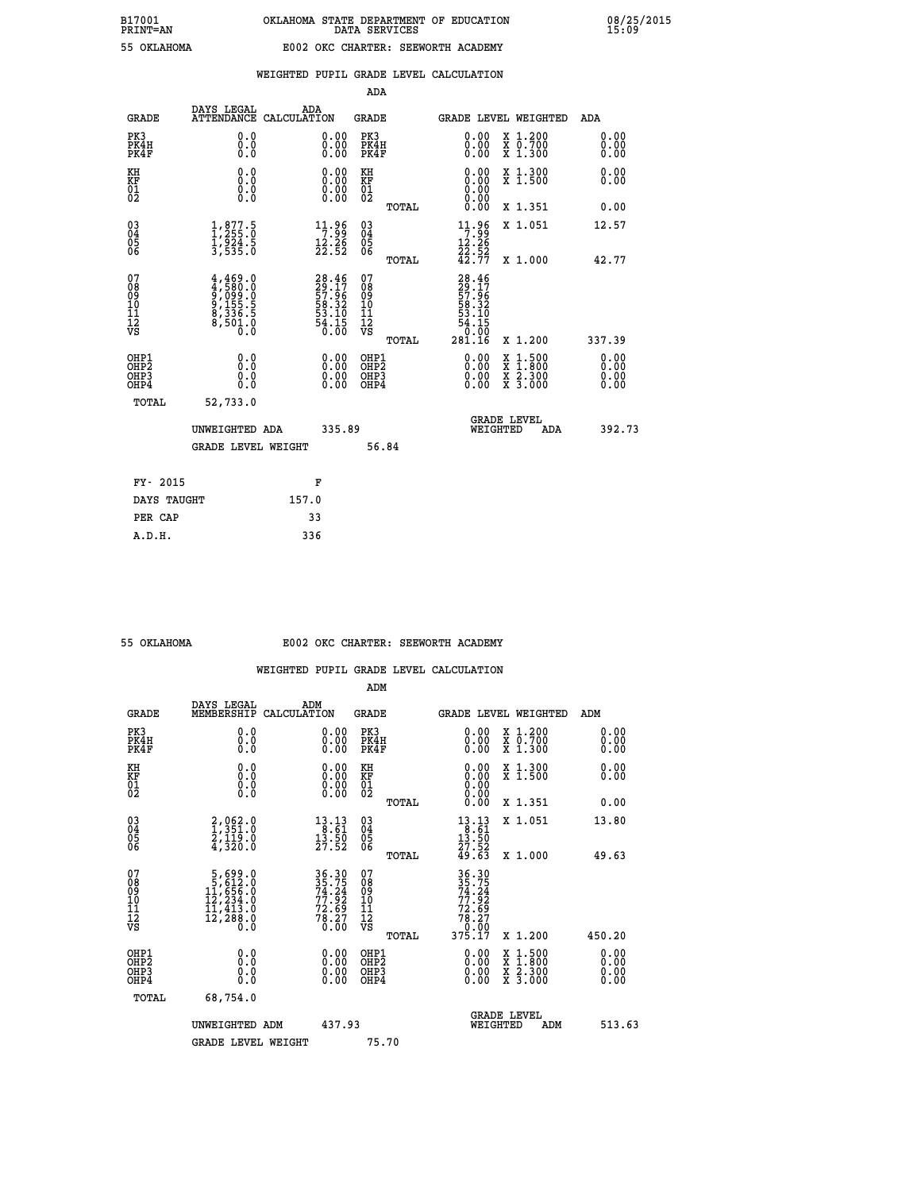| EE OUT AUOMA |  |
|--------------|--|

|  |  | WEIGHTED PUPIL GRADE LEVEL CALCULATION |
|--|--|----------------------------------------|
|  |  |                                        |

|                                                                    |                                                                                              |                                                                              |        | ADA                                       |       |                                                                                                       |                                          |                              |
|--------------------------------------------------------------------|----------------------------------------------------------------------------------------------|------------------------------------------------------------------------------|--------|-------------------------------------------|-------|-------------------------------------------------------------------------------------------------------|------------------------------------------|------------------------------|
| <b>GRADE</b>                                                       | DAYS LEGAL                                                                                   | ADA<br>ATTENDANCE CALCULATION                                                |        | <b>GRADE</b>                              |       | GRADE LEVEL WEIGHTED                                                                                  |                                          | ADA                          |
| PK3<br>PK4H<br>PK4F                                                | 0.0<br>0.0<br>Ō.Ō                                                                            | $\begin{smallmatrix} 0.00 \ 0.00 \ 0.00 \end{smallmatrix}$                   |        | PK3<br>PK4H<br>PK4F                       |       | 0.00<br>0.00                                                                                          | X 1.200<br>X 0.700<br>X 1.300            | 0.00<br>0.00<br>0.00         |
| KH<br>KF<br>01<br>02                                               | 0.0<br>0.0<br>$\S.$                                                                          | 0.0000<br>$\begin{smallmatrix} 0.00 & 0.00 \\ 0.00 & 0.00 \end{smallmatrix}$ |        | KH<br>KF<br>01<br>02                      |       | 0.00<br>0:00<br>0:00<br>0:00                                                                          | X 1.300<br>X 1.500                       | 0.00<br>0.00                 |
|                                                                    |                                                                                              |                                                                              |        |                                           | TOTAL | 0.00                                                                                                  | X 1.351                                  | 0.00                         |
| $\begin{smallmatrix} 03 \\[-4pt] 04 \end{smallmatrix}$<br>05<br>06 | $\frac{1}{1}, \frac{877}{255}.\overset{5}{0} \\ \frac{1}{3}, \frac{924}{535}.\overset{5}{0}$ | $\begin{array}{c} 11.96 \\ 7.99 \\ 12.26 \\ 22.52 \end{array}$               |        | $\substack{03 \\ 04}$<br>05<br>06         |       | $\begin{array}{l} 11 \cdot 96 \\ 7 \cdot 99 \\ 12 \cdot 26 \\ 22 \cdot 52 \\ 42 \cdot 77 \end{array}$ | X 1.051                                  | 12.57                        |
|                                                                    |                                                                                              |                                                                              |        |                                           | TOTAL |                                                                                                       | X 1.000                                  | 42.77                        |
| 07<br>08901112<br>1112<br>VS                                       | $4,469.0$<br>$9,099.0$<br>$9,155.5$<br>$8,336.5$<br>$8,501.0$<br>$0.0$                       | 28.46<br>29.17<br>57.96<br>58.32<br>53.10<br>54.15<br>54.15                  |        | 07<br>08<br>09<br>11<br>11<br>12<br>VS    |       | 28.46<br>29.17<br>57.96<br>58.32<br>53.10<br>54.15<br>0.00                                            |                                          |                              |
|                                                                    |                                                                                              |                                                                              |        |                                           | TOTAL | 281.16                                                                                                | X 1.200                                  | 337.39                       |
| OHP1<br>OH <sub>P</sub> 2<br>OH <sub>P3</sub><br>OH <sub>P4</sub>  | 0.0<br>0.0<br>0.0                                                                            | 0.00<br>$\begin{smallmatrix} 0.00 \ 0.00 \end{smallmatrix}$                  |        | OHP1<br>OH <sub>P</sub> 2<br>OHP3<br>OHP4 |       | 0.00<br>0.00<br>0.00                                                                                  | X 1:500<br>X 1:800<br>X 2:300<br>X 3:000 | 0.00<br>0.00<br>0.00<br>0.00 |
| TOTAL                                                              | 52,733.0                                                                                     |                                                                              |        |                                           |       |                                                                                                       |                                          |                              |
|                                                                    | UNWEIGHTED ADA                                                                               |                                                                              | 335.89 |                                           |       |                                                                                                       | GRADE LEVEL<br>WEIGHTED<br>ADA           | 392.73                       |
|                                                                    | <b>GRADE LEVEL WEIGHT</b>                                                                    |                                                                              |        | 56.84                                     |       |                                                                                                       |                                          |                              |
| FY- 2015                                                           |                                                                                              | F                                                                            |        |                                           |       |                                                                                                       |                                          |                              |
| DAYS TAUGHT                                                        |                                                                                              | 157.0                                                                        |        |                                           |       |                                                                                                       |                                          |                              |
| PER CAP                                                            |                                                                                              | 33                                                                           |        |                                           |       |                                                                                                       |                                          |                              |

### **55 OKLAHOMA E002 OKC CHARTER: SEEWORTH ACADEMY**

|                                           |                                                                                                     |                                                                   | ADM                                                 |       |                                                                         |                                          |                              |
|-------------------------------------------|-----------------------------------------------------------------------------------------------------|-------------------------------------------------------------------|-----------------------------------------------------|-------|-------------------------------------------------------------------------|------------------------------------------|------------------------------|
| <b>GRADE</b>                              | DAYS LEGAL<br>MEMBERSHIP                                                                            | ADM<br>CALCULATION                                                | <b>GRADE</b>                                        |       |                                                                         | <b>GRADE LEVEL WEIGHTED</b>              | ADM                          |
| PK3<br>PK4H<br>PK4F                       | 0.0<br>0.0<br>0.0                                                                                   | 0.00<br>$\begin{smallmatrix} 0.00 \ 0.00 \end{smallmatrix}$       | PK3<br>PK4H<br>PK4F                                 |       | $\begin{smallmatrix} 0.00 \\ 0.00 \\ 0.00 \end{smallmatrix}$            | X 1.200<br>X 0.700<br>X 1.300            | 0.00<br>0.00<br>0.00         |
| KH<br>KF<br>01<br>02                      | 0.0<br>0.0<br>$\S.$                                                                                 | $\begin{smallmatrix} 0.00 \ 0.00 \ 0.00 \ 0.00 \end{smallmatrix}$ | KH<br>KF<br>01<br>02                                |       | $0.00$<br>$0.00$<br>$0.00$                                              | X 1.300<br>X 1.500                       | 0.00<br>0.00                 |
|                                           |                                                                                                     |                                                                   |                                                     | TOTAL | 0.00                                                                    | X 1.351                                  | 0.00                         |
| 03<br>04<br>05<br>06                      | 2,062.0<br>1,351.0<br>2,119.0<br>4,320.0                                                            | $\begin{array}{r} 13.13 \\ 8.61 \\ 13.50 \\ 27.52 \end{array}$    | $\begin{array}{c} 03 \\ 04 \\ 05 \\ 06 \end{array}$ |       | $\begin{array}{r} 13.13 \\ 8.61 \\ 13.50 \\ 27.52 \\ 49.63 \end{array}$ | X 1.051                                  | 13.80                        |
|                                           |                                                                                                     |                                                                   |                                                     | TOTAL |                                                                         | X 1.000                                  | 49.63                        |
| 07<br>08<br>09<br>101<br>112<br>VS        | $\begin{smallmatrix}5,699.0\\5,612.0\\11,656.0\\12,234.0\\11,413.0\\12,288.0\\0.0\end{smallmatrix}$ | 36.30<br>35.75<br>74.24<br>77.92<br>78.27<br>78.27                | 07<br>08<br>09<br>11<br>11<br>12<br>VS              |       | 36.30<br>35.75<br>74.24<br>77.92<br>78.27<br>78.27                      |                                          |                              |
|                                           |                                                                                                     |                                                                   |                                                     | TOTAL | 375.17                                                                  | X 1.200                                  | 450.20                       |
| OHP1<br>OHP2<br>OH <sub>P</sub> 3<br>OHP4 | 0.0<br>0.000                                                                                        | $0.00$<br>$0.00$<br>0.00                                          | OHP1<br>OHP2<br>OHP <sub>3</sub>                    |       | $0.00$<br>$0.00$<br>0.00                                                | X 1:500<br>X 1:800<br>X 2:300<br>X 3:000 | 0.00<br>0.00<br>0.00<br>0.00 |
| TOTAL                                     | 68,754.0                                                                                            |                                                                   |                                                     |       |                                                                         |                                          |                              |
|                                           | UNWEIGHTED ADM                                                                                      | 437.93                                                            |                                                     |       | WEIGHTED                                                                | <b>GRADE LEVEL</b><br>ADM                | 513.63                       |
|                                           | <b>GRADE LEVEL WEIGHT</b>                                                                           |                                                                   | 75.70                                               |       |                                                                         |                                          |                              |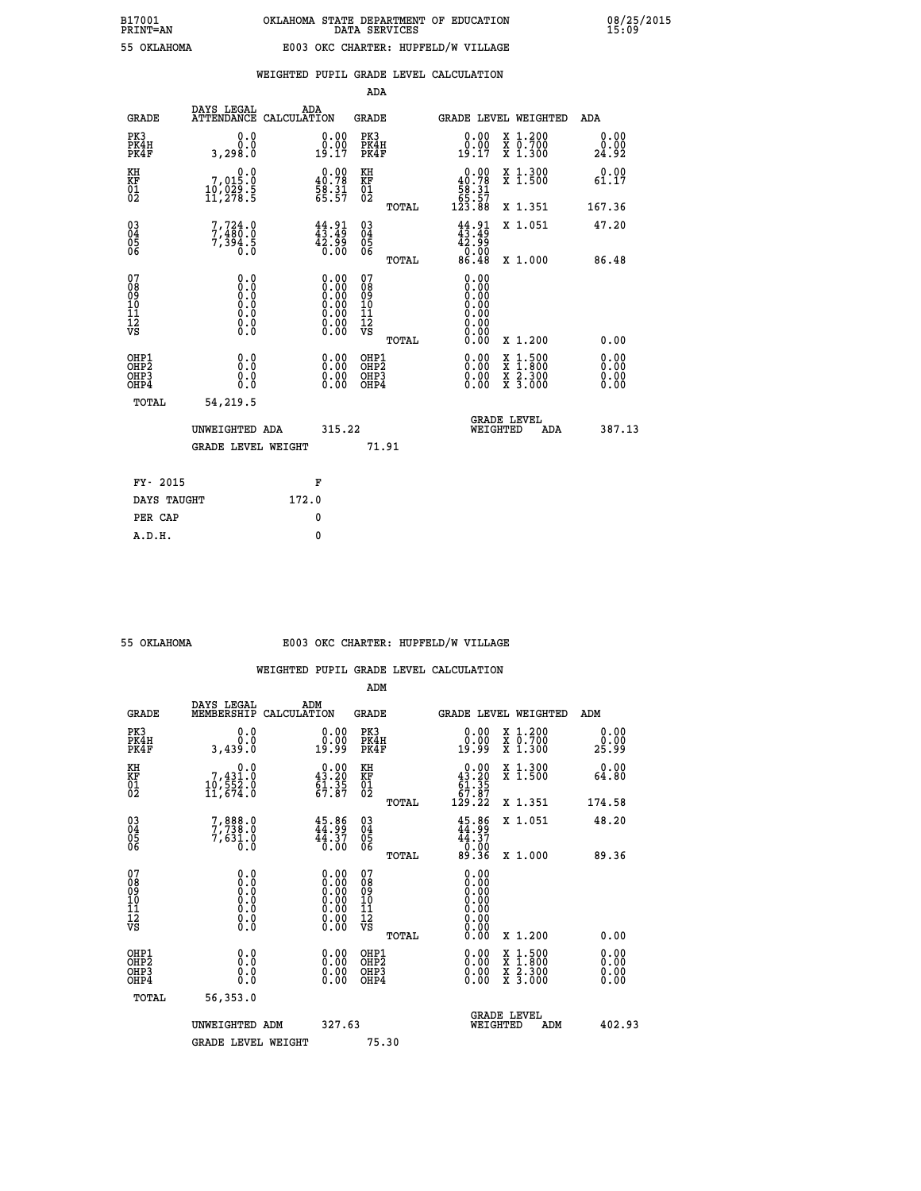|                                                    |                                                                           |                    |                                                                                                      | ADA                                                |       |                                                                                    |   |                                          |                              |
|----------------------------------------------------|---------------------------------------------------------------------------|--------------------|------------------------------------------------------------------------------------------------------|----------------------------------------------------|-------|------------------------------------------------------------------------------------|---|------------------------------------------|------------------------------|
| <b>GRADE</b>                                       | DAYS LEGAL<br><b>ATTENDANCE</b>                                           | ADA<br>CALCULATION |                                                                                                      | GRADE                                              |       |                                                                                    |   | <b>GRADE LEVEL WEIGHTED</b>              | <b>ADA</b>                   |
| PK3<br>PK4H<br>PK4F                                | 0.0<br>0.0<br>3,298.0                                                     |                    | 0.00<br>$\begin{smallmatrix} 0.00 \\ 19.17 \end{smallmatrix}$                                        | PK3<br>PK4H<br>PK4F                                |       | 0.00<br>0.00<br>19.17                                                              |   | X 1.200<br>X 0.700<br>X 1.300            | 0.00<br>0.00<br>24.92        |
| KH<br><b>KF</b><br>01<br>02                        | $\begin{smallmatrix}&&&0.0\\7,015.0\\10,029.5\\11,278.5\end{smallmatrix}$ |                    | $0.00$<br>40.78<br>$\frac{58.31}{65.57}$                                                             | KH<br>KF<br>01<br>02                               |       | $\begin{smallmatrix}&&0.00\\40.78\\58.31\\65.57\\123.88\end{smallmatrix}$          |   | X 1.300<br>X 1.500                       | 0.00<br>61.17                |
|                                                    |                                                                           |                    |                                                                                                      |                                                    | TOTAL |                                                                                    |   | X 1.351                                  | 167.36                       |
| $\begin{matrix} 03 \\ 04 \\ 05 \\ 06 \end{matrix}$ | $7,724.0$<br>$7,480.0$<br>$7,394.5$<br>$0.0$                              |                    | 44.91<br>99.24<br>0.00                                                                               | $\begin{matrix} 03 \\ 04 \\ 05 \\ 06 \end{matrix}$ |       | $44.91$<br>$43.49$<br>$\begin{smallmatrix} 42.59\\ 0.00\\ 86.48 \end{smallmatrix}$ |   | X 1.051                                  | 47.20                        |
|                                                    |                                                                           |                    |                                                                                                      |                                                    | TOTAL |                                                                                    |   | X 1.000                                  | 86.48                        |
| 07<br>08<br>09<br>101<br>11<br>12<br>VS            | $\S.$ $\S$                                                                |                    | $\begin{smallmatrix} 0.00 \ 0.00 \ 0.00 \ 0.00 \ 0.00 \ 0.00 \ 0.00 \ 0.00 \ 0.00 \end{smallmatrix}$ | 07<br>08<br>09<br>11<br>11<br>12<br>VS             |       | 0.00<br>0:00<br>0:00<br>0:00<br>0:00<br>0.00<br>0.00                               |   |                                          |                              |
|                                                    |                                                                           |                    |                                                                                                      |                                                    | TOTAL | 0.00                                                                               |   | X 1.200                                  | 0.00                         |
| OHP1<br>OHP2<br>OH <sub>P</sub> 3<br>OHP4          | 0.0<br>0.0<br>0.0                                                         |                    | 0.00<br>$0.00$<br>0.00                                                                               | OHP1<br>OHP2<br>OHP3<br>OHP4                       |       | $0.00$<br>$0.00$<br>0.00                                                           | X | $1.500$<br>$1.800$<br>X 2.300<br>X 3.000 | 0.00<br>0.00<br>0.00<br>0.00 |
| TOTAL                                              | 54,219.5                                                                  |                    |                                                                                                      |                                                    |       |                                                                                    |   |                                          |                              |
|                                                    | UNWEIGHTED ADA                                                            |                    | 315.22                                                                                               |                                                    |       | WEIGHTED                                                                           |   | <b>GRADE LEVEL</b><br>ADA                | 387.13                       |
|                                                    | <b>GRADE LEVEL WEIGHT</b>                                                 |                    |                                                                                                      |                                                    | 71.91 |                                                                                    |   |                                          |                              |
| FY- 2015                                           |                                                                           |                    | F                                                                                                    |                                                    |       |                                                                                    |   |                                          |                              |
| DAYS TAUGHT                                        |                                                                           | 172.0              |                                                                                                      |                                                    |       |                                                                                    |   |                                          |                              |
|                                                    |                                                                           |                    |                                                                                                      |                                                    |       |                                                                                    |   |                                          |                              |

| 55 OKTAHOMA |
|-------------|
|             |

 **PER CAP 0 A.D.H. 0**

### **55 OKLAHOMA E003 OKC CHARTER: HUPFELD/W VILLAGE**

|                                    |                                                                                                   |                                                                                               | ADM                                                |       |                                                                               |                                          |                       |
|------------------------------------|---------------------------------------------------------------------------------------------------|-----------------------------------------------------------------------------------------------|----------------------------------------------------|-------|-------------------------------------------------------------------------------|------------------------------------------|-----------------------|
| <b>GRADE</b>                       | DAYS LEGAL<br>MEMBERSHIP                                                                          | ADM<br>CALCULATION                                                                            | <b>GRADE</b>                                       |       |                                                                               | <b>GRADE LEVEL WEIGHTED</b>              | ADM                   |
| PK3<br>PK4H<br>PK4F                | 0.0<br>0.0<br>3,439.0                                                                             | $\begin{smallmatrix} 0.00\\ 0.00\\ 19.99 \end{smallmatrix}$                                   | PK3<br>PK4H<br>PK4F                                |       | $\begin{smallmatrix} 0.00\\ 0.00\\ 19.99 \end{smallmatrix}$                   | X 1.200<br>X 0.700<br>X 1.300            | 0.00<br>ŏ:ŏŏ<br>25:99 |
| KH<br>KF<br>01<br>02               | 0.0<br>7,431.0<br>10,552.0<br>11,674.0                                                            | $\begin{smallmatrix} 0.00\\ 43.20\\ 61.35\\ 67.87 \end{smallmatrix}$                          | KH<br>KF<br>01<br>02                               |       | $\begin{smallmatrix}&&0.00\\ 43.20\\ 61.35\\ 67.87\\ 129.22\end{smallmatrix}$ | X 1.300<br>X 1.500                       | 0.00<br>64.80         |
|                                    |                                                                                                   |                                                                                               |                                                    | TOTAL |                                                                               | X 1.351                                  | 174.58                |
| 03<br>04<br>05<br>06               | 7,888.0<br>7,738.0<br>7,631.0<br>0.0                                                              | 45.86<br>44.37<br>0.00                                                                        | $\begin{matrix} 03 \\ 04 \\ 05 \\ 06 \end{matrix}$ |       | 45.86<br>$44.37$<br>0.00<br>89.36                                             | X 1.051                                  | 48.20                 |
|                                    |                                                                                                   |                                                                                               |                                                    | TOTAL |                                                                               | X 1.000                                  | 89.36                 |
| 07<br>08<br>09<br>101<br>112<br>VS | $\begin{smallmatrix} 0.0 & 0 \ 0.0 & 0 \ 0.0 & 0 \ 0.0 & 0 \ 0.0 & 0 \ 0.0 & 0 \end{smallmatrix}$ | $\begin{smallmatrix} 0.00\ 0.00\ 0.00\ 0.00\ 0.00\ 0.00\ 0.00\ 0.00\ 0.00\ \end{smallmatrix}$ | 07<br>08<br>09<br>11<br>11<br>12<br>VS             |       | 0.00<br>0:00<br>0:00<br>0:00<br>0.00<br>0.00                                  |                                          |                       |
|                                    |                                                                                                   |                                                                                               |                                                    | TOTAL | 0.00                                                                          | X 1.200                                  | 0.00                  |
| OHP1<br>OHP2<br>OHP3<br>OHP4       | 0.0<br>0.000                                                                                      |                                                                                               | OHP1<br>OHP2<br>OHP <sub>3</sub>                   |       | $0.00$<br>$0.00$<br>0.00                                                      | X 1:500<br>X 1:800<br>X 2:300<br>X 3:000 | 0.00<br>0.00<br>0.00  |
| TOTAL                              | 56,353.0                                                                                          |                                                                                               |                                                    |       |                                                                               |                                          |                       |
|                                    | UNWEIGHTED                                                                                        | 327.63<br>ADM                                                                                 |                                                    |       |                                                                               | <b>GRADE LEVEL</b><br>WEIGHTED<br>ADM    | 402.93                |
|                                    | <b>GRADE LEVEL WEIGHT</b>                                                                         |                                                                                               | 75.30                                              |       |                                                                               |                                          |                       |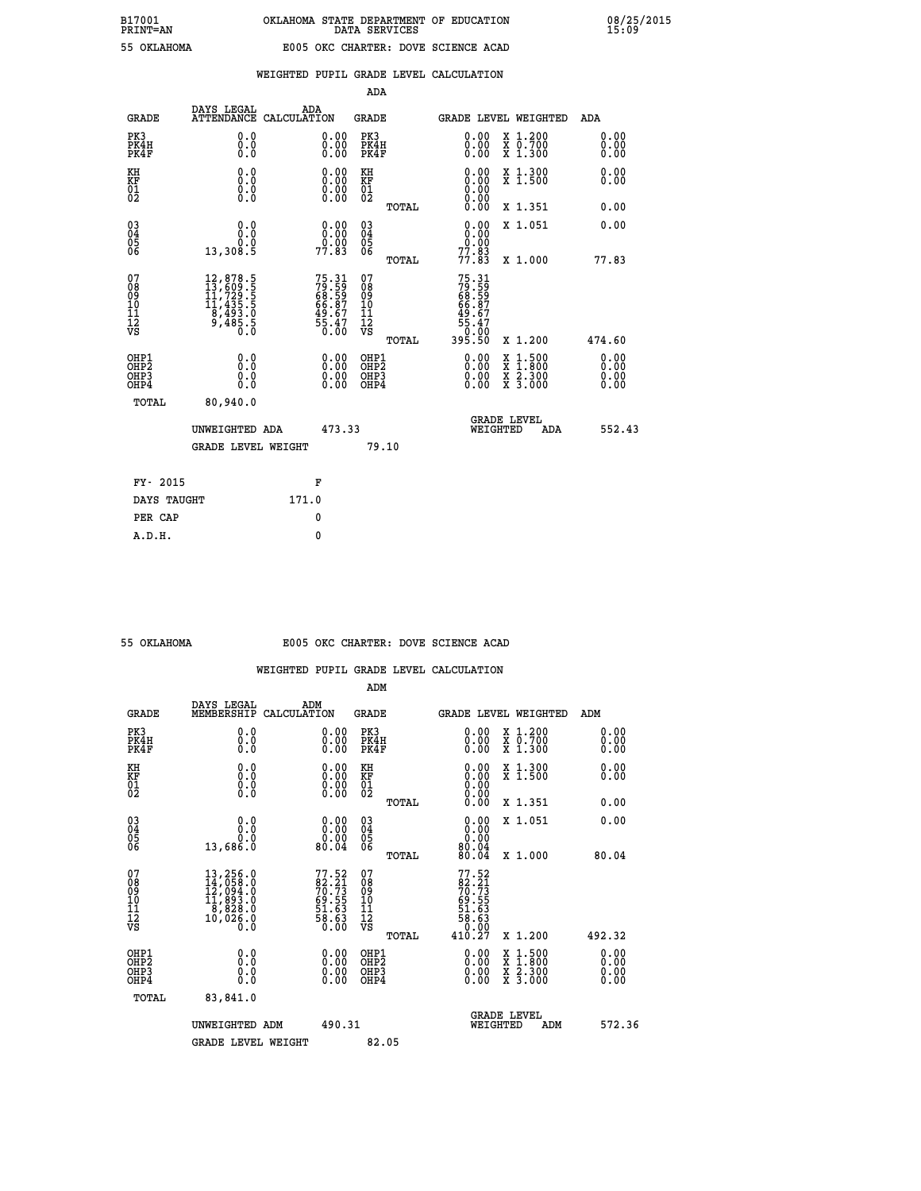|   | PRINT-AN |                            |
|---|----------|----------------------------|
| ᄄ |          | $\Delta V$ T AU $\Delta M$ |

|  |  | WEIGHTED PUPIL GRADE LEVEL CALCULATION |
|--|--|----------------------------------------|
|  |  |                                        |

|                                                                    |                                                                                                                                                     |                                                                    | ADA                                    |       |                                                     |                                          |                               |
|--------------------------------------------------------------------|-----------------------------------------------------------------------------------------------------------------------------------------------------|--------------------------------------------------------------------|----------------------------------------|-------|-----------------------------------------------------|------------------------------------------|-------------------------------|
| <b>GRADE</b>                                                       | DAYS LEGAL<br><b>ATTENDANCE</b>                                                                                                                     | ADA<br>CALCULATION                                                 | <b>GRADE</b>                           |       |                                                     | <b>GRADE LEVEL WEIGHTED</b>              | ADA                           |
| PK3<br>PK4H<br>PK4F                                                | 0.0<br>0.0<br>Ō.Ō                                                                                                                                   | 0.00<br>$\begin{smallmatrix} 0.00 \ 0.00 \end{smallmatrix}$        | PK3<br>PK4H<br>PK4F                    |       | 0.00<br>0.00                                        | X 1.200<br>X 0.700<br>X 1.300            | 0.00<br>0.00<br>0.00          |
| KH<br>KF<br>01<br>02                                               | 0.0<br>0.0<br>$\S.$                                                                                                                                 | $\begin{smallmatrix} 0.00 \ 0.00 \ 0.00 \ 0.00 \end{smallmatrix}$  | KH<br>KF<br>01<br>02                   |       | 0.00<br>0.00000000000                               | X 1.300<br>X 1.500                       | 0.00<br>0.00                  |
|                                                                    |                                                                                                                                                     |                                                                    |                                        | TOTAL | 0.00                                                | X 1.351                                  | 0.00                          |
| $\begin{smallmatrix} 03 \\[-4pt] 04 \end{smallmatrix}$<br>Ŏ5<br>06 | 0.0<br>0.0<br>13,308.5                                                                                                                              | $\begin{smallmatrix} 0.00\\ 0.00\\ 0.00\\ 77.83 \end{smallmatrix}$ | $\substack{03 \\ 04}$<br>Ŏ5<br>06      |       | 0.00<br>$\frac{0.00}{77.83}$                        | X 1.051                                  | 0.00                          |
|                                                                    |                                                                                                                                                     |                                                                    |                                        | TOTAL |                                                     | X 1.000                                  | 77.83                         |
| 07<br>08<br>09<br>101<br>11<br>12<br>VS                            | $\begin{smallmatrix} 12, 878\cdot 5\\ 13, 609\cdot 5\\ 11, 729\cdot 5\\ 11, 435\cdot 5\\ 8, 493\cdot 0\\ 9, 485\cdot 5\\ 0\cdot 0\end{smallmatrix}$ | 75.31<br>79.59<br>68.59<br>66.87<br>49.67<br>49.47<br>55.47        | 07<br>08<br>09<br>11<br>11<br>12<br>VS |       | 75.31<br>79.59<br>68.59<br>66.87<br>49.67<br>49.470 |                                          |                               |
|                                                                    |                                                                                                                                                     |                                                                    |                                        | TOTAL | 395.50                                              | X 1.200                                  | 474.60                        |
| OHP1<br>OHP <sub>2</sub><br>OH <sub>P3</sub><br>OHP4               | 0.0<br>0.000                                                                                                                                        | 0.00<br>$\begin{smallmatrix} 0.00 \ 0.00 \end{smallmatrix}$        | OHP1<br>OHP2<br>OHP <sub>3</sub>       |       | 0.00<br>0.00                                        | X 1:500<br>X 1:800<br>X 2:300<br>X 3:000 | 0.00<br>Ō. ŌŌ<br>0.00<br>0.00 |
| TOTAL                                                              | 80,940.0                                                                                                                                            |                                                                    |                                        |       |                                                     |                                          |                               |
|                                                                    | UNWEIGHTED ADA                                                                                                                                      | 473.33                                                             |                                        |       |                                                     | <b>GRADE LEVEL</b><br>WEIGHTED<br>ADA    | 552.43                        |
|                                                                    | <b>GRADE LEVEL WEIGHT</b>                                                                                                                           |                                                                    |                                        | 79.10 |                                                     |                                          |                               |
| FY- 2015                                                           |                                                                                                                                                     | F                                                                  |                                        |       |                                                     |                                          |                               |
| DAYS TAUGHT                                                        |                                                                                                                                                     | 171.0                                                              |                                        |       |                                                     |                                          |                               |
| PER CAP                                                            |                                                                                                                                                     | 0                                                                  |                                        |       |                                                     |                                          |                               |

### **55 OKLAHOMA E005 OKC CHARTER: DOVE SCIENCE ACAD**

|                                                    |                                                                                                                                                                                        |                                                                   | ADM                                                 |                                                                                      |                                          |                      |
|----------------------------------------------------|----------------------------------------------------------------------------------------------------------------------------------------------------------------------------------------|-------------------------------------------------------------------|-----------------------------------------------------|--------------------------------------------------------------------------------------|------------------------------------------|----------------------|
| <b>GRADE</b>                                       | DAYS LEGAL<br>MEMBERSHIP                                                                                                                                                               | ADM<br>CALCULATION                                                | <b>GRADE</b>                                        |                                                                                      | GRADE LEVEL WEIGHTED                     | ADM                  |
| PK3<br>PK4H<br>PK4F                                | 0.0<br>0.000                                                                                                                                                                           | $\begin{smallmatrix} 0.00 \ 0.00 \ 0.00 \end{smallmatrix}$        | PK3<br>PK4H<br>PK4F                                 | $\begin{smallmatrix} 0.00 \\ 0.00 \\ 0.00 \end{smallmatrix}$                         | X 1.200<br>X 0.700<br>X 1.300            | 0.00<br>0.00<br>0.00 |
| KH<br>KF<br>01<br>02                               | 0.0<br>$\begin{smallmatrix} 0.0 & 0 \ 0.0 & 0 \ 0.0 & 0 \end{smallmatrix}$                                                                                                             | $\begin{smallmatrix} 0.00 \ 0.00 \ 0.00 \ 0.00 \end{smallmatrix}$ | KH<br><b>KF</b><br>01<br>02                         | $0.00$<br>$0.00$<br>$0.00$                                                           | X 1.300<br>X 1.500                       | 0.00<br>0.00         |
|                                                    |                                                                                                                                                                                        |                                                                   | TOTAL                                               | 0.00                                                                                 | X 1.351                                  | 0.00                 |
| $\begin{matrix} 03 \\ 04 \\ 05 \\ 06 \end{matrix}$ | 0.00000<br>13,686.0                                                                                                                                                                    | $\begin{smallmatrix} 0.00\\ 0.00\\ 0.00\\ 0.04 \end{smallmatrix}$ | $\begin{array}{c} 03 \\ 04 \\ 05 \\ 06 \end{array}$ | $0.00$<br>0.000<br>80.04                                                             | X 1.051                                  | 0.00                 |
|                                                    |                                                                                                                                                                                        |                                                                   | TOTAL                                               | 80.04                                                                                | X 1.000                                  | 80.04                |
| 07<br>08<br>09<br>101<br>11<br>12<br>VS            | $\begin{smallmatrix} 13\,, & 256\,, & 0\\ 14\,, & 058\,, & 0\\ 12\,, & 094\,, & 0\\ 11\,, & 893\,, & 0\\ 8\,, & 828\,, & 0\\ 10\,, & 026\,, & 0 \end{smallmatrix}$<br>$0.\overline{0}$ | 77.52<br>82.21<br>70.73<br>59.55<br>51.63<br>58.63<br>58.63       | 07<br>08<br>09<br>11<br>11<br>12<br>VS<br>TOTAL     | $77.52$<br>$82.21$<br>$70.73$<br>$69.55$<br>$51.63$<br>$58.63$<br>$0.00$<br>$410.27$ | X 1.200                                  | 492.32               |
| OHP1<br>OHP2<br>OHP3<br>OHP4                       | 0.0<br>$\begin{smallmatrix} 0.0 & 0 \ 0.0 & 0 \end{smallmatrix}$                                                                                                                       |                                                                   | OHP1<br>OHP2<br>OHP3<br>OHP4                        | 0.00<br>0.00                                                                         | X 1:500<br>X 1:800<br>X 2:300<br>X 3:000 | 0.00<br>0.00<br>0.00 |
| TOTAL                                              | 83,841.0                                                                                                                                                                               |                                                                   |                                                     |                                                                                      |                                          |                      |
|                                                    | UNWEIGHTED<br>ADM                                                                                                                                                                      | 490.31                                                            |                                                     | WEIGHTED                                                                             | <b>GRADE LEVEL</b><br>ADM                | 572.36               |
|                                                    | <b>GRADE LEVEL WEIGHT</b>                                                                                                                                                              |                                                                   | 82.05                                               |                                                                                      |                                          |                      |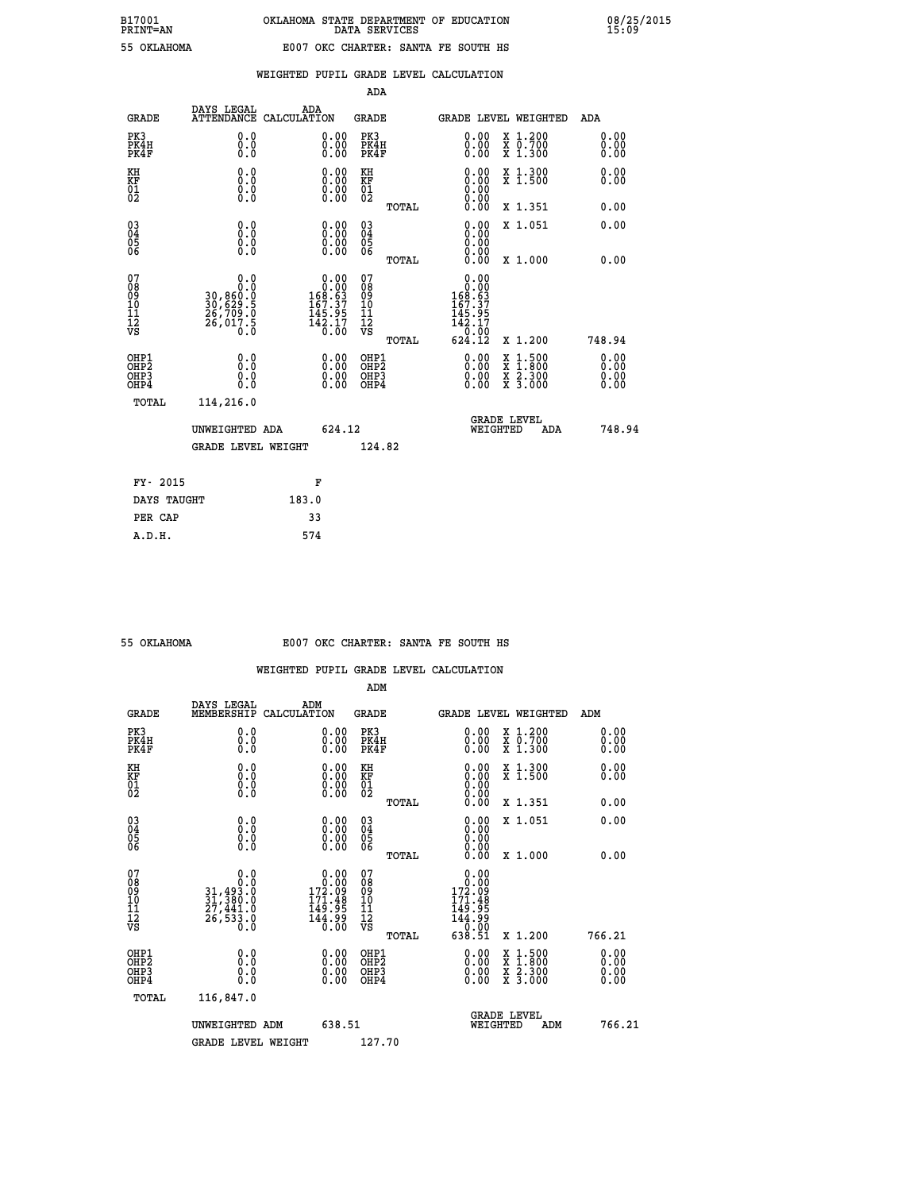| PRINT-AIN       |  |
|-----------------|--|
| <b>OVT AUOM</b> |  |

|  |  | WEIGHTED PUPIL GRADE LEVEL CALCULATION |
|--|--|----------------------------------------|
|  |  |                                        |

|                            |                    | ADA                                                                                                                                                                                                                                                                                                                                                                                       |                                                                                                                                                                                             |                                                                                                                                                                             |
|----------------------------|--------------------|-------------------------------------------------------------------------------------------------------------------------------------------------------------------------------------------------------------------------------------------------------------------------------------------------------------------------------------------------------------------------------------------|---------------------------------------------------------------------------------------------------------------------------------------------------------------------------------------------|-----------------------------------------------------------------------------------------------------------------------------------------------------------------------------|
| DAYS LEGAL<br><b>GRADE</b> | ADA<br>CALCULATION | <b>GRADE</b>                                                                                                                                                                                                                                                                                                                                                                              | GRADE LEVEL WEIGHTED                                                                                                                                                                        | ADA                                                                                                                                                                         |
| 0.0<br>0.0<br>0.0          |                    | PK3<br>PK4H<br>PK4F                                                                                                                                                                                                                                                                                                                                                                       | $\begin{smallmatrix} 0.00 \\ 0.00 \\ 0.00 \end{smallmatrix}$<br>X 1.200<br>X 0.700<br>X 1.300                                                                                               | 0.00<br>0.00<br>0.00                                                                                                                                                        |
| 0.0<br>0.0                 |                    | KH                                                                                                                                                                                                                                                                                                                                                                                        | X 1.300<br>X 1.500                                                                                                                                                                          | 0.00<br>0.00                                                                                                                                                                |
|                            |                    | TOTAL                                                                                                                                                                                                                                                                                                                                                                                     | X 1.351                                                                                                                                                                                     | 0.00                                                                                                                                                                        |
| 0.0<br>0.000               |                    | $\substack{03 \\ 04}$<br>$\frac{05}{06}$                                                                                                                                                                                                                                                                                                                                                  | 0.00<br>X 1.051<br>0.00<br>0.00                                                                                                                                                             | 0.00                                                                                                                                                                        |
|                            |                    |                                                                                                                                                                                                                                                                                                                                                                                           |                                                                                                                                                                                             | 0.00                                                                                                                                                                        |
| Ŏ.Ŏ                        |                    | 08<br>09<br>11<br>11<br>12<br>VS                                                                                                                                                                                                                                                                                                                                                          | $\begin{array}{r} 0.00 \\ 168.63 \\ 167.37 \end{array}$<br>ī45.95<br>142.17                                                                                                                 |                                                                                                                                                                             |
|                            |                    |                                                                                                                                                                                                                                                                                                                                                                                           |                                                                                                                                                                                             | 748.94                                                                                                                                                                      |
| 0.0<br>0.0                 |                    | OH <sub>P</sub> 2<br>OHP3<br>OHP4                                                                                                                                                                                                                                                                                                                                                         | $\frac{\ddot{x}}{x}$ $\frac{2.300}{3.000}$<br>0.00<br>0.00                                                                                                                                  | 0.00<br>0.00<br>0.00<br>0.00                                                                                                                                                |
| 114,216.0<br>TOTAL         |                    |                                                                                                                                                                                                                                                                                                                                                                                           |                                                                                                                                                                                             |                                                                                                                                                                             |
|                            |                    |                                                                                                                                                                                                                                                                                                                                                                                           | <b>GRADE LEVEL</b><br>WEIGHTED<br>ADA                                                                                                                                                       | 748.94                                                                                                                                                                      |
|                            |                    | 124.82                                                                                                                                                                                                                                                                                                                                                                                    |                                                                                                                                                                                             |                                                                                                                                                                             |
|                            |                    |                                                                                                                                                                                                                                                                                                                                                                                           |                                                                                                                                                                                             |                                                                                                                                                                             |
| DAYS TAUGHT                | 183.0              |                                                                                                                                                                                                                                                                                                                                                                                           |                                                                                                                                                                                             |                                                                                                                                                                             |
| PER CAP                    | 33                 |                                                                                                                                                                                                                                                                                                                                                                                           |                                                                                                                                                                                             |                                                                                                                                                                             |
|                            | 0.0<br>FY- 2015    | <b>ATTENDANCE</b><br>0.00<br>$\begin{smallmatrix} 0.00 & 0.00 \\ 0.00 & 0.00 \end{smallmatrix}$<br>$\S.$<br>$\begin{smallmatrix} &0.00\0.00\0.63\169.53\end{smallmatrix}$<br>30, 860:0<br>30, 629:5<br>26, 709:0<br>26, 017:5<br>$145.95$<br>$142.17$<br>$0.00$<br>0.0<br>0.00<br>$\begin{smallmatrix} 0.00 \ 0.00 \end{smallmatrix}$<br>UNWEIGHTED ADA<br><b>GRADE LEVEL WEIGHT</b><br>F | $\begin{smallmatrix} 0.00 \ 0.00 \ 0.00 \end{smallmatrix}$<br>KF<br>01<br>02<br>$\begin{smallmatrix} 0.00 \ 0.00 \ 0.00 \ 0.00 \end{smallmatrix}$<br>TOTAL<br>07<br>TOTAL<br>OHP1<br>624.12 | $\begin{smallmatrix} 0.00 \ 0.00 \ 0.00 \ 0.00 \ 0.00 \ 0.00 \end{smallmatrix}$<br>0.00<br>X 1.000<br>0.00<br>50.0°<br>624.12<br>X 1.200<br>0.00<br>$1:500$<br>$1:800$<br>X |

| 55 OKTAHOMA |  |
|-------------|--|

# **55 OKLAHOMA E007 OKC CHARTER: SANTA FE SOUTH HS**

|                                          |                                                                                                      |                                                                                                                                | ADM                                                |       |                                                                                                  |                                          |                      |
|------------------------------------------|------------------------------------------------------------------------------------------------------|--------------------------------------------------------------------------------------------------------------------------------|----------------------------------------------------|-------|--------------------------------------------------------------------------------------------------|------------------------------------------|----------------------|
| <b>GRADE</b>                             | DAYS LEGAL<br>MEMBERSHIP                                                                             | ADM<br>CALCULATION                                                                                                             | <b>GRADE</b>                                       |       |                                                                                                  | GRADE LEVEL WEIGHTED                     | ADM                  |
| PK3<br>PK4H<br>PK4F                      | 0.0<br>0.0<br>0.0                                                                                    | 0.00<br>$\begin{smallmatrix} 0.00 \ 0.00 \end{smallmatrix}$                                                                    | PK3<br>PK4H<br>PK4F                                |       | $\begin{smallmatrix} 0.00 \\ 0.00 \\ 0.00 \end{smallmatrix}$                                     | X 1.200<br>X 0.700<br>X 1.300            | 0.00<br>0.00<br>0.00 |
| KH<br>KF<br>01<br>02                     | 0.0<br>$\begin{smallmatrix} 0.0 & 0 \ 0.0 & 0 \ 0.0 & 0 \end{smallmatrix}$                           | $\begin{smallmatrix} 0.00 \ 0.00 \ 0.00 \ 0.00 \end{smallmatrix}$                                                              | KH<br>KF<br>01<br>02                               |       | $\begin{smallmatrix} 0.00 \ 0.00 \ 0.00 \ 0.00 \ 0.00 \ 0.00 \end{smallmatrix}$                  | X 1.300<br>X 1.500                       | 0.00<br>0.00         |
|                                          |                                                                                                      |                                                                                                                                |                                                    | TOTAL |                                                                                                  | X 1.351                                  | 0.00                 |
| 03<br>04<br>05<br>06                     |                                                                                                      | $0.00$<br>$0.00$<br>0.00                                                                                                       | $\begin{matrix} 03 \\ 04 \\ 05 \\ 06 \end{matrix}$ |       | $0.00$<br>$0.00$<br>0.00                                                                         | X 1.051                                  | 0.00                 |
|                                          |                                                                                                      |                                                                                                                                |                                                    | TOTAL | 0.00                                                                                             | X 1.000                                  | 0.00                 |
| 07<br>08<br>09<br>101<br>112<br>VS       | 0.0<br>$\begin{smallmatrix} & & 0.10\ 31,493.0\ 31,380.0\ 27,441.0\ 26,533.0\ 0.0 \end{smallmatrix}$ | $\begin{smallmatrix} &0.00\0.00\0.22.09\end{smallmatrix}$<br>$\begin{array}{c} 171.48 \\ 149.95 \\ 144.99 \\ 0.00 \end{array}$ | 07<br>08<br>09<br>11<br>11<br>12<br>VS             | TOTAL | 0.00<br>$\begin{smallmatrix} 0.000\ 1.72.09\ 1.71.48\ 149.95\ 144.99\ 6.38.51 \end{smallmatrix}$ | X 1.200                                  | 766.21               |
| OHP1<br>OHP2<br>OH <sub>P3</sub><br>OHP4 | 0.0<br>0.000                                                                                         |                                                                                                                                | OHP1<br>OHP2<br>OHP <sub>3</sub>                   |       | $0.00$<br>$0.00$<br>0.00                                                                         | X 1:500<br>X 1:800<br>X 2:300<br>X 3:000 | 0.00<br>0.00<br>0.00 |
| TOTAL                                    | 116,847.0                                                                                            |                                                                                                                                |                                                    |       |                                                                                                  |                                          |                      |
|                                          | UNWEIGHTED ADM                                                                                       | 638.51                                                                                                                         |                                                    |       | WEIGHTED                                                                                         | <b>GRADE LEVEL</b><br>ADM                | 766.21               |
|                                          | <b>GRADE LEVEL WEIGHT</b>                                                                            |                                                                                                                                | 127.70                                             |       |                                                                                                  |                                          |                      |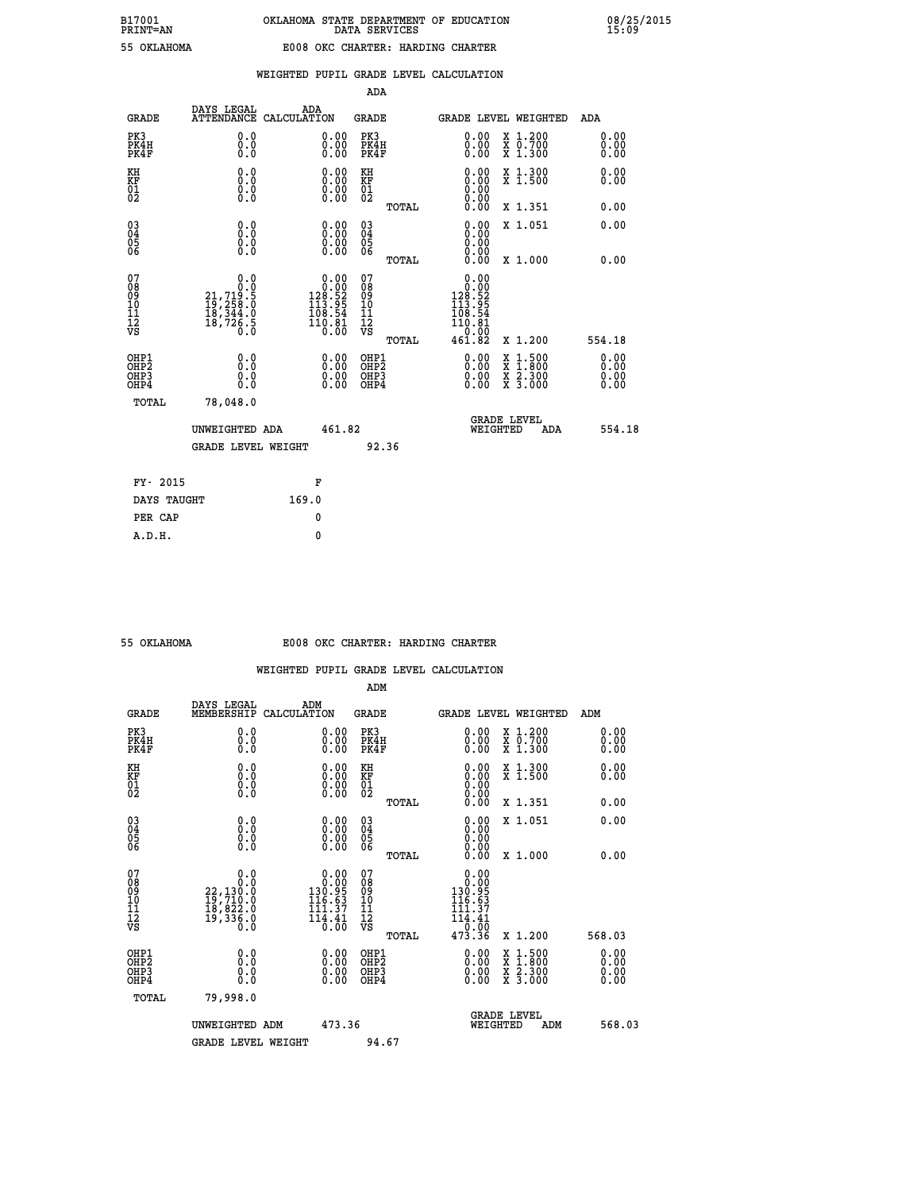| -----<br>- |     |               |   |
|------------|-----|---------------|---|
|            |     |               |   |
|            | . . | <b>T.AHOM</b> | Z |

|                                                                    |                                                                                           |                                                                                                     | ADA                                           |       |                                                                                                 |                                                                                                                                           |                                   |
|--------------------------------------------------------------------|-------------------------------------------------------------------------------------------|-----------------------------------------------------------------------------------------------------|-----------------------------------------------|-------|-------------------------------------------------------------------------------------------------|-------------------------------------------------------------------------------------------------------------------------------------------|-----------------------------------|
| <b>GRADE</b>                                                       | DAYS LEGAL                                                                                | ADA<br>ATTENDANCE CALCULATION                                                                       | <b>GRADE</b>                                  |       |                                                                                                 | <b>GRADE LEVEL WEIGHTED</b>                                                                                                               | ADA                               |
| PK3<br>PK4H<br>PK4F                                                | 0.0<br>0.0<br>Ō.Ō                                                                         | $\begin{smallmatrix} 0.00 \ 0.00 \ 0.00 \end{smallmatrix}$                                          | PK3<br>PK4H<br>PK4F                           |       | $\begin{smallmatrix} 0.00 \\ 0.00 \\ 0.00 \end{smallmatrix}$                                    | X 1.200<br>X 0.700<br>X 1.300                                                                                                             | 0.00<br>0.00<br>0.00              |
| KH<br>KF<br>01<br>02                                               | 0.0<br>0.0<br>$\S.$ $\S$                                                                  | $\begin{smallmatrix} 0.00 \ 0.00 \ 0.00 \ 0.00 \end{smallmatrix}$                                   | KH<br>KF<br>01<br>02                          |       |                                                                                                 | X 1.300<br>X 1.500                                                                                                                        | 0.00<br>0.00                      |
|                                                                    |                                                                                           |                                                                                                     |                                               | TOTAL | 0.00                                                                                            | X 1.351                                                                                                                                   | 0.00                              |
| $\begin{smallmatrix} 03 \\[-4pt] 04 \end{smallmatrix}$<br>Ŏ5<br>06 | 0.0<br>0.000                                                                              | $\begin{smallmatrix} 0.00 \ 0.00 \ 0.00 \ 0.00 \end{smallmatrix}$                                   | $\substack{03 \\ 04}$<br>Ŏ5<br>06             |       | 0.00<br>0.00<br>0.00                                                                            | X 1.051                                                                                                                                   | 0.00                              |
|                                                                    |                                                                                           |                                                                                                     |                                               | TOTAL | 0.00                                                                                            | X 1.000                                                                                                                                   | 0.00                              |
| 07<br>08<br>09<br>101<br>11<br>12<br>VS                            | $\begin{smallmatrix}&&&0.0\\21,719.5\\19,258.0\\18,344.0\\18,726.5\\0.0\end{smallmatrix}$ | $0.00$<br>$128.52$<br>$113.95$<br>$108.54$<br>$\begin{smallmatrix} 110.81 \ 0.00 \end{smallmatrix}$ | 07<br>08<br>09<br>001<br>11<br>11<br>12<br>VS |       | 0.00<br>$\begin{smallmatrix} 0.000\\128.52\\113.95\\198.54 \end{smallmatrix}$<br>īĭŏ.ĕī<br>0.00 |                                                                                                                                           |                                   |
|                                                                    |                                                                                           |                                                                                                     |                                               | TOTAL | 461.82                                                                                          | X 1.200                                                                                                                                   | 554.18                            |
| OHP1<br>OHP2<br>OH <sub>P3</sub><br>OHP4                           | 0.0<br>0.0<br>0.0                                                                         | 0.00<br>$\begin{smallmatrix} 0.00 \ 0.00 \end{smallmatrix}$                                         | OHP1<br>OHP2<br>OHP <sub>3</sub>              |       | 0.00<br>0.00                                                                                    | $\begin{smallmatrix} \mathtt{X} & 1\cdot500\\ \mathtt{X} & 1\cdot800\\ \mathtt{X} & 2\cdot300\\ \mathtt{X} & 3\cdot000 \end{smallmatrix}$ | 0.00<br>Ō. ŌŌ<br>$0.00$<br>$0.00$ |
| TOTAL                                                              | 78,048.0                                                                                  |                                                                                                     |                                               |       |                                                                                                 |                                                                                                                                           |                                   |
|                                                                    | UNWEIGHTED ADA                                                                            | 461.82                                                                                              |                                               |       |                                                                                                 | <b>GRADE LEVEL</b><br>WEIGHTED<br>ADA                                                                                                     | 554.18                            |
|                                                                    | GRADE LEVEL WEIGHT                                                                        |                                                                                                     |                                               | 92.36 |                                                                                                 |                                                                                                                                           |                                   |
| FY- 2015                                                           |                                                                                           | F                                                                                                   |                                               |       |                                                                                                 |                                                                                                                                           |                                   |
| DAYS TAUGHT                                                        |                                                                                           | 169.0                                                                                               |                                               |       |                                                                                                 |                                                                                                                                           |                                   |
| PER CAP                                                            |                                                                                           | 0                                                                                                   |                                               |       |                                                                                                 |                                                                                                                                           |                                   |

 **A.D.H. 0**

#### **55 OKLAHOMA E008 OKC CHARTER: HARDING CHARTER**

|                                                    |                                                                                                        |                                                                                           | ADM                                                 |       |                                                                                                                                |                                          |                              |
|----------------------------------------------------|--------------------------------------------------------------------------------------------------------|-------------------------------------------------------------------------------------------|-----------------------------------------------------|-------|--------------------------------------------------------------------------------------------------------------------------------|------------------------------------------|------------------------------|
| <b>GRADE</b>                                       | DAYS LEGAL<br><b>MEMBERSHIP</b>                                                                        | ADM<br>CALCULATION                                                                        | <b>GRADE</b>                                        |       |                                                                                                                                | GRADE LEVEL WEIGHTED                     | ADM                          |
| PK3<br>PK4H<br>PK4F                                | 0.0<br>0.0<br>0.0                                                                                      | $\begin{smallmatrix} 0.00 \ 0.00 \ 0.00 \end{smallmatrix}$                                | PK3<br>PK4H<br>PK4F                                 |       | $\begin{smallmatrix} 0.00 \\ 0.00 \\ 0.00 \end{smallmatrix}$                                                                   | X 1.200<br>X 0.700<br>X 1.300            | 0.00<br>0.00<br>0.00         |
| KH<br>KF<br>01<br>02                               | 0.0<br>$\begin{smallmatrix} 0.0 & 0 \ 0.0 & 0 \ 0.0 & 0 \end{smallmatrix}$                             | $\begin{smallmatrix} 0.00 \ 0.00 \ 0.00 \ 0.00 \end{smallmatrix}$                         | KH<br>KF<br>01<br>02                                |       |                                                                                                                                | X 1.300<br>X 1.500                       | 0.00<br>0.00                 |
|                                                    |                                                                                                        |                                                                                           |                                                     | TOTAL | 0.00                                                                                                                           | X 1.351                                  | 0.00                         |
| $\begin{matrix} 03 \\ 04 \\ 05 \\ 06 \end{matrix}$ |                                                                                                        | $\begin{smallmatrix} 0.00 \ 0.00 \ 0.00 \ 0.00 \end{smallmatrix}$                         | $\begin{array}{c} 03 \\ 04 \\ 05 \\ 06 \end{array}$ |       | 0.00<br>0.00<br>0.00                                                                                                           | X 1.051                                  | 0.00                         |
|                                                    |                                                                                                        |                                                                                           |                                                     | TOTAL | 0.00                                                                                                                           | X 1.000                                  | 0.00                         |
| 07<br>08<br>09<br>101<br>11<br>12<br>VS            | 0.0<br>$\begin{smallmatrix} & & & 0.10\ 22,130.0\ 19,710.0\ 18,822.0\ 19,336.0\ 0.0 \end{smallmatrix}$ | $0.00$<br>130.95<br>$\frac{63}{37}$<br>116<br>111<br>$\overline{114} \cdot \overline{41}$ | 07<br>08<br>09<br>11<br>11<br>12<br>VS              | TOTAL | $\begin{smallmatrix} 0.00\\ 0.00\\ 0.99\\ 130.95 \end{smallmatrix}$<br>116.63<br>.37<br>111<br>$\frac{114.41}{0.00}$<br>473.36 | X 1.200                                  | 568.03                       |
| OHP1<br>OHP2<br>OH <sub>P3</sub><br>OHP4           | 0.0<br>$\begin{smallmatrix} 0.0 & 0 \ 0.0 & 0 \end{smallmatrix}$                                       | $\begin{smallmatrix} 0.00 \ 0.00 \ 0.00 \ 0.00 \end{smallmatrix}$                         | OHP1<br>OHP2<br>OHP3<br>OHP4                        |       | $0.00$<br>$0.00$<br>0.00                                                                                                       | X 1:500<br>X 1:800<br>X 2:300<br>X 3:000 | 0.00<br>Ŏ.ŎŎ<br>Q.QQ<br>0.00 |
| TOTAL                                              | 79,998.0                                                                                               |                                                                                           |                                                     |       |                                                                                                                                |                                          |                              |
|                                                    | UNWEIGHTED                                                                                             | 473.36<br>ADM                                                                             |                                                     |       | WEIGHTED                                                                                                                       | <b>GRADE LEVEL</b><br>ADM                | 568.03                       |
|                                                    | <b>GRADE LEVEL WEIGHT</b>                                                                              |                                                                                           | 94.67                                               |       |                                                                                                                                |                                          |                              |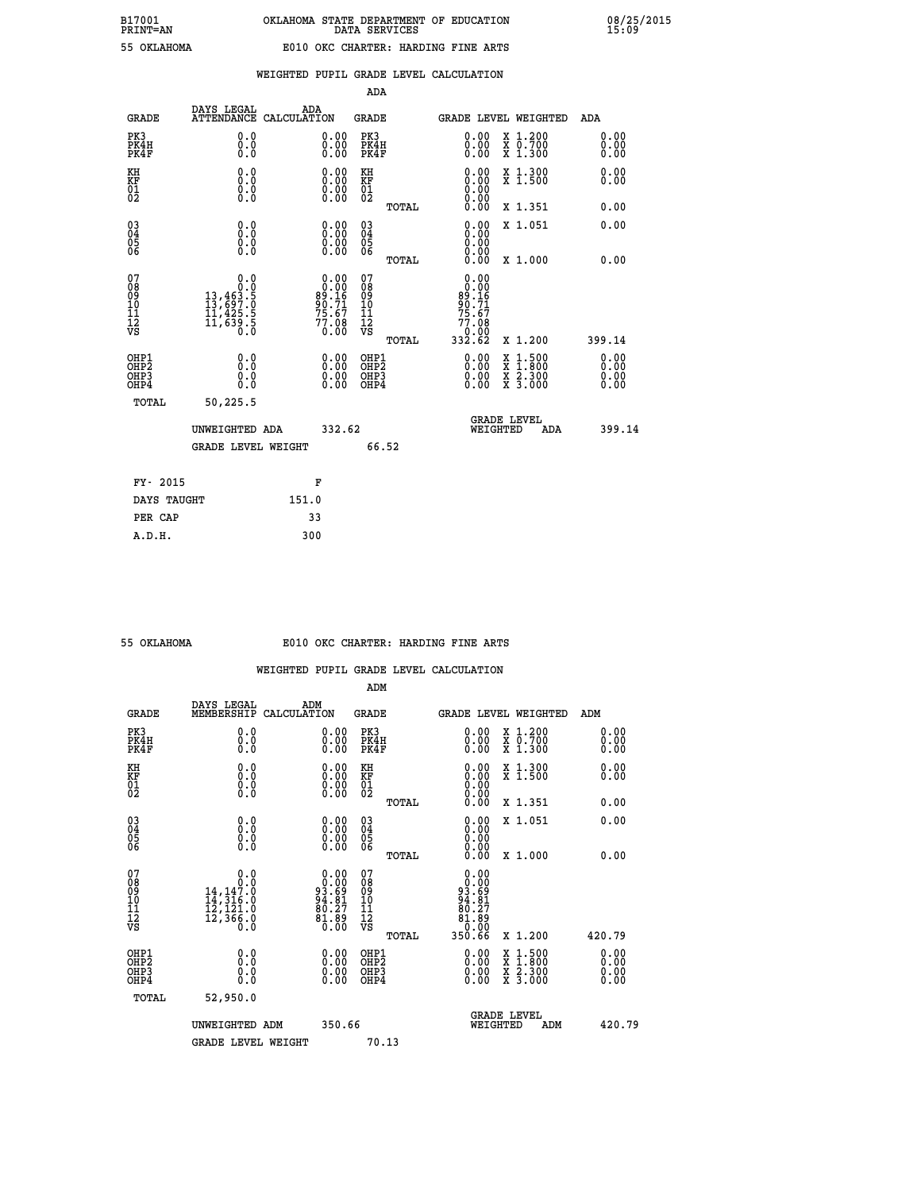|                                                                    |                                                                                                |                                                                   | ADA                                    |       |                                                                                                    |                                                                                                                                           |                       |  |
|--------------------------------------------------------------------|------------------------------------------------------------------------------------------------|-------------------------------------------------------------------|----------------------------------------|-------|----------------------------------------------------------------------------------------------------|-------------------------------------------------------------------------------------------------------------------------------------------|-----------------------|--|
| <b>GRADE</b>                                                       | DAYS LEGAL                                                                                     | ADA<br>ATTENDANCE CALCULATION                                     | <b>GRADE</b>                           |       |                                                                                                    | <b>GRADE LEVEL WEIGHTED</b>                                                                                                               | ADA                   |  |
| PK3<br>PK4H<br>PK4F                                                | 0.0<br>0.0<br>0.0                                                                              | 0.00<br>$0.00$<br>0.00                                            | PK3<br>PK4H<br>PK4F                    |       | $\begin{smallmatrix} 0.00 \ 0.00 \ 0.00 \end{smallmatrix}$                                         | X 1.200<br>X 0.700<br>X 1.300                                                                                                             | 0.00<br>0.00<br>0.00  |  |
| KH<br>KF<br>01<br>02                                               | 0.0<br>0.0<br>$\S.$                                                                            | $\begin{smallmatrix} 0.00 \ 0.00 \ 0.00 \ 0.00 \end{smallmatrix}$ | KH<br>KF<br>01<br>02                   |       | 0.00                                                                                               | X 1.300<br>X 1.500                                                                                                                        | 0.00<br>0.00          |  |
|                                                                    |                                                                                                |                                                                   |                                        | TOTAL | 0.00                                                                                               | X 1.351                                                                                                                                   | 0.00                  |  |
| $\begin{smallmatrix} 03 \\[-4pt] 04 \end{smallmatrix}$<br>Ŏ5<br>06 | 0.0<br>0.000                                                                                   | $\begin{smallmatrix} 0.00 \ 0.00 \ 0.00 \ 0.00 \end{smallmatrix}$ | $\substack{03 \\ 04}$<br>Ŏ5<br>06      |       | 0.00<br>0.00                                                                                       | X 1.051                                                                                                                                   | 0.00                  |  |
|                                                                    |                                                                                                |                                                                   |                                        | TOTAL | 0.00                                                                                               | X 1.000                                                                                                                                   | 0.00                  |  |
| 07<br>08<br>09<br>101<br>11<br>12<br>VS                            | 0.0<br>$\begin{smallmatrix} &0.0\0.0\13,463.5\13,697.0\11,425.5\11,639.5\0.0\end{smallmatrix}$ | $0.00\n89.16\n89.71\n75.67\n75.68\n77.08\n0.00$                   | 07<br>08<br>09<br>11<br>11<br>12<br>VS |       | 0.00<br>$\begin{array}{r} 0.000 \\ 89.16 \\ 90.71 \\ 75.67 \end{array}$<br>77.08<br>0.00<br>332.62 |                                                                                                                                           |                       |  |
|                                                                    |                                                                                                |                                                                   |                                        | TOTAL |                                                                                                    | X 1.200                                                                                                                                   | 399.14                |  |
| OHP1<br>OHP <sub>2</sub><br>OH <sub>P3</sub><br>OHP4               | 0.0<br>0.0<br>0.0                                                                              | 0.00<br>$\begin{smallmatrix} 0.00 \ 0.00 \end{smallmatrix}$       | OHP1<br>OHP2<br>OHP <sub>3</sub>       |       | 0.00<br>0.00                                                                                       | $\begin{smallmatrix} \mathtt{X} & 1\cdot500\\ \mathtt{X} & 1\cdot800\\ \mathtt{X} & 2\cdot300\\ \mathtt{X} & 3\cdot000 \end{smallmatrix}$ | 0.00<br>Ō. ŌŌ<br>0.00 |  |
| TOTAL                                                              | 50,225.5                                                                                       |                                                                   |                                        |       |                                                                                                    |                                                                                                                                           |                       |  |
|                                                                    |                                                                                                | 332.62<br>UNWEIGHTED ADA                                          |                                        |       | <b>GRADE LEVEL</b><br>WEIGHTED<br>ADA                                                              |                                                                                                                                           | 399.14                |  |
|                                                                    | <b>GRADE LEVEL WEIGHT</b>                                                                      |                                                                   |                                        | 66.52 |                                                                                                    |                                                                                                                                           |                       |  |
| FY- 2015                                                           |                                                                                                | F                                                                 |                                        |       |                                                                                                    |                                                                                                                                           |                       |  |
| DAYS TAUGHT                                                        |                                                                                                | 151.0                                                             |                                        |       |                                                                                                    |                                                                                                                                           |                       |  |
| PER CAP                                                            |                                                                                                | 33                                                                |                                        |       |                                                                                                    |                                                                                                                                           |                       |  |

 **A.D.H. 300**

#### **55 OKLAHOMA E010 OKC CHARTER: HARDING FINE ARTS**

 **WEIGHTED PUPIL GRADE LEVEL CALCULATION**

 **ADM DAYS LEGAL ADM GRADE MEMBERSHIP CALCULATION GRADE GRADE LEVEL WEIGHTED ADM PK3 0.0 0.00 PK3 0.00 X 1.200 0.00 PK4H 0.0 0.00 PK4H 0.00 X 0.700 0.00 PK4F 0.0 0.00 PK4F 0.00 X 1.300 0.00 KH 0.0 0.00 KH 0.00 X 1.300 0.00 KF 0.0 0.00 KF 0.00 X 1.500 0.00 01 0.0 0.00 01 0.00 02 0.0 0.00 02 0.00 TOTAL 0.00 X 1.351 0.00 03 0.0 0.00 03 0.00 X 1.051 0.00 04 0.0 0.00 04 0.00 05 0.0 0.00 05 0.00 06 0.0 0.00 06 0.00 TOTAL 0.00 X 1.000 0.00** 07 0.0 0.00 07 0.00<br>
08 14,147.0 93.69 08 93.69<br>
10 14,316.0 94.81 10 94.81<br>
11 12,121.0 80.27 11 80.27<br>
12 12,366.0 81.89<br>
TS 0.0 81.89<br>
12 13,560 81.89<br>
12<br>
12,366.0 81.89  **TOTAL 350.66 X 1.200 420.79 OHP1 0.0 0.00 OHP1 0.00 X 1.500 0.00 OHP2 0.0 0.00 OHP2 0.00 X 1.800 0.00 OHP3 0.0 0.00 OHP3 0.00 X 2.300 0.00 OHP4 0.0 0.00 OHP4 0.00 X 3.000 0.00 TOTAL 52,950.0 GRADE LEVEL UNWEIGHTED ADM 350.66 WEIGHTED ADM 420.79** GRADE LEVEL WEIGHT 70.13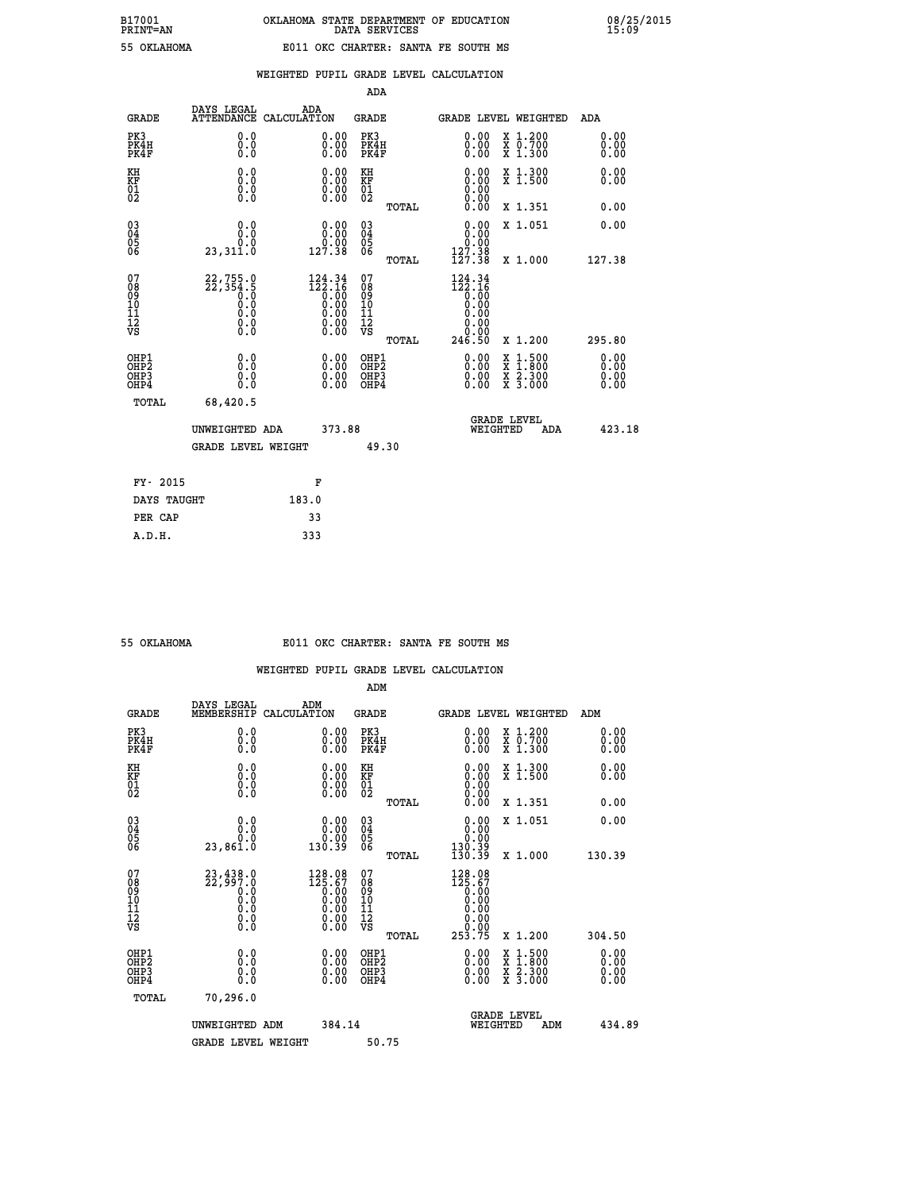|                                                                    |                                                           |                                                                                                                                                      | ADA                                    |       |                                                                                  |                                                                                                                                           |                               |
|--------------------------------------------------------------------|-----------------------------------------------------------|------------------------------------------------------------------------------------------------------------------------------------------------------|----------------------------------------|-------|----------------------------------------------------------------------------------|-------------------------------------------------------------------------------------------------------------------------------------------|-------------------------------|
| <b>GRADE</b>                                                       | DAYS LEGAL                                                | ADA<br>ATTENDANCE CALCULATION                                                                                                                        | <b>GRADE</b>                           |       |                                                                                  | <b>GRADE LEVEL WEIGHTED</b>                                                                                                               | ADA                           |
| PK3<br>PK4H<br>PK4F                                                | 0.0<br>0.0<br>0.0                                         | 0.00<br>$0.00$<br>0.00                                                                                                                               | PK3<br>PK4H<br>PK4F                    |       | 0.00<br>0.00                                                                     | X 1.200<br>X 0.700<br>X 1.300                                                                                                             | 0.00<br>0.00<br>0.00          |
| KH<br>KF<br>01<br>02                                               | 0.0<br>0.0<br>$\S.$                                       | 0.0000<br>$\begin{smallmatrix} 0.00 \\ 0.00 \end{smallmatrix}$                                                                                       | KH<br>KF<br>01<br>02                   |       | 0.00                                                                             | X 1.300<br>X 1.500                                                                                                                        | 0.00<br>0.00                  |
|                                                                    |                                                           |                                                                                                                                                      |                                        | TOTAL | 0.00                                                                             | X 1.351                                                                                                                                   | 0.00                          |
| $\begin{smallmatrix} 03 \\[-4pt] 04 \end{smallmatrix}$<br>Ŏ5<br>06 | 0.0<br>0.0<br>23,311.0                                    | 0.00<br>0.00<br>127.38                                                                                                                               | $\substack{03 \\ 04}$<br>Ŏ5<br>06      |       | 0.00<br>$\begin{smallmatrix} 0.000 127.38 \\ 127.38 \\ 127.38 \end{smallmatrix}$ | X 1.051                                                                                                                                   | 0.00                          |
|                                                                    |                                                           |                                                                                                                                                      |                                        | TOTAL |                                                                                  | X 1.000                                                                                                                                   | 127.38                        |
| 07<br>08<br>09<br>101<br>11<br>12<br>VS                            | 22, 755.0<br>22, 354.5<br>0.0<br>0.0<br>Ŏ.Ŏ<br>$\S.$ $\S$ | $\begin{smallmatrix} 124\cdot 34\\ 122\cdot 16\\ 0\cdot 00\\ 0\cdot 00\\ 0\cdot 00\\ 0\cdot 00\\ 0\cdot 00\\ 0\cdot 00\\ 0\cdot 00\end{smallmatrix}$ | 07<br>08<br>09<br>11<br>11<br>12<br>VS |       | $124.34$<br>$122.16$<br>$0.00$<br>$0.00$<br>0.00<br>0.00                         |                                                                                                                                           |                               |
|                                                                    |                                                           |                                                                                                                                                      |                                        | TOTAL | 246.50                                                                           | X 1.200                                                                                                                                   | 295.80                        |
| OHP1<br>OHP <sub>2</sub><br>OH <sub>P3</sub><br>OHP4               | 0.0<br>0.0<br>$0.\overline{0}$                            | 0.00<br>$\begin{smallmatrix} 0.00 \ 0.00 \end{smallmatrix}$                                                                                          | OHP1<br>OHP2<br>OHP <sub>3</sub>       |       | 0.00<br>0.00                                                                     | $\begin{smallmatrix} \mathtt{X} & 1\cdot500\\ \mathtt{X} & 1\cdot800\\ \mathtt{X} & 2\cdot300\\ \mathtt{X} & 3\cdot000 \end{smallmatrix}$ | 0.00<br>Ō. ŌŌ<br>0.00<br>0.00 |
| TOTAL                                                              | 68,420.5                                                  |                                                                                                                                                      |                                        |       |                                                                                  |                                                                                                                                           |                               |
|                                                                    |                                                           | 373.88<br>UNWEIGHTED ADA                                                                                                                             |                                        |       |                                                                                  | <b>GRADE LEVEL</b><br>WEIGHTED<br>ADA                                                                                                     | 423.18                        |
|                                                                    | <b>GRADE LEVEL WEIGHT</b>                                 |                                                                                                                                                      |                                        | 49.30 |                                                                                  |                                                                                                                                           |                               |
| FY- 2015                                                           |                                                           | F                                                                                                                                                    |                                        |       |                                                                                  |                                                                                                                                           |                               |
| DAYS TAUGHT                                                        |                                                           | 183.0                                                                                                                                                |                                        |       |                                                                                  |                                                                                                                                           |                               |
| PER CAP                                                            |                                                           | 33                                                                                                                                                   |                                        |       |                                                                                  |                                                                                                                                           |                               |

 **A.D.H. 333**

### **55 OKLAHOMA E011 OKC CHARTER: SANTA FE SOUTH MS**

|                                                    |                                                                            |                                                                                                          | ADM                                                |       |                                                                                                                                                                                                                                                                                |                                          |  |                      |  |
|----------------------------------------------------|----------------------------------------------------------------------------|----------------------------------------------------------------------------------------------------------|----------------------------------------------------|-------|--------------------------------------------------------------------------------------------------------------------------------------------------------------------------------------------------------------------------------------------------------------------------------|------------------------------------------|--|----------------------|--|
| <b>GRADE</b>                                       | DAYS LEGAL<br>MEMBERSHIP                                                   | ADM<br>CALCULATION                                                                                       | <b>GRADE</b>                                       |       | <b>GRADE LEVEL WEIGHTED</b>                                                                                                                                                                                                                                                    |                                          |  | ADM                  |  |
| PK3<br>PK4H<br>PK4F                                | 0.0<br>0.000                                                               | 0.00<br>$\begin{smallmatrix} 0.00 \ 0.00 \end{smallmatrix}$                                              | PK3<br>PK4H<br>PK4F                                |       | $\begin{smallmatrix} 0.00 \\ 0.00 \\ 0.00 \end{smallmatrix}$                                                                                                                                                                                                                   | X 1.200<br>X 0.700<br>X 1.300            |  | 0.00<br>0.00<br>0.00 |  |
| KH<br>KF<br>01<br>02                               | 0.0<br>$\begin{smallmatrix} 0.0 & 0 \ 0.0 & 0 \ 0.0 & 0 \end{smallmatrix}$ | $\begin{smallmatrix} 0.00 \ 0.00 \ 0.00 \ 0.00 \end{smallmatrix}$                                        | KH<br>KF<br>01<br>02                               |       | $\begin{smallmatrix} 0.00 \ 0.00 \ 0.00 \ 0.00 \ 0.00 \ 0.00 \end{smallmatrix}$                                                                                                                                                                                                | X 1.300<br>X 1.500                       |  | 0.00<br>0.00         |  |
|                                                    |                                                                            |                                                                                                          |                                                    | TOTAL |                                                                                                                                                                                                                                                                                | X 1.351                                  |  | 0.00                 |  |
| $\begin{matrix} 03 \\ 04 \\ 05 \\ 06 \end{matrix}$ | 0.0<br>0.0<br>23,861.0                                                     | $0.00$<br>$0.00$<br>130.39                                                                               | $\begin{matrix} 03 \\ 04 \\ 05 \\ 06 \end{matrix}$ |       | $\begin{smallmatrix} 0.00\\ 0.00\\ 0.00\\ 130.39\\ 130.39\\ \end{smallmatrix}$                                                                                                                                                                                                 | X 1.051                                  |  | 0.00                 |  |
|                                                    |                                                                            |                                                                                                          |                                                    | TOTAL |                                                                                                                                                                                                                                                                                | X 1.000                                  |  | 130.39               |  |
| 07<br>08<br>09<br>10<br>11<br>11<br>12<br>VS       | $23,438.0$<br>$22,997.0$<br>$0.0$<br>$0.0$<br>$0.0$<br>$0.0$<br>$0.0$      | $\begin{smallmatrix} 128.08\\ 125.67\\ 0.00\\ 0.00\\ 0.00\\ 0.00\\ 0.00\\ 0.00\\ 0.00 \end{smallmatrix}$ | 07<br>08<br>09<br>01<br>11<br>11<br>12<br>VS       | TOTAL | $128.08$<br>$125.67$<br>$0.00$<br>$0.00$<br>0.00<br>$\begin{array}{c} 0.00 \\ 0.00 \\ 253.75 \end{array}$                                                                                                                                                                      | X 1.200                                  |  | 304.50               |  |
| OHP1<br>OHP2<br>OH <sub>P3</sub><br>OHP4           | 0.0<br>0.000                                                               | $\begin{smallmatrix} 0.00 \ 0.00 \ 0.00 \ 0.00 \end{smallmatrix}$                                        | OHP1<br>OHP2<br>OHP3<br>OHP4                       |       | $\begin{smallmatrix} 0.00 & 0.00 & 0.00 & 0.00 & 0.00 & 0.00 & 0.00 & 0.00 & 0.00 & 0.00 & 0.00 & 0.00 & 0.00 & 0.00 & 0.00 & 0.00 & 0.00 & 0.00 & 0.00 & 0.00 & 0.00 & 0.00 & 0.00 & 0.00 & 0.00 & 0.00 & 0.00 & 0.00 & 0.00 & 0.00 & 0.00 & 0.00 & 0.00 & 0.00 & 0.00 & 0.0$ | X 1:500<br>X 1:800<br>X 2:300<br>X 3:000 |  | 0.00<br>0.00<br>0.00 |  |
| TOTAL                                              | 70,296.0                                                                   |                                                                                                          |                                                    |       |                                                                                                                                                                                                                                                                                |                                          |  |                      |  |
|                                                    | UNWEIGHTED ADM                                                             |                                                                                                          | 384.14                                             |       | <b>GRADE LEVEL</b><br>WEIGHTED<br>ADM                                                                                                                                                                                                                                          |                                          |  | 434.89               |  |
|                                                    | <b>GRADE LEVEL WEIGHT</b>                                                  |                                                                                                          | 50.75                                              |       |                                                                                                                                                                                                                                                                                |                                          |  |                      |  |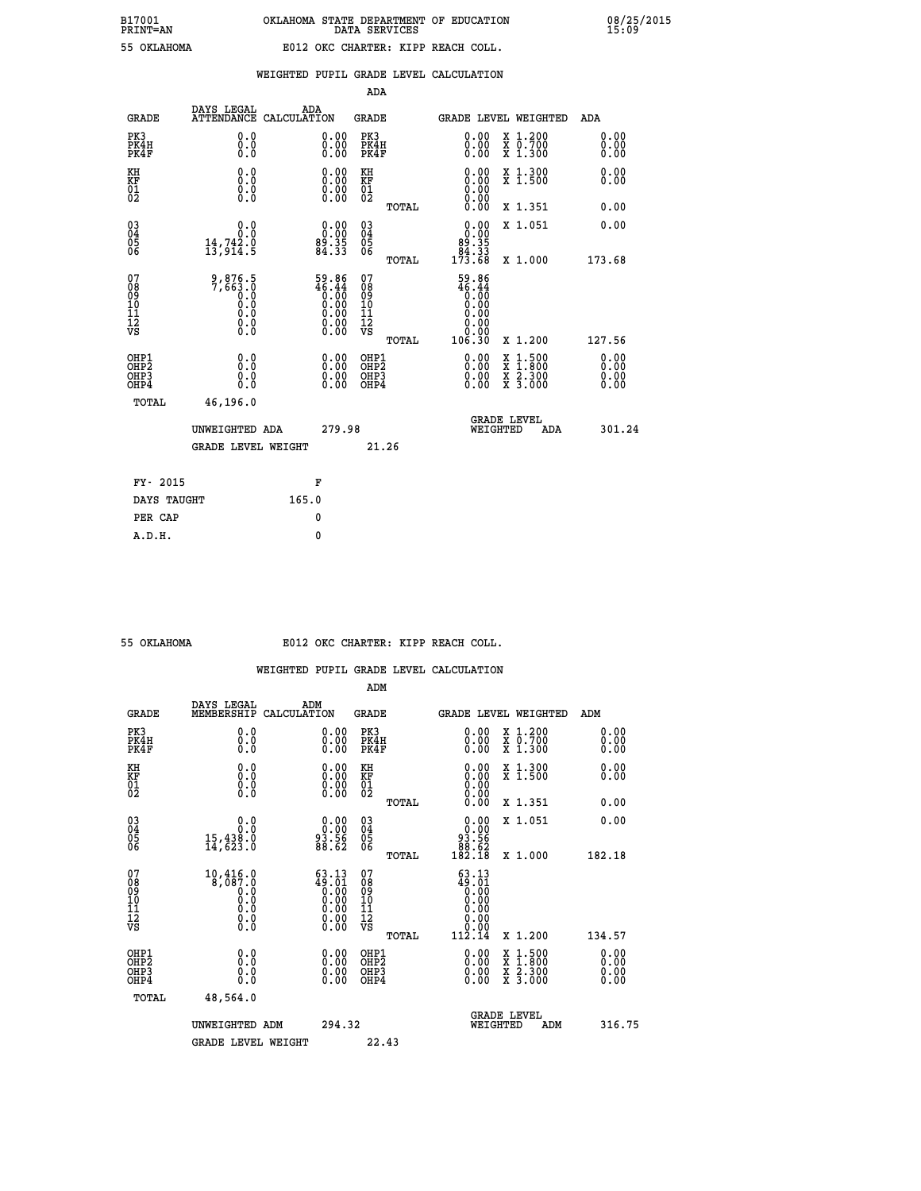| 55 OKLAHOMA |
|-------------|

# **WEIGHTED PUPIL GRADE LEVEL CALCULATION**

|                                                                    |                                                                                               |                                                                                | ADA                                                 |       |                                                                                                                                                                                                                                                                                |                                                                                                                                              |                              |
|--------------------------------------------------------------------|-----------------------------------------------------------------------------------------------|--------------------------------------------------------------------------------|-----------------------------------------------------|-------|--------------------------------------------------------------------------------------------------------------------------------------------------------------------------------------------------------------------------------------------------------------------------------|----------------------------------------------------------------------------------------------------------------------------------------------|------------------------------|
| <b>GRADE</b>                                                       | DAYS LEGAL<br><b>ATTENDANCE</b>                                                               | ADA<br>CALCULATION                                                             | <b>GRADE</b>                                        |       | <b>GRADE LEVEL WEIGHTED</b>                                                                                                                                                                                                                                                    |                                                                                                                                              | ADA                          |
| PK3<br>PK4H<br>PK4F                                                | 0.0<br>0.000                                                                                  | $\begin{smallmatrix} 0.00 \ 0.00 \ 0.00 \end{smallmatrix}$                     | PK3<br>PK4H<br>PK4F                                 |       | $\begin{smallmatrix} 0.00 \\ 0.00 \\ 0.00 \end{smallmatrix}$                                                                                                                                                                                                                   | X 1.200<br>X 0.700<br>X 1.300                                                                                                                | 0.00<br>0.00<br>0.00         |
| KH<br>KF<br>01<br>02                                               | 0.0<br>0.0<br>$\S.$                                                                           | $\begin{smallmatrix} 0.00 \ 0.00 \ 0.00 \ 0.00 \end{smallmatrix}$              | KH<br>KF<br>01<br>02                                |       | 0.00<br>0.0000000000                                                                                                                                                                                                                                                           | X 1.300<br>X 1.500                                                                                                                           | 0.00<br>0.00                 |
|                                                                    |                                                                                               |                                                                                |                                                     | TOTAL | 0.00                                                                                                                                                                                                                                                                           | X 1.351                                                                                                                                      | 0.00                         |
| $\begin{smallmatrix} 03 \\[-4pt] 04 \end{smallmatrix}$<br>Ŏ5<br>06 | 0.0<br>14,742.0<br>13,914.5                                                                   | $\begin{smallmatrix} 0.00\\ 0.00\\ 89.35\\ 84.33\\ \end{smallmatrix}$          | $\begin{array}{c} 03 \\ 04 \\ 05 \\ 06 \end{array}$ |       | 0.00<br>$89.35$<br>$84.33$<br>$173.68$                                                                                                                                                                                                                                         | X 1.051                                                                                                                                      | 0.00                         |
|                                                                    |                                                                                               |                                                                                |                                                     | TOTAL |                                                                                                                                                                                                                                                                                | X 1.000                                                                                                                                      | 173.68                       |
| 07<br>08<br>09<br>101<br>11<br>12<br>VS                            | 9,876.5<br>7,663.0<br>$\begin{smallmatrix} 0.59 \ 0.0 \end{smallmatrix}$<br>Ŏ.Ŏ<br>$\S.$ $\S$ | $59.86$<br>$46.44$<br>$0.00$<br>$0.00$<br>$0.00$<br>$0.00$<br>$0.00$<br>$0.00$ | 07<br>08<br>09<br>11<br>11<br>12<br>VS              |       | 59.86<br>46.44<br>0.00<br>0.00<br>0.00<br>0.00                                                                                                                                                                                                                                 |                                                                                                                                              |                              |
|                                                                    |                                                                                               |                                                                                |                                                     | TOTAL | 106.30                                                                                                                                                                                                                                                                         | X 1.200                                                                                                                                      | 127.56                       |
| OHP1<br>OHP <sub>2</sub><br>OH <sub>P3</sub><br>OHP4               | 0.0<br>0.0<br>0.0                                                                             | 0.00<br>$\begin{smallmatrix} 0.00 \ 0.00 \end{smallmatrix}$                    | OHP1<br>OHP2<br>OHP <sub>3</sub>                    |       | $\begin{smallmatrix} 0.00 & 0.00 & 0.00 & 0.00 & 0.00 & 0.00 & 0.00 & 0.00 & 0.00 & 0.00 & 0.00 & 0.00 & 0.00 & 0.00 & 0.00 & 0.00 & 0.00 & 0.00 & 0.00 & 0.00 & 0.00 & 0.00 & 0.00 & 0.00 & 0.00 & 0.00 & 0.00 & 0.00 & 0.00 & 0.00 & 0.00 & 0.00 & 0.00 & 0.00 & 0.00 & 0.0$ | $\begin{smallmatrix} \mathtt{X} & 1\cdot500 \\ \mathtt{X} & 1\cdot800 \\ \mathtt{X} & 2\cdot300 \\ \mathtt{X} & 3\cdot000 \end{smallmatrix}$ | 0.00<br>0.00<br>0.00<br>0.00 |
| TOTAL                                                              | 46,196.0                                                                                      |                                                                                |                                                     |       |                                                                                                                                                                                                                                                                                |                                                                                                                                              |                              |
|                                                                    | UNWEIGHTED ADA                                                                                | 279.98                                                                         |                                                     |       | WEIGHTED                                                                                                                                                                                                                                                                       | <b>GRADE LEVEL</b><br>ADA                                                                                                                    | 301.24                       |
|                                                                    | <b>GRADE LEVEL WEIGHT</b>                                                                     |                                                                                |                                                     | 21.26 |                                                                                                                                                                                                                                                                                |                                                                                                                                              |                              |
| FY- 2015                                                           |                                                                                               | F                                                                              |                                                     |       |                                                                                                                                                                                                                                                                                |                                                                                                                                              |                              |
| DAYS TAUGHT                                                        |                                                                                               | 165.0                                                                          |                                                     |       |                                                                                                                                                                                                                                                                                |                                                                                                                                              |                              |
| PER CAP                                                            |                                                                                               | 0                                                                              |                                                     |       |                                                                                                                                                                                                                                                                                |                                                                                                                                              |                              |

 **A.D.H. 0**

## **55 OKLAHOMA E012 OKC CHARTER: KIPP REACH COLL.**

|                                                    |                                                                                                       |                                                                                                       | ADM                                                 |       |                                                                                                |                    |                                                                                                                                           |                              |  |
|----------------------------------------------------|-------------------------------------------------------------------------------------------------------|-------------------------------------------------------------------------------------------------------|-----------------------------------------------------|-------|------------------------------------------------------------------------------------------------|--------------------|-------------------------------------------------------------------------------------------------------------------------------------------|------------------------------|--|
| <b>GRADE</b>                                       | DAYS LEGAL<br>MEMBERSHIP                                                                              | ADM<br>CALCULATION                                                                                    | <b>GRADE</b>                                        |       | <b>GRADE LEVEL WEIGHTED</b>                                                                    |                    |                                                                                                                                           | ADM                          |  |
| PK3<br>PK4H<br>PK4F                                | 0.0<br>0.0<br>0.0                                                                                     | 0.00<br>$\begin{smallmatrix} 0.00 \ 0.00 \end{smallmatrix}$                                           | PK3<br>PK4H<br>PK4F                                 |       | $\begin{smallmatrix} 0.00 \\ 0.00 \\ 0.00 \end{smallmatrix}$                                   |                    | X 1.200<br>X 0.700<br>X 1.300                                                                                                             | 0.00<br>0.00<br>0.00         |  |
| KH<br>KF<br>01<br>02                               | 0.0<br>0.0<br>$\S.$                                                                                   | $\begin{smallmatrix} 0.00 \ 0.00 \ 0.00 \ 0.00 \end{smallmatrix}$                                     | KH<br>KF<br>01<br>02                                |       |                                                                                                |                    | X 1.300<br>X 1.500                                                                                                                        | 0.00<br>0.00                 |  |
|                                                    |                                                                                                       |                                                                                                       |                                                     | TOTAL | 0.00                                                                                           |                    | X 1.351                                                                                                                                   | 0.00                         |  |
| $\begin{matrix} 03 \\ 04 \\ 05 \\ 06 \end{matrix}$ | 0.0<br>15,438:0<br>14,623:0                                                                           | $\begin{smallmatrix} 0.00\\ 0.00\\ 3.56\\ 88.62 \end{smallmatrix}$                                    | $\begin{array}{c} 03 \\ 04 \\ 05 \\ 06 \end{array}$ |       | $\begin{smallmatrix} &0.00\0.00&\phantom{-}0.00\93.56\0.81.52\0.82.18\end{smallmatrix}$        |                    | X 1.051                                                                                                                                   | 0.00                         |  |
|                                                    |                                                                                                       |                                                                                                       |                                                     | TOTAL |                                                                                                |                    | X 1.000                                                                                                                                   | 182.18                       |  |
| 07<br>08<br>09<br>101<br>11<br>12<br>VS            | $10,416.0$<br>8,087.0<br>$\begin{smallmatrix} 0.0 & 0 \ 0.0 & 0 \ 0.0 & 0 \end{smallmatrix}$<br>$\S.$ | $\begin{smallmatrix} 63.13\ 49.01\ 0.00\ 0.00\ 0.00\ 0.00\ 0.00\ 0.00\ 0.00\ 0.00\ \end{smallmatrix}$ | 07<br>08<br>09<br>11<br>11<br>12<br>VS              |       | 63.13<br>$\begin{smallmatrix} 10.16 \\ 9.01 \\ 0.00 \\ 0.00 \\ 0.00 \end{smallmatrix}$<br>0.00 |                    |                                                                                                                                           |                              |  |
|                                                    |                                                                                                       |                                                                                                       |                                                     | TOTAL | 112.14                                                                                         |                    | X 1.200                                                                                                                                   | 134.57                       |  |
| OHP1<br>OHP2<br>OH <sub>P3</sub><br>OHP4           | 0.0<br>$\begin{smallmatrix} 0.0 & 0 \ 0.0 & 0 \end{smallmatrix}$                                      | $0.00$<br>$0.00$<br>0.00                                                                              | OHP1<br>OHP2<br>OHP <sub>3</sub>                    |       | $0.00$<br>$0.00$<br>0.00                                                                       |                    | $\begin{smallmatrix} \mathtt{X} & 1\cdot500\\ \mathtt{X} & 1\cdot800\\ \mathtt{X} & 2\cdot300\\ \mathtt{X} & 3\cdot000 \end{smallmatrix}$ | 0.00<br>Ŏ.ŎŎ<br>Q.QQ<br>0.00 |  |
| TOTAL                                              | 48,564.0                                                                                              |                                                                                                       |                                                     |       |                                                                                                |                    |                                                                                                                                           |                              |  |
|                                                    | UNWEIGHTED ADM                                                                                        | 294.32                                                                                                |                                                     |       | WEIGHTED                                                                                       | <b>GRADE LEVEL</b> | ADM                                                                                                                                       | 316.75                       |  |
|                                                    | <b>GRADE LEVEL WEIGHT</b>                                                                             |                                                                                                       | 22.43                                               |       |                                                                                                |                    |                                                                                                                                           |                              |  |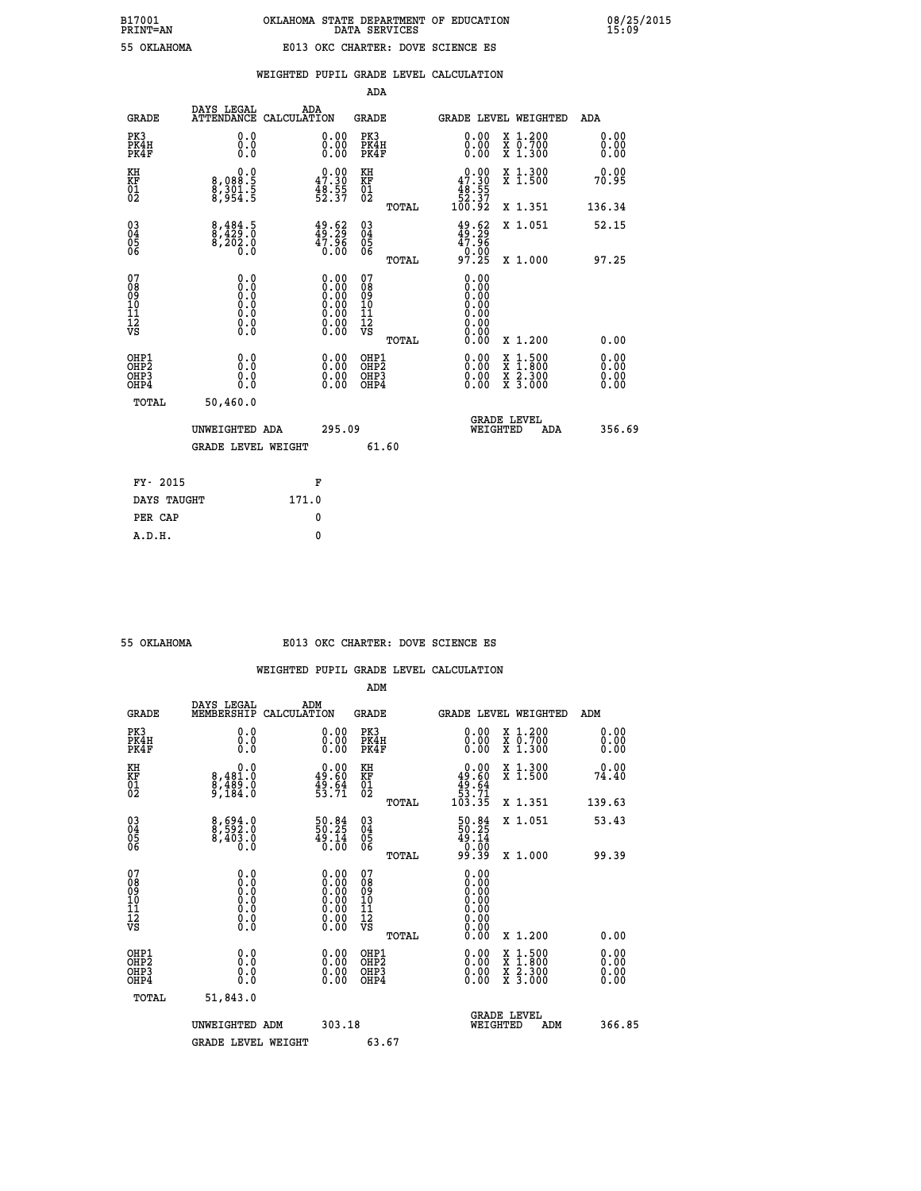|                                                                    |                                                                                                   |                                                                                               | ADA                                                 |       |                                                                                                                                                                                                                                                                                |                                          |                                  |
|--------------------------------------------------------------------|---------------------------------------------------------------------------------------------------|-----------------------------------------------------------------------------------------------|-----------------------------------------------------|-------|--------------------------------------------------------------------------------------------------------------------------------------------------------------------------------------------------------------------------------------------------------------------------------|------------------------------------------|----------------------------------|
| <b>GRADE</b>                                                       | DAYS LEGAL<br><b>ATTENDANCE</b>                                                                   | ADA<br>CALCULATION                                                                            | <b>GRADE</b>                                        |       |                                                                                                                                                                                                                                                                                | <b>GRADE LEVEL WEIGHTED</b>              | ADA                              |
| PK3<br>PK4H<br>PK4F                                                | 0.0<br>0.000                                                                                      | $\begin{smallmatrix} 0.00 \ 0.00 \ 0.00 \end{smallmatrix}$                                    | PK3<br>PK4H<br>PK4F                                 |       | $\begin{smallmatrix} 0.00 \\ 0.00 \\ 0.00 \end{smallmatrix}$                                                                                                                                                                                                                   | X 1.200<br>X 0.700<br>X 1.300            | 0.00<br>0.00<br>0.00             |
| KH<br>KF<br>01<br>02                                               | $\begin{smallmatrix} & & 0.0 \ 8.088.5 \ 8.301.5 \ 8.954.5 \end{smallmatrix}$                     | $\begin{smallmatrix} 0.00\\ 47.30\\ 48.55\\ 52.37 \end{smallmatrix}$                          | KH<br>KF<br>01<br>02                                |       | $\begin{smallmatrix}&&0.00\\47.30\\48.55\\52.37\\100.92\end{smallmatrix}$                                                                                                                                                                                                      | X 1.300<br>X 1.500                       | 0.00<br>70.95                    |
|                                                                    |                                                                                                   |                                                                                               |                                                     | TOTAL |                                                                                                                                                                                                                                                                                | X 1.351                                  | 136.34                           |
| $\begin{smallmatrix} 03 \\[-4pt] 04 \end{smallmatrix}$<br>Ŏ5<br>06 | $\begin{smallmatrix} 8,484.5\\ 8,429.0\\ 8,202.0\\ 0.0 \end{smallmatrix}$                         | $\begin{smallmatrix} 49.62\ 49.29\ 47.96\ 0.00 \end{smallmatrix}$                             | $\begin{array}{c} 03 \\ 04 \\ 05 \\ 06 \end{array}$ |       | $49.29$<br>$47.96$<br>$0.00$<br>$97.25$                                                                                                                                                                                                                                        | X 1.051                                  | 52.15                            |
|                                                                    |                                                                                                   |                                                                                               |                                                     | TOTAL |                                                                                                                                                                                                                                                                                | X 1.000                                  | 97.25                            |
| 07<br>08<br>09<br>01<br>11<br>11<br>12<br>VS                       | $\begin{smallmatrix} 0.0 & 0 \ 0.0 & 0 \ 0.0 & 0 \ 0.0 & 0 \ 0.0 & 0 \ 0.0 & 0 \end{smallmatrix}$ | $\begin{smallmatrix} 0.00\ 0.00\ 0.00\ 0.00\ 0.00\ 0.00\ 0.00\ 0.00\ 0.00\ \end{smallmatrix}$ | 07<br>08<br>09<br>11<br>11<br>12<br>VS              |       | 0.00<br>0.00<br>0.00<br>0.00<br>0.00<br>0.00                                                                                                                                                                                                                                   |                                          |                                  |
|                                                                    |                                                                                                   |                                                                                               |                                                     | TOTAL | 0.00                                                                                                                                                                                                                                                                           | X 1.200                                  | 0.00                             |
| OHP1<br>OHP <sub>2</sub><br>OH <sub>P3</sub><br>OHP4               | 0.0<br>0.000                                                                                      | 0.00<br>$\begin{smallmatrix} 0.00 \ 0.00 \end{smallmatrix}$                                   | OHP1<br>OHP2<br>OHP <sub>3</sub>                    |       | $\begin{smallmatrix} 0.00 & 0.00 & 0.00 & 0.00 & 0.00 & 0.00 & 0.00 & 0.00 & 0.00 & 0.00 & 0.00 & 0.00 & 0.00 & 0.00 & 0.00 & 0.00 & 0.00 & 0.00 & 0.00 & 0.00 & 0.00 & 0.00 & 0.00 & 0.00 & 0.00 & 0.00 & 0.00 & 0.00 & 0.00 & 0.00 & 0.00 & 0.00 & 0.00 & 0.00 & 0.00 & 0.0$ | X 1:500<br>X 1:800<br>X 2:300<br>X 3:000 | 0.00<br>0.00<br>$0.00$<br>$0.00$ |
| TOTAL                                                              | 50,460.0                                                                                          |                                                                                               |                                                     |       |                                                                                                                                                                                                                                                                                |                                          |                                  |
|                                                                    | UNWEIGHTED ADA                                                                                    | 295.09                                                                                        |                                                     |       |                                                                                                                                                                                                                                                                                | <b>GRADE LEVEL</b><br>WEIGHTED<br>ADA    | 356.69                           |
|                                                                    | <b>GRADE LEVEL WEIGHT</b>                                                                         |                                                                                               |                                                     | 61.60 |                                                                                                                                                                                                                                                                                |                                          |                                  |
| FY- 2015                                                           |                                                                                                   | F                                                                                             |                                                     |       |                                                                                                                                                                                                                                                                                |                                          |                                  |
| DAYS TAUGHT                                                        |                                                                                                   | 171.0                                                                                         |                                                     |       |                                                                                                                                                                                                                                                                                |                                          |                                  |
| PER CAP                                                            |                                                                                                   | 0                                                                                             |                                                     |       |                                                                                                                                                                                                                                                                                |                                          |                                  |

| OKLAHOMA |  |
|----------|--|
|          |  |

#### **55 OKLAHOMA E013 OKC CHARTER: DOVE SCIENCE ES**

|                                                    |                                                                                                   |                                                                      |                                                                                                      | ADM                                                |       |                                                                                                                                                                                                                                                                                |          |                                          |        |                                                                                                                                                                                                                                                                                |
|----------------------------------------------------|---------------------------------------------------------------------------------------------------|----------------------------------------------------------------------|------------------------------------------------------------------------------------------------------|----------------------------------------------------|-------|--------------------------------------------------------------------------------------------------------------------------------------------------------------------------------------------------------------------------------------------------------------------------------|----------|------------------------------------------|--------|--------------------------------------------------------------------------------------------------------------------------------------------------------------------------------------------------------------------------------------------------------------------------------|
| <b>GRADE</b>                                       | DAYS LEGAL<br>MEMBERSHIP                                                                          | ADM<br>CALCULATION                                                   |                                                                                                      | <b>GRADE</b>                                       |       |                                                                                                                                                                                                                                                                                |          | GRADE LEVEL WEIGHTED                     | ADM    |                                                                                                                                                                                                                                                                                |
| PK3<br>PK4H<br>PK4F                                | 0.0<br>0.000                                                                                      |                                                                      | $\begin{smallmatrix} 0.00 \ 0.00 \ 0.00 \end{smallmatrix}$                                           | PK3<br>PK4H<br>PK4F                                |       | $\begin{smallmatrix} 0.00 \\ 0.00 \\ 0.00 \end{smallmatrix}$                                                                                                                                                                                                                   |          | X 1.200<br>X 0.700<br>X 1.300            |        | 0.00<br>0.00<br>0.00                                                                                                                                                                                                                                                           |
| KH<br>KF<br>01<br>02                               | 0.0<br>8,481.0<br>8,489.0<br>9,184.0                                                              | $\begin{smallmatrix} 0.00\\ 49.60\\ 49.64\\ 53.71 \end{smallmatrix}$ |                                                                                                      | KH<br>KF<br>01<br>02                               |       | $\begin{smallmatrix} &0.00\ 49.60\ \hline 49.64\ 53.71\ 103.35 \end{smallmatrix}$                                                                                                                                                                                              |          | X 1.300<br>X 1.500                       |        | 0.00<br>74.40                                                                                                                                                                                                                                                                  |
|                                                    |                                                                                                   |                                                                      |                                                                                                      |                                                    | TOTAL |                                                                                                                                                                                                                                                                                |          | X 1.351                                  | 139.63 |                                                                                                                                                                                                                                                                                |
| $\begin{matrix} 03 \\ 04 \\ 05 \\ 06 \end{matrix}$ | 8,694.0<br>8,592.0<br>8,403.0<br>0.0                                                              | $\begin{smallmatrix} 50.84\\ 50.25\\ 49.14\\ 0.00 \end{smallmatrix}$ |                                                                                                      | $\begin{matrix} 03 \\ 04 \\ 05 \\ 06 \end{matrix}$ |       | $\frac{50.84}{50.25}$                                                                                                                                                                                                                                                          |          | X 1.051                                  |        | 53.43                                                                                                                                                                                                                                                                          |
|                                                    |                                                                                                   |                                                                      |                                                                                                      |                                                    | TOTAL | 0.00<br>39.39                                                                                                                                                                                                                                                                  |          | X 1.000                                  |        | 99.39                                                                                                                                                                                                                                                                          |
| 07<br>08<br>09<br>001<br>11<br>11<br>12<br>VS      | $\begin{smallmatrix} 0.0 & 0 \ 0.0 & 0 \ 0.0 & 0 \ 0.0 & 0 \ 0.0 & 0 \ 0.0 & 0 \end{smallmatrix}$ |                                                                      | $\begin{smallmatrix} 0.00 \ 0.00 \ 0.00 \ 0.00 \ 0.00 \ 0.00 \ 0.00 \ 0.00 \ 0.00 \end{smallmatrix}$ | 07<br>08<br>09<br>001<br>11<br>11<br>12<br>VS      | TOTAL | 0.00<br>000:00<br>000:00<br>00:00<br>00:00<br>0.00                                                                                                                                                                                                                             |          | X 1.200                                  |        | 0.00                                                                                                                                                                                                                                                                           |
| OHP1<br>OHP2<br>OH <sub>P3</sub><br>OHP4           | 0.0<br>0.000                                                                                      |                                                                      | $\begin{smallmatrix} 0.00 \ 0.00 \ 0.00 \ 0.00 \end{smallmatrix}$                                    | OHP1<br>OHP2<br>OHP3<br>OHP4                       |       | $\begin{smallmatrix} 0.00 & 0.00 & 0.00 & 0.00 & 0.00 & 0.00 & 0.00 & 0.00 & 0.00 & 0.00 & 0.00 & 0.00 & 0.00 & 0.00 & 0.00 & 0.00 & 0.00 & 0.00 & 0.00 & 0.00 & 0.00 & 0.00 & 0.00 & 0.00 & 0.00 & 0.00 & 0.00 & 0.00 & 0.00 & 0.00 & 0.00 & 0.00 & 0.00 & 0.00 & 0.00 & 0.0$ |          | X 1:500<br>X 1:800<br>X 2:300<br>X 3:000 |        | $\begin{smallmatrix} 0.00 & 0.00 & 0.00 & 0.00 & 0.00 & 0.00 & 0.00 & 0.00 & 0.00 & 0.00 & 0.00 & 0.00 & 0.00 & 0.00 & 0.00 & 0.00 & 0.00 & 0.00 & 0.00 & 0.00 & 0.00 & 0.00 & 0.00 & 0.00 & 0.00 & 0.00 & 0.00 & 0.00 & 0.00 & 0.00 & 0.00 & 0.00 & 0.00 & 0.00 & 0.00 & 0.0$ |
| TOTAL                                              | 51,843.0                                                                                          |                                                                      |                                                                                                      |                                                    |       |                                                                                                                                                                                                                                                                                |          |                                          |        |                                                                                                                                                                                                                                                                                |
|                                                    | UNWEIGHTED ADM                                                                                    |                                                                      | 303.18                                                                                               |                                                    |       |                                                                                                                                                                                                                                                                                | WEIGHTED | <b>GRADE LEVEL</b><br>ADM                |        | 366.85                                                                                                                                                                                                                                                                         |
|                                                    | <b>GRADE LEVEL WEIGHT</b>                                                                         |                                                                      |                                                                                                      | 63.67                                              |       |                                                                                                                                                                                                                                                                                |          |                                          |        |                                                                                                                                                                                                                                                                                |
|                                                    |                                                                                                   |                                                                      |                                                                                                      |                                                    |       |                                                                                                                                                                                                                                                                                |          |                                          |        |                                                                                                                                                                                                                                                                                |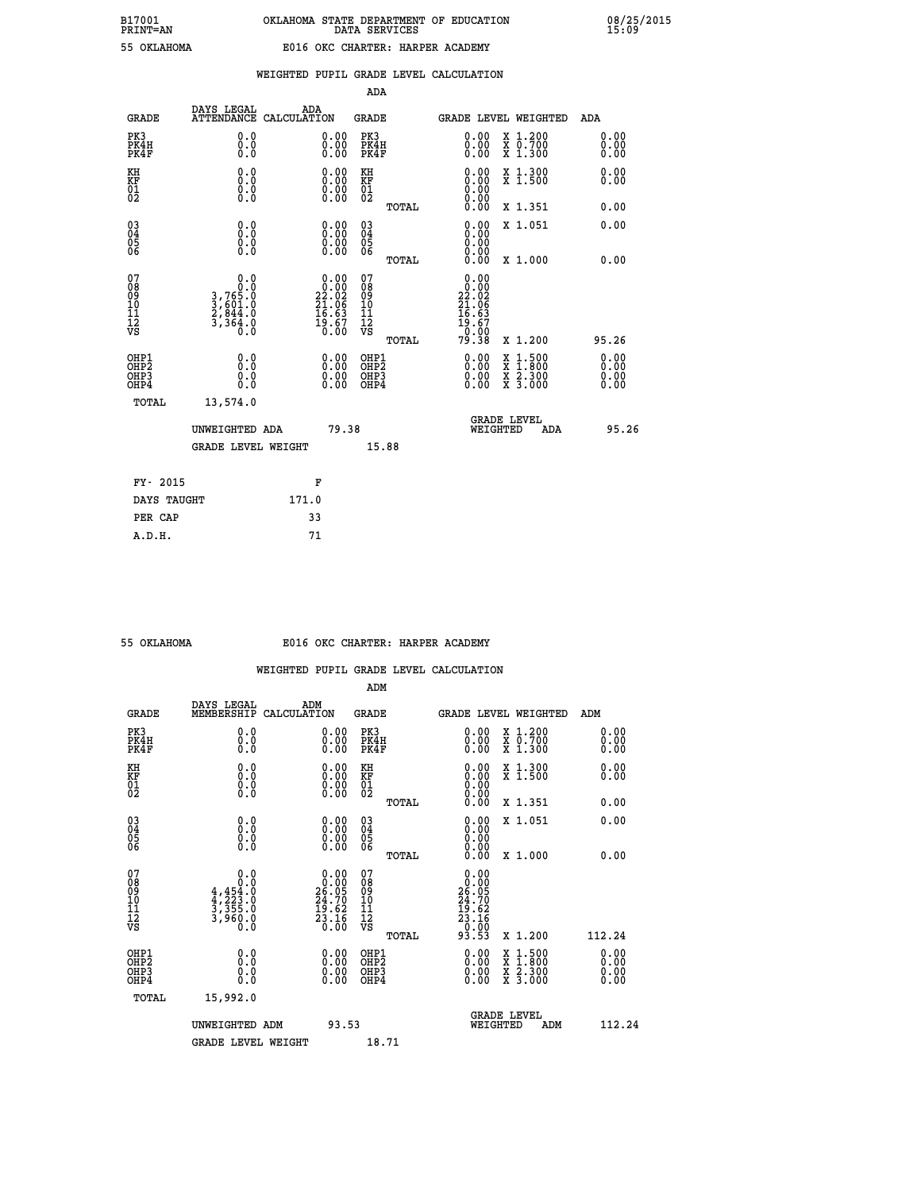|  | ) KT.AHOMA |  |
|--|------------|--|

## **WEIGHTED PUPIL GRADE LEVEL CALCULATION**

|                                                                    |                                                                  |                                                                   | ADA                                           |       |                                                                                          |                                              |                      |
|--------------------------------------------------------------------|------------------------------------------------------------------|-------------------------------------------------------------------|-----------------------------------------------|-------|------------------------------------------------------------------------------------------|----------------------------------------------|----------------------|
| <b>GRADE</b>                                                       | DAYS LEGAL<br>ATTENDANCE CALCULATION                             | ADA                                                               | <b>GRADE</b>                                  |       |                                                                                          | <b>GRADE LEVEL WEIGHTED</b>                  | ADA                  |
| PK3<br>PK4H<br>PK4F                                                | 0.0<br>0.0<br>Ō.Ō                                                | $\begin{smallmatrix} 0.00 \ 0.00 \ 0.00 \end{smallmatrix}$        | PK3<br>PK4H<br>PK4F                           |       | $\begin{smallmatrix} 0.00 \\ 0.00 \\ 0.00 \end{smallmatrix}$                             | X 1.200<br>X 0.700<br>X 1.300                | 0.00<br>0.00<br>0.00 |
| KH<br>KF<br>01<br>02                                               | 0.0<br>0.0<br>$\S.$ $\S$                                         | $\begin{smallmatrix} 0.00 \ 0.00 \ 0.00 \ 0.00 \end{smallmatrix}$ | KH<br>KF<br>01<br>02                          |       | 0.00<br>0.0000000000                                                                     | X 1.300<br>X 1.500                           | 0.00<br>0.00         |
|                                                                    |                                                                  |                                                                   |                                               | TOTAL | 0.00                                                                                     | X 1.351                                      | 0.00                 |
| $\begin{smallmatrix} 03 \\[-4pt] 04 \end{smallmatrix}$<br>Ŏ5<br>06 | 0.0<br>0.000                                                     | $\begin{smallmatrix} 0.00 \ 0.00 \ 0.00 \ 0.00 \end{smallmatrix}$ | $\substack{03 \\ 04}$<br>Ŏ5<br>06             | TOTAL | 0.00<br>0.00<br>0.00<br>0.00                                                             | X 1.051<br>X 1.000                           | 0.00<br>0.00         |
| 07<br>08<br>09<br>101<br>11<br>12<br>VS                            | 0.0<br>$3,765.0$<br>$3,601.0$<br>$2,844.0$<br>$3,364.0$<br>$0.0$ | $0.00\n22.02\n21.06\n16.63\n19.67\n0.00$                          | 07<br>08<br>09<br>001<br>11<br>11<br>12<br>VS |       | 0.00<br>$\begin{array}{r} 0.000 \\ 22.02 \\ 21.06 \\ 16.63 \\ 19.67 \\ 0.00 \end{array}$ |                                              |                      |
|                                                                    |                                                                  |                                                                   |                                               | TOTAL | 79.38                                                                                    | X 1.200                                      | 95.26                |
| OHP1<br>OHP <sub>2</sub><br>OH <sub>P3</sub><br>OHP4               | 0.0<br>0.0<br>0.0                                                | 0.00<br>$\begin{smallmatrix} 0.00 \ 0.00 \end{smallmatrix}$       | OHP1<br>OHP2<br>OHP <sub>3</sub>              |       | 0.00<br>0.00                                                                             | X 1:500<br>X 1:800<br>X 2:300<br>X 3:000     | 0.00<br>0.00<br>0.00 |
| TOTAL                                                              | 13,574.0                                                         |                                                                   |                                               |       |                                                                                          |                                              |                      |
|                                                                    | UNWEIGHTED ADA                                                   | 79.38                                                             |                                               |       |                                                                                          | <b>GRADE LEVEL</b><br>WEIGHTED<br><b>ADA</b> | 95.26                |
|                                                                    | <b>GRADE LEVEL WEIGHT</b>                                        |                                                                   |                                               | 15.88 |                                                                                          |                                              |                      |
| FY- 2015                                                           |                                                                  | F                                                                 |                                               |       |                                                                                          |                                              |                      |
| DAYS TAUGHT                                                        |                                                                  | 171.0                                                             |                                               |       |                                                                                          |                                              |                      |
| PER CAP                                                            |                                                                  | 33                                                                |                                               |       |                                                                                          |                                              |                      |

 **A.D.H. 71**

#### **55 OKLAHOMA E016 OKC CHARTER: HARPER ACADEMY**

|                                                    |                                                                            |                                                                                                                                            | ADM                                                 |       |                                                                                                   |                                                                                                                                           |                              |
|----------------------------------------------------|----------------------------------------------------------------------------|--------------------------------------------------------------------------------------------------------------------------------------------|-----------------------------------------------------|-------|---------------------------------------------------------------------------------------------------|-------------------------------------------------------------------------------------------------------------------------------------------|------------------------------|
| <b>GRADE</b>                                       | DAYS LEGAL<br>MEMBERSHIP                                                   | ADM<br>CALCULATION                                                                                                                         | <b>GRADE</b>                                        |       | <b>GRADE LEVEL WEIGHTED</b>                                                                       |                                                                                                                                           | ADM                          |
| PK3<br>PK4H<br>PK4F                                | 0.0<br>0.0<br>0.0                                                          | $\begin{smallmatrix} 0.00 \ 0.00 \ 0.00 \end{smallmatrix}$                                                                                 | PK3<br>PK4H<br>PK4F                                 |       | $\begin{smallmatrix} 0.00 \\ 0.00 \\ 0.00 \end{smallmatrix}$                                      | X 1.200<br>X 0.700<br>X 1.300                                                                                                             | 0.00<br>0.00<br>0.00         |
| KH<br>KF<br>01<br>02                               | 0.0<br>$\begin{smallmatrix} 0.0 & 0 \ 0.0 & 0 \ 0.0 & 0 \end{smallmatrix}$ | $\begin{smallmatrix} 0.00 \ 0.00 \ 0.00 \ 0.00 \end{smallmatrix}$                                                                          | KH<br>KF<br>01<br>02                                |       |                                                                                                   | X 1.300<br>X 1.500                                                                                                                        | 0.00<br>0.00                 |
|                                                    |                                                                            |                                                                                                                                            |                                                     | TOTAL | 0.00                                                                                              | X 1.351                                                                                                                                   | 0.00                         |
| $\begin{matrix} 03 \\ 04 \\ 05 \\ 06 \end{matrix}$ |                                                                            | $\begin{smallmatrix} 0.00 \ 0.00 \ 0.00 \ 0.00 \end{smallmatrix}$                                                                          | $\begin{array}{c} 03 \\ 04 \\ 05 \\ 06 \end{array}$ |       | 0.00<br>0.00<br>0.00                                                                              | X 1.051                                                                                                                                   | 0.00                         |
|                                                    |                                                                            |                                                                                                                                            |                                                     | TOTAL | 0.00                                                                                              | X 1.000                                                                                                                                   | 0.00                         |
| 07<br>08<br>09<br>101<br>11<br>12<br>VS            | 0.0<br>$4,454.0$<br>$4,223.0$<br>$3,355.0$<br>$3,960.0$<br>$0.0$           | $\begin{smallmatrix} &0.00\\[-1.2mm] 0.00\\[-1.2mm] 26.05\\[-1.2mm] 24.70\\[-1.2mm] 19.62\\[-1.2mm] 23.16\\[-1.2mm] 0.00\end{smallmatrix}$ | 07<br>08<br>09<br>11<br>11<br>12<br>VS              | TOTAL | $\begin{array}{c} 0.00 \\ 26.00 \\ 24.70 \\ 24.70 \\ 19.62 \\ 23.16 \\ 0.00 \\ 93.53 \end{array}$ | X 1.200                                                                                                                                   | 112.24                       |
| OHP1<br>OHP2<br>OH <sub>P3</sub><br>OHP4           | 0.0<br>$\begin{smallmatrix} 0.0 & 0 \ 0.0 & 0 \end{smallmatrix}$           | $\begin{smallmatrix} 0.00 \ 0.00 \ 0.00 \ 0.00 \end{smallmatrix}$                                                                          | OHP1<br>OHP2<br>OHP <sub>3</sub>                    |       | $0.00$<br>$0.00$<br>0.00                                                                          | $\begin{smallmatrix} \mathtt{X} & 1\cdot500\\ \mathtt{X} & 1\cdot800\\ \mathtt{X} & 2\cdot300\\ \mathtt{X} & 3\cdot000 \end{smallmatrix}$ | 0.00<br>Ŏ.ŎŎ<br>Q.QQ<br>0.00 |
| TOTAL                                              | 15,992.0                                                                   |                                                                                                                                            |                                                     |       |                                                                                                   |                                                                                                                                           |                              |
|                                                    | UNWEIGHTED ADM                                                             | 93.53                                                                                                                                      |                                                     |       | WEIGHTED                                                                                          | <b>GRADE LEVEL</b><br>ADM                                                                                                                 | 112.24                       |
|                                                    | <b>GRADE LEVEL WEIGHT</b>                                                  |                                                                                                                                            | 18.71                                               |       |                                                                                                   |                                                                                                                                           |                              |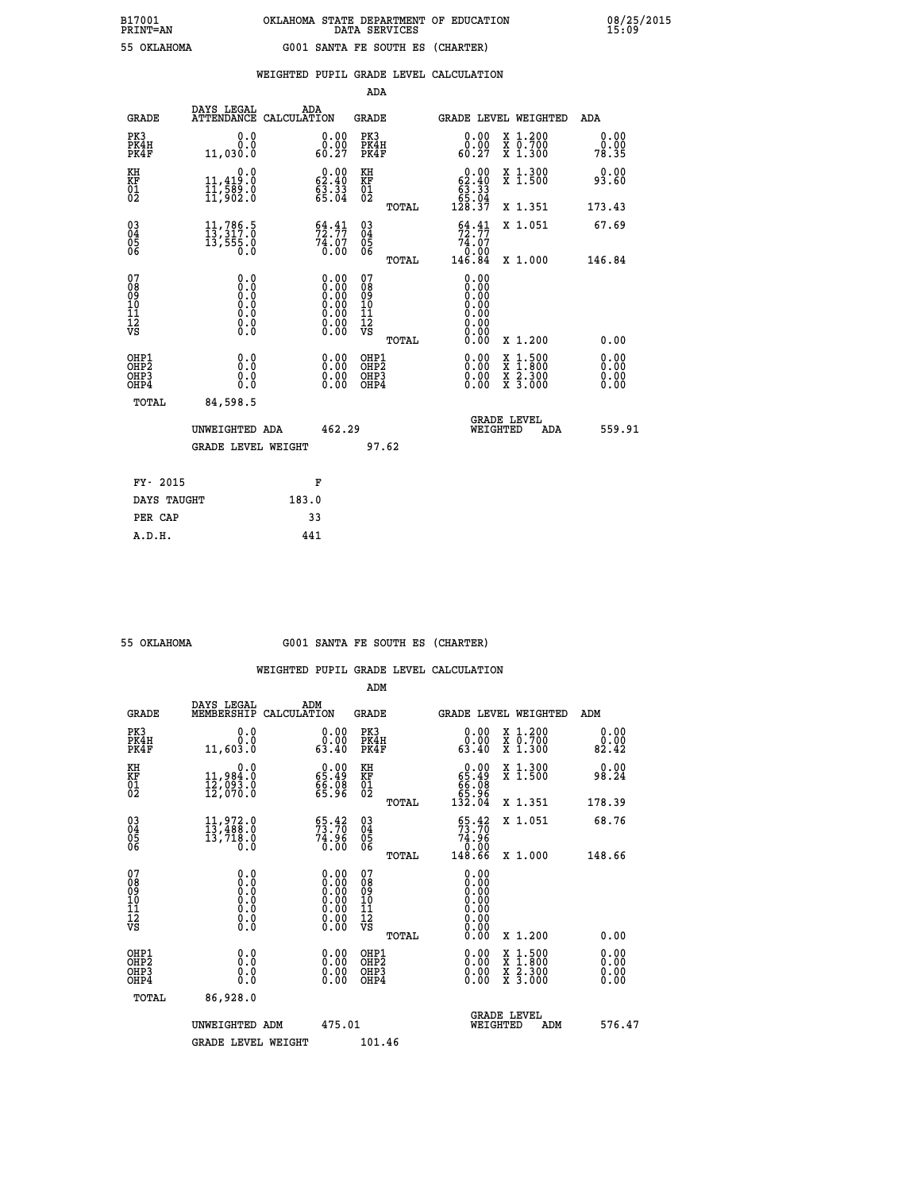|  |  | WEIGHTED PUPIL GRADE LEVEL CALCULATION |
|--|--|----------------------------------------|
|  |  |                                        |

|                                                                    |                                                                                     |                                                                                                                                                | ADA                                                |       |                                                                                     |                                                                                                                                           |                       |
|--------------------------------------------------------------------|-------------------------------------------------------------------------------------|------------------------------------------------------------------------------------------------------------------------------------------------|----------------------------------------------------|-------|-------------------------------------------------------------------------------------|-------------------------------------------------------------------------------------------------------------------------------------------|-----------------------|
| <b>GRADE</b>                                                       | DAYS LEGAL<br>ATTENDANCE CALCULATION                                                | ADA                                                                                                                                            | GRADE                                              |       |                                                                                     | GRADE LEVEL WEIGHTED                                                                                                                      | ADA                   |
| PK3<br>PK4H<br>PK4F                                                | 0.0<br>0.0<br>11,030.0                                                              | 0.00<br>0.00<br>60.27                                                                                                                          | PK3<br>PK4H<br>PK4F                                |       | 0.00<br>0.00<br>60.27                                                               | X 1.200<br>X 0.700<br>X 1.300                                                                                                             | 0.00<br>0.00<br>78.35 |
| KH<br>KF<br>01<br>02                                               | 0.0<br>11,419.0<br>11,589.0<br>11,902.0                                             | $\begin{smallmatrix} 0.00\\ 62.40\\ 63.33\\ 65.04 \end{smallmatrix}$                                                                           | KH<br>KF<br>01<br>02                               |       | $\begin{smallmatrix} &0.00\,62.40\,63.33\\ 63.33\\ 65.04\\ 128.37\end{smallmatrix}$ | X 1.300<br>X 1.500                                                                                                                        | 0.00<br>93.60         |
|                                                                    |                                                                                     |                                                                                                                                                |                                                    | TOTAL |                                                                                     | X 1.351                                                                                                                                   | 173.43                |
| $\begin{smallmatrix} 03 \\[-4pt] 04 \end{smallmatrix}$<br>Ŏ5<br>06 | 11,786.5<br>13,317.0<br>13,555.0<br>0.0                                             | $\begin{smallmatrix} 64.41\\ 72.77\\ 74.07\\ 0.00 \end{smallmatrix}$                                                                           | $\begin{matrix} 03 \\ 04 \\ 05 \\ 06 \end{matrix}$ |       | $\frac{64}{72}$ : $\frac{41}{77}$<br>74.07                                          | X 1.051                                                                                                                                   | 67.69                 |
|                                                                    |                                                                                     |                                                                                                                                                |                                                    | TOTAL | $\frac{0.00}{146.84}$                                                               | X 1.000                                                                                                                                   | 146.84                |
| 07<br>08<br>09<br>11<br>11<br>12<br>VS                             | 0.0<br>$\begin{smallmatrix} 0.0 & 0 \ 0.0 & 0 \ 0.0 & 0 \end{smallmatrix}$<br>$\S.$ | $\begin{smallmatrix} 0.00 \ 0.00 \ 0.00 \ 0.00 \ 0.00 \end{smallmatrix}$<br>$\begin{smallmatrix} 0.00 & 0.00 \\ 0.00 & 0.00 \end{smallmatrix}$ | 07<br>089<br>101<br>111<br>VS                      |       | 0.00<br>0.00<br>0.00<br>0.00<br>0.00                                                |                                                                                                                                           |                       |
|                                                                    |                                                                                     |                                                                                                                                                |                                                    | TOTAL | 0.00                                                                                | X 1.200                                                                                                                                   | 0.00                  |
| OHP1<br>OHP <sub>2</sub><br>OHP3<br>OHP4                           | 0.0<br>0.0<br>0.0                                                                   | $0.00$<br>$0.00$<br>0.00                                                                                                                       | OHP1<br>OHP2<br>OHP3<br>OHP4                       |       |                                                                                     | $\begin{smallmatrix} \mathtt{X} & 1\cdot500\\ \mathtt{X} & 1\cdot800\\ \mathtt{X} & 2\cdot300\\ \mathtt{X} & 3\cdot000 \end{smallmatrix}$ | 0.00<br>0.00          |
| <b>TOTAL</b>                                                       | 84,598.5                                                                            |                                                                                                                                                |                                                    |       |                                                                                     |                                                                                                                                           |                       |
|                                                                    | UNWEIGHTED ADA                                                                      | 462.29                                                                                                                                         |                                                    |       |                                                                                     | <b>GRADE LEVEL</b><br>WEIGHTED<br>ADA                                                                                                     | 559.91                |
|                                                                    | <b>GRADE LEVEL WEIGHT</b>                                                           |                                                                                                                                                |                                                    | 97.62 |                                                                                     |                                                                                                                                           |                       |
| FY- 2015                                                           |                                                                                     | F                                                                                                                                              |                                                    |       |                                                                                     |                                                                                                                                           |                       |
| DAYS TAUGHT                                                        |                                                                                     | 183.0                                                                                                                                          |                                                    |       |                                                                                     |                                                                                                                                           |                       |
| PER CAP                                                            |                                                                                     | 33                                                                                                                                             |                                                    |       |                                                                                     |                                                                                                                                           |                       |

 **ADM**

 **55 OKLAHOMA G001 SANTA FE SOUTH ES (CHARTER)**

| <b>GRADE</b>                                                       | DAYS LEGAL<br>MEMBERSHIP                                                                          | ADM<br>CALCULATION                                                                            | <b>GRADE</b>                                       |       |                                                                                                                                                                                                                                                                                |          | <b>GRADE LEVEL WEIGHTED</b>              | ADM                   |
|--------------------------------------------------------------------|---------------------------------------------------------------------------------------------------|-----------------------------------------------------------------------------------------------|----------------------------------------------------|-------|--------------------------------------------------------------------------------------------------------------------------------------------------------------------------------------------------------------------------------------------------------------------------------|----------|------------------------------------------|-----------------------|
| PK3<br>PK4H<br>PK4F                                                | 0.0<br>0.0<br>11,603.0                                                                            | 0.00<br>0.00<br>63.40                                                                         | PK3<br>PK4H<br>PK4F                                |       | 0.00<br>63.40                                                                                                                                                                                                                                                                  |          | X 1.200<br>X 0.700<br>X 1.300            | 0.00<br>0.00<br>82.42 |
| KH<br><b>KF</b><br>01<br>02                                        | 0.0<br>11,984:0<br>12,093:0<br>12,070:0                                                           | $\begin{smallmatrix} 0.00\\ 65.49\\ 66.08\\ 65.96 \end{smallmatrix}$                          | KH<br>KF<br>01<br>02                               |       | $0.00\n65.49\n66.08\n65.96\n132.04$                                                                                                                                                                                                                                            |          | X 1.300<br>X 1.500                       | 0.00<br>98.24         |
|                                                                    |                                                                                                   |                                                                                               |                                                    | TOTAL |                                                                                                                                                                                                                                                                                |          | X 1.351                                  | 178.39                |
| $\begin{smallmatrix} 03 \\[-4pt] 04 \end{smallmatrix}$<br>Ŏ5<br>06 | $\begin{smallmatrix} 11 & 9 & 72 & 0 \\ 13 & 488 & 0 \\ 13 & 718 & 0 \end{smallmatrix}$           | 55.42<br>74.96                                                                                | $\begin{matrix} 03 \\ 04 \\ 05 \\ 06 \end{matrix}$ |       | $\frac{65.42}{73.70}$                                                                                                                                                                                                                                                          |          | X 1.051                                  | 68.76                 |
|                                                                    | $0.\overline{0}$                                                                                  | 0.00                                                                                          |                                                    | TOTAL | 26:47<br>0.00<br>148.66                                                                                                                                                                                                                                                        |          | X 1.000                                  | 148.66                |
| 07<br>08<br>09<br>101<br>11<br>12<br>VS                            | $\begin{smallmatrix} 0.0 & 0 \ 0.0 & 0 \ 0.0 & 0 \ 0.0 & 0 \ 0.0 & 0 \ 0.0 & 0 \end{smallmatrix}$ | $\begin{smallmatrix} 0.00\ 0.00\ 0.00\ 0.00\ 0.00\ 0.00\ 0.00\ 0.00\ 0.00\ \end{smallmatrix}$ | 07<br>08<br>09<br>001<br>11<br>11<br>12<br>VS      |       | $0.00$<br>$0.00$<br>$0.00$                                                                                                                                                                                                                                                     |          |                                          |                       |
|                                                                    |                                                                                                   |                                                                                               |                                                    | TOTAL | 0.00                                                                                                                                                                                                                                                                           |          | X 1.200                                  | 0.00                  |
| OHP1<br>OHP <sub>2</sub><br>OH <sub>P3</sub><br>OHP4               | 0.0<br>0.0<br>Ŏ.Ŏ                                                                                 | $\begin{smallmatrix} 0.00 \ 0.00 \ 0.00 \ 0.00 \end{smallmatrix}$                             | OHP1<br>OHP <sub>2</sub><br>OHP3<br>OHP4           |       | $\begin{smallmatrix} 0.00 & 0.00 & 0.00 & 0.00 & 0.00 & 0.00 & 0.00 & 0.00 & 0.00 & 0.00 & 0.00 & 0.00 & 0.00 & 0.00 & 0.00 & 0.00 & 0.00 & 0.00 & 0.00 & 0.00 & 0.00 & 0.00 & 0.00 & 0.00 & 0.00 & 0.00 & 0.00 & 0.00 & 0.00 & 0.00 & 0.00 & 0.00 & 0.00 & 0.00 & 0.00 & 0.0$ |          | X 1:500<br>X 1:800<br>X 2:300<br>X 3:000 | 0.00<br>0.00<br>0.00  |
| TOTAL                                                              | 86,928.0                                                                                          |                                                                                               |                                                    |       |                                                                                                                                                                                                                                                                                |          |                                          |                       |
|                                                                    | UNWEIGHTED                                                                                        | 475.01<br>ADM                                                                                 |                                                    |       |                                                                                                                                                                                                                                                                                | WEIGHTED | <b>GRADE LEVEL</b><br>ADM                | 576.47                |
|                                                                    | <b>GRADE LEVEL WEIGHT</b>                                                                         |                                                                                               | 101.46                                             |       |                                                                                                                                                                                                                                                                                |          |                                          |                       |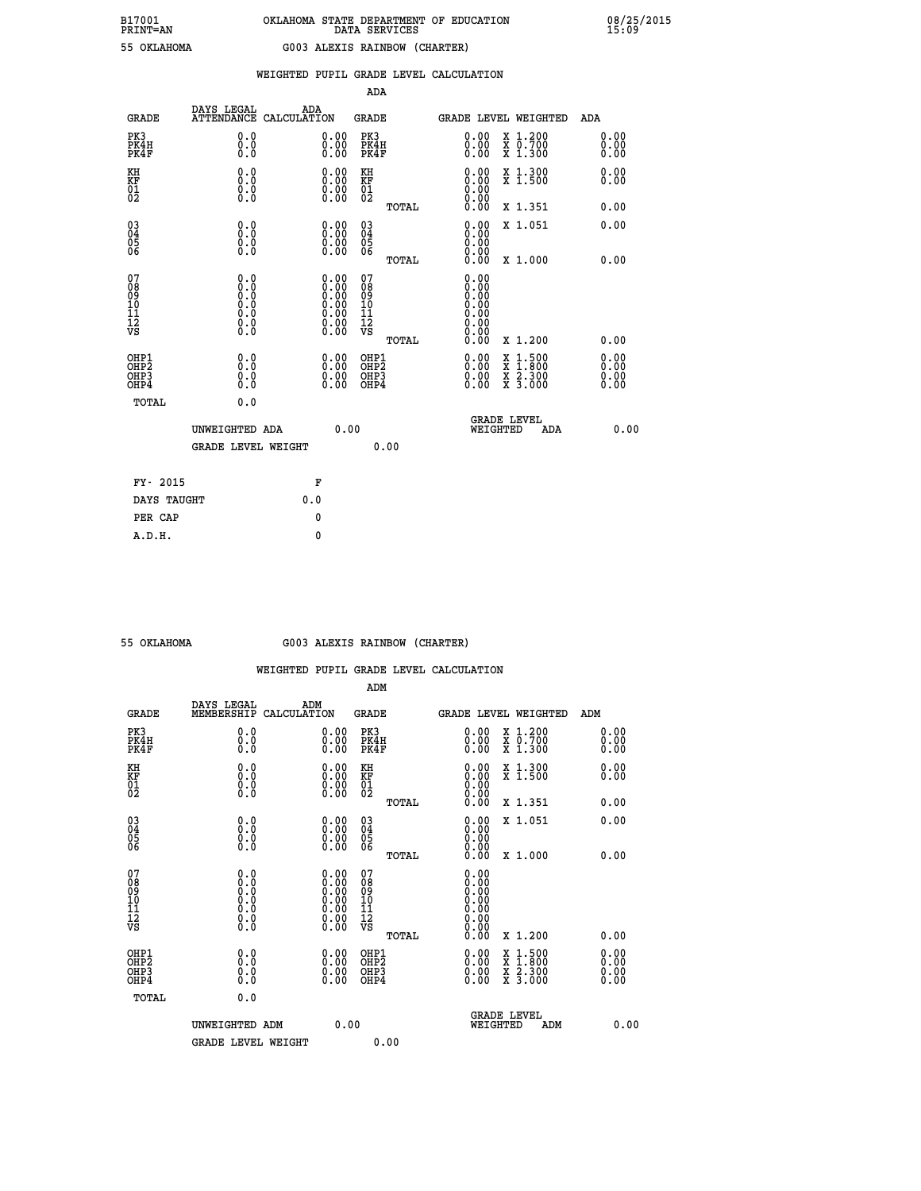|                                          |                                       |     |                                                                                                     |                                          |       | WEIGHTED PUPIL GRADE LEVEL CALCULATION                                              |                                                                                                                                           |                              |
|------------------------------------------|---------------------------------------|-----|-----------------------------------------------------------------------------------------------------|------------------------------------------|-------|-------------------------------------------------------------------------------------|-------------------------------------------------------------------------------------------------------------------------------------------|------------------------------|
|                                          |                                       |     |                                                                                                     | <b>ADA</b>                               |       |                                                                                     |                                                                                                                                           |                              |
| <b>GRADE</b>                             | DAYS LEGAL ADA ATTENDANCE CALCULATION |     |                                                                                                     | <b>GRADE</b>                             |       | GRADE LEVEL WEIGHTED                                                                |                                                                                                                                           | <b>ADA</b>                   |
| PK3<br>PK4H<br>PK4F                      | 0.0<br>0.0<br>0.0                     |     | 0.00<br>$\begin{smallmatrix} 0.00 \ 0.00 \end{smallmatrix}$                                         | PK3<br>PK4H<br>PK4F                      |       | 0.00<br>0.00<br>0.00                                                                | X 1.200<br>X 0.700<br>X 1.300                                                                                                             | 0.00<br>0.00<br>0.00         |
| KH<br>KF<br>01<br>02                     | 0.0<br>0.0<br>0.000                   |     | $\begin{smallmatrix} 0.00 \ 0.00 \ 0.00 \ 0.00 \end{smallmatrix}$                                   | KH<br>KF<br>01<br>02                     |       |                                                                                     | X 1.300<br>X 1.500                                                                                                                        | 0.00<br>0.00                 |
|                                          |                                       |     |                                                                                                     |                                          | TOTAL | 0.00                                                                                | X 1.351                                                                                                                                   | 0.00                         |
| 03<br>04<br>05<br>06                     | 0.0<br>0.0<br>0.0                     |     | $\begin{smallmatrix} 0.00 \ 0.00 \ 0.00 \ 0.00 \end{smallmatrix}$                                   | $\substack{03 \\ 04}$<br>0500            |       | 0.00<br>0.00                                                                        | X 1.051                                                                                                                                   | 0.00                         |
|                                          |                                       |     |                                                                                                     |                                          | TOTAL | 0.00                                                                                | X 1.000                                                                                                                                   | 0.00                         |
| 07<br>08<br>09<br>10<br>11<br>12<br>VS   | 0.0                                   |     | $\begin{smallmatrix} 0.00\ 0.00\ 0.00\ 0.00\ 0.00\ 0.00\ 0.00\ 0.00\ 0.00\ 0.00\ \end{smallmatrix}$ | 07<br>089<br>101<br>111<br>VS            |       | 0.00<br>0.00<br>$\begin{smallmatrix} 0.00 \ 0.00 \end{smallmatrix}$<br>0.00<br>0.00 |                                                                                                                                           |                              |
|                                          |                                       |     |                                                                                                     |                                          | TOTAL | 0.00<br>0.00                                                                        | X 1.200                                                                                                                                   | 0.00                         |
| OHP1<br>OHP2<br>OHP3<br>OH <sub>P4</sub> | 0.0<br>Ō.Ō<br>0.0<br>0.0              |     | $\begin{smallmatrix} 0.00 \ 0.00 \ 0.00 \ 0.00 \end{smallmatrix}$                                   | OHP1<br>OHP <sub>2</sub><br>OHP3<br>OHP4 |       | 0.00<br>0.00                                                                        | $\begin{smallmatrix} \mathtt{X} & 1\cdot500\\ \mathtt{X} & 1\cdot800\\ \mathtt{X} & 2\cdot300\\ \mathtt{X} & 3\cdot000 \end{smallmatrix}$ | 0.00<br>0.00<br>0.00<br>0.00 |
| TOTAL                                    | 0.0                                   |     |                                                                                                     |                                          |       |                                                                                     |                                                                                                                                           |                              |
|                                          | UNWEIGHTED ADA                        |     | 0.00                                                                                                |                                          |       | WEIGHTED                                                                            | <b>GRADE LEVEL</b><br>ADA                                                                                                                 | 0.00                         |
|                                          | <b>GRADE LEVEL WEIGHT</b>             |     |                                                                                                     |                                          | 0.00  |                                                                                     |                                                                                                                                           |                              |
| FY- 2015                                 |                                       |     | F                                                                                                   |                                          |       |                                                                                     |                                                                                                                                           |                              |
| DAYS TAUGHT                              |                                       | 0.0 |                                                                                                     |                                          |       |                                                                                     |                                                                                                                                           |                              |
| PER CAP                                  |                                       |     | 0                                                                                                   |                                          |       |                                                                                     |                                                                                                                                           |                              |

## **55 OKLAHOMA G003 ALEXIS RAINBOW (CHARTER)**

|                                                    |                                                                            |                                                                                               | ADM                                                |       |                                                                                 |                                                                                                                                           |                              |
|----------------------------------------------------|----------------------------------------------------------------------------|-----------------------------------------------------------------------------------------------|----------------------------------------------------|-------|---------------------------------------------------------------------------------|-------------------------------------------------------------------------------------------------------------------------------------------|------------------------------|
| <b>GRADE</b>                                       | DAYS LEGAL<br>MEMBERSHIP                                                   | ADM<br>CALCULATION                                                                            | <b>GRADE</b>                                       |       |                                                                                 | <b>GRADE LEVEL WEIGHTED</b>                                                                                                               | ADM                          |
| PK3<br>PK4H<br>PK4F                                | 0.0<br>0.0<br>0.0                                                          | $\begin{smallmatrix} 0.00 \ 0.00 \ 0.00 \end{smallmatrix}$                                    | PK3<br>PK4H<br>PK4F                                |       | $\begin{smallmatrix} 0.00 \\ 0.00 \\ 0.00 \end{smallmatrix}$                    | X 1.200<br>X 0.700<br>X 1.300                                                                                                             | 0.00<br>0.00<br>0.00         |
| KH<br>KF<br>01<br>02                               | 0.0<br>$\begin{smallmatrix} 0.0 & 0 \ 0.0 & 0 \ 0.0 & 0 \end{smallmatrix}$ | $\begin{smallmatrix} 0.00 \ 0.00 \ 0.00 \ 0.00 \end{smallmatrix}$                             | KH<br>KF<br>01<br>02                               |       | $\begin{smallmatrix} 0.00 \ 0.00 \ 0.00 \ 0.00 \ 0.00 \ 0.00 \end{smallmatrix}$ | X 1.300<br>X 1.500                                                                                                                        | 0.00<br>0.00                 |
|                                                    |                                                                            |                                                                                               |                                                    | TOTAL |                                                                                 | X 1.351                                                                                                                                   | 0.00                         |
| $\begin{matrix} 03 \\ 04 \\ 05 \\ 06 \end{matrix}$ |                                                                            | $\begin{smallmatrix} 0.00 \ 0.00 \ 0.00 \ 0.00 \end{smallmatrix}$                             | $\begin{matrix} 03 \\ 04 \\ 05 \\ 06 \end{matrix}$ |       | $0.00$<br>$0.00$<br>$0.00$                                                      | X 1.051                                                                                                                                   | 0.00                         |
|                                                    |                                                                            |                                                                                               |                                                    | TOTAL | 0.00                                                                            | X 1.000                                                                                                                                   | 0.00                         |
| 07<br>08<br>09<br>101<br>11<br>12<br>VS            | $\S.$                                                                      | $\begin{smallmatrix} 0.00\ 0.00\ 0.00\ 0.00\ 0.00\ 0.00\ 0.00\ 0.00\ 0.00\ \end{smallmatrix}$ | 07<br>08<br>09<br>11<br>11<br>12<br>VS             |       | $0.00$<br>$0.00$<br>$0.00$<br>0.00<br>0.00                                      |                                                                                                                                           |                              |
|                                                    |                                                                            |                                                                                               |                                                    | TOTAL | 0.00                                                                            | X 1.200                                                                                                                                   | 0.00                         |
| OHP1<br>OHP2<br>OH <sub>P3</sub><br>OHP4           | 0.0<br>0.000                                                               | $\begin{smallmatrix} 0.00 \ 0.00 \ 0.00 \ 0.00 \end{smallmatrix}$                             | OHP1<br>OHP2<br>OHP <sub>3</sub>                   |       | $0.00$<br>$0.00$<br>0.00                                                        | $\begin{smallmatrix} \mathtt{X} & 1\cdot500\\ \mathtt{X} & 1\cdot800\\ \mathtt{X} & 2\cdot300\\ \mathtt{X} & 3\cdot000 \end{smallmatrix}$ | 0.00<br>Ŏ.ŎŎ<br>Q.QQ<br>0.00 |
| TOTAL                                              | 0.0                                                                        |                                                                                               |                                                    |       |                                                                                 |                                                                                                                                           |                              |
|                                                    | UNWEIGHTED ADM                                                             | 0.00                                                                                          |                                                    |       | WEIGHTED                                                                        | <b>GRADE LEVEL</b><br>ADM                                                                                                                 | 0.00                         |
|                                                    | <b>GRADE LEVEL WEIGHT</b>                                                  |                                                                                               |                                                    | 0.00  |                                                                                 |                                                                                                                                           |                              |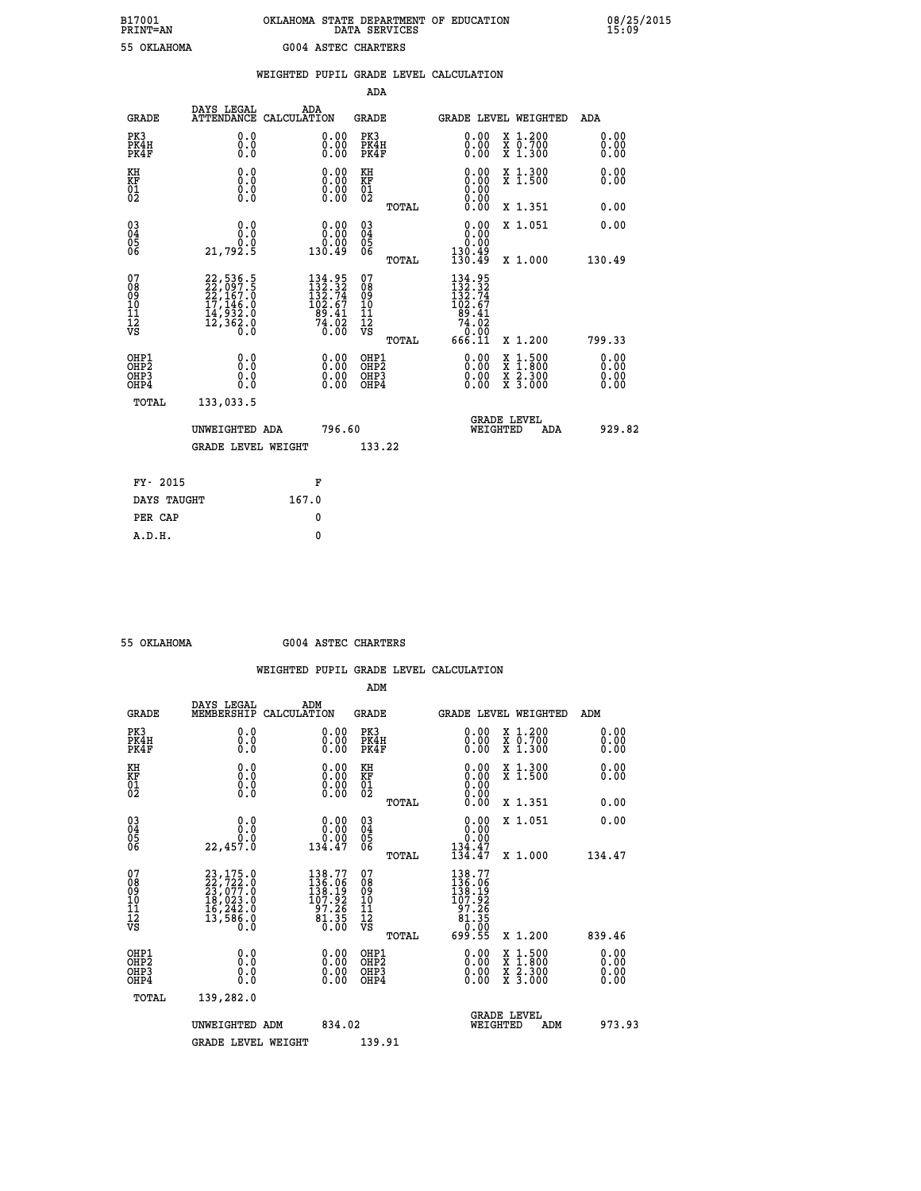# **B17001 OKLAHOMA STATE DEPARTMENT OF EDUCATION 08/25/2015 PRINT=AN DATA SERVICES 15:09 55 OKLAHOMA G004 ASTEC CHARTERS**

|                                                              |                                                                             |       |                                                                                           |                                                   |       | WEIGHTED PUPIL GRADE LEVEL CALCULATION                                                                                                                                                                                                                                         |                                                                                                                                           |                              |
|--------------------------------------------------------------|-----------------------------------------------------------------------------|-------|-------------------------------------------------------------------------------------------|---------------------------------------------------|-------|--------------------------------------------------------------------------------------------------------------------------------------------------------------------------------------------------------------------------------------------------------------------------------|-------------------------------------------------------------------------------------------------------------------------------------------|------------------------------|
|                                                              |                                                                             |       |                                                                                           | <b>ADA</b>                                        |       |                                                                                                                                                                                                                                                                                |                                                                                                                                           |                              |
| <b>GRADE</b>                                                 | DAYS LEGAL<br>ATTENDANCE CALCULATION                                        |       | ADA                                                                                       | GRADE                                             |       | GRADE LEVEL WEIGHTED                                                                                                                                                                                                                                                           |                                                                                                                                           | ADA                          |
| PK3<br>PK4H<br>PK4F                                          | 0.0<br>0.0<br>0.0                                                           |       | $\begin{smallmatrix} 0.00 \ 0.00 \ 0.00 \end{smallmatrix}$                                | PK3<br>PK4H<br>PK4F                               |       | $\begin{smallmatrix} 0.00 \ 0.00 \ 0.00 \end{smallmatrix}$                                                                                                                                                                                                                     | X 1.200<br>X 0.700<br>X 1.300                                                                                                             | 0.00<br>0.00<br>0.00         |
| KH<br>KF<br>01<br>02                                         | 0.0<br>0.0<br>0.0                                                           |       | 0.00<br>$\begin{smallmatrix} 0.00 \ 0.00 \end{smallmatrix}$                               | KH<br>KF<br>$\begin{matrix} 01 \ 02 \end{matrix}$ |       | 0.00<br>0.00<br>0.00                                                                                                                                                                                                                                                           | X 1.300<br>X 1.500                                                                                                                        | 0.00<br>0.00                 |
|                                                              |                                                                             |       |                                                                                           |                                                   | TOTAL | 0.00                                                                                                                                                                                                                                                                           | X 1.351                                                                                                                                   | 0.00                         |
| $\begin{smallmatrix} 03 \\[-4pt] 04 \end{smallmatrix}$<br>Ŏ5 | 0.0<br>0.0                                                                  |       | $0.00$<br>$0.00$                                                                          | $\substack{03 \\ 04}$<br>$\frac{05}{06}$          |       | 0.00<br>0.00                                                                                                                                                                                                                                                                   | X 1.051                                                                                                                                   | 0.00                         |
| ŌĞ                                                           | 21,792.5                                                                    |       | 130.49                                                                                    |                                                   | TOTAL | 130.49<br>130.49                                                                                                                                                                                                                                                               | X 1.000                                                                                                                                   | 130.49                       |
| 07<br>08<br>09<br>11<br>11<br>12<br>VS                       | 22,536.5<br>22,097.5<br>22,167.0<br>17,146.0<br>14,932.0<br>12,362.0<br>0.0 |       | $\begin{smallmatrix} 134.95\\132.32\\132.74\\102.67\\89.41\\74.02\\0.00\end{smallmatrix}$ | 07<br>08<br>09<br>11<br>11<br>12<br>VS            | TOTAL | $\begin{smallmatrix} 134.95\\132.32\\132.74\\102.67\\ 99.41\\74.02\\666.11\end{smallmatrix}$                                                                                                                                                                                   | X 1.200                                                                                                                                   | 799.33                       |
| OHP1<br>OH <sub>P</sub> 2<br>OHP3<br>OHP4                    | 0.0<br>0.0<br>0.0                                                           |       | $\begin{smallmatrix} 0.00 \ 0.00 \ 0.00 \ 0.00 \end{smallmatrix}$                         | OHP1<br>OHP <sub>2</sub><br>OHP3<br>OHP4          |       | $\begin{smallmatrix} 0.00 & 0.00 & 0.00 & 0.00 & 0.00 & 0.00 & 0.00 & 0.00 & 0.00 & 0.00 & 0.00 & 0.00 & 0.00 & 0.00 & 0.00 & 0.00 & 0.00 & 0.00 & 0.00 & 0.00 & 0.00 & 0.00 & 0.00 & 0.00 & 0.00 & 0.00 & 0.00 & 0.00 & 0.00 & 0.00 & 0.00 & 0.00 & 0.00 & 0.00 & 0.00 & 0.0$ | $\begin{smallmatrix} \mathtt{X} & 1\cdot500\\ \mathtt{X} & 1\cdot800\\ \mathtt{X} & 2\cdot300\\ \mathtt{X} & 3\cdot000 \end{smallmatrix}$ | 0.00<br>0.00<br>0.00<br>0.00 |
| TOTAL                                                        | 133,033.5                                                                   |       |                                                                                           |                                                   |       |                                                                                                                                                                                                                                                                                |                                                                                                                                           |                              |
|                                                              | UNWEIGHTED ADA                                                              |       | 796.60                                                                                    |                                                   |       | WEIGHTED                                                                                                                                                                                                                                                                       | <b>GRADE LEVEL</b><br><b>ADA</b>                                                                                                          | 929.82                       |
|                                                              | <b>GRADE LEVEL WEIGHT</b>                                                   |       |                                                                                           | 133.22                                            |       |                                                                                                                                                                                                                                                                                |                                                                                                                                           |                              |
| FY- 2015                                                     |                                                                             |       | F                                                                                         |                                                   |       |                                                                                                                                                                                                                                                                                |                                                                                                                                           |                              |
| DAYS TAUGHT                                                  |                                                                             | 167.0 |                                                                                           |                                                   |       |                                                                                                                                                                                                                                                                                |                                                                                                                                           |                              |
| PER CAP                                                      |                                                                             |       | 0                                                                                         |                                                   |       |                                                                                                                                                                                                                                                                                |                                                                                                                                           |                              |

 **A.D.H. 0**

 **ADM**

 **55 OKLAHOMA G004 ASTEC CHARTERS**

| <b>GRADE</b>                                                       | DAYS LEGAL ADM<br>MEMBERSHIP CALCULATION                                                  |                                                                     | <b>GRADE</b>                                        |       | GRADE LEVEL WEIGHTED                                                                                                                                                                                                                                                           |                                          | ADM                  |  |
|--------------------------------------------------------------------|-------------------------------------------------------------------------------------------|---------------------------------------------------------------------|-----------------------------------------------------|-------|--------------------------------------------------------------------------------------------------------------------------------------------------------------------------------------------------------------------------------------------------------------------------------|------------------------------------------|----------------------|--|
| PK3<br>PK4H<br>PK4F                                                | 0.0<br>0.0<br>0.0                                                                         | 0.00<br>0.00<br>0.00                                                | PK3<br>PK4H<br>PK4F                                 |       | $\begin{smallmatrix} 0.00 \\ 0.00 \\ 0.00 \end{smallmatrix}$                                                                                                                                                                                                                   | X 1.200<br>X 0.700<br>X 1.300            | 0.00<br>0.00<br>0.00 |  |
| KH<br><b>KF</b><br>01<br>02                                        | 0.0<br>$\begin{smallmatrix} 0.0 & 0 \ 0.0 & 0 \ 0.0 & 0 \end{smallmatrix}$                | $\begin{smallmatrix} 0.00 \ 0.00 \ 0.00 \ 0.00 \end{smallmatrix}$   | KH<br>KF<br>01<br>02                                |       | $0.00$<br>$0.00$<br>$0.00$                                                                                                                                                                                                                                                     | X 1.300<br>X 1.500                       | 0.00<br>0.00         |  |
|                                                                    |                                                                                           |                                                                     |                                                     | TOTAL | 0.00                                                                                                                                                                                                                                                                           | X 1.351                                  | 0.00                 |  |
| $\begin{smallmatrix} 03 \\[-4pt] 04 \end{smallmatrix}$<br>Ŏ5<br>06 | 0.00000                                                                                   | $\begin{smallmatrix} 0.00\\ 0.00\\ 0.00\\ 134.47 \end{smallmatrix}$ | $\begin{array}{c} 03 \\ 04 \\ 05 \\ 06 \end{array}$ |       | 0.00<br>$\begin{smallmatrix} & 0.00 \\ 134.47 \ 134.47 \end{smallmatrix}$                                                                                                                                                                                                      | X 1.051                                  | 0.00                 |  |
|                                                                    | 22,457.0                                                                                  |                                                                     |                                                     | TOTAL |                                                                                                                                                                                                                                                                                | X 1.000                                  | 134.47               |  |
| 07<br>08<br>09<br>101<br>11<br>12<br>VS                            | $23,175.0$<br>$22,722.0$<br>$23,077.0$<br>$18,023.0$<br>$16,242.0$<br>$13,586.0$<br>$0.0$ | 138.77<br>136.06<br>138.19<br>107:52<br>97:26<br>81:35<br>0:00      | 07<br>08<br>09<br>001<br>11<br>11<br>12<br>VS       | TOTAL | $\begin{smallmatrix} 138.77\\136.06\\138.19\\107.92\\97.26\\81.35\\699.55 \end{smallmatrix}$                                                                                                                                                                                   | X 1.200                                  | 839.46               |  |
| OHP1<br>OHP2<br>OH <sub>P3</sub><br>OHP4                           |                                                                                           | $\begin{smallmatrix} 0.00 \ 0.00 \ 0.00 \ 0.00 \end{smallmatrix}$   | OHP1<br>OHP2<br>OHP3<br>OHP4                        |       | $\begin{smallmatrix} 0.00 & 0.00 & 0.00 & 0.00 & 0.00 & 0.00 & 0.00 & 0.00 & 0.00 & 0.00 & 0.00 & 0.00 & 0.00 & 0.00 & 0.00 & 0.00 & 0.00 & 0.00 & 0.00 & 0.00 & 0.00 & 0.00 & 0.00 & 0.00 & 0.00 & 0.00 & 0.00 & 0.00 & 0.00 & 0.00 & 0.00 & 0.00 & 0.00 & 0.00 & 0.00 & 0.0$ | X 1:500<br>X 1:800<br>X 2:300<br>X 3:000 | 0.00<br>0.00<br>0.00 |  |
| TOTAL                                                              | 139,282.0                                                                                 |                                                                     |                                                     |       |                                                                                                                                                                                                                                                                                |                                          |                      |  |
|                                                                    | UNWEIGHTED                                                                                | 834.02<br>ADM                                                       |                                                     |       | WEIGHTED                                                                                                                                                                                                                                                                       | <b>GRADE LEVEL</b><br>ADM                | 973.93               |  |
|                                                                    | <b>GRADE LEVEL WEIGHT</b>                                                                 |                                                                     | 139.91                                              |       |                                                                                                                                                                                                                                                                                |                                          |                      |  |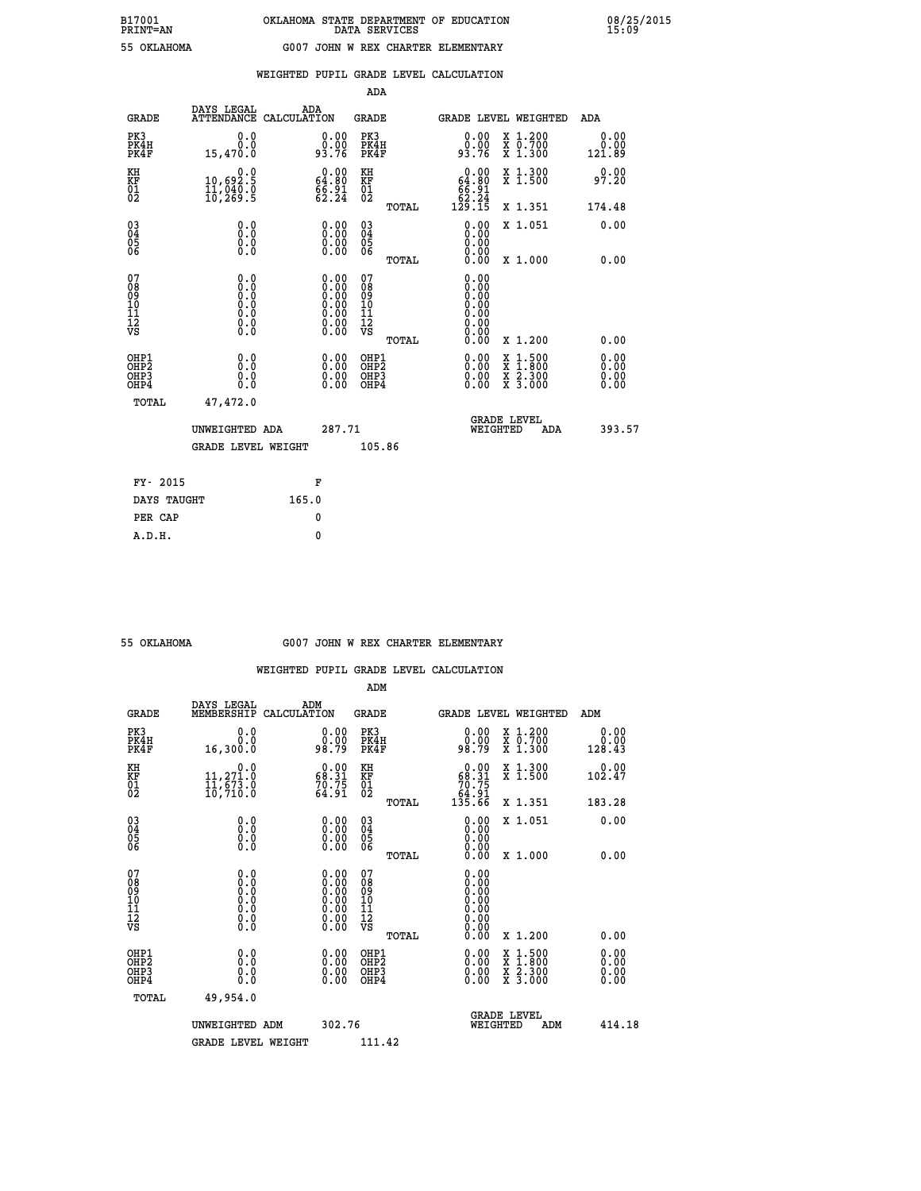|  |  | WEIGHTED PUPIL GRADE LEVEL CALCULATION |
|--|--|----------------------------------------|
|  |  |                                        |

|                                                                    |                                                                                      |       |                                                                                                                                                | ADA                                       |       |                                                                             |                                                                                                  |                              |
|--------------------------------------------------------------------|--------------------------------------------------------------------------------------|-------|------------------------------------------------------------------------------------------------------------------------------------------------|-------------------------------------------|-------|-----------------------------------------------------------------------------|--------------------------------------------------------------------------------------------------|------------------------------|
| <b>GRADE</b>                                                       | DAYS LEGAL<br>ATTENDANCE CALCULATION                                                 | ADA   |                                                                                                                                                | <b>GRADE</b>                              |       |                                                                             | GRADE LEVEL WEIGHTED                                                                             | ADA                          |
| PK3<br>PK4H<br>PK4F                                                | 0.0<br>0.0<br>15,470.0                                                               |       | $0.00$<br>93.76                                                                                                                                | PK3<br>PK4H<br>PK4F                       |       | $0.00$<br>93.76                                                             | X 1.200<br>X 0.700<br>X 1.300                                                                    | 0.00<br>0.00<br>121.89       |
| KH<br><b>KF</b><br>01<br>02                                        | 0.0<br>10,692.5<br>11,040.0<br>10,269.5                                              |       | $\begin{smallmatrix} 0.00\\ 64.80\\ 66.91\\ 62.24 \end{smallmatrix}$                                                                           | KH<br><b>KF</b><br>01<br>02               |       | $\begin{smallmatrix} &0.00\ 64.80\ 66.91\ 62.24\ 129.15\ \end{smallmatrix}$ | X 1.300<br>X 1.500                                                                               | 0.00<br>97.20                |
|                                                                    |                                                                                      |       |                                                                                                                                                |                                           | TOTAL |                                                                             | X 1.351                                                                                          | 174.48                       |
| $\begin{smallmatrix} 03 \\[-4pt] 04 \end{smallmatrix}$<br>05<br>06 | 0.0<br>0.000                                                                         |       | 0.00<br>$\begin{smallmatrix} 0.00 \ 0.00 \end{smallmatrix}$                                                                                    | $\substack{03 \\ 04}$<br>$\frac{05}{06}$  | TOTAL | 0.00<br>0.00<br>0.00<br>0.00                                                | X 1.051<br>X 1.000                                                                               | 0.00<br>0.00                 |
| 07<br>08901112<br>1112<br>VS                                       | 0.0<br>$\begin{smallmatrix} 0.0 & 0 \ 0.0 & 0 \ 0.0 & 0 \ 0.0 & 0 \end{smallmatrix}$ |       | $\begin{smallmatrix} 0.00 \ 0.00 \ 0.00 \ 0.00 \ 0.00 \end{smallmatrix}$<br>$\begin{smallmatrix} 0.00 & 0.00 \\ 0.00 & 0.00 \end{smallmatrix}$ | 07<br>08<br>09<br>11<br>11<br>12<br>VS    |       | 0.00                                                                        |                                                                                                  |                              |
|                                                                    |                                                                                      |       |                                                                                                                                                |                                           | TOTAL | 0.00                                                                        | X 1.200                                                                                          | 0.00                         |
| OHP1<br>OH <sub>P2</sub><br>OH <sub>P3</sub><br>OH <sub>P4</sub>   | 0.0<br>0.0<br>0.0                                                                    |       | 0.00<br>$\begin{smallmatrix} 0.00 \ 0.00 \end{smallmatrix}$                                                                                    | OHP1<br>OH <sub>P</sub> 2<br>OHP3<br>OHP4 |       | 0.00<br>0.00<br>0.00                                                        | $\begin{smallmatrix} x & 1 & 500 \\ x & 1 & 800 \\ x & 2 & 300 \\ x & 3 & 000 \end{smallmatrix}$ | 0.00<br>0.00<br>0.00<br>0.00 |
| TOTAL                                                              | 47,472.0                                                                             |       |                                                                                                                                                |                                           |       |                                                                             |                                                                                                  |                              |
|                                                                    | UNWEIGHTED ADA                                                                       |       | 287.71                                                                                                                                         |                                           |       |                                                                             | GRADE LEVEL<br>WEIGHTED<br>ADA                                                                   | 393.57                       |
|                                                                    | <b>GRADE LEVEL WEIGHT</b>                                                            |       |                                                                                                                                                | 105.86                                    |       |                                                                             |                                                                                                  |                              |
| FY- 2015                                                           |                                                                                      | F     |                                                                                                                                                |                                           |       |                                                                             |                                                                                                  |                              |
| DAYS TAUGHT                                                        |                                                                                      | 165.0 |                                                                                                                                                |                                           |       |                                                                             |                                                                                                  |                              |
| PER CAP                                                            |                                                                                      | 0     |                                                                                                                                                |                                           |       |                                                                             |                                                                                                  |                              |

| OKLAHOMA |
|----------|

#### **55 OKLAHOMA G007 JOHN W REX CHARTER ELEMENTARY**

|                                           |                                         |                                                                                               | ADM                                                |       |                                                                             |                                          |                        |        |
|-------------------------------------------|-----------------------------------------|-----------------------------------------------------------------------------------------------|----------------------------------------------------|-------|-----------------------------------------------------------------------------|------------------------------------------|------------------------|--------|
| <b>GRADE</b>                              | DAYS LEGAL<br>MEMBERSHIP                | ADM<br>CALCULATION                                                                            | <b>GRADE</b>                                       |       |                                                                             | <b>GRADE LEVEL WEIGHTED</b>              | ADM                    |        |
| PK3<br>PK4H<br>PK4F                       | 0.0<br>0.0<br>16,300.0                  | $\begin{smallmatrix} 0.00\\ 0.00\\ 98.79 \end{smallmatrix}$                                   | PK3<br>PK4H<br>PK4F                                |       | $\begin{smallmatrix} 0.00\\ 0.00\\ 98.79 \end{smallmatrix}$                 | X 1.200<br>X 0.700<br>X 1.300            | 0.00<br>0.00<br>128.43 |        |
| KH<br>KF<br>01<br>02                      | 0.0<br>11,271.0<br>11,673.0<br>10,710.0 | $\begin{smallmatrix} 0.00\\ 68.31\\ 70.75\\ 64.91 \end{smallmatrix}$                          | KH<br>KF<br>01<br>02                               |       | $\begin{smallmatrix} &0.00\ 68.31\ 70.75\ 64.91\ 135.66\ \end{smallmatrix}$ | X 1.300<br>X 1.500                       | 0.00<br>102.47         |        |
|                                           |                                         |                                                                                               |                                                    | TOTAL |                                                                             | X 1.351                                  | 183.28                 |        |
| 03<br>04<br>05<br>06                      |                                         | $\begin{smallmatrix} 0.00 \ 0.00 \ 0.00 \ 0.00 \end{smallmatrix}$                             | $\begin{matrix} 03 \\ 04 \\ 05 \\ 06 \end{matrix}$ |       | 0.00<br>0.00<br>0.00                                                        | X 1.051                                  | 0.00                   |        |
|                                           |                                         |                                                                                               |                                                    | TOTAL | 0.00                                                                        | X 1.000                                  | 0.00                   |        |
| 07<br>08<br>09<br>101<br>112<br>VS        | 0.0                                     | $\begin{smallmatrix} 0.00\ 0.00\ 0.00\ 0.00\ 0.00\ 0.00\ 0.00\ 0.00\ 0.00\ \end{smallmatrix}$ | 07<br>08<br>09<br>11<br>11<br>12<br>VS             |       | $0.00$<br>$0.00$<br>$0.00$<br>0.00<br>0.00                                  |                                          |                        |        |
|                                           |                                         |                                                                                               |                                                    | TOTAL | 0.00                                                                        | X 1.200                                  | 0.00                   |        |
| OHP1<br>OHP2<br>OH <sub>P</sub> 3<br>OHP4 | 0.0<br>0.000                            |                                                                                               | OHP1<br>OHP2<br>OHP <sub>3</sub>                   |       | $0.00$<br>$0.00$<br>0.00                                                    | X 1:500<br>X 1:800<br>X 2:300<br>X 3:000 | 0.00<br>0.00<br>0.00   |        |
| TOTAL                                     | 49,954.0                                |                                                                                               |                                                    |       |                                                                             |                                          |                        |        |
|                                           | UNWEIGHTED ADM                          | 302.76                                                                                        |                                                    |       | WEIGHTED                                                                    | <b>GRADE LEVEL</b><br>ADM                |                        | 414.18 |
|                                           | <b>GRADE LEVEL WEIGHT</b>               |                                                                                               | 111.42                                             |       |                                                                             |                                          |                        |        |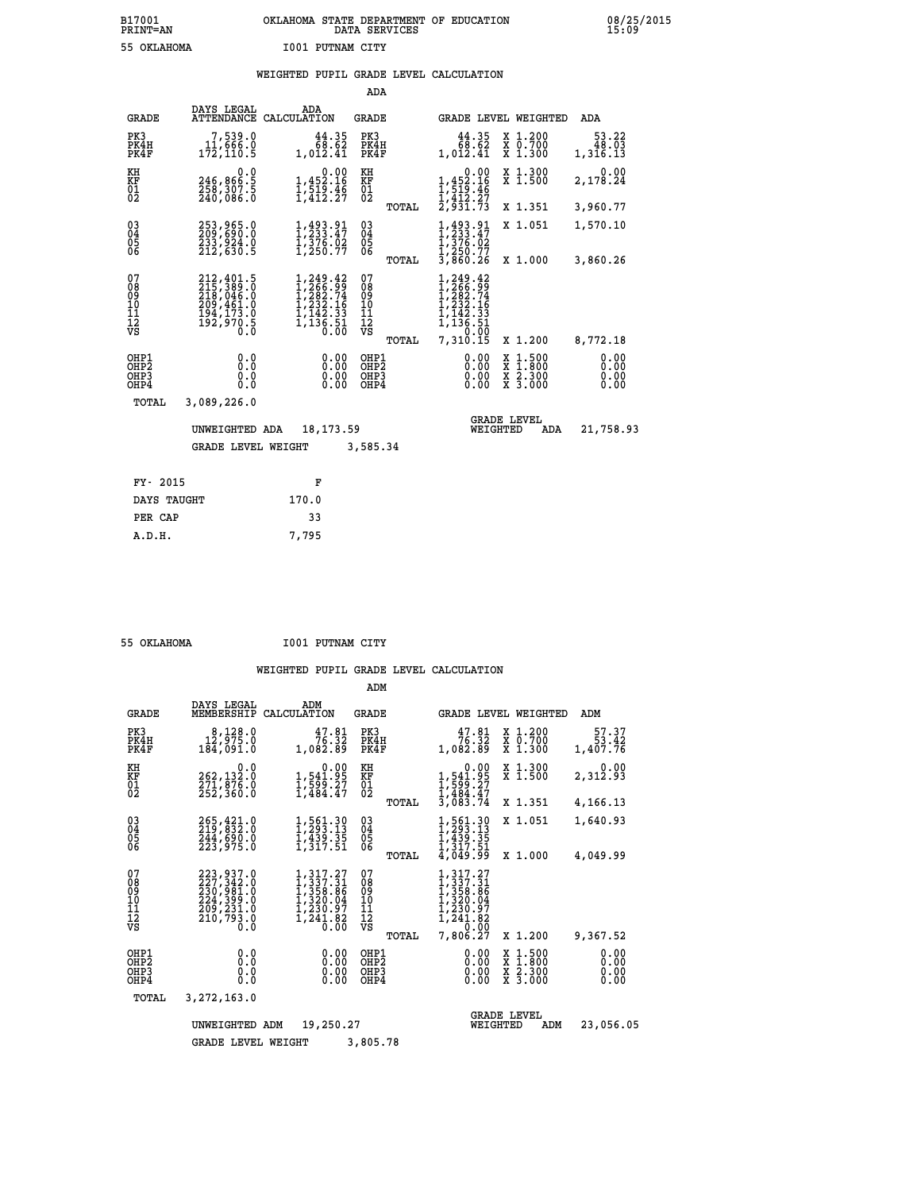# **B17001 OKLAHOMA STATE DEPARTMENT OF EDUCATION 08/25/2015 PRINT=AN DATA SERVICES 15:09 55 OKLAHOMA I001 PUTNAM CITY**

# **WEIGHTED PUPIL GRADE LEVEL CALCULATION**

|                                        |                                                                                                                     |                                                                                                  | ADA                                      |                                                                                              |                                                       |                              |
|----------------------------------------|---------------------------------------------------------------------------------------------------------------------|--------------------------------------------------------------------------------------------------|------------------------------------------|----------------------------------------------------------------------------------------------|-------------------------------------------------------|------------------------------|
| <b>GRADE</b>                           | DAYS LEGAL                                                                                                          | ADA<br>ATTENDANCE CALCULATION                                                                    | GRADE                                    |                                                                                              | GRADE LEVEL WEIGHTED                                  | ADA                          |
| PK3<br>PK4H<br>PK4F                    | 7,539.0<br>11,666.0<br>172, 110.5                                                                                   | 44.35<br>68.62<br>1,012.41                                                                       | PK3<br>PK4H<br>PK4F                      | 44.35<br>68.62<br>1,012.41                                                                   | X 1.200<br>X 0.700<br>X 1.300                         | 53.22<br>48.03<br>1,316.13   |
| KH<br><b>KF</b><br>01<br>02            | 0.0<br>246,866:5<br>258,307:5<br>240,086:0                                                                          | 0.00<br>1,452.16<br>$\frac{1}{1}, \frac{5}{4}$ $\frac{1}{2}$ $\cdot$ $\frac{3}{2}$ $\frac{6}{7}$ | KH<br>KF<br>01<br>02                     | 0.00<br>$1,452.16$<br>$1,519.46$<br>$1,412.27$<br>$2,931.73$                                 | X 1.300<br>$\overline{x}$ 1.500                       | 0.00<br>2,178.24             |
|                                        |                                                                                                                     |                                                                                                  | TOTAL                                    |                                                                                              | X 1.351                                               | 3,960.77                     |
| $^{03}_{04}$<br>05<br>06               | 253,965.0<br>209,690.0<br>233,924.0<br>212,630.5                                                                    | 1,493.91<br>1,233.47<br>$\frac{1}{3}\frac{7}{250}$ .02<br>1,250.77                               | $\substack{03 \\ 04}$<br>$\frac{05}{06}$ | $1, 493.91$<br>$1, 233.47$<br>$1, 376.02$<br>$1, 250.77$<br>$3, 860.26$                      | X 1.051                                               | 1,570.10                     |
|                                        |                                                                                                                     |                                                                                                  | TOTAL                                    |                                                                                              | X 1.000                                               | 3,860.26                     |
| 07<br>08<br>09<br>11<br>11<br>12<br>VS | $\begin{smallmatrix} 212,401.5\\ 215,389.0\\ 218,046.0\\ 209,461.0\\ 194,173.0\\ 192,970.5\\ 0.0 \end{smallmatrix}$ | 1,249.42<br>$1, 266.99$<br>$1, 2882.74$<br>$1, 232.16$<br>$1, 142.33$<br>$1, 136.51$<br>0.00     | 07<br>089<br>101<br>111<br>VS<br>TOTAL   | 1,249.42<br>1,266.99<br>1,282.74<br>1,232.16<br>1,142.33<br>1,136.51<br>7,210.00<br>7,310.15 | X 1.200                                               | 8,772.18                     |
|                                        |                                                                                                                     |                                                                                                  |                                          |                                                                                              |                                                       |                              |
| OHP1<br>OHP2<br>OHP3<br>OHP4           | 0.0<br>0.0<br>0.0<br>0.0                                                                                            | 0.00<br>0.00<br>0.00                                                                             | OHP1<br>OHP <sub>2</sub><br>OHP3<br>OHP4 | 0.00<br>0.00<br>0.00<br>0.00                                                                 | $\frac{x}{x}$ $\frac{1.500}{x}$<br>X 2.300<br>X 3.000 | 0.00<br>0.00<br>0.00<br>0.00 |
| TOTAL                                  | 3,089,226.0                                                                                                         |                                                                                                  |                                          |                                                                                              |                                                       |                              |
|                                        | UNWEIGHTED ADA                                                                                                      | 18, 173.59                                                                                       |                                          | WEIGHTED                                                                                     | <b>GRADE LEVEL</b><br>ADA                             | 21,758.93                    |
|                                        | <b>GRADE LEVEL WEIGHT</b>                                                                                           |                                                                                                  | 3,585.34                                 |                                                                                              |                                                       |                              |
|                                        |                                                                                                                     |                                                                                                  |                                          |                                                                                              |                                                       |                              |
| FY- 2015                               |                                                                                                                     | F                                                                                                |                                          |                                                                                              |                                                       |                              |
| DAYS TAUGHT                            |                                                                                                                     | 170.0                                                                                            |                                          |                                                                                              |                                                       |                              |

 **PER CAP 33 A.D.H. 7,795**

 **55 OKLAHOMA I001 PUTNAM CITY**

|                                                    |                                                                                                     |                                                                                   | ADM                                             |                                                                                                                         |                                                                                |                              |
|----------------------------------------------------|-----------------------------------------------------------------------------------------------------|-----------------------------------------------------------------------------------|-------------------------------------------------|-------------------------------------------------------------------------------------------------------------------------|--------------------------------------------------------------------------------|------------------------------|
| <b>GRADE</b>                                       | DAYS LEGAL<br>MEMBERSHIP                                                                            | ADM<br>CALCULATION                                                                | <b>GRADE</b>                                    | <b>GRADE LEVEL WEIGHTED</b>                                                                                             |                                                                                | ADM                          |
| PK3<br>PK4H<br>PK4F                                | 8,128.0<br>12,975.0<br>184,091.0                                                                    | 47.81<br>76.32<br>1,082.89                                                        | PK3<br>PK4H<br>PK4F                             | 47.81<br>76.32<br>1,082.89                                                                                              | X 1.200<br>X 0.700<br>X 1.300                                                  | 57.37<br>53.42<br>1,407.76   |
| KH<br>KF<br>01<br>02                               | 0.0<br>262,132:0<br>271,876:0<br>252,360:0                                                          | 0.00<br>1,541.95<br>1,599.27<br>1,484.47                                          | KH<br>KF<br>01<br>02                            | 0.00<br>1,541.95<br>1,599.27<br>1,484.47<br>3,083.74                                                                    | X 1.300<br>X 1.500                                                             | 0.00<br>2,312.93             |
|                                                    |                                                                                                     |                                                                                   | TOTAL                                           |                                                                                                                         | X 1.351                                                                        | 4,166.13                     |
| $\begin{matrix} 03 \\ 04 \\ 05 \\ 06 \end{matrix}$ | 265, 421.0<br>219, 832.0<br>244, 690.0                                                              | 1,561.30<br>1,293.13<br>1,439.35                                                  | $\substack{03 \\ 04}$<br>$\frac{05}{06}$        | $1, 561.30$<br>$1, 293.13$<br>$1, 439.35$<br>$1, 317.51$                                                                | X 1.051                                                                        | 1,640.93                     |
|                                                    | 223,975.0                                                                                           | 1,317.51                                                                          | TOTAL                                           | 4,049.99                                                                                                                | X 1.000                                                                        | 4,049.99                     |
| 07<br>08<br>09<br>101<br>11<br>12<br>VS            | 223, 937.0<br>227, 342.0<br>230, 981.0<br>224, 399.0<br>209, 231.0<br>210,793.0<br>$0.\overline{0}$ | 1, 317.27<br>1, 337.31<br>1, 358.86<br>1, 320.04<br>1, 230.97<br>1,241.82<br>0.00 | 07<br>08<br>09<br>11<br>11<br>12<br>VS<br>TOTAL | 1,317.27<br>$\begin{array}{l} 1,337.31 \\ 1,358.86 \\ 1,320.04 \\ 1,239.97 \end{array}$<br>1,241.82<br>0.00<br>7,806.27 | X 1.200                                                                        | 9,367.52                     |
| OHP1<br>OHP2<br>OHP3<br>OHP4                       | 0.0<br>0.0<br>Ŏ.Ŏ                                                                                   | 0.00<br>0.00<br>0.00                                                              | OHP1<br>OHP2<br>OHP3<br>OHP4                    | 0.00<br>0.00<br>0.00<br>0.00                                                                                            | $\frac{x}{x}$ $\frac{1.500}{1.800}$<br>$\bar{x}$ 2.300<br>$\overline{x}$ 3.000 | 0.00<br>0.00<br>0.00<br>0.00 |
| TOTAL                                              | 3, 272, 163.0                                                                                       |                                                                                   |                                                 |                                                                                                                         |                                                                                |                              |
|                                                    | UNWEIGHTED                                                                                          | 19,250.27<br>ADM                                                                  |                                                 | WEIGHTED                                                                                                                | <b>GRADE LEVEL</b><br>ADM                                                      | 23,056.05                    |
|                                                    | <b>GRADE LEVEL WEIGHT</b>                                                                           |                                                                                   | 3,805.78                                        |                                                                                                                         |                                                                                |                              |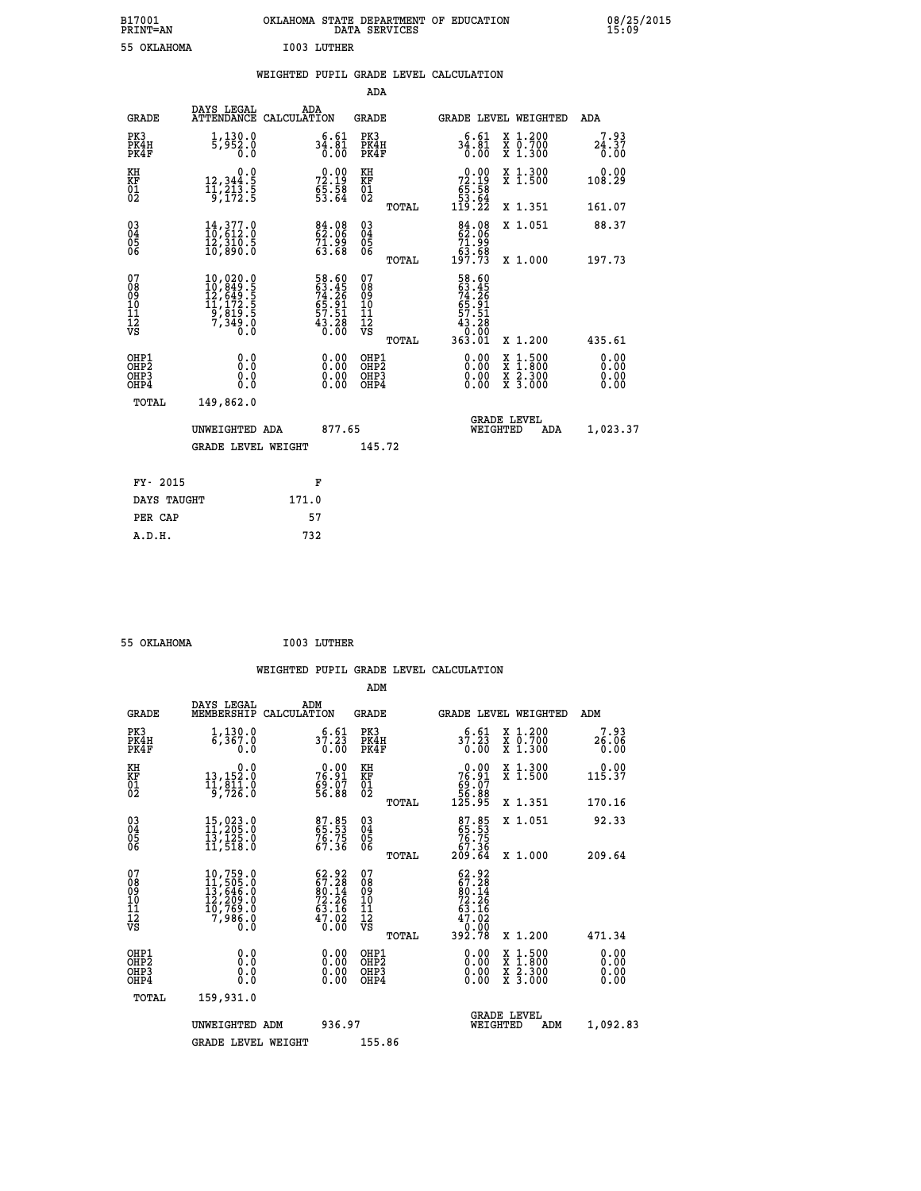| B17001<br><b>PRINT=AN</b> | OKLAHOMA STATE DEPARTMENT OF EDUCATION<br>DATA SERVICES |  |
|---------------------------|---------------------------------------------------------|--|
| 55 OKLAHOMA               | I003 LUTHER                                             |  |

|  |  | WEIGHTED PUPIL GRADE LEVEL CALCULATION |
|--|--|----------------------------------------|
|  |  |                                        |

|                                                      |                                                                                                                                                                             |                                                                   | ADA                                      |       |                                                                             |                                                                                                  |                              |
|------------------------------------------------------|-----------------------------------------------------------------------------------------------------------------------------------------------------------------------------|-------------------------------------------------------------------|------------------------------------------|-------|-----------------------------------------------------------------------------|--------------------------------------------------------------------------------------------------|------------------------------|
| <b>GRADE</b>                                         | DAYS LEGAL<br>ATTENDANCE CALCULATION                                                                                                                                        | ADA                                                               | <b>GRADE</b>                             |       |                                                                             | GRADE LEVEL WEIGHTED                                                                             | ADA                          |
| PK3<br>PK4H<br>PK4F                                  | 1,130.0<br>5,952.0<br>0.0                                                                                                                                                   | $34.81$<br>$0.00$                                                 | PK3<br>PK4H<br>PK4F                      |       | 6.61<br>$34.81$<br>$0.00$                                                   | X 1.200<br>X 0.700<br>X 1.300                                                                    | 7.93<br>24.37<br>0.00        |
| KH<br>KF<br>01<br>02                                 | 0.0<br>12, 344: 5<br>11, 213: 5<br>9, 172: 5                                                                                                                                | 72.19<br>72.19<br>65.58<br>53.64                                  | KH<br>KF<br>01<br>02                     |       | $\begin{smallmatrix} &0.00\ 72.19\ 65.58\ 53.64\ 119.22\ \end{smallmatrix}$ | X 1.300<br>X 1.500                                                                               | 0.00<br>108.29               |
|                                                      |                                                                                                                                                                             |                                                                   |                                          | TOTAL |                                                                             | X 1.351                                                                                          | 161.07                       |
| $\begin{matrix} 03 \\ 04 \\ 05 \\ 06 \end{matrix}$   | $14,377.0$<br>$10,612.0$<br>īž, šīō.š<br>10,890.0                                                                                                                           | $84.08$<br>$62.06$<br>71.99<br>63.68                              | $\substack{03 \\ 04}$<br>Ŏ5<br>06        |       | $84.08$<br>62.06<br>$71.99$<br>$63.68$<br>$197.73$                          | X 1.051                                                                                          | 88.37                        |
|                                                      |                                                                                                                                                                             |                                                                   |                                          | TOTAL |                                                                             | X 1.000                                                                                          | 197.73                       |
| 07<br>08<br>09<br>11<br>11<br>12<br>VS               | $\begin{smallmatrix} 10\,, & 020\,, & 0\\ 10\,, & 849\,, & 5\\ 12\,, & 649\,, & 5\\ 11\,, & 172\,, & 5\\ 9\,, & 819\,, & 5\\ 7\,, & 349\,, & 0\\ 0\,. & 0\end{smallmatrix}$ | 58.60<br>63.45<br>74.26<br>74.51<br>65.91<br>57.51<br>43.280      | 07<br>08<br>09<br>101<br>112<br>VS       |       | 58.60<br>63.45<br>74.261<br>74.51<br>657.51<br>43.280<br>0.001<br>363.01    |                                                                                                  |                              |
|                                                      |                                                                                                                                                                             |                                                                   |                                          | TOTAL |                                                                             | X 1.200                                                                                          | 435.61                       |
| OHP1<br>OH <sub>P</sub> <sub>2</sub><br>OHP3<br>OHP4 | 0.0<br>0.0<br>0.0                                                                                                                                                           | $\begin{smallmatrix} 0.00 \ 0.00 \ 0.00 \ 0.00 \end{smallmatrix}$ | OHP1<br>OHP <sub>2</sub><br>OHP3<br>OHP4 |       |                                                                             | $\begin{smallmatrix} x & 1 & 500 \\ x & 1 & 800 \\ x & 2 & 300 \\ x & 3 & 000 \end{smallmatrix}$ | 0.00<br>0.00<br>0.00<br>0.00 |
| <b>TOTAL</b>                                         | 149,862.0                                                                                                                                                                   |                                                                   |                                          |       |                                                                             |                                                                                                  |                              |
|                                                      | UNWEIGHTED ADA                                                                                                                                                              | 877.65                                                            |                                          |       |                                                                             | <b>GRADE LEVEL</b><br>WEIGHTED<br>ADA                                                            | 1,023.37                     |
|                                                      | <b>GRADE LEVEL WEIGHT</b>                                                                                                                                                   |                                                                   | 145.72                                   |       |                                                                             |                                                                                                  |                              |
|                                                      |                                                                                                                                                                             |                                                                   |                                          |       |                                                                             |                                                                                                  |                              |
| FY- 2015                                             |                                                                                                                                                                             | F                                                                 |                                          |       |                                                                             |                                                                                                  |                              |
| DAYS TAUGHT                                          |                                                                                                                                                                             | 171.0                                                             |                                          |       |                                                                             |                                                                                                  |                              |
| PER CAP                                              |                                                                                                                                                                             | 57                                                                |                                          |       |                                                                             |                                                                                                  |                              |

| 55 OKLAHOMA | I003 LUTHER |
|-------------|-------------|
|             |             |

 **ADM**

 **B17001<br>PRINT=AN** 

| <b>GRADE</b>                                                       | DAYS LEGAL<br>MEMBERSHIP                                                                                                                       | ADM<br>CALCULATION                                                     | <b>GRADE</b>                                       |       |                                                                                                                |          | <b>GRADE LEVEL WEIGHTED</b>              | ADM                   |  |
|--------------------------------------------------------------------|------------------------------------------------------------------------------------------------------------------------------------------------|------------------------------------------------------------------------|----------------------------------------------------|-------|----------------------------------------------------------------------------------------------------------------|----------|------------------------------------------|-----------------------|--|
| PK3<br>PK4H<br>PK4F                                                | 1,130.0<br>6,367.0<br>0.0                                                                                                                      | $37.23$<br>0.00                                                        | PK3<br>PK4H<br>PK4F                                |       | 6.61<br>37.23<br>0.00                                                                                          |          | X 1.200<br>X 0.700<br>X 1.300            | 7.93<br>26.06<br>0.00 |  |
| KH<br><b>KF</b><br>01<br>02                                        | 0.0<br>13,152.0<br>$\frac{11}{9}, \frac{811}{726}$ :0                                                                                          | $76.91$<br>$76.91$<br>$69.07$<br>$56.88$                               | KH<br>KF<br>$\overline{01}$                        |       | $\begin{smallmatrix} &0.00\ 76.91\ 69.07\ 56.88\ 125.95\ \end{smallmatrix}$                                    |          | X 1.300<br>X 1.500                       | 0.00<br>115.37        |  |
|                                                                    |                                                                                                                                                |                                                                        |                                                    | TOTAL |                                                                                                                |          | X 1.351                                  | 170.16                |  |
| $\begin{smallmatrix} 03 \\[-4pt] 04 \end{smallmatrix}$<br>Ŏ5<br>06 | $15,023.0$<br>$11,205.0$<br>$13,125.0$<br>$11,518.0$                                                                                           | 87.85<br>65.53<br>76.75<br>67.36                                       | $\begin{matrix} 03 \\ 04 \\ 05 \\ 06 \end{matrix}$ |       | 87.85<br>65.53<br>76.75<br>67.36<br>209.64                                                                     |          | X 1.051                                  | 92.33                 |  |
|                                                                    |                                                                                                                                                |                                                                        |                                                    | TOTAL |                                                                                                                |          | X 1.000                                  | 209.64                |  |
| 07<br>08<br>09<br>101<br>11<br>12<br>VS                            | $\begin{smallmatrix} 10,759\cdot 0\\ 11,505\cdot 0\\ 13,646\cdot 0\\ 12,209\cdot 0\\ 10,769\cdot 0\\ 7,986\cdot 0\\ 0\cdot 0\end{smallmatrix}$ | $62.92$<br>$67.28$<br>$80.14$<br>$72.26$<br>$63.16$<br>$47.02$<br>0.00 | 07<br>08<br>09<br>01<br>11<br>11<br>12<br>VS       | TOTAL | $\begin{smallmatrix} 62.92\\ 67.28\\ 60.14\\ 90.14\\ 72.26\\ 63.16\\ 47.02\\ 0.000\\ 392.78 \end{smallmatrix}$ |          | X 1.200                                  | 471.34                |  |
| OHP1<br>OHP2<br>OH <sub>P3</sub><br>OHP4                           | 0.0<br>0.0<br>Ŏ.Ŏ                                                                                                                              |                                                                        | OHP1<br>OHP2<br>OHP3<br>OHP4                       |       | 0.00<br>0.00                                                                                                   |          | X 1:500<br>X 1:800<br>X 2:300<br>X 3:000 | 0.00<br>0.00<br>0.00  |  |
| TOTAL                                                              | 159,931.0                                                                                                                                      |                                                                        |                                                    |       |                                                                                                                |          |                                          |                       |  |
|                                                                    | UNWEIGHTED ADM                                                                                                                                 | 936.97                                                                 |                                                    |       |                                                                                                                | WEIGHTED | <b>GRADE LEVEL</b><br>ADM                | 1,092.83              |  |
|                                                                    | <b>GRADE LEVEL WEIGHT</b>                                                                                                                      |                                                                        | 155.86                                             |       |                                                                                                                |          |                                          |                       |  |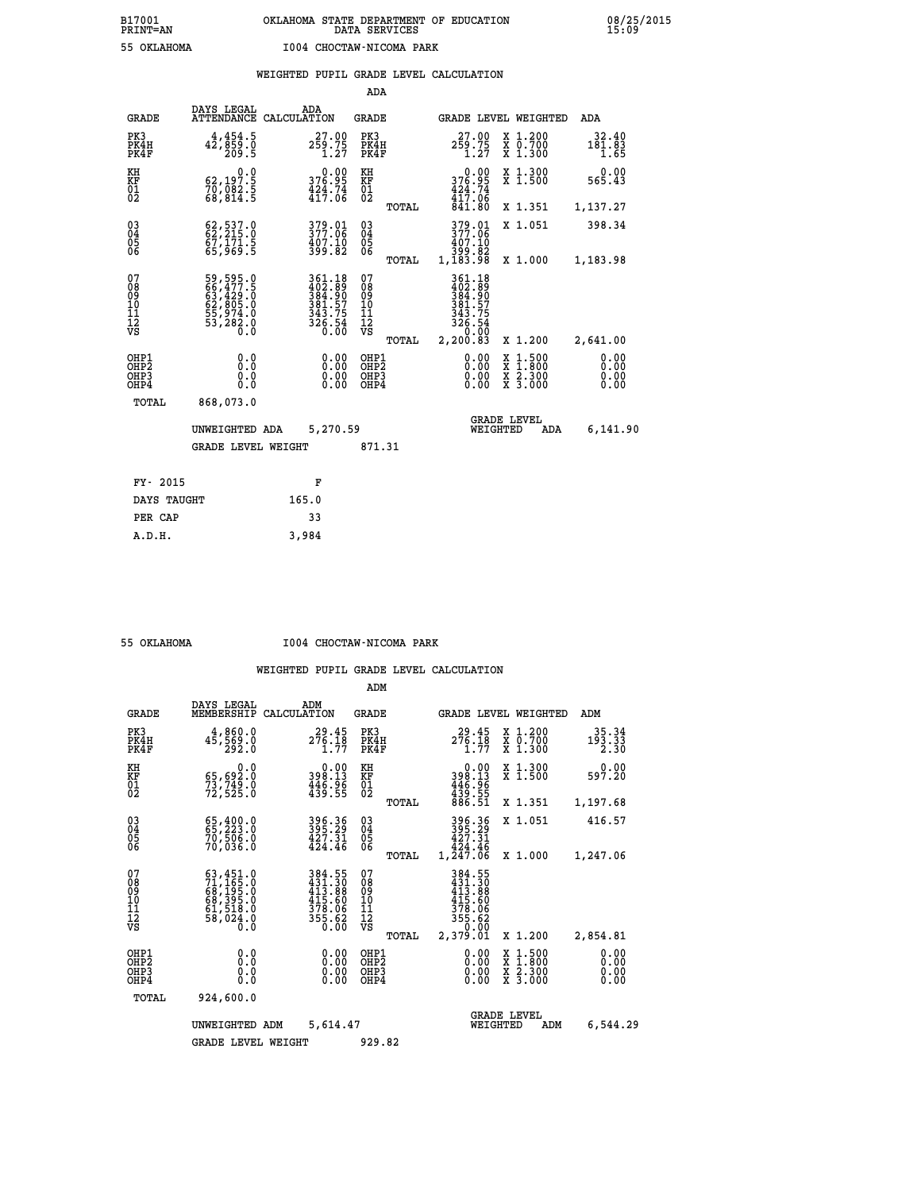|  |  | WEIGHTED PUPIL GRADE LEVEL CALCULATION |
|--|--|----------------------------------------|
|  |  |                                        |

|                                                                  |                                                                                  |                                                                    | ADA                                      |                                                                                               |                                |                                                                                                             |                                          |
|------------------------------------------------------------------|----------------------------------------------------------------------------------|--------------------------------------------------------------------|------------------------------------------|-----------------------------------------------------------------------------------------------|--------------------------------|-------------------------------------------------------------------------------------------------------------|------------------------------------------|
| <b>GRADE</b>                                                     | DAYS LEGAL<br><b>ATTENDANCE</b>                                                  | ADA<br>CALCULATION                                                 | <b>GRADE</b>                             |                                                                                               |                                | GRADE LEVEL WEIGHTED                                                                                        | ADA                                      |
| PK3<br>PK4H<br>PK4F                                              | 4,454.5<br>42,859.0<br>209.5                                                     | $2\frac{27.00}{59.75}$<br>1.27                                     | PK3<br>PK4H<br>PK4F                      | 27.00<br>$2\bar{5}\overset{6}{\cancel{2}}\overset{.}{.}\overset{7}{2}\overset{5}{\cancel{7}}$ |                                | X 1.200<br>X 0.700<br>X 1.300                                                                               | 32.40<br>181.83<br>1.65                  |
| KH<br>KF<br>01<br>02                                             | 0.0<br>62,197.5<br>70,082.5<br>68,814.5                                          | $376.95$<br>$424.74$<br>$417.06$                                   | KH<br>KF<br>01<br>02                     | $0.00$<br>$376.95$<br>$424.74$<br>$417.06$<br>$841.80$                                        |                                | X 1.300<br>X 1.500                                                                                          | 0.00<br>565.43                           |
|                                                                  |                                                                                  |                                                                    |                                          | TOTAL                                                                                         |                                | X 1.351                                                                                                     | 1,137.27                                 |
| $\begin{matrix} 03 \\ 04 \\ 05 \\ 06 \end{matrix}$               | $62, 537.0$<br>$62, 215.0$<br>67,171.5<br>65,969.5                               | 379.01<br>377.06<br>$\frac{407.10}{399.82}$                        | $\substack{03 \\ 04}$<br>05              | 379.01<br>377:06<br>407.10<br>399.82<br>1,183.98<br>TOTAL                                     |                                | X 1.051<br>X 1.000                                                                                          | 398.34<br>1,183.98                       |
| 07<br>08<br>09<br>10<br>11<br>12<br>VS                           | 59,595.0<br>66,477.5<br>63,429.0<br>62,805.0<br>55,974.0<br>55,282.0<br>53,282.0 | 361.18<br>402.89<br>384.907<br>381.575<br>343.75<br>326.54<br>0.00 | 07<br>08<br>09<br>11<br>11<br>12<br>VS   | 361.18<br>$402.89$<br>$384.90$<br>$381.57$<br>$343.75$<br>$326.54$<br>$0.00$                  |                                |                                                                                                             |                                          |
| OHP1<br>OH <sub>P</sub> <sub>2</sub><br>OH <sub>P3</sub><br>OHP4 | 0.0<br>0.0<br>0.0                                                                | 0.00<br>0.00<br>0.00                                               | OHP1<br>OHP <sub>2</sub><br>OHP3<br>OHP4 | 2, 200.83<br>TOTAL                                                                            | $0.00$<br>$0.00$<br>0.00       | X 1.200<br>$\begin{smallmatrix} x & 1 & 500 \\ x & 1 & 800 \\ x & 2 & 300 \\ x & 3 & 000 \end{smallmatrix}$ | 2,641.00<br>0.00<br>0.00<br>0.00<br>0.00 |
| <b>TOTAL</b>                                                     | 868,073.0                                                                        |                                                                    |                                          |                                                                                               |                                |                                                                                                             |                                          |
|                                                                  | UNWEIGHTED ADA                                                                   | 5,270.59                                                           |                                          |                                                                                               | <b>GRADE LEVEL</b><br>WEIGHTED | ADA                                                                                                         | 6,141.90                                 |
|                                                                  | <b>GRADE LEVEL WEIGHT</b>                                                        |                                                                    | 871.31                                   |                                                                                               |                                |                                                                                                             |                                          |
| FY- 2015                                                         |                                                                                  | F                                                                  |                                          |                                                                                               |                                |                                                                                                             |                                          |
| DAYS TAUGHT                                                      |                                                                                  | 165.0                                                              |                                          |                                                                                               |                                |                                                                                                             |                                          |
|                                                                  |                                                                                  |                                                                    |                                          |                                                                                               |                                |                                                                                                             |                                          |
| PER CAP                                                          |                                                                                  | 33                                                                 |                                          |                                                                                               |                                |                                                                                                             |                                          |

 **A.D.H. 3,984**

 **55 OKLAHOMA I004 CHOCTAW-NICOMA PARK**

|                                                       |                                                                                                 |                                                                      |                                        | ADM    |                                                                                     |                                                                                                  |                              |
|-------------------------------------------------------|-------------------------------------------------------------------------------------------------|----------------------------------------------------------------------|----------------------------------------|--------|-------------------------------------------------------------------------------------|--------------------------------------------------------------------------------------------------|------------------------------|
| <b>GRADE</b>                                          | DAYS LEGAL<br>MEMBERSHIP                                                                        | ADM<br>CALCULATION                                                   | <b>GRADE</b>                           |        |                                                                                     | <b>GRADE LEVEL WEIGHTED</b>                                                                      | ADM                          |
| PK3<br>PK4H<br>PK4F                                   | 4,860.0<br>45,569.0<br>292.0                                                                    | 29.45<br>276.18<br>1.77                                              | PK3<br>PK4F                            | PK4H   | 29.45<br>276.18<br>1.77                                                             | X 1.200<br>X 0.700<br>X 1.300                                                                    | 35.34<br>193.33<br>2.30      |
| KH<br>KF<br>01<br>02                                  | 0.0<br>65,692.0<br>73,749.0<br>72,525.0                                                         | $\begin{smallmatrix} &0.00\\398.13\\446.96\\439.55\end{smallmatrix}$ | KH<br>KF<br>01<br>02                   |        | $0.00$<br>$398.13$<br>$446.96$<br>$439.55$<br>$886.51$                              | X 1.300<br>X 1.500                                                                               | 0.00<br>597.20               |
|                                                       |                                                                                                 |                                                                      |                                        | TOTAL  |                                                                                     | X 1.351                                                                                          | 1,197.68                     |
| 03<br>04<br>05<br>06                                  | 65, 400.0<br>70,506.0<br>70,036.0                                                               | 396.36<br>395.29<br>427.31<br>424.46                                 | $\substack{03 \\ 04}$<br>0500          |        | 396.36<br>395.29<br>427.31<br>424.46                                                | X 1.051                                                                                          | 416.57                       |
|                                                       |                                                                                                 |                                                                      |                                        | TOTAL  | 1,247.06                                                                            | X 1.000                                                                                          | 1,247.06                     |
| 07<br>08<br>09<br>101<br>112<br>VS                    | $63, 451.0$<br>$71, 165.0$<br>$68, 195.0$<br>$68, 395.0$<br>$61, 518.0$<br>$58, 024.0$<br>$0.0$ | 384.55<br>431.30<br>413.88<br>415:60<br>378:06<br>355:62<br>0.00     | 07<br>08<br>09<br>11<br>11<br>12<br>VS | TOTAL  | 384.55<br>431.308<br>413.88<br>415.606<br>378.062<br>355.620<br>350.000<br>2,379.01 | X 1.200                                                                                          | 2,854.81                     |
| OHP1<br>OH <sub>P</sub> 2<br>OH <sub>P3</sub><br>OHP4 | 0.0<br>0.000                                                                                    | $0.00$<br>$0.00$<br>0.00                                             | OHP1<br>OHP2<br>OHP3<br>OHP4           |        | $0.00$<br>$0.00$<br>0.00                                                            | $\begin{smallmatrix} x & 1 & 500 \\ x & 1 & 800 \\ x & 2 & 300 \\ x & 3 & 000 \end{smallmatrix}$ | 0.00<br>0.00<br>0.00<br>0.00 |
| TOTAL                                                 | 924,600.0                                                                                       |                                                                      |                                        |        |                                                                                     |                                                                                                  |                              |
|                                                       | UNWEIGHTED ADM                                                                                  | 5,614.47                                                             |                                        |        |                                                                                     | <b>GRADE LEVEL</b><br>WEIGHTED<br>ADM                                                            | 6,544.29                     |
|                                                       | <b>GRADE LEVEL WEIGHT</b>                                                                       |                                                                      |                                        | 929.82 |                                                                                     |                                                                                                  |                              |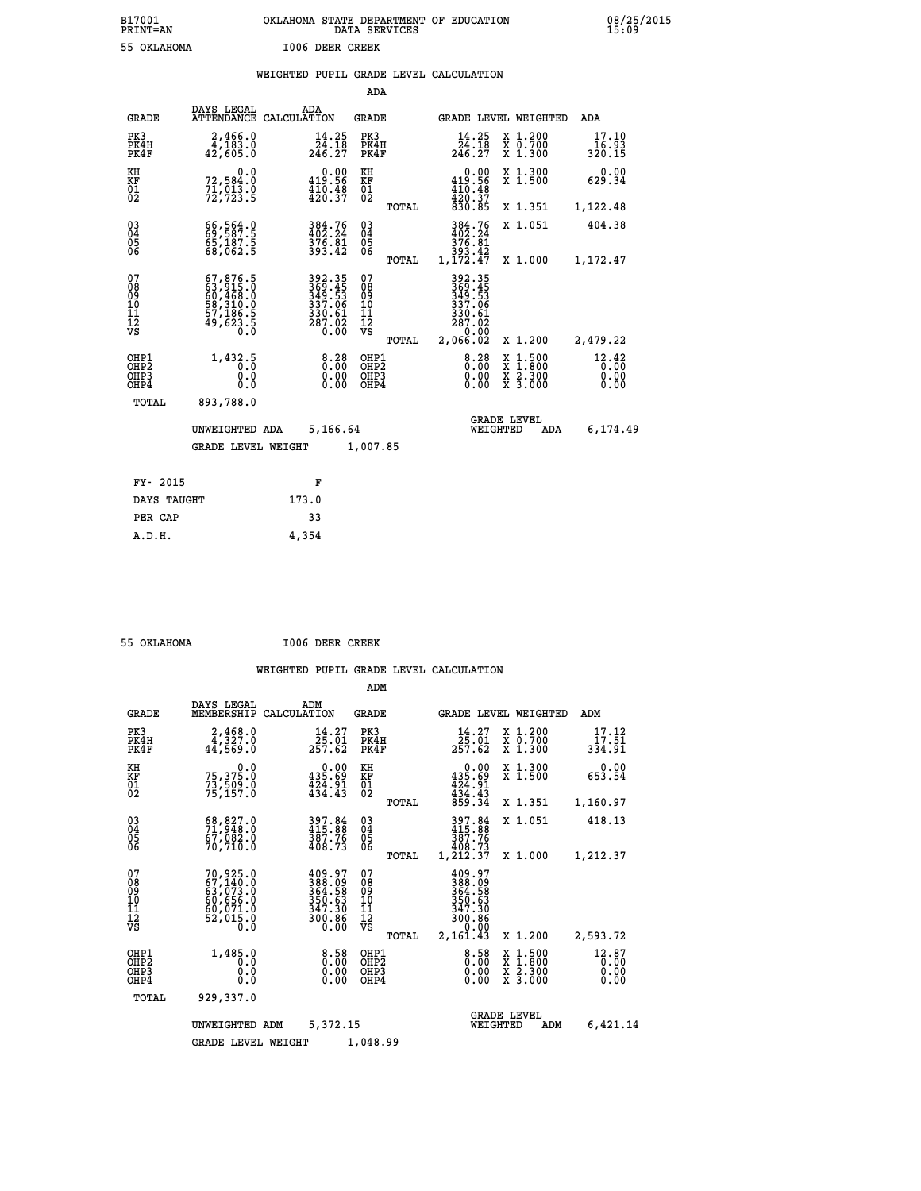| B17001<br><b>PRINT=AN</b> | OKLAHOMA STATE DEPARTMENT OF EDUCATION<br>DATA SERVICES |  |
|---------------------------|---------------------------------------------------------|--|
| 55 OKLAHOMA               | 1006 DEER CREEK                                         |  |

|  |  | WEIGHTED PUPIL GRADE LEVEL CALCULATION |
|--|--|----------------------------------------|
|  |  |                                        |

|                                                                    |                                                                                                                                                 |                                                                       | ADA                                               |       |                                                                                   |                                                                            |                          |
|--------------------------------------------------------------------|-------------------------------------------------------------------------------------------------------------------------------------------------|-----------------------------------------------------------------------|---------------------------------------------------|-------|-----------------------------------------------------------------------------------|----------------------------------------------------------------------------|--------------------------|
| <b>GRADE</b>                                                       | DAYS LEGAL                                                                                                                                      | ADA<br>ATTENDANCE CALCULATION                                         | <b>GRADE</b>                                      |       |                                                                                   | GRADE LEVEL WEIGHTED                                                       | <b>ADA</b>               |
| PK3<br>PK4H<br>PK4F                                                | 2,466.0<br>4,183.0<br>42,605.0                                                                                                                  | $\frac{14.25}{24.18}$<br>246.27                                       | PK3<br>PK4H<br>PK4F                               |       | $\frac{14.25}{24.18}$<br>246.27                                                   | X 1.200<br>X 0.700<br>X 1.300                                              | 17.10<br>16.93<br>320.15 |
| KH<br>KF<br>01<br>02                                               | 0.0<br>72,584.0<br>$7\bar{1}$ , 013.0<br>72, 723.5                                                                                              | $0.00$<br>419.56<br>$\frac{410.48}{420.37}$                           | KH<br>KF<br>$\begin{matrix} 01 \ 02 \end{matrix}$ |       | $\begin{smallmatrix} &0.00\\ 419.56\\ 410.48\\ 420.37\\ 830.85 \end{smallmatrix}$ | X 1.300<br>X 1.500                                                         | 0.00<br>629.34           |
|                                                                    |                                                                                                                                                 |                                                                       |                                                   | TOTAL |                                                                                   | X 1.351                                                                    | 1,122.48                 |
| $\begin{smallmatrix} 03 \\[-4pt] 04 \end{smallmatrix}$<br>05<br>ŌĞ | 69,587.9<br>65,187.5<br>68,062.5                                                                                                                | 384.76<br>402.24<br>$\frac{375}{393.42}$                              | $\substack{03 \\ 04}$<br>0500                     |       | 384.76<br>402.24<br>$\frac{376.81}{393.42}$<br>1,172.47                           | X 1.051                                                                    | 404.38                   |
|                                                                    |                                                                                                                                                 |                                                                       |                                                   | TOTAL |                                                                                   | X 1.000                                                                    | 1,172.47                 |
| 07<br>08<br>09<br>11<br>11<br>12<br>VS                             | $\begin{smallmatrix} 67,876\cdot 5\\ 63,915\cdot 0\\ 60,468\cdot 0\\ 58,310\cdot 0\\ 57,186\cdot 5\\ 49,623\cdot 5\\ 0\cdot 0\end{smallmatrix}$ | 392.35<br>369.45<br>349.53<br>337.06<br>330.61<br>287.02<br>0.00      | 07<br>08<br>09<br>11<br>11<br>12<br>VS            |       | 392.35<br>369.45<br>349.53<br>337.06<br>330.61<br>287.02<br>00.0°-<br>02.066.02   |                                                                            |                          |
|                                                                    |                                                                                                                                                 |                                                                       |                                                   | TOTAL |                                                                                   | X 1.200                                                                    | 2,479.22                 |
| OHP1<br>OH <sub>P</sub> 2<br>OHP3<br>OHP4                          | 1,432.5<br>0.0<br>0.0<br>Ō.Ō                                                                                                                    | $8.28$<br>0.00<br>$\begin{smallmatrix} 0.00 \ 0.00 \end{smallmatrix}$ | OHP1<br>OH <sub>P</sub> 2<br>OHP3<br>OHP4         |       | 0.28<br>0.00<br>0.00                                                              | $1:500$<br>$1:800$<br>X<br>X<br>$\frac{\ddot{x}}{x}$ $\frac{2.300}{3.000}$ | 12.42<br>0.00<br>0.00    |
| TOTAL                                                              | 893,788.0                                                                                                                                       |                                                                       |                                                   |       |                                                                                   |                                                                            |                          |
|                                                                    | UNWEIGHTED ADA                                                                                                                                  | 5,166.64                                                              |                                                   |       |                                                                                   | <b>GRADE LEVEL</b><br>WEIGHTED<br>ADA                                      | 6,174.49                 |
|                                                                    | <b>GRADE LEVEL WEIGHT</b>                                                                                                                       |                                                                       | 1,007.85                                          |       |                                                                                   |                                                                            |                          |
| FY- 2015                                                           |                                                                                                                                                 | F                                                                     |                                                   |       |                                                                                   |                                                                            |                          |
| DAYS TAUGHT                                                        |                                                                                                                                                 | 173.0                                                                 |                                                   |       |                                                                                   |                                                                            |                          |
| PER CAP                                                            |                                                                                                                                                 | 33                                                                    |                                                   |       |                                                                                   |                                                                            |                          |
|                                                                    |                                                                                                                                                 |                                                                       |                                                   |       |                                                                                   |                                                                            |                          |

| 55 OKLAHOMA |  | 1006 DEER CREEK |
|-------------|--|-----------------|

 **A.D.H. 4,354**

|                                           |                                                                             |                                                                                              | ADM                                              |                                                                              |                                                                                                  |                               |
|-------------------------------------------|-----------------------------------------------------------------------------|----------------------------------------------------------------------------------------------|--------------------------------------------------|------------------------------------------------------------------------------|--------------------------------------------------------------------------------------------------|-------------------------------|
| <b>GRADE</b>                              | DAYS LEGAL<br>MEMBERSHIP                                                    | ADM<br>CALCULATION                                                                           | <b>GRADE</b>                                     | <b>GRADE LEVEL WEIGHTED</b>                                                  |                                                                                                  | ADM                           |
| PK3<br>PK4H<br>PK4F                       | $2,468.0$<br>4,327.0<br>44,569.0                                            | 14.27<br>25.01<br>257.62                                                                     | PK3<br>PK4H<br>PK4F                              | 14.27<br>25.01<br>257.62                                                     | $\begin{smallmatrix} x & 1.200 \\ x & 0.700 \end{smallmatrix}$<br>$X$ 1.300                      | 17.12<br>17.51<br>334.91      |
| KH<br>KF<br>01<br>02                      | 0.0<br>75,375.0<br>73,509.0<br>75,157.0                                     | 0.00<br>435.69<br>$\frac{1}{4}$ $\frac{2}{4}$ $\frac{1}{4}$ $\cdot\frac{9}{4}$ $\frac{1}{3}$ | KH<br>KF<br>01<br>02                             | 0.00<br>$435.69$<br>$424.91$<br>$434.43$                                     | X 1.300<br>X 1.500                                                                               | 0.00<br>653.54                |
|                                           |                                                                             |                                                                                              | TOTAL                                            | 859.34                                                                       | X 1.351                                                                                          | 1,160.97                      |
| 03<br>04<br>05<br>06                      | 68,827.0<br>71,948.0<br>67,082.0<br>70,710.0                                | 397.84<br>415.88<br>387.76<br>408.73                                                         | $\substack{03 \\ 04}$<br>0500                    | 397.84<br>415.88<br>387.76<br>408.73                                         | X 1.051                                                                                          | 418.13                        |
|                                           |                                                                             |                                                                                              | TOTAL                                            | 1,212.37                                                                     | X 1.000                                                                                          | 1,212.37                      |
| 07<br>08<br>09<br>11<br>11<br>12<br>VS    | 70,925.0<br>67,140.0<br>63,073.0<br>60,656.0<br>60,071.0<br>52,015.0<br>Ŏ.Ŏ | 409.97<br>388.09<br>364.58<br>350.63<br>347.30<br>300.86<br>0.00                             | 07<br>08<br>09<br>101<br>11<br>12<br>VS<br>TOTAL | 409.97<br>388.09<br>364.58<br>350.63<br>347.30<br>300.86<br>0.00<br>2,161.43 | X 1.200                                                                                          | 2,593.72                      |
| OHP1<br>OH <sub>P</sub> 2<br>OHP3<br>OHP4 | 1,485.0<br>0.0<br>0.0<br>Ŏ.Ŏ                                                | 0.58<br>0.00<br>0.00                                                                         | OHP1<br>OHP2<br>OHP3<br>OHP4                     | $0.58$<br>$0.00$<br>0.00                                                     | $\begin{smallmatrix} x & 1 & 500 \\ x & 1 & 800 \\ x & 2 & 300 \\ x & 3 & 000 \end{smallmatrix}$ | 12.87<br>0.00<br>0.00<br>0.00 |
| TOTAL                                     | 929,337.0                                                                   |                                                                                              |                                                  |                                                                              |                                                                                                  |                               |
|                                           | UNWEIGHTED                                                                  | 5,372.15<br>ADM                                                                              |                                                  | <b>GRADE LEVEL</b><br>WEIGHTED                                               | ADM                                                                                              | 6,421.14                      |
|                                           | <b>GRADE LEVEL WEIGHT</b>                                                   |                                                                                              | 1,048.99                                         |                                                                              |                                                                                                  |                               |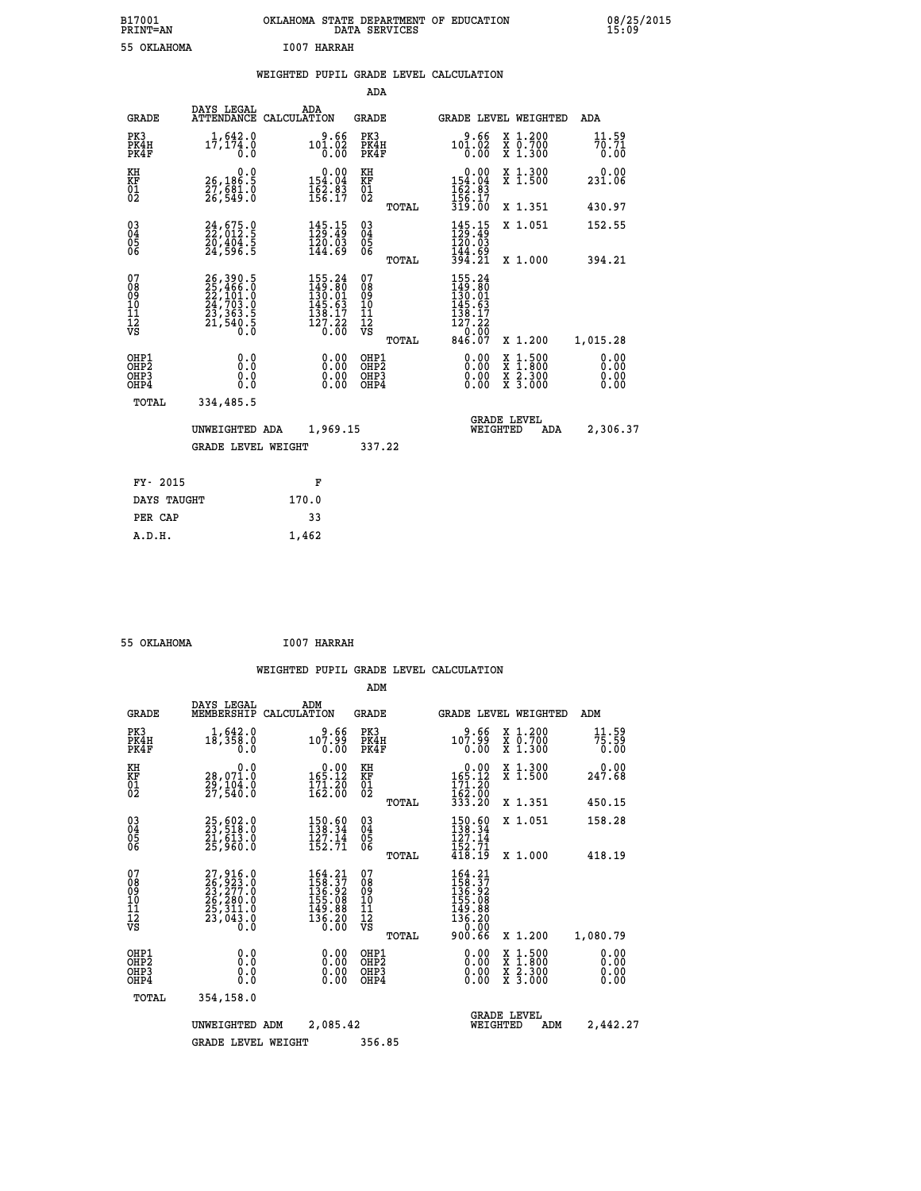| B17001<br>PRINT=AN | STATE DEPARTMENT OF EDUCATION<br><b>OKLAHOMA</b><br>SERVICES<br>DATA | 08/25/2015<br>15:09 |
|--------------------|----------------------------------------------------------------------|---------------------|
| 55 OKLAHOMA        | I007<br><b>HARRAH</b>                                                |                     |

|  |  | WEIGHTED PUPIL GRADE LEVEL CALCULATION |
|--|--|----------------------------------------|
|  |  |                                        |

|                                                    |                                                                                                                                                                               |                                                                              | ADA                                      |       |                                                                                                                           |                                                                                          |                              |
|----------------------------------------------------|-------------------------------------------------------------------------------------------------------------------------------------------------------------------------------|------------------------------------------------------------------------------|------------------------------------------|-------|---------------------------------------------------------------------------------------------------------------------------|------------------------------------------------------------------------------------------|------------------------------|
| <b>GRADE</b>                                       | DAYS LEGAL                                                                                                                                                                    | ADA<br>ATTENDANCE CALCULATION                                                | <b>GRADE</b>                             |       |                                                                                                                           | GRADE LEVEL WEIGHTED                                                                     | ADA                          |
| PK3<br>PK4H<br>PK4F                                | 1,642.0<br>$1\bar{7}$ , 174.0<br>0.0                                                                                                                                          | 9.66<br>101.02<br>$\overline{0}$ .00                                         | PK3<br>PK4H<br>PK4F                      |       | 9.66<br>$101.02$<br>$0.00$                                                                                                | X 1.200<br>X 0.700<br>X 1.300                                                            | 11.59<br>70.71<br>0.00       |
| KH<br>KF<br>01<br>02                               | 0.0<br>26,186.5<br>27,681.0<br>26,549.0                                                                                                                                       | $\begin{smallmatrix}&&0.00\\154.04\\162.83\\156.17\end{smallmatrix}$         | KH<br>KF<br>01<br>02                     |       | 0.00<br>154:04<br>162:83<br>156:17<br>319:00                                                                              | X 1.300<br>X 1.500                                                                       | 0.00<br>231.06               |
|                                                    |                                                                                                                                                                               |                                                                              |                                          | TOTAL |                                                                                                                           | X 1.351                                                                                  | 430.97                       |
| $\begin{matrix} 03 \\ 04 \\ 05 \\ 06 \end{matrix}$ | 24,675.0<br>22,012.5<br>20,404.5<br>24,596.5                                                                                                                                  | $145.15$<br>$129.49$<br>120.03<br>144.69                                     | $\substack{03 \\ 04}$<br>05<br>06        |       | 145.15<br>120.03<br>144.69                                                                                                | X 1.051                                                                                  | 152.55                       |
|                                                    |                                                                                                                                                                               |                                                                              |                                          | TOTAL | 394.21                                                                                                                    | X 1.000                                                                                  | 394.21                       |
| 07<br>08<br>09<br>101<br>112<br>VS                 | $\begin{smallmatrix} 26\,, & 390\,. & 5\\ 25\,, & 466\,. & 0\\ 22\,, & 101\,. & 0\\ 24\,, & 703\,. & 0\\ 23\,, & 363\,. & 5\\ 21\,, & 540\,. & 5\\ 0\,. & 0\end{smallmatrix}$ | 155.24<br>$149.80$<br>$130.01$<br>$145.63$<br>$138.17$<br>$127.22$<br>$0.00$ | 07<br>08<br>09<br>11<br>11<br>12<br>VS   |       | $\begin{smallmatrix} 155\cdot 24\\ 149\cdot 80\\ 130\cdot 01\\ 145\cdot 63\\ 138\cdot 17\\ 127\cdot 22 \end{smallmatrix}$ |                                                                                          |                              |
|                                                    |                                                                                                                                                                               |                                                                              |                                          | TOTAL | $\frac{180}{846.07}$                                                                                                      | X 1.200                                                                                  | 1,015.28                     |
| OHP1<br>OHP2<br>OHP3<br>OHP4                       | 0.0<br>0.0<br>0.0                                                                                                                                                             | $0.00$<br>$0.00$<br>0.00                                                     | OHP1<br>OHP <sub>2</sub><br>OHP3<br>OHP4 |       | $0.00$<br>$0.00$<br>0.00                                                                                                  | $\begin{smallmatrix} x & 1.500 \\ x & 1.800 \\ x & 2.300 \\ x & 3.000 \end{smallmatrix}$ | 0.00<br>0.00<br>0.00<br>0.00 |
| <b>TOTAL</b>                                       | 334,485.5                                                                                                                                                                     |                                                                              |                                          |       |                                                                                                                           |                                                                                          |                              |
|                                                    | UNWEIGHTED ADA                                                                                                                                                                | 1,969.15                                                                     |                                          |       |                                                                                                                           | <b>GRADE LEVEL</b><br>WEIGHTED<br>ADA                                                    | 2,306.37                     |
|                                                    | <b>GRADE LEVEL WEIGHT</b>                                                                                                                                                     |                                                                              | 337.22                                   |       |                                                                                                                           |                                                                                          |                              |
| FY- 2015                                           |                                                                                                                                                                               | F                                                                            |                                          |       |                                                                                                                           |                                                                                          |                              |
| DAYS TAUGHT                                        |                                                                                                                                                                               | 170.0                                                                        |                                          |       |                                                                                                                           |                                                                                          |                              |
|                                                    |                                                                                                                                                                               |                                                                              |                                          |       |                                                                                                                           |                                                                                          |                              |
| PER CAP                                            |                                                                                                                                                                               | 33                                                                           |                                          |       |                                                                                                                           |                                                                                          |                              |

| 55 OKLAHOMA | <b>I007 HARRAH</b> |
|-------------|--------------------|
|             |                    |

 **A.D.H. 1,462**

|                                          |                                                                                                                             |                                                                         | ADM                                             |                                                                                          |                                          |                              |
|------------------------------------------|-----------------------------------------------------------------------------------------------------------------------------|-------------------------------------------------------------------------|-------------------------------------------------|------------------------------------------------------------------------------------------|------------------------------------------|------------------------------|
| <b>GRADE</b>                             | DAYS LEGAL<br>MEMBERSHIP                                                                                                    | ADM<br>CALCULATION                                                      | <b>GRADE</b>                                    | <b>GRADE LEVEL WEIGHTED</b>                                                              |                                          | ADM                          |
| PK3<br>PK4H<br>PK4F                      | 1,642.0<br>$1\bar{8}$ , $3\bar{5}\bar{8}$ .0<br>0.0                                                                         | 9.66<br>107.99<br>0.00                                                  | PK3<br>PK4H<br>PK4F                             | 9.66<br>99.701<br>0.00                                                                   | X 1.200<br>X 0.700<br>X 1.300            | 11.59<br>75.59<br>0.00       |
| KH<br>KF<br>01<br>02                     | 0.0<br>28,071.0<br>29,104.0<br>27,540.0                                                                                     | $0.00$<br>165.12<br>$\frac{171.20}{162.00}$                             | KH<br>KF<br>01<br>02                            | $\begin{array}{c} 0.00 \\ 165.12 \\ 171.20 \\ 162.00 \\ 333.20 \end{array}$              | X 1.300<br>X 1.500                       | 0.00<br>247.68               |
|                                          |                                                                                                                             |                                                                         | TOTAL                                           |                                                                                          | X 1.351                                  | 450.15                       |
| 03<br>04<br>05<br>06                     | 25,602.0<br>23,518.0<br>21,613.0<br>25,960.0                                                                                | 150.60<br>138.34<br>$\frac{127.14}{152.71}$                             | $^{03}_{04}$<br>05<br>06                        | 150.60<br>138.34<br>127.14<br>$\frac{152.71}{418.19}$                                    | X 1.051                                  | 158.28                       |
|                                          |                                                                                                                             |                                                                         | TOTAL                                           |                                                                                          | X 1.000                                  | 418.19                       |
| 07<br>08<br>09<br>101<br>112<br>VS       | $\begin{smallmatrix} 27,916\ .0\\ 26,923\ .0\\ 23,277\ .0\\ 26,280\ .0\\ 25,311\ .0\\ 23,043\ .0\\ 0\ .0 \end{smallmatrix}$ | 164.21<br>158.37<br>136.92<br>155.08<br>149.88<br>$\frac{136.20}{0.00}$ | 07<br>08<br>09<br>11<br>11<br>12<br>VS<br>TOTAL | $164.21$<br>$158.37$<br>$136.92$<br>$155.08$<br>$149.88$<br>$136.20$<br>$0.00$<br>900.66 | X 1.200                                  | 1,080.79                     |
| OHP1<br>OHP2<br>OH <sub>P3</sub><br>OHP4 | 0.0<br>0.000                                                                                                                | $0.00$<br>$0.00$<br>0.00                                                | OHP1<br>OHP2<br>OHP3<br>OHP4                    | $0.00$<br>$0.00$<br>0.00                                                                 | X 1:500<br>X 1:800<br>X 2:300<br>X 3:000 | 0.00<br>0.00<br>0.00<br>0.00 |
| TOTAL                                    | 354,158.0                                                                                                                   |                                                                         |                                                 |                                                                                          |                                          |                              |
|                                          | UNWEIGHTED<br>ADM                                                                                                           | 2,085.42                                                                |                                                 | WEIGHTED                                                                                 | <b>GRADE LEVEL</b><br>ADM                | 2,442.27                     |
|                                          | <b>GRADE LEVEL WEIGHT</b>                                                                                                   |                                                                         | 356.85                                          |                                                                                          |                                          |                              |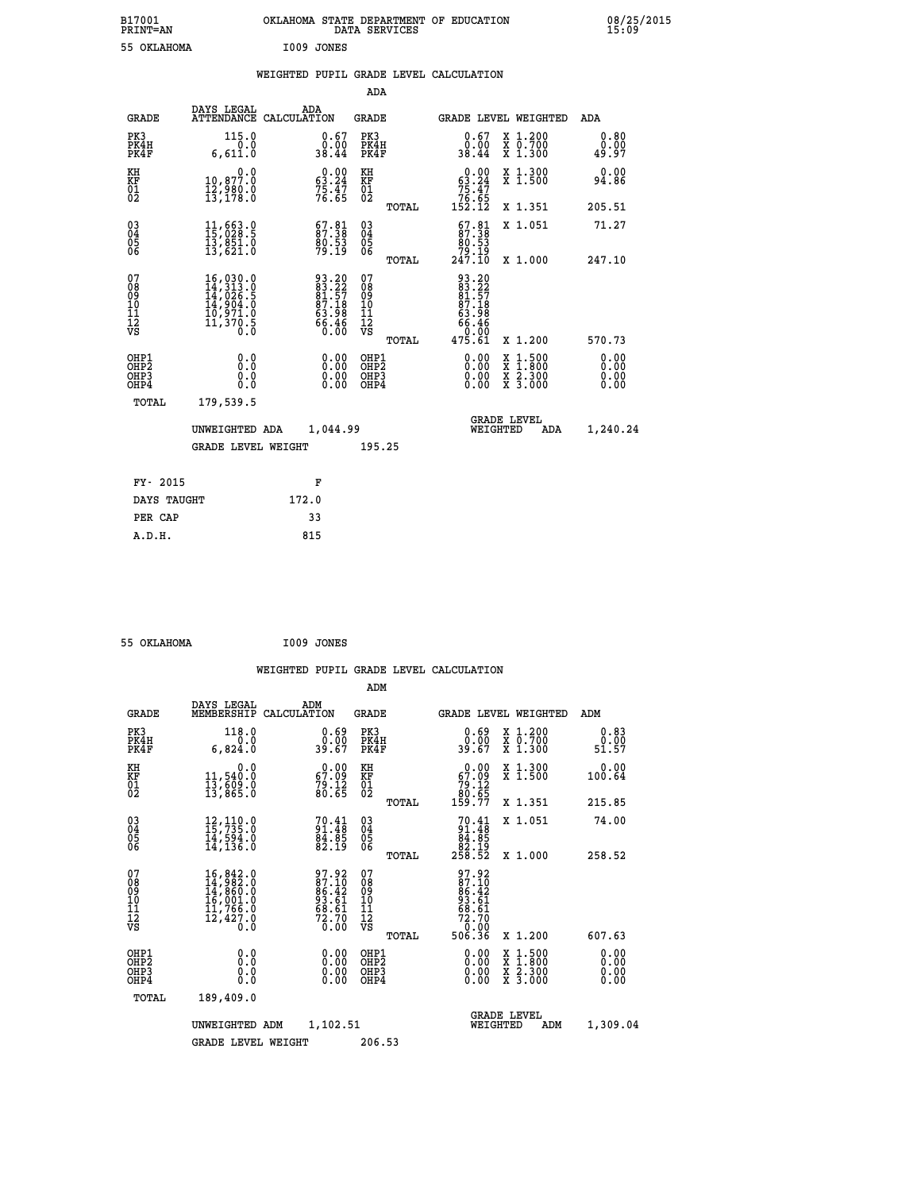| B17001<br><b>PRINT=AN</b> |            | OKLAHOMA STATE DEPARTMENT OF EDUCATION<br>DATA SERVICES |  | 08/25/2015<br>15:09 |
|---------------------------|------------|---------------------------------------------------------|--|---------------------|
| 55 OKLAHOMA               | I009 JONES |                                                         |  |                     |

|  |  | WEIGHTED PUPIL GRADE LEVEL CALCULATION |
|--|--|----------------------------------------|
|  |  |                                        |

|                                                    |                                                                                                                                                                                                 |                                                                      | ADA                                    |       |                                                                             |                                                                                          |                              |
|----------------------------------------------------|-------------------------------------------------------------------------------------------------------------------------------------------------------------------------------------------------|----------------------------------------------------------------------|----------------------------------------|-------|-----------------------------------------------------------------------------|------------------------------------------------------------------------------------------|------------------------------|
| <b>GRADE</b>                                       | DAYS LEGAL                                                                                                                                                                                      | ADA<br>ATTENDANCE CALCULATION                                        | <b>GRADE</b>                           |       |                                                                             | GRADE LEVEL WEIGHTED                                                                     | ADA                          |
| PK3<br>PK4H<br>PK4F                                | 115.0<br>0.0<br>6,611.0                                                                                                                                                                         | 0.67<br>0.00<br>38.44                                                | PK3<br>PK4H<br>PK4F                    |       | 0.67<br>0.00<br>38.44                                                       | X 1.200<br>X 0.700<br>X 1.300                                                            | 0.80<br>0.00<br>49.97        |
| KH<br>KF<br>01<br>02                               | $\begin{smallmatrix}&&&0.0\\10,877.0\\12,980.0\\13,178.0\end{smallmatrix}$                                                                                                                      | $\begin{smallmatrix} 0.00\\ 63.24\\ 75.47\\ 76.65 \end{smallmatrix}$ | KH<br>KF<br>01<br>02                   |       | $\begin{smallmatrix} &0.00\ 63.24\ 75.47\ 76.65\ 152.12\ \end{smallmatrix}$ | X 1.300<br>X 1.500                                                                       | 0.00<br>94.86                |
|                                                    |                                                                                                                                                                                                 |                                                                      |                                        | TOTAL |                                                                             | X 1.351                                                                                  | 205.51                       |
| $\begin{matrix} 03 \\ 04 \\ 05 \\ 06 \end{matrix}$ | $11,663.0$<br>$15,028.5$<br>$13,851.0$<br>$13,621.0$                                                                                                                                            | $\begin{smallmatrix} 67.81\ 87.38\ 80.53\ 99.19 \end{smallmatrix}$   | $\substack{03 \\ 04}$<br>Ŏ5<br>06      |       | $\begin{smallmatrix} 67.81\ 87.38\ 80.53 \end{smallmatrix}$                 | X 1.051                                                                                  | 71.27                        |
|                                                    |                                                                                                                                                                                                 |                                                                      |                                        | TOTAL | 19.19<br>247.10                                                             | X 1.000                                                                                  | 247.10                       |
| 07<br>08<br>09<br>101<br>112<br>VS                 | $\begin{smallmatrix} 16\,, & 030\,. & 0\\ 14\,, & 313\,. & 0\\ 14\,, & 026\,. & 5\\ 14\,, & 904\,. & 0\\ 10\,, & 971\,. & 0\\ 11\,, & 370\,. & 5\\ 0\,. & 0\,. & 0\,. & 0\,. \end{smallmatrix}$ | 93.20<br>83.22<br>84.57<br>87.18<br>63.98<br>66.46<br>66.46          | 07<br>08<br>09<br>11<br>11<br>12<br>VS | TOTAL | 93.20<br>83.22<br>81.57<br>87.18<br>63.98<br>66.46<br>0.00<br>475.61        | X 1.200                                                                                  | 570.73                       |
| OHP1<br>OHP2<br>OH <sub>P3</sub><br>OHP4           | 0.0<br>0.000                                                                                                                                                                                    | 0.00<br>$\begin{smallmatrix} 0.00 \ 0.00 \end{smallmatrix}$          | OHP1<br>OHP2<br>OHP3<br>OHP4           |       | 0.00<br>0.00                                                                | $\begin{smallmatrix} x & 1.500 \\ x & 1.800 \\ x & 2.300 \\ x & 3.000 \end{smallmatrix}$ | 0.00<br>0.00<br>0.00<br>0.00 |
| TOTAL                                              | 179,539.5                                                                                                                                                                                       |                                                                      |                                        |       |                                                                             |                                                                                          |                              |
|                                                    | UNWEIGHTED ADA                                                                                                                                                                                  | 1,044.99                                                             |                                        |       |                                                                             | <b>GRADE LEVEL</b><br>WEIGHTED<br>ADA                                                    | 1,240.24                     |
|                                                    | <b>GRADE LEVEL WEIGHT</b>                                                                                                                                                                       |                                                                      | 195.25                                 |       |                                                                             |                                                                                          |                              |
| FY- 2015                                           |                                                                                                                                                                                                 | F                                                                    |                                        |       |                                                                             |                                                                                          |                              |
| DAYS TAUGHT                                        |                                                                                                                                                                                                 | 172.0                                                                |                                        |       |                                                                             |                                                                                          |                              |
|                                                    |                                                                                                                                                                                                 |                                                                      |                                        |       |                                                                             |                                                                                          |                              |

 **55 OKLAHOMA I009 JONES**

PER CAP 33

 **A.D.H. 815**

 **WEIGHTED PUPIL GRADE LEVEL CALCULATION ADM DAYS LEGAL ADM**

| <b>GRADE</b>                                       | unio unghu<br>MEMBERSHIP                                                                                       | שעת<br>CALCULATION                                                   | <b>GRADE</b>                                       |       |                                                                                                         | GRADE LEVEL WEIGHTED                                                                                                                      | ADM                          |
|----------------------------------------------------|----------------------------------------------------------------------------------------------------------------|----------------------------------------------------------------------|----------------------------------------------------|-------|---------------------------------------------------------------------------------------------------------|-------------------------------------------------------------------------------------------------------------------------------------------|------------------------------|
| PK3<br>PK4H<br>PK4F                                | 118.0<br>0.0<br>6,824.0                                                                                        | $\begin{smallmatrix} 0.69\ 0.00\\ 0.00\\ 39.67 \end{smallmatrix}$    | PK3<br>PK4H<br>PK4F                                |       | $0.69$<br>$0.00$<br>39.67                                                                               | X 1.200<br>X 0.700<br>X 1.300                                                                                                             | 0.83<br>0.00<br>51.57        |
| KH<br>KF<br>01<br>02                               | 0.0<br>11,540:0<br>13,609:0<br>13,865:0                                                                        | $\begin{smallmatrix} 0.00\\ 67.09\\ 79.12\\ 80.65 \end{smallmatrix}$ | KH<br>KF<br>01<br>02                               |       | $\begin{smallmatrix} &0.00\ 67.09\ 79.12\ 80.65\ 159.77\ \end{smallmatrix}$                             | X 1.300<br>X 1.500                                                                                                                        | 0.00<br>100.64               |
|                                                    |                                                                                                                |                                                                      |                                                    | TOTAL |                                                                                                         | X 1.351                                                                                                                                   | 215.85                       |
| $\begin{matrix} 03 \\ 04 \\ 05 \\ 06 \end{matrix}$ | $12, 110.0$<br>$15, 735.0$<br>$14, 594.0$<br>$14, 136.0$                                                       | $70.41$<br>$91.48$<br>$84.85$<br>$82.19$                             | $\begin{matrix} 03 \\ 04 \\ 05 \\ 06 \end{matrix}$ |       | $70.41\n91.48\n84.85\n82.19\n258.52$                                                                    | X 1.051                                                                                                                                   | 74.00                        |
|                                                    |                                                                                                                |                                                                      |                                                    | TOTAL |                                                                                                         | X 1.000                                                                                                                                   | 258.52                       |
| 07<br>08<br>09<br>101<br>11<br>12<br>VS            | $\begin{smallmatrix} 16,842.0\\ 14,982.0\\ 14,860.0\\ 16,001.0\\ 11,766.0\\ 12,427.0 \end{smallmatrix}$<br>0.0 | 97.92<br>$87.10$<br>$86.42$<br>$93.61$<br>$68.61$<br>$72.70$<br>0.00 | 07<br>08<br>09<br>01<br>11<br>11<br>17<br>VS       |       | 97.92<br>$\begin{smallmatrix} 27.10 \ 87.10 \ 86.42 \ 93.61 \ 68.61 \ 72.70 \ 506.36 \end{smallmatrix}$ |                                                                                                                                           |                              |
|                                                    |                                                                                                                |                                                                      |                                                    | TOTAL |                                                                                                         | X 1.200                                                                                                                                   | 607.63                       |
| OHP1<br>OHP2<br>OH <sub>P3</sub><br>OHP4           | 0.0<br>0.0<br>Ŏ.Ŏ                                                                                              | 0.00<br>0.00<br>0.00                                                 | OHP1<br>OHP2<br>OHP3<br>OHP4                       |       | $0.00$<br>$0.00$<br>0.00                                                                                | $\begin{smallmatrix} \mathtt{X} & 1\cdot500\\ \mathtt{X} & 1\cdot800\\ \mathtt{X} & 2\cdot300\\ \mathtt{X} & 3\cdot000 \end{smallmatrix}$ | 0.00<br>0.00<br>0.00<br>0.00 |
| TOTAL                                              | 189,409.0                                                                                                      |                                                                      |                                                    |       |                                                                                                         |                                                                                                                                           |                              |
|                                                    | UNWEIGHTED ADM                                                                                                 | 1,102.51                                                             |                                                    |       | WEIGHTED                                                                                                | <b>GRADE LEVEL</b><br>ADM                                                                                                                 | 1,309.04                     |
|                                                    | <b>GRADE LEVEL WEIGHT</b>                                                                                      |                                                                      | 206.53                                             |       |                                                                                                         |                                                                                                                                           |                              |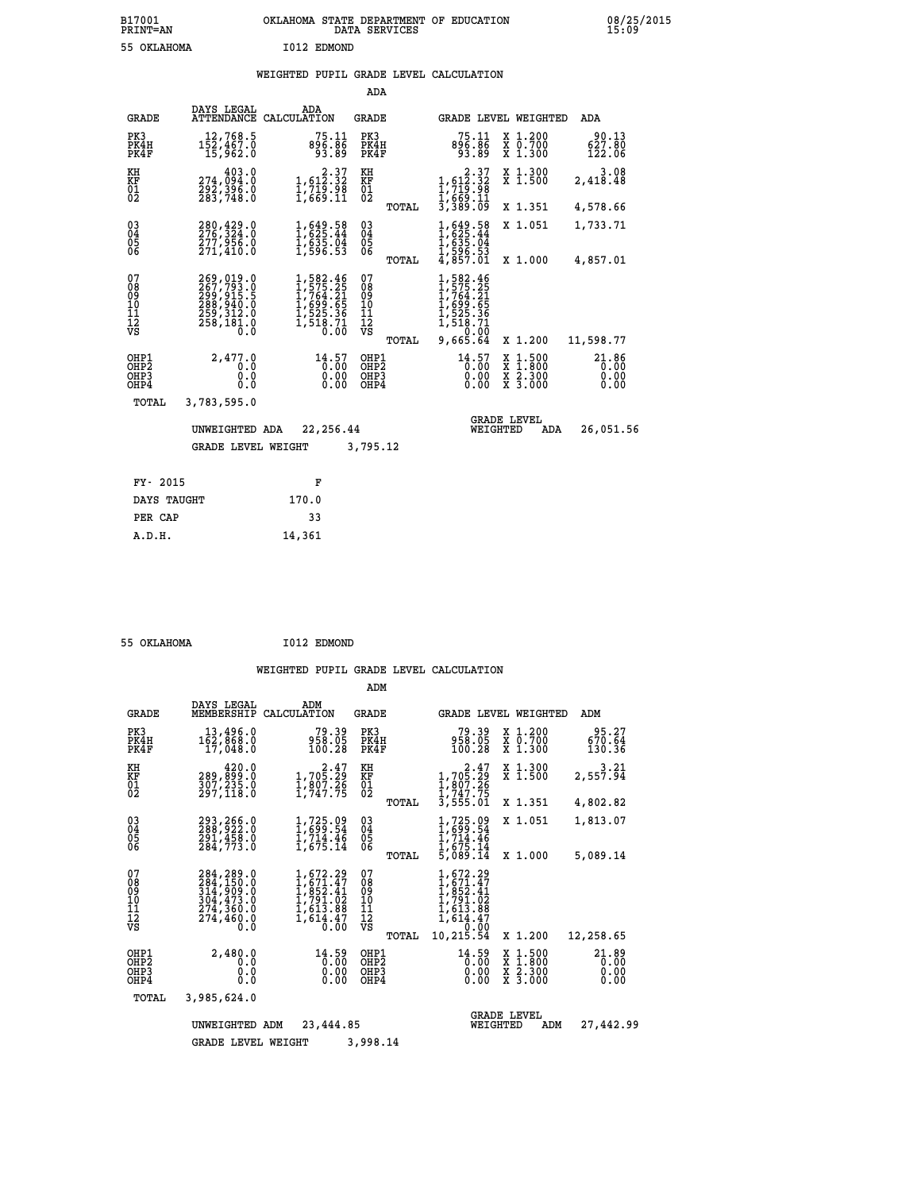# **WEIGHTED PUPIL GRADE LEVEL CALCULATION**

|                                                                    |                                                                                   |                                                                                                                | ADA                                      |                                                                                                                         |                                                                                                  |                               |
|--------------------------------------------------------------------|-----------------------------------------------------------------------------------|----------------------------------------------------------------------------------------------------------------|------------------------------------------|-------------------------------------------------------------------------------------------------------------------------|--------------------------------------------------------------------------------------------------|-------------------------------|
| <b>GRADE</b>                                                       | DAYS LEGAL                                                                        | ADA<br>ATTENDANCE CALCULATION                                                                                  | <b>GRADE</b>                             |                                                                                                                         | GRADE LEVEL WEIGHTED                                                                             | ADA                           |
| PK3<br>PK4H<br>PK4F                                                | 12,768.5<br>152,467.0<br>15,962.0                                                 | 75.11<br>896.86<br>93.89                                                                                       | PK3<br>PK4H<br>PK4F                      | 75.11<br>896.86<br>93.89                                                                                                | X 1.200<br>X 0.700<br>X 1.300                                                                    | 90.13<br>627.80<br>122.06     |
| KH<br><b>KF</b><br>01<br>02                                        | 403.0<br>274,094.0<br>292,396.0<br>283,748.0                                      | $\begin{smallmatrix}&&2\cdot37\\1,612\cdot32\\1,719\cdot98\\1,669\cdot11\end{smallmatrix}$                     | KH<br>KF<br>01<br>02                     | $\begin{smallmatrix}&&&2\cdot37\\1,612\cdot32\\1,719\cdot32\\1,719\cdot96\\1,669\cdot11\\3,389\cdot09\end{smallmatrix}$ | X 1.300<br>X 1.500                                                                               | 3.08<br>2,418.48              |
|                                                                    |                                                                                   |                                                                                                                | TOTAL                                    |                                                                                                                         | X 1.351                                                                                          | 4,578.66                      |
| $\begin{smallmatrix} 03 \\[-4pt] 04 \end{smallmatrix}$<br>Ŏ5<br>06 | 280,429.0<br>276,324.0<br>277,956.0<br>271,410.0                                  | $1,649.58$<br>$1,625.44$<br>$1,635.04$<br>$1,596.53$                                                           | $\substack{03 \\ 04}$<br>$\frac{05}{06}$ | $1,649.58$<br>$1,625.44$<br>$1,635.04$<br>$1,596.53$<br>$4,857.01$                                                      | X 1.051                                                                                          | 1,733.71                      |
|                                                                    |                                                                                   |                                                                                                                | TOTAL                                    |                                                                                                                         | X 1.000                                                                                          | 4,857.01                      |
| 07<br>08<br>09<br>101<br>11<br>12<br>VS                            | 269,019.0<br>267,793.0<br>299,915.5<br>288,940.0<br>259,312.0<br>258,181.0<br>0.0 | $\begin{smallmatrix} 1,582.46\\ 1,575.25\\ 1,764.21\\ 1,699.65\\ 1,525.36\\ 1,518.71\\ 0.00 \end{smallmatrix}$ | 07<br>08<br>09<br>10<br>11<br>12<br>νs   | 1,582.46<br>1,575.25<br>1,764.21<br>1,699.65<br>1,525.36<br>1,518.71<br>0,66                                            |                                                                                                  |                               |
|                                                                    |                                                                                   |                                                                                                                | TOTAL                                    | 9,665.64                                                                                                                | X 1.200                                                                                          | 11,598.77                     |
| OHP1<br>OHP <sub>2</sub><br>OHP3<br>OH <sub>P4</sub>               | 2,477.0<br>0.0<br>0.0<br>$0.\overline{0}$                                         | 14.57<br>0.00                                                                                                  | OHP1<br>OHP <sub>2</sub><br>OHP3<br>OHP4 | 14.57<br>0.00                                                                                                           | $\begin{smallmatrix} x & 1 & 500 \\ x & 1 & 800 \\ x & 2 & 300 \\ x & 3 & 000 \end{smallmatrix}$ | 21.86<br>0.00<br>0.00<br>0.00 |
| TOTAL                                                              | 3,783,595.0                                                                       |                                                                                                                |                                          |                                                                                                                         |                                                                                                  |                               |
|                                                                    | UNWEIGHTED ADA                                                                    | 22,256.44                                                                                                      |                                          | WEIGHTED                                                                                                                | <b>GRADE LEVEL</b><br>ADA                                                                        | 26,051.56                     |
|                                                                    | <b>GRADE LEVEL WEIGHT</b>                                                         |                                                                                                                | 3,795.12                                 |                                                                                                                         |                                                                                                  |                               |
| FY- 2015                                                           |                                                                                   | F                                                                                                              |                                          |                                                                                                                         |                                                                                                  |                               |
| DAYS TAUGHT                                                        |                                                                                   | 170.0                                                                                                          |                                          |                                                                                                                         |                                                                                                  |                               |
| PER CAP                                                            |                                                                                   | 33                                                                                                             |                                          |                                                                                                                         |                                                                                                  |                               |

 **55 OKLAHOMA I012 EDMOND**

 **A.D.H. 14,361**

|                                           |                                                                                        |                                                                                                                        | ADM                                             |                                                                                                     |                                                                                                  |                               |
|-------------------------------------------|----------------------------------------------------------------------------------------|------------------------------------------------------------------------------------------------------------------------|-------------------------------------------------|-----------------------------------------------------------------------------------------------------|--------------------------------------------------------------------------------------------------|-------------------------------|
| <b>GRADE</b>                              | DAYS LEGAL<br>MEMBERSHIP                                                               | ADM<br>CALCULATION                                                                                                     | <b>GRADE</b>                                    | <b>GRADE LEVEL WEIGHTED</b>                                                                         |                                                                                                  | ADM                           |
| PK3<br>PK4H<br>PK4F                       | 13,496.0<br>162,868.0<br>17,048.0                                                      | 79.39<br>958.05<br>100.28                                                                                              | PK3<br>PK4H<br>PK4F                             | 79.39<br>958.05<br>100.28                                                                           | $\begin{smallmatrix} x & 1.200 \\ x & 0.700 \end{smallmatrix}$<br>X 1.300                        | 95.27<br>670.64<br>130.36     |
| KH<br>KF<br>01<br>02                      | 420.0<br>289,859:0<br>307,235.0<br>297,118:0                                           | $\begin{smallmatrix}&&&2\cdot47\\1,705.29\\1,807.26\\1,747.75\end{smallmatrix}$                                        | KH<br>KF<br>$\overline{01}$                     | $\begin{smallmatrix} 2.47\\1,705.29\\1,807.26\\1,747.75 \end{smallmatrix}$                          | X 1.300<br>X 1.500                                                                               | $3.21$<br>2,557.94            |
|                                           |                                                                                        |                                                                                                                        | TOTAL                                           | 3,555.01                                                                                            | X 1.351                                                                                          | 4,802.82                      |
| 03<br>04<br>05<br>06                      | 293,266.0<br>288,922.0<br>291,458.0<br>284,773.0                                       | $1,725.09$<br>$1,699.54$<br>$1,714.46$<br>$1,675.14$                                                                   | $\substack{03 \\ 04}$<br>05<br>06               | $1,725.09$<br>$1,699.54$<br>$1,714.46$<br>$1,675.14$<br>$5,089.14$                                  | X 1.051                                                                                          | 1,813.07                      |
|                                           |                                                                                        |                                                                                                                        | TOTAL                                           |                                                                                                     | X 1.000                                                                                          | 5,089.14                      |
| 07<br>08<br>09<br>11<br>11<br>12<br>VS    | 284, 289.0<br>284, 150.0<br>314, 909.0<br>304, 473.0<br>274, 360.0<br>274,460.0<br>0.0 | 1,672.29<br>$1, 671.47$<br>$1, 852.41$<br>$1, 791.02$<br>$1, 613.88$<br>$\frac{1}{6}$ , $\frac{1}{4}$ , $\frac{4}{60}$ | 07<br>08<br>09<br>11<br>11<br>12<br>VS<br>TOTAL | 1,672.29<br>$1,671.47$<br>$1,852.41$<br>$1,791.02$<br>$1,613.88$<br>$1,614.47$<br>0.00<br>10,215.54 | X 1.200                                                                                          | 12,258.65                     |
| OHP1<br>OH <sub>P</sub> 2<br>OHP3<br>OHP4 | 2,480.0<br>0.0<br>0.0<br>0.0                                                           | 14.59<br>0.00<br>0.00<br>0.00                                                                                          | OHP1<br>OH <sub>P</sub> 2<br>OHP3<br>OHP4       | 14.59<br>0.00<br>0.00<br>0.00                                                                       | $\begin{smallmatrix} x & 1 & 500 \\ x & 1 & 800 \\ x & 2 & 300 \\ x & 3 & 000 \end{smallmatrix}$ | 21.89<br>0.00<br>0.00<br>0.00 |
| TOTAL                                     | 3,985,624.0                                                                            |                                                                                                                        |                                                 |                                                                                                     |                                                                                                  |                               |
|                                           | UNWEIGHTED<br><b>GRADE LEVEL WEIGHT</b>                                                | 23,444.85<br>ADM                                                                                                       | 3,998.14                                        | WEIGHTED                                                                                            | <b>GRADE LEVEL</b><br>ADM                                                                        | 27,442.99                     |
|                                           |                                                                                        |                                                                                                                        |                                                 |                                                                                                     |                                                                                                  |                               |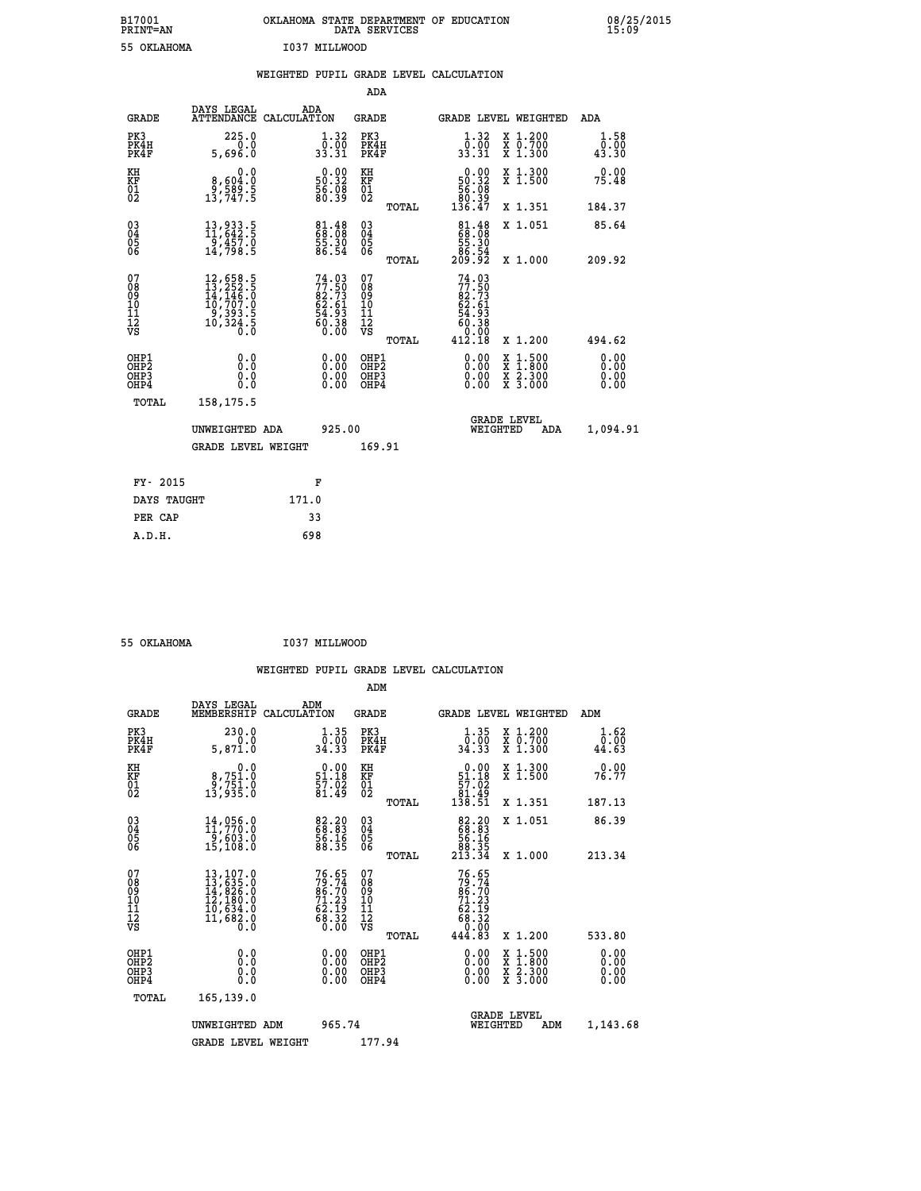| B17001<br>PRINT=AN | OKLAHOMA STATE DEPARTMENT OF EDUCATION<br>DATA SERVICES | 08/25/2015<br>15:09 |
|--------------------|---------------------------------------------------------|---------------------|
| 55 OKLAHOMA        | I037 MILLWOOD                                           |                     |

|                                    |                                                                                                                                                                              | WEIGHTED PUPIL GRADE LEVEL CALCULATION                               |                                        |       |                                                                               |                                                                            |                              |
|------------------------------------|------------------------------------------------------------------------------------------------------------------------------------------------------------------------------|----------------------------------------------------------------------|----------------------------------------|-------|-------------------------------------------------------------------------------|----------------------------------------------------------------------------|------------------------------|
|                                    |                                                                                                                                                                              |                                                                      | <b>ADA</b>                             |       |                                                                               |                                                                            |                              |
| <b>GRADE</b>                       | DAYS LEGAL<br>ATTENDANCE CALCULATION                                                                                                                                         | ADA                                                                  | <b>GRADE</b>                           |       |                                                                               | GRADE LEVEL WEIGHTED                                                       | ADA                          |
| PK3<br>PK4H<br>PK4F                | 225.0<br>0.0<br>5,696.0                                                                                                                                                      | $\begin{smallmatrix} 1.32\ 0.00\ 33.31 \end{smallmatrix}$            | PK3<br>PK4H<br>PK4F                    |       | $\begin{smallmatrix}1.32\0.00\\33.31\end{smallmatrix}$                        | X 1.200<br>X 0.700<br>X 1.300                                              | 1.58<br>0.00<br>43.30        |
| KH<br>KF<br>01<br>02               | 0.0<br>8,604:0<br>5.589.5<br>5.13,747:5                                                                                                                                      | $\begin{smallmatrix} 0.00\\ 50.32\\ 56.38\\ 80.39 \end{smallmatrix}$ | KH<br>KF<br>01<br>02                   |       | $\begin{smallmatrix} &0.00\\ 50.32\\ 56.08\\ 80.39\\ 136.47\end{smallmatrix}$ | X 1.300<br>X 1.500                                                         | 0.00<br>75.48                |
|                                    |                                                                                                                                                                              |                                                                      |                                        | TOTAL |                                                                               | X 1.351                                                                    | 184.37                       |
| $^{03}_{04}$<br>Ŏ5<br>06           | $\begin{smallmatrix} 13\,, & 933\,. & 5\\ 11\,, & 642\,. & 5\\ 9\,, & 457\,. & 0\\ 14\,, & 798\,. & 5 \end{smallmatrix}$                                                     | 81.48<br>68.08<br>55.30<br>86.54                                     | $\substack{03 \\ 04}$<br>Ŏ5<br>06      |       | $\begin{smallmatrix}81.48\\ 68.08\\ 55.30\\ 86.54\\ 209.92\end{smallmatrix}$  | X 1.051                                                                    | 85.64                        |
|                                    |                                                                                                                                                                              |                                                                      |                                        | TOTAL |                                                                               | X 1.000                                                                    | 209.92                       |
| 07<br>08<br>09<br>101<br>112<br>VS | $\begin{smallmatrix} 12\,, & 658\,, & 5\\ 13\,, & 252\,, & 5\\ 14\,, & 146\,, & 0\\ 10\,, & 707\,, & 0\\ 9\,, & 393\,, & 5\\ 10\,, & 324\,, & 5\\ 0\,, & 0\end{smallmatrix}$ | $74.0377.5082.7362.6154.9360.3860.38$                                | 07<br>08<br>09<br>11<br>11<br>12<br>VS | TOTAL | 74.03<br>77.50<br>82.73<br>62.61<br>54.93<br>54.93<br>0.00<br>412.18          | X 1.200                                                                    | 494.62                       |
| OHP1<br>OHP2<br>OHP3<br>OHP4       | 0.0<br>$0.\overline{0}$<br>0.0                                                                                                                                               | 0.00<br>$\begin{smallmatrix} 0.00 \ 0.00 \end{smallmatrix}$          | OHP1<br>OHP2<br>OHP3<br>OHP4           |       | 0.00<br>0.00<br>0.00                                                          | $1:500$<br>$1:800$<br>X<br>X<br>$\frac{\ddot{x}}{x}$ $\frac{2.300}{3.000}$ | 0.00<br>0.00<br>0.00<br>0.00 |
| <b>TOTAL</b>                       | 158,175.5                                                                                                                                                                    |                                                                      |                                        |       |                                                                               |                                                                            |                              |
|                                    | UNWEIGHTED ADA                                                                                                                                                               | 925.00                                                               |                                        |       |                                                                               | GRADE LEVEL<br>WEIGHTED<br>ADA                                             | 1,094.91                     |
|                                    | <b>GRADE LEVEL WEIGHT</b>                                                                                                                                                    |                                                                      | 169.91                                 |       |                                                                               |                                                                            |                              |
| FY- 2015                           |                                                                                                                                                                              | F                                                                    |                                        |       |                                                                               |                                                                            |                              |
| DAYS TAUGHT                        |                                                                                                                                                                              | 171.0                                                                |                                        |       |                                                                               |                                                                            |                              |
| PER CAP                            |                                                                                                                                                                              | 33                                                                   |                                        |       |                                                                               |                                                                            |                              |

 **55 OKLAHOMA I037 MILLWOOD**

 **A.D.H. 698**

 **ADM**

| <b>GRADE</b>                           | DAYS LEGAL<br>MEMBERSHIP                                                                                                                                               | ADM<br>CALCULATION                                                         | <b>GRADE</b>                                       |       |                                                                                     |          | <b>GRADE LEVEL WEIGHTED</b>              | ADM                   |  |
|----------------------------------------|------------------------------------------------------------------------------------------------------------------------------------------------------------------------|----------------------------------------------------------------------------|----------------------------------------------------|-------|-------------------------------------------------------------------------------------|----------|------------------------------------------|-----------------------|--|
| PK3<br>PK4H<br>PK4F                    | 230.0<br>0.0<br>5,871.0                                                                                                                                                | $\begin{smallmatrix} 1.35\\[-1.2mm] 0.00\\[-1.2mm] 34.33\end{smallmatrix}$ | PK3<br>PK4H<br>PK4F                                |       | $\begin{smallmatrix} 1.35\\[-1.2mm] 0.00\\[-1.2mm] 34.33\end{smallmatrix}$          |          | X 1.200<br>X 0.700<br>X 1.300            | 1.62<br>0.00<br>44.63 |  |
| KH<br>KF<br>01<br>02                   | 0.0<br>8,751.0<br>9,751.0<br>13,935.0                                                                                                                                  | $\begin{smallmatrix} 0.00\\ 51.18\\ 57.02\\ 81.49 \end{smallmatrix}$       | KH<br>KF<br>01<br>02                               |       | $\begin{array}{c} 0.00 \\ 51.18 \\ 57.02 \\ 81.49 \\ 138.51 \end{array}$            |          | X 1.300<br>X 1.500                       | 0.00<br>76.77         |  |
|                                        |                                                                                                                                                                        |                                                                            |                                                    | TOTAL |                                                                                     |          | X 1.351                                  | 187.13                |  |
| 03<br>04<br>05<br>06                   | $14,056.0$<br>$11,770.0$<br>$9,603.0$                                                                                                                                  | 82.20<br>68.83<br>56.16<br>88.35                                           | $\begin{matrix} 03 \\ 04 \\ 05 \\ 06 \end{matrix}$ |       | $\begin{smallmatrix}82.20\\68.83\\56.16\\88.35\\213.34\end{smallmatrix}$            |          | X 1.051                                  | 86.39                 |  |
|                                        | 15,108.0                                                                                                                                                               |                                                                            |                                                    | TOTAL |                                                                                     |          | X 1.000                                  | 213.34                |  |
| 07<br>08<br>09<br>11<br>11<br>12<br>VS | $\begin{smallmatrix} 13\,,\,107\,.\,0\\ 13\,,\,635\,. \,0\\ 14\,,\,826\,. \,0\\ 12\,,\,180\,. \,0\\ 10\,,\,634\,. \,0\\ 11\,,\,682\,. \,0\\ 0\,. \,0\end{smallmatrix}$ | $76.65$<br>$79.74$<br>$86.70$<br>$71.23$<br>$62.19$<br>$68.32$<br>$0.00$   | 07<br>08901112<br>1112<br>VS                       | TOTAL | 76.65<br>$79.74$<br>$86.70$<br>$71.23$<br>$62.19$<br>$68.320$<br>$0.00$<br>$444.83$ |          | X 1.200                                  | 533.80                |  |
| OHP1<br>OHP2<br>OHP3<br>OHP4           | 0.0<br>0.0<br>Ŏ.Ŏ                                                                                                                                                      |                                                                            | OHP1<br>OHP2<br>OHP3<br>OHP4                       |       |                                                                                     |          | X 1:500<br>X 1:800<br>X 2:300<br>X 3:000 | 0.00<br>0.00<br>0.00  |  |
| TOTAL                                  | 165,139.0                                                                                                                                                              |                                                                            |                                                    |       |                                                                                     |          |                                          |                       |  |
|                                        | UNWEIGHTED ADM                                                                                                                                                         | 965.74                                                                     |                                                    |       |                                                                                     | WEIGHTED | <b>GRADE LEVEL</b><br>ADM                | 1,143.68              |  |
|                                        | <b>GRADE LEVEL WEIGHT</b>                                                                                                                                              |                                                                            | 177.94                                             |       |                                                                                     |          |                                          |                       |  |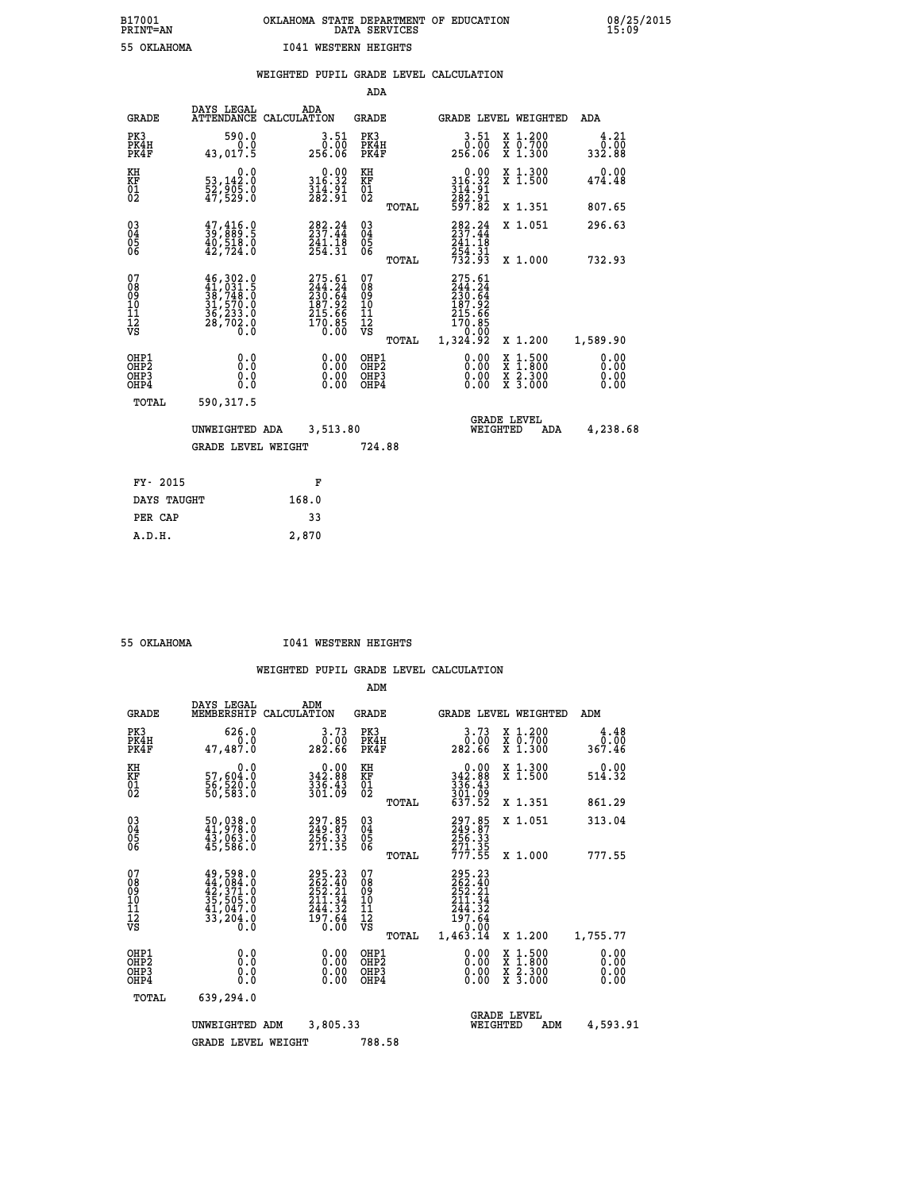|                                                      |                                                                                                                                                    |                                                                                | ADA                                      |       |                                                                              |                                                                                                  |                              |
|------------------------------------------------------|----------------------------------------------------------------------------------------------------------------------------------------------------|--------------------------------------------------------------------------------|------------------------------------------|-------|------------------------------------------------------------------------------|--------------------------------------------------------------------------------------------------|------------------------------|
| <b>GRADE</b>                                         | DAYS LEGAL                                                                                                                                         | ADA<br>ATTENDANCE CALCULATION                                                  | <b>GRADE</b>                             |       |                                                                              | GRADE LEVEL WEIGHTED                                                                             | ADA                          |
| PK3<br>PK4H<br>PK4F                                  | 590.0<br>0.0<br>43,017.5                                                                                                                           | $\begin{smallmatrix} 3.51\ 0.00\ 256.06 \end{smallmatrix}$                     | PK3<br>PK4H<br>PK4F                      |       | 3.51<br>0.00<br>256.06                                                       | X 1.200<br>X 0.700<br>X 1.300                                                                    | 4.21<br>0.00<br>332.88       |
| KH<br>KF<br>01<br>02                                 | 0.0<br>53,142:0<br>52,905:0<br>47,529:0                                                                                                            | $\begin{smallmatrix}&&0.00\\316.32\\314.91\\282.91\end{smallmatrix}$           | KH<br>KF<br>01<br>02                     |       | $\begin{smallmatrix}&&0.00\\316.32\\314.91\\282.91\\597.82\end{smallmatrix}$ | X 1.300<br>X 1.500                                                                               | 0.00<br>474.48               |
|                                                      |                                                                                                                                                    |                                                                                |                                          | TOTAL |                                                                              | X 1.351                                                                                          | 807.65                       |
| $\begin{matrix} 03 \\ 04 \\ 05 \\ 06 \end{matrix}$   | $\frac{47}{39}, \frac{416}{89}$ : 9<br>40,518.0<br>42,724.0                                                                                        | 282.24<br>241.18<br>254.31                                                     | $\substack{03 \\ 04}$<br>05<br>06        |       | $282.24$<br>237.44<br>241:18<br>254:31<br>732:93                             | X 1.051                                                                                          | 296.63                       |
|                                                      |                                                                                                                                                    |                                                                                |                                          | TOTAL |                                                                              | X 1.000                                                                                          | 732.93                       |
| 07<br>08<br>09<br>10<br>11<br>12<br>VS               | $\begin{smallmatrix} 46\,,\,302\,.0\\ 41\,,\,031\,.5\\ 38\,,\,748\,.0\\ 31\,,\,570\,.0\\ 36\,,\,233\,.0\\ 28\,,\,702\,.0\\ 0\,.0\end{smallmatrix}$ | $275.61$<br>$244.24$<br>$230.64$<br>$237.92$<br>$215.66$<br>$170.85$<br>$0.00$ | 07<br>08<br>09<br>101<br>112<br>VS       |       | 275.61<br>244.24<br>230.64<br>230.64<br>187.926<br>170.85<br>215.66<br>20.00 |                                                                                                  |                              |
|                                                      |                                                                                                                                                    |                                                                                |                                          | TOTAL | 1,324.92                                                                     | X 1.200                                                                                          | 1,589.90                     |
| OHP1<br>OH <sub>P</sub> <sub>2</sub><br>OHP3<br>OHP4 | 0.0<br>Ō.Ō<br>0.0<br>0.0                                                                                                                           | $0.00$<br>$0.00$<br>0.00                                                       | OHP1<br>OHP <sub>2</sub><br>OHP3<br>OHP4 |       | $0.00$<br>$0.00$<br>0.00                                                     | $\begin{smallmatrix} x & 1 & 500 \\ x & 1 & 800 \\ x & 2 & 300 \\ x & 3 & 000 \end{smallmatrix}$ | 0.00<br>0.00<br>0.00<br>0.00 |
| <b>TOTAL</b>                                         | 590,317.5                                                                                                                                          |                                                                                |                                          |       |                                                                              |                                                                                                  |                              |
|                                                      | UNWEIGHTED ADA                                                                                                                                     | 3,513.80                                                                       |                                          |       | WEIGHTED                                                                     | <b>GRADE LEVEL</b><br>ADA                                                                        | 4,238.68                     |
|                                                      | <b>GRADE LEVEL WEIGHT</b>                                                                                                                          |                                                                                | 724.88                                   |       |                                                                              |                                                                                                  |                              |
|                                                      |                                                                                                                                                    |                                                                                |                                          |       |                                                                              |                                                                                                  |                              |
| FY- 2015                                             |                                                                                                                                                    | F                                                                              |                                          |       |                                                                              |                                                                                                  |                              |
| DAYS TAUGHT                                          |                                                                                                                                                    | 168.0                                                                          |                                          |       |                                                                              |                                                                                                  |                              |
| PER CAP                                              |                                                                                                                                                    | 33                                                                             |                                          |       |                                                                              |                                                                                                  |                              |

 **A.D.H. 2,870**

 **55 OKLAHOMA I041 WESTERN HEIGHTS**

|                                                    |                                                                                                                                                     |                                                                             | ADM                                                 |                                                                              |                                          |                              |
|----------------------------------------------------|-----------------------------------------------------------------------------------------------------------------------------------------------------|-----------------------------------------------------------------------------|-----------------------------------------------------|------------------------------------------------------------------------------|------------------------------------------|------------------------------|
| <b>GRADE</b>                                       | DAYS LEGAL<br>MEMBERSHIP                                                                                                                            | ADM<br>CALCULATION                                                          | <b>GRADE</b>                                        | <b>GRADE LEVEL WEIGHTED</b>                                                  |                                          | ADM                          |
| PK3<br>PK4H<br>PK4F                                | 626.0<br>0.0<br>47,487.0                                                                                                                            | 3.73<br>ةُ:ة<br>282.66                                                      | PK3<br>PK4H<br>PK4F                                 | 3.73<br>00.00<br>282.66                                                      | X 1.200<br>X 0.700<br>X 1.300            | 4.48<br>0.00<br>367.46       |
| KH<br>KF<br>01<br>02                               | 0.0<br>57,604.0<br>56,520.0<br>50,583.0                                                                                                             | 342.88<br>336.43<br>301.09                                                  | KH<br>KF<br>01<br>02                                | $0.00$<br>342.88<br>$336.43$<br>$301.09$<br>$637.52$                         | X 1.300<br>X 1.500                       | 0.00<br>514.32               |
|                                                    |                                                                                                                                                     |                                                                             | TOTAL                                               |                                                                              | X 1.351                                  | 861.29                       |
| $\begin{matrix} 03 \\ 04 \\ 05 \\ 06 \end{matrix}$ | 50,038.0<br>41,978.0<br>43,063.0<br>45,586.0                                                                                                        | 297.85<br>249.87<br>256.33<br>271.35                                        | $\begin{array}{c} 03 \\ 04 \\ 05 \\ 06 \end{array}$ | 297.85<br>249.87<br>256.33                                                   | X 1.051                                  | 313.04                       |
|                                                    |                                                                                                                                                     |                                                                             | TOTAL                                               | 271.35<br>777.55                                                             | X 1.000                                  | 777.55                       |
| 07<br>08<br>09<br>101<br>11<br>12<br>VS            | $\begin{smallmatrix} 49\,,\,598\,.0\\ 44\,,\,084\,.0\\ 42\,,\,371\,.0\\ 35\,,\,505\,.0\\ 41\,,\,047\,.0\\ 33\,,\,204\,.0\\ 0\,.0 \end{smallmatrix}$ | 295.23<br>262.40<br>252.21<br>.34<br>211<br>244.32<br>$\frac{197.64}{0.00}$ | 07<br>08<br>09<br>11<br>11<br>12<br>VS<br>TOTAL     | 295.23<br>262.40<br>252.21<br>211.34<br>244.32<br>197.64<br>0.00<br>1,463.14 | X 1.200                                  | 1,755.77                     |
| OHP1<br>OHP2<br>OH <sub>P3</sub><br>OHP4           | 0.0<br>0.000                                                                                                                                        | $0.00$<br>$0.00$<br>0.00                                                    | OHP1<br>OHP2<br>OHP <sub>3</sub>                    | $0.00$<br>$0.00$<br>0.00                                                     | X 1:500<br>X 1:800<br>X 2:300<br>X 3:000 | 0.00<br>0.00<br>0.00<br>0.00 |
| TOTAL                                              | 639,294.0                                                                                                                                           |                                                                             |                                                     |                                                                              |                                          |                              |
|                                                    | UNWEIGHTED                                                                                                                                          | 3,805.33<br>ADM                                                             |                                                     | <b>GRADE LEVEL</b><br>WEIGHTED                                               | ADM                                      | 4,593.91                     |
|                                                    | <b>GRADE LEVEL WEIGHT</b>                                                                                                                           |                                                                             | 788.58                                              |                                                                              |                                          |                              |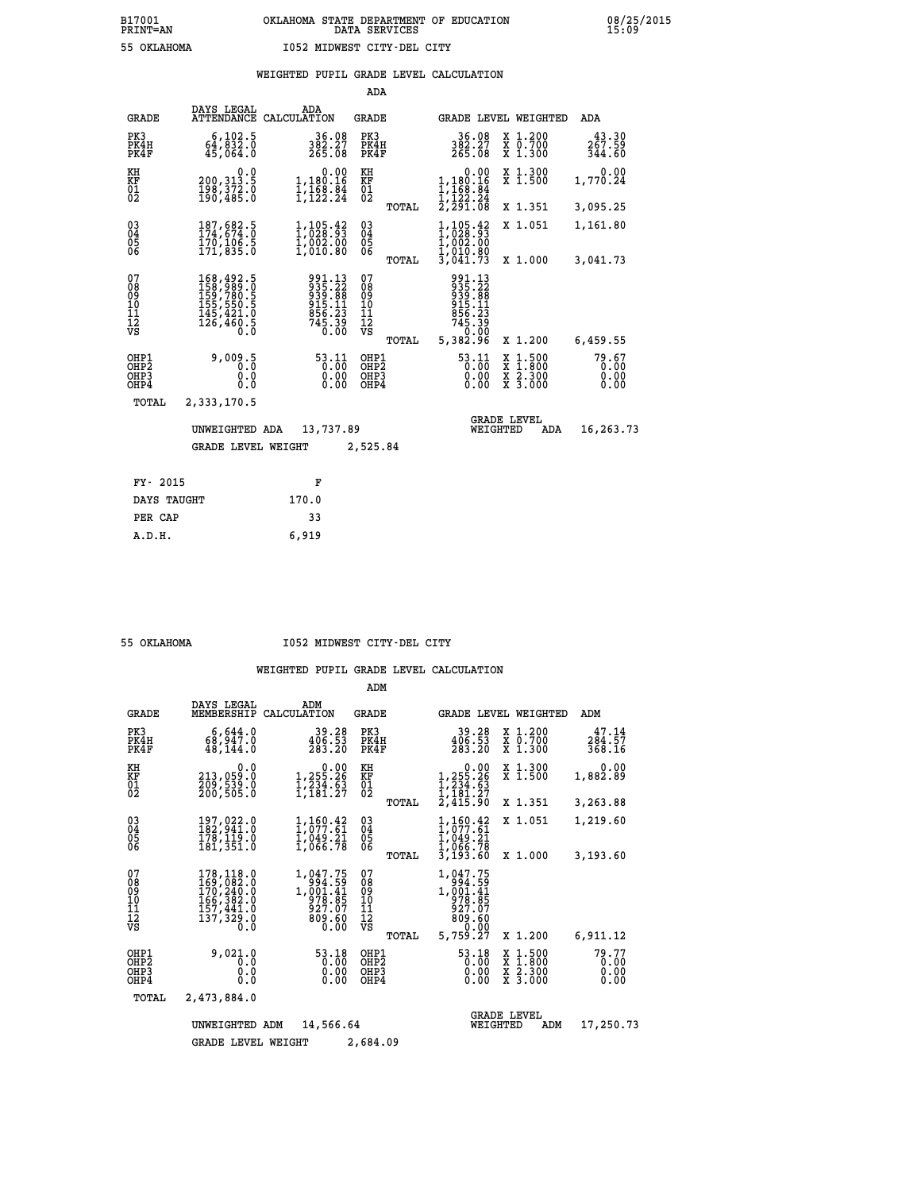|                                        |                                                                                                                                                                |                                                                  | ADA                                       |       |                                                                                                                                 |                                                       |                               |
|----------------------------------------|----------------------------------------------------------------------------------------------------------------------------------------------------------------|------------------------------------------------------------------|-------------------------------------------|-------|---------------------------------------------------------------------------------------------------------------------------------|-------------------------------------------------------|-------------------------------|
| <b>GRADE</b>                           | DAYS LEGAL<br><b>ATTENDANCE</b>                                                                                                                                | ADA<br>CALCULATION                                               | GRADE                                     |       |                                                                                                                                 | GRADE LEVEL WEIGHTED                                  | ADA                           |
| PK3<br>PK4H<br>PK4F                    | 6, 102.5<br>64,832.0<br>45,064.0                                                                                                                               | 36.08<br>382.27<br>265.08                                        | PK3<br>PK4H<br>PK4F                       |       | 36.08<br>382.27<br>265.08                                                                                                       | X 1.200<br>X 0.700<br>X 1.300                         | 43.30<br>267.59<br>344.60     |
| KH<br><b>KF</b><br>01<br>02            | 0.0<br>200, 313.5<br>$\frac{198}{190}$ , $\frac{372}{485}$ .0                                                                                                  | 0.00<br>1,180.16<br>1,168.84<br>1,122.24                         | KH<br>KF<br>01<br>02                      |       | 1,180.16<br>$\frac{1}{1}, \frac{1}{1}$ $\frac{68}{2}, \frac{84}{24}$<br>$\frac{1}{2}, \frac{1}{29}$ $\frac{2}{1}, \frac{3}{08}$ | X 1.300<br>X 1.500                                    | 0.00<br>1,770.24              |
|                                        |                                                                                                                                                                |                                                                  |                                           | TOTAL |                                                                                                                                 | X 1.351                                               | 3,095.25                      |
| $^{03}_{04}$<br>05<br>06               | 187,682.5<br>174,674.0<br>170,106.5<br>171,835.0                                                                                                               | $1, 105.42$<br>$1, 028.93$<br>$1, 002.00$<br>$1, 010.80$         | $\substack{03 \\ 04}$<br>$\frac{05}{06}$  |       | 1,105.42<br>1,028.93<br>1,002.00<br>1,010.80<br>3,041.73                                                                        | X 1.051                                               | 1,161.80                      |
|                                        |                                                                                                                                                                |                                                                  |                                           | TOTAL |                                                                                                                                 | X 1.000                                               | 3,041.73                      |
| 07<br>08<br>09<br>11<br>11<br>12<br>VS | $\begin{smallmatrix} 168,492\cdot5\\ 158,989\cdot0\\ 159,780\cdot5\\ 155,550\cdot5\\ 145,421\cdot0\\ 145,421\cdot0\\ 126,460\cdot5\\ 0\cdot0\end{smallmatrix}$ | 991.13<br>935.22<br>939.88<br>915.11<br>856.23<br>745.39<br>0.00 | 07<br>08<br>09<br>101<br>11<br>12<br>VS   | TOTAL | 991.13<br>935.22<br>939.88<br>915.11<br>915.33<br>745.39<br>745.39<br>5,382.96                                                  | X 1.200                                               | 6,459.55                      |
| OHP1<br>OHP2<br>OHP3<br>OHP4           | 9,009.5<br>0.0<br>0.0                                                                                                                                          | 53.11<br>$0.00$<br>$0.00$                                        | OHP1<br>OH <sub>P</sub> 2<br>OHP3<br>OHP4 |       | 53.11<br>0.00<br>0.00                                                                                                           | $\frac{x}{x}$ $\frac{1.500}{x}$<br>X 2.300<br>X 3.000 | 79.67<br>0.00<br>0.00<br>0.00 |
| TOTAL                                  | 2,333,170.5                                                                                                                                                    |                                                                  |                                           |       |                                                                                                                                 |                                                       |                               |
|                                        | UNWEIGHTED ADA                                                                                                                                                 | 13,737.89                                                        |                                           |       | WEIGHTED                                                                                                                        | <b>GRADE LEVEL</b><br>ADA                             | 16,263.73                     |
|                                        | <b>GRADE LEVEL WEIGHT</b>                                                                                                                                      |                                                                  | 2,525.84                                  |       |                                                                                                                                 |                                                       |                               |
|                                        |                                                                                                                                                                |                                                                  |                                           |       |                                                                                                                                 |                                                       |                               |
| FY- 2015                               |                                                                                                                                                                | F                                                                |                                           |       |                                                                                                                                 |                                                       |                               |
| DAYS TAUGHT                            |                                                                                                                                                                | 170.0                                                            |                                           |       |                                                                                                                                 |                                                       |                               |

| 55 OKTAHOMA |  |
|-------------|--|
|             |  |

 **PER CAP 33 A.D.H. 6,919**

# **55 OKLAHOMA I052 MIDWEST CITY-DEL CITY**

|                                                                  |                                                                                   |                                                                                          | ADM                                             |                                                                                     |                                                                                                  |                               |
|------------------------------------------------------------------|-----------------------------------------------------------------------------------|------------------------------------------------------------------------------------------|-------------------------------------------------|-------------------------------------------------------------------------------------|--------------------------------------------------------------------------------------------------|-------------------------------|
| <b>GRADE</b>                                                     | DAYS LEGAL<br>MEMBERSHIP                                                          | ADM<br>CALCULATION                                                                       | <b>GRADE</b>                                    |                                                                                     | <b>GRADE LEVEL WEIGHTED</b>                                                                      | ADM                           |
| PK3<br>PK4H<br>PK4F                                              | 6,644.0<br>68,947.0<br>48,144.0                                                   | 39.28<br>406.53<br>283.20                                                                | PK3<br>PK4H<br>PK4F                             | 39.28<br>406.53<br>283.20                                                           | $\begin{smallmatrix} x & 1.200 \\ x & 0.700 \end{smallmatrix}$<br>X 1.300                        | 47.14<br>284.57<br>368.16     |
| KH<br>KF<br>01<br>02                                             | 0.0<br>213,059.0<br>$\frac{2}{209}$ , 539.0<br>200, 505.0                         | $\begin{smallmatrix}&&0.00\\1,255.26\\1,234.63\\1,181.27\end{smallmatrix}$               | KH<br>KF<br>$\overline{01}$                     | 0.00<br>$1, 255.26$<br>$1, 234.63$<br>$1, 181.27$<br>$2, 415.90$                    | X 1.300<br>X 1.500                                                                               | 0.00<br>1,882.89              |
|                                                                  |                                                                                   |                                                                                          | TOTAL                                           |                                                                                     | X 1.351                                                                                          | 3,263.88                      |
| 03<br>04<br>05<br>06                                             | 197,022.0<br>182,941.0<br>178,119.0<br>181,351.0                                  | $\frac{1}{1}$ , $\frac{1}{0}$ , $\frac{60}{7}$ , $\frac{42}{61}$<br>1,049.21<br>1,066.78 | $\substack{03 \\ 04}$<br>05                     | 1,160.42<br>ī,ōžž.6ī<br>1,049.21<br>1,066.78                                        | X 1.051                                                                                          | 1,219.60                      |
|                                                                  |                                                                                   |                                                                                          | TOTAL                                           | 3,193.60                                                                            | X 1.000                                                                                          | 3,193.60                      |
| 07<br>08<br>09<br>11<br>11<br>12<br>VS                           | 178,118.0<br>169,082.0<br>170,240.0<br>166,382.0<br>157,441.0<br>137,329.0<br>0.0 | 1,047.75<br>994.59<br>1,001.41<br>978.85<br>927.07<br>809.60<br>0.00                     | 07<br>08<br>09<br>11<br>11<br>12<br>VS<br>TOTAL | 1,047.75<br>68:100.<br>1,001:41<br>1,001:41<br>927.07<br>809.60<br>0.00<br>5,759.27 | X 1.200                                                                                          | 6,911.12                      |
| OHP1<br>OH <sub>P</sub> 2<br>OHP3<br>OHP4                        | 9,021.0<br>0.0<br>0.0<br>0.0                                                      | 53.18<br>0.00<br>0.00<br>0.00                                                            | OHP1<br>OH <sub>P</sub> 2<br>OHP3<br>OHP4       | 53.18<br>0.00<br>0.00<br>0.00                                                       | $\begin{smallmatrix} x & 1 & 500 \\ x & 1 & 800 \\ x & 2 & 300 \\ x & 3 & 000 \end{smallmatrix}$ | 79.77<br>0.00<br>0.00<br>0.00 |
| TOTAL                                                            | 2,473,884.0                                                                       |                                                                                          |                                                 |                                                                                     |                                                                                                  |                               |
| <b>GRADE LEVEL</b><br>WEIGHTED<br>UNWEIGHTED<br>14,566.64<br>ADM |                                                                                   |                                                                                          |                                                 |                                                                                     |                                                                                                  | 17,250.73                     |
|                                                                  |                                                                                   |                                                                                          |                                                 |                                                                                     |                                                                                                  |                               |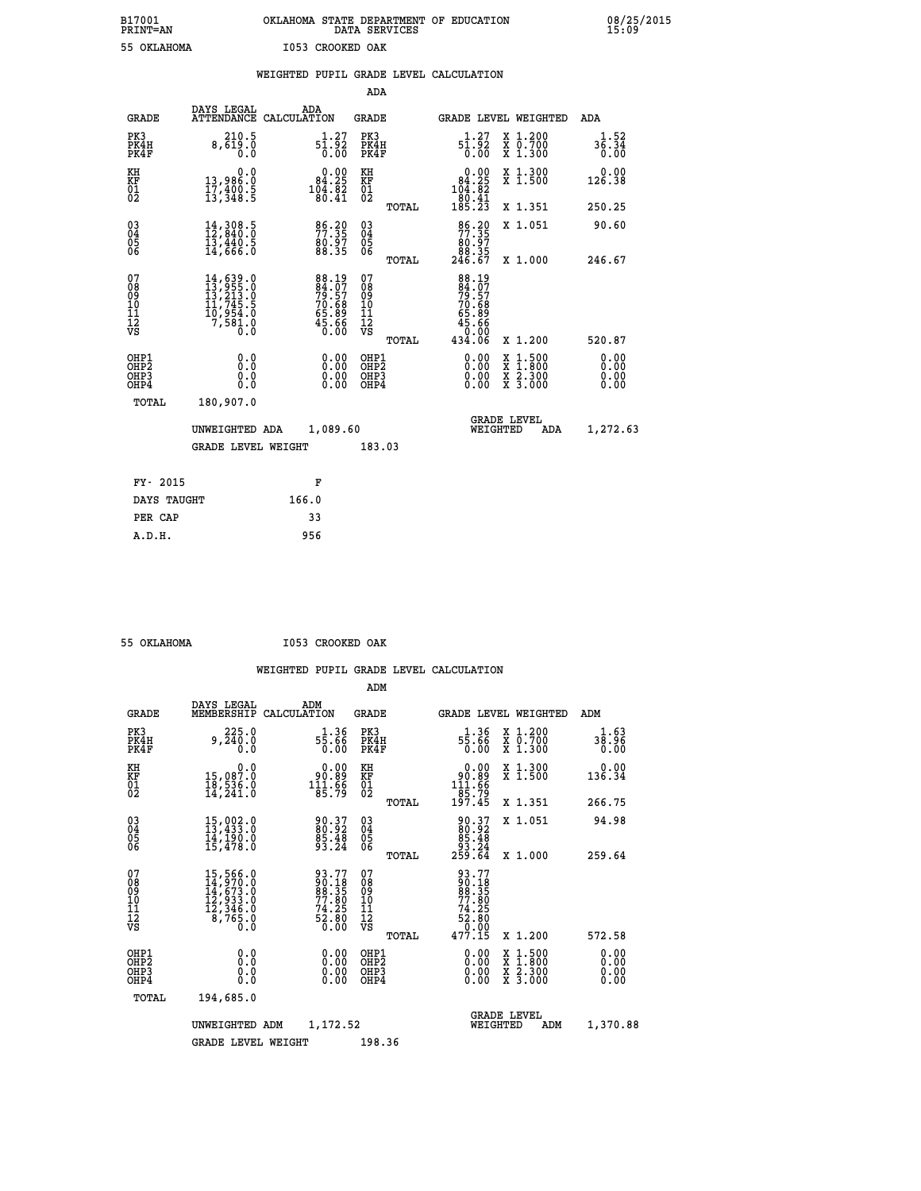# **B17001 OKLAHOMA STATE DEPARTMENT OF EDUCATION 08/25/2015 PRINT=AN DATA SERVICES 15:09 55 OKLAHOMA I053 CROOKED OAK**

|  |  | WEIGHTED PUPIL GRADE LEVEL CALCULATION |
|--|--|----------------------------------------|
|  |  |                                        |

|                                                    |                                                                                                                                                    |                                                                       | ADA                                                 |       |                                                                                         |                                                                                                  |                              |
|----------------------------------------------------|----------------------------------------------------------------------------------------------------------------------------------------------------|-----------------------------------------------------------------------|-----------------------------------------------------|-------|-----------------------------------------------------------------------------------------|--------------------------------------------------------------------------------------------------|------------------------------|
| <b>GRADE</b>                                       | DAYS LEGAL                                                                                                                                         | ADA<br>ATTENDANCE CALCULATION                                         | <b>GRADE</b>                                        |       |                                                                                         | GRADE LEVEL WEIGHTED                                                                             | ADA                          |
| PK3<br>PK4H<br>PK4F                                | 210.5<br>8,619.0<br>0.0                                                                                                                            | $5\frac{1}{0}\cdot\frac{27}{92}$<br>0.00                              | PK3<br>PK4H<br>PK4F                                 |       | 1.27<br>51.52<br>0.00                                                                   | X 1.200<br>X 0.700<br>X 1.300                                                                    | 1.52<br>36.34<br>0.00        |
| KH<br>KF<br>01<br>02                               | 0.0<br>13,986.0<br>17,400.5<br>13,348.5                                                                                                            | $\begin{smallmatrix} 0.00\\ 84.25\\ 104.82\\ 80.41 \end{smallmatrix}$ | KH<br>KF<br>01<br>02                                |       | $\begin{smallmatrix} &0.00\\ 84.25\\ 104.82\\ 104.82\\ 80.41\\ 185.23\end{smallmatrix}$ | X 1.300<br>X 1.500                                                                               | 0.00<br>126.38               |
|                                                    |                                                                                                                                                    |                                                                       |                                                     | TOTAL |                                                                                         | X 1.351                                                                                          | 250.25                       |
| $\begin{matrix} 03 \\ 04 \\ 05 \\ 06 \end{matrix}$ | $\frac{14}{12}, \frac{308}{840}. \frac{5}{0}$<br>$\frac{13}{14}, \frac{440}{66}. \frac{5}{0}$                                                      | 86.39<br>80.97<br>88.35                                               | $\begin{array}{c} 03 \\ 04 \\ 05 \\ 06 \end{array}$ | TOTAL | 86.20<br>80.97<br>88.35<br>246.67                                                       | X 1.051<br>X 1.000                                                                               | 90.60<br>246.67              |
| 07<br>08<br>09<br>11<br>11<br>12<br>VS             | $\begin{smallmatrix} 14\,,\,639\,.0\\ 13\,,\,955\,.0\\ 13\,,\,213\,.0\\ 11\,,\,745\,.5\\ 10\,,\,954\,.0\\ 7\,,\,581\,.0\\ 0\,.0 \end{smallmatrix}$ | 88.197<br>84.077<br>79.57<br>70.68<br>65.89<br>65.66<br>45.66         | 07<br>08<br>09<br>101<br>112<br>VS                  |       | 88.197<br>79.57<br>70.689<br>65.89<br>45.66<br>434.06                                   |                                                                                                  |                              |
|                                                    |                                                                                                                                                    |                                                                       |                                                     | TOTAL |                                                                                         | X 1.200                                                                                          | 520.87                       |
| OHP1<br>OHP2<br>OHP3<br>OHP4                       | 0.0<br>0.0<br>0.0                                                                                                                                  | $\begin{smallmatrix} 0.00 \ 0.00 \ 0.00 \ 0.00 \end{smallmatrix}$     | OHP1<br>OHP2<br>OHP3<br>OHP4                        |       |                                                                                         | $\begin{smallmatrix} x & 1 & 500 \\ x & 1 & 800 \\ x & 2 & 300 \\ x & 3 & 000 \end{smallmatrix}$ | 0.00<br>0.00<br>0.00<br>0.00 |
| <b>TOTAL</b>                                       | 180,907.0                                                                                                                                          |                                                                       |                                                     |       |                                                                                         |                                                                                                  |                              |
|                                                    | UNWEIGHTED ADA                                                                                                                                     | 1,089.60                                                              |                                                     |       |                                                                                         | <b>GRADE LEVEL</b><br>WEIGHTED<br>ADA                                                            | 1,272.63                     |
|                                                    | <b>GRADE LEVEL WEIGHT</b>                                                                                                                          |                                                                       | 183.03                                              |       |                                                                                         |                                                                                                  |                              |
|                                                    |                                                                                                                                                    |                                                                       |                                                     |       |                                                                                         |                                                                                                  |                              |
| FY- 2015                                           |                                                                                                                                                    | F                                                                     |                                                     |       |                                                                                         |                                                                                                  |                              |
| DAYS TAUGHT                                        |                                                                                                                                                    | 166.0                                                                 |                                                     |       |                                                                                         |                                                                                                  |                              |
| PER CAP                                            |                                                                                                                                                    | 33                                                                    |                                                     |       |                                                                                         |                                                                                                  |                              |

 **A.D.H. 956**

 **55 OKLAHOMA I053 CROOKED OAK**

|                                          |                                                                                                              |                                                                      | ADM                                                 |       |                                                                                |                                          |                              |
|------------------------------------------|--------------------------------------------------------------------------------------------------------------|----------------------------------------------------------------------|-----------------------------------------------------|-------|--------------------------------------------------------------------------------|------------------------------------------|------------------------------|
| <b>GRADE</b>                             | DAYS LEGAL<br>MEMBERSHIP                                                                                     | ADM<br>CALCULATION                                                   | <b>GRADE</b>                                        |       |                                                                                | <b>GRADE LEVEL WEIGHTED</b>              | ADM                          |
| PK3<br>PK4H<br>PK4F                      | 225.0<br>9,240.0<br>0.0                                                                                      | $1.36$<br>55.66<br>0.00                                              | PK3<br>PK4H<br>PK4F                                 |       | $1.36$<br>55.66<br>0.00                                                        | X 1.200<br>X 0.700<br>X 1.300            | 1.63<br>38.96<br>0.00        |
| KH<br>KF<br>01<br>02                     | 0.0<br>15,087.0<br>18,536.0<br>14,241.0                                                                      | $\begin{smallmatrix} &0.00\ 90.89\ 111.66\ 85.79\ \end{smallmatrix}$ | KH<br>KF<br>01<br>02                                |       | $0.00$<br>$90.89$<br>$111.66$<br>$85.79$<br>$197.45$                           | X 1.300<br>X 1.500                       | 0.00<br>136.34               |
|                                          |                                                                                                              |                                                                      |                                                     | TOTAL |                                                                                | X 1.351                                  | 266.75                       |
| 03<br>04<br>05<br>06                     | $\begin{smallmatrix} 15\,,\,002\,.0\\ 13\,,\,433\,.0\\ 14\,,\,190\,.0\\ 15\,,\,478\,.0 \end{smallmatrix}$    | 90.37<br>80.92<br>85.48<br>93.24                                     | $\begin{array}{c} 03 \\ 04 \\ 05 \\ 06 \end{array}$ |       | $\begin{smallmatrix} 90.37\\ 80.92\\ 85.48\\ 93.24\\ 259.64 \end{smallmatrix}$ | X 1.051                                  | 94.98                        |
|                                          |                                                                                                              |                                                                      |                                                     | TOTAL |                                                                                | X 1.000                                  | 259.64                       |
| 07<br>08<br>09<br>101<br>112<br>VS       | $\begin{smallmatrix} 15,566.0\\ 14,970.0\\ 14,673.0\\ 12,933.0\\ 12,346.0\\ 8,765.0\\ 0.0 \end{smallmatrix}$ | 93.77<br>90.18<br>88.35<br>77.80<br>74.25<br>74.25<br>52.80<br>6.00  | 07<br>08<br>09<br>11<br>11<br>12<br>VS              | TOTAL | 93.77<br>90.18<br>88.35<br>77.80<br>77.80<br>52.80<br>0.00<br>477.15           | X 1.200                                  | 572.58                       |
|                                          |                                                                                                              |                                                                      |                                                     |       |                                                                                |                                          |                              |
| OHP1<br>OHP2<br>OH <sub>P3</sub><br>OHP4 | 0.0<br>0.000                                                                                                 | $0.00$<br>$0.00$<br>0.00                                             | OHP1<br>OHP2<br>OHP <sub>3</sub>                    |       | $0.00$<br>$0.00$<br>0.00                                                       | X 1:500<br>X 1:800<br>X 2:300<br>X 3:000 | 0.00<br>0.00<br>0.00<br>0.00 |
| TOTAL                                    | 194,685.0                                                                                                    |                                                                      |                                                     |       |                                                                                |                                          |                              |
|                                          | UNWEIGHTED                                                                                                   | 1,172.52<br>ADM                                                      |                                                     |       | WEIGHTED                                                                       | <b>GRADE LEVEL</b><br>ADM                | 1,370.88                     |
|                                          | <b>GRADE LEVEL WEIGHT</b>                                                                                    |                                                                      | 198.36                                              |       |                                                                                |                                          |                              |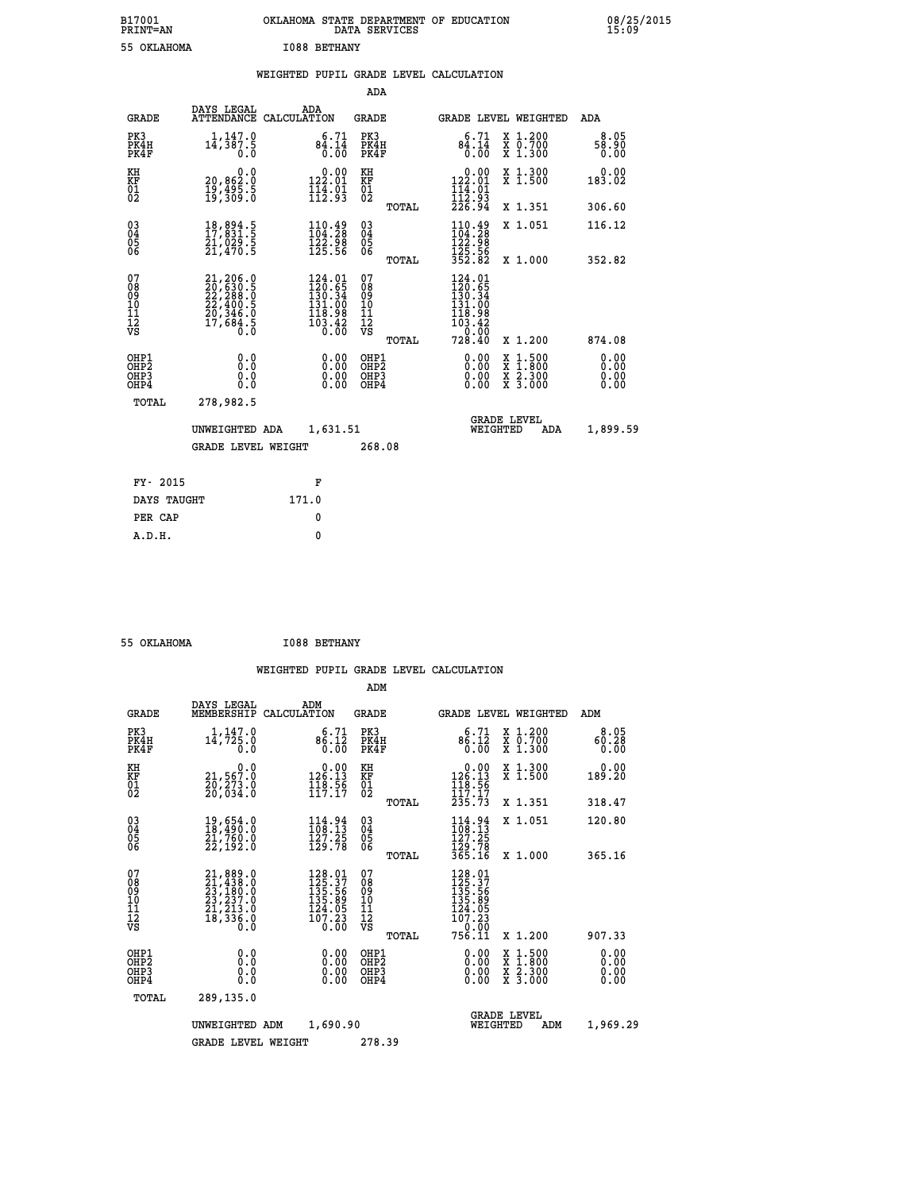| B17001<br><b>PRINT=AN</b> | OKLAHOMA STATE DEPARTMENT OF EDUCATION<br>DATA SERVICES | 08/25/2015<br>15:09 |
|---------------------------|---------------------------------------------------------|---------------------|
| 55 OKLAHOMA               | <b>I088 BETHANY</b>                                     |                     |

|  |  | WEIGHTED PUPIL GRADE LEVEL CALCULATION |
|--|--|----------------------------------------|
|  |  |                                        |

|                                                                  |                                                                                                                                                 |                                                                                                                | ADA                                     |       |                                                                                                        |                                                                                                                                           |                              |
|------------------------------------------------------------------|-------------------------------------------------------------------------------------------------------------------------------------------------|----------------------------------------------------------------------------------------------------------------|-----------------------------------------|-------|--------------------------------------------------------------------------------------------------------|-------------------------------------------------------------------------------------------------------------------------------------------|------------------------------|
| <b>GRADE</b>                                                     | DAYS LEGAL                                                                                                                                      | ADA<br>ATTENDANCE CALCULATION                                                                                  | GRADE                                   |       | <b>GRADE LEVEL WEIGHTED</b>                                                                            |                                                                                                                                           | ADA                          |
| PK3<br>PK4H<br>PK4F                                              | 1,147.0<br>14,387.5<br>0.0                                                                                                                      | 6.71<br>$8\frac{4}{0}.\frac{1\overline{4}}{00}$                                                                | PK3<br>PK4H<br>PK4F                     |       | 6.71<br>84.14<br>0.00                                                                                  | X 1.200<br>X 0.700<br>X 1.300                                                                                                             | 8.05<br>58.90<br>0.00        |
| KH<br>KF<br>01<br>02                                             | 0.0<br>20,862:0<br>19,495:5<br>19,309:0                                                                                                         | 0.00<br>$\frac{122.01}{114.01}$<br>$\frac{114.01}{112.93}$                                                     | KH<br><b>KF</b><br>01<br>02             |       | $\begin{array}{c} 0.00 \\ 122.01 \\ 114.01 \\ 112.93 \\ 226.94 \end{array}$                            | X 1.300<br>X 1.500                                                                                                                        | 0.00<br>183.02               |
|                                                                  |                                                                                                                                                 |                                                                                                                |                                         | TOTAL |                                                                                                        | X 1.351                                                                                                                                   | 306.60                       |
| $^{03}_{04}$<br>Ŏ5<br>06                                         | 18,894.5<br>17,831.5<br>21,029.5<br>21,470.5                                                                                                    | $\begin{smallmatrix} 110.49\\104.28\\122.98\\125.56 \end{smallmatrix}$                                         | $\substack{03 \\ 04}$<br>Ŏ5<br>06       |       | $110.49$<br>$104.28$<br>$\frac{122.98}{125.56}$<br>$\frac{352.82}{125.82}$                             | X 1.051                                                                                                                                   | 116.12                       |
|                                                                  |                                                                                                                                                 |                                                                                                                |                                         | TOTAL |                                                                                                        | X 1.000                                                                                                                                   | 352.82                       |
| 07<br>08<br>09<br>11<br>11<br>12<br>VS                           | $\begin{smallmatrix} 21,206\cdot 0\\ 20,630\cdot 5\\ 22,288\cdot 0\\ 22,400\cdot 5\\ 20,346\cdot 0\\ 17,684\cdot 5\\ 0\cdot 0\end{smallmatrix}$ | $124.01$<br>$120.65$<br>$130.34$<br>$\begin{smallmatrix} 131.00 \\ 118.98 \\ 103.42 \\ 0.00 \end{smallmatrix}$ | 07<br>08<br>09<br>101<br>11<br>12<br>VS | TOTAL | 124.01<br>$\begin{smallmatrix} 120.65\ 130.34\ 131.00\ 118.98\ 103.42\ 0.00\ 728.40 \end{smallmatrix}$ | X 1.200                                                                                                                                   | 874.08                       |
| OHP1<br>OHP <sub>2</sub><br>OH <sub>P3</sub><br>OH <sub>P4</sub> | 0.0<br>Ō.Ō<br>0.0<br>0.0                                                                                                                        | 0.00<br>0.00<br>0.00                                                                                           | OHP1<br>OHP2<br>OHP3<br>OHP4            |       | 0.00<br>0.00<br>0.00                                                                                   | $\begin{smallmatrix} \mathtt{X} & 1\cdot500\\ \mathtt{X} & 1\cdot800\\ \mathtt{X} & 2\cdot300\\ \mathtt{X} & 3\cdot000 \end{smallmatrix}$ | 0.00<br>0.00<br>0.00<br>0.00 |
| TOTAL                                                            | 278,982.5                                                                                                                                       |                                                                                                                |                                         |       |                                                                                                        |                                                                                                                                           |                              |
|                                                                  | UNWEIGHTED ADA                                                                                                                                  | 1,631.51                                                                                                       |                                         |       | WEIGHTED                                                                                               | <b>GRADE LEVEL</b><br>ADA                                                                                                                 | 1,899.59                     |
|                                                                  | <b>GRADE LEVEL WEIGHT</b>                                                                                                                       |                                                                                                                | 268.08                                  |       |                                                                                                        |                                                                                                                                           |                              |
|                                                                  |                                                                                                                                                 |                                                                                                                |                                         |       |                                                                                                        |                                                                                                                                           |                              |
| FY- 2015                                                         |                                                                                                                                                 | F                                                                                                              |                                         |       |                                                                                                        |                                                                                                                                           |                              |
| DAYS TAUGHT                                                      |                                                                                                                                                 | 171.0                                                                                                          |                                         |       |                                                                                                        |                                                                                                                                           |                              |
| PER CAP                                                          |                                                                                                                                                 | 0                                                                                                              |                                         |       |                                                                                                        |                                                                                                                                           |                              |
| A.D.H.                                                           |                                                                                                                                                 | $\mathbf{0}$                                                                                                   |                                         |       |                                                                                                        |                                                                                                                                           |                              |

 **55 OKLAHOMA I088 BETHANY**

 **A.D.H. 0**

|                                                       |                                                                                           |                                                                                                 | ADM                                             |                                                                                                           |                                          |                              |
|-------------------------------------------------------|-------------------------------------------------------------------------------------------|-------------------------------------------------------------------------------------------------|-------------------------------------------------|-----------------------------------------------------------------------------------------------------------|------------------------------------------|------------------------------|
| <b>GRADE</b>                                          | DAYS LEGAL<br>MEMBERSHIP                                                                  | ADM<br>CALCULATION                                                                              | <b>GRADE</b>                                    |                                                                                                           | <b>GRADE LEVEL WEIGHTED</b>              | ADM                          |
| PK3<br>PK4H<br>PK4F                                   | 1,147.0<br>$1\bar{4}$ , 725.0<br>0.0                                                      | 6.71<br>86.12<br>0.00                                                                           | PK3<br>PK4H<br>PK4F                             | 6.71<br>86.12<br>0.00                                                                                     | X 1.200<br>X 0.700<br>X 1.300            | 8.05<br>60.28<br>0.00        |
| KH<br>KF<br>01<br>02                                  | 0.0<br>21,567.0<br>20,273.0<br>20,034.0                                                   | $\begin{smallmatrix} &0.00\\ 126.13\\ 148.56\\ 117.17\end{smallmatrix}$                         | KH<br>KF<br>01<br>02                            | $\begin{array}{c} 0.00 \\ 126.13 \\ 118.56 \\ 117.17 \\ 235.73 \end{array}$                               | X 1.300<br>X 1.500                       | 0.00<br>189.20               |
|                                                       |                                                                                           |                                                                                                 | TOTAL                                           |                                                                                                           | X 1.351                                  | 318.47                       |
| 03<br>04<br>05<br>06                                  | 19,654.0<br>18,490.0<br>21,760.0<br>22,192.0                                              | 114.94<br>108.13<br>127.25<br>129.78                                                            | $^{03}_{04}$<br>0500                            | 114.94<br>108.13<br>127.25<br>129.78<br>365.16                                                            | X 1.051                                  | 120.80                       |
|                                                       |                                                                                           |                                                                                                 | TOTAL                                           |                                                                                                           | X 1.000                                  | 365.16                       |
| 07<br>08<br>09<br>101<br>112<br>VS                    | $21,889.0$<br>$21,438.0$<br>$23,180.0$<br>$23,237.0$<br>$21,213.0$<br>$18,336.0$<br>$0.0$ | $\begin{array}{r} 128.01 \\ 125.37 \\ 135.56 \\ 135.89 \\ 124.05 \\ 107.23 \end{array}$<br>0.ŌŎ | 07<br>08<br>09<br>11<br>11<br>12<br>VS<br>TOTAL | $\begin{array}{l} 128.01 \\ 125.37 \\ 135.56 \\ 135.89 \end{array}$<br>124.05<br>107.23<br>0.00<br>756.11 | X 1.200                                  | 907.33                       |
| OHP1<br>OH <sub>P</sub> 2<br>OH <sub>P3</sub><br>OHP4 | 0.0<br>0.000                                                                              | $0.00$<br>$0.00$<br>0.00                                                                        | OHP1<br>OHP2<br>OHP3<br>OHP4                    | $0.00$<br>$0.00$<br>0.00                                                                                  | X 1:500<br>X 1:800<br>X 2:300<br>X 3:000 | 0.00<br>0.00<br>0.00<br>0.00 |
| TOTAL                                                 | 289,135.0                                                                                 |                                                                                                 |                                                 |                                                                                                           |                                          |                              |
|                                                       | UNWEIGHTED ADM                                                                            | 1,690.90                                                                                        |                                                 | WEIGHTED                                                                                                  | <b>GRADE LEVEL</b><br>ADM                | 1,969.29                     |
|                                                       | <b>GRADE LEVEL WEIGHT</b>                                                                 |                                                                                                 | 278.39                                          |                                                                                                           |                                          |                              |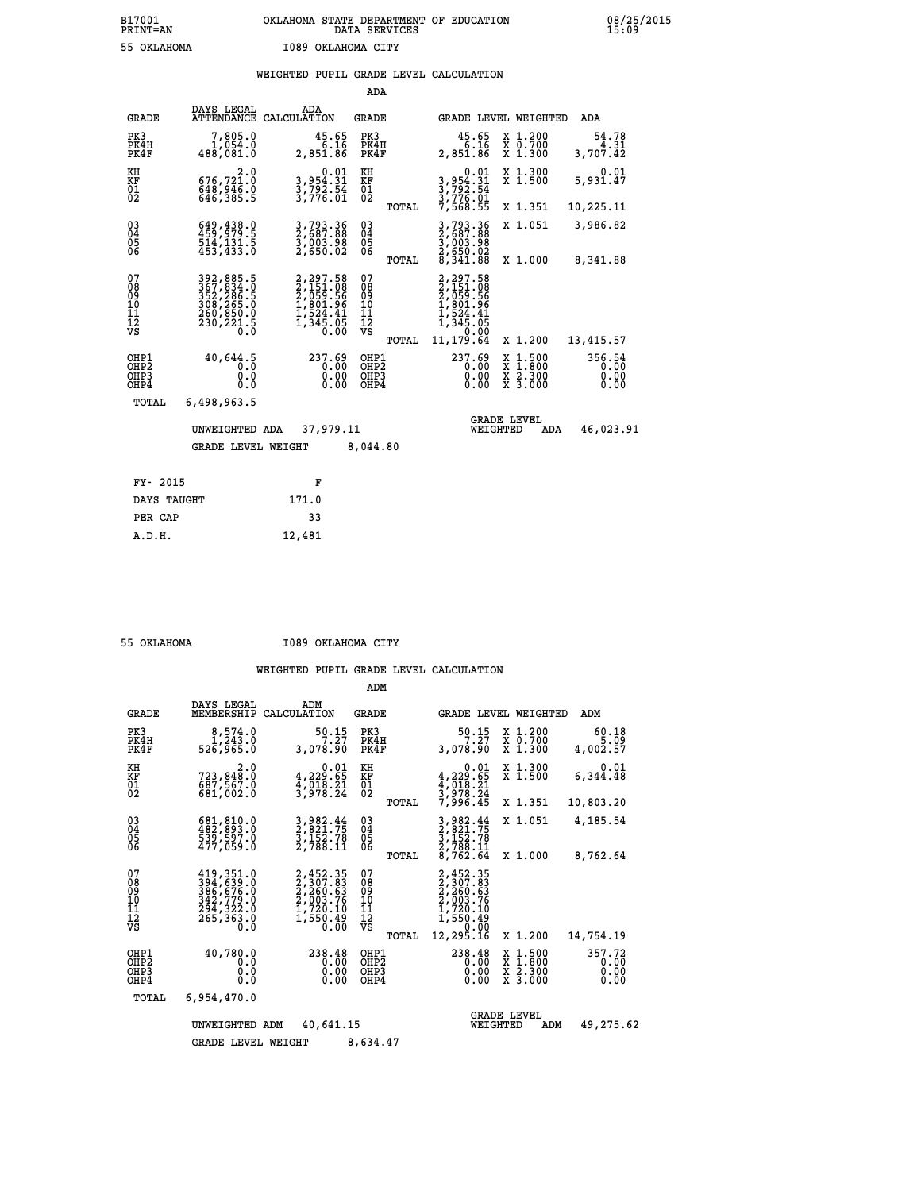# **WEIGHTED PUPIL GRADE LEVEL CALCULATION**

|                                        |                                                                                                                                        |                                                                                                 | ADA                                       |       |                                                                                                      |          |                                                       |                                |
|----------------------------------------|----------------------------------------------------------------------------------------------------------------------------------------|-------------------------------------------------------------------------------------------------|-------------------------------------------|-------|------------------------------------------------------------------------------------------------------|----------|-------------------------------------------------------|--------------------------------|
| <b>GRADE</b>                           | DAYS LEGAL<br>ATTENDANCE                                                                                                               | ADA<br>CALCULATION                                                                              | GRADE                                     |       | GRADE LEVEL WEIGHTED                                                                                 |          |                                                       | ADA                            |
| PK3<br>PK4H<br>PK4F                    | 7,805.0<br>1,054.0<br>488,081.0                                                                                                        | $45.65$<br>6.16<br>2,851.86                                                                     | PK3<br>PK4H<br>PK4F                       |       | 45.65<br>6.16<br>2,851.86                                                                            |          | X 1.200<br>X 0.700<br>X 1.300                         | 54.78<br>4.31<br>3,707.42      |
| KH<br><b>KF</b><br>01<br>02            | 2.0<br>676,721.0<br>648,385.5                                                                                                          | $\begin{smallmatrix}&&0.01\\3,954.31\\3,792.54\\3,776.01\end{smallmatrix}$                      | KH<br>KF<br>01<br>02                      |       | 0.01<br>3,954.31<br>3,792.54<br>3,776.01<br>7,568.55                                                 |          | X 1.300<br>$\overline{x}$ 1.500                       | 0.01<br>5,931.47               |
|                                        |                                                                                                                                        |                                                                                                 |                                           | TOTAL |                                                                                                      |          | X 1.351                                               | 10,225.11                      |
| $^{03}_{04}$<br>05<br>06               | 649, 438.0<br>459, 979.5<br>514, 131.5<br>453, 433.0                                                                                   | 3,793.36<br>2,687.88<br>3,003.98<br>2,650.02                                                    | $\substack{03 \\ 04}$<br>05<br>06         |       | 3,793.36<br>2,687.88<br>3,003.98<br>2,650.02<br>8,341.88                                             |          | X 1.051                                               | 3,986.82                       |
|                                        |                                                                                                                                        |                                                                                                 |                                           | TOTAL |                                                                                                      |          | X 1.000                                               | 8,341.88                       |
| 07<br>08<br>09<br>11<br>11<br>12<br>VS | $\begin{smallmatrix} 392, 885.5\\ 367, 834.0\\ 352, 286.5\\ 308, 265.0\\ 260, 850.0\\ 230, 221.5\\ 230, 221.5\\ 0.0 \end{smallmatrix}$ | 2, 297.58<br>2, 151.08<br>2, 059.56<br>2, 061.56<br>1, 801.96<br>1, 524.41<br>1, 345.05<br>0.00 | 07<br>08<br>09<br>11<br>11<br>12<br>VS    | TOTAL | 2,297.58<br>$2,151.08$<br>$2,059.56$<br>$1,801.96$<br>$1,524.41$<br>$1,345.05$<br>0.00<br>11, 179.64 |          | X 1.200                                               | 13,415.57                      |
|                                        |                                                                                                                                        |                                                                                                 |                                           |       |                                                                                                      |          |                                                       |                                |
| OHP1<br>OHP2<br>OHP3<br>OHP4           | 40,644.5<br>0.0<br>0.0<br>0.0                                                                                                          | 237.69<br>0.00<br>$0.00$<br>$0.00$                                                              | OHP1<br>OH <sub>P</sub> 2<br>OHP3<br>OHP4 |       | 237.69<br>0.00<br>0.00<br>0.00                                                                       |          | $\frac{x}{x}$ $\frac{1.500}{x}$<br>X 2.300<br>X 3.000 | 356.54<br>0.00<br>0.00<br>0.00 |
| TOTAL                                  | 6,498,963.5                                                                                                                            |                                                                                                 |                                           |       |                                                                                                      |          |                                                       |                                |
|                                        | UNWEIGHTED ADA                                                                                                                         | 37,979.11                                                                                       |                                           |       |                                                                                                      | WEIGHTED | <b>GRADE LEVEL</b><br>ADA                             | 46,023.91                      |
|                                        | <b>GRADE LEVEL WEIGHT</b>                                                                                                              |                                                                                                 | 8,044.80                                  |       |                                                                                                      |          |                                                       |                                |
|                                        |                                                                                                                                        |                                                                                                 |                                           |       |                                                                                                      |          |                                                       |                                |
| FY- 2015                               |                                                                                                                                        | F                                                                                               |                                           |       |                                                                                                      |          |                                                       |                                |
| DAYS TAUGHT                            |                                                                                                                                        | 171.0                                                                                           |                                           |       |                                                                                                      |          |                                                       |                                |

|  | 55 OKTAHOMA |
|--|-------------|

 **PER CAP 33 A.D.H. 12,481**

 **55 OKLAHOMA I089 OKLAHOMA CITY**

|                                                    |                                                                                        |                                                                              | ADM                                             |                                                                                           |                                                                                                  |                                |
|----------------------------------------------------|----------------------------------------------------------------------------------------|------------------------------------------------------------------------------|-------------------------------------------------|-------------------------------------------------------------------------------------------|--------------------------------------------------------------------------------------------------|--------------------------------|
| <b>GRADE</b>                                       | DAYS LEGAL<br>MEMBERSHIP                                                               | ADM<br>CALCULATION                                                           | <b>GRADE</b>                                    | <b>GRADE LEVEL WEIGHTED</b>                                                               |                                                                                                  | ADM                            |
| PK3<br>PK4H<br>PK4F                                | 8,574.0<br>1,243.0<br>526,965.0                                                        | 50.15<br>7.27<br>3,078.90                                                    | PK3<br>PK4H<br>PK4F                             | 50.15<br>7.27<br>3,078.90                                                                 | X 1.200<br>X 0.700<br>X 1.300                                                                    | 60.18<br>5.09<br>4,002.57      |
| KH<br>KF<br>01<br>02                               | 2.0<br>723,848.0<br>687,567.0<br>681,002.0                                             | $\begin{smallmatrix}&&&0.01\\4,229.65\\4,018.21\\3,978.24\end{smallmatrix}$  | KH<br>KF<br>01<br>02                            | 0.01<br>$4, 229.65$<br>$4, 018.21$<br>$3, 978.24$                                         | X 1.300<br>X 1.500                                                                               | 0.01<br>6,344.48               |
|                                                    |                                                                                        |                                                                              | TOTAL                                           | 7,996.45                                                                                  | X 1.351                                                                                          | 10,803.20                      |
| $\begin{matrix} 03 \\ 04 \\ 05 \\ 06 \end{matrix}$ | 681, 810.0<br>482, 893.0<br>539, 597.0<br>477,059.0                                    | 3,982.44<br>2,821.75<br>3,152.78<br>2,788.11                                 | $\substack{03 \\ 04}$<br>05                     | 3,982.44<br>2,821.75<br>3,152.78<br>2,788.11                                              | X 1.051                                                                                          | 4,185.54                       |
|                                                    |                                                                                        |                                                                              | TOTAL                                           | 8,762.64                                                                                  | X 1.000                                                                                          | 8,762.64                       |
| 07<br>08<br>09<br>11<br>11<br>12<br>VS             | 419, 351.0<br>394, 639.0<br>386, 676.0<br>342, 779.0<br>294, 322.0<br>265,363.0<br>0.0 | 2,452.35<br>2,307.83<br>2,260.63<br>2,003.76<br>1,720.10<br>1,550.49<br>0.00 | 07<br>08<br>09<br>11<br>11<br>12<br>VS<br>TOTAL | 2,452.35<br>2,307.83<br>2,260:63<br>2,003.76<br>1,720.10<br>1,550.49<br>0.00<br>12,295.16 | X 1.200                                                                                          | 14,754.19                      |
| OHP1<br>OH <sub>P</sub> 2<br>OHP3<br>OHP4          | 40,780.0<br>0.0<br>0.0<br>Ŏ.Ŏ                                                          | 238.48<br>0.00<br>0.00<br>0.00                                               | OHP1<br>OHP <sub>2</sub><br>OHP3<br>OHP4        | 238.48<br>0.00<br>0.00<br>0.00                                                            | $\begin{smallmatrix} x & 1 & 500 \\ x & 1 & 800 \\ x & 2 & 300 \\ x & 3 & 000 \end{smallmatrix}$ | 357.72<br>0.00<br>0.00<br>0.00 |
| TOTAL                                              | 6,954,470.0                                                                            |                                                                              |                                                 |                                                                                           |                                                                                                  |                                |
|                                                    | UNWEIGHTED                                                                             | 40,641.15<br>ADM                                                             |                                                 | WEIGHTED                                                                                  | <b>GRADE LEVEL</b><br>ADM                                                                        | 49,275.62                      |
|                                                    | <b>GRADE LEVEL WEIGHT</b>                                                              |                                                                              | 8,634.47                                        |                                                                                           |                                                                                                  |                                |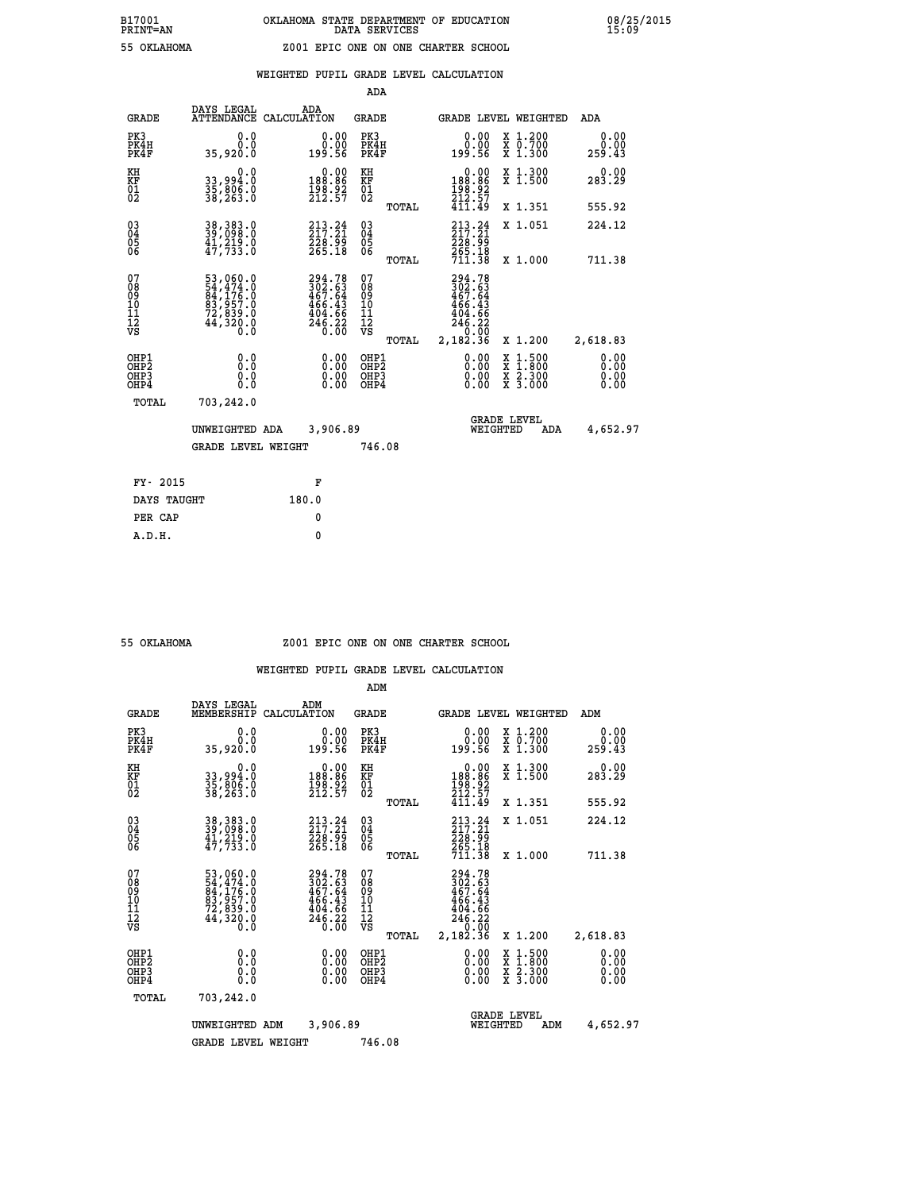|  |  | WEIGHTED PUPIL GRADE LEVEL CALCULATION |
|--|--|----------------------------------------|
|  |  |                                        |

|                                                                    |                                                  |                                                                                | ADA                                               |       |                                                                              |                                                                   |                              |
|--------------------------------------------------------------------|--------------------------------------------------|--------------------------------------------------------------------------------|---------------------------------------------------|-------|------------------------------------------------------------------------------|-------------------------------------------------------------------|------------------------------|
| <b>GRADE</b>                                                       | DAYS LEGAL                                       | ADA<br>ATTENDANCE CALCULATION                                                  | GRADE                                             |       |                                                                              | GRADE LEVEL WEIGHTED                                              | ADA                          |
| PK3<br>PK4H<br>PK4F                                                | 0.0<br>0.0<br>35,920.0                           | $\begin{smallmatrix} &0.00\0.00\0.56\end{smallmatrix}$                         | PK3<br>PK4H<br>PK4F                               |       | 0.00<br>ةة.ة<br>199.56                                                       | X 1.200<br>X 0.700<br>X 1.300                                     | 0.00<br>0.00<br>259.43       |
| KH<br>KF<br>01<br>02                                               | 0.0<br>33,994.0<br>35,806.0<br>38,263.0          | $0.00$<br>188.86<br>$\frac{198.92}{212.57}$                                    | KH<br>KF<br>$\begin{matrix} 01 \ 02 \end{matrix}$ |       | 0.00<br>188:86<br>198:92<br>212:57<br>411:49                                 | X 1.300<br>X 1.500                                                | 0.00<br>283.29               |
|                                                                    |                                                  |                                                                                |                                                   | TOTAL |                                                                              | X 1.351                                                           | 555.92                       |
| $\begin{smallmatrix} 03 \\[-4pt] 04 \end{smallmatrix}$<br>05<br>06 | 38, 383.0<br>39, 098.0<br>41, 219.0<br>47, 733.0 | $213.24$<br>$217.21$<br>228.99<br>265.18                                       | $\substack{03 \\ 04}$<br>$\substack{05 \\ 06}$    |       | 213.24<br>$\frac{226}{265}$ . 18<br>711.38                                   | X 1.051                                                           | 224.12                       |
|                                                                    |                                                  |                                                                                |                                                   | TOTAL |                                                                              | X 1.000                                                           | 711.38                       |
| 07<br>08<br>09<br>11<br>11<br>12<br>VS                             |                                                  | $294.78$<br>$302.63$<br>$467.64$<br>$466.43$<br>$404.66$<br>$246.22$<br>$0.00$ | 07<br>08<br>09<br>11<br>11<br>12<br>VS            |       | 294.78<br>302.63<br>467.64<br>$466.43$<br>$404.66$<br>$246.22$<br>$2,182.36$ |                                                                   |                              |
|                                                                    |                                                  |                                                                                |                                                   | TOTAL |                                                                              | X 1.200                                                           | 2,618.83                     |
| OHP1<br>OHP <sub>2</sub><br>OHP3<br>OHP4                           | 0.0<br>Ō.Ō<br>0.0<br>Ō.Ō                         | 0.00<br>$\begin{smallmatrix} 0.00 \ 0.00 \end{smallmatrix}$                    | OHP1<br>OH <sub>P</sub> 2<br>OHP3<br>OHP4         |       | 0.00<br>0.00<br>0.00                                                         | $1:500$<br>1:800<br>X<br>X<br>$\frac{x}{x}$ $\frac{2.300}{3.000}$ | 0.00<br>0.00<br>0.00<br>0.00 |
| TOTAL                                                              | 703,242.0                                        |                                                                                |                                                   |       |                                                                              |                                                                   |                              |
|                                                                    | UNWEIGHTED ADA                                   | 3,906.89                                                                       |                                                   |       |                                                                              | <b>GRADE LEVEL</b><br>WEIGHTED<br>ADA                             | 4,652.97                     |
|                                                                    | <b>GRADE LEVEL WEIGHT</b>                        |                                                                                | 746.08                                            |       |                                                                              |                                                                   |                              |
| FY- 2015                                                           |                                                  | F                                                                              |                                                   |       |                                                                              |                                                                   |                              |
| DAYS TAUGHT                                                        |                                                  | 180.0                                                                          |                                                   |       |                                                                              |                                                                   |                              |
| PER CAP                                                            |                                                  | 0                                                                              |                                                   |       |                                                                              |                                                                   |                              |
|                                                                    |                                                  |                                                                                |                                                   |       |                                                                              |                                                                   |                              |

#### **55 OKLAHOMA Z001 EPIC ONE ON ONE CHARTER SCHOOL**

|                                                       |                                                                                                                                                                                          |                    |                                                                         | ADM                                                |       |                                                                                     |                                |                                                                                                  |                              |
|-------------------------------------------------------|------------------------------------------------------------------------------------------------------------------------------------------------------------------------------------------|--------------------|-------------------------------------------------------------------------|----------------------------------------------------|-------|-------------------------------------------------------------------------------------|--------------------------------|--------------------------------------------------------------------------------------------------|------------------------------|
| <b>GRADE</b>                                          | DAYS LEGAL<br>MEMBERSHIP                                                                                                                                                                 | ADM<br>CALCULATION |                                                                         | <b>GRADE</b>                                       |       |                                                                                     |                                | <b>GRADE LEVEL WEIGHTED</b>                                                                      | ADM                          |
| PK3<br>PK4H<br>PK4F                                   | 0.0<br>0.0<br>35,920.0                                                                                                                                                                   |                    | 0.00<br>0.00<br>199.56                                                  | PK3<br>PK4H<br>PK4F                                |       | $\begin{smallmatrix} &0.00\0.00\0.56\end{smallmatrix}$                              |                                | X 1.200<br>X 0.700<br>X 1.300                                                                    | 0.00<br>0.00<br>259.43       |
| KH<br>KF<br>01<br>02                                  | 0.0<br>33,994:0<br>35,806:0<br>38,263:0                                                                                                                                                  |                    | $\begin{smallmatrix} &0.00\\ 188.86\\ 198.92\\ 212.57\end{smallmatrix}$ | KH<br>KF<br>01<br>02                               |       | $\begin{smallmatrix} &0.00\\ 188.86\\ 198.92\\ 212.57\end{smallmatrix}$             |                                | X 1.300<br>X 1.500                                                                               | 0.00<br>283.29               |
|                                                       |                                                                                                                                                                                          |                    |                                                                         |                                                    | TOTAL | 411.49                                                                              |                                | X 1.351                                                                                          | 555.92                       |
| 03<br>04<br>05<br>06                                  | 38, 383.0<br>39, 098.0<br>41, 219.0<br>47,733.0                                                                                                                                          |                    | $213.24$<br>$217.21$<br>228.99<br>265.18                                | $\begin{matrix} 03 \\ 04 \\ 05 \\ 06 \end{matrix}$ |       | $213.24$<br>$217.21$<br>226:55<br>265.18<br>711.38                                  |                                | X 1.051                                                                                          | 224.12                       |
|                                                       |                                                                                                                                                                                          |                    |                                                                         |                                                    | TOTAL |                                                                                     |                                | X 1.000                                                                                          | 711.38                       |
| 07<br>08<br>09<br>101<br>112<br>VS                    | $\begin{smallmatrix}53\,, & 060\,. & 0\\54\,, & 474\,. & 0\\84\,, & 176\,. & 0\\83\,, & 957\,. & 0\\72\,, & 839\,. & 0\\44\,, & 320\,. & 0\\0\,. & 0\,. & 0\,. & 0\,. \end{smallmatrix}$ |                    | 294.78<br>302.63<br>467.64<br>466.43<br>$\frac{404.66}{246.22}$         | 07<br>08<br>09<br>101<br>11<br>12<br>VS            | TOTAL | 294.78<br>302.63<br>467.64<br>466.43<br>$\frac{404.66}{246.22}$<br>0.00<br>2,182.36 |                                | X 1.200                                                                                          | 2,618.83                     |
| OHP1<br>OH <sub>P</sub> 2<br>OH <sub>P3</sub><br>OHP4 | 0.0<br>0.000                                                                                                                                                                             |                    | $0.00$<br>$0.00$<br>0.00                                                | OHP1<br>OHP2<br>OHP <sub>3</sub><br>OHP4           |       | $0.00$<br>$0.00$<br>0.00                                                            |                                | $\begin{smallmatrix} x & 1 & 500 \\ x & 1 & 800 \\ x & 2 & 300 \\ x & 3 & 000 \end{smallmatrix}$ | 0.00<br>0.00<br>0.00<br>0.00 |
| TOTAL                                                 | 703,242.0                                                                                                                                                                                |                    |                                                                         |                                                    |       |                                                                                     |                                |                                                                                                  |                              |
|                                                       | UNWEIGHTED ADM                                                                                                                                                                           |                    | 3,906.89                                                                |                                                    |       |                                                                                     | <b>GRADE LEVEL</b><br>WEIGHTED | ADM                                                                                              | 4,652.97                     |
|                                                       | <b>GRADE LEVEL WEIGHT</b>                                                                                                                                                                |                    |                                                                         | 746.08                                             |       |                                                                                     |                                |                                                                                                  |                              |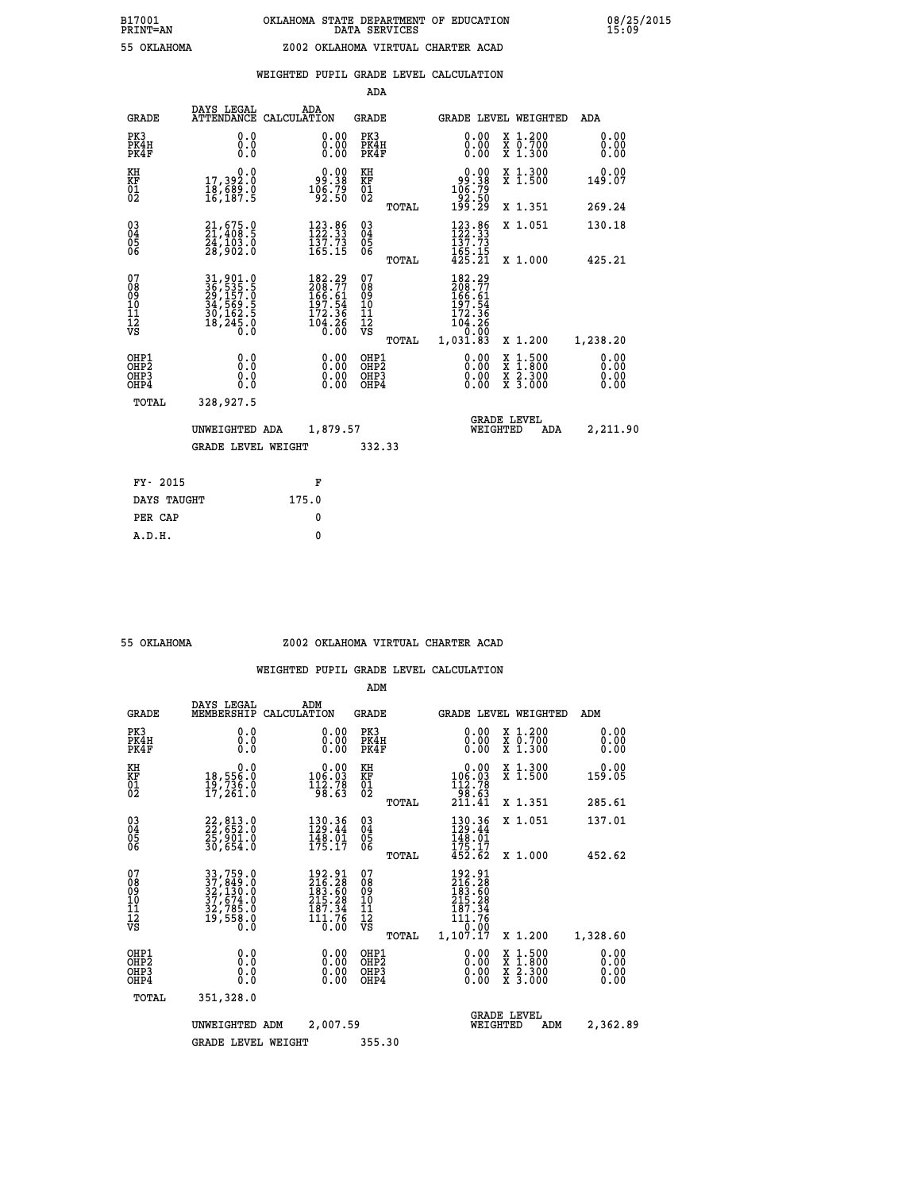|                                                                    |                                                                                   |                                                                                                    | ADA                                       |       |                                                                                                                |                                                    |                              |
|--------------------------------------------------------------------|-----------------------------------------------------------------------------------|----------------------------------------------------------------------------------------------------|-------------------------------------------|-------|----------------------------------------------------------------------------------------------------------------|----------------------------------------------------|------------------------------|
| <b>GRADE</b>                                                       | DAYS LEGAL<br><b>ATTENDANCE</b>                                                   | ADA<br>CALCULATION                                                                                 | <b>GRADE</b>                              |       |                                                                                                                | GRADE LEVEL WEIGHTED                               | <b>ADA</b>                   |
| PK3<br>PK4H<br>PK4F                                                | 0.0<br>0.0<br>$0.\overline{0}$                                                    | $\begin{smallmatrix} 0.00 \ 0.00 \ 0.00 \end{smallmatrix}$                                         | PK3<br>PK4H<br>PK4F                       |       | 0.00<br>0.00                                                                                                   | X 1.200<br>X 0.700<br>X 1.300                      | 0.00<br>0.00<br>0.00         |
| KH<br>KF<br>01<br>02                                               | 0.0<br>17,392.0<br>18,689.0<br>16,187.5                                           | $\begin{smallmatrix} 0.00\\ -9.38\\ 106.79\\ -92.50 \end{smallmatrix}$                             | KH<br>KF<br>01<br>02                      |       | $\begin{smallmatrix} &0.00\\[-1.2mm] 99.38\\[-1.2mm] 106.79\\[-1.2mm] 92.50\\[-1.2mm] 199.29\end{smallmatrix}$ | X 1.300<br>X 1.500                                 | 0.00<br>149.07               |
|                                                                    |                                                                                   |                                                                                                    |                                           | TOTAL |                                                                                                                | X 1.351                                            | 269.24                       |
| $\begin{smallmatrix} 03 \\[-4pt] 04 \end{smallmatrix}$<br>05<br>ŎĞ | 21,675.9<br>24,103.0<br>28,902.0                                                  | 123.86<br>122.33<br>$\frac{157.73}{165.15}$                                                        | $\substack{03 \\ 04}$<br>$\frac{05}{06}$  |       | $\frac{123}{122}$ : 33<br>$\frac{137}{137}$ : 73<br>$\frac{165}{425}.$ $\frac{15}{21}$                         | X 1.051                                            | 130.18                       |
|                                                                    |                                                                                   |                                                                                                    |                                           | TOTAL |                                                                                                                | X 1.000                                            | 425.21                       |
| 07<br>08<br>09<br>11<br>11<br>12<br>VS                             | 31, 901.0<br>36, 535.5<br>29, 157.0<br>34, 569.5<br>30, 162.5<br>18, 245.0<br>0.0 | $\begin{smallmatrix} 182.29\\ 208.77\\ 166.51\\ 197.54\\ 172.36\\ 104.26\\ 0.00 \end{smallmatrix}$ | 07<br>08<br>09<br>11<br>11<br>12<br>VS    |       | 182.29<br>208:77<br>166:61<br>197:54<br>$\frac{172.36}{104.26}$                                                |                                                    |                              |
|                                                                    |                                                                                   |                                                                                                    |                                           | TOTAL | 1,031.83                                                                                                       | X 1.200                                            | 1,238.20                     |
| OHP1<br>OHP <sub>2</sub><br>OHP3<br>OHP4                           | 0.0<br>Ō.Ō<br>0.0<br>Ō.Ō                                                          | 0.00<br>$\begin{smallmatrix} 0.00 \ 0.00 \end{smallmatrix}$                                        | OHP1<br>OH <sub>P</sub> 2<br>OHP3<br>OHP4 |       | 0.00<br>0.00<br>0.00                                                                                           | $1:500$<br>$1:800$<br>X<br>X<br>X 2.300<br>X 3.000 | 0.00<br>0.00<br>0.00<br>0.00 |
| TOTAL                                                              | 328,927.5                                                                         |                                                                                                    |                                           |       |                                                                                                                |                                                    |                              |
|                                                                    | UNWEIGHTED ADA                                                                    | 1,879.57                                                                                           |                                           |       |                                                                                                                | <b>GRADE LEVEL</b><br>WEIGHTED<br>ADA              | 2,211.90                     |
|                                                                    | <b>GRADE LEVEL WEIGHT</b>                                                         |                                                                                                    | 332.33                                    |       |                                                                                                                |                                                    |                              |
| FY- 2015                                                           |                                                                                   | F                                                                                                  |                                           |       |                                                                                                                |                                                    |                              |
| DAYS TAUGHT                                                        |                                                                                   | 175.0                                                                                              |                                           |       |                                                                                                                |                                                    |                              |
| PER CAP                                                            |                                                                                   | 0                                                                                                  |                                           |       |                                                                                                                |                                                    |                              |
|                                                                    |                                                                                   |                                                                                                    |                                           |       |                                                                                                                |                                                    |                              |

## **55 OKLAHOMA Z002 OKLAHOMA VIRTUAL CHARTER ACAD**

|                                          |                                                                                                                               |             |                                                                         | ADM                                    |       |                                                                                     |          |                                          |                              |
|------------------------------------------|-------------------------------------------------------------------------------------------------------------------------------|-------------|-------------------------------------------------------------------------|----------------------------------------|-------|-------------------------------------------------------------------------------------|----------|------------------------------------------|------------------------------|
| <b>GRADE</b>                             | DAYS LEGAL<br>MEMBERSHIP                                                                                                      | CALCULATION | ADM                                                                     | <b>GRADE</b>                           |       |                                                                                     |          | <b>GRADE LEVEL WEIGHTED</b>              | ADM                          |
| PK3<br>PK4H<br>PK4F                      | 0.0<br>0.0<br>0.0                                                                                                             |             | 0.00<br>0.00<br>0.00                                                    | PK3<br>PK4H<br>PK4F                    |       | $\begin{smallmatrix} 0.00 \\ 0.00 \\ 0.00 \end{smallmatrix}$                        |          | X 1.200<br>X 0.700<br>X 1.300            | 0.00<br>0.00<br>0.00         |
| KH<br>KF<br>01<br>02                     | 0.0<br>18,556.0<br>19,736.0<br>17,261.0                                                                                       |             | $\begin{smallmatrix} &0.00\\ 106.03\\ 112.78\\ 98.63\end{smallmatrix}$  | KH<br>KF<br>01<br>02                   |       | $\begin{smallmatrix} &0.00\\ 106.03\\ 112.78\\ 98.63\\ 211.41\end{smallmatrix}$     |          | X 1.300<br>X 1.500                       | 0.00<br>159.05               |
|                                          |                                                                                                                               |             |                                                                         |                                        | TOTAL |                                                                                     |          | X 1.351                                  | 285.61                       |
| 03<br>04<br>05<br>06                     | 22,813.0<br>22,652.0<br>25,901.0<br>30,654.0                                                                                  |             | 130.36<br>129.44<br>$\frac{148.01}{175.17}$                             | $^{03}_{04}$<br>0500                   |       | 130.36<br>129.44<br>148.01                                                          |          | X 1.051                                  | 137.01                       |
|                                          |                                                                                                                               |             |                                                                         |                                        | TOTAL | 175.17<br>452.62                                                                    |          | X 1.000                                  | 452.62                       |
| 07<br>08<br>09<br>101<br>112<br>VS       | $\begin{smallmatrix} 33\ 37\ 759\ 0\\ 37\ 849\ 0\\ 32\ 130\ 0\\ 37\ 674\ 0\\ 32\ 765\ 0\\ 19\ 558\ 0\\ 0\ 0\end{smallmatrix}$ |             | $192.91$<br>$216.28$<br>$183.60$<br>$215.29$<br>$\frac{187.34}{111.76}$ | 07<br>08<br>09<br>11<br>11<br>12<br>VS | TOTAL | 192.91<br>216.28<br>183.60<br>215.29<br>187.34<br>$\frac{111.76}{0.00}$<br>1,107.17 |          | X 1.200                                  | 1,328.60                     |
| OHP1<br>OHP2<br>OH <sub>P3</sub><br>OHP4 | 0.0<br>0.000                                                                                                                  |             | $0.00$<br>$0.00$<br>0.00                                                | OHP1<br>OHP2<br>OHP3<br>OHP4           |       | $0.00$<br>$0.00$<br>0.00                                                            |          | X 1:500<br>X 1:800<br>X 2:300<br>X 3:000 | 0.00<br>0.00<br>0.00<br>0.00 |
| TOTAL                                    | 351,328.0                                                                                                                     |             |                                                                         |                                        |       |                                                                                     |          |                                          |                              |
|                                          | UNWEIGHTED                                                                                                                    | ADM         | 2,007.59                                                                |                                        |       |                                                                                     | WEIGHTED | <b>GRADE LEVEL</b><br>ADM                | 2,362.89                     |
|                                          | GRADE LEVEL WEIGHT                                                                                                            |             |                                                                         | 355.30                                 |       |                                                                                     |          |                                          |                              |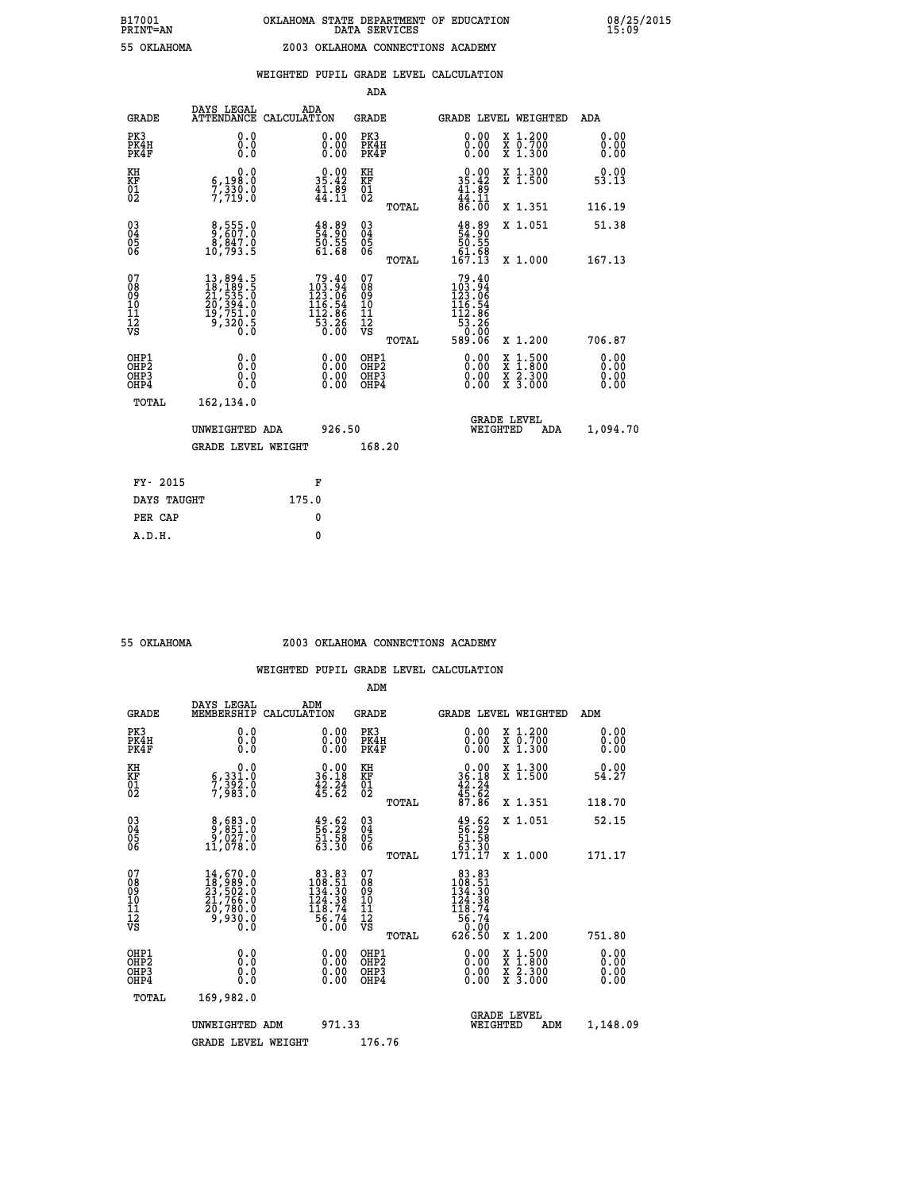|                                                                    |                                                                                |                                                                                                                 | ADA                                                 |       |                                                                                           |                                                                     |                              |
|--------------------------------------------------------------------|--------------------------------------------------------------------------------|-----------------------------------------------------------------------------------------------------------------|-----------------------------------------------------|-------|-------------------------------------------------------------------------------------------|---------------------------------------------------------------------|------------------------------|
| <b>GRADE</b>                                                       | DAYS LEGAL<br><b>ATTENDANCE</b>                                                | ADA<br>CALCULATION                                                                                              | <b>GRADE</b>                                        |       |                                                                                           | GRADE LEVEL WEIGHTED                                                | ADA                          |
| PK3<br>PK4H<br>PK4F                                                | 0.0<br>0.000                                                                   | $\begin{smallmatrix} 0.00 \ 0.00 \ 0.00 \end{smallmatrix}$                                                      | PK3<br>PK4H<br>PK4F                                 |       | $\begin{smallmatrix} 0.00 \\ 0.00 \\ 0.00 \end{smallmatrix}$                              | X 1.200<br>X 0.700<br>X 1.300                                       | 0.00<br>0.00<br>0.00         |
| KH<br>KF<br>01<br>02                                               | 0.0<br>6,198:0<br>7,330:0<br>7,719:0                                           | $\begin{smallmatrix} 0.00\\ 35.42\\ 41.89\\ 44.11 \end{smallmatrix}$                                            | KH<br>KF<br>01<br>02                                |       | $0.00$<br>$35.42$<br>$41.89$<br>$44.11$<br>$86.00$                                        | X 1.300<br>X 1.500                                                  | 0.00<br>53.13                |
|                                                                    |                                                                                |                                                                                                                 |                                                     | TOTAL |                                                                                           | X 1.351                                                             | 116.19                       |
| $\begin{smallmatrix} 03 \\[-4pt] 04 \end{smallmatrix}$<br>Ŏ5<br>06 | $\begin{smallmatrix} 8,555.0\\ 9,607.0\\ 8,847.0\\ 10,793.5 \end{smallmatrix}$ | $\begin{smallmatrix} 4\,8\, \cdot\, 89\\ 54\, \cdot\, 90\\ 50\, \cdot\, 55\\ 61\, \cdot\, 68 \end{smallmatrix}$ | $\begin{array}{c} 03 \\ 04 \\ 05 \\ 06 \end{array}$ | TOTAL | $48.89$<br>54.90<br>50.55<br>51.68<br>61.68<br>167.13                                     | X 1.051<br>X 1.000                                                  | 51.38<br>167.13              |
| 07<br>08<br>09<br>11<br>11<br>12<br>VS                             |                                                                                | $\begin{smallmatrix}79.40\\103.94\\123.06\\116.54\\112.86\\53.26\\0.00\end{smallmatrix}$                        | 07<br>08<br>09<br>11<br>11<br>12<br>VS              |       | $\begin{smallmatrix}79.40\\103.94\\123.06\\116.54\\116.86\\53.26\\58.06\end{smallmatrix}$ |                                                                     |                              |
|                                                                    |                                                                                |                                                                                                                 |                                                     | TOTAL |                                                                                           | X 1.200                                                             | 706.87                       |
| OHP1<br>OHP <sub>2</sub><br>OHP3<br>OHP4                           | 0.0<br>0.0<br>0.0                                                              | 0.00<br>$\begin{smallmatrix} 0.00 \ 0.00 \end{smallmatrix}$                                                     | OHP1<br>OH <sub>P</sub> 2<br>OHP3<br>OHP4           |       | 0.00<br>0.00<br>0.00                                                                      | $1:500$<br>$1:800$<br>X<br>X<br>$\frac{x}{x}$ $\frac{5:300}{3:000}$ | 0.00<br>0.00<br>0.00<br>0.00 |
| TOTAL                                                              | 162,134.0                                                                      |                                                                                                                 |                                                     |       |                                                                                           |                                                                     |                              |
|                                                                    | UNWEIGHTED ADA                                                                 | 926.50                                                                                                          |                                                     |       |                                                                                           | <b>GRADE LEVEL</b><br>WEIGHTED<br><b>ADA</b>                        | 1,094.70                     |
|                                                                    | <b>GRADE LEVEL WEIGHT</b>                                                      |                                                                                                                 | 168.20                                              |       |                                                                                           |                                                                     |                              |
| FY- 2015                                                           |                                                                                | F                                                                                                               |                                                     |       |                                                                                           |                                                                     |                              |
| DAYS TAUGHT                                                        |                                                                                | 175.0                                                                                                           |                                                     |       |                                                                                           |                                                                     |                              |
| PER CAP                                                            |                                                                                | 0                                                                                                               |                                                     |       |                                                                                           |                                                                     |                              |
|                                                                    |                                                                                |                                                                                                                 |                                                     |       |                                                                                           |                                                                     |                              |

#### **55 OKLAHOMA Z003 OKLAHOMA CONNECTIONS ACADEMY**

|                                         |                                          |                                                                                                                                                   |                                                                                                  | ADM                                                 |       |                                                                                                    |                                          |                      |
|-----------------------------------------|------------------------------------------|---------------------------------------------------------------------------------------------------------------------------------------------------|--------------------------------------------------------------------------------------------------|-----------------------------------------------------|-------|----------------------------------------------------------------------------------------------------|------------------------------------------|----------------------|
|                                         | <b>GRADE</b>                             | DAYS LEGAL<br>MEMBERSHIP                                                                                                                          | ADM<br>CALCULATION                                                                               | <b>GRADE</b>                                        |       |                                                                                                    | <b>GRADE LEVEL WEIGHTED</b>              | ADM                  |
|                                         | PK3<br>PK4H<br>PK4F                      | 0.0<br>0.0<br>0.0                                                                                                                                 | $\begin{smallmatrix} 0.00 \ 0.00 \ 0.00 \end{smallmatrix}$                                       | PK3<br>PK4H<br>PK4F                                 |       | $\begin{smallmatrix} 0.00 \\ 0.00 \\ 0.00 \end{smallmatrix}$                                       | X 1.200<br>X 0.700<br>X 1.300            | 0.00<br>0.00<br>0.00 |
| KH<br>KF<br>01<br>02                    |                                          | 0.0<br>6,331.0<br>7,392.0<br>7,983.0                                                                                                              | $\begin{smallmatrix} 0.00\\ 36.18\\ 42.24\\ 45.62 \end{smallmatrix}$                             | KH<br>KF<br>01<br>02                                |       | $0.00$<br>$36.18$<br>$42.24$<br>$45.62$<br>$87.86$                                                 | X 1.300<br>X 1.500                       | $0.00$<br>54.27      |
|                                         |                                          |                                                                                                                                                   |                                                                                                  |                                                     | TOTAL |                                                                                                    | X 1.351                                  | 118.70               |
| 03<br>04<br>05<br>06                    |                                          | $\begin{smallmatrix} 8,683.0\\ 9,851.0\\ 9,027.0\\ 11,078.0 \end{smallmatrix}$                                                                    | $\begin{smallmatrix} 49.62\ 56.29\ 51.58\ 63.30 \end{smallmatrix}$                               | $\begin{array}{c} 03 \\ 04 \\ 05 \\ 06 \end{array}$ |       | $19.62$<br>56.29<br>51.58<br>53.30<br>53.30<br>171.17                                              | X 1.051                                  | 52.15                |
|                                         |                                          |                                                                                                                                                   |                                                                                                  |                                                     | TOTAL |                                                                                                    | X 1.000                                  | 171.17               |
| 07<br>08<br>09<br>101<br>11<br>12<br>VS |                                          | $\begin{smallmatrix} 14\,,\,670\,.0\\ 18\,,\,989\,.0\\ 23\,,\,502\,.0\\ 21\,,\,766\,.0\\ 20\,,\,780\,.0\\ 9\,,\,930\,.0\\ 0\,.0\end{smallmatrix}$ | $\begin{smallmatrix}83.83\\108.51\\134.30\\124.30\\124.38\\118.74\\56.74\\0.00\end{smallmatrix}$ | 07<br>08<br>09<br>11<br>11<br>12<br>VS              | TOTAL | $\begin{smallmatrix}83.83\\108.51\\134.50\\134.30\\124.38\\118.74\\56.74\\626.50\end{smallmatrix}$ | X 1.200                                  | 751.80               |
|                                         | OHP1<br>OHP2<br>OHP <sub>3</sub><br>OHP4 |                                                                                                                                                   |                                                                                                  | OHP1<br>OHP2<br>OHP <sub>3</sub>                    |       | $0.00$<br>$0.00$<br>0.00                                                                           | X 1:500<br>X 1:800<br>X 2:300<br>X 3:000 | 0.00<br>0.00<br>0.00 |
|                                         | TOTAL                                    | 169,982.0                                                                                                                                         |                                                                                                  |                                                     |       |                                                                                                    |                                          |                      |
|                                         |                                          | UNWEIGHTED ADM                                                                                                                                    | 971.33                                                                                           |                                                     |       | WEIGHTED                                                                                           | <b>GRADE LEVEL</b><br>ADM                | 1,148.09             |
|                                         |                                          | <b>GRADE LEVEL WEIGHT</b>                                                                                                                         |                                                                                                  | 176.76                                              |       |                                                                                                    |                                          |                      |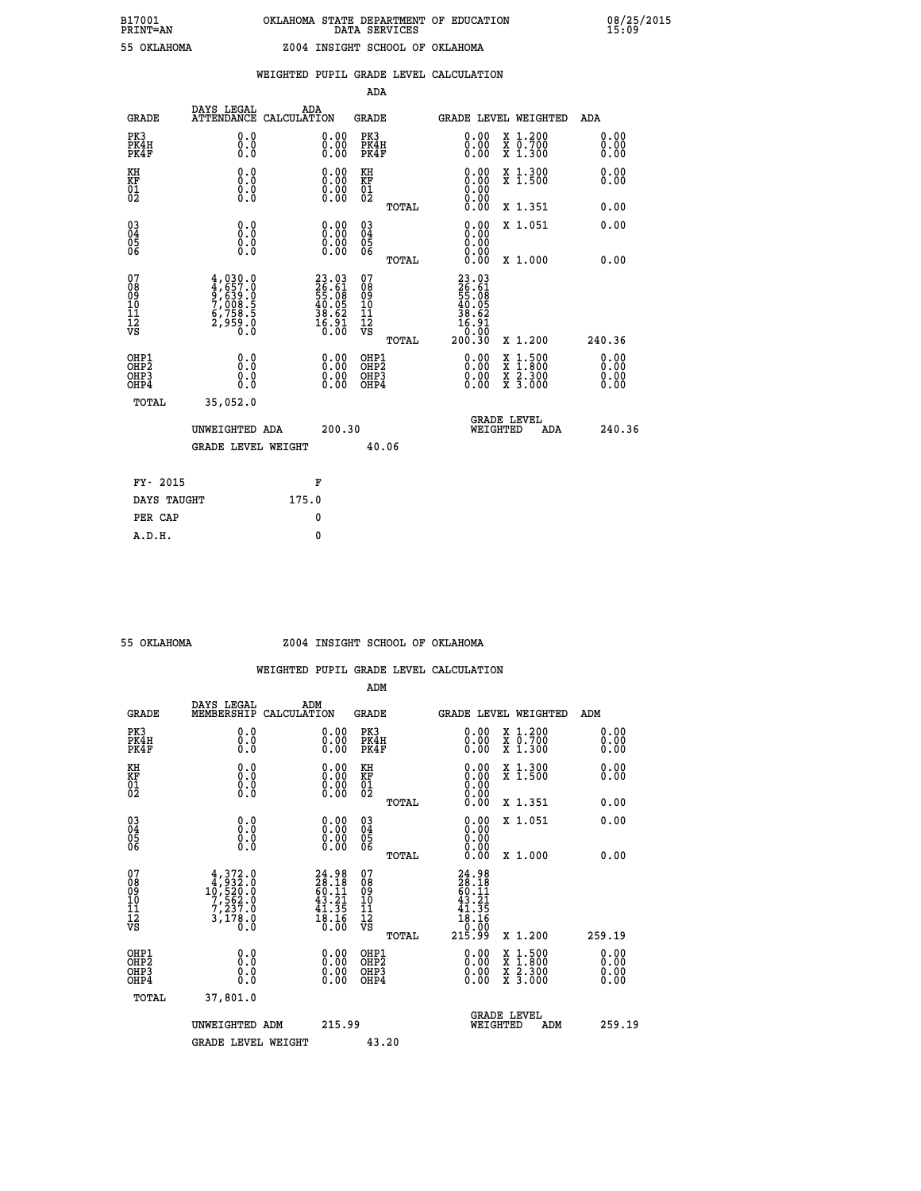|                                                                    |                                                                                         |                    |                                                                              | ADA                                       |       |                                                                       |                                          |                              |
|--------------------------------------------------------------------|-----------------------------------------------------------------------------------------|--------------------|------------------------------------------------------------------------------|-------------------------------------------|-------|-----------------------------------------------------------------------|------------------------------------------|------------------------------|
| <b>GRADE</b>                                                       | DAYS LEGAL<br><b>ATTENDANCE</b>                                                         | ADA<br>CALCULATION |                                                                              | <b>GRADE</b>                              |       | <b>GRADE LEVEL WEIGHTED</b>                                           |                                          | ADA                          |
| PK3<br>PK4H<br>PK4F                                                | 0.0<br>0.0<br>0.0                                                                       |                    | $\begin{smallmatrix} 0.00 \ 0.00 \ 0.00 \end{smallmatrix}$                   | PK3<br>PK4H<br>PK4F                       |       | 0.00<br>0.00                                                          | X 1.200<br>X 0.700<br>X 1.300            | 0.00<br>0.00<br>0.00         |
| KH<br><b>KF</b><br>01<br>02                                        | 0.0<br>0.0<br>$\S.$                                                                     |                    | 0.0000<br>$\begin{smallmatrix} 0.00 & 0.00 \\ 0.00 & 0.00 \end{smallmatrix}$ | KH<br>KF<br>01<br>02                      |       | 0.00<br>0.00                                                          | X 1.300<br>X 1.500                       | 0.00<br>0.00                 |
|                                                                    |                                                                                         |                    |                                                                              |                                           | TOTAL |                                                                       | X 1.351                                  | 0.00                         |
| $\begin{smallmatrix} 03 \\[-4pt] 04 \end{smallmatrix}$<br>05<br>06 | 0.0<br>0.000                                                                            |                    | 0.00<br>$\begin{smallmatrix} 0.00 \ 0.00 \end{smallmatrix}$                  | $\substack{03 \\ 04}$<br>05<br>06         |       | 0.00<br>0.00<br>0.00                                                  | X 1.051                                  | 0.00                         |
|                                                                    |                                                                                         |                    |                                                                              |                                           | TOTAL | 0.00                                                                  | X 1.000                                  | 0.00                         |
| 07<br>08<br>09<br>11<br>11<br>12<br>VS                             | $4,030.0$<br>$4,657.0$<br>$9,639.0$<br>$7,008.5$<br>$6,758.5$<br>$6,758.5$<br>$2,959.0$ |                    | $23.03$<br>$26.61$<br>$55.08$<br>$40.05$<br>$38.62$<br>$16.91$<br>$0.00$     | 07<br>08<br>09<br>11<br>11<br>12<br>VS    |       | 23.03<br>26.61<br>55.08<br>56.05<br>40.62<br>38.621<br>0.00<br>200.30 |                                          |                              |
|                                                                    |                                                                                         |                    |                                                                              |                                           | TOTAL |                                                                       | X 1.200                                  | 240.36                       |
| OHP1<br>OH <sub>P</sub> 2<br>OH <sub>P3</sub><br>OH <sub>P4</sub>  | 0.0<br>0.0<br>0.0                                                                       |                    | 0.00<br>$\begin{smallmatrix} 0.00 \ 0.00 \end{smallmatrix}$                  | OHP1<br>OH <sub>P</sub> 2<br>OHP3<br>OHP4 |       | 0.00<br>0.00<br>0.00                                                  | X 1:500<br>X 1:800<br>X 2:300<br>X 3:000 | 0.00<br>0.00<br>0.00<br>0.00 |
| TOTAL                                                              | 35,052.0                                                                                |                    |                                                                              |                                           |       |                                                                       |                                          |                              |
|                                                                    | UNWEIGHTED ADA                                                                          |                    | 200.30                                                                       |                                           |       |                                                                       | GRADE LEVEL<br>WEIGHTED<br>ADA           | 240.36                       |
|                                                                    | <b>GRADE LEVEL WEIGHT</b>                                                               |                    |                                                                              |                                           | 40.06 |                                                                       |                                          |                              |
| FY- 2015                                                           |                                                                                         |                    | F                                                                            |                                           |       |                                                                       |                                          |                              |
| DAYS TAUGHT                                                        |                                                                                         | 175.0              |                                                                              |                                           |       |                                                                       |                                          |                              |
| PER CAP                                                            |                                                                                         |                    | 0                                                                            |                                           |       |                                                                       |                                          |                              |

## **55 OKLAHOMA Z004 INSIGHT SCHOOL OF OKLAHOMA**

|                                    |                                                                           |                                                                        | ADM                                                 |       |                                                                                          |                                          |                      |
|------------------------------------|---------------------------------------------------------------------------|------------------------------------------------------------------------|-----------------------------------------------------|-------|------------------------------------------------------------------------------------------|------------------------------------------|----------------------|
| <b>GRADE</b>                       | DAYS LEGAL<br>MEMBERSHIP                                                  | ADM<br>CALCULATION                                                     | <b>GRADE</b>                                        |       |                                                                                          | <b>GRADE LEVEL WEIGHTED</b>              | ADM                  |
| PK3<br>PK4H<br>PK4F                | 0.0<br>0.0<br>0.0                                                         | $\begin{smallmatrix} 0.00 \ 0.00 \ 0.00 \end{smallmatrix}$             | PK3<br>PK4H<br>PK4F                                 |       | $\begin{smallmatrix} 0.00 \\ 0.00 \\ 0.00 \end{smallmatrix}$                             | X 1.200<br>X 0.700<br>X 1.300            | 0.00<br>0.00<br>0.00 |
| KH<br>KF<br>01<br>02               | 0.0<br>$\begin{smallmatrix} 0.16 \ 0.0 \ 0.0 \end{smallmatrix}$           | $\begin{smallmatrix} 0.00 \ 0.00 \ 0.00 \ 0.00 \end{smallmatrix}$      | KH<br>KF<br>01<br>02                                |       | $\begin{smallmatrix} 0.00 \ 0.00 \ 0.00 \ 0.00 \ 0.00 \ 0.00 \end{smallmatrix}$          | X 1.300<br>X 1.500                       | 0.00<br>0.00         |
|                                    |                                                                           |                                                                        |                                                     | TOTAL |                                                                                          | X 1.351                                  | 0.00                 |
| 03<br>04<br>05<br>06               |                                                                           | $\begin{smallmatrix} 0.00 \ 0.00 \ 0.00 \ 0.00 \end{smallmatrix}$      | $\begin{array}{c} 03 \\ 04 \\ 05 \\ 06 \end{array}$ |       | 0.00<br>0.00<br>0.00                                                                     | X 1.051                                  | 0.00                 |
|                                    |                                                                           |                                                                        |                                                     | TOTAL | 0.00                                                                                     | X 1.000                                  | 0.00                 |
| 07<br>08<br>09<br>101<br>112<br>VS | $4,372.0$<br>$4,932.0$<br>$10,520.0$<br>$7,562.0$<br>$7,237.0$<br>3,178.0 | $24.98$<br>$28.18$<br>$60.11$<br>$43.21$<br>$41.35$<br>$18.16$<br>ŏ:ōŏ | 07<br>08<br>09<br>11<br>11<br>12<br>VS              | TOTAL | $\begin{smallmatrix} 24.98\ 28.18\ 60.11\ 43.21\ 41.35\ 18.16\ 215.99 \end{smallmatrix}$ | X 1.200                                  | 259.19               |
|                                    |                                                                           |                                                                        |                                                     |       |                                                                                          |                                          | 0.00                 |
| OHP1<br>OHP2<br>OHP3<br>OHP4       | 0.0<br>0.000                                                              |                                                                        | OHP1<br>OHP2<br>OHP <sub>3</sub>                    |       | $0.00$<br>$0.00$<br>0.00                                                                 | X 1:500<br>X 1:800<br>X 2:300<br>X 3:000 | 0.00<br>0.00         |
| TOTAL                              | 37,801.0                                                                  |                                                                        |                                                     |       |                                                                                          |                                          |                      |
|                                    | UNWEIGHTED ADM                                                            | 215.99                                                                 |                                                     |       |                                                                                          | GRADE LEVEL<br>WEIGHTED<br>ADM           | 259.19               |
|                                    | <b>GRADE LEVEL WEIGHT</b>                                                 |                                                                        | 43.20                                               |       |                                                                                          |                                          |                      |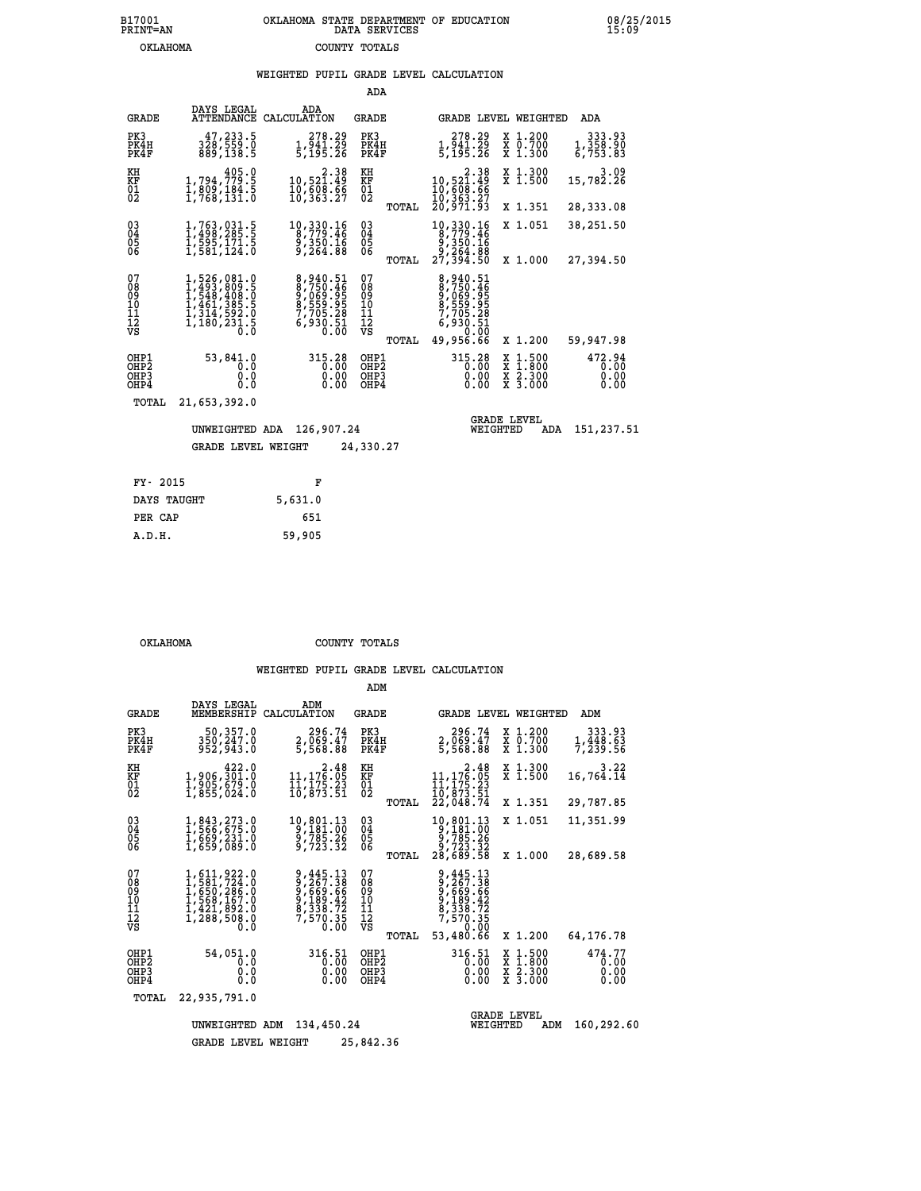# **B17001 OKLAHOMA STATE DEPARTMENT OF EDUCATION 08/25/2015 PRINT=AN DATA SERVICES 15:09 OKLAHOMA COUNTY TOTALS**

# **WEIGHTED PUPIL GRADE LEVEL CALCULATION**

|                                        |                                                                                                                                      |                                                                                  | ADA                                             |                                                                                               |                                                                                       |                                  |
|----------------------------------------|--------------------------------------------------------------------------------------------------------------------------------------|----------------------------------------------------------------------------------|-------------------------------------------------|-----------------------------------------------------------------------------------------------|---------------------------------------------------------------------------------------|----------------------------------|
| <b>GRADE</b>                           | DAYS LEGAL                                                                                                                           | ADA<br>ATTENDANCE CALCULATION                                                    | GRADE                                           | <b>GRADE LEVEL WEIGHTED</b>                                                                   |                                                                                       | ADA                              |
| PK3<br>PK4H<br>PK4F                    | 47,233.5<br>328,559.0<br>889,138.5                                                                                                   | 278.29<br>1,941.29<br>5,195.26                                                   | PK3<br>PK4H<br>PK4F                             | 278.29<br>1,941.29<br>5,195.26                                                                | X 1.200<br>X 0.700<br>X 1.300                                                         | 333.93<br>1, 358.90<br>6, 753.83 |
| KH<br>KF<br>01<br>02                   | $\begin{smallmatrix}&&&4\,05\,.\,0\\1\,,\,794\,,\,779\,.\,5\\1\,,\,809\,,\,184\,.\,5\\1\,,\,768\,,\,131\,.0\end{smallmatrix}$        | $\begin{smallmatrix} 2.38\\10,521.49\\10,508.66\\10,508.66\end{smallmatrix}$     | KH<br>KF<br>01<br>02                            | $\begin{smallmatrix} & 2.38\\10,521.49\\10,608.66\\10,363.27\\20,971.93 \end{smallmatrix}$    | X 1.300<br>X <sub>1.500</sub>                                                         | 3.09<br>15,782.26                |
|                                        |                                                                                                                                      |                                                                                  | TOTAL                                           |                                                                                               | X 1.351                                                                               | 28,333.08                        |
| $^{03}_{04}$<br>Ŏ5<br>06               | 1,763,031.5<br>1,498,285.5<br>1,595,171.5<br>1,581,124.0                                                                             | $10,330.16$<br>8,779.46<br>9,350.16<br>9,264.88                                  | $\substack{03 \\ 04}$<br>$\frac{05}{06}$        | $\begin{smallmatrix}10, 330.16\\8, 779.46\\9, 350.16\\9, 264.88\\27, 394.50\end{smallmatrix}$ | X 1.051                                                                               | 38,251.50                        |
|                                        |                                                                                                                                      |                                                                                  | TOTAL                                           |                                                                                               | X 1.000                                                                               | 27,394.50                        |
| 07<br>08<br>09<br>11<br>11<br>12<br>VS | $\begin{smallmatrix}1,526,081.0\\1,493,809.5\\1,548,408.0\\1,461,385.0\\1,414,592.0\\1,314,592.0\\1,180,231.5\\0.0\end{smallmatrix}$ | 8,940.51<br>8,750.46<br>9,069.95<br>8,559.95<br>7,705.28<br>7,705.28<br>6,930.51 | 07<br>08<br>09<br>11<br>11<br>12<br>VS<br>TOTAL | 8,940.51<br>8,750.46<br>9,069.95<br>8,559.95<br>7,705.28<br>6,930.51<br>6,930.51<br>49,956.66 | X 1.200                                                                               | 59,947.98                        |
| OHP1<br>OHP2<br>OHP3<br>OHP4           | 53,841.0<br>0.0<br>0.0<br>0.0                                                                                                        | 315.28<br>0.00<br>0.00<br>0.00                                                   | OHP1<br>OHP2<br>OHP3<br>OHP4                    | 315.28<br>0.00<br>0.00                                                                        | $\frac{x}{x}$ $\frac{1.500}{1.800}$<br>$\frac{\overline{x}}{x}$ $\frac{5.300}{3.000}$ | 472.94<br>0.00<br>0.00<br>0.00   |
| TOTAL                                  | 21,653,392.0                                                                                                                         |                                                                                  |                                                 |                                                                                               |                                                                                       |                                  |
|                                        | UNWEIGHTED ADA                                                                                                                       | 126,907.24                                                                       |                                                 | WEIGHTED                                                                                      | <b>GRADE LEVEL</b><br>ADA                                                             | 151,237.51                       |
|                                        | <b>GRADE LEVEL WEIGHT</b>                                                                                                            |                                                                                  | 24,330.27                                       |                                                                                               |                                                                                       |                                  |
| FY- 2015                               |                                                                                                                                      | F                                                                                |                                                 |                                                                                               |                                                                                       |                                  |
|                                        |                                                                                                                                      |                                                                                  |                                                 |                                                                                               |                                                                                       |                                  |

 **OKLAHOMA COUNTY TOTALS**

|                                                    |                                                                                        |                                                                                    | ADM                                    |                                                                                                                              |                                                                            |                                |
|----------------------------------------------------|----------------------------------------------------------------------------------------|------------------------------------------------------------------------------------|----------------------------------------|------------------------------------------------------------------------------------------------------------------------------|----------------------------------------------------------------------------|--------------------------------|
| GRADE                                              | DAYS LEGAL<br>MEMBERSHIP                                                               | ADM<br>CALCULATION                                                                 | GRADE                                  | GRADE LEVEL WEIGHTED                                                                                                         |                                                                            | ADM                            |
| PK3<br>PK4H<br>PK4F                                | 50,357.0<br>350, 247.0<br>952,943.0                                                    | 296.74<br>2,069.47<br>5,568.88                                                     | PK3<br>PK4H<br>PK4F                    | 296.74<br>2,069.47<br>5,568.88                                                                                               | X 1.200<br>X 0.700<br>X 1.300                                              | 333.93<br>1,448.63<br>7,239.56 |
| KH<br>KF<br>01<br>02                               | 422.0<br>1,906,301.0<br>$\frac{1}{2}, \frac{5}{855}, \frac{575}{624}.0$                | $\begin{smallmatrix} & 2.48\ 11,176.05\ 11,175.23\ 10,873.51 \end{smallmatrix}$    | KH<br>KF<br>$^{01}_{02}$               | $\begin{smallmatrix} & 2.48\\11,176.05\\11,175.23\\10,873.51\\22,048.74\end{smallmatrix}$                                    | X 1.300<br>X 1.500                                                         | 3.22<br>16,764.14              |
|                                                    |                                                                                        |                                                                                    | TOTAL                                  |                                                                                                                              | X 1.351                                                                    | 29,787.85                      |
| $\begin{matrix} 03 \\ 04 \\ 05 \\ 06 \end{matrix}$ | 1,843,273.0<br>1,566,675.0<br>1,669,231.0<br>1,659,089.0                               | $\begin{smallmatrix}10, 801.13\\9, 181.00\\9, 785.26\\9, 723.32\end{smallmatrix}$  | $\substack{03 \\ 04}$<br>05            | 10,801.13<br>9,181.00<br>9,785.26<br>9,723.32                                                                                | X 1.051                                                                    | 11,351.99                      |
|                                                    |                                                                                        |                                                                                    | TOTAL                                  | 28,689.58                                                                                                                    | X 1.000                                                                    | 28,689.58                      |
| 07<br>08<br>09<br>11<br>11<br>12<br>VS             | 1,611,922.0<br>1,581,724.0<br>1,650,286.0<br>1,568,167.0<br>1,421,892.0<br>1,288,508.0 | 9,445.13<br>9, 2669.68<br>9, 669.66<br>9, 189.42<br>8, 338.72<br>7, 570.35<br>0.00 | 07<br>089<br>101<br>111<br>VS<br>TOTAL | 9,445.13<br>$\begin{array}{r} 2, 267.38 \\ 9, 669.66 \\ 9, 189.42 \\ 8, 338.72 \end{array}$<br>7,570.35<br>0.00<br>53,480.66 | X 1.200                                                                    | 64,176.78                      |
| OHP1<br>OH <sub>P</sub> 2<br>OHP3<br>OHP4          | 54,051.0<br>0.0<br>0.0<br>0.0                                                          | 316.51<br>0.00<br>0.00<br>0.00                                                     | OHP1<br>OHP2<br>OHP3<br>OHP4           | 316.51<br>0.00<br>0.00<br>0.00                                                                                               | $\begin{array}{c}\n  1.500 \\   1.800 \\   2.300\n \end{array}$<br>X 3.000 | 474.77<br>0.00<br>0.00<br>0.00 |
| TOTAL                                              | 22,935,791.0                                                                           |                                                                                    |                                        |                                                                                                                              |                                                                            |                                |
|                                                    | UNWEIGHTED                                                                             | 134,450.24<br>ADM                                                                  |                                        | WEIGHTED                                                                                                                     | <b>GRADE LEVEL</b><br>ADM                                                  | 160,292.60                     |
|                                                    | <b>GRADE LEVEL WEIGHT</b>                                                              |                                                                                    | 25,842.36                              |                                                                                                                              |                                                                            |                                |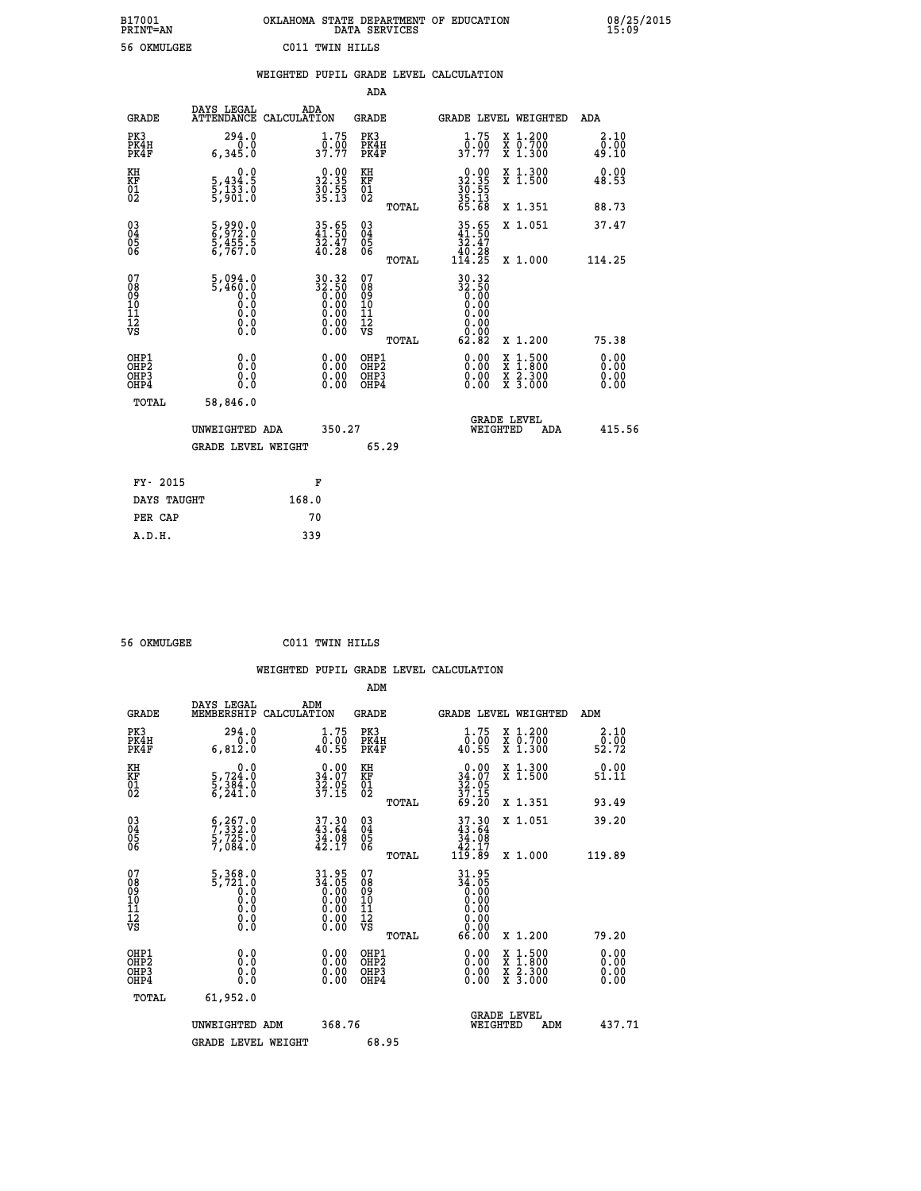|                 | OKLAHOMA STATE DEPARTMENT OF EDUCATION<br>DATA SERVICES |  |
|-----------------|---------------------------------------------------------|--|
| C011 TWIN HILLS |                                                         |  |

 **B17001 OKLAHOMA STATE DEPARTMENT OF EDUCATION 08/25/2015**

|                                                    |                                                            |                                                                      |                                                    | WEIGHTED PUPIL GRADE LEVEL CALCULATION                                    |                                                                                          |                              |
|----------------------------------------------------|------------------------------------------------------------|----------------------------------------------------------------------|----------------------------------------------------|---------------------------------------------------------------------------|------------------------------------------------------------------------------------------|------------------------------|
|                                                    |                                                            |                                                                      | ADA                                                |                                                                           |                                                                                          |                              |
| <b>GRADE</b>                                       | DAYS LEGAL                                                 | ADA<br>ATTENDANCE CALCULATION                                        | <b>GRADE</b>                                       | GRADE LEVEL WEIGHTED                                                      |                                                                                          | ADA                          |
| PK3<br>PK4H<br>PK4F                                | 294.0<br>0.0<br>6,345.0                                    | $\frac{1}{0}$ : 75<br>37.77                                          | PK3<br>PK4H<br>PK4F                                | $1.75$<br>0.00<br>37.77                                                   | X 1.200<br>X 0.700<br>X 1.300                                                            | 2.10<br>0.00<br>49.10        |
| KH<br>KF<br>01<br>02                               | 0.0<br>5,434:5<br>5,133.0<br>5,901:0                       | $\begin{smallmatrix} 0.00\\ 32.35\\ 36.55\\ 35.13 \end{smallmatrix}$ | KH<br>KF<br>01<br>02                               | $32.35$<br>$30.55$<br>$35.13$<br>$35.13$<br>$65.68$                       | X 1.300<br>X 1.500                                                                       | 0.00<br>48.53                |
|                                                    |                                                            |                                                                      | TOTAL                                              |                                                                           | X 1.351                                                                                  | 88.73                        |
| $\begin{matrix} 03 \\ 04 \\ 05 \\ 06 \end{matrix}$ | $\frac{5}{6}$ , 990.0<br>$\frac{5}{6}$ , 455.5<br>6, 767.0 | $35.65$<br>41.50<br>$\frac{32.47}{40.28}$                            | $\begin{matrix} 03 \\ 04 \\ 05 \\ 06 \end{matrix}$ | $\begin{array}{r} 35.65 \\ 41.50 \\ 32.47 \\ 40.28 \\ 114.25 \end{array}$ | X 1.051                                                                                  | 37.47                        |
|                                                    |                                                            |                                                                      | TOTAL                                              |                                                                           | X 1.000                                                                                  | 114.25                       |
| 07<br>089<br>090<br>1112<br>VS                     | $5,094.0$<br>$5,460.0$<br>0.0<br>0.0<br>Ō.Ō<br>$\S.$ $\S$  | $30.32$<br>$32.50$<br>$0.00$<br>$0.00$<br>$0.00$<br>Ŏ.ŎŎ<br>O.OO     | 07<br>08<br>09<br>11<br>11<br>12<br>VS<br>TOTAL    | $30.32$<br>$32.50$<br>$0.00$<br>$0.00$<br>0.00<br>0.00<br>62.82           | X 1.200                                                                                  | 75.38                        |
| OHP1<br>OHP2<br>OH <sub>P3</sub><br>OHP4           | 0.0<br>0.0<br>0.0                                          | $\begin{smallmatrix} 0.00 \ 0.00 \ 0.00 \ 0.00 \end{smallmatrix}$    | OHP1<br>OHP2<br>OHP3<br>OHP4                       |                                                                           | $\begin{smallmatrix} x & 1.500 \\ x & 1.800 \\ x & 2.300 \\ x & 3.000 \end{smallmatrix}$ | 0.00<br>0.00<br>0.00<br>0.00 |
| TOTAL                                              | 58,846.0                                                   |                                                                      |                                                    |                                                                           |                                                                                          |                              |
|                                                    | UNWEIGHTED ADA                                             | 350.27                                                               |                                                    | <b>GRADE LEVEL</b><br>WEIGHTED                                            | ADA                                                                                      | 415.56                       |
|                                                    | <b>GRADE LEVEL WEIGHT</b>                                  |                                                                      | 65.29                                              |                                                                           |                                                                                          |                              |
| FY- 2015                                           |                                                            | F                                                                    |                                                    |                                                                           |                                                                                          |                              |
|                                                    | DAYS TAUGHT                                                | 168.0                                                                |                                                    |                                                                           |                                                                                          |                              |
| PER CAP                                            |                                                            | 70                                                                   |                                                    |                                                                           |                                                                                          |                              |

| 56 OKMILCER |
|-------------|

 **A.D.H. 339**

 **ADM**

B17001<br>PRINT=AN<br>56 OKMULGEE

 **56 OKMULGEE C011 TWIN HILLS**

| <b>GRADE</b>                             | DAYS LEGAL<br>MEMBERSHIP                                                                                                 | ADM<br>CALCULATION                                             | <b>GRADE</b>                                       |       |                                                                                                                                                                                                                                                                                |          | GRADE LEVEL WEIGHTED                     | ADM                    |
|------------------------------------------|--------------------------------------------------------------------------------------------------------------------------|----------------------------------------------------------------|----------------------------------------------------|-------|--------------------------------------------------------------------------------------------------------------------------------------------------------------------------------------------------------------------------------------------------------------------------------|----------|------------------------------------------|------------------------|
| PK3<br>PK4H<br>PK4F                      | 294.0<br>6,812.0                                                                                                         | $\substack{1.75 \\ 0.00 \\ 40.55}$                             | PK3<br>PK4H<br>PK4F                                |       | $\begin{smallmatrix} 1.75 \\ 0.00 \\ 40.55 \end{smallmatrix}$                                                                                                                                                                                                                  |          | X 1.200<br>X 0.700<br>X 1.300            | 2.10<br>52.00<br>52.72 |
| KH<br>KF<br>01<br>02                     | 0.0<br>5,724:0<br>5,384:0<br>6,241:0                                                                                     | $\begin{array}{c} 0.00 \\ 34.07 \\ 32.05 \\ 37.15 \end{array}$ | KH<br>KF<br>01<br>02                               |       | $\begin{smallmatrix} 0.00\\ 34.07\\ 32.05\\ 37.15\\ 69.20 \end{smallmatrix}$                                                                                                                                                                                                   |          | X 1.300<br>X 1.500                       | 0.00<br>51.11          |
|                                          |                                                                                                                          |                                                                |                                                    | TOTAL |                                                                                                                                                                                                                                                                                |          | X 1.351                                  | 93.49                  |
| 03<br>04<br>05<br>06                     | $\begin{smallmatrix} 6 & 2 & 6 & 7 & 0 \\ 7 & 3 & 3 & 2 & 0 \\ 5 & 7 & 2 & 5 & 0 \\ 7 & 0 & 8 & 4 & 0 \end{smallmatrix}$ | $37.30$<br>$43.64$<br>$34.08$<br>$42.17$                       | $\begin{matrix} 03 \\ 04 \\ 05 \\ 06 \end{matrix}$ |       | $37.30\n43.64\n34.08\n42.17\n119.89$                                                                                                                                                                                                                                           |          | X 1.051                                  | 39.20                  |
|                                          |                                                                                                                          |                                                                |                                                    | TOTAL |                                                                                                                                                                                                                                                                                |          | X 1.000                                  | 119.89                 |
| 07<br>089<br>090<br>1112<br>VS           | $\begin{smallmatrix}5,368.0\\5,721.0\\0.0\\0.0\\0.0\\0.0\\0.0\end{smallmatrix}$                                          | $34.95\n34.05\n0.00\n0.00\n0.00\n0.00\n0.00$                   | 07<br>08<br>09<br>01<br>11<br>11<br>12<br>VS       | TOTAL | $31.95$<br>$34.05$<br>$0.00$<br>$0.00$<br>$0.00$<br>$0.00$<br>$0.00$<br>66.00                                                                                                                                                                                                  |          | X 1.200                                  | 79.20                  |
| OHP1<br>OHP2<br>OH <sub>P3</sub><br>OHP4 | 0.0<br>0.000                                                                                                             |                                                                | OHP1<br>OHP2<br>OHP3<br>OHP4                       |       | $\begin{smallmatrix} 0.00 & 0.00 & 0.00 & 0.00 & 0.00 & 0.00 & 0.00 & 0.00 & 0.00 & 0.00 & 0.00 & 0.00 & 0.00 & 0.00 & 0.00 & 0.00 & 0.00 & 0.00 & 0.00 & 0.00 & 0.00 & 0.00 & 0.00 & 0.00 & 0.00 & 0.00 & 0.00 & 0.00 & 0.00 & 0.00 & 0.00 & 0.00 & 0.00 & 0.00 & 0.00 & 0.0$ |          | X 1:500<br>X 1:800<br>X 2:300<br>X 3:000 | 0.00<br>0.00<br>0.00   |
| TOTAL                                    | 61,952.0                                                                                                                 |                                                                |                                                    |       |                                                                                                                                                                                                                                                                                |          |                                          |                        |
|                                          | UNWEIGHTED                                                                                                               | 368.76<br>ADM                                                  |                                                    |       |                                                                                                                                                                                                                                                                                | WEIGHTED | <b>GRADE LEVEL</b><br>ADM                | 437.71                 |
|                                          | <b>GRADE LEVEL WEIGHT</b>                                                                                                |                                                                | 68.95                                              |       |                                                                                                                                                                                                                                                                                |          |                                          |                        |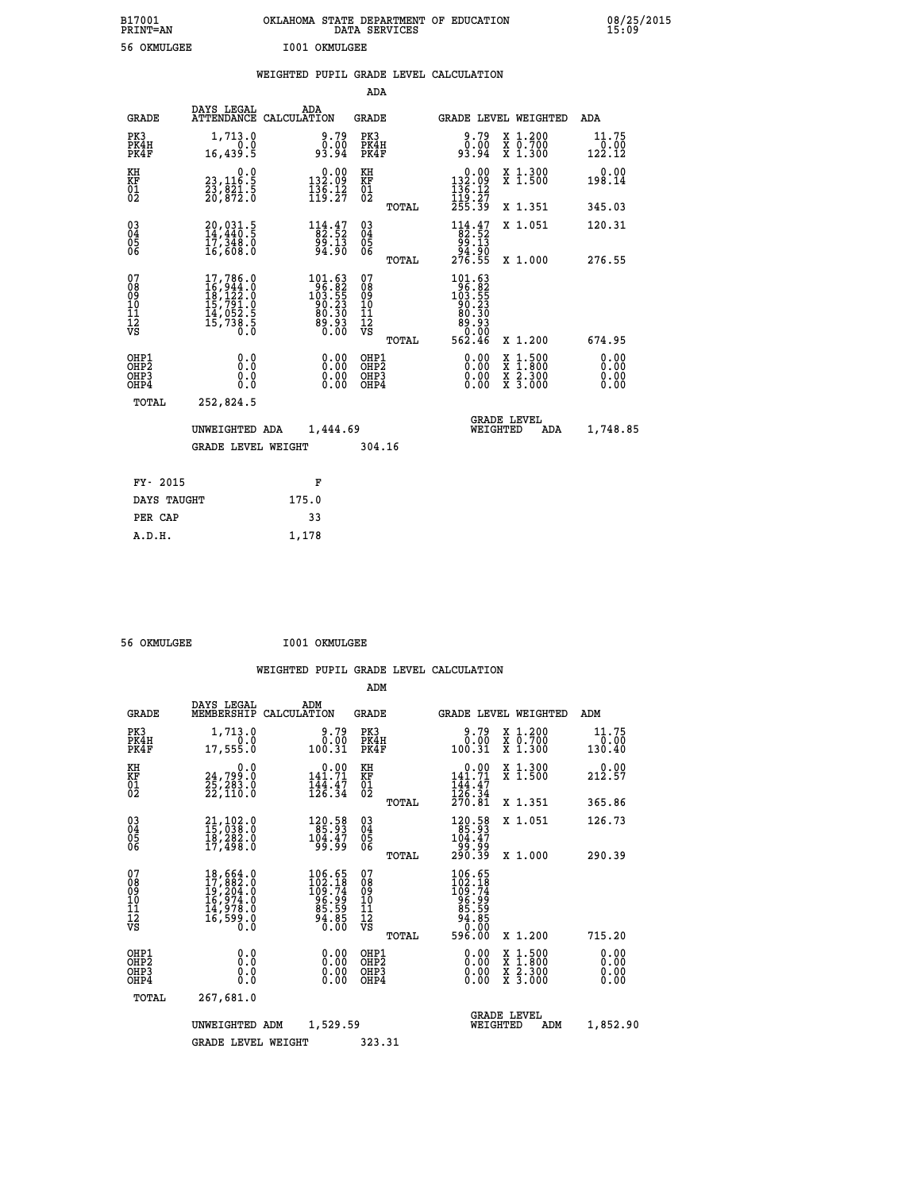| B17001<br>PRINT=AN                     |                                                                                                       | OKLAHOMA STATE DEPARTMENT OF EDUCATION                                                         |                                                    | DATA SERVICES |                                                                                                    |                                                                                          | 08/25/2015                   |
|----------------------------------------|-------------------------------------------------------------------------------------------------------|------------------------------------------------------------------------------------------------|----------------------------------------------------|---------------|----------------------------------------------------------------------------------------------------|------------------------------------------------------------------------------------------|------------------------------|
| 56 OKMULGEE                            |                                                                                                       | I001 OKMULGEE                                                                                  |                                                    |               |                                                                                                    |                                                                                          |                              |
|                                        |                                                                                                       | WEIGHTED PUPIL GRADE LEVEL CALCULATION                                                         |                                                    |               |                                                                                                    |                                                                                          |                              |
|                                        |                                                                                                       |                                                                                                |                                                    | <b>ADA</b>    |                                                                                                    |                                                                                          |                              |
| <b>GRADE</b>                           | DAYS LEGAL                                                                                            | ADA<br>ATTENDANCE CALCULATION                                                                  | <b>GRADE</b>                                       |               |                                                                                                    | GRADE LEVEL WEIGHTED                                                                     | ADA                          |
| PK3<br>PK4H<br>PK4F                    | 1,713.0<br>0.0<br>16,439.5                                                                            | $0.79$<br>$0.00$<br>93.94                                                                      | PK3<br>PK4H<br>PK4F                                |               | $9.79$<br>$0.00$<br>93.94                                                                          | X 1.200<br>X 0.700<br>X 1.300                                                            | 11.75<br>0.00<br>122.12      |
| KH<br>KF<br>ÖĪ<br>Ŏ2                   | 0.0<br>23,116.5<br>23,821.5<br>20,872.0                                                               | $\begin{smallmatrix} 0.00\\ 132.09\\ 136.12\\ 119.27 \end{smallmatrix}$                        | KH<br><b>KF</b><br>01<br>02                        |               | 0.00<br>$\frac{132.09}{136.12}$<br>$\frac{136.12}{255.39}$                                         | X 1.300<br>X 1.500                                                                       | 0.00<br>198.14               |
|                                        |                                                                                                       |                                                                                                |                                                    | <b>TOTAL</b>  |                                                                                                    | X 1.351                                                                                  | 345.03                       |
| 030404<br>ŎĞ                           | 20,031.5<br>14,440.5<br>17,348.0<br>16,608.0                                                          | $\begin{array}{c} 114.47 \\ 82.52 \\ 99.13 \\ 94.90 \end{array}$                               | $\begin{matrix} 03 \\ 04 \\ 05 \\ 06 \end{matrix}$ |               | $114.47$<br>$82.52$<br>$99.13$                                                                     | X 1.051                                                                                  | 120.31                       |
|                                        |                                                                                                       |                                                                                                |                                                    | <b>TOTAL</b>  | ةِ51.30<br>276.55                                                                                  | X 1.000                                                                                  | 276.55                       |
| 07<br>08<br>09<br>11<br>11<br>12<br>VS | $\begin{smallmatrix}17,786.0\\16,944.0\\18,122.0\\15,791.0\\14,052.5\\15,738.5\\0.0\end{smallmatrix}$ | $\begin{smallmatrix} 101.63\\ 96.82\\ 103.55\\ 90.23\\ 80.30\\ 89.93\\ 0.00 \end{smallmatrix}$ | 07<br>08<br>09<br>10<br>īi<br>Ī2<br>VS             |               | $\begin{smallmatrix} 101.63\\ -96.82\\ 103.55\\ -90.23\\ 80.30 \end{smallmatrix}$<br>Ĕĕ.ĕĕ<br>0.00 |                                                                                          |                              |
|                                        |                                                                                                       |                                                                                                |                                                    | TOTAL         | 562.46                                                                                             | X 1.200                                                                                  | 674.95                       |
| OHP1<br>OHP2<br>OHP3<br>OHP4           | 0.0<br>Ō.Ō<br>0.0<br>0.0                                                                              | 0.00<br>0.00<br>0.00                                                                           | OHP1<br>OHP <sub>2</sub><br>OHP3<br>OHP4           |               | 0.00<br>0.00<br>0.00                                                                               | $\begin{smallmatrix} x & 1.500 \\ x & 1.800 \\ x & 2.300 \\ x & 3.000 \end{smallmatrix}$ | 0.00<br>0.00<br>0.00<br>0.00 |
| TOTAL                                  | 252,824.5                                                                                             |                                                                                                |                                                    |               |                                                                                                    |                                                                                          |                              |
|                                        | UNWEIGHTED ADA                                                                                        | 1,444.69                                                                                       |                                                    |               |                                                                                                    | <b>GRADE LEVEL</b><br>WEIGHTED<br>ADA                                                    | 1,748.85                     |
|                                        | <b>GRADE LEVEL WEIGHT</b>                                                                             |                                                                                                |                                                    | 304.16        |                                                                                                    |                                                                                          |                              |
| FY- 2015                               |                                                                                                       | F                                                                                              |                                                    |               |                                                                                                    |                                                                                          |                              |
| DAYS TAUGHT                            |                                                                                                       | 175.0                                                                                          |                                                    |               |                                                                                                    |                                                                                          |                              |
| PER CAP                                |                                                                                                       | 33                                                                                             |                                                    |               |                                                                                                    |                                                                                          |                              |

 **A.D.H. 1,178**

 **56 OKMULGEE I001 OKMULGEE**

|                                          |                                                                                                                                                    |                                                                                                 | ADM                                                |                                                                                  |                                          |                              |
|------------------------------------------|----------------------------------------------------------------------------------------------------------------------------------------------------|-------------------------------------------------------------------------------------------------|----------------------------------------------------|----------------------------------------------------------------------------------|------------------------------------------|------------------------------|
| <b>GRADE</b>                             | DAYS LEGAL<br>MEMBERSHIP                                                                                                                           | ADM<br>CALCULATION                                                                              | <b>GRADE</b>                                       | <b>GRADE LEVEL WEIGHTED</b>                                                      |                                          | ADM                          |
| PK3<br>PK4H<br>PK4F                      | 1,713.0<br>0.0<br>17,555.0                                                                                                                         | 9.79<br>0.00<br>100.31                                                                          | PK3<br>PK4H<br>PK4F                                | 9.79<br>0.00<br>100.31                                                           | X 1.200<br>X 0.700<br>X 1.300            | 11.75<br>0.00<br>130.40      |
| KH<br>KF<br>01<br>02                     | 0.0<br>24,799:0<br>25,283:0<br>22,110:0                                                                                                            | $0.00$<br>141.71<br>$\frac{1}{4}$ $\frac{1}{2}$ $\frac{1}{6}$ $\cdot \frac{4}{3}$ $\frac{7}{4}$ | KH<br>KF<br>01<br>02                               | $0.00$<br>141.71<br>$\frac{1}{126}$ : $\frac{47}{34}$<br>$\frac{270}{31}$        | X 1.300<br>X 1.500                       | 0.00<br>212.57               |
|                                          |                                                                                                                                                    |                                                                                                 | TOTAL                                              |                                                                                  | X 1.351                                  | 365.86                       |
| 03<br>04<br>05<br>06                     | 21,102.0<br>15,038.0<br>18,282.0<br>17,498.0                                                                                                       | 120.58<br>85.93<br>104.47<br>99.99                                                              | $\begin{matrix} 03 \\ 04 \\ 05 \\ 06 \end{matrix}$ | $\begin{smallmatrix} 120.58\\ 85.93\\ 104.47\\ 99.99\\ 290.39 \end{smallmatrix}$ | X 1.051                                  | 126.73                       |
|                                          |                                                                                                                                                    |                                                                                                 | TOTAL                                              |                                                                                  | X 1.000                                  | 290.39                       |
| 07<br>08<br>09<br>101<br>112<br>VS       | $\begin{smallmatrix} 18\,,\,664\,.0\\ 17\,,\,882\,.0\\ 19\,,\,204\,.0\\ 16\,,\,974\,.0\\ 14\,,\,978\,.0\\ 16\,,\,599\,.0\\ 0\,.0\end{smallmatrix}$ | 106.65<br>102.18<br>109.74<br>$\begin{array}{c} 26.95 \\ 85.59 \\ 94.85 \\ 0.00 \end{array}$    | 07<br>08<br>09<br>11<br>11<br>12<br>VS<br>TOTAL    | 106.65<br>102.18<br>109.74<br>109.74<br>85.94.85<br>84.850<br>0.000<br>596.00    | X 1.200                                  | 715.20                       |
| OHP1<br>OHP2<br>OH <sub>P3</sub><br>OHP4 | 0.0<br>0.000                                                                                                                                       | $0.00$<br>$0.00$<br>0.00                                                                        | OHP1<br>OHP2<br>OHP3<br>OHP4                       | $0.00$<br>$0.00$<br>0.00                                                         | X 1:500<br>X 1:800<br>X 2:300<br>X 3:000 | 0.00<br>0.00<br>0.00<br>0.00 |
| TOTAL                                    | 267,681.0                                                                                                                                          |                                                                                                 |                                                    |                                                                                  |                                          |                              |
|                                          | UNWEIGHTED                                                                                                                                         | 1,529.59<br>ADM                                                                                 |                                                    | <b>GRADE LEVEL</b><br>WEIGHTED                                                   | ADM                                      | 1,852.90                     |
|                                          | <b>GRADE LEVEL WEIGHT</b>                                                                                                                          |                                                                                                 | 323.31                                             |                                                                                  |                                          |                              |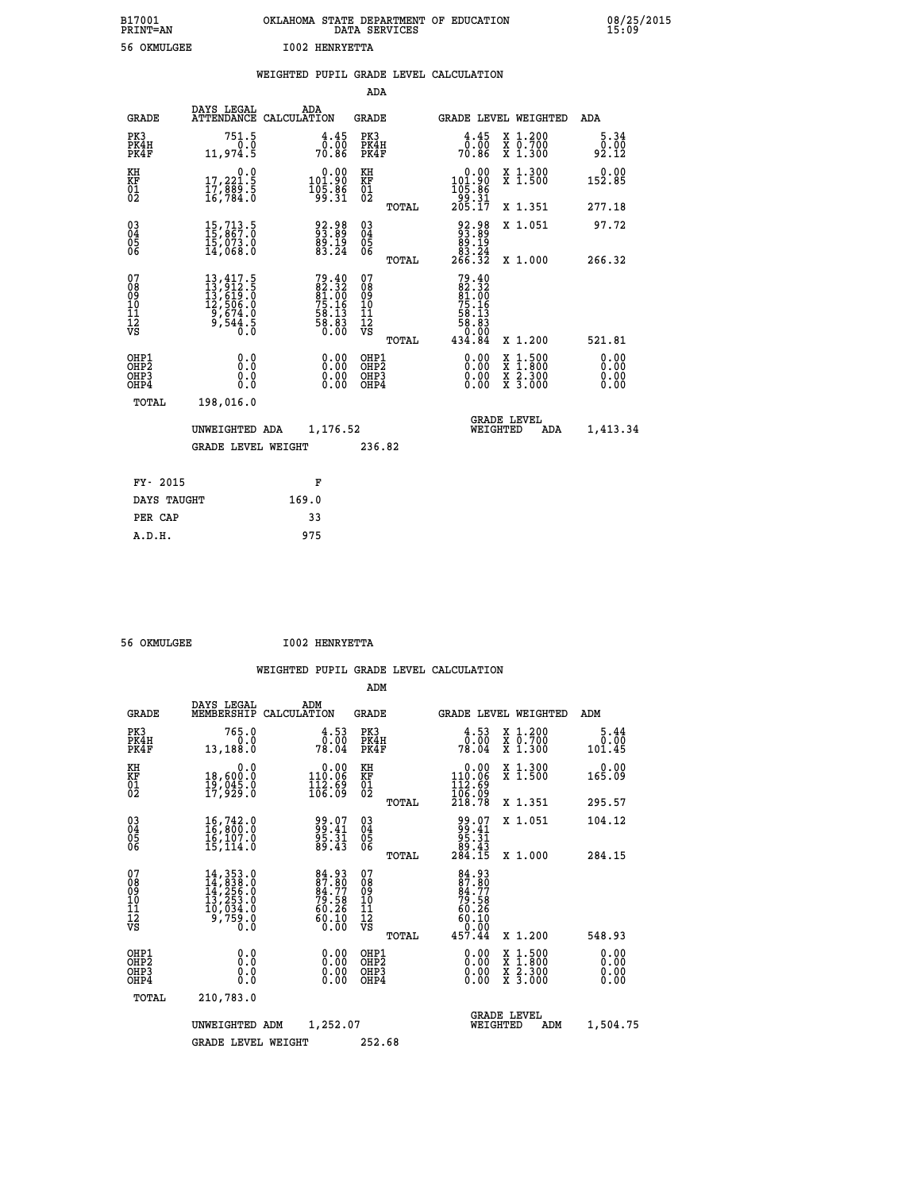| B17001          | OKLAHOMA STATE DEPARTMENT OF EDUCATION |
|-----------------|----------------------------------------|
| <b>PRINT=AN</b> | DATA SERVICES                          |
| 56 OKMULGEE     | <b>I002 HENRYETTA</b>                  |

08/25/2015<br>15:09

|                                                              |                                                                                                                                                                             |       |                                                                   |                                                   |       | WEIGHTED PUPIL GRADE LEVEL CALCULATION                                                                                             |                                                                                          |                              |
|--------------------------------------------------------------|-----------------------------------------------------------------------------------------------------------------------------------------------------------------------------|-------|-------------------------------------------------------------------|---------------------------------------------------|-------|------------------------------------------------------------------------------------------------------------------------------------|------------------------------------------------------------------------------------------|------------------------------|
|                                                              |                                                                                                                                                                             |       |                                                                   | ADA                                               |       |                                                                                                                                    |                                                                                          |                              |
| <b>GRADE</b>                                                 | DAYS LEGAL<br>ATTENDANCE CALCULATION                                                                                                                                        |       | ADA                                                               | GRADE                                             |       | GRADE LEVEL WEIGHTED                                                                                                               |                                                                                          | ADA                          |
| PK3<br>PK4H<br>PK4F                                          | 751.5<br>0.0<br>11,974.5                                                                                                                                                    |       | $\frac{4.45}{0.00}$<br>70.86                                      | PK3<br>PK4H<br>PK4F                               |       | $\frac{4.45}{0.00}$<br>70.86                                                                                                       | X 1.200<br>X 0.700<br>X 1.300                                                            | 5.34<br>0.00<br>92.12        |
| KH<br>KF<br>01<br>02                                         | 17,221.9<br>$\frac{17}{16}$ , $\frac{88}{784}$ $\frac{5}{8}$                                                                                                                |       | $0.00$<br>$0.00$<br>105.86<br>99.31                               | KH<br>KF<br>$\begin{matrix} 01 \ 02 \end{matrix}$ |       | $\begin{smallmatrix} 0.00\\ 101.90\\ 105.86\\ 199.31 \end{smallmatrix}$                                                            | X 1.300<br>X 1.500                                                                       | $0.00$<br>152.85             |
|                                                              |                                                                                                                                                                             |       |                                                                   |                                                   | TOTAL | 205.17                                                                                                                             | X 1.351                                                                                  | 277.18                       |
| $\begin{smallmatrix} 03 \\[-4pt] 04 \end{smallmatrix}$<br>Ŏ5 | $15, 713.5$<br>$15, 867.0$<br>$15, 073.0$<br>$14, 068.0$                                                                                                                    |       | 92.98<br>93.89<br>89.19<br>83.24                                  | $\substack{03 \\ 04}$<br>Ŏ5<br>06                 |       | $\begin{smallmatrix} 92.98\\ 93.89\\ 89.19\\ 83.24\\ 266.32 \end{smallmatrix}$                                                     | X 1.051                                                                                  | 97.72                        |
| ŌĞ                                                           |                                                                                                                                                                             |       |                                                                   |                                                   | TOTAL |                                                                                                                                    | X 1.000                                                                                  | 266.32                       |
| 07<br>08<br>09<br>11<br>11<br>12<br>VS                       | $\begin{smallmatrix} 13\,, & 417\,, & 5\\ 13\,, & 912\,, & 5\\ 13\,, & 619\,, & 0\\ 12\,, & 506\,, & 0\\ 9\,, & 674\,, & 0\\ 9\,, & 544\,, & 5\\ 0\,. & 0\end{smallmatrix}$ |       | $79.4082.3281.0075.1658.1358.836.00$                              | 07<br>08<br>09<br>11<br>11<br>12<br>VS            | TOTAL | 79.40<br>$\begin{array}{c} 62.32 \\ 81.00 \\ 75.16 \end{array}$<br>$\begin{array}{r} 58.13 \\ 58.83 \\ 0.00 \\ 434.84 \end{array}$ | X 1.200                                                                                  | 521.81                       |
| OHP1<br>OH <sub>P</sub> 2<br>OHP3<br>OHP4                    | 0.0<br>0.0<br>0.0                                                                                                                                                           |       | $\begin{smallmatrix} 0.00 \ 0.00 \ 0.00 \ 0.00 \end{smallmatrix}$ | OHP1<br>OHP <sub>2</sub><br>OHP3<br>OHP4          |       |                                                                                                                                    | $\begin{smallmatrix} x & 1.500 \\ x & 1.800 \\ x & 2.300 \\ x & 3.000 \end{smallmatrix}$ | 0.00<br>0.00<br>0.00<br>0.00 |
| TOTAL                                                        | 198,016.0                                                                                                                                                                   |       |                                                                   |                                                   |       |                                                                                                                                    |                                                                                          |                              |
|                                                              | UNWEIGHTED ADA                                                                                                                                                              |       | 1,176.52                                                          |                                                   |       | WEIGHTED                                                                                                                           | <b>GRADE LEVEL</b><br>ADA                                                                | 1,413.34                     |
|                                                              | <b>GRADE LEVEL WEIGHT</b>                                                                                                                                                   |       |                                                                   | 236.82                                            |       |                                                                                                                                    |                                                                                          |                              |
| FY- 2015                                                     |                                                                                                                                                                             |       | F                                                                 |                                                   |       |                                                                                                                                    |                                                                                          |                              |
| DAYS TAUGHT                                                  |                                                                                                                                                                             | 169.0 |                                                                   |                                                   |       |                                                                                                                                    |                                                                                          |                              |
| PER CAP                                                      |                                                                                                                                                                             |       | 33                                                                |                                                   |       |                                                                                                                                    |                                                                                          |                              |

| 56 OKMULGEE | <b>I002 HENRYETTA</b> |
|-------------|-----------------------|
|             |                       |

 **A.D.H. 975**

|                                          |                                                                                                                                                    |                                                                         | ADM                                                 |                                                                       |                                          |                              |
|------------------------------------------|----------------------------------------------------------------------------------------------------------------------------------------------------|-------------------------------------------------------------------------|-----------------------------------------------------|-----------------------------------------------------------------------|------------------------------------------|------------------------------|
| <b>GRADE</b>                             | DAYS LEGAL<br>MEMBERSHIP                                                                                                                           | ADM<br>CALCULATION                                                      | <b>GRADE</b>                                        |                                                                       | <b>GRADE LEVEL WEIGHTED</b>              | ADM                          |
| PK3<br>PK4H<br>PK4F                      | 765.0<br>0.0<br>13,188.0                                                                                                                           | 4.53<br>0.00<br>78.04                                                   | PK3<br>PK4H<br>PK4F                                 | $\frac{4.53}{0.00}$<br>78.04                                          | X 1.200<br>X 0.700<br>X 1.300            | 5.44<br>0.00<br>101.45       |
| KH<br>KF<br>01<br>02                     | 0.0<br>18,600:0<br>19,045:0<br>17,929:0                                                                                                            | $\begin{smallmatrix} &0.00\\ 110.06\\ 112.69\\ 106.09\end{smallmatrix}$ | KH<br>KF<br>01<br>02                                | 0.00<br>110.06<br>112.69<br>106.09<br>218.78                          | X 1.300<br>X 1.500                       | 0.00<br>165.09               |
|                                          |                                                                                                                                                    |                                                                         | TOTAL                                               |                                                                       | X 1.351                                  | 295.57                       |
| 03<br>04<br>05<br>06                     | 16,742.0<br>16,800.0<br>16,107.0<br>15, 114.0                                                                                                      | 99.07<br>99.41<br>95.31<br>89.43                                        | $\begin{array}{c} 03 \\ 04 \\ 05 \\ 06 \end{array}$ | $99.07$<br>$99.41$<br>$95.31$<br>$89.43$<br>$284.15$                  | X 1.051                                  | 104.12                       |
|                                          |                                                                                                                                                    |                                                                         | TOTAL                                               |                                                                       | X 1.000                                  | 284.15                       |
| 07<br>08<br>09<br>101<br>112<br>VS       | $\begin{smallmatrix} 14\,,\,353\,.0\\ 14\,,\,838\,.0\\ 14\,,\,256\,.0\\ 13\,,\,253\,.0\\ 10\,,\,034\,.0\\ 9\,,\,759\,.0\\ 0\,.0 \end{smallmatrix}$ | 84.93<br>87.80<br>84.77<br>79.58<br>50.26<br>60.10<br>0.00              | 07<br>08<br>09<br>101<br>11<br>12<br>VS<br>TOTAL    | 84.93<br>87.80<br>84.77<br>79.58<br>79.26<br>60.10<br>60.10<br>457.44 | X 1.200                                  | 548.93                       |
|                                          |                                                                                                                                                    |                                                                         |                                                     |                                                                       |                                          |                              |
| OHP1<br>OHP2<br>OH <sub>P3</sub><br>OHP4 | 0.0<br>0.000                                                                                                                                       | $0.00$<br>$0.00$<br>0.00                                                | OHP1<br>OHP2<br>OHP <sub>3</sub>                    | $0.00$<br>$0.00$<br>0.00                                              | X 1:500<br>X 1:800<br>X 2:300<br>X 3:000 | 0.00<br>0.00<br>0.00<br>0.00 |
| TOTAL                                    | 210,783.0                                                                                                                                          |                                                                         |                                                     |                                                                       |                                          |                              |
|                                          | UNWEIGHTED                                                                                                                                         | 1,252.07<br>ADM                                                         |                                                     | WEIGHTED                                                              | <b>GRADE LEVEL</b><br>ADM                | 1,504.75                     |
|                                          | <b>GRADE LEVEL WEIGHT</b>                                                                                                                          |                                                                         | 252.68                                              |                                                                       |                                          |                              |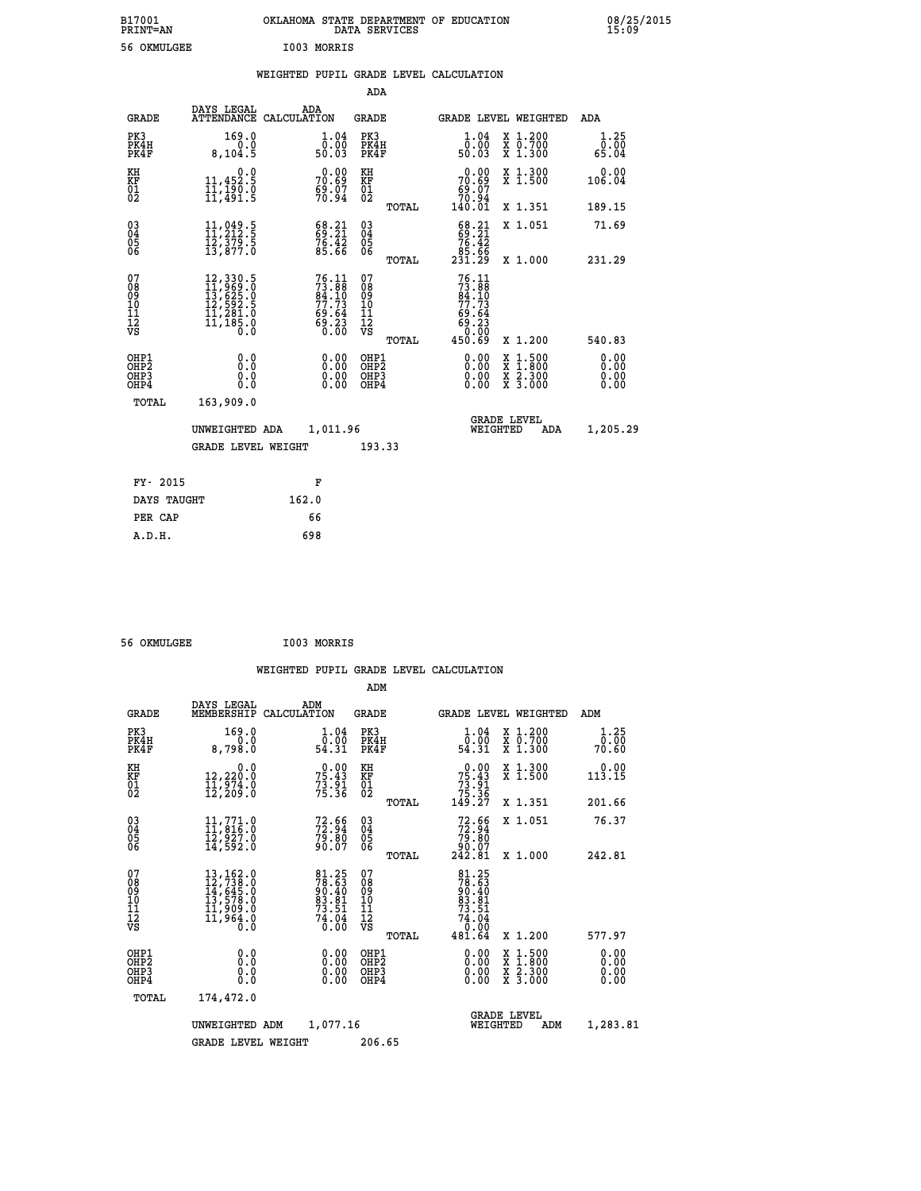| B17001<br><b>PRINT=AN</b> |             | OKLAHOMA STATE DEPARTMENT OF EDUCATION<br>DATA SERVICES |  |
|---------------------------|-------------|---------------------------------------------------------|--|
| 56 OKMULGEE               | I003 MORRIS |                                                         |  |

**DN**<br>15:09

|                                        |                                                                                                                                                                               |       |                                                                    |                                                    |       | WEIGHTED PUPIL GRADE LEVEL CALCULATION                                                                                                                                                                                                                                         |                                                                                                                                           |                              |
|----------------------------------------|-------------------------------------------------------------------------------------------------------------------------------------------------------------------------------|-------|--------------------------------------------------------------------|----------------------------------------------------|-------|--------------------------------------------------------------------------------------------------------------------------------------------------------------------------------------------------------------------------------------------------------------------------------|-------------------------------------------------------------------------------------------------------------------------------------------|------------------------------|
|                                        |                                                                                                                                                                               |       |                                                                    | <b>ADA</b>                                         |       |                                                                                                                                                                                                                                                                                |                                                                                                                                           |                              |
| <b>GRADE</b>                           | DAYS LEGAL<br>ATTENDANCE CALCULATION                                                                                                                                          | ADA   |                                                                    | <b>GRADE</b>                                       |       |                                                                                                                                                                                                                                                                                | <b>GRADE LEVEL WEIGHTED</b>                                                                                                               | ADA                          |
| PK3<br>PK4H<br>PK4F                    | 169.0<br>8,104.5                                                                                                                                                              |       | $\begin{smallmatrix} 1.04\ 0.00 \ 50.03 \end{smallmatrix}$         | PK3<br>PK4H<br>PK4F                                |       | 1.04<br>ō:ŏō<br>50:03                                                                                                                                                                                                                                                          | X 1.200<br>X 0.700<br>X 1.300                                                                                                             | 1.25<br>0.00<br>65.04        |
| KH<br>KF<br>01<br>02                   | 0.0<br>11,452.5<br>11,190.0<br>11,491.5                                                                                                                                       |       | $70.69$<br>$59.69$<br>$59.97$<br>$70.94$                           | KH<br>KF<br>01<br>02                               |       | 0.00<br>$70.69$<br>$59.07$<br>$70.94$<br>$140.01$                                                                                                                                                                                                                              | X 1.300<br>X 1.500                                                                                                                        | 0.00<br>106.04               |
|                                        |                                                                                                                                                                               |       |                                                                    |                                                    | TOTAL |                                                                                                                                                                                                                                                                                | X 1.351                                                                                                                                   | 189.15                       |
| 030404<br>06                           | $\begin{smallmatrix} 11\,,\, 049\, \cdot\, 5\\ 11\,,\, 212\, \cdot\, 5\\ 12\,,\, 379\, \cdot\, 5\\ 13\,,\, 877\, \cdot\, 0 \end{smallmatrix}$                                 |       | $\begin{smallmatrix} 68.21\ 69.21\ 76.42\ 85.66 \end{smallmatrix}$ | $\begin{matrix} 03 \\ 04 \\ 05 \\ 06 \end{matrix}$ |       | $68.21$<br>$76.42$                                                                                                                                                                                                                                                             | X 1.051                                                                                                                                   | 71.69                        |
|                                        |                                                                                                                                                                               |       |                                                                    |                                                    | TOTAL | 85.66<br>231.29                                                                                                                                                                                                                                                                | X 1.000                                                                                                                                   | 231.29                       |
| 07<br>08<br>09<br>11<br>11<br>12<br>VS | $\begin{smallmatrix} 12\,, & 330\,, & 5\\ 11\,, & 969\,, & 0\\ 13\,, & 625\,, & 0\\ 12\,, & 592\,, & 5\\ 11\,, & 281\,, & 0\\ 11\,, & 185\,, & 0\\ 0\,, & 0\end{smallmatrix}$ |       | $76.1173.8884.1077.7369.6469.230.00$                               | 07<br>08<br>09<br>11<br>11<br>12<br>VS             |       | 76.11<br>$73.88$<br>$84.10$<br>$77.73$<br>$69.64$<br>$69.23$<br>$0.00$                                                                                                                                                                                                         |                                                                                                                                           |                              |
|                                        |                                                                                                                                                                               |       |                                                                    |                                                    | TOTAL | 450.69                                                                                                                                                                                                                                                                         | X 1.200                                                                                                                                   | 540.83                       |
| OHP1<br>OHP2<br>OHP3<br>OHP4           | 0.0<br>0.0<br>0.0                                                                                                                                                             |       | $0.00$<br>$0.00$<br>0.00                                           | OHP1<br>OHP2<br>OHP3<br>OHP4                       |       | $\begin{smallmatrix} 0.00 & 0.00 & 0.00 & 0.00 & 0.00 & 0.00 & 0.00 & 0.00 & 0.00 & 0.00 & 0.00 & 0.00 & 0.00 & 0.00 & 0.00 & 0.00 & 0.00 & 0.00 & 0.00 & 0.00 & 0.00 & 0.00 & 0.00 & 0.00 & 0.00 & 0.00 & 0.00 & 0.00 & 0.00 & 0.00 & 0.00 & 0.00 & 0.00 & 0.00 & 0.00 & 0.0$ | $\begin{smallmatrix} \mathtt{X} & 1\cdot500\\ \mathtt{X} & 1\cdot800\\ \mathtt{X} & 2\cdot300\\ \mathtt{X} & 3\cdot000 \end{smallmatrix}$ | 0.00<br>0.00<br>0.00<br>0.00 |
| TOTAL                                  | 163,909.0                                                                                                                                                                     |       |                                                                    |                                                    |       |                                                                                                                                                                                                                                                                                |                                                                                                                                           |                              |
|                                        | UNWEIGHTED ADA                                                                                                                                                                |       | 1,011.96                                                           |                                                    |       | WEIGHTED                                                                                                                                                                                                                                                                       | <b>GRADE LEVEL</b><br>ADA                                                                                                                 | 1,205.29                     |
|                                        | <b>GRADE LEVEL WEIGHT</b>                                                                                                                                                     |       |                                                                    | 193.33                                             |       |                                                                                                                                                                                                                                                                                |                                                                                                                                           |                              |
| FY- 2015                               |                                                                                                                                                                               |       | F                                                                  |                                                    |       |                                                                                                                                                                                                                                                                                |                                                                                                                                           |                              |
| DAYS TAUGHT                            |                                                                                                                                                                               | 162.0 |                                                                    |                                                    |       |                                                                                                                                                                                                                                                                                |                                                                                                                                           |                              |
| PER CAP                                |                                                                                                                                                                               |       | 66                                                                 |                                                    |       |                                                                                                                                                                                                                                                                                |                                                                                                                                           |                              |
| A.D.H.                                 |                                                                                                                                                                               | 698   |                                                                    |                                                    |       |                                                                                                                                                                                                                                                                                |                                                                                                                                           |                              |

 **56 OKMULGEE I003 MORRIS**

 **ADM**

| <b>GRADE</b>                                       | DAYS LEGAL                                                                                                                                                        | ADM<br>MEMBERSHIP CALCULATION                                     | <b>GRADE</b>                             |       |                                                                             | <b>GRADE LEVEL WEIGHTED</b>                                                                                         | ADM                   |
|----------------------------------------------------|-------------------------------------------------------------------------------------------------------------------------------------------------------------------|-------------------------------------------------------------------|------------------------------------------|-------|-----------------------------------------------------------------------------|---------------------------------------------------------------------------------------------------------------------|-----------------------|
| PK3<br>PK4H<br>PK4F                                | 169.0<br>0.0<br>8,798.0                                                                                                                                           | 1.04<br>ō:ŏō<br>54.31                                             | PK3<br>PK4H<br>PK4F                      |       | 1.04<br>ō:ŏō<br>54.31                                                       | X 1.200<br>X 0.700<br>X 1.300                                                                                       | 1.25<br>0.00<br>70.60 |
| KH<br>KF<br>01<br>02                               | 0.0<br>12,220.0<br>$\frac{1}{12}$ , $\frac{5}{209}$ .0                                                                                                            | 75.43<br>$7\overline{3}\cdot\overline{9}\overline{1}\overline{6}$ | KH<br>KF<br>$\overline{01}$              |       | $\begin{smallmatrix} &0.00\ 75.43\ 73.91\ 75.36\ 149.27\ \end{smallmatrix}$ | X 1.300<br>X 1.500                                                                                                  | $0.00$<br>113.15      |
|                                                    |                                                                                                                                                                   |                                                                   |                                          | TOTAL |                                                                             | X 1.351                                                                                                             | 201.66                |
| $\begin{matrix} 03 \\ 04 \\ 05 \\ 06 \end{matrix}$ | $11, 771.0$<br>$11, 816.0$<br>$12, 927.0$<br>$14, 592.0$                                                                                                          | $72.56$<br>$72.94$<br>$79.80$<br>$90.07$                          | $\substack{03 \\ 04}$<br>$\frac{05}{06}$ |       | $72.66$<br>$72.94$<br>$79.80$<br>$90.07$<br>$242.81$                        | X 1.051                                                                                                             | 76.37                 |
|                                                    |                                                                                                                                                                   |                                                                   |                                          | TOTAL |                                                                             | X 1.000                                                                                                             | 242.81                |
| 07<br>08<br>09<br>101<br>11<br>12<br>VS            | $\begin{smallmatrix} 13\,,\,162\,.\,0\\ 12\,,\,738\,.\,0\\ 14\,,\,645\,.\,0\\ 13\,,\,578\,.\,0\\ 11\,,\,909\,.\,0\\ 11\,,\,964\,. \,0\\ 0\ .\,0\end{smallmatrix}$ | 81.25<br>78.63<br>90.40<br>93.81<br>73.51<br>74.04<br>74.04       | 078<br>089<br>0011<br>11<br>12<br>VS     |       | 81.25<br>78.63<br>90.40<br>93.81<br>73.51<br>74.04<br>74.04                 |                                                                                                                     |                       |
|                                                    |                                                                                                                                                                   |                                                                   |                                          | TOTAL | 481.64                                                                      | X 1.200                                                                                                             | 577.97                |
| OHP1<br>OHP <sub>2</sub><br>OHP3<br>OHP4           | 0.0<br>0.0<br>0.0                                                                                                                                                 | $\begin{smallmatrix} 0.00 \ 0.00 \ 0.00 \ 0.00 \end{smallmatrix}$ | OHP1<br>OHP <sub>2</sub><br>OHP3<br>OHP4 |       | 0.00<br>0.00<br>0.00                                                        | $\begin{array}{l} \mathtt{X} & 1.500 \\ \mathtt{X} & 1.800 \\ \mathtt{X} & 2.300 \\ \mathtt{X} & 3.000 \end{array}$ | 0.00<br>0.00<br>0.00  |
| TOTAL                                              | 174,472.0                                                                                                                                                         |                                                                   |                                          |       |                                                                             |                                                                                                                     |                       |
|                                                    | UNWEIGHTED                                                                                                                                                        | 1,077.16<br>ADM                                                   |                                          |       | WEIGHTED                                                                    | <b>GRADE LEVEL</b><br>ADM                                                                                           | 1,283.81              |
|                                                    | <b>GRADE LEVEL WEIGHT</b>                                                                                                                                         |                                                                   | 206.65                                   |       |                                                                             |                                                                                                                     |                       |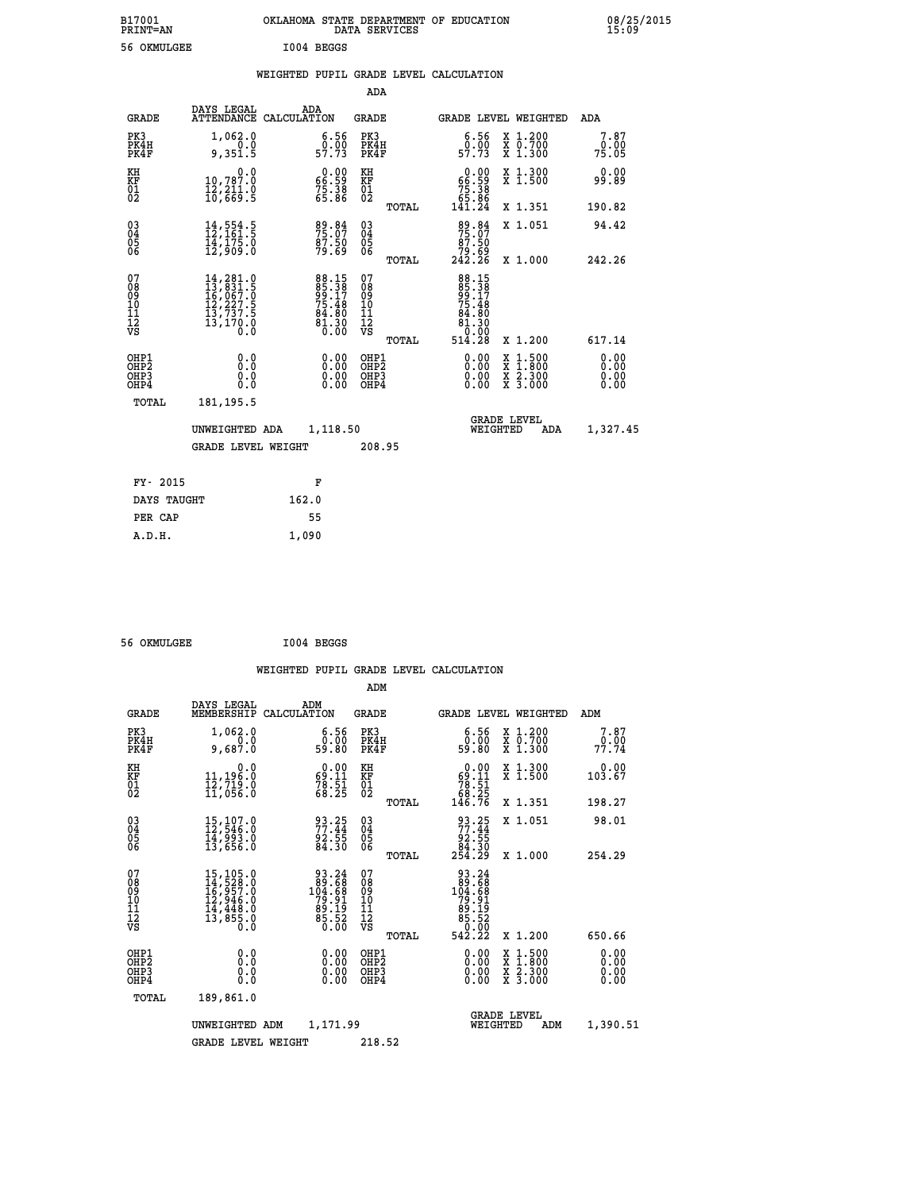| B17001<br><b>PRINT=AN</b> | OKLAHOMA STATE DEPARTMENT OF EDUCATION<br>DATA SERVICES | 08/25/2015<br>15:09 |
|---------------------------|---------------------------------------------------------|---------------------|
| 56<br>, OKMULGEE          | I004 BEGGS                                              |                     |

|  |  | WEIGHTED PUPIL GRADE LEVEL CALCULATION |
|--|--|----------------------------------------|
|  |  |                                        |

|                                          |                                                                                                                                                                               |                                                                      | ADA                                    |       |                                                                                                                                                                                                                                                                                |                                          |                              |
|------------------------------------------|-------------------------------------------------------------------------------------------------------------------------------------------------------------------------------|----------------------------------------------------------------------|----------------------------------------|-------|--------------------------------------------------------------------------------------------------------------------------------------------------------------------------------------------------------------------------------------------------------------------------------|------------------------------------------|------------------------------|
| <b>GRADE</b>                             | DAYS LEGAL                                                                                                                                                                    | ADA<br>ATTENDANCE CALCULATION                                        | <b>GRADE</b>                           |       |                                                                                                                                                                                                                                                                                | GRADE LEVEL WEIGHTED                     | ADA                          |
| PK3<br>PK4H<br>PK4F                      | 1,062.0<br>0.0<br>9,351.5                                                                                                                                                     | 6.56<br>$0.00$<br>57.73                                              | PK3<br>PK4H<br>PK4F                    |       | 6.56<br>0.00<br>57.73                                                                                                                                                                                                                                                          | X 1.200<br>X 0.700<br>X 1.300            | 7.87<br>0.00<br>75.05        |
| KH<br>KF<br>01<br>02                     | $\begin{smallmatrix}&&&0.0\\10,787.0\\12,211.0\\16,669.5\end{smallmatrix}$                                                                                                    | $\begin{smallmatrix} 0.00\\ 66.59\\ 75.38\\ 65.86 \end{smallmatrix}$ | KH<br>KF<br>01<br>02                   |       | $0.00\n66.59\n75.38\n65.86\n141.24$                                                                                                                                                                                                                                            | X 1.300<br>X 1.500                       | 0.00<br>99.89                |
|                                          |                                                                                                                                                                               |                                                                      |                                        | TOTAL |                                                                                                                                                                                                                                                                                | X 1.351                                  | 190.82                       |
| 030404<br>06                             | $14, 554.5$<br>$12, 161.5$<br>$14, 175.0$<br>$12, 909.0$                                                                                                                      | 89.84<br>75.07<br>87.50<br>79.69                                     | $\substack{03 \\ 04}$<br>Ŏ5<br>06      |       | $\begin{smallmatrix}89 & 84\\75 & 07\\87 & 50\\79 & 69\\242 & 26\end{smallmatrix}$                                                                                                                                                                                             | X 1.051                                  | 94.42                        |
|                                          |                                                                                                                                                                               |                                                                      |                                        | TOTAL |                                                                                                                                                                                                                                                                                | X 1.000                                  | 242.26                       |
| 07<br>089<br>090<br>111<br>VS            | $\begin{smallmatrix} 14\,, & 281\cdot 0\\ 13\,, & 831\cdot 5\\ 16\,, & 067\cdot 0\\ 12\,, & 227\cdot 5\\ 13\,, & 737\cdot 5\\ 13\,, & 170\cdot 0\\ 0\,. & 0\end{smallmatrix}$ | 88.15<br>85.38<br>99.17<br>75.48<br>84.80<br>81.30<br>81.30          | 07<br>08<br>09<br>11<br>11<br>12<br>VS | TOTAL | 88.158<br>85.38<br>99.17<br>75.48<br>84.80<br>81.30<br>0.00<br>514.28                                                                                                                                                                                                          | X 1.200                                  | 617.14                       |
| OHP1<br>OHP2<br>OH <sub>P3</sub><br>OHP4 | 0.0<br>0.0<br>0.0                                                                                                                                                             | $\begin{smallmatrix} 0.00 \ 0.00 \ 0.00 \ 0.00 \end{smallmatrix}$    | OHP1<br>OHP2<br>OHP3<br>OHP4           |       | $\begin{smallmatrix} 0.00 & 0.00 & 0.00 & 0.00 & 0.00 & 0.00 & 0.00 & 0.00 & 0.00 & 0.00 & 0.00 & 0.00 & 0.00 & 0.00 & 0.00 & 0.00 & 0.00 & 0.00 & 0.00 & 0.00 & 0.00 & 0.00 & 0.00 & 0.00 & 0.00 & 0.00 & 0.00 & 0.00 & 0.00 & 0.00 & 0.00 & 0.00 & 0.00 & 0.00 & 0.00 & 0.0$ | X 1:500<br>X 1:800<br>X 2:300<br>X 3:000 | 0.00<br>0.00<br>0.00<br>0.00 |
| TOTAL                                    | 181, 195.5                                                                                                                                                                    |                                                                      |                                        |       |                                                                                                                                                                                                                                                                                |                                          |                              |
|                                          | UNWEIGHTED ADA                                                                                                                                                                | 1,118.50                                                             |                                        |       |                                                                                                                                                                                                                                                                                | <b>GRADE LEVEL</b><br>WEIGHTED<br>ADA    | 1,327.45                     |
|                                          | <b>GRADE LEVEL WEIGHT</b>                                                                                                                                                     |                                                                      | 208.95                                 |       |                                                                                                                                                                                                                                                                                |                                          |                              |
| FY- 2015                                 |                                                                                                                                                                               | F                                                                    |                                        |       |                                                                                                                                                                                                                                                                                |                                          |                              |
| DAYS TAUGHT                              |                                                                                                                                                                               | 162.0                                                                |                                        |       |                                                                                                                                                                                                                                                                                |                                          |                              |
|                                          |                                                                                                                                                                               |                                                                      |                                        |       |                                                                                                                                                                                                                                                                                |                                          |                              |

| 56 OKMULGEE | I004 BEGGS |
|-------------|------------|
|             |            |

PER CAP 55  **A.D.H. 1,090**

 **WEIGHTED PUPIL GRADE LEVEL CALCULATION ADM DAYS LEGAL ADM GRADE MEMBERSHIP CALCULATION GRADE GRADE LEVEL WEIGHTED ADM**

| ◡…                                                 |                                                                                                                | -------------                                                                                                | ື້                                    |                                                                                                               |                                                  |                              |
|----------------------------------------------------|----------------------------------------------------------------------------------------------------------------|--------------------------------------------------------------------------------------------------------------|---------------------------------------|---------------------------------------------------------------------------------------------------------------|--------------------------------------------------|------------------------------|
| PK3<br>PK4H<br>PK4F                                | 1,062.0<br>0.0<br>9,687.0                                                                                      | 6.56<br>0.00<br>59.80                                                                                        | PK3<br>PK4H<br>PK4F                   | $\begin{smallmatrix} 6.56\ 0.00\ 59.80 \end{smallmatrix}$                                                     | X 1.200<br>X 0.700<br>X 1.300                    | 7.87<br>0.00<br>77.74        |
| KH<br>KF<br>01<br>02                               | 0.0<br>11,196:0<br>12,719:0<br>11,056:0                                                                        | $\begin{smallmatrix} 0.00\\ 69.11\\ 78.51\\ 68.25 \end{smallmatrix}$                                         | KH<br>KF<br>$\overline{01}$           | 0.00<br>$\begin{array}{r} 69.11 \\ 78.51 \\ 68.25 \\ 146.76 \end{array}$                                      | X 1.300<br>X 1.500                               | 0.00<br>103.67               |
|                                                    |                                                                                                                |                                                                                                              | TOTAL                                 |                                                                                                               | X 1.351                                          | 198.27                       |
| $\begin{matrix} 03 \\ 04 \\ 05 \\ 06 \end{matrix}$ | $15, 107.0$<br>$12, 546.0$<br>$14, 993.0$<br>$13, 656.0$                                                       | 93.25<br>77.44<br>92.55<br>84.30                                                                             | $03\overline{4}$<br>05<br>06          | $\begin{array}{r} 93.25 \\ 77.44 \\ 92.55 \\ 84.30 \\ 254.29 \end{array}$                                     | X 1.051                                          | 98.01                        |
|                                                    |                                                                                                                |                                                                                                              | TOTAL                                 |                                                                                                               | X 1.000                                          | 254.29                       |
| 07<br>08<br>09<br>101<br>11<br>12<br>VS            | $\begin{smallmatrix} 15,105.0\\ 14,528.0\\ 16,957.0\\ 12,946.0\\ 14,448.0\\ 13,855.0 \end{smallmatrix}$<br>0.0 | $\begin{smallmatrix} 93.24 \\ 89.68 \\ 104.68 \\ 79.91 \\ 89.19 \\ 89.19 \\ 85.52 \end{smallmatrix}$<br>0.00 | 078<br>089<br>0910<br>111<br>12<br>VS | $\begin{array}{r} 93.24 \\ 89.68 \\ 104.68 \\ 79.91 \\ 79.19 \\ 89.19 \\ 85.52 \\ 0.00 \\ 542.22 \end{array}$ |                                                  |                              |
|                                                    |                                                                                                                |                                                                                                              | TOTAL                                 |                                                                                                               | X 1.200                                          | 650.66                       |
| OHP1<br>OHP2<br>OH <sub>P3</sub><br>OHP4           | $\begin{smallmatrix} 0.0 \ 0.0 \ 0.0 \end{smallmatrix}$                                                        | $0.00$<br>$0.00$<br>0.00                                                                                     | OHP1<br>OHP2<br>OHP3<br>OHP4          | 0.00                                                                                                          | x 1:500<br>x 1:800<br>x 2:300<br>$\bar{x}$ 3.000 | 0.00<br>0.00<br>0.00<br>0.00 |
| TOTAL                                              | 189,861.0                                                                                                      |                                                                                                              |                                       |                                                                                                               |                                                  |                              |
|                                                    | UNWEIGHTED ADM                                                                                                 | 1,171.99                                                                                                     |                                       | <b>GRADE LEVEL</b><br>WEIGHTED                                                                                | ADM                                              | 1,390.51                     |
|                                                    | <b>GRADE LEVEL WEIGHT</b>                                                                                      |                                                                                                              | 218.52                                |                                                                                                               |                                                  |                              |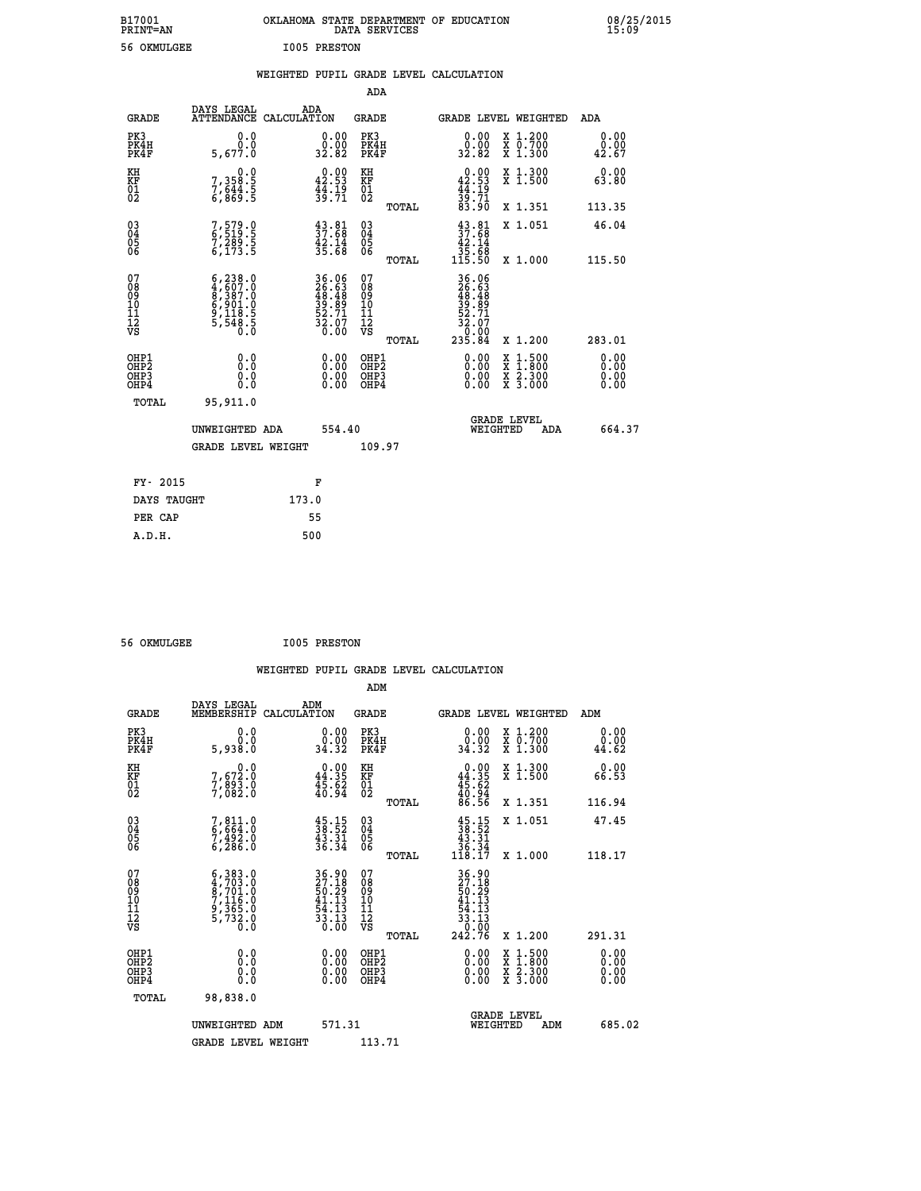| B17001          | OKLAHOMA STATE DEPARTMENT OF EDUCATION |
|-----------------|----------------------------------------|
| <b>PRINT=AN</b> | DATA SERVICES                          |
| 56 OKMULGEE     | <b>I005 PRESTON</b>                    |

 **B17001 OKLAHOMA STATE DEPARTMENT OF EDUCATION 08/25/2015**

|                                                                   |                                                                                                         |                                                                   | ADA                                       |       |                                                                                |                                          |                              |
|-------------------------------------------------------------------|---------------------------------------------------------------------------------------------------------|-------------------------------------------------------------------|-------------------------------------------|-------|--------------------------------------------------------------------------------|------------------------------------------|------------------------------|
| <b>GRADE</b>                                                      | DAYS LEGAL<br><b>ATTENDANCE</b>                                                                         | ADA<br>CALCULATION                                                | <b>GRADE</b>                              |       |                                                                                | <b>GRADE LEVEL WEIGHTED</b>              | ADA                          |
| PK3<br>PK4H<br>PK4F                                               | 0.0<br>0.0<br>5,677.0                                                                                   | $\begin{smallmatrix} 0.00\\ 0.00\\ 32.82 \end{smallmatrix}$       | PK3<br>PK4H<br>PK4F                       |       | 0.00<br>0:00<br>32.82                                                          | X 1.200<br>X 0.700<br>X 1.300            | 0.00<br>0.00<br>42.67        |
| KH<br><b>KF</b><br>01<br>02                                       | 0.0<br>7,358:5<br>7,644:5<br>6,869:5                                                                    | $0.00$<br>42.53<br>$\frac{4}{3}\cdot\frac{15}{71}$                | KH<br>KF<br>01<br>02                      |       | 42.90<br>$\frac{44}{39}$ : $\frac{19}{71}$<br>83.90                            | X 1.300<br>X 1.500                       | 0.00<br>63.80                |
|                                                                   |                                                                                                         |                                                                   |                                           | TOTAL |                                                                                | X 1.351                                  | 113.35                       |
| $^{03}_{04}$<br>Ŏ5<br>06                                          | 7,579.0<br>6,519.5<br>7,289.5<br>6,173.5                                                                | $37.81$<br>$37.68$<br>$42.14$<br>$35.68$                          | $\substack{03 \\ 04}$<br>Ŏ5<br>06         |       | $\begin{smallmatrix} 43.81\\ 37.68\\ 42.14\\ 35.68\\ 115.50 \end{smallmatrix}$ | X 1.051                                  | 46.04                        |
| 07                                                                |                                                                                                         |                                                                   | 07                                        | TOTAL |                                                                                | X 1.000                                  | 115.50                       |
| 08<br>09<br>11<br>11<br>12<br>VS                                  | $\begin{smallmatrix} 6,238.0\\ 4,607.0\\ 8,387.0\\ 6,901.0\\ 9,118.5\\ 5,548.5\\ 0.0 \end{smallmatrix}$ | 36.06<br>26.63<br>48.48<br>39.89<br>52.71<br>52.07<br>32.07       | 08<br>09<br>11<br>11<br>12<br>VS          |       | 36.06<br>26.63<br>48.48<br>39.89<br>52.71<br>52.07<br>32.07                    |                                          |                              |
|                                                                   |                                                                                                         |                                                                   |                                           | TOTAL | 235.84                                                                         | X 1.200                                  | 283.01                       |
| OHP1<br>OH <sub>P</sub> 2<br>OH <sub>P3</sub><br>OH <sub>P4</sub> | 0.0<br>0.0<br>0.0                                                                                       | $\begin{smallmatrix} 0.00 \ 0.00 \ 0.00 \ 0.00 \end{smallmatrix}$ | OHP1<br>OH <sub>P</sub> 2<br>OHP3<br>OHP4 |       | 0.00<br>0.00<br>0.00                                                           | X 1:500<br>X 1:800<br>X 2:300<br>X 3:000 | 0.00<br>0.00<br>0.00<br>0.00 |
| TOTAL                                                             | 95,911.0                                                                                                |                                                                   |                                           |       |                                                                                |                                          |                              |
|                                                                   | UNWEIGHTED ADA                                                                                          | 554.40                                                            |                                           |       |                                                                                | GRADE LEVEL<br>WEIGHTED<br>ADA           | 664.37                       |
|                                                                   | <b>GRADE LEVEL WEIGHT</b>                                                                               |                                                                   | 109.97                                    |       |                                                                                |                                          |                              |
| FY- 2015                                                          |                                                                                                         | F                                                                 |                                           |       |                                                                                |                                          |                              |
| DAYS TAUGHT                                                       |                                                                                                         | 173.0                                                             |                                           |       |                                                                                |                                          |                              |
| PER CAP                                                           |                                                                                                         | 55                                                                |                                           |       |                                                                                |                                          |                              |

 **56 OKMULGEE I005 PRESTON**

 **A.D.H. 500**

| <b>GRADE</b>                             | DAYS LEGAL<br>MEMBERSHIP                                                            | ADM<br>CALCULATION                                                                        | <b>GRADE</b>                                        |       | <b>GRADE LEVEL WEIGHTED</b>                                                                    |                                          | ADM                   |        |
|------------------------------------------|-------------------------------------------------------------------------------------|-------------------------------------------------------------------------------------------|-----------------------------------------------------|-------|------------------------------------------------------------------------------------------------|------------------------------------------|-----------------------|--------|
| PK3<br>PK4H<br>PK4F                      | 0.0<br>0.0<br>0.88e,5                                                               | 0.00<br>0.00<br>34.32                                                                     | PK3<br>PK4H<br>PK4F                                 |       | $\begin{smallmatrix} 0.00\\ 0.00\\ 34.32 \end{smallmatrix}$                                    | X 1.200<br>X 0.700<br>X 1.300            | 0.00<br>0.00<br>44.62 |        |
| KH<br>KF<br>01<br>02                     | 0.0<br>7,672:0<br>7,893:0<br>7,082:0                                                | $\begin{smallmatrix} 0.00\\ 44.35\\ 45.62\\ 40.94 \end{smallmatrix}$                      | KH<br>KF<br>01<br>02                                |       | $0.00\n44.35\n45.62\n40.94\n86.56$                                                             | X 1.300<br>X 1.500                       | 0.00<br>66.53         |        |
|                                          |                                                                                     |                                                                                           |                                                     | TOTAL |                                                                                                | X 1.351                                  | 116.94                |        |
| 03<br>04<br>05<br>06                     | 7,811.0<br>6,664.0<br>7,492.0<br>6,286.0                                            | $45.15$<br>$38.52$<br>$43.31$<br>$36.34$                                                  | $\begin{array}{c} 03 \\ 04 \\ 05 \\ 06 \end{array}$ |       | $\begin{array}{c} 45\cdot 15\\ 38\cdot 52\\ 43\cdot 31\\ 36\cdot 34\\ 118\cdot 17 \end{array}$ | X 1.051                                  | 47.45                 |        |
|                                          |                                                                                     |                                                                                           |                                                     | TOTAL |                                                                                                | X 1.000                                  | 118.17                |        |
| 07<br>08<br>09<br>11<br>11<br>12<br>VS   | $6,383.0$<br>$4,703.0$<br>$8,701.0$<br>$7,116.0$<br>$9,365.0$<br>$5,732.0$<br>$0.0$ | $\begin{array}{c} 36.90 \\ 27.18 \\ 50.29 \\ 41.13 \\ 54.13 \\ 33.13 \\ 0.00 \end{array}$ | 07<br>08<br>09<br>11<br>11<br>12<br>VS              | TOTAL | $36.90$<br>$27.18$<br>$50.29$<br>$41.13$<br>$54.13$<br>$33.13$<br>$0.00$<br>$242.76$           | X 1.200                                  | 291.31                |        |
| OHP1<br>OHP <sub>2</sub><br>OHP3<br>OHP4 | 0.0<br>0.0<br>0.0                                                                   |                                                                                           | OHP1<br>OHP <sub>2</sub><br>OHP3<br>OHP4            |       |                                                                                                | X 1:500<br>X 1:800<br>X 2:300<br>X 3:000 | 0.00<br>0.00<br>0.00  |        |
| TOTAL                                    | 98,838.0                                                                            |                                                                                           |                                                     |       |                                                                                                |                                          |                       |        |
|                                          | UNWEIGHTED ADM                                                                      | 571.31                                                                                    |                                                     |       | WEIGHTED                                                                                       | <b>GRADE LEVEL</b><br>ADM                |                       | 685.02 |
|                                          | <b>GRADE LEVEL WEIGHT</b>                                                           |                                                                                           | 113.71                                              |       |                                                                                                |                                          |                       |        |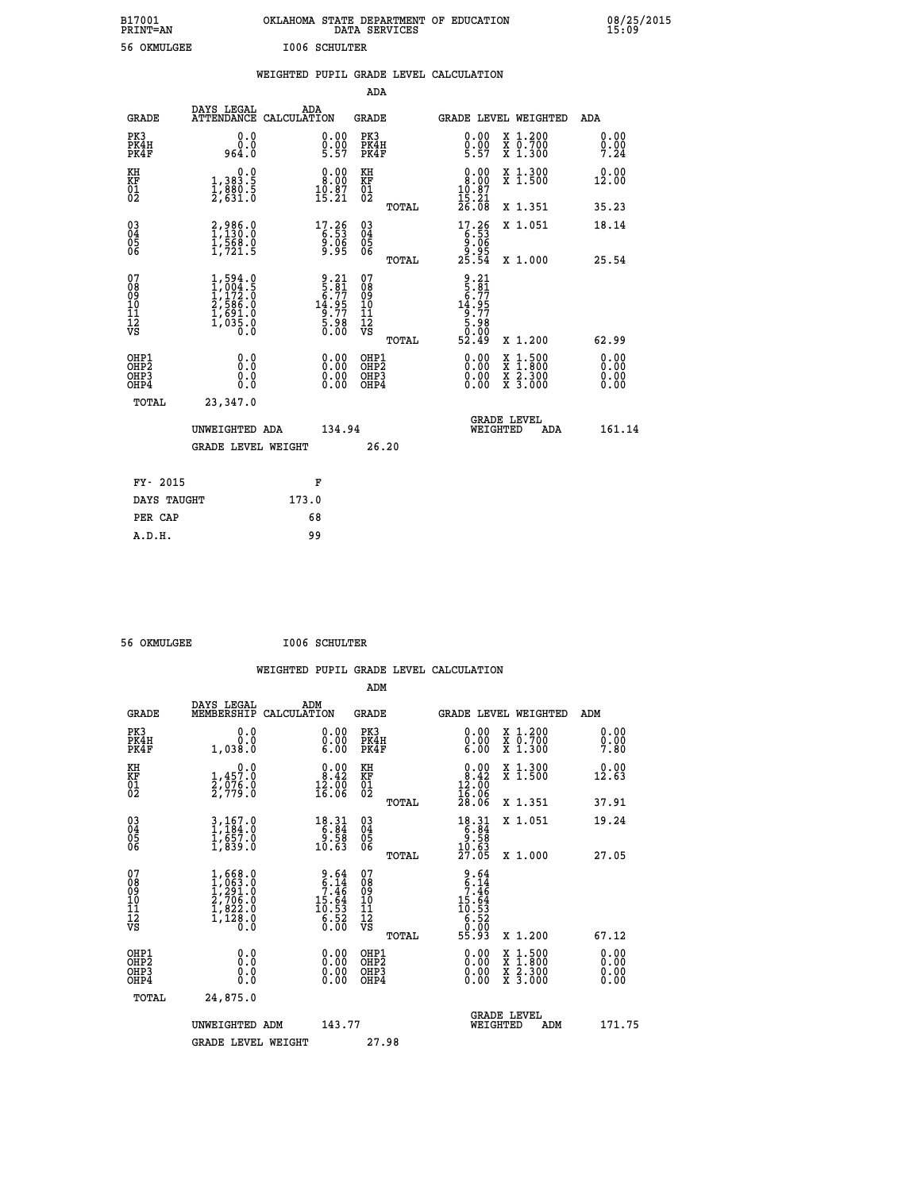| B17001<br><b>PRINT=AN</b> | OKLAHOMA STATE DEPARTMENT OF EDUCATION<br>DATA SERVICES | 08/25/2015<br>15:09 |
|---------------------------|---------------------------------------------------------|---------------------|
| 56 OKMULGEE               | <b>I006 SCHULTER</b>                                    |                     |

|                                                                    |                                                                                     |                                                                     | ADA                                                         |                                                                                                   |                              |
|--------------------------------------------------------------------|-------------------------------------------------------------------------------------|---------------------------------------------------------------------|-------------------------------------------------------------|---------------------------------------------------------------------------------------------------|------------------------------|
| <b>GRADE</b>                                                       | DAYS LEGAL<br><b>ATTENDANCE</b>                                                     | ADA<br>CALCULATION                                                  | <b>GRADE</b>                                                | GRADE LEVEL WEIGHTED                                                                              | <b>ADA</b>                   |
| PK3<br>PK4H<br>PK4F                                                | 0.0<br>ة:ة<br>964:0                                                                 | $\begin{smallmatrix} 0.00\ 0.00\ 5.57 \end{smallmatrix}$            | PK3<br>PK4H<br>PK4F                                         | $0.00$<br>$0.00$<br>$5.57$<br>X 1.200<br>X 0.700<br>X 1.300                                       | 0.00<br>$0.00$<br>7.24       |
| KH<br>KF<br>01<br>02                                               | 0.0<br>1,383.5<br>1,880.5<br>2,631.0                                                | $\begin{smallmatrix} 0.00\\ 8.00\\ 10.87\\ 15.21 \end{smallmatrix}$ | KH<br>KF<br>01<br>02                                        | $\begin{smallmatrix} 0.00\\ 8.00\\ 10.87\\ 15.21\\ 26.08 \end{smallmatrix}$<br>X 1.300<br>X 1.500 | 0.00<br>12.00                |
|                                                                    |                                                                                     |                                                                     | TOTAL                                                       | X 1.351                                                                                           | 35.23                        |
| $\begin{smallmatrix} 03 \\[-4pt] 04 \end{smallmatrix}$<br>Ŏ5<br>06 | 2,986.0<br>1,130.0<br>1,568.0<br>1,721.5                                            | $17.26\n6.53\n9.06\n9.95$                                           | $\begin{matrix} 03 \\ 04 \\ 05 \\ 06 \end{matrix}$<br>TOTAL | $\begin{array}{c} 17.26 \\ 6.53 \\ 9.06 \\ 9.95 \\ 25.54 \end{array}$<br>X 1.051<br>X 1.000       | 18.14<br>25.54               |
| 07<br>08<br>09<br>11<br>11<br>12<br>VS                             | $1,594.0$<br>$1,004.5$<br>$1,172.0$<br>$2,586.0$<br>$1,691.0$<br>$1,035.0$<br>$0.0$ | $9.21$<br>$5.91$<br>$6.77$<br>$14.95$<br>$9.77$<br>$5.98$<br>$0.00$ | 07<br>08<br>09<br>11<br>11<br>12<br>VS                      | $\begin{array}{r} 9.21 \\ 5.81 \\ 6.77 \\ 14.95 \\ 9.77 \\ 5.98 \\ 0.00 \\ 52.49 \end{array}$     |                              |
|                                                                    |                                                                                     |                                                                     | TOTAL                                                       | X 1.200                                                                                           | 62.99                        |
| OHP1<br>OHP <sub>2</sub><br>OHP3<br>OHP4                           | 0.0<br>0.0<br>0.0                                                                   | 0.00<br>$\begin{smallmatrix} 0.00 \ 0.00 \end{smallmatrix}$         | OHP1<br>OH <sub>P</sub> 2<br>OHP3<br>OHP4                   | 0.00<br>$1:500$<br>$1:800$<br>X<br>X<br>0.00<br>X 2.300<br>X 3.000<br>0.00                        | 0.00<br>0.00<br>0.00<br>0.00 |
| TOTAL                                                              | 23,347.0                                                                            |                                                                     |                                                             |                                                                                                   |                              |
|                                                                    | UNWEIGHTED ADA                                                                      | 134.94                                                              |                                                             | <b>GRADE LEVEL</b><br>WEIGHTED<br>ADA                                                             | 161.14                       |
|                                                                    | <b>GRADE LEVEL WEIGHT</b>                                                           |                                                                     | 26.20                                                       |                                                                                                   |                              |
| FY- 2015                                                           |                                                                                     | F                                                                   |                                                             |                                                                                                   |                              |
| DAYS TAUGHT                                                        |                                                                                     | 173.0                                                               |                                                             |                                                                                                   |                              |
| PER CAP                                                            |                                                                                     | 68                                                                  |                                                             |                                                                                                   |                              |

 **ADM**

 **56 OKMULGEE I006 SCHULTER**

| <b>GRADE</b>                 | DAYS LEGAL<br>MEMBERSHIP                                                            | ADM<br>CALCULATION                                                   | <b>GRADE</b>                                       |       |                                                                                                      | <b>GRADE LEVEL WEIGHTED</b>              | ADM                      |  |
|------------------------------|-------------------------------------------------------------------------------------|----------------------------------------------------------------------|----------------------------------------------------|-------|------------------------------------------------------------------------------------------------------|------------------------------------------|--------------------------|--|
| PK3<br>PK4H<br>PK4F          | 0.0<br>1,038.0                                                                      | $\begin{smallmatrix} 0.00 \ 0.00 \ 6.00 \end{smallmatrix}$           | PK3<br>PK4H<br>PK4F                                |       | $\begin{smallmatrix} 0.00 \ 0.00 \ 6.00 \end{smallmatrix}$                                           | X 1.200<br>X 0.700<br>X 1.300            | 0.00<br>$0.00$<br>7.80   |  |
| KH<br>KF<br>01<br>02         | $1,457.0$<br>$2,076.0$<br>$2,779.0$                                                 | $\begin{smallmatrix} 0.00\\ 8.42\\ 12.00\\ 16.06 \end{smallmatrix}$  | KH<br>KF<br>01<br>02                               |       | $\begin{smallmatrix} 0.00\\ 8.42\\ 12.00\\ 16.06\\ 28.06 \end{smallmatrix}$                          | X 1.300<br>X 1.500                       | 0.00<br>12.63            |  |
|                              |                                                                                     |                                                                      |                                                    | TOTAL |                                                                                                      | X 1.351                                  | 37.91                    |  |
| 03<br>04<br>05<br>06         | $3,167.0$<br>$1,184.0$<br>$1,657.0$<br>$1,839.0$                                    | $\begin{array}{r} 18.31 \\ 6.84 \\ 9.58 \\ 10.63 \end{array}$        | $\begin{matrix} 03 \\ 04 \\ 05 \\ 06 \end{matrix}$ |       | $\begin{array}{r} 18 \cdot 31 \\ 6 \cdot 84 \\ 9 \cdot 58 \\ 10 \cdot 63 \\ 27 \cdot 05 \end{array}$ | X 1.051                                  | 19.24                    |  |
|                              |                                                                                     |                                                                      |                                                    | TOTAL |                                                                                                      | X 1.000                                  | 27.05                    |  |
| 07<br>08901112<br>1112<br>VS | $1,668.0$<br>$1,063.0$<br>$1,291.0$<br>$2,706.0$<br>$1,822.0$<br>$1,128.0$<br>$0.0$ | $9.64$<br>$6.14$<br>$7.46$<br>$15.64$<br>$10.53$<br>$6.52$<br>$0.00$ | 07<br>08<br>09<br>001<br>11<br>11<br>12<br>VS      | TOTAL | $\begin{array}{r} 9.64 \\ 6.14 \\ 7.46 \\ 15.64 \\ 15.53 \\ 6.52 \\ 6.03 \\ 55.93 \end{array}$       | X 1.200                                  | 67.12                    |  |
| OHP1<br>OHP2<br>OHP3<br>OHP4 | 0.0<br>$\begin{smallmatrix} 0.0 & 0 \ 0.0 & 0 \end{smallmatrix}$                    |                                                                      | OHP1<br>OHP2<br>OHP3<br>OHP4                       |       |                                                                                                      | X 1:500<br>X 1:800<br>X 2:300<br>X 3:000 | $0.00$<br>$0.00$<br>0.00 |  |
| TOTAL                        | 24,875.0                                                                            |                                                                      |                                                    |       |                                                                                                      |                                          |                          |  |
|                              | UNWEIGHTED ADM                                                                      | 143.77                                                               |                                                    |       | WEIGHTED                                                                                             | <b>GRADE LEVEL</b><br>ADM                | 171.75                   |  |
|                              | <b>GRADE LEVEL WEIGHT</b>                                                           |                                                                      | 27.98                                              |       |                                                                                                      |                                          |                          |  |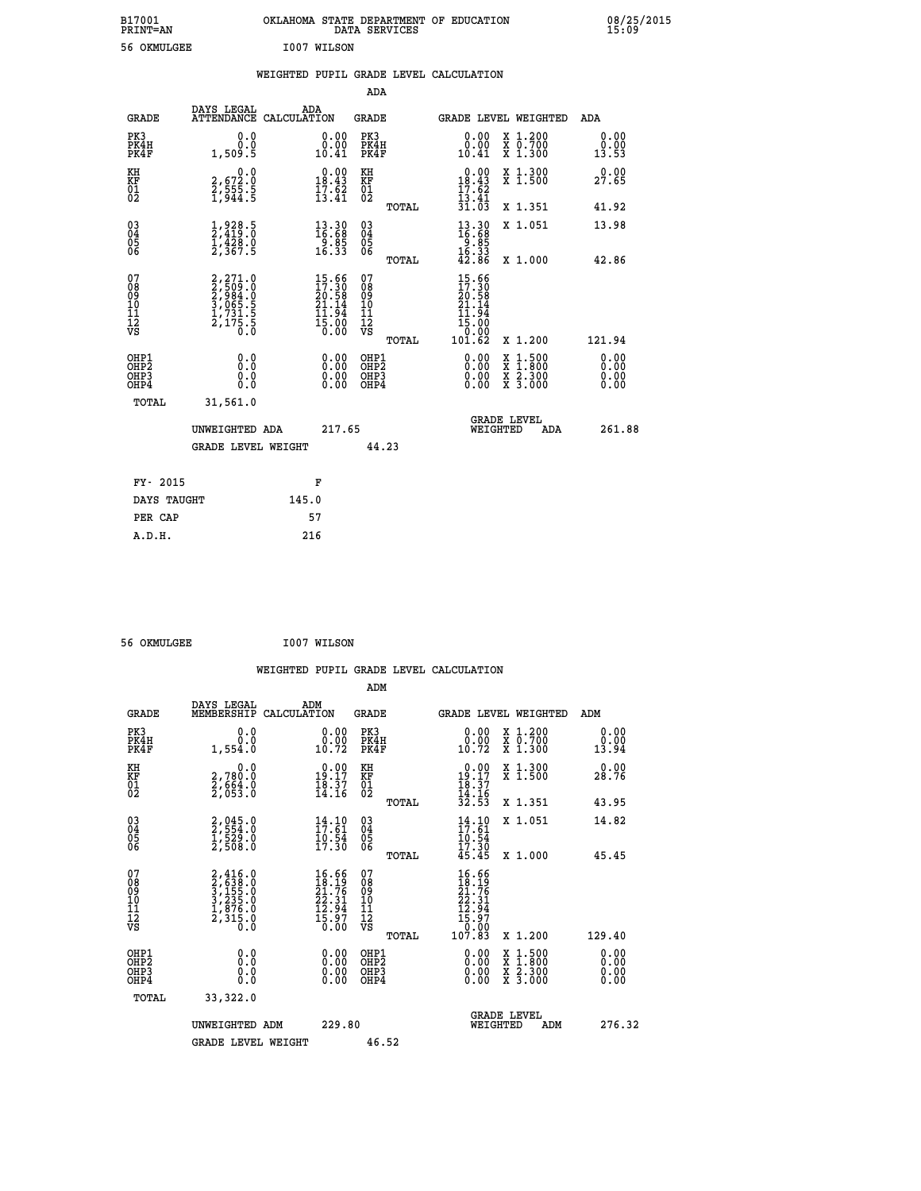| B17001          | OKLAHOMA STATE DEPARTMENT OF EDUCATION |
|-----------------|----------------------------------------|
| <b>PRINT=AN</b> | DATA SERVICES                          |
| 56 OKMULGEE     | T007 WILSON                            |

**CON**<br>15:09

| 56 OKMULGEE                                                        |                                                                                       |       | I007 WILSON                                                              |                                        |              |                                                                              |                                                                                                                                      |                       |
|--------------------------------------------------------------------|---------------------------------------------------------------------------------------|-------|--------------------------------------------------------------------------|----------------------------------------|--------------|------------------------------------------------------------------------------|--------------------------------------------------------------------------------------------------------------------------------------|-----------------------|
|                                                                    |                                                                                       |       |                                                                          |                                        |              | WEIGHTED PUPIL GRADE LEVEL CALCULATION                                       |                                                                                                                                      |                       |
|                                                                    |                                                                                       |       |                                                                          | ADA                                    |              |                                                                              |                                                                                                                                      |                       |
| <b>GRADE</b>                                                       | DAYS LEGAL<br>ATTENDANCE CALCULATION                                                  |       | ADA                                                                      | <b>GRADE</b>                           |              |                                                                              | GRADE LEVEL WEIGHTED                                                                                                                 | ADA                   |
| PK3<br>PK4H<br>PK4F                                                | 0.0<br>0.0<br>1,509.5                                                                 |       | 0.00<br>0.00<br>10.41                                                    | PK3<br>PK4H<br>PK4F                    |              | 0.00<br>10.41                                                                | X 1.200<br>X 0.700<br>X 1.300                                                                                                        | 0.00<br>0.00<br>13.53 |
| KH<br>KF<br>01<br>02                                               | 0.0<br>2,672.0<br>2,555.5<br>1,944.5                                                  |       | $\begin{smallmatrix} 0.00\\18.43\\17.62\\13.41 \end{smallmatrix}$        | KH<br><b>KF</b><br>01<br>02            |              | $\begin{array}{c} 0.00 \\ 18.43 \\ 17.62 \\ 13.41 \end{array}$               | X 1.300<br>X 1.500                                                                                                                   | 0.00<br>27.65         |
|                                                                    |                                                                                       |       |                                                                          |                                        | TOTAL        | 31.03                                                                        | X 1.351                                                                                                                              | 41.92                 |
| $\begin{smallmatrix} 03 \\[-4pt] 04 \end{smallmatrix}$<br>Ŏ5<br>06 | $\frac{1}{2}, \frac{9}{419}.5$<br>$\frac{1}{428}.0$<br>$\frac{1}{2}, \frac{4}{367}.5$ |       | $\begin{smallmatrix} 13.30\ 16.68\ 9.85\ 16.33 \end{smallmatrix}$        | $\substack{03 \\ 04}$<br>05<br>06      |              | 13.30<br>16.68<br>$\frac{18}{16}$ . 85<br>$\frac{16}{42}$ . 86               | X 1.051                                                                                                                              | 13.98                 |
|                                                                    |                                                                                       |       |                                                                          |                                        | TOTAL        |                                                                              | X 1.000                                                                                                                              | 42.86                 |
| 07<br>08<br>09<br>01<br>11<br>11<br>12<br>VS                       | 2,271.0<br>2,509.0<br>2,984.0<br>3,065.5<br>3,065.5<br>1,731.5<br>2,175.5             |       | $15.66$<br>$17.30$<br>$20.58$<br>$21.14$<br>$11.94$<br>$15.00$<br>$0.00$ | 07<br>08<br>09<br>11<br>11<br>12<br>VS | <b>TOTAL</b> | $15.66$<br>$17.30$<br>$20.58$<br>$21.14$<br>11.94<br>15:00<br>0:00<br>101.62 | X 1.200                                                                                                                              | 121.94                |
| OHP1<br>OHP <sub>2</sub><br>OH <sub>P3</sub><br>OH <sub>P4</sub>   | 0.0<br>0.0<br>0.0                                                                     |       | 0.00<br>0.00<br>0.00                                                     | OHP1<br>OHP2<br>OHP3<br>OHP4           |              | 0.00<br>0.00<br>0.00                                                         | $\begin{smallmatrix} \mathtt{X} & 1 & 500 \\ \mathtt{X} & 1 & 800 \\ \mathtt{X} & 2 & 300 \\ \mathtt{X} & 3 & 000 \end{smallmatrix}$ | 0.00<br>0.00<br>0.00  |
| TOTAL                                                              | 31,561.0                                                                              |       |                                                                          |                                        |              |                                                                              |                                                                                                                                      |                       |
|                                                                    | UNWEIGHTED ADA                                                                        |       | 217.65                                                                   |                                        |              | WEIGHTED                                                                     | <b>GRADE LEVEL</b><br>ADA                                                                                                            | 261.88                |
|                                                                    | <b>GRADE LEVEL WEIGHT</b>                                                             |       |                                                                          | 44.23                                  |              |                                                                              |                                                                                                                                      |                       |
| FY- 2015                                                           |                                                                                       |       | F                                                                        |                                        |              |                                                                              |                                                                                                                                      |                       |
| DAYS TAUGHT                                                        |                                                                                       | 145.0 |                                                                          |                                        |              |                                                                              |                                                                                                                                      |                       |
| PER CAP                                                            |                                                                                       |       | 57                                                                       |                                        |              |                                                                              |                                                                                                                                      |                       |
| A.D.H.                                                             |                                                                                       |       | 216                                                                      |                                        |              |                                                                              |                                                                                                                                      |                       |

 **56 OKMULGEE I007 WILSON**

|                                                    |                                                                       |                                                                                        |                                                       | WEIGHTED PUPIL GRADE LEVEL CALCULATION                                                                                                         |                                          |                          |
|----------------------------------------------------|-----------------------------------------------------------------------|----------------------------------------------------------------------------------------|-------------------------------------------------------|------------------------------------------------------------------------------------------------------------------------------------------------|------------------------------------------|--------------------------|
|                                                    |                                                                       |                                                                                        | ADM                                                   |                                                                                                                                                |                                          |                          |
| <b>GRADE</b>                                       | DAYS LEGAL<br>MEMBERSHIP                                              | ADM<br>CALCULATION                                                                     | <b>GRADE</b>                                          | GRADE LEVEL WEIGHTED                                                                                                                           |                                          | ADM                      |
| PK3<br>PK4H<br>PK4F                                | 0.0<br>0.0<br>1,554.0                                                 | 0.00<br>$0.00$<br>$10.72$                                                              | PK3<br>PK4H<br>PK4F                                   | 0.00<br>ŏ:ŏŏ<br>10:72                                                                                                                          | X 1.200<br>X 0.700<br>X 1.300            | 0.00<br>0.00<br>13.94    |
| KH<br>KF<br>01<br>02                               | 0.0<br>2,780:0<br>2,664:0<br>2,053:0                                  | $\begin{array}{c} 0.00 \\ 19.17 \\ 18.37 \\ 14.16 \end{array}$                         | KH<br>KF<br>01<br>02                                  | $\begin{array}{c} 0.00 \\ 19.17 \\ 18.37 \\ 14.16 \\ 32.53 \end{array}$                                                                        | X 1.300<br>X 1.500                       | 0.00<br>28.76            |
|                                                    |                                                                       |                                                                                        | TOTAL                                                 |                                                                                                                                                | X 1.351                                  | 43.95                    |
| $\begin{matrix} 03 \\ 04 \\ 05 \\ 06 \end{matrix}$ | 2,045.0<br>2,554.0<br>1,529.0<br>2,508.0                              | $\begin{array}{c} 14\cdot 10\\ 17\cdot 61\\ 10\cdot 54\\ 17\cdot 30 \end{array}$       | $\substack{03 \\ 04}$<br>Ŏ5<br>06                     | $14.10$<br>$17.61$<br>$10.54$<br>$17.30$                                                                                                       | X 1.051                                  | 14.82                    |
|                                                    |                                                                       |                                                                                        | TOTAL                                                 | 45.45                                                                                                                                          | X 1.000                                  | 45.45                    |
| 07<br>08<br>09<br>101<br>11<br>12<br>VS            | 2,416.0<br>3,638.0<br>3,155.0<br>3,235.0<br>1,876.0<br>2,315.0<br>0.0 | $\begin{smallmatrix} 16.66\\18.19\\21.76\\22.31\\12.94\\15.97\\0.00 \end{smallmatrix}$ | 07<br>08<br>09<br>01<br>11<br>11<br>12<br>VS<br>TOTAL | 16.66<br>$\begin{smallmatrix} 1 & 0 & 0 & 0 \ 2 & 0 & 0 & 0 \ 2 & 0 & 0 & 0 \ 2 & 0 & 0 & 0 \ 1 & 0 & 0 & 0 \ 1 & 0 & 0 & 0 \end{smallmatrix}$ | X 1.200                                  | 129.40                   |
| OHP1<br>OHP2<br>OH <sub>P3</sub><br>OHP4           | 0.0<br>0.000                                                          | $\begin{smallmatrix} 0.00 \ 0.00 \ 0.00 \ 0.00 \end{smallmatrix}$                      | OHP1<br>OHP2<br>OHP3<br>OHP4                          | 0.00<br>0.00<br>0.00                                                                                                                           | X 1:500<br>X 1:800<br>X 2:300<br>X 3:000 | $0.00$<br>$0.00$<br>0.00 |
| TOTAL                                              | 33,322.0                                                              |                                                                                        |                                                       |                                                                                                                                                |                                          |                          |
|                                                    | UNWEIGHTED ADM<br><b>GRADE LEVEL WEIGHT</b>                           | 229.80                                                                                 | 46.52                                                 |                                                                                                                                                | GRADE LEVEL<br>WEIGHTED<br>ADM           | 276.32                   |
|                                                    |                                                                       |                                                                                        |                                                       |                                                                                                                                                |                                          |                          |
|                                                    |                                                                       |                                                                                        |                                                       |                                                                                                                                                |                                          |                          |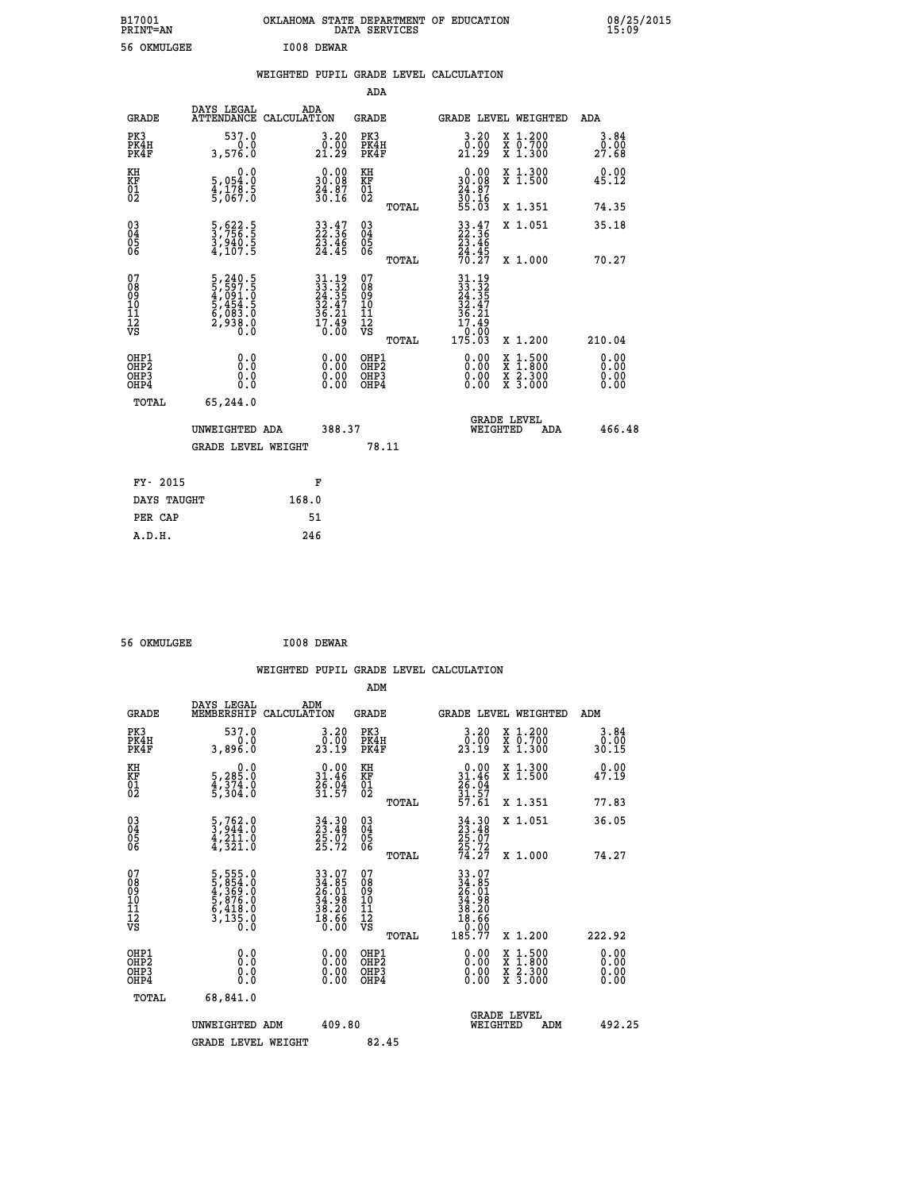| B17001<br><b>PRINT=AN</b> | OKLAHOMA STATE DEPARTMENT OF EDUCATION<br>DATA SERVICES | 08/25/2015<br>15:09 |
|---------------------------|---------------------------------------------------------|---------------------|
| 56 OKMULGEE               | I008 DEWAR                                              |                     |

|  |  | WEIGHTED PUPIL GRADE LEVEL CALCULATION |
|--|--|----------------------------------------|
|  |  |                                        |

|                                                                   |                                                                           |                                                                                                                              | ADA                                       |                                                                                                                          |                              |
|-------------------------------------------------------------------|---------------------------------------------------------------------------|------------------------------------------------------------------------------------------------------------------------------|-------------------------------------------|--------------------------------------------------------------------------------------------------------------------------|------------------------------|
|                                                                   | DAYS LEGAL<br><b>GRADE</b>                                                | ADA<br>ATTENDANCE CALCULATION                                                                                                | <b>GRADE</b>                              | GRADE LEVEL WEIGHTED                                                                                                     | ADA                          |
| PK3<br>PK4H<br>PK4F                                               | 537.0<br>0.0<br>3,576.0                                                   | $\begin{smallmatrix} 3.20\ 0.00\ 21.29 \end{smallmatrix}$                                                                    | PK3<br>PK4H<br>PK4F                       | $\begin{smallmatrix} 3.20\ 0.00\ 21.29 \end{smallmatrix}$<br>X 1.200<br>X 0.700<br>X 1.300                               | 3.84<br>0.00<br>27.68        |
| KH<br><b>KF</b><br>01<br>02                                       | 0.0<br>5,054:0<br>4,178.5<br>5,067:0                                      | $\begin{smallmatrix} 0.00\\ 30.08\\ 24.87\\ 30.16 \end{smallmatrix}$                                                         | KH<br>KF<br>01<br>02                      | $\begin{smallmatrix} 0.00\\ 30.08\\ 24.87\\ 30.16\\ 55.03 \end{smallmatrix}$<br>X 1.300<br>X 1.500                       | 0.00<br>45.12                |
|                                                                   |                                                                           |                                                                                                                              | TOTAL                                     | X 1.351                                                                                                                  | 74.35                        |
| $^{03}_{04}$<br>Ŏ5<br>06                                          | 5,622.5<br>3,756.5<br>3,940.5<br>4,107.5                                  | $\begin{smallmatrix} 33.47\ 22.36\ 23.46\ 24.45 \end{smallmatrix}$                                                           | $\substack{03 \\ 04}$<br>Ŏ5<br>06         | $\begin{array}{r} 33 \cdot 47 \\ 22 \cdot 36 \\ 23 \cdot 46 \\ 24 \cdot 45 \\ 70 \cdot 27 \end{array}$<br>X 1.051        | 35.18                        |
|                                                                   |                                                                           |                                                                                                                              | TOTAL                                     | X 1.000                                                                                                                  | 70.27                        |
| 07<br>08901112<br>1112<br>VS                                      | 5,240.5<br>5,597.5<br>4,091.0<br>5,454.5<br>5,453.0<br>6,083.0<br>2,938.0 | $\begin{array}{l} 31\cdot 19 \\ 33\cdot 32 \\ 24\cdot 35 \\ 32\cdot 47 \\ 36\cdot 21 \\ 17\cdot 49 \\ 0\cdot 00 \end{array}$ | 07<br>08<br>09<br>11<br>11<br>12<br>VS    |                                                                                                                          |                              |
|                                                                   |                                                                           |                                                                                                                              | TOTAL                                     | 10:00<br>175.03<br>X 1.200                                                                                               | 210.04                       |
| OHP1<br>OH <sub>P</sub> 2<br>OH <sub>P3</sub><br>OH <sub>P4</sub> | 0.0<br>0.0<br>0.0                                                         | $\begin{smallmatrix} 0.00 \ 0.00 \ 0.00 \ 0.00 \end{smallmatrix}$                                                            | OHP1<br>OH <sub>P</sub> 2<br>OHP3<br>OHP4 | 0.00<br>$\begin{smallmatrix} x & 1 & 500 \\ x & 1 & 800 \\ x & 2 & 300 \\ x & 3 & 000 \end{smallmatrix}$<br>0.00<br>0.00 | 0.00<br>0.00<br>0.00<br>0.00 |
|                                                                   | TOTAL<br>65,244.0                                                         |                                                                                                                              |                                           |                                                                                                                          |                              |
|                                                                   | UNWEIGHTED ADA                                                            | 388.37                                                                                                                       |                                           | GRADE LEVEL<br>WEIGHTED<br>ADA                                                                                           | 466.48                       |
|                                                                   | <b>GRADE LEVEL WEIGHT</b>                                                 |                                                                                                                              | 78.11                                     |                                                                                                                          |                              |
|                                                                   | FY- 2015                                                                  | F                                                                                                                            |                                           |                                                                                                                          |                              |
|                                                                   | DAYS TAUGHT                                                               | 168.0                                                                                                                        |                                           |                                                                                                                          |                              |
|                                                                   | PER CAP                                                                   | 51                                                                                                                           |                                           |                                                                                                                          |                              |

 **56 OKMULGEE I008 DEWAR**

| <b>GRADE</b>                                         | DAYS LEGAL<br>MEMBERSHIP                                                  | ADM<br>CALCULATION                                                        | <b>GRADE</b>                                        | <b>GRADE LEVEL WEIGHTED</b>                                      |                                |                                          | ADM                          |
|------------------------------------------------------|---------------------------------------------------------------------------|---------------------------------------------------------------------------|-----------------------------------------------------|------------------------------------------------------------------|--------------------------------|------------------------------------------|------------------------------|
| PK3<br>PK4H<br>PK4F                                  | 537.0<br>3,896.0                                                          | 3.20<br>0.00<br>23.19                                                     | PK3<br>PK4H<br>PK4F                                 | 3.20<br>23.19                                                    |                                | X 1.200<br>X 0.700<br>X 1.300            | 3.84<br>$\frac{0.00}{30.15}$ |
| KH<br>KF<br>01<br>02                                 | 0.0<br>5,285.0<br>4,374.0<br>5,304.0                                      | $0.00$<br>$31.46$<br>$26.04$<br>$31.57$                                   | KH<br>KF<br>01<br>02                                | $0.00$<br>$31.46$<br>$26.04$<br>$31.57$<br>$57.61$               |                                | X 1.300<br>X 1.500                       | 0.00<br>47.19                |
|                                                      |                                                                           |                                                                           | TOTAL                                               |                                                                  |                                | X 1.351                                  | 77.83                        |
| $\begin{matrix} 03 \\ 04 \\ 05 \\ 06 \end{matrix}$   | $\frac{5}{3}, \frac{762}{944}.0$<br>$\frac{4}{4}, \frac{211}{321}.0$      | 34.30<br>23.48<br>25.07<br>25.72                                          | $\begin{array}{c} 03 \\ 04 \\ 05 \\ 06 \end{array}$ | $34.30$<br>$23.48$<br>$25.07$<br>$25.72$<br>$74.27$              |                                | X 1.051                                  | 36.05                        |
|                                                      |                                                                           |                                                                           | TOTAL                                               |                                                                  |                                | X 1.000                                  | 74.27                        |
| 07<br>08<br>09<br>11<br>11<br>12<br>VS               | 5,555.0<br>5,854.0<br>4,365.0<br>5,876.0<br>5,418.0<br>6,418.0<br>3,135.0 | $33.07$<br>$24.85$<br>$26.01$<br>$34.98$<br>$38.20$<br>$38.20$<br>$18.66$ | 07<br>08<br>09<br>11<br>11<br>12<br>VS<br>TOTAL     | $33.07$<br>$24.851$<br>$26.01$<br>$38.20$<br>$38.20$<br>$185.77$ |                                | X 1.200                                  | 222.92                       |
| OHP1<br>OHP <sub>2</sub><br>OH <sub>P3</sub><br>OHP4 | 0.0<br>0.000                                                              |                                                                           | OHP1<br>OHP <sub>2</sub><br>OHP3<br>OHP4            |                                                                  |                                | X 1:500<br>X 1:800<br>X 2:300<br>X 3:000 | 0.00<br>0.00<br>0.00         |
| TOTAL                                                | 68,841.0                                                                  |                                                                           |                                                     |                                                                  |                                |                                          |                              |
|                                                      | UNWEIGHTED ADM                                                            | 409.80                                                                    |                                                     |                                                                  | <b>GRADE LEVEL</b><br>WEIGHTED | ADM                                      | 492.25                       |
|                                                      | <b>GRADE LEVEL WEIGHT</b>                                                 |                                                                           | 82.45                                               |                                                                  |                                |                                          |                              |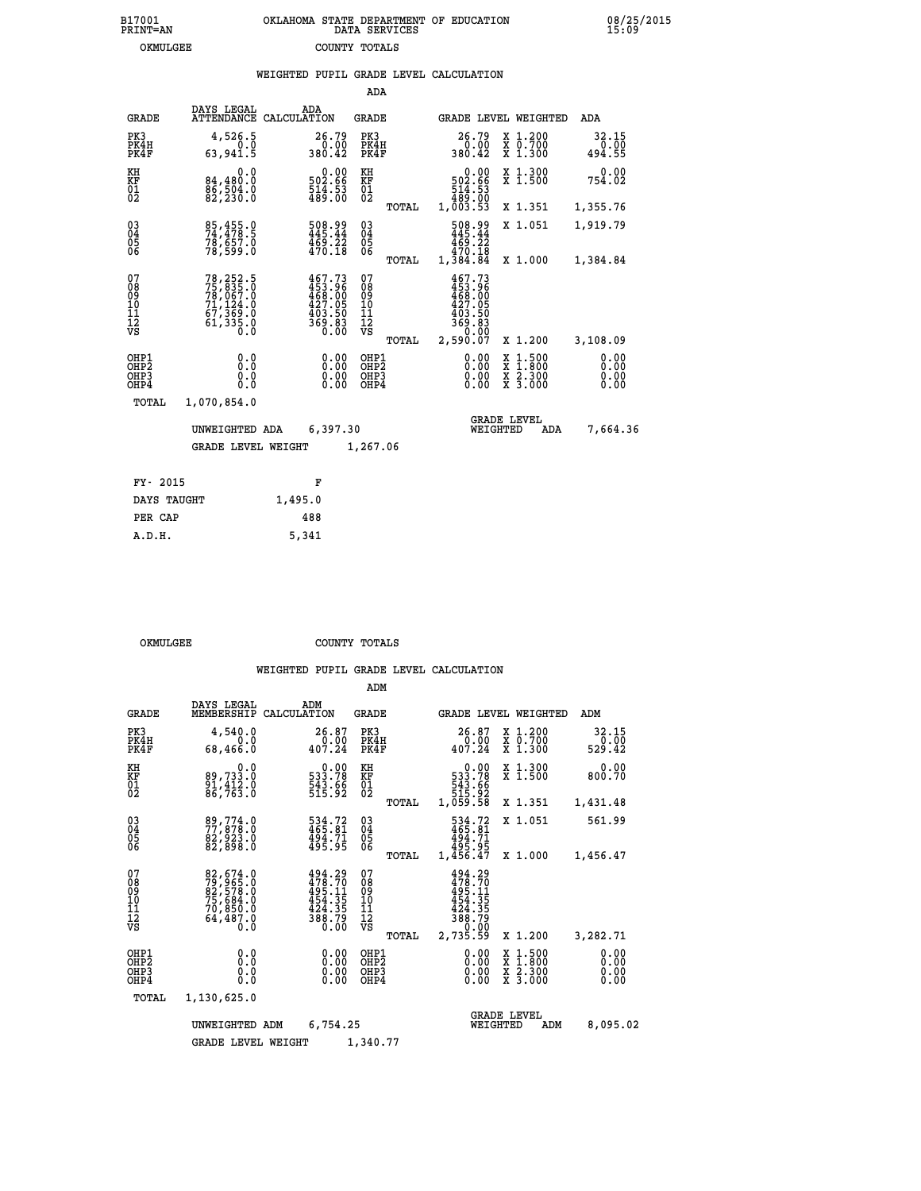|  |  | WEIGHTED PUPIL GRADE LEVEL CALCULATION |  |
|--|--|----------------------------------------|--|
|  |  |                                        |  |

|                                                                    |                                                                                                     |             |                                                                                | ADA                                      |       |                                                                             |                                |                                                                                                  |                              |
|--------------------------------------------------------------------|-----------------------------------------------------------------------------------------------------|-------------|--------------------------------------------------------------------------------|------------------------------------------|-------|-----------------------------------------------------------------------------|--------------------------------|--------------------------------------------------------------------------------------------------|------------------------------|
| <b>GRADE</b>                                                       | DAYS LEGAL<br><b>ATTENDANCE</b>                                                                     | CALCULATION | ADA                                                                            | GRADE                                    |       |                                                                             |                                | GRADE LEVEL WEIGHTED                                                                             | ADA                          |
| PK3<br>PK4H<br>PK4F                                                | 4,526.5<br>0.0<br>63,941.5                                                                          |             | 26.79<br>$\frac{0.00}{380.42}$                                                 | PK3<br>PK4H<br>PK4F                      |       | 26.79<br>380.42                                                             | 0.00                           | X 1.200<br>X 0.700<br>X 1.300                                                                    | 32.15<br>0.00<br>494.55      |
| KH<br>KF<br>$\overline{01}$                                        | 0.0<br>84,480.0<br>85,504.0<br>82,230.0                                                             |             | 0.00<br>502.66<br>$\frac{514}{489}$ : 53                                       | KH<br>KF<br>$\overline{01}$              |       | 502.66<br>514:53<br>489.00<br>1,003.53                                      | 0.00                           | X 1.300<br>X 1.500                                                                               | 0.00<br>754.02               |
|                                                                    |                                                                                                     |             |                                                                                |                                          | TOTAL |                                                                             |                                | X 1.351                                                                                          | 1,355.76                     |
| $\begin{smallmatrix} 03 \\[-4pt] 04 \end{smallmatrix}$<br>Ŏ5<br>06 | 85,455.0<br>74,478.5<br>78,657.0<br>78,599.0                                                        |             | $\frac{508.99}{445.44}$<br>$\frac{469.22}{470.18}$                             | $\substack{03 \\ 04}$<br>05<br>06        |       | 508.99<br>445.44<br>469.22<br>470.18                                        |                                | X 1.051                                                                                          | 1,919.79                     |
|                                                                    |                                                                                                     |             |                                                                                |                                          | TOTAL | 1,384.84                                                                    |                                | X 1.000                                                                                          | 1,384.84                     |
| 07<br>08<br>09<br>10<br>11<br>12<br>VS                             | $\begin{smallmatrix}78,252.5\\75,835.0\\78,067.0\\71,124.0\\67,369.0\\61,335.0\\0\end{smallmatrix}$ |             | $467.73$<br>$453.96$<br>$468.00$<br>$427.05$<br>$403.50$<br>$369.83$<br>$0.00$ | 07<br>08<br>09<br>11<br>11<br>12<br>VS   | TOTAL | 467.73<br>453.96<br>468.00<br>427.05<br>$\frac{403.50}{369.83}$<br>2,590.07 |                                | X 1.200                                                                                          | 3,108.09                     |
| OHP1<br>OHP <sub>2</sub><br>OH <sub>P3</sub><br>OHP4               | 0.0<br>0.0<br>0.0                                                                                   |             | 0.00<br>0.00<br>0.00                                                           | OHP1<br>OHP <sub>2</sub><br>OHP3<br>OHP4 |       |                                                                             | 0.00<br>0.00                   | $\begin{smallmatrix} x & 1 & 500 \\ x & 1 & 800 \\ x & 2 & 300 \\ x & 3 & 000 \end{smallmatrix}$ | 0.00<br>0.00<br>0.00<br>0.00 |
| TOTAL                                                              | 1,070,854.0                                                                                         |             |                                                                                |                                          |       |                                                                             |                                |                                                                                                  |                              |
|                                                                    | UNWEIGHTED ADA                                                                                      |             | 6,397.30                                                                       |                                          |       |                                                                             | <b>GRADE LEVEL</b><br>WEIGHTED | ADA                                                                                              | 7,664.36                     |
|                                                                    | <b>GRADE LEVEL WEIGHT</b>                                                                           |             |                                                                                | 1,267.06                                 |       |                                                                             |                                |                                                                                                  |                              |
| FY- 2015                                                           |                                                                                                     |             | F                                                                              |                                          |       |                                                                             |                                |                                                                                                  |                              |
| DAYS TAUGHT                                                        |                                                                                                     | 1,495.0     |                                                                                |                                          |       |                                                                             |                                |                                                                                                  |                              |
|                                                                    |                                                                                                     |             |                                                                                |                                          |       |                                                                             |                                |                                                                                                  |                              |

| <u>DILLU LIIUUILL</u> | - <i>- - - -</i> - - |
|-----------------------|----------------------|
| PER CAP               | 488                  |
| A.D.H.                | 5,341                |
|                       |                      |

 **ADM**

OKMULGEE COUNTY TOTALS

|  |  | WEIGHTED PUPIL GRADE LEVEL CALCULATION |
|--|--|----------------------------------------|

| <b>GRADE</b>                                                       | DAYS LEGAL<br>MEMBERSHIP                                                              | ADM<br>CALCULATION                                                                                  | <b>GRADE</b>                                                              |                                                                                                             | GRADE LEVEL WEIGHTED                                                                                                | ADM                          |
|--------------------------------------------------------------------|---------------------------------------------------------------------------------------|-----------------------------------------------------------------------------------------------------|---------------------------------------------------------------------------|-------------------------------------------------------------------------------------------------------------|---------------------------------------------------------------------------------------------------------------------|------------------------------|
| PK3<br>PK4H<br>PK4F                                                | 4,540.0<br>0.0<br>68,466.0                                                            | 26.87<br>0.00<br>407.24                                                                             | PK3<br>PK4H<br>PK4F                                                       | 26.87<br>0.00<br>407.24                                                                                     | X 1.200<br>X 0.700<br>X 1.300                                                                                       | 32.15<br>0.00<br>529.42      |
| KH<br><b>KF</b><br>01<br>02                                        | 0.0<br>89,733.0<br>91,412.0<br>86,763.0                                               | $\begin{smallmatrix} &0.00\ 533.78\ 543.66\ 515.92\ \end{smallmatrix}$                              | KH<br>KF<br>01<br>02                                                      | 0.00<br>$\begin{smallmatrix}5 & 33 & 78 \\ 543 & 66 \\ 543 & 66 \\ 515 & 92 \\ 1,059 & 58\end{smallmatrix}$ | X 1.300<br>X 1.500                                                                                                  | 0.00<br>800.70               |
|                                                                    |                                                                                       |                                                                                                     | TOTAL                                                                     |                                                                                                             | X 1.351                                                                                                             | 1,431.48                     |
| $\begin{smallmatrix} 03 \\[-4pt] 04 \end{smallmatrix}$<br>Ŏ5<br>06 | 89,774.0<br>77,878.0<br>82,923.0                                                      | 534.72<br>465.81<br>494.71<br>495.95                                                                | $\begin{smallmatrix} 03 \\[-4pt] 04 \end{smallmatrix}$<br>$\frac{05}{06}$ | 534.72<br>465.81<br>494.71                                                                                  | X 1.051                                                                                                             | 561.99                       |
|                                                                    | 82,898.0                                                                              |                                                                                                     | TOTAL                                                                     | 495.95<br>1,456.47                                                                                          | X 1.000                                                                                                             | 1,456.47                     |
| 07<br>08<br>09<br>101<br>11<br>12<br>VS                            | 82,674.0<br>79,965.0<br>82,578.0<br>75,684.0<br>70,859.0<br>64,487.0<br>$0.\check{0}$ | $\begin{smallmatrix} 494.29\\478.70\\495.11\\495.15\\454.35\\424.35\\388.79\\0.00\end{smallmatrix}$ | 07<br>08<br>09<br>11<br>11<br>12<br>VS<br>TOTAL                           | 494.29<br>478.70<br>495.11<br>454.35<br>424.35<br>388.79<br>0.00<br>2,735.59                                | X 1.200                                                                                                             | 3,282.71                     |
| OHP1<br>OHP <sub>2</sub><br>OHP3<br>OHP4                           | 0.0<br>0.0<br>0.0                                                                     | $0.00$<br>$0.00$<br>0.00                                                                            | OHP1<br>OH <sub>P</sub> 2<br>OHP3<br>OHP4                                 | $0.00$<br>$0.00$<br>0.00                                                                                    | $\begin{array}{l} \mathtt{X} & 1.500 \\ \mathtt{X} & 1.800 \\ \mathtt{X} & 2.300 \\ \mathtt{X} & 3.000 \end{array}$ | 0.00<br>0.00<br>0.00<br>0.00 |
| TOTAL                                                              | 1,130,625.0                                                                           |                                                                                                     |                                                                           |                                                                                                             |                                                                                                                     |                              |
|                                                                    | UNWEIGHTED                                                                            | 6,754.25<br>ADM                                                                                     |                                                                           | WEIGHTED                                                                                                    | <b>GRADE LEVEL</b><br>ADM                                                                                           | 8,095.02                     |
|                                                                    | <b>GRADE LEVEL WEIGHT</b>                                                             |                                                                                                     | 1,340.77                                                                  |                                                                                                             |                                                                                                                     |                              |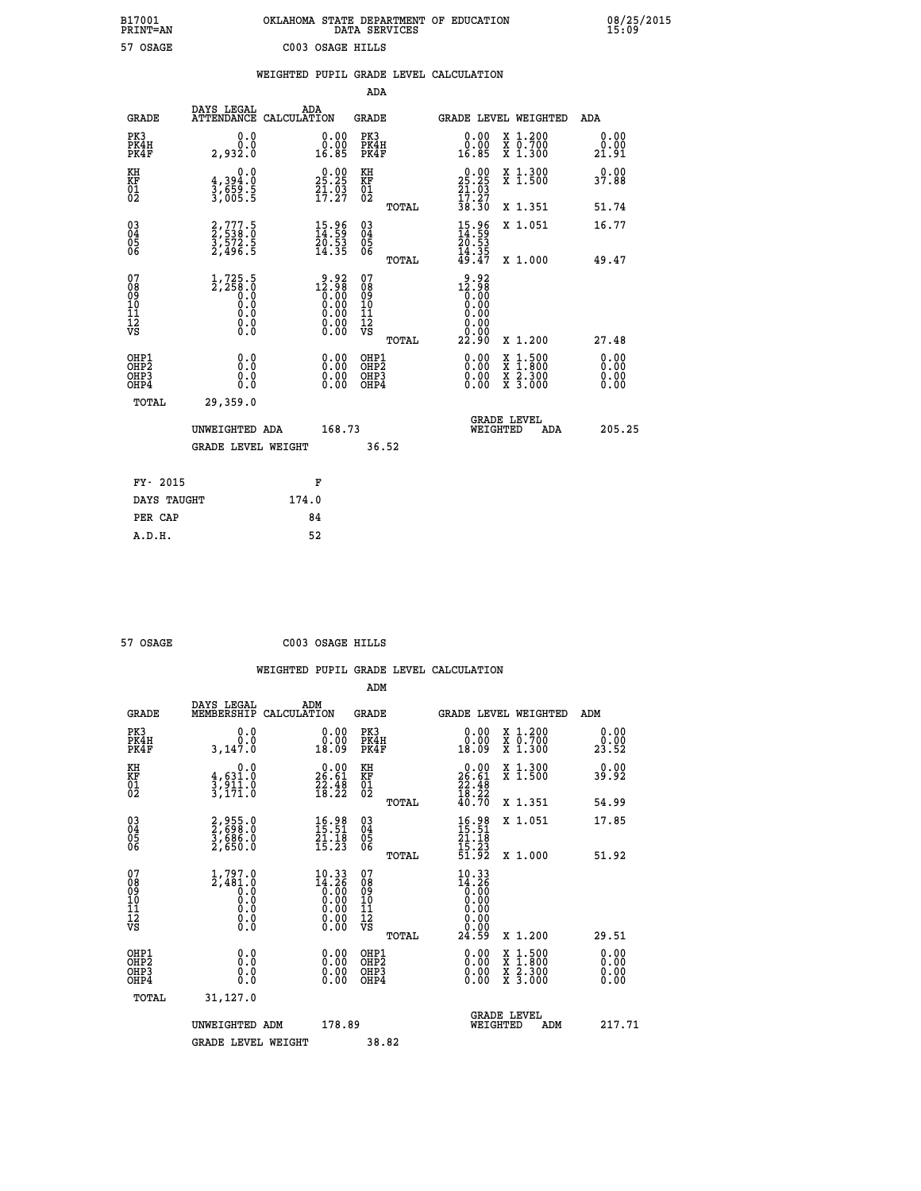| OKLAHOMA STATE DEPARTMENT OF EDUCATION<br>DATA SERVICES |  |
|---------------------------------------------------------|--|
| C003 OSAGE HILLS                                        |  |

 **B17001 OKLAHOMA STATE DEPARTMENT OF EDUCATION 08/25/2015**

|                                              |                                                                                                    |       |                                                                                            |                                                     |       | WEIGHTED PUPIL GRADE LEVEL CALCULATION                                                                                                                                                                                                                                         |                                                                                                                                           |     |                                   |
|----------------------------------------------|----------------------------------------------------------------------------------------------------|-------|--------------------------------------------------------------------------------------------|-----------------------------------------------------|-------|--------------------------------------------------------------------------------------------------------------------------------------------------------------------------------------------------------------------------------------------------------------------------------|-------------------------------------------------------------------------------------------------------------------------------------------|-----|-----------------------------------|
|                                              |                                                                                                    |       |                                                                                            | <b>ADA</b>                                          |       |                                                                                                                                                                                                                                                                                |                                                                                                                                           |     |                                   |
| <b>GRADE</b>                                 | DAYS LEGAL<br>ATTENDANCE CALCULATION                                                               | ADA   |                                                                                            | GRADE                                               |       | GRADE LEVEL WEIGHTED                                                                                                                                                                                                                                                           |                                                                                                                                           |     | ADA                               |
| PK3<br>PK4H<br>PK4F                          | 0.0<br>0.0<br>2,932.0                                                                              |       | $\begin{smallmatrix} 0.00\\ 0.00\\ 16.85 \end{smallmatrix}$                                | PK3<br>PK4H<br>PK4F                                 |       | $0.00$<br>$0.00$<br>16.85                                                                                                                                                                                                                                                      | X 1.200<br>X 0.700<br>X 1.300                                                                                                             |     | 0.00<br>0.00<br>21.91             |
| KH<br>KF<br>01<br>02                         | 0.0<br>$\frac{4}{3}, \frac{394}{659}$ . 5<br>3,659. 5                                              |       | 29:29<br>$\frac{51}{17}$ : $\frac{53}{27}$                                                 | KH<br>KF<br>01<br>02                                |       | $\begin{smallmatrix} 0.00\\ 25.25\\ 21.03\\ 17.27\\ 38.30 \end{smallmatrix}$                                                                                                                                                                                                   | X 1.300<br>X 1.500                                                                                                                        |     | 0.00<br>37.88                     |
|                                              |                                                                                                    |       |                                                                                            |                                                     | TOTAL |                                                                                                                                                                                                                                                                                | X 1.351                                                                                                                                   |     | 51.74                             |
| 03<br>04<br>05<br>06                         | 2,777.5<br>2,538.0<br>3,572.5<br>2,496.5                                                           |       | $\begin{smallmatrix} 15.96 \\[-4pt] 14.59 \\[-4pt] 20.53 \\[-4pt] 14.35 \end{smallmatrix}$ | $\begin{array}{c} 03 \\ 04 \\ 05 \\ 06 \end{array}$ |       | $15.96$<br>$14.59$<br>$20.53$<br>$14.35$<br>$49.47$                                                                                                                                                                                                                            | X 1.051                                                                                                                                   |     | 16.77                             |
|                                              |                                                                                                    |       |                                                                                            |                                                     | TOTAL |                                                                                                                                                                                                                                                                                | X 1.000                                                                                                                                   |     | 49.47                             |
| 07<br>08<br>09<br>01<br>11<br>11<br>12<br>VS | $1,725.5$<br>$2,258.0$<br>$0.0$<br>0.0<br>$\begin{smallmatrix} 0.16 \ 0.0 \ 0.0 \end{smallmatrix}$ |       | $12.98\n12.98\n0.00\n0.00\n0.00\n0.00$<br>0.00                                             | 07<br>08<br>09<br>11<br>11<br>12<br>VS              | TOTAL | $12.98$<br>$12.98$<br>$0.00$<br>0.00<br>0.00<br>22.90                                                                                                                                                                                                                          | X 1.200                                                                                                                                   |     | 27.48                             |
| OHP1<br>OHP2<br>OHP3<br>OHP4                 | 0.0<br>0.0<br>0.0                                                                                  |       | $\begin{smallmatrix} 0.00 \ 0.00 \ 0.00 \ 0.00 \end{smallmatrix}$                          | OHP1<br>OHP2<br>OHP3<br>OHP4                        |       | $\begin{smallmatrix} 0.00 & 0.00 & 0.00 & 0.00 & 0.00 & 0.00 & 0.00 & 0.00 & 0.00 & 0.00 & 0.00 & 0.00 & 0.00 & 0.00 & 0.00 & 0.00 & 0.00 & 0.00 & 0.00 & 0.00 & 0.00 & 0.00 & 0.00 & 0.00 & 0.00 & 0.00 & 0.00 & 0.00 & 0.00 & 0.00 & 0.00 & 0.00 & 0.00 & 0.00 & 0.00 & 0.0$ | $\begin{smallmatrix} \mathtt{X} & 1\cdot500\\ \mathtt{X} & 1\cdot800\\ \mathtt{X} & 2\cdot300\\ \mathtt{X} & 3\cdot000 \end{smallmatrix}$ |     | 0.00<br>Ō. ŌŌ<br>$0.00$<br>$0.00$ |
| TOTAL                                        | 29,359.0                                                                                           |       |                                                                                            |                                                     |       |                                                                                                                                                                                                                                                                                |                                                                                                                                           |     |                                   |
|                                              | UNWEIGHTED ADA                                                                                     |       | 168.73                                                                                     |                                                     |       | WEIGHTED                                                                                                                                                                                                                                                                       | <b>GRADE LEVEL</b>                                                                                                                        | ADA | 205.25                            |
|                                              | <b>GRADE LEVEL WEIGHT</b>                                                                          |       |                                                                                            | 36.52                                               |       |                                                                                                                                                                                                                                                                                |                                                                                                                                           |     |                                   |
| FY- 2015                                     |                                                                                                    |       | F                                                                                          |                                                     |       |                                                                                                                                                                                                                                                                                |                                                                                                                                           |     |                                   |
| DAYS TAUGHT                                  |                                                                                                    | 174.0 |                                                                                            |                                                     |       |                                                                                                                                                                                                                                                                                |                                                                                                                                           |     |                                   |
| PER CAP                                      |                                                                                                    |       | 84                                                                                         |                                                     |       |                                                                                                                                                                                                                                                                                |                                                                                                                                           |     |                                   |

 **57 OSAGE C003 OSAGE HILLS**

 **ADM**

 **A.D.H. 52**

 **B17001<br>PRINT=AN<br>57 OSAGE** 

|  |  | WEIGHTED PUPIL GRADE LEVEL CALCULATION |
|--|--|----------------------------------------|
|  |  |                                        |

| <b>GRADE</b>                                         | DAYS LEGAL<br>MEMBERSHIP                                            | ADM<br>CALCULATION                                                                              | <b>GRADE</b>                                        |       | GRADE LEVEL WEIGHTED                                                                                                                                                                                                                                                           |                                          | ADM                      |  |
|------------------------------------------------------|---------------------------------------------------------------------|-------------------------------------------------------------------------------------------------|-----------------------------------------------------|-------|--------------------------------------------------------------------------------------------------------------------------------------------------------------------------------------------------------------------------------------------------------------------------------|------------------------------------------|--------------------------|--|
| PK3<br>PK4H<br>PK4F                                  | 0.0<br>3,147.0                                                      | 0.00<br>0.00<br>18.09                                                                           | PK3<br>PK4H<br>PK4F                                 |       | $\begin{smallmatrix} 0.00\\ 0.00\\ 18.09 \end{smallmatrix}$                                                                                                                                                                                                                    | X 1.200<br>X 0.700<br>X 1.300            | 0.00<br>23.52            |  |
| KH<br>KF<br>01<br>02                                 | 0.0<br>$\frac{4}{3}, \frac{631}{911}$<br>3,171.0                    | $\begin{smallmatrix} 0.00\\ 26.61\\ 22.48\\ 18.22 \end{smallmatrix}$                            | KH<br>KF<br>01<br>02                                |       | $\begin{smallmatrix} 0.00\\ 26.61\\ 22.48\\ 18.22\\ 16.70 \end{smallmatrix}$                                                                                                                                                                                                   | X 1.300<br>X 1.500                       | 0.00<br>39.92            |  |
|                                                      |                                                                     |                                                                                                 |                                                     | TOTAL |                                                                                                                                                                                                                                                                                | X 1.351                                  | 54.99                    |  |
| 03<br>04<br>05<br>06                                 | 2,955.0<br>2,698.0<br>3,686.0<br>2,650.0                            | 16.98<br>15.51<br>$\frac{21.18}{15.23}$                                                         | $\begin{array}{c} 03 \\ 04 \\ 05 \\ 06 \end{array}$ |       | $16.98$<br>$15.51$<br>$21.18$<br>$15.23$<br>$51.92$                                                                                                                                                                                                                            | X 1.051                                  | 17.85                    |  |
|                                                      |                                                                     |                                                                                                 |                                                     | TOTAL |                                                                                                                                                                                                                                                                                | X 1.000                                  | 51.92                    |  |
| 07<br>08<br>09<br>11<br>11<br>12<br>VS               | $1,797.0$<br>$2,481.0$<br>$0.0$<br>$0.0$<br>$0.0$<br>$0.0$<br>$0.0$ | $\begin{smallmatrix} 10.33\\ 14.26\\ 0.00\\ 0.00\\ 0.00\\ 0.00\\ 0.00\\ 0.00 \end{smallmatrix}$ | 07<br>08<br>09<br>11<br>11<br>12<br>VS              | TOTAL | $\begin{smallmatrix} 10 & 33 \\ 14 & 26 \\ 0 & 00 \\ 0 & 00 \\ 0 & 00 \\ 0 & 00 \\ 0 & 00 \\ 24 & 59 \end{smallmatrix}$                                                                                                                                                        | X 1.200                                  | 29.51                    |  |
| OHP1<br>OH <sub>P</sub> <sub>2</sub><br>OHP3<br>OHP4 | 0.0<br>0.0<br>0.0                                                   |                                                                                                 | OHP1<br>OHP <sub>2</sub><br>OHP3<br>OHP4            |       | $\begin{smallmatrix} 0.00 & 0.00 & 0.00 & 0.00 & 0.00 & 0.00 & 0.00 & 0.00 & 0.00 & 0.00 & 0.00 & 0.00 & 0.00 & 0.00 & 0.00 & 0.00 & 0.00 & 0.00 & 0.00 & 0.00 & 0.00 & 0.00 & 0.00 & 0.00 & 0.00 & 0.00 & 0.00 & 0.00 & 0.00 & 0.00 & 0.00 & 0.00 & 0.00 & 0.00 & 0.00 & 0.0$ | X 1:500<br>X 1:800<br>X 2:300<br>X 3:000 | $0.00$<br>$0.00$<br>0.00 |  |
| TOTAL                                                | 31,127.0                                                            |                                                                                                 |                                                     |       |                                                                                                                                                                                                                                                                                |                                          |                          |  |
|                                                      | UNWEIGHTED ADM                                                      | 178.89                                                                                          |                                                     |       | WEIGHTED                                                                                                                                                                                                                                                                       | <b>GRADE LEVEL</b><br>ADM                | 217.71                   |  |
|                                                      | <b>GRADE LEVEL WEIGHT</b>                                           |                                                                                                 | 38.82                                               |       |                                                                                                                                                                                                                                                                                |                                          |                          |  |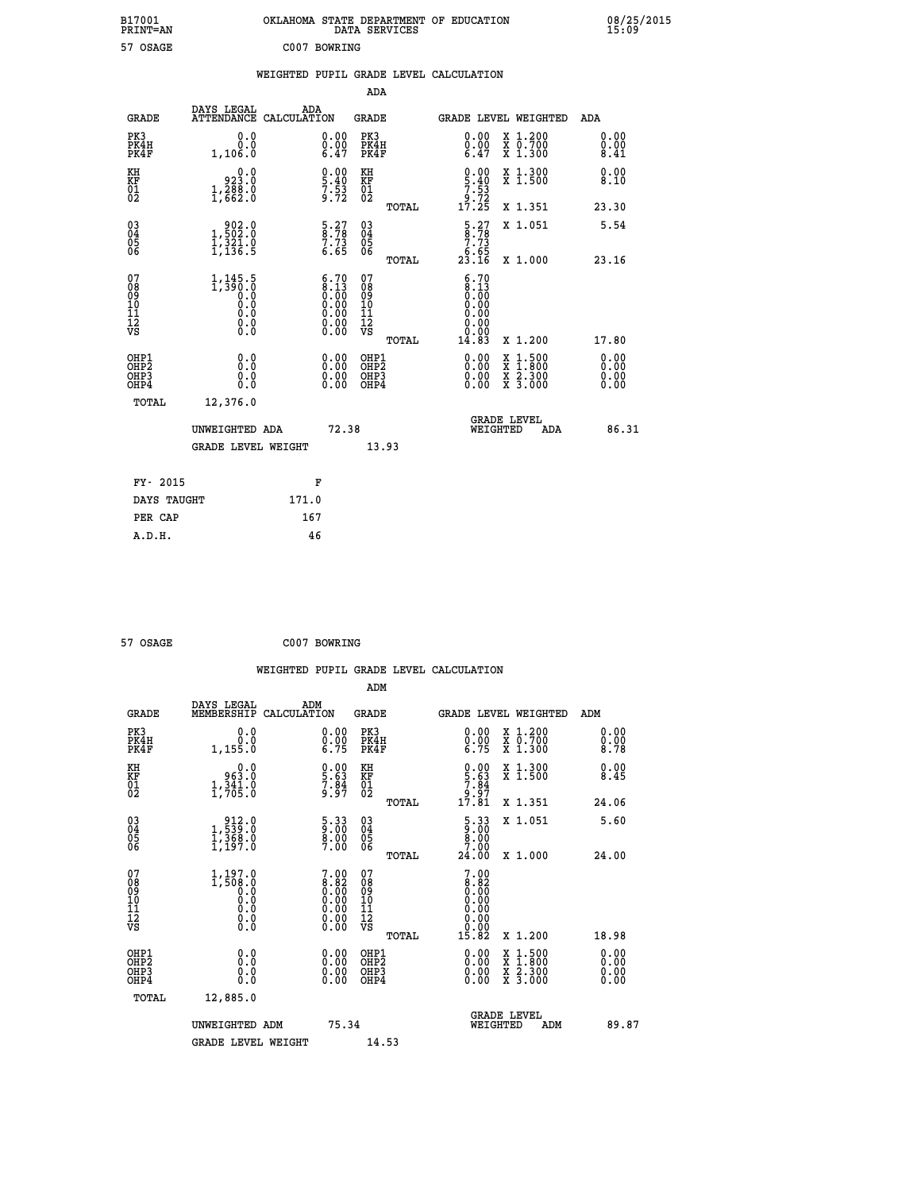| B17001<br><b>PRINT=AN</b> | OKLAHOMA STATE DEPARTMENT OF EDUCATION<br>SERVICES<br>DATA | 08/25/2015<br>15:09 |
|---------------------------|------------------------------------------------------------|---------------------|
| 57<br>OSAGE               | C007<br>BOWRING                                            |                     |

|  |  | WEIGHTED PUPIL GRADE LEVEL CALCULATION |
|--|--|----------------------------------------|
|  |  |                                        |

|                                                                    |                                                                                                                        |                                                                                               | ADA                                                |       |                                                                             |                                                                                                                                              |                               |
|--------------------------------------------------------------------|------------------------------------------------------------------------------------------------------------------------|-----------------------------------------------------------------------------------------------|----------------------------------------------------|-------|-----------------------------------------------------------------------------|----------------------------------------------------------------------------------------------------------------------------------------------|-------------------------------|
| <b>GRADE</b>                                                       | DAYS LEGAL<br>ATTENDANCE CALCULATION                                                                                   | ADA                                                                                           | <b>GRADE</b>                                       |       |                                                                             | GRADE LEVEL WEIGHTED                                                                                                                         | ADA                           |
| PK3<br>PK4H<br>PK4F                                                | 0.0<br>0.0<br>1,106.0                                                                                                  | $\begin{smallmatrix} 0.00 \ 0.00 \ 6.47 \end{smallmatrix}$                                    | PK3<br>PK4H<br>PK4F                                |       |                                                                             | X 1.200<br>X 0.700<br>X 1.300                                                                                                                | 0.00<br>$\frac{0.00}{8.41}$   |
| KH<br>KF<br>01<br>02                                               | 0.0<br>923.0<br>$1, \overline{288} \cdot 0$                                                                            | $\begin{smallmatrix} 0.00\\ 5.40\\ 7.53\\ 9.72 \end{smallmatrix}$                             | KH<br>KF<br>01<br>02                               |       | $\begin{array}{c} 0.00 \\ 5.40 \\ 7.53 \\ 9.72 \\ 17.25 \end{array}$        | X 1.300<br>X 1.500                                                                                                                           | 0.00<br>8.10                  |
|                                                                    |                                                                                                                        |                                                                                               |                                                    | TOTAL |                                                                             | X 1.351                                                                                                                                      | 23.30                         |
| $\begin{smallmatrix} 03 \\[-4pt] 04 \end{smallmatrix}$<br>Ŏ5<br>06 | $\begin{smallmatrix} & 9 & 0 & 2 & 0 \\ 1 & 5 & 0 & 2 & 0 \\ 1 & 3 & 2 & 1 & 0 \\ 1 & 1 & 3 & 6 & 5 \end{smallmatrix}$ | $\begin{array}{c} 5.27 \\ 8.78 \\ 7.73 \\ 6.65 \end{array}$                                   | $\begin{matrix} 03 \\ 04 \\ 05 \\ 06 \end{matrix}$ |       | $\begin{array}{c} 5.27 \\ 8.78 \\ 7.73 \\ 6.65 \\ 23.16 \end{array}$        | X 1.051                                                                                                                                      | 5.54                          |
|                                                                    |                                                                                                                        |                                                                                               |                                                    | TOTAL |                                                                             | X 1.000                                                                                                                                      | 23.16                         |
| 07<br>08<br>09<br>101<br>11<br>12<br>VS                            | $1, 145.5$<br>$1, 390.0$<br>$0.0$<br>$0.0$<br>$0.0$<br>$0.0$<br>$0.0$                                                  | $\begin{smallmatrix} 6.70\ 8.13\ 0.00\ 0.00\ 0.00\ 0.00\ 0.00\ 0.00\ 0.00\ \end{smallmatrix}$ | 07<br>08<br>09<br>11<br>11<br>12<br>VS             |       | 6.70<br>$\begin{array}{c} 8.13 \\ 0.00 \\ 0.00 \end{array}$<br>0.00<br>0.00 |                                                                                                                                              |                               |
|                                                                    |                                                                                                                        |                                                                                               |                                                    | TOTAL | 14.83                                                                       | X 1.200                                                                                                                                      | 17.80                         |
| OHP1<br>OHP <sub>2</sub><br>OH <sub>P3</sub><br>OHP4               | 0.0<br>0.0<br>0.0                                                                                                      | 0.00<br>$\begin{smallmatrix} 0.00 \ 0.00 \end{smallmatrix}$                                   | OHP1<br>OHP2<br>OHP <sub>3</sub>                   |       |                                                                             | $\begin{smallmatrix} \mathtt{X} & 1\cdot500 \\ \mathtt{X} & 1\cdot800 \\ \mathtt{X} & 2\cdot300 \\ \mathtt{X} & 3\cdot000 \end{smallmatrix}$ | 0.00<br>Ō. ŌŌ<br>0.00<br>0.00 |
| TOTAL                                                              | 12,376.0                                                                                                               |                                                                                               |                                                    |       |                                                                             |                                                                                                                                              |                               |
|                                                                    | UNWEIGHTED ADA                                                                                                         | 72.38                                                                                         |                                                    |       |                                                                             | <b>GRADE LEVEL</b><br>WEIGHTED<br>ADA                                                                                                        | 86.31                         |
|                                                                    | <b>GRADE LEVEL WEIGHT</b>                                                                                              |                                                                                               |                                                    | 13.93 |                                                                             |                                                                                                                                              |                               |
| FY- 2015                                                           |                                                                                                                        | F                                                                                             |                                                    |       |                                                                             |                                                                                                                                              |                               |
| DAYS TAUGHT                                                        |                                                                                                                        | 171.0                                                                                         |                                                    |       |                                                                             |                                                                                                                                              |                               |
| PER CAP                                                            |                                                                                                                        | 167                                                                                           |                                                    |       |                                                                             |                                                                                                                                              |                               |

| 57 OSAGE | C007 BOWRING |
|----------|--------------|
|          |              |

57 OSAGE

 **WEIGHTED PUPIL GRADE LEVEL CALCULATION ADM DAYS LEGAL ADM GRADE MEMBERSHIP CALCULATION GRADE GRADE LEVEL WEIGHTED ADM PK3 0.0 0.00 PK3 0.00 X 1.200 0.00 PK4H 0.0 0.00 PK4H 0.00 X 0.700 0.00 PK4F 1,155.0 6.75 PK4F 6.75 X 1.300 8.78** 0.00 KH 0.00 KH 0.00 X 1.300<br>RF 963.0 5.63 KF 5.63 X 1.500 8.45  $\begin{array}{cccc} 01 & 1,341.0 & 7.84 & 01 & 3.87 \\ 02 & 1,705.0 & 9.97 & 02 & 0 \end{array}$  **TOTAL 17.81 X 1.351 24.06 03 912.0 5.33 03 5.33 X 1.051 5.60 04 1,539.0 9.00 04 9.00 05 1,368.0 8.00 05 8.00 06 1,197.0 7.00 06 7.00 TOTAL 24.00 X 1.000 24.00 07** 1,197.0 7.00 07 7.00<br>
08 1,508.0 8.82 08 8.82<br>
10 0.0 0.00 10 0.00<br>
11 0.0 0.00 11 0.00<br>
12 0.0 0.00 12 0.00<br>
VS 0.0 0.00 VS 0.00  **TOTAL 15.82 X 1.200 18.98 OHP1 0.0 0.00 OHP1 0.00 X 1.500 0.00 OHP2 0.0 0.00 OHP2 0.00 X 1.800 0.00 OHP3 0.0 0.00 OHP3 0.00 X 2.300 0.00 OHP4 0.0 0.00 OHP4 0.00 X 3.000 0.00 TOTAL 12,885.0 GRADE LEVEL UNWEIGHTED ADM 75.34 WEIGHTED ADM 89.87** GRADE LEVEL WEIGHT 14.53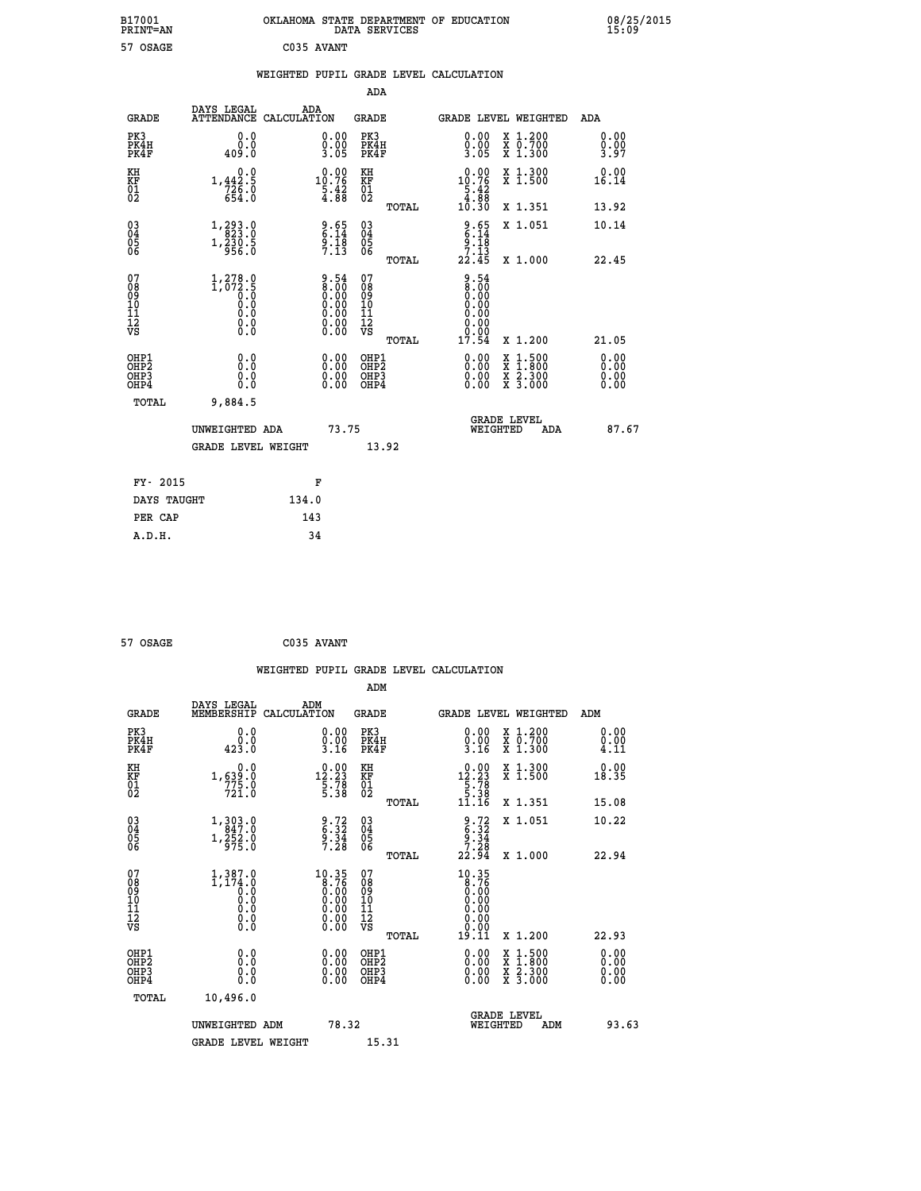|            | OKLAHOMA STATE DEPARTMENT OF EDUCATION<br>DATA SERVICES |  |
|------------|---------------------------------------------------------|--|
| C035 AVANT |                                                         |  |

|  |  | WEIGHTED PUPIL GRADE LEVEL CALCULATION |
|--|--|----------------------------------------|
|  |  |                                        |

| DAYS LEGAL<br>ADA<br>ATTENDANCE CALCULATION<br><b>GRADE</b><br><b>GRADE</b>                                                                                                                                                                                                                          | GRADE LEVEL WEIGHTED<br><b>ADA</b>                                                                                                 |
|------------------------------------------------------------------------------------------------------------------------------------------------------------------------------------------------------------------------------------------------------------------------------------------------------|------------------------------------------------------------------------------------------------------------------------------------|
| PK3<br>PK3<br>0.0<br>$\begin{smallmatrix} 0.00\\ 0.00\\ 3.05 \end{smallmatrix}$<br>PK4H<br>PK4H<br>$0.0$<br>0.04<br>PK4F<br>PK4F                                                                                                                                                                     | 0.00<br>X 1.200<br>X 0.700<br>X 1.300<br>0.00<br>$\frac{0.00}{3.05}$<br>0.00<br>3.97                                               |
| $0.00$<br>10.76<br>KH<br>0.0<br>KH<br>KF<br>01<br>02<br>1,442.5<br>KF<br>01<br>02<br>$7\bar{2}\bar{6}\cdot\bar{0}$<br>654.0<br>$\frac{5.42}{4.88}$                                                                                                                                                   | $10.76$<br>$5.42$<br>$4.88$<br>X 1.300<br>X 1.500<br>0.00<br>16.14                                                                 |
|                                                                                                                                                                                                                                                                                                      | 10.30<br>X 1.351<br>13.92<br>TOTAL                                                                                                 |
| $\begin{smallmatrix} 03 \\[-4pt] 04 \end{smallmatrix}$<br>1, 293.0<br>$\begin{array}{c} 9.65 \\ 6.14 \\ 9.18 \\ 7.13 \end{array}$<br>$\substack{03 \\ 04}$<br>Ŏ5<br>06<br>05<br>06<br>$1,\frac{2}{9}$ $\frac{3}{9}$ $\frac{6}{9}$ $\frac{5}{6}$                                                      | $\begin{array}{c} 9.65 \\ 6.14 \\ 9.18 \\ 7.13 \end{array}$<br>X 1.051<br>10.14                                                    |
|                                                                                                                                                                                                                                                                                                      | 22.45<br>X 1.000<br>22.45<br>TOTAL                                                                                                 |
| 07<br>$\begin{smallmatrix} 9.54\ 8.00\ 0.00\ 0.00\ 0.00\ 0.00\ 0.00\ 0.00\ 0.00\ \end{smallmatrix}$<br>07<br>$1, 278.0$<br>1,072.5<br>0.0<br>0.0<br>08<br>09<br>11<br>11<br>12<br>VS<br>08<br>09<br>11<br>11<br>12<br>VS<br>$\begin{smallmatrix} \textrm{0.0}\ 0.0 \ \textrm{0.0} \end{smallmatrix}$ | $\begin{smallmatrix} 9.54\ 8.00\ 9.00 \end{smallmatrix}$<br>0.00<br>0.00<br>$0.00$<br>17.54                                        |
|                                                                                                                                                                                                                                                                                                      | TOTAL<br>X 1.200<br>21.05                                                                                                          |
| OHP1<br>0.00<br>OHP1<br>0.0<br>Ō.Ō<br>OH <sub>P</sub> 2<br>OH <sub>P</sub> 2<br>$\begin{smallmatrix} 0.00 \ 0.00 \end{smallmatrix}$<br>0.0<br>OHP3<br>OHP3<br>$0.\overline{0}$<br>OHP4<br>OHP4                                                                                                       | 0.00<br>$1:500$<br>$1:800$<br>0.00<br>X<br>X<br>0.00<br>0.00<br>$\frac{\ddot{x}}{x}$ $\frac{2.300}{3.000}$<br>0.00<br>0.00<br>0.00 |
| TOTAL<br>9,884.5                                                                                                                                                                                                                                                                                     |                                                                                                                                    |
| 73.75<br>UNWEIGHTED ADA                                                                                                                                                                                                                                                                              | <b>GRADE LEVEL</b><br>WEIGHTED<br>87.67<br>ADA                                                                                     |
| <b>GRADE LEVEL WEIGHT</b><br>13.92                                                                                                                                                                                                                                                                   |                                                                                                                                    |
| FY- 2015<br>F                                                                                                                                                                                                                                                                                        |                                                                                                                                    |
| DAYS TAUGHT<br>134.0                                                                                                                                                                                                                                                                                 |                                                                                                                                    |
| 143<br>PER CAP                                                                                                                                                                                                                                                                                       |                                                                                                                                    |

| C035 AVANT |  | 57 OSAGE |  |  |
|------------|--|----------|--|--|
|------------|--|----------|--|--|

 **B17001<br>PRINT=AN<br>57 OSAGE** 

|                                                    |                                      |                                                                    |                    |                                                                                                        |                                        |       | WEIGHTED PUPIL GRADE LEVEL CALCULATION                                                                    |                                                                                                  |       |                      |
|----------------------------------------------------|--------------------------------------|--------------------------------------------------------------------|--------------------|--------------------------------------------------------------------------------------------------------|----------------------------------------|-------|-----------------------------------------------------------------------------------------------------------|--------------------------------------------------------------------------------------------------|-------|----------------------|
|                                                    |                                      |                                                                    |                    |                                                                                                        | ADM                                    |       |                                                                                                           |                                                                                                  |       |                      |
|                                                    | <b>GRADE</b>                         | DAYS LEGAL<br>MEMBERSHIP                                           | ADM<br>CALCULATION |                                                                                                        | <b>GRADE</b>                           |       |                                                                                                           | GRADE LEVEL WEIGHTED                                                                             | ADM   |                      |
| PK3                                                | PK4H<br>PK4F                         | 0.0<br>0.0<br>423.0                                                |                    | $\begin{smallmatrix} 0.00\\ 0.00\\ 3.16 \end{smallmatrix}$                                             | PK3<br>PK4H<br>PK4F                    |       | $0.00$<br>$0.00$<br>$3.16$                                                                                | X 1.200<br>X 0.700<br>X 1.300                                                                    |       | 0.00<br>0.00<br>4.11 |
| KH<br>KF<br>01<br>02                               |                                      | 0.0<br>1,639:0<br>775:0<br>721:0                                   |                    | $\begin{smallmatrix} 0.00\\ 12.23\\ 5.78\\ 5.38 \end{smallmatrix}$                                     | KH<br>KF<br>01<br>02                   |       | $\begin{smallmatrix} 0.00\\[-1.2mm] 12.23\\[-1.2mm] 5.78\\[-1.2mm] 5.38\\[-1.2mm] 11.16\end{smallmatrix}$ | X 1.300<br>X 1.500                                                                               |       | 0.00<br>18.35        |
|                                                    |                                      |                                                                    |                    |                                                                                                        |                                        | TOTAL |                                                                                                           | X 1.351                                                                                          | 15.08 |                      |
| $\begin{matrix} 03 \\ 04 \\ 05 \\ 06 \end{matrix}$ |                                      | $1,303.0$<br>$847.0$<br>$1,\frac{5}{9}\frac{5}{2}\cdot\frac{0}{0}$ |                    | $\begin{array}{c} 9.72 \\ 6.32 \\ 9.34 \\ 7.28 \end{array}$                                            | 03<br>04<br>05<br>06                   |       | $\begin{array}{c} 9.72 \\ 6.32 \\ 9.34 \\ 7.28 \end{array}$                                               | X 1.051                                                                                          |       | 10.22                |
|                                                    |                                      |                                                                    |                    |                                                                                                        |                                        | TOTAL | 22.94                                                                                                     | X 1.000                                                                                          | 22.94 |                      |
| 07<br>08<br>09<br>101<br>11<br>12<br>VS            |                                      | $1,387.0$<br>$1,174.0$<br>$0.0$<br>$0.0$<br>Ŏ.Ŏ<br>$\S.$ $\S$      |                    | $\begin{smallmatrix} 10.35\\ 8.76\\ 0.00\\ 0.00\\ 0.00\\ 0.00\\ 0.00\\ 0.00 \end{smallmatrix}$<br>0.00 | 07<br>08<br>09<br>11<br>11<br>12<br>VS | TOTAL | $10.35$<br>$8.76$<br>$0.00$<br>$0.00$<br>$0.00$<br>0.00<br>19.11                                          | X 1.200                                                                                          | 22.93 |                      |
| OHP1                                               |                                      |                                                                    |                    |                                                                                                        |                                        |       |                                                                                                           |                                                                                                  |       |                      |
| OHP3                                               | OHP <sub>2</sub><br>OH <sub>P4</sub> | 0.0<br>0.000                                                       |                    | $0.00$<br>$0.00$<br>0.00                                                                               | OHP1<br>OHP2<br>OHP <sub>3</sub>       |       | 0.00<br>0.00<br>0.00                                                                                      | $\begin{smallmatrix} x & 1 & 500 \\ x & 1 & 800 \\ x & 2 & 300 \\ x & 3 & 000 \end{smallmatrix}$ |       | 0.00<br>0.00<br>0.00 |
|                                                    | TOTAL                                | 10,496.0                                                           |                    |                                                                                                        |                                        |       |                                                                                                           |                                                                                                  |       |                      |
|                                                    |                                      | UNWEIGHTED ADM                                                     |                    | 78.32                                                                                                  |                                        |       | WEIGHTED                                                                                                  | <b>GRADE LEVEL</b><br>ADM                                                                        |       | 93.63                |
|                                                    |                                      | <b>GRADE LEVEL WEIGHT</b>                                          |                    |                                                                                                        | 15.31                                  |       |                                                                                                           |                                                                                                  |       |                      |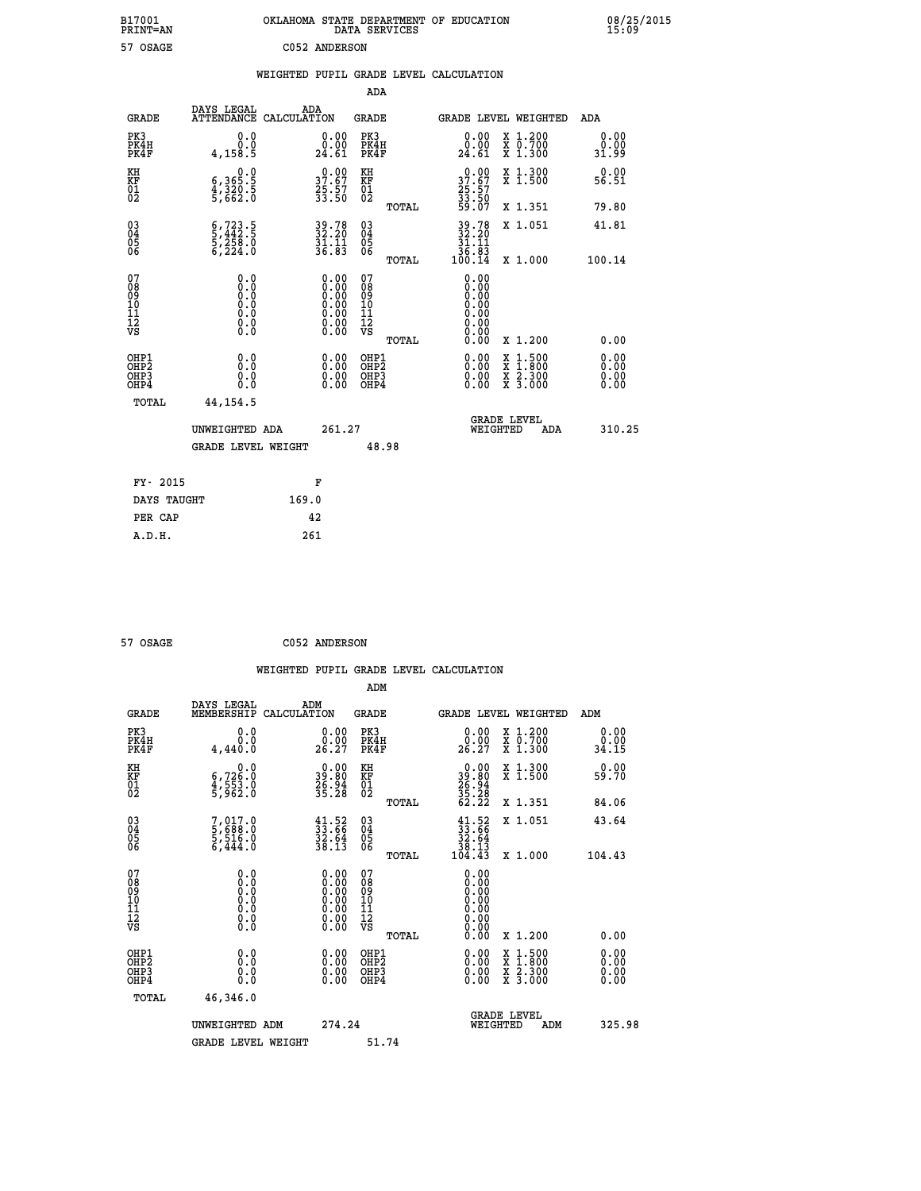| B17001<br>PRINT=AN                       |                                                                              | OKLAHOMA STATE DEPARTMENT OF EDUCATION                                                        | DATA SERVICES                                                              |                                                             |                                                                                          | 08/25/2015<br>15:09          |  |
|------------------------------------------|------------------------------------------------------------------------------|-----------------------------------------------------------------------------------------------|----------------------------------------------------------------------------|-------------------------------------------------------------|------------------------------------------------------------------------------------------|------------------------------|--|
| 57 OSAGE                                 |                                                                              | C052 ANDERSON                                                                                 |                                                                            |                                                             |                                                                                          |                              |  |
|                                          |                                                                              | WEIGHTED PUPIL GRADE LEVEL CALCULATION                                                        |                                                                            |                                                             |                                                                                          |                              |  |
|                                          |                                                                              |                                                                                               | ADA                                                                        |                                                             |                                                                                          |                              |  |
| <b>GRADE</b>                             | DAYS LEGAL                                                                   | ADA<br>ATTENDANCE CALCULATION                                                                 | GRADE                                                                      |                                                             | GRADE LEVEL WEIGHTED                                                                     | ADA                          |  |
| PK3<br>PK4H<br>PK4F                      | 0.0<br>0.0<br>4,158.5                                                        | 0.00<br>0.00<br>24.61                                                                         | PK3<br>PK4H<br>PK4F                                                        | 0.00<br>$\frac{0.00}{24.61}$                                | X 1.200<br>X 0.700<br>X 1.300                                                            | 0.00<br>0.00<br>31.99        |  |
| KH<br>KF<br>$\frac{01}{02}$              | 0.0<br>$\frac{6}{4}, \frac{365}{320}$ . 5<br>5,662.0                         | $37.67$<br>$25.57$<br>$33.50$                                                                 | КH<br><b>KF</b><br>01<br>02                                                | $30.00$<br>$37.67$<br>25:57<br>33:50<br>59:07               | X 1.300<br>X 1.500                                                                       | 0.00<br>56.51                |  |
|                                          |                                                                              |                                                                                               | TOTAL                                                                      |                                                             | X 1.351                                                                                  | 79.80                        |  |
| 030404<br>ŎĞ                             | $\frac{6}{5}, \frac{723}{442}$ : 5<br>5, 258: 0<br>6, 224: 0                 | 39.78<br>32.20<br>31.11<br>36.83                                                              | $\begin{matrix} 03 \\ 04 \\ 05 \\ 06 \end{matrix}$                         | 39.78<br>32.20<br>31.11<br>$\frac{36}{100}$ $\frac{63}{14}$ | X 1.051                                                                                  | 41.81                        |  |
| 07<br>08<br>09<br>10<br>11<br>12<br>VS   | 0.0<br>0.0<br>Ŏ.Ŏ<br>$\begin{smallmatrix} 0.10\ 0.0 \ 0.0 \end{smallmatrix}$ | $\begin{smallmatrix} 0.00\ 0.00\ 0.00\ 0.00\ 0.00\ 0.00\ 0.00\ 0.00\ 0.00\ \end{smallmatrix}$ | <b>TOTAL</b><br>07<br>08<br>09<br>10<br>$\frac{11}{12}$<br>$\frac{12}{18}$ | 0.00<br>Ŏ.ŎŎ<br>O.OO<br>0.00<br>0.00<br>0.00<br>0.00        | X 1.000                                                                                  | 100.14                       |  |
|                                          |                                                                              |                                                                                               | TOTAL                                                                      | 0.00                                                        | X 1.200                                                                                  | 0.00                         |  |
| OHP1<br>OHP <sub>2</sub><br>OHP3<br>OHP4 | 0.0<br>0.0<br>0.0                                                            | 0.00<br>$\begin{smallmatrix} 0.00 \ 0.00 \end{smallmatrix}$                                   | OHP1<br>OH <sub>P</sub> 2<br>OHP3<br>OHP4                                  | 0.00<br>0.00<br>0.00                                        | $\begin{smallmatrix} x & 1.500 \\ x & 1.800 \\ x & 2.300 \\ x & 3.000 \end{smallmatrix}$ | 0.00<br>0.00<br>0.00<br>0.00 |  |
| TOTAL                                    | 44, 154.5                                                                    |                                                                                               |                                                                            |                                                             |                                                                                          |                              |  |
|                                          | UNWEIGHTED ADA                                                               | 261.27                                                                                        |                                                                            |                                                             | <b>GRADE LEVEL</b><br>WEIGHTED<br>ADA                                                    | 310.25                       |  |
|                                          | <b>GRADE LEVEL WEIGHT</b>                                                    |                                                                                               | 48.98                                                                      |                                                             |                                                                                          |                              |  |
| FY- 2015                                 |                                                                              | F                                                                                             |                                                                            |                                                             |                                                                                          |                              |  |
| DAYS TAUGHT                              |                                                                              | 169.0                                                                                         |                                                                            |                                                             |                                                                                          |                              |  |
| PER CAP                                  |                                                                              | 42                                                                                            |                                                                            |                                                             |                                                                                          |                              |  |

| 57 OSAGE | C052 ANDERSON |
|----------|---------------|
|----------|---------------|

 **WEIGHTED PUPIL GRADE LEVEL CALCULATION ADM DAYS LEGAL ADM GRADE MEMBERSHIP CALCULATION GRADE GRADE LEVEL WEIGHTED ADM PK3 0.0 0.00 PK3 0.00 X 1.200 0.00 PK4H 0.0 0.00 PK4H 0.00 X 0.700 0.00 PK4F 4,440.0 26.27 PK4F 26.27 X 1.300 34.15 KH 0.0 0.00 KH 0.00 X 1.300 0.00 KF 6,726.0 39.80 KF 39.80 X 1.500 59.70 01 4,553.0 26.94 01 26.94 02 5,962.0 35.28 02 35.28 TOTAL 62.22 X 1.351 84.06 03 7,017.0 41.52 03 41.52 X 1.051 43.64 04 5,688.0 33.66 04 33.66 05 5,516.0 32.64 05 32.64 06 6,444.0 38.13 06 38.13 TOTAL 104.43 X 1.000 104.43 07 0.0 0.00 07 0.00 08 0.0 0.00 08 0.00 03 0.00 0.00 0.000 0.000 10 0.0 0.00 10 0.00 11 0.0 0.00 11 0.00 12 0.0 0.00 12 0.00 VS** 0.0 0.00 VS 0.00 0.00  **TOTAL 0.00 X 1.200 0.00 OHE1 0.00 0.00 0.000 OHE1 0.00 X 1.500 0.00 OHES 0.0 0.0 0.00 OHES 0.00 X 1.800 0.00 OHP3 0.0 0.00 OHP3 0.00 X 2.300 0.00 OHP4 0.0 0.00 OHP4 0.00 X 3.000 0.00 TOTAL 46,346.0 GRADE LEVEL UNWEIGHTED ADM 274.24 WEIGHTED ADM 325.98** GRADE LEVEL WEIGHT 51.74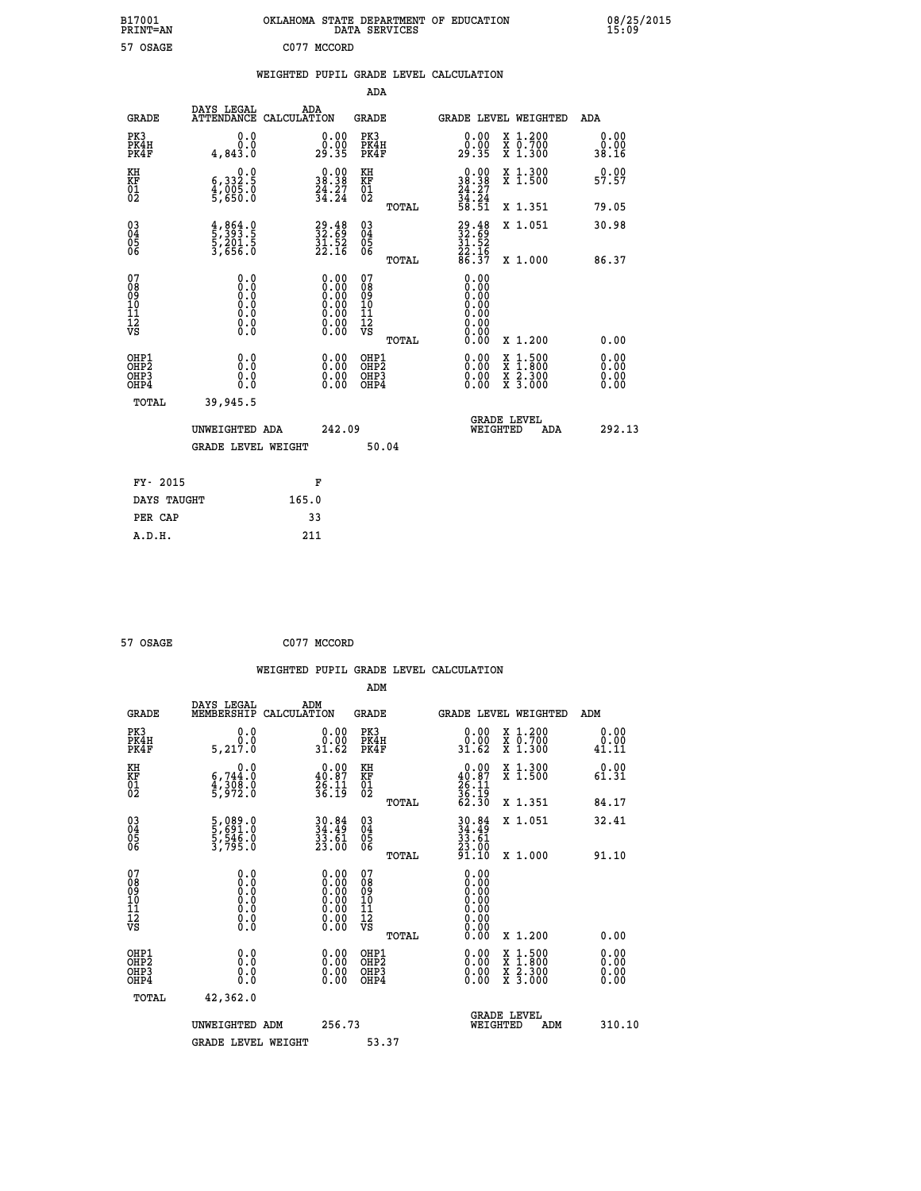| B17001<br>PRINT=AN | OKLAHOMA STATE DEPARTMENT OF EDUCATION<br>SERVICES<br>DATA | 08/25/2015<br>15:09 |
|--------------------|------------------------------------------------------------|---------------------|
| 57 OSAGE           | C077<br>MCCORD                                             |                     |

|  |  | WEIGHTED PUPIL GRADE LEVEL CALCULATION |
|--|--|----------------------------------------|
|  |  |                                        |

|                                                                              |                                                                                     |                                                                                               | ADA                                                |                                                                              |                                                                                                                                              |                              |
|------------------------------------------------------------------------------|-------------------------------------------------------------------------------------|-----------------------------------------------------------------------------------------------|----------------------------------------------------|------------------------------------------------------------------------------|----------------------------------------------------------------------------------------------------------------------------------------------|------------------------------|
| <b>GRADE</b>                                                                 | DAYS LEGAL                                                                          | ADA<br>ATTENDANCE CALCULATION                                                                 | GRADE                                              |                                                                              | <b>GRADE LEVEL WEIGHTED</b>                                                                                                                  | ADA                          |
| PK3<br>PK4H<br>PK4F                                                          | 0.0<br>0.0<br>4,843.0                                                               | $\begin{smallmatrix} 0.00\\ 0.00\\ 29.35 \end{smallmatrix}$                                   | PK3<br>PK4H<br>PK4F                                | 0.00<br>0.00<br>29.35                                                        | X 1.200<br>X 0.700<br>X 1.300                                                                                                                | 0.00<br>0.00<br>38.16        |
| KH<br>KF<br>01<br>02                                                         | 0.0<br>6,332:5<br>4,005:0<br>5,650:0                                                | $\begin{smallmatrix} 0.00\\ 38.38\\ 24.27\\ 34.24 \end{smallmatrix}$                          | KH<br>KF<br>01<br>02                               | $\begin{smallmatrix} 0.00\\ 38.38\\ 24.27\\ 34.24\\ 58.51 \end{smallmatrix}$ | X 1.300<br>X 1.500                                                                                                                           | 0.00<br>57.57                |
|                                                                              |                                                                                     |                                                                                               | TOTAL                                              |                                                                              | X 1.351                                                                                                                                      | 79.05                        |
| $\begin{matrix} 03 \\ 04 \\ 05 \\ 06 \end{matrix}$                           | $\frac{4}{5}$ , $\frac{864}{393}$ . 5<br>5, 201. 5<br>3, 656. 0                     | $\begin{smallmatrix} 29.48\ 32.69\ 31.52\ 22.16 \end{smallmatrix}$                            | $\begin{matrix} 03 \\ 04 \\ 05 \\ 06 \end{matrix}$ | 29.48<br>32.69<br>31.52<br>22.16<br>86.37                                    | X 1.051                                                                                                                                      | 30.98<br>86.37               |
|                                                                              |                                                                                     |                                                                                               | TOTAL                                              |                                                                              | X 1.000                                                                                                                                      |                              |
| 07<br>08<br>09<br>11<br>11<br>12<br>VS                                       | 0.0<br>$\begin{smallmatrix} 0.0 & 0 \ 0.0 & 0 \ 0.0 & 0 \end{smallmatrix}$<br>$\S.$ | $\begin{smallmatrix} 0.00\ 0.00\ 0.00\ 0.00\ 0.00\ 0.00\ 0.00\ 0.00\ 0.00\ \end{smallmatrix}$ | 07<br>08<br>09<br>11<br>11<br>12<br>VS<br>TOTAL    | 0.00<br>0.QQ<br>0.00<br>0.00<br>0.00<br>0.00<br>0.00                         | X 1.200                                                                                                                                      | 0.00                         |
| OHP1<br>OH <sub>P</sub> <sub>2</sub><br>OH <sub>P3</sub><br>OH <sub>P4</sub> | 0.0<br>0.0<br>0.0                                                                   | 0.00<br>$0.00$<br>0.00                                                                        | OHP1<br>OHP2<br>OHP3<br>OHP4                       | 0.00<br>0.00<br>0.00                                                         | $\begin{smallmatrix} \mathtt{X} & 1\cdot500 \\ \mathtt{X} & 1\cdot800 \\ \mathtt{X} & 2\cdot300 \\ \mathtt{X} & 3\cdot000 \end{smallmatrix}$ | 0.00<br>Ŏ.ÕÕ<br>0.00<br>0.00 |
| TOTAL                                                                        | 39,945.5                                                                            |                                                                                               |                                                    |                                                                              |                                                                                                                                              |                              |
|                                                                              | UNWEIGHTED ADA                                                                      | 242.09                                                                                        |                                                    | WEIGHTED                                                                     | <b>GRADE LEVEL</b><br>ADA                                                                                                                    | 292.13                       |
|                                                                              | <b>GRADE LEVEL WEIGHT</b>                                                           |                                                                                               | 50.04                                              |                                                                              |                                                                                                                                              |                              |
| FY- 2015                                                                     |                                                                                     | F                                                                                             |                                                    |                                                                              |                                                                                                                                              |                              |
| DAYS TAUGHT                                                                  |                                                                                     | 165.0                                                                                         |                                                    |                                                                              |                                                                                                                                              |                              |
| PER CAP                                                                      |                                                                                     | 33                                                                                            |                                                    |                                                                              |                                                                                                                                              |                              |
| A.D.H.                                                                       |                                                                                     | 211                                                                                           |                                                    |                                                                              |                                                                                                                                              |                              |

 **57 OSAGE C077 MCCORD**

 **A.D.H. 211**

|                                                      |                                                                                      |                                                                                                                                                | WEIGHTED PUPIL GRADE LEVEL CALCULATION |                                                                                              |                       |
|------------------------------------------------------|--------------------------------------------------------------------------------------|------------------------------------------------------------------------------------------------------------------------------------------------|----------------------------------------|----------------------------------------------------------------------------------------------|-----------------------|
|                                                      |                                                                                      |                                                                                                                                                | ADM                                    |                                                                                              |                       |
| <b>GRADE</b>                                         | DAYS LEGAL<br>MEMBERSHIP<br>CALCULATION                                              | ADM                                                                                                                                            | <b>GRADE</b>                           | <b>GRADE LEVEL WEIGHTED</b>                                                                  | ADM                   |
| PK3<br>PK4H<br>PK4F                                  | 0.0<br>5, 217.0                                                                      | $\begin{smallmatrix} 0.00\\ 0.00\\ 31.62 \end{smallmatrix}$                                                                                    | PK3<br>PK4H<br>PK4F                    | $\begin{smallmatrix} 0.00\\ 0.00\\ 31.62 \end{smallmatrix}$<br>X 1.200<br>X 0.700<br>X 1.300 | 0.00<br>0.00<br>41.11 |
| KH<br>KF<br>01<br>02                                 | 0.0<br>6,744:0<br>4,308:0<br>5,972:0                                                 | $\begin{smallmatrix} 0.00\\ 40.87\\ 26.11\\ 36.19 \end{smallmatrix}$                                                                           | KH<br>KF<br>01<br>02                   | $0.00\n40.87\n26.11\n36.19\n62.30$<br>X 1.300<br>X 1.500                                     | 0.00<br>61.31         |
|                                                      |                                                                                      |                                                                                                                                                | TOTAL                                  | X 1.351                                                                                      | 84.17                 |
| $\begin{matrix} 03 \\ 04 \\ 05 \\ 06 \end{matrix}$   | 5,089.0<br>5,691.0<br>5,546.0<br>3,795.0                                             | 30.84<br>34.49<br>33.61<br>23.00                                                                                                               | 03<br>04<br>05<br>06                   | $30.84$<br>$34.49$<br>$33.61$<br>$23.00$<br>$91.10$<br>X 1.051                               | 32.41                 |
| 07<br>0890112<br>1112<br>VS                          | 0.0<br>$\begin{smallmatrix} 0.0 & 0 \ 0.0 & 0 \ 0.0 & 0 \ 0.0 & 0 \end{smallmatrix}$ | $\begin{smallmatrix} 0.00 \ 0.00 \ 0.00 \ 0.00 \ 0.00 \end{smallmatrix}$<br>$\begin{smallmatrix} 0.00 & 0.00 \\ 0.00 & 0.00 \end{smallmatrix}$ | TOTAL<br>07<br>08901112<br>1112<br>VS  | X 1.000<br>0.00<br>0.00<br>0.00<br>0.00                                                      | 91.10                 |
|                                                      |                                                                                      |                                                                                                                                                | TOTAL                                  | 0.00<br>X 1.200                                                                              | 0.00                  |
| OHP1<br>OHP <sub>2</sub><br>OH <sub>P3</sub><br>OHP4 | 0.0<br>0.000                                                                         | $0.00$<br>$0.00$<br>0.00                                                                                                                       | OHP1<br>OHP2<br>OHP <sub>3</sub>       | 0.00<br>X 1:500<br>X 1:800<br>X 2:300<br>X 3:000<br>0.00<br>0.00                             | 0.00<br>0.00<br>0.00  |
| TOTAL                                                | 42,362.0                                                                             |                                                                                                                                                |                                        |                                                                                              |                       |
|                                                      | UNWEIGHTED ADM                                                                       | 256.73                                                                                                                                         | 53.37                                  | <b>GRADE LEVEL</b><br>WEIGHTED<br>ADM                                                        | 310.10                |
|                                                      | <b>GRADE LEVEL WEIGHT</b>                                                            |                                                                                                                                                |                                        |                                                                                              |                       |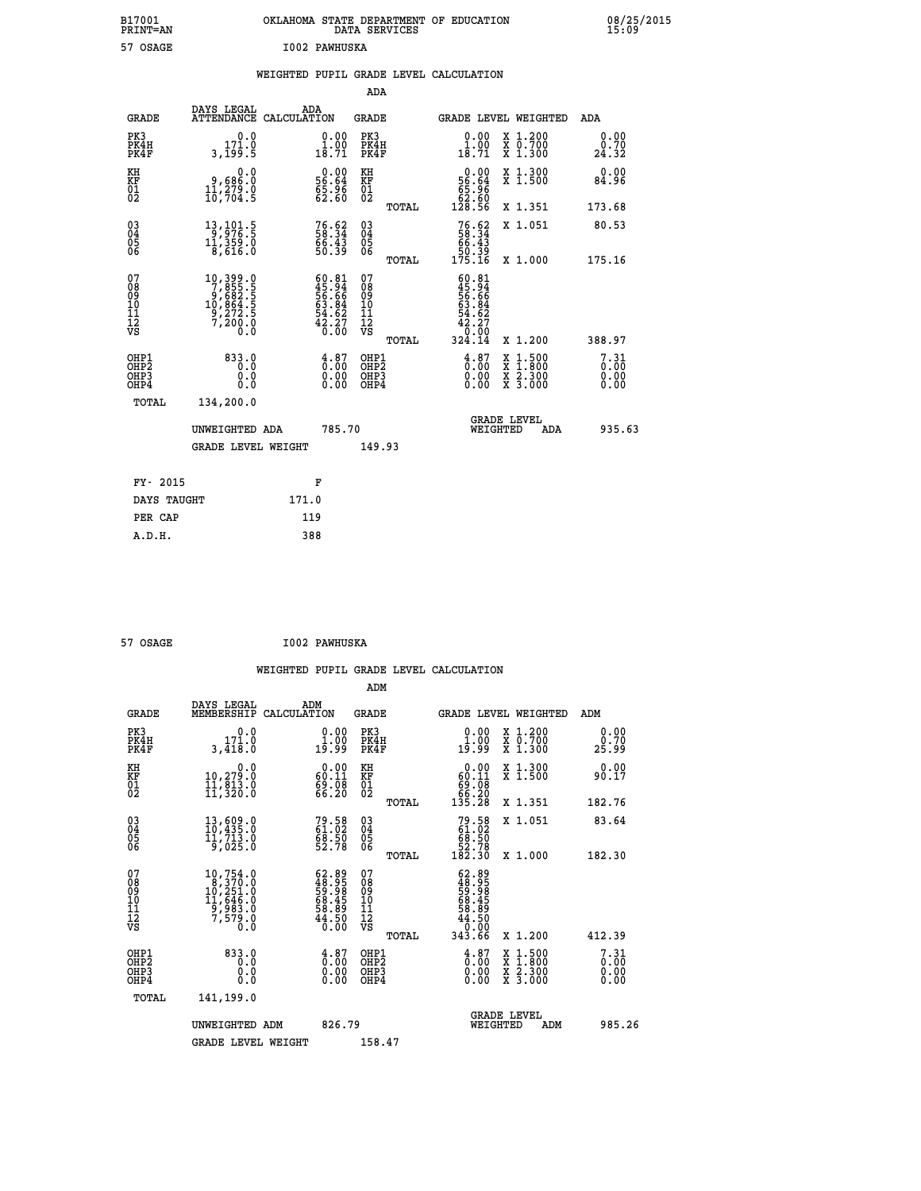| OKLAHOMA STATE DEPARTMENT OF EDUCATION<br>DATA SERVICES |  |
|---------------------------------------------------------|--|
| I002 PAWHUSKA                                           |  |

|  |  | WEIGHTED PUPIL GRADE LEVEL CALCULATION |
|--|--|----------------------------------------|
|  |  |                                        |

|                                                                    |                                                                                                                                       |                                                                           | ADA                                       |                                                                                                                   |                              |
|--------------------------------------------------------------------|---------------------------------------------------------------------------------------------------------------------------------------|---------------------------------------------------------------------------|-------------------------------------------|-------------------------------------------------------------------------------------------------------------------|------------------------------|
| <b>GRADE</b>                                                       | DAYS LEGAL<br><b>ATTENDANCE</b>                                                                                                       | ADA<br>CALCULATION                                                        | <b>GRADE</b>                              | GRADE LEVEL WEIGHTED                                                                                              | <b>ADA</b>                   |
| PK3<br>PK4H<br>PK4F                                                | 0.0<br>171.0<br>3,199.5                                                                                                               | $\begin{smallmatrix} 0.00\\ 1.00\\ 18.71 \end{smallmatrix}$               | PK3<br>PK4H<br>PK4F                       | $\begin{smallmatrix} 0.00\\ 1.00\\ 18.71 \end{smallmatrix}$<br>X 1.200<br>X 0.700<br>X 1.300                      | 0.00<br>0.70<br>24.32        |
| KH<br>KF<br>01<br>02                                               | 0.0<br>0,686.0<br>11,279.0<br>10,704.5                                                                                                | $\begin{smallmatrix} 0.00\\ 56.64\\ 65.96\\ 62.60 \end{smallmatrix}$      | KH<br>KF<br>01<br>02                      | 0.00<br>X 1.300<br>X 1.500<br>56:64<br>65:96<br>62:56<br>128:56                                                   | 0.00<br>84.96                |
|                                                                    |                                                                                                                                       |                                                                           | TOTAL                                     | X 1.351                                                                                                           | 173.68                       |
| $\begin{smallmatrix} 03 \\[-4pt] 04 \end{smallmatrix}$<br>Ŏ5<br>06 | 13, 101.5<br>11,359.0<br>8,616.0                                                                                                      | 76.62<br>58.34<br>66.43<br>50.39                                          | 03<br>04<br>05<br>06                      | $76.6258.3466.4350.39175.16$<br>X 1.051                                                                           | 80.53                        |
| 07                                                                 |                                                                                                                                       |                                                                           | TOTAL<br>07                               | X 1.000                                                                                                           | 175.16                       |
| 08<br>09<br>11<br>11<br>12<br>VS                                   | $\begin{smallmatrix} 10,399\cdot 0\\7,855\cdot 5\\9,682\cdot 5\\10,864\cdot 5\\9,272\cdot 5\\7,200\cdot 0\\0\cdot 0\end{smallmatrix}$ | $60.81$<br>$45.94$<br>$56.66$<br>$63.84$<br>$64.62$<br>$42.27$<br>$0.00$  | 08<br>09<br>11<br>11<br>12<br>VS          | $\begin{smallmatrix} 60.81\\ 45.94\\ 56.66\\ 56.84\\ 63.84\\ 42.27\\ 0.00\\ 324.14 \end{smallmatrix}$             |                              |
|                                                                    |                                                                                                                                       |                                                                           | TOTAL                                     | X 1.200                                                                                                           | 388.97                       |
| OHP1<br>OHP <sub>2</sub><br>OHP3<br>OHP4                           | 833.0<br>0.0<br>0.0<br>Ō.Ō                                                                                                            | $\frac{4}{0}$ : 87<br>$\begin{smallmatrix} 0.00 \ 0.00 \end{smallmatrix}$ | OHP1<br>OH <sub>P</sub> 2<br>OHP3<br>OHP4 | $\begin{smallmatrix} 4.87\ 0.00\ 0.00 \end{smallmatrix}$<br>$1:500$<br>$1:800$<br>X<br>X 2.300<br>X 3.000<br>0.00 | 7.31<br>0.00<br>0.00<br>0.00 |
| TOTAL                                                              | 134,200.0                                                                                                                             |                                                                           |                                           |                                                                                                                   |                              |
|                                                                    | UNWEIGHTED ADA                                                                                                                        | 785.70                                                                    |                                           | <b>GRADE LEVEL</b><br>WEIGHTED<br>ADA                                                                             | 935.63                       |
|                                                                    | <b>GRADE LEVEL WEIGHT</b>                                                                                                             |                                                                           | 149.93                                    |                                                                                                                   |                              |
|                                                                    | FY- 2015                                                                                                                              | F                                                                         |                                           |                                                                                                                   |                              |
|                                                                    | DAYS TAUGHT                                                                                                                           | 171.0                                                                     |                                           |                                                                                                                   |                              |
| PER CAP                                                            |                                                                                                                                       | 119                                                                       |                                           |                                                                                                                   |                              |

| 57 OSAGE | <b>I002 PAWHUSKA</b> |
|----------|----------------------|

 **ADM**

 **A.D.H. 388**

 **B17001<br>PRINT=AN** 57 OSAGE

| <b>GRADE</b>                                       | DAYS LEGAL<br>MEMBERSHIP CALCULATION                                         | ADM                                                                       | <b>GRADE</b>                                       |       |                                                                                                           | GRADE LEVEL WEIGHTED                     | ADM                          |
|----------------------------------------------------|------------------------------------------------------------------------------|---------------------------------------------------------------------------|----------------------------------------------------|-------|-----------------------------------------------------------------------------------------------------------|------------------------------------------|------------------------------|
| PK3<br>PK4H<br>PK4F                                | 0.0<br>171.0<br>3,418.0                                                      | $\frac{0.00}{1.00}$<br>19.99                                              | PK3<br>PK4H<br>PK4F                                |       | $\begin{smallmatrix} 0.00\\ 1.00\\ 19.99 \end{smallmatrix}$                                               | X 1.200<br>X 0.700<br>X 1.300            | 0.00<br>0.70<br>25.99        |
| KH<br>KF<br>01<br>02                               | 0.0<br>10,279.0<br>11,813.0<br>11,320.0                                      | $\begin{smallmatrix} 0.00\\ 60.11\\ 69.08\\ 66.20 \end{smallmatrix}$      | KH<br>KF<br>01<br>02                               |       | $\begin{smallmatrix} &0.00\ 60.11\ 69.08\ 66.20\ 135.28\ \end{smallmatrix}$                               | X 1.300<br>X 1.500                       | 0.00<br>90.17                |
|                                                    |                                                                              |                                                                           |                                                    | TOTAL |                                                                                                           | X 1.351                                  | 182.76                       |
| $\begin{matrix} 03 \\ 04 \\ 05 \\ 06 \end{matrix}$ | $13,609.0$<br>$10,435.0$<br>$11,713.0$<br>$9,025.0$                          | 79.58<br>61.02<br>68.50<br>52.78                                          | $\begin{matrix} 03 \\ 04 \\ 05 \\ 06 \end{matrix}$ |       | $79.5861.0268.5052.78182.30$                                                                              | X 1.051                                  | 83.64                        |
|                                                    |                                                                              |                                                                           |                                                    | TOTAL |                                                                                                           | X 1.000                                  | 182.30                       |
| 07<br>08<br>09<br>101<br>11<br>12<br>VS            | 10,754.0<br>$10,370.0$<br>$10,251.0$<br>$11,646.0$<br>$9,983.0$<br>$7,579.0$ | $62.89$<br>$48.95$<br>$59.98$<br>$58.45$<br>$68.89$<br>$58.89$<br>$44.50$ | 07<br>08<br>09<br>001<br>11<br>11<br>12<br>VS      | TOTAL | $\begin{smallmatrix} 62.89\ 48.958\ 59.988\ 58.498\ 68.4959\ 68.6900\ 44.5000\ 343.66\ \end{smallmatrix}$ | X 1.200                                  | 412.39                       |
| OHP1<br>OHP2<br>OHP3<br>OHP4                       | 833.0<br>0.0<br>0.0<br>0.0                                                   | $\begin{smallmatrix} 4.87\ 0.00\ 0.00 \end{smallmatrix}$<br>0.00          | OHP1<br>OHP2<br>OHP3<br>OHP4                       |       | $\begin{smallmatrix} 4.87\ 0.00\ 0.00 \end{smallmatrix}$<br>0.00                                          | X 1:500<br>X 1:800<br>X 2:300<br>X 3:000 | 7.31<br>0.00<br>0.00<br>0.00 |
| TOTAL                                              | 141,199.0                                                                    |                                                                           |                                                    |       |                                                                                                           |                                          |                              |
|                                                    | UNWEIGHTED                                                                   | 826.79<br>ADM                                                             |                                                    |       | WEIGHTED                                                                                                  | <b>GRADE LEVEL</b><br>ADM                | 985.26                       |
|                                                    | <b>GRADE LEVEL WEIGHT</b>                                                    |                                                                           | 158.47                                             |       |                                                                                                           |                                          |                              |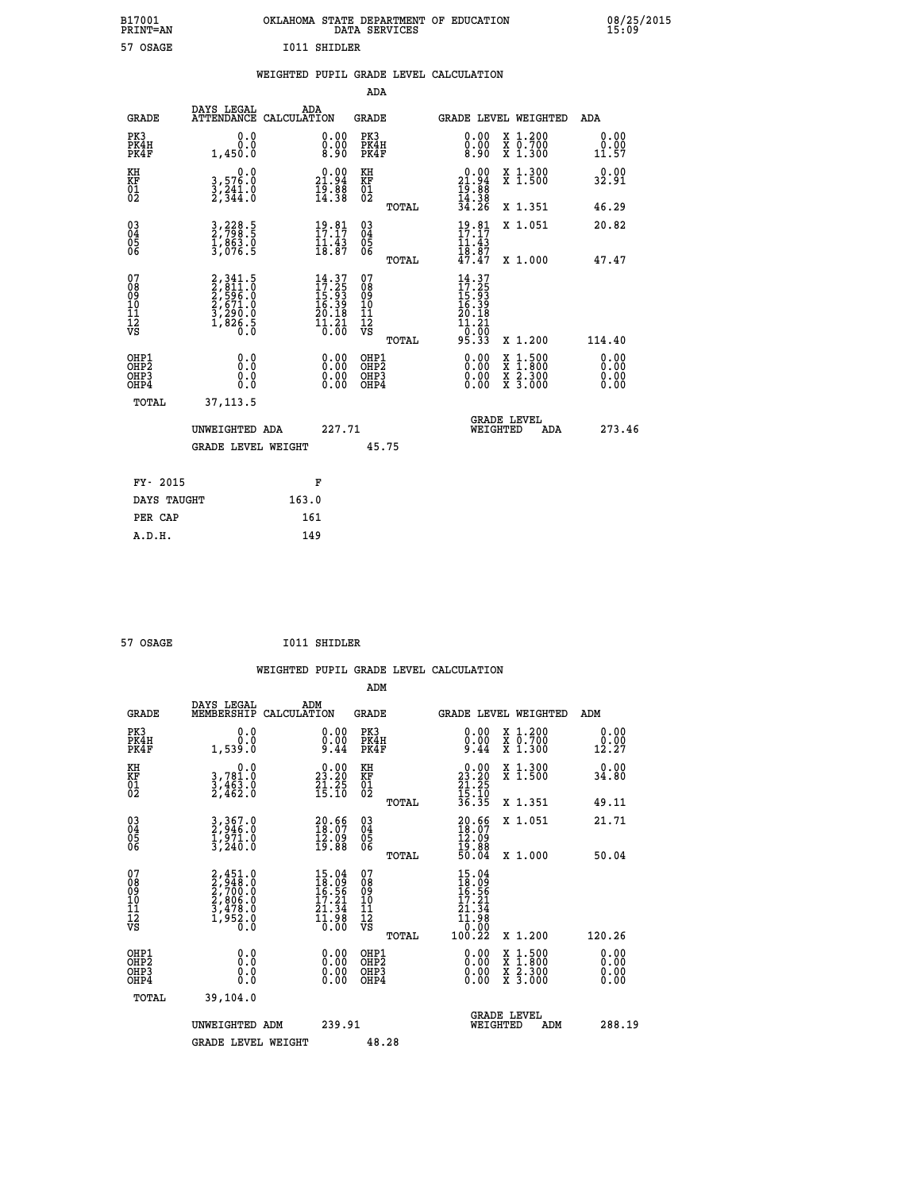| B17001<br><b>PRINT=AN</b> | OKLAHOMA STATE DEPARTMENT OF EDUCATION<br>DATA SERVICES |  |
|---------------------------|---------------------------------------------------------|--|
| 57 OSAGE                  | I011 SHIDLER                                            |  |

|  |  | WEIGHTED PUPIL GRADE LEVEL CALCULATION |
|--|--|----------------------------------------|
|  |  |                                        |

| <b>GRADE</b>                                                       | DAYS LEGAL<br><b>ATTENDANCE</b>                                                     | ADA<br>CALCULATION |                                                                                                  | <b>GRADE</b>                                      |       |                                                                                                                                                                                                                                                                                | GRADE LEVEL WEIGHTED                     | ADA                   |  |
|--------------------------------------------------------------------|-------------------------------------------------------------------------------------|--------------------|--------------------------------------------------------------------------------------------------|---------------------------------------------------|-------|--------------------------------------------------------------------------------------------------------------------------------------------------------------------------------------------------------------------------------------------------------------------------------|------------------------------------------|-----------------------|--|
| PK3<br>PK4H<br>PK4F                                                | 0.0<br>0.0<br>1,450.0                                                               |                    | $\begin{smallmatrix} 0.00 \ 0.00 \ 8.90 \end{smallmatrix}$                                       | PK3<br>PK4H<br>PK4F                               |       | 0.00<br>$\substack{0.00 \\ 8.90}$                                                                                                                                                                                                                                              | X 1.200<br>X 0.700<br>X 1.300            | 0.00<br>0.00<br>11.57 |  |
| KH<br>KF<br>01<br>02                                               | 0.0<br>3,576.0<br>3,241.0<br>2,344.0                                                |                    | $\begin{smallmatrix} 0.00\\ 21.94\\ 19.88\\ 14.38 \end{smallmatrix}$                             | KH<br>KF<br>$\begin{matrix} 01 \ 02 \end{matrix}$ |       | $\begin{smallmatrix} 0.00\\ 21.94\\ 19.88\\ 14.38\\ 34.26 \end{smallmatrix}$                                                                                                                                                                                                   | X 1.300<br>X 1.500                       | 0.00<br>32.91         |  |
|                                                                    |                                                                                     |                    |                                                                                                  |                                                   | TOTAL |                                                                                                                                                                                                                                                                                | X 1.351                                  | 46.29                 |  |
| $\begin{smallmatrix} 03 \\[-4pt] 04 \end{smallmatrix}$<br>Ŏ5<br>06 | 3,228.5<br>2,798.5<br>1,863.0<br>3,076.5                                            |                    | $19.81$<br>$17.17$<br>$\frac{1}{18}$ $\frac{1}{8}$ $\frac{3}{8}$                                 | $\substack{03 \\ 04}$<br>05<br>06                 |       | $19.81$<br>$17.17$<br>$11.43$<br>$18.87$<br>$47.47$                                                                                                                                                                                                                            | X 1.051                                  | 20.82                 |  |
|                                                                    |                                                                                     |                    |                                                                                                  |                                                   | TOTAL |                                                                                                                                                                                                                                                                                | X 1.000                                  | 47.47                 |  |
| 07<br>08<br>09<br>001<br>11<br>11<br>12<br>VS                      | $2,341.5$<br>$2,811.0$<br>$2,596.0$<br>$2,671.0$<br>$3,290.0$<br>$1,826.5$<br>$0.0$ |                    | $14.37$<br>$17.25$<br>$15.93$<br>$16.39$<br>$20.18$<br>$\frac{1}{0}$ $\frac{1}{0}$ $\frac{2}{0}$ | 07<br>08<br>09<br>11<br>11<br>12<br>VS            | TOTAL | $14.37$<br>$17.25$<br>$15.93$<br>$16.39$<br>$20.18$<br>$\begin{array}{c} 11.21 \\ 0.00 \\ 95.33 \end{array}$                                                                                                                                                                   | X 1.200                                  | 114.40                |  |
|                                                                    |                                                                                     |                    |                                                                                                  |                                                   |       |                                                                                                                                                                                                                                                                                |                                          |                       |  |
| OHP1<br>OHP2<br>OH <sub>P3</sub><br>OHP4                           | 0.0<br>0.000                                                                        |                    | $\begin{smallmatrix} 0.00 \ 0.00 \ 0.00 \ 0.00 \end{smallmatrix}$                                | OHP1<br>OHP2<br>OHP3<br>OHP4                      |       | $\begin{smallmatrix} 0.00 & 0.00 & 0.00 & 0.00 & 0.00 & 0.00 & 0.00 & 0.00 & 0.00 & 0.00 & 0.00 & 0.00 & 0.00 & 0.00 & 0.00 & 0.00 & 0.00 & 0.00 & 0.00 & 0.00 & 0.00 & 0.00 & 0.00 & 0.00 & 0.00 & 0.00 & 0.00 & 0.00 & 0.00 & 0.00 & 0.00 & 0.00 & 0.00 & 0.00 & 0.00 & 0.0$ | X 1:500<br>X 1:800<br>X 2:300<br>X 3:000 | 0.00<br>0.00<br>0.00  |  |
| TOTAL                                                              | 37, 113.5                                                                           |                    |                                                                                                  |                                                   |       |                                                                                                                                                                                                                                                                                |                                          |                       |  |
|                                                                    | UNWEIGHTED ADA                                                                      |                    | 227.71                                                                                           |                                                   |       | WEIGHTED                                                                                                                                                                                                                                                                       | <b>GRADE LEVEL</b><br>ADA                | 273.46                |  |
|                                                                    | <b>GRADE LEVEL WEIGHT</b>                                                           |                    |                                                                                                  |                                                   | 45.75 |                                                                                                                                                                                                                                                                                |                                          |                       |  |
| FY- 2015                                                           |                                                                                     |                    | F                                                                                                |                                                   |       |                                                                                                                                                                                                                                                                                |                                          |                       |  |
| DAYS TAUGHT                                                        |                                                                                     | 163.0              |                                                                                                  |                                                   |       |                                                                                                                                                                                                                                                                                |                                          |                       |  |
|                                                                    |                                                                                     |                    |                                                                                                  |                                                   |       |                                                                                                                                                                                                                                                                                |                                          |                       |  |

| 57 OSAGE | I011 SHIDLER |
|----------|--------------|
|          |              |

**PER CAP** 161<br> **A.D.H.** 149

 **A.D.H. 149**

 **B17001<br>PRINT=AN** 

 **ADA**

|                                                    |                                                                                               |                                                                                                    | ADM                                                 |                                                                                                 |                                          |                                                                                         |
|----------------------------------------------------|-----------------------------------------------------------------------------------------------|----------------------------------------------------------------------------------------------------|-----------------------------------------------------|-------------------------------------------------------------------------------------------------|------------------------------------------|-----------------------------------------------------------------------------------------|
| <b>GRADE</b>                                       | DAYS LEGAL<br>MEMBERSHIP                                                                      | ADM<br>CALCULATION                                                                                 | <b>GRADE</b>                                        | GRADE LEVEL WEIGHTED                                                                            |                                          | ADM                                                                                     |
| PK3<br>PK4H<br>PK4F                                | 0.0<br>$0.0$<br>0.039.1                                                                       | $\substack{0.00\\0.00\\9.44}$                                                                      | PK3<br>PK4H<br>PK4F                                 | $\substack{0.00\\0.00\\9.44$                                                                    | X 1.200<br>X 0.700<br>X 1.300            | 0.00<br>$\begin{smallmatrix} \v{0} \ \v{1} \ \v{2} \ \v{3} \ \v{4} \ \end{smallmatrix}$ |
| KH<br>KF<br>01<br>02                               | 0.0<br>3,781.0<br>3,463.0<br>2,462.0                                                          | $\begin{smallmatrix} 0.00\\ 23.20\\ 21.25\\ 15.10 \end{smallmatrix}$                               | KH<br>KF<br>01<br>02                                | $\begin{smallmatrix} 0.00\\ 23.20\\ 21.25\\ 15.10\\ 36.35 \end{smallmatrix}$                    | X 1.300<br>X 1.500                       | 0.00<br>34.80                                                                           |
|                                                    |                                                                                               |                                                                                                    | TOTAL                                               |                                                                                                 | X 1.351                                  | 49.11                                                                                   |
| $\begin{matrix} 03 \\ 04 \\ 05 \\ 06 \end{matrix}$ | $\begin{smallmatrix} 3 & 367 & 0\\ 2 & 946 & 0\\ 1 & 971 & 0\\ 3 & 240 & 0 \end{smallmatrix}$ | $\begin{smallmatrix} 20.66\\ 18.07\\ 12.09\\ 19.88 \end{smallmatrix}$                              | $\begin{array}{c} 03 \\ 04 \\ 05 \\ 06 \end{array}$ | $20.66$<br>$18.07$<br>$12.09$<br>$19.88$<br>$50.04$                                             | X 1.051                                  | 21.71                                                                                   |
|                                                    |                                                                                               |                                                                                                    | TOTAL                                               |                                                                                                 | X 1.000                                  | 50.04                                                                                   |
| 07<br>08<br>09<br>101<br>11<br>12<br>VS            | $2,451.0$<br>$2,700.0$<br>$2,700.0$<br>$2,806.0$<br>$3,478.0$<br>$1,952.0$<br>$0.0$           | $\begin{smallmatrix} 15.04 \\ 18.09 \\ 16.56 \\ 17.21 \\ 21.34 \\ 11.98 \\ 0.00 \end{smallmatrix}$ | 07<br>08<br>09<br>01<br>11<br>11<br>12<br>VS        | $\begin{smallmatrix} 15.04\ 18.09\ 16.56\ 17.21\ 21.34\ 11.98\ 0.00\ 100.22\ \end{smallmatrix}$ |                                          |                                                                                         |
|                                                    |                                                                                               |                                                                                                    | TOTAL                                               |                                                                                                 | X 1.200                                  | 120.26                                                                                  |
| OHP1<br>OHP2<br>OH <sub>P3</sub><br>OHP4           |                                                                                               |                                                                                                    | OHP1<br>OHP2<br>OHP <sub>3</sub>                    | 0.00<br>$0.00$<br>0.00                                                                          | X 1:500<br>X 1:800<br>X 2:300<br>X 3:000 | $0.00$<br>$0.00$<br>0.00                                                                |
| TOTAL                                              | 39,104.0                                                                                      |                                                                                                    |                                                     |                                                                                                 |                                          |                                                                                         |
|                                                    | UNWEIGHTED<br>ADM                                                                             | 239.91                                                                                             |                                                     | WEIGHTED                                                                                        | <b>GRADE LEVEL</b><br>ADM                | 288.19                                                                                  |
|                                                    | <b>GRADE LEVEL WEIGHT</b>                                                                     |                                                                                                    | 48.28                                               |                                                                                                 |                                          |                                                                                         |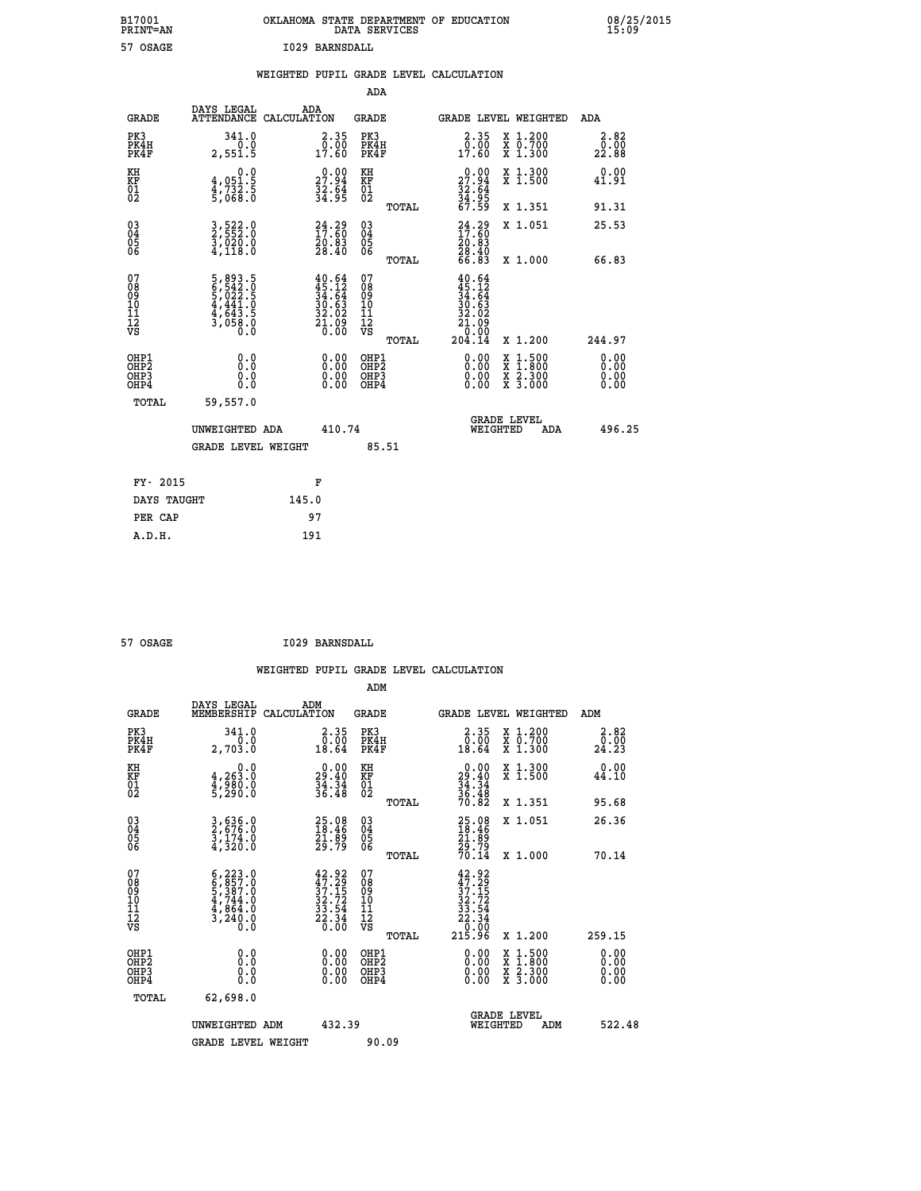|                | OKLAHOMA STATE DEPARTMENT OF EDUCATION<br>DATA SERVICES |  |
|----------------|---------------------------------------------------------|--|
| I029 BARNSDALL |                                                         |  |

|                                                                    |                                                                                                       | WEIGHTED PUPIL GRADE LEVEL CALCULATION                                                                                                                            |                                                 |                                                                                                                                                                                                                                                                                |                                                                                                                                           |                              |
|--------------------------------------------------------------------|-------------------------------------------------------------------------------------------------------|-------------------------------------------------------------------------------------------------------------------------------------------------------------------|-------------------------------------------------|--------------------------------------------------------------------------------------------------------------------------------------------------------------------------------------------------------------------------------------------------------------------------------|-------------------------------------------------------------------------------------------------------------------------------------------|------------------------------|
|                                                                    |                                                                                                       |                                                                                                                                                                   | <b>ADA</b>                                      |                                                                                                                                                                                                                                                                                |                                                                                                                                           |                              |
| <b>GRADE</b>                                                       | DAYS LEGAL                                                                                            | ADA<br>ATTENDANCE CALCULATION                                                                                                                                     | GRADE                                           | GRADE LEVEL WEIGHTED                                                                                                                                                                                                                                                           |                                                                                                                                           | ADA                          |
| PK3<br>PK4H<br>PK4F                                                | 341.0<br>0.0<br>2,551.5                                                                               | $\begin{smallmatrix} 2.35\0.00\\17.60 \end{smallmatrix}$                                                                                                          | PK3<br>PK4H<br>PK4F                             | $2.35$<br>$0.00$<br>17.60                                                                                                                                                                                                                                                      | X 1.200<br>X 0.700<br>X 1.300                                                                                                             | 2.82<br>0.00<br>22.88        |
| KH<br>KF<br>01<br>02                                               | 0.0<br>4,051:5<br>4,732:5<br>5,068:0                                                                  | $\begin{smallmatrix} 0.00\\ 27.94\\ 32.64\\ 34.95 \end{smallmatrix}$                                                                                              | KH<br>KF<br>01<br>02                            | 27.94                                                                                                                                                                                                                                                                          | X 1.300<br>X 1.500                                                                                                                        | 0.00<br>41.91                |
|                                                                    |                                                                                                       |                                                                                                                                                                   | TOTAL                                           | $\frac{32.64}{34.95}$<br>67.59                                                                                                                                                                                                                                                 | X 1.351                                                                                                                                   | 91.31                        |
| $\begin{smallmatrix} 03 \\[-4pt] 04 \end{smallmatrix}$<br>Ŏ5<br>06 | 3,522.0<br>2,552.0<br>3,020.0<br>4,118.0                                                              | $24.29$<br>$17.60$<br>20:03<br>28:40                                                                                                                              | $\substack{03 \\ 04}$<br>Ŏ5<br>06               | $24.29$<br>$17.60$<br>$20.83$<br>$28.40$<br>$66.83$                                                                                                                                                                                                                            | X 1.051                                                                                                                                   | 25.53                        |
|                                                                    |                                                                                                       |                                                                                                                                                                   | TOTAL                                           |                                                                                                                                                                                                                                                                                | X 1.000                                                                                                                                   | 66.83                        |
| 07<br>08<br>09<br>11<br>11<br>12<br>VS                             | $\begin{smallmatrix}5, 893.5\\6, 542.0\\5, 022.5\\4, 441.0\\4, 643.5\\3, 058.0\\0.0\end{smallmatrix}$ | $\begin{smallmatrix} 4 & 0 & . & 64 \\ 4 & 5 & . & 12 \\ 3 & 4 & . & 64 \\ 3 & 0 & . & 63 \\ 3 & 2 & . & 02 \\ 2 & 1 & . & 09 \\ 0 & . & 00 \\ \end{smallmatrix}$ | 07<br>08<br>09<br>11<br>11<br>12<br>VS<br>TOTAL | 40.64<br>$45.12$<br>$34.64$<br>$30.63$<br>$32.02$<br>$21.09$<br>0.00.<br>204.14                                                                                                                                                                                                | X 1.200                                                                                                                                   | 244.97                       |
| OHP1<br>OH <sub>P</sub> 2<br>OHP3<br>OH <sub>P4</sub>              | 0.0<br>0.0<br>0.0                                                                                     | $\begin{smallmatrix} 0.00 \ 0.00 \ 0.00 \ 0.00 \end{smallmatrix}$                                                                                                 | OHP1<br>OHP <sub>2</sub><br>OHP3<br>OHP4        | $\begin{smallmatrix} 0.00 & 0.00 & 0.00 & 0.00 & 0.00 & 0.00 & 0.00 & 0.00 & 0.00 & 0.00 & 0.00 & 0.00 & 0.00 & 0.00 & 0.00 & 0.00 & 0.00 & 0.00 & 0.00 & 0.00 & 0.00 & 0.00 & 0.00 & 0.00 & 0.00 & 0.00 & 0.00 & 0.00 & 0.00 & 0.00 & 0.00 & 0.00 & 0.00 & 0.00 & 0.00 & 0.0$ | $\begin{smallmatrix} \mathtt{X} & 1\cdot500\\ \mathtt{X} & 1\cdot800\\ \mathtt{X} & 2\cdot300\\ \mathtt{X} & 3\cdot000 \end{smallmatrix}$ | 0.00<br>0.00<br>0.00<br>0.00 |
| TOTAL                                                              | 59,557.0                                                                                              |                                                                                                                                                                   |                                                 |                                                                                                                                                                                                                                                                                |                                                                                                                                           |                              |
|                                                                    | UNWEIGHTED ADA                                                                                        | 410.74                                                                                                                                                            |                                                 | <b>GRADE LEVEL</b><br>WEIGHTED                                                                                                                                                                                                                                                 | <b>ADA</b>                                                                                                                                | 496.25                       |
|                                                                    | <b>GRADE LEVEL WEIGHT</b>                                                                             |                                                                                                                                                                   | 85.51                                           |                                                                                                                                                                                                                                                                                |                                                                                                                                           |                              |
|                                                                    | FY- 2015                                                                                              | F                                                                                                                                                                 |                                                 |                                                                                                                                                                                                                                                                                |                                                                                                                                           |                              |
|                                                                    | DAYS TAUGHT                                                                                           | 145.0                                                                                                                                                             |                                                 |                                                                                                                                                                                                                                                                                |                                                                                                                                           |                              |
|                                                                    | PER CAP                                                                                               | 97                                                                                                                                                                |                                                 |                                                                                                                                                                                                                                                                                |                                                                                                                                           |                              |

 **57 OSAGE I029 BARNSDALL**

 **A.D.H. 191**

 **B17001<br>PRINT=AN<br>57 OSAGE** 

| <b>GRADE</b>                                                     | DAYS LEGAL<br>MEMBERSHIP                                                                                | ADM<br>CALCULATION                                                                           | <b>GRADE</b>                                        |       |                                                                                                                                                   |          | GRADE LEVEL WEIGHTED                     | ADM                          |
|------------------------------------------------------------------|---------------------------------------------------------------------------------------------------------|----------------------------------------------------------------------------------------------|-----------------------------------------------------|-------|---------------------------------------------------------------------------------------------------------------------------------------------------|----------|------------------------------------------|------------------------------|
| PK3<br>PK4H<br>PK4F                                              | 341.0<br>2,703.0                                                                                        | $\begin{smallmatrix} 2.35\0.00\\0.00\\18.64\end{smallmatrix}$                                | PK3<br>PK4H<br>PK4F                                 |       | 2.35<br>$\begin{smallmatrix} \overline{0} & \overline{0} & \overline{0} \ \overline{0} & \overline{0} & \overline{0} \ 18 & 64 \end{smallmatrix}$ |          | X 1.200<br>X 0.700<br>X 1.300            | 2.82<br>$\frac{0.00}{24.23}$ |
| KH<br>KF<br>01<br>02                                             | 0.0<br>4,263.0<br>4,980.0<br>5,290.0                                                                    | $\begin{smallmatrix} 0.00\\29.40\\34.34\\36.48 \end{smallmatrix}$                            | KH<br>KF<br>01<br>02                                |       | $\begin{smallmatrix} 0.00\\29.40\\34.34\\36.48\\70.82 \end{smallmatrix}$                                                                          |          | X 1.300<br>X 1.500                       | 0.00<br>44.10                |
|                                                                  |                                                                                                         |                                                                                              |                                                     | TOTAL |                                                                                                                                                   |          | X 1.351                                  | 95.68                        |
| $\begin{matrix} 03 \\ 04 \\ 05 \\ 06 \end{matrix}$               | 3,636.0<br>2,676.0<br>3,174.0<br>4,320.0                                                                | 25.08<br>18.46<br>21.89<br>29.79                                                             | $\begin{array}{c} 03 \\ 04 \\ 05 \\ 06 \end{array}$ |       | 25.08<br>18.46<br>21.89<br>29.79<br>70.14                                                                                                         |          | X 1.051                                  | 26.36                        |
|                                                                  |                                                                                                         |                                                                                              |                                                     | TOTAL |                                                                                                                                                   |          | X 1.000                                  | 70.14                        |
| 07<br>08<br>09<br>11<br>11<br>12<br>VS                           | $\begin{smallmatrix} 6,223.0\\ 6,857.0\\ 5,387.0\\ 4,744.0\\ 4,864.0\\ 3,240.0\\ 0.0 \end{smallmatrix}$ | $\begin{smallmatrix} 42.92\\ 47.29\\ 37.15\\ 32.72\\ 33.54\\ 22.34\\ 0.00 \end{smallmatrix}$ | 07<br>08<br>09<br>11<br>11<br>12<br>VS              | TOTAL | $\begin{array}{r} 42.92 \\ 47.29 \\ 37.15 \\ 32.72 \\ 33.54 \\ 22.34 \\ 0.00 \\ 215.96 \end{array}$                                               |          | X 1.200                                  | 259.15                       |
| OHP1<br>OH <sub>P</sub> <sub>2</sub><br>OH <sub>P3</sub><br>OHP4 | 0.0<br>0.0<br>Ŏ.Ŏ                                                                                       |                                                                                              | OHP1<br>OHP <sub>2</sub><br>OHP3<br>OHP4            |       |                                                                                                                                                   |          | X 1:500<br>X 1:800<br>X 2:300<br>X 3:000 | 0.00<br>0.00<br>0.00<br>0.00 |
| TOTAL                                                            | 62,698.0                                                                                                |                                                                                              |                                                     |       |                                                                                                                                                   |          |                                          |                              |
|                                                                  | UNWEIGHTED ADM                                                                                          | 432.39                                                                                       |                                                     |       |                                                                                                                                                   | WEIGHTED | <b>GRADE LEVEL</b><br>ADM                | 522.48                       |
|                                                                  | <b>GRADE LEVEL WEIGHT</b>                                                                               |                                                                                              | 90.09                                               |       |                                                                                                                                                   |          |                                          |                              |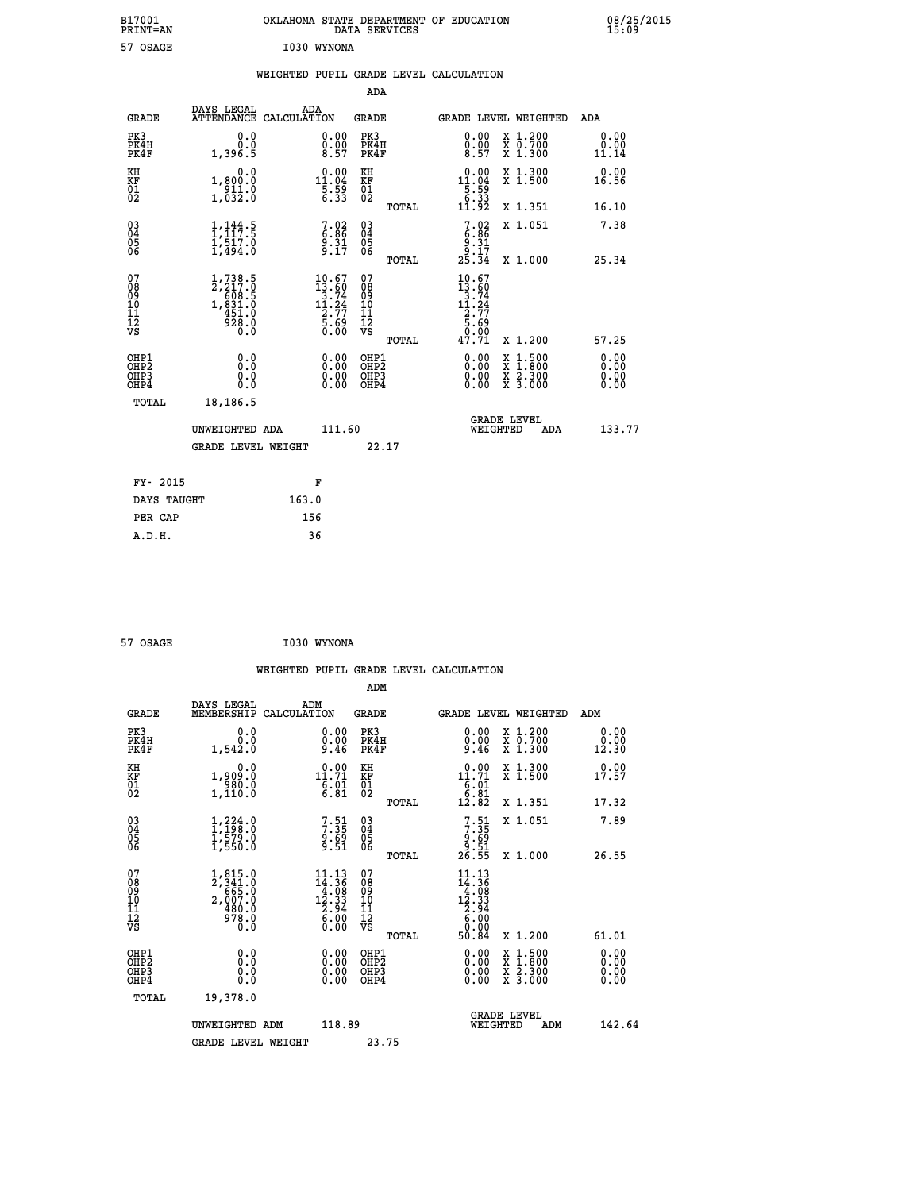| B17001<br>PRINT=AN | OKLAHOMA STATE DEPARTMENT OF EDUCATION<br>DATA SERVICES | 08/25/2015<br>15:09 |
|--------------------|---------------------------------------------------------|---------------------|
| 57 OSAGE           | I030 WYNONA                                             |                     |

|  |  | WEIGHTED PUPIL GRADE LEVEL CALCULATION |
|--|--|----------------------------------------|
|  |  |                                        |

|                                                    |                                                                                           |                                                                                    | ADA                                                               |       |                                                                                               |                                          |                              |
|----------------------------------------------------|-------------------------------------------------------------------------------------------|------------------------------------------------------------------------------------|-------------------------------------------------------------------|-------|-----------------------------------------------------------------------------------------------|------------------------------------------|------------------------------|
| <b>GRADE</b>                                       | DAYS LEGAL<br><b>ATTENDANCE</b>                                                           | ADA<br>CALCULATION                                                                 | <b>GRADE</b>                                                      |       |                                                                                               | <b>GRADE LEVEL WEIGHTED</b>              | ADA                          |
| PK3<br>PK4H<br>PK4F                                | 0.0<br>0.0<br>1,396.5                                                                     | $\begin{smallmatrix} 0.00\ 0.00\ 8.57 \end{smallmatrix}$                           | PK3<br>PK4H<br>PK4F                                               |       | 0.00<br>$\frac{0.00}{8.57}$                                                                   | X 1.200<br>X 0.700<br>X 1.300            | 0.00<br>0.00<br>11.14        |
| KH<br>KF<br>01<br>02                               | 0.0<br>1,800.0<br>911.0<br>1,032.0                                                        | $\begin{array}{r} 0.00 \\[-4pt] 11.04 \\[-4pt] 5.59 \\[-4pt] 6.33 \end{array}$     | KH<br>KF<br>01<br>02                                              |       | $\begin{array}{r} 0.00 \\[-4pt] 11.04 \\[-4pt] 5.59 \\[-4pt] 6.33 \\[-4pt] 11.92 \end{array}$ | X 1.300<br>X 1.500                       | 0.00<br>16.56                |
|                                                    |                                                                                           |                                                                                    |                                                                   | TOTAL |                                                                                               | X 1.351                                  | 16.10                        |
| $\begin{matrix} 03 \\ 04 \\ 05 \\ 06 \end{matrix}$ | $\frac{1}{1}$ , $\frac{144}{17}$ : 5<br>$\frac{1}{1}, \frac{5}{4} \frac{1}{9}$<br>1,494.0 | $7.86$<br>$9.31$<br>$9.17$                                                         | $\begin{matrix} 03 \\ 04 \\ 05 \\ 06 \end{matrix}$                |       | $7.02$<br>$6.86$<br>$9.31$<br>$9.17$<br>$25.34$                                               | X 1.051                                  | 7.38                         |
|                                                    |                                                                                           |                                                                                    |                                                                   | TOTAL |                                                                                               | X 1.000                                  | 25.34                        |
| 07<br>08<br>09<br>10<br>11<br>11<br>12<br>VS       | $1, 738.5$<br>$2, 217.0$<br>$608.5$<br>$1, 831.0$<br>$451.0$<br>$928.0$<br>$0.0$          | $\begin{smallmatrix} 10.67\\13.60\\3.74\\11.24\\2.77\\5.69\\0.00\end{smallmatrix}$ | 07<br>08<br>09<br>11<br>11<br>12<br>VS                            | TOTAL | 10.67<br>$13.60$<br>$3.74$<br>$11.24$<br>$2.77$<br>$5.69$<br>$9.99$<br>47.71                  | X 1.200                                  | 57.25                        |
| OHP1<br>OH <sub>P</sub> 2<br>OHP3<br>OHP4          | 0.0<br>0.000                                                                              | $0.00$<br>$0.00$<br>0.00                                                           | OHP1<br>OH <sub>P</sub> 2<br>OHP <sub>3</sub><br>OHP <sub>4</sub> |       | 0.00<br>0.00<br>0.00                                                                          | X 1:500<br>X 1:800<br>X 2:300<br>X 3:000 | 0.00<br>0.00<br>0.00<br>0.00 |
| TOTAL                                              | 18,186.5                                                                                  |                                                                                    |                                                                   |       |                                                                                               |                                          |                              |
|                                                    | UNWEIGHTED ADA                                                                            | 111.60                                                                             |                                                                   |       |                                                                                               | <b>GRADE LEVEL</b><br>WEIGHTED<br>ADA    | 133.77                       |
|                                                    | <b>GRADE LEVEL WEIGHT</b>                                                                 |                                                                                    |                                                                   | 22.17 |                                                                                               |                                          |                              |
| FY- 2015                                           |                                                                                           | F                                                                                  |                                                                   |       |                                                                                               |                                          |                              |
| DAYS TAUGHT                                        |                                                                                           | 163.0                                                                              |                                                                   |       |                                                                                               |                                          |                              |
|                                                    |                                                                                           |                                                                                    |                                                                   |       |                                                                                               |                                          |                              |

| 57 OSAGE |  | I030 WYNONA |
|----------|--|-------------|
|----------|--|-------------|

 **PER CAP 156**

 **WEIGHTED PUPIL GRADE LEVEL CALCULATION ADM** DAYS LEGAL

| <b>GRADE</b>                                       | DAIS LEGAL<br>MEMBERSHIP                                                                                                                    | ADM<br>CALCULATION                                                                                                    | GRADE                                              |       |                                                                                               | <b>GRADE LEVEL WEIGHTED</b>                                                                                                          | ADM                   |  |
|----------------------------------------------------|---------------------------------------------------------------------------------------------------------------------------------------------|-----------------------------------------------------------------------------------------------------------------------|----------------------------------------------------|-------|-----------------------------------------------------------------------------------------------|--------------------------------------------------------------------------------------------------------------------------------------|-----------------------|--|
| PK3<br>PK4H<br>PK4F                                | 0.0000<br>1,542.0                                                                                                                           | $\substack{0.00\\0.00\\9.46}$                                                                                         | PK3<br>PK4H<br>PK4F                                |       | $\begin{smallmatrix} 0.00\\ 0.00\\ 9.46 \end{smallmatrix}$                                    | X 1.200<br>X 0.700<br>X 1.300                                                                                                        | 0.00<br>0.00<br>12.30 |  |
| KH<br>KF<br>01<br>02                               | 0.0<br>1,909:0<br>980:0<br>1,110:0                                                                                                          | $\begin{smallmatrix} 0.00\\ 11.71\\ 6.01\\ 6.81 \end{smallmatrix}$                                                    | KH<br>KF<br>01<br>02                               |       | $\begin{array}{r} 0.00 \\[-4pt] 11.71 \\[-4pt] 6.01 \\[-4pt] 6.81 \\[-4pt] 12.82 \end{array}$ | X 1.300<br>X 1.500                                                                                                                   | 0.00<br>17.57         |  |
|                                                    |                                                                                                                                             |                                                                                                                       |                                                    | TOTAL |                                                                                               | X 1.351                                                                                                                              | 17.32                 |  |
| $\begin{matrix} 03 \\ 04 \\ 05 \\ 06 \end{matrix}$ | $\begin{smallmatrix} 1,224\ 1,198\ 1,579\ 0\ 1,550\ 0 \end{smallmatrix}$                                                                    | $7:35$<br>$9:69$<br>$9:51$                                                                                            | $\begin{matrix} 03 \\ 04 \\ 05 \\ 06 \end{matrix}$ |       | $7.51$<br>$7.35$<br>$9.69$<br>$9.51$<br>$26.55$                                               | X 1.051                                                                                                                              | 7.89                  |  |
|                                                    |                                                                                                                                             |                                                                                                                       |                                                    | TOTAL |                                                                                               | X 1.000                                                                                                                              | 26.55                 |  |
| 07<br>08<br>09<br>101<br>11<br>12<br>VS            | $\begin{smallmatrix} 1, & 815 & 0 \\ 2, & 341 & 0 \\ 665 & 0 \\ 2, & 007 & 0 \\ 480 & 0 \\ 978 & 0 \\ 0 & 0 \\ 0 & 0 \\ 0\end{smallmatrix}$ | $\begin{smallmatrix} 11\cdot 13\\14\cdot 36\\4\cdot 08\\12\cdot 33\\2\cdot 94\\6\cdot 00\\6\cdot 00\end{smallmatrix}$ | 07<br>08<br>09<br>11<br>11<br>12<br>VS             | TOTAL | 11.13<br>$14.36$<br>$12.33$<br>$2.33$<br>$2.94$<br>$6.00$<br>$6.00$<br>$50.84$                | X 1.200                                                                                                                              | 61.01                 |  |
|                                                    |                                                                                                                                             |                                                                                                                       |                                                    |       |                                                                                               |                                                                                                                                      |                       |  |
| OHP1<br>OHP2<br>OH <sub>P3</sub><br>OHP4           | 0.0<br>0.000                                                                                                                                | $\begin{smallmatrix} 0.00 \ 0.00 \ 0.00 \ 0.00 \end{smallmatrix}$                                                     | OHP1<br>OHP <sub>2</sub><br>OHP3<br>OHP4           |       |                                                                                               | $\begin{smallmatrix} \mathtt{X} & 1 & 500 \\ \mathtt{X} & 1 & 800 \\ \mathtt{X} & 2 & 300 \\ \mathtt{X} & 3 & 000 \end{smallmatrix}$ | 0.00<br>0.00<br>0.00  |  |
| TOTAL                                              | 19,378.0                                                                                                                                    |                                                                                                                       |                                                    |       |                                                                                               |                                                                                                                                      |                       |  |
|                                                    | UNWEIGHTED ADM                                                                                                                              | 118.89                                                                                                                |                                                    |       | WEIGHTED                                                                                      | <b>GRADE LEVEL</b><br>ADM                                                                                                            | 142.64                |  |
|                                                    | <b>GRADE LEVEL WEIGHT</b>                                                                                                                   |                                                                                                                       | 23.75                                              |       |                                                                                               |                                                                                                                                      |                       |  |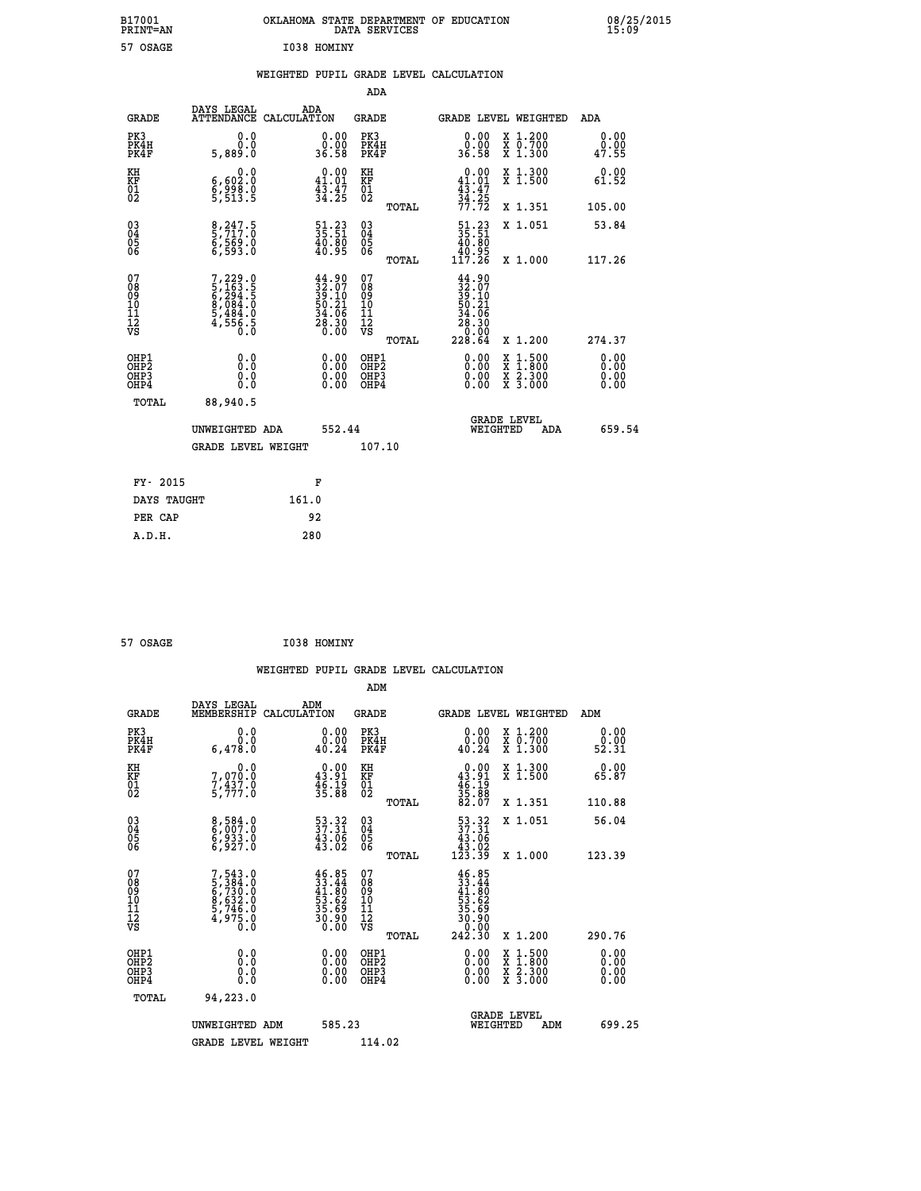|             | OKLAHOMA STATE DEPARTMENT OF EDUCATION<br>DATA SERVICES |  |
|-------------|---------------------------------------------------------|--|
| I038 HOMINY |                                                         |  |

|  |  | WEIGHTED PUPIL GRADE LEVEL CALCULATION |
|--|--|----------------------------------------|
|  |  |                                        |

|                                                                              |                                                                                    |                                                                      | ADA                                                |       |                                                                                            |                                                                                                                                              |                              |
|------------------------------------------------------------------------------|------------------------------------------------------------------------------------|----------------------------------------------------------------------|----------------------------------------------------|-------|--------------------------------------------------------------------------------------------|----------------------------------------------------------------------------------------------------------------------------------------------|------------------------------|
| <b>GRADE</b>                                                                 | DAYS LEGAL                                                                         | ADA<br>ATTENDANCE CALCULATION                                        | GRADE                                              |       | <b>GRADE LEVEL WEIGHTED</b>                                                                |                                                                                                                                              | ADA                          |
| PK3<br>PK4H<br>PK4F                                                          | 0.0<br>0.0<br>5,889.0                                                              | $\begin{smallmatrix} 0.00\\ 0.00\\ 36.58 \end{smallmatrix}$          | PK3<br>PK4H<br>PK4F                                |       | 0.00<br>0.00<br>36.58                                                                      | X 1.200<br>X 0.700<br>X 1.300                                                                                                                | 0.00<br>0.00<br>47.55        |
| KH<br>KF<br>01<br>02                                                         | 0.0<br>6,602:0<br>6,998:0<br>5,513:5                                               | $\begin{smallmatrix} 0.00\\ 41.01\\ 43.47\\ 34.25 \end{smallmatrix}$ | KH<br>KF<br>01<br>02                               |       | $\begin{smallmatrix} &0.00\\ 41.01\\ 43.47\\ 34.25\\ 77.72 \end{smallmatrix}$              | X 1.300<br>X 1.500                                                                                                                           | 0.00<br>61.52                |
|                                                                              |                                                                                    |                                                                      |                                                    | TOTAL |                                                                                            | X 1.351                                                                                                                                      | 105.00                       |
| $\begin{matrix} 03 \\ 04 \\ 05 \\ 06 \end{matrix}$                           | 8,247.5<br>5,717.0<br>6,569.0<br>6,593.0                                           | $\begin{smallmatrix} 51.23\ 35.51\ 40.80\ 40.95 \end{smallmatrix}$   | $\begin{matrix} 03 \\ 04 \\ 05 \\ 06 \end{matrix}$ |       | $\frac{51.23}{35.51}$<br>40.95<br>117.26                                                   | X 1.051                                                                                                                                      | 53.84                        |
|                                                                              |                                                                                    |                                                                      |                                                    | TOTAL |                                                                                            | X 1.000                                                                                                                                      | 117.26                       |
| 07<br>08<br>09<br>11<br>11<br>12<br>VS                                       | $7, 229.0$<br>5, 163.5<br>5, 294.5<br>6, 294.5<br>8, 484.0<br>5, 484.0<br>4, 556.5 | $44.9032.0739.1050.2134.0628.300.00$                                 | 07<br>08<br>09<br>11<br>11<br>12<br>VS             | TOTAL | $\begin{smallmatrix} 44.90\ 32.07\ 39.101\ 50.21\ 54.06\ 28.30\ 228.64\ \end{smallmatrix}$ | X 1.200                                                                                                                                      | 274.37                       |
| OHP1<br>OH <sub>P</sub> <sub>2</sub><br>OH <sub>P3</sub><br>OH <sub>P4</sub> | 0.0<br>Ō.Ō<br>0.0<br>0.0                                                           | 0.00<br>$\begin{smallmatrix} 0.00 \ 0.00 \end{smallmatrix}$          | OHP1<br>OHP2<br>OHP3<br>OHP4                       |       | 0.00<br>0.00<br>0.00                                                                       | $\begin{smallmatrix} \mathtt{X} & 1\cdot500 \\ \mathtt{X} & 1\cdot800 \\ \mathtt{X} & 2\cdot300 \\ \mathtt{X} & 3\cdot000 \end{smallmatrix}$ | 0.00<br>0.00<br>0.00<br>0.00 |
| TOTAL                                                                        | 88,940.5                                                                           |                                                                      |                                                    |       |                                                                                            |                                                                                                                                              |                              |
|                                                                              | UNWEIGHTED ADA                                                                     | 552.44                                                               |                                                    |       | WEIGHTED                                                                                   | <b>GRADE LEVEL</b><br>ADA                                                                                                                    | 659.54                       |
|                                                                              | <b>GRADE LEVEL WEIGHT</b>                                                          |                                                                      | 107.10                                             |       |                                                                                            |                                                                                                                                              |                              |
|                                                                              |                                                                                    |                                                                      |                                                    |       |                                                                                            |                                                                                                                                              |                              |
| FY- 2015                                                                     |                                                                                    | F                                                                    |                                                    |       |                                                                                            |                                                                                                                                              |                              |
| DAYS TAUGHT                                                                  |                                                                                    | 161.0                                                                |                                                    |       |                                                                                            |                                                                                                                                              |                              |
| PER CAP                                                                      |                                                                                    | 92                                                                   |                                                    |       |                                                                                            |                                                                                                                                              |                              |
| A.D.H.                                                                       |                                                                                    | 280                                                                  |                                                    |       |                                                                                            |                                                                                                                                              |                              |

| 57 OSAGE | I038 HOMINY |
|----------|-------------|

 **B17001<br>PRINT=AN<br>57 OSAGE** 

| <b>GRADE</b>                                                     | DAYS LEGAL<br>MEMBERSHIP                                                    | ADM<br>CALCULATION                                                            | <b>GRADE</b>                                        |       |                                                                                          |          | <b>GRADE LEVEL WEIGHTED</b>              | ADM                  |  |
|------------------------------------------------------------------|-----------------------------------------------------------------------------|-------------------------------------------------------------------------------|-----------------------------------------------------|-------|------------------------------------------------------------------------------------------|----------|------------------------------------------|----------------------|--|
| PK3<br>PK4H<br>PK4F                                              | 0.0<br>6,478.0                                                              | 0.00<br>40.24                                                                 | PK3<br>PK4H<br>PK4F                                 |       | 0.00<br>0.00<br>40.24                                                                    |          | X 1.200<br>X 0.700<br>X 1.300            | 0.00<br>ة.ة<br>52.31 |  |
| KH<br>KF<br>01<br>02                                             | 0.0<br>7,070:0<br>7,437:0<br>5,777:0                                        | $\begin{smallmatrix} 0.00\\ 43.91\\ 46.19\\ 35.88 \end{smallmatrix}$          | KH<br>KF<br>01<br>02                                |       | $0.00$<br>$43.91$<br>$46.19$<br>$35.88$<br>$82.07$                                       |          | X 1.300<br>X 1.500                       | 0.00<br>65.87        |  |
|                                                                  |                                                                             |                                                                               |                                                     | TOTAL |                                                                                          |          | X 1.351                                  | 110.88               |  |
| $\begin{matrix} 03 \\ 04 \\ 05 \\ 06 \end{matrix}$               | 8,584.0<br>6,007.0<br>6,933.0<br>6,927.0                                    | $\begin{smallmatrix}53\cdot32\37\cdot31\43\cdot06\43\cdot02\end{smallmatrix}$ | $\begin{array}{c} 03 \\ 04 \\ 05 \\ 06 \end{array}$ |       | $\begin{smallmatrix}53\cdot32\37\cdot31\43\cdot06\43\cdot02\123\cdot39\end{smallmatrix}$ |          | X 1.051                                  | 56.04                |  |
|                                                                  |                                                                             |                                                                               |                                                     | TOTAL |                                                                                          |          | X 1.000                                  | 123.39               |  |
| 07<br>08<br>09<br>11<br>11<br>12<br>VS                           | $7,543.0$<br>5,384.0<br>6,730.0<br>6,632.0<br>8,632.0<br>5,746.0<br>4,975.0 | $46.85$<br>$33.44$<br>$41.80$<br>$53.62$<br>$35.69$<br>$30.90$<br>$0.00$      | 07<br>08<br>09<br>01<br>11<br>11<br>12<br>VS        | TOTAL | $46.85$<br>$33.44$<br>$41.80$<br>$53.62$<br>$36.90$<br>$30.90$<br>$242.30$               |          | X 1.200                                  | 290.76               |  |
| OHP1<br>OH <sub>P</sub> <sub>2</sub><br>OH <sub>P3</sub><br>OHP4 | 0.0<br>0.000                                                                |                                                                               | OHP1<br>OHP <sub>2</sub><br>OHP3<br>OHP4            |       |                                                                                          |          | X 1:500<br>X 1:800<br>X 2:300<br>X 3:000 | 0.00<br>0.00<br>0.00 |  |
| TOTAL                                                            | 94,223.0                                                                    |                                                                               |                                                     |       |                                                                                          |          |                                          |                      |  |
|                                                                  | UNWEIGHTED ADM                                                              | 585.23                                                                        |                                                     |       |                                                                                          | WEIGHTED | <b>GRADE LEVEL</b><br>ADM                | 699.25               |  |
|                                                                  | <b>GRADE LEVEL WEIGHT</b>                                                   |                                                                               | 114.02                                              |       |                                                                                          |          |                                          |                      |  |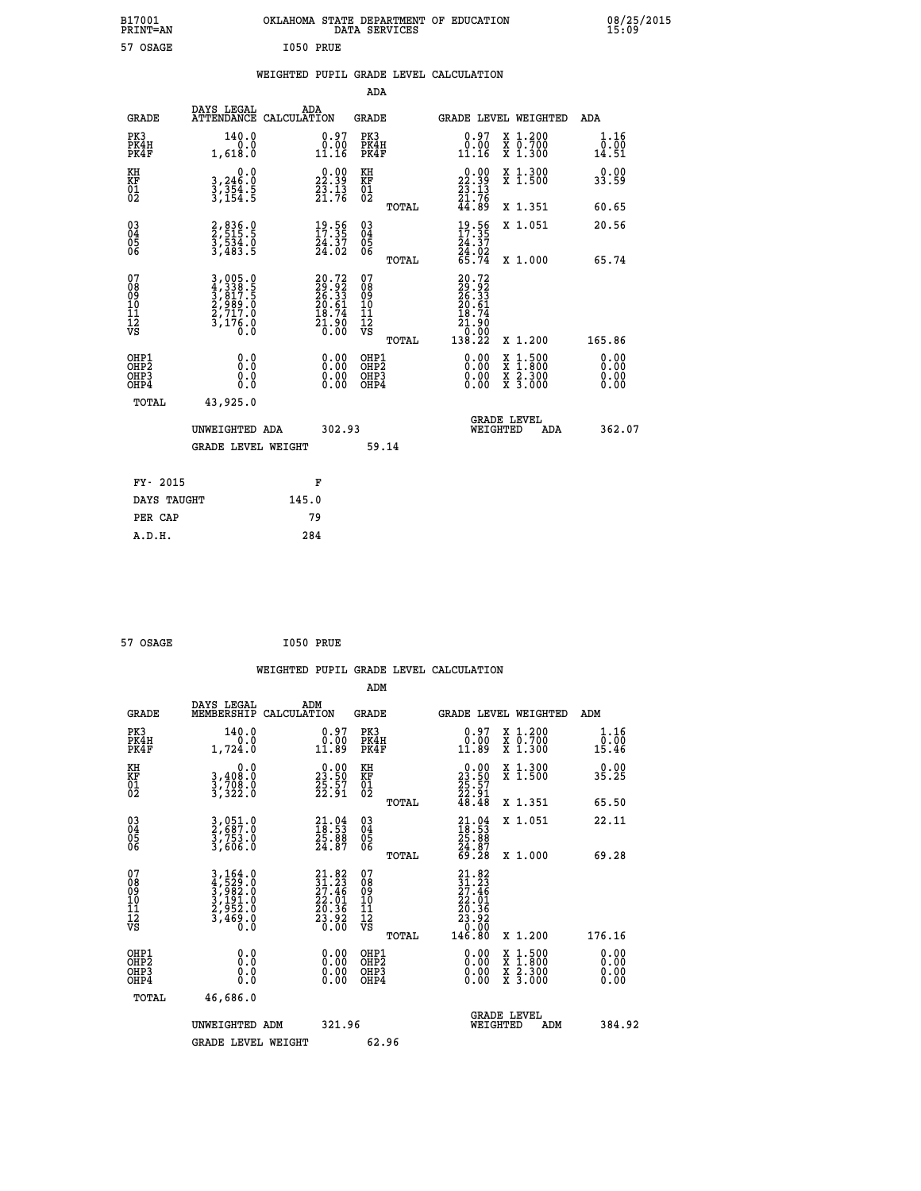| B17001<br><b>PRINT=AN</b>                                        |                                                                       | OKLAHOMA STATE DEPARTMENT OF EDUCATION                                                 | DATA SERVICES                                          |                                                                              |                                                                                          | 08/25/2015<br>15:09          |  |
|------------------------------------------------------------------|-----------------------------------------------------------------------|----------------------------------------------------------------------------------------|--------------------------------------------------------|------------------------------------------------------------------------------|------------------------------------------------------------------------------------------|------------------------------|--|
| 57 OSAGE                                                         |                                                                       | I050 PRUE                                                                              |                                                        |                                                                              |                                                                                          |                              |  |
|                                                                  |                                                                       | WEIGHTED PUPIL GRADE LEVEL CALCULATION                                                 |                                                        |                                                                              |                                                                                          |                              |  |
|                                                                  |                                                                       |                                                                                        | ADA                                                    |                                                                              |                                                                                          |                              |  |
| <b>GRADE</b>                                                     | DAYS LEGAL                                                            | ADA<br>ATTENDANCE CALCULATION                                                          | GRADE                                                  | <b>GRADE LEVEL WEIGHTED</b>                                                  |                                                                                          | ADA                          |  |
| PK3<br>PK4H<br>PK4F                                              | 140.0<br>0.0<br>1,618.0                                               | $\begin{smallmatrix} 0.97\ 0.00\ 11.16 \end{smallmatrix}$                              | PK3<br>PK4H<br>PK4F                                    | $\substack{0.97 \\ 0.00 \\ 11.16}$                                           | X 1.200<br>X 0.700<br>X 1.300                                                            | 1.16<br>0.00<br>14.51        |  |
| KH<br>KF<br>$^{01}_{02}$                                         | 0.0<br>$3,354.5$<br>$3,354.5$<br>$3,154.5$                            | $\begin{smallmatrix} 0.00\\ 22.39\\ 23.13\\ 21.76 \end{smallmatrix}$                   | KH<br>KF<br>01<br>02                                   | $\begin{smallmatrix} 0.00\\ 22.39\\ 23.13\\ 21.76\\ 44.89 \end{smallmatrix}$ | X 1.300<br>X 1.500                                                                       | 0.00<br>33.59                |  |
|                                                                  |                                                                       |                                                                                        | TOTAL                                                  |                                                                              | X 1.351                                                                                  | 60.65                        |  |
| $\substack{03 \\ 04}$<br>0500                                    | 2,836.0<br>$\frac{5}{3}, \frac{5}{483}$ . 0<br>3,483.5                | $\frac{19.56}{17.35}$<br>$\frac{24.37}{24.02}$                                         | $\begin{array}{c} 03 \\ 04 \\ 05 \\ 06 \end{array}$    | $\frac{19}{17}:\frac{56}{35}$<br>24.37                                       | X 1.051                                                                                  | 20.56                        |  |
|                                                                  |                                                                       |                                                                                        | TOTAL                                                  | 24.02<br>65.74                                                               | X 1.000                                                                                  | 65.74                        |  |
| 07<br>08<br>09<br>11<br>11<br>12<br>VS                           | 3,005.0<br>4,338.5<br>5,817.5<br>2,989.0<br>2,717.0<br>3,176.0<br>0.0 | $\begin{smallmatrix} 20.72\ 29.92\ 26.33\ 20.61\ 18.74\ 21.90\ 0.00 \end{smallmatrix}$ | 07<br>08<br>09<br>10<br>11<br>12<br>VS<br><b>TOTAL</b> | 20.72<br>29.92<br>26.33<br>20.61<br>18.74<br>21.90<br>Ō:ŏŏ<br>138.22         | X 1.200                                                                                  | 165.86                       |  |
| OHP1<br>OH <sub>P</sub> <sub>2</sub><br>OH <sub>P3</sub><br>OHP4 | 0.0<br>0.0<br>0.0<br>0.0                                              | 0.00<br>0.00<br>0.00                                                                   | OHP1<br>OH <sub>P</sub> 2<br>OHP3<br>OHP4              | 0.00<br>0.00<br>0.00                                                         | $\begin{smallmatrix} x & 1.500 \\ x & 1.800 \\ x & 2.300 \\ x & 3.000 \end{smallmatrix}$ | 0.00<br>0.00<br>0.00<br>0.00 |  |
| TOTAL                                                            | 43,925.0                                                              |                                                                                        |                                                        |                                                                              |                                                                                          |                              |  |
|                                                                  | UNWEIGHTED ADA                                                        | 302.93                                                                                 |                                                        | <b>GRADE LEVEL</b><br>WEIGHTED                                               | ADA                                                                                      | 362.07                       |  |
|                                                                  | <b>GRADE LEVEL WEIGHT</b>                                             |                                                                                        | 59.14                                                  |                                                                              |                                                                                          |                              |  |
| FY- 2015                                                         |                                                                       | F                                                                                      |                                                        |                                                                              |                                                                                          |                              |  |
| DAYS TAUGHT                                                      |                                                                       | 145.0                                                                                  |                                                        |                                                                              |                                                                                          |                              |  |
| PER CAP                                                          |                                                                       | 79                                                                                     |                                                        |                                                                              |                                                                                          |                              |  |

| 57 OSAGE | I050 PRUE |  |
|----------|-----------|--|
|          |           |  |

|                                                      |                                                                                                                                                           |                                                                                        | WEIGHTED PUPIL GRADE LEVEL CALCULATION        |                                                                                                         |                              |
|------------------------------------------------------|-----------------------------------------------------------------------------------------------------------------------------------------------------------|----------------------------------------------------------------------------------------|-----------------------------------------------|---------------------------------------------------------------------------------------------------------|------------------------------|
|                                                      |                                                                                                                                                           |                                                                                        | ADM                                           |                                                                                                         |                              |
| <b>GRADE</b>                                         | DAYS LEGAL<br>MEMBERSHIP<br>CALCULATION                                                                                                                   | ADM                                                                                    | <b>GRADE</b>                                  | <b>GRADE LEVEL WEIGHTED</b>                                                                             | ADM                          |
| PK3<br>PK4H<br>PK4F                                  | 140.0<br>0.0<br>1,724.0                                                                                                                                   | $\begin{smallmatrix} 0.97\ 0.00\\ 1.89 \end{smallmatrix}$                              | PK3<br>PK4H<br>PK4F                           | $0.97$<br>$0.00$<br>X 1.200<br>X 0.700<br>X 1.300<br>11.89                                              | 1.16<br>ō:ōŏ<br>15.46        |
| KH<br>KF<br>01<br>02                                 | 0.0<br>3,408:0<br>3,708:0<br>3,322:0                                                                                                                      | $\begin{smallmatrix} 0.00\\ 23.50\\ 25.57\\ 22.91 \end{smallmatrix}$                   | KH<br>KF<br>01<br>02                          | X 1.300<br>X 1.500<br>$\begin{smallmatrix} 0.00\\ 23.50\\ 25.57\\ 22.91\\ 48.48 \end{smallmatrix}$      | 0.00<br>35.25                |
|                                                      |                                                                                                                                                           |                                                                                        | TOTAL                                         | X 1.351                                                                                                 | 65.50                        |
| $\begin{matrix} 03 \\ 04 \\ 05 \\ 06 \end{matrix}$   | 3,051.0<br>2,687.0<br>3,753.0<br>3,606.0                                                                                                                  | $\begin{smallmatrix} 21.04\ 18.53\ 25.88\ 24.87 \end{smallmatrix}$                     | 03<br>04<br>05<br>06                          | X 1.051<br>$21.0418.5325.8824.8769.28$                                                                  | 22.11                        |
|                                                      |                                                                                                                                                           |                                                                                        | TOTAL                                         | X 1.000                                                                                                 | 69.28                        |
| 07<br>08<br>09<br>101<br>11<br>12<br>VS              | $\begin{smallmatrix} 3\,,\,164\,.\,0\\ 4\,,\,529\,.\,0\\ 3\,,\,982\,.\,0\\ 3\,,\,191\,.\,0\\ 2\,,\,952\,.\,0\\ 3\,,\,469\,.\,0\\ 0\,.0 \end{smallmatrix}$ | $\begin{smallmatrix} 21.82\ 31.23\ 27.46\ 22.01\ 20.36\ 23.92\ 0.00 \end{smallmatrix}$ | 07<br>08<br>09<br>001<br>11<br>11<br>12<br>VS | 21.82<br>$\begin{smallmatrix} 21.23\ 27.46\ 22.01\ 23.36\ 23.92\ 23.92\ 0.00\ 146.80 \end{smallmatrix}$ |                              |
|                                                      |                                                                                                                                                           |                                                                                        | TOTAL                                         | X 1.200                                                                                                 | 176.16                       |
| OHP1<br>OHP2<br>OH <sub>P3</sub><br>OH <sub>P4</sub> | 0.0<br>$\begin{smallmatrix} 0.0 & 0 \ 0.0 & 0 \end{smallmatrix}$                                                                                          | 0.00<br>$\begin{smallmatrix} 0.00 \ 0.00 \end{smallmatrix}$                            | OHP1<br>OHP2<br>OHP3<br>OHP4                  | $0.00$<br>$0.00$<br>$1.500$<br>$1.800$<br>X<br>X<br>$\frac{x}{x}$ $\frac{5:300}{3:000}$<br>0.00         | 0.00<br>0.00<br>0.00<br>0.00 |
| TOTAL                                                | 46,686.0                                                                                                                                                  |                                                                                        |                                               |                                                                                                         |                              |
|                                                      | UNWEIGHTED ADM                                                                                                                                            | 321.96                                                                                 |                                               | <b>GRADE LEVEL</b><br>WEIGHTED<br>ADM                                                                   | 384.92                       |
|                                                      | <b>GRADE LEVEL WEIGHT</b>                                                                                                                                 |                                                                                        | 62.96                                         |                                                                                                         |                              |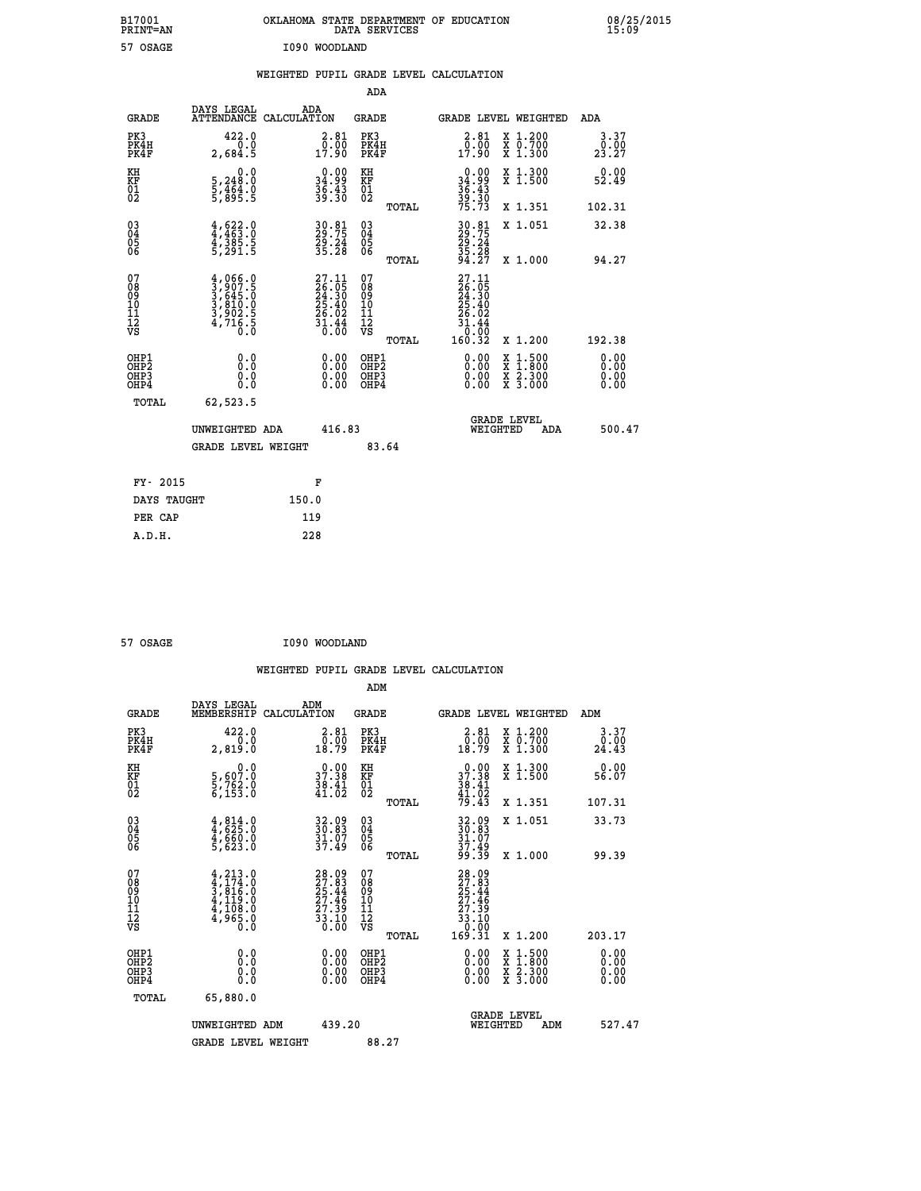| B17001<br>PRINT=AN                     |                                                                                     | OKLAHOMA STATE DEPARTMENT OF EDUCATION                                                             | DATA SERVICES                                              |                                                                                                        |                                                                                                                                           | 08/25/2015            |
|----------------------------------------|-------------------------------------------------------------------------------------|----------------------------------------------------------------------------------------------------|------------------------------------------------------------|--------------------------------------------------------------------------------------------------------|-------------------------------------------------------------------------------------------------------------------------------------------|-----------------------|
| 57 OSAGE                               |                                                                                     | I090 WOODLAND                                                                                      |                                                            |                                                                                                        |                                                                                                                                           |                       |
|                                        |                                                                                     | WEIGHTED PUPIL GRADE LEVEL CALCULATION                                                             |                                                            |                                                                                                        |                                                                                                                                           |                       |
|                                        |                                                                                     |                                                                                                    | ADA                                                        |                                                                                                        |                                                                                                                                           |                       |
| <b>GRADE</b>                           | DAYS LEGAL<br>ATTENDANCE CALCULATION                                                | ADA                                                                                                | <b>GRADE</b>                                               |                                                                                                        | GRADE LEVEL WEIGHTED                                                                                                                      | ADA                   |
| PK3<br>PK4H<br>PK4F                    | 422.0<br>0.0<br>2,684.5                                                             | 2.81<br>$\frac{0.00}{17.90}$                                                                       | PK3<br>PK4H<br>PK4F                                        | 2.81<br>$\frac{5.00}{17.90}$                                                                           | X 1.200<br>X 0.700<br>X 1.300                                                                                                             | 3.37<br>0.00<br>23.27 |
| KH<br>KF<br>01<br>02                   | 0.0<br>5,248:0<br>5,464:0<br>5,895:5                                                | $\begin{smallmatrix} 0.00\\ 34.99\\ 36.43\\ 39.30 \end{smallmatrix}$                               | KH<br><b>KF</b><br>01<br>02                                | $\begin{array}{c} 0.00 \\ 34.99 \\ 36.43 \\ 39.30 \\ 75.73 \end{array}$                                | X 1.300<br>X 1.500                                                                                                                        | 0.00<br>52.49         |
|                                        |                                                                                     |                                                                                                    | TOTAL                                                      |                                                                                                        | X 1.351                                                                                                                                   | 102.31                |
| 03<br>04<br>05<br>06                   | $4,463.0$<br>$4,385.5$<br>$4,385.5$<br>$5,291.5$                                    | 30.81<br>29.75<br>29.24<br>35.28                                                                   | $\begin{matrix} 03 \\ 04 \\ 05 \\ 06 \end{matrix}$         | 30.81<br>29.75<br>29.24<br>35.28<br>34.27                                                              | X 1.051                                                                                                                                   | 32.38                 |
|                                        |                                                                                     |                                                                                                    | TOTAL                                                      |                                                                                                        | X 1.000                                                                                                                                   | 94.27                 |
| 07<br>08<br>09<br>11<br>11<br>12<br>VS | $4,066.0$<br>$3,645.0$<br>$3,645.0$<br>$3,810.0$<br>$3,902.5$<br>$4,716.5$<br>$0.0$ | $\begin{smallmatrix} 27.11 \\ 26.05 \\ 24.30 \\ 25.40 \\ 26.02 \\ 31.44 \\ 0.00 \end{smallmatrix}$ | 07<br>08<br>09<br>10<br>$\frac{11}{12}$<br>$\frac{12}{18}$ | $\begin{smallmatrix} 27.11\ 26.05\ 24.30\ 25.40\ 25.40\ 26.02\ 31.44\ 0.00\ 160.32\ \end{smallmatrix}$ |                                                                                                                                           |                       |
|                                        |                                                                                     |                                                                                                    | TOTAL                                                      |                                                                                                        | X 1.200                                                                                                                                   | 192.38                |
| OHP1<br>OHP2<br>OHP3<br>OHP4           | 0.0<br>0.0<br>0.0                                                                   | $0.00$<br>$0.00$<br>0.00                                                                           | OHP1<br>OHP2<br>OHP3<br>OHP4                               | $0.00$<br>$0.00$<br>0.00                                                                               | $\begin{smallmatrix} \mathtt{X} & 1\cdot500\\ \mathtt{X} & 1\cdot800\\ \mathtt{X} & 2\cdot300\\ \mathtt{X} & 3\cdot000 \end{smallmatrix}$ | 0.00<br>0.00<br>0.00  |
| TOTAL                                  | 62,523.5                                                                            |                                                                                                    |                                                            |                                                                                                        |                                                                                                                                           |                       |
|                                        | UNWEIGHTED ADA                                                                      | 416.83                                                                                             |                                                            | WEIGHTED                                                                                               | <b>GRADE LEVEL</b><br>ADA                                                                                                                 | 500.47                |
|                                        | <b>GRADE LEVEL WEIGHT</b>                                                           |                                                                                                    | 83.64                                                      |                                                                                                        |                                                                                                                                           |                       |
| FY- 2015                               |                                                                                     | F                                                                                                  |                                                            |                                                                                                        |                                                                                                                                           |                       |
| DAYS TAUGHT                            |                                                                                     | 150.0                                                                                              |                                                            |                                                                                                        |                                                                                                                                           |                       |
| PER CAP                                |                                                                                     | 119                                                                                                |                                                            |                                                                                                        |                                                                                                                                           |                       |

57 OSAGE **I090 WOODLAND** 

|                                                    |                                                                                               |                    |                                                                          |                                              |       | WEIGHTED PUPIL GRADE LEVEL CALCULATION                                       |                                          |               |                      |
|----------------------------------------------------|-----------------------------------------------------------------------------------------------|--------------------|--------------------------------------------------------------------------|----------------------------------------------|-------|------------------------------------------------------------------------------|------------------------------------------|---------------|----------------------|
|                                                    |                                                                                               |                    |                                                                          | ADM                                          |       |                                                                              |                                          |               |                      |
| <b>GRADE</b>                                       | DAYS LEGAL<br>MEMBERSHIP                                                                      | ADM<br>CALCULATION |                                                                          | <b>GRADE</b>                                 |       | <b>GRADE LEVEL WEIGHTED</b>                                                  |                                          | ADM           |                      |
| PK3<br>PK4H<br>PK4F                                | 422.0<br>0.0<br>2,819.0                                                                       |                    | $\begin{smallmatrix} 2.81\0.00\\0.00\\18.79\end{smallmatrix}$            | PK3<br>PK4H<br>PK4F                          |       | $\begin{smallmatrix} 2.81\0.00\\0.00\\18.79\end{smallmatrix}$                | X 1.200<br>X 0.700<br>X 1.300            | ۆة:≬<br>24:43 | 3.37                 |
| KH<br>KF<br>01<br>02                               | $\begin{smallmatrix}&&&0\cdot0\\5\,,607\cdot0\\5\,,762\cdot0\\6\,,153\cdot0\end{smallmatrix}$ |                    | $\begin{smallmatrix} 0.00\\ 37.38\\ 38.41\\ 41.02 \end{smallmatrix}$     | KH<br>KF<br>01<br>02                         |       | $\begin{smallmatrix} 0.00\\ 37.38\\ 38.41\\ 41.02\\ 79.43 \end{smallmatrix}$ | X 1.300<br>X 1.500                       | 56.07         | 0.00                 |
|                                                    |                                                                                               |                    |                                                                          |                                              | TOTAL |                                                                              | X 1.351                                  | 107.31        |                      |
| $\begin{matrix} 03 \\ 04 \\ 05 \\ 06 \end{matrix}$ | $4,814.0$<br>$4,625.0$<br>$4,660.0$<br>$5,623.0$                                              |                    | 32.09<br>30.83<br>31.07<br>37.49                                         | 03<br>04<br>05<br>06                         |       | 32.09<br>30.83<br>31.07<br>37.49<br>99.39                                    | X 1.051                                  | 33.73         |                      |
|                                                    |                                                                                               |                    |                                                                          |                                              | TOTAL |                                                                              | X 1.000                                  | 99.39         |                      |
| 07<br>0890112<br>1112<br>VS                        | $4, 213.0$<br>$3, 816.0$<br>$3, 816.0$<br>$4, 119.0$<br>$4, 108.0$<br>$4, 965.0$<br>$0.0$     |                    | $28.09$<br>$27.83$<br>$25.44$<br>$27.46$<br>$27.39$<br>$33.10$<br>$0.00$ | 07<br>08<br>09<br>01<br>11<br>11<br>12<br>VS | TOTAL | $28.09$<br>$27.83$<br>$25.44$<br>$27.39$<br>$33.10$<br>$0.00$<br>$169.31$    | X 1.200                                  | 203.17        |                      |
| OHP1                                               |                                                                                               |                    |                                                                          |                                              |       |                                                                              |                                          |               |                      |
| OHP <sub>2</sub><br>OH <sub>P3</sub><br>OHP4       | 0.0<br>0.000                                                                                  |                    | $0.00$<br>$0.00$<br>0.00                                                 | OHP1<br>OHP2<br>OHP <sub>3</sub>             |       | 0.00<br>0.00<br>0.00                                                         | X 1:500<br>X 1:800<br>X 2:300<br>X 3:000 |               | 0.00<br>0.00<br>0.00 |
| TOTAL                                              | 65,880.0                                                                                      |                    |                                                                          |                                              |       |                                                                              |                                          |               |                      |
|                                                    | UNWEIGHTED ADM                                                                                |                    | 439.20                                                                   |                                              |       | WEIGHTED                                                                     | <b>GRADE LEVEL</b><br>ADM                |               | 527.47               |
|                                                    | <b>GRADE LEVEL WEIGHT</b>                                                                     |                    |                                                                          | 88.27                                        |       |                                                                              |                                          |               |                      |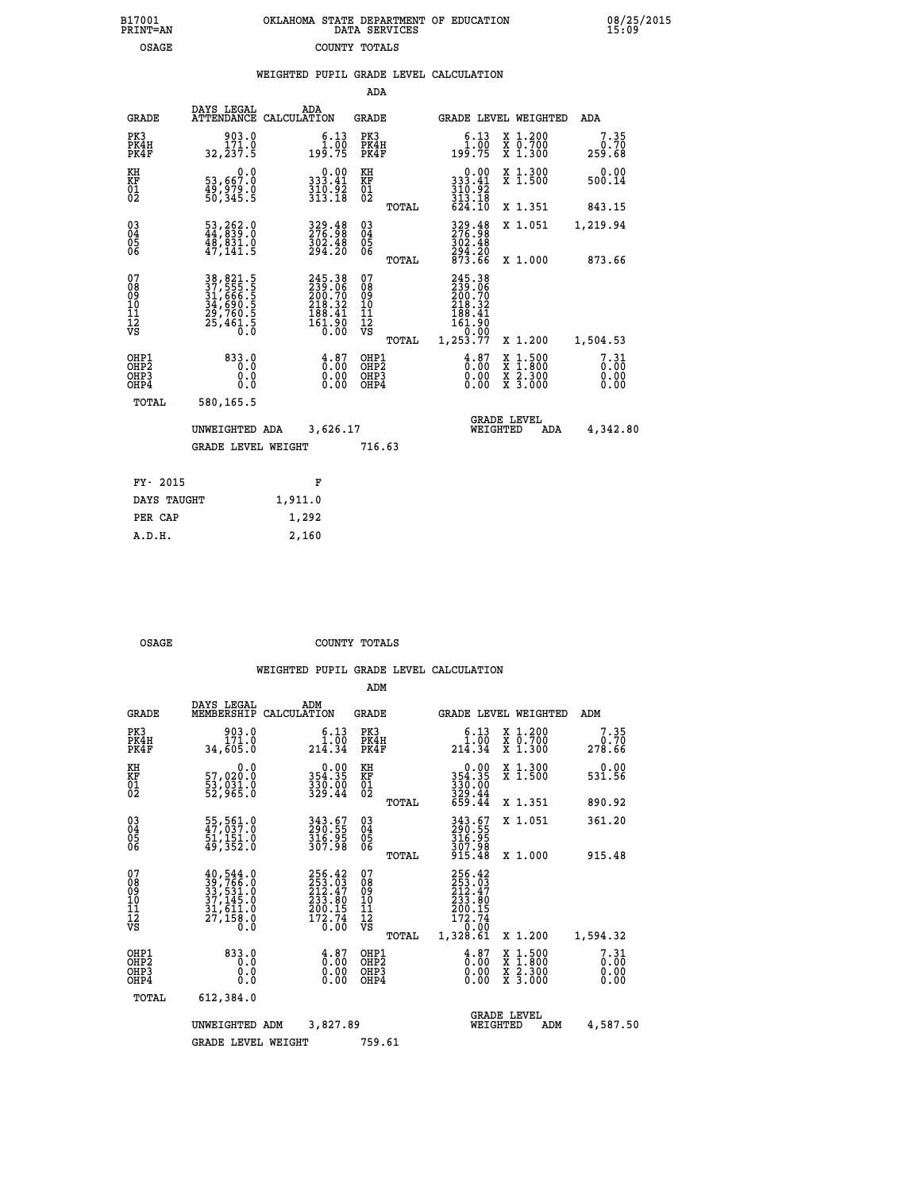|  | OKLAHOMA STATE DEPARTMENT OF EDUCATION<br>DATA SERVICES |  |
|--|---------------------------------------------------------|--|
|  | COUNTY TOTALS                                           |  |

B17001<br>PRINT=AN<br>OSAGE

 **B17001 OKLAHOMA STATE DEPARTMENT OF EDUCATION 08/25/2015**

|  |  | WEIGHTED PUPIL GRADE LEVEL CALCULATION |
|--|--|----------------------------------------|
|  |  |                                        |

|                                           |                                                                            |                                                                                | ADA                                      |       |                                                                                                                                          |                                                                                                  |                              |
|-------------------------------------------|----------------------------------------------------------------------------|--------------------------------------------------------------------------------|------------------------------------------|-------|------------------------------------------------------------------------------------------------------------------------------------------|--------------------------------------------------------------------------------------------------|------------------------------|
| <b>GRADE</b>                              | DAYS LEGAL                                                                 | ADA<br>ATTENDANCE CALCULATION                                                  | GRADE                                    |       | <b>GRADE LEVEL WEIGHTED</b>                                                                                                              |                                                                                                  | ADA                          |
| PK3<br>PK4H<br>PK4F                       | 903.0<br>171.0<br>32, 237.5                                                | $\begin{array}{c} 6.13 \\ 1.00 \\ 199.75 \end{array}$                          | PK3<br>PK4H<br>PK4F                      |       | 6.13<br>191.00<br>75.199                                                                                                                 | X 1.200<br>X 0.700<br>X 1.300                                                                    | 7.35<br>0.70<br>259.68       |
| KH<br>KF<br>01<br>02                      | 0.0<br>53,667:0<br>49,979:0<br>50,345:5                                    | $\begin{array}{c} 0.00 \\ 333.41 \\ 310.92 \\ 313.18 \end{array}$              | KH<br>KF<br>01<br>02                     |       | $\begin{smallmatrix}&&0.00\\333.41\\310.92\\313.18\\624.10\end{smallmatrix}$                                                             | X 1.300<br>X 1.500                                                                               | 0.00<br>500.14               |
|                                           |                                                                            |                                                                                |                                          | TOTAL |                                                                                                                                          | X 1.351                                                                                          | 843.15                       |
| 03<br>04<br>05<br>06                      | 53,262.0<br>44,839.0<br>$\frac{48}{47}$ , $\frac{831}{141}$ .5             | 329.48<br>276.98<br>302.48<br>294.20                                           | 03<br>04<br>05<br>06                     |       | $329.48276.98302.48294.20873.66$                                                                                                         | X 1.051                                                                                          | 1,219.94                     |
|                                           |                                                                            |                                                                                |                                          | TOTAL |                                                                                                                                          | X 1.000                                                                                          | 873.66                       |
| 07<br>08<br>09<br>10<br>11<br>12<br>VS    | 38, 821.5<br>37, 555.5<br>31, 666.5<br>34, 690.5<br>29, 760.5<br>25, 461.5 | $245.38$<br>$239.06$<br>$200.70$<br>$218.32$<br>$188.41$<br>$161.90$<br>$0.00$ | 07<br>08<br>09<br>11<br>11<br>12<br>VS   | TOTAL | 245.38<br>239.06<br>200.70<br>218.32<br>$\begin{smallmatrix} 218 & 31 \\ 188 & 41 \\ 161 & 90 \\ 0 & 00 \\ 1,253 & 77 \end{smallmatrix}$ | X 1.200                                                                                          | 1,504.53                     |
| OHP1<br>OH <sub>P</sub> 2<br>OHP3<br>OHP4 | 833.0<br>0.0<br>0.0<br>0.0                                                 | $\frac{4}{0}$ : 87<br>$\begin{smallmatrix} 0.00 \ 0.00 \end{smallmatrix}$      | OHP1<br>OHP <sub>2</sub><br>OHP3<br>OHP4 |       | $\frac{4.87}{0.00}$<br>0.00<br>0.00                                                                                                      | $\begin{smallmatrix} x & 1 & 500 \\ x & 1 & 800 \\ x & 2 & 300 \\ x & 3 & 000 \end{smallmatrix}$ | 7.31<br>0.00<br>0.00<br>0.00 |
| TOTAL                                     | 580,165.5                                                                  |                                                                                |                                          |       |                                                                                                                                          |                                                                                                  |                              |
|                                           | UNWEIGHTED ADA                                                             | 3,626.17                                                                       |                                          |       | WEIGHTED                                                                                                                                 | <b>GRADE LEVEL</b><br>ADA                                                                        | 4,342.80                     |
|                                           | <b>GRADE LEVEL WEIGHT</b>                                                  |                                                                                | 716.63                                   |       |                                                                                                                                          |                                                                                                  |                              |
| FY- 2015                                  |                                                                            | F                                                                              |                                          |       |                                                                                                                                          |                                                                                                  |                              |
|                                           |                                                                            |                                                                                |                                          |       |                                                                                                                                          |                                                                                                  |                              |
| DAYS TAUGHT                               |                                                                            | 1,911.0                                                                        |                                          |       |                                                                                                                                          |                                                                                                  |                              |
| PER CAP                                   |                                                                            | 1,292                                                                          |                                          |       |                                                                                                                                          |                                                                                                  |                              |
| A.D.H.                                    |                                                                            | 2,160                                                                          |                                          |       |                                                                                                                                          |                                                                                                  |                              |

OSAGE COUNTY TOTALS

|                                                       |                                                                                           |             |                                                                  | ADM                                                |       |                                                                              |          |                                                                                                  |                              |
|-------------------------------------------------------|-------------------------------------------------------------------------------------------|-------------|------------------------------------------------------------------|----------------------------------------------------|-------|------------------------------------------------------------------------------|----------|--------------------------------------------------------------------------------------------------|------------------------------|
| <b>GRADE</b>                                          | DAYS LEGAL<br>MEMBERSHIP                                                                  | CALCULATION | ADM                                                              | <b>GRADE</b>                                       |       |                                                                              |          | <b>GRADE LEVEL WEIGHTED</b>                                                                      | ADM                          |
| PK3<br>PK4H<br>PK4F                                   | 903.0<br>171.0<br>34,605.0                                                                |             | 6.13<br>$214.00$<br>$214.34$                                     | PK3<br>PK4H<br>PK4F                                |       | $\begin{smallmatrix} 6.13\ 1.00\ 214.34 \end{smallmatrix}$                   |          | $\begin{array}{c} x & 1.200 \\ x & 0.700 \end{array}$<br>X 1.300                                 | 7.35<br>0.70<br>278.66       |
| KH<br>KF<br>01<br>02                                  | 0.0<br>57,020.0<br>53,031.0<br>52,965.0                                                   |             | $0.00$<br>354.35<br>330.00<br>329.44                             | KH<br>KF<br>01<br>02                               |       | 0.00<br>354.35<br>330.00<br>329.44<br>659.44                                 |          | X 1.300<br>X 1.500                                                                               | 0.00<br>531.56               |
|                                                       |                                                                                           |             |                                                                  |                                                    | TOTAL |                                                                              |          | X 1.351                                                                                          | 890.92                       |
| 03<br>04<br>05<br>06                                  | 55, 561.0<br>47, 037.0<br>51, 151.0<br>49,352.0                                           |             | 343.67<br>290.55<br>316.95<br>307.98                             | $\begin{matrix} 03 \\ 04 \\ 05 \\ 06 \end{matrix}$ |       | 343.67<br>290.55<br>316.95<br>307.98                                         |          | X 1.051                                                                                          | 361.20                       |
|                                                       |                                                                                           |             |                                                                  |                                                    | TOTAL | 915.48                                                                       |          | X 1.000                                                                                          | 915.48                       |
| 07<br>08<br>09<br>101<br>112<br>VS                    | $40,544.0$<br>$33,766.0$<br>$33,531.0$<br>$37,145.0$<br>$31,611.0$<br>$\frac{27}{158}$ .0 |             | 256.42<br>253.03<br>212.47<br>233.80<br>200:15<br>172:74<br>0:00 | 07<br>08<br>09<br>101<br>11<br>12<br>VS            | TOTAL | 256.42<br>253.03<br>212.47<br>233.90<br>200.15<br>172.74<br>0.00<br>1,328.61 |          | X 1.200                                                                                          | 1,594.32                     |
| OHP1<br>OH <sub>P</sub> 2<br>OH <sub>P3</sub><br>OHP4 | 833.0<br>0.0<br>0.000                                                                     |             | $\begin{smallmatrix} 4.87\ 0.00\ 0.00 \end{smallmatrix}$<br>0.00 | OHP1<br>OHP2<br>OHP3<br>OHP4                       |       | $\begin{smallmatrix} 4.87\ 0.00\ 0.00 \end{smallmatrix}$<br>0.00             |          | $\begin{smallmatrix} x & 1 & 500 \\ x & 1 & 800 \\ x & 2 & 300 \\ x & 3 & 000 \end{smallmatrix}$ | 7.31<br>0.00<br>0.00<br>0.00 |
| TOTAL                                                 | 612,384.0                                                                                 |             |                                                                  |                                                    |       |                                                                              |          |                                                                                                  |                              |
|                                                       | UNWEIGHTED ADM                                                                            |             | 3,827.89                                                         |                                                    |       |                                                                              | WEIGHTED | <b>GRADE LEVEL</b><br>ADM                                                                        | 4,587.50                     |
|                                                       | <b>GRADE LEVEL WEIGHT</b>                                                                 |             |                                                                  | 759.61                                             |       |                                                                              |          |                                                                                                  |                              |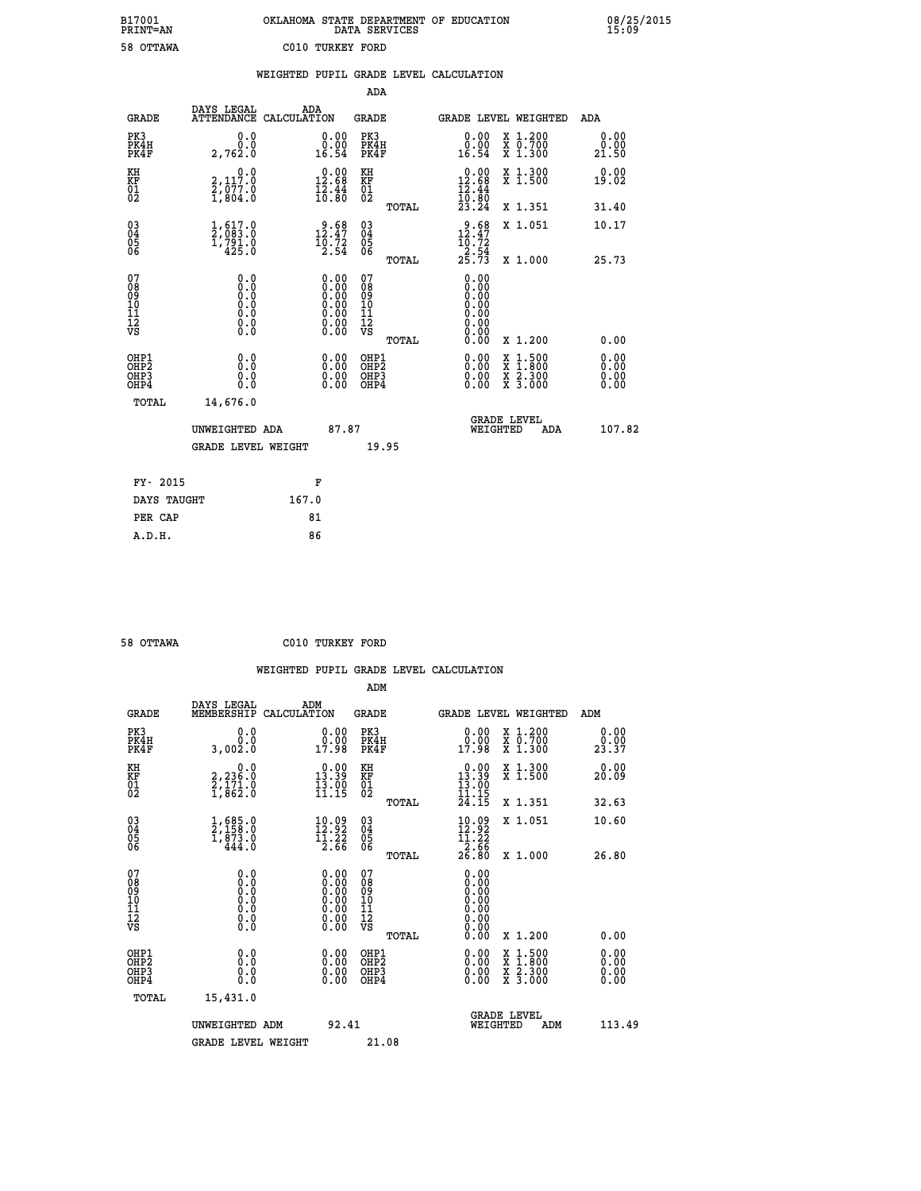| OKLAHOMA STATE DEPARTMENT OF EDUCATION<br>DATA SERVICES |  |
|---------------------------------------------------------|--|
| C010 TURKEY FORD                                        |  |

|                                                                    |                                                                                                                                        |       |                                                                                               |                                          |       | WEIGHTED PUPIL GRADE LEVEL CALCULATION                                           |                                                                                                                                           |                              |
|--------------------------------------------------------------------|----------------------------------------------------------------------------------------------------------------------------------------|-------|-----------------------------------------------------------------------------------------------|------------------------------------------|-------|----------------------------------------------------------------------------------|-------------------------------------------------------------------------------------------------------------------------------------------|------------------------------|
|                                                                    |                                                                                                                                        |       |                                                                                               | <b>ADA</b>                               |       |                                                                                  |                                                                                                                                           |                              |
| <b>GRADE</b>                                                       | DAYS LEGAL<br>ATTENDANCE CALCULATION                                                                                                   |       | ADA                                                                                           | GRADE                                    |       | GRADE LEVEL WEIGHTED                                                             |                                                                                                                                           | ADA                          |
| PK3<br>PK4H<br>PK4F                                                | 0.0<br>0.0<br>2,762.0                                                                                                                  |       | $\begin{smallmatrix} 0.00\\ 0.00\\ 16.54 \end{smallmatrix}$                                   | PK3<br>PK4H<br>PK4F                      |       | 0.00<br>0.00<br>16.54                                                            | X 1.200<br>X 0.700<br>X 1.300                                                                                                             | 0.00<br>0.00<br>21.50        |
| KH<br>KF<br>01<br>02                                               | 2,112.0<br>$\frac{2}{1}$ , $\frac{57}{3}$ , $\frac{5}{6}$                                                                              |       | $0.00$<br>12.68<br>$\frac{1}{2}$ $\frac{2}{6}$ $\cdot \frac{44}{80}$                          | KH<br>KF<br>$\overline{01}$              |       | $0.00$<br>12.68<br>$\frac{1}{2}$ $\frac{2}{6}$ $\cdot \frac{4}{8}$ $\frac{4}{9}$ | X 1.300<br>X 1.500                                                                                                                        | 0.00<br>19.02                |
|                                                                    |                                                                                                                                        |       |                                                                                               |                                          | TOTAL | 23.24                                                                            | X 1.351                                                                                                                                   | 31.40                        |
| $\begin{smallmatrix} 03 \\[-4pt] 04 \end{smallmatrix}$<br>Ŏ5<br>06 | $\frac{1}{2}$ , $\frac{617}{083}$ ; 0<br>1,791.0<br>425.0                                                                              |       | $12.47$<br>$10.72$<br>$2.54$                                                                  | $\substack{03 \\ 04}$<br>05<br>06        |       | 12.47                                                                            | X 1.051                                                                                                                                   | 10.17                        |
|                                                                    |                                                                                                                                        |       |                                                                                               |                                          | TOTAL | $\frac{16.72}{2.54}$<br>$25.73$                                                  | X 1.000                                                                                                                                   | 25.73                        |
| 07<br>08<br>09<br>11<br>11<br>12<br>VS                             | 0.0<br>$\begin{smallmatrix} 0.0 & 0 \ 0.0 & 0 \ 0.0 & 0 \end{smallmatrix}$<br>$\begin{smallmatrix} 0.16 \ 0.0 \ 0.0 \end{smallmatrix}$ |       | $\begin{smallmatrix} 0.00\ 0.00\ 0.00\ 0.00\ 0.00\ 0.00\ 0.00\ 0.00\ 0.00\ \end{smallmatrix}$ | 07<br>08<br>09<br>11<br>11<br>12<br>VS   |       | 0.00<br>0.00<br>0.00<br>0.00<br>0.00<br>0.00<br>0.00                             |                                                                                                                                           |                              |
|                                                                    |                                                                                                                                        |       |                                                                                               |                                          | TOTAL | 0.00                                                                             | X 1.200                                                                                                                                   | 0.00                         |
| OHP1<br>OH <sub>P2</sub><br>OHP3<br>OHP4                           | 0.0<br>0.0<br>0.0                                                                                                                      |       | $\begin{smallmatrix} 0.00 \ 0.00 \ 0.00 \ 0.00 \end{smallmatrix}$                             | OHP1<br>OHP <sup>2</sup><br>OHP3<br>OHP4 |       |                                                                                  | $\begin{smallmatrix} \mathtt{X} & 1\cdot500\\ \mathtt{X} & 1\cdot800\\ \mathtt{X} & 2\cdot300\\ \mathtt{X} & 3\cdot000 \end{smallmatrix}$ | 0.00<br>0.00<br>0.00<br>0.00 |
| TOTAL                                                              | 14,676.0                                                                                                                               |       |                                                                                               |                                          |       |                                                                                  |                                                                                                                                           |                              |
|                                                                    | UNWEIGHTED ADA                                                                                                                         |       | 87.87                                                                                         |                                          |       | WEIGHTED                                                                         | <b>GRADE LEVEL</b><br><b>ADA</b>                                                                                                          | 107.82                       |
|                                                                    | <b>GRADE LEVEL WEIGHT</b>                                                                                                              |       |                                                                                               |                                          | 19.95 |                                                                                  |                                                                                                                                           |                              |
| FY- 2015                                                           |                                                                                                                                        |       | F                                                                                             |                                          |       |                                                                                  |                                                                                                                                           |                              |
| DAYS TAUGHT                                                        |                                                                                                                                        | 167.0 |                                                                                               |                                          |       |                                                                                  |                                                                                                                                           |                              |
| PER CAP                                                            |                                                                                                                                        |       | 81                                                                                            |                                          |       |                                                                                  |                                                                                                                                           |                              |

 **58 OTTAWA C010 TURKEY FORD**

 **ADM**

 **A.D.H. 86**

 **B17001<br>PRINT=AN<br>58 OTTAWA** 

| <b>GRADE</b>                                       | DAYS LEGAL<br>MEMBERSHIP CALCULATION                                                              | ADM                                                                                           | <b>GRADE</b>                                  |       |                                                                      |          | GRADE LEVEL WEIGHTED                                                                                                | ADM                  |  |
|----------------------------------------------------|---------------------------------------------------------------------------------------------------|-----------------------------------------------------------------------------------------------|-----------------------------------------------|-------|----------------------------------------------------------------------|----------|---------------------------------------------------------------------------------------------------------------------|----------------------|--|
| PK3<br>PK4H<br>PK4F                                | 0.0<br>0.0<br>3,002.0                                                                             | $\begin{smallmatrix} 0.00\\ 0.00\\ 17.98 \end{smallmatrix}$                                   | PK3<br>PK4H<br>PK4F                           |       | 0.00<br>0.00<br>17.98                                                |          | X 1.200<br>X 0.700<br>X 1.300                                                                                       | 0.00<br>23.37        |  |
| KH<br>KF<br>01<br>02                               | $\begin{smallmatrix} 0.0\\2,236.0\\2,171.0\\1,862.0 \end{smallmatrix}$                            | $0.00$<br>13.39<br>$\frac{13.00}{11.15}$                                                      | KH<br><b>KF</b><br>01<br>02                   |       | $\begin{smallmatrix} 0.00\\ 13.39\\ 13.00\\ 11.19 \end{smallmatrix}$ |          | X 1.300<br>X 1.500                                                                                                  | 0.00<br>20.09        |  |
|                                                    |                                                                                                   |                                                                                               |                                               | TOTAL | 24.15                                                                |          | X 1.351                                                                                                             | 32.63                |  |
| $\begin{matrix} 03 \\ 04 \\ 05 \\ 06 \end{matrix}$ | $\begin{smallmatrix} 1, 685.0\\ 2, 158.0\\ 1, 873.0\\ 444.0 \end{smallmatrix}$                    | $\begin{array}{c} 10.09 \\[-4pt] 12.92 \\[-4pt] 11.22 \\[-4pt] 2.66 \end{array}$              | $\substack{03 \\ 04}$<br>05<br>06             |       | $10.09$<br>$12.92$<br>$11.22$<br>$2.66$                              |          | X 1.051                                                                                                             | 10.60                |  |
|                                                    |                                                                                                   |                                                                                               |                                               | TOTAL | 26.80                                                                |          | X 1.000                                                                                                             | 26.80                |  |
| 07<br>08<br>09<br>101<br>11<br>12<br>VS            | $\begin{smallmatrix} 0.0 & 0 \ 0.0 & 0 \ 0.0 & 0 \ 0.0 & 0 \ 0.0 & 0 \ 0.0 & 0 \end{smallmatrix}$ | $\begin{smallmatrix} 0.00\ 0.00\ 0.00\ 0.00\ 0.00\ 0.00\ 0.00\ 0.00\ 0.00\ \end{smallmatrix}$ | 07<br>08<br>09<br>001<br>11<br>11<br>12<br>VS | TOTAL | 0.00                                                                 |          | X 1.200                                                                                                             | 0.00                 |  |
| OHP1                                               |                                                                                                   |                                                                                               | OHP1                                          |       |                                                                      |          |                                                                                                                     |                      |  |
| OHP2<br>OH <sub>P3</sub><br>OHP4                   | 0.0<br>0.000                                                                                      | $\begin{smallmatrix} 0.00 \ 0.00 \ 0.00 \ 0.00 \end{smallmatrix}$                             | OHP <sub>2</sub><br>OHP3<br>OHP4              |       | 0.00<br>0.00                                                         |          | $\begin{array}{l} \mathtt{X} & 1.500 \\ \mathtt{X} & 1.800 \\ \mathtt{X} & 2.300 \\ \mathtt{X} & 3.000 \end{array}$ | 0.00<br>0.00<br>0.00 |  |
| TOTAL                                              | 15,431.0                                                                                          |                                                                                               |                                               |       |                                                                      |          |                                                                                                                     |                      |  |
|                                                    | UNWEIGHTED                                                                                        | 92.41<br>ADM                                                                                  |                                               |       |                                                                      | WEIGHTED | <b>GRADE LEVEL</b><br>ADM                                                                                           | 113.49               |  |
|                                                    | <b>GRADE LEVEL WEIGHT</b>                                                                         |                                                                                               | 21.08                                         |       |                                                                      |          |                                                                                                                     |                      |  |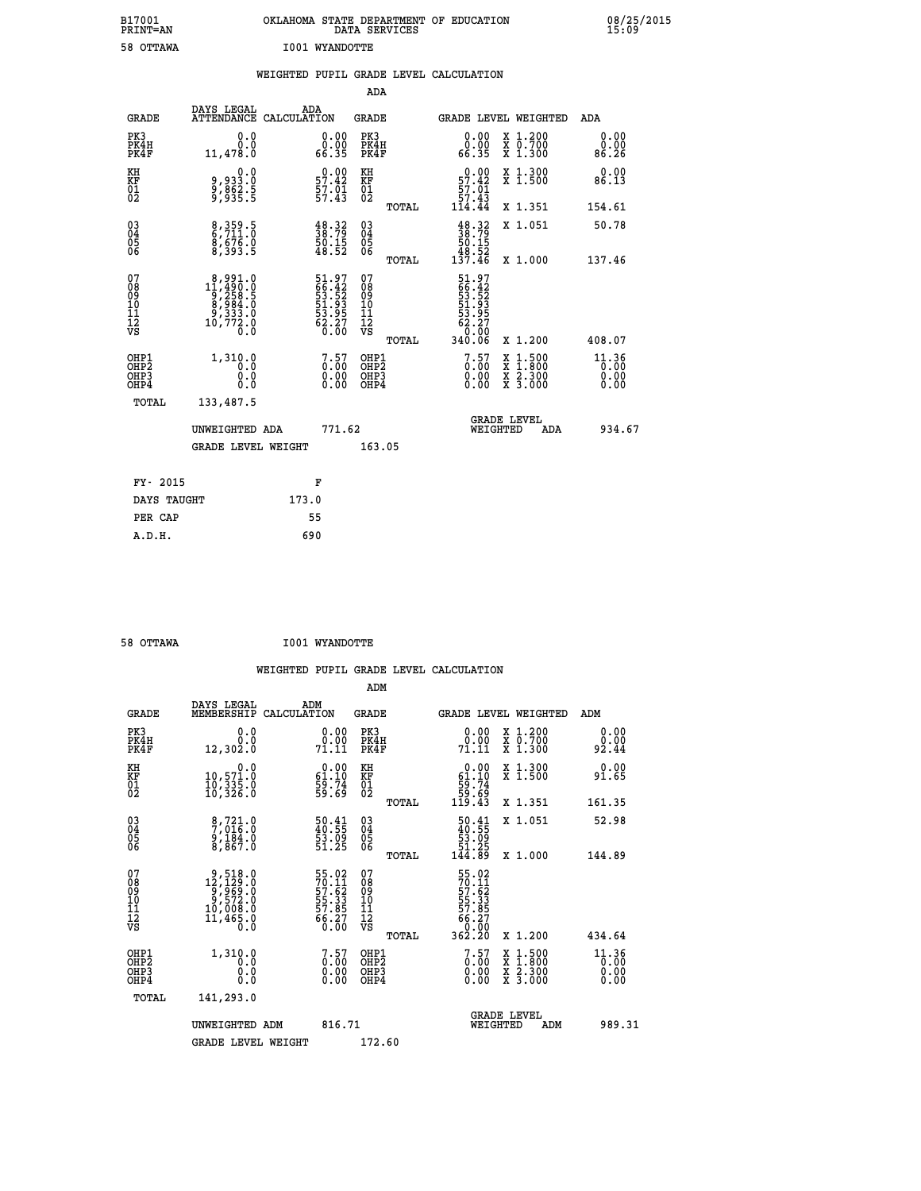| B17001          | OKLAHOMA STATE DEPARTMENT OF EDUCATION |
|-----------------|----------------------------------------|
| <b>PRINT=AN</b> | DATA SERVICES                          |
| 58 OTTAWA       | <b>I001 WYANDOTTE</b>                  |

|  |  | WEIGHTED PUPIL GRADE LEVEL CALCULATION |
|--|--|----------------------------------------|
|  |  |                                        |

|                                                                  |                                                                                                   |                                                             | ADA                                                 |       |                                                                           |                                          |                                 |
|------------------------------------------------------------------|---------------------------------------------------------------------------------------------------|-------------------------------------------------------------|-----------------------------------------------------|-------|---------------------------------------------------------------------------|------------------------------------------|---------------------------------|
| <b>GRADE</b>                                                     | DAYS LEGAL<br><b>ATTENDANCE</b>                                                                   | ADA<br>CALCULATION                                          | <b>GRADE</b>                                        |       | GRADE LEVEL WEIGHTED                                                      |                                          | ADA                             |
| PK3<br>PK4H<br>PK4F                                              | 0.0<br>0.0<br>11,478.0                                                                            | $\begin{smallmatrix} 0.00\\ 0.00\\ 66.35 \end{smallmatrix}$ | PK3<br>PK4H<br>PK4F                                 |       | $\begin{smallmatrix} 0.00\\ 0.00\\ 66.35 \end{smallmatrix}$               | X 1.200<br>X 0.700<br>X 1.300            | 0.00<br>0.00<br>86.26           |
| KH<br>KF<br>01<br>02                                             | 0.0<br>9,933:0<br>9,862:5<br>9,935:5                                                              | $0.00$<br>57.42<br>$\frac{57.01}{57.43}$                    | KH<br>KF<br>01<br>02                                |       | $0.00$<br>57.42<br>$\frac{57.01}{57.43}$                                  | X 1.300<br>X 1.500                       | 0.00<br>86.13                   |
|                                                                  |                                                                                                   |                                                             |                                                     | TOTAL | 114.44                                                                    | X 1.351                                  | 154.61                          |
| $^{03}_{04}$<br>Ŏ5<br>06                                         | 8,359.5<br>6,711.0<br>8,676.0<br>8,393.5                                                          | $\frac{48.32}{38.79}$<br>50.15<br>48.52                     | $\begin{array}{c} 03 \\ 04 \\ 05 \\ 06 \end{array}$ |       | $\begin{array}{c} 48.32 \\ 38.79 \\ 50.15 \\ 48.52 \\ 137.46 \end{array}$ | X 1.051                                  | 50.78                           |
|                                                                  |                                                                                                   |                                                             |                                                     | TOTAL |                                                                           | X 1.000                                  | 137.46                          |
| 07<br>08901112<br>1112<br>VS                                     | $\begin{smallmatrix}8,991.0\\11,490.0\\9,258.5\\8,984.0\\9,333.0\\10,772.0\\0.0\end{smallmatrix}$ | 51.97<br>66.42<br>53.52<br>53.93<br>53.95<br>62.27<br>62.80 | 07<br>08<br>09<br>11<br>11<br>12<br>VS              |       | 51.97<br>66.42<br>53.52<br>53.93<br>53.95<br>62.27<br>62.80               |                                          |                                 |
|                                                                  |                                                                                                   |                                                             |                                                     | TOTAL | 340.06                                                                    | X 1.200                                  | 408.07                          |
| OHP1<br>OH <sub>P2</sub><br>OH <sub>P3</sub><br>OH <sub>P4</sub> | 1,310.0<br>0.0<br>0.0<br>0.0                                                                      | $\begin{smallmatrix} 7.57\0.00\0.00\0.00 \end{smallmatrix}$ | OHP1<br>OH <sub>P</sub> 2<br>OHP3<br>OHP4           |       | $\begin{smallmatrix} 7.57\0.00\0.00 \end{smallmatrix}$                    | X 1:500<br>X 1:800<br>X 2:300<br>X 3:000 | $11.36$<br>0.00<br>0.00<br>0.00 |
| TOTAL                                                            | 133,487.5                                                                                         |                                                             |                                                     |       |                                                                           |                                          |                                 |
|                                                                  | UNWEIGHTED ADA                                                                                    | 771.62                                                      |                                                     |       |                                                                           | GRADE LEVEL<br>WEIGHTED<br>ADA           | 934.67                          |
|                                                                  | <b>GRADE LEVEL WEIGHT</b>                                                                         |                                                             | 163.05                                              |       |                                                                           |                                          |                                 |
| FY- 2015                                                         |                                                                                                   | F                                                           |                                                     |       |                                                                           |                                          |                                 |
| DAYS TAUGHT                                                      |                                                                                                   | 173.0                                                       |                                                     |       |                                                                           |                                          |                                 |
| PER CAP                                                          |                                                                                                   | 55                                                          |                                                     |       |                                                                           |                                          |                                 |
|                                                                  |                                                                                                   |                                                             |                                                     |       |                                                                           |                                          |                                 |

| 58 OTTAWA | <b>I001 WYANDOTTE</b> |
|-----------|-----------------------|
|           |                       |

 **A.D.H. 690**

 **ADM**

| <b>GRADE</b>                                       | DAYS LEGAL<br>MEMBERSHIP CALCULATION                                                               | ADM                                                                  | <b>GRADE</b>                                           |                                                                                 | GRADE LEVEL WEIGHTED                     | ADM                   |
|----------------------------------------------------|----------------------------------------------------------------------------------------------------|----------------------------------------------------------------------|--------------------------------------------------------|---------------------------------------------------------------------------------|------------------------------------------|-----------------------|
| PK3<br>PK4H<br>PK4F                                | 0.0<br>0.0<br>12,302.0                                                                             | 0.0000<br>71.11                                                      | PK3<br>PK4H<br>PK4F                                    | 0.00<br>0.00<br>71.11                                                           | X 1.200<br>X 0.700<br>X 1.300            | 0.00<br>0.00<br>92.44 |
| KH<br>KF<br>01<br>02                               | 0.0<br>10,571.0<br>10,335.0<br>10,326.0                                                            | $\begin{smallmatrix} 0.00\\ 61.10\\ 59.74\\ 59.69 \end{smallmatrix}$ | KH<br>KF<br>01<br>02                                   | $\begin{smallmatrix} &0.00\ 61.10\ 59.74\ 59.69\ 119.43\end{smallmatrix}$       | X 1.300<br>X 1.500                       | 0.00<br>91.65         |
|                                                    |                                                                                                    |                                                                      | TOTAL                                                  |                                                                                 | X 1.351                                  | 161.35                |
| $\begin{matrix} 03 \\ 04 \\ 05 \\ 06 \end{matrix}$ | 8,721.0<br>7,016.0<br>9,184.0<br>8,867.0                                                           | 50.41<br>40.55<br>53.09<br>51.25                                     | $\begin{matrix} 03 \\ 04 \\ 05 \\ 06 \end{matrix}$     | $\begin{smallmatrix} 50.41\ 40.55\ 53.09\ 51.25\ 144.89 \end{smallmatrix}$      | X 1.051                                  | 52.98                 |
|                                                    |                                                                                                    |                                                                      | TOTAL                                                  |                                                                                 | X 1.000                                  | 144.89                |
| 07<br>08<br>09<br>101<br>11<br>12<br>VS            | $\begin{smallmatrix}9,518.0\\12,129.0\\9,969.0\\9,572.0\\10,008.0\\11,465.0\\0.0\end{smallmatrix}$ | 55.02<br>70.11<br>57.62<br>55.33<br>55.85<br>56.27<br>66.27          | 07<br>08<br>09<br>001<br>11<br>11<br>12<br>VS<br>TOTAL | 55.02<br>70.11<br>57.62<br>57.83<br>57.857<br>66.27<br>66.27<br>0.000<br>362.20 | X 1.200                                  | 434.64                |
| OHP1<br>OHP2<br>OHP3<br>OHP4                       | 1,310.0<br>0.0<br>0.000                                                                            | $\begin{smallmatrix} 7.57\0.00\0.00\0.00 \end{smallmatrix}$          | OHP1<br>OHP2<br>OHP3<br>OHP4                           | $\begin{smallmatrix} 7.57\0.00\0.00 \end{smallmatrix}$                          | X 1:500<br>X 1:800<br>X 2:300<br>X 3:000 | 11.36<br>0.00<br>0.00 |
| TOTAL                                              | 141,293.0                                                                                          |                                                                      |                                                        |                                                                                 |                                          |                       |
|                                                    | UNWEIGHTED<br>ADM                                                                                  | 816.71                                                               |                                                        | WEIGHTED                                                                        | <b>GRADE LEVEL</b><br>ADM                | 989.31                |
|                                                    | <b>GRADE LEVEL WEIGHT</b>                                                                          |                                                                      | 172.60                                                 |                                                                                 |                                          |                       |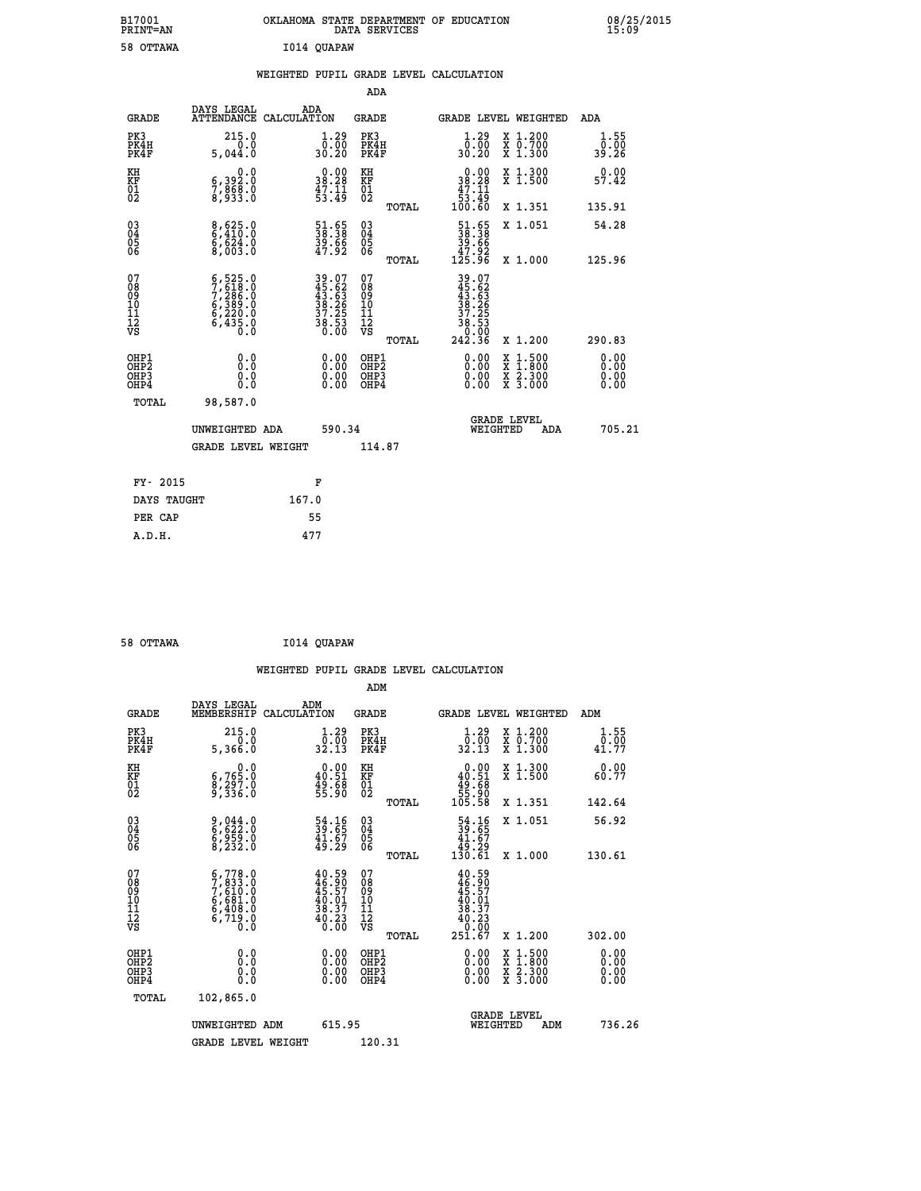| B17001<br>PRINT=AN | OKLAHOMA STATE DEPARTMENT OF EDUCATION<br>DATA SERVICES | 08/25/2015<br>15:09 |
|--------------------|---------------------------------------------------------|---------------------|
| 58 OTTAWA          | I014 QUAPAW                                             |                     |

|  |  | WEIGHTED PUPIL GRADE LEVEL CALCULATION |
|--|--|----------------------------------------|
|  |  |                                        |

|                                                                              |                                                                                     |                                                                      | ADA                                                |       |                                                                                |                                                                                                                                              |                              |
|------------------------------------------------------------------------------|-------------------------------------------------------------------------------------|----------------------------------------------------------------------|----------------------------------------------------|-------|--------------------------------------------------------------------------------|----------------------------------------------------------------------------------------------------------------------------------------------|------------------------------|
| <b>GRADE</b>                                                                 | DAYS LEGAL                                                                          | ADA<br>ATTENDANCE CALCULATION                                        | GRADE                                              |       | <b>GRADE LEVEL WEIGHTED</b>                                                    |                                                                                                                                              | ADA                          |
| PK3<br>PK4H<br>PK4F                                                          | 215.0<br>0.0<br>5.044.0                                                             | $\begin{smallmatrix} 1.29 \\ 0.00 \\ 30.20 \end{smallmatrix}$        | PK3<br>PK4H<br>PK4F                                |       | $1.29$<br>$0.00$<br>30.20                                                      | X 1.200<br>X 0.700<br>X 1.300                                                                                                                | 1.55<br>0.00<br>39.26        |
| KH<br>KF<br>01<br>02                                                         | 0.0<br>6,392:0<br>7,868:0<br>8,933:0                                                | $\begin{smallmatrix} 0.00\\ 38.28\\ 47.11\\ 53.49 \end{smallmatrix}$ | KH<br>KF<br>01<br>02                               |       | $\begin{smallmatrix}&&0.00\\18.28\\47.11\\53.49\\100.60\end{smallmatrix}$      | X 1.300<br>X 1.500                                                                                                                           | 0.00<br>57.42                |
|                                                                              |                                                                                     |                                                                      |                                                    | TOTAL |                                                                                | X 1.351                                                                                                                                      | 135.91                       |
| $\begin{matrix} 03 \\ 04 \\ 05 \\ 06 \end{matrix}$                           | $\begin{array}{l} 8,625.0 \\ 6,410.0 \\ 6,624.0 \end{array}$<br>8,003.0             | 51.65<br>38.38<br>39.66<br>47.92                                     | $\begin{matrix} 03 \\ 04 \\ 05 \\ 06 \end{matrix}$ |       | $\begin{smallmatrix} 51.65\\ 38.38\\ 39.66\\ 47.92\\ 125.96 \end{smallmatrix}$ | X 1.051                                                                                                                                      | 54.28                        |
|                                                                              |                                                                                     |                                                                      |                                                    | TOTAL |                                                                                | X 1.000                                                                                                                                      | 125.96                       |
| 07<br>08<br>09<br>11<br>11<br>12<br>VS                                       | $5,525.0$<br>$7,286.0$<br>$7,286.0$<br>$6,389.0$<br>$6,220.0$<br>$6,435.0$<br>$0.0$ | 39.07<br>45.62<br>43.63<br>38.265<br>37.25<br>38.53<br>0.00          | 07<br>08<br>09<br>11<br>11<br>12<br>VS             | TOTAL | 39.07<br>45.62<br>43.63<br>38.265<br>37.253<br>38.533<br>242.36                | X 1.200                                                                                                                                      | 290.83                       |
| OHP1<br>OH <sub>P</sub> <sub>2</sub><br>OH <sub>P3</sub><br>OH <sub>P4</sub> | 0.0<br>Ō.Ō<br>0.0<br>0.0                                                            | 0.00<br>$\begin{smallmatrix} 0.00 \ 0.00 \end{smallmatrix}$          | OHP1<br>OHP2<br>OHP3<br>OHP4                       |       | 0.00<br>0.00<br>0.00                                                           | $\begin{smallmatrix} \mathtt{X} & 1\cdot500 \\ \mathtt{X} & 1\cdot800 \\ \mathtt{X} & 2\cdot300 \\ \mathtt{X} & 3\cdot000 \end{smallmatrix}$ | 0.00<br>0.00<br>0.00<br>0.00 |
| TOTAL                                                                        | 98,587.0                                                                            |                                                                      |                                                    |       |                                                                                |                                                                                                                                              |                              |
|                                                                              | UNWEIGHTED ADA                                                                      | 590.34                                                               |                                                    |       | WEIGHTED                                                                       | <b>GRADE LEVEL</b><br>ADA                                                                                                                    | 705.21                       |
|                                                                              | <b>GRADE LEVEL WEIGHT</b>                                                           |                                                                      | 114.87                                             |       |                                                                                |                                                                                                                                              |                              |
|                                                                              |                                                                                     |                                                                      |                                                    |       |                                                                                |                                                                                                                                              |                              |
| FY- 2015                                                                     |                                                                                     | F                                                                    |                                                    |       |                                                                                |                                                                                                                                              |                              |
| DAYS TAUGHT                                                                  |                                                                                     | 167.0                                                                |                                                    |       |                                                                                |                                                                                                                                              |                              |
| PER CAP                                                                      |                                                                                     | 55                                                                   |                                                    |       |                                                                                |                                                                                                                                              |                              |
| A.D.H.                                                                       |                                                                                     | 477                                                                  |                                                    |       |                                                                                |                                                                                                                                              |                              |

| 58 OTTAWA | I014 QUAPAW |
|-----------|-------------|
|           |             |

 **WEIGHTED PUPIL GRADE LEVEL CALCULATION ADM DAYS LEGAL** ... ADM

| GRADE                                              | MEMBERSHIP CALCULATION                                                              |                                                                                              | GRADE                                              |       | <b>GRADE LEVEL WEIGHTED</b>                                                          |                                                                                                  |     | ADM                          |  |
|----------------------------------------------------|-------------------------------------------------------------------------------------|----------------------------------------------------------------------------------------------|----------------------------------------------------|-------|--------------------------------------------------------------------------------------|--------------------------------------------------------------------------------------------------|-----|------------------------------|--|
| PK3<br>PK4H<br>PK4F                                | 215.0<br>5,366.0                                                                    | $\begin{smallmatrix} 1.29 \\[-4pt] 0.00\\[-4pt] 32.13\end{smallmatrix}$                      | PK3<br>PK4H<br>PK4F                                |       | $\begin{smallmatrix}1.29\\0.00\\32.13\end{smallmatrix}$                              | X 1.200<br>X 0.700<br>X 1.300                                                                    |     | 1.55<br>$\frac{0.00}{41.77}$ |  |
| KH<br>KF<br>01<br>02                               | $\begin{smallmatrix}&&&0.0\5,765.0\8,297.0\9,336.0\end{smallmatrix}$                | $\begin{smallmatrix} 0.00\\ 40.51\\ 49.58\\ 55.90 \end{smallmatrix}$                         | KH<br>KF<br>01<br>02                               |       | $\begin{smallmatrix} &0.00\ 40.51\ 49.68\ 55.90\ 105.58\ \end{smallmatrix}$          | X 1.300<br>X 1.500                                                                               |     | 0.00<br>60.77                |  |
|                                                    |                                                                                     |                                                                                              |                                                    | TOTAL |                                                                                      | X 1.351                                                                                          |     | 142.64                       |  |
| $\begin{matrix} 03 \\ 04 \\ 05 \\ 06 \end{matrix}$ | $\frac{9}{6}, \frac{044}{62}$ : 0<br>$\frac{5}{8}$ , $\frac{55}{232}$ .0            | $\begin{smallmatrix} 54.16\\ 39.65\\ 41.67\\ 49.29 \end{smallmatrix}$                        | $\begin{matrix} 03 \\ 04 \\ 05 \\ 06 \end{matrix}$ |       | $\begin{smallmatrix} 54.16 \\ 39.65 \\ 41.67 \\ 49.29 \\ 130.61 \end{smallmatrix}$   | X 1.051                                                                                          |     | 56.92                        |  |
|                                                    |                                                                                     |                                                                                              |                                                    | TOTAL |                                                                                      | X 1.000                                                                                          |     | 130.61                       |  |
| 07<br>0890112<br>1112<br>VS                        | $5,778.0$<br>$7,833.0$<br>$7,610.0$<br>$6,681.0$<br>$6,408.0$<br>$6,719.0$<br>$0.0$ | $\begin{smallmatrix} 40.59\\ 46.90\\ 45.57\\ 40.01\\ 38.37\\ 40.23\\ 0.00 \end{smallmatrix}$ | 07<br>08<br>09<br>11<br>11<br>12<br>VS             |       | $40.59$<br>$46.90$<br>$45.57$<br>$40.01$<br>$38.37$<br>$40.23$<br>$0.00$<br>$251.67$ |                                                                                                  |     |                              |  |
|                                                    |                                                                                     |                                                                                              |                                                    | TOTAL |                                                                                      | X 1.200                                                                                          |     | 302.00                       |  |
| OHP1<br>OHP2<br>OH <sub>P3</sub><br>OHP4           | 0.0<br>$\begin{smallmatrix} 0.5 & 0 \ 0.0 & 0 \end{smallmatrix}$                    |                                                                                              | OHP1<br>OHP2<br>OHP3<br>OHP4                       |       |                                                                                      | $\begin{smallmatrix} x & 1 & 500 \\ x & 1 & 800 \\ x & 2 & 300 \\ x & 3 & 000 \end{smallmatrix}$ |     | $0.00$<br>$0.00$<br>0.00     |  |
| TOTAL                                              | 102,865.0                                                                           |                                                                                              |                                                    |       |                                                                                      |                                                                                                  |     |                              |  |
|                                                    | UNWEIGHTED ADM                                                                      | 615.95                                                                                       |                                                    |       | WEIGHTED                                                                             | <b>GRADE LEVEL</b>                                                                               | ADM | 736.26                       |  |
|                                                    | <b>GRADE LEVEL WEIGHT</b>                                                           |                                                                                              | 120.31                                             |       |                                                                                      |                                                                                                  |     |                              |  |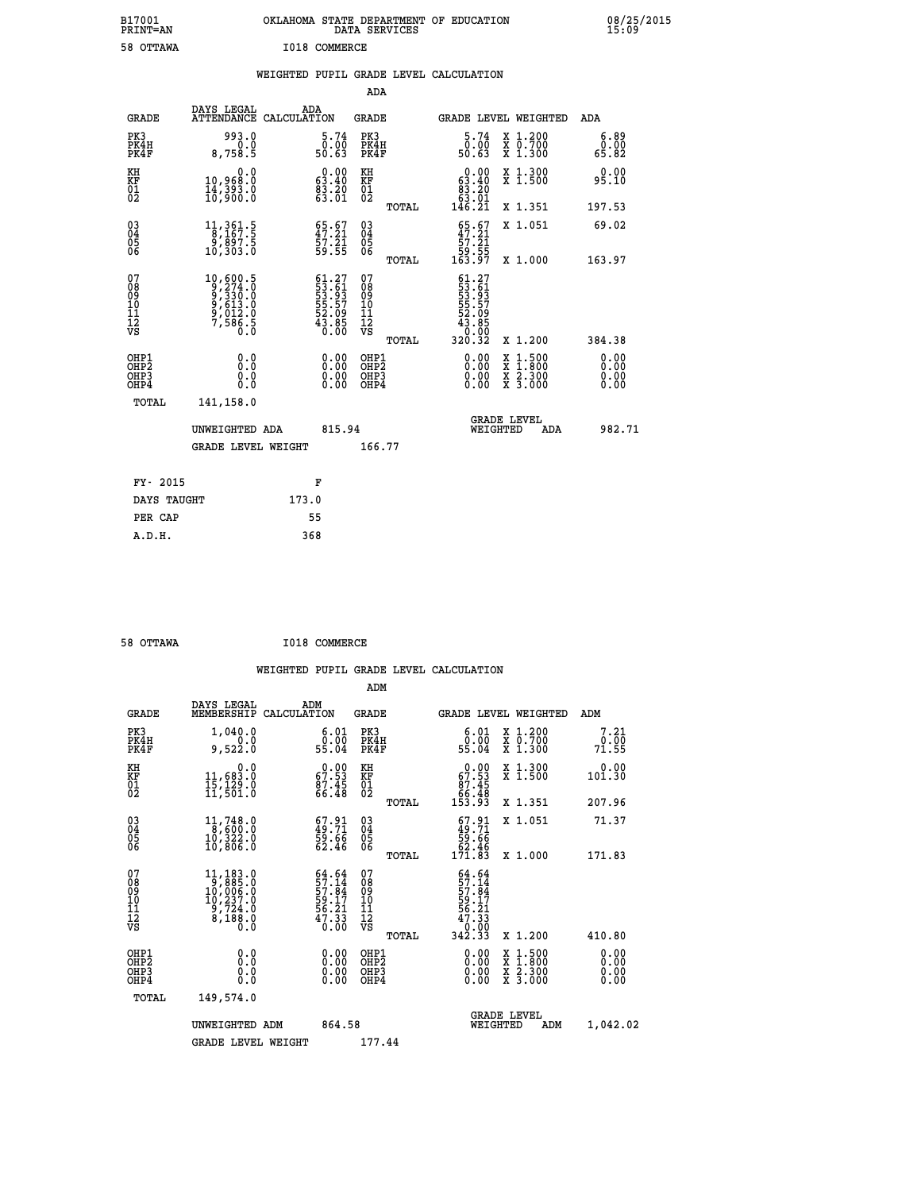| B17001<br>PRINT=AN                             |                                                                                                          | OKLAHOMA STATE DEPARTMENT OF EDUCATION                                    | DATA SERVICES                                      |                                                                                                             |                                                                                                  | 08/25/2015            |
|------------------------------------------------|----------------------------------------------------------------------------------------------------------|---------------------------------------------------------------------------|----------------------------------------------------|-------------------------------------------------------------------------------------------------------------|--------------------------------------------------------------------------------------------------|-----------------------|
| 58 OTTAWA                                      |                                                                                                          | I018 COMMERCE                                                             |                                                    |                                                                                                             |                                                                                                  |                       |
|                                                |                                                                                                          | WEIGHTED PUPIL GRADE LEVEL CALCULATION                                    |                                                    |                                                                                                             |                                                                                                  |                       |
|                                                |                                                                                                          |                                                                           | ADA                                                |                                                                                                             |                                                                                                  |                       |
| GRADE                                          | DAYS LEGAL                                                                                               | ADA<br>ATTENDANCE CALCULATION                                             | GRADE                                              |                                                                                                             | GRADE LEVEL WEIGHTED                                                                             | ADA                   |
| PK3<br>PK4H<br>PK4F                            | 993.0<br>0.0<br>8,758.5                                                                                  | 5.74<br>0.00<br>50.63                                                     | PK3<br>PK4H<br>PK4F                                | 5.74<br>0.00<br>50.63                                                                                       | X 1.200<br>X 0.700<br>X 1.300                                                                    | 6.89<br>0.00<br>65.82 |
| KH<br>KF<br>$\frac{01}{02}$                    | 0.0<br>10,968:0<br>14,393.0<br>10,900:0                                                                  | $\begin{smallmatrix} 0.00\\ 63.40\\ 83.20\\ 63.01 \end{smallmatrix}$      | KH<br>KF<br>$\overline{01}$                        | $\begin{smallmatrix} 0.00\\ 63.40\\ 83.20\\ 63.01 \end{smallmatrix}$                                        | X 1.300<br>X 1.500                                                                               | 0.00<br>95.10         |
|                                                |                                                                                                          |                                                                           | TOTAL                                              | 146.21                                                                                                      | X 1.351                                                                                          | 197.53                |
| $\substack{03 \\ 04}$<br>$\substack{05 \\ 06}$ | $11,361.5$<br>$8,167.5$<br>ة : 397.5<br>10,303.0                                                         | 65.67<br>47.21<br>57.21<br>59.55                                          | $\begin{matrix} 03 \\ 04 \\ 05 \\ 06 \end{matrix}$ | $\begin{smallmatrix} 65.67\\ 47.21\\ 57.21\\ 59.55\\ 163.97 \end{smallmatrix}$                              | X 1.051                                                                                          | 69.02                 |
|                                                |                                                                                                          |                                                                           | TOTAL                                              |                                                                                                             | X 1.000                                                                                          | 163.97                |
| 07<br>08<br>09<br>11<br>11<br>12<br>VS         | $\begin{smallmatrix} 10,600.5\\ 9,274.0\\ 9,330.0\\ 9,613.0\\ 9,012.0\\ 7,586.5\\ 0.0 \end{smallmatrix}$ | $61.27$<br>$53.61$<br>$53.93$<br>$55.57$<br>$52.09$<br>$43.85$<br>$40.00$ | 07<br>08<br>09<br>101<br>11<br>12<br>VS<br>TOTAL   | $\begin{smallmatrix} 61.27\\ 53.61\\ 53.93 \end{smallmatrix}$<br>55:57<br>52:09<br>43:85<br>40:00<br>320.32 | X 1.200                                                                                          | 384.38                |
| OHP1<br>OH <sub>P</sub> 2<br>OHP3<br>OHP4      | 0.0<br>0.0<br>0.0<br>0.0                                                                                 |                                                                           | OHP1<br>OH <sub>P</sub> 2<br>OHP3<br>OHP4          | 0.00<br>0.00<br>0.00                                                                                        | $\begin{smallmatrix} x & 1 & 500 \\ x & 1 & 800 \\ x & 2 & 300 \\ x & 3 & 000 \end{smallmatrix}$ | 0.00<br>0.00<br>0.00  |
| TOTAL                                          | 141,158.0                                                                                                |                                                                           |                                                    |                                                                                                             |                                                                                                  |                       |
|                                                | UNWEIGHTED ADA                                                                                           | 815.94                                                                    |                                                    | WEIGHTED                                                                                                    | <b>GRADE LEVEL</b><br>ADA                                                                        | 982.71                |
|                                                | <b>GRADE LEVEL WEIGHT</b>                                                                                |                                                                           | 166.77                                             |                                                                                                             |                                                                                                  |                       |
| FY- 2015                                       |                                                                                                          | F                                                                         |                                                    |                                                                                                             |                                                                                                  |                       |
| DAYS TAUGHT                                    |                                                                                                          | 173.0                                                                     |                                                    |                                                                                                             |                                                                                                  |                       |
| PER CAP                                        |                                                                                                          | 55                                                                        |                                                    |                                                                                                             |                                                                                                  |                       |

| 58 OTTAWA | I018 COMMERCE |
|-----------|---------------|

 **WEIGHTED PUPIL GRADE LEVEL CALCULATION ADM DAYS LEGAL ADM GRADE MEMBERSHIP CALCULATION GRADE GRADE LEVEL WEIGHTED ADM PK3 1,040.0 6.01 PK3 6.01 X 1.200 7.21 PK4H 0.0 0.00 PK4H 0.00 X 0.700 0.00 PK4F 9,522.0 55.04 PK4F 55.04 X 1.300 71.55 KH 0.0 0.00 KH 0.00 X 1.300 0.00 KF 11,683.0 67.53 KF 67.53 X 1.500 101.30** 01 15,129.0 87.45 01 87.45<br>02 11,501.0 66.48 02 <sub>mamag</sub> 66.48  **TOTAL 153.93 X 1.351 207.96 03 11,748.0 67.91 03 67.91 X 1.051 71.37 04 8,600.0 49.71 04 49.71 05 10,322.0 59.66 05 59.66 06 10,806.0 62.46 06 62.46 TOTAL 171.83 X 1.000 171.83**  $\begin{array}{cccc} 07 & 11,183.0 & 64.64 & 07 & 64.64 \ 08 & 9 & 10,006.0 & 57.14 & 08 & 57.14 \ 10 & 10,237.0 & 59.17 & 10 & 59.17 \ 11 & 9,724.0 & 56.21 & 11 & 56.21 \ \hline \textrm{vs} & 8,188.0 & 6.0 & 70.33 & 12 & 67.33 \ 12 & 8,188.0 & 47.33 & 12 & 47.33 \ 13 & 66.0$  **TOTAL 342.33 X 1.200 410.80 OHP1 0.0 0.00 OHP1 0.00 X 1.500 0.00 OHP2 0.0 0.00 OHP2 0.00 X 1.800 0.00 OHP3 0.0 0.00 OHP3 0.00 X 2.300 0.00 OHP4 0.0 0.00 OHP4 0.00 X 3.000 0.00 TOTAL 149,574.0 GRADE LEVEL UNWEIGHTED ADM 864.58 WEIGHTED ADM 1,042.02**

GRADE LEVEL WEIGHT 177.44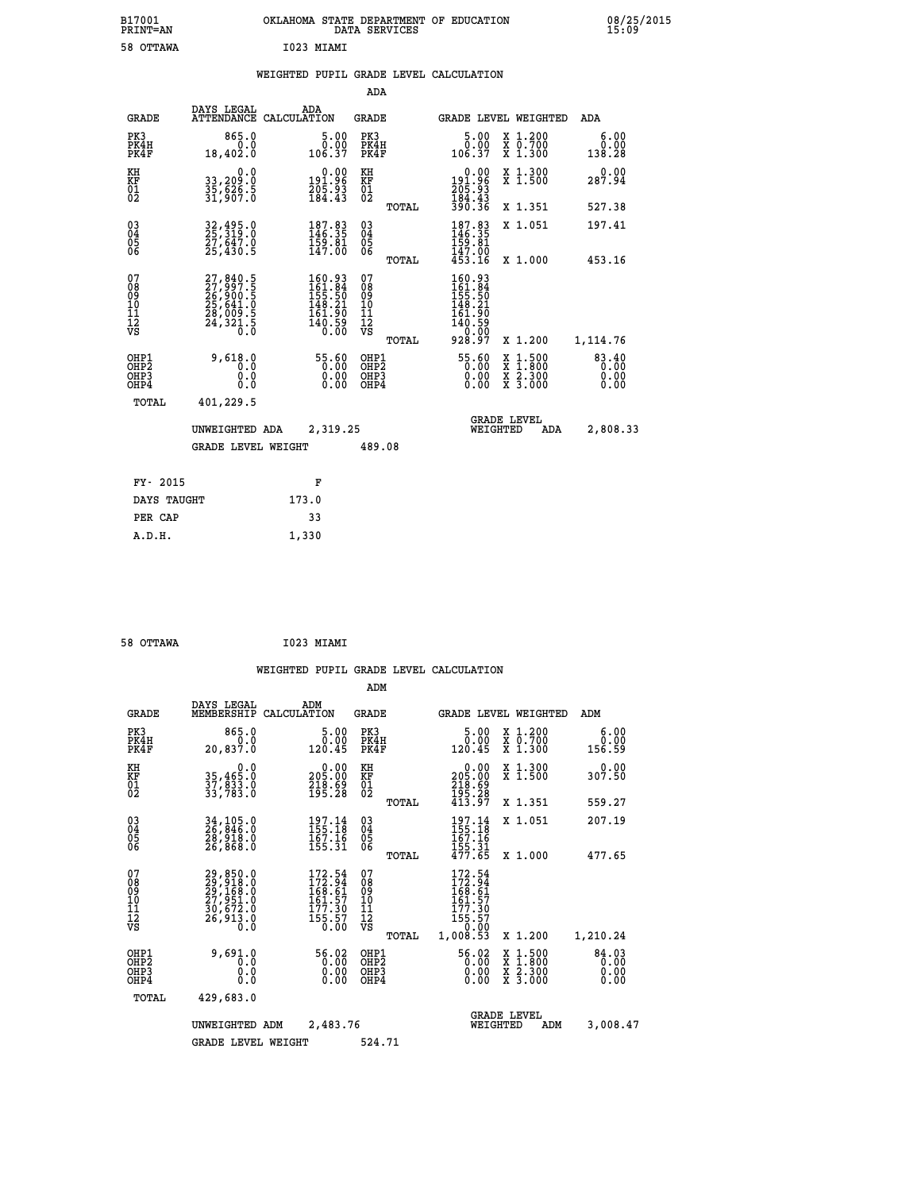| B17001<br>PRINT=AN                                |                                                                                           | OKLAHOMA STATE DEPARTMENT OF EDUCATION                                                             | DATA SERVICES                                      |                                                                                                                  |                                                                                                     | 08/25/2015                                |  |
|---------------------------------------------------|-------------------------------------------------------------------------------------------|----------------------------------------------------------------------------------------------------|----------------------------------------------------|------------------------------------------------------------------------------------------------------------------|-----------------------------------------------------------------------------------------------------|-------------------------------------------|--|
| 58 OTTAWA                                         |                                                                                           | I023 MIAMI                                                                                         |                                                    |                                                                                                                  |                                                                                                     |                                           |  |
|                                                   |                                                                                           | WEIGHTED PUPIL GRADE LEVEL CALCULATION                                                             |                                                    |                                                                                                                  |                                                                                                     |                                           |  |
|                                                   |                                                                                           |                                                                                                    | ADA                                                |                                                                                                                  |                                                                                                     |                                           |  |
| <b>GRADE</b>                                      | DAYS LEGAL                                                                                | ADA<br>ATTENDANCE CALCULATION                                                                      | <b>GRADE</b>                                       | <b>GRADE LEVEL WEIGHTED</b>                                                                                      |                                                                                                     | ADA                                       |  |
| PK3<br>PK4H<br>PK4F                               | 865.0<br>0.0<br>18,402.0                                                                  | 5.00<br>0.00<br>106.37                                                                             | PK3<br>PK4H<br>PK4F                                | 5.00<br>0.00<br>106.37                                                                                           | X 1.200<br>X 0.700<br>X 1.300                                                                       | 6.00<br>0.00<br>138.28                    |  |
| KH<br>KF<br>$\overline{01}$                       | 0.0<br>33,209:0<br>35,626:5<br>31,907:0                                                   | $\begin{smallmatrix} 0.00\\191.96\\205.93\\184.43\end{smallmatrix}$                                | KH<br>KF<br>01<br>02                               | 0.00<br>191.96<br>205.93<br>184.43<br>390.36                                                                     | X 1.300<br>X 1.500                                                                                  | 0.00<br>287.94                            |  |
|                                                   |                                                                                           |                                                                                                    | TOTAL                                              |                                                                                                                  | X 1.351                                                                                             | 527.38                                    |  |
| $^{03}_{04}$<br>$\frac{05}{06}$                   | 32,495.0<br>25,319.0<br>27,647.0<br>25,430.5                                              | $\begin{smallmatrix} 187.83\ 146.35\ 159.81\ 147.00 \end{smallmatrix}$                             | $\begin{matrix} 03 \\ 04 \\ 05 \\ 06 \end{matrix}$ | 187.83<br>146.35<br>159.81<br>147.00<br>453.16                                                                   | X 1.051                                                                                             | 197.41                                    |  |
| 07<br>08<br>09<br>11<br>11<br>12<br>VS            | $27,840.5$<br>$27,997.5$<br>$26,900.5$<br>$25,641.0$<br>$28,009.5$<br>$24,321.5$<br>$0.0$ | $\begin{smallmatrix} 160.93\\ 161.84\\ 155.50\\ 148.21\\ 161.90\\ 160.59\\ 0.00 \end{smallmatrix}$ | TOTAL<br>07<br>08<br>09<br>10<br>11<br>ĪŽ<br>VŠ    | 160.93<br>161:84<br>155:50<br>148.21<br>161.90<br>$\overline{1}\overline{4}\overline{0}\overline{0}\overline{0}$ | X 1,000                                                                                             | 453.16                                    |  |
| OHP1<br>OHP <sub>2</sub><br>OHP3<br>OHP4<br>TOTAL | 9,618.0<br>0.0<br>0.0<br>0.0<br>401,229.5                                                 | 55.60<br>0.00<br>0.00                                                                              | TOTAL<br>OHP1<br>OHP <sub>2</sub><br>OHP3<br>OHP4  | 928.97<br>55.60<br>0.00<br>0.00                                                                                  | X 1.200<br>$\begin{smallmatrix} x & 1.500 \\ x & 1.800 \\ x & 2.300 \\ x & 3.000 \end{smallmatrix}$ | 1,114.76<br>83.40<br>0.00<br>0.00<br>0.00 |  |
|                                                   | UNWEIGHTED ADA<br><b>GRADE LEVEL WEIGHT</b>                                               | 2,319.25                                                                                           | 489.08                                             | WEIGHTED                                                                                                         | <b>GRADE LEVEL</b><br>ADA                                                                           | 2,808.33                                  |  |
| FY- 2015<br>DAYS TAUGHT                           |                                                                                           | F<br>173.0                                                                                         |                                                    |                                                                                                                  |                                                                                                     |                                           |  |

| 58 OTTAWA |  |  | I023 MIAMI |
|-----------|--|--|------------|

 **PER CAP 33 A.D.H. 1,330**

 **WEIGHTED PUPIL GRADE LEVEL CALCULATION ADM DAYS LEGAL ADM GRADE MEMBERSHIP CALCULATION GRADE GRADE LEVEL WEIGHTED ADM PK3 865.0 5.00 PK3 5.00 X 1.200 6.00 PK4H 0.0 0.00 PK4H 0.00 X 0.700 0.00 PK4F 20,837.0 120.45 PK4F 120.45 X 1.300 156.59 KH 0.0 0.00 KH 0.00 X 1.300 0.00 KF 35,465.0 205.00 KF 205.00 X 1.500 307.50 01 37,833.0 218.69 01 218.69 02 33,783.0 195.28 02 195.28 TOTAL 413.97 X 1.351 559.27 03 34,105.0 197.14 03 197.14 X 1.051 207.19 04 26,846.0 155.18 04 155.18 05 28,918.0 167.16 05 167.16 06 26,868.0 155.31 06 155.31 TOTAL 477.65 X 1.000 477.65**  $\begin{array}{cccc} 07 & 29,850.0 & 172.54 & 07 & 172.54 \ 08 & 29,918.0 & 168.61 & 08 & 172.54 \ 09 & 29,168.0 & 168.61 & 09 & 168.61 \ 10 & 27,951.0 & 161.57 & 10 & 161.57 \ 11 & 30,672.0 & 161.57 & 10 & 161.57 \ 12 & 26,913.0 & 155.57 & 12 & 155.57 \ 13 & 26,9$  **OHP1 9,691.0 56.02 OHP1 56.02 X 1.500 84.03 OHP2 0.0 0.00 OHP2 0.00 X 1.800 0.00 OHP3 0.0 0.00 OHP3 0.00 X 2.300 0.00 OHP4 0.0 0.00 OHP4 0.00 X 3.000 0.00 TOTAL 429,683.0 GRADE LEVEL UNWEIGHTED ADM 2,483.76 WEIGHTED ADM 3,008.47** GRADE LEVEL WEIGHT 524.71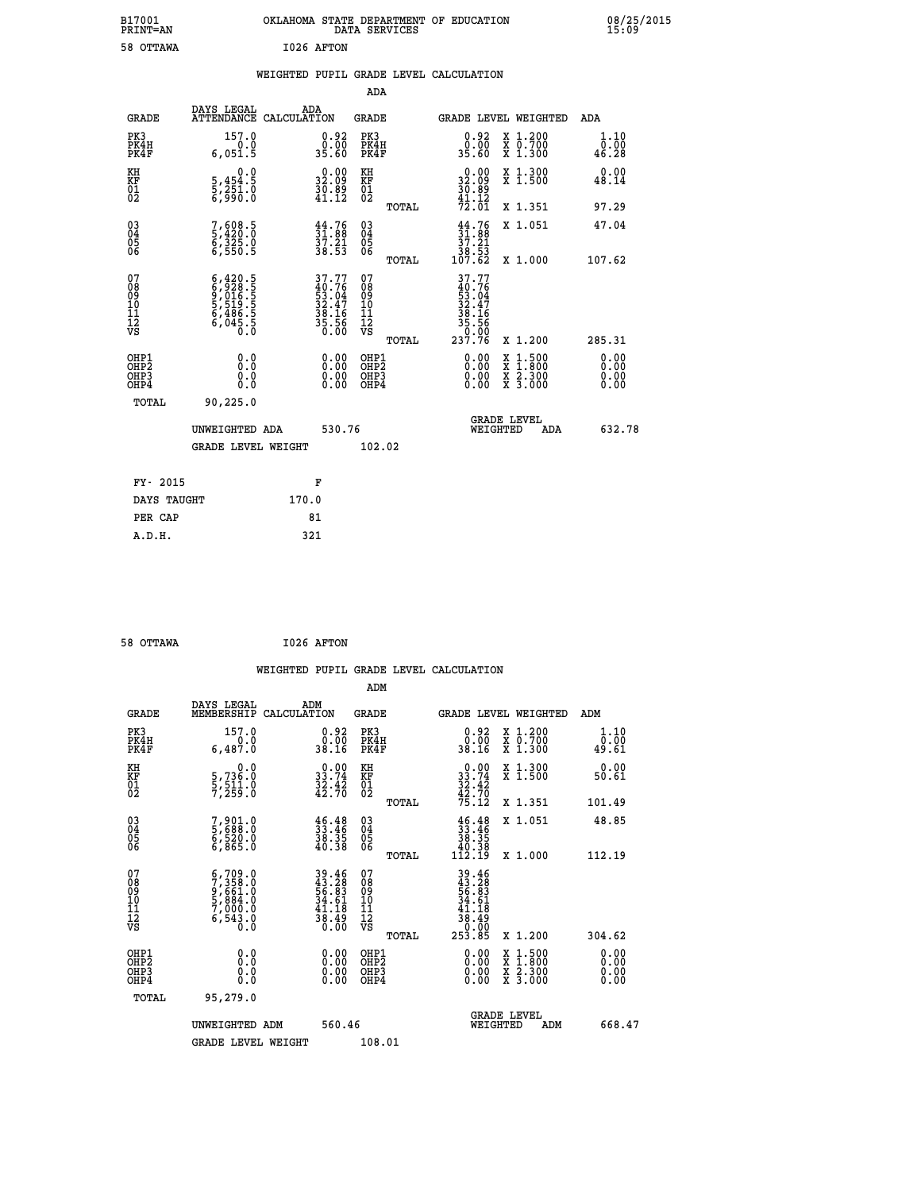| B17001<br>PRINT=AN                                 |                                                                                     | OKLAHOMA STATE DEPARTMENT OF EDUCATION                                   | DATA SERVICES                                      |                                                                           |                                                                                                  | 08/25/2015<br>15:09   |  |
|----------------------------------------------------|-------------------------------------------------------------------------------------|--------------------------------------------------------------------------|----------------------------------------------------|---------------------------------------------------------------------------|--------------------------------------------------------------------------------------------------|-----------------------|--|
| 58 OTTAWA                                          |                                                                                     | I026 AFTON                                                               |                                                    |                                                                           |                                                                                                  |                       |  |
|                                                    |                                                                                     | WEIGHTED PUPIL GRADE LEVEL CALCULATION                                   |                                                    |                                                                           |                                                                                                  |                       |  |
|                                                    |                                                                                     |                                                                          | <b>ADA</b>                                         |                                                                           |                                                                                                  |                       |  |
| GRADE                                              | DAYS LEGAL<br>ATTENDANCE CALCULATION                                                | ADA                                                                      | GRADE                                              | GRADE LEVEL WEIGHTED                                                      |                                                                                                  | ADA                   |  |
| PK3<br>PK4H<br>PK4F                                | 157.0<br>0.0<br>6,051.5                                                             | 0.92<br>0.00<br>35.60                                                    | PK3<br>PK4H<br>PK4F                                | 0.92<br>0.00<br>35.60                                                     | X 1.200<br>X 0.700<br>X 1.300                                                                    | 1.10<br>0.00<br>46.28 |  |
| KH<br>KF<br>01<br>02                               | 0.0<br>5,454:5<br>5,251:0<br>6,990:0                                                | $\begin{smallmatrix} 0.00\\ 32.09\\ 30.89\\ 41.12 \end{smallmatrix}$     | KH<br>KF<br>01<br>02                               | 32.09<br>$\frac{3}{41}.$ $\frac{8}{12}$                                   | X 1.300<br>X 1.500                                                                               | 0.00<br>48.14         |  |
|                                                    |                                                                                     |                                                                          | TOTAL                                              | $\overline{7}\overline{2}\overline{.}\,\overline{0}\overline{1}$          | X 1.351                                                                                          | 97.29                 |  |
| $\begin{matrix} 03 \\ 04 \\ 05 \\ 06 \end{matrix}$ | 7,608.5<br>5,420.0<br>6,325.0<br>6,550.5                                            | $\begin{smallmatrix} 44.76\ 31.88\ 37.21\ 38.53 \end{smallmatrix}$       | $\begin{matrix} 03 \\ 04 \\ 05 \\ 06 \end{matrix}$ | $\begin{array}{c} 44.76 \\ 31.88 \\ 37.21 \\ 38.53 \\ 107.62 \end{array}$ | X 1.051                                                                                          | 47.04                 |  |
|                                                    |                                                                                     |                                                                          | <b>TOTAL</b>                                       |                                                                           | X 1.000                                                                                          | 107.62                |  |
| 07<br>08<br>09<br>10<br>11<br>Ī2<br>VS             | $6,420.5$<br>$6,928.5$<br>$9,016.5$<br>$5,519.5$<br>$6,486.5$<br>$6,045.5$<br>$0.0$ | $37.77$<br>$40.76$<br>$53.04$<br>$32.47$<br>$38.16$<br>$35.56$<br>$0.00$ | 07<br>08<br>09<br>10<br>11<br>ĪŽ<br>VŠ<br>TOTAL    | 37.77<br>$\frac{40.76}{53.04}$<br>32.47<br>38.16<br>35.56<br>237.76       | X 1.200                                                                                          | 285.31                |  |
| OHP1                                               | 0.0                                                                                 | 0.00                                                                     | OHP1                                               | 0.00                                                                      |                                                                                                  | 0.00                  |  |
| OHP <sub>2</sub><br>OH <sub>P3</sub><br>OHP4       | Ō.Ō<br>0.0<br>0.0                                                                   | 0.00<br>0.00                                                             | OH <sub>P</sub> 2<br>OHP3<br>OHP4                  | 0.00<br>0.00                                                              | $\begin{smallmatrix} x & 1 & 500 \\ x & 1 & 800 \\ x & 2 & 300 \\ x & 3 & 000 \end{smallmatrix}$ | 0.00<br>0.00<br>0.00  |  |
| TOTAL                                              | 90,225.0                                                                            |                                                                          |                                                    |                                                                           |                                                                                                  |                       |  |
|                                                    | UNWEIGHTED ADA                                                                      | 530.76                                                                   |                                                    | <b>GRADE LEVEL</b><br>WEIGHTED                                            | ADA                                                                                              | 632.78                |  |
|                                                    | GRADE LEVEL WEIGHT                                                                  |                                                                          | 102.02                                             |                                                                           |                                                                                                  |                       |  |
| FY- 2015                                           |                                                                                     | F                                                                        |                                                    |                                                                           |                                                                                                  |                       |  |
| DAYS TAUGHT                                        |                                                                                     | 170.0                                                                    |                                                    |                                                                           |                                                                                                  |                       |  |
| PER CAP                                            |                                                                                     | 81                                                                       |                                                    |                                                                           |                                                                                                  |                       |  |
| A.D.H.                                             |                                                                                     | 321                                                                      |                                                    |                                                                           |                                                                                                  |                       |  |

| 58 OTTAWA | I026 AFTON |
|-----------|------------|
|           |            |

|                                                    |                                                                                                                                                    |                                                                          |                                                       | WEIGHTED PUPIL GRADE LEVEL CALCULATION                                               |                                          |                        |
|----------------------------------------------------|----------------------------------------------------------------------------------------------------------------------------------------------------|--------------------------------------------------------------------------|-------------------------------------------------------|--------------------------------------------------------------------------------------|------------------------------------------|------------------------|
|                                                    |                                                                                                                                                    |                                                                          | ADM                                                   |                                                                                      |                                          |                        |
| <b>GRADE</b>                                       | DAYS LEGAL<br>MEMBERSHIP                                                                                                                           | ADM<br>CALCULATION                                                       | <b>GRADE</b>                                          | <b>GRADE LEVEL WEIGHTED</b>                                                          |                                          | ADM                    |
| PK3<br>PK4H<br>PK4F                                | 157.0<br>0.0<br>6,487.0                                                                                                                            | $\begin{smallmatrix} 0.92\ 0.00\\ 38.16 \end{smallmatrix}$               | PK3<br>PK4H<br>PK4F                                   | $\begin{smallmatrix} 0.92\ 0.00\\ 38.16 \end{smallmatrix}$                           | X 1.200<br>X 0.700<br>X 1.300            | 1.10<br>_0.00<br>49.61 |
| KH<br>KF<br>01<br>02                               | $\begin{smallmatrix}&&&0.0\\5,736.0\\5,511.0\\7,259.0\end{smallmatrix}$                                                                            | $\begin{smallmatrix} 0.00\\ 33.74\\ 32.42\\ 42.70 \end{smallmatrix}$     | KH<br>KF<br>01<br>02                                  | $33.74$<br>$33.74$<br>$32.42$<br>$42.70$<br>$75.12$                                  | X 1.300<br>X 1.500                       | 0.00<br>50.61          |
|                                                    |                                                                                                                                                    |                                                                          | TOTAL                                                 |                                                                                      | X 1.351                                  | 101.49                 |
| $\begin{matrix} 03 \\ 04 \\ 05 \\ 06 \end{matrix}$ | 7,901.0<br>5,688.0<br>6,520.0<br>6,865.0                                                                                                           | 33.46<br>33.46<br>38.35<br>40.38                                         | 03<br>04<br>05<br>06                                  | $\begin{smallmatrix} 46.48\ 33.46\ 38.35\ 40.38\ 112.19 \end{smallmatrix}$           | X 1.051                                  | 48.85                  |
|                                                    |                                                                                                                                                    |                                                                          | TOTAL                                                 |                                                                                      | X 1.000                                  | 112.19                 |
| 07<br>0890112<br>1112<br>VS                        | $\begin{smallmatrix} 6\,,\,709\,,\,0\\7\,,\,358\,,\,0\\9\,,\,661\,,\,0\\5\,,\,884\,,\,0\\7\,,\,000\,,\,0\\6\,,\,543\,,\,0\\0\,. \end{smallmatrix}$ | $39.46$<br>$43.28$<br>$56.83$<br>$34.61$<br>$41.18$<br>$38.49$<br>$0.00$ | 07<br>08<br>09<br>01<br>11<br>11<br>12<br>VS<br>TOTAL | $39.46$<br>$43.28$<br>$56.83$<br>$34.61$<br>$41.18$<br>$38.49$<br>$0.00$<br>$253.85$ | X 1.200                                  | 304.62                 |
|                                                    |                                                                                                                                                    |                                                                          |                                                       |                                                                                      |                                          |                        |
| OHP1<br>OHP2<br>OH <sub>P3</sub><br>OHP4           | 0.0<br>0.000                                                                                                                                       | $0.00$<br>$0.00$<br>0.00                                                 | OHP1<br>OHP2<br>OHP <sub>3</sub>                      | 0.00<br>0.00<br>0.00                                                                 | X 1:500<br>X 1:800<br>X 2:300<br>X 3:000 | 0.00<br>0.00<br>0.00   |
| TOTAL                                              | 95,279.0                                                                                                                                           |                                                                          |                                                       |                                                                                      |                                          |                        |
|                                                    | UNWEIGHTED ADM                                                                                                                                     | 560.46                                                                   |                                                       | WEIGHTED                                                                             | <b>GRADE LEVEL</b><br>ADM                | 668.47                 |
|                                                    | <b>GRADE LEVEL WEIGHT</b>                                                                                                                          |                                                                          | 108.01                                                |                                                                                      |                                          |                        |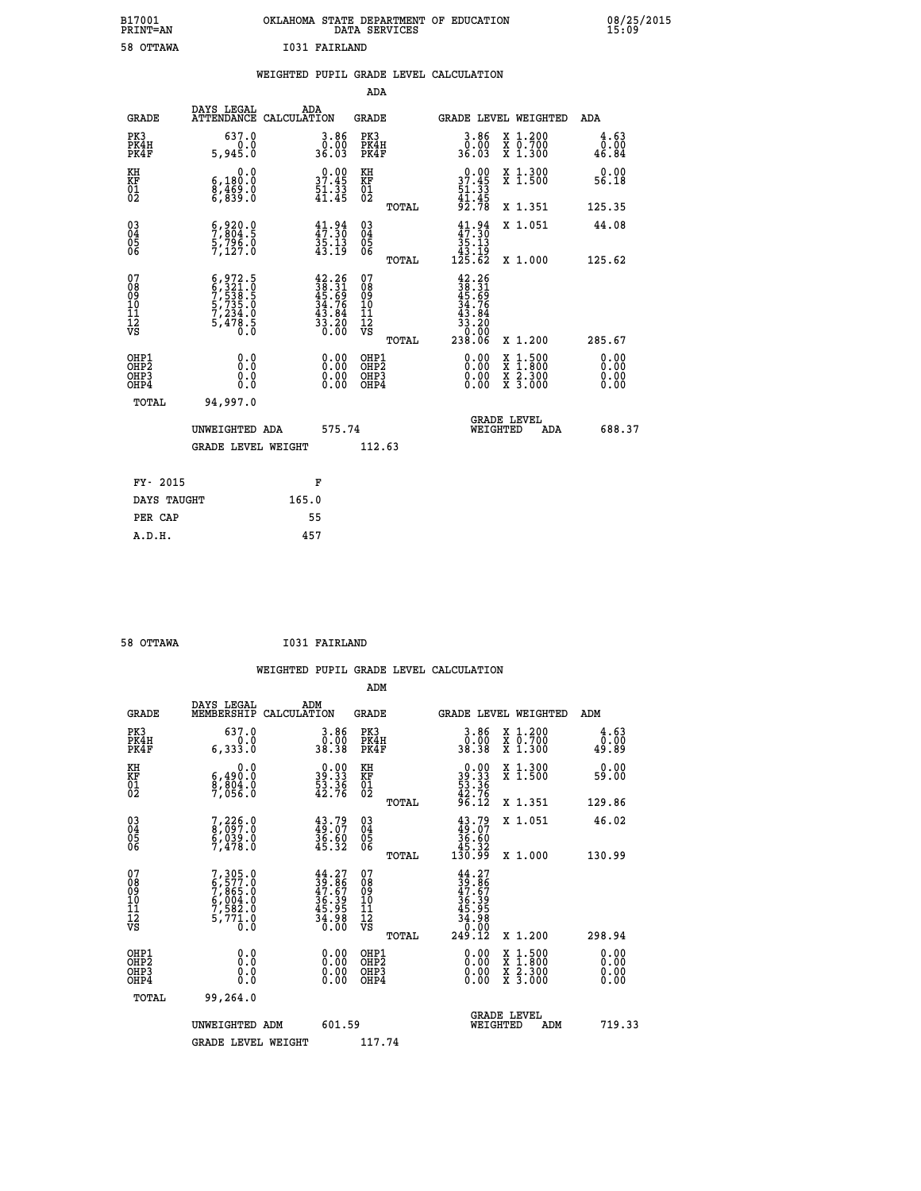| B17001<br>PRINT-AN                                 |                                                                                     | OKLAHOMA STATE DEPARTMENT OF EDUCATION<br>DATA SERVICES                                                                        |                                           |                                                                              |                                                                                          | 08/25/2015                   |  |
|----------------------------------------------------|-------------------------------------------------------------------------------------|--------------------------------------------------------------------------------------------------------------------------------|-------------------------------------------|------------------------------------------------------------------------------|------------------------------------------------------------------------------------------|------------------------------|--|
| 58 OTTAWA                                          |                                                                                     | I031 FAIRLAND                                                                                                                  |                                           |                                                                              |                                                                                          |                              |  |
|                                                    |                                                                                     | WEIGHTED PUPIL GRADE LEVEL CALCULATION                                                                                         |                                           |                                                                              |                                                                                          |                              |  |
|                                                    |                                                                                     |                                                                                                                                | <b>ADA</b>                                |                                                                              |                                                                                          |                              |  |
| <b>GRADE</b>                                       | DAYS LEGAL                                                                          | <b>ADA</b><br>ATTENDANCE CALCULATION                                                                                           | GRADE                                     | GRADE LEVEL WEIGHTED                                                         |                                                                                          | ADA                          |  |
| PK3<br>PK4H<br>PK4F                                | 637.0<br>0.0<br>5,945.0                                                             | 3.86<br>0.00<br>36.03                                                                                                          | PK3<br>PK4H<br>PK4F                       | 3.86<br>ŏ:ŏŏ<br>36.03                                                        | X 1.200<br>$\begin{smallmatrix} 7 & 0.700 \\ 7 & 1.300 \end{smallmatrix}$                | 4.63<br>0.00<br>46.84        |  |
| KH<br>KF<br>01<br>02                               | 0.0<br>6,180.0<br>8,469.0<br>6,839.0                                                | $\begin{smallmatrix} 0.00\\ 37.45\\ 51.33\\ 41.45 \end{smallmatrix}$                                                           | KH<br>KF<br>01<br>02                      | $0.00$<br>$37.45$<br>$51.33$<br>$41.45$                                      | X 1.300<br>X 1.500                                                                       | 0.00<br>56.18                |  |
|                                                    |                                                                                     |                                                                                                                                | TOTAL                                     | 92.78                                                                        | X 1.351                                                                                  | 125.35                       |  |
| $\begin{matrix} 03 \\ 04 \\ 05 \\ 06 \end{matrix}$ | $5,804.5$<br>$5,796.0$<br>$7,127.0$                                                 | $41.94$<br>$47.30$<br>$35.13$<br>$43.19$                                                                                       | 03<br>04<br>05<br>06<br>TOTAL             | $41.94$<br>$47.30$<br>$35.13$<br>43.19<br>125.62                             | X 1.051<br>X 1.000                                                                       | 44.08<br>125.62              |  |
| 07<br>08<br>09<br>11<br>11<br>12<br>VS             | $6,972.5$<br>$6,321.0$<br>$7,533.5$<br>$5,735.0$<br>$7,234.0$<br>$5,478.5$<br>$0.0$ | $\begin{smallmatrix} 42\cdot 26\\ 38\cdot 31\\ 45\cdot 69\\ 34\cdot 76\\ 43\cdot 84\\ 33\cdot 20\\ 0\cdot 00\end{smallmatrix}$ | 07<br>08<br>09<br>11<br>11<br>VS<br>TOTAL | $42.26$<br>$38.31$<br>$45.69$<br>$34.76$<br>43.84<br>33.20<br>0.00<br>238.06 | X 1.200                                                                                  | 285.67                       |  |
| OHP1<br>OHP2<br>OHP3<br>OH <sub>P4</sub>           | 0.0<br>0.0<br>0.0<br>0.0                                                            | $0.00$<br>$0.00$<br>0.00                                                                                                       | OHP1<br>OHP <sub>2</sub><br>OHP3<br>OHP4  | 0.00<br>0.00<br>0.00                                                         | $\begin{smallmatrix} x & 1.500 \\ x & 1.800 \\ x & 2.300 \\ x & 3.000 \end{smallmatrix}$ | 0.00<br>0.00<br>0.00<br>0.00 |  |
| TOTAL                                              | 94,997.0<br>UNWEIGHTED ADA<br><b>GRADE LEVEL WEIGHT</b>                             | 575.74                                                                                                                         | 112.63                                    | <b>GRADE LEVEL</b><br>WEIGHTED                                               | ADA                                                                                      | 688.37                       |  |
| FY- 2015                                           |                                                                                     | F                                                                                                                              |                                           |                                                                              |                                                                                          |                              |  |

| DAYS TAUGHT | 165.0 |
|-------------|-------|
| PER CAP     | 55    |
| A.D.H.      | 457   |
|             |       |
|             |       |

 **58 OTTAWA I031 FAIRLAND**

|                                                    |                                                                                   |                                                                          | WEIGHTED PUPIL GRADE LEVEL CALCULATION                |                                                                                                  |                                          |                       |
|----------------------------------------------------|-----------------------------------------------------------------------------------|--------------------------------------------------------------------------|-------------------------------------------------------|--------------------------------------------------------------------------------------------------|------------------------------------------|-----------------------|
|                                                    |                                                                                   |                                                                          | ADM                                                   |                                                                                                  |                                          |                       |
| <b>GRADE</b>                                       | DAYS LEGAL<br>MEMBERSHIP<br>CALCULATION                                           | ADM                                                                      | <b>GRADE</b>                                          | <b>GRADE LEVEL WEIGHTED</b>                                                                      |                                          | ADM                   |
| PK3<br>PK4H<br>PK4F                                | 637.0<br>0.0<br>6,333.0                                                           | $\begin{smallmatrix} 3.86\ 0.00\\ 9.83 \end{smallmatrix}$                | PK3<br>PK4H<br>PK4F                                   | $3.86$<br>$38.38$                                                                                | X 1.200<br>X 0.700<br>X 1.300            | 4.63<br>0.00<br>49.89 |
| KH<br>KF<br>01<br>02                               | 0.0<br>6,490:0<br>8,804:0<br>7,056:0                                              | $\begin{smallmatrix} 0.00\\ 39.33\\ 53.36\\ 42.76 \end{smallmatrix}$     | KH<br>KF<br>01<br>02                                  | $\begin{smallmatrix} 0.00\\ 39.33\\ 53.36\\ 42.76\\ 96.12 \end{smallmatrix}$                     | X 1.300<br>X 1.500                       | 0.00<br>59.00         |
|                                                    |                                                                                   |                                                                          | TOTAL                                                 |                                                                                                  | X 1.351                                  | 129.86                |
| $\begin{matrix} 03 \\ 04 \\ 05 \\ 06 \end{matrix}$ | 7,226.0<br>8,097.0<br>6,039.0<br>7,478.0                                          | $43.79$<br>$49.07$<br>$36.60$<br>$45.32$                                 | 03<br>04<br>05<br>06                                  | $43.79$<br>$36.60$<br>$45.32$<br>$130.99$                                                        | X 1.051                                  | 46.02                 |
|                                                    |                                                                                   |                                                                          | TOTAL                                                 |                                                                                                  | X 1.000                                  | 130.99                |
| 07<br>0890112<br>1112<br>VS                        | $7,305.0$<br>$6,577.0$<br>$7,865.0$<br>$6,004.0$<br>$7,582.0$<br>$5,771.0$<br>0.0 | $44.27$<br>$39.86$<br>$47.67$<br>$36.39$<br>$45.95$<br>$34.98$<br>$0.00$ | 07<br>08<br>09<br>01<br>11<br>11<br>12<br>VS<br>TOTAL | $\begin{array}{r} 44.27 \\ 39.867 \\ 47.679 \\ 36.395 \\ 45.958 \\ 49.080 \\ 249.12 \end{array}$ | X 1.200                                  | 298.94                |
| OHP1                                               |                                                                                   |                                                                          |                                                       |                                                                                                  |                                          |                       |
| OHP <sub>2</sub><br>OH <sub>P3</sub><br>OHP4       | 0.0<br>0.000                                                                      | $0.00$<br>$0.00$<br>0.00                                                 | OHP1<br>OHP2<br>OHP <sub>3</sub>                      | 0.00<br>0.00<br>0.00                                                                             | X 1:500<br>X 1:800<br>X 2:300<br>X 3:000 | 0.00<br>0.00<br>0.00  |
| TOTAL                                              | 99,264.0                                                                          |                                                                          |                                                       |                                                                                                  |                                          |                       |
|                                                    | UNWEIGHTED ADM                                                                    | 601.59                                                                   |                                                       | <b>GRADE LEVEL</b><br>WEIGHTED                                                                   | ADM                                      | 719.33                |
|                                                    | <b>GRADE LEVEL WEIGHT</b>                                                         |                                                                          | 117.74                                                |                                                                                                  |                                          |                       |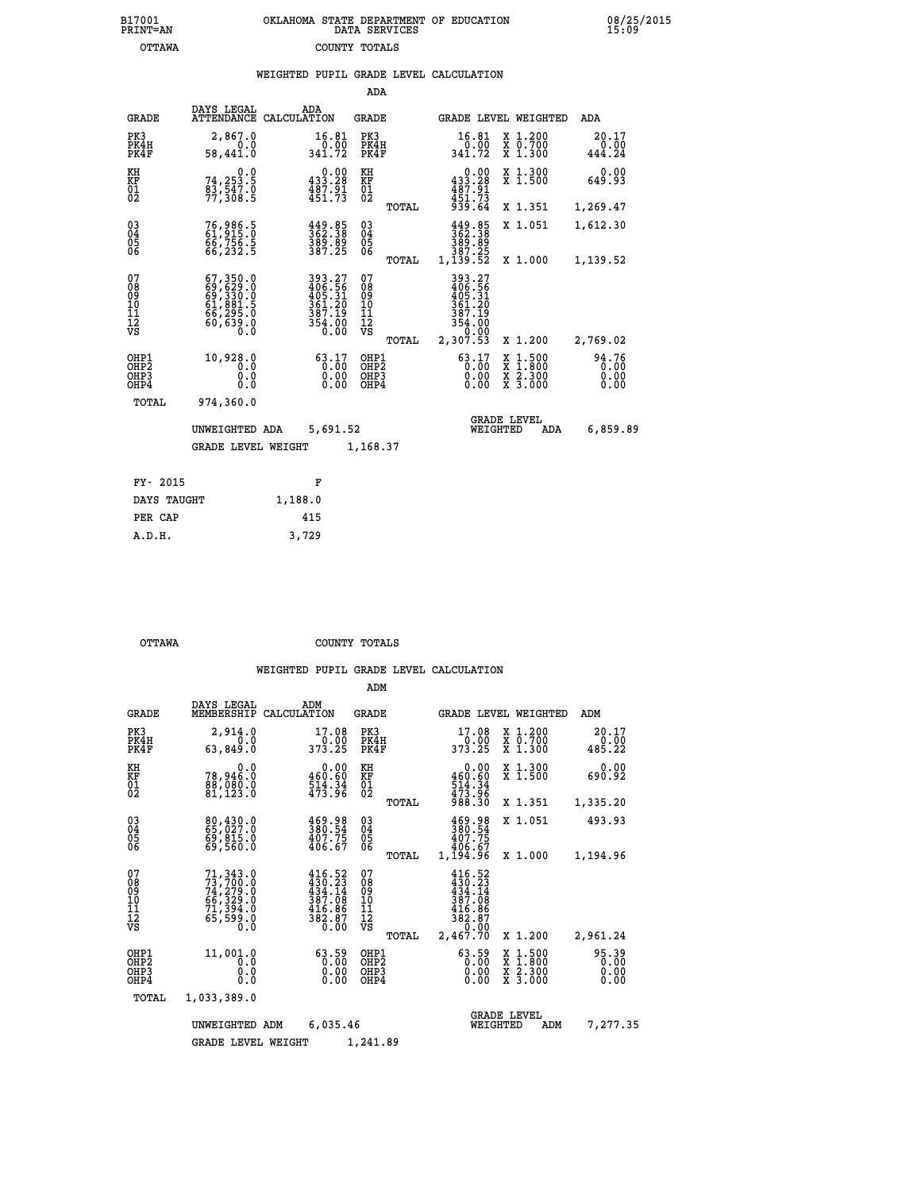| 7001<br>INT=AN | OKLAHOMA STATE DEPARTMENT OF EDUCATION<br>DATA SERVICES |  |
|----------------|---------------------------------------------------------|--|
| OTTAWA         | COUNTY TOTALS                                           |  |

|                                                                    |                                                                                  |         |                                                                  | ADA                                      |       |                                                                              |                                |                                                                                                  |                               |
|--------------------------------------------------------------------|----------------------------------------------------------------------------------|---------|------------------------------------------------------------------|------------------------------------------|-------|------------------------------------------------------------------------------|--------------------------------|--------------------------------------------------------------------------------------------------|-------------------------------|
| <b>GRADE</b>                                                       | DAYS LEGAL<br>ATTENDANCE CALCULATION                                             |         | ADA                                                              | <b>GRADE</b>                             |       |                                                                              |                                | GRADE LEVEL WEIGHTED                                                                             | ADA                           |
| PK3<br>PK4H<br>PK4F                                                | 2,867.0<br>0.0<br>58,441.0                                                       |         | 16.81<br>$\frac{0.00}{341.72}$                                   | PK3<br>PK4H<br>PK4F                      |       | 16.81<br>341.72                                                              | 0.00                           | X 1.200<br>X 0.700<br>X 1.300                                                                    | 20.17<br>0.00<br>444.24       |
| KH<br>KF<br>01<br>02                                               | 0.0<br>74,253.5<br>83,547.0<br>77,308.5                                          |         | $0.00$<br>433.28<br>$\frac{487.91}{451.73}$                      | KH<br>KF<br>$\overline{01}$              |       | 433.28<br>487.91<br>451.73<br>939.64                                         | 0.00                           | X 1.300<br>X 1.500                                                                               | 0.00<br>649.93                |
|                                                                    |                                                                                  |         |                                                                  |                                          | TOTAL |                                                                              |                                | X 1.351                                                                                          | 1,269.47                      |
| $\begin{smallmatrix} 03 \\[-4pt] 04 \end{smallmatrix}$<br>Ŏ5<br>06 | 76,986.5<br>61,915.0<br>66,756.5<br>66,232.5                                     |         | $\frac{449}{362}$ . $\frac{85}{389}$ . 89<br>389. 89<br>387. 25  | $\substack{03 \\ 04}$<br>05<br>06        |       | $\frac{449}{362}$ . $\frac{385}{389}$ . $\frac{89}{25}$                      |                                | X 1.051                                                                                          | 1,612.30                      |
|                                                                    |                                                                                  |         |                                                                  |                                          | TOTAL | 1,139.52                                                                     |                                | X 1.000                                                                                          | 1,139.52                      |
| 07<br>08<br>09<br>101<br>112<br>VS                                 | $67,350.0$<br>$69,629.0$<br>$69,330.0$<br>$61,881.5$<br>$66,295.0$<br>$60,639.0$ |         | 393.27<br>406.56<br>405.31<br>361.20<br>387.19<br>354.00<br>0.00 | 07<br>08<br>09<br>11<br>11<br>12<br>VS   |       | 393.27<br>406.56<br>405.31<br>361.20<br>387.19<br>354:00<br>0.00<br>2,307:53 |                                |                                                                                                  |                               |
|                                                                    |                                                                                  |         |                                                                  |                                          | TOTAL |                                                                              |                                | X 1.200                                                                                          | 2,769.02                      |
| OHP1<br>OHP <sub>2</sub><br>OH <sub>P3</sub><br>OHP4               | 10,928.0<br>0.0<br>0.0<br>0.0                                                    |         | 63.17<br>0.00<br>0.00                                            | OHP1<br>OHP <sub>2</sub><br>OHP3<br>OHP4 |       | 63.17                                                                        | 0.00<br>0.00                   | $\begin{smallmatrix} x & 1 & 500 \\ x & 1 & 800 \\ x & 2 & 300 \\ x & 3 & 000 \end{smallmatrix}$ | 94.76<br>0.00<br>0.00<br>0.00 |
| TOTAL                                                              | 974,360.0                                                                        |         |                                                                  |                                          |       |                                                                              |                                |                                                                                                  |                               |
|                                                                    | UNWEIGHTED ADA                                                                   |         | 5,691.52                                                         |                                          |       |                                                                              | <b>GRADE LEVEL</b><br>WEIGHTED | ADA                                                                                              | 6,859.89                      |
|                                                                    | <b>GRADE LEVEL WEIGHT</b>                                                        |         |                                                                  | 1,168.37                                 |       |                                                                              |                                |                                                                                                  |                               |
|                                                                    |                                                                                  |         |                                                                  |                                          |       |                                                                              |                                |                                                                                                  |                               |
| FY- 2015                                                           |                                                                                  |         | F                                                                |                                          |       |                                                                              |                                |                                                                                                  |                               |
| DAYS TAUGHT                                                        |                                                                                  | 1,188.0 |                                                                  |                                          |       |                                                                              |                                |                                                                                                  |                               |

| DAYS TAUGHT | 1,188.0 |
|-------------|---------|
| PER CAP     | 415     |
| A.D.H.      | 3,729   |
|             |         |

 **B17001<br>PRINT=AN** 

 **OTTAWA COUNTY TOTALS**

|                                                       |                                                                                                                                                                                        |                                                                                  | ADM                                             |                                                                                                                                 |                                                                    |                               |
|-------------------------------------------------------|----------------------------------------------------------------------------------------------------------------------------------------------------------------------------------------|----------------------------------------------------------------------------------|-------------------------------------------------|---------------------------------------------------------------------------------------------------------------------------------|--------------------------------------------------------------------|-------------------------------|
| <b>GRADE</b>                                          | DAYS LEGAL<br>MEMBERSHIP                                                                                                                                                               | ADM<br>CALCULATION                                                               | <b>GRADE</b>                                    | <b>GRADE LEVEL WEIGHTED</b>                                                                                                     |                                                                    | ADM                           |
| PK3<br>PK4H<br>PK4F                                   | 2,914.0<br>0.0<br>63,849.0                                                                                                                                                             | 17.08<br>$\frac{6.00}{373.25}$                                                   | PK3<br>PK4H<br>PK4F                             | 17.08<br>0.00<br>373.25                                                                                                         | $\begin{array}{c} x & 1.200 \\ x & 0.700 \end{array}$<br>$X$ 1.300 | 20.17<br>0.00<br>485.22       |
| KH<br>KF<br>01<br>02                                  | 0.0<br>78,946.0<br>88,080.0<br>81,123.0                                                                                                                                                | 0.00<br>460.60<br>$\frac{514}{473}$ : $\frac{34}{96}$                            | KH<br>KF<br>01<br>02                            | 0.00<br>$\begin{array}{r} 460.60 \\ 514.34 \\ 473.96 \\ 988.30 \end{array}$                                                     | X 1.300<br>X 1.500                                                 | 0.00<br>690.92                |
|                                                       |                                                                                                                                                                                        |                                                                                  | TOTAL                                           |                                                                                                                                 | X 1.351                                                            | 1,335.20                      |
| 03<br>04<br>05<br>06                                  | 80,430.0<br>65,027.0<br>69,815.0<br>69,560.0                                                                                                                                           | 469.98<br>380.54<br>407.75<br>406.67                                             | $\substack{03 \\ 04}$<br>0500                   | 469.98<br>380.54<br>407.75<br>406.67                                                                                            | X 1.051                                                            | 493.93                        |
|                                                       |                                                                                                                                                                                        |                                                                                  | TOTAL                                           | 1,194.96                                                                                                                        | X 1.000                                                            | 1,194.96                      |
| 07<br>08<br>09<br>11<br>11<br>12<br>VS                | $\begin{smallmatrix} 71\,, & 343\ . & 0\\ 73\,, & 700\ . & 0\\ 74\,, & 279\ . & 0\\ 66\,, & 329\ . & 0\\ 71\,, & 394\ . & 0\\ 65\,, & 599\ . & 0\\ 0\ . & 0\ . & 0\ \end{smallmatrix}$ | 416.52<br>430.23<br>434.14<br>$\frac{387.08}{416.86}$<br>$\frac{416.86}{382.87}$ | 07<br>08<br>09<br>11<br>11<br>12<br>VS<br>TOTAL | 416.52<br>$\frac{1}{4}$ $\frac{3}{4}$ , $\frac{5}{4}$ , $\frac{5}{14}$<br>387.08<br>$\frac{416.86}{382.87}$<br>0.00<br>2,467.70 | X 1.200                                                            | 2,961.24                      |
| OHP1<br>OH <sub>P</sub> 2<br>OH <sub>P3</sub><br>OHP4 | 11,001.0<br>0.0<br>0.000                                                                                                                                                               | 63.59<br>$\begin{smallmatrix} 0.00 \ 0.00 \end{smallmatrix}$<br>0.00             | OHP1<br>OHP2<br>OHP3<br>OHP4                    | $63.59$<br>0.00<br>0.00                                                                                                         | X 1:500<br>X 1:800<br>X 2:300<br>X 3:000                           | 95.39<br>0.00<br>0.00<br>0.00 |
| TOTAL                                                 | 1,033,389.0                                                                                                                                                                            |                                                                                  |                                                 |                                                                                                                                 |                                                                    |                               |
|                                                       | UNWEIGHTED ADM                                                                                                                                                                         | 6,035.46                                                                         |                                                 | <b>GRADE LEVEL</b><br>WEIGHTED                                                                                                  | ADM                                                                | 7,277.35                      |
|                                                       | <b>GRADE LEVEL WEIGHT</b>                                                                                                                                                              |                                                                                  | 1,241.89                                        |                                                                                                                                 |                                                                    |                               |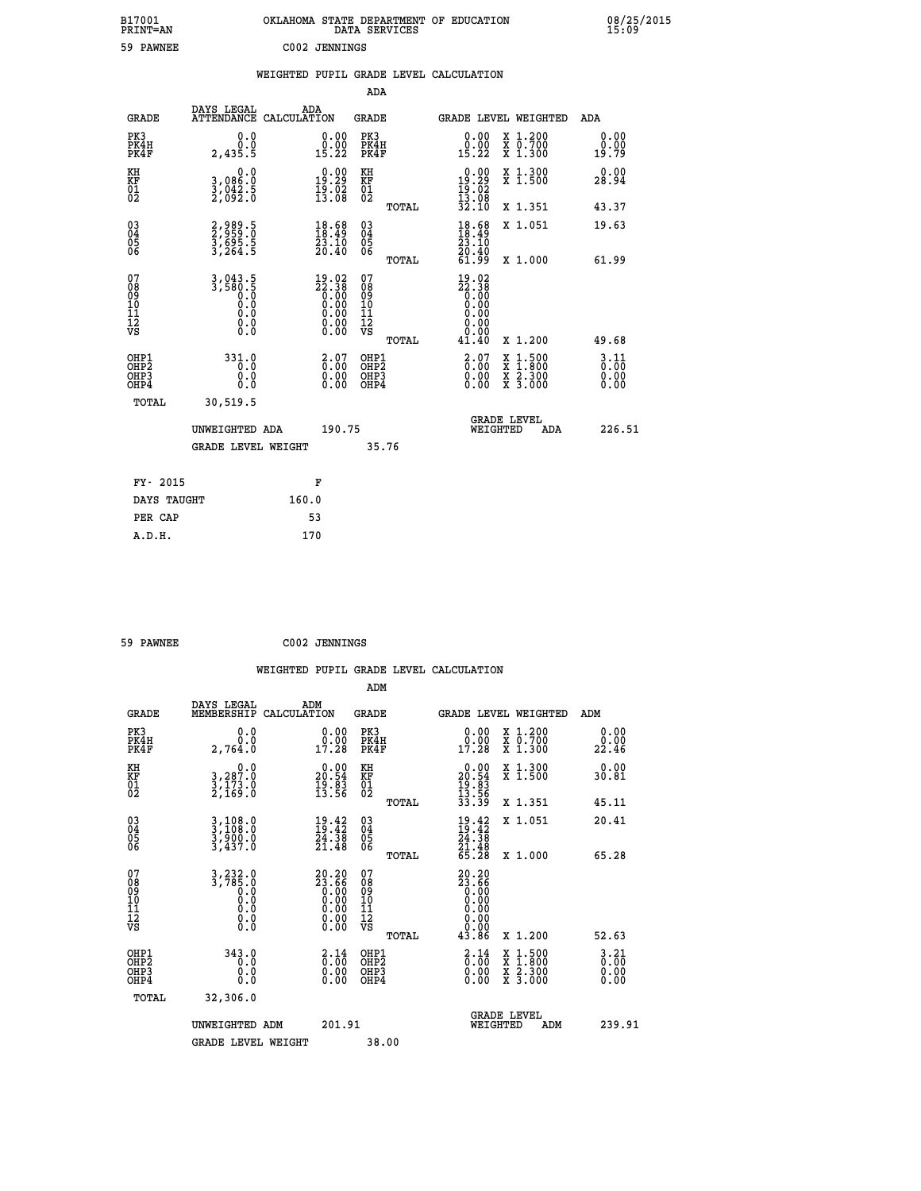| B17001<br>PRINT=AN                |                                                  |               |                                                                                                       |                                                            | DATA SERVICES | OKLAHOMA STATE DEPARTMENT OF EDUCATION                                                            |                                |                                                                                          |                       | 08/25/2015 |
|-----------------------------------|--------------------------------------------------|---------------|-------------------------------------------------------------------------------------------------------|------------------------------------------------------------|---------------|---------------------------------------------------------------------------------------------------|--------------------------------|------------------------------------------------------------------------------------------|-----------------------|------------|
| 59 PAWNEE                         |                                                  | C002 JENNINGS |                                                                                                       |                                                            |               |                                                                                                   |                                |                                                                                          |                       |            |
|                                   |                                                  |               |                                                                                                       |                                                            |               | WEIGHTED PUPIL GRADE LEVEL CALCULATION                                                            |                                |                                                                                          |                       |            |
|                                   |                                                  |               |                                                                                                       | ADA                                                        |               |                                                                                                   |                                |                                                                                          |                       |            |
| <b>GRADE</b>                      | DAYS LEGAL<br>ATTENDANCE CALCULATION             | ADA           |                                                                                                       | <b>GRADE</b>                                               |               | GRADE LEVEL WEIGHTED                                                                              |                                |                                                                                          | ADA                   |            |
| PK3<br>PK4H<br>PK4F               | 0.0<br>0.0<br>2,435.5                            |               | 0.00<br>0.00<br>15.22                                                                                 | PK3<br>PK4H<br>PK4F                                        |               | 0.00<br>$0.00$<br>15.22                                                                           |                                | X 1.200<br>X 0.700<br>X 1.300                                                            | 0.00<br>0.00<br>19.79 |            |
| KH<br>KF<br>01<br>02              | 0.0<br>3,086.0<br>3,042.5<br>2,092.0             |               | $\begin{smallmatrix} 0.00\\ 19.29\\ 19.02\\ 13.08 \end{smallmatrix}$                                  | KH<br><b>KF</b><br>01<br>02                                |               | $\begin{smallmatrix} 0.00\\ 19.29\\ 19.02\\ 13.08 \end{smallmatrix}$                              |                                | X 1.300<br>X 1.500                                                                       | 0.00<br>28.94         |            |
|                                   |                                                  |               |                                                                                                       |                                                            | TOTAL         | 32.10                                                                                             |                                | X 1.351                                                                                  | 43.37                 |            |
| 03<br>04<br>05<br>06              | 2,989.5<br>2,959.0<br>3,695.5<br>3,264.5         |               | $\begin{smallmatrix} 18.68\ 18.49\ 23.10\ 20.40 \end{smallmatrix}$                                    | $\begin{matrix} 03 \\ 04 \\ 05 \\ 06 \end{matrix}$         |               | 18.68<br>23.10<br>20.40                                                                           |                                | X 1.051                                                                                  | 19.63                 |            |
|                                   |                                                  |               |                                                                                                       |                                                            | TOTAL         | 61.99                                                                                             |                                | X 1.000                                                                                  | 61.99                 |            |
| 07<br>08<br>09<br>111<br>12<br>VS | $3,943.5$<br>3,580.5<br>0.0<br>0.0<br>$\S.$ $\S$ |               | $\begin{smallmatrix} 19.02\ 22.38\ 0.00\ 0.00\ 0.00\ 0.00\ 0.00\ 0.00\ 0.00\ 0.00\ \end{smallmatrix}$ | 07<br>08<br>09<br>10<br>$\frac{11}{12}$<br>$\frac{12}{18}$ |               | $\begin{smallmatrix} 19.02\ 22.38\ 0.00\ 0.00 \end{smallmatrix}$<br>0.00<br>0.00<br>0.00<br>41.40 |                                | X 1.200                                                                                  | 49.68                 |            |
| OHP1                              | 331.0                                            |               |                                                                                                       | OHP1                                                       | TOTAL         |                                                                                                   |                                |                                                                                          | 3.11                  |            |
| OHP <sub>2</sub><br>OHP3<br>OHP4  | Ō.O<br>0.0<br>0.0                                |               | 2.07<br>$\begin{smallmatrix} 0.00 \ 0.00 \end{smallmatrix}$                                           | OHP <sub>2</sub><br>OHP3<br>OHP4                           |               | 3.07<br>0.00                                                                                      |                                | $\begin{smallmatrix} x & 1.500 \\ x & 1.800 \\ x & 2.300 \\ x & 3.000 \end{smallmatrix}$ | 0.00<br>0.00<br>0.00  |            |
| TOTAL                             | 30,519.5                                         |               |                                                                                                       |                                                            |               |                                                                                                   |                                |                                                                                          |                       |            |
|                                   | UNWEIGHTED ADA                                   |               | 190.75                                                                                                |                                                            |               |                                                                                                   | <b>GRADE LEVEL</b><br>WEIGHTED | ADA                                                                                      | 226.51                |            |
|                                   | <b>GRADE LEVEL WEIGHT</b>                        |               |                                                                                                       |                                                            | 35.76         |                                                                                                   |                                |                                                                                          |                       |            |
| FY- 2015                          |                                                  | F             |                                                                                                       |                                                            |               |                                                                                                   |                                |                                                                                          |                       |            |
| DAYS TAUGHT                       |                                                  | 160.0         |                                                                                                       |                                                            |               |                                                                                                   |                                |                                                                                          |                       |            |
| PER CAP                           |                                                  | 53            |                                                                                                       |                                                            |               |                                                                                                   |                                |                                                                                          |                       |            |

| 59 PAWNEE |  | C002 JENNINGS |
|-----------|--|---------------|
|-----------|--|---------------|

 **WEIGHTED PUPIL GRADE LEVEL CALCULATION ADM DAYS LEGAL ADM GRADE MEMBERSHIP CALCULATION GRADE GRADE LEVEL WEIGHTED ADM PK3 0.0 0.00 PK3 0.00 X 1.200 0.00 PK4H 0.0 0.00 PK4H 0.00 X 0.700 0.00 PK4F 2,764.0 17.28 PK4F 17.28 X 1.300 22.46 KH 0.0 0.00 KH 0.00 X 1.300 0.00 KF 3,287.0 20.54 KF 20.54 X 1.500 30.81 01 3,173.0 19.83 01 19.83 02 2,169.0 13.56 02 13.56 TOTAL 33.39 X 1.351 45.11 03 3,108.0 19.42 03 19.42 X 1.051 20.41 04 3,108.0 19.42 04 19.42 05 3,900.0 24.38 05 24.38 06 3,437.0 21.48 06 21.48 TOTAL 65.28 X 1.000 65.28** 07 3,232.0 20.20 07 20.20<br>
08 3,785.0 23.66 08 23.66<br>
10 0.0 0.00 10 0.00<br>
11 0.0 0.00 11 0.00<br>
12 0.00 0.00 12<br>
VS 0.0 0.00 VS 0.00  **TOTAL 43.86 X 1.200 52.63** OHP1 343.0 2.14 OHP2 2.14 X 1.500 3.21<br>OHP2 0.00 0.00 OHP2 0.00 X 1.500 3.21<br>OHP3 0.00 0.00 OHP3 0.000 X 2.300 0.00  **OHP4 0.0 0.00 OHP4 0.00 X 3.000 0.00 TOTAL 32,306.0 GRADE LEVEL UNWEIGHTED ADM 201.91 WEIGHTED ADM 239.91 GRADE LEVEL WEIGHT 38.00**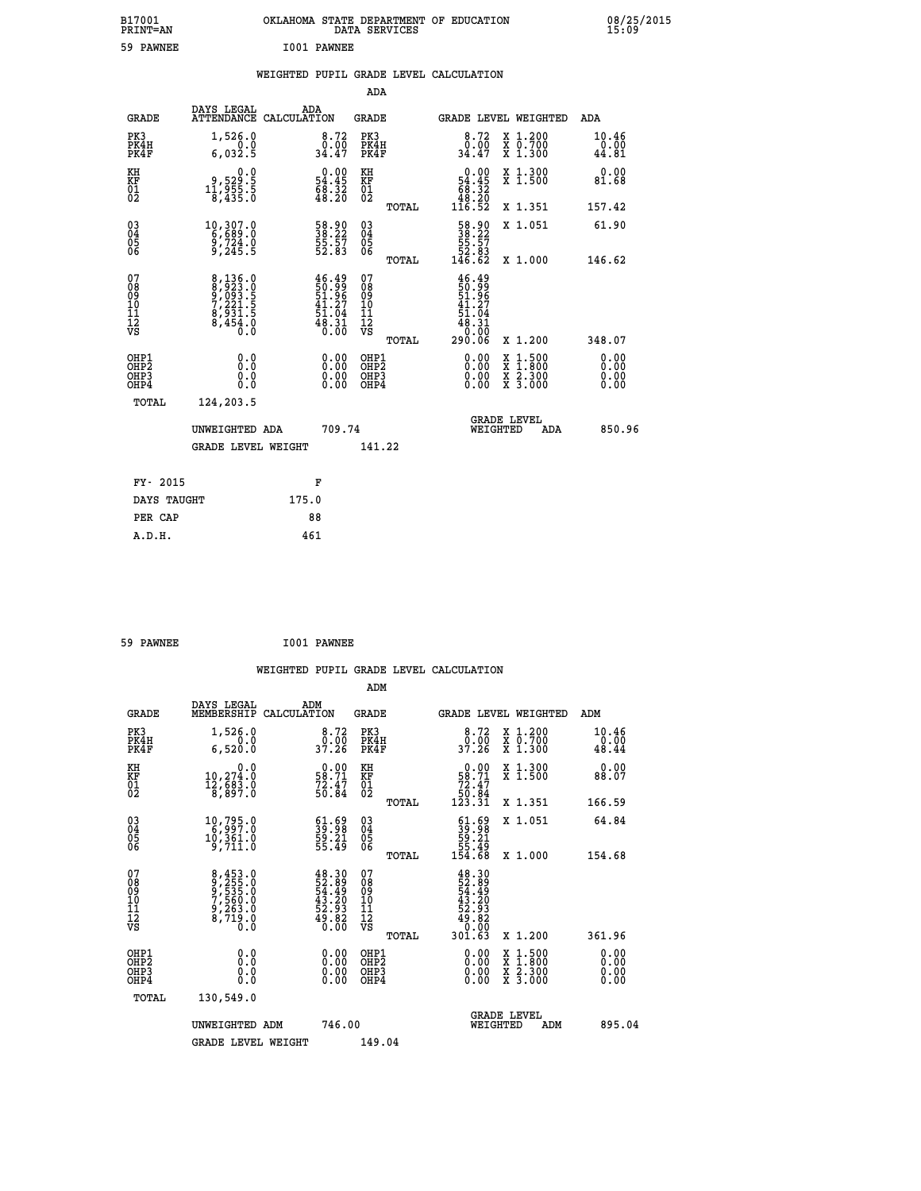| B17001<br>PRINT=AN                                 |                                                                                |                                                                                                          | DATA SERVICES                                      | OKLAHOMA STATE DEPARTMENT OF EDUCATION                                                  |                                                                                                  | 08/25/2015<br>15:09    |  |
|----------------------------------------------------|--------------------------------------------------------------------------------|----------------------------------------------------------------------------------------------------------|----------------------------------------------------|-----------------------------------------------------------------------------------------|--------------------------------------------------------------------------------------------------|------------------------|--|
| 59 PAWNEE                                          |                                                                                | I001 PAWNEE                                                                                              |                                                    |                                                                                         |                                                                                                  |                        |  |
|                                                    |                                                                                | WEIGHTED PUPIL GRADE LEVEL CALCULATION                                                                   |                                                    |                                                                                         |                                                                                                  |                        |  |
|                                                    |                                                                                |                                                                                                          | <b>ADA</b>                                         |                                                                                         |                                                                                                  |                        |  |
| GRADE                                              | DAYS LEGAL<br>ATTENDANCE CALCULATION                                           | ADA                                                                                                      | GRADE                                              | GRADE LEVEL WEIGHTED                                                                    |                                                                                                  | ADA                    |  |
| PK3<br>PK4H<br>PK4F                                | 1,526.0<br>0.0<br>6,032.5                                                      | 8.72<br>0.00<br>34.47                                                                                    | PK3<br>PK4H<br>PK4F                                | 8.72<br>0.00<br>34.47                                                                   | X 1.200<br>X 0.700<br>X 1.300                                                                    | 10.46<br>0.00<br>44.81 |  |
| KH<br>KF<br>01<br>02                               | 0.0<br>8.823, 9<br>5.555, 11<br>8,435.0                                        | $\begin{smallmatrix} 0.00\\ 54.45\\ 68.32\\ 48.20 \end{smallmatrix}$                                     | KH<br>KF<br>01<br>02                               | $\begin{smallmatrix}&&0.00\\54.45\\68.32\\48.20\\116.52\end{smallmatrix}$               | X 1.300<br>$\overline{x}$ 1.500                                                                  | 0.00<br>81.68          |  |
|                                                    |                                                                                |                                                                                                          | TOTAL                                              |                                                                                         | X 1.351                                                                                          | 157.42                 |  |
| $\begin{matrix} 03 \\ 04 \\ 05 \\ 06 \end{matrix}$ | $\begin{smallmatrix} 10,307.0\\ 6,689.0\\ 9,724.0\\ 9,245.5 \end{smallmatrix}$ | 58.90<br>38.22<br>55.57<br>52.83                                                                         | $\begin{matrix} 03 \\ 04 \\ 05 \\ 06 \end{matrix}$ | $\begin{smallmatrix} 58.90\\ 38.22\\ 55.57\\ 52.83\\ 146.62 \end{smallmatrix}$          | X 1.051                                                                                          | 61.90                  |  |
|                                                    |                                                                                |                                                                                                          | <b>TOTAL</b>                                       |                                                                                         | X 1.000                                                                                          | 146.62                 |  |
| 07<br>08<br>09<br>10<br>11<br>Ī2<br>VS             | 8, 136.0<br>8, 923.0<br>9, 093.5<br>7, 221.5<br>$\frac{6,931.5}{8,454.0}$      | $\begin{array}{c} 46.49 \\ 50.99 \\ 51.96 \\ 41.27 \end{array}$<br>$\frac{1}{51}$ : 04<br>48: 31<br>0:00 | 07<br>08<br>09<br>10<br>11<br>ĪŽ<br>VŠ<br>TOTAL    | 46.49<br>$\frac{50}{51}$ .96<br>$\frac{41}{51}$ .27<br>51.04<br>48.31<br>0.00<br>290.06 | X 1.200                                                                                          | 348.07                 |  |
| OHP1                                               | 0.0                                                                            | 0.00                                                                                                     | OHP1                                               | 0.00                                                                                    |                                                                                                  | 0.00                   |  |
| OHP <sub>2</sub><br>OH <sub>P3</sub><br>OHP4       | Ō.Ō<br>0.0<br>0.0                                                              | 0.00<br>0.00                                                                                             | OH <sub>P</sub> 2<br>OHP3<br>OHP4                  | 0.00<br>0.00                                                                            | $\begin{smallmatrix} x & 1 & 500 \\ x & 1 & 800 \\ x & 2 & 300 \\ x & 3 & 000 \end{smallmatrix}$ | 0.00<br>0.00<br>0.00   |  |
| TOTAL                                              | 124,203.5                                                                      |                                                                                                          |                                                    |                                                                                         |                                                                                                  |                        |  |
|                                                    | UNWEIGHTED ADA                                                                 | 709.74                                                                                                   |                                                    | <b>GRADE LEVEL</b><br>WEIGHTED                                                          | ADA                                                                                              | 850.96                 |  |
|                                                    | GRADE LEVEL WEIGHT                                                             |                                                                                                          | 141.22                                             |                                                                                         |                                                                                                  |                        |  |
| FY- 2015                                           |                                                                                | F                                                                                                        |                                                    |                                                                                         |                                                                                                  |                        |  |
| DAYS TAUGHT                                        |                                                                                | 175.0                                                                                                    |                                                    |                                                                                         |                                                                                                  |                        |  |
| PER CAP                                            |                                                                                | 88                                                                                                       |                                                    |                                                                                         |                                                                                                  |                        |  |
| A.D.H.                                             |                                                                                | 461                                                                                                      |                                                    |                                                                                         |                                                                                                  |                        |  |

| 59 PAWNEE |  | I001 PAWNEE |
|-----------|--|-------------|
|-----------|--|-------------|

|                                                      |                                                                       |                                                                                                                                                                 | WEIGHTED PUPIL GRADE LEVEL CALCULATION              |                                                                                                       |                                          |                               |
|------------------------------------------------------|-----------------------------------------------------------------------|-----------------------------------------------------------------------------------------------------------------------------------------------------------------|-----------------------------------------------------|-------------------------------------------------------------------------------------------------------|------------------------------------------|-------------------------------|
|                                                      |                                                                       |                                                                                                                                                                 | ADM                                                 |                                                                                                       |                                          |                               |
| <b>GRADE</b>                                         | DAYS LEGAL<br>MEMBERSHIP<br>CALCULATION                               | ADM                                                                                                                                                             | <b>GRADE</b>                                        | <b>GRADE LEVEL WEIGHTED</b>                                                                           |                                          | ADM                           |
| PK3<br>PK4H<br>PK4F                                  | 1,526.0<br>0.0<br>6,520.0                                             | 8.72<br>_0.00<br>37.26                                                                                                                                          | PK3<br>PK4H<br>PK4F                                 | 8.72<br>_0.00<br>37.26                                                                                | X 1.200<br>X 0.700<br>X 1.300            | 10.46<br>$\frac{0.00}{48.44}$ |
| KH<br>KF<br>01<br>02                                 | 0.0<br>10,274.0<br>12,683.0<br>8,897.0                                | $\begin{smallmatrix} 0.00\\ 58.71\\ 72.47\\ 50.84 \end{smallmatrix}$                                                                                            | KH<br>KF<br>01<br>02                                | $\begin{smallmatrix} &0.00\ 58.71\ 72.47\ 50.84\ 123.31\end{smallmatrix}$                             | X 1.300<br>X 1.500                       | 0.00<br>88.07                 |
|                                                      |                                                                       |                                                                                                                                                                 | TOTAL                                               |                                                                                                       | X 1.351                                  | 166.59                        |
| $\begin{matrix} 03 \\ 04 \\ 05 \\ 06 \end{matrix}$   | 10,795.0<br>10,361.0<br>9,711.0                                       | $\begin{smallmatrix} 61.69\\ 39.98\\ 59.21\\ 55.49 \end{smallmatrix}$                                                                                           | $\begin{array}{c} 03 \\ 04 \\ 05 \\ 06 \end{array}$ | $\begin{smallmatrix} 61.69\\ 39.98\\ 59.21\\ 55.49\\ 154.68 \end{smallmatrix}$                        | X 1.051                                  | 64.84                         |
|                                                      |                                                                       |                                                                                                                                                                 | TOTAL                                               |                                                                                                       | X 1.000                                  | 154.68                        |
| 07<br>0890112<br>1112<br>VS                          | 8,453.0<br>9,255.0<br>9,535.0<br>7,560.0<br>9,263.0<br>8,719.0<br>0.0 | $\begin{smallmatrix} 4\,8\cdot\,3\,0\\ 5\,2\cdot\,8\,9\\ 5\,4\cdot\,4\,9\\ 4\,3\cdot\,2\,0\\ 2\cdot\,9\,3\\ 4\,9\cdot\,8\,2\\ 0\cdot\,0\,0\\ \end{smallmatrix}$ | 07<br>08<br>09<br>01<br>11<br>11<br>12<br>VS        | $\begin{smallmatrix} 48.30\ 52.89\ 54.499\ 43.20\ 52.933\ 49.820\ 49.082\ 0.001.63 \end{smallmatrix}$ |                                          |                               |
|                                                      |                                                                       |                                                                                                                                                                 | TOTAL                                               |                                                                                                       | X 1.200                                  | 361.96                        |
| OHP1<br>OHP <sub>2</sub><br>OH <sub>P3</sub><br>OHP4 | 0.0<br>0.000                                                          | $0.00$<br>$0.00$<br>0.00                                                                                                                                        | OHP1<br>OHP2<br>OHP <sub>3</sub>                    | 0.00<br>0.00<br>0.00                                                                                  | X 1:500<br>X 1:800<br>X 2:300<br>X 3:000 | 0.00<br>0.00<br>0.00<br>0.00  |
| TOTAL                                                | 130,549.0                                                             |                                                                                                                                                                 |                                                     |                                                                                                       |                                          |                               |
|                                                      | UNWEIGHTED ADM                                                        | 746.00                                                                                                                                                          |                                                     | WEIGHTED                                                                                              | <b>GRADE LEVEL</b><br>ADM                | 895.04                        |
|                                                      | <b>GRADE LEVEL WEIGHT</b>                                             |                                                                                                                                                                 | 149.04                                              |                                                                                                       |                                          |                               |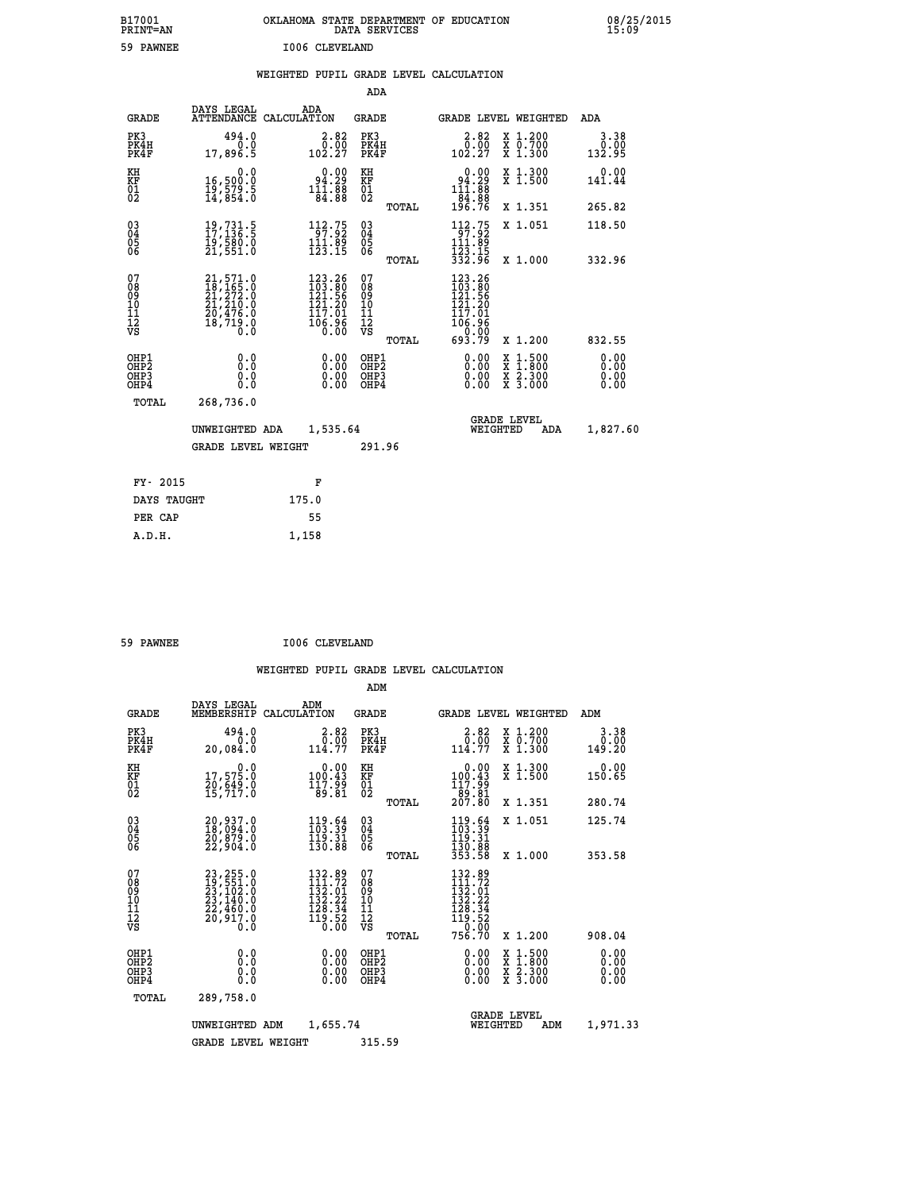| B17001<br>PRINT=AN                                   |                                                                                                             | OKLAHOMA STATE DEPARTMENT OF EDUCATION                                              | DATA SERVICES                                                                   |                                                                        |                                                                                              | 08/25/2015<br>15:09          |  |
|------------------------------------------------------|-------------------------------------------------------------------------------------------------------------|-------------------------------------------------------------------------------------|---------------------------------------------------------------------------------|------------------------------------------------------------------------|----------------------------------------------------------------------------------------------|------------------------------|--|
| 59 PAWNEE                                            |                                                                                                             | I006 CLEVELAND                                                                      |                                                                                 |                                                                        |                                                                                              |                              |  |
|                                                      |                                                                                                             | WEIGHTED PUPIL GRADE LEVEL CALCULATION                                              |                                                                                 |                                                                        |                                                                                              |                              |  |
|                                                      |                                                                                                             |                                                                                     | <b>ADA</b>                                                                      |                                                                        |                                                                                              |                              |  |
| <b>GRADE</b>                                         | DAYS LEGAL<br>ATTENDANCE CALCULATION                                                                        | ADA                                                                                 | GRADE                                                                           | GRADE LEVEL WEIGHTED                                                   |                                                                                              | ADA                          |  |
| PK3<br>PK4H<br>PK4F                                  | 494.0<br>0.0<br>17,896.5                                                                                    | $\begin{smallmatrix} 2.82\ 0.00\ 102.27 \end{smallmatrix}$                          | PK3<br>PK4H<br>PK4F                                                             | 2.82<br>0.00<br>102.27                                                 | X 1.200<br>X 0.700<br>X 1.300                                                                | 3.38<br>0.00<br>132.95       |  |
| KH<br>KF<br>$^{01}_{02}$                             | 0.0<br>16,500:0<br>19,579:5<br>14,854:0                                                                     | $\begin{smallmatrix} 0.00\\ 94.29\\ 111.88\\ 84.88 \end{smallmatrix}$               | KH<br><b>KF</b><br>01<br>02                                                     | $0.00$<br>$94.29$<br>$11.88$                                           | X 1.300<br>X 1.500                                                                           | 0.00<br>141.44               |  |
|                                                      |                                                                                                             |                                                                                     | TOTAL                                                                           | -84:88<br>196.76                                                       | X 1.351                                                                                      | 265.82                       |  |
| $\substack{03 \\ 04}$<br>$\frac{05}{06}$             | $19,731.5$<br>$17,136.5$<br>19,500.0<br>21,551.0                                                            | $\begin{array}{l} 112\cdot 75\\ 97\cdot 92\\ 111\cdot 89\\ 123\cdot 15 \end{array}$ | $\begin{smallmatrix} 03 \\[-4pt] 04 \end{smallmatrix}$<br>$\substack{05 \\ 06}$ | 112.75<br>111.89<br>123.15<br>332.96                                   | X 1.051                                                                                      | 118.50                       |  |
|                                                      |                                                                                                             |                                                                                     | TOTAL                                                                           |                                                                        | X 1.000                                                                                      | 332.96                       |  |
| 07<br>08<br>09<br>11<br>11<br>12<br>VS               | 21,571.0<br>$\begin{smallmatrix} 18,165.10\ 21,272.0\ 21,210.0\ 20,476.0\ 18,719.0\ 0.0\ \end{smallmatrix}$ | $123.26$<br>$103.80$<br>$121.56$<br>$121.29$<br>117.01<br>3ĕ.3ōf                    | 07<br>08<br>09<br>10<br>11<br>12<br>VS<br>TOTAL                                 | 123.26<br>103.80<br>121.56<br>121.20<br>117.01<br>ةَ ةٍ: 106<br>693.79 | X 1.200                                                                                      | 832.55                       |  |
| OHP1<br>OHP <sub>2</sub><br>OH <sub>P3</sub><br>OHP4 | 0.0<br>0.0<br>0.0<br>0.0                                                                                    | 0.00<br>0.00<br>0.00                                                                | OHP1<br>OH <sub>P</sub> 2<br>OHP3<br>OHP4                                       | 0.00<br>0.00<br>0.00                                                   | $\frac{x}{x}$ $\frac{1.500}{x}$<br>$\frac{\overline{x}}{\overline{x}}$ $\frac{2.300}{3.000}$ | 0.00<br>0.00<br>0.00<br>0.00 |  |
| TOTAL                                                | 268,736.0                                                                                                   |                                                                                     |                                                                                 |                                                                        |                                                                                              |                              |  |
|                                                      | UNWEIGHTED ADA                                                                                              | 1,535.64                                                                            |                                                                                 | <b>GRADE LEVEL</b><br>WEIGHTED                                         | ADA                                                                                          | 1,827.60                     |  |
|                                                      | <b>GRADE LEVEL WEIGHT</b>                                                                                   |                                                                                     | 291.96                                                                          |                                                                        |                                                                                              |                              |  |
| FY- 2015                                             |                                                                                                             | F                                                                                   |                                                                                 |                                                                        |                                                                                              |                              |  |
| DAYS TAUGHT                                          |                                                                                                             | 175.0                                                                               |                                                                                 |                                                                        |                                                                                              |                              |  |
| PER CAP                                              |                                                                                                             | 55                                                                                  |                                                                                 |                                                                        |                                                                                              |                              |  |

| 59 PAWNEE |  | I006 CLEVELAND |
|-----------|--|----------------|
|           |  |                |

 **A.D.H. 1,158**

|  |  | WEIGHTED PUPIL GRADE LEVEL CALCULATION |
|--|--|----------------------------------------|
|  |  |                                        |

|                                                       |                                                                                                |                                                                                                                                                              | ADM                                              |                                                                                         |                                          |                              |
|-------------------------------------------------------|------------------------------------------------------------------------------------------------|--------------------------------------------------------------------------------------------------------------------------------------------------------------|--------------------------------------------------|-----------------------------------------------------------------------------------------|------------------------------------------|------------------------------|
| <b>GRADE</b>                                          | DAYS LEGAL<br>MEMBERSHIP                                                                       | ADM<br>CALCULATION                                                                                                                                           | <b>GRADE</b>                                     | <b>GRADE LEVEL WEIGHTED</b>                                                             |                                          | ADM                          |
| PK3<br>PK4H<br>PK4F                                   | 494.0<br>0.0<br>20,084.0                                                                       | 2.82<br>$\frac{0.00}{114.77}$                                                                                                                                | PK3<br>PK4H<br>PK4F                              | $2.82$<br>$0.00$<br>114.77                                                              | X 1.200<br>X 0.700<br>X 1.300            | 3.38<br>0.00<br>149.20       |
| KH<br>KF<br>01<br>02                                  | 0.0<br>17,575.0<br>20,649.0<br>15,717.0                                                        | $\begin{smallmatrix} 0.00\\ 100.43\\ 117.99\\ 89.81 \end{smallmatrix}$                                                                                       | KH<br>KF<br>01<br>02                             | $\begin{smallmatrix} &0.00\ 100.43\ 117.99\ 89.81\ 207.80 \end{smallmatrix}$            | X 1.300<br>X 1.500                       | 0.00<br>150.65               |
|                                                       |                                                                                                |                                                                                                                                                              | TOTAL                                            |                                                                                         | X 1.351                                  | 280.74                       |
| 03<br>04<br>05<br>06                                  | 20,937.0<br>18,094.0<br>20,879.0<br>22,904.0                                                   | $\frac{119.64}{103.39}$<br>119.31<br>130.88                                                                                                                  | $^{03}_{04}$<br>0500                             | $\frac{119.64}{103.39}$<br>119.31                                                       | X 1.051                                  | 125.74                       |
|                                                       |                                                                                                |                                                                                                                                                              | TOTAL                                            | 130.00<br>353.58                                                                        | X 1.000                                  | 353.58                       |
| 07<br>08<br>09<br>101<br>112<br>VS                    | 23, 255.0<br>19, 551.0<br>23, 102.0<br>23, 140.0<br>22, 460.0<br>20, 917.0<br>$0.\overline{0}$ | 132.89<br>111.72<br>$\begin{array}{r} 1\,3\,2\cdot\,0\,1\,\\ 1\,3\,2\cdot\,2\,2\,\\ 1\,2\,8\cdot\,3\,4\,\\ 1\,9\cdot\,5\,2\,\\ 0\cdot\,0\,0\,\\ \end{array}$ | 07<br>08<br>09<br>101<br>11<br>12<br>VS<br>TOTAL | 132.89<br>111.72<br>132.01<br>132.22<br>128.34<br>119.52<br>119.52<br>752.000<br>756.70 | X 1.200                                  | 908.04                       |
| OHP1<br>OH <sub>P</sub> 2<br>OH <sub>P3</sub><br>OHP4 | 0.0<br>0.000                                                                                   | $0.00$<br>$0.00$<br>0.00                                                                                                                                     | OHP1<br>OHP2<br>OHP3<br>OHP4                     | $0.00$<br>$0.00$<br>0.00                                                                | X 1:500<br>X 1:800<br>X 2:300<br>X 3:000 | 0.00<br>0.00<br>0.00<br>0.00 |
| TOTAL                                                 | 289,758.0                                                                                      |                                                                                                                                                              |                                                  |                                                                                         |                                          |                              |
|                                                       | UNWEIGHTED                                                                                     | 1,655.74<br>ADM                                                                                                                                              |                                                  | WEIGHTED                                                                                | <b>GRADE LEVEL</b><br>ADM                | 1,971.33                     |
|                                                       | <b>GRADE LEVEL WEIGHT</b>                                                                      |                                                                                                                                                              | 315.59                                           |                                                                                         |                                          |                              |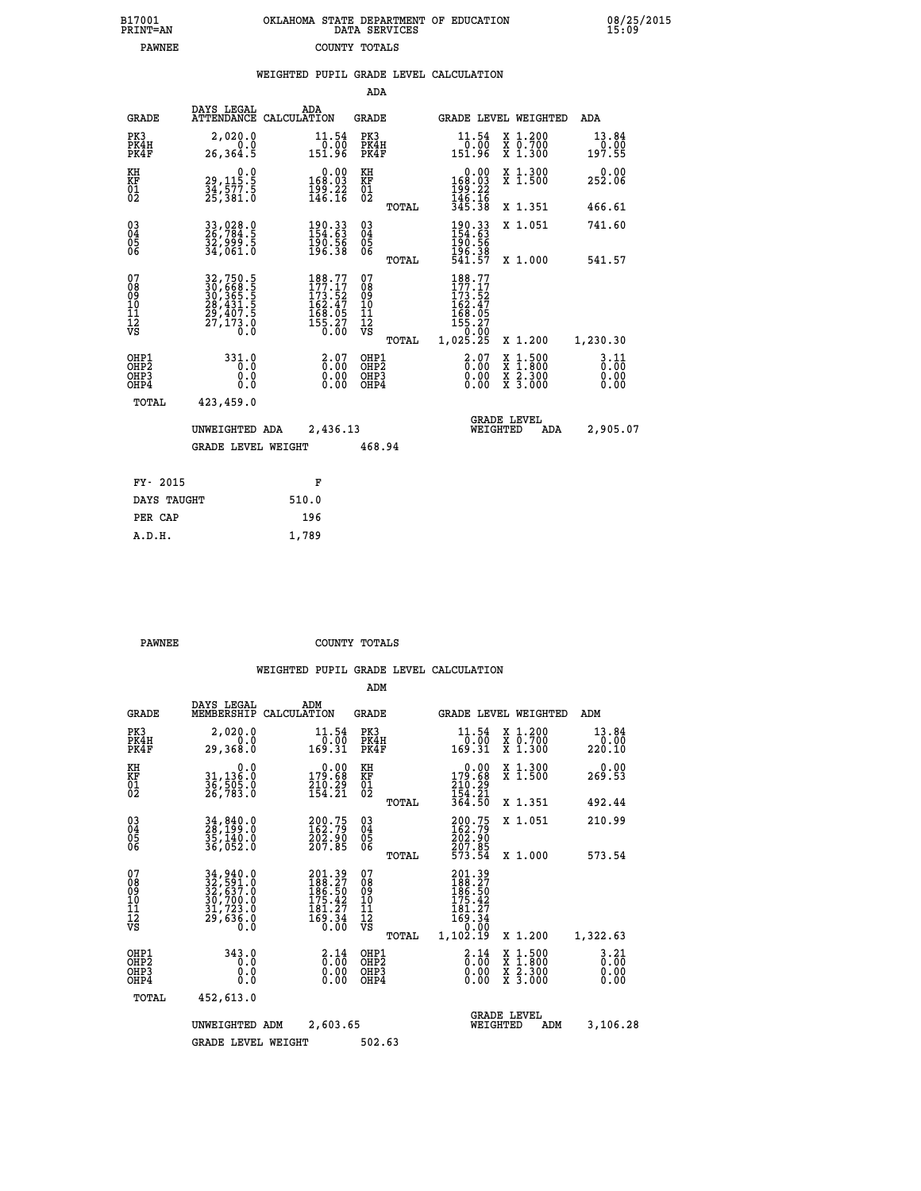| 7001<br>INT=AN | OKLAHOMA STATE DEPARTMENT OF EDUCATION<br>DATA SERVICES |  |
|----------------|---------------------------------------------------------|--|
| <b>PAWNEE</b>  | COUNTY TOTALS                                           |  |

 **B17001<br>PRINT=AN** 

 **B17001 OKLAHOMA STATE DEPARTMENT OF EDUCATION 08/25/2015**

|                                                              |                                                                                                       | WEIGHTED PUPIL GRADE LEVEL CALCULATION                                                      |                                         |       |                                                                                                       |                                                                                        |                         |
|--------------------------------------------------------------|-------------------------------------------------------------------------------------------------------|---------------------------------------------------------------------------------------------|-----------------------------------------|-------|-------------------------------------------------------------------------------------------------------|----------------------------------------------------------------------------------------|-------------------------|
|                                                              |                                                                                                       |                                                                                             | ADA                                     |       |                                                                                                       |                                                                                        |                         |
| <b>GRADE</b>                                                 | DAYS LEGAL                                                                                            | ADA<br>ATTENDANCE CALCULATION                                                               | <b>GRADE</b>                            |       | GRADE LEVEL WEIGHTED                                                                                  |                                                                                        | ADA                     |
| PK3<br>PK4H<br>PK4F                                          | 2,020.0<br>0.0<br>26,364.5                                                                            | $\begin{smallmatrix} 11.54\ 0.00 \ 151.96 \end{smallmatrix}$                                | PK3<br>PK4H<br>PK4F                     |       | 11.54<br>0.00<br>151.96                                                                               | X 1.200<br>X 0.700<br>X 1.300                                                          | 13.84<br>0.00<br>197.55 |
| KH<br>KF<br>01<br>02                                         | $\begin{smallmatrix} & & 0 & .0\ 29 & , 115 & .5\ 34 & , 577 & .5\ 25 & , 381 & .0 \end{smallmatrix}$ | $0.00$<br>168.03<br>$\frac{199}{146}. \frac{22}{16}$                                        | KH<br>KF<br>01<br>02                    |       | $0.00$<br>168.03<br>$\frac{199}{146}$ $\cdot \frac{22}{16}$<br>$\frac{345}{38}$                       | X 1.300<br>X 1.500                                                                     | $0.00$<br>252.06        |
|                                                              |                                                                                                       |                                                                                             |                                         | TOTAL |                                                                                                       | X 1.351                                                                                | 466.61                  |
| $\begin{smallmatrix} 03 \\[-4pt] 04 \end{smallmatrix}$<br>05 | 33,028.0<br>26,784.5<br>32,999.5<br>34,061.0                                                          | $\begin{smallmatrix} 190.33\ 154.63\ 190.56\ 196.38 \end{smallmatrix}$                      | $^{03}_{04}$<br>05                      |       | 190.33<br>154.63<br>190.56                                                                            | X 1.051                                                                                | 741.60                  |
| 06                                                           |                                                                                                       |                                                                                             | 06                                      | TOTAL | 196.38<br>541.57                                                                                      | X 1.000                                                                                | 541.57                  |
| 07<br>08<br>09<br>01<br>11<br>11<br>12<br>VS                 | 32,750.5<br>30,668.5<br>30,365.5<br>30,365.5<br>28,431.5<br>29,407.5<br>27,173.0                      | $\begin{smallmatrix} 188.77\\177.17\\173.52\\162.47\\168.05\\155.27\\0.00\end{smallmatrix}$ | 07<br>08<br>09<br>101<br>11<br>12<br>VS | TOTAL | 188.77<br>177.17<br>$\begin{smallmatrix} 173.152\ 162.47\ 168.05\ 155.27\ 1.025.25 \end{smallmatrix}$ | X 1.200                                                                                | 1,230.30                |
| OHP1<br>OHP2<br>OHP3<br>OHP4                                 | 331.0<br>0.0<br>0.0<br>0.0                                                                            | $\begin{smallmatrix} 2.07 \ 0.00 \ 0.00 \ 0.00 \end{smallmatrix}$                           | OHP1<br>OHP2<br>OHP3<br>OHP4            |       | $\begin{smallmatrix} 2.07 \ 0.00 \ 0.00 \ 0.00 \end{smallmatrix}$                                     | $\begin{smallmatrix} 1.500\ 1.800\ 2.300\ 3.000 \end{smallmatrix}$<br><b>XXX</b><br>XX | 3.11<br>0.00            |
| TOTAL                                                        | 423,459.0                                                                                             |                                                                                             |                                         |       |                                                                                                       |                                                                                        |                         |
|                                                              | UNWEIGHTED ADA                                                                                        | 2,436.13                                                                                    |                                         |       | WEIGHTED                                                                                              | <b>GRADE LEVEL</b><br>ADA                                                              | 2,905.07                |
|                                                              | <b>GRADE LEVEL WEIGHT</b>                                                                             |                                                                                             | 468.94                                  |       |                                                                                                       |                                                                                        |                         |
| FY- 2015                                                     |                                                                                                       | F                                                                                           |                                         |       |                                                                                                       |                                                                                        |                         |
| DAYS TAUGHT                                                  |                                                                                                       | 510.0                                                                                       |                                         |       |                                                                                                       |                                                                                        |                         |
| PER CAP                                                      |                                                                                                       | 196                                                                                         |                                         |       |                                                                                                       |                                                                                        |                         |

**PAWNEE COUNTY TOTALS** 

 **A.D.H. 1,789**

|  |  | WEIGHTED PUPIL GRADE LEVEL CALCULATION |
|--|--|----------------------------------------|

|                                                       |                                                                                                                                                                                          |                    |                                                                          | ADM                                                 |       |                                                                              |                                |                                          |                                  |
|-------------------------------------------------------|------------------------------------------------------------------------------------------------------------------------------------------------------------------------------------------|--------------------|--------------------------------------------------------------------------|-----------------------------------------------------|-------|------------------------------------------------------------------------------|--------------------------------|------------------------------------------|----------------------------------|
| <b>GRADE</b>                                          | DAYS LEGAL<br>MEMBERSHIP                                                                                                                                                                 | ADM<br>CALCULATION |                                                                          | <b>GRADE</b>                                        |       |                                                                              |                                | <b>GRADE LEVEL WEIGHTED</b>              | ADM                              |
| PK3<br>PK4H<br>PK4F                                   | 2,020.0<br>0.0<br>29,368.0                                                                                                                                                               |                    | 11.54<br>0.00<br>169.31                                                  | PK3<br>PK4H<br>PK4F                                 |       | 11.54<br>$\frac{0.00}{169.31}$                                               |                                | X 1.200<br>X 0.700<br>X 1.300            | 13.84<br>0.00<br>220.10          |
| KH<br>KF<br>01<br>02                                  | 0.0<br>31,136.0<br>36,505.0<br>26,783.0                                                                                                                                                  |                    | $\begin{smallmatrix} &0.00\\ 179.68\\ 210.29\\ 154.21 \end{smallmatrix}$ | KH<br>KF<br>01<br>02                                |       | $0.00$<br>179.68<br>$\frac{210}{154}$ $\frac{29}{364}$                       |                                | X 1.300<br>X 1.500                       | 0.00<br>269.53                   |
|                                                       |                                                                                                                                                                                          |                    |                                                                          |                                                     | TOTAL |                                                                              |                                | X 1.351                                  | 492.44                           |
| 03<br>04<br>05<br>06                                  | 34,840.0<br>28,199.0<br>35,140.0<br>36,052.0                                                                                                                                             |                    | 200.75<br>162.79<br>202.90<br>207.85                                     | $\begin{array}{c} 03 \\ 04 \\ 05 \\ 06 \end{array}$ |       | 200.75<br>162.79<br>202.90<br>207.85                                         |                                | X 1.051                                  | 210.99                           |
|                                                       |                                                                                                                                                                                          |                    |                                                                          |                                                     | TOTAL | 573.54                                                                       |                                | X 1.000                                  | 573.54                           |
| 07<br>08<br>09<br>101<br>112<br>VS                    | $\begin{smallmatrix} 34\,, & 940\,. & 0\\ 32\,, & 591\,. & 0\\ 32\,, & 637\,. & 0\\ 30\,, & 700\,. & 0\\ 31\,, & 723\,. & 0\\ 29\,, & 636\,. & 0\\ 0\,. & 0\,. & 0\,. \end{smallmatrix}$ |                    | 201.39<br>188.27<br>186.50<br>175.42<br>$\frac{181.27}{169.34}$          | 07<br>08<br>09<br>101<br>11<br>12<br>VS             | TOTAL | 201.39<br>188.27<br>186.50<br>175.42<br>181:27<br>169:34<br>0.00<br>1,102.19 |                                | X 1.200                                  | 1,322.63                         |
| OHP1<br>OH <sub>P</sub> 2<br>OH <sub>P3</sub><br>OHP4 | 343.0<br>0.0<br>0.000                                                                                                                                                                    |                    | $\begin{smallmatrix} 2.14\ 0.00 \ 0.00 \end{smallmatrix}$<br>0.00        | OHP1<br>OHP2<br>OHP3<br>OHP4                        |       | $\begin{smallmatrix} 2.14\ 0.00 \ 0.00 \end{smallmatrix}$<br>0.00            |                                | X 1:500<br>X 1:800<br>X 2:300<br>X 3:000 | $3.21$<br>$0.00$<br>0.00<br>0.00 |
| TOTAL                                                 | 452,613.0                                                                                                                                                                                |                    |                                                                          |                                                     |       |                                                                              |                                |                                          |                                  |
|                                                       | UNWEIGHTED ADM                                                                                                                                                                           |                    | 2,603.65                                                                 |                                                     |       |                                                                              | <b>GRADE LEVEL</b><br>WEIGHTED | ADM                                      | 3,106.28                         |
|                                                       | <b>GRADE LEVEL WEIGHT</b>                                                                                                                                                                |                    |                                                                          | 502.63                                              |       |                                                                              |                                |                                          |                                  |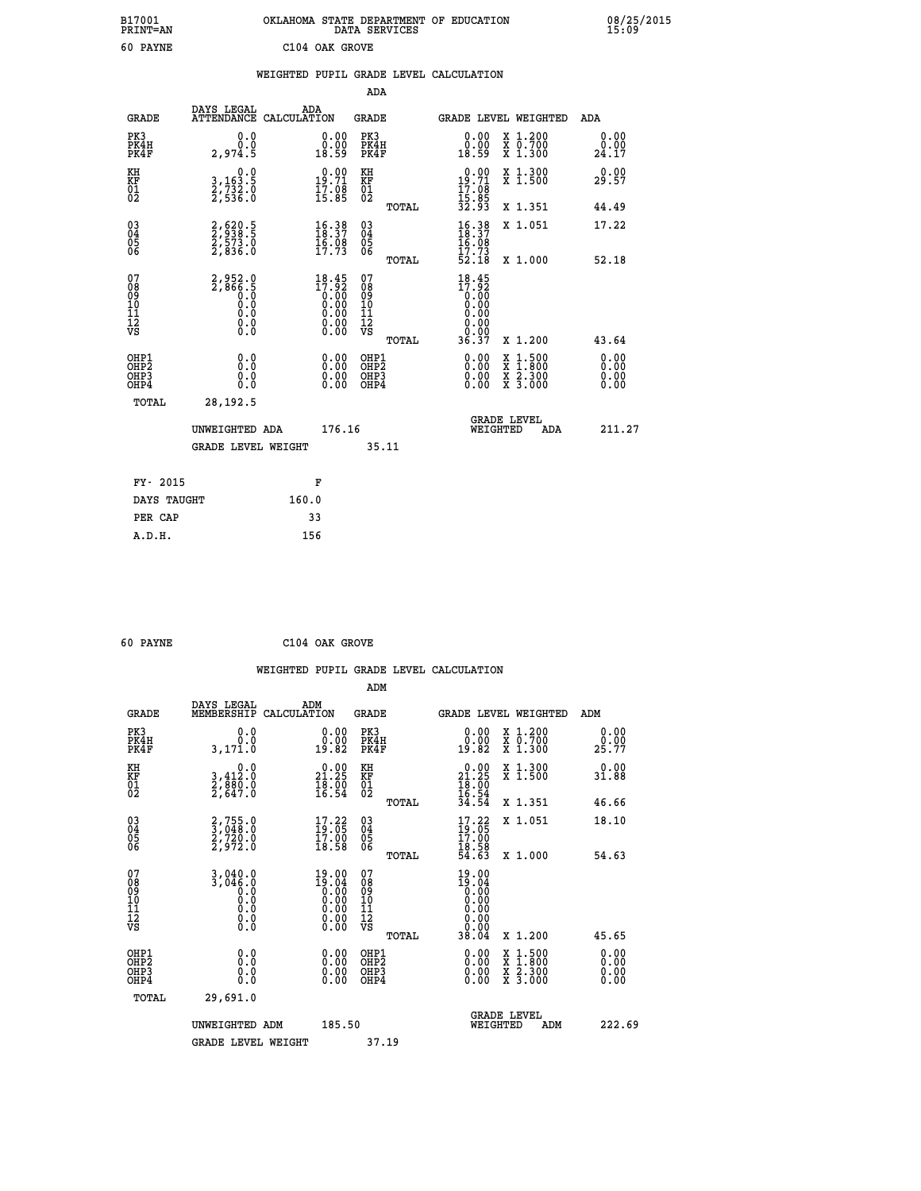|                            | OKLAHOMA STATE DEPARTMENT OF EDUCATION<br>DATA SERVICES |  |
|----------------------------|---------------------------------------------------------|--|
| C <sub>104</sub> OAK GROVE |                                                         |  |

|                                                                   |                                                                 |                                                                                     | ADA                                       |       |                                                             |                                          |                              |
|-------------------------------------------------------------------|-----------------------------------------------------------------|-------------------------------------------------------------------------------------|-------------------------------------------|-------|-------------------------------------------------------------|------------------------------------------|------------------------------|
| <b>GRADE</b>                                                      | DAYS LEGAL<br>ATTENDANCE CALCULATION                            | ADA                                                                                 | <b>GRADE</b>                              |       |                                                             | <b>GRADE LEVEL WEIGHTED</b>              | ADA                          |
| PK3<br>PK4H<br>PK4F                                               | 0.0<br>0.0<br>2,974.5                                           | $\begin{smallmatrix} 0.00\\ 0.00\\ 18.59 \end{smallmatrix}$                         | PK3<br>PK4H<br>PK4F                       |       | $\begin{smallmatrix} 0.00\\ 0.00\\ 18.59 \end{smallmatrix}$ | X 1.200<br>X 0.700<br>X 1.300            | 0.00<br>0.00<br>24.17        |
| KH<br><b>KF</b><br>01<br>02                                       | 0.0<br>3,163:5<br>2,732:0<br>2,536:0                            | 19:71<br>$\frac{17.08}{15.85}$                                                      | KH<br>KF<br>01<br>02                      |       | $0.00$<br>19.71<br>$\frac{17.08}{15.85}$<br>32.93           | X 1.300<br>X 1.500                       | 0.00<br>29.57                |
|                                                                   |                                                                 |                                                                                     |                                           | TOTAL |                                                             | X 1.351                                  | 44.49                        |
| $^{03}_{04}$<br>Ŏ5<br>06                                          | 2,620.5<br>2,538.5<br>2,573.0<br>2,836.0                        | $\begin{array}{l} 16\cdot 38 \\ 18\cdot 37 \\ 16\cdot 08 \\ 17\cdot 73 \end{array}$ | $\substack{03 \\ 04}$<br>Ŏ5<br>06         | TOTAL | $16.38$<br>$18.37$<br>$16.08$<br>$17.73$<br>52.18           | X 1.051<br>X 1.000                       | 17.22<br>52.18               |
| 07<br>08<br>09<br>11<br>11<br>12<br>VS                            | $2,866.5$<br>$0.0$<br>$0.0$<br>$0.0$<br>$0.0$<br>$0.0$<br>$0.0$ | $18.45$<br>$17.92$<br>$0.00$<br>$0.00$<br>$0.00$<br>0.00                            | 07<br>08<br>09<br>11<br>11<br>12<br>VS    |       | 18.45<br>17.92<br>0.00<br>0.00<br>0.00<br>0.00              |                                          |                              |
|                                                                   |                                                                 |                                                                                     |                                           | TOTAL | 36.37                                                       | X 1.200                                  | 43.64                        |
| OHP1<br>OH <sub>P</sub> 2<br>OH <sub>P3</sub><br>OH <sub>P4</sub> | 0.0<br>0.000                                                    | $\begin{smallmatrix} 0.00 \ 0.00 \ 0.00 \ 0.00 \end{smallmatrix}$                   | OHP1<br>OH <sub>P</sub> 2<br>OHP3<br>OHP4 |       | 0.00<br>0.00<br>0.00                                        | X 1:500<br>X 1:800<br>X 2:300<br>X 3:000 | 0.00<br>0.00<br>0.00<br>0.00 |
| TOTAL                                                             | 28, 192.5                                                       |                                                                                     |                                           |       |                                                             |                                          |                              |
|                                                                   | UNWEIGHTED ADA                                                  | 176.16                                                                              |                                           |       |                                                             | GRADE LEVEL<br>WEIGHTED<br>ADA           | 211.27                       |
|                                                                   | <b>GRADE LEVEL WEIGHT</b>                                       |                                                                                     |                                           | 35.11 |                                                             |                                          |                              |
| FY- 2015                                                          |                                                                 | F                                                                                   |                                           |       |                                                             |                                          |                              |
| DAYS TAUGHT                                                       |                                                                 | 160.0                                                                               |                                           |       |                                                             |                                          |                              |
| PER CAP                                                           |                                                                 | 33                                                                                  |                                           |       |                                                             |                                          |                              |

| 60 PAYNE |  | C104 OAK GROVE |
|----------|--|----------------|

 **A.D.H. 156**

 **B17001<br>PRINT=AN 60 PAYNE** 

|                                                      |                                                                               |                                                                          | ADM                          |       |                                                                                                        |                                                                                                  |                            |
|------------------------------------------------------|-------------------------------------------------------------------------------|--------------------------------------------------------------------------|------------------------------|-------|--------------------------------------------------------------------------------------------------------|--------------------------------------------------------------------------------------------------|----------------------------|
| <b>GRADE</b>                                         | DAYS LEGAL<br>MEMBERSHIP                                                      | ADM<br>CALCULATION                                                       | <b>GRADE</b>                 |       |                                                                                                        | <b>GRADE LEVEL WEIGHTED</b>                                                                      | ADM                        |
| PK3<br>PK4H<br>PK4F                                  | 0.0<br>0.0<br>3,171.0                                                         | 0.00<br>0.00<br>19.82                                                    | PK3<br>PK4H<br>PK4F          |       | 0.00<br>0.00<br>19.82                                                                                  | X 1.200<br>X 0.700<br>X 1.300                                                                    | 0.00<br>$29.00$<br>$25.77$ |
| KH<br>KF<br>01<br>02                                 | 0.0<br>3,412:0<br>2,880:0<br>2,647:0                                          | $\begin{smallmatrix} 0.00\\ 21.25\\ 18.20\\ 16.54 \end{smallmatrix}$     | KH<br>KF<br>01<br>02         |       | $\begin{smallmatrix} 0.00\\ 21.25\\ 18.00\\ 16.54\\ 34.54 \end{smallmatrix}$                           | X 1.300<br>X 1.500                                                                               | $0.00$<br>31.88            |
|                                                      |                                                                               |                                                                          |                              | TOTAL |                                                                                                        | X 1.351                                                                                          | 46.66                      |
| 03<br>04<br>05<br>06                                 | $\begin{smallmatrix} 2,755.0\\ 3,048.0\\ 2,720.0\\ 2,972.0 \end{smallmatrix}$ | $\begin{smallmatrix} 17.22 \\ 19.05 \\ 17.00 \\ 18.58 \end{smallmatrix}$ | 03<br>04<br>05<br>06         |       | 17.22<br>$\frac{19}{17}$ .05<br>$\frac{17}{18}$ .58<br>$\frac{5}{16}$ .63                              | X 1.051                                                                                          | 18.10                      |
|                                                      |                                                                               |                                                                          |                              | TOTAL |                                                                                                        | X 1.000                                                                                          | 54.63                      |
| 07<br>08<br>09<br>101<br>112<br>VS                   | $3,040.0$<br>$3,046.0$<br>$0.0$<br>0.0<br>0.0<br>$\S.$                        | $19.00$<br>$19.04$<br>$0.00$<br>$0.00$<br>$0.00$<br>$0.00$<br>0.00       | 07<br>08901123<br>1122<br>VS |       | $19.00$<br>$19.04$<br>$0.00$<br>$0.00$<br>0.00<br>$\begin{smallmatrix} 0.00 \\ 0.00 \end{smallmatrix}$ |                                                                                                  |                            |
|                                                      |                                                                               |                                                                          |                              | TOTAL | 38.04                                                                                                  | X 1.200                                                                                          | 45.65                      |
| OHP1<br>OHP2<br>OH <sub>P3</sub><br>OH <sub>P4</sub> | 0.0<br>$\begin{smallmatrix} 0.0 & 0 \ 0.0 & 0 \end{smallmatrix}$              | $\begin{smallmatrix} 0.00 \ 0.00 \ 0.00 \ 0.00 \end{smallmatrix}$        | OHP1<br>OHP2<br>OHP3<br>OHP4 |       |                                                                                                        | $\begin{smallmatrix} x & 1 & 500 \\ x & 1 & 800 \\ x & 2 & 300 \\ x & 3 & 000 \end{smallmatrix}$ | 0.00<br>0.00               |
| TOTAL                                                | 29,691.0                                                                      |                                                                          |                              |       |                                                                                                        |                                                                                                  |                            |
|                                                      | UNWEIGHTED<br><b>GRADE LEVEL WEIGHT</b>                                       | 185.50<br>ADM                                                            |                              | 37.19 | WEIGHTED                                                                                               | <b>GRADE LEVEL</b><br>ADM                                                                        | 222.69                     |
|                                                      |                                                                               |                                                                          |                              |       |                                                                                                        |                                                                                                  |                            |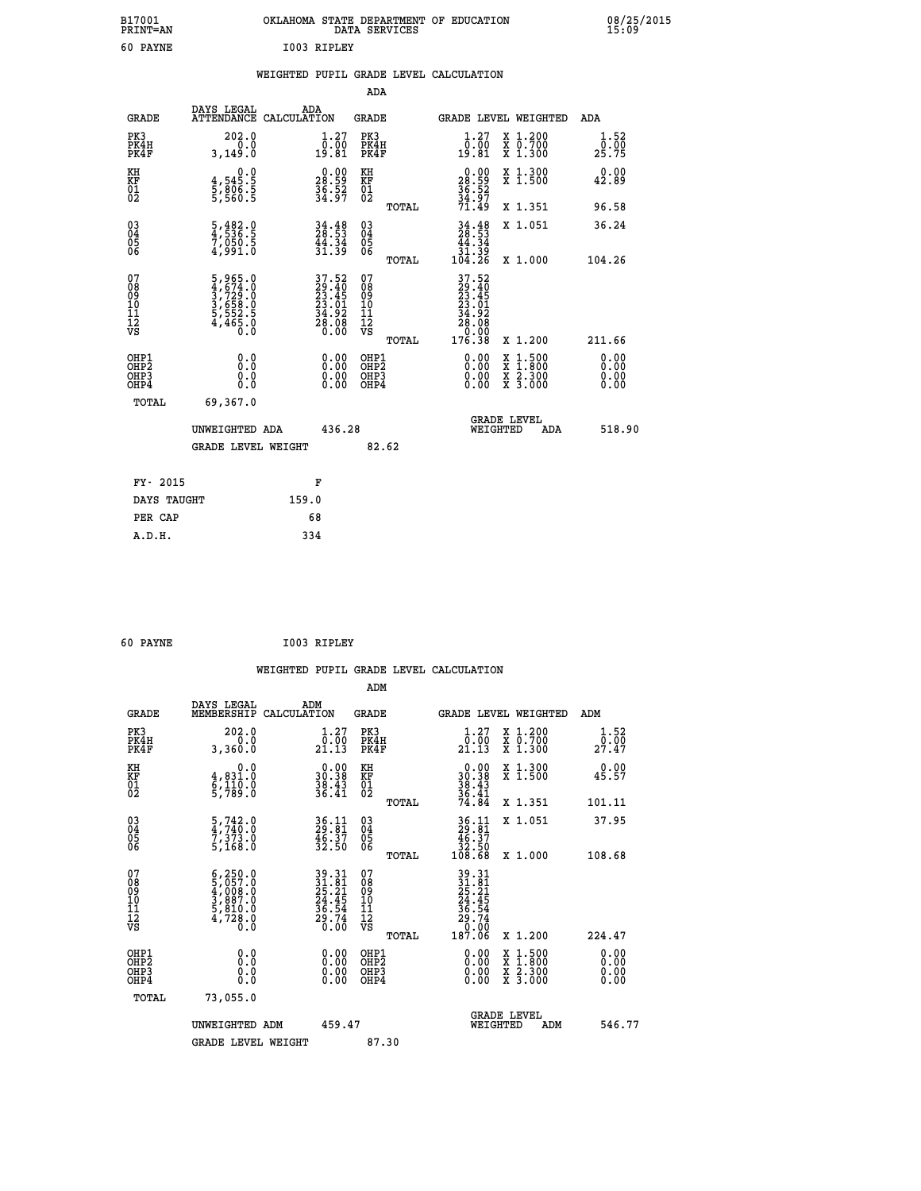| B17001<br>PRINT=AN | OKLAHOMA STATE DEPARTMENT OF EDUCATION<br>DATA SERVICES | 08/25/2015<br>15:09 |
|--------------------|---------------------------------------------------------|---------------------|
| 60<br><b>PAYNE</b> | 1003 RIPLEY                                             |                     |

|  |  | WEIGHTED PUPIL GRADE LEVEL CALCULATION |
|--|--|----------------------------------------|
|  |  |                                        |

|                                                                    |                                                                       |                                                                          | ADA                                       |       |                                                                                                                                                                                  |                                                                     |                                            |
|--------------------------------------------------------------------|-----------------------------------------------------------------------|--------------------------------------------------------------------------|-------------------------------------------|-------|----------------------------------------------------------------------------------------------------------------------------------------------------------------------------------|---------------------------------------------------------------------|--------------------------------------------|
| <b>GRADE</b>                                                       | DAYS LEGAL<br>ATTENDANCE CALCULATION                                  | ADA                                                                      | <b>GRADE</b>                              |       |                                                                                                                                                                                  | GRADE LEVEL WEIGHTED                                                | <b>ADA</b>                                 |
| PK3<br>PK4H<br>PK4F                                                | 202.0<br>0.0<br>3,149.0                                               | $\begin{smallmatrix} 1.27\ 0.00\ 19.81 \end{smallmatrix}$                | PK3<br>PK4H<br>PK4F                       |       | $\begin{smallmatrix} 1.27\ 0.00\\ 19.81 \end{smallmatrix}$                                                                                                                       | X 1.200<br>X 0.700<br>X 1.300                                       | 1.52<br>$2\overline{5}\cdot 7\overline{5}$ |
| KH<br>KF<br>01<br>02                                               | 0.0<br>$\frac{4}{5}, \frac{545}{806}$<br>5,806.5                      | $\begin{smallmatrix} 0.00\\ 28.59\\ 36.52\\ 34.97 \end{smallmatrix}$     | KH<br>KF<br>01<br>02                      |       | $\begin{smallmatrix} 0.00\\ 28.59\\ 36.52\\ 36.52\\ 34.97\\ 71.49 \end{smallmatrix}$                                                                                             | X 1.300<br>X 1.500                                                  | 0.00<br>42.89                              |
|                                                                    |                                                                       |                                                                          |                                           | TOTAL |                                                                                                                                                                                  | X 1.351                                                             | 96.58                                      |
| $\begin{smallmatrix} 03 \\[-4pt] 04 \end{smallmatrix}$<br>Ŏ5<br>06 | 5,482.0<br>4,536.5<br>7,050.5<br>4,991.0                              | $34.48$<br>$28.53$<br>$\frac{44.34}{31.39}$                              | 03<br>04<br>05<br>06                      |       | $34.48$<br>$28.53$<br>$44.34$<br>$31.39$<br>$104.26$                                                                                                                             | X 1.051<br>X 1.000                                                  | 36.24                                      |
| 07                                                                 |                                                                       |                                                                          | 07                                        | TOTAL | 37.52                                                                                                                                                                            |                                                                     | 104.26                                     |
| 08<br>09<br>11<br>11<br>12<br>VS                                   | 5,965.0<br>4,674.0<br>3,729.0<br>3,658.0<br>5,552.5<br>4,465.0<br>0.0 | $37.52$<br>$29.40$<br>$23.45$<br>$23.01$<br>$34.92$<br>$28.08$<br>$0.00$ | 08<br>09<br>11<br>11<br>12<br>VS          |       | $\begin{smallmatrix} 2 & 2 & 2 & 2 \\ 2 & 2 & 3 & 4 \\ 2 & 3 & 4 & 5 \\ 2 & 3 & 0 & 1 \\ 3 & 4 & 9 & 2 \\ 2 & 8 & 0 & 8 \\ 0 & 0 & 0 & 0 \\ 1 & 7 & 6 & 3 & 8 \end{smallmatrix}$ |                                                                     |                                            |
|                                                                    |                                                                       |                                                                          |                                           | TOTAL |                                                                                                                                                                                  | X 1.200                                                             | 211.66                                     |
| OHP1<br>OHP <sub>2</sub><br>OHP3<br>OHP4                           | 0.0<br>0.0<br>0.0                                                     | 0.00<br>$\begin{smallmatrix} 0.00 \ 0.00 \end{smallmatrix}$              | OHP1<br>OH <sub>P</sub> 2<br>OHP3<br>OHP4 |       | 0.00<br>0.00<br>0.00                                                                                                                                                             | $1:500$<br>$1:800$<br>X<br>X<br>$\frac{x}{x}$ $\frac{5:300}{3:000}$ | 0.00<br>0.00<br>0.00<br>0.00               |
| TOTAL                                                              | 69,367.0                                                              |                                                                          |                                           |       |                                                                                                                                                                                  |                                                                     |                                            |
|                                                                    | UNWEIGHTED ADA                                                        | 436.28                                                                   |                                           |       |                                                                                                                                                                                  | <b>GRADE LEVEL</b><br>WEIGHTED<br>ADA                               | 518.90                                     |
|                                                                    | <b>GRADE LEVEL WEIGHT</b>                                             |                                                                          | 82.62                                     |       |                                                                                                                                                                                  |                                                                     |                                            |
| FY- 2015                                                           |                                                                       | F                                                                        |                                           |       |                                                                                                                                                                                  |                                                                     |                                            |
| DAYS TAUGHT                                                        |                                                                       | 159.0                                                                    |                                           |       |                                                                                                                                                                                  |                                                                     |                                            |
| PER CAP                                                            |                                                                       | 68                                                                       |                                           |       |                                                                                                                                                                                  |                                                                     |                                            |
|                                                                    |                                                                       |                                                                          |                                           |       |                                                                                                                                                                                  |                                                                     |                                            |

| 60 PAYNE | I003 RIPLEY |
|----------|-------------|

| <b>GRADE</b>                                         | DAYS LEGAL<br>MEMBERSHIP                                                                                                                                                       | ADM<br>CALCULATION                                                   | <b>GRADE</b>                                 |       | GRADE LEVEL WEIGHTED                                                                                                                        |                                                                                                                                           | ADM                          |  |
|------------------------------------------------------|--------------------------------------------------------------------------------------------------------------------------------------------------------------------------------|----------------------------------------------------------------------|----------------------------------------------|-------|---------------------------------------------------------------------------------------------------------------------------------------------|-------------------------------------------------------------------------------------------------------------------------------------------|------------------------------|--|
| PK3<br>PK4H<br>PK4F                                  | 202.0<br>3,360.0                                                                                                                                                               | 1.27<br>0.00<br>21.13                                                | PK3<br>PK4H<br>PK4F                          |       | 1.27<br>$\frac{\bar{0} \cdot \bar{0} \dot{0}}{21.13}$                                                                                       | X 1.200<br>X 0.700<br>X 1.300                                                                                                             | 1.52<br>$2\overline{7.47}$   |  |
| KH<br>KF<br>01<br>02                                 | 0.0<br>4,831.0<br>6,110.0<br>5,789.0                                                                                                                                           | $\begin{smallmatrix} 0.00\\ 30.38\\ 38.43\\ 36.41 \end{smallmatrix}$ | KH<br>KF<br>01<br>02                         |       | $\begin{smallmatrix} 0.00\\ 30.38\\ 38.43\\ 36.41\\ 4.84 \end{smallmatrix}$                                                                 | X 1.300<br>X 1.500                                                                                                                        | 0.00<br>45.57                |  |
|                                                      |                                                                                                                                                                                |                                                                      |                                              | TOTAL |                                                                                                                                             | X 1.351                                                                                                                                   | 101.11                       |  |
| $\begin{matrix} 03 \\ 04 \\ 05 \\ 06 \end{matrix}$   | $\frac{5}{4}, \frac{742}{740}$ .0<br>$\frac{7}{2}, \frac{3}{2}, \frac{73}{2}$ .0                                                                                               | $36.11$<br>$29.81$<br>$46.37$<br>$32.50$                             | 03<br>04<br>05<br>06                         |       | $\begin{array}{c} 36\cdot 11 \\ 29\cdot 81 \\ 46\cdot 37 \\ 32\cdot 50 \\ 108\cdot 68 \end{array}$                                          | X 1.051                                                                                                                                   | 37.95                        |  |
|                                                      | 5,168.0                                                                                                                                                                        |                                                                      |                                              | TOTAL |                                                                                                                                             | X 1.000                                                                                                                                   | 108.68                       |  |
| 07<br>08<br>09<br>101<br>112<br>VS                   | $\begin{smallmatrix} 6\,, & 250\,. & 0\\ 5\,, & 057\,. & 0\\ 4\,, & 008\,. & 0\\ 3\,, & 887\,. & 0\\ 5\,, & 810\,. & 0\\ 4\,, & 728\,. & 0\\ 0\,. & 0\,. & 0\end{smallmatrix}$ | 39.31<br>31.81<br>25.21<br>24.45<br>36.54<br>36.74<br>29.74          | 07<br>08<br>09<br>01<br>11<br>11<br>12<br>VS |       | $\begin{array}{r} 39\cdot 31 \\ 31\cdot 81 \\ 25\cdot 21 \\ 24\cdot 45 \\ 36\cdot 54 \\ 29\cdot 74 \\ 0\cdot 00 \\ 187\cdot 06 \end{array}$ |                                                                                                                                           |                              |  |
|                                                      |                                                                                                                                                                                |                                                                      |                                              | TOTAL |                                                                                                                                             | X 1.200                                                                                                                                   | 224.47                       |  |
| OHP1<br>OHP <sub>2</sub><br>OH <sub>P3</sub><br>OHP4 | 0.0<br>0.0<br>0.0                                                                                                                                                              | $\begin{smallmatrix} 0.00 \ 0.00 \ 0.00 \ 0.00 \end{smallmatrix}$    | OHP1<br>OHP <sub>2</sub><br>OHP3<br>OHP4     |       |                                                                                                                                             | $\begin{smallmatrix} \mathtt{X} & 1\cdot500\\ \mathtt{X} & 1\cdot800\\ \mathtt{X} & 2\cdot300\\ \mathtt{X} & 3\cdot000 \end{smallmatrix}$ | 0.00<br>0.00<br>0.00<br>0.00 |  |
| TOTAL                                                | 73,055.0                                                                                                                                                                       |                                                                      |                                              |       |                                                                                                                                             |                                                                                                                                           |                              |  |
|                                                      | UNWEIGHTED ADM                                                                                                                                                                 | 459.47                                                               |                                              |       | WEIGHTED                                                                                                                                    | <b>GRADE LEVEL</b><br>ADM                                                                                                                 | 546.77                       |  |
|                                                      | <b>GRADE LEVEL WEIGHT</b>                                                                                                                                                      |                                                                      | 87.30                                        |       |                                                                                                                                             |                                                                                                                                           |                              |  |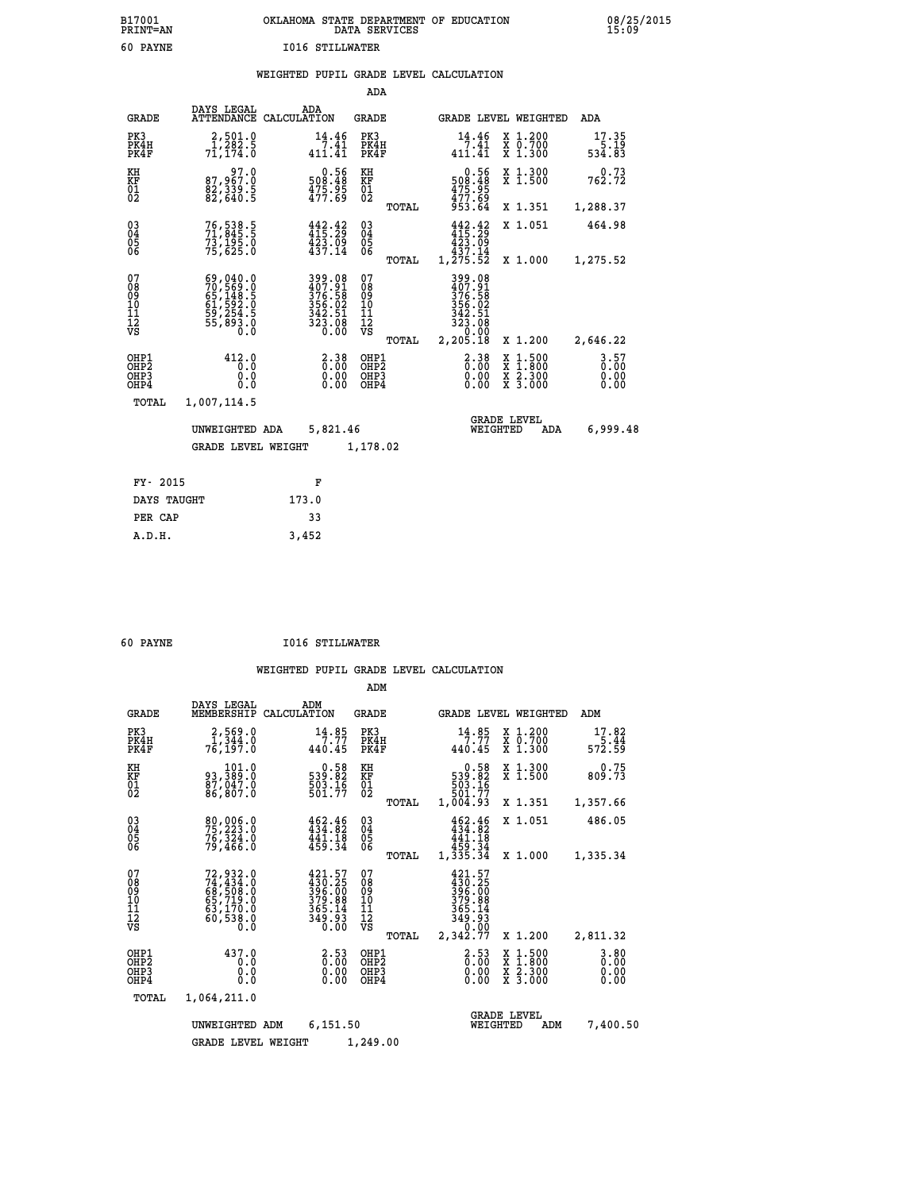## **B17001 OKLAHOMA STATE DEPARTMENT OF EDUCATION 08/25/2015 PRINT=AN DATA SERVICES 15:09 60 PAYNE I016 STILLWATER**

|  |  | WEIGHTED PUPIL GRADE LEVEL CALCULATION |
|--|--|----------------------------------------|
|  |  |                                        |

|                                                                    |                                                                                  |                                                                                                                 | ADA                                                               |       |                                                                                                                                    |                                                                                                  |                              |
|--------------------------------------------------------------------|----------------------------------------------------------------------------------|-----------------------------------------------------------------------------------------------------------------|-------------------------------------------------------------------|-------|------------------------------------------------------------------------------------------------------------------------------------|--------------------------------------------------------------------------------------------------|------------------------------|
| <b>GRADE</b>                                                       | DAYS LEGAL                                                                       | ADA<br>ATTENDANCE CALCULATION                                                                                   | <b>GRADE</b>                                                      |       |                                                                                                                                    | GRADE LEVEL WEIGHTED                                                                             | ADA                          |
| PK3<br>PK4H<br>PK4F                                                | 2,501.0<br>1,282.5<br>71,174.0                                                   | 14.46<br>7.41<br>411.41                                                                                         | PK3<br>PK4H<br>PK4F                                               |       | $14.46$<br>$7.41$<br>$411.41$                                                                                                      | X 1.200<br>X 0.700<br>X 1.300                                                                    | 17.35<br>19.15<br>534.83     |
| KH<br>KF<br>01<br>02                                               | 97.0<br>87,967.0<br>82,339.5<br>82,640.5                                         | $\begin{smallmatrix} &0.56\ 508.48\ 475.95\ 477.69\end{smallmatrix}$                                            | KH<br>KF<br>01<br>02                                              |       | 0.56<br>508.48<br>$\frac{475.95}{477.69}$                                                                                          | X 1.300<br>X 1.500                                                                               | 0.73<br>762.72               |
|                                                                    |                                                                                  |                                                                                                                 |                                                                   | TOTAL | 953.64                                                                                                                             | X 1.351                                                                                          | 1,288.37                     |
| $\begin{smallmatrix} 03 \\[-4pt] 04 \end{smallmatrix}$<br>Ŏ5<br>06 | 76, 538.5<br>71, 845: 5<br>73,195.0<br>75,625.0                                  | $442.42$<br>$415.29$<br>$\frac{423.09}{437.14}$                                                                 | $\substack{03 \\ 04}$<br>$\begin{matrix} 0.5 \\ 0.6 \end{matrix}$ |       | 442.42<br>$\begin{smallmatrix} 4 & 2 & 3 & 0 & 9 \\ 4 & 3 & 7 & 1 & 4 \\ 4 & 3 & 7 & 1 & 4 \\ 1 & 2 & 75 & 52 & \end{smallmatrix}$ | X 1.051                                                                                          | 464.98                       |
|                                                                    |                                                                                  |                                                                                                                 |                                                                   | TOTAL |                                                                                                                                    | X 1.000                                                                                          | 1,275.52                     |
| 07<br>08<br>09<br>101<br>11<br>12<br>VS                            | 69,040.0<br>70,569.0<br>65,148.5<br>61,592.0<br>61,592.0<br>59,254.5<br>55,893.0 | $\begin{smallmatrix} 399 & 08\\ 407 & 91\\ 376 & 58\\ 356 & 02\\ 342 & 51\\ 323 & 08\\ 0 & 00\end{smallmatrix}$ | 07<br>08<br>09<br>101<br>11<br>12<br>VS                           |       | 399.08<br>407.91<br>376.58<br>356.02<br>342.51<br>323.08<br>0.00                                                                   |                                                                                                  |                              |
|                                                                    |                                                                                  |                                                                                                                 |                                                                   | TOTAL | 2,205.18                                                                                                                           | X 1.200                                                                                          | 2,646.22                     |
| OHP1<br>OHP <sub>2</sub><br>OH <sub>P3</sub><br>OHP4               | 412.0<br>0.0<br>0.0<br>0.0                                                       | $2.38$<br>$0.00$<br>$\begin{smallmatrix} 0.00 \ 0.00 \end{smallmatrix}$                                         | OHP1<br>OHP <sub>2</sub><br>OHP3<br>OHP4                          |       | $2.38$<br>$0.00$<br>0.00                                                                                                           | $\begin{smallmatrix} x & 1 & 500 \\ x & 1 & 800 \\ x & 2 & 300 \\ x & 3 & 000 \end{smallmatrix}$ | 3.57<br>0.00<br>0.00<br>0.00 |
| TOTAL                                                              | 1,007,114.5                                                                      |                                                                                                                 |                                                                   |       |                                                                                                                                    |                                                                                                  |                              |
|                                                                    | UNWEIGHTED ADA                                                                   | 5,821.46                                                                                                        |                                                                   |       |                                                                                                                                    | <b>GRADE LEVEL</b><br>WEIGHTED<br>ADA                                                            | 6,999.48                     |
|                                                                    | <b>GRADE LEVEL WEIGHT</b>                                                        |                                                                                                                 | 1,178.02                                                          |       |                                                                                                                                    |                                                                                                  |                              |
| FY- 2015                                                           |                                                                                  | F                                                                                                               |                                                                   |       |                                                                                                                                    |                                                                                                  |                              |
| DAYS TAUGHT                                                        |                                                                                  | 173.0                                                                                                           |                                                                   |       |                                                                                                                                    |                                                                                                  |                              |
| PER CAP                                                            |                                                                                  | 33                                                                                                              |                                                                   |       |                                                                                                                                    |                                                                                                  |                              |

|  | <b>PAYNE</b> |  |
|--|--------------|--|
|  |              |  |

 **A.D.H. 3,452**

 **60 PAYNE I016 STILLWATER**

|                                                       |                                                                                  |                                                                                | ADM                                              |                                                                                                                      |                                                                                                  |                                  |
|-------------------------------------------------------|----------------------------------------------------------------------------------|--------------------------------------------------------------------------------|--------------------------------------------------|----------------------------------------------------------------------------------------------------------------------|--------------------------------------------------------------------------------------------------|----------------------------------|
| <b>GRADE</b>                                          | DAYS LEGAL<br>MEMBERSHIP                                                         | ADM<br>CALCULATION                                                             | <b>GRADE</b>                                     | <b>GRADE LEVEL WEIGHTED</b>                                                                                          |                                                                                                  | ADM                              |
| PK3<br>PK4H<br>PK4F                                   | 2,569.0<br>$\overline{1,344.0}$<br>76, 197.0                                     | 14.85<br>7.77<br>440.45                                                        | PK3<br>PK4H<br>PK4F                              | 14.85<br>7.77<br>440.45                                                                                              | X 1.200<br>X 0.700<br>$X$ 1.300                                                                  | 17.82<br>$\frac{5.44}{572.59}$   |
| KH<br>KF<br>01<br>02                                  | 101.0<br>93,389:0<br>87,047.0<br>86,807:0                                        | $\begin{smallmatrix} 0.58\\539.82\\503.16\\501.77\end{smallmatrix}$            | KH<br>KF<br>01<br>02                             | $\begin{array}{r} 0.58 \\ 539.82 \\ 503.16 \\ 591.77 \end{array}$                                                    | X 1.300<br>X 1.500                                                                               | 0.75<br>809.73                   |
|                                                       |                                                                                  |                                                                                | TOTAL                                            | 1,004.93                                                                                                             | X 1.351                                                                                          | 1,357.66                         |
| 03<br>04<br>05<br>06                                  | 80,006.0<br>76,324.0<br>79,466.0                                                 | $462.46$<br>$434.82$<br>441.18<br>459.34                                       | $\substack{03 \\ 04}$<br>05                      | $452.46$<br>$434.82$<br>441.18<br>459.34                                                                             | X 1.051                                                                                          | 486.05                           |
|                                                       |                                                                                  |                                                                                | TOTAL                                            | 1,335.34                                                                                                             | X 1.000                                                                                          | 1,335.34                         |
| 07<br>08<br>09<br>11<br>11<br>12<br>VS                | $72,932.0$<br>$74,434.0$<br>$68,508.0$<br>$65,719.0$<br>$63,170.0$<br>$60,538.0$ | $421.57$<br>$396.25$<br>$396.00$<br>$379.99$<br>$365.14$<br>$349.93$<br>$0.00$ | 07<br>08<br>09<br>101<br>11<br>12<br>VS<br>TOTAL | 421.57<br>$\begin{array}{r} 430.25 \\ 396.00 \\ 379.88 \\ 365.14 \\ 349.93 \\ \circ \\ 0.00 \end{array}$<br>2,342.77 | X 1.200                                                                                          | 2,811.32                         |
| OHP1<br>OH <sub>P</sub> 2<br>OH <sub>P3</sub><br>OHP4 | 437.0<br>0.0<br>0.0<br>Ŏ.Ŏ                                                       | $\begin{smallmatrix} 2.53\ 0.00 \ 0.00 \end{smallmatrix}$<br>0.00              | OHP1<br>OHP2<br>OHP3<br>OHP4                     | $\begin{smallmatrix} 2.53\ 0.00 \ 0.00 \end{smallmatrix}$<br>0.00                                                    | $\begin{smallmatrix} x & 1 & 500 \\ x & 1 & 800 \\ x & 2 & 300 \\ x & 3 & 000 \end{smallmatrix}$ | $3.80$<br>$0.00$<br>0.00<br>0.00 |
| TOTAL                                                 | 1,064,211.0                                                                      |                                                                                |                                                  |                                                                                                                      |                                                                                                  |                                  |
|                                                       | UNWEIGHTED ADM                                                                   | 6,151.50                                                                       |                                                  | WEIGHTED                                                                                                             | <b>GRADE LEVEL</b><br>ADM                                                                        | 7,400.50                         |
|                                                       | <b>GRADE LEVEL WEIGHT</b>                                                        |                                                                                | 1,249.00                                         |                                                                                                                      |                                                                                                  |                                  |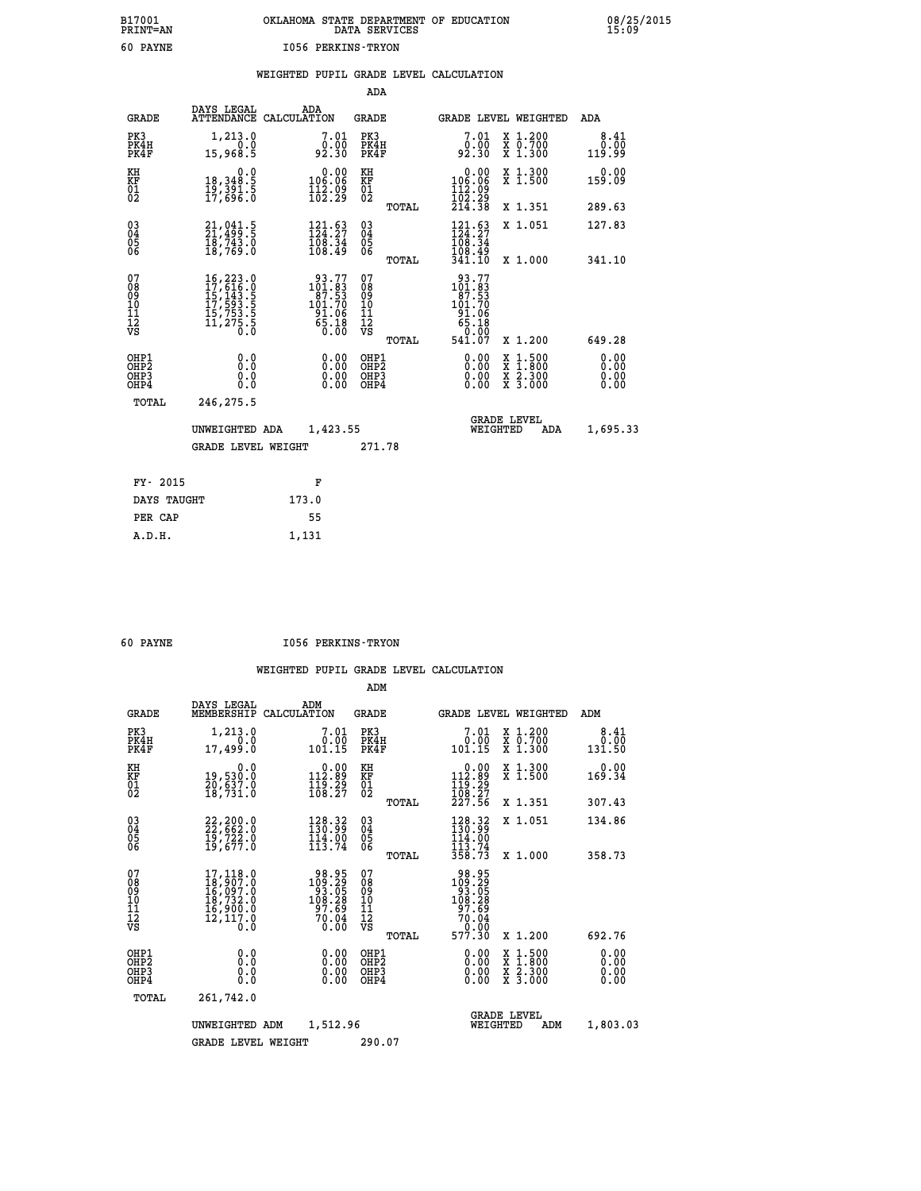| B17001<br><b>PRINT=AN</b> | OKLAHOMA STATE DEPARTMENT OF EDUCATION<br>DATA SERVICES | 08/25/2015<br>15:09 |
|---------------------------|---------------------------------------------------------|---------------------|
| 60<br>PAYNE               | 1056 PERKINS-TRYON                                      |                     |

|                                                                    |                                                                                                                                                                                            |                                                                                         | ADA                                                               |       |                                                                                                        |                                                                                                  |                              |
|--------------------------------------------------------------------|--------------------------------------------------------------------------------------------------------------------------------------------------------------------------------------------|-----------------------------------------------------------------------------------------|-------------------------------------------------------------------|-------|--------------------------------------------------------------------------------------------------------|--------------------------------------------------------------------------------------------------|------------------------------|
| <b>GRADE</b>                                                       | DAYS LEGAL                                                                                                                                                                                 | ADA<br>ATTENDANCE CALCULATION                                                           | <b>GRADE</b>                                                      |       |                                                                                                        | GRADE LEVEL WEIGHTED                                                                             | ADA                          |
| PK3<br>PK4H<br>PK4F                                                | 1,213.0<br>0.0<br>15,968.5                                                                                                                                                                 | 7.01<br>0.00<br>92.30                                                                   | PK3<br>PK4H<br>PK4F                                               |       | 7.01<br>0.00<br>92.30                                                                                  | X 1.200<br>X 0.700<br>X 1.300                                                                    | 8.41<br>0.00<br>119.99       |
| KH<br><b>KF</b><br>01<br>02                                        | 0.0<br>18, 348:5<br>19, 391:5<br>17, 696:0                                                                                                                                                 | $\begin{smallmatrix} &0.00\\ 106.06\\ 112.09\\ 102.29\end{smallmatrix}$                 | KH<br>KF<br>01<br>02                                              |       | 0.00<br>$\begin{smallmatrix} 106.06\ 112.09\ 102.29\ 214.38 \end{smallmatrix}$                         | X 1.300<br>X 1.500                                                                               | 0.00<br>159.09               |
|                                                                    |                                                                                                                                                                                            |                                                                                         |                                                                   | TOTAL |                                                                                                        | X 1.351                                                                                          | 289.63                       |
| $\begin{smallmatrix} 03 \\[-4pt] 04 \end{smallmatrix}$<br>05<br>06 | $21, 041.5$<br>21,499.5<br>$\bar{18}$ , 743.0<br>18, 769.0                                                                                                                                 | $\begin{smallmatrix} 121.63\\124.27\\108.34\\108.49 \end{smallmatrix}$                  | $\substack{03 \\ 04}$<br>$\begin{matrix} 0.5 \\ 0.6 \end{matrix}$ | TOTAL | 121.63<br>$\frac{168.34}{108.49}$<br>341.10                                                            | X 1.051<br>X 1.000                                                                               | 127.83<br>341.10             |
| 07<br>08<br>09<br>11<br>11<br>12<br>VS                             | $\begin{smallmatrix} 16\,, & 223\cdot & 0\\ 17\,, & 616\cdot & 0\\ 15\,, & 143\cdot & 5\\ 17\,, & 593\cdot & 5\\ 15\,, & 753\cdot & 5\\ 11\,, & 275\cdot & 5\\ 0\,\, & 0\end{smallmatrix}$ | $\begin{smallmatrix} 93.77\\101.83\\87.53\\101.70\\91.06\\65.18\\0.00\end{smallmatrix}$ | 07<br>08<br>09<br>11<br>11<br>12<br>VS                            |       | $\begin{array}{r} 93.77 \\ 101.83 \\ 87.53 \\ 101.70 \\ 91.06 \\ 65.18 \\ 0.00 \\ 0.00 \\ \end{array}$ |                                                                                                  |                              |
|                                                                    |                                                                                                                                                                                            |                                                                                         |                                                                   | TOTAL | 541.07                                                                                                 | X 1.200                                                                                          | 649.28                       |
| OHP1<br>OH <sub>P2</sub><br>OH <sub>P3</sub><br>OH <sub>P4</sub>   | 0.0<br>0.0<br>0.0                                                                                                                                                                          | 0.00<br>0.00<br>0.00                                                                    | OHP1<br>OHP <sub>2</sub><br>OHP3<br>OHP4                          |       | 0.00<br>0.00<br>0.00                                                                                   | $\begin{smallmatrix} x & 1 & 500 \\ x & 1 & 800 \\ x & 2 & 300 \\ x & 3 & 000 \end{smallmatrix}$ | 0.00<br>0.00<br>0.00<br>0.00 |
| TOTAL                                                              | 246,275.5                                                                                                                                                                                  |                                                                                         |                                                                   |       |                                                                                                        |                                                                                                  |                              |
|                                                                    | UNWEIGHTED ADA                                                                                                                                                                             | 1,423.55                                                                                |                                                                   |       |                                                                                                        | <b>GRADE LEVEL</b><br>WEIGHTED<br>ADA                                                            | 1,695.33                     |
|                                                                    | <b>GRADE LEVEL WEIGHT</b>                                                                                                                                                                  |                                                                                         | 271.78                                                            |       |                                                                                                        |                                                                                                  |                              |
| FY- 2015                                                           |                                                                                                                                                                                            | F                                                                                       |                                                                   |       |                                                                                                        |                                                                                                  |                              |
| DAYS TAUGHT                                                        |                                                                                                                                                                                            | 173.0                                                                                   |                                                                   |       |                                                                                                        |                                                                                                  |                              |
| PER CAP                                                            |                                                                                                                                                                                            | 55                                                                                      |                                                                   |       |                                                                                                        |                                                                                                  |                              |

 **A.D.H. 1,131**

 **60 PAYNE I056 PERKINS-TRYON**

|                                                       |                                                                                          |                                                                                                | ADM                                                 |                                                                             |                                          |                              |
|-------------------------------------------------------|------------------------------------------------------------------------------------------|------------------------------------------------------------------------------------------------|-----------------------------------------------------|-----------------------------------------------------------------------------|------------------------------------------|------------------------------|
| <b>GRADE</b>                                          | DAYS LEGAL<br>MEMBERSHIP                                                                 | ADM<br>CALCULATION                                                                             | <b>GRADE</b>                                        | <b>GRADE LEVEL WEIGHTED</b>                                                 |                                          | ADM                          |
| PK3<br>PK4H<br>PK4F                                   | 1,213.0<br>0.0<br>17,499.0                                                               | 7.01<br>0.00<br>101.15                                                                         | PK3<br>PK4H<br>PK4F                                 | 7.01<br>0.00<br>101.15                                                      | X 1.200<br>X 0.700<br>X 1.300            | 8.41<br>0.00<br>131.50       |
| KH<br>KF<br>01<br>02                                  | 0.0<br>19,530.0<br>20,637.0<br>18,731.0                                                  | $\begin{smallmatrix} &0.00\\ 112.89\\ 119.29\\ 108.27 \end{smallmatrix}$                       | KH<br>KF<br>01<br>02                                | $0.00$<br>112.89<br>$\frac{116}{108}. \frac{29}{27}$<br>$\frac{27}{227}.56$ | X 1.300<br>X 1.500                       | 0.00<br>169.34               |
|                                                       |                                                                                          |                                                                                                | TOTAL                                               |                                                                             | X 1.351                                  | 307.43                       |
| 03<br>04<br>05<br>06                                  | 22, 200.0<br>22, 662.0<br>19, 722.0<br>19,677.0                                          | 128.32<br>130.99<br>$\frac{114.00}{113.74}$                                                    | $\begin{array}{c} 03 \\ 04 \\ 05 \\ 06 \end{array}$ | 128.32<br>114.00                                                            | X 1.051                                  | 134.86                       |
|                                                       |                                                                                          |                                                                                                | TOTAL                                               | 113.74<br>358.73                                                            | X 1.000                                  | 358.73                       |
| 07<br>08<br>09<br>101<br>112<br>VS                    | 17,118.0<br>18,907.0<br>16,097.0<br>18,732.0<br>16,900.0<br>12,117.0<br>$0.\overline{0}$ | $\begin{smallmatrix} 98.95\\109.29\\93.05\\108.28 \end{smallmatrix}$<br>97.69<br>70.04<br>0.00 | 07<br>08<br>09<br>101<br>11<br>12<br>VS<br>TOTAL    | 98.95<br>109.29<br>108.28<br>108.28<br>70.04<br>70.04<br>70.00<br>577.30    | X 1.200                                  | 692.76                       |
| OHP1<br>OH <sub>P</sub> 2<br>OH <sub>P3</sub><br>OHP4 | 0.0<br>0.000                                                                             | $0.00$<br>$0.00$<br>0.00                                                                       | OHP1<br>OHP2<br>OHP3<br>OHP4                        | $0.00$<br>$0.00$<br>0.00                                                    | X 1:500<br>X 1:800<br>X 2:300<br>X 3:000 | 0.00<br>0.00<br>0.00<br>0.00 |
| TOTAL                                                 | 261,742.0                                                                                |                                                                                                |                                                     |                                                                             |                                          |                              |
|                                                       | UNWEIGHTED                                                                               | 1,512.96<br>ADM                                                                                |                                                     | WEIGHTED                                                                    | <b>GRADE LEVEL</b><br>ADM                | 1,803.03                     |
|                                                       | <b>GRADE LEVEL WEIGHT</b>                                                                |                                                                                                | 290.07                                              |                                                                             |                                          |                              |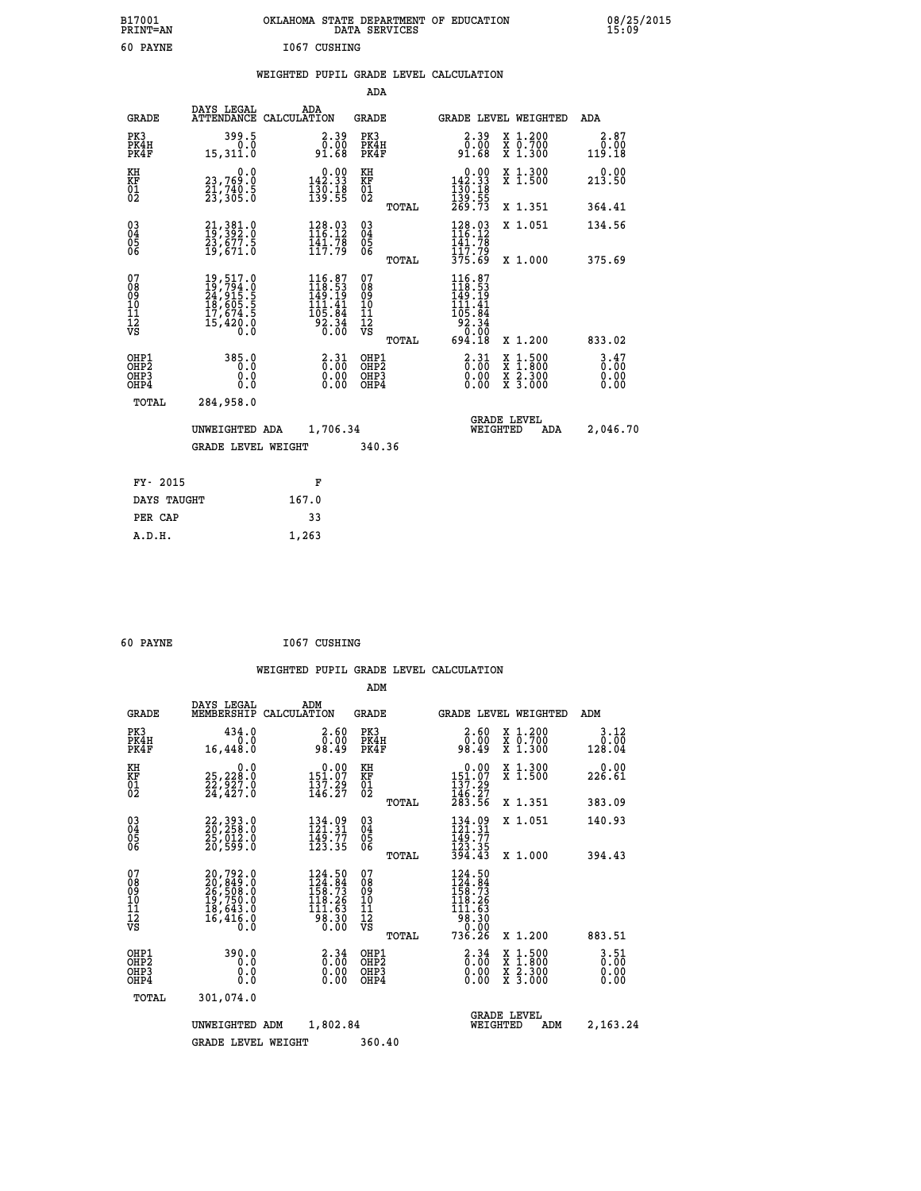| B17001<br><b>PRINT=AN</b> | OKLAHOMA STATE DEPARTMENT OF EDUCATION<br>DATA SERVICES | 08/25/2015<br>15:09 |
|---------------------------|---------------------------------------------------------|---------------------|
| 60<br>PAYNE               | 1067<br>CUSHING                                         |                     |

## **WEIGHTED PUPIL GRADE LEVEL CALCULATION**

|                                                                    |                                                                                                                                                                                                                             |                                                                                                                                        | ADA                                      |       |                                                                                                      |                                                                                                                                      |     |                        |
|--------------------------------------------------------------------|-----------------------------------------------------------------------------------------------------------------------------------------------------------------------------------------------------------------------------|----------------------------------------------------------------------------------------------------------------------------------------|------------------------------------------|-------|------------------------------------------------------------------------------------------------------|--------------------------------------------------------------------------------------------------------------------------------------|-----|------------------------|
| <b>GRADE</b>                                                       | DAYS LEGAL                                                                                                                                                                                                                  | ADA<br>ATTENDANCE CALCULATION                                                                                                          | GRADE                                    |       | GRADE LEVEL WEIGHTED                                                                                 |                                                                                                                                      |     | ADA                    |
| PK3<br>PK4H<br>PK4F                                                | 399.5<br>0.0<br>15,311.0                                                                                                                                                                                                    | 2.39<br>0.00<br>91.68                                                                                                                  | PK3<br>PK4H<br>PK4F                      |       | 2.39<br>0.00<br>91.68                                                                                | X 1.200<br>X 0.700<br>X 1.300                                                                                                        |     | 2.87<br>0.00<br>119.18 |
| KH<br><b>KF</b><br>01<br>02                                        | 0.0<br>23,769.0<br>21,740.5<br>23,305.0                                                                                                                                                                                     | $\begin{smallmatrix} &0.00\\ 142.33\\ 130.18\\ 139.55 \end{smallmatrix}$                                                               | KH<br><b>KF</b><br>01<br>02              |       | $\begin{smallmatrix} &0.00\\142.33\\130.18\\139.55\\269.73\end{smallmatrix}$                         | X 1.300<br>X 1.500                                                                                                                   |     | 0.00<br>213.50         |
|                                                                    |                                                                                                                                                                                                                             |                                                                                                                                        |                                          | TOTAL |                                                                                                      | X 1.351                                                                                                                              |     | 364.41                 |
| $\begin{smallmatrix} 03 \\[-4pt] 04 \end{smallmatrix}$<br>Ŏ5<br>06 | 21, 381.0<br>19, 392.0<br>23, 677.5<br>19,671.0                                                                                                                                                                             | $\begin{array}{l} 128.03 \\[-4pt] 116.12 \\[-4pt] 141.78 \\[-4pt] 117.79 \end{array}$                                                  | $\substack{03 \\ 04}$<br>$\frac{05}{06}$ |       | $\begin{array}{l} 128.03 \\[-4pt] 116.12 \\[-4pt] 141.78 \\[-4pt] 17.79 \\[-4pt] 375.69 \end{array}$ | X 1.051                                                                                                                              |     | 134.56                 |
|                                                                    |                                                                                                                                                                                                                             |                                                                                                                                        |                                          | TOTAL |                                                                                                      | X 1.000                                                                                                                              |     | 375.69                 |
| 07<br>08<br>09<br>101<br>11<br>12<br>VS                            | $\begin{smallmatrix} 19 \, , \, 517 \, . \, 0 \\ 19 \, , \, 794 \, . \, 0 \\ 24 \, , \, 915 \, . \, 5 \\ 18 \, , \, 605 \, . \, 5 \\ 17 \, , \, 674 \, . \, 5 \\ 15 \, , \, 420 \, . \, 0 \\ 0 \, . \, 0 \end{smallmatrix}$ | $\begin{smallmatrix} 116.87\ 118.53\ 149.19 \end{smallmatrix}$<br>41<br>īīī.<br>$\begin{array}{r} 105.84 \\ 92.34 \\ 0.00 \end{array}$ | 07<br>08<br>09<br>11<br>11<br>12<br>VS   |       | $116.87$<br>$118.53$<br>$149.19$<br>$111.41$<br>105.84<br>92.34<br>00.0°<br>84.18                    |                                                                                                                                      |     |                        |
|                                                                    |                                                                                                                                                                                                                             |                                                                                                                                        |                                          | TOTAL |                                                                                                      | X 1.200                                                                                                                              |     | 833.02                 |
| OHP1<br>OH <sub>P</sub> <sub>2</sub><br>OH <sub>P3</sub><br>OHP4   | 385.0<br>0.0<br>0.0<br>0.0                                                                                                                                                                                                  | $\frac{2.31}{0.00}$<br>0.00<br>0.00                                                                                                    | OHP1<br>OHP2<br>OHP3<br>OHP4             |       | $\frac{2.31}{0.00}$<br>0.00<br>0.00                                                                  | $\begin{smallmatrix} \mathtt{X} & 1 & 500 \\ \mathtt{X} & 1 & 800 \\ \mathtt{X} & 2 & 300 \\ \mathtt{X} & 3 & 000 \end{smallmatrix}$ |     | 3.47<br>0.00<br>0.00   |
| TOTAL                                                              | 284,958.0                                                                                                                                                                                                                   |                                                                                                                                        |                                          |       |                                                                                                      |                                                                                                                                      |     |                        |
|                                                                    | UNWEIGHTED ADA                                                                                                                                                                                                              | 1,706.34                                                                                                                               |                                          |       | WEIGHTED                                                                                             | <b>GRADE LEVEL</b>                                                                                                                   | ADA | 2,046.70               |
|                                                                    | <b>GRADE LEVEL WEIGHT</b>                                                                                                                                                                                                   |                                                                                                                                        | 340.36                                   |       |                                                                                                      |                                                                                                                                      |     |                        |
|                                                                    |                                                                                                                                                                                                                             |                                                                                                                                        |                                          |       |                                                                                                      |                                                                                                                                      |     |                        |
| FY- 2015                                                           |                                                                                                                                                                                                                             | F                                                                                                                                      |                                          |       |                                                                                                      |                                                                                                                                      |     |                        |
| DAYS TAUGHT                                                        |                                                                                                                                                                                                                             | 167.0                                                                                                                                  |                                          |       |                                                                                                      |                                                                                                                                      |     |                        |
| PER CAP                                                            |                                                                                                                                                                                                                             | 33                                                                                                                                     |                                          |       |                                                                                                      |                                                                                                                                      |     |                        |
| <b>E</b> תמ                                                        |                                                                                                                                                                                                                             | 1, 263                                                                                                                                 |                                          |       |                                                                                                      |                                                                                                                                      |     |                        |

| 60 PAYNE | 1067 CUSHING |
|----------|--------------|

 **A.D.H. 1,263**

|                                                       |                                                                      |                                                                                          | ADM                                              |                                                                                   |                                          |                                  |
|-------------------------------------------------------|----------------------------------------------------------------------|------------------------------------------------------------------------------------------|--------------------------------------------------|-----------------------------------------------------------------------------------|------------------------------------------|----------------------------------|
| <b>GRADE</b>                                          | DAYS LEGAL<br>MEMBERSHIP                                             | ADM<br>CALCULATION                                                                       | <b>GRADE</b>                                     | <b>GRADE LEVEL WEIGHTED</b>                                                       |                                          | ADM                              |
| PK3<br>PK4H<br>PK4F                                   | 434.0<br>0.0<br>16,448.0                                             | 2.60<br>0.00<br>98.49                                                                    | PK3<br>PK4H<br>PK4F                              | $\begin{smallmatrix} 2.60\0.009.49 \end{smallmatrix}$                             | X 1.200<br>X 0.700<br>X 1.300            | 3.12<br>0.00<br>128.04           |
| KH<br>KF<br>01<br>02                                  | 0.0<br>25,228:0<br>22,927:0<br>24,427:0                              | $\begin{smallmatrix} &0.00\\ 151.07\\ 137.29\\ 146.27\end{smallmatrix}$                  | KH<br>KF<br>01<br>02                             | 0.00<br>151:07<br>137:29<br>146:27<br>283:56                                      | X 1.300<br>X 1.500                       | 0.00<br>226.61                   |
|                                                       |                                                                      |                                                                                          | TOTAL                                            |                                                                                   | X 1.351                                  | 383.09                           |
| 03<br>04<br>05<br>06                                  | 22, 393.0<br>20, 258.0<br>25, 012.0<br>20,599.0                      | 134.09<br>121.31<br>$\frac{115}{123}$ $\frac{77}{35}$                                    | $^{03}_{04}$<br>0500                             | 134.09<br>121.31<br>149.77<br>123.35                                              | X 1.051                                  | 140.93                           |
|                                                       |                                                                      |                                                                                          | TOTAL                                            | 394.43                                                                            | X 1.000                                  | 394.43                           |
| 07<br>08<br>09<br>101<br>112<br>VS                    | 20,792.0<br>20,849.0<br>26,508.0<br>19,750.0<br>18,643.0<br>16,416.8 | 124.50<br>124.84<br>158.73<br>118.26<br>111.63<br>$\bar{9}\bar{8}\,\ldots\bar{8}\bar{6}$ | 07<br>08<br>09<br>101<br>11<br>12<br>VS<br>TOTAL | $124.50$<br>$124.84$<br>$158.73$<br>$119.26$<br>111.63<br>98.30<br>0.00<br>736.26 | X 1.200                                  | 883.51                           |
| OHP1<br>OH <sub>P</sub> 2<br>OH <sub>P3</sub><br>OHP4 | 390.0<br>0.0<br>0.000                                                | $\begin{smallmatrix} 2.34\ 0.00 \ 0.00 \end{smallmatrix}$<br>0.00                        | OHP1<br>OHP2<br>OHP3<br>OHP4                     | $\begin{smallmatrix} 2.34\ 0.00 \ 0.00 \end{smallmatrix}$<br>0.00                 | X 1:500<br>X 1:800<br>X 2:300<br>X 3:000 | $3.51$<br>$0.00$<br>0.00<br>0.00 |
| TOTAL                                                 | 301,074.0                                                            |                                                                                          |                                                  |                                                                                   |                                          |                                  |
|                                                       | UNWEIGHTED ADM                                                       | 1,802.84                                                                                 |                                                  | <b>GRADE LEVEL</b><br>WEIGHTED                                                    | ADM                                      | 2,163.24                         |
|                                                       | <b>GRADE LEVEL WEIGHT</b>                                            |                                                                                          | 360.40                                           |                                                                                   |                                          |                                  |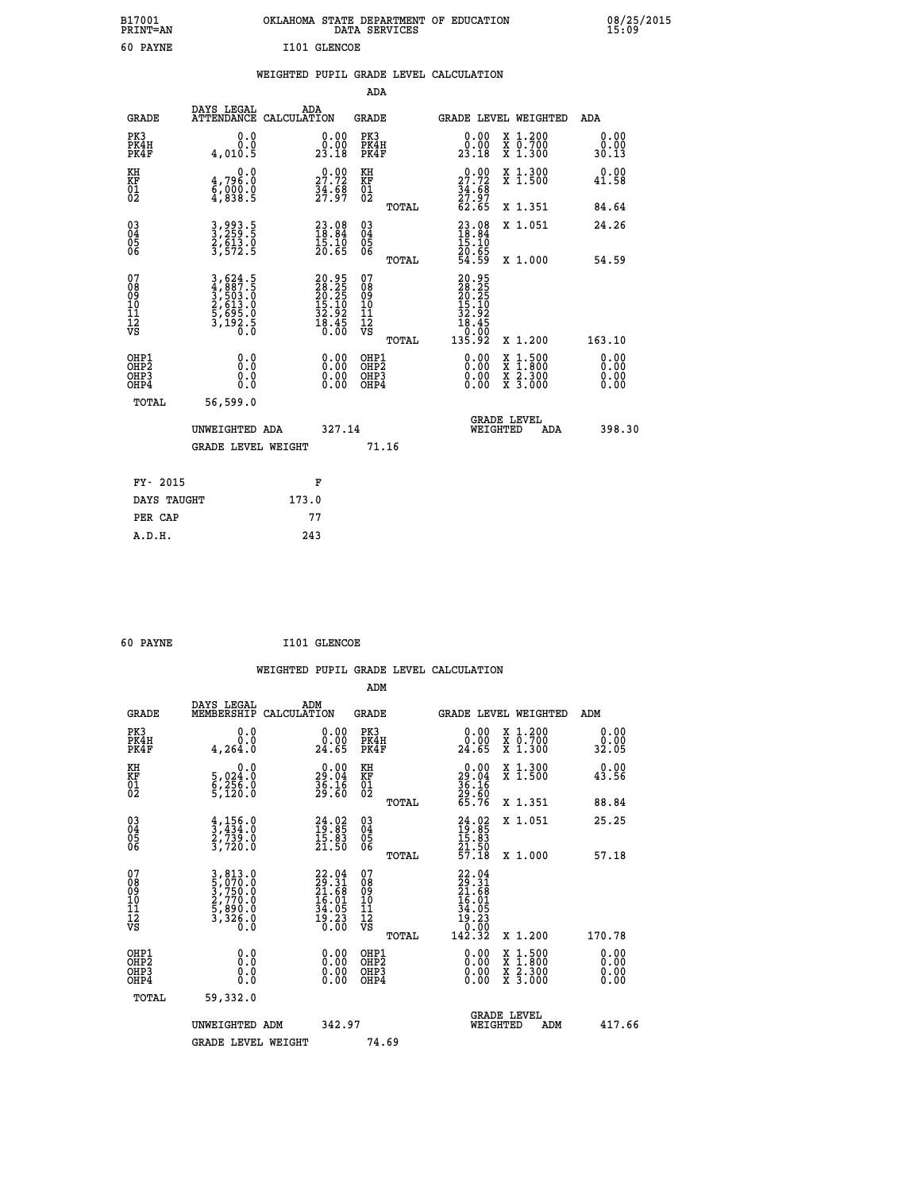| B17001<br><b>PRINT=AN</b> | OKLAHOMA STATE DEPARTMENT OF EDUCATION<br>DATA SERVICES | 08/25/2015<br>15:09 |
|---------------------------|---------------------------------------------------------|---------------------|
| 60<br><b>PAYNE</b>        | I101 GLENCOE                                            |                     |

|  |  | WEIGHTED PUPIL GRADE LEVEL CALCULATION |
|--|--|----------------------------------------|
|  |  |                                        |

|                                                                    |                                                                |                                                                                              | ADA                                                 |       |                                                                                                                                                                                                                                                                                |                                          |                               |
|--------------------------------------------------------------------|----------------------------------------------------------------|----------------------------------------------------------------------------------------------|-----------------------------------------------------|-------|--------------------------------------------------------------------------------------------------------------------------------------------------------------------------------------------------------------------------------------------------------------------------------|------------------------------------------|-------------------------------|
| <b>GRADE</b>                                                       | DAYS LEGAL                                                     | ADA<br>ATTENDANCE CALCULATION                                                                | <b>GRADE</b>                                        |       |                                                                                                                                                                                                                                                                                | <b>GRADE LEVEL WEIGHTED</b>              | ADA                           |
| PK3<br>PK4H<br>PK4F                                                | 0.0<br>0.0<br>4,010.5                                          | $\begin{smallmatrix} 0.00\\ 0.00\\ 23.18 \end{smallmatrix}$                                  | PK3<br>PK4H<br>PK4F                                 |       | $\begin{smallmatrix} 0.00\\ 0.00\\ 23.18 \end{smallmatrix}$                                                                                                                                                                                                                    | X 1.200<br>X 0.700<br>X 1.300            | 0.00<br>0.00<br>30.13         |
| KH<br>KF<br>01<br>02                                               | 0.0<br>4,796:0<br>6,000:0<br>4,838:5                           | $\begin{smallmatrix} 0.00\\ 27.72\\ 34.68\\ 27.97 \end{smallmatrix}$                         | KH<br>KF<br>01<br>02                                |       | $27.72$<br>$34.68$<br>$27.97$<br>$62.65$                                                                                                                                                                                                                                       | X 1.300<br>X 1.500                       | 0.00<br>41.58                 |
|                                                                    |                                                                |                                                                                              |                                                     | TOTAL |                                                                                                                                                                                                                                                                                | X 1.351                                  | 84.64                         |
| $\begin{smallmatrix} 03 \\[-4pt] 04 \end{smallmatrix}$<br>Ŏ5<br>06 | 3,993.5<br>3,259.5<br>2,613.0<br>3,572.5                       | $\begin{smallmatrix} 23.08\\18.84\\15.10\\20.65 \end{smallmatrix}$                           | $\begin{array}{c} 03 \\ 04 \\ 05 \\ 06 \end{array}$ | TOTAL | $23.08$<br>$18.84$<br>$15.10$<br>$20.65$<br>$54.59$                                                                                                                                                                                                                            | X 1.051<br>X 1.000                       | 24.26<br>54.59                |
| 07<br>08<br>09<br>01<br>11<br>11<br>12<br>VS                       | 3,624.5<br>4,887.5<br>5,503.0<br>2,613.0<br>5,695.0<br>5,192.5 | $\begin{smallmatrix} 20.95\\ 28.25\\ 20.25\\ 15.10\\ 32.92\\ 18.45\\ 0.00 \end{smallmatrix}$ | 07<br>08<br>09<br>11<br>11<br>12<br>VS              |       | 20.95<br>28.25<br>20.25<br>20.35<br>32.92<br>38.45<br>38.30                                                                                                                                                                                                                    |                                          |                               |
|                                                                    |                                                                |                                                                                              |                                                     | TOTAL | 135.92                                                                                                                                                                                                                                                                         | X 1.200                                  | 163.10                        |
| OHP1<br>OHP <sub>2</sub><br>OH <sub>P3</sub><br>OHP4               | 0.0<br>0.000                                                   | 0.00<br>$\begin{smallmatrix} 0.00 \ 0.00 \end{smallmatrix}$                                  | OHP1<br>OHP2<br>OHP <sub>3</sub>                    |       | $\begin{smallmatrix} 0.00 & 0.00 & 0.00 & 0.00 & 0.00 & 0.00 & 0.00 & 0.00 & 0.00 & 0.00 & 0.00 & 0.00 & 0.00 & 0.00 & 0.00 & 0.00 & 0.00 & 0.00 & 0.00 & 0.00 & 0.00 & 0.00 & 0.00 & 0.00 & 0.00 & 0.00 & 0.00 & 0.00 & 0.00 & 0.00 & 0.00 & 0.00 & 0.00 & 0.00 & 0.00 & 0.0$ | X 1:500<br>X 1:800<br>X 2:300<br>X 3:000 | 0.00<br>Ō. ŌŌ<br>0.00<br>0.00 |
| TOTAL                                                              | 56,599.0                                                       |                                                                                              |                                                     |       |                                                                                                                                                                                                                                                                                |                                          |                               |
|                                                                    | UNWEIGHTED ADA                                                 | 327.14                                                                                       |                                                     |       |                                                                                                                                                                                                                                                                                | <b>GRADE LEVEL</b><br>WEIGHTED<br>ADA    | 398.30                        |
|                                                                    | <b>GRADE LEVEL WEIGHT</b>                                      |                                                                                              |                                                     | 71.16 |                                                                                                                                                                                                                                                                                |                                          |                               |
| FY- 2015                                                           |                                                                | F                                                                                            |                                                     |       |                                                                                                                                                                                                                                                                                |                                          |                               |
| DAYS TAUGHT                                                        |                                                                | 173.0                                                                                        |                                                     |       |                                                                                                                                                                                                                                                                                |                                          |                               |
| PER CAP                                                            |                                                                | 77                                                                                           |                                                     |       |                                                                                                                                                                                                                                                                                |                                          |                               |

| 60 PAYNE | I101 GLENCOE |
|----------|--------------|
|          |              |

 **WEIGHTED PUPIL GRADE LEVEL CALCULATION ADM DAYS LEGAL ADM GRADE MEMBERSHIP CALCULATION GRADE GRADE LEVEL WEIGHTED ADM PK3 0.0 0.00 PK3 0.00 X 1.200 0.00 PK4H 0.0 0.00 PK4H 0.00 X 0.700 0.00 PK4F 4,264.0 24.65 PK4F 24.65 X 1.300 32.05 KH 0.0 0.00 KH 0.00 X 1.300 0.00 KF 5,024.0 29.04 KF 29.04 X 1.500 43.56 KH** 5,024.0 0.0 0.00 KH<br> **KF** 5,024.0 29.04 KF<br>
02 5,126.0 36.16 02<br>
5,120.0 39.16 02  **02 5,120.0 29.60 02 29.60 TOTAL 65.76 X 1.351 88.84 03 4,156.0 24.02 03 24.02 X 1.051 25.25 04 3,434.0 19.85 04 19.85 05 2,739.0 15.83 05 15.83 06 3,720.0 21.50 06 21.50 TOTAL 57.18 X 1.000 57.18**  $\begin{array}{cccc} 07 & 3,813.0 & 22.04 & 07 & 22.04 \ 08 & 5,070.0 & 21.68 & 08 & 21.58 \ 09 & 2,770.0 & 16.01 & 10 & 16.01 \ 11 & 5,890.0 & 34.05 & 10 & 16.01 \ 12 & 3,326.0 & 19.23 & 12 & 34.05 \ \hline \end{array}$  **TOTAL 142.32 X 1.200 170.78 OHP1 0.0 0.00 OHP1 0.00 X 1.500 0.00 OHP2 0.0 0.00 OHP2 0.00 X 1.800 0.00 OHP3 0.0 0.00 OHP3 0.00 X 2.300 0.00 OHP4 0.0 0.00 OHP4 0.00 X 3.000 0.00 TOTAL 59,332.0 GRADE LEVEL UNWEIGHTED ADM 342.97 WEIGHTED ADM 417.66** GRADE LEVEL WEIGHT 74.69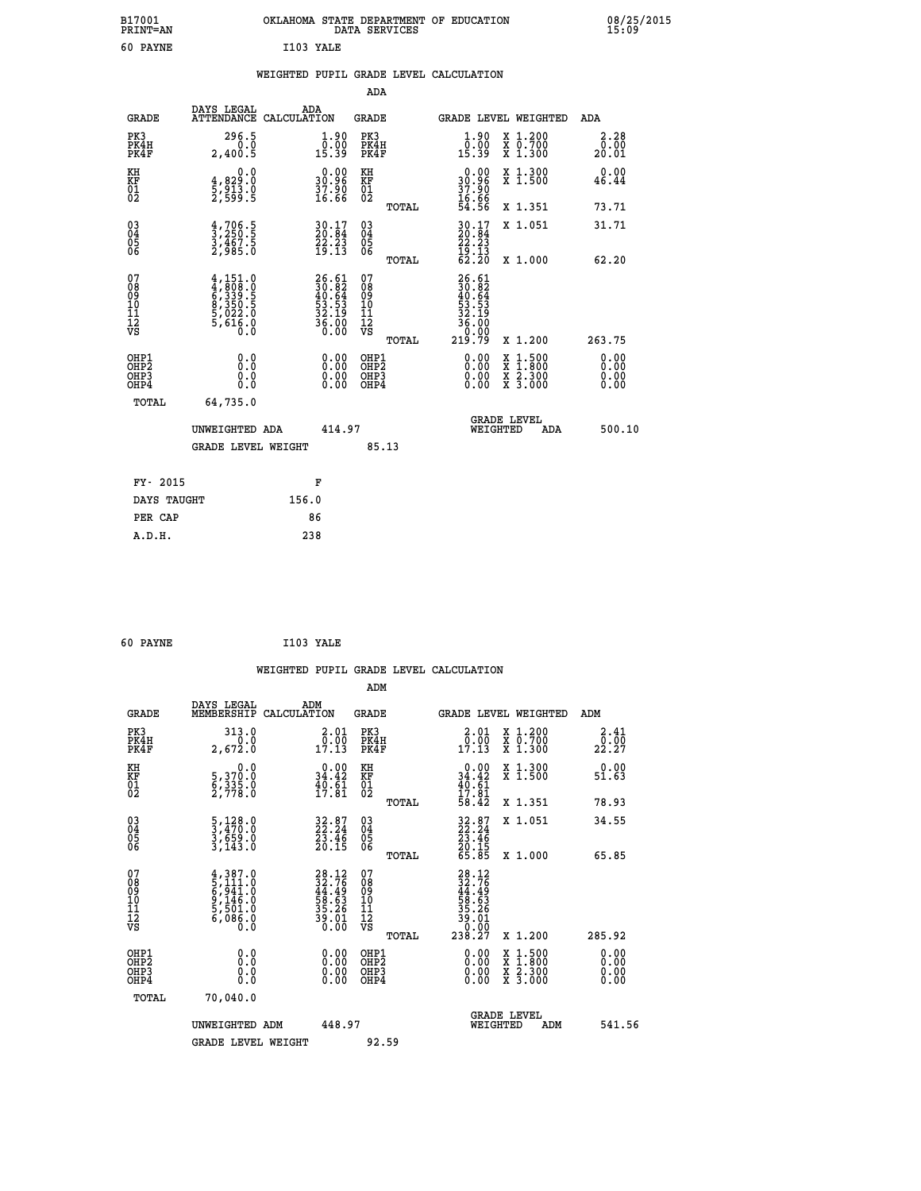|           | OKLAHOMA STATE DEPARTMENT OF EDUCATION<br>DATA SERVICES |  |
|-----------|---------------------------------------------------------|--|
| T103 YALE |                                                         |  |

|  |  | WEIGHTED PUPIL GRADE LEVEL CALCULATION |
|--|--|----------------------------------------|
|  |  |                                        |

|                                                                              |                                                                                         |                                                                          | ADA                                                |                                                                         |                                                                                                                                              |                              |
|------------------------------------------------------------------------------|-----------------------------------------------------------------------------------------|--------------------------------------------------------------------------|----------------------------------------------------|-------------------------------------------------------------------------|----------------------------------------------------------------------------------------------------------------------------------------------|------------------------------|
| <b>GRADE</b>                                                                 | DAYS LEGAL                                                                              | ADA<br>ATTENDANCE CALCULATION                                            | GRADE                                              |                                                                         | <b>GRADE LEVEL WEIGHTED</b>                                                                                                                  | ADA                          |
| PK3<br>PK4H<br>PK4F                                                          | 296.5<br>$0.\overline{0}$<br>2,400.5                                                    | $\begin{smallmatrix} 1.90\\[-1mm] 0.00\\[-1mm] 15.39\end{smallmatrix}$   | PK3<br>PK4H<br>PK4F                                | $\begin{smallmatrix} 1.90\\[-1mm] 0.00\\[-1mm] 15.39\end{smallmatrix}$  | X 1.200<br>X 0.700<br>X 1.300                                                                                                                | 2.28<br>0.00<br>20.01        |
| KH<br>KF<br>01<br>02                                                         | 0.0<br>4,829:0<br>5,913.0<br>2,599:5                                                    | $\begin{smallmatrix} 0.00\\ 30.96\\ 37.90\\ 16.66 \end{smallmatrix}$     | KH<br>KF<br>01<br>02                               | $0.00$<br>$30.96$<br>$37.90$<br>$16.66$<br>$54.56$                      | X 1.300<br>X 1.500                                                                                                                           | 0.00<br>46.44                |
|                                                                              |                                                                                         |                                                                          | TOTAL                                              |                                                                         | X 1.351                                                                                                                                      | 73.71                        |
| $\begin{matrix} 03 \\ 04 \\ 05 \\ 06 \end{matrix}$                           | $\frac{4}{3}, \frac{706}{250}$<br>3, 467.5<br>2, 985.0                                  | $\begin{smallmatrix} 30.17\\ 20.84\\ 22.23\\ 19.13 \end{smallmatrix}$    | $\begin{matrix} 03 \\ 04 \\ 05 \\ 06 \end{matrix}$ | $30.17$<br>$20.84$<br>$22.23$<br>$19.13$<br>$62.20$                     | X 1.051                                                                                                                                      | 31.71                        |
|                                                                              |                                                                                         |                                                                          | TOTAL                                              |                                                                         | X 1.000                                                                                                                                      | 62.20                        |
| 07<br>08<br>09<br>11<br>11<br>12<br>VS                                       | $4,151.0$<br>$4,808.0$<br>$6,339.5$<br>$6,350.5$<br>$8,350.5$<br>$5,022.0$<br>$5,616.0$ | $26.61$<br>$30.82$<br>$40.64$<br>$53.53$<br>$32.19$<br>$36.00$<br>$0.00$ | 07<br>08<br>09<br>11<br>11<br>12<br>VS<br>TOTAL    | 26.61<br>30.82<br>40.64<br>53.53<br>53.19<br>36.000<br>36.000<br>219.79 | X 1.200                                                                                                                                      | 263.75                       |
| OHP1<br>OH <sub>P</sub> <sub>2</sub><br>OH <sub>P3</sub><br>OH <sub>P4</sub> | 0.0<br>Ō.Ō<br>0.0<br>0.0                                                                | 0.00<br>$\begin{smallmatrix} 0.00 \ 0.00 \end{smallmatrix}$              | OHP1<br>OHP2<br>OHP3<br>OHP4                       | 0.00<br>0.00<br>0.00                                                    | $\begin{smallmatrix} \mathtt{X} & 1\cdot500 \\ \mathtt{X} & 1\cdot800 \\ \mathtt{X} & 2\cdot300 \\ \mathtt{X} & 3\cdot000 \end{smallmatrix}$ | 0.00<br>0.00<br>0.00<br>0.00 |
| TOTAL                                                                        | 64,735.0                                                                                |                                                                          |                                                    |                                                                         |                                                                                                                                              |                              |
|                                                                              | UNWEIGHTED ADA<br><b>GRADE LEVEL WEIGHT</b>                                             | 414.97                                                                   | 85.13                                              | WEIGHTED                                                                | <b>GRADE LEVEL</b><br>ADA                                                                                                                    | 500.10                       |
|                                                                              |                                                                                         |                                                                          |                                                    |                                                                         |                                                                                                                                              |                              |
| FY- 2015                                                                     |                                                                                         | F                                                                        |                                                    |                                                                         |                                                                                                                                              |                              |
|                                                                              | DAYS TAUGHT                                                                             | 156.0                                                                    |                                                    |                                                                         |                                                                                                                                              |                              |
| PER CAP                                                                      |                                                                                         | 86                                                                       |                                                    |                                                                         |                                                                                                                                              |                              |
| A.D.H.                                                                       |                                                                                         | 238                                                                      |                                                    |                                                                         |                                                                                                                                              |                              |

| 60 PAYNE | I103 YALE |  |
|----------|-----------|--|
|          |           |  |

 **A.D.H. 238**

 **B17001<br>PRINT=AN 60 PAYNE** 

|                                                      |                                                                                           |                                                                          |                                                     | WEIGHTED PUPIL GRADE LEVEL CALCULATION                                                                                                                                                                                                                                                                                                                                                                                      |                                                           |
|------------------------------------------------------|-------------------------------------------------------------------------------------------|--------------------------------------------------------------------------|-----------------------------------------------------|-----------------------------------------------------------------------------------------------------------------------------------------------------------------------------------------------------------------------------------------------------------------------------------------------------------------------------------------------------------------------------------------------------------------------------|-----------------------------------------------------------|
|                                                      |                                                                                           |                                                                          | ADM                                                 |                                                                                                                                                                                                                                                                                                                                                                                                                             |                                                           |
| <b>GRADE</b>                                         | DAYS LEGAL<br>MEMBERSHIP<br>CALCULATION                                                   | ADM                                                                      | <b>GRADE</b>                                        | <b>GRADE LEVEL WEIGHTED</b>                                                                                                                                                                                                                                                                                                                                                                                                 | ADM                                                       |
| PK3<br>PK4H<br>PK4F                                  | 313.0<br>0.0<br>2,672.0                                                                   | $\begin{smallmatrix} 2.01\0.00\\17.13 \end{smallmatrix}$                 | PK3<br>PK4H<br>PK4F                                 | $\begin{smallmatrix} 2.01\0.00\\17.13 \end{smallmatrix}$<br>X 1.200<br>X 0.700<br>X 1.300                                                                                                                                                                                                                                                                                                                                   | 2.41<br>$2\overline{2}\cdot\overline{2}\cdot\overline{2}$ |
| KH<br>KF<br>01<br>02                                 | 0.0<br>5,370:0<br>6,335:0<br>2,778:0                                                      | $\begin{smallmatrix} 0.00\\ 34.42\\ 40.61\\ 17.81 \end{smallmatrix}$     | KH<br>KF<br>01<br>02                                | $\begin{smallmatrix} &0.00\\ 34.42\\ 40.61\\ 17.81\\ 58.42\end{smallmatrix}$<br>X 1.300<br>X 1.500                                                                                                                                                                                                                                                                                                                          | 0.00<br>51.63                                             |
|                                                      |                                                                                           |                                                                          | TOTAL                                               | X 1.351                                                                                                                                                                                                                                                                                                                                                                                                                     | 78.93                                                     |
| $\begin{matrix} 03 \\ 04 \\ 05 \\ 06 \end{matrix}$   | $\frac{5}{3}, \frac{128}{470}.0$<br>$\frac{3}{659}.0$<br>$\frac{559}{3}, \frac{0}{143}.0$ | $32.87$<br>$22.24$<br>$\frac{2\bar{3}\cdot\bar{4}\bar{6}}{20.15}$        | $\begin{array}{c} 03 \\ 04 \\ 05 \\ 06 \end{array}$ | X 1.051<br>$32.87$<br>$22.24$<br>$23.46$<br>$20.15$<br>$65.85$                                                                                                                                                                                                                                                                                                                                                              | 34.55                                                     |
|                                                      |                                                                                           |                                                                          | TOTAL                                               | X 1.000                                                                                                                                                                                                                                                                                                                                                                                                                     | 65.85                                                     |
| 07<br>08<br>09<br>101<br>112<br>VS                   | $4,387.0$<br>5, 111.0<br>6, 941.0<br>6, 146.0<br>5, 501.0<br>6, 086.0<br>0.0              | $28.12$<br>$32.76$<br>$44.49$<br>$58.63$<br>$35.26$<br>$39.01$<br>$0.00$ | 07<br>08<br>09<br>11<br>11<br>12<br>VS<br>TOTAL     | $\begin{smallmatrix} 28.12\ 32.76\ 44.49\ 58.63\ 53.261\ 39.010\ 238.27 \end{smallmatrix}$<br>X 1.200                                                                                                                                                                                                                                                                                                                       | 285.92                                                    |
| OHP1<br>OHP2<br>OH <sub>P3</sub><br>OH <sub>P4</sub> | 0.0<br>0.000                                                                              |                                                                          | OHP1<br>OHP2<br>OHP3<br>OHP4                        | $\begin{smallmatrix} 0.00 & 0.00 & 0.00 & 0.00 & 0.00 & 0.00 & 0.00 & 0.00 & 0.00 & 0.00 & 0.00 & 0.00 & 0.00 & 0.00 & 0.00 & 0.00 & 0.00 & 0.00 & 0.00 & 0.00 & 0.00 & 0.00 & 0.00 & 0.00 & 0.00 & 0.00 & 0.00 & 0.00 & 0.00 & 0.00 & 0.00 & 0.00 & 0.00 & 0.00 & 0.00 & 0.0$<br>$\begin{smallmatrix} \mathtt{X} & 1\cdot500\\ \mathtt{X} & 1\cdot800\\ \mathtt{X} & 2\cdot300\\ \mathtt{X} & 3\cdot000 \end{smallmatrix}$ | 0.00<br>0.00<br>0.00<br>0.00                              |
| TOTAL                                                | 70,040.0                                                                                  |                                                                          |                                                     |                                                                                                                                                                                                                                                                                                                                                                                                                             |                                                           |
|                                                      | UNWEIGHTED ADM                                                                            | 448.97                                                                   |                                                     | GRADE LEVEL<br>WEIGHTED<br>ADM                                                                                                                                                                                                                                                                                                                                                                                              | 541.56                                                    |
|                                                      | <b>GRADE LEVEL WEIGHT</b>                                                                 |                                                                          | 92.59                                               |                                                                                                                                                                                                                                                                                                                                                                                                                             |                                                           |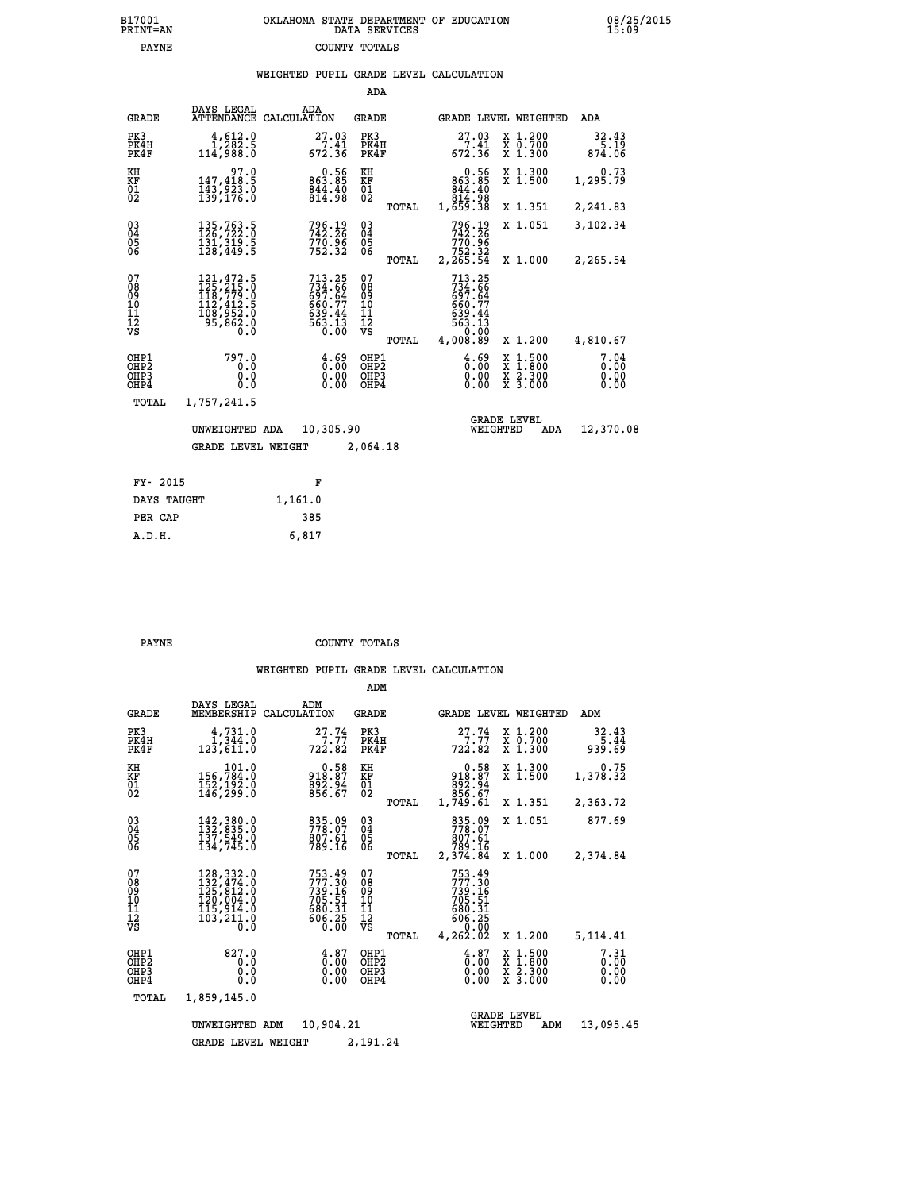| 7001<br>INT=AN | OKLAHOMA STATE DEPARTMENT OF EDUCATION<br>DATA SERVICES |  |
|----------------|---------------------------------------------------------|--|
| <b>PAYNE</b>   | COUNTY TOTALS                                           |  |

|                                                        |                                                                                                                                                      |                                                                                | ADA                                       |                                                                                              |                                                                                          |                              |
|--------------------------------------------------------|------------------------------------------------------------------------------------------------------------------------------------------------------|--------------------------------------------------------------------------------|-------------------------------------------|----------------------------------------------------------------------------------------------|------------------------------------------------------------------------------------------|------------------------------|
| <b>GRADE</b>                                           | DAYS LEGAL                                                                                                                                           | ADA<br>ATTENDANCE CALCULATION                                                  | <b>GRADE</b>                              |                                                                                              | GRADE LEVEL WEIGHTED                                                                     | ADA                          |
| PK3<br>PK4H<br>PK4F                                    | 4,612.0<br>1,282.5<br>114,988.0                                                                                                                      | 27.03<br>7.41<br>672.36                                                        | PK3<br>PK4H<br>PK4F                       | $27.03$<br>$7.41$<br>672.36                                                                  | X 1.200<br>X 0.700<br>X 1.300                                                            | 32.43<br>5.19<br>874.06      |
| KH<br>KF<br>01<br>02                                   | 97.0<br>147,418.5<br>$\frac{1}{139}$ , $\frac{5}{23}$ , $\frac{5}{6}$                                                                                | 0.56<br>863.85<br>$844.40$<br>$814.98$                                         | KH<br>KF<br>$\overline{01}$               | 0.56<br>$863.85844.40814.981,659.38$                                                         | X 1.300<br>X 1.500                                                                       | 0.73<br>1,295.79             |
|                                                        |                                                                                                                                                      |                                                                                | TOTAL                                     |                                                                                              | X 1.351                                                                                  | 2,241.83                     |
| $^{03}_{04}$<br>$\begin{matrix} 05 \\ 06 \end{matrix}$ | 135,763.5<br>126,722.0<br>$\overline{131}$ , $\overline{319}$ . 5<br>$\overline{128}$ , 449. 5                                                       | 796.19<br>742.26<br>770.96<br>752.32                                           | $\substack{03 \\ 04}$<br>05               | 796.19<br>742.26<br>770.96<br>752.32<br>2,265.54                                             | X 1.051                                                                                  | 3,102.34                     |
|                                                        |                                                                                                                                                      |                                                                                | TOTAL                                     |                                                                                              | X 1.000                                                                                  | 2,265.54                     |
| 07<br>08<br>09<br>10<br>11<br>12<br>VS                 | $\begin{smallmatrix} 121,472\cdot 5\\ 125,215\cdot 0\\ 118,779\cdot 0\\ 112,412\cdot 5\\ 108,952\cdot 0\\ 95,862\cdot 0\\ 0\cdot 0\end{smallmatrix}$ | $713.25$<br>$734.66$<br>$697.64$<br>$660.77$<br>$639.44$<br>$563.13$<br>$0.00$ | 07<br>08<br>09<br>10<br>Īľ<br>12<br>VS    | 713.25<br>$7\bar{3}\bar{4}\cdot\bar{6}\bar{6}$<br>$660.77$<br>$639.44$<br>$563.13$<br>$0.02$ |                                                                                          |                              |
|                                                        |                                                                                                                                                      |                                                                                | TOTAL                                     | 4,008.89                                                                                     | X 1.200                                                                                  | 4,810.67                     |
| OHP1<br>OH <sub>P</sub> <sub>2</sub><br>OHP3<br>OHP4   | 797.0<br>0.0<br>0.0<br>0.0                                                                                                                           | $\frac{4.69}{9.00}$<br>0.00<br>0.00                                            | OHP1<br>OH <sub>P</sub> 2<br>OHP3<br>OHP4 | $\frac{4.69}{0.00}$<br>0.00<br>0.00                                                          | $\begin{smallmatrix} x & 1.500 \\ x & 1.800 \\ x & 2.300 \\ x & 3.000 \end{smallmatrix}$ | 7.04<br>0.00<br>0.00<br>0.00 |
| TOTAL                                                  | 1,757,241.5                                                                                                                                          |                                                                                |                                           |                                                                                              |                                                                                          |                              |
| 10,305.90<br>UNWEIGHTED ADA                            |                                                                                                                                                      |                                                                                |                                           |                                                                                              | <b>GRADE LEVEL</b><br>WEIGHTED<br>ADA                                                    | 12,370.08                    |
|                                                        | <b>GRADE LEVEL WEIGHT</b>                                                                                                                            |                                                                                | 2,064.18                                  |                                                                                              |                                                                                          |                              |
|                                                        |                                                                                                                                                      |                                                                                |                                           |                                                                                              |                                                                                          |                              |
| FY- 2015                                               |                                                                                                                                                      | F                                                                              |                                           |                                                                                              |                                                                                          |                              |
| DAYS TAUGHT                                            |                                                                                                                                                      | 1,161.0                                                                        |                                           |                                                                                              |                                                                                          |                              |
| PER CAP                                                |                                                                                                                                                      | 385                                                                            |                                           |                                                                                              |                                                                                          |                              |

 **A.D.H. 6,817**

 **B17001<br>PRINT=AN** 

**PAYNE COUNTY TOTALS** 

|                                                    |                                                                                                                                    |                                                                  | ADM                                       |                                                                              |                                                                                                  |                              |
|----------------------------------------------------|------------------------------------------------------------------------------------------------------------------------------------|------------------------------------------------------------------|-------------------------------------------|------------------------------------------------------------------------------|--------------------------------------------------------------------------------------------------|------------------------------|
| <b>GRADE</b>                                       | DAYS LEGAL<br>MEMBERSHIP                                                                                                           | ADM<br>CALCULATION                                               | GRADE                                     | GRADE LEVEL WEIGHTED                                                         |                                                                                                  | ADM                          |
| PK3<br>PK4H<br>PK4F                                | 4,731.0<br>1,344.0<br>123,611.0                                                                                                    | 27.74<br>722.82                                                  | PK3<br>PK4H<br>PK4F                       | 27.74<br>722.82                                                              | X 1.200<br>X 0.700<br>$X$ 1.300                                                                  | 32.43<br>5.44<br>939.69      |
| KH<br>KF<br>01<br>02                               | 101.0<br>156,784:0<br>152,192.0<br>146,299:0                                                                                       | $918.87$<br>$892.94$<br>$856.67$                                 | KH<br>KF<br>$^{01}_{02}$                  | 0.58<br>918.87<br>892.84<br>856.67<br>1,749.61                               | X 1.300<br>X 1.500                                                                               | 0.75<br>1,378.32             |
|                                                    |                                                                                                                                    |                                                                  | TOTAL                                     |                                                                              | X 1.351                                                                                          | 2,363.72                     |
| $\begin{matrix} 03 \\ 04 \\ 05 \\ 06 \end{matrix}$ | 142,380.0<br>132,835.0<br>137,549.0<br>134,745.0                                                                                   | 835.09<br>778.07<br>807.61<br>789.16                             | $\substack{03 \\ 04}$<br>05               | 835.09<br>778.07<br>807.61<br>789.16                                         | X 1.051                                                                                          | 877.69                       |
|                                                    |                                                                                                                                    |                                                                  | TOTAL                                     | 2,374.84                                                                     | X 1.000                                                                                          | 2,374.84                     |
| 07<br>08<br>09<br>11<br>11<br>12<br>VS             | 128,332.0<br>$\frac{132}{125}$ , $\frac{474}{812}$ , 0<br>$\frac{120}{120}$ , 004.0<br>115,914.0<br>103,211.0<br>$\overline{0}$ .0 | 753.49<br>777.30<br>739.16<br>705.51<br>680.31<br>606.25<br>0.00 | 07<br>089<br>101<br>111<br>VS<br>TOTAL    | 753.49<br>777.30<br>739.16<br>705.51<br>680.31<br>606.25<br>0.00<br>4,262.02 | X 1.200                                                                                          | 5,114.41                     |
| OHP1<br>OHP2<br>OH <sub>P3</sub><br>OHP4           | 827.0<br>0.0<br>0.0<br>0.0                                                                                                         | $\begin{smallmatrix} 4.87\ 0.00\ 0.00 \end{smallmatrix}$<br>0.00 | OHP1<br>OH <sub>P</sub> 2<br>OHP3<br>OHP4 | $\begin{smallmatrix} 4.87\ 0.00 \end{smallmatrix}$<br>0.00                   | $\begin{smallmatrix} x & 1 & 500 \\ x & 1 & 800 \\ x & 2 & 300 \\ x & 3 & 000 \end{smallmatrix}$ | 7.31<br>0.00<br>0.00<br>0.00 |
| TOTAL                                              | 1,859,145.0                                                                                                                        |                                                                  |                                           |                                                                              |                                                                                                  |                              |
|                                                    | UNWEIGHTED ADM                                                                                                                     | 10,904.21                                                        |                                           | WEIGHTED                                                                     | <b>GRADE LEVEL</b><br>ADM                                                                        | 13,095.45                    |
|                                                    | <b>GRADE LEVEL WEIGHT</b>                                                                                                          |                                                                  | 2,191.24                                  |                                                                              |                                                                                                  |                              |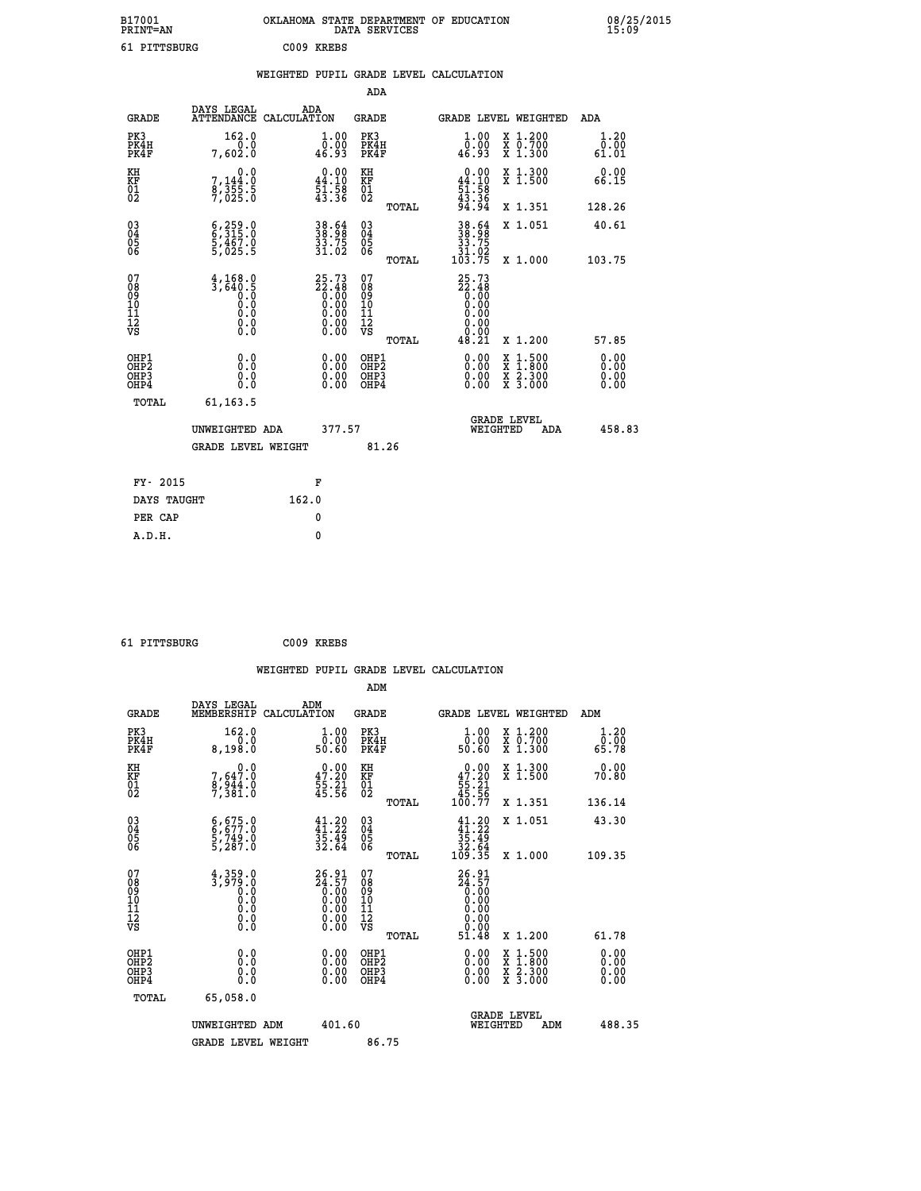| B17001                                             | PRINT=AN                                                          | OKLAHOMA STATE DEPARTMENT OF EDUCATION                               | DATA SERVICES                                   |                                                                       |                                                                                                                                           | 08/25/2015                   |
|----------------------------------------------------|-------------------------------------------------------------------|----------------------------------------------------------------------|-------------------------------------------------|-----------------------------------------------------------------------|-------------------------------------------------------------------------------------------------------------------------------------------|------------------------------|
|                                                    | 61 PITTSBURG                                                      | C009 KREBS                                                           |                                                 |                                                                       |                                                                                                                                           |                              |
|                                                    |                                                                   | WEIGHTED PUPIL GRADE LEVEL CALCULATION                               |                                                 |                                                                       |                                                                                                                                           |                              |
|                                                    |                                                                   |                                                                      | ADA                                             |                                                                       |                                                                                                                                           |                              |
| <b>GRADE</b>                                       | DAYS LEGAL                                                        | ADA<br>ATTENDANCE CALCULATION                                        | GRADE                                           | <b>GRADE LEVEL WEIGHTED</b>                                           |                                                                                                                                           | <b>ADA</b>                   |
| PK3<br>PK4H<br>PK4F                                | 162.0<br>0.0<br>7,602.0                                           | 1.00<br>0.00<br>46.93                                                | PK3<br>PK4H<br>PK4F                             | 1.00<br>ŏÖ.ÖŎ<br>46.93                                                | X 1.200<br>X 0.700<br>X 1.300                                                                                                             | 1.20<br>0.00<br>61.01        |
| KH<br>KF<br>01<br>02                               | 0.0<br>7,144:0<br>8,355:5<br>7,025:0                              | $\begin{smallmatrix} 0.00\\ 44.10\\ 51.58\\ 43.36 \end{smallmatrix}$ | KH<br>KF<br>01<br>02                            | $\begin{array}{c} 0.00 \\ 44.10 \\ 51.58 \\ 43.36 \end{array}$        | X 1.300<br>X 1.500                                                                                                                        | 0.00<br>66.15                |
|                                                    |                                                                   |                                                                      | TOTAL                                           | 94.94                                                                 | X 1.351                                                                                                                                   | 128.26                       |
| $\begin{matrix} 03 \\ 04 \\ 05 \\ 06 \end{matrix}$ | 6,315.0<br>$\frac{5}{5}$ , $\frac{4}{0}$ , $\frac{6}{5}$          | 38.54<br>38.98<br>33.75<br>31.02                                     | 03<br>04<br>05<br>06<br>TOTAL                   | 38.64<br>33.75<br>$\frac{31.02}{103.75}$                              | X 1.051<br>X 1.000                                                                                                                        | 40.61<br>103.75              |
| 07<br>08<br>09<br>10<br>11<br>12<br>VS             | $\frac{4}{3}, \frac{168}{640}.9$<br>0.0<br>0.0<br>Ŏ.Ŏ<br>$\S.$    | 25.73<br>22.48<br>0.00<br>0.00<br>0.00<br>0.0000                     | 07<br>08<br>09<br>10<br>11<br>12<br>VS<br>TOTAL | $25.73$<br>$22.48$<br>$0.00$<br>0.00<br>0.00<br>0.00<br>0.00<br>48.21 | X 1.200                                                                                                                                   | 57.85                        |
| OHP1<br>OHP2<br>OHP3<br>OHP4                       | 0.0<br>Ŏ.Ŏ<br>0.0<br>0.0                                          | 0.00<br>0.00<br>0.00                                                 | OHP1<br>OHP2<br>OHP3<br>OHP4                    | 0.00<br>ŏ:ŏŏ<br>0.00<br>0.00                                          | $\begin{smallmatrix} \mathtt{X} & 1\cdot500\\ \mathtt{X} & 1\cdot800\\ \mathtt{X} & 2\cdot300\\ \mathtt{X} & 3\cdot000 \end{smallmatrix}$ | 0.00<br>0.00<br>0.00<br>0.00 |
|                                                    | TOTAL<br>61, 163.5<br>UNWEIGHTED ADA<br><b>GRADE LEVEL WEIGHT</b> | 377.57                                                               | 81.26                                           | <b>GRADE LEVEL</b><br>WEIGHTED                                        | ADA                                                                                                                                       | 458.83                       |
|                                                    | FY- 2015                                                          | F                                                                    |                                                 |                                                                       |                                                                                                                                           |                              |

 **DAYS TAUGHT 162.0 PER CAP** 0  **A.D.H. 0**

 **61 PITTSBURG C009 KREBS**

 **WEIGHTED PUPIL GRADE LEVEL CALCULATION ADM DAYS LEGAL ADM GRADE MEMBERSHIP CALCULATION GRADE GRADE LEVEL WEIGHTED ADM PK3 162.0 1.00 PK3 1.00 X 1.200 1.20 PK4H 0.0 0.00 PK4H 0.00 X 0.700 0.00 PK4F 8,198.0 50.60 PK4F 50.60 X 1.300 65.78 KH 0.0 0.00 KH 0.00 X 1.300 0.00 KF 7,647.0 47.20 KF 47.20 X 1.500 70.80 01 8,944.0 55.21 01 55.21 02 7,381.0 45.56 02 45.56 TOTAL 100.77 X 1.351 136.14 03 6,675.0 41.20 03 41.20 X 1.051 43.30 04 6,677.0 41.22 04 41.22 05 5,749.0 35.49 05 35.49 06 5,287.0 32.64 06 32.64 TOTAL 109.35 X 1.000 109.35 07 4,359.0 26.91 07 26.91 08 3,979.0 24.57 08 24.57 09 0.0 0.00 09 0.00 10 0.0 0.00 10 0.00 11 0.0 0.00 11 0.00 12 0.0 0.00 12 0.00 VS 0.0 0.00 VS 0.00 TOTAL 51.48 X 1.200 61.78 OHP1 0.0 0.00 OHP1 0.00 X 1.500 0.00 OHP2 0.0 0.00 OHP2 0.00 X 1.800 0.00 OHP3 0.0 0.00 OHP3 0.00 X 2.300 0.00 OHP4 0.0 0.00 OHP4 0.00 X 3.000 0.00 TOTAL 65,058.0** UNWEIGHTED ADM 401.60 GRADE LEVEL<br>WEIGHTED ADM 488.35 GRADE LEVEL WEIGHT 86.75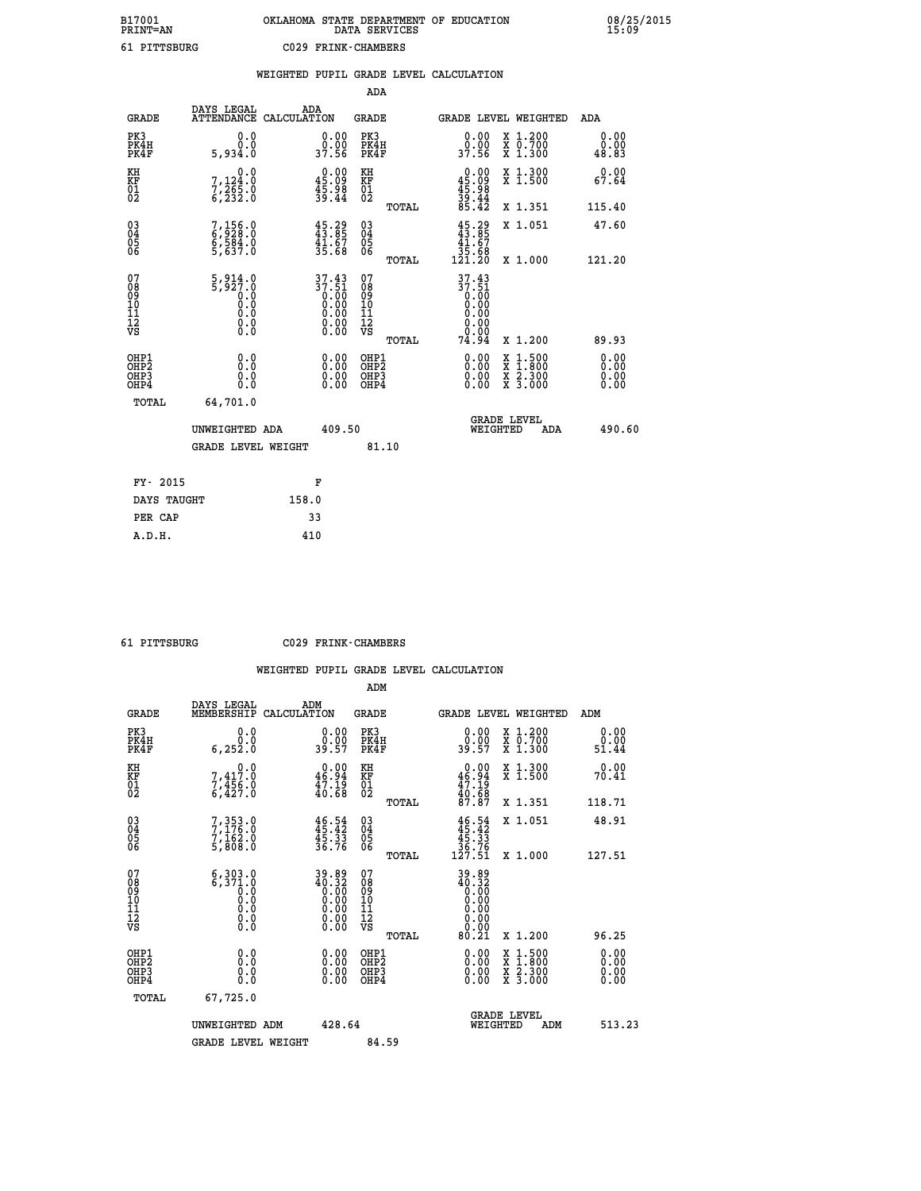|                                                                    |                                                                                                            | WEIGHTED PUPIL GRADE LEVEL CALCULATION                              |                                                             |                              |       |                                                                                                                                                                                                                                                                                |                                                                                                                                              |                       |
|--------------------------------------------------------------------|------------------------------------------------------------------------------------------------------------|---------------------------------------------------------------------|-------------------------------------------------------------|------------------------------|-------|--------------------------------------------------------------------------------------------------------------------------------------------------------------------------------------------------------------------------------------------------------------------------------|----------------------------------------------------------------------------------------------------------------------------------------------|-----------------------|
|                                                                    |                                                                                                            |                                                                     |                                                             | <b>ADA</b>                   |       |                                                                                                                                                                                                                                                                                |                                                                                                                                              |                       |
| <b>GRADE</b>                                                       | DAYS LEGAL<br>ATTENDANCE CALCULATION                                                                       | ADA                                                                 |                                                             | <b>GRADE</b>                 |       | GRADE LEVEL WEIGHTED                                                                                                                                                                                                                                                           |                                                                                                                                              | ADA                   |
| PK3<br>PK4H<br>PK4F                                                | 0.0<br>0.0<br>5,934.0                                                                                      | $\begin{smallmatrix} 0.00\\ 0.00\\ 37.56 \end{smallmatrix}$         |                                                             | PK3<br>PK4H<br>PK4F          |       | 0.00<br>ŏ:ŏŏ<br>37.56                                                                                                                                                                                                                                                          | X 1.200<br>X 0.700<br>X 1.300                                                                                                                | 0.00<br>0.00<br>48.83 |
| KH<br>KF<br>01<br>02                                               | $\begin{smallmatrix}&&&0.0\\7,124.0\\7,265.0\\6,232.0\end{smallmatrix}$                                    | $\begin{smallmatrix} 0.00\\ 45.09\\ 45.98\\ 5.44 \end{smallmatrix}$ | KH<br>KF<br>01<br>02                                        |                              |       | $0.00$<br>$45.09$<br>$45.98$<br>$39.44$<br>$35.42$                                                                                                                                                                                                                             | X 1.300<br>X 1.500                                                                                                                           | 0.00<br>67.64         |
|                                                                    |                                                                                                            |                                                                     |                                                             |                              | TOTAL |                                                                                                                                                                                                                                                                                | X 1.351                                                                                                                                      | 115.40                |
| $\begin{smallmatrix} 03 \\[-4pt] 04 \end{smallmatrix}$<br>Ŏ5<br>06 | 7,156.0<br>6,928.0<br>6,584.0<br>5,637.0                                                                   | $45.29$<br>$43.85$<br>$41.67$<br>$35.68$                            | $\begin{matrix} 03 \\ 04 \\ 05 \\ 06 \end{matrix}$          |                              |       | $45.29$<br>$43.85$<br>$41.67$                                                                                                                                                                                                                                                  | X 1.051                                                                                                                                      | 47.60                 |
|                                                                    |                                                                                                            |                                                                     |                                                             |                              | TOTAL | 35.68<br>121.20                                                                                                                                                                                                                                                                | X 1.000                                                                                                                                      | 121.20                |
| 07<br>08<br>09<br>11<br>11<br>12<br>VS                             | $\frac{5}{5}$ , 914.0<br>$\begin{smallmatrix} 0.0 & 0 \ 0.0 & 0 \ 0.0 & 0 \end{smallmatrix}$<br>$\S.$ $\S$ | $37.43$<br>$37.51$<br>$0.00$<br>$0.00$<br>$0.00$<br>$0.00$          | 07<br>08<br>09<br>11<br>11<br>12<br>VS<br>ŏ:ŏŏ              |                              | TOTAL | 37.43<br>$37.51$<br>0.00<br>0.00<br>0.00<br>0.00<br>0.00<br>74.94                                                                                                                                                                                                              | X 1.200                                                                                                                                      | 89.93                 |
| OHP1<br>OHP2<br>OH <sub>P3</sub><br>OHP4                           | 0.0<br>0.0<br>0.0                                                                                          |                                                                     | 0.00<br>$\begin{smallmatrix} 0.00 \ 0.00 \end{smallmatrix}$ | OHP1<br>OHP2<br>OHP3<br>OHP4 |       | $\begin{smallmatrix} 0.00 & 0.00 & 0.00 & 0.00 & 0.00 & 0.00 & 0.00 & 0.00 & 0.00 & 0.00 & 0.00 & 0.00 & 0.00 & 0.00 & 0.00 & 0.00 & 0.00 & 0.00 & 0.00 & 0.00 & 0.00 & 0.00 & 0.00 & 0.00 & 0.00 & 0.00 & 0.00 & 0.00 & 0.00 & 0.00 & 0.00 & 0.00 & 0.00 & 0.00 & 0.00 & 0.0$ | $\begin{smallmatrix} \mathtt{X} & 1\cdot500 \\ \mathtt{X} & 1\cdot800 \\ \mathtt{X} & 2\cdot300 \\ \mathtt{X} & 3\cdot000 \end{smallmatrix}$ | 0.00<br>0.00<br>0.00  |
| TOTAL                                                              | 64,701.0                                                                                                   |                                                                     |                                                             |                              |       |                                                                                                                                                                                                                                                                                |                                                                                                                                              |                       |
|                                                                    | UNWEIGHTED ADA                                                                                             |                                                                     | 409.50                                                      |                              |       | WEIGHTED                                                                                                                                                                                                                                                                       | <b>GRADE LEVEL</b><br>ADA                                                                                                                    | 490.60                |
|                                                                    | <b>GRADE LEVEL WEIGHT</b>                                                                                  |                                                                     |                                                             | 81.10                        |       |                                                                                                                                                                                                                                                                                |                                                                                                                                              |                       |
| FY- 2015                                                           |                                                                                                            | F                                                                   |                                                             |                              |       |                                                                                                                                                                                                                                                                                |                                                                                                                                              |                       |
| DAYS TAUGHT                                                        |                                                                                                            | 158.0                                                               |                                                             |                              |       |                                                                                                                                                                                                                                                                                |                                                                                                                                              |                       |
| PER CAP                                                            |                                                                                                            | 33                                                                  |                                                             |                              |       |                                                                                                                                                                                                                                                                                |                                                                                                                                              |                       |

 **61 PITTSBURG C029 FRINK-CHAMBERS**

|                                                    |                                                                                                                                           |                                                                   | ADM                                                   |                                                                                                                                    |                                                                                                                     |                       |
|----------------------------------------------------|-------------------------------------------------------------------------------------------------------------------------------------------|-------------------------------------------------------------------|-------------------------------------------------------|------------------------------------------------------------------------------------------------------------------------------------|---------------------------------------------------------------------------------------------------------------------|-----------------------|
| <b>GRADE</b>                                       | DAYS LEGAL<br>MEMBERSHIP                                                                                                                  | ADM<br>CALCULATION                                                | <b>GRADE</b>                                          | GRADE LEVEL WEIGHTED                                                                                                               |                                                                                                                     | ADM                   |
| PK3<br>PK4H<br>PK4F                                | 0.0<br>0.0<br>6, 252.0                                                                                                                    | $\begin{smallmatrix} 0.00\\ 0.00\\ 39.57 \end{smallmatrix}$       | PK3<br>PK4H<br>PK4F                                   | $\begin{smallmatrix} 0.00\\ 0.00\\ 39.57 \end{smallmatrix}$                                                                        | X 1.200<br>X 0.700<br>X 1.300                                                                                       | 0.00<br>0.00<br>51.44 |
| KH<br>KF<br>01<br>02                               | $\begin{smallmatrix}&&&0.0\\7,417.0\\7,456.0\\6,427.0\end{smallmatrix}$                                                                   | $0.00$<br>46.94<br>$\frac{47.19}{40.68}$                          | KH<br>KF<br>01<br>02                                  | 0.00<br>$46.94$<br>$47.19$<br>$40.68$<br>$87.87$                                                                                   | X 1.300<br>X 1.500                                                                                                  | 0.00<br>70.41         |
|                                                    |                                                                                                                                           |                                                                   | TOTAL                                                 |                                                                                                                                    | X 1.351                                                                                                             | 118.71                |
| $\begin{matrix} 03 \\ 04 \\ 05 \\ 06 \end{matrix}$ | 7, 353.0<br>7, 176.0<br>7, 162.0<br>5, 808.0                                                                                              | $46.54$<br>$45.42$<br>$45.33$<br>$36.76$                          | $\begin{matrix} 03 \\ 04 \\ 05 \\ 06 \end{matrix}$    | $\begin{array}{r} 46.54 \\ 45.42 \\ 45.33 \\ 36.76 \\ 127.51 \end{array}$                                                          | X 1.051                                                                                                             | 48.91                 |
|                                                    |                                                                                                                                           |                                                                   | TOTAL                                                 |                                                                                                                                    | X 1.000                                                                                                             | 127.51                |
| 07<br>08<br>09<br>10<br>11<br>11<br>12<br>VS       | $\begin{smallmatrix} 6\,,\,3\,0\,3\,. \,0\\ 6\,,\,3\,7\,1\,. \,0\\ 0\,. \,0\\ 0\,. \,0\\ 0\,. \,0\\ 0\,. \,0\\ 0\,. \,0\end{smallmatrix}$ | $39.89\n40.32\n0.00\n0.00\n0.00\n0.00\n0.00$                      | 07<br>08<br>09<br>01<br>11<br>11<br>12<br>VS<br>TOTAL | $\begin{smallmatrix} 39.89 \\ 40.32 \\ 0.00 \\ 0.00 \\ 0.00 \\ 0.00 \\ 0.00 \\ 0.00 \\ 0.00 \\ 0.00 \\ \end{smallmatrix}$<br>80.21 | X 1.200                                                                                                             | 96.25                 |
| OHP1<br>OHP2<br>OH <sub>P3</sub><br>OHP4           | 0.0<br>0.000                                                                                                                              | $\begin{smallmatrix} 0.00 \ 0.00 \ 0.00 \ 0.00 \end{smallmatrix}$ | OHP1<br>OHP2<br>OHP3<br>OHP4                          |                                                                                                                                    | $\begin{array}{l} \mathtt{X} & 1.500 \\ \mathtt{X} & 1.800 \\ \mathtt{X} & 2.300 \\ \mathtt{X} & 3.000 \end{array}$ | 0.00<br>0.00<br>0.00  |
| TOTAL                                              | 67,725.0                                                                                                                                  |                                                                   |                                                       |                                                                                                                                    |                                                                                                                     |                       |
|                                                    | UNWEIGHTED ADM                                                                                                                            | 428.64                                                            |                                                       | WEIGHTED                                                                                                                           | <b>GRADE LEVEL</b><br>ADM                                                                                           | 513.23                |
|                                                    | <b>GRADE LEVEL WEIGHT</b>                                                                                                                 |                                                                   | 84.59                                                 |                                                                                                                                    |                                                                                                                     |                       |
|                                                    |                                                                                                                                           |                                                                   |                                                       |                                                                                                                                    |                                                                                                                     |                       |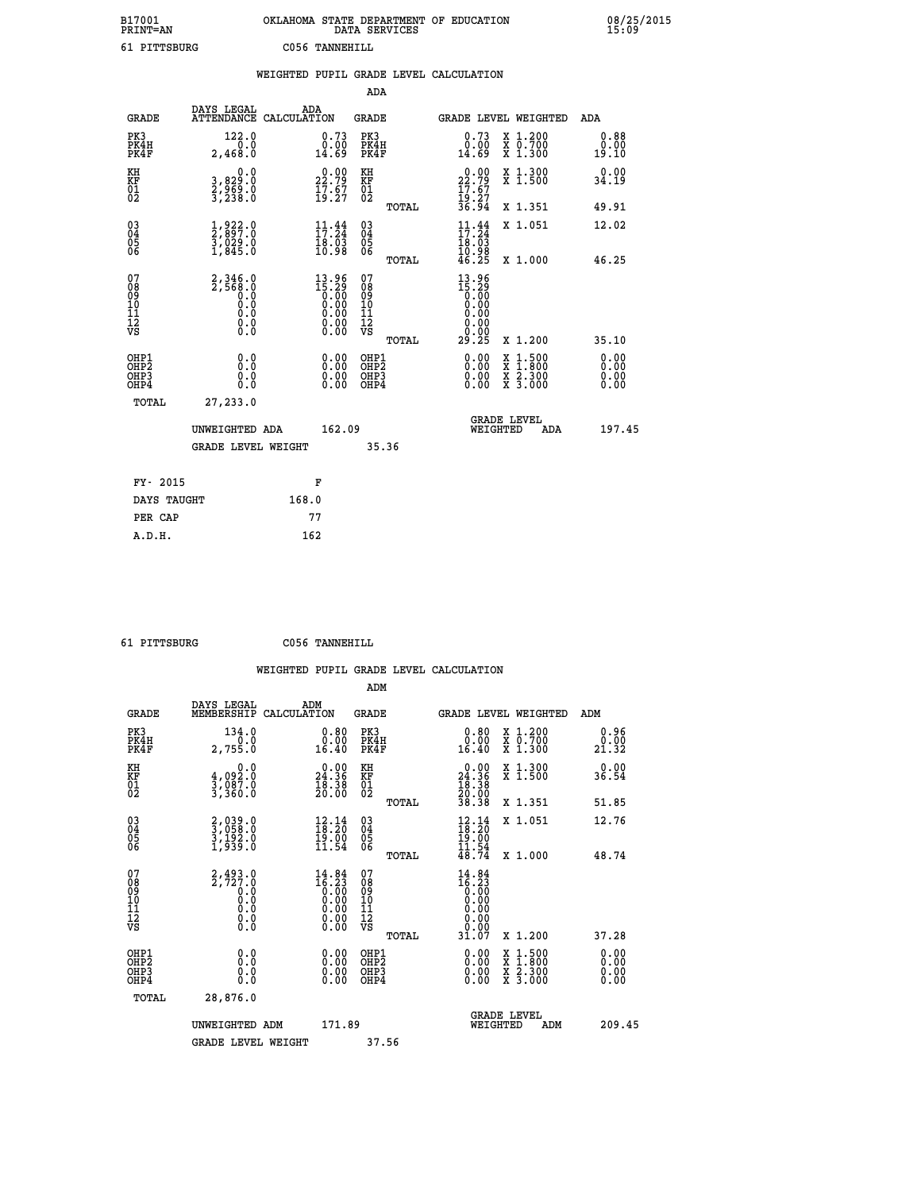| B17001<br>PRINT=AN | . STATE DEPARTMENT OF EDUCATION<br>OKLAHOMA<br>DATA SERVICES | 08/25/2015<br>15:09 |
|--------------------|--------------------------------------------------------------|---------------------|
| 61 PITTSBURG       | C056 TANNEHILL                                               |                     |

|                                                                    |                              |                                                                                                    | WEIGHTED PUPIL GRADE LEVEL CALCULATION |                                                                                                    |                                        |       |                                                                 |                                |                               |                              |
|--------------------------------------------------------------------|------------------------------|----------------------------------------------------------------------------------------------------|----------------------------------------|----------------------------------------------------------------------------------------------------|----------------------------------------|-------|-----------------------------------------------------------------|--------------------------------|-------------------------------|------------------------------|
|                                                                    |                              |                                                                                                    |                                        |                                                                                                    | ADA                                    |       |                                                                 |                                |                               |                              |
|                                                                    | <b>GRADE</b>                 | DAYS LEGAL<br>ATTENDANCE CALCULATION                                                               | ADA                                    |                                                                                                    | <b>GRADE</b>                           |       |                                                                 |                                | GRADE LEVEL WEIGHTED          | ADA                          |
|                                                                    | PK3<br>PK4H<br>PK4F          | 122.0<br>0.0<br>2,468.0                                                                            |                                        | $\substack{0.73 \\ 0.00 \\ 14.69}$                                                                 | PK3<br>PK4H<br>PK4F                    |       | 0.73<br>0.00<br>14.69                                           |                                | X 1.200<br>X 0.700<br>X 1.300 | 0.88<br>0.00<br>19.10        |
| KH<br>KF<br>01<br>02                                               |                              | 0.0<br>3,829:0<br>2,969:0<br>3,238:0                                                               |                                        | $22.79$<br>$17.67$<br>$19.27$                                                                      | KH<br>KF<br>01<br>02                   |       | $22.79$<br>$17.67$<br>$19.27$<br>$19.27$<br>$36.94$             |                                | X 1.300<br>X 1.500            | 0.00<br>34.19                |
|                                                                    |                              |                                                                                                    |                                        |                                                                                                    |                                        | TOTAL |                                                                 |                                | X 1.351                       | 49.91                        |
| $\begin{smallmatrix} 03 \\[-4pt] 04 \end{smallmatrix}$<br>Ŏ5<br>06 |                              | $\frac{1}{2}$ , $\frac{9}{8}$ , $\frac{22}{7}$ ; $\frac{0}{9}$<br>$\frac{5}{1}, \frac{0}{845}$ : 0 |                                        | $\frac{11}{17}$ : $\frac{44}{24}$<br>$\frac{18.03}{10.98}$                                         | $\substack{03 \\ 04}$<br>05<br>06      |       | 11:34<br>$\frac{18.03}{10.98}$                                  |                                | X 1.051                       | 12.02                        |
|                                                                    |                              |                                                                                                    |                                        |                                                                                                    |                                        | TOTAL | $\bar{46.25}$                                                   |                                | X 1.000                       | 46.25                        |
| 07<br>08<br>09<br>101<br>112<br>VS                                 |                              | 2, 346.0<br>2, 568.0<br>0.0<br>Ō.Ō<br>$\S.$ $\S$                                                   |                                        | $13.96$<br>$15.29$<br>0.00<br>0.00<br>0.00<br>$\begin{smallmatrix} 0.00 \\ 0.00 \end{smallmatrix}$ | 07<br>08<br>09<br>11<br>11<br>12<br>VS | TOTAL | $13.96$<br>$15.29$<br>$0.00$<br>$0.00$<br>0.00<br>0.00<br>29.25 |                                | X 1.200                       | 35.10                        |
|                                                                    | OHP1<br>OHP2<br>OHP3<br>OHP4 | 0.0<br>0.0<br>0.0                                                                                  |                                        | 0.00<br>$\begin{smallmatrix} 0.00 \ 0.00 \end{smallmatrix}$                                        | OHP1<br>OHP2<br>OHP3<br>OHP4           |       | 0.00<br>0.00<br>0.00                                            |                                | X 1:500<br>X 2.300<br>X 3.000 | 0.00<br>Ō.ŎŎ<br>0.00<br>0.00 |
|                                                                    | <b>TOTAL</b>                 | 27,233.0                                                                                           |                                        |                                                                                                    |                                        |       |                                                                 |                                |                               |                              |
|                                                                    |                              | UNWEIGHTED ADA                                                                                     |                                        | 162.09                                                                                             |                                        |       |                                                                 | <b>GRADE LEVEL</b><br>WEIGHTED | ADA                           | 197.45                       |
|                                                                    |                              | <b>GRADE LEVEL WEIGHT</b>                                                                          |                                        |                                                                                                    | 35.36                                  |       |                                                                 |                                |                               |                              |
|                                                                    | FY- 2015                     |                                                                                                    |                                        | F                                                                                                  |                                        |       |                                                                 |                                |                               |                              |
|                                                                    | DAYS TAUGHT                  |                                                                                                    | 168.0                                  |                                                                                                    |                                        |       |                                                                 |                                |                               |                              |
|                                                                    | PER CAP                      |                                                                                                    | 77                                     |                                                                                                    |                                        |       |                                                                 |                                |                               |                              |

 **ADM**

 **61 PITTSBURG C056 TANNEHILL**

| <b>GRADE</b>                                       | DAYS LEGAL<br>MEMBERSHIP                                              | ADM<br>CALCULATION                                                                                                                                                                                                                                                                                                                             | <b>GRADE</b>                                       |       |                                                                                                                                                                                                                                                                                | <b>GRADE LEVEL WEIGHTED</b>              | ADM                   |  |
|----------------------------------------------------|-----------------------------------------------------------------------|------------------------------------------------------------------------------------------------------------------------------------------------------------------------------------------------------------------------------------------------------------------------------------------------------------------------------------------------|----------------------------------------------------|-------|--------------------------------------------------------------------------------------------------------------------------------------------------------------------------------------------------------------------------------------------------------------------------------|------------------------------------------|-----------------------|--|
| PK3<br>PK4H<br>PK4F                                | 134.0<br>2,755.0                                                      | $\substack{0.80\\0.00\\16.40}$                                                                                                                                                                                                                                                                                                                 | PK3<br>PK4H<br>PK4F                                |       | $\substack{0.80\\0.00\\16.40}$                                                                                                                                                                                                                                                 | X 1.200<br>X 0.700<br>X 1.300            | 0.96<br>0.00<br>21.32 |  |
| KH<br>KF<br>01<br>02                               | 0.0<br>4,092:0<br>3,087:0<br>3,360:0                                  | $\begin{smallmatrix} 0.00\\ 24.36\\ 18.38\\ 18.38\\ 20.00 \end{smallmatrix}$                                                                                                                                                                                                                                                                   | KH<br>KF<br>01<br>02                               |       | $\begin{smallmatrix} &0.00\\ 24.36\\ 18.36\\ 18.38\\ 20.00\\ 38.38 \end{smallmatrix}$                                                                                                                                                                                          | X 1.300<br>X 1.500                       | 0.00<br>36.54         |  |
|                                                    |                                                                       |                                                                                                                                                                                                                                                                                                                                                |                                                    | TOTAL |                                                                                                                                                                                                                                                                                | X 1.351                                  | 51.85                 |  |
| $\begin{matrix} 03 \\ 04 \\ 05 \\ 06 \end{matrix}$ | 2,039.0<br>3,058.0<br>3,192.0<br>1,939.0                              | $\begin{smallmatrix} 12.14 \\ 18.20 \\ 19.00 \\ 11.54 \end{smallmatrix}$                                                                                                                                                                                                                                                                       | $\begin{matrix} 03 \\ 04 \\ 05 \\ 06 \end{matrix}$ |       | $\begin{array}{r} 12.14 \\[-4pt] 18.20 \\[-4pt] 19.00 \\[-4pt] 11.54 \\[-4pt] 48.74 \end{array}$                                                                                                                                                                               | X 1.051                                  | 12.76                 |  |
|                                                    |                                                                       |                                                                                                                                                                                                                                                                                                                                                |                                                    | TOTAL |                                                                                                                                                                                                                                                                                | X 1.000                                  | 48.74                 |  |
| 07<br>089<br>090<br>1112<br>VS                     | $2, 493.0$<br>$2, 727.0$<br>$0.0$<br>$0.0$<br>$0.0$<br>$0.0$<br>$0.0$ | $\begin{smallmatrix} 14 & 84 \\ 16 & 23 \\ 0 & 00 \\ 0 & 00 \\ 0 & 00 \\ 0 & 00 \\ 0 & 00 \\ 0 & 00 \\ 0 & 00 \\ 0 & 00 \\ 0 & 00 \\ 0 & 00 \\ 0 & 0 \\ 0 & 0 \\ 0 & 0 \\ 0 & 0 \\ 0 & 0 \\ 0 & 0 \\ 0 & 0 \\ 0 & 0 \\ 0 & 0 \\ 0 & 0 \\ 0 & 0 \\ 0 & 0 \\ 0 & 0 \\ 0 & 0 \\ 0 & 0 \\ 0 & 0 \\ 0 & 0 \\ 0 & 0 \\ 0 & 0 \\ 0 & 0 \\ 0 & 0 \\ 0$ | 07<br>08<br>09<br>01<br>11<br>11<br>12<br>VS       |       | $\begin{smallmatrix} 14 & 84 \\ 16 & 23 \\ 0 & 00 \\ 0 & 00 \\ 0 & 00 \\ 0 & 00 \\ 0 & 00 \\ 0 & 00 \\ 31 & 07 \\ \end{smallmatrix}$                                                                                                                                           |                                          |                       |  |
|                                                    |                                                                       |                                                                                                                                                                                                                                                                                                                                                |                                                    | TOTAL |                                                                                                                                                                                                                                                                                | X 1.200                                  | 37.28                 |  |
| OHP1<br>OHP2<br>OH <sub>P3</sub><br>OHP4           | 0.0<br>0.000                                                          |                                                                                                                                                                                                                                                                                                                                                | OHP1<br>OHP2<br>OHP3<br>OHP4                       |       | $\begin{smallmatrix} 0.00 & 0.00 & 0.00 & 0.00 & 0.00 & 0.00 & 0.00 & 0.00 & 0.00 & 0.00 & 0.00 & 0.00 & 0.00 & 0.00 & 0.00 & 0.00 & 0.00 & 0.00 & 0.00 & 0.00 & 0.00 & 0.00 & 0.00 & 0.00 & 0.00 & 0.00 & 0.00 & 0.00 & 0.00 & 0.00 & 0.00 & 0.00 & 0.00 & 0.00 & 0.00 & 0.0$ | X 1:500<br>X 1:800<br>X 2:300<br>X 3:000 | 0.00<br>0.00<br>0.00  |  |
| TOTAL                                              | 28,876.0                                                              |                                                                                                                                                                                                                                                                                                                                                |                                                    |       |                                                                                                                                                                                                                                                                                |                                          |                       |  |
|                                                    | UNWEIGHTED<br>ADM                                                     | 171.89                                                                                                                                                                                                                                                                                                                                         |                                                    |       | WEIGHTED                                                                                                                                                                                                                                                                       | <b>GRADE LEVEL</b><br>ADM                | 209.45                |  |
|                                                    | <b>GRADE LEVEL WEIGHT</b>                                             |                                                                                                                                                                                                                                                                                                                                                | 37.56                                              |       |                                                                                                                                                                                                                                                                                |                                          |                       |  |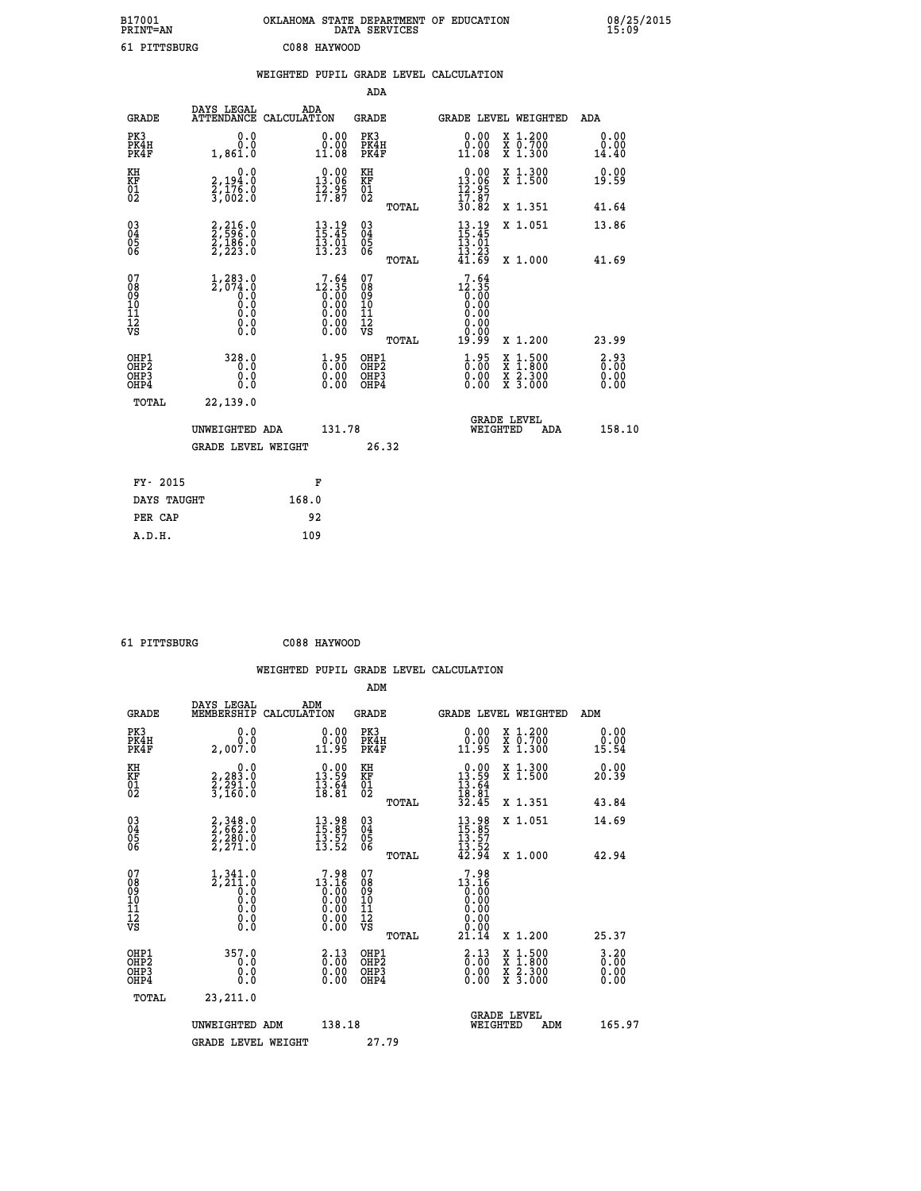| B17001<br><b>PRINT=AN</b> | OKLAHOMA STATE DEPARTMENT OF EDUCATION<br>DATA SERVICES | 08/25/2015<br>15:09 |
|---------------------------|---------------------------------------------------------|---------------------|
| 61 PITTSBURG              | C088 HAYWOOD                                            |                     |

|                                                                    |                                                           |       |                                                                        |                                        |                                       | WEIGHTED PUPIL GRADE LEVEL CALCULATION                   |  |                                                                                                                                           |                          |
|--------------------------------------------------------------------|-----------------------------------------------------------|-------|------------------------------------------------------------------------|----------------------------------------|---------------------------------------|----------------------------------------------------------|--|-------------------------------------------------------------------------------------------------------------------------------------------|--------------------------|
|                                                                    |                                                           |       |                                                                        | <b>ADA</b>                             |                                       |                                                          |  |                                                                                                                                           |                          |
| <b>GRADE</b>                                                       | DAYS LEGAL<br>ATTENDANCE CALCULATION                      | ADA   |                                                                        | GRADE                                  |                                       | GRADE LEVEL WEIGHTED                                     |  |                                                                                                                                           | ADA                      |
| PK3<br>PK4H<br>PK4F                                                | 0.0<br>0.0<br>1,861.0                                     |       | $\begin{smallmatrix} 0.00\\ 0.00\\ 11.08 \end{smallmatrix}$            | PK3<br>PK4H<br>PK4F                    |                                       | 0.00<br>0.00<br>11.08                                    |  | X 1.200<br>X 0.700<br>X 1.300                                                                                                             | 0.00<br>0.00<br>14.40    |
| KH<br>KF<br>01<br>02                                               | 0.0<br>2,194:0<br>2,176:0<br>3,002:0                      |       | $0.00$<br>13.06<br>$\frac{1}{2}$ $\frac{2}{7}$ $\cdot$ $\frac{95}{87}$ | KH<br>KF<br>01<br>02                   |                                       | $0.00$<br>13.06<br>$\frac{15.95}{17.87}$                 |  | X 1.300<br>X 1.500                                                                                                                        | 0.00<br>19.59            |
|                                                                    |                                                           |       |                                                                        |                                        | TOTAL                                 | 30.82                                                    |  | X 1.351                                                                                                                                   | 41.64                    |
| $\begin{smallmatrix} 03 \\[-4pt] 04 \end{smallmatrix}$<br>Ŏ5<br>06 | 2,216.0<br>2,596.0<br>2,186.0<br>2,223.0                  |       | $13.19$<br>$15.45$<br>13.01                                            | $\substack{03 \\ 04}$<br>Ŏ5<br>06      |                                       | $13.19$<br>$15.45$<br>$13.01$                            |  | X 1.051                                                                                                                                   | 13.86                    |
|                                                                    |                                                           |       | 13.23                                                                  |                                        | TOTAL                                 | $\frac{13}{41}$ $\frac{23}{69}$                          |  | X 1.000                                                                                                                                   | 41.69                    |
| 07<br>08<br>09<br>11<br>11<br>12<br>VS                             | $1,283.0$<br>2,074.0<br>$\overline{0}$ :0<br>0.0<br>$\S.$ |       | $12.35$<br>$0.00$<br>$0.00$<br>$0.00$<br>$0.00$<br>$0.00$<br>0.00      | 07<br>08<br>09<br>11<br>11<br>12<br>VS | TOTAL                                 | 7.64<br>$12.35$<br>0.00<br>0.00<br>0.00<br>0.00<br>19.99 |  | X 1.200                                                                                                                                   | 23.99                    |
| OHP1<br>OHP2<br>OHP3<br>OHP4                                       | 328.0<br>0.0<br>0.0<br>0.0                                |       | $\begin{smallmatrix} 1.95\ 0.00\ 0.00 \end{smallmatrix}$               | OHP1<br>OHP2<br>OHP3<br>OHP4           |                                       | $\begin{smallmatrix} 1.95\ 0.00\ 0.00 \end{smallmatrix}$ |  | $\begin{smallmatrix} \mathtt{X} & 1\cdot500\\ \mathtt{X} & 1\cdot800\\ \mathtt{X} & 2\cdot300\\ \mathtt{X} & 3\cdot000 \end{smallmatrix}$ | 2.93<br>$0.00$<br>$0.00$ |
| TOTAL                                                              | 22,139.0                                                  |       |                                                                        |                                        |                                       |                                                          |  |                                                                                                                                           |                          |
|                                                                    | UNWEIGHTED ADA<br><b>GRADE LEVEL WEIGHT</b>               |       | 131.78<br>26.32                                                        |                                        | <b>GRADE LEVEL</b><br>WEIGHTED<br>ADA |                                                          |  | 158.10                                                                                                                                    |                          |
|                                                                    |                                                           |       |                                                                        |                                        |                                       |                                                          |  |                                                                                                                                           |                          |
| FY- 2015                                                           |                                                           |       | F                                                                      |                                        |                                       |                                                          |  |                                                                                                                                           |                          |
| DAYS TAUGHT                                                        |                                                           | 168.0 |                                                                        |                                        |                                       |                                                          |  |                                                                                                                                           |                          |
| PER CAP                                                            |                                                           |       | 92                                                                     |                                        |                                       |                                                          |  |                                                                                                                                           |                          |

| - - | --<br>- | --<br>÷ | - |
|-----|---------|---------|---|

 **61 PITTSBURG C088 HAYWOOD**

| <b>GRADE</b>                                       | DAYS LEGAL<br>MEMBERSHIP                                             | ADM<br>CALCULATION                                                              | <b>GRADE</b>                                       |       |                                                                                | <b>GRADE LEVEL WEIGHTED</b>              | ADM                     |
|----------------------------------------------------|----------------------------------------------------------------------|---------------------------------------------------------------------------------|----------------------------------------------------|-------|--------------------------------------------------------------------------------|------------------------------------------|-------------------------|
| PK3<br>PK4H<br>PK4F                                | 0.0<br>2,007.0                                                       | $\begin{smallmatrix} 0.00\\ 0.00\\ 11.95 \end{smallmatrix}$                     | PK3<br>PK4H<br>PK4F                                |       | $\begin{smallmatrix} 0.00\\ 0.00\\ 11.95 \end{smallmatrix}$                    | X 1.200<br>X 0.700<br>X 1.300            | 0.00<br>$0.00$<br>15.54 |
| KH<br>KF<br>01<br>02                               | $\begin{smallmatrix}&&&0.0\2,283.0\2,291.0\3,160.0\end{smallmatrix}$ | $\begin{smallmatrix} 0.00\\ 13.59\\ 13.64\\ 18.81 \end{smallmatrix}$            | KH<br>KF<br>01<br>02                               |       | $\begin{smallmatrix} 0.00\\ 13.59\\ 13.64\\ 18.81\\ 32.45 \end{smallmatrix}$   | X 1.300<br>X 1.500                       | 0.00<br>20.39           |
|                                                    |                                                                      |                                                                                 |                                                    | TOTAL |                                                                                | X 1.351                                  | 43.84                   |
| $\begin{matrix} 03 \\ 04 \\ 05 \\ 06 \end{matrix}$ | 2,348.0<br>2,662.0<br>2,280.0<br>2,271.0                             | $\begin{smallmatrix} 13.98\\ 15.85\\ 13.57\\ 13.52 \end{smallmatrix}$           | $\begin{matrix} 03 \\ 04 \\ 05 \\ 06 \end{matrix}$ |       | $13.9815.8513.5713.5242.94$                                                    | X 1.051                                  | 14.69                   |
|                                                    |                                                                      |                                                                                 |                                                    | TOTAL |                                                                                | X 1.000                                  | 42.94                   |
| 07<br>089<br>090<br>1112<br>VS                     |                                                                      | $\begin{smallmatrix}7.98\\13.16\\0.00\\0.00\\0.00\\0.00\\0.00\end{smallmatrix}$ | 07<br>08<br>09<br>01<br>11<br>11<br>12<br>VS       |       | 7.98<br>$13.160\n0.00\n0.00\n0.00\n0.00\n21.14$                                |                                          |                         |
|                                                    |                                                                      |                                                                                 |                                                    | TOTAL |                                                                                | X 1.200                                  | 25.37                   |
| OHP1<br>OHP2<br>OH <sub>P3</sub><br>OHP4           | 357.0<br>0.0<br>0.000                                                | $\begin{smallmatrix} 2\cdot 13\0\cdot 00\0\cdot 00\0\cdot 00\end{smallmatrix}$  | OHP1<br>OHP2<br>OHP3<br>OHP4                       |       | $\begin{smallmatrix} 2\cdot 13\0\cdot 00\0\cdot 00\0\cdot 00\end{smallmatrix}$ | X 1:500<br>X 1:800<br>X 2:300<br>X 3:000 | 0.20<br>0.00<br>0.00    |
| TOTAL                                              | 23,211.0                                                             |                                                                                 |                                                    |       |                                                                                |                                          |                         |
|                                                    | UNWEIGHTED                                                           | 138.18<br>ADM                                                                   |                                                    |       | WEIGHTED                                                                       | <b>GRADE LEVEL</b><br>ADM                | 165.97                  |
|                                                    | <b>GRADE LEVEL WEIGHT</b>                                            |                                                                                 | 27.79                                              |       |                                                                                |                                          |                         |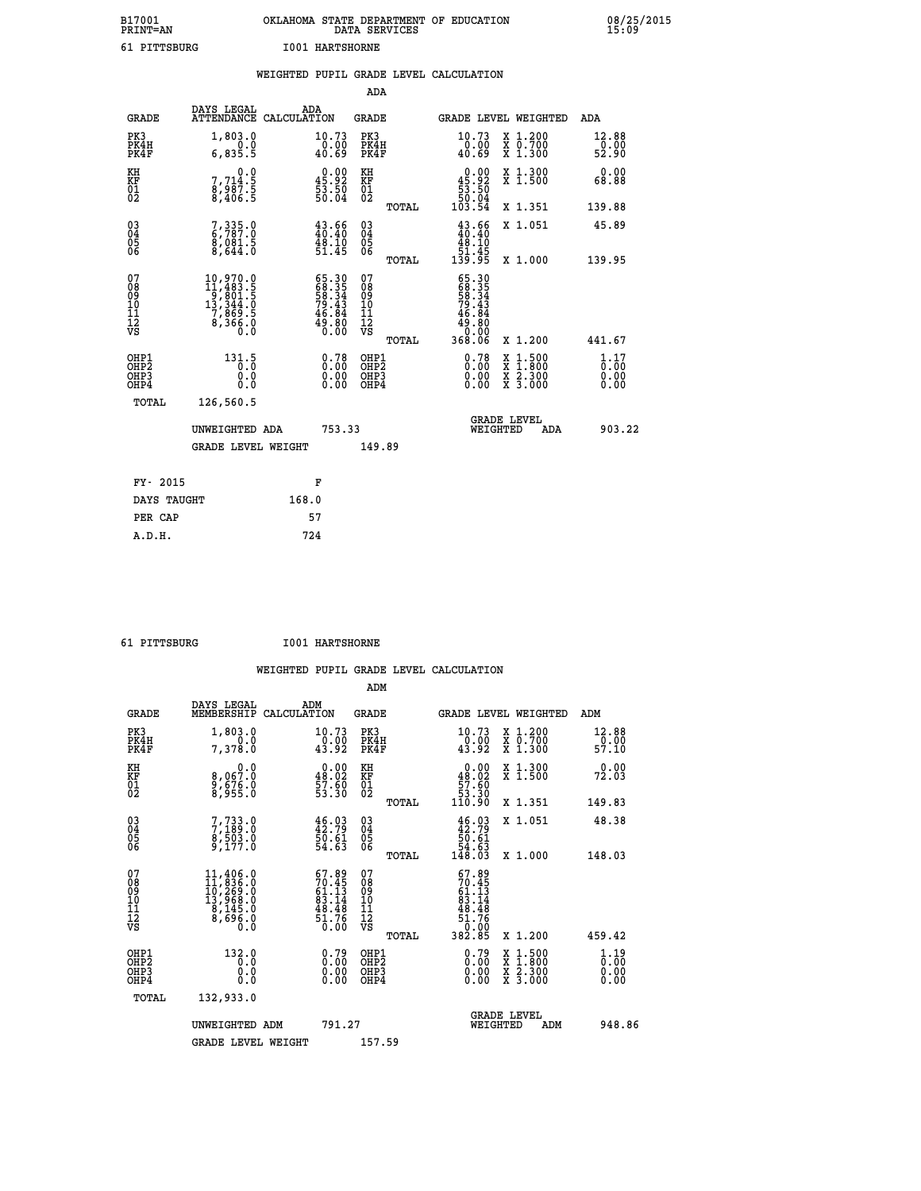| B17001          | OKLAHOMA STATE DEPARTMENT OF EDUCATION |
|-----------------|----------------------------------------|
| <b>PRINT=AN</b> | DATA SERVICES                          |
| 61 PITTSBURG    | <b>I001 HARTSHORNE</b>                 |

 **B17001 OKLAHOMA STATE DEPARTMENT OF EDUCATION 08/25/2015**

|                                                                 |                                                                                                            |       |                                                                      |                                                     |       | WEIGHTED PUPIL GRADE LEVEL CALCULATION                                                                                               |                                                                                          |                               |
|-----------------------------------------------------------------|------------------------------------------------------------------------------------------------------------|-------|----------------------------------------------------------------------|-----------------------------------------------------|-------|--------------------------------------------------------------------------------------------------------------------------------------|------------------------------------------------------------------------------------------|-------------------------------|
|                                                                 |                                                                                                            |       |                                                                      | <b>ADA</b>                                          |       |                                                                                                                                      |                                                                                          |                               |
| <b>GRADE</b>                                                    | DAYS LEGAL<br>ATTENDANCE CALCULATION                                                                       | ADA   |                                                                      | <b>GRADE</b>                                        |       | GRADE LEVEL WEIGHTED                                                                                                                 |                                                                                          | ADA                           |
| PK3<br>PK4H<br>PK4F                                             | 1,803.0<br>0.0<br>6,835.5                                                                                  |       | 10.73<br>0.00<br>40.69                                               | PK3<br>PK4H<br>PK4F                                 |       | 10.73<br>$\frac{0.00}{40.69}$                                                                                                        | X 1.200<br>X 0.700<br>X 1.300                                                            | 12.88<br>$\frac{0.00}{52.90}$ |
| KH<br>KF<br>01<br>02                                            | 0.0<br>7,714:5<br>8,987:5<br>8,406:5                                                                       |       | $\begin{smallmatrix} 0.00\\ 45.92\\ 53.50\\ 50.04 \end{smallmatrix}$ | KH<br>KF<br>01<br>02                                |       | $\begin{smallmatrix} &0.00\ 45.92\ 53.50\ 50.04\ 103.54\ \end{smallmatrix}$                                                          | X 1.300<br>X 1.500                                                                       | 0.00<br>68.88                 |
|                                                                 |                                                                                                            |       |                                                                      |                                                     | TOTAL |                                                                                                                                      | X 1.351                                                                                  | 139.88                        |
| $\begin{matrix} 03 \\ 04 \\ 05 \\ 06 \end{matrix}$              | 7,335.0<br>ă, o ăi: 5<br>8, 644.0                                                                          |       | $43.66$<br>$40.40$<br>$\frac{48.10}{51.45}$                          | $\begin{array}{c} 03 \\ 04 \\ 05 \\ 06 \end{array}$ |       | $43.66\n40.40\n48.10\n51.45\n139.95$                                                                                                 | X 1.051                                                                                  | 45.89                         |
|                                                                 |                                                                                                            |       |                                                                      |                                                     | TOTAL |                                                                                                                                      | X 1.000                                                                                  | 139.95                        |
| 07<br>08<br>09<br>11<br>11<br>12<br>VS                          | $\begin{smallmatrix} 10,970.0\\ 11,483.5\\ 9,801.5\\ 13,344.0\\ 7,869.5\\ 8,366.0\\ 0.0 \end{smallmatrix}$ |       | 65.30<br>68.35<br>58.34<br>79.43<br>79.43<br>46.84<br>49.80          | 07<br>08<br>09<br>11<br>11<br>12<br>VS              | TOTAL | $\begin{array}{r} 65\cdot 30\\ 68\cdot 35\\ 58\cdot 34\\ 79\cdot 43\\ 46\cdot 84\\ 49\cdot 80\\ 0\cdot 00\\ 368\cdot 06 \end{array}$ | X 1.200                                                                                  | 441.67                        |
| OHP1<br>OH <sub>P</sub><br>OH <sub>P3</sub><br>OH <sub>P4</sub> | 131.5<br>0.0<br>0.0                                                                                        |       | $\begin{smallmatrix} 0.78\ 0.00\ 0.00\ 0.00 \end{smallmatrix}$       | OHP1<br>OHP <sub>2</sub><br>OHP3<br>OHP4            |       | $\begin{smallmatrix} 0.78\ 0.00\ 0.00 \end{smallmatrix}$                                                                             | $\begin{smallmatrix} x & 1.500 \\ x & 1.800 \\ x & 2.300 \\ x & 3.000 \end{smallmatrix}$ | 1.17<br>0.00<br>0.00<br>0.00  |
| <b>TOTAL</b>                                                    | 126,560.5                                                                                                  |       |                                                                      |                                                     |       |                                                                                                                                      |                                                                                          |                               |
|                                                                 | UNWEIGHTED ADA                                                                                             |       | 753.33                                                               |                                                     |       | WEIGHTED                                                                                                                             | <b>GRADE LEVEL</b><br>ADA                                                                | 903.22                        |
|                                                                 | <b>GRADE LEVEL WEIGHT</b>                                                                                  |       |                                                                      | 149.89                                              |       |                                                                                                                                      |                                                                                          |                               |
| FY- 2015                                                        |                                                                                                            |       | F                                                                    |                                                     |       |                                                                                                                                      |                                                                                          |                               |
| DAYS TAUGHT                                                     |                                                                                                            | 168.0 |                                                                      |                                                     |       |                                                                                                                                      |                                                                                          |                               |
| PER CAP                                                         |                                                                                                            |       | 57                                                                   |                                                     |       |                                                                                                                                      |                                                                                          |                               |

| 61 PITTSBURG | <b>I001 HARTSHORNE</b> |
|--------------|------------------------|
|              |                        |

 **A.D.H. 724**

 **ADM**

| <b>GRADE</b>                             | DAYS LEGAL<br>MEMBERSHIP                                                                                                                      | ADM<br>CALCULATION                                                       | <b>GRADE</b>                                       |       | GRADE LEVEL WEIGHTED                                                                  |                                          | ADM                                                         |  |
|------------------------------------------|-----------------------------------------------------------------------------------------------------------------------------------------------|--------------------------------------------------------------------------|----------------------------------------------------|-------|---------------------------------------------------------------------------------------|------------------------------------------|-------------------------------------------------------------|--|
| PK3<br>PK4H<br>PK4F                      | 1,803.0<br>7,378.0                                                                                                                            | 10.73<br>$\frac{0.00}{43.92}$                                            | PK3<br>PK4H<br>PK4F                                |       | 10.73<br>$\frac{0.00}{43.92}$                                                         | X 1.200<br>X 0.700<br>X 1.300            | $\begin{smallmatrix} 12.88\ 0.00\\ 57.10 \end{smallmatrix}$ |  |
| KH<br>KF<br>01<br>02                     | 0.0<br>8,067:0<br>8,676:0<br>8,955:0                                                                                                          | $\begin{smallmatrix} 0.00\\ 48.02\\ 57.60\\ 53.30 \end{smallmatrix}$     | KH<br>KF<br>01<br>02                               |       | $\begin{smallmatrix} &0.00\ 48.02\ 57.60\ 53.30\ 110.90\ \end{smallmatrix}$           | X 1.300<br>X 1.500                       | 0.00<br>72.03                                               |  |
|                                          |                                                                                                                                               |                                                                          |                                                    | TOTAL |                                                                                       | X 1.351                                  | 149.83                                                      |  |
| 03<br>04<br>05<br>06                     | 7,733.0<br>7,189.0<br>8,503.0<br>9,177.0                                                                                                      | 46.03<br>42.79<br>50.61<br>54.63                                         | $\begin{matrix} 03 \\ 04 \\ 05 \\ 06 \end{matrix}$ |       | $46.03\n42.79\n50.61\n54.63\n148.03$                                                  | X 1.051                                  | 48.38                                                       |  |
|                                          |                                                                                                                                               |                                                                          |                                                    | TOTAL |                                                                                       | X 1.000                                  | 148.03                                                      |  |
| 07<br>089<br>090<br>1112<br>VS           | $\begin{smallmatrix} 11,406\cdot 0\\ 11,836\cdot 0\\ 10,269\cdot 0\\ 13,968\cdot 0\\ 8,145\cdot 0\\ 8,696\cdot 0\\ 0\cdot 0\end{smallmatrix}$ | $67.89$<br>$70.45$<br>$61.13$<br>$83.14$<br>$84.48$<br>$51.76$<br>$0.00$ | 07<br>08901112<br>1112<br>VS                       | TOTAL | $67.89$<br>$70.45$<br>$61.13$<br>$83.14$<br>$48.48$<br>$51.76$<br>$0.005$<br>$382.85$ | X 1.200                                  | 459.42                                                      |  |
| OHP1<br>OHP2<br>OH <sub>P3</sub><br>OHP4 | 132.0<br>0.0<br>0.000                                                                                                                         | $\begin{smallmatrix} 0.79\ 0.00\ 0.00\ 0.00 \end{smallmatrix}$           | OHP1<br>OHP2<br>OHP3<br>OHP4                       |       | 0.79<br>0.00000                                                                       | X 1:500<br>X 1:800<br>X 2:300<br>X 3:000 | $\frac{1}{0}$ : $\frac{19}{00}$<br>0.00<br>0.00             |  |
| TOTAL                                    | 132,933.0                                                                                                                                     |                                                                          |                                                    |       |                                                                                       |                                          |                                                             |  |
|                                          | UNWEIGHTED<br>ADM                                                                                                                             | 791.27                                                                   |                                                    |       | <b>GRADE LEVEL</b><br>WEIGHTED                                                        | ADM                                      | 948.86                                                      |  |
|                                          | <b>GRADE LEVEL WEIGHT</b>                                                                                                                     |                                                                          | 157.59                                             |       |                                                                                       |                                          |                                                             |  |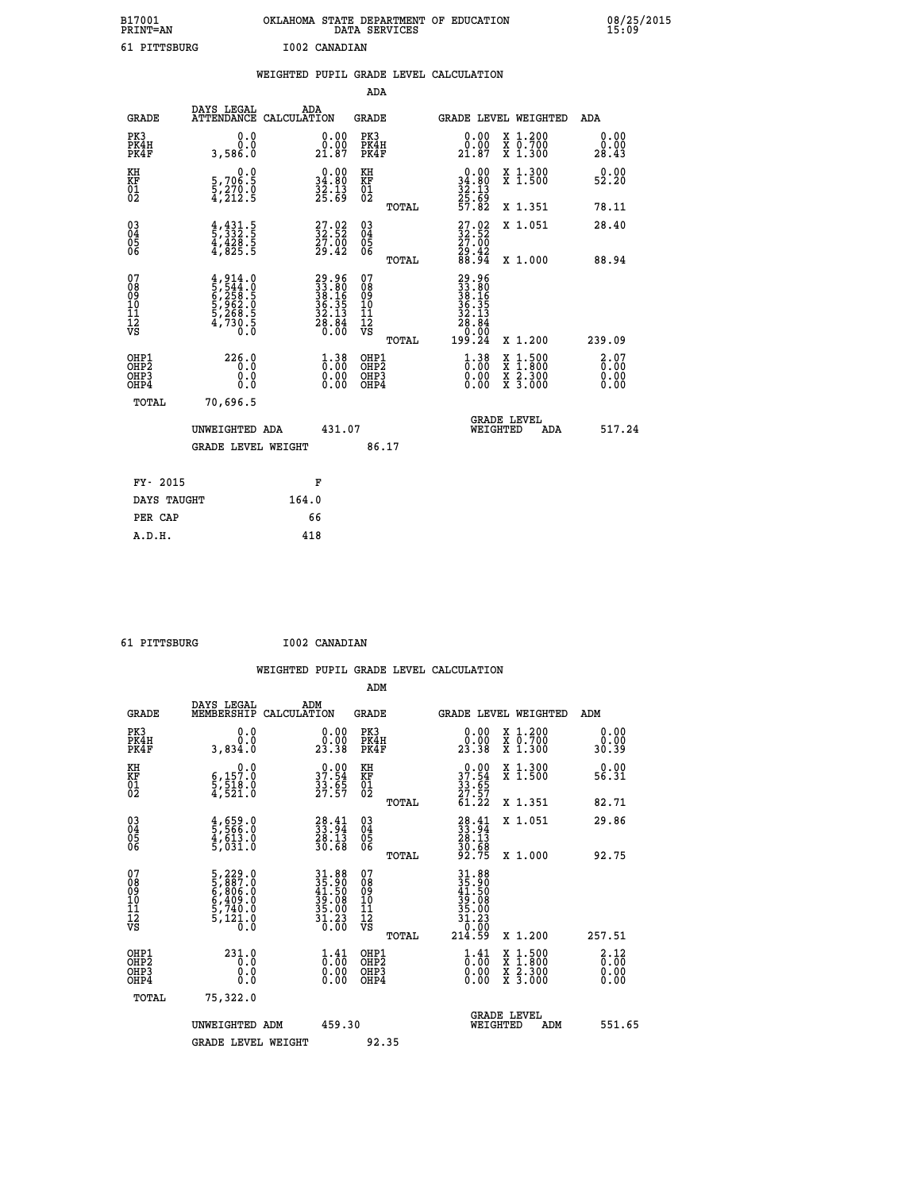| B17001<br><b>PRINT=AN</b> | OKLAHOMA STATE DEPARTMENT OF EDUCATION<br>DATA SERVICES | 08/25/2015<br>15:09 |
|---------------------------|---------------------------------------------------------|---------------------|
| 61 PITTSBURG              | I002 CANADIAN                                           |                     |

|                                                                    |                                                                           | WEIGHTED PUPIL GRADE LEVEL CALCULATION |                                                                                                      |                                                     |       |                                                                                                                               |                                                                                          |                                  |
|--------------------------------------------------------------------|---------------------------------------------------------------------------|----------------------------------------|------------------------------------------------------------------------------------------------------|-----------------------------------------------------|-------|-------------------------------------------------------------------------------------------------------------------------------|------------------------------------------------------------------------------------------|----------------------------------|
|                                                                    |                                                                           |                                        |                                                                                                      | ADA                                                 |       |                                                                                                                               |                                                                                          |                                  |
| <b>GRADE</b>                                                       | DAYS LEGAL<br>ATTENDANCE CALCULATION                                      | ADA                                    |                                                                                                      | <b>GRADE</b>                                        |       |                                                                                                                               | GRADE LEVEL WEIGHTED                                                                     | ADA                              |
| PK3<br>PK4H<br>PK4F                                                | 0.0<br>0.0<br>3,586.0                                                     |                                        | 0.00<br>0:00<br>21:87                                                                                | PK3<br>PK4H<br>PK4F                                 |       | 0.00<br>0.00<br>21.87                                                                                                         | X 1.200<br>X 0.700<br>X 1.300                                                            | 0.00<br>0.00<br>28.43            |
| KH<br>KF<br>01<br>02                                               | $\begin{smallmatrix}&&&0.0\\5.706.5\\5.270.0\\4.212.5\end{smallmatrix}$   |                                        | $\begin{smallmatrix} 0.00\\ 34.80\\ 32.13\\ 25.69 \end{smallmatrix}$                                 | KH<br>KF<br>01<br>02                                |       | $0.00$<br>$34.80$<br>$32.13$<br>$25.69$<br>$57.82$                                                                            | X 1.300<br>X 1.500                                                                       | 0.00<br>52.20                    |
|                                                                    |                                                                           |                                        |                                                                                                      |                                                     | TOTAL |                                                                                                                               | X 1.351                                                                                  | 78.11                            |
| $\begin{smallmatrix} 03 \\[-4pt] 04 \end{smallmatrix}$<br>Ŏ5<br>06 | $\frac{4}{5}, \frac{431}{332}$ : 5<br>4, 428: 5<br>4, 825: 5              |                                        | $\begin{smallmatrix} 27.02\\ 32.52\\ 27.00\\ 29.42 \end{smallmatrix}$                                | $\begin{array}{c} 03 \\ 04 \\ 05 \\ 06 \end{array}$ |       | $\begin{smallmatrix} 27.02\\ 32.52\\ 27.00\\ 29.42\\ 88.94 \end{smallmatrix}$                                                 | X 1.051                                                                                  | 28.40                            |
|                                                                    |                                                                           |                                        |                                                                                                      |                                                     | TOTAL |                                                                                                                               | X 1.000                                                                                  | 88.94                            |
| 07<br>08<br>09<br>11<br>11<br>12<br>VS                             | 4,914.0<br>5,544.0<br>6,258.5<br>6,258.5<br>5,962.0<br>5,268.5<br>4,730.5 |                                        | $\begin{smallmatrix} 29.96\\ 33.80\\ 38.16\\ 36.35\\ 46.35\\ 22.13\\ 28.84\\ 0.00 \end{smallmatrix}$ | 07<br>08<br>09<br>11<br>11<br>12<br>VS              | TOTAL | $\begin{smallmatrix} 29.96 \\ 33.80 \\ 38.19 \\ 38.19 \\ 32.135 \\ 28.13 \\ 28.0 \\ 0.00 \\ 0.00 \\ 199.24 \end{smallmatrix}$ | X 1.200                                                                                  | 239.09                           |
| OHP1<br>OH <sub>P</sub><br>OHP3<br>OH <sub>P4</sub>                | 226.0<br>0.0<br>0.0<br>0.0                                                |                                        | $\begin{smallmatrix} 1.38\ 0.00\ 0.00 \end{smallmatrix}$                                             | OHP1<br>OHP <sub>2</sub><br>OHP3<br>OHP4            |       | $\begin{smallmatrix} 1.38\ 0.00\ 0.00 \end{smallmatrix}$                                                                      | $\begin{smallmatrix} x & 1.500 \\ x & 1.800 \\ x & 2.300 \\ x & 3.000 \end{smallmatrix}$ | 2.07<br>0.00<br>$0.00$<br>$0.00$ |
| TOTAL                                                              | 70,696.5                                                                  |                                        |                                                                                                      |                                                     |       |                                                                                                                               |                                                                                          |                                  |
|                                                                    | UNWEIGHTED ADA                                                            |                                        | 431.07                                                                                               |                                                     |       | WEIGHTED                                                                                                                      | <b>GRADE LEVEL</b><br><b>ADA</b>                                                         | 517.24                           |
|                                                                    | <b>GRADE LEVEL WEIGHT</b>                                                 |                                        |                                                                                                      | 86.17                                               |       |                                                                                                                               |                                                                                          |                                  |
| FY- 2015                                                           |                                                                           | F                                      |                                                                                                      |                                                     |       |                                                                                                                               |                                                                                          |                                  |
| DAYS TAUGHT                                                        |                                                                           | 164.0                                  |                                                                                                      |                                                     |       |                                                                                                                               |                                                                                          |                                  |
| PER CAP                                                            |                                                                           | 66                                     |                                                                                                      |                                                     |       |                                                                                                                               |                                                                                          |                                  |

 **61 PITTSBURG I002 CANADIAN**

 **WEIGHTED PUPIL GRADE LEVEL CALCULATION ADM DAYS LEGAL ADM GRADE MEMBERSHIP CALCULATION GRADE GRADE LEVEL WEIGHTED ADM PK3 0.0 0.00 PK3 0.00 X 1.200 0.00 PK4H 0.0 0.00 PK4H 0.00 X 0.700 0.00 PK4F 3,834.0 23.38 PK4F 23.38 X 1.300 30.39 KH 0.0 0.00 KH 0.00 X 1.300 0.00 KF 6,157.0 37.54 KF 37.54 X 1.500 56.31 KH**<br> **KF**<br> **01** 5,157.0 37.54 <br>
02 5,518.0 37.55 02<br>
4,521.0 27.57 02  **02 4,521.0 27.57 02 27.57 TOTAL 61.22 X 1.351 82.71 03 4,659.0 28.41 03 28.41 X 1.051 29.86 04 5,566.0 33.94 04 33.94 05 4,613.0 28.13 05 28.13 06 5,031.0 30.68 06 30.68 TOTAL 92.75 X 1.000 92.75**  $\begin{array}{cccc} 07 & 5\,,229\,.0 & 31\,.88 & 07 & 31\,.89 \ 08 & 5\,,807\,.0 & 35\,.89 & 0 & 0 & 35\,.89 \ 09 & 6\,,806\,.0 & 41\,.50 & 09 & 41\,.50 \ 10 & 6\,,409\,.0 & 39\,.08 & 10 & 39\,.08 \ 11 & 5\,,740\,.0 & 35\,.08 & 10 & 35\,.08 \ 12 & 5\,,120\,.0 & 36\,.0 & 76 \ 17 & 0 & 35$  $\begin{array}{cccc} 5,229.0 & 31.88 & 07 \\ 5,8807.0 & 31.88 & 07 \\ 6,409.0 & 49.0 & 39.08 & 35.90 \\ 6,409.0 & 39.08 & 10 & 41.50 \\ 5,740.0 & 35.00 & 11 & 39.08 \\ 5,740.0 & 35.00 & 11 & 39.08 \\ 7,400.0 & 31.23 & 12 & 31.23 \\ 7,740.0 & 31.23 & 7,740.0 \\ 7,740.0 &$  **OHP1 231.0 1.41 OHP1 1.41 X 1.500 2.12 OHP2 0.0 0.00 OHP2 0.00 X 1.800 0.00 OHP3 0.0 0.00 OHP3 0.00 X 2.300 0.00 OHP4 0.0 0.00 OHP4 0.00 X 3.000 0.00 TOTAL 75,322.0 GRADE LEVEL UNWEIGHTED ADM 459.30 WEIGHTED ADM 551.65** GRADE LEVEL WEIGHT 92.35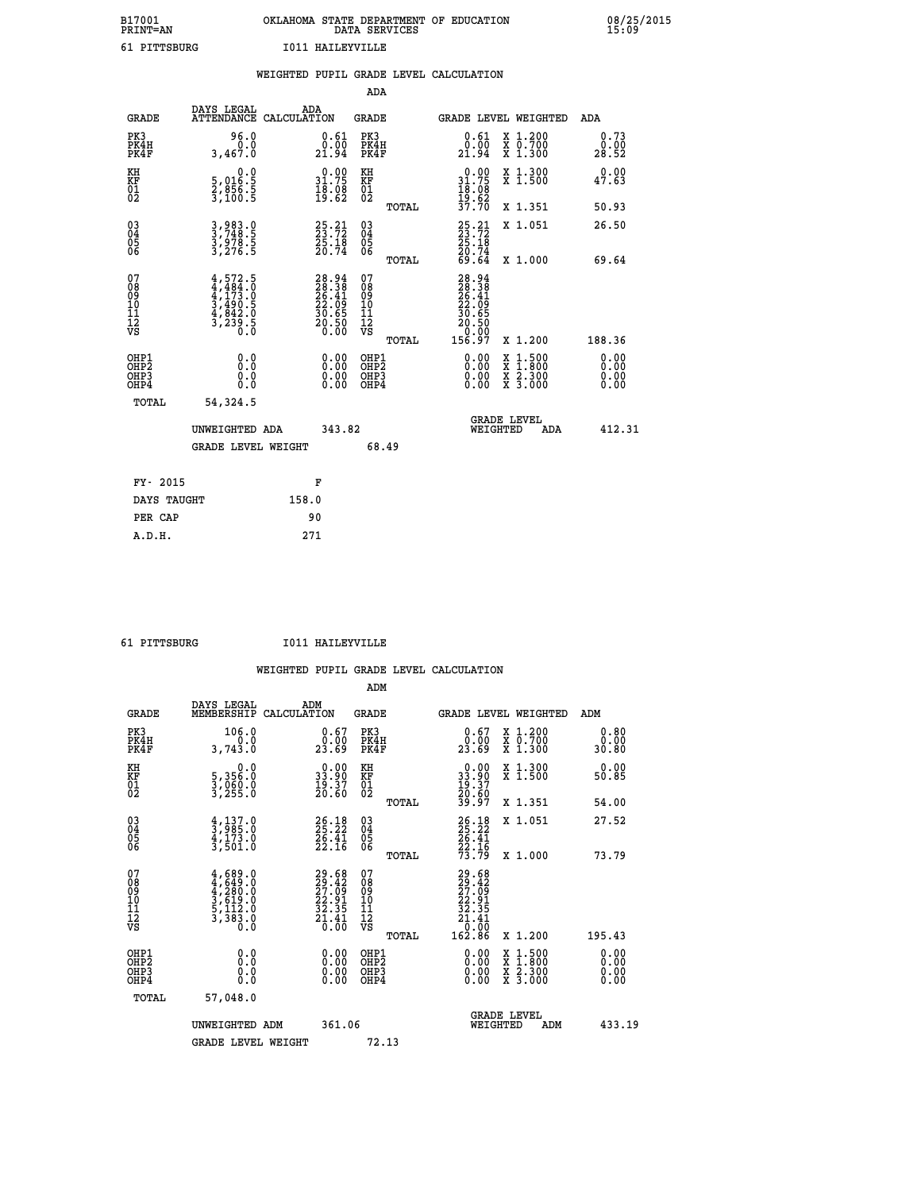## **B17001 OKLAHOMA STATE DEPARTMENT OF EDUCATION 08/25/2015 PRINT=AN DATA SERVICES 15:09 61 PITTSBURG I011 HAILEYVILLE**

|                                                                    |                                                                                   |       |                                                                      |                                        |       | WEIGHTED PUPIL GRADE LEVEL CALCULATION                                                                                                                                                                                                                                         |                                                                                          |     |                                   |
|--------------------------------------------------------------------|-----------------------------------------------------------------------------------|-------|----------------------------------------------------------------------|----------------------------------------|-------|--------------------------------------------------------------------------------------------------------------------------------------------------------------------------------------------------------------------------------------------------------------------------------|------------------------------------------------------------------------------------------|-----|-----------------------------------|
|                                                                    |                                                                                   |       |                                                                      | <b>ADA</b>                             |       |                                                                                                                                                                                                                                                                                |                                                                                          |     |                                   |
| <b>GRADE</b>                                                       | DAYS LEGAL<br>ATTENDANCE CALCULATION                                              | ADA   |                                                                      | GRADE                                  |       | GRADE LEVEL WEIGHTED                                                                                                                                                                                                                                                           |                                                                                          |     | ADA                               |
| PK3<br>PK4H<br>PK4F                                                | 96.0<br>0.0<br>3,467.0                                                            |       | $\substack{0.61 \\ 0.00 \\ 21.94}$                                   | PK3<br>PK4H<br>PK4F                    |       | 0.61<br>0.00<br>21.94                                                                                                                                                                                                                                                          | X 1.200<br>X 0.700<br>X 1.300                                                            |     | 0.73<br>0.00<br>28.52             |
| KH<br>KF<br>01<br>02                                               | $\begin{smallmatrix}&&&0.0\\5,016.5\\2,856.5\\3,100.5\end{smallmatrix}$           |       | $\begin{smallmatrix} 0.00\\ 31.75\\ 18.08\\ 19.62 \end{smallmatrix}$ | KH<br>KF<br>01<br>02                   |       | $0.00$<br>$31.75$<br>$18.08$<br>$19.62$                                                                                                                                                                                                                                        | X 1.300<br>X 1.500                                                                       |     | 0.00<br>47.63                     |
|                                                                    |                                                                                   |       |                                                                      |                                        | TOTAL | 37.70                                                                                                                                                                                                                                                                          | X 1.351                                                                                  |     | 50.93                             |
| $\begin{smallmatrix} 03 \\[-4pt] 04 \end{smallmatrix}$<br>Ŏ5<br>06 | 3,983.0<br>3,748.5<br>3,978.5<br>3,276.5                                          |       | $25.21$<br>23.72<br>$\frac{25:18}{20:74}$                            | $\substack{03 \\ 04}$<br>Ŏ5<br>06      |       | $25.21$<br>$23.72$<br>$25.18$<br>$20.74$<br>$69.64$                                                                                                                                                                                                                            | X 1.051                                                                                  |     | 26.50                             |
|                                                                    |                                                                                   |       |                                                                      |                                        | TOTAL |                                                                                                                                                                                                                                                                                | X 1.000                                                                                  |     | 69.64                             |
| 07<br>08<br>09<br>01<br>11<br>11<br>12<br>VS                       | $4,484.0$<br>$4,484.0$<br>$4,173.0$<br>$3,490.5$<br>$4,842.0$<br>$3,239.5$<br>0.0 |       | $28.94$<br>$28.38$<br>$26.41$<br>$22.09$<br>$30.65$<br>$20.50$       | 07<br>08<br>09<br>11<br>11<br>12<br>VS | TOTAL | $\begin{smallmatrix} 28.94\ 28.38\ 26.41\ 22.69\ 23.695\ 30.650\ 20.500\ 156.97\ \end{smallmatrix}$                                                                                                                                                                            | X 1.200                                                                                  |     | 188.36                            |
| OHP1<br>OHP2<br>OHP3<br>OHP4                                       | 0.0<br>0.0<br>0.0                                                                 |       | $\begin{smallmatrix} 0.00 \ 0.00 \ 0.00 \ 0.00 \end{smallmatrix}$    | OHP1<br>OHP2<br>OHP3<br>OHP4           |       | $\begin{smallmatrix} 0.00 & 0.00 & 0.00 & 0.00 & 0.00 & 0.00 & 0.00 & 0.00 & 0.00 & 0.00 & 0.00 & 0.00 & 0.00 & 0.00 & 0.00 & 0.00 & 0.00 & 0.00 & 0.00 & 0.00 & 0.00 & 0.00 & 0.00 & 0.00 & 0.00 & 0.00 & 0.00 & 0.00 & 0.00 & 0.00 & 0.00 & 0.00 & 0.00 & 0.00 & 0.00 & 0.0$ | $\begin{smallmatrix} x & 1.500 \\ x & 1.800 \\ x & 2.300 \\ x & 3.000 \end{smallmatrix}$ |     | 0.00<br>Ō. ŌŌ<br>$0.00$<br>$0.00$ |
| TOTAL                                                              | 54, 324.5                                                                         |       |                                                                      |                                        |       |                                                                                                                                                                                                                                                                                |                                                                                          |     |                                   |
|                                                                    | UNWEIGHTED ADA                                                                    |       | 343.82                                                               |                                        |       | WEIGHTED                                                                                                                                                                                                                                                                       | <b>GRADE LEVEL</b>                                                                       | ADA | 412.31                            |
|                                                                    | <b>GRADE LEVEL WEIGHT</b>                                                         |       |                                                                      |                                        | 68.49 |                                                                                                                                                                                                                                                                                |                                                                                          |     |                                   |
| FY- 2015                                                           |                                                                                   |       | F                                                                    |                                        |       |                                                                                                                                                                                                                                                                                |                                                                                          |     |                                   |
| DAYS TAUGHT                                                        |                                                                                   | 158.0 |                                                                      |                                        |       |                                                                                                                                                                                                                                                                                |                                                                                          |     |                                   |
| PER CAP                                                            |                                                                                   |       | 90                                                                   |                                        |       |                                                                                                                                                                                                                                                                                |                                                                                          |     |                                   |

 **A.D.H. 271**

 **ADM**

 **61 PITTSBURG I011 HAILEYVILLE**

| <b>GRADE</b>                                         | DAYS LEGAL<br>MEMBERSHIP CALCULATION                                                      | ADM                                                                      | <b>GRADE</b>                                           | GRADE LEVEL WEIGHTED                                                                                                                                                                                                                                                           |                                |                                          | ADM                   |
|------------------------------------------------------|-------------------------------------------------------------------------------------------|--------------------------------------------------------------------------|--------------------------------------------------------|--------------------------------------------------------------------------------------------------------------------------------------------------------------------------------------------------------------------------------------------------------------------------------|--------------------------------|------------------------------------------|-----------------------|
| PK3<br>PK4H<br>PK4F                                  | 106.0<br>3,743.0                                                                          | $\begin{smallmatrix} 0.67\ 0.00\\ 23.69 \end{smallmatrix}$               | PK3<br>PK4H<br>PK4F                                    | $\begin{smallmatrix} 0.67\ 0.00\\ 23.69 \end{smallmatrix}$                                                                                                                                                                                                                     |                                | X 1.200<br>X 0.700<br>X 1.300            | 0.80<br>0.00<br>30.80 |
| KH<br>KF<br>01<br>02                                 | 0.0<br>5,356:0<br>3,060:0<br>3,255:0                                                      | $\begin{smallmatrix} 0.00\\ 33.90\\ 19.37\\ 20.60 \end{smallmatrix}$     | KH<br>KF<br>01<br>02                                   | $\begin{smallmatrix} 0.00\\ 33.90\\ 19.37\\ 20.60\\ 39.97 \end{smallmatrix}$                                                                                                                                                                                                   |                                | X 1.300<br>X 1.500                       | 0.00<br>50.85         |
|                                                      |                                                                                           |                                                                          | TOTAL                                                  |                                                                                                                                                                                                                                                                                |                                | X 1.351                                  | 54.00                 |
| $\begin{matrix} 03 \\ 04 \\ 05 \\ 06 \end{matrix}$   | $\frac{4}{3}, \frac{137}{985}.0$<br>$\frac{4}{3}, \frac{173}{501}.0$<br>$\frac{3}{501}.0$ | $26.18$<br>$25.22$<br>$\frac{26}{22}$ : $\frac{41}{16}$                  | $\begin{array}{c} 03 \\ 04 \\ 05 \\ 06 \end{array}$    | 26.18<br>25.22<br>26.41<br>22.16<br>73.79                                                                                                                                                                                                                                      |                                | X 1.051                                  | 27.52                 |
|                                                      |                                                                                           |                                                                          | TOTAL                                                  |                                                                                                                                                                                                                                                                                |                                | X 1.000                                  | 73.79                 |
| 07<br>08<br>09<br>101<br>11<br>12<br>VS              | $4,689.0$<br>$4,649.0$<br>$4,280.0$<br>$3,619.0$<br>$5,112.0$<br>$3,383.0$                | $29.68$<br>$29.42$<br>$27.09$<br>$22.91$<br>$32.35$<br>$21.41$<br>$0.00$ | 07<br>08<br>09<br>001<br>11<br>11<br>12<br>VS<br>TOTAL | 29.68<br>29.42<br>27.09<br>22.35<br>32.35<br>21.41<br>0.00<br>162.86                                                                                                                                                                                                           |                                | X 1.200                                  | 195.43                |
| OHP1<br>OHP <sub>2</sub><br>OH <sub>P3</sub><br>OHP4 |                                                                                           | $\begin{smallmatrix} 0.00 \ 0.00 \ 0.00 \ 0.00 \end{smallmatrix}$        | OHP1<br>OHP2<br>OHP3<br>OHP4                           | $\begin{smallmatrix} 0.00 & 0.00 & 0.00 & 0.00 & 0.00 & 0.00 & 0.00 & 0.00 & 0.00 & 0.00 & 0.00 & 0.00 & 0.00 & 0.00 & 0.00 & 0.00 & 0.00 & 0.00 & 0.00 & 0.00 & 0.00 & 0.00 & 0.00 & 0.00 & 0.00 & 0.00 & 0.00 & 0.00 & 0.00 & 0.00 & 0.00 & 0.00 & 0.00 & 0.00 & 0.00 & 0.0$ |                                | X 1:500<br>X 1:800<br>X 2:300<br>X 3:000 | 0.00<br>0.00<br>0.00  |
| TOTAL                                                | 57,048.0                                                                                  |                                                                          |                                                        |                                                                                                                                                                                                                                                                                |                                |                                          |                       |
|                                                      | UNWEIGHTED                                                                                | 361.06<br>ADM                                                            |                                                        |                                                                                                                                                                                                                                                                                | <b>GRADE LEVEL</b><br>WEIGHTED | ADM                                      | 433.19                |
|                                                      | <b>GRADE LEVEL WEIGHT</b>                                                                 |                                                                          | 72.13                                                  |                                                                                                                                                                                                                                                                                |                                |                                          |                       |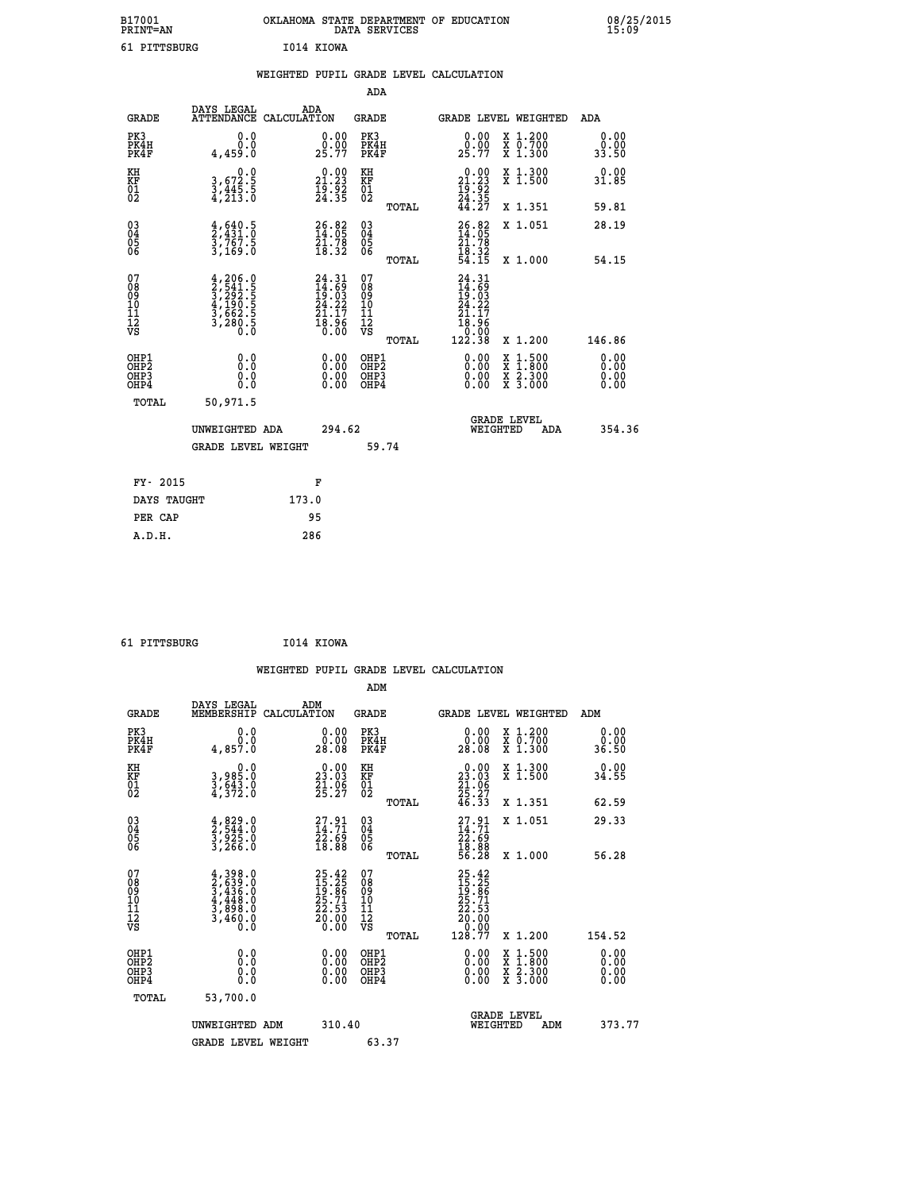| B17001<br><b>PRINT=AN</b> |            | OKLAHOMA STATE DEPARTMENT OF EDUCATION<br>DATA SERVICES |  |
|---------------------------|------------|---------------------------------------------------------|--|
| 61 PITTSBURG              | I014 KIOWA |                                                         |  |

|                                                                    |                                                                                                                                                  | WEIGHTED PUPIL GRADE LEVEL CALCULATION                                   |                                        |       |                                                                                                                 |                                                                                                                                      |                       |
|--------------------------------------------------------------------|--------------------------------------------------------------------------------------------------------------------------------------------------|--------------------------------------------------------------------------|----------------------------------------|-------|-----------------------------------------------------------------------------------------------------------------|--------------------------------------------------------------------------------------------------------------------------------------|-----------------------|
|                                                                    |                                                                                                                                                  |                                                                          | <b>ADA</b>                             |       |                                                                                                                 |                                                                                                                                      |                       |
| <b>GRADE</b>                                                       | DAYS LEGAL<br><b>ATTENDANCE</b>                                                                                                                  | ADA<br>CALCULATION                                                       | <b>GRADE</b>                           |       |                                                                                                                 | GRADE LEVEL WEIGHTED                                                                                                                 | ADA                   |
| PK3<br>PK4H<br>PK4F                                                | 0.0<br>0.0<br>4,459.0                                                                                                                            | $\begin{smallmatrix} 0.00\\ 0.00\\ 25.77 \end{smallmatrix}$              | PK3<br>PK4H<br>PK4F                    |       | $\begin{smallmatrix} 0.00\\ 0.00\\ 25.77 \end{smallmatrix}$                                                     | X 1.200<br>X 0.700<br>X 1.300                                                                                                        | 0.00<br>0.00<br>33.50 |
| KH<br>KF<br>01<br>02                                               | $\begin{smallmatrix}&&&0.0\\3,672.5\\3,445.5\\4,213.0\end{smallmatrix}$                                                                          | $\begin{smallmatrix} 0.00\\ 21.23\\ 19.92\\ 24.35 \end{smallmatrix}$     | KH<br>KF<br>01<br>02                   |       | $\begin{smallmatrix} 0.00\\ 21.23\\ 19.92\\ 24.35\\ 44.27 \end{smallmatrix}$                                    | X 1.300<br>X 1.500                                                                                                                   | 0.00<br>31.85         |
|                                                                    |                                                                                                                                                  |                                                                          |                                        | TOTAL |                                                                                                                 | X 1.351                                                                                                                              | 59.81                 |
| $\begin{smallmatrix} 03 \\[-4pt] 04 \end{smallmatrix}$<br>Ŏ5<br>06 | $\frac{4}{2}, \frac{640}{431}. \frac{5}{0}$<br>$\frac{3}{2}, \frac{767}{169}. \frac{5}{0}$                                                       | $\begin{smallmatrix} 26.82\ 14.05\ 21.78\ 18.32 \end{smallmatrix}$       | $\substack{03 \\ 04}$<br>Ŏ5<br>06      |       | 26.82<br>14.05<br>21.78<br>18.32<br>54.15                                                                       | X 1.051                                                                                                                              | 28.19                 |
|                                                                    |                                                                                                                                                  |                                                                          |                                        | TOTAL |                                                                                                                 | X 1.000                                                                                                                              | 54.15                 |
| 07<br>08901112<br>1112<br>VS                                       | $\begin{smallmatrix} 4,206\, . & 0\\ 2,541\, . & 5\\ 3,292\, . & 5\\ 4,190\, . & 5\\ 3,662\, . & 5\\ 3,280\, . & 0\\ 0\, . & 0\end{smallmatrix}$ | $24.31$<br>$14.69$<br>$19.03$<br>$24.22$<br>$21.17$<br>$18.96$<br>$0.00$ | 07<br>08<br>09<br>11<br>11<br>12<br>VS | TOTAL | $24.31$<br>$14.69$<br>$19.03$<br>$24.22$<br>2Ī<br>.17<br>$\begin{array}{r} 18.56 \\ 0.00 \\ 122.38 \end{array}$ | X 1.200                                                                                                                              | 146.86                |
| OHP1<br>OHP2<br>OHP3<br>OHP4                                       | 0.0<br>0.0<br>0.0                                                                                                                                | 0.00<br>$\begin{smallmatrix} 0.00 \ 0.00 \end{smallmatrix}$              | OHP1<br>OHP2<br>OHP3<br>OHP4           |       | 0.00<br>0.00                                                                                                    | $\begin{smallmatrix} \mathtt{X} & 1 & 500 \\ \mathtt{X} & 1 & 800 \\ \mathtt{X} & 2 & 300 \\ \mathtt{X} & 3 & 000 \end{smallmatrix}$ | 0.00<br>0.00<br>0.00  |
| <b>TOTAL</b>                                                       | 50,971.5                                                                                                                                         |                                                                          |                                        |       |                                                                                                                 |                                                                                                                                      |                       |
|                                                                    | UNWEIGHTED ADA                                                                                                                                   | 294.62                                                                   |                                        |       | WEIGHTED                                                                                                        | <b>GRADE LEVEL</b><br>ADA                                                                                                            | 354.36                |
|                                                                    | <b>GRADE LEVEL WEIGHT</b>                                                                                                                        |                                                                          | 59.74                                  |       |                                                                                                                 |                                                                                                                                      |                       |
| FY- 2015                                                           |                                                                                                                                                  | F                                                                        |                                        |       |                                                                                                                 |                                                                                                                                      |                       |
| DAYS TAUGHT                                                        |                                                                                                                                                  | 173.0                                                                    |                                        |       |                                                                                                                 |                                                                                                                                      |                       |
| PER CAP                                                            |                                                                                                                                                  | 95                                                                       |                                        |       |                                                                                                                 |                                                                                                                                      |                       |

| 61 PITTSBURG |  | I014 KIOWA |
|--------------|--|------------|
|--------------|--|------------|

 **B17001<br>PRINT=AN** 

|                                              |                                                                        |                                                                      |                                                 | WEIGHTED PUPIL GRADE LEVEL CALCULATION                                                                                                                                                                                                                                                                                     |                       |
|----------------------------------------------|------------------------------------------------------------------------|----------------------------------------------------------------------|-------------------------------------------------|----------------------------------------------------------------------------------------------------------------------------------------------------------------------------------------------------------------------------------------------------------------------------------------------------------------------------|-----------------------|
|                                              |                                                                        |                                                                      | ADM                                             |                                                                                                                                                                                                                                                                                                                            |                       |
| <b>GRADE</b>                                 | DAYS LEGAL<br>MEMBERSHIP<br>CALCULATION                                | ADM                                                                  | GRADE                                           | <b>GRADE LEVEL WEIGHTED</b>                                                                                                                                                                                                                                                                                                | ADM                   |
| PK3<br>PK4H<br>PK4F                          | 0.0<br>Ō.Ō<br>4,857.0                                                  | $\begin{smallmatrix} 0.00\\ 0.00\\ 28.08 \end{smallmatrix}$          | PK3<br>PK4H<br>PK4F                             | $\begin{smallmatrix} 0.00\\ 0.00\\ 28.08 \end{smallmatrix}$<br>X 1.200<br>X 0.700<br>X 1.300                                                                                                                                                                                                                               | 0.00<br>0.00<br>36.50 |
| KH<br>KF<br>01<br>02                         | 0.0<br>3,985:0<br>3,643:0<br>4,372:0                                   | $\begin{smallmatrix} 0.00\\ 23.03\\ 21.06\\ 25.27 \end{smallmatrix}$ | KH<br>KF<br>01<br>02                            | $\begin{smallmatrix} 0.00\\ 23.03\\ 21.06\\ 25.27\\ 46.33 \end{smallmatrix}$<br>X 1.300<br>X 1.500                                                                                                                                                                                                                         | 0.00<br>34.55         |
|                                              |                                                                        |                                                                      | TOTAL                                           | X 1.351                                                                                                                                                                                                                                                                                                                    | 62.59                 |
| 03<br>04<br>05<br>06                         | $\frac{4}{2}, \frac{829}{544}.0$<br>3,925.0<br>3,266.0                 | $\begin{smallmatrix} 27.91\ 14.71\ 22.69\ 18.88 \end{smallmatrix}$   | 03<br>04<br>05<br>06                            | $27.91$<br>$14.71$<br>$22.69$<br>$18.88$<br>$56.28$<br>X 1.051                                                                                                                                                                                                                                                             | 29.33                 |
|                                              |                                                                        |                                                                      | TOTAL                                           | X 1.000                                                                                                                                                                                                                                                                                                                    | 56.28                 |
| 07<br>08<br>09<br>101<br>112<br>VS           | $4,398.0$<br>$3,436.0$<br>$4,448.0$<br>$3,898.0$<br>$3,460.0$<br>$0.0$ | $25.4215.2519.8625.7122.5320.000.00$                                 | 07<br>08<br>09<br>11<br>11<br>12<br>VS<br>TOTAL | $\begin{smallmatrix} 25 & 42 \\ 15 & 25 \\ 19 & 86 \\ 25 & 71 \\ 22 & 53 \\ 20 & 00 \\ 0 & 00 \\ 128 & 77 \\ \end{smallmatrix}$<br>X 1.200                                                                                                                                                                                 | 154.52                |
| OHP1                                         |                                                                        |                                                                      |                                                 |                                                                                                                                                                                                                                                                                                                            |                       |
| OHP <sub>2</sub><br>OH <sub>P3</sub><br>OHP4 | 0.0<br>0.000                                                           | $0.00$<br>$0.00$<br>0.00                                             | OHP1<br>OHP2<br>OHP3<br>OHP4                    | $\begin{smallmatrix} 0.00 & 0.00 & 0.00 & 0.00 & 0.00 & 0.00 & 0.00 & 0.00 & 0.00 & 0.00 & 0.00 & 0.00 & 0.00 & 0.00 & 0.00 & 0.00 & 0.00 & 0.00 & 0.00 & 0.00 & 0.00 & 0.00 & 0.00 & 0.00 & 0.00 & 0.00 & 0.00 & 0.00 & 0.00 & 0.00 & 0.00 & 0.00 & 0.00 & 0.00 & 0.00 & 0.0$<br>X 1:500<br>X 1:800<br>X 2:300<br>X 3:000 | 0.00<br>0.00<br>0.00  |
| TOTAL                                        | 53,700.0                                                               |                                                                      |                                                 |                                                                                                                                                                                                                                                                                                                            |                       |
|                                              | UNWEIGHTED ADM                                                         | 310.40                                                               |                                                 | <b>GRADE LEVEL</b><br>WEIGHTED<br>ADM                                                                                                                                                                                                                                                                                      | 373.77                |
|                                              | <b>GRADE LEVEL WEIGHT</b>                                              |                                                                      | 63.37                                           |                                                                                                                                                                                                                                                                                                                            |                       |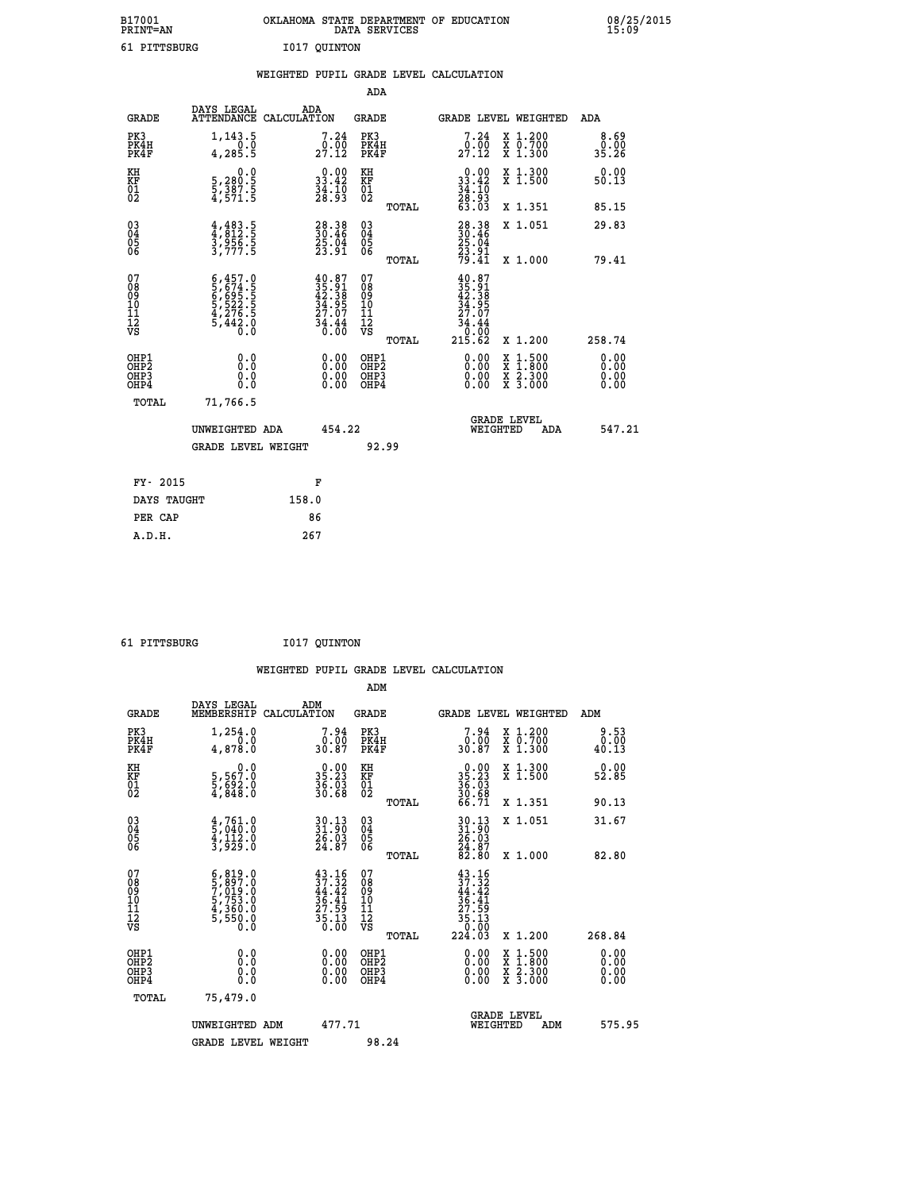| B17001<br><b>PRINT=AN</b> |              |              | OKLAHOMA STATE DEPARTMENT OF EDUCATION<br>DATA SERVICES |  |
|---------------------------|--------------|--------------|---------------------------------------------------------|--|
|                           | 61 PITTSBURG | I017 OUINTON |                                                         |  |

 **B17001 OKLAHOMA STATE DEPARTMENT OF EDUCATION 08/25/2015**

|                                                                    |                                                                                                                                                                         | WEIGHTED PUPIL GRADE LEVEL CALCULATION                                                        |                                                     |                                                                                                                                                                   |                               |
|--------------------------------------------------------------------|-------------------------------------------------------------------------------------------------------------------------------------------------------------------------|-----------------------------------------------------------------------------------------------|-----------------------------------------------------|-------------------------------------------------------------------------------------------------------------------------------------------------------------------|-------------------------------|
|                                                                    |                                                                                                                                                                         |                                                                                               | <b>ADA</b>                                          |                                                                                                                                                                   |                               |
| <b>GRADE</b>                                                       | <b>DAYS LEGAL<br/>ATTENDANCE</b>                                                                                                                                        | ADA<br>CALCULATION                                                                            | <b>GRADE</b>                                        | GRADE LEVEL WEIGHTED                                                                                                                                              | ADA                           |
| PK3<br>PK4H<br>PK4F                                                | 1,143.5<br>4, 285.5                                                                                                                                                     | $\begin{smallmatrix}7.24\0.00\\27.12\end{smallmatrix}$                                        | PK3<br>PK4H<br>PK4F                                 | 7.24<br>X 1.200<br>X 0.700<br>X 1.300<br>$29.00$<br>$27.12$                                                                                                       | 8.69<br>0.00<br>35.26         |
| KH<br>KF<br>01<br>02                                               | $\begin{smallmatrix}&&&0.0\\5,280.5\\5,387.5\\4,571.5\end{smallmatrix}$                                                                                                 | $\begin{smallmatrix} 0.00\\ 33.42\\ 34.10\\ 28.93 \end{smallmatrix}$                          | KH<br>KF<br>01<br>02                                | $0.00$<br>$33.42$<br>$34.10$<br>$28.93$<br>$63.03$<br>X 1.300<br>X 1.500                                                                                          | 0.00<br>50.13                 |
|                                                                    |                                                                                                                                                                         |                                                                                               | TOTAL                                               | X 1.351                                                                                                                                                           | 85.15                         |
| $\begin{smallmatrix} 03 \\[-4pt] 04 \end{smallmatrix}$<br>Ŏ5<br>06 | $4,483.5$<br>$3,956.5$<br>$3,777.5$                                                                                                                                     | $\begin{smallmatrix} 28.38\\ 30.46\\ 25.04\\ 23.91 \end{smallmatrix}$                         | $\begin{array}{c} 03 \\ 04 \\ 05 \\ 06 \end{array}$ | $28.38$<br>$30.46$<br>$25.04$<br>$23.91$<br>$79.41$<br>X 1.051                                                                                                    | 29.83                         |
|                                                                    |                                                                                                                                                                         |                                                                                               | TOTAL                                               | X 1.000                                                                                                                                                           | 79.41                         |
| 07<br>0890112<br>1112<br>VS                                        | $\begin{smallmatrix} 6\,, & 457\,, & 0\\ 5\,, & 674\,, & 5\\ 6\,, & 695\,, & 5\\ 5\,, & 522\,, & 5\\ 4\,, & 276\,, & 5\\ 5\,, & 442\,, & 0\\ 0\,, & 0\end{smallmatrix}$ | $\begin{smallmatrix} 40.87\\ 35.91\\ 42.38\\ 34.95\\ 27.07\\ 34.44\\ 36.00 \end{smallmatrix}$ | 07<br>08<br>09<br>11<br>11<br>12<br>VS<br>TOTAL     | $\begin{smallmatrix} 40.87\\ 35.91\\ 42.38\\ 42.395\\ 34.957\\ 27.07\\ 34.44\\ 0.00\\ 215.62 \end{smallmatrix}$<br>X 1.200                                        | 258.74                        |
| OHP1<br>OHP2<br>OH <sub>P3</sub><br>OHP4                           | 0.0<br>0.0<br>0.0                                                                                                                                                       | $\begin{smallmatrix} 0.00 \ 0.00 \ 0.00 \ 0.00 \end{smallmatrix}$                             | OHP1<br>OHP2<br>OHP3<br>OHP4                        | 0.00<br>$\begin{smallmatrix} \mathtt{X} & 1\cdot500\\ \mathtt{X} & 1\cdot800\\ \mathtt{X} & 2\cdot300\\ \mathtt{X} & 3\cdot000 \end{smallmatrix}$<br>0.00<br>0.00 | 0.00<br>Ō. ŌŌ<br>0.00<br>0.00 |
| TOTAL                                                              | 71,766.5                                                                                                                                                                |                                                                                               |                                                     |                                                                                                                                                                   |                               |
|                                                                    | UNWEIGHTED ADA                                                                                                                                                          | 454.22                                                                                        |                                                     | <b>GRADE LEVEL</b><br>WEIGHTED<br>ADA                                                                                                                             | 547.21                        |
|                                                                    | <b>GRADE LEVEL WEIGHT</b>                                                                                                                                               |                                                                                               | 92.99                                               |                                                                                                                                                                   |                               |
| FY- 2015                                                           |                                                                                                                                                                         | F                                                                                             |                                                     |                                                                                                                                                                   |                               |
| DAYS TAUGHT                                                        |                                                                                                                                                                         | 158.0                                                                                         |                                                     |                                                                                                                                                                   |                               |
| PER CAP                                                            |                                                                                                                                                                         | 86                                                                                            |                                                     |                                                                                                                                                                   |                               |

 **61 PITTSBURG I017 QUINTON**

 **A.D.H. 267**

 **WEIGHTED PUPIL GRADE LEVEL CALCULATION ADM** DAYS LEGAL ... ADM

| GRADE                                                              | MEMBERSHIP CALCULATION                                                                                                                        |                                                                                                                                                        | GRADE                                  |       | <b>GRADE LEVEL WEIGHTED</b>                                                                                                                                |                                                                                                  |     | ADM                      |  |
|--------------------------------------------------------------------|-----------------------------------------------------------------------------------------------------------------------------------------------|--------------------------------------------------------------------------------------------------------------------------------------------------------|----------------------------------------|-------|------------------------------------------------------------------------------------------------------------------------------------------------------------|--------------------------------------------------------------------------------------------------|-----|--------------------------|--|
| PK3<br>PK4H<br>PK4F                                                | 1,254.0<br>4,878.0                                                                                                                            | 7.94<br>ةة:≬<br>30.87                                                                                                                                  | PK3<br>PK4H<br>PK4F                    |       | $7.94\n0.00\n30.87$                                                                                                                                        | X 1.200<br>X 0.700<br>X 1.300                                                                    |     | 9.53<br>0.00<br>40.13    |  |
| KH<br>KF<br>01<br>02                                               |                                                                                                                                               | 35.23<br>36.23<br>36.03<br>30.68                                                                                                                       | KH<br><b>KF</b><br>01<br>02            |       | $35.23$<br>$36.03$<br>$30.68$<br>$66.71$                                                                                                                   | X 1.300<br>X 1.500                                                                               |     | 0.00<br>52.85            |  |
|                                                                    |                                                                                                                                               |                                                                                                                                                        |                                        | TOTAL |                                                                                                                                                            | X 1.351                                                                                          |     | 90.13                    |  |
| $\begin{smallmatrix} 03 \\[-4pt] 04 \end{smallmatrix}$<br>Ŏ5<br>06 | $\begin{smallmatrix} 4 \ 5 \ 7040.0 \ 4 \ 112.0 \ 3 \ 929.0 \end{smallmatrix}$                                                                | 30.13<br>31.90<br>$\frac{2\bar{6}\cdot 03}{24\cdot 87}$                                                                                                | $\substack{03 \\ 04}$<br>Ŏ5<br>06      |       | 30.13<br>31.90<br>26.03<br>24.87<br>82.80                                                                                                                  | X 1.051                                                                                          |     | 31.67                    |  |
|                                                                    |                                                                                                                                               |                                                                                                                                                        |                                        | TOTAL |                                                                                                                                                            | X 1.000                                                                                          |     | 82.80                    |  |
| 07<br>0890112<br>1112<br>VS                                        | $\begin{smallmatrix} 6 &, 819 & .0\\ 5 &, 897 & .0\\ 7 &, 019 & .0\\ 5 &, 753 & .0\\ 4 &, 360 & .0\\ 5 &, 550 & .0\\ 0 & .0\end{smallmatrix}$ | $\begin{smallmatrix} 4\,3\cdot\,16\\ 3\,7\cdot\,32\\ 4\,4\cdot\,42\\ 3\,6\cdot\,4\,1\\ 2\,7\cdot\,59\\ 3\,5\cdot\,13\\ 0\cdot\,00\\ \end{smallmatrix}$ | 07<br>08<br>09<br>11<br>11<br>12<br>VS |       | $\begin{smallmatrix} 43\cdot 16\\ 37\cdot 32\\ 44\cdot 42\\ 46\cdot 41\\ 36\cdot 41\\ 27\cdot 59\\ 35\cdot 13\\ 0\cdot 00\\ 224\cdot 03 \end{smallmatrix}$ |                                                                                                  |     |                          |  |
|                                                                    |                                                                                                                                               |                                                                                                                                                        |                                        | TOTAL |                                                                                                                                                            | X 1.200                                                                                          |     | 268.84                   |  |
| OHP1<br>OHP2<br>OH <sub>P3</sub><br>OHP4                           | 0.0<br>$\begin{smallmatrix} 0.0 & 0 \ 0.0 & 0 \end{smallmatrix}$                                                                              |                                                                                                                                                        | OHP1<br>OHP2<br>OHP3<br>OHP4           |       |                                                                                                                                                            | $\begin{smallmatrix} x & 1 & 500 \\ x & 1 & 800 \\ x & 2 & 300 \\ x & 3 & 000 \end{smallmatrix}$ |     | $0.00$<br>$0.00$<br>0.00 |  |
| TOTAL                                                              | 75,479.0                                                                                                                                      |                                                                                                                                                        |                                        |       |                                                                                                                                                            |                                                                                                  |     |                          |  |
|                                                                    | UNWEIGHTED ADM                                                                                                                                | 477.71                                                                                                                                                 |                                        |       | WEIGHTED                                                                                                                                                   | <b>GRADE LEVEL</b>                                                                               | ADM | 575.95                   |  |
|                                                                    | <b>GRADE LEVEL WEIGHT</b>                                                                                                                     |                                                                                                                                                        | 98.24                                  |       |                                                                                                                                                            |                                                                                                  |     |                          |  |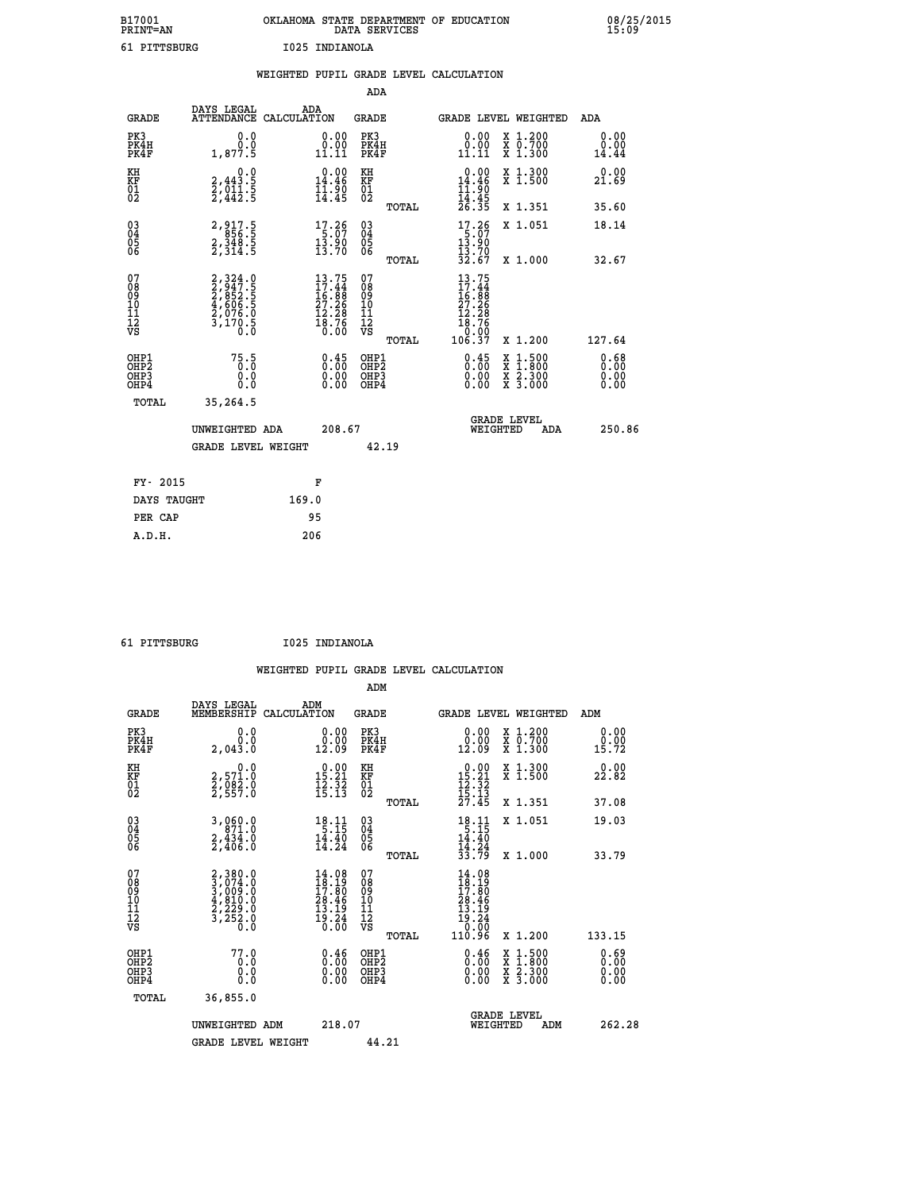| B17001          | OKLAHOMA STATE DEPARTMENT OF EDUCATION |
|-----------------|----------------------------------------|
| <b>PRINT=AN</b> | DATA SERVICES                          |
| 61 PITTSBURG    | I025 INDIANOLA                         |

|                                                    |                                                                           | WEIGHTED PUPIL GRADE LEVEL CALCULATION                                                             |                                                     |       |                                                                                                     |                                                                                                                                           |                                            |
|----------------------------------------------------|---------------------------------------------------------------------------|----------------------------------------------------------------------------------------------------|-----------------------------------------------------|-------|-----------------------------------------------------------------------------------------------------|-------------------------------------------------------------------------------------------------------------------------------------------|--------------------------------------------|
|                                                    |                                                                           |                                                                                                    | <b>ADA</b>                                          |       |                                                                                                     |                                                                                                                                           |                                            |
| <b>GRADE</b>                                       | DAYS LEGAL<br><b>ATTENDANCE</b>                                           | ADA<br>CALCULATION                                                                                 | <b>GRADE</b>                                        |       | GRADE LEVEL WEIGHTED                                                                                |                                                                                                                                           | ADA                                        |
| PK3<br>PK4H<br>PK4F                                | 0.0<br>0.0<br>1,877.5                                                     | $\begin{smallmatrix} 0.00\\ 0.00\\ 11.11 \end{smallmatrix}$                                        | PK3<br>PK4H<br>PK4F                                 |       | 0.00<br>$\substack{0.0011111}$                                                                      | X 1.200<br>X 0.700<br>X 1.300                                                                                                             | 0.00<br>$\overset{0.00}{\substack{14.44}}$ |
| KH<br>KF<br>01<br>02                               | $\begin{smallmatrix}&&&0.0\\2,443.5\\2,011.5\\2,442.5\end{smallmatrix}$   | 14.46<br>$\frac{1}{14}$ $\frac{1}{4}$ $\frac{5}{4}$                                                | KH<br>KF<br>01<br>02                                |       | 0.00<br>$14.46$<br>$11.90$<br>$14.45$<br>$26.35$                                                    | X 1.300<br>X 1.500                                                                                                                        | 0.00<br>21.69                              |
|                                                    |                                                                           |                                                                                                    |                                                     | TOTAL |                                                                                                     | X 1.351                                                                                                                                   | 35.60                                      |
| $\begin{matrix} 03 \\ 04 \\ 05 \\ 06 \end{matrix}$ | 2, 917.5<br>856.5<br>2, 348.5<br>2, 314.5                                 | $\begin{array}{c} 17.26 \\ 5.07 \\ 13.90 \\ 13.70 \end{array}$                                     | $\begin{array}{c} 03 \\ 04 \\ 05 \\ 06 \end{array}$ |       | $\begin{array}{r} 17.26 \\ 5.07 \\ 13.90 \\ 13.70 \\ 32.67 \end{array}$                             | X 1.051                                                                                                                                   | 18.14                                      |
|                                                    |                                                                           |                                                                                                    |                                                     | TOTAL |                                                                                                     | X 1.000                                                                                                                                   | 32.67                                      |
| 07<br>0890112<br>1112<br>VS                        | 2,324.0<br>2,947.5<br>2,852.5<br>2,606.5<br>4,606.5<br>2,076.0<br>3,170.5 | 13.75<br>$\begin{smallmatrix} 17.44 \\ 16.88 \\ 27.26 \\ 12.28 \\ 18.76 \\ 0.00 \end{smallmatrix}$ | 07<br>08<br>09<br>001<br>11<br>11<br>12<br>VS       | TOTAL | 13.75<br>17.44<br>16:88<br>27.26<br>$\begin{array}{r} 12.28 \\ 18.76 \\ 0.00 \\ 106.37 \end{array}$ | X 1.200                                                                                                                                   | 127.64                                     |
| OHP1<br>OHP2<br>OHP3<br>OHP4                       | 75.5<br>0.0<br>0.0                                                        | $\begin{smallmatrix} 0.45\ 0.00\ 0.00 \end{smallmatrix}$                                           | OHP1<br>OHP2<br>OHP3<br>OHP4                        |       | 0.45<br>0.00                                                                                        | $\begin{smallmatrix} \mathtt{X} & 1\cdot500\\ \mathtt{X} & 1\cdot800\\ \mathtt{X} & 2\cdot300\\ \mathtt{X} & 3\cdot000 \end{smallmatrix}$ | 0.68<br>0.00<br>0.00                       |
| <b>TOTAL</b>                                       | 35,264.5                                                                  |                                                                                                    |                                                     |       |                                                                                                     |                                                                                                                                           |                                            |
|                                                    | UNWEIGHTED ADA                                                            | 208.67                                                                                             |                                                     |       | WEIGHTED                                                                                            | <b>GRADE LEVEL</b><br>ADA                                                                                                                 | 250.86                                     |
|                                                    | <b>GRADE LEVEL WEIGHT</b>                                                 |                                                                                                    | 42.19                                               |       |                                                                                                     |                                                                                                                                           |                                            |
| FY- 2015                                           |                                                                           | F                                                                                                  |                                                     |       |                                                                                                     |                                                                                                                                           |                                            |
| DAYS TAUGHT                                        |                                                                           | 169.0                                                                                              |                                                     |       |                                                                                                     |                                                                                                                                           |                                            |
| PER CAP                                            |                                                                           | 95                                                                                                 |                                                     |       |                                                                                                     |                                                                                                                                           |                                            |

 **61 PITTSBURG I025 INDIANOLA**

 **A.D.H. 206**

|                                          |                                                                                     |                                                                             | ADM                                                 |                                                                                                                                                        |                                          |                              |
|------------------------------------------|-------------------------------------------------------------------------------------|-----------------------------------------------------------------------------|-----------------------------------------------------|--------------------------------------------------------------------------------------------------------------------------------------------------------|------------------------------------------|------------------------------|
| <b>GRADE</b>                             | DAYS LEGAL<br>MEMBERSHIP                                                            | ADM<br>CALCULATION                                                          | <b>GRADE</b>                                        |                                                                                                                                                        | <b>GRADE LEVEL WEIGHTED</b>              | ADM                          |
| PK3<br>PK4H<br>PK4F                      | 0.0<br>0.0<br>2,043.0                                                               | 0.00<br>12.09                                                               | PK3<br>PK4H<br>PK4F                                 | $\begin{smallmatrix} 0.00\\ 0.00\\ 12.09 \end{smallmatrix}$                                                                                            | X 1.200<br>X 0.700<br>X 1.300            | 0.00<br>0.00<br>15.72        |
| KH<br>KF<br>01<br>02                     | 0.0<br>2,571.0<br>2,082.0<br>2,557.0                                                | $\begin{array}{c} 0.00 \\ 15.21 \\ 12.32 \\ 15.13 \end{array}$              | KH<br>KF<br>01<br>02                                | $\begin{array}{r} 0.00 \\ 15.21 \\ 12.32 \\ 15.13 \\ 27.45 \end{array}$                                                                                | X 1.300<br>X 1.500                       | 0.00<br>22.82                |
|                                          |                                                                                     |                                                                             | TOTAL                                               |                                                                                                                                                        | X 1.351                                  | 37.08                        |
| 03<br>04<br>05<br>06                     | 3,060.0<br>$\frac{2}{2}, \frac{4}{4}$ $\frac{3}{4}$ $\frac{3}{6}$ $\frac{3}{10}$    | 18.11<br>$\frac{14.40}{14.24}$                                              | $\begin{array}{c} 03 \\ 04 \\ 05 \\ 06 \end{array}$ | $18.11$<br>5.15<br>$14.40$<br>$14.24$<br>$33.79$                                                                                                       | X 1.051                                  | 19.03                        |
|                                          |                                                                                     |                                                                             | TOTAL                                               |                                                                                                                                                        | X 1.000                                  | 33.79                        |
| 07<br>08<br>09<br>101<br>112<br>VS       | $2,380.0$<br>$3,074.0$<br>$3,009.0$<br>$4,810.0$<br>$2,229.0$<br>$3,252.0$<br>$0.0$ | $14.08$<br>$18.19$<br>$17.80$<br>$28.46$<br>$\frac{13.19}{19.24}$<br>$0.00$ | 07<br>08<br>09<br>11<br>11<br>12<br>VS<br>TOTAL     | $\begin{array}{l} 14.08 \\[-2pt] 18.19 \\[-2pt] 17.80 \\[-2pt] 28.46 \\[-2pt] 13.19 \\[-2pt] 19.24 \\[-2pt] 19.24 \\[-2pt] 0.00 \end{array}$<br>110.96 | X 1.200                                  | 133.15                       |
|                                          |                                                                                     |                                                                             |                                                     |                                                                                                                                                        |                                          |                              |
| OHP1<br>OHP2<br>OH <sub>P3</sub><br>OHP4 | 77.0<br>0.0<br>0.000                                                                | $0.46$<br>$0.00$<br>$0.00$<br>0.00                                          | OHP1<br>OHP2<br>OHP <sub>3</sub>                    | $0.46$<br>$0.00$<br>$0.00$<br>0.00                                                                                                                     | X 1:500<br>X 1:800<br>X 2:300<br>X 3:000 | 0.69<br>0.00<br>0.00<br>0.00 |
| TOTAL                                    | 36,855.0                                                                            |                                                                             |                                                     |                                                                                                                                                        |                                          |                              |
|                                          | UNWEIGHTED ADM                                                                      | 218.07                                                                      |                                                     | WEIGHTED                                                                                                                                               | <b>GRADE LEVEL</b><br>ADM                | 262.28                       |
|                                          | <b>GRADE LEVEL WEIGHT</b>                                                           |                                                                             | 44.21                                               |                                                                                                                                                        |                                          |                              |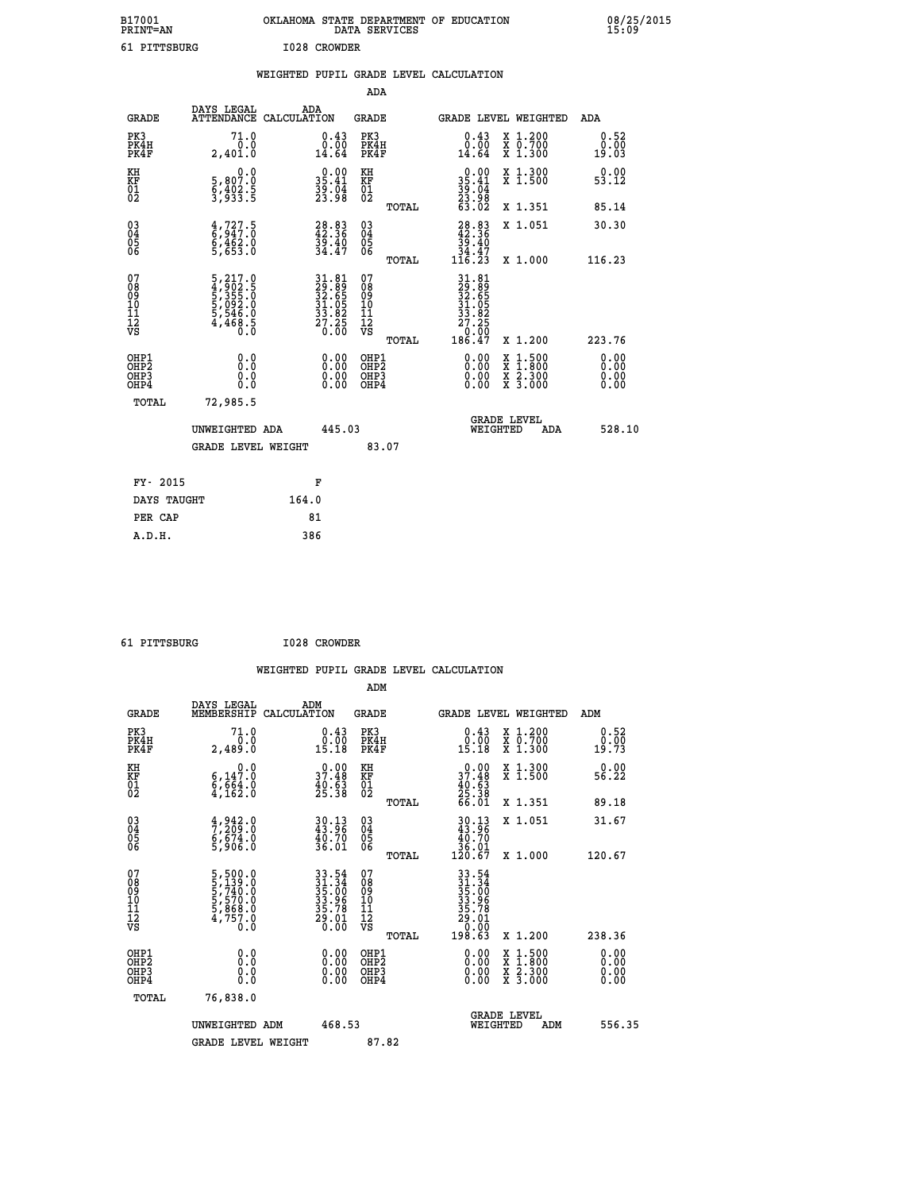| B17001<br><b>PRINT=AN</b> | OKLAHOMA STATE DEPARTMENT OF EDUCATION<br>DATA SERVICES | 08/25/2015<br>15:09 |
|---------------------------|---------------------------------------------------------|---------------------|
| 61 PITTSBURG              | I028 CROWDER                                            |                     |

|                                                    |                                                                            |       |                                                                                           |                                        |       | WEIGHTED PUPIL GRADE LEVEL CALCULATION                                                               |          |                                                              |                       |
|----------------------------------------------------|----------------------------------------------------------------------------|-------|-------------------------------------------------------------------------------------------|----------------------------------------|-------|------------------------------------------------------------------------------------------------------|----------|--------------------------------------------------------------|-----------------------|
|                                                    |                                                                            |       |                                                                                           | <b>ADA</b>                             |       |                                                                                                      |          |                                                              |                       |
| <b>GRADE</b>                                       | DAYS LEGAL<br>ATTENDANCE CALCULATION                                       | ADA   |                                                                                           | <b>GRADE</b>                           |       |                                                                                                      |          | GRADE LEVEL WEIGHTED                                         | ADA                   |
| PK3<br>PK4H<br>PK4F                                | 71.0<br>0.0<br>2,401.0                                                     |       | $\substack{0.43 \\ 0.00 \\ 14.64}$                                                        | PK3<br>PK4H<br>PK4F                    |       | $0.43$<br>$0.00$<br>14.64                                                                            |          | X 1.200<br>X 0.700<br>X 1.300                                | 0.52<br>0.00<br>19.03 |
| KH<br>KF<br>01<br>02                               | 0.0<br>5,807:0<br>6,402:5<br>3,933:5                                       |       | $\begin{smallmatrix} 0.00\\ 35.41\\ 39.04\\ 23.98 \end{smallmatrix}$                      | KH<br>KF<br>01<br>02                   |       | $\begin{smallmatrix} 0.00\\ 35.41\\ 39.04\\ 23.98\\ 63.02 \end{smallmatrix}$                         |          | X 1.300<br>X 1.500                                           | 0.00<br>53.12         |
|                                                    |                                                                            |       |                                                                                           |                                        | TOTAL |                                                                                                      |          | X 1.351                                                      | 85.14                 |
| $\begin{matrix} 03 \\ 04 \\ 05 \\ 06 \end{matrix}$ | $\begin{smallmatrix} 4,727.5\ 6,947.0\ 6,462.0\ 5,653.0 \end{smallmatrix}$ |       | 28.83<br>42.36<br>39.40<br>34.47                                                          | 03<br>04<br>05<br>06                   |       | $\begin{smallmatrix} 28.83\42.36\39.40\34.47\116.23 \end{smallmatrix}$                               |          | X 1.051                                                      | 30.30                 |
|                                                    |                                                                            |       |                                                                                           |                                        | TOTAL |                                                                                                      |          | X 1.000                                                      | 116.23                |
| 07<br>08901112<br>1112<br>VS                       | 5,217.0<br>4,902.5<br>5,355.0<br>5,092.0<br>5,546.0<br>5,546.0<br>4,468.5  |       | $\begin{array}{r} 31.81 \\ 29.89 \\ 32.65 \\ 31.05 \\ 33.82 \\ 27.25 \\ 0.00 \end{array}$ | 07<br>08<br>09<br>11<br>11<br>12<br>VS | TOTAL | $\begin{smallmatrix} 31.81\ 29.89\ 32.655\ 31.655\ 31.952\ 27.250\ 0.007\ 186.47\ \end{smallmatrix}$ |          | X 1.200                                                      | 223.76                |
| OHP1<br>OHP2<br>OH <sub>P3</sub><br>OHP4           | 0.0<br>Ō.Ō<br>Ō.Ō                                                          |       | 0.0000<br>$\begin{smallmatrix} 0.00 \ 0.00 \end{smallmatrix}$                             | OHP1<br>OHP2<br>OHP3<br>OHP4           |       | 0.00<br>0.00<br>0.00                                                                                 |          | $1:500$<br>1:800<br>X 1:500<br>X 1:800<br>X 2:300<br>X 3:000 | 0.00<br>0.00<br>0.00  |
| <b>TOTAL</b>                                       | 72,985.5                                                                   |       |                                                                                           |                                        |       |                                                                                                      |          |                                                              |                       |
|                                                    | UNWEIGHTED ADA                                                             |       | 445.03                                                                                    |                                        |       |                                                                                                      | WEIGHTED | <b>GRADE LEVEL</b><br>ADA                                    | 528.10                |
|                                                    | <b>GRADE LEVEL WEIGHT</b>                                                  |       |                                                                                           | 83.07                                  |       |                                                                                                      |          |                                                              |                       |
| FY- 2015                                           |                                                                            | F     |                                                                                           |                                        |       |                                                                                                      |          |                                                              |                       |
| DAYS TAUGHT                                        |                                                                            | 164.0 |                                                                                           |                                        |       |                                                                                                      |          |                                                              |                       |
| PER CAP                                            |                                                                            | 81    |                                                                                           |                                        |       |                                                                                                      |          |                                                              |                       |

| 61 PITTSBURG | I028 CROWDER |
|--------------|--------------|
|              |              |

 **WEIGHTED PUPIL GRADE LEVEL CALCULATION ADM DAYS LEGAL ADM GRADE MEMBERSHIP CALCULATION GRADE GRADE LEVEL WEIGHTED ADM**

| PK3<br>PK4H<br>PK4F                                | 71.0<br>0.0<br>2,489.0                                                                                   | $\substack{0.43 \\ 0.00 \\ 15.18}$                                       | PK3<br>PK4H<br>PK4F                                 | $\substack{0.43 \\ 0.00 \\ 15.18}$                                                   | X 1.200<br>X 0.700<br>X 1.300                                                                    | $\begin{smallmatrix} 0.52\ 0.00\\ -0.00\\ 19.73 \end{smallmatrix}$                                                                                                                                                                                                             |
|----------------------------------------------------|----------------------------------------------------------------------------------------------------------|--------------------------------------------------------------------------|-----------------------------------------------------|--------------------------------------------------------------------------------------|--------------------------------------------------------------------------------------------------|--------------------------------------------------------------------------------------------------------------------------------------------------------------------------------------------------------------------------------------------------------------------------------|
| KH<br>KF<br>01<br>02                               | $\begin{smallmatrix}&&&0\cdot0\\ 6\,,\,14\,7\cdot0\\ 6\,,\,664\cdot0\\ 4\,,\,162\cdot0\end{smallmatrix}$ | $\begin{smallmatrix} 0.00\\ 37.48\\ 40.63\\ 25.38 \end{smallmatrix}$     | KH<br>KF<br>01<br>02                                | $0.00$<br>$37.48$<br>$40.63$<br>$25.38$<br>$66.01$                                   | X 1.300<br>X 1.500                                                                               | $0.00$<br>56.22                                                                                                                                                                                                                                                                |
|                                                    |                                                                                                          |                                                                          | TOTAL                                               |                                                                                      | X 1.351                                                                                          | 89.18                                                                                                                                                                                                                                                                          |
| $\begin{matrix} 03 \\ 04 \\ 05 \\ 06 \end{matrix}$ | $\frac{4}{7}, \frac{942}{209}.0$<br>$\frac{6}{7}, \frac{674}{906}.0$                                     | 30.13<br>43.96<br>40.70<br>36.01                                         | $\begin{array}{c} 03 \\ 04 \\ 05 \\ 06 \end{array}$ | $\begin{smallmatrix} 30.13\\ 43.96\\ 40.70\\ 36.01\\ 120.67 \end{smallmatrix}$       | X 1.051                                                                                          | 31.67                                                                                                                                                                                                                                                                          |
|                                                    |                                                                                                          |                                                                          | TOTAL                                               |                                                                                      | X 1.000                                                                                          | 120.67                                                                                                                                                                                                                                                                         |
| 07<br>08<br>09<br>101<br>11<br>12<br>VS            | 5,500.0<br>5,139.0<br>5,740.0<br>5,570.0<br>5,868.0<br>4,757.0<br>0.0                                    | $33.54$<br>$31.34$<br>$35.00$<br>$33.96$<br>$35.78$<br>$29.01$<br>$0.00$ | 07<br>08<br>09<br>001<br>11<br>11<br>12<br>VS       | $33.54$<br>$35.34$<br>$35.96$<br>$33.78$<br>$29.01$<br>$29.01$<br>$0.00$<br>$198.63$ |                                                                                                  |                                                                                                                                                                                                                                                                                |
|                                                    |                                                                                                          |                                                                          | TOTAL                                               |                                                                                      | X 1.200                                                                                          | 238.36                                                                                                                                                                                                                                                                         |
| OHP1<br>OHP2<br>OHP3<br>OHP4                       |                                                                                                          | $\begin{smallmatrix} 0.00 \ 0.00 \ 0.00 \ 0.00 \end{smallmatrix}$        | OHP1<br>OHP2<br>OHP3<br>OHP4                        | $0.00$<br>$0.00$<br>0.00                                                             | $\begin{smallmatrix} x & 1 & 500 \\ x & 1 & 800 \\ x & 2 & 300 \\ x & 3 & 000 \end{smallmatrix}$ | $\begin{smallmatrix} 0.00 & 0.00 & 0.00 & 0.00 & 0.00 & 0.00 & 0.00 & 0.00 & 0.00 & 0.00 & 0.00 & 0.00 & 0.00 & 0.00 & 0.00 & 0.00 & 0.00 & 0.00 & 0.00 & 0.00 & 0.00 & 0.00 & 0.00 & 0.00 & 0.00 & 0.00 & 0.00 & 0.00 & 0.00 & 0.00 & 0.00 & 0.00 & 0.00 & 0.00 & 0.00 & 0.0$ |
| TOTAL                                              | 76,838.0                                                                                                 |                                                                          |                                                     |                                                                                      |                                                                                                  |                                                                                                                                                                                                                                                                                |
|                                                    | UNWEIGHTED ADM                                                                                           | 468.53                                                                   |                                                     | WEIGHTED                                                                             | <b>GRADE LEVEL</b><br>ADM                                                                        | 556.35                                                                                                                                                                                                                                                                         |
|                                                    | <b>GRADE LEVEL WEIGHT</b>                                                                                |                                                                          | 87.82                                               |                                                                                      |                                                                                                  |                                                                                                                                                                                                                                                                                |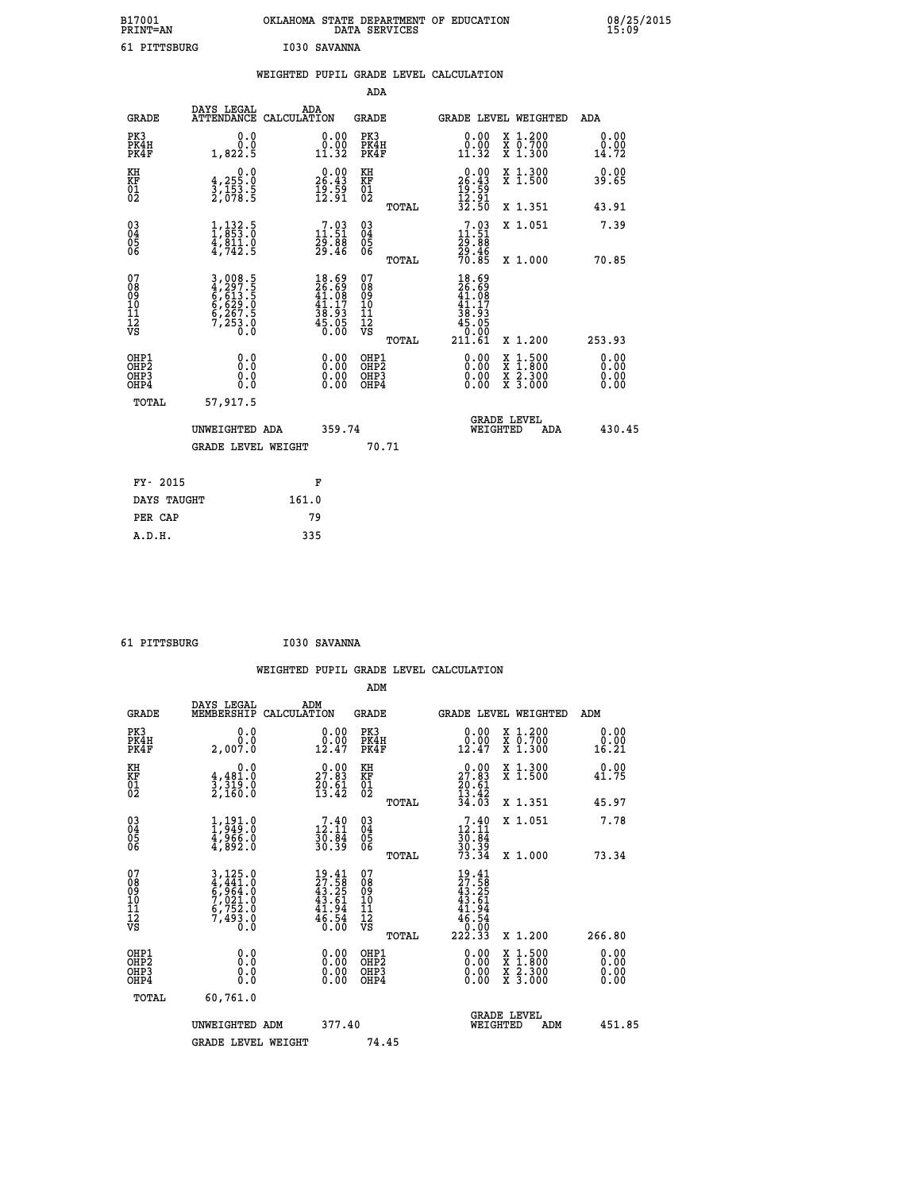| B17001<br><b>PRINT=AN</b> | OKLAHOMA STATE DEPARTMENT OF EDUCATION<br>DATA SERVICES | 08/25/2015<br>15:09 |
|---------------------------|---------------------------------------------------------|---------------------|
| 61 PITTSBURG              | I030 SAVANNA                                            |                     |

|                                                                   |                                                                         |       |                                                                          |                                                     |       | WEIGHTED PUPIL GRADE LEVEL CALCULATION                                                                                                                                                                                                                                         |                                                                                                                                           |                              |
|-------------------------------------------------------------------|-------------------------------------------------------------------------|-------|--------------------------------------------------------------------------|-----------------------------------------------------|-------|--------------------------------------------------------------------------------------------------------------------------------------------------------------------------------------------------------------------------------------------------------------------------------|-------------------------------------------------------------------------------------------------------------------------------------------|------------------------------|
|                                                                   |                                                                         |       |                                                                          | <b>ADA</b>                                          |       |                                                                                                                                                                                                                                                                                |                                                                                                                                           |                              |
| <b>GRADE</b>                                                      | DAYS LEGAL<br>ATTENDANCE CALCULATION                                    | ADA   |                                                                          | <b>GRADE</b>                                        |       | GRADE LEVEL WEIGHTED                                                                                                                                                                                                                                                           |                                                                                                                                           | ADA                          |
| PK3<br>PK4H<br>PK4F                                               | 0.0<br>Ō.Ō<br>1,822.5                                                   |       | $\begin{smallmatrix} 0.00\\ 0.00\\ 11.32 \end{smallmatrix}$              | PK3<br>PK4H<br>PK4F                                 |       | 0.00<br>0.00<br>11.32                                                                                                                                                                                                                                                          | X 1.200<br>X 0.700<br>X 1.300                                                                                                             | 0.00<br>0.00<br>14.72        |
| KH<br>KF<br>01<br>02                                              | $\begin{smallmatrix}&&&0.0\\4.255.0\\3.153.5\\2.078.5\end{smallmatrix}$ |       | $26.00$<br>26.43<br>$\frac{1}{12}$ : 59<br>12:91                         | KH<br>KF<br>01<br>02                                |       | $\begin{array}{r} 0.00 \\ 26.43 \\ 19.59 \\ 12.91 \\ 32.50 \end{array}$                                                                                                                                                                                                        | X 1.300<br>X 1.500                                                                                                                        | 0.00<br>39.65                |
|                                                                   |                                                                         |       |                                                                          |                                                     | TOTAL |                                                                                                                                                                                                                                                                                | X 1.351                                                                                                                                   | 43.91                        |
| 03<br>04<br>05<br>06                                              | $1, 132.5$<br>$1, 853.0$<br>$4, 811.0$<br>$4, 742.5$                    |       | $\begin{smallmatrix}7.03\11.51\29.88\29.46\end{smallmatrix}$             | $\begin{array}{c} 03 \\ 04 \\ 05 \\ 06 \end{array}$ |       | $7.93$<br>$11.51$<br>$29.88$<br>$29.46$<br>$70.85$                                                                                                                                                                                                                             | X 1.051                                                                                                                                   | 7.39                         |
|                                                                   |                                                                         |       |                                                                          |                                                     | TOTAL |                                                                                                                                                                                                                                                                                | X 1.000                                                                                                                                   | 70.85                        |
| 07<br>08<br>09<br>01<br>11<br>11<br>12<br>VS                      | 3,008.5<br>4,297.5<br>6,613.5<br>6,629.0<br>6,267.5<br>7,253.0<br>0.0   |       | $18.69$<br>$26.69$<br>$41.08$<br>$41.17$<br>$38.93$<br>$45.05$<br>$0.00$ | 07<br>08<br>09<br>11<br>11<br>12<br>VS              | TOTAL | 18.69<br>$\frac{26}{41}$ . 69<br>$\frac{41}{41}$ . 17<br>$\begin{array}{c} 38.93 \\ 38.93 \\ 45.05 \\ 0.00 \\ 211.61 \end{array}$                                                                                                                                              | X 1.200                                                                                                                                   | 253.93                       |
| OHP1<br>OH <sub>P</sub> 2<br>OH <sub>P3</sub><br>OH <sub>P4</sub> | 0.0<br>0.000                                                            |       | $\begin{smallmatrix} 0.00 \ 0.00 \ 0.00 \ 0.00 \end{smallmatrix}$        | OHP1<br>OHP <sub>2</sub><br>OHP3<br>OHP4            |       | $\begin{smallmatrix} 0.00 & 0.00 & 0.00 & 0.00 & 0.00 & 0.00 & 0.00 & 0.00 & 0.00 & 0.00 & 0.00 & 0.00 & 0.00 & 0.00 & 0.00 & 0.00 & 0.00 & 0.00 & 0.00 & 0.00 & 0.00 & 0.00 & 0.00 & 0.00 & 0.00 & 0.00 & 0.00 & 0.00 & 0.00 & 0.00 & 0.00 & 0.00 & 0.00 & 0.00 & 0.00 & 0.0$ | $\begin{smallmatrix} \mathtt{X} & 1\cdot500\\ \mathtt{X} & 1\cdot800\\ \mathtt{X} & 2\cdot300\\ \mathtt{X} & 3\cdot000 \end{smallmatrix}$ | 0.00<br>0.00<br>0.00<br>0.00 |
| TOTAL                                                             | 57,917.5                                                                |       |                                                                          |                                                     |       |                                                                                                                                                                                                                                                                                |                                                                                                                                           |                              |
|                                                                   | UNWEIGHTED ADA                                                          |       | 359.74                                                                   |                                                     |       | <b>GRADE LEVEL</b><br>WEIGHTED                                                                                                                                                                                                                                                 | ADA                                                                                                                                       | 430.45                       |
|                                                                   | <b>GRADE LEVEL WEIGHT</b>                                               |       |                                                                          |                                                     | 70.71 |                                                                                                                                                                                                                                                                                |                                                                                                                                           |                              |
| FY- 2015                                                          |                                                                         |       | F                                                                        |                                                     |       |                                                                                                                                                                                                                                                                                |                                                                                                                                           |                              |
| DAYS TAUGHT                                                       |                                                                         | 161.0 |                                                                          |                                                     |       |                                                                                                                                                                                                                                                                                |                                                                                                                                           |                              |
| PER CAP                                                           |                                                                         | 79    |                                                                          |                                                     |       |                                                                                                                                                                                                                                                                                |                                                                                                                                           |                              |

| 61 PITTSBURG | I030 SAVANNA |
|--------------|--------------|
|              |              |

|                                                      |                                                                |                                                                          | WEIGHTED PUPIL GRADE LEVEL CALCULATION                       |                                                                                                                                                                                                                                                                                |                                                                                                                                           |                              |
|------------------------------------------------------|----------------------------------------------------------------|--------------------------------------------------------------------------|--------------------------------------------------------------|--------------------------------------------------------------------------------------------------------------------------------------------------------------------------------------------------------------------------------------------------------------------------------|-------------------------------------------------------------------------------------------------------------------------------------------|------------------------------|
|                                                      |                                                                |                                                                          | ADM                                                          |                                                                                                                                                                                                                                                                                |                                                                                                                                           |                              |
| <b>GRADE</b>                                         | DAYS LEGAL<br>MEMBERSHIP                                       | ADM<br>CALCULATION                                                       | <b>GRADE</b>                                                 | <b>GRADE LEVEL WEIGHTED</b>                                                                                                                                                                                                                                                    |                                                                                                                                           | ADM                          |
| PK3<br>PK4H<br>PK4F                                  | 0.0<br>0.0<br>2,007.0                                          | 0.00<br>12.47                                                            | PK3<br>PK4H<br>PK4F                                          | $\begin{smallmatrix} 0.00\\ 0.00\\ 12.47 \end{smallmatrix}$                                                                                                                                                                                                                    | X 1.200<br>X 0.700<br>X 1.300                                                                                                             | 0.00<br>0.00<br>16.21        |
| KH<br>KF<br>01<br>02                                 | 0.0<br>$\frac{4}{3}, \frac{481}{319}$ .0<br>2,160.0            | $\begin{smallmatrix} 0.00\\ 27.83\\ 20.61\\ 13.42 \end{smallmatrix}$     | KH<br>KF<br>01<br>02                                         | $\begin{smallmatrix} 0.00\\ 27.83\\ 20.61\\ 13.42\\ 34.03 \end{smallmatrix}$                                                                                                                                                                                                   | X 1.300<br>X 1.500                                                                                                                        | 0.00<br>41.75                |
|                                                      |                                                                |                                                                          | TOTAL                                                        |                                                                                                                                                                                                                                                                                | X 1.351                                                                                                                                   | 45.97                        |
| 03<br>04<br>05<br>06                                 | $1,3490$<br>$4,9490$<br>$4,9660$<br>$4,8920$                   | $\begin{smallmatrix}7.40\\12.11\\30.84\\30.39\end{smallmatrix}$          | $\begin{array}{c} 03 \\ 04 \\ 05 \\ 06 \end{array}$<br>TOTAL | $7.40\n12.11\n30.84\n30.39\n73.34$                                                                                                                                                                                                                                             | X 1.051<br>X 1.000                                                                                                                        | 7.78<br>73.34                |
| 07<br>08<br>09<br>101<br>112<br>VS                   | 3,125.0<br>4,441.0<br>6,964.0<br>6,752.0<br>6,752.0<br>7,493.0 | $19.41$<br>$27.58$<br>$43.25$<br>$43.61$<br>$41.94$<br>$46.54$<br>$0.00$ | 07<br>08<br>09<br>11<br>11<br>12<br>VS<br>TOTAL              | $19.41$<br>$27.58$<br>$43.25$<br>$43.61$<br>$41.94$<br>$\begin{array}{r} \bar{4} & 54 \\ 0 & 0 \\ 222 & 33 \end{array}$                                                                                                                                                        | X 1.200                                                                                                                                   | 266.80                       |
| OHP1<br>OHP2<br>OH <sub>P3</sub><br>OH <sub>P4</sub> | 0.0<br>0.000                                                   | $\begin{smallmatrix} 0.00 \ 0.00 \ 0.00 \ 0.00 \end{smallmatrix}$        | OHP1<br>OHP2<br>OHP3<br>OHP4                                 | $\begin{smallmatrix} 0.00 & 0.00 & 0.00 & 0.00 & 0.00 & 0.00 & 0.00 & 0.00 & 0.00 & 0.00 & 0.00 & 0.00 & 0.00 & 0.00 & 0.00 & 0.00 & 0.00 & 0.00 & 0.00 & 0.00 & 0.00 & 0.00 & 0.00 & 0.00 & 0.00 & 0.00 & 0.00 & 0.00 & 0.00 & 0.00 & 0.00 & 0.00 & 0.00 & 0.00 & 0.00 & 0.0$ | $\begin{smallmatrix} \mathtt{X} & 1\cdot500\\ \mathtt{X} & 1\cdot800\\ \mathtt{X} & 2\cdot300\\ \mathtt{X} & 3\cdot000 \end{smallmatrix}$ | 0.00<br>0.00<br>0.00<br>0.00 |
| TOTAL                                                | 60,761.0<br>UNWEIGHTED ADM                                     | 377.40                                                                   |                                                              | GRADE LEVEL<br>WEIGHTED                                                                                                                                                                                                                                                        | ADM                                                                                                                                       | 451.85                       |
|                                                      | <b>GRADE LEVEL WEIGHT</b>                                      |                                                                          | 74.45                                                        |                                                                                                                                                                                                                                                                                |                                                                                                                                           |                              |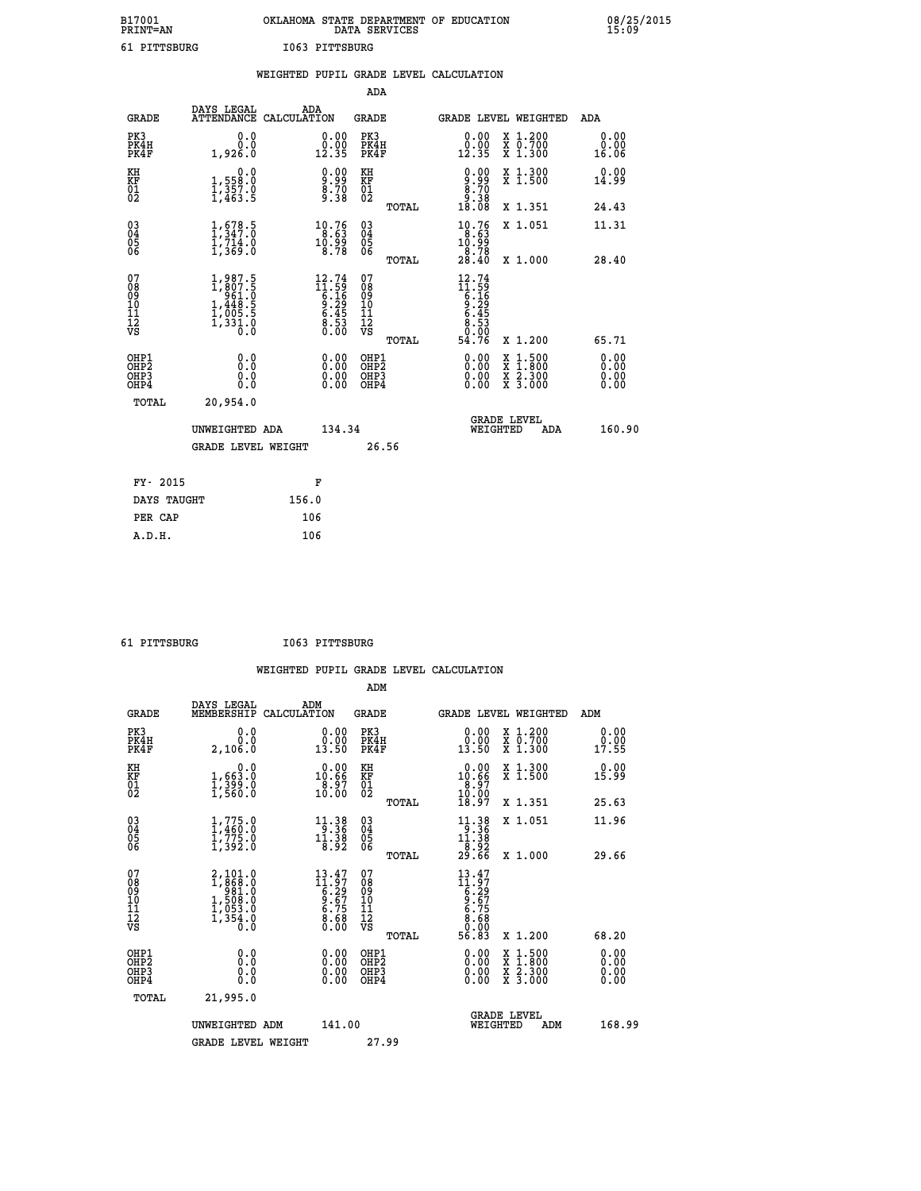| B17001          | OKLAHOMA STATE DEPARTMENT OF EDUCATION |
|-----------------|----------------------------------------|
| <b>PRINT=AN</b> | DATA SERVICES                          |
| 61 PITTSBURG    | I063 PITTSBURG                         |

|                                                      |                                                                                        | WEIGHTED PUPIL GRADE LEVEL CALCULATION                               |                                                     |       |                                                                                                                                                                                                                                                                                |                                                                                                                                      |                              |
|------------------------------------------------------|----------------------------------------------------------------------------------------|----------------------------------------------------------------------|-----------------------------------------------------|-------|--------------------------------------------------------------------------------------------------------------------------------------------------------------------------------------------------------------------------------------------------------------------------------|--------------------------------------------------------------------------------------------------------------------------------------|------------------------------|
|                                                      |                                                                                        |                                                                      | <b>ADA</b>                                          |       |                                                                                                                                                                                                                                                                                |                                                                                                                                      |                              |
| <b>GRADE</b>                                         | <b>DAYS LEGAL<br/>ATTENDANCE</b>                                                       | ADA<br>CALCULATION                                                   | <b>GRADE</b>                                        |       | GRADE LEVEL WEIGHTED                                                                                                                                                                                                                                                           |                                                                                                                                      | ADA                          |
| PK3<br>PK4H<br>PK4F                                  | 0.0<br>ة:ة<br>1,926:0                                                                  | $\begin{smallmatrix} 0.00\\ 0.00\\ 12.35 \end{smallmatrix}$          | PK3<br>PK4H<br>PK4F                                 |       | 0.00<br>$\frac{0.00}{12.35}$                                                                                                                                                                                                                                                   | X 1.200<br>X 0.700<br>X 1.300                                                                                                        | 0.00<br>0.00<br>16.06        |
| KH<br>KF<br>01<br>02                                 | 0.0<br>1,558:0<br>1,357.0<br>1,463:5                                                   | $\begin{smallmatrix} 0.00\\ 9.99\\ 8.70\\ 9.38 \end{smallmatrix}$    | KH<br>KF<br>01<br>02                                |       | $\begin{smallmatrix} 0.00\\ -9.99\\ 8.70\\ -9.38\\ 18.08 \end{smallmatrix}$                                                                                                                                                                                                    | X 1.300<br>X 1.500                                                                                                                   | 0.00<br>14.99                |
|                                                      |                                                                                        |                                                                      |                                                     | TOTAL |                                                                                                                                                                                                                                                                                | X 1.351                                                                                                                              | 24.43                        |
| $\substack{03 \\ 04}$<br>Ŏ5<br>06                    | $\frac{1}{1}, \frac{678}{347}$ .0<br>$\frac{1}{714}$ .0<br>$\frac{714}{1,369}$ .0      | $\begin{smallmatrix} 10.76\\ 8.63\\ 10.99\\ 8.78 \end{smallmatrix}$  | $\begin{array}{c} 03 \\ 04 \\ 05 \\ 06 \end{array}$ |       | $\begin{smallmatrix}10.76\\8.63\\10.99\\8.78\\28.40\end{smallmatrix}$                                                                                                                                                                                                          | X 1.051                                                                                                                              | 11.31                        |
|                                                      |                                                                                        |                                                                      |                                                     | TOTAL |                                                                                                                                                                                                                                                                                | X 1.000                                                                                                                              | 28.40                        |
| 07<br>0890112<br>1112<br>VS                          | $1, 987.5$<br>$1, 807.5$<br>$961.0$<br>$1, 448.5$<br>$1, 005.5$<br>$1, 331.0$<br>$0.0$ | $12.74$<br>$11.59$<br>$6.16$<br>$9.29$<br>$6.45$<br>$8.53$<br>$0.00$ | 07<br>08901112<br>1112<br>VS                        | TOTAL | $12.74$<br>$11.59$<br>$6.16$<br>$9.29$<br>$6.453$<br>$8.530$<br>$-9.96$<br>54.76                                                                                                                                                                                               | X 1.200                                                                                                                              | 65.71                        |
| OHP1<br>OHP2<br>OH <sub>P3</sub><br>OH <sub>P4</sub> | 0.0<br>0.0<br>0.0                                                                      | $\begin{smallmatrix} 0.00 \ 0.00 \ 0.00 \ 0.00 \end{smallmatrix}$    | OHP1<br>OHP2<br>OHP3<br>OHP4                        |       | $\begin{smallmatrix} 0.00 & 0.00 & 0.00 & 0.00 & 0.00 & 0.00 & 0.00 & 0.00 & 0.00 & 0.00 & 0.00 & 0.00 & 0.00 & 0.00 & 0.00 & 0.00 & 0.00 & 0.00 & 0.00 & 0.00 & 0.00 & 0.00 & 0.00 & 0.00 & 0.00 & 0.00 & 0.00 & 0.00 & 0.00 & 0.00 & 0.00 & 0.00 & 0.00 & 0.00 & 0.00 & 0.0$ | $\begin{smallmatrix} \mathtt{X} & 1 & 500 \\ \mathtt{X} & 1 & 800 \\ \mathtt{X} & 2 & 300 \\ \mathtt{X} & 3 & 000 \end{smallmatrix}$ | 0.00<br>0.00<br>0.00<br>0.00 |
| TOTAL                                                | 20,954.0                                                                               |                                                                      |                                                     |       |                                                                                                                                                                                                                                                                                |                                                                                                                                      |                              |
|                                                      | UNWEIGHTED ADA                                                                         | 134.34                                                               |                                                     |       | WEIGHTED                                                                                                                                                                                                                                                                       | <b>GRADE LEVEL</b><br>ADA                                                                                                            | 160.90                       |
|                                                      | <b>GRADE LEVEL WEIGHT</b>                                                              |                                                                      |                                                     | 26.56 |                                                                                                                                                                                                                                                                                |                                                                                                                                      |                              |
| FY- 2015                                             |                                                                                        | F                                                                    |                                                     |       |                                                                                                                                                                                                                                                                                |                                                                                                                                      |                              |
| DAYS TAUGHT                                          |                                                                                        | 156.0                                                                |                                                     |       |                                                                                                                                                                                                                                                                                |                                                                                                                                      |                              |
| PER CAP                                              |                                                                                        | 106                                                                  |                                                     |       |                                                                                                                                                                                                                                                                                |                                                                                                                                      |                              |

 **61 PITTSBURG I063 PITTSBURG**

 **A.D.H. 106**

| <b>GRADE</b>                                                     | DAYS LEGAL<br>MEMBERSHIP                                                          | ADM<br>CALCULATION                                                                                  | <b>GRADE</b>                                        |       |                                                                                                        | <b>GRADE LEVEL WEIGHTED</b>              | ADM                          |  |
|------------------------------------------------------------------|-----------------------------------------------------------------------------------|-----------------------------------------------------------------------------------------------------|-----------------------------------------------------|-------|--------------------------------------------------------------------------------------------------------|------------------------------------------|------------------------------|--|
| PK3<br>PK4H<br>PK4F                                              | 0.0<br>0.0<br>2,106.0                                                             | $\begin{smallmatrix} 0.00\\ 0.00\\ 13.50 \end{smallmatrix}$                                         | PK3<br>PK4H<br>PK4F                                 |       | 0.00<br>$\frac{0.00}{13.50}$                                                                           | X 1.200<br>X 0.700<br>X 1.300            | 0.00<br>0.00<br>17.55        |  |
| KH<br>KF<br>01<br>02                                             | 0.0<br>$\frac{1}{1}, \frac{663}{399}$ .0<br>1,560.0                               | $\begin{smallmatrix} 0.00\\ 10.66\\ 8.97\\ 10.00 \end{smallmatrix}$                                 | KH<br>KF<br>01<br>02                                |       | $\begin{smallmatrix} 0.00\\ 10.66\\ 8.97\\ 10.00\\ 18.97 \end{smallmatrix}$                            | X 1.300<br>X 1.500                       | 0.00<br>15.99                |  |
|                                                                  |                                                                                   |                                                                                                     |                                                     | TOTAL |                                                                                                        | X 1.351                                  | 25.63                        |  |
| $\begin{matrix} 03 \\ 04 \\ 05 \\ 06 \end{matrix}$               | 1,775.0<br>1,460:0<br>1,775.0<br>1,392.0                                          | $\begin{array}{l} 11\cdot 38 \\[-4pt] 9\cdot 36 \\[-4pt] 11\cdot 38 \\[-4pt] 8\cdot 92 \end{array}$ | $\begin{array}{c} 03 \\ 04 \\ 05 \\ 06 \end{array}$ |       | $\begin{array}{r} 11 \cdot 38 \\ -3 \cdot 36 \\ 11 \cdot 38 \\ -8 \cdot 92 \\ 29 \cdot 66 \end{array}$ | X 1.051                                  | 11.96                        |  |
|                                                                  |                                                                                   |                                                                                                     |                                                     | TOTAL |                                                                                                        | X 1.000                                  | 29.66                        |  |
| 07<br>08<br>09<br>11<br>11<br>12<br>VS                           | $2,101.0$<br>$1,868.0$<br>$981.0$<br>$1,508.0$<br>$1,053.0$<br>$1,354.0$<br>$0.0$ | $13.47$<br>$11.97$<br>$6.29$<br>$9.67$<br>$6.75$<br>$8.68$<br>$0.00$                                | 07<br>08<br>09<br>11<br>11<br>12<br>VS              | TOTAL | $13.47$<br>$11.97$<br>$6.29$<br>$6.75$<br>$6.68$<br>$0.680$<br>$56.83$                                 | X 1.200                                  | 68.20                        |  |
| OHP1<br>OH <sub>P</sub> <sub>2</sub><br>OH <sub>P3</sub><br>OHP4 | 0.0<br>0.0<br>Ŏ.Ŏ                                                                 |                                                                                                     | OHP1<br>OHP <sub>2</sub><br>OHP3<br>OHP4            |       |                                                                                                        | X 1:500<br>X 1:800<br>X 2:300<br>X 3:000 | 0.00<br>0.00<br>0.00<br>0.00 |  |
| TOTAL                                                            | 21,995.0                                                                          |                                                                                                     |                                                     |       |                                                                                                        |                                          |                              |  |
|                                                                  | UNWEIGHTED ADM                                                                    | 141.00                                                                                              |                                                     |       | WEIGHTED                                                                                               | <b>GRADE LEVEL</b><br>ADM                | 168.99                       |  |
|                                                                  | <b>GRADE LEVEL WEIGHT</b>                                                         |                                                                                                     | 27.99                                               |       |                                                                                                        |                                          |                              |  |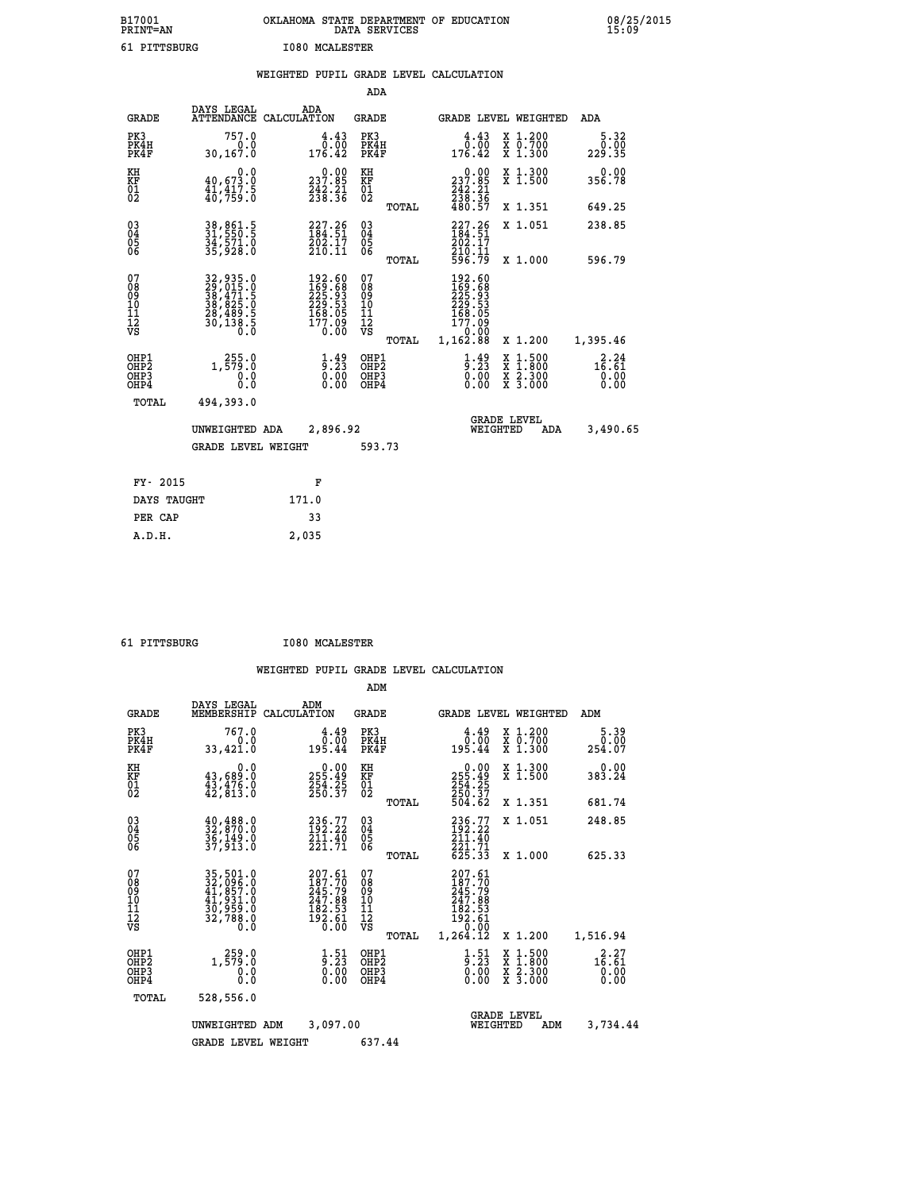| B17001<br><b>PRINT=AN</b> | OKLAHOMA STATE DEPARTMENT OF EDUCATION<br>DATA SERVICES | 08/25/2015<br>15:09 |
|---------------------------|---------------------------------------------------------|---------------------|
| 61 PITTSBURG              | <b>I080 MCALESTER</b>                                   |                     |

|                                                   |                                                                                  | WEIGHTED PUPIL GRADE LEVEL CALCULATION                                                             |                                          |       |                                                                                  |                                                                                                  |                                                   |
|---------------------------------------------------|----------------------------------------------------------------------------------|----------------------------------------------------------------------------------------------------|------------------------------------------|-------|----------------------------------------------------------------------------------|--------------------------------------------------------------------------------------------------|---------------------------------------------------|
|                                                   |                                                                                  |                                                                                                    | ADA                                      |       |                                                                                  |                                                                                                  |                                                   |
| <b>GRADE</b>                                      | DAYS LEGAL                                                                       | ADA<br>ATTENDANCE CALCULATION                                                                      | GRADE                                    |       |                                                                                  | GRADE LEVEL WEIGHTED                                                                             | ADA                                               |
| PK3<br>PK4H<br>PK4F                               | 757.0<br>0.0<br>30,167.0                                                         | 4.43<br>0.00<br>176.42                                                                             | PK3<br>PK4H<br>PK4F                      |       | 4.43<br>0.00<br>176.42                                                           | X 1.200<br>X 0.700<br>X 1.300                                                                    | 5.32<br>0.00<br>229.35                            |
| KH<br>KF<br>01<br>02                              | $\begin{smallmatrix}&&&0.0\40.673.0\41.417.5\40.759.0\end{smallmatrix}$          | $\begin{array}{c} 0.00 \\ 237.85 \\ 242.21 \\ 238.36 \end{array}$                                  | KH<br>KF<br>01<br>02                     |       | $\begin{smallmatrix} &0.00\\ 237.85\\ 242.21\\ 238.36\\ 480.57\end{smallmatrix}$ | X 1.300<br>X 1.500                                                                               | 0.00<br>356.78                                    |
|                                                   |                                                                                  |                                                                                                    |                                          | TOTAL |                                                                                  | X 1.351                                                                                          | 649.25                                            |
| $\substack{03 \\ 04}$<br>Ŏ5                       | 38,861.5<br>31,550.5<br>34,571.0<br>35,928.0                                     | $227.26$<br>$184.51$<br>$\frac{202.17}{210.11}$                                                    | $\substack{03 \\ 04}$<br>Ŏ5              |       | $227.26$<br>$184.51$<br>$202.17$<br>$210.11$<br>$596.79$                         | X 1.051                                                                                          | 238.85                                            |
| 06                                                |                                                                                  |                                                                                                    | 06                                       | TOTAL |                                                                                  | X 1.000                                                                                          | 596.79                                            |
| 07<br>08<br>09<br>10<br>11<br>11<br>12<br>VS      | 32,935.0<br>29,015.0<br>38,471.5<br>38,825.0<br>28,489.5<br>20,138.5<br>30,138.5 | $\begin{smallmatrix} 192.60\\ 169.68\\ 225.93\\ 229.53\\ 168.05\\ 177.09\\ 0.00 \end{smallmatrix}$ | 07<br>08<br>09<br>11<br>11<br>12<br>VS   |       | 192.60<br>169.68<br>225.93<br>229.53<br>$\frac{168.05}{177.09}$<br>0.00          |                                                                                                  |                                                   |
|                                                   |                                                                                  |                                                                                                    |                                          | TOTAL | 1,162.88                                                                         | X 1.200                                                                                          | 1,395.46                                          |
| OHP1<br>OHP <sub>2</sub><br>OHP3<br>OHP4<br>TOTAL | 1, $\frac{255}{579}$ : 0<br>0.0<br>0.0<br>494,393.0                              | $\frac{1}{9}$ : $\frac{49}{23}$<br>0.00<br>0.00                                                    | OHP1<br>OHP <sub>2</sub><br>OHP3<br>OHP4 |       | $\frac{1}{9}:\frac{49}{23}$<br>0.00<br>0.00                                      | $\begin{smallmatrix} x & 1 & 500 \\ x & 1 & 800 \\ x & 2 & 300 \\ x & 3 & 000 \end{smallmatrix}$ | $1\overline{6}\cdot\overline{61}$<br>0.00<br>0.00 |
|                                                   | UNWEIGHTED ADA                                                                   | 2,896.92                                                                                           |                                          |       | WEIGHTED                                                                         | <b>GRADE LEVEL</b><br>ADA                                                                        | 3,490.65                                          |
|                                                   | <b>GRADE LEVEL WEIGHT</b>                                                        |                                                                                                    | 593.73                                   |       |                                                                                  |                                                                                                  |                                                   |
| FY- 2015                                          |                                                                                  | F                                                                                                  |                                          |       |                                                                                  |                                                                                                  |                                                   |
| DAYS TAUGHT                                       |                                                                                  | 171.0                                                                                              |                                          |       |                                                                                  |                                                                                                  |                                                   |
| PER CAP                                           |                                                                                  | 33                                                                                                 |                                          |       |                                                                                  |                                                                                                  |                                                   |
| A.D.H.                                            |                                                                                  | 2,035                                                                                              |                                          |       |                                                                                  |                                                                                                  |                                                   |
|                                                   |                                                                                  |                                                                                                    |                                          |       |                                                                                  |                                                                                                  |                                                   |

 **61 PITTSBURG I080 MCALESTER**

|                                    |                                               |                                                                                   |                    |                                                                                | ADM                                                |       |                                                                                        |                                |                                                                                                  |                                              |
|------------------------------------|-----------------------------------------------|-----------------------------------------------------------------------------------|--------------------|--------------------------------------------------------------------------------|----------------------------------------------------|-------|----------------------------------------------------------------------------------------|--------------------------------|--------------------------------------------------------------------------------------------------|----------------------------------------------|
|                                    | <b>GRADE</b>                                  | DAYS LEGAL<br>MEMBERSHIP                                                          | ADM<br>CALCULATION |                                                                                | <b>GRADE</b>                                       |       |                                                                                        |                                | <b>GRADE LEVEL WEIGHTED</b>                                                                      | ADM                                          |
|                                    | PK3<br>PK4H<br>PK4F                           | 767.0<br>0.0<br>33,421.0                                                          |                    | 4.49<br>0.00<br>195.44                                                         | PK3<br>PK4H<br>PK4F                                |       | $\begin{smallmatrix} 4.49\ 0.00\ 195.44 \end{smallmatrix}$                             |                                | X 1.200<br>X 0.700<br>X 1.300                                                                    | 5.39<br>0.00<br>254.07                       |
| KH<br>KF<br>01<br>02               |                                               | 0.0<br>$\frac{43}{43}, \frac{689}{476}$ .0<br>$\frac{43}{42}, \frac{476}{813}$ .0 |                    | $\begin{array}{c} 0.00 \\ 255.49 \\ 254.25 \\ 250.37 \end{array}$              | KH<br>KF<br>01<br>02                               |       | $\begin{smallmatrix} &0.00\\ 255.49\\ 254.25\\ 250.37\\ 504.62\end{smallmatrix}$       |                                | X 1.300<br>X 1.500                                                                               | 0.00<br>383.24                               |
|                                    |                                               |                                                                                   |                    |                                                                                |                                                    | TOTAL |                                                                                        |                                | X 1.351                                                                                          | 681.74                                       |
| 03<br>04<br>05<br>06               |                                               | $\frac{40}{32}, \frac{488}{870}$ .0<br>36,149.0<br>37,913.0                       |                    | 236.77<br>192.22<br>211.40<br>221.71                                           | $\begin{matrix} 03 \\ 04 \\ 05 \\ 06 \end{matrix}$ |       | 236.77<br>192.22<br>211.40<br>221.71                                                   |                                | X 1.051                                                                                          | 248.85                                       |
|                                    |                                               |                                                                                   |                    |                                                                                |                                                    | TOTAL | 625.33                                                                                 |                                | X 1.000                                                                                          | 625.33                                       |
| 07<br>08<br>09<br>101<br>112<br>VS |                                               | 35,501.0<br>32,096.0<br>41,857.0<br>41,931.0<br>30,959.0<br>32,788.0              |                    | $207.61$<br>$187.70$<br>$245.79$<br>$247.88$<br>$182.53$<br>$192.61$<br>$0.00$ | 07<br>08<br>09<br>11<br>11<br>12<br>VS             | TOTAL | 207.61<br>187.70<br>$245.79$<br>$247.88$<br>$182.53$<br>$192.61$<br>$0.92$<br>1,264.12 |                                | X 1.200                                                                                          | 1,516.94                                     |
|                                    | OHP1                                          |                                                                                   |                    |                                                                                |                                                    |       |                                                                                        |                                |                                                                                                  |                                              |
|                                    | OH <sub>P</sub> 2<br>OH <sub>P3</sub><br>OHP4 | 1, 259:0<br>0.000                                                                 |                    | $\begin{smallmatrix} 1.51\ 9.23\ 0.00\ 0.00 \end{smallmatrix}$                 | OHP1<br>OHP2<br>OHP3<br>OHP4                       |       | $\frac{1}{9}:\substack{51\\23\\0.00}$<br>0.00                                          |                                | $\begin{smallmatrix} x & 1 & 500 \\ x & 1 & 800 \\ x & 2 & 300 \\ x & 3 & 000 \end{smallmatrix}$ | $1\frac{2}{9}:\frac{27}{61}$<br>0.00<br>0.00 |
|                                    | TOTAL                                         | 528,556.0                                                                         |                    |                                                                                |                                                    |       |                                                                                        |                                |                                                                                                  |                                              |
|                                    |                                               | UNWEIGHTED ADM                                                                    |                    | 3,097.00                                                                       |                                                    |       |                                                                                        | <b>GRADE LEVEL</b><br>WEIGHTED | ADM                                                                                              | 3,734.44                                     |
|                                    |                                               | <b>GRADE LEVEL WEIGHT</b>                                                         |                    |                                                                                | 637.44                                             |       |                                                                                        |                                |                                                                                                  |                                              |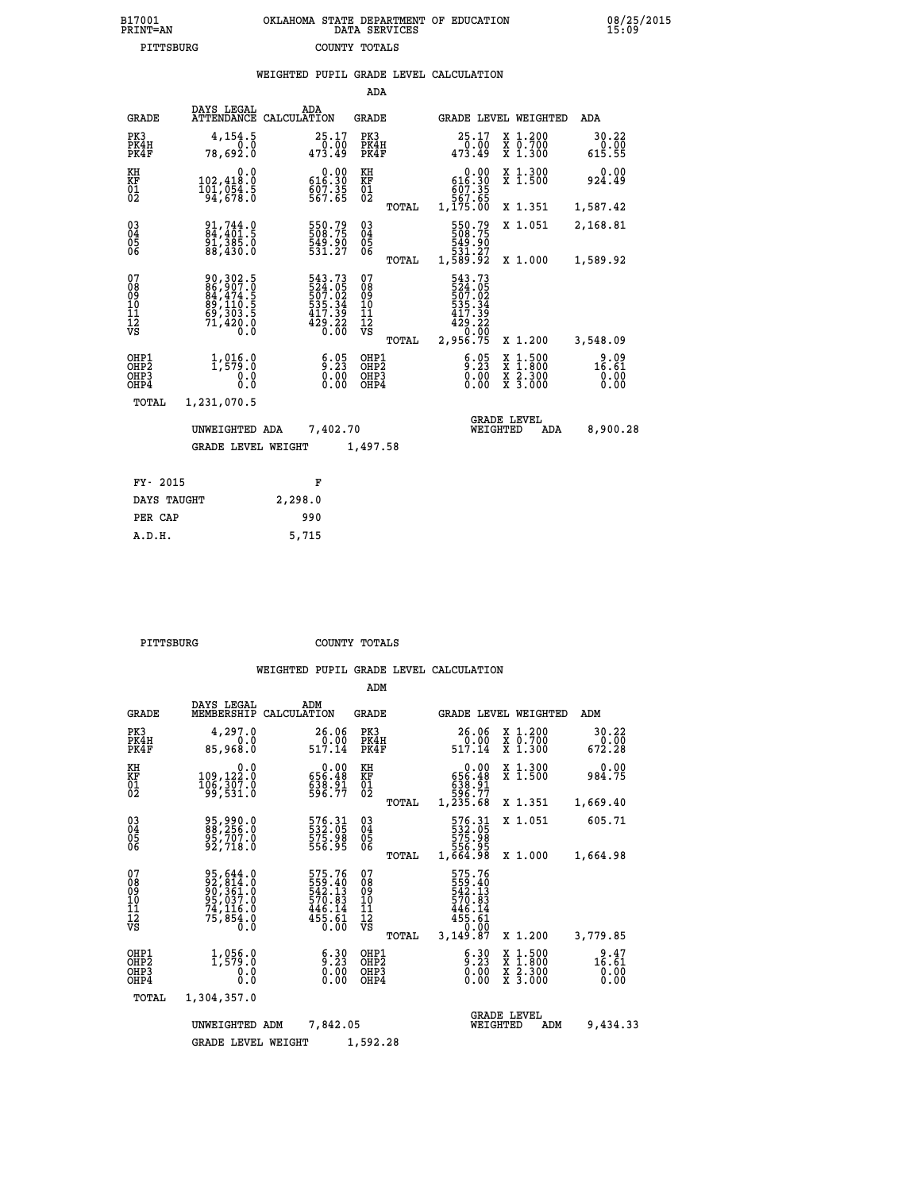|                                                    | PITTSBURG                    |                                                                      |     | COUNTY TOTALS                                                                 |                                                    |       |                                                                              |                                |                                                           |                                      |  |
|----------------------------------------------------|------------------------------|----------------------------------------------------------------------|-----|-------------------------------------------------------------------------------|----------------------------------------------------|-------|------------------------------------------------------------------------------|--------------------------------|-----------------------------------------------------------|--------------------------------------|--|
|                                                    |                              |                                                                      |     |                                                                               |                                                    |       | WEIGHTED PUPIL GRADE LEVEL CALCULATION                                       |                                |                                                           |                                      |  |
|                                                    |                              |                                                                      |     |                                                                               | <b>ADA</b>                                         |       |                                                                              |                                |                                                           |                                      |  |
|                                                    | <b>GRADE</b>                 | DAYS LEGAL<br>ATTENDANCE CALCULATION                                 | ADA |                                                                               | <b>GRADE</b>                                       |       |                                                                              |                                | GRADE LEVEL WEIGHTED                                      | ADA                                  |  |
|                                                    | PK3<br>PK4H<br>PK4F          | 4,154.5<br>0.0<br>78,692.0                                           |     | 25.17<br>0.00<br>473.49                                                       | PK3<br>PK4H<br>PK4F                                |       | 25.17<br>00.00<br>473.49                                                     |                                | X 1.200<br>X 0.700<br>X 1.300                             | 30.22<br>0.00<br>615.55              |  |
| KH<br>KF<br>01<br>02                               |                              | 0.0<br>102,418.0<br>$\frac{101}{94}, \frac{054}{678}$ : 0            |     | $0.00$<br>0.00<br>$607.35$<br>567.65                                          | KH<br>KF<br>01<br>02                               |       | 0.00<br>616.30<br>807.35<br>567.65<br>1,175.00                               |                                | X 1.300<br>X 1.500                                        | 0.00<br>924.49                       |  |
|                                                    |                              |                                                                      |     |                                                                               |                                                    | TOTAL |                                                                              |                                | X 1.351                                                   | 1,587.42                             |  |
| $\begin{matrix} 03 \\ 04 \\ 05 \\ 06 \end{matrix}$ |                              | 91,744.0<br>04,401.5<br>91,385.0<br>88,430.0                         |     | 550.79<br>508:75<br>549.90<br>531.27                                          | $\begin{matrix} 03 \\ 04 \\ 05 \\ 06 \end{matrix}$ |       | 550.79<br>508.75<br>549.90<br>531.27<br>1,589.92                             |                                | X 1.051                                                   | 2,168.81                             |  |
|                                                    |                              |                                                                      |     |                                                                               |                                                    | TOTAL |                                                                              |                                | X 1.000                                                   | 1,589.92                             |  |
| 07<br>08<br>09<br>101<br>11<br>12<br>VS            |                              | 90,302.5<br>86,907.0<br>84,474.5<br>89,110.5<br>69,303.5<br>71,420.0 |     | 543.73<br>524.05<br>507.02<br>$\frac{535}{417}$ . 34<br>$\frac{429.22}{0.00}$ | 07<br>08<br>09<br>101<br>11<br>12<br>VS            | TOTAL | 543.73<br>524.05<br>507.02<br>535.34<br>417.39<br>429.22<br>0.00<br>2,956.75 |                                | X 1.200                                                   | 3,548.09                             |  |
|                                                    | OHP1<br>OHP2<br>OHP3<br>OHP4 | 1, 915.0<br>0.0<br>Ŏ.Ō                                               |     | 5:25<br>$\begin{smallmatrix} 0.0000 0.0000 \ 0.0000 \end{smallmatrix}$        | OHP1<br>OHP2<br>OHP3<br>OHP4                       |       | 6.05                                                                         |                                | $\frac{x}{x}$ $\frac{1.500}{1.800}$<br>X 2.300<br>X 3.000 | $\frac{9.09}{16.61}$<br>0.00<br>0.00 |  |
|                                                    | TOTAL                        | 1,231,070.5                                                          |     |                                                                               |                                                    |       |                                                                              |                                |                                                           |                                      |  |
|                                                    |                              | UNWEIGHTED ADA                                                       |     | 7,402.70                                                                      |                                                    |       |                                                                              | <b>GRADE LEVEL</b><br>WEIGHTED | <b>ADA</b>                                                | 8,900.28                             |  |
|                                                    |                              | <b>GRADE LEVEL WEIGHT</b>                                            |     |                                                                               | 1,497.58                                           |       |                                                                              |                                |                                                           |                                      |  |
|                                                    | FY- 2015                     |                                                                      |     | F                                                                             |                                                    |       |                                                                              |                                |                                                           |                                      |  |

| FY- 2015    | F       |
|-------------|---------|
| DAYS TAUGHT | 2,298.0 |
| PER CAP     | 990     |
| A.D.H.      | 5,715   |
|             |         |

 **PITTSBURG COUNTY TOTALS**

|                                                    |                                                                                          |                                                                                | ADM                                                |                                                                                          |                                          |                                 |
|----------------------------------------------------|------------------------------------------------------------------------------------------|--------------------------------------------------------------------------------|----------------------------------------------------|------------------------------------------------------------------------------------------|------------------------------------------|---------------------------------|
| <b>GRADE</b>                                       | DAYS LEGAL<br>MEMBERSHIP                                                                 | ADM<br>CALCULATION                                                             | <b>GRADE</b>                                       | <b>GRADE LEVEL WEIGHTED</b>                                                              |                                          | ADM                             |
| PK3<br>PK4H<br>PK4F                                | 4,297.0<br>0.0<br>85,968.0                                                               | 26.06<br>$\frac{0.00}{517.14}$                                                 | PK3<br>PK4H<br>PK4F                                | 26.06<br>_õ.õõ<br>517.14                                                                 | X 1.200<br>X 0.700<br>X 1.300            | 30.22<br>0.00<br>672.28         |
| KH<br>KF<br>01<br>02                               | 0.0<br>109,122.0<br>106, 307.0                                                           | $\begin{smallmatrix} &0.00\\ 656.48\\ 638.91\\ 596.77\end{smallmatrix}$        | KH<br><b>KF</b><br>01<br>02                        | 0.00<br>656.48<br>638:91<br>596.77<br>1,235.68                                           | X 1.300<br>X 1.500                       | 0.00<br>984.75                  |
|                                                    |                                                                                          |                                                                                | TOTAL                                              |                                                                                          | X 1.351                                  | 1,669.40                        |
| $\begin{matrix} 03 \\ 04 \\ 05 \\ 06 \end{matrix}$ | 95,990.0<br>88,256.0<br>95,707.0<br>92,718.0                                             | 576.31<br>532.05<br>575.98<br>556.95                                           | $\begin{matrix} 03 \\ 04 \\ 05 \\ 06 \end{matrix}$ | 576.31<br>532.05<br>575.98<br>556.95<br>1,664.98                                         | X 1.051                                  | 605.71                          |
|                                                    |                                                                                          |                                                                                | TOTAL                                              |                                                                                          | X 1.000                                  | 1,664.98                        |
| 07<br>08<br>09<br>101<br>11<br>12<br>VS            | 95,644.0<br>92,814.0<br>90,361.0<br>95,037.0<br>74,116.0<br>75,854.0<br>$0.\overline{0}$ | $575.76$<br>$559.40$<br>$542.13$<br>$570.83$<br>$446.14$<br>$455.61$<br>$0.00$ | 07<br>08<br>09<br>11<br>11<br>12<br>VS<br>TOTAL    | 575.76<br>559.40<br>542.13<br>570.83<br>570.83<br>446.14<br>455.61<br>455.61<br>3,149.87 | X 1.200                                  | 3,779.85                        |
| OHP1<br>OHP2<br>OHP3<br>OHP4                       | 1,956.0<br>0.000                                                                         | 6.30<br>$\begin{smallmatrix} 0.700\ 0.00 \end{smallmatrix}$                    | OHP1<br>OHP2<br>OHP3<br>OHP4                       | 6.30                                                                                     | X 1:500<br>X 1:800<br>X 2:300<br>X 3:000 | $3.47$<br>16.61<br>0.00<br>0.00 |
| TOTAL                                              | 1,304,357.0                                                                              |                                                                                |                                                    |                                                                                          |                                          |                                 |
|                                                    | UNWEIGHTED<br><b>GRADE LEVEL WEIGHT</b>                                                  | 7,842.05<br>ADM                                                                | 1,592.28                                           | WEIGHTED                                                                                 | <b>GRADE LEVEL</b><br>ADM                | 9,434.33                        |
|                                                    |                                                                                          |                                                                                |                                                    |                                                                                          |                                          |                                 |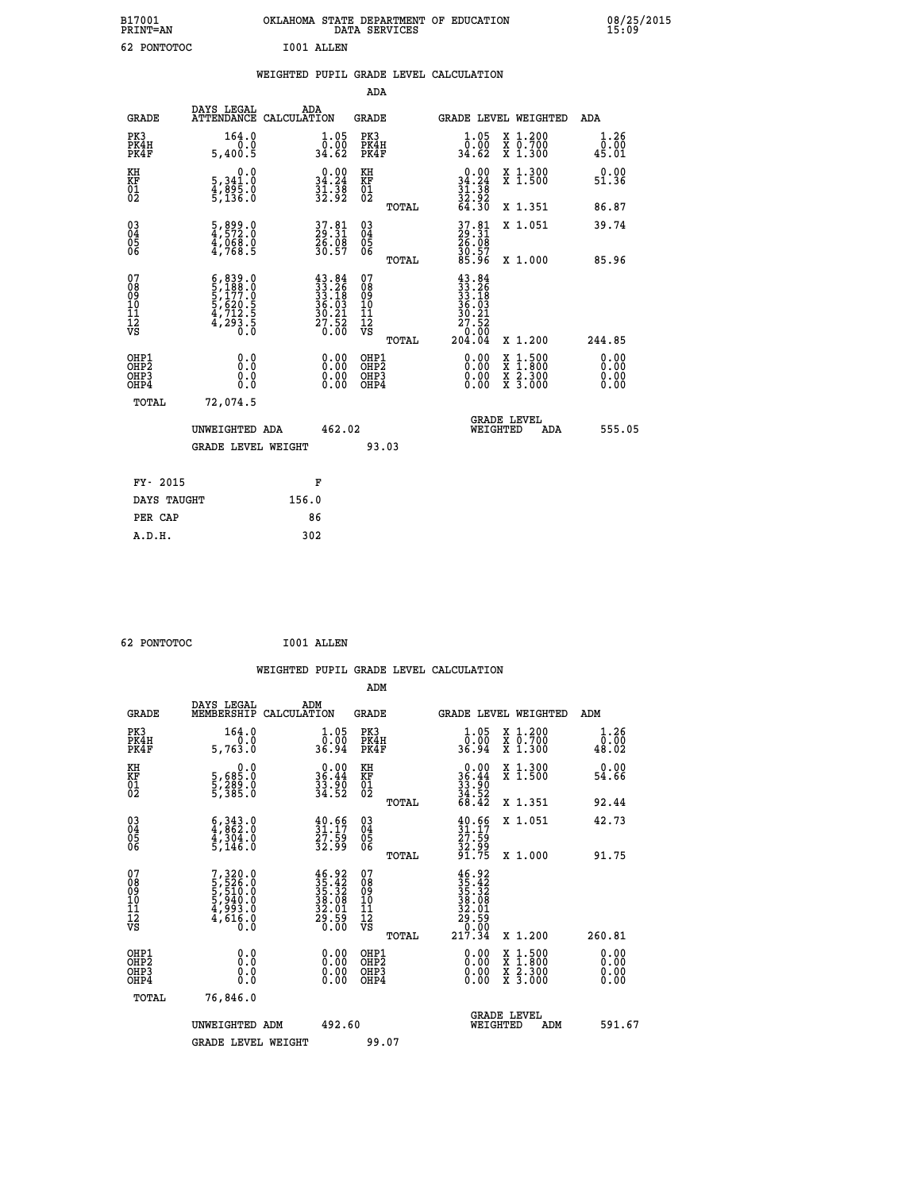| B17001<br><b>PRINT=AN</b> |          |            | OKLAHOMA STATE DEPARTMENT OF EDUCATION<br>DATA SERVICES |  | 08/25/2015<br>15:09 |
|---------------------------|----------|------------|---------------------------------------------------------|--|---------------------|
| 62                        | PONTOTOC | I001 ALLEN |                                                         |  |                     |

|                                                       |                                                                                                                                                                         | WEIGHTED PUPIL GRADE LEVEL CALCULATION                                                                                                            |                                                    |                                                                                                                                                                                                                                                                                                                                                                                    |                       |
|-------------------------------------------------------|-------------------------------------------------------------------------------------------------------------------------------------------------------------------------|---------------------------------------------------------------------------------------------------------------------------------------------------|----------------------------------------------------|------------------------------------------------------------------------------------------------------------------------------------------------------------------------------------------------------------------------------------------------------------------------------------------------------------------------------------------------------------------------------------|-----------------------|
|                                                       |                                                                                                                                                                         |                                                                                                                                                   | ADA                                                |                                                                                                                                                                                                                                                                                                                                                                                    |                       |
| <b>GRADE</b>                                          | DAYS LEGAL                                                                                                                                                              | ADA<br>ATTENDANCE CALCULATION                                                                                                                     | <b>GRADE</b>                                       | GRADE LEVEL WEIGHTED                                                                                                                                                                                                                                                                                                                                                               | ADA                   |
| PK3<br>PK4H<br>PK4F                                   | 164.0<br>5,400.5                                                                                                                                                        | $\frac{1}{0}$ : 05<br>34.62                                                                                                                       | PK3<br>PK4H<br>PK4F                                | 1.05<br>X 1.200<br>X 0.700<br>X 1.300<br>0.00<br>34.62                                                                                                                                                                                                                                                                                                                             | 1.26<br>0.00<br>45.01 |
| KH<br>KF<br>01<br>02                                  | $\begin{smallmatrix}&&&0.0\\5,341.0\\4,895.0\\5,136.0\end{smallmatrix}$                                                                                                 | $\begin{smallmatrix} 0.00\\ 34.24\\ 31.38\\ 32.92 \end{smallmatrix}$                                                                              | KH<br>KF<br>01<br>02                               | $0.00\n34.24\n31.38\n32.92\n64.30$<br>X 1.300<br>X 1.500                                                                                                                                                                                                                                                                                                                           | 0.00<br>51.36         |
|                                                       |                                                                                                                                                                         |                                                                                                                                                   | TOTAL                                              | X 1.351                                                                                                                                                                                                                                                                                                                                                                            | 86.87                 |
| 03<br>04<br>05<br>06                                  | 5,899.0<br>4,572.0<br>4,068.0<br>4,768.5                                                                                                                                | 37.81<br>29.31<br>26.08<br>30.57                                                                                                                  | $\begin{matrix} 03 \\ 04 \\ 05 \\ 06 \end{matrix}$ | 37.81<br>29.31<br>26.08<br>30.57<br>30.57<br>X 1.051                                                                                                                                                                                                                                                                                                                               | 39.74                 |
|                                                       |                                                                                                                                                                         |                                                                                                                                                   | TOTAL                                              | X 1.000                                                                                                                                                                                                                                                                                                                                                                            | 85.96                 |
| 07<br>08<br>09<br>11<br>11<br>12<br>VS                | $\begin{smallmatrix} 6\,, & 839\,, & 0\\ 5\,, & 188\,, & 0\\ 5\,, & 177\,, & 0\\ 5\,, & 620\,, & 5\\ 4\,, & 712\,, & 5\\ 4\,, & 293\,, & 0\\ 0\,, & 0\end{smallmatrix}$ | $\begin{smallmatrix} 4\,3\cdot\,84\\ 3\,3\cdot\,26\\ 3\,3\cdot\,18\\ 3\,6\cdot\,03\\ 3\,6\cdot\,21\\ 2\,7\cdot\,52\\ 0\cdot\,00\end{smallmatrix}$ | 07<br>08<br>09<br>11<br>11<br>12<br>VS             | $43.84$<br>$33.26$<br>$33.18$<br>$36.03$<br>$30.21$<br>$\begin{array}{r} \n 27.52 \\  0.00 \\  204.04\n \end{array}$                                                                                                                                                                                                                                                               |                       |
|                                                       |                                                                                                                                                                         |                                                                                                                                                   | TOTAL                                              | X 1.200                                                                                                                                                                                                                                                                                                                                                                            | 244.85                |
| OHP1<br>OH <sub>P</sub> 2<br>OH <sub>P3</sub><br>OHP4 | 0.0<br>0.000                                                                                                                                                            | $\begin{smallmatrix} 0.00 \ 0.00 \ 0.00 \ 0.00 \end{smallmatrix}$                                                                                 | OHP1<br>OHP <sub>2</sub><br>OHP3<br>OHP4           | $\begin{smallmatrix} 0.00 & 0.00 & 0.00 & 0.00 & 0.00 & 0.00 & 0.00 & 0.00 & 0.00 & 0.00 & 0.00 & 0.00 & 0.00 & 0.00 & 0.00 & 0.00 & 0.00 & 0.00 & 0.00 & 0.00 & 0.00 & 0.00 & 0.00 & 0.00 & 0.00 & 0.00 & 0.00 & 0.00 & 0.00 & 0.00 & 0.00 & 0.00 & 0.00 & 0.00 & 0.00 & 0.0$<br>$\begin{smallmatrix} x & 1 & 500 \\ x & 1 & 800 \\ x & 2 & 300 \\ x & 3 & 000 \end{smallmatrix}$ | 0.00<br>0.00<br>0.00  |
| TOTAL                                                 | 72,074.5                                                                                                                                                                |                                                                                                                                                   |                                                    |                                                                                                                                                                                                                                                                                                                                                                                    |                       |
|                                                       | UNWEIGHTED ADA                                                                                                                                                          | 462.02                                                                                                                                            |                                                    | GRADE LEVEL<br>WEIGHTED<br>ADA                                                                                                                                                                                                                                                                                                                                                     | 555.05                |
|                                                       | <b>GRADE LEVEL WEIGHT</b>                                                                                                                                               |                                                                                                                                                   | 93.03                                              |                                                                                                                                                                                                                                                                                                                                                                                    |                       |
| FY- 2015                                              |                                                                                                                                                                         | F                                                                                                                                                 |                                                    |                                                                                                                                                                                                                                                                                                                                                                                    |                       |
| DAYS TAUGHT                                           |                                                                                                                                                                         | 156.0                                                                                                                                             |                                                    |                                                                                                                                                                                                                                                                                                                                                                                    |                       |
| PER CAP                                               |                                                                                                                                                                         | 86                                                                                                                                                |                                                    |                                                                                                                                                                                                                                                                                                                                                                                    |                       |
| A.D.H.                                                |                                                                                                                                                                         | 302                                                                                                                                               |                                                    |                                                                                                                                                                                                                                                                                                                                                                                    |                       |

 **62 PONTOTOC I001 ALLEN**

|                                              |              |                                                                                               |                    |                                                                                                                                                                      |                                                    |       | WEIGHTED PUPIL GRADE LEVEL CALCULATION                                                                                                                                                                                                                                         |                                                                                                                                           |        |                        |
|----------------------------------------------|--------------|-----------------------------------------------------------------------------------------------|--------------------|----------------------------------------------------------------------------------------------------------------------------------------------------------------------|----------------------------------------------------|-------|--------------------------------------------------------------------------------------------------------------------------------------------------------------------------------------------------------------------------------------------------------------------------------|-------------------------------------------------------------------------------------------------------------------------------------------|--------|------------------------|
|                                              |              |                                                                                               |                    |                                                                                                                                                                      | ADM                                                |       |                                                                                                                                                                                                                                                                                |                                                                                                                                           |        |                        |
|                                              | <b>GRADE</b> | DAYS LEGAL<br>MEMBERSHIP                                                                      | ADM<br>CALCULATION |                                                                                                                                                                      | <b>GRADE</b>                                       |       |                                                                                                                                                                                                                                                                                | <b>GRADE LEVEL WEIGHTED</b>                                                                                                               | ADM    |                        |
| PK3                                          | PK4H<br>PK4F | 164.0<br>5,763.0                                                                              |                    | $\frac{1}{0}$ : 05<br>36.94                                                                                                                                          | PK3<br>PK4H<br>PK4F                                |       | $\frac{1}{0}$ :05<br>36.94                                                                                                                                                                                                                                                     | X 1.200<br>X 0.700<br>X 1.300                                                                                                             |        | 1.26<br>0.00<br>48.02  |
| KH<br>KF<br>01<br>02                         |              | 0.0<br>5,685:0<br>5,289:0<br>5,385:0                                                          |                    | $\begin{smallmatrix} 0.00\\ 36.44\\ 33.90\\ 34.52 \end{smallmatrix}$                                                                                                 | KH<br>KF<br>01<br>02                               |       | $\begin{array}{r} 0.00 \\ 36.44 \\ 33.90 \\ 34.52 \\ 68.42 \end{array}$                                                                                                                                                                                                        | X 1.300<br>X 1.500                                                                                                                        |        | 0.00<br>54.66          |
|                                              |              |                                                                                               |                    |                                                                                                                                                                      |                                                    | TOTAL |                                                                                                                                                                                                                                                                                | X 1.351                                                                                                                                   |        | 92.44                  |
| 03<br>04<br>05<br>06                         |              | $\begin{smallmatrix} 6 & 343 & 0\\ 4 & 862 & 0\\ 4 & 304 & 0\\ 5 & 146 & 0 \end{smallmatrix}$ |                    | $\frac{40.66}{31.17}$<br>$\frac{27.59}{32.99}$                                                                                                                       | $\begin{matrix} 03 \\ 04 \\ 05 \\ 06 \end{matrix}$ |       | $31.17$<br>$27.59$<br>$32.99$<br>$31.75$                                                                                                                                                                                                                                       | X 1.051                                                                                                                                   |        | 42.73                  |
|                                              |              |                                                                                               |                    |                                                                                                                                                                      |                                                    | TOTAL |                                                                                                                                                                                                                                                                                | X 1.000                                                                                                                                   |        | 91.75                  |
| 07<br>08<br>09<br>10<br>11<br>11<br>12<br>VS |              | $7,320.0$<br>5,526.0<br>5,510.0<br>5,940.0<br>5,993.0<br>4,616.0<br>0.0                       |                    | $\begin{smallmatrix} 4 & 6 & 9 & 2\\ 3 & 5 & 4 & 2\\ 3 & 5 & 3 & 3\\ 3 & 5 & 3 & 3\\ 3 & 8 & 0 & 8\\ 3 & 2 & 0 & 1\\ 2 & 0 & 5 & 9\\ 0 & 0 & 0 & 0\end{smallmatrix}$ | 07<br>08<br>09<br>11<br>11<br>12<br>VS             |       | $35.42$<br>$35.42$<br>$35.32$<br>$38.08$<br>$32.01$<br>$29.59$<br>$217.34$                                                                                                                                                                                                     |                                                                                                                                           |        |                        |
|                                              |              |                                                                                               |                    |                                                                                                                                                                      |                                                    | TOTAL |                                                                                                                                                                                                                                                                                | X 1.200                                                                                                                                   | 260.81 |                        |
| OHP1<br>OHP2<br>OH <sub>P3</sub>             | OHP4         | 0.0<br>0.000                                                                                  |                    | $\begin{smallmatrix} 0.00 \ 0.00 \ 0.00 \ 0.00 \end{smallmatrix}$                                                                                                    | OHP1<br>OHP2<br>OHP3<br>OHP4                       |       | $\begin{smallmatrix} 0.00 & 0.00 & 0.00 & 0.00 & 0.00 & 0.00 & 0.00 & 0.00 & 0.00 & 0.00 & 0.00 & 0.00 & 0.00 & 0.00 & 0.00 & 0.00 & 0.00 & 0.00 & 0.00 & 0.00 & 0.00 & 0.00 & 0.00 & 0.00 & 0.00 & 0.00 & 0.00 & 0.00 & 0.00 & 0.00 & 0.00 & 0.00 & 0.00 & 0.00 & 0.00 & 0.0$ | $\begin{smallmatrix} \mathtt{X} & 1\cdot500\\ \mathtt{X} & 1\cdot800\\ \mathtt{X} & 2\cdot300\\ \mathtt{X} & 3\cdot000 \end{smallmatrix}$ |        | 0.00<br>0.00<br>0.0000 |
|                                              | TOTAL        | 76,846.0                                                                                      |                    |                                                                                                                                                                      |                                                    |       |                                                                                                                                                                                                                                                                                |                                                                                                                                           |        |                        |
|                                              |              | UNWEIGHTED ADM<br><b>GRADE LEVEL WEIGHT</b>                                                   |                    | 492.60                                                                                                                                                               | 99.07                                              |       | WEIGHTED                                                                                                                                                                                                                                                                       | <b>GRADE LEVEL</b><br>ADM                                                                                                                 |        | 591.67                 |
|                                              |              |                                                                                               |                    |                                                                                                                                                                      |                                                    |       |                                                                                                                                                                                                                                                                                |                                                                                                                                           |        |                        |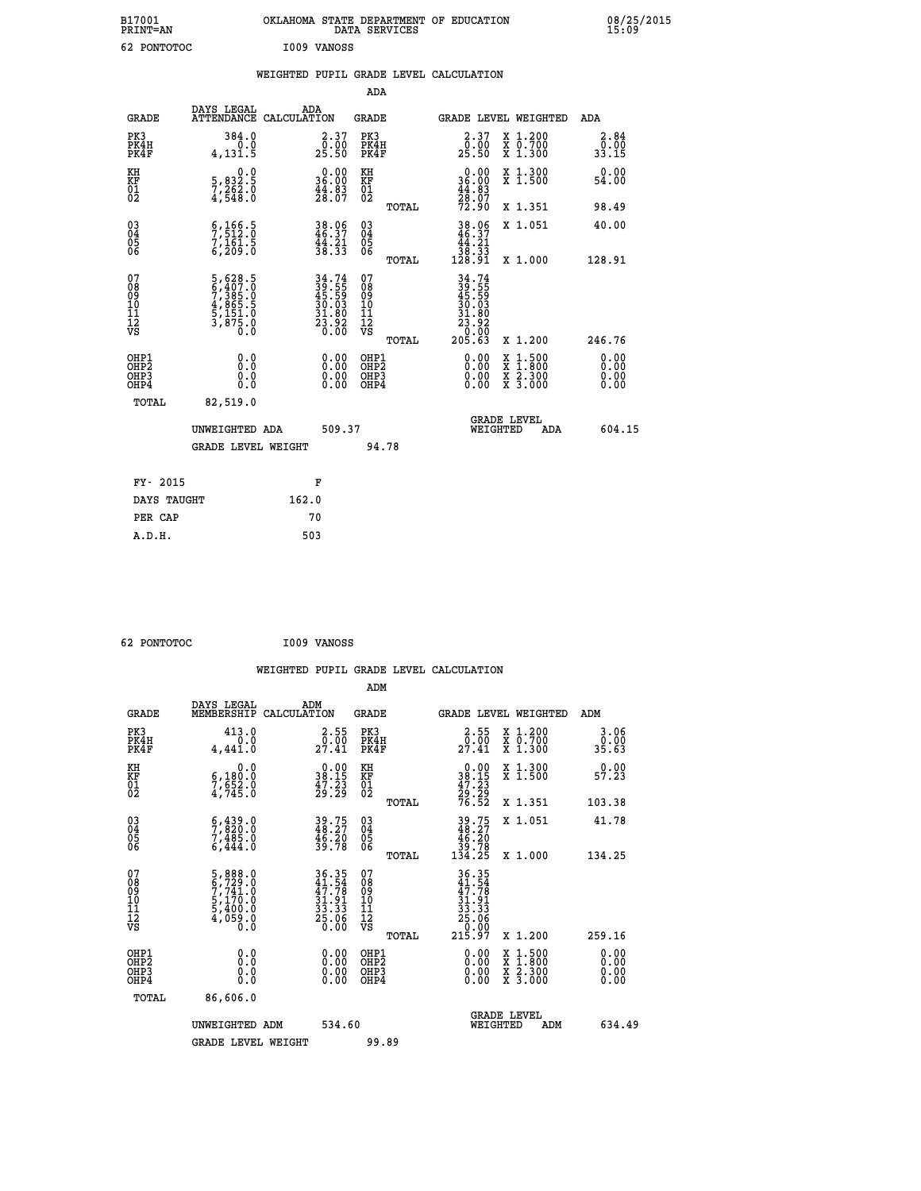| B17001<br><b>PRINT=AN</b> | OKLAHOMA STATE DEPARTMENT OF EDUCATION<br>SERVICES<br>DATA | 08/25/2015<br>15:09 |
|---------------------------|------------------------------------------------------------|---------------------|
| ເາ<br>PONTOTOC<br>٥z      | I009<br>VANOSS                                             |                     |

| 62 PONTOTOC                              |                                                                                                  |       | <b>I009 VANOSS</b>                                                       |                                                    |       |                                                                                   |                                                                                                                                      |                       |
|------------------------------------------|--------------------------------------------------------------------------------------------------|-------|--------------------------------------------------------------------------|----------------------------------------------------|-------|-----------------------------------------------------------------------------------|--------------------------------------------------------------------------------------------------------------------------------------|-----------------------|
|                                          |                                                                                                  |       |                                                                          |                                                    |       | WEIGHTED PUPIL GRADE LEVEL CALCULATION                                            |                                                                                                                                      |                       |
|                                          |                                                                                                  |       |                                                                          | <b>ADA</b>                                         |       |                                                                                   |                                                                                                                                      |                       |
| <b>GRADE</b>                             | DAYS LEGAL<br>ATTENDANCE CALCULATION                                                             |       | ADA                                                                      | <b>GRADE</b>                                       |       |                                                                                   | GRADE LEVEL WEIGHTED                                                                                                                 | <b>ADA</b>            |
| PK3<br>PK4H<br>PK4F                      | 384.0<br>0.0<br>4, 131.5                                                                         |       | $\begin{smallmatrix} 2.37\0.00\\25.50 \end{smallmatrix}$                 | PK3<br>PK4H<br>PK4F                                |       | $\begin{smallmatrix} 2.37\0.00\\25.50 \end{smallmatrix}$                          | X 1.200<br>X 0.700<br>X 1.300                                                                                                        | 2.84<br>0.00<br>33.15 |
| KH<br>KF<br>01<br>02                     | 0.0<br>5,832.5<br>7,262.0<br>4,548.0                                                             |       | $\begin{smallmatrix} 0.00\\ 36.00\\ 44.83\\ 28.07 \end{smallmatrix}$     | KH<br>KF<br>01<br>02                               |       | $0.0036.0044.8328.0772.90$                                                        | X 1.300<br>X 1.500                                                                                                                   | 0.00<br>54.00         |
|                                          |                                                                                                  |       |                                                                          |                                                    | TOTAL |                                                                                   | X 1.351                                                                                                                              | 98.49                 |
| $^{03}_{04}$<br>Ŏ5<br>ŌĞ                 | $\begin{smallmatrix} 6 & 166 & 5 \\ 7 & 512 & 0 \\ 7 & 161 & 5 \\ 6 & 209 & 0 \end{smallmatrix}$ |       | 38.06<br>46.37<br>44.21<br>38.33                                         | $\begin{matrix} 03 \\ 04 \\ 05 \\ 06 \end{matrix}$ |       | $\begin{array}{r} 38.06 \\ 46.37 \\ 44.21 \\ 38.33 \\ 128.91 \end{array}$         | X 1.051                                                                                                                              | 40.00                 |
|                                          |                                                                                                  |       |                                                                          |                                                    | TOTAL |                                                                                   | X 1.000                                                                                                                              | 128.91                |
| 07<br>0890112<br>1112<br>VS              | $5,628.5$<br>$6,407.0$<br>$7,385.0$<br>$4,865.5$<br>$5,151.0$<br>$3,875.0$<br>$0.0$              |       | $34.74$<br>$39.55$<br>$45.59$<br>$30.03$<br>$31.80$<br>$23.92$<br>$0.00$ | 07<br>08901112<br>1112<br>VS                       | TOTAL | $34.74$<br>$39.55$<br>$45.59$<br>$30.03$<br>$31.80$<br>$23.92$<br>10:05<br>205.63 | X 1.200                                                                                                                              | 246.76                |
| OHP1<br>OHP2<br>OHP <sub>3</sub><br>OHP4 | 0.0<br>0.0<br>0.0                                                                                |       | $\begin{smallmatrix} 0.00 \ 0.00 \ 0.00 \ 0.00 \end{smallmatrix}$        | OHP1<br>OHP2<br>OHP <sub>3</sub><br>OHP4           |       | 0.00<br>0.00<br>0.00                                                              | $\begin{smallmatrix} \mathtt{X} & 1 & 500 \\ \mathtt{X} & 1 & 800 \\ \mathtt{X} & 2 & 300 \\ \mathtt{X} & 3 & 000 \end{smallmatrix}$ | 0.00<br>0.00<br>0.00  |
| TOTAL                                    | 82,519.0                                                                                         |       |                                                                          |                                                    |       |                                                                                   |                                                                                                                                      |                       |
|                                          | UNWEIGHTED ADA                                                                                   |       | 509.37                                                                   |                                                    |       |                                                                                   | GRADE LEVEL<br>WEIGHTED<br>ADA                                                                                                       | 604.15                |
|                                          | <b>GRADE LEVEL WEIGHT</b>                                                                        |       |                                                                          |                                                    | 94.78 |                                                                                   |                                                                                                                                      |                       |
| FY- 2015                                 |                                                                                                  |       | F                                                                        |                                                    |       |                                                                                   |                                                                                                                                      |                       |
| DAYS TAUGHT                              |                                                                                                  | 162.0 |                                                                          |                                                    |       |                                                                                   |                                                                                                                                      |                       |
| PER CAP                                  |                                                                                                  |       | 70                                                                       |                                                    |       |                                                                                   |                                                                                                                                      |                       |
| A.D.H.                                   |                                                                                                  |       | 503                                                                      |                                                    |       |                                                                                   |                                                                                                                                      |                       |

 **62 PONTOTOC I009 VANOSS**

 **WEIGHTED PUPIL GRADE LEVEL CALCULATION ADM DAYS LEGAL ADM GRADE MEMBERSHIP CALCULATION GRADE GRADE LEVEL WEIGHTED ADM**

| GRADE                                                | MEMBERSHIP CALCULATION                                                                           |                                                                                           | GRADE                                               | GRADE PRART METGHIED                                                                                                                   |                                          | ADM                                                                                                                                                                                                                                                                            |
|------------------------------------------------------|--------------------------------------------------------------------------------------------------|-------------------------------------------------------------------------------------------|-----------------------------------------------------|----------------------------------------------------------------------------------------------------------------------------------------|------------------------------------------|--------------------------------------------------------------------------------------------------------------------------------------------------------------------------------------------------------------------------------------------------------------------------------|
| PK3<br>PK4H<br>PK4F                                  | 413.0<br>0.0<br>4,441.0                                                                          | $\begin{smallmatrix} 2.55\\ 0.00\\ 27.41 \end{smallmatrix}$                               | PK3<br>PK4H<br>PK4F                                 | $\begin{smallmatrix} 2.55\\ 0.00\\ 27.41 \end{smallmatrix}$                                                                            | X 1.200<br>X 0.700<br>X 1.300            | $3.06$<br>$0.00$<br>35.63                                                                                                                                                                                                                                                      |
| KH<br>KF<br>01<br>02                                 | 0.0<br>$\frac{6}{7}, \frac{180}{52} \cdot \frac{0}{0}$<br>4,745.0                                | $\begin{smallmatrix} 0.00\\ 38.15\\ 47.23\\ 29.29 \end{smallmatrix}$                      | KH<br>KF<br>01<br>02                                | $\begin{smallmatrix} 0.00\\ 38.15\\ 47.23\\ 29.29\\ 76.52 \end{smallmatrix}$                                                           | X 1.300<br>X 1.500                       | 0.00<br>57.23                                                                                                                                                                                                                                                                  |
|                                                      |                                                                                                  |                                                                                           | TOTAL                                               |                                                                                                                                        | X 1.351                                  | 103.38                                                                                                                                                                                                                                                                         |
| $\begin{matrix} 03 \\ 04 \\ 05 \\ 06 \end{matrix}$   | $\begin{smallmatrix} 6 & 439 & 0 \\ 7 & 820 & 0 \\ 7 & 485 & 0 \\ 6 & 444 & 0 \end{smallmatrix}$ | 39.75<br>48.27<br>46.20<br>39.78                                                          | $\begin{array}{c} 03 \\ 04 \\ 05 \\ 06 \end{array}$ | $39.75$<br>$48.27$<br>$46.20$<br>$39.78$<br>$134.25$                                                                                   | X 1.051                                  | 41.78                                                                                                                                                                                                                                                                          |
|                                                      |                                                                                                  |                                                                                           | TOTAL                                               |                                                                                                                                        | X 1.000                                  | 134.25                                                                                                                                                                                                                                                                         |
| 07<br>08<br>09<br>101<br>11<br>12<br>VS              | $5,888.0$<br>$6,729.0$<br>$7,741.0$<br>$5,170.0$<br>$5,400.0$<br>$4,059.0$<br>$0.0$              | $\begin{array}{r} 36.35 \\ 41.54 \\ 47.78 \\ 31.91 \\ 33.33 \\ 25.06 \\ 0.00 \end{array}$ | 07<br>08<br>09<br>11<br>11<br>12<br>VS              | $\begin{array}{r} 36\cdot 35 \\ 41\cdot 54 \\ 47\cdot 78 \\ 31\cdot 91 \\ 33\cdot 36 \\ 25\cdot 06 \\ 0.00 \\ 215\cdot 97 \end{array}$ |                                          |                                                                                                                                                                                                                                                                                |
|                                                      |                                                                                                  |                                                                                           | TOTAL                                               |                                                                                                                                        | X 1.200                                  | 259.16                                                                                                                                                                                                                                                                         |
| OHP1<br>OHP <sub>2</sub><br>OH <sub>P3</sub><br>OHP4 |                                                                                                  | $0.00$<br>$0.00$<br>0.00                                                                  | OHP1<br>OHP <sub>2</sub><br>OHP3<br>OHP4            |                                                                                                                                        | X 1:500<br>X 1:800<br>X 2:300<br>X 3:000 | $\begin{smallmatrix} 0.00 & 0.00 & 0.00 & 0.00 & 0.00 & 0.00 & 0.00 & 0.00 & 0.00 & 0.00 & 0.00 & 0.00 & 0.00 & 0.00 & 0.00 & 0.00 & 0.00 & 0.00 & 0.00 & 0.00 & 0.00 & 0.00 & 0.00 & 0.00 & 0.00 & 0.00 & 0.00 & 0.00 & 0.00 & 0.00 & 0.00 & 0.00 & 0.00 & 0.00 & 0.00 & 0.0$ |
| TOTAL                                                | 86,606.0                                                                                         |                                                                                           |                                                     |                                                                                                                                        |                                          |                                                                                                                                                                                                                                                                                |
|                                                      | UNWEIGHTED ADM                                                                                   | 534.60                                                                                    |                                                     | WEIGHTED                                                                                                                               | <b>GRADE LEVEL</b><br>ADM                | 634.49                                                                                                                                                                                                                                                                         |
|                                                      | <b>GRADE LEVEL WEIGHT</b>                                                                        |                                                                                           | 99.89                                               |                                                                                                                                        |                                          |                                                                                                                                                                                                                                                                                |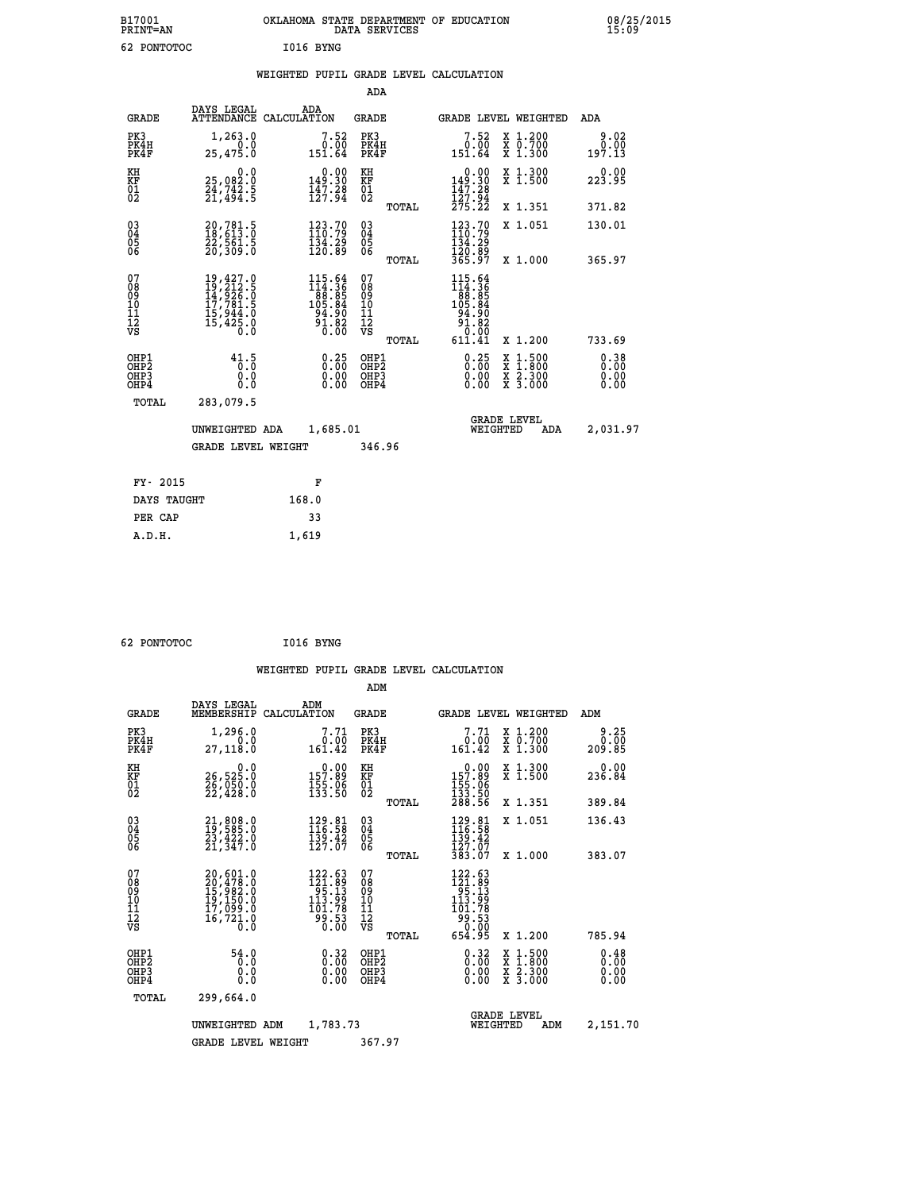| B17001<br>PRINT=AN | OKLAHOMA STATE DEPARTMENT OF EDUCATION<br>DATA SERVICES | 08/25/2015<br>15:09 |
|--------------------|---------------------------------------------------------|---------------------|
| 62 PONTOTOC        | I016 BYNG                                               |                     |

|  |  | WEIGHTED PUPIL GRADE LEVEL CALCULATION |
|--|--|----------------------------------------|
|  |  |                                        |

|                                                                    |                                                                                                                                                                               |                                                                                                                               | ADA                                                                     |       |                                                                          |                                                                                                  |                              |
|--------------------------------------------------------------------|-------------------------------------------------------------------------------------------------------------------------------------------------------------------------------|-------------------------------------------------------------------------------------------------------------------------------|-------------------------------------------------------------------------|-------|--------------------------------------------------------------------------|--------------------------------------------------------------------------------------------------|------------------------------|
| <b>GRADE</b>                                                       | DAYS LEGAL                                                                                                                                                                    | ADA<br>ATTENDANCE CALCULATION                                                                                                 | <b>GRADE</b>                                                            |       |                                                                          | GRADE LEVEL WEIGHTED                                                                             | ADA                          |
| PK3<br>PK4H<br>PK4F                                                | 1,263.0<br>0.0<br>25,475.0                                                                                                                                                    | $7.52$<br>$0.00$<br>151.64                                                                                                    | PK3<br>PK4H<br>PK4F                                                     |       | $7.52$<br>0.00<br>151.64                                                 | X 1.200<br>X 0.700<br>X 1.300                                                                    | 9.02<br>0.00<br>197.13       |
| KH<br><b>KF</b><br>01<br>02                                        | 0.0<br>25,082.0<br>24,742.5<br>21,494.5                                                                                                                                       | $0.00$<br>149.30<br>$\frac{147.28}{127.94}$                                                                                   | KH<br>KF<br>$\overline{\begin{smallmatrix} 0&1\ 0&2 \end{smallmatrix}}$ |       | $0.00$<br>149.30<br>$\frac{1}{12}$ $\frac{7}{7}$ $\cdot$ $\frac{28}{94}$ | X 1.300<br>X 1.500                                                                               | 0.00<br>223.95               |
|                                                                    |                                                                                                                                                                               |                                                                                                                               |                                                                         | TOTAL | 275.22                                                                   | X 1.351                                                                                          | 371.82                       |
| $\begin{smallmatrix} 03 \\[-4pt] 04 \end{smallmatrix}$<br>05<br>06 | 20,781.5<br>18,613.0<br>22,561.5<br>20,309.0                                                                                                                                  | $\begin{array}{l} 123\cdot79\\110\cdot79\\134\cdot29\\120\cdot89 \end{array}$                                                 | $\substack{03 \\ 04}$<br>$\begin{matrix} 0.5 \\ 0.6 \end{matrix}$       | TOTAL | $123.70$<br>$110.79$<br>$134.29$<br>$120.89$<br>$365.97$                 | X 1.051<br>X 1.000                                                                               | 130.01<br>365.97             |
| 07<br>08<br>09<br>11<br>11<br>12<br>VS                             | $\begin{smallmatrix} 19\,, & 427\,, & 0\\ 19\,, & 212\,, & 5\\ 14\,, & 926\,, & 0\\ 17\,, & 781\,, & 5\\ 15\,, & 944\,, & 0\\ 15\,, & 425\,, & 0\\ 0\,, & 0\end{smallmatrix}$ | $115.64$<br>$114.36$<br>$88.85$<br>$105.84$<br>$94.90$<br>$\begin{smallmatrix} 5\bar{1} \ 5\bar{2} \ 0 \ 0 \end{smallmatrix}$ | 07<br>08<br>09<br>11<br>11<br>12<br>VS                                  |       |                                                                          |                                                                                                  |                              |
|                                                                    |                                                                                                                                                                               |                                                                                                                               |                                                                         | TOTAL | 611.41                                                                   | X 1.200                                                                                          | 733.69                       |
| OHP1<br>OH <sub>P2</sub><br>OH <sub>P3</sub><br>OH <sub>P4</sub>   | 41.5<br>0.0<br>0.0                                                                                                                                                            | 0.25<br>0.00<br>0.00                                                                                                          | OHP1<br>OH <sub>P</sub> 2<br>OHP3<br>OHP4                               |       | $0.25$<br>$0.00$<br>0.00<br>0.00                                         | $\begin{smallmatrix} x & 1 & 500 \\ x & 1 & 800 \\ x & 2 & 300 \\ x & 3 & 000 \end{smallmatrix}$ | 0.38<br>0.00<br>0.00<br>0.00 |
| TOTAL                                                              | 283,079.5                                                                                                                                                                     |                                                                                                                               |                                                                         |       |                                                                          |                                                                                                  |                              |
|                                                                    | UNWEIGHTED ADA                                                                                                                                                                | 1,685.01                                                                                                                      |                                                                         |       |                                                                          | <b>GRADE LEVEL</b><br>WEIGHTED<br>ADA                                                            | 2,031.97                     |
|                                                                    | <b>GRADE LEVEL WEIGHT</b>                                                                                                                                                     |                                                                                                                               | 346.96                                                                  |       |                                                                          |                                                                                                  |                              |
| FY- 2015                                                           |                                                                                                                                                                               | F                                                                                                                             |                                                                         |       |                                                                          |                                                                                                  |                              |
| DAYS TAUGHT                                                        |                                                                                                                                                                               | 168.0                                                                                                                         |                                                                         |       |                                                                          |                                                                                                  |                              |
| PER CAP                                                            |                                                                                                                                                                               | 33                                                                                                                            |                                                                         |       |                                                                          |                                                                                                  |                              |

| 62 PONTOTOC | I016 BYNG |
|-------------|-----------|
|             |           |

 **A.D.H. 1,619**

| <b>GRADE</b>                                       | DAYS LEGAL<br>MEMBERSHIP                                             | ADM<br>CALCULATION                                                                        | <b>GRADE</b>                                 |       |                                                                                                                  | GRADE LEVEL WEIGHTED                                                                                                | ADM                          |
|----------------------------------------------------|----------------------------------------------------------------------|-------------------------------------------------------------------------------------------|----------------------------------------------|-------|------------------------------------------------------------------------------------------------------------------|---------------------------------------------------------------------------------------------------------------------|------------------------------|
| PK3<br>PK4H<br>PK4F                                | 1,296.0<br>0.0<br>27, 118.0                                          | 7.71<br>0.00<br>161.42                                                                    | PK3<br>PK4H<br>PK4F                          |       | 7.71<br>$0.00$<br>161.42                                                                                         | X 1.200<br>X 0.700<br>X 1.300                                                                                       | 9.25<br>0.00<br>209.85       |
| KH<br>KF<br>01<br>02                               | 0.0<br>26,525.0<br>26,050.0<br>22,428.0                              | $\begin{smallmatrix} &0.00\\ 157.89\\ 155.06\\ 133.50 \end{smallmatrix}$                  | KH<br>KF<br>01<br>02                         |       | $\begin{smallmatrix} &0.00\\ 157.89\\ 155.06\\ 133.50\\ 288.56 \end{smallmatrix}$                                | X 1.300<br>X 1.500                                                                                                  | 0.00<br>236.84               |
|                                                    |                                                                      |                                                                                           |                                              | TOTAL |                                                                                                                  | X 1.351                                                                                                             | 389.84                       |
| $\begin{matrix} 03 \\ 04 \\ 05 \\ 06 \end{matrix}$ | $21,808.0$<br>$19,585.0$<br>$23,422.0$<br>21,347.0                   | 129.81<br>116.58<br>$\frac{139.42}{127.07}$                                               | $\substack{03 \\ 04}$<br>05<br>06            |       | $\begin{array}{c} 129.81 \\[-4pt] 116.58 \\[-4pt] 139.42 \\[-4pt] 127.07 \\[-4pt] 383.07 \end{array}$            | X 1.051                                                                                                             | 136.43                       |
|                                                    |                                                                      |                                                                                           |                                              | TOTAL |                                                                                                                  | X 1.000                                                                                                             | 383.07                       |
| 07<br>08<br>09<br>101<br>112<br>VS                 | 20,601.0<br>20,478.0<br>15,982.0<br>19,150.0<br>17,099.0<br>16,721.0 | $\begin{smallmatrix} 122.63\\121.89\\95.13\\113.99\\101.78\\99.53\\0.00\end{smallmatrix}$ | 07<br>08<br>09<br>10<br>11<br>11<br>12<br>VS |       | $\begin{array}{r} 122.63 \\ 121.89 \\ 95.13 \\ 13.99 \\ 113.99 \\ 101.78 \\ 99.53 \\ 0.00 \\ 654.95 \end{array}$ |                                                                                                                     |                              |
|                                                    |                                                                      |                                                                                           |                                              | TOTAL |                                                                                                                  | X 1.200                                                                                                             | 785.94                       |
| OHP1<br>OHP2<br>OH <sub>P3</sub><br>OHP4           | 54.0<br>0.0<br>0.0<br>Ŏ.Ŏ                                            | $0.32\n0.00\n0.00$<br>0.00                                                                | OHP1<br>OHP <sub>2</sub><br>OHP3<br>OHP4     |       | $0.32\n0.00\n0.00$<br>0.00                                                                                       | $\begin{array}{l} \mathtt{X} & 1.500 \\ \mathtt{X} & 1.800 \\ \mathtt{X} & 2.300 \\ \mathtt{X} & 3.000 \end{array}$ | 0.48<br>0.00<br>0.00<br>0.00 |
| TOTAL                                              | 299,664.0                                                            |                                                                                           |                                              |       |                                                                                                                  |                                                                                                                     |                              |
|                                                    | UNWEIGHTED ADM                                                       | 1,783.73                                                                                  |                                              |       | WEIGHTED                                                                                                         | <b>GRADE LEVEL</b><br>ADM                                                                                           | 2,151.70                     |
|                                                    | <b>GRADE LEVEL WEIGHT</b>                                            |                                                                                           | 367.97                                       |       |                                                                                                                  |                                                                                                                     |                              |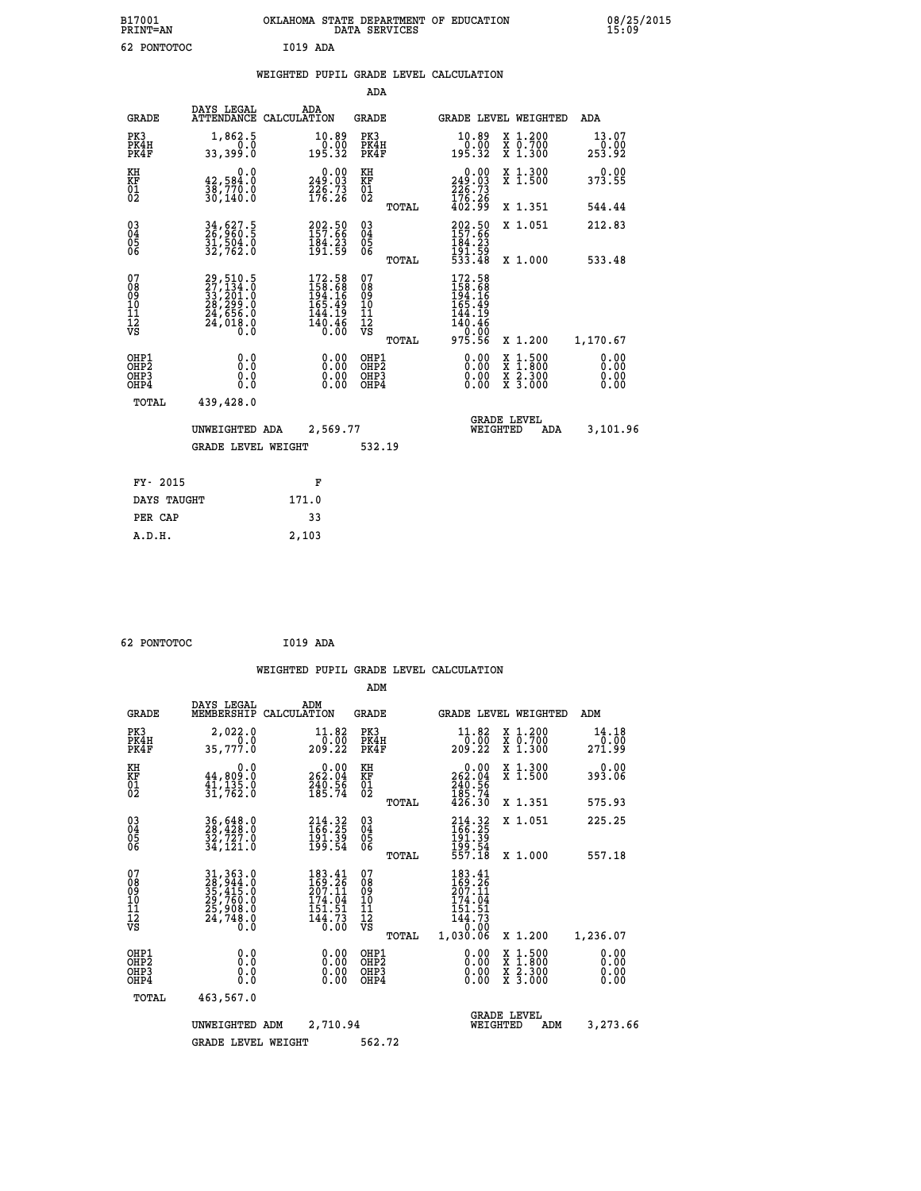| B17001<br><b>PRINT=AN</b> | OKLAHOMA STATE DEPARTMENT OF EDUCATION<br>DATA SERVICES | 08/25/2015<br>15:09 |
|---------------------------|---------------------------------------------------------|---------------------|
| 62<br>PONTOTOC            | I019 ADA                                                |                     |

|  |  | WEIGHTED PUPIL GRADE LEVEL CALCULATION |
|--|--|----------------------------------------|
|  |  |                                        |

|                                                                    |                                                                                           |                                                                         | ADA                                               |       |                                                                                                                                                 |                                                                            |                              |
|--------------------------------------------------------------------|-------------------------------------------------------------------------------------------|-------------------------------------------------------------------------|---------------------------------------------------|-------|-------------------------------------------------------------------------------------------------------------------------------------------------|----------------------------------------------------------------------------|------------------------------|
| <b>GRADE</b>                                                       | DAYS LEGAL                                                                                | ADA<br>ATTENDANCE CALCULATION                                           | <b>GRADE</b>                                      |       |                                                                                                                                                 | GRADE LEVEL WEIGHTED                                                       | <b>ADA</b>                   |
| PK3<br>PK4H<br>PK4F                                                | 1,862.5<br>0.0<br>33,399.0                                                                | $\begin{smallmatrix} 10.89\ 0.00 \ 195.32 \end{smallmatrix}$            | PK3<br>PK4H<br>PK4F                               |       | $\begin{smallmatrix} 10.89\ 0.00 \ 195.32 \end{smallmatrix}$                                                                                    | X 1.200<br>X 0.700<br>X 1.300                                              | 13.07<br>0.00<br>253.92      |
| KH<br>KF<br>01<br>02                                               | 0.0<br>42,584.0<br>30,770.0<br>30,140.0                                                   | $0.00$<br>249.03<br>$\frac{226}{176}$ : 73                              | KH<br>KF<br>$\begin{matrix} 01 \ 02 \end{matrix}$ |       | 0.00<br>249:03<br>226:73<br>176:26<br>402:99                                                                                                    | X 1.300<br>X 1.500                                                         | 0.00<br>373.55               |
|                                                                    |                                                                                           |                                                                         |                                                   | TOTAL |                                                                                                                                                 | X 1.351                                                                    | 544.44                       |
| $\begin{smallmatrix} 03 \\[-4pt] 04 \end{smallmatrix}$<br>05<br>ŌĞ | 34,627.5<br>26,960.5<br>31,504.0<br>32,762.0                                              | 202.50<br>157.66<br>$\frac{184.23}{191.59}$                             | $\substack{03 \\ 04}$<br>05                       |       | 202.50<br>$\frac{184.23}{191.59}$<br>533.48                                                                                                     | X 1.051                                                                    | 212.83                       |
|                                                                    |                                                                                           |                                                                         |                                                   | TOTAL |                                                                                                                                                 | X 1.000                                                                    | 533.48                       |
| 07<br>08<br>09<br>11<br>11<br>12<br>VS                             | $29,510.5$<br>$27,134.0$<br>$33,201.0$<br>$28,299.0$<br>$24,656.0$<br>$24,018.0$<br>$0.0$ | $172.58$<br>$158.68$<br>$194.16$<br>$165.49$<br>$\frac{144.19}{140.46}$ | 07<br>08<br>09<br>11<br>11<br>12<br>VS            |       | $\begin{smallmatrix} 172\cdot58\\158\cdot68\\194\cdot16\\165\cdot49\\165\cdot49\\144\cdot19\\140\cdot46\\0\cdot00\\975\cdot56\end{smallmatrix}$ |                                                                            |                              |
|                                                                    |                                                                                           |                                                                         |                                                   | TOTAL |                                                                                                                                                 | X 1.200                                                                    | 1,170.67                     |
| OHP1<br>OHP <sub>2</sub><br>OHP3<br>OHP4                           | 0.0<br>Ō.Ō<br>0.0<br>$0.\overline{0}$                                                     | 0.00<br>$\begin{smallmatrix} 0.00 \ 0.00 \end{smallmatrix}$             | OHP1<br>OH <sub>P</sub> 2<br>OHP3<br>OHP4         |       | 0.00<br>0.00<br>0.00                                                                                                                            | $1:500$<br>$1:800$<br>X<br>X<br>$\frac{\ddot{x}}{x}$ $\frac{2.300}{3.000}$ | 0.00<br>0.00<br>0.00<br>0.00 |
| TOTAL                                                              | 439,428.0                                                                                 |                                                                         |                                                   |       |                                                                                                                                                 |                                                                            |                              |
|                                                                    | UNWEIGHTED ADA                                                                            | 2,569.77                                                                |                                                   |       |                                                                                                                                                 | <b>GRADE LEVEL</b><br>WEIGHTED<br>ADA                                      | 3,101.96                     |
|                                                                    | <b>GRADE LEVEL WEIGHT</b>                                                                 |                                                                         | 532.19                                            |       |                                                                                                                                                 |                                                                            |                              |
| FY- 2015                                                           |                                                                                           | F                                                                       |                                                   |       |                                                                                                                                                 |                                                                            |                              |
| DAYS TAUGHT                                                        |                                                                                           | 171.0                                                                   |                                                   |       |                                                                                                                                                 |                                                                            |                              |
|                                                                    |                                                                                           |                                                                         |                                                   |       |                                                                                                                                                 |                                                                            |                              |
| PER CAP                                                            |                                                                                           | 33                                                                      |                                                   |       |                                                                                                                                                 |                                                                            |                              |

|  | 62 PONTOTOC | I019 ADA |  |
|--|-------------|----------|--|
|--|-------------|----------|--|

 **A.D.H. 2,103**

 **ADM DAYS LEGAL ADM GRADE MEMBERSHIP CALCULATION GRADE GRADE LEVEL WEIGHTED ADM PK3 2,022.0 11.82 PK3 11.82 X 1.200 14.18 PK4H 0.0 0.00 PK4H 0.00 X 0.700 0.00 PK4F 35,777.0 209.22 PK4F 209.22 X 1.300 271.99 KH 0.0 0.00 KH 0.00 X 1.300 0.00 KF 44,809.0 262.04 KF 262.04 X 1.500 393.06**

 **WEIGHTED PUPIL GRADE LEVEL CALCULATION**

|                                                      |                                                                            |                                                                                            |                                                    |       |                                                                                                     | X 1.051                                             | 225.25                   |
|------------------------------------------------------|----------------------------------------------------------------------------|--------------------------------------------------------------------------------------------|----------------------------------------------------|-------|-----------------------------------------------------------------------------------------------------|-----------------------------------------------------|--------------------------|
| $\begin{matrix} 03 \\ 04 \\ 05 \\ 06 \end{matrix}$   | 36,648.0<br>28,428.0<br>32,727.0<br>34,121.0                               | 214.32<br>166.25<br>191.39<br>199.54                                                       | $\begin{matrix} 03 \\ 04 \\ 05 \\ 06 \end{matrix}$ | TOTAL | 214.32<br>166.25<br>191.39<br>199.54<br>557.18                                                      | X 1.000                                             | 557.18                   |
| 07<br>08<br>09<br>101<br>11<br>12<br>VS              | 31, 363.0<br>28, 944.0<br>35, 415.0<br>29, 760.0<br>25, 908.0<br>24, 748.0 | 183.41<br>$\frac{169}{207}$ : $\frac{26}{11}$<br>174.04<br>151.51<br>$\frac{144.73}{0.00}$ | 07<br>08<br>09<br>101<br>11<br>12<br>VS            | TOTAL | 183.41<br>$\frac{169}{207}. \frac{26}{11}$<br>174.04<br>151.51<br>$\frac{144.73}{0.00}$<br>1,030.06 | X 1.200                                             | 1,236.07                 |
| OHP1<br>OHP <sub>2</sub><br>OH <sub>P3</sub><br>OHP4 | 0.0<br>0.0<br>0.0                                                          | 0.00<br>0.00<br>0.00                                                                       | OHP1<br>OHP <sub>2</sub><br>OHP3<br>OHP4           |       | $0.00$<br>0.00<br>0.00                                                                              | x 1.500<br>x 1.800<br>x 2.300<br>X <sub>3.000</sub> | $0.00$<br>$0.00$<br>0.00 |
| TOTAL                                                | 463,567.0                                                                  |                                                                                            |                                                    |       |                                                                                                     |                                                     |                          |
|                                                      | UNWEIGHTED<br>ADM                                                          | 2,710.94                                                                                   |                                                    |       |                                                                                                     | <b>GRADE LEVEL</b><br>WEIGHTED<br>ADM               | 3,273.66                 |

GRADE LEVEL WEIGHT 562.72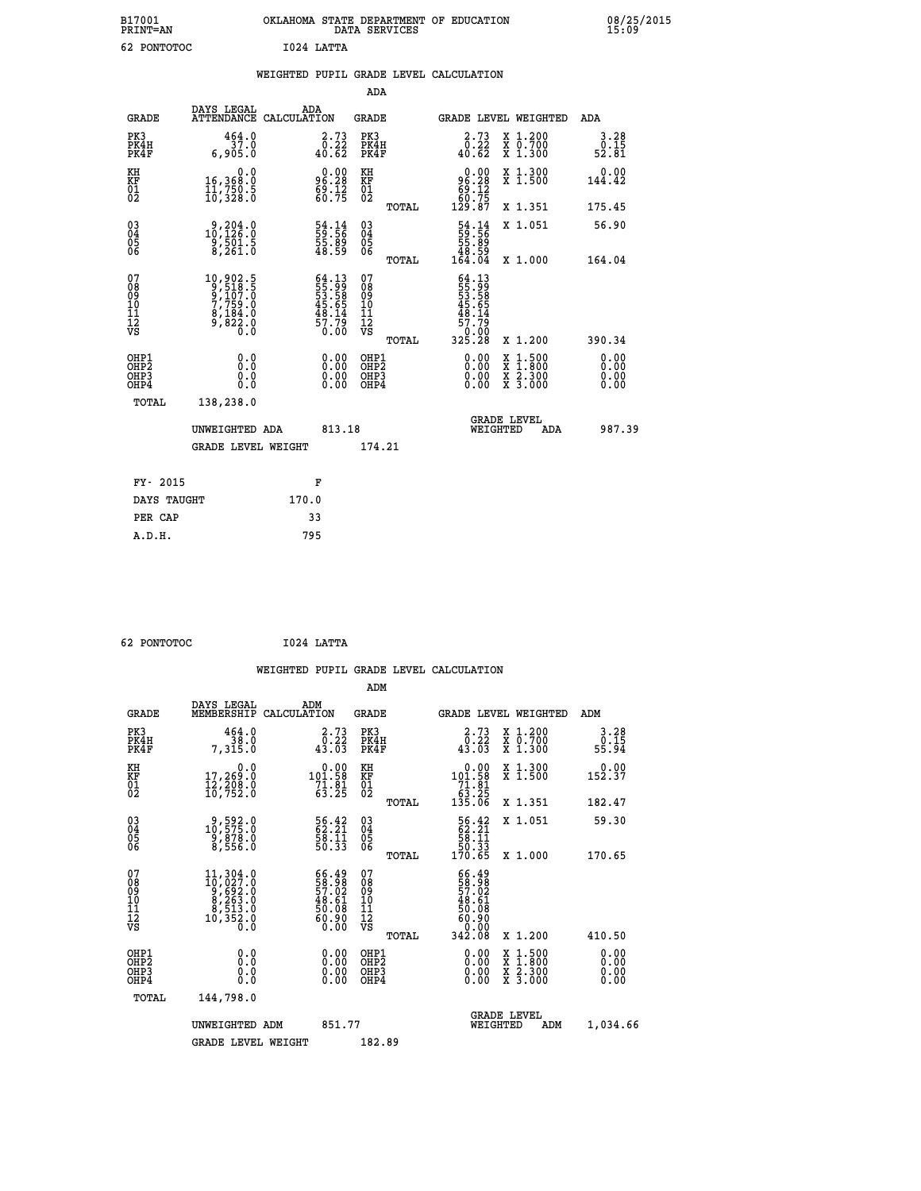| B17001<br><b>PRINT=AN</b> | OKLAHOMA STATE DEPARTMENT OF EDUCATION<br>DATA SERVICES |  |
|---------------------------|---------------------------------------------------------|--|
| 62 PONTOTOC               | Т024 ТАТТА                                              |  |

|                                                      |                                                                                                          |                                                                     | ADA                                                 |       |                                                                                    |                                                                                                                                           |                              |
|------------------------------------------------------|----------------------------------------------------------------------------------------------------------|---------------------------------------------------------------------|-----------------------------------------------------|-------|------------------------------------------------------------------------------------|-------------------------------------------------------------------------------------------------------------------------------------------|------------------------------|
| <b>GRADE</b>                                         | DAYS LEGAL<br>ATTENDANCE CALCULATION                                                                     | ADA                                                                 | <b>GRADE</b>                                        |       |                                                                                    | GRADE LEVEL WEIGHTED                                                                                                                      | ADA                          |
| PK3<br>PK4H<br>PK4F                                  | 464.0<br>37.0<br>6,905.0                                                                                 | $\begin{smallmatrix} 2\cdot73\0.22\40.62 \end{smallmatrix}$         | PK3<br>PK4H<br>PK4F                                 |       | $\begin{smallmatrix} 2\cdot73\0.22\0.62\end{smallmatrix}$                          | X 1.200<br>X 0.700<br>X 1.300                                                                                                             | 3.28<br>0.15<br>52.81        |
| KH<br>KF<br>01<br>02                                 | 0.0<br>16,368:0<br>11,750:5<br>10,328:0                                                                  | $96.28$<br>$69.12$<br>$60.75$                                       | KH<br>KF<br>01<br>02                                |       | $0.00$<br>$96.28$<br>$69.12$<br>$60.75$<br>$129.87$                                | X 1.300<br>X 1.500                                                                                                                        | 0.00<br>144.42               |
|                                                      |                                                                                                          |                                                                     |                                                     | TOTAL |                                                                                    | X 1.351                                                                                                                                   | 175.45                       |
| $\begin{matrix} 03 \\ 04 \\ 05 \\ 06 \end{matrix}$   | $\frac{9,204.0}{10,126.0}$<br>$\frac{9}{8}, \frac{5}{261}.5$                                             | 54.14<br>59.56<br>55.89<br>48.59                                    | $\begin{array}{c} 03 \\ 04 \\ 05 \\ 06 \end{array}$ |       | $\begin{smallmatrix} 54.14 \\ 59.56 \\ 55.89 \\ 48.59 \\ 164.04 \end{smallmatrix}$ | X 1.051                                                                                                                                   | 56.90                        |
|                                                      |                                                                                                          |                                                                     |                                                     | TOTAL |                                                                                    | X 1.000                                                                                                                                   | 164.04                       |
| 07<br>08<br>09<br>11<br>11<br>12<br>VS               | $\begin{smallmatrix} 10,902.5\\ 9,518.5\\ 9,107.0\\ 7,759.0\\ 8,184.0\\ 9,822.0\\ 0.0 \end{smallmatrix}$ | 64.13<br>55.99<br>53.58<br>53.65<br>45.65<br>48.14<br>57.79<br>0.00 | 07<br>08<br>09<br>11<br>11<br>12<br>VS              |       | 64.13<br>55.58<br>53.58<br>53.65<br>48.14<br>48.17<br>57.70<br>57.00<br>325.28     |                                                                                                                                           |                              |
|                                                      |                                                                                                          |                                                                     |                                                     | TOTAL |                                                                                    | X 1.200                                                                                                                                   | 390.34                       |
| OHP1<br>OH <sub>P</sub> <sub>2</sub><br>OHP3<br>OHP4 | 0.0<br>0.0<br>0.0                                                                                        | $\begin{smallmatrix} 0.00 \ 0.00 \ 0.00 \ 0.00 \end{smallmatrix}$   | OHP1<br>OHP <sub>2</sub><br>OHP3<br>OHP4            |       |                                                                                    | $\begin{smallmatrix} \mathtt{X} & 1\cdot500\\ \mathtt{X} & 1\cdot800\\ \mathtt{X} & 2\cdot300\\ \mathtt{X} & 3\cdot000 \end{smallmatrix}$ | 0.00<br>0.00<br>0.00<br>0.00 |
| <b>TOTAL</b>                                         | 138,238.0                                                                                                |                                                                     |                                                     |       |                                                                                    |                                                                                                                                           |                              |
|                                                      | UNWEIGHTED ADA                                                                                           | 813.18                                                              |                                                     |       |                                                                                    | <b>GRADE LEVEL</b><br>WEIGHTED<br>ADA                                                                                                     | 987.39                       |
|                                                      | <b>GRADE LEVEL WEIGHT</b>                                                                                |                                                                     | 174.21                                              |       |                                                                                    |                                                                                                                                           |                              |
|                                                      |                                                                                                          |                                                                     |                                                     |       |                                                                                    |                                                                                                                                           |                              |
| FY- 2015                                             |                                                                                                          | F                                                                   |                                                     |       |                                                                                    |                                                                                                                                           |                              |
| DAYS TAUGHT                                          |                                                                                                          | 170.0                                                               |                                                     |       |                                                                                    |                                                                                                                                           |                              |
| PER CAP                                              |                                                                                                          | 33                                                                  |                                                     |       |                                                                                    |                                                                                                                                           |                              |

 **62 PONTOTOC I024 LATTA**

 **A.D.H. 795**

 **WEIGHTED PUPIL GRADE LEVEL CALCULATION ADM DAYS LEGAL ADM**

| <b>GRADE</b>                                       | DAIS TEGAT<br>MEMBERSHIP                                                                                                                     | שעם<br>CALCULATION                                                                           | <b>GRADE</b>                                        |       |                                                                                                |          | <b>GRADE LEVEL WEIGHTED</b>                                                                                         | ADM                          |  |
|----------------------------------------------------|----------------------------------------------------------------------------------------------------------------------------------------------|----------------------------------------------------------------------------------------------|-----------------------------------------------------|-------|------------------------------------------------------------------------------------------------|----------|---------------------------------------------------------------------------------------------------------------------|------------------------------|--|
| PK3<br>PK4H<br>PK4F                                | $464.0$<br>$38.0$<br>7,315.0                                                                                                                 | 2.73<br>$\overline{0}$ : 22<br>43.03                                                         | PK3<br>PK4H<br>PK4F                                 |       | $\begin{smallmatrix} 2\cdot73\0.22\0.33 \end{smallmatrix}$                                     |          | X 1.200<br>X 0.700<br>X 1.300                                                                                       | $3.28$<br>0.15<br>55.94      |  |
| KH<br>KF<br>01<br>02                               | $\begin{smallmatrix} & & 0.0\ 17,269.0\ 12,208.0\ 16,752.0 \end{smallmatrix}$                                                                | $\begin{array}{c} 0.00 \\ 101.58 \\ 71.81 \\ 63.25 \end{array}$                              | KH<br>KF<br>01<br>02                                |       | 0.00<br>$101.58$<br>$71.81$<br>$63.25$<br>$135.06$                                             |          | X 1.300<br>X 1.500                                                                                                  | 0.00<br>152.37               |  |
|                                                    |                                                                                                                                              |                                                                                              |                                                     | TOTAL |                                                                                                |          | X 1.351                                                                                                             | 182.47                       |  |
| $\begin{matrix} 03 \\ 04 \\ 05 \\ 06 \end{matrix}$ | $\begin{smallmatrix} 9, 592.0\\ 10, 575.0\\ 9, 878.0\\ 8, 556.0 \end{smallmatrix}$                                                           | 56.42<br>62.21<br>58.11<br>50.33                                                             | $\begin{array}{c} 03 \\ 04 \\ 05 \\ 06 \end{array}$ |       | $\begin{array}{r} 56.42 \\ 62.21 \\ 58.11 \\ 50.33 \\ 170.65 \end{array}$                      |          | X 1.051                                                                                                             | 59.30                        |  |
|                                                    |                                                                                                                                              |                                                                                              |                                                     | TOTAL |                                                                                                |          | $X_1.000$                                                                                                           | 170.65                       |  |
| 07<br>08<br>09<br>101<br>11<br>12<br>VS            | $\begin{smallmatrix} 11,304\cdot 0\\ 10,027\cdot 0\\ 9,692\cdot 0\\ 8,263\cdot 0\\ 8,513\cdot 0\\ 10,352\cdot 0\\ 0\cdot 0\end{smallmatrix}$ | $\begin{smallmatrix} 66.49\\ 58.98\\ 57.02\\ 48.61\\ 50.08\\ 60.90\\ 0.00 \end{smallmatrix}$ | 07<br>08<br>09<br>001<br>11<br>11<br>12<br>VS       |       | $\begin{smallmatrix} 66.49\\ 58.98\\ 57.02\\ 48.61\\ 60.90\\ 60.00\\ 342.08 \end{smallmatrix}$ |          |                                                                                                                     |                              |  |
|                                                    |                                                                                                                                              |                                                                                              |                                                     | TOTAL |                                                                                                |          | X 1.200                                                                                                             | 410.50                       |  |
| OHP1<br>OHP2<br>OHP <sub>3</sub><br>OHP4           | 0.0<br>0.000                                                                                                                                 | $\begin{smallmatrix} 0.00 \ 0.00 \ 0.00 \ 0.00 \end{smallmatrix}$                            | OHP1<br>OHP2<br>OHP3<br>OHP4                        |       | $0.00$<br>$0.00$<br>0.00                                                                       |          | $\begin{array}{l} \mathtt{X} & 1.500 \\ \mathtt{X} & 1.800 \\ \mathtt{X} & 2.300 \\ \mathtt{X} & 3.000 \end{array}$ | 0.00<br>0.00<br>0.00<br>0.00 |  |
| TOTAL                                              | 144,798.0                                                                                                                                    |                                                                                              |                                                     |       |                                                                                                |          |                                                                                                                     |                              |  |
|                                                    | UNWEIGHTED ADM                                                                                                                               | 851.77                                                                                       |                                                     |       |                                                                                                | WEIGHTED | <b>GRADE LEVEL</b><br>ADM                                                                                           | 1,034.66                     |  |
|                                                    | <b>GRADE LEVEL WEIGHT</b>                                                                                                                    |                                                                                              | 182.89                                              |       |                                                                                                |          |                                                                                                                     |                              |  |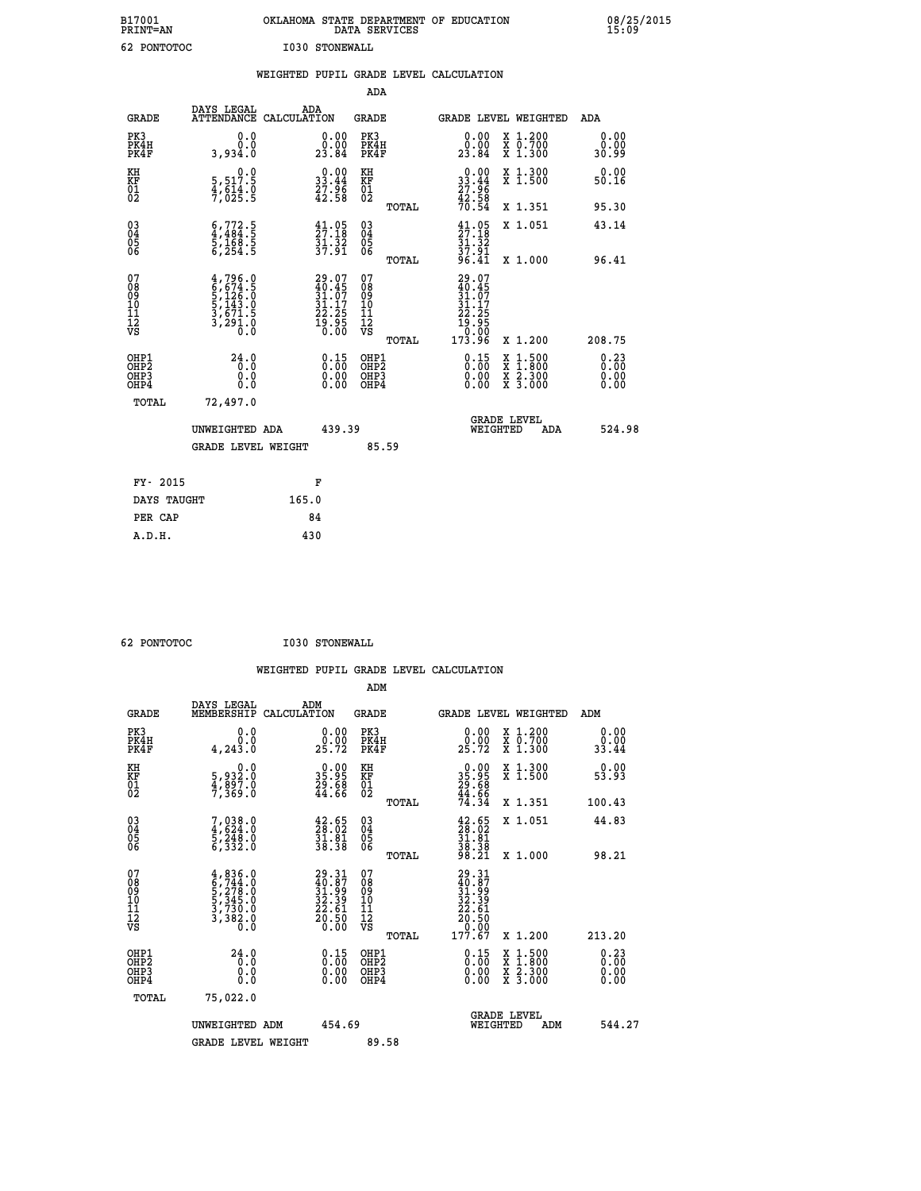| B17001<br><b>PRINT=AN</b> | OKLAHOMA STATE DEPARTMENT OF EDUCATION<br>DATA SERVICES | 08/25/2015<br>15:09 |
|---------------------------|---------------------------------------------------------|---------------------|
| 62 PONTOTOC               | I030 STONEWALL                                          |                     |

|                                                                    |                                                                                     | WEIGHTED PUPIL GRADE LEVEL CALCULATION                               |                                                 |                                                                                             |                                                                                                                                           |                       |
|--------------------------------------------------------------------|-------------------------------------------------------------------------------------|----------------------------------------------------------------------|-------------------------------------------------|---------------------------------------------------------------------------------------------|-------------------------------------------------------------------------------------------------------------------------------------------|-----------------------|
|                                                                    |                                                                                     |                                                                      | <b>ADA</b>                                      |                                                                                             |                                                                                                                                           |                       |
| <b>GRADE</b>                                                       | DAYS LEGAL                                                                          | ADA<br>ATTENDANCE CALCULATION                                        | GRADE                                           | GRADE LEVEL WEIGHTED                                                                        |                                                                                                                                           | ADA                   |
| PK3<br>PK4H<br>PK4F                                                | 0.0<br>0.0<br>3,934.0                                                               | $\begin{smallmatrix} 0.00\\ 0.00\\ 23.84 \end{smallmatrix}$          | PK3<br>PK4H<br>PK4F                             | 0.00<br>0.00<br>23.84                                                                       | X 1.200<br>X 0.700<br>X 1.300                                                                                                             | 0.00<br>0.00<br>30.99 |
| KH<br>KF<br>01<br>02                                               | $\begin{smallmatrix}&&&0.0\\5,517.5\\4,614.0\\7,025.5\end{smallmatrix}$             | $\begin{smallmatrix} 0.00\\ 33.44\\ 27.96\\ 42.58 \end{smallmatrix}$ | KH<br>KF<br>01<br>02                            | $\begin{array}{c} 0.00 \\ 33.44 \\ 27.96 \\ 42.58 \end{array}$                              | X 1.300<br>X 1.500                                                                                                                        | 0.00<br>50.16         |
|                                                                    |                                                                                     |                                                                      | TOTAL                                           | 70.54                                                                                       | X 1.351                                                                                                                                   | 95.30                 |
| $\begin{smallmatrix} 03 \\[-4pt] 04 \end{smallmatrix}$<br>Ŏ5<br>06 | $6,772.5$<br>$4,484.5$<br>$5,168.5$<br>$6,254.5$                                    | $\frac{41.05}{27.18}$<br>$\frac{51}{37}$ $\frac{32}{91}$             | $\substack{03 \\ 04}$<br>Ŏ5<br>06               | $\begin{smallmatrix} 41.05\\27.18\\31.32\\37.91\\96.41\\ \end{smallmatrix}$                 | X 1.051                                                                                                                                   | 43.14                 |
|                                                                    |                                                                                     |                                                                      | TOTAL                                           |                                                                                             | X 1.000                                                                                                                                   | 96.41                 |
| 07<br>08<br>09<br>11<br>11<br>12<br>VS                             | $4,796.0$<br>$6,674.5$<br>$5,126.0$<br>$5,143.0$<br>$3,671.5$<br>$3,291.0$<br>$0.0$ | $29.07\n40.45\n31.07\n31.17\n22.25\n19.95\n0.00$                     | 07<br>08<br>09<br>11<br>11<br>12<br>VS<br>TOTAL | 29.07<br>$\frac{40.45}{31.07}$<br>$\frac{31.17}{31.17}$<br>22:25<br>19:95<br>0.00<br>173:96 | X 1.200                                                                                                                                   | 208.75                |
| OHP1<br>OH <sub>P</sub> 2<br>OHP3<br>OHP4                          | 24.0<br>Ō.Ō<br>0.0<br>0.0                                                           | $\begin{smallmatrix} 0.15\ 0.00\ 0.00 \end{smallmatrix}$             | OHP1<br>OHP <sub>2</sub><br>OHP3<br>OHP4        | $\begin{smallmatrix} 0.15\\ 0.00\\ 0.00\\ 0.00 \end{smallmatrix}$                           | $\begin{smallmatrix} \mathtt{X} & 1\cdot500\\ \mathtt{X} & 1\cdot800\\ \mathtt{X} & 2\cdot300\\ \mathtt{X} & 3\cdot000 \end{smallmatrix}$ | 0.23<br>0.00<br>0.00  |
| TOTAL                                                              | 72,497.0                                                                            |                                                                      |                                                 |                                                                                             |                                                                                                                                           |                       |
|                                                                    | UNWEIGHTED ADA                                                                      | 439.39                                                               |                                                 | <b>GRADE LEVEL</b><br>WEIGHTED                                                              | <b>ADA</b>                                                                                                                                | 524.98                |
|                                                                    | <b>GRADE LEVEL WEIGHT</b>                                                           |                                                                      | 85.59                                           |                                                                                             |                                                                                                                                           |                       |
|                                                                    | FY- 2015                                                                            | F                                                                    |                                                 |                                                                                             |                                                                                                                                           |                       |
|                                                                    | DAYS TAUGHT                                                                         | 165.0                                                                |                                                 |                                                                                             |                                                                                                                                           |                       |
| PER CAP                                                            |                                                                                     | 84                                                                   |                                                 |                                                                                             |                                                                                                                                           |                       |

 **62 PONTOTOC I030 STONEWALL**

 **WEIGHTED PUPIL GRADE LEVEL CALCULATION ADM DAYS LEGAL ADM GRADE MEMBERSHIP CALCULATION GRADE GRADE LEVEL WEIGHTED ADM**

| GRADE                                              | MEMBERSHIP CALCULATION                                                              |                                                                       | GRADE                                              | GRADE PRART METGHIED                                                           |                                          | ADM                        |
|----------------------------------------------------|-------------------------------------------------------------------------------------|-----------------------------------------------------------------------|----------------------------------------------------|--------------------------------------------------------------------------------|------------------------------------------|----------------------------|
| PK3<br>PK4H<br>PK4F                                | 0.0<br>Ō.Ō<br>4, 243.0                                                              | $\begin{smallmatrix} 0.00\\ 0.00\\ 25.72 \end{smallmatrix}$           | PK3<br>PK4H<br>PK4F                                | 0.00<br>$2\overline{5}\cdot\overline{7}2$                                      | X 1.200<br>X 0.700<br>X 1.300            | 0.00<br>33.44              |
| KH<br>KF<br>01<br>02                               | 0.0<br>5,932:0<br>4,897:0<br>7,369:0                                                | $\begin{smallmatrix} 0.00\\ 35.95\\ 29.68\\ 44.66 \end{smallmatrix}$  | KH<br>KF<br>01<br>02                               | $\begin{smallmatrix} 0.00\\ 35.95\\ 29.68\\ 44.66\\ 74.34\\ \end{smallmatrix}$ | X 1.300<br>X 1.500                       | 0.00<br>53.93              |
|                                                    |                                                                                     |                                                                       | TOTAL                                              |                                                                                | X 1.351                                  | 100.43                     |
| $\begin{matrix} 03 \\ 04 \\ 05 \\ 06 \end{matrix}$ | $7,038.0$<br>$4,624.0$<br>$5,248.0$<br>$6,332.0$                                    | $\begin{smallmatrix} 42.65\\ 28.02\\ 31.81\\ 38.38 \end{smallmatrix}$ | $\begin{matrix} 03 \\ 04 \\ 05 \\ 06 \end{matrix}$ | $\begin{smallmatrix} 42.65\\28.02\\31.81\\38.38\\98.21 \end{smallmatrix}$      | X 1.051                                  | 44.83                      |
|                                                    |                                                                                     |                                                                       | <b>TOTAL</b>                                       |                                                                                | X 1.000                                  | 98.21                      |
| 07<br>08<br>09<br>101<br>11<br>12<br>VS            | $4,836.0$<br>$6,744.0$<br>$5,278.0$<br>$5,345.0$<br>$3,730.0$<br>$3,382.0$<br>$0.0$ | 29.31<br>40.87<br>31.99<br>32.39<br>22.61<br>20.50                    | 07<br>08<br>09<br>01<br>11<br>11<br>17<br>VS       | $29.31$<br>$31.99$<br>$32.39$<br>$22.61$<br>$20.50$<br>$0.00$<br>$177.67$      |                                          |                            |
|                                                    |                                                                                     | 0.00                                                                  | TOTAL                                              |                                                                                | $X_1.200$                                | 213.20                     |
| OHP1<br>OHP2<br>OH <sub>P3</sub><br>OHP4           | 24.0<br>0.0<br>0.000                                                                | $\begin{smallmatrix} 0.15\ 0.00\ 0.00 \end{smallmatrix}$              | OHP1<br>OHP2<br>OHP3<br>OHP4                       | $\begin{smallmatrix} 0.15\ 0.00\ 0.00 \end{smallmatrix}$                       | X 1:500<br>X 1:800<br>X 2:300<br>X 3:000 | $0.23\n0.00\n0.00$<br>0.00 |
| TOTAL                                              | 75,022.0                                                                            |                                                                       |                                                    |                                                                                |                                          |                            |
|                                                    | UNWEIGHTED ADM                                                                      | 454.69                                                                |                                                    | WEIGHTED                                                                       | <b>GRADE LEVEL</b><br>ADM                | 544.27                     |
|                                                    | <b>GRADE LEVEL WEIGHT</b>                                                           |                                                                       | 89.58                                              |                                                                                |                                          |                            |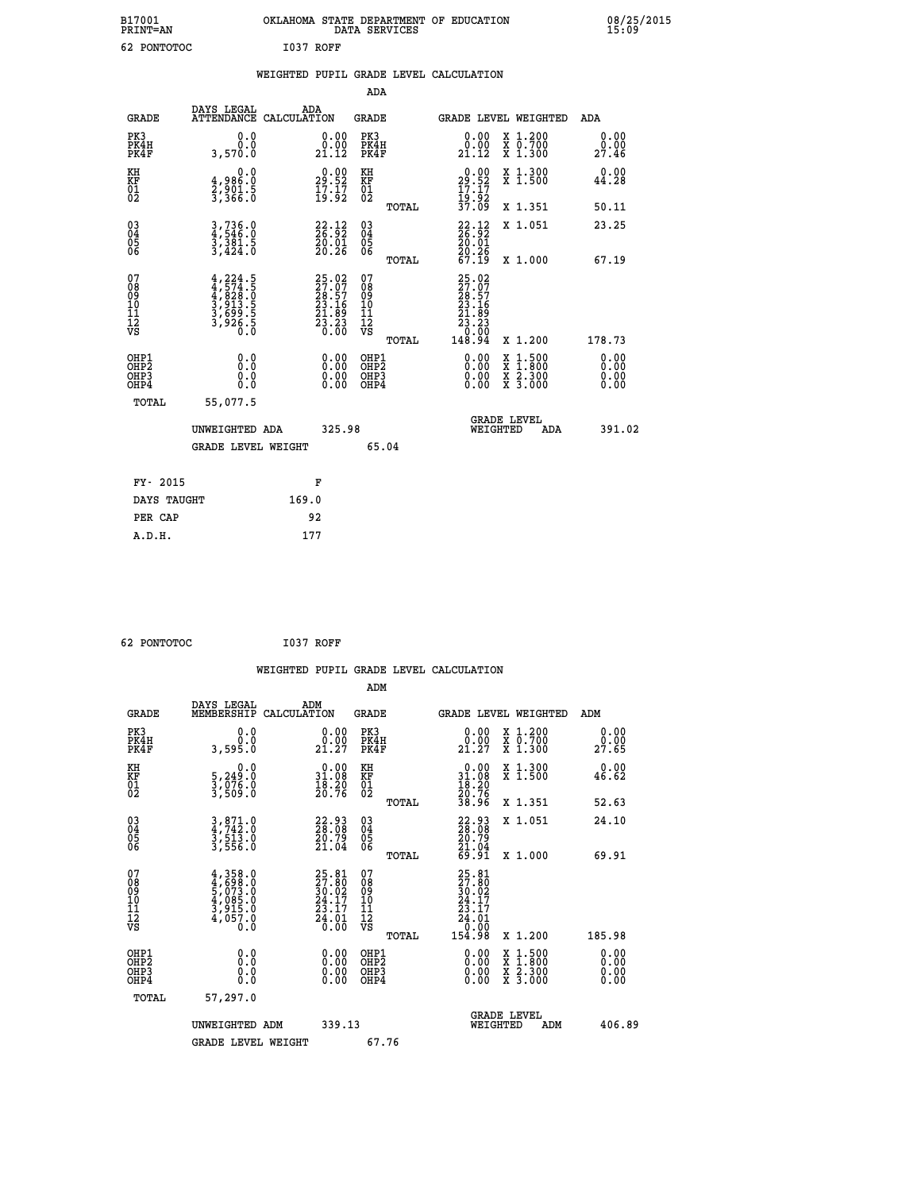| B17001<br><b>PRINT=AN</b> | OKLAHOMA STATE DEPARTMENT OF EDUCATION<br>DATA SERVICES | 08/25/2015<br>15:09 |
|---------------------------|---------------------------------------------------------|---------------------|
| 62<br>PONTOTOC            | I037<br>ROFF                                            |                     |

|  |  | WEIGHTED PUPIL GRADE LEVEL CALCULATION |
|--|--|----------------------------------------|
|  |  |                                        |

|                                                                    |                                                                                                                                           |                                                                          | ADA                                    |       |                                                                           |                                                                                                                                           |                       |
|--------------------------------------------------------------------|-------------------------------------------------------------------------------------------------------------------------------------------|--------------------------------------------------------------------------|----------------------------------------|-------|---------------------------------------------------------------------------|-------------------------------------------------------------------------------------------------------------------------------------------|-----------------------|
| <b>GRADE</b>                                                       | DAYS LEGAL<br>ATTENDANCE CALCULATION                                                                                                      | ADA                                                                      | <b>GRADE</b>                           |       |                                                                           | <b>GRADE LEVEL WEIGHTED</b>                                                                                                               | ADA                   |
| PK3<br>PK4H<br>PK4F                                                | 0.0<br>0.0<br>3,570.0                                                                                                                     | $\begin{smallmatrix} 0.00\\ 0.00\\ 21.12 \end{smallmatrix}$              | PK3<br>PK4H<br>PK4F                    |       | 0.00<br>21.12                                                             | X 1.200<br>X 0.700<br>X 1.300                                                                                                             | 0.00<br>0.00<br>27.46 |
| KH<br>KF<br>01<br>02                                               | 0.0<br>4,986:0<br>2,901.5<br>3,366:0                                                                                                      | $29.52$<br>$17.17$<br>$19.92$                                            | KH<br>KF<br>$\overline{01}$            |       | $29.52$<br>$17.17$<br>$19.92$<br>$37.09$                                  | X 1.300<br>X 1.500                                                                                                                        | 0.00<br>44.28         |
|                                                                    |                                                                                                                                           |                                                                          |                                        | TOTAL |                                                                           | X 1.351                                                                                                                                   | 50.11                 |
| $\begin{smallmatrix} 03 \\[-4pt] 04 \end{smallmatrix}$<br>Ŏ5<br>06 | $3,736.0$<br>$3,381.5$<br>$3,424.0$                                                                                                       | $\begin{smallmatrix} 22.12\ 26.92\ 20.01\ 20.26 \end{smallmatrix}$       | 03<br>04<br>05<br>06                   |       | 22.12<br>$\frac{20.01}{20.26}$<br>67.19                                   | X 1.051                                                                                                                                   | 23.25                 |
|                                                                    |                                                                                                                                           |                                                                          |                                        | TOTAL |                                                                           | X 1.000                                                                                                                                   | 67.19                 |
| 07<br>08<br>09<br>11<br>11<br>12<br>VS                             | $\begin{smallmatrix} 4,224\cdot 5\\ 4,574\cdot 5\\ 4,828\cdot 0\\ 3,913\cdot 5\\ 3,699\cdot 5\\ 3,926\cdot 5\\ 0\cdot 0\end{smallmatrix}$ | $25.02$<br>$27.97$<br>$28.57$<br>$23.16$<br>$21.89$<br>$23.23$<br>$0.00$ | 07<br>08<br>09<br>11<br>11<br>12<br>VS |       | $25.02$<br>$27.97$<br>$28.57$<br>$23.16$<br>$21.89$<br>$23.23$<br>$20.00$ |                                                                                                                                           |                       |
|                                                                    |                                                                                                                                           |                                                                          |                                        | TOTAL | 148.94                                                                    | X 1.200                                                                                                                                   | 178.73                |
| OHP1<br>OHP2<br>OH <sub>P3</sub><br>OHP4                           | 0.0<br>0.0<br>0.0                                                                                                                         | 0.00<br>0.00<br>0.00                                                     | OHP1<br>OHP2<br>OHP3<br>OHP4           |       | 0.00<br>0.00                                                              | $\begin{smallmatrix} \mathtt{X} & 1\cdot500\\ \mathtt{X} & 1\cdot800\\ \mathtt{X} & 2\cdot300\\ \mathtt{X} & 3\cdot000 \end{smallmatrix}$ | 0.00<br>0.00<br>0.00  |
| TOTAL                                                              | 55,077.5                                                                                                                                  |                                                                          |                                        |       |                                                                           |                                                                                                                                           |                       |
|                                                                    | UNWEIGHTED ADA                                                                                                                            | 325.98                                                                   |                                        |       |                                                                           | <b>GRADE LEVEL</b><br>WEIGHTED<br>ADA                                                                                                     | 391.02                |
|                                                                    | <b>GRADE LEVEL WEIGHT</b>                                                                                                                 |                                                                          |                                        | 65.04 |                                                                           |                                                                                                                                           |                       |
| FY- 2015                                                           |                                                                                                                                           | F                                                                        |                                        |       |                                                                           |                                                                                                                                           |                       |
| DAYS TAUGHT                                                        |                                                                                                                                           | 169.0                                                                    |                                        |       |                                                                           |                                                                                                                                           |                       |
| PER CAP                                                            |                                                                                                                                           | 92                                                                       |                                        |       |                                                                           |                                                                                                                                           |                       |

 **62 PONTOTOC I037 ROFF WEIGHTED PUPIL GRADE LEVEL CALCULATION ADM DAYS LEGAL ADM GRADE MEMBERSHIP CALCULATION GRADE GRADE LEVEL WEIGHTED ADM PK3 0.0 0.00 PK3 0.00 X 1.200 0.00 PK4H 0.0 0.00 PK4H 0.00 X 0.700 0.00 PK4F 3,595.0 21.27 PK4F 21.27 X 1.300 27.65 KH 0.0 0.00 KH 0.00 X 1.300 0.00 KF 5,249.0 31.08 KF 31.08 X 1.500 46.62 01 3,076.0 18.20 01 18.20 02 3,509.0 20.76 02 20.76 TOTAL 38.96 X 1.351 52.63 03 3,871.0 22.93 03 22.93 X 1.051 24.10 04 4,742.0 28.08 04 28.08 05 3,513.0 20.79 05 20.79** 06 3,556.0 21.04 06 <sub>momas</sub> 21.04  **TOTAL 69.91 X 1.000 69.91**  $\begin{array}{cccc} 07 & 4\, , 358\, . \ 09 & 4\, , 588\, . \ 09 & 5\, , 698\, . \ 07 & 30\, .02 & 27\, .80\, . \ 09 & 5\, , 073\, .0 & 30\, .02 & 09 & 20\, .02\, . \ 10 & 4\, , 085\, .0 & 24\, .17 & 10 & 24\, .17\, . \ 11 & 3\, , 915\, .0 & 23\, .17 & 11 & 23\, .17\, . \ \hline\hline\h$  **TOTAL 154.98 X 1.200 185.98 OHP1 0.0 0.00 OHP1 0.00 X 1.500 0.00 OHP2 0.0 0.00 OHP2 0.00 X 1.800 0.00 OHP3 0.0 0.00 OHP3 0.00 X 2.300 0.00 OHP4 0.0 0.00 OHP4 0.00 X 3.000 0.00 TOTAL 57,297.0 GRADE LEVEL UNWEIGHTED ADM 339.13 WEIGHTED ADM 406.89** GRADE LEVEL WEIGHT 67.76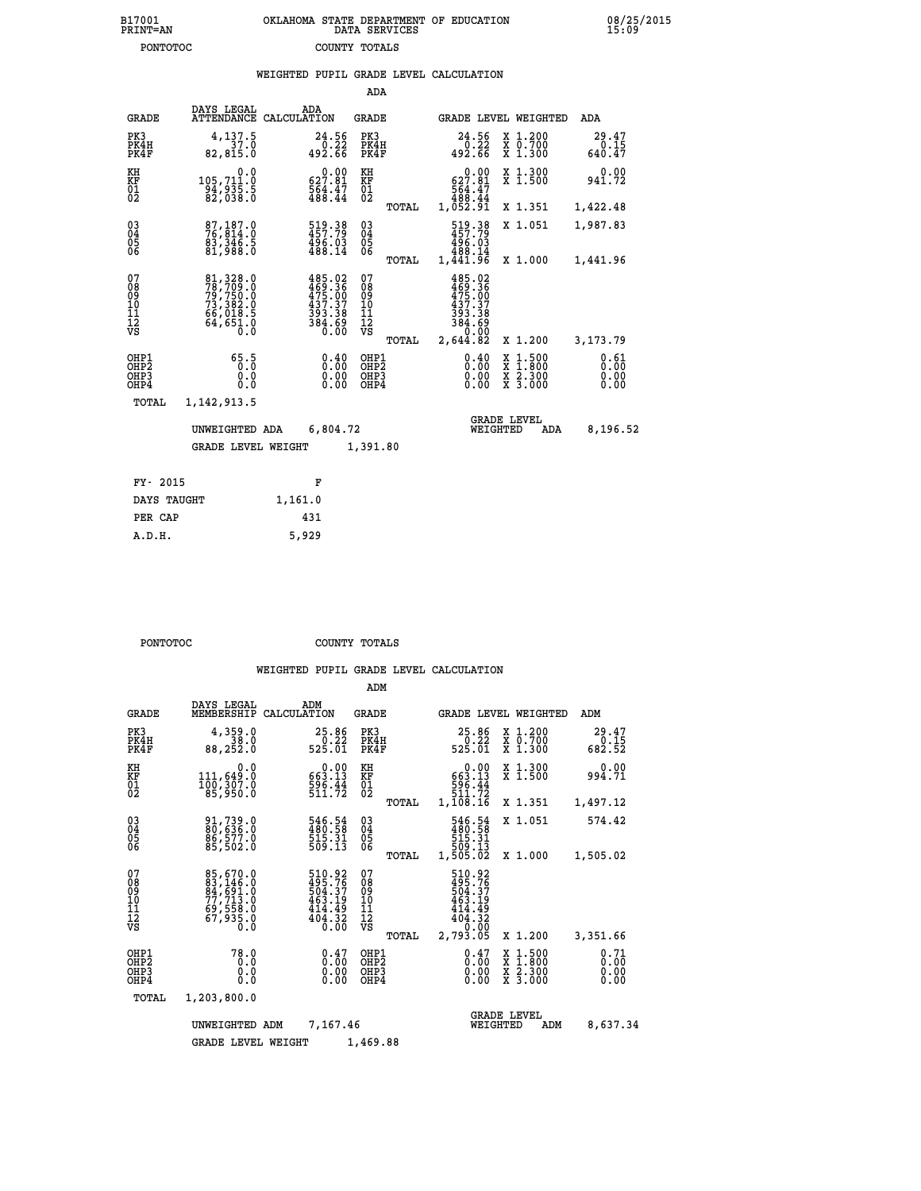|  |  | WEIGHTED PUPIL GRADE LEVEL CALCULATION |  |
|--|--|----------------------------------------|--|
|  |  |                                        |  |

|                                                                    |                                                                                   |             |                                                                                | ADA                                      |       |                                                                 |                                |                                                                                                  |                              |
|--------------------------------------------------------------------|-----------------------------------------------------------------------------------|-------------|--------------------------------------------------------------------------------|------------------------------------------|-------|-----------------------------------------------------------------|--------------------------------|--------------------------------------------------------------------------------------------------|------------------------------|
| <b>GRADE</b>                                                       | DAYS LEGAL<br><b>ATTENDANCE</b>                                                   | CALCULATION | ADA                                                                            | <b>GRADE</b>                             |       |                                                                 |                                | GRADE LEVEL WEIGHTED                                                                             | <b>ADA</b>                   |
| PK3<br>PK4H<br>PK4F                                                | 4,137.5<br>37.0<br>82,815.0                                                       |             | 24.56<br>0.22<br>492.66                                                        | PK3<br>PK4H<br>PK4F                      |       | 24.56<br>492.66                                                 | 0.22                           | X 1.200<br>X 0.700<br>X 1.300                                                                    | 29.47<br>0.15<br>640.47      |
| KH<br><b>KF</b><br>01<br>02                                        | 0.0<br>105,711.0<br>$\frac{34}{82}$ , 935.5<br>82, 038.0                          |             | $0.00$<br>627.81<br>564.47<br>488.44                                           | KH<br>KF<br>01<br>02                     |       | $0.00$<br>627.81<br>564.47<br>488.44<br>1,052.91                |                                | X 1.300<br>X 1.500                                                                               | 0.00<br>941.72               |
|                                                                    |                                                                                   |             |                                                                                |                                          | TOTAL |                                                                 |                                | X 1.351                                                                                          | 1,422.48                     |
| $\begin{smallmatrix} 03 \\[-4pt] 04 \end{smallmatrix}$<br>Ŏ5<br>06 | 87,187.0<br>76,814.0<br>83,346.5<br>81,988.0                                      |             | 519.38<br>457.79<br>496.03<br>488.14                                           | $^{03}_{04}$<br>$\substack{05 \\ 06}$    |       | 519.38<br>457.79<br>496.03<br>488.14<br>1,441.96                |                                | X 1.051                                                                                          | 1,987.83                     |
|                                                                    |                                                                                   |             |                                                                                |                                          | TOTAL |                                                                 |                                | X 1.000                                                                                          | 1,441.96                     |
| 07<br>08<br>09<br>11<br>11<br>12<br>VS                             | 81, 328.0<br>78, 709.0<br>79, 750.0<br>73, 382.0<br>66, 018.5<br>64, 651.0<br>0.0 |             | $485.02$<br>$469.36$<br>$475.00$<br>$437.37$<br>$393.38$<br>$\frac{384}{0.00}$ | 07<br>08<br>09<br>11<br>11<br>12<br>VS   |       | 485.02<br>469.36<br>475.00<br>437.37<br>$\frac{393.38}{384.69}$ |                                |                                                                                                  |                              |
|                                                                    |                                                                                   |             |                                                                                |                                          | TOTAL | 2,644.82                                                        |                                | X 1.200                                                                                          | 3, 173, 79                   |
| OHP1<br>OHP2<br>OH <sub>P3</sub><br>OHP4                           | 65.5<br>0.000                                                                     |             | 0.40<br>0.00<br>0.00                                                           | OHP1<br>OHP <sub>2</sub><br>OHP3<br>OHP4 |       |                                                                 | 0.40<br>0.00<br>0.00           | $\begin{smallmatrix} x & 1 & 500 \\ x & 1 & 800 \\ x & 2 & 300 \\ x & 3 & 000 \end{smallmatrix}$ | 0.61<br>0.00<br>0.00<br>0.00 |
| <b>TOTAL</b>                                                       | 1,142,913.5                                                                       |             |                                                                                |                                          |       |                                                                 |                                |                                                                                                  |                              |
|                                                                    | UNWEIGHTED ADA                                                                    |             | 6,804.72                                                                       |                                          |       |                                                                 | <b>GRADE LEVEL</b><br>WEIGHTED | ADA                                                                                              | 8,196.52                     |
|                                                                    | <b>GRADE LEVEL WEIGHT</b>                                                         |             |                                                                                | 1,391.80                                 |       |                                                                 |                                |                                                                                                  |                              |
|                                                                    |                                                                                   |             |                                                                                |                                          |       |                                                                 |                                |                                                                                                  |                              |
| FY- 2015                                                           |                                                                                   |             | F                                                                              |                                          |       |                                                                 |                                |                                                                                                  |                              |
| DAYS TAUGHT                                                        |                                                                                   | 1,161.0     |                                                                                |                                          |       |                                                                 |                                |                                                                                                  |                              |

| PONTOTOC | COUNTY TOTALS |  |
|----------|---------------|--|

 **PER CAP 431 A.D.H. 5,929**

|                                                       |                                                                                  |                                                                  | ADM                                              |                                                                              |                                                                                                  |                              |
|-------------------------------------------------------|----------------------------------------------------------------------------------|------------------------------------------------------------------|--------------------------------------------------|------------------------------------------------------------------------------|--------------------------------------------------------------------------------------------------|------------------------------|
| <b>GRADE</b>                                          | DAYS LEGAL<br>MEMBERSHIP                                                         | ADM<br>CALCULATION                                               | <b>GRADE</b>                                     | <b>GRADE LEVEL WEIGHTED</b>                                                  |                                                                                                  | ADM                          |
| PK3<br>PK4H<br>PK4F                                   | 4,359.0<br>38.0<br>88,252.0                                                      | 25.86<br>$\frac{5}{25}.22$                                       | PK3<br>PK4H<br>PK4F                              | 25.86<br>$\frac{5}{25}$ . 225<br>525.01                                      | $\begin{smallmatrix} x & 1.200 \\ x & 0.700 \end{smallmatrix}$<br>X 1.300                        | 29.47<br>0.15<br>682.52      |
| KH<br>KF<br>01<br>02                                  | 0.0<br>111,649.0<br>100,307.0<br>85,950.0                                        | $0.00$<br>13.13<br>$\frac{596}{511}.72$                          | KH<br>KF<br>01<br>02                             | 0.00<br>663:13<br>596:44<br>511:72                                           | X 1.300<br>X 1.500                                                                               | 0.00<br>994.71               |
|                                                       |                                                                                  |                                                                  | TOTAL                                            | 1,108.16                                                                     | X 1.351                                                                                          | 1,497.12                     |
| 03<br>04<br>05<br>06                                  | 91,739.0<br>80,636.0<br>86,577.0<br>85,502.0                                     | $\frac{546}{480}$ : 58<br>515: 31<br>509: 13                     | $\substack{03 \\ 04}$<br>05                      | 546.54<br>480.58<br>515.31                                                   | X 1.051                                                                                          | 574.42                       |
|                                                       |                                                                                  |                                                                  | TOTAL                                            | 13.003<br>1,505.02                                                           | X 1.000                                                                                          | 1,505.02                     |
| 07<br>08<br>09<br>101<br>112<br>VS                    | 85,670.0<br>83,146.0<br>84,691.0<br>77,713.0<br>69,558.0<br>67,935.0<br>67,935.0 | 510.92<br>495.76<br>504.37<br>463.19<br>414.49<br>404.32<br>0.00 | 07<br>08<br>09<br>101<br>11<br>12<br>VS<br>TOTAL | 510.92<br>495.76<br>504.37<br>463.19<br>414.49<br>404.32<br>0.00<br>2,793.05 | X 1.200                                                                                          | 3,351.66                     |
| OHP1<br>OH <sub>P</sub> 2<br>OH <sub>P3</sub><br>OHP4 | 78.0<br>0.0<br>0.000                                                             | $0.47$<br>$0.00$<br>0.00<br>0.00                                 | OHP1<br>OHP2<br>OHP3<br>OHP4                     | $0.47\n0.00$<br>0.00                                                         | $\begin{smallmatrix} x & 1 & 500 \\ x & 1 & 800 \\ x & 2 & 300 \\ x & 3 & 000 \end{smallmatrix}$ | 0.71<br>0.00<br>0.00<br>0.00 |
| TOTAL                                                 | 1,203,800.0                                                                      |                                                                  |                                                  |                                                                              |                                                                                                  |                              |
|                                                       | UNWEIGHTED ADM                                                                   | 7,167.46                                                         | 1,469.88                                         | WEIGHTED                                                                     | <b>GRADE LEVEL</b><br>ADM                                                                        | 8,637.34                     |
|                                                       | <b>GRADE LEVEL WEIGHT</b>                                                        |                                                                  |                                                  |                                                                              |                                                                                                  |                              |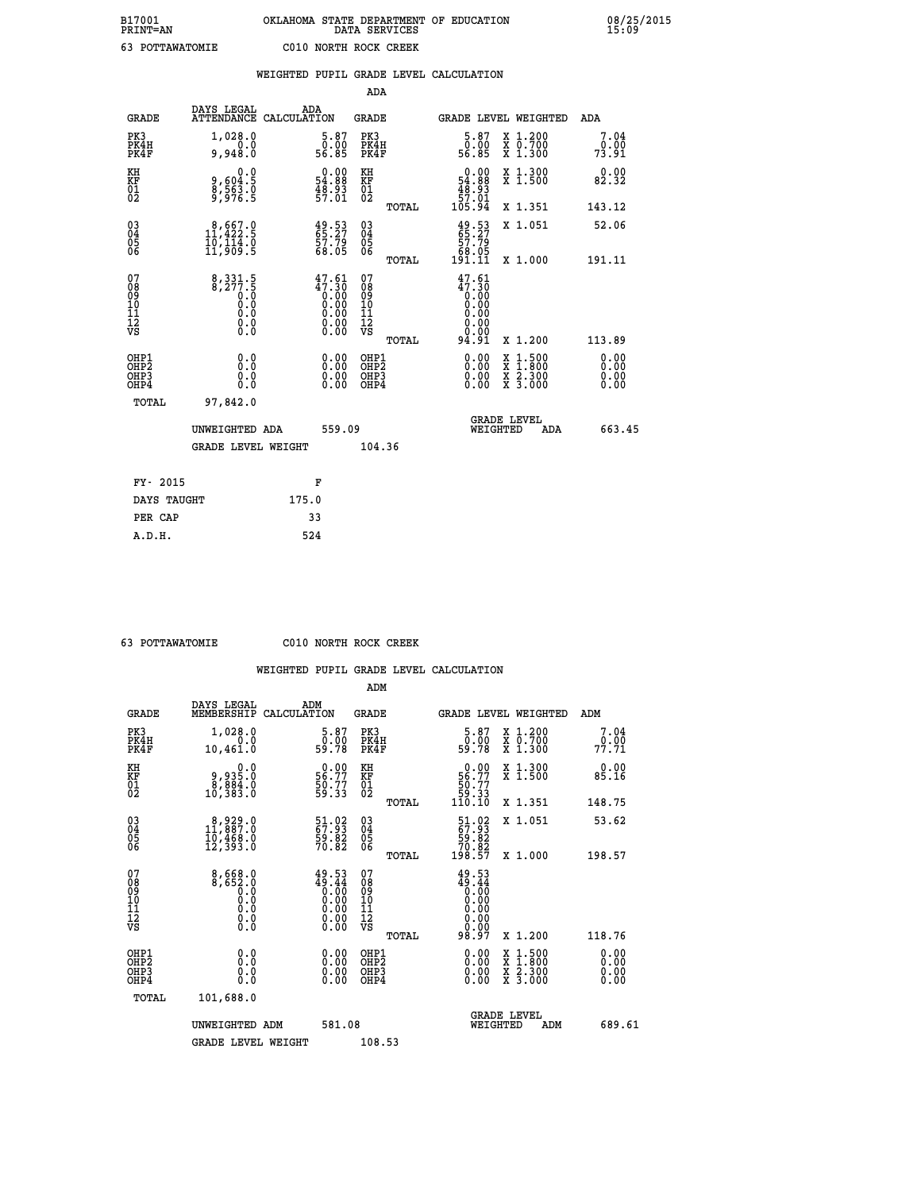|                                                                    |                                                                                                   | WEIGHTED PUPIL GRADE LEVEL CALCULATION                                                                  |                                                 |                                                                       |                                                       |                              |
|--------------------------------------------------------------------|---------------------------------------------------------------------------------------------------|---------------------------------------------------------------------------------------------------------|-------------------------------------------------|-----------------------------------------------------------------------|-------------------------------------------------------|------------------------------|
|                                                                    |                                                                                                   |                                                                                                         | ADA                                             |                                                                       |                                                       |                              |
| <b>GRADE</b>                                                       | DAYS LEGAL                                                                                        | ADA<br>ATTENDANCE CALCULATION                                                                           | <b>GRADE</b>                                    | GRADE LEVEL WEIGHTED                                                  |                                                       | ADA                          |
| PK3<br>PK4H<br>PK4F                                                | 1,028.0<br>0.0<br>9,948.0                                                                         | $\begin{smallmatrix}5.87\0.00\\56.85\end{smallmatrix}$                                                  | PK3<br>PK4H<br>PK4F                             | $5.87$<br>0.00<br>56.85                                               | X 1.200<br>X 0.700<br>X 1.300                         | 7.04<br>0.00<br>73.91        |
| KH<br>KF<br>01<br>02                                               | 0.0<br>9,604:5<br>8,563:0<br>9,976:5                                                              | $\begin{smallmatrix} 0.00\\ 54.88\\ 48.93\\ 57.01 \end{smallmatrix}$                                    | KH<br>KF<br>01<br>02                            | $\begin{array}{c} 0.00 \\ 54.88 \\ 48.93 \\ 57.01 \end{array}$        | X 1.300<br>X 1.500                                    | 0.00<br>82.32                |
|                                                                    |                                                                                                   |                                                                                                         | TOTAL                                           | 105.94                                                                | X 1.351                                               | 143.12                       |
| $\begin{smallmatrix} 03 \\[-4pt] 04 \end{smallmatrix}$<br>05<br>ŎĞ | $8,667.9$<br>11,422.5<br>1ō,114.ŏ<br>11,909.5                                                     | $49.53$<br>$65.27$<br>57.79<br>68.05                                                                    | $\substack{03 \\ 04}$<br>Ŏ5<br>06               | $49.53$<br>$55.27$<br>$57.79$<br>68.05                                | X 1.051                                               | 52.06                        |
|                                                                    |                                                                                                   |                                                                                                         | TOTAL                                           | 191.11                                                                | X 1.000                                               | 191.11                       |
| 07<br>08<br>09<br>101<br>112<br>VS                                 | $\begin{smallmatrix} 8,331.5\\ 8,277.5\\ 0.0\\ 0.0\\ 0.0\\ 0.0\\ \end{smallmatrix}$<br>$\S.$ $\S$ | $47.61$<br>$0.30$<br>$0.00$<br>$0.00$<br>$0.00$<br>$\begin{smallmatrix} 0.00 \\ 0.00 \end{smallmatrix}$ | 07<br>08<br>09<br>11<br>11<br>12<br>VS<br>TOTAL | $47.61$<br>$47.30$<br>$0.00$<br>0.00<br>0.00<br>0.00<br>0.00<br>94.91 | X 1.200                                               | 113.89                       |
| OHP1<br>OHP2<br>OHP3<br>OHP4                                       | 0.0<br>0.0<br>0.0                                                                                 | 0.00<br>$\begin{smallmatrix} 0.00 \ 0.00 \end{smallmatrix}$                                             | OHP1<br>OHP2<br>OHP3<br>OHP4                    | 0.00<br>0.00<br>0.00                                                  | X 1:500<br>$\frac{\ddot{x}}{x}$ $\frac{2.300}{3.000}$ | 0.00<br>Ō.ŎŎ<br>0.00<br>0.00 |
| <b>TOTAL</b>                                                       | 97,842.0                                                                                          |                                                                                                         |                                                 |                                                                       |                                                       |                              |
|                                                                    | UNWEIGHTED ADA                                                                                    | 559.09                                                                                                  |                                                 | <b>GRADE LEVEL</b><br>WEIGHTED                                        | ADA                                                   | 663.45                       |
|                                                                    | <b>GRADE LEVEL WEIGHT</b>                                                                         |                                                                                                         | 104.36                                          |                                                                       |                                                       |                              |
| FY- 2015                                                           |                                                                                                   | F                                                                                                       |                                                 |                                                                       |                                                       |                              |
|                                                                    | DAYS TAUGHT                                                                                       | 175.0                                                                                                   |                                                 |                                                                       |                                                       |                              |
| PER CAP                                                            |                                                                                                   | 33                                                                                                      |                                                 |                                                                       |                                                       |                              |

 **ADM**

 **63 POTTAWATOMIE C010 NORTH ROCK CREEK**

| <b>GRADE</b>                                         | DAYS LEGAL<br>MEMBERSHIP                                                                              | ADM<br>CALCULATION                                                   | <b>GRADE</b>                                        |       | <b>GRADE LEVEL WEIGHTED</b>                                                    |          |                                          | ADM |                       |
|------------------------------------------------------|-------------------------------------------------------------------------------------------------------|----------------------------------------------------------------------|-----------------------------------------------------|-------|--------------------------------------------------------------------------------|----------|------------------------------------------|-----|-----------------------|
| PK3<br>PK4H<br>PK4F                                  | 1,028.0<br>0.0<br>10,461.0                                                                            | $\begin{smallmatrix}5.87\0.00\\9.78\end{smallmatrix}$                | PK3<br>PK4H<br>PK4F                                 |       | $\begin{smallmatrix}5.87\0.00\\9.78\end{smallmatrix}$                          |          | X 1.200<br>X 0.700<br>X 1.300            |     | 7.04<br>0.00<br>77.71 |
| KH<br>KF<br>01<br>02                                 | $\begin{smallmatrix} 0.0\\ 9.935.0\\ 8.884.0\\ 10.383.0 \end{smallmatrix}$                            | $\begin{smallmatrix} 0.00\\ 56.77\\ 50.77\\ 59.33 \end{smallmatrix}$ | KH<br>KF<br>01<br>02                                |       | $\begin{smallmatrix} &0.00\ 56.77\ 50.77\ 59.33\ 110.10\ \end{smallmatrix}$    |          | X 1.300<br>X 1.500                       |     | 0.00<br>85.16         |
|                                                      |                                                                                                       |                                                                      |                                                     | TOTAL |                                                                                |          | X 1.351                                  |     | 148.75                |
| $\begin{matrix} 03 \\ 04 \\ 05 \\ 06 \end{matrix}$   | $\begin{smallmatrix}8&,929&.0\\11&,887&.0\\10&,468&.0\\12&,393&.0\end{smallmatrix}$                   | 51.02<br>67.93<br>59.82<br>70.82                                     | $\begin{array}{c} 03 \\ 04 \\ 05 \\ 06 \end{array}$ |       | $\begin{smallmatrix} 51.02\\ 67.93\\ 59.82\\ 70.82\\ 198.57 \end{smallmatrix}$ |          | X 1.051                                  |     | 53.62                 |
|                                                      |                                                                                                       |                                                                      |                                                     | TOTAL |                                                                                |          | X 1.000                                  |     | 198.57                |
| 07<br>08<br>09<br>101<br>11<br>12<br>VS              | $\begin{smallmatrix}8\,,\,668\,.0\\8\,,\,652\,.0\\0\,.0\\0\,.0\\0\,.0\\0\,.0\\0\,.0\end{smallmatrix}$ | $49.53\n49.44\n0.00\n0.00\n0.00\n0.00\n0.00$                         | 07<br>08<br>09<br>001<br>11<br>11<br>12<br>VS       | TOTAL | 49.53<br>144.44<br>0.000<br>0.000<br>0.0000<br>0.000<br>98.97                  |          | X 1.200                                  |     | 118.76                |
| OHP1<br>OHP <sub>2</sub><br>OH <sub>P3</sub><br>OHP4 |                                                                                                       | $\begin{smallmatrix} 0.00 \ 0.00 \ 0.00 \ 0.00 \end{smallmatrix}$    | OHP1<br>OHP2<br>OHP3<br>OHP4                        |       |                                                                                |          | X 1:500<br>X 1:800<br>X 2:300<br>X 3:000 |     | 0.00<br>0.00<br>0.00  |
| TOTAL                                                | 101,688.0                                                                                             |                                                                      |                                                     |       |                                                                                |          |                                          |     |                       |
|                                                      | UNWEIGHTED                                                                                            | 581.08<br>ADM                                                        |                                                     |       |                                                                                | WEIGHTED | <b>GRADE LEVEL</b>                       | ADM | 689.61                |
|                                                      | <b>GRADE LEVEL WEIGHT</b>                                                                             |                                                                      | 108.53                                              |       |                                                                                |          |                                          |     |                       |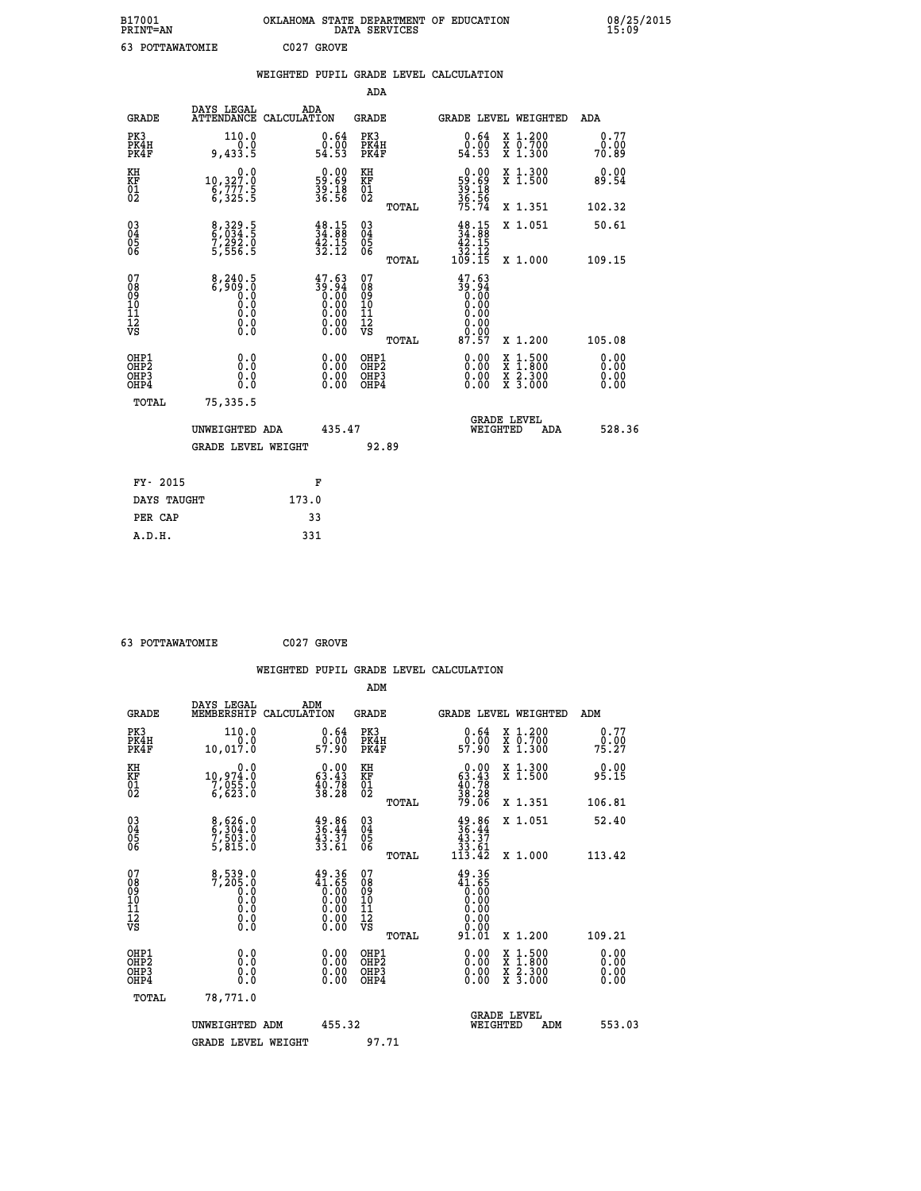| B17001<br><b>PRINT=AN</b> | OKLAHOMA STATE DEPARTMENT OF EDUCATION<br>DATA SERVICES | 08/25/2015<br>15:09 |
|---------------------------|---------------------------------------------------------|---------------------|
| 63<br>POTTAWATOMIE        | C027 GROVE                                              |                     |

|                                        |                                                                                                                                                  | WEIGHTED PUPIL GRADE LEVEL CALCULATION                                                          |                                                                   |                                                     |       |                                                                           |                                                                                                                                              |            |                              |  |
|----------------------------------------|--------------------------------------------------------------------------------------------------------------------------------------------------|-------------------------------------------------------------------------------------------------|-------------------------------------------------------------------|-----------------------------------------------------|-------|---------------------------------------------------------------------------|----------------------------------------------------------------------------------------------------------------------------------------------|------------|------------------------------|--|
|                                        |                                                                                                                                                  |                                                                                                 |                                                                   | ADA                                                 |       |                                                                           |                                                                                                                                              |            |                              |  |
| <b>GRADE</b>                           | DAYS LEGAL<br><b>ATTENDANCE</b>                                                                                                                  | ADA<br>CALCULATION                                                                              |                                                                   | GRADE                                               |       | GRADE LEVEL WEIGHTED                                                      |                                                                                                                                              |            | ADA                          |  |
| PK3<br>PK4H<br>PK4F                    | 110.0<br>$0.0$<br>5.433,9                                                                                                                        | $\substack{0.64 \\ 0.00 \\ 54.53}$                                                              |                                                                   | PK3<br>PK4H<br>PK4F                                 |       | 0.64<br>Ò.ŌŌ<br>54.53                                                     | X 1.200<br>X 0.700<br>X 1.300                                                                                                                |            | 0.77<br>0.00<br>70.89        |  |
| KH<br>KF<br>01<br>02                   | 0.0<br>10,327.0<br>6,777.5<br>6,325.5                                                                                                            | $\begin{smallmatrix} 0.00\\ 59.69\\ 39.18\\ 36.56 \end{smallmatrix}$                            |                                                                   | KH<br>KF<br>01<br>02                                |       | $\begin{smallmatrix} 0.00\\59.69\\39.18\\36.56\\75.74\end{smallmatrix}$   | X 1.300<br>X 1.500                                                                                                                           |            | 0.00<br>89.54                |  |
|                                        |                                                                                                                                                  |                                                                                                 |                                                                   |                                                     | TOTAL |                                                                           | X 1.351                                                                                                                                      |            | 102.32                       |  |
| 03<br>04<br>05<br>06                   | 8,329.5<br>6,034.5<br>7,292.0<br>5,556.5                                                                                                         | $\frac{48.15}{34.88}$<br>$\frac{42.15}{32.12}$                                                  |                                                                   | $\begin{array}{c} 03 \\ 04 \\ 05 \\ 06 \end{array}$ |       | $\begin{array}{c} 48.15 \\ 34.88 \\ 42.15 \\ 32.12 \\ 109.15 \end{array}$ | X 1.051                                                                                                                                      |            | 50.61                        |  |
|                                        |                                                                                                                                                  |                                                                                                 |                                                                   |                                                     | TOTAL |                                                                           | X 1.000                                                                                                                                      |            | 109.15                       |  |
| 07<br>08<br>09<br>11<br>11<br>12<br>VS | $\begin{smallmatrix} 8\,,\,240\,.\,5\\ 6\,,\,909\,.\,0\\ 0\,\,.\,0\\ 0\,\,.\,0\\ 0\,\,.\,0\\ 0\,\,.\,0\\ 0\,\,.\,0\\ 0\,\,.\,0\end{smallmatrix}$ | $\begin{smallmatrix} 47.63\ 39.94\ 0.00\ 0.00\ 0.00\ 0.00\ 0.00\ 0.00\ 0.00\ \end{smallmatrix}$ |                                                                   | 07<br>08<br>09<br>101<br>11<br>12<br>VS             | TOTAL | 47.63<br>186:85<br>00:00<br>00:00<br>00:00<br>0.00<br>87.57               | X 1.200                                                                                                                                      |            | 105.08                       |  |
| OHP1<br>OHP2<br>OHP3<br>OHP4           | 0.0<br>0.000                                                                                                                                     |                                                                                                 | $\begin{smallmatrix} 0.00 \ 0.00 \ 0.00 \ 0.00 \end{smallmatrix}$ | OHP1<br>OHP <sub>2</sub><br>OHP3<br>OHP4            |       |                                                                           | $\begin{smallmatrix} \mathtt{X} & 1\cdot500 \\ \mathtt{X} & 1\cdot800 \\ \mathtt{X} & 2\cdot300 \\ \mathtt{X} & 3\cdot000 \end{smallmatrix}$ |            | 0.00<br>0.00<br>0.00<br>0.00 |  |
| TOTAL                                  | 75,335.5                                                                                                                                         |                                                                                                 |                                                                   |                                                     |       |                                                                           |                                                                                                                                              |            |                              |  |
|                                        | UNWEIGHTED ADA                                                                                                                                   |                                                                                                 | 435.47                                                            |                                                     |       | WEIGHTED                                                                  | <b>GRADE LEVEL</b>                                                                                                                           | <b>ADA</b> | 528.36                       |  |
|                                        | <b>GRADE LEVEL WEIGHT</b>                                                                                                                        |                                                                                                 |                                                                   | 92.89                                               |       |                                                                           |                                                                                                                                              |            |                              |  |
| FY- 2015                               |                                                                                                                                                  | F                                                                                               |                                                                   |                                                     |       |                                                                           |                                                                                                                                              |            |                              |  |
| DAYS TAUGHT                            |                                                                                                                                                  | 173.0                                                                                           |                                                                   |                                                     |       |                                                                           |                                                                                                                                              |            |                              |  |
| PER CAP                                |                                                                                                                                                  | 33                                                                                              |                                                                   |                                                     |       |                                                                           |                                                                                                                                              |            |                              |  |

| 63 POTTAWATOMIE | C027 GROVE |
|-----------------|------------|

 **WEIGHTED PUPIL GRADE LEVEL CALCULATION ADM DAYS LEGAL ADM GRADE MEMBERSHIP CALCULATION GRADE GRADE LEVEL WEIGHTED ADM PK3 110.0 0.64 PK3 0.64 X 1.200 0.77 PK4H 0.0 0.00 PK4H 0.00 X 0.700 0.00 PK4F 10,017.0 57.90 PK4F 57.90 X 1.300 75.27 KH 0.0 0.00 KH 0.00 X 1.300 0.00 KF 10,974.0 63.43 KF 63.43 X 1.500 95.15 01 7,055.0 40.78 01 40.78 02 6,623.0 38.28 02 38.28 TOTAL 79.06 X 1.351 106.81 03 8,626.0 49.86 03 49.86 X 1.051 52.40 04 6,304.0 36.44 04 36.44 05 7,503.0 43.37 05 43.37 06 5,815.0 33.61 06 33.61 TOTAL 113.42 X 1.000 113.42** 07 8,539.0 49.36 07 49.36<br>
08 7,205.0 41.65 08 41.65<br>
10 0.0 0.00 10 0.00<br>
11 0.0 0.00 11 0.00<br>
12 0.00 12 0.00<br>
VS 0.0 0.00 12<br>
0.00  $\begin{array}{cccc} 49.36 & 07 & 49.36 & 101.01 & 101.01 & 101.01 & 101.01 & 101.01 & 101.01 & 101.01 & 101.01 & 101.01 & 101.01 & 101.01 & 101.01 & 101.01 & 101.01 & 101.01 & 101.01 & 101.01 & 101.01 & 101.01 & 101.01 & 101.01 & 101.01 & 101.01 & 101.01 & 10$  **OHP1 0.0 0.00 OHP1 0.00 X 1.500 0.00 OHP2 0.0 0.00 OHP2 0.00 X 1.800 0.00 OHP3 0.0 0.00 OHP3 0.00 X 2.300 0.00 OHP4 0.0 0.00 OHP4 0.00 X 3.000 0.00 TOTAL 78,771.0 GRADE LEVEL UNWEIGHTED ADM 455.32 WEIGHTED ADM 553.03** GRADE LEVEL WEIGHT 97.71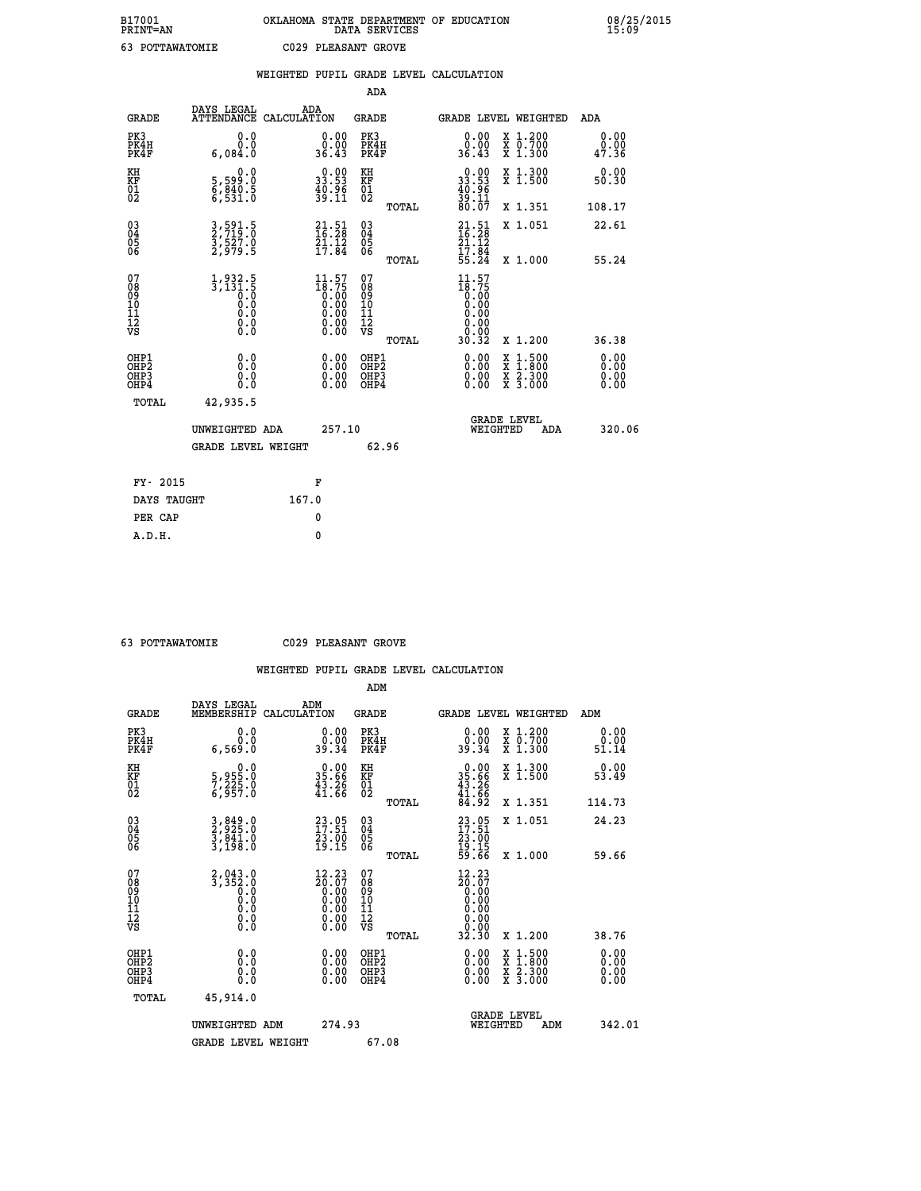|                                                                    |                                                                     | WEIGHTED PUPIL GRADE LEVEL CALCULATION                               |                                                                   |       |                                                                              |                                                                                                  |                       |
|--------------------------------------------------------------------|---------------------------------------------------------------------|----------------------------------------------------------------------|-------------------------------------------------------------------|-------|------------------------------------------------------------------------------|--------------------------------------------------------------------------------------------------|-----------------------|
|                                                                    |                                                                     |                                                                      | <b>ADA</b>                                                        |       |                                                                              |                                                                                                  |                       |
| <b>GRADE</b>                                                       | DAYS LEGAL<br><b>ATTENDANCE</b>                                     | ADA<br>CALCULATION                                                   | <b>GRADE</b>                                                      |       | GRADE LEVEL WEIGHTED                                                         |                                                                                                  | ADA                   |
| PK3<br>PK4H<br>PK4F                                                | 0.0<br>0.0<br>6,084.0                                               | $\begin{smallmatrix} 0.00\\ 0.00\\ 36.43 \end{smallmatrix}$          | PK3<br>PK4H<br>PK4F                                               |       | $\begin{smallmatrix} 0.00\\ 0.00\\ 36.43 \end{smallmatrix}$                  | X 1.200<br>X 0.700<br>X 1.300                                                                    | 0.00<br>0.00<br>47.36 |
| KH<br>KF<br>01<br>02                                               | 0.0<br>5,599:0<br>6,840:5<br>6,531:0                                | $\begin{smallmatrix} 0.00\\ 33.53\\ 40.96\\ 39.11 \end{smallmatrix}$ | KH<br>KF<br>01<br>02                                              |       | $\begin{smallmatrix} 0.00\\ 33.53\\ 40.96\\ 39.11\\ 80.07 \end{smallmatrix}$ | X 1.300<br>X 1.500                                                                               | 0.00<br>50.30         |
|                                                                    |                                                                     |                                                                      |                                                                   | TOTAL |                                                                              | X 1.351                                                                                          | 108.17                |
| $\begin{smallmatrix} 03 \\[-4pt] 04 \end{smallmatrix}$<br>Ŏ5<br>06 | 3,591.5<br>2,719.0<br>3,527.0<br>2,979.5                            | $21.51$<br>$16.28$<br>$21.12$<br>$17.84$                             | $\substack{03 \\ 04}$<br>$\begin{matrix} 0.5 \\ 0.6 \end{matrix}$ |       | $21.51$<br>$16.28$<br>$\frac{21.12}{17.84}$<br>$\frac{55.24}{55.24}$         | X 1.051                                                                                          | 22.61                 |
|                                                                    |                                                                     |                                                                      |                                                                   | TOTAL |                                                                              | X 1.000                                                                                          | 55.24                 |
| 07<br>08901112<br>1112<br>VS                                       | $1,932.5$<br>$3,131.5$<br>$0.0$<br>$0.0$<br>$0.0$<br>$0.0$<br>$0.0$ | $\frac{11.57}{18.75}$                                                | 07<br>08<br>09<br>11<br>11<br>12<br>VS                            | TOTAL | $11.57$<br>$18.75$<br>0.00<br>0.00<br>0.00<br>0.00<br>30.32                  | X 1.200                                                                                          | 36.38                 |
| OHP1<br>OHP2<br>OHP3<br>OHP4                                       | 0.0<br>0.0<br>0.0                                                   | 0.0000<br>$\begin{smallmatrix} 0.00 \ 0.00 \end{smallmatrix}$        | OHP1<br>OHP2<br>OHP3<br>OHP4                                      |       | 0.00<br>0.00                                                                 | $\begin{smallmatrix} x & 1 & 500 \\ x & 1 & 800 \\ x & 2 & 300 \\ x & 3 & 000 \end{smallmatrix}$ | 0.00<br>0.00<br>0.00  |
| <b>TOTAL</b>                                                       | 42,935.5                                                            |                                                                      |                                                                   |       |                                                                              |                                                                                                  |                       |
|                                                                    | UNWEIGHTED ADA                                                      | 257.10                                                               |                                                                   |       | WEIGHTED                                                                     | <b>GRADE LEVEL</b><br>ADA                                                                        | 320.06                |
|                                                                    | GRADE LEVEL WEIGHT                                                  |                                                                      |                                                                   | 62.96 |                                                                              |                                                                                                  |                       |
| FY- 2015                                                           |                                                                     | F                                                                    |                                                                   |       |                                                                              |                                                                                                  |                       |
| DAYS TAUGHT                                                        |                                                                     | 167.0                                                                |                                                                   |       |                                                                              |                                                                                                  |                       |
| PER CAP                                                            |                                                                     | 0                                                                    |                                                                   |       |                                                                              |                                                                                                  |                       |

 **63 POTTAWATOMIE C029 PLEASANT GROVE**

|                                          |                                                             |                                                                                                                | ADM                                                 |       |                                                                                                                        |                                          |                       |
|------------------------------------------|-------------------------------------------------------------|----------------------------------------------------------------------------------------------------------------|-----------------------------------------------------|-------|------------------------------------------------------------------------------------------------------------------------|------------------------------------------|-----------------------|
| <b>GRADE</b>                             | DAYS LEGAL<br>MEMBERSHIP                                    | ADM<br>CALCULATION                                                                                             | <b>GRADE</b>                                        |       |                                                                                                                        | <b>GRADE LEVEL WEIGHTED</b>              | ADM                   |
| PK3<br>PK4H<br>PK4F                      | 0.0<br>0.0<br>6,569.0                                       | $\begin{smallmatrix} 0.00\\ 0.00\\ 39.34 \end{smallmatrix}$                                                    | PK3<br>PK4H<br>PK4F                                 |       | $\begin{smallmatrix} 0.00\\ 0.00\\ 39.34 \end{smallmatrix}$                                                            | X 1.200<br>X 0.700<br>X 1.300            | 0.00<br>0.00<br>51.14 |
| KH<br>KF<br>01<br>02                     | 0.0<br>5,955:0<br>7,225:0<br>6,957:0                        | $\begin{smallmatrix} 0.00\\ 35.66\\ 43.26\\ 41.66 \end{smallmatrix}$                                           | KH<br>KF<br>01<br>02                                |       | $0.00$<br>$35.66$<br>$43.26$<br>$41.66$<br>$84.92$                                                                     | X 1.300<br>X 1.500                       | 0.00<br>53.49         |
|                                          |                                                             |                                                                                                                |                                                     | TOTAL |                                                                                                                        | X 1.351                                  | 114.73                |
| 03<br>04<br>05<br>06                     | 3,849.0<br>2,925.0<br>3,841.0<br>3,198.0                    | $23.05$<br>$17.51$<br>$\frac{73.00}{19.15}$                                                                    | $\begin{array}{c} 03 \\ 04 \\ 05 \\ 06 \end{array}$ |       | $23.05$<br>$17.51$<br>$23.00$<br>$19.15$<br>$59.66$                                                                    | X 1.051                                  | 24.23                 |
|                                          |                                                             |                                                                                                                |                                                     | TOTAL |                                                                                                                        | X 1.000                                  | 59.66                 |
| 07<br>08<br>09<br>101<br>112<br>VS       | $2,043.0$<br>$3,352.0$<br>$0.0$<br>0.0<br>0.0<br>$\S.$ $\S$ | $\begin{smallmatrix} 12.23 \\ 20.07 \\ 0.00 \\ 0.00 \\ 0.00 \\ 0.00 \\ 0.00 \\ 0.00 \\ 0.00 \end{smallmatrix}$ | 07<br>08<br>09<br>11<br>11<br>12<br>VS              | TOTAL | 12.23<br>$\begin{smallmatrix} 26.67 \ 20.00 \ 0.00 \ 0.00 \ 0.00 \ 0.00 \ 0.00 \ 0.00 \ 0.00 \ 0.23 \end{smallmatrix}$ | X 1.200                                  | 38.76                 |
| OHP1<br>OHP2<br>OH <sub>P3</sub><br>OHP4 | 0.0<br>0.000                                                | $0.00$<br>$0.00$<br>0.00                                                                                       | OHP1<br>OHP2<br>OHP <sub>3</sub>                    |       | $0.00$<br>$0.00$<br>0.00                                                                                               | X 1:500<br>X 1:800<br>X 2:300<br>X 3:000 | 0.00<br>0.00<br>0.00  |
| TOTAL                                    | 45,914.0                                                    |                                                                                                                |                                                     |       |                                                                                                                        |                                          |                       |
|                                          | UNWEIGHTED ADM                                              | 274.93                                                                                                         |                                                     |       | WEIGHTED                                                                                                               | <b>GRADE LEVEL</b><br>ADM                | 342.01                |
|                                          | <b>GRADE LEVEL WEIGHT</b>                                   |                                                                                                                | 67.08                                               |       |                                                                                                                        |                                          |                       |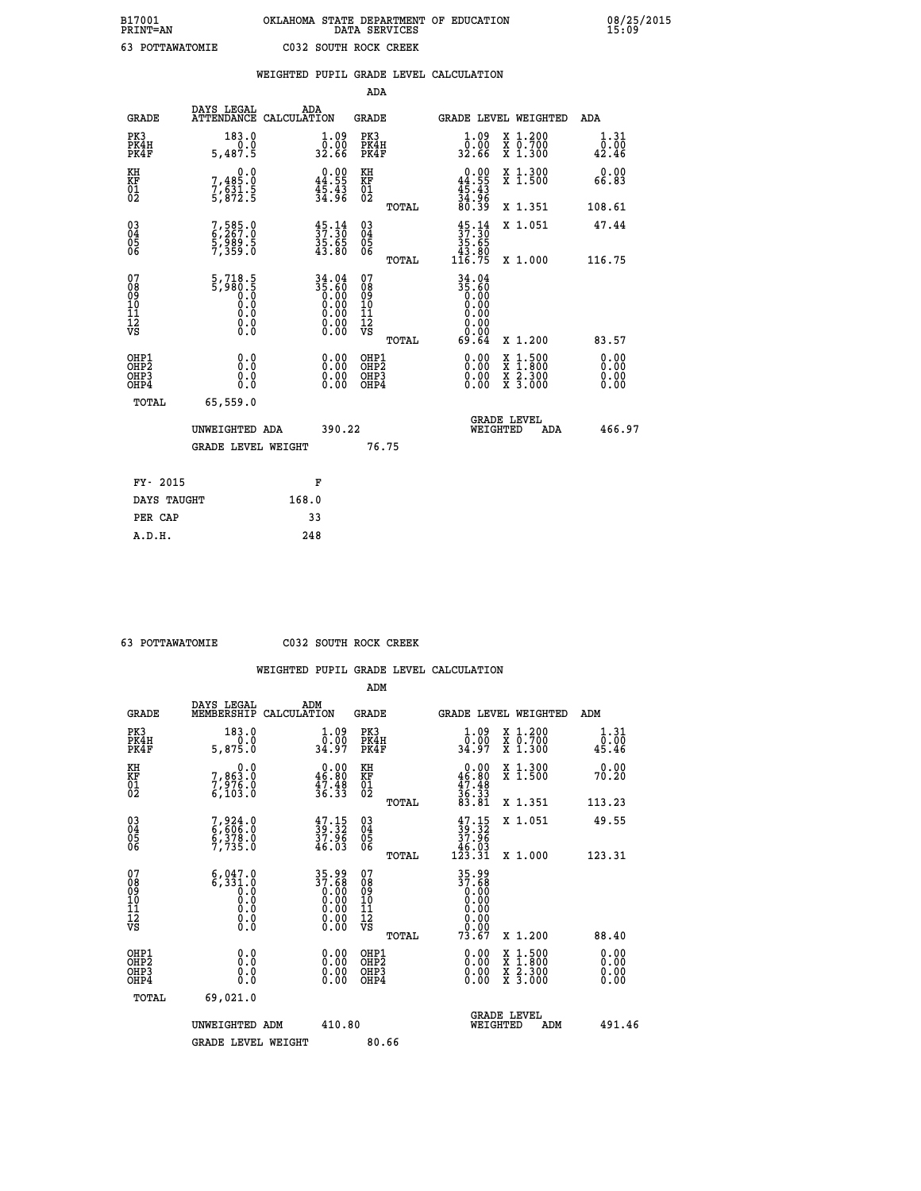|                                                    |                                                                         | WEIGHTED PUPIL GRADE LEVEL CALCULATION                               |                                                 |                                                                  |                                                                                                                                           |                              |
|----------------------------------------------------|-------------------------------------------------------------------------|----------------------------------------------------------------------|-------------------------------------------------|------------------------------------------------------------------|-------------------------------------------------------------------------------------------------------------------------------------------|------------------------------|
|                                                    |                                                                         |                                                                      | <b>ADA</b>                                      |                                                                  |                                                                                                                                           |                              |
| <b>GRADE</b>                                       | DAYS LEGAL                                                              | ADA<br>ATTENDANCE CALCULATION                                        | <b>GRADE</b>                                    | GRADE LEVEL WEIGHTED                                             |                                                                                                                                           | ADA                          |
| PK3<br>PK4H<br>PK4F                                | 183.0<br>0.0<br>5,487.5                                                 | $\frac{1 \cdot 09}{0 \cdot 00}$<br>32.66                             | PK3<br>PK4H<br>PK4F                             | 0.09<br>32.66                                                    | X 1.200<br>X 0.700<br>X 1.300                                                                                                             | 1.31<br>0.00<br>42.46        |
| KH<br>KF<br>01<br>02                               | $\begin{smallmatrix}&&&0.0\\7,485.0\\7,631.5\\5,872.5\end{smallmatrix}$ | $\begin{smallmatrix} 0.00\\ 44.55\\ 45.43\\ 34.96 \end{smallmatrix}$ | KH<br>KF<br>01<br>02                            | $0.00\n44.55\n45.43\n34.96\n36.39$                               | X 1.300<br>X 1.500                                                                                                                        | 0.00<br>66.83                |
|                                                    |                                                                         |                                                                      | TOTAL                                           |                                                                  | X 1.351                                                                                                                                   | 108.61                       |
| $\begin{matrix} 03 \\ 04 \\ 05 \\ 06 \end{matrix}$ | 7,585.0<br>$\frac{5}{7}, \frac{5}{359}.5$                               | $\frac{45}{37}:\frac{14}{30}$<br>$\frac{35.65}{43.80}$               | 03<br>04<br>05<br>06                            | $\frac{45}{37}:\frac{14}{30}$<br>$\frac{35.65}{43.80}$<br>116.75 | X 1.051                                                                                                                                   | 47.44                        |
|                                                    |                                                                         |                                                                      | TOTAL                                           |                                                                  | X 1.000                                                                                                                                   | 116.75                       |
| 07<br>08<br>09<br>101<br>112<br>VS                 | $5,718.5$<br>$5,980.5$<br>$0.0$<br>$0.0$<br>0.0<br>$\S.$ $\S$           | $34.04$<br>$35.60$<br>$0.00$<br>$0.00$<br>$0.00$<br>Ŏ.ŎŎ<br>O.OO     | 07<br>08<br>09<br>11<br>11<br>12<br>VS<br>TOTAL | $34.04$<br>$35.60$<br>$0.00$<br>$0.00$<br>0.00<br>0.00<br>69.64  | X 1.200                                                                                                                                   | 83.57                        |
| OHP1<br>OHP2<br>OH <sub>P3</sub><br>OHP4           | 0.0<br>0.0<br>0.0                                                       | $\begin{smallmatrix} 0.00 \ 0.00 \ 0.00 \ 0.00 \end{smallmatrix}$    | OHP1<br>OHP2<br>OHP3<br>OHP4                    |                                                                  | $\begin{smallmatrix} \mathtt{X} & 1\cdot500\\ \mathtt{X} & 1\cdot800\\ \mathtt{X} & 2\cdot300\\ \mathtt{X} & 3\cdot000 \end{smallmatrix}$ | 0.00<br>0.00<br>0.00<br>0.00 |
| TOTAL                                              | 65,559.0                                                                |                                                                      |                                                 |                                                                  |                                                                                                                                           |                              |
|                                                    | UNWEIGHTED ADA                                                          | 390.22                                                               |                                                 | <b>GRADE LEVEL</b><br>WEIGHTED                                   | ADA                                                                                                                                       | 466.97                       |
|                                                    | <b>GRADE LEVEL WEIGHT</b>                                               |                                                                      | 76.75                                           |                                                                  |                                                                                                                                           |                              |
|                                                    | FY- 2015                                                                | F                                                                    |                                                 |                                                                  |                                                                                                                                           |                              |
|                                                    | DAYS TAUGHT                                                             | 168.0                                                                |                                                 |                                                                  |                                                                                                                                           |                              |
| PER CAP                                            |                                                                         | 33                                                                   |                                                 |                                                                  |                                                                                                                                           |                              |

 **63 POTTAWATOMIE C032 SOUTH ROCK CREEK**

|                                                    |                                                         |                                                                   | ADM                                                 |       |                                                                                                                                                                                                                                                                                |                                          |                        |  |
|----------------------------------------------------|---------------------------------------------------------|-------------------------------------------------------------------|-----------------------------------------------------|-------|--------------------------------------------------------------------------------------------------------------------------------------------------------------------------------------------------------------------------------------------------------------------------------|------------------------------------------|------------------------|--|
| <b>GRADE</b>                                       | DAYS LEGAL<br>MEMBERSHIP                                | ADM<br>CALCULATION                                                | <b>GRADE</b>                                        |       | <b>GRADE LEVEL WEIGHTED</b>                                                                                                                                                                                                                                                    |                                          | ADM                    |  |
| PK3<br>PK4H<br>PK4F                                | 183.0<br>5,875.0                                        | $\frac{1}{0}$ : 09<br>34.97                                       | PK3<br>PK4H<br>PK4F                                 |       | $\begin{smallmatrix} 1.09 \\ 0.00 \\ 34.97 \end{smallmatrix}$                                                                                                                                                                                                                  | X 1.200<br>X 0.700<br>X 1.300            | 1.31<br>_0.00<br>45.46 |  |
| KH<br>KF<br>01<br>02                               | 0.0<br>7,863.0<br>7,976.0<br>6,103.0                    | $0.00$<br>46.80<br>$\frac{47.48}{36.33}$                          | KH<br>KF<br>01<br>02                                |       | $0.00\n46.80\n47.48\n36.33\n36.33\n83.81$                                                                                                                                                                                                                                      | X 1.300<br>X 1.500                       | 0.00<br>70.20          |  |
|                                                    |                                                         |                                                                   |                                                     | TOTAL |                                                                                                                                                                                                                                                                                | X 1.351                                  | 113.23                 |  |
| $\begin{matrix} 03 \\ 04 \\ 05 \\ 06 \end{matrix}$ | 7,924.0<br>6,606.0<br>6,378.0<br>7,735.0                | $\frac{47.15}{39.32}$<br>$\frac{37.96}{46.03}$                    | $\begin{array}{c} 03 \\ 04 \\ 05 \\ 06 \end{array}$ |       | $\begin{array}{c} 47\cdot 15\\ 39\cdot 32\\ 37\cdot 96\\ 46\cdot 03\\ 123\cdot 31 \end{array}$                                                                                                                                                                                 | X 1.051                                  | 49.55                  |  |
|                                                    |                                                         |                                                                   |                                                     | TOTAL |                                                                                                                                                                                                                                                                                | X 1.000                                  | 123.31                 |  |
| 07<br>08<br>09<br>001<br>11<br>11<br>12<br>VS      | 6,047.0<br>$67331.0$<br>0.0<br>0.0<br>0.0<br>0.0<br>0.0 | $35.9937.680.000.000.000.000.00$                                  | 07<br>08<br>09<br>001<br>11<br>11<br>12<br>VS       | TOTAL | 35.99<br>37.68<br>0.00<br>0.00<br>0.00<br>0.00<br>73.67                                                                                                                                                                                                                        | X 1.200                                  | 88.40                  |  |
| OHP1<br>OHP2<br>OH <sub>P3</sub><br>OHP4           | 0.0<br>0.000                                            | $\begin{smallmatrix} 0.00 \ 0.00 \ 0.00 \ 0.00 \end{smallmatrix}$ | OHP1<br>OHP2<br>OHP3<br>OHP4                        |       | $\begin{smallmatrix} 0.00 & 0.00 & 0.00 & 0.00 & 0.00 & 0.00 & 0.00 & 0.00 & 0.00 & 0.00 & 0.00 & 0.00 & 0.00 & 0.00 & 0.00 & 0.00 & 0.00 & 0.00 & 0.00 & 0.00 & 0.00 & 0.00 & 0.00 & 0.00 & 0.00 & 0.00 & 0.00 & 0.00 & 0.00 & 0.00 & 0.00 & 0.00 & 0.00 & 0.00 & 0.00 & 0.0$ | X 1:500<br>X 1:800<br>X 2:300<br>X 3:000 | 0.00<br>0.00<br>0.00   |  |
| TOTAL                                              | 69,021.0                                                |                                                                   |                                                     |       |                                                                                                                                                                                                                                                                                |                                          |                        |  |
|                                                    | UNWEIGHTED ADM                                          | 410.80                                                            |                                                     |       | <b>GRADE LEVEL</b><br>WEIGHTED                                                                                                                                                                                                                                                 | ADM                                      | 491.46                 |  |
|                                                    | <b>GRADE LEVEL WEIGHT</b>                               |                                                                   | 80.66                                               |       |                                                                                                                                                                                                                                                                                |                                          |                        |  |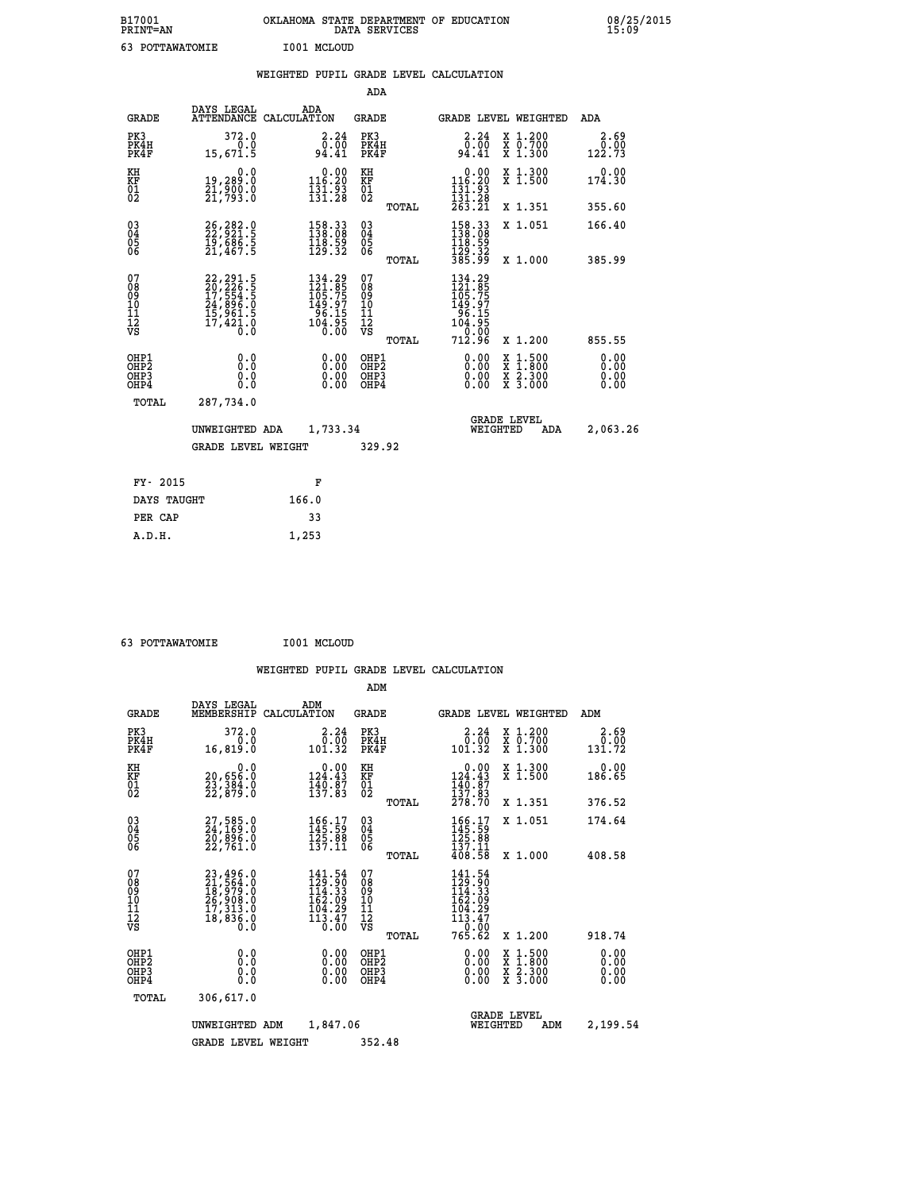| B17001<br>PRINT=AN | OKLAHOMA STATE DEPARTMENT OF EDUCATION<br>DATA SERVICES | 08/25/2015<br>15:09 |
|--------------------|---------------------------------------------------------|---------------------|
| 63<br>POTTAWATOMIE | I001 MCLOUD                                             |                     |

|                                                                    |                                                                                   |                                                                         | ADA                                               |       |                                                                                                        |                                                    |                              |
|--------------------------------------------------------------------|-----------------------------------------------------------------------------------|-------------------------------------------------------------------------|---------------------------------------------------|-------|--------------------------------------------------------------------------------------------------------|----------------------------------------------------|------------------------------|
| <b>GRADE</b>                                                       | DAYS LEGAL                                                                        | ADA<br>ATTENDANCE CALCULATION                                           | <b>GRADE</b>                                      |       |                                                                                                        | <b>GRADE LEVEL WEIGHTED</b>                        | <b>ADA</b>                   |
| PK3<br>PK4H<br>PK4F                                                | 372.0<br>0.0<br>15,671.5                                                          | $\begin{smallmatrix} 2.24\ 0.00\ 94.41 \end{smallmatrix}$               | PK3<br>PK4H<br>PK4F                               |       | 2.24<br>$\begin{array}{c} 0.00 \\ 0.41 \end{array}$                                                    | X 1.200<br>X 0.700<br>X 1.300                      | 2.69<br>0.00<br>122.73       |
| KH<br>KF<br>01<br>02                                               | 0.0<br>19,289.0<br>21,900.0<br>21,793.0                                           | $0.00$<br>116.20<br>$\frac{1}{131}$ $\frac{1}{28}$                      | KH<br>KF<br>$\begin{matrix} 01 \ 02 \end{matrix}$ |       | 0.00<br>$\begin{smallmatrix} 116.20 \\ 131.93 \\ 131.28 \\ 263.21 \end{smallmatrix}$                   | X 1.300<br>X 1.500                                 | 0.00<br>174.30               |
|                                                                    |                                                                                   |                                                                         |                                                   | TOTAL |                                                                                                        | X 1.351                                            | 355.60                       |
| $\begin{smallmatrix} 03 \\[-4pt] 04 \end{smallmatrix}$<br>05<br>ŌĞ | 26, 282.0<br>22, 921.5<br>19, 686.5<br>21, 467.5                                  | 158.33<br>138.08<br>$\frac{118.59}{129.32}$                             | $\substack{03 \\ 04}$<br>05                       |       | $\begin{array}{c} 158\cdot 33 \\ 138\cdot 08 \\ 118\cdot 59 \\ 129\cdot 32 \\ 385\cdot 99 \end{array}$ | X 1.051                                            | 166.40                       |
| 07                                                                 |                                                                                   |                                                                         | 07                                                | TOTAL |                                                                                                        | X 1.000                                            | 385.99                       |
| 08<br>09<br>11<br>11<br>12<br>VS                                   | 22, 291.5<br>20, 226.5<br>17, 554.5<br>24, 896.0<br>15, 961.5<br>17, 421.0<br>0.0 | 134.29<br>121.85<br>105.75<br>$149.97$<br>$96.15$<br>$104.95$<br>$0.00$ | 08<br>09<br>11<br>11<br>12<br>VS                  |       | 134.29<br>$121.855$<br>$105.755$<br>$149.97$<br>$104.95$<br>$104.950$<br>$100.006$                     |                                                    |                              |
|                                                                    |                                                                                   |                                                                         |                                                   | TOTAL | 712.96                                                                                                 | X 1.200                                            | 855.55                       |
| OHP1<br>OH <sub>P</sub> 2<br>OHP3<br>OHP4                          | 0.0<br>Ō.Ō<br>0.0<br>$0.\overline{0}$                                             | 0.00<br>$\begin{smallmatrix} 0.00 \ 0.00 \end{smallmatrix}$             | OHP1<br>OH <sub>P</sub> 2<br>OHP3<br>OHP4         |       | 0.00<br>0.00<br>0.00                                                                                   | $1:500$<br>$1:800$<br>X<br>X<br>X 2.300<br>X 3.000 | 0.00<br>0.00<br>0.00<br>0.00 |
| TOTAL                                                              | 287,734.0                                                                         |                                                                         |                                                   |       |                                                                                                        |                                                    |                              |
|                                                                    | UNWEIGHTED ADA                                                                    | 1,733.34                                                                |                                                   |       |                                                                                                        | <b>GRADE LEVEL</b><br>WEIGHTED<br>ADA              | 2,063.26                     |
|                                                                    | <b>GRADE LEVEL WEIGHT</b>                                                         |                                                                         | 329.92                                            |       |                                                                                                        |                                                    |                              |
| FY- 2015                                                           |                                                                                   | F                                                                       |                                                   |       |                                                                                                        |                                                    |                              |
| DAYS TAUGHT                                                        |                                                                                   | 166.0                                                                   |                                                   |       |                                                                                                        |                                                    |                              |
| PER CAP                                                            |                                                                                   | 33                                                                      |                                                   |       |                                                                                                        |                                                    |                              |
|                                                                    |                                                                                   |                                                                         |                                                   |       |                                                                                                        |                                                    |                              |

 **63 POTTAWATOMIE I001 MCLOUD**

 **A.D.H. 1,253**

|                                                       |                                                                                           |                                                                                                          | ADM                                                |                                                                                                           |                                          |                              |
|-------------------------------------------------------|-------------------------------------------------------------------------------------------|----------------------------------------------------------------------------------------------------------|----------------------------------------------------|-----------------------------------------------------------------------------------------------------------|------------------------------------------|------------------------------|
| <b>GRADE</b>                                          | DAYS LEGAL<br>MEMBERSHIP                                                                  | ADM<br>CALCULATION                                                                                       | <b>GRADE</b>                                       | <b>GRADE LEVEL WEIGHTED</b>                                                                               |                                          | ADM                          |
| PK3<br>PK4H<br>PK4F                                   | 372.0<br>0.0<br>16,819.0                                                                  | 2.24<br>0.00<br>101.32                                                                                   | PK3<br>PK4H<br>PK4F                                | 2.24<br>ة: ة<br>101.32                                                                                    | X 1.200<br>X 0.700<br>X 1.300            | 2.69<br>0.00<br>131.72       |
| KH<br>KF<br>01<br>02                                  | 0.0<br>20,656:0<br>23,384:0<br>22,879:0                                                   | $0.00$<br>124.43<br>$\frac{1}{13}$ $\frac{1}{2}$ $\frac{1}{3}$ $\frac{1}{2}$ $\frac{1}{8}$ $\frac{1}{3}$ | KH<br>KF<br>01<br>02                               | $0.00$<br>124.43<br>$\frac{140}{137}$ : 87<br>137: 83<br>278: 70                                          | X 1.300<br>X 1.500                       | 0.00<br>186.65               |
|                                                       |                                                                                           |                                                                                                          | TOTAL                                              |                                                                                                           | X 1.351                                  | 376.52                       |
| 03<br>04<br>05<br>06                                  | 27,585.0<br>24,169.0<br>20,896.0<br>22,761.0                                              | 166.17<br>145.59<br>$\frac{125}{137}.$ $\frac{88}{11}$                                                   | $\begin{matrix} 03 \\ 04 \\ 05 \\ 06 \end{matrix}$ | $166.17$<br>$145.59$<br>$125.88$<br>$137.11$                                                              | X 1.051                                  | 174.64                       |
|                                                       |                                                                                           |                                                                                                          | TOTAL                                              | 408.58                                                                                                    | X 1.000                                  | 408.58                       |
| 07<br>08<br>09<br>101<br>112<br>VS                    | $23,496.0$<br>$21,564.0$<br>$18,979.0$<br>$26,908.0$<br>$17,313.0$<br>$18,836.0$<br>$0.0$ | 141.54<br>129.90<br>114.33<br>162.09<br>104.29<br>$113.47$<br>$0.00$                                     | 07<br>08<br>09<br>101<br>11<br>12<br>VS<br>TOTAL   | 141.54<br>129.90<br>114.33<br>162.09<br>$\begin{array}{c} 104.29 \\ 113.47 \\ -2.0 \end{array}$<br>765.62 | X 1.200                                  | 918.74                       |
|                                                       |                                                                                           |                                                                                                          |                                                    |                                                                                                           |                                          |                              |
| OHP1<br>OH <sub>P</sub> 2<br>OH <sub>P3</sub><br>OHP4 | 0.0<br>0.000                                                                              | $0.00$<br>$0.00$<br>0.00                                                                                 | OHP1<br>OHP2<br>OHP3<br>OHP4                       | $0.00$<br>$0.00$<br>0.00                                                                                  | X 1:500<br>X 1:800<br>X 2:300<br>X 3:000 | 0.00<br>0.00<br>0.00<br>0.00 |
| TOTAL                                                 | 306,617.0                                                                                 |                                                                                                          |                                                    |                                                                                                           |                                          |                              |
|                                                       | UNWEIGHTED                                                                                | 1,847.06<br>ADM                                                                                          |                                                    | <b>GRADE LEVEL</b><br>WEIGHTED                                                                            | ADM                                      | 2,199.54                     |
|                                                       | <b>GRADE LEVEL WEIGHT</b>                                                                 |                                                                                                          | 352.48                                             |                                                                                                           |                                          |                              |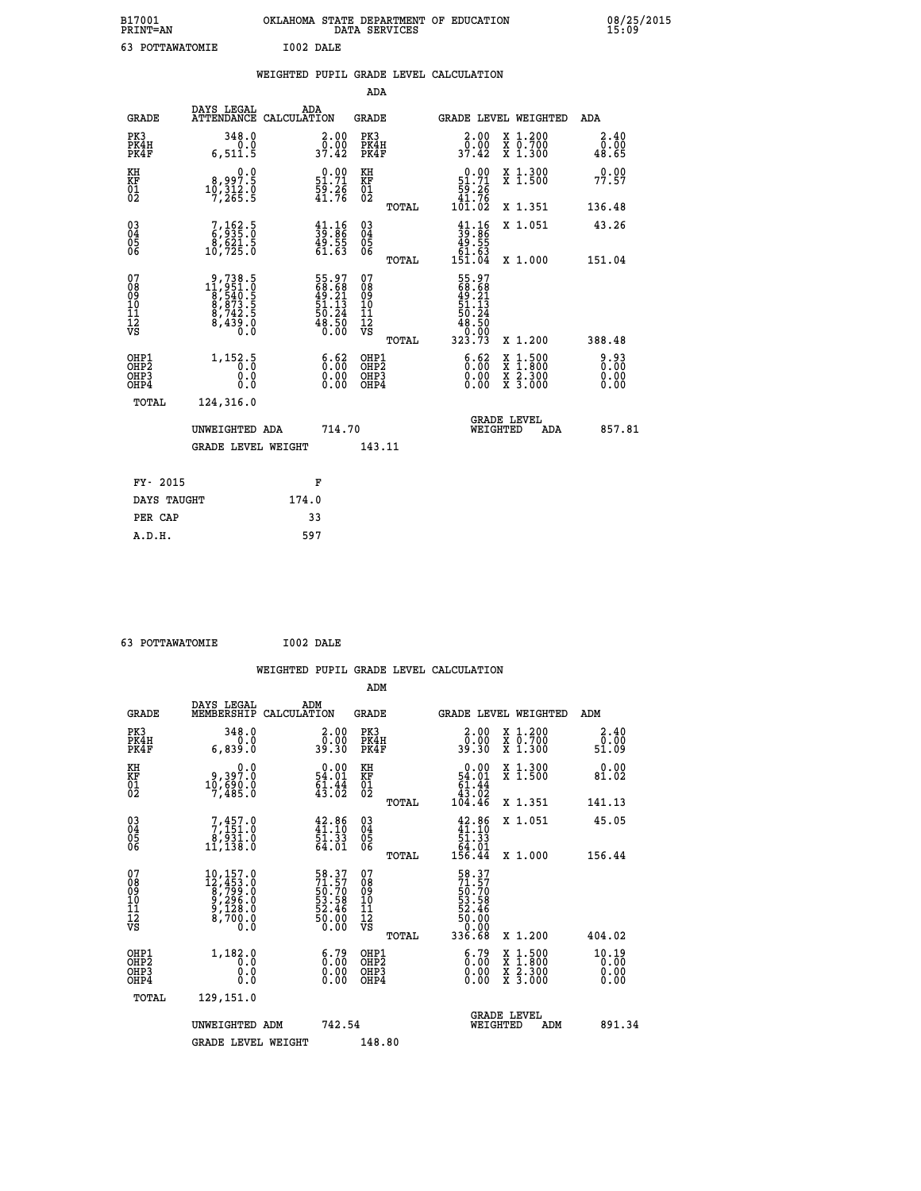| B17001<br>PRINT=AN | <b>OKLAHOMA</b><br>STATE DEPARTMENT OF EDUCATION<br>SERVICES<br>DATA | 08/25/2015<br>15:09 |
|--------------------|----------------------------------------------------------------------|---------------------|
| POTTAWATOMIE       | I002 DALE                                                            |                     |

|                                                    |                                                                                                                                   | WEIGHTED PUPIL GRADE LEVEL CALCULATION                                  |                                                          |                                        |       |                                                                             |                                                                                          |                       |
|----------------------------------------------------|-----------------------------------------------------------------------------------------------------------------------------------|-------------------------------------------------------------------------|----------------------------------------------------------|----------------------------------------|-------|-----------------------------------------------------------------------------|------------------------------------------------------------------------------------------|-----------------------|
|                                                    |                                                                                                                                   |                                                                         |                                                          | ADA                                    |       |                                                                             |                                                                                          |                       |
| <b>GRADE</b>                                       | DAYS LEGAL<br>ATTENDANCE CALCULATION                                                                                              | ADA                                                                     |                                                          | <b>GRADE</b>                           |       | GRADE LEVEL WEIGHTED                                                        |                                                                                          | ADA                   |
| PK3<br>PK4H<br>PK4F                                | 348.0<br>0.0<br>6, 511.5                                                                                                          | $\begin{smallmatrix} 2.00\\ 0.00\\ 37.42 \end{smallmatrix}$             |                                                          | PK3<br>PK4H<br>PK4F                    |       | $\begin{smallmatrix} 2.00\\ 0.00\\ 37.42 \end{smallmatrix}$                 | X 1.200<br>X 0.700<br>X 1.300                                                            | 2.40<br>0.00<br>48.65 |
| KH<br>KF<br>01<br>02                               | 0.0<br>$10,312.0$<br>$17,312.0$<br>$7,265.5$                                                                                      | $\begin{smallmatrix} 0.00\\ 51.71\\ 59.26\\ 41.76 \end{smallmatrix}$    |                                                          | KH<br>KF<br>01<br>02                   |       | $\begin{smallmatrix} &0.00\ 51.71\ 59.26\ 41.76\ 101.02\ \end{smallmatrix}$ | X 1.300<br>X 1.500                                                                       | 0.00<br>77.57         |
|                                                    |                                                                                                                                   |                                                                         |                                                          |                                        | TOTAL |                                                                             | X 1.351                                                                                  | 136.48                |
| $\begin{matrix} 03 \\ 04 \\ 05 \\ 06 \end{matrix}$ | $\frac{7}{9}, \frac{162}{95}$ : 0<br>8,621.5<br>10,725.0                                                                          | $\begin{smallmatrix} 41.16\\ 39.86\\ 49.55\\ 61.63\\ \end{smallmatrix}$ |                                                          | 03<br>04<br>05<br>06                   |       | $39.86$<br>$49.55$<br>$61.63$<br>$151.04$                                   | X 1.051                                                                                  | 43.26                 |
|                                                    |                                                                                                                                   |                                                                         |                                                          |                                        | TOTAL |                                                                             | X 1.000                                                                                  | 151.04                |
| 07<br>08901112<br>1112<br>VS                       | $\begin{smallmatrix} 9\,,738\,,5\\ 11\,,951\,.0\\ 8\,,540\,.5\\ 8\,,873\,.5\\ 8\,,742\,.5\\ 8\,,439\,.0\\ 0\,. \end{smallmatrix}$ | 55.97<br>68.68<br>49.21<br>51.13<br>50.24<br>50.50<br>48.50             |                                                          | 07<br>08<br>09<br>11<br>11<br>12<br>VS | TOTAL | 55.97<br>68.68<br>49.21<br>51.13<br>50.24<br>48.50<br>0.00<br>323.73        | X 1.200                                                                                  | 388.48                |
| OHP1<br>OHP2<br>OHP3<br>OHP4                       | 1, 152.5<br>0.0<br>0.0                                                                                                            |                                                                         | $\begin{smallmatrix} 6.62\ 0.00\ 0.00 \end{smallmatrix}$ | OHP1<br>OHP2<br>OHP3<br>OHP4           |       | $\begin{smallmatrix} 6.62\ 0.00\ 0.00 \end{smallmatrix}$                    | $\begin{smallmatrix} x & 1.500 \\ x & 1.800 \\ x & 2.300 \\ x & 3.000 \end{smallmatrix}$ | 0.93<br>0.00<br>0.00  |
| TOTAL                                              | 124,316.0                                                                                                                         |                                                                         |                                                          |                                        |       |                                                                             |                                                                                          |                       |
|                                                    | UNWEIGHTED ADA                                                                                                                    |                                                                         | 714.70                                                   |                                        |       | WEIGHTED                                                                    | <b>GRADE LEVEL</b><br>ADA                                                                | 857.81                |
|                                                    | <b>GRADE LEVEL WEIGHT</b>                                                                                                         |                                                                         |                                                          | 143.11                                 |       |                                                                             |                                                                                          |                       |
| FY- 2015                                           |                                                                                                                                   | F                                                                       |                                                          |                                        |       |                                                                             |                                                                                          |                       |
| DAYS TAUGHT                                        |                                                                                                                                   | 174.0                                                                   |                                                          |                                        |       |                                                                             |                                                                                          |                       |
| PER CAP                                            |                                                                                                                                   | 33                                                                      |                                                          |                                        |       |                                                                             |                                                                                          |                       |

| 63 POTTAWATOMIE | I002 DALE |
|-----------------|-----------|
|                 |           |

|                                                    |                                          |                                                                                                                         |                    |                                                                      |                                              |       | WEIGHTED PUPIL GRADE LEVEL CALCULATION                                   |                                                                                                  |     |                               |
|----------------------------------------------------|------------------------------------------|-------------------------------------------------------------------------------------------------------------------------|--------------------|----------------------------------------------------------------------|----------------------------------------------|-------|--------------------------------------------------------------------------|--------------------------------------------------------------------------------------------------|-----|-------------------------------|
|                                                    |                                          |                                                                                                                         |                    |                                                                      | ADM                                          |       |                                                                          |                                                                                                  |     |                               |
|                                                    | <b>GRADE</b>                             | DAYS LEGAL<br>MEMBERSHIP                                                                                                | ADM<br>CALCULATION |                                                                      | <b>GRADE</b>                                 |       |                                                                          | <b>GRADE LEVEL WEIGHTED</b>                                                                      | ADM |                               |
| PK3                                                | PK4H<br>PK4F                             | 348.0<br>0.0<br>6,839.0                                                                                                 |                    | $\begin{smallmatrix} 2.00\\ 0.00\\ 39.30 \end{smallmatrix}$          | PK3<br>PK4H<br>PK4F                          |       | $\begin{smallmatrix} 2.00\\ 0.00\\ 39.30 \end{smallmatrix}$              | X 1.200<br>X 0.700<br>X 1.300                                                                    |     | 2.40<br>0.00<br>51.09         |
| KH<br>KF<br>01<br>02                               |                                          | 0: 9و3، 9<br>10,690.0<br>7,485.0                                                                                        |                    | $\begin{smallmatrix} 0.00\\ 54.01\\ 61.44\\ 43.02 \end{smallmatrix}$ | KH<br>KF<br>01<br>02                         |       | 0.00<br>$\begin{array}{r} 54.01 \\ 61.44 \\ 43.02 \\ 104.46 \end{array}$ | X 1.300<br>X 1.500                                                                               |     | 0.00<br>81.02                 |
|                                                    |                                          |                                                                                                                         |                    |                                                                      |                                              | TOTAL |                                                                          | X 1.351                                                                                          |     | 141.13                        |
| $\begin{matrix} 03 \\ 04 \\ 05 \\ 06 \end{matrix}$ |                                          | $7,457.0$<br>$8,931.0$<br>$8,931.0$<br>$11,138.0$                                                                       |                    | $42.86$<br>$41.10$<br>$\frac{51:33}{64:01}$                          | $^{03}_{04}$<br>Ŏ5<br>06                     |       | $42.86\n41.10\n51.33\n64.01\n156.44$                                     | X 1.051                                                                                          |     | 45.05                         |
|                                                    |                                          |                                                                                                                         |                    |                                                                      |                                              | TOTAL |                                                                          | X 1.000                                                                                          |     | 156.44                        |
| 07<br>0890112<br>1112<br>VS                        |                                          | $\begin{smallmatrix} 10,157.0\\ 12,453.0\\ 8,799.0\\ 9,296.0\\ 9,128.0\\ 8,700.0 \end{smallmatrix}$<br>$0.\overline{0}$ |                    | 58.37<br>71.57<br>50.70<br>53.58<br>52.46<br>50.00<br>50.00          | 07<br>08<br>09<br>09<br>10<br>11<br>12<br>VS |       | 58.37<br>71.57<br>50.70<br>53.58<br>52.46<br>50.00<br>50.00<br>336.68    |                                                                                                  |     |                               |
|                                                    |                                          |                                                                                                                         |                    |                                                                      |                                              | TOTAL |                                                                          | $X_1.200$                                                                                        |     | 404.02                        |
|                                                    | OHP1<br>OHP2<br>OH <sub>P3</sub><br>OHP4 | 1,182.0<br>0.0<br>0.0<br>Ŏ.Ŏ                                                                                            |                    | $\begin{smallmatrix} 6.79\ 0.00\ 0.00 \end{smallmatrix}$             | OHP1<br>OHP2<br>OHP3<br>OHP4                 |       | $\begin{smallmatrix} 6.79\ 0.00\ 0.00 \end{smallmatrix}$                 | $\begin{smallmatrix} x & 1 & 500 \\ x & 1 & 800 \\ x & 2 & 300 \\ x & 3 & 000 \end{smallmatrix}$ |     | 10.19<br>0.00<br>0.00<br>0.00 |
|                                                    | TOTAL                                    | 129,151.0                                                                                                               |                    |                                                                      |                                              |       |                                                                          |                                                                                                  |     |                               |
|                                                    |                                          | UNWEIGHTED ADM                                                                                                          |                    | 742.54                                                               |                                              |       | WEIGHTED                                                                 | <b>GRADE LEVEL</b><br>ADM                                                                        |     | 891.34                        |
|                                                    |                                          | <b>GRADE LEVEL WEIGHT</b>                                                                                               |                    |                                                                      | 148.80                                       |       |                                                                          |                                                                                                  |     |                               |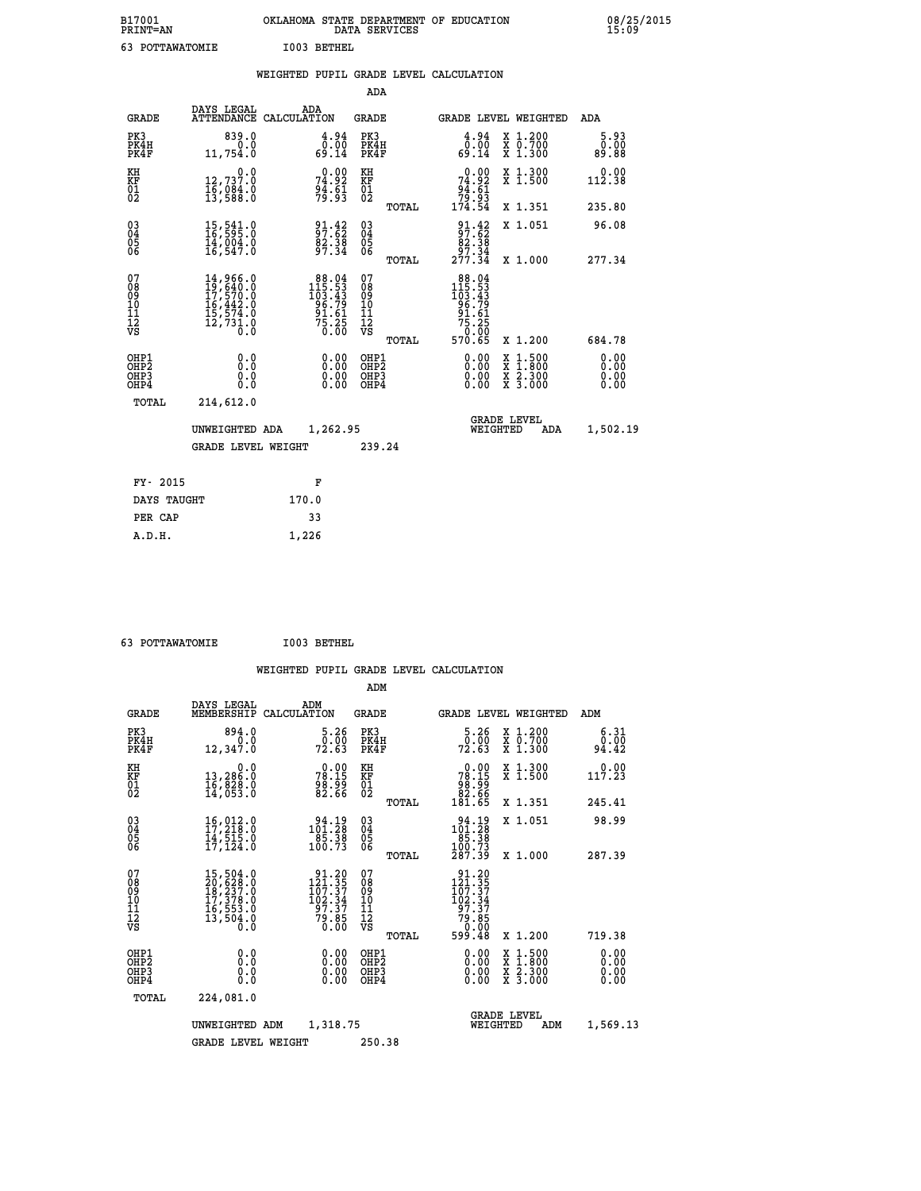| B17001<br>PRINT=AN |                      | OKLAHOMA STATE DEPARTMENT OF EDUCATION<br>SERVICES<br>DATA | 08/25/2015<br>15:09 |
|--------------------|----------------------|------------------------------------------------------------|---------------------|
|                    | I003<br>POTTAWATOMIE | BETHEL                                                     |                     |

|                                                                    |                                                                                                                                                                                          | WEIGHTED PUPIL GRADE LEVEL CALCULATION                                                                              |                                        |       |                                                                                                       |                               |                              |
|--------------------------------------------------------------------|------------------------------------------------------------------------------------------------------------------------------------------------------------------------------------------|---------------------------------------------------------------------------------------------------------------------|----------------------------------------|-------|-------------------------------------------------------------------------------------------------------|-------------------------------|------------------------------|
|                                                                    |                                                                                                                                                                                          |                                                                                                                     | ADA                                    |       |                                                                                                       |                               |                              |
| <b>GRADE</b>                                                       | DAYS LEGAL                                                                                                                                                                               | ADA<br>ATTENDANCE CALCULATION                                                                                       | <b>GRADE</b>                           |       | GRADE LEVEL WEIGHTED                                                                                  |                               | ADA                          |
| PK3<br>PK4H<br>PK4F                                                | 839.0<br>0.0<br>11,754.0                                                                                                                                                                 | $\begin{smallmatrix} 4.94\ 0.00\ 69.14 \end{smallmatrix}$                                                           | PK3<br>PK4H<br>PK4F                    |       | $\begin{smallmatrix} 4.94\0.00\\0.00\\69.14\end{smallmatrix}$                                         | X 1.200<br>X 0.700<br>X 1.300 | 5.93<br>0.00<br>89.88        |
| KH<br>KF<br>01<br>02                                               | 0.0<br>$\frac{12}{16}, \frac{737}{084}$ .0<br>13,588.0                                                                                                                                   | $74.92$<br>$74.92$<br>$94.61$<br>$79.93$                                                                            | KH<br>KF<br>01<br>02                   |       | $0.00$<br>$74.92$<br>$94.61$<br>$79.93$<br>$174.54$                                                   | X 1.300<br>X 1.500            | 0.00<br>112.38               |
|                                                                    |                                                                                                                                                                                          |                                                                                                                     |                                        | TOTAL |                                                                                                       | X 1.351                       | 235.80                       |
| $\begin{smallmatrix} 03 \\[-4pt] 04 \end{smallmatrix}$<br>Ŏ5<br>ŎĞ | 15,541.0<br>16,595.0<br>14,004.0<br>16,547.0                                                                                                                                             | 37:32<br>$\frac{82.38}{97.34}$                                                                                      | $03\overline{4}$<br>05<br>06           |       | $\frac{91.42}{97.62}$<br>$\frac{82.38}{97.34}$                                                        | X 1.051                       | 96.08                        |
|                                                                    |                                                                                                                                                                                          |                                                                                                                     |                                        | TOTAL | 277.34                                                                                                | X 1.000                       | 277.34                       |
| 07<br>08<br>09<br>11<br>11<br>12<br>VS                             | $\begin{smallmatrix} 14\,, & 966\,, & 0\\ 19\,, & 640\,, & 0\\ 17\,, & 570\,, & 0\\ 16\,, & 442\,, & 0\\ 15\,, & 574\,, & 0\\ 12\,, & 731\,, & 0\\ 0\,. & 0\,. & 0\,. \end{smallmatrix}$ | $\begin{array}{r} 88\cdot04\\ 115\cdot53\\ 103\cdot43\\ 96\cdot79\\ 91\cdot61\\ 75\cdot25\\ 0\cdot00\\ \end{array}$ | 07<br>08<br>09<br>11<br>11<br>12<br>VS | TOTAL | $\begin{array}{r} 88.04 \\ 115.53 \\ 103.43 \\ 96.79 \\ 91.61 \end{array}$<br>25:25<br>0:00<br>570:65 | X 1.200                       | 684.78                       |
| OHP1<br>OHP2<br>OHP3<br>OHP4                                       | 0.0<br>0.0<br>Ō.O                                                                                                                                                                        | 0.00<br>$\begin{smallmatrix} 0.00 \ 0.00 \end{smallmatrix}$                                                         | OHP1<br>OHP2<br>OHP3<br>OHP4           |       | 0.00<br>0.00<br>0.00                                                                                  | X 1:500<br>X 2.300<br>X 3.000 | 0.00<br>0.00<br>0.00<br>0.00 |
| <b>TOTAL</b>                                                       | 214,612.0                                                                                                                                                                                |                                                                                                                     |                                        |       |                                                                                                       |                               |                              |
|                                                                    | UNWEIGHTED ADA                                                                                                                                                                           | 1,262.95                                                                                                            |                                        |       | WEIGHTED                                                                                              | <b>GRADE LEVEL</b><br>ADA     | 1,502.19                     |
|                                                                    | <b>GRADE LEVEL WEIGHT</b>                                                                                                                                                                |                                                                                                                     | 239.24                                 |       |                                                                                                       |                               |                              |
| FY- 2015                                                           |                                                                                                                                                                                          | F                                                                                                                   |                                        |       |                                                                                                       |                               |                              |
| DAYS TAUGHT                                                        |                                                                                                                                                                                          | 170.0                                                                                                               |                                        |       |                                                                                                       |                               |                              |
| PER CAP                                                            |                                                                                                                                                                                          | 33                                                                                                                  |                                        |       |                                                                                                       |                               |                              |

 **63 POTTAWATOMIE I003 BETHEL**

 **A.D.H. 1,226**

| <b>GRADE</b>                                         | DAYS LEGAL<br>MEMBERSHIP                                                                                                                            | ADM<br>CALCULATION                                                                              | <b>GRADE</b>                             |       | GRADE LEVEL WEIGHTED                                                                                   |                                          | ADM                     |  |
|------------------------------------------------------|-----------------------------------------------------------------------------------------------------------------------------------------------------|-------------------------------------------------------------------------------------------------|------------------------------------------|-------|--------------------------------------------------------------------------------------------------------|------------------------------------------|-------------------------|--|
| PK3<br>PK4H<br>PK4F                                  | 894.0<br>12,347.0                                                                                                                                   | 5.26<br>0.00<br>72.63                                                                           | PK3<br>PK4H<br>PK4F                      |       | 5.26<br>$\frac{0.00}{72.63}$                                                                           | X 1.200<br>X 0.700<br>X 1.300            | 6.31<br>$0.00$<br>94.42 |  |
| KH<br>KF<br>01<br>02                                 | 0.0<br>13,286.0<br>16,828.0<br>14,053.0                                                                                                             | $78.15$<br>$78.15$<br>$98.99$<br>$82.66$                                                        | KH<br>KF<br>01<br>02                     |       | $\begin{smallmatrix} &0.00\\78.15\\98.99\\82.66\\181.65\end{smallmatrix}$                              | X 1.300<br>X 1.500                       | 0.00<br>117.23          |  |
|                                                      |                                                                                                                                                     |                                                                                                 |                                          | TOTAL |                                                                                                        | X 1.351                                  | 245.41                  |  |
| $\begin{matrix} 03 \\ 04 \\ 05 \\ 06 \end{matrix}$   | $16,012.0$<br>$17,218.0$<br>$14,515.0$                                                                                                              | $\begin{smallmatrix} 94.19\\101.28\\85.38\\100.73 \end{smallmatrix}$                            | $\substack{03 \\ 04}$<br>$\frac{05}{06}$ |       | $\begin{array}{r} 94.19 \\ 101.28 \\ 85.38 \\ 100.73 \\ 287.39 \end{array}$                            | X 1.051                                  | 98.99                   |  |
|                                                      | 17, 124.0                                                                                                                                           |                                                                                                 |                                          | TOTAL |                                                                                                        | X 1.000                                  | 287.39                  |  |
| 07<br>08<br>09<br>101<br>112<br>VS                   | $\begin{smallmatrix} 15\,,\,504\,.0\\ 20\,,\,628\,.0\\ 18\,,\,237\,.0\\ 17\,,\,378\,.0\\ 16\,,\,553\,.0\\ 13\,,\,504\,.0\\ 0\,.0 \end{smallmatrix}$ | $\begin{smallmatrix} 91.20\\ 121.35\\ 107.37\\ 102.34\\ 97.37\\ 99.85\\ 0.00 \end{smallmatrix}$ | 07<br>08<br>09<br>11<br>11<br>12<br>VS   | TOTAL | $\begin{array}{r} 91.20 \\ 121.35 \\ 107.37 \\ 102.34 \\ 97.37 \\ 79.85 \\ 0.00 \\ 599.48 \end{array}$ | X 1.200                                  | 719.38                  |  |
| OHP1<br>OH <sub>P</sub> <sub>2</sub><br>OHP3<br>OHP4 | 0.0<br>0.0<br>Ŏ.Ŏ                                                                                                                                   | $0.00$<br>$0.00$<br>0.00                                                                        | OHP1<br>OHP2<br>OHP3<br>OHP4             |       | $0.00$<br>$0.00$<br>0.00                                                                               | X 1:500<br>X 1:800<br>X 2:300<br>X 3:000 | 0.00<br>0.00<br>0.00    |  |
| TOTAL                                                | 224,081.0                                                                                                                                           |                                                                                                 |                                          |       |                                                                                                        |                                          |                         |  |
|                                                      | UNWEIGHTED                                                                                                                                          | 1,318.75<br>ADM                                                                                 |                                          |       | <b>GRADE LEVEL</b><br>WEIGHTED                                                                         | ADM                                      | 1,569.13                |  |
|                                                      | <b>GRADE LEVEL WEIGHT</b>                                                                                                                           |                                                                                                 | 250.38                                   |       |                                                                                                        |                                          |                         |  |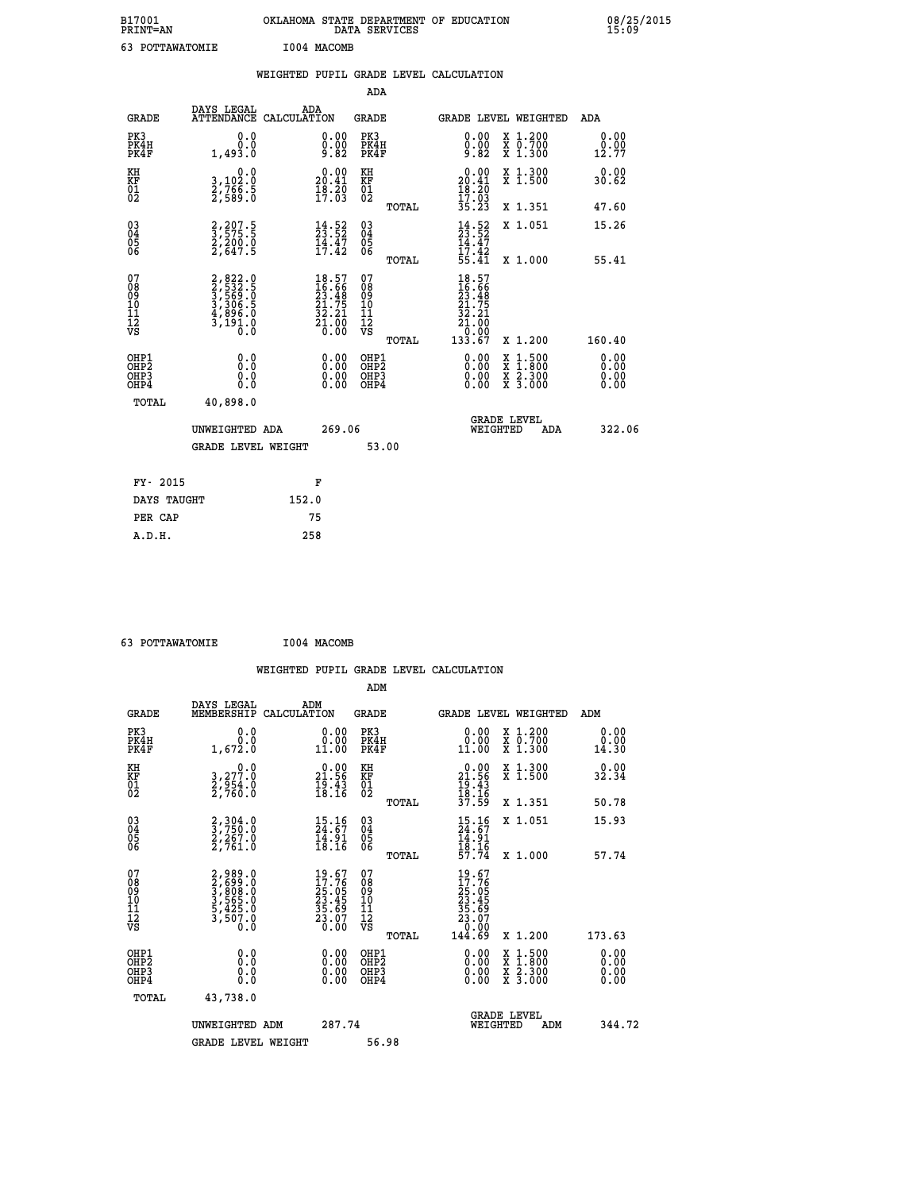| B17001<br>PRINT=AN | OKLAHOMA STATE DEPARTMENT OF EDUCATION<br>DATA SERVICES | 08/25/2015<br>15:09 |
|--------------------|---------------------------------------------------------|---------------------|
| 63<br>POTTAWATOMIE | I004 MACOMB                                             |                     |

|                                                                    |                                                                       |       |                                                                          |                                                    |       | WEIGHTED PUPIL GRADE LEVEL CALCULATION                                                                                                         |                                                                                          |                              |
|--------------------------------------------------------------------|-----------------------------------------------------------------------|-------|--------------------------------------------------------------------------|----------------------------------------------------|-------|------------------------------------------------------------------------------------------------------------------------------------------------|------------------------------------------------------------------------------------------|------------------------------|
|                                                                    |                                                                       |       |                                                                          | <b>ADA</b>                                         |       |                                                                                                                                                |                                                                                          |                              |
| <b>GRADE</b>                                                       | DAYS LEGAL<br>ATTENDANCE CALCULATION                                  | ADA   |                                                                          | <b>GRADE</b>                                       |       |                                                                                                                                                | GRADE LEVEL WEIGHTED                                                                     | ADA                          |
| PK3<br>PK4H<br>PK4F                                                | 0.0<br>1,493.0                                                        |       | $\substack{0.00\\0.00\\9.82}$                                            | PK3<br>PK4H<br>PK4F                                |       | 0.00<br>$0.00$<br>9.82                                                                                                                         | X 1.200<br>X 0.700<br>X 1.300                                                            | 0.00<br>0.00<br>12.77        |
| KH<br>KF<br>01<br>02                                               | 0.0<br>3,102:0<br>2,766:5<br>2,589:0                                  |       | $20.00$<br>20.41<br>$\frac{18.20}{17.03}$                                | KH<br>KF<br>01<br>02                               |       | $\begin{smallmatrix} 0.00\\ 20.41\\ 18.20\\ 17.03 \end{smallmatrix}$                                                                           | X 1.300<br>X 1.500                                                                       | 0.00<br>30.62                |
|                                                                    |                                                                       |       |                                                                          |                                                    | TOTAL | 35.23                                                                                                                                          | X 1.351                                                                                  | 47.60                        |
| $\begin{smallmatrix} 03 \\[-4pt] 04 \end{smallmatrix}$<br>05<br>06 | 2,207.5<br>3,575.5<br>2,200.0<br>2,647.5                              |       | $\frac{14}{23}$ : 52<br>$\frac{23}{14}$ : 47<br>$\frac{17}{17}$ : 42     | $\begin{matrix} 03 \\ 04 \\ 05 \\ 06 \end{matrix}$ |       | $14.52$<br>$23.52$<br>$14.47$<br>$17.42$<br>$55.41$                                                                                            | X 1.051                                                                                  | 15.26                        |
|                                                                    |                                                                       |       |                                                                          |                                                    | TOTAL |                                                                                                                                                | X 1.000                                                                                  | 55.41                        |
| 07<br>08<br>09<br>11<br>11<br>12<br>VS                             | 2,822.0<br>3,532.5<br>3,569.0<br>3,306.5<br>4,896.0<br>3,191.0<br>0.0 |       | $18.57$<br>$16.66$<br>$23.48$<br>$21.75$<br>$32.21$<br>$21.00$<br>$0.00$ | 07<br>08<br>09<br>11<br>11<br>12<br>VS             | TOTAL | 18.57<br>16.66<br>23.48<br>21.75<br>32.21<br>$\begin{array}{r} 2\overline{1} \cdot \overline{0} \\ 0 \cdot \overline{0} \\ 133.67 \end{array}$ | X 1.200                                                                                  | 160.40                       |
| OHP1<br>OHP2<br>OHP3<br>OH <sub>P4</sub>                           | 0.0<br>0.0<br>0.0                                                     |       | 0.00<br>$\begin{smallmatrix} 0.00 \ 0.00 \end{smallmatrix}$              | OHP1<br>OHP2<br>OHP3<br>OHP4                       |       | 0.00<br>0.00                                                                                                                                   | $\begin{smallmatrix} x & 1.500 \\ x & 1.800 \\ x & 2.300 \\ x & 3.000 \end{smallmatrix}$ | 0.00<br>ŏ:ŏŏ<br>0.00<br>0.00 |
| TOTAL                                                              | 40,898.0                                                              |       |                                                                          |                                                    |       |                                                                                                                                                |                                                                                          |                              |
|                                                                    | UNWEIGHTED ADA                                                        |       | 269.06                                                                   |                                                    |       | WEIGHTED                                                                                                                                       | <b>GRADE LEVEL</b><br>ADA                                                                | 322.06                       |
|                                                                    | <b>GRADE LEVEL WEIGHT</b>                                             |       |                                                                          |                                                    | 53.00 |                                                                                                                                                |                                                                                          |                              |
| FY- 2015                                                           |                                                                       |       | F                                                                        |                                                    |       |                                                                                                                                                |                                                                                          |                              |
| DAYS TAUGHT                                                        |                                                                       | 152.0 |                                                                          |                                                    |       |                                                                                                                                                |                                                                                          |                              |
| PER CAP                                                            |                                                                       |       | 75                                                                       |                                                    |       |                                                                                                                                                |                                                                                          |                              |

| 63 POTTAWATOMIE | I004 MACOMB |
|-----------------|-------------|
|                 |             |

|                                                      |                                                                                               |                                                                          | WEIGHTED PUPIL GRADE LEVEL CALCULATION                       |                                                                                                                                                                                                                                                                                                                                       |                                        |
|------------------------------------------------------|-----------------------------------------------------------------------------------------------|--------------------------------------------------------------------------|--------------------------------------------------------------|---------------------------------------------------------------------------------------------------------------------------------------------------------------------------------------------------------------------------------------------------------------------------------------------------------------------------------------|----------------------------------------|
|                                                      |                                                                                               |                                                                          | ADM                                                          |                                                                                                                                                                                                                                                                                                                                       |                                        |
| <b>GRADE</b>                                         | DAYS LEGAL<br>MEMBERSHIP                                                                      | ADM<br>CALCULATION                                                       | <b>GRADE</b>                                                 | <b>GRADE LEVEL WEIGHTED</b>                                                                                                                                                                                                                                                                                                           | ADM                                    |
| PK3<br>PK4H<br>PK4F                                  | 0.0<br>0.0<br>1,672.0                                                                         | 0.00<br>11.00                                                            | PK3<br>PK4H<br>PK4F                                          | 0.00<br>X 1.200<br>X 0.700<br>X 1.300<br>11.00                                                                                                                                                                                                                                                                                        | 0.00<br>0.00<br>14.30                  |
| KH<br>KF<br>01<br>02                                 | $\begin{smallmatrix}&&&0\cdot0\\3\,,277\cdot0\\2\,,954\cdot0\\2\,,760\cdot0\end{smallmatrix}$ | $\begin{smallmatrix} 0.00\\ 21.56\\ 19.43\\ 18.16 \end{smallmatrix}$     | KH<br>KF<br>01<br>02                                         | X 1.300<br>X 1.500<br>$0.00$<br>$21.56$<br>$19.43$<br>$18.16$<br>$37.59$                                                                                                                                                                                                                                                              | 0.00<br>32.34                          |
|                                                      |                                                                                               |                                                                          | TOTAL                                                        | X 1.351                                                                                                                                                                                                                                                                                                                               | 50.78                                  |
| $\begin{matrix} 03 \\ 04 \\ 05 \\ 06 \end{matrix}$   | 2,304.0<br>3,750.0<br>2,267.0<br>2,761.0                                                      | $\begin{smallmatrix} 15.16 \\ 24.67 \\ 14.91 \\ 18.16 \end{smallmatrix}$ | $\begin{array}{c} 03 \\ 04 \\ 05 \\ 06 \end{array}$<br>TOTAL | X 1.051<br>$15.16$<br>$24.67$<br>$14.91$<br>$18.16$<br>$57.74$<br>X 1.000                                                                                                                                                                                                                                                             | 15.93<br>57.74                         |
| 07<br>08<br>09<br>101<br>112<br>VS                   | 2,989.0<br>3,699.0<br>3,808.0<br>3,565.0<br>5,425.0<br>5,425.0<br>3,507.0                     | 19.67<br>17.76<br>25.05<br>23.45<br>35.69<br>33.07<br>23.07              | 07<br>08<br>09<br>11<br>11<br>12<br>VS                       | $19.67$<br>$17.765$<br>$25.055$<br>$23.45$<br>$35.69$<br>$23.07$<br>$0.000$<br>$144.69$                                                                                                                                                                                                                                               |                                        |
| OHP1<br>OHP2<br>OH <sub>P3</sub><br>OH <sub>P4</sub> | 0.0<br>0.000                                                                                  | $\begin{smallmatrix} 0.00 \ 0.00 \ 0.00 \ 0.00 \end{smallmatrix}$        | TOTAL<br>OHP1<br>OH <sub>P</sub> 2<br>OHP3<br>OHP4           | X 1.200<br>$\begin{smallmatrix} 0.00 & 0.00 & 0.00 & 0.00 & 0.00 & 0.00 & 0.00 & 0.00 & 0.00 & 0.00 & 0.00 & 0.00 & 0.00 & 0.00 & 0.00 & 0.00 & 0.00 & 0.00 & 0.00 & 0.00 & 0.00 & 0.00 & 0.00 & 0.00 & 0.00 & 0.00 & 0.00 & 0.00 & 0.00 & 0.00 & 0.00 & 0.00 & 0.00 & 0.00 & 0.00 & 0.0$<br>X 1:500<br>X 1:800<br>X 2:300<br>X 3:000 | 173.63<br>0.00<br>0.00<br>0.00<br>0.00 |
| TOTAL                                                | 43,738.0<br>UNWEIGHTED ADM                                                                    | 287.74                                                                   |                                                              | <b>GRADE LEVEL</b><br>WEIGHTED<br>ADM                                                                                                                                                                                                                                                                                                 | 344.72                                 |
|                                                      | <b>GRADE LEVEL WEIGHT</b>                                                                     |                                                                          | 56.98                                                        |                                                                                                                                                                                                                                                                                                                                       |                                        |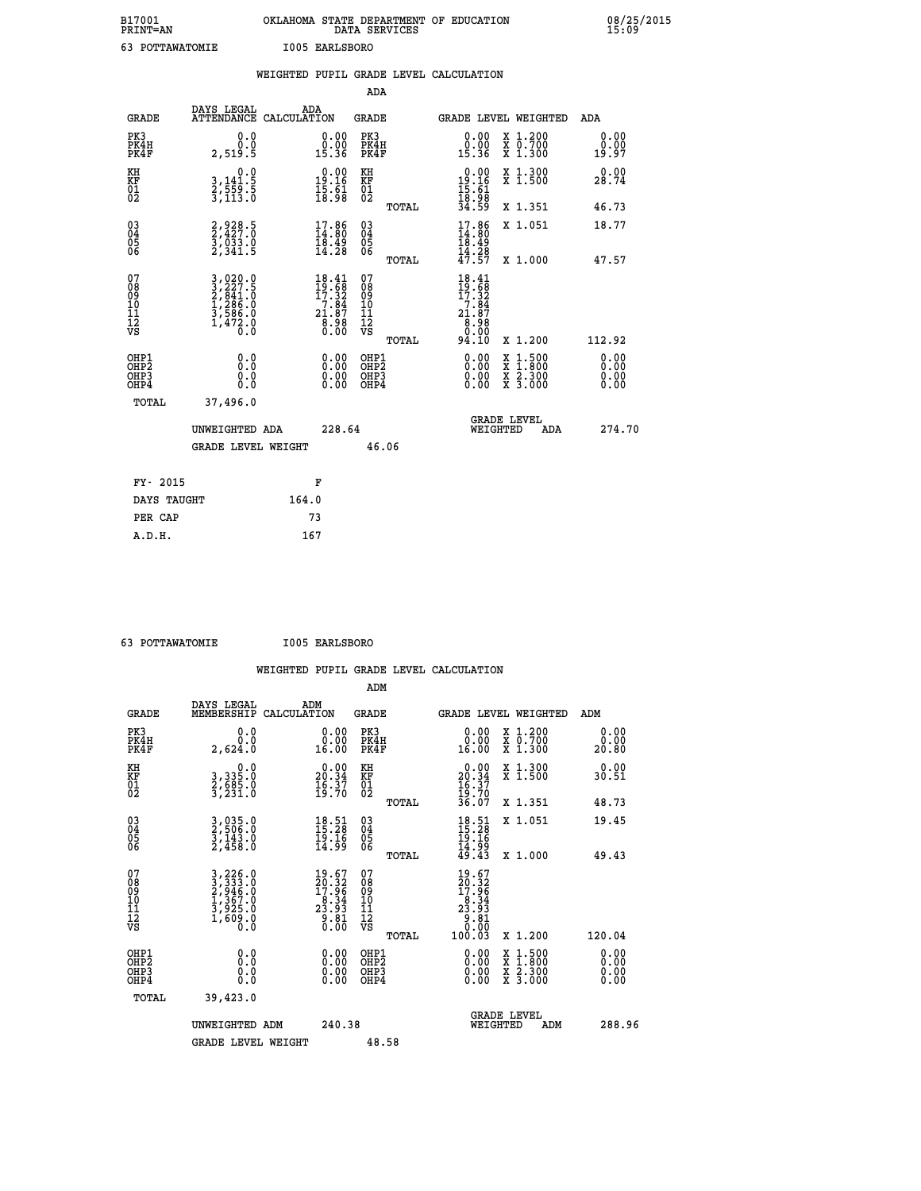| B17001<br><b>PRINT=AN</b> | OKLAHOMA STATE DEPARTMENT OF EDUCATION<br>DATA SERVICES | 08/25/2015<br>15:09 |
|---------------------------|---------------------------------------------------------|---------------------|
| 63<br>POTTAWATOMIE        | I005 EARLSBORO                                          |                     |

|                                                                    |                                                                                                                                                 | WEIGHTED PUPIL GRADE LEVEL CALCULATION                                                           |                                        |       |                                                                                   |                                                                            |                              |
|--------------------------------------------------------------------|-------------------------------------------------------------------------------------------------------------------------------------------------|--------------------------------------------------------------------------------------------------|----------------------------------------|-------|-----------------------------------------------------------------------------------|----------------------------------------------------------------------------|------------------------------|
|                                                                    |                                                                                                                                                 |                                                                                                  | ADA                                    |       |                                                                                   |                                                                            |                              |
| <b>GRADE</b>                                                       | DAYS LEGAL                                                                                                                                      | ADA<br>ATTENDANCE CALCULATION                                                                    | <b>GRADE</b>                           |       | GRADE LEVEL WEIGHTED                                                              |                                                                            | ADA                          |
| PK3<br>PK4H<br>PK4F                                                | 0.0<br>0.0<br>2,519.5                                                                                                                           | $\begin{smallmatrix} 0.00\\ 0.00\\ 15.36 \end{smallmatrix}$                                      | PK3<br>PK4H<br>PK4F                    |       | 0.00<br>ة<br>15.36                                                                | X 1.200<br>X 0.700<br>X 1.300                                              | 0.00<br>0.00<br>19.97        |
| KH<br>KF<br>01<br>02                                               | 0.0<br>3,141:5<br>2,559:5<br>3,113:0                                                                                                            | $\begin{smallmatrix} 0.00\\ 19.16\\ 15.61\\ 18.98 \end{smallmatrix}$                             | KH<br>KF<br>01<br>02                   |       | $\begin{array}{r} 0.00 \\ 19.16 \\ 15.61 \\ 18.98 \\ 34.59 \end{array}$           | X 1.300<br>X 1.500                                                         | 0.00<br>28.74                |
|                                                                    |                                                                                                                                                 |                                                                                                  |                                        | TOTAL |                                                                                   | X 1.351                                                                    | 46.73                        |
| $\begin{smallmatrix} 03 \\[-4pt] 04 \end{smallmatrix}$<br>Ŏ5<br>06 | 2,928.5<br>2,427.0<br>3,033.0<br>2,341.5                                                                                                        | 17.86<br>$\frac{18.49}{14.28}$                                                                   | $\substack{03 \\ 04}$<br>Ŏ5<br>06      |       | $17.86$<br>$14.80$<br>$18.49$<br>$14.28$<br>$47.57$                               | X 1.051                                                                    | 18.77                        |
|                                                                    |                                                                                                                                                 |                                                                                                  |                                        | TOTAL |                                                                                   | X 1.000                                                                    | 47.57                        |
| 07<br>08<br>09<br>101<br>112<br>VS                                 | $\begin{smallmatrix} 3\,,\,020\,.\,0\\ 2\,,\,227\,.5\\ 2\,,\,841\,.0\\ 1\,,\,286\,.0\\ 3\,,\,586\,.0\\ 1\,,\,472\,.0\\ 0\,.0 \end{smallmatrix}$ | $\begin{smallmatrix} 18.41 \\ 19.68 \\ 17.32 \\ 7.84 \\ 21.87 \\ 8.98 \\ 0.00 \end{smallmatrix}$ | 07<br>08<br>09<br>11<br>11<br>12<br>VS | TOTAL | $18.41$<br>$19.68$<br>$17.32$<br>$7.84$<br>$21.87$<br>$8.98$<br>$0.00$<br>$94.10$ | X 1.200                                                                    | 112.92                       |
| OHP1<br>OHP2<br>OHP3<br>OHP4                                       | 0.0<br>$0.\overline{0}$<br>Ō.Ō                                                                                                                  | 0.00<br>$\begin{smallmatrix} 0.00 \ 0.00 \end{smallmatrix}$                                      | OHP1<br>OHP2<br>OHP3<br>OHP4           |       | 0.00<br>0.00<br>0.00                                                              | $1:500$<br>$1:800$<br>X<br>X<br>$\frac{\ddot{x}}{x}$ $\frac{2.300}{3.000}$ | 0.00<br>0.00<br>0.00<br>0.00 |
| <b>TOTAL</b>                                                       | 37,496.0                                                                                                                                        |                                                                                                  |                                        |       |                                                                                   |                                                                            |                              |
|                                                                    | UNWEIGHTED ADA                                                                                                                                  | 228.64                                                                                           |                                        |       |                                                                                   | GRADE LEVEL<br>WEIGHTED<br>ADA                                             | 274.70                       |
|                                                                    | <b>GRADE LEVEL WEIGHT</b>                                                                                                                       |                                                                                                  | 46.06                                  |       |                                                                                   |                                                                            |                              |
| FY- 2015                                                           |                                                                                                                                                 | F                                                                                                |                                        |       |                                                                                   |                                                                            |                              |
| DAYS TAUGHT                                                        |                                                                                                                                                 | 164.0                                                                                            |                                        |       |                                                                                   |                                                                            |                              |
| PER CAP                                                            |                                                                                                                                                 | 73                                                                                               |                                        |       |                                                                                   |                                                                            |                              |

 **63 POTTAWATOMIE I005 EARLSBORO**

 **A.D.H. 167**

| ADM                                                                                                                                                                                                                                                                                                                                                                                                                                                                                                     |                              |
|---------------------------------------------------------------------------------------------------------------------------------------------------------------------------------------------------------------------------------------------------------------------------------------------------------------------------------------------------------------------------------------------------------------------------------------------------------------------------------------------------------|------------------------------|
|                                                                                                                                                                                                                                                                                                                                                                                                                                                                                                         |                              |
| DAYS LEGAL<br>ADM<br><b>GRADE</b><br>MEMBERSHIP<br>CALCULATION<br><b>GRADE</b><br><b>GRADE LEVEL WEIGHTED</b>                                                                                                                                                                                                                                                                                                                                                                                           | ADM                          |
| PK3<br>PK3<br>0.0<br>$\begin{smallmatrix} 0.00\\ 0.00\\ 16.00 \end{smallmatrix}$<br>0.00<br>X 1.200<br>X 0.700<br>X 1.300<br>PK4H<br>0.0<br>PK4H<br>16.00<br>PK4F<br>PK4F<br>2,624.0                                                                                                                                                                                                                                                                                                                    | 0.00<br>0.00<br>20.80        |
| $\begin{smallmatrix} 0.00\\ 20.34\\ 16.37\\ 19.70\\ 36.07 \end{smallmatrix}$<br>X 1.300<br>X 1.500<br>KH<br>$\begin{smallmatrix}&&&0.0\\3,335.0\\2,685.0\\3,231.0\end{smallmatrix}$<br>$\begin{smallmatrix} 0.00\\ 20.34\\ 16.37\\ 19.70 \end{smallmatrix}$<br>KH<br>KF<br>01<br>02<br>KF<br>01<br>02                                                                                                                                                                                                   | 0.00<br>30.51                |
| X 1.351<br>TOTAL                                                                                                                                                                                                                                                                                                                                                                                                                                                                                        | 48.73                        |
| 03<br>04<br>05<br>06<br>$18.51$<br>$15.28$<br>$19.16$<br>$14.99$<br>$49.43$<br>X 1.051<br>3,035.0<br>2,506.0<br>3,143.0<br>2,458.0<br>$18.51$<br>$15.28$<br>$\begin{array}{c} 03 \\ 04 \\ 05 \\ 06 \end{array}$<br>$\frac{15}{14}$ $\frac{16}{9}$                                                                                                                                                                                                                                                       | 19.45                        |
| TOTAL<br>X 1.000<br>07<br>19.67<br>07<br>$\begin{smallmatrix} 3\,,\,226\,.0\\ 3\,,\,333\,.0\\ 2\,,\,946\,.0\\ 1\,,\,367\,.0\\ 3\,,\,925\,.0\\ 1\,,\,609\,.0\\ 0\,.0\end{smallmatrix}$<br>$\begin{smallmatrix} 19.67\\20.32\\17.96\\23.34\\23.93\\9.81\\0.00\end{smallmatrix}$<br>$\begin{smallmatrix} 20.32\ 20.32\ 17.96\ 23.34\ 23.931\ 20.81\ 0.00\ 100.03 \end{smallmatrix}$<br>08<br>09<br>101<br>112<br>VS<br>08<br>09<br>11<br>11<br>12<br>VS<br>X 1.200<br>TOTAL                                | 49.43<br>120.04              |
| $\begin{smallmatrix} 0.00 & 0.00 & 0.00 & 0.00 & 0.00 & 0.00 & 0.00 & 0.00 & 0.00 & 0.00 & 0.00 & 0.00 & 0.00 & 0.00 & 0.00 & 0.00 & 0.00 & 0.00 & 0.00 & 0.00 & 0.00 & 0.00 & 0.00 & 0.00 & 0.00 & 0.00 & 0.00 & 0.00 & 0.00 & 0.00 & 0.00 & 0.00 & 0.00 & 0.00 & 0.00 & 0.0$<br>OHP1<br>OHP2<br>$\begin{smallmatrix} 0.00 \ 0.00 \ 0.00 \ 0.00 \end{smallmatrix}$<br>OHP1<br>OHP2<br>X 1:500<br>X 1:800<br>X 2:300<br>X 3:000<br>0.0<br>0.000<br>OHP3<br>OH <sub>P3</sub><br>OH <sub>P4</sub><br>OHP4 | 0.00<br>0.00<br>0.00<br>0.00 |
| TOTAL<br>39,423.0<br>GRADE LEVEL<br>WEIGHTED<br>240.38<br>UNWEIGHTED ADM<br>ADM<br>48.58<br><b>GRADE LEVEL WEIGHT</b>                                                                                                                                                                                                                                                                                                                                                                                   | 288.96                       |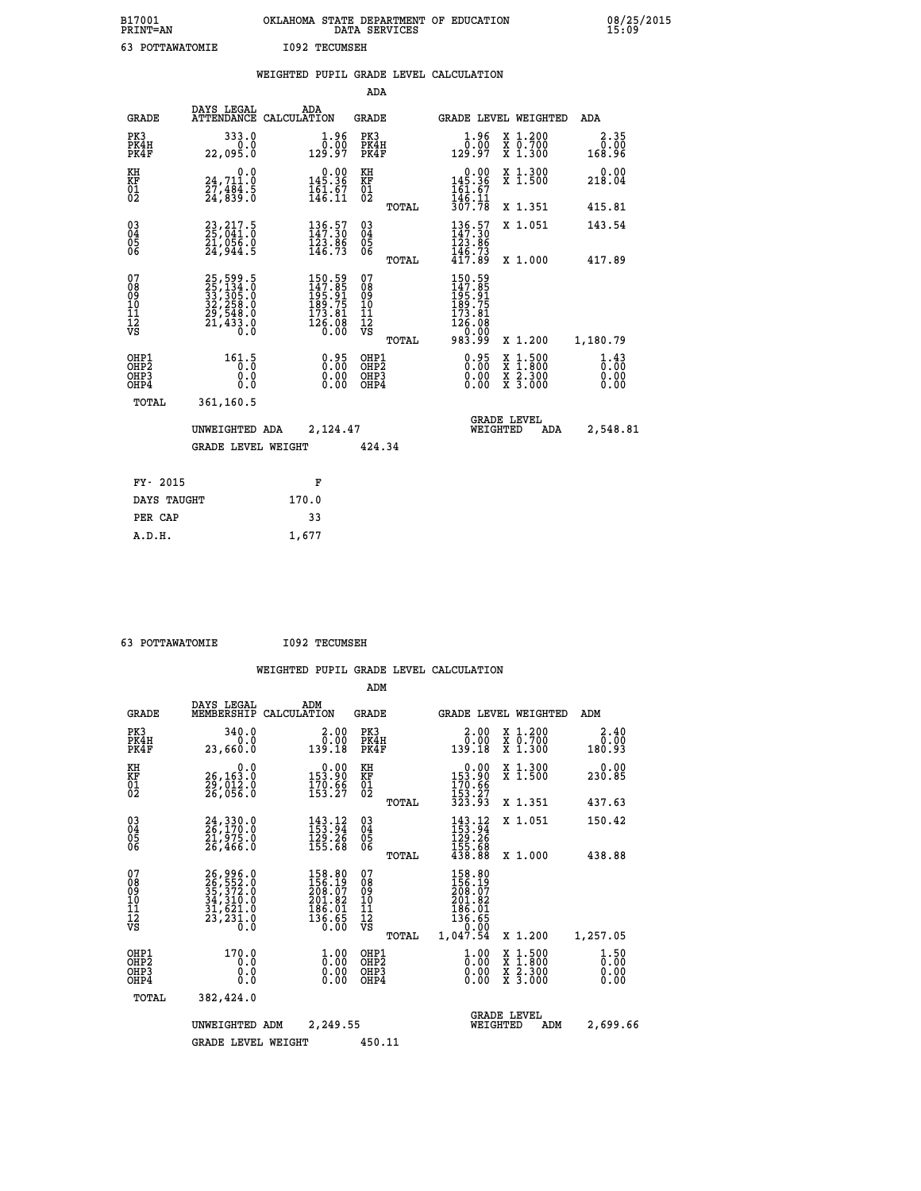| B17001<br>PRINT=AN                     |                                                                                                                                                     | OKLAHOMA STATE DEPARTMENT OF EDUCATION                                                              | DATA SERVICES                                      |                                                                         |                                                                                                                                           | 08/25/2015                   |
|----------------------------------------|-----------------------------------------------------------------------------------------------------------------------------------------------------|-----------------------------------------------------------------------------------------------------|----------------------------------------------------|-------------------------------------------------------------------------|-------------------------------------------------------------------------------------------------------------------------------------------|------------------------------|
| 63 POTTAWATOMIE                        |                                                                                                                                                     | <b>I092 TECUMSEH</b>                                                                                |                                                    |                                                                         |                                                                                                                                           |                              |
|                                        |                                                                                                                                                     | WEIGHTED PUPIL GRADE LEVEL CALCULATION                                                              |                                                    |                                                                         |                                                                                                                                           |                              |
|                                        |                                                                                                                                                     |                                                                                                     | <b>ADA</b>                                         |                                                                         |                                                                                                                                           |                              |
| GRADE                                  | DAYS LEGAL                                                                                                                                          | ADA<br>ATTENDANCE CALCULATION                                                                       | <b>GRADE</b>                                       |                                                                         | GRADE LEVEL WEIGHTED                                                                                                                      | ADA                          |
| PK3<br>PK4H<br>PK4F                    | 333.0<br>0.0<br>22,095.0                                                                                                                            | $\frac{1}{0}$ :00<br>129.97                                                                         | PK3<br>PK4H<br>PK4F                                | $1.96$<br>$0.00$<br>129.97                                              | X 1.200<br>X 0.700<br>X 1.300                                                                                                             | 2.35<br>0.00<br>168.96       |
| KH<br>KF<br>ÖĪ<br>Ŏ2                   | 0.0<br>24,711.0<br>$\frac{27}{24}$ , $\frac{484}{839}$ : $\frac{8}{8}$                                                                              | $0.00$<br>145.36<br>$\frac{161.67}{146.11}$                                                         | KH<br><b>KF</b><br>01<br>02                        | $0.00$<br>$145.36$<br>$161.67$<br>$146.11$<br>$307.78$                  | X 1.300<br>X 1.500                                                                                                                        | 0.00<br>218.04               |
|                                        |                                                                                                                                                     |                                                                                                     | <b>TOTAL</b>                                       |                                                                         | X 1.351                                                                                                                                   | 415.81                       |
| 030404<br>ŎĞ                           | 23, 217.5<br>25, 041.0<br>21,056.0<br>24,944.5                                                                                                      | 136.57<br>147.30<br>$\frac{123.86}{146.73}$                                                         | $\begin{matrix} 03 \\ 04 \\ 05 \\ 06 \end{matrix}$ | 136.57<br>147.30<br>123.86<br>146.73                                    | X 1.051                                                                                                                                   | 143.54                       |
|                                        |                                                                                                                                                     |                                                                                                     | <b>TOTAL</b>                                       | 417.89                                                                  | X 1.000                                                                                                                                   | 417.89                       |
| 07<br>08<br>09<br>11<br>11<br>12<br>VS | $\begin{smallmatrix} 25\,,\,599\,.5\\ 25\,,\,134\,.0\\ 33\,,\,305\,.0\\ 32\,,\,258\,.0\\ 29\,,\,548\,.0\\ 21\,,\,433\,.0\\ 0\,.0 \end{smallmatrix}$ | $\begin{smallmatrix} 150.59\\147.85\\195.91\\189.75\\189.75\\173.81\\126.08\\0.00\end{smallmatrix}$ | 07<br>08<br>09<br>10<br>11<br>$\frac{1}{\sqrt{2}}$ | 150.59<br>147.85<br>195.91<br>189.75<br>173.81<br>$\frac{126.08}{0.00}$ |                                                                                                                                           |                              |
|                                        |                                                                                                                                                     |                                                                                                     | TOTAL                                              | 983.99                                                                  | X 1.200                                                                                                                                   | 1,180.79                     |
| OHP1<br>OHP2<br>OHP3<br>OHP4           | $161.5$ <sub>0</sub> :0<br>0.0<br>0.0                                                                                                               | 0.95<br>0.00<br>0.00                                                                                | OHP1<br>OHP <sub>2</sub><br>OHP3<br>OHP4           | 0.95<br>0.00<br>0.00                                                    | $\begin{smallmatrix} \mathtt{X} & 1\cdot500\\ \mathtt{X} & 1\cdot800\\ \mathtt{X} & 2\cdot300\\ \mathtt{X} & 3\cdot000 \end{smallmatrix}$ | 1.43<br>0.00<br>0.00<br>0.00 |
| TOTAL                                  | 361,160.5                                                                                                                                           |                                                                                                     |                                                    |                                                                         |                                                                                                                                           |                              |
|                                        | UNWEIGHTED ADA                                                                                                                                      | 2,124.47                                                                                            |                                                    |                                                                         | <b>GRADE LEVEL</b><br>WEIGHTED<br>ADA                                                                                                     | 2,548.81                     |
|                                        | <b>GRADE LEVEL WEIGHT</b>                                                                                                                           |                                                                                                     | 424.34                                             |                                                                         |                                                                                                                                           |                              |
| FY- 2015                               |                                                                                                                                                     | F                                                                                                   |                                                    |                                                                         |                                                                                                                                           |                              |
| DAYS TAUGHT                            |                                                                                                                                                     | 170.0                                                                                               |                                                    |                                                                         |                                                                                                                                           |                              |
| PER CAP                                |                                                                                                                                                     | 33                                                                                                  |                                                    |                                                                         |                                                                                                                                           |                              |

 **63 POTTAWATOMIE I092 TECUMSEH**

 **A.D.H. 1,677**

|                                                       |                                                                      |                                                                                 |                                                                                                                     | ADM                                    |       |                                                                                |          |                                                                                                  |                              |
|-------------------------------------------------------|----------------------------------------------------------------------|---------------------------------------------------------------------------------|---------------------------------------------------------------------------------------------------------------------|----------------------------------------|-------|--------------------------------------------------------------------------------|----------|--------------------------------------------------------------------------------------------------|------------------------------|
| <b>GRADE</b>                                          | DAYS LEGAL<br>MEMBERSHIP                                             | ADM<br>CALCULATION                                                              |                                                                                                                     | <b>GRADE</b>                           |       |                                                                                |          | <b>GRADE LEVEL WEIGHTED</b>                                                                      | ADM                          |
| PK3<br>PK4H<br>PK4F                                   | 340.0<br>0.0<br>23,660.0                                             | 139.18                                                                          | 2.00<br>0.00                                                                                                        | PK3<br>PK4H<br>PK4F                    |       | 0.00<br>139.18                                                                 |          | X 1.200<br>X 0.700<br>X 1.300                                                                    | 2.40<br>0.00<br>180.93       |
| KH<br>KF<br>01<br>02                                  | 0.0<br>26,163.0<br>29,012.0<br>26,056.0                              | $\begin{smallmatrix} &0.00\\ 153.90\\ 170.66\\ 153.27\end{smallmatrix}$         |                                                                                                                     | KH<br>KF<br>01<br>02                   |       | $0.00$<br>$153.90$<br>$170.66$<br>$153.27$<br>$323.93$                         |          | X 1.300<br>X 1.500                                                                               | 0.00<br>230.85               |
|                                                       |                                                                      |                                                                                 |                                                                                                                     |                                        | TOTAL |                                                                                |          | X 1.351                                                                                          | 437.63                       |
| 03<br>04<br>05<br>06                                  | 24, 330.0<br>26, 170.0<br>21, 975.0<br>26,466.0                      | $143.12$<br>$153.94$<br>$129.26$<br>$155.68$                                    |                                                                                                                     | $^{03}_{04}$<br>05<br>06               |       | 143.12<br>$\frac{129}{155}$ $\cdot\frac{26}{68}$<br>$438$ $\cdot\frac{88}{68}$ |          | X 1.051                                                                                          | 150.42                       |
|                                                       |                                                                      |                                                                                 |                                                                                                                     |                                        | TOTAL |                                                                                |          | X 1.000                                                                                          | 438.88                       |
| 07<br>08<br>09<br>101<br>112<br>VS                    | 26,996.0<br>26,552.0<br>35,372.0<br>34,310.0<br>31,621.0<br>23,231.0 | $158.80$<br>$156.19$<br>$208.07$<br>$201.82$<br>186.01<br>$\frac{136.65}{0.00}$ |                                                                                                                     | 07<br>08<br>09<br>11<br>11<br>12<br>VS | TOTAL | 158.80<br>156.19<br>208.07<br>201.82<br>186.01<br>136.65<br>0.00<br>1,047.54   |          | X 1.200                                                                                          | 1,257.05                     |
| OHP1<br>OH <sub>P</sub> 2<br>OH <sub>P3</sub><br>OHP4 | 170.0<br>0.0<br>0.000                                                |                                                                                 | $\overset{1}{\underset{0}{0}}\,\overset{0}{\cdots}\,\overset{0}{\underset{0}{0}}\,\overset{0}{\phantom{0}}$<br>0.00 | OHP1<br>OHP2<br>OHP3<br>OHP4           |       | $\frac{1}{0}$ :00<br>0.00<br>0.00                                              |          | $\begin{smallmatrix} x & 1 & 500 \\ x & 1 & 800 \\ x & 2 & 300 \\ x & 3 & 000 \end{smallmatrix}$ | 1.50<br>0.00<br>0.00<br>0.00 |
| TOTAL                                                 | 382,424.0                                                            |                                                                                 |                                                                                                                     |                                        |       |                                                                                |          |                                                                                                  |                              |
|                                                       | UNWEIGHTED                                                           | ADM                                                                             | 2,249.55                                                                                                            |                                        |       |                                                                                | WEIGHTED | <b>GRADE LEVEL</b><br>ADM                                                                        | 2,699.66                     |
|                                                       | <b>GRADE LEVEL WEIGHT</b>                                            |                                                                                 |                                                                                                                     | 450.11                                 |       |                                                                                |          |                                                                                                  |                              |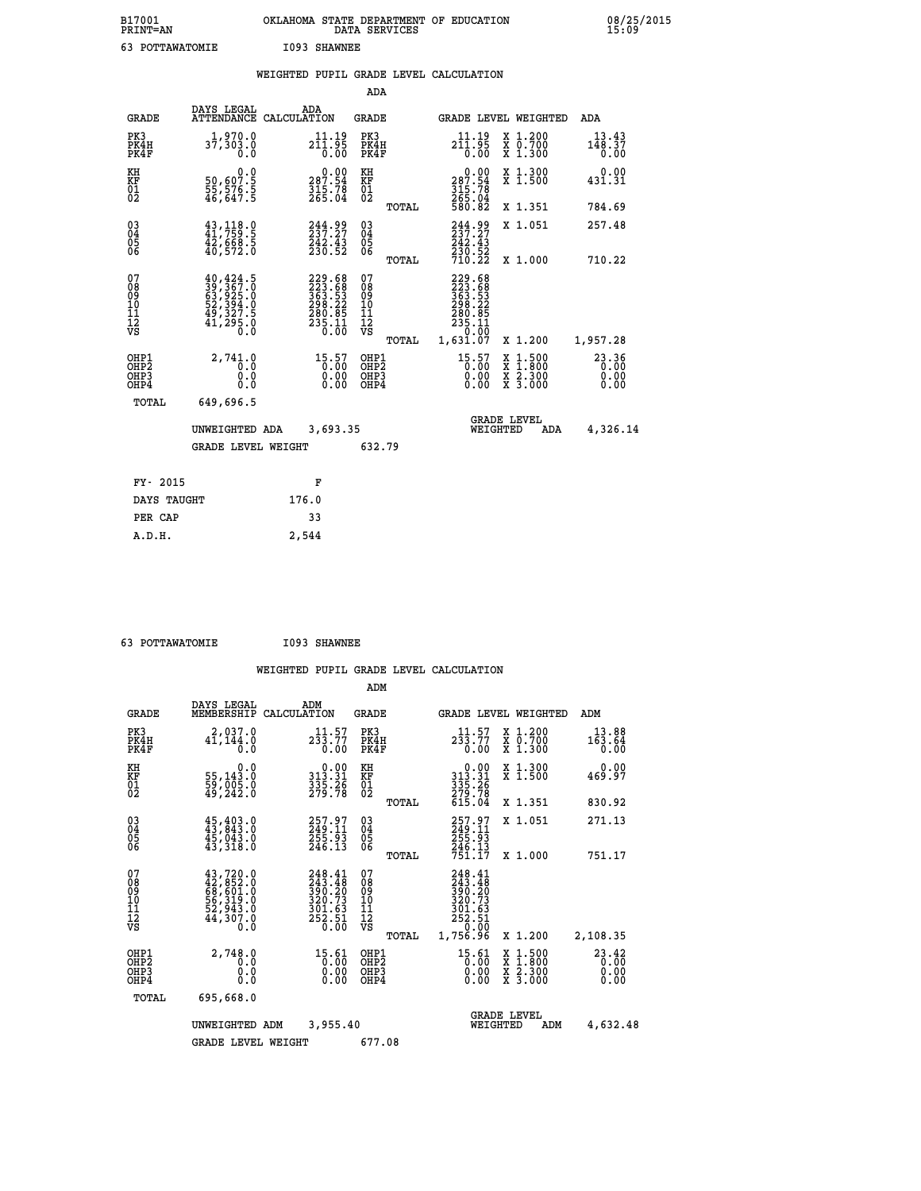| B17001<br><b>PRINT=AN</b> | OKLAHOMA STATE DEPARTMENT OF EDUCATION<br>DATA SERVICES | 08/25/2015<br>15:09 |
|---------------------------|---------------------------------------------------------|---------------------|
| 63<br>POTTAWATOMIE        | I093 SHAWNEE                                            |                     |

|  |  | WEIGHTED PUPIL GRADE LEVEL CALCULATION |
|--|--|----------------------------------------|
|  |  |                                        |

|                                                      |                                                                                                                     |                                                                         | ADA                                      |       |                                                                                   |                                                                                                  |                               |
|------------------------------------------------------|---------------------------------------------------------------------------------------------------------------------|-------------------------------------------------------------------------|------------------------------------------|-------|-----------------------------------------------------------------------------------|--------------------------------------------------------------------------------------------------|-------------------------------|
| <b>GRADE</b>                                         | DAYS LEGAL                                                                                                          | ADA<br>ATTENDANCE CALCULATION                                           | <b>GRADE</b>                             |       |                                                                                   | GRADE LEVEL WEIGHTED                                                                             | ADA                           |
| PK3<br>PK4H<br>PK4F                                  | 1,970.0<br>37,303.0<br>0.0                                                                                          | ${\substack{11\cdot19\\211\cdot95\\0.00}}$                              | PK3<br>PK4H<br>PK4F                      |       | 11.19<br>$2\overline{1}\overline{1}\cdot\overline{9}\overline{5}$<br>$0.00$       | X 1.200<br>X 0.700<br>X 1.300                                                                    | 13.43<br>148.37<br>0.00       |
| KH<br>KF<br>01<br>02                                 | 0.0<br>$\frac{50}{55}, \frac{607}{576}, \frac{5}{5}$<br>$\frac{46}{647}, \frac{647}{5}$                             | $\begin{smallmatrix} &0.00\\ 287.54\\ 315.78\\ 265.04\end{smallmatrix}$ | KH<br>KF<br>01<br>02                     |       | $\begin{smallmatrix} &0.00\\ 287.54\\ 315.78\\ 265.04\\ 580.82 \end{smallmatrix}$ | X 1.300<br>X 1.500                                                                               | 0.00<br>431.31                |
|                                                      |                                                                                                                     |                                                                         |                                          | TOTAL |                                                                                   | X 1.351                                                                                          | 784.69                        |
| $\begin{matrix} 03 \\ 04 \\ 05 \\ 06 \end{matrix}$   | $43, 118.0$<br>$41, 759.5$<br>$\frac{42}{40}$ , 668.5<br>40, 572.0                                                  | 244.99<br>237.27<br>242.43<br>230.52                                    | $\substack{03 \\ 04}$<br>05<br>06        |       | 244.99<br>$\frac{242.43}{230.52}$<br>$\frac{710.22}{210.22}$                      | X 1.051                                                                                          | 257.48                        |
|                                                      |                                                                                                                     |                                                                         |                                          | TOTAL |                                                                                   | X 1.000                                                                                          | 710.22                        |
| 07<br>08<br>09<br>101<br>112<br>VS                   | $\begin{smallmatrix} 40, 424.5\\ 39, 367.0\\ 63, 925.0\\ 52, 394.0\\ 49, 327.5\\ 41, 295.0\\ 0.0 \end{smallmatrix}$ | $229.68263.53363.53298.22280.85235.110.00$                              | 07<br>08<br>09<br>101<br>112<br>VS       |       | 229.68<br>223.688<br>363.53<br>368.225<br>280.85<br>235.11<br>0.00                |                                                                                                  |                               |
|                                                      |                                                                                                                     |                                                                         |                                          | TOTAL | 1,631.07                                                                          | X 1.200                                                                                          | 1,957.28                      |
| OHP1<br>OH <sub>P</sub> <sub>2</sub><br>OHP3<br>OHP4 | 2,741.0<br>0.0<br>0.0<br>0.0                                                                                        | $\begin{smallmatrix} 15.57\ 0.00\ 0.00\ 0.00 \end{smallmatrix}$         | OHP1<br>OHP <sub>2</sub><br>OHP3<br>OHP4 |       | $\begin{smallmatrix} 15.57\ 0.00\ 0.00\ 0.00 \end{smallmatrix}$                   | $\begin{smallmatrix} x & 1 & 500 \\ x & 1 & 800 \\ x & 2 & 300 \\ x & 3 & 000 \end{smallmatrix}$ | 23.36<br>0.00<br>0.00<br>0.00 |
| <b>TOTAL</b>                                         | 649,696.5                                                                                                           |                                                                         |                                          |       |                                                                                   |                                                                                                  |                               |
|                                                      | UNWEIGHTED ADA                                                                                                      | 3,693.35                                                                |                                          |       |                                                                                   | <b>GRADE LEVEL</b><br>WEIGHTED<br>ADA                                                            | 4,326.14                      |
|                                                      | <b>GRADE LEVEL WEIGHT</b>                                                                                           |                                                                         | 632.79                                   |       |                                                                                   |                                                                                                  |                               |
|                                                      |                                                                                                                     |                                                                         |                                          |       |                                                                                   |                                                                                                  |                               |
| FY- 2015                                             |                                                                                                                     | F                                                                       |                                          |       |                                                                                   |                                                                                                  |                               |
| DAYS TAUGHT                                          |                                                                                                                     | 176.0                                                                   |                                          |       |                                                                                   |                                                                                                  |                               |
| PER CAP                                              |                                                                                                                     | 33                                                                      |                                          |       |                                                                                   |                                                                                                  |                               |

| 63 POTTAWATOMIE | I093 SHAWNEE |
|-----------------|--------------|
|                 |              |

 **A.D.H. 2,544**

|                                                       |                                                                                                                                                                    |                                                                         | ADM                                                |       |                                                                             |                                          |                                   |
|-------------------------------------------------------|--------------------------------------------------------------------------------------------------------------------------------------------------------------------|-------------------------------------------------------------------------|----------------------------------------------------|-------|-----------------------------------------------------------------------------|------------------------------------------|-----------------------------------|
| <b>GRADE</b>                                          | DAYS LEGAL<br>MEMBERSHIP                                                                                                                                           | ADM<br>CALCULATION                                                      | <b>GRADE</b>                                       |       |                                                                             | <b>GRADE LEVEL WEIGHTED</b>              | ADM                               |
| PK3<br>PK4H<br>PK4F                                   | 2,037.0<br>$4\bar{1}$ , 144.0<br>0.0                                                                                                                               | 11.57<br>$2\bar{3}\bar{3}.77$<br>0.00                                   | PK3<br>PK4H<br>PK4F                                |       | 11.57<br>$2\bar{3}\bar{3}.77$<br>0.00                                       | X 1.200<br>X 0.700<br>X 1.300            | 13.88<br>163.64<br>0.00           |
| KH<br>KF<br>01<br>02                                  | 0.0<br>55,143:0<br>59,005:0<br>49,242:0                                                                                                                            | $\begin{smallmatrix} 0.00\\ 313.31\\ 335.26\\ 279.78 \end{smallmatrix}$ | KH<br>KF<br>01<br>02                               |       | $0.00$<br>$313.31$<br>$335.26$<br>$279.78$<br>$615.04$                      | X 1.300<br>X 1.500                       | 0.00<br>469.97                    |
|                                                       |                                                                                                                                                                    |                                                                         |                                                    | TOTAL |                                                                             | X 1.351                                  | 830.92                            |
| 03<br>04<br>05<br>06                                  | $45, 403.0$<br>$43, 843.0$<br>$45, 043.0$<br>43,318.0                                                                                                              | 257.97<br>249.11<br>255.93<br>246.13                                    | $\begin{matrix} 03 \\ 04 \\ 05 \\ 06 \end{matrix}$ |       | 257.97<br>249.11<br>255.93<br>246.13<br>751.17                              | X 1.051                                  | 271.13                            |
|                                                       |                                                                                                                                                                    |                                                                         |                                                    | TOTAL |                                                                             | X 1.000                                  | 751.17                            |
| 07<br>08<br>09<br>101<br>112<br>VS                    | $\begin{smallmatrix} 43\,,720\, .\, 0\\ 42\,,852\, .\, 0\\ 68\,,601\, .\, 0\\ 56\,,319\, .\, 0\\ 52\,,943\, .\, 0\\ 44\,,307\, .\, 0\\ 0\, .\, 0\end{smallmatrix}$ | 248.41<br>243.48<br>390.20<br>320.73<br>$\frac{301.63}{252.51}$         | 07<br>08<br>09<br>101<br>11<br>12<br>VS            | TOTAL | 248.41<br>243.48<br>390.20<br>320.73<br>$\frac{351.63}{252.51}$<br>1,756.96 | X 1.200                                  | 2,108.35                          |
| OHP1<br>OH <sub>P</sub> 2<br>OH <sub>P3</sub><br>OHP4 | 2,748.0<br>0.0<br>0.000                                                                                                                                            | $15.61$<br>0.00<br>0.00<br>0.00                                         | OHP1<br>OHP2<br>OHP3<br>OHP4                       |       | $15.61$<br>0.00<br>0.00                                                     | X 1:500<br>X 1:800<br>X 2:300<br>X 3:000 | $23.42$<br>$0.00$<br>0.00<br>0.00 |
| TOTAL                                                 | 695,668.0                                                                                                                                                          |                                                                         |                                                    |       |                                                                             |                                          |                                   |
|                                                       | UNWEIGHTED                                                                                                                                                         | 3,955.40<br>ADM                                                         |                                                    |       | WEIGHTED                                                                    | <b>GRADE LEVEL</b><br>ADM                | 4,632.48                          |
|                                                       | <b>GRADE LEVEL WEIGHT</b>                                                                                                                                          |                                                                         | 677.08                                             |       |                                                                             |                                          |                                   |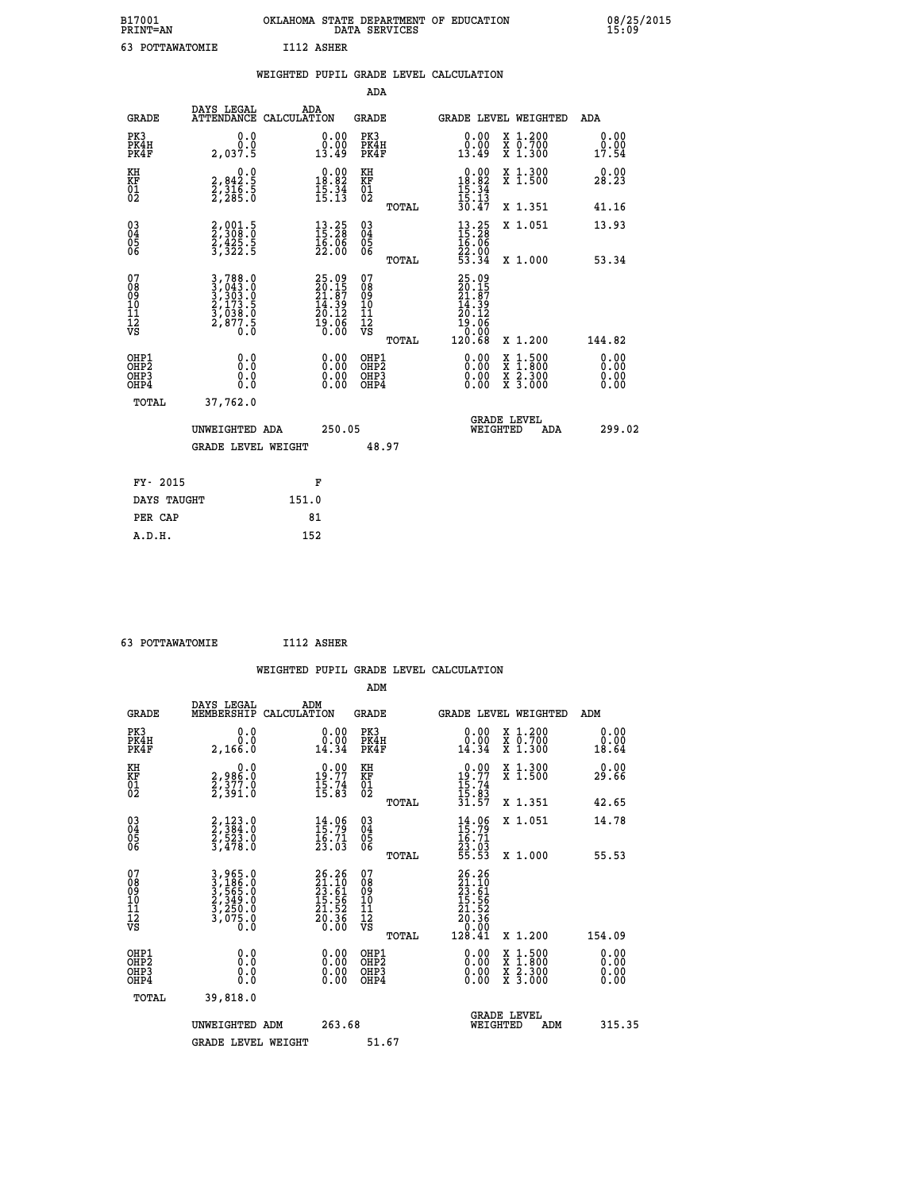| B17001<br><b>PRINT=AN</b> | OKLAHOMA STATE DEPARTMENT OF EDUCATION<br>DATA SERVICES | 08/25/2015<br>15:09 |
|---------------------------|---------------------------------------------------------|---------------------|
| POTTAWATOMIE              | I112 ASHER                                              |                     |

|                                         |                                                                                                                                                                  | WEIGHTED PUPIL GRADE LEVEL CALCULATION                                   |                                                     |                                                                                                             |                                                                   |                              |
|-----------------------------------------|------------------------------------------------------------------------------------------------------------------------------------------------------------------|--------------------------------------------------------------------------|-----------------------------------------------------|-------------------------------------------------------------------------------------------------------------|-------------------------------------------------------------------|------------------------------|
|                                         |                                                                                                                                                                  |                                                                          | ADA                                                 |                                                                                                             |                                                                   |                              |
| <b>GRADE</b>                            | DAYS LEGAL                                                                                                                                                       | ADA<br>ATTENDANCE CALCULATION                                            | <b>GRADE</b>                                        |                                                                                                             | GRADE LEVEL WEIGHTED                                              | ADA                          |
| PK3<br>PK4H<br>PK4F                     | 0.0<br>0.0<br>2,037.5                                                                                                                                            | 0.00<br>0.00<br>13.49                                                    | PK3<br>PK4H<br>PK4F                                 | 0.00<br>0.00<br>13.49                                                                                       | X 1.200<br>X 0.700<br>X 1.300                                     | 0.00<br>0.00<br>17.54        |
| KH<br><b>KF</b><br>01<br>02             | $\begin{smallmatrix}&&&0.0\2,842.5\2,316.5\2,285.0\end{smallmatrix}$                                                                                             | $\begin{smallmatrix} 0.00\\ 18.82\\ 15.34\\ 15.13 \end{smallmatrix}$     | KH<br>KF<br>01<br>02                                | $\begin{array}{r} 0.00 \\ 18.82 \\ 15.34 \\ 15.13 \\ 30.47 \end{array}$                                     | X 1.300<br>X 1.500                                                | 0.00<br>28.23                |
|                                         |                                                                                                                                                                  |                                                                          | TOTAL                                               |                                                                                                             | X 1.351                                                           | 41.16                        |
| 03<br>04<br>05<br>06                    | 2,001.5<br>2,308.0<br>2,425.5<br>3,322.5                                                                                                                         | $\frac{13}{15} : \frac{25}{28}$<br>$\frac{16}{22}$ $\frac{56}{20}$       | $\begin{array}{c} 03 \\ 04 \\ 05 \\ 06 \end{array}$ | $13.25$<br>$15.28$<br>$16.06$<br>$22.00$<br>$53.34$                                                         | X 1.051                                                           | 13.93                        |
|                                         |                                                                                                                                                                  |                                                                          | TOTAL                                               |                                                                                                             | X 1.000                                                           | 53.34                        |
| 07<br>08<br>09<br>101<br>11<br>12<br>VS | $\begin{smallmatrix} 3\,,\,788\,.\,0\\ 3\,,\,043\,. \,0\\ 3\,,\,303\,. \,0\\ 2\,,\,173\,. \,5\\ 3\,,\,038\,. \,0\\ 2\,,\,877\,. \,5\\ 0\,. \,0\end{smallmatrix}$ | $25.09$<br>$20.15$<br>$21.87$<br>$14.39$<br>$20.12$<br>$19.06$<br>$0.00$ | 07<br>08<br>09<br>101<br>11<br>12<br>VS<br>TOTAL    | 25.09<br>20.15<br>21.87<br>14.39<br>20.12<br>$\begin{smallmatrix} 19.166\ 10.008\ 120.68 \end{smallmatrix}$ | X 1.200                                                           | 144.82                       |
| OHP1<br>OHP2<br>OHP3<br>OHP4            | 0.0<br>0.0<br>0.0                                                                                                                                                | 0.00<br>$0.00$<br>0.00                                                   | OHP1<br>OHP2<br>OHP3<br>OHP4                        | 0.00<br>0.00<br>0.00                                                                                        | $1:500$<br>1:800<br>X<br>X<br>$\frac{x}{x}$ $\frac{5:300}{3:000}$ | 0.00<br>0.00<br>0.00<br>0.00 |
| <b>TOTAL</b>                            | 37,762.0                                                                                                                                                         |                                                                          |                                                     |                                                                                                             |                                                                   |                              |
|                                         | UNWEIGHTED ADA                                                                                                                                                   | 250.05                                                                   |                                                     |                                                                                                             | <b>GRADE LEVEL</b><br>WEIGHTED<br>ADA                             | 299.02                       |
|                                         | GRADE LEVEL WEIGHT                                                                                                                                               |                                                                          | 48.97                                               |                                                                                                             |                                                                   |                              |
| FY- 2015                                |                                                                                                                                                                  | F                                                                        |                                                     |                                                                                                             |                                                                   |                              |
|                                         | DAYS TAUGHT                                                                                                                                                      | 151.0                                                                    |                                                     |                                                                                                             |                                                                   |                              |
| PER CAP                                 |                                                                                                                                                                  | 81                                                                       |                                                     |                                                                                                             |                                                                   |                              |

| 63 POTTAWATOMIE | I112 ASHER |
|-----------------|------------|
|                 |            |

 **WEIGHTED PUPIL GRADE LEVEL CALCULATION ADM DAYS LEGAL ADM GRADE MEMBERSHIP CALCULATION GRADE GRADE LEVEL WEIGHTED ADM PK3 0.0 0.00 PK3 0.00 X 1.200 0.00 PK4H 0.0 0.00 PK4H 0.00 X 0.700 0.00 PK4F 2,166.0 14.34 PK4F 14.34 X 1.300 18.64 KH 0.0 0.00 KH 0.00 X 1.300 0.00 KF 2,986.0 19.77 KF 19.77 X 1.500 29.66 01 2,377.0 15.74 01 15.74 02 2,391.0 15.83 02 15.83 TOTAL 31.57 X 1.351 42.65 03 2,123.0 14.06 03 14.06 X 1.051 14.78 04 2,384.0 15.79 04 15.79 05 2,523.0 16.71 05 16.71 06 3,478.0 23.03 06 23.03 TOTAL 55.53 X 1.000 55.53**  $\begin{array}{cccc} 07 & 3\,,965.0 & 26\,.26 & 07 & 25\,.26\,09 & 3\,,565.0 & 21\,.10 & 08 & 23\,.61 & 09 & 23\,.61 & 08 & 23\,.61 & 09 & 23\,.61 & 08 & 23\,.61 & 24\,.62 & 23\,.61 & 24\,.62 & 25\,.63 & 25\,.64 & 26\,.65 & 27\,.66 & 28\,.67 & 29\,.68 & 20\,.68 & 21\,.62 & 22\,.64 &$ **26.26**<br> **27.161** 08<br> **17.55**<br> **17.55**<br> **17.55**<br> **17.55**<br> **17.52**<br> **17.52**<br> **17.52**<br> **17.52**<br> **18.56**<br> **17.55**<br> **18.56**<br> **17.55**<br> **18.56**<br> **18.56**<br> **18.56**<br> **18.56**<br> **18.56**<br> **18.36**<br> **20.36**<br> **18.41**<br> **x** 1.200<br> **154.09**<br>  **OHP1 0.0 0.00 OHP1 0.00 X 1.500 0.00 OHP2 0.0 0.00 OHP2 0.00 X 1.800 0.00 OHP3 0.0 0.00 OHP3 0.00 X 2.300 0.00 OHP4 0.0 0.00 OHP4 0.00 X 3.000 0.00 TOTAL 39,818.0 GRADE LEVEL UNWEIGHTED ADM 263.68 WEIGHTED ADM 315.35** GRADE LEVEL WEIGHT 51.67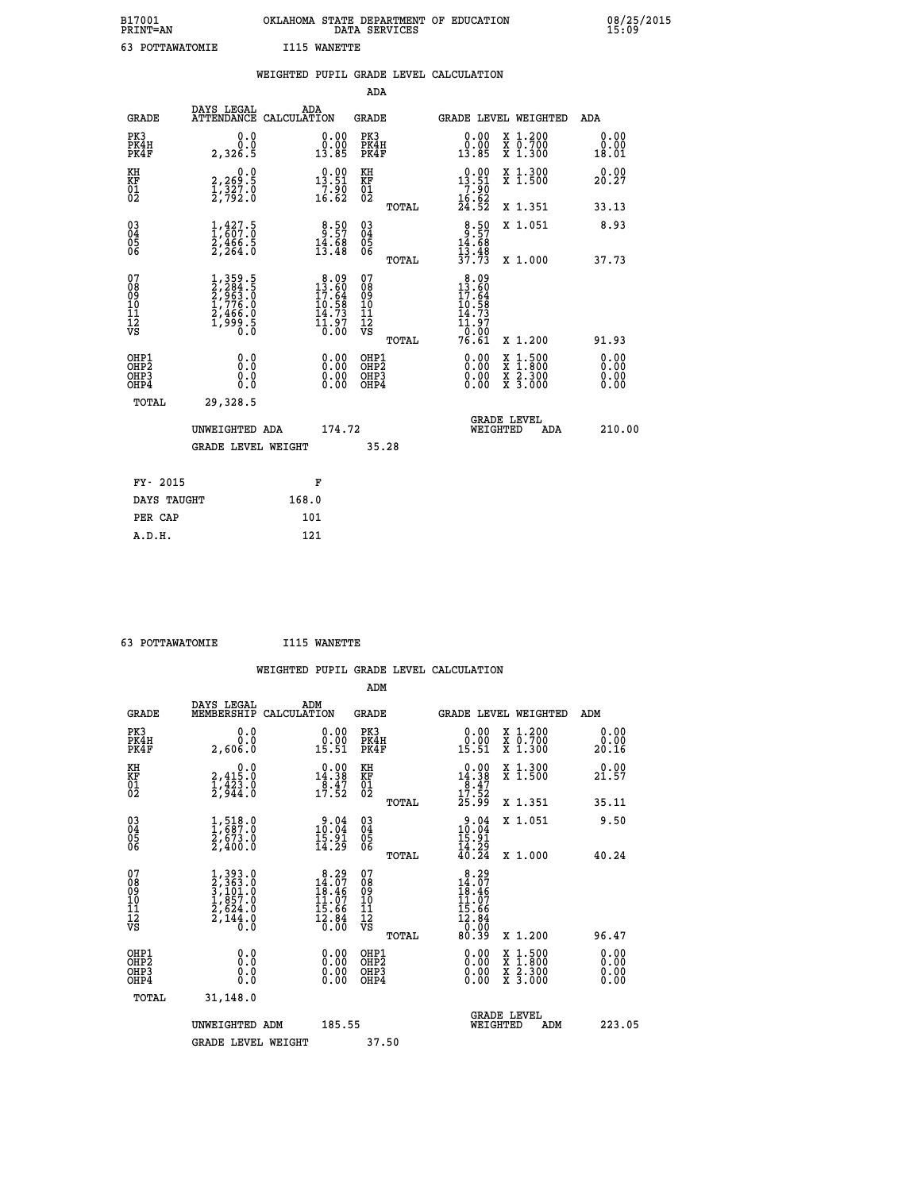| B17001<br><b>PRINT=AN</b> | OKLAHOMA STATE DEPARTMENT OF EDUCATION<br>DATA SERVICES | 08/25/2015<br>15:09 |
|---------------------------|---------------------------------------------------------|---------------------|
| 63<br>POTTAWATOMIE        | WANETTE<br>I115                                         |                     |

|                                           |                                                                                   |       |                                                                                                                           |                                          |       | WEIGHTED PUPIL GRADE LEVEL CALCULATION                                           |                                                                                                  |                              |
|-------------------------------------------|-----------------------------------------------------------------------------------|-------|---------------------------------------------------------------------------------------------------------------------------|------------------------------------------|-------|----------------------------------------------------------------------------------|--------------------------------------------------------------------------------------------------|------------------------------|
|                                           |                                                                                   |       |                                                                                                                           | ADA                                      |       |                                                                                  |                                                                                                  |                              |
| <b>GRADE</b>                              | DAYS LEGAL<br>ATTENDANCE CALCULATION                                              |       | ADA                                                                                                                       | GRADE                                    |       |                                                                                  | <b>GRADE LEVEL WEIGHTED</b>                                                                      | ADA                          |
| PK3<br>PK4H<br>PK4F                       | 0.0<br>0.0<br>2,326.5                                                             |       | $\begin{smallmatrix} 0.00\\ 0.00\\ 13.85 \end{smallmatrix}$                                                               | PK3<br>PK4H<br>PK4F                      |       | $\begin{smallmatrix} 0.00\\ 0.00\\ 13.85 \end{smallmatrix}$                      | X 1.200<br>X 0.700<br>X 1.300                                                                    | 0.00<br>0.00<br>18.01        |
| KH<br>KF<br>01<br>02                      | 0.0<br>2,269:5<br>1,327:0<br>2,792:0                                              |       | 13.90<br>$\frac{7}{16}$ $\frac{5}{62}$                                                                                    | KH<br>KF<br>01<br>02                     |       | $\begin{array}{r} 0.00 \\ 13.51 \\ 7.90 \\ 16.62 \\ 24.52 \end{array}$           | X 1.300<br>X 1.500                                                                               | 0.00<br>20.27                |
|                                           |                                                                                   |       |                                                                                                                           |                                          | TOTAL |                                                                                  | X 1.351                                                                                          | 33.13                        |
| 030404<br>06                              | $\frac{1}{1}$ , $\frac{427}{607}$ : 0<br>$\frac{2}{2}, \frac{4}{264}$ .0          |       | $8.57$<br>$14.68$<br>$13.48$                                                                                              | 030404<br>06                             |       | $8.57$<br>$14.68$<br>$13.48$<br>$37.73$                                          | X 1.051                                                                                          | 8.93                         |
|                                           |                                                                                   |       |                                                                                                                           |                                          | TOTAL |                                                                                  | X 1.000                                                                                          | 37.73                        |
| 07<br>08<br>09<br>11<br>11<br>12<br>VS    | $1,359.5$<br>$2,284.5$<br>$2,963.0$<br>$1,776.0$<br>$2,466.0$<br>$1,999.5$<br>0.0 |       | $8.09$<br>$13.60$<br>$17.64$<br>$10.58$<br>$14.73$<br>$\bar{1}\bar{1}\cdot\bar{9}\bar{7}$<br>$\bar{0}\cdot\bar{0}\bar{0}$ | 07<br>08<br>09<br>11<br>11<br>12<br>VS   |       | 8.09<br>$\frac{13.60}{17.64}$<br>10.58<br>14.73<br>$\frac{11.97}{0.00}$<br>76.61 |                                                                                                  |                              |
|                                           |                                                                                   |       |                                                                                                                           |                                          | TOTAL |                                                                                  | X 1.200                                                                                          | 91.93                        |
| OHP1<br>OH <sub>P</sub> 2<br>OHP3<br>OHP4 | 0.0<br>0.0<br>0.0                                                                 |       | $0.00$<br>$0.00$<br>0.00                                                                                                  | OHP1<br>OHP <sub>2</sub><br>OHP3<br>OHP4 |       | 0.00<br>0.00<br>0.00                                                             | $\begin{smallmatrix} x & 1 & 500 \\ x & 1 & 800 \\ x & 2 & 300 \\ x & 3 & 000 \end{smallmatrix}$ | 0.00<br>0.00<br>0.00<br>0.00 |
| <b>TOTAL</b>                              | 29,328.5                                                                          |       |                                                                                                                           |                                          |       |                                                                                  |                                                                                                  |                              |
|                                           | UNWEIGHTED ADA                                                                    |       | 174.72                                                                                                                    |                                          |       | WEIGHTED                                                                         | <b>GRADE LEVEL</b><br>ADA                                                                        | 210.00                       |
|                                           | GRADE LEVEL WEIGHT                                                                |       |                                                                                                                           |                                          | 35.28 |                                                                                  |                                                                                                  |                              |
| FY- 2015                                  |                                                                                   |       | F                                                                                                                         |                                          |       |                                                                                  |                                                                                                  |                              |
| DAYS TAUGHT                               |                                                                                   | 168.0 |                                                                                                                           |                                          |       |                                                                                  |                                                                                                  |                              |
| PER CAP                                   |                                                                                   | 101   |                                                                                                                           |                                          |       |                                                                                  |                                                                                                  |                              |

 **63 POTTAWATOMIE I115 WANETTE**

 **WEIGHTED PUPIL GRADE LEVEL CALCULATION ADM DAYS LEGAL ADM GRADE MEMBERSHIP CALCULATION GRADE GRADE LEVEL WEIGHTED ADM PK3 0.0 0.00 PK3 0.00 X 1.200 0.00 PK4H 0.0 0.00 PK4H 0.00 X 0.700 0.00 PK4F 2,606.0 15.51 PK4F 15.51 X 1.300 20.16 KH 0.0 0.00 KH 0.00 X 1.300 0.00 KF 2,415.0 14.38 KF 14.38 X 1.500 21.57**  $\begin{array}{cccc} \text{KH} & \text{0.0} & \text{0.00} & \text{KH} \\ \text{KF} & \text{2.415.0} & \text{14.38} & \text{KF} \\ \text{01} & \text{1.423.0} & \text{2.544.0} & \text{17.52} & \text{02} \end{array}$  $02$  2,944.0 17.52  $02$   $17.52$  **TOTAL 25.99 X 1.351 35.11 03 1,518.0 9.04 03 9.04 X 1.051 9.50 04 1,687.0 10.04 04 10.04 05 2,673.0 15.91 05 15.91** 06 2,400.0 14.29 06 <sub>memax</sub> 14.29  **TOTAL 40.24 X 1.000 40.24**  $\begin{array}{cccc} 07 & 1,393.0 & 8.29 & 07 & 8.29 \ 08 & 2,363.0 & 14.07 & 08 & 18.107 \ 09 & 1,857.0 & 11.07 & 10 & 11.07 \ 10 & 1,857.0 & 11.07 & 10 & 11.07 \ 12 & 2,624.0 & 15.86 & 11 & 15.66 \ \nabla\mathbf{S} & 2,144.0 & 15.66 & \nabla\mathbf{S} & 0 & 0 & 0 \end{array}$ **8.29 07**<br> **14.07 08**<br> **14.07 08**<br> **15.66**<br> **15.07 10**<br> **16.47**<br> **15.66**<br> **16.47**<br> **16.66**<br> **16.66**<br> **16.66**<br> **16.66**<br> **16.66**<br> **16.07**<br> **12.86<br>
<b>16.07**<br> **12.86<br>
<b>12.86**<br> **12.86**<br> **12.86**<br> **12.86**<br> **12.86**<br> **12.86**<br> **12.86 OHP1 0.0 0.00 OHP1 0.00 X 1.500 0.00 OHP2 0.0 0.00 OHP2 0.00 X 1.800 0.00 OHP3 0.0 0.00 OHP3 0.00 X 2.300 0.00 OHP4 0.0 0.00 OHP4 0.00 X 3.000 0.00 TOTAL 31,148.0** UNWEIGHTED ADM 185.55  **UNWEIGHTED ADM 185.55 WEIGHTED ADM 223.05** GRADE LEVEL WEIGHT 37.50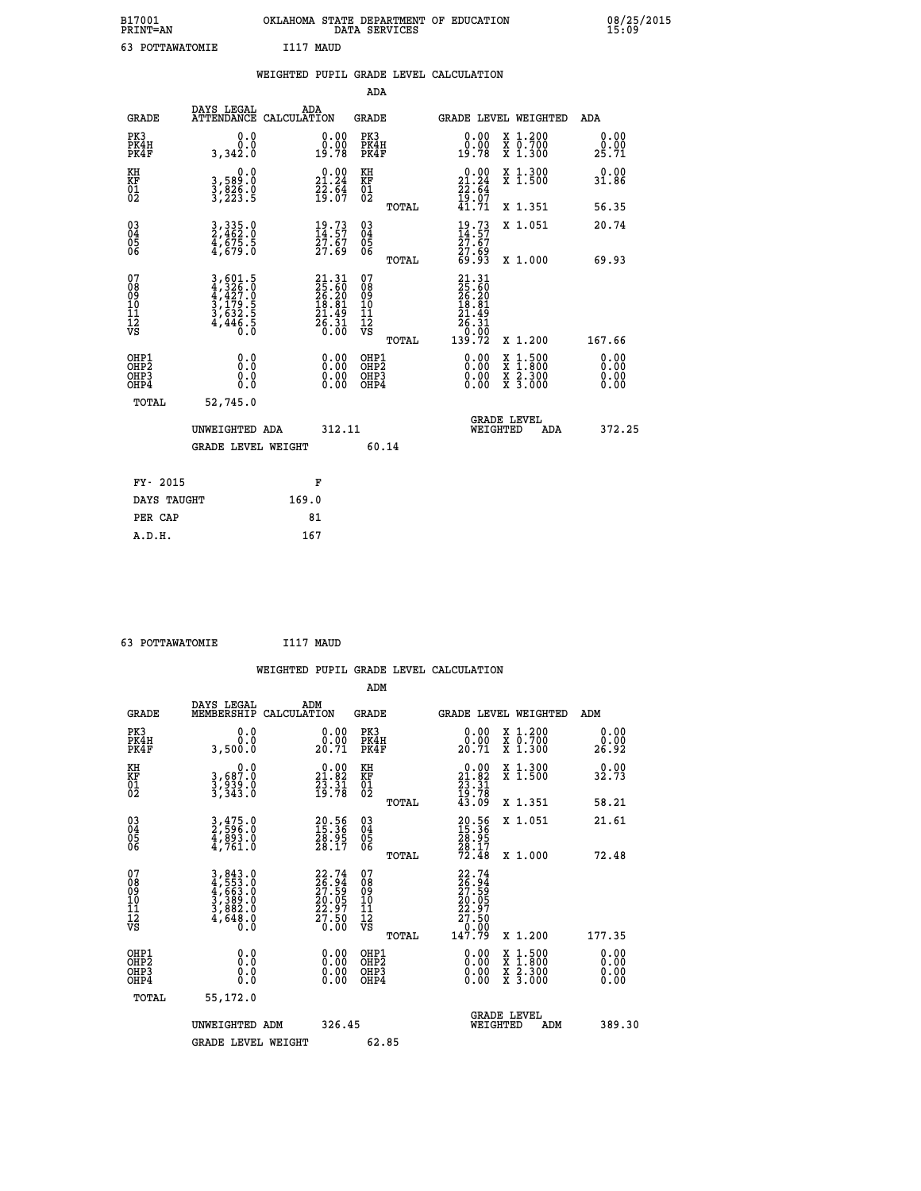| B17001<br><b>PRINT=AN</b> | OKLAHOMA STATE DEPARTMENT OF EDUCATION<br>DATA SERVICES | 08/25/2015<br>15:09 |
|---------------------------|---------------------------------------------------------|---------------------|
| POTTAWATOMIE              | I117<br>MAUD                                            |                     |

|                                                                    |                                                                                                                                                                       | WEIGHTED PUPIL GRADE LEVEL CALCULATION                                   |                                                 |                                                                                                                                             |                                                       |                              |
|--------------------------------------------------------------------|-----------------------------------------------------------------------------------------------------------------------------------------------------------------------|--------------------------------------------------------------------------|-------------------------------------------------|---------------------------------------------------------------------------------------------------------------------------------------------|-------------------------------------------------------|------------------------------|
|                                                                    |                                                                                                                                                                       |                                                                          | ADA                                             |                                                                                                                                             |                                                       |                              |
| <b>GRADE</b>                                                       | DAYS LEGAL                                                                                                                                                            | ADA<br>ATTENDANCE CALCULATION                                            | <b>GRADE</b>                                    | GRADE LEVEL WEIGHTED                                                                                                                        |                                                       | ADA                          |
| PK3<br>PK4H<br>PK4F                                                | 0.0<br>0.0<br>3,342.0                                                                                                                                                 | $\begin{smallmatrix} 0.00\\ 0.00\\ 19.78 \end{smallmatrix}$              | PK3<br>PK4H<br>PK4F                             | 0.00<br>0.00<br>19.78                                                                                                                       | X 1.200<br>X 0.700<br>X 1.300                         | 0.00<br>0.00<br>25.71        |
| KH<br>KF<br>01<br>02                                               | 0.0<br>3,589:0<br>3,826:0<br>3,223:5                                                                                                                                  | $\begin{smallmatrix} 0.00\\ 21.24\\ 22.64\\ 19.07 \end{smallmatrix}$     | KH<br>KF<br>01<br>02                            | 0.00<br>$21.24$<br>$22.64$<br>$19.07$<br>$41.71$                                                                                            | X 1.300<br>X 1.500                                    | 0.00<br>31.86                |
|                                                                    |                                                                                                                                                                       |                                                                          | TOTAL                                           |                                                                                                                                             | X 1.351                                               | 56.35                        |
| $\begin{smallmatrix} 03 \\[-4pt] 04 \end{smallmatrix}$<br>Ŏ5<br>06 | $3,335.0$<br>$2,462.0$<br>$\frac{4}{3}$ , $\frac{575}{679}$ . $\frac{5}{0}$                                                                                           | $\frac{19}{14}.73$<br>27.67<br>27.69                                     | $\substack{03 \\ 04}$<br>Ŏ5<br>06               | $\frac{19}{14}.73$<br>$\frac{27.67}{27.69}$<br>69.93                                                                                        | X 1.051                                               | 20.74                        |
|                                                                    |                                                                                                                                                                       |                                                                          | TOTAL                                           |                                                                                                                                             | X 1.000                                               | 69.93                        |
| 07<br>08<br>09<br>101<br>112<br>VS                                 | $\begin{smallmatrix} 3\,,\,6\,0\,1\,.5\\ 4\,,\,3\,2\,6\,.0\\ 4\,,\,4\,2\,7\,.0\\ 3\,,\,1\,7\,9\,.5\\ 3\,,\,6\,3\,2\,.5\\ 4\,,\,4\,4\,6\,.5\\ 0\,.0 \end{smallmatrix}$ | $21.31$<br>$25.60$<br>$26.20$<br>$18.81$<br>$21.49$<br>$26.31$<br>$0.00$ | 07<br>08<br>09<br>11<br>11<br>12<br>VS<br>TOTAL | $\begin{array}{r} 21\cdot 31 \\ 25\cdot 50 \\ 26\cdot 20 \\ 18\cdot 81 \\ 21\cdot 49 \\ 26\cdot 31 \\ 0\cdot 00 \\ 139\cdot 72 \end{array}$ | X 1.200                                               | 167.66                       |
| OHP1<br>OHP2<br>OHP3<br>OHP4                                       | 0.0<br>$0.\overline{0}$<br>0.0                                                                                                                                        | 0.00<br>$\begin{smallmatrix} 0.00 \ 0.00 \end{smallmatrix}$              | OHP1<br>OHP2<br>OHP3<br>OHP4                    | 0.00<br>0.00<br>0.00                                                                                                                        | X 1:500<br>$\frac{\ddot{x}}{x}$ $\frac{2.300}{3.000}$ | 0.00<br>0.00<br>0.00<br>0.00 |
| <b>TOTAL</b>                                                       | 52,745.0                                                                                                                                                              |                                                                          |                                                 |                                                                                                                                             |                                                       |                              |
|                                                                    | UNWEIGHTED ADA                                                                                                                                                        | 312.11                                                                   |                                                 | GRADE LEVEL<br>WEIGHTED                                                                                                                     | ADA                                                   | 372.25                       |
|                                                                    | <b>GRADE LEVEL WEIGHT</b>                                                                                                                                             |                                                                          | 60.14                                           |                                                                                                                                             |                                                       |                              |
| FY- 2015                                                           |                                                                                                                                                                       | F                                                                        |                                                 |                                                                                                                                             |                                                       |                              |
|                                                                    | DAYS TAUGHT                                                                                                                                                           | 169.0                                                                    |                                                 |                                                                                                                                             |                                                       |                              |
| PER CAP                                                            |                                                                                                                                                                       | 81                                                                       |                                                 |                                                                                                                                             |                                                       |                              |

 **63 POTTAWATOMIE I117 MAUD WEIGHTED PUPIL GRADE LEVEL CALCULATION ADM DAYS LEGAL ADM GRADE MEMBERSHIP CALCULATION GRADE GRADE LEVEL WEIGHTED ADM PK3 0.0 0.00 PK3 0.00 X 1.200 0.00 PK4H 0.0 0.00 PK4H 0.00 X 0.700 0.00 PK4F 3,500.0 20.71 PK4F 20.71 X 1.300 26.92 KH 0.0 0.00 KH 0.00 X 1.300 0.00 KF 3,687.0 21.82 KF 21.82 X 1.500 32.73**  $\begin{array}{cccc} \text{KH} & \text{O.0} & \text{O.00} & \text{KH} \\ \text{KF} & \text{3,687.0} & \text{21.82} & \text{KF} \\ \text{01} & \text{3,939.0} & \text{23.31} & \text{NF} \\ \text{02} & \text{3,939.0} & \text{39.78} & \text{02} \end{array}$  **02 3,343.0 19.78 02 19.78 TOTAL 43.09 X 1.351 58.21 03 3,475.0 20.56 03 20.56 X 1.051 21.61 04 2,596.0 15.36 04 15.36 05 4,893.0 28.95 05 28.95 06 4,761.0 28.17 06 28.17 TOTAL 72.48 X 1.000 72.48**  $\begin{array}{cccc} 07 & 3,843.0 & 22.74 & 07 & 22.74 \ 08 & 4,553.0 & 26.94 & 08 & 27.59 \ 09 & 4,663.0 & 27.59 & 09 & 27.59 \ 10 & 3,389.0 & 20.05 & 10 & 20.05 \ 11 & 3,663.0 & 22.97 & 11 & 22.97 \ 12 & 4,648.0 & 27.50 & 12 & 27.50 \ \hline \textrm{vs} & 4,648.0 & 0.0 & \tex$  **TOTAL 147.79 X 1.200 177.35 OHP1 0.0 0.00 OHP1 0.00 X 1.500 0.00 OHP2 0.0 0.00 OHP2 0.00 X 1.800 0.00 OHP3 0.0 0.00 OHP3 0.00 X 2.300 0.00 OHP4 0.0 0.00 OHP4 0.00 X 3.000 0.00 TOTAL 55,172.0 GRADE LEVEL UNWEIGHTED ADM 326.45 WEIGHTED ADM 389.30** GRADE LEVEL WEIGHT 62.85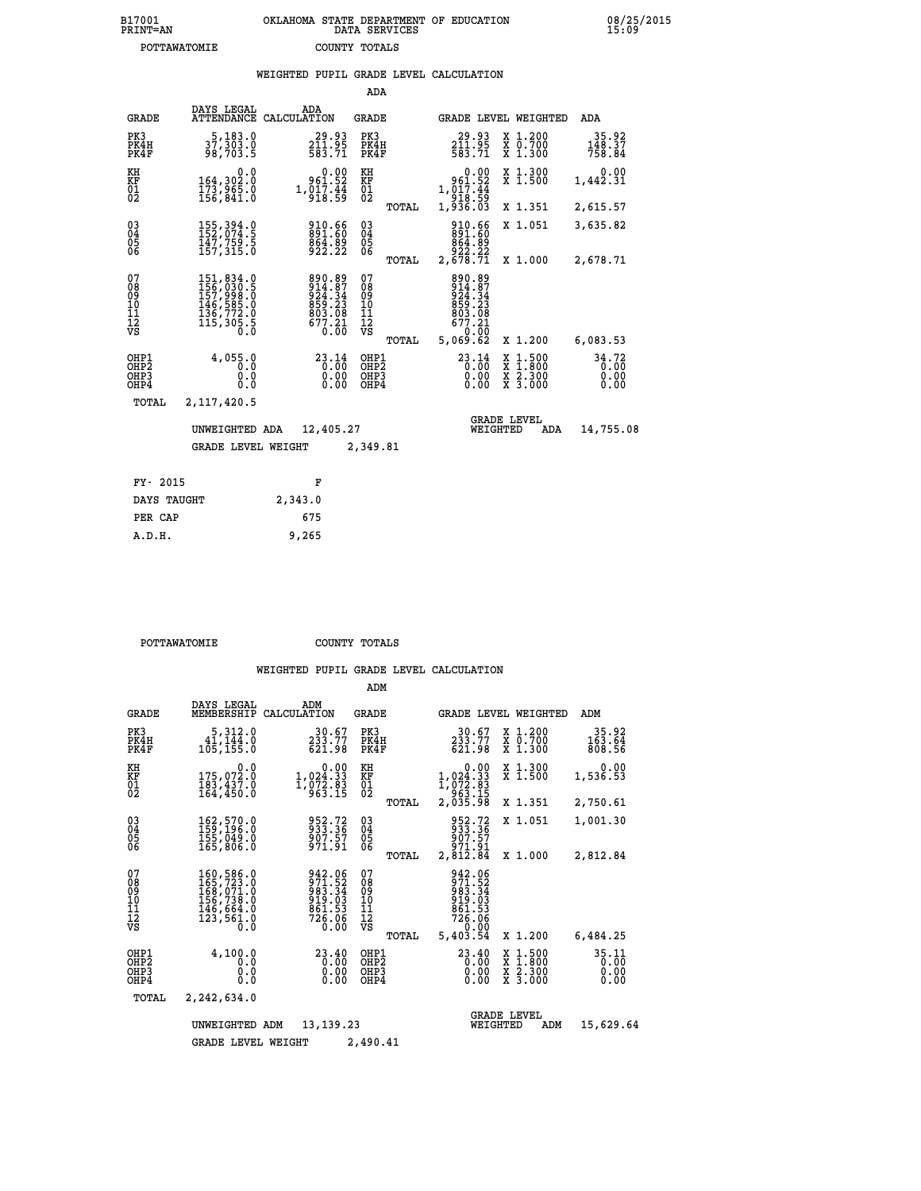| B17001<br><b>PRINT=AN</b> | OKLAHOMA STATE DEPARTMENT OF EDUCATION<br>DATA SERVICES | 08/25/2015<br>15:09 |
|---------------------------|---------------------------------------------------------|---------------------|
| POTTAWATOMIE              | COUNTY TOTALS                                           |                     |

|                                                              |                                                                                                                                                         | WEIGHTED PUPIL GRADE LEVEL CALCULATION                                                              |      |                                           |       |                                                                                           |                                                                                                  |                               |
|--------------------------------------------------------------|---------------------------------------------------------------------------------------------------------------------------------------------------------|-----------------------------------------------------------------------------------------------------|------|-------------------------------------------|-------|-------------------------------------------------------------------------------------------|--------------------------------------------------------------------------------------------------|-------------------------------|
|                                                              |                                                                                                                                                         |                                                                                                     |      | ADA                                       |       |                                                                                           |                                                                                                  |                               |
| <b>GRADE</b>                                                 | DAYS LEGAL                                                                                                                                              | ADA<br>ATTENDANCE CALCULATION                                                                       |      | GRADE                                     |       | GRADE LEVEL WEIGHTED                                                                      |                                                                                                  | <b>ADA</b>                    |
| PK3<br>PK4H<br>PK4F                                          | 5,183.0<br>37,303.0<br>98,703.5                                                                                                                         | $\begin{smallmatrix} 29.93 \\ 211.95 \\ 583.71 \end{smallmatrix}$                                   |      | PK3<br>PK4H<br>PK4F                       |       | $29.93$<br>$211.95$<br>$583.71$                                                           | X 1.200<br>X 0.700<br>X 1.300                                                                    | 35.92<br>148.37<br>758.84     |
| KH<br>KF<br>01<br>02                                         | 0.0<br>164,302.0<br>173,965.0<br>156,841.0                                                                                                              | $0.00$<br>961.52<br>$1,\overline{0}\overline{1}\overline{7}\cdot\overline{4}\overline{4}$<br>918.59 |      | KH<br>KF<br>$\overline{01}$               |       | $0.00$<br>961.52<br>1,017:44<br>918:59<br>1,936.03                                        | X 1.300<br>X 1.500                                                                               | 0.00<br>1,442.31              |
|                                                              |                                                                                                                                                         |                                                                                                     |      |                                           | TOTAL |                                                                                           | X 1.351                                                                                          | 2,615.57                      |
| $\begin{smallmatrix} 03 \\[-4pt] 04 \end{smallmatrix}$<br>05 | 155, 394.0<br>147,759.5<br>157,315.0                                                                                                                    | 910.66<br>891.60<br>864.89<br>922.22                                                                |      | $\substack{03 \\ 04}$<br>05               |       | 910.66<br>891.60<br>864.89                                                                | X 1.051                                                                                          | 3,635.82                      |
| 06                                                           |                                                                                                                                                         |                                                                                                     |      | 06                                        | TOTAL | 22.329<br>2,678.71                                                                        | X 1.000                                                                                          | 2,678.71                      |
| 07<br>Ŏ8<br>09<br>10<br>īĭ<br>12<br>νs                       | $\begin{smallmatrix} 151, 834\cdot 0\\ 156, 030\cdot 5\\ 157, 998\cdot 0\\ 146, 585\cdot 0\\ 136, 772\cdot 0\\ 135, 305\cdot 5\\ 0\\ \end{smallmatrix}$ | 890.89<br>914.87<br>924.34<br>859.23<br>803.08<br>677.21                                            | 0.00 | 07<br>08<br>09<br>11<br>11<br>12<br>VS    | TOTAL | 890.89<br>914.87<br>924.34<br>859.23<br>803.08<br>677.21<br>0.0 <sup>01</sup><br>5,069.62 | X 1.200                                                                                          | 6,083.53                      |
| OHP1<br>OHP <sub>2</sub><br>OHP3<br>OH <sub>P4</sub>         | 4,055.0<br>0.0<br>0.0<br>0.0                                                                                                                            | $23.14$<br>$0.00$                                                                                   | 0.00 | OHP1<br>OH <sub>P</sub> 2<br>OHP3<br>OHP4 |       | $^{23.14}_{0.00}$<br>0.00000                                                              | $\begin{smallmatrix} x & 1 & 500 \\ x & 1 & 800 \\ x & 2 & 300 \\ x & 3 & 000 \end{smallmatrix}$ | 34.72<br>0.00<br>0.00<br>0.00 |
| TOTAL                                                        | 2,117,420.5                                                                                                                                             |                                                                                                     |      |                                           |       |                                                                                           |                                                                                                  |                               |
|                                                              | UNWEIGHTED ADA                                                                                                                                          | 12,405.27                                                                                           |      |                                           |       | WEIGHTED                                                                                  | <b>GRADE LEVEL</b><br>ADA                                                                        | 14,755.08                     |
|                                                              | <b>GRADE LEVEL WEIGHT</b>                                                                                                                               |                                                                                                     |      | 2,349.81                                  |       |                                                                                           |                                                                                                  |                               |
| FY- 2015                                                     |                                                                                                                                                         | F                                                                                                   |      |                                           |       |                                                                                           |                                                                                                  |                               |
| DAYS TAUGHT                                                  |                                                                                                                                                         | 2,343.0                                                                                             |      |                                           |       |                                                                                           |                                                                                                  |                               |
| PER CAP                                                      |                                                                                                                                                         | 675                                                                                                 |      |                                           |       |                                                                                           |                                                                                                  |                               |

 **POTTAWATOMIE COUNTY TOTALS**

 **A.D.H. 9,265**

|                                           |                                                                                   |                                                                          | ADM                                              |                                                                                     |                                                                                                  |                               |
|-------------------------------------------|-----------------------------------------------------------------------------------|--------------------------------------------------------------------------|--------------------------------------------------|-------------------------------------------------------------------------------------|--------------------------------------------------------------------------------------------------|-------------------------------|
| <b>GRADE</b>                              | DAYS LEGAL<br>MEMBERSHIP                                                          | ADM<br>CALCULATION                                                       | <b>GRADE</b>                                     | GRADE LEVEL WEIGHTED                                                                |                                                                                                  | ADM                           |
| PK3<br>PK4H<br>PK4F                       | 5,312.0<br>41,144.0<br>105, 155.0                                                 | 30.67<br>233.77<br>621.98                                                | PK3<br>PK4H<br>PK4F                              | 30.67<br>233.77<br>621.98                                                           | X 1.200<br>X 0.700<br>X 1.300                                                                    | 35.92<br>163.64<br>808.56     |
| KH<br>KF<br>01<br>02                      | 0.0<br>175,072.0<br>183,437.0<br>164,450.0                                        | $\begin{smallmatrix}&&0.00\\1,024.33\\1,072.83\\963.15\end{smallmatrix}$ | KH<br>KF<br>01<br>02                             | 0.00<br>$1,024.33$<br>$1,072.83$<br>$963.15$<br>$2,035.98$                          | X 1.300<br>X 1.500                                                                               | 0.00<br>1,536.53              |
|                                           |                                                                                   |                                                                          | TOTAL                                            |                                                                                     | X 1.351                                                                                          | 2,750.61                      |
| 03<br>04<br>05<br>06                      | 162,570.0<br>159,196.0<br>155,049.0<br>165,806.0                                  | 952.72<br>933.36<br>907.57<br>971.91                                     | $\substack{03 \\ 04}$<br>05                      | 952.72<br>933.36<br>907.57<br>971.91                                                | X 1.051                                                                                          | 1,001.30                      |
|                                           |                                                                                   |                                                                          | TOTAL                                            | 2,812.84                                                                            | X 1.000                                                                                          | 2,812.84                      |
| 07<br>08<br>09<br>11<br>11<br>12<br>VS    | 160,586.0<br>165,723.0<br>168,071.0<br>156,738.0<br>146,664.0<br>123,561.0<br>0.0 | 942.06<br>$\frac{571.52}{983.34}$<br>919.03<br>861.53<br>726.06<br>0.00  | 07<br>08<br>09<br>101<br>11<br>12<br>VS<br>TOTAL | 942.06<br>971.52<br>983.34<br>919.03<br>$\frac{661.53}{726.06}$<br>0.00<br>5,403.54 | X 1.200                                                                                          | 6,484.25                      |
| OHP1<br>OH <sub>P</sub> 2<br>OHP3<br>OHP4 | 4,100.0<br>0.0<br>0.0<br>Ŏ.Ŏ                                                      | 23.40<br>0.00<br>0.00<br>0.00                                            | OHP1<br>OH <sub>P</sub> 2<br>OHP3<br>OHP4        | 23.40<br>0.00<br>0.00<br>0.00                                                       | $\begin{smallmatrix} x & 1 & 500 \\ x & 1 & 800 \\ x & 2 & 300 \\ x & 3 & 000 \end{smallmatrix}$ | 35.11<br>0.00<br>0.00<br>0.00 |
| TOTAL                                     | 2,242,634.0                                                                       |                                                                          |                                                  |                                                                                     |                                                                                                  |                               |
|                                           | UNWEIGHTED                                                                        | 13, 139, 23<br>ADM                                                       |                                                  | WEIGHTED                                                                            | <b>GRADE LEVEL</b><br>ADM                                                                        | 15,629.64                     |
|                                           | <b>GRADE LEVEL WEIGHT</b>                                                         |                                                                          | 2,490.41                                         |                                                                                     |                                                                                                  |                               |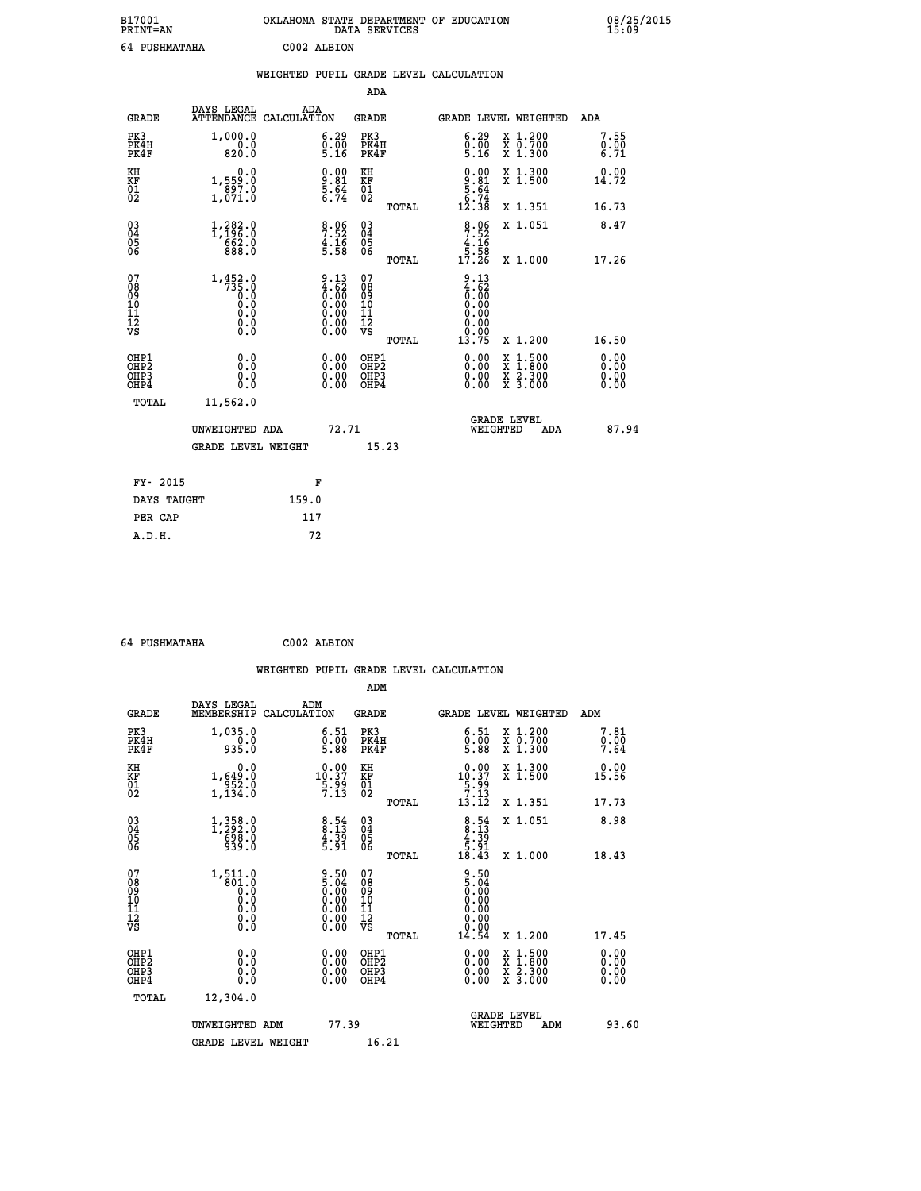| B17001<br><b>PRINT=AN</b> | OKLAHOMA STATE DEPARTMENT OF EDUCATION<br>DATA SERVICES | 08/25/2015<br>15:09 |
|---------------------------|---------------------------------------------------------|---------------------|
| 64 PUSHMATAHA             | C002 ALBION                                             |                     |

|                                           |                                                                                                           |       |                                                                                               |                                                     |       | WEIGHTED PUPIL GRADE LEVEL CALCULATION                               |                                |                                                         |                              |
|-------------------------------------------|-----------------------------------------------------------------------------------------------------------|-------|-----------------------------------------------------------------------------------------------|-----------------------------------------------------|-------|----------------------------------------------------------------------|--------------------------------|---------------------------------------------------------|------------------------------|
|                                           |                                                                                                           |       |                                                                                               | ADA                                                 |       |                                                                      |                                |                                                         |                              |
| <b>GRADE</b>                              | DAYS LEGAL<br>ATTENDANCE CALCULATION                                                                      | ADA   |                                                                                               | <b>GRADE</b>                                        |       | GRADE LEVEL WEIGHTED                                                 |                                |                                                         | ADA                          |
| PK3<br>PK4H<br>PK4F                       | 1,000.0<br>$\begin{array}{c} 0.0 \\ 820.0 \end{array}$                                                    |       | 6.29<br>$\frac{0}{5}. \frac{0}{16}$                                                           | PK3<br>PK4H<br>PK4F                                 |       | 6.29<br>$0.00$<br>5.16                                               |                                | X 1.200<br>X 0.700<br>X 1.300                           | 7.55<br>0.00<br>6.71         |
| KH<br><b>KF</b><br>01<br>02               | 0.0<br>1,559.0<br>$\frac{897.0}{1,071.0}$                                                                 |       | $\frac{9.00}{5.64}$<br>5.64                                                                   | KH<br>KF<br>01<br>02                                |       | $0.00$<br>$9.81$<br>$5.64$<br>$6.74$<br>$12.38$                      |                                | X 1.300<br>X 1.500                                      | 0.00<br>14.72                |
|                                           |                                                                                                           |       |                                                                                               |                                                     | TOTAL |                                                                      |                                | X 1.351                                                 | 16.73                        |
| 03<br>04<br>05<br>06                      | 1,282.0<br>$\frac{662.0}{888.0}$                                                                          |       | 7:52<br>4:16<br>5:58                                                                          | $\begin{array}{c} 03 \\ 04 \\ 05 \\ 06 \end{array}$ |       | $\begin{array}{r} 8.06 \\ 7.52 \\ 4.16 \\ 5.58 \\ 17.26 \end{array}$ |                                | X 1.051                                                 | 8.47                         |
|                                           |                                                                                                           |       |                                                                                               |                                                     | TOTAL |                                                                      |                                | X 1.000                                                 | 17.26                        |
| 07<br>089<br>090<br>1112<br>VS            | $1, 452.0$<br>$735.0$<br>$0.0$<br>$\begin{smallmatrix} 0.5 & 0 \ 0.0 & 0 \end{smallmatrix}$<br>$\S.$ $\S$ |       | $\begin{smallmatrix} 9.13\ 4.62\ 0.00\ 0.00\ 0.00\ 0.00\ 0.00\ 0.00\ 0.00\ \end{smallmatrix}$ | 07<br>08<br>09<br>10<br>11<br>12<br>VS              | TOTAL | 9.13<br>4.62<br>0.00<br>0.00<br>0.00<br>0.00<br>13.75                |                                | X 1.200                                                 | 16.50                        |
| OHP1<br>OH <sub>P</sub> 2<br>OHP3<br>OHP4 | 0.0<br>0.0<br>0.0                                                                                         |       | 0.00<br>$0.00$<br>0.00                                                                        | OHP1<br>OHP2<br>OHP3<br>OHP4                        |       | 0.00<br>0.00<br>0.00                                                 | X                              | $1:500$<br>1:800<br>$\frac{x}{x}$ $\frac{5:300}{3:000}$ | 0.00<br>0.00<br>0.00<br>0.00 |
| <b>TOTAL</b>                              | 11,562.0                                                                                                  |       |                                                                                               |                                                     |       |                                                                      |                                |                                                         |                              |
|                                           | UNWEIGHTED ADA                                                                                            |       | 72.71                                                                                         |                                                     |       |                                                                      | <b>GRADE LEVEL</b><br>WEIGHTED | ADA                                                     | 87.94                        |
|                                           | <b>GRADE LEVEL WEIGHT</b>                                                                                 |       |                                                                                               | 15.23                                               |       |                                                                      |                                |                                                         |                              |
| FY- 2015                                  |                                                                                                           | F     |                                                                                               |                                                     |       |                                                                      |                                |                                                         |                              |
| DAYS TAUGHT                               |                                                                                                           | 159.0 |                                                                                               |                                                     |       |                                                                      |                                |                                                         |                              |
| PER CAP                                   |                                                                                                           | 117   |                                                                                               |                                                     |       |                                                                      |                                |                                                         |                              |

 **64 PUSHMATAHA C002 ALBION**

 **WEIGHTED PUPIL GRADE LEVEL CALCULATION ADM DAYS LEGAL ADM GRADE MEMBERSHIP CALCULATION GRADE GRADE LEVEL WEIGHTED ADM PK3 1,035.0 6.51 PK3 6.51 X 1.200 7.81 PK4H 0.0 0.00 PK4H 0.00 X 0.700 0.00 PK4F 935.0 5.88 PK4F 5.88 X 1.300 7.64 KH 0.0 0.00 KH 0.00 X 1.300 0.00 KF 1,649.0 10.37 KF 10.37 X 1.500 15.56 01 952.0 5.99 01 5.99 02 1,134.0 7.13 02 7.13 TOTAL 13.12 X 1.351 17.73 03 1,358.0 8.54 03 8.54 X 1.051 8.98 04 1,292.0 8.13 04 8.13 05 698.0 4.39 05 4.39 06 939.0 5.91 06 5.91 TOTAL 18.43 X 1.000 18.43 07** 1,511.0 9.50 07<br>
08 801.0 5.04 08 5.04<br>
10 0.0 0.00 10 0.00<br>
11 0.0 0.00 10 0.00<br>
12 0.0 0.00 12 0.00<br>
VS 0.0 0.00 VS 0.00  **TOTAL 14.54 X 1.200 17.45 OHP1 0.0 0.00 OHP1 0.00 X 1.500 0.00 OHP2 0.0 0.00 OHP2 0.00 X 1.800 0.00 OHP3 0.0 0.00 OHP3 0.00 X 2.300 0.00 OHP4 0.0 0.00 OHP4 0.00 X 3.000 0.00 TOTAL 12,304.0 GRADE LEVEL UNWEIGHTED ADM 77.39 WEIGHTED ADM 93.60** GRADE LEVEL WEIGHT 16.21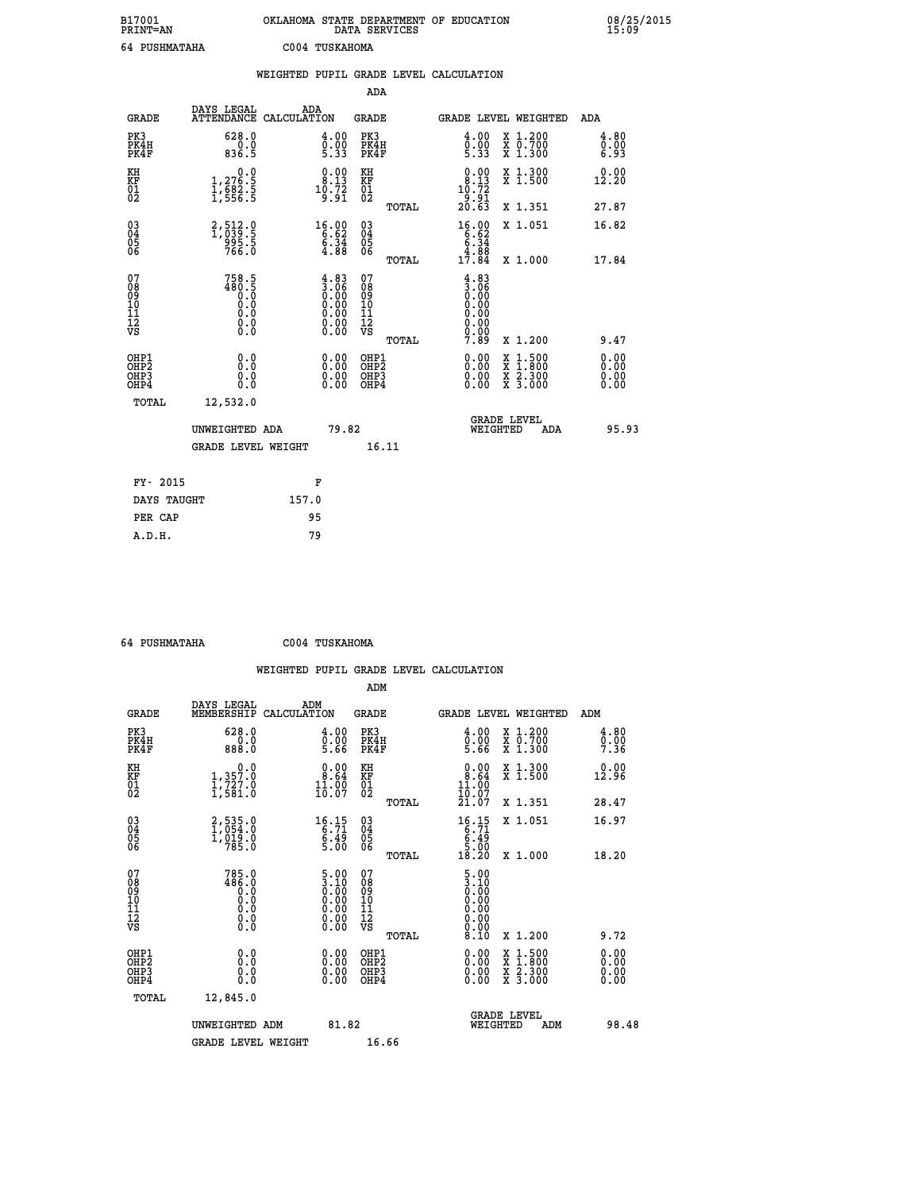| B17001<br><b>PRINT=AN</b> | OKLAHOMA STATE DEPARTMENT OF EDUCATION<br>DATA SERVICES | 08/25/2015<br>15:09 |
|---------------------------|---------------------------------------------------------|---------------------|
| 64 PUSHMATAHA             | C004 TUSKAHOMA                                          |                     |

|                                                                    |                                                                                                        | WEIGHTED PUPIL GRADE LEVEL CALCULATION                                                        |                                        |       |                                                                                                         |                                                |                              |
|--------------------------------------------------------------------|--------------------------------------------------------------------------------------------------------|-----------------------------------------------------------------------------------------------|----------------------------------------|-------|---------------------------------------------------------------------------------------------------------|------------------------------------------------|------------------------------|
|                                                                    |                                                                                                        |                                                                                               | ADA                                    |       |                                                                                                         |                                                |                              |
| <b>GRADE</b>                                                       | DAYS LEGAL<br>ATTENDANCE CALCULATION                                                                   | ADA                                                                                           | <b>GRADE</b>                           |       |                                                                                                         | GRADE LEVEL WEIGHTED                           | ADA                          |
| PK3<br>PK4H<br>PK4F                                                | 628.0<br>836.5                                                                                         | $\begin{smallmatrix} 4.00\ 0.00\ 5.33 \end{smallmatrix}$                                      | PK3<br>PK4H<br>PK4F                    |       | 4.00<br>$0.00$<br>5.33                                                                                  | X 1.200<br>X 0.700<br>X 1.300                  | 4.80<br>0.00<br>6.93         |
| KH<br>KF<br>01<br>02                                               | $1,276.5$<br>$1,682.5$<br>$1,556.5$                                                                    | $\begin{smallmatrix} 0.00\\ 8.13\\ 10.72\\ 9.91 \end{smallmatrix}$                            | KH<br>KF<br>01<br>02                   |       | $\begin{smallmatrix}&&0.00\\8.13\\10.72\\9.91\\20.63\end{smallmatrix}$                                  | X 1.300<br>X 1.500                             | 0.00<br>12.20                |
|                                                                    |                                                                                                        |                                                                                               |                                        | TOTAL |                                                                                                         | X 1.351                                        | 27.87                        |
| $\begin{smallmatrix} 03 \\[-4pt] 04 \end{smallmatrix}$<br>Ŏ5<br>06 | 2,512.9<br>995.5<br>766.0                                                                              | $\begin{array}{r} 16.00 \\ 6.62 \\ 6.34 \\ 4.88 \end{array}$                                  | $03\overline{4}$<br>Ŏ5<br>06           |       | $16.00$<br>$6.34$<br>$4.88$                                                                             | X 1.051                                        | 16.82                        |
|                                                                    |                                                                                                        |                                                                                               |                                        | TOTAL | 17.84                                                                                                   | X 1.000                                        | 17.84                        |
| 07<br>08<br>09<br>101<br>112<br>VS                                 | $758.5$<br>$480.5$<br>$0.0$<br>$\begin{smallmatrix} 0.5 & 0 \ 0.0 & 0 \end{smallmatrix}$<br>$\S.$ $\S$ | $\begin{smallmatrix} 4.83\ 3.06\ 0.00\ 0.00\ 0.00\ 0.00\ 0.00\ 0.00\ 0.00\ \end{smallmatrix}$ | 07<br>08<br>09<br>11<br>11<br>12<br>VS | TOTAL | $\begin{smallmatrix} 4.83\ 3.06\ 0.00\ 0.00 \end{smallmatrix}$<br>0.00<br>$\substack{0.00\\0.00\\7.89}$ | X 1.200                                        | 9.47                         |
| OHP1<br>OHP2<br>OHP3<br>OHP4                                       | 0.0<br>0.0<br>0.0                                                                                      | 0.00<br>$\begin{smallmatrix} 0.00 \ 0.00 \end{smallmatrix}$                                   | OHP1<br>OHP2<br>OHP3<br>OHP4           |       | 0.00<br>0.00<br>0.00                                                                                    | X 1:500<br>$\frac{x}{x}$ $\frac{5:300}{3:000}$ | 0.00<br>Ō.ŎŎ<br>0.00<br>0.00 |
| <b>TOTAL</b>                                                       | 12,532.0                                                                                               |                                                                                               |                                        |       |                                                                                                         |                                                |                              |
|                                                                    | UNWEIGHTED ADA                                                                                         |                                                                                               | 79.82                                  |       |                                                                                                         | GRADE LEVEL<br>WEIGHTED<br>ADA                 | 95.93                        |
|                                                                    | <b>GRADE LEVEL WEIGHT</b>                                                                              |                                                                                               | 16.11                                  |       |                                                                                                         |                                                |                              |
| FY- 2015                                                           |                                                                                                        | F                                                                                             |                                        |       |                                                                                                         |                                                |                              |
| DAYS TAUGHT                                                        |                                                                                                        | 157.0                                                                                         |                                        |       |                                                                                                         |                                                |                              |
| PER CAP                                                            |                                                                                                        | 95                                                                                            |                                        |       |                                                                                                         |                                                |                              |

| 64 PUSHMATAHA | C004 TUSKAHOMA |
|---------------|----------------|
|               |                |

|                                                    |                                                                                      |                                                                              |                                       | WEIGHTED PUPIL GRADE LEVEL CALCULATION                                                   |                                                                                        |                      |
|----------------------------------------------------|--------------------------------------------------------------------------------------|------------------------------------------------------------------------------|---------------------------------------|------------------------------------------------------------------------------------------|----------------------------------------------------------------------------------------|----------------------|
|                                                    | DAYS LEGAL                                                                           | ADM                                                                          | ADM                                   |                                                                                          |                                                                                        |                      |
| <b>GRADE</b>                                       | MEMBERSHIP<br>CALCULATION                                                            |                                                                              | <b>GRADE</b>                          |                                                                                          | GRADE LEVEL WEIGHTED                                                                   | ADM                  |
| PK3<br>PK4H<br>PK4F                                | 628.0<br>0.0<br>888.0                                                                | 4.00<br>Ō.ŎŎ<br>5.66                                                         | PK3<br>PK4H<br>PK4F                   | 4.00<br>$0.00$<br>5.66                                                                   | X 1.200<br>X 0.700<br>X 1.300                                                          | 4.80<br>0.00<br>7.36 |
| KH<br>KF<br>01<br>02                               | 0.0<br>1, 357:0<br>1, 727:0<br>1, 581:0                                              | $0.00$<br>$8.64$<br>11.00                                                    | KH<br>KF<br>01<br>02                  | $0.00$<br>$0.64$<br>$\frac{11.00}{10.07}$                                                | X 1.300<br>X 1.500                                                                     | 0.00<br>12.96        |
|                                                    |                                                                                      |                                                                              | TOTAL                                 | 21.07                                                                                    | X 1.351                                                                                | 28.47                |
| $\begin{matrix} 03 \\ 04 \\ 05 \\ 06 \end{matrix}$ | 2,535.0<br>1,054.0<br>1,019.0<br>785.0                                               | $\begin{array}{r} 16.15 \\ 6.71 \\ 6.49 \\ 5.00 \end{array}$                 | $^{03}_{04}$<br>$\frac{05}{06}$       | $\begin{array}{r} 16.15 \\ 6.71 \\ 6.49 \\ 5.00 \\ 18.20 \end{array}$                    | X 1.051                                                                                | 16.97                |
|                                                    |                                                                                      |                                                                              | TOTAL                                 |                                                                                          | X 1.000                                                                                | 18.20                |
| 07<br>08<br>09<br>101<br>11<br>12<br>VS            | 785.0<br>486.0<br>$\begin{smallmatrix} 0.0 & 0 \ 0.0 & 0 \end{smallmatrix}$<br>$\S.$ | $\begin{smallmatrix} 5.00\ 3.10\ 0.00\ 0.00\ 0.00 \end{smallmatrix}$<br>0.00 | 07<br>08901123<br>1122<br>VS<br>TOTAL | $\begin{smallmatrix} 5.00\ 3.10\ 0.00 \end{smallmatrix}$<br>0.00<br>0.00<br>ŏ.ŏŏ<br>8.10 | X 1.200                                                                                | 9.72                 |
|                                                    |                                                                                      |                                                                              |                                       |                                                                                          |                                                                                        | 0.00                 |
| OHP1<br>OHP2<br>OHP3<br>OHP4                       | 0.0<br>Ŏ.Ŏ<br>$0.\overline{0}$                                                       | $\begin{smallmatrix} 0.00 \ 0.00 \ 0.00 \ 0.00 \end{smallmatrix}$            | OHP1<br>OHP2<br>OHP <sub>3</sub>      | 0.00<br>0.00                                                                             | <b>XXX</b><br>XX<br>$\begin{smallmatrix} 1.500\ 1.800\ 2.300\ 3.000 \end{smallmatrix}$ | 0.00<br>0.00<br>0.00 |
| TOTAL                                              | 12,845.0                                                                             |                                                                              |                                       |                                                                                          |                                                                                        |                      |
|                                                    | UNWEIGHTED ADM                                                                       | 81.82                                                                        |                                       | WEIGHTED                                                                                 | <b>GRADE LEVEL</b><br>ADM                                                              | 98.48                |
|                                                    | <b>GRADE LEVEL WEIGHT</b>                                                            |                                                                              | 16.66                                 |                                                                                          |                                                                                        |                      |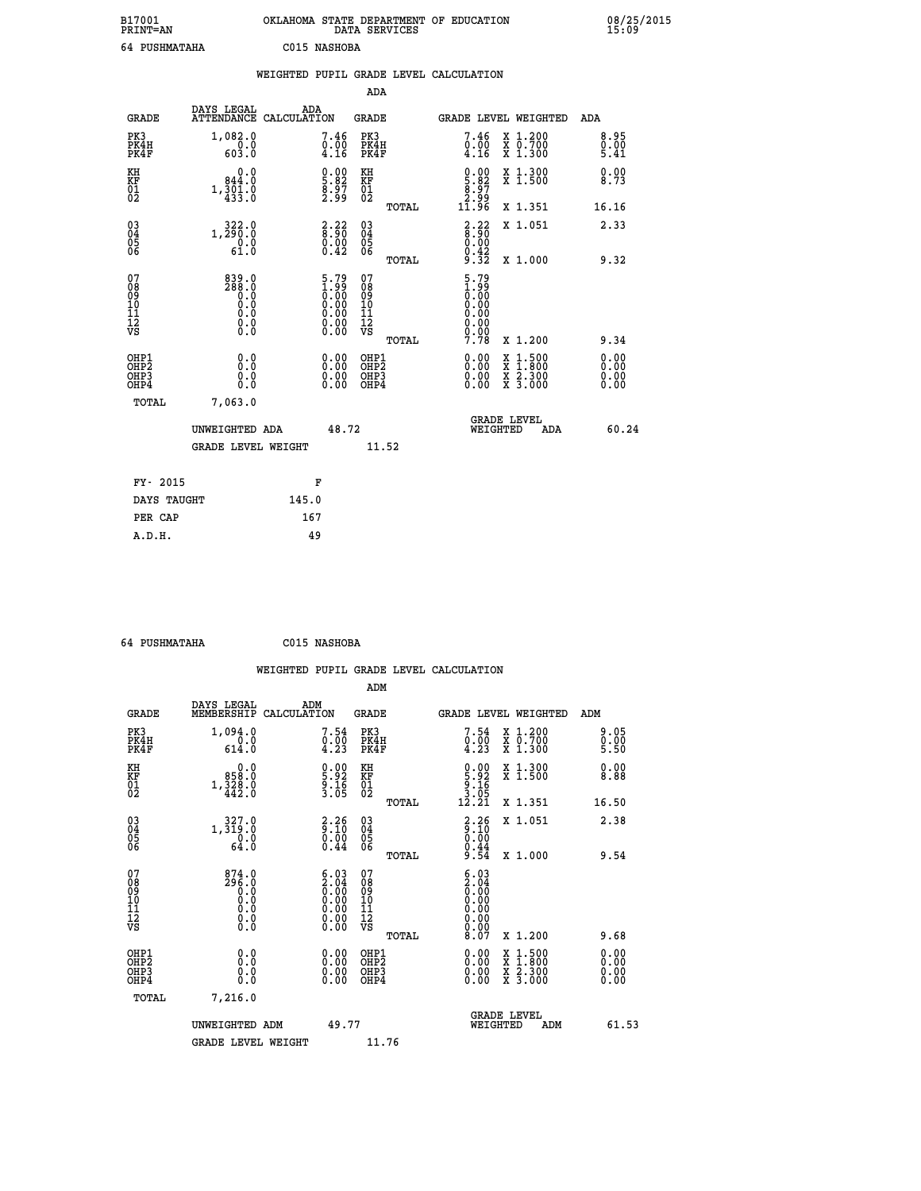| B17001<br><b>PRINT=AN</b> |               |              | OKLAHOMA STATE DEPARTMENT OF EDUCATION<br>DATA SERVICES |  |
|---------------------------|---------------|--------------|---------------------------------------------------------|--|
|                           | 64 PUSHMATAHA | C015 NASHOBA |                                                         |  |

08/25/2015<br>15:09

|                                                                    |                                                                 | WEIGHTED PUPIL GRADE LEVEL CALCULATION                                               |                                                 |                                                                                                         |                                                |                      |
|--------------------------------------------------------------------|-----------------------------------------------------------------|--------------------------------------------------------------------------------------|-------------------------------------------------|---------------------------------------------------------------------------------------------------------|------------------------------------------------|----------------------|
|                                                                    |                                                                 |                                                                                      | <b>ADA</b>                                      |                                                                                                         |                                                |                      |
| <b>GRADE</b>                                                       | DAYS LEGAL                                                      | ADA<br>ATTENDANCE CALCULATION                                                        | <b>GRADE</b>                                    | GRADE LEVEL WEIGHTED                                                                                    |                                                | ADA                  |
| PK3<br>PK4H<br>PK4F                                                | 1,082.0<br>$\frac{0.0}{603.0}$                                  | $\begin{smallmatrix}7.46\0.00\\4.16\end{smallmatrix}$                                | PK3<br>PK4H<br>PK4F                             | 7.46<br>$\frac{0.00}{4.16}$                                                                             | X 1.200<br>X 0.700<br>X 1.300                  | 8.95<br>0.00<br>5.41 |
| KH<br>KF<br>01<br>02                                               | 0.0<br>844.0<br>1,301.0                                         | $\begin{smallmatrix} 0.00\ 5.82\ 8.97\ 2.99 \end{smallmatrix}$                       | KH<br>KF<br>01<br>02                            | $\begin{smallmatrix} 0.00\\ 5.82\\ 8.97\\ 2.99\\ 11.96 \end{smallmatrix}$                               | X 1.300<br>X 1.500                             | 0.00<br>8.73         |
|                                                                    |                                                                 |                                                                                      | TOTAL                                           |                                                                                                         | X 1.351                                        | 16.16                |
| $\begin{smallmatrix} 03 \\[-4pt] 04 \end{smallmatrix}$<br>Ŏ5<br>06 | 1, 322:0<br>$\begin{smallmatrix} 0.0 \\ 61.0 \end{smallmatrix}$ | $\frac{2.22}{8.90}$<br>$\begin{smallmatrix} 0.00 \ 0.42 \end{smallmatrix}$           | $03\overline{4}$<br>05<br>06                    | $\frac{2.22}{8.90}$<br>$0.00$<br>$0.42$                                                                 | X 1.051                                        | 2.33                 |
|                                                                    |                                                                 |                                                                                      | TOTAL                                           | 9.32                                                                                                    | X 1.000                                        | 9.32                 |
| 07<br>08<br>09<br>101<br>112<br>VS                                 | 839.0<br>288.0<br>0.0<br>0.0<br>Ō.Ō<br>$\S.$ $\S$               | $\begin{smallmatrix} 5.79\ 1.99\ 0.00\ 0.00\ 0.00 \end{smallmatrix}$<br>ŏ:ŏŏ<br>O.OO | 07<br>08<br>09<br>11<br>11<br>12<br>VS<br>TOTAL | $\begin{smallmatrix} 5.79\ 1.99\ 0.00\ 0.00 \end{smallmatrix}$<br>0.00<br>$\substack{0.00\\0.00\\7.78}$ | X 1.200                                        | 9.34                 |
|                                                                    |                                                                 |                                                                                      |                                                 |                                                                                                         |                                                | 0.00                 |
| OHP1<br>OHP2<br>OHP3<br>OHP4                                       | 0.0<br>0.0<br>Ō.Ō                                               | 0.00<br>$\begin{smallmatrix} 0.00 \ 0.00 \end{smallmatrix}$                          | OHP1<br>OHP2<br>OHP3<br>OHP4                    | 0.00<br>0.00<br>0.00                                                                                    | X 1:500<br>$\frac{x}{x}$ $\frac{5:300}{3:000}$ | 0.00<br>0.00<br>0.00 |
| <b>TOTAL</b>                                                       | 7,063.0                                                         |                                                                                      |                                                 |                                                                                                         |                                                |                      |
|                                                                    | UNWEIGHTED ADA                                                  | 48.72                                                                                |                                                 | GRADE LEVEL<br>WEIGHTED                                                                                 | ADA                                            | 60.24                |
|                                                                    | <b>GRADE LEVEL WEIGHT</b>                                       |                                                                                      | 11.52                                           |                                                                                                         |                                                |                      |
| FY- 2015                                                           |                                                                 | F                                                                                    |                                                 |                                                                                                         |                                                |                      |
|                                                                    | DAYS TAUGHT                                                     | 145.0                                                                                |                                                 |                                                                                                         |                                                |                      |
| PER CAP                                                            |                                                                 | 167                                                                                  |                                                 |                                                                                                         |                                                |                      |

| 64 PUSHMATAHA | C015 NASHOBA |
|---------------|--------------|
|               |              |

 **A.D.H. 49**

|                                                    |                                                                                                             |                    |                                                                                                     |                                   |       | WEIGHTED PUPIL GRADE LEVEL CALCULATION                                                                                                                                                                                                                                         |                                                                                                  |                        |       |
|----------------------------------------------------|-------------------------------------------------------------------------------------------------------------|--------------------|-----------------------------------------------------------------------------------------------------|-----------------------------------|-------|--------------------------------------------------------------------------------------------------------------------------------------------------------------------------------------------------------------------------------------------------------------------------------|--------------------------------------------------------------------------------------------------|------------------------|-------|
|                                                    |                                                                                                             |                    |                                                                                                     | ADM                               |       |                                                                                                                                                                                                                                                                                |                                                                                                  |                        |       |
| <b>GRADE</b>                                       | DAYS LEGAL<br>MEMBERSHIP                                                                                    | ADM<br>CALCULATION |                                                                                                     | <b>GRADE</b>                      |       | <b>GRADE LEVEL WEIGHTED</b>                                                                                                                                                                                                                                                    |                                                                                                  | ADM                    |       |
| PK3<br>PK4H<br>PK4F                                | 1,094.0<br>$\frac{0.0}{614.0}$                                                                              |                    | 7.54<br>$\begin{smallmatrix}0.00\0.23\end{smallmatrix}$                                             | PK3<br>PK4H<br>PK4F               |       | 7.54<br>$\begin{smallmatrix}0.00\\4.23\end{smallmatrix}$                                                                                                                                                                                                                       | X 1.200<br>X 0.700<br>X 1.300                                                                    | 9.05<br>$0.00$<br>5.50 |       |
| KH<br>KF<br>01<br>02                               | 0.0<br>0.858<br>$1,\frac{328}{442}.0$                                                                       |                    | $\begin{smallmatrix} 0.00\\ 5.92\\ 9.16\\ 3.05 \end{smallmatrix}$                                   | KH<br>KF<br>01<br>02              |       | $\begin{smallmatrix} 0.00\\5.92\\9.16\\3.05\\12.21\end{smallmatrix}$                                                                                                                                                                                                           | X 1.300<br>X 1.500                                                                               | 0.00<br>8.88           |       |
|                                                    |                                                                                                             |                    |                                                                                                     |                                   | TOTAL |                                                                                                                                                                                                                                                                                | X 1.351                                                                                          | 16.50                  |       |
| $\begin{matrix} 03 \\ 04 \\ 05 \\ 06 \end{matrix}$ | 1,327:0<br>$\frac{0.0}{64.0}$                                                                               |                    | $\begin{smallmatrix} 2\cdot 26\ 9\cdot 10\ 0\cdot 00\ 0\cdot 44 \end{smallmatrix}$                  | $\substack{03 \\ 04}$<br>Ŏ5<br>06 |       | $\begin{smallmatrix} 2.26\ 9.10\ 0.00\ 0.44\ 9.54 \end{smallmatrix}$                                                                                                                                                                                                           | X 1.051                                                                                          | 2.38                   |       |
|                                                    |                                                                                                             |                    |                                                                                                     |                                   | TOTAL |                                                                                                                                                                                                                                                                                | X 1.000                                                                                          | 9.54                   |       |
| 07<br>0890112<br>1112<br>VS                        | $874.0$<br>$296.0$<br>$0.0$<br>$0.0$<br>$\begin{smallmatrix} 0.0 & 0 \ 0.0 & 0 \ 0.0 & 0 \end{smallmatrix}$ |                    | $\begin{smallmatrix} 6.03\ 2.04\ 0.00\ 0.00\ 0.00\ 0.00\ 0.00\ 0.00\ 0.00\ 0.00\ \end{smallmatrix}$ | 07<br>08901112<br>1112<br>VS      | TOTAL | $\begin{smallmatrix} 6.03\ 2.04\ 0.00 \end{smallmatrix}$<br>0.00<br>0.00                                                                                                                                                                                                       | $X_1.200$                                                                                        | 9.68                   |       |
|                                                    |                                                                                                             |                    |                                                                                                     |                                   |       |                                                                                                                                                                                                                                                                                |                                                                                                  |                        |       |
| OHP1<br>OHP2<br>OH <sub>P3</sub><br>OHP4           | 0.0<br>0.000                                                                                                |                    | $\begin{smallmatrix} 0.00 \ 0.00 \ 0.00 \ 0.00 \end{smallmatrix}$                                   | OHP1<br>OHP2<br>OHP3<br>OHP4      |       | $\begin{smallmatrix} 0.00 & 0.00 & 0.00 & 0.00 & 0.00 & 0.00 & 0.00 & 0.00 & 0.00 & 0.00 & 0.00 & 0.00 & 0.00 & 0.00 & 0.00 & 0.00 & 0.00 & 0.00 & 0.00 & 0.00 & 0.00 & 0.00 & 0.00 & 0.00 & 0.00 & 0.00 & 0.00 & 0.00 & 0.00 & 0.00 & 0.00 & 0.00 & 0.00 & 0.00 & 0.00 & 0.0$ | $\begin{smallmatrix} x & 1 & 500 \\ x & 1 & 800 \\ x & 2 & 300 \\ x & 3 & 000 \end{smallmatrix}$ | 0.00<br>0.00<br>0.00   |       |
| TOTAL                                              | 7,216.0                                                                                                     |                    |                                                                                                     |                                   |       |                                                                                                                                                                                                                                                                                |                                                                                                  |                        |       |
|                                                    | UNWEIGHTED ADM                                                                                              |                    | 49.77                                                                                               |                                   |       | <b>GRADE LEVEL</b><br>WEIGHTED                                                                                                                                                                                                                                                 | ADM                                                                                              |                        | 61.53 |
|                                                    | <b>GRADE LEVEL WEIGHT</b>                                                                                   |                    |                                                                                                     | 11.76                             |       |                                                                                                                                                                                                                                                                                |                                                                                                  |                        |       |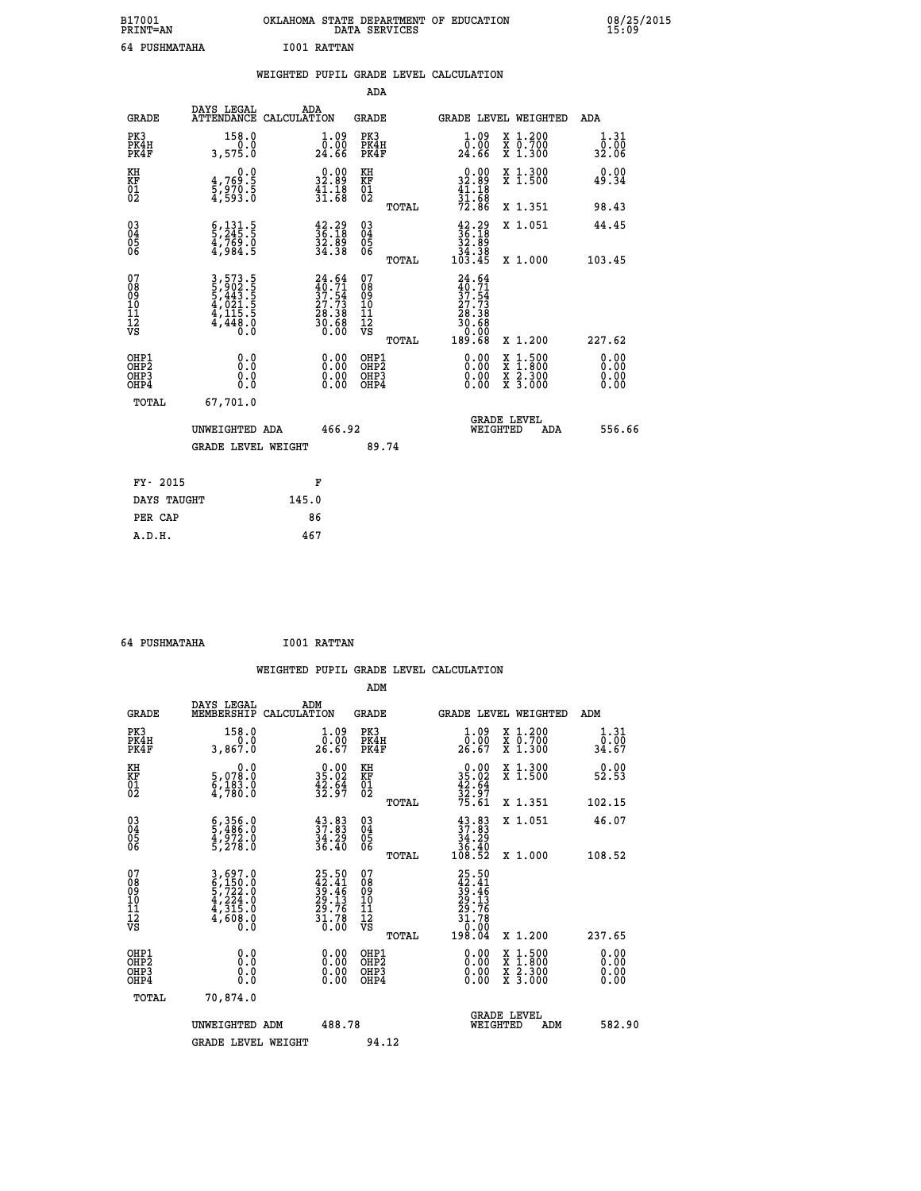| B17001<br><b>PRINT=AN</b> | OKLAHOMA STATE DEPARTMENT OF EDUCATION<br>DATA SERVICES | 08/25/2015<br>15:09 |
|---------------------------|---------------------------------------------------------|---------------------|
| 64 PUSHMATAHA             | <b>I001 RATTAN</b>                                      |                     |

|                                                                    |                                                                | WEIGHTED PUPIL GRADE LEVEL CALCULATION                                   |        |                                                     |       |                                                                                  |                                                                                          |                              |
|--------------------------------------------------------------------|----------------------------------------------------------------|--------------------------------------------------------------------------|--------|-----------------------------------------------------|-------|----------------------------------------------------------------------------------|------------------------------------------------------------------------------------------|------------------------------|
|                                                                    |                                                                |                                                                          |        | <b>ADA</b>                                          |       |                                                                                  |                                                                                          |                              |
| <b>GRADE</b>                                                       | DAYS LEGAL                                                     | ADA<br>ATTENDANCE CALCULATION                                            |        | GRADE                                               |       | GRADE LEVEL WEIGHTED                                                             |                                                                                          | ADA                          |
| PK3<br>PK4H<br>PK4F                                                | 158.0<br>3,575.0                                               | $\frac{1}{0}$ :00<br>24.66                                               |        | PK3<br>PK4H<br>PK4F                                 |       | 1.09<br>0.00<br>24.66                                                            | X 1.200<br>X 0.700<br>X 1.300                                                            | 1.31<br>0.00<br>32.06        |
| KH<br>KF<br>01<br>02                                               | 0.0<br>$\frac{4}{5}, \frac{769}{970}$ . 5<br>4,593.0           | $\begin{smallmatrix} 0.00\\ 32.89\\ 41.18\\ 31.68 \end{smallmatrix}$     |        | KH<br>KF<br>01<br>02                                |       | $0.00\n32.89\n41.18\n31.68\n72.86$                                               | X 1.300<br>X 1.500                                                                       | 0.00<br>49.34                |
|                                                                    |                                                                |                                                                          |        |                                                     | TOTAL |                                                                                  | X 1.351                                                                                  | 98.43                        |
| $\begin{smallmatrix} 03 \\[-4pt] 04 \end{smallmatrix}$<br>05<br>06 | $\frac{6}{2}, \frac{131}{245}$ .<br>4,769.0<br>4,984.5         | $\begin{smallmatrix} 42.29\\ 36.18\\ 32.89\\ 34.38 \end{smallmatrix}$    |        | $\begin{array}{c} 03 \\ 04 \\ 05 \\ 06 \end{array}$ |       | $\begin{smallmatrix} 42.29\\ 36.18\\ 32.89\\ 34.38\\ 103.45\\ \end{smallmatrix}$ | X 1.051                                                                                  | 44.45                        |
|                                                                    |                                                                |                                                                          |        |                                                     | TOTAL |                                                                                  | X 1.000                                                                                  | 103.45                       |
| 07<br>08<br>09<br>11<br>11<br>12<br>VS                             | 3,573.5<br>5,902.5<br>5,443.5<br>4,021.5<br>4,115.5<br>4,448.0 | $24.64$<br>$40.71$<br>$37.54$<br>$27.73$<br>$28.38$<br>$30.68$<br>$0.00$ |        | 07<br>08<br>09<br>101<br>11<br>12<br>VS             |       | $24.64$<br>$37.54$<br>$27.73$<br>$28.38$<br>$30.68$                              |                                                                                          |                              |
|                                                                    |                                                                |                                                                          |        |                                                     | TOTAL | 00.00<br>189.68                                                                  | X 1.200                                                                                  | 227.62                       |
| OHP1<br>OH <sub>P</sub> 2<br>OHP3<br>OHP4                          | 0.0<br>0.0<br>0.0                                              | 0.00<br>$0.00$<br>0.00                                                   |        | OHP1<br>OHP <sub>2</sub><br>OHP3<br>OHP4            |       | 0.00<br>0.00                                                                     | $\begin{smallmatrix} x & 1.500 \\ x & 1.800 \\ x & 2.300 \\ x & 3.000 \end{smallmatrix}$ | 0.00<br>0.00<br>0.00<br>0.00 |
| TOTAL                                                              | 67,701.0                                                       |                                                                          |        |                                                     |       |                                                                                  |                                                                                          |                              |
|                                                                    | UNWEIGHTED ADA                                                 |                                                                          | 466.92 |                                                     |       | GRADE LEVEL<br>WEIGHTED                                                          | <b>ADA</b>                                                                               | 556.66                       |
|                                                                    | <b>GRADE LEVEL WEIGHT</b>                                      |                                                                          |        |                                                     | 89.74 |                                                                                  |                                                                                          |                              |
| FY- 2015                                                           |                                                                | F                                                                        |        |                                                     |       |                                                                                  |                                                                                          |                              |
| DAYS TAUGHT                                                        |                                                                | 145.0                                                                    |        |                                                     |       |                                                                                  |                                                                                          |                              |
| PER CAP                                                            |                                                                | 86                                                                       |        |                                                     |       |                                                                                  |                                                                                          |                              |
| A.D.H.                                                             |                                                                | 467                                                                      |        |                                                     |       |                                                                                  |                                                                                          |                              |

 **64 PUSHMATAHA I001 RATTAN WEIGHTED PUPIL GRADE LEVEL CALCULATION ADM DAYS LEGAL ADM GRADE MEMBERSHIP CALCULATION GRADE GRADE LEVEL WEIGHTED ADM PK3 158.0 1.09 PK3 1.09 X 1.200 1.31 PK4H 0.0 0.00 PK4H 0.00 X 0.700 0.00 PK4F 3,867.0 26.67 PK4F 26.67 X 1.300 34.67 KH 0.0 0.00 KH 0.00 X 1.300 0.00 KF 5,078.0 35.02 KF 35.02 X 1.500 52.53 01 6,183.0 42.64 01 42.64 02 4,780.0 32.97 02 32.97 TOTAL 75.61 X 1.351 102.15 03 6,356.0 43.83 03 43.83 X 1.051 46.07 04 5,486.0 37.83 04 37.83 05 4,972.0 34.29 05 34.29 06 5,278.0 36.40 06 36.40 TOTAL 108.52 X 1.000 108.52**  $\begin{array}{cccc} 07 & 3\,,697.0 & 25.50 & 07 & 25.50 \ 08 & 6\,,150.0 & 42.41 & 08 & 42.41 \ 09 & 5\,,722.0 & 39.46 & 09 & 39.46 \ 10 & 4\,,224.0 & 29.13 & 10 & 29.13 \ 11 & 4\,,315.0 & 29.76 & 11 & 29.13 \ \hline \textrm{V5} & 4\,,608.0 & 31.78 & 12 & 31.78 \ 0.0 & 0.0 & 36$  $\begin{array}{cccc} 25.50 & 07 & 25.50 & 07 \\ 42.41 & 08 & 42.41 & 0 \\ 39.46 & 09 & 42.41 & 0 \\ 29.13 & 10 & 29.13 & 0 \\ 29.76 & 11 & 29.76 & 0 \\ 31.78 & 12 & 31.78 & 0 \\ 0.00 & 0 \text{H}\text{P2} & 0.00 & \text{X } 1.200 & 237.65 \\ 0.00 & 0 \text{H}\text{P2} & 0.00 & \text{X } 1.500 & 0.0$  **OHP1 0.0 0.00 OHP1 0.00 X 1.500 0.00 OHP2 0.0 0.00 OHP2 0.00 X 1.800 0.00 OHP3 0.0 0.00 OHP3 0.00 X 2.300 0.00 OHP4 0.0 0.00 OHP4 0.00 X 3.000 0.00 TOTAL 70,874.0** UNWEIGHTED ADM 488.78  **UNWEIGHTED ADM 488.78 WEIGHTED ADM 582.90** GRADE LEVEL WEIGHT 94.12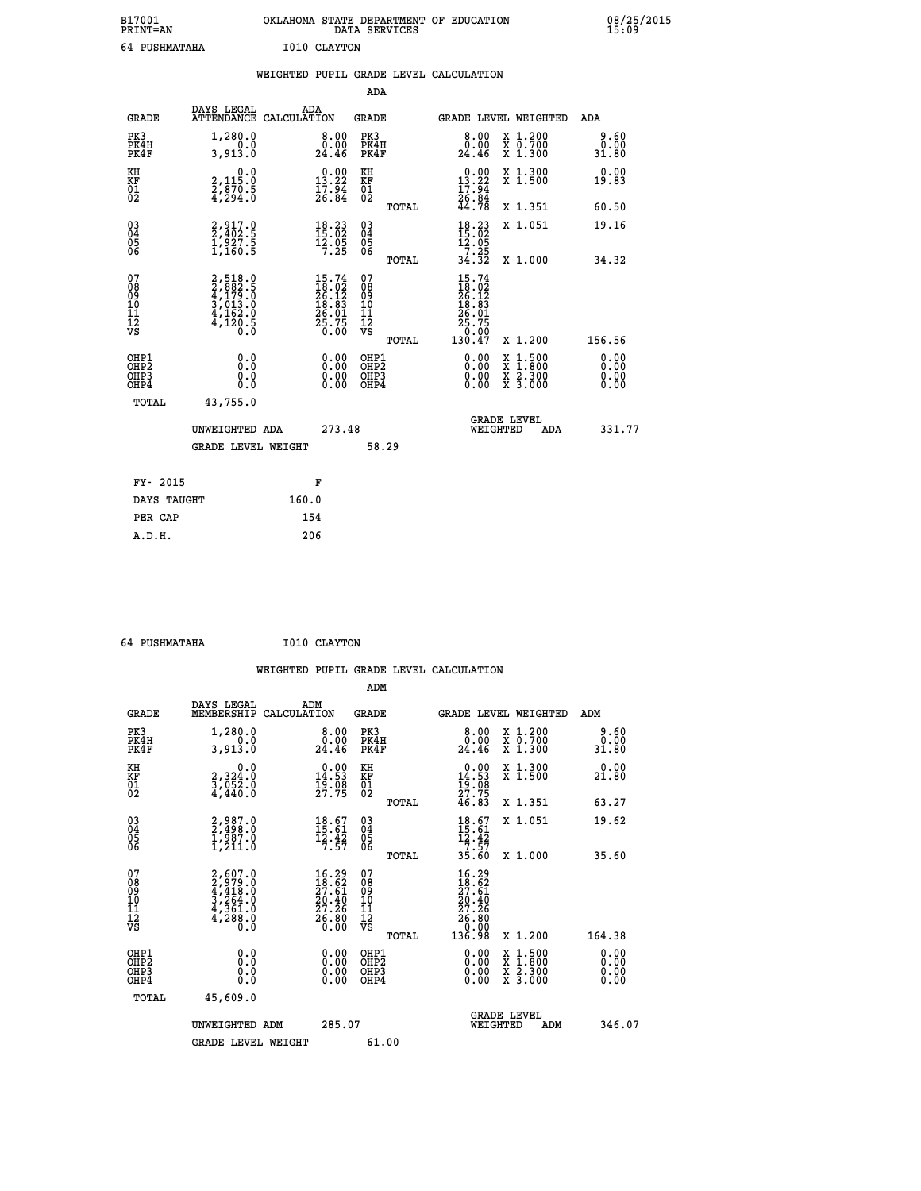| B17001<br><b>PRINT=AN</b> | OKLAHOMA<br>. STATE DEPARTMENT OF EDUCATION<br>DATA SERVICES | 08/25/2015<br>15:09 |
|---------------------------|--------------------------------------------------------------|---------------------|
| 64 PUSHMATAHA             | I010 CLAYTON                                                 |                     |

|                                                                    |                                                                         | WEIGHTED PUPIL GRADE LEVEL CALCULATION                                                                                     |                                        |       |                                                                                                                                     |                                                                 |                              |
|--------------------------------------------------------------------|-------------------------------------------------------------------------|----------------------------------------------------------------------------------------------------------------------------|----------------------------------------|-------|-------------------------------------------------------------------------------------------------------------------------------------|-----------------------------------------------------------------|------------------------------|
|                                                                    |                                                                         |                                                                                                                            | ADA                                    |       |                                                                                                                                     |                                                                 |                              |
| <b>GRADE</b>                                                       | DAYS LEGAL                                                              | ADA<br>ATTENDANCE CALCULATION                                                                                              | <b>GRADE</b>                           |       |                                                                                                                                     | GRADE LEVEL WEIGHTED                                            | ADA                          |
| PK3<br>PK4H<br>PK4F                                                | 1,280.0<br>3,913.0                                                      | 8.00<br>0:00<br>24.46                                                                                                      | PK3<br>PK4H<br>PK4F                    |       | 8.00<br>0.00<br>24.46                                                                                                               | X 1.200<br>X 0.700<br>X 1.300                                   | 9.60<br>0.00<br>31.80        |
| KH<br>KF<br>01<br>02                                               | $\begin{smallmatrix}&&&0.0\\2,115.0\\2,870.5\\4,294.0\end{smallmatrix}$ | $\begin{smallmatrix} 0.00\\13.22\\17.94\\26.84 \end{smallmatrix}$                                                          | KH<br>KF<br>01<br>02                   |       | $\begin{smallmatrix} 0.00\\13.22\\17.94\\26.84\\44.78 \end{smallmatrix}$                                                            | X 1.300<br>X 1.500                                              | 0.00<br>19.83                |
|                                                                    |                                                                         |                                                                                                                            |                                        | TOTAL |                                                                                                                                     | X 1.351                                                         | 60.50                        |
| $\begin{smallmatrix} 03 \\[-4pt] 04 \end{smallmatrix}$<br>Ŏ5<br>06 | 2,917.0<br>2,402.5<br>1,927.5<br>1,160.5                                | $\begin{array}{l} 18\cdot 23 \\ 15\cdot 02 \\ 12\cdot 05 \\ 7\cdot 25 \end{array}$                                         | 03<br>04<br>05<br>06                   |       | $18.23$<br>$15.02$<br>$12.05$<br>$7.25$                                                                                             | X 1.051                                                         | 19.16                        |
|                                                                    |                                                                         |                                                                                                                            |                                        | TOTAL | 34.32                                                                                                                               | X 1.000                                                         | 34.32                        |
| 07<br>08<br>09<br>101<br>112<br>VS                                 | 2,518.0<br>2,882.5<br>4,179.0<br>4,162.0<br>4,162.0<br>4,120.5          | $\begin{smallmatrix} 15\cdot74\\ 18\cdot02\\ 26\cdot12\\ 18\cdot83\\ 26\cdot01\\ 25\cdot75\\ 0\cdot00\\ \end{smallmatrix}$ | 07<br>08<br>09<br>10<br>11<br>12<br>VS | TOTAL | $\begin{array}{r} 15\cdot74 \\ 18\cdot02 \\ 26\cdot12 \\ 18\cdot83 \\ 26\cdot01 \\ 25\cdot75 \\ 0\cdot00 \\ 130\cdot47 \end{array}$ | X 1.200                                                         | 156.56                       |
| OHP1<br>OHP2<br>OHP3<br>OHP4                                       | 0.0<br>Ŏ.Ō<br>0.0<br>0.0                                                | 0.00<br>$0.00$<br>0.00                                                                                                     | OHP1<br>OHP2<br>OHP3<br>OHP4           |       | 0.00<br>0.00<br>0.00                                                                                                                | $1.500$<br>$1.800$<br>X<br>X<br>X<br>X<br>$\frac{2.300}{3.000}$ | 0.00<br>0.00<br>0.00<br>0.00 |
| TOTAL                                                              | 43,755.0                                                                |                                                                                                                            |                                        |       |                                                                                                                                     |                                                                 |                              |
|                                                                    | UNWEIGHTED ADA                                                          | 273.48                                                                                                                     |                                        |       | WEIGHTED                                                                                                                            | <b>GRADE LEVEL</b><br>ADA                                       | 331.77                       |
|                                                                    | <b>GRADE LEVEL WEIGHT</b>                                               |                                                                                                                            | 58.29                                  |       |                                                                                                                                     |                                                                 |                              |
| FY- 2015                                                           |                                                                         | F                                                                                                                          |                                        |       |                                                                                                                                     |                                                                 |                              |
| DAYS TAUGHT                                                        |                                                                         | 160.0                                                                                                                      |                                        |       |                                                                                                                                     |                                                                 |                              |
| PER CAP                                                            |                                                                         | 154                                                                                                                        |                                        |       |                                                                                                                                     |                                                                 |                              |

| 64 PUSHMATAHA | I010 CLAYTON |
|---------------|--------------|
|               |              |

 **ADM**

| <b>GRADE</b>                             | DAYS LEGAL<br>MEMBERSHIP                                                            | ADM<br>CALCULATION                                             | <b>GRADE</b>                                       |       | <b>GRADE LEVEL WEIGHTED</b>                                                                          |                                          | ADM                   |  |
|------------------------------------------|-------------------------------------------------------------------------------------|----------------------------------------------------------------|----------------------------------------------------|-------|------------------------------------------------------------------------------------------------------|------------------------------------------|-----------------------|--|
| PK3<br>PK4H<br>PK4F                      | 1,280.0<br>3,913.0                                                                  | 0.00<br>24.46                                                  | PK3<br>PK4H<br>PK4F                                |       | 8.00<br>0.00<br>24.46                                                                                | X 1.200<br>X 0.700<br>X 1.300            | 9.60<br>0.00<br>31.80 |  |
| KH<br>KF<br>01<br>02                     | 0.0<br>2,324:0<br>3,052:0<br>4,440:0                                                | $0.00$<br>14.53<br>$\frac{19.08}{27.75}$                       | KH<br>KF<br>01<br>02                               |       | $0.00\n14.53\n19.08\n27.75\n46.83$                                                                   | X 1.300<br>X 1.500                       | 0.00<br>21.80         |  |
|                                          |                                                                                     |                                                                |                                                    | TOTAL |                                                                                                      | X 1.351                                  | 63.27                 |  |
| 03<br>04<br>05<br>06                     | $2,4987.0$<br>$1,987.0$<br>$1,211.0$                                                | $\begin{array}{c} 18.67 \\ 15.61 \\ 12.42 \\ 7.57 \end{array}$ | $\begin{matrix} 03 \\ 04 \\ 05 \\ 06 \end{matrix}$ |       | $\begin{array}{c} 18.67 \\ 15.61 \\ 12.42 \\ 7.57 \\ 35.60 \end{array}$                              | X 1.051                                  | 19.62                 |  |
|                                          |                                                                                     |                                                                |                                                    | TOTAL |                                                                                                      | X 1.000                                  | 35.60                 |  |
| 07<br>089<br>090<br>1112<br>VS           | $2,607.0$<br>$2,979.0$<br>$4,418.0$<br>$3,264.0$<br>$4,361.0$<br>$4,288.0$<br>$0.0$ | $16.29$<br>$18.62$<br>$27.61$<br>$20.40$<br>$27.26$<br>$26.80$ | 07<br>08<br>09<br>01<br>11<br>11<br>12<br>VS       | TOTAL | $\begin{smallmatrix} 16.29\\18.62\\27.61\\20.40\\27.26\\27.26\\26.80\\0.00\\136.98\end{smallmatrix}$ | X 1.200                                  | 164.38                |  |
| OHP1<br>OHP2<br>OH <sub>P3</sub><br>OHP4 | 0.0<br>0.000                                                                        |                                                                | OHP1<br>OHP2<br>OHP3<br>OHP4                       |       | 0.00<br>$0.00$<br>0.00                                                                               | X 1:500<br>X 1:800<br>X 2:300<br>X 3:000 | 0.00<br>0.00<br>0.00  |  |
| TOTAL                                    | 45,609.0                                                                            |                                                                |                                                    |       |                                                                                                      |                                          |                       |  |
|                                          | UNWEIGHTED<br>ADM                                                                   | 285.07                                                         |                                                    |       | WEIGHTED                                                                                             | <b>GRADE LEVEL</b><br>ADM                | 346.07                |  |
|                                          | <b>GRADE LEVEL WEIGHT</b>                                                           |                                                                | 61.00                                              |       |                                                                                                      |                                          |                       |  |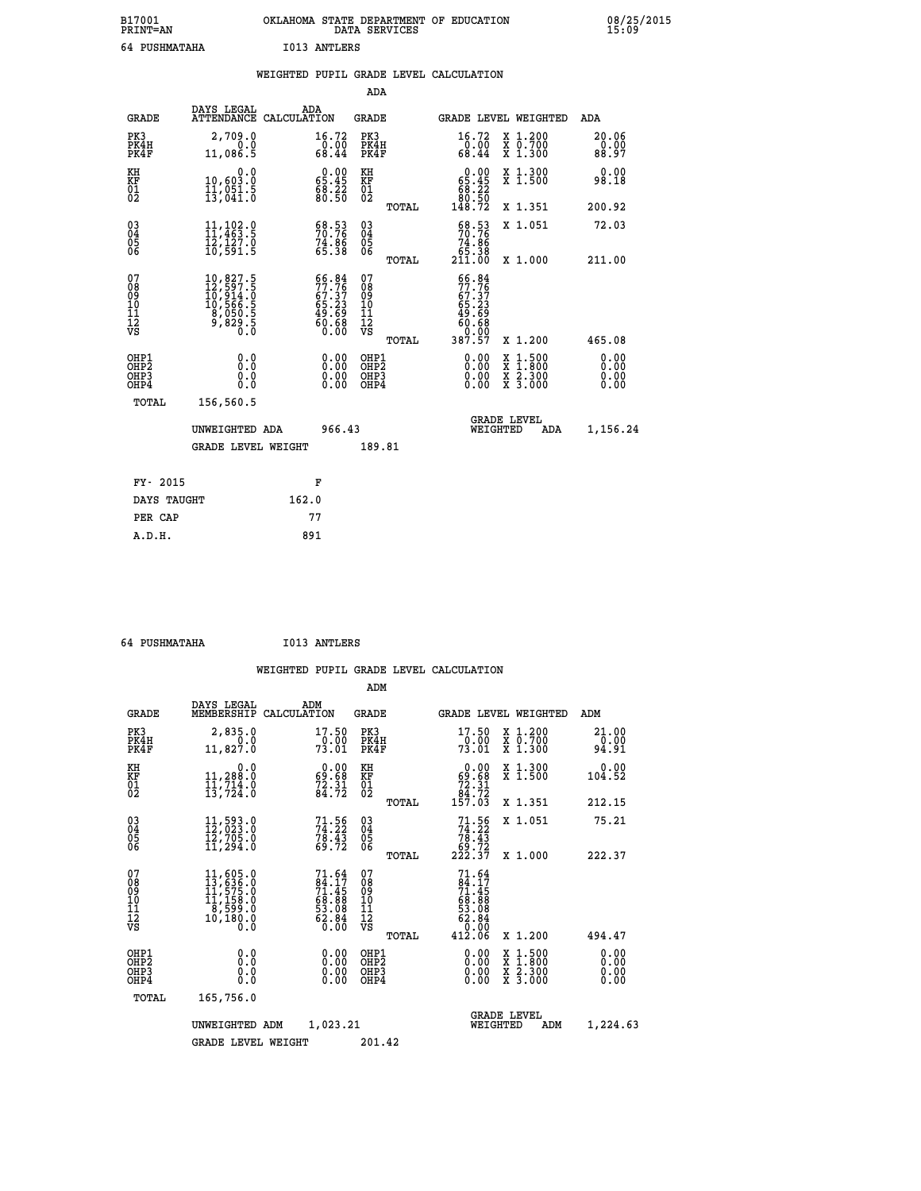| B17001<br><b>PRINT=AN</b> | OKLAHOMA<br>. STATE DEPARTMENT OF EDUCATION<br>DATA SERVICES | 08/25/2015<br>15:09 |
|---------------------------|--------------------------------------------------------------|---------------------|
| 64 PUSHMATAHA             | <b>I013 ANTLERS</b>                                          |                     |

|                      |                                                              |                                                                                                                   |                    |                                                                          |                                        |       | WEIGHTED PUPIL GRADE LEVEL CALCULATION                                         |          |                                          |                              |
|----------------------|--------------------------------------------------------------|-------------------------------------------------------------------------------------------------------------------|--------------------|--------------------------------------------------------------------------|----------------------------------------|-------|--------------------------------------------------------------------------------|----------|------------------------------------------|------------------------------|
|                      |                                                              |                                                                                                                   |                    |                                                                          | ADA                                    |       |                                                                                |          |                                          |                              |
|                      | <b>GRADE</b>                                                 | DAYS LEGAL<br>ATTENDANCE                                                                                          | ADA<br>CALCULATION |                                                                          | <b>GRADE</b>                           |       |                                                                                |          | GRADE LEVEL WEIGHTED                     | ADA                          |
|                      | PK3<br>PK4H<br>PK4F                                          | 2,709.0<br>0.0<br>11,086.5                                                                                        |                    | 16.72<br>$\frac{0.00}{68.44}$                                            | PK3<br>PK4H<br>PK4F                    |       | 16.72<br>$\frac{0.00}{68.44}$                                                  |          | X 1.200<br>X 0.700<br>X 1.300            | 20.06<br>0.00<br>88.97       |
| KH<br>KF<br>01<br>02 |                                                              | $\begin{smallmatrix} & & 0.0 \ 10,603.0 \ 11,051.5 \ 13,041.0 \end{smallmatrix}$                                  |                    | $\begin{smallmatrix} 0.00\\ 65.45\\ 68.22\\ 80.50 \end{smallmatrix}$     | KH<br>KF<br>01<br>02                   |       | $\begin{smallmatrix} &0.00\\ 65.45\\ 88.22\\ 80.50\\ 148.72 \end{smallmatrix}$ |          | X 1.300<br>X 1.500                       | 0.00<br>98.18                |
|                      |                                                              |                                                                                                                   |                    |                                                                          |                                        | TOTAL |                                                                                |          | X 1.351                                  | 200.92                       |
| ŎĞ                   | $\begin{smallmatrix} 03 \\[-4pt] 04 \end{smallmatrix}$<br>Ŏ5 | $\frac{11}{11}$ , $\frac{102}{463}$ . 9<br>12,127.0<br>10,591.5                                                   |                    | 58.53<br>$74.86$<br>65.38                                                | $\substack{03 \\ 04}$<br>Ŏ5<br>06      |       | 68.53<br>70.76<br>$\begin{array}{r} 74.86 \\ 65.38 \\ 211.00 \end{array}$      |          | X 1.051                                  | 72.03                        |
|                      |                                                              |                                                                                                                   |                    |                                                                          |                                        | TOTAL |                                                                                |          | X 1.000                                  | 211.00                       |
| 07                   | 08<br>09<br>11<br>11<br>12<br>VS                             | $\begin{smallmatrix} 10, 827.5\\ 12, 597.5\\ 10, 914.0\\ 10, 566.5\\ 8, 050.5\\ 9, 829.5\\ 0.0 \end{smallmatrix}$ |                    | $66.84$<br>$77.76$<br>$67.37$<br>$65.23$<br>$49.69$<br>$60.68$<br>$0.00$ | 07<br>08<br>09<br>11<br>11<br>12<br>VS | TOTAL | 66.84<br>77.76<br>67.37<br>65.23<br>49.69<br>60.68<br>0.00<br>387.57           |          | X 1.200                                  | 465.08                       |
|                      | OHP1<br>OHP2<br>OHP3<br>OHP4                                 | 0.0<br>0.0<br>Ō.O                                                                                                 |                    | 0.00<br>$\begin{smallmatrix} 0.00 \ 0.00 \end{smallmatrix}$              | OHP1<br>OHP2<br>OHP3<br>OHP4           |       | 0.00<br>0.00<br>0.00                                                           | X<br>X   | $1:500$<br>$1:800$<br>X 2.300<br>X 3.000 | 0.00<br>Ō.ŎŎ<br>0.00<br>0.00 |
|                      | <b>TOTAL</b>                                                 | 156,560.5                                                                                                         |                    |                                                                          |                                        |       |                                                                                |          |                                          |                              |
|                      |                                                              | UNWEIGHTED ADA                                                                                                    |                    | 966.43                                                                   |                                        |       |                                                                                | WEIGHTED | <b>GRADE LEVEL</b><br>ADA                | 1,156.24                     |
|                      |                                                              | <b>GRADE LEVEL WEIGHT</b>                                                                                         |                    |                                                                          | 189.81                                 |       |                                                                                |          |                                          |                              |
|                      | FY- 2015                                                     |                                                                                                                   |                    | F                                                                        |                                        |       |                                                                                |          |                                          |                              |
|                      | DAYS TAUGHT                                                  |                                                                                                                   | 162.0              |                                                                          |                                        |       |                                                                                |          |                                          |                              |
|                      | PER CAP                                                      |                                                                                                                   | 77                 |                                                                          |                                        |       |                                                                                |          |                                          |                              |

 **64 PUSHMATAHA I013 ANTLERS**

 **A.D.H. 891**

 **ADM**

| <b>GRADE</b>                                       | DAYS LEGAL<br>MEMBERSHIP                                                              | ADM<br>CALCULATION                                                        | <b>GRADE</b>                                     | GRADE LEVEL WEIGHTED                                                               |                                                                                                  | ADM                    |
|----------------------------------------------------|---------------------------------------------------------------------------------------|---------------------------------------------------------------------------|--------------------------------------------------|------------------------------------------------------------------------------------|--------------------------------------------------------------------------------------------------|------------------------|
| PK3<br>PK4H<br>PK4F                                | 2,835.0<br>0.0<br>11,827.0                                                            | 17.50<br>0.00<br>73.01                                                    | PK3<br>PK4H<br>PK4F                              | $17.50$<br>$0.00$<br>73.01                                                         | $\begin{smallmatrix} x & 1.200 \\ x & 0.700 \end{smallmatrix}$<br>X 1.300                        | 21.00<br>0.00<br>94.91 |
| KH<br>KF<br>01<br>02                               | 0.0<br>11,288:0<br>11,714:0<br>13,724:0                                               | $\begin{smallmatrix} 0.00\\ 69.68\\ 72.31\\ 84.72 \end{smallmatrix}$      | KH<br>KF<br>01<br>02                             | $0.00\n69.68\n72.31\n84.72\n157.03$                                                | X 1.300<br>X 1.500                                                                               | 0.00<br>104.52         |
|                                                    |                                                                                       |                                                                           | TOTAL                                            |                                                                                    | X 1.351                                                                                          | 212.15                 |
| $\begin{matrix} 03 \\ 04 \\ 05 \\ 06 \end{matrix}$ | $11,593.0$<br>$12,703.0$<br>$12,705.0$<br>$11,294.0$                                  | $71.56$<br>$74.22$<br>$78.43$<br>$69.72$                                  | $03\overline{4}$<br>05<br>06                     | $74.56$<br>$74.22$<br>$78.43$<br>$69.72$<br>$222.37$                               | X 1.051                                                                                          | 75.21                  |
|                                                    |                                                                                       |                                                                           | TOTAL                                            |                                                                                    | X 1.000                                                                                          | 222.37                 |
| 07<br>08<br>09<br>101<br>11<br>12<br>VS            | $11,605.0$<br>$13,636.0$<br>$11,575.0$<br>$11,158.0$<br>$18,599.0$<br>10,180.0<br>0:0 | $71.64$<br>$71.45$<br>$71.45$<br>$68.88$<br>$53.08$<br>$52.84$<br>$62.84$ | 07<br>08<br>09<br>101<br>11<br>12<br>VS<br>TOTAL | $71.64$<br>$71.45$<br>$71.45$<br>$68.88$<br>$53.08$<br>$62.84$<br>$0.00$<br>412.06 | X 1.200                                                                                          | 494.47                 |
| OHP1<br>OHP2<br>OHP3<br>OHP4                       | 0.0<br>0.0<br>Ō.Ō                                                                     | $0.00$<br>$0.00$<br>0.00                                                  | OHP1<br>OHP2<br>OHP3<br>OHP4                     |                                                                                    | $\begin{smallmatrix} x & 1 & 500 \\ x & 1 & 800 \\ x & 2 & 300 \\ x & 3 & 000 \end{smallmatrix}$ | 0.00<br>0.00<br>0.00   |
| TOTAL                                              | 165,756.0                                                                             |                                                                           |                                                  |                                                                                    |                                                                                                  |                        |
|                                                    | UNWEIGHTED                                                                            | 1,023.21<br>ADM                                                           |                                                  | <b>GRADE LEVEL</b><br>WEIGHTED                                                     | ADM                                                                                              | 1,224.63               |
|                                                    | <b>GRADE LEVEL WEIGHT</b>                                                             |                                                                           | 201.42                                           |                                                                                    |                                                                                                  |                        |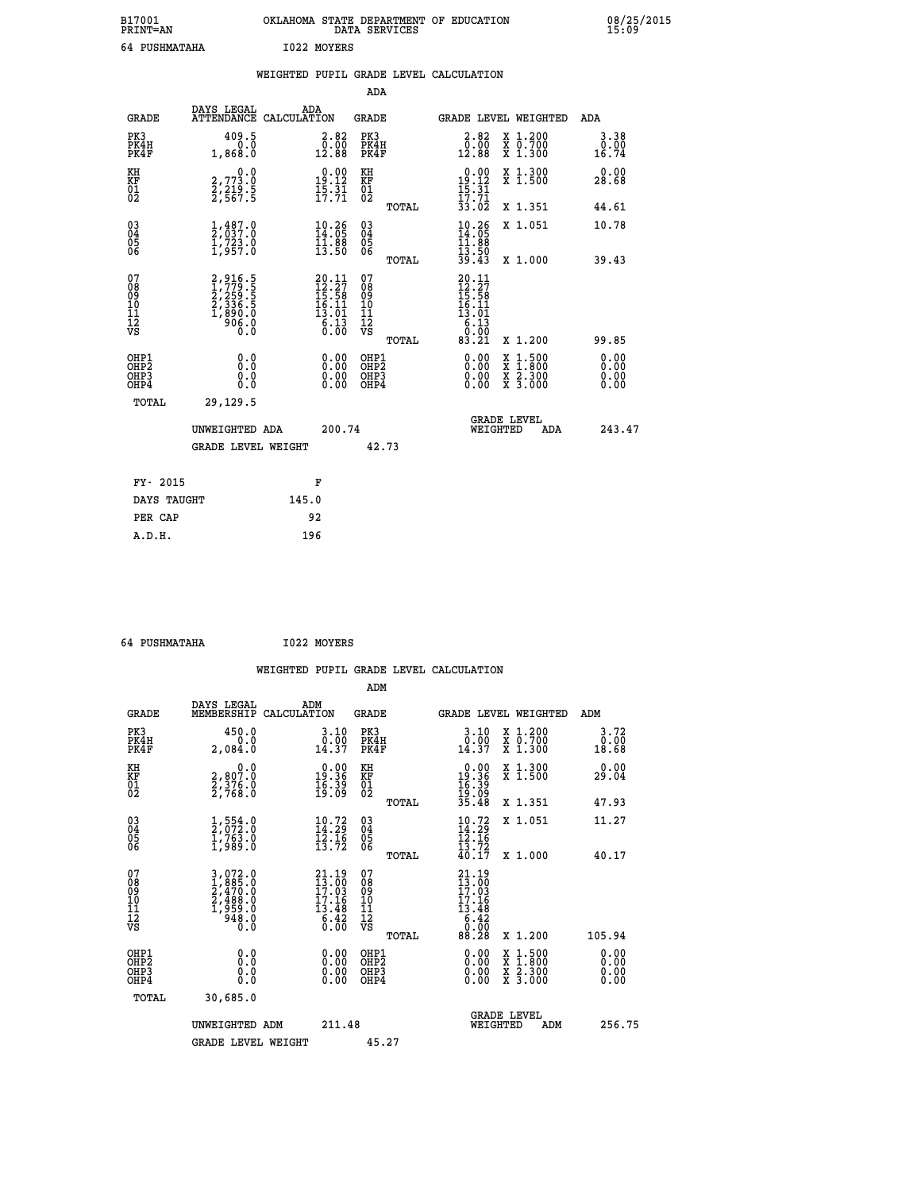| B17001<br><b>PRINT=AN</b> | OKLAHOMA STATE DEPARTMENT OF EDUCATION<br>DATA SERVICES | 08/25/2015<br>15:09 |
|---------------------------|---------------------------------------------------------|---------------------|
| 64 PUSHMATAHA             | 1022 MOYERS                                             |                     |

|                                |                                                                        | WEIGHTED PUPIL GRADE LEVEL CALCULATION                                  |                                        |       |                                                                                             |                               |                              |
|--------------------------------|------------------------------------------------------------------------|-------------------------------------------------------------------------|----------------------------------------|-------|---------------------------------------------------------------------------------------------|-------------------------------|------------------------------|
|                                |                                                                        |                                                                         | ADA                                    |       |                                                                                             |                               |                              |
| <b>GRADE</b>                   | DAYS LEGAL<br><b>ATTENDANCE</b>                                        | ADA<br>CALCULATION                                                      | GRADE                                  |       |                                                                                             | GRADE LEVEL WEIGHTED          | ADA                          |
| PK3<br>PK4H<br>PK4F            | 409.5<br>0.0<br>1,868.0                                                | $\begin{smallmatrix} 2.82\ 0.00\\ 12.88 \end{smallmatrix}$              | PK3<br>PK4H<br>PK4F                    |       | 2.82<br>$\begin{smallmatrix} \bar{0} & \bar{0} & \bar{0} \\ 12 & 88 \end{smallmatrix}$      | X 1.200<br>X 0.700<br>X 1.300 | 3.38<br>0.00<br>16.74        |
| KH<br>KF<br>01<br>02           | $\begin{smallmatrix}&&&0.0\2.773.0\2.219.5\2.567.5\end{smallmatrix}$   | $\begin{array}{c} 0.00 \\ 19.12 \\ 15.31 \\ 17.71 \end{array}$          | KH<br>KF<br>01<br>02                   |       | $\begin{array}{r} 0.00 \\ 19.12 \\ 15.31 \\ 17.71 \\ 33.02 \end{array}$                     | X 1.300<br>X 1.500            | 0.00<br>28.68                |
|                                |                                                                        |                                                                         |                                        | TOTAL |                                                                                             | X 1.351                       | 44.61                        |
| 03<br>04<br>05<br>06           | $\frac{1}{2}, \frac{487}{037}.0$<br>$\frac{723}{1}, \frac{723}{957}.0$ | $\frac{10.26}{14.05}$<br>$\frac{11.88}{13.50}$                          | $^{03}_{04}$<br>05<br>06               |       | $\frac{10.26}{14.05}$<br>$\frac{11.88}{13.50}$<br>$\frac{13.50}{39.43}$                     | X 1.051                       | 10.78                        |
|                                |                                                                        |                                                                         |                                        | TOTAL |                                                                                             | X 1.000                       | 39.43                        |
| 07<br>089<br>090<br>1112<br>VS | 2,916.5<br>1,779.5<br>2,259.5<br>2,336.5<br>1,890.0<br>906.0<br>0.0    | $20.11$<br>$12.27$<br>$15.58$<br>$16.11$<br>$13.01$<br>$6.13$<br>$0.00$ | 07<br>08<br>09<br>11<br>11<br>12<br>VS | TOTAL | $\begin{smallmatrix} 20.11\\12.27\\15.58\\16.11\\13.01\\6.13\\0.00\\83.21\end{smallmatrix}$ | X 1.200                       | 99.85                        |
| OHP1<br>OHP2<br>OHP3<br>OHP4   | 0.0<br>$0.\overline{0}$<br>0.0                                         | 0.00<br>$\begin{smallmatrix} 0.00 \ 0.00 \end{smallmatrix}$             | OHP1<br>OHP2<br>OHP3<br>OHP4           |       | 0.00<br>0.00<br>0.00                                                                        | X 1:500<br>X 2.300<br>X 3.000 | 0.00<br>0.00<br>0.00<br>0.00 |
| TOTAL                          | 29,129.5                                                               |                                                                         |                                        |       |                                                                                             |                               |                              |
|                                | UNWEIGHTED ADA                                                         | 200.74                                                                  |                                        |       | WEIGHTED                                                                                    | <b>GRADE LEVEL</b><br>ADA     | 243.47                       |
|                                | <b>GRADE LEVEL WEIGHT</b>                                              |                                                                         | 42.73                                  |       |                                                                                             |                               |                              |
| FY- 2015                       |                                                                        | F                                                                       |                                        |       |                                                                                             |                               |                              |
| DAYS TAUGHT                    |                                                                        | 145.0                                                                   |                                        |       |                                                                                             |                               |                              |
| PER CAP                        |                                                                        | 92                                                                      |                                        |       |                                                                                             |                               |                              |

 **64 PUSHMATAHA I022 MOYERS**

 **WEIGHTED PUPIL GRADE LEVEL CALCULATION ADM DAYS LEGAL** ... ADM

| <b>GRADE</b>                                       | MEMBERSHIP                                                                                                                                                 | CALCULATION                                                                                                                | <b>GRADE</b>                                        |       | <b>GRADE LEVEL WEIGHTED</b>                                                                  |                                          | ADM                                                  |  |
|----------------------------------------------------|------------------------------------------------------------------------------------------------------------------------------------------------------------|----------------------------------------------------------------------------------------------------------------------------|-----------------------------------------------------|-------|----------------------------------------------------------------------------------------------|------------------------------------------|------------------------------------------------------|--|
| PK3<br>PK4H<br>PK4F                                | 450.0<br>0.0<br>2,084.0                                                                                                                                    | $\begin{smallmatrix} 3.10\\ 0.00\\ 14.37 \end{smallmatrix}$                                                                | PK3<br>PK4H<br>PK4F                                 |       | 3.10<br>$\begin{smallmatrix} \texttt{0.00}\ \texttt{0.37} \end{smallmatrix}$                 | X 1.200<br>X 0.700<br>X 1.300            | 3.72<br>$\begin{array}{c} 0.00 \\ 18.68 \end{array}$ |  |
| KH<br>KF<br>01<br>02                               | $\begin{smallmatrix} 0 & 0 & 0 \\ 2 & 807 & 0 \\ 2 & 376 & 0 \\ 2 & 768 & 0 \end{smallmatrix}$                                                             | $0.00$<br>19.36<br>$\frac{16}{19}$ $\frac{39}{09}$                                                                         | KH<br>KF<br>01<br>02                                |       | $0.00$<br>19.36                                                                              | X 1.300<br>X 1.500                       | 0.00<br>29.04                                        |  |
|                                                    |                                                                                                                                                            |                                                                                                                            |                                                     | TOTAL | $\frac{16}{19}$ : $\frac{39}{35}$<br>35.48                                                   | X 1.351                                  | 47.93                                                |  |
| $\begin{matrix} 03 \\ 04 \\ 05 \\ 06 \end{matrix}$ | $\frac{1}{2}, \frac{554}{072}.0 \ \frac{1}{1}, \frac{763}{989}.0$                                                                                          | $\begin{array}{c} 10.72 \\ 14.29 \\ 12.16 \\ 13.72 \end{array}$                                                            | $\begin{array}{c} 03 \\ 04 \\ 05 \\ 06 \end{array}$ |       | $10.72$<br>$14.29$<br>$12.16$<br>$13.72$<br>$40.17$                                          | X 1.051                                  | 11.27                                                |  |
|                                                    |                                                                                                                                                            |                                                                                                                            |                                                     | TOTAL |                                                                                              | $X_1.000$                                | 40.17                                                |  |
| 07<br>08<br>09<br>101<br>11<br>12<br>VS            | $\begin{smallmatrix} 3\,,\,072\,.\,0\\ 1\,,\,885\,. \,0\\ 2\,,\,470\,. \,0\\ 2\,,\,488\,. \,0\\ 1\,,\,959\,. \,0\\ 948\,. \,0\\ 0\,. \,0\end{smallmatrix}$ | $\begin{smallmatrix} 21.19\\13.00\\17.03\\17.16 \end{smallmatrix}$<br>$\begin{array}{c} 13.48 \\ 6.42 \\ 0.00 \end{array}$ | 07<br>08901112<br>1112<br>VS                        |       | $\begin{smallmatrix} 21.19\\13.00\\17.03\\17.16\\13.48\\6.42\\ 0.00\\8&.28\end{smallmatrix}$ |                                          |                                                      |  |
|                                                    |                                                                                                                                                            |                                                                                                                            |                                                     | TOTAL |                                                                                              | X 1.200                                  | 105.94                                               |  |
| OHP1<br>OHP2<br>OHP3<br>OHP4                       | $\begin{smallmatrix} 0.0 \ 0.0 \ 0.0 \end{smallmatrix}$                                                                                                    | $\begin{smallmatrix} 0.00 \ 0.00 \ 0.00 \ 0.00 \end{smallmatrix}$                                                          | OHP1<br>OHP2<br>OHP3<br>OHP4                        |       |                                                                                              | X 1:500<br>X 1:800<br>X 2:300<br>X 3:000 | $0.00$<br>$0.00$<br>0.00                             |  |
| TOTAL                                              | 30,685.0                                                                                                                                                   |                                                                                                                            |                                                     |       |                                                                                              |                                          |                                                      |  |
|                                                    | UNWEIGHTED ADM                                                                                                                                             | 211.48                                                                                                                     |                                                     |       | <b>GRADE LEVEL</b><br>WEIGHTED                                                               | ADM                                      | 256.75                                               |  |
|                                                    | <b>GRADE LEVEL WEIGHT</b>                                                                                                                                  |                                                                                                                            | 45.27                                               |       |                                                                                              |                                          |                                                      |  |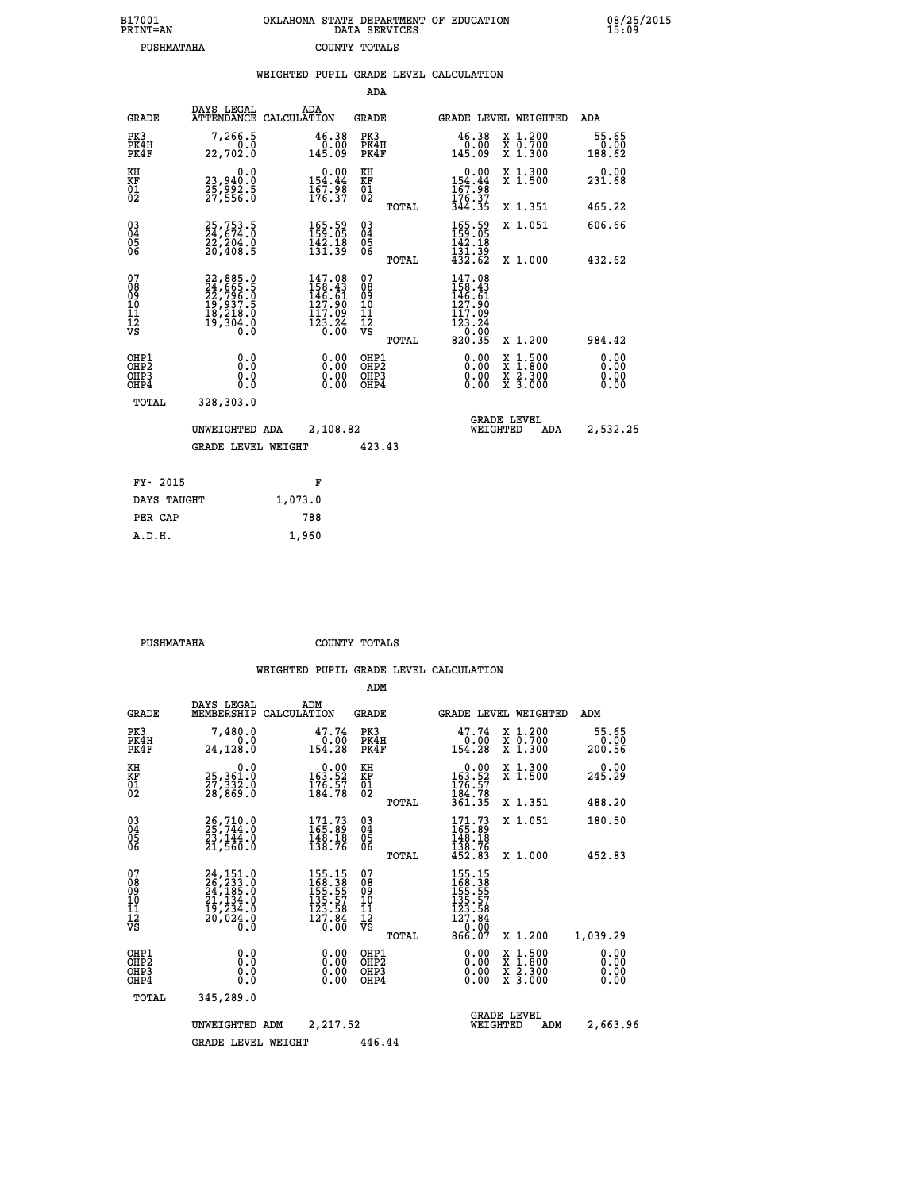| 7001<br>INT=AN | OKLAHOMA STATE DEPARTMENT OF EDUCATION<br>DATA SERVICES |  |
|----------------|---------------------------------------------------------|--|
| PUSHMATAHA     | COUNTY TOTALS                                           |  |

|                                                              |                                          |                                                                                           |         |                                                                               |                                          |       | WEIGHTED PUPIL GRADE LEVEL CALCULATION                                                                           |                                          |                              |
|--------------------------------------------------------------|------------------------------------------|-------------------------------------------------------------------------------------------|---------|-------------------------------------------------------------------------------|------------------------------------------|-------|------------------------------------------------------------------------------------------------------------------|------------------------------------------|------------------------------|
|                                                              |                                          |                                                                                           |         |                                                                               | ADA                                      |       |                                                                                                                  |                                          |                              |
|                                                              | <b>GRADE</b>                             | DAYS LEGAL<br>ATTENDANCE CALCULATION                                                      | ADA     |                                                                               | GRADE                                    |       | GRADE LEVEL WEIGHTED                                                                                             |                                          | ADA                          |
|                                                              | PK3<br>PK4H<br>PK4F                      | 7,266.5<br>0.0<br>22,702.0                                                                |         | 46.38<br>$\begin{smallmatrix} 0.00 \\ -0.00 \ 145.09 \end{smallmatrix}$       | PK3<br>PK4H<br>PK4F                      |       | 46.38<br>00.00<br>145.09                                                                                         | X 1.200<br>X 0.700<br>X 1.300            | 55.65<br>0.00<br>188.62      |
| KH<br>KF<br>$\frac{01}{02}$                                  |                                          | 0.0<br>23,940:0<br>25,992:5<br>27,556:0                                                   |         | $0.00$<br>154.44<br>$\frac{167.98}{176.37}$                                   | KH<br>KF<br>$\overline{01}$              |       | $154.44$<br>$167.98$<br>$176.37$                                                                                 | X 1.300<br>X 1.500                       | 0.00<br>231.68               |
|                                                              |                                          |                                                                                           |         |                                                                               |                                          | TOTAL | 344.35                                                                                                           | X 1.351                                  | 465.22                       |
| $\begin{smallmatrix} 03 \\[-4pt] 04 \end{smallmatrix}$<br>Ŏ5 |                                          | 25,753.5<br>24,674.0<br>22,204.0<br>20,408.5                                              |         | $\begin{smallmatrix} 165.59\\ 159.05\\ 142.18\\ 131.39 \end{smallmatrix}$     | $\substack{03 \\ 04}$<br>05<br>06        |       | 165.59<br>159:05<br>142.18                                                                                       | X 1.051                                  | 606.66                       |
| ŌĞ                                                           |                                          |                                                                                           |         |                                                                               |                                          | TOTAL | 131.39<br>432.62                                                                                                 | X 1.000                                  | 432.62                       |
| 07<br>08<br>09<br>11<br>11<br>12<br>VS                       |                                          | $22,885.0$<br>$24,665.5$<br>$22,796.0$<br>$19,937.5$<br>$18,218.0$<br>$19,304.0$<br>$0.0$ |         | $147.08$<br>$158.43$<br>$146.61$<br>127.90<br>117.09<br>$\frac{123.24}{0.00}$ | 07<br>08<br>09<br>11<br>11<br>12<br>VS   | TOTAL | 147.08<br>$\frac{158.43}{146.61}$<br>127.90<br>117.09<br>$\begin{array}{r} 123.24 \\ 0.00 \\ 820.35 \end{array}$ | X 1.200                                  | 984.42                       |
|                                                              | OHP1<br>OHP <sub>2</sub><br>OHP3<br>OHP4 | 0.0<br>0.0<br>0.0                                                                         |         | $\begin{smallmatrix} 0.00 \ 0.00 \ 0.00 \ 0.00 \end{smallmatrix}$             | OHP1<br>OHP <sub>2</sub><br>OHP3<br>OHP4 |       | 0.00<br>0.00                                                                                                     | X 1:500<br>X 1:800<br>X 2:300<br>X 3:000 | 0.00<br>0.00<br>0.00<br>0.00 |
|                                                              | TOTAL                                    | 328,303.0                                                                                 |         |                                                                               |                                          |       |                                                                                                                  |                                          |                              |
|                                                              |                                          | UNWEIGHTED ADA                                                                            |         | 2,108.82                                                                      |                                          |       | WEIGHTED                                                                                                         | <b>GRADE LEVEL</b><br><b>ADA</b>         | 2,532.25                     |
|                                                              |                                          | <b>GRADE LEVEL WEIGHT</b>                                                                 |         |                                                                               | 423.43                                   |       |                                                                                                                  |                                          |                              |
|                                                              | FY- 2015                                 |                                                                                           |         | F                                                                             |                                          |       |                                                                                                                  |                                          |                              |
|                                                              | DAYS TAUGHT                              |                                                                                           | 1,073.0 |                                                                               |                                          |       |                                                                                                                  |                                          |                              |
|                                                              | PER CAP                                  |                                                                                           | 788     |                                                                               |                                          |       |                                                                                                                  |                                          |                              |

 **PUSHMATAHA COUNTY TOTALS**

 **A.D.H. 1,960**

 **B17001<br>PRINT=AN** 

|                                                       |                                                                                                                                                    |                                                                                                                                                   | ADM                                                |                                                                                   |                                                                                                  |                              |
|-------------------------------------------------------|----------------------------------------------------------------------------------------------------------------------------------------------------|---------------------------------------------------------------------------------------------------------------------------------------------------|----------------------------------------------------|-----------------------------------------------------------------------------------|--------------------------------------------------------------------------------------------------|------------------------------|
| <b>GRADE</b>                                          | DAYS LEGAL<br>MEMBERSHIP                                                                                                                           | ADM<br>CALCULATION                                                                                                                                | <b>GRADE</b>                                       | <b>GRADE LEVEL WEIGHTED</b>                                                       |                                                                                                  | ADM                          |
| PK3<br>PK4H<br>PK4F                                   | 7,480.0<br>0.0<br>24,128.0                                                                                                                         | 47.74<br>0.00<br>154.28                                                                                                                           | PK3<br>PK4H<br>PK4F                                | 47.74<br>0.00<br>154.28                                                           | X 1.200<br>X 0.700<br>X 1.300                                                                    | 55.65<br>0.00<br>200.56      |
| KH<br>KF<br>01<br>02                                  | 0.0<br>25,361.0<br>27,332.0<br>28,869.0                                                                                                            | $\begin{smallmatrix} &0.00\\ 163.52\\ 176.57\\ 184.78\end{smallmatrix}$                                                                           | KH<br>KF<br>01<br>02                               | $\begin{smallmatrix} &0.00\\ 163.52\\ 176.57\\ 184.78\\ 361.35 \end{smallmatrix}$ | X 1.300<br>X 1.500                                                                               | 0.00<br>245.29               |
|                                                       |                                                                                                                                                    |                                                                                                                                                   | TOTAL                                              |                                                                                   | X 1.351                                                                                          | 488.20                       |
| 03<br>04<br>05<br>06                                  | $26,710.0$<br>25,744.0<br>23,144.0<br>21,560.0                                                                                                     | $\begin{smallmatrix} 171.73 \\ 165.89 \\ 148.18 \\ 138.76 \end{smallmatrix}$                                                                      | $\begin{matrix} 03 \\ 04 \\ 05 \\ 06 \end{matrix}$ | $171.73$<br>$165.89$<br>$148.18$<br>$138.76$<br>$452.83$                          | X 1.051                                                                                          | 180.50                       |
|                                                       |                                                                                                                                                    |                                                                                                                                                   | TOTAL                                              |                                                                                   | X 1.000                                                                                          | 452.83                       |
| 07<br>08<br>09<br>101<br>112<br>VS                    | $\begin{smallmatrix} 24\,,\,151\,.0\\ 26\,,\,233\,.0\\ 24\,,\,185\,.0\\ 21\,,\,134\,.0\\ 19\,,\,234\,.0\\ 20\,,\,024\,.0\\ 0\,.0\end{smallmatrix}$ | $\begin{smallmatrix} 155\cdot 15\\ 168\cdot 3\\ 155\cdot 55\\ 155\cdot 57\\ 135\cdot 57\\ 123\cdot 58\\ 127\cdot 84\\ 0\cdot 00\end{smallmatrix}$ | 07<br>08<br>09<br>101<br>11<br>12<br>VS<br>TOTAL   | 155.15<br>168.38<br>155.55<br>135.57<br>123.58<br>127.84<br>0.00<br>866.07        | X 1.200                                                                                          | 1,039.29                     |
| OHP1<br>OH <sub>P</sub> 2<br>OH <sub>P3</sub><br>OHP4 | 0.0<br>0.000                                                                                                                                       | $0.00$<br>$0.00$<br>0.00                                                                                                                          | OHP1<br>OHP2<br>OHP3<br>OHP4                       | $0.00$<br>$0.00$<br>0.00                                                          | $\begin{smallmatrix} x & 1 & 500 \\ x & 1 & 800 \\ x & 2 & 300 \\ x & 3 & 000 \end{smallmatrix}$ | 0.00<br>0.00<br>0.00<br>0.00 |
| TOTAL                                                 | 345,289.0                                                                                                                                          |                                                                                                                                                   |                                                    |                                                                                   |                                                                                                  |                              |
|                                                       | UNWEIGHTED                                                                                                                                         | 2,217.52<br>ADM                                                                                                                                   |                                                    | <b>GRADE LEVEL</b><br>WEIGHTED                                                    | ADM                                                                                              | 2,663.96                     |
|                                                       | <b>GRADE LEVEL WEIGHT</b>                                                                                                                          |                                                                                                                                                   | 446.44                                             |                                                                                   |                                                                                                  |                              |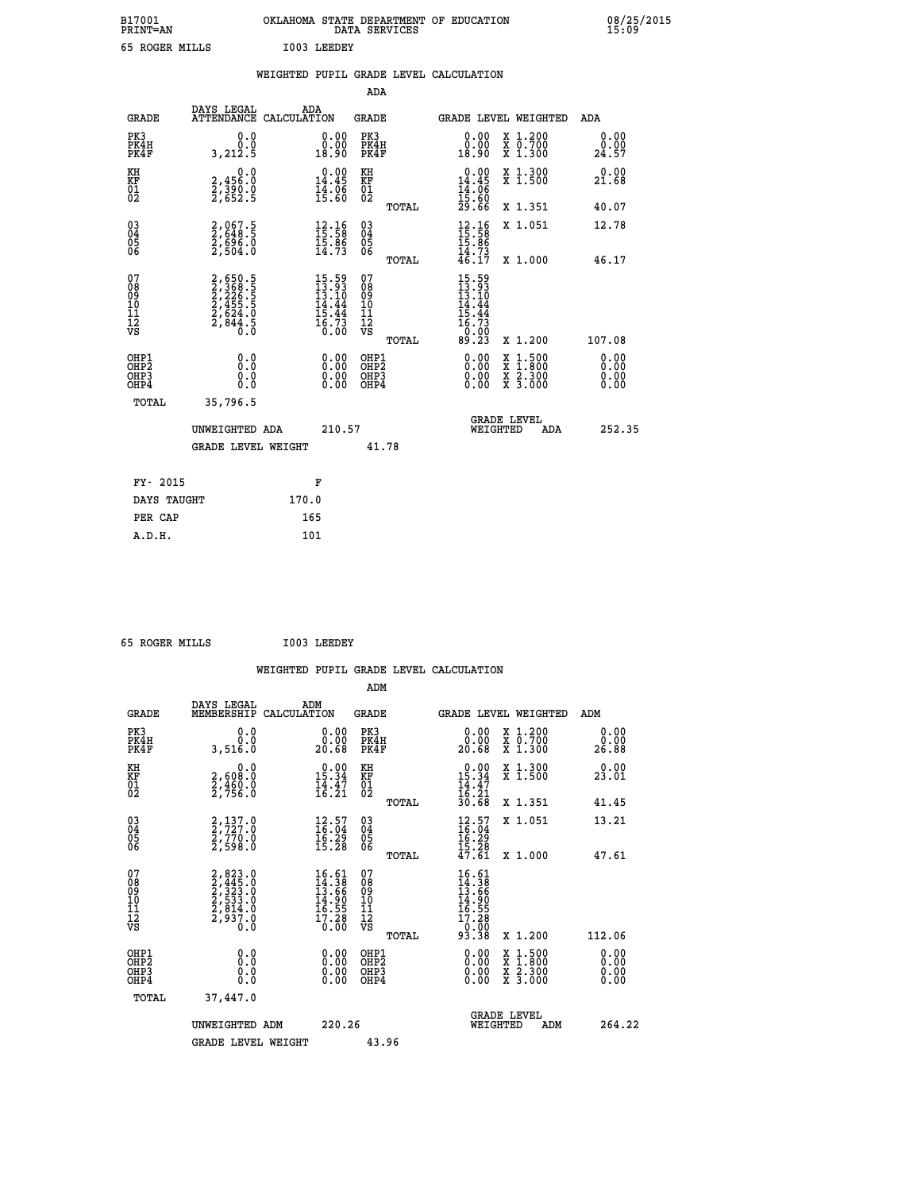| B17001<br><b>PRINT=AN</b> | OKLAHOMA STATE DEPARTMENT OF EDUCATION<br>SERVICES<br>DATA | 08/25/2015<br>15:09 |
|---------------------------|------------------------------------------------------------|---------------------|
| 65<br>ROGER MILLS         | I003 LEEDEY                                                |                     |

|                                                                    |                                                                      | WEIGHTED PUPIL GRADE LEVEL CALCULATION                                            |                                                     |       |                                                                                                                                                                                                                                                                                |                                          |                              |
|--------------------------------------------------------------------|----------------------------------------------------------------------|-----------------------------------------------------------------------------------|-----------------------------------------------------|-------|--------------------------------------------------------------------------------------------------------------------------------------------------------------------------------------------------------------------------------------------------------------------------------|------------------------------------------|------------------------------|
|                                                                    |                                                                      |                                                                                   | ADA                                                 |       |                                                                                                                                                                                                                                                                                |                                          |                              |
| <b>GRADE</b>                                                       | DAYS LEGAL                                                           | ADA<br>ATTENDANCE CALCULATION                                                     | <b>GRADE</b>                                        |       |                                                                                                                                                                                                                                                                                | GRADE LEVEL WEIGHTED                     | ADA                          |
| PK3<br>PK4H<br>PK4F                                                | 0.0<br>0.0<br>3,212.5                                                | 0.00<br>ŏ:ŏŏ<br>18:90                                                             | PK3<br>PK4H<br>PK4F                                 |       | 0.00<br>0.00<br>18.90                                                                                                                                                                                                                                                          | X 1.200<br>X 0.700<br>X 1.300            | 0.00<br>0.00<br>24.57        |
| KH<br>KF<br>01<br>02                                               | $\begin{smallmatrix}&&&0.0\2,456.0\2,390.0\2,652.5\end{smallmatrix}$ | $\begin{smallmatrix} 0.00\\ 14.45\\ 14.95\\ 15.80 \end{smallmatrix}$              | KH<br>KF<br>01<br>02                                |       | $0.00\n14.45\n14.06\n15.60\n29.66$                                                                                                                                                                                                                                             | X 1.300<br>X 1.500                       | 0.00<br>21.68                |
|                                                                    |                                                                      |                                                                                   |                                                     | TOTAL |                                                                                                                                                                                                                                                                                | X 1.351                                  | 40.07                        |
| $\begin{smallmatrix} 03 \\[-4pt] 04 \end{smallmatrix}$<br>Ŏ5<br>06 | 2,067.5<br>2,648.5<br>2,696.0<br>2,504.0                             | $\begin{array}{c} 12.16 \\[-4pt] 15.58 \\[-4pt] 15.86 \\[-4pt] 14.73 \end{array}$ | $\begin{array}{c} 03 \\ 04 \\ 05 \\ 06 \end{array}$ |       | $12.16$<br>$15.58$<br>$15.86$<br>$14.73$<br>$46.17$                                                                                                                                                                                                                            | X 1.051                                  | 12.78                        |
|                                                                    |                                                                      |                                                                                   |                                                     | TOTAL |                                                                                                                                                                                                                                                                                | X 1.000                                  | 46.17                        |
| 07<br>08<br>09<br>11<br>11<br>12<br>VS                             | 2,650.5<br>2,368.5<br>2,226.5<br>2,455.5<br>2,624.0<br>2,844.5       | $15.59$<br>$13.10$<br>$14.44$<br>$15.44$<br>$16.73$<br>0.00                       | 07<br>08<br>09<br>11<br>11<br>12<br>VS              | TOTAL | $\frac{15.59}{13.93}$<br>ī4<br>.44<br>15.44<br>$\frac{16.73}{0.00}$<br>89.23                                                                                                                                                                                                   | X 1.200                                  | 107.08                       |
| OHP1<br>OHP <sub>2</sub><br>OHP3<br>OH <sub>P4</sub>               | 0.0<br>0.000                                                         | $\begin{smallmatrix} 0.00 \ 0.00 \ 0.00 \ 0.00 \end{smallmatrix}$                 | OHP1<br>OHP <sub>2</sub><br>OHP3<br>OHP4            |       | $\begin{smallmatrix} 0.00 & 0.00 & 0.00 & 0.00 & 0.00 & 0.00 & 0.00 & 0.00 & 0.00 & 0.00 & 0.00 & 0.00 & 0.00 & 0.00 & 0.00 & 0.00 & 0.00 & 0.00 & 0.00 & 0.00 & 0.00 & 0.00 & 0.00 & 0.00 & 0.00 & 0.00 & 0.00 & 0.00 & 0.00 & 0.00 & 0.00 & 0.00 & 0.00 & 0.00 & 0.00 & 0.0$ | X 1:500<br>X 1:800<br>X 2:300<br>X 3:000 | 0.00<br>0.00<br>0.00<br>0.00 |
| TOTAL                                                              | 35,796.5                                                             |                                                                                   |                                                     |       |                                                                                                                                                                                                                                                                                |                                          |                              |
|                                                                    | UNWEIGHTED ADA                                                       | 210.57                                                                            |                                                     |       | WEIGHTED                                                                                                                                                                                                                                                                       | <b>GRADE LEVEL</b><br><b>ADA</b>         | 252.35                       |
|                                                                    | <b>GRADE LEVEL WEIGHT</b>                                            |                                                                                   | 41.78                                               |       |                                                                                                                                                                                                                                                                                |                                          |                              |
| FY- 2015                                                           |                                                                      | F                                                                                 |                                                     |       |                                                                                                                                                                                                                                                                                |                                          |                              |
| DAYS TAUGHT                                                        |                                                                      | 170.0                                                                             |                                                     |       |                                                                                                                                                                                                                                                                                |                                          |                              |
| PER CAP                                                            |                                                                      | 165                                                                               |                                                     |       |                                                                                                                                                                                                                                                                                |                                          |                              |

| 65 ROGER MILLS |  | I003 LEEDEY |
|----------------|--|-------------|
|                |  |             |

 **WEIGHTED PUPIL GRADE LEVEL CALCULATION ADM DAYS LEGAL ADM GRADE MEMBERSHIP CALCULATION GRADE GRADE LEVEL WEIGHTED ADM PK3 0.0 0.00 PK3 0.00 X 1.200 0.00 PK4H 0.0 0.00 PK4H 0.00 X 0.700 0.00 PK4F 3,516.0 20.68 PK4F 20.68 X 1.300 26.88 KH 0.0 0.00 KH 0.00 X 1.300 0.00 KF 2,608.0 15.34 KF 15.34 X 1.500 23.01**  $\begin{array}{cccc} \text{KH} & \text{0.0} & \text{0.00} & \text{KH} \\ \text{KF} & \text{2,608.0} & \text{15.34} & \text{KF} \\ \text{02} & \text{2,756.0} & \text{16.21} & \text{02} \end{array}$  $02$  2,756.0 16.21 02  $_{\text{norm}}$  16.21  **TOTAL 30.68 X 1.351 41.45 03 2,137.0 12.57 03 12.57 X 1.051 13.21 04 2,727.0 16.04 04 16.04 05 2,770.0 16.29 05 16.29 06 2,598.0 15.28 06 15.28 TOTAL 47.61 X 1.000 47.61**  $\begin{array}{cccc} 07 & 2,823\cdot 0 & 16.51 & 07 & 16.51 \ 08 & 2,435\cdot 0 & 14.36 & 08 & 14.36 \ 09 & 2,533\cdot 0 & 13.66 & 09 & 13.66 \ 10 & 2,533\cdot 0 & 14.90 & 10 & 14.90 \ 11 & 2,814\cdot 0 & 16.55 & 11 & 16.51 \ 12 & 2,937\cdot 0 & 14.90 & 10 & 14.90 \ 15 & 15 & 15 & 15$  **TOTAL 93.38 X 1.200 112.06 OHP1 0.0 0.00 OHP1 0.00 X 1.500 0.00 OHP2 0.0 0.00 OHP2 0.00 X 1.800 0.00 OHP3 0.0 0.00 OHP3 0.00 X 2.300 0.00 OHP4 0.0 0.00 OHP4 0.00 X 3.000 0.00 TOTAL 37,447.0 GRADE LEVEL UNWEIGHTED ADM 220.26 WEIGHTED ADM 264.22** GRADE LEVEL WEIGHT 43.96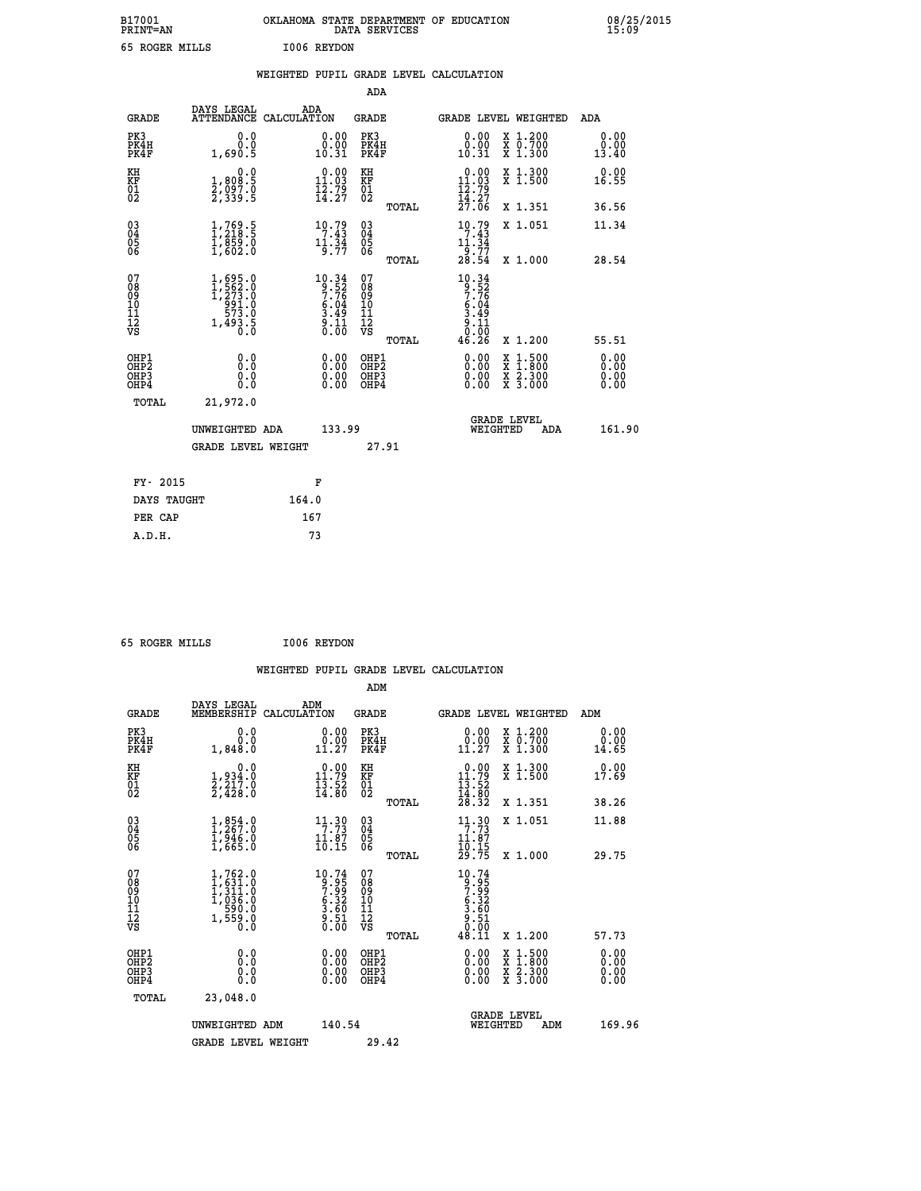| B17001<br><b>PRINT=AN</b> | OKLAHOMA STATE DEPARTMENT OF EDUCATION<br>DATA SERVICES | 08/25/2015<br>15:09 |
|---------------------------|---------------------------------------------------------|---------------------|
| 65 ROGER MILLS            | I006 REYDON                                             |                     |

|                                                                  |                                                                                                       | WEIGHTED PUPIL GRADE LEVEL CALCULATION                                                |                                                      |       |                                                                               |                                          |                              |
|------------------------------------------------------------------|-------------------------------------------------------------------------------------------------------|---------------------------------------------------------------------------------------|------------------------------------------------------|-------|-------------------------------------------------------------------------------|------------------------------------------|------------------------------|
|                                                                  |                                                                                                       |                                                                                       | ADA                                                  |       |                                                                               |                                          |                              |
| <b>GRADE</b>                                                     | DAYS LEGAL                                                                                            | ADA<br>ATTENDANCE CALCULATION                                                         | <b>GRADE</b>                                         |       |                                                                               | <b>GRADE LEVEL WEIGHTED</b>              | ADA                          |
| PK3<br>PK4H<br>PK4F                                              | 0.0<br>0.0<br>1,690.5                                                                                 | $\begin{smallmatrix} 0.00\\ 0.00\\ 10.31 \end{smallmatrix}$                           | PK3<br>PK4H<br>PK4F                                  |       | $\begin{smallmatrix} 0.00\\ 0.00\\ 10.31 \end{smallmatrix}$                   | X 1.200<br>X 0.700<br>X 1.300            | 0.00<br>0.00<br>13.40        |
| KH<br>KF<br>$\overline{01}$                                      | 0.0<br>$\frac{1}{2}, \frac{808}{97}$ . 0<br>2, 339 : 5                                                | $0.00$<br>11.03<br>$\bar{1}\bar{2}\cdot\bar{7}\bar{9}$<br>$14:27$                     | KH<br>KF<br>$\overline{01}$                          |       | $0.00$<br>11.03<br>$\frac{1}{2}$ $\frac{2}{3}$ $\frac{3}{2}$                  | X 1.300<br>X 1.500                       | 0.00<br>16.55                |
|                                                                  |                                                                                                       |                                                                                       |                                                      | TOTAL | $\bar{2}\bar{7}.\bar{0}\bar{6}$                                               | X 1.351                                  | 36.56                        |
| 03<br>04<br>05<br>06                                             | $\begin{smallmatrix} 1.769.5\\ 1.218.5\\ 1.859.0\\ 1.602.0 \end{smallmatrix}$                         | $\begin{array}{c} 10 \cdot 79 \\ 7 \cdot 43 \\ 11 \cdot 34 \\ 9 \cdot 77 \end{array}$ | $\begin{array}{c} 03 \\ 04 \\ 05 \\ 06 \end{array}$  |       | $\begin{array}{c} 10.79 \\ 7.43 \\ 11.34 \\ 9.77 \\ 28.54 \end{array}$        | X 1.051                                  | 11.34                        |
|                                                                  |                                                                                                       |                                                                                       |                                                      | TOTAL |                                                                               | X 1.000                                  | 28.54                        |
| 07<br>08<br>09<br>11<br>11<br>12<br>VS                           | $\begin{smallmatrix} 1,695.0\\ 1,562.0\\ 1,273.0\\ 991.0\\ 573.0\\ 1,493.5\\ 0.0\\ \end{smallmatrix}$ | $10.34$<br>$9.52$<br>$7.76$<br>$\frac{6.04}{3.49}$<br>$\frac{5}{0}.\frac{1}{00}$      | 07<br>08<br>09<br>11<br>11<br>12<br>VS               | TOTAL | 10.34<br>$9:526$<br>$7:764$<br>$6:049$<br>$3:49$<br>$9:11$<br>$0:00$<br>46.26 | X 1.200                                  | 55.51                        |
| OHP1<br>OH <sub>P</sub> <sub>2</sub><br>OH <sub>P3</sub><br>OHP4 | 0.0<br>Ŏ.Ŏ<br>0.0<br>0.0                                                                              | $0.00$<br>$0.00$<br>0.00                                                              | OHP1<br>OH <sub>P</sub> <sub>2</sub><br>OHP3<br>OHP4 |       | 0.00<br>0.00<br>0.00                                                          | X 1:500<br>X 1:800<br>X 2:300<br>X 3:000 | 0.00<br>0.00<br>0.00<br>0.00 |
| TOTAL                                                            | 21,972.0                                                                                              |                                                                                       |                                                      |       |                                                                               |                                          |                              |
|                                                                  | UNWEIGHTED ADA<br><b>GRADE LEVEL WEIGHT</b>                                                           | 133.99                                                                                | 27.91                                                |       | WEIGHTED                                                                      | <b>GRADE LEVEL</b><br>ADA                | 161.90                       |
|                                                                  |                                                                                                       |                                                                                       |                                                      |       |                                                                               |                                          |                              |
| FY- 2015                                                         |                                                                                                       | F                                                                                     |                                                      |       |                                                                               |                                          |                              |
| DAYS TAUGHT                                                      |                                                                                                       | 164.0                                                                                 |                                                      |       |                                                                               |                                          |                              |
| PER CAP                                                          |                                                                                                       | 167                                                                                   |                                                      |       |                                                                               |                                          |                              |

|  | LE DOCED MITTE |
|--|----------------|

 **65 ROGER MILLS I006 REYDON WEIGHTED PUPIL GRADE LEVEL CALCULATION ADM DAYS LEGAL ADM GRADE MEMBERSHIP CALCULATION GRADE GRADE LEVEL WEIGHTED ADM PK3 0.0 0.00 PK3 0.00 X 1.200 0.00 PK4H 0.0 0.00 PK4H 0.00 X 0.700 0.00 PK4F 1,848.0 11.27 PK4F 11.27 X 1.300 14.65 KH 0.0 0.00 KH 0.00 X 1.300 0.00 KF 1,934.0 11.79 KF 11.79 X 1.500 17.69 01 2,217.0 13.52 01 13.52 02 2,428.0 14.80 02 14.80 TOTAL 28.32 X 1.351 38.26 03 1,854.0 11.30 03 11.30 X 1.051 11.88 04 1,267.0 7.73 04 7.73 05 1,946.0 11.87 05 11.87** 06 1,665.0 10.15 06 <sub>momas</sub> 10.15  **TOTAL 29.75 X 1.000 29.75** 07 1,762.0 10.74 07 10.74<br>
08 1,631.0 9.95 08 9.95<br>
10 1,036.0 6.32 10 6.32<br>
11 559.0 3.60 12 9.51<br>
VS 1,559.0 0.00 VS 0.00  $\begin{array}{cccc} 10.74 & 07 & 10.74 \ 9.35 & 08 & 9.35 \ 6.32 & 10 & 6.332 \ 5.32 & 11 & 5.332 \ 3.51 & 12 & 3.51 \ 0.00 & 081 \ 0.00 & 081 \ 0.00 & 081 \ 0.00 & 081 \ 0.00 & 081 \ 0.00 & 081 \ 0.00 & 081 \ 0.00 & 081 \ 0.00 & 081 \ 0.00 & 0.00 & 0.00 \end{array}$  **OHP1 0.0 0.00 OHP1 0.00 X 1.500 0.00 OHP2 0.0 0.00 OHP2 0.00 X 1.800 0.00 OHP3 0.0 0.00 OHP3 0.00 X 2.300 0.00 OHP4 0.0 0.00 OHP4 0.00 X 3.000 0.00 TOTAL 23,048.0 GRADE LEVEL UNWEIGHTED ADM 140.54 WEIGHTED ADM 169.96**

GRADE LEVEL WEIGHT 29.42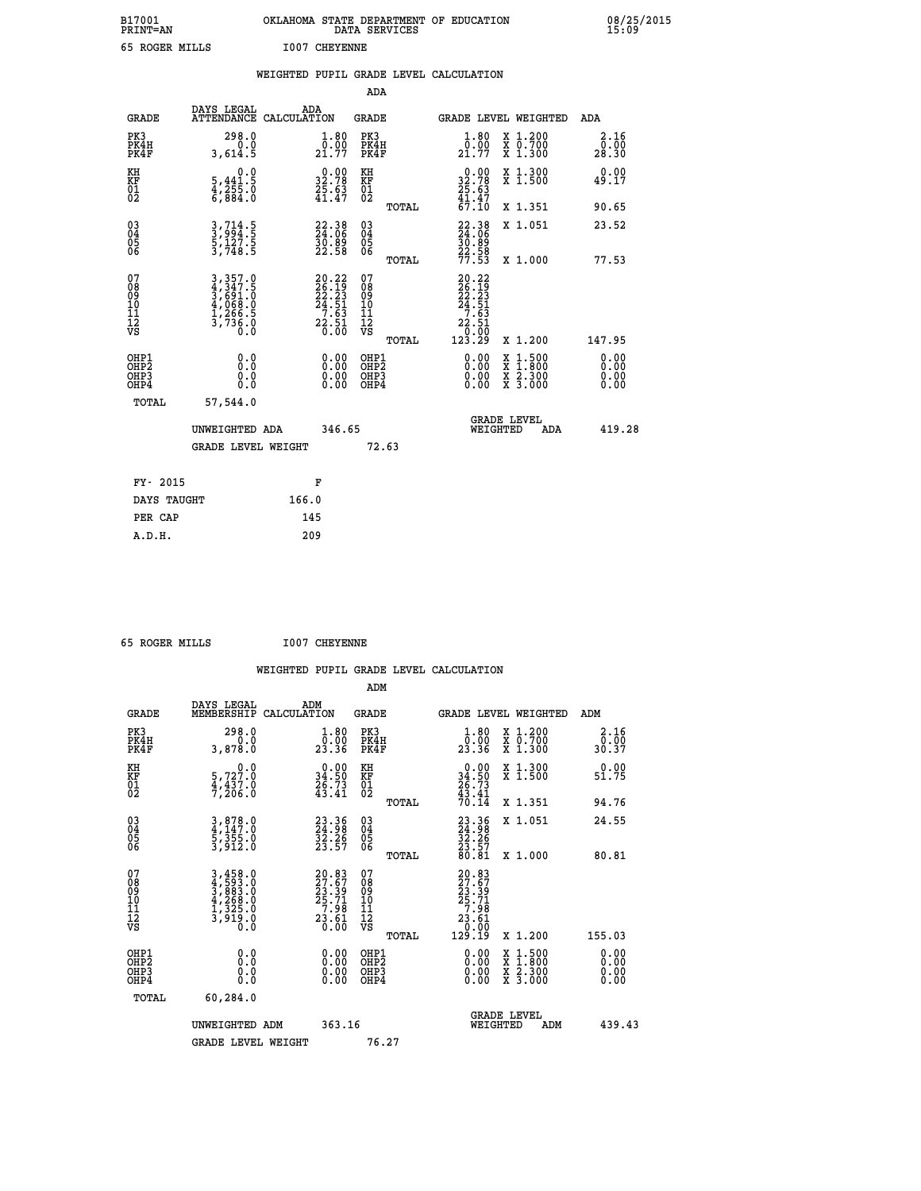| B17001<br><b>PRINT=AN</b> | OKLAHOMA STATE DEPARTMENT OF EDUCATION<br>DATA SERVICES | 08/25/2015<br>15:09 |
|---------------------------|---------------------------------------------------------|---------------------|
| 65 ROGER MILLS            | <b>I007 CHEYENNE</b>                                    |                     |

|                                                                    |                                                      | WEIGHTED PUPIL GRADE LEVEL CALCULATION                                                            |                                                 |                                                                                                                                                       |                              |
|--------------------------------------------------------------------|------------------------------------------------------|---------------------------------------------------------------------------------------------------|-------------------------------------------------|-------------------------------------------------------------------------------------------------------------------------------------------------------|------------------------------|
|                                                                    |                                                      |                                                                                                   | ADA                                             |                                                                                                                                                       |                              |
| <b>GRADE</b>                                                       | DAYS LEGAL                                           | ADA<br>ATTENDANCE CALCULATION                                                                     | <b>GRADE</b>                                    | GRADE LEVEL WEIGHTED                                                                                                                                  | ADA                          |
| PK3<br>PK4H<br>PK4F                                                | 298.0<br>0.0<br>3,614.5                              | $\frac{1 \cdot 80}{0 \cdot 00}$<br>21.77                                                          | PK3<br>PK4H<br>PK4F                             | 1.80<br>X 1.200<br>X 0.700<br>X 1.300<br>0.00<br>21.77                                                                                                | 2.16<br>0.00<br>28.30        |
| KH<br>KF<br>01<br>02                                               | 0.0<br>$\frac{5}{4}, \frac{441}{255}$ .0<br>6,884.0  | $\begin{smallmatrix} 0.00\\ 32.78\\ 25.63\\ 41.47 \end{smallmatrix}$                              | KH<br>KF<br>01<br>02                            | $0.00$<br>$32.78$<br>$25.63$<br>$41.47$<br>$67.10$<br>X 1.300<br>X 1.500                                                                              | 0.00<br>49.17                |
|                                                                    |                                                      |                                                                                                   | TOTAL                                           | X 1.351                                                                                                                                               | 90.65                        |
| $\begin{smallmatrix} 03 \\[-4pt] 04 \end{smallmatrix}$<br>Ŏ5<br>06 | $3, 714.5$<br>$3, 994.5$<br>$5, 127.5$<br>$3, 748.5$ | $22.38$<br>$24.06$<br>$\frac{50.89}{22.58}$                                                       | $\substack{03 \\ 04}$<br>Ŏ5<br>06               | 22.38<br>X 1.051<br>$\frac{30.89}{22.58}$<br>$\frac{77.53}{77.53}$                                                                                    | 23.52                        |
|                                                                    |                                                      |                                                                                                   | TOTAL                                           | X 1.000                                                                                                                                               | 77.53                        |
| 07<br>08<br>09<br>101<br>112<br>VS                                 |                                                      | $\begin{smallmatrix} 20.22\\ 26.19\\ 22.23\\ 24.51\\ 7.63\\ 2.51\\ 2.51\\ 0.00 \end{smallmatrix}$ | 07<br>08<br>09<br>11<br>11<br>12<br>VS<br>TOTAL | $\begin{array}{r} 20\cdot 22 \\ 26\cdot 19 \\ 22\cdot 23 \\ 24\cdot 51 \\ 7\cdot 63 \\ 22\cdot 51 \\ 0\cdot 00 \\ 123\cdot 29 \end{array}$<br>X 1.200 | 147.95                       |
| OHP1<br>OHP2<br>OHP3<br>OHP4                                       | 0.0<br>$0.\overline{0}$<br>0.0                       | 0.00<br>$\begin{smallmatrix} 0.00 \ 0.00 \end{smallmatrix}$                                       | OHP1<br>OHP2<br>OHP3<br>OHP4                    | 0.00<br>X 1:500<br>$\frac{\ddot{x}}{x}$ $\frac{2.300}{3.000}$<br>0.00<br>0.00                                                                         | 0.00<br>0.00<br>0.00<br>0.00 |
| <b>TOTAL</b>                                                       | 57,544.0                                             |                                                                                                   |                                                 |                                                                                                                                                       |                              |
|                                                                    | UNWEIGHTED ADA                                       | 346.65                                                                                            |                                                 | GRADE LEVEL<br>WEIGHTED<br>ADA                                                                                                                        | 419.28                       |
|                                                                    | <b>GRADE LEVEL WEIGHT</b>                            |                                                                                                   | 72.63                                           |                                                                                                                                                       |                              |
|                                                                    | FY- 2015                                             | F                                                                                                 |                                                 |                                                                                                                                                       |                              |
|                                                                    | DAYS TAUGHT                                          | 166.0                                                                                             |                                                 |                                                                                                                                                       |                              |
|                                                                    | PER CAP                                              | 145                                                                                               |                                                 |                                                                                                                                                       |                              |

| 65 ROGER MILLS                               |                                                                                   | <b>I007 CHEYENNE</b>                                                                        |                                                    |       |                                                                                                      |                                          |                       |
|----------------------------------------------|-----------------------------------------------------------------------------------|---------------------------------------------------------------------------------------------|----------------------------------------------------|-------|------------------------------------------------------------------------------------------------------|------------------------------------------|-----------------------|
|                                              |                                                                                   |                                                                                             |                                                    |       | WEIGHTED PUPIL GRADE LEVEL CALCULATION                                                               |                                          |                       |
|                                              |                                                                                   |                                                                                             | ADM                                                |       |                                                                                                      |                                          |                       |
| <b>GRADE</b>                                 | DAYS LEGAL<br>MEMBERSHIP CALCULATION                                              | ADM                                                                                         | <b>GRADE</b>                                       |       |                                                                                                      | GRADE LEVEL WEIGHTED                     | ADM                   |
| PK3<br>PK4H<br>PK4F                          | 298.0<br>0.0<br>3,878.0                                                           | 1.80<br>ō:ŏŏ<br>23:36                                                                       | PK3<br>PK4H<br>PK4F                                |       | 1.80<br>_0.00<br>23.36                                                                               | X 1.200<br>X 0.700<br>X 1.300            | 2.16<br>0.00<br>30.37 |
| KH<br>KF<br>01<br>02                         | $\begin{smallmatrix}&&&0.0\\5,727.0\\4,437.0\\7,206.0\end{smallmatrix}$           | $\begin{smallmatrix} 0.00\\ 34.50\\ 26.73\\ 43.41 \end{smallmatrix}$                        | KH<br>KF<br>01<br>02                               |       | $\begin{smallmatrix} 0.00\\ 34.50\\ 26.73\\ 43.41\\ 70.14 \end{smallmatrix}$                         | X 1.300<br>X 1.500                       | 0.00<br>51.75         |
|                                              |                                                                                   |                                                                                             |                                                    | TOTAL |                                                                                                      | X 1.351                                  | 94.76                 |
| 03<br>04<br>05<br>06                         | $3,878.0$<br>$4,147.0$<br>$5,355.0$<br>$3,912.0$                                  | $23.36$<br>$32.26$<br>$32.57$                                                               | $\begin{matrix} 03 \\ 04 \\ 05 \\ 06 \end{matrix}$ |       | $\begin{smallmatrix} 23.36\\ 24.98\\ 32.26\\ 23.57\\ 80.81\\ \end{smallmatrix}$                      | X 1.051                                  | 24.55                 |
|                                              |                                                                                   |                                                                                             |                                                    | TOTAL |                                                                                                      | X 1.000                                  | 80.81                 |
| 07<br>08<br>09<br>01<br>11<br>11<br>12<br>VS | $3,458.0$<br>$4,593.0$<br>$3,883.0$<br>$4,268.0$<br>$1,325.0$<br>$3,919.0$<br>0.0 | $\begin{smallmatrix} 20.83\\ 27.67\\ 23.39\\ 25.71\\ 7.98\\ 23.61\\ 0.00 \end{smallmatrix}$ | 0789011128                                         | TOTAL | $\begin{smallmatrix} 20.83\\ 27.67\\ 23.39\\ 25.71\\ 7.98\\ 23.61\\ 0.00\\ 129.19 \end{smallmatrix}$ | X 1.200                                  | 155.03                |
| OHP1                                         | 0.0                                                                               | 0.00                                                                                        | OHP1                                               |       | 0.00                                                                                                 |                                          | 0.00                  |
| OHP <sub>2</sub><br>OH <sub>P3</sub><br>OHP4 | Ō.Ō<br>0.0<br>0.0                                                                 | 0.00<br>0.00                                                                                | OHP <sub>2</sub><br>OHP3<br>OHP4                   |       | 0.00<br>0.00                                                                                         | X 1:500<br>X 1:800<br>X 2:300<br>X 3:000 | 0.00<br>0.00<br>0.00  |
| <b>TOTAL</b>                                 | 60,284.0                                                                          |                                                                                             |                                                    |       |                                                                                                      |                                          |                       |
|                                              | UNWEIGHTED ADM                                                                    | 363.16                                                                                      |                                                    |       | WEIGHTED                                                                                             | <b>GRADE LEVEL</b><br>ADM                | 439.43                |
|                                              | <b>GRADE LEVEL WEIGHT</b>                                                         |                                                                                             | 76.27                                              |       |                                                                                                      |                                          |                       |
|                                              |                                                                                   |                                                                                             |                                                    |       |                                                                                                      |                                          |                       |
|                                              |                                                                                   |                                                                                             |                                                    |       |                                                                                                      |                                          |                       |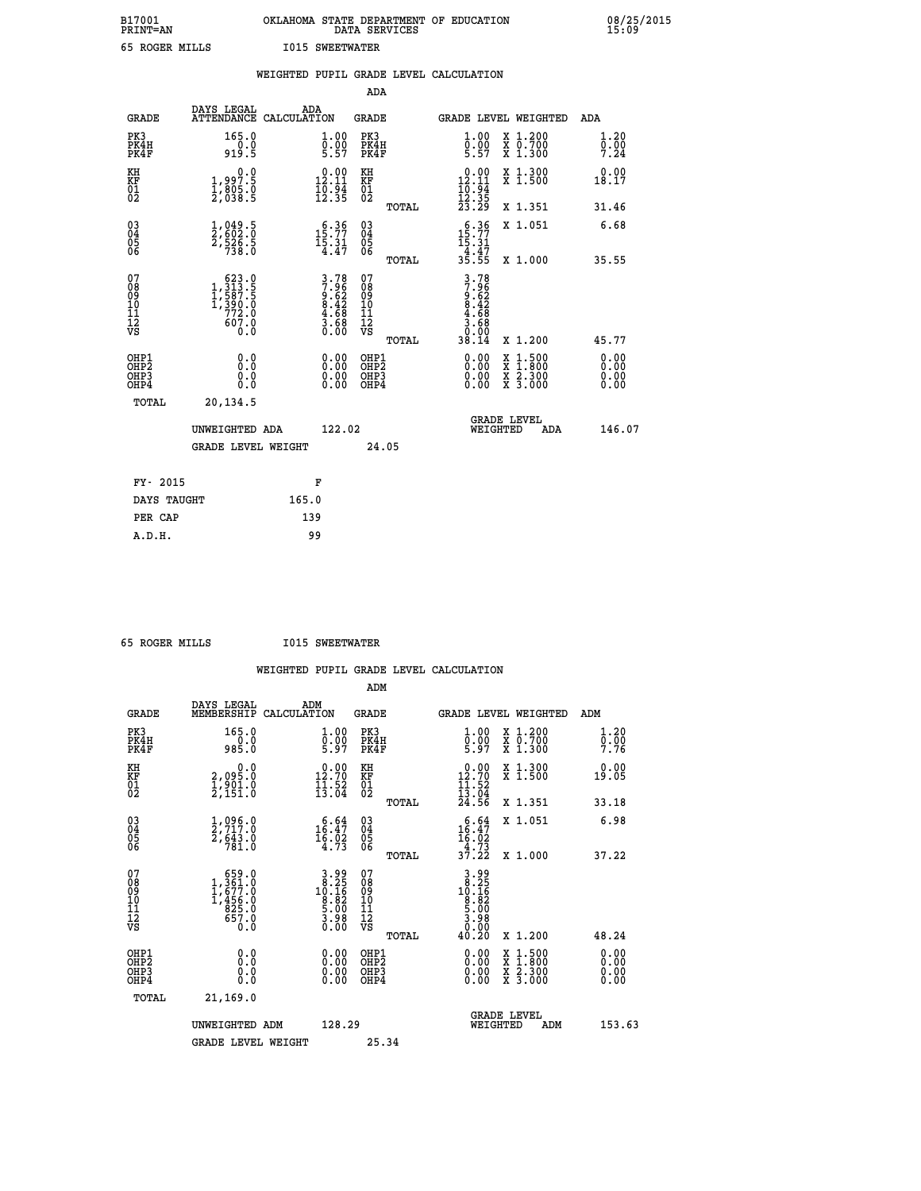| B17001<br><b>PRINT=AN</b> | OKLAHOMA STATE DEPARTMENT OF EDUCATION<br>DATA SERVICES | 08/25/2015<br>15:09 |
|---------------------------|---------------------------------------------------------|---------------------|
| 65 ROGER MILLS            | <b>I015 SWEETWATER</b>                                  |                     |

|                                                    |                                                                                                                  | WEIGHTED PUPIL GRADE LEVEL CALCULATION                               |                                                      |       |                                                                         |                                                                                                  |                      |
|----------------------------------------------------|------------------------------------------------------------------------------------------------------------------|----------------------------------------------------------------------|------------------------------------------------------|-------|-------------------------------------------------------------------------|--------------------------------------------------------------------------------------------------|----------------------|
|                                                    |                                                                                                                  |                                                                      | ADA                                                  |       |                                                                         |                                                                                                  |                      |
| <b>GRADE</b>                                       | DAYS LEGAL<br>ATTENDANCE CALCULATION                                                                             | ADA                                                                  | <b>GRADE</b>                                         |       |                                                                         | GRADE LEVEL WEIGHTED                                                                             | ADA                  |
| PK3<br>PK4H<br>PK4F                                | 165.0<br>$\frac{0.0}{919.5}$                                                                                     | 1.00<br>$\frac{0.00}{5.57}$                                          | PK3<br>PK4H<br>PK4F                                  |       | 1.00<br>$\frac{0.00}{5.57}$                                             | X 1.200<br>X 0.700<br>X 1.300                                                                    | 1.20<br>0.00<br>7.24 |
| KH<br>KF<br>01<br>02                               | $\begin{smallmatrix} 0.0 \\ 1.997.5 \\ 1.805.0 \\ 2.038.5 \end{smallmatrix}$                                     | $\begin{smallmatrix} 0.00\\ 12.11\\ 10.94\\ 12.35 \end{smallmatrix}$ | KH<br>KF<br>01<br>02                                 |       | $\begin{array}{c} 0.00 \\ 12.11 \\ 10.94 \\ 12.35 \\ 23.29 \end{array}$ | X 1.300<br>X 1.500                                                                               | 0.00<br>18.17        |
|                                                    |                                                                                                                  |                                                                      |                                                      | TOTAL |                                                                         | X 1.351                                                                                          | 31.46                |
| $\begin{matrix} 03 \\ 04 \\ 05 \\ 06 \end{matrix}$ | $\frac{1}{2}, \frac{049}{602}.\frac{5}{0}$<br>$\frac{2}{738}.\frac{5}{0}$                                        | 15:77<br>$\frac{15:31}{4:47}$                                        | 03<br>04<br>05<br>06                                 |       | $\begin{array}{r} 6.36 \\ 15.77 \\ 15.31 \\ 4.47 \\ 35.55 \end{array}$  | X 1.051                                                                                          | 6.68                 |
|                                                    |                                                                                                                  |                                                                      |                                                      | TOTAL |                                                                         | X 1.000                                                                                          | 35.55                |
| 07<br>08<br>09<br>101<br>112<br>VS                 | $\begin{smallmatrix} & 623 & 0\\1 & 313 & 5\\1 & 587 & 5\\1 & 590 & 0\\772 & 0\\607 & 0\\0 & 0\end{smallmatrix}$ | $3.78$<br>$7.96$<br>$9.62$<br>$8.42$<br>$4.68$<br>$3.68$<br>$0.00$   | 07<br>08901112<br>1112<br>VS                         | TOTAL | 3.78<br>7.962<br>9.62<br>8.42<br>8.68<br>3.68<br>0.94<br>38.14          | X 1.200                                                                                          | 45.77                |
| OHP1<br>OHP2<br>OHP3<br>OHP4                       | 0.0<br>Ŏ.Ŏ<br>0.0<br>0.0                                                                                         | 0.00<br>$0.00$<br>0.00                                               | OHP1<br>OHP2<br>OHP <sub>3</sub><br>OHP <sub>4</sub> |       | $0.00$<br>$0.00$<br>0.00                                                | $\begin{smallmatrix} x & 1 & 500 \\ x & 1 & 800 \\ x & 2 & 300 \\ x & 3 & 000 \end{smallmatrix}$ | 0.00<br>0.00<br>0.00 |
| TOTAL                                              | 20,134.5                                                                                                         |                                                                      |                                                      |       |                                                                         |                                                                                                  |                      |
|                                                    | UNWEIGHTED ADA                                                                                                   | 122.02                                                               |                                                      |       | WEIGHTED                                                                | <b>GRADE LEVEL</b><br>ADA                                                                        | 146.07               |
|                                                    | <b>GRADE LEVEL WEIGHT</b>                                                                                        |                                                                      | 24.05                                                |       |                                                                         |                                                                                                  |                      |
| FY- 2015                                           |                                                                                                                  | F                                                                    |                                                      |       |                                                                         |                                                                                                  |                      |
| DAYS TAUGHT                                        |                                                                                                                  | 165.0                                                                |                                                      |       |                                                                         |                                                                                                  |                      |
| PER CAP                                            |                                                                                                                  | 139                                                                  |                                                      |       |                                                                         |                                                                                                  |                      |

 **65 ROGER MILLS I015 SWEETWATER**

|                                          |                                                                                                     | WEIGHTED PUPIL GRADE LEVEL CALCULATION                                                               |                                               |       |                                                                                 |                                                                                                                                           |                      |
|------------------------------------------|-----------------------------------------------------------------------------------------------------|------------------------------------------------------------------------------------------------------|-----------------------------------------------|-------|---------------------------------------------------------------------------------|-------------------------------------------------------------------------------------------------------------------------------------------|----------------------|
|                                          |                                                                                                     |                                                                                                      | ADM                                           |       |                                                                                 |                                                                                                                                           |                      |
| <b>GRADE</b>                             | DAYS LEGAL<br>MEMBERSHIP CALCULATION                                                                | ADM                                                                                                  | <b>GRADE</b>                                  |       |                                                                                 | GRADE LEVEL WEIGHTED                                                                                                                      | ADM                  |
| PK3<br>PK4H<br>PK4F                      | 165.0<br>$0.0$<br>985.0                                                                             | $\begin{smallmatrix} 1.00\ 0.00\ 5.97 \end{smallmatrix}$                                             | PK3<br>PK4H<br>PK4F                           |       | $\begin{smallmatrix} 1.00\ 0.00\ 5.97 \end{smallmatrix}$                        | X 1.200<br>X 0.700<br>X 1.300                                                                                                             | 1.20<br>0.00<br>7.76 |
| KH<br>KF<br>01<br>02                     | 0.0<br>2,095.0<br>1,901.0<br>2,151.0                                                                | $\begin{smallmatrix} 0.00\\ 12.70\\ 11.52\\ 13.04 \end{smallmatrix}$                                 | KH<br>KF<br>01<br>02                          |       | $\begin{array}{r} 0.00 \\ 12.70 \\ 11.52 \\ 13.04 \\ 24.56 \end{array}$         | X 1.300<br>X 1.500                                                                                                                        | 0.00<br>19.05        |
|                                          |                                                                                                     |                                                                                                      |                                               | TOTAL |                                                                                 | X 1.351                                                                                                                                   | 33.18                |
| 03<br>04<br>05<br>06                     | $\frac{1}{2}, \frac{096}{717}$ .0<br>2,643.0<br>781.0                                               | $\begin{smallmatrix} 6.64\\ 16.47\\ 16.02\\ 4.73 \end{smallmatrix}$                                  | 03<br>04<br>05<br>06                          |       | $\begin{smallmatrix} 6.64 \\ 16.47 \\ 16.02 \\ 4.73 \\ 37.22 \end{smallmatrix}$ | X 1.051                                                                                                                                   | 6.98                 |
|                                          |                                                                                                     |                                                                                                      |                                               | TOTAL |                                                                                 | X 1.000                                                                                                                                   | 37.22                |
| 07<br>0890112<br>1112<br>VS              | $\begin{smallmatrix} & 659.0\\ 1,361.0\\ 1,677.0\\ 1,456.0\\ 825.0\\ 657.0\\ 0.0 \end{smallmatrix}$ | $\begin{array}{c} \text{3.99} \\ 3.25 \\ 10.16 \\ 10.16 \\ 8.82 \\ 5.00 \\ 3.00 \\ 0.00 \end{array}$ | 07<br>08<br>09<br>001<br>11<br>11<br>12<br>VS | TOTAL | $3.25$<br>$10.25$<br>$10.25$<br>$8.25$<br>$5.08$<br>$3.98$<br>$0.08$<br>40.20   | X 1.200                                                                                                                                   | 48.24                |
| OHP1<br>OHP2<br>OH <sub>P3</sub><br>OHP4 | 0.0<br>0.000                                                                                        | 0.00<br>$\begin{smallmatrix} 0.00 \ 0.00 \end{smallmatrix}$                                          | OHP1<br>OHP2<br>OHP3<br>OHP4                  |       |                                                                                 | $\begin{smallmatrix} \mathtt{X} & 1\cdot500\\ \mathtt{X} & 1\cdot800\\ \mathtt{X} & 2\cdot300\\ \mathtt{X} & 3\cdot000 \end{smallmatrix}$ | 0.00<br>0.00<br>0.00 |
| <b>TOTAL</b>                             | 21,169.0                                                                                            |                                                                                                      |                                               |       |                                                                                 |                                                                                                                                           |                      |
|                                          | UNWEIGHTED ADM                                                                                      | 128.29                                                                                               |                                               |       | WEIGHTED                                                                        | <b>GRADE LEVEL</b><br>ADM                                                                                                                 | 153.63               |
|                                          | <b>GRADE LEVEL WEIGHT</b>                                                                           |                                                                                                      | 25.34                                         |       |                                                                                 |                                                                                                                                           |                      |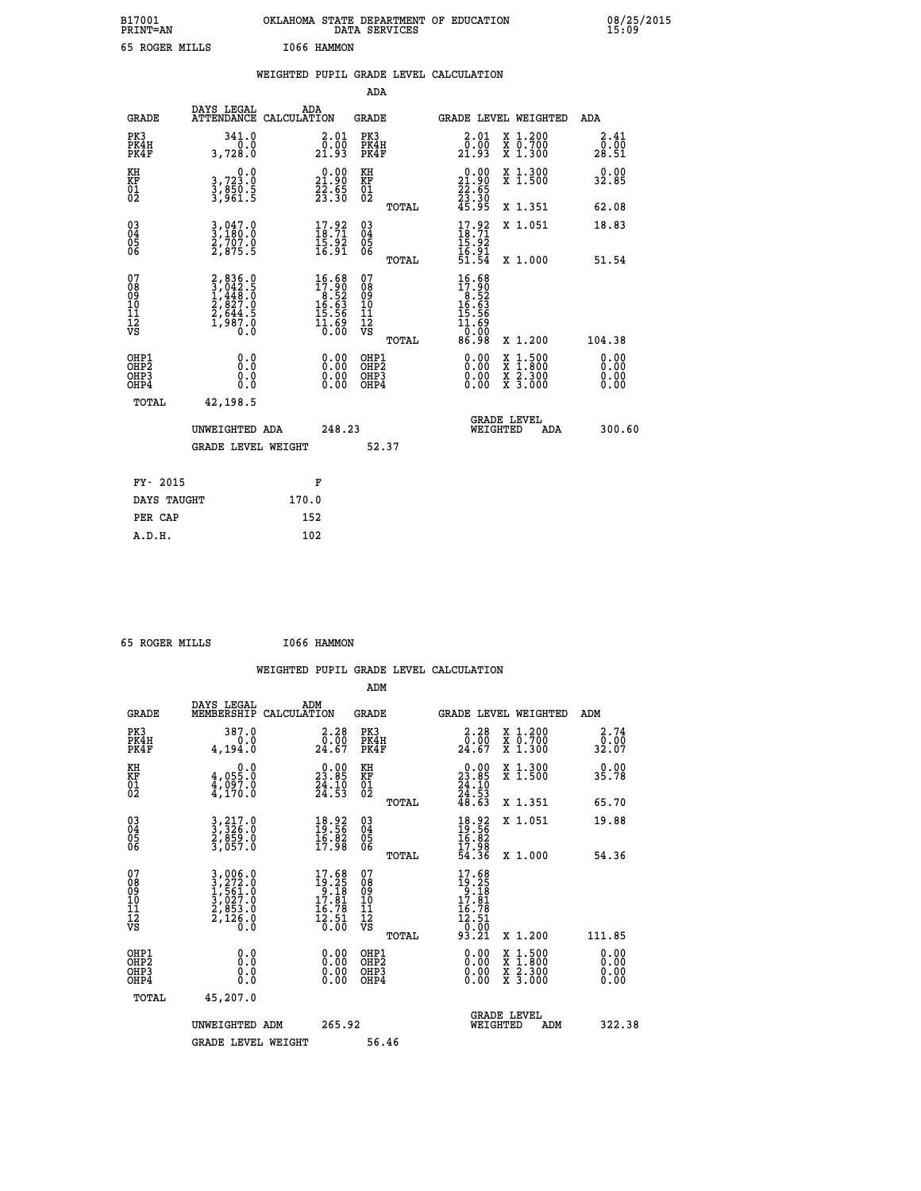| B17001<br><b>PRINT=AN</b> | OKLAHOMA STATE DEPARTMENT OF EDUCATION<br>DATA SERVICES | 08/25/2015 |
|---------------------------|---------------------------------------------------------|------------|
| 65 ROGER MILLS            | 1066 HAMMON                                             |            |

| 08/25/2015<br>15:09 |  |
|---------------------|--|
|---------------------|--|

|                                                                    |                                                                                     | WEIGHTED PUPIL GRADE LEVEL CALCULATION                                               |                                                 |                                                                                               |                              |
|--------------------------------------------------------------------|-------------------------------------------------------------------------------------|--------------------------------------------------------------------------------------|-------------------------------------------------|-----------------------------------------------------------------------------------------------|------------------------------|
|                                                                    |                                                                                     |                                                                                      | <b>ADA</b>                                      |                                                                                               |                              |
| <b>GRADE</b>                                                       | DAYS LEGAL                                                                          | ADA<br>ATTENDANCE CALCULATION                                                        | GRADE                                           | GRADE LEVEL WEIGHTED                                                                          | ADA                          |
| PK3<br>PK4H<br>PK4F                                                | 341.0<br>3,728.0                                                                    | $\begin{smallmatrix} 2.01\0.00\\21.93\end{smallmatrix}$                              | PK3<br>PK4H<br>PK4F                             | X 1.200<br>X 0.700<br>X 1.300<br>$2.01$<br>$0.00$<br>21.93                                    | 2.41<br>0.00<br>28.51        |
| KH<br>KF<br>01<br>02                                               | $\begin{smallmatrix}&&&0.0\\3.723.0\\3.850.5\\3.961.5\end{smallmatrix}$             | $\begin{smallmatrix} 0.00\\ 21.90\\ 22.65\\ 23.30 \end{smallmatrix}$                 | KH<br>KF<br>01<br>02                            | $\begin{smallmatrix} 0.00\\ 21.90\\ 22.55\\ 23.30 \end{smallmatrix}$<br>X 1.300<br>X 1.500    | 0.00<br>32.85                |
|                                                                    |                                                                                     |                                                                                      | TOTAL                                           | 45.95<br>X 1.351                                                                              | 62.08                        |
| $\begin{smallmatrix} 03 \\[-4pt] 04 \end{smallmatrix}$<br>Ŏ5<br>06 | $3, 047.0$<br>$3, 180.0$<br>$2, 707.0$<br>$2, 875.5$                                | $17.92$<br>18.71<br>15:92<br>16:91                                                   | $\substack{03 \\ 04}$<br>Ŏ5<br>06               | $17.92$<br>$18.71$<br>X 1.051                                                                 | 18.83                        |
|                                                                    |                                                                                     |                                                                                      | TOTAL                                           | $\frac{15.92}{16.91}$<br>51.54<br>X 1.000                                                     | 51.54                        |
| 07<br>08<br>09<br>11<br>11<br>12<br>VS                             | $2,836.0$<br>$3,042.5$<br>$1,448.0$<br>$2,827.0$<br>$2,644.5$<br>$1,987.0$<br>$0.0$ | $\begin{smallmatrix} 16.68\\17.90\\8.52\\16.63\\15.56\\11.69\\0.00\end{smallmatrix}$ | 07<br>08<br>09<br>11<br>11<br>12<br>VS<br>TOTAL | 16.68<br>$17.900$<br>$16.52$<br>$16.63$<br>$15.56$<br>$11.690$<br>$0.000$<br>86.98<br>X 1.200 | 104.38                       |
| OHP1<br>OH <sub>P</sub> 2<br>OHP3<br>OH <sub>P4</sub>              | 0.0<br>0.0<br>0.0                                                                   | $\begin{smallmatrix} 0.00 \ 0.00 \ 0.00 \ 0.00 \end{smallmatrix}$                    | OHP1<br>OHP <sub>2</sub><br>OHP3<br>OHP4        | X 1:500<br>X 1:800<br>X 2:300<br>X 3:000                                                      | 0.00<br>0.00<br>0.00<br>0.00 |
| TOTAL                                                              | 42,198.5                                                                            |                                                                                      |                                                 |                                                                                               |                              |
|                                                                    | UNWEIGHTED ADA                                                                      | 248.23                                                                               |                                                 | <b>GRADE LEVEL</b><br>WEIGHTED<br><b>ADA</b>                                                  | 300.60                       |
|                                                                    | <b>GRADE LEVEL WEIGHT</b>                                                           |                                                                                      | 52.37                                           |                                                                                               |                              |
| FY- 2015                                                           |                                                                                     | F                                                                                    |                                                 |                                                                                               |                              |
|                                                                    | DAYS TAUGHT                                                                         | 170.0                                                                                |                                                 |                                                                                               |                              |
| PER CAP                                                            |                                                                                     | 152                                                                                  |                                                 |                                                                                               |                              |

 **65 ROGER MILLS I066 HAMMON**

 **A.D.H. 102**

|                                                      |                                                                                                                                               |                                                                            |                                                     | WEIGHTED PUPIL GRADE LEVEL CALCULATION                                                                                                                                                                                                                                                                                                |                                        |
|------------------------------------------------------|-----------------------------------------------------------------------------------------------------------------------------------------------|----------------------------------------------------------------------------|-----------------------------------------------------|---------------------------------------------------------------------------------------------------------------------------------------------------------------------------------------------------------------------------------------------------------------------------------------------------------------------------------------|----------------------------------------|
|                                                      |                                                                                                                                               |                                                                            | ADM                                                 |                                                                                                                                                                                                                                                                                                                                       |                                        |
| <b>GRADE</b>                                         | DAYS LEGAL<br>MEMBERSHIP                                                                                                                      | ADM<br>CALCULATION                                                         | <b>GRADE</b>                                        | <b>GRADE LEVEL WEIGHTED</b>                                                                                                                                                                                                                                                                                                           | ADM                                    |
| PK3<br>PK4H<br>PK4F                                  | 387.0<br>0.0<br>4,194.0                                                                                                                       | $\begin{smallmatrix} 2.28\ 0.00\\ 24.67 \end{smallmatrix}$                 | PK3<br>PK4H<br>PK4F                                 | $\begin{smallmatrix} 2.28\ 0.00\\ 24.67 \end{smallmatrix}$<br>X 1.200<br>X 0.700<br>X 1.300                                                                                                                                                                                                                                           | 2.74<br>_ō:óō<br>32:07                 |
| KH<br>KF<br>01<br>02                                 | $0.0$<br>0.055.0<br>$\frac{4}{4}$ , 097.0                                                                                                     | $\begin{smallmatrix} 0.00\\ 23.85\\ 24.10\\ 24.53 \end{smallmatrix}$       | KH<br>KF<br>01<br>02                                | $\begin{smallmatrix} 0.00\\ 23.85\\ 24.10\\ 24.53\\ 48.63 \end{smallmatrix}$<br>X 1.300<br>X 1.500                                                                                                                                                                                                                                    | 0.00<br>35.78                          |
|                                                      |                                                                                                                                               |                                                                            | TOTAL                                               | X 1.351                                                                                                                                                                                                                                                                                                                               | 65.70                                  |
| $\begin{matrix} 03 \\ 04 \\ 05 \\ 06 \end{matrix}$   | 3, 217.0<br>3, 326.0<br>2, 859.0<br>3, 057.0                                                                                                  | $\begin{smallmatrix} 18.92\ 19.56\ 16.82\ 17.98 \end{smallmatrix}$         | $\begin{array}{c} 03 \\ 04 \\ 05 \\ 06 \end{array}$ | X 1.051<br>$18.92$<br>$19.56$<br>$16.82$<br>$17.98$<br>$54.36$                                                                                                                                                                                                                                                                        | 19.88                                  |
| 07<br>08<br>09<br>101<br>112<br>VS                   | $\begin{smallmatrix} 3\,,\,006\,.0\\ 3\,,\,272\,.0\\ 1\,,\,561\,.0\\ 3\,,\,027\,.0\\ 2\,,\,853\,.0\\ 2\,,\,126\,.0\\ 0\,.0 \end{smallmatrix}$ | $17.68$<br>$19.25$<br>$9.18$<br>$17.81$<br>$16.78$<br>$\frac{12.51}{0.00}$ | TOTAL<br>07<br>08<br>09<br>11<br>11<br>12<br>VS     | X 1.000<br>17.68<br>$19.258$<br>$17.81$<br>$17.81$<br>$16.78$<br>$12.51$<br>$0.001$<br>$93.21$                                                                                                                                                                                                                                        | 54.36                                  |
| OHP1<br>OHP2<br>OH <sub>P3</sub><br>OH <sub>P4</sub> | 0.0<br>0.000                                                                                                                                  | 0.00<br>0.00<br>0.00                                                       | TOTAL<br>OHP1<br>OH <sub>P</sub> 2<br>OHP3<br>OHP4  | X 1.200<br>$\begin{smallmatrix} 0.00 & 0.00 & 0.00 & 0.00 & 0.00 & 0.00 & 0.00 & 0.00 & 0.00 & 0.00 & 0.00 & 0.00 & 0.00 & 0.00 & 0.00 & 0.00 & 0.00 & 0.00 & 0.00 & 0.00 & 0.00 & 0.00 & 0.00 & 0.00 & 0.00 & 0.00 & 0.00 & 0.00 & 0.00 & 0.00 & 0.00 & 0.00 & 0.00 & 0.00 & 0.00 & 0.0$<br>X 1:500<br>X 1:800<br>X 2:300<br>X 3:000 | 111.85<br>0.00<br>0.00<br>0.00<br>0.00 |
| TOTAL                                                | 45,207.0<br>UNWEIGHTED ADM                                                                                                                    | 265.92                                                                     |                                                     | <b>GRADE LEVEL</b><br>WEIGHTED<br>ADM                                                                                                                                                                                                                                                                                                 | 322.38                                 |
|                                                      | <b>GRADE LEVEL WEIGHT</b>                                                                                                                     |                                                                            | 56.46                                               |                                                                                                                                                                                                                                                                                                                                       |                                        |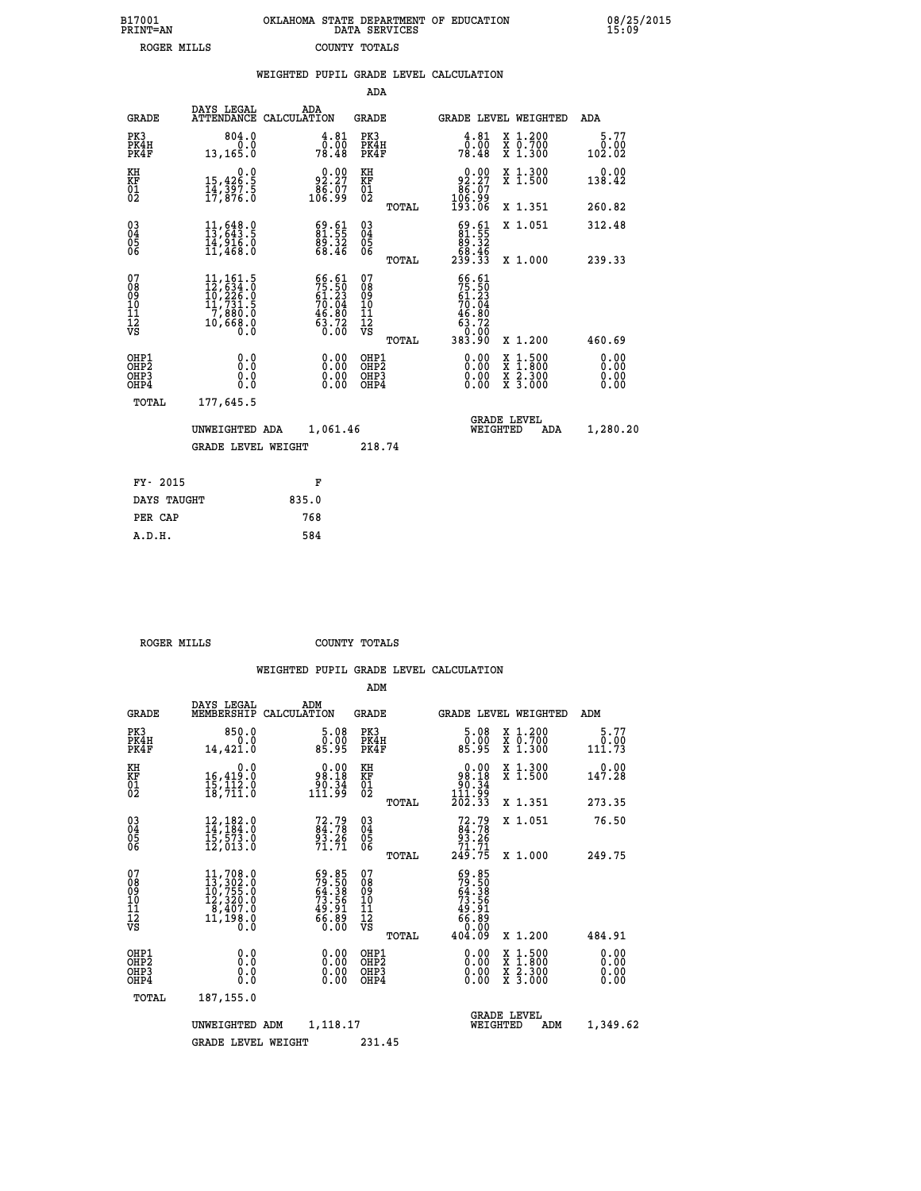| B17001<br>PRINT=AN | OKLAHOMA STATE DEPARTMENT OF EDUCATION<br>DATA SERVICES | 08/25/2015<br>15:09 |
|--------------------|---------------------------------------------------------|---------------------|
| ROGER MILLS        | COUNTY TOTALS                                           |                     |

|                                                                    |                                                                                                              |       |                                                                                              |                                                     |       | WEIGHTED PUPIL GRADE LEVEL CALCULATION                                                                        |                                                                                                  |                        |
|--------------------------------------------------------------------|--------------------------------------------------------------------------------------------------------------|-------|----------------------------------------------------------------------------------------------|-----------------------------------------------------|-------|---------------------------------------------------------------------------------------------------------------|--------------------------------------------------------------------------------------------------|------------------------|
|                                                                    |                                                                                                              |       |                                                                                              | <b>ADA</b>                                          |       |                                                                                                               |                                                                                                  |                        |
| <b>GRADE</b>                                                       | DAYS LEGAL<br>ATTENDANCE CALCULATION                                                                         |       | ADA                                                                                          | GRADE                                               |       | GRADE LEVEL WEIGHTED                                                                                          |                                                                                                  | ADA                    |
| PK3<br>PK4H<br>PK4F                                                | 804.0<br>0.0<br>13,165.0                                                                                     |       | $\begin{smallmatrix} 4.81\ 0.00\ 78.48 \end{smallmatrix}$                                    | PK3<br>PK4H<br>PK4F                                 |       | $\frac{4.81}{0.00}$<br>78.48                                                                                  | X 1.200<br>X 0.700<br>X 1.300                                                                    | 5.77<br>0.00<br>102.02 |
| KH<br>KF<br>01<br>02                                               | $\begin{smallmatrix}&&&0.0\\15,426.5\\14,397.5\\17,876.0\end{smallmatrix}$                                   |       | 92.27<br>$\frac{8}{106}$ .99                                                                 | KH<br>KF<br>01<br>02                                |       | 92.27                                                                                                         | X 1.300<br>X 1.500                                                                               | 0.00<br>138.42         |
|                                                                    |                                                                                                              |       |                                                                                              |                                                     | TOTAL | $\begin{smallmatrix} 86.57\ 106.99\ 193.06 \end{smallmatrix}$                                                 | X 1.351                                                                                          | 260.82                 |
| $\begin{smallmatrix} 03 \\[-4pt] 04 \end{smallmatrix}$<br>Ŏ5<br>06 | 11,648.0<br>13,643.5<br>14,916.0<br>11,468.0                                                                 |       | $\begin{smallmatrix} 69.61\ 81.55\ 89.32\ 68.46 \end{smallmatrix}$                           | $\begin{array}{c} 03 \\ 04 \\ 05 \\ 06 \end{array}$ |       | $\begin{smallmatrix} 69.61\ 81.55\ 89.32\ 68.46\ 239.33 \end{smallmatrix}$                                    | X 1.051                                                                                          | 312.48                 |
|                                                                    |                                                                                                              |       |                                                                                              |                                                     | TOTAL |                                                                                                               | X 1.000                                                                                          | 239.33                 |
| 07<br>08<br>09<br>01<br>11<br>11<br>12<br>VS                       | $\begin{smallmatrix} 11,161.5\\ 12,634.0\\ 10,226.0\\ 11,731.5\\ 7,880.0\\ 10,668.0\\ 0.0 \end{smallmatrix}$ |       | $\begin{smallmatrix} 66.61\\ 75.50\\ 61.23\\ 70.04\\ 46.80\\ 63.72\\ 0.00 \end{smallmatrix}$ | 07<br>08<br>09<br>11<br>11<br>12<br>VS              | TOTAL | 66.61<br>$75.50$<br>$61.23$<br>$70.04$<br>$\begin{smallmatrix} 46.80\ 63.72\ 63.90\ 383.90 \end{smallmatrix}$ | X 1.200                                                                                          | 460.69                 |
| OHP1<br>OHP2<br>OHP3<br>OHP4                                       | 0.0<br>0.0<br>0.0                                                                                            |       | $\begin{smallmatrix} 0.00 \ 0.00 \ 0.00 \ 0.00 \end{smallmatrix}$                            | OHP1<br>OHP2<br>OHP3<br>OHP4                        |       |                                                                                                               | $\begin{smallmatrix} x & 1 & 500 \\ x & 1 & 800 \\ x & 2 & 300 \\ x & 3 & 000 \end{smallmatrix}$ | 0.00<br>0.00<br>0.00   |
| TOTAL                                                              | 177,645.5                                                                                                    |       |                                                                                              |                                                     |       |                                                                                                               |                                                                                                  |                        |
|                                                                    | UNWEIGHTED ADA                                                                                               |       | 1,061.46                                                                                     |                                                     |       | <b>GRADE LEVEL</b><br>WEIGHTED                                                                                | ADA                                                                                              | 1,280.20               |
|                                                                    | <b>GRADE LEVEL WEIGHT</b>                                                                                    |       |                                                                                              | 218.74                                              |       |                                                                                                               |                                                                                                  |                        |
| FY- 2015                                                           |                                                                                                              |       | F                                                                                            |                                                     |       |                                                                                                               |                                                                                                  |                        |
| DAYS TAUGHT                                                        |                                                                                                              | 835.0 |                                                                                              |                                                     |       |                                                                                                               |                                                                                                  |                        |
| PER CAP                                                            |                                                                                                              | 768   |                                                                                              |                                                     |       |                                                                                                               |                                                                                                  |                        |

 **ROGER MILLS COUNTY TOTALS**

 **A.D.H. 584**

|                                          |                                                                                                                                                |                                                                                     | ADM                                                 |       |                                                                           |                                          |                              |
|------------------------------------------|------------------------------------------------------------------------------------------------------------------------------------------------|-------------------------------------------------------------------------------------|-----------------------------------------------------|-------|---------------------------------------------------------------------------|------------------------------------------|------------------------------|
| <b>GRADE</b>                             | DAYS LEGAL<br>MEMBERSHIP                                                                                                                       | ADM<br>CALCULATION                                                                  | <b>GRADE</b>                                        |       |                                                                           | <b>GRADE LEVEL WEIGHTED</b>              | ADM                          |
| PK3<br>PK4H<br>PK4F                      | 850.0<br>0.0<br>14,421.0                                                                                                                       | 5.08<br>ŏ:ŏŏ<br>85:95                                                               | PK3<br>PK4H<br>PK4F                                 |       | $\begin{smallmatrix}5.08\0.00\\85.95\end{smallmatrix}$                    | X 1.200<br>X 0.700<br>X 1.300            | 5.77<br>0.00<br>111.73       |
| KH<br>KF<br>01<br>02                     | 0.0<br>16,419:0<br>15,112:0<br>18,711:0                                                                                                        | $0.00$<br>98.18<br>34.00<br>111.99                                                  | KH<br>KF<br>01<br>02                                |       | $\begin{array}{c} 0.00 \\ 98.18 \\ 90.34 \\ 11.99 \\ \end{array}$         | X 1.300<br>X 1.500                       | 147.28                       |
|                                          |                                                                                                                                                |                                                                                     |                                                     | TOTAL | 202.33                                                                    | X 1.351                                  | 273.35                       |
| 03<br>04<br>05<br>06                     | $12, 182.0$<br>$14, 184.0$<br>$15, 573.0$<br>12,013.0                                                                                          | $72.79$<br>$84.78$<br>$93.26$<br>$71.71$                                            | $\begin{array}{c} 03 \\ 04 \\ 05 \\ 06 \end{array}$ |       | $72.7984.7893.2671.71249.75$                                              | X 1.051                                  | 76.50                        |
|                                          |                                                                                                                                                |                                                                                     |                                                     | TOTAL |                                                                           | X 1.000                                  | 249.75                       |
| 07<br>08<br>09<br>101<br>112<br>VS       | $\begin{smallmatrix} 11,708\cdot 0\\ 13,302\cdot 0\\ 10,755\cdot 0\\ 12,320\cdot 0\\ 8,407\cdot 0\\ 11,198\cdot 0\\ 0\cdot 0\end{smallmatrix}$ | $59.85$<br>$79.50$<br>$64.38$<br>$73.56$<br>$73.56$<br>$49.91$<br>$66.89$<br>$0.00$ | 07<br>08<br>09<br>11<br>11<br>12<br>VS              |       | $59.85$<br>$79.50$<br>$64.38$<br>$73.56$<br>$73.56$<br>$49.91$<br>$66.80$ |                                          |                              |
|                                          |                                                                                                                                                |                                                                                     |                                                     | TOTAL | 404.09                                                                    | X 1.200                                  | 484.91                       |
| OHP1<br>OHP2<br>OH <sub>P3</sub><br>OHP4 | 0.0<br>0.000                                                                                                                                   | $0.00$<br>$0.00$<br>0.00                                                            | OHP1<br>OHP2<br>OHP <sub>3</sub>                    |       | $0.00$<br>$0.00$<br>0.00                                                  | X 1:500<br>X 1:800<br>X 2:300<br>X 3:000 | 0.00<br>0.00<br>0.00<br>0.00 |
| TOTAL                                    | 187, 155.0                                                                                                                                     |                                                                                     |                                                     |       |                                                                           |                                          |                              |
|                                          | UNWEIGHTED                                                                                                                                     | 1,118.17<br>ADM                                                                     |                                                     |       | WEIGHTED                                                                  | <b>GRADE LEVEL</b><br>ADM                | 1,349.62                     |
|                                          | GRADE LEVEL WEIGHT                                                                                                                             |                                                                                     | 231.45                                              |       |                                                                           |                                          |                              |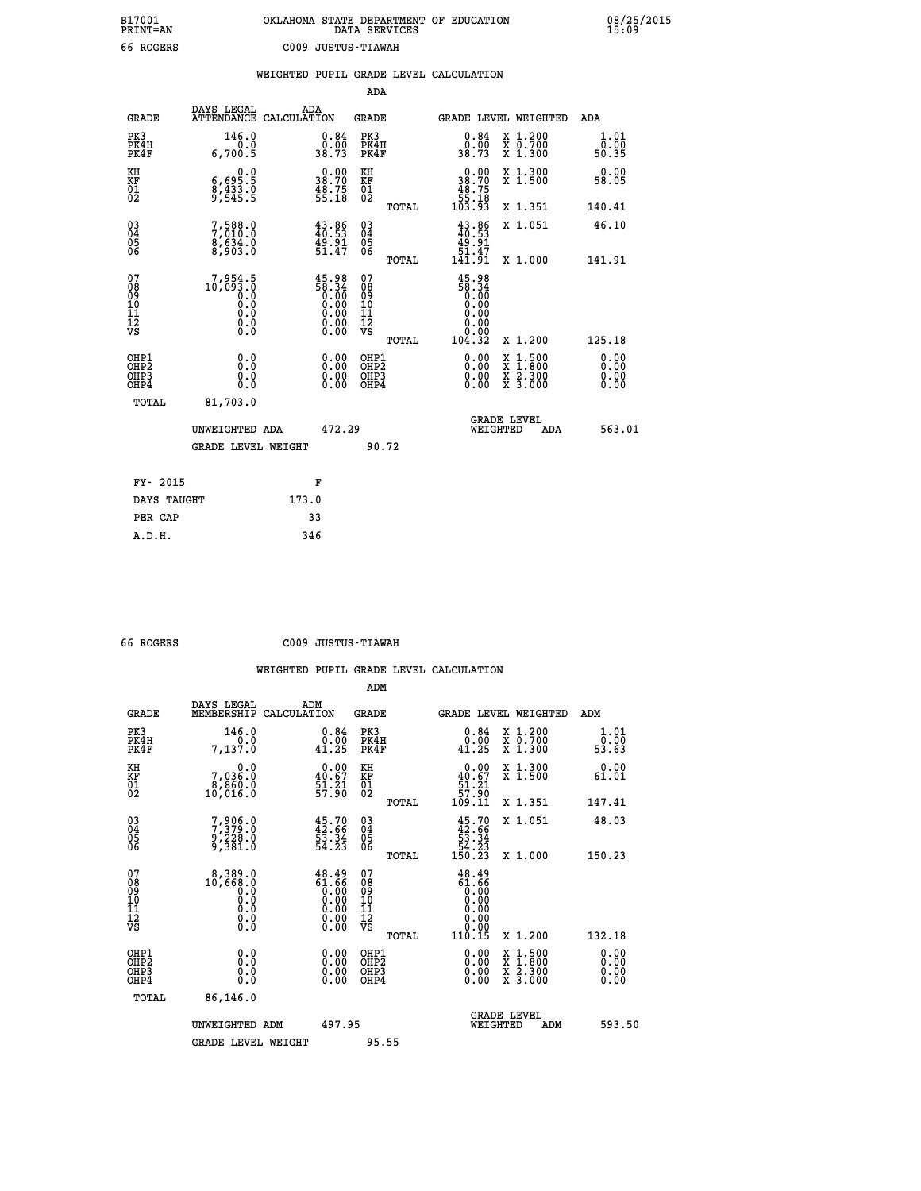| B17001<br><b>PRINT=AN</b> | OKLAHOMA STATE DEPARTMENT OF EDUCATION<br>DATA SERVICES |  |
|---------------------------|---------------------------------------------------------|--|
| 66 ROGERS                 | C009 JUSTUS-TIAWAH                                      |  |

|                                                       |                                                                                 | WEIGHTED PUPIL GRADE LEVEL CALCULATION                                                        |                                                    |                                                                                             |                                                                                                  |                              |
|-------------------------------------------------------|---------------------------------------------------------------------------------|-----------------------------------------------------------------------------------------------|----------------------------------------------------|---------------------------------------------------------------------------------------------|--------------------------------------------------------------------------------------------------|------------------------------|
|                                                       |                                                                                 |                                                                                               | ADA                                                |                                                                                             |                                                                                                  |                              |
| <b>GRADE</b>                                          | DAYS LEGAL                                                                      | ADA<br>ATTENDANCE CALCULATION                                                                 | <b>GRADE</b>                                       | GRADE LEVEL WEIGHTED                                                                        |                                                                                                  | ADA                          |
| PK3<br>PK4H<br>PK4F                                   | 146.0<br>6,700.5                                                                | $\begin{smallmatrix} 0.84\ 0.00\\ 38.73 \end{smallmatrix}$                                    | PK3<br>PK4H<br>PK4F                                | $\begin{smallmatrix} 0.84\ 0.00\\ 38.73 \end{smallmatrix}$                                  | X 1.200<br>X 0.700<br>X 1.300                                                                    | 1.01<br>ō:ŏō<br>50:35        |
| KH<br>KF<br>01<br>02                                  | $\begin{smallmatrix} 0.0 \\ 6,695.5 \\ 8,433.0 \\ 9,545.5 \end{smallmatrix}$    | $\begin{smallmatrix} 0.00\\ 38.70\\ 48.75\\ 55.18 \end{smallmatrix}$                          | KH<br>KF<br>01<br>02                               | $\begin{smallmatrix}&&0.00\\38.70\\48.75\\55.18\\103.93\end{smallmatrix}$                   | X 1.300<br>X 1.500                                                                               | 0.00<br>58.05                |
|                                                       |                                                                                 |                                                                                               | TOTAL                                              |                                                                                             | X 1.351                                                                                          | 140.41                       |
| $\begin{matrix} 03 \\ 04 \\ 05 \\ 06 \end{matrix}$    | 7,588.0<br>$\frac{8}{8}, \frac{6}{9} \frac{3}{3} \frac{3}{8} \cdot \frac{0}{0}$ | $43.86$<br>$40.53$<br>$49.91$<br>$51.47$                                                      | $\begin{matrix} 03 \\ 04 \\ 05 \\ 06 \end{matrix}$ | $\frac{43.86}{40.53}$<br>49.91                                                              | X 1.051                                                                                          | 46.10                        |
|                                                       |                                                                                 |                                                                                               | TOTAL                                              | 51.47<br>141.91                                                                             | X 1.000                                                                                          | 141.91                       |
| 07<br>08901112<br>11112<br>VS                         | 7,954.5<br>10,093.0<br>Ŏ:Ŏ<br>O:Ŏ<br>$\S.$                                      | 45.98<br>58.34<br>0:00<br>0:00<br>0:00<br>$\begin{smallmatrix} 0.00 \ 0.00 \end{smallmatrix}$ | 07<br>08<br>09<br>11<br>11<br>12<br>VS             | $\begin{smallmatrix} 45.98\\ 58.34\\ 0.00\\ 0.00\\ 0.00\\ 0.00\\ \end{smallmatrix}$<br>0.00 |                                                                                                  |                              |
|                                                       |                                                                                 |                                                                                               | TOTAL                                              | 104.32                                                                                      | X 1.200                                                                                          | 125.18                       |
| OH <sub>P1</sub><br>OH <sub>P</sub> 2<br>OHP3<br>OHP4 | 0.0<br>0.0<br>0.0                                                               | $\begin{smallmatrix} 0.00 \ 0.00 \ 0.00 \ 0.00 \end{smallmatrix}$                             | OHP1<br>OH <sub>P</sub> 2<br>OHP3<br>OHP4          | 0.00<br>0.00                                                                                | $\begin{smallmatrix} x & 1 & 500 \\ x & 1 & 800 \\ x & 2 & 300 \\ x & 3 & 000 \end{smallmatrix}$ | 0.00<br>0.00<br>0.00<br>0.00 |
| TOTAL                                                 | 81,703.0                                                                        |                                                                                               |                                                    | <b>GRADE LEVEL</b>                                                                          |                                                                                                  |                              |
|                                                       | UNWEIGHTED ADA                                                                  | 472.29                                                                                        |                                                    | WEIGHTED                                                                                    | ADA                                                                                              | 563.01                       |
|                                                       | <b>GRADE LEVEL WEIGHT</b>                                                       |                                                                                               | 90.72                                              |                                                                                             |                                                                                                  |                              |
| FY- 2015                                              |                                                                                 | F                                                                                             |                                                    |                                                                                             |                                                                                                  |                              |
| DAYS TAUGHT                                           |                                                                                 | 173.0                                                                                         |                                                    |                                                                                             |                                                                                                  |                              |
| PER CAP                                               |                                                                                 | 33                                                                                            |                                                    |                                                                                             |                                                                                                  |                              |
| A.D.H.                                                |                                                                                 | 346                                                                                           |                                                    |                                                                                             |                                                                                                  |                              |

 **B17001<br>PRINT=AN** 

 **66 ROGERS C009 JUSTUS-TIAWAH**

|                                          |                                          |                                                                                                       | ADM                                                 |       |                                                                           |                                          |                              |
|------------------------------------------|------------------------------------------|-------------------------------------------------------------------------------------------------------|-----------------------------------------------------|-------|---------------------------------------------------------------------------|------------------------------------------|------------------------------|
| <b>GRADE</b>                             | DAYS LEGAL<br>MEMBERSHIP                 | ADM<br>CALCULATION                                                                                    | <b>GRADE</b>                                        |       |                                                                           | <b>GRADE LEVEL WEIGHTED</b>              | ADM                          |
| PK3<br>PK4H<br>PK4F                      | 146.0<br>0.0<br>7,137.0                  | $\substack{0.84 \\ 0.00 \\ 41.25}$                                                                    | PK3<br>PK4H<br>PK4F                                 |       | $\begin{smallmatrix} 0.84\ 0.00\ 41.25 \end{smallmatrix}$                 | X 1.200<br>X 0.700<br>X 1.300            | 1.01<br>ō:ŏō<br>53.63        |
| KH<br>KF<br>01<br>02                     | 0.0<br>7,036.0<br>8,860.0<br>10,016.0    | $\begin{smallmatrix} 0.00\\ 40.67\\ 51.21\\ 57.90 \end{smallmatrix}$                                  | KH<br>KF<br>01<br>02                                |       | $\begin{smallmatrix}&&0.00\\40.67\\51.21\\57.90\\109.11\end{smallmatrix}$ | X 1.300<br>X 1.500                       | 0.00<br>61.01                |
|                                          |                                          |                                                                                                       |                                                     | TOTAL |                                                                           | X 1.351                                  | 147.41                       |
| 03<br>04<br>05<br>06                     | 7,906.0<br>7,379.0<br>9,228.0<br>9,381.0 | $45.70$<br>$42.66$<br>$53.34$<br>$54.23$                                                              | $\begin{array}{c} 03 \\ 04 \\ 05 \\ 06 \end{array}$ |       | $45.70\n42.66\n53.34\n54.23\n150.23$                                      | X 1.051                                  | 48.03                        |
|                                          |                                          |                                                                                                       |                                                     | TOTAL |                                                                           | X 1.000                                  | 150.23                       |
| 07<br>08<br>09<br>101<br>112<br>VS       | $\S.$                                    | $\begin{smallmatrix} 48.49\ 61.66\ 0.00\ 0.00\ 0.00\ 0.00\ 0.00\ 0.00\ 0.00\ 0.00\ \end{smallmatrix}$ | 07<br>08<br>09<br>101<br>11<br>12<br>VS             |       | 48.49<br>1.66<br>0.000<br>0.000<br>0.000<br>0.000                         |                                          |                              |
|                                          |                                          |                                                                                                       |                                                     | TOTAL | 110.15                                                                    | X 1.200                                  | 132.18                       |
| OHP1<br>OHP2<br>OH <sub>P3</sub><br>OHP4 | 0.0<br>0.000                             | $0.00$<br>$0.00$<br>0.00                                                                              | OHP1<br>OHP2<br>OHP <sub>3</sub>                    |       | $0.00$<br>$0.00$<br>0.00                                                  | X 1:500<br>X 1:800<br>X 2:300<br>X 3:000 | 0.00<br>0.00<br>0.00<br>0.00 |
| TOTAL                                    | 86,146.0                                 |                                                                                                       |                                                     |       |                                                                           |                                          |                              |
|                                          | UNWEIGHTED ADM                           | 497.95                                                                                                |                                                     |       |                                                                           | <b>GRADE LEVEL</b><br>WEIGHTED<br>ADM    | 593.50                       |
|                                          | <b>GRADE LEVEL WEIGHT</b>                |                                                                                                       | 95.55                                               |       |                                                                           |                                          |                              |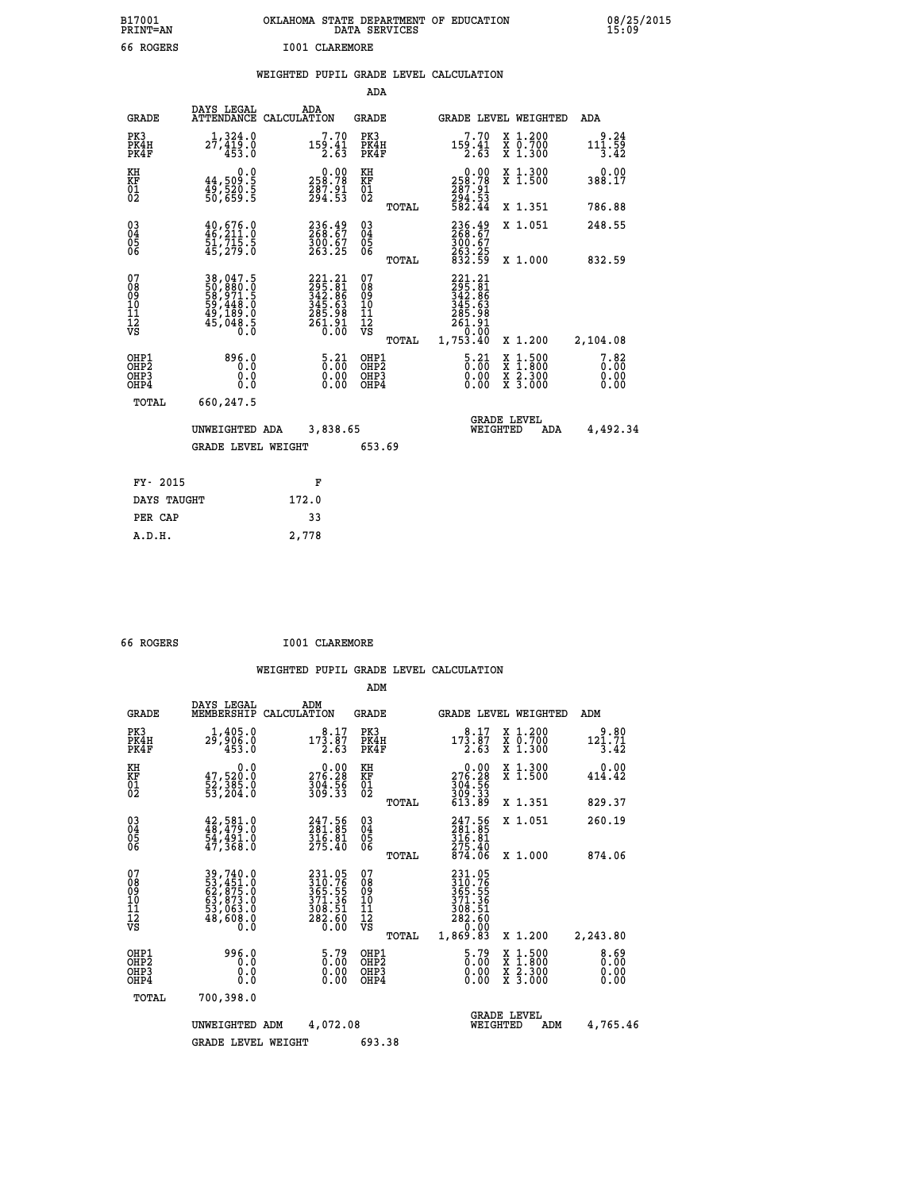| B17001          | OKLAHOMA STATE DEPARTMENT OF EDUCATION |
|-----------------|----------------------------------------|
| <b>PRINT=AN</b> | DATA SERVICES                          |
| 66 ROGERS       | I001 CLAREMORE                         |

|  |  | WEIGHTED PUPIL GRADE LEVEL CALCULATION |
|--|--|----------------------------------------|
|  |  |                                        |

|                                                                    |                                                                      |                                                                                | ADA                                       |       |                                                                                  |                                                                                                  |                              |
|--------------------------------------------------------------------|----------------------------------------------------------------------|--------------------------------------------------------------------------------|-------------------------------------------|-------|----------------------------------------------------------------------------------|--------------------------------------------------------------------------------------------------|------------------------------|
| <b>GRADE</b>                                                       | DAYS LEGAL                                                           | ADA<br>ATTENDANCE CALCULATION                                                  | GRADE                                     |       | <b>GRADE LEVEL WEIGHTED</b>                                                      |                                                                                                  | ADA                          |
| PK3<br>PK4H<br>PK4F                                                | 1,324.0<br>27,419.0<br>453.0                                         | 7.70<br>$\frac{159.41}{2.63}$                                                  | PK3<br>PK4H<br>PK4F                       |       | 7.70<br>$\frac{159.41}{2.63}$                                                    | X 1.200<br>X 0.700<br>X 1.300                                                                    | 9.24<br>111.59<br>3.42       |
| KH<br>KF<br>01<br>02                                               | 0.0<br>44,509.5<br>49,520.5<br>50,659.5                              | $\begin{smallmatrix} &0.00\\ 258.78\\ 287.91\\ 294.53\end{smallmatrix}$        | KH<br>KF<br>01<br>02                      |       | $\begin{smallmatrix} &0.00\\ 258.78\\ 287.91\\ 294.53\\ 582.44\end{smallmatrix}$ | X 1.300<br>X 1.500                                                                               | 0.00<br>388.17               |
|                                                                    |                                                                      |                                                                                |                                           | TOTAL |                                                                                  | X 1.351                                                                                          | 786.88                       |
| $\begin{smallmatrix} 03 \\[-4pt] 04 \end{smallmatrix}$<br>Ŏ5<br>06 | $40,676.0$<br>$46,211.0$<br>51,715.5<br>45,279.0                     | 236.49<br>268.67<br>$\frac{300.67}{263.25}$                                    | $\substack{03 \\ 04}$<br>05<br>06         |       | 236.49<br>$\frac{300.67}{263.25}$<br>832.59                                      | X 1.051                                                                                          | 248.55                       |
|                                                                    |                                                                      |                                                                                |                                           | TOTAL |                                                                                  | X 1.000                                                                                          | 832.59                       |
| 07<br>08<br>09<br>11<br>11<br>12<br>VS                             | 38,047.5<br>50,880.0<br>58,971.5<br>59,448.0<br>49,189.0<br>45,048.5 | $221.21$<br>$295.81$<br>$342.86$<br>$345.63$<br>$285.98$<br>$261.91$<br>$0.00$ | 07<br>08<br>09<br>11<br>11<br>12<br>VS    | TOTAL | 221.21<br>295.81<br>342.86<br>345.63<br>285.98<br>261.91<br>0.00<br>1,753.40     | X 1.200                                                                                          | 2,104.08                     |
| OHP1<br>OH <sub>P</sub> 2<br>OHP3<br>OHP4                          | 896.0<br>0.0<br>0.0<br>0.0                                           | $\frac{5 \cdot 21}{0 \cdot 00}$<br>$0.00$<br>0.00                              | OHP1<br>OH <sub>P</sub> 2<br>OHP3<br>OHP4 |       | $\frac{5 \cdot 21}{0 \cdot 00}$<br>0.00<br>0.00                                  | $\begin{smallmatrix} x & 1 & 500 \\ x & 1 & 800 \\ x & 2 & 300 \\ x & 3 & 000 \end{smallmatrix}$ | 7.82<br>0.00<br>0.00<br>0.00 |
| TOTAL                                                              | 660,247.5                                                            |                                                                                |                                           |       |                                                                                  |                                                                                                  |                              |
|                                                                    | UNWEIGHTED ADA<br><b>GRADE LEVEL WEIGHT</b>                          | 3,838.65                                                                       | 653.69                                    |       | WEIGHTED                                                                         | <b>GRADE LEVEL</b><br>ADA                                                                        | 4,492.34                     |
|                                                                    |                                                                      |                                                                                |                                           |       |                                                                                  |                                                                                                  |                              |
| FY- 2015                                                           |                                                                      | F                                                                              |                                           |       |                                                                                  |                                                                                                  |                              |
| DAYS TAUGHT                                                        |                                                                      | 172.0                                                                          |                                           |       |                                                                                  |                                                                                                  |                              |
| PER CAP                                                            |                                                                      | 33                                                                             |                                           |       |                                                                                  |                                                                                                  |                              |
| A.D.H.                                                             |                                                                      | 2,778                                                                          |                                           |       |                                                                                  |                                                                                                  |                              |
|                                                                    |                                                                      |                                                                                |                                           |       |                                                                                  |                                                                                                  |                              |

| 66 ROGERS | I001 CLAREMORE |
|-----------|----------------|
|           |                |

|                                                       |                                                                                                                                                    |                                                                            | ADM                                                 |                                                                               |                                                                   |                                          |                              |
|-------------------------------------------------------|----------------------------------------------------------------------------------------------------------------------------------------------------|----------------------------------------------------------------------------|-----------------------------------------------------|-------------------------------------------------------------------------------|-------------------------------------------------------------------|------------------------------------------|------------------------------|
| <b>GRADE</b>                                          | DAYS LEGAL<br>MEMBERSHIP                                                                                                                           | ADM<br>CALCULATION                                                         | <b>GRADE</b>                                        |                                                                               |                                                                   | <b>GRADE LEVEL WEIGHTED</b>              | ADM                          |
| PK3<br>PK4H<br>PK4F                                   | 1,405.0<br>29,906.0<br>453.0                                                                                                                       | 8.17<br>173.87<br>2.63                                                     | PK3<br>PK4H<br>PK4F                                 | $17\overline{3}\cdot\overline{8}\overline{7}\overline{3}$                     | 8.17                                                              | X 1.200<br>X 0.700<br>X 1.300            | 9.80<br>121.71<br>3.42       |
| KH<br>KF<br>01<br>02                                  | 0.0<br>47,520.0<br>52,385.0<br>53,204.0                                                                                                            | $\begin{smallmatrix} &0.00\\ 276.28\\ 304.56\\ 309.33 \end{smallmatrix}$   | KH<br>KF<br>01<br>02                                | $\begin{array}{c} 0.00 \\ 276.28 \\ 304.56 \\ 309.33 \\ 613.89 \end{array}$   |                                                                   | X 1.300<br>X 1.500                       | 0.00<br>414.42               |
|                                                       |                                                                                                                                                    |                                                                            |                                                     | TOTAL                                                                         |                                                                   | X 1.351                                  | 829.37                       |
| 03<br>04<br>05<br>06                                  | $42,581.0$<br>$48,479.0$<br>$54,491.0$<br>$47,368.0$                                                                                               | 247.56<br>281.85<br>316.81<br>275.40                                       | $\begin{array}{c} 03 \\ 04 \\ 05 \\ 06 \end{array}$ | 247.56<br>281.85<br>316.81<br>275.40<br>874.06                                |                                                                   | X 1.051                                  | 260.19                       |
|                                                       |                                                                                                                                                    |                                                                            |                                                     | TOTAL                                                                         |                                                                   | X 1.000                                  | 874.06                       |
| 07<br>08<br>09<br>101<br>112<br>VS                    | $\begin{smallmatrix} 39\,,\,740\,.0\\ 53\,,\,451\,.0\\ 62\,,\,875\,.0\\ 63\,,\,873\,.0\\ 53\,,\,063\,.0\\ 48\,,\,608\,.0\\ 0\ .0\end{smallmatrix}$ | 231.05<br>310.76<br>365.55<br>365.55<br>371.36<br>308.51<br>282.60<br>0.00 | 07<br>08<br>09<br>11<br>11<br>12<br>VS              | 231.05<br>310.76<br>365.55<br>371.36<br>308.51<br>282.60<br>1,869.83<br>TOTAL | 0.00                                                              | X 1.200                                  | 2,243.80                     |
| OHP1<br>OH <sub>P</sub> 2<br>OH <sub>P3</sub><br>OHP4 | 996.0<br>0.0<br>0.000                                                                                                                              | $\begin{smallmatrix} 5.79\ 0.00 \ 0.00 \end{smallmatrix}$<br>0.00          | OHP1<br>OHP2<br>OHP3<br>OHP4                        |                                                                               | $\begin{smallmatrix} 5.79\ 0.00 \ 0.00 \end{smallmatrix}$<br>0.00 | X 1:500<br>X 1:800<br>X 2:300<br>X 3:000 | 8.69<br>0.00<br>0.00<br>0.00 |
| TOTAL                                                 | 700,398.0                                                                                                                                          |                                                                            |                                                     |                                                                               |                                                                   |                                          |                              |
|                                                       | UNWEIGHTED                                                                                                                                         | 4,072.08<br>ADM                                                            |                                                     |                                                                               | <b>GRADE LEVEL</b><br>WEIGHTED                                    | ADM                                      | 4,765.46                     |
|                                                       | <b>GRADE LEVEL WEIGHT</b>                                                                                                                          |                                                                            | 693.38                                              |                                                                               |                                                                   |                                          |                              |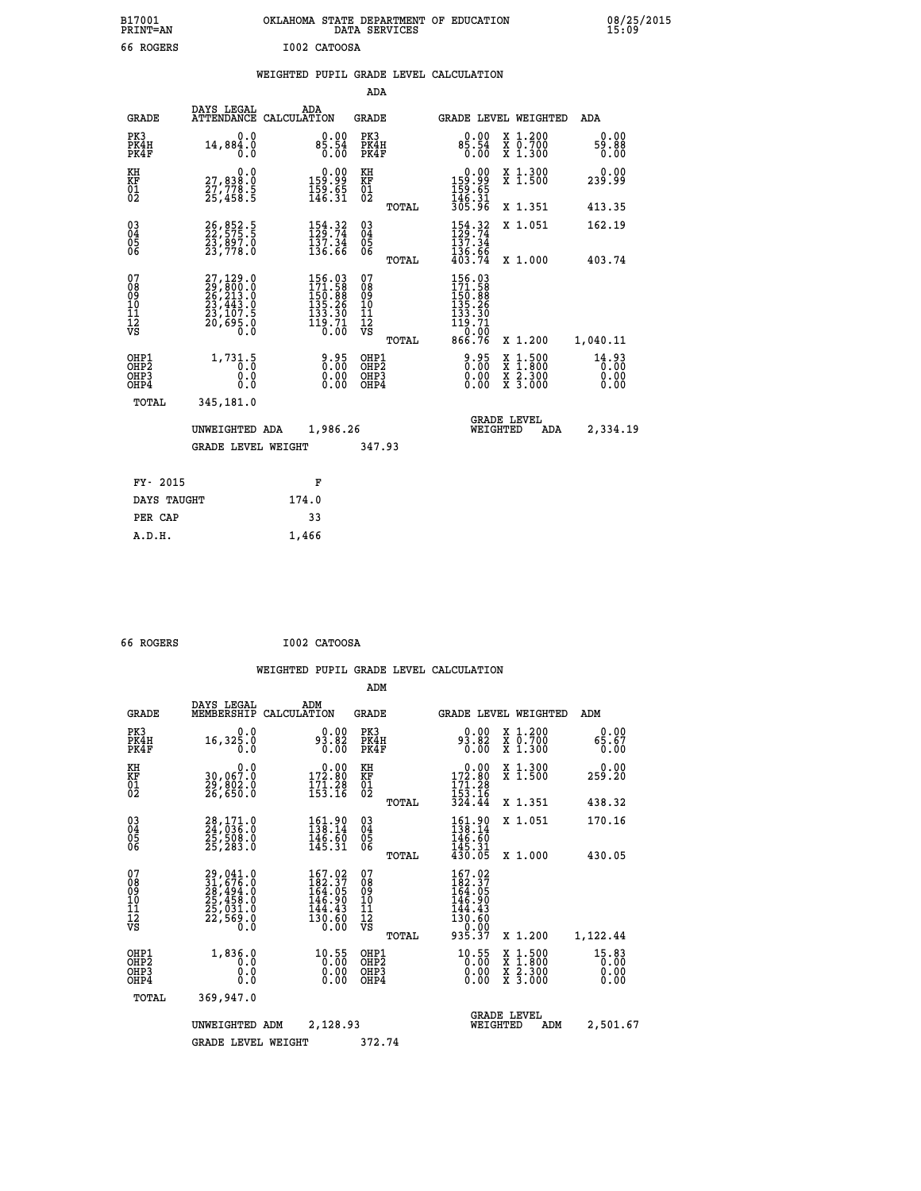|              | OKLAHOMA STATE DEPARTMENT OF EDUCATION<br>DATA SERVICES |  |
|--------------|---------------------------------------------------------|--|
| I002 CATOOSA |                                                         |  |

|  |  | WEIGHTED PUPIL GRADE LEVEL CALCULATION |
|--|--|----------------------------------------|
|  |  |                                        |

|                                                    |                                                                                           |                                                                                                                                                                                                                                                                                                                                                                                                                                                          | ADA                                      |       |                                                                                        |                                                                                                  |                               |
|----------------------------------------------------|-------------------------------------------------------------------------------------------|----------------------------------------------------------------------------------------------------------------------------------------------------------------------------------------------------------------------------------------------------------------------------------------------------------------------------------------------------------------------------------------------------------------------------------------------------------|------------------------------------------|-------|----------------------------------------------------------------------------------------|--------------------------------------------------------------------------------------------------|-------------------------------|
| <b>GRADE</b>                                       | DAYS LEGAL                                                                                | ADA<br>ATTENDANCE CALCULATION                                                                                                                                                                                                                                                                                                                                                                                                                            | <b>GRADE</b>                             |       |                                                                                        | GRADE LEVEL WEIGHTED                                                                             | ADA                           |
| PK3<br>PK4H<br>PK4F                                | 0.0<br>14,884.0<br>0.0                                                                    | 85.54<br>0.00<br>0.00                                                                                                                                                                                                                                                                                                                                                                                                                                    | PK3<br>PK4H<br>PK4F                      |       | 85.54<br>0.00                                                                          | X 1.200<br>X 0.700<br>X 1.300                                                                    | 0.00<br>59.88<br>0.00         |
| KH<br>KF<br>01<br>02                               | 0.0<br>27,838:0<br>27,778:5<br>25,458:5                                                   | $\begin{smallmatrix} 0.00\\ 159.99\\ 159.65\\ 146.31 \end{smallmatrix}$                                                                                                                                                                                                                                                                                                                                                                                  | KH<br>KF<br>01<br>02                     |       | $\begin{array}{c} 0.00 \\ 159.99 \\ 159.65 \\ 146.31 \\ 305.96 \end{array}$            | X 1.300<br>X 1.500                                                                               | 0.00<br>239.99                |
|                                                    |                                                                                           |                                                                                                                                                                                                                                                                                                                                                                                                                                                          |                                          | TOTAL |                                                                                        | X 1.351                                                                                          | 413.35                        |
| $\begin{matrix} 03 \\ 04 \\ 05 \\ 06 \end{matrix}$ | 26, 852.5<br>23,897.0<br>23,778.0                                                         | $154.32$<br>$129.74$<br>$\frac{1}{13}\frac{7}{3}\cdot\frac{3}{4}\cdot\frac{7}{13}\cdot\frac{7}{16}\cdot\frac{7}{16}\cdot\frac{7}{16}\cdot\frac{7}{16}\cdot\frac{7}{16}\cdot\frac{7}{16}\cdot\frac{7}{16}\cdot\frac{7}{16}\cdot\frac{7}{16}\cdot\frac{7}{16}\cdot\frac{7}{16}\cdot\frac{7}{16}\cdot\frac{7}{16}\cdot\frac{7}{16}\cdot\frac{7}{16}\cdot\frac{7}{16}\cdot\frac{7}{16}\cdot\frac{7}{16}\cdot\frac{7}{16}\cdot\frac{7}{16}\cdot\frac{7}{16}\$ | $\substack{03 \\ 04}$<br>Ŏ5<br>06        |       | 154.32<br>137.34                                                                       | X 1.051                                                                                          | 162.19                        |
|                                                    |                                                                                           |                                                                                                                                                                                                                                                                                                                                                                                                                                                          |                                          | TOTAL | $\frac{136.66}{403.74}$                                                                | X 1.000                                                                                          | 403.74                        |
| 07<br>08<br>09<br>11<br>11<br>12<br>VS             | $27,129.0$<br>$29,800.0$<br>$26,213.0$<br>$23,443.0$<br>$23,107.5$<br>$20,695.0$<br>$0.0$ | $\begin{array}{r} 156\cdot03\\ 171\cdot58\\ 150\cdot88\\ 135\cdot26\\ 133\cdot30\\ 133\cdot30\\ 19\cdot71\\ 0\cdot00 \end{array}$                                                                                                                                                                                                                                                                                                                        | 07<br>08<br>09<br>101<br>112<br>VS       |       | 156.03<br>171.58<br>$150.88$<br>$135.26$<br>$133.30$<br>$119.71$<br>$0.00$<br>$866.76$ |                                                                                                  |                               |
|                                                    |                                                                                           |                                                                                                                                                                                                                                                                                                                                                                                                                                                          |                                          | TOTAL |                                                                                        | X 1.200                                                                                          | 1,040.11                      |
| OHP1<br>OHP2<br>OHP3<br>OHP4                       | 1,731.5<br>0.0<br>0.0                                                                     | 0:00<br>0:00<br>0:00<br>0.00                                                                                                                                                                                                                                                                                                                                                                                                                             | OHP1<br>OHP <sub>2</sub><br>OHP3<br>OHP4 |       | 0:00<br>0:00<br>0:00<br>0.00                                                           | $\begin{smallmatrix} x & 1 & 500 \\ x & 1 & 800 \\ x & 2 & 300 \\ x & 3 & 000 \end{smallmatrix}$ | 14.93<br>0.00<br>0.00<br>0.00 |
| <b>TOTAL</b>                                       | 345,181.0                                                                                 |                                                                                                                                                                                                                                                                                                                                                                                                                                                          |                                          |       |                                                                                        |                                                                                                  |                               |
|                                                    | UNWEIGHTED ADA                                                                            | 1,986.26                                                                                                                                                                                                                                                                                                                                                                                                                                                 |                                          |       | WEIGHTED                                                                               | <b>GRADE LEVEL</b><br>ADA                                                                        | 2,334.19                      |
|                                                    | <b>GRADE LEVEL WEIGHT</b>                                                                 |                                                                                                                                                                                                                                                                                                                                                                                                                                                          | 347.93                                   |       |                                                                                        |                                                                                                  |                               |
| FY- 2015                                           |                                                                                           | F                                                                                                                                                                                                                                                                                                                                                                                                                                                        |                                          |       |                                                                                        |                                                                                                  |                               |
| DAYS TAUGHT                                        |                                                                                           | 174.0                                                                                                                                                                                                                                                                                                                                                                                                                                                    |                                          |       |                                                                                        |                                                                                                  |                               |
|                                                    |                                                                                           |                                                                                                                                                                                                                                                                                                                                                                                                                                                          |                                          |       |                                                                                        |                                                                                                  |                               |
| PER CAP                                            |                                                                                           | 33                                                                                                                                                                                                                                                                                                                                                                                                                                                       |                                          |       |                                                                                        |                                                                                                  |                               |

| 66 ROGERS | I002 CATOOSA |
|-----------|--------------|

 **A.D.H. 1,466**

B17001<br>PRINT=AN<br>66 ROGERS

|                                                       |                                                                             |                                                                         | ADM                                             |                                                                                  |                                                                                                  |                               |
|-------------------------------------------------------|-----------------------------------------------------------------------------|-------------------------------------------------------------------------|-------------------------------------------------|----------------------------------------------------------------------------------|--------------------------------------------------------------------------------------------------|-------------------------------|
| <b>GRADE</b>                                          | DAYS LEGAL<br>MEMBERSHIP                                                    | ADM<br>CALCULATION                                                      | <b>GRADE</b>                                    | <b>GRADE LEVEL WEIGHTED</b>                                                      |                                                                                                  | ADM                           |
| PK3<br>PK4H<br>PK4F                                   | 0.0<br>16, 325.0<br>0.0                                                     | 0.00<br>93.82<br>0.00                                                   | PK3<br>PK4H<br>PK4F                             | 0.00<br>93.82<br>0.00                                                            | X 1.200<br>X 0.700<br>X 1.300                                                                    | 0.00<br>65.67<br>0.00         |
| KH<br>KF<br>01<br>02                                  | 0.0<br>30,067.0<br>Ž9,802.0<br>26,650.0                                     | $\begin{smallmatrix} &0.00\\ 172.80\\ 171.28\\ 153.16\end{smallmatrix}$ | KH<br>KF<br>01<br>02                            | $\begin{smallmatrix} &0.00\\ 172.80\\ 171.28\\ 153.16\\ 324.44\end{smallmatrix}$ | X 1.300<br>X 1.500                                                                               | 0.00<br>259.20                |
|                                                       |                                                                             |                                                                         | TOTAL                                           |                                                                                  | X 1.351                                                                                          | 438.32                        |
| 03<br>04<br>05<br>06                                  | 28,171.0<br>24,036.0<br>25,508.0<br>25, 283.0                               | 161.90<br>138.14<br>$\frac{146}{145}$ $\frac{60}{31}$                   | $\substack{03 \\ 04}$<br>0500                   | 161.90<br>138.14<br>146.60                                                       | X 1.051                                                                                          | 170.16                        |
|                                                       |                                                                             |                                                                         | TOTAL                                           | $\frac{145.31}{430.05}$                                                          | X 1.000                                                                                          | 430.05                        |
| 07<br>08<br>09<br>101<br>112<br>VS                    | 29,041.0<br>31,676.0<br>28,494.0<br>25,458.0<br>25,031.0<br>22,569.0<br>0.0 | 167.02<br>182.37<br>164.05<br>146.90<br>144.43<br>130.60<br>0.00        | 07<br>08<br>09<br>11<br>11<br>12<br>VS<br>TOTAL | 167.02<br>182.37<br>164.05<br>146.90<br>144.43<br>130.60<br>0.00<br>935.37       | X 1.200                                                                                          | 1,122.44                      |
| OHP1<br>OH <sub>P</sub> 2<br>OH <sub>P3</sub><br>OHP4 | 1,836.0<br>0.0<br>0.0<br>Ŏ.Ŏ                                                | $^{10.55}_{0.00}$<br>0.00                                               | OHP1<br>OHP2<br>OHP3<br>OHP4                    | $^{10.55}_{0.00}$<br>0.00                                                        | $\begin{smallmatrix} x & 1 & 500 \\ x & 1 & 800 \\ x & 2 & 300 \\ x & 3 & 000 \end{smallmatrix}$ | 15.83<br>0.00<br>0.00<br>0.00 |
| TOTAL                                                 | 369,947.0                                                                   |                                                                         |                                                 |                                                                                  |                                                                                                  |                               |
|                                                       | UNWEIGHTED                                                                  | 2,128.93<br>ADM                                                         |                                                 | <b>GRADE LEVEL</b><br>WEIGHTED                                                   | ADM                                                                                              | 2,501.67                      |
|                                                       | <b>GRADE LEVEL WEIGHT</b>                                                   |                                                                         | 372.74                                          |                                                                                  |                                                                                                  |                               |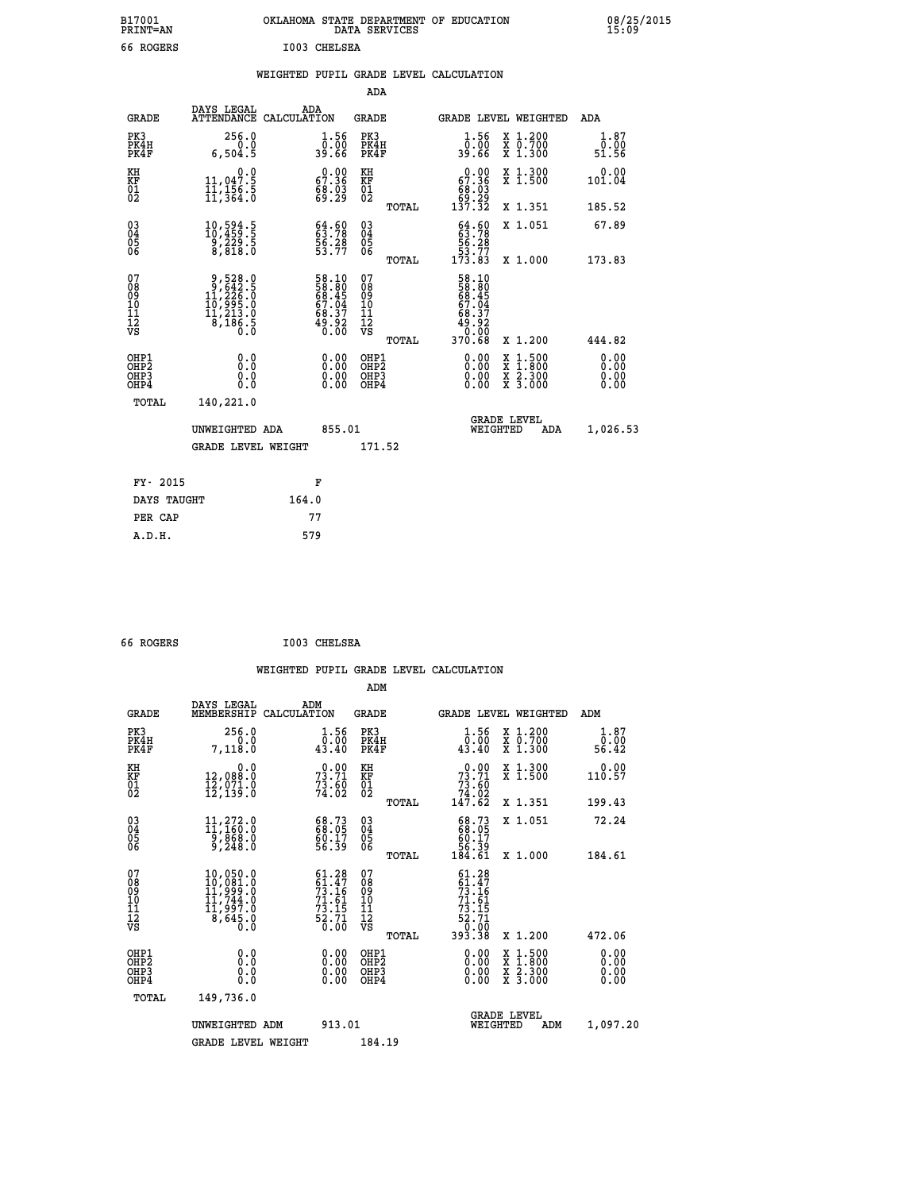| B17001          | OKLAHOMA STATE DEPARTMENT OF EDUCATION |
|-----------------|----------------------------------------|
| <b>PRINT=AN</b> | DATA SERVICES                          |
| 66 ROGERS       | I003 CHELSEA                           |

|  |  | WEIGHTED PUPIL GRADE LEVEL CALCULATION |
|--|--|----------------------------------------|
|  |  |                                        |

|                                                    |                                                                                               |                                                                      | ADA                                    |       |                                                                            |   |                                          |                              |
|----------------------------------------------------|-----------------------------------------------------------------------------------------------|----------------------------------------------------------------------|----------------------------------------|-------|----------------------------------------------------------------------------|---|------------------------------------------|------------------------------|
| <b>GRADE</b>                                       | DAYS LEGAL<br>ATTENDANCE CALCULATION                                                          | ADA                                                                  | <b>GRADE</b>                           |       | GRADE LEVEL WEIGHTED                                                       |   |                                          | <b>ADA</b>                   |
| PK3<br>PK4H<br>PK4F                                | 256.0<br>0.0<br>6,504.5                                                                       | $\frac{1.56}{0.00}$<br>39.66                                         | PK3<br>PK4H<br>PK4F                    |       | $\frac{1}{0}$ : 56<br>39.66                                                |   | X 1.200<br>X 0.700<br>X 1.300            | 1.87<br>0.00<br>51.56        |
| KH<br>KF<br>01<br>02                               | $\begin{smallmatrix}&&&0.0\\11,047.5\\11,156.5\\11,364.0\end{smallmatrix}$                    | $\begin{smallmatrix} 0.00\\ 67.36\\ 68.03\\ 69.29 \end{smallmatrix}$ | KH<br>KF<br>01<br>02                   |       | $0.00$<br>67.36<br>$\begin{array}{c} 66.03 \\ 69.29 \\ 137.32 \end{array}$ |   | X 1.300<br>X 1.500                       | 0.00<br>101.04               |
|                                                    |                                                                                               |                                                                      |                                        | TOTAL |                                                                            |   | X 1.351                                  | 185.52                       |
| $\begin{matrix} 03 \\ 04 \\ 05 \\ 06 \end{matrix}$ | $\substack{10,594.5 \\ 10,459.5 \\ 9,229.5 \\ 8,818.0}$                                       | 64.60<br>63.78<br>56.28<br>53.77                                     | 03<br>04<br>05<br>06                   |       | $64.6063.7856.2853.77173.83$                                               |   | X 1.051                                  | 67.89                        |
|                                                    |                                                                                               |                                                                      |                                        | TOTAL |                                                                            |   | X 1.000                                  | 173.83                       |
| 07<br>08<br>09<br>11<br>11<br>12<br>VS             | $\begin{smallmatrix}9,528.0\\9,642.5\\11,226.0\\10,995.0\\11,213.0\\8,186.5\end{smallmatrix}$ | 58.10<br>58.80<br>68.45<br>67.04<br>67.04<br>68.37<br>49.92<br>0.00  | 07<br>08<br>09<br>11<br>11<br>12<br>VS |       | 58.10<br>58.805<br>58.454<br>67.047<br>68.37<br>49.020<br>0.000<br>370.68  |   |                                          |                              |
|                                                    |                                                                                               |                                                                      |                                        | TOTAL |                                                                            |   | X 1.200                                  | 444.82                       |
| OHP1<br>OHP2<br>OHP3<br>OHP4                       | 0.0<br>0.0<br>Ō.Ō                                                                             | 0.00<br>$\begin{smallmatrix} 0.00 \ 0.00 \end{smallmatrix}$          | OHP1<br>OHP2<br>OHP3<br>OHP4           |       | $0.00$<br>$0.00$<br>0.00                                                   | X | $1.500$<br>$1.800$<br>X 2.300<br>X 3.000 | 0.00<br>0.00<br>0.00<br>0.00 |
| <b>TOTAL</b>                                       | 140,221.0                                                                                     |                                                                      |                                        |       |                                                                            |   |                                          |                              |
|                                                    | UNWEIGHTED ADA                                                                                | 855.01                                                               |                                        |       | <b>GRADE LEVEL</b><br>WEIGHTED                                             |   | <b>ADA</b>                               | 1,026.53                     |
|                                                    | <b>GRADE LEVEL WEIGHT</b>                                                                     |                                                                      | 171.52                                 |       |                                                                            |   |                                          |                              |
| FY- 2015                                           |                                                                                               | F                                                                    |                                        |       |                                                                            |   |                                          |                              |
|                                                    |                                                                                               |                                                                      |                                        |       |                                                                            |   |                                          |                              |
| DAYS TAUGHT                                        |                                                                                               | 164.0                                                                |                                        |       |                                                                            |   |                                          |                              |
| PER CAP                                            |                                                                                               | 77                                                                   |                                        |       |                                                                            |   |                                          |                              |

 **66 ROGERS I003 CHELSEA**

 **A.D.H. 579**

| <b>GRADE</b>                                         | DAYS LEGAL<br>MEMBERSHIP                                                                                     | ADM<br>CALCULATION                                                                                 | <b>GRADE</b>                                       |       |                                                                                                              |                                | GRADE LEVEL WEIGHTED                     | ADM                    |  |
|------------------------------------------------------|--------------------------------------------------------------------------------------------------------------|----------------------------------------------------------------------------------------------------|----------------------------------------------------|-------|--------------------------------------------------------------------------------------------------------------|--------------------------------|------------------------------------------|------------------------|--|
| PK3<br>PK4H<br>PK4F                                  | 256.0<br>7,118.0                                                                                             | 1.56<br>0.00<br>43.40                                                                              | PK3<br>PK4H<br>PK4F                                |       | 1.56<br>$\frac{0.00}{43.40}$                                                                                 |                                | X 1.200<br>X 0.700<br>X 1.300            | 1.87<br>0.00.<br>56.42 |  |
| KH<br>KF<br>01<br>02                                 | 0.0<br>12,088.0<br>$\bar{1}\bar{2}$ ,071.0<br>12,139.0                                                       | $73.71$<br>$73.71$<br>$73.60$<br>$74.02$                                                           | KH<br>KF<br>01<br>02                               |       | $\begin{smallmatrix} &0.00\ 73.71\ 73.60\ 74.02\ 147.62\end{smallmatrix}$                                    |                                | X 1.300<br>X 1.500                       | 0.00<br>110.57         |  |
|                                                      |                                                                                                              |                                                                                                    |                                                    | TOTAL |                                                                                                              |                                | X 1.351                                  | 199.43                 |  |
| $\begin{matrix} 03 \\ 04 \\ 05 \\ 06 \end{matrix}$   | $11,272.0$<br>11,160.0<br>9,868.0<br>9,248.0                                                                 | 68.73<br>68.05<br>60.17<br>56.39                                                                   | $\begin{matrix} 03 \\ 04 \\ 05 \\ 06 \end{matrix}$ |       | $\begin{smallmatrix} 68.73\ 68.05\ 60.17\ 56.39\ 184.61\ \end{smallmatrix}$                                  |                                | X 1.051                                  | 72.24                  |  |
|                                                      |                                                                                                              |                                                                                                    |                                                    | TOTAL |                                                                                                              |                                | X 1.000                                  | 184.61                 |  |
| 07<br>08<br>09<br>101<br>112<br>VS                   | $\begin{smallmatrix} 10,050.0\\ 10,081.0\\ 11,999.0\\ 11,744.0\\ 11,997.0\\ 8,645.0\\ 0.0 \end{smallmatrix}$ | $\begin{array}{l} 61.28 \\ 61.47 \\ 73.16 \\ 71.61 \\ 73.15 \\ 73.15 \\ 52.71 \\ 0.00 \end{array}$ | 07<br>08<br>09<br>11<br>11<br>12<br>VS             | TOTAL | $\begin{array}{r} 61.28 \\ 61.47 \\ 73.16 \\ 71.61 \\ 73.15 \\ 73.15 \\ 62.71 \\ 0.00 \\ 393.38 \end{array}$ |                                | X 1.200                                  | 472.06                 |  |
| OHP1<br>OHP <sub>2</sub><br>OH <sub>P3</sub><br>OHP4 | 0.0<br>0.000                                                                                                 |                                                                                                    | OHP1<br>OHP <sub>2</sub><br>OHP3<br>OHP4           |       | 0.00<br>$0.00$<br>0.00                                                                                       |                                | X 1:500<br>X 1:800<br>X 2:300<br>X 3:000 | 0.00<br>0.00<br>0.00   |  |
| TOTAL                                                | 149,736.0                                                                                                    |                                                                                                    |                                                    |       |                                                                                                              |                                |                                          |                        |  |
|                                                      | UNWEIGHTED                                                                                                   | 913.01<br>ADM                                                                                      |                                                    |       |                                                                                                              | <b>GRADE LEVEL</b><br>WEIGHTED | ADM                                      | 1,097.20               |  |
|                                                      | <b>GRADE LEVEL WEIGHT</b>                                                                                    |                                                                                                    | 184.19                                             |       |                                                                                                              |                                |                                          |                        |  |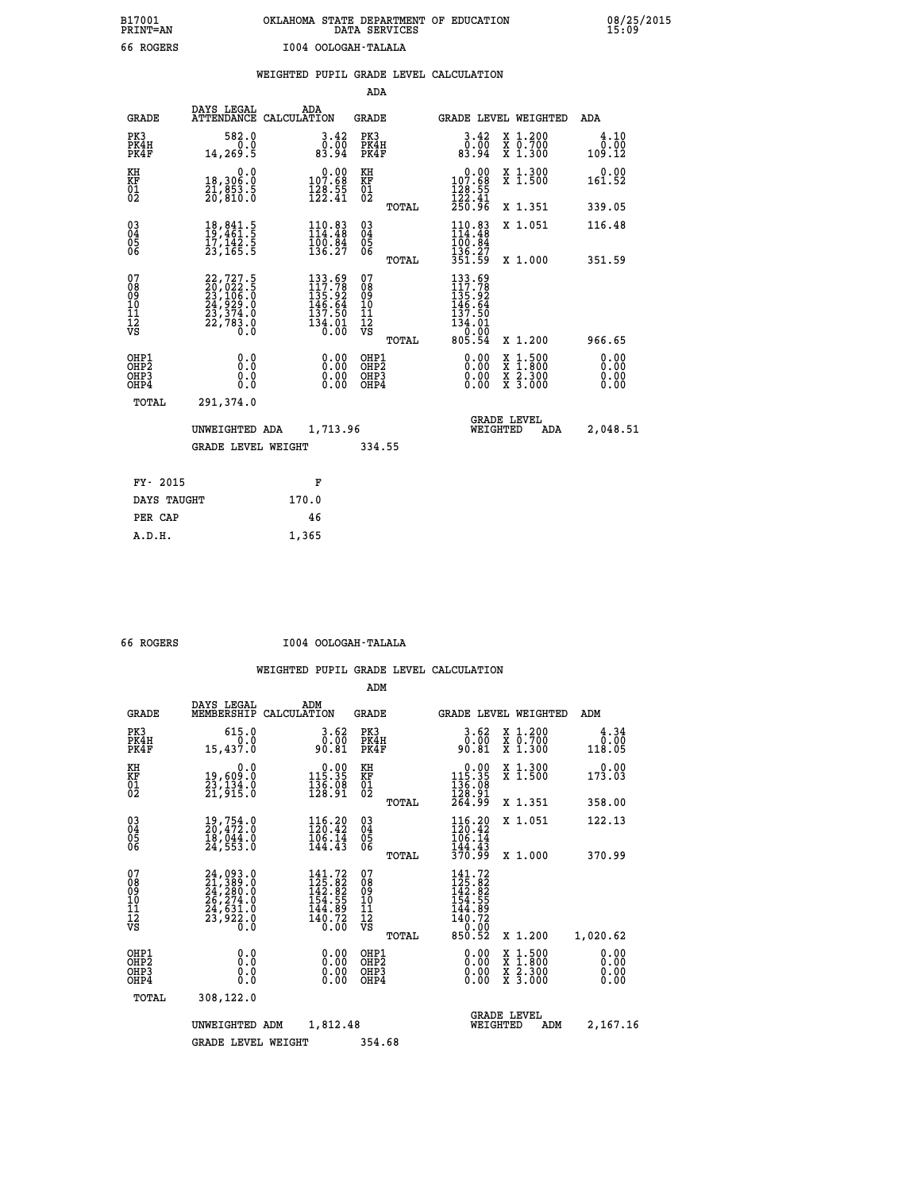## **B17001 OKLAHOMA STATE DEPARTMENT OF EDUCATION 08/25/2015 PRINT=AN DATA SERVICES 15:09 66 ROGERS I004 OOLOGAH-TALALA**

|  |  | WEIGHTED PUPIL GRADE LEVEL CALCULATION |
|--|--|----------------------------------------|
|  |  |                                        |

|                                                                    |                                                                                                               |       |                                                                                                                                      | ADA                                            |       |                                                                                                             |          |                                          |                              |
|--------------------------------------------------------------------|---------------------------------------------------------------------------------------------------------------|-------|--------------------------------------------------------------------------------------------------------------------------------------|------------------------------------------------|-------|-------------------------------------------------------------------------------------------------------------|----------|------------------------------------------|------------------------------|
| <b>GRADE</b>                                                       | DAYS LEGAL<br>ATTENDANCE CALCULATION                                                                          | ADA   |                                                                                                                                      | <b>GRADE</b>                                   |       |                                                                                                             |          | GRADE LEVEL WEIGHTED                     | <b>ADA</b>                   |
| PK3<br>PK4H<br>PK4F                                                | 582.0<br>0.0<br>14,269.5                                                                                      |       | $3.42$<br>$83.94$                                                                                                                    | PK3<br>PK4H<br>PK4F                            |       | $3.42$<br>$83.94$                                                                                           |          | X 1.200<br>X 0.700<br>X 1.300            | 4.10<br>0.00<br>109.12       |
| KH<br>KF<br>01<br>02                                               | 0.0<br>18,306.0<br>21,053.5<br>20,010.0                                                                       |       | $\begin{smallmatrix} &0.00\\ 107.68\\ 128.55\\ 122.41\end{smallmatrix}$                                                              | KH<br>KF<br>01<br>02                           |       | 0.00<br>107.68<br>$\frac{128}{122}$ : $\frac{55}{41}$<br>250: 96                                            |          | X 1.300<br>X 1.500                       | 0.00<br>161.52               |
|                                                                    |                                                                                                               |       |                                                                                                                                      |                                                | TOTAL |                                                                                                             |          | X 1.351                                  | 339.05                       |
| $\begin{smallmatrix} 03 \\[-4pt] 04 \end{smallmatrix}$<br>05<br>ŌĞ | 18,841.5<br>19,461.5<br>17,142.5<br>23,165.5                                                                  |       | 110.83<br>114.48<br>$\frac{100.84}{136.27}$                                                                                          | $\substack{03 \\ 04}$<br>$\substack{05 \\ 06}$ |       | $110.83$<br>$114.48$<br>100.84<br>136.27<br>351.59                                                          |          | X 1.051                                  | 116.48                       |
| 07                                                                 |                                                                                                               |       |                                                                                                                                      | 07                                             | TOTAL |                                                                                                             |          | X 1.000                                  | 351.59                       |
| 08<br>09<br>11<br>11<br>12<br>VS                                   | $\begin{smallmatrix} 22,727.5\\ 20,022.5\\ 23,106.5\\ 24,929.0\\ 23,374.0\\ 22,783.0\\ 0.0 \end{smallmatrix}$ |       | $\begin{smallmatrix} 133\cdot 69\\ 117\cdot 78\\ 135\cdot 92\\ 146\cdot 64\\ 137\cdot 50\\ 134\cdot 01\\ 0\cdot 00\end{smallmatrix}$ | 08<br>09<br>11<br>11<br>12<br>VS               |       | 133.69<br>117.78<br>ī3́5∶9́2<br>146.64<br>$\begin{array}{r} 137.50 \\ 134.01 \\ 0.00 \\ 805.54 \end{array}$ |          |                                          |                              |
|                                                                    |                                                                                                               |       |                                                                                                                                      |                                                | TOTAL |                                                                                                             |          | X 1.200                                  | 966.65                       |
| OHP1<br>OH <sub>P</sub> 2<br>OHP3<br>OHP4                          | 0.0<br>Ō.Ō<br>0.0<br>$0.\overline{0}$                                                                         |       | 0.00<br>$\begin{smallmatrix} 0.00 \ 0.00 \end{smallmatrix}$                                                                          | OHP1<br>OH <sub>P</sub> 2<br>OHP3<br>OHP4      |       | 0.00<br>0.00<br>0.00                                                                                        | X<br>X   | $1:500$<br>$1:800$<br>X 2.300<br>X 3.000 | 0.00<br>0.00<br>0.00<br>0.00 |
| TOTAL                                                              | 291,374.0                                                                                                     |       |                                                                                                                                      |                                                |       |                                                                                                             |          |                                          |                              |
|                                                                    | UNWEIGHTED ADA                                                                                                |       | 1,713.96                                                                                                                             |                                                |       |                                                                                                             | WEIGHTED | <b>GRADE LEVEL</b><br>ADA                | 2,048.51                     |
|                                                                    | <b>GRADE LEVEL WEIGHT</b>                                                                                     |       |                                                                                                                                      | 334.55                                         |       |                                                                                                             |          |                                          |                              |
| FY- 2015                                                           |                                                                                                               |       | F                                                                                                                                    |                                                |       |                                                                                                             |          |                                          |                              |
| DAYS TAUGHT                                                        |                                                                                                               | 170.0 |                                                                                                                                      |                                                |       |                                                                                                             |          |                                          |                              |
| PER CAP                                                            |                                                                                                               | 46    |                                                                                                                                      |                                                |       |                                                                                                             |          |                                          |                              |

 **A.D.H. 1,365**

 **66 ROGERS I004 OOLOGAH-TALALA**

|                                                       |                                                                                           |                                                                         | ADM                                    |       |                                                                                    |                                                                                                  |                              |  |
|-------------------------------------------------------|-------------------------------------------------------------------------------------------|-------------------------------------------------------------------------|----------------------------------------|-------|------------------------------------------------------------------------------------|--------------------------------------------------------------------------------------------------|------------------------------|--|
| <b>GRADE</b>                                          | DAYS LEGAL<br>MEMBERSHIP                                                                  | ADM<br>CALCULATION                                                      | <b>GRADE</b>                           |       | <b>GRADE LEVEL WEIGHTED</b>                                                        |                                                                                                  | ADM                          |  |
| PK3<br>PK4H<br>PK4F                                   | 615.0<br>0.0<br>15,437.0                                                                  | 3.62<br>0.00<br>90.81                                                   | PK3<br>PK4H<br>PK4F                    |       | $\begin{smallmatrix} 3.62\ 0.00\\ 9.81 \end{smallmatrix}$                          | X 1.200<br>X 0.700<br>X 1.300                                                                    | 4.34<br>0.00<br>118.05       |  |
| KH<br>KF<br>01<br>02                                  | 0.0<br>19,609:0<br>23,134.0<br>21,915:0                                                   | $\begin{smallmatrix} &0.00\\ 115.35\\ 136.98\\ 128.91\end{smallmatrix}$ | KH<br>KF<br>01<br>02                   |       | $\begin{smallmatrix} &0.00\\ 115.35\\ 136.08\\ 128.91\\ 264.99 \end{smallmatrix}$  | X 1.300<br>X 1.500                                                                               | 0.00<br>173.03               |  |
|                                                       |                                                                                           |                                                                         |                                        | TOTAL |                                                                                    | X 1.351                                                                                          | 358.00                       |  |
| 03<br>04<br>05<br>06                                  | 19,754.0<br>20,472.0<br>18,044.0<br>24,553.0                                              | $116.20$<br>$120.42$<br>106.14<br>144.43                                | $\substack{03 \\ 04}$<br>0500          |       | $116.20$<br>$120.42$<br>106.14<br>144.43                                           | X 1.051                                                                                          | 122.13                       |  |
|                                                       |                                                                                           |                                                                         |                                        | TOTAL | 370.99                                                                             | X 1.000                                                                                          | 370.99                       |  |
| 07<br>08<br>09<br>101<br>112<br>VS                    | $24,093.0$<br>$21,389.0$<br>$24,280.0$<br>$26,274.0$<br>$24,631.0$<br>$23,922.0$<br>$0.0$ | $141.72$<br>$125.82$<br>$142.82$<br>$154.55$<br>$\frac{144.89}{140.72}$ | 07<br>08<br>09<br>11<br>11<br>12<br>VS | TOTAL | $141.72$<br>$125.82$<br>$142.82$<br>$154.55$<br>144.89<br>140.72<br>0.00<br>850.52 | X 1.200                                                                                          | 1,020.62                     |  |
| OHP1<br>OH <sub>P</sub> 2<br>OH <sub>P3</sub><br>OHP4 | 0.0<br>0.000                                                                              | $0.00$<br>$0.00$<br>0.00                                                | OHP1<br>OHP2<br>OHP3<br>OHP4           |       | $0.00$<br>$0.00$<br>0.00                                                           | $\begin{smallmatrix} x & 1 & 500 \\ x & 1 & 800 \\ x & 2 & 300 \\ x & 3 & 000 \end{smallmatrix}$ | 0.00<br>0.00<br>0.00<br>0.00 |  |
| TOTAL                                                 | 308,122.0                                                                                 |                                                                         |                                        |       |                                                                                    |                                                                                                  |                              |  |
|                                                       | UNWEIGHTED                                                                                | 1,812.48<br>ADM                                                         |                                        |       | WEIGHTED                                                                           | <b>GRADE LEVEL</b><br>ADM                                                                        | 2,167.16                     |  |
|                                                       | <b>GRADE LEVEL WEIGHT</b>                                                                 |                                                                         | 354.68                                 |       |                                                                                    |                                                                                                  |                              |  |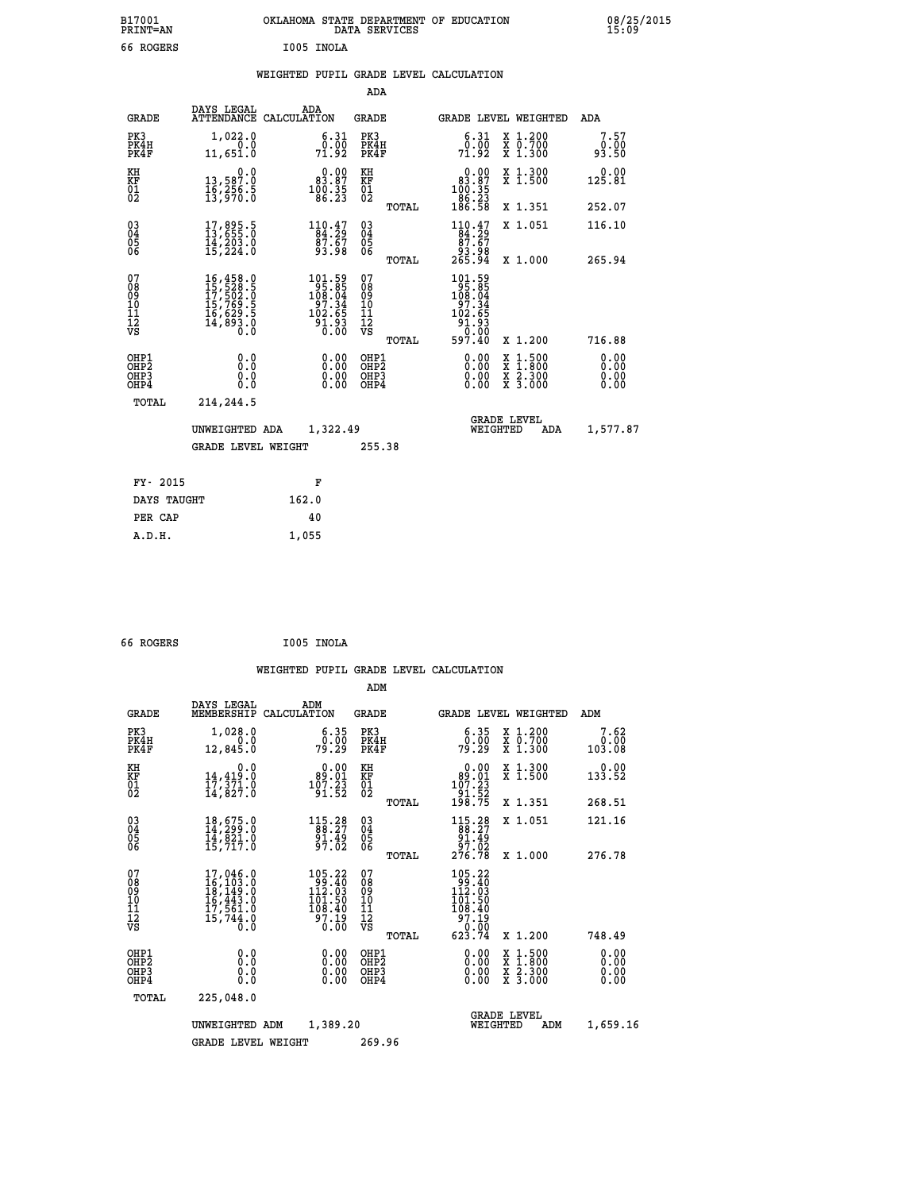| B17001<br>PRINT=AN                       |                                                                             | OKLAHOMA STATE DEPARTMENT OF EDUCATION                                                    | DATA SERVICES                                      |                                                                                 |                                                                                          | 08/25/2015            |
|------------------------------------------|-----------------------------------------------------------------------------|-------------------------------------------------------------------------------------------|----------------------------------------------------|---------------------------------------------------------------------------------|------------------------------------------------------------------------------------------|-----------------------|
| 66 ROGERS                                |                                                                             | I005 INOLA                                                                                |                                                    |                                                                                 |                                                                                          |                       |
|                                          |                                                                             | WEIGHTED PUPIL GRADE LEVEL CALCULATION                                                    |                                                    |                                                                                 |                                                                                          |                       |
|                                          |                                                                             |                                                                                           | ADA                                                |                                                                                 |                                                                                          |                       |
| GRADE                                    | DAYS LEGAL                                                                  | ADA<br>ATTENDANCE CALCULATION                                                             | GRADE                                              | GRADE LEVEL WEIGHTED                                                            |                                                                                          | ADA                   |
| PK3<br>PK4H<br>PK4F                      | 1,022.0<br>0.0<br>11,651.0                                                  | 6.31<br>0.00<br>71.92                                                                     | PK3<br>PK4H<br>PK4F                                | 6.31<br>0.00<br>71.92                                                           | X 1.200<br>X 0.700<br>X 1.300                                                            | 7.57<br>0.00<br>93.50 |
| KH<br>KF<br>$^{01}_{02}$                 | 0.0<br>13,587:0<br>16,256:5<br>13,970:0                                     | $\begin{smallmatrix} 0.00\\ 83.87\\ 100.35\\ 86.23 \end{smallmatrix}$                     | KH<br>KF<br>$\overline{01}$                        | $\begin{smallmatrix} &0.00\\ 83.87\\ 100.35\\ 166.23\\ 186.58\end{smallmatrix}$ | X 1.300<br>X 1.500                                                                       | 0.00<br>125.81        |
|                                          |                                                                             |                                                                                           | TOTAL                                              |                                                                                 | X 1.351                                                                                  | 252.07                |
| $03\overline{4}$<br>Ŏ5<br>06             | $17,895.5$<br>$13,655.0$<br>$14,203.0$<br>$15,224.0$                        | $110.47$<br>$84.29$<br>$87.67$<br>93.98                                                   | $\begin{matrix} 03 \\ 04 \\ 05 \\ 06 \end{matrix}$ | $110.47$<br>$84.29$<br>$87.67$<br>93.98                                         | X 1.051                                                                                  | 116.10                |
|                                          |                                                                             |                                                                                           | TOTAL                                              | 265.94                                                                          | X 1.000                                                                                  | 265.94                |
| 07<br>08<br>09<br>111<br>12<br>VS        | 16,458.0<br>15,528.5<br>17,502.0<br>15,769.5<br>16,629.5<br>14,893.0<br>0.0 | $\begin{smallmatrix} 101.59\\195.85\\108.04\\97.34\\102.65\\91.93\\0.00\end{smallmatrix}$ | 07<br>08<br>09<br>11<br>11<br>12<br>VS             | 101.59<br>95.85<br>108.04<br>$\frac{55}{102}.34$<br>ַ 31.93<br>0.00             |                                                                                          |                       |
|                                          |                                                                             |                                                                                           | TOTAL                                              | 597.40                                                                          | X 1.200                                                                                  | 716.88                |
| OHP1<br>OHP <sub>2</sub><br>OHP3<br>OHP4 | 0.0<br>0.0<br>0.0<br>0.0                                                    | $0.00$<br>$0.00$<br>0.00                                                                  | OHP1<br>OHP <sub>2</sub><br>OHP3<br>OHP4           | 0.00<br>0.00<br>0.00                                                            | $\begin{smallmatrix} x & 1.500 \\ x & 1.800 \\ x & 2.300 \\ x & 3.000 \end{smallmatrix}$ | 0.00<br>0.00<br>0.00  |
| TOTAL                                    | 214,244.5                                                                   |                                                                                           |                                                    |                                                                                 |                                                                                          |                       |
|                                          | UNWEIGHTED ADA                                                              | 1,322.49                                                                                  |                                                    | <b>GRADE LEVEL</b><br>WEIGHTED                                                  | ADA                                                                                      | 1,577.87              |
|                                          | <b>GRADE LEVEL WEIGHT</b>                                                   |                                                                                           | 255.38                                             |                                                                                 |                                                                                          |                       |
| FY- 2015                                 |                                                                             | F                                                                                         |                                                    |                                                                                 |                                                                                          |                       |
| DAYS TAUGHT                              |                                                                             | 162.0                                                                                     |                                                    |                                                                                 |                                                                                          |                       |
| PER CAP                                  |                                                                             | 40                                                                                        |                                                    |                                                                                 |                                                                                          |                       |

| 66 ROGERS | I005 INOLA |
|-----------|------------|
|           |            |

 **A.D.H. 1,055**

 **WEIGHTED PUPIL GRADE LEVEL CALCULATION ADM DAYS LEGAL ADM GRADE MEMBERSHIP CALCULATION GRADE GRADE LEVEL WEIGHTED ADM PK3 1,028.0 6.35 PK3 6.35 X 1.200 7.62 PK4H 0.0 0.00 PK4H 0.00 X 0.700 0.00 PK4F 12,845.0 79.29 PK4F 79.29 X 1.300 103.08** 0.00 KH 0.00 0.00 KH 0.00 X 1.300<br>RF 14,419.0 89.01 KF 99.01 X 1.500 133.52  **01 17,371.0 107.23 01 107.23 02 14,827.0 91.52 02 91.52 TOTAL 198.75 X 1.351 268.51 03 18,675.0 115.28 03 115.28 X 1.051 121.16 04 14,299.0 88.27 04 88.27 05 14,821.0 91.49 05 91.49 06 15,717.0 97.02 06 97.02 TOTAL 276.78 X 1.000 276.78**  $\begin{array}{cccc} 07 & 17,046.0 & 105.22 & 07 & 105.22 \ 08 & 16,103.0 & 99 & 18,149.0 \ 16,443.0 & 112.03 & 08 & 99.40 \ 10 & 16,443.0 & 101.50 & 10 & 101.50 \ 11 & 17,561.0 & 108.40 & 11 & 108.40 \ 12 & 15,744.0 & 108.40 & 11 & 108.40 \ 13 & 15,744.0 & 97.19$  **TOTAL 623.74 X 1.200 748.49 OHP1 0.0 0.00 OHP1 0.00 X 1.500 0.00 OHP2 0.0 0.00 OHP2 0.00 X 1.800 0.00 OHP3 0.0 0.00 OHP3 0.00 X 2.300 0.00 OHP4 0.0 0.00 OHP4 0.00 X 3.000 0.00 TOTAL 225,048.0 GRADE LEVEL UNWEIGHTED ADM 1,389.20 WEIGHTED ADM 1,659.16** GRADE LEVEL WEIGHT 269.96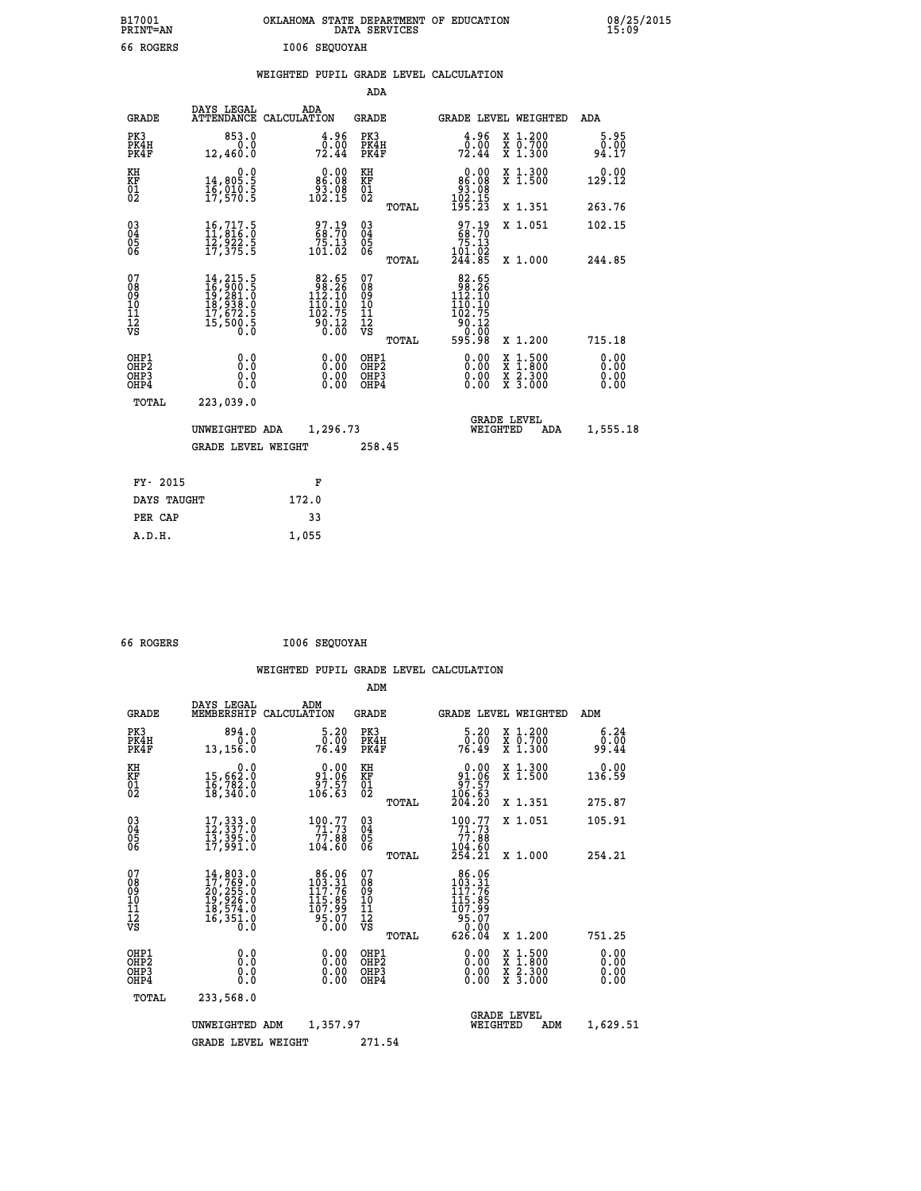| B17001<br>PRINT=AN                                 |                                                                                                                                                                    | OKLAHOMA STATE DEPARTMENT OF EDUCATION DATA SERVICES                                                    |                                                     |       |                                                                                                        |                                                                                                                                                                                                                     | 08/25<br>15:09        |  |
|----------------------------------------------------|--------------------------------------------------------------------------------------------------------------------------------------------------------------------|---------------------------------------------------------------------------------------------------------|-----------------------------------------------------|-------|--------------------------------------------------------------------------------------------------------|---------------------------------------------------------------------------------------------------------------------------------------------------------------------------------------------------------------------|-----------------------|--|
| 66 ROGERS                                          |                                                                                                                                                                    | 1006 SEQUOYAH                                                                                           |                                                     |       |                                                                                                        |                                                                                                                                                                                                                     |                       |  |
|                                                    |                                                                                                                                                                    | WEIGHTED PUPIL GRADE LEVEL CALCULATION                                                                  |                                                     |       |                                                                                                        |                                                                                                                                                                                                                     |                       |  |
|                                                    |                                                                                                                                                                    |                                                                                                         | ADA                                                 |       |                                                                                                        |                                                                                                                                                                                                                     |                       |  |
| <b>GRADE</b>                                       | DAYS LEGAL<br><b>ATTENDANCE</b>                                                                                                                                    | ADA<br>CALCULATION                                                                                      | <b>GRADE</b>                                        |       |                                                                                                        | <b>GRADE LEVEL WEIGHTED</b>                                                                                                                                                                                         | ADA                   |  |
| PK3<br>PK4H<br>PK4F                                | 853.0<br>0.0<br>12,460.0                                                                                                                                           | $\frac{4.96}{0.00}$<br>72.44                                                                            | PK3<br>PK4H<br>PK4F                                 |       | $\frac{4.96}{0.00}$<br>72.44                                                                           | X 1.200<br>X 0.700<br>X 1.300                                                                                                                                                                                       | 5.95<br>0.00<br>94.17 |  |
| KH<br>KF<br>01<br>02                               | $\begin{smallmatrix} & & 0 & .0\ 14 & , & 805 & .5\ 16 & , & 010 & .5\ 17 & , & 570 & .5\ \end{smallmatrix}$                                                       | $\begin{smallmatrix} &0.00\\ &86.08\\ &93.08\\ &102.15\end{smallmatrix}$                                | KH<br>KF<br>01<br>02                                |       | $\begin{smallmatrix} &0.00\\ &86.08\\ &93.08\\ 102.15\\ 195.23\end{smallmatrix}$                       | X 1.300<br>X 1.500                                                                                                                                                                                                  | 0.00<br>129.12        |  |
|                                                    |                                                                                                                                                                    |                                                                                                         |                                                     | TOTAL |                                                                                                        | X 1.351                                                                                                                                                                                                             | 263.76                |  |
| $\begin{matrix} 03 \\ 04 \\ 05 \\ 06 \end{matrix}$ | $\begin{smallmatrix} 16, 717.5\\ 11, 816.0\\ 12, 922.5\\ 17, 375.5 \end{smallmatrix}$                                                                              | $\begin{smallmatrix} 97.19\ 68.70\ 75.13\ 101.02 \end{smallmatrix}$                                     | $\begin{array}{c} 03 \\ 04 \\ 05 \\ 06 \end{array}$ |       | $\begin{smallmatrix} 97.19 \\ 68.70 \\ 75.13 \\ 101.02 \\ 244.85 \end{smallmatrix}$                    | X 1.051                                                                                                                                                                                                             | 102.15                |  |
|                                                    |                                                                                                                                                                    |                                                                                                         |                                                     | TOTAL |                                                                                                        | X 1.000                                                                                                                                                                                                             | 244.85                |  |
| 07<br>08<br>09<br>101<br>11<br>12<br>VS            | $\begin{smallmatrix} 14\,,\,215\,,\,5\\ 16\,,\,900\,,\,5\\ 19\,,\,281\,,\,0\\ 18\,,\,938\,,\,0\\ 17\,,\,672\,,\,5\\ 15\,,\,500\,,\,5\\ 0\,\,,\,0\end{smallmatrix}$ | $\begin{smallmatrix}82.65\\98.26\\112.10\\110.10\\102.75\end{smallmatrix}$<br>$\frac{5}{6}$ .12<br>0.00 | 07<br>08<br>09<br>001<br>11<br>11<br>12<br>VS       | TOTAL | $\begin{array}{r} 82.65 \\ 98.26 \\ 112.10 \\ 110.10 \\ 102.75 \\ 90.12 \\ 0.00 \\ 595.98 \end{array}$ | X 1.200                                                                                                                                                                                                             | 715.18                |  |
| OHP1<br>OHP2                                       | 0.0                                                                                                                                                                |                                                                                                         | OHP1<br>OHP2                                        |       | 0.00                                                                                                   |                                                                                                                                                                                                                     | 0.00                  |  |
| OH <sub>P3</sub><br>OHP4                           | $\begin{smallmatrix} 0.5 \ 0.0 \end{smallmatrix}$                                                                                                                  | $0.00$<br>$0.00$<br>0.00                                                                                | OHP3<br>OHP4                                        |       | 0.00<br>0.00                                                                                           | $\begin{array}{l} \mathtt{x} \ \mathtt{1} \cdot \mathtt{500} \\ \mathtt{x} \ \mathtt{1} \cdot \mathtt{800} \\ \mathtt{x} \ \mathtt{2} \cdot \mathtt{300} \\ \mathtt{x} \ \mathtt{3} \cdot \mathtt{000} \end{array}$ | 0.00<br>0.00          |  |

08/25/2015<br>15:09

| TOTAL       | 223,039.0                                   |          |        |                                |     |          |
|-------------|---------------------------------------------|----------|--------|--------------------------------|-----|----------|
|             | UNWEIGHTED ADA<br><b>GRADE LEVEL WEIGHT</b> | 1,296.73 | 258.45 | <b>GRADE LEVEL</b><br>WEIGHTED | ADA | 1,555.18 |
| FY- 2015    |                                             | F        |        |                                |     |          |
| DAYS TAUGHT |                                             | 172.0    |        |                                |     |          |
| PER CAP     |                                             | 33       |        |                                |     |          |
| A.D.H.      |                                             | 1,055    |        |                                |     |          |

| 66 ROGERS |  | I006 SEQUOYAH |
|-----------|--|---------------|
|-----------|--|---------------|

 **ADM**

| <b>GRADE</b>                                       | DAYS LEGAL                                                                                                                                                                               | ADM<br>MEMBERSHIP CALCULATION                                                              | <b>GRADE</b>                               |       |                                                                                                                | <b>GRADE LEVEL WEIGHTED</b>              | ADM                          |
|----------------------------------------------------|------------------------------------------------------------------------------------------------------------------------------------------------------------------------------------------|--------------------------------------------------------------------------------------------|--------------------------------------------|-------|----------------------------------------------------------------------------------------------------------------|------------------------------------------|------------------------------|
| PK3<br>PK4H<br>PK4F                                | 894.0<br>0.0<br>13,156.0                                                                                                                                                                 | 5.20<br>0.00<br>76.49                                                                      | PK3<br>PK4H<br>PK4F                        |       | 5.20<br>ŏ:ōŏ<br>76.49                                                                                          | X 1.200<br>X 0.700<br>X 1.300            | 6.24<br>0.00<br>99.44        |
| KH<br><b>KF</b><br>01<br>02                        | 0.0<br>15,662:0<br>16,782:0<br>18,340:0                                                                                                                                                  | $\begin{smallmatrix} &0.00\ 91.06\ 97.57\ 106.63\end{smallmatrix}$                         | KH<br>KF<br>01<br>02                       |       | 0.00<br>$\begin{array}{r} 91.06 \\ 97.57 \\ 106.63 \\ 204.20 \end{array}$                                      | X 1.300<br>X 1.500                       | 0.00<br>136.59               |
|                                                    |                                                                                                                                                                                          |                                                                                            |                                            | TOTAL |                                                                                                                | X 1.351                                  | 275.87                       |
| $\begin{matrix} 03 \\ 04 \\ 05 \\ 06 \end{matrix}$ | $17,333.0$<br>$12,337.0$<br>$13,395.0$<br>$17,991.0$                                                                                                                                     | $\begin{array}{c} 100.77 \\ 71.73 \\ 77.88 \\ 104.60 \end{array}$                          | $\substack{03 \\ 04}$<br>05<br>06          |       | $^{100}_{71}$ $^{77}_{73}$<br>88.77<br>104.60                                                                  | X 1.051                                  | 105.91                       |
|                                                    |                                                                                                                                                                                          |                                                                                            |                                            | TOTAL | 254.21                                                                                                         | $X_1.000$                                | 254.21                       |
| 07<br>08<br>09<br>101<br>11<br>12<br>VS            | $\begin{smallmatrix} 14\,, & 803\,. & 0\\ 17\,, & 769\,. & 0\\ 20\,, & 255\,. & 0\\ 19\,, & 926\,. & 0\\ 18\,, & 574\,. & 0\\ 16\,, & 351\,. & 0\\ 0\,. & 0\,. & 0\,. \end{smallmatrix}$ | $86.06$<br>$103.31$<br>$117.76$<br>115.85<br>107.99<br>$\frac{5}{6}\frac{5}{6}\frac{7}{6}$ | 078<br>089<br>0011<br>11<br>11<br>12<br>VS |       | $\begin{array}{c} 86.06 \\ 103.31 \\ 117.76 \end{array}$<br>115.85<br>107.99<br>$\frac{35.07}{0.00}$<br>626.04 |                                          |                              |
|                                                    |                                                                                                                                                                                          |                                                                                            |                                            | TOTAL |                                                                                                                | X 1.200                                  | 751.25                       |
| OHP1<br>OHP2<br>OHP3<br>OHP4                       | 0.0<br>0.0<br>0.0                                                                                                                                                                        | $0.00$<br>$0.00$<br>0.00                                                                   | OHP1<br>OHP <sub>2</sub><br>OHP3<br>OHP4   |       | 0.00<br>0.00<br>0.00                                                                                           | X 1:500<br>X 1:800<br>X 2:300<br>X 3:000 | 0.00<br>0.00<br>0.00<br>0.00 |
| TOTAL                                              | 233,568.0                                                                                                                                                                                |                                                                                            |                                            |       |                                                                                                                |                                          |                              |
|                                                    | UNWEIGHTED                                                                                                                                                                               | 1,357.97<br>ADM                                                                            |                                            |       | WEIGHTED                                                                                                       | <b>GRADE LEVEL</b><br>ADM                | 1,629.51                     |
|                                                    | <b>GRADE LEVEL WEIGHT</b>                                                                                                                                                                |                                                                                            | 271.54                                     |       |                                                                                                                |                                          |                              |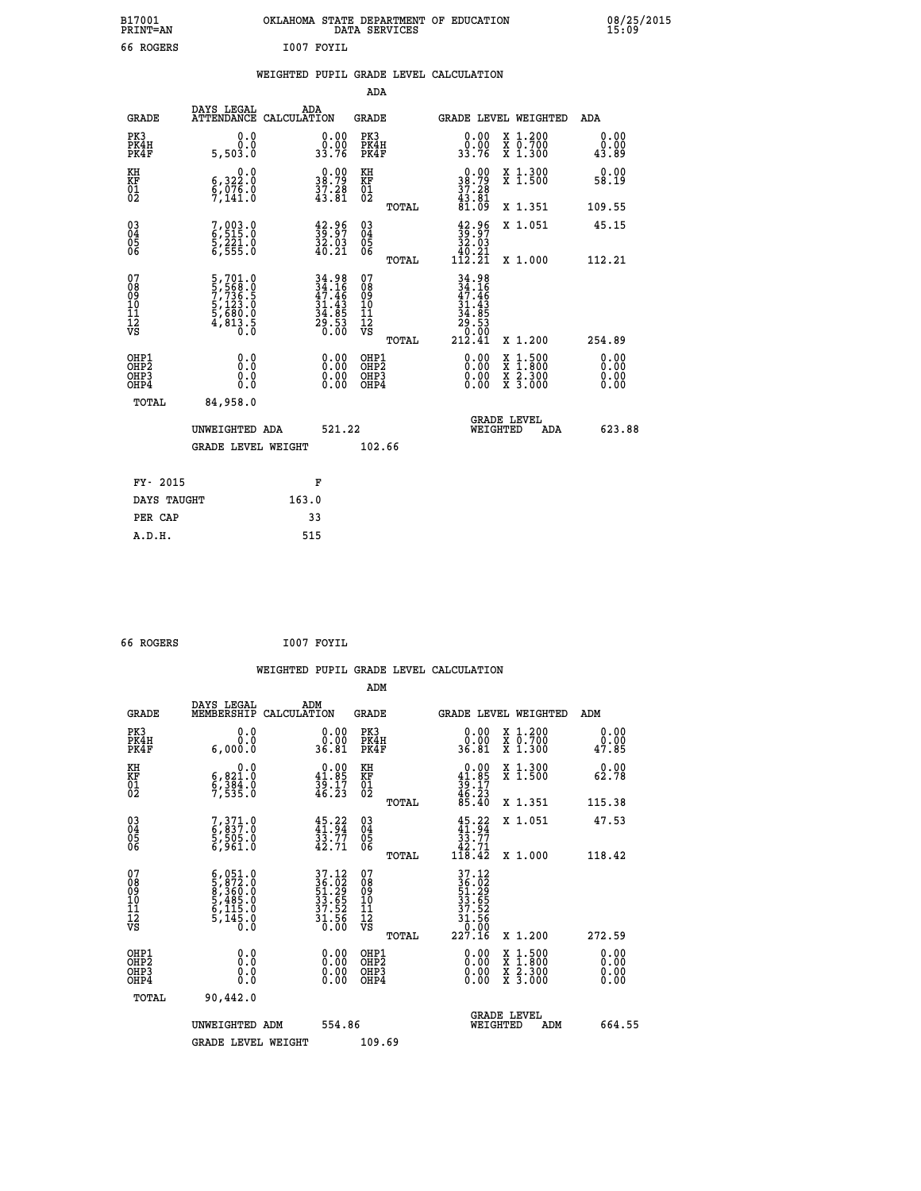| B17001<br><b>PRINT=AN</b> | OKLAHOMA STATE DEPARTMENT OF EDUCATION<br>DATA SERVICES | 08/25/2015<br>15:09 |
|---------------------------|---------------------------------------------------------|---------------------|
| <sup>-</sup> ROGERS<br>66 | I007<br>' FOYIL                                         |                     |

|  |  | WEIGHTED PUPIL GRADE LEVEL CALCULATION |
|--|--|----------------------------------------|
|  |  |                                        |

|                                                                    |                                                                                                 |                                                                                           | ADA                                    |       |                                                                                                           |                                          |                       |
|--------------------------------------------------------------------|-------------------------------------------------------------------------------------------------|-------------------------------------------------------------------------------------------|----------------------------------------|-------|-----------------------------------------------------------------------------------------------------------|------------------------------------------|-----------------------|
| <b>GRADE</b>                                                       | DAYS LEGAL<br>ATTENDANCE CALCULATION                                                            | ADA                                                                                       | <b>GRADE</b>                           |       |                                                                                                           | GRADE LEVEL WEIGHTED                     | ADA                   |
| PK3<br>PK4H<br>PK4F                                                | 0.0<br>0.0<br>5,503.0                                                                           | 0.00<br>0.00<br>33.76                                                                     | PK3<br>PK4H<br>PK4F                    |       | 0.00<br>0.00<br>33.76                                                                                     | X 1.200<br>X 0.700<br>X 1.300            | 0.00<br>0.00<br>43.89 |
| KH<br>KF<br>01<br>02                                               | 0.0<br>$\frac{6}{9}, \frac{322}{076}$ .0<br>9,141.0                                             | $\begin{smallmatrix} 0.00\\ 38.79\\ 37.28\\ 43.81 \end{smallmatrix}$                      | KH<br>KF<br>01<br>02                   |       | 0.00<br>38.79<br>37.28<br>43.81<br>81.09                                                                  | X 1.300<br>X 1.500                       | 0.00<br>58.19         |
|                                                                    |                                                                                                 |                                                                                           |                                        | TOTAL |                                                                                                           | X 1.351                                  | 109.55                |
| $\begin{smallmatrix} 03 \\[-4pt] 04 \end{smallmatrix}$<br>Ŏ5<br>06 | 7,003.0<br>6,515.0<br>5,221.0<br>6,555.0                                                        | $\frac{42.96}{39.07}$<br>$\frac{32.03}{40.21}$                                            | 03<br>04<br>05<br>06                   |       | $\begin{smallmatrix} 42.96\\ 39.97\\ 32.03\\ 40.21\\ 112.21 \end{smallmatrix}$                            | X 1.051                                  | 45.15                 |
|                                                                    |                                                                                                 |                                                                                           |                                        | TOTAL |                                                                                                           | X 1.000                                  | 112.21                |
| 07<br>08<br>09<br>01<br>11<br>11<br>12<br>VS                       | $\begin{smallmatrix}5,701.0\\5,568.0\\7,736.5\\5,123.0\\5,680.0\\4,813.5\\0.0\end{smallmatrix}$ | $\begin{array}{r} 34.98 \\ 34.16 \\ 47.46 \\ 31.43 \\ 34.85 \\ 29.53 \\ 0.00 \end{array}$ | 07<br>08<br>09<br>11<br>11<br>12<br>VS |       | $34.98$<br>$34.16$<br>$47.46$<br>$\begin{array}{c} 31.43 \\ 34.85 \\ 29.53 \\ 0.00 \\ 212.41 \end{array}$ |                                          |                       |
|                                                                    |                                                                                                 |                                                                                           |                                        | TOTAL |                                                                                                           | X 1.200                                  | 254.89                |
| OHP1<br><b>OHP2</b><br>OH <sub>P3</sub><br>OHP4                    | 0.0<br>0.0<br>0.0                                                                               | $0.00$<br>$0.00$<br>0.00                                                                  | OHP1<br>OHP2<br>OHP3<br>OHP4           |       |                                                                                                           | X 1:500<br>X 1:800<br>X 2:300<br>X 3:000 | 0.00<br>0.00<br>0.00  |
| TOTAL                                                              | 84,958.0                                                                                        |                                                                                           |                                        |       |                                                                                                           |                                          |                       |
|                                                                    | UNWEIGHTED ADA                                                                                  | 521.22                                                                                    |                                        |       |                                                                                                           | <b>GRADE LEVEL</b><br>WEIGHTED<br>ADA    | 623.88                |
|                                                                    | <b>GRADE LEVEL WEIGHT</b>                                                                       |                                                                                           | 102.66                                 |       |                                                                                                           |                                          |                       |
| FY- 2015                                                           |                                                                                                 | F                                                                                         |                                        |       |                                                                                                           |                                          |                       |
| DAYS TAUGHT                                                        |                                                                                                 | 163.0                                                                                     |                                        |       |                                                                                                           |                                          |                       |
| PER CAP                                                            |                                                                                                 | 33                                                                                        |                                        |       |                                                                                                           |                                          |                       |

| 66 | <b>ROGERS</b> |  |
|----|---------------|--|

 **66 ROGERS I007 FOYIL WEIGHTED PUPIL GRADE LEVEL CALCULATION ADM DAYS LEGAL ADM GRADE MEMBERSHIP CALCULATION GRADE GRADE LEVEL WEIGHTED ADM PK3 0.0 0.00 PK3 0.00 X 1.200 0.00 PK4H 0.0 0.00 PK4H 0.00 X 0.700 0.00 PK4F 6,000.0 36.81 PK4F 36.81 X 1.300 47.85 KH 0.0 0.00 KH 0.00 X 1.300 0.00 KF 6,821.0 41.85 KF 41.85 X 1.500 62.78**  $\begin{array}{cccc} \text{KH} & \text{0.0} & \text{0.00} & \text{KH} \\ \text{KF} & \text{6,821.0} & \text{41.85} & \text{KF} \\ \text{02} & \text{7,535.0} & \text{46.23} & \text{02} \end{array}$  $02$  7,535.0  $46.23$   $02$   $_{\text{norm}}$   $46.23$  **TOTAL 85.40 X 1.351 115.38 03 7,371.0 45.22 03 45.22 X 1.051 47.53 04 6,837.0 41.94 04 41.94 05 5,505.0 33.77 05 33.77** 06 6,961.0 42.71 06 <sub>momas</sub> 42.71  **TOTAL 118.42 X 1.000 118.42**  $\begin{array}{cccc} 07 & 6 \,, 051.0 & 37.12 & 07 & 37.12 \\ 08 & 5 \,, 872.0 & 36.03 & 36.03 \\ 09 & 5 \,, 360.0 & 51.29 & 08 & 35.02 \\ 10 & 5 \,, 485.0 & 33.65 & 10 & 33.65 \\ 11 & 6 \,, 115.0 & 37.52 & 11 & 37.52 \\ 12 & 5 \,, 145.0 & 37.52 & 12 & 37.52 \\ \sqrt{3} & 5 \,, 145.0 & 3$  **TOTAL 227.16 X 1.200 272.59 OHP1 0.0 0.00 OHP1 0.00 X 1.500 0.00 OHP2 0.0 0.00 OHP2 0.00 X 1.800 0.00 OHP3 0.0 0.00 OHP3 0.00 X 2.300 0.00 OHP4 0.0 0.00 OHP4 0.00 X 3.000 0.00 TOTAL 90,442.0 GRADE LEVEL UNWEIGHTED ADM 554.86 WEIGHTED ADM 664.55** GRADE LEVEL WEIGHT 109.69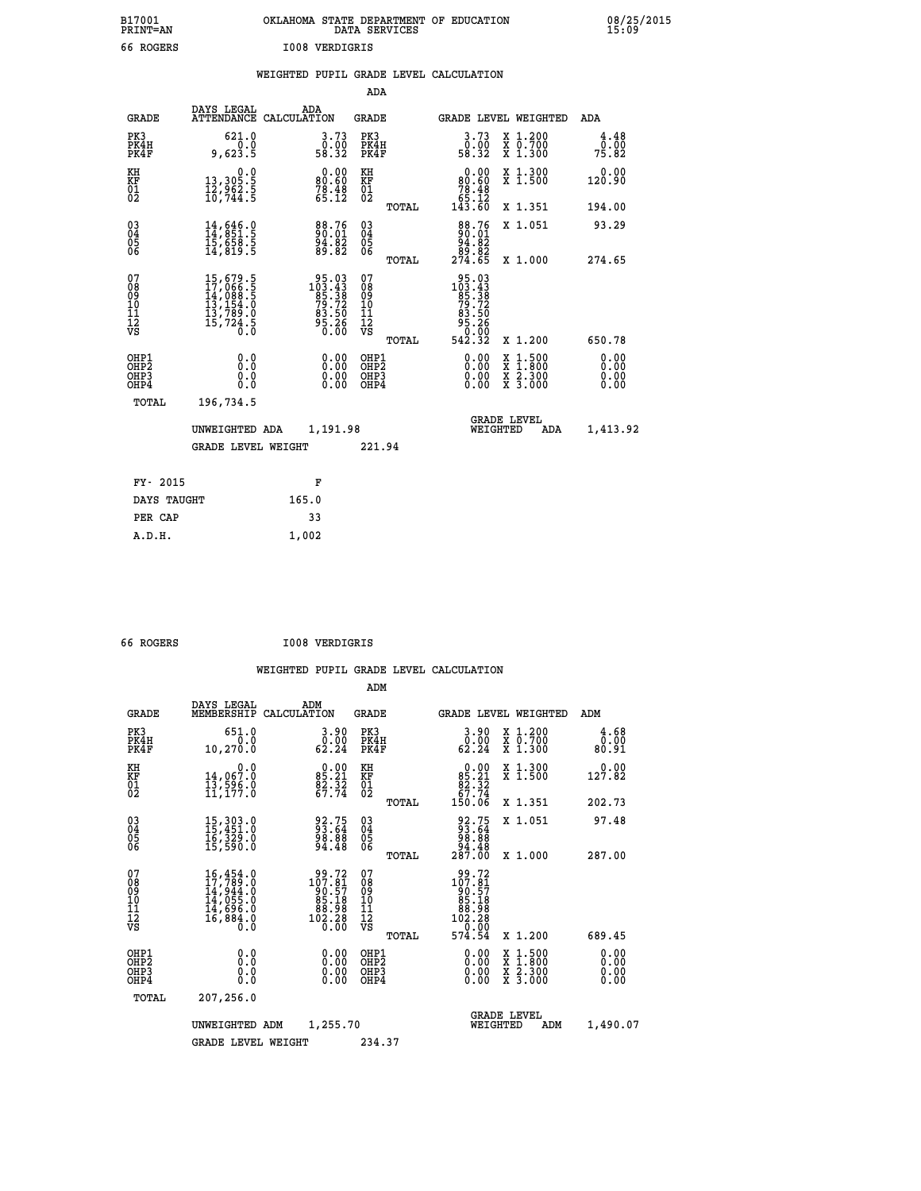| B17001          | OKLAHOMA STATE DEPARTMENT OF EDUCATION |
|-----------------|----------------------------------------|
| <b>PRINT=AN</b> | DATA SERVICES                          |
| 66 ROGERS       | <b>IOO8 VERDIGRIS</b>                  |

|  |  | WEIGHTED PUPIL GRADE LEVEL CALCULATION |
|--|--|----------------------------------------|
|  |  |                                        |

|                                                                    |                                                                                                                                                       |                                                                                                       | ADA                                                               |       |                                                                                                                                               |                                                    |                              |
|--------------------------------------------------------------------|-------------------------------------------------------------------------------------------------------------------------------------------------------|-------------------------------------------------------------------------------------------------------|-------------------------------------------------------------------|-------|-----------------------------------------------------------------------------------------------------------------------------------------------|----------------------------------------------------|------------------------------|
| <b>GRADE</b>                                                       | DAYS LEGAL                                                                                                                                            | ADA<br>ATTENDANCE CALCULATION                                                                         | <b>GRADE</b>                                                      |       |                                                                                                                                               | GRADE LEVEL WEIGHTED                               | <b>ADA</b>                   |
| PK3<br>PK4H<br>PK4F                                                | 621.0<br>0.0<br>9,623.5                                                                                                                               | 3.73<br>$\frac{0.00}{58.32}$                                                                          | PK3<br>PK4H<br>PK4F                                               |       | 3.73<br>ŏ:óŏ<br>58:32                                                                                                                         | X 1.200<br>X 0.700<br>X 1.300                      | 4.48<br>0.00<br>75.82        |
| KH<br>KF<br>01<br>02                                               | 0.0<br>13,305.5<br>12,962.5<br>10,744.5                                                                                                               | $\begin{smallmatrix} 0.00\\ 80.60\\ 78.48\\ 65.12 \end{smallmatrix}$                                  | KH<br>KF<br>01<br>02                                              |       | 0.00<br>$\begin{smallmatrix} 80.60 \\ 78.48 \\ 65.12 \\ 63.60 \end{smallmatrix}$                                                              | X 1.300<br>X 1.500                                 | 0.00<br>120.90               |
|                                                                    |                                                                                                                                                       |                                                                                                       |                                                                   | TOTAL |                                                                                                                                               | X 1.351                                            | 194.00                       |
| $\begin{smallmatrix} 03 \\[-4pt] 04 \end{smallmatrix}$<br>05<br>ŎĞ | $14, 646.0$<br>$14, 851.5$<br>$15, 658.5$<br>$14, 819.5$                                                                                              | $\begin{smallmatrix} 88.76\\ 90.01\\ 94.82\\ 89.82 \end{smallmatrix}$                                 | $\substack{03 \\ 04}$<br>$\begin{matrix} 0.5 \\ 0.6 \end{matrix}$ |       | $\begin{smallmatrix}88\cdot76\\90.01\\94.82\\89.82\\274.65\end{smallmatrix}$                                                                  | X 1.051                                            | 93.29                        |
| 07                                                                 |                                                                                                                                                       |                                                                                                       | 07                                                                | TOTAL |                                                                                                                                               | X 1.000                                            | 274.65                       |
| 08<br>09<br>11<br>11<br>12<br>VS                                   | $\begin{smallmatrix} 15, 679\cdot 5\\ 17, 066\cdot 5\\ 14, 088\cdot 5\\ 13, 154\cdot 0\\ 13, 789\cdot 0\\ 15, 724\cdot 5\\ 0\cdot 0\end{smallmatrix}$ | $\begin{smallmatrix} 95.03\\ 103.43\\ 85.38\\ 79.72\\ 73.72\\ 83.50\\ 95.26\\ 0.00 \end{smallmatrix}$ | 08<br>09<br>11<br>11<br>12<br>VS                                  |       | $\begin{array}{r} 95\cdot03 \\ 103\cdot43 \\ 85\cdot38 \\ 79\cdot72 \\ 73\cdot50 \\ 83\cdot50 \\ 95\cdot26 \\ 0.00 \\ 542\cdot32 \end{array}$ |                                                    |                              |
|                                                                    |                                                                                                                                                       |                                                                                                       |                                                                   | TOTAL |                                                                                                                                               | X 1.200                                            | 650.78                       |
| OHP1<br>OHP <sub>2</sub><br>OHP3<br>OHP4                           | 0.0<br>Ō.Ō<br>0.0<br>0.0                                                                                                                              | 0.00<br>$\begin{smallmatrix} 0.00 \ 0.00 \end{smallmatrix}$                                           | OHP1<br>OH <sub>P</sub> 2<br>OHP3<br>OHP4                         |       | 0.00<br>0.00<br>0.00                                                                                                                          | $1:500$<br>$1:800$<br>X<br>X<br>X 2.300<br>X 3.000 | 0.00<br>0.00<br>0.00<br>0.00 |
| TOTAL                                                              | 196,734.5                                                                                                                                             |                                                                                                       |                                                                   |       |                                                                                                                                               |                                                    |                              |
|                                                                    | UNWEIGHTED ADA                                                                                                                                        | 1,191.98                                                                                              |                                                                   |       |                                                                                                                                               | <b>GRADE LEVEL</b><br>WEIGHTED<br>ADA              | 1,413.92                     |
|                                                                    | <b>GRADE LEVEL WEIGHT</b>                                                                                                                             |                                                                                                       | 221.94                                                            |       |                                                                                                                                               |                                                    |                              |
| FY- 2015                                                           |                                                                                                                                                       | F                                                                                                     |                                                                   |       |                                                                                                                                               |                                                    |                              |
| DAYS TAUGHT                                                        |                                                                                                                                                       | 165.0                                                                                                 |                                                                   |       |                                                                                                                                               |                                                    |                              |
| PER CAP                                                            |                                                                                                                                                       | 33                                                                                                    |                                                                   |       |                                                                                                                                               |                                                    |                              |
|                                                                    |                                                                                                                                                       |                                                                                                       |                                                                   |       |                                                                                                                                               |                                                    |                              |

| 66 | <b>ROGERS</b> |  |
|----|---------------|--|
|    |               |  |

 **A.D.H. 1,002**

 **ADM**

 **B17001<br>PRINT=AN** 

 **66 ROGERS I008 VERDIGRIS**

| <b>GRADE</b>                                       | DAYS LEGAL                                                                                | ADM<br>MEMBERSHIP CALCULATION                                                                                                              | <b>GRADE</b>                                        |                                                                                                        |                                | <b>GRADE LEVEL WEIGHTED</b>              | ADM                   |
|----------------------------------------------------|-------------------------------------------------------------------------------------------|--------------------------------------------------------------------------------------------------------------------------------------------|-----------------------------------------------------|--------------------------------------------------------------------------------------------------------|--------------------------------|------------------------------------------|-----------------------|
| PK3<br>PK4H<br>PK4F                                | 651.0<br>0.0<br>10,270.0                                                                  | 3.90<br>$\begin{smallmatrix} \textcolor{red}{\textbf{0}}\textcolor{black}{\textbf{.00}}\ \textcolor{red}{\textbf{62.24}}\end{smallmatrix}$ | PK3<br>PK4H<br>PK4F                                 | $\begin{smallmatrix} 3.90\0.00\\ 62.24\end{smallmatrix}$                                               |                                | X 1.200<br>X 0.700<br>X 1.300            | 4.68<br>0.00<br>80.91 |
| KH<br>KF<br>01<br>02                               | 0.0<br>14,067.0<br>īī,ššć.<br>11,177.0                                                    | $0.00$<br>$85.21$<br>$\frac{82.52}{67.74}$                                                                                                 | KH<br>KF<br>$\overline{01}$                         | $\begin{smallmatrix} &0.00\ 85.21\ 82.32\ 67.74\ 150.06\ \end{smallmatrix}$                            |                                | X 1.300<br>X 1.500                       | 0.00<br>127.82        |
|                                                    |                                                                                           |                                                                                                                                            | TOTAL                                               |                                                                                                        |                                | X 1.351                                  | 202.73                |
| $\begin{matrix} 03 \\ 04 \\ 05 \\ 06 \end{matrix}$ | 15, 303.0<br>15, 451.0<br>16, 329.0<br>15, 590.0                                          | 92.75<br>93.64<br>98.88<br>94.48                                                                                                           | $\begin{array}{c} 03 \\ 04 \\ 05 \\ 06 \end{array}$ | $\begin{smallmatrix} 92.75 \\ 93.64 \\ 98.88 \\ 94.48 \\ 287.00 \end{smallmatrix}$                     |                                | X 1.051                                  | 97.48                 |
|                                                    |                                                                                           |                                                                                                                                            | TOTAL                                               |                                                                                                        |                                | X 1.000                                  | 287.00                |
| 07<br>08<br>09<br>101<br>11<br>12<br>VS            | $16,454.0$<br>$17,789.0$<br>$14,944.0$<br>$14,055.0$<br>$14,696.0$<br>$16,884.0$<br>$0.0$ | $\begin{smallmatrix} 99.72\\ 107.81\\ 90.57\\ 95.18\\ 85.18\\ 88.98\\ 102.28\\ 0.00 \end{smallmatrix}$                                     | 07<br>08<br>09<br>001<br>11<br>11<br>12<br>VS       | $\begin{smallmatrix} 99.72\\ 107.81\\ 90.57\\ 85.18\\ 88.98\\ 102.28\\ 0\\ 0\\ 0\\ 0\end{smallmatrix}$ |                                |                                          |                       |
|                                                    |                                                                                           |                                                                                                                                            | TOTAL                                               | 574.54                                                                                                 |                                | X 1.200                                  | 689.45                |
| OHP1<br>OHP <sub>2</sub><br>OHP3<br>OHP4           | 0.0<br>0.0<br>0.0                                                                         | $\begin{smallmatrix} 0.00 \ 0.00 \ 0.00 \ 0.00 \end{smallmatrix}$                                                                          | OHP1<br>OHP <sub>2</sub><br>OHP3<br>OHP4            |                                                                                                        | 0.00<br>0.00<br>0.00           | X 1:500<br>X 1:800<br>X 2:300<br>X 3:000 | 0.00<br>0.00<br>0.00  |
| TOTAL                                              | 207,256.0                                                                                 |                                                                                                                                            |                                                     |                                                                                                        |                                |                                          |                       |
|                                                    | UNWEIGHTED                                                                                | 1,255.70<br>ADM                                                                                                                            |                                                     |                                                                                                        | <b>GRADE LEVEL</b><br>WEIGHTED | ADM                                      | 1,490.07              |
|                                                    | <b>GRADE LEVEL WEIGHT</b>                                                                 |                                                                                                                                            | 234.37                                              |                                                                                                        |                                |                                          |                       |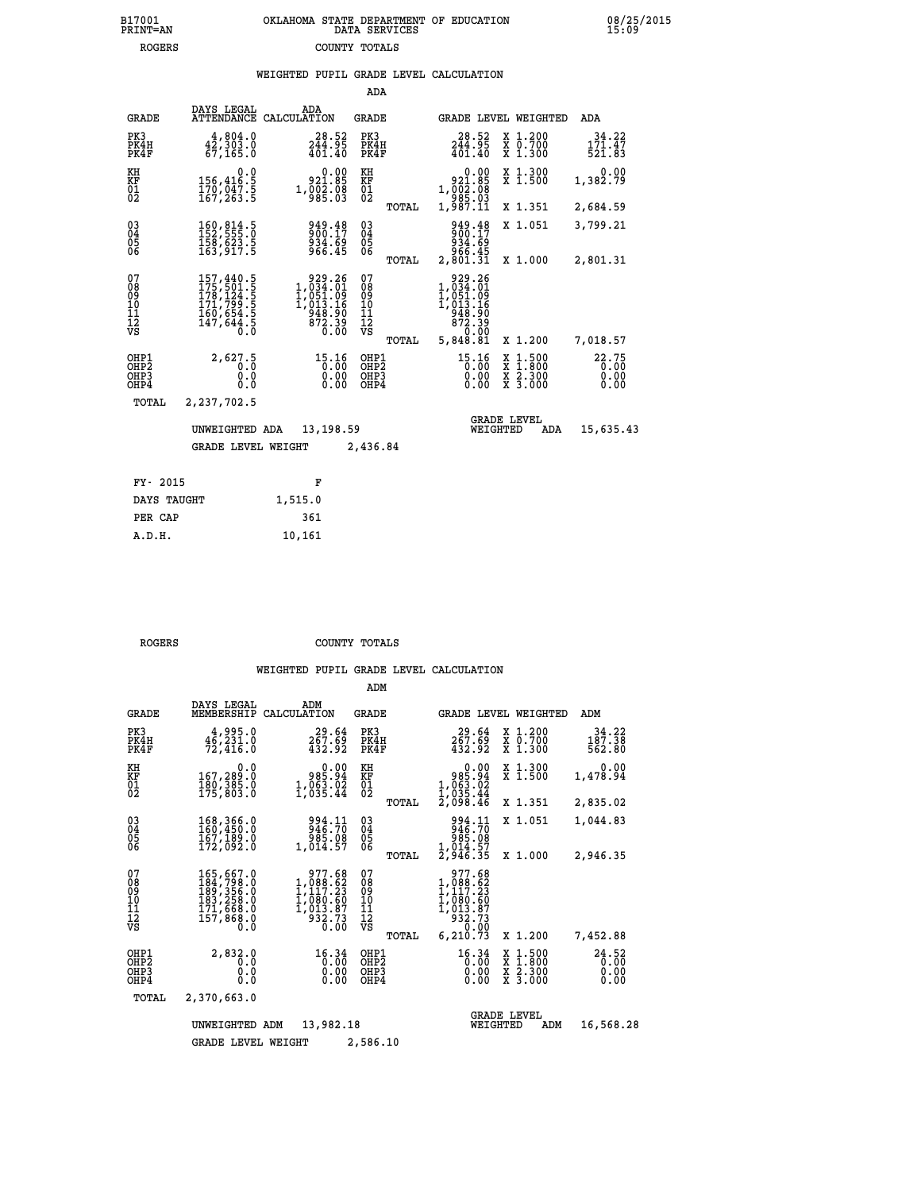## **B17001 OKLAHOMA STATE DEPARTMENT OF EDUCATION 08/25/2015 PRINT=AN DATA SERVICES 15:09 ROGERS COUNTY TOTALS**

|  |  | WEIGHTED PUPIL GRADE LEVEL CALCULATION |
|--|--|----------------------------------------|
|  |  |                                        |

|                                                                    |                                                                                                                                                       |                                                                          | ADA                                      |       |                                                                          |                                                                                                  |                               |
|--------------------------------------------------------------------|-------------------------------------------------------------------------------------------------------------------------------------------------------|--------------------------------------------------------------------------|------------------------------------------|-------|--------------------------------------------------------------------------|--------------------------------------------------------------------------------------------------|-------------------------------|
| <b>GRADE</b>                                                       | DAYS LEGAL                                                                                                                                            | ADA<br>ATTENDANCE CALCULATION                                            | GRADE                                    |       |                                                                          | GRADE LEVEL WEIGHTED                                                                             | ADA                           |
| PK3<br>PK4H<br>PK4F                                                | 4,804.0<br>42,303.0<br>67, 165.0                                                                                                                      | 28.52<br>244.95<br>401.40                                                | PK3<br>PK4H<br>PK4F                      |       | 28.52<br>$2\bar{4}\overline{4}\cdot 9\overline{5}\overline{401}\cdot 40$ | X 1.200<br>X 0.700<br>X 1.300                                                                    | 34.22<br>171.47<br>521.83     |
| KH<br>KF<br>01<br>02                                               | 0.0<br>156,416:5<br>170,047:5<br>167,263:5                                                                                                            | 0.00<br>88:189<br>1,002:08<br>985:03                                     | KH<br>KF<br>$^{01}_{02}$                 |       | 0.00<br>88.189<br>1,002.08<br>09.299                                     | X 1.300<br>$\bar{x}$ 1.500                                                                       | 0.00<br>1,382.79              |
|                                                                    |                                                                                                                                                       |                                                                          |                                          | TOTAL | 1,987.11                                                                 | X 1.351                                                                                          | 2,684.59                      |
| $\begin{smallmatrix} 03 \\[-4pt] 04 \end{smallmatrix}$<br>Ŏ5<br>06 | 160,814.5<br>152,555.0<br>158,623.5<br>163,917.5                                                                                                      | 949.48<br>900.17<br>934.69<br>966.45                                     | $\substack{03 \\ 04}$<br>$\frac{05}{06}$ |       | 949.48<br>900.17<br>934.69                                               | X 1.051                                                                                          | 3,799.21                      |
|                                                                    |                                                                                                                                                       |                                                                          |                                          | TOTAL | 966.45<br>2,801.31                                                       | X 1.000                                                                                          | 2,801.31                      |
| 07<br>08<br>09<br>11<br>11<br>12<br>VS                             | $\begin{smallmatrix} 157,440\cdot 5\\ 175,501\cdot 5\\ 178,124\cdot 5\\ 171,799\cdot 5\\ 160,654\cdot 5\\ 147,644\cdot 5\\ 0\cdot 0\end{smallmatrix}$ | 929.26<br>1,034.01<br>ī,ŏšī.ŏ§<br>$1,013.16$<br>948.90<br>872.39<br>0.00 | 07<br>08<br>09<br>11<br>11<br>12<br>VS   |       | 929.26<br>1,034.01<br>1,051.09<br>1,013.16<br>948.90<br>872.39<br>0.00   |                                                                                                  |                               |
|                                                                    |                                                                                                                                                       |                                                                          |                                          | TOTAL | 5,848.81                                                                 | X 1.200                                                                                          | 7,018.57                      |
| OHP1<br>OH <sub>P</sub> <sub>2</sub><br>OHP3<br>OHP4               | 2,627.5<br>0.0<br>0.0                                                                                                                                 | 15.16<br>0.00<br>0.00                                                    | OHP1<br>OHP <sub>2</sub><br>OHP3<br>OHP4 |       | 15.16<br>0.00<br>0.00                                                    | $\begin{smallmatrix} x & 1 & 500 \\ x & 1 & 800 \\ x & 2 & 300 \\ x & 3 & 000 \end{smallmatrix}$ | 22.75<br>0.00<br>0.00<br>0.00 |
| <b>TOTAL</b>                                                       | 2,237,702.5                                                                                                                                           |                                                                          |                                          |       |                                                                          |                                                                                                  |                               |
|                                                                    | UNWEIGHTED ADA                                                                                                                                        | 13,198.59                                                                |                                          |       |                                                                          | <b>GRADE LEVEL</b><br>WEIGHTED<br>ADA                                                            | 15,635.43                     |
|                                                                    | <b>GRADE LEVEL WEIGHT</b>                                                                                                                             |                                                                          | 2,436.84                                 |       |                                                                          |                                                                                                  |                               |
| FY- 2015                                                           |                                                                                                                                                       | F                                                                        |                                          |       |                                                                          |                                                                                                  |                               |
| DAYS TAUGHT                                                        |                                                                                                                                                       | 1.515.0                                                                  |                                          |       |                                                                          |                                                                                                  |                               |
|                                                                    |                                                                                                                                                       |                                                                          |                                          |       |                                                                          |                                                                                                  |                               |

| ----        |         |
|-------------|---------|
| DAYS TAUGHT | 1,515.0 |
| PER CAP     | 361     |
| A.D.H.      | 10,161  |
|             |         |

 **ROGERS COUNTY TOTALS**

|                                                    |                                                                                                |                                                                                    | ADM                                              |                                                                                                |                                                                                            |                               |
|----------------------------------------------------|------------------------------------------------------------------------------------------------|------------------------------------------------------------------------------------|--------------------------------------------------|------------------------------------------------------------------------------------------------|--------------------------------------------------------------------------------------------|-------------------------------|
| <b>GRADE</b>                                       | DAYS LEGAL<br>MEMBERSHIP                                                                       | ADM<br>CALCULATION                                                                 | <b>GRADE</b>                                     |                                                                                                | <b>GRADE LEVEL WEIGHTED</b>                                                                | ADM                           |
| PK3<br>PK4H<br>PK4F                                | 4,995.0<br>46,231.0<br>72,416.0                                                                | 29.64<br>267.69<br>432.92                                                          | PK3<br>PK4H<br>PK4F                              | 29.64<br>267.69<br>432.92                                                                      | X 1.200<br>X 0.700<br>X 1.300                                                              | 34.22<br>187.38<br>562.80     |
| KH<br>KF<br>01<br>02                               | 0.0<br>167,289.0<br>180,385:0<br>175,803:0                                                     | 0.00<br>985.94<br>$1,053.02$<br>$1,035.44$                                         | KH<br>KF<br>01<br>02                             | 0.00<br>$985.94$<br>1,063.02<br>1,035.44<br>2,098.46                                           | X 1.300<br>X 1.500                                                                         | 0.00<br>1,478.94              |
|                                                    |                                                                                                |                                                                                    | TOTAL                                            |                                                                                                | X 1.351                                                                                    | 2,835.02                      |
| $\begin{matrix} 03 \\ 04 \\ 05 \\ 06 \end{matrix}$ | 168,366.0<br>160,450.0<br>167,189.0<br>172,092.0                                               | 994.11<br>946.70<br>985.08                                                         | $\substack{03 \\ 04}$<br>05                      | 994.11<br>946.70<br>985.08                                                                     | X 1.051                                                                                    | 1,044.83                      |
|                                                    |                                                                                                | 1,014.57                                                                           | TOTAL                                            | 1,014.57<br>2,946.35                                                                           | X 1.000                                                                                    | 2,946.35                      |
| 07<br>08<br>09<br>101<br>11<br>12<br>VS            | 165,667.0<br>184,798.0<br>189,356.0<br>183,258.0<br>171,668.0<br>157,868.0<br>$0.\overline{0}$ | 977.68<br>$1,088.82$<br>$1,117.23$<br>$1,080.60$<br>$1,013.87$<br>$932.73$<br>0.00 | 07<br>08<br>09<br>101<br>11<br>12<br>VS<br>TOTAL | 977.68<br>$1,088.82$<br>$1,117.23$<br>$1,080.60$<br>$1,013.87$<br>$932.73$<br>0.00<br>6,210.73 | X 1.200                                                                                    | 7,452.88                      |
| OHP1<br>OHP2<br>OHP3<br>OHP4                       | 2,832.0<br>0.0<br>0.0<br>Ŏ.Ŏ                                                                   | 16.34<br>0.00<br>0.00<br>0.00                                                      | OHP1<br>OHP2<br>OHP3<br>OHP4                     | 16.34<br>0.00<br>0.00<br>0.00                                                                  | $\begin{array}{c} x & 1.500 \\ x & 1.800 \\ x & 2.300 \end{array}$<br>$\overline{x}$ 3.000 | 24.52<br>0.00<br>0.00<br>0.00 |
| TOTAL                                              | 2,370,663.0                                                                                    |                                                                                    |                                                  |                                                                                                |                                                                                            |                               |
|                                                    | UNWEIGHTED<br>ADM<br><b>GRADE LEVEL WEIGHT</b>                                                 | 13,982.18<br>2,586.10                                                              | WEIGHTED                                         | <b>GRADE LEVEL</b><br>ADM                                                                      | 16,568.28                                                                                  |                               |
|                                                    |                                                                                                |                                                                                    |                                                  |                                                                                                |                                                                                            |                               |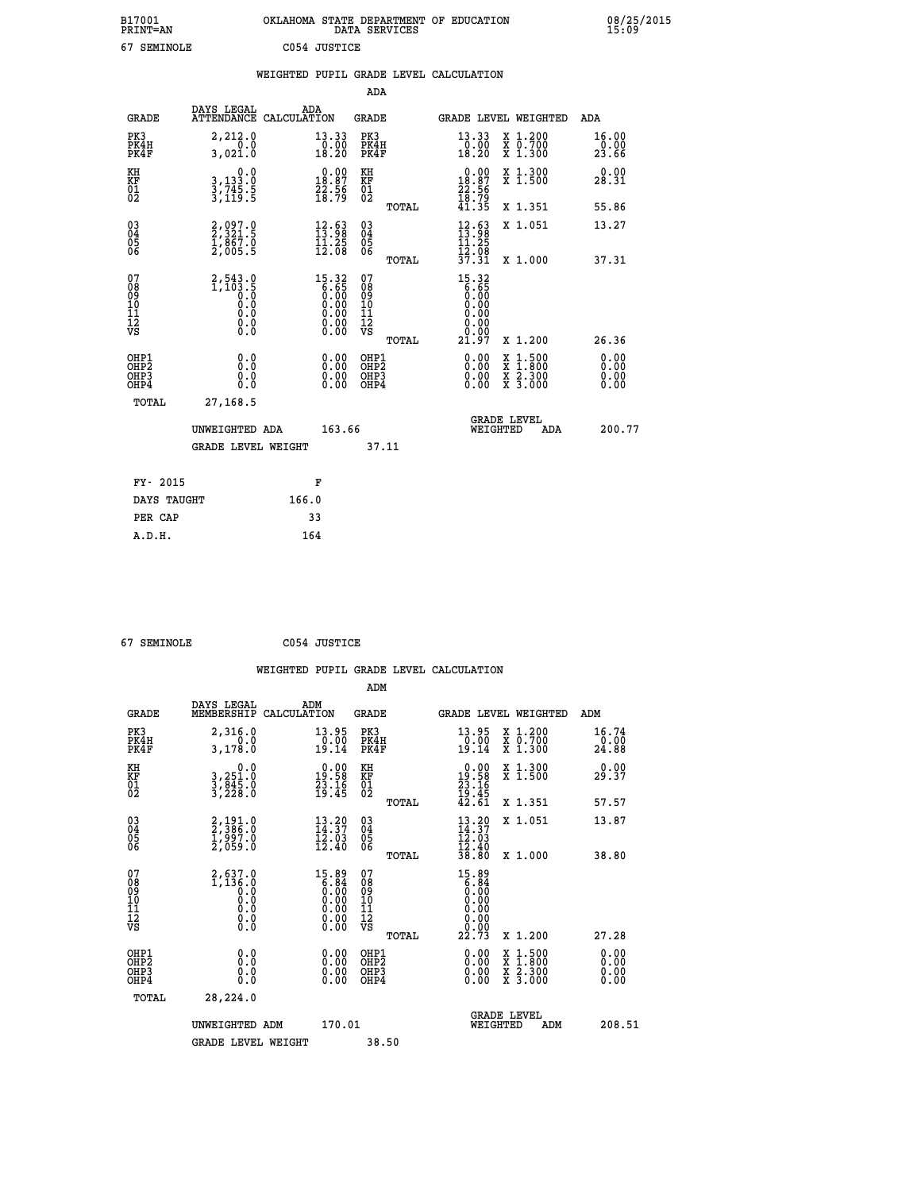| B17001<br><b>PRINT=AN</b> | OKLAHOMA STATE DEPARTMENT OF EDUCATION<br>DATA SERVICES | 08/25/2015<br>15:09 |
|---------------------------|---------------------------------------------------------|---------------------|
| 67<br>SEMINOLE            | C054 JUSTICE                                            |                     |

|                                          |                                                                                                |       |                                                                                     |                                                     |       | WEIGHTED PUPIL GRADE LEVEL CALCULATION                                                 |                                                                                                                                           |                              |
|------------------------------------------|------------------------------------------------------------------------------------------------|-------|-------------------------------------------------------------------------------------|-----------------------------------------------------|-------|----------------------------------------------------------------------------------------|-------------------------------------------------------------------------------------------------------------------------------------------|------------------------------|
|                                          |                                                                                                |       |                                                                                     | ADA                                                 |       |                                                                                        |                                                                                                                                           |                              |
| <b>GRADE</b>                             | DAYS LEGAL<br>ATTENDANCE CALCULATION                                                           | ADA   |                                                                                     | <b>GRADE</b>                                        |       | GRADE LEVEL WEIGHTED                                                                   |                                                                                                                                           | ADA                          |
| PK3<br>PK4H<br>PK4F                      | 2,212.0<br>0.0<br>3,021.0                                                                      |       | $\begin{array}{c} 13\cdot 33 \\ 0\cdot 00 \\ 18\cdot 20 \end{array}$                | PK3<br>PK4H<br>PK4F                                 |       | 13.33<br>$\frac{10.00}{18.20}$                                                         | X 1.200<br>X 0.700<br>X 1.300                                                                                                             | 16.00<br>0.00<br>23.66       |
| KH<br>KF<br>01<br>02                     | $\begin{smallmatrix}&&&0.0\\3,133.0\\3,745.5\\3,119.5\end{smallmatrix}$                        |       | $\begin{smallmatrix} 0.00\\18.87\\22.56\\18.79 \end{smallmatrix}$                   | KH<br>KF<br>01<br>02                                |       | $\begin{smallmatrix} 0.00\\18.87\\22.56\\18.79 \end{smallmatrix}$                      | X 1.300<br>X 1.500                                                                                                                        | 0.00<br>28.31                |
|                                          |                                                                                                |       |                                                                                     |                                                     | TOTAL | 41.35                                                                                  | X 1.351                                                                                                                                   | 55.86                        |
| 03<br>04<br>05<br>06                     | 2,097.0<br>2,321.5<br>1,867.0<br>2,005.5                                                       |       | $\begin{array}{c} 12\cdot 63 \\ 13\cdot 98 \\ 11\cdot 25 \\ 12\cdot 08 \end{array}$ | $\begin{array}{c} 03 \\ 04 \\ 05 \\ 06 \end{array}$ |       | $\frac{12.63}{13.25}$                                                                  | X 1.051                                                                                                                                   | 13.27                        |
|                                          |                                                                                                |       |                                                                                     |                                                     | TOTAL | $\frac{1}{3}\overline{2}\cdot\overline{0}\overline{8}$<br>37.31                        | X 1.000                                                                                                                                   | 37.31                        |
| 07<br>08<br>09<br>11<br>11<br>12<br>VS   | $2,543.0$<br>1,103.5<br>0.0<br>0.0<br>$\begin{smallmatrix} 0.16 \ 0.0 \ 0.0 \end{smallmatrix}$ |       | $15.32\n6.65\n0.00\n0.00\n0.00\n0.00\n0.00$                                         | 07<br>08<br>09<br>11<br>11<br>12<br>VS              | TOTAL | 15.32<br>$\begin{bmatrix} 6.65 \\ 0.00 \end{bmatrix}$<br>0.00<br>0.00<br>ŏ.ŏŏ<br>21.97 | X 1.200                                                                                                                                   | 26.36                        |
| OHP1<br>OHP <sub>2</sub><br>OHP3<br>OHP4 | 0.0<br>Ŏ.Ŏ<br>0.0<br>0.0                                                                       |       | $\begin{smallmatrix} 0.00 \ 0.00 \ 0.00 \ 0.00 \end{smallmatrix}$                   | OHP1<br>OHP <sub>2</sub><br>OHP3<br>OHP4            |       | 0.00<br>$0.00$<br>0.00                                                                 | $\begin{smallmatrix} \mathtt{X} & 1\cdot500\\ \mathtt{X} & 1\cdot800\\ \mathtt{X} & 2\cdot300\\ \mathtt{X} & 3\cdot000 \end{smallmatrix}$ | 0.00<br>0.00<br>0.00<br>0.00 |
| TOTAL                                    | 27,168.5                                                                                       |       |                                                                                     |                                                     |       |                                                                                        |                                                                                                                                           |                              |
|                                          | UNWEIGHTED ADA                                                                                 |       | 163.66                                                                              |                                                     |       | WEIGHTED                                                                               | <b>GRADE LEVEL</b><br>ADA                                                                                                                 | 200.77                       |
|                                          | <b>GRADE LEVEL WEIGHT</b>                                                                      |       |                                                                                     |                                                     | 37.11 |                                                                                        |                                                                                                                                           |                              |
| FY- 2015                                 |                                                                                                |       | F                                                                                   |                                                     |       |                                                                                        |                                                                                                                                           |                              |
| DAYS TAUGHT                              |                                                                                                | 166.0 |                                                                                     |                                                     |       |                                                                                        |                                                                                                                                           |                              |
| PER CAP                                  |                                                                                                |       | 33                                                                                  |                                                     |       |                                                                                        |                                                                                                                                           |                              |

 **67 SEMINOLE C054 JUSTICE**

 **A.D.H. 164**

 **ADM**

| <b>GRADE</b>                                       | DAYS LEGAL<br>MEMBERSHIP CALCULATION                                                                  | ADM                                                                                   | <b>GRADE</b>                                       |       |                                                                                                                                       |          | GRADE LEVEL WEIGHTED                     | ADM                           |
|----------------------------------------------------|-------------------------------------------------------------------------------------------------------|---------------------------------------------------------------------------------------|----------------------------------------------------|-------|---------------------------------------------------------------------------------------------------------------------------------------|----------|------------------------------------------|-------------------------------|
| PK3<br>PK4H<br>PK4F                                | 2,316.0<br>0.0<br>3,178.0                                                                             | 13.95<br>$\frac{0.00}{19.14}$                                                         | PK3<br>PK4H<br>PK4F                                |       | $\begin{smallmatrix} 13.95\ 0.00 \ 19.14 \end{smallmatrix}$                                                                           |          | X 1.200<br>X 0.700<br>X 1.300            | 16.74<br>$\frac{0.00}{24.88}$ |
| KH<br>KF<br>01<br>02                               | 0.0<br>3,251.0<br>3,845.0<br>3,228.0                                                                  | $\begin{smallmatrix} 0.00\\19.58\\23.16\\19.45 \end{smallmatrix}$                     | KH<br>KF<br>01<br>02                               |       | $\begin{smallmatrix} 0.00\\19.58\\23.16\\19.45\\42.61 \end{smallmatrix}$                                                              |          | X 1.300<br>X 1.500                       | 0.00<br>29.37                 |
|                                                    |                                                                                                       |                                                                                       |                                                    | TOTAL |                                                                                                                                       |          | X 1.351                                  | 57.57                         |
| $\begin{matrix} 03 \\ 04 \\ 05 \\ 06 \end{matrix}$ | 2,191.0<br>2,386.0<br>1,997.0<br>2,059.0                                                              | $\begin{smallmatrix} 13\cdot20\\ 14\cdot37\\ 12\cdot03\\ 12\cdot40 \end{smallmatrix}$ | $\begin{matrix} 03 \\ 04 \\ 05 \\ 06 \end{matrix}$ |       | $13.20$<br>$14.37$<br>$12.03$<br>$12.40$<br>$38.80$                                                                                   |          | X 1.051                                  | 13.87                         |
|                                                    |                                                                                                       |                                                                                       |                                                    | TOTAL |                                                                                                                                       |          | X 1.000                                  | 38.80                         |
| 07<br>08<br>09<br>101<br>11<br>12<br>VS            | $2,637.0$<br>$1,136.0$<br>$0.0$<br>$\begin{smallmatrix} 0.5 & 0 \ 0.0 & 0 \end{smallmatrix}$<br>$\S.$ |                                                                                       | 07<br>08<br>09<br>001<br>11<br>11<br>12<br>VS      | TOTAL | $\begin{array}{c} 15\cdot 89 \\ 6\cdot 84 \\ 0\cdot 00 \\ 0\cdot 00 \\ 0\cdot 00 \\ 0\cdot 00 \\ 0\cdot 00 \\ 22\cdot 73 \end{array}$ |          | X 1.200                                  | 27.28                         |
| OHP1                                               |                                                                                                       |                                                                                       | OHP1                                               |       |                                                                                                                                       |          |                                          |                               |
| OHP <sub>2</sub><br>OH <sub>P3</sub><br>OHP4       | 0.0<br>0.000                                                                                          | $\begin{smallmatrix} 0.00 \ 0.00 \ 0.00 \ 0.00 \end{smallmatrix}$                     | OHP <sub>2</sub><br>OHP3<br>OHP4                   |       | 0.00<br>$0.00$<br>0.00                                                                                                                |          | X 1:500<br>X 1:800<br>X 2:300<br>X 3:000 | 0.00<br>0.00<br>0.00          |
| TOTAL                                              | 28,224.0                                                                                              |                                                                                       |                                                    |       |                                                                                                                                       |          |                                          |                               |
|                                                    | UNWEIGHTED                                                                                            | 170.01<br>ADM                                                                         |                                                    |       |                                                                                                                                       | WEIGHTED | <b>GRADE LEVEL</b><br>ADM                | 208.51                        |
|                                                    | <b>GRADE LEVEL WEIGHT</b>                                                                             |                                                                                       | 38.50                                              |       |                                                                                                                                       |          |                                          |                               |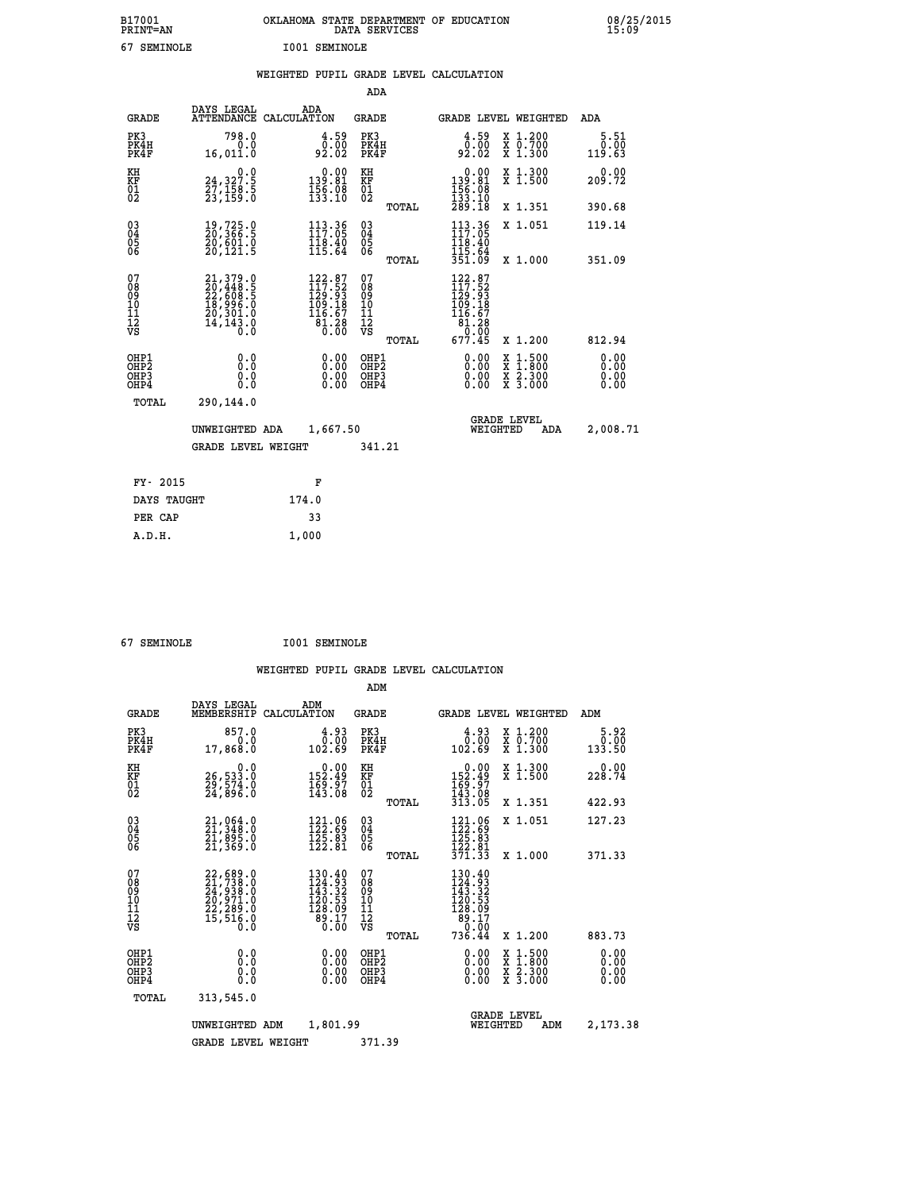| B17001 | <b>PRINT=AN</b> |      | OKLAHOMA STATE DEPARTMENT OF EDUCATION<br>DATA SERVICES |  | 08/25/2015<br>15:09 |
|--------|-----------------|------|---------------------------------------------------------|--|---------------------|
| 67     | SEMINOLE        | I001 | . SEMINOLE                                              |  |                     |

|  |  | WEIGHTED PUPIL GRADE LEVEL CALCULATION |
|--|--|----------------------------------------|
|  |  |                                        |

|                                                                    |                                                                                           |                                                                                                   | ADA                                       |       |                                                                                                       |        |                                                                  |                              |
|--------------------------------------------------------------------|-------------------------------------------------------------------------------------------|---------------------------------------------------------------------------------------------------|-------------------------------------------|-------|-------------------------------------------------------------------------------------------------------|--------|------------------------------------------------------------------|------------------------------|
| <b>GRADE</b>                                                       | DAYS LEGAL                                                                                | ADA<br>ATTENDANCE CALCULATION                                                                     | <b>GRADE</b>                              |       | <b>GRADE LEVEL WEIGHTED</b>                                                                           |        |                                                                  | <b>ADA</b>                   |
| PK3<br>PK4H<br>PK4F                                                | 798.0<br>0.0<br>16,011.0                                                                  | $\begin{smallmatrix} 4.59\0.00\\92.02 \end{smallmatrix}$                                          | PK3<br>PK4H<br>PK4F                       |       | $\begin{smallmatrix} 4.59\ 0.00\ 92.02 \end{smallmatrix}$                                             |        | X 1.200<br>X 0.700<br>X 1.300                                    | 5.51<br>0.00<br>119.63       |
| KH<br>KF<br>01<br>02                                               | 0.0<br>24,327.5<br>27,158.5<br>23,159.0                                                   | $\begin{smallmatrix}&&0.00\\139.81\\156.08\\133.10\end{smallmatrix}$                              | KH<br>KF<br>01<br>02                      |       | $\begin{smallmatrix} &0.00\\ 139.81\\ 156.08\\ 133.10\\ 289.18\end{smallmatrix}$                      |        | X 1.300<br>X 1.500                                               | 0.00<br>209.72               |
|                                                                    |                                                                                           |                                                                                                   |                                           | TOTAL |                                                                                                       |        | X 1.351                                                          | 390.68                       |
| $\begin{smallmatrix} 03 \\[-4pt] 04 \end{smallmatrix}$<br>05<br>ŎĞ | 19,725.0<br>20,366.5<br>20,601.0<br>20,121.5                                              | $113.36$<br>$117.05$<br>$\frac{118.40}{115.64}$                                                   | $\substack{03 \\ 04}$<br>05               |       | 113.36<br>$\frac{116.40}{115.64}$<br>$\frac{115.64}{351.09}$                                          |        | X 1.051                                                          | 119.14                       |
| 07                                                                 |                                                                                           |                                                                                                   | 07                                        | TOTAL | 122.87                                                                                                |        | X 1.000                                                          | 351.09                       |
| 08<br>09<br>11<br>11<br>12<br>VS                                   | $21,379.0$<br>$20,448.5$<br>$22,608.5$<br>$18,996.0$<br>$20,301.0$<br>$14,143.0$<br>$0.0$ | $\begin{smallmatrix} 122.87\\ 117.52\\ 129.93\\ 109.18\\ 116.67\\ 81.28\\ 0.00 \end{smallmatrix}$ | 08<br>09<br>11<br>11<br>12<br>VS          |       | $\begin{smallmatrix} 117.52\ 119.52\ 129.93\ 109.18\ 116.67\ 81.28\ 0.005\ 677.45\ \end{smallmatrix}$ |        |                                                                  |                              |
|                                                                    |                                                                                           |                                                                                                   |                                           | TOTAL |                                                                                                       |        | X 1.200                                                          | 812.94                       |
| OHP1<br>OHP <sub>2</sub><br>OHP3<br>OHP4                           | 0.0<br>Ō.Ō<br>0.0<br>$0.\overline{0}$                                                     | 0.00<br>$\begin{smallmatrix} 0.00 \ 0.00 \end{smallmatrix}$                                       | OHP1<br>OH <sub>P</sub> 2<br>OHP3<br>OHP4 |       | 0.00<br>0.00<br>0.00                                                                                  | X<br>X | $1:500$<br>$1:800$<br>$\frac{\ddot{x}}{x}$ $\frac{2.300}{3.000}$ | 0.00<br>0.00<br>0.00<br>0.00 |
| TOTAL                                                              | 290,144.0                                                                                 |                                                                                                   |                                           |       |                                                                                                       |        |                                                                  |                              |
|                                                                    | UNWEIGHTED ADA                                                                            | 1,667.50                                                                                          |                                           |       | WEIGHTED                                                                                              |        | <b>GRADE LEVEL</b><br>ADA                                        | 2,008.71                     |
|                                                                    | <b>GRADE LEVEL WEIGHT</b>                                                                 |                                                                                                   | 341.21                                    |       |                                                                                                       |        |                                                                  |                              |
| FY- 2015                                                           |                                                                                           | F                                                                                                 |                                           |       |                                                                                                       |        |                                                                  |                              |
| DAYS TAUGHT                                                        |                                                                                           | 174.0                                                                                             |                                           |       |                                                                                                       |        |                                                                  |                              |
| PER CAP                                                            |                                                                                           | 33                                                                                                |                                           |       |                                                                                                       |        |                                                                  |                              |

 **A.D.H. 1,000**

 **67 SEMINOLE I001 SEMINOLE**

|                                                       |              |                                                                                           |                                                                                                | ADM                                                |       |                                                                                                                      |                                          |                              |
|-------------------------------------------------------|--------------|-------------------------------------------------------------------------------------------|------------------------------------------------------------------------------------------------|----------------------------------------------------|-------|----------------------------------------------------------------------------------------------------------------------|------------------------------------------|------------------------------|
|                                                       | <b>GRADE</b> | DAYS LEGAL<br>MEMBERSHIP<br>CALCULATION                                                   | ADM                                                                                            | <b>GRADE</b>                                       |       |                                                                                                                      | <b>GRADE LEVEL WEIGHTED</b>              | ADM                          |
| PK3<br>PK4H<br>PK4F                                   |              | 857.0<br>0.0<br>17,868.0                                                                  | 4.93<br>0.00<br>102.69                                                                         | PK3<br>PK4H<br>PK4F                                |       | $\begin{smallmatrix} 4.93\ 1.00\ 102.69 \end{smallmatrix}$                                                           | X 1.200<br>X 0.700<br>X 1.300            | 5.92<br>0.00<br>133.50       |
| KH<br>KF<br>01<br>02                                  |              | 0.0<br>26, 533:0<br>29, 574:0<br>24, 896:0                                                | $\begin{smallmatrix}&&0.00\\152.49\\169.97\\143.08\end{smallmatrix}$                           | KH<br>KF<br>01<br>02                               |       | $0.00$<br>$152.49$<br>$169.97$<br>$143.08$<br>$313.05$                                                               | X 1.300<br>X 1.500                       | 0.00<br>228.74               |
|                                                       |              |                                                                                           |                                                                                                |                                                    | TOTAL |                                                                                                                      | X 1.351                                  | 422.93                       |
| 03<br>04<br>05<br>06                                  |              | 21,064.0<br>21,348.0<br>21,895.0<br>21,369.0                                              | $\begin{array}{c} 121.06 \\[-4pt] 122.89 \\[-4pt] 125.83 \\[-4pt] 122.81 \end{array}$          | $\begin{matrix} 03 \\ 04 \\ 05 \\ 06 \end{matrix}$ |       | $121.06$<br>$122.69$<br>$125.83$<br>$122.81$                                                                         | X 1.051                                  | 127.23                       |
|                                                       |              |                                                                                           |                                                                                                |                                                    | TOTAL | 371.33                                                                                                               | X 1.000                                  | 371.33                       |
| 07<br>08<br>09<br>101<br>112<br>VS                    |              | $22,689.0$<br>$21,738.0$<br>$24,938.0$<br>$20,971.0$<br>$22,289.0$<br>$15,516.0$<br>$0.0$ | 130.40<br>124.93<br>143.32<br>120.53<br>128.09<br>$\begin{bmatrix} 89.17 \ 0.00 \end{bmatrix}$ | 07<br>08<br>09<br>101<br>11<br>12<br>VS            | TOTAL | $\begin{smallmatrix} 130.40\\ 124.93\\ 143.32\\ 140.53\\ 120.53\\ 128.09\\ 89.17\\ 0.00 \end{smallmatrix}$<br>736.44 | X 1.200                                  | 883.73                       |
| OHP1<br>OH <sub>P</sub> 2<br>OH <sub>P3</sub><br>OHP4 |              | 0.0<br>0.000                                                                              | $0.00$<br>$0.00$<br>0.00                                                                       | OHP1<br>OHP2<br>OHP3<br>OHP4                       |       | $0.00$<br>$0.00$<br>0.00                                                                                             | X 1:500<br>X 1:800<br>X 2:300<br>X 3:000 | 0.00<br>0.00<br>0.00<br>0.00 |
|                                                       | TOTAL        | 313,545.0                                                                                 |                                                                                                |                                                    |       |                                                                                                                      |                                          |                              |
|                                                       |              | UNWEIGHTED ADM                                                                            | 1,801.99                                                                                       |                                                    |       | WEIGHTED                                                                                                             | <b>GRADE LEVEL</b><br>ADM                | 2,173.38                     |
|                                                       |              | <b>GRADE LEVEL WEIGHT</b>                                                                 |                                                                                                | 371.39                                             |       |                                                                                                                      |                                          |                              |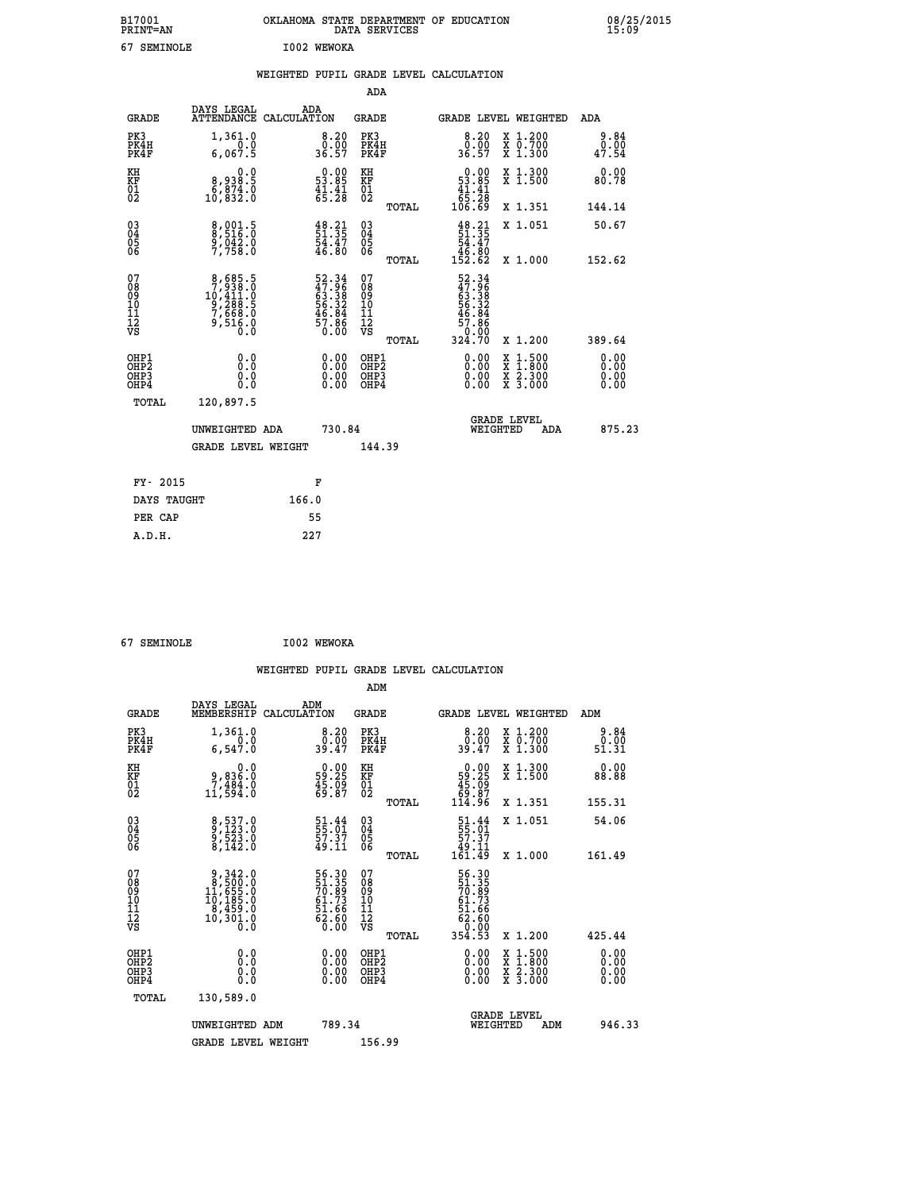| B17001<br>PRINT=AN | <b>OKLAHOMA</b><br>. STATE DEPARTMENT OF EDUCATION<br>DATA SERVICES | 08/25/2015<br>15:09 |
|--------------------|---------------------------------------------------------------------|---------------------|
| ۷٦<br>SEMINOLE     | I002<br><b>WEWOKA</b>                                               |                     |

|                                                                    |                                                                                             |                                                                                               | ADA                                       |                                                                                                                                     |                              |
|--------------------------------------------------------------------|---------------------------------------------------------------------------------------------|-----------------------------------------------------------------------------------------------|-------------------------------------------|-------------------------------------------------------------------------------------------------------------------------------------|------------------------------|
| <b>GRADE</b>                                                       | DAYS LEGAL<br>ATTENDANCE CALCULATION                                                        | ADA                                                                                           | <b>GRADE</b>                              | GRADE LEVEL WEIGHTED                                                                                                                | <b>ADA</b>                   |
| PK3<br>PK4H<br>PK4F                                                | 1,361.0<br>0.0<br>6,067.5                                                                   | $\begin{smallmatrix}8.20\0.00\\36.57\end{smallmatrix}$                                        | PK3<br>PK4H<br>PK4F                       | $\begin{smallmatrix} 8.20\ 0.00\ 36.57 \end{smallmatrix}$<br>X 1.200<br>X 0.700<br>X 1.300                                          | 9.84<br>0.00<br>47.54        |
| KH<br>KF<br>01<br>02                                               | 0.0<br>8,938:5<br>8,874.0<br>10,832:0                                                       | $\begin{smallmatrix} 0.00\\ 53.85\\ 41.41\\ 65.28 \end{smallmatrix}$                          | KH<br>KF<br>01<br>02                      | $\begin{smallmatrix} &0.00\ 53.85\ 41.41\ 65.28\ 106.69\ \end{smallmatrix}$<br>X 1.300<br>X 1.500                                   | 0.00<br>80.78                |
|                                                                    |                                                                                             |                                                                                               | TOTAL                                     | X 1.351                                                                                                                             | 144.14                       |
| $\begin{smallmatrix} 03 \\[-4pt] 04 \end{smallmatrix}$<br>Ŏ5<br>06 | 8,001.5<br>8,516.0<br>9,042.0<br>7,758.0                                                    | $\begin{smallmatrix} 4\,8\cdot 21\,5\,1\cdot 35\,5\,4\cdot 4\,7\,6\cdot 80 \end{smallmatrix}$ | 03<br>04<br>05<br>06                      | $\begin{smallmatrix} 4\,8\cdot2\,1\\ 5\,1\cdot3\,5\\ 5\,4\cdot4\,7\\ 4\,6\cdot8\,0\\ 1\,5\,2\cdot6\,2 \end{smallmatrix}$<br>X 1.051 | 50.67                        |
|                                                                    |                                                                                             |                                                                                               | TOTAL                                     | X 1.000                                                                                                                             | 152.62                       |
| 07<br>08<br>09<br>11<br>11<br>12<br>VS                             | $\begin{smallmatrix}8,685.5\\7,938.0\\10,411.0\\9,288.5\\7,668.0\\9,516.0\end{smallmatrix}$ | 52.34<br>47.96<br>63.38<br>63.32<br>56.32<br>46.84<br>57.86<br>57.860                         | 07<br>08<br>09<br>11<br>11<br>12<br>VS    | $52.34$<br>$47.96$<br>$63.382$<br>$56.324$<br>$46.84$<br>$57.86$<br>$0.000$<br>$324.70$                                             |                              |
|                                                                    |                                                                                             |                                                                                               | TOTAL                                     | X 1.200                                                                                                                             | 389.64                       |
| OHP1<br>OHP <sub>2</sub><br>OHP3<br>OHP4                           | 0.0<br>0.0<br>Ŏ.Ŏ                                                                           | 0.00<br>$\begin{smallmatrix} 0.00 \ 0.00 \end{smallmatrix}$                                   | OHP1<br>OH <sub>P</sub> 2<br>OHP3<br>OHP4 | 0.00<br>$1:500$<br>$1:800$<br>X<br>X<br>0.00<br>$\frac{x}{x}$ $\frac{5:300}{3:000}$<br>0.00                                         | 0.00<br>0.00<br>0.00<br>0.00 |
| TOTAL                                                              | 120,897.5                                                                                   |                                                                                               |                                           |                                                                                                                                     |                              |
|                                                                    | UNWEIGHTED ADA                                                                              | 730.84                                                                                        |                                           | <b>GRADE LEVEL</b><br>WEIGHTED<br>ADA                                                                                               | 875.23                       |
|                                                                    | <b>GRADE LEVEL WEIGHT</b>                                                                   |                                                                                               | 144.39                                    |                                                                                                                                     |                              |
| FY- 2015                                                           |                                                                                             |                                                                                               |                                           |                                                                                                                                     |                              |
|                                                                    |                                                                                             | F                                                                                             |                                           |                                                                                                                                     |                              |
| DAYS TAUGHT                                                        |                                                                                             | 166.0                                                                                         |                                           |                                                                                                                                     |                              |
| PER CAP                                                            |                                                                                             | 55                                                                                            |                                           |                                                                                                                                     |                              |

| 67 SEMINOLE | I002 WEWOKA |
|-------------|-------------|
|             |             |

| <b>GRADE</b>                                         | DAYS LEGAL<br>MEMBERSHIP                                                                           | ADM<br>CALCULATION                                                   | <b>GRADE</b>                             |       |                                                                                    |          | GRADE LEVEL WEIGHTED                                                                                                                      | ADM                          |  |
|------------------------------------------------------|----------------------------------------------------------------------------------------------------|----------------------------------------------------------------------|------------------------------------------|-------|------------------------------------------------------------------------------------|----------|-------------------------------------------------------------------------------------------------------------------------------------------|------------------------------|--|
| PK3<br>PK4H<br>PK4F                                  | 1,361.0<br>6,547.0                                                                                 | 8.20<br>0.00<br>39.47                                                | PK3<br>PK4H<br>PK4F                      |       | 8.20<br>$39.00$<br>39.47                                                           |          | X 1.200<br>X 0.700<br>X 1.300                                                                                                             | 9.84<br>0.00<br>51.31        |  |
| KH<br>KF<br>01<br>02                                 | 0.0<br>0,836.0<br>7,484.0<br>11,594.0                                                              | $\begin{smallmatrix} 0.00\\ 59.25\\ 45.09\\ 69.87 \end{smallmatrix}$ | KH<br>KF<br>01<br>02                     |       | $0.00\n59.25\n45.09\n69.87\n114.96$                                                |          | X 1.300<br>X 1.500                                                                                                                        | 0.00<br>88.88                |  |
|                                                      |                                                                                                    |                                                                      |                                          | TOTAL |                                                                                    |          | X 1.351                                                                                                                                   | 155.31                       |  |
| $\begin{matrix} 03 \\ 04 \\ 05 \\ 06 \end{matrix}$   | 8,537.0<br>9,123.0<br>9,523.0<br>8,142.0                                                           | 51.44<br>55.01<br>57.37<br>49.11                                     | 03<br>04<br>05<br>06                     |       | $\begin{smallmatrix} 51.44 \\ 55.01 \\ 57.37 \\ 49.11 \\ 161.49 \end{smallmatrix}$ |          | X 1.051                                                                                                                                   | 54.06                        |  |
|                                                      |                                                                                                    |                                                                      |                                          | TOTAL |                                                                                    |          | X 1.000                                                                                                                                   | 161.49                       |  |
| 07<br>08<br>09<br>101<br>112<br>VS                   | $\begin{smallmatrix}9,342.0\\8,500.0\\11,655.0\\10,185.0\\8,459.0\\10,301.0\\0.0\end{smallmatrix}$ | 56.30<br>51.35<br>70.89<br>61.73<br>62.66<br>62.60<br>63.60          | 07<br>08901112<br>1112<br>VS             | TOTAL | 56.30<br>51.35<br>70.89<br>61.73<br>62.66<br>62.60<br>0.00<br>354.53               |          | X 1.200                                                                                                                                   | 425.44                       |  |
| OHP1<br>OHP <sub>2</sub><br>OH <sub>P3</sub><br>OHP4 | 0.0<br>0.0<br>0.0                                                                                  | $0.00$<br>$0.00$<br>0.00                                             | OHP1<br>OHP <sub>2</sub><br>OHP3<br>OHP4 |       |                                                                                    |          | $\begin{smallmatrix} \mathtt{X} & 1\cdot500\\ \mathtt{X} & 1\cdot800\\ \mathtt{X} & 2\cdot300\\ \mathtt{X} & 3\cdot000 \end{smallmatrix}$ | 0.00<br>0.00<br>0.00<br>0.00 |  |
| TOTAL                                                | 130,589.0                                                                                          |                                                                      |                                          |       |                                                                                    |          |                                                                                                                                           |                              |  |
|                                                      | UNWEIGHTED ADM                                                                                     | 789.34                                                               |                                          |       |                                                                                    | WEIGHTED | <b>GRADE LEVEL</b><br>ADM                                                                                                                 | 946.33                       |  |
|                                                      | <b>GRADE LEVEL WEIGHT</b>                                                                          |                                                                      | 156.99                                   |       |                                                                                    |          |                                                                                                                                           |                              |  |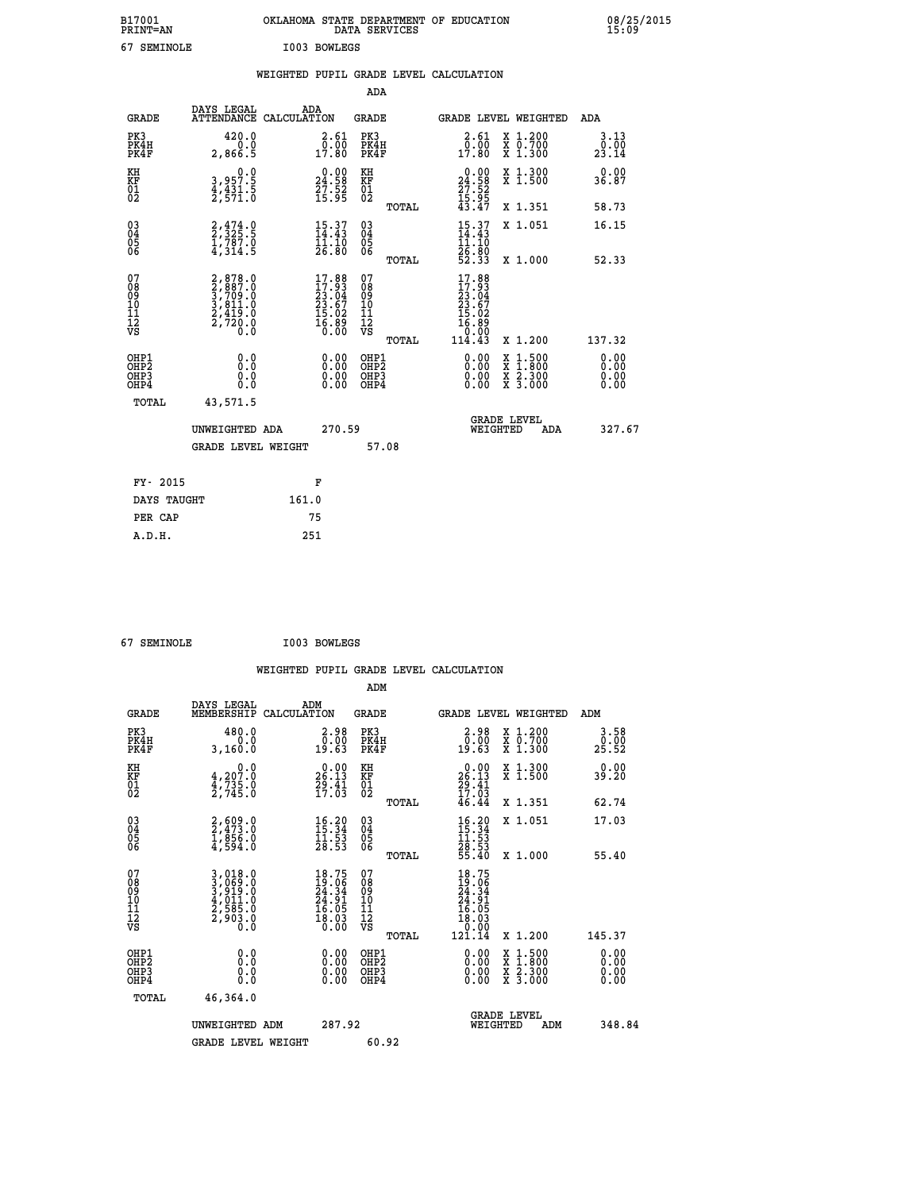|    | B17001<br>PRINT=AN | OKLAHOMA STATE DEPARTMENT OF EDUCATION<br>DATA SERVICES |  | 08/25/2015<br>15:09 |
|----|--------------------|---------------------------------------------------------|--|---------------------|
| 67 | SEMINOLE           | I003 BOWLEGS                                            |  |                     |

|                              |                                          |                                                                                                               |       |                                                                                       |                                          |       | WEIGHTED PUPIL GRADE LEVEL CALCULATION                                                                  |                                          |                              |
|------------------------------|------------------------------------------|---------------------------------------------------------------------------------------------------------------|-------|---------------------------------------------------------------------------------------|------------------------------------------|-------|---------------------------------------------------------------------------------------------------------|------------------------------------------|------------------------------|
|                              |                                          |                                                                                                               |       |                                                                                       | <b>ADA</b>                               |       |                                                                                                         |                                          |                              |
|                              | <b>GRADE</b>                             | DAYS LEGAL<br>ATTENDANCE CALCULATION                                                                          | ADA   |                                                                                       | <b>GRADE</b>                             |       | GRADE LEVEL WEIGHTED                                                                                    |                                          | ADA                          |
| PK3                          | PK4H<br>PK4F                             | 420.0<br>0.0<br>2,866.5                                                                                       |       | 2.61<br>$\frac{5.00}{17.80}$                                                          | PK3<br>PK4H<br>PK4F                      |       | 2.61<br>0.00<br>17.80                                                                                   | X 1.200<br>X 0.700<br>X 1.300            | 3.13<br>0.00<br>23.14        |
| KH<br>KF<br>01<br>02         |                                          | 0.0<br>3,957.5<br>4,431.5<br>2,571.0                                                                          |       | $\begin{smallmatrix} 0.00\\24.58\\27.52\\15.95 \end{smallmatrix}$                     | KH<br>KF<br>01<br>02                     |       | $\begin{smallmatrix} 0.00\\24.58\\27.52\\15.95\\43.47 \end{smallmatrix}$                                | X 1.300<br>X 1.500                       | 0.00<br>36.87                |
|                              |                                          |                                                                                                               |       |                                                                                       |                                          | TOTAL |                                                                                                         | X 1.351                                  | 58.73                        |
| 03<br>04<br>05<br>06         |                                          | $\frac{2}{2}, \frac{4}{3}$ <sub>25</sub> :5<br>$\frac{1}{4}, \frac{7}{3}$ $\frac{8}{1}$ $\frac{7}{5}$         |       | 15.37<br>11.10                                                                        | 03<br>04<br>05<br>06                     |       | $\frac{15}{14}$ : 43<br>īī.īŏ                                                                           | X 1.051                                  | 16.15                        |
|                              |                                          |                                                                                                               |       | 26.80                                                                                 |                                          | TOTAL | 26.80<br>52.33                                                                                          | X 1.000                                  | 52.33                        |
| 07<br>08901112<br>1112<br>VS |                                          | $\begin{smallmatrix} 2, 878.0\\ 2, 887.0\\ 3, 709.0\\ 3, 811.0\\ 2, 419.0\\ 2, 720.0\\ 0.0 \end{smallmatrix}$ |       | $\begin{smallmatrix} 17.88\\17.93\\23.04\\23.67\\15.02\\16.89\\0.00\end{smallmatrix}$ | 07<br>08<br>09<br>10<br>11<br>12<br>VS   | TOTAL | 17.88<br>$\begin{smallmatrix} 17.983\ 17.934\ 23.047\ 23.672\ 15.029\ 16.890\ 114.43 \end{smallmatrix}$ | X 1.200                                  | 137.32                       |
|                              | OHP1<br>OHP <sub>2</sub><br>OHP3<br>OHP4 | 0.0<br>ŏ.ŏ<br>0.0<br>0.0                                                                                      |       | $\begin{smallmatrix} 0.00 \ 0.00 \ 0.00 \ 0.00 \end{smallmatrix}$                     | OHP1<br>OHP <sub>2</sub><br>OHP3<br>OHP4 |       |                                                                                                         | X 1:500<br>X 1:800<br>X 2:300<br>X 3:000 | 0.00<br>0.00<br>0.00<br>0.00 |
|                              | TOTAL                                    | 43,571.5                                                                                                      |       |                                                                                       |                                          |       |                                                                                                         |                                          |                              |
|                              |                                          | UNWEIGHTED ADA                                                                                                |       | 270.59                                                                                |                                          |       | WEIGHTED                                                                                                | <b>GRADE LEVEL</b><br><b>ADA</b>         | 327.67                       |
|                              |                                          | <b>GRADE LEVEL WEIGHT</b>                                                                                     |       |                                                                                       |                                          | 57.08 |                                                                                                         |                                          |                              |
|                              | FY- 2015                                 |                                                                                                               |       | F                                                                                     |                                          |       |                                                                                                         |                                          |                              |
|                              | DAYS TAUGHT                              |                                                                                                               | 161.0 |                                                                                       |                                          |       |                                                                                                         |                                          |                              |
|                              | PER CAP                                  |                                                                                                               |       | 75                                                                                    |                                          |       |                                                                                                         |                                          |                              |

 **67 SEMINOLE I003 BOWLEGS**

 **A.D.H. 251**

| <b>GRADE</b>                                             | DAYS LEGAL<br>MEMBERSHIP                                                  | ADM<br>CALCULATION                                                       | <b>GRADE</b>                                       |       |                                                                                                         |                                | GRADE LEVEL WEIGHTED                     | ADM                  |
|----------------------------------------------------------|---------------------------------------------------------------------------|--------------------------------------------------------------------------|----------------------------------------------------|-------|---------------------------------------------------------------------------------------------------------|--------------------------------|------------------------------------------|----------------------|
| PK3<br>PK4H<br>PK4F                                      | 480.0<br>0.0<br>3,160.0                                                   | 2.98<br>$\bar{0.00}$<br>19.63                                            | PK3<br>PK4H<br>PK4F                                |       | $\begin{smallmatrix} 2.98\0.00\\0.00\\19.63\end{smallmatrix}$                                           |                                | X 1.200<br>X 0.700<br>X 1.300            | 3.58<br>25.52        |
| KH<br>KF<br>01<br>02                                     | 0.0<br>$\frac{4}{3}, \frac{207}{735}$ .0<br>2,735.0                       | $26.13$<br>$29.41$<br>$17.03$                                            | KH<br>KF<br>01<br>02                               |       | $26.13$<br>$29.41$<br>$17.03$<br>$46.44$                                                                |                                | X 1.300<br>X 1.500                       | 0.00<br>39.20        |
|                                                          |                                                                           |                                                                          |                                                    | TOTAL |                                                                                                         |                                | X 1.351                                  | 62.74                |
| $\begin{matrix} 03 \\ 04 \\ 05 \\ 06 \end{matrix}$       | 2,609.0<br>2,473.0<br>1,856.0<br>4,594.0                                  | $\begin{smallmatrix} 16.20\\ 15.34\\ 11.53\\ 28.53 \end{smallmatrix}$    | $\begin{matrix} 03 \\ 04 \\ 05 \\ 06 \end{matrix}$ |       | $16.20$<br>$15.34$<br>$11.53$<br>$28.53$<br>$55.40$                                                     |                                | X 1.051                                  | 17.03                |
|                                                          |                                                                           |                                                                          |                                                    | TOTAL |                                                                                                         |                                | X 1.000                                  | 55.40                |
| 07<br>08<br>09<br>11<br>11<br>12<br>VS                   | 3,018.0<br>3,069.0<br>3,919.0<br>3,911.0<br>4,011.0<br>2,585.0<br>2,903.0 | $18.75$<br>$19.06$<br>$24.34$<br>$24.91$<br>$16.05$<br>$18.03$<br>$0.00$ | 07<br>08<br>09<br>11<br>11<br>12<br>VS             | TOTAL | $\begin{smallmatrix} 18.75\ 19.06\ 24.34\ 24.31\ 24.01\ 16.05\ 18.03\ 0.000\ 121.14\ \end{smallmatrix}$ |                                | X 1.200                                  | 145.37               |
| OHP1                                                     |                                                                           |                                                                          | OHP1                                               |       |                                                                                                         |                                |                                          | 0.00                 |
| OH <sub>P</sub> <sub>2</sub><br>OH <sub>P3</sub><br>OHP4 | 0.0<br>0.0<br>Ŏ.Ŏ                                                         |                                                                          | OHP <sub>2</sub><br>OHP3<br>OHP4                   |       |                                                                                                         |                                | X 1:500<br>X 1:800<br>X 2:300<br>X 3:000 | 0.00<br>0.00<br>0.00 |
| TOTAL                                                    | 46,364.0                                                                  |                                                                          |                                                    |       |                                                                                                         |                                |                                          |                      |
|                                                          | UNWEIGHTED ADM                                                            | 287.92                                                                   |                                                    |       |                                                                                                         | <b>GRADE LEVEL</b><br>WEIGHTED | ADM                                      | 348.84               |
|                                                          | <b>GRADE LEVEL WEIGHT</b>                                                 |                                                                          | 60.92                                              |       |                                                                                                         |                                |                                          |                      |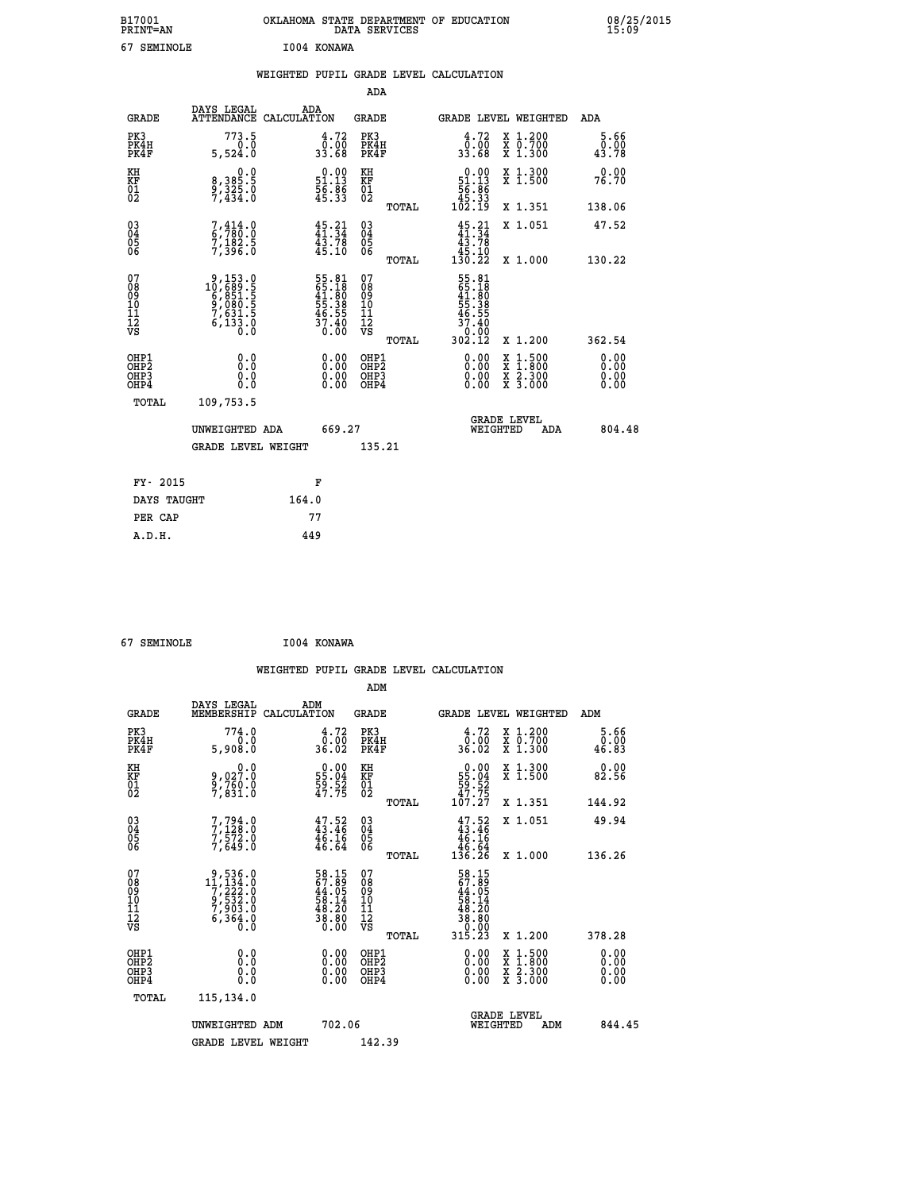| B17001<br><b>PRINT=AN</b> | OKLAHOMA<br>. STATE DEPARTMENT OF EDUCATION<br>DATA SERVICES | 08/25/2015<br>15:09 |
|---------------------------|--------------------------------------------------------------|---------------------|
| 67<br>SEMINOLE            | 1004 KONAWA                                                  |                     |

|                              |                                                                                                                                            |                                                                      |                                                     | WEIGHTED PUPIL GRADE LEVEL CALCULATION                                                                           |                                                           |                              |
|------------------------------|--------------------------------------------------------------------------------------------------------------------------------------------|----------------------------------------------------------------------|-----------------------------------------------------|------------------------------------------------------------------------------------------------------------------|-----------------------------------------------------------|------------------------------|
|                              |                                                                                                                                            |                                                                      | <b>ADA</b>                                          |                                                                                                                  |                                                           |                              |
| <b>GRADE</b>                 | DAYS LEGAL<br><b>ATTENDANCE</b>                                                                                                            | ADA<br>CALCULATION                                                   | <b>GRADE</b>                                        | GRADE LEVEL WEIGHTED                                                                                             |                                                           | ADA                          |
| PK3<br>PK4H<br>PK4F          | 773.5<br>0.0<br>5,524.0                                                                                                                    | $\begin{smallmatrix} 4.72\ 0.00\ 33.68 \end{smallmatrix}$            | PK3<br>PK4H<br>PK4F                                 | $\begin{smallmatrix} 4.72\ 0.00\ 33.68 \end{smallmatrix}$                                                        | X 1.200<br>X 0.700<br>X 1.300                             | 5.66<br>0.00<br>43.78        |
| KH<br>KF<br>01<br>02         | 0.0<br>8, 385:5<br>9, 325:0<br>7, 434:0                                                                                                    | $\begin{smallmatrix} 0.00\\ 51.13\\ 56.86\\ 45.33 \end{smallmatrix}$ | KH<br>KF<br>01<br>02                                | $\begin{smallmatrix}&&0\cdot 0 0\\ 5 1\cdot 1 3\\ 5 6\cdot 8 6\\ 4 5\cdot 3 3\\ 1 0 2\cdot 1 9\end{smallmatrix}$ | X 1.300<br>X 1.500                                        | 0.00<br>76.70                |
|                              |                                                                                                                                            |                                                                      | TOTAL                                               |                                                                                                                  | X 1.351                                                   | 138.06                       |
| $^{03}_{04}$<br>Ŏ5<br>06     | $\frac{7}{6}$ , $\frac{414}{780}$ : 0<br>7,182.5<br>7,396.0                                                                                | 45.31<br>43.78<br>45.10                                              | $\begin{array}{c} 03 \\ 04 \\ 05 \\ 06 \end{array}$ | $45.31$<br>$41.34$                                                                                               | X 1.051                                                   | 47.52                        |
|                              |                                                                                                                                            |                                                                      | TOTAL                                               |                                                                                                                  | X 1.000                                                   | 130.22                       |
| 07<br>08901112<br>1112<br>VS | $\begin{smallmatrix} 9,153\cdot 0\\ 10,689\cdot 5\\ 6,851\cdot 5\\ 9,080\cdot 5\\ 7,631\cdot 5\\ 6,133\cdot 0\\ 0\cdot 0\end{smallmatrix}$ | 55.81<br>65.18<br>41.80<br>55.38<br>55.35<br>46.55<br>37.40<br>0.00  | 07<br>08<br>09<br>11<br>11<br>12<br>VS<br>TOTAL     | 55.81<br>65.180<br>41.800<br>55.385<br>56.555<br>46.555<br>302.12                                                | X 1.200                                                   | 362.54                       |
| OHP1<br>OHP2<br>OHP3<br>OHP4 | 0.0<br>0.0<br>Ō.Ō                                                                                                                          | 0.00<br>$\begin{smallmatrix} 0.00 \ 0.00 \end{smallmatrix}$          | OHP1<br>OHP2<br>OHP3<br>OHP4                        | 0.00<br>X<br>X<br>0.00<br>0.00                                                                                   | $1:500$<br>$1:800$<br>$\frac{x}{x}$ $\frac{5:300}{3:000}$ | 0.00<br>0.00<br>0.00<br>0.00 |
| <b>TOTAL</b>                 | 109,753.5                                                                                                                                  |                                                                      |                                                     |                                                                                                                  |                                                           |                              |
|                              | UNWEIGHTED ADA                                                                                                                             | 669.27                                                               |                                                     | GRADE LEVEL<br>WEIGHTED                                                                                          | ADA                                                       | 804.48                       |
|                              | <b>GRADE LEVEL WEIGHT</b>                                                                                                                  |                                                                      | 135.21                                              |                                                                                                                  |                                                           |                              |
| FY- 2015                     |                                                                                                                                            | F                                                                    |                                                     |                                                                                                                  |                                                           |                              |
|                              | DAYS TAUGHT                                                                                                                                | 164.0                                                                |                                                     |                                                                                                                  |                                                           |                              |
| PER CAP                      |                                                                                                                                            | 77                                                                   |                                                     |                                                                                                                  |                                                           |                              |

|                                                    | 67 SEMINOLE                  |                                                                                                  |                    | I004 KONAWA                                                              |                                        |                |                                                                          |          |                               |                              |  |
|----------------------------------------------------|------------------------------|--------------------------------------------------------------------------------------------------|--------------------|--------------------------------------------------------------------------|----------------------------------------|----------------|--------------------------------------------------------------------------|----------|-------------------------------|------------------------------|--|
|                                                    |                              |                                                                                                  |                    |                                                                          | ADM                                    |                | WEIGHTED PUPIL GRADE LEVEL CALCULATION                                   |          |                               |                              |  |
|                                                    | <b>GRADE</b>                 | DAYS LEGAL<br>MEMBERSHIP                                                                         | ADM<br>CALCULATION |                                                                          | <b>GRADE</b>                           |                |                                                                          |          | GRADE LEVEL WEIGHTED          | ADM                          |  |
| PK3                                                | PK4H<br>PK4F                 | 774.0<br>0.0<br>5,908.0                                                                          |                    | 4.72<br>0:00<br>36:02                                                    | PK3<br>PK4H<br>PK4F                    |                | 4.72<br>$\frac{0.00}{36.02}$                                             |          | X 1.200<br>X 0.700<br>X 1.300 | 5.66<br>0.00<br>46.83        |  |
| KH<br>KF<br>01<br>02                               |                              | $9,027.0$<br>$9,760.0$<br>$7,831.0$                                                              |                    | $\begin{smallmatrix} 0.00\\ 55.04\\ 59.52\\ 47.75 \end{smallmatrix}$     | KH<br>KF<br>01<br>02                   |                | $\begin{array}{c} 0.00 \\ 55.04 \\ 59.52 \\ 47.75 \\ 107.27 \end{array}$ |          | X 1.300<br>X 1.500            | 0.00<br>82.56                |  |
|                                                    |                              |                                                                                                  |                    |                                                                          |                                        | TOTAL          |                                                                          |          | X 1.351                       | 144.92                       |  |
| $\begin{matrix} 03 \\ 04 \\ 05 \\ 06 \end{matrix}$ |                              | $7, 794.0$<br>$7, 128.0$<br>$7, 572.0$<br>$7, 649.0$                                             |                    | $47.52$<br>$43.46$<br>$46.16$<br>$46.64$                                 | 03<br>04<br>05<br>06                   |                | $47.52$<br>$43.46$<br>$46.16$<br>$\frac{15.54}{136.26}$                  |          | X 1.051                       | 49.94<br>136.26              |  |
| 07<br>08<br>09<br>101<br>11<br>12<br>VS            |                              | $\begin{smallmatrix}9,536.0\\11,134.0\\7,222.0\\9,532.0\\7,903.0\\6,364.0\\0.0\end{smallmatrix}$ |                    | $58.15$<br>$67.89$<br>$44.05$<br>$58.14$<br>$58.20$<br>$38.80$<br>$0.00$ | 07<br>08<br>09<br>11<br>11<br>12<br>VS | TOTAL<br>TOTAL | 58.159<br>67.89<br>44.05<br>58.14<br>58.20<br>38.80<br>0.00<br>315.23    |          | X 1.000<br>X 1.200            | 378.28                       |  |
|                                                    | OHP1<br>OHP2<br>OHP3<br>OHP4 | 0.0<br>Ŏ.Ŏ<br>0.0<br>0.0                                                                         |                    | 0.00<br>$\begin{smallmatrix} 0.00 \ 0.00 \end{smallmatrix}$              | OHP1<br>OHP2<br>OHP3<br>OHP4           |                | 0.00<br>0.00<br>0.00                                                     |          | X 1:500<br>X 2.300<br>X 3.000 | 0.00<br>0.00<br>0.00<br>0.00 |  |
|                                                    | TOTAL                        | 115, 134.0<br>UNWEIGHTED ADM<br><b>GRADE LEVEL WEIGHT</b>                                        |                    | 702.06                                                                   | 142.39                                 |                |                                                                          | WEIGHTED | <b>GRADE LEVEL</b><br>ADM     | 844.45                       |  |
|                                                    |                              |                                                                                                  |                    |                                                                          |                                        |                |                                                                          |          |                               |                              |  |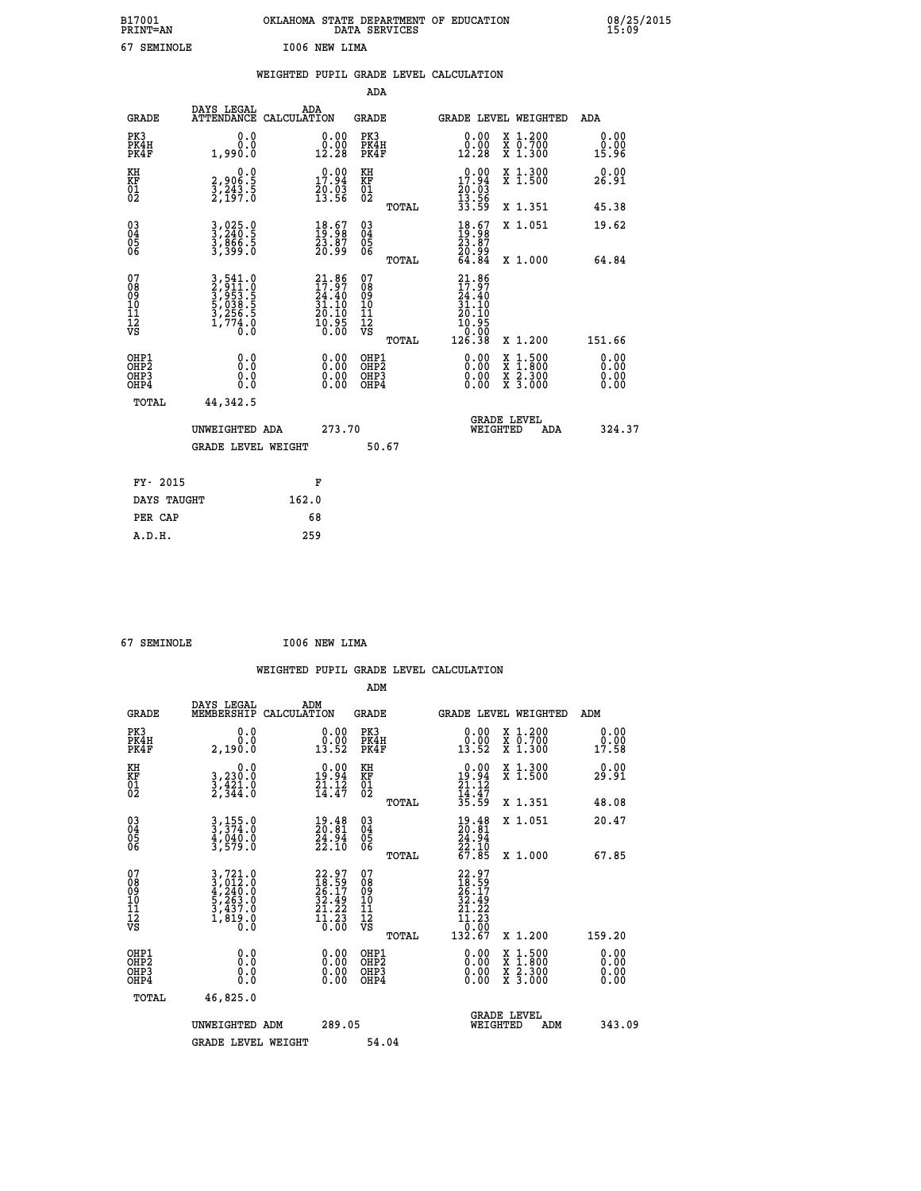| B17001<br><b>PRINT=AN</b> | OKLAHOMA STATE DEPARTMENT OF EDUCATION<br>DATA SERVICES | 08/25/2015<br>15:09 |
|---------------------------|---------------------------------------------------------|---------------------|
| 67<br>SEMINOLE            | I006 NEW LIMA                                           |                     |

|                                                                    |                                                                           |                                                                      |                                                    | WEIGHTED PUPIL GRADE LEVEL CALCULATION                                                                                                                                                                                                                                                                                     |                                                                                                                                              |                              |
|--------------------------------------------------------------------|---------------------------------------------------------------------------|----------------------------------------------------------------------|----------------------------------------------------|----------------------------------------------------------------------------------------------------------------------------------------------------------------------------------------------------------------------------------------------------------------------------------------------------------------------------|----------------------------------------------------------------------------------------------------------------------------------------------|------------------------------|
|                                                                    |                                                                           |                                                                      | <b>ADA</b>                                         |                                                                                                                                                                                                                                                                                                                            |                                                                                                                                              |                              |
| <b>GRADE</b>                                                       | DAYS LEGAL                                                                | ADA<br>ATTENDANCE CALCULATION                                        | <b>GRADE</b>                                       | GRADE LEVEL WEIGHTED                                                                                                                                                                                                                                                                                                       |                                                                                                                                              | <b>ADA</b>                   |
| PK3<br>PK4H<br>PK4F                                                | 0.0<br>ة:ة<br>1,990:0                                                     | $\begin{smallmatrix} 0.00\\ 0.00\\ 12.28 \end{smallmatrix}$          | PK3<br>PK4H<br>PK4F                                | 0.00<br>$\begin{smallmatrix} \v{0} \ \v{1} \ \v{2} \ \v{3} \ \v{4} \ \v{5} \ \v{6} \ \v{7} \ \v{8} \ \v{8} \ \v{9} \ \v{1} \ \v{1} \ \v{2} \ \v{8} \ \v{9} \ \v{1} \ \v{1} \ \v{1} \ \v{2} \ \v{3} \ \v{4} \ \v{6} \ \v{7} \ \v{8} \ \v{8} \ \v{9} \ \v{1} \ \v{1} \ \v{1} \ \v{2} \ \v{3} \ \v{4} \ \v{7} \ \v{8} \ \v{9$ | X 1.200<br>X 0.700<br>X 1.300                                                                                                                | 0.00<br>0.00<br>15.96        |
| KH<br>KF<br>01<br>02                                               | $\begin{smallmatrix} 0.0\\2,906.5\\3,243.5\\2,197.0 \end{smallmatrix}$    | $\begin{smallmatrix} 0.00\\ 17.94\\ 20.03\\ 13.56 \end{smallmatrix}$ | KH<br>KF<br>01<br>02                               | 0.00<br>$\begin{smallmatrix} 17.94 \\ 20.03 \\ 13.56 \\ 33.59 \end{smallmatrix}$                                                                                                                                                                                                                                           | X 1.300<br>X 1.500                                                                                                                           | 0.00<br>26.91                |
|                                                                    |                                                                           |                                                                      | TOTAL                                              |                                                                                                                                                                                                                                                                                                                            | X 1.351                                                                                                                                      | 45.38                        |
| $\begin{smallmatrix} 03 \\[-4pt] 04 \end{smallmatrix}$<br>Ŏ5<br>06 | 3,025.0<br>3,240.5<br>3,866.5<br>3,399.0                                  | $\begin{smallmatrix} 18.67\\19.98\\23.87\\20.99 \end{smallmatrix}$   | $\begin{matrix} 03 \\ 04 \\ 05 \\ 06 \end{matrix}$ | $18.67$<br>$19.98$<br>$23.87$<br>$20.99$<br>$64.84$                                                                                                                                                                                                                                                                        | X 1.051                                                                                                                                      | 19.62                        |
|                                                                    |                                                                           |                                                                      | TOTAL                                              |                                                                                                                                                                                                                                                                                                                            | X 1.000                                                                                                                                      | 64.84                        |
| 07<br>08<br>09<br>11<br>11<br>12<br>VS                             | 3,541.0<br>3,911.0<br>3,953.5<br>5,038.5<br>5,038.5<br>3,256.5<br>1,774.0 | $21.86$<br>$17.97$<br>$24.40$<br>$31.10$<br>$\frac{25.10}{10.95}$    | 07<br>08<br>09<br>11<br>11<br>12<br>VS<br>TOTAL    | 21.86<br>17.97<br>24.40<br>31.10<br>20.10<br>$\begin{smallmatrix} 10.95\ 0.00\ 126.38 \end{smallmatrix}$                                                                                                                                                                                                                   | X 1.200                                                                                                                                      | 151.66                       |
| OHP1<br>OHP2<br>OH <sub>P3</sub><br>OH <sub>P4</sub>               | 0.0<br>Ō.Ō<br>0.0<br>0.0                                                  | 0.00<br>$\begin{smallmatrix} 0.00 \ 0.00 \end{smallmatrix}$          | OHP1<br>OHP2<br>OHP3<br>OHP4                       | $0.00$<br>$0.00$<br>0.00                                                                                                                                                                                                                                                                                                   | $\begin{smallmatrix} \mathtt{X} & 1\cdot500 \\ \mathtt{X} & 1\cdot800 \\ \mathtt{X} & 2\cdot300 \\ \mathtt{X} & 3\cdot000 \end{smallmatrix}$ | 0.00<br>0.00<br>0.00<br>0.00 |
| TOTAL                                                              | 44,342.5                                                                  |                                                                      |                                                    |                                                                                                                                                                                                                                                                                                                            |                                                                                                                                              |                              |
|                                                                    | UNWEIGHTED ADA                                                            | 273.70                                                               |                                                    | <b>GRADE LEVEL</b><br>WEIGHTED                                                                                                                                                                                                                                                                                             | ADA                                                                                                                                          | 324.37                       |
|                                                                    | GRADE LEVEL WEIGHT                                                        |                                                                      | 50.67                                              |                                                                                                                                                                                                                                                                                                                            |                                                                                                                                              |                              |
| FY- 2015                                                           |                                                                           | F                                                                    |                                                    |                                                                                                                                                                                                                                                                                                                            |                                                                                                                                              |                              |
| DAYS TAUGHT                                                        |                                                                           | 162.0                                                                |                                                    |                                                                                                                                                                                                                                                                                                                            |                                                                                                                                              |                              |
| PER CAP                                                            |                                                                           | 68                                                                   |                                                    |                                                                                                                                                                                                                                                                                                                            |                                                                                                                                              |                              |

 **67 SEMINOLE I006 NEW LIMA**

 **A.D.H. 259**

| <b>GRADE</b>                             | DAYS LEGAL<br>MEMBERSHIP                                                                                                                                    | ADM<br>CALCULATION                                                       | <b>GRADE</b>                                        |       | <b>GRADE LEVEL WEIGHTED</b>                                                                                                                                                                                                                                                    |                                          | ADM                   |  |
|------------------------------------------|-------------------------------------------------------------------------------------------------------------------------------------------------------------|--------------------------------------------------------------------------|-----------------------------------------------------|-------|--------------------------------------------------------------------------------------------------------------------------------------------------------------------------------------------------------------------------------------------------------------------------------|------------------------------------------|-----------------------|--|
| PK3<br>PK4H<br>PK4F                      | 0.0<br>0.0<br>2,190.0                                                                                                                                       | $\begin{smallmatrix} 0.00\\ 0.00\\ 13.52 \end{smallmatrix}$              | PK3<br>PK4H<br>PK4F                                 |       | $\begin{smallmatrix} 0.00\\ 0.00\\ 13.52 \end{smallmatrix}$                                                                                                                                                                                                                    | X 1.200<br>X 0.700<br>X 1.300            | 0.00<br>0.00<br>17.58 |  |
| KH<br>KF<br>01<br>02                     | 0.0<br>3,230:0<br>3,421:0<br>2,344:0                                                                                                                        | $19.94$<br>$21.12$<br>$14.47$                                            | KH<br>KF<br>01<br>02                                |       | $\begin{smallmatrix} 0.00\\ 19.94\\ 21.12\\ 14.47\\ 35.59 \end{smallmatrix}$                                                                                                                                                                                                   | X 1.300<br>X 1.500                       | 0.00<br>29.91         |  |
|                                          |                                                                                                                                                             |                                                                          |                                                     | TOTAL |                                                                                                                                                                                                                                                                                | X 1.351                                  | 48.08                 |  |
| 03<br>04<br>05<br>06                     | 3,155.0<br>3,374.0<br>4,040.0<br>3,579.0                                                                                                                    | $\begin{smallmatrix} 19.48\\ 20.81\\ 24.94\\ 22.10 \end{smallmatrix}$    | $\begin{array}{c} 03 \\ 04 \\ 05 \\ 06 \end{array}$ |       | $\begin{smallmatrix} 19.48\\ 20.81\\ 24.94\\ 22.10\\ 67.85 \end{smallmatrix}$                                                                                                                                                                                                  | X 1.051                                  | 20.47                 |  |
|                                          |                                                                                                                                                             |                                                                          |                                                     | TOTAL |                                                                                                                                                                                                                                                                                | X 1.000                                  | 67.85                 |  |
| 07<br>089<br>090<br>1112<br>VS           | $\begin{smallmatrix} 3\,,\,721\,.\,0\\ 3\,,\,012\,.\,0\\ 4\,,\,240\,.\,0\\ 5\,,\,263\,.\,0\\ 3\,,\,437\,.\,0\\ 1\,,\,819\,.\,0\\ 0\,.\,0 \end{smallmatrix}$ | $22.97$<br>$18.59$<br>$26.17$<br>$32.49$<br>$21.22$<br>$11.23$<br>$0.00$ | 07<br>08<br>09<br>01<br>11<br>11<br>12<br>VS        | TOTAL | $\begin{smallmatrix} 22.97\ 18.59\ 26.17\ 32.49\ 21.22\ 11.230\ 132.67 \end{smallmatrix}$                                                                                                                                                                                      | X 1.200                                  | 159.20                |  |
| OHP1<br>OHP2<br>OH <sub>P3</sub><br>OHP4 | 0.0<br>0.000                                                                                                                                                |                                                                          | OHP1<br>OHP2<br>OHP3<br>OHP4                        |       | $\begin{smallmatrix} 0.00 & 0.00 & 0.00 & 0.00 & 0.00 & 0.00 & 0.00 & 0.00 & 0.00 & 0.00 & 0.00 & 0.00 & 0.00 & 0.00 & 0.00 & 0.00 & 0.00 & 0.00 & 0.00 & 0.00 & 0.00 & 0.00 & 0.00 & 0.00 & 0.00 & 0.00 & 0.00 & 0.00 & 0.00 & 0.00 & 0.00 & 0.00 & 0.00 & 0.00 & 0.00 & 0.0$ | X 1:500<br>X 1:800<br>X 2:300<br>X 3:000 | 0.00<br>0.00<br>0.00  |  |
| TOTAL                                    | 46,825.0                                                                                                                                                    |                                                                          |                                                     |       |                                                                                                                                                                                                                                                                                |                                          |                       |  |
|                                          | UNWEIGHTED<br>ADM                                                                                                                                           | 289.05                                                                   |                                                     |       | WEIGHTED                                                                                                                                                                                                                                                                       | <b>GRADE LEVEL</b><br>ADM                | 343.09                |  |
|                                          | <b>GRADE LEVEL WEIGHT</b>                                                                                                                                   |                                                                          | 54.04                                               |       |                                                                                                                                                                                                                                                                                |                                          |                       |  |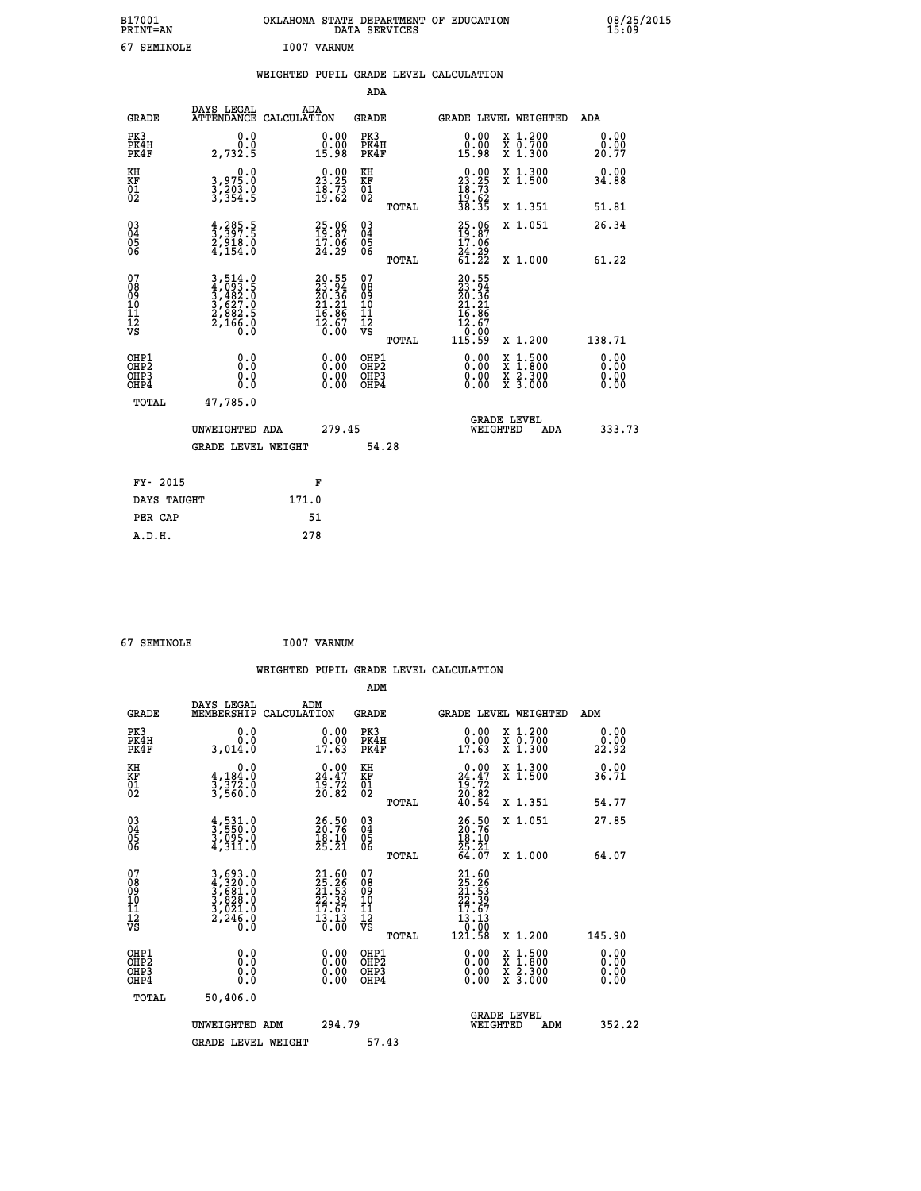| B17001<br><b>PRINT=AN</b> | OKLAHOMA STATE DEPARTMENT OF EDUCATION<br>DATA SERVICES | 08/25/2015<br>15:09 |
|---------------------------|---------------------------------------------------------|---------------------|
| 67<br>SEMINOLE            | I007 VARNUM                                             |                     |

|                                                    |                                                                                              | WEIGHTED PUPIL GRADE LEVEL CALCULATION |                                                       |                            |                       |    |                                                     |                                 |                                                             |
|----------------------------------------------------|----------------------------------------------------------------------------------------------|----------------------------------------|-------------------------------------------------------|----------------------------|-----------------------|----|-----------------------------------------------------|---------------------------------|-------------------------------------------------------------|
|                                                    |                                                                                              |                                        |                                                       | ADA                        |                       |    |                                                     |                                 |                                                             |
| <b>GRADE</b>                                       | DAYS LEGAL<br>ATTENDANCE CALCULATION                                                         | ADA                                    |                                                       | GRADE                      |                       |    |                                                     | <b>GRADE LEVEL WEIGHTED</b>     | ADA                                                         |
| PK3<br>PK4H<br>PK4F                                | 0.0<br>0.0<br>2,732.5                                                                        |                                        | 0.00<br>0.00<br>15.98                                 | PK3<br>PK4H<br>PK4F        |                       |    | 0.00<br>ŏ:ŏŏ<br>15:98                               | X 1.200<br>X 0.700<br>$X$ 1.300 | $\begin{smallmatrix} 0.00\\ 0.00\\ 20.77 \end{smallmatrix}$ |
| KH<br>KF<br>01<br>02                               | 0.0<br>3,975.0<br>$\frac{3}{3}, \frac{2}{3}$ $\frac{6}{3}$ $\frac{3}{4}$ $\cdot \frac{6}{5}$ |                                        | 23.25<br>$\bar{1}\bar{8}\cdot\bar{7}\bar{3}$<br>19:62 | KН<br>KF<br>$^{01}_{02}$   |                       | 23 | 23.25<br>$\frac{18}{19}$ : $\frac{73}{62}$<br>38.35 | X 1.300<br>X <sub>1.500</sub>   | $0.00$<br>34.88                                             |
|                                                    |                                                                                              |                                        |                                                       |                            | TOTAL                 |    |                                                     | X 1.351                         | 51.81                                                       |
| $\begin{matrix} 03 \\ 04 \\ 05 \\ 06 \end{matrix}$ | $\frac{4}{3}, \frac{285}{397}.5$<br>$2, 918.0$<br>$4, 154.0$                                 |                                        | $\frac{25.06}{19.87}$<br>24.29                        | $03\atop 04\atop 05$<br>06 | $m \wedge m \wedge r$ |    | $\frac{25.06}{19.87}$<br>24.29<br>ラミンズズ             | X 1.051<br>$\cdots$ $\cdots$    | 26.34<br>$-1$ $-2$                                          |
|                                                    |                                                                                              |                                        |                                                       |                            |                       |    |                                                     |                                 |                                                             |

| $\begin{matrix} 03 \\ 04 \\ 05 \\ 06 \end{matrix}$   | $\frac{4}{3}, \frac{285}{397}.5$<br>$\frac{2}{3}, \frac{918}{918}.0$<br>$\frac{4}{154}.0$                                                                         | $\begin{smallmatrix} 25.06\\ 19.87\\ 17.06\\ 24.29 \end{smallmatrix}$    | $\begin{matrix} 03 \\ 04 \\ 05 \\ 06 \end{matrix}$               | TOTAL | $25.06$<br>$19.87$<br>$17.06$<br>$24.29$<br>$61.22$                                                          | X 1.051<br>X 1.000                                                                                                                   | 26.34<br>61.22           |
|------------------------------------------------------|-------------------------------------------------------------------------------------------------------------------------------------------------------------------|--------------------------------------------------------------------------|------------------------------------------------------------------|-------|--------------------------------------------------------------------------------------------------------------|--------------------------------------------------------------------------------------------------------------------------------------|--------------------------|
| 07<br>08<br>09<br>11<br>11<br>12<br>VS               | $\begin{smallmatrix} 3\,,\,514\cdot 0\\ 4\,,\,093\cdot 5\\ 3\,,\,482\cdot 0\\ 3\,,\,627\cdot 0\\ 2\,,\,882\cdot 5\\ 2\,,\,166\cdot 0\\ 0\cdot 0\end{smallmatrix}$ | $20.55$<br>$23.94$<br>$20.36$<br>$21.21$<br>$16.86$<br>$12.67$<br>$0.00$ | 07<br>08<br>09<br>11<br>11<br>12<br>VS                           | TOTAL | 20.55<br>$\begin{smallmatrix} 233.94\ 233.94\ 20.36\ 21.21\ 21.21\ 16.867\ 12.670\ 115.59 \end{smallmatrix}$ | X 1.200                                                                                                                              | 138.71                   |
| OHP1<br>OHP <sub>2</sub><br>OH <sub>P3</sub><br>OHP4 | 0.0<br>0.0<br>0.0                                                                                                                                                 | $0.00$<br>$0.00$<br>0.00                                                 | OHP1<br>OHP <sub>2</sub><br>OHP <sub>3</sub><br>OHP <sub>4</sub> |       |                                                                                                              | $\begin{smallmatrix} \mathtt{X} & 1 & 500 \\ \mathtt{X} & 1 & 800 \\ \mathtt{X} & 2 & 300 \\ \mathtt{X} & 3 & 000 \end{smallmatrix}$ | $0.00$<br>$0.00$<br>0.00 |
| TOTAL                                                | 47,785.0<br>UNWEIGHTED ADA<br><b>GRADE LEVEL WEIGHT</b>                                                                                                           | 279.45                                                                   |                                                                  | 54.28 |                                                                                                              | <b>GRADE LEVEL</b><br>WEIGHTED<br>ADA                                                                                                | 333.73                   |
| FY- 2015<br>DAYS TAUGHT<br>PER CAP                   | 171.0                                                                                                                                                             | F<br>51                                                                  |                                                                  |       |                                                                                                              |                                                                                                                                      |                          |
|                                                      |                                                                                                                                                                   |                                                                          |                                                                  |       |                                                                                                              |                                                                                                                                      |                          |

| 67 SEMINOLE | I007 VARNUM |
|-------------|-------------|
|             |             |

 **A.D.H. 278**

|                                                    |                                                                                                                                                           |                    |                                                                    |                                               |       | WEIGHTED PUPIL GRADE LEVEL CALCULATION                                                                |                                          |                      |        |
|----------------------------------------------------|-----------------------------------------------------------------------------------------------------------------------------------------------------------|--------------------|--------------------------------------------------------------------|-----------------------------------------------|-------|-------------------------------------------------------------------------------------------------------|------------------------------------------|----------------------|--------|
|                                                    |                                                                                                                                                           |                    |                                                                    | ADM                                           |       |                                                                                                       |                                          |                      |        |
| <b>GRADE</b>                                       | DAYS LEGAL<br>MEMBERSHIP                                                                                                                                  | ADM<br>CALCULATION |                                                                    | <b>GRADE</b>                                  |       | <b>GRADE LEVEL WEIGHTED</b>                                                                           |                                          | ADM                  |        |
| PK3<br>PK4H<br>PK4F                                | 0.0<br>0.0<br>3,014.0                                                                                                                                     |                    | $\begin{smallmatrix} 0.00\\ 0.00\\ 17.63 \end{smallmatrix}$        | PK3<br>PK4H<br>PK4F                           |       | $\begin{smallmatrix} 0.00\\ 0.00\\ 17.63 \end{smallmatrix}$                                           | X 1.200<br>X 0.700<br>X 1.300            | 0.00<br>22.92        |        |
| KH<br>KF<br>01<br>02                               | 0.0<br>$\frac{4}{3}, \frac{184}{372}$ .0<br>3,372.0                                                                                                       |                    | $\begin{smallmatrix} 0.00\\24.47\\19.72\\20.82 \end{smallmatrix}$  | KH<br>KF<br>01<br>02                          |       | $\begin{smallmatrix} 0.00\\24.47\\19.72\\20.82\\40.54 \end{smallmatrix}$                              | X 1.300<br>X 1.500                       | 0.00<br>36.71        |        |
|                                                    |                                                                                                                                                           |                    |                                                                    |                                               | TOTAL |                                                                                                       | X 1.351                                  | 54.77                |        |
| $\begin{matrix} 03 \\ 04 \\ 05 \\ 06 \end{matrix}$ | $\frac{4}{3}, \frac{531}{550}$ .0<br>3,095.0<br>4,311.0                                                                                                   |                    | $\begin{smallmatrix} 26.50\ 20.76\ 18.10\ 25.21 \end{smallmatrix}$ | 03<br>04<br>05<br>06                          |       | $26.76$<br>$20.76$<br>$18.10$<br>$25.21$<br>$64.07$                                                   | X 1.051                                  | 27.85                |        |
|                                                    |                                                                                                                                                           |                    |                                                                    |                                               | TOTAL |                                                                                                       | X 1.000                                  | 64.07                |        |
| 07<br>0890112<br>1112<br>VS                        | $\begin{smallmatrix} 3\,,\,693\,.\,0\\ 4\,,\,320\,.\,0\\ 3\,,\,681\,.\,0\\ 3\,,\,828\,.\,0\\ 3\,,\,021\,.\,0\\ 2\,,\,246\,.\,0\\ 0\,.0 \end{smallmatrix}$ |                    | $21.6025.2621.5322.3917.6713.130.00$                               | 07<br>08<br>09<br>001<br>11<br>11<br>12<br>VS | TOTAL | $\begin{smallmatrix} 21.60\\ 25.26\\ 21.53\\ 22.39\\ 17.67\\ 13.13\\ 0.00\\ 121.58 \end{smallmatrix}$ | X 1.200                                  | 145.90               |        |
| OHP1                                               |                                                                                                                                                           |                    |                                                                    |                                               |       |                                                                                                       |                                          | 0.00                 |        |
| OHP <sub>2</sub><br>OH <sub>P3</sub><br>OHP4       | 0.0<br>0.000                                                                                                                                              |                    | $0.00$<br>$0.00$<br>0.00                                           | OHP1<br>OHP2<br>OHP <sub>3</sub>              |       | 0.00<br>0.00<br>0.00                                                                                  | X 1:500<br>X 1:800<br>X 2:300<br>X 3:000 | 0.00<br>0.00<br>0.00 |        |
| TOTAL                                              | 50,406.0                                                                                                                                                  |                    |                                                                    |                                               |       |                                                                                                       |                                          |                      |        |
|                                                    | UNWEIGHTED ADM                                                                                                                                            |                    | 294.79                                                             |                                               |       | WEIGHTED                                                                                              | <b>GRADE LEVEL</b><br>ADM                |                      | 352.22 |
|                                                    | <b>GRADE LEVEL WEIGHT</b>                                                                                                                                 |                    |                                                                    | 57.43                                         |       |                                                                                                       |                                          |                      |        |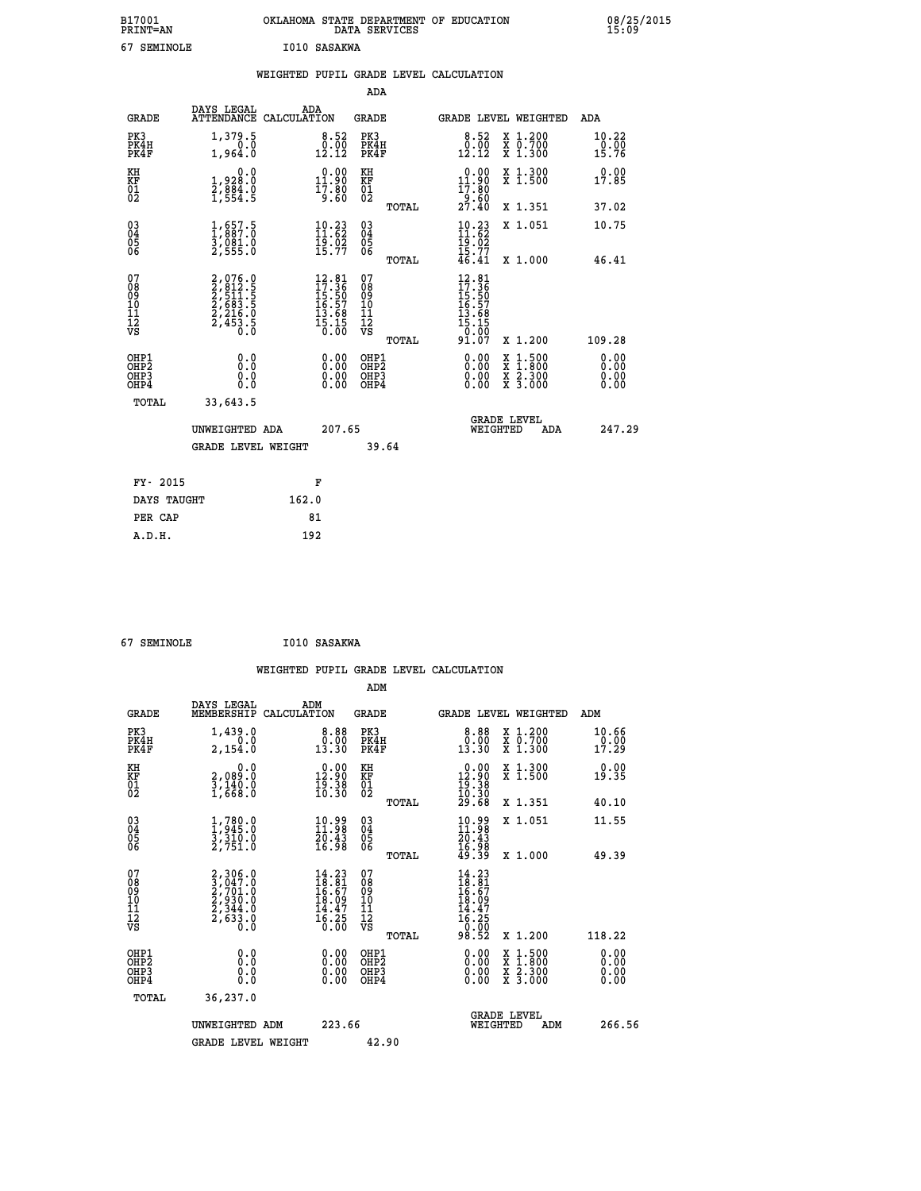| B17001<br><b>PRINT=AN</b> | OKLAHOMA<br>. STATE DEPARTMENT OF EDUCATION<br>DATA SERVICES | 08/25/2015<br>15:09 |
|---------------------------|--------------------------------------------------------------|---------------------|
| 67<br>SEMINOLE            | I010 SASAKWA                                                 |                     |

|                                                                    |                                                                                                                                           | WEIGHTED PUPIL GRADE LEVEL CALCULATION                                   |                                                 |                                                                                                                                                                      |                              |
|--------------------------------------------------------------------|-------------------------------------------------------------------------------------------------------------------------------------------|--------------------------------------------------------------------------|-------------------------------------------------|----------------------------------------------------------------------------------------------------------------------------------------------------------------------|------------------------------|
|                                                                    |                                                                                                                                           |                                                                          | <b>ADA</b>                                      |                                                                                                                                                                      |                              |
| <b>GRADE</b>                                                       |                                                                                                                                           | DAYS LEGAL ADA ATTENDANCE CALCULATION                                    | <b>GRADE</b>                                    | GRADE LEVEL WEIGHTED                                                                                                                                                 | ADA                          |
| PK3<br>PK4H<br>PK4F                                                | 1,379.5<br>0.0<br>1,964.0                                                                                                                 | $\begin{smallmatrix} 8.52\ 0.00\ 12.12 \end{smallmatrix}$                | PK3<br>PK4H<br>PK4F                             | 8.52<br>X 1.200<br>X 0.700<br>X 1.300<br>$\begin{smallmatrix} 0.00 \ 12.12 \end{smallmatrix}$                                                                        | 10.22<br>0.00<br>15.76       |
| KH<br>KF<br>01<br>02                                               | 0.0<br>1,928.0<br>2,884.0<br>1,554.5                                                                                                      | $\begin{smallmatrix} 0.00\\ 11.90\\ 17.80\\ 9.60 \end{smallmatrix}$      | KH<br>KF<br>01<br>02                            | 0.00<br>X 1.300<br>X 1.500<br>$11.90$<br>$17.80$<br>$9.60$<br>$27.40$                                                                                                | 0.00<br>17.85                |
|                                                                    |                                                                                                                                           |                                                                          | TOTAL                                           | X 1.351                                                                                                                                                              | 37.02                        |
| $\begin{smallmatrix} 03 \\[-4pt] 04 \end{smallmatrix}$<br>Ŏ5<br>06 | $\frac{1}{1}, \substack{657.5 \\ 887.0 \\ 3,081.0 \\ 2,555.0$                                                                             | $10.23$<br>11:62<br>$\frac{19.02}{15.77}$                                | $\substack{03 \\ 04}$<br>05<br>06               | $\frac{10.23}{11.62}$<br>X 1.051<br>$\frac{19.02}{15.77}$<br>$46.41$                                                                                                 | 10.75                        |
|                                                                    |                                                                                                                                           |                                                                          | TOTAL                                           | X 1.000                                                                                                                                                              | 46.41                        |
| 07<br>08901112<br>1112<br>VS                                       | $\begin{smallmatrix} 2,076\cdot 0\\ 2,812\cdot 5\\ 2,511\cdot 5\\ 2,563\cdot 5\\ 2,216\cdot 0\\ 2,453\cdot 5\\ 0\cdot 0\end{smallmatrix}$ | $12.81$<br>$17.36$<br>$15.50$<br>$16.57$<br>$13.68$<br>$15.15$<br>$0.00$ | 07<br>08<br>09<br>11<br>11<br>12<br>VS<br>TOTAL | $12.81$<br>$17.36$<br>$15.50$<br>$16.57$<br>$13.68$<br>$15.15$<br>0.00<br>91.07<br>X 1.200                                                                           | 109.28                       |
| OHP1<br>OHP2<br>OHP3<br>OHP4<br>TOTAL                              | 0.0<br>0.0<br>0.0<br>33,643.5                                                                                                             | 0.00<br>$\begin{smallmatrix} 0.00 \ 0.00 \end{smallmatrix}$              | OHP1<br>OHP2<br>OHP3<br>OHP4                    | 0.00<br>$\begin{smallmatrix} \mathtt{X} & 1\cdot500 \\ \mathtt{X} & 1\cdot800 \\ \mathtt{X} & 2\cdot300 \\ \mathtt{X} & 3\cdot000 \end{smallmatrix}$<br>0.00<br>0.00 | 0.00<br>0.00<br>0.00<br>0.00 |
|                                                                    | UNWEIGHTED ADA                                                                                                                            | 207.65                                                                   |                                                 | <b>GRADE LEVEL</b><br>WEIGHTED<br>ADA                                                                                                                                | 247.29                       |
|                                                                    | <b>GRADE LEVEL WEIGHT</b>                                                                                                                 |                                                                          | 39.64                                           |                                                                                                                                                                      |                              |
| FY- 2015                                                           |                                                                                                                                           | F                                                                        |                                                 |                                                                                                                                                                      |                              |
| DAYS TAUGHT                                                        |                                                                                                                                           | 162.0                                                                    |                                                 |                                                                                                                                                                      |                              |
| PER CAP                                                            |                                                                                                                                           | 81                                                                       |                                                 |                                                                                                                                                                      |                              |
| A.D.H.                                                             |                                                                                                                                           | 192                                                                      |                                                 |                                                                                                                                                                      |                              |

| 67 SEMINOLE                                        |                                                                                          |                    | I010 SASAKWA                                                                                                             |                                              |                |                                                                              |          |                                                                                                  |                      |
|----------------------------------------------------|------------------------------------------------------------------------------------------|--------------------|--------------------------------------------------------------------------------------------------------------------------|----------------------------------------------|----------------|------------------------------------------------------------------------------|----------|--------------------------------------------------------------------------------------------------|----------------------|
|                                                    |                                                                                          |                    |                                                                                                                          | ADM                                          |                | WEIGHTED PUPIL GRADE LEVEL CALCULATION                                       |          |                                                                                                  |                      |
| <b>GRADE</b>                                       | DAYS LEGAL<br>MEMBERSHIP                                                                 | ADM<br>CALCULATION |                                                                                                                          | <b>GRADE</b>                                 |                |                                                                              |          | GRADE LEVEL WEIGHTED                                                                             | ADM                  |
| PK3<br>PK4H<br>PK4F                                | 1,439.0<br>0.0<br>2,154.0                                                                |                    | $\begin{smallmatrix} 8.88\ 0.00013.30 \end{smallmatrix}$                                                                 | PK3<br>PK4H<br>PK4F                          |                | 8.88<br>$\begin{smallmatrix} 0.00 \ 13.30 \end{smallmatrix}$                 |          | X 1.200<br>X 0.700<br>X 1.300                                                                    | 10.66<br>19.99       |
| KH<br>KF<br>01<br>02                               | 0.0<br>2,089:0<br>3,140:0<br>1,668:0                                                     |                    | $\begin{smallmatrix} 0.00\\ 12.90\\ 19.38\\ 10.30 \end{smallmatrix}$                                                     | KH<br>KF<br>01<br>02                         |                | $\begin{smallmatrix} 0.00\\ 12.90\\ 19.38\\ 10.30\\ 29.68 \end{smallmatrix}$ |          | X 1.300<br>X 1.500                                                                               | 0.00<br>19.35        |
|                                                    |                                                                                          |                    |                                                                                                                          |                                              | TOTAL          |                                                                              |          | X 1.351                                                                                          | 40.10                |
| $\begin{matrix} 03 \\ 04 \\ 05 \\ 06 \end{matrix}$ | $\frac{1}{1}, \frac{780}{945}.0$<br>$\frac{3}{3}, \frac{310}{31}.0$<br>$\frac{2}{751}.0$ |                    | 10.99<br>11.98<br>$\frac{20.43}{16.98}$                                                                                  | 030404<br>ŎĞ                                 |                | $10.9811.9820.4316.9849.39$                                                  |          | X 1.051                                                                                          | 11.55                |
| 07<br>08<br>09<br>101<br>11<br>12<br>VS            | $2,306.0$<br>$3,047.0$<br>$2,701.0$<br>$2,930.0$<br>$2,344.0$<br>$2,633.0$<br>$0.0$      |                    | $\begin{smallmatrix} 14\cdot23\\ 18\cdot81\\ 16\cdot67\\ 18\cdot09\\ 14\cdot47\\ 16\cdot25\\ 0\cdot00 \end{smallmatrix}$ | 07<br>08<br>09<br>01<br>11<br>11<br>12<br>VS | TOTAL<br>TOTAL | $14.23$<br>$18.81$<br>$16.67$<br>$18.097$<br>$14.475$<br>$16.250$<br>$98.52$ |          | X 1.000<br>X 1.200                                                                               | 49.39<br>118.22      |
| OHP1<br>OHP2<br>OHP3<br>OHP4                       | 0.0<br>0.000                                                                             |                    | $\begin{smallmatrix} 0.00 \ 0.00 \ 0.00 \ 0.00 \end{smallmatrix}$                                                        | OHP1<br>OHP2<br>OHP3<br>OHP4                 |                | 0.00<br>$0.00$<br>0.00                                                       |          | $\begin{smallmatrix} x & 1 & 500 \\ x & 1 & 800 \\ x & 2 & 300 \\ x & 3 & 000 \end{smallmatrix}$ | 0.00<br>0.00<br>0.00 |
| <b>TOTAL</b>                                       | 36,237.0                                                                                 |                    |                                                                                                                          |                                              |                |                                                                              |          |                                                                                                  |                      |
|                                                    | UNWEIGHTED ADM                                                                           |                    | 223.66                                                                                                                   |                                              |                |                                                                              | WEIGHTED | <b>GRADE LEVEL</b><br>ADM                                                                        | 266.56               |
|                                                    | <b>GRADE LEVEL WEIGHT</b>                                                                |                    |                                                                                                                          | 42.90                                        |                |                                                                              |          |                                                                                                  |                      |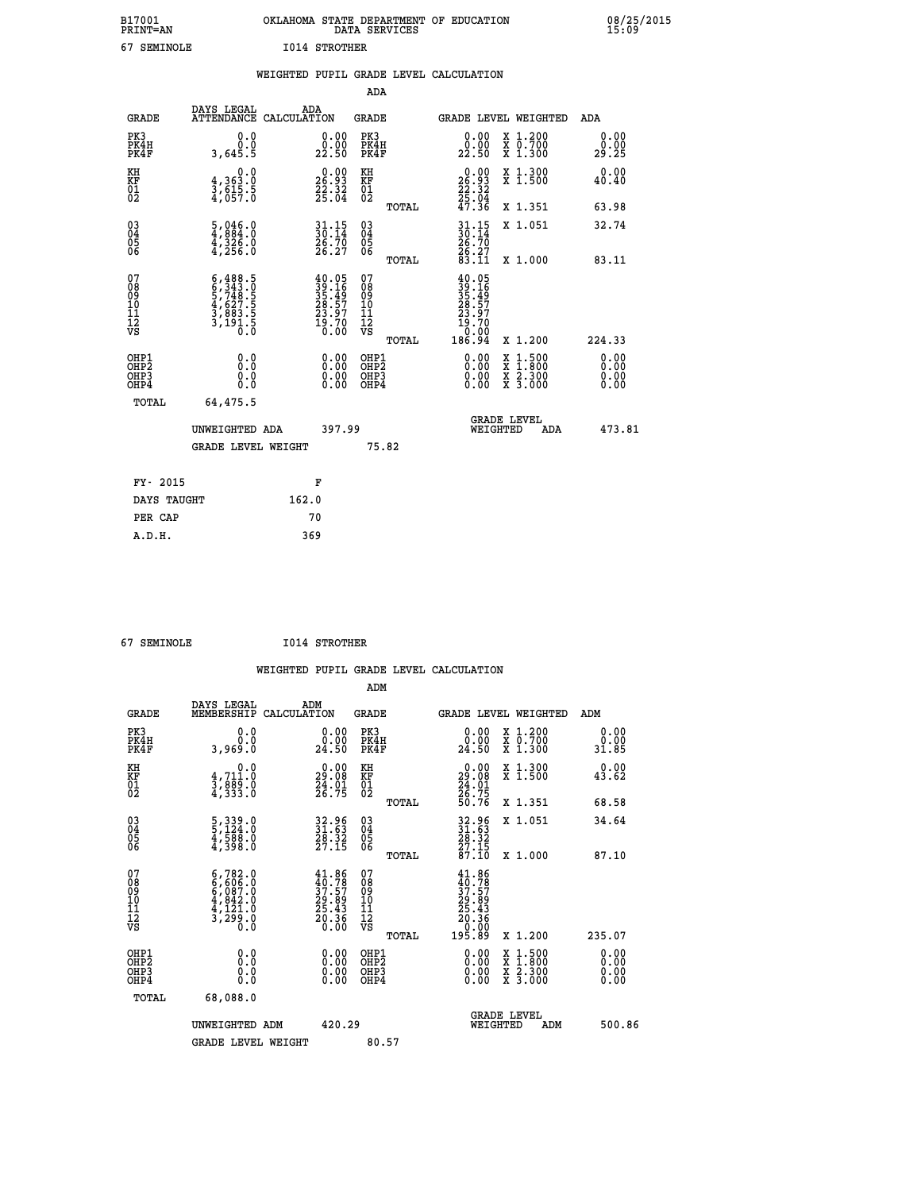| B17001<br><b>PRINT=AN</b> | OKLAHOMA STATE DEPARTMENT OF EDUCATION<br>DATA SERVICES |  | 08/25/2015<br>15:09 |
|---------------------------|---------------------------------------------------------|--|---------------------|
| 67<br>SEMINOLE            | 1014 STROTHER                                           |  |                     |

|                                                                    |                                                                                                                                                                         | WEIGHTED PUPIL GRADE LEVEL CALCULATION                                                       |                                                 |                                                                                                                                                                                                                                                                                                                                                                                                                             |                              |
|--------------------------------------------------------------------|-------------------------------------------------------------------------------------------------------------------------------------------------------------------------|----------------------------------------------------------------------------------------------|-------------------------------------------------|-----------------------------------------------------------------------------------------------------------------------------------------------------------------------------------------------------------------------------------------------------------------------------------------------------------------------------------------------------------------------------------------------------------------------------|------------------------------|
|                                                                    |                                                                                                                                                                         |                                                                                              | <b>ADA</b>                                      |                                                                                                                                                                                                                                                                                                                                                                                                                             |                              |
| <b>GRADE</b>                                                       | DAYS LEGAL                                                                                                                                                              | ADA<br>ATTENDANCE CALCULATION                                                                | GRADE                                           | GRADE LEVEL WEIGHTED                                                                                                                                                                                                                                                                                                                                                                                                        | ADA                          |
| PK3<br>PK4H<br>PK4F                                                | 0.0<br>0.0<br>3,645.5                                                                                                                                                   | $\substack{0.00\\0.00\\22.50}$                                                               | PK3<br>PK4H<br>PK4F                             | X 1.200<br>X 0.700<br>X 1.300<br>0.00<br>22.50                                                                                                                                                                                                                                                                                                                                                                              | 0.00<br>0.00<br>29.25        |
| KH<br>KF<br>01<br>02                                               | $\begin{smallmatrix}&&&0.0\\4,363.0\\3,615.5\\4,057.0\end{smallmatrix}$                                                                                                 | $\begin{smallmatrix} 0.00\\ 26.93\\ 22.32\\ 25.04 \end{smallmatrix}$                         | KH<br>KF<br>01<br>02                            | $\begin{smallmatrix} 0.00\\ 26.93\\ 22.32\\ 25.04\\ 47.36 \end{smallmatrix}$<br>X 1.300<br>X 1.500                                                                                                                                                                                                                                                                                                                          | 0.00<br>40.40                |
|                                                                    |                                                                                                                                                                         |                                                                                              | TOTAL                                           | X 1.351                                                                                                                                                                                                                                                                                                                                                                                                                     | 63.98                        |
| $\begin{smallmatrix} 03 \\[-4pt] 04 \end{smallmatrix}$<br>Ŏ5<br>06 | $\frac{5}{4}, \frac{046}{884}.0 \ \frac{4}{4}, \frac{326}{326}.0 \ \frac{4}{4}, \frac{256}{256}.0$                                                                      | $30.15$<br>$30.14$<br>$26.70$                                                                | $^{03}_{04}$<br>Ŏ5<br>06                        | $30:14$<br>$26:70$<br>X 1.051                                                                                                                                                                                                                                                                                                                                                                                               | 32.74                        |
|                                                                    |                                                                                                                                                                         | 26.27                                                                                        | TOTAL                                           | $\frac{26:27}{83:11}$<br>X 1.000                                                                                                                                                                                                                                                                                                                                                                                            | 83.11                        |
| 07<br>08<br>09<br>11<br>11<br>12<br>VS                             | $\begin{smallmatrix} 6\,, & 488\,, & 5\\ 6\,, & 343\,, & 0\\ 5\,, & 748\,, & 5\\ 4\,, & 627\,, & 5\\ 3\,, & 883\,, & 5\\ 3\,, & 191\,, & 0\\ 0\,. & 0\end{smallmatrix}$ | $\begin{smallmatrix} 40.05\\ 39.16\\ 35.49\\ 28.57\\ 23.97\\ 19.70\\ 0.00 \end{smallmatrix}$ | 07<br>08<br>09<br>11<br>11<br>12<br>VS<br>TOTAL | 40.05<br>$39.169$<br>$35.49$<br>$28.57$<br>$23.97$<br>$19.700$<br>$0.000$<br>186.94<br>X 1.200                                                                                                                                                                                                                                                                                                                              | 224.33                       |
| OHP1<br>OH <sub>P</sub> 2<br>OHP3<br>OH <sub>P4</sub>              | 0.0<br>0.0<br>0.0                                                                                                                                                       | $\begin{smallmatrix} 0.00 \ 0.00 \ 0.00 \ 0.00 \end{smallmatrix}$                            | OHP1<br>OHP <sub>2</sub><br>OHP3<br>OHP4        | $\begin{smallmatrix} 0.00 & 0.00 & 0.00 & 0.00 & 0.00 & 0.00 & 0.00 & 0.00 & 0.00 & 0.00 & 0.00 & 0.00 & 0.00 & 0.00 & 0.00 & 0.00 & 0.00 & 0.00 & 0.00 & 0.00 & 0.00 & 0.00 & 0.00 & 0.00 & 0.00 & 0.00 & 0.00 & 0.00 & 0.00 & 0.00 & 0.00 & 0.00 & 0.00 & 0.00 & 0.00 & 0.0$<br>$\begin{smallmatrix} \mathtt{X} & 1\cdot500\\ \mathtt{X} & 1\cdot800\\ \mathtt{X} & 2\cdot300\\ \mathtt{X} & 3\cdot000 \end{smallmatrix}$ | 0.00<br>0.00<br>0.00<br>0.00 |
| TOTAL                                                              | 64,475.5                                                                                                                                                                |                                                                                              |                                                 |                                                                                                                                                                                                                                                                                                                                                                                                                             |                              |
|                                                                    | UNWEIGHTED ADA                                                                                                                                                          | 397.99                                                                                       |                                                 | <b>GRADE LEVEL</b><br>WEIGHTED                                                                                                                                                                                                                                                                                                                                                                                              | 473.81<br><b>ADA</b>         |
|                                                                    | <b>GRADE LEVEL WEIGHT</b>                                                                                                                                               |                                                                                              | 75.82                                           |                                                                                                                                                                                                                                                                                                                                                                                                                             |                              |
|                                                                    | FY- 2015                                                                                                                                                                | F                                                                                            |                                                 |                                                                                                                                                                                                                                                                                                                                                                                                                             |                              |
|                                                                    | DAYS TAUGHT                                                                                                                                                             | 162.0                                                                                        |                                                 |                                                                                                                                                                                                                                                                                                                                                                                                                             |                              |
| PER CAP                                                            |                                                                                                                                                                         | 70                                                                                           |                                                 |                                                                                                                                                                                                                                                                                                                                                                                                                             |                              |

 **67 SEMINOLE I014 STROTHER**

 **A.D.H. 369**

| $\sigma$ /<br><b>DEMINULE</b>                        |                                                                                                                                               |                    | AGAIUNIG PLVI                                                                                |                                                    |       |                                                                                                                                                                                                                                                                                |                                                |     |                               |  |
|------------------------------------------------------|-----------------------------------------------------------------------------------------------------------------------------------------------|--------------------|----------------------------------------------------------------------------------------------|----------------------------------------------------|-------|--------------------------------------------------------------------------------------------------------------------------------------------------------------------------------------------------------------------------------------------------------------------------------|------------------------------------------------|-----|-------------------------------|--|
|                                                      |                                                                                                                                               |                    |                                                                                              |                                                    |       | WEIGHTED PUPIL GRADE LEVEL CALCULATION                                                                                                                                                                                                                                         |                                                |     |                               |  |
|                                                      |                                                                                                                                               |                    |                                                                                              | ADM                                                |       |                                                                                                                                                                                                                                                                                |                                                |     |                               |  |
| <b>GRADE</b>                                         | DAYS LEGAL<br>MEMBERSHIP                                                                                                                      | ADM<br>CALCULATION |                                                                                              | <b>GRADE</b>                                       |       | GRADE LEVEL WEIGHTED                                                                                                                                                                                                                                                           |                                                |     | ADM                           |  |
| PK3<br>PK4H<br>PK4F                                  | 0.0<br>0.0<br>3,969.0                                                                                                                         |                    | $\begin{smallmatrix} 0.00\\ 0.00\\ 24.50 \end{smallmatrix}$                                  | PK3<br>PK4H<br>PK4F                                |       | 0.00<br>0.00<br>24.50                                                                                                                                                                                                                                                          | X 1.200<br>X 0.700<br>X 1.300                  |     | 0.00<br>0.00<br>31.85         |  |
| KH<br>KF<br>01<br>02                                 | 0.0<br>$\frac{4}{3}, \frac{711}{899}$ .0<br>4,333.0                                                                                           |                    | $\begin{smallmatrix} 0.00\\29.08\\24.01\\26.75 \end{smallmatrix}$                            | KH<br>KF<br>01<br>02                               |       | $\begin{smallmatrix} 0.00\\29.08\\24.01\\26.75\\50.76 \end{smallmatrix}$                                                                                                                                                                                                       | X 1.300<br>X 1.500                             |     | 0.00<br>43.62                 |  |
|                                                      |                                                                                                                                               |                    |                                                                                              |                                                    | TOTAL |                                                                                                                                                                                                                                                                                | X 1.351                                        |     | 68.58                         |  |
| 03<br>04<br>05<br>06                                 | 5, 339.0<br>5, 124.0<br>4, 588.0<br>4, 398.0                                                                                                  |                    | 32.96<br>31.63<br>28.32<br>27.15                                                             | $\begin{matrix} 03 \\ 04 \\ 05 \\ 06 \end{matrix}$ |       | 32.96<br>31.63<br>28.32<br>27.15<br>87.10                                                                                                                                                                                                                                      | X 1.051                                        |     | 34.64                         |  |
|                                                      |                                                                                                                                               |                    |                                                                                              |                                                    | TOTAL |                                                                                                                                                                                                                                                                                | X 1.000                                        |     | 87.10                         |  |
| 07<br>08<br>09<br>11<br>11<br>12<br>VS               | $\begin{smallmatrix} 6\,,782\,.\,0\\ 6\,,606\,.\,0\\ 6\,,087\,.\,0\\ 4\,,842\,.\,0\\ 4\,,121\,.\,0\\ 3\,,299\,.\,0\\ 0\,.0 \end{smallmatrix}$ |                    | $\begin{smallmatrix} 41.86\\ 40.78\\ 37.57\\ 29.89\\ 25.43\\ 20.36\\ 0.00 \end{smallmatrix}$ | 07<br>08<br>09<br>11<br>11<br>12<br>VS             | TOTAL | $\begin{smallmatrix} 41.86\ 40.787\ 37.579\ 29.893\ 25.436\ 20.360\ 195.89\ \end{smallmatrix}$                                                                                                                                                                                 | X 1.200                                        |     | 235.07                        |  |
| OHP1<br>OHP2<br>OH <sub>P3</sub><br>OH <sub>P4</sub> | 0.0<br>0.000                                                                                                                                  |                    | 0.00<br>$\begin{smallmatrix} 0.00 \ 0.00 \end{smallmatrix}$                                  | OHP1<br>OHP2<br>OHP3<br>OHP4                       |       | $\begin{smallmatrix} 0.00 & 0.00 & 0.00 & 0.00 & 0.00 & 0.00 & 0.00 & 0.00 & 0.00 & 0.00 & 0.00 & 0.00 & 0.00 & 0.00 & 0.00 & 0.00 & 0.00 & 0.00 & 0.00 & 0.00 & 0.00 & 0.00 & 0.00 & 0.00 & 0.00 & 0.00 & 0.00 & 0.00 & 0.00 & 0.00 & 0.00 & 0.00 & 0.00 & 0.00 & 0.00 & 0.0$ | X 1:500<br>$\frac{x}{x}$ $\frac{5:300}{3:000}$ |     | 0.00<br>Ō. ŌŌ<br>0.00<br>0.00 |  |
| TOTAL                                                | 68,088.0                                                                                                                                      |                    |                                                                                              |                                                    |       |                                                                                                                                                                                                                                                                                |                                                |     |                               |  |
|                                                      | UNWEIGHTED ADM                                                                                                                                |                    | 420.29                                                                                       |                                                    |       |                                                                                                                                                                                                                                                                                | <b>GRADE LEVEL</b><br>WEIGHTED                 | ADM | 500.86                        |  |
|                                                      | <b>GRADE LEVEL WEIGHT</b>                                                                                                                     |                    |                                                                                              | 80.57                                              |       |                                                                                                                                                                                                                                                                                |                                                |     |                               |  |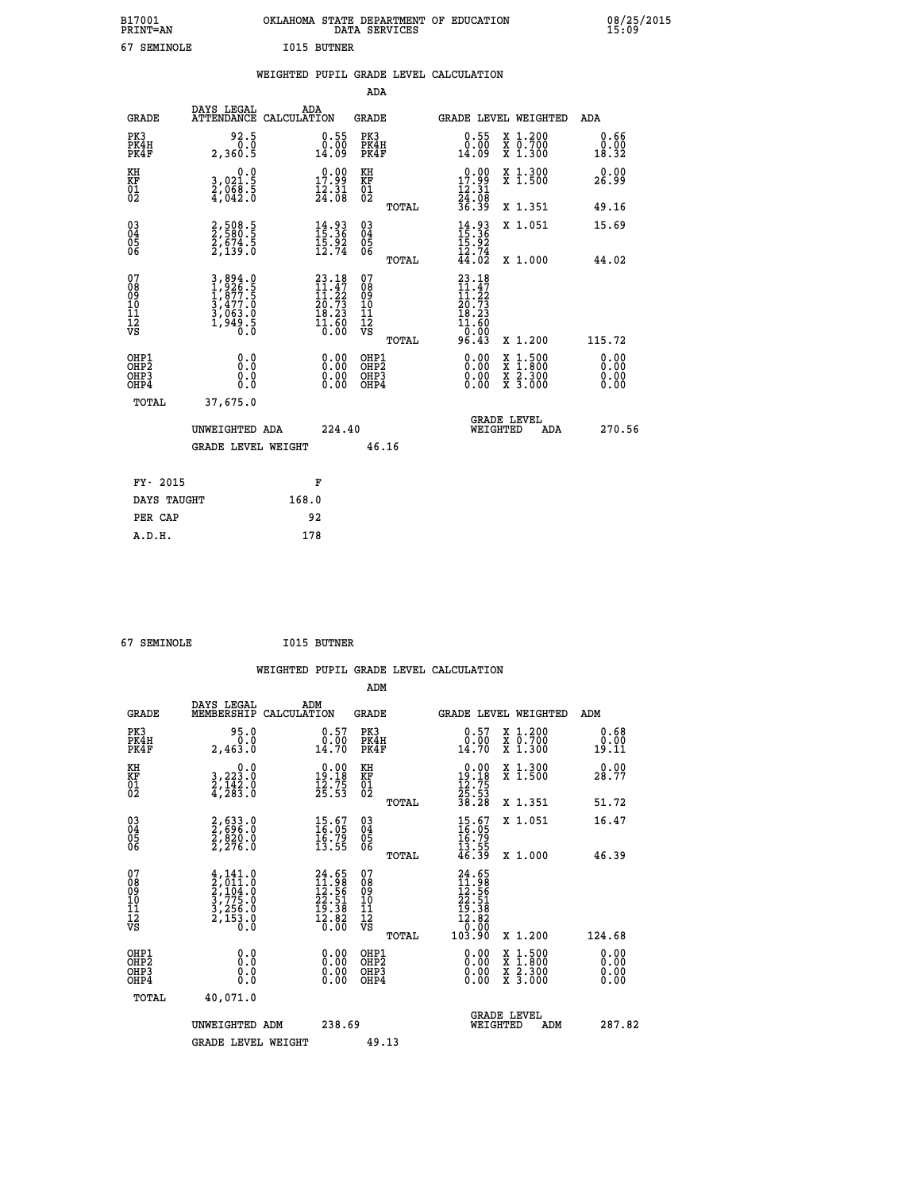| B17001<br><b>PRINT=AN</b> | OKLAHOMA STATE DEPARTMENT OF EDUCATION<br>DATA SERVICES | 08/25/2015<br>15:09 |
|---------------------------|---------------------------------------------------------|---------------------|
| 67<br>SEMINOLE            | <b>I015 BUTNER</b>                                      |                     |

|                                                   |                                                                       | WEIGHTED PUPIL GRADE LEVEL CALCULATION                                                                                          |                                                     |                                                                                                                                                              |                              |
|---------------------------------------------------|-----------------------------------------------------------------------|---------------------------------------------------------------------------------------------------------------------------------|-----------------------------------------------------|--------------------------------------------------------------------------------------------------------------------------------------------------------------|------------------------------|
|                                                   |                                                                       |                                                                                                                                 | ADA                                                 |                                                                                                                                                              |                              |
| <b>GRADE</b>                                      | DAYS LEGAL                                                            | ADA<br>ATTENDANCE CALCULATION                                                                                                   | GRADE                                               | GRADE LEVEL WEIGHTED                                                                                                                                         | ADA                          |
| PK3<br>PK4H<br>PK4F                               | 92.5<br>0.0<br>2,360.5                                                | $0.55$<br>$0.00$<br>14.09                                                                                                       | PK3<br>PK4H<br>PK4F                                 | $0.55$<br>$0.00$<br>X 1.200<br>X 0.700<br>X 1.300<br>14.09                                                                                                   | 0.66<br>0.00<br>18.32        |
| KH<br>KF<br>01<br>02                              | 0.0<br>3,021:5<br>2,068:5<br>4,042:0                                  | $\begin{smallmatrix} 0.00\\ 17.99\\ 12.31\\ 24.08 \end{smallmatrix}$                                                            | KH<br>KF<br>01<br>02                                | $\begin{array}{r} 0.00 \\ 17.99 \\ 12.31 \\ 24.08 \\ 36.39 \end{array}$<br>X 1.300<br>X 1.500                                                                | 0.00<br>26.99                |
|                                                   |                                                                       |                                                                                                                                 | TOTAL                                               | X 1.351                                                                                                                                                      | 49.16                        |
| $^{03}_{04}$<br>Ŏ5<br>06                          | 2,508.5<br>2,580.5<br>2,674.5<br>2,139.0                              | $14.93$<br>$15.36$<br>$15.92$<br>$12.74$                                                                                        | $\begin{array}{c} 03 \\ 04 \\ 05 \\ 06 \end{array}$ | $14.93$<br>$15.36$<br>$15.92$<br>$12.74$<br>$44.02$<br>X 1.051                                                                                               | 15.69                        |
|                                                   |                                                                       |                                                                                                                                 | TOTAL                                               | X 1.000                                                                                                                                                      | 44.02                        |
| 07<br>08<br>09<br>10<br>11<br>12<br>VS            | 3,894.0<br>1,926.5<br>1,877.5<br>3,477.0<br>3,063.0<br>1,949.5<br>0.0 | $\begin{smallmatrix} 23\cdot 18\\ 11\cdot 47\\ 11\cdot 22\\ 20\cdot 73\\ 18\cdot 23\\ 11\cdot 60\\ 0\cdot 00 \end{smallmatrix}$ | 07<br>08<br>09<br>10<br>11<br>12<br>VS              | $23.18$<br>$11.47$<br>$11.22$<br>$20.73$<br>$18.23$<br>11.60<br>0.00                                                                                         |                              |
|                                                   |                                                                       |                                                                                                                                 | TOTAL                                               | 96.43<br>X 1.200                                                                                                                                             | 115.72                       |
| OHP1<br>OHP2<br>OHP3<br>OH <sub>P4</sub><br>TOTAL | 0.0<br>0.0<br>0.0<br>37,675.0                                         | 0.00<br>$\begin{smallmatrix} 0.00 \ 0.00 \end{smallmatrix}$                                                                     | OHP1<br>OHP2<br>OHP3<br>OHP4                        | $\begin{smallmatrix} \mathtt{X} & 1\cdot500 \\ \mathtt{X} & 1\cdot800 \\ \mathtt{X} & 2\cdot300 \\ \mathtt{X} & 3\cdot000 \end{smallmatrix}$<br>0.00<br>0.00 | 0.00<br>0.00<br>0.00<br>0.00 |
|                                                   | UNWEIGHTED ADA                                                        | 224.40                                                                                                                          |                                                     | <b>GRADE LEVEL</b><br>WEIGHTED<br>ADA                                                                                                                        | 270.56                       |
|                                                   | GRADE LEVEL WEIGHT                                                    |                                                                                                                                 | 46.16                                               |                                                                                                                                                              |                              |
| FY- 2015                                          |                                                                       | F                                                                                                                               |                                                     |                                                                                                                                                              |                              |
| DAYS TAUGHT                                       |                                                                       | 168.0                                                                                                                           |                                                     |                                                                                                                                                              |                              |
| PER CAP                                           |                                                                       | 92                                                                                                                              |                                                     |                                                                                                                                                              |                              |
| A.D.H.                                            |                                                                       | 178                                                                                                                             |                                                     |                                                                                                                                                              |                              |

 **67 SEMINOLE I015 BUTNER**

|                                                    |                                                                                                                                                            |                                                                          | ADM                                             | WEIGHTED PUPIL GRADE LEVEL CALCULATION                                                           |                                                  |                       |
|----------------------------------------------------|------------------------------------------------------------------------------------------------------------------------------------------------------------|--------------------------------------------------------------------------|-------------------------------------------------|--------------------------------------------------------------------------------------------------|--------------------------------------------------|-----------------------|
| <b>GRADE</b>                                       | DAYS LEGAL<br>MEMBERSHIP CALCULATION                                                                                                                       | ADM                                                                      | <b>GRADE</b>                                    | <b>GRADE LEVEL WEIGHTED</b>                                                                      |                                                  | ADM                   |
| PK3<br>PK4H<br>PK4F                                | 95.0<br>0.0<br>2,463.0                                                                                                                                     | $\substack{0.57 \\ 0.00 \\ 14.70}$                                       | PK3<br>PK4H<br>PK4F                             | 0.57<br>$\substack{\texttt{0.00}\ 14.70}$                                                        | X 1.200<br>X 0.700<br>X 1.300                    | 0.68<br>0.00<br>19.11 |
| KH<br>KF<br>01<br>02                               | $\begin{smallmatrix}&&&0\cdot0\\3\,,223\cdot0\\2\,,142\cdot0\\4\,,283\cdot0\end{smallmatrix}$                                                              | $\begin{array}{c} 0.00 \\ 19.18 \\ 12.75 \\ 25.53 \end{array}$           | KH<br>KF<br>01<br>02                            | $\begin{smallmatrix} 0.00\\19.18\\12.75\\25.53\\38.28 \end{smallmatrix}$                         | X 1.300<br>X 1.500                               | 0.00<br>28.77         |
|                                                    |                                                                                                                                                            |                                                                          | TOTAL                                           |                                                                                                  | X 1.351                                          | 51.72                 |
| $\begin{matrix} 03 \\ 04 \\ 05 \\ 06 \end{matrix}$ | 2,633.0<br>2,696.0<br>2,820.0<br>2,276.0                                                                                                                   | $\begin{smallmatrix} 15.67\ 16.05\ 16.79\ 13.55 \end{smallmatrix}$       | 03<br>04<br>05<br>06<br>TOTAL                   | $15.67$<br>$16.79$<br>$16.79$<br>$13.55$<br>$46.39$                                              | X 1.051<br>X 1.000                               | 16.47<br>46.39        |
| 07<br>08<br>09<br>11<br>11<br>12<br>VS             | $\begin{smallmatrix} 4\,,\,141\,.\,0\\ 2\,,\,011\,.\,0\\ 2\,,\,104\,.\,0\\ 3\,,\,775\,.\,0\\ 3\,,\,256\,.\,0\\ 2\,,\,153\,.\,0\\ 0\,.\,0\end{smallmatrix}$ | $24.65$<br>$11.98$<br>$12.56$<br>$22.51$<br>$19.38$<br>$12.82$<br>$0.00$ | 07<br>08<br>09<br>11<br>11<br>12<br>VS<br>TOTAL | $\begin{smallmatrix} 24.65\ 11.98\ 12.561\ 22.51\ 19.38\ 12.82\ 0.000\ 103.90 \end{smallmatrix}$ | X 1.200                                          | 124.68                |
| OHP1<br>OHP2<br>OHP3<br>OHP4                       | 0.0<br>0.000                                                                                                                                               | 0.00<br>$\begin{smallmatrix} 0.00 \ 0.00 \end{smallmatrix}$              | OHP1<br>OHP2<br>OHP3<br>OHP4                    | 0.00<br>0.00<br>0.00                                                                             | $1:500$<br>1:800<br>X<br>X<br>X 2.300<br>X 3.000 | 0.00<br>0.00<br>0.00  |
| TOTAL                                              | 40,071.0                                                                                                                                                   |                                                                          |                                                 |                                                                                                  |                                                  |                       |
|                                                    | UNWEIGHTED ADM                                                                                                                                             | 238.69                                                                   |                                                 |                                                                                                  | GRADE LEVEL<br>WEIGHTED<br>ADM                   | 287.82                |
|                                                    | <b>GRADE LEVEL WEIGHT</b>                                                                                                                                  |                                                                          | 49.13                                           |                                                                                                  |                                                  |                       |
|                                                    |                                                                                                                                                            |                                                                          |                                                 |                                                                                                  |                                                  |                       |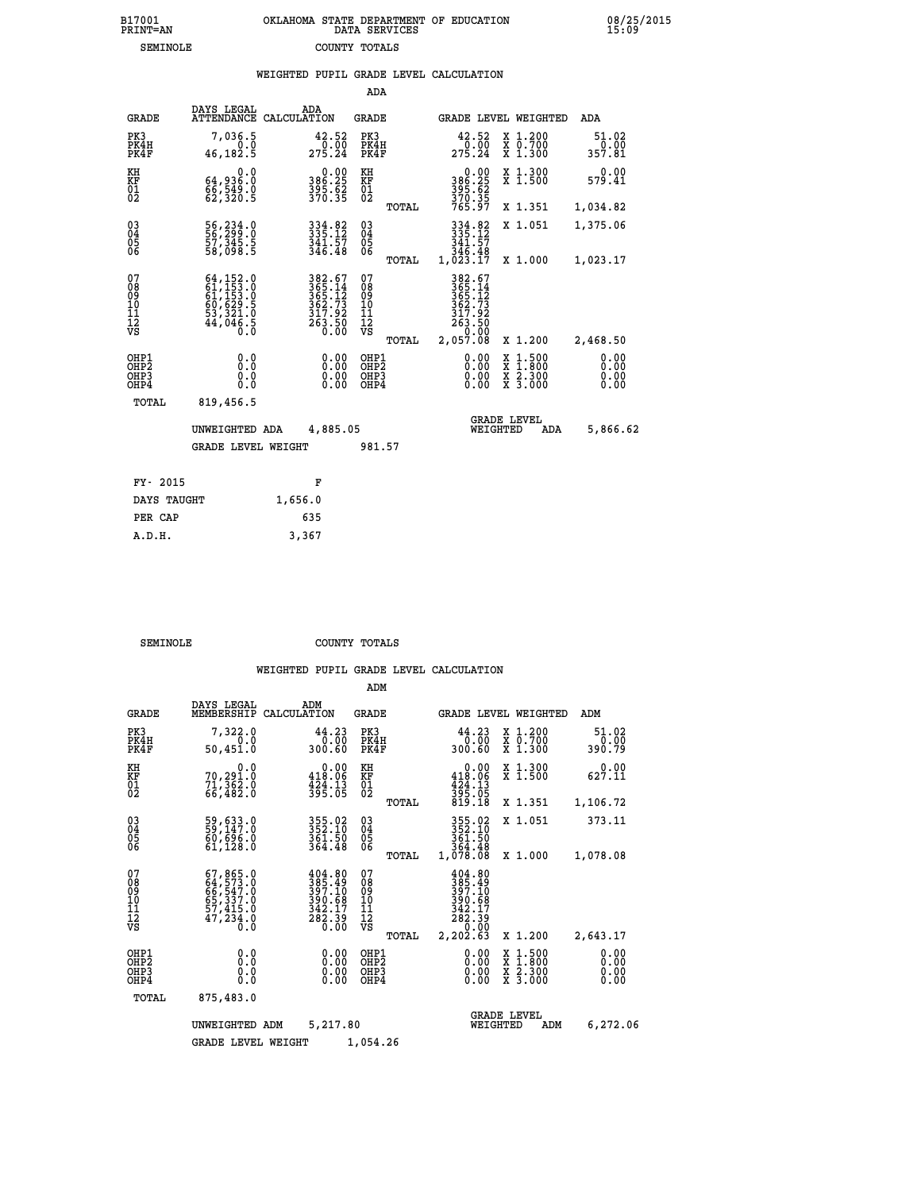| 7001<br>INT=AN | OKLAHOMA STATE DEPARTMENT OF EDUCATION<br>DATA SERVICES |  |
|----------------|---------------------------------------------------------|--|
| SEMINOLE       | COUNTY TOTALS                                           |  |

|                                              |                                                                                                                                                       | WEIGHTED PUPIL GRADE LEVEL CALCULATION                                                    |                                                        |                                                                               |                                                                                                                                              |                         |
|----------------------------------------------|-------------------------------------------------------------------------------------------------------------------------------------------------------|-------------------------------------------------------------------------------------------|--------------------------------------------------------|-------------------------------------------------------------------------------|----------------------------------------------------------------------------------------------------------------------------------------------|-------------------------|
|                                              |                                                                                                                                                       |                                                                                           | ADA                                                    |                                                                               |                                                                                                                                              |                         |
| <b>GRADE</b>                                 | DAYS LEGAL<br>ATTENDANCE                                                                                                                              | ADA<br>CALCULATION                                                                        | <b>GRADE</b>                                           | GRADE LEVEL WEIGHTED                                                          |                                                                                                                                              | ADA                     |
| PK3<br>PK4H<br>PK4F                          | 7,036.5<br>0.0<br>46,182.5                                                                                                                            | $\begin{smallmatrix} 42.52\ 0.00\ 275.24 \end{smallmatrix}$                               | PK3<br>PK4H<br>PK4F                                    | 42.52<br>275.24                                                               | X 1.200<br>X 0.700<br>X 1.300                                                                                                                | 51.02<br>0.00<br>357.81 |
| KH<br>KF<br>01<br>02                         | 0.0<br>64,936.0<br>66,549.0<br>62,320.5                                                                                                               | $0.00$<br>386.25<br>$\frac{395.62}{370.35}$                                               | KH<br>KF<br>01<br>02                                   | $0.00$<br>386.25<br>395:62<br>370:35<br>765:97                                | X 1.300<br>X 1.500                                                                                                                           | 0.00<br>579.41          |
|                                              |                                                                                                                                                       |                                                                                           | TOTAL                                                  |                                                                               | X 1.351                                                                                                                                      | 1,034.82                |
| $\substack{03 \\ 04}$<br>05<br>06            | 56,234.0<br>56,299.0<br>57,345.5<br>58,098.5                                                                                                          | $334.82$<br>$335.12$<br>$341.57$<br>$346.48$                                              | $\substack{03 \\ 04}$<br>0500                          | 334.82<br>335.12<br>341.57                                                    | X 1.051                                                                                                                                      | 1,375.06                |
|                                              |                                                                                                                                                       |                                                                                           | TOTAL                                                  | ăš:ăé<br>1,023.17                                                             | X 1.000                                                                                                                                      | 1,023.17                |
| 07<br>08<br>09<br>10<br>11<br>11<br>12<br>VS | $\begin{smallmatrix} 64\,,\,152\,.0\\ 61\,,\,153\,.0\\ 61\,,\,153\,.0\\ 60\,,\,629\,.5\\ 53\,,\,321\,.0\\ 44\,,\,046\,.5\\ 0\,.0\\ \end{smallmatrix}$ | $\begin{array}{r} 382.67\\ 365.14\\ 365.12\\ 362.73\\ 317.92\\ 263.50\\ 0.00 \end{array}$ | 07<br>08<br>09<br>001<br>11<br>11<br>12<br>VS<br>TOTAL | 382.67<br>365.14<br>365.12<br>362.73<br>317.92<br>263.50<br>00.00<br>2,057.08 | X 1.200                                                                                                                                      | 2,468.50                |
| OHP1<br>OHP2<br>OH <sub>P</sub> 3<br>OHP4    | 0.0<br>0.0<br>0.0                                                                                                                                     | 0.00<br>$\begin{smallmatrix} 0.00 \ 0.00 \end{smallmatrix}$                               | OHP1<br>OHP2<br>OHP3<br>OHP4                           | 0.00<br>0.00                                                                  | $\begin{smallmatrix} \mathtt{X} & 1\cdot500 \\ \mathtt{X} & 1\cdot800 \\ \mathtt{X} & 2\cdot300 \\ \mathtt{X} & 3\cdot000 \end{smallmatrix}$ | 0.00<br>0.00<br>0.00    |
| TOTAL                                        | 819,456.5                                                                                                                                             |                                                                                           |                                                        |                                                                               |                                                                                                                                              |                         |
|                                              | UNWEIGHTED ADA                                                                                                                                        | 4,885.05                                                                                  |                                                        | <b>GRADE LEVEL</b><br>WEIGHTED                                                | ADA                                                                                                                                          | 5,866.62                |
|                                              | <b>GRADE LEVEL WEIGHT</b>                                                                                                                             |                                                                                           | 981.57                                                 |                                                                               |                                                                                                                                              |                         |
| FY- 2015                                     |                                                                                                                                                       | F                                                                                         |                                                        |                                                                               |                                                                                                                                              |                         |
| DAYS TAUGHT                                  |                                                                                                                                                       | 1,656.0                                                                                   |                                                        |                                                                               |                                                                                                                                              |                         |
| PER CAP                                      |                                                                                                                                                       | 635                                                                                       |                                                        |                                                                               |                                                                                                                                              |                         |

 **A.D.H. 3,367**

 **B17001<br>PRINT=AN** 

**SEMINOLE COUNTY TOTALS** 

|                                                       |                                                                                   |                                                                 | ADM                                              |                                                                                      |                                                                                                  |                              |
|-------------------------------------------------------|-----------------------------------------------------------------------------------|-----------------------------------------------------------------|--------------------------------------------------|--------------------------------------------------------------------------------------|--------------------------------------------------------------------------------------------------|------------------------------|
| <b>GRADE</b>                                          | DAYS LEGAL<br>MEMBERSHIP                                                          | ADM<br>CALCULATION                                              | <b>GRADE</b>                                     | GRADE LEVEL WEIGHTED                                                                 |                                                                                                  | ADM                          |
| PK3<br>PK4H<br>PK4F                                   | 7,322.0<br>0.0<br>50,451.0                                                        | 44.23<br>0.00<br>300.60                                         | PK3<br>PK4H<br>PK4F                              | 44.23<br>0.00<br>300.60                                                              | X 1.200<br>X 0.700<br>X 1.300                                                                    | 51.02<br>0.00<br>390.79      |
| KH<br>KF<br>01<br>02                                  | 0.0<br>70,291.0<br>71,362.0<br>66,482.0                                           | $0.00$<br>418.06<br>$\frac{424}{395}$ : $\frac{13}{05}$         | KH<br>KF<br>01<br>02                             | 0.00<br>418.06<br>$\frac{424}{395}$ . $\frac{13}{05}$<br>819. 18                     | X 1.300<br>X 1.500                                                                               | $0.00$<br>627.11             |
|                                                       |                                                                                   |                                                                 | TOTAL                                            |                                                                                      | X 1.351                                                                                          | 1,106.72                     |
| 03<br>04<br>05<br>06                                  | 59,633.0<br>59,147.0<br>60,696.0<br>61,128.0                                      | 355.02<br>352.10<br>361.50<br>364.48                            | $\substack{03 \\ 04}$<br>05                      | 355.02<br>352.10<br>361.50<br>364.48                                                 | X 1.051                                                                                          | 373.11                       |
|                                                       |                                                                                   |                                                                 | TOTAL                                            | 1,078.08                                                                             | X 1.000                                                                                          | 1,078.08                     |
| 07<br>08<br>09<br>101<br>112<br>VS                    | 67, 865.0<br>64, 573.0<br>66, 547.0<br>65, 337.0<br>57, 415.0<br>47, 234.0<br>Ō.Ō | 404.80<br>385.49<br>397.10<br>390.68<br>$\frac{342.17}{282.39}$ | 07<br>08<br>09<br>101<br>11<br>12<br>VS<br>TOTAL | 404.80<br>385.49<br>397.10<br>390.68<br>$\frac{342.17}{282.39}$<br>0.00<br>2, 202.63 | X 1.200                                                                                          | 2,643.17                     |
| OHP1<br>OH <sub>P</sub> 2<br>OH <sub>P3</sub><br>OHP4 | 0.0<br>0.000                                                                      | 0.00<br>0.00<br>0.00                                            | OHP1<br>OHP2<br>OHP3<br>OHP4                     | $0.00$<br>$0.00$<br>0.00                                                             | $\begin{smallmatrix} x & 1 & 500 \\ x & 1 & 800 \\ x & 2 & 300 \\ x & 3 & 000 \end{smallmatrix}$ | 0.00<br>0.00<br>0.00<br>0.00 |
| TOTAL                                                 | 875,483.0                                                                         |                                                                 |                                                  |                                                                                      |                                                                                                  |                              |
|                                                       | UNWEIGHTED ADM                                                                    | 5,217.80                                                        |                                                  | <b>GRADE LEVEL</b><br>WEIGHTED                                                       | ADM                                                                                              | 6,272.06                     |
|                                                       | <b>GRADE LEVEL WEIGHT</b>                                                         |                                                                 | 1,054.26                                         |                                                                                      |                                                                                                  |                              |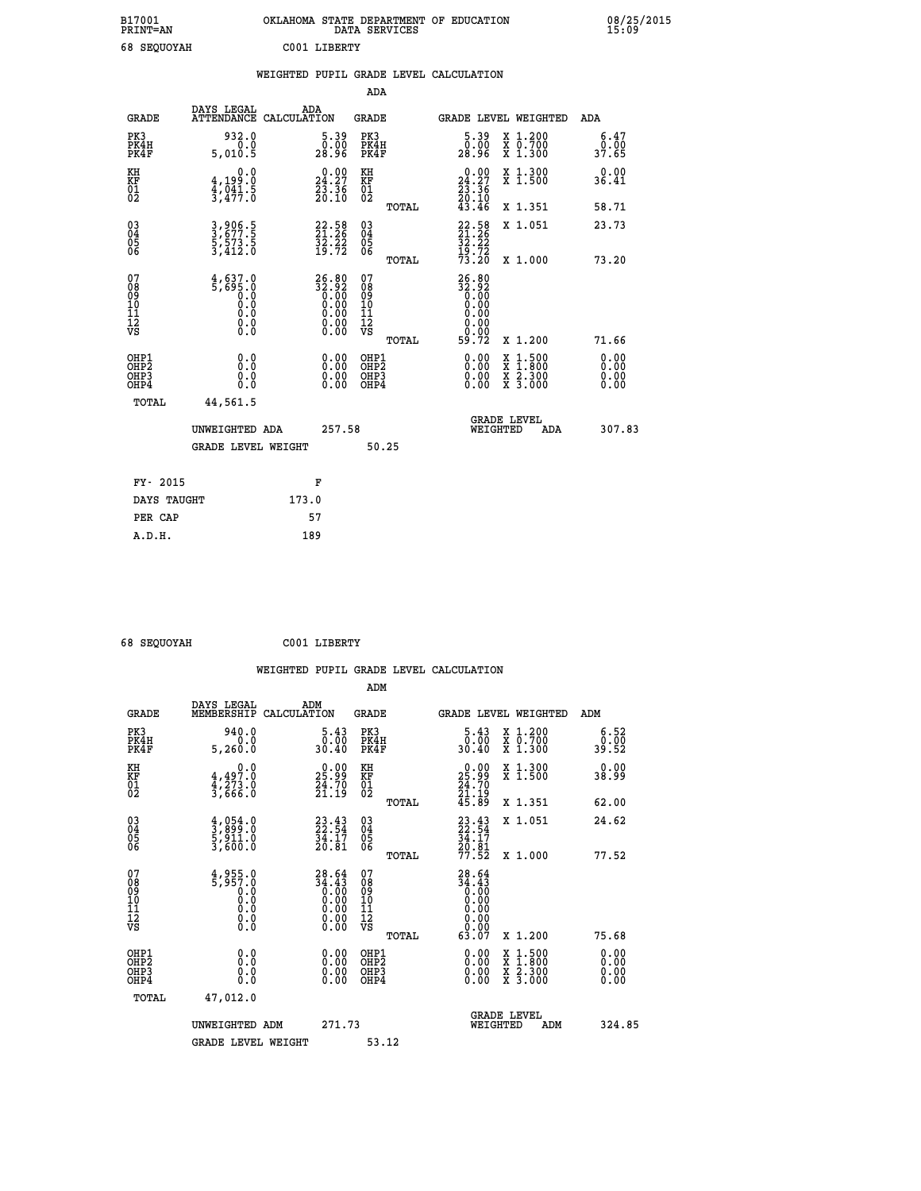| B17001<br><b>PRINT=AN</b> | OKLAHOMA<br>. STATE DEPARTMENT OF EDUCATION<br>DATA SERVICES | 08/25/2015<br>15:09 |
|---------------------------|--------------------------------------------------------------|---------------------|
| 68 SEQUOYAH               | C001 LIBERTY                                                 |                     |

|                                                    |                                                      |                                                                                           |       |                                                                   |                                        |       | WEIGHTED PUPIL GRADE LEVEL CALCULATION                                  |                                |                                                              |                              |
|----------------------------------------------------|------------------------------------------------------|-------------------------------------------------------------------------------------------|-------|-------------------------------------------------------------------|----------------------------------------|-------|-------------------------------------------------------------------------|--------------------------------|--------------------------------------------------------------|------------------------------|
|                                                    |                                                      |                                                                                           |       |                                                                   | <b>ADA</b>                             |       |                                                                         |                                |                                                              |                              |
|                                                    | <b>GRADE</b>                                         | DAYS LEGAL<br>ATTENDANCE CALCULATION                                                      | ADA   |                                                                   | <b>GRADE</b>                           |       |                                                                         |                                | GRADE LEVEL WEIGHTED                                         | ADA                          |
| PK3                                                | PK4H<br>PK4F                                         | 932.0<br>0.0<br>5,010.5                                                                   |       | $5.39$<br>$0.00$<br>28.96                                         | PK3<br>PK4H<br>PK4F                    |       | $\frac{5.39}{0.00}$<br>28.96                                            |                                | X 1.200<br>X 0.700<br>X 1.300                                | 6.47<br>0.00<br>37.65        |
| KH<br>KF<br>01<br>02                               |                                                      | 0.0<br>$\frac{4}{3}, \frac{199}{91}$ $\cdot \frac{8}{9}$<br>$\frac{41}{3}, \frac{19}{47}$ |       | $\begin{smallmatrix} 0.00\\24.27\\23.36\\20.10 \end{smallmatrix}$ | KH<br>KF<br>01<br>02                   |       | $\begin{smallmatrix} 0.00\\24.27\\23.36\\20.10\\43.46\end{smallmatrix}$ |                                | X 1.300<br>X 1.500                                           | 0.00<br>36.41                |
|                                                    |                                                      |                                                                                           |       |                                                                   |                                        | TOTAL |                                                                         |                                | X 1.351                                                      | 58.71                        |
| $\begin{matrix} 03 \\ 04 \\ 05 \\ 06 \end{matrix}$ |                                                      | 3,906.5<br>3,677.5<br>5,573.5<br>3,412.0                                                  |       | $22.58$<br>$21.26$<br>$32.22$<br>$19.72$                          | 03<br>04<br>05<br>06                   |       | $22.58$<br>$21.26$<br>$32.22$<br>$19.72$<br>$73.20$                     |                                | X 1.051                                                      | 23.73                        |
|                                                    |                                                      |                                                                                           |       |                                                                   |                                        | TOTAL |                                                                         |                                | X 1.000                                                      | 73.20                        |
| 07<br>08<br>09<br>11<br>11<br>12<br>VS             |                                                      | $4,637.0$<br>5,695.0<br>0.0<br>0.0<br>0.0<br>$\S.$                                        |       | 26.80<br>32.92<br>0.00<br>0.00<br>0.00<br>ŏ:ŏŏ<br>O.OO            | 07<br>08<br>09<br>11<br>11<br>12<br>VS | TOTAL | $26.80$<br>$32.92$<br>$0.00$<br>$0.00$<br>$0.00$<br>0.00<br>59.72       |                                | X 1.200                                                      | 71.66                        |
|                                                    | OHP1<br>OHP <sub>2</sub><br>OH <sub>P3</sub><br>OHP4 | 0.0<br>0.0<br>0.0                                                                         |       | 0.0000<br>$\begin{smallmatrix} 0.00 \ 0.00 \end{smallmatrix}$     | OHP1<br>OHP2<br>OHP3<br>OHP4           |       | 0.00<br>0.00<br>0.00                                                    |                                | $1:500$<br>1:800<br>X 1:500<br>X 1:800<br>X 2:300<br>X 3:000 | 0.00<br>0.00<br>0.00<br>0.00 |
|                                                    | <b>TOTAL</b>                                         | 44,561.5                                                                                  |       |                                                                   |                                        |       |                                                                         |                                |                                                              |                              |
|                                                    |                                                      | UNWEIGHTED ADA                                                                            |       | 257.58                                                            |                                        |       |                                                                         | <b>GRADE LEVEL</b><br>WEIGHTED | ADA                                                          | 307.83                       |
|                                                    |                                                      | <b>GRADE LEVEL WEIGHT</b>                                                                 |       |                                                                   | 50.25                                  |       |                                                                         |                                |                                                              |                              |
|                                                    | FY- 2015                                             |                                                                                           |       | F                                                                 |                                        |       |                                                                         |                                |                                                              |                              |
|                                                    | DAYS TAUGHT                                          |                                                                                           | 173.0 |                                                                   |                                        |       |                                                                         |                                |                                                              |                              |
|                                                    | PER CAP                                              |                                                                                           |       | 57                                                                |                                        |       |                                                                         |                                |                                                              |                              |

 **68 SEQUOYAH C001 LIBERTY**

 **A.D.H. 189**

| <b>GRADE</b>                                       | DAYS LEGAL<br>MEMBERSHIP                                                                                               | ADM<br>CALCULATION                                                   | <b>GRADE</b>                                  |       |                                                                              |          | GRADE LEVEL WEIGHTED                                                                                                | ADM                                                       |
|----------------------------------------------------|------------------------------------------------------------------------------------------------------------------------|----------------------------------------------------------------------|-----------------------------------------------|-------|------------------------------------------------------------------------------|----------|---------------------------------------------------------------------------------------------------------------------|-----------------------------------------------------------|
| PK3<br>PK4H<br>PK4F                                | 940.0<br>0.0<br>5,260.0                                                                                                | $\begin{smallmatrix}5.43\0.00\\30.40\end{smallmatrix}$               | PK3<br>PK4H<br>PK4F                           |       | $\begin{smallmatrix}5.43\0.00\\30.40\end{smallmatrix}$                       |          | X 1.200<br>X 0.700<br>X 1.300                                                                                       | $\begin{smallmatrix} 6.52\ 0.00\ 39.52 \end{smallmatrix}$ |
| KH<br>KF<br>01<br>02                               | $4,497.0$<br>$4,273.0$<br>$3,666.0$                                                                                    | $\begin{smallmatrix} 0.00\\ 25.99\\ 24.70\\ 21.19 \end{smallmatrix}$ | KH<br>KF<br>$\overline{01}$                   |       | $\begin{smallmatrix} 0.00\\ 25.99\\ 24.70\\ 21.19\\ 45.89 \end{smallmatrix}$ |          | X 1.300<br>X 1.500                                                                                                  | 0.00<br>38.99                                             |
|                                                    |                                                                                                                        |                                                                      |                                               | TOTAL |                                                                              |          | X 1.351                                                                                                             | 62.00                                                     |
| $\begin{matrix} 03 \\ 04 \\ 05 \\ 06 \end{matrix}$ | $\frac{4}{3}, \begin{smallmatrix} 0 & 5 & 4 & 0 \\ 9 & 9 & 9 & 0 \\ 5 & 9 & 11 & 0 \\ 3 & 6 & 0 & 0 \end{smallmatrix}$ | $23.43$<br>$22.54$<br>$34.17$<br>$20.81$                             | 030404<br>06                                  |       | $23.54$<br>$34.17$<br>$34.17$<br>$20.81$<br>$77.52$                          |          | X 1.051                                                                                                             | 24.62                                                     |
|                                                    |                                                                                                                        |                                                                      |                                               | TOTAL |                                                                              |          | X 1.000                                                                                                             | 77.52                                                     |
| 07<br>089<br>090<br>1112<br>VS                     | $4,955.0$<br>5,957.0<br>0.0<br>0.0<br>0.0<br>0.0<br>0.0                                                                | $28.64\n34.43\n0.00\n0.00\n0.00\n0.00\n0.00\n0.00$                   | 07<br>08<br>09<br>001<br>11<br>11<br>12<br>VS | TOTAL | $28.64\n34.43\n0.00\n0.00\n0.00\n0.00\n0.00\n63.07$                          |          | X 1.200                                                                                                             | 75.68                                                     |
| OHP1                                               |                                                                                                                        |                                                                      |                                               |       |                                                                              |          |                                                                                                                     |                                                           |
| OHP <sub>2</sub><br>OH <sub>P3</sub><br>OHP4       | 0.0<br>0.000                                                                                                           |                                                                      | OHP1<br>OHP2<br>OHP3<br>OHP4                  |       | 0.00<br>$0.00$<br>0.00                                                       |          | $\begin{array}{l} \mathtt{X} & 1.500 \\ \mathtt{X} & 1.800 \\ \mathtt{X} & 2.300 \\ \mathtt{X} & 3.000 \end{array}$ | 0.00<br>0.00<br>0.00                                      |
| TOTAL                                              | 47,012.0                                                                                                               |                                                                      |                                               |       |                                                                              |          |                                                                                                                     |                                                           |
|                                                    | UNWEIGHTED                                                                                                             | 271.73<br>ADM                                                        |                                               |       |                                                                              | WEIGHTED | <b>GRADE LEVEL</b><br>ADM                                                                                           | 324.85                                                    |
|                                                    | <b>GRADE LEVEL WEIGHT</b>                                                                                              |                                                                      | 53.12                                         |       |                                                                              |          |                                                                                                                     |                                                           |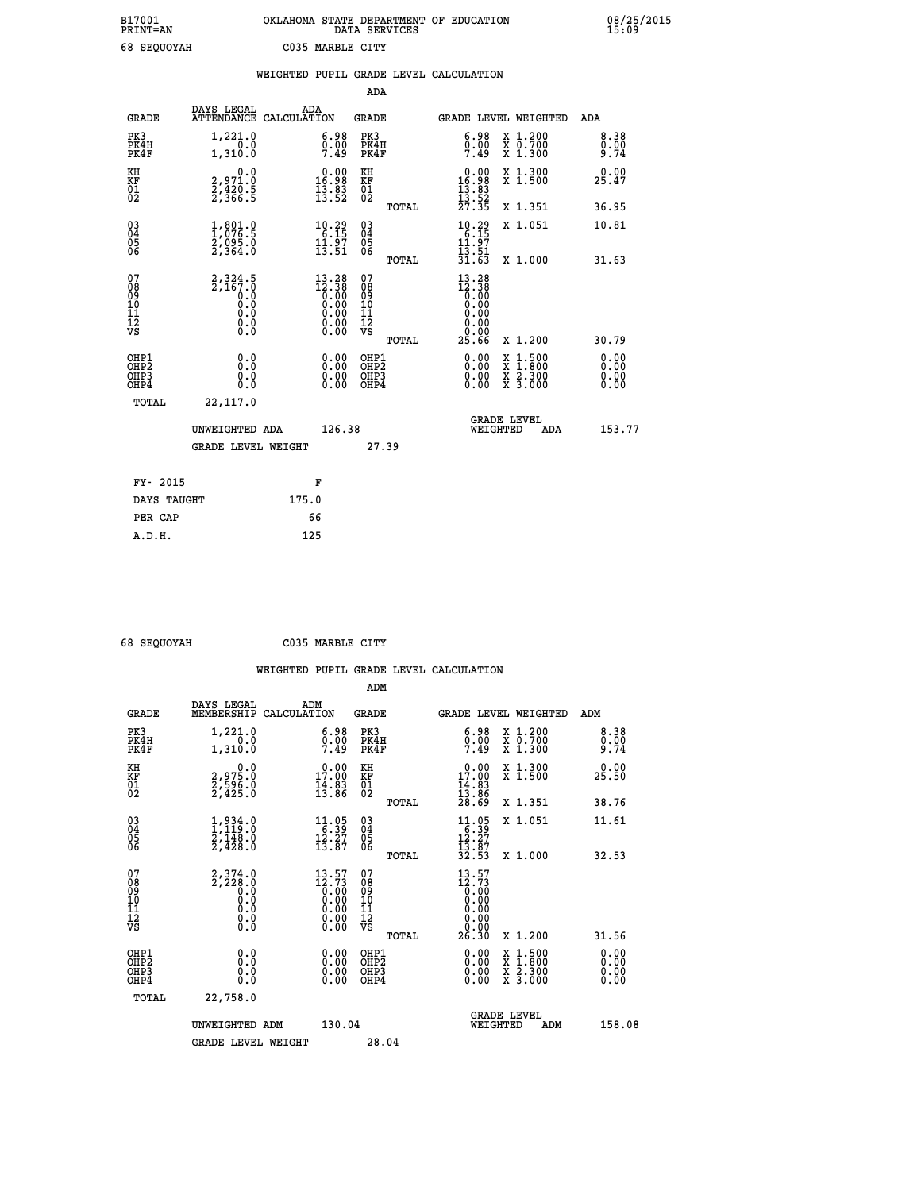## **B17001 OKLAHOMA STATE DEPARTMENT OF EDUCATION 08/25/2015 PRINT=AN DATA SERVICES 15:09 68 SEQUOYAH C035 MARBLE CITY**

|                                                                    |                                                        |       |                                                                   |                                          |       | WEIGHTED PUPIL GRADE LEVEL CALCULATION                                                                                                                                                                                                                                         |                                                                                                                                           |     |                      |
|--------------------------------------------------------------------|--------------------------------------------------------|-------|-------------------------------------------------------------------|------------------------------------------|-------|--------------------------------------------------------------------------------------------------------------------------------------------------------------------------------------------------------------------------------------------------------------------------------|-------------------------------------------------------------------------------------------------------------------------------------------|-----|----------------------|
|                                                                    |                                                        |       |                                                                   | <b>ADA</b>                               |       |                                                                                                                                                                                                                                                                                |                                                                                                                                           |     |                      |
| <b>GRADE</b>                                                       | DAYS LEGAL<br>ATTENDANCE CALCULATION                   | ADA   |                                                                   | GRADE                                    |       | GRADE LEVEL WEIGHTED                                                                                                                                                                                                                                                           |                                                                                                                                           |     | ADA                  |
| PK3<br>PK4H<br>PK4F                                                | 1,221.0<br>0.0<br>1,310.0                              |       | $\begin{smallmatrix} 6.98\ 0.00\ 7.49 \end{smallmatrix}$          | PK3<br>PK4H<br>PK4F                      |       | $\begin{smallmatrix} 6.98\\ 0.00\\ 7.49 \end{smallmatrix}$                                                                                                                                                                                                                     | X 1.200<br>X 0.700<br>X 1.300                                                                                                             |     | 8.38<br>0.00<br>9.74 |
| KH<br>KF<br>01<br>02                                               | 0.0<br>2,971.0<br>2,420.5<br>2,366.5                   |       | $\begin{smallmatrix} 0.00\\16.98\\13.83\\13.52 \end{smallmatrix}$ | KH<br>KF<br>$\overline{01}$              |       | $\begin{array}{r} 0.00 \\ 16.98 \\ 13.83 \\ 13.52 \\ 27.35 \end{array}$                                                                                                                                                                                                        | X 1.300<br>X 1.500                                                                                                                        |     | 0.00<br>25.47        |
|                                                                    |                                                        |       |                                                                   |                                          | TOTAL |                                                                                                                                                                                                                                                                                | X 1.351                                                                                                                                   |     | 36.95                |
| $\begin{smallmatrix} 03 \\[-4pt] 04 \end{smallmatrix}$<br>Ŏ5<br>06 | $\frac{1}{2}, \frac{801}{076}$ :<br>2,095.0<br>2,364.0 |       | $\begin{array}{c} 10.29 \\ 6.15 \\ 11.97 \\ 13.51 \end{array}$    | $\substack{03 \\ 04}$<br>$\frac{05}{06}$ |       | $10.29$<br>$6.15$<br>$11.97$                                                                                                                                                                                                                                                   | X 1.051                                                                                                                                   |     | 10.81                |
|                                                                    |                                                        |       |                                                                   |                                          | TOTAL | $\frac{1}{3}$ $\frac{1}{3}$ $\frac{5}{6}$ $\frac{1}{3}$                                                                                                                                                                                                                        | X 1.000                                                                                                                                   |     | 31.63                |
| 07<br>08<br>09<br>01<br>11<br>11<br>12<br>VS                       | $2,324.5$<br>$2,167.0$<br>$0.0$<br>0.0<br>Ō.Ō<br>$\S.$ |       | $13.28\n12.38\n0.00\n0.00\n0.00\n0.00$<br>0.00                    | 07<br>08<br>09<br>11<br>11<br>12<br>VS   | TOTAL | $13.28$<br>$12.38$<br>$0.00$<br>$0.00$<br>0.00<br>0.00<br>25.66                                                                                                                                                                                                                | X 1.200                                                                                                                                   |     | 30.79                |
| OHP1<br>OHP2<br>OHP3<br>OHP4                                       | 0.0<br>0.0<br>$0.\overline{0}$                         |       | $\begin{smallmatrix} 0.00 \ 0.00 \ 0.00 \ 0.00 \end{smallmatrix}$ | OHP1<br>OHP2<br>OHP3<br>OHP4             |       | $\begin{smallmatrix} 0.00 & 0.00 & 0.00 & 0.00 & 0.00 & 0.00 & 0.00 & 0.00 & 0.00 & 0.00 & 0.00 & 0.00 & 0.00 & 0.00 & 0.00 & 0.00 & 0.00 & 0.00 & 0.00 & 0.00 & 0.00 & 0.00 & 0.00 & 0.00 & 0.00 & 0.00 & 0.00 & 0.00 & 0.00 & 0.00 & 0.00 & 0.00 & 0.00 & 0.00 & 0.00 & 0.0$ | $\begin{smallmatrix} \mathtt{X} & 1\cdot500\\ \mathtt{X} & 1\cdot800\\ \mathtt{X} & 2\cdot300\\ \mathtt{X} & 3\cdot000 \end{smallmatrix}$ |     | 0.00<br>0.00<br>0.00 |
| TOTAL                                                              | 22,117.0                                               |       |                                                                   |                                          |       |                                                                                                                                                                                                                                                                                |                                                                                                                                           |     |                      |
|                                                                    | UNWEIGHTED ADA                                         |       | 126.38                                                            |                                          |       | WEIGHTED                                                                                                                                                                                                                                                                       | <b>GRADE LEVEL</b>                                                                                                                        | ADA | 153.77               |
|                                                                    | <b>GRADE LEVEL WEIGHT</b>                              |       |                                                                   |                                          | 27.39 |                                                                                                                                                                                                                                                                                |                                                                                                                                           |     |                      |
| FY- 2015                                                           |                                                        |       | F                                                                 |                                          |       |                                                                                                                                                                                                                                                                                |                                                                                                                                           |     |                      |
| DAYS TAUGHT                                                        |                                                        | 175.0 |                                                                   |                                          |       |                                                                                                                                                                                                                                                                                |                                                                                                                                           |     |                      |
| PER CAP                                                            |                                                        |       | 66                                                                |                                          |       |                                                                                                                                                                                                                                                                                |                                                                                                                                           |     |                      |

| 68 SEOUOVAH |  |
|-------------|--|

 **A.D.H. 125**

 **68 SEQUOYAH C035 MARBLE CITY**

|                                                    |                                                                        |                                                                                  | ADM                                                |       |                                                                                                                       |                                                                                                                     |                        |  |
|----------------------------------------------------|------------------------------------------------------------------------|----------------------------------------------------------------------------------|----------------------------------------------------|-------|-----------------------------------------------------------------------------------------------------------------------|---------------------------------------------------------------------------------------------------------------------|------------------------|--|
| <b>GRADE</b>                                       | DAYS LEGAL<br>MEMBERSHIP                                               | ADM<br>CALCULATION                                                               | <b>GRADE</b>                                       |       | GRADE LEVEL WEIGHTED                                                                                                  |                                                                                                                     | ADM                    |  |
| PK3<br>PK4H<br>PK4F                                | 1,221.0<br>1,310.0                                                     | $\begin{smallmatrix} 6.98\ 0.00\ 7.49 \end{smallmatrix}$                         | PK3<br>PK4H<br>PK4F                                |       | $\begin{smallmatrix} 6.98\\ 0.00\\ 7.49 \end{smallmatrix}$                                                            | X 1.200<br>X 0.700<br>X 1.300                                                                                       | 8.38<br>$0.00$<br>9.74 |  |
| KH<br>KF<br>01<br>02                               | $\begin{smallmatrix} 0.0\\2,975.0\\2,596.0\\2,425.0 \end{smallmatrix}$ | 17.00<br>$\frac{14}{13}$ $\frac{83}{86}$                                         | KH<br>KF<br>01<br>02                               |       | 17.00<br>$\frac{14}{13}$ : 83<br>$\frac{28}{28}$ : 69                                                                 | X 1.300<br>X 1.500                                                                                                  | 0.00<br>25.50          |  |
|                                                    |                                                                        |                                                                                  |                                                    | TOTAL |                                                                                                                       | X 1.351                                                                                                             | 38.76                  |  |
| $\begin{matrix} 03 \\ 04 \\ 05 \\ 06 \end{matrix}$ | $\frac{1}{2}, \frac{934}{119} . 0 \\ 2, 148 . 0 \\ 2, 428 . 0$         | $\begin{array}{c} 11.05 \\[-4pt] 6.39 \\[-4pt] 12.27 \\[-4pt] 13.87 \end{array}$ | $\begin{matrix} 03 \\ 04 \\ 05 \\ 06 \end{matrix}$ |       | $\begin{array}{l} 11\cdot 95\\[-4pt] 16\cdot 39\\[-4pt] 12\cdot 27\\[-4pt] 13\cdot 87\\[-4pt] 32\cdot 53 \end{array}$ | X 1.051                                                                                                             | 11.61                  |  |
|                                                    |                                                                        |                                                                                  |                                                    | TOTAL |                                                                                                                       | X 1.000                                                                                                             | 32.53                  |  |
| 07<br>08<br>09<br>001<br>11<br>11<br>12<br>VS      |                                                                        | $13.57$<br>$12.73$<br>$0.00$<br>$0.00$<br>$0.00$<br>$0.00$<br>0.00               | 07<br>08<br>09<br>001<br>11<br>11<br>12<br>VS      | TOTAL | $13.57$<br>$12.73$<br>$0.00$<br>$0.00$<br>$0.00$<br>$\begin{smallmatrix} 0.00 \\ 0.00 \end{smallmatrix}$<br>26.30     | X 1.200                                                                                                             | 31.56                  |  |
| OHP1<br>OHP2<br>OHP3<br>OHP4                       | 0.0<br>0.000                                                           | $\begin{smallmatrix} 0.00 \ 0.00 \ 0.00 \ 0.00 \end{smallmatrix}$                | OHP1<br>OHP2<br>OHP3<br>OHP4                       |       |                                                                                                                       | $\begin{array}{l} \mathtt{X} & 1.500 \\ \mathtt{X} & 1.800 \\ \mathtt{X} & 2.300 \\ \mathtt{X} & 3.000 \end{array}$ | 0.00<br>0.00<br>0.00   |  |
| TOTAL                                              | 22,758.0                                                               |                                                                                  |                                                    |       |                                                                                                                       |                                                                                                                     |                        |  |
|                                                    | UNWEIGHTED ADM                                                         | 130.04                                                                           |                                                    |       | WEIGHTED                                                                                                              | <b>GRADE LEVEL</b><br>ADM                                                                                           | 158.08                 |  |
|                                                    | <b>GRADE LEVEL WEIGHT</b>                                              |                                                                                  | 28.04                                              |       |                                                                                                                       |                                                                                                                     |                        |  |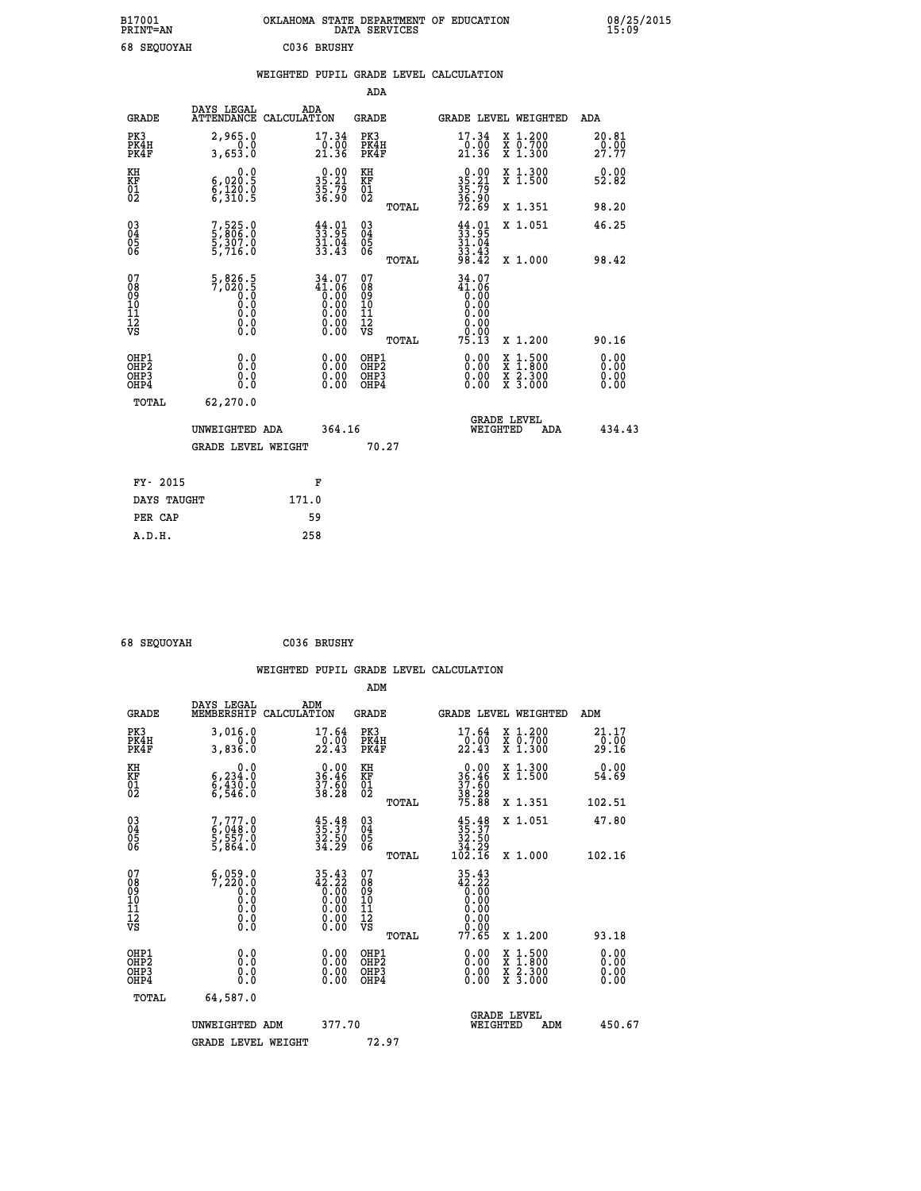| B17001<br><b>PRINT=AN</b> | OKLAHOMA STATE DEPARTMENT OF EDUCATION<br>DATA SERVICES | 08/25/2015<br>15:09 |
|---------------------------|---------------------------------------------------------|---------------------|
| 68 SEQUOYAH               | C036 BRUSHY                                             |                     |

|                                                                    |                                                                                                           |                                                                                                                        | ADA                                        |                                                                                                                          |                               |
|--------------------------------------------------------------------|-----------------------------------------------------------------------------------------------------------|------------------------------------------------------------------------------------------------------------------------|--------------------------------------------|--------------------------------------------------------------------------------------------------------------------------|-------------------------------|
| <b>GRADE</b>                                                       | DAYS LEGAL                                                                                                | ADA<br>ATTENDANCE CALCULATION                                                                                          | <b>GRADE</b>                               | GRADE LEVEL WEIGHTED                                                                                                     | ADA                           |
| PK3<br>PK4H<br>PK4F                                                | 2,965.0<br>0.0<br>3,653.0                                                                                 | 17.34<br>$\frac{0.00}{21.36}$                                                                                          | PK3<br>PK4H<br>PK4F                        | 17.34<br>X 1.200<br>X 0.700<br>X 1.300<br>$\frac{10.00}{21.36}$                                                          | 20.81<br>$\frac{0.00}{27.77}$ |
| KH<br><b>KF</b><br>01<br>02                                        | 0.0<br>$\substack{6,020.5\\6,120.0\\6,310.5}$                                                             | $35.21$<br>$35.21$<br>$35.79$<br>$36.90$                                                                               | KH<br>KF<br>01<br>02                       | X 1.300<br>X 1.500<br>$35.21$<br>$35.79$<br>$36.90$<br>$72.69$                                                           | 0.00<br>52.82                 |
|                                                                    |                                                                                                           |                                                                                                                        | TOTAL                                      | X 1.351                                                                                                                  | 98.20                         |
| $\begin{smallmatrix} 03 \\[-4pt] 04 \end{smallmatrix}$<br>05<br>06 | 7,525.0<br>5,806.0<br>5,307.0<br>5,716.0                                                                  | $\frac{44}{33}$ : 95<br>$\frac{31.04}{33.43}$                                                                          | $\substack{03 \\ 04}$<br>05<br>06<br>TOTAL | $33.95$<br>$31.04$<br>$33.43$<br>$98.42$<br>X 1.051<br>X 1.000                                                           | 46.25<br>98.42                |
| 07<br>08<br>09<br>11<br>11<br>12<br>VS                             | $\frac{5}{7}, \frac{826}{020}$ .<br>0.0<br>0.0<br>$\begin{smallmatrix} 0.10\ 0.0 \ 0.0 \end{smallmatrix}$ | $34.07$<br>$41.06$<br>$0.00$<br>$0.00$<br>$0.00$<br>$\begin{smallmatrix} 0.00 & 0.00 \\ 0.00 & 0.00 \end{smallmatrix}$ | 07<br>08<br>09<br>11<br>11<br>12<br>VS     | 34.07<br>$\begin{smallmatrix} 41.06 \ 0.00 \ 0.00 \end{smallmatrix}$<br>0.00<br>0.00                                     |                               |
|                                                                    |                                                                                                           |                                                                                                                        | TOTAL                                      | 75.13<br>X 1.200                                                                                                         | 90.16                         |
| OHP1<br>OH <sub>P2</sub><br>OH <sub>P3</sub><br>OH <sub>P4</sub>   | 0.0<br>0.0<br>0.0                                                                                         | 0.00<br>0.00<br>0.00                                                                                                   | OHP1<br>OH <sub>P</sub> 2<br>OHP3<br>OHP4  | 0.00<br>$\begin{smallmatrix} x & 1 & 500 \\ x & 1 & 800 \\ x & 2 & 300 \\ x & 3 & 000 \end{smallmatrix}$<br>0.00<br>0.00 | 0.00<br>0.00<br>0.00<br>0.00  |
|                                                                    | TOTAL<br>62,270.0                                                                                         |                                                                                                                        |                                            |                                                                                                                          |                               |
|                                                                    | UNWEIGHTED ADA                                                                                            | 364.16                                                                                                                 |                                            | GRADE LEVEL<br>WEIGHTED<br>ADA                                                                                           | 434.43                        |
|                                                                    | <b>GRADE LEVEL WEIGHT</b>                                                                                 |                                                                                                                        | 70.27                                      |                                                                                                                          |                               |
|                                                                    | FY- 2015                                                                                                  | F                                                                                                                      |                                            |                                                                                                                          |                               |
|                                                                    | DAYS TAUGHT                                                                                               | 171.0                                                                                                                  |                                            |                                                                                                                          |                               |
|                                                                    | PER CAP                                                                                                   | 59                                                                                                                     |                                            |                                                                                                                          |                               |

| 68 SEQUOYAH | C036 BRUSHY |
|-------------|-------------|
|             |             |

 **ADM**

| <b>GRADE</b>                                       | DAYS LEGAL<br>MEMBERSHIP CALCULATION                                                      | ADM                                                                                                                                                             | <b>GRADE</b>                                       |       |                                                | GRADE LEVEL WEIGHTED                     | ADM                           |
|----------------------------------------------------|-------------------------------------------------------------------------------------------|-----------------------------------------------------------------------------------------------------------------------------------------------------------------|----------------------------------------------------|-------|------------------------------------------------|------------------------------------------|-------------------------------|
| PK3<br>PK4H<br>PK4F                                | 3,016.0<br>0.0<br>3,836.0                                                                 | 17.64<br>22.43                                                                                                                                                  | PK3<br>PK4H<br>PK4F                                |       | 17.64<br>22.43                                 | X 1.200<br>X 0.700<br>X 1.300            | 21.17<br>$\frac{0.00}{29.16}$ |
| KH<br>KF<br>01<br>02                               | 0.0<br>$6, 234.0$<br>$6, 430.0$<br>$6, 546.0$                                             | $\begin{smallmatrix} 0.00\\ 36.46\\ 37.60\\ 38.28 \end{smallmatrix}$                                                                                            | KH<br>KF<br>01<br>02                               |       | $36.46$<br>$37.60$<br>$38.28$<br>$75.88$       | X 1.300<br>X 1.500                       | 0.00<br>54.69                 |
|                                                    |                                                                                           |                                                                                                                                                                 |                                                    | TOTAL |                                                | X 1.351                                  | 102.51                        |
| $\begin{matrix} 03 \\ 04 \\ 05 \\ 06 \end{matrix}$ | 7,777.0<br>6,048.0<br>5,557.0<br>5,864.0                                                  | $\begin{smallmatrix} 45.48\ 35.37\ 32.50\ 34.29 \end{smallmatrix}$                                                                                              | $\begin{matrix} 03 \\ 04 \\ 05 \\ 06 \end{matrix}$ |       | $35.37$<br>$32.50$<br>$34.29$<br>$102.16$      | X 1.051                                  | 47.80                         |
|                                                    |                                                                                           |                                                                                                                                                                 |                                                    | TOTAL |                                                | X 1.000                                  | 102.16                        |
| 07<br>08<br>09<br>101<br>11<br>12<br>VS            | 6,059.0<br>7,220.0<br>$\begin{smallmatrix} 0.0 & 0 \ 0.0 & 0 \ 0.0 & 0 \end{smallmatrix}$ | $\begin{smallmatrix} 3\,5\cdot4\,3\\ 4\,2\cdot2\,2\\ 0\cdot0\,0\\ 0\cdot0\,0\\ 0\cdot0\,0\\ 0\cdot0\,0\\ 0\cdot0\,0\\ 0\cdot0\,0\\ 0\cdot0\,0\end{smallmatrix}$ | 07<br>08<br>09<br>11<br>11<br>12<br>VS             |       | 35.43<br>12:32<br>0:00<br>0:00<br>0:00<br>0:00 |                                          |                               |
|                                                    |                                                                                           |                                                                                                                                                                 |                                                    | TOTAL | 77.65                                          | X 1.200                                  | 93.18                         |
| OHP1<br>OHP2<br>OH <sub>P3</sub><br>OHP4           | 0.0<br>0.0<br>0.0                                                                         | $0.00$<br>$0.00$<br>0.00                                                                                                                                        | OHP1<br>OHP2<br>OHP3<br>OHP4                       |       | $0.00$<br>$0.00$<br>0.00                       | X 1:500<br>X 1:800<br>X 2:300<br>X 3:000 | 0.00<br>0.00<br>0.00          |
| TOTAL                                              | 64,587.0                                                                                  |                                                                                                                                                                 |                                                    |       |                                                |                                          |                               |
|                                                    | UNWEIGHTED<br>ADM                                                                         | 377.70                                                                                                                                                          |                                                    |       | WEIGHTED                                       | <b>GRADE LEVEL</b><br>ADM                | 450.67                        |
|                                                    | <b>GRADE LEVEL WEIGHT</b>                                                                 |                                                                                                                                                                 | 72.97                                              |       |                                                |                                          |                               |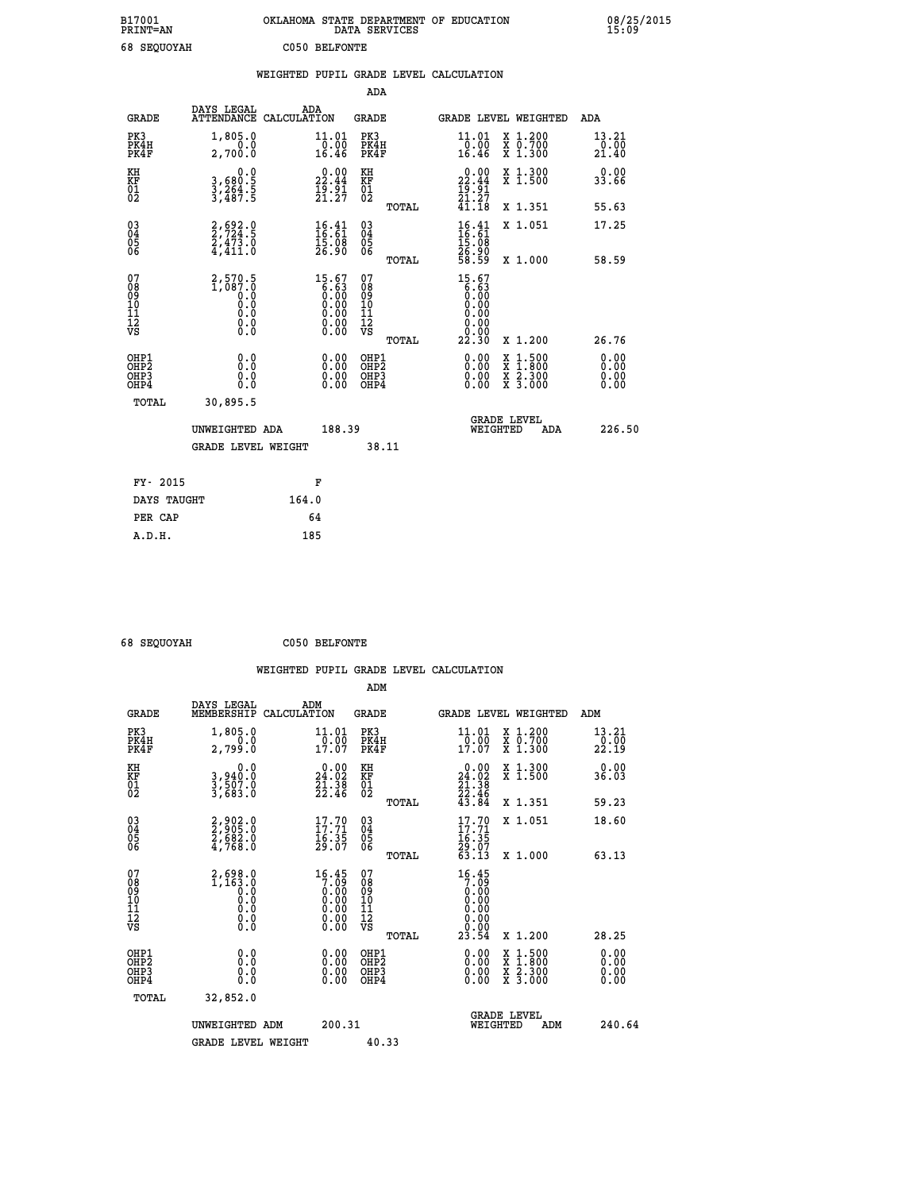| B17001<br><b>PRINT=AN</b> | OKLAHOMA STATE DEPARTMENT OF EDUCATION<br>DATA SERVICES | 08/25/2015<br>15:09 |
|---------------------------|---------------------------------------------------------|---------------------|
| 68 SEQUOYAH               | C050 BELFONTE                                           |                     |

|                                                                    |                                                                         |                                                                    |                                                     | WEIGHTED PUPIL GRADE LEVEL CALCULATION                                      |                                                                                                                                           |                                                     |
|--------------------------------------------------------------------|-------------------------------------------------------------------------|--------------------------------------------------------------------|-----------------------------------------------------|-----------------------------------------------------------------------------|-------------------------------------------------------------------------------------------------------------------------------------------|-----------------------------------------------------|
|                                                                    |                                                                         |                                                                    | <b>ADA</b>                                          |                                                                             |                                                                                                                                           |                                                     |
| <b>GRADE</b>                                                       | DAYS LEGAL<br>ATTENDANCE CALCULATION                                    | ADA                                                                | <b>GRADE</b>                                        | GRADE LEVEL WEIGHTED                                                        |                                                                                                                                           | <b>ADA</b>                                          |
| PK3<br>PK4H<br>PK4F                                                | 1,805.0<br>2,700.0                                                      | $\mathop{11\,\textrm{.}\,01}\limits_{0.00\,\textrm{16.46}}$        | PK3<br>PK4H<br>PK4F                                 | $\frac{11.01}{0.00}$<br>16.46                                               | X 1.200<br>X 0.700<br>X 1.300                                                                                                             | 13.21<br>$\frac{1}{2}$ $\frac{0}{1}$ $\frac{0}{40}$ |
| KH<br>KF<br>01<br>02                                               | $\begin{smallmatrix}&&&0.0\\3,680.5\\3,264.5\\3,487.5\end{smallmatrix}$ | 22.44<br>$\frac{1}{2}$ $\frac{5}{2}$ $\frac{1}{2}$                 | KH<br>KF<br>01<br>02                                | $\begin{array}{c} 0.00 \\ 22.44 \\ 19.91 \\ 21.27 \end{array}$              | X 1.300<br>X 1.500                                                                                                                        | 0.00<br>33.66                                       |
|                                                                    |                                                                         |                                                                    | TOTAL                                               | $\overline{41}.18$                                                          | X 1.351                                                                                                                                   | 55.63                                               |
| $\begin{smallmatrix} 03 \\[-4pt] 04 \end{smallmatrix}$<br>Ŏ5<br>06 | $2, 692.0$<br>$2, 724.5$<br>$2, 473.0$<br>$4, 411.0$                    | $\begin{smallmatrix} 16.41\ 16.61\ 15.08\ 26.90 \end{smallmatrix}$ | $\begin{array}{c} 03 \\ 04 \\ 05 \\ 06 \end{array}$ | $16.41$<br>$16.61$<br>$15.08$<br>$26.90$<br>$58.59$                         | X 1.051                                                                                                                                   | 17.25                                               |
|                                                                    |                                                                         |                                                                    | TOTAL                                               |                                                                             | X 1.000                                                                                                                                   | 58.59                                               |
| 07<br>0890112<br>1112<br>VS                                        |                                                                         | $15.67\n6.63\n0.00\n0.00\n0.00\n0.00\n0.00$                        | 07<br>08<br>09<br>101<br>11<br>12<br>VS<br>TOTAL    | 15.67<br>$\begin{array}{c} 6.63 \ 6.00 \ 0.00 \end{array}$<br>0.00<br>22.30 | X 1.200                                                                                                                                   | 26.76                                               |
| OHP1<br>OHP2<br>OH <sub>P3</sub><br>OHP4                           | 0.0<br>0.0<br>0.0                                                       | $\begin{smallmatrix} 0.00 \ 0.00 \ 0.00 \ 0.00 \end{smallmatrix}$  | OHP1<br>OHP2<br>OHP3<br>OHP4                        | 0.00<br>0.00<br>0.00                                                        | $\begin{smallmatrix} \mathtt{X} & 1\cdot500\\ \mathtt{X} & 1\cdot800\\ \mathtt{X} & 2\cdot300\\ \mathtt{X} & 3\cdot000 \end{smallmatrix}$ | 0.00<br>0.00<br>0.00<br>0.00                        |
| <b>TOTAL</b>                                                       | 30,895.5                                                                |                                                                    |                                                     |                                                                             |                                                                                                                                           |                                                     |
|                                                                    | UNWEIGHTED ADA                                                          | 188.39                                                             |                                                     | <b>GRADE LEVEL</b><br>WEIGHTED                                              | ADA                                                                                                                                       | 226.50                                              |
|                                                                    | GRADE LEVEL WEIGHT                                                      |                                                                    | 38.11                                               |                                                                             |                                                                                                                                           |                                                     |
| FY- 2015                                                           |                                                                         | F                                                                  |                                                     |                                                                             |                                                                                                                                           |                                                     |
| DAYS TAUGHT                                                        |                                                                         | 164.0                                                              |                                                     |                                                                             |                                                                                                                                           |                                                     |
| PER CAP                                                            |                                                                         | 64                                                                 |                                                     |                                                                             |                                                                                                                                           |                                                     |

 **68 SEQUOYAH C050 BELFONTE**

 **A.D.H. 185**

 **ADM**

| <b>GRADE</b>                             | DAYS LEGAL<br>MEMBERSHIP                                                              | ADM<br>CALCULATION                                                               | <b>GRADE</b>                                       |       |                                                                                                                           | GRADE LEVEL WEIGHTED                     | ADM                                                                  |
|------------------------------------------|---------------------------------------------------------------------------------------|----------------------------------------------------------------------------------|----------------------------------------------------|-------|---------------------------------------------------------------------------------------------------------------------------|------------------------------------------|----------------------------------------------------------------------|
| PK3<br>PK4H<br>PK4F                      | 1,805.0<br>2,799.0                                                                    | 11.01<br>$\frac{1}{17.07}$                                                       | PK3<br>PK4H<br>PK4F                                |       | 11.01<br>$\frac{1}{17.07}$                                                                                                | X 1.200<br>X 0.700<br>X 1.300            | $\begin{array}{c} 13\cdot 21 \\ 0\cdot 00 \\ 22\cdot 19 \end{array}$ |
| KH<br>KF<br>01<br>02                     | 0.0<br>3,940:0<br>3,507:0<br>3,683:0                                                  | $\begin{smallmatrix} 0.00\\24.02\\21.38\\22.46 \end{smallmatrix}$                | KH<br>KF<br>01<br>02                               |       | $\begin{smallmatrix} 0.00\\24.02\\21.38\\22.46\\43.84\end{smallmatrix}$                                                   | X 1.300<br>X 1.500                       | 0.00<br>36.03                                                        |
|                                          |                                                                                       |                                                                                  |                                                    | TOTAL |                                                                                                                           | X 1.351                                  | 59.23                                                                |
| 03<br>04<br>05<br>06                     | 2,902.0<br>2,905.0<br>2,682.0<br>4,768.0                                              | $\begin{smallmatrix} 17.70 \\ 17.71 \\ 16.35 \\ 29.07 \end{smallmatrix}$         | $\begin{matrix} 03 \\ 04 \\ 05 \\ 06 \end{matrix}$ |       | $\begin{array}{c} 17.70 \\ 17.71 \\ 16.35 \\ 29.07 \\ 63.13 \end{array}$                                                  | X 1.051                                  | 18.60                                                                |
|                                          |                                                                                       |                                                                                  |                                                    | TOTAL |                                                                                                                           | X 1.000                                  | 63.13                                                                |
| 07<br>089<br>090<br>1112<br>VS           | 2,698.0<br>1,163.0<br>0.9<br>$\begin{smallmatrix} 0.10 \ 0.0 \ 0.0 \end{smallmatrix}$ | 16.45<br>$\begin{array}{c} 7.708 \\ 0.000 \\ 0.000 \\ 0.000 \\ 0.00 \end{array}$ | 07<br>08<br>09<br>01<br>11<br>11<br>12<br>VS       | TOTAL | $\begin{smallmatrix} 16 & 45 \\ 7 & 09 \\ 0 & 00 \\ 0 & 00 \\ 0 & 00 \\ 0 & 00 \\ 0 & 00 \\ 2 & 3 & 54 \end{smallmatrix}$ | X 1.200                                  | 28.25                                                                |
| OHP1<br>OHP2<br>OH <sub>P3</sub><br>OHP4 | 0.0<br>0.000                                                                          |                                                                                  | OHP1<br>OHP2<br>OHP3<br>OHP4                       |       | 0.00<br>$0.00$<br>0.00                                                                                                    | X 1:500<br>X 1:800<br>X 2:300<br>X 3:000 | 0.00<br>0.00<br>0.00                                                 |
| TOTAL                                    | 32,852.0                                                                              |                                                                                  |                                                    |       |                                                                                                                           |                                          |                                                                      |
|                                          | UNWEIGHTED                                                                            | 200.31<br>ADM                                                                    |                                                    |       | WEIGHTED                                                                                                                  | <b>GRADE LEVEL</b><br>ADM                | 240.64                                                               |
|                                          | <b>GRADE LEVEL WEIGHT</b>                                                             |                                                                                  | 40.33                                              |       |                                                                                                                           |                                          |                                                                      |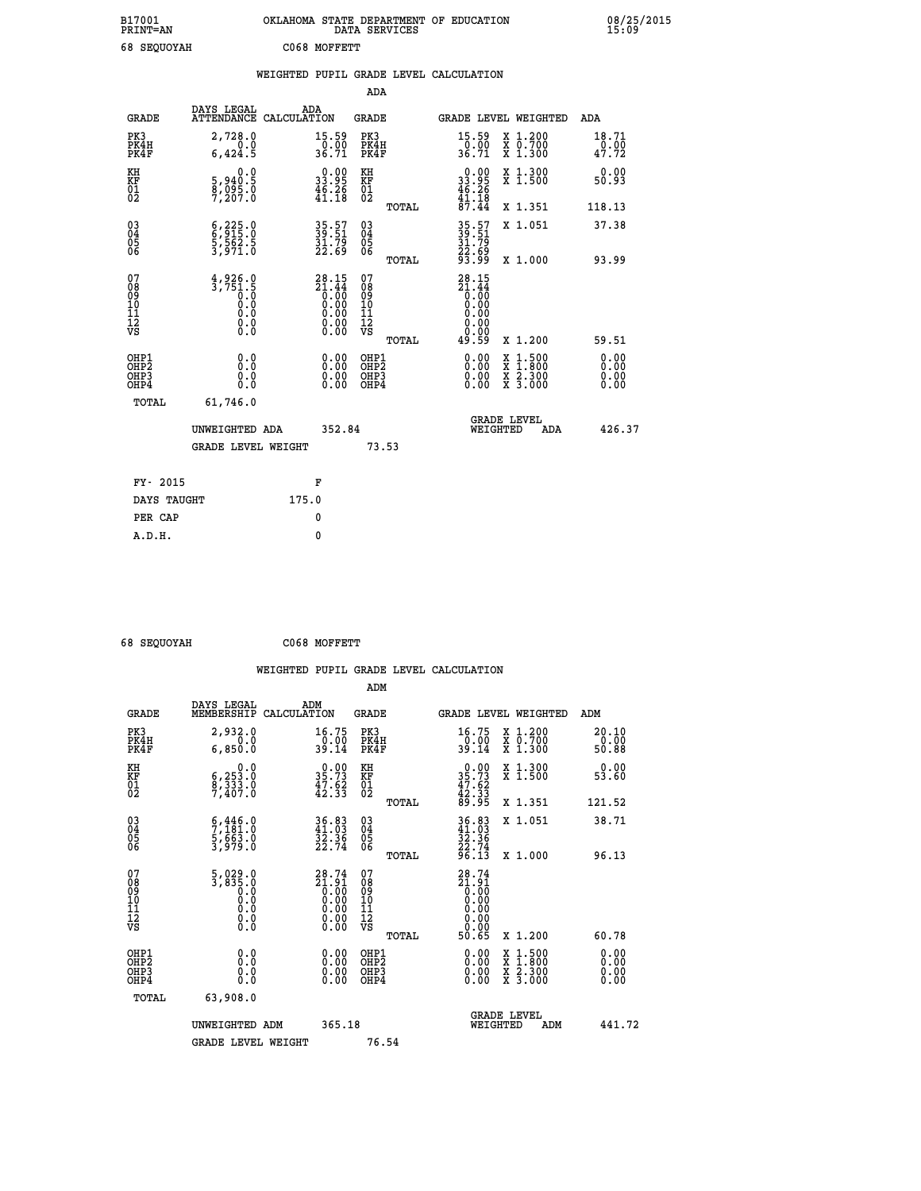| B17001<br><b>PRINT=AN</b> | OKLAHOMA STATE DEPARTMENT OF EDUCATION<br>DATA SERVICES | 08/25/2015<br>15:09 |
|---------------------------|---------------------------------------------------------|---------------------|
| 68 SEQUOYAH               | C068 MOFFETT                                            |                     |

|                                                                              |                                                                               |                                                                                           | ADA                                                         |                                                                             |                                                                                                                                           |                              |
|------------------------------------------------------------------------------|-------------------------------------------------------------------------------|-------------------------------------------------------------------------------------------|-------------------------------------------------------------|-----------------------------------------------------------------------------|-------------------------------------------------------------------------------------------------------------------------------------------|------------------------------|
| <b>GRADE</b>                                                                 | DAYS LEGAL                                                                    | ADA<br>ATTENDANCE CALCULATION                                                             | GRADE                                                       |                                                                             | GRADE LEVEL WEIGHTED                                                                                                                      | ADA                          |
| PK3<br>PK4H<br>PK4F                                                          | 2,728.0<br>0.0<br>6,424.5                                                     | $\begin{array}{c} 15.59 \\ 0.00 \\ 36.71 \end{array}$                                     | PK3<br>PK4H<br>PK4F                                         | 15.59<br>$\frac{0.00}{36.71}$                                               | X 1.200<br>X 0.700<br>X 1.300                                                                                                             | 18.71<br>0.00<br>47.72       |
| KH<br>KF<br>01<br>02                                                         | 0.0<br>5,940:5<br>8,095:0<br>7,207:0                                          | $\begin{smallmatrix} 0.00\\ 33.95\\ 46.26\\ 41.18 \end{smallmatrix}$                      | KH<br>KF<br>01<br>02                                        | $\begin{smallmatrix} 0.00\\ 33.95\\ 46.26\\ 41.18\\ 7.44 \end{smallmatrix}$ | X 1.300<br>X 1.500                                                                                                                        | 0.00<br>50.93                |
|                                                                              |                                                                               |                                                                                           | TOTAL                                                       |                                                                             | X 1.351                                                                                                                                   | 118.13                       |
| $\begin{matrix} 03 \\ 04 \\ 05 \\ 06 \end{matrix}$                           | $\begin{smallmatrix} 6,225.0\\ 6,915.0\\ 5,562.5\\ 3,971.0 \end{smallmatrix}$ | 35.57<br>39.51<br>31.79<br>22.69                                                          | $\begin{matrix} 03 \\ 04 \\ 05 \\ 06 \end{matrix}$<br>TOTAL | 35.57<br>39.51<br>31.79<br>22.69<br>93.99                                   | X 1.051<br>X 1.000                                                                                                                        | 37.38<br>93.99               |
| 07<br>08<br>09<br>11<br>11<br>12<br>VS                                       | $\frac{4}{3}$ , 926.0<br>ŏ:ŏ<br>0.0<br>0.0<br>$\S.$                           | ${\begin{smallmatrix} 28.15\\21.44\\0.00\\0.00\\0.00\\0.00\\0.00\\0.00\end{smallmatrix}}$ | 07<br>08<br>09<br>11<br>11<br>12<br>VS<br>TOTAL             | $28.15$<br>$21.44$<br>$0.00$<br>$0.00$<br>0.00<br>0.00<br>49.59             | X 1.200                                                                                                                                   | 59.51                        |
| OHP1<br>OH <sub>P</sub> <sub>2</sub><br>OH <sub>P3</sub><br>OH <sub>P4</sub> | 0.0<br>0.0<br>0.0                                                             | 0.00<br>0.00<br>0.00                                                                      | OHP1<br>OHP <sub>2</sub><br>OHP3<br>OHP4                    | 0.00<br>0.00<br>0.00                                                        | $\begin{smallmatrix} \mathtt{X} & 1\cdot500\\ \mathtt{X} & 1\cdot800\\ \mathtt{X} & 2\cdot300\\ \mathtt{X} & 3\cdot000 \end{smallmatrix}$ | 0.00<br>0.00<br>0.00<br>0.00 |
| TOTAL                                                                        | 61,746.0<br>UNWEIGHTED ADA<br><b>GRADE LEVEL WEIGHT</b>                       | 352.84                                                                                    | 73.53                                                       |                                                                             | <b>GRADE LEVEL</b><br>WEIGHTED<br>ADA                                                                                                     | 426.37                       |
| FY- 2015                                                                     |                                                                               | F                                                                                         |                                                             |                                                                             |                                                                                                                                           |                              |
| DAYS TAUGHT                                                                  |                                                                               | 175.0                                                                                     |                                                             |                                                                             |                                                                                                                                           |                              |
| PER CAP                                                                      |                                                                               | 0                                                                                         |                                                             |                                                                             |                                                                                                                                           |                              |
| A.D.H.                                                                       |                                                                               | $\mathbf{0}$                                                                              |                                                             |                                                                             |                                                                                                                                           |                              |

| <b>68 SEOUOVAH</b> |  |
|--------------------|--|

 **68 SEQUOYAH C068 MOFFETT**

|                                                      |                                                                            |                                                                                                                 | ADM                                                |       |                                                                      |                                          |                               |
|------------------------------------------------------|----------------------------------------------------------------------------|-----------------------------------------------------------------------------------------------------------------|----------------------------------------------------|-------|----------------------------------------------------------------------|------------------------------------------|-------------------------------|
| <b>GRADE</b>                                         | DAYS LEGAL<br>MEMBERSHIP                                                   | ADM<br>CALCULATION                                                                                              | <b>GRADE</b>                                       |       |                                                                      | GRADE LEVEL WEIGHTED                     | ADM                           |
| PK3<br>PK4H<br>PK4F                                  | 2,932.0<br>$\overline{0}$ .0<br>6,850.0                                    | 16.75<br>$\frac{0.00}{39.14}$                                                                                   | PK3<br>PK4H<br>PK4F                                |       | 16.75<br>$\frac{10.00}{39.14}$                                       | X 1.200<br>X 0.700<br>X 1.300            | 20.10<br>$\frac{0.00}{50.88}$ |
| KH<br>KF<br>01<br>02                                 | 0.0<br>$\frac{6}{9}, \frac{253}{333}$ .0<br>9,407.0                        | $\begin{smallmatrix} 0.00\\ 35.73\\ 47.62\\ 42.33 \end{smallmatrix}$                                            | KH<br>KF<br>01<br>02                               |       | $0.00\n35.73\n47.62\n42.33\n89.95$                                   | X 1.300<br>X 1.500                       | 0.00<br>53.60                 |
|                                                      |                                                                            |                                                                                                                 |                                                    | TOTAL |                                                                      | X 1.351                                  | 121.52                        |
| 03<br>04<br>05<br>06                                 | $\begin{smallmatrix} 6,446.0\\7,181.0\\5,663.0\\3,979.0 \end{smallmatrix}$ | 36.83<br>41.03<br>32.36<br>22.74                                                                                | $\begin{matrix} 03 \\ 04 \\ 05 \\ 06 \end{matrix}$ |       | $36.8341.0332.3622.7496.13$                                          | X 1.051                                  | 38.71                         |
|                                                      |                                                                            |                                                                                                                 |                                                    | TOTAL |                                                                      | X 1.000                                  | 96.13                         |
| 07<br>08<br>09<br>101<br>112<br>VS                   | $\frac{5}{3}, \frac{0}{835}.0$<br>0.0<br>0.0<br>0.0<br>0.0<br>$\S.$        | ${\begin{smallmatrix} 28.74 \ 21.91 \ 0.00 \ 0.00 \ 0.00 \ 0.00 \ 0.00 \ 0.00 \ 0.00 \ 0.00 \end{smallmatrix}}$ | 07<br>08<br>09<br>11<br>11<br>12<br>VS             |       | $28.74$<br>$21.91$<br>$0.00$<br>$0.00$<br>$0.00$<br>$0.00$<br>$0.00$ |                                          |                               |
|                                                      |                                                                            |                                                                                                                 |                                                    | TOTAL | 50.65                                                                | X 1.200                                  | 60.78                         |
| OHP1<br>OHP2<br>OH <sub>P3</sub><br>OH <sub>P4</sub> | 0.0<br>0.000                                                               | $0.00$<br>$0.00$<br>0.00                                                                                        | OHP1<br>OHP2<br>OHP <sub>3</sub>                   |       | $0.00$<br>$0.00$<br>0.00                                             | X 1:500<br>X 1:800<br>X 2:300<br>X 3:000 | 0.00<br>0.00<br>0.00          |
| TOTAL                                                | 63,908.0                                                                   |                                                                                                                 |                                                    |       |                                                                      |                                          |                               |
|                                                      | UNWEIGHTED ADM                                                             | 365.18                                                                                                          |                                                    |       |                                                                      | <b>GRADE LEVEL</b><br>WEIGHTED<br>ADM    | 441.72                        |
|                                                      | <b>GRADE LEVEL WEIGHT</b>                                                  |                                                                                                                 | 76.54                                              |       |                                                                      |                                          |                               |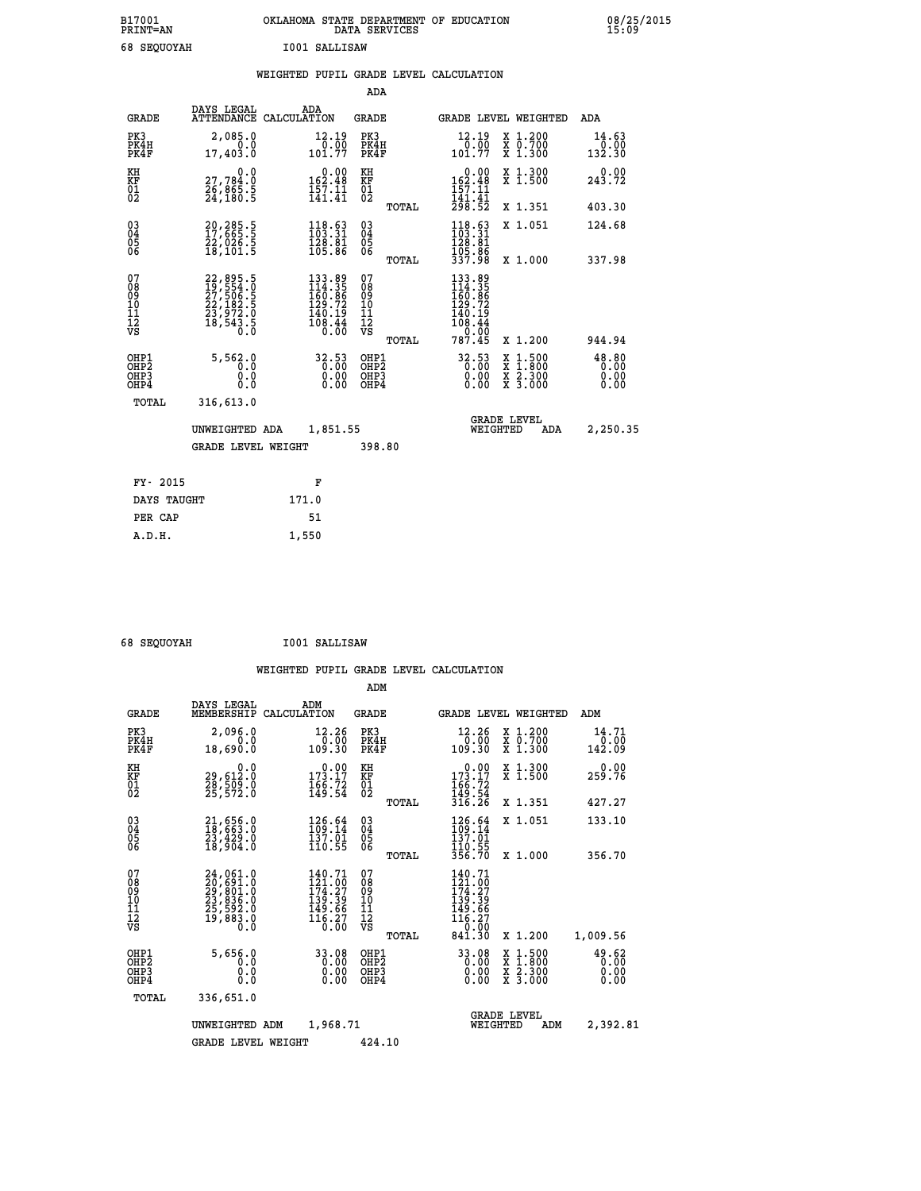| B17001<br><b>PRINT=AN</b> |             |               | OKLAHOMA STATE DEPARTMENT OF EDUCATION<br>DATA SERVICES |  |
|---------------------------|-------------|---------------|---------------------------------------------------------|--|
|                           | 68 SEOUOYAH | I001 SALLISAW |                                                         |  |

|                                                              |                                                                            |       |                                                                                                                            |                                                   |       | WEIGHTED PUPIL GRADE LEVEL CALCULATION                                                                    |                                                                                          |                               |
|--------------------------------------------------------------|----------------------------------------------------------------------------|-------|----------------------------------------------------------------------------------------------------------------------------|---------------------------------------------------|-------|-----------------------------------------------------------------------------------------------------------|------------------------------------------------------------------------------------------|-------------------------------|
|                                                              |                                                                            |       |                                                                                                                            | ADA                                               |       |                                                                                                           |                                                                                          |                               |
| <b>GRADE</b>                                                 | DAYS LEGAL<br>ATTENDANCE CALCULATION                                       | ADA   |                                                                                                                            | GRADE                                             |       | GRADE LEVEL WEIGHTED                                                                                      |                                                                                          | ADA                           |
| PK3<br>PK4H<br>PK4F                                          | 2,085.0<br>0.0<br>17,403.0                                                 |       | $\begin{smallmatrix} 12.19\\ 0.00\\ 101.77 \end{smallmatrix}$                                                              | PK3<br>PK4H<br>PK4F                               |       | $\begin{smallmatrix} 12.19 \\ 0.00 \\ 101.77 \end{smallmatrix}$                                           | X 1.200<br>X 0.700<br>X 1.300                                                            | 14.63<br>$0.00$<br>132.30     |
| KH<br>KF<br>01<br>02                                         | 0.0<br>27,784.0<br>26,865.5<br>24,180.5                                    |       | $0.00$<br>162.48<br>$\frac{157}{141}.$ $\frac{11}{41}$                                                                     | KH<br>KF<br>$\begin{matrix} 01 \ 02 \end{matrix}$ |       | $162.48$<br>$157.11$<br>$141.41$                                                                          | X 1.300<br>X 1.500                                                                       | 0.00<br>243.72                |
|                                                              |                                                                            |       |                                                                                                                            |                                                   | TOTAL | 298.52                                                                                                    | X 1.351                                                                                  | 403.30                        |
| $\begin{smallmatrix} 03 \\[-4pt] 04 \end{smallmatrix}$<br>Ŏ5 | 20,285.5<br>17,665.5<br>22,026.5<br>18,101.5                               |       | $\begin{array}{l} 118\cdot 63 \\ 103\cdot 31 \\ 128\cdot 81 \\ 105\cdot 86 \end{array}$                                    | $\substack{03 \\ 04}$<br>05<br>06                 |       | $\frac{118.63}{103.31}$<br>$\frac{128.81}{129.81}$                                                        | X 1.051                                                                                  | 124.68                        |
| ŌĞ                                                           |                                                                            |       |                                                                                                                            |                                                   | TOTAL | $\frac{105}{337.98}$                                                                                      | X 1.000                                                                                  | 337.98                        |
| 07<br>08<br>09<br>11<br>11<br>12<br>VS                       | 22, 895.5<br>19, 554.0<br>27, 506.5<br>22, 182.5<br>23, 972.0<br>18, 543.5 |       | $\begin{array}{r} 133\cdot 89\\ 14\cdot 35\\ 160\cdot 86\\ 129\cdot 72\\ 140\cdot 19\\ 108\cdot 44\\ 0\cdot 00\end{array}$ | 07<br>08<br>09<br>11<br>11<br>12<br>VS            | TOTAL | $\begin{array}{r} 133.89 \\ 114.35 \\ 160.86 \\ 129.72 \\ 140.19 \\ 108.44 \\ 0.00 \\ 787.45 \end{array}$ | X 1.200                                                                                  | 944.94                        |
| OHP1<br>OHP <sub>2</sub><br>OHP3<br>OHP4                     | 5,562.0<br>$\overline{0}$ .0<br>0.0<br>0.0                                 |       | $\begin{smallmatrix} 32.53\ 0.00\ 0.00\ 0.00 \end{smallmatrix}$                                                            | OHP1<br>OHP <sub>2</sub><br>OHP3<br>OHP4          |       | 32.53<br>0.00                                                                                             | $\begin{smallmatrix} x & 1.500 \\ x & 1.800 \\ x & 2.300 \\ x & 3.000 \end{smallmatrix}$ | 48.80<br>0.00<br>0.00<br>0.00 |
| TOTAL                                                        | 316,613.0                                                                  |       |                                                                                                                            |                                                   |       |                                                                                                           |                                                                                          |                               |
|                                                              | UNWEIGHTED ADA                                                             |       | 1,851.55                                                                                                                   |                                                   |       | <b>GRADE LEVEL</b><br>WEIGHTED                                                                            | <b>ADA</b>                                                                               | 2,250.35                      |
|                                                              | <b>GRADE LEVEL WEIGHT</b>                                                  |       |                                                                                                                            | 398.80                                            |       |                                                                                                           |                                                                                          |                               |
| FY- 2015                                                     |                                                                            |       | F                                                                                                                          |                                                   |       |                                                                                                           |                                                                                          |                               |
| DAYS TAUGHT                                                  |                                                                            | 171.0 |                                                                                                                            |                                                   |       |                                                                                                           |                                                                                          |                               |
| PER CAP                                                      |                                                                            |       | 51                                                                                                                         |                                                   |       |                                                                                                           |                                                                                          |                               |

 **68 SEQUOYAH I001 SALLISAW**

 **A.D.H. 1,550**

 **ADM**

| <b>GRADE</b>                                       | DAYS LEGAL                                                                                | ADM<br>MEMBERSHIP CALCULATION                                                                                | <b>GRADE</b>                                  |                                                                                                          |                                | GRADE LEVEL WEIGHTED                                                                                                                      | ADM                            |
|----------------------------------------------------|-------------------------------------------------------------------------------------------|--------------------------------------------------------------------------------------------------------------|-----------------------------------------------|----------------------------------------------------------------------------------------------------------|--------------------------------|-------------------------------------------------------------------------------------------------------------------------------------------|--------------------------------|
| PK3<br>PK4H<br>PK4F                                | 2,096.0<br>0.0<br>18,690.0                                                                | 12.26<br>0.00<br>109.30                                                                                      | PK3<br>PK4H<br>PK4F                           | $\frac{0.00}{109.30}$                                                                                    | 12.26                          | $\begin{smallmatrix} x & 1.200 \\ x & 0.700 \end{smallmatrix}$<br>X 1.300                                                                 | 14.71<br>$\frac{0.00}{142.09}$ |
| KH<br>KF<br>01<br>02                               | 0.0<br>29,612:0<br>28,509:0<br>25,572:0                                                   | $\begin{smallmatrix} &0.00\\ 173.17\\ 166.72\\ 149.54\end{smallmatrix}$                                      | KH<br>KF<br>01<br>02                          | $173.17$<br>$166.72$<br>$149.54$                                                                         |                                | X 1.300<br>X 1.500                                                                                                                        | 0.00<br>259.76                 |
|                                                    |                                                                                           |                                                                                                              |                                               | 316.26<br>TOTAL                                                                                          |                                | X 1.351                                                                                                                                   | 427.27                         |
| $\begin{matrix} 03 \\ 04 \\ 05 \\ 06 \end{matrix}$ | $21,656.0$<br>$18,663.0$<br>$23,429.0$<br>$18,904.0$                                      | 126.64<br>109.14<br>137.01<br>110.55                                                                         | $\substack{03 \\ 04}$<br>05<br>06             | 126.64<br>109.14<br>137.01                                                                               |                                | X 1.051                                                                                                                                   | 133.10                         |
|                                                    |                                                                                           |                                                                                                              |                                               | 110.55<br>356.70<br>TOTAL                                                                                |                                | X 1.000                                                                                                                                   | 356.70                         |
| 07<br>08<br>09<br>101<br>11<br>12<br>VS            | $24,061.0$<br>$20,691.0$<br>$29,801.0$<br>$23,836.0$<br>$25,592.0$<br>$19,883.0$<br>$0.0$ | 140.71<br>$\frac{1}{2}$ $\frac{2}{4}$ $\cdot \frac{1}{2}$ $\frac{1}{2}$<br>139.39<br>$\frac{149.66}{116.27}$ | 07<br>08<br>09<br>001<br>11<br>11<br>12<br>VS | 140.71<br>$\frac{121.00}{174.27}$<br>$\frac{139.39}{149.66}$<br>$\frac{116.27}{0.00}$<br>841.30<br>TOTAL |                                | X 1.200                                                                                                                                   | 1,009.56                       |
| OHP1<br>OHP <sub>2</sub><br>OHP3<br>OHP4           | 5,656.0<br>0.0<br>$\cdot$ 0<br>0<br>Ō.Ō                                                   | 33.08<br>$\begin{smallmatrix} 0.00 \ 0.00 \end{smallmatrix}$<br>0.00                                         | OHP1<br>OH <sub>P</sub> 2<br>OHP3<br>OHP4     |                                                                                                          | 33.08<br>0.00<br>0.00<br>0.00  | $\begin{smallmatrix} \mathtt{X} & 1\cdot500\\ \mathtt{X} & 1\cdot800\\ \mathtt{X} & 2\cdot300\\ \mathtt{X} & 3\cdot000 \end{smallmatrix}$ | 49.62<br>0.00<br>0.00<br>0.00  |
| TOTAL                                              | 336,651.0                                                                                 |                                                                                                              |                                               |                                                                                                          |                                |                                                                                                                                           |                                |
|                                                    | UNWEIGHTED                                                                                | 1,968.71<br>ADM                                                                                              |                                               |                                                                                                          | <b>GRADE LEVEL</b><br>WEIGHTED | ADM                                                                                                                                       | 2,392.81                       |
|                                                    | <b>GRADE LEVEL WEIGHT</b>                                                                 |                                                                                                              | 424.10                                        |                                                                                                          |                                |                                                                                                                                           |                                |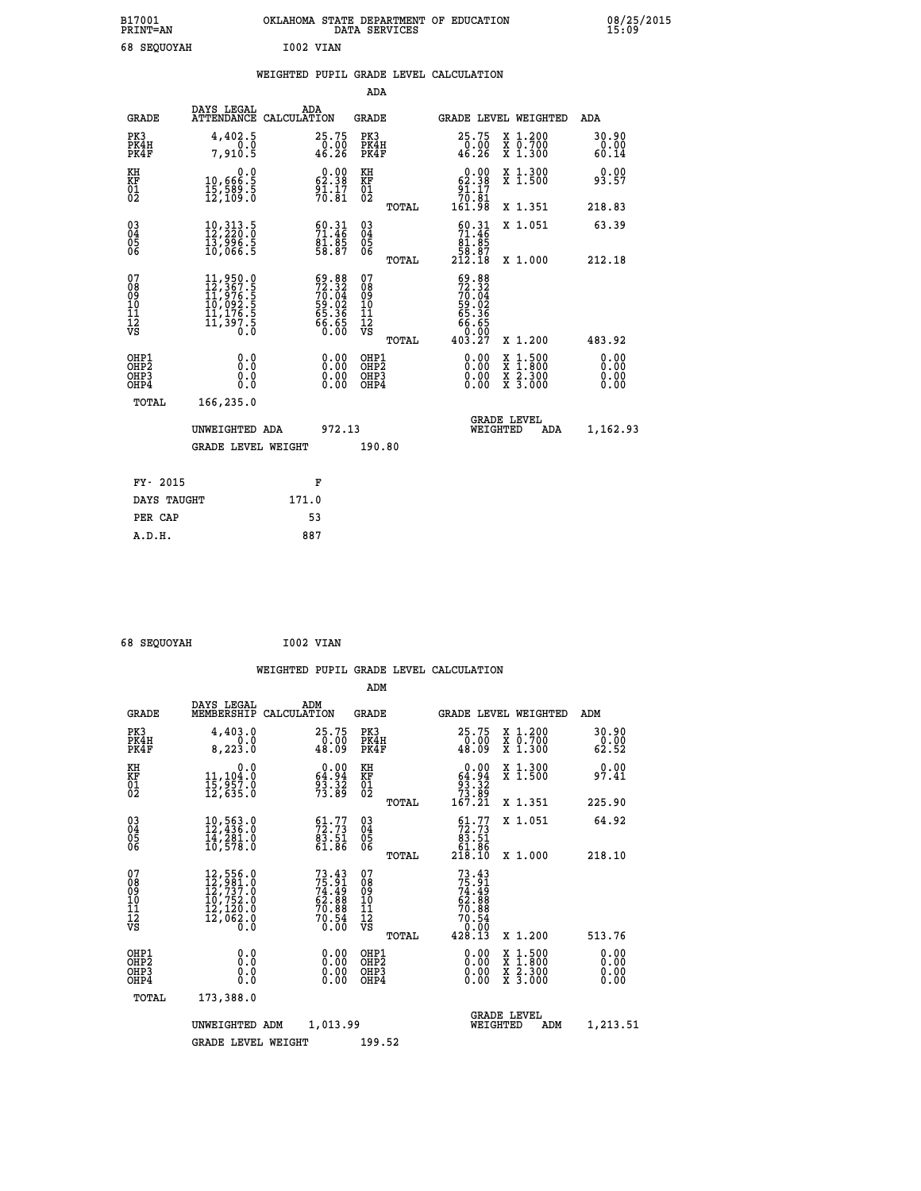| B17001<br><b>PRINT=AN</b> | OKLAHOMA STATE DEPARTMENT OF EDUCATION<br>DATA SERVICES | 08/25/2015<br>15:09 |
|---------------------------|---------------------------------------------------------|---------------------|
| 68 SEQUOYAH               | I002 VIAN                                               |                     |

|  |  | WEIGHTED PUPIL GRADE LEVEL CALCULATION |
|--|--|----------------------------------------|
|  |  |                                        |

|                                                                    |                                                                                                                                                 |                                                                          | ADA                                    |       |                                                                                                  |                                                                                          |                        |
|--------------------------------------------------------------------|-------------------------------------------------------------------------------------------------------------------------------------------------|--------------------------------------------------------------------------|----------------------------------------|-------|--------------------------------------------------------------------------------------------------|------------------------------------------------------------------------------------------|------------------------|
| <b>GRADE</b>                                                       | DAYS LEGAL<br>ATTENDANCE CALCULATION                                                                                                            | ADA                                                                      | <b>GRADE</b>                           |       |                                                                                                  | GRADE LEVEL WEIGHTED                                                                     | ADA                    |
| PK3<br>PK4H<br>PK4F                                                | 4,402.5<br>0.0<br>7.910.5                                                                                                                       | 25.75<br>$\frac{0.00}{46.26}$                                            | PK3<br>PK4H<br>PK4F                    |       | 25.75<br>$\frac{0.00}{46.26}$                                                                    | X 1.200<br>X 0.700<br>X 1.300                                                            | 30.90<br>0.00<br>60.14 |
| KH<br>KF<br>01<br>02                                               | $\begin{smallmatrix}&&&0.0\\10,666.5\\15,589.5\\12,109.0\end{smallmatrix}$                                                                      | $0.00$<br>62.38<br>$\frac{5}{70}$ $\cdot\frac{17}{81}$                   | KH<br>KF<br>$\overline{01}$            |       | $0.00$<br>62.38<br>$\begin{array}{r} 91.17 \\ 70.81 \\ 161.98 \end{array}$                       | X 1.300<br>X 1.500                                                                       | 0.00<br>93.57          |
|                                                                    |                                                                                                                                                 |                                                                          |                                        | TOTAL |                                                                                                  | X 1.351                                                                                  | 218.83                 |
| $\begin{smallmatrix} 03 \\[-4pt] 04 \end{smallmatrix}$<br>Ŏ5<br>06 | $\begin{smallmatrix} 10\, ,\, 313\, .\, 5\\ 12\, ,\, 220\, .\, 0\\ 13\, ,\, 996\, .\, 5\\ 10\, ,\, 066\, .\, 5 \end{smallmatrix}$               | $\begin{smallmatrix} 60.31\ 71.46\ 81.85\ 58.87 \end{smallmatrix}$       | 03<br>04<br>05<br>06                   |       | $\begin{smallmatrix} 60.31\\ 71.46\\ 81.85\\ 58.87\\ 212.18 \end{smallmatrix}$                   | X 1.051                                                                                  | 63.39                  |
|                                                                    |                                                                                                                                                 |                                                                          |                                        | TOTAL |                                                                                                  | X 1.000                                                                                  | 212.18                 |
| 07<br>08<br>09<br>11<br>11<br>12<br>VS                             | $\begin{smallmatrix} 11,950\cdot 0\\ 12,367\cdot 5\\ 11,976\cdot 5\\ 10,092\cdot 5\\ 11,176\cdot 5\\ 11,397\cdot 5\\ 0\cdot 0\end{smallmatrix}$ | $59.88$<br>$72.32$<br>$70.04$<br>$59.02$<br>$55.36$<br>$66.65$<br>$0.00$ | 07<br>08<br>09<br>11<br>11<br>12<br>VS |       | $59.88$<br>$72.32$<br>$70.04$<br>$59.02$<br>$59.02$<br>$65.36$<br>$66.65$<br>$0.007$<br>$403.27$ |                                                                                          |                        |
|                                                                    |                                                                                                                                                 |                                                                          |                                        | TOTAL |                                                                                                  | X 1.200                                                                                  | 483.92                 |
| OHP1<br>OHP2<br>OH <sub>P3</sub><br>OHP4                           | 0.0<br>0.0<br>0.0                                                                                                                               | 0.00<br>0.00<br>0.00                                                     | OHP1<br>OHP2<br>OHP3<br>OHP4           |       |                                                                                                  | $\begin{smallmatrix} x & 1.500 \\ x & 1.800 \\ x & 2.300 \\ x & 3.000 \end{smallmatrix}$ | 0.00<br>0.00<br>0.00   |
| TOTAL                                                              | 166,235.0                                                                                                                                       |                                                                          |                                        |       |                                                                                                  |                                                                                          |                        |
|                                                                    | UNWEIGHTED ADA                                                                                                                                  | 972.13                                                                   |                                        |       |                                                                                                  | <b>GRADE LEVEL</b><br>WEIGHTED<br>ADA                                                    | 1,162.93               |
|                                                                    | <b>GRADE LEVEL WEIGHT</b>                                                                                                                       |                                                                          | 190.80                                 |       |                                                                                                  |                                                                                          |                        |
| FY- 2015                                                           |                                                                                                                                                 | F                                                                        |                                        |       |                                                                                                  |                                                                                          |                        |
| DAYS TAUGHT                                                        |                                                                                                                                                 | 171.0                                                                    |                                        |       |                                                                                                  |                                                                                          |                        |
| PER CAP                                                            |                                                                                                                                                 | 53                                                                       |                                        |       |                                                                                                  |                                                                                          |                        |

| 68 SEOUOVAH |  |
|-------------|--|
|             |  |

 **68 SEQUOYAH I002 VIAN WEIGHTED PUPIL GRADE LEVEL CALCULATION ADM DAYS LEGAL ADM GRADE MEMBERSHIP CALCULATION GRADE GRADE LEVEL WEIGHTED ADM PK3 4,403.0 25.75 PK3 25.75 X 1.200 30.90 PK4H 0.0 0.00 PK4H 0.00 X 0.700 0.00 PK4F 8,223.0 48.09 PK4F 48.09 X 1.300 62.52 KH 0.0 0.00 KH 0.00 X 1.300 0.00 KF 11,104.0 64.94 KF 64.94 X 1.500 97.41 01 15,957.0 93.32 01 93.32 02 12,635.0 73.89 02 73.89 TOTAL 167.21 X 1.351 225.90 03 10,563.0 61.77 03 61.77 X 1.051 64.92 04 12,436.0 72.73 04 72.73 05 14,281.0 83.51 05 83.51 06 10,578.0 61.86 06 61.86 TOTAL 218.10 X 1.000 218.10**  $\begin{array}{cccc} 07 & 12,556.0 & 73.43 & 07 & 73.43 \ 08 & 12,7931.0 & 74.49 & 08 & 74.49 \ 10 & 10,752.0 & 62.88 & 10 & 62.88 \ 11 & 12,120.0 & 70.88 & 11 & 70.58 \ \hline \textrm{V5} & 12,062.0 & 70.88 & 12 & 70.88 \ \hline \textrm{V5} & 12,062.0 & 70.54 & 12 & 70.54 \ \end{array$  $\begin{tabular}{@{}lllllllllllll@{}}\n 73.43 & 07 & 73.43\\ \n 74.49 & 08 & 74.49\\ \n 62.88 & 10 & 62.88\\ \n 70.88 & 11 & 70.88\\ \n 70.54 & 12 & 70.54\\ \n 70.54 & 12 & 70.54\\ \n 70.54 & 12 & 70.54\\ \n 70.54 & 70.54 & 8.13 & 8.1.200 & 513.76\\ \n 0.00 & 0\text{HP1} & 428.$  **OHP1 0.0 0.00 OHP1 0.00 X 1.500 0.00 OHP2 0.0 0.00 OHP2 0.00 X 1.800 0.00 OHP3 0.0 0.00 OHP3 0.00 X 2.300 0.00 OHP4 0.0 0.00 OHP4 0.00 X 3.000 0.00 TOTAL 173,388.0 GRADE LEVEL UNWEIGHTED ADM 1,013.99 WEIGHTED ADM 1,213.51** GRADE LEVEL WEIGHT 199.52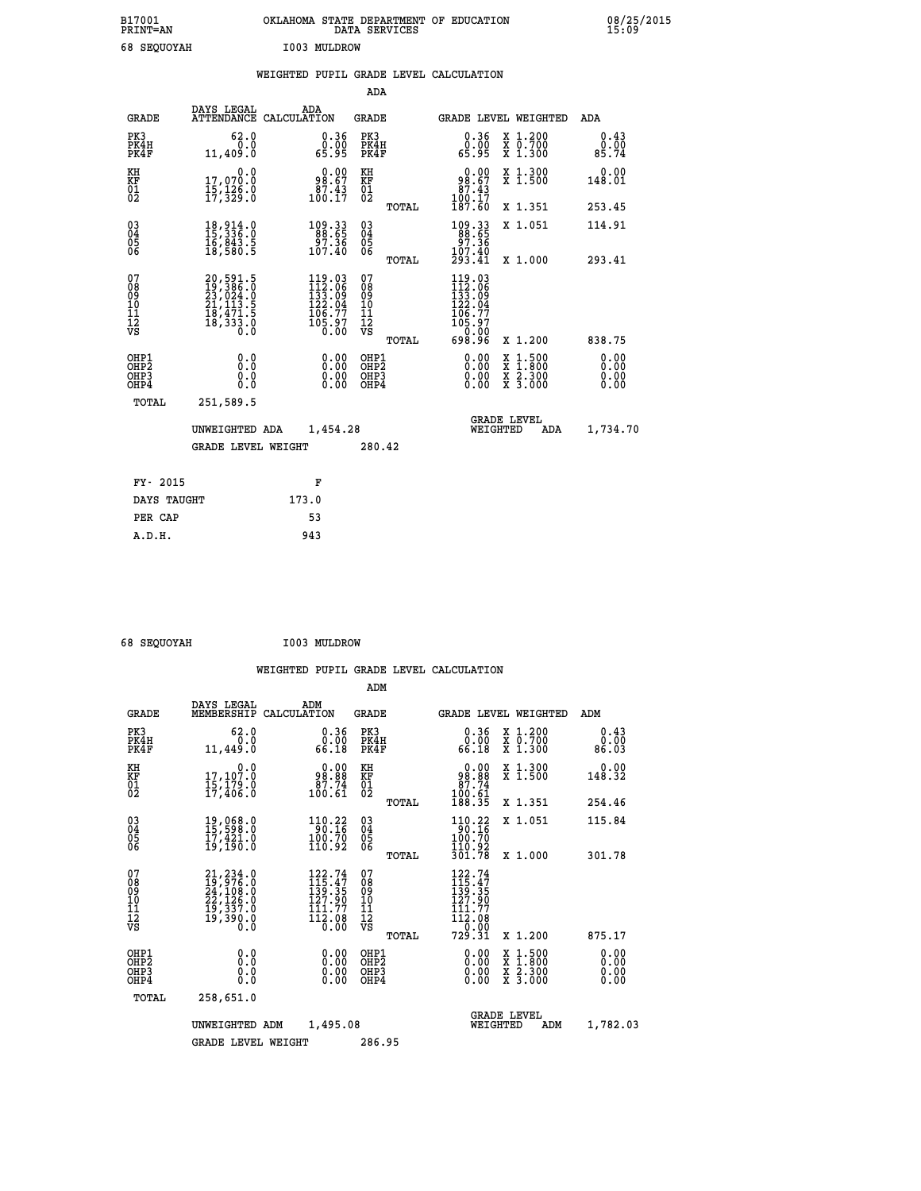| B17001<br><b>PRINT=AN</b> | OKLAHOMA STATE DEPARTMENT OF EDUCATION<br>DATA SERVICES | 08/25/2015<br>15:09 |
|---------------------------|---------------------------------------------------------|---------------------|
| 68 SEQUOYAH               | I003 MULDROW                                            |                     |

|  |  | WEIGHTED PUPIL GRADE LEVEL CALCULATION |
|--|--|----------------------------------------|
|  |  |                                        |

|                                                                  |                                                                                           |                                                                                                                                      | ADA                                      |       |                                                                                                                                            |                                                                                                  |                              |
|------------------------------------------------------------------|-------------------------------------------------------------------------------------------|--------------------------------------------------------------------------------------------------------------------------------------|------------------------------------------|-------|--------------------------------------------------------------------------------------------------------------------------------------------|--------------------------------------------------------------------------------------------------|------------------------------|
| <b>GRADE</b>                                                     | DAYS LEGAL                                                                                | ADA<br>ATTENDANCE CALCULATION                                                                                                        | <b>GRADE</b>                             |       | GRADE LEVEL WEIGHTED                                                                                                                       |                                                                                                  | ADA                          |
| PK3<br>PK4H<br>PK4F                                              | 62.0<br>0.0<br>11,409.0                                                                   | $\begin{smallmatrix} 0.36 \\ 0.00 \\ 65.95 \end{smallmatrix}$                                                                        | PK3<br>PK4H<br>PK4F                      |       | 0.36<br>ŏ:ŏŏ<br>65.95                                                                                                                      | X 1.200<br>X 0.700<br>X 1.300                                                                    | 0.43<br>0.00<br>85.74        |
| KH<br>KF<br>01<br>02                                             | 0.0<br>17,070.0<br>15,126.0<br>17,329.0                                                   | $98.00$<br>98.67<br>$\frac{87.43}{100.17}$                                                                                           | KH<br>KF<br>01<br>02                     |       | 0.00<br>$\begin{array}{r} 98.67 \\ 87.43 \\ 100.17 \\ 187.60 \end{array}$                                                                  | X 1.300<br>X 1.500                                                                               | 0.00<br>148.01               |
|                                                                  |                                                                                           |                                                                                                                                      |                                          | TOTAL |                                                                                                                                            | X 1.351                                                                                          | 253.45                       |
| $\begin{matrix} 03 \\ 04 \\ 05 \\ 06 \end{matrix}$               | 18,914.0<br>15,336.0<br>$\frac{16}{18}, \frac{843}{580}$ .5                               | $\begin{smallmatrix} 109.33\\ 88.65\\ 97.36\\ 107.40 \end{smallmatrix}$                                                              | $\substack{03 \\ 04}$<br>Ŏ5<br>06        |       | 109.33<br>88.65<br>36.70<br>107.40                                                                                                         | X 1.051                                                                                          | 114.91                       |
|                                                                  |                                                                                           |                                                                                                                                      |                                          | TOTAL | 293.41                                                                                                                                     | X 1.000                                                                                          | 293.41                       |
| 07<br>08<br>09<br>10<br>11<br>12<br>VS                           | $20,591.5$<br>$19,386.0$<br>$23,024.0$<br>$21,113.5$<br>$18,471.5$<br>$18,333.0$<br>$0.0$ | $\begin{smallmatrix} 119\cdot 03\\ 112\cdot 06\\ 133\cdot 09\\ 122\cdot 04\\ 106\cdot 77\\ 105\cdot 97\\ 0\cdot 00\end{smallmatrix}$ | 07<br>08<br>09<br>11<br>11<br>12<br>VS   |       | $\begin{array}{r} 119\cdot 03\\ 112\cdot 06\\ 133\cdot 09\\ 122\cdot 04\\ 106\cdot 77\\ 105\cdot 97\\ 0\cdot 00\\ 698\cdot 96 \end{array}$ |                                                                                                  |                              |
|                                                                  |                                                                                           |                                                                                                                                      |                                          | TOTAL |                                                                                                                                            | X 1.200                                                                                          | 838.75                       |
| OHP1<br>OH <sub>P</sub> <sub>2</sub><br>OH <sub>P3</sub><br>OHP4 | 0.0<br>0.0<br>0.0                                                                         | $0.00$<br>$0.00$<br>0.00                                                                                                             | OHP1<br>OHP <sub>2</sub><br>OHP3<br>OHP4 |       | $0.00$<br>$0.00$<br>0.00                                                                                                                   | $\begin{smallmatrix} x & 1 & 500 \\ x & 1 & 800 \\ x & 2 & 300 \\ x & 3 & 000 \end{smallmatrix}$ | 0.00<br>0.00<br>0.00<br>0.00 |
| <b>TOTAL</b>                                                     | 251,589.5                                                                                 |                                                                                                                                      |                                          |       |                                                                                                                                            |                                                                                                  |                              |
|                                                                  | UNWEIGHTED ADA                                                                            | 1,454.28                                                                                                                             |                                          |       | <b>GRADE LEVEL</b><br>WEIGHTED                                                                                                             | ADA                                                                                              | 1,734.70                     |
|                                                                  | <b>GRADE LEVEL WEIGHT</b>                                                                 |                                                                                                                                      | 280.42                                   |       |                                                                                                                                            |                                                                                                  |                              |
|                                                                  |                                                                                           |                                                                                                                                      |                                          |       |                                                                                                                                            |                                                                                                  |                              |
| FY- 2015                                                         |                                                                                           | F                                                                                                                                    |                                          |       |                                                                                                                                            |                                                                                                  |                              |
| DAYS TAUGHT                                                      |                                                                                           | 173.0                                                                                                                                |                                          |       |                                                                                                                                            |                                                                                                  |                              |
| PER CAP                                                          |                                                                                           | 53                                                                                                                                   |                                          |       |                                                                                                                                            |                                                                                                  |                              |

 **68 SEQUOYAH I003 MULDROW**

 **A.D.H. 943**

|                                                       |                                                                                                 |                    |                                                                        | ADM                                     |       |                                                                                           |          |                                          |                              |
|-------------------------------------------------------|-------------------------------------------------------------------------------------------------|--------------------|------------------------------------------------------------------------|-----------------------------------------|-------|-------------------------------------------------------------------------------------------|----------|------------------------------------------|------------------------------|
| <b>GRADE</b>                                          | DAYS LEGAL<br>MEMBERSHIP                                                                        | ADM<br>CALCULATION |                                                                        | <b>GRADE</b>                            |       |                                                                                           |          | GRADE LEVEL WEIGHTED                     | ADM                          |
| PK3<br>PK4H<br>PK4F                                   | 62.0<br>0.0<br>11,449.0                                                                         |                    | 0.36<br>0.00<br>66.18                                                  | PK3<br>PK4H<br>PK4F                     |       | $0.36$<br>$0.00$<br>66.18                                                                 |          | X 1.200<br>X 0.700<br>X 1.300            | 0.43<br>0.00<br>86.03        |
| KH<br>KF<br>01<br>02                                  | 0.0<br>17,107:0<br>15,179:0<br>17,406:0                                                         |                    | $\begin{smallmatrix} &0.00\ 98.88\ 87.74\ 100.61\ \end{smallmatrix}$   | KH<br>KF<br>01<br>02                    |       | $\begin{smallmatrix} &0.00\ 98.88\ 87.74\ 100.61\ 188.35\ \end{smallmatrix}$              |          | X 1.300<br>X 1.500                       | 0.00<br>148.32               |
|                                                       |                                                                                                 |                    |                                                                        |                                         | TOTAL |                                                                                           |          | X 1.351                                  | 254.46                       |
| 03<br>04<br>05<br>06                                  | 19,068.0<br>15,598.0<br>17,421.0<br>19,190.0                                                    |                    | $110.22$<br>90.16<br>100.70<br>110.92                                  | $^{03}_{04}$<br>0500                    |       | $110.22$<br>90.16<br>100.70<br>110.92                                                     |          | X 1.051                                  | 115.84                       |
|                                                       |                                                                                                 |                    |                                                                        |                                         | TOTAL | 301.78                                                                                    |          | X 1.000                                  | 301.78                       |
| 07<br>08<br>09<br>101<br>112<br>VS                    | $21, 234.0$<br>$19, 976.0$<br>$24, 108.0$<br>$22, 126.0$<br>$19, 337.0$<br>$19, 390.0$<br>$0.0$ |                    | $122.74$<br>$115.47$<br>$139.35$<br>127.90<br>111.77<br>112.08<br>0.00 | 07<br>08<br>09<br>101<br>11<br>12<br>VS | TOTAL | $122.74$<br>$115.47$<br>$139.35$<br>$127.90$<br>$\frac{111.77}{112.08}$<br>0.00<br>729.31 |          | X 1.200                                  | 875.17                       |
| OHP1<br>OH <sub>P</sub> 2<br>OH <sub>P3</sub><br>OHP4 | 0.0<br>0.000                                                                                    |                    | $0.00$<br>$0.00$<br>0.00                                               | OHP1<br>OHP2<br>OHP3<br>OHP4            |       | $0.00$<br>$0.00$<br>0.00                                                                  |          | X 1:500<br>X 1:800<br>X 2:300<br>X 3:000 | 0.00<br>0.00<br>0.00<br>0.00 |
| TOTAL                                                 | 258,651.0                                                                                       |                    |                                                                        |                                         |       |                                                                                           |          |                                          |                              |
|                                                       | UNWEIGHTED                                                                                      | ADM                | 1,495.08                                                               |                                         |       |                                                                                           | WEIGHTED | <b>GRADE LEVEL</b><br>ADM                | 1,782.03                     |
|                                                       | <b>GRADE LEVEL WEIGHT</b>                                                                       |                    |                                                                        | 286.95                                  |       |                                                                                           |          |                                          |                              |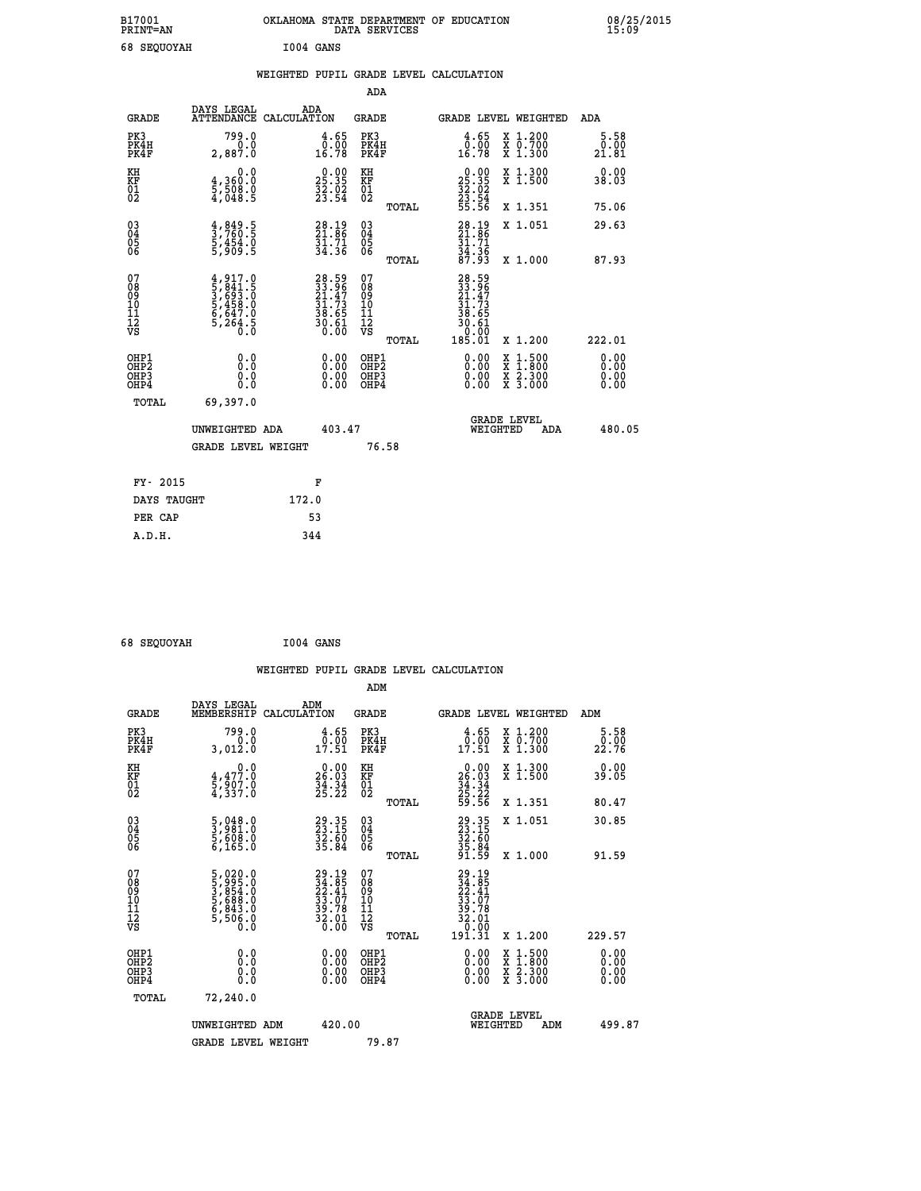| B17001<br><b>PRINT=AN</b> | OKLAHOMA STATE DEPARTMENT OF EDUCATION<br>DATA SERVICES | 08/25/2015<br>15:09 |
|---------------------------|---------------------------------------------------------|---------------------|
| 68<br>SEQUOYAH            | I004 GANS                                               |                     |

|                                        |                                                                                     | WEIGHTED PUPIL GRADE LEVEL CALCULATION                                   |                                                     |       |                                                                                              |                                                    |                       |
|----------------------------------------|-------------------------------------------------------------------------------------|--------------------------------------------------------------------------|-----------------------------------------------------|-------|----------------------------------------------------------------------------------------------|----------------------------------------------------|-----------------------|
|                                        |                                                                                     |                                                                          | <b>ADA</b>                                          |       |                                                                                              |                                                    |                       |
| <b>GRADE</b>                           | <b>DAYS LEGAL<br/>ATTENDANCE</b>                                                    | ADA<br>CALCULATION                                                       | <b>GRADE</b>                                        |       |                                                                                              | GRADE LEVEL WEIGHTED                               | ADA                   |
| PK3<br>PK4H<br>PK4F                    | 799.0<br>2,887.0                                                                    | $\begin{smallmatrix} 4.65\0.00\\16.78\end{smallmatrix}$                  | PK3<br>PK4H<br>PK4F                                 |       | 4.65<br>$\begin{smallmatrix} \bar{0} \ . \ \bar{0} \ 16 \ . \ 78 \end{smallmatrix}$          | X 1.200<br>X 0.700<br>X 1.300                      | 5.58<br>0.00<br>21.81 |
| KH<br>KF<br>01<br>02                   | 0.0<br>4,360:0<br>5,508.0<br>4,048:5                                                | $25.35$<br>$32.02$<br>$33.54$                                            | KH<br>KF<br>01<br>02                                |       | $25.35$<br>$32.35$<br>$32.54$<br>$23.54$<br>$55.56$                                          | X 1.300<br>X 1.500                                 | 0.00<br>38.03         |
|                                        |                                                                                     |                                                                          |                                                     | TOTAL |                                                                                              | X 1.351                                            | 75.06                 |
| $^{03}_{04}$<br>Ŏ5<br>06               | $\frac{4}{3}, \frac{849}{760}.\frac{5}{5}$<br>5, 454.0<br>5, 909.5                  | $28.19$<br>$21.86$<br>$31.71$<br>$34.36$                                 | $\begin{array}{c} 03 \\ 04 \\ 05 \\ 06 \end{array}$ |       | $28.19$<br>$21.86$<br>$31.71$<br>$34.36$<br>$87.93$                                          | X 1.051                                            | 29.63                 |
|                                        |                                                                                     |                                                                          |                                                     | TOTAL |                                                                                              | X 1.000                                            | 87.93                 |
| 07<br>08<br>09<br>11<br>11<br>12<br>VS | $4,917.0$<br>$5,841.5$<br>$3,693.0$<br>$5,458.0$<br>$6,647.0$<br>$5,264.5$<br>$0.0$ | $28.59$<br>$21.47$<br>$21.47$<br>$31.73$<br>$38.65$<br>$30.61$<br>$0.00$ | 07<br>08<br>09<br>11<br>11<br>12<br>VS              | TOTAL | $\begin{smallmatrix} 28.59\ 33.96\ 21.47\ 21.735\ 38.651\ 30.601\ 185.01\ \end{smallmatrix}$ | X 1.200                                            | 222.01                |
| OHP1<br>OHP2<br>OHP3<br>OHP4           | 0.0<br>Ō.Ō<br>0.0                                                                   | 0.0000<br>$\begin{smallmatrix} 0.00 \ 0.00 \end{smallmatrix}$            | OHP1<br>OHP2<br>OHP3<br>OHP4                        |       | 0.00<br>0.00                                                                                 | 1:500<br>X<br>X<br>X<br>X<br>$\frac{2.300}{3.000}$ | 0.00<br>0.00<br>0.00  |
| <b>TOTAL</b>                           | 69,397.0                                                                            |                                                                          |                                                     |       |                                                                                              |                                                    |                       |
|                                        | UNWEIGHTED ADA                                                                      | 403.47                                                                   |                                                     |       | WEIGHTED                                                                                     | <b>GRADE LEVEL</b><br>ADA                          | 480.05                |
|                                        | <b>GRADE LEVEL WEIGHT</b>                                                           |                                                                          | 76.58                                               |       |                                                                                              |                                                    |                       |
| FY- 2015                               |                                                                                     | F                                                                        |                                                     |       |                                                                                              |                                                    |                       |
| DAYS TAUGHT                            |                                                                                     | 172.0                                                                    |                                                     |       |                                                                                              |                                                    |                       |
| PER CAP                                |                                                                                     | 53                                                                       |                                                     |       |                                                                                              |                                                    |                       |

|  | 68 SEQUOYAH |  | I004 GANS |
|--|-------------|--|-----------|
|--|-------------|--|-----------|

|                                                    |                                                                                                      |                    |                                                                      |                                              |       | WEIGHTED PUPIL GRADE LEVEL CALCULATION                                                          |                                          |                       |        |
|----------------------------------------------------|------------------------------------------------------------------------------------------------------|--------------------|----------------------------------------------------------------------|----------------------------------------------|-------|-------------------------------------------------------------------------------------------------|------------------------------------------|-----------------------|--------|
|                                                    |                                                                                                      |                    |                                                                      | ADM                                          |       |                                                                                                 |                                          |                       |        |
| <b>GRADE</b>                                       | DAYS LEGAL<br>MEMBERSHIP                                                                             | ADM<br>CALCULATION |                                                                      | <b>GRADE</b>                                 |       | <b>GRADE LEVEL WEIGHTED</b>                                                                     |                                          | ADM                   |        |
| PK3<br>PK4H<br>PK4F                                | 799.0<br>0.0<br>3,012.0                                                                              |                    | $\begin{smallmatrix} 4.65\0.00\\7.51\end{smallmatrix}$               | PK3<br>PK4H<br>PK4F                          |       | $\begin{smallmatrix} 4.65\ 0.00\ 17.51 \end{smallmatrix}$                                       | X 1.200<br>X 0.700<br>X 1.300            | 5.58<br>0.00<br>22.76 |        |
| KH<br>KF<br>01<br>02                               | $\begin{smallmatrix}&&&0.0\\4,477.0\\5,907.0\\4,337.0\end{smallmatrix}$                              |                    | $\begin{smallmatrix} 0.00\\ 26.03\\ 34.34\\ 25.22 \end{smallmatrix}$ | KH<br>KF<br>01<br>02                         |       | $\begin{smallmatrix} 0.00\\ 26.03\\ 34.34\\ 25.22\\ 59.56 \end{smallmatrix}$                    | X 1.300<br>X 1.500                       | 0.00<br>39.05         |        |
|                                                    |                                                                                                      |                    |                                                                      |                                              | TOTAL |                                                                                                 | X 1.351                                  | 80.47                 |        |
| $\begin{matrix} 03 \\ 04 \\ 05 \\ 06 \end{matrix}$ | $\frac{5}{3}, \frac{048}{981}.0$<br>$\frac{5}{5}, \frac{608}{608}.0$<br>$\frac{6}{5}, \frac{165}{0}$ |                    | 29.35<br>23.15<br>32.60<br>35.84                                     | 03<br>04<br>05<br>06                         |       | 29.35<br>23.15<br>32.60<br>35.84<br>91.59                                                       | X 1.051                                  | 30.85                 |        |
|                                                    |                                                                                                      |                    |                                                                      |                                              | TOTAL |                                                                                                 | X 1.000                                  | 91.59                 |        |
| 07<br>0890112<br>1112<br>VS                        | 5,020.0<br>5,995.0<br>5,854.0<br>5,688.0<br>5,506.0<br>5,506.0                                       |                    | $29.19\n24.85\n22.41\n33.07\n39.78\n32.01\n0.00$                     | 07<br>08<br>09<br>01<br>11<br>11<br>12<br>VS | TOTAL | $\begin{smallmatrix} 29.19\ 34.85\ 22.41\ 33.07\ 39.78\ 32.01\ 0.001\ 31.31\ \end{smallmatrix}$ | X 1.200                                  | 229.57                |        |
|                                                    |                                                                                                      |                    |                                                                      |                                              |       |                                                                                                 |                                          |                       |        |
| OHP1<br>OHP2<br>OH <sub>P3</sub><br>OHP4           | 0.0<br>0.000                                                                                         |                    | $0.00$<br>$0.00$<br>0.00                                             | OHP1<br>OHP2<br>OHP <sub>3</sub>             |       | 0.00<br>0.00<br>0.00                                                                            | X 1:500<br>X 1:800<br>X 2:300<br>X 3:000 | 0.00<br>0.00<br>0.00  |        |
| TOTAL                                              | 72,240.0                                                                                             |                    |                                                                      |                                              |       |                                                                                                 |                                          |                       |        |
|                                                    | UNWEIGHTED ADM                                                                                       |                    | 420.00                                                               |                                              |       | WEIGHTED                                                                                        | <b>GRADE LEVEL</b><br>ADM                |                       | 499.87 |
|                                                    | <b>GRADE LEVEL WEIGHT</b>                                                                            |                    |                                                                      | 79.87                                        |       |                                                                                                 |                                          |                       |        |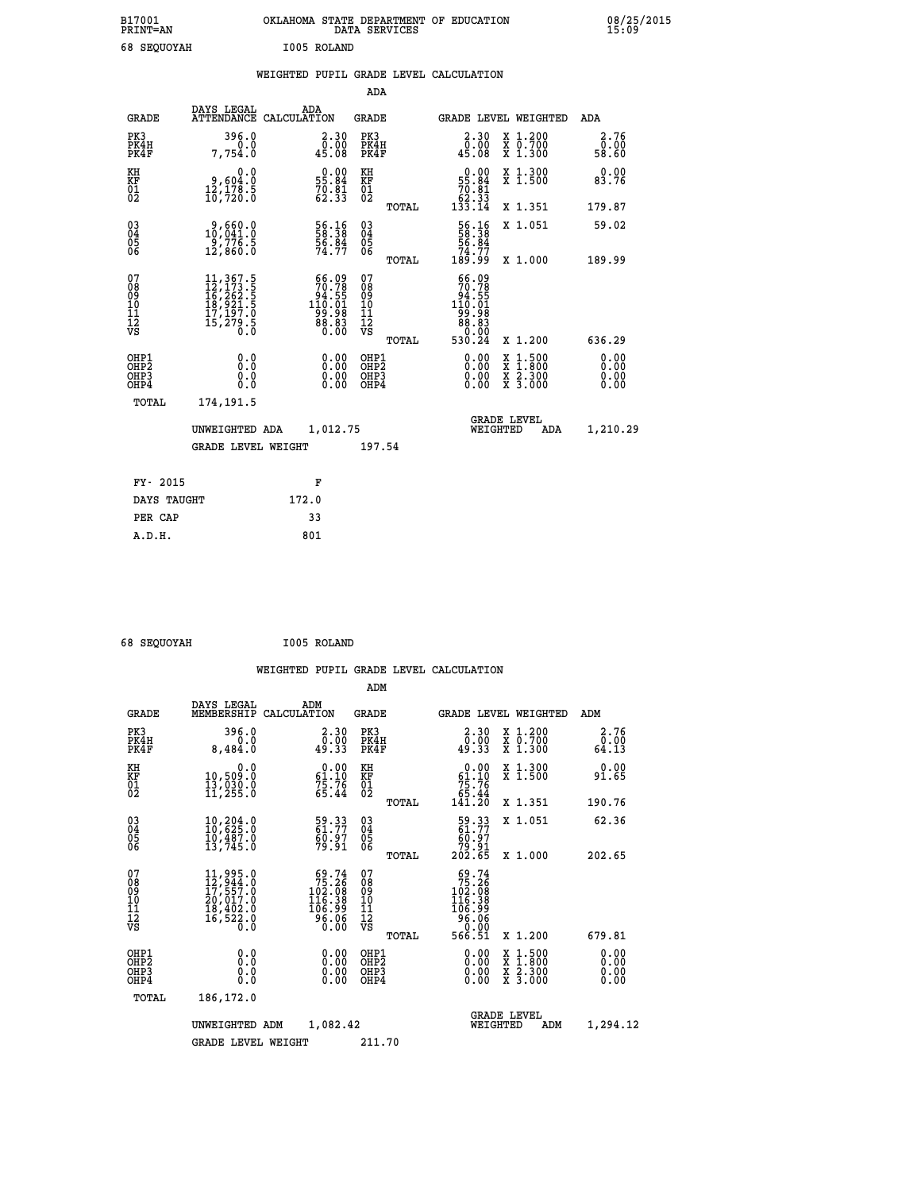| B17001<br>PRINT=AN | <b>OKLAHOMA</b><br>. STATE DEPARTMENT OF EDUCATION<br>DATA SERVICES | 08/25/2015<br>15:09 |
|--------------------|---------------------------------------------------------------------|---------------------|
| 68 SEQUOYAH        | I005 ROLAND                                                         |                     |

|  |  | WEIGHTED PUPIL GRADE LEVEL CALCULATION |
|--|--|----------------------------------------|
|  |  |                                        |

|                                                                  |                                                                                                                                                 |                                                                                          | ADA                                                |       |                                                                                                        |                                                                                                                                           |                              |
|------------------------------------------------------------------|-------------------------------------------------------------------------------------------------------------------------------------------------|------------------------------------------------------------------------------------------|----------------------------------------------------|-------|--------------------------------------------------------------------------------------------------------|-------------------------------------------------------------------------------------------------------------------------------------------|------------------------------|
| <b>GRADE</b>                                                     | DAYS LEGAL                                                                                                                                      | ADA<br>ATTENDANCE CALCULATION                                                            | GRADE                                              |       | GRADE LEVEL WEIGHTED                                                                                   |                                                                                                                                           | ADA                          |
| PK3<br>PK4H<br>PK4F                                              | 396.0<br>0.0<br>7,754.0                                                                                                                         | 2.30<br>0.00<br>45.08                                                                    | PK3<br>PK4H<br>PK4F                                |       | 2.30<br>0.00<br>45.08                                                                                  | X 1.200<br>X 0.700<br>X 1.300                                                                                                             | 2.76<br>0.00<br>58.60        |
| KH<br>KF<br>01<br>02                                             | 0.0<br>0,604.0<br>12,178.5<br>10,720.0                                                                                                          | $\begin{smallmatrix} 0.00\\ 55.84\\ 70.81\\ 62.33 \end{smallmatrix}$                     | KH<br>KF<br>01<br>02                               |       | $\begin{smallmatrix} &0.00\\ 55.84\\ 70.81\\ 62.33\\ 133.14\end{smallmatrix}$                          | X 1.300<br>X 1.500                                                                                                                        | 0.00<br>83.76                |
|                                                                  |                                                                                                                                                 |                                                                                          |                                                    | TOTAL |                                                                                                        | X 1.351                                                                                                                                   | 179.87                       |
| $^{03}_{04}$<br>Ŏ5<br>06                                         | $2,660.0$<br>10,041.0<br>-9,776.5<br>12,860.0                                                                                                   | 56.16<br>58.38<br>56.84<br>74.77                                                         | $\begin{matrix} 03 \\ 04 \\ 05 \\ 06 \end{matrix}$ |       | 56.16<br>56.84<br>74.77<br>189.99                                                                      | X 1.051                                                                                                                                   | 59.02                        |
|                                                                  |                                                                                                                                                 |                                                                                          |                                                    | TOTAL |                                                                                                        | X 1.000                                                                                                                                   | 189.99                       |
| 07<br>08<br>09<br>11<br>11<br>12<br>VS                           | $\begin{smallmatrix} 11,367\cdot 5\\ 12,173\cdot 5\\ 16,262\cdot 5\\ 18,921\cdot 5\\ 17,197\cdot 0\\ 15,279\cdot 5\\ 0\cdot 0\end{smallmatrix}$ | $\begin{smallmatrix} 66.09\\70.78\\94.551\\110.01\\99.98\\88.83\\0.00 \end{smallmatrix}$ | 07<br>08<br>09<br>11<br>11<br>12<br>VS             | TOTAL | 66.09<br>70.78<br>$\begin{smallmatrix} 64.55\ 110.01\ 99.98\ 80.83\ 0.00\ \end{smallmatrix}$<br>530.24 | X 1.200                                                                                                                                   | 636.29                       |
| OHP1<br>OHP <sub>2</sub><br>OH <sub>P3</sub><br>OH <sub>P4</sub> | 0.0<br>Ō.Ō<br>0.0<br>0.0                                                                                                                        | 0.00<br>0.00<br>0.00                                                                     | OHP1<br>OHP2<br>OHP3<br>OHP4                       |       | 0.00<br>0.00<br>0.00                                                                                   | $\begin{smallmatrix} \mathtt{X} & 1\cdot500\\ \mathtt{X} & 1\cdot800\\ \mathtt{X} & 2\cdot300\\ \mathtt{X} & 3\cdot000 \end{smallmatrix}$ | 0.00<br>0.00<br>0.00<br>0.00 |
| TOTAL                                                            | 174,191.5                                                                                                                                       |                                                                                          |                                                    |       |                                                                                                        |                                                                                                                                           |                              |
|                                                                  | UNWEIGHTED ADA                                                                                                                                  | 1,012.75                                                                                 |                                                    |       | WEIGHTED                                                                                               | <b>GRADE LEVEL</b><br>ADA                                                                                                                 | 1,210.29                     |
|                                                                  | <b>GRADE LEVEL WEIGHT</b>                                                                                                                       |                                                                                          | 197.54                                             |       |                                                                                                        |                                                                                                                                           |                              |
| FY- 2015                                                         |                                                                                                                                                 | F                                                                                        |                                                    |       |                                                                                                        |                                                                                                                                           |                              |
| DAYS TAUGHT                                                      |                                                                                                                                                 | 172.0                                                                                    |                                                    |       |                                                                                                        |                                                                                                                                           |                              |
| PER CAP                                                          |                                                                                                                                                 | 33                                                                                       |                                                    |       |                                                                                                        |                                                                                                                                           |                              |
| A.D.H.                                                           |                                                                                                                                                 | 801                                                                                      |                                                    |       |                                                                                                        |                                                                                                                                           |                              |
|                                                                  |                                                                                                                                                 |                                                                                          |                                                    |       |                                                                                                        |                                                                                                                                           |                              |

| 68 SEQUOYAH | I005 ROLAND |
|-------------|-------------|
|             |             |

 **ADM**

 **A.D.H. 801**

| <b>GRADE</b>                                       | DAYS LEGAL                                                                                           | ADM<br>MEMBERSHIP CALCULATION                                                                   | <b>GRADE</b>                                           | <b>GRADE LEVEL WEIGHTED</b>                                                              |                                          | ADM                          |
|----------------------------------------------------|------------------------------------------------------------------------------------------------------|-------------------------------------------------------------------------------------------------|--------------------------------------------------------|------------------------------------------------------------------------------------------|------------------------------------------|------------------------------|
| PK3<br>PK4H<br>PK4F                                | 396.0<br>0.0<br>8,484.0                                                                              | 2.30<br>0.00<br>49.33                                                                           | PK3<br>PK4H<br>PK4F                                    | 2.30<br>0.00<br>49.33                                                                    | X 1.200<br>X 0.700<br>X 1.300            | 2.76<br>0.00<br>64.13        |
| KH<br>KF<br>01<br>02                               | 0.0<br>10,509:0<br>13,030:0<br>11,255:0                                                              | $\begin{smallmatrix} 0.00\\ 61.10\\ 75.76\\ 65.44 \end{smallmatrix}$                            | KH<br>KF<br>01<br>02                                   | $0.00\n61.10\n75.76\n65.44\n141.20$                                                      | X 1.300<br>X 1.500                       | 0.00<br>91.65                |
|                                                    |                                                                                                      |                                                                                                 | TOTAL                                                  |                                                                                          | X 1.351                                  | 190.76                       |
| $\begin{matrix} 03 \\ 04 \\ 05 \\ 06 \end{matrix}$ | $\begin{smallmatrix} 10 & 204 & 0 \\ 10 & 625 & 0 \\ 10 & 487 & 0 \\ 13 & 745 & 0 \end{smallmatrix}$ | 59.33<br>61.77<br>60.97<br>79.91                                                                | $\substack{03 \\ 04}$<br>$\frac{05}{06}$               | $\begin{smallmatrix} 59.33\ 61.77\ 60.97\ 79.91\ 202.65 \end{smallmatrix}$               | X 1.051                                  | 62.36                        |
|                                                    |                                                                                                      |                                                                                                 | TOTAL                                                  |                                                                                          | X 1.000                                  | 202.65                       |
| 07<br>08<br>09<br>101<br>11<br>12<br>VS            | 11,995.0<br>12,944.0<br>17,557.0<br>20,017.0<br>18,492.0<br>16,522.0                                 | $\begin{smallmatrix}69.74\\75.26\\102.08\\116.38\\116.39\\106.99\\96.06\\0.00\end{smallmatrix}$ | 07<br>08<br>09<br>001<br>11<br>11<br>12<br>VS<br>TOTAL | $59.74$<br>$75.26$<br>$102.08$<br>$116.38$<br>$106.99$<br>$\frac{36.06}{0.00}$<br>566.51 | X 1.200                                  | 679.81                       |
| OHP1<br>OHP <sub>2</sub><br>OHP3<br>OHP4           | 0.0<br>0.000                                                                                         | $0.00$<br>$0.00$<br>0.00                                                                        | OHP1<br>OHP <sub>2</sub><br>OHP3<br>OHP4               | 0.00<br>0.00<br>0.00                                                                     | X 1:500<br>X 1:800<br>X 2:300<br>X 3:000 | 0.00<br>0.00<br>0.00<br>0.00 |
| TOTAL                                              | 186,172.0                                                                                            |                                                                                                 |                                                        |                                                                                          |                                          |                              |
|                                                    | UNWEIGHTED                                                                                           | 1,082.42<br>ADM                                                                                 |                                                        | <b>GRADE LEVEL</b><br>WEIGHTED                                                           | ADM                                      | 1,294.12                     |
|                                                    | <b>GRADE LEVEL WEIGHT</b>                                                                            |                                                                                                 | 211.70                                                 |                                                                                          |                                          |                              |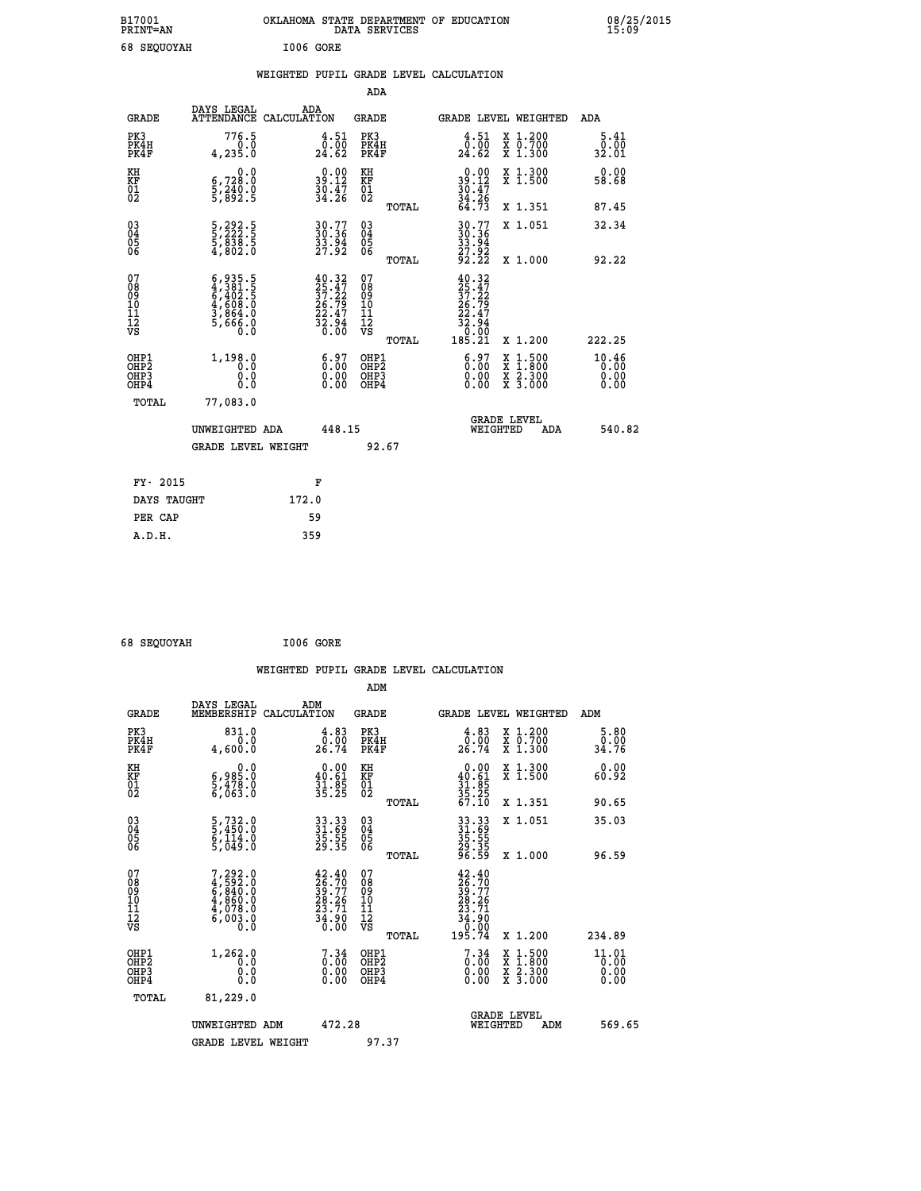| B17001<br><b>PRINT=AN</b> | OKLAHOMA STATE DEPARTMENT OF EDUCATION<br>DATA SERVICES | 08/25/2015<br>15:09 |
|---------------------------|---------------------------------------------------------|---------------------|
| 68 SEOUOYAH               | I006 GORE                                               |                     |

|  |  | WEIGHTED PUPIL GRADE LEVEL CALCULATION |
|--|--|----------------------------------------|
|  |  |                                        |

|                                                                    |                                                                                     |                                                                                               | ADA                                                |       |                                                                                                                                  |                                                                                          |                               |
|--------------------------------------------------------------------|-------------------------------------------------------------------------------------|-----------------------------------------------------------------------------------------------|----------------------------------------------------|-------|----------------------------------------------------------------------------------------------------------------------------------|------------------------------------------------------------------------------------------|-------------------------------|
| <b>GRADE</b>                                                       | DAYS LEGAL<br>ATTENDANCE CALCULATION                                                | ADA                                                                                           | <b>GRADE</b>                                       |       |                                                                                                                                  | GRADE LEVEL WEIGHTED                                                                     | ADA                           |
| PK3<br>PK4H<br>PK4F                                                | 776.5<br>0.0<br>4,235.0                                                             | $\begin{smallmatrix} 4.51\0.00\\24.62 \end{smallmatrix}$                                      | PK3<br>PK4H<br>PK4F                                |       | $\begin{smallmatrix} 4.51\0.00\\24.62 \end{smallmatrix}$                                                                         | X 1.200<br>X 0.700<br>X 1.300                                                            | 5.41<br>0.00<br>32.01         |
| KH<br>KF<br>01<br>02                                               | 0.0<br>6,728:0<br>5,240:0<br>5,892:5                                                | $39.12$<br>$30.47$<br>$34.26$                                                                 | KH<br>KF<br>01<br>02                               |       | $39.12$<br>$30.47$<br>$34.26$<br>$64.73$                                                                                         | X 1.300<br>X 1.500                                                                       | 0.00<br>58.68                 |
|                                                                    |                                                                                     |                                                                                               |                                                    | TOTAL |                                                                                                                                  | X 1.351                                                                                  | 87.45                         |
| $\begin{smallmatrix} 03 \\[-4pt] 04 \end{smallmatrix}$<br>Ŏ5<br>06 | 5,292.5<br>5,222.5<br>5,838.5<br>4,802.0                                            | 30.77<br>30.36<br>33.94<br>27.92                                                              | $\begin{matrix} 03 \\ 04 \\ 05 \\ 06 \end{matrix}$ |       | 30.77<br>30.36<br>33.94<br>27.92<br>27.92                                                                                        | X 1.051                                                                                  | 32.34                         |
|                                                                    |                                                                                     |                                                                                               |                                                    | TOTAL |                                                                                                                                  | X 1.000                                                                                  | 92.22                         |
| 07<br>08<br>09<br>01<br>11<br>11<br>12<br>VS                       | $6,935.5$<br>$4,381.5$<br>$6,402.5$<br>$4,608.0$<br>$3,864.0$<br>$5,666.0$<br>$0.0$ | $\begin{smallmatrix} 40.32\\ 25.47\\ 37.22\\ 26.79\\ 22.47\\ 32.94\\ 36.00 \end{smallmatrix}$ | 07<br>08<br>09<br>11<br>11<br>12<br>VS             |       | 40.32<br>$\begin{smallmatrix} 25 & 27 \ 25 & 122 \ 37 & 229 \ 22 & 2797 \ 23 & 32 & 94 \ 32 & 0.00 \ 185 & 21 \end{smallmatrix}$ |                                                                                          |                               |
|                                                                    |                                                                                     |                                                                                               |                                                    | TOTAL |                                                                                                                                  | X 1.200                                                                                  | 222.25                        |
| OHP1<br>OHP2<br>OH <sub>P3</sub><br>OHP4                           | 1,198.0<br>0.0<br>0.0<br>0.0                                                        | $\begin{smallmatrix} 6.97\ 0.00\ 0.00 \end{smallmatrix}$<br>0.00                              | OHP1<br>OHP2<br>OHP3<br>OHP4                       |       | $\begin{smallmatrix} 6.97\ 0.00\ 0.00 \end{smallmatrix}$                                                                         | $\begin{smallmatrix} x & 1.500 \\ x & 1.800 \\ x & 2.300 \\ x & 3.000 \end{smallmatrix}$ | 10.46<br>0.00<br>0.00<br>0.00 |
| TOTAL                                                              | 77,083.0                                                                            |                                                                                               |                                                    |       |                                                                                                                                  |                                                                                          |                               |
|                                                                    | UNWEIGHTED ADA                                                                      | 448.15                                                                                        |                                                    |       |                                                                                                                                  | <b>GRADE LEVEL</b><br>WEIGHTED<br>ADA                                                    | 540.82                        |
|                                                                    | <b>GRADE LEVEL WEIGHT</b>                                                           |                                                                                               |                                                    | 92.67 |                                                                                                                                  |                                                                                          |                               |
| FY- 2015                                                           |                                                                                     | F                                                                                             |                                                    |       |                                                                                                                                  |                                                                                          |                               |
| DAYS TAUGHT                                                        |                                                                                     | 172.0                                                                                         |                                                    |       |                                                                                                                                  |                                                                                          |                               |
| PER CAP                                                            |                                                                                     | 59                                                                                            |                                                    |       |                                                                                                                                  |                                                                                          |                               |

 **68 SEQUOYAH I006 GORE WEIGHTED PUPIL GRADE LEVEL CALCULATION ADM DAYS LEGAL ADM GRADE MEMBERSHIP CALCULATION GRADE GRADE LEVEL WEIGHTED ADM PK3 831.0 4.83 PK3 4.83 X 1.200 5.80 PK4H 0.0 0.00 PK4H 0.00 X 0.700 0.00 PK4F 4,600.0 26.74 PK4F 26.74 X 1.300 34.76 KH 0.0 0.00 KH 0.00 X 1.300 0.00 KF 6,985.0 40.61 KF 40.61 X 1.500 60.92 01 5,478.0 31.85 01 31.85 02 6,063.0 35.25 02 35.25 TOTAL 67.10 X 1.351 90.65 03 5,732.0 33.33 03 33.33 X 1.051 35.03 04 5,450.0 31.69 04 31.69 05 6,114.0 35.55 05 35.55 06 5,049.0 29.35 06 29.35 TOTAL 96.59 X 1.000 96.59**  $\begin{array}{cccc} 07 & 7,292.0 & 42.40 & 07 & 42.40 \ 08 & 4,592.0 & 26.70 & 08 & 28.70 \ 09 & 4,860.0 & 28.26 & 10 & 28.26 \ 10 & 4,860.0 & 28.26 & 10 & 28.26 \ 11 & 4,7008.0 & 23.71 & 11 & 23.76 \ 12 & 6,003.0 & 34.90 & 12 & 34.90 \ 6,003.0 & 36.00 & \n\end{array}$  **TOTAL 195.74 X 1.200 234.89** OHP1 1,262.0 7.34 OHP1 7.34 X 1.500 11.01<br>OHP2 1,262.0 0.00 OHP2 0.00 X 1.500 11.01<br>OHP3 0.00 0.00 OHP3 0.000 X 2.300 0.00  **OHP4 0.0 0.00 OHP4 0.00 X 3.000 0.00 TOTAL 81,229.0 GRADE LEVEL UNWEIGHTED ADM 472.28 WEIGHTED ADM 569.65** GRADE LEVEL WEIGHT 97.37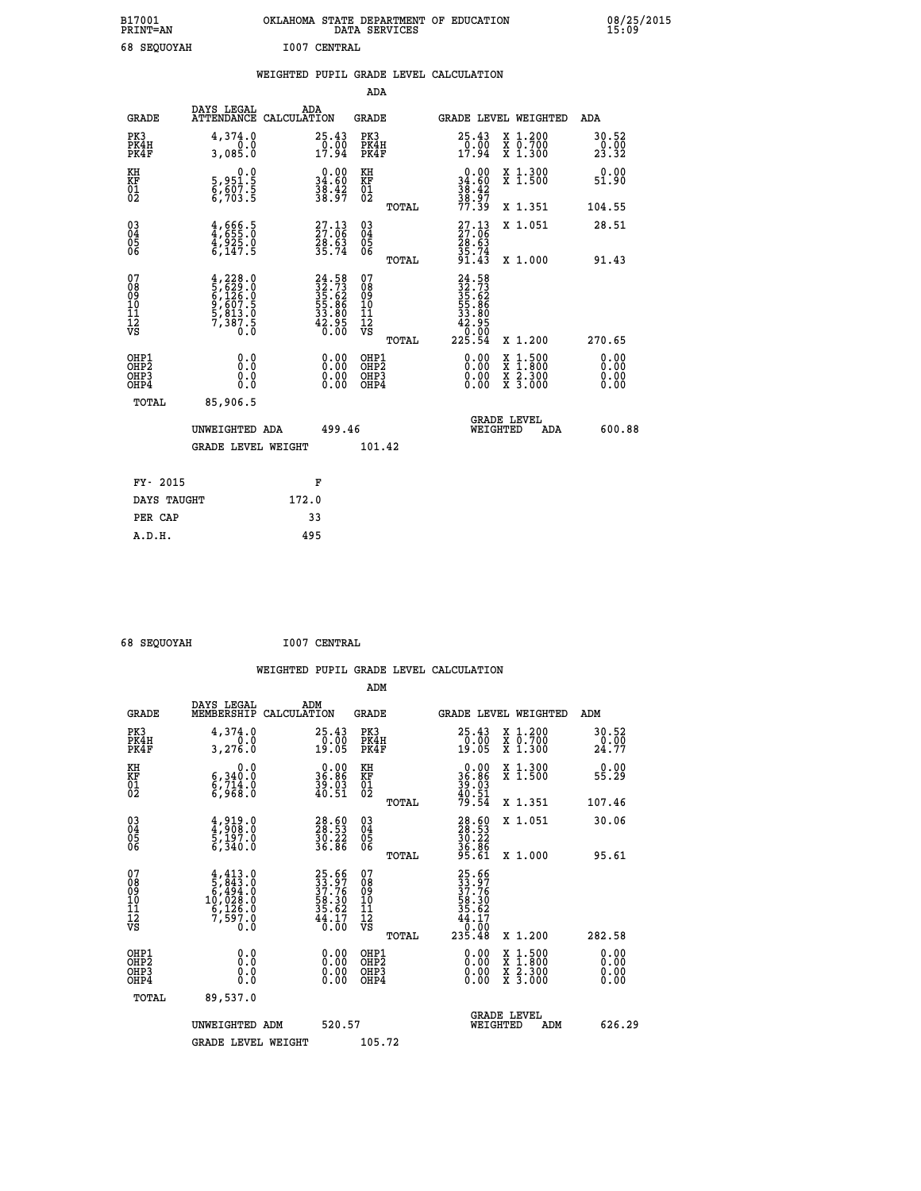| B17001 | <b>PRINT=AN</b> |                     | OKLAHOMA STATE DEPARTMENT OF EDUCATION<br>DATA SERVICES |  |
|--------|-----------------|---------------------|---------------------------------------------------------|--|
|        | 68 SEOUOYAH     | <b>I007 CENTRAL</b> |                                                         |  |

|                                                                    |                                                                                                         | WEIGHTED PUPIL GRADE LEVEL CALCULATION |                                                                          |                                          |       |                                                                                                                                                                                                                                                                                |                                                                                          |                               |
|--------------------------------------------------------------------|---------------------------------------------------------------------------------------------------------|----------------------------------------|--------------------------------------------------------------------------|------------------------------------------|-------|--------------------------------------------------------------------------------------------------------------------------------------------------------------------------------------------------------------------------------------------------------------------------------|------------------------------------------------------------------------------------------|-------------------------------|
|                                                                    |                                                                                                         |                                        |                                                                          | <b>ADA</b>                               |       |                                                                                                                                                                                                                                                                                |                                                                                          |                               |
| <b>GRADE</b>                                                       | DAYS LEGAL<br>ATTENDANCE CALCULATION                                                                    | ADA                                    |                                                                          | GRADE                                    |       | GRADE LEVEL WEIGHTED                                                                                                                                                                                                                                                           |                                                                                          | ADA                           |
| PK3<br>PK4H<br>PK4F                                                | 4,374.0<br>3,085.0                                                                                      |                                        | $25.43\n0.00\n17.94$                                                     | PK3<br>PK4H<br>PK4F                      |       | $25.43\n0.00\n17.94$                                                                                                                                                                                                                                                           | X 1.200<br>X 0.700<br>X 1.300                                                            | 30.52<br>$\frac{0.00}{23.32}$ |
| KH<br>KF<br>01<br>02                                               | $\begin{smallmatrix}&&&0.0\\5,951.5\\6,607.5\\6,703.5\end{smallmatrix}$                                 |                                        | $0.00$<br>34.60<br>$\frac{38.42}{38.97}$                                 | KH<br>KF<br>01<br>02                     |       | $\begin{array}{c} 0.00 \\ 34.60 \\ 38.42 \\ 38.97 \end{array}$                                                                                                                                                                                                                 | X 1.300<br>X 1.500                                                                       | 0.00<br>51.90                 |
|                                                                    |                                                                                                         |                                        |                                                                          |                                          | TOTAL | 77.39                                                                                                                                                                                                                                                                          | X 1.351                                                                                  | 104.55                        |
| $\begin{smallmatrix} 03 \\[-4pt] 04 \end{smallmatrix}$<br>Ŏ5<br>06 | $4,666.5$<br>$4,925.0$<br>$4,925.0$<br>$6,147.5$                                                        |                                        | $27.13$<br>$27.06$<br>$\frac{56}{35}$ . $\frac{53}{74}$                  | $\substack{03 \\ 04}$<br>Ŏ5<br>06        |       | $27.13$<br>$27.06$<br>$28.63$<br>$35.74$<br>$91.43$                                                                                                                                                                                                                            | X 1.051                                                                                  | 28.51                         |
|                                                                    |                                                                                                         |                                        |                                                                          |                                          | TOTAL |                                                                                                                                                                                                                                                                                | X 1.000                                                                                  | 91.43                         |
| 07<br>08<br>09<br>11<br>11<br>12<br>VS                             | $\begin{smallmatrix} 4,228.0\\ 5,629.0\\ 6,126.0\\ 9,607.5\\ 5,813.0\\ 7,387.5\\ 0.0 \end{smallmatrix}$ |                                        | $24.58$<br>$32.73$<br>$35.62$<br>$55.86$<br>$33.80$<br>$42.95$<br>$0.00$ | 07<br>08<br>09<br>11<br>11<br>12<br>VS   | TOTAL | 24.58<br>$\begin{smallmatrix} 24 & 33 \\ 32 & 73 \\ 35 & 62 \\ 55 & 86 \\ 53 & 86 \\ 42 & 0 \\ 225 & 54 \end{smallmatrix}$                                                                                                                                                     | X 1.200                                                                                  | 270.65                        |
| OHP1<br>OH <sub>P</sub> 2<br>OHP3<br>OH <sub>P4</sub>              | 0.0<br>0.0<br>0.0                                                                                       |                                        | $\begin{smallmatrix} 0.00 \ 0.00 \ 0.00 \ 0.00 \end{smallmatrix}$        | OHP1<br>OHP <sub>2</sub><br>OHP3<br>OHP4 |       | $\begin{smallmatrix} 0.00 & 0.00 & 0.00 & 0.00 & 0.00 & 0.00 & 0.00 & 0.00 & 0.00 & 0.00 & 0.00 & 0.00 & 0.00 & 0.00 & 0.00 & 0.00 & 0.00 & 0.00 & 0.00 & 0.00 & 0.00 & 0.00 & 0.00 & 0.00 & 0.00 & 0.00 & 0.00 & 0.00 & 0.00 & 0.00 & 0.00 & 0.00 & 0.00 & 0.00 & 0.00 & 0.0$ | $\begin{smallmatrix} x & 1.500 \\ x & 1.800 \\ x & 2.300 \\ x & 3.000 \end{smallmatrix}$ | 0.00<br>0.00<br>0.00<br>0.00  |
| TOTAL                                                              | 85,906.5                                                                                                |                                        |                                                                          |                                          |       |                                                                                                                                                                                                                                                                                |                                                                                          |                               |
|                                                                    | UNWEIGHTED ADA                                                                                          |                                        | 499.46                                                                   |                                          |       | WEIGHTED                                                                                                                                                                                                                                                                       | <b>GRADE LEVEL</b><br><b>ADA</b>                                                         | 600.88                        |
|                                                                    | <b>GRADE LEVEL WEIGHT</b>                                                                               |                                        |                                                                          | 101.42                                   |       |                                                                                                                                                                                                                                                                                |                                                                                          |                               |
| FY- 2015                                                           |                                                                                                         | F                                      |                                                                          |                                          |       |                                                                                                                                                                                                                                                                                |                                                                                          |                               |
| DAYS TAUGHT                                                        |                                                                                                         | 172.0                                  |                                                                          |                                          |       |                                                                                                                                                                                                                                                                                |                                                                                          |                               |
| PER CAP                                                            |                                                                                                         | 33                                     |                                                                          |                                          |       |                                                                                                                                                                                                                                                                                |                                                                                          |                               |

 **68 SEQUOYAH I007 CENTRAL**

 **A.D.H. 495**

 **ADM**

 **B17001<br>PRINT=AN** 

| <b>GRADE</b>                                         | DAYS LEGAL<br>MEMBERSHIP CALCULATION                                                                                                                                           | ADM                                                               | <b>GRADE</b>                                       |       |                                                                              | GRADE LEVEL WEIGHTED                     | ADM                  |  |
|------------------------------------------------------|--------------------------------------------------------------------------------------------------------------------------------------------------------------------------------|-------------------------------------------------------------------|----------------------------------------------------|-------|------------------------------------------------------------------------------|------------------------------------------|----------------------|--|
| PK3<br>PK4H<br>PK4F                                  | 4,374.0<br>0.0<br>3,276.0                                                                                                                                                      | 25.43<br>$\frac{0.00}{19.05}$                                     | PK3<br>PK4H<br>PK4F                                |       | 25.43<br>$\frac{0.00}{19.05}$                                                | X 1.200<br>X 0.700<br>X 1.300            | 30.52<br>24.00       |  |
| KH<br>KF<br>01<br>02                                 | 0.0<br>6,340.0<br>$\frac{5}{6}$ , $\frac{7}{368}$ .0                                                                                                                           | $0.00$<br>36.86<br>$\frac{39.03}{40.51}$                          | KH<br>KF<br>01<br>02                               |       | $\begin{smallmatrix} 0.00\\ 36.86\\ 39.03\\ 40.51\\ 79.54 \end{smallmatrix}$ | X 1.300<br>X 1.500                       | 0.00<br>55.29        |  |
|                                                      |                                                                                                                                                                                |                                                                   |                                                    | TOTAL |                                                                              | X 1.351                                  | 107.46               |  |
| $\begin{matrix} 03 \\ 04 \\ 05 \\ 06 \end{matrix}$   | $4,919.0$<br>$5,197.0$<br>$5,340.0$                                                                                                                                            | 28.53<br>28.53<br>30.22<br>36.86                                  | $\begin{matrix} 03 \\ 04 \\ 05 \\ 06 \end{matrix}$ |       | 28.53<br>38.53<br>30.22<br>36.86<br>95.61                                    | X 1.051                                  | 30.06                |  |
|                                                      |                                                                                                                                                                                |                                                                   |                                                    | TOTAL |                                                                              | X 1.000                                  | 95.61                |  |
| 07<br>08<br>09<br>101<br>11<br>12<br>VS              | $\begin{smallmatrix} 4\,,\,413\,. \ 5\,,\,843\,. \ 0\\ 5\,,\,494\,. \ 0\\ 6\,,\,494\,. \ 0\\ 10\,,\,028\,. \ 0\\ 6\,,\,126\,. \ 0\\ 7\,,\,597\,. \ 0\\ 0\,. \end{smallmatrix}$ | 25.66<br>33.97<br>37.76<br>58.30<br>35.62<br>35.62<br>44.170      | 07<br>08<br>09<br>001<br>11<br>11<br>12<br>VS      | TOTAL | 25.66<br>33.976<br>37.76<br>38.30<br>58.627<br>44.17<br>44.17<br>235.48      | X 1.200                                  | 282.58               |  |
| OHP1<br>OHP <sub>2</sub><br>OH <sub>P3</sub><br>OHP4 | 0.0<br>0.000                                                                                                                                                                   | $\begin{smallmatrix} 0.00 \ 0.00 \ 0.00 \ 0.00 \end{smallmatrix}$ | OHP1<br>OHP <sub>2</sub><br>OHP3<br>OHP4           |       | 0.00<br>$0.00$<br>0.00                                                       | X 1:500<br>X 1:800<br>X 2:300<br>X 3:000 | 0.00<br>0.00<br>0.00 |  |
| TOTAL                                                | 89,537.0                                                                                                                                                                       |                                                                   |                                                    |       |                                                                              |                                          |                      |  |
|                                                      | UNWEIGHTED<br>ADM                                                                                                                                                              | 520.57                                                            |                                                    |       | WEIGHTED                                                                     | <b>GRADE LEVEL</b><br>ADM                | 626.29               |  |
|                                                      | <b>GRADE LEVEL WEIGHT</b>                                                                                                                                                      |                                                                   | 105.72                                             |       |                                                                              |                                          |                      |  |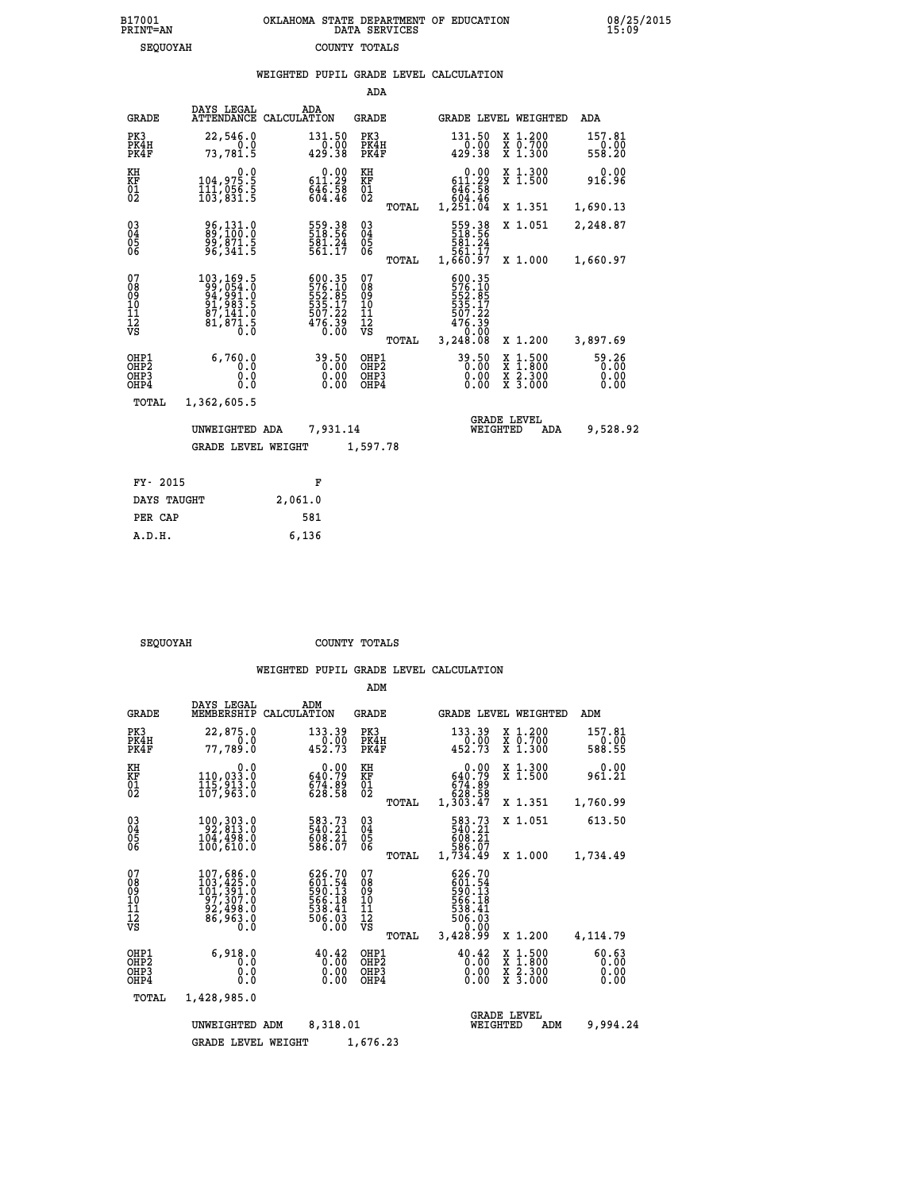|                                          |                                                                                                                |                    |                                                                             | ADA                                       |       |                                                                                |                                |                                                                                                  |                               |
|------------------------------------------|----------------------------------------------------------------------------------------------------------------|--------------------|-----------------------------------------------------------------------------|-------------------------------------------|-------|--------------------------------------------------------------------------------|--------------------------------|--------------------------------------------------------------------------------------------------|-------------------------------|
| <b>GRADE</b>                             | DAYS LEGAL<br><b>ATTENDANCE</b>                                                                                | ADA<br>CALCULATION |                                                                             | <b>GRADE</b>                              |       |                                                                                |                                | GRADE LEVEL WEIGHTED                                                                             | <b>ADA</b>                    |
| PK3<br>PK4H<br>PK4F                      | 22,546.0<br>0.0<br>73,781.5                                                                                    |                    | 131.50<br>0.00<br>429.38                                                    | PK3<br>PK4H<br>PK4F                       |       | 131.50<br>429.38                                                               | 0.00                           | X 1.200<br>X 0.700<br>X 1.300                                                                    | 157.81<br>0.00<br>558.20      |
| KH<br>KF<br>01<br>02                     | $\begin{smallmatrix} & & 0 & .0 \ 104 & .975 & .5 \ 111 & .056 & .5 \ 103 & .831 & .5 \end{smallmatrix}$       |                    | $\begin{smallmatrix} &0.00\\ 611.29\\ 646.58\\ 604.46\end{smallmatrix}$     | KH<br>KF<br>01<br>02                      |       | $\begin{smallmatrix} 611.29 \\ 646.58 \\ 604.46 \\ 1,251.04 \end{smallmatrix}$ | 0.00                           | X 1.300<br>X 1.500                                                                               | 0.00<br>916.96                |
|                                          |                                                                                                                |                    |                                                                             |                                           | TOTAL |                                                                                |                                | X 1.351                                                                                          | 1,690.13                      |
| $^{03}_{04}$<br>Ŏ5<br>06                 | 89,131.0<br>99,871.5<br>96,341.5                                                                               |                    | 559.38<br>518.56<br>581.24<br>561.17                                        | $^{03}_{04}$<br>$\frac{05}{06}$           |       | 559.38<br>518.56<br>581.24<br>561.17                                           |                                | X 1.051                                                                                          | 2,248.87                      |
|                                          |                                                                                                                |                    |                                                                             |                                           | TOTAL | 1,660.97                                                                       |                                | X 1.000                                                                                          | 1,660.97                      |
| 07<br>08<br>09<br>11<br>11<br>12<br>VS   | $\begin{smallmatrix} 103,169.5\\ 99,054.0\\ 94,991.0\\ 91,983.5\\ 87,141.0\\ 81,871.5\\ 0.0 \end{smallmatrix}$ |                    | 600.35<br>576.10<br>552.85<br>5535.17<br>507.22<br>507.22<br>476.39<br>0.00 | 07<br>08<br>09<br>11<br>11<br>12<br>VS    |       | 600.35<br>576.10<br>552.85<br>535.17<br>507.22<br>$476.39$<br>0.00             |                                |                                                                                                  |                               |
|                                          |                                                                                                                |                    |                                                                             |                                           | TOTAL | 3,248.08                                                                       |                                | X 1.200                                                                                          | 3,897.69                      |
| OHP1<br>OHP2<br>OH <sub>P3</sub><br>OHP4 | 6,760.0<br>0.0<br>0.0<br>0.0                                                                                   |                    | 39.50<br>0.00<br>0.00                                                       | OHP1<br>OH <sub>P</sub> 2<br>OHP3<br>OHP4 |       | 39.50                                                                          | 0.00<br>0.00                   | $\begin{smallmatrix} x & 1 & 500 \\ x & 1 & 800 \\ x & 2 & 300 \\ x & 3 & 000 \end{smallmatrix}$ | 59.26<br>0.00<br>0.00<br>0.00 |
| <b>TOTAL</b>                             | 1,362,605.5                                                                                                    |                    |                                                                             |                                           |       |                                                                                |                                |                                                                                                  |                               |
|                                          | UNWEIGHTED ADA                                                                                                 |                    | 7,931.14                                                                    |                                           |       |                                                                                | <b>GRADE LEVEL</b><br>WEIGHTED | ADA                                                                                              | 9,528.92                      |
|                                          | <b>GRADE LEVEL WEIGHT</b>                                                                                      |                    |                                                                             | 1,597.78                                  |       |                                                                                |                                |                                                                                                  |                               |
|                                          |                                                                                                                |                    |                                                                             |                                           |       |                                                                                |                                |                                                                                                  |                               |
| FY- 2015                                 |                                                                                                                |                    | F                                                                           |                                           |       |                                                                                |                                |                                                                                                  |                               |
| DAYS TAUGHT                              |                                                                                                                | 2,061.0            |                                                                             |                                           |       |                                                                                |                                |                                                                                                  |                               |

| <b>ΩΠΟΥΔΗ</b> |  |
|---------------|--|

 **PER CAP 581 A.D.H. 6,136**

SEQUOYAH COUNTY TOTALS

|                                                    |                                                                                                                                                          |                                                                    | ADM                                             |                                                                                |                                                                                          |                               |
|----------------------------------------------------|----------------------------------------------------------------------------------------------------------------------------------------------------------|--------------------------------------------------------------------|-------------------------------------------------|--------------------------------------------------------------------------------|------------------------------------------------------------------------------------------|-------------------------------|
| <b>GRADE</b>                                       | DAYS LEGAL<br>MEMBERSHIP                                                                                                                                 | ADM<br>CALCULATION                                                 | GRADE                                           |                                                                                | GRADE LEVEL WEIGHTED                                                                     | ADM                           |
| PK3<br>PK4H<br>PK4F                                | 22,875.0<br>0.0<br>77,789.0                                                                                                                              | 133.39<br>0.00<br>452.73                                           | PK3<br>PK4H<br>PK4F                             | 133.39<br>0.00<br>452.73                                                       | X 1.200<br>X 0.700<br>X 1.300                                                            | 157.81<br>0.00<br>588.55      |
| KH<br>KF<br>01<br>02                               | 0.0<br>110,033.0<br>115,913.0<br>107,963.0                                                                                                               | $0.00$<br>640.79<br>674.89<br>628.58                               | KH<br>KF<br>$\overline{01}$                     | 0.00<br>640.79<br>674:89<br>628.58<br>1,303.47                                 | X 1.300<br>X 1.500                                                                       | 0.00<br>961.21                |
|                                                    |                                                                                                                                                          |                                                                    | TOTAL                                           |                                                                                | X 1.351                                                                                  | 1,760.99                      |
| $\begin{matrix} 03 \\ 04 \\ 05 \\ 06 \end{matrix}$ | 100, 303.0<br>92, 813.0<br>104,498.0<br>100,610.0                                                                                                        | 583.73<br>540.21<br>608.21<br>586.07                               | $\substack{03 \\ 04}$<br>$\frac{05}{06}$        | 583.73<br>540.21<br>608.21<br>586.07                                           | X 1.051                                                                                  | 613.50                        |
|                                                    |                                                                                                                                                          |                                                                    | TOTAL                                           | 1,734.49                                                                       | X 1.000                                                                                  | 1,734.49                      |
| 07<br>08<br>09<br>11<br>11<br>12<br>VS             | $\begin{smallmatrix} 107, 686\cdot 0\\ 103, 425\cdot 0\\ 101, 391\cdot 0\\ 97, 307\cdot 0\\ 92, 498\cdot 0\\ 86, 963\cdot 0\\ 0\cdot 0\end{smallmatrix}$ | 626.70<br>$601.54$<br>590.13<br>566.18<br>538.41<br>506.03<br>0.00 | 07<br>08<br>09<br>11<br>11<br>12<br>VS<br>TOTAL | 626.70<br>$590.13$<br>590.13<br>566.19<br>538.41<br>506.03<br>0.00<br>3,428.99 | X 1.200                                                                                  | 4,114.79                      |
| OHP1<br>OHP2<br>OH <sub>P3</sub><br>OHP4           | 6.918.0<br>0.0<br>0.0<br>0.0                                                                                                                             | 40.42<br>0.00<br>0.00                                              | OHP1<br>OH <sub>P</sub> 2<br>OHP3<br>OHP4       | $40.42$<br>$0.00$<br>0.00<br>0.00                                              | $\begin{smallmatrix} x & 1.500 \\ x & 1.800 \\ x & 2.300 \\ x & 3.000 \end{smallmatrix}$ | 60.63<br>0.00<br>0.00<br>0.00 |
| TOTAL                                              | 1,428,985.0                                                                                                                                              |                                                                    |                                                 |                                                                                |                                                                                          |                               |
|                                                    | UNWEIGHTED ADM                                                                                                                                           | 8,318.01                                                           |                                                 | WEIGHTED                                                                       | <b>GRADE LEVEL</b><br>ADM                                                                | 9,994.24                      |
|                                                    | <b>GRADE LEVEL WEIGHT</b>                                                                                                                                |                                                                    | 1,676.23                                        |                                                                                |                                                                                          |                               |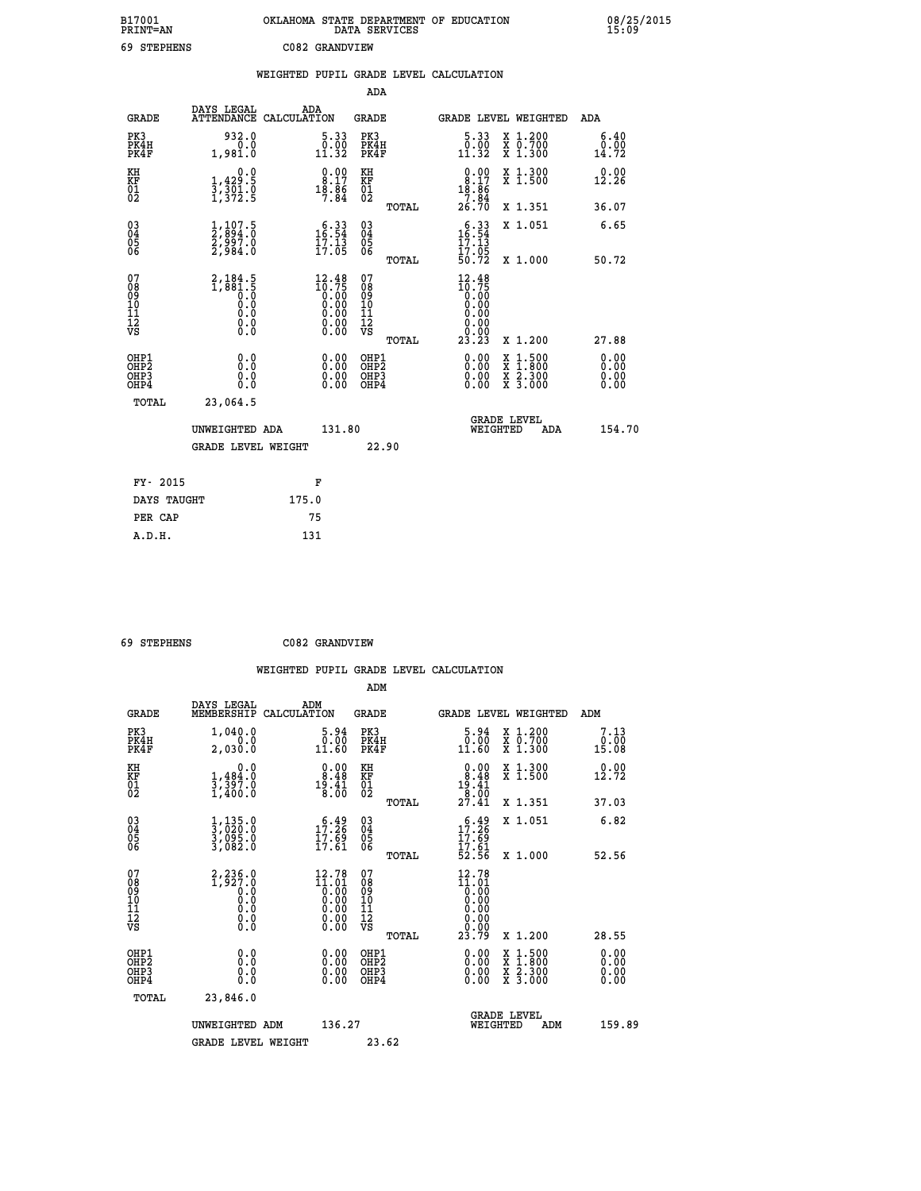| B17001<br><b>PRINT=AN</b> | OKLAHOMA<br>. STATE DEPARTMENT OF EDUCATION<br>DATA SERVICES | 08/25/2015<br>15:09 |
|---------------------------|--------------------------------------------------------------|---------------------|
| 69<br>STEPHENS            | C082 GRANDVIEW                                               |                     |

|                                              |                                                                                                | WEIGHTED PUPIL GRADE LEVEL CALCULATION                                                          |                                                    |                                                                                                                                                                                                                                                                                                                                                                            |                       |
|----------------------------------------------|------------------------------------------------------------------------------------------------|-------------------------------------------------------------------------------------------------|----------------------------------------------------|----------------------------------------------------------------------------------------------------------------------------------------------------------------------------------------------------------------------------------------------------------------------------------------------------------------------------------------------------------------------------|-----------------------|
|                                              |                                                                                                |                                                                                                 | ADA                                                |                                                                                                                                                                                                                                                                                                                                                                            |                       |
| <b>GRADE</b>                                 | DAYS LEGAL                                                                                     | ADA<br>ATTENDANCE CALCULATION                                                                   | <b>GRADE</b>                                       | GRADE LEVEL WEIGHTED                                                                                                                                                                                                                                                                                                                                                       | ADA                   |
| PK3<br>PK4H<br>PK4F                          | 932.0<br>0.0<br>1,981.0                                                                        | $\begin{smallmatrix} 5\cdot 33\\ 0\cdot 00\\ 11\cdot 32 \end{smallmatrix}$                      | PK3<br>PK4H<br>PK4F                                | $\begin{smallmatrix} 5\cdot 33\\ 0\cdot 00\\ 11\cdot 32 \end{smallmatrix}$<br>X 1.200<br>X 0.700<br>X 1.300                                                                                                                                                                                                                                                                | 6.40<br>0.00<br>14.72 |
| KH<br>KF<br>01<br>02                         | 0.0<br>$\frac{1}{3}, \frac{429}{301}$ .<br>1,372.5                                             | $\begin{smallmatrix} 0.00\\ 8.17\\ 18.86\\ 7.84 \end{smallmatrix}$                              | KH<br>KF<br>01<br>02                               | $\begin{array}{c} 0.00 \\ 8.17 \\ 18.86 \\ 7.84 \\ 2.23 \end{array}$<br>X 1.300<br>X 1.500                                                                                                                                                                                                                                                                                 | 0.00<br>12.26         |
|                                              |                                                                                                |                                                                                                 | TOTAL                                              | 26.70<br>X 1.351                                                                                                                                                                                                                                                                                                                                                           | 36.07                 |
| 03<br>04<br>05<br>06                         | $\frac{1}{2}, \frac{107}{894}. \frac{5}{0}$<br>$\frac{2}{2}, \frac{997}{984}. \frac{0}{0}$     | $\begin{smallmatrix} 6\cdot 33\\ 16\cdot 54\\ 17\cdot 13\\ 17\cdot 05 \end{smallmatrix}$        | $\begin{matrix} 03 \\ 04 \\ 05 \\ 06 \end{matrix}$ | $16:34$<br>$17:13$<br>X 1.051                                                                                                                                                                                                                                                                                                                                              | 6.65                  |
|                                              |                                                                                                |                                                                                                 | TOTAL                                              | $\frac{17.05}{50.72}$<br>X 1.000                                                                                                                                                                                                                                                                                                                                           | 50.72                 |
| 07<br>08<br>09<br>01<br>11<br>11<br>12<br>VS | $2,184.5$<br>1,881.5<br>0.0<br>0.0<br>$\begin{smallmatrix} 0.16 \ 0.0 \ 0.0 \end{smallmatrix}$ | $\begin{smallmatrix} 12.48\\ 10.75\\ 0.00\\ 0.00\\ 0.00\\ 0.00\\ 0.00\\ 0.00 \end{smallmatrix}$ | 07<br>08<br>09<br>101<br>11<br>12<br>VS<br>TOTAL   | $12.48$<br>$10.75$<br>$0.00$<br>$0.00$<br>0.00<br>0.00<br>X 1.200<br>23.23                                                                                                                                                                                                                                                                                                 | 27.88                 |
| OHP1<br>OHP <sub>2</sub><br>OHP3<br>OHP4     | 0.0<br>0.000                                                                                   | $\begin{smallmatrix} 0.00 \ 0.00 \ 0.00 \ 0.00 \end{smallmatrix}$                               | OHP1<br>OHP <sub>2</sub><br>OHP3<br>OHP4           | $\begin{smallmatrix} 0.00 & 0.00 & 0.00 & 0.00 & 0.00 & 0.00 & 0.00 & 0.00 & 0.00 & 0.00 & 0.00 & 0.00 & 0.00 & 0.00 & 0.00 & 0.00 & 0.00 & 0.00 & 0.00 & 0.00 & 0.00 & 0.00 & 0.00 & 0.00 & 0.00 & 0.00 & 0.00 & 0.00 & 0.00 & 0.00 & 0.00 & 0.00 & 0.00 & 0.00 & 0.00 & 0.0$<br>$\begin{smallmatrix} x & 1.500 \\ x & 1.800 \\ x & 2.300 \\ x & 3.000 \end{smallmatrix}$ | 0.00<br>0.00<br>0.00  |
| TOTAL                                        | 23,064.5                                                                                       |                                                                                                 |                                                    |                                                                                                                                                                                                                                                                                                                                                                            |                       |
|                                              | UNWEIGHTED ADA                                                                                 | 131.80                                                                                          |                                                    | <b>GRADE LEVEL</b><br>WEIGHTED                                                                                                                                                                                                                                                                                                                                             | 154.70<br>ADA         |
|                                              | <b>GRADE LEVEL WEIGHT</b>                                                                      |                                                                                                 | 22.90                                              |                                                                                                                                                                                                                                                                                                                                                                            |                       |
| FY- 2015                                     |                                                                                                | F                                                                                               |                                                    |                                                                                                                                                                                                                                                                                                                                                                            |                       |
|                                              | DAYS TAUGHT                                                                                    | 175.0                                                                                           |                                                    |                                                                                                                                                                                                                                                                                                                                                                            |                       |
| PER CAP                                      |                                                                                                | 75                                                                                              |                                                    |                                                                                                                                                                                                                                                                                                                                                                            |                       |

 **ADM**

 **69 STEPHENS C082 GRANDVIEW**

| <b>GRADE</b>                                         | DAYS LEGAL<br>MEMBERSHIP                                                                             | ADM<br>CALCULATION                                                                                      | <b>GRADE</b>                                       |       |                                                                                                                      | GRADE LEVEL WEIGHTED                                                                                                | ADM                     |  |
|------------------------------------------------------|------------------------------------------------------------------------------------------------------|---------------------------------------------------------------------------------------------------------|----------------------------------------------------|-------|----------------------------------------------------------------------------------------------------------------------|---------------------------------------------------------------------------------------------------------------------|-------------------------|--|
| PK3<br>PK4H<br>PK4F                                  | 1,040.0<br>0.0<br>2,030.0                                                                            | $\begin{smallmatrix}5.94\0.00\\11.60\end{smallmatrix}$                                                  | PK3<br>PK4H<br>PK4F                                |       | $\begin{smallmatrix} 5.94\ 0.00\ 11.60 \end{smallmatrix}$                                                            | X 1.200<br>X 0.700<br>X 1.300                                                                                       | 7.13<br>$0.00$<br>15.08 |  |
| KH<br>KF<br>01<br>02                                 | 0.0<br>$\frac{1}{3}, \frac{484}{397}$ .0<br>1,400.0                                                  | $\begin{smallmatrix} 0.00\\ 8.48\\ 19.41\\ 8.00 \end{smallmatrix}$                                      | KH<br>KF<br>01<br>02                               |       | $\begin{smallmatrix}&&0.00\\8.48\\19.41\\8.00\\27.41\end{smallmatrix}$                                               | X 1.300<br>X 1.500                                                                                                  | 0.00<br>12.72           |  |
|                                                      |                                                                                                      |                                                                                                         |                                                    | TOTAL |                                                                                                                      | X 1.351                                                                                                             | 37.03                   |  |
| 03<br>04<br>05<br>06                                 | $\frac{1}{3}, \frac{135}{020}.0$<br>$\frac{3}{3}, \frac{095}{082}.0$<br>$\frac{3}{3}, \frac{082}{0}$ | $17.26$<br>$17.69$<br>$17.61$                                                                           | $\begin{matrix} 03 \\ 04 \\ 05 \\ 06 \end{matrix}$ |       | $5.49$<br>$17.26$<br>$17.69$<br>$17.61$<br>$52.56$                                                                   | X 1.051                                                                                                             | 6.82                    |  |
|                                                      |                                                                                                      |                                                                                                         |                                                    | TOTAL |                                                                                                                      | X 1.000                                                                                                             | 52.56                   |  |
| 07<br>08<br>09<br>101<br>11<br>12<br>VS              |                                                                                                      | 12.78<br>$\begin{smallmatrix} 11.61 \ 1.01 \ 0.00 \ 0.00 \ 0.00 \ 0.00 \ 0.00 \ 0.00 \end{smallmatrix}$ | 07<br>08<br>09<br>01<br>11<br>11<br>12<br>VS       |       | 12.78<br>$\begin{smallmatrix} 11.61\ 10.00\ 0.00\ 0.00\ 0.00\ 0.00\ 0.00\ 0.00\ 0.00\ 0.00\ 23.79 \end{smallmatrix}$ |                                                                                                                     |                         |  |
|                                                      |                                                                                                      |                                                                                                         |                                                    | TOTAL |                                                                                                                      | X 1.200                                                                                                             | 28.55                   |  |
| OHP1<br>OHP <sub>2</sub><br>OH <sub>P3</sub><br>OHP4 | 0.0<br>0.000                                                                                         |                                                                                                         | OHP1<br>OHP2<br>OHP3<br>OHP4                       |       | 0.00<br>$0.00$<br>0.00                                                                                               | $\begin{array}{l} \mathtt{X} & 1.500 \\ \mathtt{X} & 1.800 \\ \mathtt{X} & 2.300 \\ \mathtt{X} & 3.000 \end{array}$ | 0.00<br>0.00<br>0.00    |  |
| TOTAL                                                | 23,846.0                                                                                             |                                                                                                         |                                                    |       |                                                                                                                      |                                                                                                                     |                         |  |
|                                                      | UNWEIGHTED ADM                                                                                       | 136.27                                                                                                  |                                                    |       | WEIGHTED                                                                                                             | <b>GRADE LEVEL</b><br>ADM                                                                                           | 159.89                  |  |
|                                                      | <b>GRADE LEVEL WEIGHT</b>                                                                            |                                                                                                         | 23.62                                              |       |                                                                                                                      |                                                                                                                     |                         |  |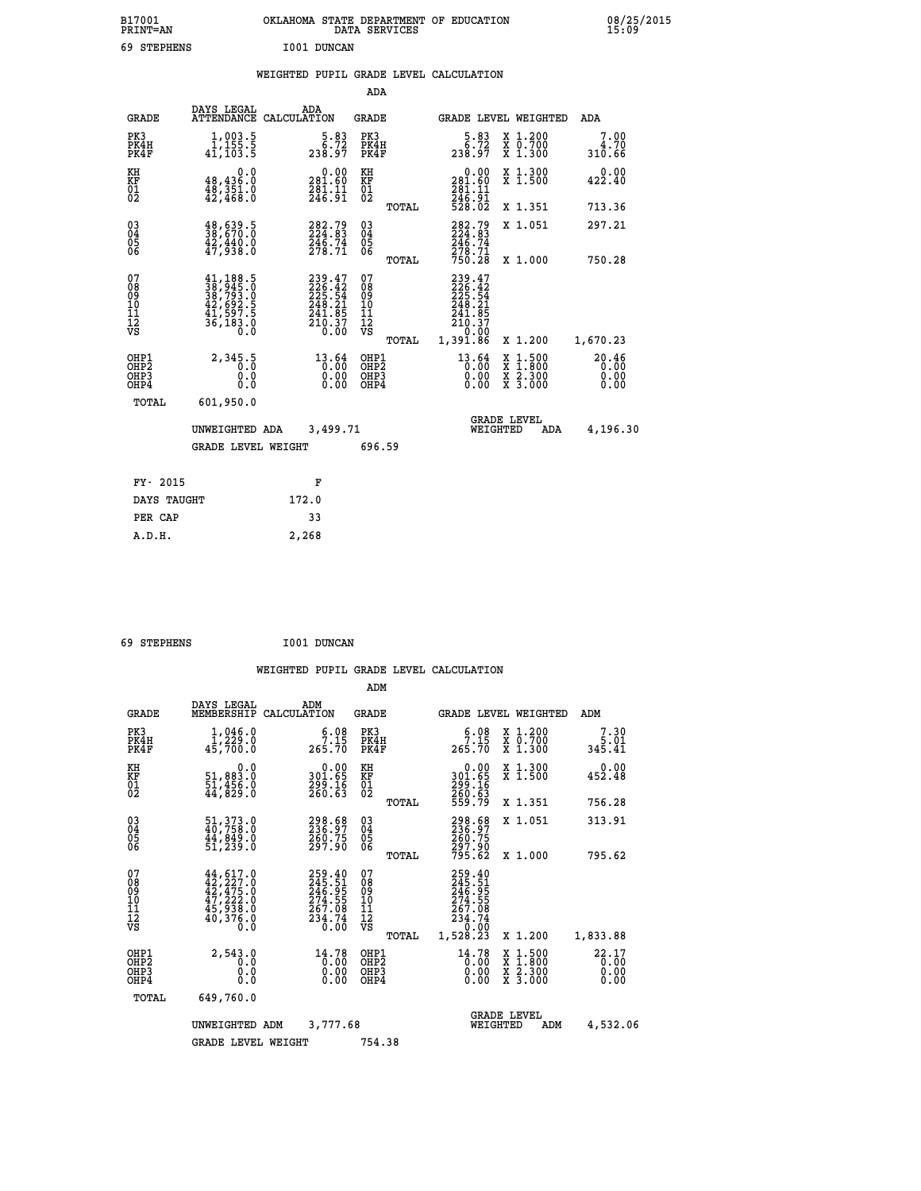| B17001<br>PRINT=AN | <b>OKLAHOMA</b><br>. STATE DEPARTMENT OF EDUCATION<br>DATA SERVICES | 08/25/2015<br>15:09 |
|--------------------|---------------------------------------------------------------------|---------------------|
| 69<br>STEPHENS     | I001 DUNCAN                                                         |                     |

## **WEIGHTED PUPIL GRADE LEVEL CALCULATION**

|                                                      |                                                                                                               |                                                                                | ADA                                      |       |                                                                       |                                                                                                  |                               |
|------------------------------------------------------|---------------------------------------------------------------------------------------------------------------|--------------------------------------------------------------------------------|------------------------------------------|-------|-----------------------------------------------------------------------|--------------------------------------------------------------------------------------------------|-------------------------------|
| <b>GRADE</b>                                         | DAYS LEGAL                                                                                                    | ADA<br>ATTENDANCE CALCULATION                                                  | <b>GRADE</b>                             |       |                                                                       | GRADE LEVEL WEIGHTED                                                                             | ADA                           |
| PK3<br>PK4H<br>PK4F                                  | $\begin{smallmatrix} 1,003.5\\ 1,155.5\\ 41,103.5 \end{smallmatrix}$                                          | $\begin{smallmatrix}5.83\6.72\238.97\end{smallmatrix}$                         | PK3<br>PK4H<br>PK4F                      |       | $\begin{smallmatrix}5.83\5.72\3.8.97\end{smallmatrix}$                | X 1.200<br>X 0.700<br>X 1.300                                                                    | 7.00<br>4.70<br>310.66        |
| KH<br>KF<br>01<br>02                                 | 0.0<br>48,436.0<br>$\frac{48}{42}$ , $\frac{351}{468}$ : 0                                                    | $\begin{smallmatrix} &0.00\ 281.60\ 281.1\ 246.91\ \end{smallmatrix}$          | KH<br>KF<br>01<br>02                     |       | 0.00<br>281.60<br>281.11<br>246.91<br>528.02                          | X 1.300<br>X 1.500                                                                               | 0.00<br>422.40                |
|                                                      |                                                                                                               |                                                                                |                                          | TOTAL |                                                                       | X 1.351                                                                                          | 713.36                        |
| $^{03}_{04}$<br>Ŏ5<br>06                             | $\frac{48}{38}, \frac{639}{670}$ .0<br>$42,440.0$<br>$47,938.0$                                               | 282.79<br>224.83<br>246.74<br>278.71                                           | $\substack{03 \\ 04}$<br>05              |       | 282.79<br>224.83<br>246.74<br>278.71                                  | X 1.051                                                                                          | 297.21                        |
|                                                      |                                                                                                               |                                                                                |                                          | TOTAL | 750.28                                                                | X 1.000                                                                                          | 750.28                        |
| 07<br>08<br>09<br>10<br>11<br>12<br>VS               | $\begin{smallmatrix} 41,188.5\\ 38,945.0\\ 38,793.0\\ 42,692.5\\ 41,597.5\\ 36,183.0\\ 0.0 \end{smallmatrix}$ | $239.47$<br>$226.42$<br>$225.54$<br>$248.21$<br>$241.85$<br>$210.37$<br>$0.00$ | 07<br>08<br>09<br>101<br>112<br>VS       |       | 239.47<br>226.42<br>225.541<br>248.215<br>241.857<br>210.37<br>20.000 |                                                                                                  |                               |
|                                                      |                                                                                                               |                                                                                |                                          | TOTAL | 1,391.86                                                              | X 1.200                                                                                          | 1,670.23                      |
| OHP1<br>OH <sub>P</sub> <sub>2</sub><br>OHP3<br>OHP4 | 2,345.5<br>0.0<br>0.0                                                                                         | $^{13.64}_{0.00}$<br>0.00                                                      | OHP1<br>OHP <sub>2</sub><br>OHP3<br>OHP4 |       | $^{13.64}_{0.00}$<br>0.00                                             | $\begin{smallmatrix} x & 1 & 500 \\ x & 1 & 800 \\ x & 2 & 300 \\ x & 3 & 000 \end{smallmatrix}$ | 20.46<br>0.00<br>0.00<br>0.00 |
| <b>TOTAL</b>                                         | 601,950.0                                                                                                     |                                                                                |                                          |       |                                                                       |                                                                                                  |                               |
|                                                      | UNWEIGHTED ADA                                                                                                | 3,499.71                                                                       |                                          |       |                                                                       | <b>GRADE LEVEL</b><br>WEIGHTED<br>ADA                                                            | 4,196.30                      |
|                                                      | <b>GRADE LEVEL WEIGHT</b>                                                                                     |                                                                                | 696.59                                   |       |                                                                       |                                                                                                  |                               |
|                                                      |                                                                                                               |                                                                                |                                          |       |                                                                       |                                                                                                  |                               |
| FY- 2015                                             |                                                                                                               | F                                                                              |                                          |       |                                                                       |                                                                                                  |                               |
| DAYS TAUGHT                                          |                                                                                                               | 172.0                                                                          |                                          |       |                                                                       |                                                                                                  |                               |
| PER CAP                                              |                                                                                                               | 33                                                                             |                                          |       |                                                                       |                                                                                                  |                               |

 **69 STEPHENS I001 DUNCAN**

 **A.D.H. 2,268**

|                                                       |                                                                                                                                                                                          |                                                                         | ADM                                     |       |                                                                                |                                                                                                  |                                      |
|-------------------------------------------------------|------------------------------------------------------------------------------------------------------------------------------------------------------------------------------------------|-------------------------------------------------------------------------|-----------------------------------------|-------|--------------------------------------------------------------------------------|--------------------------------------------------------------------------------------------------|--------------------------------------|
| <b>GRADE</b>                                          | DAYS LEGAL<br>MEMBERSHIP                                                                                                                                                                 | ADM<br>CALCULATION                                                      | <b>GRADE</b>                            |       |                                                                                | GRADE LEVEL WEIGHTED                                                                             | ADM                                  |
| PK3<br>PK4H<br>PK4F                                   | 1,046.0<br>$\overline{1}$ , 229.0<br>45,700.0                                                                                                                                            | $5.08$<br>7.15<br>265.70                                                | PK3<br>PK4H<br>PK4F                     |       | $5.08$<br>7.15<br>265.70                                                       | $\begin{array}{c} x & 1.200 \\ x & 0.700 \end{array}$<br>$X$ 1.300                               | 7.30<br>5.01<br>345.41               |
| KH<br>KF<br>01<br>02                                  | 0.0<br>51,883.0<br>51,456.0<br>44,829.0                                                                                                                                                  | $\begin{smallmatrix} &0.00\\ 301.65\\ 299.16\\ 260.63\end{smallmatrix}$ | KH<br>KF<br>01<br>02                    |       | $\begin{smallmatrix} &0.00\ 301.65\ 299.16\ 260.63\ 559.79\ \end{smallmatrix}$ | X 1.300<br>X 1.500                                                                               | 0.00<br>452.48                       |
|                                                       |                                                                                                                                                                                          |                                                                         |                                         | TOTAL |                                                                                | X 1.351                                                                                          | 756.28                               |
| 03<br>04<br>05<br>06                                  | 51, 373.0<br>40, 758.0<br>44, 849.0<br>51,239.0                                                                                                                                          | 298.68<br>236.97<br>260.75<br>297.90                                    | $^{03}_{04}$<br>05<br>06                |       | 298.68<br>236.97<br>260.75<br>297.90                                           | X 1.051                                                                                          | 313.91                               |
|                                                       |                                                                                                                                                                                          |                                                                         |                                         | TOTAL | 795.62                                                                         | X 1.000                                                                                          | 795.62                               |
| 07<br>08<br>09<br>101<br>112<br>VS                    | $\begin{smallmatrix} 44\,, & 617\,. & 0\\ 42\,, & 227\,. & 0\\ 42\,, & 475\,. & 0\\ 47\,, & 222\,. & 0\\ 45\,, & 938\,. & 0\\ 40\,, & 376\,. & 0\\ 0\,. & 0\,. & 0\,. \end{smallmatrix}$ | 259.40<br>245.51<br>246.95<br>274.55<br>$\frac{267.08}{234.74}$         | 07<br>08<br>09<br>101<br>11<br>12<br>VS | TOTAL | 259.40<br>245.51<br>246.95<br>274.55<br>267.08<br>234.74<br>0.00<br>1,528.23   | X 1.200                                                                                          | 1,833.88                             |
| OHP1<br>OH <sub>P</sub> 2<br>OH <sub>P3</sub><br>OHP4 | 2,543.0<br>0.0<br>0.000                                                                                                                                                                  | 14.78<br>$\overline{0.00}$<br>0.00                                      | OHP1<br>OHP2<br>OHP3<br>OHP4            |       | 14.78<br>$\begin{smallmatrix} 0.00 & 0 \ 0.00 & \end{smallmatrix}$<br>0.00     | $\begin{smallmatrix} x & 1 & 500 \\ x & 1 & 800 \\ x & 2 & 300 \\ x & 3 & 000 \end{smallmatrix}$ | $22.17$ <sub>0</sub><br>0.00<br>0.00 |
| TOTAL                                                 | 649,760.0                                                                                                                                                                                |                                                                         |                                         |       |                                                                                |                                                                                                  |                                      |
|                                                       | UNWEIGHTED                                                                                                                                                                               | 3,777.68<br>ADM                                                         |                                         |       |                                                                                | <b>GRADE LEVEL</b><br>WEIGHTED<br>ADM                                                            | 4,532.06                             |
|                                                       | <b>GRADE LEVEL WEIGHT</b>                                                                                                                                                                |                                                                         | 754.38                                  |       |                                                                                |                                                                                                  |                                      |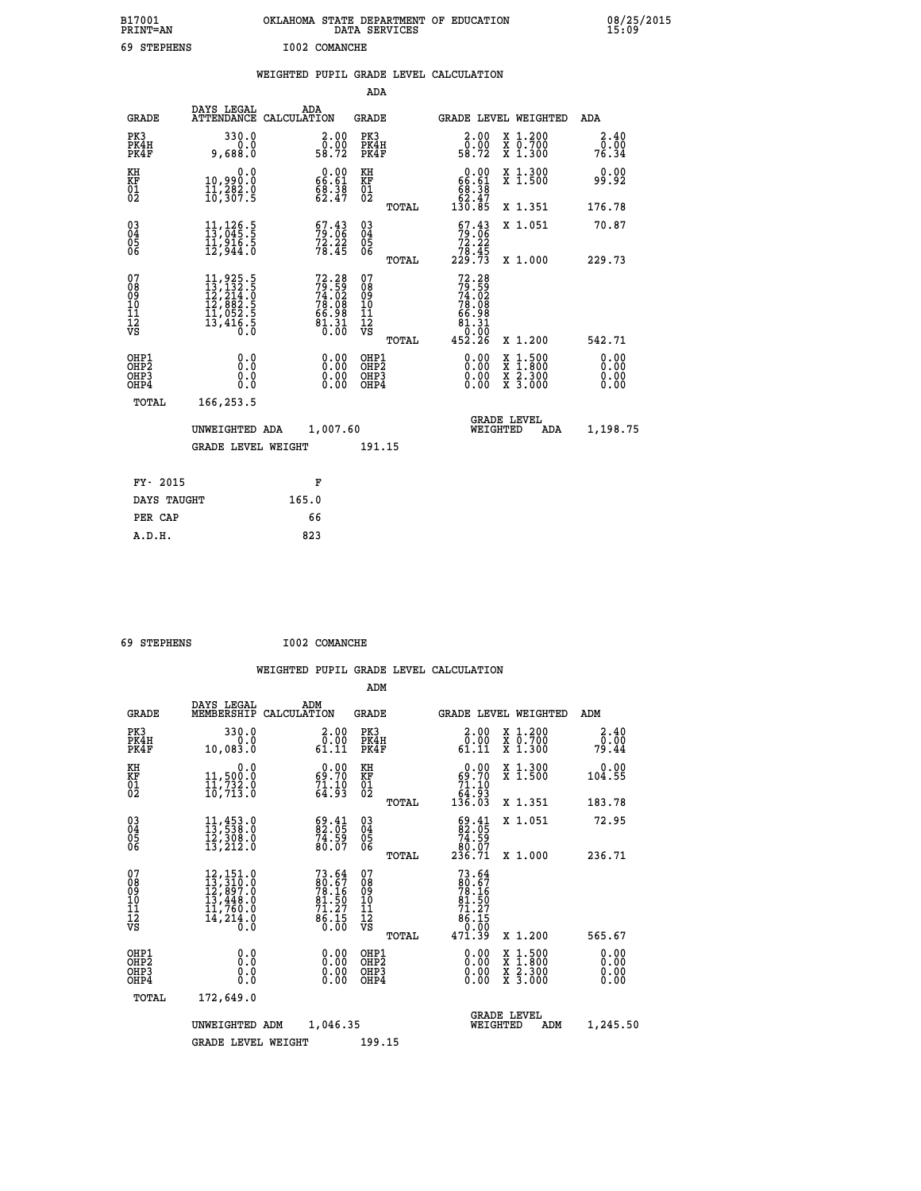| B17001<br>PRINT=AN | OKLAHOMA STATE DEPARTMENT OF EDUCATION<br>DATA SERVICES | 08/25/2015<br>15:09 |
|--------------------|---------------------------------------------------------|---------------------|
| 69<br>STEPHENS     | I002 COMANCHE                                           |                     |

|  |  | WEIGHTED PUPIL GRADE LEVEL CALCULATION |
|--|--|----------------------------------------|
|  |  |                                        |

|                                                                           |                                                                                                                                                 |                                                                           | ADA                                                |       |                                                                                      |                                                                                                                                           |                              |
|---------------------------------------------------------------------------|-------------------------------------------------------------------------------------------------------------------------------------------------|---------------------------------------------------------------------------|----------------------------------------------------|-------|--------------------------------------------------------------------------------------|-------------------------------------------------------------------------------------------------------------------------------------------|------------------------------|
| <b>GRADE</b>                                                              | DAYS LEGAL                                                                                                                                      | ADA<br>ATTENDANCE CALCULATION                                             | <b>GRADE</b>                                       |       | GRADE LEVEL WEIGHTED                                                                 |                                                                                                                                           | ADA                          |
| PK3<br>PK4H<br>PK4F                                                       | 330.0<br>0.0<br>9,688.0                                                                                                                         | $\begin{smallmatrix} 2.00\\ 0.00\\ 58.72 \end{smallmatrix}$               | PK3<br>PK4H<br>PK4F                                |       | 2.00<br>ō:ŏŏ<br>58:72                                                                | X 1.200<br>X 0.700<br>X 1.300                                                                                                             | 2.40<br>0.00<br>76.34        |
| KH<br>KF<br>01<br>02                                                      | 0.0<br>10,990.0<br>11,282.0<br>10,307.5                                                                                                         | $\begin{smallmatrix} 0.00\\ 66.61\\ 68.38\\ 62.47 \end{smallmatrix}$      | KH<br>KF<br>01<br>02                               |       | $\begin{array}{c} 0.00 \\ 66.61 \\ 68.38 \\ 62.47 \end{array}$                       | X 1.300<br>X 1.500                                                                                                                        | 0.00<br>99.92                |
|                                                                           |                                                                                                                                                 |                                                                           |                                                    | TOTAL | 130.85                                                                               | X 1.351                                                                                                                                   | 176.78                       |
| $^{03}_{04}$<br>Ŏ5<br>06                                                  | $\begin{smallmatrix} 11,126.5\\ 13,045.5\\ 11,916.5\\ 12,944.0 \end{smallmatrix}$                                                               | $57.43$<br>$79.06$<br>$72.22$<br>$78.45$                                  | $\begin{matrix} 03 \\ 04 \\ 05 \\ 06 \end{matrix}$ | TOTAL | $\begin{smallmatrix} 67.43\\79.06\\72.22\\78.45\\229.73 \end{smallmatrix}$           | X 1.051<br>X 1.000                                                                                                                        | 70.87<br>229.73              |
| 07<br>08<br>09<br>11<br>11<br>12<br>VS                                    | $\begin{smallmatrix} 11,925\cdot 5\\ 13,132\cdot 5\\ 12,214\cdot 0\\ 12,882\cdot 5\\ 11,052\cdot 5\\ 13,416\cdot 5\\ 0\cdot 0\end{smallmatrix}$ | $72.28$<br>$79.59$<br>$74.02$<br>$78.08$<br>$66.98$<br>$61.31$<br>$81.31$ | 07<br>08<br>09<br>11<br>11<br>12<br>VS             | TOTAL | $72.28$<br>$79.59$<br>$74.02$<br>$78.08$<br>$66.98$<br>$61.31$<br>$0.00$<br>$452.26$ | X 1.200                                                                                                                                   | 542.71                       |
| OHP1<br>OHP <sub>2</sub><br>OH <sub>P3</sub><br>OH <sub>P4</sub><br>TOTAL | 0.0<br>0.0<br>0.0<br>166,253.5                                                                                                                  | 0.00<br>0.00<br>0.00                                                      | OHP1<br>OHP2<br>OHP3<br>OHP4                       |       | 0.00<br>0.00<br>0.00                                                                 | $\begin{smallmatrix} \mathtt{X} & 1\cdot500\\ \mathtt{X} & 1\cdot800\\ \mathtt{X} & 2\cdot300\\ \mathtt{X} & 3\cdot000 \end{smallmatrix}$ | 0.00<br>0.00<br>0.00<br>0.00 |
|                                                                           | UNWEIGHTED ADA<br><b>GRADE LEVEL WEIGHT</b>                                                                                                     | 1,007.60                                                                  | 191.15                                             |       | WEIGHTED                                                                             | <b>GRADE LEVEL</b><br>ADA                                                                                                                 | 1,198.75                     |
| FY- 2015                                                                  |                                                                                                                                                 | F                                                                         |                                                    |       |                                                                                      |                                                                                                                                           |                              |
| DAYS TAUGHT                                                               |                                                                                                                                                 | 165.0                                                                     |                                                    |       |                                                                                      |                                                                                                                                           |                              |
| PER CAP                                                                   |                                                                                                                                                 | 66                                                                        |                                                    |       |                                                                                      |                                                                                                                                           |                              |
| A.D.H.                                                                    |                                                                                                                                                 | 823                                                                       |                                                    |       |                                                                                      |                                                                                                                                           |                              |

| 69 STEPHENS | I002 COMANCHE |
|-------------|---------------|
|             |               |

|                                          |                                                                                                               |                                                                                                                          | ADM                                                 |       |                                                                                               |                                          |                                    |
|------------------------------------------|---------------------------------------------------------------------------------------------------------------|--------------------------------------------------------------------------------------------------------------------------|-----------------------------------------------------|-------|-----------------------------------------------------------------------------------------------|------------------------------------------|------------------------------------|
| <b>GRADE</b>                             | DAYS LEGAL<br>MEMBERSHIP                                                                                      | ADM<br>CALCULATION                                                                                                       | <b>GRADE</b>                                        |       |                                                                                               | GRADE LEVEL WEIGHTED                     | ADM                                |
| PK3<br>PK4H<br>PK4F                      | 330.0<br>0.0<br>10,083.0                                                                                      | 2.00<br>0.00<br>61.11                                                                                                    | PK3<br>PK4H<br>PK4F                                 |       | 0.00<br>61.11                                                                                 | X 1.200<br>X 0.700<br>X 1.300            | 2.40<br>$0.\overline{0}0$<br>79.44 |
| KH<br>KF<br>01<br>02                     | 0.0<br>11,500:0<br>11,732:0<br>10,713:0                                                                       | $0.00$<br>$69.70$<br>$\frac{71.10}{64.93}$                                                                               | KH<br>KF<br>01<br>02                                |       | $\begin{smallmatrix} &0.00\ 69.70\ 71.10\ 64.93\ 136.03\ \end{smallmatrix}$                   | X 1.300<br>X 1.500                       | 0.00<br>104.55                     |
|                                          |                                                                                                               |                                                                                                                          |                                                     | TOTAL |                                                                                               | X 1.351                                  | 183.78                             |
| 03<br>04<br>05<br>06                     | $\begin{smallmatrix} 11,453\cdot 0\\ 13,538\cdot 0\\ 12,308\cdot 0\\ 13,212\cdot 0 \end{smallmatrix}$         | $\begin{smallmatrix} 69.41\ 82.05\ 74.59\ 80.07 \end{smallmatrix}$                                                       | $\begin{array}{c} 03 \\ 04 \\ 05 \\ 06 \end{array}$ |       | $\begin{smallmatrix} 69.41\ 82.05\ 74.59\ 80.07\ 236.71\ \end{smallmatrix}$                   | X 1.051                                  | 72.95                              |
|                                          |                                                                                                               |                                                                                                                          |                                                     | TOTAL |                                                                                               | X 1.000                                  | 236.71                             |
| 07<br>08<br>09<br>101<br>112<br>VS       | $\begin{smallmatrix} 12,151.0\\ 13,310.0\\ 12,897.0\\ 13,448.0\\ 11,760.0\\ 14,214.0\\ 0.0 \end{smallmatrix}$ | 73.64<br>$\begin{smallmatrix} 20.67 & 16 \\ 78.16 & 1 \\ 81.50 & 7 \\ 71.27 & 8 \\ 6.15 & 0 \\ 0.00 & \end{smallmatrix}$ | 07<br>08<br>09<br>11<br>11<br>12<br>VS              |       | 73.64<br>$\begin{array}{r} 180.676 \\ 78.160 \\ 81.507 \\ 71.27 \\ 6.150 \\ 9.02 \end{array}$ |                                          |                                    |
|                                          |                                                                                                               |                                                                                                                          |                                                     | TOTAL | 471.39                                                                                        | X 1.200                                  | 565.67                             |
| OHP1<br>OHP2<br>OH <sub>P3</sub><br>OHP4 | 0.0<br>0.000                                                                                                  | $0.00$<br>$0.00$<br>0.00                                                                                                 | OHP1<br>OHP2<br>OHP <sub>3</sub>                    |       | $0.00$<br>$0.00$<br>0.00                                                                      | X 1:500<br>X 1:800<br>X 2:300<br>X 3:000 | 0.00<br>0.00<br>0.00<br>0.00       |
| TOTAL                                    | 172,649.0                                                                                                     |                                                                                                                          |                                                     |       |                                                                                               |                                          |                                    |
|                                          | UNWEIGHTED ADM                                                                                                | 1,046.35                                                                                                                 |                                                     |       | WEIGHTED                                                                                      | <b>GRADE LEVEL</b><br>ADM                | 1,245.50                           |
|                                          | <b>GRADE LEVEL WEIGHT</b>                                                                                     |                                                                                                                          | 199.15                                              |       |                                                                                               |                                          |                                    |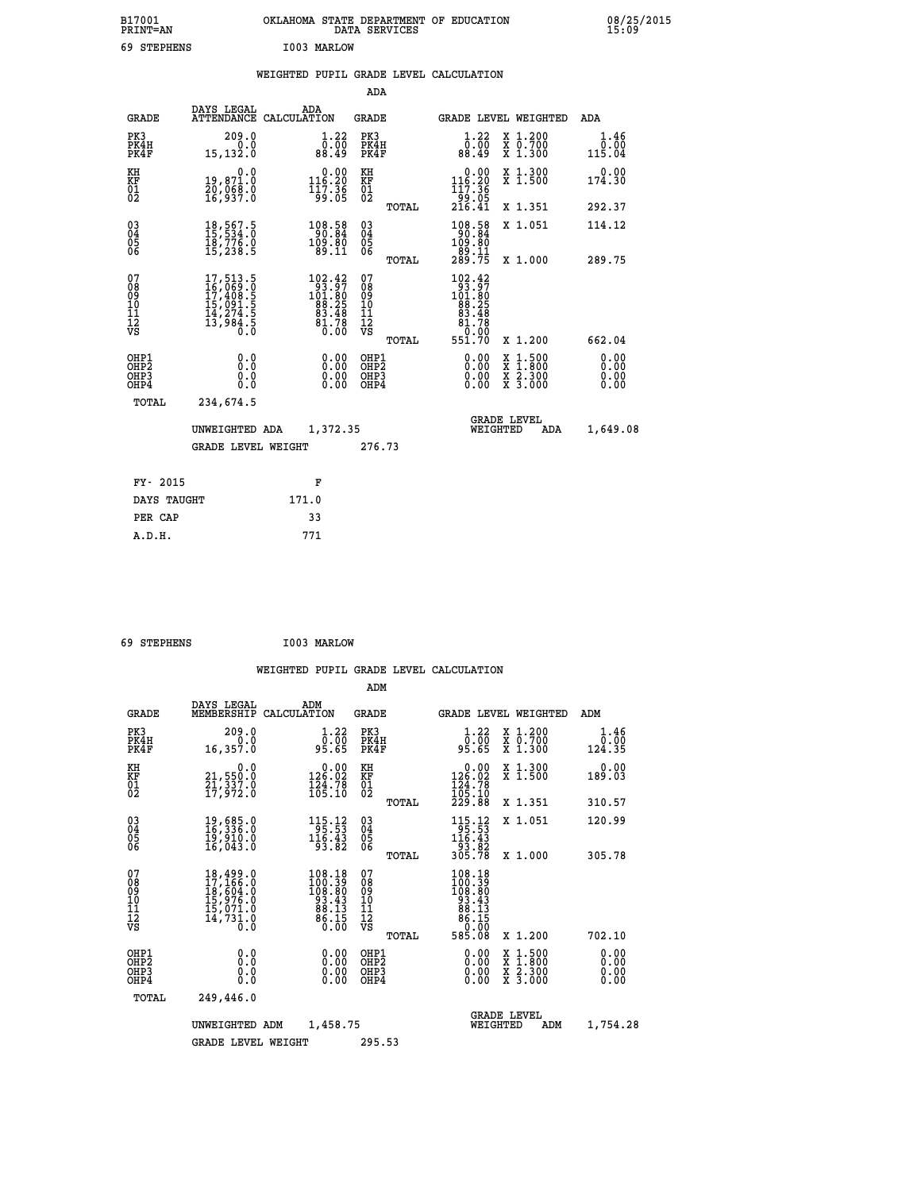| B17001<br><b>PRINT=AN</b> |             | OKLAHOMA STATE DEPARTMENT OF EDUCATION<br>DATA SERVICES |  |
|---------------------------|-------------|---------------------------------------------------------|--|
|                           | 69 STEPHENS | I003 MARLOW                                             |  |

|  |  | WEIGHTED PUPIL GRADE LEVEL CALCULATION |
|--|--|----------------------------------------|
|  |  |                                        |

|                                                                  |                                                                                                            |                                                                                                | ADA                                      |       |                                                                                                             |                                                                                                                                           |                              |
|------------------------------------------------------------------|------------------------------------------------------------------------------------------------------------|------------------------------------------------------------------------------------------------|------------------------------------------|-------|-------------------------------------------------------------------------------------------------------------|-------------------------------------------------------------------------------------------------------------------------------------------|------------------------------|
| <b>GRADE</b>                                                     | DAYS LEGAL                                                                                                 | ADA<br>ATTENDANCE CALCULATION                                                                  | GRADE                                    |       | GRADE LEVEL WEIGHTED                                                                                        |                                                                                                                                           | ADA                          |
| PK3<br>PK4H<br>PK4F                                              | 209.0<br>0.0<br>15,132.0                                                                                   | 1.22<br>0.00<br>88.49                                                                          | PK3<br>PK4H<br>PK4F                      |       | 1.22<br>0.00<br>88.49                                                                                       | X 1.200<br>X 0.700<br>X 1.300                                                                                                             | 1.46<br>0.00<br>115.04       |
| KH<br>KF<br>01<br>02                                             | 0.0<br>19,87ĭ.ŏ<br>20,068.0<br>16,937.0                                                                    | $\begin{smallmatrix} 0.00\\ 116.20\\ 117.36\\ 99.05 \end{smallmatrix}$                         | KH<br><b>KF</b><br>01<br>02              |       | $\begin{smallmatrix} &0.00\\ 116.20\\ 117.36\\ 99.05\\ 216.41\end{smallmatrix}$                             | X 1.300<br>X 1.500                                                                                                                        | 0.00<br>174.30               |
|                                                                  |                                                                                                            |                                                                                                |                                          | TOTAL |                                                                                                             | X 1.351                                                                                                                                   | 292.37                       |
| $^{03}_{04}$<br>Ŏ5<br>06                                         | $\begin{smallmatrix} 18\,,\, 567\,.5\,15\,,\, 534\,.0\,18\,,\, 776\,.0\,15\,,\, 238\,.5 \end{smallmatrix}$ | $\begin{smallmatrix} 108.58\\ 90.84\\ 109.80\\ 89.11 \end{smallmatrix}$                        | $\substack{03 \\ 04}$<br>$\frac{05}{06}$ |       | 108.58<br>109.80<br>–`ĕ9.11<br>289.75                                                                       | X 1.051                                                                                                                                   | 114.12                       |
|                                                                  |                                                                                                            |                                                                                                |                                          | TOTAL |                                                                                                             | X 1.000                                                                                                                                   | 289.75                       |
| 07<br>08<br>09<br>11<br>11<br>12<br>VS                           | $\begin{smallmatrix}17,513.5\\16,069.0\\17,408.5\\15,091.5\\14,274.5\\13,984.5\\0.0\end{smallmatrix}$      | $\begin{smallmatrix} 102.42\\ 93.97\\ 101.80\\ 88.25\\ 83.48\\ 81.78\\ 0.00 \end{smallmatrix}$ | 07<br>08<br>09<br>11<br>11<br>12<br>VS   | TOTAL | $\begin{smallmatrix} 102.42\\ 93.97\\ 101.80\\ 88.25\\ 83.48\\ 81.78\\ 0.00\\ 0\end{smallmatrix}$<br>55ĭ.7Ŏ | X 1.200                                                                                                                                   | 662.04                       |
| OHP1<br>OHP <sub>2</sub><br>OH <sub>P3</sub><br>OH <sub>P4</sub> | 0.0<br>Ō.Ō<br>0.0<br>0.0                                                                                   | 0.00<br>0.00<br>0.00                                                                           | OHP1<br>OHP2<br>OHP3<br>OHP4             |       | 0.00<br>0.00<br>0.00                                                                                        | $\begin{smallmatrix} \mathtt{X} & 1\cdot500\\ \mathtt{X} & 1\cdot800\\ \mathtt{X} & 2\cdot300\\ \mathtt{X} & 3\cdot000 \end{smallmatrix}$ | 0.00<br>0.00<br>0.00<br>0.00 |
| TOTAL                                                            | 234,674.5                                                                                                  |                                                                                                |                                          |       |                                                                                                             |                                                                                                                                           |                              |
|                                                                  | UNWEIGHTED ADA                                                                                             | 1,372.35                                                                                       |                                          |       | WEIGHTED                                                                                                    | <b>GRADE LEVEL</b><br>ADA                                                                                                                 | 1,649.08                     |
|                                                                  | <b>GRADE LEVEL WEIGHT</b>                                                                                  |                                                                                                | 276.73                                   |       |                                                                                                             |                                                                                                                                           |                              |
| FY- 2015                                                         |                                                                                                            | F                                                                                              |                                          |       |                                                                                                             |                                                                                                                                           |                              |
| DAYS TAUGHT                                                      |                                                                                                            | 171.0                                                                                          |                                          |       |                                                                                                             |                                                                                                                                           |                              |
| PER CAP                                                          |                                                                                                            | 33                                                                                             |                                          |       |                                                                                                             |                                                                                                                                           |                              |
| A.D.H.                                                           |                                                                                                            | 771                                                                                            |                                          |       |                                                                                                             |                                                                                                                                           |                              |

```
 69 STEPHENS I003 MARLOW
```
 **ADM**

 **A.D.H. 771**

| <b>GRADE</b>                                                       | DAYS LEGAL                                                                                                    | ADM<br>MEMBERSHIP CALCULATION                                                                   | <b>GRADE</b>                             |       |                                                                                                                                                                                                                                                                                |          | GRADE LEVEL WEIGHTED                     | ADM                          |
|--------------------------------------------------------------------|---------------------------------------------------------------------------------------------------------------|-------------------------------------------------------------------------------------------------|------------------------------------------|-------|--------------------------------------------------------------------------------------------------------------------------------------------------------------------------------------------------------------------------------------------------------------------------------|----------|------------------------------------------|------------------------------|
| PK3<br>PK4H<br>PK4F                                                | 209.0<br>0.0<br>16, 357.0                                                                                     | 1.22<br>0.00<br>95.65                                                                           | PK3<br>PK4H<br>PK4F                      |       | 1.22<br>00.00<br>95.65                                                                                                                                                                                                                                                         |          | X 1.200<br>X 0.700<br>X 1.300            | 1.46<br>0.00<br>124.35       |
| KH<br><b>KF</b><br>01<br>02                                        | 0.0<br>21,550:0<br>21,337:0<br>17,972:0                                                                       | $\begin{smallmatrix} &0.00\\ 126.02\\ 124.78\\ 165.10\end{smallmatrix}$                         | KH<br>KF<br>01<br>02                     |       | 0.00<br>$\begin{smallmatrix} 126.02\ 124.78\ 105.10\ 229.88 \end{smallmatrix}$                                                                                                                                                                                                 |          | X 1.300<br>X 1.500                       | 0.00<br>189.03               |
|                                                                    |                                                                                                               |                                                                                                 |                                          | TOTAL |                                                                                                                                                                                                                                                                                |          | X 1.351                                  | 310.57                       |
| $\begin{smallmatrix} 03 \\[-4pt] 04 \end{smallmatrix}$<br>Ŏ5<br>06 | 19,685.0<br>16,336.0<br>īš,šīŏ.ŏ<br>16,043.O                                                                  | $\begin{array}{r} 115.12 \\ 95.53 \\ 116.43 \\ 93.82 \end{array}$                               | $\substack{03 \\ 04}$<br>05<br>06        |       | $\begin{array}{r} 115\cdot 12\\ 95\cdot 53\\ 116\cdot 43\\ 93\cdot 82\\ 305\cdot 78 \end{array}$                                                                                                                                                                               |          | X 1.051                                  | 120.99                       |
|                                                                    |                                                                                                               |                                                                                                 |                                          | TOTAL |                                                                                                                                                                                                                                                                                |          | X 1.000                                  | 305.78                       |
| 07<br>08<br>09<br>101<br>11<br>12<br>VS                            | $\begin{smallmatrix} 18,499.0\\ 17,166.0\\ 18,604.0\\ 15,976.0\\ 15,071.0\\ 14,731.0\\ 0.0 \end{smallmatrix}$ | $\begin{smallmatrix} 108.18\\ 100.39\\ 108.80\\ 93.43\\ 88.13\\ 86.15\\ 0.00 \end{smallmatrix}$ | 07<br>08<br>09<br>11<br>11<br>12<br>VS   | TOTAL | $\begin{smallmatrix} 108.18\\100.39\\108.80\\98.43\\98.13\\86.15\\86.15\\98.00\\98.0\\98.0\\98.0\\8\end{smallmatrix}$                                                                                                                                                          |          | X 1.200                                  | 702.10                       |
| OHP1<br>OHP <sub>2</sub><br>OH <sub>P3</sub><br>OHP4               | 0.0<br>0.000                                                                                                  | $0.00$<br>$0.00$<br>0.00                                                                        | OHP1<br>OHP <sub>2</sub><br>OHP3<br>OHP4 |       | $\begin{smallmatrix} 0.00 & 0.00 & 0.00 & 0.00 & 0.00 & 0.00 & 0.00 & 0.00 & 0.00 & 0.00 & 0.00 & 0.00 & 0.00 & 0.00 & 0.00 & 0.00 & 0.00 & 0.00 & 0.00 & 0.00 & 0.00 & 0.00 & 0.00 & 0.00 & 0.00 & 0.00 & 0.00 & 0.00 & 0.00 & 0.00 & 0.00 & 0.00 & 0.00 & 0.00 & 0.00 & 0.0$ |          | X 1:500<br>X 1:800<br>X 2:300<br>X 3:000 | 0.00<br>0.00<br>0.00<br>0.00 |
| TOTAL                                                              | 249,446.0                                                                                                     |                                                                                                 |                                          |       |                                                                                                                                                                                                                                                                                |          |                                          |                              |
|                                                                    | UNWEIGHTED                                                                                                    | 1,458.75<br>ADM                                                                                 |                                          |       |                                                                                                                                                                                                                                                                                | WEIGHTED | <b>GRADE LEVEL</b><br>ADM                | 1,754.28                     |
|                                                                    | <b>GRADE LEVEL WEIGHT</b>                                                                                     |                                                                                                 | 295.53                                   |       |                                                                                                                                                                                                                                                                                |          |                                          |                              |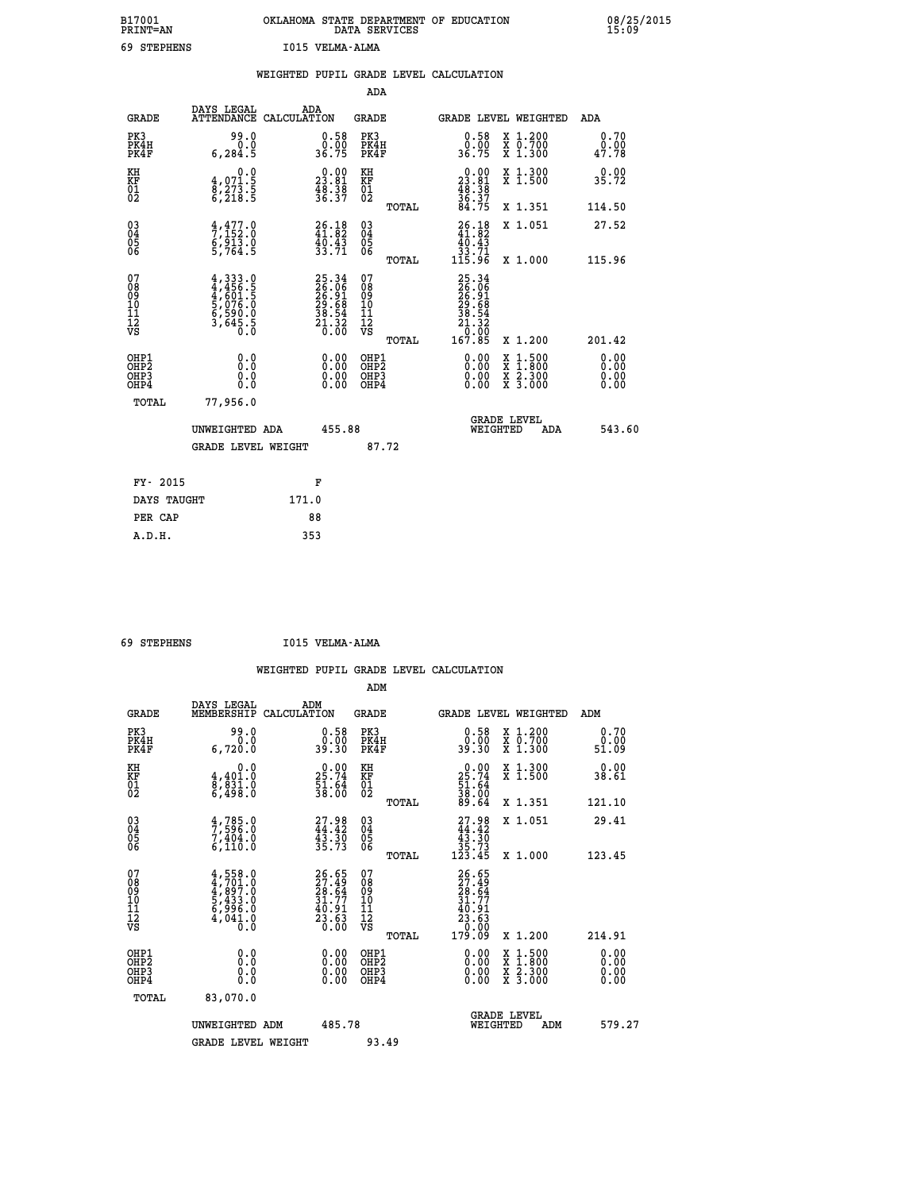| B17001<br><b>PRINT=AN</b> |             | OKLAHOMA STATE DEPARTMENT OF EDUCATION<br>DATA SERVICES |  |
|---------------------------|-------------|---------------------------------------------------------|--|
|                           | 69 STEPHENS | I015 VELMA-ALMA                                         |  |

|                                           |                                                                                                               | WEIGHTED PUPIL GRADE LEVEL CALCULATION                                   |                                                 |                                                                                                                      |                                                                                                  |                              |
|-------------------------------------------|---------------------------------------------------------------------------------------------------------------|--------------------------------------------------------------------------|-------------------------------------------------|----------------------------------------------------------------------------------------------------------------------|--------------------------------------------------------------------------------------------------|------------------------------|
|                                           |                                                                                                               |                                                                          | ADA                                             |                                                                                                                      |                                                                                                  |                              |
| <b>GRADE</b>                              | DAYS LEGAL                                                                                                    | ADA<br>ATTENDANCE CALCULATION                                            | <b>GRADE</b>                                    | GRADE LEVEL WEIGHTED                                                                                                 |                                                                                                  | ADA                          |
| PK3<br>PK4H<br>PK4F                       | 99.0<br>0.0<br>6,284.5                                                                                        | $\begin{smallmatrix} 0.58\\ 0.00\\ 36.75 \end{smallmatrix}$              | PK3<br>PK4H<br>PK4F                             | $\begin{smallmatrix} 0.58\\ 0.00\\ 36.75 \end{smallmatrix}$                                                          | X 1.200<br>X 0.700<br>X 1.300                                                                    | 0.70<br>0.00<br>47.78        |
| KH<br><b>KF</b><br>01<br>02               | 0.0<br>$\begin{smallmatrix} 4, & 0 & 7 & 1 & 5 \\ 8, & 2 & 7 & 3 & 5 \\ 6, & 2 & 1 & 8 & 5 \end{smallmatrix}$ | $\begin{smallmatrix} 0.00\\ 23.81\\ 48.38\\ 36.37 \end{smallmatrix}$     | KH<br>KF<br>01<br>02                            | $\begin{smallmatrix} 0.00\\ 23.81\\ 48.38\\ 36.37\\ 84.75 \end{smallmatrix}$                                         | X 1.300<br>X 1.500                                                                               | 0.00<br>35.72                |
|                                           |                                                                                                               |                                                                          | TOTAL                                           |                                                                                                                      | X 1.351                                                                                          | 114.50                       |
| $^{03}_{04}$<br>Ŏ5<br>06                  | $\frac{4}{7}, \frac{477}{152}$ :0<br>6,913:0<br>5,764:5                                                       | 26.18<br>41.82<br>40.43<br>33.71                                         | $\substack{03 \\ 04}$<br>05<br>06               | $26.18$<br>$41.82$                                                                                                   | X 1.051                                                                                          | 27.52                        |
|                                           |                                                                                                               |                                                                          | TOTAL                                           | $\begin{array}{c} 40.43 \\ 33.71 \\ 115.96 \end{array}$                                                              | X 1.000                                                                                          | 115.96                       |
| 07<br>08<br>09<br>11<br>11<br>12<br>VS    | $4,333.0$<br>$4,456.5$<br>$4,601.5$<br>$5,076.0$<br>$5,590.0$<br>$6,590.0$<br>$3,645.5$                       | $25.34$<br>$26.96$<br>$26.91$<br>$29.68$<br>$38.54$<br>$31.32$<br>$0.00$ | 07<br>08<br>09<br>11<br>11<br>12<br>VS<br>TOTAL | $\begin{smallmatrix} 25 & 34\ 26 & 06\ 26 & 91\ 29 & 691\ 29 & 682\ 38 & 542\ 11 & 320\ 167 & 85\ \end{smallmatrix}$ | X 1.200                                                                                          | 201.42                       |
| OHP1<br>OH <sub>P</sub> 2<br>OHP3<br>OHP4 | 0.0<br>0.0<br>0.0                                                                                             | $0.00$<br>$0.00$<br>0.00                                                 | OHP1<br>OH <sub>P</sub> 2<br>OHP3<br>OHP4       | 0.00<br>0.00                                                                                                         | $\begin{smallmatrix} x & 1 & 500 \\ x & 1 & 800 \\ x & 2 & 300 \\ x & 3 & 000 \end{smallmatrix}$ | 0.00<br>0.00<br>0.00<br>0.00 |
| TOTAL                                     | 77,956.0                                                                                                      |                                                                          |                                                 |                                                                                                                      |                                                                                                  |                              |
|                                           | UNWEIGHTED ADA                                                                                                | 455.88                                                                   |                                                 | <b>GRADE LEVEL</b><br>WEIGHTED                                                                                       | ADA                                                                                              | 543.60                       |
|                                           | <b>GRADE LEVEL WEIGHT</b>                                                                                     |                                                                          | 87.72                                           |                                                                                                                      |                                                                                                  |                              |
| FY- 2015                                  |                                                                                                               | F                                                                        |                                                 |                                                                                                                      |                                                                                                  |                              |
| DAYS TAUGHT                               |                                                                                                               | 171.0                                                                    |                                                 |                                                                                                                      |                                                                                                  |                              |
| PER CAP                                   |                                                                                                               | 88                                                                       |                                                 |                                                                                                                      |                                                                                                  |                              |

 **69 STEPHENS I015 VELMA-ALMA**

 **A.D.H. 353**

 **ADM**

| <b>GRADE</b>                                       | DAYS LEGAL<br>MEMBERSHIP CALCULATION                                                      | ADM                                                                      | <b>GRADE</b>                                        |       |                                                                                                                                                                                                                                                                                | GRADE LEVEL WEIGHTED                     | ADM                   |  |
|----------------------------------------------------|-------------------------------------------------------------------------------------------|--------------------------------------------------------------------------|-----------------------------------------------------|-------|--------------------------------------------------------------------------------------------------------------------------------------------------------------------------------------------------------------------------------------------------------------------------------|------------------------------------------|-----------------------|--|
| PK3<br>PK4H<br>PK4F                                | 99.0<br>0.0<br>6,720.0                                                                    | $0.58$<br>$0.00$<br>39.30                                                | PK3<br>PK4H<br>PK4F                                 |       | $\begin{smallmatrix} 0.58\\ 0.00\\ 39.30 \end{smallmatrix}$                                                                                                                                                                                                                    | X 1.200<br>X 0.700<br>X 1.300            | 0.70<br>0.00<br>51.09 |  |
| KH<br>KF<br>01<br>02                               | 0.0<br>4,401.0<br>8,831.0<br>6,498.0                                                      | $\begin{smallmatrix} 0.00\\ 25.74\\ 51.64\\ 38.00 \end{smallmatrix}$     | KH<br>KF<br>01<br>02                                |       | $\begin{smallmatrix} 0.00\\ 25.74\\ 51.64\\ 38.00\\ 89.64 \end{smallmatrix}$                                                                                                                                                                                                   | X 1.300<br>X 1.500                       | 0.00<br>38.61         |  |
|                                                    |                                                                                           |                                                                          |                                                     | TOTAL |                                                                                                                                                                                                                                                                                | X 1.351                                  | 121.10                |  |
| $\begin{matrix} 03 \\ 04 \\ 05 \\ 06 \end{matrix}$ | $\frac{4}{7}, \frac{785}{596}$ :0<br>7,404:0<br>6,110:0                                   | $27.98$<br>$44.42$<br>$43.30$<br>$35.73$                                 | $\begin{array}{c} 03 \\ 04 \\ 05 \\ 06 \end{array}$ |       | $\begin{smallmatrix} 27.98\\ 44.42\\ 43.30\\ 35.73\\ 123.45 \end{smallmatrix}$                                                                                                                                                                                                 | X 1.051                                  | 29.41                 |  |
|                                                    |                                                                                           |                                                                          |                                                     | TOTAL |                                                                                                                                                                                                                                                                                | X 1.000                                  | 123.45                |  |
| 07<br>08<br>09<br>101<br>11<br>12<br>VS            | $4, 701.0$<br>$4, 701.0$<br>$4, 897.0$<br>$5, 433.0$<br>$6, 996.0$<br>$4, 041.0$<br>$0.0$ | $26.65$<br>$27.49$<br>$28.64$<br>$31.77$<br>$40.91$<br>$23.63$<br>$0.00$ | 07<br>08<br>09<br>001<br>11<br>11<br>12<br>VS       | TOTAL | 26.65<br>27.49<br>28.64<br>28.64<br>31.91<br>23.63<br>0.00<br>179.09                                                                                                                                                                                                           | X 1.200                                  | 214.91                |  |
| OHP1<br>OHP2<br>OHP3<br>OHP4                       |                                                                                           | $\begin{smallmatrix} 0.00 \ 0.00 \ 0.00 \ 0.00 \end{smallmatrix}$        | OHP1<br>OHP2<br>OHP3<br>OHP4                        |       | $\begin{smallmatrix} 0.00 & 0.00 & 0.00 & 0.00 & 0.00 & 0.00 & 0.00 & 0.00 & 0.00 & 0.00 & 0.00 & 0.00 & 0.00 & 0.00 & 0.00 & 0.00 & 0.00 & 0.00 & 0.00 & 0.00 & 0.00 & 0.00 & 0.00 & 0.00 & 0.00 & 0.00 & 0.00 & 0.00 & 0.00 & 0.00 & 0.00 & 0.00 & 0.00 & 0.00 & 0.00 & 0.0$ | X 1:500<br>X 1:800<br>X 2:300<br>X 3:000 | 0.00<br>0.00<br>0.00  |  |
| TOTAL                                              | 83,070.0                                                                                  |                                                                          |                                                     |       |                                                                                                                                                                                                                                                                                |                                          |                       |  |
|                                                    | UNWEIGHTED<br>ADM                                                                         | 485.78                                                                   |                                                     |       | WEIGHTED                                                                                                                                                                                                                                                                       | <b>GRADE LEVEL</b><br>ADM                | 579.27                |  |
|                                                    | <b>GRADE LEVEL WEIGHT</b>                                                                 |                                                                          | 93.49                                               |       |                                                                                                                                                                                                                                                                                |                                          |                       |  |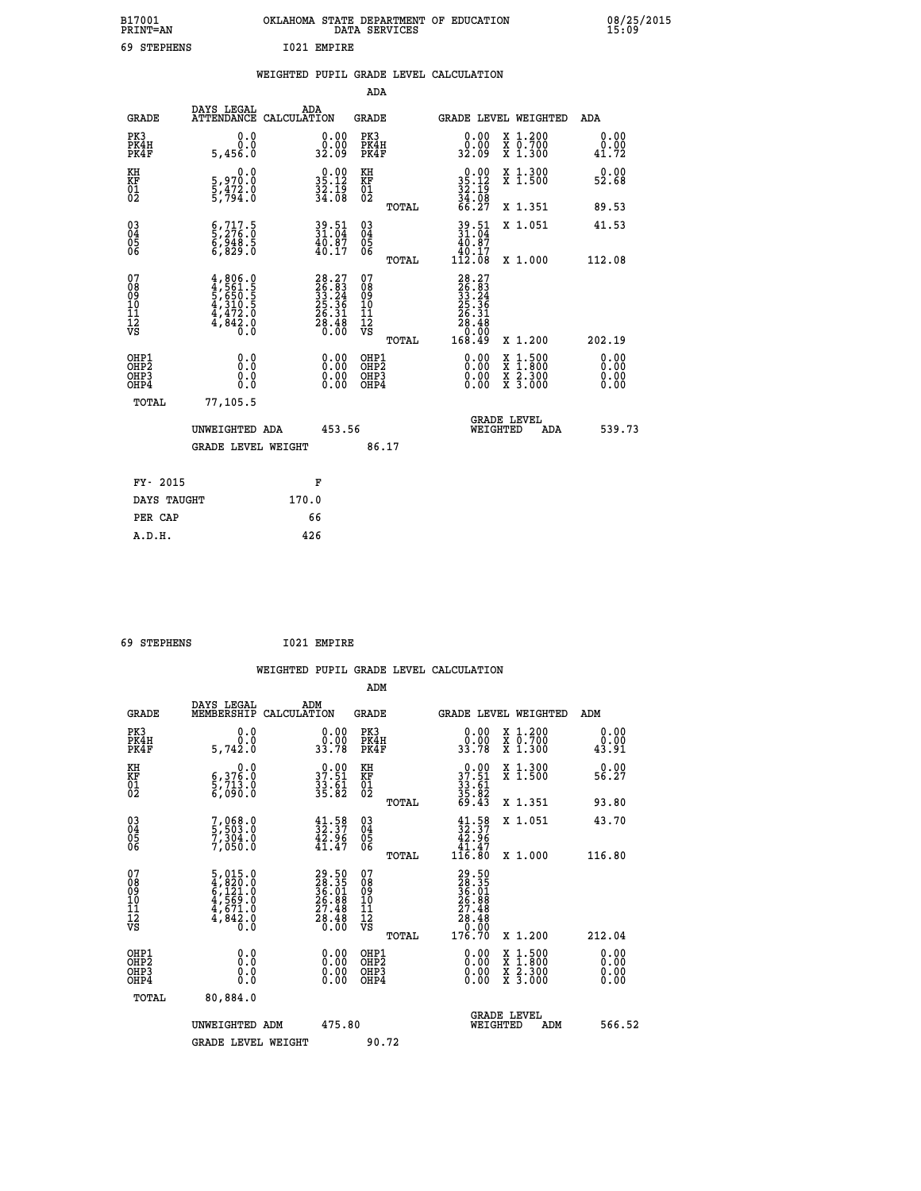| B17001<br><b>PRINT=AN</b> |             |             | OKLAHOMA STATE DEPARTMENT OF EDUCATION<br>DATA SERVICES |  |
|---------------------------|-------------|-------------|---------------------------------------------------------|--|
|                           | 69 STEPHENS | T021 EMPTRE |                                                         |  |

|  |  | WEIGHTED PUPIL GRADE LEVEL CALCULATION |
|--|--|----------------------------------------|
|  |  |                                        |

|                                                                    |              |                                                                                                  |       |                                                                          | ADA                                       |       |                                                                                                         |          |                                          |                              |
|--------------------------------------------------------------------|--------------|--------------------------------------------------------------------------------------------------|-------|--------------------------------------------------------------------------|-------------------------------------------|-------|---------------------------------------------------------------------------------------------------------|----------|------------------------------------------|------------------------------|
|                                                                    | <b>GRADE</b> | DAYS LEGAL<br>ATTENDANCE CALCULATION                                                             | ADA   |                                                                          | <b>GRADE</b>                              |       |                                                                                                         |          | GRADE LEVEL WEIGHTED                     | <b>ADA</b>                   |
| PK3<br>PK4H<br>PK4F                                                |              | 0.0<br>0.0<br>5,456.0                                                                            |       | $\begin{smallmatrix} 0.00\\ 0.00\\ 32.09 \end{smallmatrix}$              | PK3<br>PK4H<br>PK4F                       |       | 0.00<br>ۆة:ۆ<br>32:09                                                                                   |          | X 1.200<br>X 0.700<br>X 1.300            | 0.00<br>0.00<br>41.72        |
| KH<br>KF<br>01<br>02                                               |              | 0.0<br>5,970.0<br>5,472.0<br>5,794.0                                                             |       | $35.12$<br>$32.12$<br>$32.19$<br>$34.08$                                 | KH<br>KF<br>01<br>02                      |       | $\begin{smallmatrix} 0.00\\ 35.12\\ 32.19\\ 34.08\\ 66.27 \end{smallmatrix}$                            |          | X 1.300<br>X 1.500                       | 0.00<br>52.68                |
|                                                                    |              |                                                                                                  |       |                                                                          |                                           | TOTAL |                                                                                                         |          | X 1.351                                  | 89.53                        |
| $\begin{smallmatrix} 03 \\[-4pt] 04 \end{smallmatrix}$<br>Ŏ5<br>06 |              | $\begin{smallmatrix} 6 & 717 & 5 \\ 5 & 276 & 0 \\ 6 & 948 & 5 \\ 6 & 829 & 0 \end{smallmatrix}$ |       | $39.51$<br>$31.04$<br>$\frac{40.87}{40.17}$                              | $\substack{03 \\ 04}$<br>Ŏ5<br>06         | TOTAL | $39.51$<br>$31.04$<br>$40.87$<br>$40.17$<br>$112.08$                                                    |          | X 1.051<br>X 1.000                       | 41.53<br>112.08              |
| 07<br>08<br>09<br>11<br>11<br>12<br>VS                             |              | $4,806.0$<br>$4,561.5$<br>$5,650.5$<br>$4,310.5$<br>$4,472.0$<br>$4,842.0$<br>$0.0$              |       | $28.27$<br>$25.34$<br>$33.24$<br>$25.36$<br>$26.31$<br>$28.48$<br>$0.00$ | 07<br>08<br>09<br>11<br>11<br>12<br>VS    | TOTAL | $\begin{smallmatrix} 28.27\ 26.31\ 33.22\ 32.24\ 25.36\ 26.31\ 28.48\ 0.000\ 168.49\ \end{smallmatrix}$ |          | X 1.200                                  | 202.19                       |
| OHP1<br>OHP <sub>2</sub><br>OHP3<br>OHP4                           |              | 0.0<br>0.0<br>0.0                                                                                |       | 0.00<br>$\begin{smallmatrix} 0.00 \ 0.00 \end{smallmatrix}$              | OHP1<br>OH <sub>P</sub> 2<br>OHP3<br>OHP4 |       | 0.00<br>0.00<br>0.00                                                                                    | X<br>X   | $1:500$<br>$1:800$<br>X 2.300<br>X 3.000 | 0.00<br>0.00<br>0.00<br>0.00 |
|                                                                    | TOTAL        | 77,105.5<br>UNWEIGHTED ADA                                                                       |       | 453.56                                                                   |                                           |       |                                                                                                         | WEIGHTED | <b>GRADE LEVEL</b><br>ADA                | 539.73                       |
|                                                                    |              | <b>GRADE LEVEL WEIGHT</b>                                                                        |       |                                                                          | 86.17                                     |       |                                                                                                         |          |                                          |                              |
|                                                                    | FY- 2015     |                                                                                                  |       | F                                                                        |                                           |       |                                                                                                         |          |                                          |                              |
|                                                                    | DAYS TAUGHT  |                                                                                                  | 170.0 |                                                                          |                                           |       |                                                                                                         |          |                                          |                              |
|                                                                    | PER CAP      |                                                                                                  |       | 66                                                                       |                                           |       |                                                                                                         |          |                                          |                              |

| 69 STEPHENS | 1021 EMPIRE |
|-------------|-------------|

 **B17001<br>PRINT=AN** 

| <b>GRADE</b>                                                     | DAYS LEGAL<br>MEMBERSHIP                                                                                                                                | ADM<br>CALCULATION                                                      | <b>GRADE</b>                                       |       |                                                                                                       |          | <b>GRADE LEVEL WEIGHTED</b>              | ADM                          |  |
|------------------------------------------------------------------|---------------------------------------------------------------------------------------------------------------------------------------------------------|-------------------------------------------------------------------------|----------------------------------------------------|-------|-------------------------------------------------------------------------------------------------------|----------|------------------------------------------|------------------------------|--|
| PK3<br>PK4H<br>PK4F                                              | 0.0<br>5,742.0                                                                                                                                          | $\begin{smallmatrix} 0.00\\ 0.00\\ 33.78 \end{smallmatrix}$             | PK3<br>PK4H<br>PK4F                                |       | 0.00<br>0.00<br>33.78                                                                                 |          | X 1.200<br>X 0.700<br>X 1.300            | 0.00<br>0.00<br>43.91        |  |
| KH<br>KF<br>01<br>02                                             | 0.0<br>6,376.0<br>5,713.0<br>6,090.0                                                                                                                    | $\begin{smallmatrix} 0.00\\ 37.51\\ 33.61\\ 35.82 \end{smallmatrix}$    | KH<br>KF<br>01<br>02                               |       | $\begin{array}{r} 0.00 \\ 37.51 \\ 33.61 \\ 35.82 \\ 69.43 \end{array}$                               |          | X 1.300<br>X 1.500                       | 0.00<br>56.27                |  |
|                                                                  |                                                                                                                                                         |                                                                         |                                                    | TOTAL |                                                                                                       |          | X 1.351                                  | 93.80                        |  |
| $\begin{matrix} 03 \\ 04 \\ 05 \\ 06 \end{matrix}$               | 7,068.0<br>5,503.0<br>7,304.0<br>7,050.0                                                                                                                | $\begin{smallmatrix} 41.58\\ 32.37\\ 42.96\\ 41.47\\ \end{smallmatrix}$ | $\begin{matrix} 03 \\ 04 \\ 05 \\ 06 \end{matrix}$ |       | $\begin{smallmatrix} 41.58\\ 32.37\\ 42.96\\ 41.47\\ 116.80 \end{smallmatrix}$                        |          | X 1.051                                  | 43.70                        |  |
|                                                                  |                                                                                                                                                         |                                                                         |                                                    | TOTAL |                                                                                                       |          | X 1.000                                  | 116.80                       |  |
| 07<br>08<br>09<br>11<br>11<br>12<br>VS                           | $\begin{smallmatrix}5\,,\,015\,.\,0\\4\,,\,820\,.\,0\\6\,,\,121\,.\,0\\4\,,\,569\,. \,0\\4\,,\,671\,. \,0\\4\,,\,842\,. \,0\\0\,. \,0\end{smallmatrix}$ | $29.5028.3536.0126.8827.4828.480.00$                                    | 07<br>08<br>09<br>11<br>11<br>12<br>VS             |       | $\begin{smallmatrix} 29.50\\ 28.35\\ 36.35\\ 36.01\\ 27.48\\ 28.48\\ 0.00\\ 176.70 \end{smallmatrix}$ |          | X 1.200                                  |                              |  |
|                                                                  |                                                                                                                                                         |                                                                         |                                                    | TOTAL |                                                                                                       |          |                                          | 212.04                       |  |
| OHP1<br>OH <sub>P</sub> <sub>2</sub><br>OH <sub>P3</sub><br>OHP4 | 0.0<br>0.000                                                                                                                                            |                                                                         | OHP1<br>OHP <sub>2</sub><br>OHP3<br>OHP4           |       |                                                                                                       |          | X 1:500<br>X 1:800<br>X 2:300<br>X 3:000 | 0.00<br>0.00<br>0.00<br>0.00 |  |
| TOTAL                                                            | 80,884.0                                                                                                                                                |                                                                         |                                                    |       |                                                                                                       |          |                                          |                              |  |
|                                                                  | UNWEIGHTED ADM                                                                                                                                          | 475.80                                                                  |                                                    |       |                                                                                                       | WEIGHTED | <b>GRADE LEVEL</b><br>ADM                | 566.52                       |  |
|                                                                  | <b>GRADE LEVEL WEIGHT</b>                                                                                                                               |                                                                         | 90.72                                              |       |                                                                                                       |          |                                          |                              |  |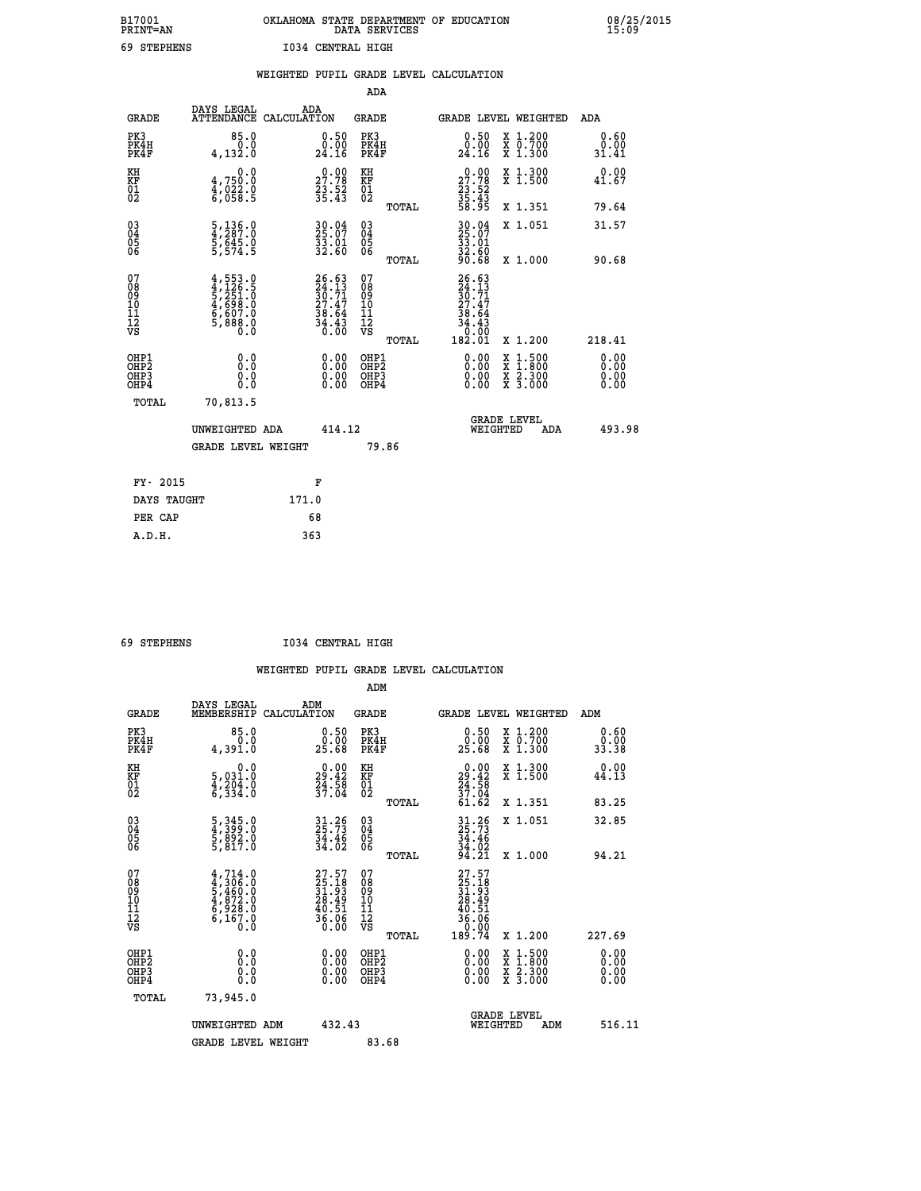## **B17001 OKLAHOMA STATE DEPARTMENT OF EDUCATION 08/25/2015 PRINT=AN DATA SERVICES 15:09 69 STEPHENS I034 CENTRAL HIGH**

|                                    |                                                                            | WEIGHTED PUPIL GRADE LEVEL CALCULATION                                   |                                        |       |                                                                          |                                                                            |                              |
|------------------------------------|----------------------------------------------------------------------------|--------------------------------------------------------------------------|----------------------------------------|-------|--------------------------------------------------------------------------|----------------------------------------------------------------------------|------------------------------|
|                                    |                                                                            |                                                                          | <b>ADA</b>                             |       |                                                                          |                                                                            |                              |
| <b>GRADE</b>                       | DAYS LEGAL<br>ATTENDANCE CALCULATION                                       | ADA                                                                      | <b>GRADE</b>                           |       |                                                                          | GRADE LEVEL WEIGHTED                                                       | ADA                          |
| PK3<br>PK4H<br>PK4F                | 85.0<br>0.0<br>4, 132.0                                                    | $\substack{0.50\\0.00\\24.16}$                                           | PK3<br>PK4H<br>PK4F                    |       | 0.50<br>0.00<br>24.16                                                    | X 1.200<br>X 0.700<br>X 1.300                                              | 0.60<br>0.00<br>31.41        |
| KH<br>KF<br>01<br>02               | 0.0<br>4,750:0<br>4,022:0<br>6,058:5                                       | $\begin{smallmatrix} 0.00\\ 27.78\\ 23.52\\ 35.43 \end{smallmatrix}$     | KH<br>KF<br>01<br>02                   |       | $\begin{smallmatrix} 0.00\\27.78\\23.52\\35.43\\58.95 \end{smallmatrix}$ | X 1.300<br>X 1.500                                                         | 0.00<br>41.67                |
|                                    |                                                                            |                                                                          |                                        | TOTAL |                                                                          | X 1.351                                                                    | 79.64                        |
| $^{03}_{04}$<br>Ŏ5<br>06           | $\frac{5}{4}$ , $\frac{136}{287}$ : 0<br>$\frac{5}{5}, \frac{64}{54}$ : 0  | $30.04$<br>25:07<br>33.01<br>32.60                                       | $\substack{03 \\ 04}$<br>Ŏ5<br>06      |       | 30.04<br>25.07<br>33.01<br>32.60                                         | X 1.051                                                                    | 31.57                        |
|                                    |                                                                            |                                                                          |                                        | TOTAL | 90.68                                                                    | X 1.000                                                                    | 90.68                        |
| 07<br>08<br>09<br>101<br>112<br>VS | $4,553.0$<br>$5,251.0$<br>$5,251.0$<br>$4,698.0$<br>$6,607.0$<br>$5,888.0$ | $26.63$<br>$24.13$<br>$30.71$<br>$27.47$<br>$38.64$<br>$34.43$<br>$0.00$ | 07<br>08<br>09<br>11<br>11<br>12<br>VS | TOTAL | $26.63\n24.13\n30.71\n27.47\n38.64\n34.43\n0.00\n182.01$                 | X 1.200                                                                    | 218.41                       |
| OHP1<br>OHP2<br>OHP3<br>OHP4       | 0.0<br>0.0<br>Ō.Ō                                                          | 0.00<br>$\begin{smallmatrix} 0.00 \ 0.00 \end{smallmatrix}$              | OHP1<br>OHP2<br>OHP3<br>OHP4           |       | 0.00<br>0.00<br>0.00                                                     | $1:500$<br>$1:800$<br>X<br>X<br>$\frac{\ddot{x}}{x}$ $\frac{2.300}{3.000}$ | 0.00<br>0.00<br>0.00<br>0.00 |
| <b>TOTAL</b>                       | 70,813.5                                                                   |                                                                          |                                        |       |                                                                          |                                                                            |                              |
|                                    | UNWEIGHTED ADA                                                             | 414.12                                                                   |                                        |       |                                                                          | GRADE LEVEL<br>WEIGHTED<br>ADA                                             | 493.98                       |
|                                    | <b>GRADE LEVEL WEIGHT</b>                                                  |                                                                          |                                        | 79.86 |                                                                          |                                                                            |                              |
| FY- 2015                           |                                                                            | F                                                                        |                                        |       |                                                                          |                                                                            |                              |
| DAYS TAUGHT                        |                                                                            | 171.0                                                                    |                                        |       |                                                                          |                                                                            |                              |
| PER CAP                            |                                                                            | 68                                                                       |                                        |       |                                                                          |                                                                            |                              |

 **A.D.H. 363**

 **69 STEPHENS I034 CENTRAL HIGH**

|                                           |                                                                                     |                                                                          | ADM                                                 |                                                                                                          |                                          |                      |
|-------------------------------------------|-------------------------------------------------------------------------------------|--------------------------------------------------------------------------|-----------------------------------------------------|----------------------------------------------------------------------------------------------------------|------------------------------------------|----------------------|
| <b>GRADE</b>                              | DAYS LEGAL<br>MEMBERSHIP                                                            | ADM<br>CALCULATION                                                       | <b>GRADE</b>                                        | GRADE LEVEL WEIGHTED                                                                                     |                                          | ADM                  |
| PK3<br>PK4H<br>PK4F                       | 85.0<br>0.0<br>4,391.0                                                              | $\begin{smallmatrix} 0.50\ 0.00\ 25.68 \end{smallmatrix}$                | PK3<br>PK4H<br>PK4F                                 | $\begin{smallmatrix} 0.50\ 0.00\ 25.68 \end{smallmatrix}$                                                | X 1.200<br>X 0.700<br>X 1.300            | 0.60<br>ة<br>33.38   |
| KH<br>KF<br>01<br>02                      | 0.0<br>5,031.0<br>4,204.0<br>6,334.0                                                | $\begin{smallmatrix} 0.00\\29.42\\24.58\\37.04 \end{smallmatrix}$        | KH<br>KF<br>01<br>02                                | $\begin{smallmatrix} 0.00\\29.42\\24.58\\37.04\\61.62\end{smallmatrix}$                                  | X 1.300<br>X 1.500                       | 0.00<br>44.13        |
|                                           |                                                                                     |                                                                          | TOTAL                                               |                                                                                                          | X 1.351                                  | 83.25                |
| 03<br>04<br>05<br>06                      | 5, 345.0<br>4, 399.0<br>5, 892.0<br>5, 817.0                                        | $31.26$<br>$25.73$<br>$34.46$<br>$34.02$                                 | $\begin{array}{c} 03 \\ 04 \\ 05 \\ 06 \end{array}$ | $31.26$<br>$34.46$<br>$34.02$<br>$94.21$                                                                 | X 1.051                                  | 32.85                |
|                                           |                                                                                     |                                                                          | TOTAL                                               |                                                                                                          | X 1.000                                  | 94.21                |
| 07<br>08<br>09<br>101<br>112<br>VS        | $4,714.0$<br>$4,306.0$<br>$5,460.0$<br>$4,872.0$<br>$6,928.0$<br>$6,167.0$<br>$0.0$ | $27.57$<br>$25.18$<br>$31.93$<br>$28.49$<br>$40.51$<br>$36.06$<br>$0.00$ | 07<br>08<br>09<br>11<br>11<br>12<br>VS              | $\begin{smallmatrix} 27.57\ 25.18\ 31.93\ 31.939\ 28.491\ 40.51\ 36.06\ 0.00\ 189.74\ \end{smallmatrix}$ |                                          |                      |
|                                           |                                                                                     |                                                                          | TOTAL                                               |                                                                                                          | X 1.200                                  | 227.69               |
| OHP1<br>OHP2<br>OH <sub>P</sub> 3<br>OHP4 | 0.0<br>$\begin{smallmatrix} 0.16 \ 0.0 \end{smallmatrix}$                           |                                                                          | OHP1<br>OHP2<br>OHP <sub>3</sub>                    | $0.00$<br>$0.00$<br>0.00                                                                                 | X 1:500<br>X 1:800<br>X 2:300<br>X 3:000 | 0.00<br>0.00<br>0.00 |
| TOTAL                                     | 73,945.0                                                                            |                                                                          |                                                     |                                                                                                          |                                          |                      |
|                                           | UNWEIGHTED ADM                                                                      | 432.43                                                                   |                                                     | GRADE LEVEL<br>WEIGHTED                                                                                  | ADM                                      | 516.11               |
|                                           | <b>GRADE LEVEL WEIGHT</b>                                                           |                                                                          | 83.68                                               |                                                                                                          |                                          |                      |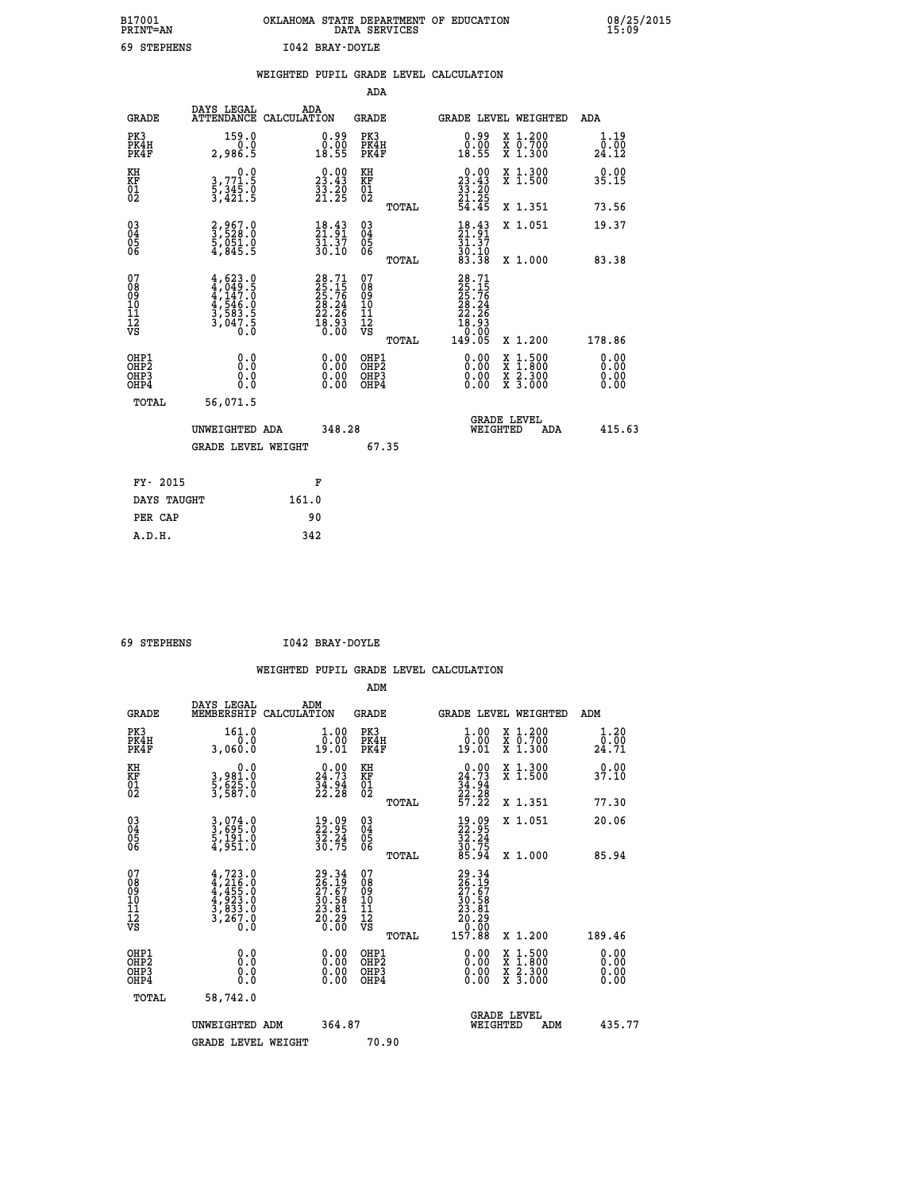| B17001<br><b>PRINT=AN</b> | OKLAHOMA STATE DEPARTMENT OF EDUCATION | DATA SERVICES |  |
|---------------------------|----------------------------------------|---------------|--|
| 69 STEPHENS               | I042 BRAY-DOYLE                        |               |  |

|                                                                    |                              |                                                                                     |       |                                                                          |                                        |       | WEIGHTED PUPIL GRADE LEVEL CALCULATION                                                   |        |                                                                  |                              |
|--------------------------------------------------------------------|------------------------------|-------------------------------------------------------------------------------------|-------|--------------------------------------------------------------------------|----------------------------------------|-------|------------------------------------------------------------------------------------------|--------|------------------------------------------------------------------|------------------------------|
|                                                                    |                              |                                                                                     |       |                                                                          | ADA                                    |       |                                                                                          |        |                                                                  |                              |
|                                                                    | <b>GRADE</b>                 | DAYS LEGAL<br>ATTENDANCE CALCULATION                                                | ADA   |                                                                          | <b>GRADE</b>                           |       |                                                                                          |        | GRADE LEVEL WEIGHTED                                             | ADA                          |
|                                                                    | PK3<br>PK4H<br>PK4F          | 159.0<br>0.0<br>2,986.5                                                             |       | $\begin{smallmatrix} 0.99\\ 0.00\\ 18.55 \end{smallmatrix}$              | PK3<br>PK4H<br>PK4F                    |       | $0.99$<br>$0.00$<br>18.55                                                                |        | X 1.200<br>X 0.700<br>X 1.300                                    | 1.19<br>0.00<br>24.12        |
| KH<br>KF<br>01<br>02                                               |                              | $\begin{smallmatrix}&&&0.0\\3.771.5\\5.345.0\\3.421.5\end{smallmatrix}$             |       | $\begin{smallmatrix} 0.00\\ 23.43\\ 33.20\\ 21.25 \end{smallmatrix}$     | KH<br>KF<br>01<br>02                   |       | $0.00$<br>$33.43$<br>$33.20$<br>$21.25$<br>$54.45$                                       |        | X 1.300<br>X 1.500                                               | 0.00<br>35.15                |
|                                                                    |                              |                                                                                     |       |                                                                          |                                        | TOTAL |                                                                                          |        | X 1.351                                                          | 73.56                        |
| $\begin{smallmatrix} 03 \\[-4pt] 04 \end{smallmatrix}$<br>Ŏ5<br>06 |                              | 2,967.0<br>3,528.0<br>5,051.0<br>4,845.5                                            |       | $\frac{18.43}{21.91}$<br>$\frac{51.57}{30.10}$                           | $\substack{03 \\ 04}$<br>05<br>06      |       | $\frac{18.43}{21.91}$<br>$\frac{31.37}{30.10}$<br>83.38                                  |        | X 1.051                                                          | 19.37                        |
|                                                                    |                              |                                                                                     |       |                                                                          |                                        | TOTAL |                                                                                          |        | X 1.000                                                          | 83.38                        |
| 07<br>08<br>09<br>101<br>112<br>VS                                 |                              | $4,623.0$<br>$4,049.5$<br>$4,147.0$<br>$4,546.0$<br>$3,583.5$<br>$3,047.5$<br>$0.0$ |       | $28.71$<br>$25.75$<br>$25.76$<br>$28.24$<br>$22.26$<br>$18.93$<br>$0.00$ | 07<br>08<br>09<br>11<br>11<br>12<br>VS | TOTAL | $\begin{smallmatrix} 28.71\ 25.15\ 25.76\ 28.24\ 22.26\ 18.93\ 0.005\ \end{smallmatrix}$ |        | X 1.200                                                          | 178.86                       |
|                                                                    | OHP1<br>OHP2<br>OHP3<br>OHP4 | 0.0<br>$0.\overline{0}$<br>0.0                                                      |       | 0.00<br>$\begin{smallmatrix} 0.00 \ 0.00 \end{smallmatrix}$              | OHP1<br>OHP2<br>OHP3<br>OHP4           |       | 0.00<br>0.00<br>0.00                                                                     | X<br>X | $1:500$<br>$1:800$<br>$\frac{\ddot{x}}{x}$ $\frac{2.300}{3.000}$ | 0.00<br>0.00<br>0.00<br>0.00 |
|                                                                    | <b>TOTAL</b>                 | 56,071.5                                                                            |       |                                                                          |                                        |       |                                                                                          |        |                                                                  |                              |
|                                                                    |                              | UNWEIGHTED ADA                                                                      |       | 348.28                                                                   |                                        |       |                                                                                          |        | GRADE LEVEL<br>WEIGHTED<br>ADA                                   | 415.63                       |
|                                                                    |                              | <b>GRADE LEVEL WEIGHT</b>                                                           |       |                                                                          | 67.35                                  |       |                                                                                          |        |                                                                  |                              |
|                                                                    | FY- 2015                     |                                                                                     |       | F                                                                        |                                        |       |                                                                                          |        |                                                                  |                              |
|                                                                    | DAYS TAUGHT                  |                                                                                     | 161.0 |                                                                          |                                        |       |                                                                                          |        |                                                                  |                              |
|                                                                    | PER CAP                      |                                                                                     | 90    |                                                                          |                                        |       |                                                                                          |        |                                                                  |                              |

 **69 STEPHENS I042 BRAY-DOYLE**

|                                          |                                                                                           |                                                                                                      | ADM                                                 |                                                                               |                                          |                       |
|------------------------------------------|-------------------------------------------------------------------------------------------|------------------------------------------------------------------------------------------------------|-----------------------------------------------------|-------------------------------------------------------------------------------|------------------------------------------|-----------------------|
| <b>GRADE</b>                             | DAYS LEGAL<br>MEMBERSHIP                                                                  | ADM<br>CALCULATION                                                                                   | <b>GRADE</b>                                        |                                                                               | GRADE LEVEL WEIGHTED                     | ADM                   |
| PK3<br>PK4H<br>PK4F                      | 161.0<br>0.0<br>3,060.0                                                                   | 1.00<br>0:00<br>19:01                                                                                | PK3<br>PK4H<br>PK4F                                 | $1.00$<br>$0.00$<br>19.01                                                     | X 1.200<br>X 0.700<br>X 1.300            | 1.20<br>0.00<br>24.71 |
| KH<br>KF<br>01<br>02                     | 0.0<br>3,981.0<br>5,625.0<br>3,587.0                                                      | $\begin{smallmatrix} 0.00\\ 24.73\\ 34.94\\ 22.28 \end{smallmatrix}$                                 | KH<br>KF<br>01<br>02                                | $\begin{smallmatrix} 0.00\\24.73\\34.94\\22.28\\57.22 \end{smallmatrix}$      | X 1.300<br>X 1.500                       | 37.10                 |
|                                          |                                                                                           |                                                                                                      | TOTAL                                               |                                                                               | X 1.351                                  | 77.30                 |
| 03<br>04<br>05<br>06                     | 3,074.0<br>3,695.0<br>5,191.0<br>4,951.0                                                  | $\frac{19}{22}.\overset{09}{\underset{22}{32}.\overset{25}{24}}$<br>$\frac{32}{30}.\overset{24}{75}$ | $\begin{array}{c} 03 \\ 04 \\ 05 \\ 06 \end{array}$ | $\begin{smallmatrix} 19.09\\ 22.95\\ 32.24\\ 30.75\\ 85.94 \end{smallmatrix}$ | X 1.051                                  | 20.06                 |
|                                          |                                                                                           |                                                                                                      | TOTAL                                               |                                                                               | X 1.000                                  | 85.94                 |
| 07<br>08<br>09<br>101<br>112<br>VS       | $4, 723.0$<br>$4, 455.0$<br>$4, 455.0$<br>$4, 923.0$<br>$3, 833.0$<br>$3, 267.0$<br>$0.0$ | 29.34<br>26.19<br>27.67<br>30.58<br>33.81<br>23.81<br>20.29                                          | 07<br>08<br>09<br>11<br>11<br>12<br>VS              | 29.34<br>26.197<br>27.57<br>20.58<br>23.81<br>20.29<br>20.00<br>157.88        |                                          |                       |
|                                          |                                                                                           |                                                                                                      | TOTAL                                               |                                                                               | X 1.200                                  | 189.46                |
| OHP1<br>OHP2<br>OHP <sub>3</sub><br>OHP4 | 0.0<br>$\begin{smallmatrix} 0.0 & 0 \ 0.0 & 0 \end{smallmatrix}$                          |                                                                                                      | OHP1<br>OHP2<br>OHP <sub>3</sub>                    | $0.00$<br>$0.00$<br>0.00                                                      | X 1:500<br>X 1:800<br>X 2:300<br>X 3:000 | 0.00<br>0.00<br>0.00  |
| TOTAL                                    | 58,742.0                                                                                  |                                                                                                      |                                                     |                                                                               |                                          |                       |
|                                          | UNWEIGHTED ADM                                                                            | 364.87                                                                                               |                                                     |                                                                               | GRADE LEVEL<br>WEIGHTED<br>ADM           | 435.77                |
|                                          | <b>GRADE LEVEL WEIGHT</b>                                                                 |                                                                                                      | 70.90                                               |                                                                               |                                          |                       |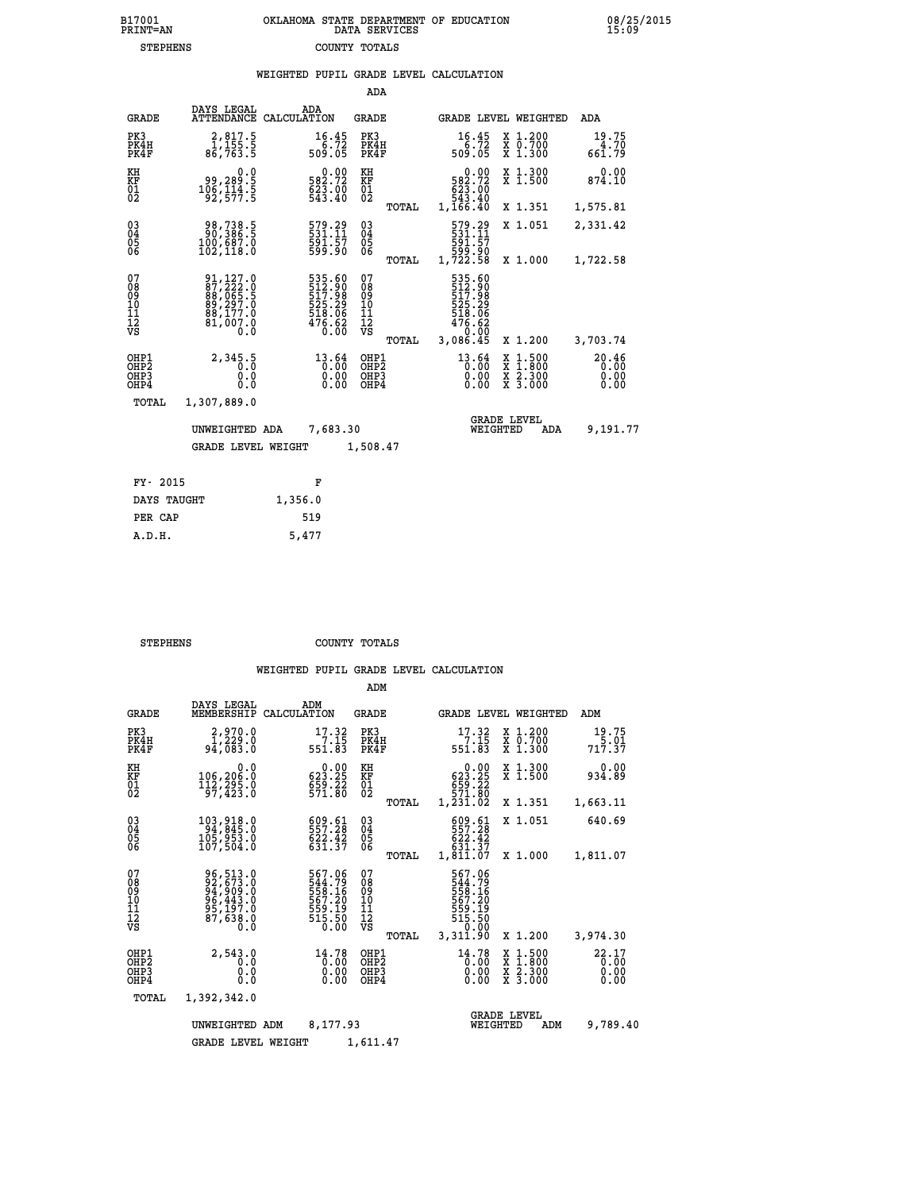|                                                                    |                                                                             |         |                                                                    | ADA                                                |       |                                                                                |                                |                                                                                                  |                               |
|--------------------------------------------------------------------|-----------------------------------------------------------------------------|---------|--------------------------------------------------------------------|----------------------------------------------------|-------|--------------------------------------------------------------------------------|--------------------------------|--------------------------------------------------------------------------------------------------|-------------------------------|
| <b>GRADE</b>                                                       | DAYS LEGAL<br>ATTENDANCE CALCULATION                                        |         | ADA                                                                | GRADE                                              |       |                                                                                |                                | GRADE LEVEL WEIGHTED                                                                             | ADA                           |
| PK3<br>PK4H<br>PK4F                                                | 2,817.5<br>$\frac{1}{86}$ , 155.5<br>86, 763.5                              |         | 16.45<br>509.72                                                    | PK3<br>PK4H<br>PK4F                                |       | 16.45<br>$509.72$<br>509.05                                                    |                                | X 1.200<br>X 0.700<br>X 1.300                                                                    | 19.75<br>$4.70$<br>661.79     |
| KH<br>KF<br>01<br>02                                               | 0.0<br>99,289.5<br>106,114.5<br>92,577.5                                    |         | 0.00<br>582.72<br>623.00<br>543.40                                 | KH<br>KF<br>$^{01}_{02}$                           |       | 582.72<br>623.00<br>543.40<br>1,166.40                                         | 0.00                           | X 1.300<br>$\overline{x}$ 1.500                                                                  | 0.00<br>874.10                |
|                                                                    |                                                                             |         |                                                                    |                                                    | TOTAL |                                                                                |                                | X 1.351                                                                                          | 1,575.81                      |
| $\begin{smallmatrix} 03 \\[-4pt] 04 \end{smallmatrix}$<br>Ŏ5<br>06 | 98,738.5<br>90,386.5<br>100,687.0<br>102,118.0                              |         | 579.29<br>531:11<br>591:57<br>599.90                               | $\begin{matrix} 03 \\ 04 \\ 05 \\ 06 \end{matrix}$ |       | 579.29<br>531.11<br>591.57<br>599.90                                           |                                | X 1.051                                                                                          | 2,331.42                      |
|                                                                    |                                                                             |         |                                                                    |                                                    | TOTAL | 1,722.58                                                                       |                                | X 1.000                                                                                          | 1,722.58                      |
| 07<br>08<br>09<br>11<br>11<br>12<br>VS                             | 91,127.0<br>87,222.0<br>88,065.5<br>89,297.0<br>88,177.0<br>81,007.0<br>0.0 |         | 535.60<br>512.90<br>517:98<br>525.29<br>518.06<br>476.62<br>476.62 | 07<br>08<br>09<br>11<br>11<br>12<br>VS             |       | 535.60<br>512.90<br>517.98<br>525.29<br>518.06<br>518.06<br>476.62<br>3,086.45 | 0.00                           |                                                                                                  |                               |
|                                                                    |                                                                             |         |                                                                    |                                                    | TOTAL |                                                                                |                                | X 1.200                                                                                          | 3,703.74                      |
| OHP1<br>OHP2<br>OH <sub>P3</sub><br>OH <sub>P4</sub>               | 2,345.5<br>0.0<br>0.0                                                       |         | 13.64<br>0.00<br>0.00<br>0.00                                      | OHP1<br>OHP <sub>2</sub><br>OHP3<br>OHP4           |       | $13.64$ <sub>0</sub> :00                                                       | 0.00<br>0.00                   | $\begin{smallmatrix} x & 1 & 500 \\ x & 1 & 800 \\ x & 2 & 300 \\ x & 3 & 000 \end{smallmatrix}$ | 20.46<br>0.00<br>0.00<br>0.00 |
| TOTAL                                                              | 1,307,889.0                                                                 |         |                                                                    |                                                    |       |                                                                                |                                |                                                                                                  |                               |
|                                                                    | UNWEIGHTED ADA                                                              |         | 7,683.30                                                           |                                                    |       |                                                                                | <b>GRADE LEVEL</b><br>WEIGHTED | ADA                                                                                              | 9,191.77                      |
|                                                                    | <b>GRADE LEVEL WEIGHT</b>                                                   |         |                                                                    | 1,508.47                                           |       |                                                                                |                                |                                                                                                  |                               |
|                                                                    |                                                                             |         |                                                                    |                                                    |       |                                                                                |                                |                                                                                                  |                               |
| FY- 2015                                                           |                                                                             |         | F                                                                  |                                                    |       |                                                                                |                                |                                                                                                  |                               |
| DAYS TAUGHT                                                        |                                                                             | 1,356.0 |                                                                    |                                                    |       |                                                                                |                                |                                                                                                  |                               |

| FY-ZULS     | н.      |
|-------------|---------|
| DAYS TAUGHT | 1,356.0 |
| PER CAP     | 519     |
| A.D.H.      | 5,477   |
|             |         |

 **STEPHENS COUNTY TOTALS**

|                                                    |                                                                             |                                                                            | ADM                                             |                                                                                |                                                                                            |                               |
|----------------------------------------------------|-----------------------------------------------------------------------------|----------------------------------------------------------------------------|-------------------------------------------------|--------------------------------------------------------------------------------|--------------------------------------------------------------------------------------------|-------------------------------|
| <b>GRADE</b>                                       | DAYS LEGAL<br>MEMBERSHIP                                                    | ADM<br>CALCULATION                                                         | <b>GRADE</b>                                    | GRADE LEVEL WEIGHTED                                                           |                                                                                            | ADM                           |
| PK3<br>PK4H<br>PK4F                                | 2,970.0<br>1,229.0<br>94,083.0                                              | 17.32<br>7.15<br>551.83                                                    | PK3<br>PK4H<br>PK4F                             | 17.32<br>7.15<br>551.83                                                        | $\begin{smallmatrix} x & 1.200 \\ x & 0.700 \end{smallmatrix}$<br>$\overline{x}$ 1.300     | 19.75<br>717.37               |
| KH<br>KF<br>01<br>02                               | 0.0<br>106,206.0<br>$\frac{112}{97}$ , $\frac{295}{423}$ .0                 | $0.00$<br>623.25<br>$559.22$<br>$571.80$                                   | KH<br>KF<br>01<br>02                            | $\begin{array}{c} 0.00 \\ 623.25 \end{array}$<br>659.22<br>571.80<br>1,231.02  | X 1.300<br>X 1.500                                                                         | 0.00<br>934.89                |
|                                                    |                                                                             |                                                                            | TOTAL                                           |                                                                                | X 1.351                                                                                    | 1,663.11                      |
| $\begin{matrix} 03 \\ 04 \\ 05 \\ 06 \end{matrix}$ | 103,918.0<br>94,845.0<br>105,953.0                                          | 609.61<br>557.28<br>622.42                                                 | $\substack{03 \\ 04}$<br>$\frac{05}{06}$        | 609.61<br>557.28<br>622.42                                                     | X 1.051                                                                                    | 640.69                        |
|                                                    | 107,504.0                                                                   | 631.37                                                                     | TOTAL                                           | 631.37<br>1,811.07                                                             | X 1.000                                                                                    | 1,811.07                      |
| 07<br>08<br>09<br>10<br>11<br>11<br>12<br>VS       | 96,513.0<br>92,673.0<br>94,909.0<br>96,443.0<br>95,197.0<br>87,638.0<br>Ō.Ō | 567.06<br>544.79<br>558.16<br>557.20<br>559.19<br>559.19<br>515.50<br>0.00 | 07<br>08<br>09<br>11<br>11<br>12<br>VS<br>TOTAL | 567.06<br>544.79<br>558.16<br>567.20<br>567.20<br>515.50<br>515.50<br>3,311.90 | X 1.200                                                                                    | 3,974.30                      |
| OHP1<br>OHP2<br>OHP3<br>OHP4                       | 2,543.0<br>0.0<br>0.0<br>Ŏ.Ŏ                                                | 14.78<br>0.00<br>0.00<br>0.00                                              | OHP1<br>OHP2<br>OHP3<br>OHP4                    | 14.78<br>0.00<br>$0.00$<br>0.00                                                | $\begin{array}{c} x & 1.500 \\ x & 1.800 \\ x & 2.300 \end{array}$<br>$\overline{x}$ 3.000 | 22.17<br>0.00<br>0.00<br>0.00 |
| TOTAL                                              | 1,392,342.0                                                                 |                                                                            |                                                 |                                                                                |                                                                                            |                               |
|                                                    | UNWEIGHTED ADM                                                              | 8,177.93                                                                   | 1,611.47                                        | WEIGHTED                                                                       | <b>GRADE LEVEL</b><br>ADM                                                                  | 9,789.40                      |
|                                                    | <b>GRADE LEVEL WEIGHT</b>                                                   |                                                                            |                                                 |                                                                                |                                                                                            |                               |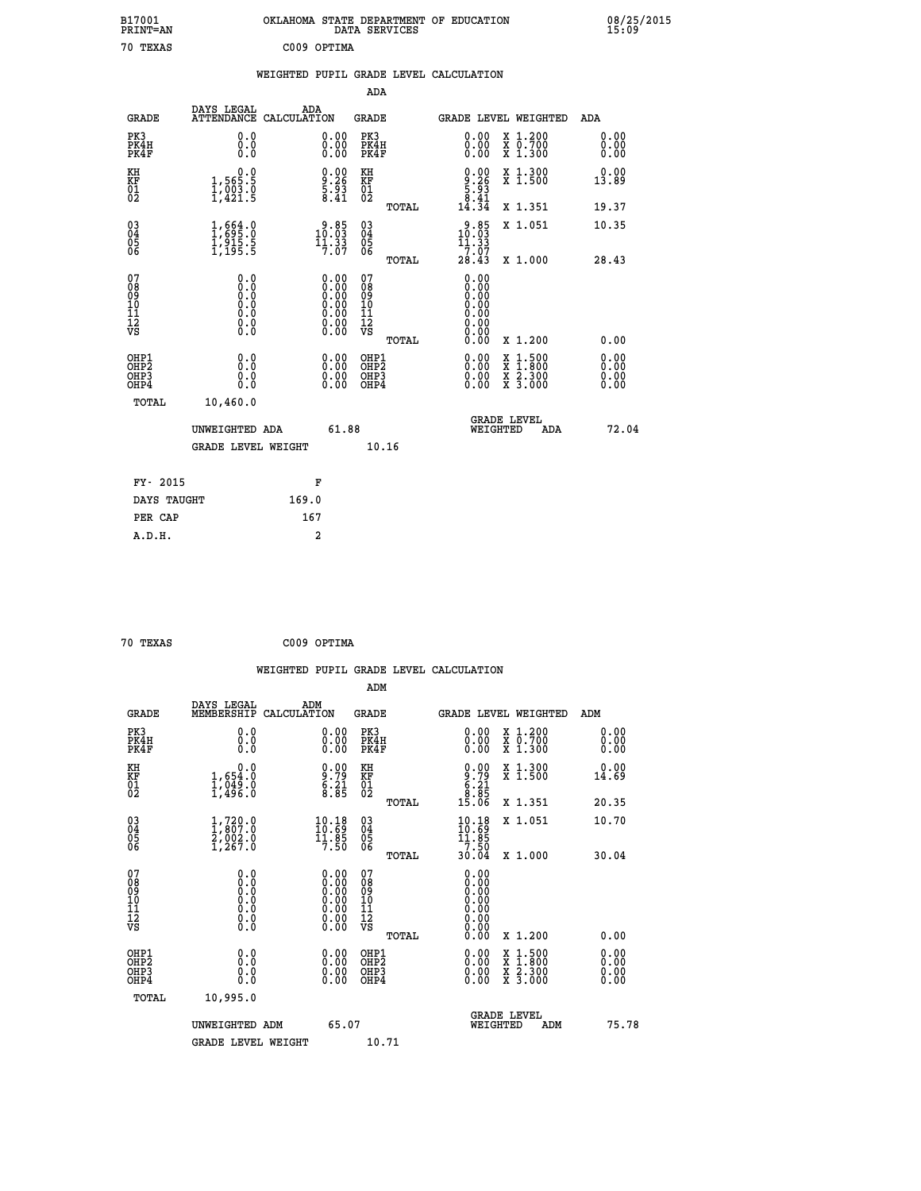| B17001<br>PRINT=AN                       |                                                                              | OKLAHOMA STATE DEPARTMENT OF EDUCATION                                                        | DATA SERVICES                                                       |                                                                          |                                                                                          | 08/25/2015<br>15:09          |  |
|------------------------------------------|------------------------------------------------------------------------------|-----------------------------------------------------------------------------------------------|---------------------------------------------------------------------|--------------------------------------------------------------------------|------------------------------------------------------------------------------------------|------------------------------|--|
| 70 TEXAS                                 |                                                                              | C009 OPTIMA                                                                                   |                                                                     |                                                                          |                                                                                          |                              |  |
|                                          |                                                                              | WEIGHTED PUPIL GRADE LEVEL CALCULATION                                                        |                                                                     |                                                                          |                                                                                          |                              |  |
|                                          |                                                                              |                                                                                               | ADA                                                                 |                                                                          |                                                                                          |                              |  |
| <b>GRADE</b>                             | DAYS LEGAL                                                                   | ADA<br>ATTENDANCE CALCULATION                                                                 | GRADE                                                               |                                                                          | GRADE LEVEL WEIGHTED                                                                     | ADA                          |  |
| PK3<br>PK4H<br>PK4F                      | 0.0<br>0.0<br>0.0                                                            | 0.00<br>$\begin{smallmatrix} 0.00 \ 0.00 \end{smallmatrix}$                                   | PK3<br>PK4H<br>PK4F                                                 | 0.00<br>0.00                                                             | X 1.200<br>X 0.700<br>X 1.300                                                            | 0.00<br>0.00<br>0.00         |  |
| KH<br>KF<br>$\frac{01}{02}$              | 0.0<br>1,565:5<br>1,003:0<br>1,421:5                                         | $0.00$<br>$9.26$<br>$5.93$<br>$8.41$                                                          | KH<br><b>KF</b><br>01<br>02                                         | $\begin{smallmatrix} 0.00\\ 9.26\\ 5.93\\ 8.41\\ 4.34 \end{smallmatrix}$ | X 1.300<br>X 1.500                                                                       | 0.00<br>13.89                |  |
|                                          |                                                                              |                                                                                               | TOTAL                                                               |                                                                          | X 1.351                                                                                  | 19.37                        |  |
| 03<br>04<br>05<br>06                     | 1,695.0<br>$\frac{1}{9}$ , $\frac{3}{5}$ , $\frac{5}{5}$                     | $\frac{9.85}{10.03}$<br>7.07                                                                  | $\begin{matrix} 03 \\ 04 \\ 05 \\ 06 \end{matrix}$<br><b>TOTAL</b>  | $3.85$<br>10:03<br>11.33<br>7.07<br>28.43                                | X 1.051<br>X 1.000                                                                       | 10.35<br>28.43               |  |
| 07<br>08<br>09<br>11<br>11<br>12<br>VS   | 0.0<br>0.0<br>Ŏ.Ŏ<br>$\begin{smallmatrix} 0.10\ 0.0 \ 0.0 \end{smallmatrix}$ | $\begin{smallmatrix} 0.00\ 0.00\ 0.00\ 0.00\ 0.00\ 0.00\ 0.00\ 0.00\ 0.00\ \end{smallmatrix}$ | 07<br>08<br>09<br>10<br>$\frac{11}{12}$<br>$\frac{12}{18}$<br>TOTAL | 0.00<br>0.00<br>0.00<br>0.00<br>0.00<br>0.00<br>0.00                     | X 1.200                                                                                  | 0.00                         |  |
| OHP1<br>OHP <sub>2</sub><br>OHP3<br>OHP4 | 0.0<br>0.0<br>0.0                                                            | 0.00<br>$\begin{smallmatrix} 0.00 \ 0.00 \end{smallmatrix}$                                   | OHP1<br>OH <sub>P</sub> 2<br>OHP3<br>OHP4                           | 0.00<br>$0.00$<br>0.00                                                   | $\begin{smallmatrix} x & 1.500 \\ x & 1.800 \\ x & 2.300 \\ x & 3.000 \end{smallmatrix}$ | 0.00<br>0.00<br>0.00<br>0.00 |  |
| TOTAL                                    | 10,460.0                                                                     |                                                                                               |                                                                     |                                                                          |                                                                                          |                              |  |
|                                          | UNWEIGHTED ADA<br>GRADE LEVEL WEIGHT                                         | 61.88                                                                                         | 10.16                                                               | WEIGHTED                                                                 | <b>GRADE LEVEL</b><br>ADA                                                                | 72.04                        |  |
| FY- 2015                                 |                                                                              | F                                                                                             |                                                                     |                                                                          |                                                                                          |                              |  |
| DAYS TAUGHT                              |                                                                              | 169.0                                                                                         |                                                                     |                                                                          |                                                                                          |                              |  |
| PER CAP                                  |                                                                              | 167                                                                                           |                                                                     |                                                                          |                                                                                          |                              |  |

```
 70 TEXAS C009 OPTIMA
```
 **WEIGHTED PUPIL GRADE LEVEL CALCULATION ADM DAYS LEGAL ADM GRADE MEMBERSHIP CALCULATION GRADE GRADE LEVEL WEIGHTED ADM PK3 0.0 0.00 PK3 0.00 X 1.200 0.00 PK4H 0.0 0.00 PK4H 0.00 X 0.700 0.00 PK4F 0.0 0.00 PK4F 0.00 X 1.300 0.00 KH 0.0 0.00 KH 0.00 X 1.300 0.00 KF 1,654.0 9.79 KF 9.79 X 1.500 14.69**  $\begin{array}{cccc} 01 & 1,049.0 & 6.21 & 01 & 6.21 \\ 02 & 1,496.0 & 8.85 & 02 & 0 \end{array}$  **TOTAL 15.06 X 1.351 20.35 03 1,720.0 10.18 03 10.18 X 1.051 10.70 04 1,807.0 10.69 04 10.69 05 2,002.0 11.85 05 11.85 06 1,267.0 7.50 06 7.50 TOTAL 30.04 X 1.000 30.04 07** 0.0 0.00 07<br>
08 0.0 0.00 08 0.00<br>
10 0.0 0.00 10 0.00<br>
11 0.0 0.00 11 0.00<br>
12 0.0 0.00 11 0.00<br>
VS 0.0 0.00 VS 0.00  $\begin{matrix} 0.7 & 0.0 & 0.0 & 0.7 & 0.00 & 0.00 & 0.00 & 0.00 & 0.00 & 0.00 & 0.00 & 0.00 & 0.00 & 0.00 & 0.00 & 0.00 & 0.00 & 0.00 & 0.00 & 0.00 & 0.00 & 0.00 & 0.00 & 0.00 & 0.00 & 0.00 & 0.00 & 0.00 & 0.00 & 0.00 & 0.00 & 0.00 & 0.00 & 0.00 & 0.00 & 0.00 & 0.$  **OHP1 0.0 0.00 OHP1 0.00 X 1.500 0.00 OHP2 0.0 0.00 OHP2 0.00 X 1.800 0.00 OHP3 0.0 0.00 OHP3 0.00 X 2.300 0.00 OHP4 0.0 0.00 OHP4 0.00 X 3.000 0.00 TOTAL 10,995.0 UNWEIGHTED ADM** 65.07  **UNWEIGHTED ADM 65.07 WEIGHTED ADM 75.78** GRADE LEVEL WEIGHT 10.71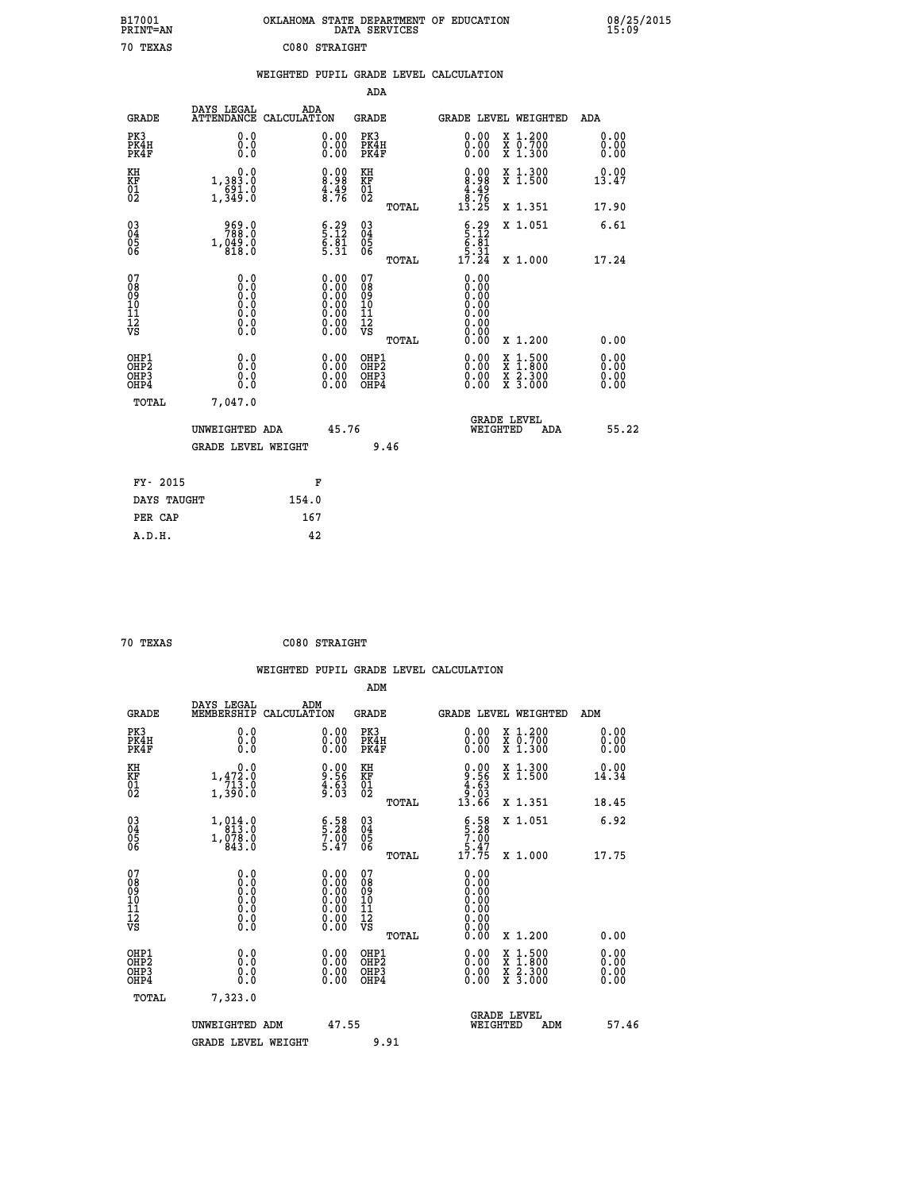| B17001<br>PRINT=AN | OKLAHOMA<br>. STATE DEPARTMENT OF EDUCATION<br>DATA SERVICES | 08/25/2015 |
|--------------------|--------------------------------------------------------------|------------|
| 70<br>TEXAS        | C080 STRAIGHT                                                |            |

| 08/25/2015<br>15:09 |
|---------------------|
|---------------------|

|                                                                    |                                           |       |                                                                                                     |                                           |       | WEIGHTED PUPIL GRADE LEVEL CALCULATION                               |                                                                                          |                              |
|--------------------------------------------------------------------|-------------------------------------------|-------|-----------------------------------------------------------------------------------------------------|-------------------------------------------|-------|----------------------------------------------------------------------|------------------------------------------------------------------------------------------|------------------------------|
|                                                                    |                                           |       |                                                                                                     | ADA                                       |       |                                                                      |                                                                                          |                              |
| <b>GRADE</b>                                                       | DAYS LEGAL<br>ATTENDANCE CALCULATION      |       | ADA                                                                                                 | GRADE                                     |       | <b>GRADE LEVEL WEIGHTED</b>                                          |                                                                                          | ADA                          |
| PK3<br>PK4H<br>PK4F                                                | 0.0<br>0.0<br>Ō.Ō                         |       | $\begin{smallmatrix} 0.00\\ 0.00\\ 0.00 \end{smallmatrix}$                                          | PK3<br>PK4H<br>PK4F                       |       | $\begin{smallmatrix} 0.00 \\ 0.00 \\ 0.00 \end{smallmatrix}$         | X 1.200<br>X 0.700<br>X 1.300                                                            | 0.00<br>0.00<br>0.00         |
| KH<br>KF<br>01<br>02                                               | 0.0<br>1,383.0<br>$\frac{691.0}{1,349.0}$ |       | $\begin{smallmatrix} 0.00\ 8.98\ 4.49\ 8.76 \end{smallmatrix}$                                      | KH<br>KF<br>01<br>02                      |       | $0.00$<br>$8.98$<br>$4.49$<br>$8.76$                                 | X 1.300<br>X 1.500                                                                       | 0.00<br>13.47                |
|                                                                    |                                           |       |                                                                                                     |                                           | TOTAL | $1\bar{3}$ . $2\bar{5}$                                              | X 1.351                                                                                  | 17.90                        |
| $\begin{smallmatrix} 03 \\[-4pt] 04 \end{smallmatrix}$<br>Ŏ5<br>06 | 969.0<br>1,049.0                          |       | $\begin{array}{c} 6.29 \\ 5.12 \\ 6.81 \\ 5.31 \end{array}$                                         | $\substack{03 \\ 04}$<br>Ŏ5<br>06         |       | $\begin{array}{c} 6.29 \\ 5.12 \\ 6.81 \\ 5.31 \\ 17.24 \end{array}$ | X 1.051                                                                                  | 6.61                         |
|                                                                    |                                           |       |                                                                                                     |                                           | TOTAL |                                                                      | X 1.000                                                                                  | 17.24                        |
| 07<br>08901112<br>1112<br>VS                                       | 0.0                                       |       | $\begin{smallmatrix} 0.00\ 0.00\ 0.00\ 0.00\ 0.00\ 0.00\ 0.00\ 0.00\ 0.00\ 0.00\ \end{smallmatrix}$ | 07<br>089<br>101<br>111<br>VS             |       | 0.00<br>0.00<br>0.00<br>0.00<br>0.00<br>0.00                         |                                                                                          |                              |
|                                                                    |                                           |       |                                                                                                     |                                           | TOTAL | 0.00                                                                 | X 1.200                                                                                  | 0.00                         |
| OHP1<br>OH <sub>P</sub> 2<br>OHP3<br>OHP4                          | 0.0<br>0.0<br>Ŏ.Ŏ                         |       | $0.00$<br>$0.00$<br>0.00                                                                            | OHP1<br>OH <sub>P</sub> 2<br>OHP3<br>OHP4 |       | 0.00<br>0.00                                                         | $\begin{smallmatrix} x & 1.500 \\ x & 1.800 \\ x & 2.300 \\ x & 3.000 \end{smallmatrix}$ | 0.00<br>0.00<br>0.00<br>0.00 |
| TOTAL                                                              | 7,047.0                                   |       |                                                                                                     |                                           |       |                                                                      |                                                                                          |                              |
|                                                                    | UNWEIGHTED ADA                            |       | 45.76                                                                                               |                                           |       | GRADE LEVEL<br>WEIGHTED                                              | ADA                                                                                      | 55.22                        |
|                                                                    | <b>GRADE LEVEL WEIGHT</b>                 |       |                                                                                                     |                                           | 9.46  |                                                                      |                                                                                          |                              |
| FY- 2015                                                           |                                           |       | F                                                                                                   |                                           |       |                                                                      |                                                                                          |                              |
| DAYS TAUGHT                                                        |                                           | 154.0 |                                                                                                     |                                           |       |                                                                      |                                                                                          |                              |
| PER CAP                                                            |                                           |       | 167                                                                                                 |                                           |       |                                                                      |                                                                                          |                              |

| 70 TEXAS | C080 STRAIGHT |
|----------|---------------|

|                                                    |                                                                                                                    |                                                                                                                                 |                                                     | WEIGHTED PUPIL GRADE LEVEL CALCULATION                                                        |                      |
|----------------------------------------------------|--------------------------------------------------------------------------------------------------------------------|---------------------------------------------------------------------------------------------------------------------------------|-----------------------------------------------------|-----------------------------------------------------------------------------------------------|----------------------|
|                                                    |                                                                                                                    |                                                                                                                                 | ADM                                                 |                                                                                               |                      |
| <b>GRADE</b>                                       | DAYS LEGAL<br>MEMBERSHIP<br>CALCULATION                                                                            | ADM                                                                                                                             | <b>GRADE</b>                                        | GRADE LEVEL WEIGHTED                                                                          | ADM                  |
| PK3<br>PK4H<br>PK4F                                | 0.0<br>0.0<br>0.0                                                                                                  | $\begin{smallmatrix} 0.00 \ 0.00 \ 0.00 \end{smallmatrix}$                                                                      | PK3<br>PK4H<br>PK4F                                 | $\begin{smallmatrix} 0.00 \\ 0.00 \\ 0.00 \end{smallmatrix}$<br>X 1.200<br>X 0.700<br>X 1.300 | 0.00<br>0.00<br>0.00 |
| KH<br>KF<br>01<br>02                               | 0.0<br>$1,47\overset{2}{2}\cdot\overset{0}{0} \\ 1,390\cdot\overset{0}{0}$                                         | $\begin{array}{c} 0.00 \\ 9.56 \\ 4.63 \\ 9.03 \end{array}$                                                                     | KH<br>KF<br>01<br>02                                | $0.00$<br>$9.56$<br>$4.63$<br>$9.03$<br>$13.66$<br>X 1.300<br>X 1.500                         | 0.00<br>14.34        |
|                                                    |                                                                                                                    |                                                                                                                                 | TOTAL                                               | X 1.351                                                                                       | 18.45                |
| $\begin{matrix} 03 \\ 04 \\ 05 \\ 06 \end{matrix}$ | $\begin{smallmatrix} 1, & 0 & 1 & 4 & 0 \\ 8 & 1 & 3 & 0 \\ 1, & 0 & 7 & 8 & 0 \\ 8 & 4 & 3 & 0 \end{smallmatrix}$ | $\begin{smallmatrix} 6.58\ 5.28\ 7.00\ 5.47 \end{smallmatrix}$                                                                  | $\begin{array}{c} 03 \\ 04 \\ 05 \\ 06 \end{array}$ | $6.58$<br>$5.28$<br>$7.00$<br>$5.47$<br>$17.75$<br>X 1.051                                    | 6.92                 |
|                                                    |                                                                                                                    |                                                                                                                                 | TOTAL                                               | X 1.000                                                                                       | 17.75                |
| 07<br>0890112<br>1112<br>VS                        | 0.0<br>$\begin{smallmatrix} 0.0 & 0 \ 0.0 & 0 \ 0.0 & 0 \ 0.0 & 0 \end{smallmatrix}$                               | $\begin{smallmatrix} 0.00 \ 0.00 \ 0.00 \ 0.00 \ 0.00 \end{smallmatrix}$<br>$\begin{smallmatrix} 0.00 \ 0.00 \end{smallmatrix}$ | 07<br>08<br>09<br>11<br>11<br>12<br>VS<br>TOTAL     | 0.00<br>0.00<br>0.00<br>0.00<br>0.00<br>0.00<br>X 1.200                                       | 0.00                 |
| OHP1<br>OHP <sub>2</sub><br>OHP3<br>OHP4           | 0.0<br>0.000                                                                                                       | $0.00$<br>$0.00$<br>0.00                                                                                                        | OHP1<br>OHP <sub>2</sub><br>OHP <sub>3</sub>        | 0.00<br>X 1:500<br>X 1:800<br>X 2:300<br>X 3:000<br>0.00<br>0.00                              | 0.00<br>0.00<br>0.00 |
| TOTAL                                              | 7,323.0                                                                                                            |                                                                                                                                 |                                                     |                                                                                               |                      |
|                                                    | UNWEIGHTED ADM                                                                                                     | 47.55                                                                                                                           |                                                     | <b>GRADE LEVEL</b><br>WEIGHTED<br>ADM                                                         | 57.46                |
|                                                    | <b>GRADE LEVEL WEIGHT</b>                                                                                          |                                                                                                                                 | 9.91                                                |                                                                                               |                      |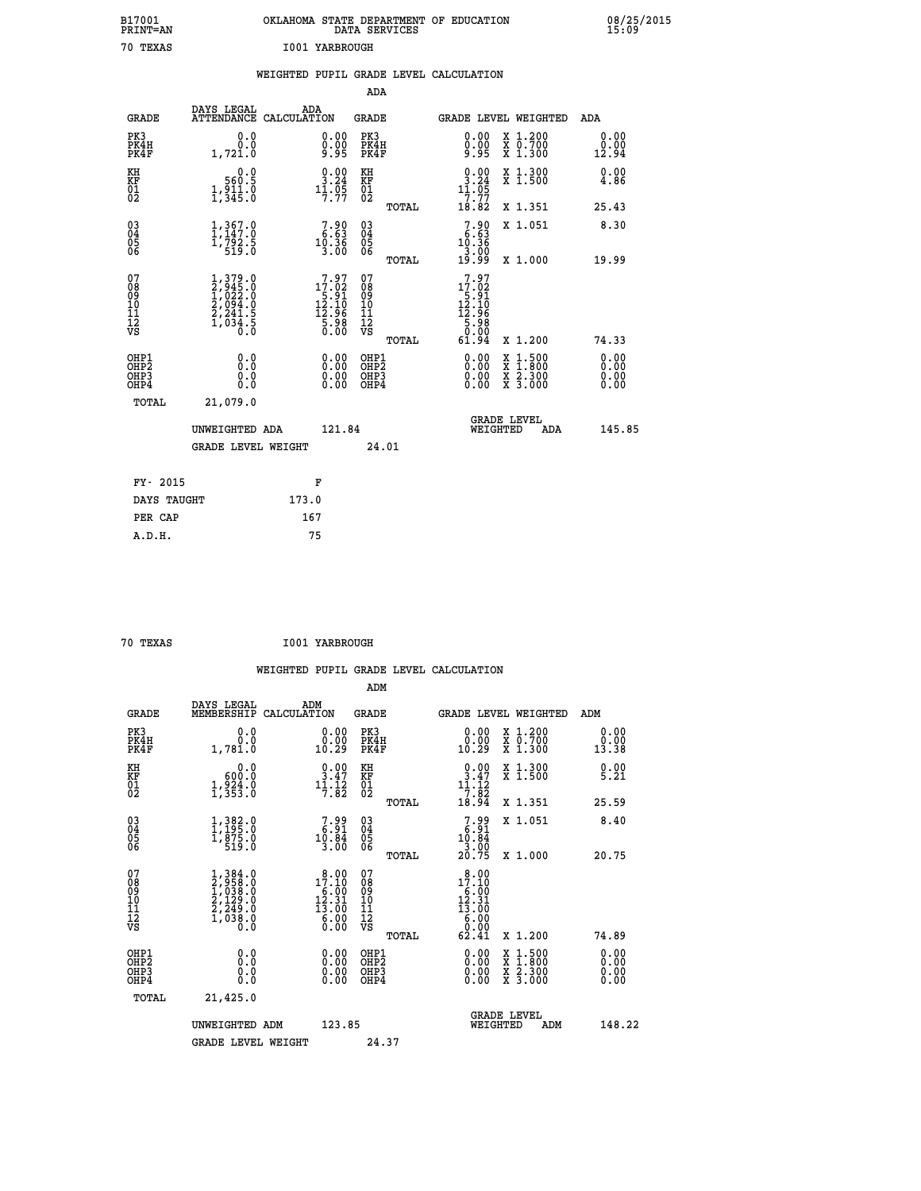| B17001<br><b>PRINT=AN</b> | OKLAHOMA STATE DEPARTMENT OF EDUCATION<br>DATA SERVICES | 08/25/2015<br>15:09 |
|---------------------------|---------------------------------------------------------|---------------------|
| 70 TEXAS                  | I001 YARBROUGH                                          |                     |

|                                                                    |                                                                                     | WEIGHTED PUPIL GRADE LEVEL CALCULATION                                            |                                                 |                                                                             |                                                                                                                                                           |
|--------------------------------------------------------------------|-------------------------------------------------------------------------------------|-----------------------------------------------------------------------------------|-------------------------------------------------|-----------------------------------------------------------------------------|-----------------------------------------------------------------------------------------------------------------------------------------------------------|
|                                                                    |                                                                                     |                                                                                   | <b>ADA</b>                                      |                                                                             |                                                                                                                                                           |
| <b>GRADE</b>                                                       | DAYS LEGAL                                                                          | ADA<br>ATTENDANCE CALCULATION                                                     | GRADE                                           | GRADE LEVEL WEIGHTED                                                        | ADA                                                                                                                                                       |
| PK3<br>PK4H<br>PK4F                                                | 0.0<br>0.0<br>1,721.0                                                               | $\substack{0.00\\0.00\\9.95}$                                                     | PK3<br>PK4H<br>PK4F                             | 0.00<br>X 1.200<br>X 0.700<br>X 1.300<br>0.00<br>5ق:ۆ                       | 0.00<br>0.00<br>12.94                                                                                                                                     |
| KH<br>KF<br>01<br>02                                               | 0.0<br>560.5<br>$\frac{1}{2}, \frac{5}{3}$ $\frac{1}{5}$ $\frac{5}{0}$              | $\begin{smallmatrix} 0.00\\ 3.24\\ 11.95\\ 7.77 \end{smallmatrix}$                | KH<br>KF<br>01<br>02                            | $\frac{0.00}{3.24}$<br>X 1.300<br>X 1.500<br>11.05                          | 0.00<br>4.86                                                                                                                                              |
|                                                                    |                                                                                     |                                                                                   | TOTAL                                           | $\overline{7}$ . $\overline{7}\overline{7}$<br>18.82<br>X 1.351             | 25.43                                                                                                                                                     |
| $\begin{smallmatrix} 03 \\[-4pt] 04 \end{smallmatrix}$<br>Ŏ5<br>06 | 1,367.0<br>1,792.5<br>519.0                                                         | $7.90$<br>$6.63$<br>$10.36$                                                       | $\substack{03 \\ 04}$<br>Ŏ5<br>06               | $7.90\n6.63\n10.36\n3.00\n3.00\n19.99$<br>X 1.051                           | 8.30                                                                                                                                                      |
|                                                                    |                                                                                     | 3.00                                                                              | TOTAL                                           |                                                                             | X 1.000<br>19.99                                                                                                                                          |
| 07<br>08<br>09<br>11<br>11<br>12<br>VS                             | $1,379.0$<br>$2,945.0$<br>$1,022.0$<br>$2,094.0$<br>$2,241.5$<br>$1,034.5$<br>$0.0$ | $\begin{smallmatrix}7.97\\17.02\\5.91\\12.10\\12.96\\5.98\\0.00\end{smallmatrix}$ | 07<br>08<br>09<br>11<br>11<br>12<br>VS<br>TOTAL | 7.97<br>17.02<br>$12.91$<br>$12.10$<br>$12.96$<br>$5.98$<br>$0.00$<br>61.94 | X 1.200<br>74.33                                                                                                                                          |
| OHP1<br>OH <sub>P</sub> 2                                          | 0.0                                                                                 |                                                                                   | OHP1<br>OHP <sub>2</sub>                        |                                                                             | 0.00<br>0.00                                                                                                                                              |
| OHP3<br>OHP4                                                       | 0.0<br>0.0                                                                          | $\begin{smallmatrix} 0.00 \ 0.00 \ 0.00 \ 0.00 \end{smallmatrix}$                 | OHP3<br>OHP4                                    |                                                                             | $\begin{smallmatrix} \mathtt{X} & 1\cdot500\\ \mathtt{X} & 1\cdot800\\ \mathtt{X} & 2\cdot300\\ \mathtt{X} & 3\cdot000 \end{smallmatrix}$<br>0.00<br>0.00 |
| TOTAL                                                              | 21,079.0                                                                            |                                                                                   |                                                 |                                                                             |                                                                                                                                                           |
|                                                                    | UNWEIGHTED ADA                                                                      | 121.84                                                                            |                                                 | <b>GRADE LEVEL</b><br>WEIGHTED                                              | 145.85<br><b>ADA</b>                                                                                                                                      |
|                                                                    | <b>GRADE LEVEL WEIGHT</b>                                                           |                                                                                   | 24.01                                           |                                                                             |                                                                                                                                                           |
|                                                                    | FY- 2015                                                                            | F                                                                                 |                                                 |                                                                             |                                                                                                                                                           |
|                                                                    | DAYS TAUGHT                                                                         | 173.0                                                                             |                                                 |                                                                             |                                                                                                                                                           |
|                                                                    | PER CAP                                                                             | 167                                                                               |                                                 |                                                                             |                                                                                                                                                           |

| 70 TEXAS | <b>I001 YARBROUGH</b> |
|----------|-----------------------|

 **WEIGHTED PUPIL GRADE LEVEL CALCULATION ADM DAYS LEGAL ADM GRADE MEMBERSHIP CALCULATION GRADE GRADE LEVEL WEIGHTED ADM**

| GRADE                                              | MEMBERSHIP                                                                                                                   | CALCULATION                                                                                                                          | GRADE                                         |       | GRADE LEVEL WEIGHTED                                                                |                                                                                                  |     | ADM                                                                                                                                                                                                                                                                            |  |
|----------------------------------------------------|------------------------------------------------------------------------------------------------------------------------------|--------------------------------------------------------------------------------------------------------------------------------------|-----------------------------------------------|-------|-------------------------------------------------------------------------------------|--------------------------------------------------------------------------------------------------|-----|--------------------------------------------------------------------------------------------------------------------------------------------------------------------------------------------------------------------------------------------------------------------------------|--|
| PK3<br>PK4H<br>PK4F                                | 0.0<br>$0.0$<br>1,781.0                                                                                                      | $\substack{0.00\\0.00\\10.29}$                                                                                                       | PK3<br>PK4H<br>PK4F                           |       | $\begin{smallmatrix} 0.00\\ 0.00\\ 10.29 \end{smallmatrix}$                         | X 1.200<br>X 0.700<br>X 1.300                                                                    |     | 0.00<br>$\frac{0.00}{13.38}$                                                                                                                                                                                                                                                   |  |
| KH<br>KF<br>01<br>02                               | 0.0<br>600.0<br>1,924.0<br>1,353.0                                                                                           | $\begin{smallmatrix} 0.00\\ 3.47\\ 11.12\\ 7.82 \end{smallmatrix}$                                                                   | KH<br>KF<br>01<br>02                          |       | $\begin{array}{c} 0.00 \\ 3.47 \\ 11.12 \\ 7.82 \\ 18.94 \end{array}$               | X 1.300<br>X 1.500                                                                               |     | 0.00<br>5.21                                                                                                                                                                                                                                                                   |  |
|                                                    |                                                                                                                              |                                                                                                                                      |                                               | TOTAL |                                                                                     | X 1.351                                                                                          |     | 25.59                                                                                                                                                                                                                                                                          |  |
| $\begin{matrix} 03 \\ 04 \\ 05 \\ 06 \end{matrix}$ | $\begin{smallmatrix} 1\,, & 3 & 8 & 2 & 0\ 1\,, & 1 & 9 & 5 & 0\ 1\,, & 8 & 7 & 5 & 0\ 5 & 1 & 9 & 0 & 0\ \end{smallmatrix}$ | $\begin{smallmatrix}7.99\\ 6.91\\ 10.84\\ 3.00\end{smallmatrix}$                                                                     | 03<br>04<br>05<br>06                          |       | $7.99$<br>$10.84$<br>$3.00$<br>$20.75$                                              | X 1.051                                                                                          |     | 8.40                                                                                                                                                                                                                                                                           |  |
|                                                    |                                                                                                                              |                                                                                                                                      |                                               | TOTAL |                                                                                     | X 1.000                                                                                          |     | 20.75                                                                                                                                                                                                                                                                          |  |
| 07<br>08<br>09<br>101<br>11<br>12<br>VS            | $1,384.0$<br>$2,958.0$<br>$1,038.0$<br>$2,129.0$<br>$2,249.0$<br>$1,038.0$<br>$0.0$                                          | $\begin{smallmatrix} 8 & 0 & 0 \\ 17 & 10 & 0 \\ 6 & 0 & 0 \\ 12 & 31 & 0 \\ 13 & 0 & 0 \\ 6 & 0 & 0 \\ 0 & 0 & 0 \end{smallmatrix}$ | 07<br>08<br>09<br>001<br>11<br>11<br>12<br>VS |       | $\begin{smallmatrix} 8.00\\17.10\\6.00\\12.31\\13.00\\6.000\\9.00\end{smallmatrix}$ |                                                                                                  |     |                                                                                                                                                                                                                                                                                |  |
|                                                    |                                                                                                                              |                                                                                                                                      |                                               | TOTAL | 62.41                                                                               | X 1.200                                                                                          |     | 74.89                                                                                                                                                                                                                                                                          |  |
| OHP1<br>OHP2<br>OH <sub>P3</sub><br>OHP4           |                                                                                                                              | $0.00$<br>$0.00$<br>0.00                                                                                                             | OHP1<br>OHP2<br>OHP3<br>OHP4                  |       |                                                                                     | $\begin{smallmatrix} x & 1 & 500 \\ x & 1 & 800 \\ x & 2 & 300 \\ x & 3 & 000 \end{smallmatrix}$ |     | $\begin{smallmatrix} 0.00 & 0.00 & 0.00 & 0.00 & 0.00 & 0.00 & 0.00 & 0.00 & 0.00 & 0.00 & 0.00 & 0.00 & 0.00 & 0.00 & 0.00 & 0.00 & 0.00 & 0.00 & 0.00 & 0.00 & 0.00 & 0.00 & 0.00 & 0.00 & 0.00 & 0.00 & 0.00 & 0.00 & 0.00 & 0.00 & 0.00 & 0.00 & 0.00 & 0.00 & 0.00 & 0.0$ |  |
| TOTAL                                              | 21,425.0                                                                                                                     |                                                                                                                                      |                                               |       |                                                                                     |                                                                                                  |     |                                                                                                                                                                                                                                                                                |  |
|                                                    | UNWEIGHTED ADM                                                                                                               | 123.85                                                                                                                               |                                               |       |                                                                                     | <b>GRADE LEVEL</b><br>WEIGHTED                                                                   | ADM | 148.22                                                                                                                                                                                                                                                                         |  |
|                                                    | <b>GRADE LEVEL WEIGHT</b>                                                                                                    |                                                                                                                                      | 24.37                                         |       |                                                                                     |                                                                                                  |     |                                                                                                                                                                                                                                                                                |  |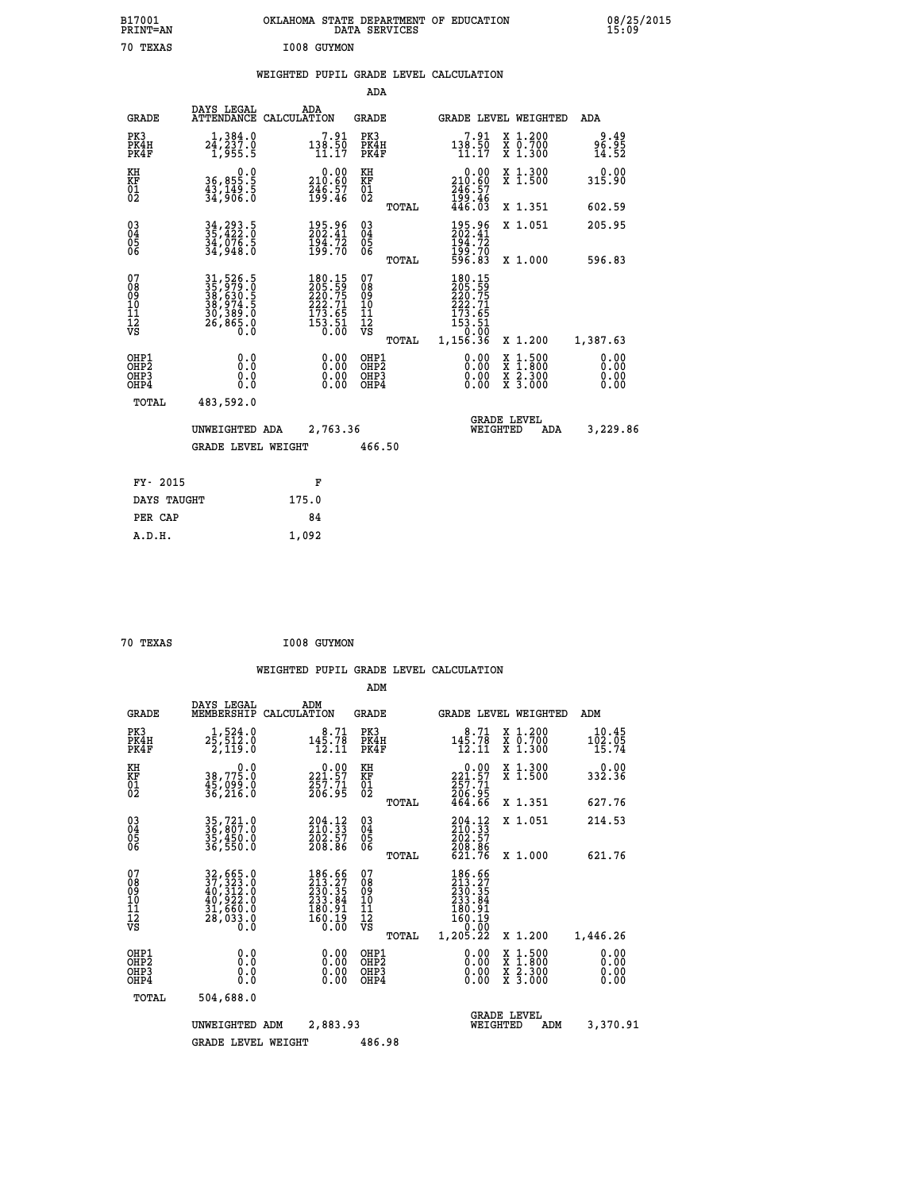| B17001<br>PRINT=AN                                 |                                                                      | OKLAHOMA STATE DEPARTMENT OF EDUCATION DATA SERVICES                                        |                              |                                                                                  |                                                                                                  | 08/25/2015             |
|----------------------------------------------------|----------------------------------------------------------------------|---------------------------------------------------------------------------------------------|------------------------------|----------------------------------------------------------------------------------|--------------------------------------------------------------------------------------------------|------------------------|
| 70 TEXAS                                           |                                                                      | I008 GUYMON                                                                                 |                              |                                                                                  |                                                                                                  |                        |
|                                                    |                                                                      | WEIGHTED PUPIL GRADE LEVEL CALCULATION                                                      |                              |                                                                                  |                                                                                                  |                        |
|                                                    |                                                                      |                                                                                             | ADA                          |                                                                                  |                                                                                                  |                        |
| <b>GRADE</b>                                       | DAYS LEGAL<br>ATTENDANCE CALCULATION                                 | ADA                                                                                         | GRADE                        | <b>GRADE LEVEL WEIGHTED</b>                                                      |                                                                                                  | ADA                    |
| PK3<br>PK4H<br>PK4F                                | $2\frac{1}{2}, \frac{384}{237}.0$<br>1,955.5                         | $7.91$<br>$138.50$<br>$11.17$                                                               | PK3<br>PK4H<br>PK4F          | $7.91$<br>$138.50$<br>$11.17$                                                    | X 1.200<br>X 0.700<br>X 1.300                                                                    | 49.و<br>56.95<br>14.52 |
| KH<br>KF<br>01<br>02                               | 0.0<br>36,855.5<br>43,149.5<br>34,906.0                              | $\substack{0.00\\210.60\\246.57\\199.46}$                                                   | KH<br>KF<br>01<br>02         | 0.00<br>210:60<br>246:57<br>199:46<br>446:03                                     | X 1.300<br>X 1.500                                                                               | 0.00<br>315.90         |
|                                                    |                                                                      |                                                                                             | TOTAL                        |                                                                                  | X 1.351                                                                                          | 602.59                 |
| $\begin{matrix} 03 \\ 04 \\ 05 \\ 06 \end{matrix}$ | 34, 293.5<br>35, 422.0<br>34, 076.5<br>34, 948.0                     | 195.96<br>202.41<br>$\frac{194.72}{199.70}$                                                 | 03<br>04<br>05<br>06         | 195.96<br>202.41<br>194.72<br>199.70<br>596.83                                   | X 1.051                                                                                          | 205.95                 |
|                                                    |                                                                      |                                                                                             | <b>TOTAL</b>                 |                                                                                  | X 1,000                                                                                          | 596.83                 |
| 07<br>08<br>09<br>01<br>11<br>11<br>12<br>VS       | 31,526.5<br>35,979.0<br>38,630.5<br>38,974.5<br>30,389.0<br>26,865.0 | $\begin{smallmatrix} 180.15\\205.59\\222.75\\222.71\\173.65\\153.51\\0.00\end{smallmatrix}$ | 0789011128<br>TOTAL          | 180.15<br>205.59<br>220.75<br>222.71<br>173.65<br>$153.51$<br>$0.00$<br>1,156.36 | X 1.200                                                                                          | 1,387.63               |
| OHP1<br>OHP2<br>OH <sub>P3</sub><br>OHP4<br>TOTAL  | 0.0<br>Ō.Ō<br>0.0<br>0.0<br>483,592.0                                | $0.00$<br>$0.00$<br>0.00                                                                    | OHP1<br>OHP2<br>OHP3<br>OHP4 | 0.00<br>0.00<br>0.00                                                             | $\begin{smallmatrix} x & 1 & 500 \\ x & 1 & 800 \\ x & 2 & 300 \\ x & 3 & 000 \end{smallmatrix}$ | 0.00<br>0.00<br>0.00   |
|                                                    | UNWEIGHTED ADA<br><b>GRADE LEVEL WEIGHT</b>                          | 2,763.36                                                                                    | 466.50                       | <b>GRADE LEVEL</b><br>WEIGHTED                                                   | ADA                                                                                              | 3,229.86               |

| FY- 2015    | F     |
|-------------|-------|
| DAYS TAUGHT | 175.0 |
| PER CAP     | 84    |
| A.D.H.      | 1,092 |
|             |       |

| 70 TEXAS | I008 GUYMON |
|----------|-------------|

|                                                       |                                                                       |                                                                         | ADM                                              |                                                                                      |                                                                                                  |                              |
|-------------------------------------------------------|-----------------------------------------------------------------------|-------------------------------------------------------------------------|--------------------------------------------------|--------------------------------------------------------------------------------------|--------------------------------------------------------------------------------------------------|------------------------------|
| <b>GRADE</b>                                          | DAYS LEGAL<br>MEMBERSHIP                                              | ADM<br>CALCULATION                                                      | <b>GRADE</b>                                     | GRADE LEVEL WEIGHTED                                                                 |                                                                                                  | ADM                          |
| PK3<br>PK4H<br>PK4F                                   | 1,524.0<br>$2\bar{5}, \bar{5}\bar{1}\bar{2}.0$<br>2,119.0             | 8.71<br>145.78<br>12.11                                                 | PK3<br>PK4H<br>PK4F                              | 8.71<br>$14\overline{5}\cdot 7\overline{8}$<br>$12.11$                               | $\begin{array}{c} x & 1.200 \\ x & 0.700 \end{array}$<br>$X$ 1.300                               | 10.45<br>102.05<br>15.74     |
| KH<br>KF<br>01<br>02                                  | 0.0<br>38,775.0<br>$\frac{45}{36}$ , 099.0<br>36, 216.0               | $\begin{smallmatrix} &0.00\\ 221.57\\ 257.71\\ 206.95\end{smallmatrix}$ | KH<br>KF<br>01<br>02                             | $\begin{smallmatrix} &0.00\\ 221.57\\ 257.71\\ 206.95\\ 464.66 \end{smallmatrix}$    | X 1.300<br>X 1.500                                                                               | 0.00<br>332.36               |
|                                                       |                                                                       |                                                                         | TOTAL                                            |                                                                                      | X 1.351                                                                                          | 627.76                       |
| 03<br>04<br>05<br>06                                  | 35,721.0<br>36,807.0<br>35,450.0<br>36,550.0                          | $204.12$<br>$210.33$<br>$202.57$<br>$208.86$                            | $^{03}_{04}$<br>0500                             | 204.12<br>210.33<br>202.57<br>208.86                                                 | X 1.051                                                                                          | 214.53                       |
|                                                       |                                                                       |                                                                         | TOTAL                                            | 621.76                                                                               | X 1.000                                                                                          | 621.76                       |
| 07<br>08<br>09<br>101<br>112<br>VS                    | 32,665.0<br>37,323.0<br>40,312.0<br>40,922.0<br>31,660.0<br>28, 033.0 | 186.66<br>213.27<br>230.35<br>233.84<br>180.91<br>$\frac{160.19}{0.00}$ | 07<br>08<br>09<br>101<br>11<br>12<br>VS<br>TOTAL | $186.66$<br>$213.27$<br>$230.35$<br>$233.84$<br>180.91<br>160.19<br>0.00<br>1,205.22 | X 1.200                                                                                          | 1,446.26                     |
| OHP1<br>OH <sub>P</sub> 2<br>OH <sub>P3</sub><br>OHP4 | 0.0<br>0.000                                                          | $0.00$<br>$0.00$<br>0.00                                                | OHP1<br>OHP2<br>OHP3<br>OHP4                     | $0.00$<br>$0.00$<br>0.00                                                             | $\begin{smallmatrix} x & 1 & 500 \\ x & 1 & 800 \\ x & 2 & 300 \\ x & 3 & 000 \end{smallmatrix}$ | 0.00<br>0.00<br>0.00<br>0.00 |
| TOTAL                                                 | 504,688.0                                                             |                                                                         |                                                  |                                                                                      |                                                                                                  |                              |
|                                                       | UNWEIGHTED                                                            | 2,883.93<br>ADM                                                         |                                                  | <b>GRADE LEVEL</b><br>WEIGHTED                                                       | ADM                                                                                              | 3,370.91                     |
|                                                       | <b>GRADE LEVEL WEIGHT</b>                                             |                                                                         | 486.98                                           |                                                                                      |                                                                                                  |                              |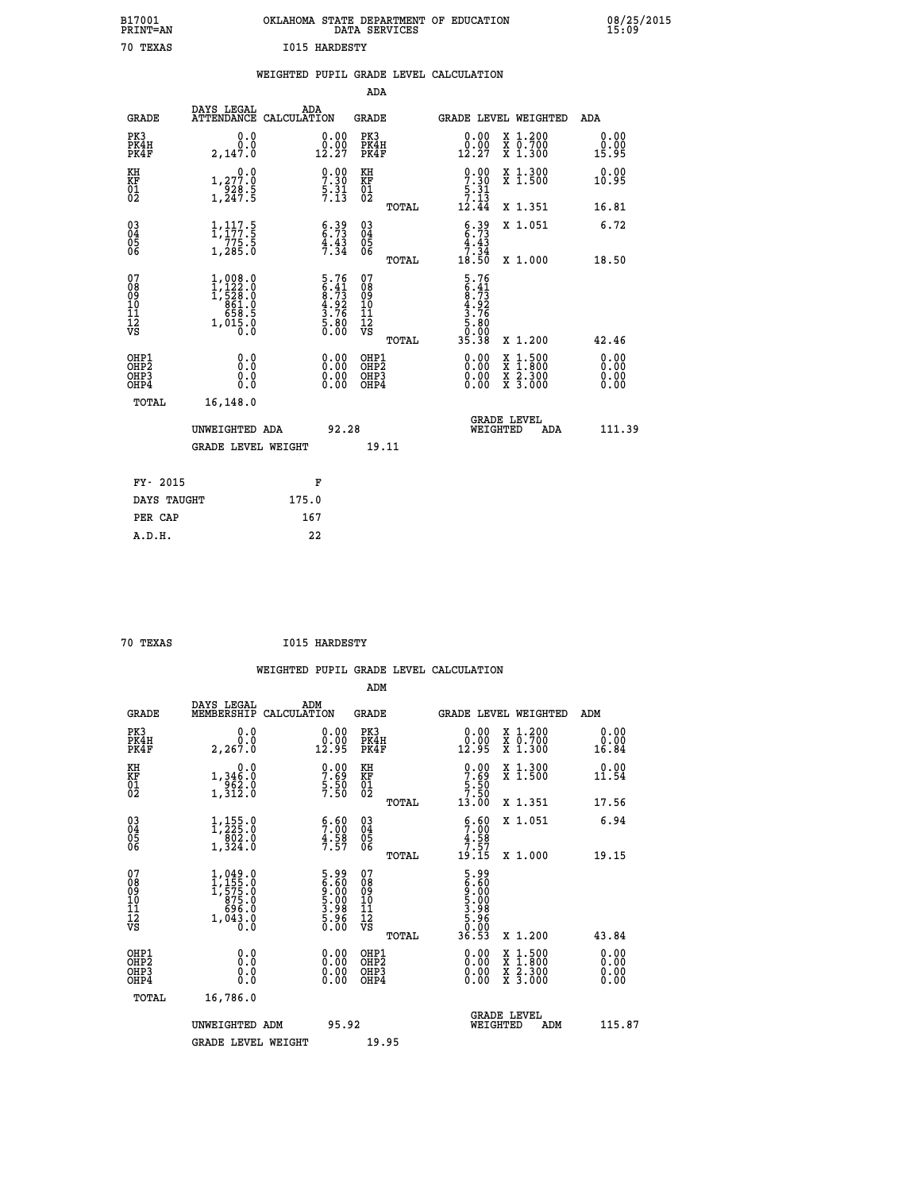| B17001<br><b>PRINT=AN</b> | OKLAHOMA<br>. STATE DEPARTMENT OF EDUCATION<br>DATA SERVICES | 08/25/2015<br>15:09 |
|---------------------------|--------------------------------------------------------------|---------------------|
| 70<br>TEXAS               | <b>I015 HARDESTY</b>                                         |                     |

|  |  | WEIGHTED PUPIL GRADE LEVEL CALCULATION |
|--|--|----------------------------------------|
|  |  |                                        |

|                                                                    |                                                                                                                     |                                                                   | ADA                                       |       |                                                                                |                                                                                                  |                              |
|--------------------------------------------------------------------|---------------------------------------------------------------------------------------------------------------------|-------------------------------------------------------------------|-------------------------------------------|-------|--------------------------------------------------------------------------------|--------------------------------------------------------------------------------------------------|------------------------------|
| <b>GRADE</b>                                                       | DAYS LEGAL<br>ATTENDANCE CALCULATION                                                                                | ADA                                                               | <b>GRADE</b>                              |       |                                                                                | GRADE LEVEL WEIGHTED                                                                             | ADA                          |
| PK3<br>PK4H<br>PK4F                                                | 0.0<br>0.0<br>2,147.0                                                                                               | $\substack{0.00\\0.00\\12.27}$                                    | PK3<br>PK4H<br>PK4F                       |       | $\begin{smallmatrix} 0.00\\ 0.00\\ 12.27 \end{smallmatrix}$                    | X 1.200<br>X 0.700<br>X 1.300                                                                    | 0.00<br>0.00<br>15.95        |
| KH<br><b>KF</b><br>01<br>02                                        | 0.0<br>1, 277:0<br>928:5<br>1, 247:5                                                                                | $\frac{0.00}{7.30}$<br>$\frac{5}{7}$ $\frac{31}{3}$               | KH<br>KF<br>01<br>02                      |       | $\frac{0.00}{7.30}$<br>$\frac{5}{7}$ : $\frac{31}{3}$<br>12.44                 | X 1.300<br>X 1.500                                                                               | 0.00<br>10.95                |
|                                                                    |                                                                                                                     |                                                                   |                                           | TOTAL |                                                                                | X 1.351                                                                                          | 16.81                        |
| $\begin{smallmatrix} 03 \\[-4pt] 04 \end{smallmatrix}$<br>Ŏ5<br>06 | $\begin{array}{c} 1,117.5 \\ 1,177.5 \\ 775.5 \\ 1,285.0 \end{array}$                                               | 6.39<br>6.73<br>4.43<br>7.34                                      | $\substack{03 \\ 04}$<br>05<br>06         |       | $6.39$<br>$4.33$<br>$7.34$                                                     | X 1.051                                                                                          | 6.72                         |
|                                                                    |                                                                                                                     |                                                                   |                                           | TOTAL | 18.50                                                                          | X 1.000                                                                                          | 18.50                        |
| 07<br>08<br>09<br>11<br>11<br>12<br>VS                             | $\begin{smallmatrix} 1,008.0\\ 1,122.0\\ 1,522.0\\ 528.0\\ 861.0\\ 658.5\\ 658.5\\ 1,015.0\\ 0.0 \end{smallmatrix}$ | $5.76$<br>$6.41$<br>$8.73$<br>$4.92$<br>$3.76$<br>5.80<br>0.00    | 07<br>08<br>09<br>11<br>11<br>12<br>VS    |       | $5.76$<br>$6.41$<br>$8.73$<br>$4.92$<br>$3.76$<br>$5.80$<br>$0.000$<br>$35.38$ |                                                                                                  |                              |
|                                                                    |                                                                                                                     |                                                                   |                                           | TOTAL |                                                                                | X 1.200                                                                                          | 42.46                        |
| OHP1<br>OH <sub>P</sub> 2<br>OH <sub>P3</sub><br>OH <sub>P4</sub>  | 0.0<br>0.0<br>0.0                                                                                                   | $\begin{smallmatrix} 0.00 \ 0.00 \ 0.00 \ 0.00 \end{smallmatrix}$ | OHP1<br>OH <sub>P</sub> 2<br>OHP3<br>OHP4 |       | 0.00<br>0.00<br>0.00                                                           | $\begin{smallmatrix} x & 1 & 500 \\ x & 1 & 800 \\ x & 2 & 300 \\ x & 3 & 000 \end{smallmatrix}$ | 0.00<br>0.00<br>0.00<br>0.00 |
| TOTAL                                                              | 16,148.0                                                                                                            |                                                                   |                                           |       |                                                                                |                                                                                                  |                              |
|                                                                    | UNWEIGHTED ADA                                                                                                      | 92.28                                                             |                                           |       |                                                                                | GRADE LEVEL<br>WEIGHTED<br>ADA                                                                   | 111.39                       |
|                                                                    | <b>GRADE LEVEL WEIGHT</b>                                                                                           |                                                                   | 19.11                                     |       |                                                                                |                                                                                                  |                              |
| FY- 2015                                                           |                                                                                                                     | F                                                                 |                                           |       |                                                                                |                                                                                                  |                              |
| DAYS TAUGHT                                                        |                                                                                                                     | 175.0                                                             |                                           |       |                                                                                |                                                                                                  |                              |
| PER CAP                                                            |                                                                                                                     | 167                                                               |                                           |       |                                                                                |                                                                                                  |                              |

| 70 TEXAS |  |
|----------|--|
|          |  |

 **70 TEXAS I015 HARDESTY**

| <b>GRADE</b>                                       | DAYS LEGAL<br>MEMBERSHIP                                                                                                   | ADM<br>CALCULATION                                                | <b>GRADE</b>                                       |       | GRADE LEVEL WEIGHTED                                                                                                                                                                                                                                                           |                                          | ADM                                                |        |
|----------------------------------------------------|----------------------------------------------------------------------------------------------------------------------------|-------------------------------------------------------------------|----------------------------------------------------|-------|--------------------------------------------------------------------------------------------------------------------------------------------------------------------------------------------------------------------------------------------------------------------------------|------------------------------------------|----------------------------------------------------|--------|
| PK3<br>PK4H<br>PK4F                                | 0.0<br>2, 267.0                                                                                                            | $\begin{smallmatrix} 0.00\\ 0.00\\ 12.95 \end{smallmatrix}$       | PK3<br>PK4H<br>PK4F                                |       | $\begin{smallmatrix} 0.00\\ 0.00\\ 12.95 \end{smallmatrix}$                                                                                                                                                                                                                    | X 1.200<br>X 0.700<br>X 1.300            | 0.00<br>$\overset{0.00}{\phantom{00.00}}\,\,16.84$ |        |
| KH<br>KF<br>01<br>02                               | 0.0<br>1,346.0<br>962.0<br>1,312.0                                                                                         | $\begin{smallmatrix} 0.00\\ 7.69\\ 5.50\\ 7.50 \end{smallmatrix}$ | KH<br>KF<br>01<br>02                               |       | $\begin{array}{c} 0.00 \\ 7.69 \\ 5.50 \\ 7.50 \end{array}$                                                                                                                                                                                                                    | X 1.300<br>X 1.500                       | 0.00<br>11.54                                      |        |
|                                                    |                                                                                                                            |                                                                   |                                                    | TOTAL | 13.00                                                                                                                                                                                                                                                                          | X 1.351                                  | 17.56                                              |        |
| $\begin{matrix} 03 \\ 04 \\ 05 \\ 06 \end{matrix}$ | $\begin{smallmatrix} 1,155\cdot 0\\ 1,225\cdot 0\\ 802\cdot 0\\ 1,324\cdot 0 \end{smallmatrix}$                            | $\frac{5.60}{7.58}$<br>$\frac{4.58}{7.57}$                        | $\begin{matrix} 03 \\ 04 \\ 05 \\ 06 \end{matrix}$ |       | 5:60<br>$\frac{4.58}{7.57}$<br>19.15                                                                                                                                                                                                                                           | X 1.051                                  | 6.94                                               |        |
|                                                    |                                                                                                                            |                                                                   |                                                    | TOTAL |                                                                                                                                                                                                                                                                                | X 1.000                                  | 19.15                                              |        |
| 07<br>08<br>09<br>101<br>112<br>VS                 | $\begin{smallmatrix} 1,049 & 0\\ 1,155 & 0\\ 1,575 & 0\\ 875 & 0\\ 696 & 0\\ 696 & 0\\ 1,043 & 0\\ 0 & 0\end{smallmatrix}$ | 5.90<br>6.60<br>9.000<br>5.98<br>5.96<br>0.00                     | 07<br>08<br>09<br>11<br>11<br>12<br>VS             | TOTAL |                                                                                                                                                                                                                                                                                | X 1.200                                  | 43.84                                              |        |
| OHP1<br>OHP2<br>OHP3<br>OHP4                       | 0.0<br>$\begin{smallmatrix} 0.0 & 0 \ 0.0 & 0 \end{smallmatrix}$                                                           |                                                                   | OHP1<br>OHP2<br>OHP3<br>OHP4                       |       | $\begin{smallmatrix} 0.00 & 0.00 & 0.00 & 0.00 & 0.00 & 0.00 & 0.00 & 0.00 & 0.00 & 0.00 & 0.00 & 0.00 & 0.00 & 0.00 & 0.00 & 0.00 & 0.00 & 0.00 & 0.00 & 0.00 & 0.00 & 0.00 & 0.00 & 0.00 & 0.00 & 0.00 & 0.00 & 0.00 & 0.00 & 0.00 & 0.00 & 0.00 & 0.00 & 0.00 & 0.00 & 0.0$ | X 1:500<br>X 1:800<br>X 2:300<br>X 3:000 | $0.00$<br>$0.00$<br>0.00                           |        |
| TOTAL                                              | 16,786.0                                                                                                                   |                                                                   |                                                    |       |                                                                                                                                                                                                                                                                                |                                          |                                                    |        |
|                                                    | UNWEIGHTED ADM                                                                                                             | 95.92                                                             |                                                    |       | WEIGHTED                                                                                                                                                                                                                                                                       | <b>GRADE LEVEL</b><br>ADM                |                                                    | 115.87 |
|                                                    | <b>GRADE LEVEL WEIGHT</b>                                                                                                  |                                                                   | 19.95                                              |       |                                                                                                                                                                                                                                                                                |                                          |                                                    |        |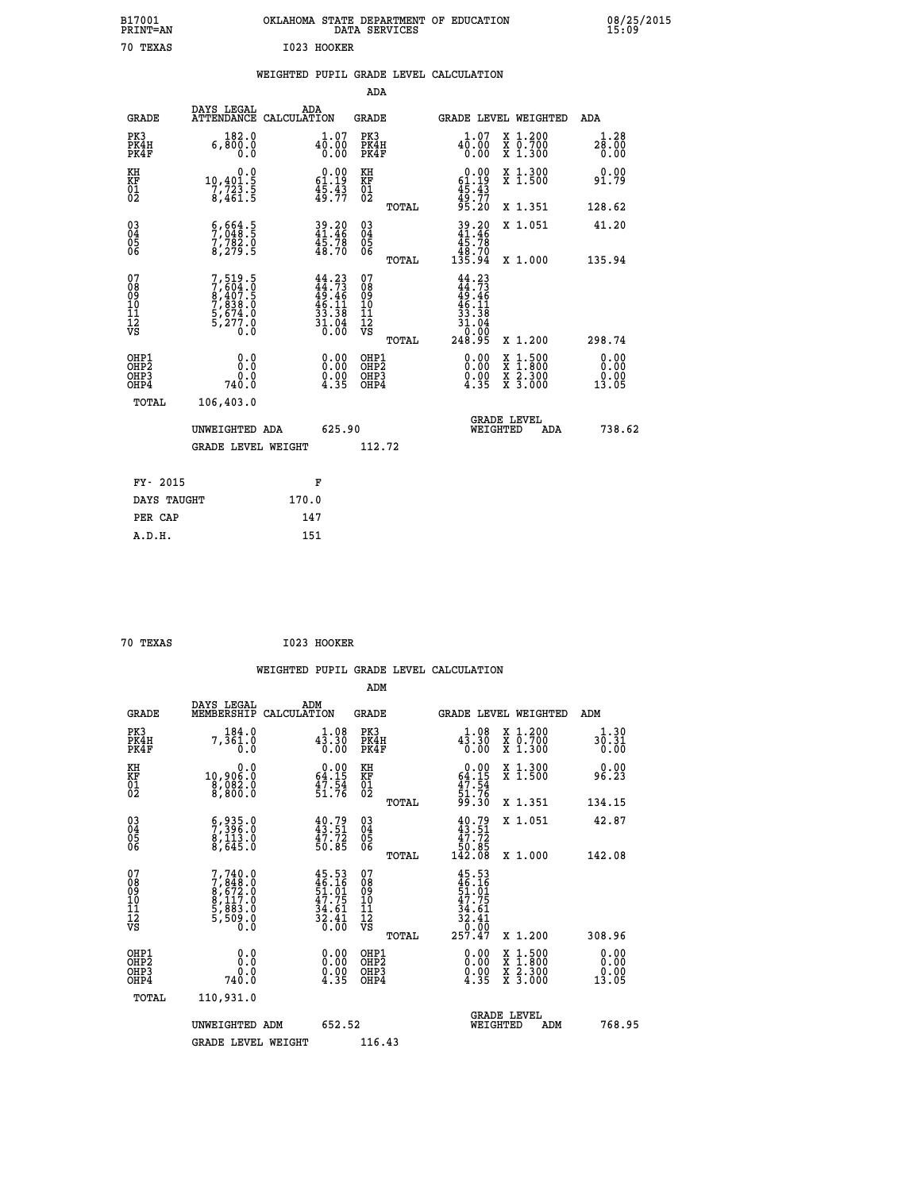| B17001<br><b>PRINT=AN</b> | OKLAHOMA STATE DEPARTMENT OF EDUCATION<br>DATA SERVICES | 08/25/2015<br>15:09 |
|---------------------------|---------------------------------------------------------|---------------------|
| 70<br>TEXAS               | I023 HOOKER                                             |                     |

## **WEIGHTED PUPIL GRADE LEVEL CALCULATION**

|                                                                    |                                                                       |                                                                             | ADA                                       |       |                                                                      |                                          |                               |
|--------------------------------------------------------------------|-----------------------------------------------------------------------|-----------------------------------------------------------------------------|-------------------------------------------|-------|----------------------------------------------------------------------|------------------------------------------|-------------------------------|
| <b>GRADE</b>                                                       | DAYS LEGAL<br>ATTENDANCE CALCULATION                                  | ADA                                                                         | <b>GRADE</b>                              |       |                                                                      | GRADE LEVEL WEIGHTED                     | ADA                           |
| PK3<br>PK4H<br>PK4F                                                | 182.0<br>6,800.0<br>0.0                                               | 40.07<br>0.00<br>0.00                                                       | PK3<br>PK4H<br>PK4F                       |       | 1.07<br>$4\overline{0}.\overline{0}0$<br>0.00                        | X 1.200<br>X 0.700<br>X 1.300            | 1.28<br>28.00<br>0.00         |
| KH<br><b>KF</b><br>01<br>02                                        | 0.0<br>$\begin{array}{c} 10,401.5 \\ 7,723.5 \\ 8,461.5 \end{array}$  | $0.00$<br>61.19<br>$\frac{45.43}{49.77}$                                    | KH<br>KF<br>01<br>02                      |       | $0.00$<br>$61.19$<br>$45.43$<br>$49.77$<br>$95.20$                   | X 1.300<br>X 1.500                       | 0.00<br>91.79                 |
|                                                                    |                                                                       |                                                                             |                                           | TOTAL |                                                                      | X 1.351                                  | 128.62                        |
| $\begin{smallmatrix} 03 \\[-4pt] 04 \end{smallmatrix}$<br>Ŏ5<br>06 | $\frac{6}{7}, \frac{664}{048}$ : 5<br>7, 782: 0<br>8, 279: 5          | 39.20<br>41.46<br>45.78<br>48.70                                            | $\substack{03 \\ 04}$<br>05<br>06         | TOTAL | $39.20\n41.46\n45.78\n48.70\n135.94$                                 | X 1.051<br>X 1.000                       | 41.20<br>135.94               |
| 07<br>08901112<br>1112<br>VS                                       | 7,519.5<br>7,604.0<br>8,407.5<br>7,838.0<br>5,674.0<br>5,277.0<br>0.0 | $44.23$<br>$44.73$<br>$49.46$<br>$46.11$<br>$33.38$<br>$\frac{31.04}{0.00}$ | 07<br>08<br>09<br>11<br>11<br>12<br>VS    |       | 44.23<br>$44.73$<br>$49.46$<br>$46.11$<br>$33.38$<br>$31.04$<br>0.00 |                                          |                               |
|                                                                    |                                                                       |                                                                             |                                           | TOTAL | 248.95                                                               | X 1.200                                  | 298.74                        |
| OHP1<br>OH <sub>P</sub> 2<br>OH <sub>P3</sub><br>OH <sub>P4</sub>  | 0.0<br>0.0<br>740.0                                                   | $\begin{smallmatrix} 0.00 \ 0.00 \ 0.00 \ 4.35 \end{smallmatrix}$           | OHP1<br>OH <sub>P</sub> 2<br>OHP3<br>OHP4 |       | 0.00<br>$\frac{0.00}{4.35}$                                          | X 1:500<br>X 1:800<br>X 2:300<br>X 3:000 | 0.00<br>0.00<br>0.00<br>13.05 |
| TOTAL                                                              | 106,403.0                                                             |                                                                             |                                           |       |                                                                      |                                          |                               |
|                                                                    | UNWEIGHTED ADA                                                        | 625.90                                                                      |                                           |       |                                                                      | GRADE LEVEL<br>WEIGHTED<br>ADA           | 738.62                        |
|                                                                    | <b>GRADE LEVEL WEIGHT</b>                                             |                                                                             | 112.72                                    |       |                                                                      |                                          |                               |
| FY- 2015                                                           |                                                                       | F                                                                           |                                           |       |                                                                      |                                          |                               |
| DAYS TAUGHT                                                        |                                                                       | 170.0                                                                       |                                           |       |                                                                      |                                          |                               |
| PER CAP                                                            |                                                                       | 147                                                                         |                                           |       |                                                                      |                                          |                               |

| 70 TEXAS | I023 HOOKER |
|----------|-------------|

 **A.D.H. 151**

|                                          |                                                                                                  |                                                                          | ADM                                                 |       |                                                                                         |                                          |                               |
|------------------------------------------|--------------------------------------------------------------------------------------------------|--------------------------------------------------------------------------|-----------------------------------------------------|-------|-----------------------------------------------------------------------------------------|------------------------------------------|-------------------------------|
| <b>GRADE</b>                             | DAYS LEGAL<br>MEMBERSHIP                                                                         | ADM<br>CALCULATION                                                       | <b>GRADE</b>                                        |       |                                                                                         | GRADE LEVEL WEIGHTED                     | ADM                           |
| PK3<br>PK4H<br>PK4F                      | 184.0<br>7,361.0                                                                                 | 1.08<br>$4\bar{3}\cdot\bar{3}0$<br>0.00                                  | PK3<br>PK4H<br>PK4F                                 |       | $4\overline{3}\cdot 30$<br>0.00                                                         | X 1.200<br>X 0.700<br>X 1.300            | 1.30<br>30.31<br>0.00         |
| KH<br>KF<br>01<br>02                     | 0.0<br>10,906.0<br>8,082.0<br>8,800.0                                                            | $\begin{smallmatrix} 0.00\\ 64.15\\ 47.54\\ 51.76 \end{smallmatrix}$     | KH<br>KF<br>01<br>02                                |       | $0.00$<br>$64.15$<br>$47.54$<br>$51.76$<br>$99.30$                                      | X 1.300<br>X 1.500                       | 0.00<br>96.23                 |
|                                          |                                                                                                  |                                                                          |                                                     | TOTAL |                                                                                         | X 1.351                                  | 134.15                        |
| 03<br>04<br>05<br>06                     | $\begin{smallmatrix} 6 & 935 & 0 \\ 7 & 396 & 0 \\ 8 & 113 & 0 \\ 8 & 645 & 0 \end{smallmatrix}$ | $40.79$<br>$43.51$<br>$47.72$<br>$50.85$                                 | $\begin{array}{c} 03 \\ 04 \\ 05 \\ 06 \end{array}$ |       | $40.79\n43.51\n47.72\n50.85\n142.08$                                                    | X 1.051                                  | 42.87                         |
|                                          |                                                                                                  |                                                                          |                                                     | TOTAL |                                                                                         | X 1.000                                  | 142.08                        |
| 07<br>08<br>09<br>101<br>112<br>VS       | $7,740.0$<br>$7,848.0$<br>$8,672.0$<br>$8,117.0$<br>$5,883.0$<br>$5,509.0$<br>$0.0$              | $45.53$<br>$46.16$<br>$51.01$<br>$47.75$<br>$34.61$<br>$32.41$<br>$0.00$ | 07<br>08<br>09<br>11<br>11<br>12<br>VS              |       | $45.53$<br>$46.161$<br>$51.015$<br>$47.751$<br>$34.61$<br>$32.41$<br>$0.00$<br>$257.47$ |                                          |                               |
|                                          |                                                                                                  |                                                                          |                                                     | TOTAL |                                                                                         | X 1.200                                  | 308.96                        |
| OHP1<br>OHP2<br>OH <sub>P3</sub><br>OHP4 | 0.0<br>0.0<br>740.0                                                                              | $\begin{smallmatrix} 0.00\ 0.00\ 0.00\ 4.35 \end{smallmatrix}$           | OHP1<br>OHP2<br>OHP <sub>3</sub>                    |       | $\begin{smallmatrix} 0.00\\ 0.00\\ 0.00\\ 4.35 \end{smallmatrix}$                       | X 1:500<br>X 1:800<br>X 2:300<br>X 3:000 | 0.00<br>0.00<br>0.00<br>13.05 |
| TOTAL                                    | 110,931.0                                                                                        |                                                                          |                                                     |       |                                                                                         |                                          |                               |
|                                          | UNWEIGHTED ADM                                                                                   | 652.52                                                                   |                                                     |       | WEIGHTED                                                                                | <b>GRADE LEVEL</b><br>ADM                | 768.95                        |
|                                          | <b>GRADE LEVEL WEIGHT</b>                                                                        |                                                                          | 116.43                                              |       |                                                                                         |                                          |                               |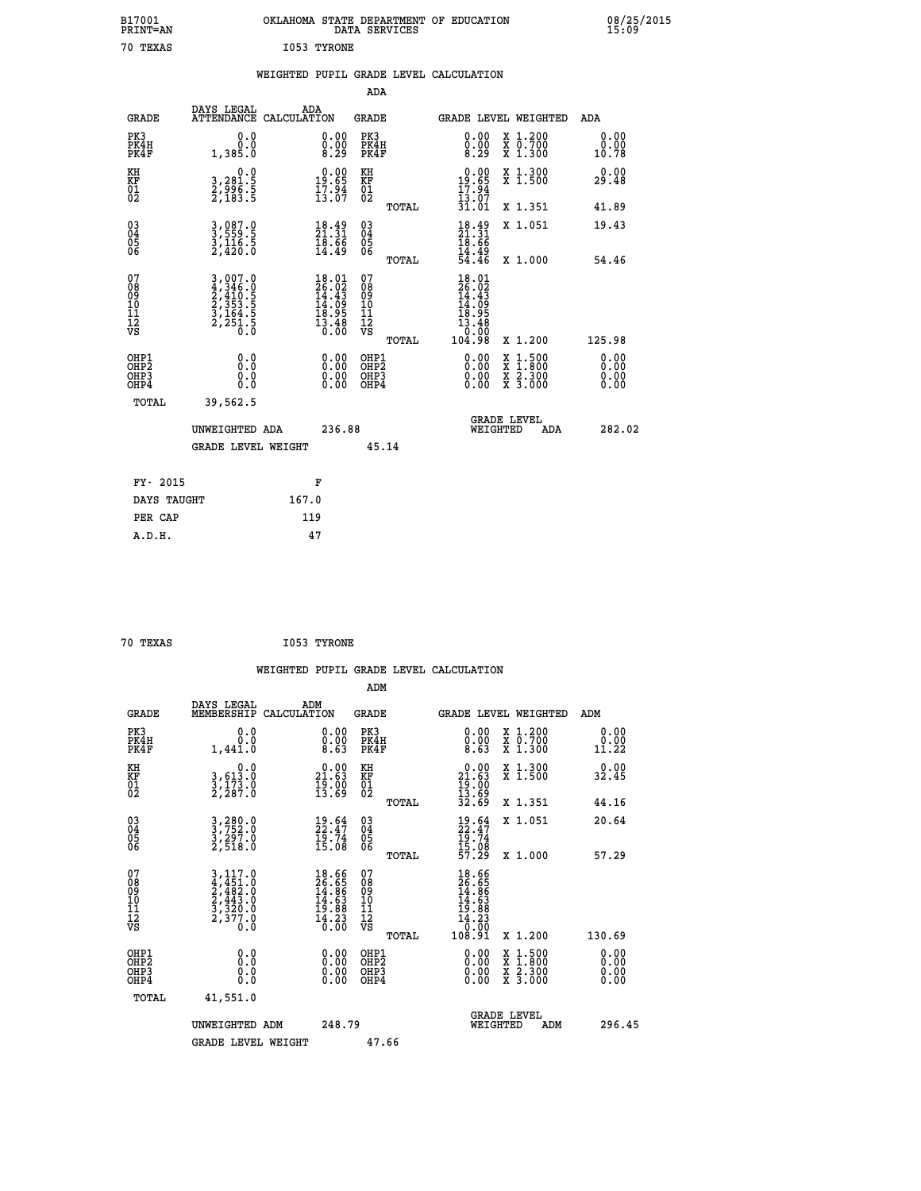| B17001<br><b>PRINT=AN</b> | OKLAHOMA STATE DEPARTMENT OF EDUCATION<br>DATA SERVICES | 08/25/2015<br>15:09 |
|---------------------------|---------------------------------------------------------|---------------------|
| 70<br>TEXAS               | 1053 TYRONE                                             |                     |

|  |  | WEIGHTED PUPIL GRADE LEVEL CALCULATION |
|--|--|----------------------------------------|
|  |  |                                        |

|                                                                    |                                                                                                                                                                    |                                                                          | ADA                                       |       |                                                                                                     |        |                                          |                              |
|--------------------------------------------------------------------|--------------------------------------------------------------------------------------------------------------------------------------------------------------------|--------------------------------------------------------------------------|-------------------------------------------|-------|-----------------------------------------------------------------------------------------------------|--------|------------------------------------------|------------------------------|
| <b>GRADE</b>                                                       | DAYS LEGAL<br>ATTENDANCE CALCULATION                                                                                                                               | ADA                                                                      | <b>GRADE</b>                              |       | GRADE LEVEL WEIGHTED                                                                                |        |                                          | <b>ADA</b>                   |
| PK3<br>PK4H<br>PK4F                                                | 0.0<br>0.0<br>1,385.0                                                                                                                                              | $\substack{0.00\\0.00\\8.29}$                                            | PK3<br>PK4H<br>PK4F                       |       | 0.00<br>$\begin{smallmatrix} 0.00 \\ 8.29 \end{smallmatrix}$                                        |        | X 1.200<br>X 0.700<br>X 1.300            | 0.00<br>0.00<br>10.78        |
| KH<br>KF<br>01<br>02                                               | 0.0<br>3,281:5<br>2,996:5<br>2,183:5                                                                                                                               | $19.00$<br>19.65<br>$\frac{17.94}{13.07}$                                | KH<br>KF<br>01<br>02                      |       | 0.00<br>19.65<br>$\frac{17.94}{13.07}$<br>31.01                                                     |        | X 1.300<br>X 1.500                       | 0.00<br>29.48                |
|                                                                    |                                                                                                                                                                    |                                                                          |                                           | TOTAL |                                                                                                     |        | X 1.351                                  | 41.89                        |
| $\begin{smallmatrix} 03 \\[-4pt] 04 \end{smallmatrix}$<br>Ŏ5<br>06 | 3,087.0<br>3,559.5<br>3,116.5<br>2,420.0                                                                                                                           | $\frac{18.49}{21.31}$<br>$\frac{18.66}{14.49}$                           | $\substack{03 \\ 04}$<br>Ŏ5<br>06         | TOTAL | $18.49$<br>$18.66$<br>$18.66$<br>$14.49$<br>$54.46$                                                 |        | X 1.051<br>X 1.000                       | 19.43<br>54.46               |
| 07<br>08<br>09<br>11<br>11<br>12<br>VS                             | $\begin{smallmatrix} 3\,,\,007\,. \ 0\\ 4\,,\,346\,. \ 0\\ 2\,,\,410\,. \ 5\\ 2\,,\,353\,. \ 5\\ 3\,,\,164\,. \ 5\\ 2\,,\,251\,. \ 5\\ 0\,. \ 0 \end{smallmatrix}$ | $18.01$<br>$26.02$<br>$14.43$<br>$14.09$<br>$18.95$<br>$13.48$<br>$0.00$ | 07<br>08<br>09<br>11<br>11<br>12<br>VS    |       | $\begin{smallmatrix} 18.01\ 26.02\ 14.43\ 14.99\ 18.958\ 13.480\ 10.008\ 104.98\ \end{smallmatrix}$ |        |                                          |                              |
|                                                                    |                                                                                                                                                                    |                                                                          |                                           | TOTAL |                                                                                                     |        | X 1.200                                  | 125.98                       |
| OHP1<br>OH <sub>P</sub> 2<br>OHP3<br>OHP4                          | 0.0<br>0.0<br>0.0                                                                                                                                                  | 0.00<br>$\begin{smallmatrix} 0.00 \ 0.00 \end{smallmatrix}$              | OHP1<br>OH <sub>P</sub> 2<br>OHP3<br>OHP4 |       | 0.00<br>0.00<br>0.00                                                                                | X<br>X | $1:500$<br>$1:800$<br>X 2.300<br>X 3.000 | 0.00<br>0.00<br>0.00<br>0.00 |
| TOTAL                                                              | 39,562.5                                                                                                                                                           |                                                                          |                                           |       |                                                                                                     |        |                                          |                              |
|                                                                    | UNWEIGHTED ADA                                                                                                                                                     | 236.88                                                                   |                                           |       | <b>GRADE LEVEL</b><br>WEIGHTED                                                                      |        | ADA                                      | 282.02                       |
|                                                                    | <b>GRADE LEVEL WEIGHT</b>                                                                                                                                          |                                                                          | 45.14                                     |       |                                                                                                     |        |                                          |                              |
| FY- 2015                                                           |                                                                                                                                                                    | F                                                                        |                                           |       |                                                                                                     |        |                                          |                              |
| DAYS TAUGHT                                                        |                                                                                                                                                                    | 167.0                                                                    |                                           |       |                                                                                                     |        |                                          |                              |
| PER CAP                                                            |                                                                                                                                                                    | 119                                                                      |                                           |       |                                                                                                     |        |                                          |                              |
|                                                                    |                                                                                                                                                                    |                                                                          |                                           |       |                                                                                                     |        |                                          |                              |

| 70 TEXAS | I053 TYRONE |
|----------|-------------|

 **WEIGHTED PUPIL GRADE LEVEL CALCULATION ADM DAYS LEGAL ADM GRADE MEMBERSHIP CALCULATION GRADE GRADE LEVEL WEIGHTED ADM PK3 0.0 0.00 PK3 0.00 X 1.200 0.00 PK4H 0.0 0.00 PK4H 0.00 X 0.700 0.00 PK4F 1,441.0 8.63 PK4F 8.63 X 1.300 11.22**

| ΚH<br>KF<br>01<br>02                               | 0.0<br>3,613:0<br>3,173:0<br>2,287:0                                        | $\begin{smallmatrix} 0.00\\ 21.63\\ 19.00\\ 13.69 \end{smallmatrix}$     | KH<br>KF<br>01<br>02                            | $0.00$<br>$21.63$<br>$19.00$<br>$13.69$<br>$32.69$                                                            | X 1.300<br>X 1.500                                                                               | 0.00<br>32.45                                                                                                                                                                                                                                                                  |
|----------------------------------------------------|-----------------------------------------------------------------------------|--------------------------------------------------------------------------|-------------------------------------------------|---------------------------------------------------------------------------------------------------------------|--------------------------------------------------------------------------------------------------|--------------------------------------------------------------------------------------------------------------------------------------------------------------------------------------------------------------------------------------------------------------------------------|
|                                                    |                                                                             |                                                                          | TOTAL                                           |                                                                                                               | X 1.351                                                                                          | 44.16                                                                                                                                                                                                                                                                          |
| $\begin{matrix} 03 \\ 04 \\ 05 \\ 06 \end{matrix}$ | 3,280.0<br>3,752.0<br>3,297.0<br>2,518.0                                    | $\begin{smallmatrix} 19.64\ 22.47\ 19.74\ 15.08 \end{smallmatrix}$       | 03<br>04<br>05<br>06                            | $19.64$<br>$19.74$<br>$15.08$<br>$57.29$                                                                      | X 1.051                                                                                          | 20.64                                                                                                                                                                                                                                                                          |
|                                                    |                                                                             |                                                                          | TOTAL                                           |                                                                                                               | X 1.000                                                                                          | 57.29                                                                                                                                                                                                                                                                          |
| 07<br>08<br>09<br>10<br>11<br>11<br>12<br>VS       | 3, 117.0<br>4, 451.0<br>2, 482.0<br>2, 443.0<br>3, 320.0<br>2, 377.0<br>0.0 | $18.66$<br>$26.65$<br>$14.86$<br>$14.63$<br>$19.88$<br>$14.23$<br>$0.00$ | 07<br>08<br>09<br>11<br>11<br>12<br>VS<br>TOTAL | $\begin{smallmatrix} 18.66\\ 26.65\\ 14.86\\ 14.68\\ 19.88\\ 19.88\\ 14.23\\ 0.00\\ 108.91 \end{smallmatrix}$ | X 1.200                                                                                          | 130.69                                                                                                                                                                                                                                                                         |
| OHP1<br>OHP2<br>OH <sub>P3</sub><br>OHP4           | 0.0<br>0.000                                                                | $0.00$<br>$0.00$<br>0.00                                                 | OHP1<br>OHP2<br>OHP3<br>OHP4                    | $0.00$<br>$0.00$<br>0.00                                                                                      | $\begin{smallmatrix} x & 1 & 500 \\ x & 1 & 800 \\ x & 2 & 300 \\ x & 3 & 000 \end{smallmatrix}$ | $\begin{smallmatrix} 0.00 & 0.00 & 0.00 & 0.00 & 0.00 & 0.00 & 0.00 & 0.00 & 0.00 & 0.00 & 0.00 & 0.00 & 0.00 & 0.00 & 0.00 & 0.00 & 0.00 & 0.00 & 0.00 & 0.00 & 0.00 & 0.00 & 0.00 & 0.00 & 0.00 & 0.00 & 0.00 & 0.00 & 0.00 & 0.00 & 0.00 & 0.00 & 0.00 & 0.00 & 0.00 & 0.0$ |
| TOTAL                                              | 41,551.0                                                                    |                                                                          |                                                 |                                                                                                               |                                                                                                  |                                                                                                                                                                                                                                                                                |
|                                                    | UNWEIGHTED ADM                                                              | 248.79                                                                   |                                                 |                                                                                                               | <b>GRADE LEVEL</b><br>WEIGHTED<br>ADM                                                            | 296.45                                                                                                                                                                                                                                                                         |
|                                                    | <b>GRADE LEVEL WEIGHT</b>                                                   |                                                                          | 47.66                                           |                                                                                                               |                                                                                                  |                                                                                                                                                                                                                                                                                |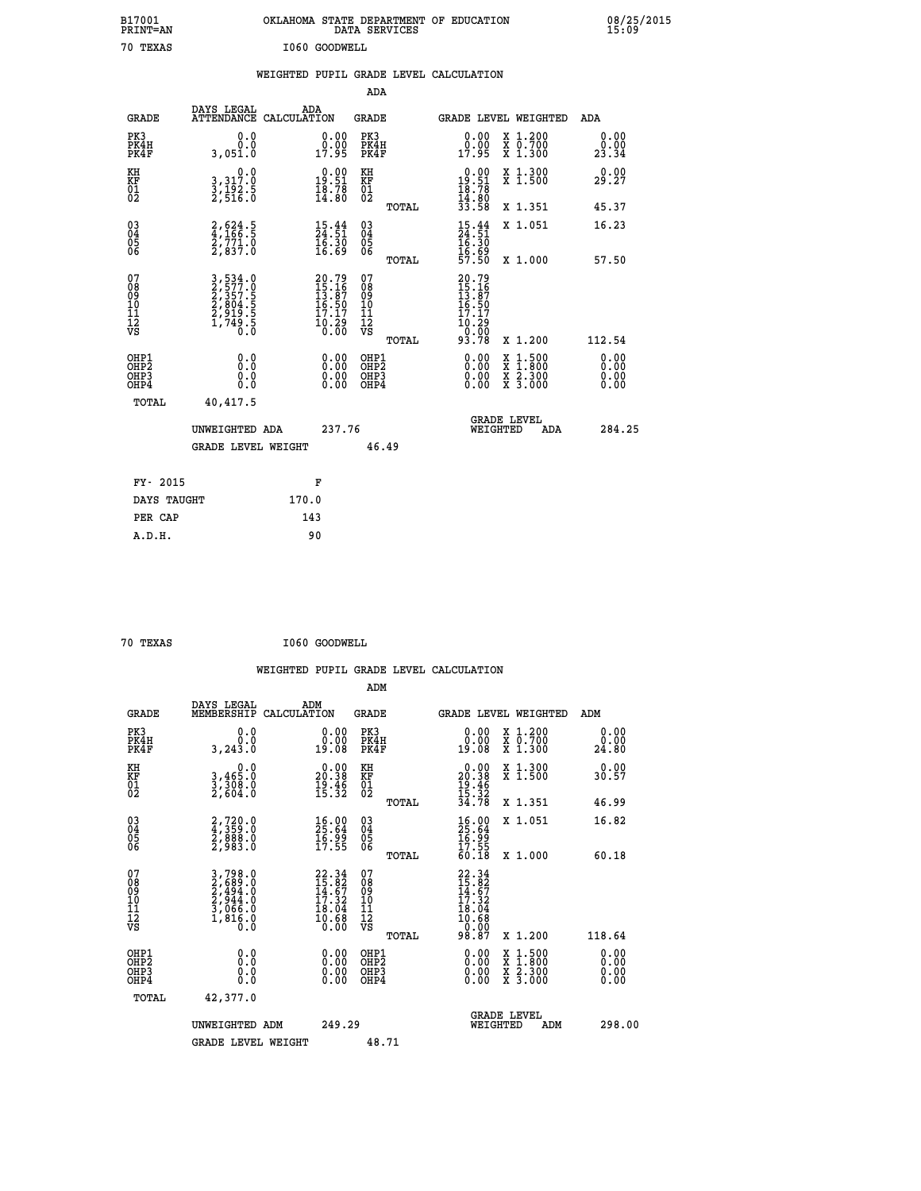| B17001<br>PRINT=AN               |                                                                | OKLAHOMA STATE DEPARTMENT OF EDUCATION                                                                    | DATA SERVICES                                      |                                                                            |                                                                                          | 08/25/2015<br>15:09   |
|----------------------------------|----------------------------------------------------------------|-----------------------------------------------------------------------------------------------------------|----------------------------------------------------|----------------------------------------------------------------------------|------------------------------------------------------------------------------------------|-----------------------|
| 70 TEXAS                         |                                                                | I060 GOODWELL                                                                                             |                                                    |                                                                            |                                                                                          |                       |
|                                  |                                                                | WEIGHTED PUPIL GRADE LEVEL CALCULATION                                                                    |                                                    |                                                                            |                                                                                          |                       |
|                                  |                                                                |                                                                                                           | ADA                                                |                                                                            |                                                                                          |                       |
| <b>GRADE</b>                     | DAYS LEGAL                                                     | ADA<br>ATTENDANCE CALCULATION                                                                             | GRADE                                              |                                                                            | GRADE LEVEL WEIGHTED                                                                     | ADA                   |
| PK3<br>PK4H<br>PK4F              | 0.0<br>0.0<br>3,051.0                                          | $\begin{smallmatrix} 0.00\\ 0.00\\ 17.95 \end{smallmatrix}$                                               | PK3<br>PK4H<br>PK4F                                | $0.00$<br>$0.00$<br>17.95                                                  | X 1.200<br>X 0.700<br>X 1.300                                                            | 0.00<br>0.00<br>23.34 |
| KH<br>KF<br>01<br>02             | 0.0<br>3, 317:0<br>3, 192:5<br>2, 516:0                        | $\begin{smallmatrix} 0.00\\ 19.51\\ 18.78\\ 14.80 \end{smallmatrix}$                                      | KH<br><b>KF</b><br>01<br>02                        | $\begin{smallmatrix} 0.00\\19.51\\18.78\\14.80\\33.58 \end{smallmatrix}$   | X 1.300<br>X 1.500                                                                       | 0.00<br>29.27         |
|                                  |                                                                |                                                                                                           | <b>TOTAL</b>                                       |                                                                            | X 1.351                                                                                  | 45.37                 |
| 03<br>04<br>05<br>06             | 2,624.5<br>4,166.5<br>2,771.0<br>2,837.0                       | $\begin{smallmatrix} 15\cdot\frac{44}{51}\ 24\cdot\frac{51}{51}\ 16\cdot\frac{30}{59}\ \end{smallmatrix}$ | $\begin{matrix} 03 \\ 04 \\ 05 \\ 06 \end{matrix}$ | $15.44$<br>$24.51$<br>$16.30$<br>$16.69$<br>$57.50$                        | X 1.051                                                                                  | 16.23                 |
| 07                               |                                                                |                                                                                                           | TOTAL<br>07                                        |                                                                            | X 1.000                                                                                  | 57.50                 |
| 08<br>09<br>10<br>11<br>ĪŹ<br>VS | 3,534.0<br>2,577.0<br>2,357.5<br>2,804.5<br>2,919.5<br>1,749.5 | 20.79<br>15.16<br>13.87<br>16.50<br>17.17<br>$\frac{10.29}{0.00}$                                         | 08<br>09<br>101<br>11<br>12<br>VS<br>TOTAL         | 20.79<br>15.16<br>13.87<br>16.50<br>17.17<br>10.29<br>$\frac{0.00}{93.78}$ | X 1.200                                                                                  | 112.54                |
| OHP1<br>OHP2<br>OHP3<br>OHP4     | 0.000<br>0.0<br>0.0                                            | 0.00<br>0.00<br>0.00                                                                                      | OHP1<br>OHP2<br>OHP3<br>OHP4                       | $0.00$<br>$0.00$<br>0.00                                                   | $\begin{smallmatrix} x & 1.500 \\ x & 1.800 \\ x & 2.300 \\ x & 3.000 \end{smallmatrix}$ | 0.00<br>0.00<br>0.00  |
| TOTAL                            | 40,417.5                                                       |                                                                                                           |                                                    |                                                                            |                                                                                          |                       |
|                                  | UNWEIGHTED ADA                                                 | 237.76                                                                                                    |                                                    | WEIGHTED                                                                   | <b>GRADE LEVEL</b><br>ADA                                                                | 284.25                |
|                                  | <b>GRADE LEVEL WEIGHT</b>                                      |                                                                                                           | 46.49                                              |                                                                            |                                                                                          |                       |
| FY- 2015                         |                                                                | F                                                                                                         |                                                    |                                                                            |                                                                                          |                       |
| DAYS TAUGHT                      |                                                                | 170.0                                                                                                     |                                                    |                                                                            |                                                                                          |                       |
| PER CAP                          |                                                                | 143                                                                                                       |                                                    |                                                                            |                                                                                          |                       |

| 70 mevic |  |
|----------|--|

 **70 TEXAS I060 GOODWELL**

 **WEIGHTED PUPIL GRADE LEVEL CALCULATION ADM DAYS LEGAL ADM GRADE MEMBERSHIP CALCULATION GRADE GRADE LEVEL WEIGHTED ADM PK3 0.0 0.00 PK3 0.00 X 1.200 0.00 PK4H 0.0 0.00 PK4H 0.00 X 0.700 0.00 PK4F 3,243.0 19.08 PK4F 19.08 X 1.300 24.80 KH 0.0 0.00 KH 0.00 X 1.300 0.00 KF 3,465.0 20.38 KF 20.38 X 1.500 30.57 01 3,308.0 19.46 01 19.46 02 2,604.0 15.32 02 15.32 TOTAL 34.78 X 1.351 46.99 03 2,720.0 16.00 03 16.00 X 1.051 16.82 04 4,359.0 25.64 04 25.64 05 2,888.0 16.99 05 16.99** 06 2,983.0 17.55 06 <sub>momas</sub> 17.55  **07 3,798.0 22.34 07 22.34 08 2,689.0 15.82 08 15.82 09 2,494.0 14.67 09 14.67 10 2,944.0 17.32 10 17.32 11 3,066.0 18.04 11 18.04 12** 1,816.0 **10.68** 12<br>**12** 10.68 **VS** 0.0 0.00 VS 0.00 0.00

| <b>Ub</b>                                            | 2,983.0                                                               | 17.55                                                              | 06<br>TOTAL                                      | $\frac{17.55}{60.18}$<br>X 1.000                                                                            | 60.18                                                                                                                                                                                                                                                                          |
|------------------------------------------------------|-----------------------------------------------------------------------|--------------------------------------------------------------------|--------------------------------------------------|-------------------------------------------------------------------------------------------------------------|--------------------------------------------------------------------------------------------------------------------------------------------------------------------------------------------------------------------------------------------------------------------------------|
| 07<br>08<br>09<br>001<br>11<br>11<br>12<br>VS        | 3,798.0<br>2,689.0<br>2,494.0<br>2,944.0<br>3,066.0<br>1,816.0<br>0.0 | $22.34$<br>$15.82$<br>$14.67$<br>$17.32$<br>$\frac{18.04}{10.68}$  | 07<br>08<br>09<br>101<br>11<br>12<br>VS<br>TOTAL | 22.34<br>$\frac{15.82}{14.67}$<br>$\begin{array}{c} 18.04 \\ 10.68 \\ 0.00 \\ 98.87 \end{array}$<br>X 1.200 | 118.64                                                                                                                                                                                                                                                                         |
| OHP1<br>OHP <sub>2</sub><br>OH <sub>P3</sub><br>OHP4 | 0.0<br>Ŏ.Ŏ<br>0.0                                                     | $\begin{smallmatrix} 0.00 \ 0.00 \ 0.00 \end{smallmatrix}$<br>0.00 | OHP1<br>OHP <sub>2</sub><br>OHP3<br>OHP4         | X 1:500<br>X 1:800<br>X 2:300<br>0.00<br>X <sub>3.000</sub>                                                 | $\begin{smallmatrix} 0.00 & 0.00 & 0.00 & 0.00 & 0.00 & 0.00 & 0.00 & 0.00 & 0.00 & 0.00 & 0.00 & 0.00 & 0.00 & 0.00 & 0.00 & 0.00 & 0.00 & 0.00 & 0.00 & 0.00 & 0.00 & 0.00 & 0.00 & 0.00 & 0.00 & 0.00 & 0.00 & 0.00 & 0.00 & 0.00 & 0.00 & 0.00 & 0.00 & 0.00 & 0.00 & 0.0$ |
| TOTAL                                                | 42,377.0<br>UNWEIGHTED ADM                                            | 249.29                                                             |                                                  | <b>GRADE LEVEL</b><br>WEIGHTED<br>ADM                                                                       | 298.00                                                                                                                                                                                                                                                                         |
|                                                      | <b>GRADE LEVEL WEIGHT</b>                                             |                                                                    | 48.71                                            |                                                                                                             |                                                                                                                                                                                                                                                                                |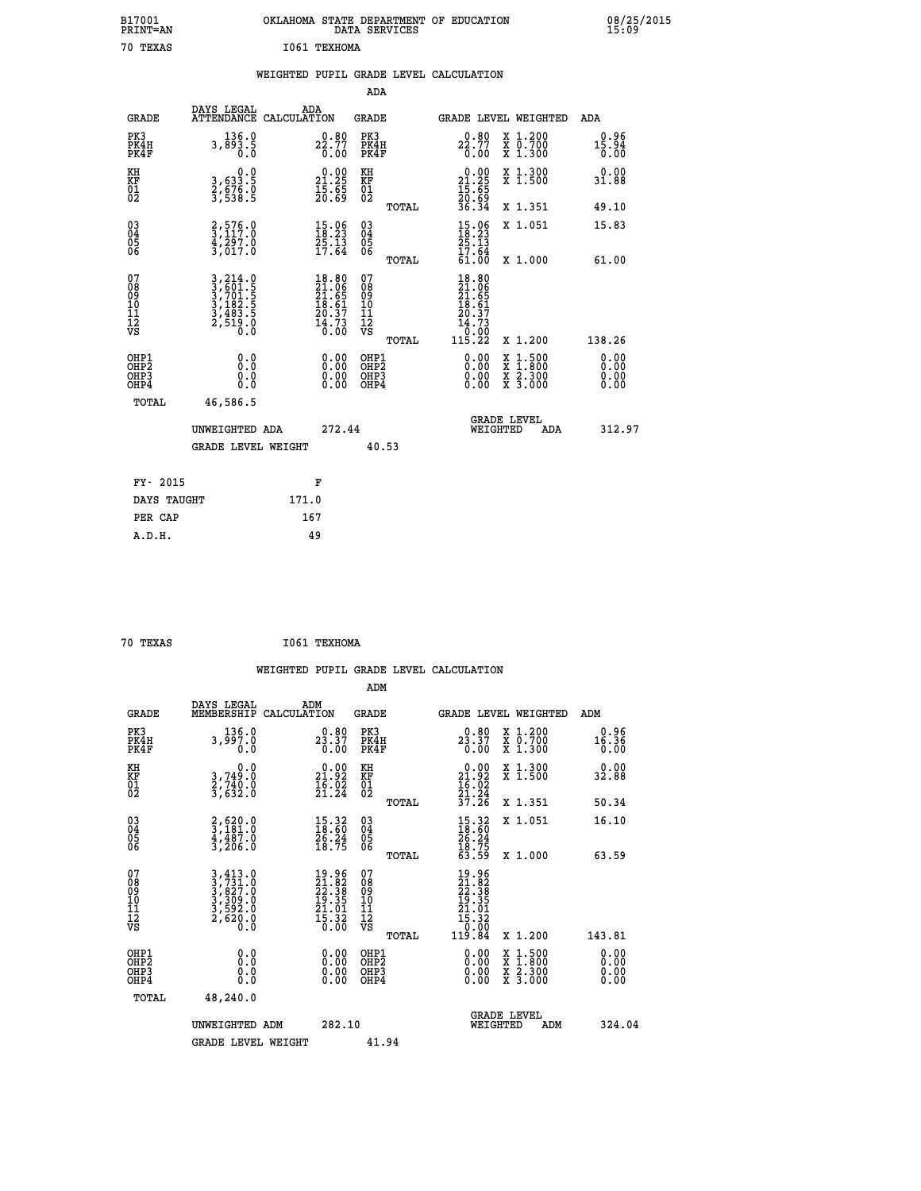| B17001<br>PRINT=AN | OKLAHOMA STATE DEPARTMENT OF EDUCATION<br>DATA SERVICES | 08/25/2015<br>15:09 |
|--------------------|---------------------------------------------------------|---------------------|
| 70<br>TEXAS        | I061 TEXHOMA                                            |                     |

|  |  | WEIGHTED PUPIL GRADE LEVEL CALCULATION |
|--|--|----------------------------------------|
|  |  |                                        |

|                                                                    |                                                                                                                                                                  |                                                                          | ADA                                       |       |                                                                                                             |   |                                        |                                                      |
|--------------------------------------------------------------------|------------------------------------------------------------------------------------------------------------------------------------------------------------------|--------------------------------------------------------------------------|-------------------------------------------|-------|-------------------------------------------------------------------------------------------------------------|---|----------------------------------------|------------------------------------------------------|
| <b>GRADE</b>                                                       | DAYS LEGAL<br><b>ATTENDANCE</b>                                                                                                                                  | ADA<br>CALCULATION                                                       | <b>GRADE</b>                              |       | GRADE LEVEL WEIGHTED                                                                                        |   |                                        | <b>ADA</b>                                           |
| PK3<br>PK4H<br>PK4F                                                | 136.0<br>3,893.5                                                                                                                                                 | 22.77<br>0.00                                                            | PK3<br>PK4H<br>PK4F                       |       | 0.80<br>$2\substack{5.77 \ 0.00}$                                                                           |   | X 1.200<br>X 0.700<br>X 1.300          | 0.96<br>$1\overline{5}\cdot 9\overline{4}\over 0.00$ |
| KH<br>KF<br>01<br>02                                               | 0.0<br>3,633.5<br>2,676.0<br>3,538.5                                                                                                                             | $\begin{smallmatrix} 0.00\\ 21.25\\ 15.65\\ 20.69 \end{smallmatrix}$     | KH<br>KF<br>01<br>02                      |       | $\begin{smallmatrix} 0.00\\ 21.25\\ 15.65\\ 20.69\\ 36.34 \end{smallmatrix}$                                |   | X 1.300<br>X 1.500                     | 0.00<br>31.88                                        |
|                                                                    |                                                                                                                                                                  |                                                                          |                                           | TOTAL |                                                                                                             |   | X 1.351                                | 49.10                                                |
| $\begin{smallmatrix} 03 \\[-4pt] 04 \end{smallmatrix}$<br>Ŏ5<br>06 | $\frac{2}{3}, \frac{576}{117}.0$<br>$\frac{4}{3}$ , $\frac{5}{0}$<br>3, 017.0                                                                                    | $15.96$<br>$18.23$<br>$\frac{25.13}{17.64}$                              | $\substack{03 \\ 04}$<br>Ŏ5<br>06         | TOTAL | $15.06$<br>$18.23$<br>$25.13$<br>$17.64$<br>61.00                                                           |   | X 1.051<br>X 1.000                     | 15.83<br>61.00                                       |
| 07<br>08<br>09<br>11<br>11<br>12<br>VS                             | $\begin{smallmatrix} 3\,,\,214\,.\,0\\ 3\,,\,601\,. \,5\\ 3\,,\,701\,. \,5\\ 3\,,\,182\,. \,5\\ 3\,,\,483\,. \,5\\ 2\,,\,519\,. \,0\\ 0\,. \,0\end{smallmatrix}$ | $18.80$<br>$21.06$<br>$21.65$<br>$18.61$<br>$20.37$<br>$14.73$<br>$0.00$ | 07<br>08<br>09<br>11<br>11<br>12<br>VS    |       | $18.80$<br>$21.06$<br>$21.65$<br>$18.61$<br>$\begin{array}{r} 20.37 \\ 14.73 \\ 0.00 \\ 115.22 \end{array}$ |   |                                        |                                                      |
|                                                                    |                                                                                                                                                                  |                                                                          |                                           | TOTAL |                                                                                                             |   | X 1.200                                | 138.26                                               |
| OHP1<br>OHP <sub>2</sub><br>OHP3<br>OHP4                           | 0.0<br>0.0<br>0.0                                                                                                                                                | 0.00<br>$\begin{smallmatrix} 0.00 \ 0.00 \end{smallmatrix}$              | OHP1<br>OH <sub>P</sub> 2<br>OHP3<br>OHP4 |       | 0.00<br>0.00<br>0.00                                                                                        | X | $1:500$<br>1:800<br>X 2.300<br>X 3.000 | 0.00<br>0.00<br>0.00<br>0.00                         |
| TOTAL                                                              | 46,586.5                                                                                                                                                         |                                                                          |                                           |       |                                                                                                             |   |                                        |                                                      |
|                                                                    | UNWEIGHTED ADA                                                                                                                                                   | 272.44                                                                   |                                           |       | WEIGHTED                                                                                                    |   | <b>GRADE LEVEL</b><br>ADA              | 312.97                                               |
|                                                                    | <b>GRADE LEVEL WEIGHT</b>                                                                                                                                        |                                                                          | 40.53                                     |       |                                                                                                             |   |                                        |                                                      |
| FY- 2015                                                           |                                                                                                                                                                  | F                                                                        |                                           |       |                                                                                                             |   |                                        |                                                      |
| DAYS TAUGHT                                                        |                                                                                                                                                                  | 171.0                                                                    |                                           |       |                                                                                                             |   |                                        |                                                      |
| PER CAP                                                            |                                                                                                                                                                  | 167                                                                      |                                           |       |                                                                                                             |   |                                        |                                                      |
|                                                                    |                                                                                                                                                                  |                                                                          |                                           |       |                                                                                                             |   |                                        |                                                      |

| 70 TEXAS | I061 TEXHOMA |
|----------|--------------|
|          |              |

|                                          |                                                                                                                                                                                  |                                                                                             | ADM                                                 |                                                                                                             |                                          |                              |
|------------------------------------------|----------------------------------------------------------------------------------------------------------------------------------------------------------------------------------|---------------------------------------------------------------------------------------------|-----------------------------------------------------|-------------------------------------------------------------------------------------------------------------|------------------------------------------|------------------------------|
| <b>GRADE</b>                             | DAYS LEGAL<br>MEMBERSHIP                                                                                                                                                         | ADM<br>CALCULATION                                                                          | <b>GRADE</b>                                        |                                                                                                             | GRADE LEVEL WEIGHTED                     | ADM                          |
| PK3<br>PK4H<br>PK4F                      | 136.0<br>3,997.0<br>0.0                                                                                                                                                          | 0.80<br>23.37<br>0.00                                                                       | PK3<br>PK4H<br>PK4F                                 | 0.80<br>23.37<br>0.00                                                                                       | X 1.200<br>X 0.700<br>X 1.300            | 0.96<br>16.36<br>0.00        |
| KH<br>KF<br>01<br>02                     | 0.0<br>3,749:0<br>2,740:0<br>3,632:0                                                                                                                                             | $\begin{smallmatrix} 0.00\\ 21.92\\ 16.02\\ 21.24 \end{smallmatrix}$                        | KH<br>KF<br>01<br>02                                | $0.00$<br>$21.92$<br>$16.02$<br>$21.24$<br>$37.26$                                                          | X 1.300<br>X 1.500                       | 0.00<br>32.88                |
|                                          |                                                                                                                                                                                  |                                                                                             | TOTAL                                               |                                                                                                             | X 1.351                                  | 50.34                        |
| 03<br>04<br>05<br>06                     | 2,620.0<br>3,181.0<br>4,487.0<br>3,206.0                                                                                                                                         | $\begin{smallmatrix} 15.32\ 18.60\ 26.24\ 18.75 \end{smallmatrix}$                          | $\begin{array}{c} 03 \\ 04 \\ 05 \\ 06 \end{array}$ | $15.32$<br>$18.60$<br>$26.24$<br>$18.75$<br>$63.59$                                                         | X 1.051                                  | 16.10                        |
|                                          |                                                                                                                                                                                  |                                                                                             | TOTAL                                               |                                                                                                             | X 1.000                                  | 63.59                        |
| 07<br>08<br>09<br>101<br>112<br>VS       | $\begin{smallmatrix} 3\,,\,4\,13\ .\,0\\ 3\,,\,7\,3\,1\ .\,0\\ 3\,,\,8\,2\,7\ .\,0\\ 3\,,\,3\,0\,9\ .\,0\\ 3\,,\,5\,9\,2\ .\,0\\ 2\,,\,6\,2\,0\ .\,0\\ 0\ .\,0\end{smallmatrix}$ | $\begin{smallmatrix} 19.96\\21.82\\22.38\\19.35\\21.01\\21.01\\5.32\\0.00\end{smallmatrix}$ | 07<br>08<br>09<br>11<br>11<br>12<br>VS              | $\begin{smallmatrix} 19.96\\21.82\\22.38\\29.39\\19.35\\21.01\\21.01\\15.32\\0.00\\119.84\end{smallmatrix}$ |                                          |                              |
|                                          |                                                                                                                                                                                  |                                                                                             | TOTAL                                               |                                                                                                             | X 1.200                                  | 143.81                       |
| OHP1<br>OHP2<br>OH <sub>P3</sub><br>OHP4 | 0.0<br>0.000                                                                                                                                                                     |                                                                                             | OHP1<br>OHP2<br>OHP <sub>3</sub>                    | $0.00$<br>$0.00$<br>0.00                                                                                    | X 1:500<br>X 1:800<br>X 2:300<br>X 3:000 | 0.00<br>0.00<br>0.00<br>0.00 |
| TOTAL                                    | 48,240.0                                                                                                                                                                         |                                                                                             |                                                     |                                                                                                             |                                          |                              |
|                                          | UNWEIGHTED ADM                                                                                                                                                                   | 282.10                                                                                      |                                                     |                                                                                                             | GRADE LEVEL<br>WEIGHTED<br>ADM           | 324.04                       |
|                                          | <b>GRADE LEVEL WEIGHT</b>                                                                                                                                                        |                                                                                             | 41.94                                               |                                                                                                             |                                          |                              |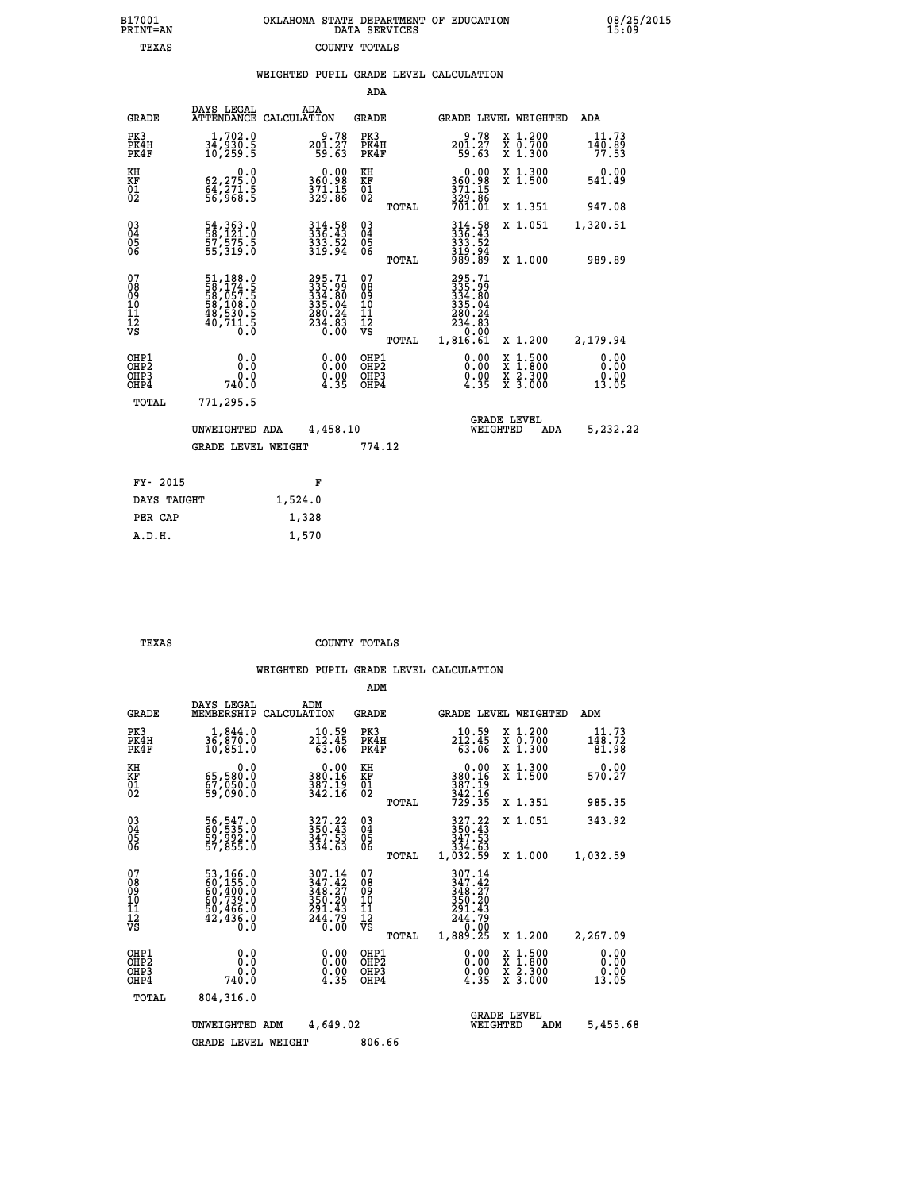| OKLAHOMA STATE DEPARTMENT OF EDUCATION | DATA SERVICES |  |
|----------------------------------------|---------------|--|
|                                        | COUNTY TOTALS |  |

| DAYS LEGAL                     | ADA                                                                                                                                                                                                 | GRADE                                                                                                                                                                                                                              |                                                                                                                 |                                                                                                                                                                        | ADA                                                                          |
|--------------------------------|-----------------------------------------------------------------------------------------------------------------------------------------------------------------------------------------------------|------------------------------------------------------------------------------------------------------------------------------------------------------------------------------------------------------------------------------------|-----------------------------------------------------------------------------------------------------------------|------------------------------------------------------------------------------------------------------------------------------------------------------------------------|------------------------------------------------------------------------------|
| 1,702.0<br>34,930.<br>10,259.5 | $201.27$<br>$59.63$                                                                                                                                                                                 | PK3<br>PK4H<br>PK4F                                                                                                                                                                                                                | 9.78<br>201.27<br>59.63                                                                                         | X 1.200<br>X 0.700<br>X 1.300                                                                                                                                          | 11.73<br>$140.89$<br>$77.53$                                                 |
|                                |                                                                                                                                                                                                     |                                                                                                                                                                                                                                    |                                                                                                                 | X 1.300<br>X 1.500                                                                                                                                                     | 0.00<br>541.49                                                               |
|                                |                                                                                                                                                                                                     | TOTAL                                                                                                                                                                                                                              |                                                                                                                 | X 1.351                                                                                                                                                                | 947.08                                                                       |
|                                | $314.58$<br>$336.43$<br>$\frac{333}{319}\cdot\frac{52}{94}$                                                                                                                                         |                                                                                                                                                                                                                                    |                                                                                                                 | X 1.051                                                                                                                                                                | 1,320.51                                                                     |
|                                |                                                                                                                                                                                                     |                                                                                                                                                                                                                                    |                                                                                                                 |                                                                                                                                                                        | 989.89                                                                       |
|                                |                                                                                                                                                                                                     | 07<br>08<br>09<br>11<br>11<br>12<br>VS                                                                                                                                                                                             | 280.24<br>234.03<br>0.00                                                                                        |                                                                                                                                                                        | 2,179.94                                                                     |
| 0.0<br>0.0<br>740.0            | 0.00<br>$\frac{0.00}{4.35}$                                                                                                                                                                         | OHP1<br>OHP <sub>2</sub><br>OHP3<br>OHP4                                                                                                                                                                                           | 0.00<br>$\frac{0.00}{4.35}$                                                                                     | X 1:500<br>X 1:800<br>X 2:300<br>X 3:000                                                                                                                               | 0.00<br>0.00<br>0.00<br>13.05                                                |
| 771,295.5                      |                                                                                                                                                                                                     |                                                                                                                                                                                                                                    |                                                                                                                 |                                                                                                                                                                        |                                                                              |
|                                |                                                                                                                                                                                                     |                                                                                                                                                                                                                                    |                                                                                                                 | ADA                                                                                                                                                                    | 5,232.22                                                                     |
|                                |                                                                                                                                                                                                     | 774.12                                                                                                                                                                                                                             |                                                                                                                 |                                                                                                                                                                        |                                                                              |
| FY- 2015                       | F                                                                                                                                                                                                   |                                                                                                                                                                                                                                    |                                                                                                                 |                                                                                                                                                                        |                                                                              |
| DAYS TAUGHT                    | 1,524.0                                                                                                                                                                                             |                                                                                                                                                                                                                                    |                                                                                                                 |                                                                                                                                                                        |                                                                              |
| PER CAP                        | 1,328                                                                                                                                                                                               |                                                                                                                                                                                                                                    |                                                                                                                 |                                                                                                                                                                        |                                                                              |
| A.D.H.                         | 1,570                                                                                                                                                                                               |                                                                                                                                                                                                                                    |                                                                                                                 |                                                                                                                                                                        |                                                                              |
|                                | $\begin{smallmatrix}&&&0.0\62,275.0\64,271.5\56,968.5\end{smallmatrix}$<br>54, 363.0<br>58, 121.0<br>57, 575.5<br>55, 319.0<br>51,188.0<br>58,174.5<br>58,057.5<br>58,108.0<br>48,530.5<br>40,711.5 | ATTENDANCE CALCULATION<br>$\begin{smallmatrix} 0.00\\ 360.98\\ 371.15\\ 329.86 \end{smallmatrix}$<br>$295.71$<br>$335.99$<br>$334.80$<br>$335.04$<br>$280.24$<br>$234.83$<br>$0.00$<br>UNWEIGHTED ADA<br><b>GRADE LEVEL WEIGHT</b> | ADA<br>KH<br>KF<br>01<br>02<br>$\begin{matrix} 03 \\ 04 \\ 05 \\ 06 \end{matrix}$<br>TOTAL<br>TOTAL<br>4,458.10 | $0.00$<br>$360.98$<br>$371.15$<br>$329.86$<br>$701.01$<br>$314.58$<br>$336.43$<br>$333.52$<br>$319.94$<br>$989.89$<br>295.71<br>335.99<br>334.80<br>335.04<br>1,816.61 | GRADE LEVEL WEIGHTED<br>X 1.000<br>X 1.200<br><b>GRADE LEVEL</b><br>WEIGHTED |

B17001<br>PRINT=AN<br>TEXAS

 **TEXAS COUNTY TOTALS**

|                                                       |                                                                                                       |                                                                         | ADM                                              |                                                                                     |                                                                           |                               |
|-------------------------------------------------------|-------------------------------------------------------------------------------------------------------|-------------------------------------------------------------------------|--------------------------------------------------|-------------------------------------------------------------------------------------|---------------------------------------------------------------------------|-------------------------------|
| <b>GRADE</b>                                          | DAYS LEGAL<br>MEMBERSHIP                                                                              | ADM<br>CALCULATION                                                      | <b>GRADE</b>                                     |                                                                                     | GRADE LEVEL WEIGHTED                                                      | ADM                           |
| PK3<br>PK4H<br>PK4F                                   | 1,844.0<br>$3\bar{6}$ , $8\bar{7}\bar{0}$ .0<br>10,851.0                                              | 10.59<br>212.45<br>63.06                                                | PK3<br>PK4H<br>PK4F                              | 10.59<br>212.45<br>63.06                                                            | $\begin{smallmatrix} x & 1.200 \\ x & 0.700 \end{smallmatrix}$<br>X 1.300 | 11.73<br>148.72<br>81.98      |
| KH<br>KF<br>01<br>02                                  | 0.0<br>65,580.0<br>é7,ŏšŏ:ŏ<br>59,ô90:ô                                                               | $\begin{smallmatrix} &0.00\\ 380.16\\ 387.19\\ 342.16\end{smallmatrix}$ | KH<br>KF<br>01<br>02                             | 0.00<br>380.16<br>387.19<br>342.16<br>729.35                                        | X 1.300<br>X 1.500                                                        | 0.00<br>570.27                |
|                                                       |                                                                                                       |                                                                         | TOTAL                                            |                                                                                     | X 1.351                                                                   | 985.35                        |
| 03<br>04<br>05<br>06                                  | 56, 547.0<br>60, 535.0<br>59, 992.0<br>57, 855.0                                                      | 327.22<br>350.43<br>347.53<br>334.63                                    | $^{03}_{04}$<br>0500                             | 327.22<br>350.43<br>347.53<br>334.63                                                | X 1.051                                                                   | 343.92                        |
|                                                       |                                                                                                       |                                                                         | TOTAL                                            | 1,032.59                                                                            | X 1.000                                                                   | 1,032.59                      |
| 07<br>08<br>09<br>101<br>112<br>VS                    | $\begin{smallmatrix}53,166.0\\60,155.0\\60,400.0\\60,739.0\\50,466.0\\42,436.0\\0.0\end{smallmatrix}$ | 307.14<br>347.42<br>348.27<br>350.20<br>$\frac{291.43}{244.79}$         | 07<br>08<br>09<br>101<br>11<br>12<br>VS<br>TOTAL | 307.14<br>347.42<br>348.27<br>350.20<br>$291.43$<br>$244.79$<br>$-0.00$<br>1,889.25 | X 1.200                                                                   | 2,267.09                      |
| OHP1<br>OH <sub>P</sub> 2<br>OH <sub>P3</sub><br>OHP4 | 0.0<br>0.0<br>740.0                                                                                   | $0.00$<br>$0.00$<br>4.35                                                | OHP1<br>OHP2<br>OHP3<br>OHP4                     | $\begin{smallmatrix} 0.00\\ 0.00\\ 0.00\\ 4.35 \end{smallmatrix}$                   | X 1:500<br>X 1:800<br>X 2:300<br>X 3:000                                  | 0.00<br>0.00<br>0.00<br>13.05 |
| TOTAL                                                 | 804,316.0                                                                                             |                                                                         |                                                  |                                                                                     |                                                                           |                               |
|                                                       | UNWEIGHTED                                                                                            | 4,649.02<br>ADM                                                         |                                                  |                                                                                     | <b>GRADE LEVEL</b><br>WEIGHTED<br>ADM                                     | 5,455.68                      |
|                                                       | <b>GRADE LEVEL WEIGHT</b>                                                                             |                                                                         | 806.66                                           |                                                                                     |                                                                           |                               |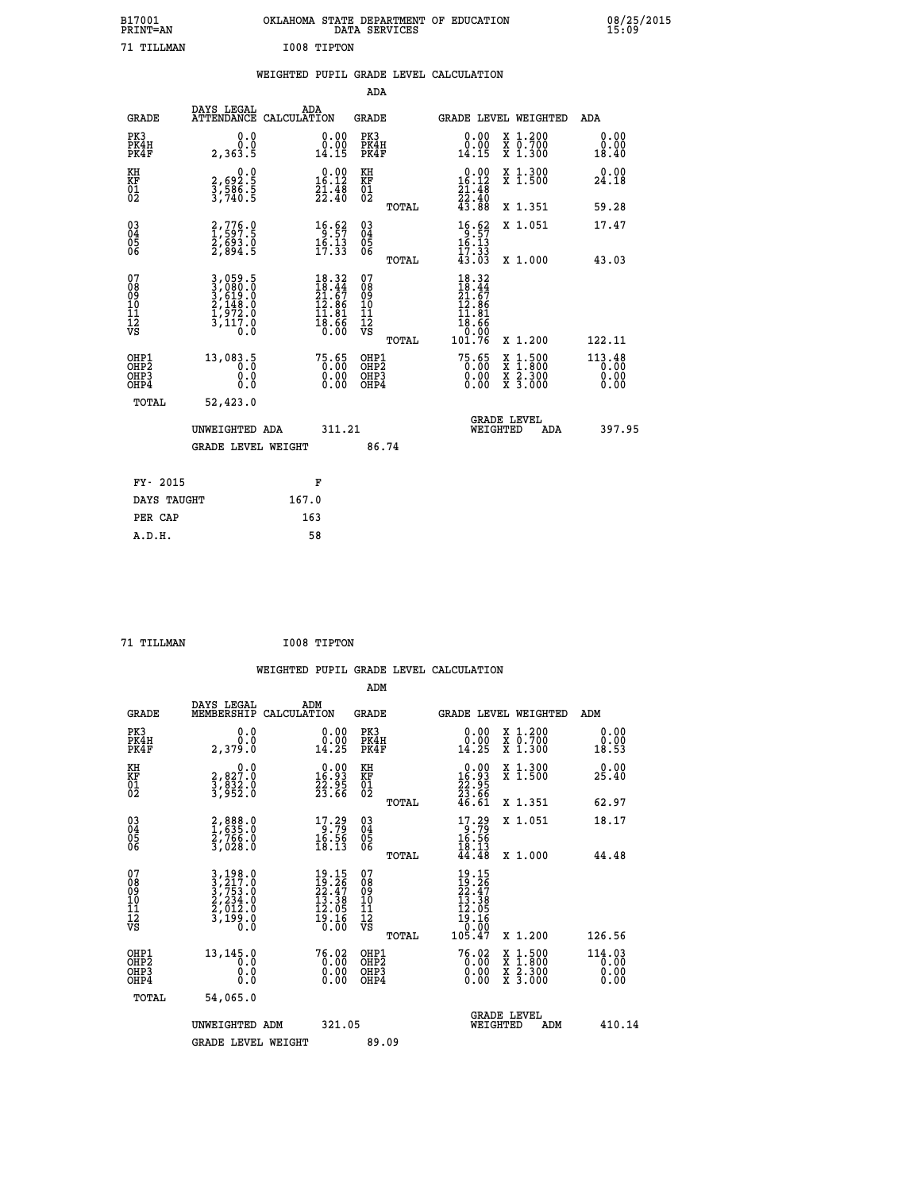|             | OKLAHOMA STATE DEPARTMENT OF EDUCATION<br>DATA SERVICES |  |
|-------------|---------------------------------------------------------|--|
| I008 TIPTON |                                                         |  |

|  |  | WEIGHTED PUPIL GRADE LEVEL CALCULATION |
|--|--|----------------------------------------|
|  |  |                                        |

|                                                                    |                                                                           |                                                                                                    | ADA                                       |       |                                                                                                             |   |                                          |                                    |
|--------------------------------------------------------------------|---------------------------------------------------------------------------|----------------------------------------------------------------------------------------------------|-------------------------------------------|-------|-------------------------------------------------------------------------------------------------------------|---|------------------------------------------|------------------------------------|
| <b>GRADE</b>                                                       | DAYS LEGAL<br>ATTENDANCE CALCULATION                                      | ADA                                                                                                | <b>GRADE</b>                              |       | GRADE LEVEL WEIGHTED                                                                                        |   |                                          | <b>ADA</b>                         |
| PK3<br>PK4H<br>PK4F                                                | 0.0<br>0.0<br>2,363.5                                                     | $\begin{smallmatrix} 0.00\\ 0.00\\ 14.15 \end{smallmatrix}$                                        | PK3<br>PK4H<br>PK4F                       |       | $\begin{smallmatrix} 0.00\\ 0.00\\ 14.15 \end{smallmatrix}$                                                 |   | X 1.200<br>X 0.700<br>X 1.300            | 0.00<br>0.00<br>18.40              |
| KH<br>KF<br>01<br>02                                               | 0.0<br>2,692.5<br>3,586.5<br>3,740.5                                      | $\begin{smallmatrix} 0.00\\16.12\\21.48\\22.40 \end{smallmatrix}$                                  | KH<br>KF<br>01<br>02                      |       | $0.00$<br>16.12<br>$\frac{21.48}{22.40}$<br>43.88                                                           |   | X 1.300<br>X 1.500                       | 0.00<br>24.18                      |
|                                                                    |                                                                           |                                                                                                    |                                           | TOTAL |                                                                                                             |   | X 1.351                                  | 59.28                              |
| $\begin{smallmatrix} 03 \\[-4pt] 04 \end{smallmatrix}$<br>Ŏ5<br>06 | 2,776.0<br>1,597.5<br>2,693.0<br>2,894.5                                  | $\begin{array}{r} 16.62 \\ 9.57 \\ 16.13 \\ 17.33 \end{array}$                                     | $\substack{03 \\ 04}$<br>Ŏ5<br>06         |       | $\begin{array}{r} 16.62 \\ 9.57 \\ 16.13 \\ 17.33 \\ 43.03 \end{array}$                                     |   | X 1.051                                  | 17.47                              |
|                                                                    |                                                                           |                                                                                                    |                                           | TOTAL |                                                                                                             |   | X 1.000                                  | 43.03                              |
| 07<br>08<br>09<br>11<br>11<br>12<br>VS                             | 3,059.5<br>3,080.0<br>3,619.0<br>2,148.0<br>2,148.0<br>1,972.0<br>3,117.0 | $\begin{smallmatrix} 18.32 \\ 18.44 \\ 21.67 \\ 12.86 \\ 14.81 \\ 18.66 \\ 0.00 \end{smallmatrix}$ | 07<br>08<br>09<br>11<br>11<br>12<br>VS    |       | $18.32$<br>$18.44$<br>$21.67$<br>$12.86$<br>$\begin{array}{r} 11.81 \\ 18.66 \\ 0.00 \\ 101.76 \end{array}$ |   |                                          |                                    |
|                                                                    |                                                                           |                                                                                                    |                                           | TOTAL |                                                                                                             |   | X 1.200                                  | 122.11                             |
| OHP1<br>OH <sub>P</sub> 2<br>OHP3<br>OHP4                          | 13,083.5<br>0.0<br>Ŏ.Ŏ                                                    | 75.65<br>$\begin{smallmatrix} 0.00 \ 0.00 \end{smallmatrix}$                                       | OHP1<br>OH <sub>P</sub> 2<br>OHP3<br>OHP4 |       | 75.65<br>0.00<br>0.00                                                                                       | X | $1:500$<br>$1:800$<br>X 2.300<br>X 3.000 | $113.48$<br>$0.00$<br>0.00<br>0.00 |
| TOTAL                                                              | 52,423.0                                                                  |                                                                                                    |                                           |       |                                                                                                             |   |                                          |                                    |
|                                                                    | UNWEIGHTED ADA                                                            | 311.21                                                                                             |                                           |       | <b>GRADE LEVEL</b><br>WEIGHTED                                                                              |   | ADA                                      | 397.95                             |
|                                                                    | <b>GRADE LEVEL WEIGHT</b>                                                 |                                                                                                    | 86.74                                     |       |                                                                                                             |   |                                          |                                    |
| FY- 2015                                                           |                                                                           | F                                                                                                  |                                           |       |                                                                                                             |   |                                          |                                    |
| DAYS TAUGHT                                                        |                                                                           | 167.0                                                                                              |                                           |       |                                                                                                             |   |                                          |                                    |
| PER CAP                                                            |                                                                           | 163                                                                                                |                                           |       |                                                                                                             |   |                                          |                                    |
|                                                                    |                                                                           |                                                                                                    |                                           |       |                                                                                                             |   |                                          |                                    |

 **71 TILLMAN I008 TIPTON**

 **A.D.H. 58**

 **ADM**

B17001<br>PRINT=AN<br>71 TILLMAN

| <b>GRADE</b>                                         | DAYS LEGAL<br>MEMBERSHIP CALCULATION                                                                                                                     | ADM                                                                                   | <b>GRADE</b>                                  | <b>GRADE LEVEL WEIGHTED</b>                                                                                     |                                                                                                                     | ADM                            |
|------------------------------------------------------|----------------------------------------------------------------------------------------------------------------------------------------------------------|---------------------------------------------------------------------------------------|-----------------------------------------------|-----------------------------------------------------------------------------------------------------------------|---------------------------------------------------------------------------------------------------------------------|--------------------------------|
| PK3<br>PK4H<br>PK4F                                  | 0.0<br>0.0<br>2,379.0                                                                                                                                    | $\begin{smallmatrix} 0.00\\ 0.00\\ 14.25 \end{smallmatrix}$                           | PK3<br>PK4H<br>PK4F                           | 0.00<br>$\begin{smallmatrix} \v{0} \ \v{0} \ \v{1} \ \v{4} \ \v{2} \ \v{5} \end{smallmatrix}$                   | X 1.200<br>X 0.700<br>X 1.300                                                                                       | 0.00<br>0.00<br>18.53          |
| KH<br>KF<br>01<br>02                                 | $\begin{smallmatrix}&&&0.0\3,827.0\3,832.0\3,952.0\end{smallmatrix}$                                                                                     | $\begin{smallmatrix} 0.00\\ 16.93\\ 22.95\\ 23.66 \end{smallmatrix}$                  | KH<br>KF<br>01<br>02                          | $\begin{smallmatrix} &0.00\\[-1.2mm] 16.93\\[-1.2mm] 22.95\\[-1.2mm] 23.66\\[-1.2mm] 46.61\\ \end{smallmatrix}$ | X 1.300<br>X 1.500                                                                                                  | 0.00<br>25.40                  |
|                                                      |                                                                                                                                                          |                                                                                       | TOTAL                                         |                                                                                                                 | X 1.351                                                                                                             | 62.97                          |
| $\begin{matrix} 03 \\ 04 \\ 05 \\ 06 \end{matrix}$   | 2,888.0<br>1,635.0<br>2,766.0<br>3,028.0                                                                                                                 | $\begin{array}{l} 17.29 \\ 9.79 \\ 16.56 \\ 18.13 \end{array}$                        | $\substack{03 \\ 04}$<br>05<br>06             | $17.29$<br>$16.56$<br>$18.13$<br>$44.48$                                                                        | X 1.051                                                                                                             | 18.17                          |
|                                                      |                                                                                                                                                          |                                                                                       | TOTAL                                         |                                                                                                                 | X 1.000                                                                                                             | 44.48                          |
| 07<br>08<br>09<br>101<br>11<br>12<br>VS              | $\begin{smallmatrix} 3\,,\,19\,8\,.0\\ 3\,,\,21\,7\,.0\\ 3\,,\,75\,3\,.0\\ 2\,,\,23\,4\,.0\\ 2\,,\,0\,12\,.0\\ 3\,,\,19\,9\,.0\\ 0\,.0\end{smallmatrix}$ | $\begin{smallmatrix} 19.15\\19.26\\22.47\\13.38\\12.05\\19.16\\0.00\end{smallmatrix}$ | 078<br>089<br>0011<br>11<br>12<br>VS<br>TOTAL | $19.15$<br>$12.47$<br>$22.47$<br>$13.38$<br>$12.05$<br>$19.16$<br>$0.007$<br>$105.47$                           | X 1.200                                                                                                             | 126.56                         |
| OHP1<br>OHP <sub>2</sub><br>OH <sub>P3</sub><br>OHP4 | 13,145.0<br>0.0<br>0.000                                                                                                                                 | $76.02\n0.00\n0.00\n0.00$                                                             | OHP1<br>OHP <sub>2</sub><br>OHP3<br>OHP4      | $76.02$<br>$0.00$<br>$0.00$<br>0.00                                                                             | $\begin{array}{l} \mathtt{X} & 1.500 \\ \mathtt{X} & 1.800 \\ \mathtt{X} & 2.300 \\ \mathtt{X} & 3.000 \end{array}$ | 114.03<br>0.00<br>0.00<br>0.00 |
| TOTAL                                                | 54,065.0                                                                                                                                                 |                                                                                       |                                               |                                                                                                                 |                                                                                                                     |                                |
|                                                      | UNWEIGHTED<br>ADM                                                                                                                                        | 321.05                                                                                |                                               | WEIGHTED                                                                                                        | <b>GRADE LEVEL</b><br>ADM                                                                                           | 410.14                         |
|                                                      | <b>GRADE LEVEL WEIGHT</b>                                                                                                                                |                                                                                       | 89.09                                         |                                                                                                                 |                                                                                                                     |                                |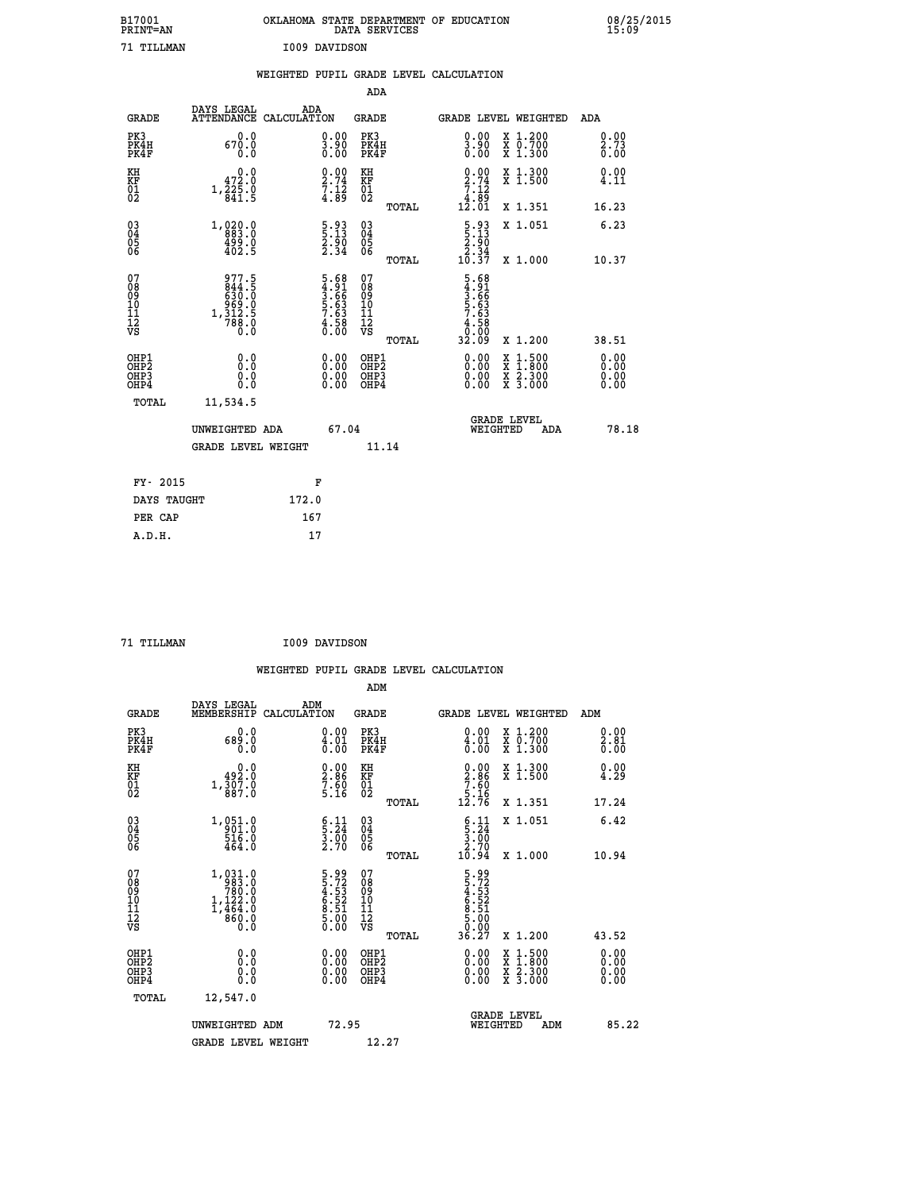| B17001<br>PRINT=AN                     |                                                                                                         |               |                                                              |                                                    | DATA SERVICES | OKLAHOMA STATE DEPARTMENT OF EDUCATION                                |                                                                                          | 08/25/2015           |
|----------------------------------------|---------------------------------------------------------------------------------------------------------|---------------|--------------------------------------------------------------|----------------------------------------------------|---------------|-----------------------------------------------------------------------|------------------------------------------------------------------------------------------|----------------------|
| 71 TILLMAN                             |                                                                                                         | I009 DAVIDSON |                                                              |                                                    |               |                                                                       |                                                                                          |                      |
|                                        |                                                                                                         |               |                                                              |                                                    |               | WEIGHTED PUPIL GRADE LEVEL CALCULATION                                |                                                                                          |                      |
|                                        |                                                                                                         |               |                                                              | ADA                                                |               |                                                                       |                                                                                          |                      |
| <b>GRADE</b>                           | DAYS LEGAL<br>ATTENDANCE CALCULATION                                                                    | ADA           |                                                              | GRADE                                              |               |                                                                       | GRADE LEVEL WEIGHTED                                                                     | ADA                  |
| PK3<br>PK4H<br>PK4F                    | 0.0<br>670.0<br>0.0                                                                                     |               | 0.00<br>$\frac{3.90}{0.00}$                                  | PK3<br>PK4H<br>PK4F                                |               | 0.00<br>$\frac{3.90}{0.00}$                                           | X 1.200<br>X 0.700<br>X 1.300                                                            | 0.00<br>2.73<br>0.00 |
| KH<br>KF<br>$\overline{01}$            | 0.0<br>472.0<br>$1,\overline{\overset{2}{8}}\overset{2}{4}\overline{\overset{.}{1}}\cdot\overset{.}{9}$ |               | 0.00<br>$\frac{2.74}{7.12}$<br>4.89                          | KH<br>KF<br>01<br>02                               |               | 0.00<br>$\frac{2.74}{7.12}$<br>4.89                                   | X 1.300<br>$\overline{x}$ 1.500                                                          | 0.00<br>4.11         |
|                                        |                                                                                                         |               |                                                              |                                                    | TOTAL         | 12.01                                                                 | X 1.351                                                                                  | 16.23                |
| $\substack{03 \\ 04}$<br>Ŏ5<br>06      | 1, 0, 20, 0<br>499.0<br>402.5                                                                           |               | $\frac{5 \cdot 93}{2 \cdot 90}$<br>2.90<br>2.34              | $\begin{matrix} 03 \\ 04 \\ 05 \\ 06 \end{matrix}$ |               | $\frac{5 \cdot 93}{5 \cdot 13}$<br>$\frac{2.50}{2.34}$                | X 1.051                                                                                  | 6.23                 |
|                                        |                                                                                                         |               |                                                              |                                                    | TOTAL         | 10.37                                                                 | X 1.000                                                                                  | 10.37                |
| 07<br>08<br>09<br>11<br>11<br>12<br>VS | 977.5<br>844.5<br>630.0<br>$1, \frac{969}{788}.0$<br>1, 312.5<br>0.0                                    |               | 5.68<br>4.91<br>3.66<br>5.63<br>5.63<br>7.63<br>4.58<br>0.00 | 07<br>08<br>09<br>10<br>11<br>12<br>VS             | <b>TOTAL</b>  | $\frac{5.68}{3.66}$<br>$\frac{3.66}{5.63}$<br>58<br>ō<br>.ōō<br>32.09 | X 1.200                                                                                  | 38.51                |
| OHP1                                   | 0.0                                                                                                     |               |                                                              | OHP1                                               |               | 0.00                                                                  |                                                                                          | 0.00                 |
| OHP <sub>2</sub><br>OHP3<br>OHP4       | 0.0<br>0.0<br>0.0                                                                                       |               | 0.00<br>0.00                                                 | OHP <sub>2</sub><br>OHP3<br>OHP4                   |               | 0.00<br>0.00                                                          | $\begin{smallmatrix} x & 1.500 \\ x & 1.800 \\ x & 2.300 \\ x & 3.000 \end{smallmatrix}$ | ŏ:ŏŏ<br>0.00<br>0.00 |
| TOTAL                                  | 11,534.5                                                                                                |               |                                                              |                                                    |               |                                                                       |                                                                                          |                      |
|                                        | UNWEIGHTED ADA                                                                                          |               | 67.04                                                        |                                                    |               |                                                                       | <b>GRADE LEVEL</b><br>WEIGHTED<br>ADA                                                    | 78.18                |
|                                        | <b>GRADE LEVEL WEIGHT</b>                                                                               |               |                                                              | 11.14                                              |               |                                                                       |                                                                                          |                      |
| FY- 2015                               |                                                                                                         |               | F                                                            |                                                    |               |                                                                       |                                                                                          |                      |
| DAYS TAUGHT                            |                                                                                                         | 172.0         |                                                              |                                                    |               |                                                                       |                                                                                          |                      |
| PER CAP                                |                                                                                                         | 167           |                                                              |                                                    |               |                                                                       |                                                                                          |                      |

| 71 TILLMAN | I009 DAVIDSON |
|------------|---------------|
|            |               |

|                                                      |                                                                                                       |                                                                |                                                     | WEIGHTED PUPIL GRADE LEVEL CALCULATION                                                                                                                                                                                                                                                                                                                                                                                      |                      |
|------------------------------------------------------|-------------------------------------------------------------------------------------------------------|----------------------------------------------------------------|-----------------------------------------------------|-----------------------------------------------------------------------------------------------------------------------------------------------------------------------------------------------------------------------------------------------------------------------------------------------------------------------------------------------------------------------------------------------------------------------------|----------------------|
|                                                      |                                                                                                       |                                                                | ADM                                                 |                                                                                                                                                                                                                                                                                                                                                                                                                             |                      |
| <b>GRADE</b>                                         | DAYS LEGAL<br>MEMBERSHIP<br>CALCULATION                                                               | ADM                                                            | <b>GRADE</b>                                        | GRADE LEVEL WEIGHTED                                                                                                                                                                                                                                                                                                                                                                                                        | ADM                  |
| PK3<br>PK4H<br>PK4F                                  | 0.0<br>689.0<br>0.0                                                                                   | $\substack{0.00\\ 4.01\\ 0.00}$                                | PK3<br>PK4H<br>PK4F                                 | 0.00<br>X 1.200<br>X 0.700<br>X 1.300<br>$\frac{4.01}{0.00}$                                                                                                                                                                                                                                                                                                                                                                | 0.00<br>2.81<br>0.00 |
| KH<br>KF<br>01<br>02                                 | $\begin{smallmatrix}&&0\,.\,0\,\\,\,4\,9\,2\,.0\,\\,\,3\,0\,7\,.0\,\\,\,8\,8\,7\,.0\end{smallmatrix}$ | $\begin{smallmatrix} 0.00\ 2.86\ 7.60\ 5.16 \end{smallmatrix}$ | KH<br>KF<br>01<br>02                                | $\begin{smallmatrix} 0.00\\2.86\\7.60\\5.16\\12.76 \end{smallmatrix}$<br>X 1.300<br>X 1.500                                                                                                                                                                                                                                                                                                                                 | 0.00<br>4.29         |
|                                                      |                                                                                                       |                                                                | TOTAL                                               | X 1.351                                                                                                                                                                                                                                                                                                                                                                                                                     | 17.24                |
| $\begin{matrix} 03 \\ 04 \\ 05 \\ 06 \end{matrix}$   | 1, 051.0<br>$\frac{516.0}{464.0}$                                                                     | $\begin{array}{c} 6.11 \\ 5.24 \\ 3.00 \\ 2.70 \end{array}$    | $\begin{array}{c} 03 \\ 04 \\ 05 \\ 06 \end{array}$ | X 1.051<br>$\begin{array}{c} 6.11 \\ 5.24 \\ 3.00 \\ 2.70 \end{array}$                                                                                                                                                                                                                                                                                                                                                      | 6.42                 |
|                                                      |                                                                                                       |                                                                | TOTAL                                               | 10.94<br>X 1.000                                                                                                                                                                                                                                                                                                                                                                                                            | 10.94                |
| 07<br>08<br>09<br>11<br>11<br>12<br>VS               | $1, 031.0$<br>$780.0$<br>$1, 122.0$<br>$1, 464.0$<br>$1, 464.0$<br>8°0.0<br>8.0                       | 5.99<br>5.72<br>4.53<br>4.52<br>6.52<br>6.00<br>5.00<br>5.00   | 07<br>08<br>09<br>11<br>11<br>12<br>VS<br>TOTAL     | 5.99<br>5.72<br>4.533<br>6.52<br>6.51<br>5.00<br>5.00<br>5.00<br>36.27<br>X 1.200                                                                                                                                                                                                                                                                                                                                           | 43.52                |
|                                                      |                                                                                                       |                                                                |                                                     |                                                                                                                                                                                                                                                                                                                                                                                                                             | 0.00                 |
| OHP1<br>OHP2<br>OH <sub>P3</sub><br>OH <sub>P4</sub> | 0.0<br>0.000                                                                                          | $0.00$<br>$0.00$<br>0.00                                       | OHP1<br>OHP2<br>OHP3<br>OHP4                        | $\begin{smallmatrix} 0.00 & 0.00 & 0.00 & 0.00 & 0.00 & 0.00 & 0.00 & 0.00 & 0.00 & 0.00 & 0.00 & 0.00 & 0.00 & 0.00 & 0.00 & 0.00 & 0.00 & 0.00 & 0.00 & 0.00 & 0.00 & 0.00 & 0.00 & 0.00 & 0.00 & 0.00 & 0.00 & 0.00 & 0.00 & 0.00 & 0.00 & 0.00 & 0.00 & 0.00 & 0.00 & 0.0$<br>$\begin{smallmatrix} \mathtt{X} & 1\cdot500\\ \mathtt{X} & 1\cdot800\\ \mathtt{X} & 2\cdot300\\ \mathtt{X} & 3\cdot000 \end{smallmatrix}$ | 0.00<br>0.00<br>0.00 |
| TOTAL                                                | 12,547.0                                                                                              |                                                                |                                                     |                                                                                                                                                                                                                                                                                                                                                                                                                             |                      |
|                                                      | UNWEIGHTED ADM                                                                                        | 72.95                                                          |                                                     | <b>GRADE LEVEL</b><br>WEIGHTED<br>ADM                                                                                                                                                                                                                                                                                                                                                                                       | 85.22                |
|                                                      | <b>GRADE LEVEL WEIGHT</b>                                                                             |                                                                | 12.27                                               |                                                                                                                                                                                                                                                                                                                                                                                                                             |                      |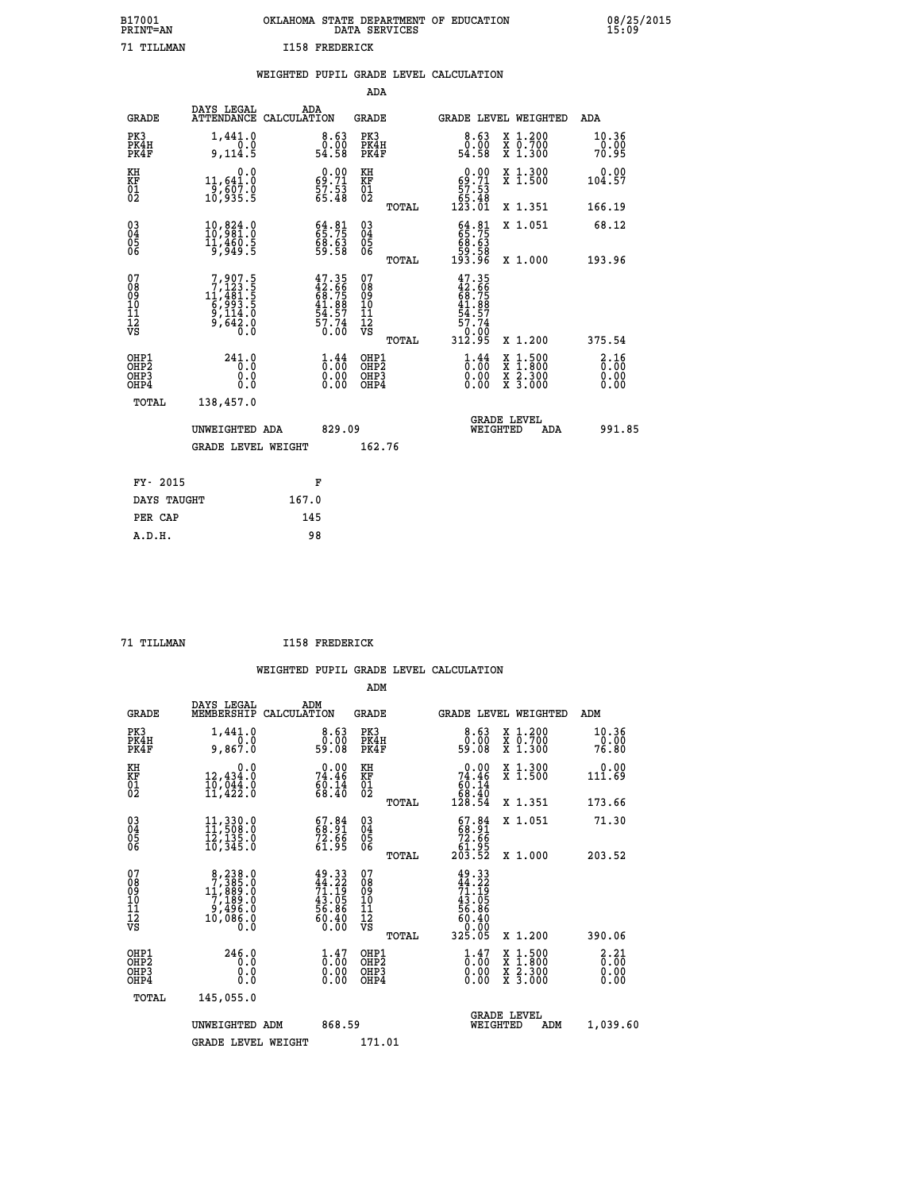| B17001          | OKLAHOMA STATE DEPARTMENT OF EDUCATION |
|-----------------|----------------------------------------|
| <b>PRINT=AN</b> | DATA SERVICES                          |
| 71 TTT.T.MAN    | <b>I158 FREDERICK</b>                  |

|                                                    |                                                                                                  | WEIGHTED PUPIL GRADE LEVEL CALCULATION                                                                  |                                                 |                                                                                                                                                                                                                                                                                                  |                                                                                                                                           |                                     |
|----------------------------------------------------|--------------------------------------------------------------------------------------------------|---------------------------------------------------------------------------------------------------------|-------------------------------------------------|--------------------------------------------------------------------------------------------------------------------------------------------------------------------------------------------------------------------------------------------------------------------------------------------------|-------------------------------------------------------------------------------------------------------------------------------------------|-------------------------------------|
|                                                    |                                                                                                  |                                                                                                         | ADA                                             |                                                                                                                                                                                                                                                                                                  |                                                                                                                                           |                                     |
| <b>GRADE</b>                                       | DAYS LEGAL                                                                                       | ADA<br>ATTENDANCE CALCULATION                                                                           | <b>GRADE</b>                                    | GRADE LEVEL WEIGHTED                                                                                                                                                                                                                                                                             |                                                                                                                                           | ADA                                 |
| PK3<br>PK4H<br>PK4F                                | 1,441.0<br>0.0<br>9,114.5                                                                        | $\begin{smallmatrix}8.63\0.00\\54.58\end{smallmatrix}$                                                  | PK3<br>PK4H<br>PK4F                             | 8.63<br>0.00<br>54.58                                                                                                                                                                                                                                                                            | X 1.200<br>X 0.700<br>X 1.300                                                                                                             | 10.36<br>0.00<br>70.95              |
| KH<br>KF<br>01<br>02                               | 0.0<br>11,641.0<br>9,607.0<br>10,935.5                                                           | $69.71$<br>$57.53$<br>$57.48$                                                                           | KH<br>KF<br>01<br>02                            | $\begin{smallmatrix} &0.00\ 69.71\ 57.53\ 65.48\ 123.01\ \end{smallmatrix}$                                                                                                                                                                                                                      | X 1.300<br>X 1.500                                                                                                                        | 0.00<br>104.57                      |
|                                                    |                                                                                                  |                                                                                                         | TOTAL                                           |                                                                                                                                                                                                                                                                                                  | X 1.351                                                                                                                                   | 166.19                              |
| $\begin{matrix} 03 \\ 04 \\ 05 \\ 06 \end{matrix}$ | 10,824.0<br>10,981.0<br>11,460.5<br>9,949.5                                                      | $64.81$<br>$65.75$<br>$68.63$<br>$59.58$                                                                | 03<br>04<br>05<br>06                            | $64.8165.7568.6359.58193.96$                                                                                                                                                                                                                                                                     | X 1.051                                                                                                                                   | 68.12                               |
|                                                    |                                                                                                  |                                                                                                         | TOTAL                                           |                                                                                                                                                                                                                                                                                                  | X 1.000                                                                                                                                   | 193.96                              |
| 07<br>08<br>09<br>11<br>11<br>12<br>VS             | $\begin{smallmatrix}7,907.5\\7,123.5\\11,481.5\\6,993.5\\9,114.0\\9,642.0\\0.0\end{smallmatrix}$ | 47.35<br>42.66<br>68.75<br>68.75<br>41.88<br>54.57<br>57.74<br>0.00                                     | 07<br>08<br>09<br>11<br>11<br>12<br>VS<br>TOTAL | 47.35<br>42.66<br>68.75<br>41.88<br>41.87<br>57.74<br>0.00<br>312.95                                                                                                                                                                                                                             | X 1.200                                                                                                                                   | 375.54                              |
| OHP1<br>OHP2<br>OH <sub>P3</sub><br>OHP4           | 241.0<br>Ō.Ō<br>0.0<br>0.0                                                                       | $\begin{smallmatrix} 1\cdot\frac{44}{00} \ 0\cdot\frac{00}{00} \ 0\cdot\frac{00}{00} \end{smallmatrix}$ | OHP1<br>OHP2<br>OHP3<br>OHP4                    | $\begin{smallmatrix} 1\  \  \, 0\  \  \, 0\  \  \, 0\  \  \, 0\  \  \, 0\  \  \, 0\  \  \, 0\  \  \, 0\  \  \, 0\  \  \, 0\  \  \, 0\  \  \, 0\  \  \, 0\  \  \, 0\  \  \, 0\  \  \, 0\  \  \, 0\  \  \, 0\  \  \, 0\  \  \, 0\  \  \, 0\  \  \, 0\  \  \, 0\  \  \, 0\  \  \, 0\  \  \, 0\  \ $ | $\begin{smallmatrix} \mathtt{X} & 1\cdot500\\ \mathtt{X} & 1\cdot800\\ \mathtt{X} & 2\cdot300\\ \mathtt{X} & 3\cdot000 \end{smallmatrix}$ | $\frac{2.16}{0.00}$<br>0.00<br>0.00 |
| TOTAL                                              | 138,457.0                                                                                        |                                                                                                         |                                                 |                                                                                                                                                                                                                                                                                                  |                                                                                                                                           |                                     |
|                                                    | UNWEIGHTED ADA                                                                                   | 829.09                                                                                                  |                                                 | <b>GRADE LEVEL</b><br>WEIGHTED                                                                                                                                                                                                                                                                   | ADA                                                                                                                                       | 991.85                              |
|                                                    | <b>GRADE LEVEL WEIGHT</b>                                                                        |                                                                                                         | 162.76                                          |                                                                                                                                                                                                                                                                                                  |                                                                                                                                           |                                     |
| FY- 2015                                           |                                                                                                  | F                                                                                                       |                                                 |                                                                                                                                                                                                                                                                                                  |                                                                                                                                           |                                     |
| DAYS TAUGHT                                        |                                                                                                  | 167.0                                                                                                   |                                                 |                                                                                                                                                                                                                                                                                                  |                                                                                                                                           |                                     |
| PER CAP                                            |                                                                                                  | 145                                                                                                     |                                                 |                                                                                                                                                                                                                                                                                                  |                                                                                                                                           |                                     |

 **A.D.H. 98**

 **71 TILLMAN I158 FREDERICK**

|                                          |                                                                                                 |                                                                                                                                                                                                                                                                                                                                                                                                                                           | ADM                                                 |                                                                                                                                                |                                          |                                                                   |
|------------------------------------------|-------------------------------------------------------------------------------------------------|-------------------------------------------------------------------------------------------------------------------------------------------------------------------------------------------------------------------------------------------------------------------------------------------------------------------------------------------------------------------------------------------------------------------------------------------|-----------------------------------------------------|------------------------------------------------------------------------------------------------------------------------------------------------|------------------------------------------|-------------------------------------------------------------------|
| <b>GRADE</b>                             | DAYS LEGAL<br>MEMBERSHIP                                                                        | ADM<br>CALCULATION                                                                                                                                                                                                                                                                                                                                                                                                                        | <b>GRADE</b>                                        | GRADE LEVEL WEIGHTED                                                                                                                           |                                          | ADM                                                               |
| PK3<br>PK4H<br>PK4F                      | 1,441.0<br>9,867.0                                                                              | 8.63<br>0.00<br>59.08                                                                                                                                                                                                                                                                                                                                                                                                                     | PK3<br>PK4H<br>PK4F                                 | 0.63<br>59.08                                                                                                                                  | X 1.200<br>X 0.700<br>X 1.300            | 10.36<br>0.00<br>76.80                                            |
| KH<br>KF<br>01<br>02                     | 0.0<br>12,434.0<br>10,044.0<br>11,422.0                                                         | 74.46<br>$60.14$<br>68.40                                                                                                                                                                                                                                                                                                                                                                                                                 | KH<br>KF<br>01<br>02                                | $\begin{smallmatrix} &0.00\\74.46\\60.14\\68.40\\128.54\end{smallmatrix}$                                                                      | X 1.300<br>X 1.500                       | 0.00<br>111.69                                                    |
|                                          |                                                                                                 |                                                                                                                                                                                                                                                                                                                                                                                                                                           | TOTAL                                               |                                                                                                                                                | X 1.351                                  | 173.66                                                            |
| 03<br>04<br>05<br>06                     | $11,330.0$<br>$11,508.0$<br>$12,135.0$<br>$10,345.0$                                            | $\begin{smallmatrix} 67.84\ 68.91\ 72.66\ 61.95 \end{smallmatrix}$                                                                                                                                                                                                                                                                                                                                                                        | $\begin{array}{c} 03 \\ 04 \\ 05 \\ 06 \end{array}$ | $\begin{smallmatrix} 67.84\\ 68.91\\ 72.66\\ 61.95\\ 203.52 \end{smallmatrix}$                                                                 | X 1.051                                  | 71.30                                                             |
|                                          |                                                                                                 |                                                                                                                                                                                                                                                                                                                                                                                                                                           | TOTAL                                               |                                                                                                                                                | X 1.000                                  | 203.52                                                            |
| 07<br>08<br>09<br>101<br>112<br>VS       | $\begin{smallmatrix}8,238.0\\7,385.0\\11,889.0\\7,189.0\\9,496.0\\10,086.0\\0\end{smallmatrix}$ | $49.33$<br>$44.22$<br>$71.19$<br>$43.05$<br>$56.86$<br>60.40<br>ŏ:ōŏ                                                                                                                                                                                                                                                                                                                                                                      | 07<br>08<br>09<br>101<br>11<br>12<br>VS<br>TOTAL    | $49.33$<br>$71.19$<br>$71.19$<br>$43.05$<br>$56.86$<br>$60.400$<br>$0.000$<br>325.05                                                           | X 1.200                                  | 390.06                                                            |
| OHP1<br>OHP2<br>OH <sub>P3</sub><br>OHP4 | 246.0<br>0.0<br>0.000                                                                           | $\overset{1}{\underset{0}{0}}\,\overset{47}{\,\overset{50}{\,\overset{00}{\,\overset{00}{\,\overset{00}{\,\overset{00}{\,\overset{00}{\,\overset{00}{\,\overset{00}{\,\overset{00}{\,\overset{00}{\,\overset{00}{\,\overset{00}{\,\overset{00}{\,\overset{00}{\,\overset{00}{\,\overset{00}{\,\overset{00}{\,\overset{00}{\,\overset{00}{\,\overset{00}{\,\overset{00}{\,\overset{00}{\,\overset{00}{\,\overset{00}{\,\overset{0$<br>0.00 | OHP1<br>OHP2<br>OHP <sub>3</sub>                    | $\overset{1}{\underset{0}{0}}\overset{4}{\cdot}\,\overset{7}{\underset{0}{0}}\,\overset{6}{\phantom{0}}\,\overset{7}{\phantom{0}}\,\,$<br>0.00 | X 1:500<br>X 1:800<br>X 2:300<br>X 3:000 | $\begin{smallmatrix} 2.21\ 0.00 \ 0.00 \end{smallmatrix}$<br>0.00 |
| TOTAL                                    | 145,055.0                                                                                       |                                                                                                                                                                                                                                                                                                                                                                                                                                           |                                                     |                                                                                                                                                |                                          |                                                                   |
|                                          | UNWEIGHTED ADM                                                                                  | 868.59                                                                                                                                                                                                                                                                                                                                                                                                                                    |                                                     | <b>GRADE LEVEL</b><br>WEIGHTED                                                                                                                 | ADM                                      | 1,039.60                                                          |
|                                          | <b>GRADE LEVEL WEIGHT</b>                                                                       |                                                                                                                                                                                                                                                                                                                                                                                                                                           | 171.01                                              |                                                                                                                                                |                                          |                                                                   |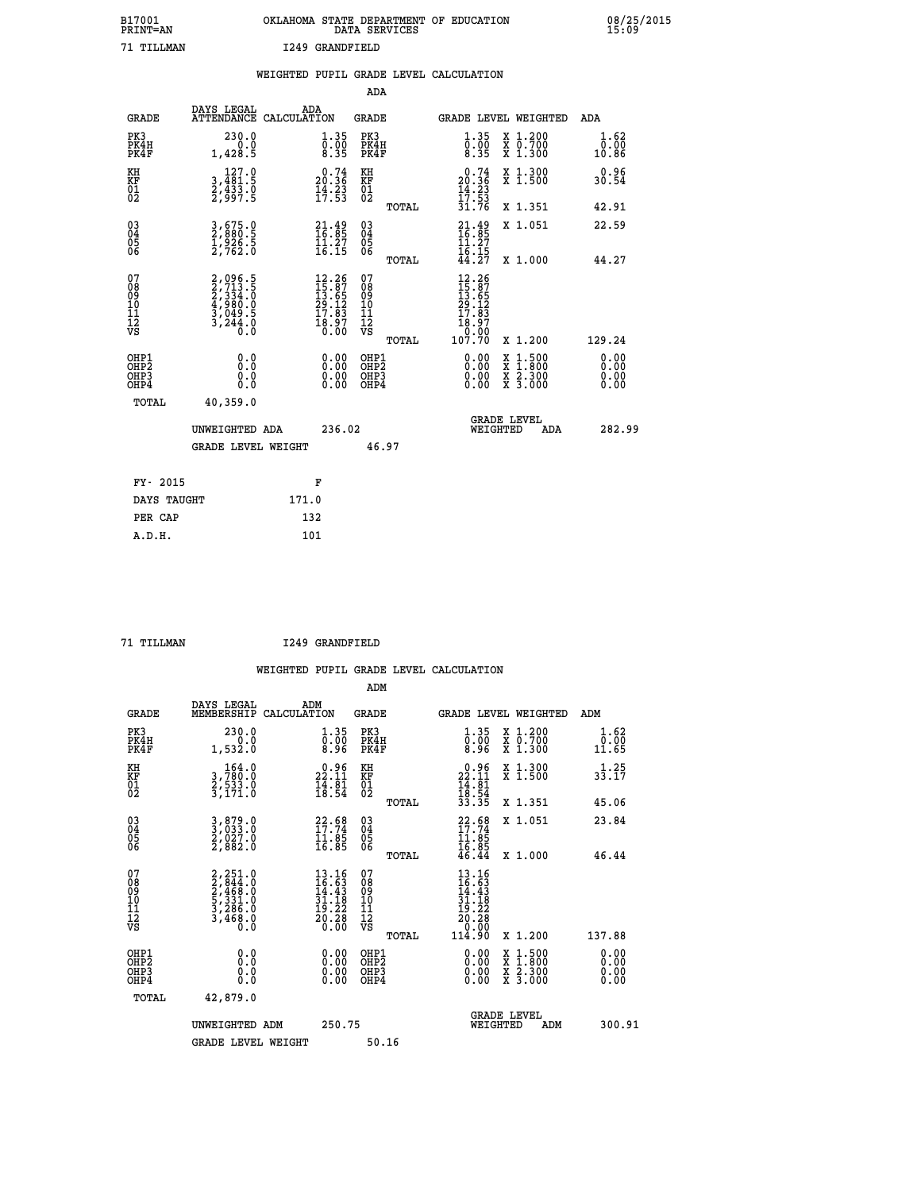| B17001<br><b>PRINT=AN</b> |            | OKLAHOMA STATE DEPARTMENT OF EDUCATION<br>DATA SERVICES |  |
|---------------------------|------------|---------------------------------------------------------|--|
|                           | 71 TILLMAN | I249 GRANDFIELD                                         |  |

|                                        |                                                                           | WEIGHTED PUPIL GRADE LEVEL CALCULATION                                                                            |                                                 |                                                                                                                                                                                  |                                                                                                  |                              |
|----------------------------------------|---------------------------------------------------------------------------|-------------------------------------------------------------------------------------------------------------------|-------------------------------------------------|----------------------------------------------------------------------------------------------------------------------------------------------------------------------------------|--------------------------------------------------------------------------------------------------|------------------------------|
|                                        |                                                                           |                                                                                                                   | ADA                                             |                                                                                                                                                                                  |                                                                                                  |                              |
| <b>GRADE</b>                           | DAYS LEGAL                                                                | ADA<br>ATTENDANCE CALCULATION                                                                                     | <b>GRADE</b>                                    | GRADE LEVEL WEIGHTED                                                                                                                                                             |                                                                                                  | ADA                          |
| PK3<br>PK4H<br>PK4F                    | 230.0<br>0.0<br>1,428.5                                                   | 1.35<br>$\frac{0.00}{8.35}$                                                                                       | PK3<br>PK4H<br>PK4F                             | 1.35<br>$\frac{0.00}{8.35}$                                                                                                                                                      | X 1.200<br>X 0.700<br>X 1.300                                                                    | 1.62<br>0.00<br>10.86        |
| KH<br><b>KF</b><br>01<br>02            | 127.0<br>3,481:5<br>2,433.0<br>2,997:5                                    | $\begin{smallmatrix} 0.74\ 20.36\ 14.23\ 17.53 \end{smallmatrix}$                                                 | KH<br>KF<br>01<br>02                            | $\begin{smallmatrix} 0.74 \\ 20.36 \\ 14.23 \\ 17.53 \\ 31.76 \end{smallmatrix}$                                                                                                 | X 1.300<br>X 1.500                                                                               | 0.96<br>30.54                |
|                                        |                                                                           |                                                                                                                   | TOTAL                                           |                                                                                                                                                                                  | X 1.351                                                                                          | 42.91                        |
| $^{03}_{04}$<br>Ŏ5                     | 3,675.0<br>$\frac{1}{2}$ , $\frac{5}{262}$ . 5                            | $21.49$<br>$16.85$<br>$11.27$<br>$16.15$                                                                          | $\substack{03 \\ 04}$<br>$\frac{05}{06}$        | $\frac{21.49}{16.85}$                                                                                                                                                            | X 1.051                                                                                          | 22.59                        |
| ŌĞ                                     |                                                                           |                                                                                                                   | TOTAL                                           | $\frac{16}{44}$ $\frac{15}{27}$                                                                                                                                                  | X 1.000                                                                                          | 44.27                        |
| 07<br>08<br>09<br>10<br>11<br>12<br>VS | 2,096.5<br>2,713.5<br>2,334.0<br>2,334.0<br>4,980.0<br>3,049.5<br>3,244.0 | $\begin{smallmatrix} 12\cdot26\\15\cdot87\\13\cdot65\\29\cdot12\\17\cdot83\\18\cdot97\\0\cdot00\end{smallmatrix}$ | 07<br>08<br>09<br>11<br>11<br>12<br>VS<br>TOTAL | 12.26<br>$\begin{smallmatrix} 1 & 2 & 3 & 6 & 7 \\ 15 & 6 & 5 & 2 \\ 29 & 1 & 2 & 3 \\ 29 & 1 & 8 & 3 \\ 17 & 8 & 3 & 7 \\ 18 & 9 & 7 & 0 \\ 10 & 7 & 70 & 70 \end{smallmatrix}$ | X 1.200                                                                                          | 129.24                       |
| OHP1<br>OHP2<br>OHP3<br>OHP4           | 0.0<br>Ō.Ō<br>0.0<br>0.0                                                  | $\begin{smallmatrix} 0.00 \ 0.00 \ 0.00 \ 0.00 \end{smallmatrix}$                                                 | OHP1<br>OHP <sub>2</sub><br>OHP3<br>OHP4        | 0.00<br>0.00                                                                                                                                                                     | $\begin{smallmatrix} x & 1 & 500 \\ x & 1 & 800 \\ x & 2 & 300 \\ x & 3 & 000 \end{smallmatrix}$ | 0.00<br>0.00<br>0.00<br>0.00 |
| TOTAL                                  | 40,359.0                                                                  |                                                                                                                   |                                                 |                                                                                                                                                                                  |                                                                                                  |                              |
|                                        | UNWEIGHTED ADA                                                            | 236.02                                                                                                            |                                                 | <b>GRADE LEVEL</b><br>WEIGHTED                                                                                                                                                   | <b>ADA</b>                                                                                       | 282.99                       |
|                                        | <b>GRADE LEVEL WEIGHT</b>                                                 |                                                                                                                   | 46.97                                           |                                                                                                                                                                                  |                                                                                                  |                              |
| FY- 2015                               |                                                                           | F                                                                                                                 |                                                 |                                                                                                                                                                                  |                                                                                                  |                              |
| DAYS TAUGHT                            |                                                                           | 171.0                                                                                                             |                                                 |                                                                                                                                                                                  |                                                                                                  |                              |
| PER CAP                                |                                                                           | 132                                                                                                               |                                                 |                                                                                                                                                                                  |                                                                                                  |                              |

 **A.D.H. 101**

**B17001<br>PRINT=AN** 

 **71 TILLMAN I249 GRANDFIELD**

 **WEIGHTED PUPIL GRADE LEVEL CALCULATION ADM DAYS LEGAL ADM GRADE MEMBERSHIP CALCULATION GRADE GRADE LEVEL WEIGHTED ADM**

| GRADE                                                | MEMBERSHIP CALCOLATION                                                                    |                                                                                                                          | GRADE                                               | GRADE PRAFT METGHIED                                                                                                         |                                          | ADM                       |
|------------------------------------------------------|-------------------------------------------------------------------------------------------|--------------------------------------------------------------------------------------------------------------------------|-----------------------------------------------------|------------------------------------------------------------------------------------------------------------------------------|------------------------------------------|---------------------------|
| PK3<br>PK4H<br>PK4F                                  | 230.0<br>0.0<br>1,532.0                                                                   | $\begin{smallmatrix} 1.35\ 0.00\ 8.96 \end{smallmatrix}$                                                                 | PK3<br>PK4H<br>PK4F                                 | $\begin{smallmatrix} 1.35\ 0.00\ 8.96 \end{smallmatrix}$                                                                     | X 1.200<br>X 0.700<br>X 1.300            | $1.62$<br>$0.00$<br>11.65 |
| KH<br>KF<br>01<br>02                                 | $\begin{smallmatrix} & 164.0\\ 3,780.0\\ 2,533.0\\ 3,171.0 \end{smallmatrix}$             | $\begin{smallmatrix} 0.96\\ 22.11\\ 14.81\\ 18.54 \end{smallmatrix}$                                                     | KH<br>KF<br>01<br>02                                | $\begin{array}{r} 0.96 \\ 22.11 \\ 14.81 \\ 18.54 \\ 33.35 \end{array}$                                                      | X 1.300<br>X 1.500                       | 33.25                     |
|                                                      |                                                                                           |                                                                                                                          | TOTAL                                               |                                                                                                                              | X 1.351                                  | 45.06                     |
| $\begin{matrix} 03 \\ 04 \\ 05 \\ 06 \end{matrix}$   | 3,879.0<br>3,033.0<br>2,027.0<br>2,882.0                                                  | $22.68$<br>$17.74$<br>$11.85$<br>$16.85$                                                                                 | $\begin{array}{c} 03 \\ 04 \\ 05 \\ 06 \end{array}$ | $22.68$<br>$17.74$<br>$11.85$<br>$16.85$<br>$16.85$<br>$46.44$                                                               | X 1.051                                  | 23.84                     |
|                                                      |                                                                                           |                                                                                                                          | TOTAL                                               |                                                                                                                              | X 1.000                                  | 46.44                     |
| 07<br>08<br>09<br>101<br>11<br>12<br>VS              | $2, 251.0$<br>$2, 844.0$<br>$2, 468.0$<br>$5, 331.0$<br>$3, 286.0$<br>$3, 468.0$<br>$0.0$ | $\begin{smallmatrix} 13\cdot 16\\16\cdot 63\\14\cdot 43\\31\cdot 18\\19\cdot 22\\20\cdot 28\\0\cdot 00\end{smallmatrix}$ | 07<br>08<br>09<br>11<br>11<br>12<br>VS              | $\begin{array}{r} 13\cdot 16\\16\cdot 63\\14\cdot 43\\31\cdot 19\\20\cdot 22\\20\cdot 36\\0\cdot 00\\114\cdot 90\end{array}$ |                                          |                           |
|                                                      |                                                                                           |                                                                                                                          | TOTAL                                               |                                                                                                                              | X 1.200                                  | 137.88                    |
| OHP1<br>OHP <sub>2</sub><br>OH <sub>P3</sub><br>OHP4 |                                                                                           | $0.00$<br>$0.00$<br>0.00                                                                                                 | OHP1<br>OH <sub>P</sub> 2<br>OHP3<br>OHP4           |                                                                                                                              | X 1:500<br>X 1:800<br>X 2:300<br>X 3:000 | $0.00$<br>$0.00$<br>0.00  |
| TOTAL                                                | 42,879.0                                                                                  |                                                                                                                          |                                                     |                                                                                                                              |                                          |                           |
|                                                      | UNWEIGHTED ADM                                                                            | 250.75                                                                                                                   |                                                     | <b>GRADE LEVEL</b><br>WEIGHTED                                                                                               | ADM                                      | 300.91                    |
|                                                      | <b>GRADE LEVEL WEIGHT</b>                                                                 |                                                                                                                          | 50.16                                               |                                                                                                                              |                                          |                           |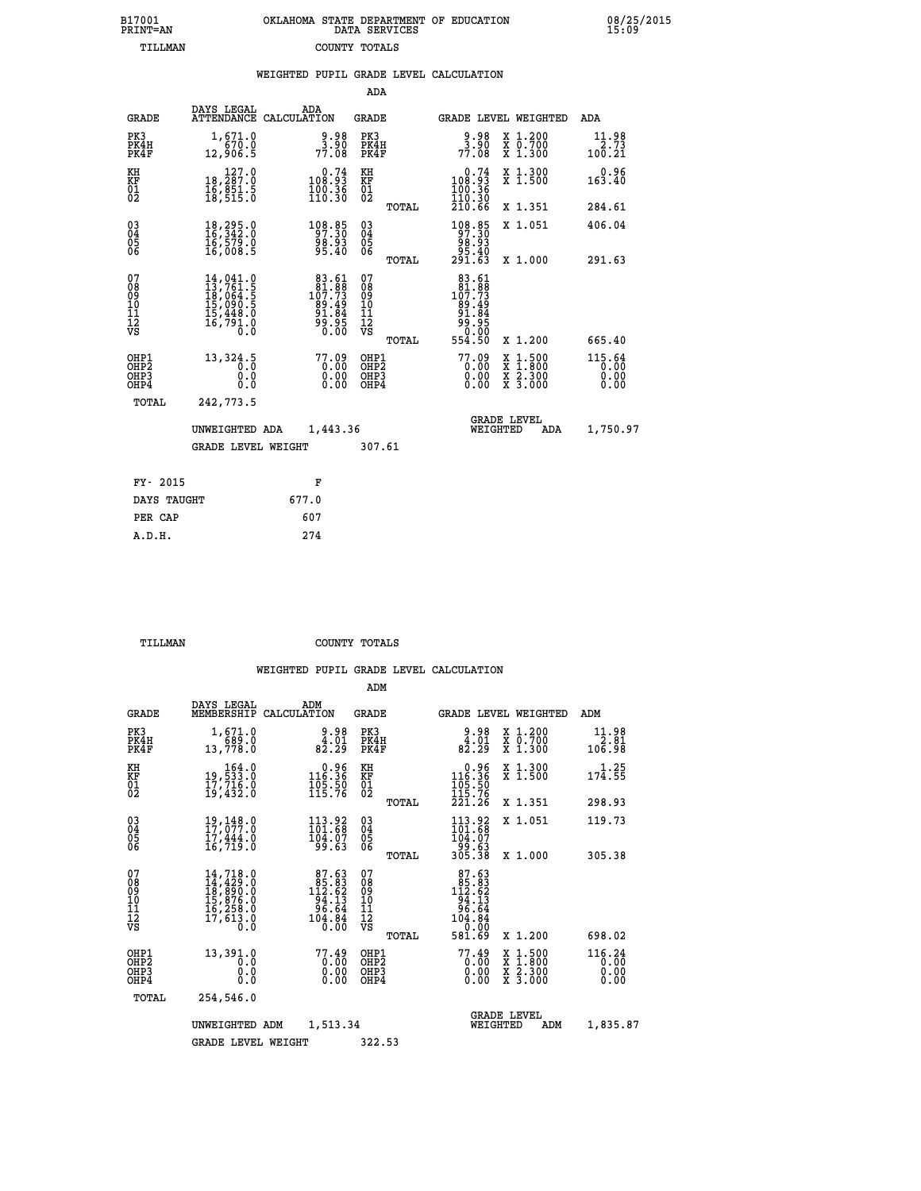| 7001<br>INT=AN | OKLAHOMA STATE DEPARTMENT OF EDUCATION<br>DATA SERVICES |  |
|----------------|---------------------------------------------------------|--|
| TILLMAN        | COUNTY TOTALS                                           |  |

|                                                                    |                                                                                                                                                                                          | WEIGHTED PUPIL GRADE LEVEL CALCULATION                                                  |                                               |                                                                                                                |                                                                                                                                              |                                  |
|--------------------------------------------------------------------|------------------------------------------------------------------------------------------------------------------------------------------------------------------------------------------|-----------------------------------------------------------------------------------------|-----------------------------------------------|----------------------------------------------------------------------------------------------------------------|----------------------------------------------------------------------------------------------------------------------------------------------|----------------------------------|
|                                                                    |                                                                                                                                                                                          |                                                                                         | ADA                                           |                                                                                                                |                                                                                                                                              |                                  |
| <b>GRADE</b>                                                       | DAYS LEGAL                                                                                                                                                                               | ADA<br>ATTENDANCE CALCULATION                                                           | <b>GRADE</b>                                  | <b>GRADE LEVEL WEIGHTED</b>                                                                                    |                                                                                                                                              | ADA                              |
| PK3<br>PK4H<br>PK4F                                                | 1,671.0<br>670.0<br>12,906.5                                                                                                                                                             | $\begin{array}{c} 9.98 \\ 3.90 \\ 77.08 \end{array}$                                    | PK3<br>PK4H<br>PK4F                           | $\begin{array}{c} 9.98 \\ 3.90 \\ 77.08 \end{array}$                                                           | X 1.200<br>X 0.700<br>X 1.300                                                                                                                | 11.98<br>2.73<br>100.21          |
| KH<br>KF<br>01<br>02                                               | 18, 127.0<br>16,851:5<br>18,515:0                                                                                                                                                        | $0.74$<br>108.93<br>$\frac{100.36}{110.30}$                                             | KH<br>KF<br>01<br>02                          | $0.74$<br>108.93<br>$\frac{100}{110}$ $\frac{36}{30}$<br>$\frac{110}{210}$ $\frac{36}{66}$                     | X 1.300<br>X 1.500                                                                                                                           | 0.96<br>163.40                   |
|                                                                    |                                                                                                                                                                                          |                                                                                         | TOTAL                                         |                                                                                                                | X 1.351                                                                                                                                      | 284.61                           |
| $\begin{smallmatrix} 03 \\[-4pt] 04 \end{smallmatrix}$<br>05<br>06 | $\begin{smallmatrix} 18,295.0\\ 16,342.0\\ 16,579.0\\ 16,008.5 \end{smallmatrix}$                                                                                                        | 108.85<br>98.93<br>95.40                                                                | $^{03}_{04}$<br>0500                          | 108.85<br>97.30<br>98.93                                                                                       | X 1.051                                                                                                                                      | 406.04                           |
|                                                                    |                                                                                                                                                                                          |                                                                                         | TOTAL                                         | 40.ۆۇ<br>291.63                                                                                                | X 1.000                                                                                                                                      | 291.63                           |
| 07<br>08<br>09<br>001<br>11<br>11<br>12<br>VS                      | $\begin{smallmatrix} 14\,, & 041\,. & 0\\ 13\,, & 761\,. & 5\\ 18\,, & 064\,. & 5\\ 15\,, & 090\,. & 5\\ 15\,, & 448\,. & 0\\ 16\,, & 791\,. & 0\\ 0\,. & 0\,. & 0\,. \end{smallmatrix}$ | $\begin{smallmatrix}83.61\\81.88\\107.73\\99.494\\91.84\\91.84\\90.00\end{smallmatrix}$ | 078<br>089<br>0011<br>11<br>12<br>VS<br>TOTAL | $\begin{array}{r} 83.61 \\ 81.88 \\ 107.73 \\ 99.494 \\ 91.84 \\ 99.84 \\ 90.05 \\ 0.00 \\ 554.50 \end{array}$ | X 1.200                                                                                                                                      | 665.40                           |
| OHP1<br>OHP2<br>OHP3<br>OH <sub>P4</sub>                           | 13,324.5<br>0.0<br>0.0                                                                                                                                                                   | 77.09<br>$\begin{smallmatrix} 0.00 \ 0.00 \end{smallmatrix}$                            | OHP1<br>OHP2<br>OHP3<br>OHP4                  | $77.09\n0.00\n0.00\n0.00$                                                                                      | $\begin{smallmatrix} \mathtt{X} & 1\cdot500 \\ \mathtt{X} & 1\cdot800 \\ \mathtt{X} & 2\cdot300 \\ \mathtt{X} & 3\cdot000 \end{smallmatrix}$ | $115.64$<br>0.00<br>0.00<br>0.00 |
| TOTAL                                                              | 242,773.5                                                                                                                                                                                |                                                                                         |                                               |                                                                                                                |                                                                                                                                              |                                  |
|                                                                    | UNWEIGHTED ADA                                                                                                                                                                           | 1,443.36                                                                                |                                               | <b>GRADE LEVEL</b><br>WEIGHTED                                                                                 | ADA                                                                                                                                          | 1,750.97                         |
|                                                                    | <b>GRADE LEVEL WEIGHT</b>                                                                                                                                                                |                                                                                         | 307.61                                        |                                                                                                                |                                                                                                                                              |                                  |
| FY- 2015                                                           |                                                                                                                                                                                          | F                                                                                       |                                               |                                                                                                                |                                                                                                                                              |                                  |
|                                                                    | DAYS TAUGHT                                                                                                                                                                              | 677.0                                                                                   |                                               |                                                                                                                |                                                                                                                                              |                                  |
| PER CAP                                                            |                                                                                                                                                                                          | 607                                                                                     |                                               |                                                                                                                |                                                                                                                                              |                                  |

 **A.D.H. 274**

 **B17001<br>PRINT=AN** 

 **TILLMAN COUNTY TOTALS**

|                                                       |                                                                                                                                                                     |                                                                                                              | ADM                                                |                                                                                           |                                                                                                                                           |                                |
|-------------------------------------------------------|---------------------------------------------------------------------------------------------------------------------------------------------------------------------|--------------------------------------------------------------------------------------------------------------|----------------------------------------------------|-------------------------------------------------------------------------------------------|-------------------------------------------------------------------------------------------------------------------------------------------|--------------------------------|
| <b>GRADE</b>                                          | DAYS LEGAL<br>MEMBERSHIP                                                                                                                                            | ADM<br>CALCULATION                                                                                           | <b>GRADE</b>                                       | GRADE LEVEL WEIGHTED                                                                      |                                                                                                                                           | ADM                            |
| PK3<br>PK4H<br>PK4F                                   | 1,671.0<br>689.0<br>13,778.0                                                                                                                                        | 9.98<br>$\frac{4.01}{82.29}$                                                                                 | PK3<br>PK4H<br>PK4F                                | 9.98<br>$\frac{4}{82}$ :29                                                                | X 1.200<br>X 0.700<br>X 1.300                                                                                                             | 11.98<br>2.81<br>106.98        |
| KH<br>KF<br>01<br>02                                  | $\begin{smallmatrix}&&164\cdot0\\19\,,\bar{5}33\cdot0\\17\,,\bar{7}16\cdot0\\19\,,\bar{4}32\cdot0\end{smallmatrix}$                                                 | $\begin{smallmatrix} &0.96\ 116.36\ 105.50\ 115.76\ \end{smallmatrix}$                                       | KH<br>KF<br>01<br>02                               | $\begin{smallmatrix} &0.96\ 116.36\ 105.50\ 115.76\ 221.26\ \end{smallmatrix}$            | X 1.300<br>X 1.500                                                                                                                        | 1.25<br>174.55                 |
|                                                       |                                                                                                                                                                     |                                                                                                              | TOTAL                                              |                                                                                           | X 1.351                                                                                                                                   | 298.93                         |
| 03<br>04<br>05<br>06                                  | 19, 148.0<br>17, 077.0<br>17, 444.0<br>16,719.0                                                                                                                     | 113.92<br>101.68<br>104.07<br>99.63                                                                          | $\begin{matrix} 03 \\ 04 \\ 05 \\ 06 \end{matrix}$ | 113.92<br>104:07<br>63.63<br>305.38                                                       | X 1.051                                                                                                                                   | 119.73                         |
|                                                       |                                                                                                                                                                     |                                                                                                              | TOTAL                                              |                                                                                           | X 1.000                                                                                                                                   | 305.38                         |
| 07<br>08<br>09<br>101<br>112<br>VS                    | $\begin{smallmatrix} 14\,,\,718\,.\,0\\ 14\,,\,429\,.\,0\\ 18\,,\,890\,.\,0\\ 15\,,\,876\,.\,0\\ 16\,,\,258\,.\,0\\ 17\,,\,613\,.\,0\\ 0\,\,.\,0 \end{smallmatrix}$ | $87.63$<br>$85.83$<br>$112.62$<br>$\begin{array}{r} 154.13 \\ -94.13 \\ 96.64 \\ 104.84 \\ 0.00 \end{array}$ | 07<br>08<br>09<br>11<br>11<br>12<br>VS             | $\begin{smallmatrix}87.63\\185.83\\112.62\\94.13\\96.64\\104.84\\0&0.00\end{smallmatrix}$ |                                                                                                                                           |                                |
|                                                       |                                                                                                                                                                     |                                                                                                              | TOTAL                                              | 581.69                                                                                    | X 1.200                                                                                                                                   | 698.02                         |
| OHP1<br>OH <sub>P</sub> 2<br>OH <sub>P3</sub><br>OHP4 | 13,391.0<br>0.0<br>0.000                                                                                                                                            | 77.49<br>0.00<br>0.00                                                                                        | OHP1<br>OHP2<br>OHP3<br>OHP4                       | $77.49$<br>0.00<br>0.00                                                                   | $\begin{smallmatrix} \mathtt{X} & 1\cdot500\\ \mathtt{X} & 1\cdot800\\ \mathtt{X} & 2\cdot300\\ \mathtt{X} & 3\cdot000 \end{smallmatrix}$ | 116.24<br>0.00<br>0.00<br>0.00 |
| TOTAL                                                 | 254,546.0                                                                                                                                                           |                                                                                                              |                                                    |                                                                                           |                                                                                                                                           |                                |
|                                                       | UNWEIGHTED                                                                                                                                                          | 1,513.34<br>ADM                                                                                              |                                                    | <b>GRADE LEVEL</b><br>WEIGHTED                                                            | ADM                                                                                                                                       | 1,835.87                       |
|                                                       | <b>GRADE LEVEL WEIGHT</b>                                                                                                                                           |                                                                                                              | 322.53                                             |                                                                                           |                                                                                                                                           |                                |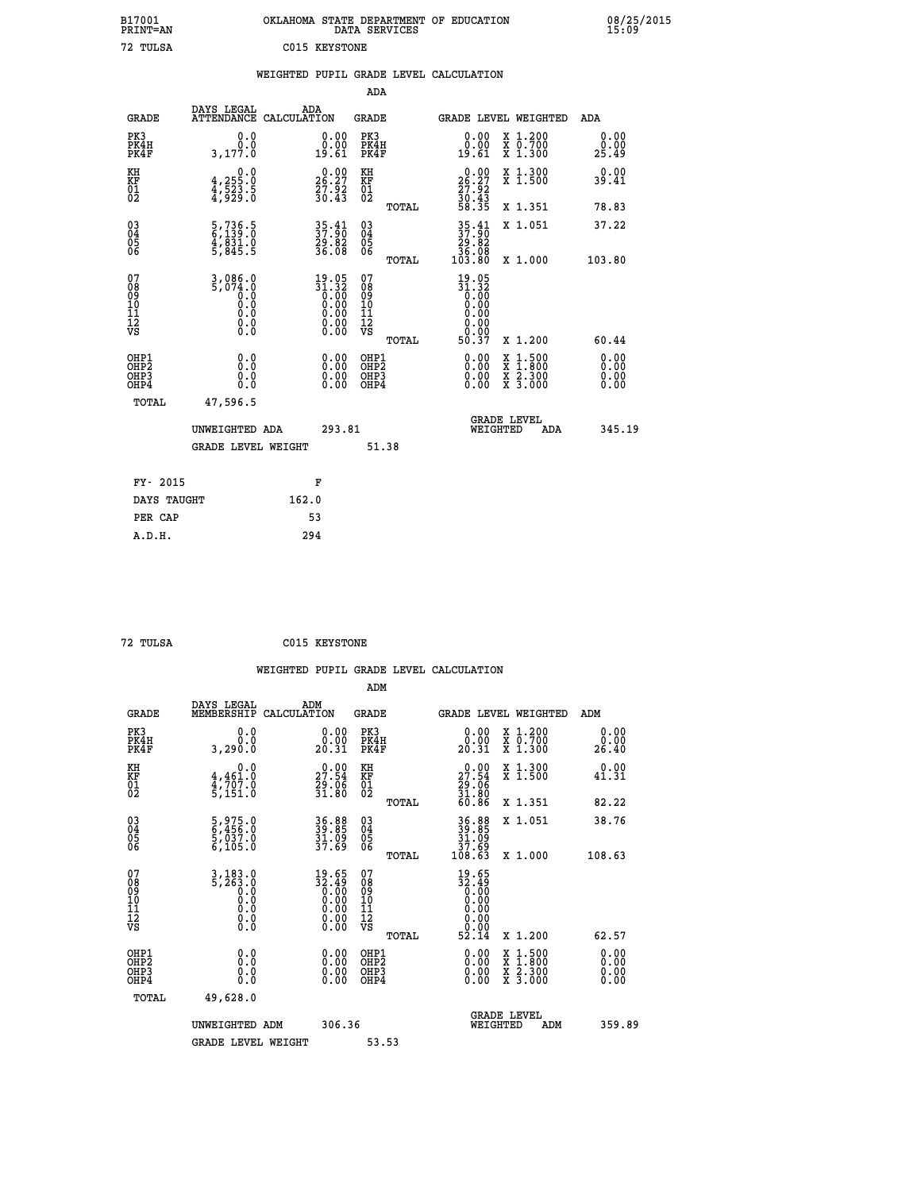| B17001<br>PRINT=AN                                |                                           | OKLAHOMA STATE DEPARTMENT OF EDUCATION       | DATA SERVICES                                      |                                                        |                                                                                                                                           | 08/25/2015            |
|---------------------------------------------------|-------------------------------------------|----------------------------------------------|----------------------------------------------------|--------------------------------------------------------|-------------------------------------------------------------------------------------------------------------------------------------------|-----------------------|
| 72 TULSA                                          |                                           | C015 KEYSTONE                                |                                                    |                                                        |                                                                                                                                           |                       |
|                                                   |                                           | WEIGHTED PUPIL GRADE LEVEL CALCULATION       |                                                    |                                                        |                                                                                                                                           |                       |
|                                                   |                                           |                                              | ADA                                                |                                                        |                                                                                                                                           |                       |
| <b>GRADE</b>                                      | DAYS LEGAL                                | ADA<br>ATTENDANCE CALCULATION                | <b>GRADE</b>                                       |                                                        | GRADE LEVEL WEIGHTED                                                                                                                      | ADA                   |
| PK3<br>PK4H<br>PK4F                               | 0.0<br>0.0<br>3,177.0                     | 0.00<br>0.00<br>19.61                        | PK3<br>PK4H<br>PK4F                                | 0.00<br>ăč.<br>19.61                                   | X 1.200<br>X 0.700<br>X 1.300                                                                                                             | 0.00<br>0.00<br>25.49 |
| KH<br>KF<br>$\begin{matrix} 01 \ 02 \end{matrix}$ | 0.0<br>4,255:0<br>4,523:5<br>4,929:0      | $26.27$<br>$27.92$<br>$30.43$                | KH<br><b>KF</b><br>01<br>02                        | 26.27<br>$\frac{27.92}{30.43}$<br>58.35                | X 1.300<br>X 1.500                                                                                                                        | 0.00<br>39.41         |
|                                                   |                                           |                                              | TOTAL                                              |                                                        | X 1.351                                                                                                                                   | 78.83                 |
| 030404<br>ŎĞ                                      | 5,736.5<br>6,139.0<br>4,831.0<br>5,845.5  | 35.41<br>37.90<br>29.82<br>36.08             | $\begin{matrix} 03 \\ 04 \\ 05 \\ 06 \end{matrix}$ | $35.41$<br>$37.90$<br>29.82<br>36.08                   | X 1.051                                                                                                                                   | 37.22                 |
|                                                   |                                           |                                              | <b>TOTAL</b>                                       | 103.80                                                 | X 1.000                                                                                                                                   | 103.80                |
| 078901112<br>00901112<br>VS                       | $3,086.0$<br>5,074.0<br>0.0<br>0.0<br>0.0 | $19.05\n31.32\n0.00\n0.00\n0.00\n0.00\n0.00$ | 07<br>08<br>09<br>101<br>11<br>12<br>VS            | $19.05$<br>$31.32$<br>$0.00$<br>$0.00$<br>0.00<br>0.00 |                                                                                                                                           |                       |
|                                                   | 0.0                                       |                                              | TOTAL                                              | 50.37                                                  | X 1.200                                                                                                                                   | 60.44<br>0.00         |
| OHP1<br>OHP2<br>OHP3<br>OHP4                      | Ō.Ō<br>0.0<br>0.0                         | 0.00<br>0.00<br>0.00                         | OHP1<br>OHP2<br>OHP3<br>OHP4                       | $0.00$<br>$0.00$<br>0.00                               | $\begin{smallmatrix} \mathtt{X} & 1\cdot500\\ \mathtt{X} & 1\cdot800\\ \mathtt{X} & 2\cdot300\\ \mathtt{X} & 3\cdot000 \end{smallmatrix}$ | 0.00<br>0.00<br>0.00  |
| TOTAL                                             | 47,596.5                                  |                                              |                                                    |                                                        |                                                                                                                                           |                       |
|                                                   | UNWEIGHTED ADA                            | 293.81                                       |                                                    | WEIGHTED                                               | <b>GRADE LEVEL</b><br>ADA                                                                                                                 | 345.19                |
|                                                   | <b>GRADE LEVEL WEIGHT</b>                 |                                              | 51.38                                              |                                                        |                                                                                                                                           |                       |
| FY- 2015                                          |                                           | F                                            |                                                    |                                                        |                                                                                                                                           |                       |
| DAYS TAUGHT                                       |                                           | 162.0                                        |                                                    |                                                        |                                                                                                                                           |                       |
| PER CAP                                           |                                           | 53                                           |                                                    |                                                        |                                                                                                                                           |                       |

| 72 TULSA | C015 KEYSTONE |
|----------|---------------|

 **WEIGHTED PUPIL GRADE LEVEL CALCULATION ADM DAYS LEGAL ADM**

| <b>GRADE</b>                                       | DAIS LEGAL<br>MEMBERSHIP                                                                                                                  | ADM<br>CALCULATION                                                             | GRADE                                    |       |                                                                                                                |          | <b>GRADE LEVEL WEIGHTED</b>                                                                                         | ADM                      |  |
|----------------------------------------------------|-------------------------------------------------------------------------------------------------------------------------------------------|--------------------------------------------------------------------------------|------------------------------------------|-------|----------------------------------------------------------------------------------------------------------------|----------|---------------------------------------------------------------------------------------------------------------------|--------------------------|--|
| PK3<br>PK4H<br>PK4F                                | 0.0000<br>3,290.0                                                                                                                         | $\begin{smallmatrix} 0.00\\ 0.00\\ 20.31 \end{smallmatrix}$                    | PK3<br>PK4H<br>PK4F                      |       | $\begin{smallmatrix} 0.00\\ 0.00\\ 20.31 \end{smallmatrix}$                                                    |          | X 1.200<br>X 0.700<br>X 1.300                                                                                       | 0.00<br>0.00<br>26.40    |  |
| KH<br>KF<br>01<br>02                               | 0.0<br>$\frac{4}{3}, \frac{461}{707}$ .0<br>5,151.0                                                                                       | $\begin{smallmatrix} 0.00\\ 27.54\\ 29.06\\ 31.80 \end{smallmatrix}$           | KH<br>KF<br>01<br>02                     |       | $\begin{smallmatrix} 0.00\\ 27.54\\ 29.06\\ 31.80\\ 60.86 \end{smallmatrix}$                                   |          | X 1.300<br>X 1.500                                                                                                  | 0.00<br>41.31            |  |
|                                                    |                                                                                                                                           |                                                                                |                                          | TOTAL |                                                                                                                |          | X 1.351                                                                                                             | 82.22                    |  |
| $\begin{matrix} 03 \\ 04 \\ 05 \\ 06 \end{matrix}$ | 5,975.0<br>6,456.0<br>5,037.0<br>6,105.0                                                                                                  | 36.88<br>39.85<br>31.09<br>37.69                                               | 03<br>04<br>05<br>06                     |       | $36.88$<br>$39.85$<br>$31.09$<br>$37.69$<br>$108.63$                                                           |          | X 1.051                                                                                                             | 38.76                    |  |
|                                                    |                                                                                                                                           |                                                                                |                                          | TOTAL |                                                                                                                |          | X 1.000                                                                                                             | 108.63                   |  |
| 07<br>08<br>09<br>101<br>11<br>12<br>VS            | $\begin{smallmatrix} 3\,,\,1\,8\,3\,. \,0\\ 5\,,\,2\,6\,3\,. \,0\\ 0\,. \,0\\ 0\,. \,0\\ 0\,. \,0\\ 0\,. \,0\\ 0\,. \,0\end{smallmatrix}$ | $19.65$<br>$32.49$<br>$0.00$<br>$0.00$<br>$0.00$<br>$0.00$<br>$0.00$<br>$0.00$ | 07<br>08<br>09<br>11<br>11<br>12<br>VS   |       | $\begin{smallmatrix} 19.65\\ 32.49\\ 0.00\\ 0.00\\ 0.00\\ 0.00\\ 0.00\\ 0.00\\ 0.00\\ 52.14 \end{smallmatrix}$ |          |                                                                                                                     |                          |  |
|                                                    |                                                                                                                                           |                                                                                |                                          | TOTAL |                                                                                                                |          | X 1.200                                                                                                             | 62.57                    |  |
| OHP1<br>OHP2<br>OH <sub>P3</sub><br>OHP4           | 0.0<br>0.000                                                                                                                              | $\begin{smallmatrix} 0.00 \ 0.00 \ 0.00 \ 0.00 \end{smallmatrix}$              | OHP1<br>OHP <sub>2</sub><br>OHP3<br>OHP4 |       |                                                                                                                |          | $\begin{array}{l} \mathtt{X} & 1.500 \\ \mathtt{X} & 1.800 \\ \mathtt{X} & 2.300 \\ \mathtt{X} & 3.000 \end{array}$ | $0.00$<br>$0.00$<br>0.00 |  |
| TOTAL                                              | 49,628.0                                                                                                                                  |                                                                                |                                          |       |                                                                                                                |          |                                                                                                                     |                          |  |
|                                                    | UNWEIGHTED ADM                                                                                                                            | 306.36                                                                         |                                          |       |                                                                                                                | WEIGHTED | <b>GRADE LEVEL</b><br>ADM                                                                                           | 359.89                   |  |
|                                                    | <b>GRADE LEVEL WEIGHT</b>                                                                                                                 |                                                                                | 53.53                                    |       |                                                                                                                |          |                                                                                                                     |                          |  |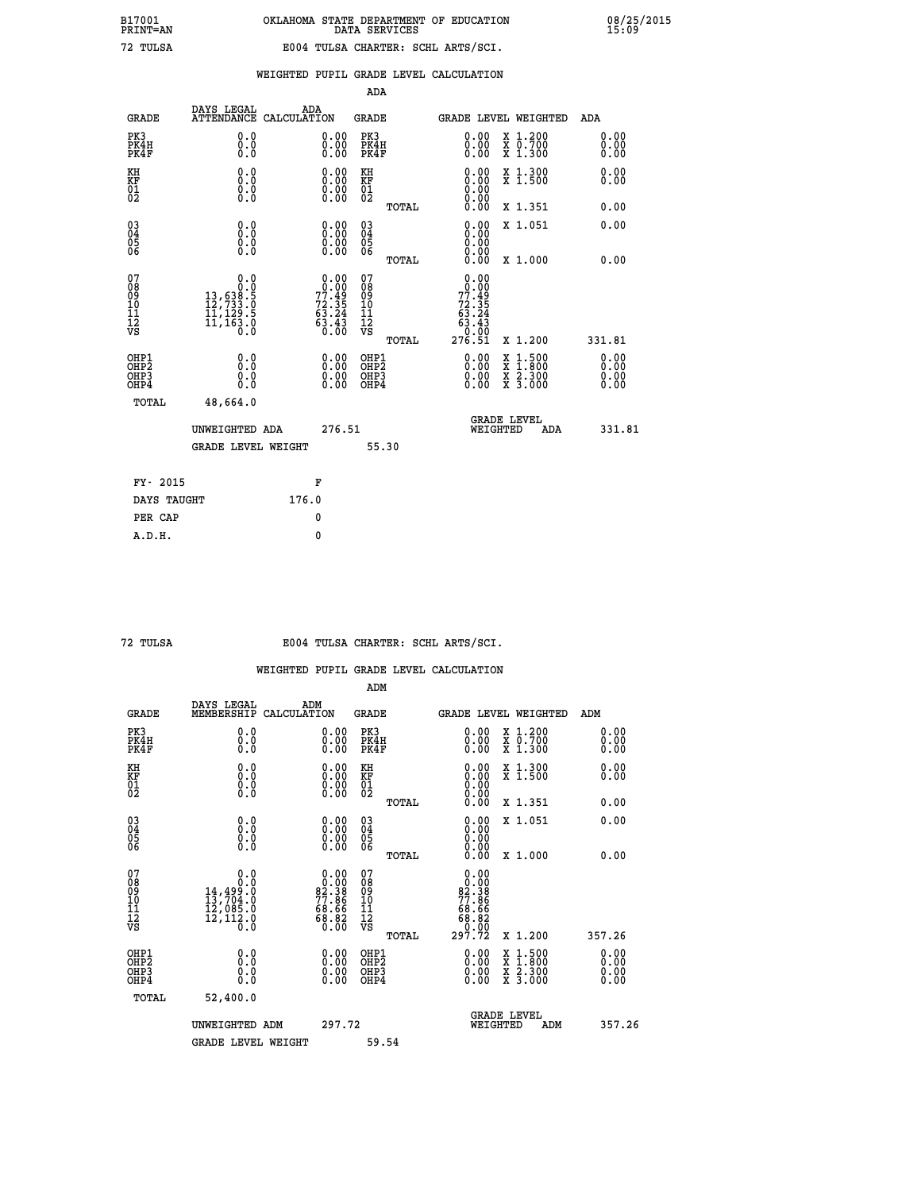|  |  | WEIGHTED PUPIL GRADE LEVEL CALCULATION |
|--|--|----------------------------------------|
|  |  |                                        |

|                                                                    |                                                                                           |                                                                              | ADA                                       |       |                                                                                  |                                                                                                  |                              |
|--------------------------------------------------------------------|-------------------------------------------------------------------------------------------|------------------------------------------------------------------------------|-------------------------------------------|-------|----------------------------------------------------------------------------------|--------------------------------------------------------------------------------------------------|------------------------------|
| <b>GRADE</b>                                                       | DAYS LEGAL<br><b>ATTENDANCE</b>                                                           | ADA<br>CALCULATION                                                           | <b>GRADE</b>                              |       |                                                                                  | <b>GRADE LEVEL WEIGHTED</b>                                                                      | ADA                          |
| PK3<br>PK4H<br>PK4F                                                | 0.0<br>0.0<br>0.0                                                                         | $\begin{smallmatrix} 0.00 \ 0.00 \ 0.00 \end{smallmatrix}$                   | PK3<br>PK4H<br>PK4F                       |       | $\begin{smallmatrix} 0.00 \\ 0.00 \\ 0.00 \end{smallmatrix}$                     | X 1.200<br>X 0.700<br>X 1.300                                                                    | 0.00<br>0.00<br>0.00         |
| KH<br>KF<br>01<br>02                                               | 0.0<br>0.0<br>$\S.$                                                                       | 0.0000<br>$\begin{smallmatrix} 0.00 & 0.00 \\ 0.00 & 0.00 \end{smallmatrix}$ | KH<br><b>KF</b><br>01<br>02               |       | 0.00                                                                             | X 1.300<br>X 1.500                                                                               | 0.00<br>0.00                 |
|                                                                    |                                                                                           |                                                                              |                                           | TOTAL |                                                                                  | X 1.351                                                                                          | 0.00                         |
| $\begin{smallmatrix} 03 \\[-4pt] 04 \end{smallmatrix}$<br>05<br>06 | 0.0<br>0.000                                                                              | 0.00<br>$\begin{smallmatrix} 0.00 \ 0.00 \end{smallmatrix}$                  | $\substack{03 \\ 04}$<br>05<br>06         |       | 0.00<br>0.00<br>0.00<br>0.00                                                     | X 1.051                                                                                          | 0.00                         |
| 07                                                                 |                                                                                           |                                                                              | 07                                        | TOTAL | 0.00                                                                             | X 1.000                                                                                          | 0.00                         |
| 08<br>09<br>11<br>11<br>12<br>VS                                   | $\begin{smallmatrix}&&&0.0\\13,638.5\\12,733.0\\11,129.5\\11,163.0\\0.0\end{smallmatrix}$ | $0.00\n77.49\n72.35\n63.24\n63.43\n0.00$                                     | 08901112<br>1112<br>VS                    |       | $\begin{array}{r} 0.000 \\ 77.49 \\ 72.35 \\ 63.24 \\ 63.43 \end{array}$<br>0.00 |                                                                                                  |                              |
|                                                                    |                                                                                           |                                                                              |                                           | TOTAL | 276.51                                                                           | X 1.200                                                                                          | 331.81                       |
| OHP1<br>OH <sub>P</sub> 2<br>OH <sub>P3</sub><br>OH <sub>P4</sub>  | 0.0<br>0.0<br>0.0                                                                         | 0.00<br>$\begin{smallmatrix} 0.00 \ 0.00 \end{smallmatrix}$                  | OHP1<br>OH <sub>P</sub> 2<br>OHP3<br>OHP4 |       | 0.00<br>0.00<br>0.00                                                             | $\begin{smallmatrix} x & 1 & 500 \\ x & 1 & 800 \\ x & 2 & 300 \\ x & 3 & 000 \end{smallmatrix}$ | 0.00<br>0.00<br>0.00<br>0.00 |
| TOTAL                                                              | 48,664.0                                                                                  |                                                                              |                                           |       |                                                                                  |                                                                                                  |                              |
|                                                                    | UNWEIGHTED ADA                                                                            | 276.51                                                                       |                                           |       |                                                                                  | GRADE LEVEL<br>WEIGHTED<br>ADA                                                                   | 331.81                       |
|                                                                    | <b>GRADE LEVEL WEIGHT</b>                                                                 |                                                                              |                                           | 55.30 |                                                                                  |                                                                                                  |                              |
| FY- 2015                                                           |                                                                                           | F                                                                            |                                           |       |                                                                                  |                                                                                                  |                              |
| DAYS TAUGHT                                                        |                                                                                           | 176.0                                                                        |                                           |       |                                                                                  |                                                                                                  |                              |
| PER CAP                                                            |                                                                                           | 0                                                                            |                                           |       |                                                                                  |                                                                                                  |                              |

 **72 TULSA E004 TULSA CHARTER: SCHL ARTS/SCI.**

|                                    |                                                                                                        |                                                                   | ADM                                                |       |                                                                                     |                                          |                      |
|------------------------------------|--------------------------------------------------------------------------------------------------------|-------------------------------------------------------------------|----------------------------------------------------|-------|-------------------------------------------------------------------------------------|------------------------------------------|----------------------|
| <b>GRADE</b>                       | DAYS LEGAL<br>MEMBERSHIP                                                                               | ADM<br>CALCULATION                                                | <b>GRADE</b>                                       |       |                                                                                     | GRADE LEVEL WEIGHTED                     | ADM                  |
| PK3<br>PK4H<br>PK4F                | 0.0<br>0.0<br>0.0                                                                                      | $\begin{smallmatrix} 0.00 \ 0.00 \ 0.00 \end{smallmatrix}$        | PK3<br>PK4H<br>PK4F                                |       | $\begin{smallmatrix} 0.00 \\ 0.00 \\ 0.00 \end{smallmatrix}$                        | X 1.200<br>X 0.700<br>X 1.300            | 0.00<br>0.00<br>0.00 |
| KH<br>KF<br>01<br>02               | 0.0<br>$\begin{smallmatrix} 0.0 & 0 \ 0.0 & 0 \ 0.0 & 0 \end{smallmatrix}$                             | $\begin{smallmatrix} 0.00 \ 0.00 \ 0.00 \ 0.00 \end{smallmatrix}$ | KH<br>KF<br>01<br>02                               |       | $\begin{smallmatrix} 0.00 \ 0.00 \ 0.00 \ 0.00 \ 0.00 \ 0.00 \end{smallmatrix}$     | X 1.300<br>X 1.500                       | 0.00<br>0.00         |
|                                    |                                                                                                        |                                                                   |                                                    | TOTAL |                                                                                     | X 1.351                                  | 0.00                 |
| 03<br>04<br>05<br>06               |                                                                                                        | $\begin{smallmatrix} 0.00 \ 0.00 \ 0.00 \ 0.00 \end{smallmatrix}$ | $\begin{matrix} 03 \\ 04 \\ 05 \\ 06 \end{matrix}$ |       | $0.00$<br>$0.00$<br>0.00                                                            | X 1.051                                  | 0.00                 |
|                                    |                                                                                                        |                                                                   |                                                    | TOTAL | 0.00                                                                                | X 1.000                                  | 0.00                 |
| 07<br>08<br>09<br>101<br>112<br>VS | 0.0<br>$\begin{smallmatrix} & & & 0.10\ 14,499.0\ 13,704.0\ 12,085.0\ 12,112.0\ 0.0 \end{smallmatrix}$ | $0.00\n82.38\n77.86\n68.66\n68.82\n68.82\n0.00$                   | 07<br>08<br>09<br>11<br>11<br>12<br>VS             | TOTAL | $\begin{smallmatrix}0.00\\0.00\\2.38\\77.86\\68.66\\68.82\\297.72\end{smallmatrix}$ | X 1.200                                  | 357.26               |
|                                    |                                                                                                        |                                                                   |                                                    |       |                                                                                     |                                          | 0.00                 |
| OHP1<br>OHP2<br>OHP3<br>OHP4       | 0.0<br>0.000                                                                                           |                                                                   | OHP1<br>OHP2<br>OHP <sub>3</sub>                   |       | $0.00$<br>$0.00$<br>0.00                                                            | X 1:500<br>X 1:800<br>X 2:300<br>X 3:000 | 0.00<br>0.00         |
| TOTAL                              | 52,400.0                                                                                               |                                                                   |                                                    |       |                                                                                     |                                          |                      |
|                                    | UNWEIGHTED ADM                                                                                         |                                                                   | 297.72                                             |       | GRADE LEVEL<br>WEIGHTED                                                             | ADM                                      | 357.26               |
|                                    | <b>GRADE LEVEL WEIGHT</b>                                                                              |                                                                   | 59.54                                              |       |                                                                                     |                                          |                      |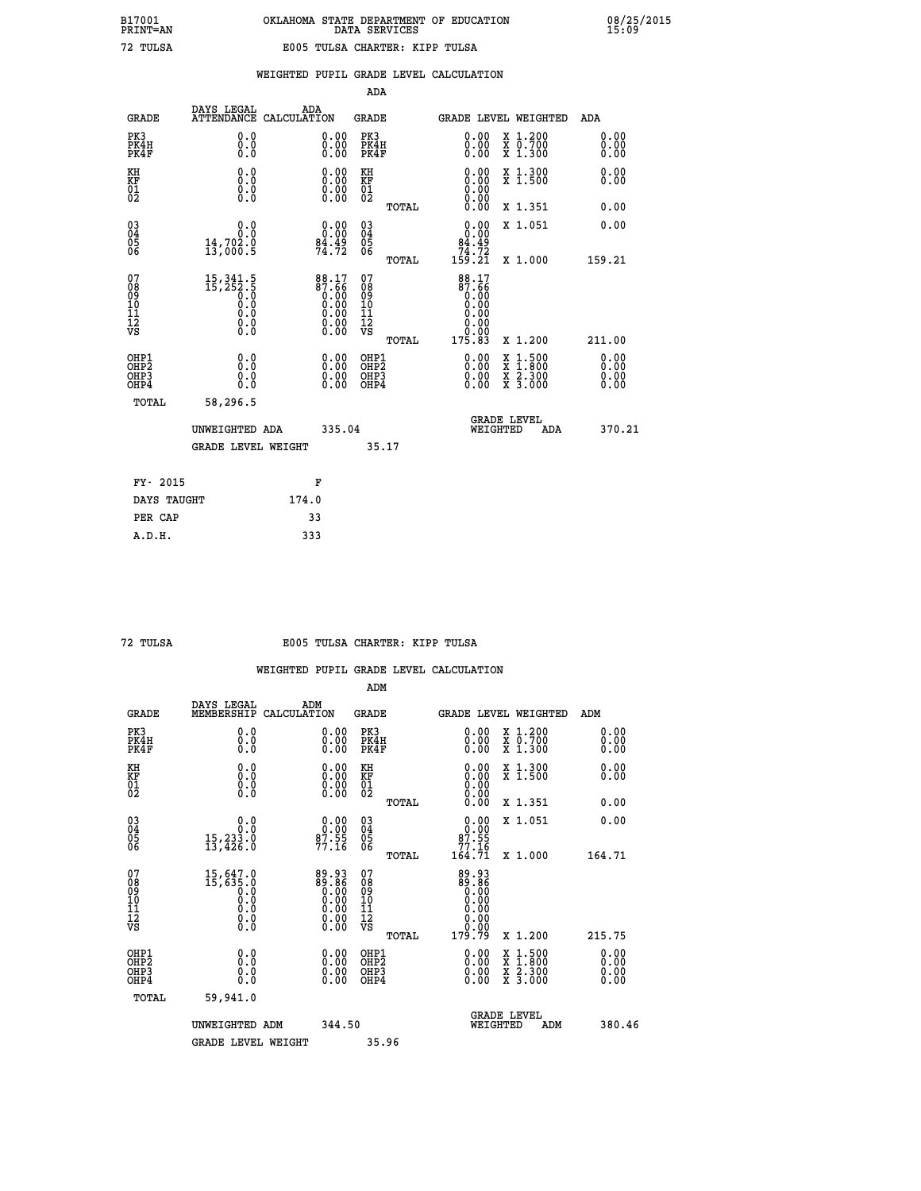| TULSA |  |
|-------|--|

|                                                                    |                                                                                                         |                                                                   | ADA                                    |       |                                                                 |                                                                                                                                              |                               |
|--------------------------------------------------------------------|---------------------------------------------------------------------------------------------------------|-------------------------------------------------------------------|----------------------------------------|-------|-----------------------------------------------------------------|----------------------------------------------------------------------------------------------------------------------------------------------|-------------------------------|
| <b>GRADE</b>                                                       | DAYS LEGAL<br><b>ATTENDANCE</b>                                                                         | ADA<br>CALCULATION                                                | <b>GRADE</b>                           |       | <b>GRADE LEVEL WEIGHTED</b>                                     |                                                                                                                                              | ADA                           |
| PK3<br>PK4H<br>PK4F                                                | 0.0<br>0.0<br>Ō.Ō                                                                                       | $\begin{smallmatrix} 0.00 \ 0.00 \ 0.00 \end{smallmatrix}$        | PK3<br>PK4H<br>PK4F                    |       | $\begin{smallmatrix} 0.00 \\ 0.00 \\ 0.00 \end{smallmatrix}$    | X 1.200<br>X 0.700<br>X 1.300                                                                                                                | 0.00<br>0.00<br>0.00          |
| KH<br>KF<br>01<br>02                                               | 0.0<br>0.0<br>$\S.$                                                                                     | $\begin{smallmatrix} 0.00 \ 0.00 \ 0.00 \ 0.00 \end{smallmatrix}$ | KH<br>KF<br>01<br>02                   |       | 0.00<br>0.0000000000                                            | X 1.300<br>X 1.500                                                                                                                           | 0.00<br>0.00                  |
|                                                                    |                                                                                                         |                                                                   |                                        | TOTAL | 0.00                                                            | X 1.351                                                                                                                                      | 0.00                          |
| $\begin{smallmatrix} 03 \\[-4pt] 04 \end{smallmatrix}$<br>Ŏ5<br>06 | 0.0<br>$\frac{14}{13}$ , 702.0<br>13, 000.5                                                             | 0.00<br>$\frac{84.49}{74.72}$                                     | $\substack{03 \\ 04}$<br>Ŏ5<br>06      |       | 0.00<br>$\begin{array}{r} 84.49 \\ 74.72 \\ 159.21 \end{array}$ | X 1.051                                                                                                                                      | 0.00                          |
|                                                                    |                                                                                                         |                                                                   |                                        | TOTAL |                                                                 | X 1.000                                                                                                                                      | 159.21                        |
| 07<br>08<br>09<br>101<br>11<br>12<br>VS                            | $\begin{smallmatrix} 15,341.5\\ 15,252.5\\ 0.0\\ 0.0\\ 0.0\\ 0.0\\ 0.0\\ 0.0\\ 0.0\\ \end{smallmatrix}$ | $88.17\n87.66\n0.00\n0.00\n0.00\n0.00\n0.00$                      | 07<br>08<br>09<br>11<br>11<br>12<br>VS |       | 88.17<br>87.66<br>0.00<br>0.00<br>0.00<br>0.00                  |                                                                                                                                              |                               |
|                                                                    |                                                                                                         |                                                                   |                                        | TOTAL | 175.83                                                          | X 1.200                                                                                                                                      | 211.00                        |
| OHP1<br>OHP <sub>2</sub><br>OH <sub>P3</sub><br>OHP4               | 0.0<br>0.000                                                                                            | 0.00<br>$\begin{smallmatrix} 0.00 \ 0.00 \end{smallmatrix}$       | OHP1<br>OHP2<br>OHP <sub>3</sub>       |       |                                                                 | $\begin{smallmatrix} \mathtt{X} & 1\cdot500 \\ \mathtt{X} & 1\cdot800 \\ \mathtt{X} & 2\cdot300 \\ \mathtt{X} & 3\cdot000 \end{smallmatrix}$ | 0.00<br>Ō. ŌŌ<br>0.00<br>0.00 |
| TOTAL                                                              | 58,296.5                                                                                                |                                                                   |                                        |       |                                                                 |                                                                                                                                              |                               |
|                                                                    | UNWEIGHTED ADA                                                                                          | 335.04                                                            |                                        |       | WEIGHTED                                                        | <b>GRADE LEVEL</b><br>ADA                                                                                                                    | 370.21                        |
|                                                                    | <b>GRADE LEVEL WEIGHT</b>                                                                               |                                                                   | 35.17                                  |       |                                                                 |                                                                                                                                              |                               |
| FY- 2015                                                           |                                                                                                         | F                                                                 |                                        |       |                                                                 |                                                                                                                                              |                               |
| DAYS TAUGHT                                                        |                                                                                                         | 174.0                                                             |                                        |       |                                                                 |                                                                                                                                              |                               |
| PER CAP                                                            |                                                                                                         | 33                                                                |                                        |       |                                                                 |                                                                                                                                              |                               |

 **A.D.H. 333**

#### **72 TULSA E005 TULSA CHARTER: KIPP TULSA**

|                                    |                                                                                  |                                                                                                        | ADM                                                |       |                                                                                 |                                          |                      |
|------------------------------------|----------------------------------------------------------------------------------|--------------------------------------------------------------------------------------------------------|----------------------------------------------------|-------|---------------------------------------------------------------------------------|------------------------------------------|----------------------|
| <b>GRADE</b>                       | DAYS LEGAL<br>MEMBERSHIP                                                         | ADM<br>CALCULATION                                                                                     | <b>GRADE</b>                                       |       |                                                                                 | GRADE LEVEL WEIGHTED                     | ADM                  |
| PK3<br>PK4H<br>PK4F                | 0.0<br>0.0<br>0.0                                                                | 0.00<br>$\begin{smallmatrix} 0.00 \ 0.00 \end{smallmatrix}$                                            | PK3<br>PK4H<br>PK4F                                |       | $\begin{smallmatrix} 0.00 \\ 0.00 \\ 0.00 \end{smallmatrix}$                    | X 1.200<br>X 0.700<br>X 1.300            | 0.00<br>0.00<br>0.00 |
| KH<br>KF<br>01<br>02               | 0.0<br>0.0<br>$\S.$                                                              | $\begin{smallmatrix} 0.00 \ 0.00 \ 0.00 \ 0.00 \end{smallmatrix}$                                      | KH<br>KF<br>01<br>02                               |       | $\begin{smallmatrix} 0.00 \ 0.00 \ 0.00 \ 0.00 \ 0.00 \ 0.00 \end{smallmatrix}$ | X 1.300<br>X 1.500                       | 0.00<br>0.00         |
|                                    |                                                                                  |                                                                                                        |                                                    | TOTAL |                                                                                 | X 1.351                                  | 0.00                 |
| 03<br>04<br>05<br>06               | 0.0<br>15,233.0<br>13,426.0                                                      | $0.00$<br>$87.55$<br>$77.16$                                                                           | $\begin{matrix} 03 \\ 04 \\ 05 \\ 06 \end{matrix}$ |       | $0.00$<br>$87.55$<br>$77.16$                                                    | X 1.051                                  | 0.00                 |
|                                    |                                                                                  |                                                                                                        |                                                    | TOTAL | 164.71                                                                          | X 1.000                                  | 164.71               |
| 07<br>08<br>09<br>101<br>112<br>VS | $\begin{smallmatrix}15,647.0\\15,635.0\\0.0\\0.0\\0.0\end{smallmatrix}$<br>$\S.$ | $\begin{smallmatrix} 89.93 \\ 89.86 \\ 0.00 \\ 0.00 \\ 0.00 \\ 0.00 \\ 0.00 \\ 0.00 \end{smallmatrix}$ | 07<br>08<br>09<br>11<br>11<br>12<br>VS             |       | 89.93<br>88.08<br>0.00<br>0.00                                                  |                                          |                      |
|                                    |                                                                                  |                                                                                                        |                                                    | TOTAL | 179.79                                                                          | X 1.200                                  | 215.75               |
| OHP1<br>OHP2<br>OHP3<br>OHP4       | 0.0<br>0.000                                                                     |                                                                                                        | OHP1<br>OHP2<br>OHP <sub>3</sub>                   |       | $0.00$<br>$0.00$<br>0.00                                                        | X 1:500<br>X 1:800<br>X 2:300<br>X 3:000 | 0.00<br>0.00<br>0.00 |
| TOTAL                              | 59,941.0                                                                         |                                                                                                        |                                                    |       |                                                                                 |                                          |                      |
|                                    | UNWEIGHTED ADM                                                                   | 344.50                                                                                                 |                                                    |       |                                                                                 | <b>GRADE LEVEL</b><br>WEIGHTED<br>ADM    | 380.46               |
|                                    | <b>GRADE LEVEL WEIGHT</b>                                                        |                                                                                                        | 35.96                                              |       |                                                                                 |                                          |                      |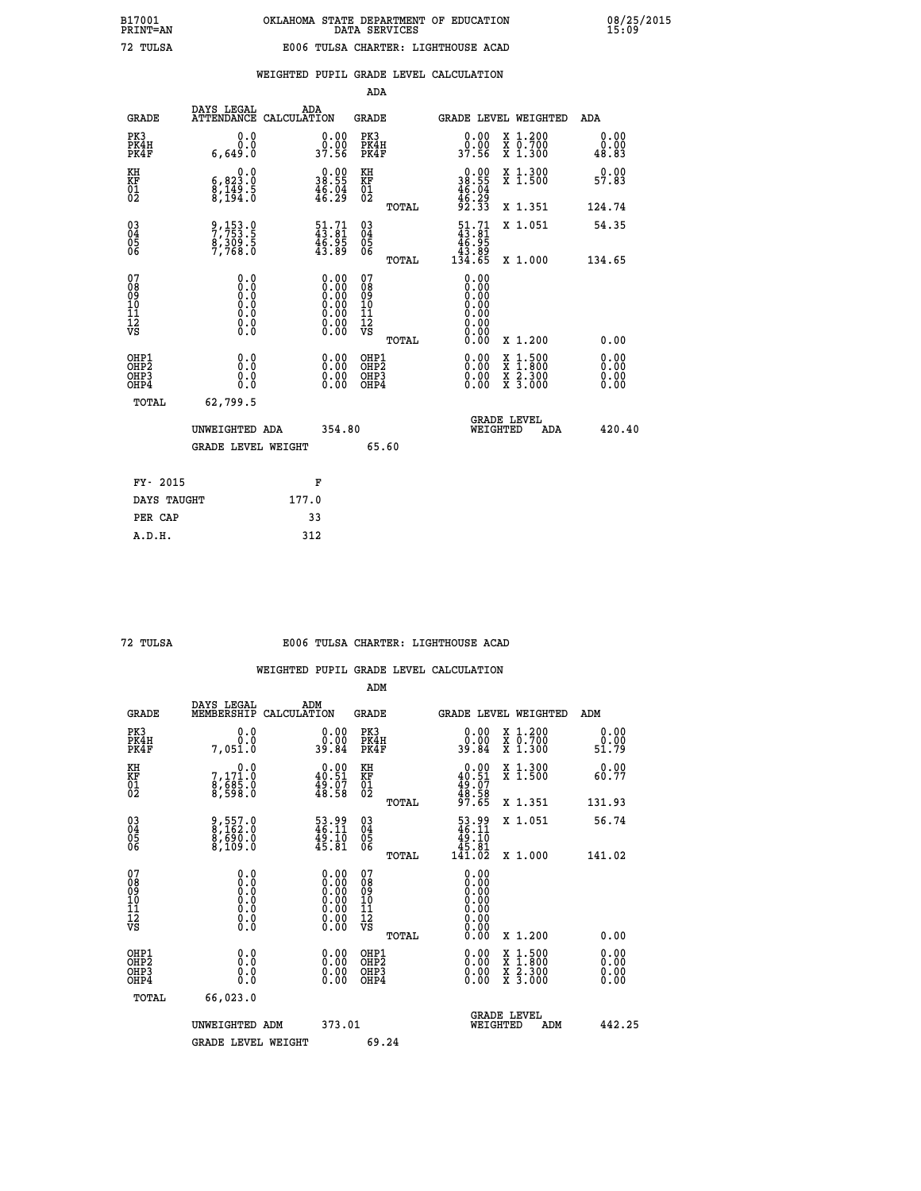|                                                    |                                                                               |                                                                                               | ADA                                                  |       |                                                                                                                                                                                                                                                                                |                                          |     |                              |
|----------------------------------------------------|-------------------------------------------------------------------------------|-----------------------------------------------------------------------------------------------|------------------------------------------------------|-------|--------------------------------------------------------------------------------------------------------------------------------------------------------------------------------------------------------------------------------------------------------------------------------|------------------------------------------|-----|------------------------------|
| <b>GRADE</b>                                       | DAYS LEGAL<br><b>ATTENDANCE</b>                                               | ADA<br>CALCULATION                                                                            | <b>GRADE</b>                                         |       | GRADE LEVEL WEIGHTED                                                                                                                                                                                                                                                           |                                          |     | <b>ADA</b>                   |
| PK3<br>PK4H<br>PK4F                                | 0.0<br>0.0<br>6,649.0                                                         | 0.00<br>0.00<br>37.56                                                                         | PK3<br>PK4H<br>PK4F                                  |       | 0.00<br>ŏ:ŏŏ<br>37:56                                                                                                                                                                                                                                                          | X 1.200<br>X 0.700<br>X 1.300            |     | 0.00<br>0.00<br>48.83        |
| KH<br>KF<br>01<br>02                               | 0.0<br>$\begin{smallmatrix} 6, 823.0 \ 8, 149.5 \ 8, 194.0 \end{smallmatrix}$ | $\begin{smallmatrix} 0.00\\ 38.55\\ 46.04\\ 46.29 \end{smallmatrix}$                          | KH<br>KF<br>01<br>02                                 |       | $\begin{smallmatrix} 0.00\\ 38.55\\ 46.04\\ 46.29\\ 92.33 \end{smallmatrix}$                                                                                                                                                                                                   | X 1.300<br>X 1.500                       |     | 0.00<br>57.83                |
|                                                    |                                                                               |                                                                                               |                                                      | TOTAL |                                                                                                                                                                                                                                                                                | X 1.351                                  |     | 124.74                       |
| $\begin{matrix} 03 \\ 04 \\ 05 \\ 06 \end{matrix}$ | 9,153.0<br>7,753.5<br>8,309.5<br>7,768.0                                      | $\begin{smallmatrix} 51.71 \\ 43.81 \\ 46.95 \\ 43.89 \end{smallmatrix}$                      | 03<br>04<br>05<br>06                                 |       | $\begin{array}{c} 51.71 \\ 43.81 \\ 46.95 \\ 43.89 \\ 134.65 \end{array}$                                                                                                                                                                                                      | X 1.051                                  |     | 54.35                        |
|                                                    |                                                                               |                                                                                               |                                                      | TOTAL |                                                                                                                                                                                                                                                                                | X 1.000                                  |     | 134.65                       |
| 07<br>08<br>09<br>101<br>11<br>12<br>VS            | $\S.$ $\S$                                                                    | $\begin{smallmatrix} 0.00\ 0.00\ 0.00\ 0.00\ 0.00\ 0.00\ 0.00\ 0.00\ 0.00\ \end{smallmatrix}$ | 07<br>08<br>09<br>11<br>11<br>12<br>VS               |       | 0.00<br>0.00                                                                                                                                                                                                                                                                   |                                          |     |                              |
|                                                    |                                                                               |                                                                                               |                                                      | TOTAL | 0.00                                                                                                                                                                                                                                                                           | X 1.200                                  |     | 0.00                         |
| OHP1<br>OHP2<br>OHP3<br>OHP4                       | 0.0<br>0.0<br>0.0                                                             | $\begin{smallmatrix} 0.00 \ 0.00 \ 0.00 \ 0.00 \end{smallmatrix}$                             | OHP1<br>OHP2<br>OHP <sub>3</sub><br>OHP <sub>4</sub> |       | $\begin{smallmatrix} 0.00 & 0.00 & 0.00 & 0.00 & 0.00 & 0.00 & 0.00 & 0.00 & 0.00 & 0.00 & 0.00 & 0.00 & 0.00 & 0.00 & 0.00 & 0.00 & 0.00 & 0.00 & 0.00 & 0.00 & 0.00 & 0.00 & 0.00 & 0.00 & 0.00 & 0.00 & 0.00 & 0.00 & 0.00 & 0.00 & 0.00 & 0.00 & 0.00 & 0.00 & 0.00 & 0.0$ | X 1:500<br>X 1:800<br>X 2:300<br>X 3:000 |     | 0.00<br>Ŏ.ŎŎ<br>Q.QQ<br>0.00 |
| TOTAL                                              | 62,799.5                                                                      |                                                                                               |                                                      |       |                                                                                                                                                                                                                                                                                |                                          |     |                              |
|                                                    | UNWEIGHTED ADA                                                                | 354.80                                                                                        |                                                      |       |                                                                                                                                                                                                                                                                                | GRADE LEVEL<br>WEIGHTED                  | ADA | 420.40                       |
|                                                    | <b>GRADE LEVEL WEIGHT</b>                                                     |                                                                                               |                                                      | 65.60 |                                                                                                                                                                                                                                                                                |                                          |     |                              |
| FY- 2015                                           |                                                                               | F                                                                                             |                                                      |       |                                                                                                                                                                                                                                                                                |                                          |     |                              |
| DAYS TAUGHT                                        |                                                                               | 177.0                                                                                         |                                                      |       |                                                                                                                                                                                                                                                                                |                                          |     |                              |
|                                                    |                                                                               |                                                                                               |                                                      |       |                                                                                                                                                                                                                                                                                |                                          |     |                              |

 **PER CAP 33 A.D.H. 312**

#### **72 TULSA E006 TULSA CHARTER: LIGHTHOUSE ACAD**

|                                          |                                          |                                                                                                      | ADM                                                 |       |                                                                                    |                                          |                       |
|------------------------------------------|------------------------------------------|------------------------------------------------------------------------------------------------------|-----------------------------------------------------|-------|------------------------------------------------------------------------------------|------------------------------------------|-----------------------|
| <b>GRADE</b>                             | DAYS LEGAL<br>MEMBERSHIP                 | ADM<br>CALCULATION                                                                                   | <b>GRADE</b>                                        |       |                                                                                    | GRADE LEVEL WEIGHTED                     | ADM                   |
| PK3<br>PK4H<br>PK4F                      | 0.0<br>Ō.Ō<br>7,051.0                    | $\begin{smallmatrix} 0.00\\ 0.00\\ 39.84 \end{smallmatrix}$                                          | PK3<br>PK4H<br>PK4F                                 |       | $\begin{smallmatrix} 0.00\\ 0.00\\ 39.84 \end{smallmatrix}$                        | X 1.200<br>X 0.700<br>X 1.300            | 0.00<br>ŏ:ŏŏ<br>51:79 |
| KH<br>KF<br>01<br>02                     | 0.0<br>7,171.0<br>8,685.0<br>8,598.0     | $\begin{smallmatrix} 0.00\\ 40.51\\ 49.07\\ 48.58 \end{smallmatrix}$                                 | KH<br>KF<br>01<br>02                                |       | $0.00$<br>$40.51$<br>$49.07$<br>$48.58$<br>$97.65$                                 | X 1.300<br>X 1.500                       | 0.00<br>60.77         |
|                                          |                                          |                                                                                                      |                                                     | TOTAL |                                                                                    | X 1.351                                  | 131.93                |
| 03<br>04<br>05<br>06                     | 9,557.0<br>8,162.0<br>8,690.0<br>8,109.0 | $\frac{53.99}{46.11}$<br>$\frac{49.10}{45.81}$                                                       | $\begin{array}{c} 03 \\ 04 \\ 05 \\ 06 \end{array}$ |       | $\begin{smallmatrix} 53.99 \\ 46.11 \\ 49.10 \\ 45.81 \\ 141.02 \end{smallmatrix}$ | X 1.051                                  | 56.74                 |
|                                          |                                          |                                                                                                      |                                                     | TOTAL |                                                                                    | X 1.000                                  | 141.02                |
| 07<br>08<br>09<br>101<br>112<br>VS       | 0.0                                      | $\begin{smallmatrix} 0.00 \ 0.00 \ 0.00 \ 0.00 \ 0.00 \ 0.00 \ 0.00 \ 0.00 \ 0.00 \end{smallmatrix}$ | 07<br>08<br>09<br>11<br>11<br>12<br>VS              |       | 0.00<br>0.00<br>0.00<br>0.00<br>0.00<br>0.00                                       |                                          |                       |
|                                          |                                          |                                                                                                      |                                                     | TOTAL | 0.00                                                                               | X 1.200                                  | 0.00                  |
| OHP1<br>OHP2<br>OHP <sub>3</sub><br>OHP4 | 0.0<br>0.000                             |                                                                                                      | OHP1<br>OHP2<br>OHP <sub>3</sub>                    |       | $0.00$<br>$0.00$<br>0.00                                                           | X 1:500<br>X 1:800<br>X 2:300<br>X 3:000 | 0.00<br>0.00<br>0.00  |
| TOTAL                                    | 66,023.0                                 |                                                                                                      |                                                     |       |                                                                                    |                                          |                       |
|                                          | UNWEIGHTED                               | 373.01<br>ADM                                                                                        |                                                     |       |                                                                                    | GRADE LEVEL<br>WEIGHTED<br>ADM           | 442.25                |
|                                          | <b>GRADE LEVEL WEIGHT</b>                |                                                                                                      | 69.24                                               |       |                                                                                    |                                          |                       |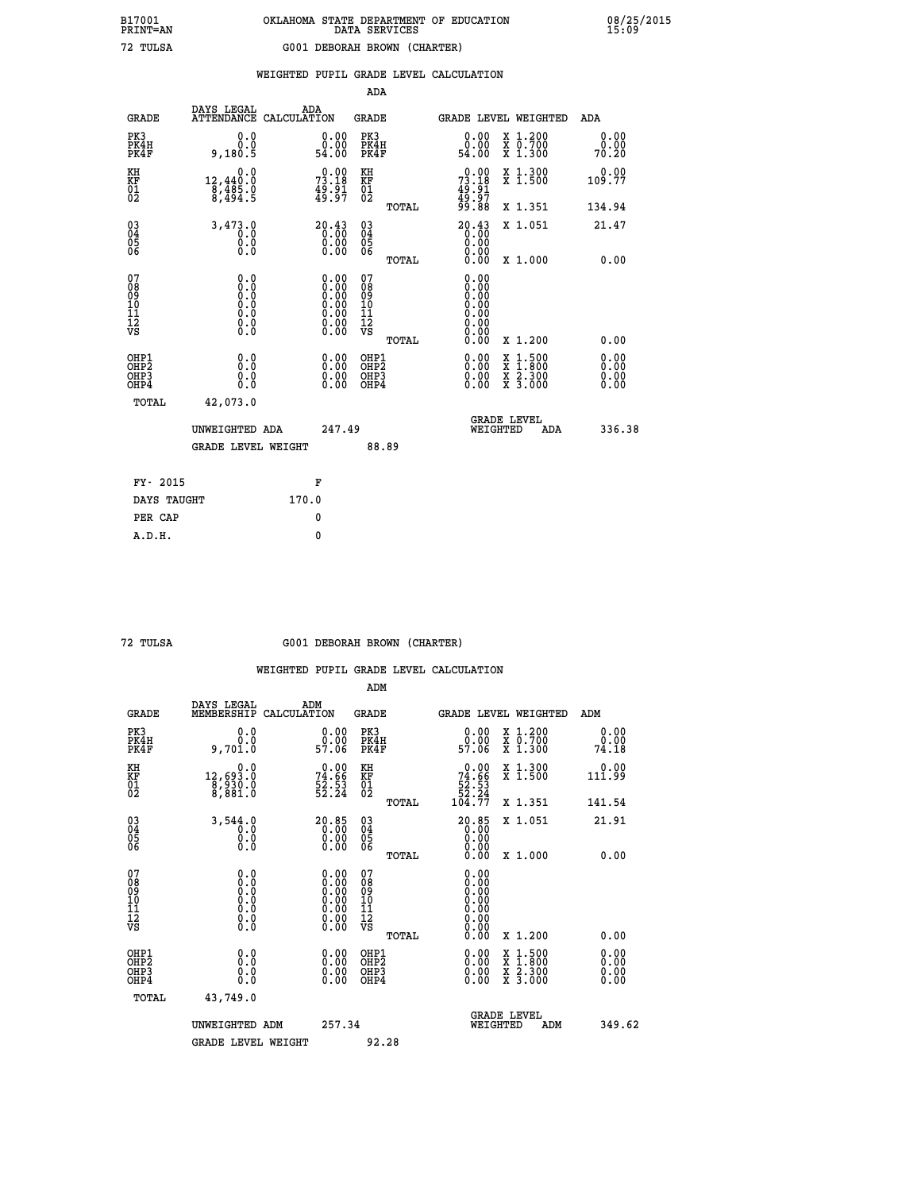|                                                                    |                                                                                      |                                                                                                                                                | ADA                                        |                                                                   |                              |
|--------------------------------------------------------------------|--------------------------------------------------------------------------------------|------------------------------------------------------------------------------------------------------------------------------------------------|--------------------------------------------|-------------------------------------------------------------------|------------------------------|
| <b>GRADE</b>                                                       | DAYS LEGAL<br><b>ATTENDANCE</b>                                                      | ADA<br>CALCULATION                                                                                                                             | <b>GRADE</b>                               | <b>GRADE LEVEL WEIGHTED</b>                                       | ADA                          |
| PK3<br>PK4H<br>PK4F                                                | 0.0<br>0.0<br>9,180.5                                                                | $\begin{smallmatrix} 0.00\\ 0.00\\ 54.00 \end{smallmatrix}$                                                                                    | PK3<br>PK4H<br>PK4F                        | 0.00<br>X 1.200<br>X 0.700<br>X 1.300<br>ةة.ة<br>54.00            | 0.00<br>0.00<br>70.20        |
| KH<br><b>KF</b><br>01<br>02                                        | 0.0<br>$\begin{smallmatrix} 12,440.0 \ 8,485.0 \ 8,494.5 \end{smallmatrix}$          | 73.18<br>$\frac{45.51}{49.97}$                                                                                                                 | KH<br>KF<br>01<br>02                       | X 1.300<br>X 1.500<br>73.18<br>$\frac{49.91}{49.97}$<br>99.88     | 0.00<br>109.77               |
|                                                                    |                                                                                      |                                                                                                                                                | TOTAL                                      | X 1.351                                                           | 134.94                       |
| $\begin{smallmatrix} 03 \\[-4pt] 04 \end{smallmatrix}$<br>Ŏ5<br>06 | 3,473.0<br>0.0<br>0.0<br>Ŏ.Ŏ                                                         | $20.43$<br>$0.00$<br>$\begin{smallmatrix} 0.00 \ 0.00 \end{smallmatrix}$                                                                       | $\substack{03 \\ 04}$<br>05<br>06<br>TOTAL | $20.43$<br>$0.00$<br>$0.00$<br>X 1.051<br>0.00<br>0.00<br>X 1.000 | 21.47<br>0.00                |
| 07<br>08901112<br>1112<br>VS                                       | 0.0<br>$\begin{smallmatrix} 0.0 & 0 \ 0.0 & 0 \ 0.0 & 0 \ 0.0 & 0 \end{smallmatrix}$ | $\begin{smallmatrix} 0.00 \ 0.00 \ 0.00 \ 0.00 \ 0.00 \end{smallmatrix}$<br>$\begin{smallmatrix} 0.00 & 0.00 \\ 0.00 & 0.00 \end{smallmatrix}$ | 07<br>08<br>09<br>11<br>11<br>12<br>VS     | 0.00<br>0.00<br>Ŏ.ŎŎ<br>O.OO<br>0.00<br>0.00                      |                              |
|                                                                    |                                                                                      |                                                                                                                                                | TOTAL                                      | 0.00<br>X 1.200                                                   | 0.00                         |
| OHP1<br>OH <sub>P</sub> 2<br>OH <sub>P3</sub><br>OH <sub>P4</sub>  | 0.0<br>0.0<br>0.0                                                                    | 0.00<br>$\begin{smallmatrix} 0.00 \ 0.00 \end{smallmatrix}$                                                                                    | OHP1<br>OH <sub>P</sub> 2<br>OHP3<br>OHP4  | 0.00<br>X 1:500<br>X 1:800<br>X 2:300<br>X 3:000<br>0.00<br>0.00  | 0.00<br>0.00<br>0.00<br>0.00 |
| TOTAL                                                              | 42,073.0                                                                             |                                                                                                                                                |                                            |                                                                   |                              |
|                                                                    | UNWEIGHTED ADA                                                                       | 247.49                                                                                                                                         |                                            | GRADE LEVEL<br>WEIGHTED<br>ADA                                    | 336.38                       |
|                                                                    | <b>GRADE LEVEL WEIGHT</b>                                                            |                                                                                                                                                | 88.89                                      |                                                                   |                              |
|                                                                    | FY- 2015                                                                             | F                                                                                                                                              |                                            |                                                                   |                              |
|                                                                    | DAYS TAUGHT                                                                          | 170.0                                                                                                                                          |                                            |                                                                   |                              |
|                                                                    | PER CAP                                                                              | 0                                                                                                                                              |                                            |                                                                   |                              |

 **72 TULSA G001 DEBORAH BROWN (CHARTER)**

|                                           |                                                                                      |                                                                                               | ADM                                                 |       |                                                                               |                                          |                       |        |
|-------------------------------------------|--------------------------------------------------------------------------------------|-----------------------------------------------------------------------------------------------|-----------------------------------------------------|-------|-------------------------------------------------------------------------------|------------------------------------------|-----------------------|--------|
| <b>GRADE</b>                              | DAYS LEGAL<br>MEMBERSHIP                                                             | ADM<br>CALCULATION                                                                            | <b>GRADE</b>                                        |       |                                                                               | GRADE LEVEL WEIGHTED                     | ADM                   |        |
| PK3<br>PK4H<br>PK4F                       | 0.0<br>0.0<br>9,701.0                                                                | $0.00$<br>$0.00$<br>57.06                                                                     | PK3<br>PK4H<br>PK4F                                 |       | $\begin{smallmatrix} 0.00\\ 0.00\\ 57.06 \end{smallmatrix}$                   | X 1.200<br>X 0.700<br>X 1.300            | 0.00<br>0.00<br>74.18 |        |
| KH<br>KF<br>01<br>02                      | 0.0<br>12,693.0<br>8,930.0<br>8,881.0                                                | $74.66$<br>$52.53$<br>$52.24$                                                                 | KH<br>KF<br>01<br>02                                |       | $\begin{smallmatrix} &0.00\\ 74.66\\ 52.53\\ 52.24\\ 104.77\end{smallmatrix}$ | X 1.300<br>X 1.500                       | 0.00<br>111.99        |        |
|                                           |                                                                                      |                                                                                               |                                                     | TOTAL |                                                                               | X 1.351                                  | 141.54                |        |
| 03<br>04<br>05<br>06                      | 3,544.0<br>0.0<br>$\begin{smallmatrix} 0.5 & 0 \ 0.0 & 0 \end{smallmatrix}$          | $\begin{smallmatrix} 20.85\ 0.00\ 0.00\ 0.00 \end{smallmatrix}$                               | $\begin{array}{c} 03 \\ 04 \\ 05 \\ 06 \end{array}$ |       | $20.85$<br>0.00<br>0.00                                                       | X 1.051                                  | 21.91                 |        |
|                                           |                                                                                      |                                                                                               |                                                     | TOTAL | 0.00                                                                          | X 1.000                                  | 0.00                  |        |
| 07<br>08<br>09<br>101<br>112<br>VS        | 0.0<br>$\begin{smallmatrix} 0.0 & 0 \ 0.0 & 0 \ 0.0 & 0 \ 0.0 & 0 \end{smallmatrix}$ | $\begin{smallmatrix} 0.00\ 0.00\ 0.00\ 0.00\ 0.00\ 0.00\ 0.00\ 0.00\ 0.00\ \end{smallmatrix}$ | 07<br>08<br>09<br>11<br>11<br>12<br>VS              |       | 0.00<br>0.00<br>0.00                                                          |                                          |                       |        |
|                                           |                                                                                      |                                                                                               |                                                     | TOTAL | 0.00                                                                          | X 1.200                                  | 0.00                  |        |
| OHP1<br>OHP2<br>OH <sub>P</sub> 3<br>OHP4 | 0.0<br>0.000                                                                         |                                                                                               | OHP1<br>OHP2<br>OHP <sub>3</sub>                    |       | $0.00$<br>$0.00$<br>0.00                                                      | X 1:500<br>X 1:800<br>X 2:300<br>X 3:000 | 0.00<br>0.00<br>0.00  |        |
| TOTAL                                     | 43,749.0                                                                             |                                                                                               |                                                     |       |                                                                               |                                          |                       |        |
|                                           | UNWEIGHTED                                                                           | 257.34<br>ADM                                                                                 |                                                     |       | WEIGHTED                                                                      | <b>GRADE LEVEL</b><br>ADM                |                       | 349.62 |
|                                           | <b>GRADE LEVEL WEIGHT</b>                                                            |                                                                                               |                                                     | 92.28 |                                                                               |                                          |                       |        |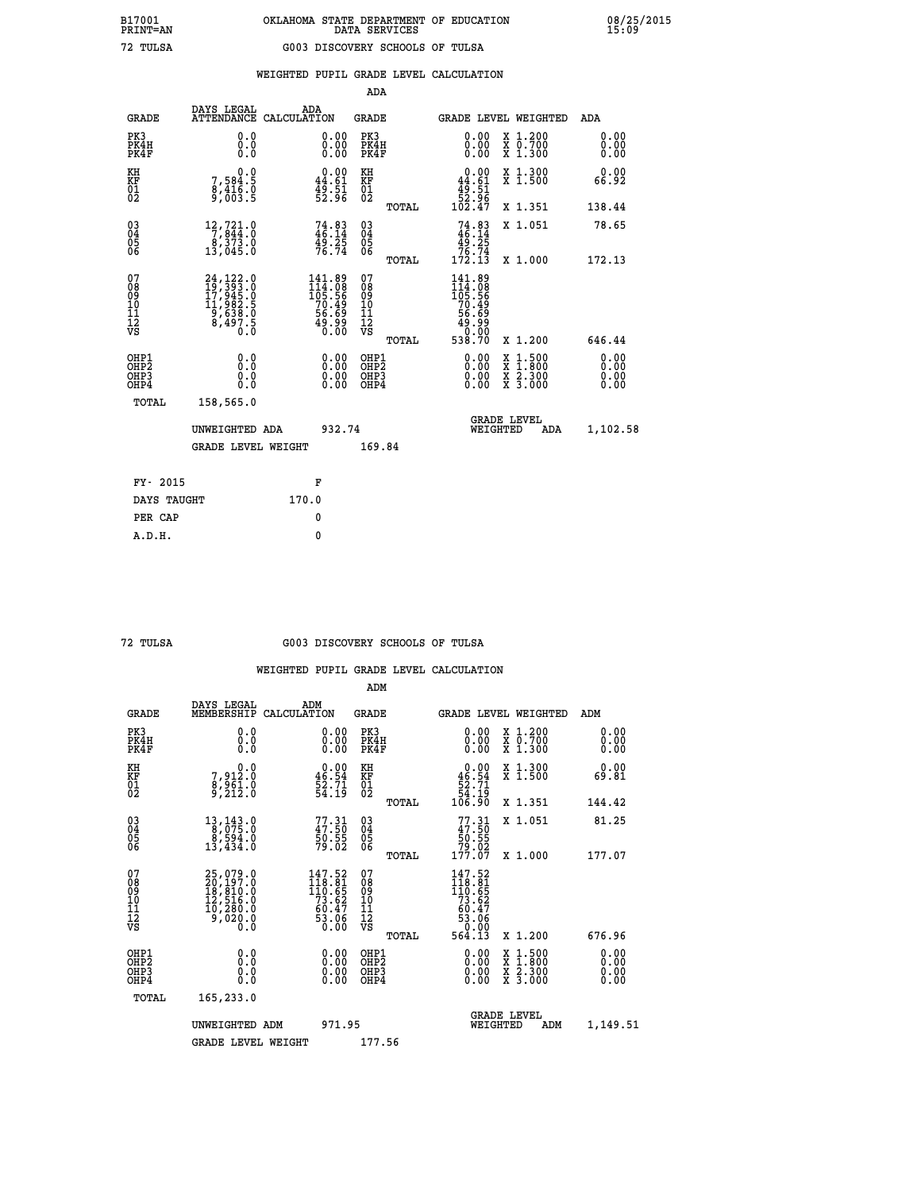|                                                                    |                                                                                                                                                                      |                                                                             |        | ADA                                                               |       |                                                               |                                                                                                  |                              |
|--------------------------------------------------------------------|----------------------------------------------------------------------------------------------------------------------------------------------------------------------|-----------------------------------------------------------------------------|--------|-------------------------------------------------------------------|-------|---------------------------------------------------------------|--------------------------------------------------------------------------------------------------|------------------------------|
| <b>GRADE</b>                                                       | DAYS LEGAL<br><b>ATTENDANCE</b>                                                                                                                                      | ADA<br>CALCULATION                                                          |        | <b>GRADE</b>                                                      |       | <b>GRADE LEVEL WEIGHTED</b>                                   |                                                                                                  | ADA                          |
| PK3<br>PK4H<br>PK4F                                                | 0.0<br>0.0<br>0.0                                                                                                                                                    | $\begin{smallmatrix} 0.00 \ 0.00 \ 0.00 \end{smallmatrix}$                  |        | PK3<br>PK4H<br>PK4F                                               |       | 0.00<br>0.00                                                  | X 1.200<br>X 0.700<br>X 1.300                                                                    | 0.00<br>0.00<br>0.00         |
| KH<br><b>KF</b><br>01<br>02                                        | 0.0<br>7,584:5<br>8,416.0<br>9,003:5                                                                                                                                 | $0.00$<br>44.61<br>49:51<br>52:96                                           |        | KH<br>KF<br>01<br>02                                              |       | 0.00<br>$44.61$<br>$49.51$<br>$52.96$<br>$102.47$             | X 1.300<br>X 1.500                                                                               | 0.00<br>66.92                |
|                                                                    |                                                                                                                                                                      |                                                                             |        |                                                                   | TOTAL |                                                               | X 1.351                                                                                          | 138.44                       |
| $\begin{smallmatrix} 03 \\[-4pt] 04 \end{smallmatrix}$<br>05<br>06 | $\begin{smallmatrix} 12,721.0\\7,844.0\\8,373.0\\13,045.0 \end{smallmatrix}$                                                                                         | $74.83$<br>$46.14$<br>$49.25$<br>$76.74$                                    |        | $\substack{03 \\ 04}$<br>$\begin{matrix} 0.5 \\ 0.6 \end{matrix}$ |       | $74.83$<br>$46.14$<br>$49.25$<br>$76.74$<br>$172.13$          | X 1.051                                                                                          | 78.65                        |
| 07                                                                 |                                                                                                                                                                      |                                                                             |        | 07                                                                | TOTAL | 141.89                                                        | X 1.000                                                                                          | 172.13                       |
| 08<br>09<br>11<br>11<br>12<br>VS                                   | $\begin{smallmatrix} 24\,,\,122\,.\,0\\ 19\,,\,393\,. \,0\\ 17\,,\,945\,. \,0\\ 11\,,\,982\,. \,5\\ 9\,,\,638\,. \,0\\ 8\,,\,497\,. \,5\\ 0\,. \,0\end{smallmatrix}$ | $141.89$<br>$105.56$<br>$105.56$<br>$70.49$<br>$56.69$<br>$49.99$<br>$0.00$ |        | 08<br>09<br>11<br>11<br>12<br>VS                                  |       | $114.08$<br>$105.56$<br>$70.49$<br>$56.69$<br>$49.98$<br>0.00 |                                                                                                  |                              |
|                                                                    |                                                                                                                                                                      |                                                                             |        |                                                                   | TOTAL | 538.70                                                        | X 1.200                                                                                          | 646.44                       |
| OHP1<br>OH <sub>P</sub> 2<br>OH <sub>P3</sub><br>OH <sub>P4</sub>  | 0.0<br>0.0<br>0.0                                                                                                                                                    | 0.00<br>$\begin{smallmatrix} 0.00 \ 0.00 \end{smallmatrix}$                 |        | OHP1<br>OH <sub>P</sub> 2<br>OHP3<br>OHP4                         |       | 0.00<br>0.00<br>0.00                                          | $\begin{smallmatrix} x & 1 & 500 \\ x & 1 & 800 \\ x & 2 & 300 \\ x & 3 & 000 \end{smallmatrix}$ | 0.00<br>0.00<br>0.00<br>0.00 |
| TOTAL                                                              | 158,565.0                                                                                                                                                            |                                                                             |        |                                                                   |       |                                                               |                                                                                                  |                              |
|                                                                    | UNWEIGHTED ADA                                                                                                                                                       |                                                                             | 932.74 |                                                                   |       |                                                               | GRADE LEVEL<br>WEIGHTED<br>ADA                                                                   | 1,102.58                     |
|                                                                    | <b>GRADE LEVEL WEIGHT</b>                                                                                                                                            |                                                                             |        | 169.84                                                            |       |                                                               |                                                                                                  |                              |
| FY- 2015                                                           |                                                                                                                                                                      | F                                                                           |        |                                                                   |       |                                                               |                                                                                                  |                              |
| DAYS TAUGHT                                                        |                                                                                                                                                                      | 170.0                                                                       |        |                                                                   |       |                                                               |                                                                                                  |                              |
| PER CAP                                                            |                                                                                                                                                                      | 0                                                                           |        |                                                                   |       |                                                               |                                                                                                  |                              |

 **A.D.H. 0**

#### **72 TULSA G003 DISCOVERY SCHOOLS OF TULSA**

|                                           |                                                                                          |                                                                                                 | ADM                                                 |       |                                                                                   |                                          |                      |
|-------------------------------------------|------------------------------------------------------------------------------------------|-------------------------------------------------------------------------------------------------|-----------------------------------------------------|-------|-----------------------------------------------------------------------------------|------------------------------------------|----------------------|
| <b>GRADE</b>                              | DAYS LEGAL<br>MEMBERSHIP                                                                 | ADM<br>CALCULATION                                                                              | <b>GRADE</b>                                        |       |                                                                                   | GRADE LEVEL WEIGHTED                     | ADM                  |
| PK3<br>PK4H<br>PK4F                       | 0.0<br>0.0<br>0.0                                                                        | 0.00<br>$\begin{smallmatrix} 0.00 \ 0.00 \end{smallmatrix}$                                     | PK3<br>PK4H<br>PK4F                                 |       | $\begin{smallmatrix} 0.00 \\ 0.00 \\ 0.00 \end{smallmatrix}$                      | X 1.200<br>X 0.700<br>X 1.300            | 0.00<br>0.00<br>0.00 |
| KH<br>KF<br>01<br>02                      | 0.0<br>7,912:0<br>8,961:0<br>9,212:0                                                     | $\begin{smallmatrix} 0.00\\ 46.54\\ 52.71\\ 54.19 \end{smallmatrix}$                            | KH<br>KF<br>01<br>02                                |       | $0.00$<br>$46.54$<br>$52.71$<br>$54.19$<br>$106.90$                               | X 1.300<br>X 1.500                       | 0.00<br>69.81        |
|                                           |                                                                                          |                                                                                                 |                                                     | TOTAL |                                                                                   | X 1.351                                  | 144.42               |
| 03<br>04<br>05<br>06                      | 13, 143.0<br>8, 075.0<br>8, 594.0<br>13,434.0                                            | $77.31$<br>$47.50$<br>$50.55$<br>$79.02$                                                        | $\begin{array}{c} 03 \\ 04 \\ 05 \\ 06 \end{array}$ |       | $77.31$<br>$47.50$<br>$50.55$<br>$79.02$<br>$177.07$                              | X 1.051                                  | 81.25                |
|                                           |                                                                                          |                                                                                                 |                                                     | TOTAL |                                                                                   | X 1.000                                  | 177.07               |
| 07<br>08<br>09<br>101<br>112<br>VS        | $25,079.0$<br>$20,197.0$<br>$18,810.0$<br>$12,516.0$<br>$10,280.0$<br>$9,020.0$<br>$0.0$ | $\begin{smallmatrix} 147.52\\ 118.81\\ 110.65\\ 73.62\\ 60.47\\ 53.06\\ 0.00 \end{smallmatrix}$ | 07<br>08<br>09<br>11<br>11<br>12<br>VS              | TOTAL | 147.52<br>118.81<br>110.65<br>73.62<br>73.62<br>60.47<br>53.06<br>53.06<br>564.13 | X 1.200                                  | 676.96               |
|                                           |                                                                                          |                                                                                                 |                                                     |       |                                                                                   |                                          | 0.00                 |
| OHP1<br>OHP2<br>OH <sub>P</sub> 3<br>OHP4 | 0.0<br>0.000                                                                             | $0.00$<br>$0.00$<br>0.00                                                                        | OHP1<br>OHP2<br>OHP <sub>3</sub>                    |       | $0.00$<br>$0.00$<br>0.00                                                          | X 1:500<br>X 1:800<br>X 2:300<br>X 3:000 | 0.00<br>0.00<br>0.00 |
| TOTAL                                     | 165,233.0                                                                                |                                                                                                 |                                                     |       |                                                                                   |                                          |                      |
|                                           | UNWEIGHTED ADM                                                                           | 971.95                                                                                          |                                                     |       | WEIGHTED                                                                          | <b>GRADE LEVEL</b><br>ADM                | 1,149.51             |
|                                           | <b>GRADE LEVEL WEIGHT</b>                                                                |                                                                                                 | 177.56                                              |       |                                                                                   |                                          |                      |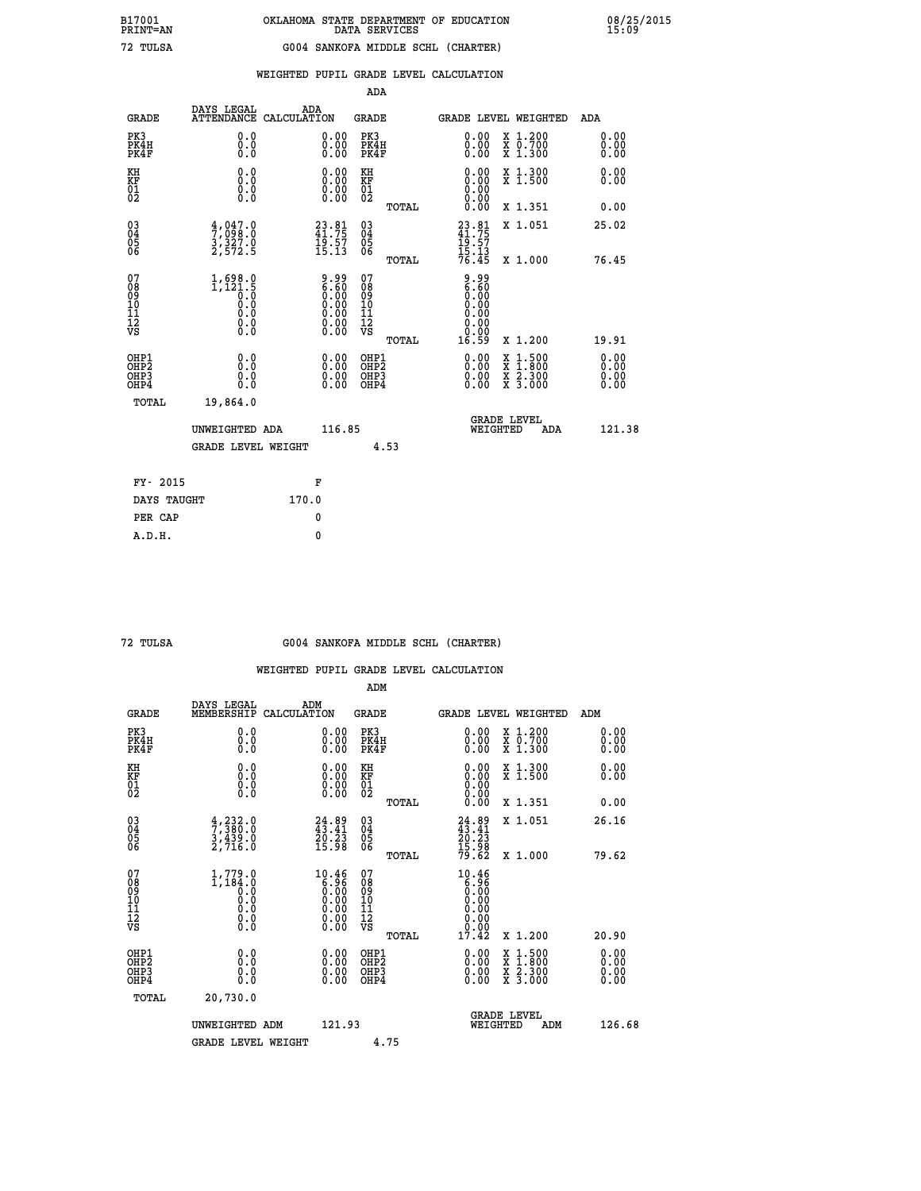|                                                                    |                                                          |                                                                                         |                                                     | ADA   |                                                                                                                                                                                                                                                                                |                                                                                                                                              |                              |
|--------------------------------------------------------------------|----------------------------------------------------------|-----------------------------------------------------------------------------------------|-----------------------------------------------------|-------|--------------------------------------------------------------------------------------------------------------------------------------------------------------------------------------------------------------------------------------------------------------------------------|----------------------------------------------------------------------------------------------------------------------------------------------|------------------------------|
| <b>GRADE</b>                                                       | DAYS LEGAL<br>ATTENDANCE CALCULATION                     | ADA                                                                                     | <b>GRADE</b>                                        |       |                                                                                                                                                                                                                                                                                | GRADE LEVEL WEIGHTED                                                                                                                         | <b>ADA</b>                   |
| PK3<br>PK4H<br>PK4F                                                | 0.0<br>0.0<br>Ō.Ō                                        | 0.00<br>$\begin{smallmatrix} 0.00 \ 0.00 \end{smallmatrix}$                             | PK3<br>PK4H<br>PK4F                                 |       | $\begin{smallmatrix} 0.00 \ 0.00 \ 0.00 \end{smallmatrix}$                                                                                                                                                                                                                     | X 1.200<br>X 0.700<br>X 1.300                                                                                                                | 0.00<br>0.00<br>0.00         |
| KH<br>KF<br>01<br>02                                               | 0.0<br>0.0<br>$\S.$                                      | $\begin{smallmatrix} 0.00 \ 0.00 \ 0.00 \ 0.00 \end{smallmatrix}$                       | KH<br>KF<br>01<br>02                                |       | 0.00<br>0.0000000000                                                                                                                                                                                                                                                           | X 1.300<br>X 1.500                                                                                                                           | 0.00<br>0.00                 |
|                                                                    |                                                          |                                                                                         |                                                     | TOTAL | 0.00                                                                                                                                                                                                                                                                           | X 1.351                                                                                                                                      | 0.00                         |
| $\begin{smallmatrix} 03 \\[-4pt] 04 \end{smallmatrix}$<br>Ŏ5<br>06 | $\frac{4}{7}, \frac{047}{098}.0$<br>3, 327.0<br>2, 572.5 | $23.81$<br>$41.75$<br>$19.57$<br>$15.13$                                                | $\begin{array}{c} 03 \\ 04 \\ 05 \\ 06 \end{array}$ |       | $23.81$<br>$41.75$<br>$19.57$<br>$15.13$<br>$76.45$                                                                                                                                                                                                                            | X 1.051                                                                                                                                      | 25.02                        |
|                                                                    |                                                          |                                                                                         |                                                     | TOTAL |                                                                                                                                                                                                                                                                                | X 1.000                                                                                                                                      | 76.45                        |
| 07<br>08<br>09<br>101<br>11<br>12<br>VS                            |                                                          | $\begin{smallmatrix} 9.99\ 6.60\ 0.00\ 0.00\ 0.00\ 0.00\ 0.00\ 0.00\ \end{smallmatrix}$ | 07<br>08<br>09<br>11<br>11<br>12<br>VS              |       | e . 99<br>6 . 60<br>9 . 90<br>0.00<br>0.00<br>0.00                                                                                                                                                                                                                             |                                                                                                                                              |                              |
|                                                                    |                                                          |                                                                                         |                                                     | TOTAL | 16.59                                                                                                                                                                                                                                                                          | X 1.200                                                                                                                                      | 19.91                        |
| OHP1<br>OHP <sub>2</sub><br>OH <sub>P3</sub><br>OHP4               | 0.0<br>0.0<br>0.0                                        | 0.00<br>$\begin{smallmatrix} 0.00 \ 0.00 \end{smallmatrix}$                             | OHP1<br>OHP2<br>OHP <sub>3</sub>                    |       | $\begin{smallmatrix} 0.00 & 0.00 & 0.00 & 0.00 & 0.00 & 0.00 & 0.00 & 0.00 & 0.00 & 0.00 & 0.00 & 0.00 & 0.00 & 0.00 & 0.00 & 0.00 & 0.00 & 0.00 & 0.00 & 0.00 & 0.00 & 0.00 & 0.00 & 0.00 & 0.00 & 0.00 & 0.00 & 0.00 & 0.00 & 0.00 & 0.00 & 0.00 & 0.00 & 0.00 & 0.00 & 0.0$ | $\begin{smallmatrix} \mathtt{X} & 1\cdot500 \\ \mathtt{X} & 1\cdot800 \\ \mathtt{X} & 2\cdot300 \\ \mathtt{X} & 3\cdot000 \end{smallmatrix}$ | 0.00<br>0.00<br>0.00<br>0.00 |
| TOTAL                                                              | 19,864.0                                                 |                                                                                         |                                                     |       |                                                                                                                                                                                                                                                                                |                                                                                                                                              |                              |
|                                                                    | UNWEIGHTED ADA                                           | 116.85                                                                                  |                                                     |       |                                                                                                                                                                                                                                                                                | <b>GRADE LEVEL</b><br>WEIGHTED<br>ADA                                                                                                        | 121.38                       |
|                                                                    | GRADE LEVEL WEIGHT                                       |                                                                                         |                                                     | 4.53  |                                                                                                                                                                                                                                                                                |                                                                                                                                              |                              |
| FY- 2015                                                           |                                                          | F                                                                                       |                                                     |       |                                                                                                                                                                                                                                                                                |                                                                                                                                              |                              |
| DAYS TAUGHT                                                        |                                                          | 170.0                                                                                   |                                                     |       |                                                                                                                                                                                                                                                                                |                                                                                                                                              |                              |
| PER CAP                                                            |                                                          | 0                                                                                       |                                                     |       |                                                                                                                                                                                                                                                                                |                                                                                                                                              |                              |

| т<br>T<br>TTT. |
|----------------|
| n              |

 **A.D.H. 0**

#### **72 TULSA G004 SANKOFA MIDDLE SCHL (CHARTER)**

|                                          |                                                          |                                                                                      | ADM                                                |       |                                                                              |                                          |                      |
|------------------------------------------|----------------------------------------------------------|--------------------------------------------------------------------------------------|----------------------------------------------------|-------|------------------------------------------------------------------------------|------------------------------------------|----------------------|
| <b>GRADE</b>                             | DAYS LEGAL<br>MEMBERSHIP                                 | ADM<br>CALCULATION                                                                   | <b>GRADE</b>                                       |       |                                                                              | GRADE LEVEL WEIGHTED                     | ADM                  |
| PK3<br>PK4H<br>PK4F                      | 0.0<br>0.0<br>0.0                                        | $\begin{smallmatrix} 0.00 \ 0.00 \ 0.00 \end{smallmatrix}$                           | PK3<br>PK4H<br>PK4F                                |       | $\begin{smallmatrix} 0.00 \\ 0.00 \\ 0.00 \end{smallmatrix}$                 | X 1.200<br>X 0.700<br>X 1.300            | 0.00<br>0.00<br>0.00 |
| KH<br>KF<br>01<br>02                     | 0.0<br>0.0<br>$\S.$                                      | $\begin{smallmatrix} 0.00 \ 0.00 \ 0.00 \ 0.00 \end{smallmatrix}$                    | KH<br>KF<br>01<br>02                               |       | $0.00$<br>$0.00$<br>$0.00$                                                   | X 1.300<br>X 1.500                       | 0.00<br>0.00         |
|                                          |                                                          |                                                                                      |                                                    | TOTAL | 0.00                                                                         | X 1.351                                  | 0.00                 |
| 03<br>04<br>05<br>06                     | $\frac{4}{7}, \frac{232}{380}.0$<br>3, 439.0<br>2, 716.0 | $24.89$<br>$43.41$<br>$\frac{20.23}{15.98}$                                          | $\begin{matrix} 03 \\ 04 \\ 05 \\ 06 \end{matrix}$ |       | $24.89$<br>$43.41$<br>$20.23$<br>$15.98$<br>$79.62$                          | X 1.051                                  | 26.16                |
|                                          |                                                          |                                                                                      |                                                    | TOTAL |                                                                              | X 1.000                                  | 79.62                |
| 07<br>08<br>09<br>101<br>112<br>VS       | $1, 779.0$<br>$0.0$<br>$0.0$<br>0.0<br>0.0<br>$\S.$      | 10.46<br>$\begin{array}{c} 0.36 \\ 0.36 \\ 0.00 \\ 0.00 \\ 0.00 \\ 0.00 \end{array}$ | 07<br>08<br>09<br>11<br>11<br>12<br>VS             | TOTAL | 10.46<br>$\begin{smallmatrix} 6.96 \ 6.00 \ 0.00 \end{smallmatrix}$<br>17.42 | X 1.200                                  | 20.90                |
|                                          |                                                          |                                                                                      |                                                    |       |                                                                              |                                          |                      |
| OHP1<br>OHP2<br>OH <sub>P3</sub><br>OHP4 | 0.0<br>0.000                                             |                                                                                      | OHP1<br>OHP2<br>OHP <sub>3</sub>                   |       | $0.00$<br>$0.00$<br>0.00                                                     | X 1:500<br>X 1:800<br>X 2:300<br>X 3:000 | 0.00<br>0.00<br>0.00 |
| TOTAL                                    | 20,730.0                                                 |                                                                                      |                                                    |       |                                                                              |                                          |                      |
|                                          | UNWEIGHTED ADM                                           | 121.93                                                                               |                                                    |       | WEIGHTED                                                                     | <b>GRADE LEVEL</b><br>ADM                | 126.68               |
|                                          | <b>GRADE LEVEL WEIGHT</b>                                |                                                                                      |                                                    | 4.75  |                                                                              |                                          |                      |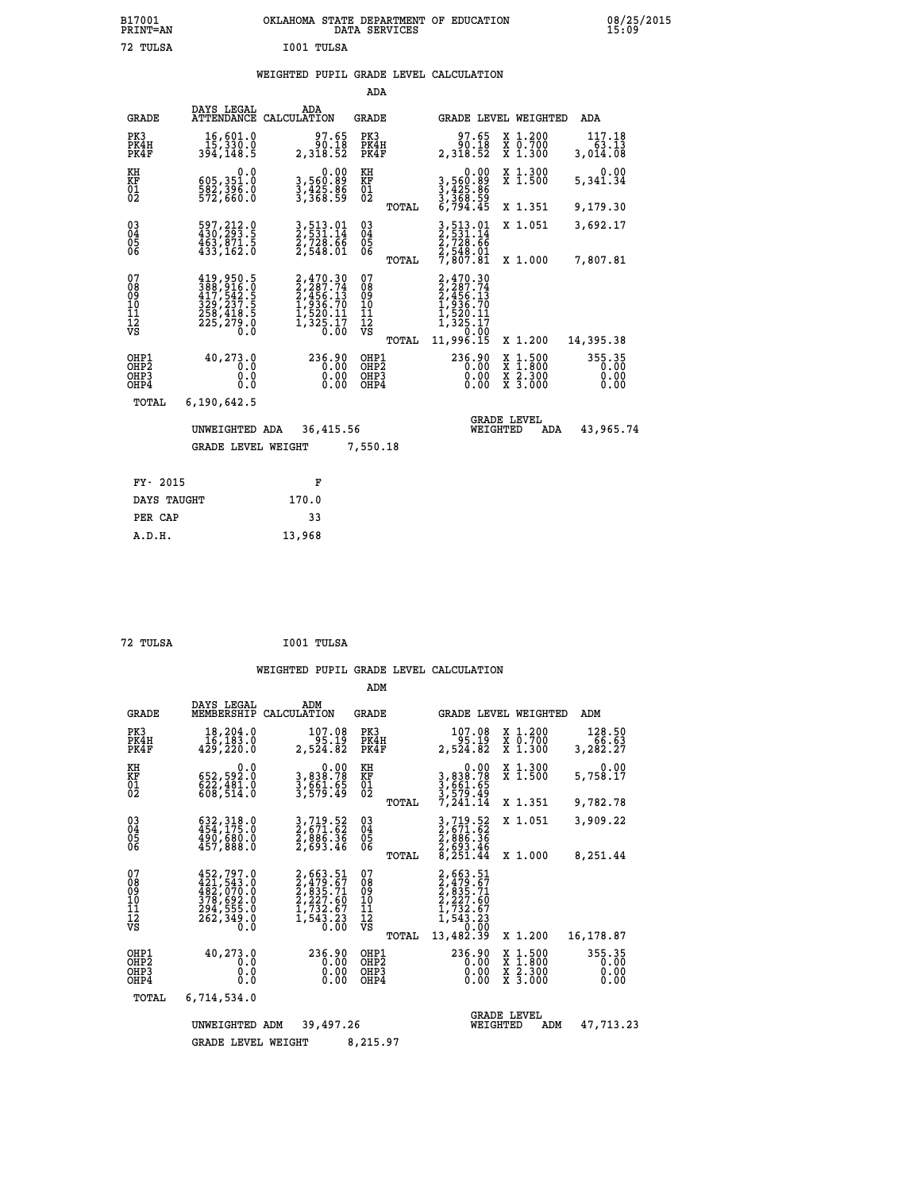# **B17001 OKLAHOMA STATE DEPARTMENT OF EDUCATION 08/25/2015 PRINT=AN DATA SERVICES 15:09 72 TULSA I001 TULSA**

# **WEIGHTED PUPIL GRADE LEVEL CALCULATION**

|                                                                  |                             |                                                                                                                     |                                                                                            | ADA                                       |              |                                                                                                                                                                        |                                                                                                  |                                |
|------------------------------------------------------------------|-----------------------------|---------------------------------------------------------------------------------------------------------------------|--------------------------------------------------------------------------------------------|-------------------------------------------|--------------|------------------------------------------------------------------------------------------------------------------------------------------------------------------------|--------------------------------------------------------------------------------------------------|--------------------------------|
|                                                                  | <b>GRADE</b>                | DAYS LEGAL                                                                                                          | ADA<br>ATTENDANCE CALCULATION                                                              | <b>GRADE</b>                              |              | GRADE LEVEL WEIGHTED                                                                                                                                                   |                                                                                                  | ADA                            |
| PK3<br>PK4H<br>PK4F                                              |                             | 16,601.0<br>15,330.0<br>394,148.5                                                                                   | 97.65<br>90.18<br>2,318.52                                                                 | PK3<br>PK4H<br>PK4F                       |              | 97.65<br>90.18<br>2,318.52                                                                                                                                             | X 1.200<br>X 0.700<br>X 1.300                                                                    | 117.18<br>63.13<br>3,014.08    |
| KH<br>KF<br>01<br>02                                             |                             | 0.0<br>605,351.0<br>582,396.0<br>572,660.0                                                                          | 0.00<br>3,560:89<br>3,425.86<br>3,368:59                                                   | KH<br>KF<br>01<br>02                      |              | 0.00<br>3,560.89<br>3,425.86<br>3,368.59<br>6,794.45                                                                                                                   | X 1.300<br>X 1.500                                                                               | 0.00<br>5,341.34               |
|                                                                  |                             |                                                                                                                     |                                                                                            |                                           | TOTAL        |                                                                                                                                                                        | X 1.351                                                                                          | 9,179.30                       |
| $^{03}_{04}$<br>Ŏ5<br>06                                         |                             | 597, 212.0<br>430, 293.5<br>463,871.5<br>433,162.0                                                                  | 3,513.01<br>2,531.14<br>2,728.66<br>2,548.01                                               | $\substack{03 \\ 04}$<br>05               | TOTAL        | 3,513.01<br>2,531.14<br>$\frac{7}{2}, \frac{7}{2} \frac{8}{8} \cdot \frac{6}{6} \cdot \frac{6}{6} \cdot \frac{2}{1} \cdot \frac{548}{807 \cdot 81} \cdot \frac{01}{1}$ | X 1.051<br>X 1.000                                                                               | 3,692.17<br>7,807.81           |
| 07<br>08<br>09<br>10<br>11<br>12<br>VS                           |                             | $\begin{smallmatrix} 419,950.5\\ 388,916.0\\ 417,542.5\\ 329,237.5\\ 258,418.5\\ 225,279.0\\ 0.0 \end{smallmatrix}$ | $2,470.30$<br>$2,287.74$<br>$2,456.13$<br>$1,936.70$<br>$1,520.11$<br>$1,325.17$<br>$0.00$ | 07<br>08<br>09<br>11<br>11<br>12<br>VS    |              | 2,470.30<br>2,287.74<br>2,456.13<br>1,936.70<br>1,520.11<br>1,325.17<br>1,00.00                                                                                        |                                                                                                  |                                |
|                                                                  |                             |                                                                                                                     |                                                                                            |                                           | <b>TOTAL</b> | 11,996.15                                                                                                                                                              | X 1.200                                                                                          | 14,395.38                      |
| OHP1<br>OH <sub>P</sub> <sub>2</sub><br>OH <sub>P3</sub><br>OHP4 |                             | 40,273.0<br>0.0<br>0.0<br>0.0                                                                                       | 236.90<br>0.00<br>0.00<br>0.00                                                             | OHP1<br>OH <sub>P</sub> 2<br>OHP3<br>OHP4 |              | 236.90<br>0.00<br>0.00<br>0.00                                                                                                                                         | $\begin{smallmatrix} x & 1 & 500 \\ x & 1 & 800 \\ x & 2 & 300 \\ x & 3 & 000 \end{smallmatrix}$ | 355.35<br>0.00<br>0.00<br>0.00 |
|                                                                  | <b>TOTAL</b>                | 6,190,642.5                                                                                                         |                                                                                            |                                           |              |                                                                                                                                                                        |                                                                                                  |                                |
|                                                                  | UNWEIGHTED ADA<br>36,415.56 |                                                                                                                     |                                                                                            |                                           |              | WEIGHTED                                                                                                                                                               | <b>GRADE LEVEL</b><br>ADA                                                                        | 43,965.74                      |
|                                                                  |                             | GRADE LEVEL WEIGHT                                                                                                  |                                                                                            | 7,550.18                                  |              |                                                                                                                                                                        |                                                                                                  |                                |
|                                                                  |                             |                                                                                                                     |                                                                                            |                                           |              |                                                                                                                                                                        |                                                                                                  |                                |
|                                                                  | FY- 2015                    |                                                                                                                     | F                                                                                          |                                           |              |                                                                                                                                                                        |                                                                                                  |                                |
|                                                                  | DAYS TAUGHT                 |                                                                                                                     | 170.0                                                                                      |                                           |              |                                                                                                                                                                        |                                                                                                  |                                |
|                                                                  | PER CAP                     |                                                                                                                     | 33                                                                                         |                                           |              |                                                                                                                                                                        |                                                                                                  |                                |

 **72 TULSA I001 TULSA**

 **A.D.H. 13,968**

|                                           |                                                                                   |                                                                                | ADM                                             |                                                                                                       |                                                                                                  |                                |
|-------------------------------------------|-----------------------------------------------------------------------------------|--------------------------------------------------------------------------------|-------------------------------------------------|-------------------------------------------------------------------------------------------------------|--------------------------------------------------------------------------------------------------|--------------------------------|
| <b>GRADE</b>                              | DAYS LEGAL<br>MEMBERSHIP                                                          | ADM<br>CALCULATION                                                             | <b>GRADE</b>                                    | GRADE LEVEL WEIGHTED                                                                                  |                                                                                                  | ADM                            |
| PK3<br>PK4H<br>PK4F                       | 18,204.0<br>16, 183.0<br>429,220.0                                                | 107.08<br>95.19<br>2,524.82                                                    | PK3<br>PK4H<br>PK4F                             | 107.08<br>95.19<br>2,524.82                                                                           | X 1.200<br>X 0.700<br>X 1.300                                                                    | 128.50<br>66.63<br>3,282.27    |
| KH<br>KF<br>01<br>02                      | 0.0<br>652,592.0<br>$\frac{622}{608}, \frac{461}{514}.0$                          | $\begin{smallmatrix} & & 0.00\ 3,838.78\ 3,661.65\ 3,579.49 \end{smallmatrix}$ | KH<br>KF<br>01<br>02                            | 0.00<br>3,838.78<br>3,661.65<br>3,579.49<br>7,241.14                                                  | X 1.300<br>X 1.500                                                                               | 0.00<br>5,758.17               |
|                                           |                                                                                   |                                                                                | TOTAL                                           |                                                                                                       | X 1.351                                                                                          | 9,782.78                       |
| 03<br>04<br>05<br>06                      | 632, 318.0<br>454, 175.0<br>490, 680.0<br>457,888.0                               | 3,719.52<br>2,671.62<br>2,886.36<br>2,693.46                                   | $\substack{03 \\ 04}$<br>05                     | 3,719.52<br>2,671.62<br>2,886.36<br>2,693.46<br>8,251.44                                              | X 1.051                                                                                          | 3,909.22                       |
|                                           |                                                                                   |                                                                                | TOTAL                                           |                                                                                                       | X 1.000                                                                                          | 8,251.44                       |
| 07<br>08<br>09<br>11<br>11<br>12<br>VS    | 452,797.0<br>421,543.0<br>482,070.0<br>378,692.0<br>394,555.0<br>262,349.0<br>0.0 | 2,663.51<br>2,479.67<br>2,835.71<br>2,227.60<br>ī,732.67<br>1,543.23<br>0.00   | 07<br>08<br>09<br>11<br>11<br>12<br>VS<br>TOTAL | 2,663.51<br>$2,479.67$<br>$2,235.71$<br>$2,227.60$<br>$1,732.67$<br>$1,543.23$<br>$0.00$<br>13,482.39 | X 1.200                                                                                          | 16,178.87                      |
| OHP1<br>OH <sub>P</sub> 2<br>OHP3<br>OHP4 | 40,273.0<br>0.0<br>0.0<br>Ŏ.Ŏ                                                     | 236.90<br>0.00<br>0.00<br>0.00                                                 | OHP1<br>OHP <sub>2</sub><br>OHP3<br>OHP4        | 236.90<br>0.00<br>0.00<br>0.00                                                                        | $\begin{smallmatrix} x & 1 & 500 \\ x & 1 & 800 \\ x & 2 & 300 \\ x & 3 & 000 \end{smallmatrix}$ | 355.35<br>0.00<br>0.00<br>0.00 |
| TOTAL                                     | 6,714,534.0                                                                       |                                                                                |                                                 |                                                                                                       |                                                                                                  |                                |
|                                           | UNWEIGHTED                                                                        | 39,497.26<br>ADM                                                               |                                                 | WEIGHTED                                                                                              | <b>GRADE LEVEL</b><br>ADM                                                                        | 47,713.23                      |
|                                           | <b>GRADE LEVEL WEIGHT</b>                                                         |                                                                                | 8,215.97                                        |                                                                                                       |                                                                                                  |                                |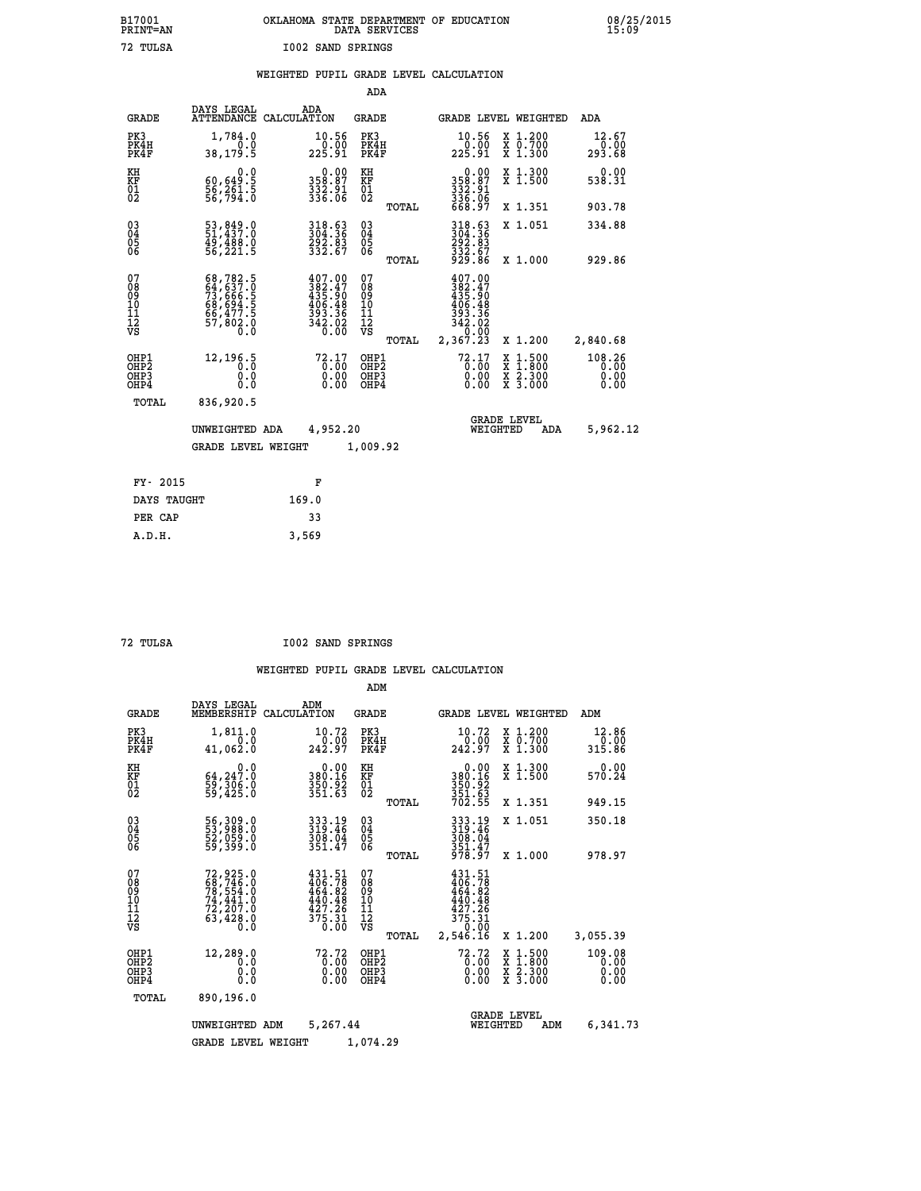# **B17001 OKLAHOMA STATE DEPARTMENT OF EDUCATION 08/25/2015 PRINT=AN DATA SERVICES 15:09 72 TULSA I002 SAND SPRINGS**

|  |  | WEIGHTED PUPIL GRADE LEVEL CALCULATION |
|--|--|----------------------------------------|
|  |  |                                        |

|                                                                    |                                                                                  |                                                                                                    | ADA                                               |       |                                                                                  |                                                                            |                                |
|--------------------------------------------------------------------|----------------------------------------------------------------------------------|----------------------------------------------------------------------------------------------------|---------------------------------------------------|-------|----------------------------------------------------------------------------------|----------------------------------------------------------------------------|--------------------------------|
| <b>GRADE</b>                                                       | DAYS LEGAL                                                                       | ADA<br>ATTENDANCE CALCULATION                                                                      | <b>GRADE</b>                                      |       |                                                                                  | GRADE LEVEL WEIGHTED                                                       | <b>ADA</b>                     |
| PK3<br>PK4H<br>PK4F                                                | 1,784.0<br>0.0<br>38, 179.5                                                      | $\begin{smallmatrix} 10.56\ 0.00 \ 225.91 \end{smallmatrix}$                                       | PK3<br>PK4H<br>PK4F                               |       | 10.56<br>225.91                                                                  | X 1.200<br>X 0.700<br>X 1.300                                              | 12.67<br>0.00<br>293.68        |
| KH<br>KF<br>01<br>02                                               | 0.0<br>$\frac{60,649.5}{56,261.5}$                                               | $358.87$<br>$332.91$<br>$336.06$                                                                   | KH<br>KF<br>$\begin{matrix} 01 \ 02 \end{matrix}$ |       | 0.00<br>358:87<br>332:91<br>336:06<br>668:97                                     | X 1.300<br>X 1.500                                                         | 0.00<br>538.31                 |
|                                                                    |                                                                                  |                                                                                                    |                                                   | TOTAL |                                                                                  | X 1.351                                                                    | 903.78                         |
| $\begin{smallmatrix} 03 \\[-4pt] 04 \end{smallmatrix}$<br>05<br>ŌĞ | 53,849.0<br>51,437.0<br>$\frac{49}{56}$ , $\frac{488}{221}$ , 5                  | 318.63<br>304.36<br>292.83<br>332.67                                                               | $\substack{03 \\ 04}$<br>05<br>06                 |       | 318.63<br>304.36<br>292.83<br>332.67<br>929.86                                   | X 1.051                                                                    | 334.88                         |
|                                                                    |                                                                                  |                                                                                                    |                                                   | TOTAL |                                                                                  | X 1.000                                                                    | 929.86                         |
| 07<br>08<br>09<br>11<br>11<br>12<br>VS                             | 68,782.5<br>64,637.0<br>73,666.5<br>68,694.5<br>66,477.5<br>66,477.5<br>57,802.0 | $\begin{smallmatrix} 407.00\\ 382.47\\ 435.90\\ 406.48\\ 393.36\\ 342.02\\ 0.00 \end{smallmatrix}$ | 07<br>08<br>09<br>11<br>11<br>12<br>VS            |       | 407.00<br>$382.47$<br>$435.90$<br>$406.48$<br>$393.36$<br>$342.02$<br>$2,367.23$ |                                                                            |                                |
|                                                                    |                                                                                  |                                                                                                    |                                                   | TOTAL |                                                                                  | X 1.200                                                                    | 2,840.68                       |
| OHP1<br>OH <sub>P</sub> 2<br>OHP3<br>OHP4                          | 12,196.5<br>0.0<br>0.0<br>0.0                                                    | 72.17<br>$\begin{smallmatrix} 0.00 \ 0.00 \end{smallmatrix}$                                       | OHP1<br>OH <sub>P</sub> 2<br>OHP3<br>OHP4         |       | $72.17$<br>$0.00$<br>0.00<br>0.00                                                | $1:500$<br>$1:800$<br>X<br>X<br>$\frac{\ddot{x}}{x}$ $\frac{2.300}{3.000}$ | 108.26<br>0.00<br>0.00<br>0.00 |
| TOTAL                                                              | 836,920.5                                                                        |                                                                                                    |                                                   |       |                                                                                  |                                                                            |                                |
|                                                                    | UNWEIGHTED ADA                                                                   | 4,952.20                                                                                           |                                                   |       | WEIGHTED                                                                         | <b>GRADE LEVEL</b><br>ADA                                                  | 5,962.12                       |
|                                                                    | <b>GRADE LEVEL WEIGHT</b>                                                        |                                                                                                    | 1,009.92                                          |       |                                                                                  |                                                                            |                                |
| FY- 2015                                                           |                                                                                  | F                                                                                                  |                                                   |       |                                                                                  |                                                                            |                                |
| DAYS TAUGHT                                                        |                                                                                  | 169.0                                                                                              |                                                   |       |                                                                                  |                                                                            |                                |
| PER CAP                                                            |                                                                                  | 33                                                                                                 |                                                   |       |                                                                                  |                                                                            |                                |
|                                                                    |                                                                                  |                                                                                                    |                                                   |       |                                                                                  |                                                                            |                                |

 **A.D.H. 3,569**

 **72 TULSA I002 SAND SPRINGS**

|                                                       |                                                                                           |                                                                                                                | ADM                                             |                                                                                    |                                          |                                |
|-------------------------------------------------------|-------------------------------------------------------------------------------------------|----------------------------------------------------------------------------------------------------------------|-------------------------------------------------|------------------------------------------------------------------------------------|------------------------------------------|--------------------------------|
| <b>GRADE</b>                                          | DAYS LEGAL<br>MEMBERSHIP                                                                  | ADM<br>CALCULATION                                                                                             | <b>GRADE</b>                                    | GRADE LEVEL WEIGHTED                                                               |                                          | ADM                            |
| PK3<br>PK4H<br>PK4F                                   | 1,811.0<br>0.0<br>41,062.0                                                                | 10.72<br>242.97                                                                                                | PK3<br>PK4H<br>PK4F                             | 10.72<br>242.97                                                                    | X 1.200<br>X 0.700<br>X 1.300            | 12.86<br>0.00<br>315.86        |
| KH<br>KF<br>01<br>02                                  | 0.0<br>64,247.0<br>59,306.0<br>59,425.0                                                   | 0.00<br>380.16<br>$\frac{350.92}{351.63}$                                                                      | KH<br>KF<br>01<br>02                            | 0.00<br>380:16<br>350:92<br>351:63<br>702:55                                       | X 1.300<br>X 1.500                       | 0.00<br>570.24                 |
|                                                       |                                                                                           |                                                                                                                | TOTAL                                           |                                                                                    | X 1.351                                  | 949.15                         |
| 03<br>04<br>05<br>06                                  | 56,309.0<br>53,988.0<br>52,059.0<br>59,399.0                                              | 333.19<br>319.46<br>309.04<br>351.47                                                                           | $^{03}_{04}$<br>05<br>06                        | 333.19<br>319:46<br>309.04                                                         | X 1.051                                  | 350.18                         |
|                                                       |                                                                                           |                                                                                                                | TOTAL                                           | $\frac{351.47}{978.97}$                                                            | X 1.000                                  | 978.97                         |
| 07<br>08<br>09<br>101<br>112<br>VS                    | $72,925.0$<br>$58,746.0$<br>$78,554.0$<br>$74,441.0$<br>$72,207.0$<br>$63,428.0$<br>$0.0$ | $431.51$<br>$406.78$<br>$464.82$<br>440.48<br>$\frac{1}{3}\frac{5}{7}\cdot\frac{5}{3}\cdot\frac{5}{3}$<br>0.00 | 07<br>08<br>09<br>11<br>11<br>12<br>VS<br>TOTAL | $431.51$<br>$406.78$<br>$464.82$<br>440.48<br>427.26<br>375.31<br>0.00<br>2,546.16 | X 1.200                                  | 3,055.39                       |
| OHP1<br>OH <sub>P</sub> 2<br>OH <sub>P3</sub><br>OHP4 | 12,289.0<br>0.0<br>0.000                                                                  | 72.72<br>0.00<br>0.00                                                                                          | OHP1<br>OHP2<br>OHP3<br>OHP4                    | 72.72<br>$\overline{0}$ .00<br>0.00<br>0.00                                        | X 1:500<br>X 1:800<br>X 2:300<br>X 3:000 | 109.08<br>0.00<br>0.00<br>0.00 |
| TOTAL                                                 | 890,196.0                                                                                 |                                                                                                                |                                                 |                                                                                    |                                          |                                |
|                                                       | UNWEIGHTED                                                                                | 5,267.44<br>ADM                                                                                                |                                                 | <b>GRADE LEVEL</b><br>WEIGHTED                                                     | ADM                                      | 6,341.73                       |
|                                                       | <b>GRADE LEVEL WEIGHT</b>                                                                 |                                                                                                                | 1,074.29                                        |                                                                                    |                                          |                                |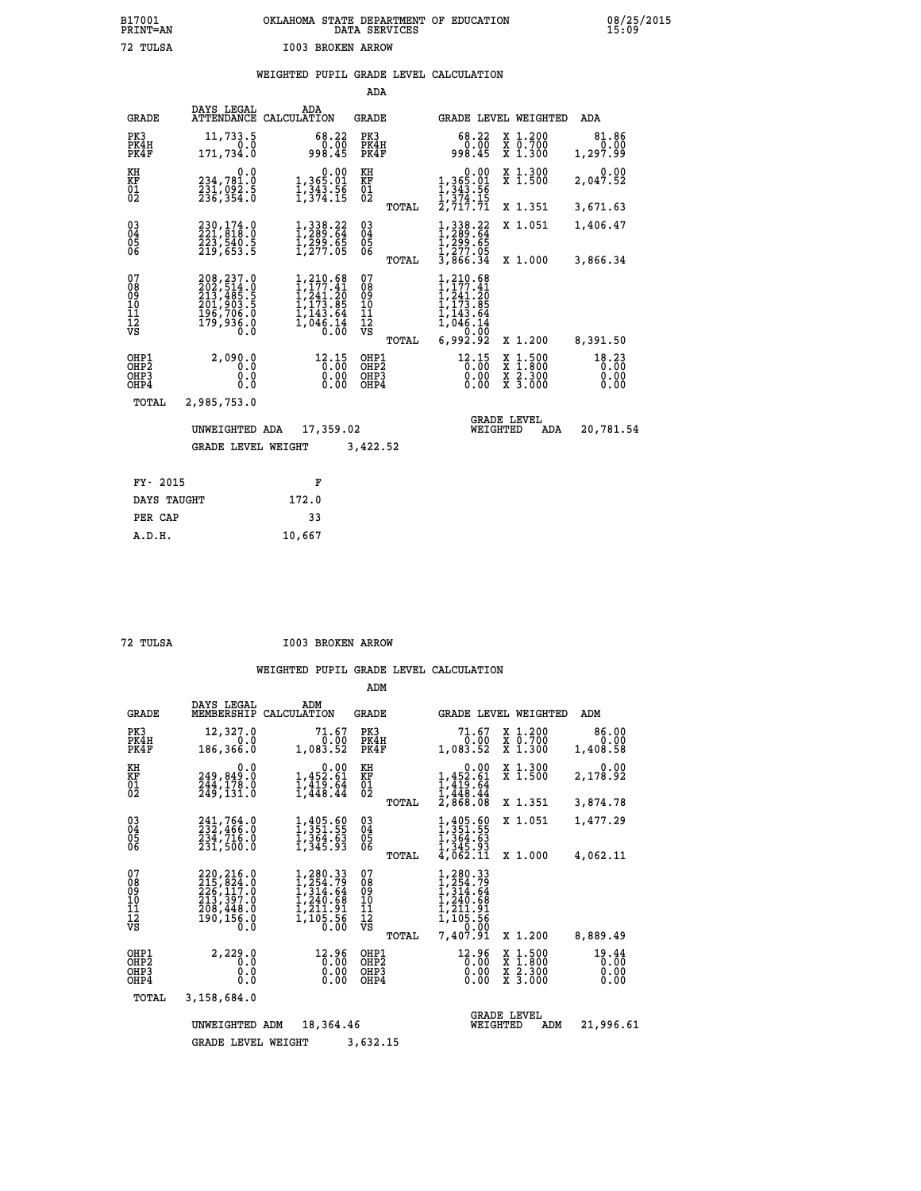# **B17001 OKLAHOMA STATE DEPARTMENT OF EDUCATION 08/25/2015 PRINT=AN DATA SERVICES 15:09 72 TULSA I003 BROKEN ARROW**

|  |  | WEIGHTED PUPIL GRADE LEVEL CALCULATION |
|--|--|----------------------------------------|
|  |  |                                        |

|                                                                    |                                                                                         |                                                                                                                                                                                                                               | ADA                                      |                                                                                      |                                                                                                  |                               |
|--------------------------------------------------------------------|-----------------------------------------------------------------------------------------|-------------------------------------------------------------------------------------------------------------------------------------------------------------------------------------------------------------------------------|------------------------------------------|--------------------------------------------------------------------------------------|--------------------------------------------------------------------------------------------------|-------------------------------|
| <b>GRADE</b>                                                       | DAYS LEGAL                                                                              | ADA<br>ATTENDANCE CALCULATION                                                                                                                                                                                                 | <b>GRADE</b>                             |                                                                                      | GRADE LEVEL WEIGHTED                                                                             | ADA                           |
| PK3<br>PK4H<br>PK4F                                                | 11,733.5<br>0.0<br>171,734.0                                                            | 68.22<br>0.00<br>998.45                                                                                                                                                                                                       | PK3<br>PK4H<br>PK4F                      | 68.22<br>$0.00$<br>45.899                                                            | X 1.200<br>X 0.700<br>X 1.300                                                                    | 81.86<br>0.00<br>1,297.99     |
| KH<br><b>KF</b><br>01<br>02                                        | 0.0<br>234,781.0<br>231,092.5<br>236,354.0                                              | 0.00<br>1,365.01<br>1,343.56<br>1,374.15                                                                                                                                                                                      | KH<br>KF<br>01<br>02                     | $\begin{smallmatrix}&&0.00\\1,365.01\\1,343.56\\1,374.15\\2,717.71\end{smallmatrix}$ | X 1.300<br>X 1.500                                                                               | 0.00<br>2,047.52              |
|                                                                    |                                                                                         |                                                                                                                                                                                                                               | TOTAL                                    |                                                                                      | X 1.351                                                                                          | 3,671.63                      |
| $\begin{smallmatrix} 03 \\[-4pt] 04 \end{smallmatrix}$<br>Ŏ5<br>06 | 230,174.0<br>221,818.0<br>223,540.5<br>219,653.5                                        | $1,338.22$<br>$1,289.64$<br>$1,299.65$<br>$1,277.05$                                                                                                                                                                          | $\substack{03 \\ 04}$<br>Ŏ5<br>06        | $1,338.22$<br>$1,289.64$<br>$1,299.65$<br>$1,277.05$<br>$3,866.34$                   | X 1.051                                                                                          | 1,406.47                      |
|                                                                    |                                                                                         |                                                                                                                                                                                                                               | TOTAL                                    |                                                                                      | X 1.000                                                                                          | 3,866.34                      |
| 07<br>08<br>09<br>101<br>11<br>12<br>VS                            | 208, 237.0<br>202, 514.0<br>213, 485.5<br>201, 903.5<br>196, 706.0<br>179, 938.0<br>Ō.Ō | 1,210.68<br>$\frac{1}{1}, \frac{1}{241}. \frac{41}{20}$<br>$\frac{1}{1}$ , $\frac{1}{1}$ , $\frac{1}{2}$ , $\frac{3}{6}$<br>$\frac{1}{1}$ , $\frac{1}{4}$<br>$\frac{3}{1}$ , $\frac{6}{4}$<br>$\frac{1}{6}$<br>$\frac{1}{10}$ | 07<br>08<br>09<br>101<br>11<br>12<br>VS  | 210.68<br>177.41<br>241:20<br>173.85<br>143.64<br>046.14<br>0.00                     |                                                                                                  |                               |
|                                                                    |                                                                                         |                                                                                                                                                                                                                               | TOTAL                                    | 6,992.92                                                                             | X 1.200                                                                                          | 8,391.50                      |
| OHP1<br>OH <sub>P</sub> <sub>2</sub><br>OHP3<br>OHP4               | 2,090.0<br>0.0<br>0.0<br>$0.\overline{0}$                                               | 12.15<br>0.00                                                                                                                                                                                                                 | OHP1<br>OHP <sub>2</sub><br>OHP3<br>OHP4 | 12.15<br>0.00<br>0.00                                                                | $\begin{smallmatrix} x & 1 & 500 \\ x & 1 & 800 \\ x & 2 & 300 \\ x & 3 & 000 \end{smallmatrix}$ | 18.23<br>0.00<br>0.00<br>0.00 |
| TOTAL                                                              | 2,985,753.0                                                                             |                                                                                                                                                                                                                               |                                          |                                                                                      |                                                                                                  |                               |
|                                                                    | UNWEIGHTED ADA                                                                          | 17,359.02                                                                                                                                                                                                                     |                                          | WEIGHTED                                                                             | <b>GRADE LEVEL</b><br>ADA                                                                        | 20,781.54                     |
|                                                                    | <b>GRADE LEVEL WEIGHT</b>                                                               |                                                                                                                                                                                                                               | 3,422.52                                 |                                                                                      |                                                                                                  |                               |
| FY- 2015                                                           |                                                                                         | F                                                                                                                                                                                                                             |                                          |                                                                                      |                                                                                                  |                               |
| DAYS TAUGHT                                                        |                                                                                         | 172.0                                                                                                                                                                                                                         |                                          |                                                                                      |                                                                                                  |                               |
| PER CAP                                                            |                                                                                         | 33                                                                                                                                                                                                                            |                                          |                                                                                      |                                                                                                  |                               |

 **A.D.H. 10,667**

 **72 TULSA I003 BROKEN ARROW**

|                                                      |                                                                                        |                                                                                          | ADM                                                |                                                                                                               |                                                                                                                     |                               |
|------------------------------------------------------|----------------------------------------------------------------------------------------|------------------------------------------------------------------------------------------|----------------------------------------------------|---------------------------------------------------------------------------------------------------------------|---------------------------------------------------------------------------------------------------------------------|-------------------------------|
| <b>GRADE</b>                                         | DAYS LEGAL<br>MEMBERSHIP                                                               | ADM<br>CALCULATION                                                                       | <b>GRADE</b>                                       | <b>GRADE LEVEL WEIGHTED</b>                                                                                   |                                                                                                                     | ADM                           |
| PK3<br>PK4H<br>PK4F                                  | 12,327.0<br>0.0<br>186,366.0                                                           | 71.67<br>0.00<br>1,083.52                                                                | PK3<br>PK4H<br>PK4F                                | 71.67<br>0.00<br>1,083.52                                                                                     | X 1.200<br>X 0.700<br>X 1.300                                                                                       | 86.00<br>0.00<br>1,408.58     |
| KH<br>KF<br>$\overline{01}$                          | 0.0<br>249,849.0<br>244,178.0<br>249,131.0                                             | 0.00<br>$1,452.\tilde{61}$<br>$1,419.\tilde{64}$<br>$1,448.44$                           | KH<br>KF<br>$\overline{01}$                        | 0.00<br>$1,452.61$<br>$1,419.64$<br>$1,448.44$<br>$2,868.08$                                                  | X 1.300<br>X 1.500                                                                                                  | 0.00<br>2,178.92              |
|                                                      |                                                                                        |                                                                                          | TOTAL                                              |                                                                                                               | X 1.351                                                                                                             | 3,874.78                      |
| $\begin{matrix} 03 \\ 04 \\ 05 \\ 06 \end{matrix}$   | 241,764.0<br>232,466.0<br>234,716.0                                                    | $1, 405.60$<br>$1, 351.55$<br>$1, 364.63$                                                | $\begin{matrix} 03 \\ 04 \\ 05 \\ 06 \end{matrix}$ | $1, 351.55$<br>$1, 354.55$<br>$1, 364.63$<br>$1, 345.93$<br>$4, 062.11$                                       | X 1.051                                                                                                             | 1,477.29                      |
|                                                      | 231,500.0                                                                              | 1,345.93                                                                                 | TOTAL                                              |                                                                                                               | X 1.000                                                                                                             | 4,062.11                      |
| 07<br>0890112<br>1112<br>VS                          | 220, 216.0<br>215, 824.0<br>226, 117.0<br>213, 397.0<br>208, 448.0<br>190,156.0<br>0.0 | $1, 280.33$<br>$1, 254.79$<br>$1, 314.64$<br>$1, 240.68$<br>1,211.91<br>1,105.56<br>0.00 | 07<br>08<br>09<br>11<br>11<br>12<br>VS<br>TOTAL    | 1,280.33<br>$\frac{1}{2}, \frac{254}{314}$ . 54<br>1, 314.64<br>1, 240.68<br>1,211.91<br>1,105.56<br>7,407.91 | X 1.200                                                                                                             | 8,889.49                      |
| OHP1<br>OH <sub>P</sub> <sub>2</sub><br>OHP3<br>OHP4 | 2,229.0<br>0.0<br>0.0<br>0.0                                                           | 12.96<br>0.00<br>$\begin{smallmatrix} 0.00 \ 0.00 \end{smallmatrix}$                     | OHP1<br>OH <sub>P</sub> 2<br>OHP3<br>OHP4          | 12.96<br>0.00<br>0.00                                                                                         | $\begin{array}{l} \mathtt{X} & 1.500 \\ \mathtt{X} & 1.800 \\ \mathtt{X} & 2.300 \\ \mathtt{X} & 3.000 \end{array}$ | 19.44<br>0.00<br>0.00<br>0.00 |
| TOTAL                                                | 3,158,684.0                                                                            |                                                                                          |                                                    |                                                                                                               |                                                                                                                     |                               |
|                                                      | UNWEIGHTED<br>ADM<br><b>GRADE LEVEL WEIGHT</b>                                         | WEIGHTED                                                                                 | <b>GRADE LEVEL</b><br>ADM                          | 21,996.61                                                                                                     |                                                                                                                     |                               |
|                                                      |                                                                                        |                                                                                          |                                                    |                                                                                                               |                                                                                                                     |                               |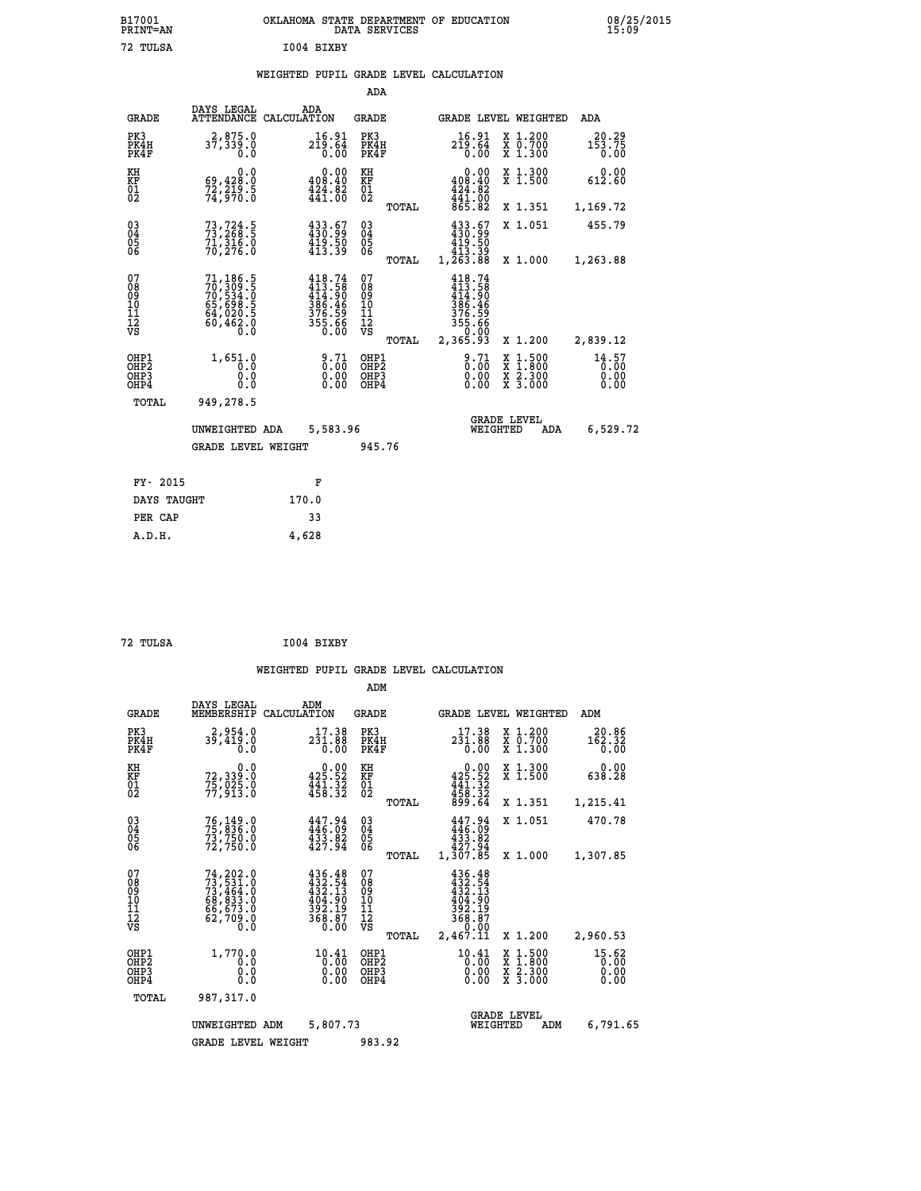|            | OKLAHOMA STATE DEPARTMENT OF EDUCATION<br>DATA SERVICES |  |
|------------|---------------------------------------------------------|--|
| T004 BTXBY |                                                         |  |

|                                                                    |                                                                                           |                                                                                            | ADA                                       |       |                                                                                        |                                                                            |                                       |
|--------------------------------------------------------------------|-------------------------------------------------------------------------------------------|--------------------------------------------------------------------------------------------|-------------------------------------------|-------|----------------------------------------------------------------------------------------|----------------------------------------------------------------------------|---------------------------------------|
| <b>GRADE</b>                                                       | DAYS LEGAL                                                                                | ADA<br>ATTENDANCE CALCULATION                                                              | <b>GRADE</b>                              |       |                                                                                        | GRADE LEVEL WEIGHTED                                                       | <b>ADA</b>                            |
| PK3<br>PK4H<br>PK4F                                                | 2,875.0<br>37,339.0<br>0.0                                                                | 16.91<br>219.64<br>0.00                                                                    | PK3<br>PK4H<br>PK4F                       |       | 16.91<br>219.64<br>0.00                                                                | X 1.200<br>X 0.700<br>X 1.300                                              | 20.29<br>$1\bar{5}3.\bar{7}5$<br>0.00 |
| KH<br>KF<br>01<br>02                                               | 0.0<br>69,428.0<br>72,219.5<br>74,970.0                                                   | 0.00<br>408.40<br>$\frac{1}{4}\frac{2}{4}\cdot\frac{8}{4}\cdot\frac{8}{6}\cdot\frac{8}{6}$ | KH<br>KF<br>$\overline{01}$               |       | 0.00<br>408.40<br>$424.82$<br>$441.00$<br>$865.82$                                     | X 1.300<br>X 1.500                                                         | 0.00<br>612.60                        |
|                                                                    |                                                                                           |                                                                                            |                                           | TOTAL |                                                                                        | X 1.351                                                                    | 1,169.72                              |
| $\begin{smallmatrix} 03 \\[-4pt] 04 \end{smallmatrix}$<br>05<br>ŌĞ | 73, 724.5<br>71,31ĕ.ŏ<br>70,276.0                                                         | 433.67<br>430.99<br>$\frac{1}{419}\cdot\frac{5}{39}$                                       | $\substack{03 \\ 04}$<br>05               |       | $\begin{smallmatrix} 433.67\ 430.99\ 419.50\ 413.39\ 1,263.88 \end{smallmatrix}$       | X 1.051                                                                    | 455.79                                |
|                                                                    |                                                                                           |                                                                                            |                                           | TOTAL |                                                                                        | X 1.000                                                                    | 1,263.88                              |
| 07<br>08<br>09<br>11<br>11<br>12<br>VS                             | $71,186.5$<br>$70,309.5$<br>$70,534.0$<br>$65,698.5$<br>$64,020.5$<br>$60,462.0$<br>$0.0$ | 418.74<br>$413.58$<br>$414.90$<br>$386.46$<br>$376.59$<br>$355.66$<br>$0.00$               | 07<br>08<br>09<br>11<br>11<br>12<br>VS    |       | 418.74<br>$\frac{113.58}{414.90}$<br>$\frac{386.46}{376.59}$<br>$\frac{376.59}{55.66}$ |                                                                            |                                       |
|                                                                    |                                                                                           |                                                                                            |                                           | TOTAL | 2,365.93                                                                               | X 1.200                                                                    | 2,839.12                              |
| OHP1<br>OH <sub>P</sub> 2<br>OHP3<br>OHP4                          | 1,651.0<br>0.0<br>0.0<br>0.0                                                              | 8:71<br>$\begin{smallmatrix} 0.00 \ 0.00 \end{smallmatrix}$                                | OHP1<br>OH <sub>P</sub> 2<br>OHP3<br>OHP4 |       | $\frac{9.71}{0.00}$<br>0.00<br>0.00                                                    | $1:500$<br>$1:800$<br>X<br>X<br>$\frac{\ddot{x}}{x}$ $\frac{2.300}{3.000}$ | 14.57<br>0.00<br>0.00<br>0.00         |
| TOTAL                                                              | 949,278.5                                                                                 |                                                                                            |                                           |       |                                                                                        |                                                                            |                                       |
|                                                                    | UNWEIGHTED ADA                                                                            | 5,583.96                                                                                   |                                           |       |                                                                                        | <b>GRADE LEVEL</b><br>WEIGHTED<br>ADA                                      | 6,529.72                              |
|                                                                    | <b>GRADE LEVEL WEIGHT</b>                                                                 |                                                                                            | 945.76                                    |       |                                                                                        |                                                                            |                                       |
| FY- 2015                                                           |                                                                                           |                                                                                            |                                           |       |                                                                                        |                                                                            |                                       |
|                                                                    |                                                                                           | F                                                                                          |                                           |       |                                                                                        |                                                                            |                                       |
| DAYS TAUGHT                                                        |                                                                                           | 170.0                                                                                      |                                           |       |                                                                                        |                                                                            |                                       |
| PER CAP                                                            |                                                                                           | 33                                                                                         |                                           |       |                                                                                        |                                                                            |                                       |

| 72 TULSA | I004 BIXBY |
|----------|------------|

 **A.D.H. 4,628**

 **B17001<br>PRINT=AN<br>72 TULSA** 

|                                                       |                                                                                                 |                                                                  | ADM                                    |       |                                                                                          |          |                                                                                                  |                               |  |
|-------------------------------------------------------|-------------------------------------------------------------------------------------------------|------------------------------------------------------------------|----------------------------------------|-------|------------------------------------------------------------------------------------------|----------|--------------------------------------------------------------------------------------------------|-------------------------------|--|
| <b>GRADE</b>                                          | DAYS LEGAL<br>MEMBERSHIP                                                                        | ADM<br>CALCULATION                                               | <b>GRADE</b>                           |       |                                                                                          |          | GRADE LEVEL WEIGHTED                                                                             | ADM                           |  |
| PK3<br>PK4H<br>PK4F                                   | 2,954.0<br>39,419.0<br>0.0                                                                      | 17.38<br>231.00<br>0.00                                          | PK3<br>PK4H<br>PK4F                    |       | 17.38<br>231.88<br>0.00                                                                  |          | $\begin{array}{c} x & 1.200 \\ x & 0.700 \end{array}$<br>X 1.300                                 | 20.86<br>162.32<br>0.00       |  |
| KH<br>KF<br>01<br>02                                  | 0.0<br>72,339:0<br>75,025:0<br>77,913:0                                                         | $0.00$<br>425.52<br>$\frac{1}{458}$ $\frac{1}{32}$               | KH<br>KF<br>01<br>02                   |       | $\begin{smallmatrix}&&0.00\\425.52\\441.32\\458.32\\899.64\end{smallmatrix}$             |          | X 1.300<br>X 1.500                                                                               | 0.00<br>638.28                |  |
|                                                       |                                                                                                 |                                                                  |                                        | TOTAL |                                                                                          |          | X 1.351                                                                                          | 1,215.41                      |  |
| 03<br>04<br>05<br>06                                  | 76,149.0<br>75,836.0<br>73,750.0<br>72,750.0                                                    | $447.94$<br>$433.82$<br>$433.82$<br>$427.94$                     | $\substack{03 \\ 04}$<br>05<br>06      |       | 447.94<br>446.09<br>$433.82$<br>$427.94$                                                 |          | X 1.051                                                                                          | 470.78                        |  |
|                                                       |                                                                                                 |                                                                  |                                        | TOTAL | 1,307.85                                                                                 |          | X 1.000                                                                                          | 1,307.85                      |  |
| 07<br>08<br>09<br>101<br>112<br>VS                    | $74, 202.0$<br>$73, 531.0$<br>$73, 464.0$<br>$68, 833.0$<br>$66, 673.0$<br>$62, 709.0$<br>$0.0$ | 436.48<br>432.54<br>432.13<br>404.90<br>392.19<br>368.87<br>0.00 | 07<br>08<br>09<br>11<br>11<br>12<br>VS | TOTAL | $436.48$<br>$432.54$<br>$432.13$<br>$404.90$<br>$392.19$<br>$368.87$<br>0.00<br>2,467.11 |          | X 1.200                                                                                          | 2,960.53                      |  |
| OHP1<br>OH <sub>P</sub> 2<br>OH <sub>P3</sub><br>OHP4 | 1,770.0<br>0.0<br>0.000                                                                         | 10.41<br>0.00<br>0.00<br>0.00                                    | OHP1<br>OHP2<br>OHP3<br>OHP4           |       | $10.41$<br>$0.00$<br>$0.00$<br>0.00                                                      |          | $\begin{smallmatrix} x & 1 & 500 \\ x & 1 & 800 \\ x & 2 & 300 \\ x & 3 & 000 \end{smallmatrix}$ | 15.62<br>0.00<br>0.00<br>0.00 |  |
| TOTAL                                                 | 987,317.0                                                                                       |                                                                  |                                        |       |                                                                                          |          |                                                                                                  |                               |  |
|                                                       | UNWEIGHTED                                                                                      | 5,807.73<br>ADM                                                  |                                        |       |                                                                                          | WEIGHTED | <b>GRADE LEVEL</b><br>ADM                                                                        | 6,791.65                      |  |
|                                                       | <b>GRADE LEVEL WEIGHT</b>                                                                       |                                                                  | 983.92                                 |       |                                                                                          |          |                                                                                                  |                               |  |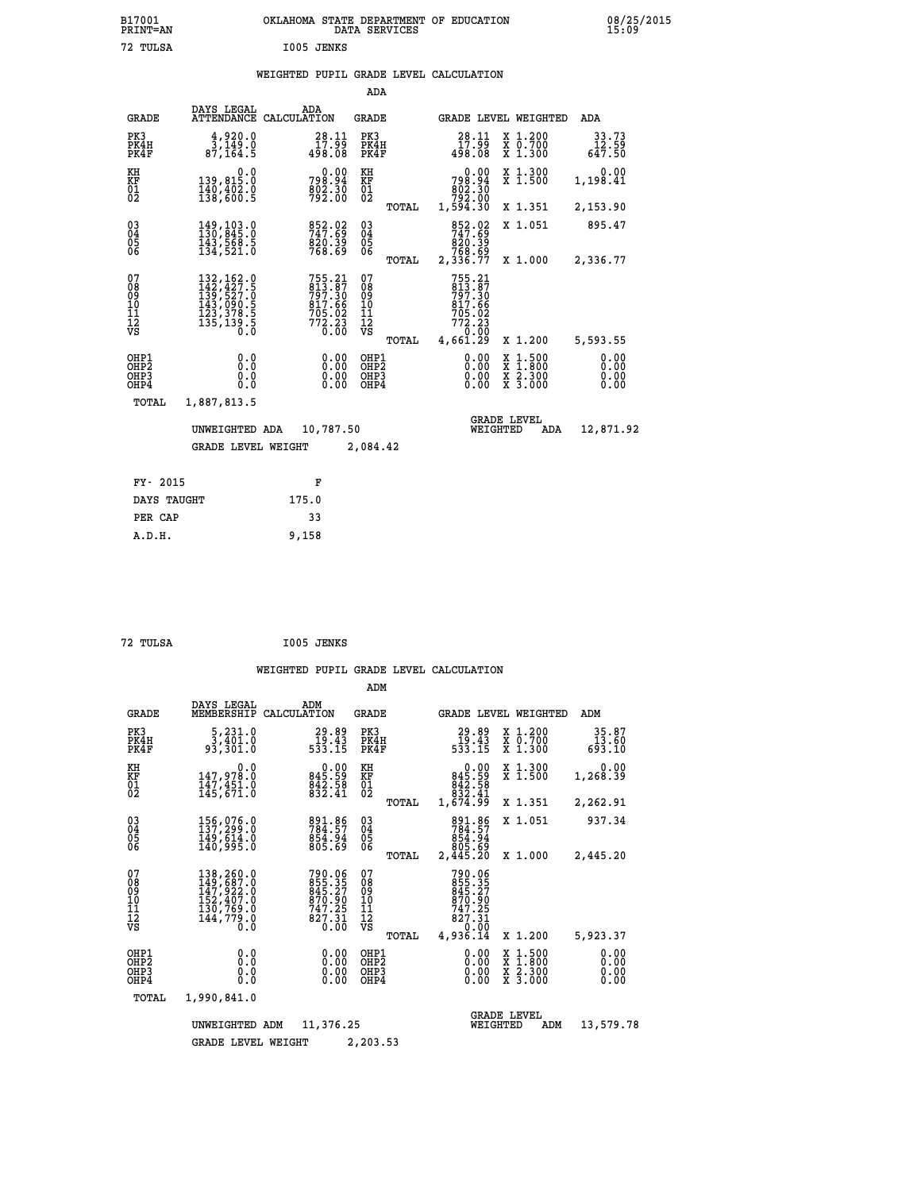| B17001          | OKLAHOMA STATE DEPARTMENT OF EDUCATION |
|-----------------|----------------------------------------|
| <b>PRINT=AN</b> | DATA SERVICES                          |
| 72 TULSA        | I005 JENKS                             |

|                                                    |                                                                                                                                                       |                                                                            | ADA                                      |       |                                                                                      |          |                                                       |                          |
|----------------------------------------------------|-------------------------------------------------------------------------------------------------------------------------------------------------------|----------------------------------------------------------------------------|------------------------------------------|-------|--------------------------------------------------------------------------------------|----------|-------------------------------------------------------|--------------------------|
| <b>GRADE</b>                                       | DAYS LEGAL<br><b>ATTENDANCE</b>                                                                                                                       | ADA<br>CALCULATION                                                         | GRADE                                    |       |                                                                                      |          | GRADE LEVEL WEIGHTED                                  | ADA                      |
| PK3<br>PK4H<br>PK4F                                | 4,920.0<br>3,149.0<br>87, 164.5                                                                                                                       | 28.11<br>$\frac{17.99}{498.08}$                                            | PK3<br>PK4H<br>PK4F                      |       | 28.11<br>$\frac{17.99}{498.08}$                                                      |          | X 1.200<br>X 0.700<br>X 1.300                         | 33.73<br>12.59<br>647.50 |
| KH<br><b>KF</b><br>01<br>02                        | 0.0<br>139,815.0<br>$\frac{140}{138}, \frac{402}{600}$                                                                                                | 0.00<br>798.94<br>802.30<br>792.00                                         | KH<br>KF<br>$\overline{01}$              |       | 0.00<br>798.94<br>662.30<br>792.00<br>1,594.30                                       |          | X 1.300<br>$\overline{x}$ 1.500                       | 0.00<br>1,198.41         |
|                                                    |                                                                                                                                                       |                                                                            |                                          | TOTAL |                                                                                      |          | X 1.351                                               | 2,153.90                 |
| $\begin{matrix} 03 \\ 04 \\ 05 \\ 06 \end{matrix}$ | 149,103.0<br>130,845.0<br>143,568.5<br>134,521.0                                                                                                      | 852.02<br>820.39<br>768.69                                                 | $\substack{03 \\ 04}$<br>$\frac{05}{06}$ |       | 852.02<br>820.39<br>768.69                                                           |          | X 1.051                                               | 895.47                   |
|                                                    |                                                                                                                                                       |                                                                            |                                          | TOTAL | 2,336.77                                                                             |          | X 1.000                                               | 2,336.77                 |
| 07<br>08<br>09<br>11<br>11<br>12<br>VS             | $\begin{smallmatrix} 132,162\cdot 0\\ 142,427\cdot 5\\ 139,527\cdot 0\\ 143,090\cdot 5\\ 123,378\cdot 5\\ 135,139\cdot 5\\ 0\cdot 0\end{smallmatrix}$ | 755.21<br>813.87<br>797.30<br>817.66<br>817.66<br>705.02<br>772.23<br>0.00 | 07<br>08<br>09<br>101<br>11<br>12<br>VS  | TOTAL | 755.21<br>813.87<br>797.30<br>817.66<br>$705.02$<br>$772.23$<br>$0.00$<br>$4,661.29$ |          | X 1.200                                               | 5,593.55                 |
|                                                    |                                                                                                                                                       |                                                                            |                                          |       |                                                                                      |          |                                                       | 0.00                     |
| OHP1<br>OHP2<br>OHP3<br>OHP4                       | 0.0<br>0.0<br>0.0                                                                                                                                     | 0.00<br>0.00<br>0.00                                                       | OHP1<br>OHP2<br>OHP3<br>OHP4             |       | 0.00<br>0.00<br>0.00                                                                 |          | $\frac{x}{x}$ $\frac{1.500}{x}$<br>X 2.300<br>X 3.000 | 0.00<br>0.00<br>0.00     |
| TOTAL                                              | 1,887,813.5                                                                                                                                           |                                                                            |                                          |       |                                                                                      |          |                                                       |                          |
|                                                    | UNWEIGHTED ADA                                                                                                                                        | 10,787.50                                                                  |                                          |       |                                                                                      | WEIGHTED | <b>GRADE LEVEL</b><br>ADA                             | 12,871.92                |
|                                                    | <b>GRADE LEVEL WEIGHT</b>                                                                                                                             |                                                                            | 2,084.42                                 |       |                                                                                      |          |                                                       |                          |
|                                                    |                                                                                                                                                       |                                                                            |                                          |       |                                                                                      |          |                                                       |                          |
| FY- 2015                                           |                                                                                                                                                       | F                                                                          |                                          |       |                                                                                      |          |                                                       |                          |
| DAYS TAUGHT                                        |                                                                                                                                                       | 175.0                                                                      |                                          |       |                                                                                      |          |                                                       |                          |

| 72 TULSA | I005 JENKS |
|----------|------------|
|          |            |

**PER CAP** 33<br> **A** D W 32<br> **A** D W 32  **A.D.H. 9,158**

72 TULSA

|                                                      |                                                                                        |                                                                  | ADM                                              |                                                                                |                                          |                              |
|------------------------------------------------------|----------------------------------------------------------------------------------------|------------------------------------------------------------------|--------------------------------------------------|--------------------------------------------------------------------------------|------------------------------------------|------------------------------|
| <b>GRADE</b>                                         | DAYS LEGAL<br>MEMBERSHIP                                                               | ADM<br>CALCULATION                                               | <b>GRADE</b>                                     | <b>GRADE LEVEL WEIGHTED</b>                                                    |                                          | ADM                          |
| PK3<br>PK4H<br>PK4F                                  | 5,231.0<br>3,401.0<br>93,301.0                                                         | 29.89<br>19.43<br>533.15                                         | PK3<br>PK4H<br>PK4F                              | 29.89<br>43.43<br>533.15                                                       | X 1.200<br>X 0.700<br>X 1.300            | 35.87<br>13.60<br>693.10     |
| KH<br>KF<br>01<br>02                                 | 0.0<br>147,978.0<br>147,451.0<br>145,671.0                                             | 845.59<br>842.58<br>832.41                                       | KH<br>KF<br>01<br>02                             | $\begin{smallmatrix} &0.00\\845.59\\842.58\\832.41\\1,674.99\end{smallmatrix}$ | X 1.300<br>X 1.500                       | 0.00<br>1,268.39             |
|                                                      |                                                                                        |                                                                  | TOTAL                                            |                                                                                | X 1.351                                  | 2,262.91                     |
| $\substack{03 \\ 04}$<br>Ŏ5<br>06                    | 156,076.0<br>137,299.0<br>149,614.0<br>140,995.0                                       | 891.86<br>784.57<br>854.94<br>805.69                             | $\substack{03 \\ 04}$<br>Ŏ5<br>06                | 891.86<br>784.57<br>854.94                                                     | X 1.051                                  | 937.34                       |
|                                                      |                                                                                        |                                                                  | TOTAL                                            | 805.69<br>2,445.20                                                             | X 1.000                                  | 2,445.20                     |
| 07<br>08<br>09<br>11<br>11<br>12<br>VS               | 138, 260.0<br>149, 687.0<br>147, 922.0<br>152, 407.0<br>130, 759.0<br>144,779.0<br>0.0 | 790.06<br>855.35<br>845.27<br>870.90<br>747.25<br>827.31<br>0.00 | 07<br>08<br>09<br>101<br>11<br>12<br>VS<br>TOTAL | 790.06<br>855.35<br>845.27<br>870.90<br>747.25<br>827.31<br>0.00<br>4,936.14   | X 1.200                                  | 5,923.37                     |
| OHP1<br>OHP <sub>2</sub><br>OHP3<br>OH <sub>P4</sub> | 0.0<br>0.000                                                                           | 0.00<br>0.00<br>0.00                                             | OHP1<br>OHP <sub>2</sub><br>OHP3<br>OHP4         | 0.00<br>0.00<br>0.00                                                           | X 1:500<br>X 1:800<br>X 2:300<br>X 3:000 | 0.00<br>0.00<br>0.00<br>0.00 |
| TOTAL                                                | 1,990,841.0                                                                            |                                                                  |                                                  |                                                                                |                                          |                              |
|                                                      | UNWEIGHTED ADM                                                                         | 11,376.25                                                        |                                                  | <b>GRADE LEVEL</b><br>WEIGHTED                                                 | ADM                                      | 13,579.78                    |
|                                                      | <b>GRADE LEVEL WEIGHT</b>                                                              |                                                                  | 2,203.53                                         |                                                                                |                                          |                              |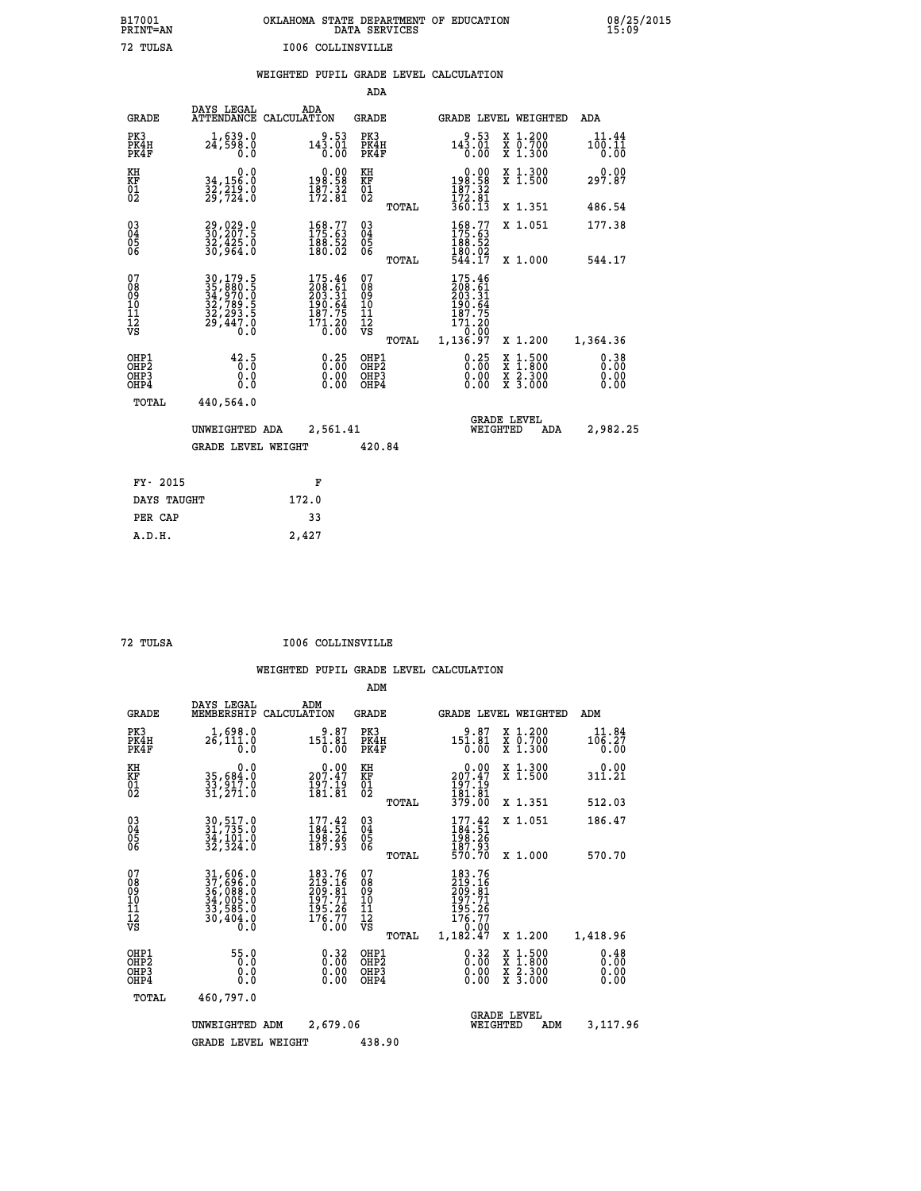| OKLAHOMA STATE DEPARTMENT OF EDUCATION<br>DATA SERVICES |  |
|---------------------------------------------------------|--|
| 1006 COLLINSVILLE                                       |  |

 **B17001 OKLAHOMA STATE DEPARTMENT OF EDUCATION 08/25/2015**

|  |  | WEIGHTED PUPIL GRADE LEVEL CALCULATION |
|--|--|----------------------------------------|
|  |  |                                        |

|                                                    |                                                                             |                                                                                                             | ADA                                      |       |                                                                                                |                                                                                                  |                              |
|----------------------------------------------------|-----------------------------------------------------------------------------|-------------------------------------------------------------------------------------------------------------|------------------------------------------|-------|------------------------------------------------------------------------------------------------|--------------------------------------------------------------------------------------------------|------------------------------|
| <b>GRADE</b>                                       | DAYS LEGAL                                                                  | ADA<br>ATTENDANCE CALCULATION                                                                               | <b>GRADE</b>                             |       |                                                                                                | GRADE LEVEL WEIGHTED                                                                             | ADA                          |
| PK3<br>PK4H<br>PK4F                                | 1,639.0<br>24,598.0<br>0.0                                                  | 9.53<br>143.01<br>0.00                                                                                      | PK3<br>PK4H<br>PK4F                      |       | 9.53<br>$14\overline{3}\cdot\overline{0}\overline{1}\over 0\cdot00$                            | X 1.200<br>X 0.700<br>X 1.300                                                                    | 11.44<br>100.11<br>0.00      |
| KH<br>KF<br>01<br>02                               | 0.0<br>34,156.0<br>32,219.0<br>29,724.0                                     | 0.00<br>58.59<br>$\frac{187.32}{172.81}$                                                                    | KH<br>KF<br>01<br>02                     |       | $\begin{smallmatrix} &0.00\\ 198.58\\ 187.32\\ 172.81\\ 360.13\end{smallmatrix}$               | X 1.300<br>X 1.500                                                                               | 0.00<br>297.87               |
|                                                    |                                                                             |                                                                                                             |                                          | TOTAL |                                                                                                | X 1.351                                                                                          | 486.54                       |
| $\begin{matrix} 03 \\ 04 \\ 05 \\ 06 \end{matrix}$ | 29,029.0<br>30,207.5<br>32,425.0<br>30,964.0                                | 168.77<br>175.63<br>$\frac{188.52}{180.02}$                                                                 | $\substack{03 \\ 04}$<br>05              |       | 168.77<br>188:52<br>180:02<br>544:17                                                           | X 1.051                                                                                          | 177.38                       |
|                                                    |                                                                             |                                                                                                             |                                          | TOTAL |                                                                                                | X 1.000                                                                                          | 544.17                       |
| 07<br>08<br>09<br>101<br>112<br>VS                 | 30,179.5<br>35,880.5<br>34,970.0<br>32,789.5<br>32,293.5<br>32,293.5<br>O.Ŏ | $\begin{smallmatrix} 175.46\\ 208.61\\ 203.31\\ 203.34\\ 190.64\\ 187.75\\ 171.20\\ 0.00 \end{smallmatrix}$ | 07<br>08<br>09<br>101<br>112<br>VS       |       | 175.46<br>208.61<br>203.31<br>$\frac{190.64}{187.75}$<br>$\bar{1}\bar{7}\bar{1}\cdot 2\bar{0}$ |                                                                                                  |                              |
|                                                    |                                                                             |                                                                                                             |                                          | TOTAL | 1,136.97                                                                                       | X 1.200                                                                                          | 1,364.36                     |
| OHP1<br>OHP2<br>OHP3<br>OHP4                       | 42.5<br>0.0<br>0.0                                                          | $0.25$<br>$0.00$<br>$0.00$<br>0.00                                                                          | OHP1<br>OHP <sub>2</sub><br>OHP3<br>OHP4 |       | $\begin{smallmatrix} 0.25\ 0.00\ 0.00 \end{smallmatrix}$                                       | $\begin{smallmatrix} x & 1 & 500 \\ x & 1 & 800 \\ x & 2 & 300 \\ x & 3 & 000 \end{smallmatrix}$ | 0.38<br>0.00<br>0.00<br>0.00 |
| <b>TOTAL</b>                                       | 440,564.0                                                                   |                                                                                                             |                                          |       |                                                                                                |                                                                                                  |                              |
|                                                    | UNWEIGHTED ADA                                                              | 2,561.41                                                                                                    |                                          |       | WEIGHTED                                                                                       | <b>GRADE LEVEL</b><br>ADA                                                                        | 2,982.25                     |
|                                                    | <b>GRADE LEVEL WEIGHT</b>                                                   |                                                                                                             | 420.84                                   |       |                                                                                                |                                                                                                  |                              |
| FY- 2015                                           |                                                                             | F                                                                                                           |                                          |       |                                                                                                |                                                                                                  |                              |
| DAYS TAUGHT                                        |                                                                             | 172.0                                                                                                       |                                          |       |                                                                                                |                                                                                                  |                              |
| PER CAP                                            |                                                                             | 33                                                                                                          |                                          |       |                                                                                                |                                                                                                  |                              |
|                                                    |                                                                             |                                                                                                             |                                          |       |                                                                                                |                                                                                                  |                              |

 **A.D.H. 2,427**

 **B17001<br>PRINT=AN<br>72 TULSA** 

 **72 TULSA I006 COLLINSVILLE**

|                                                       |                                                                             |                                                                                   | ADM                                                 |                                                                              |                                                                                                  |                              |
|-------------------------------------------------------|-----------------------------------------------------------------------------|-----------------------------------------------------------------------------------|-----------------------------------------------------|------------------------------------------------------------------------------|--------------------------------------------------------------------------------------------------|------------------------------|
| <b>GRADE</b>                                          | DAYS LEGAL<br>MEMBERSHIP                                                    | ADM<br>CALCULATION                                                                | <b>GRADE</b>                                        |                                                                              | GRADE LEVEL WEIGHTED                                                                             | ADM                          |
| PK3<br>PK4H<br>PK4F                                   | 1,698.0<br>26,111.0<br>0.0                                                  | 9.87<br>151.81<br>0.00                                                            | PK3<br>PK4H<br>PK4F                                 | 9.87<br>$151.81$<br>$0.00$                                                   | X 1.200<br>X 0.700<br>X 1.300                                                                    | 11.84<br>106.27<br>0.00      |
| KH<br>KF<br>01<br>02                                  | 0.0<br>35,684.0<br>33,917.0<br>31,271.0                                     | $\begin{smallmatrix} 0.00\\ 207.47\\ 197.19\\ 181.81 \end{smallmatrix}$           | KH<br>KF<br>01<br>02                                | $\frac{0.00}{207.47}$<br>197.19                                              | X 1.300<br>X 1.500                                                                               | 0.00<br>311.21               |
|                                                       |                                                                             |                                                                                   | TOTAL                                               | 181.81<br>379.00                                                             | X 1.351                                                                                          | 512.03                       |
| 03<br>04<br>05<br>06                                  | 30, 517.0<br>31, 735.0<br>34, 101.0<br>32,324.0                             | $177.42$<br>$184.51$<br>$\frac{198.26}{187.93}$                                   | $\begin{array}{c} 03 \\ 04 \\ 05 \\ 06 \end{array}$ | 177.42<br>184.51<br>198.26<br>187.93<br>570.70                               | X 1.051                                                                                          | 186.47                       |
|                                                       |                                                                             |                                                                                   | TOTAL                                               |                                                                              | X 1.000                                                                                          | 570.70                       |
| 07<br>08<br>09<br>101<br>112<br>VS                    | 31,606.0<br>37,696.0<br>36,088.0<br>34,005.0<br>33,585.0<br>30,404.0<br>0.0 | 183.76<br>219.16<br>209.81<br>197.71<br>$\frac{155}{176}$ $\frac{26}{77}$<br>Ŏ.00 | 07<br>08<br>09<br>11<br>11<br>12<br>VS<br>TOTAL     | 183.76<br>219.16<br>209.81<br>197.71<br>195.26<br>176.77<br>0.00<br>1,182.47 | X 1.200                                                                                          | 1,418.96                     |
| OHP1<br>OH <sub>P</sub> 2<br>OH <sub>P3</sub><br>OHP4 | 55.0<br>0.0<br>0.000                                                        | $0.32\n0.00\n0.00$<br>0.00                                                        | OHP1<br>OHP2<br>OHP3<br>OHP4                        | $0.32\n0.00$<br>0.00                                                         | $\begin{smallmatrix} x & 1 & 500 \\ x & 1 & 800 \\ x & 2 & 300 \\ x & 3 & 000 \end{smallmatrix}$ | 0.48<br>0.00<br>0.00<br>0.00 |
| TOTAL                                                 | 460,797.0                                                                   |                                                                                   |                                                     |                                                                              |                                                                                                  |                              |
|                                                       | UNWEIGHTED<br>ADM                                                           | 2,679.06                                                                          |                                                     | WEIGHTED                                                                     | <b>GRADE LEVEL</b><br>ADM                                                                        | 3,117.96                     |
|                                                       | <b>GRADE LEVEL WEIGHT</b>                                                   |                                                                                   | 438.90                                              |                                                                              |                                                                                                  |                              |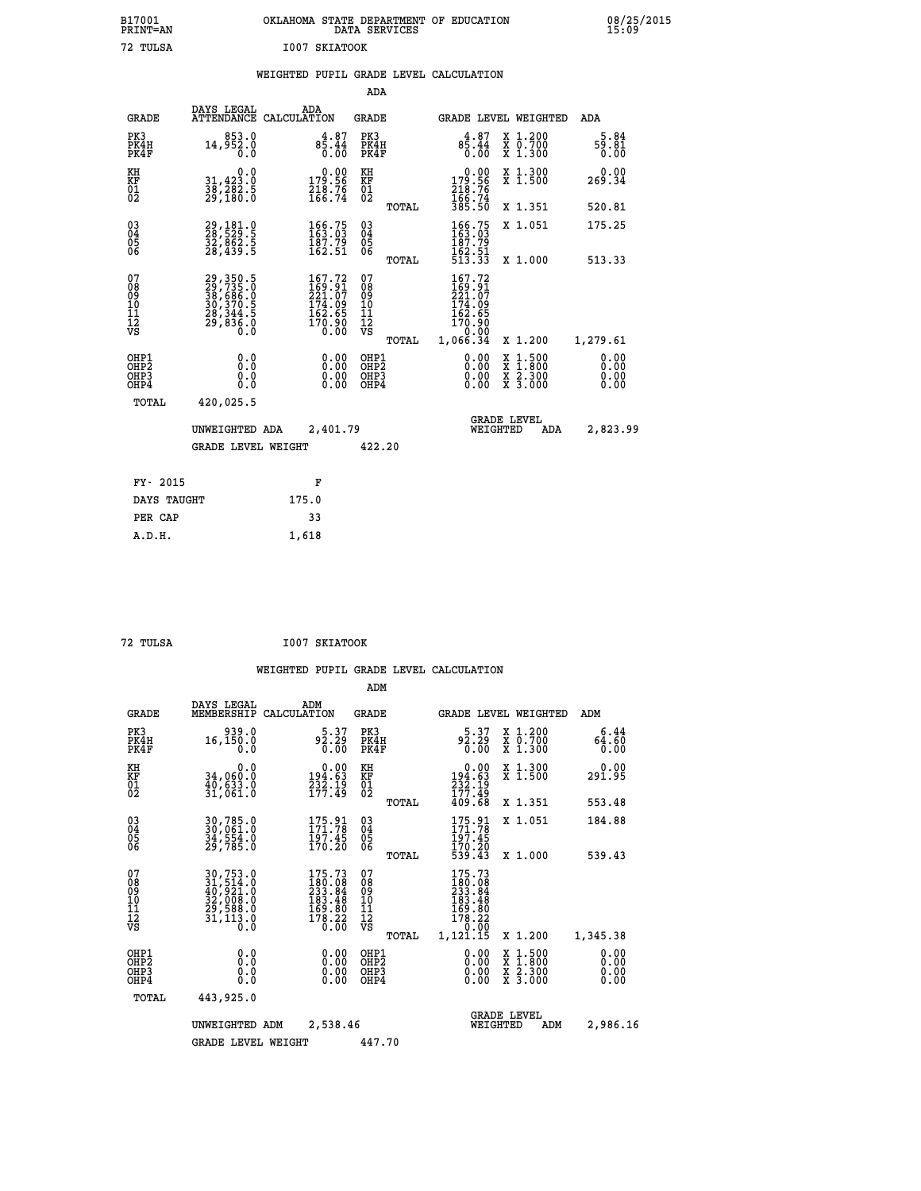| OKLAHOMA STATE DEPARTMENT OF EDUCATION<br>DATA SERVICES |  |
|---------------------------------------------------------|--|
| I007 SKIATOOK                                           |  |

|                                        |                                                                                                 |                                                                                             | ADA                               |       |                                                                                    |                                                                                                                                           |                              |
|----------------------------------------|-------------------------------------------------------------------------------------------------|---------------------------------------------------------------------------------------------|-----------------------------------|-------|------------------------------------------------------------------------------------|-------------------------------------------------------------------------------------------------------------------------------------------|------------------------------|
| <b>GRADE</b>                           | DAYS LEGAL                                                                                      | ADA<br>ATTENDANCE CALCULATION                                                               | GRADE                             |       | <b>GRADE LEVEL WEIGHTED</b>                                                        |                                                                                                                                           | ADA                          |
| PK3<br>PK4H<br>PK4F                    | 853.0<br>14,952.0<br>0.0                                                                        | $8\overline{5}\cdot 44 \\ 0.00$                                                             | PK3<br>PK4H<br>PK4F               |       | $8\overline{5}\cdot 44 \\ 0.00$                                                    | X 1.200<br>X 0.700<br>X 1.300                                                                                                             | 5.84<br>59.81<br>0.00        |
| KH<br>KF<br>01<br>02                   | 0.0<br>31,423.0<br>38,282.5<br>29,180.0                                                         | $\begin{smallmatrix} &0.00\\ 179.56\\ 218.76\\ 166.74\end{smallmatrix}$                     | KH<br>KF<br>01<br>02              |       | $\begin{smallmatrix} &0.00\\ 179.56\\ 218.76\\ 166.74\\ 385.50 \end{smallmatrix}$  | X 1.300<br>X 1.500                                                                                                                        | 0.00<br>269.34               |
|                                        |                                                                                                 |                                                                                             |                                   | TOTAL |                                                                                    | X 1.351                                                                                                                                   | 520.81                       |
| $^{03}_{04}$<br>Ŏ5<br>ŌĞ               | 29,181.0<br>28,529.5<br>32,862.5<br>28,439.5                                                    | 166.75<br>163.03<br>$\frac{187.79}{162.51}$                                                 | $\substack{03 \\ 04}$<br>05<br>06 |       | $\begin{smallmatrix} 166.75\\ 163.03\\ 187.79\\ 162.51\\ 513.33 \end{smallmatrix}$ | X 1.051                                                                                                                                   | 175.25                       |
|                                        |                                                                                                 |                                                                                             |                                   | TOTAL |                                                                                    | X 1.000                                                                                                                                   | 513.33                       |
| 07<br>08<br>09<br>11<br>11<br>12<br>VS | $29, 350.5$<br>$29, 735.0$<br>$38, 686.0$<br>$30, 370.5$<br>$28, 344.5$<br>$29, 836.0$<br>$0.0$ | $\begin{smallmatrix} 167.72\\169.91\\221.07\\174.09\\162.65\\170.90\\0.00\end{smallmatrix}$ | 07<br>089<br>101<br>111<br>VS     | TOTAL | 167.72<br>169.91<br>221.07<br>174.09<br>162.65<br>170.90<br>0.00<br>1,066.34       | X 1.200                                                                                                                                   | 1,279.61                     |
| OHP1<br>OHP2<br>OHP3<br>OHP4           | 0.0<br>0.0<br>0.0<br>0.0                                                                        | $0.00$<br>$0.00$<br>0.00                                                                    | OHP1<br>OHP2<br>OHP3<br>OHP4      |       | $0.00$<br>$0.00$<br>0.00                                                           | $\begin{smallmatrix} \mathtt{X} & 1\cdot500\\ \mathtt{X} & 1\cdot800\\ \mathtt{X} & 2\cdot300\\ \mathtt{X} & 3\cdot000 \end{smallmatrix}$ | 0.00<br>0.00<br>0.00<br>0.00 |
| TOTAL                                  | 420,025.5                                                                                       |                                                                                             |                                   |       |                                                                                    |                                                                                                                                           |                              |
|                                        | UNWEIGHTED ADA                                                                                  | 2,401.79                                                                                    |                                   |       | WEIGHTED                                                                           | <b>GRADE LEVEL</b><br>ADA                                                                                                                 | 2,823.99                     |
|                                        | <b>GRADE LEVEL WEIGHT</b>                                                                       |                                                                                             | 422.20                            |       |                                                                                    |                                                                                                                                           |                              |
|                                        |                                                                                                 |                                                                                             |                                   |       |                                                                                    |                                                                                                                                           |                              |
| FY- 2015                               |                                                                                                 | F                                                                                           |                                   |       |                                                                                    |                                                                                                                                           |                              |
| DAYS TAUGHT                            |                                                                                                 | 175.0                                                                                       |                                   |       |                                                                                    |                                                                                                                                           |                              |
| PER CAP                                |                                                                                                 | 33                                                                                          |                                   |       |                                                                                    |                                                                                                                                           |                              |
| A.D.H.                                 |                                                                                                 | 1,618                                                                                       |                                   |       |                                                                                    |                                                                                                                                           |                              |

 **B17001<br>PRINT=AN** 72 TULSA

 **72 TULSA I007 SKIATOOK**

|                                                       |                                                                                                                                                       |                    |                                                                                                                | ADM                                    |       |                                                                                            |                                |                                                                                                  |                              |
|-------------------------------------------------------|-------------------------------------------------------------------------------------------------------------------------------------------------------|--------------------|----------------------------------------------------------------------------------------------------------------|----------------------------------------|-------|--------------------------------------------------------------------------------------------|--------------------------------|--------------------------------------------------------------------------------------------------|------------------------------|
| <b>GRADE</b>                                          | DAYS LEGAL<br>MEMBERSHIP                                                                                                                              | ADM<br>CALCULATION |                                                                                                                | <b>GRADE</b>                           |       |                                                                                            |                                | GRADE LEVEL WEIGHTED                                                                             | ADM                          |
| PK3<br>PK4H<br>PK4F                                   | 939.0<br>16,150.0<br>0.0                                                                                                                              |                    | 5.37<br>92.29<br>0.00                                                                                          | PK3<br>PK4H<br>PK4F                    |       | 5.37<br>92.29<br>0.00                                                                      |                                | $\begin{array}{c} x & 1.200 \\ x & 0.700 \end{array}$<br>X 1.300                                 | 6.44<br>64.60<br>0.00        |
| KH<br>KF<br>01<br>02                                  | 0.0<br>34,060.0<br>40,ĕ33.0<br>31,061.0                                                                                                               |                    | $194.63$<br>$734.19$<br>$77.49$                                                                                | KH<br>KF<br>01<br>02                   |       | $194.63$<br>$232.19$<br>$177.49$                                                           |                                | X 1.300<br>X 1.500                                                                               | 0.00<br>291.95               |
|                                                       |                                                                                                                                                       |                    |                                                                                                                |                                        | TOTAL | 409.68                                                                                     |                                | X 1.351                                                                                          | 553.48                       |
| 03<br>04<br>05<br>06                                  | 30,785.0<br>30,061.0<br>34,554.0<br>29,785.0                                                                                                          |                    | 175.91<br>171.78<br>197.45<br>170.20                                                                           | $^{03}_{04}$<br>05<br>06               |       | $175.91$<br>$171.78$<br>197.45                                                             |                                | X 1.051                                                                                          | 184.88                       |
|                                                       |                                                                                                                                                       |                    |                                                                                                                |                                        | TOTAL | 170.20<br>539.43                                                                           |                                | X 1.000                                                                                          | 539.43                       |
| 07<br>08<br>09<br>101<br>112<br>VS                    | $\begin{smallmatrix} 30, 753\cdot 0\\ 31, 514\cdot 0\\ 40, 921\cdot 0\\ 32, 008\cdot 0\\ 29, 588\cdot 0\\ 31, 113\cdot 0\\ 0\cdot 0\end{smallmatrix}$ |                    | $175.73$<br>$180.08$<br>$233.84$<br>$\begin{smallmatrix} 183.48 \\ 169.80 \\ 178.22 \\ 0.00 \end{smallmatrix}$ | 07<br>08<br>09<br>11<br>11<br>12<br>VS | TOTAL | $175.73$<br>$180.08$<br>$233.84$<br>$183.48$<br>$169.80$<br>$178.22$<br>$0.00$<br>1,121.15 |                                | X 1.200                                                                                          | 1,345.38                     |
| OHP1<br>OH <sub>P</sub> 2<br>OH <sub>P3</sub><br>OHP4 | 0.0<br>0.000                                                                                                                                          |                    | $0.00$<br>$0.00$<br>0.00                                                                                       | OHP1<br>OHP2<br>OHP3<br>OHP4           |       | $0.00$<br>$0.00$<br>0.00                                                                   |                                | $\begin{smallmatrix} x & 1 & 500 \\ x & 1 & 800 \\ x & 2 & 300 \\ x & 3 & 000 \end{smallmatrix}$ | 0.00<br>0.00<br>0.00<br>0.00 |
| TOTAL                                                 | 443,925.0                                                                                                                                             |                    |                                                                                                                |                                        |       |                                                                                            |                                |                                                                                                  |                              |
|                                                       | UNWEIGHTED                                                                                                                                            | ADM                | 2,538.46                                                                                                       |                                        |       |                                                                                            | <b>GRADE LEVEL</b><br>WEIGHTED | ADM                                                                                              | 2,986.16                     |
|                                                       | <b>GRADE LEVEL WEIGHT</b>                                                                                                                             |                    |                                                                                                                | 447.70                                 |       |                                                                                            |                                |                                                                                                  |                              |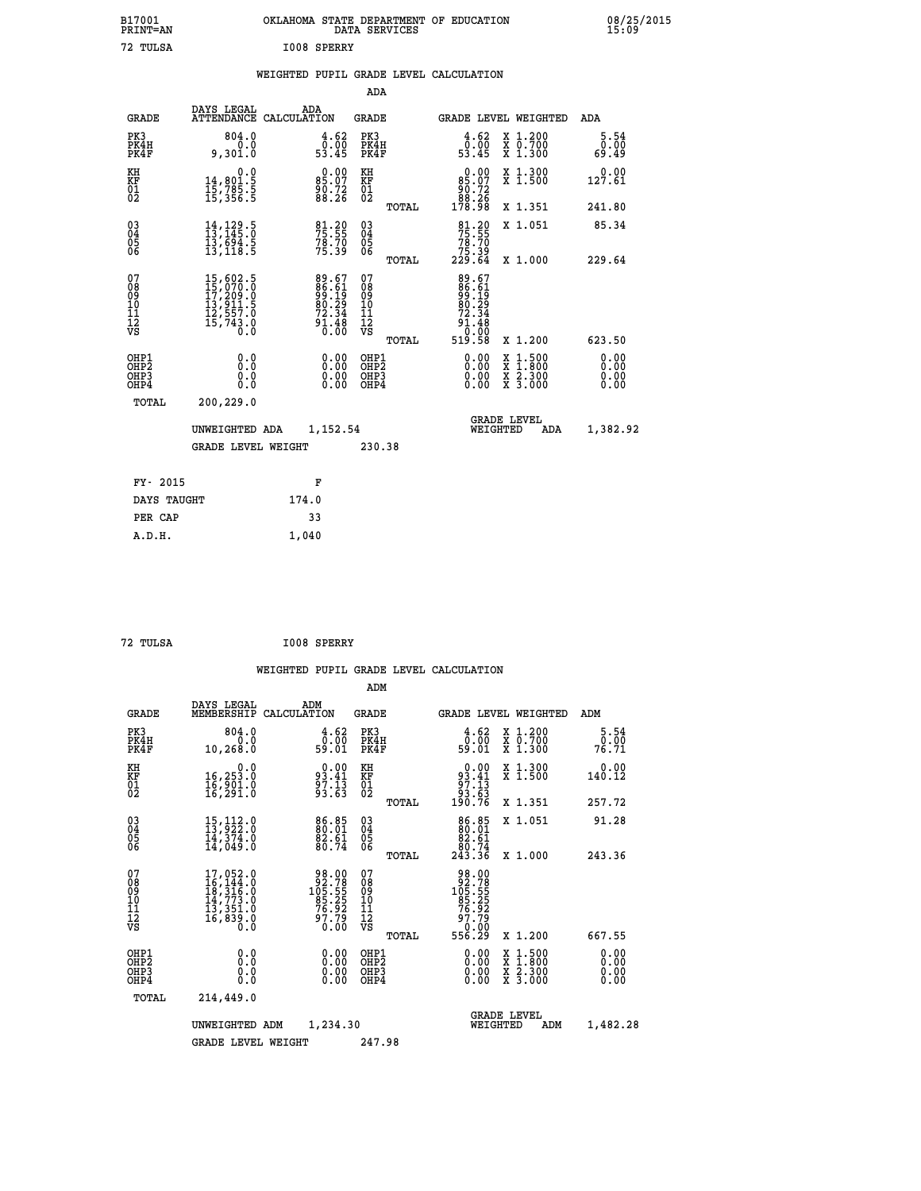| B17001<br>PRINT=AN | OKLAHOMA STATE DEPARTMENT OF EDUCATION<br>DATA SERVICES | 08/25/2015<br>15:09 |
|--------------------|---------------------------------------------------------|---------------------|
| 72 TULSA           | I008 SPERRY                                             |                     |
|                    | <b>URTAURDO DUDTE ADADE ERUS AAIAULARIAN</b>            |                     |

|  |  | WEIGHTED PUPIL GRADE LEVEL CALCULATION |
|--|--|----------------------------------------|
|  |  |                                        |

| <b>GRADE</b>                                       | DAYS LEGAL<br>ATTENDANCE                                                                                  | ADA<br>CALCULATION                                                  | <b>GRADE</b>                             |       |                                                                                   | GRADE LEVEL WEIGHTED                                                                     | ADA                          |
|----------------------------------------------------|-----------------------------------------------------------------------------------------------------------|---------------------------------------------------------------------|------------------------------------------|-------|-----------------------------------------------------------------------------------|------------------------------------------------------------------------------------------|------------------------------|
| PK3<br>PK4H<br>PK4F                                | 804.0<br>0.0<br>9,301.0                                                                                   | 4.62<br>0.00<br>53.45                                               | PK3<br>PK4H<br>PK4F                      |       | 4.62<br>0.00<br>53.45                                                             | X 1.200<br>X 0.700<br>X 1.300                                                            | 5.54<br>0.00<br>69.49        |
| KH<br>KF<br>01<br>02                               | $\begin{smallmatrix}&&&0.0\\14,801.5\\15,785.5\\15,356.5\end{smallmatrix}$                                | $85.07$<br>$85.72$<br>$88.26$                                       | KH<br>KF<br>01<br>02                     |       | $\begin{smallmatrix} &0.00\\ &85.07\\ &90.72\\ &88.26\\ &178.98\end{smallmatrix}$ | X 1.300<br>X 1.500                                                                       | 0.00<br>127.61               |
|                                                    |                                                                                                           |                                                                     |                                          | TOTAL |                                                                                   | X 1.351                                                                                  | 241.80                       |
| $\begin{matrix} 03 \\ 04 \\ 05 \\ 06 \end{matrix}$ | $\begin{smallmatrix} 14\,,\,129\,.5\\ 13\,,\,145\,.0\\ 13\,,\,694\,.5\\ 13\,,\,118\,.5 \end{smallmatrix}$ | 81.20<br>75.55<br>78.70<br>75.39                                    | $\substack{03 \\ 04}$<br>05<br>06        | TOTAL | 81.20<br>75.55<br>78.70<br>75.39<br>229.64                                        | X 1.051<br>X 1.000                                                                       | 85.34<br>229.64              |
| 07<br>08<br>09<br>11<br>11<br>12<br>VS             | 15,602.5<br>15,070.0<br>17,209.0<br>13,911.5<br>12,557.0<br>15,743.8                                      | 89.67<br>86.61<br>99.19<br>80.29<br>72.34<br>72.34<br>91.48<br>0.00 | 07<br>08<br>09<br>101<br>11<br>12<br>VS  |       | 89.67<br>86.61<br>99.19<br>80.29<br>72.34<br>83:10<br>0.00<br>519:58              |                                                                                          |                              |
|                                                    |                                                                                                           |                                                                     |                                          | TOTAL |                                                                                   | X 1.200                                                                                  | 623.50                       |
| OHP1<br>OHP2<br>OH <sub>P3</sub><br>OHP4           | 0.0<br>0.0<br>Ŏ.Ŏ                                                                                         | $0.00$<br>$0.00$<br>0.00                                            | OHP1<br>OHP <sub>2</sub><br>OHP3<br>OHP4 |       | 0.00<br>0.00                                                                      | $\begin{smallmatrix} x & 1.500 \\ x & 1.800 \\ x & 2.300 \\ x & 3.000 \end{smallmatrix}$ | 0.00<br>0.00<br>0.00<br>0.00 |
| TOTAL                                              | 200,229.0                                                                                                 |                                                                     |                                          |       |                                                                                   | <b>GRADE LEVEL</b>                                                                       |                              |
|                                                    | UNWEIGHTED ADA                                                                                            | 1,152.54                                                            |                                          |       | WEIGHTED                                                                          | ADA                                                                                      | 1,382.92                     |
|                                                    | <b>GRADE LEVEL WEIGHT</b>                                                                                 |                                                                     | 230.38                                   |       |                                                                                   |                                                                                          |                              |
| FY- 2015                                           |                                                                                                           | F                                                                   |                                          |       |                                                                                   |                                                                                          |                              |
| DAYS TAUGHT                                        |                                                                                                           | 174.0                                                               |                                          |       |                                                                                   |                                                                                          |                              |
| PER CAP                                            |                                                                                                           | 33                                                                  |                                          |       |                                                                                   |                                                                                          |                              |

```
 72 TULSA I008 SPERRY
```
 **ADM**

 **A.D.H. 1,040**

 **ADA**

| <b>GRADE</b>                                       | DAYS LEGAL                                                                                                                | ADM<br>MEMBERSHIP CALCULATION                                     | <b>GRADE</b>                                       |                                                                             |                                | GRADE LEVEL WEIGHTED                     | ADM                   |
|----------------------------------------------------|---------------------------------------------------------------------------------------------------------------------------|-------------------------------------------------------------------|----------------------------------------------------|-----------------------------------------------------------------------------|--------------------------------|------------------------------------------|-----------------------|
| PK3<br>PK4H<br>PK4F                                | 804.0<br>0.0<br>10,268.0                                                                                                  | 4.62<br>0.00<br>59.01                                             | PK3<br>PK4H<br>PK4F                                | 59.01                                                                       | $\frac{4.62}{0.00}$            | X 1.200<br>X 0.700<br>X 1.300            | 5.54<br>0.00<br>76.71 |
| KH<br>KF<br>01<br>02                               | 0.0<br>16,253.0<br>16,901.0<br>16,291.0                                                                                   | $93.41$<br>$93.41$<br>$97.13$<br>$93.63$                          | KH<br>KF<br>01<br>02                               | $\begin{smallmatrix} &0.00\ 93.41\ 97.13\ 93.63\ 190.76\ \end{smallmatrix}$ |                                | X 1.300<br>X 1.500                       | 0.00<br>140.12        |
|                                                    |                                                                                                                           |                                                                   | TOTAL                                              |                                                                             |                                | X 1.351                                  | 257.72                |
| $\begin{matrix} 03 \\ 04 \\ 05 \\ 06 \end{matrix}$ | $\begin{smallmatrix} 15\,,\,112\cdot\,0\\ 13\,,\,922\cdot\,0\\ 14\,,\,374\cdot\,0\\ 14\,,\,049\cdot\,0 \end{smallmatrix}$ | $86.85$<br>$80.01$<br>$\frac{82.61}{80.74}$                       | $\begin{matrix} 03 \\ 04 \\ 05 \\ 06 \end{matrix}$ | $\begin{smallmatrix}86.85\\80.01\\82.61\\80.74\\243.36\end{smallmatrix}$    |                                | X 1.051                                  | 91.28                 |
|                                                    |                                                                                                                           |                                                                   | TOTAL                                              |                                                                             |                                | X 1.000                                  | 243.36                |
| 07<br>08<br>09<br>101<br>11<br>12<br>VS            | $\begin{smallmatrix}17,052.0\\16,144.0\\18,316.0\\14,773.0\\13,351.0\\16,839.0\\0.0\end{smallmatrix}$                     | 98.00<br>92.785<br>105.555<br>16.92<br>76.92<br>97.79<br>0.00     | 078<br>089<br>0011<br>11<br>11<br>12<br>VS         | 98.00<br>92.785<br>105.555<br>105.257<br>76.92<br>97.79<br>0.00<br>556.29   |                                |                                          |                       |
|                                                    |                                                                                                                           |                                                                   | TOTAL                                              |                                                                             |                                | X 1.200                                  | 667.55                |
| OHP1<br>OHP <sub>2</sub><br>OHP3<br>OHP4           | 0.0<br>0.000                                                                                                              | $\begin{smallmatrix} 0.00 \ 0.00 \ 0.00 \ 0.00 \end{smallmatrix}$ | OHP1<br>OHP <sub>2</sub><br>OHP3<br>OHP4           |                                                                             | 0.00<br>0.00000                | X 1:500<br>X 1:800<br>X 2:300<br>X 3:000 | 0.00<br>0.00<br>0.00  |
| TOTAL                                              | 214,449.0                                                                                                                 |                                                                   |                                                    |                                                                             |                                |                                          |                       |
|                                                    | UNWEIGHTED                                                                                                                | 1,234.30<br>ADM                                                   |                                                    |                                                                             | <b>GRADE LEVEL</b><br>WEIGHTED | ADM                                      | 1,482.28              |
|                                                    | <b>GRADE LEVEL WEIGHT</b>                                                                                                 |                                                                   | 247.98                                             |                                                                             |                                |                                          |                       |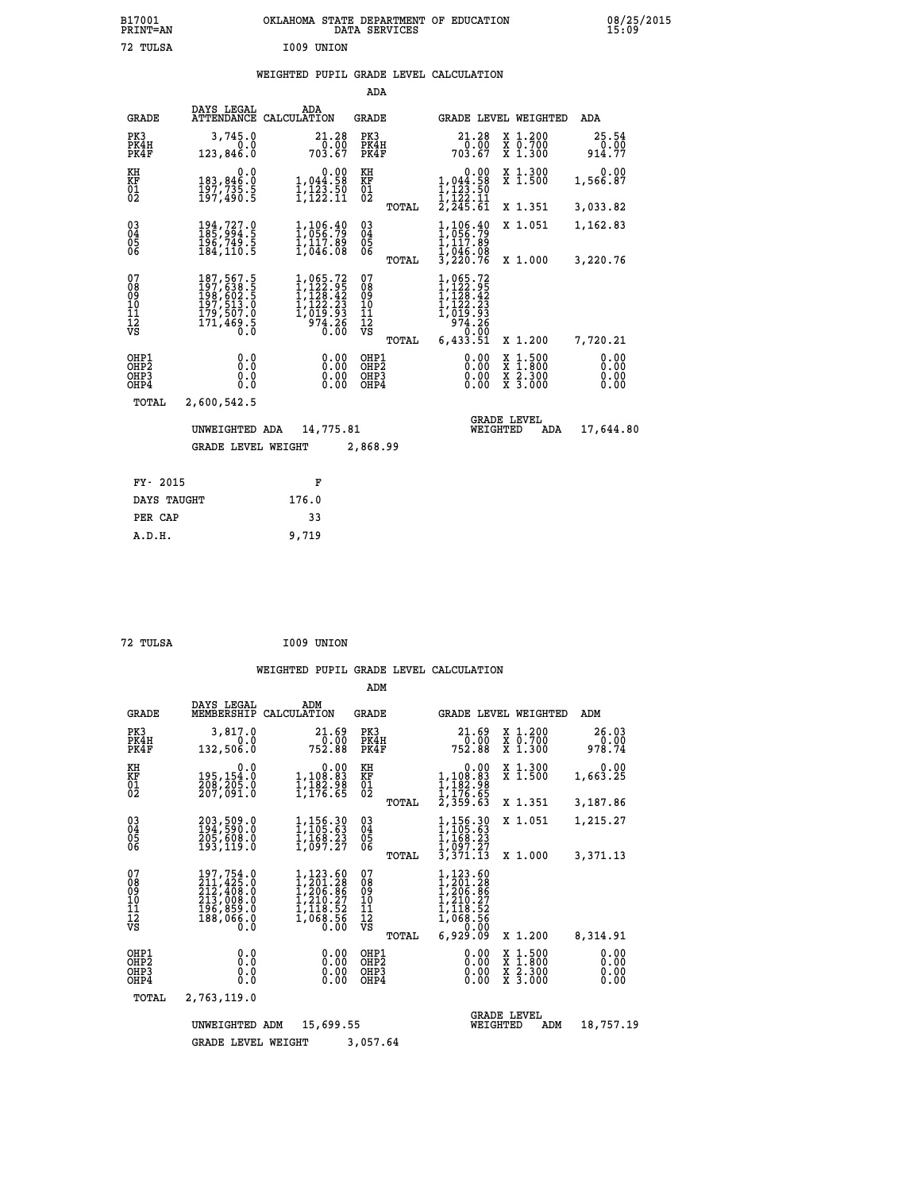| B17001<br><b>PRINT=AN</b> |            | OKLAHOMA STATE DEPARTMENT OF EDUCATION<br>DATA SERVICES |  |
|---------------------------|------------|---------------------------------------------------------|--|
| 72 TULSA                  | I009 UNION |                                                         |  |

|                                        |                                                                                                                                                       |                                                                                                              | ADA                                       |       |                                                                                                                        |        |                                          |                              |
|----------------------------------------|-------------------------------------------------------------------------------------------------------------------------------------------------------|--------------------------------------------------------------------------------------------------------------|-------------------------------------------|-------|------------------------------------------------------------------------------------------------------------------------|--------|------------------------------------------|------------------------------|
| <b>GRADE</b>                           | DAYS LEGAL<br>ATTENDANCE                                                                                                                              | ADA<br>CALCULATION                                                                                           | GRADE                                     |       |                                                                                                                        |        | GRADE LEVEL WEIGHTED                     | ADA                          |
| PK3<br>PK4H<br>PK4F                    | 3,745.0<br>0.0<br>123,846.0                                                                                                                           | 21.28<br>0.00<br>703.67                                                                                      | PK3<br>PK4H<br>PK4F                       |       | 21.28<br>0.00<br>703.67                                                                                                |        | X 1.200<br>X 0.700<br>X 1.300            | 25.54<br>0.00<br>914.77      |
| KH<br><b>KF</b><br>01<br>02            | 0.0<br>183,846.0<br>197,735.5<br>197,490.5                                                                                                            | 1,044.58<br>ī,123.50<br>1,122.11                                                                             | KH<br><b>KF</b><br>01<br>02               |       | 0.00<br>1,044.58<br>$\frac{1}{1}, \frac{1}{2}, \frac{3}{2}, \frac{5}{1}$<br>$\frac{1}{2}, \frac{1}{245}, \frac{1}{61}$ |        | X 1.300<br>$\overline{x}$ 1.500          | 0.00<br>1,566.87             |
|                                        |                                                                                                                                                       |                                                                                                              |                                           | TOTAL |                                                                                                                        |        | X 1.351                                  | 3,033.82                     |
| $^{03}_{04}$<br>05<br>06               | 194,727.0<br>196,749.5<br>184,110.5                                                                                                                   | 1,106.40<br>1,05 <u>6</u> .79<br>$\frac{1}{1}$ , 117.89<br>1,046.08                                          | $\substack{03 \\ 04}$<br>0500             |       | 1,106.40<br>ī,ō56.79<br>1,117.89                                                                                       |        | X 1.051                                  | 1,162.83                     |
|                                        |                                                                                                                                                       |                                                                                                              |                                           | TOTAL | I, 046.08<br>3, 220.76                                                                                                 |        | X 1.000                                  | 3,220.76                     |
| 07<br>08<br>09<br>11<br>11<br>12<br>VS | $\begin{smallmatrix} 187,567\cdot 5\\ 197,638\cdot 5\\ 198,602\cdot 5\\ 197,513\cdot 0\\ 179,507\cdot 0\\ 171,469\cdot 5\\ 0\cdot 0\end{smallmatrix}$ | $\begin{smallmatrix} 1,065.72\\ 1,122.95\\ 1,128.42\\ 1,122.23\\ 1,019.93\\ 974.26\\ 0.00 \end{smallmatrix}$ | 07<br>08<br>09<br>101<br>11<br>12<br>VS   |       | 1,065.72<br>$1,122.95$<br>$1,122.42$<br>$1,122.23$<br>$1,019.93$<br>$974.28$<br>6,433.51                               |        |                                          |                              |
|                                        |                                                                                                                                                       |                                                                                                              |                                           | TOTAL |                                                                                                                        |        | X 1.200                                  | 7,720.21                     |
| OHP1<br>OHP2<br>OHP3<br>OHP4           | 0.0<br>0.0<br>0.0<br>0.0                                                                                                                              | 0.00<br>0.00<br>0.00                                                                                         | OHP1<br>OH <sub>P</sub> 2<br>OHP3<br>OHP4 |       | 0.00<br>0.00<br>0.00<br>0.00                                                                                           | X<br>X | $1.500$<br>$1.800$<br>X 2.300<br>X 3.000 | 0.00<br>0.00<br>0.00<br>0.00 |
| TOTAL                                  | 2,600,542.5                                                                                                                                           |                                                                                                              |                                           |       |                                                                                                                        |        |                                          |                              |
|                                        | UNWEIGHTED ADA                                                                                                                                        | 14,775.81                                                                                                    |                                           |       | WEIGHTED                                                                                                               |        | <b>GRADE LEVEL</b><br>ADA                | 17,644.80                    |
|                                        | <b>GRADE LEVEL WEIGHT</b>                                                                                                                             |                                                                                                              | 2,868.99                                  |       |                                                                                                                        |        |                                          |                              |
|                                        |                                                                                                                                                       |                                                                                                              |                                           |       |                                                                                                                        |        |                                          |                              |
| FY- 2015                               |                                                                                                                                                       | F                                                                                                            |                                           |       |                                                                                                                        |        |                                          |                              |
| DAYS TAUGHT                            |                                                                                                                                                       | 176.0                                                                                                        |                                           |       |                                                                                                                        |        |                                          |                              |

| 72 TULSA | I009 UNION |
|----------|------------|
|          |            |

 **PER CAP 33 A.D.H. 9,719**

|                                                    |                              |                                                                                   |                                                                                                                                                                      | ADM                                             |                                                                                          |                                                                                            |                              |
|----------------------------------------------------|------------------------------|-----------------------------------------------------------------------------------|----------------------------------------------------------------------------------------------------------------------------------------------------------------------|-------------------------------------------------|------------------------------------------------------------------------------------------|--------------------------------------------------------------------------------------------|------------------------------|
|                                                    | <b>GRADE</b>                 | DAYS LEGAL<br>MEMBERSHIP                                                          | ADM<br>CALCULATION                                                                                                                                                   | <b>GRADE</b>                                    | GRADE LEVEL WEIGHTED                                                                     |                                                                                            | ADM                          |
|                                                    | PK3<br>PK4H<br>PK4F          | 3,817.0<br>0.0<br>132,506.0                                                       | 21.69<br>752.88                                                                                                                                                      | PK3<br>PK4H<br>PK4F                             | 21.69<br>0.00 -<br>752.88                                                                | X 1.200<br>X 0.700<br>X 1.300                                                              | 26.03<br>0.00<br>978.74      |
| KH<br>KF<br>01<br>02                               |                              | 0.0<br>195,154.0<br>200,205:0<br>207,091:0                                        | 0.00<br>1,108:83<br>1,182:98<br>1,176:65                                                                                                                             | KH<br>KF<br>01<br>02                            | 0.00<br>$1,108.83$<br>$1,182.98$<br>$1,176.65$<br>$2,359.63$                             | X 1.300<br>X 1.500                                                                         | 0.00<br>1,663.25             |
|                                                    |                              |                                                                                   |                                                                                                                                                                      | TOTAL                                           |                                                                                          | X 1.351                                                                                    | 3,187.86                     |
| $\begin{matrix} 03 \\ 04 \\ 05 \\ 06 \end{matrix}$ |                              | 203,509.0<br>194,590.0<br>205,608.0<br>193,119.0                                  | 1,156.30<br>1,105.63<br>1,168.23<br>1,097.27                                                                                                                         | $\substack{03 \\ 04}$<br>$\frac{05}{06}$        | 1,156.30<br>1,105.63<br>1,168.23<br>1,097.27                                             | X 1.051                                                                                    | 1,215.27                     |
|                                                    |                              |                                                                                   |                                                                                                                                                                      | TOTAL                                           | 3,371.13                                                                                 | X 1.000                                                                                    | 3,371.13                     |
| 07<br>08<br>09<br>001<br>11<br>11<br>12<br>VS      |                              | 197,754.0<br>211,425.0<br>212,408.0<br>213,008.0<br>196,859.0<br>188,066.0<br>0.0 | 1,123.60<br>$\frac{1}{2}, \frac{201}{206}, \frac{28}{86}$<br>1,210.27<br>$\frac{1}{2}$ , $\frac{210}{1}$ , $\frac{27}{1}$ , $\frac{118}{0}$ , $\frac{52}{5}$<br>0.00 | 07<br>08<br>09<br>11<br>11<br>12<br>VS<br>TOTAL | 1,123.60<br>1,201.28<br>1,206.86<br>1,210.27<br>1,118.52<br>1,068.56<br>0.00<br>6,929.09 | X 1.200                                                                                    | 8,314.91                     |
|                                                    | OHP1<br>OHP2<br>OHP3<br>OHP4 | 0.0<br>0.0<br>Ŏ.Ŏ                                                                 | 0.00<br>0.00<br>0.00                                                                                                                                                 | OHP1<br>OHP2<br>OHP3<br>OHP4                    | 0.00<br>0.00<br>0.00<br>0.00                                                             | $\begin{array}{c} x & 1.500 \\ x & 1.800 \\ x & 2.300 \end{array}$<br>$\overline{x}$ 3.000 | 0.00<br>0.00<br>0.00<br>0.00 |
|                                                    | TOTAL                        | 2,763,119.0                                                                       |                                                                                                                                                                      |                                                 |                                                                                          |                                                                                            |                              |
|                                                    |                              | UNWEIGHTED                                                                        | 15,699.55<br>ADM                                                                                                                                                     |                                                 | WEIGHTED                                                                                 | <b>GRADE LEVEL</b><br>ADM                                                                  | 18,757.19                    |
|                                                    |                              | <b>GRADE LEVEL WEIGHT</b>                                                         |                                                                                                                                                                      | 3,057.64                                        |                                                                                          |                                                                                            |                              |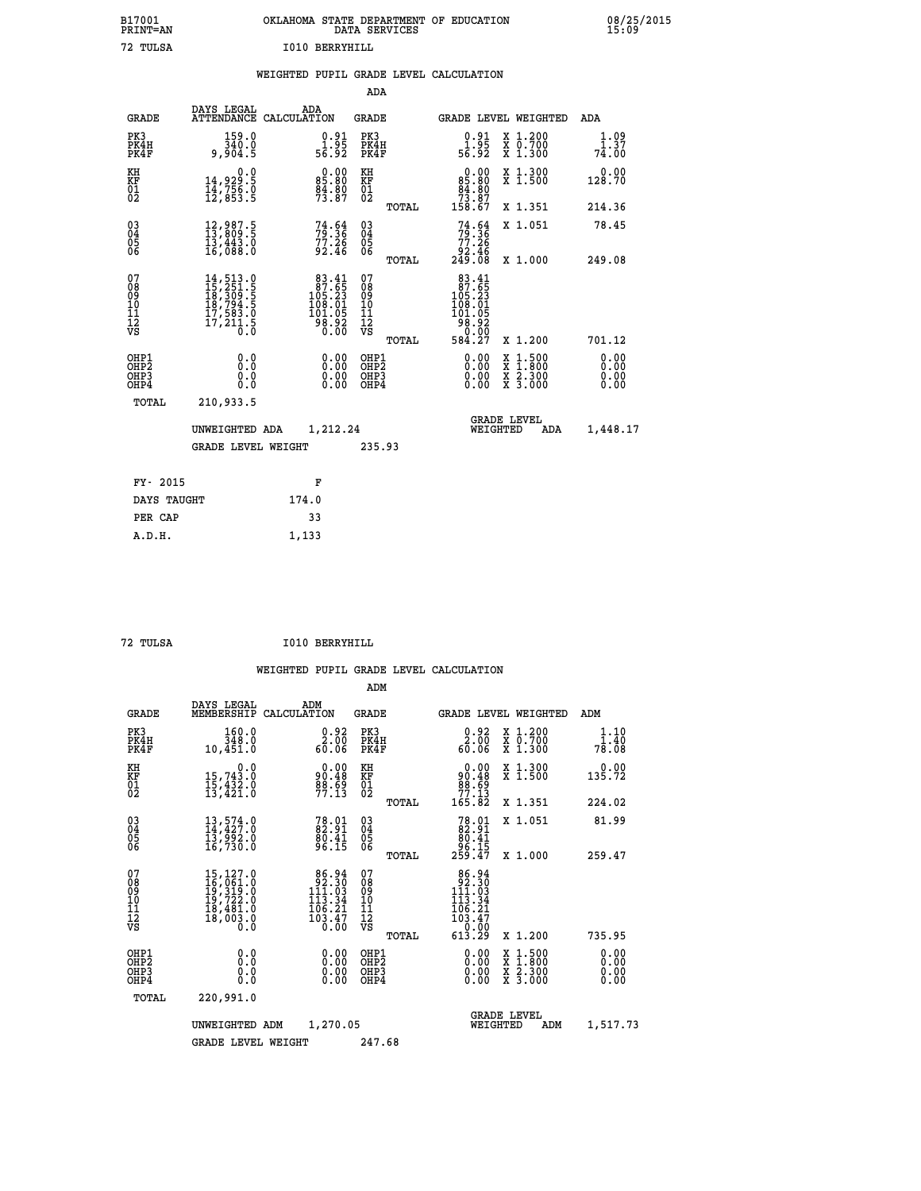| B17001          | OKLAHOMA STATE DEPARTMENT OF EDUCATION |
|-----------------|----------------------------------------|
| <b>PRINT=AN</b> | DATA SERVICES                          |
| 72. TULSA       | T010 BERRYHTLL                         |

 **B17001 OKLAHOMA STATE DEPARTMENT OF EDUCATION 08/25/2015**

|  |  | WEIGHTED PUPIL GRADE LEVEL CALCULATION |
|--|--|----------------------------------------|
|  |  |                                        |

|                                                                    |                                                                                                                                                                         |                                                                                         | ADA                                       |       |                                                                                                  |                                                                     |                              |
|--------------------------------------------------------------------|-------------------------------------------------------------------------------------------------------------------------------------------------------------------------|-----------------------------------------------------------------------------------------|-------------------------------------------|-------|--------------------------------------------------------------------------------------------------|---------------------------------------------------------------------|------------------------------|
| <b>GRADE</b>                                                       | DAYS LEGAL<br><b>ATTENDANCE</b>                                                                                                                                         | ADA<br>CALCULATION                                                                      | <b>GRADE</b>                              |       |                                                                                                  | GRADE LEVEL WEIGHTED                                                | <b>ADA</b>                   |
| PK3<br>PK4H<br>PK4F                                                | 159.0<br>340.0<br>9,904.5                                                                                                                                               | $\begin{smallmatrix} 0.91\ 1.95\ 56.92 \end{smallmatrix}$                               | PK3<br>PK4H<br>PK4F                       |       | $\begin{smallmatrix} 0.91\ 1.95\ 56.92 \end{smallmatrix}$                                        | X 1.200<br>X 0.700<br>X 1.300                                       | 1.09<br>1.37<br>74.00        |
| KH<br>KF<br>01<br>02                                               | 0.0<br>14,929:5<br>14,756:0<br>12,853:5                                                                                                                                 | 85.80<br>84.80<br>73.87                                                                 | KH<br>KF<br>01<br>02                      |       | $\begin{smallmatrix}&&0&.00\\85&.80\\84&.80\\73&.87\\158&.67\end{smallmatrix}$                   | X 1.300<br>X 1.500                                                  | 0.00<br>128.70               |
|                                                                    |                                                                                                                                                                         |                                                                                         |                                           | TOTAL |                                                                                                  | X 1.351                                                             | 214.36                       |
| $\begin{smallmatrix} 03 \\[-4pt] 04 \end{smallmatrix}$<br>Ŏ5<br>ŌĞ | $\begin{smallmatrix} 12\,, & 987\,. & 5\\ 13\,, & 809\,. & 5\\ 13\,, & 443\,. & 0\\ 16\,, & 088\,. & 0 \end{smallmatrix}$                                               | 73.54<br>$77.26$<br>92.46                                                               | 03<br>04<br>05<br>06                      |       | $74.64$<br>$79.36$<br>$77.26$<br>$92.46$<br>$249.08$                                             | X 1.051                                                             | 78.45                        |
|                                                                    |                                                                                                                                                                         |                                                                                         |                                           | TOTAL |                                                                                                  | X 1.000                                                             | 249.08                       |
| 07<br>08<br>09<br>11<br>11<br>12<br>VS                             | $\begin{smallmatrix} 14\,,\,513\cdot 0\\ 15\,,\,251\cdot 5\\ 18\,,\,309\cdot 5\\ 18\,,\,794\cdot 5\\ 17\,,\,583\cdot 0\\ 17\,,\,211\cdot 5\\ 0\cdot 0\end{smallmatrix}$ | $\begin{smallmatrix}83.41\\87.65\\105.23\\108.01\\101.05\\98.92\\0.00\end{smallmatrix}$ | 07<br>08<br>09<br>11<br>11<br>12<br>VS    |       | $\begin{smallmatrix}83.41\\87.65\\105.23\\108.01\\101.05\\98.92\\60.00\\584.27\end{smallmatrix}$ |                                                                     |                              |
|                                                                    |                                                                                                                                                                         |                                                                                         |                                           | TOTAL |                                                                                                  | X 1.200                                                             | 701.12                       |
| OHP1<br>OHP <sub>2</sub><br>OHP3<br>OHP4                           | 0.0<br>0.0<br>0.0                                                                                                                                                       | 0.00<br>$\begin{smallmatrix} 0.00 \ 0.00 \end{smallmatrix}$                             | OHP1<br>OH <sub>P</sub> 2<br>OHP3<br>OHP4 |       | 0.00<br>0.00<br>0.00                                                                             | $1:500$<br>$1:800$<br>X<br>X<br>$\frac{x}{x}$ $\frac{5:300}{3:000}$ | 0.00<br>0.00<br>0.00<br>0.00 |
| TOTAL                                                              | 210,933.5                                                                                                                                                               |                                                                                         |                                           |       |                                                                                                  |                                                                     |                              |
|                                                                    | UNWEIGHTED ADA                                                                                                                                                          | 1,212.24                                                                                |                                           |       |                                                                                                  | <b>GRADE LEVEL</b><br>WEIGHTED<br>ADA                               | 1,448.17                     |
|                                                                    | <b>GRADE LEVEL WEIGHT</b>                                                                                                                                               |                                                                                         | 235.93                                    |       |                                                                                                  |                                                                     |                              |
| FY- 2015                                                           |                                                                                                                                                                         | F                                                                                       |                                           |       |                                                                                                  |                                                                     |                              |
| DAYS TAUGHT                                                        |                                                                                                                                                                         | 174.0                                                                                   |                                           |       |                                                                                                  |                                                                     |                              |
| PER CAP                                                            |                                                                                                                                                                         | 33                                                                                      |                                           |       |                                                                                                  |                                                                     |                              |
|                                                                    |                                                                                                                                                                         |                                                                                         |                                           |       |                                                                                                  |                                                                     |                              |

| TUT<br>.S |  |
|-----------|--|
|           |  |

 **A.D.H. 1,133**

 **ADM**

72 TULSA

 **72 TULSA I010 BERRYHILL**

| <b>GRADE</b>                                       | DAYS LEGAL                                                                                                                                                                       | ADM<br>MEMBERSHIP CALCULATION                                                                 | <b>GRADE</b>                                           | GRADE LEVEL WEIGHTED                                                       |                                          | ADM                           |
|----------------------------------------------------|----------------------------------------------------------------------------------------------------------------------------------------------------------------------------------|-----------------------------------------------------------------------------------------------|--------------------------------------------------------|----------------------------------------------------------------------------|------------------------------------------|-------------------------------|
| PK3<br>PK4H<br>PK4F                                | 160.0<br>348.0<br>10,451.0                                                                                                                                                       | 0.92<br>2.00<br>60.06                                                                         | PK3<br>PK4H<br>PK4F                                    | 2:82<br>60.06                                                              | X 1.200<br>X 0.700<br>X 1.300            | 1.10<br>$1.\bar{40}$<br>78.08 |
| KH<br>KF<br>01<br>02                               | 0.0<br>15,743.0<br>15,432.0<br>13,421.0                                                                                                                                          | $0.00$<br>$90.48$<br>$88.69$<br>$77.13$                                                       | KH<br>KF<br>01<br>02                                   | 0.00<br>90:48<br>88.69<br>77:13<br>165.82                                  | X 1.300<br>X 1.500                       | 0.00<br>135.72                |
|                                                    |                                                                                                                                                                                  |                                                                                               | TOTAL                                                  |                                                                            | X 1.351                                  | 224.02                        |
| $\begin{matrix} 03 \\ 04 \\ 05 \\ 06 \end{matrix}$ | $13, 574.0$<br>$14, 427.0$<br>$13, 992.0$<br>$16, 730.0$                                                                                                                         | $\frac{78.01}{82.91}$<br>$\frac{80.41}{96.15}$                                                | $\begin{array}{c} 03 \\ 04 \\ 05 \\ 06 \end{array}$    | $78.01\n82.91\n80.41\n96.15\n259.47$                                       | X 1.051                                  | 81.99                         |
|                                                    |                                                                                                                                                                                  |                                                                                               | TOTAL                                                  |                                                                            | X 1.000                                  | 259.47                        |
| 07<br>08<br>09<br>101<br>11<br>12<br>VS            | 15,127.0<br>$\begin{smallmatrix} 15 \ 16 \ 19 \ 19 \ 19 \ 11 \ 19 \ 12 \ 10 \ 19 \ 12 \ 13 \ 14 \ 15 \ 16 \ 18 \ 18 \ 19 \ 19 \ 10 \ 10 \ 10 \ 10 \ 0 \ 0 \ 0 \end{smallmatrix}$ | 86.94<br>92.30<br>111.03<br>$\begin{array}{c} 113.34 \\ 106.21 \\ 103.47 \\ 0.00 \end{array}$ | 07<br>08<br>09<br>001<br>11<br>11<br>12<br>VS<br>TOTAL | 86.94<br>92.30<br>111.03<br>113.34<br>106:21<br>103:47<br>--0:00<br>613.29 | X 1.200                                  | 735.95                        |
| OHP1<br>OHP <sub>2</sub><br>OHP3<br>OHP4           | 0.0<br>0.000                                                                                                                                                                     | $0.00$<br>$0.00$<br>0.00                                                                      | OHP1<br>OHP2<br>OHP3<br>OHP4                           | $0.00$<br>$0.00$<br>0.00                                                   | X 1:500<br>X 1:800<br>X 2:300<br>X 3:000 | 0.00<br>0.00<br>0.00<br>0.00  |
| TOTAL                                              | 220,991.0                                                                                                                                                                        |                                                                                               |                                                        |                                                                            |                                          |                               |
|                                                    | UNWEIGHTED                                                                                                                                                                       | 1,270.05<br>ADM                                                                               |                                                        | <b>GRADE LEVEL</b><br>WEIGHTED                                             | ADM                                      | 1,517.73                      |
|                                                    | <b>GRADE LEVEL WEIGHT</b>                                                                                                                                                        |                                                                                               | 247.68                                                 |                                                                            |                                          |                               |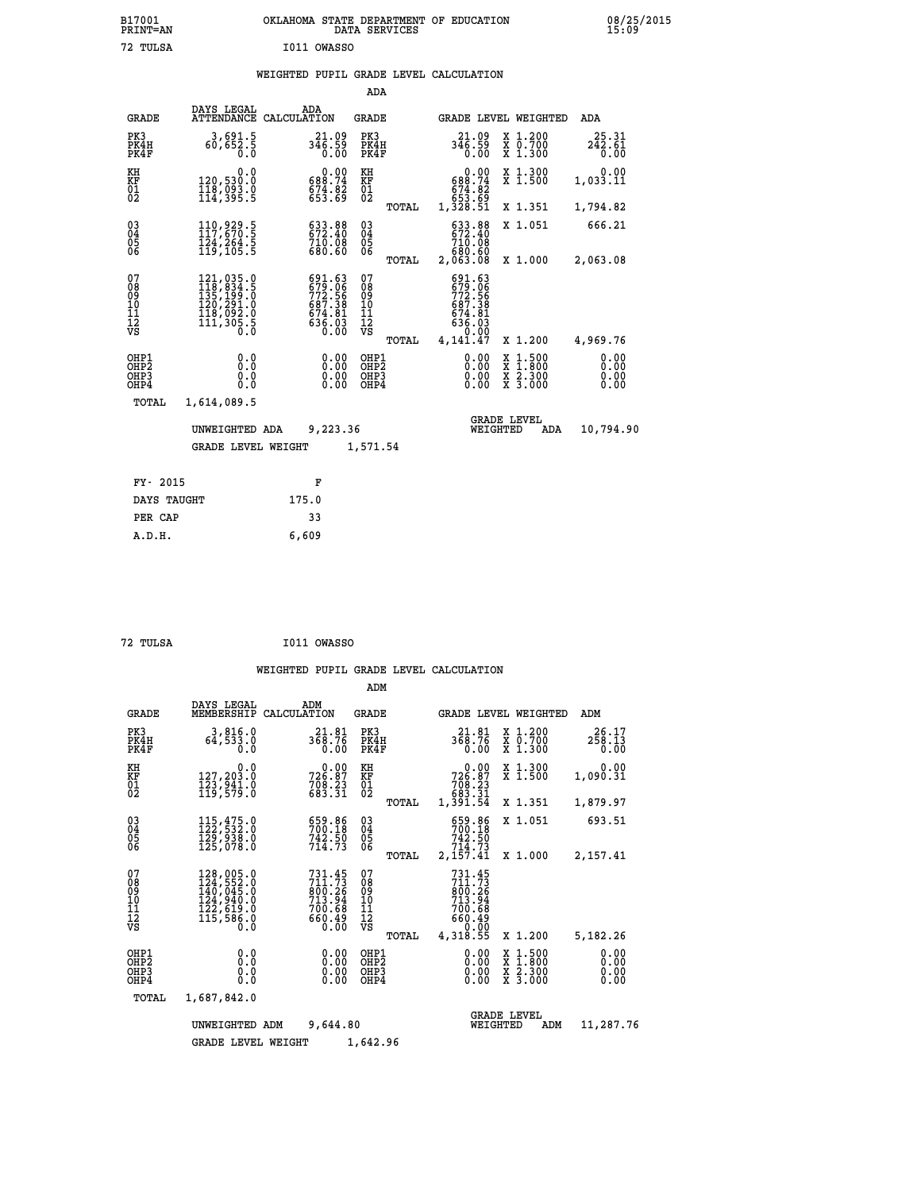| OKLAHOMA STATE DEPARTMENT OF EDUCATION<br>DATA SERVICES |  |
|---------------------------------------------------------|--|
| I011 OWASSO                                             |  |

|                                                    |                                                                                                                                                                                                                    |                                                                             | ADA                                      |       |                                                                                     |          |                                                                                          |                         |
|----------------------------------------------------|--------------------------------------------------------------------------------------------------------------------------------------------------------------------------------------------------------------------|-----------------------------------------------------------------------------|------------------------------------------|-------|-------------------------------------------------------------------------------------|----------|------------------------------------------------------------------------------------------|-------------------------|
| <b>GRADE</b>                                       | DAYS LEGAL<br><b>ATTENDANCE</b>                                                                                                                                                                                    | ADA<br>CALCULATION                                                          | GRADE                                    |       |                                                                                     |          | GRADE LEVEL WEIGHTED                                                                     | <b>ADA</b>              |
| PK3<br>PK4H<br>PK4F                                | 3,691.5<br>60,652.5<br>0.0                                                                                                                                                                                         | 21.09<br>$3\bar{4}\bar{6}\cdot\bar{5}\bar{9}$<br>0.00                       | PK3<br>PK4H<br>PK4F                      |       | 21.09<br>346.59<br>0.00                                                             |          | X 1.200<br>X 0.700<br>X 1.300                                                            | 25.31<br>242.61<br>0.00 |
| KH<br><b>KF</b><br>01<br>02                        | 0.0<br>120,530.0<br>118,093.0<br>114,395.5                                                                                                                                                                         | $0.00$<br>589.74<br>$674.82$<br>$653.69$                                    | KH<br>KF<br>01<br>02                     |       | $0.00$<br>$688.74$<br>$674.82$<br>$653.69$<br>$1,328.51$                            |          | X 1.300<br>X 1.500                                                                       | 0.00<br>1,033.11        |
|                                                    |                                                                                                                                                                                                                    |                                                                             |                                          | TOTAL |                                                                                     |          | X 1.351                                                                                  | 1,794.82                |
| $\begin{matrix} 03 \\ 04 \\ 05 \\ 06 \end{matrix}$ | 110, 929.5<br>$\overline{1}\overline{2}\overline{4}$ , $\overline{2}\overline{6}\overline{4}\cdot\overline{5}$<br>$\overline{1}\overline{1}\overline{9}$ , $\overline{1}\overline{0}\overline{5}\cdot\overline{5}$ | 633.88<br>672.40<br>710.08<br>680.60                                        | $\substack{03 \\ 04}$<br>$\frac{05}{06}$ |       | 633.88<br>672.40<br>710.08                                                          |          | X 1.051                                                                                  | 666.21                  |
|                                                    |                                                                                                                                                                                                                    |                                                                             |                                          | TOTAL | ŏõ.ŏõ<br>80.863,2                                                                   |          | X 1.000                                                                                  | 2,063.08                |
| 07<br>08<br>09<br>101<br>11<br>12<br>VS            | $\begin{smallmatrix} 121,035\cdot 0\\ 118,834\cdot 5\\ 135,199\cdot 0\\ 120,291\cdot 0\\ 118,092\cdot 0\\ 111,305\cdot 5\\ 0\cdot 0\end{smallmatrix}$                                                              | 691.63<br>679.066<br>772.56<br>687.38<br>674.81<br>674.81<br>636.03<br>0.00 | 07<br>08<br>09<br>11<br>11<br>12<br>VS   | TOTAL | 691.63<br>679.066<br>772.566<br>6874.81<br>674.81<br>636.030<br>141.000<br>4,141.47 |          | X 1.200                                                                                  | 4,969.76                |
| OHP1                                               |                                                                                                                                                                                                                    |                                                                             | OHP1                                     |       |                                                                                     |          |                                                                                          | 0.00                    |
| OHP <sub>2</sub><br>OHP3<br>OHP4                   | 0.0<br>0.0<br>0.0                                                                                                                                                                                                  | $\begin{smallmatrix} 0.00 \ 0.00 \ 0.00 \ 0.00 \end{smallmatrix}$           | OHP <sub>2</sub><br>OHP3<br>OHP4         |       | 0.00<br>0.00                                                                        |          | $\begin{smallmatrix} x & 1.500 \\ x & 1.800 \\ x & 2.300 \\ x & 3.000 \end{smallmatrix}$ | 0.00<br>0.00<br>0.00    |
| TOTAL                                              | 1,614,089.5                                                                                                                                                                                                        |                                                                             |                                          |       |                                                                                     |          |                                                                                          |                         |
|                                                    | UNWEIGHTED ADA                                                                                                                                                                                                     | 9,223.36                                                                    |                                          |       |                                                                                     | WEIGHTED | <b>GRADE LEVEL</b><br>ADA                                                                | 10,794.90               |
|                                                    | <b>GRADE LEVEL WEIGHT</b>                                                                                                                                                                                          |                                                                             | 1,571.54                                 |       |                                                                                     |          |                                                                                          |                         |
| FY- 2015                                           |                                                                                                                                                                                                                    | F                                                                           |                                          |       |                                                                                     |          |                                                                                          |                         |
| DAYS TAUGHT                                        |                                                                                                                                                                                                                    | 175.0                                                                       |                                          |       |                                                                                     |          |                                                                                          |                         |
|                                                    |                                                                                                                                                                                                                    |                                                                             |                                          |       |                                                                                     |          |                                                                                          |                         |

| 72 TULSA | I011 OWASSO |
|----------|-------------|
|          |             |

 **ADM**

PER CAP 33  **A.D.H. 6,609**

 **B17001<br>PRINT=AN<br>72 TULSA** 

|  |  | WEIGHTED PUPIL GRADE LEVEL CALCULATION |
|--|--|----------------------------------------|
|  |  |                                        |

| <b>GRADE</b>                            | DAYS LEGAL<br>MEMBERSHIP                                                   | ADM<br>CALCULATION                                                       | <b>GRADE</b>                                    |                                                                                                                        | GRADE LEVEL WEIGHTED                                                                       | ADM                          |
|-----------------------------------------|----------------------------------------------------------------------------|--------------------------------------------------------------------------|-------------------------------------------------|------------------------------------------------------------------------------------------------------------------------|--------------------------------------------------------------------------------------------|------------------------------|
| PK3<br>PK4H<br>PK4F                     | 3,816.0<br>64,533.0<br>0.0                                                 | 21.81<br>368.76<br>0.00                                                  | PK3<br>PK4H<br>PK4F                             | 21.81<br>368.76<br>0.00                                                                                                | $\begin{smallmatrix} x & 1.200 \\ x & 0.700 \end{smallmatrix}$<br>X 1.300                  | 26.17<br>258.13<br>0.00      |
| KH<br>KF<br>01<br>02                    | 0.0<br>127,203.0<br>123,941.0<br>119,579.0                                 | $726.87$<br>$708.23$<br>$683.31$                                         | KH<br>KF<br>01<br>02                            | $\begin{smallmatrix} &0.00\ 726.87\ 708.23\ 708.23\ 683.31\ 1,391.54\ \end{smallmatrix}$                               | X 1.300<br>X 1.500                                                                         | 0.00<br>1,090.31             |
|                                         |                                                                            |                                                                          | TOTAL                                           |                                                                                                                        | X 1.351                                                                                    | 1,879.97                     |
| 030404<br>06                            | 115,475.0<br>122,532.0<br>129,938.0<br>125,078.0                           | 659.86<br>700.18<br>742.50<br>714.73                                     | $\substack{03 \\ 04}$<br>05<br>06               | 659.86<br>700.18<br>742.50<br>714.73                                                                                   | X 1.051                                                                                    | 693.51                       |
|                                         |                                                                            |                                                                          | TOTAL                                           | 2,157.41                                                                                                               | X 1.000                                                                                    | 2,157.41                     |
| 07<br>08<br>09<br>101<br>11<br>12<br>VS | 128,005.0<br>124,552.0<br>140,045.0<br>124,940.0<br>122,619.0<br>115,586.0 | $731.45$<br>$711.73$<br>$800.26$<br>$713.94$<br>700.68<br>660.49<br>0.00 | 07<br>08<br>09<br>11<br>11<br>12<br>VS<br>TOTAL | $731.45$<br>$711.73$<br>$\frac{655}{713}.\substack{26 \\ 94 \\ 700}.\substack{68 \\ 68}$<br>660.49<br>0.00<br>4,318.55 | X 1.200                                                                                    | 5,182.26                     |
| OHP1<br>OHP2<br>OHP3<br>OHP4            | 0.0<br>0.0<br>0.0                                                          | $0.00$<br>$0.00$<br>0.00                                                 | OHP1<br>OH <sub>P</sub> 2<br>OHP3<br>OHP4       | 0.00<br>0.00<br>0.00                                                                                                   | $\begin{array}{c} x & 1.500 \\ x & 1.800 \\ x & 2.300 \end{array}$<br>$\overline{x}$ 3.000 | 0.00<br>0.00<br>0.00<br>0.00 |
| TOTAL                                   | 1,687,842.0                                                                |                                                                          |                                                 |                                                                                                                        |                                                                                            |                              |
|                                         | UNWEIGHTED                                                                 | 9,644.80<br>ADM                                                          |                                                 | WEIGHTED                                                                                                               | <b>GRADE LEVEL</b><br>ADM                                                                  | 11,287.76                    |
|                                         | <b>GRADE LEVEL WEIGHT</b>                                                  |                                                                          | 1,642.96                                        |                                                                                                                        |                                                                                            |                              |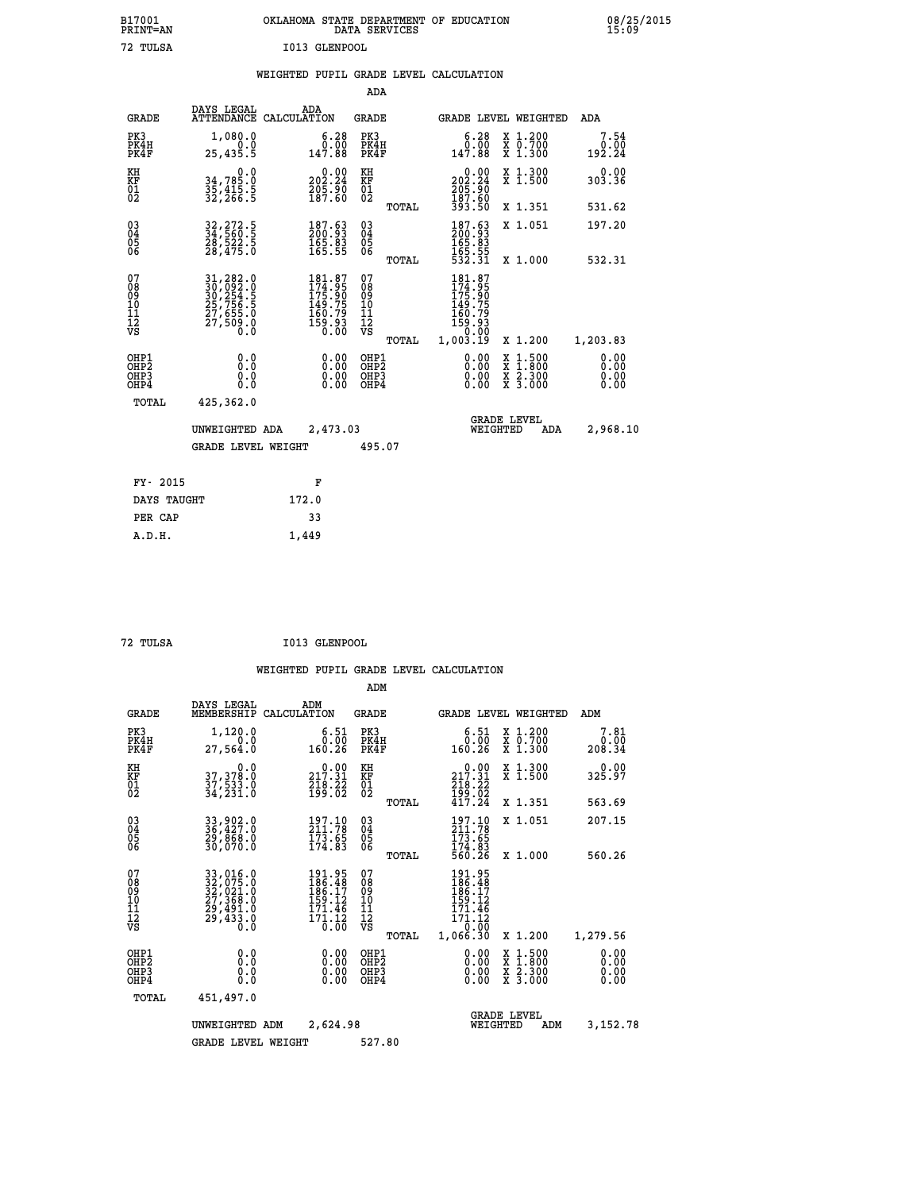| B17001<br>PRINT=AN                                 |                                                                                  | OKLAHOMA STATE DEPARTMENT OF EDUCATION                                  | DATA SERVICES                            |                                                                 |                                                                                          | 08/25/2015                   |
|----------------------------------------------------|----------------------------------------------------------------------------------|-------------------------------------------------------------------------|------------------------------------------|-----------------------------------------------------------------|------------------------------------------------------------------------------------------|------------------------------|
| 72 TULSA                                           |                                                                                  | I013 GLENPOOL                                                           |                                          |                                                                 |                                                                                          |                              |
|                                                    |                                                                                  | WEIGHTED PUPIL GRADE LEVEL CALCULATION                                  |                                          |                                                                 |                                                                                          |                              |
|                                                    |                                                                                  |                                                                         | ADA                                      |                                                                 |                                                                                          |                              |
| <b>GRADE</b>                                       | DAYS LEGAL<br>ATTENDANCE CALCULATION                                             | ADA                                                                     | GRADE                                    |                                                                 | GRADE LEVEL WEIGHTED                                                                     | ADA                          |
| PK3<br>PK4H<br>PK4F                                | 1,080.0<br>0.0<br>25,435.5                                                       | 6.28<br>0.00<br>147.88                                                  | PK3<br>PK4H<br>PK4F                      | 6.28<br>0.00<br>147.88                                          | X 1.200<br>X 0.700<br>X 1.300                                                            | 7.54<br>0.00<br>192.24       |
| KH<br>KF<br>$\begin{matrix} 01 \ 02 \end{matrix}$  | 0.0<br>34,785.0<br>35,415.5<br>32,266.5                                          | $\begin{smallmatrix} 0.00\\ 202.24\\ 205.90\\ 187.60 \end{smallmatrix}$ | KH<br>KF<br>$^{01}_{02}$                 | $\frac{0.00}{202.24}$<br>$\frac{205.90}{187.60}$                | X 1.300<br>X 1.500                                                                       | 0.00<br>303.36               |
|                                                    |                                                                                  |                                                                         | TOTAL                                    | 393.50                                                          | X 1.351                                                                                  | 531.62                       |
| $\begin{matrix} 03 \\ 04 \\ 05 \\ 06 \end{matrix}$ | 32, 272.5<br>34, 560.5<br>28, 522.5<br>28, 475.0                                 | $\begin{smallmatrix} 187.63\ 200.93\ 165.83\ 165.55 \end{smallmatrix}$  | 03<br>04<br>05<br>06                     | 187.63<br>200.93<br>165.83<br>165.55<br>532.31                  | X 1.051                                                                                  | 197.20                       |
|                                                    |                                                                                  |                                                                         | TOTAL                                    |                                                                 | X 1.000                                                                                  | 532.31                       |
| 07<br>08<br>09<br>11<br>11<br>12<br>VS             | 31,282.0<br>30,092.0<br>30,254.5<br>30,254.5<br>25,756.5<br>27,655.0<br>27,509.0 | 181.87<br>174.95<br>175.90<br>149.75<br>160:79<br>159:93<br>0.00        | 07<br>ŏġ<br>09<br>ίŌ<br>Īľ<br>12<br>VS   | 181.87<br>174:95<br>175:90<br>149:75<br>$\frac{160.79}{159.93}$ |                                                                                          |                              |
|                                                    |                                                                                  |                                                                         | TOTAL                                    | 1,003.19                                                        | X 1.200                                                                                  | 1,203.83                     |
| OHP1<br>OHP2<br>OHP3<br>OHP4                       | 0.0<br>ŏ.ŏ<br>0.0<br>0.0                                                         | 0.00<br>0.00<br>0.00                                                    | OHP1<br>OHP <sub>2</sub><br>OHP3<br>OHP4 | 0.00<br>0.00<br>0.00                                            | $\begin{smallmatrix} x & 1.500 \\ x & 1.800 \\ x & 2.300 \\ x & 3.000 \end{smallmatrix}$ | 0.00<br>ŏ:ŏŏ<br>0.00<br>0.00 |
| TOTAL                                              | 425,362.0                                                                        |                                                                         |                                          |                                                                 |                                                                                          |                              |
|                                                    | UNWEIGHTED ADA                                                                   | 2,473.03                                                                |                                          | WEIGHTED                                                        | <b>GRADE LEVEL</b><br>ADA                                                                | 2,968.10                     |
|                                                    | <b>GRADE LEVEL WEIGHT</b>                                                        |                                                                         | 495.07                                   |                                                                 |                                                                                          |                              |
| FY- 2015                                           |                                                                                  | F                                                                       |                                          |                                                                 |                                                                                          |                              |
| DAYS TAUGHT                                        |                                                                                  | 172.0                                                                   |                                          |                                                                 |                                                                                          |                              |
| PER CAP                                            |                                                                                  | 33                                                                      |                                          |                                                                 |                                                                                          |                              |

| 72 TULSA | I013 GLENPOOL |
|----------|---------------|
|          |               |

 **A.D.H. 1,449**

|                                          |                                                                                                                                                                                                         |                                                                                                           | ADM                                                 |                                                                                                                       |                                          |                              |
|------------------------------------------|---------------------------------------------------------------------------------------------------------------------------------------------------------------------------------------------------------|-----------------------------------------------------------------------------------------------------------|-----------------------------------------------------|-----------------------------------------------------------------------------------------------------------------------|------------------------------------------|------------------------------|
| <b>GRADE</b>                             | DAYS LEGAL<br>MEMBERSHIP                                                                                                                                                                                | ADM<br>CALCULATION                                                                                        | <b>GRADE</b>                                        | GRADE LEVEL WEIGHTED                                                                                                  |                                          | ADM                          |
| PK3<br>PK4H<br>PK4F                      | 1,120.0<br>0.0<br>27,564.0                                                                                                                                                                              | 6.51<br>0.00<br>160.26                                                                                    | PK3<br>PK4H<br>PK4F                                 | $\begin{smallmatrix} 6.51\ 0.00\ 160.26 \end{smallmatrix}$                                                            | X 1.200<br>X 0.700<br>X 1.300            | 7.81<br>0.00<br>208.34       |
| KH<br>KF<br>01<br>02                     | 0.0<br>37, 378:0<br>37, 533:0<br>34, 231:0                                                                                                                                                              | 217.31<br>$\frac{716}{199}\cdot\frac{77}{62}$                                                             | KH<br>KF<br>01<br>02                                | 217.31<br>$\frac{216}{199}. \frac{22}{02}$<br>417.24                                                                  | X 1.300<br>X 1.500                       | 0.00<br>325.97               |
|                                          |                                                                                                                                                                                                         |                                                                                                           | TOTAL                                               |                                                                                                                       | X 1.351                                  | 563.69                       |
| 03<br>04<br>05<br>06                     | 33,902.0<br>36,427.0<br>29,868.0<br>30,070.0                                                                                                                                                            | $\frac{197.10}{211.78}$<br>$\frac{173}{174.83}$                                                           | $\begin{array}{c} 03 \\ 04 \\ 05 \\ 06 \end{array}$ | $\frac{197.10}{211.78}$<br>$\frac{173.65}{174.83}$<br>560.26                                                          | X 1.051                                  | 207.15                       |
|                                          |                                                                                                                                                                                                         |                                                                                                           | TOTAL                                               |                                                                                                                       | X 1.000                                  | 560.26                       |
| 07<br>08<br>09<br>101<br>112<br>VS       | $\begin{smallmatrix} 33\, , & 016\, . & 0\\ 32\, , & 075\, . & 0\\ 32\, , & 021\, . & 0\\ 27\, , & 368\, . & 0\\ 29\, , & 491\, . & 0\\ 29\, , & 433\, . & 0\\ 0\, . & 0\, . & 0\, . \end{smallmatrix}$ | 191.95<br>186.48<br>186.17<br>159.12<br>171.46<br>$\frac{1}{2}$ $\frac{1}{2}$ $\frac{1}{2}$ $\frac{1}{2}$ | 07<br>08<br>09<br>11<br>11<br>12<br>VS<br>TOTAL     | 191.95<br>186.48<br>186.17<br>159.12<br>171.46<br>$\frac{1}{2}$ $\frac{1}{2}$ $\frac{1}{2}$ $\frac{1}{2}$<br>1,066.30 | X 1.200                                  | 1,279.56                     |
| OHP1<br>OHP2<br>OH <sub>P3</sub><br>OHP4 | 0.0<br>0.000                                                                                                                                                                                            | $0.00$<br>$0.00$<br>0.00                                                                                  | OHP1<br>OHP2<br>OHP3<br>OHP4                        | $0.00$<br>$0.00$<br>0.00                                                                                              | X 1:500<br>X 1:800<br>X 2:300<br>X 3:000 | 0.00<br>0.00<br>0.00<br>0.00 |
| TOTAL                                    | 451,497.0                                                                                                                                                                                               |                                                                                                           |                                                     |                                                                                                                       |                                          |                              |
|                                          | UNWEIGHTED                                                                                                                                                                                              | 2,624.98<br>ADM                                                                                           |                                                     | <b>GRADE LEVEL</b><br>WEIGHTED                                                                                        | ADM                                      | 3,152.78                     |
|                                          | <b>GRADE LEVEL WEIGHT</b>                                                                                                                                                                               |                                                                                                           | 527.80                                              |                                                                                                                       |                                          |                              |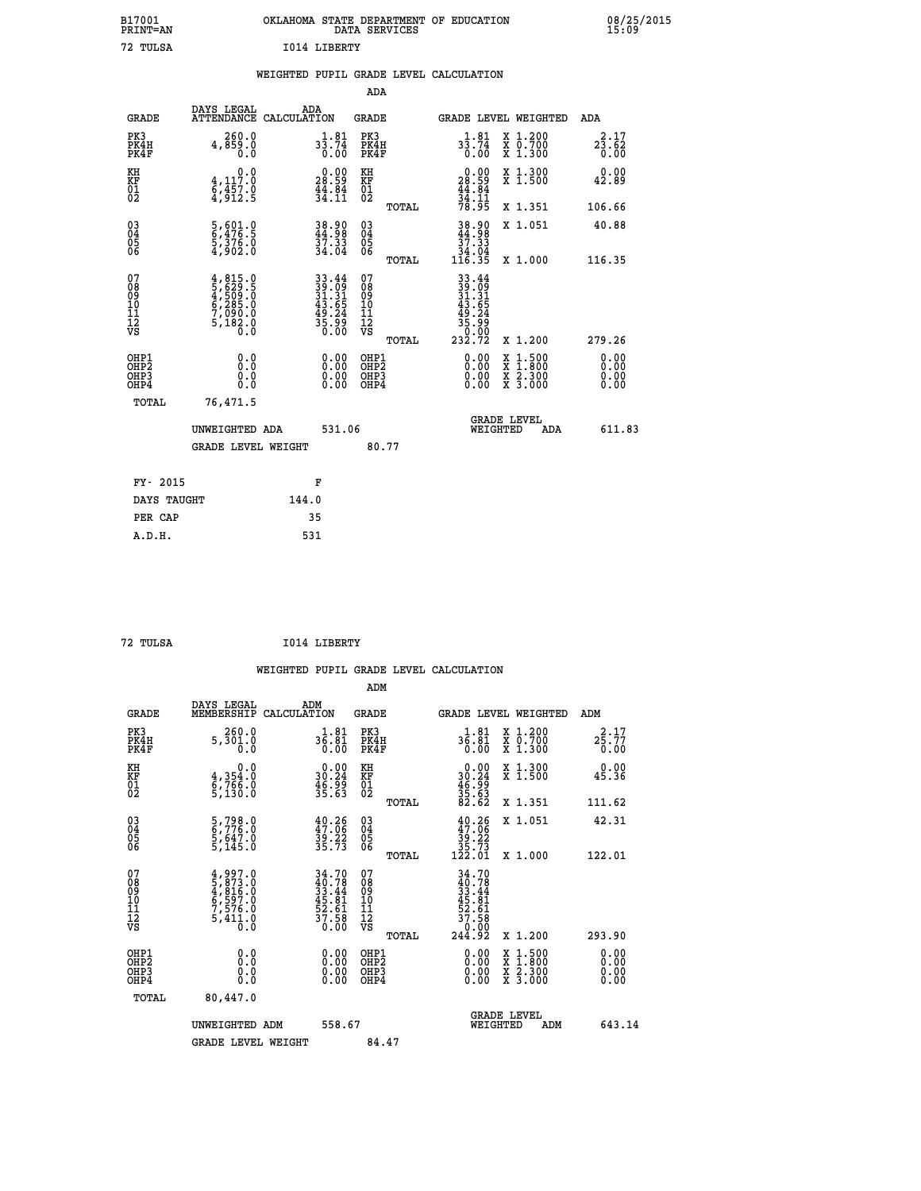| OKLAHOMA STATE DEPARTMENT OF EDUCATION<br>DATA SERVICES |  |
|---------------------------------------------------------|--|
| T014 LIBERTY                                            |  |

|  |  | WEIGHTED PUPIL GRADE LEVEL CALCULATION |
|--|--|----------------------------------------|
|  |  |                                        |

|                                                                              |                                                                                     |                                                                          | ADA                                                |                                                                              |                                                                                                                                           |                              |
|------------------------------------------------------------------------------|-------------------------------------------------------------------------------------|--------------------------------------------------------------------------|----------------------------------------------------|------------------------------------------------------------------------------|-------------------------------------------------------------------------------------------------------------------------------------------|------------------------------|
| <b>GRADE</b>                                                                 | DAYS LEGAL                                                                          | ADA<br>ATTENDANCE CALCULATION                                            | GRADE                                              |                                                                              | <b>GRADE LEVEL WEIGHTED</b>                                                                                                               | ADA                          |
| PK3<br>PK4H<br>PK4F                                                          | 260.0<br>4,859.0<br>0.0                                                             | $3\frac{1}{3}\cdot\frac{81}{74}$<br>0.00                                 | PK3<br>PK4H<br>PK4F                                | $3\frac{1}{3}\cdot\frac{81}{74}$<br>0.00                                     | X 1.200<br>X 0.700<br>X 1.300                                                                                                             | 2.17<br>23.62<br>0.00        |
| KH<br>KF<br>01<br>02                                                         | 0.0<br>$\frac{4}{6}, \frac{117}{457}$ .0<br>4,912.5                                 | $\begin{smallmatrix} 0.00\\ 28.59\\ 44.84\\ 34.11 \end{smallmatrix}$     | KH<br>KF<br>01<br>02                               | $\begin{smallmatrix} 0.00\\ 28.59\\ 44.84\\ 34.11\\ 78.95 \end{smallmatrix}$ | X 1.300<br>X 1.500                                                                                                                        | 0.00<br>42.89                |
|                                                                              |                                                                                     |                                                                          | TOTAL                                              |                                                                              | X 1.351                                                                                                                                   | 106.66                       |
| $\begin{matrix} 03 \\ 04 \\ 05 \\ 06 \end{matrix}$                           | 5,601.0<br>6,476.5<br>5,376.0<br>4,902.0                                            | 38.90<br>44.98<br>37.33<br>34.04                                         | $\begin{matrix} 03 \\ 04 \\ 05 \\ 06 \end{matrix}$ | $38.90$<br>$44.98$<br>$37.33$<br>$\frac{34}{116}$ . $\frac{34}{35}$          | X 1.051                                                                                                                                   | 40.88<br>116.35              |
|                                                                              |                                                                                     |                                                                          | TOTAL                                              |                                                                              | X 1.000                                                                                                                                   |                              |
| 07<br>08<br>09<br>11<br>11<br>12<br>VS                                       | $4,815.0$<br>$5,629.5$<br>$4,509.0$<br>$6,285.0$<br>$7,090.0$<br>$5,182.0$<br>$0.0$ | $33.44$<br>$39.09$<br>$31.31$<br>$43.65$<br>$49.24$<br>$35.99$<br>$0.00$ | 07<br>08<br>09<br>11<br>11<br>12<br>VS<br>TOTAL    | $33.44$<br>$39.09$<br>$31.31$<br>$43.54$<br>$49.29$<br>$35.990$<br>$232.72$  | X 1.200                                                                                                                                   | 279.26                       |
| OHP1<br>OH <sub>P</sub> <sub>2</sub><br>OH <sub>P3</sub><br>OH <sub>P4</sub> | 0.0<br>Ō.Ō<br>0.0<br>0.0                                                            | 0.00<br>0.00<br>0.00                                                     | OHP1<br>OHP2<br>OHP3<br>OHP4                       | 0.00<br>0.00<br>0.00                                                         | $\begin{smallmatrix} \mathtt{X} & 1\cdot500\\ \mathtt{X} & 1\cdot800\\ \mathtt{X} & 2\cdot300\\ \mathtt{X} & 3\cdot000 \end{smallmatrix}$ | 0.00<br>0.00<br>0.00<br>0.00 |
| TOTAL                                                                        | 76,471.5                                                                            |                                                                          |                                                    |                                                                              |                                                                                                                                           |                              |
|                                                                              | UNWEIGHTED ADA                                                                      | 531.06                                                                   |                                                    | WEIGHTED                                                                     | <b>GRADE LEVEL</b><br>ADA                                                                                                                 | 611.83                       |
|                                                                              | <b>GRADE LEVEL WEIGHT</b>                                                           |                                                                          | 80.77                                              |                                                                              |                                                                                                                                           |                              |
|                                                                              | FY- 2015                                                                            | F                                                                        |                                                    |                                                                              |                                                                                                                                           |                              |
|                                                                              | DAYS TAUGHT                                                                         | 144.0                                                                    |                                                    |                                                                              |                                                                                                                                           |                              |
| PER CAP                                                                      |                                                                                     | 35                                                                       |                                                    |                                                                              |                                                                                                                                           |                              |
| A.D.H.                                                                       |                                                                                     | 531                                                                      |                                                    |                                                                              |                                                                                                                                           |                              |

| 72 TULSA | I014 LIBERTY |
|----------|--------------|
|          |              |

 **ADM**

 **A.D.H. 531**

 **B17001<br>PRINT=AN 72 TULSA I014 LIBERTY**

| <b>GRADE</b>                   | DAYS LEGAL<br>MEMBERSHIP                                                            | ADM<br>CALCULATION                                                        | <b>GRADE</b>                                       |       |                                                                         | GRADE LEVEL WEIGHTED                     | ADM                                       |  |
|--------------------------------|-------------------------------------------------------------------------------------|---------------------------------------------------------------------------|----------------------------------------------------|-------|-------------------------------------------------------------------------|------------------------------------------|-------------------------------------------|--|
| PK3<br>PK4H<br>PK4F            | 260.0<br>5,301.0<br>0.0                                                             | 36.81<br>0.00                                                             | PK3<br>PK4H<br>PK4F                                |       | 36.81<br>0.00                                                           | X 1.200<br>X 0.700<br>X 1.300            | 2.17<br>$2\bar{5}.\bar{7}\bar{7}$<br>0.00 |  |
| KH<br>KF<br>01<br>02           | 0.0<br>$\frac{4}{6}, \frac{354}{766}$ .0<br>5,130.0                                 | $\begin{smallmatrix} 0.00\\ 30.24\\ 46.99\\ 35.63\\ \end{smallmatrix}$    | KH<br>KF<br>01<br>02                               |       | $\begin{array}{r} 0.00 \\ 30.24 \\ 46.99 \\ 35.63 \\ 82.62 \end{array}$ | X 1.300<br>X 1.500                       | 0.00<br>45.36                             |  |
|                                |                                                                                     |                                                                           |                                                    | TOTAL |                                                                         | X 1.351                                  | 111.62                                    |  |
| 03<br>04<br>05<br>06           | 5,798.0<br>6,776.0<br>5,647.0<br>5,145.0                                            | $40.26$<br>$47.06$<br>$39.22$<br>$35.73$                                  | $\begin{matrix} 03 \\ 04 \\ 05 \\ 06 \end{matrix}$ |       | $40.26$<br>$39.22$<br>$35.73$<br>$122.01$                               | X 1.051                                  | 42.31                                     |  |
|                                |                                                                                     |                                                                           |                                                    | TOTAL |                                                                         | X 1.000                                  | 122.01                                    |  |
| 07<br>089<br>090<br>1112<br>VS | $4,997.0$<br>$5,873.0$<br>$4,816.0$<br>$6,597.0$<br>$7,576.0$<br>$5,411.0$<br>$0.0$ | $34.70$<br>$40.78$<br>$33.44$<br>$45.81$<br>$52.61$<br>$57.58$<br>$37.58$ | 07<br>08<br>09<br>01<br>11<br>11<br>12<br>VS       | TOTAL | 34.70                                                                   | X 1.200                                  | 293.90                                    |  |
| OHP1<br>OHP2<br>OHP3<br>OHP4   | 0.0<br>0.000                                                                        |                                                                           | OHP1<br>OHP2<br>OHP3<br>OHP4                       |       | 0.00<br>$0.00$<br>0.00                                                  | X 1:500<br>X 1:800<br>X 2:300<br>X 3:000 | 0.00<br>0.00<br>0.00                      |  |
| TOTAL                          | 80,447.0                                                                            |                                                                           |                                                    |       |                                                                         |                                          |                                           |  |
|                                | UNWEIGHTED<br>ADM                                                                   | 558.67                                                                    |                                                    |       | WEIGHTED                                                                | <b>GRADE LEVEL</b><br>ADM                | 643.14                                    |  |
|                                | <b>GRADE LEVEL WEIGHT</b>                                                           |                                                                           | 84.47                                              |       |                                                                         |                                          |                                           |  |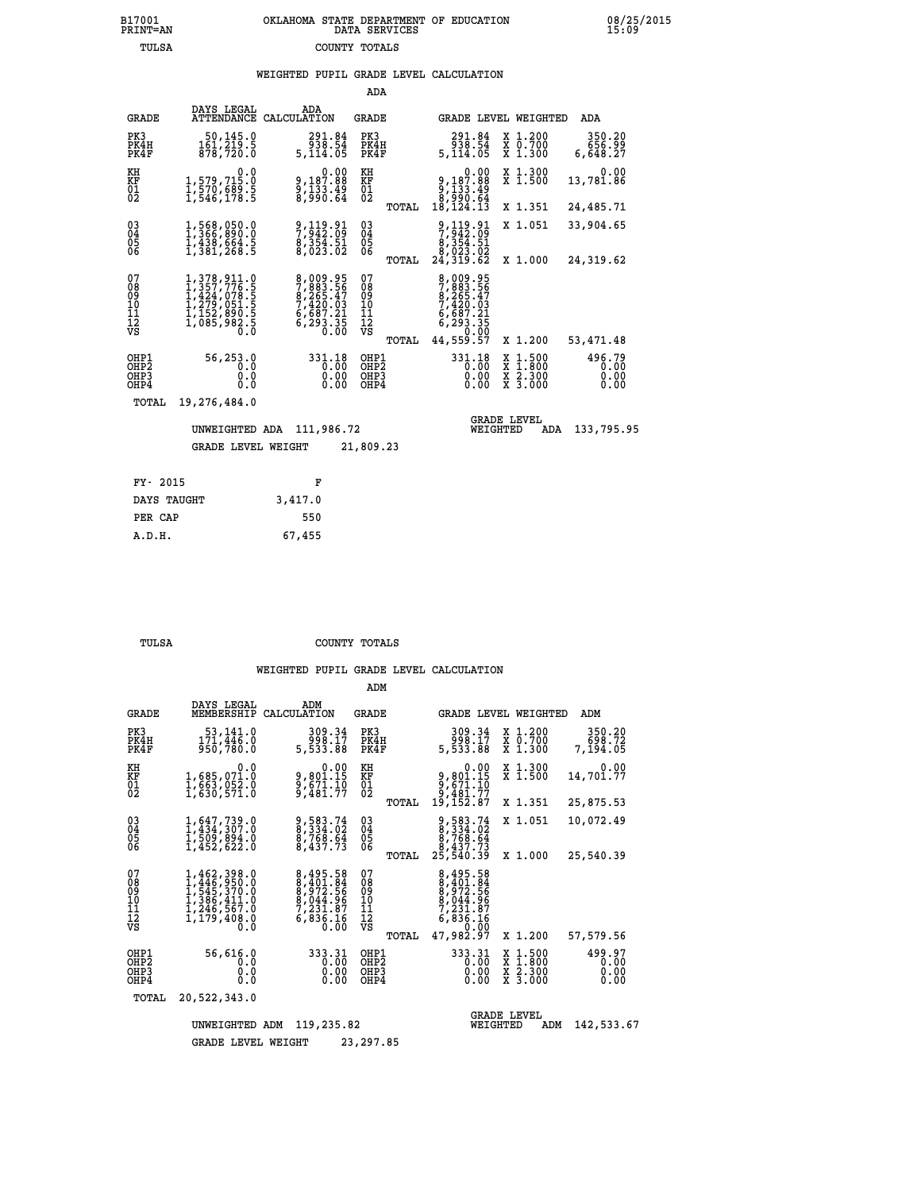# **B17001 OKLAHOMA STATE DEPARTMENT OF EDUCATION 08/25/2015 PRINT=AN DATA SERVICES 15:09 TULSA COUNTY TOTALS**

## **WEIGHTED PUPIL GRADE LEVEL CALCULATION**

|                                                                    |                                                                                                                                                                                                                                 |                                                                              | ADA                                                |                                                                                          |                                                                                                  |                                |
|--------------------------------------------------------------------|---------------------------------------------------------------------------------------------------------------------------------------------------------------------------------------------------------------------------------|------------------------------------------------------------------------------|----------------------------------------------------|------------------------------------------------------------------------------------------|--------------------------------------------------------------------------------------------------|--------------------------------|
| <b>GRADE</b>                                                       | DAYS LEGAL                                                                                                                                                                                                                      | ADA<br>ATTENDANCE CALCULATION                                                | GRADE                                              | GRADE LEVEL WEIGHTED                                                                     |                                                                                                  | ADA                            |
| PK3<br>PK4H<br>PK4F                                                | 50,145.0<br>161,219.5<br>878,720.0                                                                                                                                                                                              | 291.84<br>938.54<br>5,114.05                                                 | PK3<br>PK4H<br>PK4F                                | 291.84<br>ةَ: 38<br>5,114.05                                                             | X 1.200<br>X 0.700<br>X 1.300                                                                    | 350.20<br>656.99<br>6,648.27   |
| КH<br>KF<br>01<br>02                                               | 0.0<br>1,579,715.0<br>1,570,689.5<br>1,546,178.5                                                                                                                                                                                | $9,187.88$<br>$9,187.88$<br>$9,133.49$<br>$8,990.64$                         | KH<br>KF<br>01<br>02                               | $\begin{smallmatrix}&&&0.00\\9,187.88\\9,133.89\\8,990.64\\8,124.13\end{smallmatrix}$    | X 1.300<br>$\overline{x}$ 1.500                                                                  | 0.00<br>13,781.86              |
|                                                                    |                                                                                                                                                                                                                                 |                                                                              | TOTAL                                              |                                                                                          | X 1.351                                                                                          | 24,485.71                      |
| $\begin{smallmatrix} 03 \\[-4pt] 04 \end{smallmatrix}$<br>Ŏ5<br>06 | $1,368,050.0$<br>$1,366,890.0$<br>$1,438,664.5$<br>$1,381,268.5$                                                                                                                                                                | 9,119.91<br>7,942.09<br>8,354.51<br>8,023.02                                 | $\begin{matrix} 03 \\ 04 \\ 05 \\ 06 \end{matrix}$ | 9,119.91<br>7,942.09<br>8,354.51<br>8,023.02<br>24,319.62                                | X 1.051                                                                                          | 33,904.65                      |
|                                                                    |                                                                                                                                                                                                                                 |                                                                              | TOTAL                                              |                                                                                          | X 1.000                                                                                          | 24,319.62                      |
| 07<br>08<br>09<br>11<br>11<br>12<br>VS                             | $\begin{smallmatrix} 1\,,\,378\,,\,911\,. \ 1\,,\,357\,,\,776\,. \ 5\,1\,,\,424\,,\,078\,. \ 5\,1\,,\,424\,,\,078\,. \ 5\,1\,,\,152\,,\,890\,. \ 5\,1\,,\,085\,,\,982\,. \ 5\,1\,,\,085\,,\,982\,. \ 5\,1\,. \end{smallmatrix}$ | 8,009.95<br>7,883.56<br>8,265.47<br>7,420.03<br>6,687.21<br>6,293.35<br>0.00 | 07<br>08<br>09<br>11<br>11<br>12<br>VS             | 8,009.95<br>7,883.56<br>8,265.47<br>8,265.47<br>7,420.03<br>6,687.21<br>6,293.35<br>0.00 |                                                                                                  |                                |
|                                                                    |                                                                                                                                                                                                                                 |                                                                              | TOTAL                                              | 44,559.57                                                                                | X 1.200                                                                                          | 53, 471.48                     |
| OHP1<br>OHP <sub>2</sub><br>OHP3<br>OHP4                           | 56,253.0<br>0.0<br>0.0<br>0.0                                                                                                                                                                                                   | 331.18<br>0.00<br>0.00<br>0.00                                               | OHP1<br>OH <sub>P</sub> 2<br>OHP3<br>OHP4          | 331.18<br>0.00<br>0.00<br>0.00                                                           | $\begin{smallmatrix} x & 1 & 500 \\ x & 1 & 800 \\ x & 2 & 300 \\ x & 3 & 000 \end{smallmatrix}$ | 496.79<br>0.00<br>0.00<br>0.00 |
| TOTAL                                                              | 19,276,484.0                                                                                                                                                                                                                    |                                                                              |                                                    |                                                                                          |                                                                                                  |                                |
|                                                                    | UNWEIGHTED ADA                                                                                                                                                                                                                  | 111,986.72                                                                   |                                                    | WEIGHTED                                                                                 | <b>GRADE LEVEL</b><br><b>ADA</b>                                                                 | 133,795.95                     |
|                                                                    | GRADE LEVEL WEIGHT                                                                                                                                                                                                              |                                                                              | 21,809.23                                          |                                                                                          |                                                                                                  |                                |
| FY- 2015                                                           |                                                                                                                                                                                                                                 | F                                                                            |                                                    |                                                                                          |                                                                                                  |                                |
|                                                                    |                                                                                                                                                                                                                                 |                                                                              |                                                    |                                                                                          |                                                                                                  |                                |

| ri avij     |         |
|-------------|---------|
| DAYS TAUGHT | 3,417.0 |
| PER CAP     | 550     |
| A.D.H.      | 67,455  |

 **ADM**

 **TULSA COUNTY TOTALS**

| <b>GRADE</b>                                                       | DAYS LEGAL<br>MEMBERSHIP                                                                                                                                                                                     | ADM<br>CALCULATION                                                                                | <b>GRADE</b>                                    |                                                                                           | GRADE LEVEL WEIGHTED                                                                     | ADM                            |
|--------------------------------------------------------------------|--------------------------------------------------------------------------------------------------------------------------------------------------------------------------------------------------------------|---------------------------------------------------------------------------------------------------|-------------------------------------------------|-------------------------------------------------------------------------------------------|------------------------------------------------------------------------------------------|--------------------------------|
| PK3<br>PK4H<br>PK4F                                                | 53,141.0<br>171, 446.0<br>950,780.0                                                                                                                                                                          | 309.34<br>998.17<br>5,533.88                                                                      | PK3<br>PK4H<br>PK4F                             | 309.34<br>998.17<br>5,533.88                                                              | X 1.200<br>X 0.700<br>X 1.300                                                            | 350.20<br>698.72<br>7,194.05   |
| KH<br><b>KF</b><br>01<br>02                                        | 0.0<br>1,685,071.0<br>1,663,052.0<br>1,630,571.0                                                                                                                                                             | $9,801.15$<br>$9,671.10$<br>$9,481.77$                                                            | KH<br><b>KF</b><br>01<br>02                     | 0.00<br>9,801.15<br>9,671.10<br>9,481.77                                                  | X 1.300<br>X 1.500                                                                       | 0.00<br>14,701.77              |
|                                                                    |                                                                                                                                                                                                              |                                                                                                   | TOTAL                                           | 19,152.87                                                                                 | X 1.351                                                                                  | 25,875.53                      |
| $\begin{smallmatrix} 03 \\[-4pt] 04 \end{smallmatrix}$<br>05<br>ŌĞ | 1,647,739.0<br>1,434,307.0<br>I,509,894.0<br>1,452,622.0                                                                                                                                                     | 9,583.74<br>8,334.02<br>8,768.64<br>8,437.73                                                      | $\substack{03 \\ 04}$<br>$\frac{05}{06}$        | 9,583.74<br>8,334.02<br>8,768.64<br>8,437.73                                              | X 1.051                                                                                  | 10,072.49                      |
|                                                                    |                                                                                                                                                                                                              |                                                                                                   | TOTAL                                           | 25,540.39                                                                                 | X 1.000                                                                                  | 25,540.39                      |
| 07<br>08<br>09<br>101<br>11<br>12<br>VS                            | 1,462,398.0<br>$1, \frac{446}{545}, \frac{350}{370}.0$<br>1, $\frac{545}{366}, \frac{411}{41}.0$<br>1, $\frac{246}{567}.0$<br>$\frac{1}{1}, \frac{1}{2}, \frac{1}{2}, \frac{1}{4}, \frac{1}{0}, \frac{1}{0}$ | 8,495.58<br>$8, \frac{401}{972}.56$<br>$8, \frac{044}{972}.56$<br>$7, \frac{231}{97}$<br>6,836.16 | 07<br>08<br>09<br>11<br>11<br>12<br>VS<br>TOTAL | 8,495.58<br>8,401.84<br>8,972.56<br>8,044.96<br>7,231.87<br>6,836.16<br>0.00<br>47,982.97 | X 1.200                                                                                  | 57,579.56                      |
| OHP1<br>OHP <sub>2</sub><br>OHP3<br>OHP4                           | 56,616.0<br>0.0<br>0<br>$\cdot$ 0<br>0.0                                                                                                                                                                     | 333.31<br>0.00<br>0.00<br>0.00                                                                    | OHP1<br>OH <sub>P</sub> 2<br>OHP3<br>OHP4       | 333.31<br>0.00<br>0.00<br>0.00                                                            | $\begin{array}{c} x & 1.500 \\ x & 1.800 \\ x & 2.300 \end{array}$<br>X <sub>3.000</sub> | 499.97<br>0.00<br>0.00<br>0.00 |
| TOTAL                                                              | 20,522,343.0                                                                                                                                                                                                 |                                                                                                   |                                                 |                                                                                           |                                                                                          |                                |
|                                                                    | UNWEIGHTED                                                                                                                                                                                                   | 119,235.82<br>ADM                                                                                 |                                                 | WEIGHTED                                                                                  | <b>GRADE LEVEL</b><br>ADM                                                                | 142,533.67                     |
|                                                                    | <b>GRADE LEVEL WEIGHT</b>                                                                                                                                                                                    |                                                                                                   | 23, 297.85                                      |                                                                                           |                                                                                          |                                |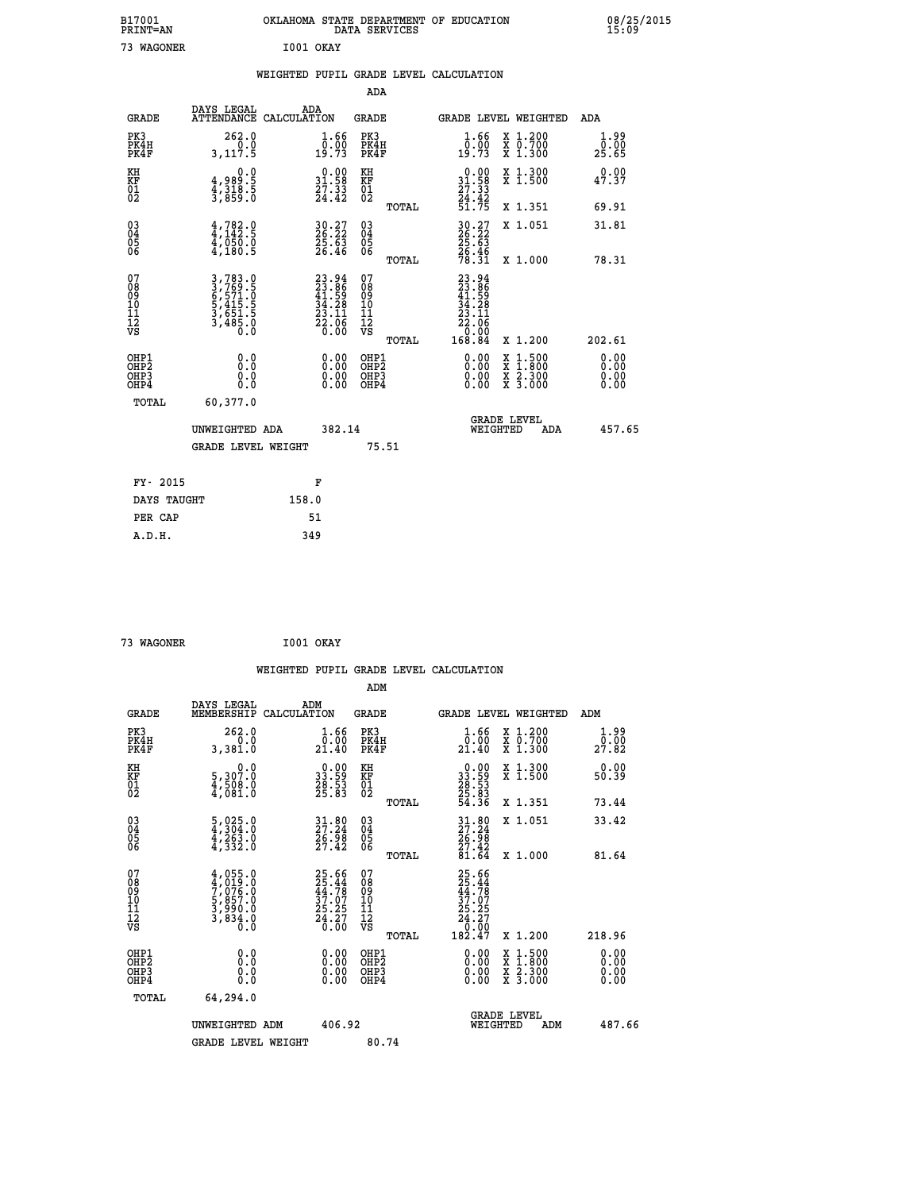| B17001<br>PRINT=AN                                               |                                                                       |                                                                          | DATA SERVICES                                          | OKLAHOMA STATE DEPARTMENT OF EDUCATION                                        |                                                                                          | 08/25/2015<br>15:09          |  |
|------------------------------------------------------------------|-----------------------------------------------------------------------|--------------------------------------------------------------------------|--------------------------------------------------------|-------------------------------------------------------------------------------|------------------------------------------------------------------------------------------|------------------------------|--|
| 73 WAGONER                                                       |                                                                       | I001 OKAY                                                                |                                                        |                                                                               |                                                                                          |                              |  |
|                                                                  |                                                                       | WEIGHTED PUPIL GRADE LEVEL CALCULATION                                   |                                                        |                                                                               |                                                                                          |                              |  |
|                                                                  |                                                                       |                                                                          | ADA                                                    |                                                                               |                                                                                          |                              |  |
| <b>GRADE</b>                                                     | DAYS LEGAL                                                            | ADA<br>ATTENDANCE CALCULATION                                            | GRADE                                                  | <b>GRADE LEVEL WEIGHTED</b>                                                   |                                                                                          | ADA                          |  |
| PK3<br>PK4H<br>PK4F                                              | 262.0<br>0.0<br>3,117.5                                               | 1.66<br>$\frac{1}{19}. \frac{0}{73}$                                     | PK3<br>PK4H<br>PK4F                                    | $\frac{1}{0}$ : $\frac{66}{19}$<br>19.73                                      | X 1.200<br>X 0.700<br>X 1.300                                                            | 1.99<br>0.00<br>25.65        |  |
| KH<br>KF<br>$\overline{01}$                                      | 0.0<br>4,989:5<br>4,318:5<br>3,859:0                                  | $\begin{smallmatrix} 0.00\\ 31.58\\ 27.33\\ 24.42 \end{smallmatrix}$     | KH<br>KF<br>01<br>02                                   | $\begin{smallmatrix} 0.00\\ 31.58\\ 27.33\\ 24.42\\ 51.75 \end{smallmatrix}$  | X 1.300<br>X 1.500                                                                       | 0.00<br>47.37                |  |
|                                                                  |                                                                       |                                                                          | TOTAL                                                  |                                                                               | X 1.351                                                                                  | 69.91                        |  |
| $\substack{03 \\ 04}$<br>$\frac{05}{06}$                         | 4,782.9<br>$\frac{4}{3}$ , $\frac{050}{180}$ , $\frac{0}{5}$          | 30.27<br>26.22<br>25.63<br>26.46                                         | $\begin{matrix} 03 \\ 04 \\ 05 \\ 06 \end{matrix}$     | $30.27$<br>$26.22$<br>$25.63$                                                 | X 1.051                                                                                  | 31.81                        |  |
|                                                                  |                                                                       |                                                                          | TOTAL                                                  | $\frac{26.46}{78.31}$                                                         | X 1.000                                                                                  | 78.31                        |  |
| 07<br>08<br>09<br>11<br>11<br>12<br>VS                           | 3,783.0<br>3,769.5<br>6,571.0<br>5,415.5<br>3,651.5<br>3,485.0<br>0.0 | $23.94$<br>$23.86$<br>$41.59$<br>$34.28$<br>$23.11$<br>$22.06$<br>$0.00$ | 07<br>08<br>09<br>10<br>11<br>12<br>VS<br><b>TOTAL</b> | $23.94$<br>$23.86$<br>$41.59$<br>$34.28$<br>23.11<br>22.06<br>0.007<br>168.84 | X 1.200                                                                                  | 202.61                       |  |
| OHP1<br>OH <sub>P</sub> <sub>2</sub><br>OH <sub>P3</sub><br>OHP4 | 0.0<br>0.0<br>0.0<br>0.0                                              | $0.00$<br>$0.00$<br>0.00                                                 | OHP1<br>OH <sub>P</sub> 2<br>OHP3<br>OHP4              | 0.00<br>0.00<br>0.00                                                          | $\begin{smallmatrix} x & 1.500 \\ x & 1.800 \\ x & 2.300 \\ x & 3.000 \end{smallmatrix}$ | 0.00<br>0.00<br>0.00<br>0.00 |  |
| TOTAL                                                            | 60,377.0                                                              |                                                                          |                                                        |                                                                               |                                                                                          |                              |  |
|                                                                  | UNWEIGHTED ADA                                                        | 382.14                                                                   |                                                        | <b>GRADE LEVEL</b><br>WEIGHTED                                                | ADA                                                                                      | 457.65                       |  |
|                                                                  | <b>GRADE LEVEL WEIGHT</b>                                             |                                                                          | 75.51                                                  |                                                                               |                                                                                          |                              |  |
| FY- 2015                                                         |                                                                       | F                                                                        |                                                        |                                                                               |                                                                                          |                              |  |
| DAYS TAUGHT                                                      |                                                                       | 158.0                                                                    |                                                        |                                                                               |                                                                                          |                              |  |
| PER CAP                                                          |                                                                       | 51                                                                       |                                                        |                                                                               |                                                                                          |                              |  |

| 73 WAGONER | I001 OKAY |  |
|------------|-----------|--|
|            |           |  |

|                                                    |                                                                                     |                    |                                                                      |                                              |       | WEIGHTED PUPIL GRADE LEVEL CALCULATION                                                                                                                                                                                                                                         |                                                                                                  |        |                               |
|----------------------------------------------------|-------------------------------------------------------------------------------------|--------------------|----------------------------------------------------------------------|----------------------------------------------|-------|--------------------------------------------------------------------------------------------------------------------------------------------------------------------------------------------------------------------------------------------------------------------------------|--------------------------------------------------------------------------------------------------|--------|-------------------------------|
|                                                    |                                                                                     |                    |                                                                      | ADM                                          |       |                                                                                                                                                                                                                                                                                |                                                                                                  |        |                               |
| <b>GRADE</b>                                       | DAYS LEGAL<br>MEMBERSHIP                                                            | ADM<br>CALCULATION |                                                                      | <b>GRADE</b>                                 |       | GRADE LEVEL WEIGHTED                                                                                                                                                                                                                                                           |                                                                                                  | ADM    |                               |
| PK3<br>PK4H<br>PK4F                                | 262.0<br>0.0<br>3,381.0                                                             |                    | $1.66$<br>$0.00$<br>21.40                                            | PK3<br>PK4H<br>PK4F                          |       | $\frac{1.66}{0.00}$<br>21.40                                                                                                                                                                                                                                                   | X 1.200<br>X 0.700<br>X 1.300                                                                    |        | 1.99<br>$\bar{0.00}$<br>27.82 |
| KH<br>KF<br>01<br>02                               | $\begin{smallmatrix}&&&0.0\\5,307.0\\4,508.0\\4,081.0\end{smallmatrix}$             |                    | $\begin{smallmatrix} 0.00\\ 33.59\\ 28.53\\ 25.83 \end{smallmatrix}$ | KH<br>KF<br>01<br>02                         |       | $\begin{smallmatrix} 0.00\\ 33.59\\ 28.53\\ 25.83\\ 54.36 \end{smallmatrix}$                                                                                                                                                                                                   | X 1.300<br>X 1.500                                                                               |        | 0.00<br>50.39                 |
|                                                    |                                                                                     |                    |                                                                      |                                              | TOTAL |                                                                                                                                                                                                                                                                                | X 1.351                                                                                          |        | 73.44                         |
| $\begin{matrix} 03 \\ 04 \\ 05 \\ 06 \end{matrix}$ | $\frac{5}{4}, \frac{025}{304}.0$<br>$\frac{4}{4}, \frac{263}{332}.0$                |                    | $31.80$<br>$27.24$<br>$\frac{26.58}{27.42}$                          | $^{03}_{04}$<br>Ŏ5<br>06                     |       | $31.80$<br>$27.24$<br>$\frac{26.98}{27.42}$<br>81.64                                                                                                                                                                                                                           | X 1.051                                                                                          |        | 33.42                         |
|                                                    |                                                                                     |                    |                                                                      |                                              | TOTAL |                                                                                                                                                                                                                                                                                | X 1.000                                                                                          |        | 81.64                         |
| 07<br>0890112<br>1112<br>VS                        | $4,055.0$<br>$7,076.0$<br>$7,076.0$<br>$5,857.0$<br>$3,990.0$<br>$3,834.0$<br>$0.0$ |                    | 25.66<br>25.44<br>44.78<br>37.07<br>25.25<br>24.27<br>24.27          | 07<br>08<br>09<br>09<br>10<br>11<br>12<br>VS | TOTAL | 25.66<br>25.44<br>24.78<br>44.78<br>37.07<br>25.25<br>24.27<br>0.00<br>182.47                                                                                                                                                                                                  | $X_1.200$                                                                                        | 218.96 |                               |
|                                                    |                                                                                     |                    |                                                                      |                                              |       |                                                                                                                                                                                                                                                                                |                                                                                                  |        |                               |
| OHP1<br>OHP2<br>OH <sub>P3</sub><br>OHP4           | 0.0<br>0.000                                                                        |                    | $\begin{smallmatrix} 0.00 \ 0.00 \ 0.00 \ 0.00 \end{smallmatrix}$    | OHP1<br>OHP2<br>OHP <sub>3</sub>             |       | $\begin{smallmatrix} 0.00 & 0.00 & 0.00 & 0.00 & 0.00 & 0.00 & 0.00 & 0.00 & 0.00 & 0.00 & 0.00 & 0.00 & 0.00 & 0.00 & 0.00 & 0.00 & 0.00 & 0.00 & 0.00 & 0.00 & 0.00 & 0.00 & 0.00 & 0.00 & 0.00 & 0.00 & 0.00 & 0.00 & 0.00 & 0.00 & 0.00 & 0.00 & 0.00 & 0.00 & 0.00 & 0.0$ | $\begin{smallmatrix} x & 1 & 500 \\ x & 1 & 800 \\ x & 2 & 300 \\ x & 3 & 000 \end{smallmatrix}$ |        | 0.00<br>0.00<br>0.00          |
| TOTAL                                              | 64,294.0                                                                            |                    |                                                                      |                                              |       |                                                                                                                                                                                                                                                                                |                                                                                                  |        |                               |
|                                                    | UNWEIGHTED ADM                                                                      |                    | 406.92                                                               |                                              |       | WEIGHTED                                                                                                                                                                                                                                                                       | <b>GRADE LEVEL</b><br>ADM                                                                        |        | 487.66                        |
|                                                    | <b>GRADE LEVEL WEIGHT</b>                                                           |                    |                                                                      | 80.74                                        |       |                                                                                                                                                                                                                                                                                |                                                                                                  |        |                               |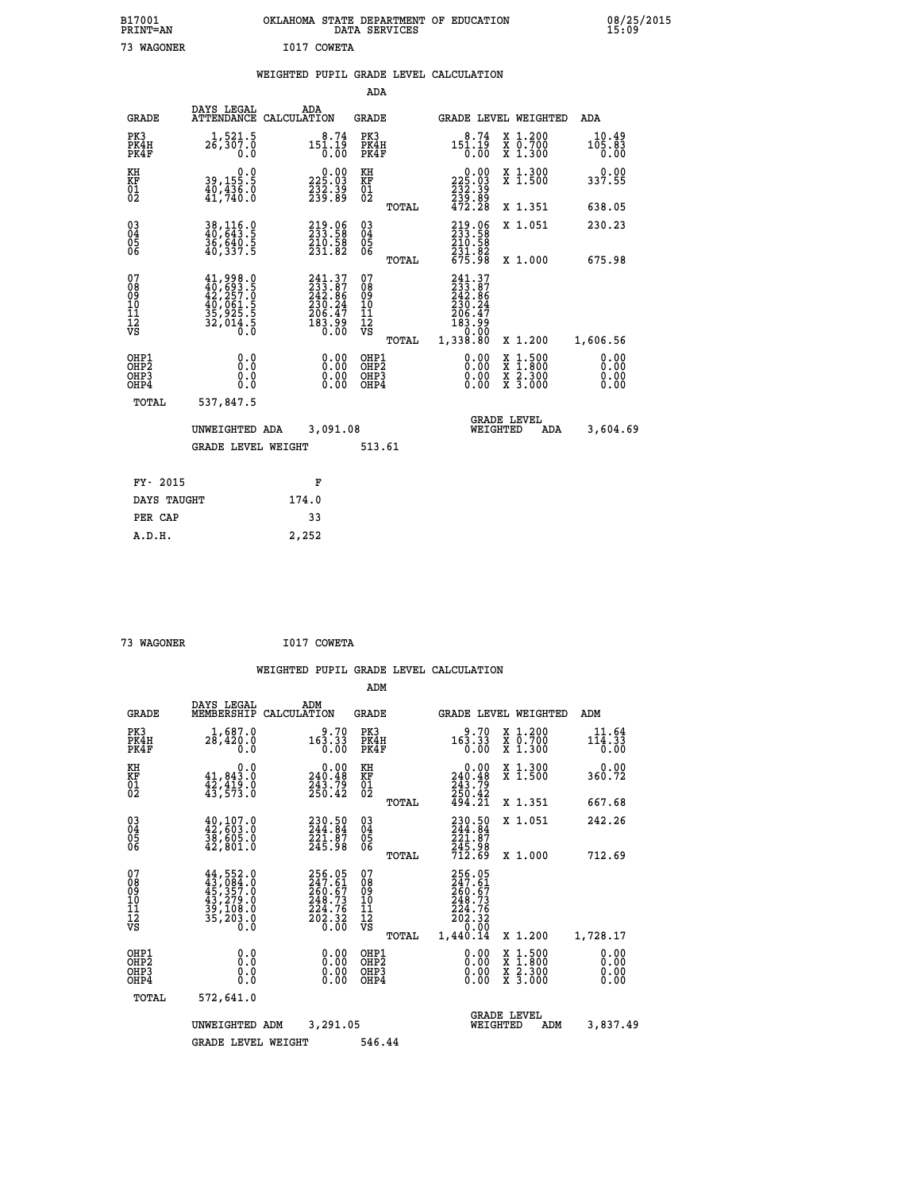|  |  | WEIGHTED PUPIL GRADE LEVEL CALCULATION |
|--|--|----------------------------------------|
|  |  |                                        |

|                                                    |                                                                                                                  |                                                                             | ADA                                    |       |                                                                              |                                               |                              |
|----------------------------------------------------|------------------------------------------------------------------------------------------------------------------|-----------------------------------------------------------------------------|----------------------------------------|-------|------------------------------------------------------------------------------|-----------------------------------------------|------------------------------|
| <b>GRADE</b>                                       | DAYS LEGAL<br><b>ATTENDANCE</b>                                                                                  | ADA<br>CALCULATION                                                          | <b>GRADE</b>                           |       |                                                                              | GRADE LEVEL WEIGHTED                          | <b>ADA</b>                   |
| PK3<br>PK4H<br>PK4F                                | $1,521.5$<br>$26,307.0$<br>0.0                                                                                   | $151.19$<br>$0.00$                                                          | PK3<br>PK4H<br>PK4F                    |       | 8.74<br>$15\overline{1}\cdot 19\over 0.00$                                   | X 1.200<br>X 0.700<br>X 1.300                 | 10.49<br>$105.83$<br>$0.00$  |
| KH<br>KF<br>01<br>02                               | 0.0<br>39,155.5<br>40,436.0<br>41,740.0                                                                          | $\begin{smallmatrix} 0.00\\ 225.03\\ 232.39\\ 239.89 \end{smallmatrix}$     | KH<br>KF<br>01<br>02                   |       | $\begin{smallmatrix}&&0.00\\225.03\\232.39\\239.89\\472.28\end{smallmatrix}$ | X 1.300<br>X 1.500                            | 0.00<br>337.55               |
|                                                    |                                                                                                                  |                                                                             |                                        | TOTAL |                                                                              | X 1.351                                       | 638.05                       |
| $\begin{matrix} 03 \\ 04 \\ 05 \\ 06 \end{matrix}$ | 38,116.0<br>40,643.5<br>36,640.5<br>40,337.5                                                                     | 219.06<br>233.58<br>210.58<br>231.82                                        | 03<br>04<br>05<br>06                   |       | 219.06<br>233.58<br>$\frac{210.58}{231.82}$<br>675.98                        | X 1.051                                       | 230.23                       |
|                                                    |                                                                                                                  |                                                                             |                                        | TOTAL |                                                                              | X 1.000                                       | 675.98                       |
| 07<br>08<br>09<br>11<br>11<br>12<br>VS             | $\begin{smallmatrix} 41,998.0\\ 40,693.5\\ 42,257.0\\ 40,061.5\\ 35,925.5\\ 32,014.5\\ 0.0\\ 0\end{smallmatrix}$ | 241.37<br>233.87<br>242.86<br>242.86<br>230.247<br>206.47<br>183.99<br>0.00 | 07<br>08<br>09<br>11<br>11<br>12<br>VS |       | 241.37<br>233.87<br>242.86<br>230.247<br>206.47<br>183.990<br>230.000        |                                               |                              |
|                                                    |                                                                                                                  |                                                                             |                                        | TOTAL | 1,338.80                                                                     | X 1.200                                       | 1,606.56                     |
| OHP1<br>OHP2<br>OHP3<br>OHP4                       | 0.0<br>0.0<br>Ō.Ō                                                                                                | 0.00<br>$\begin{smallmatrix} 0.00 \ 0.00 \end{smallmatrix}$                 | OHP1<br>OHP2<br>OHP3<br>OHP4           |       | $0.00$<br>$0.00$<br>0.00                                                     | $1.500$<br>$1.800$<br>X<br>X 2.300<br>X 3.000 | 0.00<br>0.00<br>0.00<br>0.00 |
| TOTAL                                              | 537,847.5                                                                                                        |                                                                             |                                        |       |                                                                              |                                               |                              |
|                                                    | UNWEIGHTED ADA                                                                                                   | 3,091.08                                                                    |                                        |       |                                                                              | <b>GRADE LEVEL</b><br>WEIGHTED<br><b>ADA</b>  | 3,604.69                     |
|                                                    | <b>GRADE LEVEL WEIGHT</b>                                                                                        |                                                                             | 513.61                                 |       |                                                                              |                                               |                              |
| FY- 2015                                           |                                                                                                                  | F                                                                           |                                        |       |                                                                              |                                               |                              |
| DAYS TAUGHT                                        |                                                                                                                  | 174.0                                                                       |                                        |       |                                                                              |                                               |                              |
| PER CAP                                            |                                                                                                                  | 33                                                                          |                                        |       |                                                                              |                                               |                              |
|                                                    |                                                                                                                  |                                                                             |                                        |       |                                                                              |                                               |                              |

 **73 WAGONER I017 COWETA**

 **A.D.H. 2,252**

|                                    |                                                       |                                                                                                                                                                                                 |                                                                         | ADM                                     |       |                                                                                                 |                                                                                                  |                                           |
|------------------------------------|-------------------------------------------------------|-------------------------------------------------------------------------------------------------------------------------------------------------------------------------------------------------|-------------------------------------------------------------------------|-----------------------------------------|-------|-------------------------------------------------------------------------------------------------|--------------------------------------------------------------------------------------------------|-------------------------------------------|
|                                    | <b>GRADE</b>                                          | DAYS LEGAL<br>MEMBERSHIP<br>CALCULATION                                                                                                                                                         | ADM                                                                     | <b>GRADE</b>                            |       | GRADE LEVEL WEIGHTED                                                                            |                                                                                                  | ADM                                       |
|                                    | PK3<br>PK4H<br>PK4F                                   | 1,687.0<br>28,420.0<br>0.0                                                                                                                                                                      | 9.70<br>163.33<br>0.00                                                  | PK3<br>PK4H<br>PK4F                     |       | 9.70<br>163.33<br>0.00                                                                          | X 1.200<br>X 0.700<br>X 1.300                                                                    | 11.64<br>$11\bar{4}$ . $3\bar{3}$<br>0.00 |
| KH<br>KF<br>01<br>02               |                                                       | 0.0<br>41,843.0<br>$\frac{42}{43}, \frac{419}{573}$ :0                                                                                                                                          | $\begin{smallmatrix} &0.00\\ 240.48\\ 243.79\\ 250.42\end{smallmatrix}$ | KH<br>KF<br>01<br>02                    |       | $\overset{0.00}{\underset{240.48}{\scriptscriptstyle 0.0}}$<br>$243.79$<br>$250.42$<br>$494.21$ | X 1.300<br>X 1.500                                                                               | 0.00<br>360.72                            |
|                                    |                                                       |                                                                                                                                                                                                 |                                                                         |                                         | TOTAL |                                                                                                 | X 1.351                                                                                          | 667.68                                    |
| 03<br>04<br>05<br>06               |                                                       | $40, 107.0$<br>$42, 603.0$<br>38,605.0<br>42,801.0                                                                                                                                              | 230.50<br>244.84<br>221.07<br>245.98                                    | $^{03}_{04}$<br>0500                    |       | 230.50<br>244.84<br>$\frac{221.87}{245.98}$<br>712.69                                           | X 1.051                                                                                          | 242.26                                    |
|                                    |                                                       |                                                                                                                                                                                                 |                                                                         |                                         | TOTAL |                                                                                                 | X 1.000                                                                                          | 712.69                                    |
| 07<br>08<br>09<br>101<br>112<br>VS |                                                       | $\begin{smallmatrix} 44\, ,\, 552\, .\, 0\\ 43\, ,\, 084\, .\, 0\\ 45\, ,\, 357\, .\, 0\\ 43\, ,\, 279\, .\, 0\\ 39\, ,\, 108\, .\, 0\\ 35\, ,\, 203\, .\, 0\\ 0\, .\, 0\, .\, 0\, .\, 0\, .\,$ | 256.05<br>247.61<br>260.67<br>249.73<br>$\frac{224.76}{202.32}$         | 07<br>08<br>09<br>101<br>11<br>12<br>VS | TOTAL | 256.05<br>247.61<br>260.67<br>249.73<br>224.76<br>202.32<br>0.00<br>1,440.14                    | X 1.200                                                                                          | 1,728.17                                  |
|                                    | OHP1<br>OH <sub>P</sub> 2<br>OH <sub>P3</sub><br>OHP4 | 0.0<br>0.000                                                                                                                                                                                    | $0.00$<br>$0.00$<br>0.00                                                | OHP1<br>OHP2<br>OHP3<br>OHP4            |       | $0.00$<br>$0.00$<br>0.00                                                                        | $\begin{smallmatrix} x & 1 & 500 \\ x & 1 & 800 \\ x & 2 & 300 \\ x & 3 & 000 \end{smallmatrix}$ | 0.00<br>0.00<br>0.00<br>0.00              |
|                                    | TOTAL                                                 | 572,641.0                                                                                                                                                                                       |                                                                         |                                         |       |                                                                                                 |                                                                                                  |                                           |
|                                    |                                                       | UNWEIGHTED<br>ADM                                                                                                                                                                               | 3,291.05                                                                |                                         |       | WEIGHTED                                                                                        | <b>GRADE LEVEL</b><br>ADM                                                                        | 3,837.49                                  |
|                                    |                                                       | <b>GRADE LEVEL WEIGHT</b>                                                                                                                                                                       |                                                                         | 546.44                                  |       |                                                                                                 |                                                                                                  |                                           |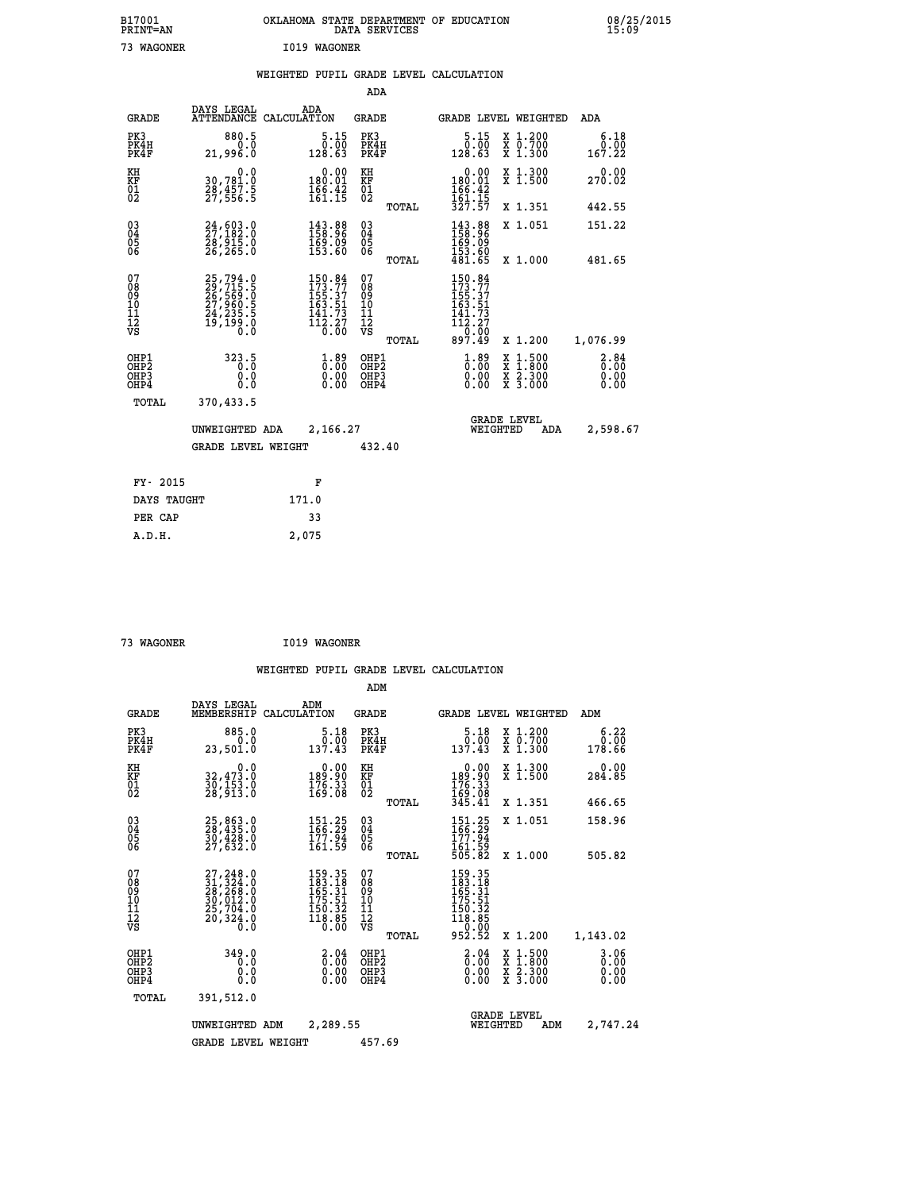| B17001<br>PRINT=AN | OKLAHOMA STATE DEPARTMENT OF EDUCATION<br>DATA SERVICES | 08/25/2015<br>15:09 |
|--------------------|---------------------------------------------------------|---------------------|
| 73<br>WAGONER      | I019 WAGONER                                            |                     |

|  |  | WEIGHTED PUPIL GRADE LEVEL CALCULATION |
|--|--|----------------------------------------|
|  |  |                                        |

|                                           |                                                                                          |                                                                                                    | ADA                                             |                                                                                                                                             |                                                                                                  |                              |
|-------------------------------------------|------------------------------------------------------------------------------------------|----------------------------------------------------------------------------------------------------|-------------------------------------------------|---------------------------------------------------------------------------------------------------------------------------------------------|--------------------------------------------------------------------------------------------------|------------------------------|
| <b>GRADE</b>                              | DAYS LEGAL                                                                               | ADA<br>ATTENDANCE CALCULATION                                                                      | GRADE                                           | <b>GRADE LEVEL WEIGHTED</b>                                                                                                                 |                                                                                                  | ADA                          |
| PK3<br>PK4H<br>PK4F                       | 880.5<br>0.0<br>21,996.0                                                                 | $\frac{5.15}{0.00}$<br>128.63                                                                      | PK3<br>PK4H<br>PK4F                             | 5.15<br>0.00<br>128.63                                                                                                                      | X 1.200<br>X 0.700<br>X 1.300                                                                    | 6.18<br>0.00<br>167.22       |
| KH<br>KF<br>01<br>02                      | 0.0<br>30,781.0<br>28,457.5<br>27,556.5                                                  | $\begin{smallmatrix} &0.00\\ 180.01\\ 166.42\\ 161.15\end{smallmatrix}$                            | KH<br>KF<br>01<br>02                            | $\begin{array}{c} 0.00 \\ 180.01 \\ 166.42 \\ 161.15 \\ 327.57 \end{array}$                                                                 | X 1.300<br>X 1.500                                                                               | 0.00<br>270.02               |
|                                           |                                                                                          |                                                                                                    | TOTAL                                           |                                                                                                                                             | X 1.351                                                                                          | 442.55                       |
| 03<br>04<br>05<br>06                      | $\frac{24}{27}, \frac{603}{182}.0 \ \frac{28}{28}, \frac{915}{265}.0 \ \frac{26}{265}.0$ | $\begin{smallmatrix} 143.88\ 158.96\ 169.09\ 153.60 \end{smallmatrix}$                             | 03<br>04<br>05<br>06                            | 143.88<br>158.96<br>169.09<br>153.60                                                                                                        | X 1.051                                                                                          | 151.22                       |
|                                           |                                                                                          |                                                                                                    | TOTAL                                           | 481.65                                                                                                                                      | X 1.000                                                                                          | 481.65                       |
| 07<br>08<br>09<br>11<br>11<br>12<br>VS    | 25,794.0<br>29,715.5<br>26,569.0<br>27,960.5<br>24,235.5<br>19,199.0                     | $\begin{smallmatrix} 150.84\\ 173.77\\ 155.37\\ 163.51\\ 141.73\\ 112.27\\ 0.00 \end{smallmatrix}$ | 07<br>08<br>09<br>11<br>11<br>12<br>VS<br>TOTAL | $150.84$<br>$173.77$<br>$155.37$<br>$163.51$<br>$141.73$<br>$\begin{array}{r} 1\bar{1}\bar{2}.\bar{2}\bar{7} \\ 0.00 \\ 897.49 \end{array}$ | X 1.200                                                                                          | 1,076.99                     |
| OHP1<br>OH <sub>P</sub> 2<br>OHP3<br>OHP4 | 323.5<br>0.0<br>$0.\overline{0}$                                                         | $\frac{1}{0}$ : 89<br>$\begin{smallmatrix} 0.00 \ 0.00 \end{smallmatrix}$                          | OHP1<br>OHP <sub>2</sub><br>OHP3<br>OHP4        | $\overset{1}{\underset{0}{0}}\overset{89}{\ldots}\overset{00}{\underset{0}{0}}$<br>0.00                                                     | $\begin{smallmatrix} x & 1 & 500 \\ x & 1 & 800 \\ x & 2 & 300 \\ x & 3 & 000 \end{smallmatrix}$ | 2.84<br>0.00<br>0.00<br>0.00 |
|                                           | TOTAL<br>370,433.5                                                                       |                                                                                                    |                                                 |                                                                                                                                             |                                                                                                  |                              |
|                                           | UNWEIGHTED ADA                                                                           | 2,166.27                                                                                           |                                                 | <b>GRADE LEVEL</b><br>WEIGHTED                                                                                                              | ADA                                                                                              | 2,598.67                     |
|                                           | <b>GRADE LEVEL WEIGHT</b>                                                                |                                                                                                    | 432.40                                          |                                                                                                                                             |                                                                                                  |                              |
|                                           | FY- 2015                                                                                 | F                                                                                                  |                                                 |                                                                                                                                             |                                                                                                  |                              |
|                                           | DAYS TAUGHT                                                                              | 171.0                                                                                              |                                                 |                                                                                                                                             |                                                                                                  |                              |
|                                           | PER CAP                                                                                  | 33                                                                                                 |                                                 |                                                                                                                                             |                                                                                                  |                              |
|                                           | A.D.H.                                                                                   | 2,075                                                                                              |                                                 |                                                                                                                                             |                                                                                                  |                              |

| 73 WAGONER | I019 WAGONER |
|------------|--------------|
|            |              |

|                                                       |                                                                                                 |                                                                         | ADM                                                 |                                                                                       |                                          |                        |
|-------------------------------------------------------|-------------------------------------------------------------------------------------------------|-------------------------------------------------------------------------|-----------------------------------------------------|---------------------------------------------------------------------------------------|------------------------------------------|------------------------|
| <b>GRADE</b>                                          | DAYS LEGAL<br>MEMBERSHIP                                                                        | ADM<br>CALCULATION                                                      | <b>GRADE</b>                                        | GRADE LEVEL WEIGHTED                                                                  |                                          | ADM                    |
| PK3<br>PK4H<br>PK4F                                   | 885.0<br>0.0<br>23,501.0                                                                        | 5.18<br>0.00<br>137.43                                                  | PK3<br>PK4H<br>PK4F                                 | 5.18<br>0.00<br>137.43                                                                | X 1.200<br>X 0.700<br>X 1.300            | 6.22<br>0.00<br>178.66 |
| KH<br>KF<br>01<br>02                                  | 0.0<br>32,473.0<br>30,153.0<br>28,913.0                                                         | $\begin{smallmatrix} &0.00\\ 189.90\\ 176.33\\ 169.08\end{smallmatrix}$ | KH<br>KF<br>01<br>02                                | $\begin{smallmatrix} &0.00\\ 189.90\\ 176.33\\ 169.08\\ 345.41\end{smallmatrix}$      | X 1.300<br>X 1.500                       | 0.00<br>284.85         |
|                                                       |                                                                                                 |                                                                         | TOTAL                                               |                                                                                       | X 1.351                                  | 466.65                 |
| 03<br>04<br>05<br>06                                  | 25,863.0<br>28,435.0<br>30,428.0<br>27,632.0                                                    | $\frac{151.25}{166.29}$<br>161.59                                       | $\begin{array}{c} 03 \\ 04 \\ 05 \\ 06 \end{array}$ | $\frac{151.25}{166.29}$                                                               | X 1.051                                  | 158.96                 |
|                                                       |                                                                                                 |                                                                         | TOTAL                                               | īći:59<br>505.82                                                                      | X 1.000                                  | 505.82                 |
| 07<br>08<br>09<br>101<br>112<br>VS                    | 27, 248.0<br>31, 324.0<br>28, 268.0<br>30, 012.0<br>25, 704.0<br>$\bar{20}, \bar{320}, \bar{6}$ | 159.35<br>183.18<br>165.31<br>175.51<br>$\frac{150.32}{118.85}$         | 07<br>08<br>09<br>101<br>11<br>12<br>VS<br>TOTAL    | 159.35<br>183.18<br>165.31<br>165.51<br>175.51<br>150.32<br>118.85<br>0.000<br>952.52 | X 1.200                                  | 1,143.02               |
| OHP1<br>OH <sub>P</sub> 2<br>OH <sub>P3</sub><br>OHP4 | 349.0<br>0.0<br>0.000                                                                           | $\begin{smallmatrix} 2.04 \ 0.00 \ 0.00 \end{smallmatrix}$<br>0.00      | OHP1<br>OHP2<br>OHP3<br>OHP4                        | $\begin{smallmatrix} 2.04 \ 0.00 \ 0.00 \end{smallmatrix}$<br>0.00                    | X 1:500<br>X 1:800<br>X 2:300<br>X 3:000 | 3.06<br>0.00<br>0.00   |
| TOTAL                                                 | 391,512.0                                                                                       |                                                                         |                                                     |                                                                                       |                                          |                        |
|                                                       | UNWEIGHTED                                                                                      | 2,289.55<br>ADM                                                         |                                                     | <b>GRADE LEVEL</b><br>WEIGHTED                                                        | ADM                                      | 2,747.24               |
|                                                       | <b>GRADE LEVEL WEIGHT</b>                                                                       |                                                                         | 457.69                                              |                                                                                       |                                          |                        |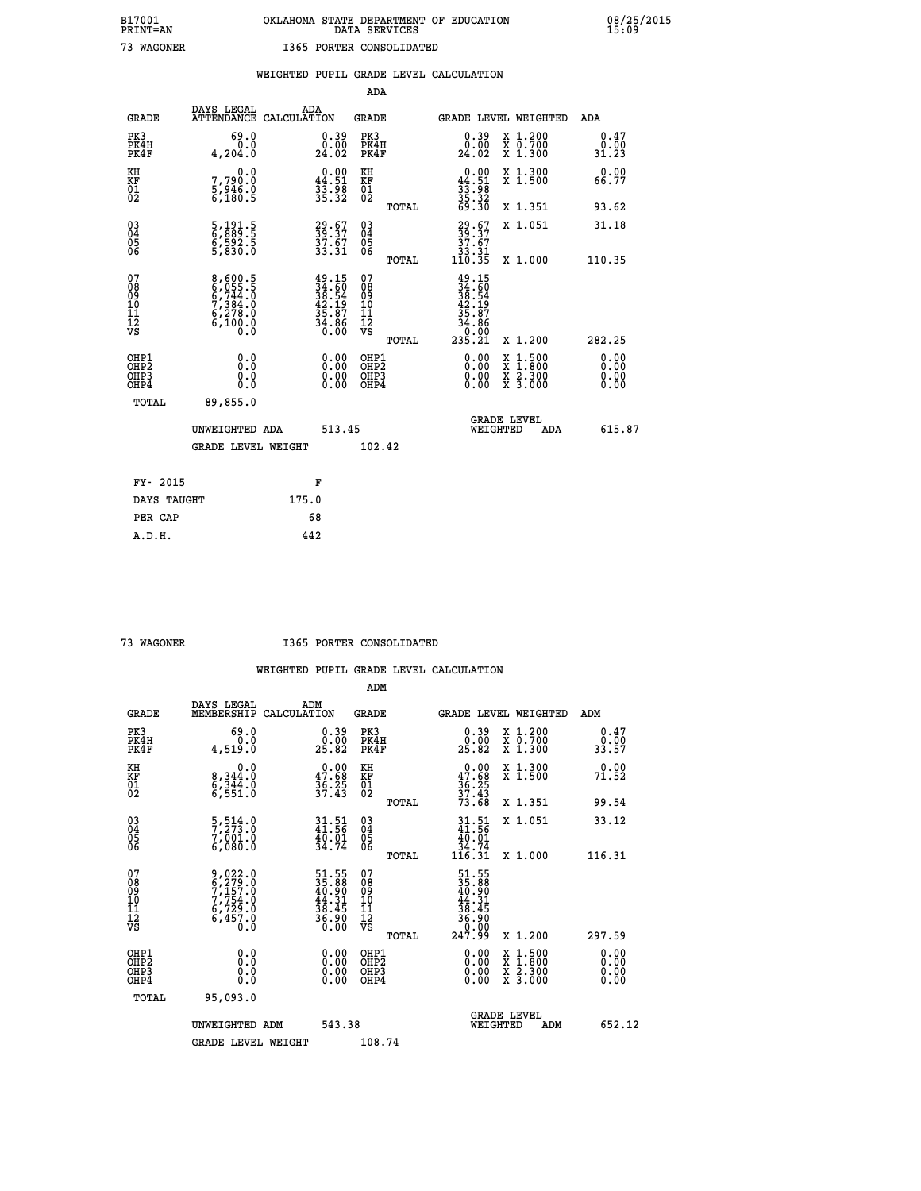|                                                                              |                                                                |                                                                                              | ADA                                                 |       |                                                                              |                                          |                              |
|------------------------------------------------------------------------------|----------------------------------------------------------------|----------------------------------------------------------------------------------------------|-----------------------------------------------------|-------|------------------------------------------------------------------------------|------------------------------------------|------------------------------|
| <b>GRADE</b>                                                                 | DAYS LEGAL<br><b>ATTENDANCE</b>                                | ADA<br>CALCULATION                                                                           | <b>GRADE</b>                                        |       |                                                                              | <b>GRADE LEVEL WEIGHTED</b>              | ADA                          |
| PK3<br>PK4H<br>PK4F                                                          | 69.0<br>0.0<br>4,204.0                                         | $\begin{smallmatrix} 0.39\ 0.00\ 24.02 \end{smallmatrix}$                                    | PK3<br>PK4H<br>PK4F                                 |       | $\begin{smallmatrix} 0.39\ 0.00\ 24.02 \end{smallmatrix}$                    | X 1.200<br>X 0.700<br>X 1.300            | 0.47<br>0.00<br>31.23        |
| KH<br>KF<br>01<br>02                                                         | 0.0<br>7,790:0<br>5,946.0<br>6,180:5                           | $0.00$<br>44.51<br>33.98<br>35.32                                                            | KH<br>KF<br>01<br>02                                |       | $\begin{smallmatrix} 0.00\\ 44.51\\ 33.98\\ 35.32\\ 69.30 \end{smallmatrix}$ | X 1.300<br>X 1.500                       | 0.00<br>66.77                |
|                                                                              |                                                                |                                                                                              |                                                     | TOTAL |                                                                              | X 1.351                                  | 93.62                        |
| $^{03}_{04}$<br>Ŏ5<br>06                                                     | 5,191.5<br>6,889.5<br>6,592.5<br>5,830.0                       | 29.67<br>39.37<br>37.67<br>33.31                                                             | $\begin{array}{c} 03 \\ 04 \\ 05 \\ 06 \end{array}$ | TOTAL | $\begin{smallmatrix} 29.67\ 39.37\ 37.67\ 33.31\ 110.35 \end{smallmatrix}$   | X 1.051<br>X 1.000                       | 31.18<br>110.35              |
| 07<br>08901112<br>1112<br>VS                                                 | 8,600.5<br>6,055.5<br>6,744.0<br>7,384.0<br>6,278.0<br>6,100.0 | $\begin{smallmatrix} 49.15\\ 34.60\\ 38.54\\ 42.19\\ 35.87\\ 34.86\\ 0.00 \end{smallmatrix}$ | 07<br>08<br>09<br>11<br>11<br>12<br>VS              |       | $49.15$<br>$34.60$<br>$38.54$<br>$42.19$<br>$35.87$<br>$34.860$<br>$90.99$   |                                          |                              |
|                                                                              |                                                                |                                                                                              |                                                     | TOTAL | 235.21                                                                       | X 1.200                                  | 282.25                       |
| OHP1<br>OH <sub>P</sub> <sub>2</sub><br>OH <sub>P3</sub><br>OH <sub>P4</sub> | 0.0<br>0.000                                                   | $\begin{smallmatrix} 0.00 \ 0.00 \ 0.00 \ 0.00 \end{smallmatrix}$                            | OHP1<br>OH <sub>P</sub> 2<br>OHP3<br>OHP4           |       | 0.00<br>0.00<br>0.00                                                         | X 1:500<br>X 1:800<br>X 2:300<br>X 3:000 | 0.00<br>0.00<br>0.00<br>0.00 |
| TOTAL                                                                        | 89,855.0                                                       |                                                                                              |                                                     |       |                                                                              |                                          |                              |
|                                                                              | UNWEIGHTED ADA                                                 | 513.45                                                                                       |                                                     |       |                                                                              | GRADE LEVEL<br>WEIGHTED<br>ADA           | 615.87                       |
|                                                                              | <b>GRADE LEVEL WEIGHT</b>                                      |                                                                                              | 102.42                                              |       |                                                                              |                                          |                              |
| FY- 2015                                                                     |                                                                | F                                                                                            |                                                     |       |                                                                              |                                          |                              |
| DAYS TAUGHT                                                                  |                                                                | 175.0                                                                                        |                                                     |       |                                                                              |                                          |                              |
| PER CAP                                                                      |                                                                | 68                                                                                           |                                                     |       |                                                                              |                                          |                              |

 **73 WAGONER I365 PORTER CONSOLIDATED**

|                                          |                                                                                                                                                                  |                                                                          | ADM                                                 |       |                                                                                                     |                                          |                                                           |
|------------------------------------------|------------------------------------------------------------------------------------------------------------------------------------------------------------------|--------------------------------------------------------------------------|-----------------------------------------------------|-------|-----------------------------------------------------------------------------------------------------|------------------------------------------|-----------------------------------------------------------|
| <b>GRADE</b>                             | DAYS LEGAL<br>MEMBERSHIP                                                                                                                                         | ADM<br>CALCULATION                                                       | <b>GRADE</b>                                        |       |                                                                                                     | GRADE LEVEL WEIGHTED                     | ADM                                                       |
| PK3<br>PK4H<br>PK4F                      | 69.0<br>0.0<br>4,519.0                                                                                                                                           | $\begin{smallmatrix} 0.39\ 0.00\ 25.82 \end{smallmatrix}$                | PK3<br>PK4H<br>PK4F                                 |       | $\begin{smallmatrix} 0.39\ 0.00\\ 25.82 \end{smallmatrix}$                                          | X 1.200<br>X 0.700<br>X 1.300            | $\begin{smallmatrix} 0.47\ 0.00\ 33.57 \end{smallmatrix}$ |
| KH<br>KF<br>01<br>02                     | 0.0<br>8, 344:0<br>6, 344:0<br>6, 551:0                                                                                                                          | $\begin{smallmatrix} 0.00\\ 47.68\\ 36.25\\ 37.43 \end{smallmatrix}$     | KH<br>KF<br>01<br>02                                |       | $0.00$<br>$47.68$<br>$36.25$<br>$37.43$<br>$73.68$                                                  | X 1.300<br>X 1.500                       | 0.00<br>71.52                                             |
|                                          |                                                                                                                                                                  |                                                                          |                                                     | TOTAL |                                                                                                     | X 1.351                                  | 99.54                                                     |
| 03<br>04<br>05<br>06                     | $\frac{5}{7}, \frac{514}{273} . 0$<br>7,001.0<br>6,080.0                                                                                                         | $31.51$<br>$41.56$<br>$\frac{40.01}{34.74}$                              | $\begin{array}{c} 03 \\ 04 \\ 05 \\ 06 \end{array}$ |       | $31.51$<br>$41.56$<br>$40.01$<br>$34.74$<br>$116.31$                                                | X 1.051                                  | 33.12                                                     |
|                                          |                                                                                                                                                                  |                                                                          |                                                     | TOTAL |                                                                                                     | X 1.000                                  | 116.31                                                    |
| 07<br>08<br>09<br>101<br>112<br>VS       | $\begin{smallmatrix} 9\,,\,022\,.\,0\\ 6\,,\,279\,. \,0\\ 7\,,\,157\,. \,0\\ 7\,,\,754\,. \,0\\ 6\,,\,729\,. \,0\\ 6\,,\,457\,. \,0\\ 0\,. \,0\end{smallmatrix}$ | $51.55$<br>$35.88$<br>$40.90$<br>$44.31$<br>$38.45$<br>$36.90$<br>$0.00$ | 07<br>08<br>09<br>11<br>11<br>12<br>VS              | TOTAL | $\begin{array}{r} 51.55 \\ 35.88 \\ 40.90 \\ 44.31 \\ 38.45 \\ 36.90 \\ 0.00 \\ 247.99 \end{array}$ | X 1.200                                  | 297.59                                                    |
| OHP1<br>OHP2<br>OHP <sub>3</sub><br>OHP4 | 0.0<br>$\begin{smallmatrix} 0.0 & 0 \ 0.0 & 0 \end{smallmatrix}$                                                                                                 |                                                                          | OHP1<br>OHP2<br>OHP <sub>3</sub>                    |       | $0.00$<br>$0.00$<br>0.00                                                                            | X 1:500<br>X 1:800<br>X 2:300<br>X 3:000 | 0.00<br>0.00<br>0.00<br>0.00                              |
| TOTAL                                    | 95,093.0                                                                                                                                                         |                                                                          |                                                     |       |                                                                                                     |                                          |                                                           |
|                                          | UNWEIGHTED ADM                                                                                                                                                   | 543.38                                                                   |                                                     |       |                                                                                                     | GRADE LEVEL<br>WEIGHTED<br>ADM           | 652.12                                                    |
|                                          | <b>GRADE LEVEL WEIGHT</b>                                                                                                                                        |                                                                          | 108.74                                              |       |                                                                                                     |                                          |                                                           |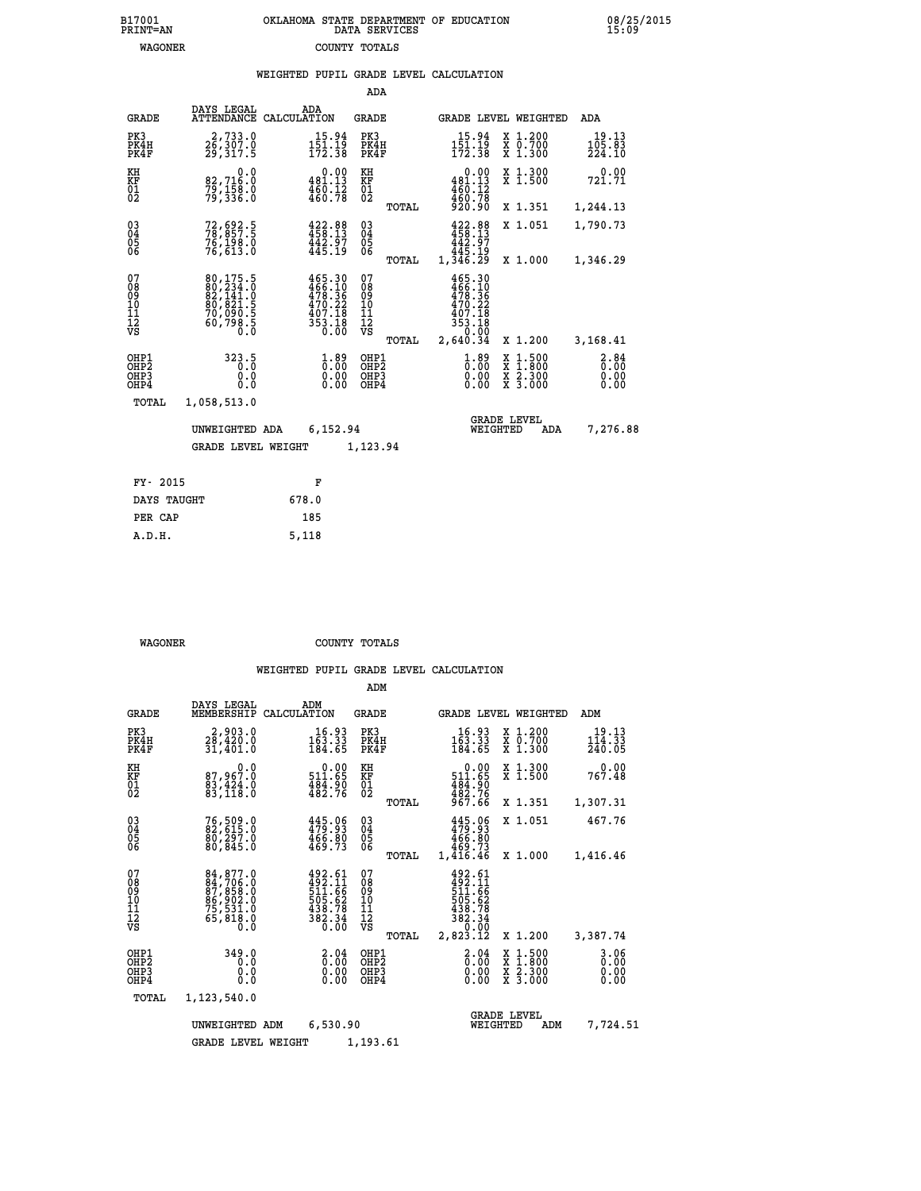|                                        |                                                                                                               |             |                                                                               | ADA                                      |       |                                                                                                                         |                                            |                                          |                              |
|----------------------------------------|---------------------------------------------------------------------------------------------------------------|-------------|-------------------------------------------------------------------------------|------------------------------------------|-------|-------------------------------------------------------------------------------------------------------------------------|--------------------------------------------|------------------------------------------|------------------------------|
| <b>GRADE</b>                           | DAYS LEGAL<br><b>ATTENDANCE</b>                                                                               | CALCULATION | ADA                                                                           | GRADE                                    |       |                                                                                                                         |                                            | GRADE LEVEL WEIGHTED                     | <b>ADA</b>                   |
| PK3<br>PK4H<br>PK4F                    | 2,733.0<br>26,307.0<br>29,317.5                                                                               |             | 15.94<br>$1\bar{5}\bar{1}\cdot\bar{1}\bar{9}$<br>172.38                       | PK3<br>PK4H<br>PK4F                      |       | 15.94<br>$\frac{1\bar{5}\bar{1}\cdot\bar{1}\bar{9}}{172\cdot38}$                                                        |                                            | X 1.200<br>X 0.700<br>X 1.300            | 19.13<br>105.83<br>224.10    |
| KH<br><b>KF</b><br>01<br>02            | 0.0<br>82,716.0<br>79,158.0<br>79,336.0                                                                       |             | 0.00<br>481.13<br>$\frac{180.12}{460.78}$                                     | KH<br>KF<br>$\overline{01}$              |       | 481.13<br>$\frac{460.12}{460.78}$                                                                                       | 0.00                                       | X 1.300<br>$\overline{x}$ 1.500          | 0.00<br>721.71               |
|                                        |                                                                                                               |             |                                                                               |                                          | TOTAL |                                                                                                                         |                                            | X 1.351                                  | 1,244.13                     |
| $^{03}_{04}$<br>05<br>06               | 72, 692.5<br>78, 857.5<br>76,198.0<br>76,613.0                                                                |             | 422.88<br>458.13<br>442.97<br>445.19                                          | $\substack{03 \\ 04}$<br>$\frac{05}{06}$ |       | 422.88<br>458.13<br>442.97                                                                                              |                                            | X 1.051                                  | 1,790.73                     |
|                                        |                                                                                                               |             |                                                                               |                                          | TOTAL | ۇ1.345<br>1,346.29                                                                                                      |                                            | X 1.000                                  | 1,346.29                     |
| 07<br>08<br>09<br>11<br>11<br>12<br>VS | $\begin{smallmatrix} 80,175.5\\ 80,234.0\\ 82,141.0\\ 80,821.5\\ 70,090.5\\ 60,798.5\\ 0.0 \end{smallmatrix}$ |             | 465.30<br>466.10<br>478.36<br>470.22<br>407.18<br>353.18<br>$0.\overline{0}0$ | 07<br>08<br>09<br>11<br>11<br>12<br>VS   | TOTAL | 465.30<br>$\begin{smallmatrix} 466.10 \\ 478.36 \\ 470.22 \\ 407.18 \\ 353.18 \\ 0.00 \\ \end{smallmatrix}$<br>2,640.34 |                                            | X 1.200                                  | 3,168.41                     |
|                                        |                                                                                                               |             |                                                                               |                                          |       |                                                                                                                         |                                            |                                          |                              |
| OHP1<br>OHP2<br>OHP3<br>OHP4           | 323.5<br>0.0<br>0.0                                                                                           |             | $1.89$<br>$0.00$<br>$0.00$<br>0.00                                            | OHP1<br>OHP2<br>OHP3<br>OHP4             |       |                                                                                                                         | $1.89$<br>$0.00$<br>X<br>X<br>0.00<br>0.00 | $1.500$<br>$1.800$<br>X 2.300<br>X 3.000 | 2.84<br>0.00<br>0.00<br>0.00 |
| TOTAL                                  | 1,058,513.0                                                                                                   |             |                                                                               |                                          |       |                                                                                                                         |                                            |                                          |                              |
|                                        | UNWEIGHTED ADA                                                                                                |             | 6,152.94                                                                      |                                          |       |                                                                                                                         | <b>GRADE LEVEL</b><br>WEIGHTED             | ADA                                      | 7,276.88                     |
|                                        | <b>GRADE LEVEL WEIGHT</b>                                                                                     |             |                                                                               | 1,123.94                                 |       |                                                                                                                         |                                            |                                          |                              |
|                                        |                                                                                                               |             |                                                                               |                                          |       |                                                                                                                         |                                            |                                          |                              |
| FY- 2015                               |                                                                                                               |             | F                                                                             |                                          |       |                                                                                                                         |                                            |                                          |                              |
| DAYS TAUGHT                            |                                                                                                               | 678.0       |                                                                               |                                          |       |                                                                                                                         |                                            |                                          |                              |

 **PER CAP 185 A.D.H. 5,118**

 **WAGONER COUNTY TOTALS**

|                                                    |                                                                             |                                                                  | ADM                                             |                                                                                                      |                                                                                            |                              |
|----------------------------------------------------|-----------------------------------------------------------------------------|------------------------------------------------------------------|-------------------------------------------------|------------------------------------------------------------------------------------------------------|--------------------------------------------------------------------------------------------|------------------------------|
| <b>GRADE</b>                                       | DAYS LEGAL<br>MEMBERSHIP                                                    | ADM<br>CALCULATION                                               | <b>GRADE</b>                                    | GRADE LEVEL WEIGHTED                                                                                 |                                                                                            | ADM                          |
| PK3<br>PK4H<br>PK4F                                | 2,903.0<br>28,420.0<br>31,401.0                                             | 16.93<br>163.33<br>184.65                                        | PK3<br>PK4H<br>PK4F                             | $16.93$<br>$163.33$<br>$184.65$                                                                      | $\begin{smallmatrix} x & 1.200 \\ x & 0.700 \end{smallmatrix}$<br>$\overline{x}$ 1.300     | 19.13<br>114.33<br>240.05    |
| KH<br>KF<br>01<br>02                               | 0.0<br>87,967.0<br>$\frac{83,424.0}{83,118.0}$                              | 0.00<br>511.65<br>$\frac{484.90}{482.76}$                        | KH<br>KF<br>01<br>02                            | $\begin{array}{c} \texttt{0.00} \\ \texttt{511.65} \end{array}$<br>$\frac{484.90}{482.76}$<br>967.66 | X 1.300<br>X 1.500                                                                         | 0.00<br>767.48               |
|                                                    |                                                                             |                                                                  | TOTAL                                           |                                                                                                      | X 1.351                                                                                    | 1,307.31                     |
| $\begin{matrix} 03 \\ 04 \\ 05 \\ 06 \end{matrix}$ | 76,509.0<br>82,615.0<br>80,297.0<br>80,845.0                                | $445.96$<br>$479.93$<br>$466.80$<br>$469.73$                     | $\substack{03 \\ 04}$<br>$\frac{05}{06}$        | 445.06<br>479.93<br>466.80<br>469.73                                                                 | X 1.051                                                                                    | 467.76                       |
|                                                    |                                                                             |                                                                  | TOTAL                                           | 1,416.46                                                                                             | X 1.000                                                                                    | 1,416.46                     |
| 07<br>08<br>09<br>001<br>11<br>11<br>12<br>VS      | 84,877.0<br>84,706.0<br>87,858.0<br>86,902.0<br>75,531.0<br>65,818.0<br>Ō.Ō | 492.61<br>492.11<br>511.66<br>505.62<br>438.78<br>438.34<br>0.00 | 07<br>08<br>09<br>11<br>11<br>12<br>VS<br>TOTAL | $492.61$<br>$492.11$<br>$511.66$<br>$505.62$<br>$438.78$<br>$382.34$<br>$0.00$<br>$2,823.12$         | X 1.200                                                                                    | 3,387.74                     |
| OHP1<br>OHP2<br>OHP3<br>OHP4                       | 349.0<br>0.0<br>0.0<br>0.0                                                  | $\frac{2}{0}$ : 04<br>0.00<br>0.00                               | OHP1<br>OHP2<br>OHP3<br>OHP4                    | $\begin{smallmatrix} 2.04 \ 0.00 \ 0.00 \end{smallmatrix}$<br>0.00                                   | $\begin{array}{c} x & 1.500 \\ x & 1.800 \\ x & 2.300 \end{array}$<br>$\overline{x}$ 3.000 | 3.06<br>0.00<br>0.00<br>0.00 |
| TOTAL                                              | 1,123,540.0                                                                 |                                                                  |                                                 |                                                                                                      |                                                                                            |                              |
|                                                    | UNWEIGHTED ADM                                                              | 6,530.90                                                         |                                                 | <b>GRADE LEVEL</b><br>WEIGHTED                                                                       | ADM                                                                                        | 7,724.51                     |
|                                                    | <b>GRADE LEVEL WEIGHT</b>                                                   |                                                                  | 1,193.61                                        |                                                                                                      |                                                                                            |                              |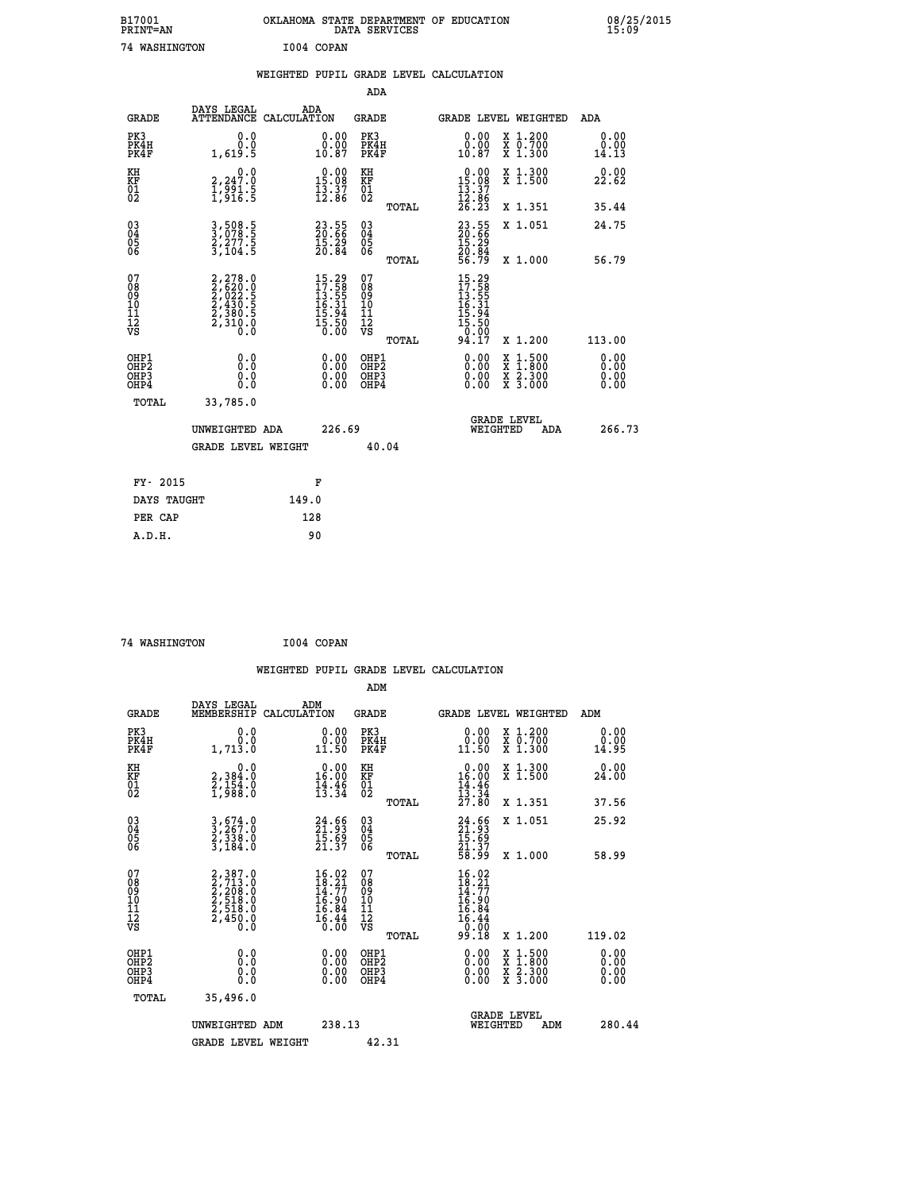| B17001<br>PRINT=AN                  |                                                                       | OKLAHOMA STATE DEPARTMENT OF EDUCATION<br>DATA SERVICES                                                                              |                                                        |                                                                                   |                                                                                                  | 08/25/2015            |
|-------------------------------------|-----------------------------------------------------------------------|--------------------------------------------------------------------------------------------------------------------------------------|--------------------------------------------------------|-----------------------------------------------------------------------------------|--------------------------------------------------------------------------------------------------|-----------------------|
|                                     | 74 WASHINGTON                                                         | I004 COPAN                                                                                                                           |                                                        |                                                                                   |                                                                                                  |                       |
|                                     |                                                                       | WEIGHTED PUPIL GRADE LEVEL CALCULATION                                                                                               |                                                        |                                                                                   |                                                                                                  |                       |
|                                     |                                                                       |                                                                                                                                      | ADA                                                    |                                                                                   |                                                                                                  |                       |
| <b>GRADE</b>                        | DAYS LEGAL                                                            | ADA<br>ATTENDANCE CALCULATION                                                                                                        | <b>GRADE</b>                                           | <b>GRADE LEVEL WEIGHTED</b>                                                       |                                                                                                  | ADA                   |
| PK3<br>PK4H<br>PK4F                 | 0.0<br>0.0<br>1,619.5                                                 | 0.00<br>ŏ:ŏŏ<br>10:87                                                                                                                | PK3<br>PK4H<br>PK4F                                    | $\begin{smallmatrix} 0.00\\ 0.00\\ 10.87 \end{smallmatrix}$                       | X 1.200<br>X 0.700<br>X 1.300                                                                    | 0.00<br>0.00<br>14.13 |
| KH<br>KF<br>01<br>02                | 0.0<br>2,247:0<br>1,991:5<br>1,916:5                                  | 0.00<br>$\frac{15.08}{13.37}$<br>12.86                                                                                               | KH<br>KF<br>01<br>02                                   | 0.00<br>$\frac{15.08}{13.37}$                                                     | X 1.300<br>X 1.500                                                                               | 0.00<br>22.62         |
|                                     |                                                                       |                                                                                                                                      | TOTAL                                                  | $\bar{26}$ . $\bar{23}$                                                           | X 1.351                                                                                          | 35.44                 |
| $03\overline{4}$<br>$\frac{05}{06}$ | 3,508.5<br>3,078.5<br>2,277.5<br>3,104.5                              | $\begin{smallmatrix} 23.55\ 20.66\ 15.29\ 20.84 \end{smallmatrix}$                                                                   | 03<br>04<br>05<br>06                                   | 23.55<br>20.66<br>15.29<br>20.84<br>56.79                                         | X 1.051                                                                                          | 24.75                 |
|                                     |                                                                       |                                                                                                                                      | TOTAL                                                  |                                                                                   | X 1.000                                                                                          | 56.79                 |
| 07<br>08<br>09<br>111<br>12<br>VS   | 2,278.0<br>2,620.0<br>2,022.5<br>2,430.5<br>2,380.5<br>2,310.0<br>0.0 | $\begin{smallmatrix} 15\cdot29\\ 17\cdot58\\ 13\cdot55\\ 16\cdot31\\ 16\cdot34\\ 15\cdot94\\ 15\cdot50\\ 0\cdot00 \end{smallmatrix}$ | 07<br>08<br>09<br>11<br>11<br>12<br>VS<br><b>TOTAL</b> | $15.29$<br>$17.58$<br>$13.55$<br>$16.31$<br>$15.94$<br>$15.50$<br>$0.99$<br>94.17 | X 1.200                                                                                          | 113.00                |
| OHP1<br>OHP2                        | 0.0<br>Ŏ.Ō                                                            | $0.00$<br>$0.00$                                                                                                                     | OHP1<br>OHP2                                           | $0.00$<br>$0.00$                                                                  | $\begin{smallmatrix} x & 1 & 500 \\ x & 1 & 800 \\ x & 2 & 300 \\ x & 3 & 000 \end{smallmatrix}$ | 0.00                  |
| OH <sub>P3</sub><br>OHP4            | 0.0<br>0.0                                                            | 0.00                                                                                                                                 | OHP3<br>OHP4                                           | 0.00                                                                              |                                                                                                  | 0.00<br>0.00          |
| TOTAL                               | 33,785.0                                                              |                                                                                                                                      |                                                        |                                                                                   |                                                                                                  |                       |
|                                     | UNWEIGHTED ADA                                                        | 226.69                                                                                                                               |                                                        | <b>GRADE LEVEL</b><br>WEIGHTED                                                    | ADA                                                                                              | 266.73                |
|                                     | GRADE LEVEL WEIGHT                                                    |                                                                                                                                      | 40.04                                                  |                                                                                   |                                                                                                  |                       |
| FY- 2015                            |                                                                       | F                                                                                                                                    |                                                        |                                                                                   |                                                                                                  |                       |
|                                     | DAYS TAUGHT                                                           | 149.0                                                                                                                                |                                                        |                                                                                   |                                                                                                  |                       |
| PER CAP                             |                                                                       | 128                                                                                                                                  |                                                        |                                                                                   |                                                                                                  |                       |

 **74 WASHINGTON I004 COPAN**

 **ADM DAYS LEGAL ADM GRADE MEMBERSHIP CALCULATION GRADE GRADE LEVEL WEIGHTED ADM PK3 0.0 0.00 PK3 0.00 X 1.200 0.00 PK4H 0.0 0.00 PK4H 0.00 X 0.700 0.00 PK4F 1,713.0 11.50 PK4F 11.50 X 1.300 14.95 KH 0.0 0.00 KH 0.00 X 1.300 0.00 KF 2,384.0 16.00 KF 16.00 X 1.500 24.00** 01 2,154.0 14.46 01 14.46<br>02 1,988.0 13.34 02 <sub>noman</sub> 13.34  **TOTAL 27.80 X 1.351 37.56 03 3,674.0 24.66 03 24.66 X 1.051 25.92 04 3,267.0 21.93 04 21.93 05 2,338.0 15.69 05 15.69** 06 3,184.0 21.37 06  $\frac{21.37}{21.37}$  **TOTAL 58.99 X 1.000 58.99**  $\begin{array}{cccc} 07 & 2, 387.0 & 16.02 & 07 & 16.02 \ 08 & 2, 713.0 & 18.21 & 08 & 18.21 \ 09 & 2, 208.0 & 14.77 & 09 & 14.77 \ 10 & 2, 518.0 & 16.90 & 10 & 16.90 \ 11 & 2, 518.0 & 16.94 & 11 & 16.94 \ \hline \textrm{vs} & 2, 450.0 & 16.44 & 12 & 16.44 \ 0.8 & 0.0 & 0.0$  $\begin{array}{cccc} 16.02 & 07 & 16.02 \ 16.27 & 08 & 16.27 \ 16.90 & 16.27 \ 16.90 & 16.84 \ 16.90 & 16.84 \ 16.94 & 11 & 16.84 \ 16.44 & 12 & 16.44 \ 0.00 & 081 \text{F2} & 0.18 & \text{x} 1.200 & 119.02 \ 0.00 & 081 \text{F2} & 0.00 & \text{x} 1.500 & 0.00 \ 0.00 & 0.00 & 0.00$  **OHP1 0.0 0.00 OHP1 0.00 X 1.500 0.00 OHP2 0.0 0.00 OHP2 0.00 X 1.800 0.00 OHP3 0.0 0.00 OHP3 0.00 X 2.300 0.00 OHP4 0.0 0.00 OHP4 0.00 X 3.000 0.00 TOTAL 35,496.0 GRADE LEVEL UNWEIGHTED ADM 238.13 WEIGHTED ADM 280.44** GRADE LEVEL WEIGHT 42.31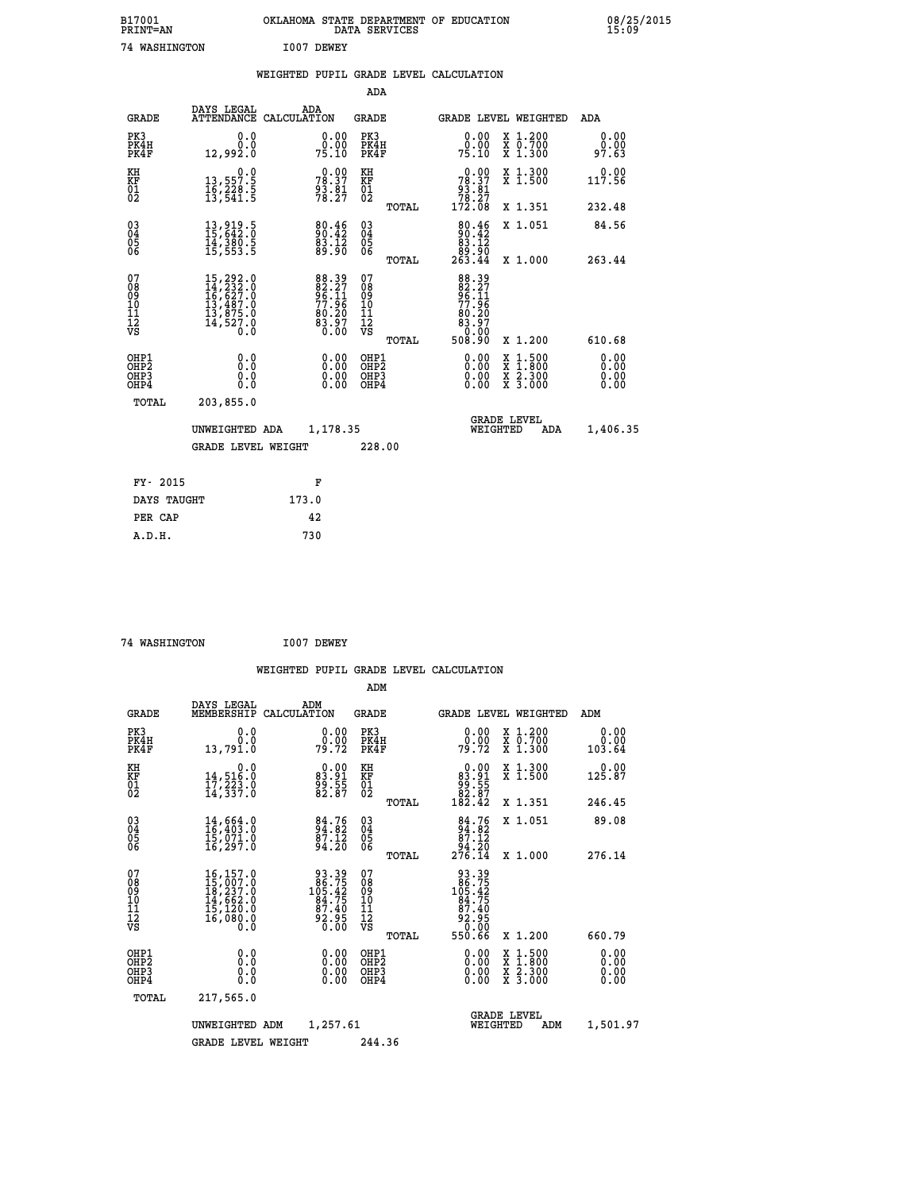| B17001<br>PRINT=AN                       |                                                                                                               |            |                                                             |                              |       | OKLAHOMA STATE DEPARTMENT OF EDUCATION DATA SERVICES                      |                                                                                                                                              | 08/25/2015<br>15:09          |  |
|------------------------------------------|---------------------------------------------------------------------------------------------------------------|------------|-------------------------------------------------------------|------------------------------|-------|---------------------------------------------------------------------------|----------------------------------------------------------------------------------------------------------------------------------------------|------------------------------|--|
| 74 WASHINGTON                            |                                                                                                               | I007 DEWEY |                                                             |                              |       |                                                                           |                                                                                                                                              |                              |  |
|                                          |                                                                                                               |            |                                                             |                              |       | WEIGHTED PUPIL GRADE LEVEL CALCULATION                                    |                                                                                                                                              |                              |  |
|                                          |                                                                                                               |            |                                                             | ADA                          |       |                                                                           |                                                                                                                                              |                              |  |
| <b>GRADE</b>                             | DAYS LEGAL ADA ADA ATTENDANCE CALCULATION                                                                     |            |                                                             | <b>GRADE</b>                 |       |                                                                           | GRADE LEVEL WEIGHTED                                                                                                                         | ADA                          |  |
| PK3<br>PK4H<br>PK4F                      | 0.0<br>0.0<br>12,992.0                                                                                        |            | 0.00<br>0.00<br>75.10                                       | PK3<br>PK4H<br>PK4F          |       | 0.00<br>75.10                                                             | X 1.200<br>X 0.700<br>X 1.300                                                                                                                | 0.00<br>0.00<br>97.63        |  |
| KH<br>KF<br>$\overline{01}$              | 0.0<br>13,557.5<br>16,228.5<br>13,541.5                                                                       |            | $78.37$<br>$93.37$<br>$93.81$<br>$78.27$                    | KH<br><b>KF</b><br>01<br>02  |       | $\begin{smallmatrix}&&0.00\\78.37\\93.81\\78.27\\172.08\end{smallmatrix}$ | X 1.300<br>X 1.500                                                                                                                           | 0.00<br>117.56               |  |
|                                          |                                                                                                               |            |                                                             |                              | TOTAL |                                                                           | X 1.351                                                                                                                                      | 232.48                       |  |
| 030404<br>ŎĞ                             | 13,919.5<br>15,642.0<br>14,380.5<br>15,553.5                                                                  |            | 80.46<br>90.42<br>83.12<br>89.90                            | 03<br>04<br>05<br>06         |       | 80.46<br>90.42<br>83.12                                                   | X 1.051                                                                                                                                      | 84.56                        |  |
|                                          |                                                                                                               |            |                                                             |                              | TOTAL | 00.08<br>263.44                                                           | X 1.000                                                                                                                                      | 263.44                       |  |
| 07<br>08<br>09<br>111<br>12<br>VS        | $\begin{smallmatrix} 15,292.0\\ 14,232.0\\ 16,627.0\\ 13,487.0\\ 13,875.0\\ 14,527.0\\ 0.0 \end{smallmatrix}$ |            | 88.39<br>82.27<br>96.11<br>77.96<br>77.96<br>83.20<br>83.97 | 07<br>08901112<br>1112<br>VS | TOTAL | 88.39<br>82.27<br>96.11<br>77.96<br>83.207<br>83.97<br>508.90             | X 1.200                                                                                                                                      | 610.68                       |  |
| OHP1<br>OHP2<br>OH <sub>P3</sub><br>OHP4 | 0.000<br>0.0<br>0.0                                                                                           |            | 0.00<br>0.00<br>0.00                                        | OHP1<br>OHP2<br>OHP3<br>OHP4 |       | 0.0000<br>0.00<br>0.00                                                    | $\begin{smallmatrix} \mathtt{X} & 1\cdot500 \\ \mathtt{X} & 1\cdot800 \\ \mathtt{X} & 2\cdot300 \\ \mathtt{X} & 3\cdot000 \end{smallmatrix}$ | 0.00<br>0.00<br>0.00<br>0.00 |  |
| TOTAL                                    | 203,855.0                                                                                                     |            |                                                             |                              |       |                                                                           |                                                                                                                                              |                              |  |
|                                          | UNWEIGHTED ADA                                                                                                |            | 1,178.35                                                    |                              |       |                                                                           | <b>GRADE LEVEL</b><br>WEIGHTED<br>ADA                                                                                                        | 1,406.35                     |  |
|                                          | <b>GRADE LEVEL WEIGHT</b>                                                                                     |            |                                                             | 228.00                       |       |                                                                           |                                                                                                                                              |                              |  |
|                                          |                                                                                                               |            |                                                             |                              |       |                                                                           |                                                                                                                                              |                              |  |

| FY- 2015    | F     |
|-------------|-------|
| DAYS TAUGHT | 173.0 |
| PER CAP     | 42    |
| A.D.H.      | 730   |
|             |       |

```
 74 WASHINGTON I007 DEWEY
```

|                                                    |                                                                                                                |                    |                                                                   |                                              |       | WEIGHTED PUPIL GRADE LEVEL CALCULATION                                                                 |                                                                                                  |                               |
|----------------------------------------------------|----------------------------------------------------------------------------------------------------------------|--------------------|-------------------------------------------------------------------|----------------------------------------------|-------|--------------------------------------------------------------------------------------------------------|--------------------------------------------------------------------------------------------------|-------------------------------|
|                                                    |                                                                                                                |                    |                                                                   | ADM                                          |       |                                                                                                        |                                                                                                  |                               |
| <b>GRADE</b>                                       | DAYS LEGAL<br>MEMBERSHIP                                                                                       | ADM<br>CALCULATION |                                                                   | <b>GRADE</b>                                 |       |                                                                                                        | <b>GRADE LEVEL WEIGHTED</b>                                                                      | ADM                           |
| PK3<br>PK4H<br>PK4F                                | 0.0<br>0.0<br>13,791.0                                                                                         |                    | $\begin{smallmatrix} 0.00\\ 0.00\\ 79.72 \end{smallmatrix}$       | PK3<br>PK4H<br>PK4F                          |       | $\begin{smallmatrix} 0.00\\ 0.00\\ 79.72 \end{smallmatrix}$                                            | X 1.200<br>X 0.700<br>X 1.300                                                                    | 0.00<br>0.00<br>103.64        |
| KH<br>KF<br>01<br>02                               | 0.0<br>14,516.0<br>17,223.0<br>14,337.0                                                                        |                    | $\begin{smallmatrix} 0.00\\83.91\\99.55\\82.87 \end{smallmatrix}$ | KH<br>KF<br>01<br>02                         |       | $\begin{smallmatrix} &0.00\ 83.91\ 99.55\ 82.87\ 182.42\end{smallmatrix}$                              | X 1.300<br>X 1.500                                                                               | $0.00$<br>125.87              |
|                                                    |                                                                                                                |                    |                                                                   |                                              | TOTAL |                                                                                                        | X 1.351                                                                                          | 246.45                        |
| $\begin{matrix} 03 \\ 04 \\ 05 \\ 06 \end{matrix}$ | $14,664.0$<br>$16,403.0$<br>$15,071.0$<br>$16,297.0$                                                           |                    | $84.76$<br>$84.82$<br>$87.12$<br>$94.20$                          | 03<br>04<br>05<br>06                         |       | $\begin{smallmatrix}84.76\\94.82\\87.12\\94.20\\276.14\end{smallmatrix}$                               | X 1.051                                                                                          | 89.08                         |
|                                                    |                                                                                                                |                    |                                                                   |                                              | TOTAL |                                                                                                        | X 1.000                                                                                          | 276.14                        |
| 07<br>0890112<br>1112<br>VS                        | $\begin{smallmatrix} 16,157.0\\ 15,007.0\\ 18,237.0\\ 14,662.0\\ 15,120.0\\ 16,080.0 \end{smallmatrix}$<br>0.0 |                    | 93.39<br>105.425<br>105.425<br>84.75<br>87.405<br>92.95<br>0.00   | 07<br>08<br>09<br>09<br>10<br>11<br>12<br>VS |       | $\begin{smallmatrix} 93.39\\ 86.75\\ 105.42\\ 94.75\\ 87.40\\ 92.95\\ 0.00\\ 550.66 \end{smallmatrix}$ |                                                                                                  |                               |
|                                                    |                                                                                                                |                    |                                                                   |                                              | TOTAL |                                                                                                        | $X_1.200$                                                                                        | 660.79                        |
| OHP1<br>OHP2<br>OH <sub>P3</sub><br>OHP4           | 0.0<br>0.000                                                                                                   |                    | $0.00$<br>$0.00$<br>0.00                                          | OHP1<br>OHP2<br>OHP <sub>3</sub>             |       | $0.00$<br>$0.00$<br>0.00                                                                               | $\begin{smallmatrix} x & 1 & 500 \\ x & 1 & 800 \\ x & 2 & 300 \\ x & 3 & 000 \end{smallmatrix}$ | 0.00<br>Ō. ŌŌ<br>0.00<br>0.00 |
| TOTAL                                              | 217,565.0                                                                                                      |                    |                                                                   |                                              |       |                                                                                                        |                                                                                                  |                               |
|                                                    | UNWEIGHTED ADM                                                                                                 |                    | 1,257.61                                                          |                                              |       | WEIGHTED                                                                                               | <b>GRADE LEVEL</b><br>ADM                                                                        | 1,501.97                      |
|                                                    | <b>GRADE LEVEL WEIGHT</b>                                                                                      |                    |                                                                   | 244.36                                       |       |                                                                                                        |                                                                                                  |                               |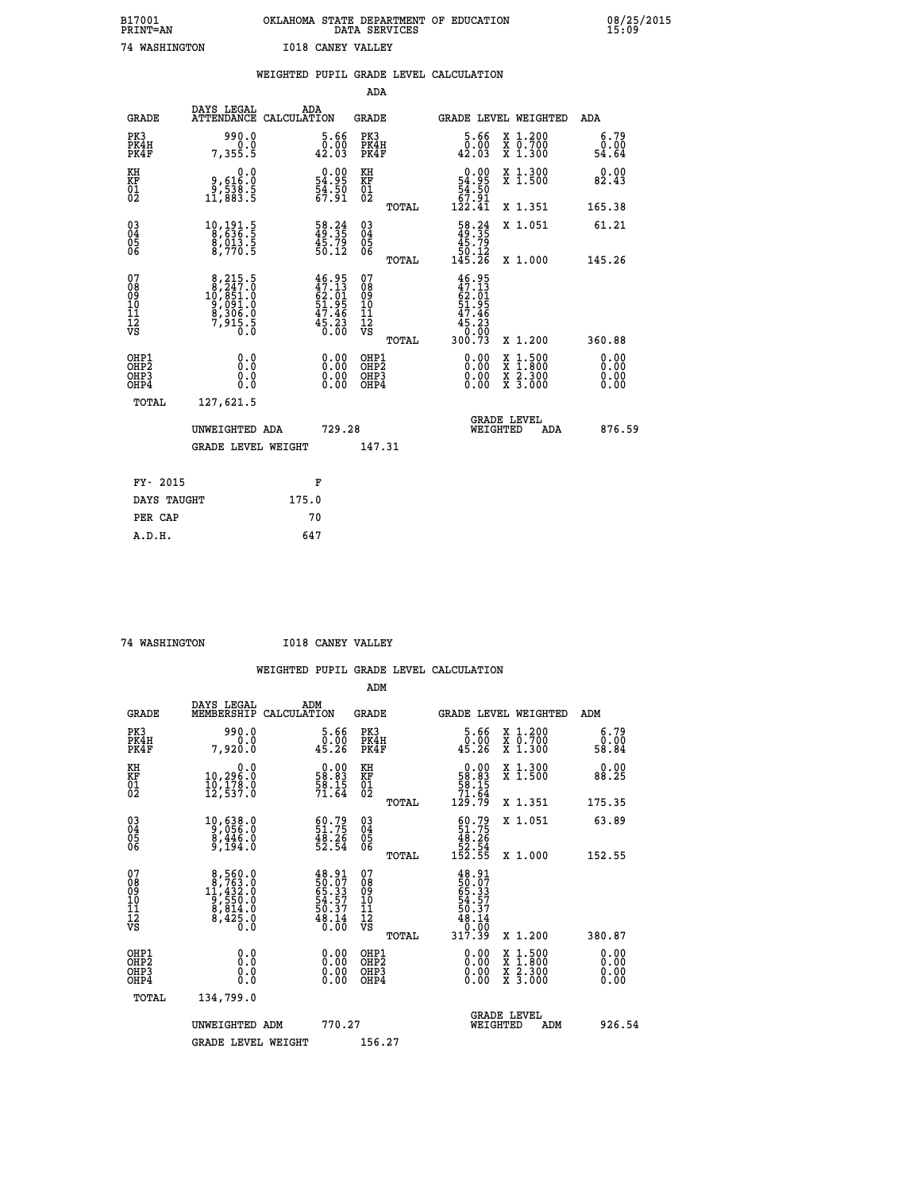| B17001          | OKLAHOMA STATE DEPARTMENT OF EDUCATION |
|-----------------|----------------------------------------|
| <b>PRINT=AN</b> | DATA SERVICES                          |
| 74 WASHINGTON   | <b>I018 CANEY VALLEY</b>               |

 **B17001 OKLAHOMA STATE DEPARTMENT OF EDUCATION 08/25/2015**

|                                        |                                           |                                                                                             |       |                                                                          |                                                    |       | WEIGHTED PUPIL GRADE LEVEL CALCULATION                                             |                                          |     |                              |  |
|----------------------------------------|-------------------------------------------|---------------------------------------------------------------------------------------------|-------|--------------------------------------------------------------------------|----------------------------------------------------|-------|------------------------------------------------------------------------------------|------------------------------------------|-----|------------------------------|--|
|                                        |                                           |                                                                                             |       |                                                                          | <b>ADA</b>                                         |       |                                                                                    |                                          |     |                              |  |
|                                        | <b>GRADE</b>                              | DAYS LEGAL<br>ATTENDANCE CALCULATION                                                        | ADA   |                                                                          | <b>GRADE</b>                                       |       | GRADE LEVEL WEIGHTED                                                               |                                          |     | ADA                          |  |
|                                        | PK3<br>PK4H<br>PK4F                       | 990.0<br>0.0<br>7,355.5                                                                     |       | $\begin{smallmatrix}5.66\0.00\\42.03\end{smallmatrix}$                   | PK3<br>PK4H<br>PK4F                                |       | 5.66<br>0.00<br>42.03                                                              | X 1.200<br>X 0.700<br>X 1.300            |     | 6.79<br>0.00<br>54.64        |  |
| KH<br>KF<br>01<br>02                   |                                           | $\begin{smallmatrix} & & 0.0\, 9, & 616.0\, 9, & 538.5\, 11, & 883.5 \end{smallmatrix}$     |       | $\begin{smallmatrix} 0.00\\ 54.95\\ 54.50\\ 67.91 \end{smallmatrix}$     | KH<br>KF<br>01<br>02                               |       | $\begin{smallmatrix} &0.00\ 54.95\ 54.50\ 57.91\ 122.41\end{smallmatrix}$          | X 1.300<br>X 1.500                       |     | 0.00<br>82.43                |  |
|                                        |                                           |                                                                                             |       |                                                                          |                                                    | TOTAL |                                                                                    | X 1.351                                  |     | 165.38                       |  |
| 03<br>04<br>05<br>06                   |                                           | $\begin{smallmatrix}10,191.5\\8,636.5\\8,013.5\\8,770.5\end{smallmatrix}$                   |       | $\frac{58.24}{49.35}$<br>$\frac{45.79}{50.12}$                           | $\begin{matrix} 03 \\ 04 \\ 05 \\ 06 \end{matrix}$ |       | $\begin{smallmatrix} 58.24\ 49.35\ 45.79\ 50.12\ 145.26 \end{smallmatrix}$         | X 1.051                                  |     | 61.21                        |  |
|                                        |                                           |                                                                                             |       |                                                                          |                                                    | TOTAL |                                                                                    | X 1.000                                  |     | 145.26                       |  |
| 07<br>08<br>09<br>10<br>11<br>12<br>VS |                                           | $\begin{smallmatrix}8,215.5\\8,247.0\\10,851.0\\9,091.0\\8,306.0\\7,915.5\end{smallmatrix}$ |       | $46.95$<br>$47.13$<br>$62.01$<br>$51.95$<br>$47.46$<br>$45.23$<br>$0.00$ | 07<br>089<br>101<br>111<br>VS                      | TOTAL | 46.95<br>$47.131$<br>$62.015$<br>$51.95$<br>$47.46$<br>$45.23$<br>$0.00$<br>300.73 | X 1.200                                  |     | 360.88                       |  |
|                                        | OHP1<br>OH <sub>P</sub> 2<br>OHP3<br>OHP4 | 0.0<br>Ŏ.Ŏ<br>0.0<br>0.0                                                                    |       | $\begin{smallmatrix} 0.00 \ 0.00 \ 0.00 \ 0.00 \end{smallmatrix}$        | OHP1<br>OHP <sub>2</sub><br>OHP3<br>OHP4           |       | 0.00<br>0.00                                                                       | X 1:500<br>X 1:800<br>X 2:300<br>X 3:000 |     | 0.00<br>0.00<br>0.00<br>0.00 |  |
|                                        | TOTAL                                     | 127,621.5                                                                                   |       |                                                                          |                                                    |       |                                                                                    |                                          |     |                              |  |
|                                        |                                           | UNWEIGHTED ADA                                                                              |       | 729.28                                                                   |                                                    |       | WEIGHTED                                                                           | <b>GRADE LEVEL</b>                       | ADA | 876.59                       |  |
|                                        |                                           | <b>GRADE LEVEL WEIGHT</b>                                                                   |       |                                                                          | 147.31                                             |       |                                                                                    |                                          |     |                              |  |
|                                        | FY- 2015                                  |                                                                                             |       | F                                                                        |                                                    |       |                                                                                    |                                          |     |                              |  |
|                                        | DAYS TAUGHT                               |                                                                                             | 175.0 |                                                                          |                                                    |       |                                                                                    |                                          |     |                              |  |
|                                        | PER CAP                                   |                                                                                             |       | 70                                                                       |                                                    |       |                                                                                    |                                          |     |                              |  |

 **A.D.H. 647**

 **74 WASHINGTON I018 CANEY VALLEY**

|                                          |                                                                                                  |                                                                       | ADM                                                 |       |                                                                               |                                          |                       |
|------------------------------------------|--------------------------------------------------------------------------------------------------|-----------------------------------------------------------------------|-----------------------------------------------------|-------|-------------------------------------------------------------------------------|------------------------------------------|-----------------------|
| <b>GRADE</b>                             | DAYS LEGAL<br>MEMBERSHIP                                                                         | ADM<br>CALCULATION                                                    | <b>GRADE</b>                                        |       |                                                                               | GRADE LEVEL WEIGHTED                     | ADM                   |
| PK3<br>PK4H<br>PK4F                      | 990.0<br>0.0<br>7,920.0                                                                          | $\begin{smallmatrix}5.66\0.00\\9.00\0.26\end{smallmatrix}$            | PK3<br>PK4H<br>PK4F                                 |       | $\substack{5.66 \\ 0.00 \\ 45.26}$                                            | X 1.200<br>X 0.700<br>X 1.300            | 6.79<br>0.00<br>58.84 |
| KH<br>KF<br>01<br>02                     | 0.0<br>10,296:0<br>10,178:0<br>12,537:0                                                          | $\begin{smallmatrix} 0.00\\ 58.83\\ 58.15\\ 71.64 \end{smallmatrix}$  | KH<br>KF<br>01<br>02                                |       | $\begin{smallmatrix} &0.00\\ 58.83\\ 58.15\\ 71.64\\ 129.79\end{smallmatrix}$ | X 1.300<br>X 1.500                       | 0.00<br>88.25         |
|                                          |                                                                                                  |                                                                       |                                                     | TOTAL |                                                                               | X 1.351                                  | 175.35                |
| 03<br>04<br>05<br>06                     | $\begin{smallmatrix}10,638.0\\9,056.0\\8,446.0\\9,194.0\end{smallmatrix}$                        | $\begin{smallmatrix} 60.79\\ 51.75\\ 48.26\\ 52.54 \end{smallmatrix}$ | $\begin{array}{c} 03 \\ 04 \\ 05 \\ 06 \end{array}$ |       | $60.7951.7548.2652.54152.55$                                                  | X 1.051                                  | 63.89                 |
|                                          |                                                                                                  |                                                                       |                                                     | TOTAL |                                                                               | X 1.000                                  | 152.55                |
| 07<br>08<br>09<br>101<br>11<br>12<br>VS  | $\begin{smallmatrix}8,560.0\\8,763.0\\11,432.0\\9,550.0\\8,814.0\\8,425.0\\0.0\end{smallmatrix}$ | $48.91$<br>50.07<br>65.33<br>54.57<br>50.37<br>50.37<br>48.14         | 07<br>08<br>09<br>11<br>11<br>12<br>VS              | TOTAL | $48.91$<br>50.073<br>55.337<br>54.577<br>50.37<br>48.14<br>0.000<br>317.39    | X 1.200                                  | 380.87                |
| OHP1<br>OHP2<br>OHP <sub>3</sub><br>OHP4 |                                                                                                  |                                                                       | OHP1<br>OHP2<br>OHP <sub>3</sub>                    |       | $0.00$<br>$0.00$<br>0.00                                                      | X 1:500<br>X 1:800<br>X 2:300<br>X 3:000 | 0.00<br>0.00<br>0.00  |
| TOTAL                                    | 134,799.0                                                                                        |                                                                       |                                                     |       |                                                                               |                                          |                       |
|                                          | UNWEIGHTED<br>ADM                                                                                | 770.27                                                                |                                                     |       |                                                                               | GRADE LEVEL<br>WEIGHTED<br>ADM           | 926.54                |
|                                          | <b>GRADE LEVEL WEIGHT</b>                                                                        |                                                                       | 156.27                                              |       |                                                                               |                                          |                       |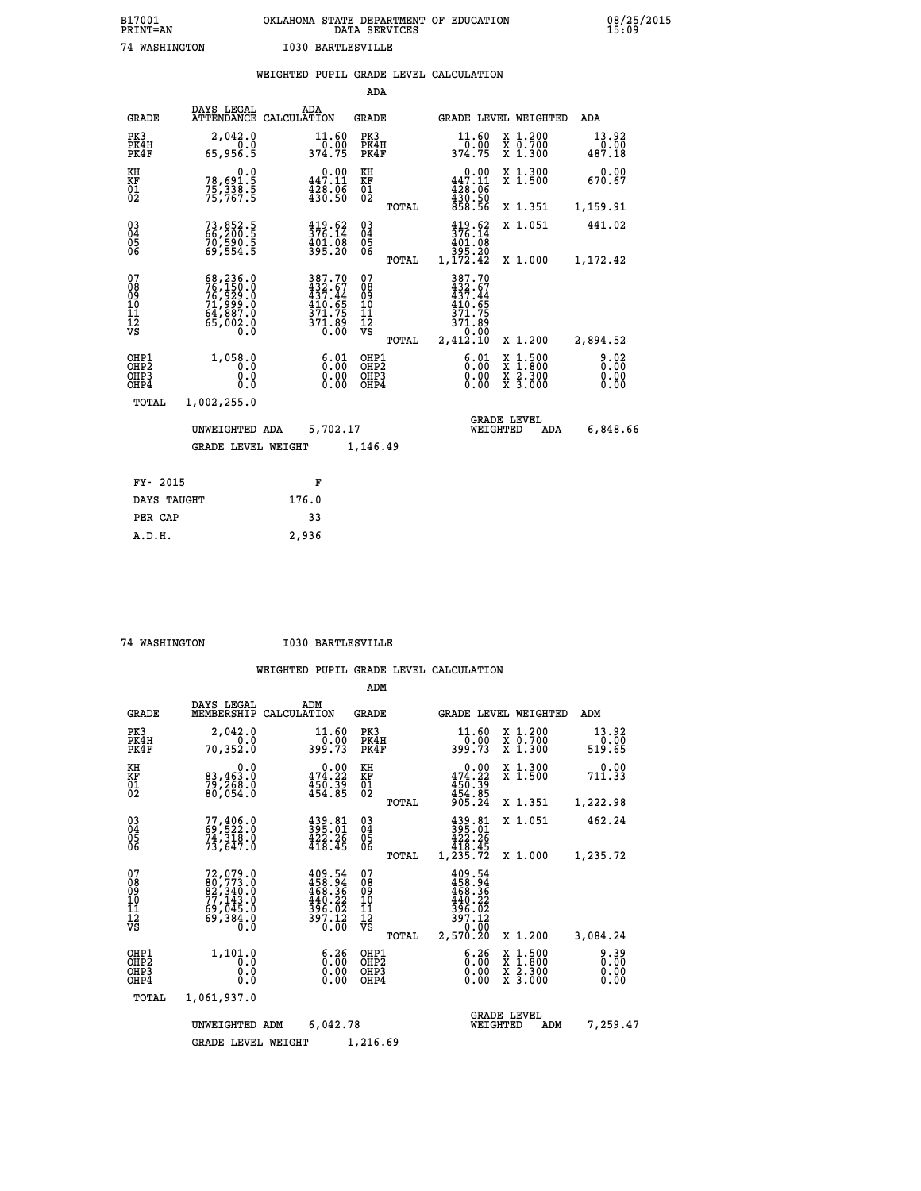# **B17001 OKLAHOMA STATE DEPARTMENT OF EDUCATION 08/25/2015 PRINT=AN DATA SERVICES 15:09 74 WASHINGTON I030 BARTLESVILLE**

|                                               |                                                                                           | WEIGHTED PUPIL GRADE LEVEL CALCULATION                                                            |                                                     |                                                                              |                                                                                                  |                                |
|-----------------------------------------------|-------------------------------------------------------------------------------------------|---------------------------------------------------------------------------------------------------|-----------------------------------------------------|------------------------------------------------------------------------------|--------------------------------------------------------------------------------------------------|--------------------------------|
|                                               |                                                                                           |                                                                                                   | <b>ADA</b>                                          |                                                                              |                                                                                                  |                                |
| <b>GRADE</b>                                  | DAYS LEGAL                                                                                | ADA<br>ATTENDANCE CALCULATION                                                                     | <b>GRADE</b>                                        | GRADE LEVEL WEIGHTED                                                         |                                                                                                  | ADA                            |
| PK3<br>PK4H<br>PK4F                           | 2,042.0<br>65,956.5                                                                       | $\frac{11.60}{0.00}$<br>374.75                                                                    | PK3<br>PK4H<br>PK4F                                 | 11.60<br>$\frac{0.00}{374.75}$                                               | X 1.200<br>X 0.700<br>X 1.300                                                                    | 13.92<br>$\frac{0.00}{487.18}$ |
| KH<br>KF<br>01<br>02                          | $78,691.5$<br>$75,338.5$<br>$75,767.5$                                                    | $0.00$<br>447.11<br>$\frac{428.06}{430.50}$                                                       | KH<br>KF<br>01<br>02                                | $\begin{smallmatrix}&&0.00\\447.11\\428.06\\430.50\\858.56\end{smallmatrix}$ | X 1.300<br>X 1.500                                                                               | 0.00<br>670.67                 |
|                                               |                                                                                           |                                                                                                   | TOTAL                                               |                                                                              | X 1.351                                                                                          | 1,159.91                       |
| 030404                                        | 73,852.5<br>66,200.5<br>70,590.5<br>69,554.5                                              | $\frac{419.62}{376.14}$<br>$\frac{401.08}{395.20}$                                                | $\begin{array}{c} 03 \\ 04 \\ 05 \\ 06 \end{array}$ | $\frac{419.62}{376.14}$<br>$\frac{401.08}{9}$                                | X 1.051                                                                                          | 441.02                         |
| ŎĞ                                            |                                                                                           |                                                                                                   | TOTAL                                               | 395.20<br>1,172.42                                                           | X 1.000                                                                                          | 1,172.42                       |
| 07<br>08<br>09<br>001<br>11<br>11<br>12<br>VS | 68,236.0<br>76,150.0<br>76,929.0<br>71,999.0<br>64,887.0<br>65,002.0<br>$\overline{0}$ .0 | $\begin{smallmatrix} 387.70\\ 432.67\\ 437.44\\ 10.65\\ 371.75\\ 371.89\\ 0.00 \end{smallmatrix}$ | 07<br>08<br>09<br>101<br>11<br>12<br>VS<br>TOTAL    | 387.70<br>432.67<br>437.44<br>410.65<br>371.75<br>89.173<br>0.00<br>2,412.10 | X 1.200                                                                                          | 2,894.52                       |
| OHP1<br>OH <sub>P</sub> 2<br>OHP3<br>OHP4     | 1,058.0<br>0.0<br>0.0<br>0.0                                                              | 6.01<br>0.00<br>0.00                                                                              | OHP1<br>OHP <sub>2</sub><br>OHP3<br>OHP4            | 6.01<br>0.00<br>0.00                                                         | $\begin{smallmatrix} x & 1 & 500 \\ x & 1 & 800 \\ x & 2 & 300 \\ x & 3 & 000 \end{smallmatrix}$ | 9.02<br>0.00<br>0.00<br>0.00   |
|                                               | TOTAL<br>1,002,255.0                                                                      |                                                                                                   |                                                     |                                                                              |                                                                                                  |                                |
|                                               | UNWEIGHTED ADA<br><b>GRADE LEVEL WEIGHT</b>                                               | 5,702.17                                                                                          |                                                     | <b>GRADE LEVEL</b><br>WEIGHTED                                               | ADA                                                                                              | 6,848.66                       |
|                                               |                                                                                           |                                                                                                   | 1,146.49                                            |                                                                              |                                                                                                  |                                |
|                                               | FY- 2015                                                                                  | F                                                                                                 |                                                     |                                                                              |                                                                                                  |                                |
|                                               | DAYS TAUGHT                                                                               | 176.0                                                                                             |                                                     |                                                                              |                                                                                                  |                                |
|                                               | PER CAP                                                                                   | 33                                                                                                |                                                     |                                                                              |                                                                                                  |                                |

 **A.D.H. 2,936**

 **74 WASHINGTON I030 BARTLESVILLE**

|                                                    |                                                                             |                                                                                                                                                                                                                | ADM                                                |                                                                                  |                                          |                              |
|----------------------------------------------------|-----------------------------------------------------------------------------|----------------------------------------------------------------------------------------------------------------------------------------------------------------------------------------------------------------|----------------------------------------------------|----------------------------------------------------------------------------------|------------------------------------------|------------------------------|
| <b>GRADE</b>                                       | DAYS LEGAL<br>MEMBERSHIP                                                    | ADM<br>CALCULATION                                                                                                                                                                                             | <b>GRADE</b>                                       | GRADE LEVEL WEIGHTED                                                             |                                          | ADM                          |
| PK3<br>PK4H<br>PK4F                                | 2,042.0<br>0.0<br>70,352.0                                                  | 11.60<br>399.73                                                                                                                                                                                                | PK3<br>PK4H<br>PK4F                                | 11.60<br>ة: 20<br>399.73                                                         | X 1.200<br>X 0.700<br>X 1.300            | 13.92<br>0.00<br>519.65      |
| KH<br>KF<br>01<br>02                               | 0.0<br>83,463.0<br>79,260.0<br>80,054.0                                     | $0.00$<br>474.22<br>$450.39$<br>$454.85$                                                                                                                                                                       | KH<br>KF<br>$\overline{01}$                        | 0.00<br>474.22<br>$450.39$<br>$454.85$<br>$905.24$                               | X 1.300<br>X 1.500                       | 0.00<br>711.33               |
|                                                    |                                                                             |                                                                                                                                                                                                                | TOTAL                                              |                                                                                  | X 1.351                                  | 1,222.98                     |
| $\begin{matrix} 03 \\ 04 \\ 05 \\ 06 \end{matrix}$ | $77,406.0$<br>69,522.0<br>74,318.0                                          | $\begin{smallmatrix} 439.81\\ 395.01\\ 422.26\\ 418.45 \end{smallmatrix}$                                                                                                                                      | $\begin{matrix} 03 \\ 04 \\ 05 \\ 06 \end{matrix}$ | $\begin{smallmatrix} 439.81\ 395.01\ 422.26\ 418.45\ 1,235.72 \end{smallmatrix}$ | X 1.051                                  | 462.24                       |
|                                                    | 73,647.0                                                                    |                                                                                                                                                                                                                | TOTAL                                              |                                                                                  | X 1.000                                  | 1,235.72                     |
| 07<br>08<br>09<br>101<br>11<br>12<br>VS            | 72,079.0<br>80,773.0<br>82,340.0<br>77,143.0<br>69,045.0<br>69,384.0<br>0.0 | $\begin{smallmatrix} 4 & 0 & 9 & . & 54 \\ 4 & 5 & 8 & . & 94 \\ 4 & 6 & 8 & . & 36 \\ 4 & 6 & 8 & . & 36 \\ 4 & 9 & . & 22 \\ 3 & 9 & 6 & . & 02 \\ 3 & 9 & 7 & . & 12 \\ 0 & . & 0 & 0 \\ \end{smallmatrix}$ | 07<br>08<br>09<br>11<br>11<br>12<br>VS<br>TOTAL    | 409.54<br>458.946<br>468.36<br>440.22<br>396.02<br>397.12<br>59.000<br>2,570.20  | X 1.200                                  | 3,084.24                     |
| OHP1<br>OHP <sub>2</sub><br>OHP3<br>OHP4           | 1,101.0<br>0.0<br>0.0<br>Ŏ.Ŏ                                                | $\begin{smallmatrix} 6.26\ 0.00\ 0.00 \end{smallmatrix}$                                                                                                                                                       | OHP1<br>OHP2<br>OHP3<br>OHP4                       | 6:36<br>0.00                                                                     | X 1:500<br>X 1:800<br>X 2:300<br>X 3:000 | 9.39<br>0.00<br>0.00<br>0.00 |
| TOTAL                                              | 1,061,937.0                                                                 |                                                                                                                                                                                                                |                                                    |                                                                                  |                                          |                              |
|                                                    | UNWEIGHTED<br><b>GRADE LEVEL WEIGHT</b>                                     | 6,042.78<br>ADM                                                                                                                                                                                                | 1,216.69                                           | <b>GRADE LEVEL</b><br>WEIGHTED                                                   | ADM                                      | 7,259.47                     |
|                                                    |                                                                             |                                                                                                                                                                                                                |                                                    |                                                                                  |                                          |                              |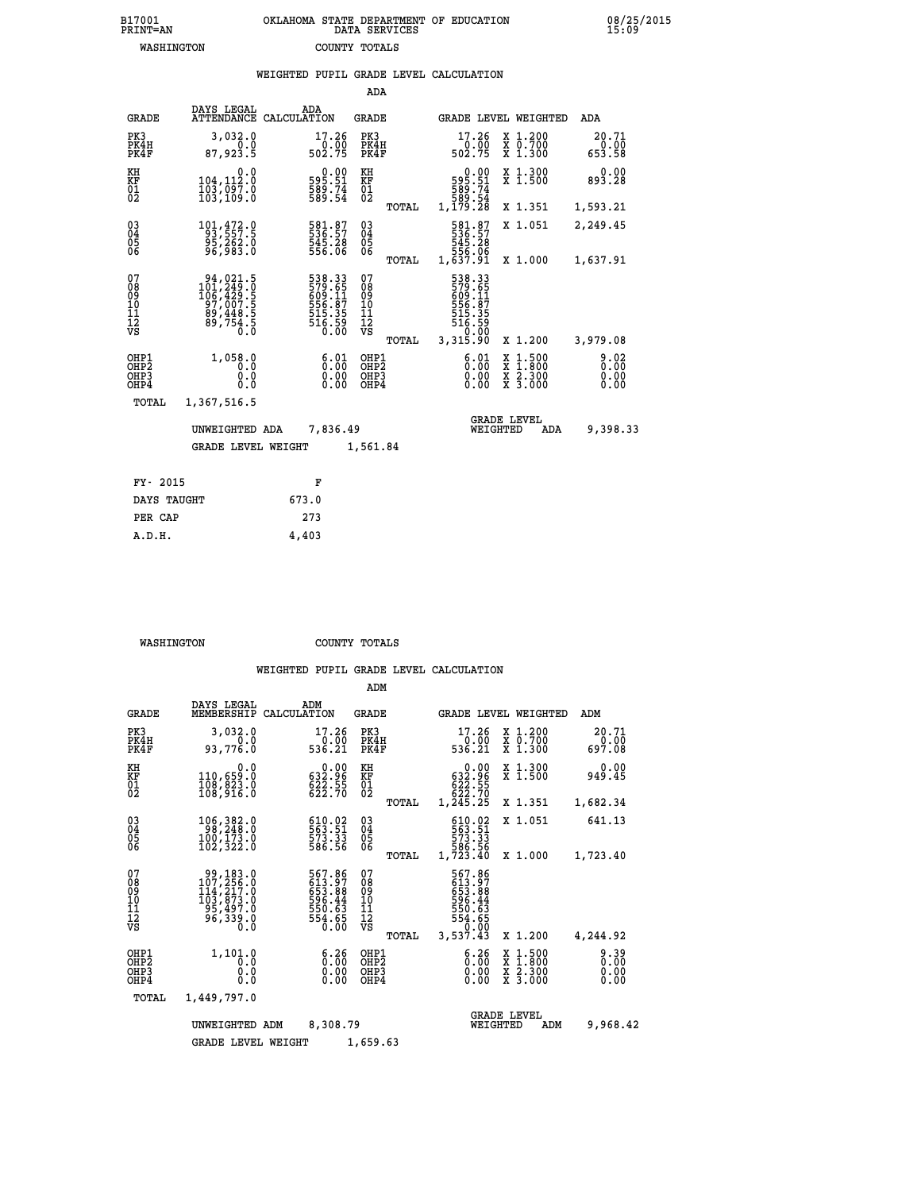|                                                                    |                                                                                                              | WEIGHTED PUPIL GRADE LEVEL CALCULATION                              |                                        |       |                                                                                 |                                                                |                           |
|--------------------------------------------------------------------|--------------------------------------------------------------------------------------------------------------|---------------------------------------------------------------------|----------------------------------------|-------|---------------------------------------------------------------------------------|----------------------------------------------------------------|---------------------------|
|                                                                    |                                                                                                              |                                                                     | ADA                                    |       |                                                                                 |                                                                |                           |
| <b>GRADE</b>                                                       | DAYS LEGAL<br><b>ATTENDANCE</b>                                                                              | ADA<br>CALCULATION                                                  | <b>GRADE</b>                           |       |                                                                                 | GRADE LEVEL WEIGHTED                                           | ADA                       |
| PK3<br>PK4H<br>PK4F                                                | 3,032.0<br>0.0<br>87,923.5                                                                                   | 17.26<br>$\frac{1}{502}$ .75                                        | PK3<br>PK4H<br>PK4F                    |       | 17.26                                                                           | X 1.200<br>X 0.700<br>X 1.300                                  | 20.71<br>$0.00$<br>653.58 |
| KH<br>KF<br>01<br>02                                               | 0.0<br>104,112:0<br>103,097.0<br>103,109:0                                                                   | $\begin{smallmatrix} 0.00\\595.51\\589.74\\589.54\end{smallmatrix}$ | KH<br>KF<br>01<br>02                   |       | $0.00$<br>$595.51$<br>$589.74$<br>$589.54$<br>$1,179.28$                        | X 1.300<br>X 1.500                                             | $0.00$<br>893.28          |
|                                                                    |                                                                                                              |                                                                     |                                        | TOTAL |                                                                                 | X 1.351                                                        | 1,593.21                  |
| $\begin{smallmatrix} 03 \\[-4pt] 04 \end{smallmatrix}$<br>Ŏ5<br>06 | 101, 472.0<br>95,262.0<br>96,983.0                                                                           | 581.87<br>536.57<br>545.28<br>556.06                                | $\substack{03 \\ 04}$<br>Ŏ5<br>06      |       | 581.87<br>536.57<br>545.28<br>556.06                                            | X 1.051                                                        | 2,249.45                  |
|                                                                    |                                                                                                              |                                                                     |                                        | TOTAL | 1,637.91                                                                        | X 1.000                                                        | 1,637.91                  |
| 07<br>08<br>09<br>10<br>11<br>12<br>VS                             | $\begin{smallmatrix} 94,021.5\\ 101,249.0\\ 106,429.5\\ 97,007.5\\ 89,448.5\\ 89,754.5\\ 0\end{smallmatrix}$ | 538.33<br>579.65<br>509.117<br>6556.87<br>515.35<br>516.59<br>0.00  | 07<br>08<br>09<br>11<br>11<br>12<br>VS | TOTAL | 538.33<br>579.65<br>609.11<br>6556.87<br>515.35<br>516.59<br>516.59<br>3,315.90 | X 1.200                                                        | 3,979.08                  |
| OHP1<br>OHP <sub>2</sub><br>OHP3<br>OHP4                           | 1,058.0<br>0.0<br>0.0<br>0.0                                                                                 | 6:01<br>$\begin{smallmatrix} 0.00 \ 0.00 \end{smallmatrix}$         | OHP1<br>OHP2<br>OHP3<br>OHP4           |       | 6:01<br>0.00<br>0.00                                                            | $1:500$<br>$1:800$<br>X 1:500<br>X 1:800<br>X 2:300<br>X 3:000 | 8.02<br>0.00<br>0.00      |
| <b>TOTAL</b>                                                       | 1,367,516.5                                                                                                  |                                                                     |                                        |       |                                                                                 |                                                                |                           |
|                                                                    | UNWEIGHTED ADA                                                                                               | 7,836.49                                                            |                                        |       | WEIGHTED                                                                        | <b>GRADE LEVEL</b><br>ADA                                      | 9,398.33                  |
|                                                                    | <b>GRADE LEVEL WEIGHT</b>                                                                                    |                                                                     | 1,561.84                               |       |                                                                                 |                                                                |                           |
| FY- 2015                                                           |                                                                                                              | F                                                                   |                                        |       |                                                                                 |                                                                |                           |
| DAYS TAUGHT                                                        |                                                                                                              | 673.0                                                               |                                        |       |                                                                                 |                                                                |                           |
| PER CAP                                                            |                                                                                                              | 273                                                                 |                                        |       |                                                                                 |                                                                |                           |

 **WASHINGTON COUNTY TOTALS**

 **A.D.H. 4,403**

|                                                    |                                                                                                                                       |                                                                         | ADM                                                 |                                                                                 |                                          |                              |
|----------------------------------------------------|---------------------------------------------------------------------------------------------------------------------------------------|-------------------------------------------------------------------------|-----------------------------------------------------|---------------------------------------------------------------------------------|------------------------------------------|------------------------------|
| <b>GRADE</b>                                       | DAYS LEGAL<br>MEMBERSHIP                                                                                                              | ADM<br>CALCULATION                                                      | GRADE                                               |                                                                                 | GRADE LEVEL WEIGHTED                     | ADM                          |
| PK3<br>PK4H<br>PK4F                                | 3,032.0<br>0.0<br>93,776.0                                                                                                            | 17.26<br>0.00<br>536.21                                                 | PK3<br>PK4H<br>PK4F                                 | 17.26<br>$0.\bar{0}0$<br>536.21                                                 | X 1.200<br>x 0.700<br>x 1.300            | 20.71<br>0.00<br>697.08      |
| KH<br>KF<br>01<br>02                               | 0.0<br>110,659.0<br>108,823.0<br>108,916.0                                                                                            | $\begin{smallmatrix} &0.00\\ 632.96\\ 622.55\\ 622.70\end{smallmatrix}$ | KH<br>KF<br>01<br>02                                | 0.00<br>632.96<br>622.55<br>622.70                                              | X 1.300<br>X 1.500                       | 0.00<br>949.45               |
|                                                    |                                                                                                                                       |                                                                         | TOTAL                                               | 1,245.25                                                                        | X 1.351                                  | 1,682.34                     |
| $\begin{matrix} 03 \\ 04 \\ 05 \\ 06 \end{matrix}$ | 106,382.0<br>100, 173.0<br>102,322.0                                                                                                  | 610.02<br>563.51<br>573.33<br>586.56                                    | $\begin{array}{c} 03 \\ 04 \\ 05 \\ 06 \end{array}$ | 610.02<br>563.51<br>573.33<br>586.56<br>586.56<br>1,723.40                      | X 1.051                                  | 641.13                       |
|                                                    |                                                                                                                                       |                                                                         | TOTAL                                               |                                                                                 | X 1.000                                  | 1,723.40                     |
| 07<br>08<br>09<br>11<br>11<br>12<br>VS             | $\begin{smallmatrix} 99,183\cdot0\\ 107,256\cdot0\\ 114,217\cdot0\\ 103,873\cdot0\\ 95,497\cdot0\\ 96,339\cdot0\\ 0\end{smallmatrix}$ | 567.86<br>613.97<br>653.88<br>596.44<br>550.63<br>554.65<br>0.00        | 07<br>08<br>09<br>11<br>11<br>12<br>VS<br>TOTAL     | 567.86<br>387.987<br>653.88<br>596.44<br>550.63<br>554.655<br>50.00<br>3,537.43 | X 1.200                                  | 4,244.92                     |
| OHP1<br>OHP2<br>OH <sub>P3</sub><br>OHP4           | 1,101.0<br>0.0<br>0.0<br>0.0                                                                                                          | $\begin{smallmatrix} 6.26 \ 0.00 \ 0.00 \end{smallmatrix}$<br>0.00      | OHP1<br>OH <sub>P</sub> 2<br>OHP3<br>OHP4           | $\begin{smallmatrix} 6.26 \ 0.00 \ 0.00 \end{smallmatrix}$<br>0.00              | X 1:500<br>X 1:800<br>X 2:300<br>X 3:000 | 9.39<br>0.00<br>0.00<br>0.00 |
| TOTAL                                              | 1,449,797.0                                                                                                                           |                                                                         |                                                     |                                                                                 |                                          |                              |
|                                                    | UNWEIGHTED ADM                                                                                                                        | 8,308.79                                                                |                                                     | WEIGHTED                                                                        | <b>GRADE LEVEL</b><br>ADM                | 9,968.42                     |
|                                                    | <b>GRADE LEVEL WEIGHT</b>                                                                                                             |                                                                         | 1,659.63                                            |                                                                                 |                                          |                              |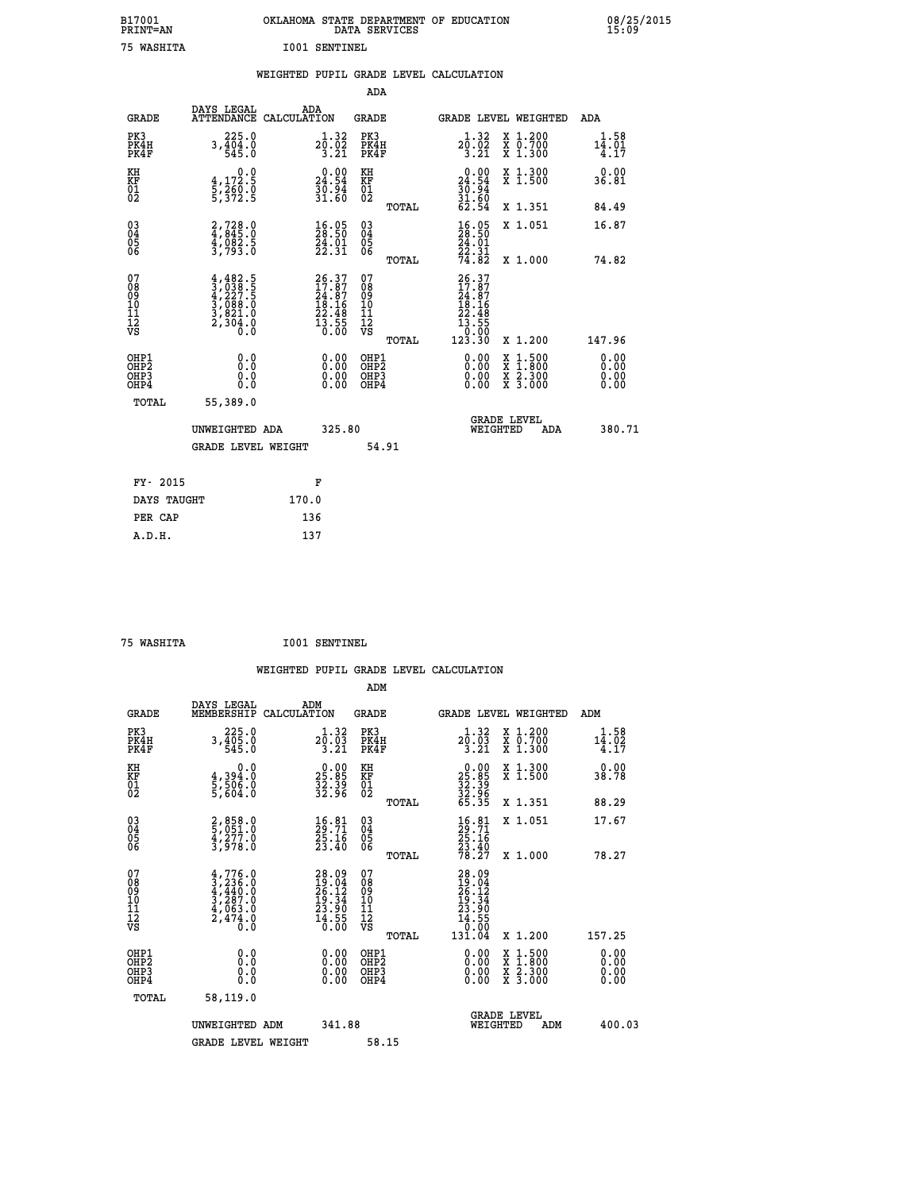| B17001<br>PRINT=AN | OKLAHOMA STATE DEPARTMENT OF EDUCATION<br>DATA SERVICES | 08/25/2015<br>15:09 |
|--------------------|---------------------------------------------------------|---------------------|
| 75<br>WASHITA      | I001<br>SENTINEL                                        |                     |

|                                                                    |                                                                                                                                                                                                               |                                                                          | ADA                                               |                                                                                                     |                                                                          |
|--------------------------------------------------------------------|---------------------------------------------------------------------------------------------------------------------------------------------------------------------------------------------------------------|--------------------------------------------------------------------------|---------------------------------------------------|-----------------------------------------------------------------------------------------------------|--------------------------------------------------------------------------|
| <b>GRADE</b>                                                       | DAYS LEGAL                                                                                                                                                                                                    | ADA<br>ATTENDANCE CALCULATION                                            | <b>GRADE</b>                                      | GRADE LEVEL WEIGHTED                                                                                | <b>ADA</b>                                                               |
| PK3<br>PK4H<br>PK4F                                                | 225.0<br>$3, \frac{1}{4}$ $\overline{0}$ $\overline{4}$ $\overline{0}$ $\overline{4}$ $\overline{0}$ $\overline{4}$ $\overline{5}$ $\overline{4}$ $\overline{5}$ $\overline{4}$ $\overline{5}$ $\overline{0}$ | $2\overline{0}:\overline{0}2\over 3.21$                                  | PK3<br>PK4H<br>PK4F                               | $2\overline{0}:\overline{0}2\over 3.21$<br>X 1.200<br>X 0.700<br>X 1.300                            | 1.58<br>$1\overline{4}\cdot\overline{0}\overline{1}\overline{1}$<br>4.17 |
| KH<br>KF<br>01<br>02                                               | 0.0<br>$\frac{4}{5}, \frac{172}{260}$ .0<br>5,372.5                                                                                                                                                           | 24.90<br>$\frac{3}{3}\tilde{0}\cdot\tilde{9}\tilde{4}$<br>31.60          | KH<br>KF<br>01<br>02                              | 24.90<br>X 1.300<br>X 1.500<br>$\frac{30.94}{31.60}$<br>62.54                                       | 0.00<br>36.81                                                            |
|                                                                    |                                                                                                                                                                                                               |                                                                          | TOTAL                                             | X 1.351                                                                                             | 84.49                                                                    |
| $\begin{smallmatrix} 03 \\[-4pt] 04 \end{smallmatrix}$<br>Ŏ5<br>06 | 2,728.0<br>4,845.0<br>4,082.5<br>3,793.0                                                                                                                                                                      | $\frac{16.05}{28.50}$<br>$\frac{54}{22}.01$<br>22.31                     | $\substack{03 \\ 04}$<br>$\frac{05}{06}$<br>TOTAL | $\begin{smallmatrix} 16.05\\ 28.50\\ 24.01\\ 22.31\\ 74.82 \end{smallmatrix}$<br>X 1.051<br>X 1.000 | 16.87<br>74.82                                                           |
| 07<br>08<br>09<br>11<br>11<br>12<br>VS                             | $4,482.5$<br>$3,038.5$<br>$4,227.5$<br>$3,088.0$<br>$3,821.0$<br>$2,304.0$<br>$0.0$                                                                                                                           | $26.37$<br>$17.87$<br>$24.87$<br>$18.16$<br>$22.48$<br>$13.55$<br>$0.00$ | 07<br>08<br>09<br>11<br>11<br>12<br>VS            | $\begin{smallmatrix} 26.37\ 17.87\ 24.87\ 24.181\ 12.468\ 13.555\ 123.30\ \end{smallmatrix}$        |                                                                          |
|                                                                    |                                                                                                                                                                                                               |                                                                          | TOTAL                                             | X 1.200                                                                                             | 147.96                                                                   |
| OHP1<br>OHP <sub>2</sub><br>OHP3<br>OHP4                           | 0.0<br>0.0<br>Ō.Ō                                                                                                                                                                                             | 0.00<br>$\begin{smallmatrix} 0.00 \ 0.00 \end{smallmatrix}$              | OHP1<br>OH <sub>P</sub> 2<br>OHP3<br>OHP4         | 0.00<br>$1:500$<br>$1:800$<br>X<br>X<br>0.00<br>$\frac{x}{x}$ $\frac{5:300}{3:000}$<br>0.00         | 0.00<br>0.00<br>0.00<br>0.00                                             |
| TOTAL                                                              | 55,389.0                                                                                                                                                                                                      |                                                                          |                                                   |                                                                                                     |                                                                          |
|                                                                    | UNWEIGHTED ADA                                                                                                                                                                                                | 325.80                                                                   |                                                   | <b>GRADE LEVEL</b><br>WEIGHTED<br>ADA                                                               | 380.71                                                                   |
|                                                                    | <b>GRADE LEVEL WEIGHT</b>                                                                                                                                                                                     |                                                                          | 54.91                                             |                                                                                                     |                                                                          |
| FY- 2015                                                           |                                                                                                                                                                                                               | F                                                                        |                                                   |                                                                                                     |                                                                          |
| DAYS TAUGHT                                                        |                                                                                                                                                                                                               | 170.0                                                                    |                                                   |                                                                                                     |                                                                          |
| PER CAP                                                            |                                                                                                                                                                                                               | 136                                                                      |                                                   |                                                                                                     |                                                                          |

|  | 75 WASHTTA |
|--|------------|

 **75 WASHITA I001 SENTINEL**

| <b>GRADE</b>                                       | DAYS LEGAL<br>MEMBERSHIP                                                            | ADM<br>CALCULATION                                                       | <b>GRADE</b>                                        |       | <b>GRADE LEVEL WEIGHTED</b>                                                                                                                                                                                                                                                    |                                          | ADM                          |        |
|----------------------------------------------------|-------------------------------------------------------------------------------------|--------------------------------------------------------------------------|-----------------------------------------------------|-------|--------------------------------------------------------------------------------------------------------------------------------------------------------------------------------------------------------------------------------------------------------------------------------|------------------------------------------|------------------------------|--------|
| PK3<br>PK4H<br>PK4F                                | 225.0<br>$3, \frac{1}{5}$ $\frac{1}{5}$ $\frac{5}{5}$ $\frac{5}{5}$                 | $2\overline{0}:\overline{0}\overline{3}\overline{3}\overline{3}.21$      | PK3<br>PK4H<br>PK4F                                 |       | 1.32<br>$2\overline{0}$ : $\overline{0}\overline{3}$<br>3:21                                                                                                                                                                                                                   | X 1.200<br>X 0.700<br>X 1.300            | $14.58$<br>$14.02$<br>$4.17$ |        |
| KH<br>KF<br>01<br>02                               | 0.0<br>$\frac{4}{5}, \frac{394}{506}$ .0<br>5,506.0                                 | $\begin{smallmatrix} 0.00\\ 25.85\\ 32.39\\ 32.96 \end{smallmatrix}$     | KH<br>KF<br>01<br>02                                |       | $25.85$<br>$32.39$<br>$32.96$<br>$65.35$                                                                                                                                                                                                                                       | X 1.300<br>X 1.500                       | 0.00<br>38.78                |        |
|                                                    |                                                                                     |                                                                          |                                                     | TOTAL |                                                                                                                                                                                                                                                                                | X 1.351                                  | 88.29                        |        |
| $\begin{matrix} 03 \\ 04 \\ 05 \\ 06 \end{matrix}$ | 2,858.0<br>5,051.0<br>4,277.0<br>3,978.0                                            | $\frac{16}{29}.\substack{81\ 71\\ 25.16\\ 23.40}$                        | $\begin{array}{c} 03 \\ 04 \\ 05 \\ 06 \end{array}$ |       | $\frac{16}{29}:\substack{81\\25}.16\\23.40\\78.27$                                                                                                                                                                                                                             | X 1.051                                  | 17.67                        |        |
|                                                    |                                                                                     |                                                                          |                                                     | TOTAL |                                                                                                                                                                                                                                                                                | X 1.000                                  | 78.27                        |        |
| 07<br>08<br>09<br>101<br>112<br>VS                 | $4,776.0$<br>$3,236.0$<br>$4,440.0$<br>$3,287.0$<br>$4,063.0$<br>$2,474.0$<br>$0.0$ | $28.09$<br>$19.04$<br>$26.12$<br>$19.34$<br>$23.90$<br>$14.55$<br>$0.00$ | 07<br>08<br>09<br>11<br>11<br>12<br>VS              | TOTAL | $\begin{smallmatrix} 28.09\ 19.04\ 26.12\ 29.34\ 19.34\ 13.905\ 14.555\ 131.04\ \end{smallmatrix}$                                                                                                                                                                             | X 1.200                                  | 157.25                       |        |
| OHP1<br>OHP2<br>OHP3<br>OHP4                       | 0.0<br>Ō.Ō<br>Ŏ.Ŏ                                                                   |                                                                          | OHP1<br>OHP2<br>OHP3<br>OHP4                        |       | $\begin{smallmatrix} 0.00 & 0.00 & 0.00 & 0.00 & 0.00 & 0.00 & 0.00 & 0.00 & 0.00 & 0.00 & 0.00 & 0.00 & 0.00 & 0.00 & 0.00 & 0.00 & 0.00 & 0.00 & 0.00 & 0.00 & 0.00 & 0.00 & 0.00 & 0.00 & 0.00 & 0.00 & 0.00 & 0.00 & 0.00 & 0.00 & 0.00 & 0.00 & 0.00 & 0.00 & 0.00 & 0.0$ | X 1:500<br>X 1:800<br>X 2:300<br>X 3:000 | 0.00<br>0.00<br>0.00         |        |
| TOTAL                                              | 58,119.0                                                                            |                                                                          |                                                     |       |                                                                                                                                                                                                                                                                                |                                          |                              |        |
|                                                    | UNWEIGHTED ADM                                                                      | 341.88                                                                   |                                                     |       | WEIGHTED                                                                                                                                                                                                                                                                       | <b>GRADE LEVEL</b><br>ADM                |                              | 400.03 |
|                                                    | <b>GRADE LEVEL WEIGHT</b>                                                           |                                                                          | 58.15                                               |       |                                                                                                                                                                                                                                                                                |                                          |                              |        |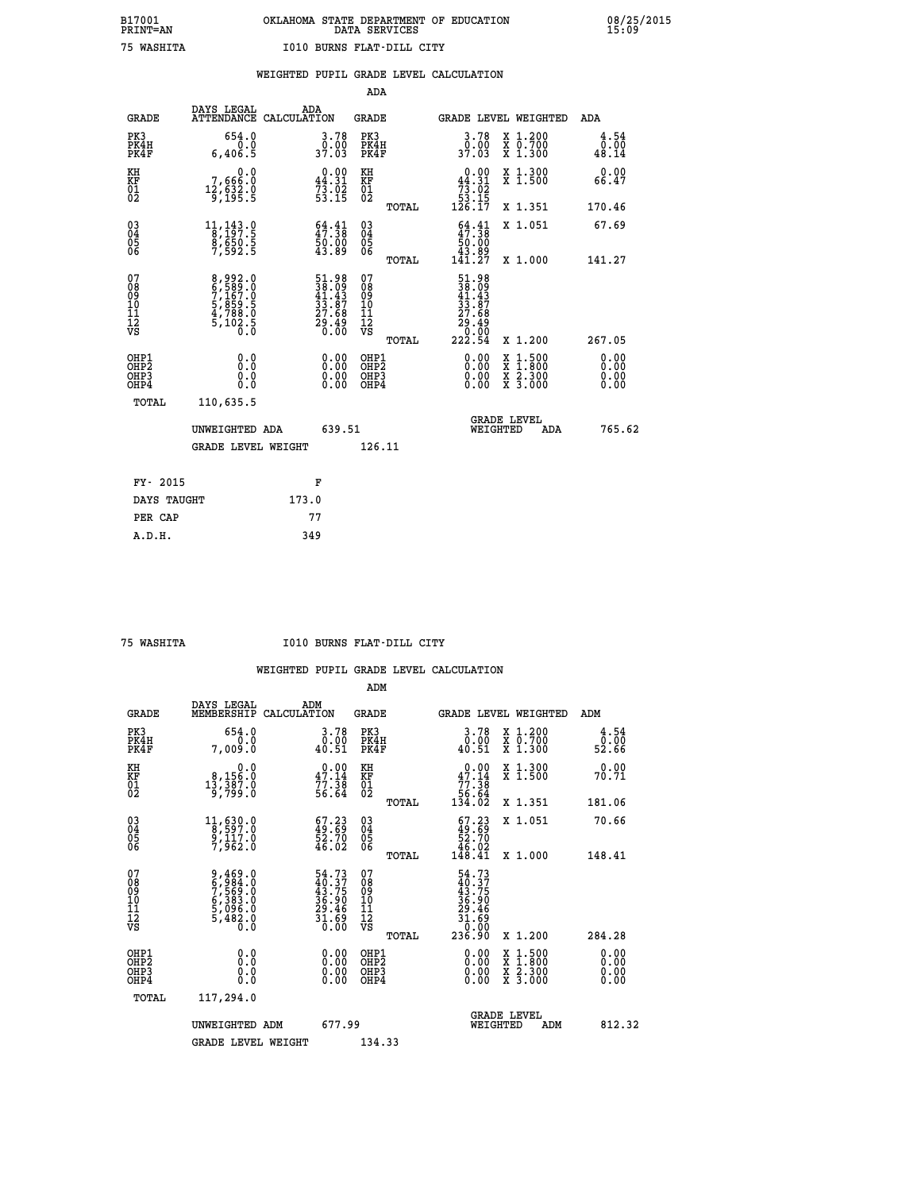|                                                                    |                                                                           |                                                             | ADA                                       |       |                                                                                                     |        |                                          |                              |
|--------------------------------------------------------------------|---------------------------------------------------------------------------|-------------------------------------------------------------|-------------------------------------------|-------|-----------------------------------------------------------------------------------------------------|--------|------------------------------------------|------------------------------|
| <b>GRADE</b>                                                       | DAYS LEGAL<br>ATTENDANCE CALCULATION                                      | ADA                                                         | <b>GRADE</b>                              |       | GRADE LEVEL WEIGHTED                                                                                |        |                                          | <b>ADA</b>                   |
| PK3<br>PK4H<br>PK4F                                                | 654.0<br>0.0<br>6,406.5                                                   | 3.78<br>0.00<br>37.03                                       | PK3<br>PK4H<br>PK4F                       |       | 3.78<br>ŏ:óŏ<br>37.03                                                                               |        | X 1.200<br>X 0.700<br>X 1.300            | 4.54<br>$\frac{0.00}{48.14}$ |
| KH<br>KF<br>01<br>02                                               | 0.0<br>7,666:0<br>12,632:0<br>9,195:5                                     | $0.00$<br>44.31<br>$73.02$<br>53.15                         | KH<br>KF<br>01<br>02                      |       | $\begin{smallmatrix}&&0&.00\\44&.31\\73&.02\\53&.15\\126&.17\end{smallmatrix}$                      |        | X 1.300<br>X 1.500                       | 0.00<br>66.47                |
|                                                                    |                                                                           |                                                             |                                           | TOTAL |                                                                                                     |        | X 1.351                                  | 170.46                       |
| $\begin{smallmatrix} 03 \\[-4pt] 04 \end{smallmatrix}$<br>Ŏ5<br>06 | $1\frac{1}{2}, \frac{1}{2}\frac{4}{2}, \frac{3}{5}$<br>8,650.5<br>7,592.5 | $\frac{64.41}{47.38}$<br>50.00<br>43.89                     | $\substack{03 \\ 04}$<br>Ŏ5<br>06         |       | $\begin{smallmatrix} 64.41\ 47.38\ 50.00\ 43.89\ 141.27 \end{smallmatrix}$                          |        | X 1.051                                  | 67.69                        |
|                                                                    |                                                                           |                                                             |                                           | TOTAL |                                                                                                     |        | X 1.000                                  | 141.27                       |
| 07<br>08<br>09<br>11<br>11<br>12<br>VS                             | 8,992.0<br>6,589.0<br>7,167.0<br>5,859.5<br>4,788.0<br>5,102.5            | 51.98<br>38.09<br>41.43<br>33.87<br>27.68<br>29.49<br>29.40 | 07<br>08<br>09<br>11<br>11<br>12<br>VS    |       | $\begin{array}{r} 51.98 \\ 38.09 \\ 41.43 \\ 33.87 \\ 27.68 \\ 29.49 \\ 0.00 \\ 222.54 \end{array}$ |        |                                          |                              |
|                                                                    |                                                                           |                                                             |                                           | TOTAL |                                                                                                     |        | X 1.200                                  | 267.05                       |
| OHP1<br>OHP <sub>2</sub><br>OHP3<br>OHP4                           | 0.0<br>0.0<br>0.0                                                         | 0.00<br>$\begin{smallmatrix} 0.00 \ 0.00 \end{smallmatrix}$ | OHP1<br>OH <sub>P</sub> 2<br>OHP3<br>OHP4 |       | 0.00<br>0.00<br>0.00                                                                                | X<br>X | $1:500$<br>$1:800$<br>X 2.300<br>X 3.000 | 0.00<br>0.00<br>0.00<br>0.00 |
| TOTAL                                                              | 110,635.5                                                                 |                                                             |                                           |       |                                                                                                     |        |                                          |                              |
|                                                                    | UNWEIGHTED ADA                                                            | 639.51                                                      |                                           |       | <b>GRADE LEVEL</b><br>WEIGHTED                                                                      |        | ADA                                      | 765.62                       |
|                                                                    | <b>GRADE LEVEL WEIGHT</b>                                                 |                                                             | 126.11                                    |       |                                                                                                     |        |                                          |                              |
| FY- 2015                                                           |                                                                           |                                                             |                                           |       |                                                                                                     |        |                                          |                              |
|                                                                    |                                                                           | F                                                           |                                           |       |                                                                                                     |        |                                          |                              |
| DAYS TAUGHT                                                        |                                                                           | 173.0                                                       |                                           |       |                                                                                                     |        |                                          |                              |
| PER CAP                                                            |                                                                           | 77                                                          |                                           |       |                                                                                                     |        |                                          |                              |

 **75 WASHITA I010 BURNS FLAT-DILL CITY**

|                                                      |                                                                           |                                                                          | ADM                                                 |       |                                                                                                                                                       |                                          |        |                              |
|------------------------------------------------------|---------------------------------------------------------------------------|--------------------------------------------------------------------------|-----------------------------------------------------|-------|-------------------------------------------------------------------------------------------------------------------------------------------------------|------------------------------------------|--------|------------------------------|
| <b>GRADE</b>                                         | DAYS LEGAL<br>MEMBERSHIP                                                  | ADM<br>CALCULATION                                                       | <b>GRADE</b>                                        |       |                                                                                                                                                       | GRADE LEVEL WEIGHTED                     | ADM    |                              |
| PK3<br>PK4H<br>PK4F                                  | 654.0<br>0.0<br>7,009.0                                                   | 3.78<br>$\substack{0.00 \\ 40.51}$                                       | PK3<br>PK4H<br>PK4F                                 |       | 3.78<br>$\begin{smallmatrix} \texttt{0}.0\texttt{0}\ 4\texttt{0}.51 \end{smallmatrix}$                                                                | X 1.200<br>X 0.700<br>X 1.300            |        | 4.54<br>0.00.<br>52.66       |
| KH<br>KF<br>01<br>02                                 | 0.0<br>8,156.0<br>13,387.0<br>9,799.0                                     | $\begin{smallmatrix} 0.00\\ 47.14\\ 77.38\\ 56.64 \end{smallmatrix}$     | KH<br>KF<br>01<br>02                                |       | $0.00$<br>$47.14$<br>$77.38$<br>$56.64$<br>$134.02$                                                                                                   | X 1.300<br>X 1.500                       |        | 0.00<br>70.71                |
|                                                      |                                                                           |                                                                          |                                                     | TOTAL |                                                                                                                                                       | X 1.351                                  | 181.06 |                              |
| 03<br>04<br>05<br>06                                 | $\begin{smallmatrix}11,630.0\\8,597.0\\9,117.0\\7,962.0\end{smallmatrix}$ | $\begin{smallmatrix} 67.23 \\ 49.69 \\ 52.70 \\ 46.02 \end{smallmatrix}$ | $\begin{array}{c} 03 \\ 04 \\ 05 \\ 06 \end{array}$ |       | $\begin{smallmatrix} 67.23 \\ 49.69 \\ 52.70 \\ 46.02 \\ 148.41 \end{smallmatrix}$                                                                    | X 1.051                                  |        | 70.66                        |
|                                                      |                                                                           |                                                                          |                                                     | TOTAL |                                                                                                                                                       | X 1.000                                  | 148.41 |                              |
| 07<br>08<br>09<br>101<br>112<br>VS                   | 9,469.0<br>6,984.0<br>7,569.0<br>6,383.0<br>6,096.0<br>5,482.0<br>0.0     | 54.73<br>40.37<br>43.75<br>36.90<br>39.46<br>29.46<br>31.690             | 07<br>08<br>09<br>11<br>11<br>12<br>VS              | TOTAL | 54.73<br>$\begin{smallmatrix} 1 & 1 & 3 \\ 4 & 3 & 7 \\ 4 & 3 & 7 \\ 3 & 6 & 9 \\ 2 & 9 & 4 \\ 3 & 1 & 6 \\ 3 & 0 & 0 \\ 2 & 3 & 6 \end{smallmatrix}$ | X 1.200                                  | 284.28 |                              |
| OHP1<br>OHP2<br>OH <sub>P3</sub><br>OH <sub>P4</sub> | 0.0<br>0.000                                                              | $0.00$<br>$0.00$<br>0.00                                                 | OHP1<br>OHP2<br>OHP <sub>3</sub>                    |       | $0.00$<br>$0.00$<br>0.00                                                                                                                              | X 1:500<br>X 1:800<br>X 2:300<br>X 3:000 |        | 0.00<br>0.00<br>0.00<br>0.00 |
| TOTAL                                                | 117,294.0                                                                 |                                                                          |                                                     |       |                                                                                                                                                       |                                          |        |                              |
|                                                      | UNWEIGHTED ADM                                                            | 677.99                                                                   |                                                     |       | WEIGHTED                                                                                                                                              | <b>GRADE LEVEL</b><br>ADM                |        | 812.32                       |
|                                                      | <b>GRADE LEVEL WEIGHT</b>                                                 |                                                                          | 134.33                                              |       |                                                                                                                                                       |                                          |        |                              |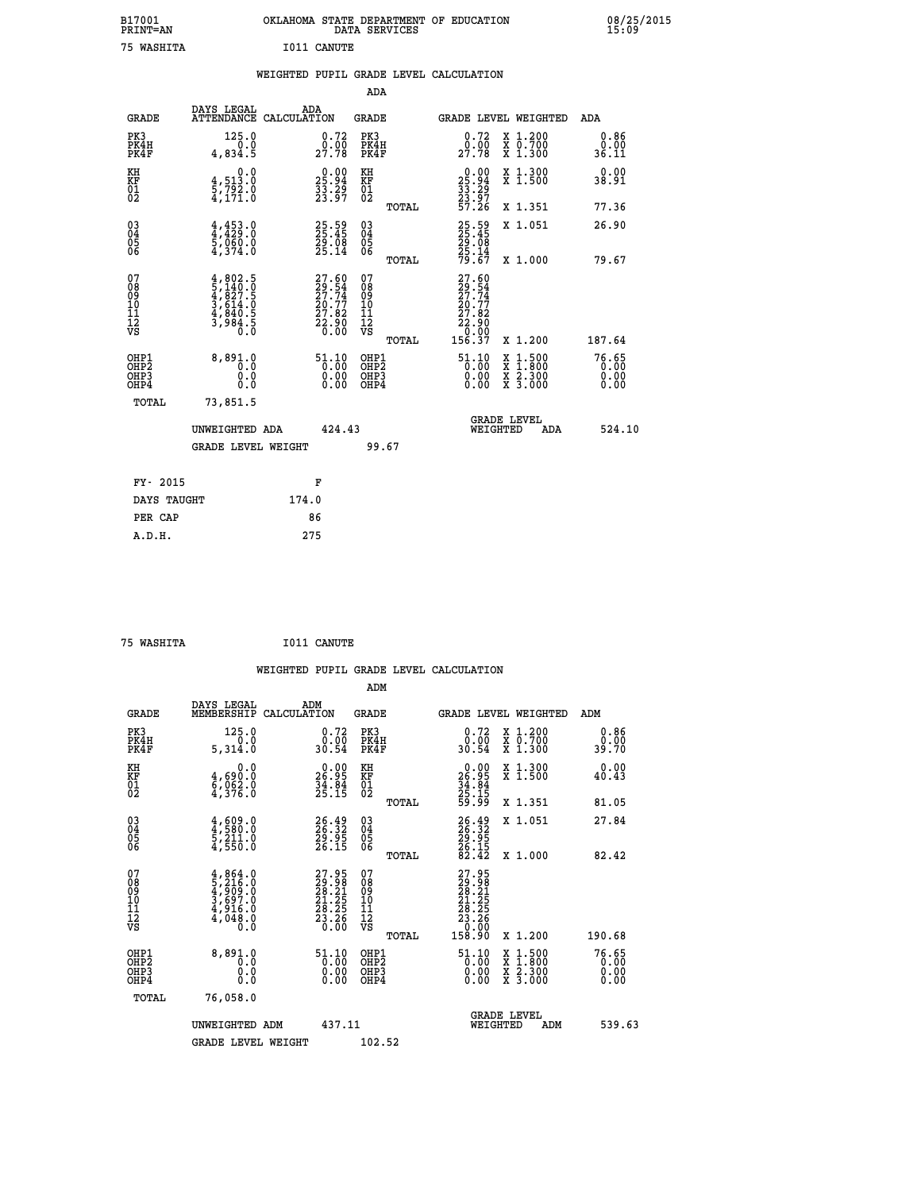| B17001<br><b>PRINT=AN</b> | OKLAHOMA STATE DEPARTMENT OF EDUCATION<br>DATA SERVICES |  |
|---------------------------|---------------------------------------------------------|--|
| 75 WASHITA                | I011 CANUTE                                             |  |

|  |  | WEIGHTED PUPIL GRADE LEVEL CALCULATION |
|--|--|----------------------------------------|
|  |  |                                        |

|                                                                    |                                                                                     |                                                                             | ADA                                                 |       |                                                                          |                                          |                               |
|--------------------------------------------------------------------|-------------------------------------------------------------------------------------|-----------------------------------------------------------------------------|-----------------------------------------------------|-------|--------------------------------------------------------------------------|------------------------------------------|-------------------------------|
| <b>GRADE</b>                                                       | DAYS LEGAL<br>ATTENDANCE CALCULATION                                                | ADA                                                                         | <b>GRADE</b>                                        |       |                                                                          | <b>GRADE LEVEL WEIGHTED</b>              | ADA                           |
| PK3<br>PK4H<br>PK4F                                                | 125.0<br>0.0<br>4,834.5                                                             | 0.72<br>$29.90$<br>$27.78$                                                  | PK3<br>PK4H<br>PK4F                                 |       | $\begin{smallmatrix} 0.72\ 0.00\ 27.78 \end{smallmatrix}$                | X 1.200<br>X 0.700<br>X 1.300            | 0.86<br>0.00<br>36.11         |
| KH<br>KF<br>01<br>02                                               | 0.0<br>$\frac{4}{5}, \frac{513}{792}$ $\cdot 0$<br>4,171.0                          | $25.94$<br>$33.29$<br>$23.97$                                               | KH<br>KF<br>01<br>02                                |       | $25.94$<br>$33.29$<br>$23.97$<br>$57.26$                                 | X 1.300<br>X 1.500                       | 0.00<br>38.91                 |
|                                                                    |                                                                                     |                                                                             |                                                     | TOTAL |                                                                          | X 1.351                                  | 77.36                         |
| $\begin{smallmatrix} 03 \\[-4pt] 04 \end{smallmatrix}$<br>Ŏ5<br>06 | $4,453.0$<br>$5,060.0$<br>$5,060.0$<br>$4,374.0$                                    | 25.59<br>25.45<br>29.08<br>25.14                                            | $\begin{array}{c} 03 \\ 04 \\ 05 \\ 06 \end{array}$ |       | 25.59<br>25.45<br>29.08<br>25.14<br>79.67                                | X 1.051                                  | 26.90                         |
|                                                                    |                                                                                     |                                                                             |                                                     | TOTAL |                                                                          | X 1.000                                  | 79.67                         |
| 07<br>08<br>09<br>101<br>11<br>12<br>VS                            | $4,802.5$<br>$5,140.0$<br>$4,827.5$<br>$3,614.0$<br>$4,840.5$<br>$3,984.5$<br>$0.0$ | $27.60$<br>$29.54$<br>$27.74$<br>$20.77$<br>$27.82$<br>$22.90$<br>$0.00$    | 07<br>08<br>09<br>11<br>11<br>12<br>VS              |       | 27.60<br>$29.54$<br>$27.74$<br>$20.77$<br>$22.82$<br>$22.900$<br>$-0.00$ |                                          |                               |
|                                                                    |                                                                                     |                                                                             |                                                     | TOTAL | 156.37                                                                   | X 1.200                                  | 187.64                        |
| OHP1<br>OHP <sub>2</sub><br>OH <sub>P3</sub><br>OHP4               | 8,891.0<br>0.0<br>0.000                                                             | $\frac{51.10}{0.00}$<br>$\begin{smallmatrix} 0.00 \ 0.00 \end{smallmatrix}$ | OHP1<br>OHP2<br>OHP <sub>3</sub>                    |       | $\begin{smallmatrix} 51.10\\ 0.00\\ 0.00\\ 0.00 \end{smallmatrix}$       | X 1:500<br>X 1:800<br>X 2:300<br>X 3:000 | 76.65<br>0.00<br>0.00<br>0.00 |
| TOTAL                                                              | 73,851.5                                                                            |                                                                             |                                                     |       |                                                                          |                                          |                               |
|                                                                    | UNWEIGHTED ADA                                                                      | 424.43                                                                      |                                                     |       |                                                                          | <b>GRADE LEVEL</b><br>WEIGHTED<br>ADA    | 524.10                        |
|                                                                    | <b>GRADE LEVEL WEIGHT</b>                                                           |                                                                             | 99.67                                               |       |                                                                          |                                          |                               |
| FY- 2015                                                           |                                                                                     | F                                                                           |                                                     |       |                                                                          |                                          |                               |
| DAYS TAUGHT                                                        |                                                                                     | 174.0                                                                       |                                                     |       |                                                                          |                                          |                               |
| PER CAP                                                            |                                                                                     | 86                                                                          |                                                     |       |                                                                          |                                          |                               |

| 75 WASHITA | I011 CANUTE |
|------------|-------------|
|            |             |

 **WEIGHTED PUPIL GRADE LEVEL CALCULATION ADM DAYS LEGAL ADM GRADE MEMBERSHIP CALCULATION GRADE GRADE LEVEL WEIGHTED ADM PK3 125.0 0.72 PK3 0.72 X 1.200 0.86 PK4H 0.0 0.00 PK4H 0.00 X 0.700 0.00 PK4F 5,314.0 30.54 PK4F 30.54 X 1.300 39.70**

| KH<br>KF<br>01<br>02                               | $\begin{smallmatrix} & & 0.0\ 4.690.0\ 5.062.0\ 4.376.0 \end{smallmatrix}$          | $\begin{smallmatrix} 0.00\\ 26.95\\ 34.84\\ 25.15 \end{smallmatrix}$                                 | KH<br>KF<br>01<br>02                                        | $\begin{array}{r} 0.00 \\ 26.95 \\ 34.84 \\ 25.15 \\ 59.99 \end{array}$                                       | X 1.300<br>X 1.500                                                                                                             | $0.00$<br>40.43                     |
|----------------------------------------------------|-------------------------------------------------------------------------------------|------------------------------------------------------------------------------------------------------|-------------------------------------------------------------|---------------------------------------------------------------------------------------------------------------|--------------------------------------------------------------------------------------------------------------------------------|-------------------------------------|
| $\begin{matrix} 03 \\ 04 \\ 05 \\ 06 \end{matrix}$ | $\frac{4}{4}, \frac{609}{580}.0$<br>$\frac{5}{4}, \frac{211}{550}.0$                | 26.49<br>26.32<br>29.95<br>26.15                                                                     | TOTAL<br>$\begin{matrix} 03 \\ 04 \\ 05 \\ 06 \end{matrix}$ | 26.32<br>26.32<br>29.95<br>26.15<br>26.15                                                                     | X 1.351<br>X 1.051                                                                                                             | 81.05<br>27.84                      |
| 07<br>08<br>09<br>101<br>11<br>12<br>VS            | $4,864.0$<br>$5,216.0$<br>$4,909.0$<br>$3,697.0$<br>$4,916.0$<br>$4,048.0$<br>$0.0$ | $\begin{smallmatrix} 27.95\\ 29.98\\ 28.21\\ 21.25\\ 28.25\\ 28.26\\ 23.66\\ 0.00 \end{smallmatrix}$ | TOTAL<br>07<br>08<br>09<br>11<br>11<br>12<br>VS             | $\begin{smallmatrix} 27.95\\ 29.98\\ 28.21\\ 28.21\\ 21.25\\ 23.25\\ 23.26\\ 0.00\\ 158.90 \end{smallmatrix}$ | X 1.000                                                                                                                        | 82.42                               |
| OHP1<br>OHP2<br>OH <sub>P3</sub><br>OHP4           | 8,891.0<br>0.0<br>0.000                                                             | $\begin{smallmatrix} 51.10\\ 0.00\\ 0.00\\ 0.00 \end{smallmatrix}$                                   | TOTAL<br>OHP1<br>OHP2<br>OHP3<br>OHP4                       | $\begin{smallmatrix} 51.10\\ 0.00\\ 0.00\\ 0.00 \end{smallmatrix}$                                            | X 1.200<br>$\begin{array}{l} \mathtt{X} & 1.500 \\ \mathtt{X} & 1.800 \\ \mathtt{X} & 2.300 \\ \mathtt{X} & 3.000 \end{array}$ | 190.68<br>$76.65\n0.00\n0.00\n0.00$ |
| TOTAL                                              | 76,058.0<br>UNWEIGHTED ADM<br><b>GRADE LEVEL WEIGHT</b>                             | 437.11                                                                                               | 102.52                                                      | WEIGHTED                                                                                                      | <b>GRADE LEVEL</b><br>ADM                                                                                                      | 539.63                              |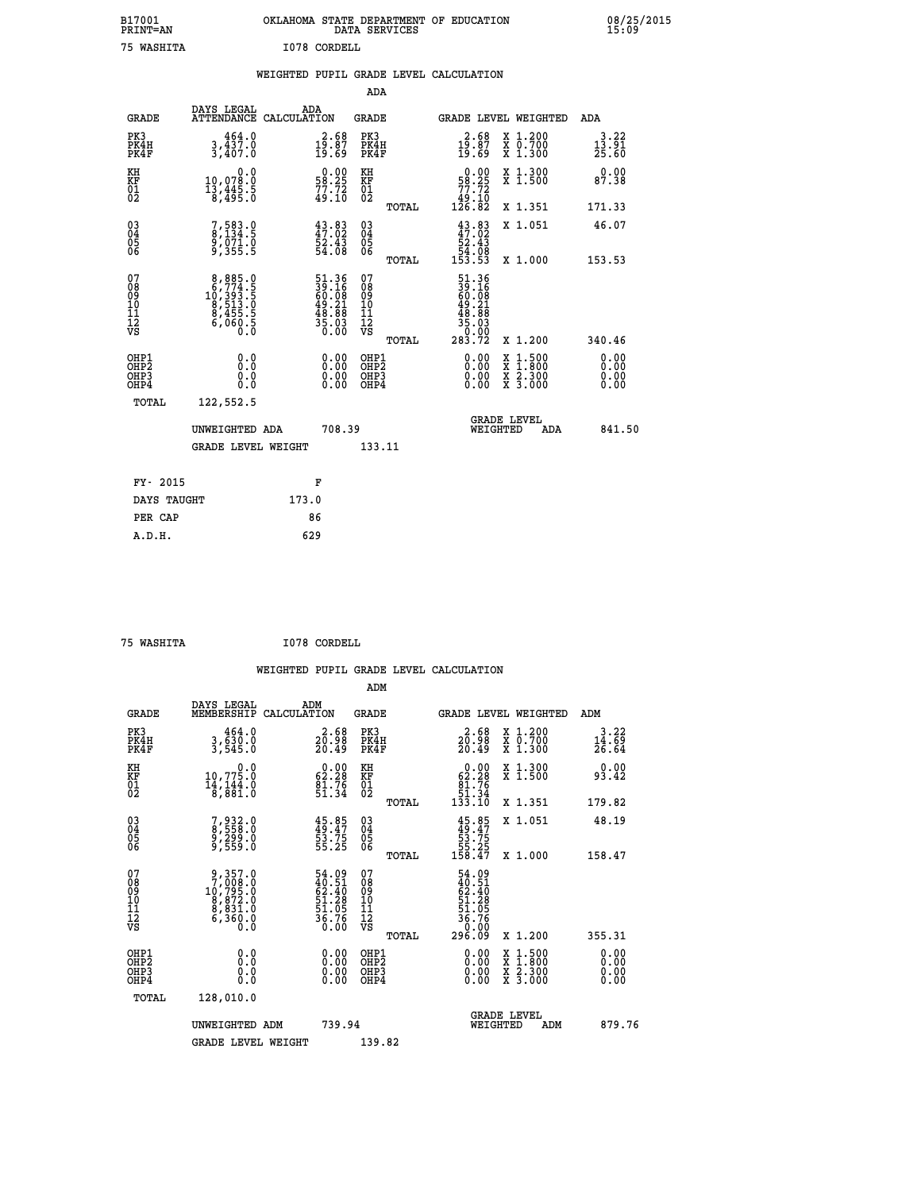| B17001<br><b>PRINT=AN</b> | OKLAHOMA STATE DEPARTMENT OF EDUCATION<br>DATA SERVICES |  |
|---------------------------|---------------------------------------------------------|--|
| 75 WASHITA                | I078 CORDELL                                            |  |

|  |  | WEIGHTED PUPIL GRADE LEVEL CALCULATION |
|--|--|----------------------------------------|
|  |  |                                        |

|                                                                    |                                                                                             |                                                                                                    | ADA                                       |       |                                                                                                         |   |                                                           |                               |
|--------------------------------------------------------------------|---------------------------------------------------------------------------------------------|----------------------------------------------------------------------------------------------------|-------------------------------------------|-------|---------------------------------------------------------------------------------------------------------|---|-----------------------------------------------------------|-------------------------------|
| <b>GRADE</b>                                                       | DAYS LEGAL<br>ATTENDANCE CALCULATION                                                        | ADA                                                                                                | <b>GRADE</b>                              |       | GRADE LEVEL WEIGHTED                                                                                    |   |                                                           | <b>ADA</b>                    |
| PK3<br>PK4H<br>PK4F                                                | $3,437.0$<br>3,437.0<br>3,407.0                                                             | $\begin{smallmatrix} 2.68\\19.87\\19.69 \end{smallmatrix}$                                         | PK3<br>PK4H<br>PK4F                       |       | $\frac{2.68}{19.87}$<br>19.69                                                                           |   | X 1.200<br>X 0.700<br>X 1.300                             | 3.22<br>$\frac{13.51}{25.60}$ |
| KH<br>KF<br>01<br>02                                               | 0.0<br>10,078:0<br>13,445:5<br>8,495:0                                                      | $\begin{smallmatrix} 0.00\\ 58.25\\ 77.72\\ 49.10 \end{smallmatrix}$                               | KH<br>KF<br>01<br>02                      |       | $\begin{smallmatrix}&&0.00\\58.25\\77.72\\49.10\\126.82\end{smallmatrix}$                               |   | X 1.300<br>X 1.500                                        | 0.00<br>87.38                 |
|                                                                    |                                                                                             |                                                                                                    |                                           | TOTAL |                                                                                                         |   | X 1.351                                                   | 171.33                        |
| $\begin{smallmatrix} 03 \\[-4pt] 04 \end{smallmatrix}$<br>Ŏ5<br>06 | 7,583.0<br>8,134.5<br>9,071.0<br>9,355.5                                                    | 43.83<br>47.02<br>52.43<br>54.08                                                                   | 03<br>04<br>05<br>06                      |       | $43.83\n47.02\n52.43\n54.08\n153.53$                                                                    |   | X 1.051                                                   | 46.07                         |
|                                                                    |                                                                                             |                                                                                                    |                                           | TOTAL |                                                                                                         |   | X 1.000                                                   | 153.53                        |
| 07<br>08<br>09<br>11<br>11<br>12<br>VS                             | $\begin{smallmatrix}8,885.0\\6,774.5\\10,393.5\\8,513.0\\8,455.5\\6,060.5\end{smallmatrix}$ | $\begin{smallmatrix} 51.36 \\ 39.16 \\ 60.08 \\ 49.21 \\ 48.88 \\ 35.03 \\ 0.00 \end{smallmatrix}$ | 07<br>08<br>09<br>11<br>11<br>12<br>VS    |       | $\begin{smallmatrix} 51.36\ 39.16\ 60.08\ 60.21\ 49.21\ 48.81\ 48.03\ 5.000\ 283.72\ \end{smallmatrix}$ |   |                                                           |                               |
|                                                                    |                                                                                             |                                                                                                    |                                           | TOTAL |                                                                                                         |   | X 1.200                                                   | 340.46                        |
| OHP1<br>OHP <sub>2</sub><br>OHP3<br>OHP4                           | 0.0<br>0.0<br>0.0                                                                           | 0.00<br>$\begin{smallmatrix} 0.00 \ 0.00 \end{smallmatrix}$                                        | OHP1<br>OH <sub>P</sub> 2<br>OHP3<br>OHP4 |       | 0.00<br>0.00<br>0.00                                                                                    | X | $1:500$<br>$1:800$<br>$\frac{x}{x}$ $\frac{5:300}{3:000}$ | 0.00<br>0.00<br>0.00<br>0.00  |
| TOTAL                                                              | 122,552.5                                                                                   |                                                                                                    |                                           |       |                                                                                                         |   |                                                           |                               |
|                                                                    | UNWEIGHTED ADA                                                                              | 708.39                                                                                             |                                           |       | WEIGHTED                                                                                                |   | <b>GRADE LEVEL</b><br>ADA                                 | 841.50                        |
|                                                                    | <b>GRADE LEVEL WEIGHT</b>                                                                   |                                                                                                    | 133.11                                    |       |                                                                                                         |   |                                                           |                               |
| FY- 2015                                                           |                                                                                             | F                                                                                                  |                                           |       |                                                                                                         |   |                                                           |                               |
| DAYS TAUGHT                                                        |                                                                                             | 173.0                                                                                              |                                           |       |                                                                                                         |   |                                                           |                               |
| PER CAP                                                            |                                                                                             | 86                                                                                                 |                                           |       |                                                                                                         |   |                                                           |                               |
|                                                                    |                                                                                             |                                                                                                    |                                           |       |                                                                                                         |   |                                                           |                               |

| WASHTTA |
|---------|
|         |

 **B17001<br>PRINT=AN** 

 **75 WASHITA I078 CORDELL**

|                                          |                                                                                                  |                                                                      | ADM                                                 |       |                                                                                       |                                          |                               |
|------------------------------------------|--------------------------------------------------------------------------------------------------|----------------------------------------------------------------------|-----------------------------------------------------|-------|---------------------------------------------------------------------------------------|------------------------------------------|-------------------------------|
| <b>GRADE</b>                             | DAYS LEGAL<br>MEMBERSHIP                                                                         | ADM<br>CALCULATION                                                   | <b>GRADE</b>                                        |       |                                                                                       | GRADE LEVEL WEIGHTED                     | ADM                           |
| PK3<br>PK4H<br>PK4F                      | 464.0<br>3,630.0<br>3,545.0                                                                      | $\frac{2}{20}$ : 98<br>20.49                                         | PK3<br>PK4H<br>PK4F                                 |       | $\frac{2}{20} \cdot \frac{68}{98}$<br>20.49                                           | X 1.200<br>X 0.700<br>X 1.300            | 3.22<br>$\frac{14.69}{26.64}$ |
| KH<br>KF<br>01<br>02                     | 0.0<br>$10,775.0$<br>$14,144.0$<br>$8,881.0$                                                     | $\begin{smallmatrix} 0.00\\ 62.28\\ 81.76\\ 51.34 \end{smallmatrix}$ | KH<br>KF<br>01<br>02                                |       | $\begin{smallmatrix} &0.00\\ 62.28\\ 81.76\\ 51.34\\ 133.10\end{smallmatrix}$         | X 1.300<br>X 1.500                       | 0.00<br>93.42                 |
|                                          |                                                                                                  |                                                                      |                                                     | TOTAL |                                                                                       | X 1.351                                  | 179.82                        |
| 03<br>04<br>05<br>06                     | 7,932.0<br>8,558.0<br>9,299.0<br>9,559.0                                                         | $45.85$<br>$49.47$<br>$53.75$<br>$55.25$                             | $\begin{array}{c} 03 \\ 04 \\ 05 \\ 06 \end{array}$ |       | $45.85$<br>$49.47$<br>$53.75$<br>$55.25$<br>$158.47$                                  | X 1.051                                  | 48.19                         |
|                                          |                                                                                                  |                                                                      |                                                     | TOTAL |                                                                                       | X 1.000                                  | 158.47                        |
| 07<br>08<br>09<br>101<br>11<br>12<br>VS  | $\begin{smallmatrix}9,357.0\\7,008.0\\10,795.0\\8,872.0\\8,831.0\\6,360.0\\0.0\end{smallmatrix}$ | 54.09<br>40.51<br>62.40<br>51.28<br>51.05<br>56.76<br>ŏ:óŏ           | 07<br>08<br>09<br>11<br>11<br>12<br>VS              | TOTAL | $54.09$<br>$62.40$<br>$62.40$<br>$51.28$<br>$51.05$<br>$36.76$<br>$36.00$<br>$296.09$ | X 1.200                                  | 355.31                        |
| OHP1<br>OHP2<br>OH <sub>P3</sub><br>OHP4 |                                                                                                  |                                                                      | OHP1<br>OHP2<br>OHP <sub>3</sub>                    |       | $0.00$<br>$0.00$<br>0.00                                                              | X 1:500<br>X 1:800<br>X 2:300<br>X 3:000 | 0.00<br>0.00<br>0.00          |
| TOTAL                                    | 128,010.0                                                                                        |                                                                      |                                                     |       |                                                                                       |                                          |                               |
|                                          | UNWEIGHTED ADM                                                                                   | 739.94                                                               |                                                     |       |                                                                                       | GRADE LEVEL<br>WEIGHTED<br>ADM           | 879.76                        |
|                                          | <b>GRADE LEVEL WEIGHT</b>                                                                        |                                                                      | 139.82                                              |       |                                                                                       |                                          |                               |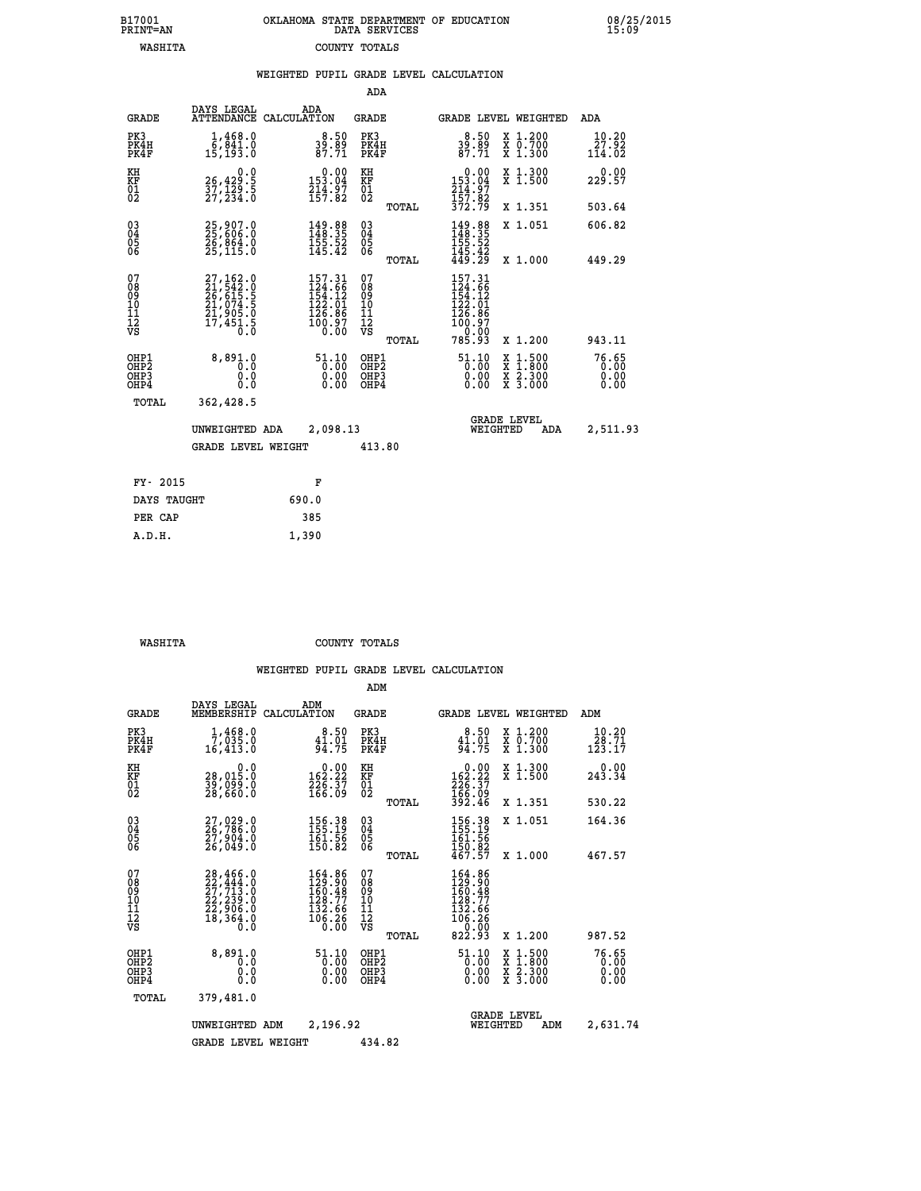| OKLAHOMA STATE DEPARTMENT OF EDUCATION | DATA SERVICES |  |
|----------------------------------------|---------------|--|
|                                        | COUNTY TOTALS |  |

 **B17001 OKLAHOMA STATE DEPARTMENT OF EDUCATION 08/25/2015**

|                                                              |                                                                                  |                                                                                                             |                                                  | WEIGHTED PUPIL GRADE LEVEL CALCULATION                                                    |                                                                                                                                              |                               |
|--------------------------------------------------------------|----------------------------------------------------------------------------------|-------------------------------------------------------------------------------------------------------------|--------------------------------------------------|-------------------------------------------------------------------------------------------|----------------------------------------------------------------------------------------------------------------------------------------------|-------------------------------|
|                                                              |                                                                                  |                                                                                                             | <b>ADA</b>                                       |                                                                                           |                                                                                                                                              |                               |
| <b>GRADE</b>                                                 | DAYS LEGAL                                                                       | ADA<br>ATTENDANCE CALCULATION                                                                               | <b>GRADE</b>                                     | GRADE LEVEL WEIGHTED                                                                      |                                                                                                                                              | ADA                           |
| PK3<br>PK4H<br>PK4F                                          | $1,468.0$<br>6,841.0<br>15,193.0                                                 | $39.50$<br>87.71                                                                                            | PK3<br>PK4H<br>PK4F                              | $39.50$<br>$87.71$                                                                        | X 1.200<br>X 0.700<br>X 1.300                                                                                                                | 10.20<br>27.92<br>114.02      |
| KH<br>KF<br>$\overline{01}$                                  | 0.0<br>26,429.5<br>37,129:5<br>27,234:0                                          | $0.00$<br>153.04<br>$\frac{214.97}{157.82}$                                                                 | KH<br>KF<br>01<br>02                             | $0.00$<br>153.04<br>214:97<br>157:82<br>372:79                                            | X 1.300<br>X 1.500                                                                                                                           | 0.00<br>229.57                |
|                                                              |                                                                                  |                                                                                                             | TOTAL                                            |                                                                                           | X 1.351                                                                                                                                      | 503.64                        |
| $\begin{smallmatrix} 03 \\[-4pt] 04 \end{smallmatrix}$<br>05 | 25,907.0<br>25,606.0<br>26,864.0<br>25,115.0                                     | $\begin{smallmatrix} 149. & 88 \\ 148. & 35 \\ 155. & 52 \\ 145. & 42 \end{smallmatrix}$                    | $^{03}_{04}$<br>05                               | 149.88<br>148.35                                                                          | X 1.051                                                                                                                                      | 606.82                        |
| 06                                                           |                                                                                  |                                                                                                             | 06<br>TOTAL                                      | $\frac{155}{145}$ . 52<br>$\frac{42}{49}$ . $\frac{42}{29}$                               | X 1.000                                                                                                                                      | 449.29                        |
| 07<br>ŏġ<br>09<br>10<br>īĭ<br>12<br>νs                       | 27,162.0<br>21,542.0<br>26,615.5<br>21,074.5<br>21,905.0<br>21,905.0<br>17,451.5 | $\begin{smallmatrix} 157.31\\ 124.66\\ 154.12\\ 152.01\\ 122.01\\ 126.86\\ 100.97\\ 0.00 \end{smallmatrix}$ | 07<br>08<br>09<br>101<br>11<br>12<br>VS<br>TOTAL | 157.31<br>$124.56$<br>$154.12$<br>$122.01$<br>$126.86$<br>$100.97$<br>$0.00$<br>$785.93$  | X 1.200                                                                                                                                      | 943.11                        |
| OHP1<br>OHP2<br>OHP3<br>OHP4                                 | 8,891.0<br>0.0<br>0.0<br>0.0                                                     | $\begin{smallmatrix} 51.10\\[-1.0mm] 0.00\\[-1.0mm] 0.00\\[-1.0mm] 0.00\end{smallmatrix}$                   | OHP1<br>OHP2<br>OHP3<br>OHP4                     | $\begin{smallmatrix} 51.10\\[-1.0mm] 0.00\\[-1.0mm] 0.00\\[-1.0mm] 0.00\end{smallmatrix}$ | $\begin{smallmatrix} \mathtt{X} & 1\cdot500 \\ \mathtt{X} & 1\cdot800 \\ \mathtt{X} & 2\cdot300 \\ \mathtt{X} & 3\cdot000 \end{smallmatrix}$ | 76.65<br>0.00<br>0.00<br>0.00 |
| TOTAL                                                        | 362,428.5                                                                        |                                                                                                             |                                                  |                                                                                           |                                                                                                                                              |                               |
|                                                              | UNWEIGHTED ADA                                                                   | 2,098.13                                                                                                    |                                                  | <b>GRADE LEVEL</b><br>WEIGHTED                                                            | ADA                                                                                                                                          | 2,511.93                      |
|                                                              | <b>GRADE LEVEL WEIGHT</b>                                                        |                                                                                                             | 413.80                                           |                                                                                           |                                                                                                                                              |                               |
| FY- 2015                                                     |                                                                                  | F                                                                                                           |                                                  |                                                                                           |                                                                                                                                              |                               |
| DAYS TAUGHT                                                  |                                                                                  | 690.0                                                                                                       |                                                  |                                                                                           |                                                                                                                                              |                               |
| PER CAP                                                      |                                                                                  | 385                                                                                                         |                                                  |                                                                                           |                                                                                                                                              |                               |

 **A.D.H. 1,390**

B17001<br>PRINT=AN<br>WASHITA

 **WASHITA COUNTY TOTALS**

|                                                       |                                                                                                               |                                                                     | ADM                                              |                                                                             |                                                                                                  |                               |
|-------------------------------------------------------|---------------------------------------------------------------------------------------------------------------|---------------------------------------------------------------------|--------------------------------------------------|-----------------------------------------------------------------------------|--------------------------------------------------------------------------------------------------|-------------------------------|
| <b>GRADE</b>                                          | DAYS LEGAL<br>MEMBERSHIP                                                                                      | ADM<br>CALCULATION                                                  | <b>GRADE</b>                                     |                                                                             | GRADE LEVEL WEIGHTED                                                                             | ADM                           |
| PK3<br>PK4H<br>PK4F                                   | $1,468.0$<br>7,035.0<br>16,413.0                                                                              | 8.50<br>$\frac{41.01}{94.75}$                                       | PK3<br>PK4H<br>PK4F                              | 8.50<br>41.01<br>94.75                                                      | X 1.200<br>X 0.700<br>X 1.300                                                                    | 10.20<br>28.71<br>123.17      |
| KH<br>KF<br>01<br>02                                  | 0.0<br>28,015.0<br>39,ŏ99.ŏ<br>28,660.O                                                                       | $\begin{smallmatrix} 0.00\\162.22\\226.37\\166.09\end{smallmatrix}$ | KH<br>KF<br>01<br>02                             | 0.00<br>162:22<br>226:37<br>166:09<br>392:46                                | X 1.300<br>X 1.500                                                                               | 0.00<br>243.34                |
|                                                       |                                                                                                               |                                                                     | TOTAL                                            |                                                                             | X 1.351                                                                                          | 530.22                        |
| 03<br>04<br>05<br>06                                  | 27,029.0<br>26,786.0<br>27,904.0<br>26,049.0                                                                  | 156.38<br>155.19<br>$\frac{161.56}{150.82}$                         | $^{03}_{04}$<br>0500                             | 156.38<br>155.19<br>161.56<br>$\frac{150.82}{467.57}$                       | X 1.051                                                                                          | 164.36                        |
|                                                       |                                                                                                               |                                                                     | TOTAL                                            |                                                                             | X 1.000                                                                                          | 467.57                        |
| 07<br>08<br>09<br>101<br>112<br>VS                    | $\begin{smallmatrix} 28,466.0\\ 22,444.0\\ 27,713.0\\ 22,239.0\\ 22,906.0\\ 18,364.0\\ 0.0 \end{smallmatrix}$ | 164.86<br>129.90<br>160.48<br>128.77<br>132.66<br>106.26<br>0.00    | 07<br>08<br>09<br>101<br>11<br>12<br>VS<br>TOTAL | 164.86<br>129.90<br>160.48<br>160.47<br>132.66<br>106.26<br>20.00<br>822.93 | X 1.200                                                                                          | 987.52                        |
| OHP1<br>OH <sub>P</sub> 2<br>OH <sub>P3</sub><br>OHP4 | 8,891.0<br>0.0<br>0.000                                                                                       | $\begin{smallmatrix} 51.10\ 0.00 \ 0.00 \end{smallmatrix}$<br>0.00  | OHP1<br>OHP2<br>OHP3<br>OHP4                     | 51.10<br>$\overline{0}$ . $\overline{0}$ 0<br>0.00<br>0.00                  | $\begin{smallmatrix} x & 1 & 500 \\ x & 1 & 800 \\ x & 2 & 300 \\ x & 3 & 000 \end{smallmatrix}$ | 76.65<br>0.00<br>0.00<br>0.00 |
| TOTAL                                                 | 379,481.0                                                                                                     |                                                                     |                                                  |                                                                             |                                                                                                  |                               |
|                                                       | UNWEIGHTED ADM                                                                                                | 2,196.92                                                            |                                                  | WEIGHTED                                                                    | <b>GRADE LEVEL</b><br>ADM                                                                        | 2,631.74                      |
|                                                       | <b>GRADE LEVEL WEIGHT</b>                                                                                     |                                                                     | 434.82                                           |                                                                             |                                                                                                  |                               |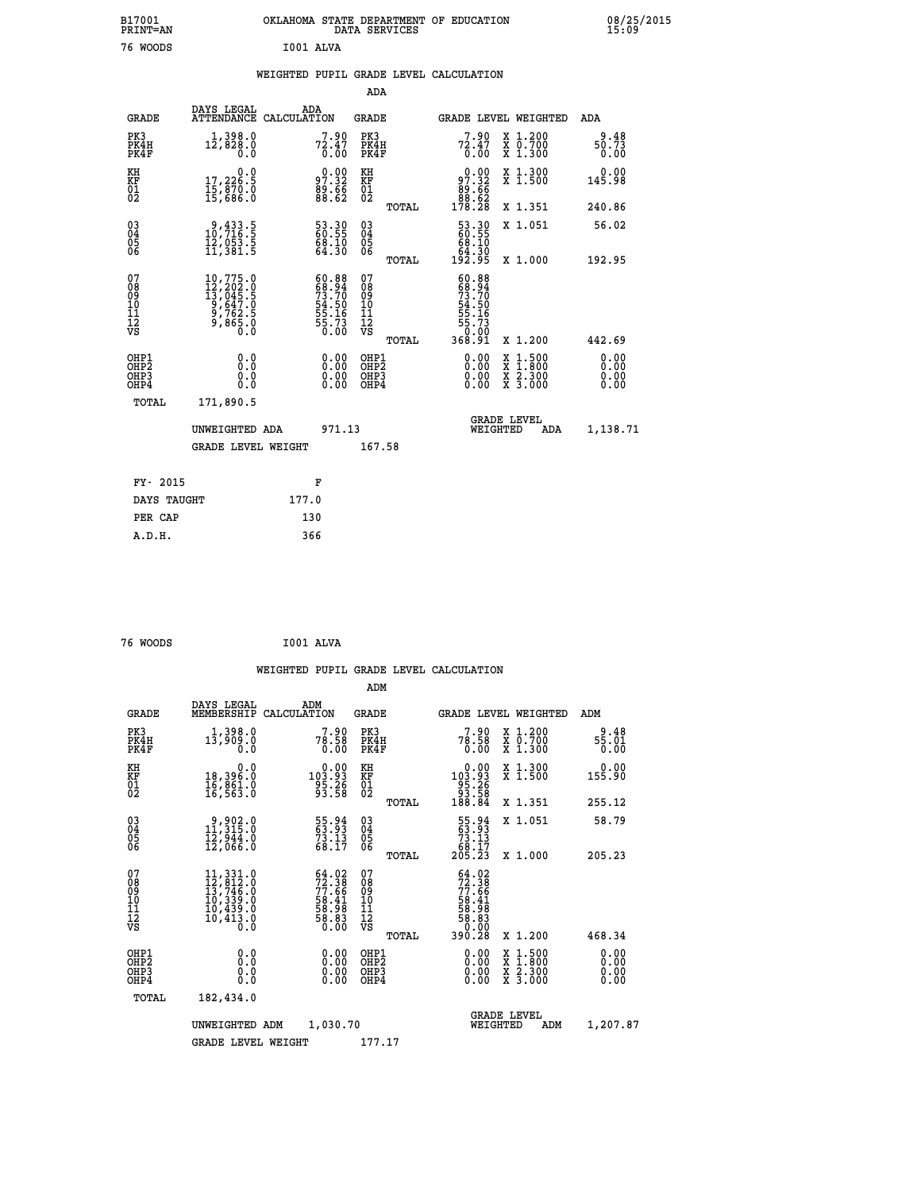| B17001<br>PRINT=AN |                                      |                   | DATA SERVICES | OKLAHOMA STATE DEPARTMENT OF EDUCATION |                         |     | 08/25/2015<br>15:09 |
|--------------------|--------------------------------------|-------------------|---------------|----------------------------------------|-------------------------|-----|---------------------|
| 76 WOODS           |                                      | I001 ALVA         |               |                                        |                         |     |                     |
|                    |                                      |                   |               | WEIGHTED PUPIL GRADE LEVEL CALCULATION |                         |     |                     |
|                    |                                      |                   | ADA           |                                        |                         |     |                     |
| GRADE              | DAYS LEGAL<br>ATTENDANCE CALCULATION | ADA               | GRADE         |                                        | GRADE LEVEL WEIGHTED    | ADA |                     |
| <b>DITO</b>        | 1.2000                               | <b><u>RAN</u></b> | $n \cdot n$   |                                        | <b>P 00 - 12 12 000</b> |     | 0.10                |

| PK3<br>PK4H<br>PK4F                                | 1,398.0<br>12,828.0<br>0.0                                                                                                                       | $7^7.90$<br>$7^2.47$<br>$0.00$                                            | PK3<br>PK4H<br>PK4F                                 | $7^7.90$<br>$7^2.47$<br>$0.00$                                                       | X 1.200<br>X 0.700<br>X 1.300            | $\frac{9.48}{50.73}$<br>0.00 |
|----------------------------------------------------|--------------------------------------------------------------------------------------------------------------------------------------------------|---------------------------------------------------------------------------|-----------------------------------------------------|--------------------------------------------------------------------------------------|------------------------------------------|------------------------------|
| KH<br>KF<br>01<br>02                               | $\begin{smallmatrix}&&&0.0\\17,226.5\\15,870.0\\15,686.0\end{smallmatrix}$                                                                       | $97.32$<br>$89.66$<br>$88.62$                                             | KH<br>KF<br>01<br>02                                | $\begin{smallmatrix} &0.00\ 97.32\ 89.66\ 88.62\ 178.28\ \end{smallmatrix}$          | X 1.300<br>X 1.500                       | 0.00<br>145.98               |
|                                                    |                                                                                                                                                  |                                                                           | TOTAL                                               |                                                                                      | X 1.351                                  | 240.86                       |
| $\begin{matrix} 03 \\ 04 \\ 05 \\ 06 \end{matrix}$ | $\begin{smallmatrix} 9,433.5\\ 10,716.5\\ 12,053.5\\ 11,381.5 \end{smallmatrix}$                                                                 | 53.30<br>60.55<br>68.10<br>64.30                                          | $\begin{array}{c} 03 \\ 04 \\ 05 \\ 06 \end{array}$ | $\begin{smallmatrix} 53.30\ 60.55\ 68.10\ 64.30\ 192.95 \end{smallmatrix}$           | X 1.051                                  | 56.02                        |
|                                                    |                                                                                                                                                  |                                                                           | TOTAL                                               |                                                                                      | X 1.000                                  | 192.95                       |
| 07<br>08<br>09<br>11<br>11<br>12<br>VS             | $\begin{smallmatrix} 10\,,775\,.\,0\\ 12\,,202\,.\,0\\ 13\,,045\,.\,5\\ 9\,,647\,.\,0\\ 9\,,762\,.\,5\\ 9\,,865\,.\,0\\ 0\,.0 \end{smallmatrix}$ | $60.88$<br>$68.94$<br>$73.70$<br>$54.50$<br>$55.16$<br>$55.73$<br>$50.00$ | 07<br>08<br>09<br>11<br>11<br>12<br>VS              | $60.88$<br>$68.94$<br>$73.70$<br>$54.50$<br>$55.16$<br>$55.73$<br>$0.00$<br>$368.91$ |                                          |                              |
|                                                    |                                                                                                                                                  |                                                                           | TOTAL                                               |                                                                                      | X 1.200                                  | 442.69                       |
| OHP1<br>OHP2<br>OH <sub>P3</sub><br>OHP4           |                                                                                                                                                  | $\begin{smallmatrix} 0.00 \ 0.00 \ 0.00 \ 0.00 \end{smallmatrix}$         | OHP1<br>OHP2<br>OHP <sub>3</sub><br>OHP4            | $0.00$<br>$0.00$<br>0.00                                                             | X 1:500<br>X 1:800<br>X 2:300<br>X 3:000 | $0.00$<br>$0.00$<br>0.00     |
| TOTAL                                              | 171,890.5                                                                                                                                        |                                                                           |                                                     |                                                                                      |                                          |                              |
|                                                    | UNWEIGHTED ADA                                                                                                                                   | 971.13                                                                    |                                                     | WEIGHTED                                                                             | <b>GRADE LEVEL</b><br>ADA                | 1,138.71                     |
|                                                    | <b>GRADE LEVEL WEIGHT</b>                                                                                                                        |                                                                           | 167.58                                              |                                                                                      |                                          |                              |
| FY- 2015                                           |                                                                                                                                                  | F                                                                         |                                                     |                                                                                      |                                          |                              |
| DAYS TAUGHT                                        |                                                                                                                                                  | 177.0                                                                     |                                                     |                                                                                      |                                          |                              |
|                                                    |                                                                                                                                                  |                                                                           |                                                     |                                                                                      |                                          |                              |
| PER CAP                                            |                                                                                                                                                  | 130                                                                       |                                                     |                                                                                      |                                          |                              |

| 76 WOODS | I001 ALVA |  |
|----------|-----------|--|
|          |           |  |

|                                                    |              |                                                                                                                                                                                          |                                                                          |                                          |       | WEIGHTED PUPIL GRADE LEVEL CALCULATION                                                                                                                                                                                                                                         |                                                                                                                                           |                              |
|----------------------------------------------------|--------------|------------------------------------------------------------------------------------------------------------------------------------------------------------------------------------------|--------------------------------------------------------------------------|------------------------------------------|-------|--------------------------------------------------------------------------------------------------------------------------------------------------------------------------------------------------------------------------------------------------------------------------------|-------------------------------------------------------------------------------------------------------------------------------------------|------------------------------|
|                                                    |              |                                                                                                                                                                                          |                                                                          | ADM                                      |       |                                                                                                                                                                                                                                                                                |                                                                                                                                           |                              |
|                                                    | <b>GRADE</b> | DAYS LEGAL<br>MEMBERSHIP<br>CALCULATION                                                                                                                                                  | ADM                                                                      | GRADE                                    |       |                                                                                                                                                                                                                                                                                | <b>GRADE LEVEL WEIGHTED</b>                                                                                                               | ADM                          |
| PK3<br>PK4H<br>PK4F                                |              | 1,398.0<br>13,909.0<br>0.0                                                                                                                                                               | $78.58$<br>0.00                                                          | PK3<br>PK4H<br>PK4F                      |       | $78.58$<br>0.00                                                                                                                                                                                                                                                                | X 1.200<br>X 0.700<br>X 1.300                                                                                                             | 9.48<br>$\frac{55.01}{0.00}$ |
| KH<br>KF<br>01<br>02                               |              | $\begin{smallmatrix}&&&0.0\18,396.0\16,861.0\16,563.0\end{smallmatrix}$                                                                                                                  | $\substack{ \substack{ 0.00\\103.93\\95.26\\93.58 } }$                   | KH<br>KF<br>01<br>02                     |       | $\begin{smallmatrix}&&0.00\\103.93\\95.26\\93.58\\188.84\end{smallmatrix}$                                                                                                                                                                                                     | X 1.300<br>X 1.500                                                                                                                        | 0.00<br>155.90               |
|                                                    |              |                                                                                                                                                                                          |                                                                          |                                          | TOTAL |                                                                                                                                                                                                                                                                                | X 1.351                                                                                                                                   | 255.12                       |
| $\begin{matrix} 03 \\ 04 \\ 05 \\ 06 \end{matrix}$ |              | $\begin{smallmatrix} 9,902.0\\ 11,315.0\\ 12,944.0\\ 12,066.0 \end{smallmatrix}$                                                                                                         | 55.94<br>63.93<br>73.13<br>68.17                                         | 03<br>04<br>05<br>06                     |       | $\begin{smallmatrix}55\cdot94\\63\cdot93\\73\cdot13\\68\cdot17\\205\cdot23\end{smallmatrix}$                                                                                                                                                                                   | X 1.051                                                                                                                                   | 58.79                        |
|                                                    |              |                                                                                                                                                                                          |                                                                          |                                          | TOTAL |                                                                                                                                                                                                                                                                                | X 1.000                                                                                                                                   | 205.23                       |
| 07<br>08<br>09<br>101<br>112<br>VS                 |              | $\begin{smallmatrix} 11\,, & 331\,. & 0\\ 12\,, & 812\,. & 0\\ 13\,, & 746\,. & 0\\ 10\,, & 339\,. & 0\\ 10\,, & 439\,. & 0\\ 10\,, & 413\,. & 0\\ 0\,. & 0\,. & 0\,. \end{smallmatrix}$ | $64.02$<br>$72.38$<br>$77.66$<br>$58.41$<br>$58.98$<br>$58.83$<br>$0.00$ | 07<br>08<br>09<br>11<br>11<br>12<br>VS   |       | $\begin{smallmatrix} 64.02\\72.38\\77.66\\58.41\\58.98\\58.83\\60.00\\390.28\end{smallmatrix}$                                                                                                                                                                                 |                                                                                                                                           |                              |
|                                                    |              |                                                                                                                                                                                          |                                                                          |                                          | TOTAL |                                                                                                                                                                                                                                                                                | X 1.200                                                                                                                                   | 468.34                       |
| OHP1<br>OHP2<br>OHP3<br>OHP4                       |              | 0.0<br>0.000                                                                                                                                                                             | 0.00<br>0.00<br>0.00                                                     | OHP1<br>OHP <sub>2</sub><br>OHP3<br>OHP4 |       | $\begin{smallmatrix} 0.00 & 0.00 & 0.00 & 0.00 & 0.00 & 0.00 & 0.00 & 0.00 & 0.00 & 0.00 & 0.00 & 0.00 & 0.00 & 0.00 & 0.00 & 0.00 & 0.00 & 0.00 & 0.00 & 0.00 & 0.00 & 0.00 & 0.00 & 0.00 & 0.00 & 0.00 & 0.00 & 0.00 & 0.00 & 0.00 & 0.00 & 0.00 & 0.00 & 0.00 & 0.00 & 0.0$ | $\begin{smallmatrix} \mathtt{X} & 1\cdot500\\ \mathtt{X} & 1\cdot800\\ \mathtt{X} & 2\cdot300\\ \mathtt{X} & 3\cdot000 \end{smallmatrix}$ | 0.00<br>0.00<br>0.00         |
|                                                    | TOTAL        | 182,434.0                                                                                                                                                                                |                                                                          |                                          |       |                                                                                                                                                                                                                                                                                |                                                                                                                                           |                              |
|                                                    |              | UNWEIGHTED ADM                                                                                                                                                                           | 1,030.70                                                                 |                                          |       | WEIGHTED                                                                                                                                                                                                                                                                       | <b>GRADE LEVEL</b><br>ADM                                                                                                                 | 1,207.87                     |
|                                                    |              | <b>GRADE LEVEL WEIGHT</b>                                                                                                                                                                |                                                                          | 177.17                                   |       |                                                                                                                                                                                                                                                                                |                                                                                                                                           |                              |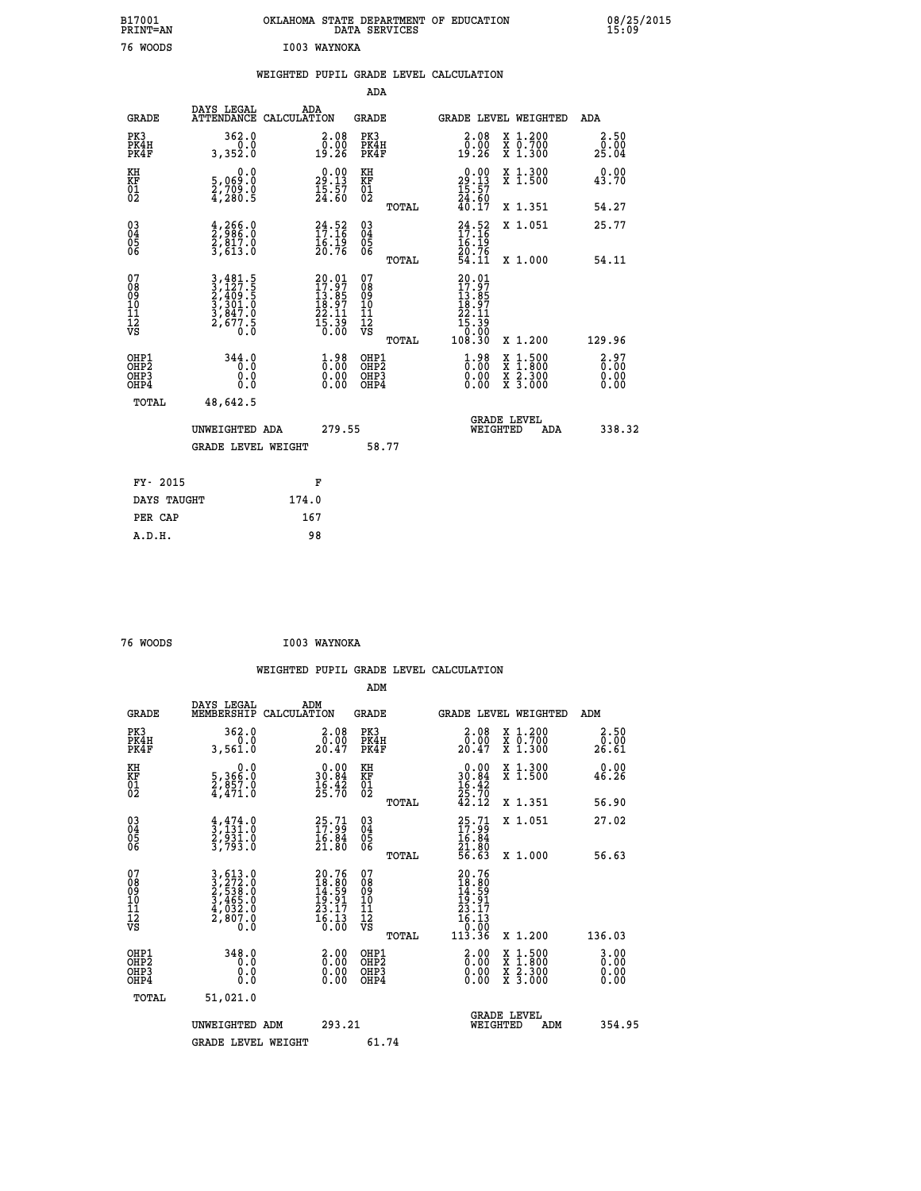| B17001<br>PRINT=AN | OKLAHOMA STATE DEPARTMENT OF EDUCATION<br>DATA SERVICES | 08/25/2015<br>15:09 |
|--------------------|---------------------------------------------------------|---------------------|
| 76 WOODS           | I003 WAYNOKA                                            |                     |
|                    | WEIGHTED PUPIL GRADE LEVEL CALCULATION                  |                     |

|                                                    |                                                                                                                                   |                                                                                                    | ADA                                           |       |                                                                                              |                                                                                                                                           |                              |
|----------------------------------------------------|-----------------------------------------------------------------------------------------------------------------------------------|----------------------------------------------------------------------------------------------------|-----------------------------------------------|-------|----------------------------------------------------------------------------------------------|-------------------------------------------------------------------------------------------------------------------------------------------|------------------------------|
| <b>GRADE</b>                                       | DAYS LEGAL<br>ATTENDANCE CALCULATION                                                                                              | ADA                                                                                                | <b>GRADE</b>                                  |       |                                                                                              | GRADE LEVEL WEIGHTED                                                                                                                      | ADA                          |
| PK3<br>PK4H<br>PK4F                                | 362.0<br>0.0<br>3,352.0                                                                                                           | $\begin{smallmatrix} 2.08\0.00\\0.00\\19.26\end{smallmatrix}$                                      | PK3<br>PK4H<br>PK4F                           |       | 2.08<br>0.00<br>19:26                                                                        | X 1.200<br>X 0.700<br>X 1.300                                                                                                             | 2.50<br>0.00<br>25.04        |
| KH<br>KF<br>01<br>02                               | 0.0<br>5,069:0<br>2,709:0<br>4,280:5                                                                                              | $29.00$<br>29.13<br>$\frac{15}{24}$ : 57                                                           | KH<br>KF<br>01<br>02                          |       | $\begin{smallmatrix} 0.00\\29.13\\15.57\\24.60\\40.17 \end{smallmatrix}$                     | X 1.300<br>X 1.500                                                                                                                        | 0.00<br>43.70                |
|                                                    |                                                                                                                                   |                                                                                                    |                                               | TOTAL |                                                                                              | X 1.351                                                                                                                                   | 54.27                        |
| $\begin{matrix} 03 \\ 04 \\ 05 \\ 06 \end{matrix}$ | $\frac{4}{2}, \frac{266}{986}.0$<br>$\frac{2}{3}, \frac{817}{613}.0$<br>$\frac{3}{5}$                                             | $24.52$<br>$17.16$<br>$16.19$<br>$20.76$                                                           | 03<br>04<br>05<br>06                          |       | $24.52$<br>$17.16$<br>$16.19$<br>$20.76$<br>$54.11$                                          | X 1.051                                                                                                                                   | 25.77                        |
|                                                    |                                                                                                                                   |                                                                                                    |                                               | TOTAL |                                                                                              | X 1.000                                                                                                                                   | 54.11                        |
| 07<br>08<br>09<br>101<br>11<br>12<br>VS            | $\begin{smallmatrix} 3\,,481\,.5\\ 3\,,127\,.5\\ 2\,,409\,.5\\ 3\,,301\,.0\\ 3\,,847\,.0\\ 2\,,677\,.5\\ 0\,.0 \end{smallmatrix}$ | $\begin{smallmatrix} 20.01\ 17.97\ 13.85\ 18.97\ 22.11\ 15.39\ 0.00 \end{smallmatrix}$             | 07<br>08<br>09<br>001<br>11<br>11<br>12<br>VS | TOTAL | $\begin{smallmatrix} 20.01\ 17.97\ 13.857\ 18.971\ 22.11\ 15.390\ 108.30\ \end{smallmatrix}$ | X 1.200                                                                                                                                   | 129.96                       |
| OHP1<br>OHP2<br>OH <sub>P3</sub><br>OHP4           | 344.0<br>0.0<br>Ŏ.Ŏ                                                                                                               | $\overset{1}{\underset{0}{0}}\,\overset{9}{\underset{0}{0}}\,\overset{8}{\underset{0}{0}}$<br>0.00 | OHP1<br>OHP2<br>OHP3<br>OHP4                  |       | $\begin{smallmatrix} 1.98\ 0.00\ 0.00 \end{smallmatrix}$                                     | $\begin{smallmatrix} \mathtt{X} & 1\cdot500\\ \mathtt{X} & 1\cdot800\\ \mathtt{X} & 2\cdot300\\ \mathtt{X} & 3\cdot000 \end{smallmatrix}$ | 2.97<br>0.00<br>0.00<br>0.00 |
| TOTAL                                              | 48,642.5                                                                                                                          |                                                                                                    |                                               |       |                                                                                              |                                                                                                                                           |                              |
|                                                    | UNWEIGHTED ADA                                                                                                                    | 279.55                                                                                             |                                               |       |                                                                                              | <b>GRADE LEVEL</b><br>WEIGHTED<br>ADA                                                                                                     | 338.32                       |
|                                                    | <b>GRADE LEVEL WEIGHT</b>                                                                                                         |                                                                                                    | 58.77                                         |       |                                                                                              |                                                                                                                                           |                              |
| FY- 2015                                           |                                                                                                                                   | F                                                                                                  |                                               |       |                                                                                              |                                                                                                                                           |                              |

| FY- 2015    | н.    |
|-------------|-------|
| DAYS TAUGHT | 174.0 |
| PER CAP     | 167   |
| A.D.H.      | 98    |
|             |       |

| 76 WOODS | I003 WAYNOKA |
|----------|--------------|
|          |              |

 **WEIGHTED PUPIL GRADE LEVEL CALCULATION ADM DAYS LEGAL ADM GRADE MEMBERSHIP CALCULATION GRADE GRADE LEVEL WEIGHTED ADM PK3 362.0 2.08 PK3 2.08 X 1.200 2.50 PK4H 0.0 0.00 PK4H 0.00 X 0.700 0.00 PK4F 3,561.0 20.47 PK4F 20.47 X 1.300 26.61 KH 0.0 0.00 KH 0.00 X 1.300 0.00 KF 5,366.0 30.84 KF 30.84 X 1.500 46.26**  $\begin{array}{cccc} \text{KH} & \hspace{1.3cm} 0.0 & \hspace{1.3cm} 0.00 & \text{KH} \\ \text{KF} & \hspace{1.3cm} 5,366 \cdot 0 & \hspace{1.3cm} 30 \cdot 84 & \text{KF} \\ 01 & \hspace{1.3cm} 2,357 \cdot 0 & \hspace{1.3cm} 25 \cdot 70 & \hspace{1.3cm} 02 \\ \end{array}$  **02 4,471.0 25.70 02 25.70 TOTAL 42.12 X 1.351 56.90 03 4,474.0 25.71 03 25.71 X 1.051 27.02 04 3,131.0 17.99 04 17.99 05 2,931.0 16.84 05 16.84 06 3,793.0 21.80 06 21.80 TOTAL 56.63 X 1.000 56.63**  $\begin{array}{cccc} 07 & 3\,, 613\,. & 0 & 20\,.76 & 07 & 20\,.76\,08 & 3\,, 513\,. & 10 & 18\,. & 10 & 3\,. & 465\,. & 19\,. & 10 & 3\,. & 465\,. & 19\,. & 11 & 4\,. & 39\,. & 27\,. & 23\,. & 23\,. & 23\,. & 23\,. & 23\,. & 23\,. & 23\,. & 23\,. & 23\,. & 23\,. & 23\,. & 23\,. & 23\,. & 23\,. &$  **TOTAL 113.36 X 1.200 136.03 OHP1 348.0 2.00 OHP1 2.00 X 1.500 3.00 OHP2 0.0 0.00 OHP2 0.00 X 1.800 0.00 OHP3 0.0 0.00 OHP3 0.00 X 2.300 0.00 OHP4 0.0 0.00 OHP4 0.00 X 3.000 0.00 TOTAL 51,021.0 GRADE LEVEL UNWEIGHTED ADM 293.21 WEIGHTED ADM 354.95** GRADE LEVEL WEIGHT 61.74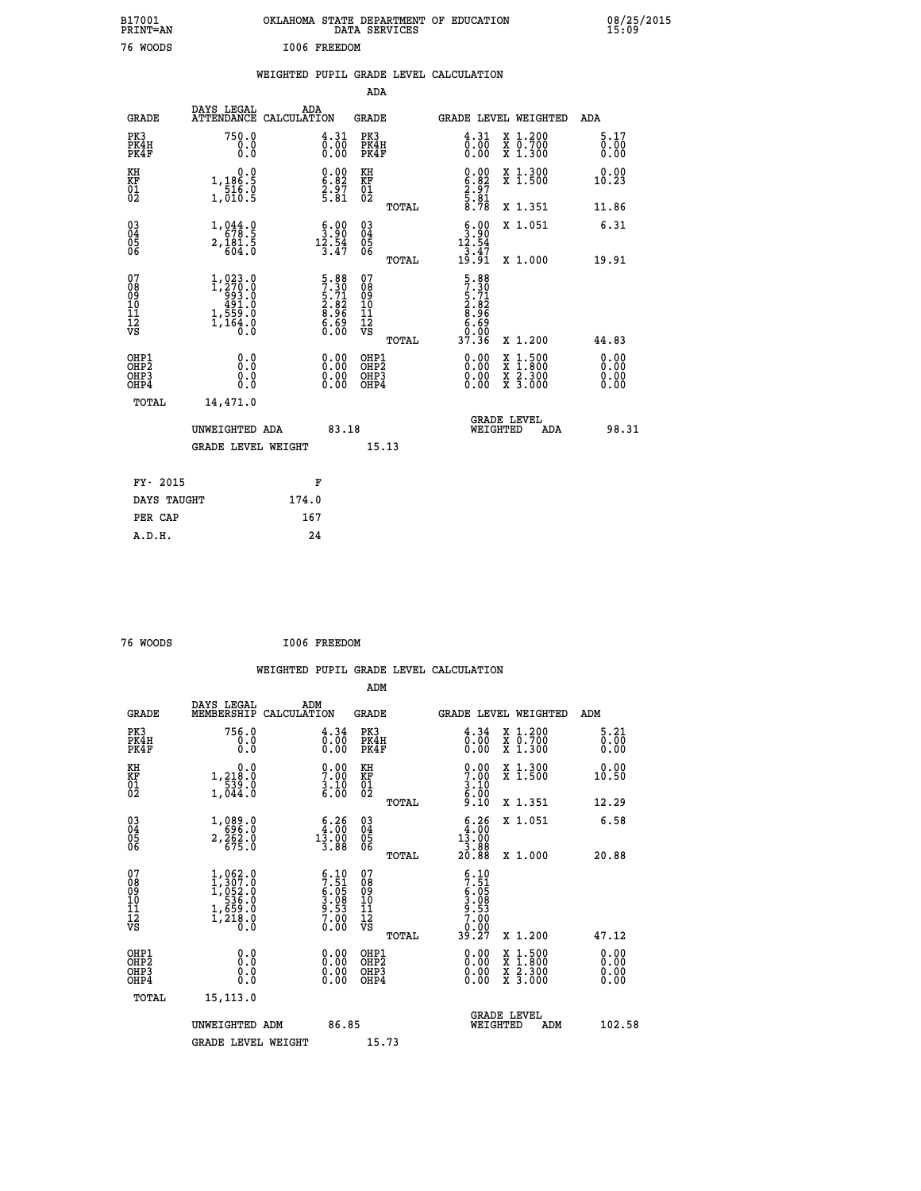| B17001<br><b>PRINT=AN</b> | OKLAHOMA STATE DEPARTMENT OF EDUCATION<br>DATA SERVICES | 08/25/2015<br>15:09 |
|---------------------------|---------------------------------------------------------|---------------------|
| 76<br>WOODS               | I006 FREEDOM                                            |                     |

|  |  | WEIGHTED PUPIL GRADE LEVEL CALCULATION |
|--|--|----------------------------------------|
|  |  |                                        |

|                                                                    |                                                                                     |                                                                    | ADA                                    |       |                                                                            |                                                                                                                                           |                      |
|--------------------------------------------------------------------|-------------------------------------------------------------------------------------|--------------------------------------------------------------------|----------------------------------------|-------|----------------------------------------------------------------------------|-------------------------------------------------------------------------------------------------------------------------------------------|----------------------|
| <b>GRADE</b>                                                       | DAYS LEGAL<br>ATTENDANCE CALCULATION                                                | ADA                                                                | <b>GRADE</b>                           |       |                                                                            | GRADE LEVEL WEIGHTED                                                                                                                      | ADA                  |
| PK3<br>PK4H<br>PK4F                                                | 750.0<br>0.0<br>0.0                                                                 | 4.31<br>$\overline{0.00}$                                          | PK3<br>PK4H<br>PK4F                    |       | $\begin{smallmatrix} 4.31\ 0.00\ 0.00 \end{smallmatrix}$                   | X 1.200<br>X 0.700<br>X 1.300                                                                                                             | 5.17<br>0.00<br>0.00 |
| KH<br>KF<br>$\begin{matrix} 0 \\ 2 \end{matrix}$                   | 0.0<br>1,186.5<br>516.0<br>1,010.5                                                  | $\begin{smallmatrix} 0.00\ 6.82\ 2.97\ 5.81 \end{smallmatrix}$     | KH<br>KF<br>01<br>02                   |       | $\begin{smallmatrix} 0.00\ 6.82\ 2.97\ 2.81\ 5.78 \end{smallmatrix}$       | X 1.300<br>X 1.500                                                                                                                        | 0.00<br>10.23        |
|                                                                    |                                                                                     |                                                                    |                                        | TOTAL |                                                                            | X 1.351                                                                                                                                   | 11.86                |
| $\begin{smallmatrix} 03 \\[-4pt] 04 \end{smallmatrix}$<br>Ŏ5<br>06 | $\begin{smallmatrix}1,044.0\\678.5\\2,181.5\\604.0\end{smallmatrix}$                | $\begin{smallmatrix} 6.00\\ 3.90\\ 12.54\\ 3.47 \end{smallmatrix}$ | 03<br>04<br>05<br>06                   |       | $\begin{smallmatrix} 6.00\\ 3.90\\ 12.54\\ 3.47\\ 19.91 \end{smallmatrix}$ | X 1.051                                                                                                                                   | 6.31                 |
|                                                                    |                                                                                     |                                                                    |                                        | TOTAL |                                                                            | X 1.000                                                                                                                                   | 19.91                |
| 07<br>08<br>09<br>01<br>11<br>11<br>12<br>VS                       | $1, 273.0$<br>$1, 270.0$<br>$993.0$<br>$491.0$<br>$1, 559.0$<br>$1, 164.0$<br>$0.0$ | 5.88<br>7.30<br>5.71<br>5.82<br>2.82<br>8.96<br>6.69<br>6.00       | 07<br>08<br>09<br>11<br>11<br>12<br>VS |       | 5.88<br>7.30<br>5.71<br>5.82<br>8.96<br>6.69<br>6.00                       |                                                                                                                                           |                      |
|                                                                    |                                                                                     |                                                                    |                                        | TOTAL | 37.36                                                                      | X 1.200                                                                                                                                   | 44.83                |
| OHP1<br>OHP2<br>OH <sub>P3</sub><br>OHP4                           | 0.0<br>0.0<br>0.0                                                                   | $0.00$<br>$0.00$<br>0.00                                           | OHP1<br>OHP2<br>OHP3<br>OHP4           |       |                                                                            | $\begin{smallmatrix} \mathtt{X} & 1\cdot500\\ \mathtt{X} & 1\cdot800\\ \mathtt{X} & 2\cdot300\\ \mathtt{X} & 3\cdot000 \end{smallmatrix}$ | 0.00<br>0.00<br>0.00 |
| TOTAL                                                              | 14,471.0                                                                            |                                                                    |                                        |       |                                                                            |                                                                                                                                           |                      |
|                                                                    | UNWEIGHTED ADA                                                                      | 83.18                                                              |                                        |       |                                                                            | <b>GRADE LEVEL</b><br>WEIGHTED<br>ADA                                                                                                     | 98.31                |
|                                                                    | <b>GRADE LEVEL WEIGHT</b>                                                           |                                                                    |                                        | 15.13 |                                                                            |                                                                                                                                           |                      |
| FY- 2015                                                           |                                                                                     | F                                                                  |                                        |       |                                                                            |                                                                                                                                           |                      |
| DAYS TAUGHT                                                        |                                                                                     | 174.0                                                              |                                        |       |                                                                            |                                                                                                                                           |                      |
| PER CAP                                                            |                                                                                     | 167                                                                |                                        |       |                                                                            |                                                                                                                                           |                      |

| 76 WOODS | I006 FREEDOM |
|----------|--------------|
|          |              |

 **WEIGHTED PUPIL GRADE LEVEL CALCULATION ADM DAYS LEGAL ADM GRADE MEMBERSHIP CALCULATION GRADE GRADE LEVEL WEIGHTED ADM PK3 756.0 4.34 PK3 4.34 X 1.200 5.21 PK4H 0.0 0.00 PK4H 0.00 X 0.700 0.00 PK4F 0.0 0.00 PK4F 0.00 X 1.300 0.00 KH 0.0 0.00 KH 0.00 X 1.300 0.00 KF 1,218.0 7.00 KF 7.00 X 1.500 10.50 01 539.0 3.10 01 3.10 02 1,044.0 6.00 02 6.00 TOTAL 9.10 X 1.351 12.29 03 1,089.0 6.26 03 6.26 X 1.051 6.58 04 696.0 4.00 04 4.00 05 2,262.0 13.00 05 13.00** 06 675.0 3.88 06 <sub>memax</sub> 3.88  **TOTAL 20.88 X 1.000 20.88** 07 1,062.0 6.10 07 6.10<br>
08 1,307.0 7.51 08 7.51<br>
10 536.0 3.08 10 3.08<br>
11 1,659.0 9.53 11 9.53<br>
12 1,218.0 7.00 12<br>
VS 1,218.0 0.00 VS 0.000  **TOTAL 39.27 X 1.200 47.12 OHP1 0.0 0.00 OHP1 0.00 X 1.500 0.00 OHP2 0.0 0.00 OHP2 0.00 X 1.800 0.00 OHP3 0.0 0.00 OHP3 0.00 X 2.300 0.00 OHP4 0.0 0.00 OHP4 0.00 X 3.000 0.00 TOTAL 15,113.0 UNWEIGHTED ADM** 86.85  **UNWEIGHTED ADM 86.85 WEIGHTED ADM 102.58** GRADE LEVEL WEIGHT 15.73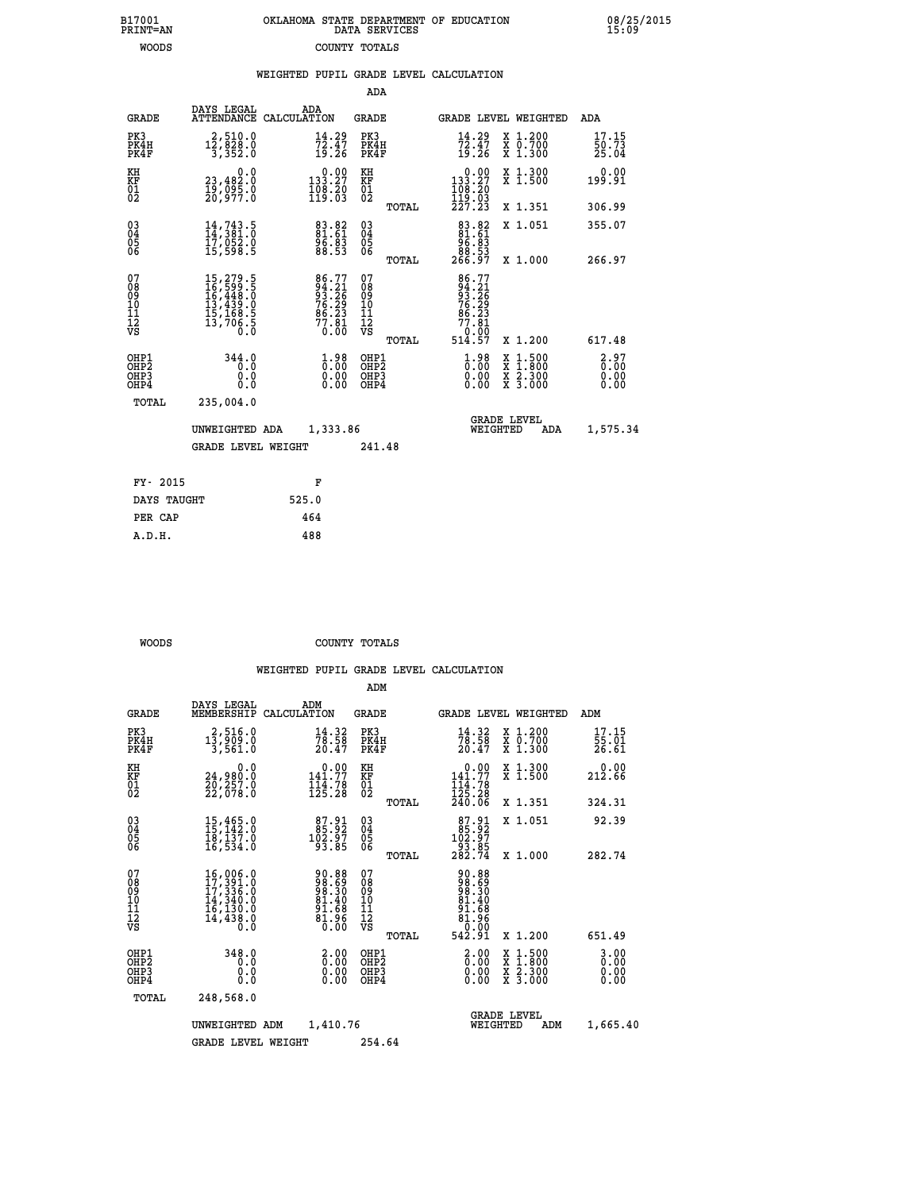|  | OKLAHOMA STATE DEPARTMENT OF EDUCATION<br>DATA SERVICES |  |
|--|---------------------------------------------------------|--|
|  | COUNTY TOTALS                                           |  |

 **B17001 OKLAHOMA STATE DEPARTMENT OF EDUCATION 08/25/2015**

|  |  | WEIGHTED PUPIL GRADE LEVEL CALCULATION |
|--|--|----------------------------------------|
|  |  |                                        |

| <b>GRADE</b>                                                     | DAYS LEGAL                                                           | ADA                                                                                                                   |                                                                                                                                              |                                  |                                                                                 |                                                                                                                                                                           |     | ADA                                                                                                                                                                                                                                                                                                              |
|------------------------------------------------------------------|----------------------------------------------------------------------|-----------------------------------------------------------------------------------------------------------------------|----------------------------------------------------------------------------------------------------------------------------------------------|----------------------------------|---------------------------------------------------------------------------------|---------------------------------------------------------------------------------------------------------------------------------------------------------------------------|-----|------------------------------------------------------------------------------------------------------------------------------------------------------------------------------------------------------------------------------------------------------------------------------------------------------------------|
| PK3<br>PK4H<br>PK4F                                              | $12, 510.0$<br>$12, 828.0$<br>$3, 352.0$                             | $\frac{14.29}{72.47}$<br>19.26                                                                                        | PK3                                                                                                                                          |                                  | $\frac{14}{72}$ : 47<br>19:26                                                   |                                                                                                                                                                           |     | 17.15<br>50.73<br>25.04                                                                                                                                                                                                                                                                                          |
| KH                                                               | 0.0                                                                  |                                                                                                                       |                                                                                                                                              |                                  |                                                                                 |                                                                                                                                                                           |     | 0.00<br>199.91                                                                                                                                                                                                                                                                                                   |
|                                                                  |                                                                      |                                                                                                                       |                                                                                                                                              | TOTAL                            |                                                                                 |                                                                                                                                                                           |     | 306.99                                                                                                                                                                                                                                                                                                           |
| $^{03}_{04}$<br>Ŏ5<br>06                                         | 14,743.5<br>14,381.0<br>17,052.0<br>15,598.5                         | 83.82<br>81.61<br>96.83<br>88.53                                                                                      | $\begin{matrix} 03 \\ 04 \\ 05 \\ 06 \end{matrix}$                                                                                           |                                  | $83.82$<br>$81.61$<br>$95.83$                                                   |                                                                                                                                                                           |     | 355.07<br>266.97                                                                                                                                                                                                                                                                                                 |
| 07<br>08<br>09<br>11<br>11<br>12<br>VS                           | 15,279.5<br>16,599.5<br>16,448.0<br>13,439.0<br>15,168.5<br>13,706.5 | $\begin{array}{l} 86\cdot77 \\ 94\cdot21 \\ 93\cdot26 \\ 76\cdot29 \\ 86\cdot23 \\ 77\cdot81 \\ 0\cdot00 \end{array}$ | 07<br>08<br>09<br>11<br>11<br>12<br>VS                                                                                                       | TOTAL                            |                                                                                 |                                                                                                                                                                           |     | 617.48                                                                                                                                                                                                                                                                                                           |
| OHP1<br>OHP <sub>2</sub><br>OH <sub>P3</sub><br>OH <sub>P4</sub> | 344.0<br>0.0<br>0.0                                                  | $1.98$<br>$0.00$<br>0.00<br>0.00                                                                                      |                                                                                                                                              |                                  | $\frac{1}{0}$ :00<br>0.00<br>0.00                                               |                                                                                                                                                                           |     | 2.97<br>0.00<br>0.00<br>0.00                                                                                                                                                                                                                                                                                     |
|                                                                  |                                                                      |                                                                                                                       |                                                                                                                                              |                                  |                                                                                 |                                                                                                                                                                           | ADA | 1,575.34                                                                                                                                                                                                                                                                                                         |
| FY- 2015                                                         |                                                                      | F                                                                                                                     |                                                                                                                                              |                                  |                                                                                 |                                                                                                                                                                           |     |                                                                                                                                                                                                                                                                                                                  |
|                                                                  |                                                                      | 525.0                                                                                                                 |                                                                                                                                              |                                  |                                                                                 |                                                                                                                                                                           |     |                                                                                                                                                                                                                                                                                                                  |
| PER CAP                                                          |                                                                      | 464                                                                                                                   |                                                                                                                                              |                                  |                                                                                 |                                                                                                                                                                           |     |                                                                                                                                                                                                                                                                                                                  |
| A.D.H.                                                           |                                                                      | 488                                                                                                                   |                                                                                                                                              |                                  |                                                                                 |                                                                                                                                                                           |     |                                                                                                                                                                                                                                                                                                                  |
|                                                                  | KF<br>01<br>02<br>TOTAL                                              | 23,482:0<br>19,095:0<br>20,977:0<br>235,004.0<br>DAYS TAUGHT                                                          | ATTENDANCE CALCULATION<br>$\begin{smallmatrix} 0.00\\133.27\\108.20\\119.03\end{smallmatrix}$<br>UNWEIGHTED ADA<br><b>GRADE LEVEL WEIGHT</b> | KH<br>KF<br>01<br>02<br>1,333.86 | ADA<br>GRADE<br>PK4H<br>PK4F<br>TOTAL<br>OHP1<br>OHP2<br>OHP3<br>OHP4<br>241.48 | $\begin{smallmatrix}&&0.00\\133.27\\108.20\\119.03\\227.23\end{smallmatrix}$<br>88.53<br>266.97<br>86.77<br>94.216<br>93.26<br>76.293<br>77.81<br>77.81<br>0.00<br>514.57 |     | <b>GRADE LEVEL WEIGHTED</b><br>X 1.200<br>X 0.700<br>X 1.300<br>X 1.300<br>X 1.500<br>X 1.351<br>X 1.051<br>X 1.000<br>X 1.200<br>$\begin{smallmatrix} \mathtt{X} & 1\cdot500 \\ \mathtt{X} & 1\cdot800 \\ \mathtt{X} & 2\cdot300 \\ \mathtt{X} & 3\cdot000 \end{smallmatrix}$<br><b>GRADE LEVEL</b><br>WEIGHTED |

B17001<br>PRINT=AN<br>WOODS

 **WOODS COUNTY TOTALS**

|                                                    |                                                                                                                                                    |                                                                                              | ADM                                                |       |                                                                               |                                                                                                                     |                                           |
|----------------------------------------------------|----------------------------------------------------------------------------------------------------------------------------------------------------|----------------------------------------------------------------------------------------------|----------------------------------------------------|-------|-------------------------------------------------------------------------------|---------------------------------------------------------------------------------------------------------------------|-------------------------------------------|
| <b>GRADE</b>                                       | DAYS LEGAL<br>MEMBERSHIP                                                                                                                           | ADM<br>CALCULATION                                                                           | <b>GRADE</b>                                       |       |                                                                               | GRADE LEVEL WEIGHTED                                                                                                | ADM                                       |
| PK3<br>PK4H<br>PK4F                                | 2,516.0<br>$1\bar{3}, \bar{9}\bar{0}\bar{9}.\bar{0}$<br>3,561.0                                                                                    | $\frac{14}{78}$ : 58<br>20.47                                                                | PK3<br>PK4H<br>PK4F                                |       | $\frac{14}{78}$ : 58<br>20.47                                                 | X 1.200<br>X 0.700<br>X 1.300                                                                                       | 17.15<br>$\frac{5}{26}$ . $\frac{51}{61}$ |
| KH<br>KF<br>01<br>02                               | 0.0<br>24,980:0<br>20,257:0<br>22,078:0                                                                                                            | $0.00$<br>141.77<br>$\frac{111}{125.28}$                                                     | KH<br>KF<br>01<br>02                               |       | 0.00<br>141.77<br>$\frac{111}{125}. \frac{78}{28}$<br>$\frac{240.06}{240.06}$ | X 1.300<br>X 1.500                                                                                                  | 0.00<br>212.66                            |
|                                                    |                                                                                                                                                    |                                                                                              |                                                    | TOTAL |                                                                               | X 1.351                                                                                                             | 324.31                                    |
| $\begin{matrix} 03 \\ 04 \\ 05 \\ 06 \end{matrix}$ | 15,465.0<br>15,142.0<br>18,137.0<br>16,534.0                                                                                                       | $\begin{smallmatrix}87.91\\85.92\\102.97\\93.85\end{smallmatrix}$                            | $\begin{matrix} 03 \\ 04 \\ 05 \\ 06 \end{matrix}$ |       | $\begin{smallmatrix}87.91\\85.92\\102.97\\93.85\\282.74\end{smallmatrix}$     | X 1.051                                                                                                             | 92.39                                     |
|                                                    |                                                                                                                                                    |                                                                                              |                                                    | TOTAL |                                                                               | X 1.000                                                                                                             | 282.74                                    |
| 07<br>08<br>09<br>10<br>11<br>11<br>12<br>VS       | $\begin{smallmatrix} 16,006\, . & 0\\ 17,391\, . & 0\\ 17,336\, . & 0\\ 14,340\, . & 0\\ 16,130\, . & 0\\ 14,438\, . & 0 \end{smallmatrix}$<br>Ō.Ō | 88.30<br>08.96<br>08.96<br>$\begin{smallmatrix} 81.40\ 91.68\ 81.96\ 0.00 \end{smallmatrix}$ | 07<br>08<br>09<br>01<br>11<br>11<br>12<br>VS       | TOTAL | 90.88<br>988.590<br>988.300<br>81.408<br>81.966<br>542.91                     | X 1.200                                                                                                             | 651.49                                    |
| OHP1<br>OHP2<br>OHP3<br>OHP4                       | 348.0<br>0.0<br>0.0<br>0.0                                                                                                                         | $\begin{smallmatrix} 2.00\ 0.00 \ 0.00 \end{smallmatrix}$<br>0.00                            | OHP1<br>OHP2<br>OHP3<br>OHP4                       |       | $\begin{smallmatrix} 2.00\ 0.00\ 0.00 \end{smallmatrix}$                      | $\begin{array}{l} \mathtt{X} & 1.500 \\ \mathtt{X} & 1.800 \\ \mathtt{X} & 2.300 \\ \mathtt{X} & 3.000 \end{array}$ | $3.00$<br>$0.00$<br>0.00<br>0.00          |
| TOTAL                                              | 248,568.0                                                                                                                                          |                                                                                              |                                                    |       |                                                                               |                                                                                                                     |                                           |
|                                                    | UNWEIGHTED ADM                                                                                                                                     | 1,410.76                                                                                     |                                                    |       | WEIGHTED                                                                      | <b>GRADE LEVEL</b><br>ADM                                                                                           | 1,665.40                                  |
|                                                    | <b>GRADE LEVEL WEIGHT</b>                                                                                                                          |                                                                                              | 254.64                                             |       |                                                                               |                                                                                                                     |                                           |
|                                                    |                                                                                                                                                    |                                                                                              |                                                    |       |                                                                               |                                                                                                                     |                                           |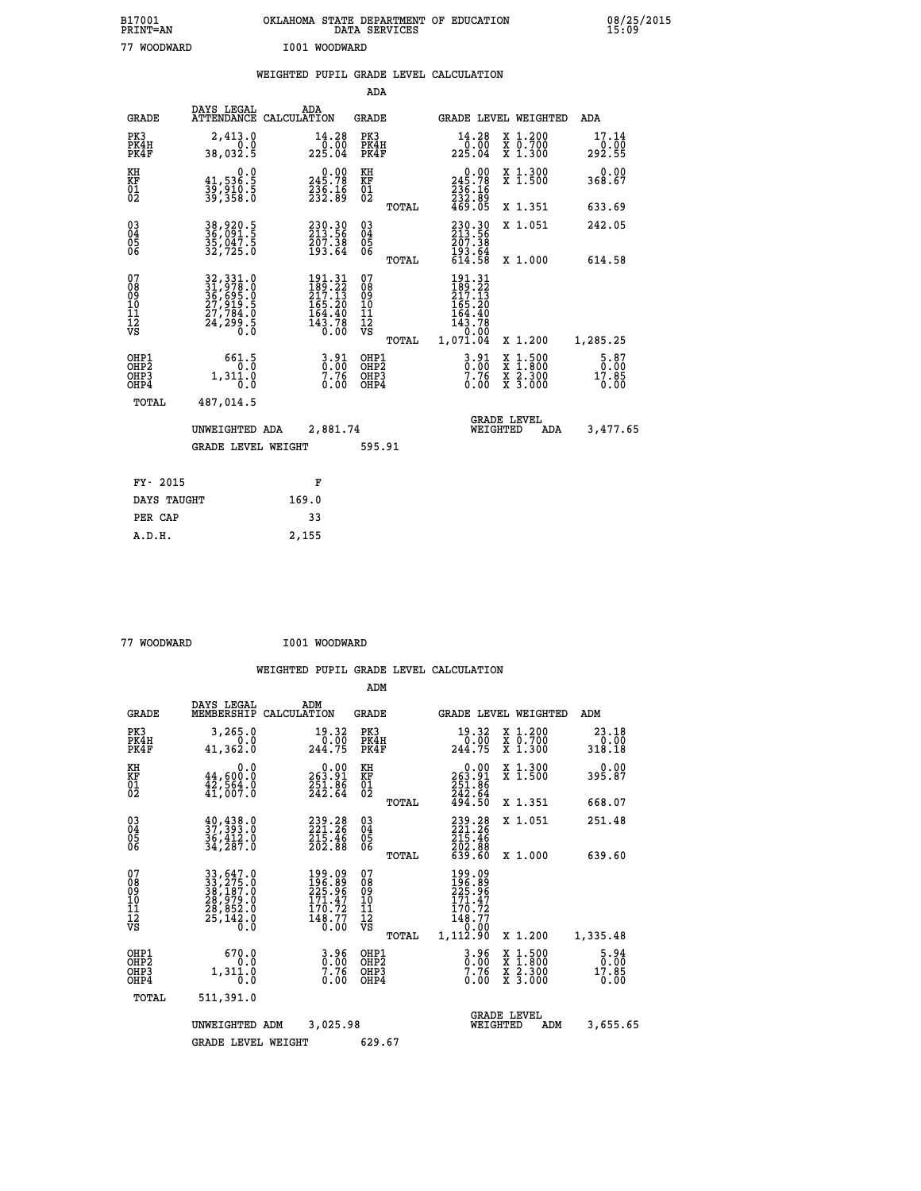| B17001<br>PRINT=AN                       |                                                                            | OKLAHOMA STATE DEPARTMENT OF EDUCATION                                  | DATA SERVICES                                   |                                                                                     |                                                                                          | 08/25/2015                          |  |
|------------------------------------------|----------------------------------------------------------------------------|-------------------------------------------------------------------------|-------------------------------------------------|-------------------------------------------------------------------------------------|------------------------------------------------------------------------------------------|-------------------------------------|--|
| 77 WOODWARD                              |                                                                            | I001 WOODWARD                                                           |                                                 |                                                                                     |                                                                                          |                                     |  |
|                                          |                                                                            | WEIGHTED PUPIL GRADE LEVEL CALCULATION                                  |                                                 |                                                                                     |                                                                                          |                                     |  |
|                                          |                                                                            |                                                                         | ADA                                             |                                                                                     |                                                                                          |                                     |  |
| <b>GRADE</b>                             | DAYS LEGAL                                                                 | ADA<br>ATTENDANCE CALCULATION                                           | GRADE                                           |                                                                                     | GRADE LEVEL WEIGHTED                                                                     | ADA                                 |  |
| PK3<br>PK4H<br>PK4F                      | 2,413.0<br>0.0<br>38,032.5                                                 | 14.28<br>225.04                                                         | PK3<br>PK4H<br>PK4F                             | 14.28<br>0.00<br>225.04                                                             | $\begin{array}{cc}\n & 1.200 \\  & 0.700\n\end{array}$<br>X 1.300                        | 17.14<br>0.00<br>292.55             |  |
| KH<br>KF<br>$\overline{01}$              | 0.0<br>41,536.5<br>39,910.5<br>39,358.0                                    | $\begin{smallmatrix} 0.00\\245.78\\236.16\\232.89\end{smallmatrix}$     | КH<br>KF<br>$^{01}_{02}$                        | 245.78<br>$\frac{236}{232}$ : $\frac{16}{89}$<br>469.05                             | X 1.300<br>X 1.500                                                                       | 0.00<br>368.67                      |  |
|                                          |                                                                            |                                                                         | TOTAL                                           |                                                                                     | X 1.351                                                                                  | 633.69                              |  |
| $03\overline{4}$<br>$\frac{05}{06}$      | 38,920.5<br>36,091.5<br>35,047.5<br>32,725.0                               | 230.30<br>213.56<br>207.38<br>193.64                                    | 03<br>04<br>05<br>06                            | 230.30<br>213.56<br>207.38<br>193.64                                                | X 1.051                                                                                  | 242.05                              |  |
|                                          |                                                                            |                                                                         | TOTAL                                           | 614.58                                                                              | X 1,000                                                                                  | 614.58                              |  |
| 07<br>08<br>09<br>10<br>11<br>12<br>VS   | 32, 331.0<br>31, 978.0<br>36, 695.0<br>27, 919.5<br>27, 784.0<br>24, 299.5 | 191.31<br>189.22<br>217.13<br>165.20<br>164.40<br>$\frac{143.78}{0.00}$ | 07<br>08<br>09<br>10<br>11<br>12<br>VS<br>TOTAL | 191.31<br>189.22<br>217.13<br>165.20<br>164.40<br>$\frac{143.78}{0.00}$<br>1,071.04 | X 1.200                                                                                  | 1,285.25                            |  |
| OHP1<br>OHP <sub>2</sub><br>OHP3<br>OHP4 | 661.5<br>$\overline{0}$ .0<br>1,311.0<br>0.0                               | $3.91$<br>$0.00$<br>7.76<br>0.00                                        | OHP1<br>OHP <sub>2</sub><br>OHP3<br>OHP4        | $3.91$<br>$0.00$<br>7.76<br>0.00                                                    | $\begin{smallmatrix} x & 1.500 \\ x & 1.800 \\ x & 2.300 \\ x & 3.000 \end{smallmatrix}$ | $5.87$<br>0.00<br>$17.85$<br>$0.00$ |  |
| TOTAL                                    | 487,014.5                                                                  |                                                                         |                                                 |                                                                                     |                                                                                          |                                     |  |
|                                          | UNWEIGHTED ADA                                                             | 2,881.74                                                                |                                                 | WEIGHTED                                                                            | <b>GRADE LEVEL</b><br>ADA                                                                | 3,477.65                            |  |
|                                          | GRADE LEVEL WEIGHT                                                         |                                                                         | 595.91                                          |                                                                                     |                                                                                          |                                     |  |
|                                          |                                                                            |                                                                         |                                                 |                                                                                     |                                                                                          |                                     |  |
| FY- 2015<br>DAYS TAUGHT                  |                                                                            | F<br>169.0                                                              |                                                 |                                                                                     |                                                                                          |                                     |  |
| PER CAP                                  |                                                                            | 33                                                                      |                                                 |                                                                                     |                                                                                          |                                     |  |
| A.D.H.                                   |                                                                            | 2,155                                                                   |                                                 |                                                                                     |                                                                                          |                                     |  |

 **77 WOODWARD I001 WOODWARD**

|                                                       |                                                                                                                                                                                               |                                                          |                             | ADM                                    |       |                                                                              |                                |                                          |                                      |
|-------------------------------------------------------|-----------------------------------------------------------------------------------------------------------------------------------------------------------------------------------------------|----------------------------------------------------------|-----------------------------|----------------------------------------|-------|------------------------------------------------------------------------------|--------------------------------|------------------------------------------|--------------------------------------|
| <b>GRADE</b>                                          | DAYS LEGAL<br>MEMBERSHIP                                                                                                                                                                      | ADM<br>CALCULATION                                       |                             | <b>GRADE</b>                           |       |                                                                              |                                | <b>GRADE LEVEL WEIGHTED</b>              | ADM                                  |
| PK3<br>PK4H<br>PK4F                                   | 3,265.0<br>0.0<br>41,362.0                                                                                                                                                                    | 244.75                                                   | 19.32<br>0.00               | PK3<br>PK4H<br>PK4F                    |       | 19.32<br>0.00<br>244.75                                                      |                                | X 1.200<br>X 0.700<br>X 1.300            | 23.18<br>0.00<br>318.18              |
| KH<br>KF<br>01<br>02                                  | 0.0<br>44,600.0<br>$\frac{1}{41}$ , 564:0                                                                                                                                                     | $0.00$<br>19.91<br>$\frac{251.86}{242.64}$               |                             | KH<br>KF<br>01<br>02                   |       | 0.00<br>263:91<br>251:86<br>242:64<br>494:50                                 |                                | X 1.300<br>X 1.500                       | 0.00<br>395.87                       |
|                                                       |                                                                                                                                                                                               |                                                          |                             |                                        | TOTAL |                                                                              |                                | X 1.351                                  | 668.07                               |
| 03<br>04<br>05<br>06                                  | $\begin{smallmatrix} 40, 438.0\\ 37, 393.0\\ 36, 412.0\\ 34, 287.0 \end{smallmatrix}$                                                                                                         | 239.28<br>215.46<br>202.88                               |                             | $^{03}_{04}$<br>05<br>06               |       | 239.28<br>221.26<br>$\frac{215.46}{202.88}$<br>639.60                        |                                | X 1.051                                  | 251.48                               |
|                                                       |                                                                                                                                                                                               |                                                          |                             |                                        | TOTAL |                                                                              |                                | X 1.000                                  | 639.60                               |
| 07<br>08<br>09<br>101<br>112<br>VS                    | $\begin{smallmatrix} 33\, ,\, 647\, .\, 0\\ 33\, ,\, 275\, .\, 0\\ 38\, ,\, 187\, .\, 0\\ 28\, ,\, 979\, .\, 0\\ 28\, ,\, 852\, .\, 0\\ 25\, ,\, 142\, .\, 0\\ 0\, .\, 0\, \end{smallmatrix}$ | 199.09<br>196.89<br>225.96<br>171.47<br>170.72<br>148.77 | 0.00                        | 07<br>08<br>09<br>11<br>11<br>12<br>VS | TOTAL | 199.09<br>196.89<br>225.96<br>171.47<br>170.72<br>148.77<br>0.00<br>1,112.90 |                                | X 1.200                                  | 1,335.48                             |
| OHP1<br>OH <sub>P</sub> 2<br>OH <sub>P3</sub><br>OHP4 | 670.0<br>0.0<br>1,311.0<br>$0.\overline{0}$                                                                                                                                                   |                                                          | $\frac{3.96}{0.00}$<br>0.00 | OHP1<br>OHP2<br>OHP3<br>OHP4           |       | $\frac{3.96}{0.00}$<br>0.00                                                  |                                | X 1:500<br>X 1:800<br>X 2:300<br>X 3:000 | $\frac{5.94}{0.00}$<br>17.85<br>0.00 |
| TOTAL                                                 | 511,391.0                                                                                                                                                                                     |                                                          |                             |                                        |       |                                                                              |                                |                                          |                                      |
|                                                       | UNWEIGHTED                                                                                                                                                                                    | ADM                                                      | 3,025.98                    |                                        |       |                                                                              | <b>GRADE LEVEL</b><br>WEIGHTED | ADM                                      | 3,655.65                             |
|                                                       | <b>GRADE LEVEL WEIGHT</b>                                                                                                                                                                     |                                                          |                             | 629.67                                 |       |                                                                              |                                |                                          |                                      |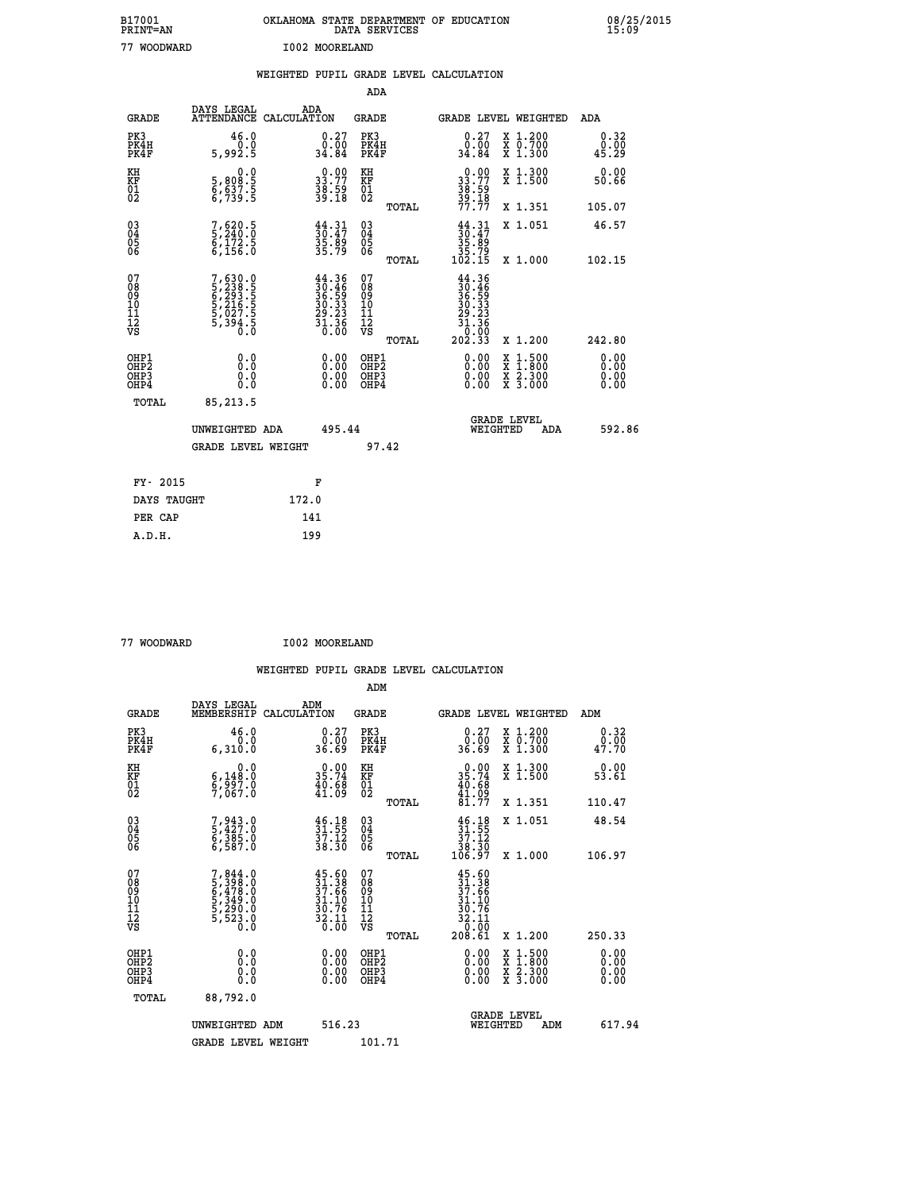| B17001<br><b>PRINT=AN</b> | OKLAHOMA STATE DEPARTMENT OF EDUCATION<br>DATA SERVICES | 08/25/2015<br>15:09 |
|---------------------------|---------------------------------------------------------|---------------------|
| 77<br>WOODWARD            | I002 MOORELAND                                          |                     |

|                              |                                                                         | WEIGHTED PUPIL GRADE LEVEL CALCULATION                                                       |                                                      |       |                                                                                                                                                                                                                                                                                |                                                                                                                                           |                                   |
|------------------------------|-------------------------------------------------------------------------|----------------------------------------------------------------------------------------------|------------------------------------------------------|-------|--------------------------------------------------------------------------------------------------------------------------------------------------------------------------------------------------------------------------------------------------------------------------------|-------------------------------------------------------------------------------------------------------------------------------------------|-----------------------------------|
|                              |                                                                         |                                                                                              | <b>ADA</b>                                           |       |                                                                                                                                                                                                                                                                                |                                                                                                                                           |                                   |
| <b>GRADE</b>                 | DAYS LEGAL                                                              | ADA<br>ATTENDANCE CALCULATION                                                                | <b>GRADE</b>                                         |       |                                                                                                                                                                                                                                                                                | GRADE LEVEL WEIGHTED                                                                                                                      | ADA                               |
| PK3<br>PK4H<br>PK4F          | 46.0<br>5,992.5                                                         | $\begin{smallmatrix} 0.27\ 0.00\ 34.84 \end{smallmatrix}$                                    | PK3<br>PK4H<br>PK4F                                  |       | $\begin{smallmatrix} 0.27\\ 0.00\\ 34.84 \end{smallmatrix}$                                                                                                                                                                                                                    | X 1.200<br>X 0.700<br>X 1.300                                                                                                             | 0.32<br>$\frac{0.00}{45.29}$      |
| KH<br>KF<br>01<br>02         | $\begin{smallmatrix}&&&0.0\\5,808.5\\6,637.5\\6,739.5\end{smallmatrix}$ | $\begin{smallmatrix} 0.00\\ 33.77\\ 38.59\\ 39.18 \end{smallmatrix}$                         | KH<br>KF<br>01<br>02                                 |       | $33.77$<br>$38.79$<br>$38.59$<br>$39.18$<br>$77.77$                                                                                                                                                                                                                            | X 1.300<br>X 1.500                                                                                                                        | 0.00<br>50.66                     |
|                              |                                                                         |                                                                                              |                                                      | TOTAL |                                                                                                                                                                                                                                                                                | X 1.351                                                                                                                                   | 105.07                            |
| $^{03}_{04}$<br>Ŏ5<br>06     | 7,620.5<br>5,240.0<br>6,172.5<br>6,156.0                                | $\frac{44}{30}.\frac{31}{47}$<br>$\frac{35}{35}.\frac{89}{79}$                               | $\begin{matrix} 03 \\ 04 \\ 05 \\ 06 \end{matrix}$   |       | $30.47$<br>$35.89$<br>$35.79$<br>$102.15$                                                                                                                                                                                                                                      | X 1.051                                                                                                                                   | 46.57                             |
|                              |                                                                         |                                                                                              |                                                      | TOTAL |                                                                                                                                                                                                                                                                                | X 1.000                                                                                                                                   | 102.15                            |
| 07<br>0890112<br>1112<br>VS  | 7,630.0<br>5,238.5<br>6,293.5<br>6,216.5<br>5,027.5<br>5,394.5<br>6.3   | $\begin{smallmatrix} 44.36\\ 30.46\\ 36.59\\ 30.33\\ 29.23\\ 31.36\\ 0.00 \end{smallmatrix}$ | 07<br>08901112<br>1112<br>VS                         | TOTAL | $44.36$<br>$30.46$<br>$36.59$<br>$30.33$<br>$29.23$<br>$31.36$<br>10:00<br>202.33                                                                                                                                                                                              | X 1.200                                                                                                                                   | 242.80                            |
| OHP1<br>OHP2<br>OHP3<br>OHP4 | 0.0<br>0.000                                                            |                                                                                              | OHP1<br>OHP2<br>OHP <sub>3</sub><br>OHP <sub>4</sub> |       | $\begin{smallmatrix} 0.00 & 0.00 & 0.00 & 0.00 & 0.00 & 0.00 & 0.00 & 0.00 & 0.00 & 0.00 & 0.00 & 0.00 & 0.00 & 0.00 & 0.00 & 0.00 & 0.00 & 0.00 & 0.00 & 0.00 & 0.00 & 0.00 & 0.00 & 0.00 & 0.00 & 0.00 & 0.00 & 0.00 & 0.00 & 0.00 & 0.00 & 0.00 & 0.00 & 0.00 & 0.00 & 0.0$ | $\begin{smallmatrix} \mathtt{X} & 1\cdot500\\ \mathtt{X} & 1\cdot800\\ \mathtt{X} & 2\cdot300\\ \mathtt{X} & 3\cdot000 \end{smallmatrix}$ | 0.00<br>Ō. ŌŌ<br>$0.00$<br>$0.00$ |
| TOTAL                        | 85,213.5                                                                |                                                                                              |                                                      |       |                                                                                                                                                                                                                                                                                |                                                                                                                                           |                                   |
|                              | UNWEIGHTED ADA                                                          | 495.44                                                                                       |                                                      |       | WEIGHTED                                                                                                                                                                                                                                                                       | <b>GRADE LEVEL</b><br>ADA                                                                                                                 | 592.86                            |
|                              | <b>GRADE LEVEL WEIGHT</b>                                               |                                                                                              |                                                      | 97.42 |                                                                                                                                                                                                                                                                                |                                                                                                                                           |                                   |
| FY- 2015                     |                                                                         | F                                                                                            |                                                      |       |                                                                                                                                                                                                                                                                                |                                                                                                                                           |                                   |
| DAYS TAUGHT                  |                                                                         | 172.0                                                                                        |                                                      |       |                                                                                                                                                                                                                                                                                |                                                                                                                                           |                                   |
| PER CAP                      |                                                                         | 141                                                                                          |                                                      |       |                                                                                                                                                                                                                                                                                |                                                                                                                                           |                                   |

| 77 WOODWARD |  |
|-------------|--|

**WOODWARD 1002 MOORELAND** 

 **ADM DAYS LEGAL ADM GRADE MEMBERSHIP CALCULATION GRADE GRADE LEVEL WEIGHTED ADM PK3 46.0 0.27 PK3 0.27 X 1.200 0.32 PK4H 0.0 0.00 PK4H 0.00 X 0.700 0.00 PK4F 6,310.0 36.69 PK4F 36.69 X 1.300 47.70 KH 0.0 0.00 KH 0.00 X 1.300 0.00 KF 6,148.0 35.74 KF 35.74 X 1.500 53.61 01 6,997.0 40.68 01 40.68 02 7,067.0 41.09 02 41.09 TOTAL 81.77 X 1.351 110.47**

| $\begin{matrix} 03 \\ 04 \\ 05 \\ 06 \end{matrix}$   | 7,943.0<br>5,427.0<br>6,385.0<br>6,587.0                                    | $\begin{smallmatrix} 46.18\ 31.55\ 37.12\ 38.30 \end{smallmatrix}$                              | $\begin{matrix} 03 \\ 04 \\ 05 \\ 06 \end{matrix}$<br>TOTAL | $\begin{array}{c} 46.18 \\ 31.55 \\ 37.12 \\ 38.30 \\ 106.97 \end{array}$                                                  | X 1.051<br>X 1.000                                  | 48.54<br>106.97                                                                                                                                                                                                                                                                |
|------------------------------------------------------|-----------------------------------------------------------------------------|-------------------------------------------------------------------------------------------------|-------------------------------------------------------------|----------------------------------------------------------------------------------------------------------------------------|-----------------------------------------------------|--------------------------------------------------------------------------------------------------------------------------------------------------------------------------------------------------------------------------------------------------------------------------------|
| 07<br>08<br>09<br>101<br>11<br>12<br>VS              | $7,844.0$<br>5,398.0<br>5,478.0<br>6,478.0<br>5,349.0<br>5,290.0<br>5,523.0 | $\frac{45.60}{31.38}$<br>$\frac{37.66}{37.66}$<br>$\frac{31.10}{30.76}$<br>$\frac{32.11}{0.00}$ | 078<br>089<br>0011<br>11<br>11<br>12<br>VS<br>TOTAL         | $\frac{45.60}{31.38}$<br>$\frac{37.66}{37.66}$<br>$\begin{array}{r} 31.10 \\ 30.76 \\ 32.11 \\ 0.00 \\ 208.61 \end{array}$ | X 1.200                                             | 250.33                                                                                                                                                                                                                                                                         |
| OHP1<br>OHP <sub>2</sub><br>OH <sub>P3</sub><br>OHP4 | 0.00000<br>Ō.Ō                                                              | 0.00                                                                                            | OHP1<br>OHP <sub>2</sub><br>OHP3<br>OHP4                    | 0.00                                                                                                                       | x 1.500<br>x 1.800<br>x 2.300<br>X <sub>3.000</sub> | $\begin{smallmatrix} 0.00 & 0.00 & 0.00 & 0.00 & 0.00 & 0.00 & 0.00 & 0.00 & 0.00 & 0.00 & 0.00 & 0.00 & 0.00 & 0.00 & 0.00 & 0.00 & 0.00 & 0.00 & 0.00 & 0.00 & 0.00 & 0.00 & 0.00 & 0.00 & 0.00 & 0.00 & 0.00 & 0.00 & 0.00 & 0.00 & 0.00 & 0.00 & 0.00 & 0.00 & 0.00 & 0.0$ |
| TOTAL                                                | 88,792.0<br>UNWEIGHTED ADM                                                  | 516.23                                                                                          |                                                             | WEIGHTED                                                                                                                   | <b>GRADE LEVEL</b><br>ADM                           | 617.94                                                                                                                                                                                                                                                                         |
|                                                      | <b>GRADE LEVEL WEIGHT</b>                                                   |                                                                                                 | 101.71                                                      |                                                                                                                            |                                                     |                                                                                                                                                                                                                                                                                |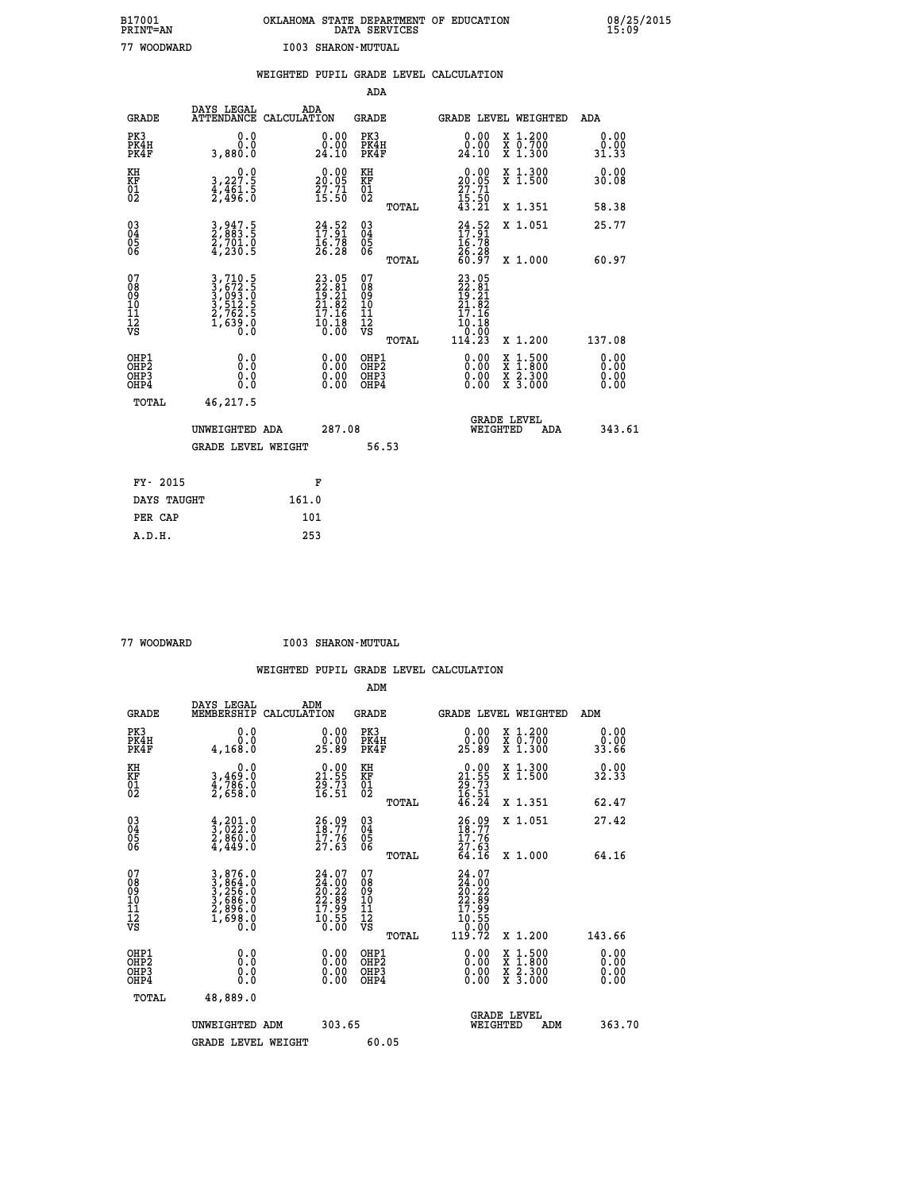|                                              |                                                                         | WEIGHTED PUPIL GRADE LEVEL CALCULATION                                   |                                                    |       |                                                                                                                                                                                                                                                                                |                                                                                                                                              |                       |
|----------------------------------------------|-------------------------------------------------------------------------|--------------------------------------------------------------------------|----------------------------------------------------|-------|--------------------------------------------------------------------------------------------------------------------------------------------------------------------------------------------------------------------------------------------------------------------------------|----------------------------------------------------------------------------------------------------------------------------------------------|-----------------------|
|                                              |                                                                         |                                                                          | ADA                                                |       |                                                                                                                                                                                                                                                                                |                                                                                                                                              |                       |
| <b>GRADE</b>                                 | DAYS LEGAL                                                              | ADA<br>ATTENDANCE CALCULATION                                            | <b>GRADE</b>                                       |       |                                                                                                                                                                                                                                                                                | <b>GRADE LEVEL WEIGHTED</b>                                                                                                                  | ADA                   |
| PK3<br>PK4H<br>PK4F                          | 0.0<br>0.0<br>3,880.0                                                   | $\substack{0.00\\0.00\\24.10}$                                           | PK3<br>PK4H<br>PK4F                                |       | $\begin{smallmatrix} 0.00\\ 0.00\\ 24.10 \end{smallmatrix}$                                                                                                                                                                                                                    | X 1.200<br>X 0.700<br>X 1.300                                                                                                                | 0.00<br>0.00<br>31.33 |
| KH<br>KF<br>01<br>02                         | $\begin{smallmatrix}&&&0.0\\3,227.5\\4,461.5\\2,496.0\end{smallmatrix}$ | 20.00<br>$\frac{7}{15}$ : $\frac{7}{10}$                                 | KH<br>KF<br>01<br>02                               |       | $\begin{smallmatrix} 0.00\\20.05\\27.71\\15.50\\43.21 \end{smallmatrix}$                                                                                                                                                                                                       | X 1.300<br>X 1.500                                                                                                                           | 0.00<br>30.08         |
|                                              |                                                                         |                                                                          |                                                    | TOTAL |                                                                                                                                                                                                                                                                                | X 1.351                                                                                                                                      | 58.38                 |
| $^{03}_{04}$<br>05                           | 3,947.5<br>2,883.5<br>2,701.0<br>4,230.5                                | $24.52$<br>$17.91$<br>$16.78$<br>$26.28$                                 | $\begin{matrix} 03 \\ 04 \\ 05 \\ 06 \end{matrix}$ |       | $\frac{24}{17} : \frac{52}{91}$<br>$\frac{16}{9} : 78$                                                                                                                                                                                                                         | X 1.051                                                                                                                                      | 25.77                 |
| 06                                           |                                                                         |                                                                          |                                                    | TOTAL | 26.28<br>60.97                                                                                                                                                                                                                                                                 | X 1.000                                                                                                                                      | 60.97                 |
| 07<br>08<br>09<br>01<br>11<br>11<br>12<br>VS | 3,710.5<br>3,672.5<br>3,093.0<br>3,512.5<br>2,762.5<br>1,639.0<br>0.0   | $23.05$<br>$22.81$<br>$19.21$<br>$21.82$<br>$17.16$<br>$10.18$<br>$0.00$ | 07<br>08<br>09<br>101<br>11<br>12<br>VS            | TOTAL | 23.05<br>22.81<br>19.21<br>21.82<br>17.16<br>10.18<br>0.00-<br>114.23                                                                                                                                                                                                          | X 1.200                                                                                                                                      | 137.08                |
| OHP1<br>OHP2<br>OHP3<br>OHP4                 | 0.0<br>0.000                                                            |                                                                          | OHP1<br>OHP2<br>OHP <sub>3</sub>                   |       | $\begin{smallmatrix} 0.00 & 0.00 & 0.00 & 0.00 & 0.00 & 0.00 & 0.00 & 0.00 & 0.00 & 0.00 & 0.00 & 0.00 & 0.00 & 0.00 & 0.00 & 0.00 & 0.00 & 0.00 & 0.00 & 0.00 & 0.00 & 0.00 & 0.00 & 0.00 & 0.00 & 0.00 & 0.00 & 0.00 & 0.00 & 0.00 & 0.00 & 0.00 & 0.00 & 0.00 & 0.00 & 0.0$ | $\begin{smallmatrix} \mathtt{X} & 1\cdot500 \\ \mathtt{X} & 1\cdot800 \\ \mathtt{X} & 2\cdot300 \\ \mathtt{X} & 3\cdot000 \end{smallmatrix}$ | 0.00<br>0.00          |
| TOTAL                                        | 46,217.5                                                                |                                                                          |                                                    |       |                                                                                                                                                                                                                                                                                |                                                                                                                                              |                       |
|                                              | UNWEIGHTED ADA                                                          | 287.08                                                                   |                                                    |       | WEIGHTED                                                                                                                                                                                                                                                                       | <b>GRADE LEVEL</b><br>ADA                                                                                                                    | 343.61                |
|                                              | <b>GRADE LEVEL WEIGHT</b>                                               |                                                                          |                                                    | 56.53 |                                                                                                                                                                                                                                                                                |                                                                                                                                              |                       |
| FY- 2015                                     |                                                                         | F                                                                        |                                                    |       |                                                                                                                                                                                                                                                                                |                                                                                                                                              |                       |
| DAYS TAUGHT                                  |                                                                         | 161.0                                                                    |                                                    |       |                                                                                                                                                                                                                                                                                |                                                                                                                                              |                       |
| PER CAP                                      |                                                                         | 101                                                                      |                                                    |       |                                                                                                                                                                                                                                                                                |                                                                                                                                              |                       |

 **77 WOODWARD I003 SHARON-MUTUAL**

|                                          |                                                                                                                          |                                                                   | ADM                                                 |                                                                          |                                          |                              |
|------------------------------------------|--------------------------------------------------------------------------------------------------------------------------|-------------------------------------------------------------------|-----------------------------------------------------|--------------------------------------------------------------------------|------------------------------------------|------------------------------|
| <b>GRADE</b>                             | DAYS LEGAL<br>MEMBERSHIP                                                                                                 | ADM<br>CALCULATION                                                | <b>GRADE</b>                                        |                                                                          | <b>GRADE LEVEL WEIGHTED</b>              | ADM                          |
| PK3<br>PK4H<br>PK4F                      | 0.0<br>0.0<br>4,168.0                                                                                                    | $\begin{smallmatrix} 0.00\\ 0.00\\ 25.89 \end{smallmatrix}$       | PK3<br>PK4H<br>PK4F                                 | $\begin{smallmatrix} 0.00\\ 0.00\\ 25.89 \end{smallmatrix}$              | X 1.200<br>X 0.700<br>X 1.300            | 0.00<br>0.00<br>33.66        |
| KH<br>KF<br>01<br>02                     | 0.0<br>3,469:0<br>4,786:0<br>2,658:0                                                                                     | $\begin{smallmatrix} 0.00\\21.55\\29.73\\16.51 \end{smallmatrix}$ | KH<br>KF<br>01<br>02                                | $\begin{smallmatrix} 0.00\\21.55\\29.73\\16.51\\46.24 \end{smallmatrix}$ | X 1.300<br>X 1.500                       | 0.00<br>32.33                |
|                                          |                                                                                                                          |                                                                   | TOTAL                                               |                                                                          | X 1.351                                  | 62.47                        |
| 03<br>04<br>05<br>06                     | $\begin{smallmatrix} 4 & 2 & 0 & 1 & 0 \\ 3 & 0 & 2 & 2 & 0 \\ 2 & 8 & 6 & 0 & 0 \\ 4 & 4 & 4 & 9 & 0 \end{smallmatrix}$ | $26.99$<br>18:77<br>$\frac{17.76}{27.63}$                         | $\begin{array}{c} 03 \\ 04 \\ 05 \\ 06 \end{array}$ | $26.09$<br>$18.77$<br>17.76<br>$\frac{77.63}{64.16}$                     | X 1.051                                  | 27.42                        |
|                                          |                                                                                                                          |                                                                   | TOTAL                                               |                                                                          | X 1.000                                  | 64.16                        |
| 07<br>08<br>09<br>101<br>112<br>VS       | 3,876.0<br>3,864.0<br>3,256.0<br>3,686.0<br>2,896.0<br>1,698.0<br>0.0                                                    | $24.0724.0020.2222.8917.9910.550.00$                              | 07<br>08<br>09<br>11<br>11<br>12<br>VS              | 24.07<br>24.00<br>20.22<br>22.89<br>17.99<br>10.55<br>10.99              |                                          |                              |
|                                          |                                                                                                                          |                                                                   | TOTAL                                               | 119.72                                                                   | X 1.200                                  | 143.66                       |
| OHP1<br>OHP2<br>OH <sub>P3</sub><br>OHP4 | 0.0<br>0.000                                                                                                             | $0.00$<br>$0.00$<br>0.00                                          | OHP1<br>OHP2<br>OHP <sub>3</sub>                    | $0.00$<br>$0.00$<br>0.00                                                 | X 1:500<br>X 1:800<br>X 2:300<br>X 3:000 | 0.00<br>0.00<br>0.00<br>0.00 |
| TOTAL                                    | 48,889.0                                                                                                                 |                                                                   |                                                     |                                                                          |                                          |                              |
|                                          | UNWEIGHTED ADM                                                                                                           | 303.65                                                            |                                                     | WEIGHTED                                                                 | <b>GRADE LEVEL</b><br>ADM                | 363.70                       |
|                                          | <b>GRADE LEVEL WEIGHT</b>                                                                                                |                                                                   | 60.05                                               |                                                                          |                                          |                              |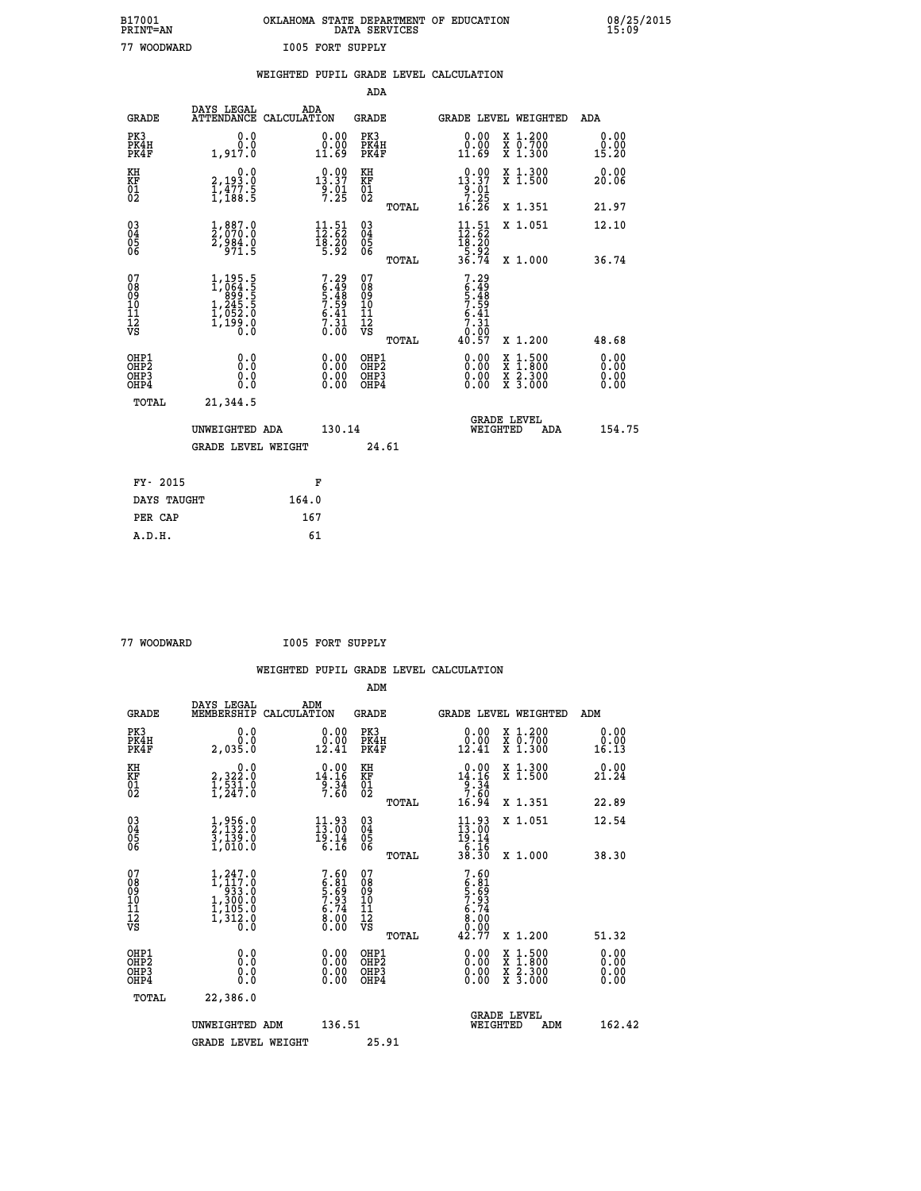| B17001          | OKLAHOMA STATE DEPARTMENT OF EDUCATION |
|-----------------|----------------------------------------|
| <b>PRINT=AN</b> | DATA SERVICES                          |
| 77 WOODWARD     | <b>I005 FORT SUPPLY</b>                |

|                                                                    |                                                                                         | WEIGHTED PUPIL GRADE LEVEL CALCULATION                                          |                                                    |       |                                                                                                                                                                                                                                                                                |                                                                                                                                              |                              |
|--------------------------------------------------------------------|-----------------------------------------------------------------------------------------|---------------------------------------------------------------------------------|----------------------------------------------------|-------|--------------------------------------------------------------------------------------------------------------------------------------------------------------------------------------------------------------------------------------------------------------------------------|----------------------------------------------------------------------------------------------------------------------------------------------|------------------------------|
|                                                                    |                                                                                         |                                                                                 | <b>ADA</b>                                         |       |                                                                                                                                                                                                                                                                                |                                                                                                                                              |                              |
| <b>GRADE</b>                                                       | DAYS LEGAL<br>ATTENDANCE CALCULATION                                                    | ADA                                                                             | <b>GRADE</b>                                       |       | GRADE LEVEL WEIGHTED                                                                                                                                                                                                                                                           |                                                                                                                                              | <b>ADA</b>                   |
| PK3<br>PK4H<br>PK4F                                                | 0.0<br>ة:ة<br>1,917:0                                                                   | $\begin{smallmatrix} 0.00\\ 0.00\\ 11.69 \end{smallmatrix}$                     | PK3<br>PK4H<br>PK4F                                |       | $\begin{smallmatrix} 0.00\\ 0.00\\ 11.69 \end{smallmatrix}$                                                                                                                                                                                                                    | X 1.200<br>X 0.700<br>X 1.300                                                                                                                | 0.00<br>$\frac{0.00}{15.20}$ |
| KH<br>KF<br>01<br>02                                               | 0.0<br>2,193.0<br>1,477.5<br>1,188.5                                                    | $\begin{smallmatrix} 0.00\\ 13.37\\ 9.01\\ 7.25 \end{smallmatrix}$              | KH<br>KF<br>01<br>02                               |       | $\begin{smallmatrix} 0.00\\ 13.37\\ 9.01\\ 7.25\\ 16.26 \end{smallmatrix}$                                                                                                                                                                                                     | X 1.300<br>X 1.500                                                                                                                           | 0.00<br>20.06                |
|                                                                    |                                                                                         |                                                                                 |                                                    | TOTAL |                                                                                                                                                                                                                                                                                | X 1.351                                                                                                                                      | 21.97                        |
| $\begin{smallmatrix} 03 \\[-4pt] 04 \end{smallmatrix}$<br>Ŏ5<br>06 | $\frac{1}{2}, \begin{smallmatrix} 887.0 \ 7070.0 \ 2,984.0 \ 971.5 \end{smallmatrix}$   | $\begin{array}{c} 11\cdot 51\\ 12\cdot 62\\ 18\cdot 20\\ 5\cdot 92 \end{array}$ | $\begin{matrix} 03 \\ 04 \\ 05 \\ 06 \end{matrix}$ |       | $\begin{array}{c} 11\cdot 51\\12\cdot 62\\18\cdot 20\\5\cdot 92\\36\cdot 74 \end{array}$                                                                                                                                                                                       | X 1.051                                                                                                                                      | 12.10                        |
|                                                                    |                                                                                         |                                                                                 |                                                    | TOTAL |                                                                                                                                                                                                                                                                                | X 1.000                                                                                                                                      | 36.74                        |
| 07<br>08<br>09<br>11<br>11<br>12<br>VS                             | $1, 195.5$<br>$1, 064.5$<br>$1, 245.5$<br>$1, 245.5$<br>$1, 052.0$<br>$1, 199.0$<br>0.0 | $7.29$<br>$6.49$<br>$5.48$<br>$7.59$<br>$6.41$<br>$7.31$<br>$0.00$              | 07<br>08<br>09<br>11<br>11<br>12<br>VS             | TOTAL | 7.29<br>6.48<br>57.59<br>7.31<br>7.31<br>7.90<br>40.57                                                                                                                                                                                                                         | X 1.200                                                                                                                                      | 48.68                        |
| OHP1<br>OHP2<br>OH <sub>P3</sub><br>OH <sub>P4</sub>               | 0.0<br>Ō.Ō<br>0.0<br>0.0                                                                | $\begin{smallmatrix} 0.00 \ 0.00 \ 0.00 \ 0.00 \end{smallmatrix}$               | OHP1<br>OHP2<br>OHP3<br>OHP4                       |       | $\begin{smallmatrix} 0.00 & 0.00 & 0.00 & 0.00 & 0.00 & 0.00 & 0.00 & 0.00 & 0.00 & 0.00 & 0.00 & 0.00 & 0.00 & 0.00 & 0.00 & 0.00 & 0.00 & 0.00 & 0.00 & 0.00 & 0.00 & 0.00 & 0.00 & 0.00 & 0.00 & 0.00 & 0.00 & 0.00 & 0.00 & 0.00 & 0.00 & 0.00 & 0.00 & 0.00 & 0.00 & 0.0$ | $\begin{smallmatrix} \mathtt{X} & 1\cdot500 \\ \mathtt{X} & 1\cdot800 \\ \mathtt{X} & 2\cdot300 \\ \mathtt{X} & 3\cdot000 \end{smallmatrix}$ | 0.00<br>0.00<br>0.00<br>0.00 |
| TOTAL                                                              | 21,344.5                                                                                |                                                                                 |                                                    |       |                                                                                                                                                                                                                                                                                |                                                                                                                                              |                              |
|                                                                    | UNWEIGHTED ADA                                                                          | 130.14                                                                          |                                                    |       | WEIGHTED                                                                                                                                                                                                                                                                       | <b>GRADE LEVEL</b><br>ADA                                                                                                                    | 154.75                       |
|                                                                    | <b>GRADE LEVEL WEIGHT</b>                                                               |                                                                                 | 24.61                                              |       |                                                                                                                                                                                                                                                                                |                                                                                                                                              |                              |
| FY- 2015                                                           |                                                                                         | F                                                                               |                                                    |       |                                                                                                                                                                                                                                                                                |                                                                                                                                              |                              |
| DAYS TAUGHT                                                        |                                                                                         | 164.0                                                                           |                                                    |       |                                                                                                                                                                                                                                                                                |                                                                                                                                              |                              |
| PER CAP                                                            |                                                                                         | 167                                                                             |                                                    |       |                                                                                                                                                                                                                                                                                |                                                                                                                                              |                              |

| 77 WOODWARD |
|-------------|

**THE READ READ ION SUPPLY** 

| <b>GRADE</b>                                       | DAYS LEGAL<br>MEMBERSHIP                                                               | ADM<br>CALCULATION                                          | <b>GRADE</b>                                       |       |                                                                                                                                                                                                                                                                                |          | <b>GRADE LEVEL WEIGHTED</b>              | ADM                   |  |
|----------------------------------------------------|----------------------------------------------------------------------------------------|-------------------------------------------------------------|----------------------------------------------------|-------|--------------------------------------------------------------------------------------------------------------------------------------------------------------------------------------------------------------------------------------------------------------------------------|----------|------------------------------------------|-----------------------|--|
| PK3<br>PK4H<br>PK4F                                | 0.0<br>2,035.0                                                                         | $\begin{smallmatrix} 0.00\\ 0.00\\ 12.41 \end{smallmatrix}$ | PK3<br>PK4H<br>PK4F                                |       | 0.00<br>$\begin{smallmatrix} 0.00 \ 12.41 \end{smallmatrix}$                                                                                                                                                                                                                   |          | X 1.200<br>X 0.700<br>X 1.300            | 0.00<br>0.00<br>16.13 |  |
| KH<br>KF<br>01<br>02                               | $\begin{smallmatrix}&&&0.0\\2,322.0\\1,531.0\\1,247.0\end{smallmatrix}$                | $0.00$<br>14.16<br>$\frac{9.34}{7.60}$                      | KH<br>KF<br>01<br>02                               |       | $14.16$<br>$9.34$<br>$7.60$                                                                                                                                                                                                                                                    |          | X 1.300<br>X 1.500                       | 0.00<br>21.24         |  |
|                                                    |                                                                                        |                                                             |                                                    | TOTAL | 16.94                                                                                                                                                                                                                                                                          |          | X 1.351                                  | 22.89                 |  |
| $\begin{matrix} 03 \\ 04 \\ 05 \\ 06 \end{matrix}$ | $\frac{1}{2}, \frac{956}{132}.0$<br>$\frac{3}{1}, \frac{139}{130}.0$<br>$1, 010.0$     | $\frac{11.93}{13.00}$<br>19.14                              | $\begin{matrix} 03 \\ 04 \\ 05 \\ 06 \end{matrix}$ |       | $11.93$<br>$13.00$<br>$19.14$<br>$6.16$<br>$38.30$                                                                                                                                                                                                                             |          | X 1.051                                  | 12.54                 |  |
|                                                    |                                                                                        | 6.16                                                        |                                                    | TOTAL |                                                                                                                                                                                                                                                                                |          | X 1.000                                  | 38.30                 |  |
| 07<br>089<br>090<br>1112<br>VS                     | 1,247.0<br>$1, 117.0$<br>$1, 300.0$<br>$1, 300.0$<br>$1, 105.0$<br>$1, 312.0$<br>$0.0$ | $7.606.815.697.936.748.000.00$                              | 07<br>08901112<br>1112<br>VS                       | TOTAL | $7.60$<br>$6.81$<br>$5.693$<br>$7.94$<br>$6.700$<br>$8.000$<br>$42.77$                                                                                                                                                                                                         |          | X 1.200                                  | 51.32                 |  |
| OHP1<br>OHP2<br>OH <sub>P3</sub><br>OHP4           | 0.0<br>0.000                                                                           |                                                             | OHP1<br>OHP2<br>OHP3<br>OHP4                       |       | $\begin{smallmatrix} 0.00 & 0.00 & 0.00 & 0.00 & 0.00 & 0.00 & 0.00 & 0.00 & 0.00 & 0.00 & 0.00 & 0.00 & 0.00 & 0.00 & 0.00 & 0.00 & 0.00 & 0.00 & 0.00 & 0.00 & 0.00 & 0.00 & 0.00 & 0.00 & 0.00 & 0.00 & 0.00 & 0.00 & 0.00 & 0.00 & 0.00 & 0.00 & 0.00 & 0.00 & 0.00 & 0.0$ |          | X 1:500<br>X 1:800<br>X 2:300<br>X 3:000 | 0.00<br>0.00<br>0.00  |  |
| TOTAL                                              | 22,386.0                                                                               |                                                             |                                                    |       |                                                                                                                                                                                                                                                                                |          |                                          |                       |  |
|                                                    | UNWEIGHTED                                                                             | 136.51<br>ADM                                               |                                                    |       |                                                                                                                                                                                                                                                                                | WEIGHTED | <b>GRADE LEVEL</b><br>ADM                | 162.42                |  |
|                                                    | <b>GRADE LEVEL WEIGHT</b>                                                              |                                                             | 25.91                                              |       |                                                                                                                                                                                                                                                                                |          |                                          |                       |  |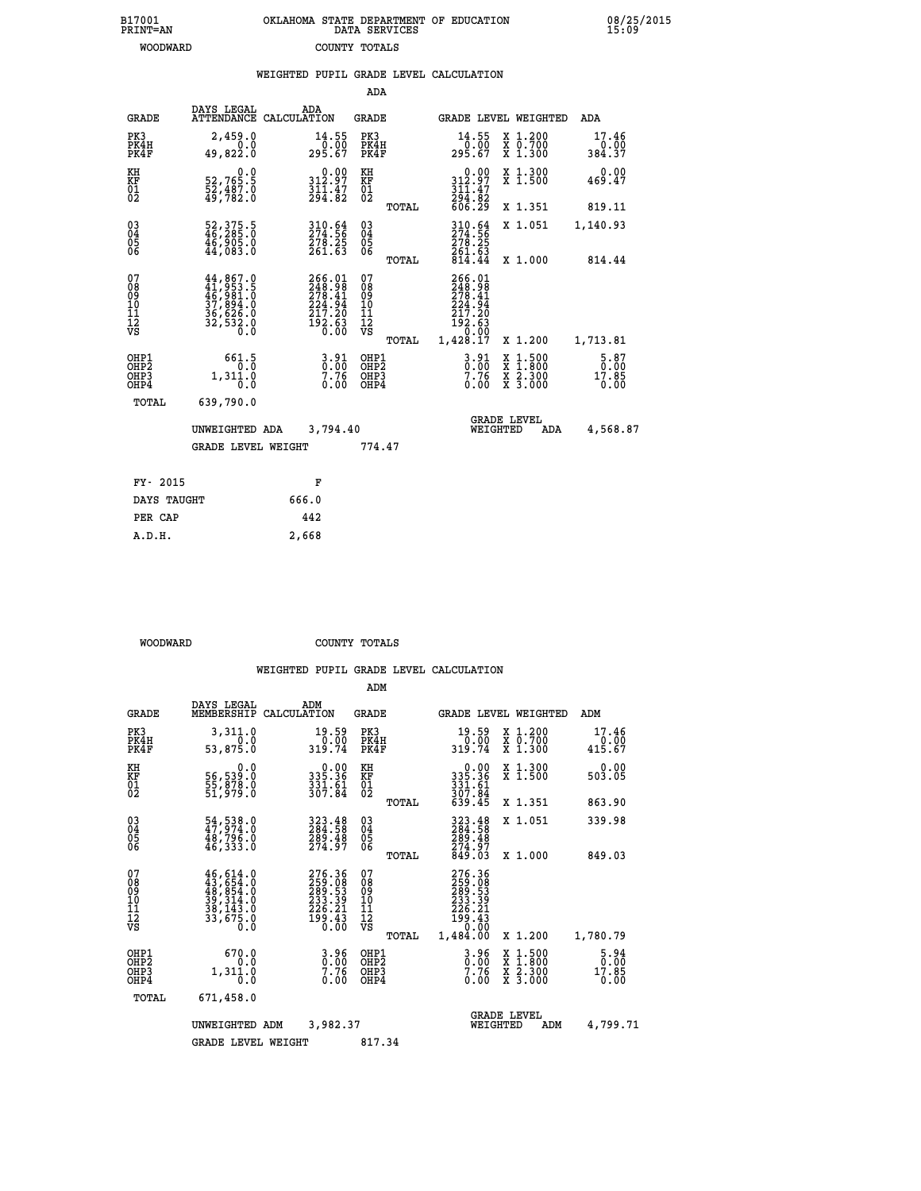| 7001<br>INT=AN | OKLAHOMA STATE DEPARTMENT OF EDUCATION<br>DATA SERVICES |  |
|----------------|---------------------------------------------------------|--|
| WOODWARD       | COUNTY TOTALS                                           |  |

 **B17001<br>PRINT=AN** 

 **B17001 OKLAHOMA STATE DEPARTMENT OF EDUCATION 08/25/2015**

|                                                              |                                                                                |       |                                                                         |                                                                                 |       | WEIGHTED PUPIL GRADE LEVEL CALCULATION                                                           |                                          |                                 |
|--------------------------------------------------------------|--------------------------------------------------------------------------------|-------|-------------------------------------------------------------------------|---------------------------------------------------------------------------------|-------|--------------------------------------------------------------------------------------------------|------------------------------------------|---------------------------------|
|                                                              |                                                                                |       |                                                                         | ADA                                                                             |       |                                                                                                  |                                          |                                 |
| <b>GRADE</b>                                                 | DAYS LEGAL<br>ATTENDANCE CALCULATION                                           |       | ADA                                                                     | GRADE                                                                           |       | GRADE LEVEL WEIGHTED                                                                             |                                          | ADA                             |
| PK3<br>PK4H<br>PK4F                                          | 2,459.0<br>0.0<br>49,822.0                                                     |       | $14.55$<br>0.00<br>295.67                                               | PK3<br>PK4H<br>PK4F                                                             |       | 14.55<br>295.67                                                                                  | X 1.200<br>X 0.700<br>X 1.300            | 17.46<br>0.00<br>384.37         |
| KH<br>KF<br>$\frac{01}{02}$                                  | 0.0<br>52,765.5<br>$\frac{5}{49}$ , $\frac{487}{782}$ .0                       |       | 312.97<br>$\frac{3\bar{1}\bar{1}\cdot 47}{294\cdot 82}$                 | KH<br>KF<br>$\overline{01}$                                                     |       | 312.97<br>$\frac{3}{2}$ $\frac{1}{9}$ $\frac{7}{8}$ $\frac{7}{8}$                                | X 1.300<br>X 1.500                       | 0.00<br>469.47                  |
|                                                              |                                                                                |       |                                                                         |                                                                                 | TOTAL | 606.29                                                                                           | X 1.351                                  | 819.11                          |
| $\begin{smallmatrix} 03 \\[-4pt] 04 \end{smallmatrix}$<br>Ŏ5 | 52, 375.5<br>46, 285.0<br>46, 905.0<br>44, 083.0                               |       | 310.64<br>274.56<br>278.25<br>261.63                                    | $\begin{smallmatrix} 03 \\[-4pt] 04 \end{smallmatrix}$<br>$\substack{05 \\ 06}$ |       | 310.64<br>274.56<br>278.25                                                                       | X 1.051                                  | 1,140.93                        |
| ŌĞ                                                           |                                                                                |       |                                                                         |                                                                                 | TOTAL | 261.63<br>814.44                                                                                 | X 1.000                                  | 814.44                          |
| 07<br>08<br>09<br>11<br>11<br>12<br>VS                       | 44,867.0<br>$41,953.5$<br>$46,981.5$<br>$37,894.0$<br>$36,626.0$<br>$32,532.0$ |       | 266.01<br>248.98<br>278.41<br>224.94<br>217.20<br>$\frac{192.63}{0.00}$ | 07<br>08<br>09<br>11<br>11<br>12<br>VS                                          | TOTAL | 266.01<br>$\frac{248.98}{278.41}$<br>$\frac{224.94}{94}$<br>217.20<br>192.63<br>0.00<br>1,428.17 | X 1.200                                  | 1,713.81                        |
| OHP1<br>OHP <sub>2</sub><br>OHP3<br>OHP4                     | 661.5<br>$0.\overline{0}$<br>1,311.0<br>0.0                                    |       | $3.91$<br>$7.76$<br>0.00                                                | OHP1<br>OHP <sub>2</sub><br>OHP3<br>OHP4                                        |       | $3.91$<br>$0.00$<br>$7.76$<br>$0.00$                                                             | X 1:500<br>X 1:800<br>X 2:300<br>X 3:000 | $5.87$<br>0.00<br>17.85<br>0.00 |
| TOTAL                                                        | 639,790.0                                                                      |       |                                                                         |                                                                                 |       |                                                                                                  |                                          |                                 |
|                                                              | UNWEIGHTED ADA                                                                 |       | 3,794.40                                                                |                                                                                 |       | WEIGHTED                                                                                         | <b>GRADE LEVEL</b><br><b>ADA</b>         | 4,568.87                        |
|                                                              | <b>GRADE LEVEL WEIGHT</b>                                                      |       |                                                                         | 774.47                                                                          |       |                                                                                                  |                                          |                                 |
| FY- 2015                                                     |                                                                                |       | F                                                                       |                                                                                 |       |                                                                                                  |                                          |                                 |
| DAYS TAUGHT                                                  |                                                                                | 666.0 |                                                                         |                                                                                 |       |                                                                                                  |                                          |                                 |
| PER CAP                                                      |                                                                                | 442   |                                                                         |                                                                                 |       |                                                                                                  |                                          |                                 |

 **WOODWARD COUNTY TOTALS**

 **A.D.H. 2,668**

|                                                       |                                                                                                                                                                  |                                                                                                    | ADM                                                 |                                                                                                             |                                                                  |                                      |
|-------------------------------------------------------|------------------------------------------------------------------------------------------------------------------------------------------------------------------|----------------------------------------------------------------------------------------------------|-----------------------------------------------------|-------------------------------------------------------------------------------------------------------------|------------------------------------------------------------------|--------------------------------------|
| <b>GRADE</b>                                          | DAYS LEGAL<br>MEMBERSHIP                                                                                                                                         | ADM<br>CALCULATION                                                                                 | <b>GRADE</b>                                        | <b>GRADE LEVEL WEIGHTED</b>                                                                                 |                                                                  | ADM                                  |
| PK3<br>PK4H<br>PK4F                                   | 3,311.0<br>0.0<br>53,875.0                                                                                                                                       | 19.59<br>0.00<br>319.74                                                                            | PK3<br>PK4H<br>PK4F                                 | 19.59<br>0.00<br>319.74                                                                                     | $\begin{array}{c} x & 1.200 \\ x & 0.700 \end{array}$<br>X 1.300 | 17.46<br>0.00<br>415.67              |
| KH<br>KF<br>01<br>02                                  | 0.0<br>56,539:0<br>55,878:0<br>51,979:0                                                                                                                          | 0.00<br>335.36<br>$\frac{331}{307}$ . $\frac{61}{84}$                                              | KH<br>KF<br>01<br>02                                | 0.00<br>335.36<br>331.61<br>307.84<br>639.45                                                                | X 1.300<br>X 1.500                                               | 0.00<br>503.05                       |
|                                                       |                                                                                                                                                                  |                                                                                                    | TOTAL                                               |                                                                                                             | X 1.351                                                          | 863.90                               |
| 03<br>04<br>05<br>06                                  | 54, 538.0<br>47, 974.0<br>48, 796.0<br>46,333.0                                                                                                                  | 323.48<br>284.58<br>$\frac{289.48}{274.97}$                                                        | $\begin{array}{c} 03 \\ 04 \\ 05 \\ 06 \end{array}$ | 323.48<br>284.58<br>289.48                                                                                  | X 1.051                                                          | 339.98                               |
|                                                       |                                                                                                                                                                  |                                                                                                    | TOTAL                                               | 274.97<br>849.03                                                                                            | X 1.000                                                          | 849.03                               |
| 07<br>08<br>09<br>101<br>112<br>VS                    | $\begin{smallmatrix} 46\,,\,614\,.\,0\\ 43\,,\,654\,.\,0\\ 48\,,\,854\,.\,0\\ 39\,,\,314\,.\,0\\ 38\,,\,143\,.\,0\\ 33\,,\,675\,.\,0\\ 0\,.\,0\end{smallmatrix}$ | $\begin{smallmatrix} 276.36\\ 259.08\\ 289.53\\ 233.39\\ 236.21\\ 199.43\\ 0.00 \end{smallmatrix}$ | 07<br>08<br>09<br>101<br>11<br>12<br>VS<br>TOTAL    | 276.36<br>259.08<br>289.53<br>233.39<br>$\begin{array}{c} 226.21 \\ 199.43 \\ 0.00 \end{array}$<br>1,484.00 | X 1.200                                                          | 1,780.79                             |
| OHP1<br>OH <sub>P</sub> 2<br>OH <sub>P3</sub><br>OHP4 | 670.0<br>0.0<br>1,311.0<br>0.0                                                                                                                                   | $\frac{3.96}{0.00}$<br>0.00                                                                        | OHP1<br>OHP2<br>OHP3<br>OHP4                        | $3.96$<br>$0.00$<br>$7.76$<br>0.00                                                                          | X 1:500<br>X 1:800<br>X 2:300<br>X 3:000                         | $\frac{5.94}{0.00}$<br>17.85<br>0.00 |
| TOTAL                                                 | 671,458.0                                                                                                                                                        |                                                                                                    |                                                     |                                                                                                             |                                                                  |                                      |
|                                                       | UNWEIGHTED                                                                                                                                                       | 3,982.37<br>ADM                                                                                    |                                                     | WEIGHTED                                                                                                    | <b>GRADE LEVEL</b><br>ADM                                        | 4,799.71                             |
|                                                       | <b>GRADE LEVEL WEIGHT</b>                                                                                                                                        |                                                                                                    | 817.34                                              |                                                                                                             |                                                                  |                                      |